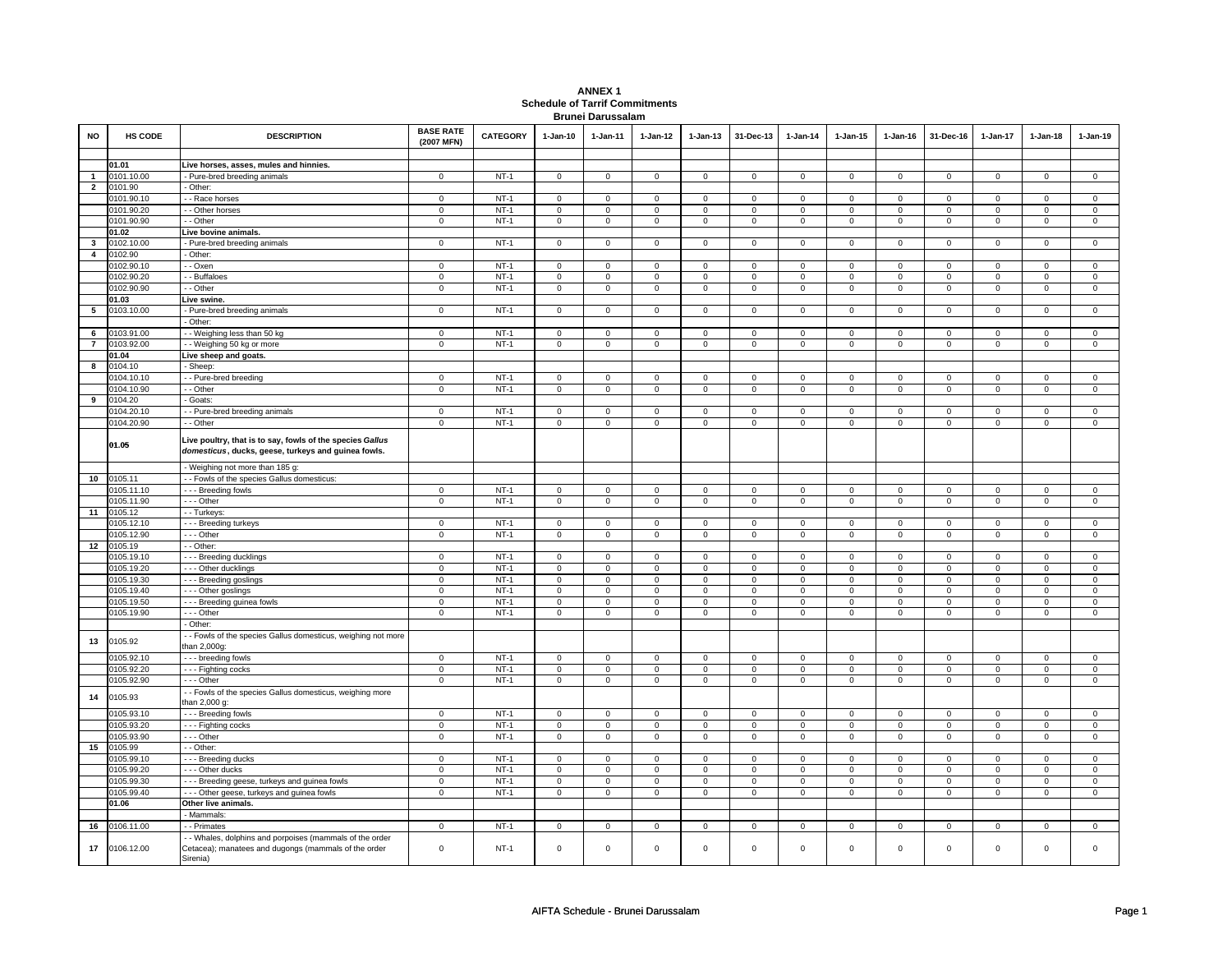| <b>ANNEX1</b>                         |
|---------------------------------------|
| <b>Schedule of Tarrif Commitments</b> |
| <b>Brunei Darussalam</b>              |

| <b>NO</b>      | <b>HS CODE</b> | <b>DESCRIPTION</b>                                                                                                         | <b>BASE RATE</b><br>(2007 MFN) | <b>CATEGORY</b> | $1-Jan-10$          | 1-Jan-11       | $1-Jan-12$          | $1-Jan-13$     | 31-Dec-13      | $1$ -Jan-14    | $1-Jan-15$                    | $1-Jan-16$     | 31-Dec-16      | $1-Jan-17$     | $1-Jan-18$                    | $1-Jan-19$     |
|----------------|----------------|----------------------------------------------------------------------------------------------------------------------------|--------------------------------|-----------------|---------------------|----------------|---------------------|----------------|----------------|----------------|-------------------------------|----------------|----------------|----------------|-------------------------------|----------------|
|                |                |                                                                                                                            |                                |                 |                     |                |                     |                |                |                |                               |                |                |                |                               |                |
|                | 01.01          | Live horses, asses, mules and hinnies.                                                                                     |                                |                 |                     |                |                     |                |                |                |                               |                |                |                |                               |                |
| $\overline{1}$ | 0101.10.00     | - Pure-bred breeding animals                                                                                               | $\mathbf 0$                    | $NT-1$          | $\mathsf 0$         | $\mathbf 0$    | $\mathsf 0$         | $\mathbf 0$    | $\mathsf 0$    | $\mathbf 0$    | $\mathbf 0$                   | $\mathsf 0$    | $\mathsf 0$    | $\mathsf 0$    | $\mathsf 0$                   | $\mathbf 0$    |
| $\overline{2}$ | 0101.90        | - Other:                                                                                                                   |                                |                 |                     |                |                     |                |                |                |                               |                |                |                |                               |                |
|                | 0101.90.10     | - Race horses                                                                                                              | $\mathbf 0$                    | $NT-1$          | $\mathsf 0$         | $\mathbf 0$    | $\mathsf 0$         | $\mathbf 0$    | $\mathsf 0$    | $\mathsf 0$    | $\mathsf 0$                   | $\mathsf 0$    | $\mathsf 0$    | $\mathsf 0$    | $\mathbf 0$                   | $\mathbf 0$    |
|                | 0101.90.20     | - - Other horses                                                                                                           | $\mathsf 0$                    | $NT-1$          | 0                   | $\mathsf 0$    | 0                   | $\mathbf 0$    | $\mathbf 0$    | $\mathsf 0$    | 0                             | $\mathsf 0$    | $\mathbf 0$    | $\mathsf 0$    | $\mathsf 0$                   | $\mathbf 0$    |
|                | 0101.90.90     | - - Other                                                                                                                  | $\mathbf 0$                    | $NT-1$          | $\mathbf 0$         | $\mathbf 0$    | $\Omega$            | $^{\circ}$     | $\mathbf{0}$   | $\mathbf{0}$   | $\Omega$                      | $\mathbf{0}$   | $\mathbf{0}$   | $\mathbf 0$    | $\Omega$                      | $\mathbf{0}$   |
|                | 01.02          | Live bovine animals.                                                                                                       |                                |                 |                     |                |                     |                |                |                |                               |                |                |                |                               |                |
| $\mathbf{3}$   | 0102.10.00     | - Pure-bred breeding animals                                                                                               | $\mathbf 0$                    | $NT-1$          | $\mathbf 0$         | $\mathsf 0$    | $\mathbf 0$         | $\mathbf 0$    | $\mathbf 0$    | $\mathsf 0$    | $\mathbf 0$                   | $\mathsf 0$    | $\mathbf 0$    | $\mathsf 0$    | $\mathbf 0$                   | $\mathbf 0$    |
| $\overline{4}$ | 0102.90        | - Other:                                                                                                                   |                                |                 |                     |                |                     |                |                |                |                               |                |                |                |                               |                |
|                | 0102.90.10     | - - Oxen                                                                                                                   | $\mathbf 0$                    | $NT-1$          | $\mathsf{O}\xspace$ | $\mathsf 0$    | $\mathsf 0$         | $\mathbf 0$    | $\mathsf 0$    | $\mathsf 0$    | $\mathsf 0$                   | $\mathsf 0$    | $\mathsf 0$    | $\mathsf 0$    | $\mathbf 0$                   | $\mathbf 0$    |
|                | 0102.90.20     | - - Buffaloes                                                                                                              | $\mathbf 0$                    | $NT-1$          | $\mathbf 0$         | $\mathbf 0$    | $\mathbf 0$         | 0              | $\mathbf 0$    | $\mathbf 0$    | 0                             | 0              | 0              | $\mathbf 0$    | $\mathbf 0$                   | $\mathsf 0$    |
|                | 0102.90.90     | - - Other                                                                                                                  | $\mathbf 0$                    | $NT-1$          | $\mathsf 0$         | $\mathbf 0$    | $\mathsf 0$         | $\mathbf 0$    | $\mathsf 0$    | $\mathbf 0$    | $\mathsf 0$                   | $\mathsf 0$    | $\mathsf 0$    | $\mathbf 0$    | $\mathsf 0$                   | $\mathsf 0$    |
|                | 01.03          | Live swine.                                                                                                                |                                |                 |                     |                |                     |                |                |                |                               |                |                |                |                               |                |
| 5              | 0103.10.00     | - Pure-bred breeding animals                                                                                               | $\mathbf 0$                    | $NT-1$          | $\mathsf 0$         | $\mathbf 0$    | $\mathsf 0$         | $\mathsf 0$    | $\mathsf 0$    | $\mathbf 0$    | $\mathsf 0$                   | $\mathsf 0$    | $\mathsf 0$    | $\mathsf 0$    | $\mathsf 0$                   | $\mathsf 0$    |
|                |                | - Other:                                                                                                                   |                                |                 |                     |                |                     |                |                |                |                               |                |                |                |                               |                |
| 6              | 0103.91.00     | - Weighing less than 50 kg                                                                                                 | $\mathsf 0$                    | $NT-1$          | $\mathsf 0$         | $\overline{0}$ | $\mathsf 0$         | $\mathbf 0$    | $\mathsf 0$    | $\overline{0}$ | $\mathbf 0$                   | $\mathsf 0$    | $\mathsf 0$    | $\overline{0}$ | $\mathsf 0$                   | $\overline{0}$ |
| $\overline{7}$ | 0103.92.00     | - - Weighing 50 kg or more                                                                                                 | $\mathbf 0$                    | $NT-1$          | $\mathbf 0$         | $\mathbf 0$    | $\mathbf 0$         | $\mathbf 0$    | $\mathbf 0$    | $\mathbf 0$    | $\mathbf 0$                   | $\mathbf 0$    | $\mathbf 0$    | $\mathbf 0$    | $\mathbf 0$                   | $\mathbf 0$    |
|                | 01.04          | Live sheep and goats.                                                                                                      |                                |                 |                     |                |                     |                |                |                |                               |                |                |                |                               |                |
| 8              | 0104.10        | - Sheep:                                                                                                                   |                                |                 |                     |                |                     |                |                |                |                               |                |                |                |                               |                |
|                | 0104.10.10     | - - Pure-bred breeding                                                                                                     | $\overline{0}$                 | $NT-1$          | 0                   | $\mathbf 0$    | 0                   | $\mathbf 0$    | $\mathbf 0$    | $\mathbf 0$    | 0                             | $\mathbf 0$    | 0              | 0              | 0                             | $\mathbf 0$    |
|                | 0104.10.90     | - - Other                                                                                                                  | $\mathbf 0$                    | $NT-1$          | $\mathsf 0$         | $\mathsf 0$    | $\mathsf 0$         | $\mathbf 0$    | $\mathsf 0$    | $\mathsf 0$    | $\mathbf 0$                   | $\mathsf 0$    | $\mathsf 0$    | $\mathsf 0$    | $\mathsf 0$                   | $\mathbf 0$    |
| 9              | 0104.20        | - Goats:                                                                                                                   |                                |                 |                     |                |                     |                |                |                |                               |                |                |                |                               |                |
|                | 0104.20.10     | - - Pure-bred breeding animals                                                                                             | $\mathsf 0$                    | $NT-1$          | $\mathsf 0$         | $\mathbf 0$    | $\mathbf 0$         | $\mathbf 0$    | $\mathsf 0$    | $\mathbf 0$    | $\mathbf 0$                   | $\mathsf 0$    | $\mathsf 0$    | $\mathsf 0$    | $\mathsf 0$                   | $\mathbf 0$    |
|                | 0104.20.90     | - - Other                                                                                                                  | $\mathsf 0$                    | $NT-1$          | $\mathsf 0$         | $\mathbf 0$    | $\mathsf 0$         | $\mathbf 0$    | $\mathsf 0$    | $\mathsf 0$    | $\mathbf 0$                   | $\mathsf 0$    | $\mathsf 0$    | $\mathsf 0$    | $\mathsf 0$                   | $\mathsf 0$    |
|                | 01.05          | Live poultry, that is to say, fowls of the species Gallus<br>domesticus, ducks, geese, turkeys and guinea fowls.           |                                |                 |                     |                |                     |                |                |                |                               |                |                |                |                               |                |
|                |                | - Weighing not more than 185 g:                                                                                            |                                |                 |                     |                |                     |                |                |                |                               |                |                |                |                               |                |
| 10             | 0105.11        | - - Fowls of the species Gallus domesticus:                                                                                |                                |                 |                     |                |                     |                |                |                |                               |                |                |                |                               |                |
|                | 0105.11.10     | --- Breeding fowls                                                                                                         | $\mathbf 0$                    | $NT-1$          | $\mathbf 0$         | $\mathbf 0$    | 0                   | $\mathbf 0$    | 0              | $\mathbf 0$    | 0                             | $\mathbf 0$    | 0              | $\mathbf 0$    | 0                             | $\mathbf 0$    |
|                | 0105.11.90     | --- Other                                                                                                                  | $\mathsf 0$                    | $NT-1$          | $\mathsf 0$         | $\mathbf 0$    | $\mathsf 0$         | $\mathbf{0}$   | $\mathsf 0$    | $\mathsf 0$    | $\mathbf 0$                   | $\mathsf 0$    | $\mathsf 0$    | $\mathsf 0$    | $\mathsf 0$                   | $\mathbf 0$    |
| 11             | 0105.12        | - - Turkeys:                                                                                                               |                                |                 |                     |                |                     |                |                |                |                               |                |                |                |                               |                |
|                | 105.12.10      | --- Breeding turkeys                                                                                                       | $\mathbf 0$                    | $NT-1$          | $\mathsf 0$         | $\mathsf 0$    | $\mathbf 0$         | $\mathbf 0$    | $\mathsf 0$    | $\mathsf 0$    | $\mathbf 0$                   | $\mathbf 0$    | $\mathsf 0$    | $\mathbf 0$    | $\Omega$                      | $\mathbf 0$    |
|                | 0105.12.90     | --- Other                                                                                                                  | $\mathbf 0$                    | $NT-1$          | $\mathsf 0$         | $\mathsf 0$    | $\mathsf 0$         | $\mathbf 0$    | $\mathsf 0$    | $\mathsf 0$    | $\mathbf 0$                   | $\mathsf 0$    | $\mathsf 0$    | $\mathsf 0$    | $\mathbf 0$                   | $\mathbf 0$    |
| 12             | 0105.19        | - - Other:                                                                                                                 |                                |                 |                     |                |                     |                |                |                |                               |                |                |                |                               |                |
|                | 0105.19.10     | --- Breeding ducklings                                                                                                     | $\mathsf 0$                    | $NT-1$          | $\mathsf 0$         | $\mathsf 0$    | $\mathsf 0$         | $\mathbf 0$    | $\mathsf 0$    | $\mathsf 0$    | $\mathbf 0$                   | $\mathsf 0$    | $\mathsf 0$    | $\mathsf 0$    | $\mathsf 0$                   | $\mathbf 0$    |
|                | 0105.19.20     | - - - Other ducklings                                                                                                      | $\mathbf 0$                    | $NT-1$          | $\mathsf 0$         | $\mathsf 0$    | $\mathbf 0$         | $\mathbf 0$    | $\mathsf 0$    | $\overline{0}$ | $\mathbf 0$                   | $\mathsf 0$    | $\mathbf 0$    | $\overline{0}$ | $\Omega$                      | $\overline{0}$ |
|                | 0105.19.30     | --- Breeding goslings                                                                                                      | $\mathbf 0$                    | $NT-1$          | $\mathsf 0$         | $\mathsf 0$    | $\mathsf 0$         | $\mathbf 0$    | $\mathsf 0$    | $\mathbf 0$    | $\mathsf 0$                   | $\mathsf 0$    | $\mathsf 0$    | $\mathsf 0$    | $\mathsf 0$                   | $\mathbf 0$    |
|                | 0105.19.40     | --- Other goslings                                                                                                         | $\mathsf 0$                    | $NT-1$          | $\mathsf 0$         | $\mathsf 0$    | $\mathsf 0$         | $\mathbf 0$    | $\mathsf 0$    | $\mathsf 0$    | $\mathbf 0$                   | $\mathsf 0$    | $\mathsf 0$    | $\mathsf 0$    | $\mathsf 0$                   | $\mathsf 0$    |
|                | 0105.19.50     | --- Breeding guinea fowls                                                                                                  | $\overline{0}$                 | $NT-1$          | $\mathbf 0$         | $\overline{0}$ | $\mathbf 0$         | $\mathbf 0$    | $\overline{0}$ | $\overline{0}$ | $\overline{0}$                | $\overline{0}$ | $\overline{0}$ | $\overline{0}$ | $\mathbf 0$                   | $\overline{0}$ |
|                | 0105.19.90     | $- -$ Other                                                                                                                | $\mathbf 0$                    | $NT-1$          | $\mathbf 0$         | $\mathsf 0$    | $\mathbf 0$         | $\mathbf 0$    | $\mathsf 0$    | $\mathsf 0$    | $\mathbf 0$                   | $\mathsf 0$    | $\mathsf 0$    | $\mathsf 0$    | $\mathsf 0$                   | $\overline{0}$ |
|                |                | - Other:                                                                                                                   |                                |                 |                     |                |                     |                |                |                |                               |                |                |                |                               |                |
| 13             | 0105.92        | - - Fowls of the species Gallus domesticus, weighing not more<br>than 2,000g:                                              |                                |                 |                     |                |                     |                |                |                |                               |                |                |                |                               |                |
|                | 0105.92.10     | --- breeding fowls                                                                                                         | $\mathbf 0$                    | $NT-1$          | $\mathbf 0$         | $\mathbf 0$    | $\mathbf 0$         | $\mathbf 0$    | $\mathbf 0$    | 0              | $\mathsf 0$                   | 0              | 0              | 0              | $\mathbf 0$                   | $\mathbf 0$    |
|                | 105.92.20      | --- Fighting cocks                                                                                                         | $\mathbf 0$                    | $NT-1$          | $\mathsf 0$         | $\mathsf 0$    | $\mathsf 0$         | $\mathsf 0$    | $\mathsf 0$    | $\mathsf 0$    | $\mathsf 0$                   | $\mathsf 0$    | $\mathsf 0$    | $\mathsf 0$    | $\mathsf 0$                   | $\mathsf 0$    |
|                | 0105.92.90     | - - - Other                                                                                                                | $\mathbf 0$                    | $NT-1$          | $\mathbf 0$         | $\mathbf 0$    | $\mathbf 0$         | $\mathbf 0$    | $\mathbf 0$    | $\mathbf 0$    | $\mathbf 0$                   | $\mathbf 0$    | $\mathbf 0$    | $\mathbf 0$    | $\mathbf 0$                   | $\mathbf 0$    |
| 14             | 0105.93        | - - Fowls of the species Gallus domesticus, weighing more<br>than 2,000 g:                                                 |                                |                 |                     |                |                     |                |                |                |                               |                |                |                |                               |                |
|                | 0105.93.10     | - - - Breeding fowls                                                                                                       | $\overline{0}$                 | $NT-1$          | $\overline{0}$      | $\overline{0}$ | $\overline{0}$      | $\overline{0}$ | $\overline{0}$ | $\overline{0}$ | $\mathbf 0$                   | $\mathbf{0}$   | $\overline{0}$ | $\overline{0}$ | $\overline{0}$                | $\mathbf 0$    |
|                | 0105.93.20     | --- Fighting cocks                                                                                                         | $\mathbf 0$                    | $NT-1$          | $\mathsf 0$         | $\mathsf 0$    | $\mathsf 0$         | $\mathbf 0$    | $\mathsf 0$    | $\mathsf 0$    | $\mathbf 0$<br>$\overline{0}$ | $\mathsf 0$    | $\mathsf 0$    | $\mathsf 0$    | $\mathsf 0$<br>$\overline{0}$ | $\mathbf 0$    |
|                | 0105.93.90     | $\cdots$ Other                                                                                                             | $\overline{0}$                 | $NT-1$          | $\overline{0}$      | $\overline{0}$ | $\overline{0}$      | $\overline{0}$ | $\overline{0}$ | $\overline{0}$ |                               | $\overline{0}$ | $\overline{0}$ | $\overline{0}$ |                               | $\overline{0}$ |
| 15             | 0105.99        | - - Other:                                                                                                                 |                                |                 |                     |                |                     |                |                |                |                               |                |                |                |                               |                |
|                | 0105.99.10     | --- Breeding ducks                                                                                                         | $\mathbf 0$                    | $NT-1$          | $\mathbf 0$         | $\mathbf 0$    | 0                   | $\mathbf{0}$   | $\mathbf 0$    | $\mathbf 0$    | $\mathbf 0$                   | $\mathbf 0$    | $\mathbf 0$    | $\mathbf 0$    | 0                             | $\mathbf 0$    |
|                | 0105.99.20     | --- Other ducks                                                                                                            | $\mathbf 0$                    | $NT-1$          | $\mathsf 0$         | $\mathsf 0$    | $\mathsf 0$         | $\mathbf 0$    | $\mathsf 0$    | $\mathsf 0$    | $\mathbf 0$                   | $\mathsf 0$    | $\mathsf 0$    | $\mathsf 0$    | $\mathsf 0$                   | $\mathbf 0$    |
|                | 0105.99.30     | --- Breeding geese, turkeys and guinea fowls                                                                               | $\mathbf 0$                    | $NT-1$          | $\mathsf{O}\xspace$ | $\mathbf 0$    | $\mathsf{O}\xspace$ | $\mathbf 0$    | $\mathsf 0$    | $\mathbf 0$    | $\mathsf 0$                   | $\mathbf 0$    | $\mathsf 0$    | $\overline{0}$ | $\mathsf 0$                   | $\overline{0}$ |
|                | 0105.99.40     | --- Other geese, turkeys and guinea fowls                                                                                  | $\mathbf 0$                    | $NT-1$          | $\mathsf 0$         | $\mathsf 0$    | $\mathsf 0$         | $\mathbf 0$    | $\mathsf 0$    | $\mathsf 0$    | $\mathbf 0$                   | $\mathsf 0$    | $\mathbf 0$    | $\mathbf 0$    | $\mathbf 0$                   | $\mathbf 0$    |
|                | 01.06          | Other live animals.                                                                                                        |                                |                 |                     |                |                     |                |                |                |                               |                |                |                |                               |                |
|                |                | Mammals                                                                                                                    |                                |                 |                     |                |                     |                |                |                |                               |                |                |                |                               |                |
| 16             | 0106.11.00     | - - Primates                                                                                                               | $\mathbf 0$                    | $NT-1$          | $\mathbf 0$         | $\mathbf 0$    | $\mathbf 0$         | $\mathbf 0$    | $\mathbf 0$    | $\mathsf 0$    | $\mathbf 0$                   | $\mathbf 0$    | 0              | $\mathsf 0$    | $\mathbf 0$                   | $\mathbf 0$    |
| 17             | 0106.12.00     | - Whales, dolphins and porpoises (mammals of the order<br>Cetacea); manatees and dugongs (mammals of the order<br>Sirenia) | $\mathbf 0$                    | $NT-1$          | $\mathbf 0$         | $\mathsf 0$    | $\mathbf 0$         | $\mathbf 0$    | $\mathbf 0$    | $\mathsf 0$    | $\mathbf 0$                   | 0              | $\mathbf 0$    | $\mathsf 0$    | $\mathbf 0$                   | $\Omega$       |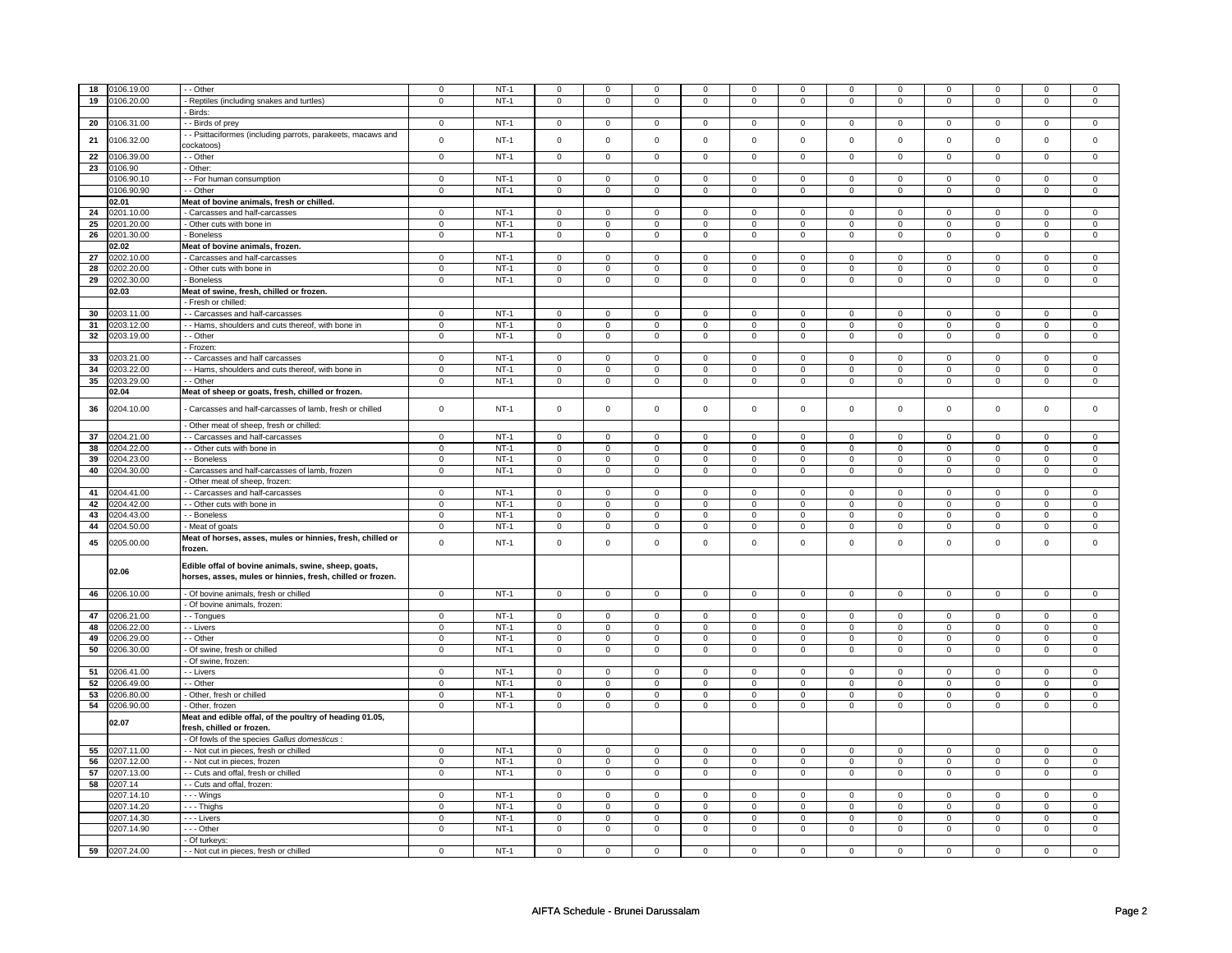| 18 | 0106.19.00    | - - Other                                                                                                          | 0                   | $NT-1$ | $\mathbf 0$         | 0            | $\mathbf 0$ | 0                   | $\mathbf 0$         | 0                   | 0                   | 0                   | $\mathbf 0$         | 0                   | $\mathbf 0$ | $\mathbf 0$         |
|----|---------------|--------------------------------------------------------------------------------------------------------------------|---------------------|--------|---------------------|--------------|-------------|---------------------|---------------------|---------------------|---------------------|---------------------|---------------------|---------------------|-------------|---------------------|
|    |               |                                                                                                                    |                     |        |                     |              |             |                     |                     |                     |                     |                     |                     |                     |             |                     |
| 19 | 0106.20.00    | Reptiles (including snakes and turtles)                                                                            | 0                   | $NT-1$ | 0                   | 0            | 0           | 0                   | 0                   | 0                   | 0                   | $\mathbf 0$         | 0                   | $\mathbf 0$         | 0           | $\mathbf 0$         |
|    |               | Birds:                                                                                                             |                     |        |                     |              |             |                     |                     |                     |                     |                     |                     |                     |             |                     |
| 20 | 0106.31.00    | - Birds of prey                                                                                                    | 0                   | $NT-1$ | $\mathbf 0$         | 0            | $\mathbf 0$ | 0                   | 0                   | 0                   | $\mathbf 0$         | $\mathbf{0}$        | 0                   | 0                   | 0           | $\mathbf 0$         |
|    |               | - - Psittaciformes (including parrots, parakeets, macaws and                                                       |                     |        |                     |              |             |                     |                     |                     |                     |                     |                     |                     |             |                     |
| 21 | 0106.32.00    | cockatoos)                                                                                                         | $\mathsf 0$         | $NT-1$ | $\mathsf{O}\xspace$ | $\mathbf 0$  | $\mathbf 0$ | $\mathbf 0$         | $\mathsf{O}\xspace$ | $\mathbf 0$         | $\mathsf 0$         | $\mathbf 0$         | $\mathsf 0$         | $\mathbf 0$         | $\Omega$    | $\mathsf 0$         |
|    |               |                                                                                                                    |                     |        |                     |              |             |                     |                     |                     | $\overline{0}$      |                     |                     |                     |             |                     |
| 22 | 0106.39.00    | - - Other                                                                                                          | $\overline{0}$      | $NT-1$ | $\overline{0}$      | $\mathbf 0$  | $\mathbf 0$ | 0                   | $\overline{0}$      | 0                   |                     | $\mathbf 0$         | 0                   | $\overline{0}$      | $\mathbf 0$ | $\overline{0}$      |
| 23 | 0106.90       | - Other:                                                                                                           |                     |        |                     |              |             |                     |                     |                     |                     |                     |                     |                     |             |                     |
|    | 0106.90.10    | - For human consumption                                                                                            | $\mathbf 0$         | $NT-1$ | $\mathbf 0$         | $\mathbf{0}$ | $\mathbf 0$ | $\mathbf{0}$        | $\mathbf 0$         | 0                   | $\mathbf{0}$        | $\mathbf 0$         | $\mathbf 0$         | 0                   | $\mathbf 0$ | 0                   |
|    | 0106.90.90    | - Other                                                                                                            | $\mathbf 0$         | $NT-1$ | 0                   | $\mathbf 0$  | $\mathsf 0$ | 0                   | $\mathbf 0$         | 0                   | $\mathsf 0$         | $\mathbf 0$         | $\mathbf 0$         | $\mathbf 0$         | 0           | $\mathbf 0$         |
|    | 02.01         | Meat of bovine animals, fresh or chilled.                                                                          |                     |        |                     |              |             |                     |                     |                     |                     |                     |                     |                     |             |                     |
| 24 | 0201.10.00    | - Carcasses and half-carcasses                                                                                     | $\mathbf 0$         | $NT-1$ | $\mathbf 0$         | $\mathbf 0$  | $\mathbf 0$ | $\mathbf{0}$        | $\mathbf 0$         | $\mathbf{0}$        | $\mathbf{0}$        | $\mathbf{0}$        | $\mathbf 0$         | 0                   | $\Omega$    | 0                   |
|    |               |                                                                                                                    |                     |        |                     |              |             |                     |                     |                     |                     |                     |                     |                     |             |                     |
| 25 | 0201.20.00    | - Other cuts with bone in                                                                                          | $\overline{0}$      | $NT-1$ | $\overline{0}$      | $\mathbf 0$  | $\mathbf 0$ | $\mathbf 0$         | $\mathbf 0$         | 0                   | $\mathbf 0$         | 0                   | $\mathbf 0$         | $\overline{0}$      | $\mathbf 0$ | $\overline{0}$      |
| 26 | 0201.30.00    | - Boneless                                                                                                         | $\mathbf 0$         | $NT-1$ | $\mathbf 0$         | $\mathbf 0$  | $\mathbf 0$ | $\mathbf 0$         | $\mathbf 0$         | $\mathbf 0$         | $\mathbf 0$         | $\mathbf 0$         | 0                   | $\mathbf 0$         | 0           | $\mathbf{0}$        |
|    | 02.02         | Meat of bovine animals, frozen.                                                                                    |                     |        |                     |              |             |                     |                     |                     |                     |                     |                     |                     |             |                     |
| 27 | 0202.10.00    | Carcasses and half-carcasses                                                                                       | 0                   | $NT-1$ | $\mathbf 0$         | $\mathbf 0$  | 0           | 0                   | 0                   | 0                   | 0                   | $\mathbf{0}$        | 0                   | 0                   | 0           | $\mathbf 0$         |
| 28 | 0202.20.00    | - Other cuts with bone in                                                                                          | 0                   | $NT-1$ | 0                   | 0            | 0           | 0                   | 0                   | 0                   | 0                   | 0                   | 0                   | 0                   | 0           | 0                   |
| 29 | 0202.30.00    |                                                                                                                    |                     | $NT-1$ |                     | $\mathbf 0$  |             | 0                   |                     | 0                   |                     | 0                   |                     | 0                   |             | 0                   |
|    |               | - Boneless                                                                                                         | 0                   |        | 0                   |              | 0           |                     | 0                   |                     | 0                   |                     | 0                   |                     | 0           |                     |
|    | 02.03         | Meat of swine, fresh, chilled or frozen.                                                                           |                     |        |                     |              |             |                     |                     |                     |                     |                     |                     |                     |             |                     |
|    |               | - Fresh or chilled:                                                                                                |                     |        |                     |              |             |                     |                     |                     |                     |                     |                     |                     |             |                     |
| 30 | 0203.11.00    | - Carcasses and half-carcasses                                                                                     | 0                   | $NT-1$ | $\mathbf 0$         | $\mathbf 0$  | $\mathbf 0$ | 0                   | $\mathbf 0$         | 0                   | $\mathbf 0$         | 0                   | $\mathbf 0$         | 0                   | $\mathbf 0$ | 0                   |
| 31 | 0203.12.00    | - Hams, shoulders and cuts thereof, with bone in                                                                   | $\mathsf 0$         | $NT-1$ | $\mathbf 0$         | $\mathbf 0$  | 0           | 0                   | $\mathbf 0$         | 0                   | 0                   | $\mathbf 0$         | $\mathbf 0$         | $\mathbf 0$         | 0           | $\mathbf 0$         |
| 32 | 0203.19.00    | - - Other                                                                                                          | $\mathbf 0$         | $NT-1$ | 0                   | $\mathbf 0$  | 0           | $\overline{0}$      | 0                   | $\mathbf 0$         | 0                   | $\mathbf 0$         | 0                   | $\mathbf 0$         | $\mathbf 0$ | $\overline{0}$      |
|    |               |                                                                                                                    |                     |        |                     |              |             |                     |                     |                     |                     |                     |                     |                     |             |                     |
|    |               | - Frozen:                                                                                                          |                     |        |                     |              |             |                     |                     |                     |                     |                     |                     |                     |             |                     |
| 33 | 0203.21.00    | - - Carcasses and half carcasses                                                                                   | $\mathsf{O}\xspace$ | $NT-1$ | $\mathbf{0}$        | $\mathbf 0$  | $\Omega$    | $\mathbf{0}$        | $\Omega$            | $\mathbf 0$         | $\mathbf 0$         | $\mathbf 0$         | $\mathbf{0}$        | $\mathbf 0$         | $\Omega$    | $\mathbf 0$         |
| 34 | 0203.22.00    | - - Hams, shoulders and cuts thereof, with bone in                                                                 | $\mathsf 0$         | $NT-1$ | $\mathbf 0$         | $\mathsf 0$  | $\mathbf 0$ | $\mathsf{O}\xspace$ | $\mathsf{O}\xspace$ | $\mathsf{O}\xspace$ | $\mathbf 0$         | $\mathsf{O}\xspace$ | $\mathsf 0$         | $\pmb{0}$           | $\mathbf 0$ | $\mathsf{O}\xspace$ |
| 35 | 0203.29.00    | - - Other                                                                                                          | $\mathsf{O}\xspace$ | $NT-1$ | 0                   | $\mathbf 0$  | 0           | 0                   | 0                   | 0                   | 0                   | $\mathbf 0$         | 0                   | 0                   | 0           | $\mathsf 0$         |
|    | 02.04         | Meat of sheep or goats, fresh, chilled or frozen.                                                                  |                     |        |                     |              |             |                     |                     |                     |                     |                     |                     |                     |             |                     |
|    |               |                                                                                                                    |                     |        |                     |              |             |                     |                     |                     |                     |                     |                     |                     |             |                     |
| 36 | 0204.10.00    | Carcasses and half-carcasses of lamb, fresh or chilled                                                             | $\mathsf 0$         | $NT-1$ | $\mathsf{O}\xspace$ | $\mathsf 0$  | $\mathsf 0$ | $\mathbf 0$         | $\mathsf 0$         | $\mathsf{O}\xspace$ | $\mathsf{O}\xspace$ | $\mathsf{O}\xspace$ | $\mathsf 0$         | $\mathsf{O}\xspace$ | $\mathsf 0$ | $\mathsf 0$         |
|    |               | Other meat of sheep, fresh or chilled:                                                                             |                     |        |                     |              |             |                     |                     |                     |                     |                     |                     |                     |             |                     |
| 37 | 0204.21.00    | - - Carcasses and half-carcasses                                                                                   | $\mathbf 0$         | $NT-1$ | $\mathbf 0$         | $\mathbf 0$  | $\mathbf 0$ | $\mathbf{0}$        | $\mathbf 0$         | $\mathbf{0}$        | $\mathbf{0}$        | $\mathbf{0}$        | $\mathbf 0$         | $\mathbf{0}$        | $\Omega$    | $\mathbf{0}$        |
|    |               |                                                                                                                    |                     |        |                     |              |             |                     |                     |                     |                     |                     |                     |                     |             |                     |
| 38 | 0204.22.00    | - - Other cuts with bone in                                                                                        | $\mathsf{o}\,$      | $NT-1$ | 0                   | $\mathbf 0$  | $\mathbf 0$ | 0                   | 0                   | 0                   | $\mathbf 0$         | $\mathbf 0$         | 0                   | $\mathbf 0$         | 0           | $\circ$             |
| 39 | 0204.23.00    | - - Boneless                                                                                                       | 0                   | $NT-1$ | $\mathbf 0$         | 0            | $\mathbf 0$ | 0                   | $\mathbf 0$         | 0                   | $\mathbf 0$         | 0                   | $\mathbf 0$         | 0                   | $\mathbf 0$ | 0                   |
| 40 | 0204.30.00    | Carcasses and half-carcasses of lamb, frozen                                                                       | $\mathsf 0$         | $NT-1$ | $\mathsf{O}\xspace$ | $\mathbf 0$  | $\mathbf 0$ | 0                   | $\mathsf{O}\xspace$ | 0                   | $\mathbf 0$         | $\mathbf 0$         | $\mathsf{O}\xspace$ | $\mathbf 0$         | $\mathbf 0$ | $\mathbf 0$         |
|    |               | Other meat of sheep, frozen:                                                                                       |                     |        |                     |              |             |                     |                     |                     |                     |                     |                     |                     |             |                     |
| 41 | 0204.41.00    | - - Carcasses and half-carcasses                                                                                   | $\mathsf 0$         | $NT-1$ | $\mathbf 0$         | $\mathbf 0$  | 0           | 0                   | $\mathbf 0$         | 0                   | $\mathbf 0$         | 0                   | $\mathbf 0$         | 0                   | $\Omega$    | 0                   |
|    |               |                                                                                                                    |                     |        | $\mathbf 0$         |              | $\mathbf 0$ |                     | $\mathbf 0$         |                     | $\mathbf{0}$        |                     | $\mathbf 0$         |                     | $\mathbf 0$ |                     |
| 42 | 0204.42.00    | - - Other cuts with bone in                                                                                        | $\mathsf 0$         | $NT-1$ |                     | $\mathbf 0$  |             | $\mathbf 0$         |                     | 0                   |                     | 0                   |                     | 0                   |             | $\mathbf 0$         |
| 43 | 0204.43.00    | - - Boneless                                                                                                       | $\mathbf{0}$        | $NT-1$ | $\mathbf 0$         | $\mathbf 0$  | $\mathbf 0$ | $\mathbf 0$         | $\mathbf 0$         | $\mathbf 0$         | $\mathbf 0$         | $\mathbf{0}$        | $\mathbf 0$         | $\mathbf{0}$        | $\mathbf 0$ | $\mathbf 0$         |
| 44 | 0204.50.00    | - Meat of goats                                                                                                    | $\mathsf 0$         | $NT-1$ | 0                   | $\mathbf 0$  | 0           | $\mathbf 0$         | 0                   | $\mathbf 0$         | 0                   | $\mathbf{0}$        | 0                   | $\mathbf{0}$        | 0           | $\mathbf 0$         |
|    |               | Meat of horses, asses, mules or hinnies, fresh, chilled or                                                         |                     |        |                     |              |             |                     |                     |                     |                     |                     |                     |                     |             |                     |
| 45 | 0205.00.00    | frozen.                                                                                                            | $\mathsf 0$         | $NT-1$ | $\Omega$            | $\mathbf 0$  | $\Omega$    | 0                   | $\Omega$            | 0                   | $\Omega$            | 0                   | $\Omega$            | 0                   | $\Omega$    | $\mathbf 0$         |
|    | 02.06         | Edible offal of bovine animals, swine, sheep, goats,<br>horses, asses, mules or hinnies, fresh, chilled or frozen. |                     |        |                     |              |             |                     |                     |                     |                     |                     |                     |                     |             |                     |
| 46 | 0206.10.00    | - Of bovine animals, fresh or chilled                                                                              | 0                   | $NT-1$ | 0                   | $\mathbf 0$  | 0           | 0                   | 0                   | 0                   | 0                   | $\mathbf 0$         | 0                   | $\mathbf 0$         | 0           | $\mathbf 0$         |
|    |               |                                                                                                                    |                     |        |                     |              |             |                     |                     |                     |                     |                     |                     |                     |             |                     |
|    |               | Of bovine animals, frozen:                                                                                         |                     |        |                     |              |             |                     |                     |                     |                     |                     |                     |                     |             |                     |
| 47 | 0206.21.00    | - - Tongues                                                                                                        | $\mathbf 0$         | $NT-1$ | $\mathbf 0$         | $\mathbf 0$  | $\mathbf 0$ | $\mathbf 0$         | $\mathbf 0$         | $\mathbf 0$         | $\mathbf 0$         | $\mathbf 0$         | $\mathbf 0$         | $\overline{0}$      | $\mathbf 0$ | $\mathbf 0$         |
| 48 | 0206.22.00    | - - Livers                                                                                                         | $\mathbf 0$         | $NT-1$ | 0                   | $\mathbf 0$  | 0           | 0                   | 0                   | 0                   | 0                   | $\mathbf 0$         | 0                   | $\mathbf 0$         | $\Omega$    | $\mathbf 0$         |
| 49 | 0206.29.00    | - - Other                                                                                                          | $\mathsf 0$         | $NT-1$ | $\mathbf 0$         | $\mathbf 0$  | $\mathbf 0$ | 0                   | $\mathbf 0$         | 0                   | $\mathbf 0$         | 0                   | $\mathbf 0$         | 0                   | $\mathbf 0$ | 0                   |
| 50 | 0206.30.00    | Of swine, fresh or chilled                                                                                         | $\mathsf 0$         | $NT-1$ | $\mathsf{O}\xspace$ | $\mathsf 0$  | $\mathbf 0$ | $\mathsf{O}\xspace$ | $\mathsf{O}\xspace$ | $\mathsf{O}\xspace$ | $\Omega$            | $\mathsf{O}\xspace$ | $\mathsf 0$         | $\mathsf{O}\xspace$ | $\Omega$    | $\mathsf{O}\xspace$ |
|    |               | Of swine, frozen:                                                                                                  |                     |        |                     |              |             |                     |                     |                     |                     |                     |                     |                     |             |                     |
| 51 | 0206.41.00    | - - Livers                                                                                                         | $\mathsf 0$         | $NT-1$ | 0                   | $\mathsf 0$  | $\Omega$    | 0                   | $\mathbf 0$         | 0                   | $\Omega$            | 0                   | $\Omega$            | 0                   | $\Omega$    | $\Omega$            |
|    |               |                                                                                                                    |                     |        |                     |              |             |                     |                     |                     |                     |                     |                     |                     |             |                     |
| 52 | 0206.49.00    | - Other                                                                                                            | $\mathbf 0$         | $NT-1$ | $\mathbf 0$         | $\mathbf 0$  | 0           | 0                   | $\mathbf 0$         | 0                   | 0                   | 0                   | $\mathbf 0$         | 0                   | 0           | $\mathbf 0$         |
| 53 | 0206.80.00    | Other, fresh or chilled                                                                                            | $\mathsf 0$         | $NT-1$ | $\mathbf 0$         | $\mathsf 0$  | 0           | $\mathbf 0$         | $\mathbf 0$         | $\mathbf 0$         | 0                   | $\mathbf 0$         | 0                   | $\mathbf 0$         | 0           | $\mathbf 0$         |
| 54 | 0206.90.00    | - Other, frozen                                                                                                    | $\mathsf 0$         | $NT-1$ | $\mathbf 0$         | $\mathbf 0$  | $\mathbf 0$ | 0                   | $\mathbf 0$         | 0                   | 0                   | 0                   | 0                   | 0                   | 0           | 0                   |
|    | 02.07         | Meat and edible offal, of the poultry of heading 01.05,<br>fresh, chilled or frozen.                               |                     |        |                     |              |             |                     |                     |                     |                     |                     |                     |                     |             |                     |
|    |               | - Of fowls of the species Gallus domesticus:                                                                       |                     |        |                     |              |             |                     |                     |                     |                     |                     |                     |                     |             |                     |
| 55 | 0207.11.00    | - Not cut in pieces, fresh or chilled                                                                              | $\mathbf 0$         | $NT-1$ | $\mathbf 0$         | $\mathbf 0$  | $\mathbf 0$ | 0                   | $\mathbf 0$         | 0                   | $\mathbf 0$         | 0                   | $\mathbf 0$         | 0                   | $\mathbf 0$ | 0                   |
| 56 | 0207.12.00    | - Not cut in pieces, frozen                                                                                        | $\mathsf 0$         | $NT-1$ | 0                   | $\mathbf 0$  | 0           | 0                   | 0                   | 0                   | 0                   | $\mathbf 0$         | 0                   | $\mathbf 0$         | 0           | $\mathbf 0$         |
| 57 | 0207.13.00    | - - Cuts and offal, fresh or chilled                                                                               | $\mathbf 0$         | $NT-1$ | 0                   | $\mathbf 0$  | 0           | 0                   | 0                   | 0                   | $\mathbf 0$         | 0                   | 0                   | $\mathbf 0$         | 0           | $\mathbf{0}$        |
|    |               |                                                                                                                    |                     |        |                     |              |             |                     |                     |                     |                     |                     |                     |                     |             |                     |
| 58 | 0207.14       | - - Cuts and offal, frozen:                                                                                        |                     |        |                     |              |             |                     |                     |                     |                     |                     |                     |                     |             |                     |
|    | 0207.14.10    | $- -$ Wings                                                                                                        | $\mathbf 0$         | $NT-1$ | $\mathbf 0$         | $\mathbf 0$  | $\Omega$    | $\mathbf{0}$        | $\mathbf 0$         | $\mathbf{0}$        | $\Omega$            | $\mathbf{0}$        | $\mathbf 0$         | $\mathbf{0}$        | $\Omega$    | $\mathbf 0$         |
|    | 0207.14.20    | --- Thighs                                                                                                         | $\mathsf 0$         | $NT-1$ | $\mathbf 0$         | $\mathbf 0$  | $\mathbf 0$ | 0                   | $\mathbf 0$         | 0                   | 0                   | 0                   | $\mathbf 0$         | 0                   | $\Omega$    | 0                   |
|    | 0207.14.30    | - - - Livers                                                                                                       | $\mathsf 0$         | $NT-1$ | 0                   | $\mathbf 0$  | 0           | 0                   | 0                   | 0                   | 0                   | 0                   | 0                   | 0                   | 0           | 0                   |
|    | 0207.14.90    | $- -$ Other                                                                                                        | $\overline{0}$      | $NT-1$ | 0                   | $\mathbf 0$  | 0           | 0                   | 0                   | $\mathbf 0$         | 0                   | $\mathbf 0$         | 0                   | $\mathbf 0$         | 0           | $\overline{0}$      |
|    |               | - Of turkeys:                                                                                                      |                     |        |                     |              |             |                     |                     |                     |                     |                     |                     |                     |             |                     |
|    |               |                                                                                                                    |                     | $NT-1$ |                     |              |             |                     |                     |                     |                     |                     |                     |                     |             |                     |
|    | 59 0207.24.00 | - - Not cut in pieces, fresh or chilled                                                                            | $\mathsf 0$         |        | $\mathbf 0$         | $\mathbf 0$  | 0           | 0                   | 0                   | 0                   | 0                   | 0                   | 0                   | 0                   | 0           | 0                   |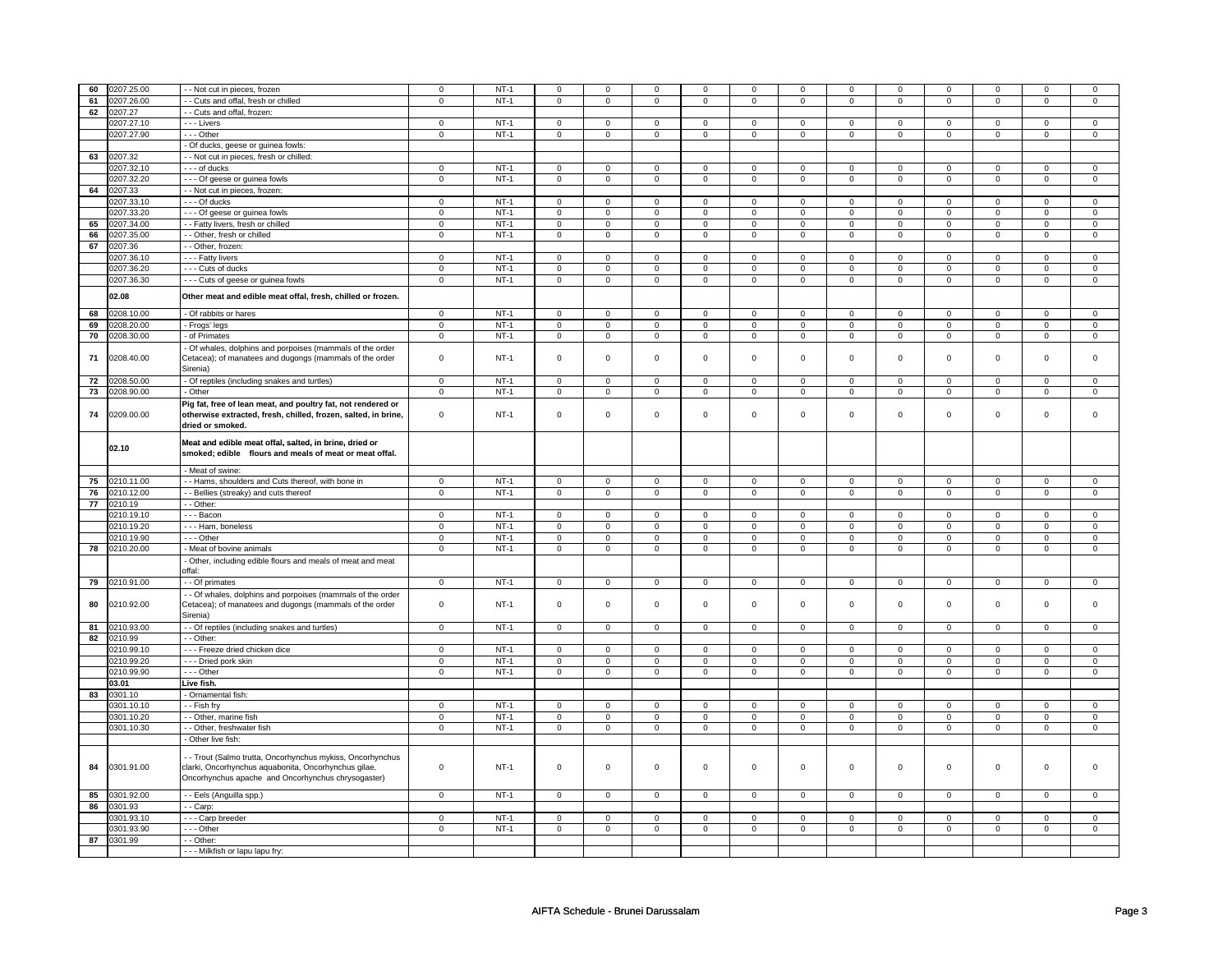| 60 | 0207.25.00    | - - Not cut in pieces, frozen                                                                                                                                            | $\mathbf 0$                | $NT-1$           | $\mathbf 0$                | $\mathbf 0$                | $\mathbf 0$                | 0                          | 0                          | 0                          | $\mathbf 0$                | 0                          | 0                          | $\mathbf 0$                | $\mathbf 0$      | 0                           |
|----|---------------|--------------------------------------------------------------------------------------------------------------------------------------------------------------------------|----------------------------|------------------|----------------------------|----------------------------|----------------------------|----------------------------|----------------------------|----------------------------|----------------------------|----------------------------|----------------------------|----------------------------|------------------|-----------------------------|
| 61 | 0207.26.00    | - Cuts and offal, fresh or chilled                                                                                                                                       | $\mathbf 0$                | $NT-1$           | $\mathbf 0$                | $\mathbf 0$                | 0                          | 0                          | 0                          | $\mathsf 0$                | 0                          | 0                          | 0                          | $\mathbf 0$                | $\mathbf 0$      | 0                           |
| 62 | 0207.27       | - Cuts and offal, frozen:                                                                                                                                                |                            |                  |                            |                            |                            |                            |                            |                            |                            |                            |                            |                            |                  |                             |
|    | 0207.27.10    | - - - Livers                                                                                                                                                             | $\mathbf 0$                | $NT-1$           | $\mathbf 0$                | $\mathbf 0$                | $\mathbf 0$                | $\mathbf 0$                | $\mathbf 0$                | $\mathbf 0$                | $\Omega$                   | $\mathbf{0}$               | $\mathbf 0$                | $\mathbf 0$                | $\Omega$         | $\mathbf{0}$                |
|    |               |                                                                                                                                                                          | $\mathbf 0$                | $NT-1$           | $\mathbf{0}$               |                            | $\mathbf 0$                |                            |                            |                            | $\mathbf 0$                |                            |                            |                            | $\mathbf 0$      |                             |
|    | 0207.27.90    | $- -$ Other                                                                                                                                                              |                            |                  |                            | $\mathbf 0$                |                            | $\mathbf 0$                | $\mathbf 0$                | $\mathbf 0$                |                            | $\mathbf 0$                | $\mathbf 0$                | $\mathbf 0$                |                  | $\mathbf{0}$                |
|    |               | - Of ducks, geese or guinea fowls:                                                                                                                                       |                            |                  |                            |                            |                            |                            |                            |                            |                            |                            |                            |                            |                  |                             |
|    | 63 0207.32    | - - Not cut in pieces, fresh or chilled:                                                                                                                                 |                            |                  |                            |                            |                            |                            |                            |                            |                            |                            |                            |                            |                  |                             |
|    | 0207.32.10    | - - - of ducks                                                                                                                                                           | $\mathbf 0$                | $NT-1$           | $\mathbf 0$                | $\mathbf 0$                | 0                          | $\mathbf 0$                | 0                          | $\mathbf 0$                | 0                          | $\mathbf 0$                | 0                          | $\mathbf 0$                | $\mathbf 0$      | 0                           |
|    | 0207.32.20    | --- Of geese or guinea fowls                                                                                                                                             | $\mathsf 0$                | $NT-1$           | $\mathsf 0$                | $\mathbf 0$                | $\mathbf 0$                | $\mathsf 0$                | $\mathbf 0$                | $\mathsf 0$                | $\mathbf 0$                | $\mathbf 0$                | $\mathsf 0$                | $\mathbf 0$                | $\mathbf 0$      | 0                           |
| 64 | 0207.33       | - - Not cut in pieces, frozen:                                                                                                                                           |                            |                  |                            |                            |                            |                            |                            |                            |                            |                            |                            |                            |                  |                             |
|    | 0207.33.10    | --- Of ducks                                                                                                                                                             | $\mathbf 0$                | $NT-1$           | $\mathbf 0$                | $\mathbf 0$                | $\mathbf 0$                | $\mathbf{0}$               | $\mathbf 0$                | $\mathbf 0$                | 0                          | $\mathbf 0$                | 0                          | $\mathbf{0}$               | 0                | 0                           |
|    | 0207.33.20    | - - - Of geese or guinea fowls                                                                                                                                           | $\mathbf 0$                | $NT-1$           | $\mathsf 0$                | $\mathbf 0$                | $\mathbf 0$                | $\mathbf 0$                | $\mathbf 0$                | $\mathbf 0$                | 0                          | $\mathbf 0$                | $\mathsf 0$                | $\mathbf 0$                | 0                | 0                           |
| 65 | 0207.34.00    | - Fatty livers, fresh or chilled                                                                                                                                         | $\mathbf 0$                | $NT-1$           | $\mathbf 0$                | $\mathbf 0$                | $\mathbf 0$                | $\mathbf 0$                | $\mathbf 0$                | $\mathbf 0$                | $\mathbf 0$                | $\mathbf 0$                | $\mathbf 0$                | $\mathbf 0$                | $\mathbf 0$      | $\mathbf 0$                 |
| 66 | 0207.35.00    | - Other, fresh or chilled                                                                                                                                                | $\overline{0}$             | $NT-1$           | $\overline{0}$             | $\overline{0}$             | $\mathbf 0$                | $\overline{0}$             | $\overline{0}$             | $\overline{0}$             | $\mathbf 0$                | $\overline{0}$             | $\overline{0}$             | $\overline{0}$             | $\mathbf 0$      | $\overline{0}$              |
| 67 | 0207.36       | - Other, frozen:                                                                                                                                                         |                            |                  |                            |                            |                            |                            |                            |                            |                            |                            |                            |                            |                  |                             |
|    | 0207.36.10    | - - - Fatty livers                                                                                                                                                       | $\mathbf 0$                | $NT-1$           | $\mathbf 0$                | $\mathbf 0$                | $\mathbf 0$                | $\mathbf 0$                | $\mathbf 0$                | $\mathbf{0}$               | $\mathbf 0$                | $\mathbf 0$                | $\mathbf 0$                | $\mathbf{0}$               | $\Omega$         | $\mathbf{0}$                |
|    |               |                                                                                                                                                                          |                            | $NT-1$           |                            |                            |                            |                            |                            |                            |                            |                            |                            |                            |                  |                             |
|    | 0207.36.20    | --- Cuts of ducks                                                                                                                                                        | $\overline{0}$             |                  | $\mathsf 0$                | $\overline{0}$             | $\mathsf 0$                | $\mathbf 0$                | $\mathsf 0$                | $\overline{0}$             | 0                          | $\mathbf 0$                | $\mathsf 0$                | $\overline{0}$             | 0                | $\mathbf 0$                 |
|    | 0207.36.30    | - - - Cuts of geese or guinea fowls                                                                                                                                      | $\mathsf 0$                | $NT-1$           | 0                          | $\mathsf 0$                | 0                          | $\mathbf 0$                | 0                          | $\mathbf 0$                | 0                          | $\mathbf 0$                | 0                          | $\mathbf 0$                | 0                | $\mathbf 0$                 |
|    | 02.08         | Other meat and edible meat offal, fresh, chilled or frozen.                                                                                                              |                            |                  |                            |                            |                            |                            |                            |                            |                            |                            |                            |                            |                  |                             |
| 68 | 0208.10.00    | - Of rabbits or hares                                                                                                                                                    | $\overline{0}$             | $NT-1$           | $\overline{0}$             | $\mathsf 0$                | $\mathsf 0$                | $\mathsf{O}$               | $\mathsf 0$                | $\overline{0}$             | $\mathsf{O}\xspace$        | $\mathsf{O}$               | $\mathsf 0$                | $\mathsf{O}$               | $\mathsf 0$      | $\mathsf 0$                 |
| 69 | 0208.20.00    | - Frogs' legs                                                                                                                                                            | $\mathsf 0$                | $NT-1$           | $\mathsf 0$                | $\mathsf 0$                | $\mathsf 0$                | $\mathbf 0$                | $\mathsf 0$                | $\mathbf 0$                | 0                          | $\mathbf 0$                | $\mathsf 0$                | $\mathbf 0$                | 0                | $\mathbf 0$                 |
| 70 | 0208.30.00    | of Primates                                                                                                                                                              | $\overline{0}$             | $NT-1$           | $\overline{0}$             | $\overline{0}$             | $\overline{0}$             | $\overline{0}$             | $\overline{0}$             | $\overline{0}$             | $\mathbf 0$                | $\overline{0}$             | $\overline{0}$             | $\overline{0}$             | $\mathbf 0$      | $\overline{0}$              |
| 71 | 0208.40.00    | Of whales, dolphins and porpoises (mammals of the order<br>Cetacea); of manatees and dugongs (mammals of the order                                                       | $\mathsf 0$                | $NT-1$           | $\mathsf 0$                | $\mathsf 0$                | $\mathbf 0$                | $\mathbf 0$                | $\mathbf 0$                | $\mathbf 0$                | $\mathbf 0$                | $\mathbf 0$                | $\mathsf 0$                | $\mathbf 0$                | $\mathbf 0$      | 0                           |
|    |               | Sirenia)                                                                                                                                                                 |                            |                  |                            |                            |                            |                            |                            |                            |                            |                            |                            |                            |                  |                             |
| 72 | 0208.50.00    | Of reptiles (including snakes and turtles)                                                                                                                               | $\overline{0}$             | $NT-1$           | $\overline{0}$             | $\overline{0}$             | $\overline{0}$             | $\overline{0}$             | $\overline{0}$             | $\overline{0}$             | $\overline{0}$             | $\overline{0}$             | $\overline{0}$             | $\overline{0}$             | $\overline{0}$   | $\overline{0}$              |
| 73 | 0208.90.00    | - Other                                                                                                                                                                  | $\overline{0}$             | $NT-1$           | $\overline{0}$             | $\overline{0}$             | $\overline{0}$             | $\overline{0}$             | $\overline{0}$             | $\overline{0}$             | $\overline{0}$             | $\overline{0}$             | $\overline{0}$             | $\overline{0}$             | $\overline{0}$   | $\overline{0}$              |
| 74 | 0209.00.00    | Pig fat, free of lean meat, and poultry fat, not rendered or<br>otherwise extracted, fresh, chilled, frozen, salted, in brine,<br>dried or smoked.                       | $\mathsf 0$                | $NT-1$           | $\mathsf{O}\xspace$        | $\mathsf 0$                | $\mathsf 0$                | $\mathsf 0$                | $\mathsf 0$                | $\mathsf 0$                | $\mathbf{0}$               | $\mathbf 0$                | $\mathsf 0$                | $\mathbf 0$                | $\mathbf{0}$     | $\mathbf 0$                 |
|    | 02.10         | Meat and edible meat offal, salted, in brine, dried or<br>smoked; edible flours and meals of meat or meat offal.                                                         |                            |                  |                            |                            |                            |                            |                            |                            |                            |                            |                            |                            |                  |                             |
|    |               | - Meat of swine:                                                                                                                                                         |                            |                  |                            |                            |                            |                            |                            |                            |                            |                            |                            |                            |                  |                             |
| 75 | 0210.11.00    | - Hams, shoulders and Cuts thereof, with bone in                                                                                                                         | $\mathbf 0$                | $NT-1$           | $\mathsf 0$                | $\mathbf 0$                | $\mathbf 0$                | $\mathbf 0$                | $\mathbf 0$                | $\mathsf 0$                | $\mathbf 0$                | $\mathbf 0$                | $\mathsf 0$                | $\mathbf 0$                | $\mathbf 0$      | $\mathbf{0}$                |
| 76 | 0210.12.00    | - Bellies (streaky) and cuts thereof                                                                                                                                     | $\overline{0}$             | $NT-1$           | $\mathbf 0$                | $\overline{0}$             | $\mathbf 0$                | $\mathbf 0$                | $\mathbf 0$                | $\mathbf 0$                | $\mathbf 0$                | $\mathbf 0$                | $\mathbf 0$                | $\mathbf 0$                | $\mathbf 0$      | $\mathbf 0$                 |
|    | 77 0210.19    | - - Other:                                                                                                                                                               |                            |                  |                            |                            |                            |                            |                            |                            |                            |                            |                            |                            |                  |                             |
|    | 0210.19.10    | $- -$ Bacon                                                                                                                                                              | $\mathbf 0$                | $NT-1$           | $\mathbf 0$                | $\mathbf{0}$               | $\mathbf 0$                | $\mathbf{0}$               | $\mathbf 0$                | $\mathbf{0}$               | 0                          | $\mathbf 0$                | 0                          | $\mathbf 0$                | 0                | 0                           |
|    | 0210.19.20    |                                                                                                                                                                          |                            | $NT-1$           |                            |                            |                            |                            |                            |                            |                            |                            |                            |                            | $\Omega$         |                             |
|    |               | --- Ham, boneless                                                                                                                                                        | $\mathbf 0$                |                  | $\mathbf 0$                | $\mathbf 0$                | $\mathbf 0$                | $\mathbf{0}$               | $\mathbf 0$                | $\mathbf{0}$               | $\mathbf 0$                | $\mathbf 0$                | $\mathbf 0$                | $\mathbf{0}$               |                  | $\mathbf{0}$                |
|    | 0210.19.90    | --- Other                                                                                                                                                                | $\mathsf 0$                | $NT-1$           | $\mathsf{O}\xspace$        | $\mathsf 0$                | $\mathsf 0$                | $\mathsf{O}$               | $\mathsf 0$                | $\mathsf{O}$               | $\mathbf 0$                | $\mathbf 0$                | $\mathsf 0$                | $\mathsf{O}\xspace$        | $\mathsf 0$      | $\mathsf{O}\xspace$         |
|    | 78 0210.20.00 | - Meat of bovine animals                                                                                                                                                 | $\overline{0}$             | $NT-1$           | $\mathsf 0$                | $\mathbf 0$                | $\mathbf 0$                | $\mathbf 0$                | $\mathbf 0$                | $\overline{0}$             | $\mathbf 0$                | $\overline{0}$             | $\mathsf 0$                |                            | $\mathbf 0$      | $\overline{0}$              |
|    |               | Other, including edible flours and meals of meat and meat<br>offal:                                                                                                      |                            |                  |                            |                            |                            |                            |                            |                            |                            |                            |                            | $\overline{0}$             |                  |                             |
|    | 79 0210.91.00 | - - Of primates                                                                                                                                                          |                            |                  |                            |                            |                            |                            |                            |                            |                            |                            |                            |                            |                  |                             |
|    |               |                                                                                                                                                                          |                            |                  |                            |                            |                            |                            |                            |                            |                            |                            |                            |                            |                  |                             |
| 80 | 0210.92.00    | - Of whales, dolphins and porpoises (mammals of the order<br>Cetacea); of manatees and dugongs (mammals of the order                                                     | $\mathbf 0$<br>$\mathbf 0$ | $NT-1$<br>$NT-1$ | $\mathbf 0$<br>$\mathbf 0$ | $\mathbf 0$<br>$\mathbf 0$ | $\mathbf 0$<br>$\mathbf 0$ | $\mathbf 0$<br>$\mathbf 0$ | $\mathbf 0$<br>$\mathbf 0$ | $\mathbf 0$<br>$\mathbf 0$ | $\mathbf 0$<br>$\mathbf 0$ | $\mathbf 0$<br>$\mathbf 0$ | $\mathbf 0$<br>$\mathbf 0$ | $\mathbf 0$<br>$\mathbf 0$ | 0<br>$\mathbf 0$ | $\mathbf 0$<br>$\mathbf{0}$ |
|    |               | Sirenia)                                                                                                                                                                 |                            |                  |                            |                            |                            |                            |                            |                            |                            |                            |                            |                            | $\mathbf 0$      | $\mathbf{0}$                |
|    | 81 0210.93.00 | - - Of reptiles (including snakes and turtles)                                                                                                                           | $\overline{0}$             | $NT-1$           | $\mathbf 0$                | $\mathbf 0$                | $\mathbf 0$                | $\mathbf 0$                | $\mathbf 0$                | $\mathbf 0$                | $\mathbf 0$                | $\mathbf 0$                | $\mathbf 0$                | $\mathbf 0$                |                  |                             |
|    | 82 0210.99    | - Other:                                                                                                                                                                 |                            |                  |                            |                            |                            |                            |                            |                            |                            |                            |                            |                            |                  |                             |
|    | 0210.99.10    | - - - Freeze dried chicken dice                                                                                                                                          | $\mathsf 0$                | $NT-1$           | $\mathsf{O}\xspace$        | $\mathsf 0$                | 0                          | $\mathbf 0$                | $\mathsf 0$                | $\mathbf 0$                | 0                          | $\mathbf 0$                | $\mathsf 0$                | $\mathsf{O}\xspace$        | $\mathbf 0$      | $\mathbf 0$                 |
|    | 0210.99.20    | - - - Dried pork skin                                                                                                                                                    | $\mathsf 0$                | $NT-1$           | 0                          | $\mathbf 0$                | 0                          | $\mathbf 0$                | 0                          | $\mathbf 0$                | $\mathbf 0$                | $\mathbf{0}$               | 0                          | $\mathbf 0$                | 0                | $\mathbf 0$                 |
|    | 0210.99.90    | --- Other                                                                                                                                                                | $\mathbf 0$                | $NT-1$           | $\mathbf 0$                | $\mathbf 0$                | $\mathbf 0$                | $\mathbf 0$                | $\mathbf 0$                | $\mathbf 0$                | $\mathbf 0$                | $\mathbf 0$                | $\mathbf 0$                | $\mathbf 0$                | $\Omega$         | $\mathbf{0}$                |
|    | 03.01         | Live fish.                                                                                                                                                               |                            |                  |                            |                            |                            |                            |                            |                            |                            |                            |                            |                            |                  |                             |
| 83 | 0301.10       | Ornamental fish:                                                                                                                                                         |                            |                  |                            |                            |                            |                            |                            |                            |                            |                            |                            |                            |                  |                             |
|    | 0301.10.10    | - Fish fry                                                                                                                                                               | $\mathsf 0$                | $NT-1$           | $\mathsf 0$                | $\mathsf 0$                | $\mathsf 0$                | $\mathsf 0$                | $\mathsf 0$                | $\mathsf 0$                | $\mathbf 0$                | $\mathsf 0$                | $\mathsf 0$                | $\mathsf 0$                | $\mathbf 0$      | $\mathbf 0$                 |
|    | 0301.10.20    | - Other, marine fish                                                                                                                                                     | $\overline{0}$             | $NT-1$           | $\mathsf 0$                | $\overline{0}$             | $\mathbf 0$                | $\overline{0}$             | $\mathbf 0$                | $\overline{0}$             | $\mathbf 0$                | $\overline{0}$             | $\mathsf 0$                | $\overline{0}$             | $\mathbf 0$      | $\overline{0}$              |
|    | 0301.10.30    | - Other, freshwater fish                                                                                                                                                 | $\overline{0}$             | $NT-1$           | $\overline{0}$             | $\overline{0}$             | $\overline{0}$             | $\overline{0}$             | $\overline{0}$             | $\overline{0}$             | $\mathbf 0$                | $\overline{0}$             | $\overline{0}$             | $\overline{0}$             | 0                | $\overline{0}$              |
|    |               | - Other live fish:                                                                                                                                                       |                            |                  |                            |                            |                            |                            |                            |                            |                            |                            |                            |                            |                  |                             |
| 84 | 0301.91.00    | - - Trout (Salmo trutta, Oncorhynchus mykiss, Oncorhynchus<br>clarki, Oncorhynchus aquabonita, Oncorhynchus gilae,<br>Oncorhynchus apache and Oncorhynchus chrysogaster) | $\mathsf 0$                | $NT-1$           | $\mathsf 0$                | $\mathsf 0$                | $\mathsf 0$                | $\mathbf 0$                | $\mathsf 0$                | $\mathsf{O}\xspace$        | $\mathbf 0$                | $\mathbf 0$                | $\mathsf 0$                | $\mathbf 0$                | $\mathsf 0$      | $\mathsf 0$                 |
| 85 | 0301.92.00    |                                                                                                                                                                          | $\overline{0}$             | $NT-1$           | $\overline{0}$             | $\overline{0}$             | $\overline{0}$             | $\overline{0}$             | $\overline{0}$             | $\overline{0}$             | $\overline{0}$             | $\overline{0}$             | $\overline{0}$             | $\overline{0}$             | $\overline{0}$   | $\overline{0}$              |
|    |               | - - Eels (Anguilla spp.)                                                                                                                                                 |                            |                  |                            |                            |                            |                            |                            |                            |                            |                            |                            |                            |                  |                             |
|    | 86 0301.93    | - - Carp:                                                                                                                                                                |                            |                  |                            |                            |                            |                            |                            |                            |                            |                            |                            |                            |                  |                             |
|    | 0301.93.1     | --- Carp breeder                                                                                                                                                         | $\mathbf 0$                | $NT-1$           | $\mathbf 0$                | $\mathbf 0$                | 0                          | $\mathbf 0$                | 0                          | $\mathbf 0$                | 0                          | $\mathbf 0$                | 0                          | $\mathbf 0$                | 0                | 0                           |
|    | 0301.93.90    | --- Other                                                                                                                                                                | $\mathbf 0$                | $NT-1$           | $\mathbf 0$                | $\mathbf 0$                | 0                          | $\mathbf 0$                | 0                          | $\mathbf 0$                | 0                          | $\mathbf 0$                | 0                          | $\mathbf 0$                | 0                | $\mathbf{0}$                |
| 87 | 0301.99       | - - Other:<br>--- Milkfish or lapu lapu fry:                                                                                                                             |                            |                  |                            |                            |                            |                            |                            |                            |                            |                            |                            |                            |                  |                             |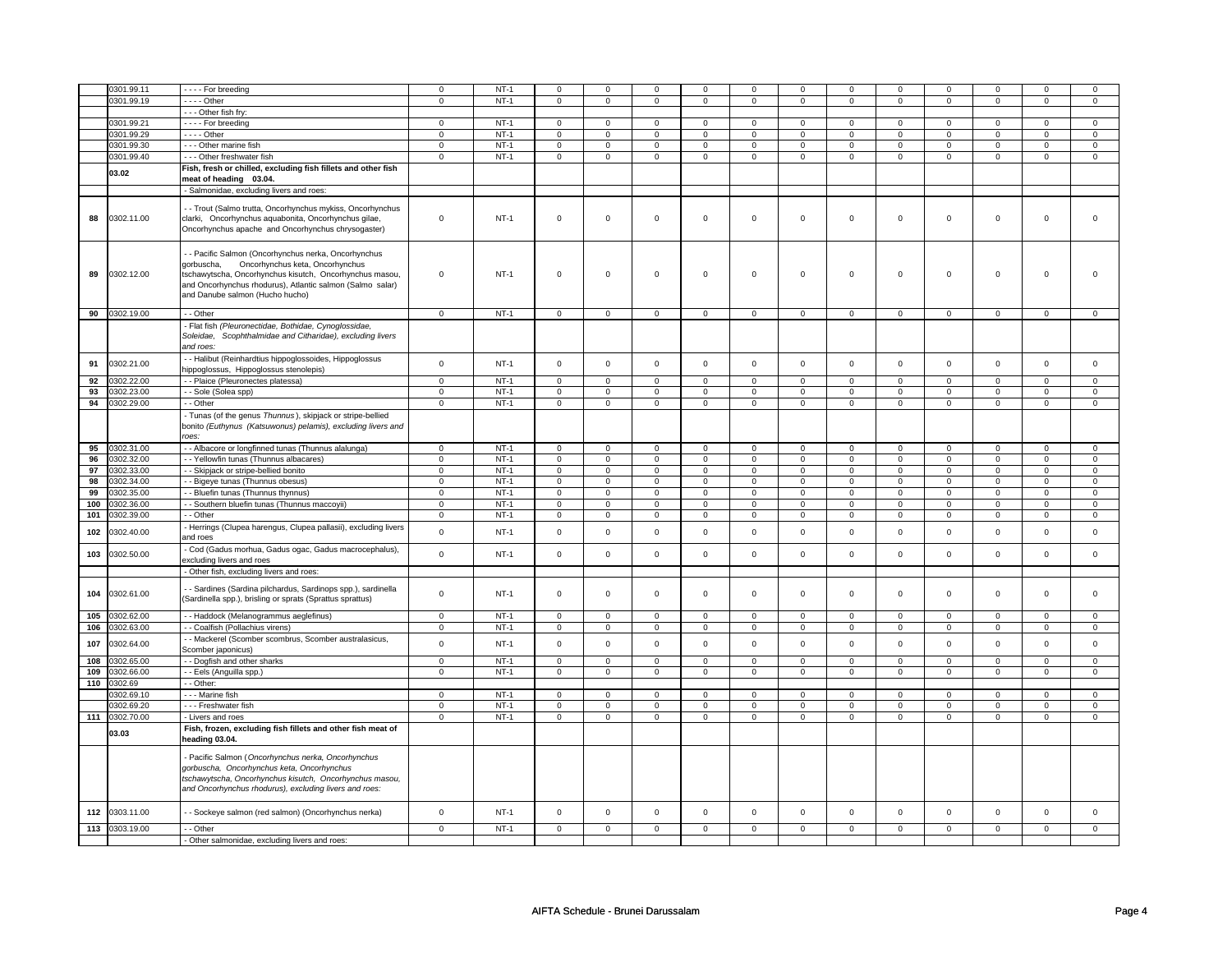|     | 0301.99.11     | - - - - For breeding                                          | $\mathbf 0$         | $NT-1$ | $\mathbf 0$    | $\mathsf 0$    | $\Omega$            | $\mathbf 0$    | 0                   | 0              | $\mathbf 0$         | $\mathbf 0$    | 0              | $\mathbf 0$    | $\Omega$       | 0                       |
|-----|----------------|---------------------------------------------------------------|---------------------|--------|----------------|----------------|---------------------|----------------|---------------------|----------------|---------------------|----------------|----------------|----------------|----------------|-------------------------|
|     |                |                                                               |                     | $NT-1$ |                |                |                     |                |                     |                |                     |                |                |                |                |                         |
|     | 0301.99.19     | $- - -$ Other                                                 | $\mathsf 0$         |        | $\mathsf 0$    | $\mathbf 0$    | 0                   | $\mathbf 0$    | 0                   | $\mathbf 0$    | $\mathbf{0}$        | $\mathsf 0$    | $\mathsf 0$    | $\mathsf 0$    | $\mathbf{0}$   | $\mathsf 0$             |
|     |                | - - - Other fish fry:                                         |                     |        |                |                |                     |                |                     |                |                     |                |                |                |                |                         |
|     | 0301.99.21     | - - - - For breeding                                          | $\mathbf 0$         | $NT-1$ | $\mathbf 0$    | $\mathbf 0$    | $\mathbf 0$         | $\mathbf{0}$   | $\mathbf 0$         | 0              | $\mathbf{0}$        | $\mathbf 0$    | $\mathbf{0}$   | $\mathbf{0}$   | $\mathbf 0$    | $\mathbf{0}$            |
|     | 0301.99.29     | $--$ Other                                                    | $\mathsf 0$         | $NT-1$ | $\mathbf 0$    | $\mathbf 0$    | $\mathbf 0$         | $\mathbf 0$    | $\mathbf 0$         | $\mathbf{O}$   | $\mathsf{O}\xspace$ | $\mathbf 0$    | $\mathsf 0$    | $\mathsf 0$    | $\mathsf 0$    | $\mathbf 0$             |
|     | 0301.99.30     | - - - Other marine fish                                       | $\mathsf 0$         | $NT-1$ | $\mathbf 0$    | $\mathbf 0$    | $\mathbf 0$         | $\mathbf 0$    | $\mathbf 0$         | $\mathbf{O}$   | $\mathbf 0$         | $\mathsf 0$    | $\mathbf 0$    | $\mathsf 0$    | $\mathsf 0$    | $\mathbf 0$             |
|     | 0301.99.40     | --- Other freshwater fish                                     | $\overline{0}$      | $NT-1$ | $\overline{0}$ | $\overline{0}$ | $\mathbf 0$         | $\overline{0}$ | $\overline{0}$      | $\overline{0}$ | $\mathbf 0$         | $\overline{0}$ | $\overline{0}$ | $\overline{0}$ | $\mathbf 0$    | $\overline{0}$          |
|     | 03.02          | Fish, fresh or chilled, excluding fish fillets and other fish |                     |        |                |                |                     |                |                     |                |                     |                |                |                |                |                         |
|     |                | meat of heading 03.04.                                        |                     |        |                |                |                     |                |                     |                |                     |                |                |                |                |                         |
|     |                | Salmonidae, excluding livers and roes:                        |                     |        |                |                |                     |                |                     |                |                     |                |                |                |                |                         |
|     |                |                                                               |                     |        |                |                |                     |                |                     |                |                     |                |                |                |                |                         |
|     |                | - Trout (Salmo trutta, Oncorhynchus mykiss, Oncorhynchus      |                     |        |                |                |                     |                |                     |                |                     |                |                |                |                |                         |
| 88  | 0302.11.00     | clarki, Oncorhynchus aquabonita, Oncorhynchus gilae,          | $\mathbf 0$         | $NT-1$ | $\mathsf 0$    | $\mathsf 0$    | $\mathbf 0$         | $\mathbf 0$    | $\mathbf 0$         | 0              | $\mathbf 0$         | $\mathbf 0$    | $\mathsf 0$    | $\mathsf 0$    | $\mathsf 0$    | $\mathbf 0$             |
|     |                | Oncorhynchus apache and Oncorhynchus chrysogaster)            |                     |        |                |                |                     |                |                     |                |                     |                |                |                |                |                         |
|     |                |                                                               |                     |        |                |                |                     |                |                     |                |                     |                |                |                |                |                         |
|     |                | - Pacific Salmon (Oncorhynchus nerka, Oncorhynchus            |                     |        |                |                |                     |                |                     |                |                     |                |                |                |                |                         |
|     |                | gorbuscha,<br>Oncorhynchus keta, Oncorhynchus                 |                     |        |                |                |                     |                |                     |                |                     |                |                |                |                |                         |
| 89  | 0302.12.00     | tschawytscha, Oncorhynchus kisutch, Oncorhynchus masou,       | $\mathbf 0$         | $NT-1$ | $\mathsf 0$    | $\mathsf 0$    | $\mathsf{O}\xspace$ | $\mathbf{0}$   | $\mathsf{O}\xspace$ | $\mathbf 0$    | $\mathsf{O}\xspace$ | $\mathbf 0$    | $\mathsf 0$    | $\mathsf 0$    | $\mathsf 0$    | $\Omega$                |
|     |                | and Oncorhynchus rhodurus), Atlantic salmon (Salmo salar)     |                     |        |                |                |                     |                |                     |                |                     |                |                |                |                |                         |
|     |                | and Danube salmon (Hucho hucho)                               |                     |        |                |                |                     |                |                     |                |                     |                |                |                |                |                         |
|     |                |                                                               |                     |        |                |                |                     |                |                     |                |                     |                |                |                |                |                         |
|     | 90 0302.19.00  | - - Other                                                     | $\overline{0}$      | $NT-1$ | $\mathbf 0$    | $\mathbf 0$    | $\mathbf 0$         | $\mathbf 0$    | $\mathbf 0$         | $\mathbf{0}$   | $\overline{0}$      | $\overline{0}$ | $\overline{0}$ | $\overline{0}$ | $\overline{0}$ | $\overline{0}$          |
|     |                | Flat fish (Pleuronectidae, Bothidae, Cynoglossidae,           |                     |        |                |                |                     |                |                     |                |                     |                |                |                |                |                         |
|     |                | Scophthalmidae and Citharidae), excluding livers<br>Soleidae, |                     |        |                |                |                     |                |                     |                |                     |                |                |                |                |                         |
|     |                | and roes:                                                     |                     |        |                |                |                     |                |                     |                |                     |                |                |                |                |                         |
|     |                | - - Halibut (Reinhardtius hippoglossoides, Hippoglossus       |                     |        |                |                |                     |                |                     |                |                     |                |                |                |                |                         |
| 91  | 0302.21.00     | hippoglossus, Hippoglossus stenolepis)                        | $\Omega$            | $NT-1$ | $\mathsf 0$    | $\mathbf 0$    | $\mathsf{O}\xspace$ | $\mathbf 0$    | $\mathsf 0$         | $\mathbf{O}$   | $\mathsf 0$         | $\mathsf 0$    | $\mathsf 0$    | $\mathsf 0$    | $\mathsf 0$    | $\mathbf 0$             |
|     |                |                                                               |                     |        |                |                |                     |                |                     |                |                     |                |                |                |                |                         |
| 92  | 0302.22.00     | - Plaice (Pleuronectes platessa)                              | $\overline{0}$      | $NT-1$ | $\mathbf 0$    | $\mathbf 0$    | $\mathbf 0$         | $\mathbf 0$    | $\mathsf 0$         | $\mathbf 0$    | $\mathbf 0$         | $\overline{0}$ | $\overline{0}$ | $\overline{0}$ | $\overline{0}$ | $\overline{0}$          |
| 93  | 0302.23.00     | - Sole (Solea spp)                                            | $\mathbf 0$         | $NT-1$ | 0              | $\mathsf 0$    | 0                   | $\mathbf 0$    | $\mathbf 0$         | 0              | $\mathbf 0$         | $\mathbf 0$    | $\mathbf 0$    | $\mathbf 0$    | $\mathbf 0$    | $\mathbf 0$             |
|     | 94 0302.29.00  | - Other                                                       | $\overline{0}$      | $NT-1$ | $\overline{0}$ | $\overline{0}$ | $\overline{0}$      | $\overline{0}$ | $\overline{0}$      | $\overline{0}$ | $\overline{0}$      | $\overline{0}$ | $\overline{0}$ | $\overline{0}$ | $\overline{0}$ | $\overline{0}$          |
|     |                | Tunas (of the genus Thunnus), skipjack or stripe-bellied      |                     |        |                |                |                     |                |                     |                |                     |                |                |                |                |                         |
|     |                | bonito (Euthynus (Katsuwonus) pelamis), excluding livers and  |                     |        |                |                |                     |                |                     |                |                     |                |                |                |                |                         |
|     |                | roes:                                                         |                     |        |                |                |                     |                |                     |                |                     |                |                |                |                |                         |
| 95  | 0302.31.00     | - - Albacore or longfinned tunas (Thunnus alalunga)           | 0                   | $NT-1$ | 0              | $\overline{0}$ | 0                   | $\mathbf 0$    | 0                   | 0              | $\mathbf 0$         | $\mathbf 0$    | $\mathbf 0$    | $\circ$        | $\circ$        | $\overline{\mathbf{0}}$ |
| 96  | 0302.32.00     | - Yellowfin tunas (Thunnus albacares)                         | $\mathbf 0$         | $NT-1$ | $\mathbf 0$    | $\mathbf 0$    | $\mathbf 0$         | $\mathbf 0$    | $\mathbf 0$         | $\mathbf{0}$   | $\mathbf 0$         | $\mathbf 0$    | $\mathbf 0$    | $\mathbf 0$    | $\mathbf 0$    | $\overline{0}$          |
| 97  | 0302.33.00     | - Skipjack or stripe-bellied bonito                           | $\mathsf 0$         | $NT-1$ | $\mathbf 0$    | $\mathbf 0$    | $\mathbf 0$         | $\mathbf 0$    | $\mathbf 0$         | $\mathbf{0}$   | $\mathbf 0$         | $\mathbf 0$    | $\mathsf 0$    | $\mathsf 0$    | $\mathbf 0$    | $\mathbf 0$             |
| 98  | 0302.34.00     | - Bigeye tunas (Thunnus obesus)                               | $\mathbf 0$         | $NT-1$ | $\mathbf 0$    | $\mathsf 0$    | $\mathbf 0$         | $\mathbf 0$    | $\mathbf 0$         | 0              | $\mathbf 0$         | $\mathbf 0$    | $\mathbf 0$    | $\mathsf 0$    | $\mathbf 0$    | $\mathbf 0$             |
| 99  | 0302.35.00     | - Bluefin tunas (Thunnus thynnus)                             | $\overline{0}$      | $NT-1$ | $\overline{0}$ | $\overline{0}$ | $\overline{0}$      | $\overline{0}$ | $\overline{0}$      | $\overline{0}$ | $\overline{0}$      | $\overline{0}$ | $\overline{0}$ | $\overline{0}$ | $\overline{0}$ | $\overline{0}$          |
| 100 | 0302.36.00     | - Southern bluefin tunas (Thunnus maccoyii)                   | $\overline{0}$      | $NT-1$ | $\overline{0}$ | $\overline{0}$ | $\overline{0}$      | $\overline{0}$ | $\overline{0}$      | $\overline{0}$ | $\overline{0}$      | $\overline{0}$ | $\overline{0}$ | $\overline{0}$ | $\overline{0}$ | $\overline{0}$          |
| 101 | 0302.39.00     | - Other                                                       | $\mathbf 0$         | $NT-1$ | $\mathbf 0$    | $\mathbf 0$    | $\mathbf 0$         | $\mathbf 0$    | $\mathbf 0$         | $\mathbf 0$    | $\mathsf 0$         | $\mathbf 0$    | $\mathbf 0$    | $\mathbf 0$    | $\mathsf 0$    | $\mathbf 0$             |
|     |                |                                                               |                     |        |                |                |                     |                |                     |                |                     |                |                |                |                |                         |
| 102 | 0302.40.00     | Herrings (Clupea harengus, Clupea pallasii), excluding livers | $\mathsf{o}\xspace$ | $NT-1$ | $\mathbf 0$    | $\mathsf 0$    | $\mathbf 0$         | $\mathbf 0$    | $\mathbf 0$         | 0              | $\mathbf{0}$        | $\mathsf{o}\,$ | $\mathsf 0$    | $\mathsf 0$    | $\mathbf 0$    | $\mathbf{0}$            |
|     |                | and roes                                                      |                     |        |                |                |                     |                |                     |                |                     |                |                |                |                |                         |
| 103 | 0302.50.00     | Cod (Gadus morhua, Gadus ogac, Gadus macrocephalus),          | $\mathbf 0$         | $NT-1$ | $\mathsf 0$    | $\mathsf 0$    | $\mathbf{0}$        | $\mathbf 0$    | $\mathbf 0$         | $\mathbf 0$    | $\mathsf 0$         | $\mathsf 0$    | $\mathsf 0$    | $\mathsf 0$    | $\mathbf 0$    | $\mathsf 0$             |
|     |                | excluding livers and roes                                     |                     |        |                |                |                     |                |                     |                |                     |                |                |                |                |                         |
|     |                | Other fish, excluding livers and roes:                        |                     |        |                |                |                     |                |                     |                |                     |                |                |                |                |                         |
|     |                |                                                               |                     |        |                |                |                     |                |                     |                |                     |                |                |                |                |                         |
| 104 | 0302.61.00     | - Sardines (Sardina pilchardus, Sardinops spp.), sardinella   | $\mathbf 0$         | $NT-1$ | $\mathbf 0$    | $\mathbf 0$    | $\mathbf 0$         | $\mathbf 0$    | $\mathbf 0$         | $\mathbf{0}$   | $\mathbf{0}$        | $\mathbf 0$    | $\mathbf 0$    | $\mathbf{0}$   | $\mathbf 0$    | $\mathbf 0$             |
|     |                | (Sardinella spp.), brisling or sprats (Sprattus sprattus)     |                     |        |                |                |                     |                |                     |                |                     |                |                |                |                |                         |
|     | 105 0302.62.00 | - - Haddock (Melanogrammus aeglefinus)                        | $\mathbf 0$         | $NT-1$ | $\mathbf 0$    | $\mathsf 0$    | $\mathbf 0$         | $\mathbf 0$    | $\mathbf 0$         | 0              | $\mathsf 0$         | $\mathbf 0$    | $\mathbf 0$    | $\mathbf 0$    | $\mathbf 0$    | $\mathbf 0$             |
| 106 | 0302.63.00     | - - Coalfish (Pollachius virens)                              | $\overline{0}$      | $NT-1$ | $\overline{0}$ | $\overline{0}$ | $\overline{0}$      | $\overline{0}$ | $\overline{0}$      | $\pmb{0}$      | $\overline{0}$      | $\overline{0}$ | $\overline{0}$ | $\overline{0}$ | $\overline{0}$ | $\overline{0}$          |
|     |                | - Mackerel (Scomber scombrus, Scomber australasicus,          |                     |        |                |                |                     |                |                     |                |                     |                |                |                |                |                         |
| 107 | 0302.64.00     | Scomber japonicus)                                            | $\Omega$            | $NT-1$ | $\mathbf 0$    | $\mathbf 0$    | $\mathbf 0$         | $\mathbf 0$    | $\mathbf 0$         | $\mathbf{0}$   | $\mathbf 0$         | $\mathbf 0$    | $\mathbf 0$    | $\mathbf 0$    | $\mathbf 0$    | $\mathbf 0$             |
| 108 | 0302.65.00     | - - Dogfish and other sharks                                  | $\mathbf 0$         | $NT-1$ | 0              | $\mathbf 0$    | 0                   | $\mathbf 0$    | 0                   | 0              | $\mathbf 0$         | 0              | 0              | $\mathbf 0$    | 0              | $\mathbf{0}$            |
|     |                |                                                               |                     |        |                |                |                     |                |                     |                |                     |                |                |                |                |                         |
| 109 | 0302.66.00     | - Eels (Anguilla spp.)                                        | $\overline{0}$      | $NT-1$ | $\overline{0}$ | $\overline{0}$ | $\mathbf 0$         | $\overline{0}$ | $\mathbf 0$         | $\overline{0}$ | $\overline{0}$      | $\overline{0}$ | $\overline{0}$ | $\overline{0}$ | $\mathbf 0$    | $\overline{0}$          |
| 110 | 0302.69        | - Other:                                                      |                     |        |                |                |                     |                |                     |                |                     |                |                |                |                |                         |
|     | 0302.69.10     | Marine fish                                                   | $\mathbf 0$         | $NT-1$ | $\mathbf 0$    | $\mathsf 0$    | $\mathbf 0$         | $\mathbf 0$    | $\mathbf 0$         | 0              | $\Omega$            | $\mathbf 0$    | $\mathbf 0$    | $\mathbf 0$    | $\mathbf 0$    | $\circ$                 |
|     | 0302.69.20     | --- Freshwater fish                                           | $\mathbf 0$         | $NT-1$ | 0              | $\mathsf 0$    | 0                   | $\mathbf 0$    | 0                   | 0              | $\mathbf 0$         | $\mathbf 0$    | 0              | $\mathsf 0$    | 0              | $\mathbf 0$             |
|     | 111 0302.70.00 | - Livers and roes                                             | $\mathsf 0$         | $NT-1$ | $\mathsf 0$    | $\mathbf 0$    | 0                   | $\mathbf 0$    | 0                   | $\mathbf 0$    | $\mathbf 0$         | $\mathsf 0$    | 0              | $\mathsf 0$    | 0              | $\mathsf 0$             |
|     | 03.03          | Fish, frozen, excluding fish fillets and other fish meat of   |                     |        |                |                |                     |                |                     |                |                     |                |                |                |                |                         |
|     |                | heading 03.04.                                                |                     |        |                |                |                     |                |                     |                |                     |                |                |                |                |                         |
|     |                |                                                               |                     |        |                |                |                     |                |                     |                |                     |                |                |                |                |                         |
|     |                | Pacific Salmon (Oncorhynchus nerka, Oncorhynchus              |                     |        |                |                |                     |                |                     |                |                     |                |                |                |                |                         |
|     |                | gorbuscha, Oncorhynchus keta, Oncorhynchus                    |                     |        |                |                |                     |                |                     |                |                     |                |                |                |                |                         |
|     |                | tschawytscha, Oncorhynchus kisutch, Oncorhynchus masou,       |                     |        |                |                |                     |                |                     |                |                     |                |                |                |                |                         |
|     |                | and Oncorhynchus rhodurus), excluding livers and roes:        |                     |        |                |                |                     |                |                     |                |                     |                |                |                |                |                         |
|     |                |                                                               |                     |        |                |                |                     |                |                     |                |                     |                |                |                |                |                         |
| 112 | 0303.11.00     | - Sockeye salmon (red salmon) (Oncorhynchus nerka)            | $\mathbf 0$         | $NT-1$ | $\mathsf 0$    | $\mathsf 0$    | $\mathbf 0$         | $\mathbf 0$    | $\mathsf 0$         | $\mathsf 0$    | $\mathsf 0$         | $\mathsf 0$    | $\mathsf 0$    | $\mathsf 0$    | $\mathsf 0$    | $\mathbf 0$             |
|     |                |                                                               |                     |        |                |                |                     |                |                     |                |                     |                |                |                |                |                         |
|     | 113 0303.19.00 | - - Other                                                     | $\mathbf 0$         | $NT-1$ | $\mathbf 0$    | $\mathbf 0$    | $\mathbf 0$         | $\mathbf 0$    | $\mathbf 0$         | $\mathbf 0$    | $\mathbf 0$         | $\mathbf{0}$   | $\mathbf 0$    | $\mathbf 0$    | $\mathbf 0$    | $\mathbf 0$             |
|     |                | - Other salmonidae, excluding livers and roes:                |                     |        |                |                |                     |                |                     |                |                     |                |                |                |                |                         |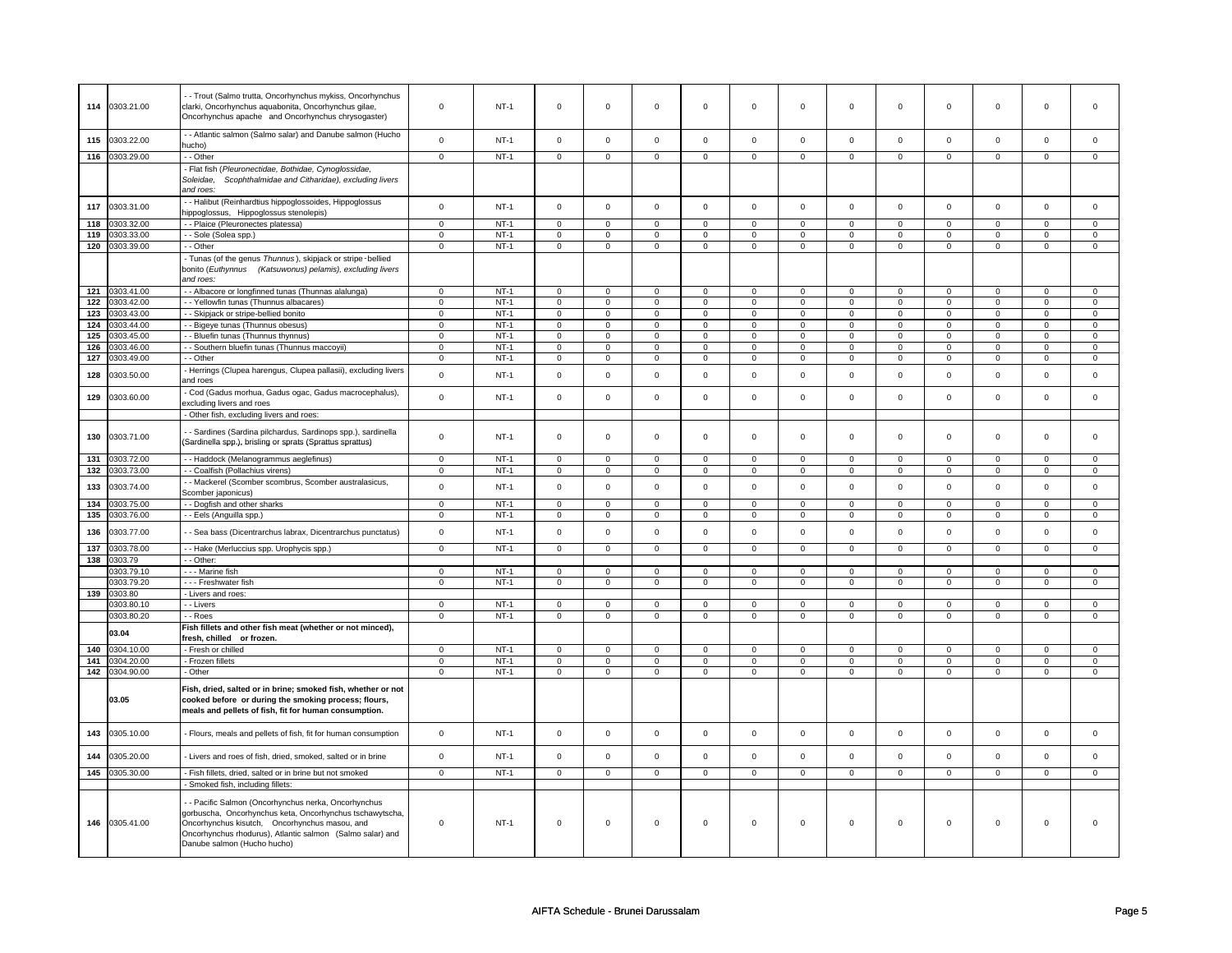|                  |                | - - Trout (Salmo trutta, Oncorhynchus mykiss, Oncorhynchus                                                                 |                |        |                     |                |                     |                |                     |                |                |                |                |                |                |                |
|------------------|----------------|----------------------------------------------------------------------------------------------------------------------------|----------------|--------|---------------------|----------------|---------------------|----------------|---------------------|----------------|----------------|----------------|----------------|----------------|----------------|----------------|
| 114              | 0303.21.00     | clarki, Oncorhynchus aquabonita, Oncorhynchus gilae,                                                                       | $\mathbf 0$    | $NT-1$ | $\mathsf 0$         | $\mathsf 0$    | $\Omega$            | $\mathbf 0$    | $\Omega$            | $\mathsf 0$    | $\Omega$       | $\mathsf 0$    | $\mathsf 0$    | $\mathbf 0$    | $\Omega$       | $\Omega$       |
|                  |                | Oncorhynchus apache and Oncorhynchus chrysogaster)                                                                         |                |        |                     |                |                     |                |                     |                |                |                |                |                |                |                |
|                  |                | - - Atlantic salmon (Salmo salar) and Danube salmon (Hucho                                                                 |                |        |                     |                |                     |                |                     |                |                |                |                |                |                |                |
| 115              | 0303.22.00     | hucho)                                                                                                                     | $\mathbf 0$    | $NT-1$ | $\mathsf 0$         | $\mathbf 0$    | $\mathbf 0$         | $\mathbf 0$    | $\mathsf 0$         | $\mathsf 0$    | $\mathsf 0$    | $\mathsf 0$    | $\mathbf 0$    | $\mathbf 0$    | $\mathsf 0$    | $\mathbf 0$    |
| 116              | 0303.29.00     | - - Other                                                                                                                  | $\mathbf 0$    | $NT-1$ | $\mathsf 0$         | $\mathbf 0$    | $\mathsf 0$         | $\mathbf 0$    | $\overline{0}$      | $\overline{0}$ | $\overline{0}$ | $\overline{0}$ | $\overline{0}$ | $\overline{0}$ | $\overline{0}$ | $\overline{0}$ |
|                  |                | - Flat fish (Pleuronectidae, Bothidae, Cynoglossidae,                                                                      |                |        |                     |                |                     |                |                     |                |                |                |                |                |                |                |
|                  |                | Scophthalmidae and Citharidae), excluding livers<br>Soleidae,                                                              |                |        |                     |                |                     |                |                     |                |                |                |                |                |                |                |
|                  |                | and roes:                                                                                                                  |                |        |                     |                |                     |                |                     |                |                |                |                |                |                |                |
| 117              | 0303.31.00     | - Halibut (Reinhardtius hippoglossoides, Hippoglossus                                                                      | $\mathbf 0$    | $NT-1$ | $\mathbf 0$         | $\mathbf 0$    | $\mathbf 0$         | $\mathbf 0$    | $\mathbf 0$         | $\mathbf 0$    | $\mathbf 0$    | $\mathbf 0$    | $\mathbf 0$    | $\mathbf 0$    | $\Omega$       | $\mathsf 0$    |
|                  |                | nippoglossus, Hippoglossus stenolepis)                                                                                     |                |        |                     |                |                     |                |                     |                |                |                |                |                |                |                |
| 118              | 0303.32.00     | - - Plaice (Pleuronectes platessa)                                                                                         | $\overline{0}$ | $NT-1$ | $\overline{0}$      | $\mathsf 0$    | $\overline{0}$      | $\mathbf 0$    | $\overline{0}$      | $\overline{0}$ | $\overline{0}$ | $\overline{0}$ | $\overline{0}$ | $\overline{0}$ | $\overline{0}$ | $\overline{0}$ |
| 119              | 0303.33.00     | - - Sole (Solea spp.)                                                                                                      | $\mathbf 0$    | $NT-1$ | $\mathbf 0$         | $\mathbf 0$    | $\mathbf 0$         | $\mathbf 0$    | $\mathbf 0$         | $\mathbf 0$    | $\mathbf 0$    | $\mathsf 0$    | $\mathbf 0$    | $\mathsf 0$    | $\mathbf 0$    | $\mathbf 0$    |
| 120              | 0303.39.00     | - Other                                                                                                                    | $\mathbf 0$    | $NT-1$ | $\mathsf 0$         | $\mathbf 0$    | $\mathbf 0$         | $\mathbf 0$    | $\mathsf 0$         | $\mathbf 0$    | $\Omega$       | $\mathbf 0$    | $\mathbf 0$    | $\mathbf 0$    | $\Omega$       | $\mathbf 0$    |
|                  |                | - Tunas (of the genus Thunnus), skipjack or stripe-bellied                                                                 |                |        |                     |                |                     |                |                     |                |                |                |                |                |                |                |
|                  |                | bonito (Euthynnus (Katsuwonus) pelamis), excluding livers                                                                  |                |        |                     |                |                     |                |                     |                |                |                |                |                |                |                |
|                  |                | and roes:                                                                                                                  |                |        |                     |                |                     |                |                     |                |                |                |                |                |                |                |
| $121$            | 0303.41.00     | - - Albacore or longfinned tunas (Thunnas alalunga)                                                                        | $\overline{0}$ | $NT-1$ | $\overline{0}$      | $\overline{0}$ | $\overline{0}$      | $\mathbf 0$    | $\overline{0}$      | $\overline{0}$ | $\overline{0}$ | $\overline{0}$ | $\overline{0}$ | $\overline{0}$ | $\overline{0}$ | $\overline{0}$ |
| 122              | 0303.42.00     | - - Yellowfin tunas (Thunnus albacares)                                                                                    | $\mathbf 0$    | $NT-1$ | $\mathsf 0$         | $\mathbf 0$    | $\mathsf{O}\xspace$ | $\mathbf 0$    | $\mathsf 0$         | $\mathbf 0$    | $\mathsf 0$    | $\mathsf 0$    | $\mathsf 0$    | $\mathsf 0$    | $\mathsf 0$    | $\mathsf 0$    |
| 123              | 0303.43.00     | - Skipjack or stripe-bellied bonito                                                                                        | $\mathbf 0$    | $NT-1$ | $\mathbf 0$         | $\mathbf 0$    | $\mathbf 0$         | $\mathbf 0$    | $\mathbf 0$         | $\mathbf 0$    | $\mathbf 0$    | $\mathbf 0$    | $\mathbf 0$    | $\mathbf 0$    | $\mathbf 0$    | $\mathbf 0$    |
| $\overline{124}$ | 0303.44.00     | - - Bigeye tunas (Thunnus obesus)                                                                                          | $\overline{0}$ | $NT-1$ | $\mathbf 0$         | $\mathbf{0}$   | $\mathbf 0$         | $\mathbf{0}$   | $\mathbf 0$         | $\overline{0}$ | $\mathbf 0$    | $\overline{0}$ | $\mathbf 0$    | $\overline{0}$ | $\mathbf 0$    | $\overline{0}$ |
| 125              | 0303.45.00     | - - Bluefin tunas (Thunnus thynnus)                                                                                        | $\overline{0}$ | $NT-1$ | $\mathbf 0$         | $\mathbf 0$    | $\mathbf 0$         | $\mathbf 0$    | $\mathbf 0$         | $\mathbf 0$    | $\mathbf 0$    | $\mathbf 0$    | $\mathbf 0$    | $\mathbf 0$    | $\mathbf 0$    | $\mathbf 0$    |
| 126              | 303.46.00      | - - Southern bluefin tunas (Thunnus maccoyii)                                                                              | $\mathbf 0$    | $NT-1$ | $\mathbf 0$         | $\mathbf 0$    | $\mathbf 0$         | $\mathbf 0$    | $\mathbf 0$         | $\mathbf 0$    | $\Omega$       | 0              | $\Omega$       | 0              | $\Omega$       | $\mathbf 0$    |
| 127              | 303.49.00      | - Other                                                                                                                    | $\mathbf 0$    | $NT-1$ | $\mathbf 0$         | $\mathbf 0$    | $\mathbf 0$         | $\mathbf 0$    | $\Omega$            | $\mathsf 0$    | $\Omega$       | $\mathsf 0$    | $\Omega$       | $\mathsf 0$    | $\Omega$       | $\mathsf 0$    |
| 128              | 0303.50.00     | - Herrings (Clupea harengus, Clupea pallasii), excluding livers                                                            | $\mathbf 0$    | $NT-1$ | $\mathbf 0$         | $\mathsf 0$    | $\mathbf 0$         | $\mathbf 0$    | $\mathbf 0$         | $\mathbf 0$    | $\mathbf 0$    | $\mathsf 0$    | $\mathbf 0$    | $\mathbf 0$    | $\mathbf 0$    | $\mathbf 0$    |
|                  |                | and roes                                                                                                                   |                |        |                     |                |                     |                |                     |                |                |                |                |                |                |                |
| 129              | 0303.60.00     | - Cod (Gadus morhua, Gadus ogac, Gadus macrocephalus),                                                                     | $\mathsf{o}$   | $NT-1$ | $\mathsf 0$         | $\mathsf 0$    | $\mathsf{O}\xspace$ | $\mathsf 0$    | $\mathsf{O}\xspace$ | $\mathsf 0$    | $\mathbf 0$    | $\mathbf 0$    | $\mathbf 0$    | $\mathsf 0$    | $\mathbf 0$    | $\mathsf 0$    |
|                  |                | excluding livers and roes                                                                                                  |                |        |                     |                |                     |                |                     |                |                |                |                |                |                |                |
|                  |                | - Other fish, excluding livers and roes:                                                                                   |                |        |                     |                |                     |                |                     |                |                |                |                |                |                |                |
|                  |                |                                                                                                                            |                |        |                     |                |                     |                |                     |                |                |                |                |                |                |                |
| 130              | 0303.71.00     | - - Sardines (Sardina pilchardus, Sardinops spp.), sardinella<br>(Sardinella spp.), brisling or sprats (Sprattus sprattus) | $\mathbf 0$    | $NT-1$ | $\mathsf 0$         | $\mathsf 0$    | $\mathbf 0$         | $\mathbf 0$    | $\mathbf 0$         | $\mathsf 0$    | $\mathbf 0$    | $\mathsf 0$    | $\mathbf 0$    | $\mathsf 0$    | $\mathsf 0$    | $\mathbf 0$    |
|                  |                |                                                                                                                            |                |        |                     |                |                     |                |                     |                |                |                |                |                |                |                |
| 131              | 0303.72.00     | - - Haddock (Melanogrammus aeglefinus)                                                                                     | $\mathbf 0$    | $NT-1$ | $\mathsf 0$         | $\mathbf 0$    | $\mathsf 0$         | $\mathbf{0}$   | $\mathsf 0$         | $\mathbf 0$    | $\mathbf 0$    | $\mathbf 0$    | $\mathsf 0$    | $\mathsf 0$    | $\mathsf 0$    | $\mathbf 0$    |
| 132              | 0303.73.00     | - - Coalfish (Pollachius virens)                                                                                           | $\overline{0}$ | $NT-1$ | $\mathbf 0$         | $\mathbf 0$    | $\mathbf 0$         | $\mathbf 0$    | $\mathbf 0$         | $\mathbf 0$    | $\mathbf 0$    | $\mathbf 0$    | $\mathbf 0$    | $\mathbf 0$    | $\mathbf 0$    | $\mathbf{0}$   |
| 133              | 0303.74.00     | - - Mackerel (Scomber scombrus, Scomber australasicus,                                                                     | $\mathbf 0$    | $NT-1$ | $\mathsf 0$         | $\mathsf 0$    | $\mathbf 0$         | $\mathsf 0$    | $\mathbf 0$         | $\mathsf 0$    | $\mathbf 0$    | $\mathsf 0$    | $\mathbf 0$    | $\mathsf 0$    | $\mathbf 0$    | $\mathbf 0$    |
|                  |                | Scomber japonicus)                                                                                                         |                |        |                     |                |                     |                |                     |                |                |                |                |                |                |                |
| 134              | 0303.75.00     | - - Dogfish and other sharks                                                                                               | $\mathbf 0$    | $NT-1$ | $\mathsf{O}\xspace$ | $\mathbf 0$    | $\mathsf 0$         | $\mathbf 0$    | $\mathsf 0$         | $\mathsf 0$    | $\mathsf 0$    | $\mathsf 0$    | $\mathsf 0$    | $\mathsf 0$    | $\mathsf 0$    | $\mathbf 0$    |
| 135              | 0303.76.00     | - - Eels (Anguilla spp.)                                                                                                   | $\mathbf 0$    | $NT-1$ | $\mathbf 0$         | $\mathbf 0$    | $\mathbf 0$         | $\mathbf 0$    | $\mathbf 0$         | $\mathbf 0$    | $\mathbf 0$    | $\mathbf 0$    | $\mathbf 0$    | $\mathsf 0$    | $\Omega$       | $\mathsf 0$    |
| 136              | 0303.77.00     | - - Sea bass (Dicentrarchus labrax, Dicentrarchus punctatus)                                                               | $\mathbf 0$    | $NT-1$ | $\mathbf 0$         | $\mathsf 0$    | $\mathbf 0$         | $\mathbf 0$    | $\mathbf 0$         | $\mathsf 0$    | $\mathbf 0$    | $\mathsf 0$    | $\mathbf 0$    | $\mathsf 0$    | $\Omega$       | $\mathsf 0$    |
|                  |                |                                                                                                                            |                |        |                     |                |                     |                |                     |                |                |                |                |                |                |                |
| 137              | 0303.78.00     | -- Hake (Merluccius spp. Urophycis spp.)                                                                                   | $\mathbf 0$    | $NT-1$ | $\Omega$            | $\mathbf 0$    | $\mathbf 0$         | $\mathbf 0$    | $\mathbf 0$         | $\mathbf 0$    | $\mathbf 0$    | $\mathbf 0$    | $\mathbf 0$    | $\mathbf 0$    | $\mathbf 0$    | $\mathbf 0$    |
| 138              | 0303.79        | - - Other:                                                                                                                 |                |        |                     |                |                     |                |                     |                |                |                |                |                |                |                |
|                  | 0303.79.10     | - - - Marine fish                                                                                                          | $\mathbf 0$    | $NT-1$ | $\mathbf 0$         | $\mathbf 0$    | $\mathbf 0$         | $\mathbf 0$    | $\mathbf 0$         | $\mathbf 0$    | $\mathbf 0$    | $\mathsf 0$    | $\mathsf 0$    | $\mathbf 0$    | $\mathbf 0$    | $\mathbf 0$    |
|                  | 303.79.20      | --- Freshwater fish                                                                                                        | $\mathbf 0$    | $NT-1$ | $\mathsf 0$         | $\mathsf 0$    | $\mathsf 0$         | $\mathbf 0$    | $\mathsf 0$         | $\mathsf 0$    | $\mathbf 0$    | $\mathsf 0$    | $\mathbf 0$    | $\mathsf 0$    | $\mathbf 0$    | $\mathbf 0$    |
| 139              | 0303.80        | - Livers and roes:                                                                                                         |                |        |                     |                |                     |                |                     |                |                |                |                |                |                |                |
|                  | 0303.80.10     | - - Livers                                                                                                                 | $\mathbf 0$    | $NT-1$ | $\Omega$            | $\mathbf 0$    | 0                   | $\mathbf 0$    | $\Omega$            | $\mathbf 0$    | $\Omega$       | 0              | $\Omega$       | 0              | $\Omega$       | $\mathbf 0$    |
|                  | 0303.80.20     | - - Roes                                                                                                                   | $\mathbf 0$    | $NT-1$ | $\mathbf 0$         | $\mathbf 0$    | $\mathbf 0$         | $\mathbf 0$    | $\mathbf 0$         | $\mathbf 0$    | $\mathbf 0$    | $\mathbf 0$    | $\mathbf 0$    | $\mathbf 0$    | $\mathbf 0$    | $\mathbf 0$    |
|                  | 03.04          | Fish fillets and other fish meat (whether or not minced),                                                                  |                |        |                     |                |                     |                |                     |                |                |                |                |                |                |                |
|                  |                | fresh, chilled or frozen.                                                                                                  |                |        |                     |                |                     |                |                     |                |                |                |                |                |                |                |
| 140              | 0304.10.00     | - Fresh or chilled                                                                                                         | $\mathbf 0$    | $NT-1$ | $\mathsf 0$         | $\mathsf 0$    | $\mathbf 0$         | $\mathbf 0$    | $\mathsf 0$         | $\mathbf 0$    | $\mathbf 0$    | $\mathsf 0$    | $\mathbf 0$    | $\mathsf 0$    | $\mathbf 0$    | $\mathbf 0$    |
| 141              | 0304.20.00     | - Frozen fillets                                                                                                           | $\mathbf 0$    | $NT-1$ | $\mathbf 0$         | $\mathbf 0$    | 0                   | $\mathbf 0$    | $\mathbf 0$         | $\mathsf 0$    | $\mathbf 0$    | $\mathsf 0$    | $\mathsf 0$    | $\mathsf 0$    | $\mathsf 0$    | $\mathsf 0$    |
|                  | 142 0304.90.00 | - Other                                                                                                                    | $\mathsf 0$    | $NT-1$ | $\mathbf 0$         | $\mathbf 0$    | $\mathbf 0$         | $\overline{0}$ | $\mathbf 0$         | $\mathsf 0$    | $\mathbf 0$    | $\mathsf 0$    | $\mathbf 0$    | $\mathsf 0$    | $\mathbf 0$    | $\mathbf 0$    |
|                  |                | Fish, dried, salted or in brine; smoked fish, whether or not                                                               |                |        |                     |                |                     |                |                     |                |                |                |                |                |                |                |
|                  | 03.05          | cooked before or during the smoking process; flours,                                                                       |                |        |                     |                |                     |                |                     |                |                |                |                |                |                |                |
|                  |                | meals and pellets of fish, fit for human consumption.                                                                      |                |        |                     |                |                     |                |                     |                |                |                |                |                |                |                |
|                  |                |                                                                                                                            |                |        |                     |                |                     |                |                     |                |                |                |                |                |                |                |
| 143              | 0305.10.00     | - Flours, meals and pellets of fish, fit for human consumption                                                             | $\mathbf 0$    | $NT-1$ | $\mathbf 0$         | $\mathbf 0$    | $\mathbf 0$         | $\mathbf{0}$   | $\mathbf 0$         | $\mathbf{0}$   | $\mathbf 0$    | $\mathsf 0$    | $\mathsf 0$    | $\mathbf 0$    | $\mathbf 0$    | $\mathsf 0$    |
|                  |                |                                                                                                                            |                |        |                     |                |                     |                |                     |                |                |                |                |                |                |                |
| 144              | 0305.20.00     | - Livers and roes of fish, dried, smoked, salted or in brine                                                               | $\mathbf 0$    | $NT-1$ | $\mathbf 0$         | $\mathsf 0$    | $\mathbf 0$         | $\mathbf 0$    | $\mathbf 0$         | $\mathbf 0$    | $\mathsf 0$    | $\mathsf 0$    | $\mathbf 0$    | $\mathsf 0$    | $\mathsf 0$    | $\mathbf 0$    |
| 145              | 0305.30.00     | - Fish fillets, dried, salted or in brine but not smoked                                                                   | $\mathsf 0$    | $NT-1$ | $\mathsf 0$         | $\mathsf 0$    | $\mathsf 0$         | $\mathbf 0$    | $\mathsf 0$         | $\mathsf 0$    | $\overline{0}$ | $\overline{0}$ | $\overline{0}$ | $\overline{0}$ | $\overline{0}$ | $\overline{0}$ |
|                  |                | - Smoked fish, including fillets:                                                                                          |                |        |                     |                |                     |                |                     |                |                |                |                |                |                |                |
|                  |                |                                                                                                                            |                |        |                     |                |                     |                |                     |                |                |                |                |                |                |                |
|                  |                | - - Pacific Salmon (Oncorhynchus nerka, Oncorhynchus                                                                       |                |        |                     |                |                     |                |                     |                |                |                |                |                |                |                |
| 146              | 0305.41.00     | gorbuscha, Oncorhynchus keta, Oncorhynchus tschawytscha,<br>Oncorhynchus kisutch, Oncorhynchus masou, and                  | $\Omega$       | $NT-1$ | $\Omega$            | $\mathbf 0$    | $\Omega$            | $\mathbf 0$    | $\mathbf 0$         | $\mathbf 0$    | $\mathsf 0$    | $\Omega$       | $\mathsf 0$    | $\mathbf 0$    | $\mathsf 0$    | $\Omega$       |
|                  |                | Oncorhynchus rhodurus), Atlantic salmon (Salmo salar) and                                                                  |                |        |                     |                |                     |                |                     |                |                |                |                |                |                |                |
|                  |                | Danube salmon (Hucho hucho)                                                                                                |                |        |                     |                |                     |                |                     |                |                |                |                |                |                |                |
|                  |                |                                                                                                                            |                |        |                     |                |                     |                |                     |                |                |                |                |                |                |                |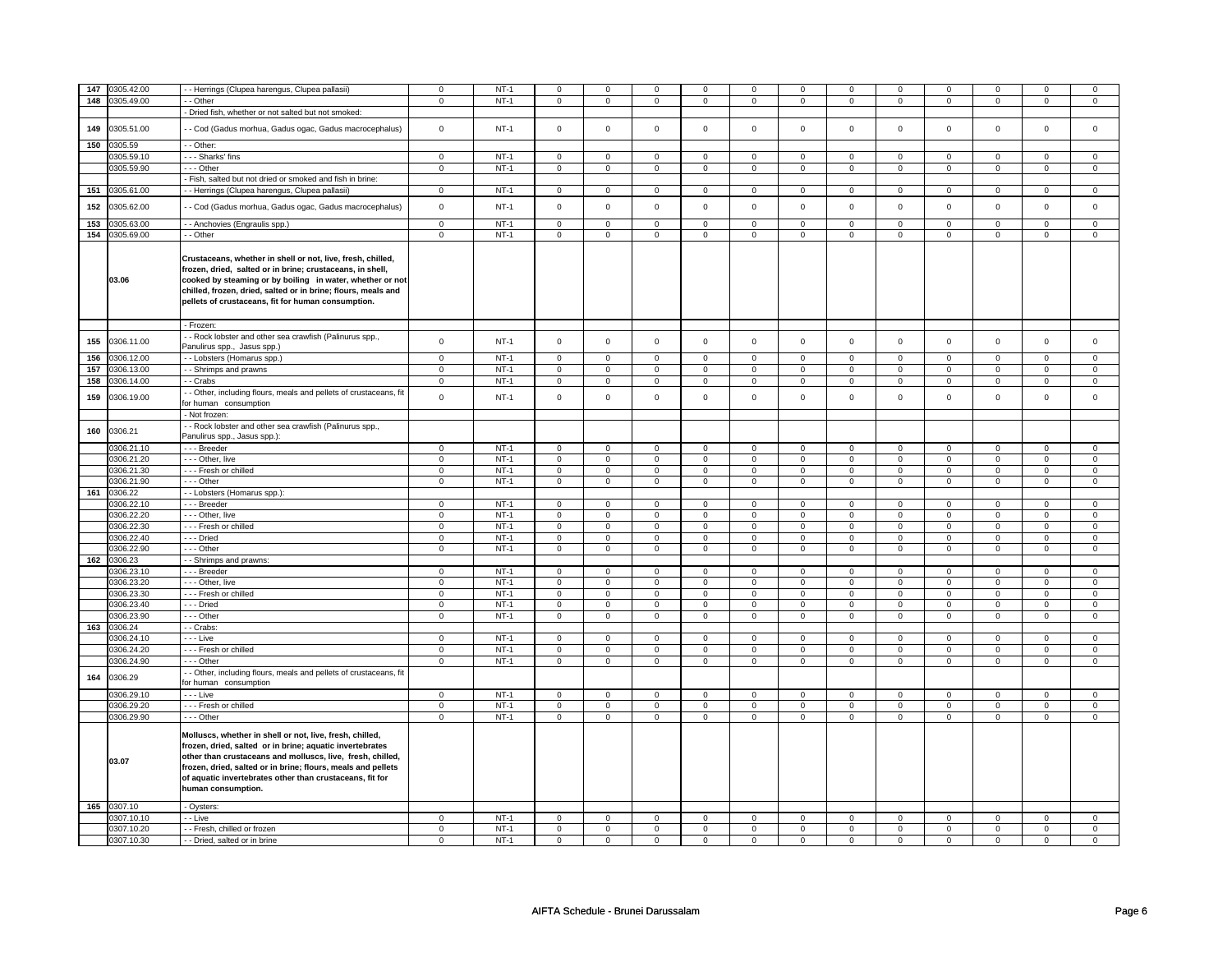|     | 147 0305.42.00 | - Herrings (Clupea harengus, Clupea pallasii)                                                                                                                                                                                                                                                                                        | $\mathbf 0$    | $NT-1$ | $\mathsf 0$         | $\mathbf 0$    | 0              | $\mathsf 0$    | 0              | $\mathsf 0$    | $\mathbf 0$    | 0              | 0              | $\mathbf 0$    | $\Omega$       | 0              |
|-----|----------------|--------------------------------------------------------------------------------------------------------------------------------------------------------------------------------------------------------------------------------------------------------------------------------------------------------------------------------------|----------------|--------|---------------------|----------------|----------------|----------------|----------------|----------------|----------------|----------------|----------------|----------------|----------------|----------------|
|     | 148 0305.49.00 | - - Other                                                                                                                                                                                                                                                                                                                            | $\mathsf 0$    | $NT-1$ | 0                   | $\mathsf 0$    | 0              | $\mathbf 0$    | 0              | $\mathbf 0$    | 0              | $\mathbf 0$    | 0              | $\mathbf 0$    | 0              | $\mathbf 0$    |
|     |                | - Dried fish, whether or not salted but not smoked:                                                                                                                                                                                                                                                                                  |                |        |                     |                |                |                |                |                |                |                |                |                |                |                |
|     |                |                                                                                                                                                                                                                                                                                                                                      |                |        |                     |                |                |                |                |                |                |                |                |                |                |                |
| 149 | 0305.51.00     | - Cod (Gadus morhua, Gadus ogac, Gadus macrocephalus)                                                                                                                                                                                                                                                                                | $\mathsf 0$    | $NT-1$ | $\mathsf{O}\xspace$ | $\mathsf 0$    | $\mathbf 0$    | $\mathbf 0$    | $\mathbf 0$    | $\mathbf 0$    | $\mathbf 0$    | $\mathbf 0$    | $\mathsf 0$    | $\mathbf 0$    | $\mathbf 0$    | $\mathbf{0}$   |
| 150 | 0305.59        | - - Other:                                                                                                                                                                                                                                                                                                                           |                |        |                     |                |                |                |                |                |                |                |                |                |                |                |
|     | 0305.59.10     | --- Sharks' fins                                                                                                                                                                                                                                                                                                                     |                | $NT-1$ |                     |                |                |                |                |                |                |                |                |                |                |                |
|     |                |                                                                                                                                                                                                                                                                                                                                      | $\mathbf 0$    |        | $\mathbf 0$         | $\mathbf 0$    | $\mathbf{0}$   | $\mathbf{0}$   | $\mathbf 0$    | $\mathbf 0$    | 0              | $\mathbf 0$    | 0              | $\mathbf 0$    | 0              | $\overline{0}$ |
|     | 0305.59.90     | --- Other                                                                                                                                                                                                                                                                                                                            | $\mathbf 0$    | $NT-1$ | $\mathbf 0$         | $\mathbf 0$    | $\mathbf 0$    | $\mathbf{0}$   | $\mathbf 0$    | $\mathbf 0$    | 0              | $\mathbf 0$    | 0              | $\mathbf 0$    | 0              | 0              |
|     |                | - Fish, salted but not dried or smoked and fish in brine:                                                                                                                                                                                                                                                                            |                |        |                     |                |                |                |                |                |                |                |                |                |                |                |
| 151 | 0305.61.00     | - Herrings (Clupea harengus, Clupea pallasii)                                                                                                                                                                                                                                                                                        | $\mathsf 0$    | $NT-1$ | $\mathsf 0$         | $\mathsf 0$    | $\mathbf 0$    | $\mathsf 0$    | $\mathbf 0$    | $\mathbf 0$    | $\mathbf 0$    | $\mathbf 0$    | $\mathsf 0$    | $\mathbf 0$    | $\mathbf 0$    | $\mathsf 0$    |
|     |                |                                                                                                                                                                                                                                                                                                                                      |                |        |                     |                |                |                |                |                |                |                |                |                |                |                |
| 152 | 0305.62.00     | - Cod (Gadus morhua, Gadus ogac, Gadus macrocephalus)                                                                                                                                                                                                                                                                                | $\mathbf 0$    | $NT-1$ | $\mathsf 0$         | $\mathbf 0$    | $\mathbf 0$    | $\mathsf 0$    | $\mathbf 0$    | $\mathsf 0$    | $\mathbf 0$    | $\mathbf 0$    | $\mathsf 0$    | $\mathbf 0$    | $\mathbf 0$    | 0              |
| 153 | 0305.63.00     | - Anchovies (Engraulis spp.)                                                                                                                                                                                                                                                                                                         | $\overline{0}$ | $NT-1$ | $\mathbf 0$         | $\mathbf 0$    | $\mathbf 0$    | $\mathbf 0$    | $\mathbf 0$    | $\mathbf 0$    | $\Omega$       | $\mathbf 0$    | $\mathsf 0$    | $\mathbf 0$    | $\Omega$       | $\mathbf{0}$   |
|     |                |                                                                                                                                                                                                                                                                                                                                      |                |        |                     |                |                |                |                |                |                |                |                |                |                |                |
|     | 154 0305.69.00 | - - Other                                                                                                                                                                                                                                                                                                                            | $\mathbf 0$    | $NT-1$ | $\mathbf 0$         | $\mathbf 0$    | $\mathbf 0$    | $\mathbf 0$    | $\mathbf 0$    | $\mathbf 0$    | $\mathbf 0$    | $\mathbf 0$    | $\mathbf 0$    | $\mathbf 0$    | $\mathbf 0$    | $\mathbf{0}$   |
|     | 03.06          | Crustaceans, whether in shell or not, live, fresh, chilled,<br>frozen, dried, salted or in brine; crustaceans, in shell,<br>cooked by steaming or by boiling in water, whether or not<br>chilled, frozen, dried, salted or in brine; flours, meals and<br>pellets of crustaceans, fit for human consumption.<br>- Frozen:            |                |        |                     |                |                |                |                |                |                |                |                |                |                |                |
|     |                |                                                                                                                                                                                                                                                                                                                                      |                |        |                     |                |                |                |                |                |                |                |                |                |                |                |
| 155 | 0306.11.00     | - Rock lobster and other sea crawfish (Palinurus spp.,                                                                                                                                                                                                                                                                               | $\mathsf{o}\,$ | $NT-1$ | $\mathsf 0$         | $\mathsf{o}\,$ | $\mathbf 0$    | $\mathbf 0$    | $\mathbf 0$    | $\mathbf 0$    | $\mathbf 0$    | $\mathbf 0$    | $\mathsf 0$    | $\mathbf 0$    | $\mathbf 0$    | $\mathbf 0$    |
|     |                | Panulirus spp., Jasus spp.)                                                                                                                                                                                                                                                                                                          |                |        |                     |                |                |                |                |                |                |                |                |                |                |                |
| 156 | 0306.12.00     | - - Lobsters (Homarus spp.)                                                                                                                                                                                                                                                                                                          | $\Omega$       | $NT-1$ | $\mathbf 0$         | $\mathbf 0$    | $\mathbf 0$    | $\mathbf 0$    | $\mathbf 0$    | $\mathbf 0$    | $\mathbf 0$    | $\mathbf 0$    | $\mathbf 0$    | $\mathbf 0$    | $\Omega$       | $\mathbf{0}$   |
| 157 | 0306.13.00     | - Shrimps and prawns                                                                                                                                                                                                                                                                                                                 | $\mathsf 0$    | $NT-1$ | $\mathsf{O}\xspace$ | $\mathsf 0$    | $\mathsf 0$    | $\mathsf 0$    | $\mathsf 0$    | $\mathsf 0$    | $\mathbf{0}$   | $\mathbf 0$    | $\mathbf 0$    | $\mathbf 0$    | $\mathbf{0}$   | $\mathbf 0$    |
| 158 | 0306.14.00     | - - Crabs                                                                                                                                                                                                                                                                                                                            | $\mathbf 0$    | $NT-1$ | 0                   | $\mathbf 0$    | 0              | $\mathbf 0$    | 0              | $\mathbf 0$    | 0              | 0              | 0              | 0              | $\mathbf 0$    | 0              |
|     |                | - Other, including flours, meals and pellets of crustaceans, fit                                                                                                                                                                                                                                                                     |                |        |                     |                |                |                |                |                |                |                |                |                |                |                |
| 159 | 0306.19.00     | for human consumption                                                                                                                                                                                                                                                                                                                | $\mathbf 0$    | $NT-1$ | $\mathbf 0$         | $\mathbf 0$    | $\mathbf 0$    | $\mathbf{0}$   | $\mathbf 0$    | $\mathbf 0$    | $\mathbf 0$    | $\mathbf 0$    | $\mathbf 0$    | $\mathbf 0$    | $\mathbf 0$    | $\mathbf 0$    |
|     |                | - Not frozen:                                                                                                                                                                                                                                                                                                                        |                |        |                     |                |                |                |                |                |                |                |                |                |                |                |
|     |                | - Rock lobster and other sea crawfish (Palinurus spp.,                                                                                                                                                                                                                                                                               |                |        |                     |                |                |                |                |                |                |                |                |                |                |                |
| 160 | 0306.21        | Panulirus spp., Jasus spp.):                                                                                                                                                                                                                                                                                                         |                |        |                     |                |                |                |                |                |                |                |                |                |                |                |
|     |                |                                                                                                                                                                                                                                                                                                                                      |                |        |                     |                |                |                |                |                |                |                |                |                |                |                |
|     | 0306.21.10     | --- Breeder                                                                                                                                                                                                                                                                                                                          | $\mathsf{o}\,$ | $NT-1$ | $\mathsf{o}\,$      | $\mathsf 0$    | $\mathsf{o}$   | $\mathbf 0$    | $\mathsf{o}$   | $\mathsf{o}\,$ | 0              | $\mathbf 0$    | 0              | $\mathsf{o}\,$ | 0              | $\mathbf 0$    |
|     | 0306.21.20     | --- Other, live                                                                                                                                                                                                                                                                                                                      | $\mathbf 0$    | $NT-1$ | $\mathsf 0$         | $\mathbf 0$    | $\mathbf 0$    | $\mathbf 0$    | $\mathbf 0$    | $\mathsf 0$    | 0              | $\mathbf 0$    | $\mathsf 0$    | $\mathbf 0$    | 0              | $\mathbf 0$    |
|     | 0306.21.30     | - - - Fresh or chilled                                                                                                                                                                                                                                                                                                               | $\mathbf 0$    | $NT-1$ | $\mathbf 0$         | $\mathbf 0$    | $\mathbf 0$    | $\mathbf 0$    | 0              | $\mathbf 0$    | 0              | $\mathbf 0$    | 0              | $\mathbf 0$    | 0              | 0              |
|     | 0306.21.90     | --- Other                                                                                                                                                                                                                                                                                                                            | $\mathbf 0$    | $NT-1$ | $\mathbf 0$         | $\mathbf 0$    | $\mathbf 0$    | $\mathbf{0}$   | $\mathbf 0$    | $\mathbf{0}$   | $\mathbf 0$    | $\mathbf{0}$   | $\mathbf 0$    | $\mathbf{0}$   | $\mathbf 0$    | $\mathbf{0}$   |
|     | 161 0306.22    | - - Lobsters (Homarus spp.):                                                                                                                                                                                                                                                                                                         |                |        |                     |                |                |                |                |                |                |                |                |                |                |                |
|     | 0306.22.10     | --- Breeder                                                                                                                                                                                                                                                                                                                          | $\mathbf 0$    | $NT-1$ | 0                   | $\mathbf 0$    | 0              | $\mathbf 0$    | 0              | $\mathbf 0$    | 0              | $\mathbf 0$    | 0              | $\mathbf 0$    | 0              | 0              |
|     | 0306.22.20     | - - - Other, live                                                                                                                                                                                                                                                                                                                    | $\overline{0}$ | $NT-1$ | $\mathsf 0$         | $\overline{0}$ | $\mathbf 0$    | $\overline{0}$ | $\mathbf 0$    | $\overline{0}$ | $\mathbf 0$    | $\mathbf 0$    | $\mathsf 0$    | $\overline{0}$ | $\mathbf 0$    | $\overline{0}$ |
|     | 0306.22.30     | --- Fresh or chilled                                                                                                                                                                                                                                                                                                                 | $\mathsf 0$    | $NT-1$ | $\mathsf{O}$        | $\mathsf 0$    | $\mathsf 0$    | $\mathbf 0$    | $\mathbf 0$    | $\mathbf 0$    | $\mathbf 0$    | $\mathbf 0$    | $\mathbf 0$    | $\mathbf 0$    | $\mathbf 0$    | $\mathbf 0$    |
|     |                |                                                                                                                                                                                                                                                                                                                                      |                |        |                     |                |                |                |                |                |                |                |                |                |                |                |
|     | 0306.22.40     | --- Dried                                                                                                                                                                                                                                                                                                                            | $\mathbf 0$    | $NT-1$ | $\mathsf 0$         | $\mathbf 0$    | $\mathbf 0$    | $\mathbf 0$    | $\mathbf 0$    | $\mathbf 0$    | $\mathbf 0$    | $\mathbf 0$    | $\mathsf 0$    | $\mathbf 0$    | $\mathbf 0$    | $\mathbf 0$    |
|     | 0306.22.90     | --- Other                                                                                                                                                                                                                                                                                                                            | $\mathsf 0$    | $NT-1$ | $\mathsf 0$         | $\mathbf 0$    | $\mathbf 0$    | $\mathsf 0$    | $\mathbf 0$    | $\mathsf 0$    | $\mathbf 0$    | $\mathbf 0$    | $\mathbf 0$    | $\mathbf 0$    | $\mathbf 0$    | 0              |
|     | 162 0306.23    | - Shrimps and prawns:                                                                                                                                                                                                                                                                                                                |                |        |                     |                |                |                |                |                |                |                |                |                |                |                |
|     | 0306.23.10     | -- Breeder                                                                                                                                                                                                                                                                                                                           | $\mathbf 0$    | $NT-1$ | $\mathsf 0$         | $\mathbf 0$    | $\mathbf 0$    | $\mathsf 0$    | $\mathbf 0$    | $\mathsf 0$    | $\mathbf 0$    | $\mathbf 0$    | $\mathsf 0$    | $\mathbf 0$    | $\Omega$       | 0              |
|     | 0306.23.20     | - - - Other, live                                                                                                                                                                                                                                                                                                                    | $\mathbf 0$    | $NT-1$ | $\mathbf 0$         | $\mathbf 0$    | 0              | $\mathbf 0$    | 0              | $\mathsf 0$    | 0              | $\mathbf 0$    | 0              | $\mathbf 0$    | 0              | $\mathbf 0$    |
|     | 0306.23.30     | --- Fresh or chilled                                                                                                                                                                                                                                                                                                                 | $\mathbf 0$    | $NT-1$ | 0                   | $\mathbf 0$    | $\mathbf 0$    | $\mathbf 0$    | 0              | $\mathbf 0$    | 0              | $\mathbf 0$    | 0              | $\mathbf 0$    | 0              | 0              |
|     | 0306.23.40     | $--$ Dried                                                                                                                                                                                                                                                                                                                           | $\mathbf 0$    | $NT-1$ | $\overline{0}$      | $\mathbf 0$    | $\mathbf 0$    | $\overline{0}$ | $\mathbf 0$    | $\mathbf 0$    | $\mathbf 0$    | $\mathbf 0$    | $\mathbf 0$    | $\mathbf 0$    | $\mathbf 0$    | $\overline{0}$ |
|     | 0306.23.90     | $- -$ Other                                                                                                                                                                                                                                                                                                                          | $\overline{0}$ | $NT-1$ | $\overline{0}$      | $\overline{0}$ | $\overline{0}$ | $\overline{0}$ | $\overline{0}$ | $\overline{0}$ | $\overline{0}$ | $\overline{0}$ | $\overline{0}$ | $\overline{0}$ | $\overline{0}$ | $\overline{0}$ |
|     | 163 0306.24    | - - Crabs:                                                                                                                                                                                                                                                                                                                           |                |        |                     |                |                |                |                |                |                |                |                |                |                |                |
|     | 0306.24.10     | - - - Live                                                                                                                                                                                                                                                                                                                           | $\mathsf 0$    | $NT-1$ | $\mathbf 0$         | $\mathsf 0$    | $\mathsf 0$    | $\mathbf 0$    | 0              | $\mathbf 0$    | $\mathbf 0$    | $\mathbf 0$    | $\mathsf 0$    | $\mathbf 0$    | 0              | $\mathbf 0$    |
|     | 0306.24.20     | --- Fresh or chilled                                                                                                                                                                                                                                                                                                                 | $\mathbf 0$    | $NT-1$ | $\mathbf 0$         | $\mathbf 0$    | $\mathbf 0$    | $\mathbf 0$    | $\mathbf 0$    | $\mathbf 0$    | $\mathbf 0$    | $\mathbf 0$    | $\mathbf 0$    | $\mathbf 0$    | $\mathbf 0$    | $\mathbf{0}$   |
|     | 0306.24.90     | --- Other                                                                                                                                                                                                                                                                                                                            | $\mathbf 0$    | $NT-1$ | $\mathbf 0$         | $\mathbf 0$    | $\mathbf 0$    | $\mathbf 0$    | $\mathbf 0$    | $\mathbf 0$    | 0              | $\mathbf 0$    | $\mathsf 0$    | $\mathbf 0$    | 0              | $\mathbf{0}$   |
|     |                |                                                                                                                                                                                                                                                                                                                                      |                |        |                     |                |                |                |                |                |                |                |                |                |                |                |
| 164 | 0306.29        | - - Other, including flours, meals and pellets of crustaceans, fit<br>for human consumption                                                                                                                                                                                                                                          |                |        |                     |                |                |                |                |                |                |                |                |                |                |                |
|     | 0306.29.10     | - - Live                                                                                                                                                                                                                                                                                                                             | $\mathbf 0$    | $NT-1$ | $\mathbf 0$         | $\mathbf 0$    | $\mathbf 0$    | $\mathbf 0$    | $\mathbf 0$    | $\mathbf 0$    | $\mathbf 0$    | $\mathbf 0$    | $\mathbf 0$    | $\mathbf 0$    | $\mathbf 0$    | $\mathbf{0}$   |
|     | 0306.29.20     | - - - Fresh or chilled                                                                                                                                                                                                                                                                                                               | $\mathbf 0$    | $NT-1$ | $\mathbf 0$         | $\mathbf 0$    | $\mathbf 0$    | $\mathbf 0$    | $\mathbf 0$    | $\mathbf 0$    | 0              | $\mathbf 0$    | 0              | $\mathbf 0$    | 0              | $\mathbf 0$    |
|     | 0306.29.90     | $- -$ Other                                                                                                                                                                                                                                                                                                                          | $\mathbf 0$    | $NT-1$ | $\mathbf 0$         | $\mathbf 0$    | $\mathbf 0$    | $\mathbf 0$    | $\mathbf 0$    | $\mathbf 0$    | 0              | $\mathbf 0$    | 0              | $\mathbf 0$    | 0              | 0              |
|     | 03.07          | Molluscs, whether in shell or not, live, fresh, chilled,<br>frozen, dried, salted or in brine; aquatic invertebrates<br>other than crustaceans and molluscs, live, fresh, chilled,<br>frozen, dried, salted or in brine; flours, meals and pellets<br>of aquatic invertebrates other than crustaceans, fit for<br>human consumption. |                |        |                     |                |                |                |                |                |                |                |                |                |                |                |
|     | 165 0307.10    | - Oysters:                                                                                                                                                                                                                                                                                                                           |                |        |                     |                |                |                |                |                |                |                |                |                |                |                |
|     | 0307.10.10     | - Live                                                                                                                                                                                                                                                                                                                               | $\mathbf 0$    | $NT-1$ | $\mathbf 0$         | $\mathbf 0$    | $\mathbf 0$    | $\mathbf 0$    | $\mathbf 0$    | $\mathbf 0$    | $\mathbf 0$    | $\mathbf 0$    | $\mathbf 0$    | $\mathbf 0$    | $\mathbf 0$    | $\mathbf 0$    |
|     | 0307.10.20     | - - Fresh, chilled or frozen                                                                                                                                                                                                                                                                                                         | $\mathbf 0$    | $NT-1$ | $\mathbf 0$         | $\mathbf 0$    | 0              | $\mathbf 0$    | $\mathbf 0$    | $\mathbf 0$    | 0              | $\mathbf 0$    | 0              | $\mathbf 0$    | 0              | $\mathbf{0}$   |
|     | 0307.10.30     | - - Dried, salted or in brine                                                                                                                                                                                                                                                                                                        | 0              | $NT-1$ | $\mathbf 0$         | $\mathbf 0$    | 0              | $\mathbf 0$    | $\mathbf 0$    | $\mathbf 0$    | 0              | $\mathbf 0$    | 0              | $\mathbf 0$    | 0              | 0              |
|     |                |                                                                                                                                                                                                                                                                                                                                      |                |        |                     |                |                |                |                |                |                |                |                |                |                |                |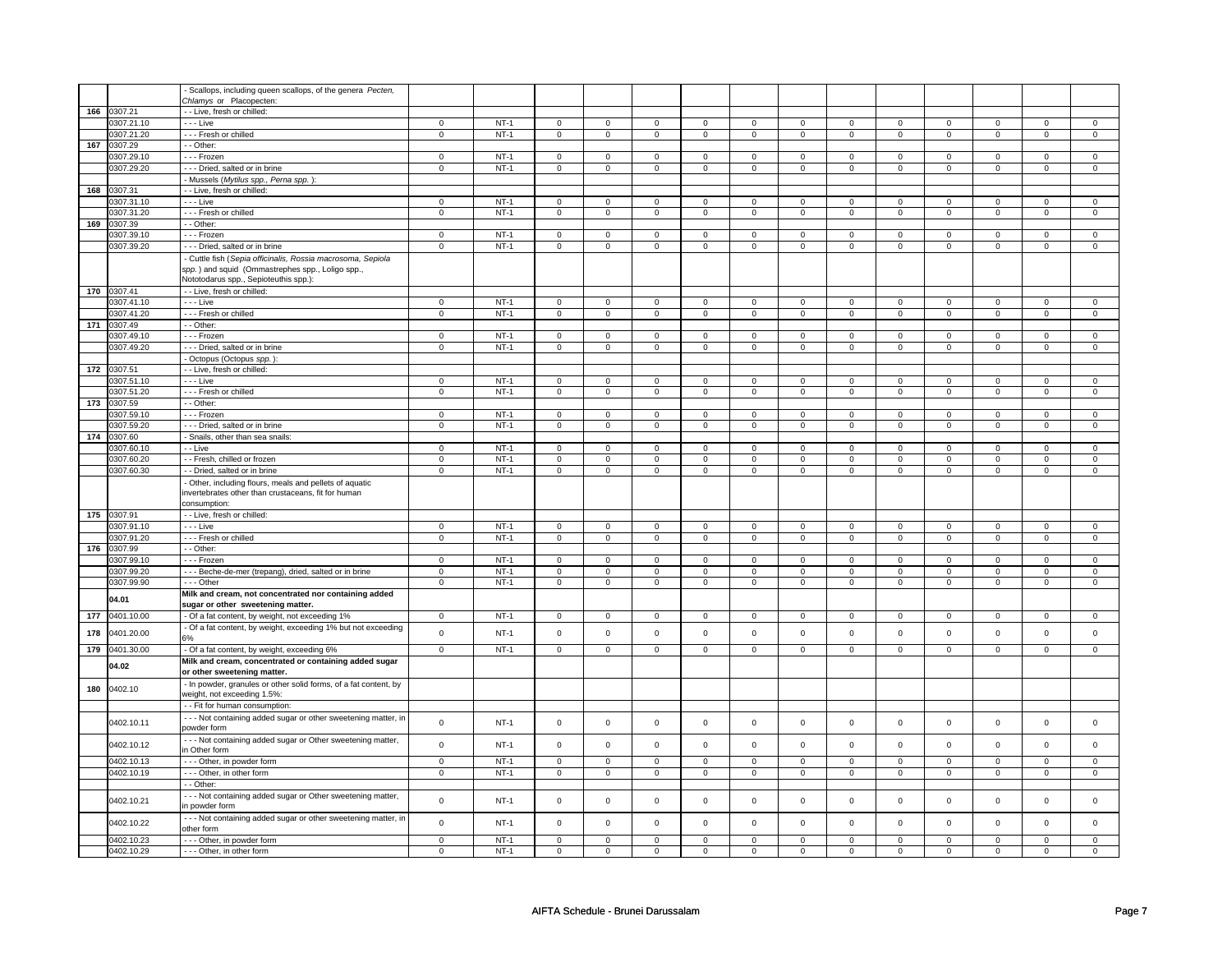|                  |             | Scallops, including queen scallops, of the genera Pecten,        |                |        |                |                |                |                |                     |                |                     |                |                     |                |                     |                |
|------------------|-------------|------------------------------------------------------------------|----------------|--------|----------------|----------------|----------------|----------------|---------------------|----------------|---------------------|----------------|---------------------|----------------|---------------------|----------------|
|                  |             | Chlamys or Placopecten:                                          |                |        |                |                |                |                |                     |                |                     |                |                     |                |                     |                |
| 166              | 0307.21     | - Live, fresh or chilled:                                        |                |        |                |                |                |                |                     |                |                     |                |                     |                |                     |                |
|                  | 0307.21.10  | - - - Live                                                       | $\mathbf 0$    | $NT-1$ | 0              | $\mathbf 0$    | 0              | $\mathbf 0$    | 0                   | $\mathsf 0$    | 0                   | $\mathbf 0$    | 0                   | $\mathbf 0$    | 0                   | $\mathbf{0}$   |
|                  | 0307.21.20  | --- Fresh or chilled                                             | $\mathsf 0$    | $NT-1$ | $\mathsf 0$    | $\mathbf 0$    | $\mathsf 0$    | $\mathsf 0$    | $\mathsf 0$         | $\mathsf 0$    | $\mathsf{O}\xspace$ | $\mathsf 0$    | $\mathsf 0$         | $\mathsf 0$    | $\mathsf 0$         | $\mathbf 0$    |
| 167              | 0307.29     | - - Other:                                                       |                |        |                |                |                |                |                     |                |                     |                |                     |                |                     |                |
|                  | 0307.29.10  | --- Frozen                                                       | $\mathbf 0$    | $NT-1$ | $\mathbf 0$    | $\mathsf 0$    | $\mathbf 0$    | $\mathbf 0$    | $\mathbf 0$         | $\mathbf 0$    | $\mathbf 0$         | $\mathbf 0$    | $\mathbf 0$         | $\mathbf 0$    | 0                   | $\mathbf{0}$   |
|                  |             |                                                                  |                |        |                |                |                |                |                     |                |                     |                |                     |                |                     |                |
|                  | 0307.29.20  | --- Dried, salted or in brine                                    | $\mathbf 0$    | $NT-1$ | $\mathbf 0$    | $\mathsf 0$    | $\mathbf 0$    | $\mathbf 0$    | $\mathbf 0$         | $\mathbf 0$    | $\mathsf 0$         | $\mathbf 0$    | $\mathsf 0$         | $\mathbf 0$    | $\mathbf 0$         | $\mathsf 0$    |
|                  |             | Mussels (Mytilus spp., Perna spp.):                              |                |        |                |                |                |                |                     |                |                     |                |                     |                |                     |                |
| 168              | 0307.31     | - - Live, fresh or chilled:                                      |                |        |                |                |                |                |                     |                |                     |                |                     |                |                     |                |
|                  | 0307.31.10  | - - - Live                                                       | $\mathbf 0$    | $NT-1$ | $\mathbf 0$    | $\mathsf 0$    | $\mathbf 0$    | $\mathbf 0$    | $\mathbf 0$         | $\mathbf 0$    | $\mathbf 0$         | $\mathbf 0$    | $\mathbf 0$         | $\mathbf 0$    | 0                   | $\mathbf 0$    |
|                  | 0307.31.20  | - - - Fresh or chilled                                           | $\mathbf 0$    | $NT-1$ | $\mathbf 0$    | $\mathsf 0$    | $\mathbf 0$    | $\mathbf 0$    | $\mathbf 0$         | $\mathbf 0$    | $\mathbf{0}$        | $\mathbf 0$    | $\mathbf 0$         | $\mathbf 0$    | $\mathbf 0$         | $\mathbf 0$    |
| 169              | 0307.39     | - - Other:                                                       |                |        |                |                |                |                |                     |                |                     |                |                     |                |                     |                |
|                  | 0307.39.10  | - - - Frozen                                                     | $\mathbf 0$    | $NT-1$ | $\mathbf 0$    | 0              | $\mathbf 0$    | $\mathbf 0$    | 0                   | $\mathbf 0$    | $\mathbf 0$         | $\mathbf 0$    | 0                   | $\mathbf 0$    | $^{\circ}$          | $\mathbf 0$    |
|                  | 0307.39.20  | --- Dried, salted or in brine                                    | $\mathbf 0$    | $NT-1$ | $\mathbf 0$    | $\mathbf 0$    | $\mathsf 0$    | $\mathsf 0$    | $\mathsf{O}\xspace$ | $\mathsf 0$    | $\mathsf 0$         | $\mathsf 0$    | $\mathbf 0$         | $\mathsf 0$    | $\mathbf 0$         | $\mathbf 0$    |
|                  |             |                                                                  |                |        |                |                |                |                |                     |                |                     |                |                     |                |                     |                |
|                  |             | - Cuttle fish (Sepia officinalis, Rossia macrosoma, Sepiola      |                |        |                |                |                |                |                     |                |                     |                |                     |                |                     |                |
|                  |             | spp.) and squid (Ommastrephes spp., Loligo spp.,                 |                |        |                |                |                |                |                     |                |                     |                |                     |                |                     |                |
|                  |             | Nototodarus spp., Sepioteuthis spp.):                            |                |        |                |                |                |                |                     |                |                     |                |                     |                |                     |                |
|                  | 170 0307.41 | - - Live, fresh or chilled:                                      |                |        |                |                |                |                |                     |                |                     |                |                     |                |                     |                |
|                  | 0307.41.10  | - - - Live                                                       | $\mathbf 0$    | $NT-1$ | $\mathsf 0$    | $\mathbf 0$    | $\mathbf 0$    | $\mathsf 0$    | $\mathsf 0$         | $\mathsf 0$    | $\mathsf{O}\xspace$ | $\mathsf 0$    | $\mathbf 0$         | $\mathbf 0$    | $\mathbf 0$         | $\mathbf{0}$   |
|                  | 0307.41.20  | --- Fresh or chilled                                             | $\mathsf 0$    | $NT-1$ | $\mathsf 0$    | $\mathsf 0$    | $\mathsf 0$    | $\mathsf 0$    | $\mathsf 0$         | $\mathsf 0$    | $\mathbf 0$         | $\mathsf 0$    | $\mathsf 0$         | $\mathsf 0$    | $\mathbf 0$         | $\mathbf 0$    |
|                  | 171 0307.49 | - - Other:                                                       |                |        |                |                |                |                |                     |                |                     |                |                     |                |                     |                |
|                  | 0307.49.10  | - - - Frozen                                                     | $\mathbf 0$    | $NT-1$ | $\mathbf 0$    | $\mathbf{0}$   | $\mathbf 0$    | $\mathbf{0}$   | $\mathbf 0$         | $\mathbf{0}$   | $\mathbf 0$         | $\overline{0}$ | $\mathbf 0$         | $\overline{0}$ | 0                   | $\mathbf{0}$   |
|                  | 0307.49.20  | --- Dried, salted or in brine                                    | $\mathbf 0$    | $NT-1$ | $\mathbf 0$    | $\mathsf 0$    | $\mathbf 0$    | $\mathbf 0$    | $\mathbf 0$         | $\mathbf 0$    | $\mathbf 0$         | $\mathbf 0$    | 0                   | $\mathbf 0$    | 0                   | $\mathbf 0$    |
|                  |             |                                                                  |                |        |                |                |                |                |                     |                |                     |                |                     |                |                     |                |
|                  |             | - Octopus (Octopus spp.):                                        |                |        |                |                |                |                |                     |                |                     |                |                     |                |                     |                |
| 172              | 0307.51     | - - Live, fresh or chilled:                                      |                |        |                |                |                |                |                     |                |                     |                |                     |                |                     |                |
|                  | 0307.51.10  | - - - Live                                                       | $\mathbf 0$    | $NT-1$ | $\mathbf 0$    | $\mathsf 0$    | $\mathbf 0$    | $\mathbf 0$    | $\mathbf 0$         | $\mathbf 0$    | $\mathbf 0$         | $\mathbf 0$    | $\mathbf 0$         | $\mathbf 0$    | 0                   | 0              |
|                  | 0307.51.20  | - - - Fresh or chilled                                           | $\mathsf 0$    | $NT-1$ | $\mathsf 0$    | $\mathbf 0$    | $\mathsf 0$    | $\mathsf 0$    | $\mathsf{O}\xspace$ | $\mathbf 0$    | $\mathsf 0$         | $\mathsf 0$    | $\mathsf 0$         | $\mathsf 0$    | 0                   | $\mathsf 0$    |
| $\overline{173}$ | 0307.59     | - - Other:                                                       |                |        |                |                |                |                |                     |                |                     |                |                     |                |                     |                |
|                  | 0307.59.10  | - - - Frozen                                                     | $\mathsf 0$    | $NT-1$ | $\mathsf 0$    | $\mathsf 0$    | $\mathbf 0$    | $\mathsf 0$    | $\mathsf 0$         | $\mathsf 0$    | $\mathbf 0$         | $\mathbf 0$    | $\mathsf 0$         | $\mathsf 0$    | $\Omega$            | $\mathbf 0$    |
|                  | 0307.59.20  | --- Dried, salted or in brine                                    | $\mathsf 0$    | $NT-1$ | $\mathsf 0$    | $\mathbf 0$    | $\mathsf 0$    | $\mathsf 0$    | $\mathsf 0$         | $\mathsf 0$    | $\mathsf{O}\xspace$ | $\mathsf 0$    | $\mathsf 0$         | $\mathsf 0$    | $\mathsf 0$         | $\mathsf 0$    |
| 174              | 0307.60     | - Snails, other than sea snails:                                 |                |        |                |                |                |                |                     |                |                     |                |                     |                |                     |                |
|                  | 0307.60.10  | - - Live                                                         | $\mathsf 0$    | NT-1   | $\mathsf 0$    | $\mathsf 0$    | $\mathsf 0$    | $\mathsf 0$    | $\mathsf 0$         | $\mathsf 0$    | $\mathsf{o}\,$      | $\mathsf 0$    | $\mathsf{o}\,$      | $\mathsf 0$    | $\mathsf 0$         | $\mathsf 0$    |
|                  |             |                                                                  |                | $NT-1$ |                |                |                |                |                     |                |                     |                |                     |                |                     |                |
|                  | 0307.60.20  | - - Fresh, chilled or frozen                                     | $\mathsf 0$    |        | $\mathbf 0$    | $\mathsf 0$    | $\mathbf 0$    | $\mathbf 0$    | $\mathbf 0$         | $\mathbf 0$    | $\mathbf 0$         | $\mathbf 0$    | $\mathbf 0$         | $\mathbf 0$    | $\mathbf 0$         | $\mathbf{0}$   |
|                  | 0307.60.30  | - - Dried, salted or in brine                                    | $\mathsf 0$    | $NT-1$ | $\mathsf 0$    | $\mathsf 0$    | $\mathsf 0$    | $\mathsf 0$    | $\mathsf 0$         | $\mathsf 0$    | $\mathsf{O}\xspace$ | $\mathsf 0$    | $\mathsf 0$         | $\mathsf 0$    | $\mathsf{O}\xspace$ | $\mathbf{0}$   |
|                  |             | Other, including flours, meals and pellets of aquatic            |                |        |                |                |                |                |                     |                |                     |                |                     |                |                     |                |
|                  |             | nvertebrates other than crustaceans, fit for human               |                |        |                |                |                |                |                     |                |                     |                |                     |                |                     |                |
|                  |             | consumption:                                                     |                |        |                |                |                |                |                     |                |                     |                |                     |                |                     |                |
|                  | 175 0307.91 | -- Live, fresh or chilled:                                       |                |        |                |                |                |                |                     |                |                     |                |                     |                |                     |                |
|                  | 0307.91.10  | - - - Live                                                       | $\mathbf 0$    | $NT-1$ | $\mathsf 0$    | $\mathbf 0$    | $\mathbf 0$    | $\mathbf 0$    | $\mathsf 0$         | $\mathsf 0$    | $\mathbf{0}$        | $\mathbf 0$    | $\mathbf 0$         | $\mathbf 0$    | $\mathbf 0$         | $\mathbf{0}$   |
|                  | 0307.91.20  | - - - Fresh or chilled                                           | $\mathsf 0$    | $NT-1$ | $\mathsf 0$    | $\mathbf 0$    | $\mathbf 0$    | $\mathsf 0$    | $\mathsf 0$         | $\mathsf 0$    | $\mathbf 0$         | $\mathsf 0$    | $\mathsf{O}\xspace$ | $\mathbf 0$    | $\mathbf 0$         | $\mathbf 0$    |
|                  |             |                                                                  |                |        |                |                |                |                |                     |                |                     |                |                     |                |                     |                |
| 176              | 0307.99     | - - Other:                                                       |                |        |                |                |                |                |                     |                |                     |                |                     |                |                     |                |
|                  | 0307.99.10  | - - - Frozen                                                     | $\overline{0}$ | $NT-1$ | $\overline{0}$ | $\overline{0}$ | $\mathbf 0$    | $\overline{0}$ | $\overline{0}$      | $\overline{0}$ | $\mathbf 0$         | $\overline{0}$ | $\overline{0}$      | $\overline{0}$ | $\Omega$            | 0              |
|                  | 0307.99.20  | - - - Beche-de-mer (trepang), dried, salted or in brine          | $\overline{0}$ | $NT-1$ | $\overline{0}$ | $\overline{0}$ | $\overline{0}$ | $\overline{0}$ | $\overline{0}$      | $\overline{0}$ | $\overline{0}$      | $\overline{0}$ | $\overline{0}$      | $\overline{0}$ | $\overline{0}$      | $\overline{0}$ |
|                  | 0307.99.90  | $- -$ Other                                                      | $\mathbf 0$    | $NT-1$ | $\mathsf 0$    | $\mathsf 0$    | $\mathsf 0$    | $\mathsf 0$    | $\mathsf 0$         | $\mathsf 0$    | $\mathsf 0$         | $\mathsf 0$    | $\mathsf 0$         | $\mathsf 0$    | $\mathbf 0$         | $\mathbf 0$    |
|                  | 04.01       | Milk and cream, not concentrated nor containing added            |                |        |                |                |                |                |                     |                |                     |                |                     |                |                     |                |
|                  |             | sugar or other sweetening matter.                                |                |        |                |                |                |                |                     |                |                     |                |                     |                |                     |                |
| 177              | 0401.10.00  | - Of a fat content, by weight, not exceeding 1%                  | $\overline{0}$ | $NT-1$ | $\mathsf 0$    | $\mathbf 0$    | 0              | $\overline{0}$ | $\mathbf{0}$        | $\mathbf 0$    | $\mathbf{0}$        | $\overline{0}$ | $\overline{0}$      | $\overline{0}$ | $\mathbf 0$         | $\overline{0}$ |
|                  |             | - Of a fat content, by weight, exceeding 1% but not exceeding    |                |        |                |                |                |                |                     |                |                     |                |                     |                |                     |                |
| 178              | 0401.20.00  | 5%                                                               | $\mathsf 0$    | $NT-1$ | $\mathsf 0$    | $\mathsf 0$    | $\mathbf 0$    | $\mathsf 0$    | $\mathsf 0$         | $\mathsf 0$    | $\mathbf 0$         | $\mathbf 0$    | $\mathbf 0$         | $\mathsf 0$    | $\mathbf 0$         | $\mathbf 0$    |
| 179              | 0401.30.00  | - Of a fat content, by weight, exceeding 6%                      | $\mathsf 0$    | $NT-1$ | $\mathsf 0$    | $\mathsf 0$    | $\mathsf 0$    | $\mathsf 0$    | $\mathsf 0$         | $\mathsf 0$    | $\mathsf 0$         | $\mathsf 0$    | $\mathsf 0$         | $\mathsf 0$    | $\mathbf 0$         | $\mathsf 0$    |
|                  |             |                                                                  |                |        |                |                |                |                |                     |                |                     |                |                     |                |                     |                |
|                  | 04.02       | Milk and cream, concentrated or containing added sugar           |                |        |                |                |                |                |                     |                |                     |                |                     |                |                     |                |
|                  |             | or other sweetening matter.                                      |                |        |                |                |                |                |                     |                |                     |                |                     |                |                     |                |
| 180              | 0402.10     | - In powder, granules or other solid forms, of a fat content, by |                |        |                |                |                |                |                     |                |                     |                |                     |                |                     |                |
|                  |             | weight, not exceeding 1.5%:                                      |                |        |                |                |                |                |                     |                |                     |                |                     |                |                     |                |
|                  |             | - - Fit for human consumption:                                   |                |        |                |                |                |                |                     |                |                     |                |                     |                |                     |                |
|                  |             | - - - Not containing added sugar or other sweetening matter, in  |                |        |                |                |                |                |                     |                |                     |                |                     |                |                     |                |
|                  | 0402.10.11  | powder form                                                      | $\mathsf 0$    | $NT-1$ | $\mathbf 0$    | $\mathsf 0$    | $\mathbf 0$    | $\mathbf 0$    | $\mathbf 0$         | $\mathsf 0$    | $\mathbf 0$         | $\mathbf 0$    | $\mathbf 0$         | $\mathsf 0$    | 0                   | $\mathbf 0$    |
|                  |             | --- Not containing added sugar or Other sweetening matter,       |                |        |                |                |                |                |                     |                |                     |                |                     |                |                     |                |
|                  | 0402.10.12  |                                                                  | $\mathsf 0$    | $NT-1$ | $\mathsf 0$    | $\mathbf 0$    | $\mathsf 0$    | $\mathsf 0$    | $\mathsf 0$         | $\mathsf 0$    | $\mathsf 0$         | $\mathsf 0$    | $\mathsf 0$         | $\mathsf 0$    | $\mathbf 0$         | $\mathbf 0$    |
|                  |             | in Other form                                                    |                |        |                |                |                |                |                     |                |                     |                |                     |                |                     |                |
|                  | 0402.10.13  | --- Other, in powder form                                        | $\mathbf 0$    | $NT-1$ | $\mathsf 0$    | $\mathbf 0$    | $\mathsf 0$    | $\mathsf 0$    | $\mathsf 0$         | $\mathsf 0$    | $\mathsf{O}\xspace$ | $\mathsf 0$    | $\mathbf 0$         | $\mathsf 0$    | $\mathbf 0$         | $\mathsf 0$    |
|                  | 0402.10.19  | --- Other, in other form                                         | $\mathbf 0$    | $NT-1$ | $\mathbf 0$    | $\mathbf 0$    | $\mathbf 0$    | $\mathbf 0$    | $\mathbf 0$         | $\mathbf 0$    | $\mathbf{0}$        | $\mathbf 0$    | $\mathbf 0$         | $\mathbf 0$    | $\mathbf 0$         | $\mathbf{0}$   |
|                  |             | - - Other:                                                       |                |        |                |                |                |                |                     |                |                     |                |                     |                |                     |                |
|                  |             | --- Not containing added sugar or Other sweetening matter,       |                |        |                |                |                |                |                     |                |                     |                |                     |                |                     |                |
|                  | 0402.10.21  | n powder form                                                    | $\mathbf 0$    | $NT-1$ | $\mathsf 0$    | $\mathsf 0$    | $\mathbf 0$    | $\mathbf 0$    | $\mathsf 0$         | $\mathbf 0$    | $\mathsf 0$         | $\mathbf 0$    | $\mathsf 0$         | $\mathbf 0$    | $\mathbf 0$         | $\mathsf 0$    |
|                  |             | --- Not containing added sugar or other sweetening matter, in    |                |        |                |                |                |                |                     |                |                     |                |                     |                |                     |                |
|                  | 0402.10.22  | other form                                                       | $\mathsf 0$    | $NT-1$ | $\mathsf 0$    | $\mathsf 0$    | $\mathsf 0$    | $\mathsf 0$    | $\mathsf 0$         | $\mathsf 0$    | $\mathsf{O}\xspace$ | $\mathsf 0$    | $\mathsf 0$         | $\mathsf 0$    | $\mathbf 0$         | $\mathbf 0$    |
|                  |             |                                                                  |                |        |                |                |                |                |                     |                |                     |                |                     |                |                     |                |
|                  | 0402.10.23  | --- Other, in powder form                                        | $\mathbf 0$    | $NT-1$ | $\mathbf 0$    | $\mathbf 0$    | $\mathbf 0$    | $\Omega$       | $\mathsf 0$         | $\mathbf 0$    | $\mathsf 0$         | $\Omega$       | $\mathsf 0$         | $\mathbf 0$    | $\Omega$            | $\mathbf 0$    |
|                  | 0402.10.29  | --- Other, in other form                                         | $\mathbf 0$    | $NT-1$ | $\mathbf 0$    | $\Omega$       | $\Omega$       | $\Omega$       | $\mathbf 0$         | $\mathbf 0$    | $\mathbf 0$         | $\Omega$       | $\mathbf 0$         | $\mathbf 0$    | $\mathbf 0$         | $\mathbf 0$    |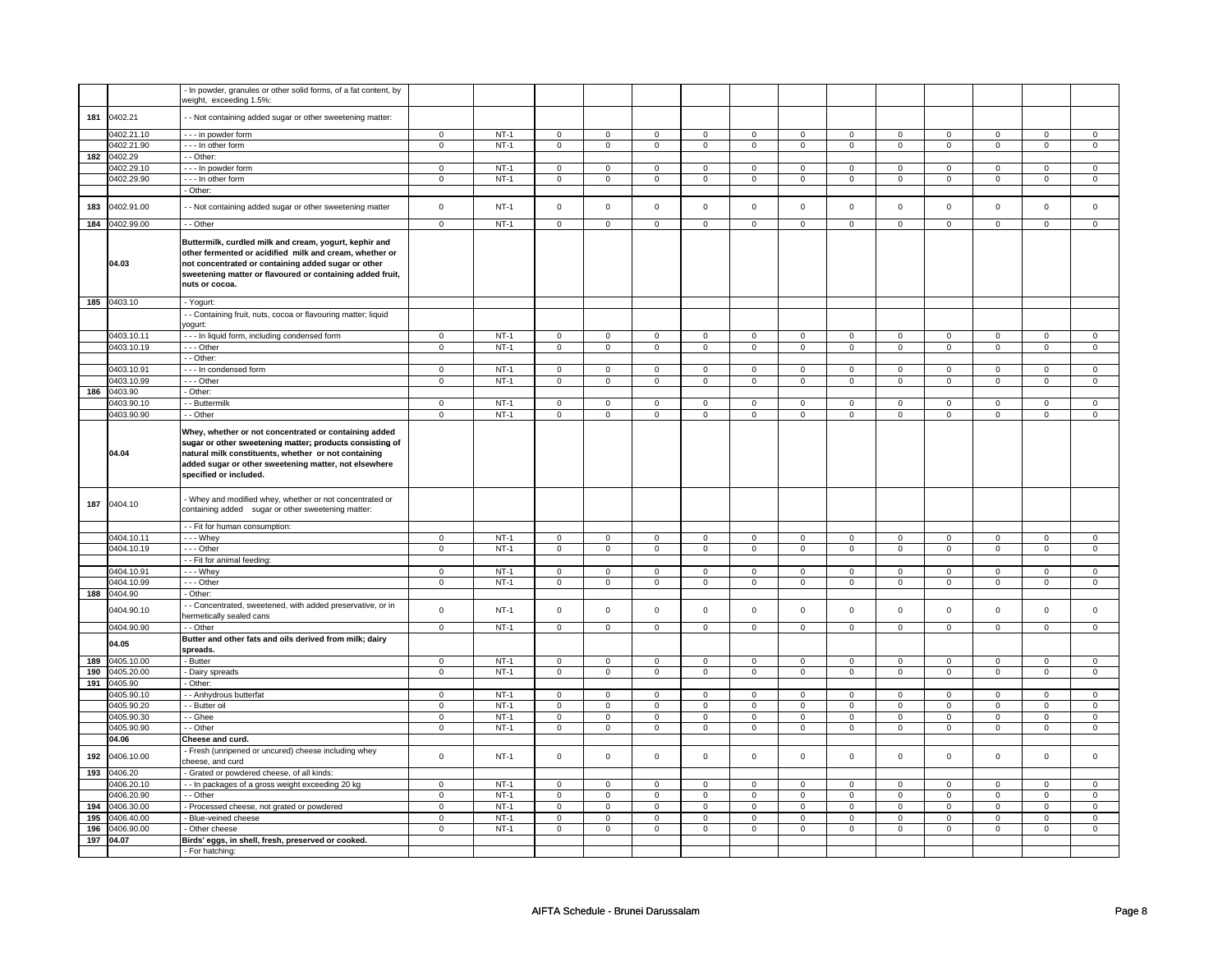|     |                          | - In powder, granules or other solid forms, of a fat content, by<br>weight, exceeding 1.5%:                                                                                                                                                                  |                            |                  |                            |                            |                            |                            |                            |                            |                            |                            |                            |                            |                            |                            |
|-----|--------------------------|--------------------------------------------------------------------------------------------------------------------------------------------------------------------------------------------------------------------------------------------------------------|----------------------------|------------------|----------------------------|----------------------------|----------------------------|----------------------------|----------------------------|----------------------------|----------------------------|----------------------------|----------------------------|----------------------------|----------------------------|----------------------------|
| 181 | 0402.21                  | - - Not containing added sugar or other sweetening matter:                                                                                                                                                                                                   |                            |                  |                            |                            |                            |                            |                            |                            |                            |                            |                            |                            |                            |                            |
|     | 0402.21.10               | - - - in powder form                                                                                                                                                                                                                                         | $\mathbf 0$                | $NT-1$           | $\mathbf 0$                | $\mathsf 0$                | $\mathbf 0$                | $\mathsf 0$                | $\mathbf 0$                | $\mathsf 0$                | $\Omega$                   | $\mathbf 0$                | $\mathsf 0$                | $\mathbf 0$                | $\Omega$                   | $\mathbf 0$                |
|     | 0402.21.90               | --- In other form                                                                                                                                                                                                                                            | $\mathbf 0$                | $NT-1$           | $\mathsf 0$                | $\mathsf 0$                | $\mathsf 0$                | $\mathbf 0$                | $\mathsf 0$                | $\mathbf 0$                | $\mathsf 0$                | $\mathbf 0$                | $\mathsf 0$                | $\mathsf 0$                | $\mathsf 0$                | $\mathsf 0$                |
| 182 | 0402.29                  | - - Other:                                                                                                                                                                                                                                                   |                            |                  |                            |                            |                            |                            |                            |                            |                            |                            |                            |                            |                            |                            |
|     | 0402.29.10               | --- In powder form                                                                                                                                                                                                                                           | $\mathbf 0$                | $NT-1$           | $\mathsf 0$                | $\mathbf 0$                | $\mathsf 0$                | $\mathbf{0}$               | $\mathsf 0$                | $\mathbf{0}$               | $\mathsf 0$                | $\mathbf{0}$               | $\mathbf 0$                | $\mathbf{0}$               | $\mathsf 0$                | $\mathbf{0}$               |
|     | 0402.29.90               | - - - In other form<br>- Other:                                                                                                                                                                                                                              | $\mathbf{0}$               | $NT-1$           | $\mathbf 0$                | $\mathbf{0}$               | $\mathbf 0$                | $\overline{0}$             | $\mathbf 0$                | $\overline{0}$             | $\mathbf 0$                | $\overline{0}$             | $\mathbf{0}$               | $\overline{0}$             | $\mathbf{0}$               | $\overline{0}$             |
|     |                          |                                                                                                                                                                                                                                                              |                            |                  |                            |                            |                            |                            |                            |                            |                            |                            |                            |                            |                            |                            |
| 183 | 0402.91.00               | - - Not containing added sugar or other sweetening matter                                                                                                                                                                                                    | $\mathbf 0$                | $NT-1$           | $\mathbf 0$                | $\mathbf 0$                | $\mathbf 0$                | $\mathbf 0$                | $\mathbf 0$                | $\mathbf 0$                | $\mathbf 0$                | $\mathbf 0$                | $\mathbf 0$                | $\mathbf 0$                | $\mathbf 0$                | $\mathbf 0$                |
|     | 184 0402.99.00           | - - Other                                                                                                                                                                                                                                                    | $\mathbf 0$                | $NT-1$           | $\mathsf 0$                | $\mathsf 0$                | $\mathbf 0$                | $\mathsf 0$                | $\mathsf 0$                | $\mathsf 0$                | $\mathbf 0$                | $\mathsf 0$                | $\mathbf 0$                | $\mathsf 0$                | $\mathbf 0$                | $\mathsf 0$                |
|     | 04.03                    | Buttermilk, curdled milk and cream, yogurt, kephir and<br>other fermented or acidified milk and cream, whether or<br>not concentrated or containing added sugar or other<br>sweetening matter or flavoured or containing added fruit,<br>nuts or cocoa.      |                            |                  |                            |                            |                            |                            |                            |                            |                            |                            |                            |                            |                            |                            |
|     | 185 0403.10              | - Yogurt:                                                                                                                                                                                                                                                    |                            |                  |                            |                            |                            |                            |                            |                            |                            |                            |                            |                            |                            |                            |
|     |                          | - Containing fruit, nuts, cocoa or flavouring matter; liquid<br>yogurt:                                                                                                                                                                                      |                            |                  |                            |                            |                            |                            |                            |                            |                            |                            |                            |                            |                            |                            |
|     | 0403.10.11               | --- In liquid form, including condensed form                                                                                                                                                                                                                 | $\mathbf 0$                | $NT-1$           | $\mathbf 0$                | $\mathbf 0$                | 0                          | $\mathbf 0$                | 0                          | $\mathbf 0$                | 0                          | $\mathbf 0$                | 0                          | $\mathbf 0$                | 0                          | $\mathbf 0$                |
|     | 0403.10.19               | --- Other                                                                                                                                                                                                                                                    | $\mathbf 0$                | $NT-1$           | $\mathsf 0$                | $\mathsf 0$                | $\mathbf 0$                | $\mathsf 0$                | $\mathsf 0$                | $\mathsf 0$                | $\mathbf 0$                | $\mathsf 0$                | $\mathbf 0$                | $\mathsf 0$                | $\mathbf 0$                | $\mathbf{0}$               |
|     | 0403.10.91               | - - Other:<br>--- In condensed form                                                                                                                                                                                                                          | $\mathbf 0$                | $NT-1$           | $\mathsf 0$                | $\mathbf 0$                | $\mathsf 0$                | $\mathbf 0$                | $\mathsf 0$                | $\mathbf 0$                | $\mathsf 0$                | $\mathbf 0$                | $\mathsf 0$                | $\mathbf 0$                | 0                          | $\mathbf 0$                |
|     | 0403.10.99               | --- Other                                                                                                                                                                                                                                                    | $\mathbf 0$                | $NT-1$           | $\mathsf 0$                | $\mathbf 0$                | $\mathsf 0$                | $\mathbf 0$                | $\mathsf 0$                | $\mathbf 0$                | $\mathsf 0$                | $\mathbf 0$                | $\mathbf 0$                | $\mathbf 0$                | $\mathbf 0$                | $\mathbf 0$                |
| 186 | 0403.90                  | Other:                                                                                                                                                                                                                                                       |                            |                  |                            |                            |                            |                            |                            |                            |                            |                            |                            |                            |                            |                            |
|     | 0403.90.10               | - Buttermilk                                                                                                                                                                                                                                                 | $\mathbf 0$                | $NT-1$           | $\mathsf 0$                | $\overline{0}$             | $\mathsf 0$                | $\mathbf 0$                | $\mathsf 0$                | $\overline{0}$             | $\mathsf 0$                | $\mathbf 0$                | $\mathsf 0$                | $\overline{0}$             | $\mathsf 0$                | $\mathbf 0$                |
|     | 0403.90.90               | - - Other                                                                                                                                                                                                                                                    | $\mathsf 0$                | $NT-1$           | $\mathsf 0$                | $\mathsf 0$                | $\mathsf 0$                | $\mathsf 0$                | $\mathsf 0$                | $\mathsf 0$                | $\mathsf 0$                | $\mathsf 0$                | $\mathbf 0$                | $\mathsf 0$                | $\mathsf 0$                | $\mathsf 0$                |
|     | 04.04                    | Whey, whether or not concentrated or containing added<br>sugar or other sweetening matter; products consisting of<br>natural milk constituents, whether or not containing<br>added sugar or other sweetening matter, not elsewhere<br>specified or included. |                            |                  |                            |                            |                            |                            |                            |                            |                            |                            |                            |                            |                            |                            |
| 187 | 0404.10                  | - Whey and modified whey, whether or not concentrated or<br>containing added sugar or other sweetening matter:                                                                                                                                               |                            |                  |                            |                            |                            |                            |                            |                            |                            |                            |                            |                            |                            |                            |
|     |                          | - - Fit for human consumption:                                                                                                                                                                                                                               |                            |                  |                            |                            |                            |                            |                            |                            |                            |                            |                            |                            |                            |                            |
|     | 0404.10.11<br>0404.10.19 | - - - Whey<br>--- Other                                                                                                                                                                                                                                      | $\mathbf 0$<br>$\mathbf 0$ | $NT-1$<br>$NT-1$ | $\mathbf 0$<br>$\mathsf 0$ | $\mathsf 0$<br>$\mathsf 0$ | $\mathbf 0$<br>$\mathsf 0$ | $\mathsf 0$<br>$\mathsf 0$ | $\mathbf 0$<br>$\mathsf 0$ | $\mathsf 0$<br>$\mathsf 0$ | $\mathbf 0$<br>$\mathsf 0$ | $\mathsf 0$<br>$\mathsf 0$ | $\mathbf 0$<br>$\mathbf 0$ | $\mathsf 0$<br>$\mathsf 0$ | $\mathbf 0$<br>$\mathbf 0$ | $\mathbf 0$<br>$\mathbf 0$ |
|     |                          | -- Fit for animal feeding:                                                                                                                                                                                                                                   |                            |                  |                            |                            |                            |                            |                            |                            |                            |                            |                            |                            |                            |                            |
|     | 0404.10.91               | - - - Whey                                                                                                                                                                                                                                                   | $\mathbf 0$                | $NT-1$           | $\mathbf 0$                | $\mathbf 0$                | $\mathbf 0$                | $\mathbf 0$                | $\mathbf 0$                | $\mathbf 0$                | $\mathbf 0$                | $\mathbf 0$                | 0                          | $\mathbf 0$                | $^{\circ}$                 | $\mathbf 0$                |
|     | 0404.10.99               | --- Other                                                                                                                                                                                                                                                    | $\mathbf 0$                | $NT-1$           | $\mathbf 0$                | $\mathbf 0$                | $\mathbf 0$                | $\mathbf 0$                | $\mathsf 0$                | $\mathbf 0$                | $\mathbf 0$                | $\mathbf 0$                | $\mathsf 0$                | $\mathbf 0$                | $\mathbf 0$                | $\mathbf 0$                |
| 188 | 0404.90                  | - Other:                                                                                                                                                                                                                                                     |                            |                  |                            |                            |                            |                            |                            |                            |                            |                            |                            |                            |                            |                            |
|     | 0404.90.10               | - Concentrated, sweetened, with added preservative, or in<br>hermetically sealed cans                                                                                                                                                                        | $\mathbf 0$                | $NT-1$           | $\mathsf 0$                | $\mathbf 0$                | $\mathsf 0$                | $\mathbf 0$                | $\mathsf 0$                | $\mathbf 0$                | $\mathsf 0$                | $\mathbf 0$                | $\mathsf 0$                | $\mathbf 0$                | $\mathbf 0$                | $\mathbf 0$                |
|     | 0404.90.90               | - - Other                                                                                                                                                                                                                                                    | $\mathbf 0$                | $NT-1$           | $\mathsf 0$                | $\mathbf 0$                | $\mathsf 0$                | $\overline{0}$             | $\mathsf 0$                | $\overline{0}$             | $\mathsf 0$                | $\overline{0}$             | $\mathbf 0$                | $\overline{0}$             | $\mathsf 0$                | $\overline{0}$             |
|     | 04.05                    | Butter and other fats and oils derived from milk; dairy<br>spreads.                                                                                                                                                                                          |                            |                  |                            |                            |                            |                            |                            |                            |                            |                            |                            |                            |                            |                            |
| 189 | 0405.10.00               | - Butter                                                                                                                                                                                                                                                     | $\mathbf 0$                | $NT-1$           | $\mathsf 0$                | $\mathsf 0$                | $\mathbf 0$                | $\mathsf 0$                | $\mathsf 0$                | $\mathsf 0$                | $\mathbf 0$                | $\mathbf 0$                | $\mathbf 0$                | $\mathsf 0$                | $\mathbf 0$                | $\Omega$                   |
| 190 | 0405.20.00               | - Dairy spreads                                                                                                                                                                                                                                              | $\mathbf 0$                | $NT-1$           | $\overline{0}$             | $\overline{0}$             | $\mathsf 0$                | $\mathsf 0$                | $\mathsf 0$                | $\mathsf 0$                | $\mathsf 0$                | $\mathsf 0$                | $\mathsf 0$                | $\mathsf 0$                | $\mathsf 0$                | $\mathsf 0$                |
| 191 | 0405.90                  | - Other:                                                                                                                                                                                                                                                     |                            |                  |                            |                            |                            |                            |                            |                            |                            |                            |                            |                            |                            |                            |
|     | 0405.90.10<br>0405.90.20 | - Anhydrous butterfat<br>- Butter oil                                                                                                                                                                                                                        | $\mathbf 0$<br>$\mathbf 0$ | $NT-1$<br>$NT-1$ | $\mathbf 0$<br>$\mathsf 0$ | $\mathbf 0$<br>$\mathsf 0$ | $\mathbf 0$<br>$\mathbf 0$ | $\mathbf 0$<br>$\mathbf 0$ | $\mathbf 0$<br>$\mathsf 0$ | $\mathbf 0$<br>$\mathbf 0$ | $\mathbf 0$<br>$\mathbf 0$ | $\mathbf 0$<br>$\mathbf 0$ | $\mathbf 0$<br>$\mathbf 0$ | $\mathbf 0$<br>$\mathbf 0$ | $\mathbf 0$<br>$\mathbf 0$ | $\mathbf 0$<br>$\mathbf 0$ |
|     | 0405.90.30               | - - Ghee                                                                                                                                                                                                                                                     | $\mathbf 0$                | $NT-1$           | $\mathbf 0$                | $\mathbf 0$                | $\mathbf 0$                | $\mathbf 0$                | $\mathbf 0$                | $\mathbf 0$                | $\mathbf 0$                | $\mathbf 0$                | $\mathbf 0$                | $\mathbf 0$                | $\mathbf 0$                | $\mathbf 0$                |
|     | 0405.90.90               | - - Other                                                                                                                                                                                                                                                    | $\mathbf 0$                | $NT-1$           | $\mathsf 0$                | $\mathbf 0$                | $\mathsf 0$                | $\mathbf 0$                | $\mathsf 0$                | $\mathbf 0$                | $\mathsf 0$                | $\mathbf 0$                | $\mathsf 0$                | $\mathbf 0$                | $\mathbf 0$                | $\Omega$                   |
|     | 04.06                    | Cheese and curd.                                                                                                                                                                                                                                             |                            |                  |                            |                            |                            |                            |                            |                            |                            |                            |                            |                            |                            |                            |
| 192 | 0406.10.00               | - Fresh (unripened or uncured) cheese including whey<br>cheese, and curd                                                                                                                                                                                     | $\mathsf 0$                | $NT-1$           | $\mathsf 0$                | $\mathsf 0$                | $\mathsf 0$                | $\mathsf 0$                | $\mathsf 0$                | $\mathsf 0$                | $\mathbf 0$                | $\mathsf 0$                | $\mathsf 0$                | $\mathsf 0$                | $\mathbf 0$                | $\mathsf 0$                |
| 193 | 0406.20<br>0406.20.10    | - Grated or powdered cheese, of all kinds:<br>- - In packages of a gross weight exceeding 20 kg                                                                                                                                                              | $\overline{0}$             | $NT-1$           | $\mathsf 0$                | $\mathbf{0}$               | $\mathsf 0$                | $\Omega$                   | $\mathbf 0$                | $\Omega$                   | $\mathsf 0$                | $\Omega$                   | $\mathbf{0}$               | $\Omega$                   | $\mathbf 0$                | $\Omega$                   |
|     | 0406.20.90               | - - Other                                                                                                                                                                                                                                                    | $\mathbf 0$                | $NT-1$           | $\mathbf 0$                | $\mathbf 0$                | $\mathbf 0$                | $\mathbf 0$                | $\mathbf 0$                | $\mathbf 0$                | $\mathbf 0$                | $\mathbf 0$                | $\mathbf 0$                | $\mathbf 0$                | $\mathbf 0$                | $\mathbf 0$                |
| 194 | 0406.30.00               | - Processed cheese, not grated or powdered                                                                                                                                                                                                                   | $\mathbf 0$                | $NT-1$           | $\mathbf 0$                | $\mathbf 0$                | $\mathbf 0$                | $\mathbf 0$                | $\mathbf 0$                | $\mathbf 0$                | $\mathbf 0$                | $\mathbf 0$                | $\mathbf 0$                | $\mathbf 0$                | $\mathbf 0$                | $\mathbf 0$                |
| 195 | 0406.40.00               | Blue-veined cheese                                                                                                                                                                                                                                           | $\mathbf 0$                | $NT-1$           | $\mathsf 0$                | $\mathbf 0$                | $\mathsf 0$                | $\mathbf 0$                | $\mathsf 0$                | $\mathbf 0$                | $\mathbf 0$                | $\mathbf 0$                | $\mathsf 0$                | $\mathbf 0$                | $\mathsf 0$                | $\mathbf 0$                |
|     | 196 0406.90.00           | - Other cheese                                                                                                                                                                                                                                               | $\mathbf 0$                | $NT-1$           | $\mathbf 0$                | $\mathsf 0$                | $\mathbf 0$                | $\mathbf 0$                | $\mathbf 0$                | $\mathsf 0$                | $\mathbf 0$                | $\mathbf 0$                | $\mathbf 0$                | $\mathbf 0$                | $\mathbf 0$                | $\mathbf 0$                |
|     | 197 04.07                | Birds' eggs, in shell, fresh, preserved or cooked.<br>- For hatching:                                                                                                                                                                                        |                            |                  |                            |                            |                            |                            |                            |                            |                            |                            |                            |                            |                            |                            |
|     |                          |                                                                                                                                                                                                                                                              |                            |                  |                            |                            |                            |                            |                            |                            |                            |                            |                            |                            |                            |                            |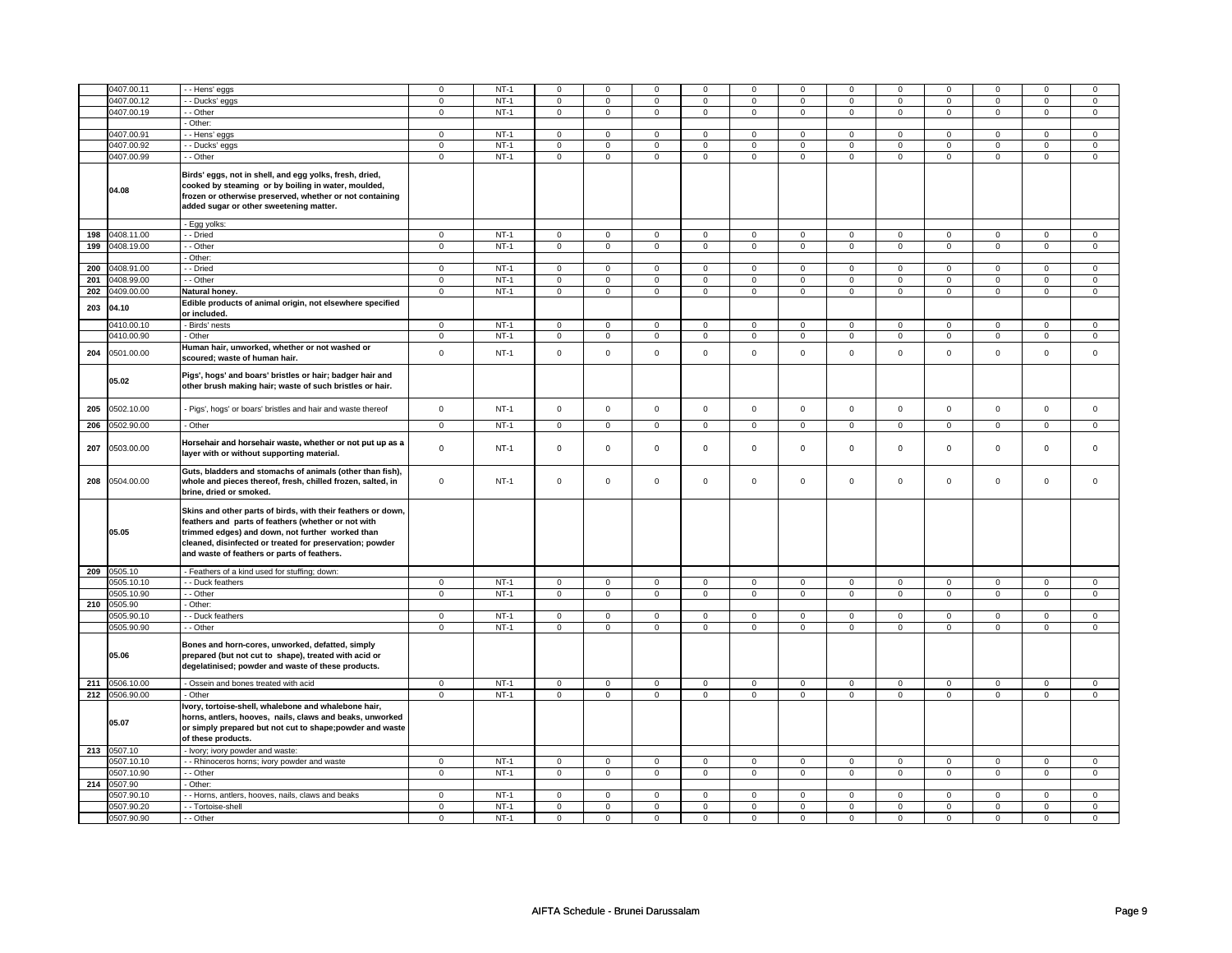|     | 0407.00.11  | - Hens' eggs                                                                                                                                                                                                                                                                      | $\mathbf 0$ | $NT-1$ | $\mathsf 0$    | $\mathbf 0$    | $\Omega$     | $\Omega$       | $\mathbf 0$    | $\mathbf 0$    | $\Omega$            | $\Omega$       | $\mathbf 0$    | $\mathbf 0$    | $\Omega$       | $\mathbf 0$    |
|-----|-------------|-----------------------------------------------------------------------------------------------------------------------------------------------------------------------------------------------------------------------------------------------------------------------------------|-------------|--------|----------------|----------------|--------------|----------------|----------------|----------------|---------------------|----------------|----------------|----------------|----------------|----------------|
|     | 0407.00.12  | - Ducks' eggs                                                                                                                                                                                                                                                                     | $\mathbf 0$ | $NT-1$ | $\mathbf 0$    | $\mathsf 0$    | $\mathbf 0$  | $\mathbf 0$    | $\mathbf 0$    | $\mathbf 0$    | $\mathbf 0$         | $\mathbf 0$    | $\mathbf 0$    | $\mathbf 0$    | 0              | $\mathbf 0$    |
|     | 0407.00.19  | - Other                                                                                                                                                                                                                                                                           | $\mathbf 0$ | $NT-1$ | $\mathbf 0$    | $\mathbf 0$    | $\mathbf 0$  | $\mathbf 0$    | $\mathbf 0$    | $\mathbf 0$    | $\mathbf{0}$        | $\mathbf 0$    | $\mathbf 0$    | $\mathbf 0$    | $\mathbf 0$    | $\mathbf{0}$   |
|     |             | - Other:                                                                                                                                                                                                                                                                          |             |        |                |                |              |                |                |                |                     |                |                |                |                |                |
|     | 0407.00.91  | - Hens' eggs                                                                                                                                                                                                                                                                      | $\mathsf 0$ | $NT-1$ | $\mathbf 0$    | $\mathsf 0$    | $\mathbf 0$  | $\mathbf 0$    | $\mathbf 0$    | $\mathbf 0$    | $\mathsf 0$         | $\mathbf 0$    | $\mathbf 0$    | $\mathbf 0$    | $\mathbf 0$    | $\mathbf 0$    |
|     | 0407.00.92  | - Ducks' eggs                                                                                                                                                                                                                                                                     | $\mathsf 0$ | $NT-1$ | $\mathbf 0$    | $\mathsf 0$    | $\mathbf 0$  | $\mathbf 0$    | $\mathbf 0$    | $\mathbf 0$    | $\mathbf 0$         | $\mathbf 0$    | $\mathbf 0$    | $\mathbf 0$    | $\mathbf 0$    | $\mathbf 0$    |
|     |             |                                                                                                                                                                                                                                                                                   |             |        | $\Omega$       |                | $\Omega$     |                |                |                |                     | $\overline{0}$ |                |                |                |                |
|     | 0407.00.99  | - - Other                                                                                                                                                                                                                                                                         | $\mathbf 0$ | $NT-1$ |                | $\mathbf 0$    |              | $\mathbf 0$    | $\mathbf 0$    | $\mathbf 0$    | $\mathbf 0$         |                | $\mathbf 0$    | $\overline{0}$ | $\mathbf 0$    | $\mathbf 0$    |
|     | 04.08       | Birds' eggs, not in shell, and egg yolks, fresh, dried,<br>cooked by steaming or by boiling in water, moulded,<br>frozen or otherwise preserved, whether or not containing<br>added sugar or other sweetening matter.                                                             |             |        |                |                |              |                |                |                |                     |                |                |                |                |                |
|     |             | - Egg yolks:                                                                                                                                                                                                                                                                      |             |        |                |                |              |                |                |                |                     |                |                |                |                |                |
| 198 | 0408.11.00  | - - Dried                                                                                                                                                                                                                                                                         | $\mathbf 0$ | $NT-1$ | $\mathbf 0$    | $\mathbf 0$    | $\mathbf 0$  | $\mathbf{0}$   | $\mathbf 0$    | $\mathbf 0$    | $\mathbf{0}$        | $\mathbf{0}$   | $\mathbf{0}$   | $\mathbf 0$    | $\mathbf{0}$   | $\mathbf 0$    |
| 199 | 0408.19.00  | - - Other                                                                                                                                                                                                                                                                         | $\mathbf 0$ | $NT-1$ | $\mathbf 0$    | $\mathbf 0$    | $\mathbf 0$  | $\mathbf 0$    | $\mathbf 0$    | $\mathbf 0$    | $\mathbf{0}$        | $\mathbf 0$    | $\mathbf 0$    | $\mathbf 0$    | $\mathbf 0$    | $\mathbf 0$    |
|     |             | - Other:                                                                                                                                                                                                                                                                          |             |        |                |                |              |                |                |                |                     |                |                |                |                |                |
| 200 | 0408.91.00  | - Dried                                                                                                                                                                                                                                                                           | $\mathbf 0$ | $NT-1$ | $\mathbf 0$    | $\overline{0}$ | $\mathsf 0$  | $\mathbf 0$    | $\mathsf 0$    | $\mathbf 0$    | $\mathsf 0$         | $\mathbf 0$    | $\mathsf 0$    | $\mathbf 0$    | $\mathbf 0$    | $\mathbf 0$    |
|     |             |                                                                                                                                                                                                                                                                                   |             |        |                |                |              |                |                |                |                     |                |                |                |                |                |
| 201 | 0408.99.00  | - - Other                                                                                                                                                                                                                                                                         | $\mathbf 0$ | $NT-1$ | $\mathbf 0$    | $\mathbf 0$    | $\mathbf 0$  | $\mathbf 0$    | $\mathbf 0$    | $\mathbf 0$    | $\mathbf 0$         | $\mathbf 0$    | $\mathbf 0$    | $\mathbf 0$    | $\mathbf 0$    | $\mathbf 0$    |
| 202 | 0409.00.00  | Natural honey.                                                                                                                                                                                                                                                                    | $\mathbf 0$ | $NT-1$ | $\overline{0}$ | $\overline{0}$ | $\Omega$     | $\overline{0}$ | $\overline{0}$ | $\overline{0}$ | $\overline{0}$      | $\overline{0}$ | $\overline{0}$ | $\overline{0}$ | $\overline{0}$ | $\overline{0}$ |
| 203 | 04.10       | Edible products of animal origin, not elsewhere specified<br>or included.                                                                                                                                                                                                         |             |        |                |                |              |                |                |                |                     |                |                |                |                |                |
|     | 0410.00.10  | - Birds' nests                                                                                                                                                                                                                                                                    | $\mathbf 0$ | $NT-1$ | $\mathbf 0$    | $\mathbf 0$    | $\mathbf 0$  | $\mathbf 0$    | $\mathbf 0$    | $\mathbf 0$    | $\mathbf 0$         | $\mathbf 0$    | $\mathbf 0$    | $\mathbf 0$    | 0              | $\mathbf 0$    |
|     | 0410.00.90  | - Other                                                                                                                                                                                                                                                                           | $\mathbf 0$ | $NT-1$ | $\overline{0}$ | $\overline{0}$ | $\mathbf 0$  | $\overline{0}$ | $\mathbf 0$    | $\overline{0}$ | $\mathbf 0$         | $\overline{0}$ | $\overline{0}$ | $\overline{0}$ | $\overline{0}$ | $\overline{0}$ |
|     |             | Human hair, unworked, whether or not washed or                                                                                                                                                                                                                                    |             |        |                |                |              |                |                |                |                     |                |                |                |                |                |
| 204 | 0501.00.00  | scoured; waste of human hair.                                                                                                                                                                                                                                                     | $\mathsf 0$ | $NT-1$ | $\mathbf 0$    | $\mathsf 0$    | $\mathbf 0$  | $\mathsf 0$    | $\mathsf 0$    | $\mathsf 0$    | $\mathsf 0$         | $\mathsf 0$    | $\mathsf 0$    | $\mathsf 0$    | $\mathbf 0$    | $\mathbf 0$    |
|     | 05.02       | Pigs', hogs' and boars' bristles or hair; badger hair and<br>other brush making hair; waste of such bristles or hair.                                                                                                                                                             |             |        |                |                |              |                |                |                |                     |                |                |                |                |                |
| 205 | 0502.10.00  | - Pigs', hogs' or boars' bristles and hair and waste thereof                                                                                                                                                                                                                      | $\mathbf 0$ | $NT-1$ | $\mathsf 0$    | $\mathsf 0$    | $\mathbf 0$  | $\mathsf 0$    | $\mathsf 0$    | $\mathsf 0$    | $\mathsf 0$         | $\mathbf 0$    | $\mathbf 0$    | $\mathbf 0$    | $\mathbf 0$    | $\mathbf 0$    |
| 206 | 0502.90.00  | - Other                                                                                                                                                                                                                                                                           | $\mathbf 0$ | $NT-1$ | $\mathsf 0$    | $\mathbf 0$    | $\mathsf 0$  | $\mathsf 0$    | $\mathsf 0$    | $\mathsf 0$    | $\mathsf{O}\xspace$ | $\mathsf 0$    | $\mathsf 0$    | $\mathsf 0$    | $\mathbf 0$    | $\mathbf 0$    |
| 207 | 0503.00.00  | Horsehair and horsehair waste, whether or not put up as a<br>layer with or without supporting material.                                                                                                                                                                           | $\mathbf 0$ | $NT-1$ | $\mathsf 0$    | $\mathsf 0$    | $\mathsf 0$  | $\mathbf 0$    | $\mathsf 0$    | $\mathbf 0$    | $\mathbf 0$         | $\mathbf 0$    | $\mathsf 0$    | $\mathsf 0$    | $\mathbf 0$    | $\mathbf 0$    |
| 208 | 0504.00.00  | Guts, bladders and stomachs of animals (other than fish),<br>whole and pieces thereof, fresh, chilled frozen, salted, in<br>brine, dried or smoked.                                                                                                                               | $\mathbf 0$ | $NT-1$ | $\mathbf 0$    | $\mathbf 0$    | $\mathbf 0$  | $\mathsf 0$    | $\mathbf 0$    | $\mathsf 0$    | $\mathsf{O}\xspace$ | $\mathbf 0$    | $\mathbf 0$    | $\mathsf 0$    | $\mathbf 0$    | $\mathbf{0}$   |
|     | 05.05       | Skins and other parts of birds, with their feathers or down,<br>eathers and parts of feathers (whether or not with<br>trimmed edges) and down, not further worked than<br>cleaned, disinfected or treated for preservation; powder<br>and waste of feathers or parts of feathers. |             |        |                |                |              |                |                |                |                     |                |                |                |                |                |
|     | 209 0505.10 | - Feathers of a kind used for stuffing; down:                                                                                                                                                                                                                                     |             |        |                |                |              |                |                |                |                     |                |                |                |                |                |
|     | 0505.10.10  | - Duck feathers                                                                                                                                                                                                                                                                   | $\mathbf 0$ | $NT-1$ | $\mathsf 0$    | $\mathbf 0$    | $\mathsf 0$  | $\mathsf 0$    | $\mathsf 0$    | $\mathsf 0$    | $\mathsf 0$         | $\mathsf 0$    | $\mathsf 0$    | $\mathsf 0$    | $\mathbf 0$    | $\mathbf 0$    |
|     | 0505.10.90  | - Other                                                                                                                                                                                                                                                                           | $\mathbf 0$ | $NT-1$ | $\mathbf{0}$   | $\mathsf 0$    | $\mathbf{0}$ | $\mathbf 0$    | $\mathbf{0}$   | $\mathbf 0$    | $\mathbf{0}$        | $\mathbf 0$    | $\mathbf{0}$   | $\mathbf 0$    | $\mathbf 0$    | $\mathbf{0}$   |
| 210 | 0505.90     | - Other:                                                                                                                                                                                                                                                                          |             |        |                |                |              |                |                |                |                     |                |                |                |                |                |
|     | 0505.90.10  | - Duck feathers                                                                                                                                                                                                                                                                   | $\mathbf 0$ | $NT-1$ | $\mathbf 0$    | $\mathbf 0$    | $\mathbf 0$  | $\mathsf 0$    | $\mathbf 0$    | $\mathsf 0$    | 0                   | $\mathsf 0$    | 0              | $\mathbf 0$    | 0              | $\mathbf{0}$   |
|     | 0505.90.90  | - - Other                                                                                                                                                                                                                                                                         | $\mathbf 0$ | $NT-1$ | $\mathbf 0$    | $\mathsf 0$    | $\mathbf 0$  | $\mathsf 0$    | $\mathsf 0$    | $\mathsf 0$    | $\mathsf 0$         | $\mathsf 0$    | $\mathbf 0$    | $\mathsf 0$    | $\mathbf 0$    | $\mathbf 0$    |
|     | 05.06       | Bones and horn-cores, unworked, defatted, simply<br>prepared (but not cut to shape), treated with acid or<br>degelatinised; powder and waste of these products.                                                                                                                   |             |        |                |                |              |                |                |                |                     |                |                |                |                |                |
| 211 | 0506.10.00  | - Ossein and bones treated with acid                                                                                                                                                                                                                                              | $\mathbf 0$ | $NT-1$ | $\mathbf 0$    | $\mathbf 0$    | $\mathbf 0$  | $\mathbf 0$    | $\mathbf 0$    | $\mathbf 0$    | $\mathbf 0$         | $\mathbf 0$    | $\mathbf 0$    | $\mathbf 0$    | $\mathbf 0$    | $\mathbf 0$    |
| 212 | 0506.90.00  | - Other                                                                                                                                                                                                                                                                           | $\mathsf 0$ | $NT-1$ | $\mathsf 0$    | $\mathbf 0$    | $\mathbf 0$  | $\mathsf 0$    | $\mathbf 0$    | $\mathsf 0$    | $\mathsf{O}\xspace$ | $\mathsf 0$    | $\mathsf 0$    | $\mathsf 0$    | $\mathsf 0$    | $\mathbf 0$    |
|     | 05.07       | Ivory, tortoise-shell, whalebone and whalebone hair,<br>horns, antlers, hooves, nails, claws and beaks, unworked<br>or simply prepared but not cut to shape;powder and waste<br>of these products.                                                                                |             |        |                |                |              |                |                |                |                     |                |                |                |                |                |
| 213 | 0507.10     | - Ivory; ivory powder and waste:                                                                                                                                                                                                                                                  |             |        |                |                |              |                |                |                |                     |                |                |                |                |                |
|     | 0507.10.10  | - Rhinoceros horns; ivory powder and waste                                                                                                                                                                                                                                        | $\mathbf 0$ | $NT-1$ | $\mathsf 0$    | $\mathsf 0$    | $\mathbf 0$  | $\mathsf 0$    | $\mathsf 0$    | $\mathsf 0$    | $\mathsf 0$         | $\mathsf 0$    | $\mathsf 0$    | $\mathsf 0$    | $\mathsf 0$    | $\mathbf 0$    |
|     | 0507.10.90  | - - Other                                                                                                                                                                                                                                                                         | $\mathbf 0$ | $NT-1$ | $\mathbf 0$    | $\mathbf 0$    | $\mathbf{0}$ | $\mathbf 0$    | $\mathbf 0$    | $\mathbf 0$    | $\mathbf 0$         | $\mathbf 0$    | $\mathbf 0$    | $\mathbf 0$    | $\mathbf 0$    | $\mathbf 0$    |
| 214 | 0507.90     | - Other:                                                                                                                                                                                                                                                                          |             |        |                |                |              |                |                |                |                     |                |                |                |                |                |
|     | 0507.90.10  |                                                                                                                                                                                                                                                                                   | $\mathbf 0$ | $NT-1$ | $\mathbf 0$    | $\mathsf 0$    | $\mathbf 0$  | $\mathbf 0$    | $\mathbf 0$    | $\mathbf 0$    | $\mathbf 0$         | $\mathbf 0$    | $\mathbf 0$    | $\mathbf 0$    | 0              | $\mathbf{0}$   |
|     |             | - Horns, antlers, hooves, nails, claws and beaks                                                                                                                                                                                                                                  |             |        |                |                |              |                |                |                |                     |                |                |                |                |                |
|     | 0507.90.20  | - - Tortoise-shell                                                                                                                                                                                                                                                                | $\mathbf 0$ | $NT-1$ | $\mathbf 0$    | $\mathsf 0$    | $\mathbf 0$  | $\mathbf 0$    | $\mathbf 0$    | $\mathbf 0$    | $\mathbf 0$         | $\mathbf 0$    | $\mathbf 0$    | $\mathbf 0$    | 0              | $\mathbf 0$    |
|     | 0507.90.90  | - - Other                                                                                                                                                                                                                                                                         | $\mathbf 0$ | $NT-1$ | $\mathbf 0$    | $\mathsf 0$    | $\mathsf 0$  | $\mathbf 0$    | $\mathbf 0$    | $\mathbf 0$    | $\mathsf 0$         | $\mathbf 0$    | $\mathsf 0$    | $\mathbf 0$    | $\mathbf 0$    | $\mathsf 0$    |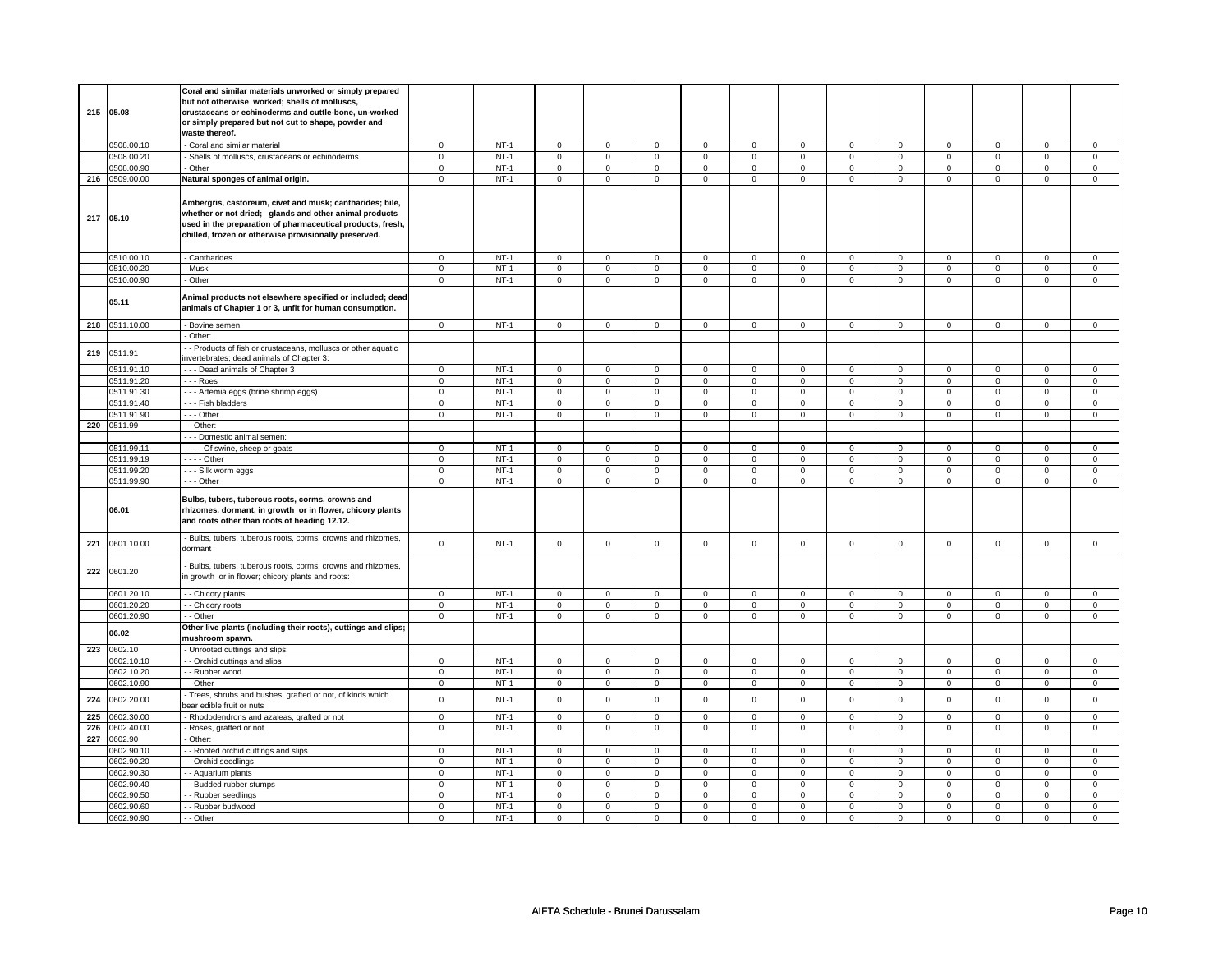|     |                          | Coral and similar materials unworked or simply prepared                                                              |                            |                  |                               |                               |                                    |                               |                  |                               |                  |                             |                               |                               |                               |                                |
|-----|--------------------------|----------------------------------------------------------------------------------------------------------------------|----------------------------|------------------|-------------------------------|-------------------------------|------------------------------------|-------------------------------|------------------|-------------------------------|------------------|-----------------------------|-------------------------------|-------------------------------|-------------------------------|--------------------------------|
|     |                          | but not otherwise worked; shells of molluscs,                                                                        |                            |                  |                               |                               |                                    |                               |                  |                               |                  |                             |                               |                               |                               |                                |
| 215 | 05.08                    | crustaceans or echinoderms and cuttle-bone, un-worked                                                                |                            |                  |                               |                               |                                    |                               |                  |                               |                  |                             |                               |                               |                               |                                |
|     |                          | or simply prepared but not cut to shape, powder and<br>waste thereof.                                                |                            |                  |                               |                               |                                    |                               |                  |                               |                  |                             |                               |                               |                               |                                |
|     | 0508.00.10               | - Coral and similar material                                                                                         | $\mathbf 0$                | $NT-1$           | $\mathsf 0$                   | $\mathsf 0$                   | 0                                  | $\mathsf 0$                   | $\mathbf 0$      | $\mathbf 0$                   | 0                | $\mathbf 0$                 | $\mathbf 0$                   | $\mathbf 0$                   | $\mathbf 0$                   | $\mathbf 0$                    |
|     | 0508.00.20               | - Shells of molluscs, crustaceans or echinoderms                                                                     | $\mathbf 0$                | $NT-1$           | $\mathbf 0$                   | $\mathbf 0$                   | $\mathbf 0$                        | $\mathbf 0$                   | $\mathbf 0$      | $\mathbf 0$                   | $\mathbf 0$      | $\mathbf{0}$                | $\mathbf 0$                   | $\mathbf 0$                   | $\mathbf 0$                   | $\circ$                        |
|     | 0508.00.90               | - Other                                                                                                              | $\mathbf 0$                | $NT-1$           | $\overline{0}$                | $\overline{0}$                | $\mathbf 0$                        | $\overline{0}$                | $\overline{0}$   | $\overline{0}$                | $\mathbf 0$      | $\overline{0}$              | $\overline{0}$                | $\overline{0}$                | $\overline{0}$                | $\overline{0}$                 |
| 216 | 0509.00.00               | Natural sponges of animal origin.                                                                                    | $\mathbf 0$                | $NT-1$           | $\mathbf 0$                   | $\mathbf 0$                   | $\mathbf 0$                        | 0                             | 0                | 0                             | 0                | 0                           | 0                             | $\mathbf 0$                   | 0                             | $\overline{0}$                 |
|     |                          |                                                                                                                      |                            |                  |                               |                               |                                    |                               |                  |                               |                  |                             |                               |                               |                               |                                |
|     |                          | Ambergris, castoreum, civet and musk; cantharides; bile,                                                             |                            |                  |                               |                               |                                    |                               |                  |                               |                  |                             |                               |                               |                               |                                |
| 217 | 05.10                    | whether or not dried; glands and other animal products<br>used in the preparation of pharmaceutical products, fresh, |                            |                  |                               |                               |                                    |                               |                  |                               |                  |                             |                               |                               |                               |                                |
|     |                          | chilled, frozen or otherwise provisionally preserved.                                                                |                            |                  |                               |                               |                                    |                               |                  |                               |                  |                             |                               |                               |                               |                                |
|     |                          |                                                                                                                      |                            |                  |                               |                               |                                    |                               |                  |                               |                  |                             |                               |                               |                               |                                |
|     | 0510.00.10               | - Cantharides                                                                                                        | $\mathbf 0$                | $NT-1$           | $\mathsf 0$                   | $\mathsf 0$                   | 0                                  | $\mathsf 0$                   | $\mathsf 0$      | $\mathsf 0$                   | 0                | 0                           | 0                             | $\mathbf 0$                   | $\mathbf 0$                   | $\mathsf 0$                    |
|     | 0510.00.20               | - Musk                                                                                                               | $\mathbf 0$                | $NT-1$           | $\mathbf 0$                   | $\mathbf 0$                   | $\mathbf 0$                        | $\mathbf 0$                   | $\mathbf 0$      | $\mathbf 0$                   | 0                | $\mathbf 0$                 | $\mathbf 0$                   | $\mathsf 0$                   | $\mathbf 0$                   | $\circ$                        |
|     | 0510.00.90               | - Other                                                                                                              | $\mathbf 0$                | $NT-1$           | $\overline{0}$                | $\overline{0}$                | $\mathsf 0$                        | $\overline{0}$                | $\mathsf 0$      | $\mathbf 0$                   | $\mathbf 0$      | $\mathbf 0$                 | $\mathbf 0$                   | $\overline{0}$                | $\mathbf 0$                   | $\overline{0}$                 |
|     |                          | Animal products not elsewhere specified or included; dead                                                            |                            |                  |                               |                               |                                    |                               |                  |                               |                  |                             |                               |                               |                               |                                |
|     | 05.11                    | animals of Chapter 1 or 3, unfit for human consumption.                                                              |                            |                  |                               |                               |                                    |                               |                  |                               |                  |                             |                               |                               |                               |                                |
|     | 218 0511.10.00           | - Bovine semen                                                                                                       | $\overline{0}$             | $NT-1$           | $\mathsf 0$                   | $\mathsf 0$                   | $\mathbf 0$                        | $\mathbf 0$                   | 0                | $\mathbf 0$                   | $\mathbf 0$      | $\mathbf 0$                 | $\mathbf 0$                   | $\mathbf 0$                   | $\mathsf 0$                   | $\overline{0}$                 |
|     |                          | - Other:                                                                                                             |                            |                  |                               |                               |                                    |                               |                  |                               |                  |                             |                               |                               |                               |                                |
|     |                          | - - Products of fish or crustaceans, molluscs or other aquatic                                                       |                            |                  |                               |                               |                                    |                               |                  |                               |                  |                             |                               |                               |                               |                                |
| 219 | 0511.91                  | invertebrates; dead animals of Chapter 3:                                                                            |                            |                  |                               |                               |                                    |                               |                  |                               |                  |                             |                               |                               |                               |                                |
|     | 0511.91.10               | --- Dead animals of Chapter 3                                                                                        | $\mathbf 0$                | $NT-1$           | $\mathsf 0$                   | $\mathsf 0$                   | $\mathsf 0$                        | $\mathbf 0$                   | $\mathbf 0$      | $\mathsf 0$                   | $\mathbf 0$      | 0                           | $\mathbf 0$                   | $\mathbf 0$                   | 0                             | $\mathbf 0$                    |
|     | 0511.91.20<br>0511.91.30 | - - - Roes                                                                                                           | $\mathbf 0$                | $NT-1$           | $\mathbf 0$<br>$\overline{0}$ | $\mathbf 0$<br>$\overline{0}$ | $\mathbf 0$                        | $\mathsf 0$<br>$\overline{0}$ | $\mathbf 0$      | $\mathsf 0$<br>$\overline{0}$ | $\mathbf 0$      | 0<br>$\overline{0}$         | $\mathbf 0$<br>$\overline{0}$ | $\mathbf 0$<br>$\overline{0}$ | $\mathbf 0$<br>$\overline{0}$ | $\mathbf 0$<br>$\overline{0}$  |
|     | 0511.91.40               | - - - Artemia eggs (brine shrimp eggs)<br>- - - Fish bladders                                                        | $\mathbf 0$<br>$\mathbf 0$ | $NT-1$<br>$NT-1$ | $\mathsf 0$                   | $\mathbf 0$                   | $\mathsf{O}\xspace$<br>$\mathbf 0$ | $\mathbf 0$                   | $\mathsf 0$<br>0 | $\mathsf 0$                   | 0<br>0           | 0                           | 0                             | $\mathbf 0$                   | $\mathbf 0$                   | $\mathbf 0$                    |
|     | 0511.91.90               | --- Other                                                                                                            | $\mathbf 0$                | $NT-1$           | $\mathsf 0$                   | $\mathbf 0$                   | $\mathbf 0$                        | $\mathbf 0$                   | $\mathbf 0$      | $\mathbf 0$                   | $\mathbf 0$      | $\mathbf{0}$                | $\mathbf 0$                   | $\mathbf 0$                   | $\mathbf 0$                   | $\mathbf 0$                    |
| 220 | 0511.99                  | - - Other:                                                                                                           |                            |                  |                               |                               |                                    |                               |                  |                               |                  |                             |                               |                               |                               |                                |
|     |                          | - - - Domestic animal semen:                                                                                         |                            |                  |                               |                               |                                    |                               |                  |                               |                  |                             |                               |                               |                               |                                |
|     | 0511.99.11               | - - - - Of swine, sheep or goats                                                                                     | $\circ$                    | $NT-1$           | $\mathbf 0$                   | $\mathsf{o}\,$                | $\mathbf 0$                        | $\mathbf 0$                   | $\circ$          | $\mathbf 0$                   | 0                | $\mathbf{0}$                | $\mathbf{0}$                  | $\mathbf 0$                   | $\Omega$                      | $\circ$                        |
|     | 0511.99.19               | $---$ Other                                                                                                          | 0                          | $NT-1$           | $\mathsf 0$                   | $\mathsf 0$                   | 0                                  | $\mathsf 0$                   | 0                | $\mathbf 0$                   | $\mathbf 0$      | $\mathbf 0$                 | 0                             | $\mathsf 0$                   | $\mathbf 0$                   | $\mathsf 0$                    |
|     | 0511.99.20               | - - - Silk worm eggs                                                                                                 | $\mathsf 0$                | $NT-1$           | $\mathbf 0$                   | $\mathbf 0$                   | $\mathbf 0$                        | $\mathbf 0$                   | $\mathbf 0$      | $\mathbf{0}$                  | $\mathbf 0$      | $\mathbf{0}$                | $\mathbf 0$                   | $\mathbf 0$                   | $\mathbf 0$                   | $\mathbf 0$                    |
|     | 0511.99.90               | --- Other                                                                                                            | $\mathbf 0$                | $NT-1$           | $\mathbf 0$                   | $\mathsf 0$                   | $\mathsf 0$                        | $\mathsf 0$                   | $\mathsf 0$      | $\mathsf 0$                   | $\mathbf 0$      | $\mathbf 0$                 | $\mathbf 0$                   | $\mathbf 0$                   | $\mathbf 0$                   | $\overline{0}$                 |
|     |                          | Bulbs, tubers, tuberous roots, corms, crowns and                                                                     |                            |                  |                               |                               |                                    |                               |                  |                               |                  |                             |                               |                               |                               |                                |
|     | 06.01                    | rhizomes, dormant, in growth or in flower, chicory plants                                                            |                            |                  |                               |                               |                                    |                               |                  |                               |                  |                             |                               |                               |                               |                                |
|     |                          | and roots other than roots of heading 12.12.                                                                         |                            |                  |                               |                               |                                    |                               |                  |                               |                  |                             |                               |                               |                               |                                |
|     |                          | - Bulbs, tubers, tuberous roots, corms, crowns and rhizomes,                                                         |                            |                  |                               |                               |                                    |                               |                  |                               |                  |                             |                               |                               |                               |                                |
| 221 | 0601.10.00               | dormant                                                                                                              | $\mathbf 0$                | $NT-1$           | $\mathbf 0$                   | $\mathbf 0$                   | $\mathbf 0$                        | $\mathbf 0$                   | $\mathbf 0$      | $\mathbf 0$                   | $\mathbf 0$      | $\mathbf{0}$                | $\mathbf 0$                   | $\mathbf{0}$                  | $\mathbf{0}$                  | $\overline{0}$                 |
|     |                          | Bulbs, tubers, tuberous roots, corms, crowns and rhizomes,                                                           |                            |                  |                               |                               |                                    |                               |                  |                               |                  |                             |                               |                               |                               |                                |
| 222 | 0601.20                  | in growth or in flower; chicory plants and roots:                                                                    |                            |                  |                               |                               |                                    |                               |                  |                               |                  |                             |                               |                               |                               |                                |
|     | 0601.20.10               |                                                                                                                      |                            | $NT-1$           |                               |                               |                                    |                               |                  |                               |                  |                             |                               |                               |                               |                                |
|     | 0601.20.20               | - - Chicory plants<br>- - Chicory roots                                                                              | $\mathbf 0$<br>$\mathsf 0$ | $NT-1$           | $\mathbf 0$<br>$\mathbf 0$    | $\mathbf 0$<br>$\mathbf 0$    | $\mathbf 0$<br>$\mathbf 0$         | 0<br>$\mathbf 0$              | 0<br>$\mathbf 0$ | $\mathbf 0$<br>$\mathbf 0$    | 0<br>$\mathbf 0$ | $\mathbf 0$<br>$\mathbf{0}$ | 0<br>$\mathbf 0$              | $\mathbf 0$<br>$\overline{0}$ | $\mathbf 0$<br>$\mathbf 0$    | $\mathbf{0}$<br>$\overline{0}$ |
|     | 0601.20.90               | - - Other                                                                                                            | $\mathbf 0$                | $NT-1$           | $\mathbf 0$                   | $\mathbf 0$                   | $\mathbf 0$                        | $\mathbf 0$                   | 0                | $\mathbf 0$                   | 0                | $\mathbf 0$                 | 0                             | $\mathbf 0$                   | $\mathbf 0$                   | $\circ$                        |
|     |                          | Other live plants (including their roots), cuttings and slips;                                                       |                            |                  |                               |                               |                                    |                               |                  |                               |                  |                             |                               |                               |                               |                                |
|     | 06.02                    | mushroom spawn.                                                                                                      |                            |                  |                               |                               |                                    |                               |                  |                               |                  |                             |                               |                               |                               |                                |
| 223 | 0602.10                  | - Unrooted cuttings and slips:                                                                                       |                            |                  |                               |                               |                                    |                               |                  |                               |                  |                             |                               |                               |                               |                                |
|     | 0602.10.10               | - - Orchid cuttings and slips                                                                                        | 0                          | $NT-1$           | 0                             | $\mathbf 0$                   | 0                                  | 0                             | 0                | $\mathbf 0$                   | 0                | 0                           | 0                             | $\mathsf 0$                   | $\mathbf 0$                   | $\mathbf{0}$                   |
|     | 0602.10.20               | - - Rubber wood                                                                                                      | $\mathsf 0$                | $NT-1$           | $\mathsf 0$                   | $\mathsf 0$                   | $\mathsf 0$                        | $\mathbf 0$                   | $\mathbf 0$      | $\mathbf 0$                   | $\mathbf 0$      | $\mathbf{0}$                | $\mathbf 0$                   | $\mathbf 0$                   | $\mathbf 0$                   | $\mathbf 0$                    |
|     | 0602.10.90               | - - Other<br>- Trees, shrubs and bushes, grafted or not, of kinds which                                              | 0                          | $NT-1$           | $\mathbf 0$                   | $\mathbf 0$                   | $\mathbf 0$                        | 0                             | $\mathbf 0$      | $\mathbf 0$                   | 0                | 0                           | 0                             | $\mathbf 0$                   | $\mathbf 0$                   | $\mathbf{0}$                   |
| 224 | 0602.20.00               | bear edible fruit or nuts                                                                                            | $\mathsf 0$                | $NT-1$           | $\mathsf 0$                   | $\mathsf 0$                   | $\mathsf 0$                        | $\mathbf 0$                   | $\mathbf 0$      | $\mathsf 0$                   | $\mathbf 0$      | 0                           | $\mathbf 0$                   | $\mathsf 0$                   | $\mathsf 0$                   | $\mathbf 0$                    |
| 225 | 0602.30.00               | - Rhododendrons and azaleas, grafted or not                                                                          | $\mathsf 0$                | $NT-1$           | $\mathsf 0$                   | $\mathsf 0$                   | $\mathsf 0$                        | $\mathbf 0$                   | $\mathbf 0$      | $\mathsf 0$                   | $\mathbf 0$      | $\mathbf{0}$                | $\mathbf 0$                   | $\mathbf 0$                   | $\mathbf 0$                   | $\mathbf 0$                    |
| 226 | 0602.40.00               | - Roses, grafted or not                                                                                              | $\mathbf 0$                | $NT-1$           | $\mathbf 0$                   | $\mathbf 0$                   | $\mathbf 0$                        | 0                             | $\mathbf 0$      | $\mathbf 0$                   | 0                | 0                           | 0                             | $\mathbf 0$                   | $\mathbf 0$                   | $\mathbf{0}$                   |
| 227 | 0602.90                  | - Other:                                                                                                             |                            |                  |                               |                               |                                    |                               |                  |                               |                  |                             |                               |                               |                               |                                |
|     | 602.90.10                | - - Rooted orchid cuttings and slips                                                                                 | $\mathbf 0$                | $NT-1$           | $\mathbf 0$                   | $\mathbf 0$                   | $\mathsf 0$                        | $\mathsf 0$                   | $\mathbf 0$      | $\mathsf 0$                   | $\mathbf 0$      | 0                           | $\mathbf 0$                   | $\mathsf 0$                   | $\mathbf 0$                   | $\mathbf 0$                    |
|     | 0602.90.20               | - - Orchid seedlings                                                                                                 | $\mathsf 0$                | $NT-1$           | $\mathsf 0$                   | $\mathsf 0$                   | $\mathsf 0$                        | $\mathbf 0$                   | $\mathbf 0$      | $\mathsf 0$                   | $\mathbf 0$      | $\mathbf{0}$                | $\mathbf 0$                   | $\mathbf 0$                   | $\mathbf 0$                   | $\mathbf 0$                    |
|     | 0602.90.30               | - - Aquarium plants                                                                                                  | $\mathbf 0$                | $NT-1$           | $\mathbf 0$                   | $\mathbf 0$                   | $\mathbf 0$                        | 0                             | 0                | $\mathbf 0$                   | 0                | 0                           | 0                             | $\mathbf 0$                   | $\mathbf{0}$                  | $\mathbf{0}$                   |
|     | 0602.90.40               | - Budded rubber stumps                                                                                               | $\mathbf 0$                | $NT-1$           | $\mathbf 0$                   | $\mathbf 0$                   | $\mathsf 0$                        | $\mathbf 0$                   | $\mathbf 0$      | $\mathbf 0$                   | $\mathbf 0$      | 0                           | $\mathbf 0$                   | $\mathsf 0$                   | $\mathsf 0$                   | $\circ$                        |
|     | 0602.90.50<br>0602.90.60 | - - Rubber seedlings                                                                                                 | $\mathsf 0$                | $NT-1$<br>$NT-1$ | $\mathbf 0$                   | $\mathbf 0$                   | $\mathbf 0$                        | $\mathbf 0$                   | 0                | $\mathbf 0$                   | 0                | 0                           | $\mathbf 0$                   | $\mathbf 0$                   | $\mathsf 0$                   | $\circ$                        |
|     | 0602.90.90               | - - Rubber budwood<br>- - Other                                                                                      | $\mathbf 0$<br>$\mathbf 0$ | $NT-1$           | $\mathbf 0$<br>$\mathbf 0$    | $\mathbf 0$<br>$\mathbf 0$    | $\mathbf 0$<br>$\mathbf 0$         | $\mathsf 0$<br>$\mathsf 0$    | 0<br>$\mathbf 0$ | $\mathsf 0$<br>$\mathsf 0$    | 0<br>$\mathbf 0$ | 0<br>0                      | $\mathbf 0$<br>$\mathbf 0$    | $\mathbf 0$<br>$\mathsf 0$    | $\mathbf 0$<br>$\Omega$       | $\mathbf 0$<br>$\mathsf 0$     |
|     |                          |                                                                                                                      |                            |                  |                               |                               |                                    |                               |                  |                               |                  |                             |                               |                               |                               |                                |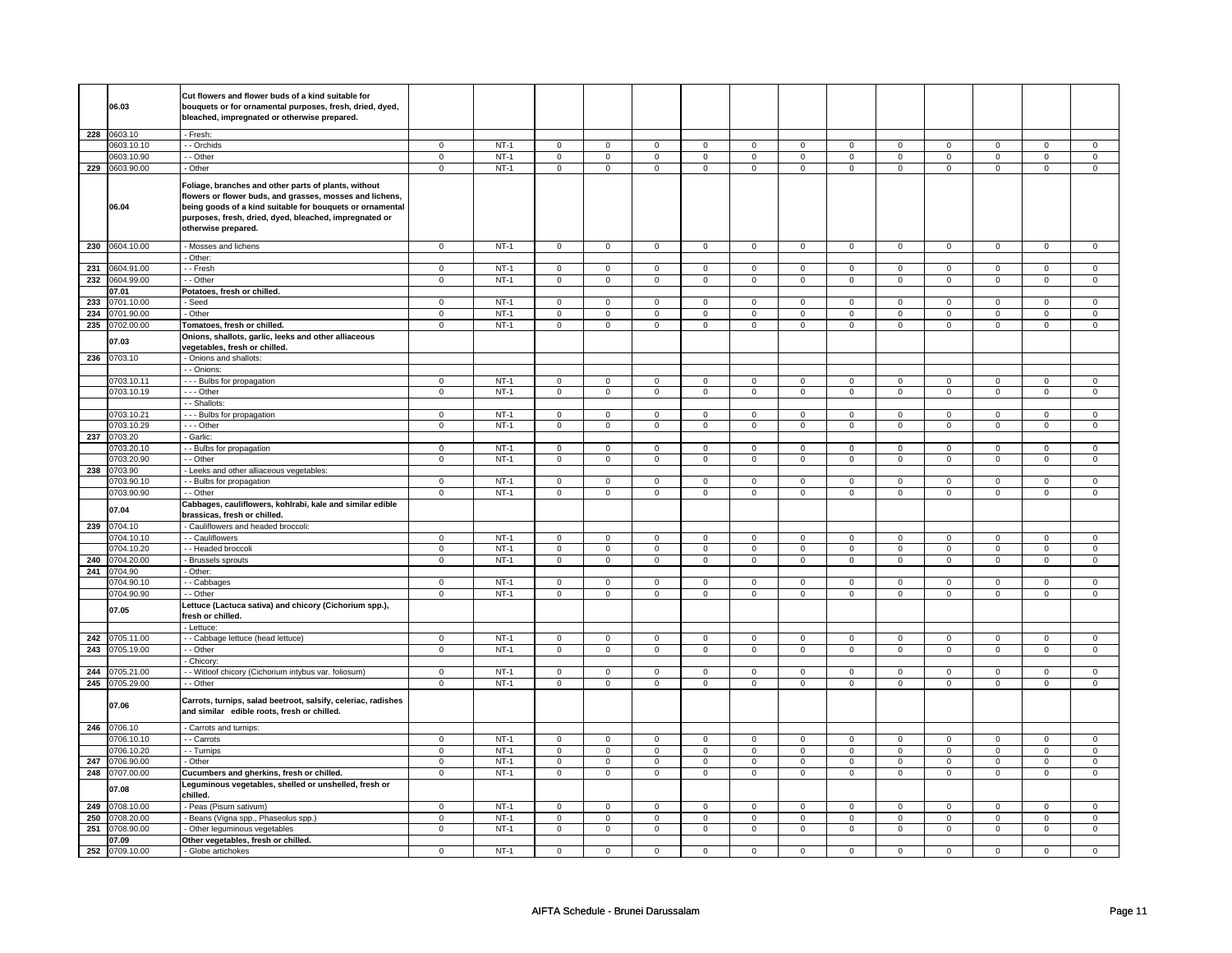|     |                | Cut flowers and flower buds of a kind suitable for            |                |             |                |                |                     |                |                     |                     |                |                     |                |                     |                |                     |
|-----|----------------|---------------------------------------------------------------|----------------|-------------|----------------|----------------|---------------------|----------------|---------------------|---------------------|----------------|---------------------|----------------|---------------------|----------------|---------------------|
|     | 06.03          | bouquets or for ornamental purposes, fresh, dried, dyed,      |                |             |                |                |                     |                |                     |                     |                |                     |                |                     |                |                     |
|     |                | bleached, impregnated or otherwise prepared.                  |                |             |                |                |                     |                |                     |                     |                |                     |                |                     |                |                     |
|     |                |                                                               |                |             |                |                |                     |                |                     |                     |                |                     |                |                     |                |                     |
|     | 228 0603.10    | - Fresh:                                                      |                |             |                |                |                     |                |                     |                     |                |                     |                |                     |                |                     |
|     | 0603.10.10     | -- Orchids                                                    | $\mathsf 0$    | $NT-1$      | $\mathsf 0$    | $\mathsf 0$    | $\mathsf{O}\xspace$ | $\mathsf 0$    | $\mathsf{O}\xspace$ | $\mathsf 0$         | $\mathsf 0$    | $\mathsf 0$         | $\mathsf 0$    | $\mathbf 0$         | $\Omega$       | $\mathsf{O}\xspace$ |
|     | 0603.10.90     | - - Other                                                     | $\overline{0}$ | $NT-1$      | $\overline{0}$ | $\overline{0}$ | $\overline{0}$      | $\overline{0}$ | $\overline{0}$      | $\overline{0}$      | $\overline{0}$ | $\overline{0}$      | $\overline{0}$ | $\overline{0}$      | $\overline{0}$ | $\overline{0}$      |
|     | 229 0603.90.00 | - Other                                                       | $\mathbf 0$    | $NT-1$      | $\mathbf 0$    | $\mathbf 0$    | $\mathsf 0$         | $\mathbf 0$    | $\mathsf 0$         | $\mathsf 0$         | $\mathbf 0$    | $\mathbf 0$         | $\mathsf 0$    | $\mathbf 0$         | $\mathsf 0$    | 0                   |
|     |                |                                                               |                |             |                |                |                     |                |                     |                     |                |                     |                |                     |                |                     |
|     |                | Foliage, branches and other parts of plants, without          |                |             |                |                |                     |                |                     |                     |                |                     |                |                     |                |                     |
|     |                | flowers or flower buds, and grasses, mosses and lichens,      |                |             |                |                |                     |                |                     |                     |                |                     |                |                     |                |                     |
|     | 06.04          | being goods of a kind suitable for bouquets or ornamental     |                |             |                |                |                     |                |                     |                     |                |                     |                |                     |                |                     |
|     |                | purposes, fresh, dried, dyed, bleached, impregnated or        |                |             |                |                |                     |                |                     |                     |                |                     |                |                     |                |                     |
|     |                | otherwise prepared.                                           |                |             |                |                |                     |                |                     |                     |                |                     |                |                     |                |                     |
|     |                |                                                               |                |             |                |                |                     |                |                     |                     |                |                     |                |                     |                |                     |
|     | 230 0604.10.00 | Mosses and lichens                                            | $\mathbf 0$    | $NT-1$      | $\mathbf 0$    | $\mathsf 0$    | $\mathsf 0$         | $\mathsf 0$    | $\mathsf{O}\xspace$ | $\mathbf 0$         | $\mathbf 0$    | $\mathbf 0$         | $\mathsf 0$    | $\mathbf 0$         | $\mathsf 0$    | $\mathbf 0$         |
|     |                | Other:                                                        |                |             |                |                |                     |                |                     |                     |                |                     |                |                     |                |                     |
| 231 | 0604.91.00     | - Fresh                                                       | $\mathbf 0$    | <b>NT-1</b> | $\mathbf 0$    | $\mathbf 0$    | $\mathbf 0$         | $\mathbf 0$    | $\mathbf 0$         | $\mathbf 0$         | 0              | $\mathbf 0$         | 0              | $\mathbf 0$         | 0              | 0                   |
| 232 | 0604.99.00     | - - Other                                                     | $\overline{0}$ | $NT-1$      | $\overline{0}$ | $\overline{0}$ | $\overline{0}$      | $\overline{0}$ | $\overline{0}$      | $\overline{0}$      | $\overline{0}$ | $\overline{0}$      | $\overline{0}$ | $\overline{0}$      | $\overline{0}$ | $\overline{0}$      |
|     | 07.01          |                                                               |                |             |                |                |                     |                |                     |                     |                |                     |                |                     |                |                     |
|     |                | Potatoes, fresh or chilled.                                   |                |             |                |                |                     |                |                     |                     |                |                     |                |                     |                |                     |
| 233 | 0701.10.00     | - Seed                                                        | $\mathbf 0$    | $NT-1$      | $\mathsf 0$    | $\mathsf 0$    | $\mathbf 0$         | $\mathsf 0$    | $\mathbf 0$         | $\mathsf{O}\xspace$ | 0              | $\mathbf 0$         | $\mathsf 0$    | $\mathbf 0$         | $\mathbf 0$    | $\mathbf 0$         |
| 234 | 0701.90.00     | - Other                                                       | $\mathbf 0$    | $NT-1$      | $\mathsf 0$    | $\mathsf 0$    | $\mathsf{O}\xspace$ | $\mathsf 0$    | $\mathsf{O}\xspace$ | $\mathsf 0$         | $\mathbf 0$    | $\mathsf 0$         | $\mathsf 0$    | $\mathbf 0$         | $\mathsf 0$    | $\mathbf 0$         |
| 235 | 0702.00.00     | Tomatoes, fresh or chilled.                                   | $\overline{0}$ | $NT-1$      | $\overline{0}$ | $\overline{0}$ | $\overline{0}$      | $\overline{0}$ | $\overline{0}$      | $\overline{0}$      | $\overline{0}$ | $\overline{0}$      | $\overline{0}$ | $\overline{0}$      | $\overline{0}$ | $\overline{0}$      |
|     |                | Onions, shallots, garlic, leeks and other alliaceous          |                |             |                |                |                     |                |                     |                     |                |                     |                |                     |                |                     |
|     | 07.03          | vegetables, fresh or chilled.                                 |                |             |                |                |                     |                |                     |                     |                |                     |                |                     |                |                     |
| 236 | 0703.10        | - Onions and shallots:                                        |                |             |                |                |                     |                |                     |                     |                |                     |                |                     |                |                     |
|     |                | - - Onions:                                                   |                |             |                |                |                     |                |                     |                     |                |                     |                |                     |                |                     |
|     | 0703.10.11     | --- Bulbs for propagation                                     | $\mathsf 0$    | $NT-1$      | $\mathbf 0$    | $\mathbf 0$    | $\mathsf 0$         | $\mathbf 0$    | $\mathsf 0$         | $\mathbf 0$         | $\mathbf 0$    | $\mathbf 0$         | $\mathsf 0$    | $\mathbf 0$         | 0              | 0                   |
|     | 0703.10.19     | --- Other                                                     | $\mathbf 0$    | $NT-1$      | $\mathsf 0$    | $\mathsf 0$    | $\mathsf{O}\xspace$ | $\mathsf 0$    | 0                   | $\mathbf 0$         | 0              | $\mathbf 0$         | $\mathsf 0$    | $\mathbf 0$         | 0              | $\mathbf 0$         |
|     |                | - Shallots:                                                   |                |             |                |                |                     |                |                     |                     |                |                     |                |                     |                |                     |
|     |                |                                                               |                |             |                |                |                     |                |                     |                     |                |                     |                |                     |                |                     |
|     | 0703.10.21     | --- Bulbs for propagation                                     | $\mathsf 0$    | $NT-1$      | $\mathbf 0$    | $\mathbf 0$    | $\mathsf 0$         | $\mathbf 0$    | $\mathsf 0$         | $\mathbf 0$         | $\mathbf 0$    | $\mathbf 0$         | $\mathsf 0$    | $\mathbf 0$         | $\mathbf 0$    | $\mathbf{0}$        |
|     | 0703.10.29     | --- Other                                                     | $\mathsf 0$    | $NT-1$      | $\mathbf 0$    | $\mathbf 0$    | $\mathbf 0$         | $\mathbf 0$    | $\mathsf 0$         | $\mathsf 0$         | $\mathbf 0$    | $\mathsf 0$         | $\mathsf 0$    | $\mathbf 0$         | $\mathbf 0$    | 0                   |
| 237 | 0703.20        | - Garlic:                                                     |                |             |                |                |                     |                |                     |                     |                |                     |                |                     |                |                     |
|     | )703.20.10     | - - Bulbs for propagation                                     | 0              | $NT-1$      | 0              | $\mathbf 0$    | 0                   | 0              | 0                   | 0                   | 0              | 0                   | 0              | 0                   | 0              | 0                   |
|     | 0703.20.90     | - Other                                                       | $\mathsf 0$    | $NT-1$      | $\mathsf 0$    | $\mathbf 0$    | $\mathsf 0$         | $\mathbf 0$    | $\mathsf 0$         | $\mathsf 0$         | $\mathbf 0$    | $\mathsf 0$         | $\mathsf 0$    | $\mathbf 0$         | $\mathsf 0$    | 0                   |
| 238 | 0703.90        | Leeks and other alliaceous vegetables:                        |                |             |                |                |                     |                |                     |                     |                |                     |                |                     |                |                     |
|     | 0703.90.10     | - Bulbs for propagation                                       | 0              | $NT-1$      | $\mathbf 0$    | $\mathbf 0$    | $\mathbf 0$         | $\mathbf 0$    | $\mathbf 0$         | $\mathbf 0$         | 0              | $\mathbf 0$         | 0              | $\mathbf 0$         | 0              | 0                   |
|     | 0703.90.90     | - - Other                                                     | $\mathsf 0$    | $NT-1$      | $\mathbf 0$    | $\overline{0}$ | $\mathbf 0$         | $\overline{0}$ | $\mathsf 0$         | $\overline{0}$      | $\mathbf 0$    | $\overline{0}$      | $\mathsf 0$    | $\overline{0}$      | $\mathsf 0$    | $\overline{0}$      |
|     |                | Cabbages, cauliflowers, kohlrabi, kale and similar edible     |                |             |                |                |                     |                |                     |                     |                |                     |                |                     |                |                     |
|     | 07.04          | brassicas, fresh or chilled.                                  |                |             |                |                |                     |                |                     |                     |                |                     |                |                     |                |                     |
| 239 | 0704.10        | Cauliflowers and headed broccoli:                             |                |             |                |                |                     |                |                     |                     |                |                     |                |                     |                |                     |
|     |                |                                                               |                |             |                |                |                     |                |                     |                     |                |                     |                |                     |                |                     |
|     | 0704.10.10     | - Cauliflowers                                                | $\mathbf 0$    | $NT-1$      | $\mathsf 0$    | $\mathsf 0$    | $\mathsf{O}\xspace$ | $\mathsf 0$    | $\mathsf{O}\xspace$ | $\mathsf 0$         | $\mathsf 0$    | $\mathsf 0$         | $\mathsf 0$    | $\mathbf 0$         | $\mathsf 0$    | $\mathsf{O}\xspace$ |
|     | 0704.10.20     | - Headed broccoli                                             | 0              | $NT-1$      | 0              | $\mathbf 0$    | 0                   | $\mathsf 0$    | 0                   | $\mathbf 0$         | 0              | $\mathbf 0$         | 0              | $\mathbf 0$         | 0              | $\mathbf 0$         |
| 240 | 0704.20.00     | Brussels sprouts                                              | $\mathsf 0$    | $NT-1$      | $\mathbf 0$    | $\mathbf 0$    | $\mathbf{0}$        | $\mathbf 0$    | $\mathsf 0$         | $\mathbf 0$         | $\mathbf 0$    | $\mathbf 0$         | $\mathbf 0$    | $\mathbf 0$         | $\mathbf 0$    | $\mathbf 0$         |
| 241 | 0704.90        | - Other:                                                      |                |             |                |                |                     |                |                     |                     |                |                     |                |                     |                |                     |
|     | 0704.90.10     | - Cabbages                                                    | $\mathsf 0$    | $NT-1$      | $\mathsf 0$    | $\mathsf 0$    | $\mathsf 0$         | $\mathsf 0$    | $\mathsf{O}\xspace$ | $\mathbf 0$         | $\mathbf 0$    | $\mathbf 0$         | $\mathsf 0$    | $\mathbf 0$         | $\mathbf 0$    | $\mathbf 0$         |
|     | 0704.90.90     | - - Other                                                     | $\mathsf 0$    | $NT-1$      | $\mathsf 0$    | $\mathbf 0$    | $\mathsf 0$         | $\mathbf 0$    | $\mathsf 0$         | $\mathsf 0$         | $\mathbf 0$    | $\mathsf 0$         | $\mathsf 0$    | $\mathbf 0$         | $\mathsf 0$    | 0                   |
|     |                | Lettuce (Lactuca sativa) and chicory (Cichorium spp.),        |                |             |                |                |                     |                |                     |                     |                |                     |                |                     |                |                     |
|     | 07.05          | fresh or chilled.                                             |                |             |                |                |                     |                |                     |                     |                |                     |                |                     |                |                     |
|     |                | - Lettuce:                                                    |                |             |                |                |                     |                |                     |                     |                |                     |                |                     |                |                     |
| 242 | 0705.11.00     | - Cabbage lettuce (head lettuce)                              | $\mathbf 0$    | $NT-1$      | $\mathbf 0$    | $\mathbf 0$    | $\mathbf 0$         | $\mathbf 0$    | $\mathbf 0$         | $\mathbf{0}$        | $\mathbf 0$    | $\mathbf{0}$        | $\mathbf 0$    | $\mathbf 0$         | $\mathbf 0$    | $\mathbf 0$         |
| 243 | 0705.19.00     | - Other                                                       | $\overline{0}$ | $NT-1$      | $\overline{0}$ | $\overline{0}$ | $\mathsf 0$         | $\overline{0}$ | $\mathsf 0$         | $\overline{0}$      | $\mathbf 0$    | $\overline{0}$      | $\mathsf 0$    | $\overline{0}$      | $\mathsf 0$    | $\pmb{0}$           |
|     |                | - Chicory:                                                    |                |             |                |                |                     |                |                     |                     |                |                     |                |                     |                |                     |
|     |                |                                                               |                |             |                |                |                     |                |                     |                     |                |                     |                |                     |                |                     |
| 244 | 0705.21.00     | - Witloof chicory (Cichorium intybus var. foliosum)           | $\overline{0}$ | $NT-1$      | $\overline{0}$ | $\overline{0}$ | $\mathbf 0$         | $\overline{0}$ | $\mathbf 0$         | $\overline{0}$      | 0              | $\overline{0}$      | 0              | $\overline{0}$      | $\mathbf 0$    | $\overline{0}$      |
| 245 | 0705.29.00     | - Other                                                       | $\overline{0}$ | $NT-1$      | $\overline{0}$ | $\overline{0}$ | $\overline{0}$      | $\overline{0}$ | $\overline{0}$      | $\overline{0}$      | $\mathsf 0$    | $\overline{0}$      | $\overline{0}$ | $\overline{0}$      | $\mathsf 0$    | $\overline{0}$      |
|     |                | Carrots, turnips, salad beetroot, salsify, celeriac, radishes |                |             |                |                |                     |                |                     |                     |                |                     |                |                     |                |                     |
|     | 07.06          | and similar edible roots, fresh or chilled.                   |                |             |                |                |                     |                |                     |                     |                |                     |                |                     |                |                     |
|     |                |                                                               |                |             |                |                |                     |                |                     |                     |                |                     |                |                     |                |                     |
|     | 246 0706.10    | - Carrots and turnips:                                        |                |             |                |                |                     |                |                     |                     |                |                     |                |                     |                |                     |
|     | 0706.10.10     | - - Carrots                                                   | $\mathsf 0$    | $NT-1$      | $\mathsf 0$    | $\mathbf 0$    | $\mathbf 0$         | $\mathbf 0$    | $\mathsf 0$         | $\mathsf 0$         | $\mathbf 0$    | $\mathsf 0$         | $\mathsf 0$    | $\mathbf 0$         | 0              | 0                   |
|     | 0706.10.20     | - - Turnips                                                   | $\mathbf 0$    | $NT-1$      | $\mathsf{o}\,$ | $\mathbf 0$    | $\mathsf 0$         | $\mathbf 0$    | $\mathsf{O}\xspace$ | $\mathsf{o}\,$      | $\mathsf 0$    | $\mathsf{O}\xspace$ | $\mathsf 0$    | $\mathsf{O}\xspace$ | $\mathbf 0$    | $\mathbf 0$         |
| 247 | 0706.90.00     | Other                                                         | $\mathsf 0$    | $NT-1$      | $\mathbf 0$    | $\mathbf 0$    | $\mathbf 0$         | $\mathbf 0$    | $\mathbf 0$         | $\mathbf 0$         | $\mathbf 0$    | $\mathbf 0$         | 0              | $\mathbf 0$         | 0              | $\mathbf{0}$        |
| 248 | 0707.00.00     | Cucumbers and gherkins, fresh or chilled.                     | $\mathsf 0$    | $NT-1$      | $\mathbf 0$    | $\mathbf 0$    | $\mathbf 0$         | $\mathbf 0$    | $\mathsf 0$         | $\mathbf 0$         | $\mathbf 0$    | $\mathbf 0$         | $\mathsf 0$    | $\mathbf 0$         | $\mathsf 0$    | $\mathbf{0}$        |
|     |                |                                                               |                |             |                |                |                     |                |                     |                     |                |                     |                |                     |                |                     |
|     | 07.08          | Leguminous vegetables, shelled or unshelled, fresh or         |                |             |                |                |                     |                |                     |                     |                |                     |                |                     |                |                     |
|     |                | chilled.                                                      |                |             |                |                |                     |                |                     |                     |                |                     |                |                     |                |                     |
| 249 | 0708.10.00     | Peas (Pisum sativum)                                          | $\mathsf 0$    | $NT-1$      | $\mathbf 0$    | $\mathbf 0$    | $\mathbf 0$         | $\mathbf 0$    | $\mathsf 0$         | $\mathbf 0$         | $\mathbf 0$    | $\mathsf 0$         | $\mathsf 0$    | $\mathbf 0$         | 0              | 0                   |
| 250 | 0708.20.00     | Beans (Vigna spp., Phaseolus spp.)                            | $\mathsf 0$    | $NT-1$      | $\mathsf 0$    | $\mathbf 0$    | $\mathsf 0$         | $\mathbf 0$    | $\mathsf 0$         | $\mathsf 0$         | $\mathbf 0$    | $\mathsf 0$         | $\mathsf 0$    | $\mathbf 0$         | $\mathsf 0$    | 0                   |
| 251 | 0708.90.00     | Other leguminous vegetables                                   | $\mathbf 0$    | $NT-1$      | $\mathsf 0$    | $\mathsf 0$    | $\mathbf 0$         | $\mathsf 0$    | $\mathsf 0$         | $\mathbf 0$         | $\mathbf 0$    | $\mathbf 0$         | $\mathbf 0$    | $\mathbf 0$         | $\mathsf 0$    | $\mathbf 0$         |
|     | 07.09          | Other vegetables, fresh or chilled.                           |                |             |                |                |                     |                |                     |                     |                |                     |                |                     |                |                     |
| 252 | 0709.10.00     | - Globe artichokes                                            | $\Omega$       | $NT-1$      | $\Omega$       | $\Omega$       | $\Omega$            | $\Omega$       | $\Omega$            | 0                   | $\Omega$       | $\Omega$            | 0              | 0                   | $\Omega$       | $\Omega$            |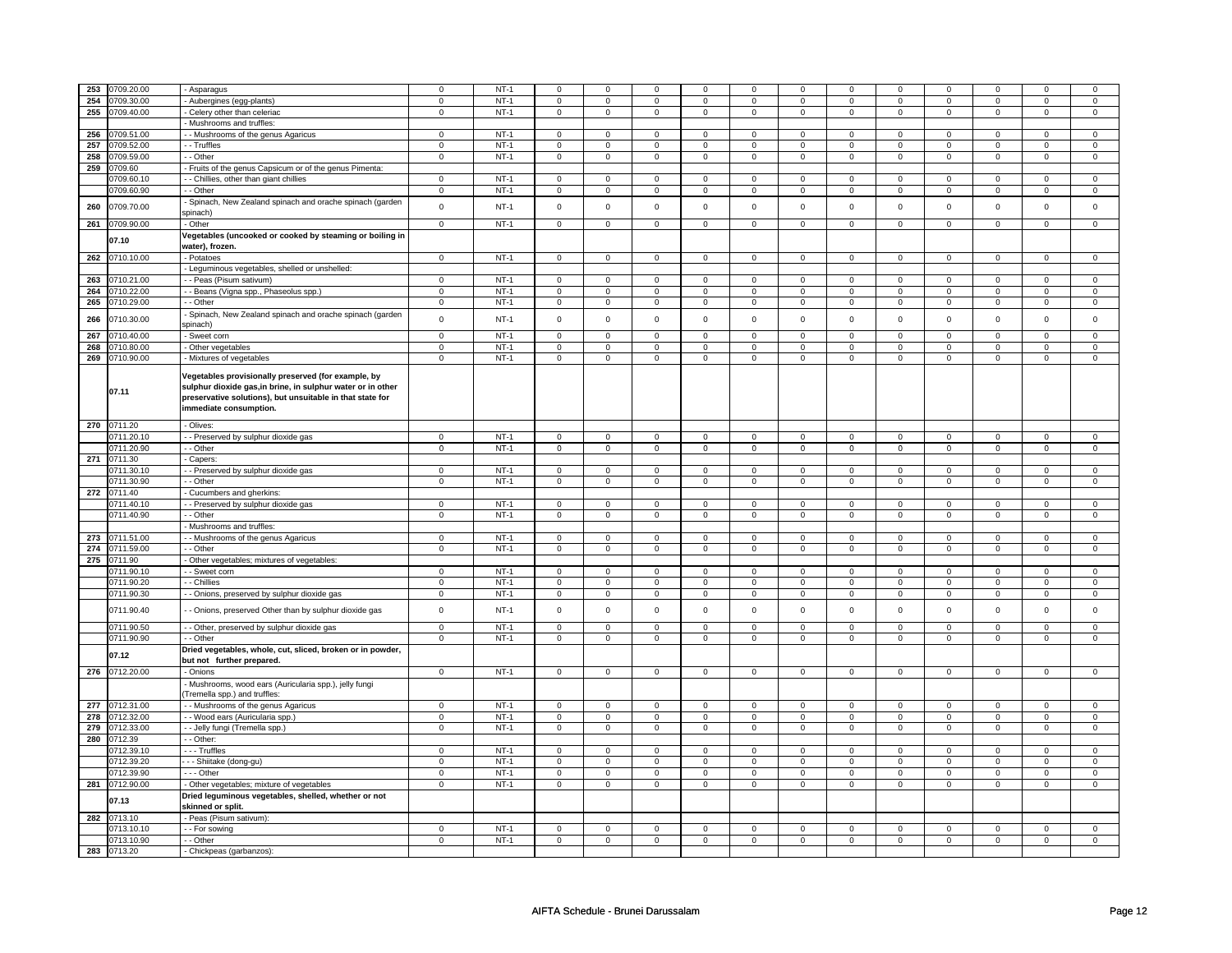|     | 253 0709.20.00 | - Asparagus                                                 | $\Omega$       | $NT-1$ | $\mathbf 0$         | $\Omega$            | $\Omega$     | $\Omega$       | $\mathbf 0$         | $\Omega$       | $\mathbf 0$         | $\mathbf 0$    | 0              | $\Omega$       | $\Omega$            | $\Omega$       |
|-----|----------------|-------------------------------------------------------------|----------------|--------|---------------------|---------------------|--------------|----------------|---------------------|----------------|---------------------|----------------|----------------|----------------|---------------------|----------------|
|     | 254 0709.30.00 | Aubergines (egg-plants)                                     | $\mathbf 0$    | $NT-1$ | 0                   | 0                   | 0            | 0              | $\mathbf 0$         | 0              | $\mathbf 0$         | $\mathbf 0$    | 0              | $\mathbf 0$    | $\mathbf 0$         | $\mathbf 0$    |
| 255 | 0709.40.00     | Celery other than celeriac                                  | $\mathbf 0$    | $NT-1$ | $\mathbf 0$         | $\mathbf 0$         | $\mathbf 0$  | $\mathbf 0$    | $\mathbf 0$         | $\mathsf 0$    | $\mathbf 0$         | $\mathbf 0$    | $\mathbf 0$    | $\mathbf 0$    | $\mathbf 0$         | $\mathbf{0}$   |
|     |                | Mushrooms and truffles:                                     |                |        |                     |                     |              |                |                     |                |                     |                |                |                |                     |                |
| 256 | 0709.51.00     | - Mushrooms of the genus Agaricus                           | $\mathbf 0$    | $NT-1$ | $\mathbf 0$         | $\mathbf 0$         | $\mathbf 0$  | $\mathbf 0$    | $\mathsf 0$         | $\mathsf 0$    | $\mathbf 0$         | $\mathbf 0$    | $\mathsf 0$    | $\mathbf 0$    | $\Omega$            | $\mathbf 0$    |
| 257 | 0709.52.00     | - Truffles                                                  | $\mathbf 0$    | $NT-1$ | $\mathbf 0$         | $\mathbf 0$         | 0            | 0              | $\mathbf 0$         | $\mathbf 0$    | $\mathbf 0$         | $\mathbf 0$    | 0              | $\mathbf 0$    | $\mathbf 0$         | $\mathbf 0$    |
|     |                |                                                             |                |        |                     |                     |              |                |                     |                |                     |                |                |                |                     |                |
| 258 | 0709.59.00     | - Other                                                     | $\mathsf 0$    | $NT-1$ | $\mathbf 0$         | $\mathsf 0$         | $\mathsf 0$  | $\mathbf 0$    | $\circ$             | $\mathsf 0$    | $\mathsf 0$         | $\mathsf 0$    | $\mathbf 0$    | $\mathbf 0$    | 0                   | $\mathbf 0$    |
|     | 259 0709.60    | - Fruits of the genus Capsicum or of the genus Pimenta:     |                |        |                     |                     |              |                |                     |                |                     |                |                |                |                     |                |
|     | 0709.60.10     | - - Chillies, other than giant chillies                     | $\mathbf 0$    | $NT-1$ | 0                   | $\mathbf 0$         | $^{\circ}$   | 0              | $^{\circ}$          | 0              | $^{\circ}$          | $\mathbf{0}$   | 0              | $\mathbf 0$    | $^{\circ}$          | $\mathbf{0}$   |
|     | 0709.60.90     | - Other                                                     | $\mathbf 0$    | $NT-1$ | $\mathbf 0$         | $\mathbf 0$         | $\Omega$     | $\mathbf 0$    | $\mathbf 0$         | $\mathbf 0$    | $\mathbf 0$         | $\mathbf{0}$   | $\mathbf 0$    | 0              | $\Omega$            | $\mathbf 0$    |
|     |                | Spinach, New Zealand spinach and orache spinach (garden     |                |        |                     |                     |              |                |                     |                |                     |                |                |                |                     |                |
| 260 | 0709.70.00     | spinach)                                                    | $\mathsf 0$    | $NT-1$ | $\mathsf{O}\xspace$ | $\mathsf 0$         | $\mathsf 0$  | $\mathsf 0$    | $\mathsf 0$         | $\mathbf 0$    | $\mathsf 0$         | $\mathbf 0$    | $\mathsf 0$    | $\mathsf 0$    | $\mathsf 0$         | $\mathbf 0$    |
|     |                |                                                             | $\overline{0}$ | $NT-1$ |                     | $\overline{0}$      |              | $\overline{0}$ |                     |                |                     |                |                |                |                     |                |
|     | 261 0709.90.00 | Other                                                       |                |        | 0                   |                     | $\mathbf 0$  |                | $\mathbf 0$         | $\mathbf 0$    | $\mathbf 0$         | $\mathbf{0}$   | $\mathbf 0$    | $\mathbf 0$    | $\mathbf 0$         | $\mathbf 0$    |
|     | 07.10          | Vegetables (uncooked or cooked by steaming or boiling in    |                |        |                     |                     |              |                |                     |                |                     |                |                |                |                     |                |
|     |                | water), frozen.                                             |                |        |                     |                     |              |                |                     |                |                     |                |                |                |                     |                |
|     | 262 0710.10.00 | - Potatoes                                                  | $\mathsf 0$    | $NT-1$ | $\mathbf 0$         | $\mathbf 0$         | $\mathbf 0$  | $\mathsf 0$    | $\mathbf{0}$        | $\mathbf 0$    | $\mathsf 0$         | $\mathbf 0$    | $\mathsf 0$    | $\mathbf 0$    | $\mathsf 0$         | $\mathbf 0$    |
|     |                | Leguminous vegetables, shelled or unshelled:                |                |        |                     |                     |              |                |                     |                |                     |                |                |                |                     |                |
|     | 263 0710.21.00 | - - Peas (Pisum sativum)                                    | $\mathbf 0$    | $NT-1$ | 0                   | $\mathsf 0$         | $\mathbf 0$  | $\overline{0}$ | $\overline{0}$      | $\overline{0}$ | $\mathsf 0$         | $\overline{0}$ | $\overline{0}$ | $\mathbf 0$    | $\mathsf 0$         | $\mathsf 0$    |
| 264 | 0710.22.00     | - Beans (Vigna spp., Phaseolus spp.)                        | $\mathbf 0$    | $NT-1$ | 0                   | $\mathsf 0$         | 0            | 0              | $\mathsf 0$         | $\mathbf 0$    | $\mathsf{O}\xspace$ | $\mathsf 0$    | $\mathbf 0$    | $\mathsf 0$    | $\Omega$            | $\mathsf 0$    |
|     |                |                                                             |                |        |                     |                     |              |                |                     |                |                     |                |                |                |                     |                |
| 265 | 0710.29.00     | - Other                                                     | $\mathbf 0$    | $NT-1$ | 0                   | $\mathsf 0$         | $\mathsf 0$  | $\mathsf 0$    | $\mathsf 0$         | $\mathsf 0$    | $\mathsf 0$         | $\mathbf 0$    | $\mathsf 0$    | $\mathsf 0$    | 0                   | $\mathsf 0$    |
| 266 | 0710.30.00     | Spinach, New Zealand spinach and orache spinach (garden     | $\mathsf 0$    | $NT-1$ | 0                   | $\mathsf 0$         | $\mathbf{0}$ | $\mathsf 0$    | $\mathbf 0$         | $\mathbf 0$    | $\mathbf 0$         | $\mathbf 0$    | $\mathbf 0$    | $\mathbf{0}$   | $\mathbf 0$         | $\mathbf 0$    |
|     |                | spinach)                                                    |                |        |                     |                     |              |                |                     |                |                     |                |                |                |                     |                |
| 267 | 0710.40.00     | Sweet corn                                                  | $\overline{0}$ | $NT-1$ | $\overline{0}$      | $\overline{0}$      | $\mathbf{0}$ | $\overline{0}$ | $\overline{0}$      | $\overline{0}$ | $\mathbf 0$         | $\mathbf 0$    | $\overline{0}$ | $\mathbf{0}$   | $\Omega$            | $\mathsf 0$    |
| 268 | 0710.80.00     | - Other vegetables                                          | $\overline{0}$ | $NT-1$ | $\mathbf 0$         | $\overline{0}$      | $\mathbf{0}$ | $\overline{0}$ | $\overline{0}$      | $\overline{0}$ | $\mathbf 0$         | $\overline{0}$ | $\overline{0}$ | $\overline{0}$ | $\mathbf 0$         | $\mathbf 0$    |
|     | 269 0710.90.00 | Mixtures of vegetables                                      | $\mathbf 0$    | $NT-1$ | 0                   | $\mathsf 0$         | 0            | $\mathsf 0$    | $\mathsf 0$         | $\mathsf 0$    | $\mathbf 0$         | $\mathsf 0$    | $\mathsf 0$    | $\mathbf 0$    | $\mathbf 0$         | $\mathsf 0$    |
|     |                |                                                             |                |        |                     |                     |              |                |                     |                |                     |                |                |                |                     |                |
|     |                | Vegetables provisionally preserved (for example, by         |                |        |                     |                     |              |                |                     |                |                     |                |                |                |                     |                |
|     | 07.11          | sulphur dioxide gas, in brine, in sulphur water or in other |                |        |                     |                     |              |                |                     |                |                     |                |                |                |                     |                |
|     |                | preservative solutions), but unsuitable in that state for   |                |        |                     |                     |              |                |                     |                |                     |                |                |                |                     |                |
|     |                | immediate consumption.                                      |                |        |                     |                     |              |                |                     |                |                     |                |                |                |                     |                |
|     |                |                                                             |                |        |                     |                     |              |                |                     |                |                     |                |                |                |                     |                |
|     | 270 0711.20    | - Olives:                                                   |                |        |                     |                     |              |                |                     |                |                     |                |                |                |                     |                |
|     | 0711.20.10     | - Preserved by sulphur dioxide gas                          | $\mathbf 0$    | $NT-1$ | 0                   | 0                   | $\mathbf 0$  | $\mathbf 0$    | $\mathbf 0$         | $\mathbf 0$    | $\mathbf 0$         | $\mathbf 0$    | $\mathbf 0$    | $\mathbf 0$    | $\mathbf 0$         | $\mathbf 0$    |
|     | 0711.20.90     | - Other                                                     | $\mathsf 0$    | $NT-1$ | 0                   | $\circ$             | $\mathsf 0$  | $\circ$        | $\circ$             | $\mathsf 0$    | $\mathsf{O}$        | $\mathbf 0$    | $\mathsf 0$    | $\mathbf 0$    | $\mathbf 0$         | $\circ$        |
|     | 271 0711.30    | Capers:                                                     |                |        |                     |                     |              |                |                     |                |                     |                |                |                |                     |                |
|     | 0711.30.10     | - Preserved by sulphur dioxide gas                          | $\mathbf 0$    | $NT-1$ | 0                   | $\mathbf 0$         | 0            | $\mathbf 0$    | $\mathbf 0$         | $\mathbf{0}$   | $\Omega$            | $\mathbf{0}$   | $\mathbf 0$    | $\overline{0}$ | $\Omega$            | $\mathbf{0}$   |
|     |                |                                                             |                |        |                     |                     |              |                |                     |                |                     |                |                |                |                     |                |
|     | 0711.30.90     | - Other                                                     | $\mathbf 0$    | $NT-1$ | $\mathbf 0$         | $\mathbf 0$         | $\mathbf{0}$ | $\mathbf 0$    | $\mathbf 0$         | $\mathbf 0$    | $\mathbf 0$         | $\mathbf 0$    | $\mathbf 0$    | 0              | $\mathbf 0$         | $\mathbf 0$    |
|     | 272 0711.40    | Cucumbers and gherkins:                                     |                |        |                     |                     |              |                |                     |                |                     |                |                |                |                     |                |
|     | 0711.40.10     | - Preserved by sulphur dioxide gas                          | $\mathbf 0$    | $NT-1$ | 0                   | 0                   | $\mathbf 0$  | $\mathbf 0$    | $\mathbf 0$         | $\mathbf{0}$   | $\mathbf 0$         | $\mathbf{0}$   | $\mathbf 0$    | $\mathbf 0$    | $\mathbf 0$         | $\mathbf{0}$   |
|     | 0711.40.90     | - Other                                                     | $\mathbf 0$    | $NT-1$ | 0                   | $\mathbf 0$         | $\mathbf 0$  | $\mathsf 0$    | $\mathbf 0$         | $\mathbf 0$    | $\mathbf 0$         | $\mathbf 0$    | $\mathbf 0$    | $\mathbf 0$    | $\mathbf 0$         | $\mathbf 0$    |
|     |                | Mushrooms and truffles:                                     |                |        |                     |                     |              |                |                     |                |                     |                |                |                |                     |                |
|     | 273 0711.51.00 | - Mushrooms of the genus Agaricus                           | $\mathbf 0$    | $NT-1$ | 0                   | 0                   | $\mathbf 0$  | 0              | $\mathbf 0$         | 0              | $\mathbf 0$         | $\mathbf 0$    | $\mathbf 0$    | $\mathbf 0$    | $\mathbf 0$         | $\mathbf 0$    |
|     | 274 0711.59.00 | - Other                                                     | $\overline{0}$ | $NT-1$ | $\overline{0}$      | $\overline{0}$      | 0            | $\overline{0}$ | $\overline{0}$      | $\overline{0}$ | $\mathbf 0$         | $\overline{0}$ | $\overline{0}$ | $\mathbf 0$    | $\mathbf 0$         | $\mathbf{0}$   |
|     |                |                                                             |                |        |                     |                     |              |                |                     |                |                     |                |                |                |                     |                |
|     | 275 0711.90    | Other vegetables; mixtures of vegetables:                   |                |        |                     |                     |              |                |                     |                |                     |                |                |                |                     |                |
|     | 0711.90.10     | - Sweet corn                                                | $\mathbf 0$    | $NT-1$ | $\mathbf 0$         | $\mathbf 0$         | $\mathbf 0$  | $\overline{0}$ | $\overline{0}$      | $\overline{0}$ | $\mathsf 0$         | $\mathbf 0$    | $\overline{0}$ | $\mathsf 0$    | $\mathsf 0$         | $\mathsf 0$    |
|     | 0711.90.20     | - Chillies                                                  | $\mathsf 0$    | $NT-1$ | 0                   | $\mathbf 0$         | $\mathbf 0$  | $\mathsf 0$    | $\mathbf 0$         | $\mathbf 0$    | $\mathbf 0$         | $\mathbf 0$    | $\mathbf 0$    | $\mathsf 0$    | $\mathbf 0$         | $\mathsf 0$    |
|     | 0711.90.30     | - Onions, preserved by sulphur dioxide gas                  | $\mathsf 0$    | $NT-1$ | 0                   | $\mathsf{O}\xspace$ | $\mathsf 0$  | $\mathsf 0$    | $\mathsf{O}\xspace$ | $\mathsf 0$    | $\mathsf 0$         | $\mathsf 0$    | $\mathsf 0$    | $\mathsf 0$    | $\mathbf 0$         | $\mathsf 0$    |
|     |                |                                                             | $\mathsf 0$    |        | $\mathsf 0$         | $\mathbf 0$         | $\mathbf 0$  | $\mathsf 0$    | $\mathbf 0$         | $\mathbf 0$    | $\mathsf 0$         | $\mathbf 0$    | $\mathsf 0$    | $\mathsf 0$    | $\mathsf 0$         | $\mathsf 0$    |
|     | 0711.90.40     | - Onions, preserved Other than by sulphur dioxide gas       |                | $NT-1$ |                     |                     |              |                |                     |                |                     |                |                |                |                     |                |
|     | 0711.90.50     | - - Other, preserved by sulphur dioxide gas                 | $\overline{0}$ | $NT-1$ | $\mathbf 0$         | $\mathbf 0$         | $\mathbf 0$  | $\overline{0}$ | $\overline{0}$      | $\mathsf 0$    | $\mathbf 0$         | $\mathbf 0$    | $\overline{0}$ | $\mathbf 0$    | $\mathsf 0$         | $\mathbf 0$    |
|     | 0711.90.90     | - Other                                                     | $\mathsf 0$    | $NT-1$ | $\mathsf 0$         | $\mathsf 0$         | $\mathbf 0$  | $\overline{0}$ | $\mathsf 0$         | $\overline{0}$ | $\mathsf 0$         | $\mathbf 0$    | $\mathsf 0$    | $\mathsf 0$    | $\mathsf{O}\xspace$ | $\mathsf 0$    |
|     |                | Dried vegetables, whole, cut, sliced, broken or in powder,  |                |        |                     |                     |              |                |                     |                |                     |                |                |                |                     |                |
|     | 07.12          | but not further prepared.                                   |                |        |                     |                     |              |                |                     |                |                     |                |                |                |                     |                |
|     | 276 0712.20.00 | - Onions                                                    | $\overline{0}$ | $NT-1$ | 0                   | $\mathbf 0$         | $\mathsf 0$  | $\mathbf 0$    | $\mathsf{O}\xspace$ | $\mathsf 0$    | $\mathsf 0$         | $\mathsf 0$    | $\mathbf 0$    | $\mathbf 0$    | 0                   | $\mathbf{0}$   |
|     |                | Mushrooms, wood ears (Auricularia spp.), jelly fungi        |                |        |                     |                     |              |                |                     |                |                     |                |                |                |                     |                |
|     |                | Tremella spp.) and truffles:                                |                |        |                     |                     |              |                |                     |                |                     |                |                |                |                     |                |
|     |                |                                                             |                |        |                     |                     |              |                |                     |                |                     |                |                |                |                     |                |
|     | 277 0712.31.00 | - - Mushrooms of the genus Agaricus                         | $\mathsf 0$    | $NT-1$ | $\mathbf{0}$        | $\mathbf 0$         | $\mathbf{0}$ | $\mathsf 0$    | $\mathbf 0$         | $\mathsf 0$    | $\mathbf{0}$        | $\mathsf 0$    | $\mathbf 0$    | $\mathsf 0$    | $\mathbf 0$         | $\mathsf 0$    |
|     | 278 0712.32.00 | - - Wood ears (Auricularia spp.)                            | $\mathbf 0$    | $NT-1$ | $\mathbf 0$         | $\mathbf 0$         | $\mathbf 0$  | $\mathbf{0}$   | $\mathbf 0$         | $\overline{0}$ | $\mathsf 0$         | $\overline{0}$ | $\overline{0}$ | $\mathbf{0}$   | $\mathsf 0$         | $\overline{0}$ |
|     | 279 0712.33.00 | - Jelly fungi (Tremella spp.)                               | $\mathbf 0$    | $NT-1$ | 0                   | $\mathbf 0$         | $\mathbf 0$  | $\mathbf 0$    | $\mathbf 0$         | $\mathsf 0$    | $\mathbf 0$         | $\mathbf 0$    | $\mathsf 0$    | $\mathbf 0$    | $\mathbf 0$         | $\mathbf 0$    |
|     | 280 0712.39    | - Other:                                                    |                |        |                     |                     |              |                |                     |                |                     |                |                |                |                     |                |
|     | 0712.39.10     | --- Truffles                                                | $\mathbf 0$    | $NT-1$ | 0                   | $\mathbf 0$         | $\mathbf 0$  | $\mathbf{0}$   | $\mathbf{0}$        | $\mathbf 0$    | $\mathbf 0$         | $\mathbf{0}$   | $\mathbf 0$    | $\mathbf 0$    | $\mathbf 0$         | $\mathbf{0}$   |
|     | 0712.39.20     | - - - Shiitake (dong-gu)                                    | $\mathbf 0$    | $NT-1$ | $\mathbf 0$         | $\mathbf 0$         | 0            | 0              | $\mathbf 0$         | $\mathsf 0$    | $\mathbf 0$         | $\mathbf{0}$   | $\mathsf 0$    | $\mathbf 0$    | $\mathbf 0$         | $\mathbf{0}$   |
|     | 0712.39.90     |                                                             |                |        |                     |                     |              |                |                     |                |                     |                |                |                |                     |                |
|     |                | --- Other                                                   | $\mathbf 0$    | $NT-1$ | $\mathbf 0$         | $\mathbf 0$         | $\mathbf{0}$ | $\mathbf 0$    | $\mathbf{O}$        | $\mathbf 0$    | $\mathbf 0$         | $\mathbf 0$    | $\mathbf 0$    | $\mathbf 0$    | $\mathbf 0$         | $\mathbf 0$    |
|     | 281 0712.90.00 | - Other vegetables; mixture of vegetables                   | $\mathbf 0$    | $NT-1$ | $\mathbf 0$         | $\mathbf 0$         | $\mathbf 0$  | $\overline{0}$ | $\mathbf 0$         | $\overline{0}$ | $\mathbf 0$         | $\overline{0}$ | $\mathbf 0$    | $\mathbf 0$    | $\mathsf 0$         | $\mathsf 0$    |
|     | 07.13          | Dried leguminous vegetables, shelled, whether or not        |                |        |                     |                     |              |                |                     |                |                     |                |                |                |                     |                |
|     |                | skinned or split.                                           |                |        |                     |                     |              |                |                     |                |                     |                |                |                |                     |                |
|     | 282 0713.10    | Peas (Pisum sativum):                                       |                |        |                     |                     |              |                |                     |                |                     |                |                |                |                     |                |
|     | 0713.10.10     | - For sowing                                                | $\mathbf 0$    | $NT-1$ | 0                   | 0                   | $\mathbf 0$  | 0              | $\mathbf 0$         | 0              | $\mathbf 0$         | $\mathbf 0$    | 0              | $\mathbf 0$    | $\mathbf 0$         | $\mathbf{0}$   |
|     | 0713.10.90     | - - Other                                                   | $\mathbf 0$    | $NT-1$ | 0                   | $\mathbf 0$         | $\mathbf 0$  | 0              | $\mathbf 0$         | $\mathbf 0$    | $\mathbf 0$         | $\mathbf 0$    | $\mathbf 0$    | $\mathbf 0$    | $\mathbf 0$         | $\mathbf 0$    |
|     | 283 0713.20    | - Chickpeas (garbanzos):                                    |                |        |                     |                     |              |                |                     |                |                     |                |                |                |                     |                |
|     |                |                                                             |                |        |                     |                     |              |                |                     |                |                     |                |                |                |                     |                |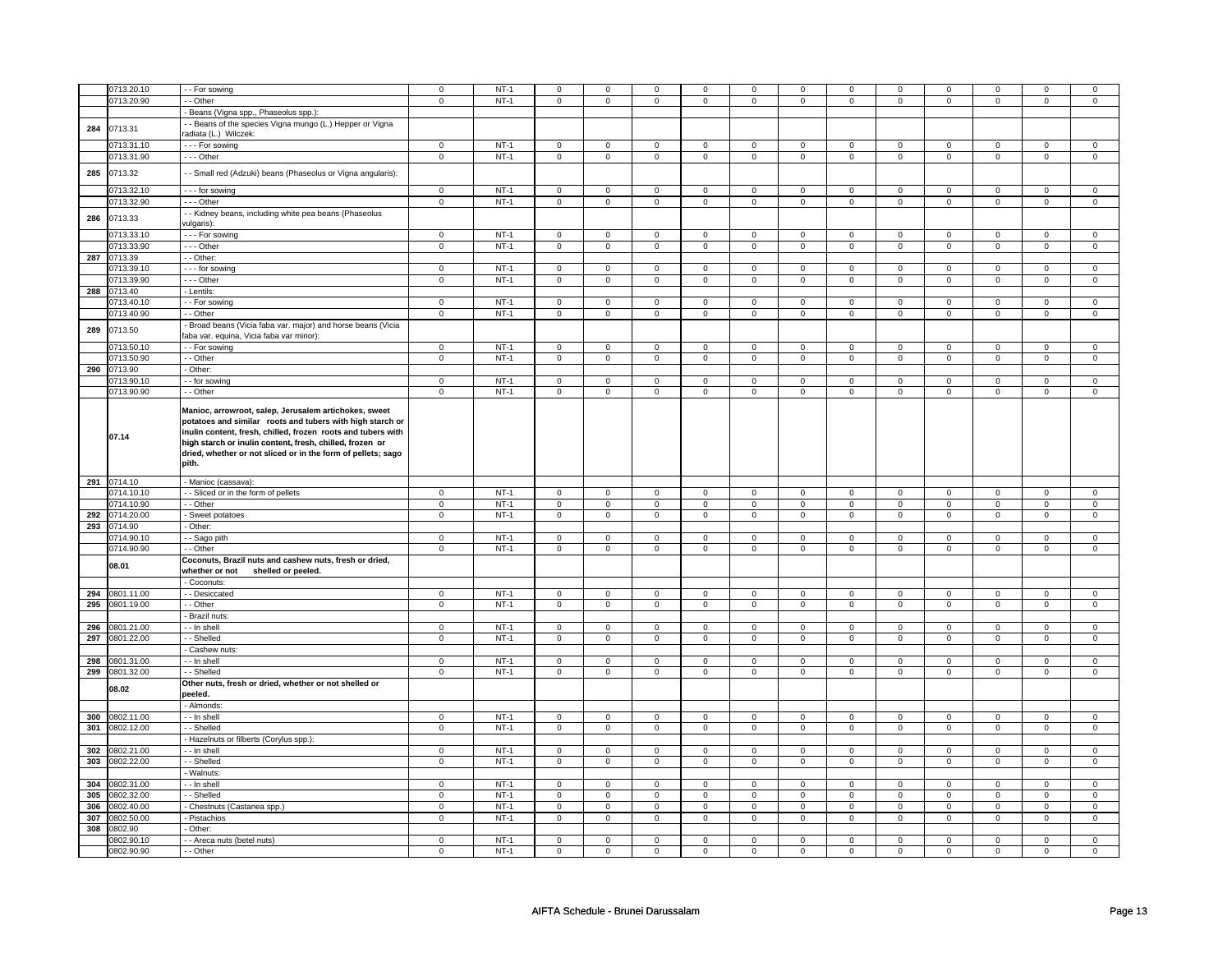|     |                          |                                                              |                         | $NT-1$           |                     |                  |                  | $\mathbf 0$      | $\mathbf 0$      |                  |                            | $\mathbf 0$      | $\mathbf 0$      | 0                   |                  |                     |
|-----|--------------------------|--------------------------------------------------------------|-------------------------|------------------|---------------------|------------------|------------------|------------------|------------------|------------------|----------------------------|------------------|------------------|---------------------|------------------|---------------------|
|     | 0713.20.10               | - - For sowing                                               | $\mathbf 0$             |                  | 0                   | 0                | 0                |                  |                  | 0                | 0                          |                  |                  |                     | 0                |                     |
|     | 0713.20.90               | - Other                                                      | $\overline{0}$          | $NT-1$           | 0                   | 0                | 0                | $\mathbf 0$      | 0                | 0                | 0                          | $\mathbf 0$      | 0                | $\overline{0}$      | 0                | $\mathbf 0$         |
|     |                          | Beans (Vigna spp., Phaseolus spp.)                           |                         |                  |                     |                  |                  |                  |                  |                  |                            |                  |                  |                     |                  |                     |
|     |                          | - - Beans of the species Vigna mungo (L.) Hepper or Vigna    |                         |                  |                     |                  |                  |                  |                  |                  |                            |                  |                  |                     |                  |                     |
| 284 | 0713.31                  | radiata (L.) Wilczek:                                        |                         |                  |                     |                  |                  |                  |                  |                  |                            |                  |                  |                     |                  |                     |
|     |                          |                                                              |                         |                  |                     |                  |                  |                  |                  |                  |                            |                  |                  |                     |                  |                     |
|     | 0713.31.10               | --- For sowing                                               | $\mathsf 0$             | $NT-1$           | $\mathsf 0$         | $\mathsf 0$      | $\mathbf 0$      | $\mathbf 0$      | $\mathbf 0$      | $\mathbf 0$      | $\mathbf 0$                | $\mathbf 0$      | $\mathsf 0$      | $\mathsf{O}\xspace$ | $\mathsf 0$      | $\mathsf{O}\xspace$ |
|     | 0713.31.90               | --- Other                                                    | $\overline{0}$          | $NT-1$           | $\overline{0}$      | $\overline{0}$   | $\overline{0}$   | $\overline{0}$   | $\overline{0}$   | $\overline{0}$   | $\overline{0}$             | $\overline{0}$   | $\overline{0}$   | $\overline{0}$      | $\overline{0}$   | $\overline{0}$      |
|     |                          |                                                              |                         |                  |                     |                  |                  |                  |                  |                  |                            |                  |                  |                     |                  |                     |
| 285 | 0713.32                  | - - Small red (Adzuki) beans (Phaseolus or Vigna angularis): |                         |                  |                     |                  |                  |                  |                  |                  |                            |                  |                  |                     |                  |                     |
|     | 0713.32.10               | - - - for sowing                                             | $\mathsf 0$             | $NT-1$           | $\mathsf 0$         | $\mathbf 0$      | 0                | $\mathbf 0$      | $\mathbf 0$      | $\mathbf 0$      | $\mathbf 0$                | $\mathbf 0$      | $\mathbf 0$      | $\mathbf 0$         | 0                | $\mathbf 0$         |
|     |                          |                                                              |                         |                  |                     |                  |                  |                  |                  |                  |                            |                  |                  |                     |                  |                     |
|     | 0713.32.90               | --- Other                                                    | $\mathbf 0$             | $NT-1$           | $\mathbf 0$         | $\mathbf 0$      | $\mathbf 0$      | $\mathbf 0$      | $\mathbf 0$      | $\mathbf 0$      | $\mathbf 0$                | $\mathbf 0$      | $\mathbf 0$      | $\mathbf{0}$        | $\mathbf 0$      | $\mathbf{0}$        |
| 286 | 0713.33                  | - - Kidney beans, including white pea beans (Phaseolus       |                         |                  |                     |                  |                  |                  |                  |                  |                            |                  |                  |                     |                  |                     |
|     |                          | vulgaris):                                                   |                         |                  |                     |                  |                  |                  |                  |                  |                            |                  |                  |                     |                  |                     |
|     | 0713.33.10               | - - - For sowing                                             | $\mathbf 0$             | $NT-1$           | 0                   | $\mathbf 0$      | 0                | $\mathbf 0$      | 0                | $\mathbf 0$      | 0                          | $\mathbf 0$      | 0                | 0                   | 0                | $\mathbf 0$         |
|     | 0713.33.90               | -- Other                                                     | $\mathsf 0$             | $NT-1$           | $\mathbf 0$         | $\mathbf 0$      | $\mathbf 0$      | $\mathbf 0$      | $\mathbf 0$      | $\mathbf 0$      | $\mathbf 0$                | $\mathbf 0$      | $\mathsf 0$      | $\mathbf 0$         | $\mathbf 0$      | $\mathbf 0$         |
|     |                          | - - Other:                                                   |                         |                  |                     |                  |                  |                  |                  |                  |                            |                  |                  |                     |                  |                     |
|     | 287 0713.39              |                                                              |                         |                  |                     |                  |                  |                  |                  |                  |                            |                  |                  |                     |                  |                     |
|     | 0713.39.10               | - - - for sowing                                             | $\mathbf 0$             | $NT-1$           | 0                   | $\mathbf 0$      | 0                | $\mathbf 0$      | $\mathbf 0$      | $\mathbf 0$      | 0                          | $\mathbf 0$      | 0                | 0                   | 0                | 0                   |
|     | 0713.39.90               | - - - Other                                                  | $\mathbf 0$             | $NT-1$           | $\mathbf 0$         | $\mathbf 0$      | $\mathbf 0$      | $\mathbf 0$      | $\mathbf 0$      | $\mathbf 0$      | $\mathbf 0$                | $\mathbf 0$      | $\mathsf 0$      | 0                   | $\mathbf 0$      | 0                   |
| 288 | 0713.40                  | - Lentils:                                                   |                         |                  |                     |                  |                  |                  |                  |                  |                            |                  |                  |                     |                  |                     |
|     | 0713.40.10               | - For sowing                                                 | $\mathbf 0$             | $NT-1$           | $\mathbf 0$         | $\mathbf 0$      | 0                | $\mathbf 0$      | $\mathbf 0$      | $\mathbf 0$      | 0                          | $\mathbf 0$      | $\mathsf 0$      | 0                   | $\mathbf 0$      | $\mathbf 0$         |
|     |                          |                                                              |                         |                  |                     |                  |                  |                  |                  |                  |                            |                  |                  |                     |                  |                     |
|     | 0713.40.90               | - Other                                                      | $\mathbf 0$             | $NT-1$           | $\mathbf 0$         | $\mathsf 0$      | $\mathbf 0$      | $\mathbf 0$      | $\mathbf 0$      | $\mathbf 0$      | $\mathbf 0$                | $\mathbf 0$      | $\mathsf 0$      | 0                   | $\mathbf 0$      | 0                   |
| 289 | 0713.50                  | Broad beans (Vicia faba var. major) and horse beans (Vicia   |                         |                  |                     |                  |                  |                  |                  |                  |                            |                  |                  |                     |                  |                     |
|     |                          | faba var. equina, Vicia faba var minor):                     |                         |                  |                     |                  |                  |                  |                  |                  |                            |                  |                  |                     |                  |                     |
|     | 0713.50.10               | - - For sowing                                               | $\mathbf 0$             | $NT-1$           | 0                   | $\mathbf 0$      | 0                | $\mathbf 0$      | $\mathbf 0$      | $\mathbf 0$      | 0                          | $\mathbf 0$      | 0                | $\mathbf 0$         | 0                | 0                   |
|     | 0713.50.90               | - - Other                                                    | $\mathsf 0$             | $NT-1$           | $\mathsf 0$         | $\mathbf 0$      | $\mathbf{0}$     | $\mathbf 0$      | $\mathbf 0$      | $\mathbf 0$      | $\mathbf{0}$               | $\mathbf 0$      | $\mathsf 0$      | $\mathbf{O}$        | $\mathbf{0}$     | $\mathbf{O}$        |
|     |                          |                                                              |                         |                  |                     |                  |                  |                  |                  |                  |                            |                  |                  |                     |                  |                     |
| 290 | 0713.90                  | Other:                                                       |                         |                  |                     |                  |                  |                  |                  |                  |                            |                  |                  |                     |                  |                     |
|     | 0713.90.10               | - for sowing                                                 | $\mathsf 0$             | $NT-1$           | $\mathsf 0$         | $\mathbf 0$      | 0                | $\mathbf 0$      | 0                | $\mathbf 0$      | 0                          | $\mathbf 0$      | $\mathsf 0$      | $\mathbf 0$         | $\mathbf 0$      | $\mathsf 0$         |
|     | 0713.90.90               | - - Other                                                    | $\overline{0}$          | $NT-1$           | $\mathbf 0$         | $\overline{0}$   | $\mathbf 0$      | $\overline{0}$   | 0                | $\overline{0}$   | 0                          | $\overline{0}$   | $\mathsf 0$      | $\overline{0}$      | $\mathbf 0$      | $\overline{0}$      |
|     |                          |                                                              |                         |                  |                     |                  |                  |                  |                  |                  |                            |                  |                  |                     |                  |                     |
|     |                          | Manioc, arrowroot, salep, Jerusalem artichokes, sweet        |                         |                  |                     |                  |                  |                  |                  |                  |                            |                  |                  |                     |                  |                     |
|     |                          | potatoes and similar roots and tubers with high starch or    |                         |                  |                     |                  |                  |                  |                  |                  |                            |                  |                  |                     |                  |                     |
|     |                          | nulin content, fresh, chilled, frozen roots and tubers with  |                         |                  |                     |                  |                  |                  |                  |                  |                            |                  |                  |                     |                  |                     |
|     | 07.14                    | high starch or inulin content, fresh, chilled, frozen or     |                         |                  |                     |                  |                  |                  |                  |                  |                            |                  |                  |                     |                  |                     |
|     |                          |                                                              |                         |                  |                     |                  |                  |                  |                  |                  |                            |                  |                  |                     |                  |                     |
|     |                          | dried, whether or not sliced or in the form of pellets; sago |                         |                  |                     |                  |                  |                  |                  |                  |                            |                  |                  |                     |                  |                     |
|     |                          | pith.                                                        |                         |                  |                     |                  |                  |                  |                  |                  |                            |                  |                  |                     |                  |                     |
|     |                          |                                                              |                         |                  |                     |                  |                  |                  |                  |                  |                            |                  |                  |                     |                  |                     |
|     | 291 0714.10              | - Manioc (cassava):                                          |                         |                  |                     |                  |                  |                  |                  |                  |                            |                  |                  |                     |                  |                     |
|     | 0714.10.10               | - - Sliced or in the form of pellets                         | $\mathbf 0$             | $NT-1$           | $\mathbf 0$         | $\mathbf 0$      | $\mathbf 0$      | $\mathbf 0$      | $\mathbf 0$      | $\mathbf 0$      | $\mathbf 0$                | $\mathbf 0$      | $\mathsf 0$      | $\mathbf{0}$        | $\Omega$         | $\mathbf 0$         |
|     | 714.10.90                | - - Other                                                    |                         |                  | $\mathbf 0$         | $\mathbf 0$      | $\mathbf 0$      | $\mathbf 0$      | $\mathbf 0$      | $\mathbf 0$      | $\mathbf 0$                | $\mathbf 0$      |                  |                     | $\mathbf 0$      | $\mathbf 0$         |
|     |                          |                                                              | $\mathbf 0$             | $NT-1$           |                     |                  |                  |                  |                  |                  |                            |                  | $\mathbf 0$      | $\mathbf 0$         |                  |                     |
|     |                          |                                                              |                         |                  |                     |                  |                  |                  |                  |                  |                            |                  |                  |                     |                  |                     |
| 292 | 0714.20.00               | Sweet potatoes                                               | $\overline{0}$          | $NT-1$           | $\overline{0}$      | $\overline{0}$   | $\mathbf 0$      | $\overline{0}$   | $\mathbf 0$      | $\overline{0}$   | $\mathbf 0$                | $\overline{0}$   | $\mathsf 0$      | $\overline{0}$      | $\mathbf 0$      | $\overline{0}$      |
|     | 293 0714.90              | Other:                                                       |                         |                  |                     |                  |                  |                  |                  |                  |                            |                  |                  |                     |                  |                     |
|     | 0714.90.10               | - Sago pith                                                  | $\mathbf 0$             | $NT-1$           | $\mathbf 0$         | $\mathsf 0$      | $\mathbf 0$      | $\mathbf 0$      | $\mathbf 0$      | $\mathbf 0$      | $\mathbf 0$                | $\mathbf 0$      | $\mathsf 0$      | 0                   | $\mathbf 0$      | 0                   |
|     | 0714.90.90               | - Other                                                      | $\mathbf 0$             | $NT-1$           | $\mathbf 0$         | $\mathbf 0$      | $\mathbf 0$      | $\mathbf 0$      | $\mathbf 0$      | $\mathbf 0$      | $\mathbf{0}$               | $\overline{0}$   | 0                | $\mathbf 0$         | $\mathbf{0}$     | $\mathbf{0}$        |
|     |                          | Coconuts, Brazil nuts and cashew nuts, fresh or dried,       |                         |                  |                     |                  |                  |                  |                  |                  |                            |                  |                  |                     |                  |                     |
|     | 08.01                    |                                                              |                         |                  |                     |                  |                  |                  |                  |                  |                            |                  |                  |                     |                  |                     |
|     |                          | whether or not<br>shelled or peeled.                         |                         |                  |                     |                  |                  |                  |                  |                  |                            |                  |                  |                     |                  |                     |
|     |                          | Coconuts:                                                    |                         |                  |                     |                  |                  |                  |                  |                  |                            |                  |                  |                     |                  |                     |
| 294 | 0801.11.00               | - - Desiccated                                               | $\mathbf 0$             | $NT-1$           | 0                   | 0                | 0                | 0                | 0                | 0                | 0                          | 0                | 0                | 0                   | $\mathbf 0$      | 0                   |
| 295 | 0801.19.00               | - Other                                                      | $\overline{0}$          | $NT-1$           | $\overline{0}$      | $\overline{0}$   | 0                | $\overline{0}$   | $\overline{0}$   | $\overline{0}$   | $\overline{0}$             | $\overline{0}$   | $\overline{0}$   | $\overline{0}$      | 0                | $\overline{0}$      |
|     |                          | Brazil nuts:                                                 |                         |                  |                     |                  |                  |                  |                  |                  |                            |                  |                  |                     |                  |                     |
| 296 | 0801.21.00               | - - In shell                                                 | $\mathbf 0$             | $NT-1$           | 0                   | $\mathbf 0$      | $\Omega$         | $\mathbf 0$      | 0                | $\mathbf 0$      | $\Omega$                   | $\mathbf 0$      | $\Omega$         | $\mathbf 0$         | $\Omega$         | $\Omega$            |
|     |                          |                                                              |                         |                  |                     |                  |                  |                  |                  |                  |                            |                  |                  |                     |                  |                     |
| 297 | 0801.22.00               | - Shelled                                                    | $\mathsf 0$             | $NT-1$           | $\mathsf{O}\xspace$ | $\mathbf 0$      | $\mathbf 0$      | $\mathbf 0$      | $\mathbf 0$      | $\mathbf 0$      | $\mathbf 0$                | $\mathbf 0$      | $\mathbf 0$      | $\mathbf{O}$        | $\mathbf 0$      | $\mathbf 0$         |
|     |                          | Cashew nuts:                                                 |                         |                  |                     |                  |                  |                  |                  |                  |                            |                  |                  |                     |                  |                     |
|     | 298 0801.31.00           | - - In shell                                                 | $\mathbf 0$             | $NT-1$           | 0                   | $\mathbf 0$      | 0                | $\mathbf 0$      | 0                | $\mathbf 0$      | 0                          | $\mathbf 0$      | 0                | $\mathbf 0$         | 0                | $\mathbf 0$         |
|     | 299 0801.32.00           | - Shelled                                                    | $\mathbf 0$             | $NT-1$           | $\mathsf 0$         | $\mathsf 0$      | $\mathbf 0$      | $\mathbf 0$      | $\mathbf 0$      | $\mathsf 0$      | 0                          | $\mathbf 0$      | $\mathsf 0$      | 0                   | 0                | 0                   |
|     |                          | Other nuts, fresh or dried, whether or not shelled or        |                         |                  |                     |                  |                  |                  |                  |                  |                            |                  |                  |                     |                  |                     |
|     | 08.02                    |                                                              |                         |                  |                     |                  |                  |                  |                  |                  |                            |                  |                  |                     |                  |                     |
|     |                          | peeled.                                                      |                         |                  |                     |                  |                  |                  |                  |                  |                            |                  |                  |                     |                  |                     |
|     |                          | - Almonds:                                                   |                         |                  |                     |                  |                  |                  |                  |                  |                            |                  |                  |                     |                  |                     |
| 300 | 0802.11.00               | - - In shell                                                 | $\mathbf 0$             | $NT-1$           | $\mathbf{0}$        | $\mathbf 0$      | $\mathbf 0$      | $\mathbf 0$      | $\mathbf 0$      | $\mathbf 0$      | $\mathbf 0$                | $\mathbf 0$      | $\mathbf 0$      | $\mathbf 0$         | $\mathbf 0$      | $\mathbf 0$         |
| 301 | 0802.12.00               | - - Shelled                                                  | $\overline{0}$          | $NT-1$           | $\overline{0}$      | $\overline{0}$   | $\overline{0}$   | $\overline{0}$   | $\overline{0}$   | $\overline{0}$   | $\mathbf 0$                | $\overline{0}$   | $\overline{0}$   | $\overline{0}$      | $\overline{0}$   | $\overline{0}$      |
|     |                          | Hazelnuts or filberts (Corylus spp.):                        |                         |                  |                     |                  |                  |                  |                  |                  |                            |                  |                  |                     |                  |                     |
| 302 | 0802.21.00               | - In shell                                                   | $\mathbf 0$             | $NT-1$           | $\mathbf 0$         | $\mathbf 0$      | $\mathbf 0$      | $\mathbf 0$      | $\mathbf 0$      | $\mathbf 0$      | $\mathbf 0$                | $\mathbf 0$      | $\mathbf 0$      | $\mathbf 0$         | $\mathbf 0$      | $\mathbf 0$         |
|     |                          |                                                              |                         |                  |                     |                  |                  |                  |                  |                  |                            |                  |                  |                     |                  |                     |
| 303 | 0802.22.00               | - Shelled                                                    | $\mathsf 0$             | $NT-1$           | $\mathsf 0$         | $\mathbf 0$      | $\mathbf 0$      | $\mathbf 0$      | $\mathbf 0$      | $\mathbf 0$      | $\mathbf 0$                | $\mathbf 0$      | $\mathsf 0$      | $\mathbf 0$         | $\mathbf 0$      | $\mathbf 0$         |
|     |                          | - Walnuts:                                                   |                         |                  |                     |                  |                  |                  |                  |                  |                            |                  |                  |                     |                  |                     |
| 304 | 0802.31.00               | - - In shell                                                 | $\mathbf 0$             | $NT-1$           | $\mathbf 0$         | $\mathbf 0$      | $\mathbf 0$      | $\mathbf 0$      | $\mathbf 0$      | $\mathbf 0$      | 0                          | $\mathbf 0$      | $\mathsf 0$      | 0                   | 0                | 0                   |
| 305 | 0802.32.00               | - - Shelled                                                  | $\mathbf 0$             | $NT-1$           | $\mathbf 0$         | $\mathbf 0$      | $\mathbf 0$      | $\mathbf 0$      | $\mathbf 0$      | $\mathbf 0$      | $\mathbf 0$                | $\mathbf 0$      | $\mathbf 0$      | 0                   | $\mathbf 0$      | 0                   |
|     |                          |                                                              |                         |                  |                     |                  |                  |                  |                  |                  | $\mathbf 0$                |                  |                  |                     | $\mathbf 0$      |                     |
| 306 | 0802.40.00               | Chestnuts (Castanea spp.)                                    | $\mathbf 0$             | $NT-1$           | 0                   | $\mathsf 0$      | 0                | $\mathbf 0$      | 0                | $\mathbf 0$      |                            | $\mathbf 0$      | 0                | 0                   |                  | 0                   |
| 307 | 0802.50.00               | Pistachios                                                   | $\mathbf 0$             | $NT-1$           | $\mathbf 0$         | $\mathbf 0$      | 0                | $\mathbf 0$      | $\mathbf 0$      | $\mathbf 0$      | 0                          | $\mathbf 0$      | 0                | $\mathbf{0}$        | 0                | 0                   |
| 308 | 0802.90                  | Other:                                                       |                         |                  |                     |                  |                  |                  |                  |                  |                            |                  |                  |                     |                  |                     |
|     | 0802.90.10<br>0802.90.90 | - Areca nuts (betel nuts)<br>- - Other                       | $\Omega$<br>$\mathbf 0$ | $NT-1$<br>$NT-1$ | 0<br>$\mathbf 0$    | 0<br>$\mathbf 0$ | 0<br>$\mathbf 0$ | 0<br>$\mathbf 0$ | 0<br>$\mathbf 0$ | 0<br>$\mathbf 0$ | $\mathbf 0$<br>$\mathbf 0$ | 0<br>$\mathbf 0$ | 0<br>$\mathsf 0$ | 0<br>0              | 0<br>$\mathbf 0$ | 0<br>0              |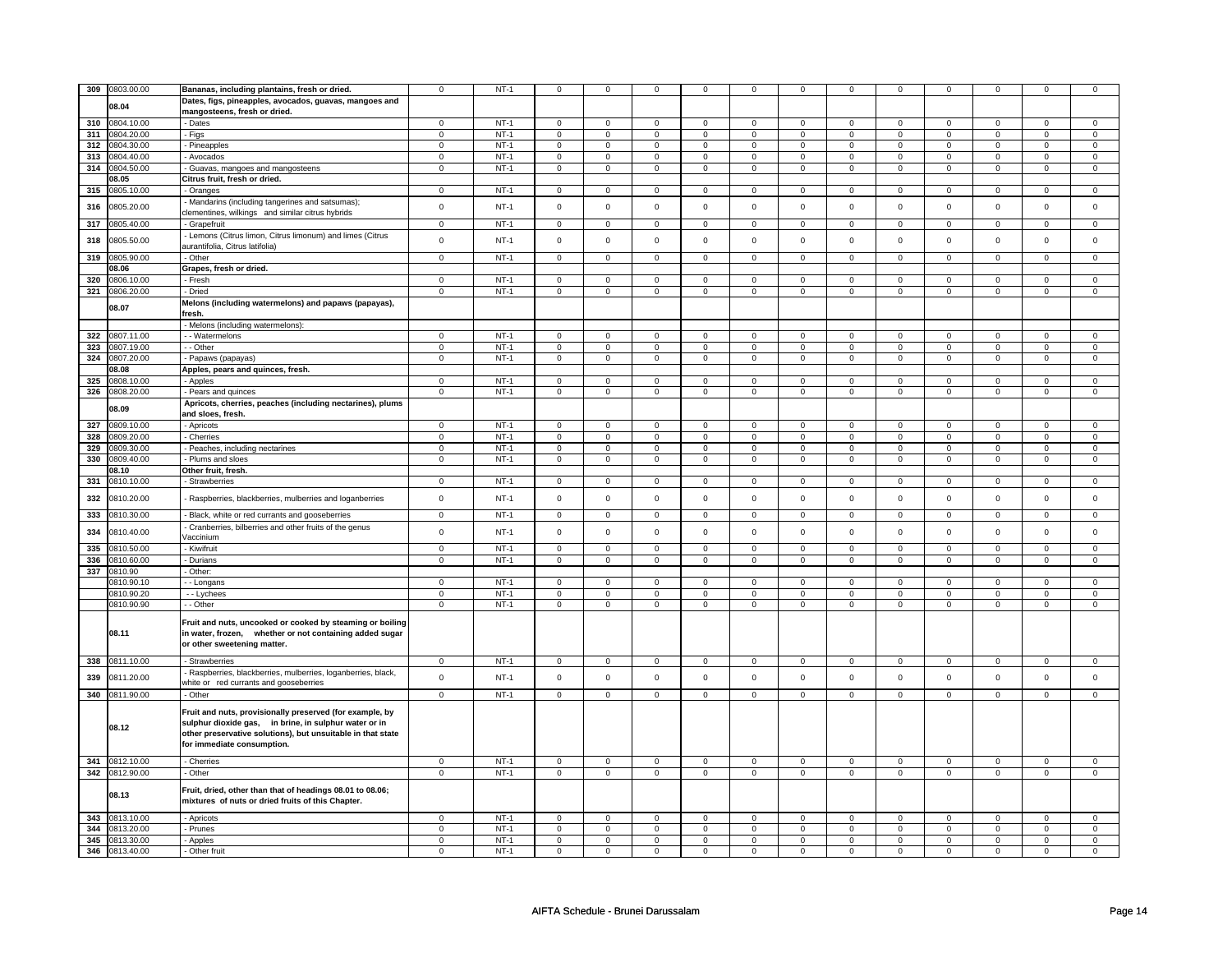|     | 309 0803.00.00 | Bananas, including plantains, fresh or dried.               | $\mathbf 0$         | $NT-1$ | $\mathbf 0$         | 0                       | $\mathbf 0$    | 0                   | $\mathbf 0$    | $\mathbf 0$    | $\mathbf 0$    | $\mathbf 0$    | $\mathbf 0$    | $\mathbf 0$         | $\mathbf 0$    | $\mathbf 0$    |
|-----|----------------|-------------------------------------------------------------|---------------------|--------|---------------------|-------------------------|----------------|---------------------|----------------|----------------|----------------|----------------|----------------|---------------------|----------------|----------------|
|     |                |                                                             |                     |        |                     |                         |                |                     |                |                |                |                |                |                     |                |                |
|     | 08.04          | Dates, figs, pineapples, avocados, guavas, mangoes and      |                     |        |                     |                         |                |                     |                |                |                |                |                |                     |                |                |
|     |                | mangosteens, fresh or dried.                                |                     |        |                     |                         |                |                     |                |                |                |                |                |                     |                |                |
|     | 310 0804.10.00 | - Dates                                                     | $\mathbf 0$         | $NT-1$ | $\mathbf 0$         | $\mathbf 0$             | $\mathbf{0}$   | $\mathbf 0$         | $\overline{0}$ | $^{\circ}$     | $^{\circ}$     | $\mathbf 0$    | $\mathbf 0$    | $\mathbf 0$         | $^{\circ}$     | $\mathbf 0$    |
|     | 311 0804.20.00 | - Figs                                                      | $\mathsf 0$         | $NT-1$ | $\mathbf 0$         | $\mathbf 0$             | $\mathbf 0$    | $\mathbf 0$         | $\mathsf 0$    | $\mathsf 0$    | $\mathbf 0$    | $\mathbf 0$    | $\mathsf 0$    | $\mathbf 0$         | $\Omega$       | $\mathbf 0$    |
|     |                |                                                             |                     |        |                     |                         |                |                     |                |                |                |                |                |                     |                |                |
| 312 | 0804.30.00     | Pineapples                                                  | $\mathsf 0$         | $NT-1$ | $\mathbf 0$         | $\mathbf 0$             | $\mathbf 0$    | $\mathsf{O}\xspace$ | $\mathsf 0$    | $\mathsf{O}$   | $\mathsf 0$    | $\mathsf{O}$   | $\mathsf 0$    | $\mathsf{O}\xspace$ | $\mathbf 0$    | $\mathsf 0$    |
|     | 313 0804.40.00 | Avocados                                                    | $\mathsf 0$         | $NT-1$ | $\mathbf 0$         | $\mathbf 0$             | $\overline{0}$ | $\overline{0}$      | $\overline{0}$ | $\overline{0}$ | $\mathsf 0$    | $\overline{0}$ | $\overline{0}$ | $\mathbf 0$         | $\mathsf 0$    | $\overline{0}$ |
|     | 314 0804.50.00 | Guavas, mangoes and mangosteens                             | $\mathbf 0$         | $NT-1$ | $\mathbf 0$         | $\mathsf 0$             | 0              | $\mathsf 0$         | $\mathsf 0$    | $\mathsf 0$    | $\mathsf 0$    | $\mathbf 0$    | $\mathsf 0$    | $\mathbf 0$         | 0              | $\mathsf 0$    |
|     | 08.05          | Citrus fruit, fresh or dried.                               |                     |        |                     |                         |                |                     |                |                |                |                |                |                     |                |                |
|     |                |                                                             |                     |        |                     |                         |                |                     |                |                |                |                |                |                     |                |                |
|     | 315 0805.10.00 | Oranges                                                     | $\mathsf{O}\xspace$ | $NT-1$ | $\mathsf 0$         | $\mathbf 0$             | $\mathsf 0$    | $\mathbf 0$         | $\circ$        | $\mathsf 0$    | $\mathsf 0$    | $\mathsf 0$    | $\mathbf 0$    | $\mathbf 0$         | $\mathsf 0$    | $\overline{0}$ |
| 316 | 0805.20.00     | Mandarins (including tangerines and satsumas);              | $\mathbf 0$         | $NT-1$ | $\mathbf 0$         | $\mathbf 0$             | $\mathbf{0}$   | 0                   | $\mathbf 0$    | $\mathsf 0$    | $\mathbf 0$    | $\mathbf 0$    | $\mathbf 0$    | $\mathbf 0$         | $\mathbf 0$    | $\mathsf 0$    |
|     |                | clementines, wilkings and similar citrus hybrids            |                     |        |                     |                         |                |                     |                |                |                |                |                |                     |                |                |
| 317 | 0805.40.00     | - Grapefruit                                                | $\overline{0}$      | $NT-1$ | $\overline{0}$      | $\overline{0}$          | $\overline{0}$ | $\overline{0}$      | $\overline{0}$ | $\overline{0}$ | $\overline{0}$ | $\overline{0}$ | $\overline{0}$ | $\overline{0}$      | $\overline{0}$ | $\circ$        |
|     |                |                                                             |                     |        |                     |                         |                |                     |                |                |                |                |                |                     |                |                |
| 318 | 0805.50.00     | Lemons (Citrus limon, Citrus limonum) and limes (Citrus     | $\mathbf 0$         | $NT-1$ | $\mathbf 0$         | $\mathbf 0$             | $\mathbf 0$    | $\mathbf 0$         | $\mathsf 0$    | $\mathsf 0$    | $\mathbf 0$    | $\mathbf 0$    | $\mathsf 0$    | $\mathbf 0$         | $\mathbf 0$    | $\mathsf 0$    |
|     |                | aurantifolia, Citrus latifolia)                             |                     |        |                     |                         |                |                     |                |                |                |                |                |                     |                |                |
|     | 319 0805.90.00 | - Other                                                     | $\mathsf 0$         | $NT-1$ | $\mathbf 0$         | $\mathbf 0$             | $\mathbf 0$    | $\mathsf 0$         | $\mathsf 0$    | $\mathsf 0$    | $\mathsf 0$    | $\mathbf 0$    | $\mathsf 0$    | $\mathbf 0$         | $\mathsf 0$    | $\mathbf 0$    |
|     | 08.06          | Grapes, fresh or dried.                                     |                     |        |                     |                         |                |                     |                |                |                |                |                |                     |                |                |
| 320 | 0806.10.00     | - Fresh                                                     | $\mathbf 0$         | $NT-1$ | $\mathbf 0$         | $\mathbf 0$             | $\Omega$       | $\mathbf{0}$        | $\mathbf 0$    | $\Omega$       | $\Omega$       | $\Omega$       | $\Omega$       | $\Omega$            | $\Omega$       | $\Omega$       |
|     |                |                                                             |                     |        |                     |                         |                |                     |                |                |                |                |                |                     |                |                |
|     | 321 0806.20.00 | - Dried                                                     | $\mathbf 0$         | $NT-1$ | $\mathbf 0$         | $\mathbf 0$             | $\mathbf 0$    | $\mathbf 0$         | $\mathbf 0$    | $\mathbf 0$    | $\mathbf 0$    | $\mathbf 0$    | $\mathsf 0$    | 0                   | $\mathbf 0$    | $\mathsf 0$    |
|     | 08.07          | Melons (including watermelons) and papaws (papayas),        |                     |        |                     |                         |                |                     |                |                |                |                |                |                     |                |                |
|     |                | fresh.                                                      |                     |        |                     |                         |                |                     |                |                |                |                |                |                     |                |                |
|     |                | Melons (including watermelons):                             |                     |        |                     |                         |                |                     |                |                |                |                |                |                     |                |                |
|     | 322 0807.11.00 | - Watermelons                                               | $\mathbf 0$         | $NT-1$ | 0                   | $\mathbf 0$             | $\mathbf 0$    | $\overline{0}$      | $\mathbf 0$    | $\mathbf 0$    | $\mathbf 0$    | $\mathbf{0}$   | 0              | $\mathbf 0$         | $^{\circ}$     | $\mathbf{0}$   |
|     |                |                                                             |                     |        |                     |                         |                |                     |                |                |                |                |                |                     |                |                |
| 323 | 0807.19.00     | - - Other                                                   | $\mathbf 0$         | $NT-1$ | 0                   | $\mathbf 0$             | 0              | $\mathbf 0$         | $\mathbf{0}$   | $\mathbf{0}$   | $\mathbf 0$    | $\mathbf 0$    | $\mathbf{0}$   | $\overline{0}$      | $\mathbf 0$    | $\mathbf{0}$   |
| 324 | 0807.20.00     | Papaws (papayas)                                            | $\mathbf 0$         | $NT-1$ | $\mathbf{0}$        | $\mathbf 0$             | $\mathbf{0}$   | $\mathsf 0$         | $\mathbf 0$    | $\mathbf 0$    | $\mathbf 0$    | $\mathbf 0$    | $\mathbf 0$    | $\mathsf 0$         | $\mathbf 0$    | $\mathsf 0$    |
|     | 08.08          | Apples, pears and quinces, fresh.                           |                     |        |                     |                         |                |                     |                |                |                |                |                |                     |                |                |
| 325 | 0808.10.00     | Apples                                                      | $\mathsf 0$         | $NT-1$ | $\mathbf 0$         | $\mathbf 0$             | $\mathsf 0$    | $\mathsf 0$         | $\mathbf 0$    | $\mathsf 0$    | $\mathsf 0$    | $\mathbf 0$    | $\mathsf 0$    | $\mathbf 0$         | $\mathsf 0$    | $\mathbf 0$    |
|     | 326 0808.20.00 | Pears and quinces                                           | $\mathbf 0$         | $NT-1$ | $\mathbf 0$         | $\mathsf 0$             | $\mathsf 0$    | $\mathsf 0$         | $\mathsf 0$    | $\mathbf 0$    | $\mathsf 0$    | $\mathsf 0$    | $\Omega$       | $\mathsf 0$         | $\Omega$       | $\mathsf 0$    |
|     |                |                                                             |                     |        |                     |                         |                |                     |                |                |                |                |                |                     |                |                |
|     | 08.09          | Apricots, cherries, peaches (including nectarines), plums   |                     |        |                     |                         |                |                     |                |                |                |                |                |                     |                |                |
|     |                | and sloes, fresh.                                           |                     |        |                     |                         |                |                     |                |                |                |                |                |                     |                |                |
| 327 | 0809.10.00     | - Apricots                                                  | $\mathbf 0$         | $NT-1$ | $\mathbf 0$         | $\mathbf 0$             | $\mathbf 0$    | $\mathbf{0}$        | $\mathbf 0$    | $\mathbf 0$    | $\mathbf 0$    | $\mathbf 0$    | $\mathbf 0$    | $\mathbf 0$         | $\mathbf 0$    | $\mathbf{0}$   |
| 328 | 0809.20.00     | - Cherries                                                  | $\overline{0}$      | $NT-1$ | $\overline{0}$      | $\overline{0}$          | $\overline{0}$ | $\overline{0}$      | $\overline{0}$ | $\overline{0}$ | $\overline{0}$ | $\overline{0}$ | $\overline{0}$ | $\overline{0}$      | $\overline{0}$ | $\overline{0}$ |
|     | 329 0809.30.00 | - Peaches, including nectarines                             | $\mathsf 0$         | $NT-1$ | 0                   | $\overline{\mathbf{0}}$ | $\circ$        | $\overline{0}$      | $\overline{0}$ | $\overline{0}$ | $\overline{0}$ | $\overline{0}$ | $\overline{0}$ | $\overline{0}$      | $\mathsf 0$    | $\overline{0}$ |
|     |                |                                                             |                     |        |                     |                         |                |                     | 0              |                |                |                | $\mathbf 0$    |                     |                |                |
| 330 | 0809.40.00     | Plums and sloes                                             | $\mathbf 0$         | $NT-1$ | $\mathbf 0$         | $\mathbf 0$             | $\mathbf 0$    | 0                   |                | $\mathsf 0$    | $\mathbf 0$    | $\mathbf 0$    |                | $\mathbf 0$         | $\mathbf 0$    | $\mathsf 0$    |
|     | 08.10          | Other fruit, fresh.                                         |                     |        |                     |                         |                |                     |                |                |                |                |                |                     |                |                |
|     | 331 0810.10.00 | <b>Strawberries</b>                                         | $\mathbf 0$         | $NT-1$ | 0                   | $\mathbf 0$             | $\mathbf 0$    | $\overline{0}$      | $\mathbf{0}$   | $\mathbf 0$    | $\mathbf 0$    | $\mathbf{0}$   | $\mathbf{0}$   | $\mathbf{0}$        | $\mathbf 0$    | $\overline{0}$ |
|     |                |                                                             |                     |        |                     |                         |                |                     |                |                |                |                |                |                     |                |                |
| 332 | 0810.20.00     | Raspberries, blackberries, mulberries and loganberries      | $\mathbf 0$         | $NT-1$ | $\mathbf 0$         | $\mathbf 0$             | $\mathbf 0$    | $\mathsf 0$         | $\mathbf{0}$   | $\mathsf 0$    | $\mathbf 0$    | $\mathbf 0$    | $\mathbf 0$    | $\mathbf 0$         | $\mathbf 0$    | $\mathbf 0$    |
| 333 | 0810.30.00     |                                                             | $\overline{0}$      | $NT-1$ | $\overline{0}$      | $\overline{0}$          | $\overline{0}$ | $\overline{0}$      | $\overline{0}$ | $\overline{0}$ | $\overline{0}$ | $\overline{0}$ | $\overline{0}$ | $\overline{0}$      | $\mathsf 0$    | $\mathsf 0$    |
|     |                | - Black, white or red currants and gooseberries             |                     |        |                     |                         |                |                     |                |                |                |                |                |                     |                |                |
| 334 | 0810.40.00     | Cranberries, bilberries and other fruits of the genus       | $\mathbf 0$         | $NT-1$ | $\mathbf 0$         | $\mathbf 0$             | $\mathbf 0$    | $\mathbf 0$         | $\mathsf 0$    | $\mathsf 0$    | $\mathbf 0$    | $\mathbf 0$    | $\mathbf 0$    | $\mathbf 0$         | $\mathbf 0$    | $\mathsf 0$    |
|     |                | /accinium                                                   |                     |        |                     |                         |                |                     |                |                |                |                |                |                     |                |                |
|     | 335 0810.50.00 | Kiwifruit                                                   | $\mathbf 0$         | $NT-1$ | 0                   | $\mathbf 0$             | $\mathbf 0$    | $\mathbf 0$         | $\mathbf 0$    | $\mathbf 0$    | $\mathbf 0$    | $\mathbf 0$    | 0              | $\mathbf 0$         | $\mathbf 0$    | $\Omega$       |
|     | 336 0810.60.00 | Durians                                                     | $\mathbf 0$         | $NT-1$ | 0                   | $\mathbf 0$             | 0              | 0                   | $\mathbf{0}$   | $\mathbf{0}$   | $\mathbf 0$    | $\mathbf{0}$   | $\mathbf{0}$   | $\overline{0}$      | $\mathbf 0$    | $\mathbf{0}$   |
| 337 | 0810.90        | Other:                                                      |                     |        |                     |                         |                |                     |                |                |                |                |                |                     |                |                |
|     |                |                                                             |                     |        |                     |                         |                |                     |                |                |                |                |                |                     |                |                |
|     | 0810.90.10     | - Longans                                                   | $\mathbf 0$         | $NT-1$ | $\mathbf 0$         | $\mathbf 0$             | $\mathbf{0}$   | 0                   | $\circ$        | $\mathbf 0$    | $\mathbf 0$    | $\mathbf 0$    | $\mathsf 0$    | $\mathbf 0$         | $\Omega$       | $\mathbf{0}$   |
|     | 0810.90.20     | - - Lychees                                                 | $\mathsf 0$         | $NT-1$ | $\mathsf{O}\xspace$ | $\mathsf 0$             | $\mathsf 0$    | $\mathsf 0$         | $\mathsf 0$    | $\mathbf 0$    | $\mathsf 0$    | $\mathsf 0$    | $\mathsf 0$    | $\mathsf 0$         | $\mathbf 0$    | $\mathsf 0$    |
|     | 0810.90.90     | - Other                                                     | $\overline{0}$      | $NT-1$ | 0                   | $\overline{0}$          | 0              | $\overline{0}$      | $\mathbf 0$    | $\overline{0}$ | $\mathbf 0$    | $\overline{0}$ | $\mathbf 0$    | $\mathbf 0$         | $\mathbf 0$    | $\overline{0}$ |
|     |                |                                                             |                     |        |                     |                         |                |                     |                |                |                |                |                |                     |                |                |
|     |                | Fruit and nuts, uncooked or cooked by steaming or boiling   |                     |        |                     |                         |                |                     |                |                |                |                |                |                     |                |                |
|     | 08.11          | in water, frozen, whether or not containing added sugar     |                     |        |                     |                         |                |                     |                |                |                |                |                |                     |                |                |
|     |                | or other sweetening matter.                                 |                     |        |                     |                         |                |                     |                |                |                |                |                |                     |                |                |
|     |                |                                                             |                     |        |                     |                         |                |                     |                |                |                |                |                |                     |                |                |
|     | 338 0811.10.00 | - Strawberries                                              | $\mathsf 0$         | $NT-1$ | $\mathsf 0$         | $\mathsf 0$             | $\mathsf 0$    | $\overline{0}$      | $\overline{0}$ | $\overline{0}$ | $\overline{0}$ | $\overline{0}$ | $\overline{0}$ | $\overline{0}$      | $\mathsf 0$    | $\mathbf 0$    |
|     |                | Raspberries, blackberries, mulberries, loganberries, black, |                     |        |                     |                         |                |                     |                |                |                |                |                |                     |                |                |
| 339 | 0811.20.00     | white or red currants and gooseberries                      | $\mathsf 0$         | $NT-1$ | $\Omega$            | $\mathsf 0$             | $\mathbf 0$    | $\mathsf 0$         | $\mathbf 0$    | $\mathbf 0$    | $\Omega$       | $\mathsf 0$    | $\mathbf 0$    | $\mathbf 0$         | $\mathbf 0$    | $\mathsf 0$    |
|     |                |                                                             |                     |        |                     |                         |                |                     |                |                |                |                |                |                     |                |                |
|     | 340 0811.90.00 | - Other                                                     | $\mathsf 0$         | $NT-1$ | $\mathbf 0$         | $\mathsf 0$             | $\mathsf 0$    | $\mathsf 0$         | $\mathsf 0$    | $\mathsf 0$    | $\mathsf 0$    | $\mathsf 0$    | $\mathsf 0$    | $\mathbf 0$         | $\mathsf 0$    | $\mathbf{0}$   |
|     |                | Fruit and nuts, provisionally preserved (for example, by    |                     |        |                     |                         |                |                     |                |                |                |                |                |                     |                |                |
|     |                |                                                             |                     |        |                     |                         |                |                     |                |                |                |                |                |                     |                |                |
|     | 08.12          | sulphur dioxide gas, in brine, in sulphur water or in       |                     |        |                     |                         |                |                     |                |                |                |                |                |                     |                |                |
|     |                | other preservative solutions), but unsuitable in that state |                     |        |                     |                         |                |                     |                |                |                |                |                |                     |                |                |
|     |                | for immediate consumption.                                  |                     |        |                     |                         |                |                     |                |                |                |                |                |                     |                |                |
|     |                |                                                             |                     |        |                     |                         |                |                     |                |                |                |                |                |                     |                |                |
|     | 341 0812.10.00 | - Cherries                                                  | $\mathbf 0$         | $NT-1$ | $\mathbf 0$         | $\mathbf 0$             | $\mathbf 0$    | $\mathbf 0$         | $\mathbf 0$    | $\mathbf 0$    | $\mathbf 0$    | $\mathbf 0$    | $\mathbf 0$    | $\mathbf 0$         | $\mathbf 0$    | $\mathbf{0}$   |
|     | 342 0812.90.00 | - Other                                                     | $\mathbf 0$         | $NT-1$ | $\mathbf 0$         | $\mathbf 0$             | $\mathbf 0$    | $\overline{0}$      | $\mathbf 0$    | $\mathbf 0$    | $\mathbf{0}$   | $\overline{0}$ | $\overline{0}$ | $\overline{0}$      | $\mathbf{0}$   | $\overline{0}$ |
|     |                |                                                             |                     |        |                     |                         |                |                     |                |                |                |                |                |                     |                |                |
|     | 08.13          | Fruit, dried, other than that of headings 08.01 to 08.06;   |                     |        |                     |                         |                |                     |                |                |                |                |                |                     |                |                |
|     |                | mixtures of nuts or dried fruits of this Chapter.           |                     |        |                     |                         |                |                     |                |                |                |                |                |                     |                |                |
|     |                |                                                             |                     |        |                     |                         |                |                     |                |                |                |                |                |                     |                |                |
|     | 343 0813.10.00 | - Apricots                                                  | $\mathbf 0$         | $NT-1$ | $\mathbf 0$         | $\mathbf 0$             | $\mathbf 0$    | 0                   | $\mathbf 0$    | 0              | $\mathbf 0$    | $\mathbf 0$    | $\mathbf 0$    | $\mathbf 0$         | $\mathbf 0$    | $\mathbf 0$    |
|     | 344 0813.20.00 | Prunes                                                      | $\overline{0}$      | $NT-1$ | 0                   | $\mathbf 0$             | 0              | $\overline{0}$      | $\overline{0}$ | $\overline{0}$ | 0              | $\mathbf{0}$   | $\mathbf 0$    | $\mathbf 0$         | $\mathbf 0$    | $\overline{0}$ |
|     | 345 0813.30.00 | - Apples                                                    | $\mathbf 0$         | $NT-1$ | 0                   | 0                       | $\mathbf 0$    | $\mathbf 0$         | $\mathbf 0$    | $\mathbf 0$    | $\mathbf 0$    | $\mathbf 0$    | $\mathbf 0$    | $\mathbf 0$         | $\mathbf 0$    | $\mathbf{0}$   |
|     | 346 0813.40.00 | - Other fruit                                               | $\mathbf 0$         | $NT-1$ | $\mathbf 0$         | $\mathbf 0$             | $\mathbf 0$    | 0                   | $\mathbf 0$    | $\mathbf 0$    | $\mathbf 0$    | $\mathbf 0$    | $\mathbf 0$    | $\mathbf 0$         | $\mathsf 0$    | $\mathbf 0$    |
|     |                |                                                             |                     |        |                     |                         |                |                     |                |                |                |                |                |                     |                |                |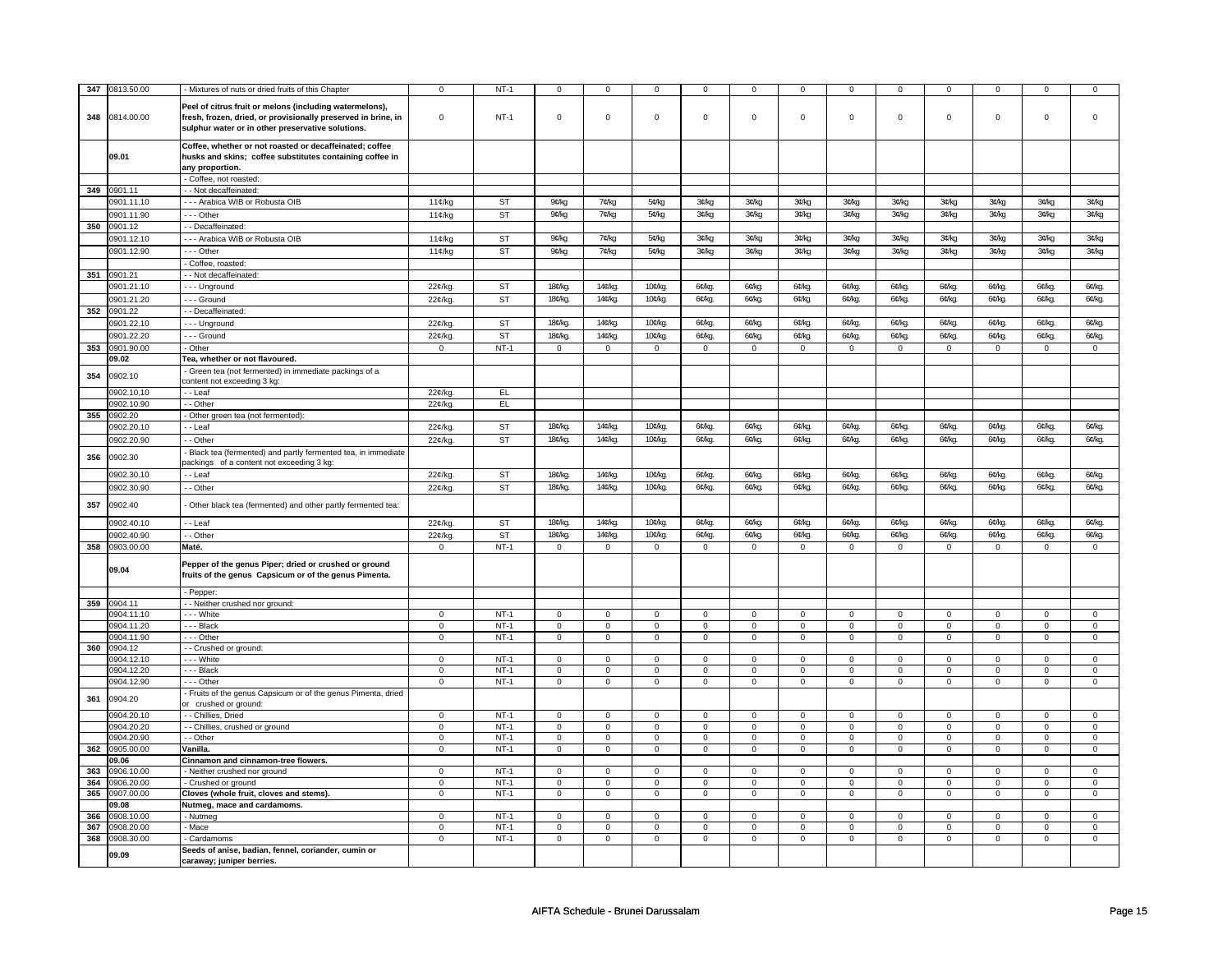| 347 | 0813.50.00               | - Mixtures of nuts or dried fruits of this Chapter                                                                                                                            | $\mathbf 0$    | $NT-1$    | 0                   | 0                   | $\Omega$             | 0                   | $\mathbf 0$    | 0              | $\mathbf 0$        | 0                   | $\mathbf 0$    | 0              | $\mathbf 0$        | $\Omega$       |
|-----|--------------------------|-------------------------------------------------------------------------------------------------------------------------------------------------------------------------------|----------------|-----------|---------------------|---------------------|----------------------|---------------------|----------------|----------------|--------------------|---------------------|----------------|----------------|--------------------|----------------|
|     |                          |                                                                                                                                                                               |                |           |                     |                     |                      |                     |                |                |                    |                     |                |                |                    |                |
| 348 | 0814.00.00               | Peel of citrus fruit or melons (including watermelons),<br>fresh, frozen, dried, or provisionally preserved in brine, in<br>sulphur water or in other preservative solutions. | $\mathbf 0$    | $NT-1$    | $\mathbf 0$         | $\mathsf 0$         | $\mathbf 0$          | $\mathbf 0$         | $\mathbf 0$    | $\mathbf{0}$   | $\mathbf 0$        | $\mathbf 0$         | $\mathbf 0$    | $\mathsf 0$    | $\Omega$           | $\Omega$       |
|     | 09.01                    | Coffee, whether or not roasted or decaffeinated; coffee<br>husks and skins; coffee substitutes containing coffee in<br>any proportion.                                        |                |           |                     |                     |                      |                     |                |                |                    |                     |                |                |                    |                |
|     |                          | - Coffee, not roasted:                                                                                                                                                        |                |           |                     |                     |                      |                     |                |                |                    |                     |                |                |                    |                |
|     | 349 0901.11              | - Not decaffeinated:                                                                                                                                                          |                |           |                     |                     |                      |                     |                |                |                    |                     |                |                |                    |                |
|     | 0901.11.10               | --- Arabica WIB or Robusta OIB                                                                                                                                                | 11¢/kg         | ST        | 9¢/kg               | 7¢/kg               | 5¢/kg                | 3¢/kg               | 3¢/kg          | 3¢/kg          | 3¢/kg              | 3¢/kg               | 3¢/kg          | 3¢/kg          | 3¢/kg              | 3¢/kg          |
|     | 0901.11.90               | Other                                                                                                                                                                         | $11¢$ /kg      | <b>ST</b> | 9¢/kg               | 7¢/kg               | 5¢/kg                | 3¢/kg               | 3¢/kg          | 3¢/kg          | 3¢/kg              | 3¢/kg               | 3C/kg          | 3¢/kg          | 3¢/kg              | 3¢/kg          |
| 350 | 0901.12                  | - Decaffeinated:                                                                                                                                                              |                |           |                     |                     |                      |                     |                |                |                    |                     |                |                |                    |                |
|     | 0901.12.10               | --- Arabica WIB or Robusta OIB                                                                                                                                                | 11c/k          | <b>ST</b> | 9¢/kg               | 7¢/kg               | 5¢/kg                | 3¢/kg               | 3¢/kg          | 3¢/kg          | 3¢/kg              | 3¢/kg               | 3¢/kg          | 3¢/kg          | 3¢/kg              | 3¢/kg          |
|     | 0901.12.90               | --- Other                                                                                                                                                                     |                | <b>ST</b> |                     |                     |                      |                     |                |                |                    |                     |                |                |                    |                |
|     |                          |                                                                                                                                                                               | 11¢/kg         |           | 9¢/kg               | 7¢/kg               | 5¢/kg                | 3¢/kg               | 3¢/kg          | 3¢/kg          | 3¢/kg              | 3¢/kg               | 3C/kg          | 3¢/kg          | 3¢/kg              | 3¢/kg          |
|     | 351 0901.21              | - Coffee, roasted:                                                                                                                                                            |                |           |                     |                     |                      |                     |                |                |                    |                     |                |                |                    |                |
|     |                          | - Not decaffeinated:                                                                                                                                                          |                |           |                     |                     |                      |                     |                |                |                    |                     |                |                |                    |                |
|     | 0901.21.10               | --- Unground                                                                                                                                                                  | 22¢/kg         | <b>ST</b> | 18¢/kg.             | 14¢/kg              | 10 <sup>c</sup> /kg  | 6¢/kg.              | 6¢/kg.         | 6¢/kg.         | 6¢/kg.             | 6¢/kg.              | 6¢/kg          | 6¢/kg.         | 6¢/kg.             | 6¢/kg.         |
|     | 0901.21.20               | --- Ground                                                                                                                                                                    | 22¢/kg         | ST        | 18 <sup>c</sup> /kg | 14¢/kg.             | 10 <sup>c</sup> /kg. | 6¢/kg.              | 6¢/kg.         | 6¢/kg.         | 6¢/kg.             | 6¢/kg.              | 6¢/kg          | 6¢/kg.         | 6 <sup>c</sup> /kg | 6¢/kg.         |
|     | 352 0901.22              | - Decaffeinated:                                                                                                                                                              |                |           |                     |                     |                      |                     |                |                |                    |                     |                |                |                    |                |
|     | 0901.22.10               | -- Unground                                                                                                                                                                   | 22¢/kg.        | <b>ST</b> | 18 <sup>c</sup> /kg | 14¢/kg              | 10 <sup>c</sup> /kg  | 6¢/kg.              | 6¢/kg.         | 6¢/kg          | 6¢/kg              | 6¢/kg               | 6¢/kg          | 6¢/kg          | 6¢/kg              | 6¢/kg.         |
|     | 0901.22.20               | --- Ground                                                                                                                                                                    | $22¢$ /kg      | <b>ST</b> | 18 <sup>c</sup> /kg | 14¢/kg.             | 10¢/kg.              | 6¢/kg.              | 6¢/kg.         | 6¢/kg.         | 6 <sup>c</sup> /kg | 6¢/kg               | 6¢/kg          | 6¢/kg.         | 6 <sup>c</sup> /kg | 6¢/kg.         |
| 353 | 0901.90.00               | - Other                                                                                                                                                                       | $\mathbf 0$    | $NT-1$    | $\mathbf 0$         | $\mathsf 0$         | $\mathbf 0$          | $\mathbf 0$         | $\mathbf 0$    | 0              | $\mathsf 0$        | $\mathsf 0$         | $\mathsf 0$    | $\mathsf 0$    | $\mathsf 0$        | $\mathbf 0$    |
|     | 09.02                    | Tea, whether or not flavoured.                                                                                                                                                |                |           |                     |                     |                      |                     |                |                |                    |                     |                |                |                    |                |
| 354 | 0902.10                  | Green tea (not fermented) in immediate packings of a<br>content not exceeding 3 kg:                                                                                           |                |           |                     |                     |                      |                     |                |                |                    |                     |                |                |                    |                |
|     | 0902.10.10               | - - Leaf                                                                                                                                                                      | 22¢/kg         | EL        |                     |                     |                      |                     |                |                |                    |                     |                |                |                    |                |
|     | 0902.10.90               | - - Other                                                                                                                                                                     | 22¢/kg.        | EL.       |                     |                     |                      |                     |                |                |                    |                     |                |                |                    |                |
| 355 | 0902.20                  | Other green tea (not fermented):                                                                                                                                              |                |           |                     |                     |                      |                     |                |                |                    |                     |                |                |                    |                |
|     | 0902.20.10               | - Leaf                                                                                                                                                                        | 22¢/kg         | <b>ST</b> | 18¢/kg              | 14¢/kg.             | 10¢/kg.              | 6¢/kg.              | 6¢/kg.         | 6¢/kg.         | 6¢/kg.             | 6¢/kg.              | 6¢/kg          | 6¢/kg.         | 6¢/kg              | 6¢/kg.         |
|     | 0902.20.90               | - - Other                                                                                                                                                                     | 22¢/kg.        | ST        | 18¢/kg.             | 14¢/kg.             | 10 <sup>c</sup> /kg. | 6¢/kg.              | 6¢/kg.         | 6¢/kg.         | 6¢/kg.             | 6¢/kg.              | 6¢/kg.         | 6¢/kg.         | 6¢/kg.             | 6¢/kg.         |
| 356 | 0902.30                  | Black tea (fermented) and partly fermented tea, in immediate<br>packings of a content not exceeding 3 kg:                                                                     |                |           |                     |                     |                      |                     |                |                |                    |                     |                |                |                    |                |
|     | 0902.30.10               | - Leaf                                                                                                                                                                        | 22¢/kg         | <b>ST</b> | 18¢/kg              | 14¢/kg.             | 10 <sup>c</sup> /kg. | 6¢/kg.              | 6¢/kg.         | 6¢/kg.         | 6¢/kg.             | 6¢/kg.              | 6¢/kg.         | 6¢/kg.         | 6¢/kg.             | 6¢/kg.         |
|     | 0902.30.90               | - Other                                                                                                                                                                       | 22¢/kg         | <b>ST</b> | 18¢/kg.             | 14¢/kg.             | 10 <sup>c</sup> /kg. | 6¢/kg.              | 6¢/kg.         | 6¢/kg.         | 6¢/kg.             | 6¢/kg.              | 6¢/kg.         | 6¢/kg.         | 6¢/kg.             | 6¢/kg.         |
| 357 | 0902.40                  | Other black tea (fermented) and other partly fermented tea:                                                                                                                   |                |           |                     |                     |                      |                     |                |                |                    |                     |                |                |                    |                |
|     | 0902.40.10               | - - Leaf                                                                                                                                                                      | $22¢/kg$ .     | <b>ST</b> | 18¢/kg              | 14¢/kg.             | 10 <sup>c</sup> /kg  | 6¢/kg.              | 6¢/kg.         | 6¢/kg.         | 6¢/kg              | 6¢/kg               | 6¢/kg          | 6¢/kg.         | 6¢/kg              | 6¢/kg.         |
|     | 0902.40.90               | - - Other                                                                                                                                                                     | $22¢$ /kg      | ST        | 18¢/kg              | 14¢/kg.             | 10¢/kg.              | 6¢/kg.              | 6¢/kg.         | 6¢/kg.         | 6¢/kg.             | 6¢/kg               | 6¢/kg          | 6¢/kg.         | 6¢/kg.             | 6¢/kg.         |
|     | 358 0903.00.00           | Maté.                                                                                                                                                                         | $\mathbf 0$    | $NT-1$    | $\mathbf 0$         | $\mathbf 0$         | $\mathbf 0$          | $\mathbf 0$         | $\mathbf 0$    | 0              | $\mathbf 0$        | $\overline{0}$      | $\overline{0}$ | $\mathbf 0$    | $\overline{0}$     | $\overline{0}$ |
|     | 09.04                    | Pepper of the genus Piper; dried or crushed or ground<br>fruits of the genus Capsicum or of the genus Pimenta.                                                                |                |           |                     |                     |                      |                     |                |                |                    |                     |                |                |                    |                |
|     | 359 0904.11              | - Pepper:<br>- - Neither crushed nor ground:                                                                                                                                  |                |           |                     |                     |                      |                     |                |                |                    |                     |                |                |                    |                |
|     | 0904.11.10               | - - - White                                                                                                                                                                   | $\mathbf 0$    | $NT-1$    | $\mathbf 0$         | $\mathbf{0}$        | $\mathbf 0$          | $\mathbf{0}$        | $\mathbf 0$    | $\mathbf{0}$   | $\mathbf 0$        | $\mathbf{0}$        | $\mathbf 0$    | $\mathbf{0}$   | $\mathbf 0$        | $\mathbf{0}$   |
|     | 0904.11.20               | $--$ Black                                                                                                                                                                    | $\overline{0}$ | $NT-1$    | $\mathbf 0$         | $\overline{0}$      | $\Omega$             | $\mathbf 0$         | $\mathbf 0$    | $\overline{0}$ | $\Omega$           | $\overline{0}$      | $\overline{0}$ | $\overline{0}$ | $\Omega$           | $\overline{0}$ |
|     | 0904.11.90               | $- -$ Other                                                                                                                                                                   | $\overline{0}$ | $NT-1$    | $\mathbf 0$         | $\overline{0}$      | $\mathbf 0$          | $\overline{0}$      | $\mathbf 0$    | $\overline{0}$ | $\mathsf 0$        | $\overline{0}$      | $\overline{0}$ | $\overline{0}$ | $\mathsf 0$        | $\overline{0}$ |
| 360 | 0904.12                  | -- Crushed or ground:                                                                                                                                                         |                |           |                     |                     |                      |                     |                |                |                    |                     |                |                |                    |                |
|     | 0904.12.10               | . - - White                                                                                                                                                                   | $\mathbf 0$    | $NT-1$    | 0                   | 0                   | $\mathbf 0$          | 0                   | $\mathbf 0$    | $\overline{0}$ | $\mathbf 0$        | 0                   | 0              | $\mathbf 0$    | $\mathbf 0$        | $\mathbf 0$    |
|     | 0904.12.20               | --- Black                                                                                                                                                                     | $\mathbf 0$    | $NT-1$    | 0                   | $\mathbf 0$         | 0                    | $\mathbf 0$         | $\mathbf 0$    | $\mathbf{0}$   | $\mathbf 0$        | $\mathbf 0$         | $\mathbf 0$    | $\mathbf 0$    | $\mathbf 0$        | $\mathbf 0$    |
|     | 0904.12.90               | --- Other                                                                                                                                                                     | $\mathbf 0$    | $NT-1$    | $\mathbf 0$         | $\mathbf 0$         | 0                    | $\mathbf 0$         | 0              | 0              | $\mathbf 0$        | 0                   | $\mathbf 0$    | $\mathbf{0}$   | $\mathbf 0$        | $\mathbf{0}$   |
| 361 | 0904.20                  | - Fruits of the genus Capsicum or of the genus Pimenta, dried<br>or crushed or ground:                                                                                        |                |           |                     |                     |                      |                     |                |                |                    |                     |                |                |                    |                |
|     | 0904.20.10               | - - Chillies, Dried                                                                                                                                                           | $\overline{0}$ | $NT-1$    | $\overline{0}$      | $\overline{0}$      | $\overline{0}$       | $\overline{0}$      | $\overline{0}$ | $\overline{0}$ | $\overline{0}$     | $\overline{0}$      | $\overline{0}$ | $\overline{0}$ | $\Omega$           | $\overline{0}$ |
|     | 0904.20.20               | - Chillies, crushed or ground                                                                                                                                                 | $\mathbf 0$    | $NT-1$    | 0                   | $\mathsf{O}\xspace$ | 0                    | $\mathsf{O}\xspace$ | 0              | $\mathsf 0$    | $\mathbf 0$        | $\mathsf{O}\xspace$ | $\mathbf 0$    | $\mathsf 0$    | $\mathbf 0$        | $\mathbf 0$    |
|     | 0904.20.90               | - Other                                                                                                                                                                       | $\mathbf 0$    | $NT-1$    | 0                   | $\mathsf 0$         | 0                    | 0                   | 0              | 0              | $\mathbf 0$        | $\mathbf 0$         | 0              | $\mathbf 0$    | 0                  | $\mathbf 0$    |
| 362 | 0905.00.00               | Vanilla.                                                                                                                                                                      | $\mathsf 0$    | $NT-1$    | $\mathsf 0$         | $\mathbf 0$         | $\mathbf 0$          | $\mathbf 0$         | $\mathsf 0$    | $\mathbf 0$    | $\mathbf 0$        | $\mathbf 0$         | $\mathsf 0$    | $\mathsf 0$    | $\mathbf 0$        | $\mathbf 0$    |
|     | 09.06                    | Cinnamon and cinnamon-tree flowers.                                                                                                                                           |                |           |                     |                     |                      |                     |                |                |                    |                     |                |                |                    |                |
|     | 363 0906.10.00           | - Neither crushed nor ground                                                                                                                                                  | $\mathbf 0$    | $NT-1$    | 0                   | $\mathbf 0$         | 0                    | $\mathbf 0$         | 0              | $\mathbf 0$    | 0                  | $\mathbf 0$         | 0              | $\mathbf 0$    | 0                  | $\overline{0}$ |
| 364 | 0906.20.00               | Crushed or ground                                                                                                                                                             | $\mathbf 0$    | $NT-1$    | $\mathbf 0$         | $\mathsf 0$         | $\mathbf 0$          | $\mathbf 0$         | $\mathbf 0$    | 0              | $\mathbf 0$        | $\mathbf 0$         | $\mathbf 0$    | $\mathbf 0$    | $\Omega$           | $\mathbf 0$    |
| 365 | 0907.00.00               | Cloves (whole fruit, cloves and stems).                                                                                                                                       | $\overline{0}$ | $NT-1$    | $\overline{0}$      | $\overline{0}$      | $\overline{0}$       | $\overline{0}$      | $\overline{0}$ | $\overline{0}$ | $\overline{0}$     | $\overline{0}$      | $\overline{0}$ | $\overline{0}$ | $\overline{0}$     | $\overline{0}$ |
| 366 | 09.08                    | Nutmeg, mace and cardamoms.                                                                                                                                                   | $\mathbf 0$    | $NT-1$    | 0                   | 0                   | 0                    | 0                   | 0              | 0              | 0                  | 0                   | 0              | 0              | $\Omega$           | $\mathbf 0$    |
| 367 | 0908.10.00<br>0908.20.00 | - Nutmeg<br>Mace                                                                                                                                                              | 0              | $NT-1$    | 0                   | 0                   | $\mathbf 0$          | 0                   | $\mathbf 0$    | 0              | $\mathbf 0$        | 0                   | $\mathbf 0$    | $\mathbf 0$    | $\mathbf 0$        | $\mathbf 0$    |
| 368 | 0908.30.00               | Cardamoms                                                                                                                                                                     | $\mathsf 0$    | $NT-1$    | $\mathbf 0$         | $\mathbf 0$         | $\mathbf 0$          | $\mathbf 0$         | $\mathbf 0$    | $\mathbf{O}$   | $\mathbf 0$        | $\mathbf 0$         | $\mathbf 0$    | $\mathsf 0$    | $\mathbf{0}$       | $\mathbf 0$    |
|     | 09.09                    | Seeds of anise, badian, fennel, coriander, cumin or<br>caraway; juniper berries.                                                                                              |                |           |                     |                     |                      |                     |                |                |                    |                     |                |                |                    |                |
|     |                          |                                                                                                                                                                               |                |           |                     |                     |                      |                     |                |                |                    |                     |                |                |                    |                |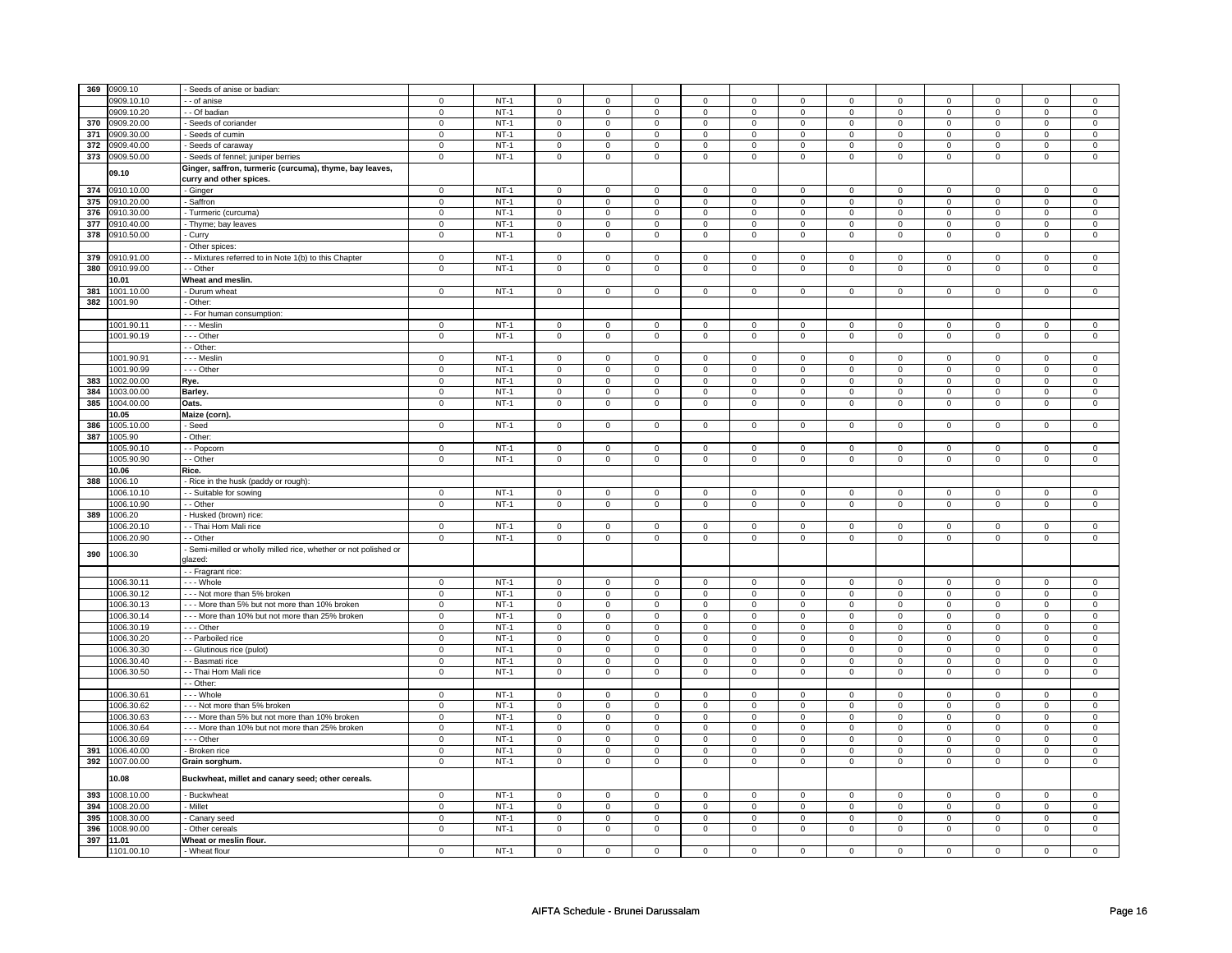|     | 369 0909.10              | Seeds of anise or badian:                                                          |                               |                  |                            |                               |                            |                               |                     |                               |                            |                                |                            |                                |                            |                                |
|-----|--------------------------|------------------------------------------------------------------------------------|-------------------------------|------------------|----------------------------|-------------------------------|----------------------------|-------------------------------|---------------------|-------------------------------|----------------------------|--------------------------------|----------------------------|--------------------------------|----------------------------|--------------------------------|
|     | 909.10.10                | - of anise                                                                         | 0                             | $NT-1$           | 0                          | $\mathbf 0$                   | 0                          | $\mathbf 0$                   | 0                   | $\mathsf 0$                   | 0                          | $\mathbf 0$                    | $\mathbf 0$                | $\mathsf 0$                    | $\mathbf 0$                | $\mathbf 0$                    |
|     | 0909.10.20               | - Of badian                                                                        | $\mathbf 0$                   | $NT-1$           | $\mathbf 0$                | $\mathbf 0$                   | $\mathbf 0$                | $\mathbf 0$                   | $\mathbf{0}$        | 0                             | $\mathbf{0}$               | $\mathbf{0}$                   | $\mathbf 0$                | $\mathbf 0$                    | $\mathbf 0$                | $\mathbf{0}$                   |
| 370 | 0909.20.00               | Seeds of coriander                                                                 | $\mathbf 0$                   | $NT-1$           | $\mathbf 0$                | $\mathbf 0$                   | $\mathbf 0$                | 0                             | $\mathbf 0$         | 0                             | 0                          | $\mathbf 0$                    | $\mathbf 0$                | $\mathbf 0$                    | 0                          | $\mathbf 0$                    |
| 371 | 0909.30.00               | Seeds of cumin                                                                     | $\mathbf 0$                   | $NT-1$           | $\mathbf 0$                | $\mathbf 0$                   | $\mathbf 0$                | $\mathbf 0$                   | $\mathbf 0$         | $\mathbf 0$                   | $\mathbf 0$                | $\mathbf 0$                    | $\mathbf 0$                | $\mathbf 0$                    | $\mathbf 0$                | $\mathbf 0$                    |
| 372 | 0909.40.00               | Seeds of caraway                                                                   | $\mathsf 0$                   | $NT-1$           | $\mathsf 0$                | $\mathbf 0$                   | $\mathsf 0$                | $\mathsf 0$                   | $\mathsf 0$         | $\mathsf 0$                   | $\mathbf 0$                | $\mathsf 0$                    | $\mathbf 0$                | $\mathsf 0$                    | $\mathbf 0$                | $\mathsf 0$                    |
|     | 373 0909.50.00           | Seeds of fennel; juniper berries                                                   | $\mathbf 0$                   | $NT-1$           | 0                          | $\mathbf 0$                   | 0                          | 0                             | 0                   | 0                             | 0                          | $\mathbf 0$                    | $\mathbf 0$                | $\mathbf 0$                    | $\mathbf 0$                | $\mathbf 0$                    |
|     | 09.10                    | Ginger, saffron, turmeric (curcuma), thyme, bay leaves,                            |                               |                  |                            |                               |                            |                               |                     |                               |                            |                                |                            |                                |                            |                                |
|     | 374 0910.10.00           | curry and other spices.                                                            | $\mathbf 0$                   | $NT-1$           | $\mathbf 0$                | $\overline{0}$                | $\mathbf 0$                | $\mathbf{0}$                  | $\mathbf 0$         | $\mathbf{0}$                  | 0                          | $\mathbf{0}$                   | $\mathbf 0$                | $\mathbf{0}$                   | 0                          | $\mathbf{0}$                   |
| 375 | 0910.20.00               | - Ginger<br>Saffron                                                                | $\mathbf 0$                   | $NT-1$           | $\mathsf 0$                | $\mathbf 0$                   | $\mathbf 0$                | $\mathbf 0$                   | $\mathsf 0$         | $\mathbf 0$                   | 0                          | $\mathbf 0$                    | $\mathbf 0$                | $\mathbf 0$                    | 0                          | $\mathbf 0$                    |
| 376 | 0910.30.00               | Turmeric (curcuma)                                                                 | $\mathbf 0$                   | $NT-1$           | $\mathsf 0$                | $\mathbf 0$                   | $\mathbf 0$                | $\mathbf 0$                   | $\mathsf 0$         | $\mathbf 0$                   | $\mathbf 0$                | $\mathbf 0$                    | $\mathbf 0$                | $\mathbf 0$                    | $\mathbf 0$                | $\mathbf 0$                    |
| 377 | 0910.40.00               | - Thyme; bay leaves                                                                | $\mathsf 0$                   | $NT-1$           | $\mathsf 0$                | $\mathbf 0$                   | $\mathbf 0$                | $\mathbf 0$                   | $\mathsf 0$         | $\mathbf 0$                   | 0                          | $\mathbf 0$                    | $\mathbf 0$                | $\mathbf 0$                    | 0                          | $\mathsf 0$                    |
| 378 | 0910.50.00               | Curry                                                                              | $\mathbf 0$                   | <b>NT-1</b>      | 0                          | $\mathbf 0$                   | 0                          | 0                             | 0                   | 0                             | 0                          | $\mathbf 0$                    | $\mathbf 0$                | $\mathbf 0$                    | $\mathbf 0$                | $\mathbf 0$                    |
|     |                          | Other spices:                                                                      |                               |                  |                            |                               |                            |                               |                     |                               |                            |                                |                            |                                |                            |                                |
|     | 379 0910.91.00           | - Mixtures referred to in Note 1(b) to this Chapter                                | $\mathbf 0$                   | $NT-1$           | $\mathsf{O}\xspace$        | $\mathbf 0$                   | $\mathbf 0$                | 0                             | 0                   | $\mathbf 0$                   | 0                          | $\mathbf 0$                    | $\mathbf 0$                | $\mathbf 0$                    | 0                          | $\mathbf 0$                    |
|     | 380 0910.99.00           | - Other                                                                            | $\mathbf 0$                   | $NT-1$           | $\mathbf 0$                | $\mathbf 0$                   | $\mathbf 0$                | 0                             | $\mathbf 0$         | 0                             | 0                          | $\mathbf 0$                    | $\mathbf 0$                | $\mathbf 0$                    | 0                          | $\mathbf 0$                    |
|     | 10.01                    | Wheat and meslin.                                                                  |                               |                  |                            |                               |                            |                               |                     |                               |                            |                                |                            |                                |                            |                                |
| 381 | 1001.10.00               | Durum wheat                                                                        | $\mathbf 0$                   | $NT-1$           | $\mathbf 0$                | $\mathbf 0$                   | $\mathbf 0$                | $\mathbf 0$                   | $\mathbf 0$         | $\mathbf 0$                   | $\mathbf 0$                | $\mathbf 0$                    | $\mathbf 0$                | $\mathbf{0}$                   | $\mathbf 0$                | $\mathbf 0$                    |
|     | 382 1001.90              | Other:                                                                             |                               |                  |                            |                               |                            |                               |                     |                               |                            |                                |                            |                                |                            |                                |
|     |                          | - - For human consumption:                                                         |                               |                  |                            |                               |                            |                               |                     |                               |                            |                                |                            |                                |                            |                                |
|     | 1001.90.11               | - - - Meslin                                                                       | $\mathbf 0$                   | $NT-1$           | $\mathbf 0$                | $\mathbf 0$                   | $^{\circ}$                 | 0                             | $\mathbf 0$         | 0                             | $^{\circ}$                 | $\mathbf 0$                    | $\mathbf 0$                | $\mathbf 0$                    | $^{\circ}$                 | $\mathbf 0$                    |
|     | 1001.90.19               | --- Other                                                                          | $\mathbf 0$                   | $NT-1$           | 0                          | $\mathbf 0$                   | $\mathbf 0$                | $\mathbf 0$                   | 0                   | 0                             | $\mathbf 0$                | $\overline{0}$                 | 0                          | $\mathbf 0$                    | $\mathbf 0$                | $\overline{0}$                 |
|     |                          | - Other:                                                                           |                               |                  |                            |                               |                            |                               |                     |                               |                            |                                |                            |                                |                            |                                |
|     | 1001.90.9                | - - Meslin                                                                         | $\Omega$                      | $NT-1$           | $\mathbf 0$                | $\mathbf 0$                   | $\mathbf 0$                | $\mathbf 0$                   | $\mathbf 0$         | $\mathbf 0$                   | $\Omega$                   | $\mathbf 0$                    | $\mathbf 0$                | $\mathbf 0$                    | $\Omega$                   | $\mathbf 0$                    |
|     | 1001.90.99               | --- Other                                                                          | $\mathbf 0$                   | $NT-1$           | $\mathsf 0$                | $\mathbf 0$                   | $\mathsf 0$                | $\mathsf 0$                   | $\mathsf 0$         | $\mathsf 0$                   | 0                          | $\mathsf 0$                    | $\mathbf 0$                | $\mathsf 0$                    | $\Omega$                   | $\mathsf 0$                    |
| 383 | 1002.00.00               | Rye.                                                                               | $\mathsf 0$                   | $NT-1$           | $\mathbf 0$                | $\mathbf 0$                   | $\mathbf 0$                | $\mathbf 0$                   | $\mathbf 0$         | 0                             | 0                          | $\mathbf 0$                    | 0                          | $\mathbf 0$                    | 0                          | $\mathbf 0$                    |
| 384 | 1003.00.00               | Barley.                                                                            | $\mathsf 0$                   | $NT-1$           | $\mathbf 0$                | $\mathbf 0$                   | $\mathbf 0$                | 0                             | $\mathbf 0$         | 0                             | 0                          | 0                              | 0                          | 0                              | 0                          | 0                              |
| 385 | 1004.00.00               | Dats.                                                                              | $\mathsf 0$                   | $NT-1$           | 0                          | $\mathsf 0$                   | 0                          | $\mathsf 0$                   | 0                   | $\mathsf 0$                   | 0                          | $\mathbf 0$                    | 0                          | $\mathbf 0$                    | $\mathbf 0$                | $\mathbf 0$                    |
|     | 10.05                    | Maize (corn).                                                                      |                               |                  |                            |                               |                            |                               |                     |                               |                            |                                |                            |                                |                            |                                |
| 386 | 1005.10.00               | Seed                                                                               | $\mathbf 0$                   | $NT-1$           | $\mathsf 0$                | $\mathbf 0$                   | $\mathsf 0$                | $\mathbf 0$                   | $\mathsf 0$         | $\mathbf 0$                   | $\mathbf 0$                | $\mathbf 0$                    | $\mathbf 0$                | $\mathbf 0$                    | $\mathbf 0$                | $\mathbf 0$                    |
| 387 | 1005.90                  | Other:                                                                             |                               |                  |                            |                               |                            |                               |                     |                               |                            |                                |                            |                                |                            |                                |
|     | 1005.90.10               | - Popcorn                                                                          | $\mathsf 0$                   | $NT-1$           | $\mathsf 0$                | $\mathbf 0$                   | $\mathsf{o}\,$             | $\mathbf 0$                   | $\mathsf 0$         | $\mathbf 0$                   | $\mathsf{o}$               | $\circ$                        | $\mathsf 0$                | $\mathbf 0$                    | $\mathbf 0$                | $\circ$                        |
|     | 1005.90.90               | - - Other                                                                          | $\mathbf 0$                   | $NT-1$           | $\mathbf 0$                | $\mathbf 0$                   | $\mathbf 0$                | 0                             | 0                   | 0                             | 0                          | $\mathbf 0$                    | $\mathbf 0$                | 0                              | 0                          | 0                              |
|     | 10.06                    | Rice.                                                                              |                               |                  |                            |                               |                            |                               |                     |                               |                            |                                |                            |                                |                            |                                |
| 388 | 1006.10                  | Rice in the husk (paddy or rough):                                                 |                               |                  |                            |                               |                            |                               |                     |                               |                            |                                |                            |                                |                            |                                |
|     | 1006.10.1                | - - Suitable for sowing                                                            | $\mathbf 0$                   | $NT-1$           | $\mathbf 0$                | $\mathbf 0$                   | $\mathbf 0$                | 0                             | $\mathbf 0$         | 0                             | 0                          | $\mathbf{0}$                   | $\mathbf 0$                | $\mathbf 0$                    | 0                          | $\mathbf 0$                    |
|     | 1006.10.90               | - - Other                                                                          | $\mathsf 0$                   | $NT-1$           | $\mathsf 0$                | $\mathbf 0$                   | $\mathbf 0$                | $\mathbf 0$                   | $\mathsf 0$         | $\mathbf 0$                   | 0                          | $\mathbf 0$                    | $\mathbf 0$                | $\mathbf 0$                    | 0                          | $\mathbf 0$                    |
| 389 | 1006.20                  | Husked (brown) rice:                                                               |                               |                  |                            |                               |                            |                               |                     |                               |                            |                                |                            |                                |                            |                                |
|     | 1006.20.10               | - Thai Hom Mali rice                                                               | $\mathbf 0$                   | $NT-1$           | $\mathsf 0$                | $\mathbf 0$                   | $\mathbf 0$                | $\mathbf 0$                   | $\mathbf 0$         | $\mathbf 0$                   | 0                          | $\mathbf 0$                    | 0                          | $\mathbf 0$                    | $\Omega$                   | $\mathbf 0$                    |
| 390 | 1006.20.90<br>1006.30    | - Other<br>Semi-milled or wholly milled rice, whether or not polished or<br>dazed: | $\mathbf 0$                   | $NT-1$           | $\mathbf 0$                | $\mathbf 0$                   | $\mathbf 0$                | $\mathbf 0$                   | $\mathbf 0$         | $\mathsf 0$                   | 0                          | $\mathsf 0$                    | 0                          | $\mathsf 0$                    | 0                          | $\mathsf 0$                    |
|     |                          | - - Fragrant rice:                                                                 |                               |                  |                            |                               |                            |                               |                     |                               |                            |                                |                            |                                |                            |                                |
|     | 1006.30.1                | - - Whole                                                                          | $\Omega$                      | $NT-1$           | $\mathbf 0$                | $\mathbf 0$                   | $\mathbf 0$                | $\mathbf 0$                   | $\mathbf 0$         | $\mathbf 0$                   | $\mathbf 0$                | $\mathbf 0$                    | $\mathbf 0$                | $\mathbf 0$                    | $\mathbf 0$                | $\mathbf 0$                    |
|     | 1006.30.12               | --- Not more than 5% broken                                                        | $\mathsf 0$                   | $NT-1$           | $\mathsf{O}\xspace$        | $\mathsf 0$                   | $\mathbf 0$                | $\mathbf 0$                   | $\mathsf{O}\xspace$ | $\mathsf 0$                   | $\mathbf 0$                | $\mathsf 0$                    | $\mathsf 0$                | $\mathsf 0$                    | $\mathbf 0$                | $\mathbf 0$                    |
|     | 1006.30.13               | --- More than 5% but not more than 10% broken                                      | $\mathbf 0$                   | $NT-1$           | 0                          | $\mathbf 0$                   | $\mathbf 0$                | 0                             | $\mathbf 0$         | 0                             | 0                          | $\mathbf 0$                    | 0                          | $\mathbf 0$                    | 0                          | $\mathbf 0$                    |
|     | 1006.30.14               | - - - More than 10% but not more than 25% broken                                   | $\mathsf 0$                   | $NT-1$           | $\mathsf 0$                | $\mathbf 0$                   | $\mathbf 0$                | 0                             | $\mathbf 0$         | $\mathsf 0$                   | 0                          | $\mathbf 0$                    | 0                          | $\mathsf 0$                    | 0                          | $\mathsf 0$                    |
|     | 1006.30.19               | --- Other                                                                          | $\mathbf 0$                   | $NT-1$           | $\mathbf 0$                | $\mathbf 0$                   | $\mathbf 0$                | $\mathbf 0$                   | $\mathsf 0$         | $\mathbf 0$                   | 0                          | $\mathbf 0$                    | $\mathbf 0$                | $\mathbf 0$                    | $\mathbf 0$                | $\mathbf 0$                    |
|     | 1006.30.20               | - Parboiled rice                                                                   | $\mathbf 0$                   | $NT-1$           | $\mathbf 0$                | $\mathbf 0$                   | $\mathbf 0$                | $\mathbf 0$                   | $\mathbf 0$         | 0                             | 0                          | $\mathbf 0$                    | $\mathbf 0$                | $\mathbf 0$                    | 0                          | $\mathbf 0$                    |
|     | 1006.30.30               | - - Glutinous rice (pulot)                                                         | $\mathbf 0$                   | $NT-1$           | $\mathsf 0$                | $\mathbf 0$                   | $\mathbf 0$                | $\mathbf 0$                   | $\mathsf 0$         | $\mathbf 0$                   | 0                          | $\mathbf 0$                    | $\mathbf 0$                | $\mathbf 0$                    | 0                          | $\mathbf 0$                    |
|     | 1006.30.40<br>1006.30.50 | - Basmati rice                                                                     | $\mathbf 0$<br>$\overline{0}$ | $NT-1$<br>$NT-1$ | $\mathbf 0$<br>$\mathsf 0$ | $\mathbf 0$<br>$\overline{0}$ | $\mathbf 0$<br>$\mathsf 0$ | $\mathbf 0$<br>$\overline{0}$ | $\mathbf 0$         | $\mathbf 0$<br>$\overline{0}$ | $\mathbf 0$<br>$\mathbf 0$ | $\mathbf{0}$<br>$\overline{0}$ | $\mathbf 0$<br>$\mathbf 0$ | $\mathbf{0}$<br>$\overline{0}$ | $\mathbf 0$<br>$\mathbf 0$ | $\mathbf{0}$<br>$\overline{0}$ |
|     |                          | - - Thai Hom Mali rice<br>- Other:                                                 |                               |                  |                            |                               |                            |                               | $\mathsf{O}\xspace$ |                               |                            |                                |                            |                                |                            |                                |
|     | 1006.30.61               | - - Whole                                                                          | $\mathbf 0$                   | $NT-1$           | $\mathbf 0$                | $\mathbf 0$                   | $\mathbf 0$                | $\mathbf 0$                   | $\mathbf 0$         | $\mathbf 0$                   | $\mathbf 0$                | $\mathbf 0$                    | $\mathbf 0$                | $\mathbf 0$                    | $\mathbf 0$                | $\mathbf 0$                    |
|     | 1006.30.62               | --- Not more than 5% broken                                                        | $\pmb{0}$                     | $NT-1$           | 0                          | $\mathbf 0$                   | $^{\circ}$                 | 0                             | 0                   | 0                             | $^{\circ}$                 | $\mathbf 0$                    | 0                          | $\mathbf 0$                    | $^{\circ}$                 | $\mathbf 0$                    |
|     | 1006.30.63               | --- More than 5% but not more than 10% broken                                      | $\mathbf 0$                   | $NT-1$           | $\mathbf 0$                | $\mathbf 0$                   | $\mathbf 0$                | 0                             | $\mathbf 0$         | 0                             | $\mathbf 0$                | $\mathbf 0$                    | $\mathbf 0$                | $\mathbf 0$                    | $\mathbf 0$                | $\mathbf 0$                    |
|     | 1006.30.64               | --- More than 10% but not more than 25% broken                                     | $\mathbf 0$                   | $NT-1$           | $\mathsf 0$                | $\mathbf 0$                   | $\Omega$                   | $\mathbf 0$                   | $\mathsf 0$         | $\mathbf 0$                   | $\Omega$                   | $\mathbf 0$                    | $\mathbf 0$                | $\mathbf 0$                    | $\Omega$                   | $\mathbf 0$                    |
|     | 1006.30.69               | - - - Other                                                                        | $\mathbf 0$                   | $NT-1$           | $\mathbf 0$                | $\mathbf 0$                   | $\mathbf 0$                | $\mathbf 0$                   | $\mathsf 0$         | $\mathsf 0$                   | $\mathbf 0$                | $\mathbf 0$                    | $\mathbf 0$                | $\mathsf 0$                    | $\mathbf 0$                | $\mathbf 0$                    |
| 391 | 1006.40.00               | - Broken rice                                                                      | $\mathsf 0$                   | $NT-1$           | $\mathsf 0$                | $\mathbf 0$                   | $\mathsf 0$                | $\mathsf 0$                   | $\mathsf 0$         | $\mathsf 0$                   | $\mathbf 0$                | $\mathsf 0$                    | $\mathbf 0$                | $\mathsf 0$                    | $\mathbf 0$                | $\mathsf 0$                    |
|     | 392 1007.00.00           | Grain sorghum.                                                                     | $\mathsf 0$                   | $NT-1$           | $\mathsf 0$                | $\mathbf 0$                   | $\mathsf 0$                | $\mathbf 0$                   | $\mathsf 0$         | $\mathbf 0$                   | $\mathbf 0$                | $\mathbf 0$                    | $\mathbf 0$                | $\mathbf 0$                    | $\mathbf 0$                | $\mathsf 0$                    |
|     | 10.08                    | Buckwheat, millet and canary seed; other cereals.                                  |                               |                  |                            |                               |                            |                               |                     |                               |                            |                                |                            |                                |                            |                                |
|     | 393 1008.10.00           | - Buckwheat                                                                        | $\mathbf 0$                   | $NT-1$           | $\mathbf 0$                | $\overline{0}$                | $\mathbf 0$                | $\mathbf{0}$                  | $\mathbf 0$         | $\mathbf{0}$                  | $\mathbf 0$                | $\mathbf{0}$                   | $\mathbf 0$                | $\mathbf{0}$                   | $\mathbf 0$                | $\mathbf{0}$                   |
| 394 | 1008.20.00               | Millet                                                                             | $\mathbf 0$                   | $NT-1$           | $\mathbf 0$                | $\mathbf 0$                   | $\mathbf 0$                | $\mathbf 0$                   | $\mathbf 0$         | $\mathbf 0$                   | $\mathbf 0$                | $\mathbf 0$                    | $\mathbf 0$                | $\mathbf{0}$                   | $\mathbf 0$                | $\mathbf{0}$                   |
| 395 | 1008.30.00               | Canary seed                                                                        | $\mathbf 0$                   | $NT-1$           | $\mathsf{O}\xspace$        | $\mathbf 0$                   | $\mathbf 0$                | $\mathsf 0$                   | $\mathsf{O}\xspace$ | $\mathsf 0$                   | $\mathbf 0$                | $\mathsf 0$                    | $\mathsf 0$                | $\mathsf 0$                    | $\mathbf 0$                | $\mathsf 0$                    |
|     | 396 1008.90.00           | Other cereals                                                                      | $\mathbf 0$                   | $NT-1$           | $\mathbf 0$                | $\mathbf 0$                   | $\mathbf 0$                | $\mathbf 0$                   | $\mathbf 0$         | $\mathbf 0$                   | 0                          | $\mathbf 0$                    | 0                          | $\mathbf 0$                    | 0                          | $\mathbf 0$                    |
|     | 397 11.01                | Wheat or meslin flour.                                                             |                               |                  |                            |                               |                            |                               |                     |                               |                            |                                |                            |                                |                            |                                |
|     | 1101.00.10               | - Wheat flour                                                                      | $\mathsf 0$                   | $NT-1$           | $\mathsf 0$                | $\mathbf 0$                   | $\mathsf 0$                | $\mathsf 0$                   | $\mathsf 0$         | $\mathsf 0$                   | $\mathbf 0$                | $\mathsf 0$                    | $\mathbf 0$                | $\mathsf 0$                    | $\mathbf 0$                | $\mathbf 0$                    |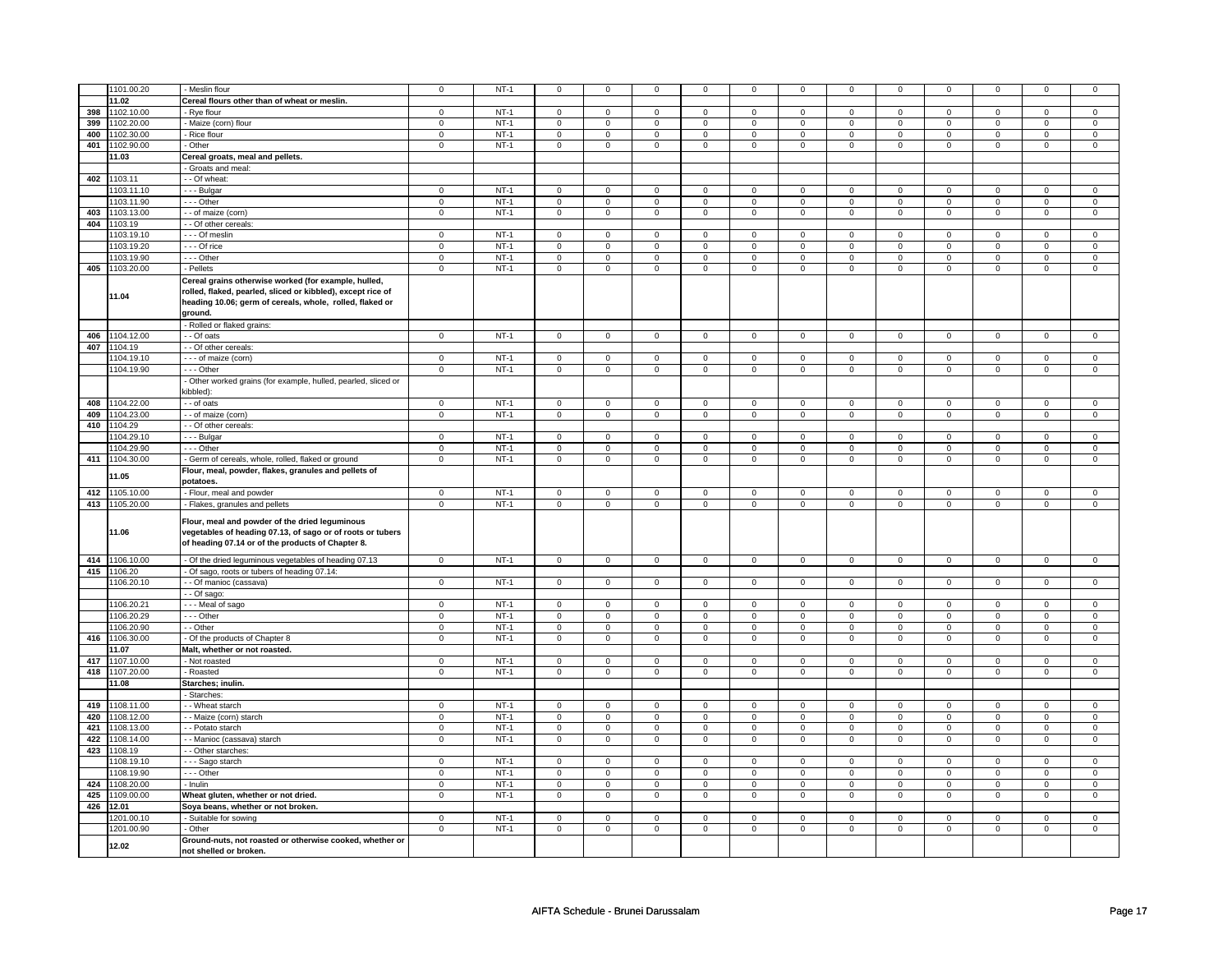|     | 1101.00.20              | - Meslin flour                                                                                                                                                    | $\mathbf 0$             | $NT-1$ | 0                       | 0              | 0                           | 0              | 0                       | 0              | 0                | 0              | $\mathbf 0$             | 0                       | $\Omega$       | $\mathbf 0$    |
|-----|-------------------------|-------------------------------------------------------------------------------------------------------------------------------------------------------------------|-------------------------|--------|-------------------------|----------------|-----------------------------|----------------|-------------------------|----------------|------------------|----------------|-------------------------|-------------------------|----------------|----------------|
|     | 11.02                   | Cereal flours other than of wheat or meslin.                                                                                                                      |                         |        |                         |                |                             |                |                         |                |                  |                |                         |                         |                |                |
| 398 | 1102.10.00              | - Rye flour                                                                                                                                                       | $\mathbf 0$             | $NT-1$ | $\mathbf 0$             | $\mathsf 0$    | $\mathbf 0$                 | $\mathbf 0$    | $\mathbf 0$             | $\mathbf 0$    | $\mathbf 0$      | $\mathbf 0$    | $\mathsf 0$             | 0                       | $\Omega$       | $\mathbf 0$    |
| 399 | 1102.20.00              | - Maize (corn) flour                                                                                                                                              | $\mathsf 0$             | $NT-1$ | 0                       | $\mathbf{0}$   | 0                           | $\mathbf{0}$   | 0                       | $\mathbf{0}$   | 0                | $\mathbf{0}$   | 0                       | $\mathbf 0$             | $\Omega$       | $\overline{0}$ |
|     | 400 1102.30.00          | - Rice flour                                                                                                                                                      | $\mathbf 0$             | $NT-1$ | $\mathsf 0$             | $\mathbf 0$    | $\mathbf 0$                 | $\mathbf 0$    | $\mathbf 0$             | $\mathbf 0$    | $\mathbf 0$      | $\mathbf 0$    | $\mathsf 0$             | $\mathbf 0$             | $\Omega$       | $\mathbf 0$    |
|     | 401 1102.90.00          | Other                                                                                                                                                             | $\mathbf 0$             | $NT-1$ | $\mathbf 0$             | $\mathbf 0$    | $\mathbf 0$                 | $\mathbf{0}$   | $\mathbf 0$             | $\mathbf{0}$   | $\mathbf 0$      | $\mathbf{0}$   | $\mathbf 0$             | $\mathbf{0}$            | $\mathbf 0$    | $\mathbf{0}$   |
|     | 11.03                   | Cereal groats, meal and pellets.                                                                                                                                  |                         |        |                         |                |                             |                |                         |                |                  |                |                         |                         |                |                |
|     |                         | Groats and meal:                                                                                                                                                  |                         |        |                         |                |                             |                |                         |                |                  |                |                         |                         |                |                |
|     | 402 1103.11             | - - Of wheat:                                                                                                                                                     |                         |        |                         |                |                             |                |                         |                |                  |                |                         |                         |                |                |
|     | 1103.11.10              | - - - Bulgar                                                                                                                                                      | $\mathbf 0$             | $NT-1$ | 0                       | $\mathbf 0$    | 0                           | $\mathbf 0$    | 0                       | $\mathbf 0$    | 0                | $\mathbf 0$    | 0                       | $\mathbf 0$             | 0              | $\mathbf 0$    |
|     | 1103.11.90              | - - - Other                                                                                                                                                       | $\mathbf 0$             | $NT-1$ | 0                       | $\mathbf 0$    | 0                           | $\mathbf 0$    | 0                       | $\mathbf 0$    | 0                | $\mathbf 0$    | 0                       | 0                       | 0              | 0              |
| 403 | 1103.13.00              | - - of maize (corn)                                                                                                                                               | $\mathbf 0$             | $NT-1$ | 0                       | $\mathbf 0$    | 0                           | $\mathbf 0$    | 0                       | $\mathbf 0$    | 0                | $\mathbf 0$    | 0                       | $\mathbf{0}$            | 0              | $\mathbf{0}$   |
|     | 404 1103.19             | - Of other cereals:                                                                                                                                               |                         |        |                         |                |                             |                |                         |                |                  |                |                         |                         |                |                |
|     | 1103.19.10              | - - - Of meslin                                                                                                                                                   | $\mathbf 0$             | $NT-1$ | $\mathbf 0$             | $\mathbf 0$    | $\mathbf 0$                 | $\mathbf 0$    | $\mathbf 0$             | $\mathbf 0$    | $\Omega$         | $\mathbf 0$    | $\mathbf 0$             | $\mathbf 0$             | $\Omega$       | $\mathbf 0$    |
|     | 1103.19.20              | --- Of rice                                                                                                                                                       | $\mathbf 0$             | $NT-1$ | 0                       | $\mathsf 0$    | 0                           | $\mathbf 0$    | 0                       | $\mathbf 0$    | 0                | $\mathbf 0$    | 0                       | 0                       | 0              | 0              |
|     | 1103.19.90              | --- Other                                                                                                                                                         | $\mathbf 0$             | $NT-1$ | 0                       | $\mathsf 0$    | 0                           | $\mathbf 0$    | 0                       | $\mathbf 0$    | 0                | $\mathbf 0$    | 0                       | 0                       | 0              | $\mathsf 0$    |
|     | 405 1103.20.00          | - Pellets                                                                                                                                                         | $\mathbf 0$             | $NT-1$ | 0                       | $\mathbf 0$    | 0                           | $\mathbf 0$    | $\mathbf 0$             | $\mathbf 0$    | $\mathbf 0$      | $\mathbf 0$    | 0                       | $\mathbf 0$             | 0              | $\mathbf 0$    |
|     |                         | Cereal grains otherwise worked (for example, hulled,                                                                                                              |                         |        |                         |                |                             |                |                         |                |                  |                |                         |                         |                |                |
|     | 11.04                   | rolled, flaked, pearled, sliced or kibbled), except rice of<br>heading 10.06; germ of cereals, whole, rolled, flaked or<br>ground.                                |                         |        |                         |                |                             |                |                         |                |                  |                |                         |                         |                |                |
|     |                         | Rolled or flaked grains:                                                                                                                                          |                         |        |                         |                |                             |                |                         |                |                  |                |                         |                         |                |                |
|     | 406 1104.12.00          | - - Of oats                                                                                                                                                       | $\mathbf 0$             | $NT-1$ | $\overline{0}$          | $\overline{0}$ | $\overline{0}$              | $\overline{0}$ | $\overline{0}$          | $\overline{0}$ | $\overline{0}$   | $\overline{0}$ | $\overline{0}$          | $\overline{0}$          | $\overline{0}$ | $\overline{0}$ |
|     | 407 1104.19             | - Of other cereals:                                                                                                                                               |                         |        |                         |                |                             |                |                         |                |                  |                |                         |                         |                |                |
|     | 104.19.1                | -- of maize (corn)                                                                                                                                                | $\mathbf 0$             | $NT-1$ | $\mathbf 0$             | $\mathbf{0}$   | $\mathbf 0$<br>$\mathbf{0}$ | $\mathbf{0}$   | $\mathbf 0$             | $\mathbf{0}$   | $\mathbf 0$      | $\mathbf{0}$   | $\mathbf 0$             | 0                       | $\Omega$       | $\mathbf 0$    |
|     | 1104.19.90              | - - - Other                                                                                                                                                       | $\mathsf 0$             | $NT-1$ | $\mathsf 0$             | $\mathbf 0$    |                             | $\mathbf 0$    | $\mathbf 0$             | $\mathbf 0$    | $\mathbf 0$      | $\mathbf 0$    | $\mathsf 0$             | $\mathbf{O}$            | $\mathbf 0$    | $\mathbf{O}$   |
|     |                         | - Other worked grains (for example, hulled, pearled, sliced or<br>kibbled):                                                                                       |                         |        |                         |                |                             |                |                         |                |                  |                |                         |                         |                |                |
|     | 408 1104.22.00          | - of oats                                                                                                                                                         | $\mathbf 0$             | $NT-1$ | $\mathbf 0$             | $\mathbf 0$    | $\mathbf 0$                 | $\mathbf 0$    | $\mathbf 0$             | $\mathbf 0$    | $\mathbf 0$      | $\mathbf 0$    | $\mathsf 0$             | $\mathbf 0$             | 0              | $\mathbf{0}$   |
|     | 409 1104.23.00          | - of maize (corn)                                                                                                                                                 | $\mathbf 0$             | $NT-1$ | $\mathbf 0$             | $\mathbf 0$    | $\mathbf{0}$                | $\mathbf 0$    | $\mathbf{0}$            | $\mathbf 0$    | $\mathbf{0}$     | $\mathbf{0}$   | 0                       | $\overline{0}$          | $\mathbf{0}$   | $\mathbf{0}$   |
|     | 410 1104.29             | - Of other cereals:                                                                                                                                               |                         |        |                         |                |                             |                |                         |                |                  |                |                         |                         |                |                |
|     | 1104.29.10              | --- Bulgar                                                                                                                                                        | $\mathbf 0$             | $NT-1$ | $\mathbf 0$             | $\mathbf 0$    | $\mathbf 0$                 | $\mathbf 0$    | $\mathbf 0$             | $\mathbf 0$    | $\mathbf 0$      | $\mathbf 0$    | $\mathbf 0$             | $\mathbf 0$             | $\Omega$       | $\mathbf 0$    |
|     | 1104.29.90              | --- Other                                                                                                                                                         | $\overline{\mathbf{0}}$ | $NT-1$ | $\overline{\mathbf{0}}$ | $\overline{0}$ | 0                           | $\overline{0}$ | $\overline{\mathbf{0}}$ | $\overline{0}$ | 0                | $\overline{0}$ | $\overline{\mathbf{0}}$ | $\overline{\mathbf{0}}$ | 0              | $\overline{0}$ |
|     | 411 1104.30.00          | Germ of cereals, whole, rolled, flaked or ground                                                                                                                  | $\mathbf 0$             | $NT-1$ | 0                       | $\mathbf 0$    | 0                           | $\mathbf 0$    | 0                       | $\overline{0}$ | 0                | $\mathbf 0$    | 0                       | $\mathbf 0$             | 0              | $\overline{0}$ |
|     | 11.05                   | Flour, meal, powder, flakes, granules and pellets of<br>potatoes.                                                                                                 |                         |        |                         |                |                             |                |                         |                |                  |                |                         |                         |                |                |
|     | 412 1105.10.00          | - Flour, meal and powder                                                                                                                                          | $\mathbf 0$             | $NT-1$ | $\mathbf 0$             | $\mathbf 0$    | $\mathbf 0$                 | $\mathbf 0$    | $\mathbf 0$             | $\mathbf 0$    | $\mathbf 0$      | $\mathbf 0$    | $\mathbf 0$             | $\mathbf 0$             | $\mathbf 0$    | $\mathbf 0$    |
|     | 413 1105.20.00          | - Flakes, granules and pellets                                                                                                                                    | $\mathbf 0$             | $NT-1$ | $\mathbf 0$             | $\mathbf 0$    | $\mathbf 0$                 | $\mathbf 0$    | $\mathbf 0$             | $\overline{0}$ | $\mathbf 0$      | $\overline{0}$ | $\mathbf 0$             | $\overline{0}$          | $\mathbf 0$    | $\overline{0}$ |
|     |                         |                                                                                                                                                                   |                         |        |                         |                |                             |                |                         |                |                  |                |                         |                         |                |                |
|     | 11.06                   | Flour, meal and powder of the dried leguminous<br>vegetables of heading 07.13, of sago or of roots or tubers<br>of heading 07.14 or of the products of Chapter 8. |                         |        |                         |                |                             |                |                         |                |                  |                |                         |                         |                |                |
|     | 414 1106.10.00          | - Of the dried leguminous vegetables of heading 07.13                                                                                                             | $\mathbf 0$             | $NT-1$ | $\mathbf{0}$            | $\mathbf{0}$   | $\mathbf{0}$                | $\overline{0}$ | $\mathbf{0}$            | $\overline{0}$ | $\mathbf{0}$     | $\overline{0}$ | $\mathbf{0}$            | $\overline{0}$          | $\mathbf{0}$   | $\mathbf{0}$   |
|     | 415 1106.20             | - Of sago, roots or tubers of heading 07.14:                                                                                                                      |                         |        |                         |                |                             |                |                         |                |                  |                |                         |                         |                |                |
|     | 1106.20.10              | - - Of manioc (cassava)                                                                                                                                           | $\mathbf 0$             | $NT-1$ | $\mathbf 0$             | $\mathbf 0$    | $\mathbf 0$                 | $\mathbf 0$    | $\mathbf 0$             | $\mathbf 0$    | $\mathbf 0$      | $\mathbf 0$    | $\mathsf 0$             | $\mathbf 0$             | $\mathbf 0$    | $\mathbf 0$    |
|     |                         | - - Of sago:                                                                                                                                                      |                         |        |                         |                |                             |                |                         |                |                  |                |                         |                         |                |                |
|     | 1106.20.21              | - - - Meal of sago                                                                                                                                                | $\mathbf 0$             | $NT-1$ | 0                       | $\mathbf 0$    | 0                           | 0              | 0                       | $\mathbf 0$    | 0                | 0              | 0                       | 0                       | $\mathbf 0$    | $\mathbf 0$    |
|     | 1106.20.29              | --- Other                                                                                                                                                         | $\mathsf 0$             | $NT-1$ | $\mathsf 0$             | $\mathbf 0$    | 0                           | $\mathbf 0$    | $\mathbf 0$             | $\mathbf 0$    | 0                | $\mathbf 0$    | $\mathsf 0$             | $\mathbf 0$             | 0              | $\mathbf 0$    |
|     | 1106.20.90              | - - Other                                                                                                                                                         | $\mathbf 0$             | $NT-1$ | $\mathbf{0}$            | $\mathbf{0}$   | $\mathbf{0}$                | $\mathbf{0}$   | $\mathbf{0}$            | $\mathbf{0}$   | $\mathbf{0}$     | $\overline{0}$ | 0                       | $\overline{0}$          | 0              | $\mathbf{0}$   |
|     | 416 1106.30.00          | Of the products of Chapter 8                                                                                                                                      | $\mathbf 0$             | $NT-1$ | $\mathbf 0$             | $\mathbf 0$    | $\mathbf 0$                 | $\mathbf 0$    | $\mathbf 0$             | $\mathbf 0$    | 0                | $\mathbf 0$    | 0                       | $\mathbf 0$             | $\Omega$       | $\mathbf 0$    |
|     | 11.07                   | Malt, whether or not roasted.                                                                                                                                     |                         |        |                         |                |                             |                |                         |                |                  |                |                         |                         |                |                |
|     | 417 1107.10.00          | - Not roasted                                                                                                                                                     | $\mathbf 0$             | $NT-1$ | 0                       | $\overline{0}$ | 0                           | $\overline{0}$ | 0                       | $\overline{0}$ | 0                | $\overline{0}$ | 0                       | $\overline{0}$          | 0              | $\mathbf 0$    |
|     | 418 1107.20.00          | - Roasted                                                                                                                                                         | $\mathbf 0$             | $NT-1$ | $\mathsf 0$             | $\mathbf 0$    | $\mathbf 0$                 | $\mathbf 0$    | $\mathbf 0$             | $\mathbf 0$    | 0                | $\mathbf 0$    | $\mathsf 0$             | $\mathbf 0$             | 0              | $\mathbf 0$    |
|     | 11.08                   | Starches; inulin.                                                                                                                                                 |                         |        |                         |                |                             |                |                         |                |                  |                |                         |                         |                |                |
|     |                         | Starches:                                                                                                                                                         |                         |        |                         |                |                             |                |                         |                |                  |                |                         |                         |                |                |
|     | 419 1108.11.00          | - - Wheat starch                                                                                                                                                  | $\mathbf 0$             | $NT-1$ | $\mathsf 0$             | $\mathbf 0$    | $\mathbf 0$                 | $\mathbf 0$    | $\mathbf 0$             | $\mathbf 0$    | $\mathbf 0$      | $\mathbf 0$    | $\mathsf 0$             | $\mathbf{0}$            | $\Omega$       | 0              |
| 420 | 1108.12.00              | - Maize (corn) starch                                                                                                                                             | $\mathbf 0$             | $NT-1$ | $\mathbf 0$             | $\mathsf 0$    | $\mathbf 0$                 | $\mathbf 0$    | $\mathbf 0$             | $\mathsf 0$    | $\mathbf 0$      | $\mathsf 0$    | $\mathbf 0$             | 0                       | $\mathbf 0$    | $\overline{0}$ |
|     | 421 1108.13.00          | - - Potato starch                                                                                                                                                 | $\overline{0}$          | $NT-1$ | $\overline{0}$          | $\overline{0}$ | $\overline{0}$              | $\overline{0}$ | $\overline{0}$          | $\overline{0}$ | $\overline{0}$   | $\overline{0}$ | $\overline{0}$          | $\overline{0}$          | $\overline{0}$ | $\overline{0}$ |
|     | 422 1108.14.00          | - - Manioc (cassava) starch                                                                                                                                       | $\mathsf 0$             | $NT-1$ | $\mathbf 0$             | $\mathbf 0$    | 0                           | $\mathbf 0$    | $\mathbf 0$             | $\mathbf 0$    | 0                | $\mathbf 0$    | $\mathsf 0$             | $\mathbf 0$             | $\mathbf 0$    | $\mathbf 0$    |
|     | 423 1108.19             | - Other starches:                                                                                                                                                 |                         |        |                         |                |                             |                |                         |                |                  |                |                         |                         |                |                |
|     | 1108.19.10              | - - - Sago starch                                                                                                                                                 | $\mathbf 0$             | $NT-1$ | $\mathbf 0$             | $\mathbf 0$    | 0                           | $\mathbf 0$    | $\mathbf 0$             | $\mathbf 0$    | 0                | $\mathbf 0$    | $\mathsf 0$             | $\mathbf{0}$            | 0              | $\mathbf 0$    |
|     | 1108.19.90              | - - - Other                                                                                                                                                       | $\mathbf 0$             | $NT-1$ | $\mathbf 0$             | $\mathbf 0$    | 0                           | $\mathbf 0$    | 0                       | $\mathbf 0$    | 0                | $\mathbf 0$    | 0                       | $\mathbf 0$             | 0<br>0         | $\mathbf 0$    |
|     | 424 1108.20.00          | - Inulin                                                                                                                                                          | $\mathbf 0$             | $NT-1$ | 0                       | $\mathbf 0$    | 0<br>$\mathbf 0$            | $\mathbf 0$    | 0                       | $\mathbf 0$    | 0<br>$\mathbf 0$ | $\mathbf 0$    | 0                       | $\mathbf{0}$            | $\mathbf 0$    | $\mathbf{0}$   |
|     | 425 1109.00.00          | Wheat gluten, whether or not dried.                                                                                                                               | $\mathbf 0$             | $NT-1$ | $\mathbf 0$             | $\mathbf 0$    |                             | $\mathbf 0$    | $\mathbf 0$             | $\mathbf 0$    |                  | $\mathbf 0$    | $\mathsf 0$             | $\mathbf{0}$            |                | $\mathbf 0$    |
|     | 426 12.01<br>1201.00.10 | Soya beans, whether or not broken.                                                                                                                                | $\mathbf 0$             | $NT-1$ | $\mathbf 0$             | $\mathsf 0$    | 0                           | $\mathbf 0$    | 0                       | $\mathbf 0$    | 0                | $\mathbf 0$    | 0                       | 0                       | $\mathbf 0$    | 0              |
|     | 1201.00.90              | Suitable for sowing<br>- Other                                                                                                                                    | $\mathsf 0$             | $NT-1$ | 0                       | $\mathbf 0$    | 0                           | $\mathbf 0$    | $\mathbf 0$             | $\mathbf 0$    | 0                | $\mathbf 0$    | 0                       | $\mathbf 0$             | 0              | $\mathbf 0$    |
|     | 12.02                   | Ground-nuts, not roasted or otherwise cooked, whether or<br>not shelled or broken.                                                                                |                         |        |                         |                |                             |                |                         |                |                  |                |                         |                         |                |                |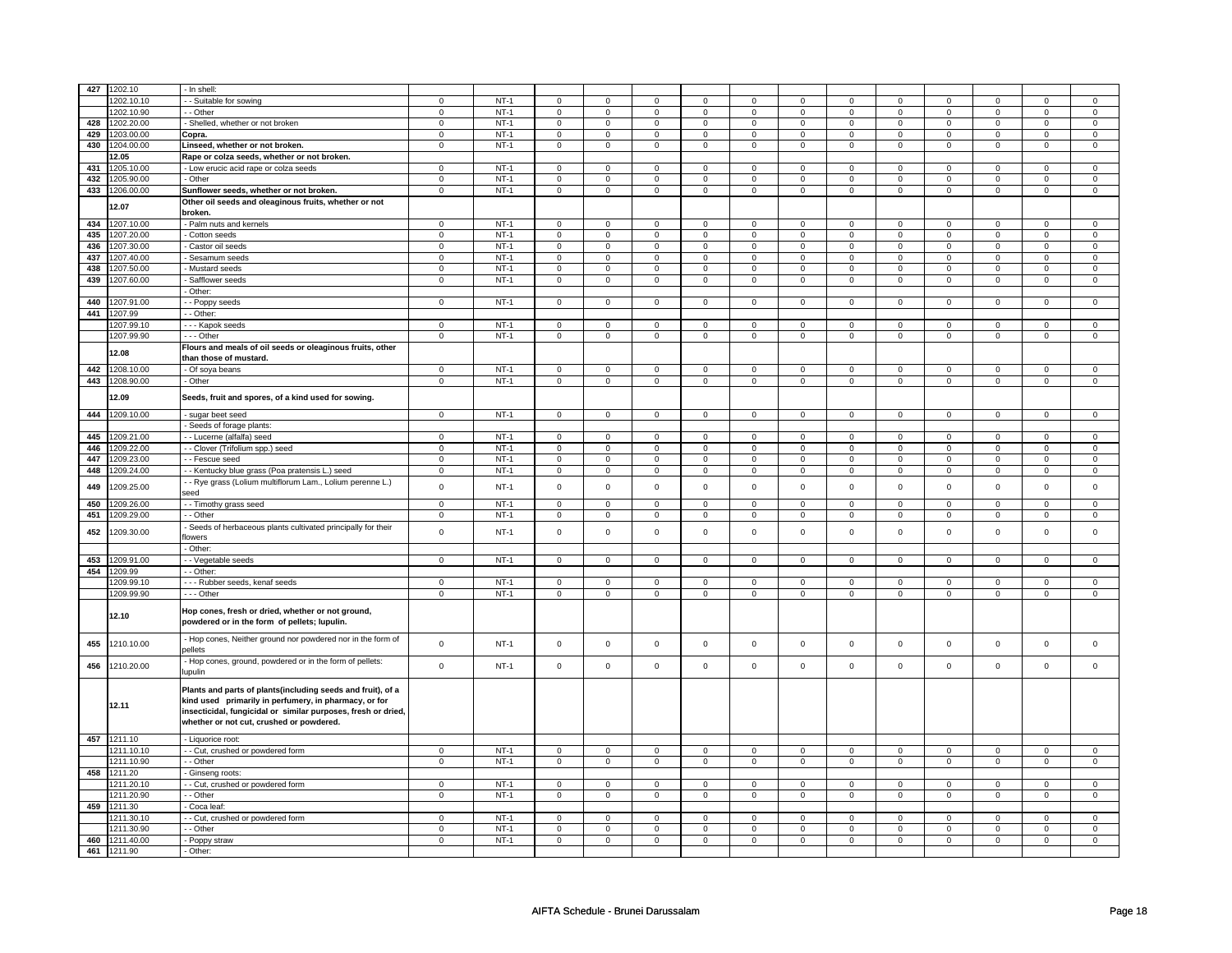| 427 | 1202.10     | - In shell                                                                                                                                                                                                                        |                |        |              |                |                |                |                     |                |                     |              |                |                |                |                |
|-----|-------------|-----------------------------------------------------------------------------------------------------------------------------------------------------------------------------------------------------------------------------------|----------------|--------|--------------|----------------|----------------|----------------|---------------------|----------------|---------------------|--------------|----------------|----------------|----------------|----------------|
|     | 1202.10.10  | - - Suitable for sowing                                                                                                                                                                                                           | $\mathbf 0$    | $NT-1$ | $\mathbf 0$  | $\mathbf 0$    | $\mathbf 0$    | $\mathbf 0$    | $\mathbf 0$         | $\mathbf 0$    | $\mathbf 0$         | $\mathbf 0$  | 0              | $\mathbf 0$    | $\mathbf 0$    | $\mathbf 0$    |
|     | 1202.10.90  | - - Other                                                                                                                                                                                                                         | $\mathbf 0$    | $NT-1$ | $\mathbf{0}$ | $\mathbf 0$    | $\mathbf 0$    | $\mathbf 0$    | $\mathsf 0$         | 0              | $\mathbf 0$         | $^{\circ}$   | $\mathbf 0$    | $\mathbf 0$    | $\mathbf 0$    | $\mathsf 0$    |
| 428 | 1202.20.00  | - Shelled, whether or not broken                                                                                                                                                                                                  | $\mathbf 0$    | $NT-1$ | $\mathbf 0$  | $\mathbf{0}$   | $\mathbf{0}$   | $\mathbf 0$    | $\mathbf 0$         | 0              | $\mathbf{0}$        | $\mathbf{0}$ | $\mathbf{0}$   | $\circ$        | $\mathsf 0$    | $\mathbf 0$    |
| 429 | 1203.00.00  | Copra.                                                                                                                                                                                                                            | $\mathbf 0$    | $NT-1$ | $\mathsf 0$  | $\mathbf 0$    | $\mathbf{0}$   | $\mathbf 0$    | $\mathbf 0$         | $\mathbf 0$    | $\mathbf{0}$        | $\mathbf 0$  | $\mathbf 0$    | $\circ$        | $\mathsf 0$    | $\mathbf 0$    |
| 430 | 1204.00.00  | Linseed, whether or not broken.                                                                                                                                                                                                   | $\mathbf 0$    | $NT-1$ | $\mathbf 0$  | $\mathbf{0}$   | $\mathbf 0$    | $\mathbf 0$    | $\mathbf 0$         | $\mathbf 0$    | $\mathbf{0}$        | $\mathbf 0$  | $\mathbf 0$    | $\mathbf 0$    | $\mathbf 0$    | $\mathbf 0$    |
|     | 12.05       | Rape or colza seeds, whether or not broken.                                                                                                                                                                                       |                |        |              |                |                |                |                     |                |                     |              |                |                |                |                |
| 431 | 1205.10.00  | - Low erucic acid rape or colza seeds                                                                                                                                                                                             | $\mathbf 0$    | $NT-1$ | $\mathbf 0$  | $\mathbf{0}$   | $\mathbf{0}$   | $\mathbf 0$    | $\mathbf 0$         | 0              | $\mathbf{0}$        | $\mathbf 0$  | $\mathbf 0$    | $\circ$        | $\mathbf 0$    | $\mathbf 0$    |
| 432 | 1205.90.00  | - Other                                                                                                                                                                                                                           | $\mathbf 0$    | $NT-1$ | $\mathsf 0$  | $\mathbf 0$    | $\mathbf 0$    | $\mathbf 0$    | $\mathbf 0$         | $\mathbf 0$    | $\mathbf 0$         | $\mathbf 0$  | $\mathbf 0$    | $\mathbf 0$    | $\mathsf 0$    | $\mathbf 0$    |
|     |             |                                                                                                                                                                                                                                   |                |        |              |                |                |                |                     |                |                     |              |                |                |                |                |
| 433 | 1206.00.00  | Sunflower seeds, whether or not broken.                                                                                                                                                                                           | $\mathsf 0$    | $NT-1$ | $\mathsf 0$  | $\mathbf 0$    | $\mathbf 0$    | $\mathsf 0$    | $\mathsf{o}\,$      | $\mathbf 0$    | $\mathsf{O}\xspace$ | $\mathsf 0$  | $\mathsf 0$    | $\mathbf 0$    | $\mathsf 0$    | $\mathbf 0$    |
|     | 12.07       | Other oil seeds and oleaginous fruits, whether or not<br>broken.                                                                                                                                                                  |                |        |              |                |                |                |                     |                |                     |              |                |                |                |                |
| 434 | 1207.10.00  | - Palm nuts and kernels                                                                                                                                                                                                           | $\mathbf 0$    | $NT-1$ | $\mathbf 0$  | $\mathbf{0}$   | $\mathbf{0}$   | $\mathbf 0$    | $\mathbf 0$         | $\mathbf 0$    | $\mathbf{0}$        | $\mathbf 0$  | $\mathbf{0}$   | $\mathbf{0}$   | $\mathbf 0$    | $\mathbf 0$    |
| 435 | 1207.20.00  | - Cotton seeds                                                                                                                                                                                                                    | $\overline{0}$ | $NT-1$ | $\Omega$     | $\mathbf 0$    | $\overline{0}$ | $\mathbf 0$    | $\overline{0}$      | $\overline{0}$ | $\overline{0}$      | $\Omega$     | $\mathbf 0$    | $\overline{0}$ | $\mathbf 0$    | $\overline{0}$ |
| 436 | 1207.30.00  | - Castor oil seeds                                                                                                                                                                                                                | $\mathbf 0$    | $NT-1$ | $\mathsf 0$  | $\mathsf 0$    | $\mathbf 0$    | $\mathbf 0$    | $\mathbf 0$         | $\mathbf 0$    | $\mathbf 0$         | $\mathbf 0$  | $\mathsf 0$    | $\mathbf 0$    | $\mathsf 0$    | $\mathbf 0$    |
| 437 | 1207.40.00  | Sesamum seeds                                                                                                                                                                                                                     | $\mathbf 0$    | $NT-1$ | $\mathsf 0$  | $\mathbf 0$    | $\overline{0}$ | $\mathbf 0$    | $\mathbf 0$         | $\mathbf 0$    | $\mathsf 0$         | $\mathbf 0$  | $\mathbf 0$    | $\mathbf 0$    | $\mathsf 0$    | $\mathbf 0$    |
| 438 | 1207.50.00  | Mustard seeds                                                                                                                                                                                                                     | $\mathbf 0$    | $NT-1$ | $\mathbf 0$  | $\mathbf 0$    | $\mathbf 0$    | $\mathbf 0$    | $\mathsf 0$         | $\mathbf 0$    | $\mathbf 0$         | $^{\circ}$   | $\mathbf 0$    | $\mathbf 0$    | $\mathsf 0$    | $\mathbf 0$    |
| 439 | 1207.60.00  |                                                                                                                                                                                                                                   |                | $NT-1$ |              |                |                |                |                     |                |                     |              |                |                |                |                |
|     |             | - Safflower seeds                                                                                                                                                                                                                 | $\mathbf 0$    |        | $\mathbf 0$  | $\mathbf 0$    | $\circ$        | $\mathbf 0$    | 0                   | $\mathbf 0$    | $\mathbf{0}$        | 0            | $\overline{0}$ | $\mathbf 0$    | 0              | $\mathbf 0$    |
|     |             | - Other:                                                                                                                                                                                                                          |                |        |              |                |                |                |                     |                |                     |              |                |                |                |                |
| 440 | 1207.91.00  | - Poppy seeds                                                                                                                                                                                                                     | $\mathbf{0}$   | $NT-1$ | $\mathbf 0$  | $\mathbf{0}$   | $\mathbf{0}$   | $\mathbf 0$    | $\mathbf 0$         | $\mathbf{0}$   | $\mathbf 0$         | $\mathbf 0$  | $\mathbf 0$    | $\mathbf{0}$   | $\mathbf 0$    | $\mathbf 0$    |
| 441 | 1207.99     | - - Other:                                                                                                                                                                                                                        |                |        |              |                |                |                |                     |                |                     |              |                |                |                |                |
|     | 1207.99.10  | - - - Kapok seeds                                                                                                                                                                                                                 | $\mathbf 0$    | $NT-1$ | $\mathbf 0$  | $\mathbf 0$    | $\mathbf 0$    | $\mathbf 0$    | 0                   | 0              | $\mathbf 0$         | $\mathbf 0$  | $\mathbf 0$    | $\mathbf 0$    | $\mathbf 0$    | $\mathbf 0$    |
|     | 1207.99.90  | $- -$ Other                                                                                                                                                                                                                       | $\overline{0}$ | $NT-1$ | $\mathbf 0$  | $\overline{0}$ | $\overline{0}$ | $\overline{0}$ | $\overline{0}$      | $\overline{0}$ | $\overline{0}$      | $\mathbf 0$  | $\overline{0}$ | $\overline{0}$ | $\overline{0}$ | $\overline{0}$ |
|     | 12.08       | Flours and meals of oil seeds or oleaginous fruits, other                                                                                                                                                                         |                |        |              |                |                |                |                     |                |                     |              |                |                |                |                |
|     |             | than those of mustard.                                                                                                                                                                                                            |                |        |              |                |                |                |                     |                |                     |              |                |                |                |                |
| 442 | 1208.10.00  | - Of soya beans                                                                                                                                                                                                                   | $\mathbf 0$    | $NT-1$ | $\mathbf 0$  | $\mathbf 0$    | $\mathbf 0$    | $\mathbf 0$    | $\mathbf 0$         | 0              | $\mathbf 0$         | $\mathbf 0$  | 0              | $\mathbf 0$    | $\mathbf 0$    | $\mathbf 0$    |
| 443 | 1208.90.00  | - Other                                                                                                                                                                                                                           | $\mathbf 0$    | $NT-1$ | $\mathsf 0$  | $\mathbf 0$    | $\mathbf 0$    | $\mathbf 0$    | $\mathbf 0$         | $\mathbf 0$    | $\mathbf 0$         | $\mathsf 0$  | $\mathbf 0$    | $\mathbf 0$    | $\mathsf 0$    | $\mathbf 0$    |
|     | 12.09       | Seeds, fruit and spores, of a kind used for sowing.                                                                                                                                                                               |                |        |              |                |                |                |                     |                |                     |              |                |                |                |                |
| 444 | 1209.10.00  | sugar beet seed                                                                                                                                                                                                                   | $\mathbf 0$    | $NT-1$ | $\mathbf 0$  | $\mathbf{0}$   | $\mathbf 0$    | $\mathbf 0$    | $\mathbf 0$         | $\mathbf 0$    | $\mathbf{0}$        | $\mathbf 0$  | $\mathbf 0$    | $\mathbf 0$    | $\mathbf 0$    | $\mathbf 0$    |
|     |             | - Seeds of forage plants:                                                                                                                                                                                                         |                |        |              |                |                |                |                     |                |                     |              |                |                |                |                |
| 445 | 1209.21.00  | - - Lucerne (alfalfa) seed                                                                                                                                                                                                        | $\mathbf 0$    | $NT-1$ | $\mathbf 0$  | $\mathbf{0}$   | $\mathbf 0$    | $\mathbf 0$    | $\mathbf 0$         | 0              | $\mathbf 0$         | $\mathbf 0$  | $\mathbf 0$    | $\mathbf{0}$   | $\mathbf 0$    | $\mathbf 0$    |
| 446 | 1209.22.00  | - - Clover (Trifolium spp.) seed                                                                                                                                                                                                  | $\circ$        | $NT-1$ | $\circ$      | $\circ$        | $\circ$        | $\mathbf 0$    | $\circ$             | $\mathbf 0$    | $\circ$             | $\Omega$     | $\circ$        | $^{\circ}$     | $\mathbf 0$    | $\circ$        |
| 447 | 1209.23.00  | - - Fescue seed                                                                                                                                                                                                                   | $\mathbf 0$    | $NT-1$ | $\mathbf 0$  | $\mathbf{0}$   | $\overline{0}$ | $\mathbf 0$    | $\mathbf 0$         | $\mathbf 0$    | $\mathbf 0$         | $\mathbf 0$  | $\mathbf 0$    | $\overline{0}$ | $\mathsf 0$    | $\mathbf 0$    |
| 448 | 1209.24.00  | - - Kentucky blue grass (Poa pratensis L.) seed                                                                                                                                                                                   | $\mathsf 0$    | $NT-1$ | $\mathbf 0$  | $\mathsf 0$    | $\mathsf 0$    | $\mathbf 0$    | $\mathsf{O}\xspace$ | $\mathsf 0$    | $\mathsf 0$         | $\mathbf{0}$ | $\mathsf 0$    | $\mathsf 0$    | $\mathsf 0$    | $\mathbf 0$    |
| 449 | 1209.25.00  | - - Rye grass (Lolium multiflorum Lam., Lolium perenne L.)                                                                                                                                                                        | $\mathbf 0$    | $NT-1$ | $\mathbf 0$  | $\mathbf 0$    | $\mathsf 0$    | $\mathbf 0$    | $\mathsf 0$         | $\mathsf 0$    | $\mathsf 0$         | $\mathbf 0$  | $\mathsf 0$    | $\mathsf 0$    | $\Omega$       | $\mathsf 0$    |
| 450 | 1209.26.00  | seed<br>- - Timothy grass seed                                                                                                                                                                                                    | $\overline{0}$ | $NT-1$ | $\mathsf 0$  | $\mathbf 0$    | $\overline{0}$ | $\mathbf 0$    | $\overline{0}$      | $\mathbf 0$    | $\mathbf 0$         | $\Omega$     | $\mathbf 0$    | $\overline{0}$ | $\mathsf 0$    | $\overline{0}$ |
| 451 | 1209.29.00  | - - Other                                                                                                                                                                                                                         | $\mathsf 0$    | $NT-1$ | $\mathbf 0$  | $\mathbf 0$    | $\circ$        | $\mathbf 0$    | $\mathbf 0$         | $\mathbf 0$    | $\mathbf 0$         | $\mathbf 0$  | $\overline{0}$ | $\overline{0}$ | $\mathsf 0$    | $\mathbf 0$    |
|     |             |                                                                                                                                                                                                                                   |                |        |              |                |                |                |                     |                |                     |              |                |                |                |                |
| 452 | 1209.30.00  | - Seeds of herbaceous plants cultivated principally for their<br>flowers                                                                                                                                                          | $\mathsf 0$    | $NT-1$ | $\mathsf 0$  | $\mathbf 0$    | $\mathbf 0$    | $\mathbf 0$    | $\mathbf 0$         | $\mathbf 0$    | $\mathsf 0$         | $\mathbf 0$  | $\mathbf 0$    | $\mathsf 0$    | $\mathsf 0$    | $\mathbf 0$    |
|     |             | - Other:                                                                                                                                                                                                                          |                |        |              |                |                |                |                     |                |                     |              |                |                |                |                |
| 453 | 1209.91.00  | - - Vegetable seeds                                                                                                                                                                                                               | $\mathbf 0$    | $NT-1$ | $\mathsf 0$  | $\mathsf 0$    | $\circ$        | $\mathbf 0$    | $\mathbf 0$         | $\mathsf 0$    | $\mathbf 0$         | $\mathsf 0$  | $\mathsf 0$    | $\mathbf 0$    | $\mathsf 0$    | $\mathbf 0$    |
| 454 | 1209.99     | - Other:                                                                                                                                                                                                                          |                |        |              |                |                |                |                     |                |                     |              |                |                |                |                |
|     | 1209.99.10  | --- Rubber seeds, kenaf seeds                                                                                                                                                                                                     | $\mathbf 0$    | $NT-1$ | $\mathbf{0}$ | $\mathbf{0}$   | $\mathbf 0$    | $\mathbf 0$    | $\mathbf 0$         | 0              | $\mathbf 0$         | $\mathbf{0}$ | $\mathbf 0$    | $\mathbf 0$    | $\mathbf 0$    | $\mathbf 0$    |
|     | 1209.99.90  | --- Other                                                                                                                                                                                                                         | $\mathbf 0$    | $NT-1$ | $\mathbf 0$  | $\mathbf{0}$   | $\mathbf 0$    | $\mathbf 0$    | $\mathbf 0$         | 0              | $\mathbf{0}$        | $\mathbf 0$  | $\mathbf 0$    | $\mathbf{0}$   | $\mathbf 0$    | $\mathbf 0$    |
|     |             |                                                                                                                                                                                                                                   |                |        |              |                |                |                |                     |                |                     |              |                |                |                |                |
|     | 12.10       | Hop cones, fresh or dried, whether or not ground,<br>powdered or in the form of pellets; lupulin.                                                                                                                                 |                |        |              |                |                |                |                     |                |                     |              |                |                |                |                |
| 455 | 1210.10.00  | - Hop cones, Neither ground nor powdered nor in the form of<br>ellets                                                                                                                                                             | $\mathbf 0$    | $NT-1$ | $\mathbf 0$  | $\mathsf 0$    | $\mathbf 0$    | $\mathbf 0$    | $\mathsf 0$         | $\mathbf 0$    | $\mathbf 0$         | $\mathbf 0$  | $\mathsf 0$    | $\mathbf 0$    | $\mathsf 0$    | $\mathbf 0$    |
| 456 | 1210.20.00  | - Hop cones, ground, powdered or in the form of pellets:<br>lupulin                                                                                                                                                               | $\mathsf 0$    | $NT-1$ | $\mathsf 0$  | $\mathbf 0$    | $\mathbf 0$    | $\mathbf 0$    | $\mathbf 0$         | $\mathbf 0$    | $\mathsf 0$         | $\mathsf 0$  | $\mathbf 0$    | $\mathsf 0$    | $\mathsf 0$    | $\mathsf 0$    |
|     | 12.11       | Plants and parts of plants(including seeds and fruit), of a<br>kind used primarily in perfumery, in pharmacy, or for<br>insecticidal, fungicidal or similar purposes, fresh or dried,<br>whether or not cut, crushed or powdered. |                |        |              |                |                |                |                     |                |                     |              |                |                |                |                |
|     | 457 1211.10 | - Liquorice root:                                                                                                                                                                                                                 |                |        |              |                |                |                |                     |                |                     |              |                |                |                |                |
|     | 1211.10.10  | - - Cut, crushed or powdered form                                                                                                                                                                                                 | $\mathbf 0$    | $NT-1$ | $\Omega$     | $\Omega$       | $\mathbf 0$    | $\mathbf 0$    | $\mathbf 0$         | $\mathbf 0$    | $\mathbf 0$         | $\Omega$     | $\Omega$       | $\mathbf 0$    | $\mathsf 0$    | $\mathbf 0$    |
|     | 1211.10.90  | - - Other                                                                                                                                                                                                                         | $\mathsf 0$    | $NT-1$ | $\mathbf 0$  | $\mathbf 0$    | $\mathbf 0$    | $\mathbf 0$    | $\mathsf 0$         | $\mathbf 0$    | $\mathbf 0$         | $\mathbf 0$  | $\mathbf 0$    | $\mathbf 0$    | $\mathsf 0$    | $\mathsf 0$    |
| 458 | 1211.20     | - Ginseng roots:                                                                                                                                                                                                                  |                |        |              |                |                |                |                     |                |                     |              |                |                |                |                |
|     | 1211.20.10  | - - Cut, crushed or powdered form                                                                                                                                                                                                 | $\overline{0}$ | $NT-1$ | $\mathsf 0$  | $\mathbf{0}$   | $\overline{0}$ | $\mathbf 0$    | $\overline{0}$      | $\mathbf 0$    | $\overline{0}$      | $\mathsf 0$  | $\overline{0}$ | $\overline{0}$ | $\mathsf 0$    | $\overline{0}$ |
|     | 1211.20.90  | - - Other                                                                                                                                                                                                                         | $\mathbf 0$    | $NT-1$ | $\mathsf 0$  | $\mathsf 0$    | $\mathbf 0$    | $\mathbf 0$    | $\mathsf 0$         | $\mathsf 0$    | $\mathbf 0$         | $\mathbf 0$  | $\mathbf 0$    | $\mathbf 0$    | $\mathsf 0$    | $\mathsf 0$    |
| 459 | 1211.30     | - Coca leaf:                                                                                                                                                                                                                      |                |        |              |                |                |                |                     |                |                     |              |                |                |                |                |
|     | 1211.30.10  | - - Cut, crushed or powdered form                                                                                                                                                                                                 | $\mathbf 0$    | $NT-1$ | $^{\circ}$   | $\mathbf{0}$   | $\overline{0}$ | $\mathbf 0$    | $\mathbf 0$         | $\mathbf{0}$   | $\mathbf{0}$        | $\mathbf{0}$ | $\mathbf 0$    | $\overline{0}$ | $\mathbf 0$    | $\mathbf{0}$   |
|     | 1211.30.90  | - - Other                                                                                                                                                                                                                         | $\mathbf 0$    | $NT-1$ | $\mathbf 0$  | $\mathbf{0}$   | $\overline{0}$ | $\mathbf 0$    | 0                   | $\mathbf{0}$   | $\mathbf 0$         | $\mathbf{0}$ | $\mathbf 0$    | $\overline{0}$ | $\mathbf 0$    | $\mathbf 0$    |
| 460 | 1211.40.00  | - Poppy straw                                                                                                                                                                                                                     | 0              | $NT-1$ | $\mathbf 0$  | $\mathbf{0}$   | $\overline{0}$ | $\mathbf 0$    | $\overline{0}$      | 0              | $\mathbf 0$         | $\mathbf 0$  | $\mathbf 0$    | $\overline{0}$ | $\mathbf 0$    | $\overline{0}$ |
|     | 461 1211.90 | - Other:                                                                                                                                                                                                                          |                |        |              |                |                |                |                     |                |                     |              |                |                |                |                |
|     |             |                                                                                                                                                                                                                                   |                |        |              |                |                |                |                     |                |                     |              |                |                |                |                |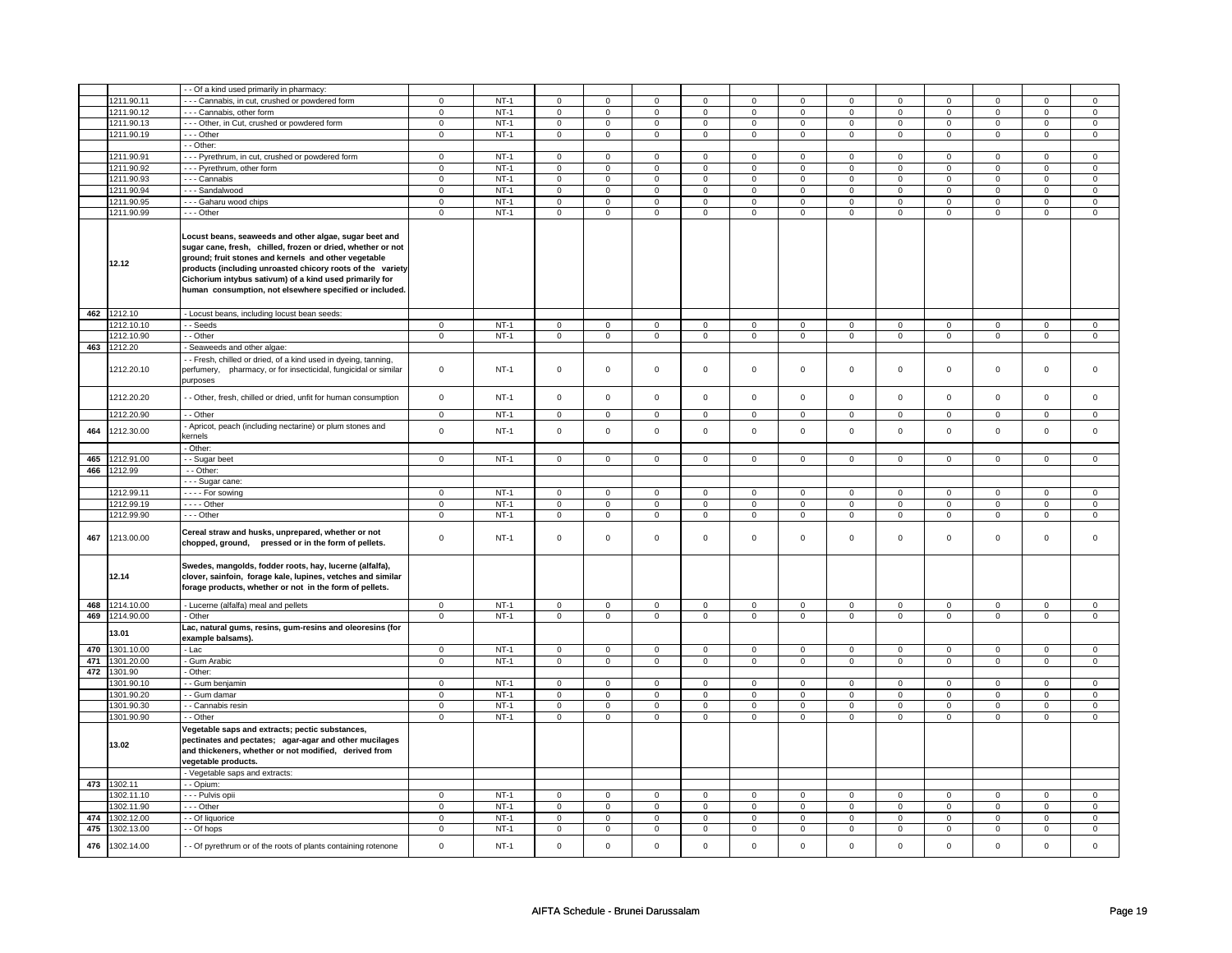|            |                | - Of a kind used primarily in pharmacy:                                                                                                                                                                                                                                                                                                                           |                               |                  |                     |                               |                |                |                |                |                |                |                |                |                |                |
|------------|----------------|-------------------------------------------------------------------------------------------------------------------------------------------------------------------------------------------------------------------------------------------------------------------------------------------------------------------------------------------------------------------|-------------------------------|------------------|---------------------|-------------------------------|----------------|----------------|----------------|----------------|----------------|----------------|----------------|----------------|----------------|----------------|
|            | 1211.90.11     | -- Cannabis, in cut, crushed or powdered form                                                                                                                                                                                                                                                                                                                     | 0                             | $NT-1$           | 0                   | $\mathbf 0$                   | 0              | 0              | 0              | 0              | 0              | 0              | 0              | 0              | 0              | 0              |
|            | 1211.90.12     | --- Cannabis, other form                                                                                                                                                                                                                                                                                                                                          | $\mathbf 0$                   | $NT-1$           | $\mathbf 0$         | $\mathbf 0$                   | $\mathbf{0}$   | $\mathbf 0$    | $\mathbf 0$    | $\mathbf 0$    | $\mathbf{0}$   | $\mathbf 0$    | 0              | $\mathbf 0$    | 0              | $\mathbf 0$    |
|            |                |                                                                                                                                                                                                                                                                                                                                                                   | $\mathbf 0$                   | $NT-1$           |                     | $\mathbf 0$                   | $\mathbf 0$    | $\mathbf 0$    |                | $\mathbf 0$    |                |                |                |                | 0              | 0              |
|            | 1211.90.13     | --- Other, in Cut, crushed or powdered form                                                                                                                                                                                                                                                                                                                       |                               |                  | 0                   |                               |                |                | 0              |                | 0              | $\mathbf 0$    | 0              | $\mathbf 0$    |                |                |
|            | 1211.90.19     | --- Other                                                                                                                                                                                                                                                                                                                                                         | $\mathbf 0$                   | $NT-1$           | $\mathbf 0$         | $\mathbf 0$                   | $\mathbf 0$    | $\mathsf 0$    | $\mathbf 0$    | $\mathsf 0$    | $\mathbf 0$    | $\mathbf 0$    | $\mathbf 0$    | $\mathbf 0$    | $\mathbf 0$    | $\mathbf{0}$   |
|            |                | - - Other:                                                                                                                                                                                                                                                                                                                                                        |                               |                  |                     |                               |                |                |                |                |                |                |                |                |                |                |
|            | 1211.90.91     | --- Pyrethrum, in cut, crushed or powdered form                                                                                                                                                                                                                                                                                                                   | $\mathbf 0$                   | $NT-1$           | 0                   | $\mathbf 0$                   | 0              | $\mathbf 0$    | 0              | $\mathbf 0$    | 0              | $\mathbf 0$    | 0              | $\mathbf 0$    | 0              | 0              |
|            | 1211.90.92     | --- Pyrethrum, other form                                                                                                                                                                                                                                                                                                                                         | $\overline{0}$                | $NT-1$           | $\mathsf 0$         | $\overline{0}$                | $\mathbf 0$    | $\mathbf 0$    | $\mathbf 0$    | $\overline{0}$ | $\mathbf 0$    | $\mathbf 0$    | $\mathsf 0$    | $\overline{0}$ | $\mathbf 0$    | $\overline{0}$ |
|            | 1211.90.93     | - - - Cannabis                                                                                                                                                                                                                                                                                                                                                    | $\overline{0}$                | $NT-1$           | $\overline{0}$      | $\overline{0}$                | $\overline{0}$ | $\overline{0}$ | $\overline{0}$ | $\overline{0}$ | $\mathbf 0$    | $\overline{0}$ | $\overline{0}$ | $\overline{0}$ | $\mathbf 0$    | $\overline{0}$ |
|            | 1211.90.94     | --- Sandalwood                                                                                                                                                                                                                                                                                                                                                    | $\mathbf 0$                   | $NT-1$           | $\mathbf 0$         | $\mathbf 0$                   | $\mathbf 0$    | $\mathbf 0$    | $\mathbf 0$    | $\mathbf 0$    | $\mathbf 0$    | $\mathbf 0$    | $\mathbf 0$    | $\mathbf 0$    | $\mathbf 0$    | $\mathbf 0$    |
|            | 1211.90.95     | - - - Gaharu wood chips                                                                                                                                                                                                                                                                                                                                           | $\mathsf 0$                   | $NT-1$           | $\mathsf 0$         | $\mathbf 0$                   | $\mathbf 0$    | $\mathbf 0$    | $\mathbf 0$    | $\mathbf 0$    | $\mathbf 0$    | $\mathbf 0$    | $\mathsf 0$    | $\mathbf 0$    | $\mathbf 0$    | $\mathbf 0$    |
|            | 1211.90.99     | $--$ Other                                                                                                                                                                                                                                                                                                                                                        | $\overline{0}$                | $NT-1$           | $\overline{0}$      | $\overline{0}$                | $\overline{0}$ | $\overline{0}$ | $\overline{0}$ | $\overline{0}$ | $\overline{0}$ | $\overline{0}$ | $\overline{0}$ | $\overline{0}$ | $\overline{0}$ | $\overline{0}$ |
|            | 12.12          | Locust beans, seaweeds and other algae, sugar beet and<br>sugar cane, fresh, chilled, frozen or dried, whether or not<br>ground; fruit stones and kernels and other vegetable<br>products (including unroasted chicory roots of the variety<br>Cichorium intybus sativum) of a kind used primarily for<br>human consumption, not elsewhere specified or included. |                               |                  |                     |                               |                |                |                |                |                |                |                |                |                |                |
| 462        | 1212.10        | Locust beans, including locust bean seeds:                                                                                                                                                                                                                                                                                                                        |                               |                  |                     |                               |                |                |                |                |                |                |                |                |                |                |
|            | 1212.10.10     | - - Seeds                                                                                                                                                                                                                                                                                                                                                         | $\mathbf 0$                   | $NT-1$           | $\mathbf 0$         | $\mathbf 0$                   | $\mathbf{0}$   | $\mathbf{0}$   | $\mathbf 0$    | $\mathbf 0$    | $\mathbf{0}$   | $\mathbf 0$    | 0              | $\mathbf 0$    | 0              | $\mathbf{0}$   |
|            | 1212.10.90     | - - Other                                                                                                                                                                                                                                                                                                                                                         | $\mathbf 0$                   | $NT-1$           | $\mathbf 0$         | $\mathbf{0}$                  | $\mathbf{0}$   | $\overline{0}$ | $\mathbf 0$    | $\mathbf{0}$   | 0              | $\mathbf{0}$   | 0              | $\mathbf{0}$   | 0              | $\overline{0}$ |
| 463        | 1212.20        | Seaweeds and other algae:                                                                                                                                                                                                                                                                                                                                         |                               |                  |                     |                               |                |                |                |                |                |                |                |                |                |                |
|            | 1212.20.10     | - Fresh, chilled or dried, of a kind used in dyeing, tanning,<br>perfumery,<br>pharmacy, or for insecticidal, fungicidal or similar<br>purposes                                                                                                                                                                                                                   | $\mathbf 0$                   | $NT-1$           | $\mathbf 0$         | $\mathbf 0$                   | 0              | $\mathbf 0$    | 0              | 0              | 0              | 0              | 0              | 0              | $\mathbf 0$    | 0              |
|            | 1212.20.20     | - Other, fresh, chilled or dried, unfit for human consumption                                                                                                                                                                                                                                                                                                     | $\mathsf 0$                   | $NT-1$           | $\mathsf{O}\xspace$ | $\mathsf 0$                   | $\mathbf 0$    | $\mathbf 0$    | $\mathbf 0$    | $\mathsf 0$    | $\mathbf 0$    | $\mathbf 0$    | $\mathsf 0$    | $\mathbf 0$    | $\mathbf{0}$   | $\mathbf 0$    |
|            | 1212.20.90     | - - Other                                                                                                                                                                                                                                                                                                                                                         | $\mathbf 0$                   | $NT-1$           | $\mathsf 0$         | $\mathbf 0$                   | 0              | $\mathbf 0$    | $\mathbf 0$    | $\mathbf 0$    | $\mathbf 0$    | $\mathbf 0$    | $\mathsf 0$    | $\mathbf 0$    | $\Omega$       | $\mathbf{0}$   |
| 464        | 1212.30.00     | Apricot, peach (including nectarine) or plum stones and<br>kernels                                                                                                                                                                                                                                                                                                | $\mathsf{o}\,$                | $NT-1$           | $\mathsf 0$         | $\mathbf 0$                   | $\mathbf 0$    | $\mathbf 0$    | $\mathbf 0$    | $\mathsf 0$    | $\mathbf 0$    | $\mathbf 0$    | $\mathsf 0$    | $\mathbf 0$    | $\mathbf 0$    | $\mathbf 0$    |
|            |                | Other:                                                                                                                                                                                                                                                                                                                                                            |                               |                  |                     |                               |                |                |                |                |                |                |                |                |                |                |
| 465        | 1212.91.00     | - Sugar beet                                                                                                                                                                                                                                                                                                                                                      | $\overline{0}$                | $NT-1$           | $\overline{0}$      | $\overline{0}$                | $\mathbf 0$    | $\overline{0}$ | $\mathbf 0$    | $\overline{0}$ | $\mathbf 0$    | $\overline{0}$ | $\overline{0}$ | $\overline{0}$ | $\overline{0}$ | $\overline{0}$ |
|            | 466 1212.99    | - - Other:                                                                                                                                                                                                                                                                                                                                                        |                               |                  |                     |                               |                |                |                |                |                |                |                |                |                |                |
|            |                | - - - Sugar cane:                                                                                                                                                                                                                                                                                                                                                 |                               |                  |                     |                               |                |                |                |                |                |                |                |                |                |                |
|            | 1212.99.11     | - - - - For sowing                                                                                                                                                                                                                                                                                                                                                | $\mathbf 0$                   | $NT-1$           | $\mathbf 0$         | $\mathbf 0$                   | 0              | 0              | 0              | 0              | 0              | 0              | 0              | $\overline{0}$ | 0              | 0              |
|            | 1212.99.19     | $---$ Other                                                                                                                                                                                                                                                                                                                                                       | $\overline{0}$                | $NT-1$           | $\overline{0}$      | $\overline{0}$                | $\overline{0}$ | $\overline{0}$ | $\overline{0}$ | $\overline{0}$ | $\overline{0}$ | $\overline{0}$ | $\overline{0}$ | $\overline{0}$ | $\overline{0}$ | $\overline{0}$ |
|            | 1212.99.90     | --- Other                                                                                                                                                                                                                                                                                                                                                         | $\overline{0}$                | $NT-1$           | $\mathsf{O}\xspace$ | $\mathbf 0$                   | $\mathsf 0$    | $\mathsf 0$    | $\mathsf 0$    | $\overline{0}$ | 0              | $\overline{0}$ | $\mathsf 0$    | $\overline{0}$ | 0              | $\overline{0}$ |
| 467        | 1213.00.00     | Cereal straw and husks, unprepared, whether or not<br>chopped, ground, pressed or in the form of pellets.                                                                                                                                                                                                                                                         | $\mathbf 0$                   | $NT-1$           | $\mathsf 0$         | $\mathbf 0$                   | $\mathbf 0$    | $\mathsf 0$    | $\mathbf 0$    | $\mathsf 0$    | $\mathbf 0$    | $\mathbf 0$    | $\mathsf 0$    | $\mathbf 0$    | $\mathbf 0$    | 0              |
|            | 12.14          | Swedes, mangolds, fodder roots, hay, lucerne (alfalfa),<br>clover, sainfoin, forage kale, lupines, vetches and similar<br>forage products, whether or not in the form of pellets.                                                                                                                                                                                 |                               |                  |                     |                               |                |                |                |                |                |                |                |                |                |                |
| 468        | 1214.10.00     | - Lucerne (alfalfa) meal and pellets                                                                                                                                                                                                                                                                                                                              | $\mathsf 0$                   | $NT-1$           | $\mathsf 0$         | $\mathsf 0$                   | $\mathsf 0$    | $\mathbf 0$    | $\mathsf 0$    | $\mathsf 0$    | $\mathbf{0}$   | $\mathbf{0}$   | $\mathbf 0$    | $\mathbf 0$    | $\mathbf 0$    | $\overline{0}$ |
| 469        | 1214.90.00     | - Other                                                                                                                                                                                                                                                                                                                                                           | $\overline{0}$                | $NT-1$           | $\mathbf 0$         | $\overline{0}$                | $\mathbf 0$    | $\mathbf 0$    | $\mathbf 0$    | $\overline{0}$ | $\mathbf 0$    | $\mathbf{0}$   | $\mathbf 0$    | $\mathbf{0}$   | $\mathbf 0$    | $\overline{0}$ |
|            | 13.01          | Lac, natural gums, resins, gum-resins and oleoresins (for<br>example balsams).                                                                                                                                                                                                                                                                                    |                               |                  |                     |                               |                |                |                |                |                |                |                |                |                |                |
| 470        | 1301.10.00     | - Lac                                                                                                                                                                                                                                                                                                                                                             | $\mathsf 0$                   | $NT-1$           | $\mathsf 0$         | $\mathsf 0$                   | $\mathbf 0$    | $\mathbf 0$    | $\mathbf 0$    | $\mathbf 0$    | $\mathbf 0$    | $\mathbf 0$    | $\mathsf 0$    | $\mathbf 0$    | $\mathbf 0$    | 0              |
|            | 471 1301.20.00 | Gum Arabic                                                                                                                                                                                                                                                                                                                                                        | $\overline{0}$                | $NT-1$           | $\mathbf 0$         | $\overline{0}$                | $\mathbf 0$    | $\mathbf 0$    | $\mathbf 0$    | $\overline{0}$ | $\mathbf 0$    | $\overline{0}$ | $\mathsf 0$    | $\overline{0}$ | $\mathbf 0$    | $\overline{0}$ |
| 472        | 1301.90        | Other:                                                                                                                                                                                                                                                                                                                                                            |                               |                  |                     |                               |                |                |                |                |                |                |                |                |                |                |
|            | 301.90.10      | - Gum benjamin                                                                                                                                                                                                                                                                                                                                                    | $\mathbf 0$                   | $NT-1$           | $\mathbf 0$         | $\mathbf 0$                   | 0              | $\mathbf 0$    | 0              | $\mathsf 0$    | 0              | $\mathbf 0$    | 0              | $\mathbf 0$    | $\Omega$       | 0              |
|            | 1301.90.20     | - Gum damar                                                                                                                                                                                                                                                                                                                                                       | $\mathbf 0$                   | $NT-1$           | $\mathbf 0$         | $\mathbf 0$                   | $\mathbf{0}$   | $\mathbf 0$    | $\mathbf{0}$   | $\mathbf 0$    | $\mathbf{0}$   | $\mathbf 0$    | $\mathbf{0}$   | $\mathbf 0$    | 0              | $\mathbf 0$    |
|            | 1301.90.30     | - - Cannabis resin                                                                                                                                                                                                                                                                                                                                                | $\mathbf 0$                   | $NT-1$           | $\mathsf 0$         | $\mathbf 0$                   | $\mathbf 0$    | $\mathsf 0$    | $\mathbf 0$    | $\mathsf 0$    | $\mathbf 0$    | $\mathbf 0$    | $\mathsf 0$    | $\mathbf 0$    | $\mathbf 0$    | 0              |
|            | 1301.90.90     | - Other                                                                                                                                                                                                                                                                                                                                                           | $\Omega$                      | $NT-1$           | $\mathbf 0$         | $\mathbf 0$                   | $\mathbf 0$    | $\mathbf 0$    | $\mathbf 0$    | $\mathbf 0$    | $\mathbf 0$    | $\mathbf 0$    | $\mathbf 0$    | $\mathbf 0$    | $\mathbf 0$    | $\mathbf 0$    |
|            | 13.02          | Vegetable saps and extracts; pectic substances,<br>pectinates and pectates; agar-agar and other mucilages<br>and thickeners, whether or not modified, derived from<br>vegetable products.                                                                                                                                                                         |                               |                  |                     |                               |                |                |                |                |                |                |                |                |                |                |
| 473        | 1302.11        | - Vegetable saps and extracts:<br>- - Opium:                                                                                                                                                                                                                                                                                                                      |                               |                  |                     |                               |                |                |                |                |                |                |                |                |                |                |
|            | 1302.11.10     | - - - Pulvis opii                                                                                                                                                                                                                                                                                                                                                 | $\mathbf 0$                   | $NT-1$           | $\mathbf{0}$        | $\mathbf 0$                   | $\mathbf 0$    | $\mathbf 0$    | $\mathbf 0$    | $\mathbf 0$    | $\mathbf 0$    | $\mathbf 0$    | $\mathbf 0$    | $\mathbf 0$    | $\Omega$       | $\mathbf 0$    |
|            |                |                                                                                                                                                                                                                                                                                                                                                                   |                               |                  |                     |                               |                |                |                |                |                |                |                |                |                |                |
|            | 1302.11.90     | - - Other                                                                                                                                                                                                                                                                                                                                                         | $\mathbf 0$                   | $NT-1$           | $\mathbf 0$         | $\mathbf 0$                   | 0              | 0              | 0              | $\mathsf 0$    | 0              | $\mathbf 0$    | 0              | $\mathbf 0$    | 0              | $\mathbf 0$    |
| 474<br>475 | 1302.12.00     | - Of liquorice                                                                                                                                                                                                                                                                                                                                                    | $\mathbf 0$<br>$\overline{0}$ | $NT-1$<br>$NT-1$ | $\mathbf 0$         | $\mathbf 0$<br>$\overline{0}$ | 0              | 0              | 0              | $\mathsf 0$    | 0              | 0              | 0              | $\mathbf 0$    | 0              | 0              |
|            | 1302.13.00     | $-$ Of hops                                                                                                                                                                                                                                                                                                                                                       |                               |                  | 0                   |                               | 0              | $\mathbf 0$    | $\mathbf 0$    | $\mathbf 0$    | 0              | $\mathbf 0$    | $\mathbf 0$    | $\mathbf 0$    | 0              | $\overline{0}$ |
| 476        | 1302.14.00     | - - Of pyrethrum or of the roots of plants containing rotenone                                                                                                                                                                                                                                                                                                    | $\mathbf 0$                   | $NT-1$           | $\mathsf{O}\xspace$ | $\mathsf 0$                   | $\mathsf 0$    | $\mathsf 0$    | $\mathsf 0$    | $\mathsf 0$    | $\mathbf 0$    | $\mathbf 0$    | $\mathsf 0$    | $\mathbf 0$    | $\mathsf 0$    | $\mathbf 0$    |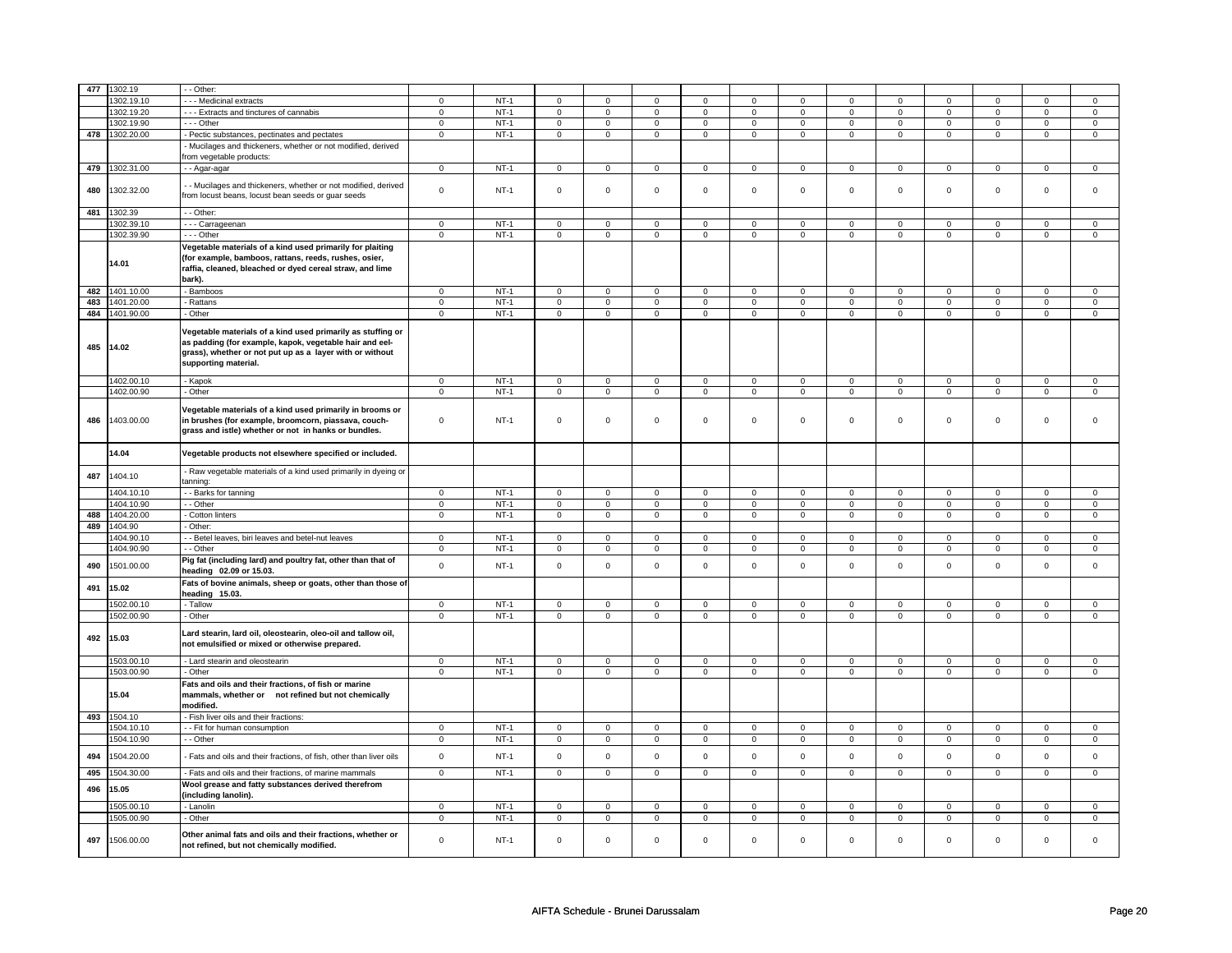| 477 | 1302.19     | - Other:                                                          |                |        |                     |                |                |                |                |                |                |                |                |                |                |                |
|-----|-------------|-------------------------------------------------------------------|----------------|--------|---------------------|----------------|----------------|----------------|----------------|----------------|----------------|----------------|----------------|----------------|----------------|----------------|
|     | 1302.19.10  | - - - Medicinal extracts                                          | $\mathbf 0$    | $NT-1$ | $\mathbf 0$         | $\Omega$       | 0              | $\mathbf 0$    | 0              | $\Omega$       | $\mathbf{0}$   | 0              | $\mathbf 0$    | $\Omega$       | $^{\circ}$     | $\mathbf 0$    |
|     | 1302.19.20  | --- Extracts and tinctures of cannabis                            | $\mathbf 0$    | $NT-1$ | $\mathbf 0$         | $\mathbf 0$    | $\mathbf 0$    | $\mathbf 0$    | $\mathbf 0$    | $\mathbf 0$    | 0              | $\mathbf 0$    | 0              | $\mathbf 0$    | $\mathbf 0$    | $\mathbf{0}$   |
|     | 1302.19.90  | --- Other                                                         | $\mathbf 0$    | $NT-1$ | $\mathsf 0$         | $\mathbf 0$    | $\mathbf 0$    | $\mathsf 0$    | $\mathbf 0$    | $\mathbf 0$    | $\mathbf 0$    | 0              | 0              | $\mathsf 0$    | $\mathbf 0$    | $\mathbf 0$    |
| 478 | 1302.20.00  | - Pectic substances, pectinates and pectates                      | $\overline{0}$ | $NT-1$ | $\overline{0}$      | $\overline{0}$ | $\overline{0}$ | $\pmb{0}$      | $\overline{0}$ | $\overline{0}$ | $\overline{0}$ | $\overline{0}$ | $\overline{0}$ | $\overline{0}$ | $\overline{0}$ | $\overline{0}$ |
|     |             |                                                                   |                |        |                     |                |                |                |                |                |                |                |                |                |                |                |
|     |             | - Mucilages and thickeners, whether or not modified, derived      |                |        |                     |                |                |                |                |                |                |                |                |                |                |                |
|     |             | rom vegetable products:                                           |                |        |                     |                |                |                |                |                |                |                |                |                |                |                |
| 479 | 1302.31.00  | - - Agar-agar                                                     | $\overline{0}$ | $NT-1$ | $\overline{0}$      | $\overline{0}$ | $\overline{0}$ | $\overline{0}$ | $\overline{0}$ | $\overline{0}$ | $\overline{0}$ | $\overline{0}$ | $\overline{0}$ | $\overline{0}$ | $\overline{0}$ | $\overline{0}$ |
|     |             |                                                                   |                |        |                     |                |                |                |                |                |                |                |                |                |                |                |
| 480 | 1302.32.00  | - Mucilages and thickeners, whether or not modified, derived      | $\mathsf 0$    | $NT-1$ | $\mathsf{O}\xspace$ | $\mathsf 0$    | $\mathsf 0$    | $\mathsf 0$    | $\mathbf 0$    | $\mathbf 0$    | $\mathbf 0$    | $\mathbf 0$    | $\mathsf 0$    | $\mathsf 0$    | $\mathsf 0$    | $\mathsf 0$    |
|     |             | from locust beans, locust bean seeds or guar seeds                |                |        |                     |                |                |                |                |                |                |                |                |                |                |                |
|     |             |                                                                   |                |        |                     |                |                |                |                |                |                |                |                |                |                |                |
| 481 | 1302.39     | - - Other:                                                        |                |        |                     |                |                |                |                |                |                |                |                |                |                |                |
|     | 1302.39.10  | - - - Carrageenan                                                 | $\mathbf 0$    | $NT-1$ | $\mathsf{O}\xspace$ | $\mathbf 0$    | $\mathsf 0$    | $\mathsf 0$    | 0              | $\mathsf 0$    | $\mathbf 0$    | $\mathsf 0$    | $\mathbf 0$    | $\mathbf 0$    | $\Omega$       | $\mathbf 0$    |
|     | 1302.39.90  | --- Other                                                         | $\mathbf 0$    | $NT-1$ | $\mathbf 0$         | $\mathbf 0$    | $\mathbf 0$    | $\mathbf 0$    | $\mathbf 0$    | $\mathbf 0$    | $\mathbf{0}$   | $\mathbf 0$    | $\mathbf 0$    | $\mathbf{0}$   | $\mathbf{0}$   | $\mathbf{0}$   |
|     |             | Vegetable materials of a kind used primarily for plaiting         |                |        |                     |                |                |                |                |                |                |                |                |                |                |                |
|     |             | (for example, bamboos, rattans, reeds, rushes, osier,             |                |        |                     |                |                |                |                |                |                |                |                |                |                |                |
|     | 14.01       |                                                                   |                |        |                     |                |                |                |                |                |                |                |                |                |                |                |
|     |             | raffia, cleaned, bleached or dyed cereal straw, and lime          |                |        |                     |                |                |                |                |                |                |                |                |                |                |                |
|     |             | bark).                                                            |                |        |                     |                |                |                |                |                |                |                |                |                |                |                |
| 482 | 1401.10.00  | - Bamboos                                                         | $\mathsf 0$    | $NT-1$ | $\mathbf 0$         | $\mathbf 0$    | 0              | $\mathbf 0$    | 0              | $\mathbf 0$    | $\mathbf 0$    | $\mathbf 0$    | $\mathbf 0$    | $\mathbf 0$    | $\Omega$       | $\mathbf{0}$   |
| 483 | 1401.20.00  | Rattans                                                           | $\mathbf 0$    | $NT-1$ | $\mathbf 0$         | $\mathbf 0$    | $\mathbf 0$    | $\mathbf 0$    | $\mathbf 0$    | $\mathbf 0$    | $\mathbf{0}$   | $\mathsf 0$    | $\Omega$       | $\mathbf{0}$   | $\Omega$       | $\mathbf{0}$   |
| 484 | 1401.90.00  | - Other                                                           | $\mathsf 0$    | $NT-1$ | $\mathbf 0$         | $\mathsf 0$    | $\mathbf 0$    | $\mathbf 0$    | $\mathbf 0$    | $\mathbf 0$    | $\mathbf 0$    | $\mathbf 0$    | $\mathsf 0$    | $\mathsf 0$    | $\mathbf 0$    | $\circ$        |
|     |             |                                                                   |                |        |                     |                |                |                |                |                |                |                |                |                |                |                |
|     |             | Vegetable materials of a kind used primarily as stuffing or       |                |        |                     |                |                |                |                |                |                |                |                |                |                |                |
|     |             | as padding (for example, kapok, vegetable hair and eel-           |                |        |                     |                |                |                |                |                |                |                |                |                |                |                |
| 485 | 14.02       | grass), whether or not put up as a layer with or without          |                |        |                     |                |                |                |                |                |                |                |                |                |                |                |
|     |             |                                                                   |                |        |                     |                |                |                |                |                |                |                |                |                |                |                |
|     |             | supporting material.                                              |                |        |                     |                |                |                |                |                |                |                |                |                |                |                |
|     | 1402.00.10  | - Kapok                                                           | $\mathsf 0$    | $NT-1$ | $\mathsf 0$         | $\mathsf 0$    | $\mathsf 0$    | $\mathbf 0$    | 0              | $\mathbf 0$    | 0              | $\mathsf 0$    | $\mathsf 0$    | $\mathsf 0$    | $\mathbf 0$    | $\mathbf 0$    |
|     | 1402.00.90  | - Other                                                           | 0              | $NT-1$ | 0                   | $\mathbf 0$    | $\mathbf 0$    | $\mathbf 0$    | $\mathbf 0$    | $\mathbf 0$    | 0              | $\mathbf 0$    | 0              | $\mathbf 0$    | $\mathbf 0$    | $\overline{0}$ |
|     |             |                                                                   |                |        |                     |                |                |                |                |                |                |                |                |                |                |                |
|     |             | Vegetable materials of a kind used primarily in brooms or         |                |        |                     |                |                |                |                |                |                |                |                |                |                |                |
| 486 | 1403.00.00  | in brushes (for example, broomcorn, piassava, couch-              | $\mathbf 0$    | $NT-1$ | $\mathsf{O}\xspace$ | $\mathsf 0$    | $\mathsf 0$    | $\mathbf 0$    | $\mathbf 0$    | $\mathbf 0$    | $\mathsf{O}$   | $\mathbf 0$    | $\mathsf 0$    | $\mathsf 0$    | $\mathsf 0$    | $\mathbf 0$    |
|     |             |                                                                   |                |        |                     |                |                |                |                |                |                |                |                |                |                |                |
|     |             | grass and istle) whether or not in hanks or bundles.              |                |        |                     |                |                |                |                |                |                |                |                |                |                |                |
|     |             |                                                                   |                |        |                     |                |                |                |                |                |                |                |                |                |                |                |
|     | 14.04       | Vegetable products not elsewhere specified or included.           |                |        |                     |                |                |                |                |                |                |                |                |                |                |                |
|     |             |                                                                   |                |        |                     |                |                |                |                |                |                |                |                |                |                |                |
| 487 | 1404.10     | - Raw vegetable materials of a kind used primarily in dyeing or   |                |        |                     |                |                |                |                |                |                |                |                |                |                |                |
|     |             | tanning:                                                          |                |        |                     |                |                |                |                |                |                |                |                |                |                |                |
|     | 1404.10.10  | - Barks for tanning                                               | $\mathbf 0$    | $NT-1$ | $\mathbf{0}$        | $\mathbf 0$    | $\mathbf{O}$   | $\overline{0}$ | $\mathbf 0$    | $\mathbf{0}$   | $\mathbf{0}$   | $\mathbf 0$    | $\mathbf 0$    | $\overline{0}$ | $\mathbf{0}$   | $\overline{0}$ |
|     | 1404.10.90  | - Other                                                           | $\mathbf 0$    | $NT-1$ | $\mathbf 0$         | $\mathbf 0$    | 0              | $\mathsf 0$    | 0              | $\mathbf 0$    | $\mathbf 0$    | 0              | $\mathbf 0$    | $\mathsf 0$    | $\mathbf 0$    | $\overline{0}$ |
| 488 | 1404.20.00  | Cotton linters                                                    | $\mathsf 0$    | $NT-1$ | $\mathsf 0$         | $\mathbf 0$    | $\mathbf 0$    | $\mathbf 0$    | $\mathbf 0$    | $\mathbf 0$    | $\mathbf 0$    | $\mathbf 0$    | 0              | $\mathbf 0$    | $\mathsf 0$    | $\circ$        |
| 489 | 1404.90     | - Other:                                                          |                |        |                     |                |                |                |                |                |                |                |                |                |                |                |
|     | 1404.90.10  |                                                                   |                | $NT-1$ |                     |                |                |                |                |                |                |                |                |                | 0              |                |
|     |             | - - Betel leaves, biri leaves and betel-nut leaves                | $\mathbf 0$    |        | $\mathbf 0$         | $\mathbf 0$    | 0              | $\mathbf 0$    | 0              | $\mathbf 0$    | 0              | 0              | 0              | 0              |                | 0              |
|     | 1404.90.90  | - - Other                                                         | $\mathbf 0$    | $NT-1$ | $\mathbf 0$         | $\mathbf 0$    | $\mathbf 0$    | $\mathbf 0$    | $\mathbf 0$    | $\mathbf 0$    | $\Omega$       | 0              | 0              | $\mathbf{0}$   | $\Omega$       | $\mathbf 0$    |
| 490 | 1501.00.00  | Pig fat (including lard) and poultry fat, other than that of      | $\mathsf 0$    | $NT-1$ | $\mathsf{O}\xspace$ | $\mathsf 0$    | $\mathbf 0$    | $\mathbf 0$    | $\mathbf 0$    | $\mathbf 0$    | $\mathsf{O}$   | $\mathsf 0$    | $\mathsf 0$    | $\mathbf 0$    | $\mathsf 0$    | $\mathbf 0$    |
|     |             | heading 02.09 or 15.03.                                           |                |        |                     |                |                |                |                |                |                |                |                |                |                |                |
|     |             | Fats of bovine animals, sheep or goats, other than those of       |                |        |                     |                |                |                |                |                |                |                |                |                |                |                |
| 491 | 15.02       | heading 15.03.                                                    |                |        |                     |                |                |                |                |                |                |                |                |                |                |                |
|     | 1502.00.10  | - Tallow                                                          | $\mathsf 0$    | $NT-1$ | $\mathbf 0$         | $\mathbf 0$    | $\mathbf{0}$   | $\mathbf 0$    | 0              | $\mathbf 0$    | $\mathbf 0$    | 0              | $\mathbf 0$    | $\mathbf 0$    | $\mathbf 0$    | $\mathbf 0$    |
|     |             |                                                                   |                | $NT-1$ |                     |                |                |                |                |                |                |                |                |                |                |                |
|     | 1502.00.90  | - Other                                                           | $\mathbf 0$    |        | $\mathbf 0$         | $\mathbf 0$    | $\mathbf 0$    | $\mathbf 0$    | 0              | $\mathbf 0$    | 0              | 0              | 0              | $\mathbf{0}$   | $\mathbf 0$    | $\mathbf{0}$   |
|     |             | Lard stearin, lard oil, oleostearin, oleo-oil and tallow oil,     |                |        |                     |                |                |                |                |                |                |                |                |                |                |                |
| 492 | 15.03       | not emulsified or mixed or otherwise prepared.                    |                |        |                     |                |                |                |                |                |                |                |                |                |                |                |
|     |             |                                                                   |                |        |                     |                |                |                |                |                |                |                |                |                |                |                |
|     | 1503.00.10  | - Lard stearin and oleostearin                                    | $\mathbf 0$    | $NT-1$ | $\mathsf 0$         | $\mathbf 0$    | $\mathbf 0$    | $\mathsf 0$    | $\mathbf 0$    | $\mathbf 0$    | $\mathbf 0$    | 0              | $\mathsf 0$    | $\mathsf 0$    | $\mathbf 0$    | $\mathsf 0$    |
|     | 1503.00.90  | - Other                                                           | $\overline{0}$ | $NT-1$ | $\overline{0}$      | $\overline{0}$ | $\mathsf 0$    | $\overline{0}$ | $\overline{0}$ | $\overline{0}$ | $\mathbf 0$    | $\overline{0}$ | $\overline{0}$ | $\overline{0}$ | $\overline{0}$ | $\overline{0}$ |
|     |             | Fats and oils and their fractions, of fish or marine              |                |        |                     |                |                |                |                |                |                |                |                |                |                |                |
|     |             |                                                                   |                |        |                     |                |                |                |                |                |                |                |                |                |                |                |
|     | 15.04       | mammals, whether or not refined but not chemically                |                |        |                     |                |                |                |                |                |                |                |                |                |                |                |
|     |             | modified.                                                         |                |        |                     |                |                |                |                |                |                |                |                |                |                |                |
|     | 493 1504.10 | - Fish liver oils and their fractions:                            |                |        |                     |                |                |                |                |                |                |                |                |                |                |                |
|     | 1504.10.10  | -- Fit for human consumption                                      | $\mathbf 0$    | $NT-1$ | $\mathbf 0$         | $\mathbf 0$    | 0              | $\mathsf 0$    | $\mathbf 0$    | $\mathsf 0$    | $\mathbf 0$    | $\mathbf 0$    | $\mathbf 0$    | $\mathsf 0$    | $\Omega$       | $\mathsf 0$    |
|     | 1504.10.90  | - Other                                                           | $\mathsf 0$    | $NT-1$ | $\mathbf 0$         | $\mathbf 0$    | $\mathbf 0$    | $\mathbf 0$    | $\mathbf 0$    | $\mathbf 0$    | $\mathbf 0$    | $\mathbf 0$    | $\mathbf 0$    | $\mathbf 0$    | $\mathsf 0$    | $\mathbf 0$    |
|     |             |                                                                   |                |        |                     |                |                |                |                |                |                |                |                |                |                |                |
| 494 | 1504.20.00  | Fats and oils and their fractions, of fish, other than liver oils | $\mathsf 0$    | $NT-1$ | $\mathsf 0$         | $\mathbf 0$    | $\mathbf 0$    | $\mathsf 0$    | $\mathbf 0$    | $\mathbf 0$    | $\mathbf 0$    | $\mathbf 0$    | $\mathbf 0$    | $\mathsf 0$    | $\Omega$       | $\mathsf 0$    |
|     |             |                                                                   |                |        |                     |                |                |                |                |                |                |                |                |                |                |                |
| 495 | 1504.30.00  | - Fats and oils and their fractions, of marine mammals            | $\overline{0}$ | $NT-1$ | $\mathbf{0}$        | $\mathbf 0$    | $\mathbf 0$    | $\mathbf{0}$   | $\mathbf 0$    | $\mathbf{0}$   | $\mathbf{0}$   | $\mathbf{0}$   | $\overline{0}$ | $\mathbf{0}$   | $\mathbf{0}$   | $\mathbf{0}$   |
| 496 | 15.05       | Wool grease and fatty substances derived therefrom                |                |        |                     |                |                |                |                |                |                |                |                |                |                |                |
|     |             | (including lanolin).                                              |                |        |                     |                |                |                |                |                |                |                |                |                |                |                |
|     | 1505.00.10  | - Lanolin                                                         | $\mathbf 0$    | $NT-1$ | $\mathsf 0$         | $\mathbf 0$    | $\mathbf 0$    | $\mathbf 0$    | $\mathbf 0$    | $\mathbf 0$    | $\Omega$       | 0              | $\mathbf 0$    | $\mathbf 0$    | $\Omega$       | $\mathbf 0$    |
|     | 1505.00.90  | - Other                                                           | $\mathbf 0$    | $NT-1$ | $\mathsf 0$         | $\mathsf 0$    | 0              | $\mathbf 0$    | $\mathbf 0$    | $\mathbf 0$    | 0              | $\mathbf 0$    | $\mathsf 0$    | $\mathsf 0$    | $\mathsf 0$    | $\mathbf 0$    |
|     |             |                                                                   |                |        |                     |                |                |                |                |                |                |                |                |                |                |                |
| 497 | 1506.00.00  | Other animal fats and oils and their fractions, whether or        | $\mathbf 0$    | $NT-1$ | $\mathbf 0$         | $\mathbf 0$    | 0              | $\mathsf 0$    | $\mathbf 0$    | $\mathbf 0$    | $\Omega$       | 0              | 0              | $\mathbf 0$    | $\mathbf 0$    | $\Omega$       |
|     |             | not refined, but not chemically modified.                         |                |        |                     |                |                |                |                |                |                |                |                |                |                |                |
|     |             |                                                                   |                |        |                     |                |                |                |                |                |                |                |                |                |                |                |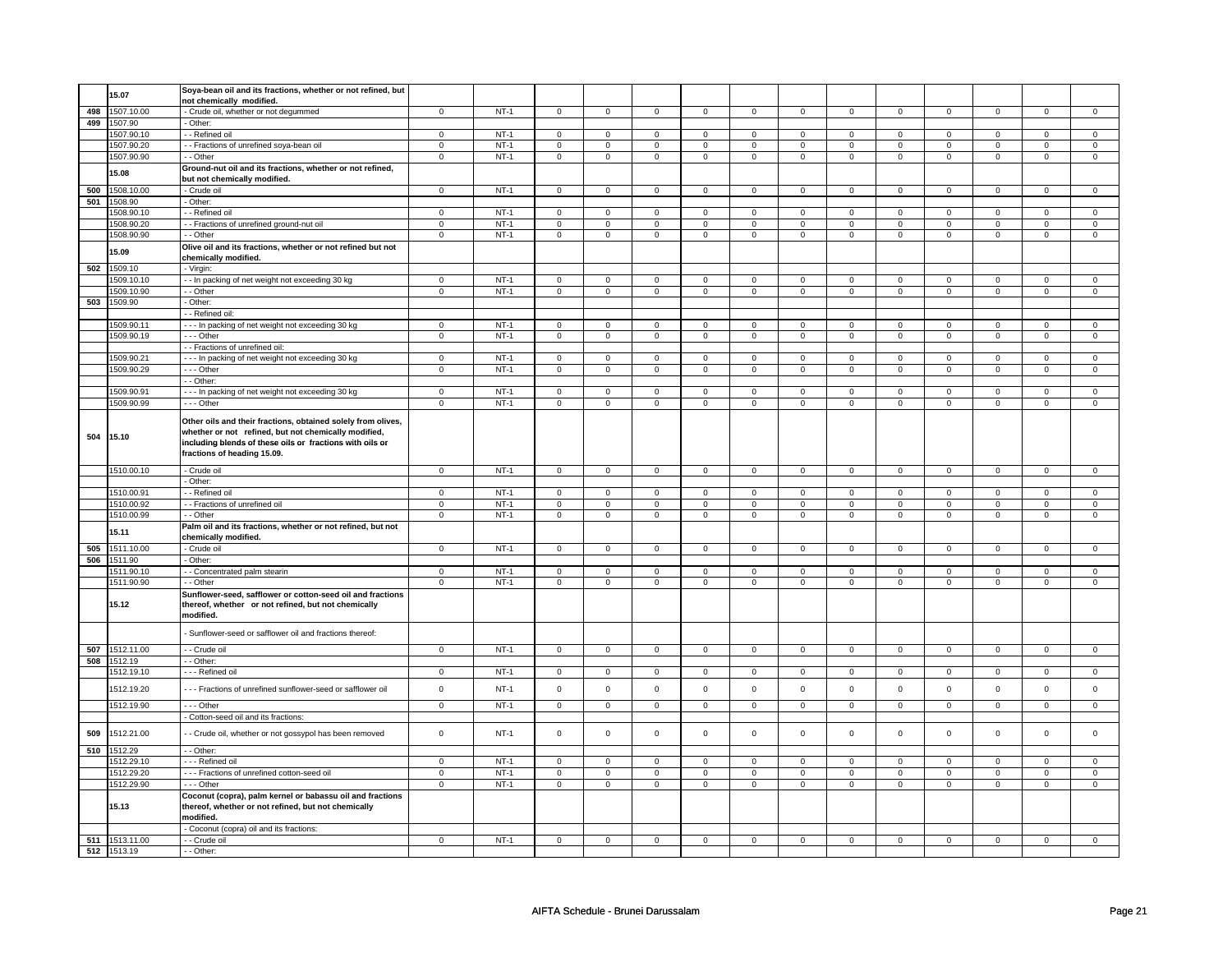|     | 15.07          | Soya-bean oil and its fractions, whether or not refined, but |                |        |                     |                |                     |                |                     |                |                |                |                |                |                |                |
|-----|----------------|--------------------------------------------------------------|----------------|--------|---------------------|----------------|---------------------|----------------|---------------------|----------------|----------------|----------------|----------------|----------------|----------------|----------------|
|     |                | not chemically modified.                                     |                |        |                     |                |                     |                |                     |                |                |                |                |                |                |                |
|     | 498 1507.10.00 | - Crude oil, whether or not degummed                         | $\overline{0}$ | $NT-1$ | $\overline{0}$      | $\overline{0}$ | $\mathsf 0$         | $\overline{0}$ | $\mathsf 0$         | $\overline{0}$ | $\mathsf 0$    | $\mathbf 0$    | $\mathsf 0$    | $\overline{0}$ | $\mathsf 0$    | $\overline{0}$ |
|     | 499 1507.90    | Other:                                                       |                |        |                     |                |                     |                |                     |                |                |                |                |                |                |                |
|     |                |                                                              |                |        |                     |                |                     |                |                     |                |                |                |                |                |                |                |
|     | 1507.90.10     | - Refined oil                                                | $\mathbf 0$    | $NT-1$ | $\mathsf{O}$        | $\mathsf 0$    | $\mathsf 0$         | $\mathbf 0$    | $\mathsf{O}\xspace$ | $\mathbf 0$    | $\mathbf 0$    | $\mathbf 0$    | $\mathsf 0$    | $\mathbf 0$    | $\mathbf 0$    | $\mathbf 0$    |
|     | 1507.90.20     | - - Fractions of unrefined soya-bean oil                     | $\mathbf 0$    | $NT-1$ | $\mathsf 0$         | $\mathsf 0$    | $\mathsf 0$         | $\mathsf 0$    | $\mathsf 0$         | $\mathsf 0$    | $\mathsf 0$    | $\mathsf{O}$   | $\mathsf 0$    | $\mathsf 0$    | $\mathsf 0$    | $\mathsf 0$    |
|     | 1507.90.90     | - - Other                                                    | $\overline{0}$ | $NT-1$ | $\overline{0}$      | $\overline{0}$ | $\overline{0}$      | $\overline{0}$ | $\overline{0}$      | $\overline{0}$ | $\overline{0}$ | $\overline{0}$ | $\overline{0}$ | $\overline{0}$ | $\overline{0}$ | $\overline{0}$ |
|     |                | Ground-nut oil and its fractions, whether or not refined,    |                |        |                     |                |                     |                |                     |                |                |                |                |                |                |                |
|     | 15.08          | but not chemically modified.                                 |                |        |                     |                |                     |                |                     |                |                |                |                |                |                |                |
|     | 500 1508.10.00 |                                                              | $\mathsf 0$    | $NT-1$ | $\mathsf 0$         | $\mathsf 0$    |                     | $\mathsf{O}^-$ |                     | $\mathsf{O}$   |                | $\mathsf{O}$   | $\mathsf 0$    | $\mathsf{O}$   | $\mathsf 0$    |                |
|     |                | - Crude oil                                                  |                |        |                     |                | $\mathsf 0$         |                | $\mathsf 0$         |                | $\mathsf 0$    |                |                |                |                | $\mathbf 0$    |
|     | 501 1508.90    | - Other:                                                     |                |        |                     |                |                     |                |                     |                |                |                |                |                |                |                |
|     | 1508.90.10     | - Refined oil                                                | $\mathbf 0$    | $NT-1$ | $\mathbf 0$         | $\mathbf 0$    | $\mathbf 0$         | $\mathbf 0$    | $\mathbf 0$         | $\mathbf 0$    | $\mathbf 0$    | $\mathbf{0}$   | $\mathbf 0$    | $\mathbf 0$    | $\mathbf 0$    | $\mathbf{0}$   |
|     | 1508.90.20     | - - Fractions of unrefined ground-nut oil                    | $\overline{0}$ | $NT-1$ | $\overline{0}$      | $\overline{0}$ | $\overline{0}$      | $\overline{0}$ | $\overline{0}$      | $\overline{0}$ | $\overline{0}$ | $\overline{0}$ | $\overline{0}$ | $\overline{0}$ | $\overline{0}$ | $\overline{0}$ |
|     | 1508.90.90     | - - Other                                                    | $\mathbf 0$    | $NT-1$ | $\mathbf 0$         | $\mathbf 0$    | $\mathbf 0$         | $\mathbf 0$    | $\mathbf 0$         | $\mathbf 0$    | $\mathbf 0$    | $\mathbf 0$    | $\mathbf 0$    | $\mathbf 0$    | $\mathbf 0$    | $\mathbf 0$    |
|     |                | Olive oil and its fractions, whether or not refined but not  |                |        |                     |                |                     |                |                     |                |                |                |                |                |                |                |
|     | 15.09          | chemically modified.                                         |                |        |                     |                |                     |                |                     |                |                |                |                |                |                |                |
|     |                |                                                              |                |        |                     |                |                     |                |                     |                |                |                |                |                |                |                |
|     | 502 1509.10    | - Virgin:                                                    |                |        |                     |                |                     |                |                     |                |                |                |                |                |                |                |
|     | 1509.10.10     | - - In packing of net weight not exceeding 30 kg             | 0              | $NT-1$ | $\mathsf 0$         | $\mathbf 0$    | $\mathbf 0$         | $\mathsf 0$    | $\mathbf 0$         | $\mathsf 0$    | 0              | $\mathsf 0$    | 0              | $\mathsf 0$    | 0              | 0              |
|     | 1509.10.90     | - Other                                                      | $\mathsf 0$    | $NT-1$ | $\mathsf 0$         | $\mathbf 0$    | $\mathsf 0$         | $\mathbf 0$    | $\mathsf 0$         | $\mathsf 0$    | $\mathbf 0$    | $\mathbf 0$    | $\mathbf 0$    | $\mathbf 0$    | $\mathbf 0$    | $\mathbf 0$    |
|     | 503 1509.90    | - Other:                                                     |                |        |                     |                |                     |                |                     |                |                |                |                |                |                |                |
|     |                | - Refined oil:                                               |                |        |                     |                |                     |                |                     |                |                |                |                |                |                |                |
|     |                |                                                              |                |        |                     |                |                     |                |                     |                |                |                |                |                |                |                |
|     | 1509.90.1      | --- In packing of net weight not exceeding 30 kg             | $\mathsf 0$    | $NT-1$ | $\mathsf 0$         | $\mathsf 0$    | 0                   | $\mathsf 0$    | 0                   | 0              | 0              | $\mathbf 0$    | 0              | $\mathbf 0$    | $\mathbf 0$    | $\mathbf 0$    |
|     | 1509.90.19     | $- -$ Other                                                  | $\overline{0}$ | $NT-1$ | 0                   | $\mathbf 0$    | $\mathbf 0$         | $\overline{0}$ | $\mathbf 0$         | $\mathbf 0$    | $\mathbf 0$    | $\overline{0}$ | $\mathbf 0$    | $\overline{0}$ | $\mathbf 0$    | $\overline{0}$ |
|     |                | - - Fractions of unrefined oil:                              |                |        |                     |                |                     |                |                     |                |                |                |                |                |                |                |
|     | 1509.90.2      | --- In packing of net weight not exceeding 30 kg             | $\mathsf 0$    | $NT-1$ | $\mathbf 0$         | $\mathsf 0$    | $\mathbf 0$         | $\mathbf 0$    | $\mathbf 0$         | $\mathbf 0$    | $\mathbf 0$    | $\mathbf 0$    | $\mathbf 0$    | $\mathbf 0$    | $\mathbf 0$    | $\mathsf 0$    |
|     | 1509.90.29     | --- Other                                                    | $\overline{0}$ | $NT-1$ | $\mathsf 0$         | $\overline{0}$ | $\mathsf 0$         | $\mathsf 0$    | $\mathsf 0$         | $\mathsf 0$    | $\mathsf 0$    | $\mathsf{O}$   | $\mathsf 0$    | $\mathsf{O}$   | $\mathsf 0$    | $\mathsf 0$    |
|     |                | - - Other:                                                   |                |        |                     |                |                     |                |                     |                |                |                |                |                |                |                |
|     |                |                                                              |                |        |                     |                |                     |                |                     |                |                |                |                |                |                |                |
|     | 1509.90.91     | - - In packing of net weight not exceeding 30 kg             | $\mathsf 0$    | $NT-1$ | $\mathsf 0$         | $\mathbf 0$    | $\mathsf 0$         | $\mathsf 0$    | $\mathsf 0$         | $\mathsf 0$    | $\mathbf 0$    | $\mathsf 0$    | $\mathbf 0$    | $\mathsf 0$    | $\mathbf 0$    | $\mathsf 0$    |
|     | 1509.90.99     | $--$ Other                                                   | $\overline{0}$ | $NT-1$ | $\mathsf 0$         | $\overline{0}$ | $\mathsf{O}\xspace$ | $\overline{0}$ | $\mathsf 0$         | $\overline{0}$ | $\mathsf 0$    | $\overline{0}$ | $\mathsf 0$    | $\overline{0}$ | $\mathsf 0$    | $\overline{0}$ |
|     |                |                                                              |                |        |                     |                |                     |                |                     |                |                |                |                |                |                |                |
|     |                | Other oils and their fractions, obtained solely from olives, |                |        |                     |                |                     |                |                     |                |                |                |                |                |                |                |
|     | 504 15.10      | whether or not refined, but not chemically modified,         |                |        |                     |                |                     |                |                     |                |                |                |                |                |                |                |
|     |                | including blends of these oils or fractions with oils or     |                |        |                     |                |                     |                |                     |                |                |                |                |                |                |                |
|     |                | fractions of heading 15.09.                                  |                |        |                     |                |                     |                |                     |                |                |                |                |                |                |                |
|     |                |                                                              |                |        |                     |                |                     |                |                     |                |                |                |                |                |                |                |
|     | 1510.00.10     | - Crude oil                                                  | $\mathbf 0$    | $NT-1$ | $\mathsf 0$         | $\mathbf 0$    | $\mathsf 0$         | $\mathbf 0$    | $\mathsf{O}\xspace$ | $\mathbf 0$    | $\mathbf 0$    | $\mathbf 0$    | $\mathsf 0$    | $\mathbf 0$    | $\mathbf 0$    | $\overline{0}$ |
|     |                | Other:                                                       |                |        |                     |                |                     |                |                     |                |                |                |                |                |                |                |
|     | 1510.00.91     | - - Refined oil                                              | $\mathbf 0$    | $NT-1$ | $\mathsf 0$         | $\mathbf 0$    | $\mathsf 0$         | $\mathbf 0$    | $\mathsf 0$         | $\mathbf 0$    | $\mathbf 0$    | $\mathbf 0$    | $\mathbf 0$    | $\mathbf 0$    | $\mathbf 0$    | $\mathbf 0$    |
|     | 1510.00.92     | - Fractions of unrefined oil                                 | $\mathbf 0$    | $NT-1$ | $\mathbf 0$         | $\mathbf 0$    | $\mathbf 0$         | $\mathbf 0$    | $\mathsf 0$         | $\mathbf 0$    | $\mathbf 0$    | $\mathbf 0$    | $\mathbf 0$    | $\mathbf 0$    | $\mathbf 0$    | $\mathbf 0$    |
|     |                |                                                              |                |        |                     |                |                     |                |                     |                |                |                |                |                |                |                |
|     | 1510.00.99     | - - Other                                                    | $\overline{0}$ | $NT-1$ | $\mathbf 0$         | $\overline{0}$ | $\mathsf 0$         | $\mathbf 0$    | $\mathsf 0$         | $\mathbf 0$    | $\mathbf 0$    | $\mathbf 0$    | $\mathbf 0$    | $\mathbf 0$    | $\mathbf 0$    | $\mathbf 0$    |
|     | 15.11          | Palm oil and its fractions, whether or not refined, but not  |                |        |                     |                |                     |                |                     |                |                |                |                |                |                |                |
|     |                | chemically modified.                                         |                |        |                     |                |                     |                |                     |                |                |                |                |                |                |                |
|     | 505 1511.10.00 | - Crude oil                                                  | $\mathbf 0$    | $NT-1$ | $\mathbf 0$         | $\mathbf{0}$   | $\mathbf 0$         | $\overline{0}$ | $\mathbf 0$         | $\mathbf{0}$   | $\mathbf 0$    | $\overline{0}$ | $\mathbf 0$    | $\mathbf{0}$   | $\mathbf 0$    | $\mathbf{0}$   |
|     | 506 1511.90    | Other:                                                       |                |        |                     |                |                     |                |                     |                |                |                |                |                |                |                |
|     |                |                                                              | $\mathbf 0$    |        |                     |                |                     |                |                     |                |                |                |                |                |                |                |
|     | 1511.90.10     | - Concentrated palm stearin                                  |                | $NT-1$ | $\mathsf 0$         | $\mathbf 0$    | $\mathbf 0$         | $\mathsf 0$    | $\mathsf 0$         | $\mathsf 0$    | 0              | $\mathsf 0$    | $\mathbf 0$    | $\mathsf 0$    | 0              | 0              |
|     | 1511.90.90     | - Other                                                      | $\overline{0}$ | $NT-1$ | $\overline{0}$      | $\overline{0}$ | $\overline{0}$      | $\pmb{0}$      | $\overline{0}$      | $\pmb{0}$      | $\overline{0}$ | $\pmb{0}$      | $\overline{0}$ | $\pmb{0}$      | $\overline{0}$ | $\pmb{0}$      |
|     |                | Sunflower-seed, safflower or cotton-seed oil and fractions   |                |        |                     |                |                     |                |                     |                |                |                |                |                |                |                |
|     | 15.12          | thereof, whether or not refined, but not chemically          |                |        |                     |                |                     |                |                     |                |                |                |                |                |                |                |
|     |                | modified.                                                    |                |        |                     |                |                     |                |                     |                |                |                |                |                |                |                |
|     |                |                                                              |                |        |                     |                |                     |                |                     |                |                |                |                |                |                |                |
|     |                | Sunflower-seed or safflower oil and fractions thereof:       |                |        |                     |                |                     |                |                     |                |                |                |                |                |                |                |
|     |                |                                                              |                |        |                     |                |                     |                |                     |                |                |                |                |                |                |                |
|     | 507 1512.11.00 | - - Crude oil                                                | $\mathsf 0$    | $NT-1$ | $\mathsf 0$         | $\mathsf 0$    | $\mathsf 0$         | $\mathsf 0$    | $\mathsf 0$         | $\mathsf 0$    | $\mathsf 0$    | $\mathsf{O}$   | $\mathsf 0$    | $\mathsf{O}$   | $\mathsf 0$    | $\mathsf{O}$   |
|     | 508 1512.19    | - - Other:                                                   |                |        |                     |                |                     |                |                     |                |                |                |                |                |                |                |
|     | 1512.19.10     | - - Refined oil                                              | $\mathbf 0$    | $NT-1$ | $\mathsf{O}\xspace$ | $\mathsf 0$    | 0                   | $\mathsf 0$    | $\mathsf{O}\xspace$ | $\mathsf 0$    | 0              | $\mathbf 0$    | $\mathsf 0$    | $\mathbf 0$    | $\mathbf 0$    | $\mathsf 0$    |
|     |                |                                                              |                |        |                     |                |                     |                |                     |                |                |                |                |                |                |                |
|     | 1512.19.20     | --- Fractions of unrefined sunflower-seed or safflower oil   | $\mathsf 0$    | $NT-1$ | $\mathsf 0$         | $\mathbf 0$    | $\mathsf 0$         | $\mathbf 0$    | $\mathsf 0$         | $\mathbf 0$    | $\mathbf 0$    | $\mathbf 0$    | $\mathbf 0$    | $\mathbf 0$    | $\mathbf 0$    | $\mathbf 0$    |
|     | 1512.19.90     | --- Other                                                    | $\mathbf 0$    | $NT-1$ | $\mathsf 0$         | $\mathbf 0$    | $\mathsf 0$         | $\mathbf 0$    | $\mathsf 0$         | $\mathbf 0$    | $\mathbf 0$    | $\mathbf 0$    | $\mathbf 0$    | $\mathbf 0$    | $\mathbf 0$    | $\mathsf 0$    |
|     |                |                                                              |                |        |                     |                |                     |                |                     |                |                |                |                |                |                |                |
|     |                | - Cotton-seed oil and its fractions:                         |                |        |                     |                |                     |                |                     |                |                |                |                |                |                |                |
|     |                |                                                              | $\mathsf 0$    | $NT-1$ | $\mathsf 0$         | $\mathsf 0$    | $\mathsf 0$         | $\mathbf 0$    | $\mathsf 0$         | $\mathbf 0$    | $\mathbf 0$    | $\mathbf 0$    | $\mathbf 0$    | $\mathbf 0$    | $\mathbf 0$    | $\mathsf 0$    |
| 509 | 1512.21.00     | - Crude oil, whether or not gossypol has been removed        |                |        |                     |                |                     |                |                     |                |                |                |                |                |                |                |
|     | 510 1512.29    | - Other:                                                     |                |        |                     |                |                     |                |                     |                |                |                |                |                |                |                |
|     | 1512.29.10     | - - - Refined oil                                            | $\mathsf 0$    | $NT-1$ | $\mathsf 0$         | $\mathsf 0$    | $\mathsf 0$         | $\mathsf 0$    | $\mathsf 0$         | $\mathsf 0$    | $\mathsf 0$    | $\mathbf 0$    | $\mathsf 0$    | $\mathbf 0$    | $\mathsf 0$    | $\mathbf 0$    |
|     |                |                                                              |                |        |                     |                |                     |                |                     |                |                |                |                |                |                |                |
|     | 1512.29.20     | - - - Fractions of unrefined cotton-seed oil                 | $\mathbf 0$    | $NT-1$ | $\mathbf 0$         | $\mathbf 0$    | $\mathbf 0$         | $\mathbf 0$    | $\mathbf 0$         | 0              | $\mathbf 0$    | $\mathbf 0$    | $\mathbf 0$    | $\mathbf 0$    | $\mathbf 0$    | $\mathbf{0}$   |
|     | 1512.29.90     | --- Other                                                    | $\mathbf 0$    | $NT-1$ | $\mathbf 0$         | $\mathbf 0$    | $\mathsf 0$         | $\mathbf 0$    | $\mathsf 0$         | $\mathbf 0$    | $\mathbf 0$    | $\mathbf 0$    | $\mathbf 0$    | $\mathbf 0$    | $\mathbf 0$    | $\mathbf 0$    |
|     |                | Coconut (copra), palm kernel or babassu oil and fractions    |                |        |                     |                |                     |                |                     |                |                |                |                |                |                |                |
|     | 15.13          | thereof, whether or not refined, but not chemically          |                |        |                     |                |                     |                |                     |                |                |                |                |                |                |                |
|     |                | modified.                                                    |                |        |                     |                |                     |                |                     |                |                |                |                |                |                |                |
|     |                | - Coconut (copra) oil and its fractions:                     |                |        |                     |                |                     |                |                     |                |                |                |                |                |                |                |
|     |                |                                                              |                |        |                     |                |                     |                |                     |                |                |                |                |                |                |                |
|     | 511 1513.11.00 | - - Crude oil                                                | $\mathbf 0$    | $NT-1$ | $\mathbf 0$         | $\mathbf 0$    | $\mathbf 0$         | $\mathbf 0$    | $\mathbf 0$         | $\mathbf 0$    | $\mathbf 0$    | $\mathbf{0}$   | $\mathbf 0$    | $\mathbf{0}$   | $\mathbf 0$    | $\overline{0}$ |
|     | 512 1513.19    | - - Other:                                                   |                |        |                     |                |                     |                |                     |                |                |                |                |                |                |                |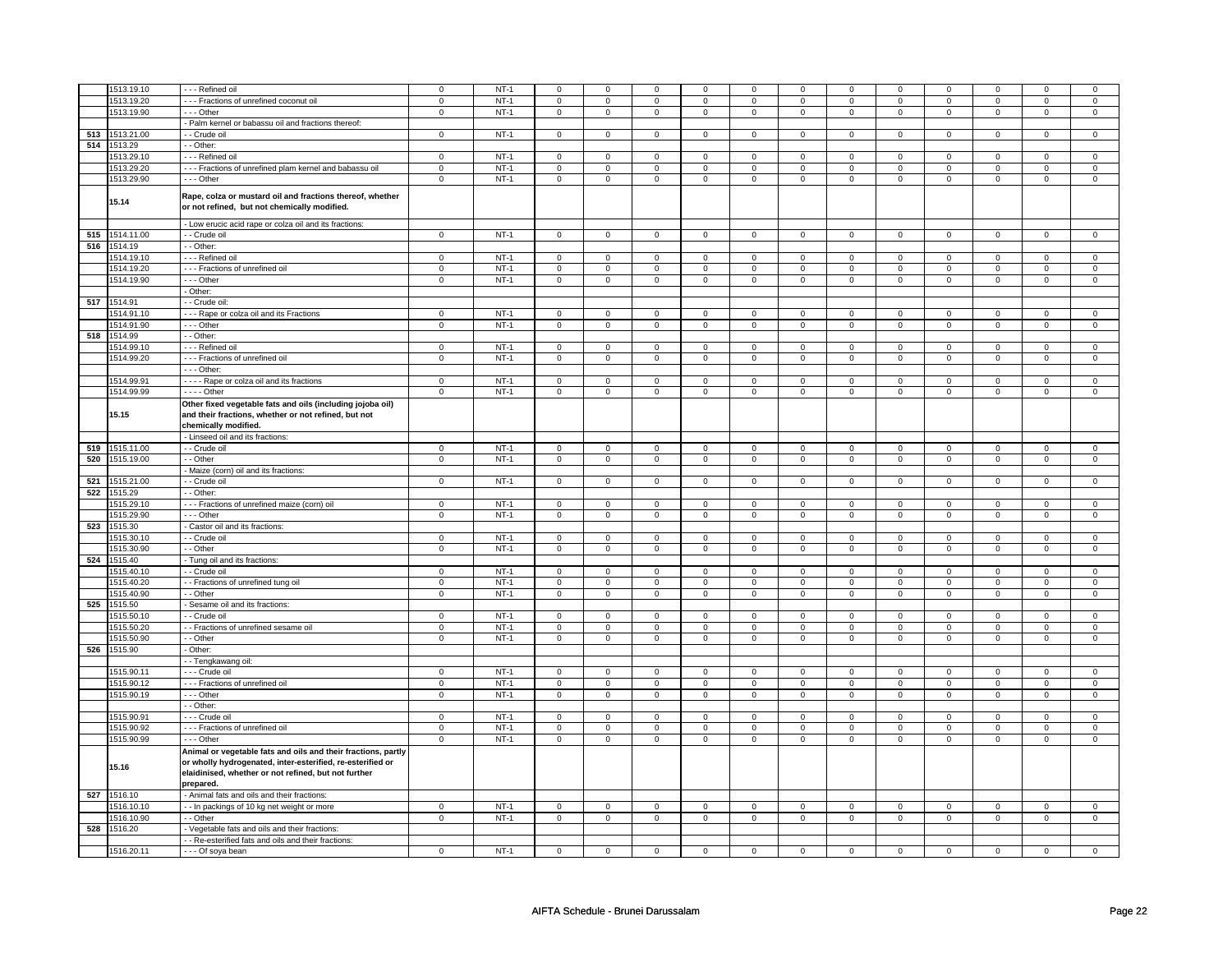|     | 1513.19.10     | - - - Refined oil                                                                                                                                                                                | $\mathbf 0$    | $NT-1$ | $\mathsf 0$             | $\mathbf 0$    | $\mathbf 0$  | 0              | 0                       | 0            | $\mathbf 0$         | $\mathbf 0$             | $\mathbf 0$             | 0              | $\Omega$     | $\Omega$       |
|-----|----------------|--------------------------------------------------------------------------------------------------------------------------------------------------------------------------------------------------|----------------|--------|-------------------------|----------------|--------------|----------------|-------------------------|--------------|---------------------|-------------------------|-------------------------|----------------|--------------|----------------|
|     |                |                                                                                                                                                                                                  |                |        |                         |                |              |                |                         |              |                     |                         |                         |                |              |                |
|     | 1513.19.20     | --- Fractions of unrefined coconut oil                                                                                                                                                           | $\mathsf 0$    | $NT-1$ | $\mathsf{O}\xspace$     | $\mathbf 0$    | 0            | $\mathbf 0$    | 0                       | $\mathsf 0$  | 0                   | $\mathbf 0$             | 0                       | $\mathsf 0$    | 0            | 0              |
|     | 1513.19.90     | --- Other                                                                                                                                                                                        | $\mathsf 0$    | $NT-1$ | $\mathbf 0$             | $\mathbf 0$    | $\mathbf{0}$ | $\overline{0}$ | $\mathbf{0}$            | $\mathbf 0$  | $\mathbf{0}$        | $\overline{0}$          | $\mathbf{0}$            | $\mathbf 0$    | $\mathbf{0}$ | $\mathbf{0}$   |
|     |                | - Palm kernel or babassu oil and fractions thereof:                                                                                                                                              |                |        |                         |                |              |                |                         |              |                     |                         |                         |                |              |                |
|     | 513 1513.21.00 | - Crude oil                                                                                                                                                                                      | $\mathbf 0$    | $NT-1$ | $\mathbf 0$             | $\mathbf 0$    | $\mathbf 0$  | $\mathbf 0$    | $\mathbf 0$             | $\mathbf 0$  | $\mathbf 0$         | $\mathbf 0$             | $\mathbf 0$             | $\mathbf 0$    | $\Omega$     | $\mathbf 0$    |
|     | 514 1513.29    | - Other:                                                                                                                                                                                         |                |        |                         |                |              |                |                         |              |                     |                         |                         |                |              |                |
|     |                | - - - Refined oil                                                                                                                                                                                |                | $NT-1$ |                         |                |              |                |                         |              |                     |                         |                         |                |              |                |
|     | 1513.29.10     |                                                                                                                                                                                                  | $\mathbf 0$    |        | 0                       | $\mathbf 0$    | 0            | $\mathbf 0$    | 0                       | $\mathbf 0$  | 0                   | 0                       | 0                       | $\mathbf 0$    | 0            | 0              |
|     | 1513.29.20     | --- Fractions of unrefined plam kernel and babassu oil                                                                                                                                           | $\mathbf 0$    | $NT-1$ | $\mathsf 0$             | $\mathbf 0$    | 0            | $\mathsf 0$    | $\mathbf 0$             | $\mathsf 0$  | $\mathbf 0$         | $\mathbf 0$             | $\mathsf 0$             | $\mathbf 0$    | 0            | $\mathbf 0$    |
|     | 1513.29.90     | --- Other                                                                                                                                                                                        | $\mathsf 0$    | $NT-1$ | $\mathbf 0$             | $\mathsf 0$    | $\mathbf 0$  | $\mathbf 0$    | $\mathsf 0$             | $\mathbf 0$  | $\mathbf 0$         | $\mathbf 0$             | $\mathsf 0$             | $\mathsf 0$    | $\mathbf 0$  | $\mathbf{0}$   |
|     | 15.14          | Rape, colza or mustard oil and fractions thereof, whether<br>or not refined, but not chemically modified.                                                                                        |                |        |                         |                |              |                |                         |              |                     |                         |                         |                |              |                |
|     |                | - Low erucic acid rape or colza oil and its fractions:                                                                                                                                           |                |        |                         |                |              |                |                         |              |                     |                         |                         |                |              |                |
|     | 515 1514.11.00 | - Crude oil                                                                                                                                                                                      | $\mathbf 0$    | $NT-1$ | 0                       | $\mathsf 0$    | $\mathbf 0$  | $\mathbf 0$    | 0                       | $\mathbf 0$  | 0                   | $\mathbf 0$             | 0                       | $\mathbf 0$    | 0            | $\mathbf 0$    |
|     | 516 1514.19    | - Other:                                                                                                                                                                                         |                |        |                         |                |              |                |                         |              |                     |                         |                         |                |              |                |
|     | 1514.19.10     | - - Refined oil                                                                                                                                                                                  | $\mathbf 0$    | $NT-1$ | $\mathsf 0$             | $\mathbf 0$    | 0            | $\mathbf 0$    | $\mathbf 0$             | $\mathbf 0$  | $\mathbf 0$         | $\mathbf 0$             | $\mathbf 0$             | $\mathbf 0$    | 0            | $\mathbf{0}$   |
|     | 1514.19.20     | --- Fractions of unrefined oil                                                                                                                                                                   | $\mathbf 0$    | $NT-1$ | $\mathbf 0$             | $\mathbf 0$    | $\mathbf 0$  | $\mathbf 0$    | $\mathbf 0$             | $\mathbf 0$  | 0                   | $\mathbf 0$             | 0                       | $\mathbf 0$    | 0            | 0              |
|     |                |                                                                                                                                                                                                  |                |        |                         |                |              |                |                         |              |                     |                         |                         |                |              |                |
|     | 1514.19.90     | --- Other                                                                                                                                                                                        | $\mathbf 0$    | $NT-1$ | $\mathsf 0$             | $\mathbf 0$    | $\mathbf 0$  | $\mathbf 0$    | $\mathbf 0$             | $\mathbf 0$  | $\mathbf 0$         | $\mathbf 0$             | $\mathsf 0$             | $\mathbf 0$    | $\Omega$     | $\mathbf{0}$   |
|     |                | - Other:                                                                                                                                                                                         |                |        |                         |                |              |                |                         |              |                     |                         |                         |                |              |                |
|     | 517 1514.91    | - Crude oil:                                                                                                                                                                                     |                |        |                         |                |              |                |                         |              |                     |                         |                         |                |              |                |
|     | 1514.91.10     | --- Rape or colza oil and its Fractions                                                                                                                                                          | $\mathsf 0$    | $NT-1$ | $\mathsf 0$             | $\mathbf 0$    | 0            | $\mathsf 0$    | $\mathbf 0$             | $\mathsf 0$  | 0                   | $\mathbf 0$             | $\mathsf 0$             | $\mathbf 0$    | $\mathbf 0$  | 0              |
|     | 1514.91.90     | --- Other                                                                                                                                                                                        | $\mathsf 0$    | $NT-1$ | $\mathsf 0$             | $\mathsf 0$    | $\mathsf 0$  | $\mathbf 0$    | $\mathsf 0$             | $\mathbf 0$  | $\mathbf 0$         | $\mathbf 0$             | $\mathsf 0$             | $\mathbf 0$    | $\mathbf 0$  | $\mathbf 0$    |
|     | 518 1514.99    | - - Other:                                                                                                                                                                                       |                |        |                         |                |              |                |                         |              |                     |                         |                         |                |              |                |
|     |                |                                                                                                                                                                                                  |                |        |                         |                |              |                |                         |              |                     |                         |                         |                |              |                |
|     | 1514.99.10     | --- Refined oil                                                                                                                                                                                  | $\mathbf 0$    | $NT-1$ | $\mathbf 0$             | $\overline{0}$ | $\mathbf 0$  | $\mathbf{0}$   | $\mathbf 0$             | $\mathbf 0$  | 0                   | $\mathbf 0$             | 0                       | $\mathbf 0$    | 0            | $\overline{0}$ |
|     | 1514.99.20     | - - - Fractions of unrefined oil                                                                                                                                                                 | $\mathbf 0$    | $NT-1$ | $\mathbf 0$             | $\mathbf 0$    | $\mathbf 0$  | $\mathbf{0}$   | $\mathbf 0$             | $\mathbf{0}$ | $\mathbf 0$         | $\mathbf 0$             | $\mathbf 0$             | $\mathbf 0$    | $\mathbf 0$  | $\mathbf 0$    |
|     |                | - - - Other:                                                                                                                                                                                     |                |        |                         |                |              |                |                         |              |                     |                         |                         |                |              |                |
|     | 1514.99.91     | - - - - Rape or colza oil and its fractions                                                                                                                                                      | $\mathbf 0$    | $NT-1$ | $\mathbf 0$             | $\mathbf 0$    | 0            | $\mathbf 0$    | 0                       | $\mathbf 0$  | 0                   | $\mathbf 0$             | 0                       | $\mathbf 0$    | 0            | 0              |
|     | 1514.99.99     | - - - Other                                                                                                                                                                                      | $\mathsf 0$    | $NT-1$ | $\mathbf 0$             | $\mathbf 0$    | 0            | $\mathsf 0$    | $\mathbf 0$             | $\mathsf 0$  | 0                   | $\mathbf 0$             | $\mathsf 0$             | $\mathbf 0$    | 0            | 0              |
|     |                | Other fixed vegetable fats and oils (including jojoba oil)                                                                                                                                       |                |        |                         |                |              |                |                         |              |                     |                         |                         |                |              |                |
|     | 15.15          | and their fractions, whether or not refined, but not<br>chemically modified.                                                                                                                     |                |        |                         |                |              |                |                         |              |                     |                         |                         |                |              |                |
|     |                | - Linseed oil and its fractions:                                                                                                                                                                 |                |        |                         |                |              |                |                         |              |                     |                         |                         |                |              |                |
|     | 519 1515.11.00 | - - Crude oil                                                                                                                                                                                    | $\overline{0}$ | $NT-1$ | $\overline{\mathbf{0}}$ | $\overline{0}$ | $\mathsf 0$  | $\overline{0}$ | $\overline{\mathbf{0}}$ | $\mathbf 0$  | $\mathsf 0$         | $\overline{\mathbf{0}}$ | $\overline{\mathbf{0}}$ | $\mathbf 0$    | $\mathbf 0$  | $\circ$        |
|     | 520 1515.19.00 | - Other                                                                                                                                                                                          | $\mathbf 0$    | $NT-1$ | $\mathsf{O}\xspace$     | $\mathsf 0$    | 0            | $\mathbf 0$    | $\mathsf 0$             | $\mathbf 0$  | 0                   | $\mathbf 0$             | $\mathsf 0$             | 0              | 0            | 0              |
|     |                | Maize (corn) oil and its fractions:                                                                                                                                                              |                |        |                         |                |              |                |                         |              |                     |                         |                         |                |              |                |
|     |                |                                                                                                                                                                                                  |                |        |                         |                |              |                |                         |              |                     |                         |                         |                |              |                |
| 521 | 1515.21.00     | - Crude oil                                                                                                                                                                                      | $\mathsf 0$    | $NT-1$ | $\mathsf 0$             | $\mathbf 0$    | $\mathsf 0$  | $\mathbf 0$    | $\mathsf 0$             | $\mathbf 0$  | $\mathbf 0$         | $\mathbf{0}$            | $\mathsf{O}\xspace$     | $\mathbf{0}$   | $\mathbf 0$  | $\mathbf 0$    |
|     | 522 1515.29    | - Other:                                                                                                                                                                                         |                |        |                         |                |              |                |                         |              |                     |                         |                         |                |              |                |
|     | 1515.29.1      | - - - Fractions of unrefined maize (corn) oil                                                                                                                                                    | $\mathbf 0$    | $NT-1$ | $\mathsf 0$             | $\mathbf 0$    | 0            | $\mathbf 0$    | $\mathbf 0$             | $\mathbf 0$  | $\Omega$            | $\mathbf 0$             | $\mathsf 0$             | $\mathbf 0$    | $\Omega$     | $\Omega$       |
|     | 1515.29.90     | --- Other                                                                                                                                                                                        | $\mathbf 0$    | $NT-1$ | $\mathbf 0$             | $\mathbf 0$    | $\mathbf 0$  | $\mathbf 0$    | $\mathbf 0$             | $\mathbf 0$  | $\mathbf 0$         | $\mathbf 0$             | $\mathbf 0$             | $\mathbf 0$    | $\mathbf 0$  | $\mathbf 0$    |
| 523 | 1515.30        | Castor oil and its fractions:                                                                                                                                                                    |                |        |                         |                |              |                |                         |              |                     |                         |                         |                |              |                |
|     | 1515.30.10     | - Crude oil                                                                                                                                                                                      | $\mathbf 0$    | $NT-1$ | $\mathsf 0$             | $\mathbf 0$    | $\mathbf 0$  | $\mathbf 0$    | $\mathbf 0$             | $\mathsf 0$  | $\mathbf 0$         | $\mathbf 0$             | $\mathsf 0$             | $\mathbf 0$    | $\Omega$     | $\mathbf 0$    |
|     |                |                                                                                                                                                                                                  |                |        |                         |                |              |                |                         |              |                     |                         |                         |                |              |                |
|     | 1515.30.90     | - Other                                                                                                                                                                                          | $\mathsf 0$    | $NT-1$ | $\mathsf{O}\xspace$     | $\mathsf 0$    | 0            | $\mathbf 0$    | $\mathsf 0$             | $\mathbf 0$  | 0                   | $\mathbf 0$             | 0                       | $\mathbf 0$    | 0            | $\mathbf 0$    |
|     | 524 1515.40    | Tung oil and its fractions:                                                                                                                                                                      |                |        |                         |                |              |                |                         |              |                     |                         |                         |                |              |                |
|     | 1515.40.10     | - - Crude oil                                                                                                                                                                                    | $\mathbf 0$    | $NT-1$ | $\mathbf 0$             | $\mathbf 0$    | $\mathbf 0$  | $\mathbf 0$    | $\mathbf 0$             | $\mathbf 0$  | 0                   | $\mathbf 0$             | 0                       | $\mathbf 0$    | 0            | $\overline{0}$ |
|     | 1515.40.20     | - Fractions of unrefined tung oil                                                                                                                                                                | $\mathbf 0$    | $NT-1$ | $\mathbf 0$             | $\mathbf 0$    | $\mathbf 0$  | $\mathbf{0}$   | $\mathbf 0$             | $\mathbf 0$  | $\mathbf 0$         | $\mathbf 0$             | $\mathbf 0$             | $\mathbf 0$    | $\mathbf 0$  | $\mathbf{0}$   |
|     | 1515.40.90     | - Other                                                                                                                                                                                          | $\mathsf 0$    | $NT-1$ | $\mathsf{O}\xspace$     | $\mathsf 0$    | $\mathsf 0$  | $\mathsf 0$    | $\mathsf 0$             | $\mathsf 0$  | $\mathsf{O}\xspace$ | $\mathbf 0$             | $\mathsf 0$             | $\mathbf 0$    | $\mathbf{0}$ | $\mathbf 0$    |
|     | 525 1515.50    | Sesame oil and its fractions:                                                                                                                                                                    |                |        |                         |                |              |                |                         |              |                     |                         |                         |                |              |                |
|     | 1515.50.10     | - Crude oil                                                                                                                                                                                      | $\mathsf 0$    | $NT-1$ | $\mathsf 0$             | $\mathbf 0$    | $\mathbf 0$  | $\mathsf 0$    | $\mathbf 0$             | $\mathsf 0$  | $\mathbf 0$         | $\mathbf 0$             | $\mathsf 0$             | $\mathbf 0$    | $\mathbf 0$  | 0              |
|     |                |                                                                                                                                                                                                  |                |        |                         |                |              |                |                         |              |                     |                         |                         |                |              |                |
|     | 1515.50.20     | - Fractions of unrefined sesame oil                                                                                                                                                              | $\mathbf 0$    | $NT-1$ | $\mathbf 0$             | $\mathbf 0$    | $\mathbf 0$  | $\mathbf 0$    | $\mathbf 0$             | $\mathbf 0$  | $\mathbf 0$         | $\mathbf 0$             | $\mathbf 0$             | $\mathbf 0$    | $\mathbf 0$  | $\mathbf 0$    |
|     | 1515.50.90     | - Other                                                                                                                                                                                          | $\mathbf 0$    | $NT-1$ | $\mathbf 0$             | $\mathbf 0$    | $\mathbf 0$  | $\overline{0}$ | $\mathbf 0$             | $\mathbf 0$  | $\mathbf 0$         | $\overline{0}$          | $\mathbf 0$             | $\overline{0}$ | $\mathbf 0$  | $\mathbf{0}$   |
|     | 526 1515.90    | - Other:                                                                                                                                                                                         |                |        |                         |                |              |                |                         |              |                     |                         |                         |                |              |                |
|     |                | - Tengkawang oil:                                                                                                                                                                                |                |        |                         |                |              |                |                         |              |                     |                         |                         |                |              |                |
|     | 1515.90.11     | - - - Crude oil                                                                                                                                                                                  | $\mathbf 0$    | $NT-1$ | $\overline{0}$          | $\overline{0}$ | $\mathbf 0$  | $\mathbf 0$    | $\mathbf 0$             | $\mathbf 0$  | $\mathbf 0$         | $\overline{0}$          | $\mathbf 0$             | $\overline{0}$ | $\mathbf 0$  | $\mathbf 0$    |
|     | 1515.90.12     | --- Fractions of unrefined oil                                                                                                                                                                   | $\mathbf 0$    | $NT-1$ | $\mathbf 0$             | $\mathbf 0$    | 0            | 0              | 0                       | $\mathsf 0$  | 0                   | 0                       | 0                       | 0              | 0            | 0              |
|     |                |                                                                                                                                                                                                  |                | $NT-1$ |                         |                |              |                |                         |              |                     |                         |                         |                |              |                |
|     | 1515.90.19     | - - Other                                                                                                                                                                                        | $\mathsf 0$    |        | $\mathsf 0$             | $\mathsf 0$    | $\mathbf 0$  | $\mathbf 0$    | $\mathbf 0$             | $\mathbf 0$  | $\mathbf 0$         | $\mathbf 0$             | $\mathsf 0$             | $\mathbf 0$    | $\mathbf 0$  | $\mathbf 0$    |
|     |                | - Other:                                                                                                                                                                                         |                |        |                         |                |              |                |                         |              |                     |                         |                         |                |              |                |
|     | 1515.90.91     | - - - Crude oil                                                                                                                                                                                  | $\mathbf 0$    | $NT-1$ | $\mathbf 0$             | $\mathbf 0$    | 0            | $\mathbf 0$    | $\mathbf 0$             | $\mathbf 0$  | 0                   | $\mathbf 0$             | 0                       | $\mathbf 0$    | 0            | 0              |
|     | 1515.90.92     | - - - Fractions of unrefined oil                                                                                                                                                                 | $\mathbf 0$    | $NT-1$ | $\mathsf 0$             | $\mathbf 0$    | $\mathbf 0$  | $\mathbf 0$    | $\mathbf 0$             | $\mathbf 0$  | $\mathbf 0$         | $\mathbf 0$             | $\mathsf 0$             | $\mathbf 0$    | $\mathbf 0$  | $\mathbf{0}$   |
|     | 1515.90.99     | $- -$ Other                                                                                                                                                                                      | $\Omega$       | $NT-1$ | $\mathbf 0$             | $\mathbf 0$    | $\mathbf 0$  | $\mathbf 0$    | $\mathbf 0$             | $\mathbf{0}$ | $\mathbf 0$         | $\mathbf 0$             | $\mathbf 0$             | $\mathbf 0$    | $\mathbf 0$  | $\mathbf{0}$   |
|     | 15.16          | Animal or vegetable fats and oils and their fractions, partly<br>or wholly hydrogenated, inter-esterified, re-esterified or<br>elaidinised, whether or not refined, but not further<br>prepared. |                |        |                         |                |              |                |                         |              |                     |                         |                         |                |              |                |
|     | 527 1516.10    | - Animal fats and oils and their fractions:                                                                                                                                                      |                |        |                         |                |              |                |                         |              |                     |                         |                         |                |              |                |
|     | 1516.10.10     | - - In packings of 10 kg net weight or more                                                                                                                                                      | $\mathbf 0$    | $NT-1$ | $\mathbf{0}$            | $\mathbf 0$    | $\mathbf 0$  | $\mathbf{0}$   | $\mathbf 0$             | $\mathbf{0}$ | $\mathbf 0$         | $\mathbf{0}$            | $\mathbf 0$             | $\mathbf 0$    | $\mathbf 0$  | $\mathbf 0$    |
|     | 1516.10.90     | - - Other                                                                                                                                                                                        | $\mathbf 0$    | $NT-1$ | $\mathsf 0$             | $\mathsf 0$    |              |                |                         | $\mathsf 0$  | $\mathbf 0$         | $\mathsf{O}$            | $\mathbf 0$             | $\mathsf{O}$   | $\mathbf 0$  | $\mathbf 0$    |
|     |                |                                                                                                                                                                                                  |                |        |                         |                | $\mathsf 0$  | $\mathbf 0$    | $\mathsf 0$             |              |                     |                         |                         |                |              |                |
|     | 528 1516.20    | Vegetable fats and oils and their fractions:                                                                                                                                                     |                |        |                         |                |              |                |                         |              |                     |                         |                         |                |              |                |
|     |                | - Re-esterified fats and oils and their fractions:                                                                                                                                               |                |        |                         |                |              |                |                         |              |                     |                         |                         |                |              |                |
|     | 1516.20.11     | - - - Of soya bean                                                                                                                                                                               | $\mathbf 0$    | $NT-1$ | $\mathsf 0$             | $\mathbf 0$    | $\mathbf 0$  | $\mathsf 0$    | $\mathbf 0$             | $\mathsf 0$  | $\mathbf 0$         | $\mathbf 0$             | $\mathsf 0$             | $\mathbf 0$    | $\mathbf 0$  | 0              |
|     |                |                                                                                                                                                                                                  |                |        |                         |                |              |                |                         |              |                     |                         |                         |                |              |                |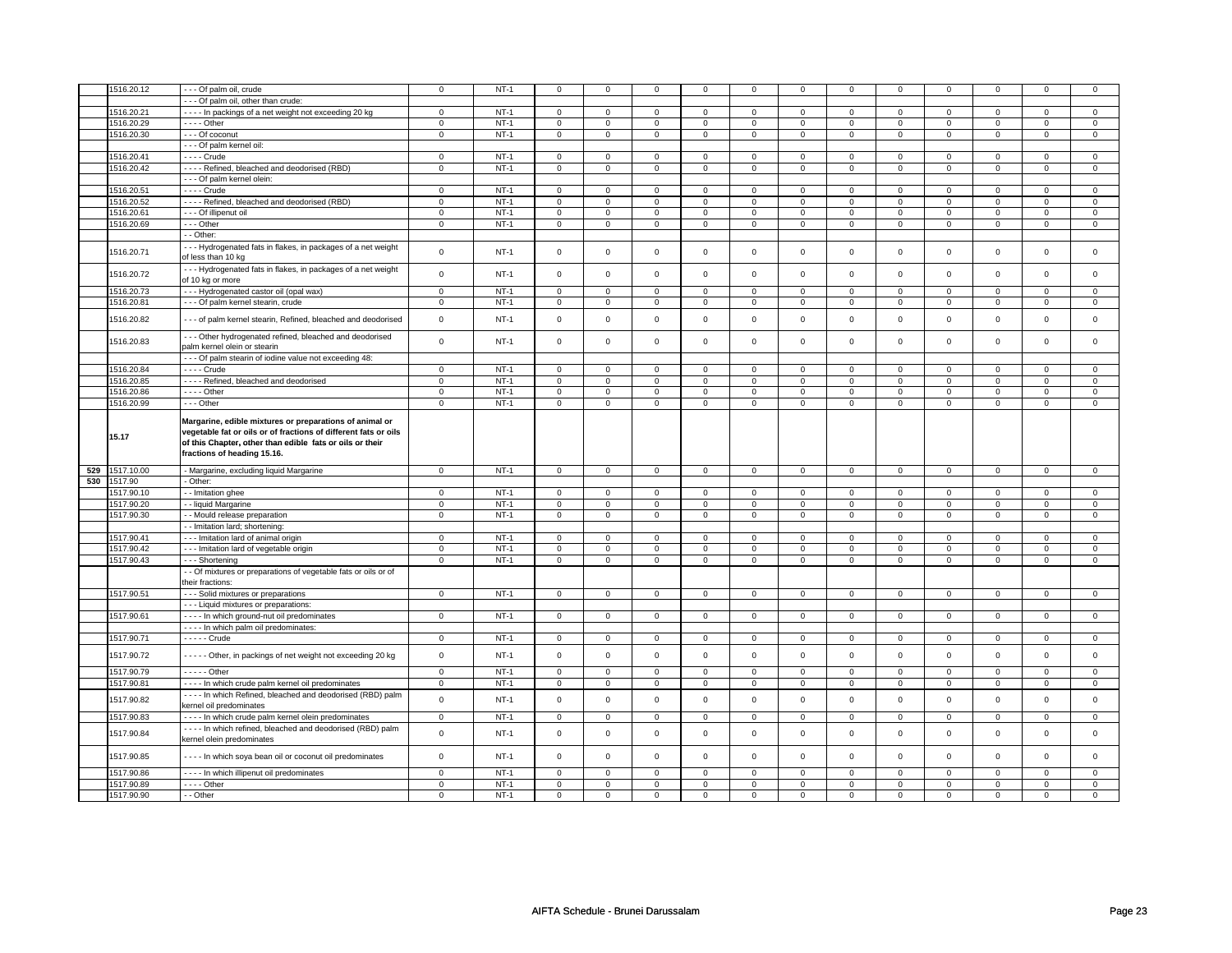| 1516.20.12               | - - - Of palm oil, crude                                                                                                                                                               | $\mathsf 0$       | $NT-1$           | $\mathbf 0$         | $\mathbf 0$       | $\mathbf{0}$               | 0                 | $\mathsf 0$                 | $\mathbf 0$                | $\mathbf 0$       | $\mathsf 0$                 | $\mathsf 0$              | $\Omega$                    | $\mathbf 0$                 | $\mathbf 0$                 |
|--------------------------|----------------------------------------------------------------------------------------------------------------------------------------------------------------------------------------|-------------------|------------------|---------------------|-------------------|----------------------------|-------------------|-----------------------------|----------------------------|-------------------|-----------------------------|--------------------------|-----------------------------|-----------------------------|-----------------------------|
|                          | - - - Of palm oil, other than crude:                                                                                                                                                   |                   |                  |                     |                   |                            |                   |                             |                            |                   |                             |                          |                             |                             |                             |
| 1516.20.21               | - - - - In packings of a net weight not exceeding 20 kg                                                                                                                                | $\overline{0}$    | $NT-1$           | $\overline{0}$      | $\overline{0}$    | $\overline{0}$             | $\overline{0}$    | $\overline{0}$              | $\overline{0}$             | $\overline{0}$    | $\overline{0}$              | $\overline{0}$           | $\overline{0}$              | $\overline{0}$              | $\overline{0}$              |
| 1516.20.29               | $- - -$ Other                                                                                                                                                                          | $\mathbf 0$       | $NT-1$           | $\mathbf 0$         | $\mathbf 0$       | $\mathbf{0}$               | $\mathbf{0}$      | $\mathbf{0}$                | $\mathbf{0}$               | $\mathbf 0$       | $\mathbf{0}$                | $\mathbf 0$              | $\mathbf{0}$                | $\mathbf 0$                 | $\mathbf{0}$                |
|                          |                                                                                                                                                                                        |                   |                  |                     |                   |                            |                   |                             |                            |                   |                             |                          |                             |                             |                             |
| 1516.20.30               | - - - Of coconut                                                                                                                                                                       | $\mathbf 0$       | $NT-1$           | 0                   | $\mathbf 0$       | $\mathbf 0$                | $\mathbf{0}$      | $\mathbf{0}$                | $\mathbf 0$                | $\mathbf{0}$      | $\mathbf{0}$                | $\mathbf{0}$             | $\mathbf{0}$                | $\mathbf{0}$                | $\mathbf{0}$                |
|                          | --- Of palm kernel oil:                                                                                                                                                                |                   |                  |                     |                   |                            |                   |                             |                            |                   |                             |                          |                             |                             |                             |
| 1516.20.41               | $- - -$ Crude                                                                                                                                                                          | $\mathsf 0$       | $NT-1$           | $\mathbf 0$         | $\mathbf 0$       | $\mathbf 0$                | 0                 | $\mathbf 0$                 | $\mathbf 0$                | $\mathbf 0$       | $\mathbf 0$                 | $\mathsf 0$              | $\mathsf 0$                 | $\mathbf 0$                 | $\mathbf 0$                 |
| 1516.20.42               | - - - - Refined, bleached and deodorised (RBD)                                                                                                                                         | $\mathbf 0$       | $NT-1$           | 0                   | $\mathbf 0$       | 0                          | 0                 | 0                           | 0                          | 0                 | $\mathbf 0$                 | $\mathbf 0$              | $\mathsf 0$                 | $\mathbf 0$                 | $\mathbf 0$                 |
|                          | --- Of palm kernel olein:                                                                                                                                                              |                   |                  |                     |                   |                            |                   |                             |                            |                   |                             |                          |                             |                             |                             |
| 1516.20.51               | $- - -$ Crude                                                                                                                                                                          | $\mathsf 0$       | $NT-1$           | $\mathbf 0$         | $\mathbf 0$       | $\mathbf{0}$               | 0                 | $\mathbf 0$                 | $\mathbf 0$                | $\mathbf 0$       | $\mathbf 0$                 | $\mathbf 0$              | $\mathbf 0$                 | $\mathbf 0$                 | $\mathbf 0$                 |
|                          |                                                                                                                                                                                        |                   |                  |                     |                   |                            |                   |                             |                            |                   |                             |                          |                             |                             |                             |
| 1516.20.52               | - - - - Refined, bleached and deodorised (RBD)                                                                                                                                         | $\mathbf 0$       | $NT-1$           | 0                   | $\mathbf 0$       | $\mathbf 0$                | $\mathbf{0}$      | $\mathbf 0$                 | 0                          | $\mathbf 0$       | $\mathbf 0$                 | $\mathbf 0$              | $\mathbf 0$                 | $\mathsf 0$                 | $\mathbf{0}$                |
| 1516.20.61               | - - - Of illipenut oil                                                                                                                                                                 | $\mathsf 0$       | $NT-1$           | $\mathbf 0$         | $\mathbf 0$       | $\mathbf 0$                | 0                 | $\mathbf{0}$                | 0                          | $\mathbf{0}$      | $\mathbf 0$                 | $\mathbf 0$              | $\mathbf 0$                 | $\mathbf 0$                 | $\mathbf 0$                 |
| 1516.20.69               | $--$ Other                                                                                                                                                                             | $\mathsf 0$       | $NT-1$           | $\mathbf 0$         | $\overline{0}$    | $\mathbf 0$                | $\overline{0}$    | $\mathsf 0$                 | $\overline{0}$             | $\mathbf 0$       | $\overline{0}$              | $\mathbf 0$              | $\overline{0}$              | $\mathsf 0$                 | $\overline{0}$              |
|                          | - - Other:                                                                                                                                                                             |                   |                  |                     |                   |                            |                   |                             |                            |                   |                             |                          |                             |                             |                             |
|                          | --- Hydrogenated fats in flakes, in packages of a net weight                                                                                                                           |                   |                  |                     |                   |                            |                   |                             |                            |                   |                             |                          |                             |                             |                             |
| 1516.20.71               | of less than 10 kg                                                                                                                                                                     | $\mathbf 0$       | $NT-1$           | $\mathbf{0}$        | $\mathbf{0}$      | $\mathbf{0}$               | $\mathbf 0$       | $\mathbf{0}$                | $\mathbf 0$                | $\mathbf 0$       | $\mathbf{0}$                | $\mathbf 0$              | $\mathbf 0$                 | $\mathbf 0$                 | $\mathbf 0$                 |
| 1516.20.72               | --- Hydrogenated fats in flakes, in packages of a net weight<br>of 10 kg or more                                                                                                       | $\mathsf 0$       | $NT-1$           | $\mathsf{O}\xspace$ | $\mathbf{0}$      | $\mathbf{0}$               | $\mathbf{0}$      | $\mathsf 0$                 | $\mathbf{0}$               | $\mathbf 0$       | $\mathbf{0}$                | $\mathsf 0$              | $\mathbf 0$                 | $\mathbf 0$                 | $\mathbf 0$                 |
| 1516.20.73               | --- Hydrogenated castor oil (opal wax)                                                                                                                                                 | $\overline{0}$    | $NT-1$           | $\overline{0}$      | $\overline{0}$    | $\overline{0}$             | $\overline{0}$    | $\overline{0}$              | $\overline{0}$             | $\overline{0}$    | $\overline{0}$              | $\overline{0}$           | $\overline{0}$              | $\overline{0}$              | $\overline{0}$              |
|                          |                                                                                                                                                                                        |                   |                  |                     |                   |                            |                   |                             |                            |                   |                             |                          |                             |                             |                             |
| 1516.20.81               | - - - Of palm kernel stearin, crude                                                                                                                                                    | $\mathsf 0$       | $NT-1$           | 0                   | $\mathsf{O}$      | $\mathsf 0$                | $\mathbf 0$       | $\mathsf 0$                 | $\mathsf 0$                | $\mathsf 0$       | $\mathsf 0$                 | $\mathsf 0$              | $\mathsf{O}$                | $\mathsf 0$                 | $\mathsf 0$                 |
| 1516.20.82               | --- of palm kernel stearin, Refined, bleached and deodorised                                                                                                                           | $\mathsf 0$       | $NT-1$           | $\mathbf 0$         | $\mathbf 0$       | $\mathbf 0$                | $\mathbf 0$       | $\mathbf 0$                 | $\mathbf 0$                | $\mathsf 0$       | $\mathbf 0$                 | $\mathsf 0$              | $\mathsf 0$                 | $\mathbf 0$                 | $\mathsf 0$                 |
|                          | --- Other hydrogenated refined, bleached and deodorised                                                                                                                                | $\mathbf 0$       |                  |                     |                   |                            | $\mathbf{0}$      |                             | $\mathbf 0$                |                   | $\mathbf{0}$                |                          | $\mathbf 0$                 |                             |                             |
| 1516.20.83               | palm kernel olein or stearin                                                                                                                                                           |                   | $NT-1$           | $\mathbf 0$         | $\mathbf 0$       | $\mathbf{0}$               |                   | $\mathbf{0}$                |                            | $\mathbf 0$       |                             | $\mathbf 0$              |                             | $\mathbf 0$                 | $\mathbf 0$                 |
|                          | - - - Of palm stearin of iodine value not exceeding 48:                                                                                                                                |                   |                  |                     |                   |                            |                   |                             |                            |                   |                             |                          |                             |                             |                             |
| 1516.20.84               | $- - -$ Crude                                                                                                                                                                          | $\mathsf 0$       | $NT-1$           | $\mathbf 0$         | $\mathbf 0$       | $\mathbf 0$                | $\mathbf 0$       | $\mathbf 0$                 | $\mathsf 0$                | $\mathbf 0$       | $\mathsf 0$                 | $\mathsf 0$              | $\mathsf 0$                 | $\mathsf 0$                 | $\mathbf 0$                 |
|                          |                                                                                                                                                                                        |                   |                  |                     |                   |                            |                   |                             |                            |                   |                             |                          |                             |                             |                             |
| 1516.20.85               | - - - - Refined, bleached and deodorised                                                                                                                                               | $\overline{0}$    | $NT-1$           | $\mathbf 0$         | $\overline{0}$    | $\mathbf 0$                | $\mathbf{0}$      | $\mathbf 0$                 | $\overline{0}$             | $\mathbf 0$       | $\overline{0}$              | $\mathbf 0$              | $\overline{0}$              | $\mathbf{0}$                | $\overline{0}$              |
| 1516.20.86               | - - - - Other                                                                                                                                                                          | $\mathsf 0$       | $NT-1$           | $\mathbf 0$         | $\mathbf 0$       | $\mathbf 0$                | 0                 | $\mathbf 0$                 | $\mathbf 0$                | $\mathbf 0$       | $\mathbf 0$                 | $\mathbf 0$              | $\mathbf 0$                 | $\mathbf 0$                 | $\mathbf 0$                 |
| 1516.20.99               | $--$ Other                                                                                                                                                                             | $\overline{0}$    | $NT-1$           | $\overline{0}$      | $\overline{0}$    | $\overline{0}$             | $\overline{0}$    | $\overline{0}$              | $\overline{0}$             | $\overline{0}$    | $\overline{0}$              | $\overline{0}$           | $\overline{0}$              | $\overline{0}$              | $\overline{0}$              |
| 15.17                    | Margarine, edible mixtures or preparations of animal or<br>vegetable fat or oils or of fractions of different fats or oils<br>of this Chapter, other than edible fats or oils or their |                   |                  |                     |                   |                            |                   |                             |                            |                   |                             |                          |                             |                             |                             |
|                          | fractions of heading 15.16.                                                                                                                                                            |                   |                  |                     |                   |                            |                   |                             |                            |                   |                             |                          |                             |                             |                             |
| 529 1517.10.00           |                                                                                                                                                                                        | $\mathsf 0$       | $NT-1$           | $\overline{0}$      | $\overline{0}$    | $\overline{0}$             | $\overline{0}$    | $\overline{0}$              | $\overline{0}$             | $\overline{0}$    | $\overline{0}$              | $\overline{0}$           | $\overline{0}$              | $\overline{0}$              | $\overline{0}$              |
|                          | Margarine, excluding liquid Margarine                                                                                                                                                  |                   |                  |                     |                   |                            |                   |                             |                            |                   |                             |                          |                             |                             |                             |
| 530 1517.90              | Other:                                                                                                                                                                                 |                   |                  |                     |                   |                            |                   |                             |                            |                   |                             |                          |                             |                             |                             |
| 1517.90.10               | - - Imitation ghee                                                                                                                                                                     | $\mathbf 0$       | $NT-1$           | 0                   | 0                 | $\Omega$                   | 0                 | $\mathbf 0$                 | 0                          | $\mathbf 0$       | $\mathbf{0}$                | $\mathbf 0$              | $\mathbf 0$                 | $\mathbf 0$                 | $\mathbf 0$                 |
| 1517.90.20               | -- liquid Margarine                                                                                                                                                                    | $\mathsf 0$       | $NT-1$           | $\mathbf 0$         | $\mathbf 0$       | $\Omega$                   | 0                 | $\mathsf 0$                 | $\mathbf 0$                | $\mathbf 0$       | $\mathbf 0$                 | $\mathsf 0$              | $\mathbf 0$                 | $\mathbf 0$                 | $\circ$                     |
| 1517.90.30               | - - Mould release preparation                                                                                                                                                          | $\mathsf 0$       | $NT-1$           | $\mathbf 0$         | $\mathbf 0$       | $\mathbf 0$                | $\mathbf 0$       | $\mathbf 0$                 | $\mathbf 0$                | $\mathbf 0$       | $\mathbf 0$                 | $\mathbf 0$              | $\circ$                     | $\mathsf 0$                 | $\circ$                     |
|                          | -- Imitation lard; shortening:                                                                                                                                                         |                   |                  |                     |                   |                            |                   |                             |                            |                   |                             |                          |                             |                             |                             |
| 1517.90.41               | - - - Imitation lard of animal origin                                                                                                                                                  | $\mathsf 0$       | $NT-1$           | $\mathbf 0$         | $\mathbf 0$       | $\mathbf{0}$               | 0                 | $\mathbf{0}$                | $\mathbf 0$                | $\mathbf 0$       | $\mathbf 0$                 | $\mathbf{0}$             | $\mathsf 0$                 | $\mathbf{0}$                | $\mathbf 0$                 |
| 1517.90.42               | - - - Imitation lard of vegetable origin                                                                                                                                               | $\mathsf 0$       | $NT-1$           | $\mathbf 0$         | $\mathbf 0$       | $\mathbf 0$                | 0                 | $\mathbf 0$                 | 0                          | $\mathbf 0$       | $\mathbf 0$                 | $\mathbf 0$              | $\mathbf 0$                 | $\mathsf 0$                 | $\mathbf 0$                 |
|                          |                                                                                                                                                                                        | $\overline{0}$    | $NT-1$           |                     |                   | $\mathbf 0$                |                   |                             |                            | $\mathbf 0$       | $\overline{0}$              | $\mathbf 0$              |                             | $\mathbf 0$                 |                             |
| 1517.90.43               | --- Shortening<br>- - Of mixtures or preparations of vegetable fats or oils or of                                                                                                      |                   |                  | $\mathbf 0$         | $\mathbf 0$       |                            | $\overline{0}$    | 0                           | $\overline{0}$             |                   |                             |                          | $\overline{0}$              |                             | $\overline{0}$              |
|                          | their fractions:                                                                                                                                                                       |                   |                  |                     |                   |                            |                   |                             |                            |                   |                             |                          |                             |                             |                             |
| 1517.90.51               | - - - Solid mixtures or preparations                                                                                                                                                   | $\mathbf 0$       | $NT-1$           | $\mathbf 0$         | $\mathbf 0$       | $\mathbf 0$                | $\mathbf{O}$      | $\mathbf 0$                 | $\mathbf 0$                | $\mathbf 0$       | $\mathbf 0$                 | $\mathbf 0$              | $\mathbf 0$                 | $\mathsf 0$                 | $\mathsf 0$                 |
|                          | - - - Liquid mixtures or preparations:                                                                                                                                                 |                   |                  |                     |                   |                            |                   |                             |                            |                   |                             |                          |                             |                             |                             |
| 1517.90.61               | ---- In which ground-nut oil predominates                                                                                                                                              | $\mathbf 0$       | $NT-1$           | $\mathbf 0$         | $\mathbf 0$       | $\mathbf 0$                | 0                 | $\mathbf 0$                 | $\mathbf 0$                | $\mathbf 0$       | $\overline{0}$              | $\overline{0}$           | $\mathbf 0$                 | $\mathsf 0$                 | $\overline{0}$              |
|                          | - - - - In which palm oil predominates:                                                                                                                                                |                   |                  |                     |                   |                            |                   |                             |                            |                   |                             |                          |                             |                             |                             |
| 1517.90.71               | $- - - -$ Crude                                                                                                                                                                        | $\mathbf{0}$      | $NT-1$           | $\mathbf 0$         | $\mathbf{0}$      | $\mathbf{0}$               | $\mathbf{0}$      | $\mathbf{0}$                | $\mathbf{0}$               | $\mathbf{0}$      | $\mathbf{0}$                | $\mathbf{0}$             | $\mathbf{0}$                | $\mathbf{0}$                | $\mathbf{0}$                |
| 1517.90.72               | - - - - - Other, in packings of net weight not exceeding 20 kg                                                                                                                         | $\mathsf 0$       | $NT-1$           | $\mathbf{0}$        | $\mathbf{0}$      | $\mathbf{0}$               | $\mathbf{0}$      | $\mathbf{0}$                | $\mathbf 0$                | $\mathbf 0$       | $\mathbf{0}$                | $\mathbf 0$              | $\mathbf 0$                 | $\mathbf 0$                 | $\mathbf 0$                 |
| 1517.90.79               | $- - - -$ Other                                                                                                                                                                        | $\mathbf 0$       | $NT-1$           | $\mathbf 0$         | $\mathbf{0}$      | $\Omega$                   | $\mathbf{0}$      | $\mathbf 0$                 | $\Omega$                   | $\mathbf 0$       | $\mathbf 0$                 | $\mathbf{0}$             | $\mathbf 0$                 | $\mathbf 0$                 | $\mathbf{0}$                |
|                          |                                                                                                                                                                                        |                   |                  |                     |                   |                            |                   |                             |                            |                   |                             |                          |                             |                             |                             |
| 1517.90.81               | - - - - In which crude palm kernel oil predominates                                                                                                                                    | $\mathsf 0$       | $NT-1$           | $\mathbf 0$         | $\mathbf 0$       | $\mathbf{0}$               | 0                 | $\mathsf 0$                 | 0                          | $\mathbf 0$       | $\mathbf 0$                 | $\mathsf 0$              | $\mathsf 0$                 | $\mathbf 0$                 | $\mathbf 0$                 |
| 1517.90.82               | ---- In which Refined, bleached and deodorised (RBD) palm<br>kernel oil predominates                                                                                                   | $\mathbf 0$       | $NT-1$           | $\Omega$            | $\mathbf{0}$      | $\Omega$                   | $\mathbf{0}$      | $\mathbf 0$                 | $\mathbf 0$                | $\Omega$          | $\mathbf 0$                 | $\mathbf 0$              | $\mathbf 0$                 | $\Omega$                    | $\mathbf 0$                 |
| 1517.90.83               | - - - - In which crude palm kernel olein predominates                                                                                                                                  | $\mathsf 0$       | $NT-1$           | $\mathbf 0$         | $\mathbf 0$       | $\mathbf{0}$               | 0                 | $\mathbf 0$                 | $\mathbf 0$                | $\mathbf 0$       | $\mathbf 0$                 | $\mathbf 0$              | $\mathbf 0$                 | $\mathbf{0}$                | $\mathbf 0$                 |
| 1517.90.84               | ---- In which refined, bleached and deodorised (RBD) palm<br>kernel olein predominates                                                                                                 | $\mathbf 0$       | $NT-1$           | $\mathbf{0}$        | $\mathbf{0}$      | $\Omega$                   | $\mathbf{0}$      | $\mathbf 0$                 | $\mathbf 0$                | $\mathbf 0$       | $\mathbf{0}$                | $\mathbf 0$              | $\mathbf 0$                 | $\mathbf 0$                 | $\mathbf 0$                 |
| 1517.90.85               | - - - - In which soya bean oil or coconut oil predominates                                                                                                                             | $\mathsf 0$       | $NT-1$           | $\mathbf 0$         | $\mathbf 0$       | $\mathbf 0$                | $\mathbf 0$       | $\mathsf 0$                 | $\mathsf 0$                | $\mathsf 0$       | $\mathsf 0$                 | $\mathsf 0$              | $\mathsf 0$                 | $\mathsf 0$                 | $\mathsf 0$                 |
|                          |                                                                                                                                                                                        |                   |                  |                     |                   |                            |                   |                             |                            |                   |                             |                          |                             |                             |                             |
| 1517.90.86               | - - - - In which illipenut oil predominates                                                                                                                                            | $\overline{0}$    | $NT-1$           | $\overline{0}$      | $\overline{0}$    | $\overline{0}$             | $\overline{0}$    | $\overline{0}$              | $\overline{0}$             | $\overline{0}$    | $\overline{0}$              | $\overline{0}$           | $\overline{0}$              | $\overline{0}$              | $\overline{0}$              |
| 1517.90.89<br>1517.90.90 | $- - -$ Other<br>- - Other                                                                                                                                                             | $\mathbf{0}$<br>0 | $NT-1$<br>$NT-1$ | $\mathbf 0$<br>0    | $\mathbf{0}$<br>0 | $\mathbf 0$<br>$\mathbf 0$ | $\mathbf{0}$<br>0 | $\mathbf{0}$<br>$\mathbf 0$ | $\mathbf 0$<br>$\mathbf 0$ | $\mathbf{O}$<br>0 | $\mathbf{0}$<br>$\mathsf 0$ | $\mathbf{0}$<br>$\Omega$ | $\mathbf{0}$<br>$\mathsf 0$ | $\mathbf{0}$<br>$\mathbf 0$ | $\mathbf{0}$<br>$\mathbf 0$ |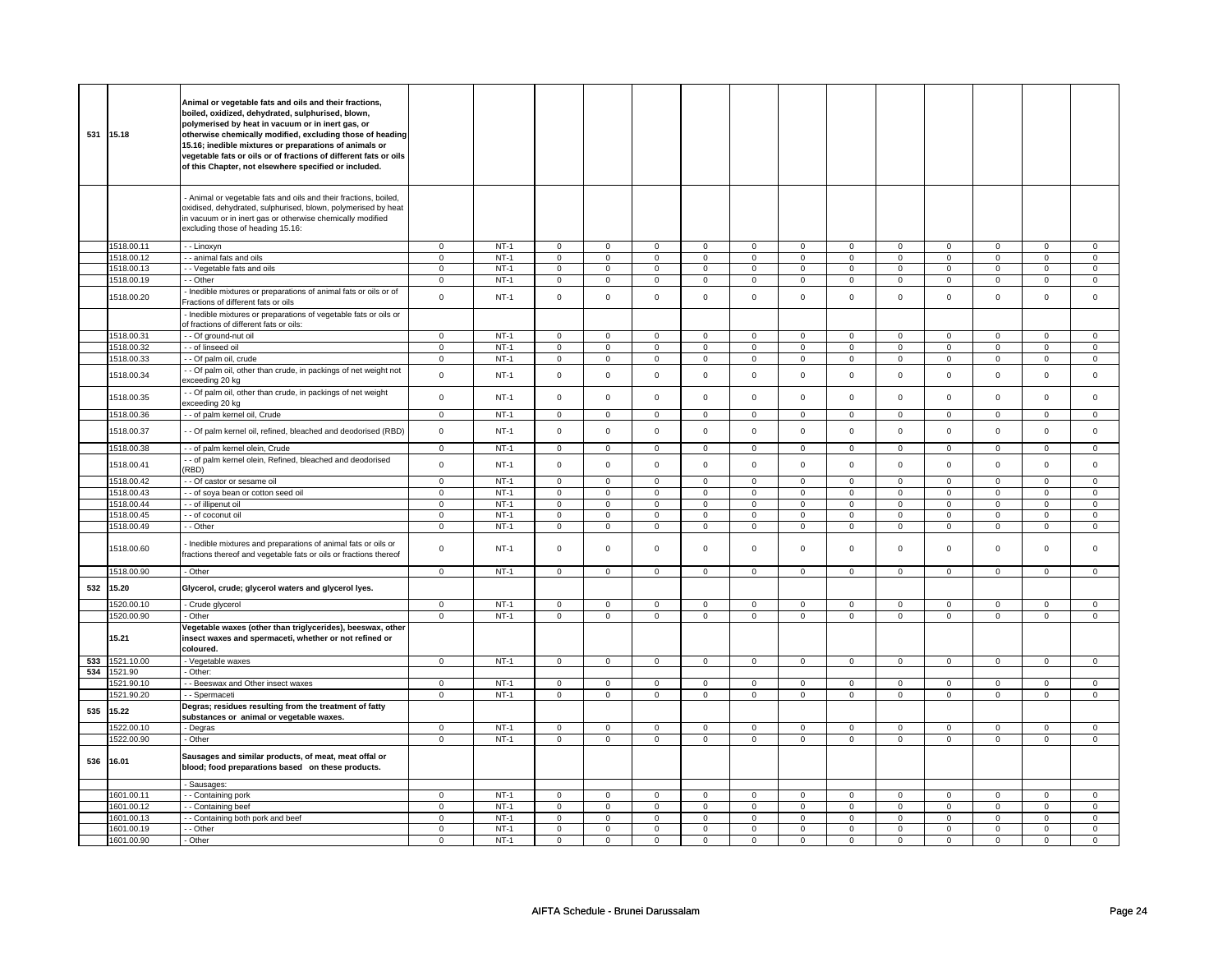|     | 531 15.18  | Animal or vegetable fats and oils and their fractions,<br>boiled, oxidized, dehydrated, sulphurised, blown,<br>polymerised by heat in vacuum or in inert gas, or<br>otherwise chemically modified, excluding those of heading<br>15.16; inedible mixtures or preparations of animals or<br>vegetable fats or oils or of fractions of different fats or oils<br>of this Chapter, not elsewhere specified or included. |                |        |                |                |                     |                |                     |                |                |                |                     |                |                |                |
|-----|------------|----------------------------------------------------------------------------------------------------------------------------------------------------------------------------------------------------------------------------------------------------------------------------------------------------------------------------------------------------------------------------------------------------------------------|----------------|--------|----------------|----------------|---------------------|----------------|---------------------|----------------|----------------|----------------|---------------------|----------------|----------------|----------------|
|     |            | Animal or vegetable fats and oils and their fractions, boiled,<br>oxidised, dehydrated, sulphurised, blown, polymerised by heat<br>n vacuum or in inert gas or otherwise chemically modified<br>excluding those of heading 15.16:                                                                                                                                                                                    |                |        |                |                |                     |                |                     |                |                |                |                     |                |                |                |
|     | 1518.00.11 | - - Linoxyn                                                                                                                                                                                                                                                                                                                                                                                                          | $\mathbf 0$    | $NT-1$ | $\mathbf 0$    | $\mathbf 0$    | $\mathbf 0$         | $\mathbf 0$    | $\mathbf 0$         | $\mathbf 0$    | $\mathbf 0$    | $\mathbf 0$    | $\mathbf 0$         | $\mathbf 0$    | $\mathbf 0$    | $\mathbf{0}$   |
|     | 1518.00.12 | - animal fats and oils                                                                                                                                                                                                                                                                                                                                                                                               | $\mathsf 0$    | $NT-1$ | $\mathsf 0$    | $\mathsf 0$    | $\mathbf 0$         | $\mathsf 0$    | $\mathsf{O}\xspace$ | $\mathbf 0$    | $\mathsf 0$    | $\mathbf 0$    | $\mathsf 0$         | $\mathbf 0$    | $\mathbf 0$    | $\mathbf{O}$   |
|     | 1518.00.13 | - - Vegetable fats and oils                                                                                                                                                                                                                                                                                                                                                                                          | 0              | NT-1   | $\mathbf 0$    | $\mathbf 0$    | 0                   | $\mathbf 0$    | 0                   | $\mathbf 0$    | 0              | $\mathbf 0$    | 0                   | $\mathbf 0$    | 0              | $\mathbf 0$    |
|     |            |                                                                                                                                                                                                                                                                                                                                                                                                                      |                |        |                |                |                     |                |                     |                |                |                |                     |                |                |                |
|     | 1518.00.19 | - Other                                                                                                                                                                                                                                                                                                                                                                                                              | $\mathbf 0$    | $NT-1$ | $\overline{0}$ | $\overline{0}$ | $\mathsf{O}\xspace$ | $\mathsf 0$    | $\mathsf{O}\xspace$ | $\mathbf 0$    | $\mathsf 0$    | $\mathbf 0$    | $\mathsf 0$         | $\mathbf 0$    | $\mathsf 0$    | $\overline{0}$ |
|     | 1518.00.20 | Inedible mixtures or preparations of animal fats or oils or of<br>Fractions of different fats or oils                                                                                                                                                                                                                                                                                                                | $\mathsf 0$    | $NT-1$ | $\mathsf 0$    | $\mathsf 0$    | $\mathsf 0$         | $\mathbf 0$    | $\mathsf 0$         | $\mathsf 0$    | $\mathbf 0$    | $\mathsf 0$    | $\mathsf 0$         | $\mathbf 0$    | $\mathsf 0$    | $\mathsf 0$    |
|     |            | - Inedible mixtures or preparations of vegetable fats or oils or<br>of fractions of different fats or oils:                                                                                                                                                                                                                                                                                                          |                |        |                |                |                     |                |                     |                |                |                |                     |                |                |                |
|     | 1518.00.31 | - Of ground-nut oil                                                                                                                                                                                                                                                                                                                                                                                                  | $\mathsf 0$    | $NT-1$ | $\mathsf 0$    | $\mathbf 0$    | $\mathbf 0$         | $\mathbf 0$    | $\mathbf 0$         | $\mathsf 0$    | 0              | $\mathsf 0$    | $\mathsf 0$         | $\mathbf 0$    | 0              | 0              |
|     | 1518.00.32 | - of linseed oil                                                                                                                                                                                                                                                                                                                                                                                                     | $\mathbf 0$    | $NT-1$ | $\mathsf 0$    | $\mathsf 0$    | 0                   | $\mathsf 0$    | 0                   | $\mathbf 0$    | 0              | $\mathbf 0$    | 0                   | $\mathbf 0$    | 0              | $\mathbf 0$    |
|     | 1518.00.33 | - - Of palm oil, crude                                                                                                                                                                                                                                                                                                                                                                                               | $\mathbf 0$    | $NT-1$ | $\mathsf 0$    | $\mathsf 0$    | $\mathsf 0$         | $\mathsf 0$    | $\mathsf 0$         | $\mathbf 0$    | $\mathsf 0$    | $\mathbf 0$    | $\mathbf 0$         | $\mathbf 0$    | $\mathbf 0$    | $\mathbf 0$    |
|     | 1518.00.34 | - - Of palm oil, other than crude, in packings of net weight not<br>exceeding 20 kg                                                                                                                                                                                                                                                                                                                                  | $\mathsf 0$    | $NT-1$ | $\mathsf 0$    | $\mathbf 0$    | $\mathsf 0$         | $\mathsf 0$    | $\mathsf 0$         | $\mathbf 0$    | $\mathbf 0$    | $\mathbf 0$    | $\mathsf 0$         | $\mathbf 0$    | $\mathbf 0$    | $\mathbf{0}$   |
|     | 1518.00.35 | - Of palm oil, other than crude, in packings of net weight<br>exceeding 20 kg                                                                                                                                                                                                                                                                                                                                        | $\mathbf 0$    | $NT-1$ | $\mathbf 0$    | $\mathbf 0$    | $\mathbf 0$         | $\mathbf 0$    | $\mathbf 0$         | $\mathbf 0$    | $\mathbf 0$    | $\mathbf 0$    | $\mathbf 0$         | $\mathbf{0}$   | $\Omega$       | $\mathbf 0$    |
|     | 1518.00.36 | - of palm kernel oil, Crude                                                                                                                                                                                                                                                                                                                                                                                          | $\mathbf 0$    | $NT-1$ | $\mathbf 0$    | $\mathbf 0$    | $\mathbf 0$         | $\overline{0}$ | $\mathbf{0}$        | $\overline{0}$ | $\mathbf 0$    | $\mathbf{0}$   | $\mathbf{0}$        | $\mathbf{0}$   | $\mathbf 0$    | $\mathbf 0$    |
|     | 1518.00.37 | - Of palm kernel oil, refined, bleached and deodorised (RBD)                                                                                                                                                                                                                                                                                                                                                         | $\mathsf 0$    | $NT-1$ | $\Omega$       | $\mathsf 0$    | $\mathsf{O}\xspace$ | $\mathsf 0$    | $\mathsf{O}\xspace$ | $\mathsf 0$    | $\mathsf 0$    | $\mathsf 0$    | $\mathsf 0$         | $\mathbf 0$    | $\mathsf 0$    | $\mathbf 0$    |
|     | 1518.00.38 | - - of palm kernel olein, Crude                                                                                                                                                                                                                                                                                                                                                                                      | $\mathsf 0$    | $NT-1$ | $\mathbf 0$    | $\mathbf 0$    | $\mathbf 0$         | $\mathsf 0$    | $\mathbf 0$         | $\circ$        | $\circ$        | $\mathbf 0$    | $\circ$             | $\mathbf 0$    | 0              | $\circ$        |
|     | 1518.00.41 | - of palm kernel olein, Refined, bleached and deodorised<br>(RBD)                                                                                                                                                                                                                                                                                                                                                    | $\mathsf 0$    | $NT-1$ | $\mathsf 0$    | $\mathbf 0$    | $\mathsf 0$         | $\mathsf 0$    | $\mathsf 0$         | $\mathsf 0$    | $\mathbf 0$    | $\mathsf 0$    | $\mathsf 0$         | $\mathbf 0$    | $\mathbf 0$    | $\mathbf 0$    |
|     | 1518.00.42 | - - Of castor or sesame oil                                                                                                                                                                                                                                                                                                                                                                                          | $\mathsf 0$    | $NT-1$ | $\mathbf 0$    | $\mathbf 0$    | $\mathsf 0$         | $\mathbf 0$    | $\mathsf 0$         | $\mathbf{0}$   | $\mathbf 0$    | $\mathsf 0$    | $\mathsf 0$         | $\mathbf 0$    | $\mathbf 0$    | $\mathbf{0}$   |
|     |            |                                                                                                                                                                                                                                                                                                                                                                                                                      |                | $NT-1$ | $\mathsf 0$    | $\mathbf 0$    | $\mathbf 0$         | $\mathbf 0$    | $\mathsf 0$         | $\mathsf 0$    | $\mathbf 0$    | $\mathsf 0$    | $\mathsf 0$         | $\mathbf 0$    | $\mathbf 0$    | 0              |
|     | 1518.00.43 | - of soya bean or cotton seed oil                                                                                                                                                                                                                                                                                                                                                                                    | $\mathsf 0$    |        |                |                |                     |                |                     |                |                |                |                     |                |                |                |
|     | 1518.00.44 | - - of illipenut oil                                                                                                                                                                                                                                                                                                                                                                                                 | $\overline{0}$ | $NT-1$ | $\overline{0}$ | $\overline{0}$ | $\overline{0}$      | $\overline{0}$ | $\overline{0}$      | $\overline{0}$ | $\overline{0}$ | $\overline{0}$ | $\overline{0}$      | $\overline{0}$ | $\overline{0}$ | $\overline{0}$ |
|     | 1518.00.45 | - of coconut oil                                                                                                                                                                                                                                                                                                                                                                                                     | $\mathsf 0$    | $NT-1$ | $\mathbf 0$    | $\mathbf 0$    | $\mathbf 0$         | $\mathbf 0$    | $\mathbf 0$         | $\mathsf 0$    | 0              | $\mathsf 0$    | 0                   | $\mathbf 0$    | 0              | 0              |
|     | 1518.00.49 | - - Other                                                                                                                                                                                                                                                                                                                                                                                                            | $\mathsf 0$    | $NT-1$ | $\mathsf 0$    | $\mathsf 0$    | 0                   | $\mathsf 0$    | 0                   | $\mathbf 0$    | 0              | $\mathbf 0$    | 0                   | $\mathbf 0$    | 0              | $\mathbf 0$    |
|     | 1518.00.60 | Inedible mixtures and preparations of animal fats or oils or<br>fractions thereof and vegetable fats or oils or fractions thereof                                                                                                                                                                                                                                                                                    | $\mathbf 0$    | $NT-1$ | $\mathbf 0$    | $\mathbf 0$    | $\mathbf 0$         | $\mathbf 0$    | $\mathbf 0$         | $\mathbf 0$    | $\mathbf 0$    | $\mathbf 0$    | $\mathbf 0$         | $\mathbf{0}$   | $\mathbf 0$    | $\mathbf{0}$   |
|     | 1518.00.90 | - Other                                                                                                                                                                                                                                                                                                                                                                                                              | 0              | $NT-1$ | $\mathbf 0$    | $\mathbf 0$    | 0                   | $\mathbf 0$    | 0                   | $\mathbf 0$    | 0              | $\mathbf 0$    | 0                   | $\mathbf 0$    | 0              | $\overline{0}$ |
| 532 | 15.20      | Glycerol, crude; glycerol waters and glycerol lyes.                                                                                                                                                                                                                                                                                                                                                                  |                |        |                |                |                     |                |                     |                |                |                |                     |                |                |                |
|     | 1520.00.10 | - Crude glycerol                                                                                                                                                                                                                                                                                                                                                                                                     | $\mathbf 0$    | $NT-1$ | $\mathsf 0$    | $\mathbf 0$    | $\Omega$            | $\mathbf 0$    | $\mathbf 0$         | $\mathsf 0$    | $\Omega$       | $\mathsf 0$    | $\mathsf 0$         | $\mathbf 0$    | $\Omega$       | 0              |
|     | 1520.00.90 | - Other                                                                                                                                                                                                                                                                                                                                                                                                              | $\mathbf 0$    | $NT-1$ | $\mathbf 0$    | $\mathsf 0$    | $\mathsf 0$         | $\mathsf 0$    | $\mathsf{O}\xspace$ | $\mathsf 0$    | $\mathbf 0$    | $\mathsf 0$    | $\mathsf 0$         | $\mathsf 0$    | $\mathsf 0$    | 0              |
|     | 15.21      | Vegetable waxes (other than triglycerides), beeswax, other<br>insect waxes and spermaceti, whether or not refined or<br>coloured.                                                                                                                                                                                                                                                                                    |                |        |                |                |                     |                |                     |                |                |                |                     |                |                |                |
| 533 | 1521.10.00 | - Vegetable waxes                                                                                                                                                                                                                                                                                                                                                                                                    | $\overline{0}$ | $NT-1$ | $\mathbf 0$    | $\overline{0}$ | $\mathbf 0$         | $\overline{0}$ | $\mathbf 0$         | $\overline{0}$ | $\mathbf 0$    | $\overline{0}$ | $\mathsf{O}\xspace$ | $\mathbf{0}$   | $\mathbf 0$    | $\overline{0}$ |
| 534 | 1521.90    | Other:                                                                                                                                                                                                                                                                                                                                                                                                               |                |        |                |                |                     |                |                     |                |                |                |                     |                |                |                |
|     | 1521.90.10 | - Beeswax and Other insect waxes                                                                                                                                                                                                                                                                                                                                                                                     | $\mathsf 0$    | $NT-1$ | $\mathbf 0$    | $\mathbf 0$    | $\mathsf 0$         | $\mathbf 0$    | $\mathbf 0$         | $\mathbf 0$    | $\mathbf 0$    | $\mathbf 0$    | $\mathsf 0$         | $\mathbf 0$    | 0              | $\mathbf 0$    |
|     | 1521.90.20 | - - Spermaceti                                                                                                                                                                                                                                                                                                                                                                                                       | $\mathsf 0$    | $NT-1$ | $\mathbf 0$    | $\mathbf 0$    | $\mathbf 0$         | $\mathbf 0$    | $\mathbf 0$         | $\mathbf 0$    | 0              | $\mathbf 0$    | 0                   | $\mathbf 0$    | 0              | 0              |
| 535 | 15.22      | Degras; residues resulting from the treatment of fatty<br>substances or animal or vegetable waxes.                                                                                                                                                                                                                                                                                                                   |                |        |                |                |                     |                |                     |                |                |                |                     |                |                |                |
|     | 1522.00.10 | - Degras                                                                                                                                                                                                                                                                                                                                                                                                             | $\mathbf 0$    | $NT-1$ | $\mathsf 0$    | $\mathbf 0$    | $\mathbf 0$         | $\mathbf 0$    | $\mathbf 0$         | 0              | 0              | 0              | 0                   | 0              | 0              | 0              |
|     | 1522.00.90 | - Other                                                                                                                                                                                                                                                                                                                                                                                                              | $\Omega$       | $NT-1$ | $\overline{0}$ | $\overline{0}$ | $\overline{0}$      | $\overline{0}$ | $\overline{0}$      | $\overline{0}$ | $\overline{0}$ | $\overline{0}$ | $\overline{0}$      | $\overline{0}$ | $\overline{0}$ | $\overline{0}$ |
| 536 | 16.01      | Sausages and similar products, of meat, meat offal or<br>blood; food preparations based on these products.                                                                                                                                                                                                                                                                                                           |                |        |                |                |                     |                |                     |                |                |                |                     |                |                |                |
|     |            | - Sausages:                                                                                                                                                                                                                                                                                                                                                                                                          |                |        |                |                |                     |                |                     |                |                |                |                     |                |                |                |
|     | 1601.00.11 | - - Containing pork                                                                                                                                                                                                                                                                                                                                                                                                  | 0              | $NT-1$ | $\mathbf 0$    | $\mathbf 0$    | $\mathbf{0}$        | $\mathbf 0$    | $\mathbf 0$         | $\mathbf 0$    | $\mathbf 0$    | $\mathbf 0$    | $\mathbf 0$         | $\mathbf 0$    | $\Omega$       | $\mathbf 0$    |
|     | 1601.00.12 | - Containing beef                                                                                                                                                                                                                                                                                                                                                                                                    | 0              | $NT-1$ | $\mathbf 0$    | $\mathbf 0$    | $\mathbf 0$         | $\mathbf 0$    | $\mathbf 0$         | 0              | 0              | 0              | 0                   | $\mathbf 0$    | 0              | 0              |
|     | 1601.00.13 | - Containing both pork and beef                                                                                                                                                                                                                                                                                                                                                                                      | $\mathbf 0$    | $NT-1$ | $\mathbf 0$    | $\mathbf 0$    | $\mathbf 0$         | $\mathbf 0$    | $\mathbf 0$         | $\mathbf 0$    | $\mathbf 0$    | $\mathbf 0$    | $\mathbf 0$         | $\mathbf 0$    | $\mathbf 0$    | $\mathbf{0}$   |
|     | 1601.00.19 | - Other                                                                                                                                                                                                                                                                                                                                                                                                              | $\mathsf 0$    | $NT-1$ | $\mathbf 0$    | $\mathbf 0$    | $\mathbf 0$         | $\mathbf 0$    | $\mathbf 0$         | $\mathbf 0$    | 0              | 0              | 0                   | $\mathbf 0$    | 0              | $\mathbf{0}$   |
|     | 1601.00.90 | - Other                                                                                                                                                                                                                                                                                                                                                                                                              | 0              | $NT-1$ | $\mathbf 0$    | $\mathbf 0$    | $\mathbf 0$         | $\mathbf 0$    | $\mathbf 0$         | $\mathbf 0$    | 0              | 0              | 0                   | 0              | 0              | 0              |
|     |            |                                                                                                                                                                                                                                                                                                                                                                                                                      |                |        |                |                |                     |                |                     |                |                |                |                     |                |                |                |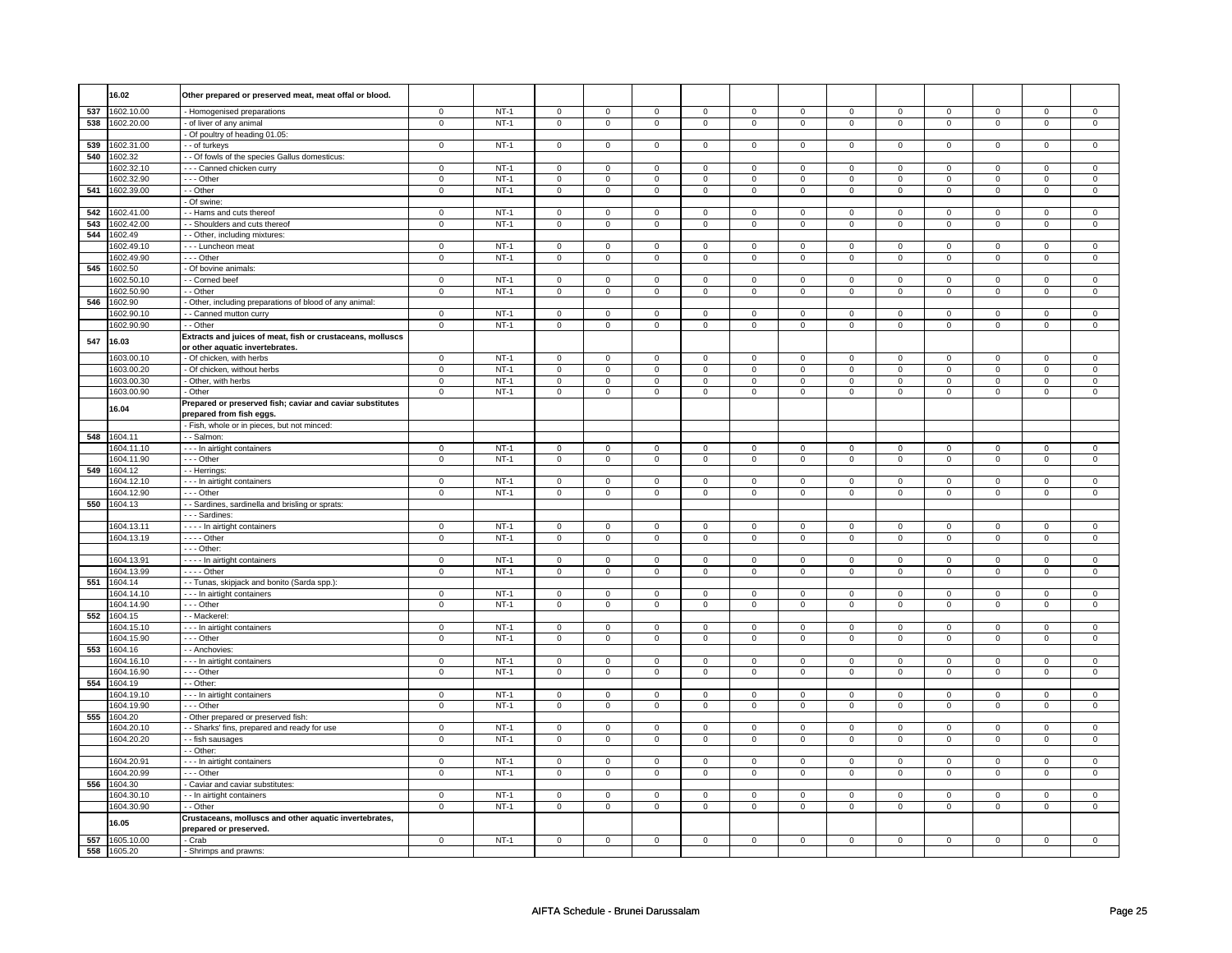|     | 16.02          | Other prepared or preserved meat, meat offal or blood.                                        |                |        |              |                |                     |              |                |                |                |              |                     |                |                |                            |
|-----|----------------|-----------------------------------------------------------------------------------------------|----------------|--------|--------------|----------------|---------------------|--------------|----------------|----------------|----------------|--------------|---------------------|----------------|----------------|----------------------------|
| 537 | 1602.10.00     | - Homogenised preparations                                                                    | $\mathbf 0$    | $NT-1$ | $\mathbf 0$  | $\mathbf 0$    | $\mathbf 0$         | $\mathbf 0$  | $\mathbf 0$    | $\mathbf 0$    | $\mathbf 0$    | $\mathbf 0$  | $\mathbf 0$         | $\overline{0}$ | $\mathbf 0$    | $\mathbf 0$                |
| 538 | 1602.20.00     | - of liver of any animal                                                                      | $\mathbf 0$    | $NT-1$ | $\mathbf{0}$ | $\overline{0}$ | $\overline{0}$      | $\mathbf{0}$ | $\mathbf 0$    | $\mathbf{0}$   | $\overline{0}$ | $\mathbf{0}$ | $\mathbf{0}$        | $\overline{0}$ | $\mathbf 0$    | $\mathbf{0}$               |
|     |                | - Of poultry of heading 01.05:                                                                |                |        |              |                |                     |              |                |                |                |              |                     |                |                |                            |
| 539 | 1602.31.00     | - of turkeys                                                                                  | $\mathbf 0$    | $NT-1$ | $\mathbf 0$  | $\mathbf 0$    | $\mathsf 0$         | $\mathbf 0$  | $\mathsf{O}$   | $\mathsf 0$    | $\mathsf{O}$   | $\mathbf 0$  | $\mathbf 0$         | $\mathsf 0$    | $\mathsf 0$    | $\mathbf 0$                |
|     | 540 1602.32    | - - Of fowls of the species Gallus domesticus:                                                |                |        |              |                |                     |              |                |                |                |              |                     |                |                |                            |
|     | 1602.32.10     | - - - Canned chicken curry                                                                    | $\mathbf 0$    | $NT-1$ | $\mathbf 0$  | $\mathsf 0$    | $\mathsf{O}\xspace$ | $\mathbf 0$  | $\mathsf 0$    | $\mathsf 0$    | $\mathsf 0$    | $\Omega$     | $\mathsf 0$         | $\mathsf 0$    | $\mathbf 0$    | $\mathbf 0$                |
|     | 1602.32.90     | $- -$ Other                                                                                   | $\mathbf 0$    | $NT-1$ | $\Omega$     | $\mathbf 0$    | $\mathbf{0}$        | $\,0\,$      | $\circ$        | $\mathbf 0$    | $\mathbf 0$    | $\Omega$     | $\mathbf 0$         | $\mathbf 0$    | $\,0\,$        | $\mathbf 0$                |
|     | 541 1602.39.00 | - - Other                                                                                     | $\mathsf 0$    | $NT-1$ | $\mathbf{0}$ | $\mathsf 0$    | $\mathsf 0$         | $\mathsf 0$  | $\mathsf 0$    | $\mathsf 0$    | $\mathsf 0$    | $\mathbf 0$  | $\mathsf{O}\xspace$ | $\overline{0}$ | $\mathsf 0$    | $\mathsf 0$                |
|     |                | - Of swine:                                                                                   |                |        |              |                |                     |              |                |                |                |              |                     |                |                |                            |
| 542 | 1602.41.00     | - - Hams and cuts thereof                                                                     | $\mathbf 0$    | $NT-1$ | $\mathsf 0$  | $\mathbf 0$    | $\mathbf 0$         | $\mathbf 0$  | $\mathsf 0$    | $\mathsf 0$    | $\mathbf 0$    | $\mathsf 0$  | $\mathsf 0$         | $\mathbf 0$    | $\mathsf 0$    | $\mathsf 0$                |
| 543 | 1602.42.00     | - Shoulders and cuts thereof                                                                  | $\overline{0}$ | $NT-1$ | $\mathbf 0$  | $\mathbf 0$    | $\mathsf 0$         | $\mathbf 0$  | $\overline{0}$ | $\overline{0}$ | $\overline{0}$ | $\mathbf 0$  | $\mathsf 0$         | $\mathbf 0$    | $\overline{0}$ | $\mathbf 0$                |
| 544 | 1602.49        | - - Other, including mixtures:                                                                |                |        |              |                |                     |              |                |                |                |              |                     |                |                |                            |
|     | 1602.49.10     | --- Luncheon meat                                                                             | $\mathbf 0$    | $NT-1$ | $\mathbf 0$  | $\mathbf 0$    | $\mathbf 0$         | $\mathbf 0$  | $\mathsf 0$    | 0              | $\mathbf 0$    | $\mathbf 0$  | $\mathsf 0$         | $\mathbf 0$    | $\mathbf 0$    | $\mathsf 0$<br>$\mathbf 0$ |
|     | 1602.49.90     | - - Other                                                                                     | $\mathsf 0$    | $NT-1$ | 0            | $\mathbf 0$    | $\mathbf 0$         | $\mathbf 0$  | $\mathsf 0$    | 0              | $\mathsf 0$    | 0            | 0                   | $\mathbf 0$    | $\mathbf 0$    |                            |
| 545 | 1602.50        | - Of bovine animals:                                                                          |                |        |              |                |                     |              |                |                |                |              |                     |                |                |                            |
|     | 1602.50.10     | - - Corned beef                                                                               | $\mathbf 0$    | $NT-1$ | $\mathbf 0$  | $\mathbf 0$    | $\mathbf 0$         | $\mathbf 0$  | $\mathbf 0$    | $\mathbf 0$    | $\mathbf{0}$   | $\mathbf 0$  | $\mathbf 0$         | $\overline{0}$ | $\mathbf 0$    | $\mathbf{0}$               |
|     | 1602.50.90     | - - Other                                                                                     | $\mathbf 0$    | $NT-1$ | $\Omega$     | $\mathbf 0$    | $\mathbf 0$         | $\mathbf 0$  | $\mathsf 0$    | $\mathsf 0$    | $\mathbf 0$    | $\Omega$     | $\mathbf 0$         | $\mathbf 0$    | $\mathsf 0$    |                            |
| 546 | 1602.90        | - Other, including preparations of blood of any animal:                                       |                |        |              |                |                     |              |                |                |                |              |                     |                |                | $\mathbf 0$                |
|     | 1602.90.10     | - - Canned mutton curry                                                                       | $\mathbf 0$    | $NT-1$ | $\mathbf 0$  | $\mathbf 0$    | $\mathbf{0}$        | $\mathbf 0$  | $\mathsf 0$    | $\mathsf 0$    | $\overline{0}$ | $\mathbf 0$  | $\mathbf 0$         | $\mathbf 0$    | $\mathsf 0$    |                            |
|     | 1602.90.90     | - - Other                                                                                     | $\mathbf 0$    | $NT-1$ | $\mathsf 0$  | $\mathbf 0$    | $\mathbf 0$         | $\mathsf 0$  | $\mathsf 0$    | $\mathsf 0$    | $\overline{0}$ | $\mathbf 0$  | $\mathsf 0$         | $\mathbf 0$    | $\mathsf 0$    | $\mathsf 0$                |
| 547 | 16.03          | Extracts and juices of meat, fish or crustaceans, molluscs<br>or other aquatic invertebrates. |                |        |              |                |                     |              |                |                |                |              |                     |                |                |                            |
|     | 1603.00.10     | - Of chicken, with herbs                                                                      | $\mathbf 0$    | $NT-1$ | $\mathbf 0$  | $\mathbf 0$    | $\mathbf{0}$        | $\mathbf 0$  | $\mathbf{0}$   | $\mathbf{0}$   | $\mathbf{0}$   | $\mathbf 0$  | $\mathbf 0$         | $\overline{0}$ | $\mathbf 0$    | $\mathsf 0$                |
|     | 1603.00.20     | - Of chicken, without herbs                                                                   | $\mathsf 0$    | $NT-1$ | $\mathsf 0$  | $\mathbf 0$    | $\mathbf 0$         | $\mathbf 0$  | $\mathsf 0$    | $\mathsf 0$    | $\mathbf 0$    | $\mathbf 0$  | $\mathsf 0$         | $\mathbf 0$    | $\mathsf 0$    |                            |
|     | 1603.00.30     | - Other, with herbs                                                                           | $\overline{0}$ | $NT-1$ | $\mathbf 0$  | $\mathbf 0$    | $\overline{0}$      | $\,0\,$      | $\overline{0}$ | $\overline{0}$ | $\overline{0}$ | $\mathbf 0$  | $\overline{0}$      | $\mathbf 0$    | $\overline{0}$ |                            |
|     | 1603.00.90     | - Other                                                                                       | $\mathsf 0$    | $NT-1$ | $\mathbf 0$  | $\mathbf 0$    | $\mathsf 0$         | $\mathbf 0$  | $\mathsf 0$    | 0              | $\overline{0}$ | $\mathbf 0$  | $\mathbf 0$         | $\mathbf 0$    | $\mathsf 0$    |                            |
|     | 16.04          | Prepared or preserved fish; caviar and caviar substitutes<br>prepared from fish eggs.         |                |        |              |                |                     |              |                |                |                |              |                     |                |                |                            |
|     |                | - Fish, whole or in pieces, but not minced:                                                   |                |        |              |                |                     |              |                |                |                |              |                     |                |                |                            |
|     | 548 1604.11    | - - Salmon:                                                                                   |                |        |              |                |                     |              |                |                |                |              |                     |                |                |                            |
|     | 1604.11.10     | - - - In airtight containers                                                                  | $\mathbf 0$    | $NT-1$ | $\Omega$     | $\mathbf 0$    | 0                   | $\mathbf 0$  | $\circ$        | 0              | 0              | $\Omega$     | 0                   | 0              | $\circ$        |                            |
|     | 1604.11.90     | --- Other                                                                                     | $\mathbf 0$    | $NT-1$ | $\mathsf 0$  | $\mathbf 0$    | $\mathsf 0$         | $\mathbf 0$  | $\mathsf 0$    | $\mathsf 0$    | $\mathbf 0$    | $\mathsf 0$  | $\mathsf 0$         | $\mathbf 0$    | $\mathsf 0$    |                            |
|     | 549 1604.12    | - - Herrings:                                                                                 |                |        |              |                |                     |              |                |                |                |              |                     |                |                |                            |
|     | 1604.12.10     | --- In airtight containers                                                                    | $\mathbf 0$    | $NT-1$ | $\mathbf 0$  | $\mathbf 0$    | $\mathsf 0$         | $\mathbf 0$  | $\mathsf 0$    | 0              | $\mathbf 0$    | $\mathbf 0$  | $\mathsf 0$         | $\mathbf 0$    | $\mathbf 0$    |                            |
|     | 1604.12.90     | --- Other                                                                                     | $\mathsf 0$    | $NT-1$ | $\mathbf 0$  | $\mathsf 0$    | $\overline{0}$      | $\mathbf 0$  | $\mathsf 0$    | $\mathbf 0$    | $\overline{0}$ | $\mathbf 0$  | $\mathsf 0$         | $\mathbf 0$    | $\mathsf 0$    |                            |
|     | 550 1604.13    | - - Sardines, sardinella and brisling or sprats:                                              |                |        |              |                |                     |              |                |                |                |              |                     |                |                |                            |
|     |                | --- Sardines:                                                                                 |                |        |              |                |                     |              |                |                |                |              |                     |                |                |                            |
|     | 1604.13.11     | In airtight containers                                                                        | $\Omega$       | $NT-1$ | $\mathbf 0$  | $\mathbf 0$    | $\mathbf 0$         | $\Omega$     | $\mathbf 0$    | $\mathbf 0$    | $\mathbf 0$    | $\Omega$     | $\mathbf 0$         | $\mathbf 0$    | $\Omega$       |                            |
|     | 1604.13.19     | $---$ Other                                                                                   | $\mathsf 0$    | $NT-1$ | $\mathbf 0$  | $\mathbf 0$    | $\mathbf 0$         | $\mathbf 0$  | $\mathsf 0$    | $\mathsf 0$    | $\mathbf 0$    | $\mathbf 0$  | $\mathsf 0$         | $\mathbf 0$    | $\mathsf 0$    |                            |
|     |                | - - - Other:                                                                                  |                |        |              |                |                     |              |                |                |                |              |                     |                |                |                            |
|     | 1604.13.91     | - - - - In airtight containers                                                                | $\mathsf 0$    | $NT-1$ | $\Omega$     | $\mathbf 0$    | $\mathsf 0$         | $\mathbf 0$  | $\circ$        | $\mathsf 0$    | $\mathbf 0$    | $\Omega$     | $\mathbf 0$         | $\mathsf 0$    | $\,0\,$        |                            |
|     | 1604.13.99     | $- - -$ Other                                                                                 | $\mathsf 0$    | $NT-1$ | $^{\circ}$   | $\mathsf 0$    | $\mathsf 0$         | $\mathbf 0$  | $\mathsf 0$    | $\mathsf 0$    | $\mathsf 0$    | $\Omega$     | $\mathsf 0$         | $\mathsf 0$    | $\,0\,$        |                            |
| 551 | 1604.14        | - - Tunas, skipjack and bonito (Sarda spp.):                                                  |                |        |              |                |                     |              |                |                |                |              |                     |                |                |                            |
|     | 1604.14.10     | - - - In airtight containers                                                                  | $\mathbf 0$    | $NT-1$ | $\mathsf 0$  | $\mathbf 0$    | $\mathsf 0$         | $\mathbf 0$  | $\mathsf 0$    | $\mathsf 0$    | $\mathsf 0$    | $\mathsf 0$  | $\mathsf 0$         | $\mathbf 0$    | $\mathsf 0$    |                            |
|     | 1604.14.90     | $- -$ Other                                                                                   | $\mathbf 0$    | $NT-1$ | $\mathsf 0$  | $\mathbf 0$    | $\mathsf 0$         | $\mathbf 0$  | $\mathsf 0$    | $\mathsf 0$    | $\mathbf 0$    | $\mathsf 0$  | $\mathsf 0$         | $\mathbf 0$    | $\mathbf 0$    |                            |
| 552 | 1604.15        | - - Mackerel:                                                                                 |                |        |              |                |                     |              |                |                |                |              |                     |                |                |                            |
|     | 1604.15.10     | - - - In airtight containers                                                                  | $\mathbf 0$    | $NT-1$ | $\mathbf 0$  | $\mathbf 0$    | $\mathbf 0$         | $\mathbf 0$  | $\mathsf 0$    | $\mathsf 0$    | $\overline{0}$ | $^{\circ}$   | $\mathsf 0$         | $^{\circ}$     | $\,0\,$        |                            |
|     | 1604.15.90     | --- Other                                                                                     | $\mathbf 0$    | $NT-1$ | $\mathbf 0$  | $\mathbf 0$    | $\mathbf 0$         | $\mathbf 0$  | $\mathsf 0$    | $\mathsf 0$    | $\overline{0}$ | $\mathbf 0$  | $\mathsf 0$         | $\mathbf 0$    | $\mathsf 0$    |                            |
| 553 | 1604.16        | - - Anchovies:                                                                                |                |        |              |                |                     |              |                |                |                |              |                     |                |                |                            |
|     | 1604.16.10     | - - - In airtight containers                                                                  | $\mathbf 0$    | $NT-1$ | $\mathbf{0}$ | $\mathbf{0}$   | $^{\circ}$          | $\mathbf 0$  | $\mathbf{0}$   | $\mathbf{0}$   | $\overline{0}$ | $\mathbf{0}$ | $^{\circ}$          | $\mathbf{0}$   | $\mathbf 0$    |                            |
|     | 1604.16.90     | --- Other                                                                                     | $\mathbf 0$    | $NT-1$ | $\mathbf 0$  | $\mathbf 0$    | $\mathbf{0}$        | $\mathbf{0}$ | $\mathbf 0$    | $\mathbf 0$    | $\mathbf{0}$   | $\mathbf 0$  | $\mathbf{0}$        | $\overline{0}$ | $\mathbf 0$    |                            |
| 554 | 1604.19        | - - Other:                                                                                    |                |        |              |                |                     |              |                |                |                |              |                     |                |                |                            |
|     | 1604.19.10     | --- In airtight containers                                                                    | $\mathbf 0$    | $NT-1$ | $\mathbf 0$  | $\mathbf 0$    | $\mathsf 0$         | $\mathbf 0$  | $\mathbf{0}$   | $\mathbf 0$    | $\mathsf{O}$   | $\mathbf 0$  | $\mathbf 0$         | $\mathbf 0$    | $\mathsf 0$    |                            |
|     | 1604.19.90     | - - - Other                                                                                   | $\mathbf 0$    | $NT-1$ | $\mathbf 0$  | $\mathbf 0$    | $\mathsf 0$         | $\mathbf 0$  | $\mathsf 0$    | 0              | $\mathbf 0$    | $\mathbf 0$  | $\mathsf 0$         | 0              | $\mathsf 0$    |                            |
| 555 | 1604.20        | Other prepared or preserved fish:                                                             |                |        |              |                |                     |              |                |                |                |              |                     |                |                |                            |
|     | 1604.20.10     | - Sharks' fins, prepared and ready for use                                                    | $\mathbf 0$    | $NT-1$ | $\Omega$     | $\mathbf 0$    | $\mathbf{0}$        | $\mathbf 0$  | $\circ$        | $\mathbf 0$    | $\mathbf 0$    | $\Omega$     | $\mathbf 0$         | $\mathbf 0$    | $\mathbf 0$    |                            |
|     | 1604.20.20     | - - fish sausages                                                                             | $\mathbf 0$    | $NT-1$ | $^{\circ}$   | $\mathbf 0$    | $\mathbf{0}$        | $\mathbf{0}$ | $\mathbf 0$    | $\mathbf{0}$   | $\overline{0}$ | $\mathbf{0}$ | $\mathbf 0$         | $\overline{0}$ | $\mathbf 0$    |                            |
|     |                | - - Other:                                                                                    |                |        |              |                |                     |              |                |                |                |              |                     |                |                |                            |
|     | 1604.20.91     | - - - In airtight containers                                                                  | $\mathbf 0$    | $NT-1$ | $\mathsf 0$  | $\mathbf 0$    | $\mathsf 0$         | $\mathbf 0$  | $\mathsf 0$    | $\mathsf 0$    | $\mathbf 0$    | $\mathsf 0$  | $\mathsf 0$         | $\mathbf 0$    | $\Omega$       |                            |
|     | 1604.20.99     | --- Other                                                                                     | $\overline{0}$ | $NT-1$ | $\mathsf 0$  | $\mathbf 0$    | $\overline{0}$      | $\mathbf 0$  | $\overline{0}$ | $\overline{0}$ | $\overline{0}$ | $\mathsf 0$  | $\mathsf 0$         | $\mathbf 0$    | $\overline{0}$ |                            |
|     | 556 1604.30    | - Caviar and caviar substitutes:                                                              |                |        |              |                |                     |              |                |                |                |              |                     |                |                |                            |
|     | 1604.30.10     | - - In airtight containers                                                                    | $\mathsf 0$    | $NT-1$ | $\mathbf 0$  | $\mathsf 0$    | $\mathsf 0$         | $\mathbf 0$  | $\mathsf 0$    | $\mathsf 0$    | $\overline{0}$ | $\mathbf 0$  | $\mathsf 0$         | $\mathsf 0$    | $\,0\,$        |                            |
|     | 1604.30.90     | - - Other                                                                                     | $\mathsf 0$    | $NT-1$ | $\mathsf 0$  | $\mathbf 0$    | $\mathsf 0$         | $\mathbf 0$  | $\mathsf 0$    | $\mathsf 0$    | $\mathsf 0$    | $\mathsf 0$  | $\mathsf 0$         | $\mathsf 0$    | $\mathbf 0$    |                            |
|     |                |                                                                                               |                |        |              |                |                     |              |                |                |                |              |                     |                |                |                            |
|     | 16.05          | Crustaceans, molluscs and other aquatic invertebrates,<br>prepared or preserved.              |                |        |              |                |                     |              |                |                |                |              |                     |                |                |                            |
| 557 | 1605.10.00     | - Crab                                                                                        | $\overline{0}$ | $NT-1$ | $\mathbf 0$  | $\mathbf 0$    | $\overline{0}$      | $\mathbf 0$  | $\overline{0}$ | 0              | $\overline{0}$ | $\mathbf 0$  | $\mathbf 0$         | 0              | $\mathbf 0$    |                            |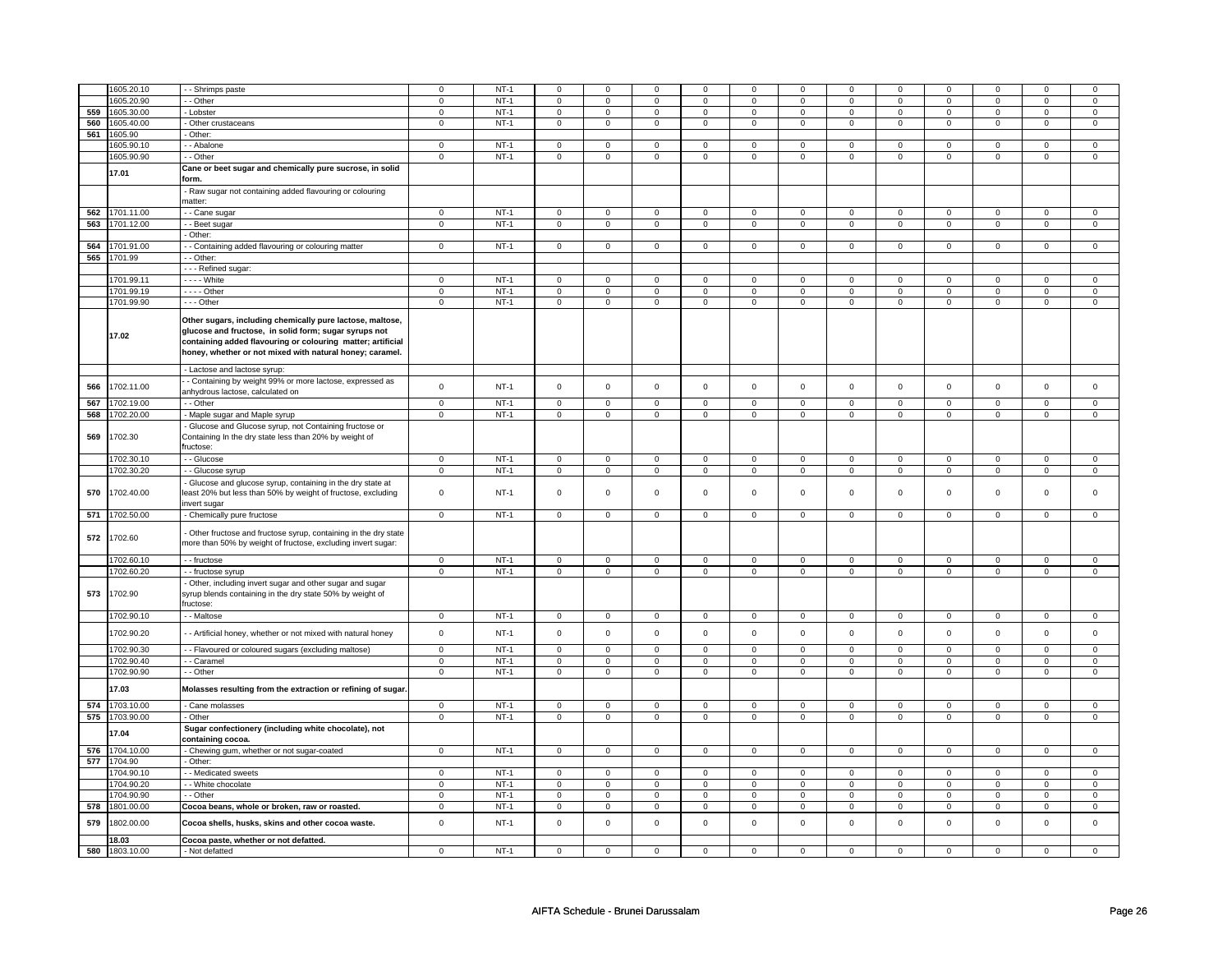|     | 1605.20.10 | - Shrimps paste                                                | $\mathbf 0$    | $NT-1$ | $\mathbf 0$         | $\mathbf 0$    | $\Omega$            | $\Omega$       | $\mathbf 0$         | $\mathbf 0$    | $\Omega$     | $\mathbf 0$    | $\Omega$            | $\Omega$       | 0              | $\Omega$            |
|-----|------------|----------------------------------------------------------------|----------------|--------|---------------------|----------------|---------------------|----------------|---------------------|----------------|--------------|----------------|---------------------|----------------|----------------|---------------------|
|     | 1605.20.90 | - - Other                                                      | $\mathbf 0$    | $NT-1$ | 0                   | $\mathbf 0$    | $\mathbf 0$         | $\mathbf 0$    | $\mathbf 0$         | $\mathbf{0}$   | $\mathbf 0$  | $\mathbf{0}$   | $\mathbf{0}$        | $\mathbf 0$    | 0              | $\overline{0}$      |
| 559 | 1605.30.00 | - Lobster                                                      | 0              | $NT-1$ | 0                   | $\mathbf 0$    | $\mathbf 0$         | $\mathbf 0$    | $\mathbf 0$         | $\mathbf 0$    | $\mathbf 0$  | $\mathbf 0$    | 0                   | $\mathbf 0$    | 0              | 0                   |
| 560 | 1605.40.00 | - Other crustaceans                                            | $\mathsf 0$    | $NT-1$ | $\mathsf 0$         | $\mathsf 0$    | $\mathbf 0$         | $\mathbf 0$    | $\mathbf 0$         | $\mathsf 0$    | 0            | $\mathsf 0$    | $\mathsf 0$         | $\mathbf 0$    | 0              | 0                   |
| 561 | 1605.90    | Other:                                                         |                |        |                     |                |                     |                |                     |                |              |                |                     |                |                |                     |
|     | 1605.90.10 | - - Abalone                                                    | 0              | $NT-1$ | $\mathbf 0$         | $\mathbf 0$    | $^{\circ}$          | $\mathbf 0$    | 0                   | 0              | 0            | 0              | 0                   | 0              | 0              | $\mathbf 0$         |
|     | 1605.90.90 |                                                                | $\overline{0}$ | $NT-1$ | $\overline{0}$      | $\overline{0}$ |                     |                |                     |                |              | $\overline{0}$ |                     | $\overline{0}$ |                | $\overline{0}$      |
|     |            | - Other                                                        |                |        |                     |                | $\mathbf 0$         | $\overline{0}$ | $\mathbf 0$         | $\overline{0}$ | 0            |                | 0                   |                | 0              |                     |
|     | 17.01      | Cane or beet sugar and chemically pure sucrose, in solid       |                |        |                     |                |                     |                |                     |                |              |                |                     |                |                |                     |
|     |            | form.                                                          |                |        |                     |                |                     |                |                     |                |              |                |                     |                |                |                     |
|     |            | - Raw sugar not containing added flavouring or colouring       |                |        |                     |                |                     |                |                     |                |              |                |                     |                |                |                     |
|     |            | matter:                                                        |                |        |                     |                |                     |                |                     |                |              |                |                     |                |                |                     |
| 562 | 1701.11.00 | - - Cane sugar                                                 | 0              | $NT-1$ | $\Omega$            | $\mathsf 0$    | $\Omega$            | $\mathsf 0$    | 0                   | $\mathbf 0$    | $\Omega$     | 0              | $\Omega$            | $\mathsf 0$    | $\Omega$       | $\mathsf 0$         |
| 563 | 1701.12.00 | - - Beet sugar                                                 | $\mathbf 0$    | $NT-1$ | $\mathsf 0$         | $\mathsf 0$    | $\mathsf{O}\xspace$ | $\mathsf 0$    | $\mathsf{O}\xspace$ | $\mathbf 0$    | $\mathsf 0$  | $\mathbf 0$    | $\mathsf 0$         | $\mathbf 0$    | $\mathsf 0$    | $\mathbf 0$         |
|     |            | - Other:                                                       |                |        |                     |                |                     |                |                     |                |              |                |                     |                |                |                     |
|     |            |                                                                |                |        |                     |                |                     |                |                     |                |              |                |                     |                |                |                     |
| 564 | 1701.91.00 | - Containing added flavouring or colouring matter              | $\mathbf 0$    | $NT-1$ | $\mathsf 0$         | $\mathsf 0$    | $\mathsf 0$         | $\mathbf 0$    | $\mathsf 0$         | $\mathbf 0$    | $\mathsf 0$  | $\mathbf 0$    | $\mathsf{O}\xspace$ | $\mathsf 0$    | 0              | $\mathbf 0$         |
| 565 | 1701.99    | - Other:                                                       |                |        |                     |                |                     |                |                     |                |              |                |                     |                |                |                     |
|     |            | - - - Refined sugar:                                           |                |        |                     |                |                     |                |                     |                |              |                |                     |                |                |                     |
|     | 1701.99.11 | $\overline{- - -}$ White                                       | $\mathsf 0$    | $NT-1$ | $\overline{0}$      | $\mathbf 0$    | $\mathbf 0$         | $\mathbf 0$    | $\mathsf 0$         | $\mathsf 0$    | $\mathbf 0$  | $\mathsf 0$    | $\mathbf 0$         | $\mathbf 0$    | $\Omega$       | 0                   |
|     | 1701.99.19 | $- - -$ Other                                                  | 0              | $NT-1$ | $\mathsf 0$         | $\mathsf 0$    | 0                   | $\mathbf 0$    | 0                   | $\mathbf 0$    | 0            | $\mathbf 0$    | 0                   | $\mathbf 0$    | 0              | $\mathbf 0$         |
|     | 1701.99.90 | --- Other                                                      | $\mathsf 0$    | $NT-1$ | $\mathbf 0$         | $\mathbf 0$    | $\mathsf 0$         | $\mathbf 0$    | $\mathsf 0$         | $\mathbf 0$    | $\mathbf 0$  | $\mathbf 0$    | $\mathsf 0$         | $\mathbf 0$    | $\mathbf 0$    | $\mathbf 0$         |
|     |            |                                                                |                |        |                     |                |                     |                |                     |                |              |                |                     |                |                |                     |
|     |            | Other sugars, including chemically pure lactose, maltose,      |                |        |                     |                |                     |                |                     |                |              |                |                     |                |                |                     |
|     | 17.02      | glucose and fructose, in solid form; sugar syrups not          |                |        |                     |                |                     |                |                     |                |              |                |                     |                |                |                     |
|     |            | containing added flavouring or colouring matter; artificial    |                |        |                     |                |                     |                |                     |                |              |                |                     |                |                |                     |
|     |            | honey, whether or not mixed with natural honey; caramel.       |                |        |                     |                |                     |                |                     |                |              |                |                     |                |                |                     |
|     |            |                                                                |                |        |                     |                |                     |                |                     |                |              |                |                     |                |                |                     |
|     |            | - Lactose and lactose syrup:                                   |                |        |                     |                |                     |                |                     |                |              |                |                     |                |                |                     |
| 566 | 1702.11.00 | - Containing by weight 99% or more lactose, expressed as       | $\mathsf 0$    | $NT-1$ | $\mathsf 0$         | $\mathsf{o}\,$ | $\mathsf 0$         | $\mathsf 0$    | $\mathsf 0$         | $\mathbf 0$    | $\mathbf 0$  | $\mathbf 0$    | $\mathsf 0$         | $\mathbf 0$    | $\mathsf 0$    | $\mathbf 0$         |
|     |            | anhydrous lactose, calculated on                               |                |        |                     |                |                     |                |                     |                |              |                |                     |                |                |                     |
| 567 | 1702.19.00 | - - Other                                                      | $\mathsf 0$    | $NT-1$ | $\mathbf 0$         | $\mathbf 0$    | $\mathsf 0$         | $\mathbf 0$    | $\mathsf 0$         | $\mathbf 0$    | $\mathbf 0$  | $\mathbf 0$    | $\mathsf 0$         | $\mathbf 0$    | $\mathsf 0$    | $\mathbf 0$         |
| 568 | 702.20.00  | - Maple sugar and Maple syrup                                  | $\Omega$       | $NT-1$ | $\mathsf 0$         | $\mathbf 0$    | $\mathsf{O}\xspace$ | $\mathsf 0$    | $\mathsf{O}\xspace$ | $\mathsf 0$    | $\mathsf 0$  | $\mathsf 0$    | $\mathsf 0$         | $\mathbf 0$    | $\mathsf 0$    | $\mathbf 0$         |
|     |            | Glucose and Glucose syrup, not Containing fructose or          |                |        |                     |                |                     |                |                     |                |              |                |                     |                |                |                     |
| 569 | 1702.30    | Containing In the dry state less than 20% by weight of         |                |        |                     |                |                     |                |                     |                |              |                |                     |                |                |                     |
|     |            |                                                                |                |        |                     |                |                     |                |                     |                |              |                |                     |                |                |                     |
|     |            | ructose:                                                       |                |        |                     |                |                     |                |                     |                |              |                |                     |                |                |                     |
|     | 1702.30.10 | - - Glucose                                                    | $\mathbf 0$    | $NT-1$ | $\mathsf 0$         | $\mathbf 0$    | $\mathsf 0$         | $\mathbf 0$    | $\mathsf 0$         | $\mathbf 0$    | $\mathbf 0$  | $\mathsf 0$    | $\mathsf{O}\xspace$ | $\mathbf 0$    | $\mathbf 0$    | $\overline{0}$      |
|     | 1702.30.20 | - - Glucose syrup                                              | $\mathbf 0$    | $NT-1$ | $\mathsf 0$         | $\mathsf 0$    | $\mathsf 0$         | $\mathsf 0$    | $\mathsf 0$         | $\mathbf 0$    | $\mathsf 0$  | $\mathbf 0$    | $\mathsf{O}\xspace$ | $\mathbf 0$    | $\mathbf 0$    | $\mathbf 0$         |
|     |            | Glucose and glucose syrup, containing in the dry state at      |                |        |                     |                |                     |                |                     |                |              |                |                     |                |                |                     |
| 570 | 1702.40.00 | east 20% but less than 50% by weight of fructose, excluding    | $\mathsf 0$    | $NT-1$ | $\mathsf 0$         | $\mathbf 0$    | $\mathsf 0$         | $\mathbf 0$    | $\mathsf 0$         | $\mathbf 0$    | $\mathbf 0$  | $\mathbf 0$    | $\mathsf 0$         | $\mathbf 0$    | $\mathsf 0$    | 0                   |
|     |            | nvert sugar                                                    |                |        |                     |                |                     |                |                     |                |              |                |                     |                |                |                     |
| 571 | 1702.50.00 | - Chemically pure fructose                                     | $\mathsf 0$    | $NT-1$ | $\mathsf 0$         | $\mathbf 0$    | $\mathbf 0$         | $\mathbf 0$    | $\mathbf 0$         | $\mathbf 0$    | 0            | $\mathbf 0$    | $\mathsf 0$         | $\mathbf 0$    | $\mathsf 0$    | $\mathbf{0}$        |
|     |            |                                                                |                |        |                     |                |                     |                |                     |                |              |                |                     |                |                |                     |
|     |            | Other fructose and fructose syrup, containing in the dry state |                |        |                     |                |                     |                |                     |                |              |                |                     |                |                |                     |
| 572 | 1702.60    | more than 50% by weight of fructose, excluding invert sugar:   |                |        |                     |                |                     |                |                     |                |              |                |                     |                |                |                     |
|     |            |                                                                |                |        |                     |                |                     |                |                     |                |              |                |                     |                |                |                     |
|     | 1702.60.10 | -- fructose                                                    | $\mathsf 0$    | $NT-1$ | $\mathbf 0$         | $\mathbf 0$    | $\mathbf 0$         | $\mathbf 0$    | $\mathbf 0$         | $\mathbf 0$    | $\mathbf 0$  | $\mathsf 0$    | $\mathbf 0$         | $\mathbf 0$    | $\mathbf 0$    | $\mathbf 0$         |
|     | 1702.60.20 | - - fructose syrup                                             | $\overline{0}$ | $NT-1$ | $\overline{0}$      | $\overline{0}$ | $\mathsf 0$         | $\overline{0}$ | $\overline{0}$      | $\overline{0}$ | $\mathbf 0$  | $\overline{0}$ | $\overline{0}$      | $\overline{0}$ | $\overline{0}$ | $\overline{0}$      |
|     |            | Other, including invert sugar and other sugar and sugar        |                |        |                     |                |                     |                |                     |                |              |                |                     |                |                |                     |
| 573 | 1702.90    | syrup blends containing in the dry state 50% by weight of      |                |        |                     |                |                     |                |                     |                |              |                |                     |                |                |                     |
|     |            | ructose:                                                       |                |        |                     |                |                     |                |                     |                |              |                |                     |                |                |                     |
|     | 1702.90.10 | - - Maltose                                                    | $\mathbf{0}$   | $NT-1$ | $\mathbf{0}$        | $\mathbf{0}$   | $\mathbf 0$         | $\mathbf{0}$   | $\mathbf 0$         | $\overline{0}$ | $\mathbf 0$  | $\overline{0}$ | $\mathbf{0}$        | $\mathbf{0}$   | 0              | $\mathbf{0}$        |
|     |            |                                                                |                |        |                     |                |                     |                |                     |                |              |                |                     |                |                |                     |
|     | 1702.90.20 | - - Artificial honey, whether or not mixed with natural honey  | $\mathbf 0$    | $NT-1$ | $\mathsf 0$         | $\mathsf 0$    | $\mathsf{O}\xspace$ | $\mathsf 0$    | $\mathsf{O}\xspace$ | $\mathsf{O}$   | $\mathsf 0$  | $\mathbf 0$    | $\mathsf 0$         | $\mathsf{O}$   | $\mathbf 0$    | $\mathbf 0$         |
|     | 1702.90.30 | - - Flavoured or coloured sugars (excluding maltose)           | $\mathbf 0$    | $NT-1$ | $\mathsf 0$         | $\mathbf 0$    | $\mathbf 0$         | $\mathbf 0$    | 0                   | 0              | 0            | $\mathbf 0$    | 0                   | $\mathsf 0$    | 0              | $\mathbf 0$         |
|     | 1702.90.40 | - Caramel                                                      | $\overline{0}$ | $NT-1$ | $\mathsf{O}\xspace$ | $\mathsf 0$    | $\mathsf 0$         | $\mathbf 0$    | $\mathsf{O}\xspace$ | $\mathsf 0$    | $\mathbf 0$  | $\mathsf 0$    | $\mathsf 0$         | $\mathbf 0$    | $\mathsf 0$    | $\overline{0}$      |
|     | 1702.90.90 | - - Other                                                      | $\overline{0}$ | $NT-1$ | $\overline{0}$      | $\overline{0}$ | $\mathsf 0$         | $\overline{0}$ | $\overline{0}$      | $\overline{0}$ | $\mathsf 0$  | $\overline{0}$ | $\overline{0}$      | $\overline{0}$ | $\mathsf 0$    | $\overline{0}$      |
|     |            |                                                                |                |        |                     |                |                     |                |                     |                |              |                |                     |                |                |                     |
|     | 17.03      | Molasses resulting from the extraction or refining of sugar.   |                |        |                     |                |                     |                |                     |                |              |                |                     |                |                |                     |
|     |            |                                                                |                |        |                     |                |                     |                |                     |                |              |                |                     |                |                |                     |
| 574 | 1703.10.00 | - Cane molasses                                                | $\mathbf 0$    | $NT-1$ | $\mathsf 0$         | $\mathsf 0$    | $\mathsf{O}\xspace$ | $\mathsf 0$    | $\mathsf{O}\xspace$ | $\mathsf 0$    | $\mathsf 0$  | $\mathsf 0$    | $\mathsf 0$         | $\mathbf 0$    | $\Omega$       | $\mathsf{O}\xspace$ |
| 575 | 1703.90.00 | - Other                                                        | $\mathbf 0$    | $NT-1$ | $\overline{0}$      | $\overline{0}$ | $\mathsf 0$         | $\mathsf 0$    | $\mathsf 0$         | $\mathsf 0$    | $\mathsf 0$  | $\mathbf 0$    | $\mathbf 0$         | $\overline{0}$ | $\mathsf 0$    | $\overline{0}$      |
|     |            | Sugar confectionery (including white chocolate), not           |                |        |                     |                |                     |                |                     |                |              |                |                     |                |                |                     |
|     | 17.04      | containing cocoa.                                              |                |        |                     |                |                     |                |                     |                |              |                |                     |                |                |                     |
| 576 | 1704.10.00 | Chewing gum, whether or not sugar-coated                       | $\mathbf{0}$   | $NT-1$ | $\mathsf 0$         | $\mathbf{O}$   | $\overline{0}$      | $\overline{0}$ | $\overline{0}$      | $\overline{0}$ | $\mathbf{0}$ | $\mathbf{0}$   | $\mathbf{0}$        | $\mathbf{O}$   | $\mathbf{0}$   | $\mathbf{0}$        |
| 577 | 1704.90    | - Other:                                                       |                |        |                     |                |                     |                |                     |                |              |                |                     |                |                |                     |
|     | 1704.90.10 | - - Medicated sweets                                           | $\mathsf 0$    | $NT-1$ | $\mathbf 0$         | $\mathbf 0$    | $\mathbf{0}$        | $\mathbf 0$    | $\mathbf{0}$        | $\mathbf{0}$   | $\mathbf 0$  | $\mathbf{0}$   | $\mathbf{0}$        | $\mathbf{0}$   | $\mathbf 0$    | $\mathbf{0}$        |
|     | 1704.90.20 | - White chocolate                                              | $\mathbf 0$    | $NT-1$ | $\mathbf 0$         | $\mathbf 0$    | $\Omega$            | $\mathbf 0$    | $\mathsf 0$         | $\mathbf 0$    | $\Omega$     | $\mathbf 0$    | $\mathbf 0$         | $\mathbf 0$    | $\Omega$       | $\mathbf 0$         |
|     | 1704.90.90 | - Other                                                        |                |        |                     |                | $\mathbf 0$         |                |                     |                | 0            |                | 0                   |                | 0              | 0                   |
|     |            |                                                                | 0              | $NT-1$ | $\mathbf 0$         | $\mathbf 0$    |                     | $\mathbf 0$    | 0                   | 0              |              | 0              |                     | 0              |                |                     |
| 578 | 1801.00.00 | Cocoa beans, whole or broken, raw or roasted.                  | $\mathbf 0$    | $NT-1$ | $\mathsf 0$         | $\mathsf 0$    | $\mathbf 0$         | $\mathsf 0$    | $\mathbf 0$         | $\mathbf 0$    | 0            | $\mathsf 0$    | $\mathsf 0$         | $\mathbf 0$    | 0              | 0                   |
| 579 | 1802.00.00 | Cocoa shells, husks, skins and other cocoa waste.              | $\mathsf 0$    | $NT-1$ | $\mathsf 0$         | $\mathsf 0$    | $\mathsf 0$         | $\mathsf 0$    | $\mathsf 0$         | $\mathbf 0$    | $\mathbf 0$  | $\mathsf 0$    | $\mathsf 0$         | $\mathbf 0$    | $\mathsf 0$    | $\mathbf 0$         |
|     |            |                                                                |                |        |                     |                |                     |                |                     |                |              |                |                     |                |                |                     |
|     | 18.03      | Cocoa paste, whether or not defatted.                          |                |        |                     |                |                     |                |                     |                |              |                |                     |                |                |                     |
| 580 | 1803.10.00 | - Not defatted                                                 | $\Omega$       | $NT-1$ | $\Omega$            | $\Omega$       | $\Omega$            | $\Omega$       | $\mathbf 0$         | $\mathbf 0$    | $\Omega$     | $\Omega$       | $\mathbf 0$         | $\Omega$       | $\Omega$       | $\mathbf{0}$        |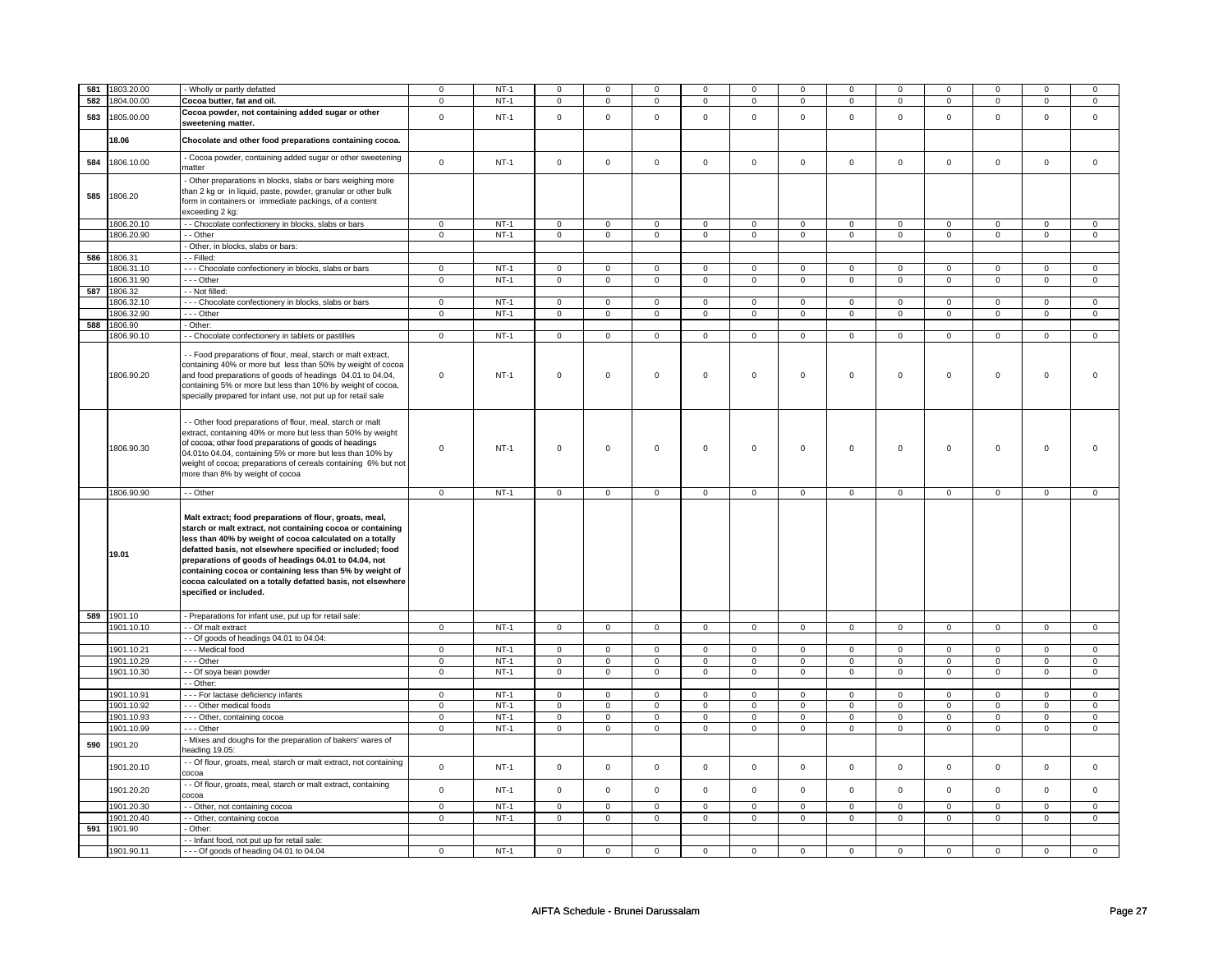| 581 | 1803.20.00            | Wholly or partly defatted                                                                                                                                                                                                                                                                                                                                                                                                                                    | $\mathbf 0$    | $NT-1$ | $\mathbf 0$                | $\mathsf 0$                   | $\Omega$                   | 0                           | $\mathbf 0$                | 0                   | $\Omega$                              | 0              | $\mathbf 0$                   | $\mathbf 0$                   | $\Omega$                   | $\Omega$                       |
|-----|-----------------------|--------------------------------------------------------------------------------------------------------------------------------------------------------------------------------------------------------------------------------------------------------------------------------------------------------------------------------------------------------------------------------------------------------------------------------------------------------------|----------------|--------|----------------------------|-------------------------------|----------------------------|-----------------------------|----------------------------|---------------------|---------------------------------------|----------------|-------------------------------|-------------------------------|----------------------------|--------------------------------|
| 582 | 1804.00.00            | Cocoa butter, fat and oil.                                                                                                                                                                                                                                                                                                                                                                                                                                   | $\mathsf 0$    | $NT-1$ |                            | $\mathbf 0$                   |                            | $\mathsf 0$                 |                            | 0                   |                                       | $\mathsf 0$    |                               | $\mathsf 0$                   |                            | $\mathsf 0$                    |
|     |                       |                                                                                                                                                                                                                                                                                                                                                                                                                                                              |                |        | 0                          |                               | 0                          |                             | 0                          |                     | $\mathbf 0$                           |                | $\mathbf 0$                   |                               | 0                          |                                |
| 583 | 1805.00.00            | Cocoa powder, not containing added sugar or other<br>sweetening matter.                                                                                                                                                                                                                                                                                                                                                                                      | $\mathbf 0$    | $NT-1$ | $\mathbf 0$                | $\mathbf 0$                   | $\mathbf 0$                | $\mathbf 0$                 | $\mathbf 0$                | $\mathbf{O}$        | $\mathbf 0$                           | $\mathsf 0$    | $\mathbf 0$                   | $\mathsf 0$                   | $\mathsf 0$                | $\mathbf 0$                    |
|     | 18.06                 | Chocolate and other food preparations containing cocoa.                                                                                                                                                                                                                                                                                                                                                                                                      |                |        |                            |                               |                            |                             |                            |                     |                                       |                |                               |                               |                            |                                |
| 584 | 1806.10.00            | - Cocoa powder, containing added sugar or other sweetening<br>matter                                                                                                                                                                                                                                                                                                                                                                                         | 0              | $NT-1$ | $\mathbf 0$                | $\mathsf 0$                   | $\mathbf 0$                | $\mathbf 0$                 | $\mathbf 0$                | 0                   | $\mathbf 0$                           | $\mathbf 0$    | $\mathbf 0$                   | $\mathbf 0$                   | $\mathsf 0$                | $\circ$                        |
| 585 | 1806.20               | Other preparations in blocks, slabs or bars weighing more<br>than 2 kg or in liquid, paste, powder, granular or other bulk<br>form in containers or immediate packings, of a content<br>exceeding 2 kg:                                                                                                                                                                                                                                                      |                |        |                            |                               |                            |                             |                            |                     |                                       |                |                               |                               |                            |                                |
|     | 1806.20.10            | - Chocolate confectionery in blocks, slabs or bars                                                                                                                                                                                                                                                                                                                                                                                                           | $\mathbf 0$    | $NT-1$ | $\overline{0}$             | $\overline{0}$                | $\mathbf 0$                | $\mathsf 0$                 | $\mathsf 0$                | $\mathsf 0$         | $\overline{0}$                        | $\overline{0}$ | $\overline{0}$                | $\overline{0}$                | $\overline{0}$             | $\overline{0}$                 |
|     | 1806.20.90            | - Other                                                                                                                                                                                                                                                                                                                                                                                                                                                      | $\mathsf 0$    | $NT-1$ | $\mathsf 0$                | $\mathsf 0$                   | 0                          | $\mathbf 0$                 | 0                          | $\mathbf 0$         | $\mathbf 0$                           | $\mathsf 0$    | $\mathbf 0$                   | $\overline{0}$                | $\mathbf 0$                | $\overline{0}$                 |
|     |                       | Other, in blocks, slabs or bars:                                                                                                                                                                                                                                                                                                                                                                                                                             |                |        |                            |                               |                            |                             |                            |                     |                                       |                |                               |                               |                            |                                |
|     | 586 1806.31           | - - Filled:                                                                                                                                                                                                                                                                                                                                                                                                                                                  |                |        |                            |                               |                            |                             |                            |                     |                                       |                |                               |                               |                            |                                |
|     | 1806.31.10            | --- Chocolate confectionery in blocks, slabs or bars                                                                                                                                                                                                                                                                                                                                                                                                         | $\mathbf 0$    | $NT-1$ | $\mathbf 0$                | $\mathbf 0$                   | $\mathbf 0$                | $\mathbf 0$                 | $\mathbf 0$                | 0                   | $\mathbf{0}$                          | $\mathbf 0$    | $\mathbf 0$                   | 0                             | $\mathbf 0$                | $\mathbf 0$                    |
|     | 1806.31.90            | $--$ Other                                                                                                                                                                                                                                                                                                                                                                                                                                                   | $\mathbf 0$    | $NT-1$ | $\mathbf 0$                | $\mathbf 0$                   | $\mathbf 0$                | $\mathbf 0$                 | $\mathbf 0$                | 0                   | $\mathbf 0$                           | $\overline{0}$ | $\mathbf 0$                   | $\mathbf 0$                   | $\mathsf 0$                | $\mathbf 0$                    |
| 587 | 1806.32               | - Not filled:                                                                                                                                                                                                                                                                                                                                                                                                                                                |                |        |                            |                               |                            |                             |                            |                     |                                       |                |                               |                               |                            |                                |
|     | 1806.32.10            | - - - Chocolate confectionery in blocks, slabs or bars                                                                                                                                                                                                                                                                                                                                                                                                       | $\mathbf 0$    | $NT-1$ | $\mathbf 0$                | $\mathbf 0$                   | $\mathbf 0$                | $\mathbf 0$                 | $\mathbf 0$                | 0                   | $\mathsf 0$                           | $\mathbf 0$    | $\mathbf 0$                   | $\mathsf 0$                   | $\Omega$                   | $\mathbf 0$                    |
|     | 1806.32.90            | -- Other                                                                                                                                                                                                                                                                                                                                                                                                                                                     |                | $NT-1$ |                            | $\mathbf 0$                   |                            |                             |                            | $\mathbf{O}$        |                                       |                |                               | $\mathsf 0$                   |                            |                                |
|     |                       |                                                                                                                                                                                                                                                                                                                                                                                                                                                              | $\mathsf 0$    |        | $\mathbf 0$                |                               | $\mathbf 0$                | $\mathbf 0$                 | $\mathbf 0$                |                     | $\mathbf 0$                           | $\mathsf 0$    | $\mathsf 0$                   |                               | $\mathsf 0$                | $\mathsf 0$                    |
| 588 | 1806.90<br>1806.90.10 | Other:                                                                                                                                                                                                                                                                                                                                                                                                                                                       | $\mathbf 0$    | $NT-1$ |                            |                               |                            |                             |                            |                     |                                       | $\overline{0}$ |                               |                               |                            | $\overline{0}$                 |
|     | 1806.90.20            | - Chocolate confectionery in tablets or pastilles<br>- - Food preparations of flour, meal, starch or malt extract,<br>containing 40% or more but less than 50% by weight of cocoa<br>and food preparations of goods of headings 04.01 to 04.04,<br>containing 5% or more but less than 10% by weight of cocoa,                                                                                                                                               | $\mathbf 0$    | $NT-1$ | $\mathbf 0$<br>$\mathsf 0$ | $\overline{0}$<br>$\mathsf 0$ | $\mathbf 0$<br>$\mathbf 0$ | $\mathbf{0}$<br>$\mathsf 0$ | $\mathbf 0$<br>$\mathbf 0$ | $\overline{0}$<br>0 | $\overline{0}$<br>$\mathsf{O}\xspace$ | $\mathsf 0$    | $\overline{0}$<br>$\mathsf 0$ | $\overline{0}$<br>$\mathbf 0$ | $\mathbf 0$<br>$\mathsf 0$ | $\Omega$                       |
|     | 1806.90.30            | specially prepared for infant use, not put up for retail sale<br>- - Other food preparations of flour, meal, starch or malt<br>extract, containing 40% or more but less than 50% by weight<br>of cocoa; other food preparations of goods of headings<br>04.01to 04.04, containing 5% or more but less than 10% by<br>weight of cocoa; preparations of cereals containing 6% but not<br>more than 8% by weight of cocoa                                       | $\mathbf 0$    | $NT-1$ | $\mathbf 0$                | 0                             | 0                          | 0                           | $\mathbf 0$                | 0                   | $\mathsf{o}\,$                        | 0              | $\mathbf 0$                   | $\mathbf 0$                   | $\mathsf 0$                | $\Omega$                       |
|     | 1806.90.90            | - - Other                                                                                                                                                                                                                                                                                                                                                                                                                                                    | $\mathbf{0}$   | $NT-1$ | $\mathbf{O}$               | $\overline{0}$                | $\mathbf{0}$               | $\overline{0}$              | $\mathbf{0}$               | $\overline{0}$      | $\overline{0}$                        | $\mathbf{0}$   | $\mathbf{0}$                  | $\overline{0}$                | $\mathbf{0}$               | $\mathbf{0}$                   |
|     | 19.01                 | Malt extract; food preparations of flour, groats, meal,<br>starch or malt extract, not containing cocoa or containing<br>less than 40% by weight of cocoa calculated on a totally<br>defatted basis, not elsewhere specified or included; food<br>preparations of goods of headings 04.01 to 04.04, not<br>containing cocoa or containing less than 5% by weight of<br>cocoa calculated on a totally defatted basis, not elsewhere<br>specified or included. |                |        |                            |                               |                            |                             |                            |                     |                                       |                |                               |                               |                            |                                |
|     | 589 1901.10           | - Preparations for infant use, put up for retail sale:                                                                                                                                                                                                                                                                                                                                                                                                       |                |        |                            |                               |                            |                             |                            |                     |                                       |                |                               |                               |                            |                                |
|     | 1901.10.10            | - - Of malt extract                                                                                                                                                                                                                                                                                                                                                                                                                                          | $\mathsf 0$    | $NT-1$ | $\mathbf 0$                | $\mathbf{0}$                  | $\mathbf{0}$               | $\overline{0}$              | $\mathbf{0}$               | $\mathbf{0}$        | $\overline{0}$                        | $\overline{0}$ | $\mathbf{0}$                  | $\circ$                       | $\mathbf 0$                | $\overline{0}$                 |
|     |                       | - - Of goods of headings 04.01 to 04.04:                                                                                                                                                                                                                                                                                                                                                                                                                     |                |        |                            |                               |                            |                             |                            |                     |                                       |                |                               |                               |                            |                                |
|     | 1901.10.21            | - - - Medical food                                                                                                                                                                                                                                                                                                                                                                                                                                           | $\mathbf 0$    | $NT-1$ | $\mathbf 0$                | $\mathbf 0$                   | $\mathbf 0$                | $\mathbf{0}$                | $\mathbf 0$                | $\mathbf{0}$        | $\mathbf 0$                           | $\mathbf 0$    | $\mathbf{0}$                  | $\mathbf{0}$                  | $\mathbf 0$                | $\mathbf{0}$<br>$\overline{0}$ |
|     | 1901.10.29            | --- Other                                                                                                                                                                                                                                                                                                                                                                                                                                                    | $\mathbf 0$    | $NT-1$ | $\mathbf 0$                | $\mathsf 0$                   | $\mathbf 0$                | $\mathbf 0$                 | $\mathbf 0$                | $\overline{0}$      | $\mathsf 0$                           | $\overline{0}$ | $\overline{0}$                | $\overline{0}$                | $\mathbf 0$                |                                |
|     | 1901.10.30            | - Of soya bean powder                                                                                                                                                                                                                                                                                                                                                                                                                                        | $\mathbf 0$    | $NT-1$ | 0                          | $\mathbf 0$                   | 0                          | $\mathbf 0$                 | 0                          | 0                   | $\mathbf 0$                           | $\mathbf 0$    | 0                             | $\mathsf 0$                   | $\mathbf 0$                | $\circ$                        |
|     |                       | - Other:                                                                                                                                                                                                                                                                                                                                                                                                                                                     |                |        |                            |                               |                            |                             |                            |                     |                                       |                |                               |                               |                            |                                |
|     | 1901.10.91            | - - - For lactase deficiency infants                                                                                                                                                                                                                                                                                                                                                                                                                         | $\mathbf 0$    | $NT-1$ | $\mathbf 0$                | $\mathbf 0$                   | $\mathbf 0$                | $\mathbf 0$                 | $\mathbf{0}$               | $\mathbf 0$         | $\mathbf 0$                           | $\mathbf 0$    | $\mathbf 0$                   | $\overline{0}$                | $\mathbf 0$                | $\mathbf 0$                    |
|     | 1901.10.92            | - - - Other medical foods                                                                                                                                                                                                                                                                                                                                                                                                                                    | $\mathbf 0$    | $NT-1$ | 0                          | $\mathbf 0$                   | 0                          | 0                           | 0                          | 0                   | $\mathbf 0$                           | 0              | $\mathbf 0$                   | 0                             | $\mathbf 0$                | $\mathbf{0}$                   |
|     | 1901.10.93            | - - - Other, containing cocoa                                                                                                                                                                                                                                                                                                                                                                                                                                | $\mathbf 0$    | $NT-1$ | $\mathbf 0$                | $\mathsf 0$                   | 0                          | $\mathbf 0$                 | $\mathbf 0$                | 0                   | $\mathbf 0$                           | $\mathbf 0$    | $\mathbf 0$                   | $\mathsf 0$                   | $\mathbf 0$                | $\mathbf 0$                    |
|     | 1901.10.99            | $- -$ Other                                                                                                                                                                                                                                                                                                                                                                                                                                                  | $\overline{0}$ | $NT-1$ | $\overline{0}$             | $\overline{0}$                | $\overline{0}$             | $\overline{0}$              | $\overline{0}$             | $\overline{0}$      | $\overline{0}$                        | $\overline{0}$ | $\overline{0}$                | $\overline{0}$                | $\overline{0}$             | $\overline{0}$                 |
| 590 | 1901.20               | - Mixes and doughs for the preparation of bakers' wares of<br>eading 19.05:<br>- - Of flour, groats, meal, starch or malt extract, not containing                                                                                                                                                                                                                                                                                                            |                |        |                            |                               |                            |                             |                            |                     |                                       |                |                               |                               |                            |                                |
|     | 1901.20.10            | cocoa                                                                                                                                                                                                                                                                                                                                                                                                                                                        | $\mathsf 0$    | $NT-1$ | $\mathsf 0$                | $\mathsf 0$                   | $\mathbf{0}$               | $\mathbf 0$                 | $\mathsf{O}\xspace$        | $\mathbf 0$         | $\mathbf{0}$                          | $\mathsf 0$    | $\mathsf 0$                   | $\mathsf 0$                   | $\mathbf 0$                | $\mathbf 0$                    |
|     | 1901.20.20            | - Of flour, groats, meal, starch or malt extract, containing<br>cocoa                                                                                                                                                                                                                                                                                                                                                                                        | $\mathbf 0$    | $NT-1$ | $\mathsf 0$                | $\mathsf 0$                   | $\mathsf{O}\xspace$        | $\mathbf 0$                 | $\mathsf{O}\xspace$        | $\mathbf 0$         | $\mathsf 0$                           | $\mathbf 0$    | $\mathsf 0$                   | $\mathsf 0$                   | $\mathsf 0$                | $\mathsf 0$                    |
|     | 1901.20.30            | - Other, not containing cocoa                                                                                                                                                                                                                                                                                                                                                                                                                                | $\overline{0}$ | $NT-1$ | $\overline{0}$             | $\mathbf 0$                   | $\mathsf{O}\xspace$        | $\overline{0}$              | $\overline{0}$             | $\pmb{0}$           | $\overline{0}$                        | $\overline{0}$ | $\overline{0}$                | $\overline{0}$                | $\overline{0}$             | $\overline{0}$                 |
|     | 1901.20.40            | - Other, containing cocoa                                                                                                                                                                                                                                                                                                                                                                                                                                    | $\mathsf 0$    | $NT-1$ | $\mathsf 0$                | $\mathbf 0$                   | 0                          | $\mathbf 0$                 | 0                          | 0                   | $\mathsf 0$                           | $\mathbf 0$    | $\mathsf 0$                   | $\mathsf 0$                   | $\mathbf 0$                | $\mathbf 0$                    |
| 591 | 1901.90               | Other:                                                                                                                                                                                                                                                                                                                                                                                                                                                       |                |        |                            |                               |                            |                             |                            |                     |                                       |                |                               |                               |                            |                                |
|     |                       | - Infant food, not put up for retail sale:                                                                                                                                                                                                                                                                                                                                                                                                                   |                |        |                            |                               |                            |                             |                            |                     |                                       |                |                               |                               |                            |                                |
|     | 1901.90.11            | - - - Of goods of heading 04.01 to 04.04                                                                                                                                                                                                                                                                                                                                                                                                                     | $\mathbf 0$    | $NT-1$ | $\mathbf 0$                | $\mathbf 0$                   | $\Omega$                   | $\Omega$                    | $\Omega$                   | $\Omega$            | $\Omega$                              | $\Omega$       | $\Omega$                      | $\Omega$                      | $\Omega$                   | $\mathbf 0$                    |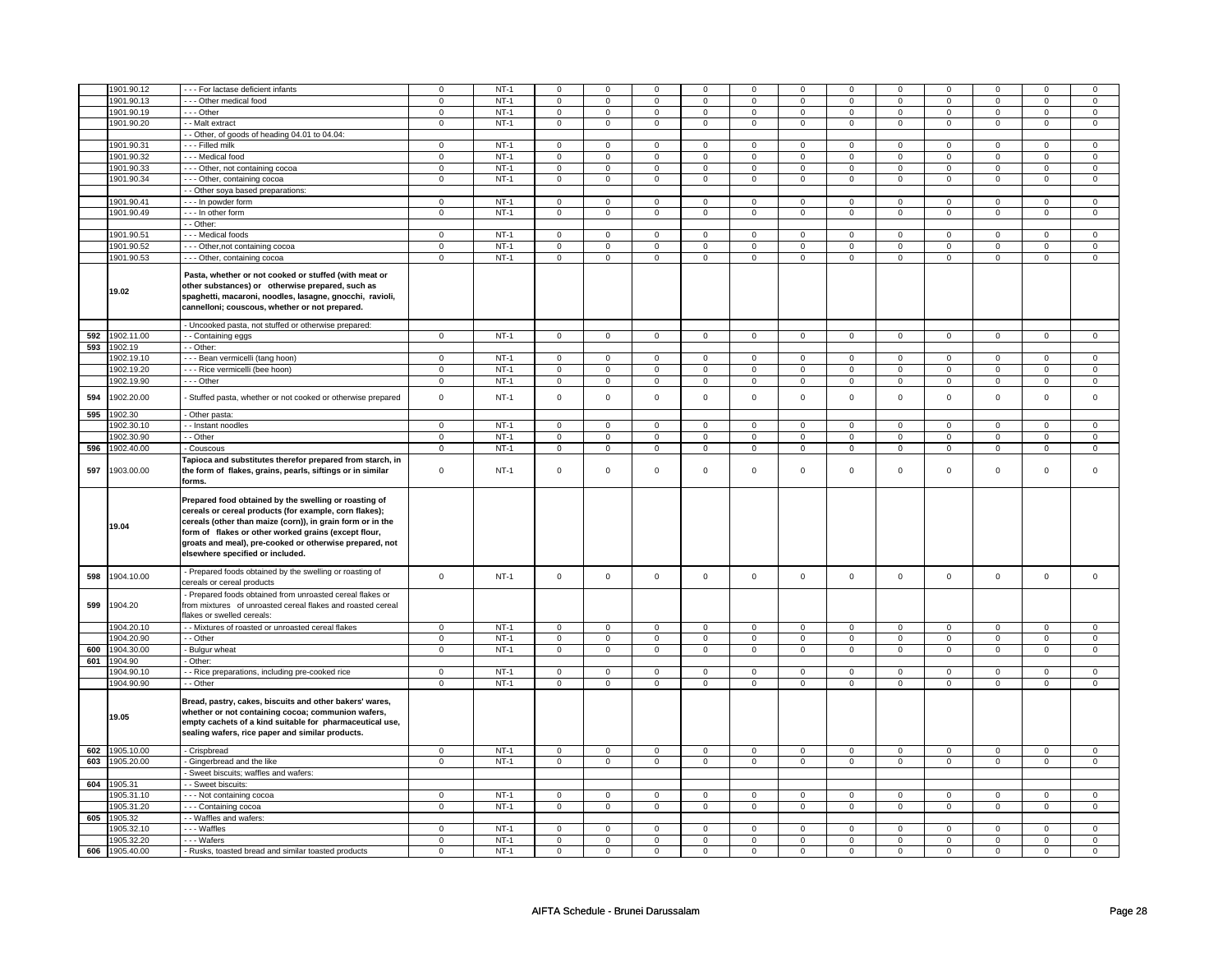|     | 1901.90.12 | - - - For lactase deficient infants                                                                                                                                                                                                                                                                                                  | $\mathbf 0$    | $NT-1$ | $\Omega$       | $\mathbf 0$    | $\mathbf 0$             | $\mathbf 0$    | 0                       | $\mathbf 0$             | $\Omega$                | $\Omega$       | $\mathbf 0$    | $\mathbf 0$             | $\Omega$                | $\mathbf 0$    |
|-----|------------|--------------------------------------------------------------------------------------------------------------------------------------------------------------------------------------------------------------------------------------------------------------------------------------------------------------------------------------|----------------|--------|----------------|----------------|-------------------------|----------------|-------------------------|-------------------------|-------------------------|----------------|----------------|-------------------------|-------------------------|----------------|
|     | 1901.90.13 | - - - Other medical food                                                                                                                                                                                                                                                                                                             | $\mathbf 0$    | $NT-1$ | $\mathbf 0$    | $\mathbf 0$    | $\mathsf 0$             | $\mathbf 0$    | $\mathbf 0$             | $\mathbf{0}$            | $\Omega$                | $\Omega$       | $\mathbf 0$    | $\mathsf 0$             | $\mathbf 0$             | $\mathbf 0$    |
|     | 1901.90.19 | $--$ Other                                                                                                                                                                                                                                                                                                                           | $\mathbf{0}$   | $NT-1$ | $\mathbf 0$    | $\mathbf 0$    | $\mathbf 0$             | $\mathbf 0$    | $\mathbf 0$             | $\mathbf{0}$            | $\mathbf{0}$            | $\mathbf 0$    | $\mathbf{0}$   | $\circ$                 | $\mathbf 0$             | $\mathbf 0$    |
|     | 1901.90.20 | - - Malt extract                                                                                                                                                                                                                                                                                                                     | $\mathbf{0}$   | $NT-1$ | $\mathbf{0}$   | $\overline{0}$ | $\mathbf{0}$            | $\mathbf 0$    | $\mathbf 0$             | $\mathbf{0}$            | $\overline{0}$          | $\mathbf 0$    | $\mathbf{0}$   | $\mathbf{0}$            | $\mathbf 0$             | $\overline{0}$ |
|     |            | - Other, of goods of heading 04.01 to 04.04:                                                                                                                                                                                                                                                                                         |                |        |                |                |                         |                |                         |                         |                         |                |                |                         |                         |                |
|     |            |                                                                                                                                                                                                                                                                                                                                      |                |        |                |                |                         |                |                         |                         |                         | $\Omega$       |                |                         |                         |                |
|     | 1901.90.31 | - - - Filled milk                                                                                                                                                                                                                                                                                                                    | $\mathbf{0}$   | $NT-1$ | $\mathbf 0$    | $\mathbf 0$    | $\mathsf 0$             | $\mathbf 0$    | $\mathbf 0$             | $\mathbf{0}$            | $\mathbf 0$             |                | $\mathbf 0$    | $\mathsf 0$             | $\mathbf 0$             | $\mathbf 0$    |
|     | 1901.90.32 | --- Medical food                                                                                                                                                                                                                                                                                                                     | $\mathbf 0$    | $NT-1$ | $\mathsf 0$    | $\mathsf 0$    | $\mathsf 0$             | $\mathbf 0$    | $\mathsf 0$             | $\overline{0}$          | $\mathbf 0$             | $\mathbf 0$    | $\mathsf 0$    | $\overline{0}$          | $\mathbf 0$             | $\mathsf 0$    |
|     | 1901.90.33 | - - - Other, not containing cocoa                                                                                                                                                                                                                                                                                                    | $\mathsf 0$    | $NT-1$ | $\mathsf 0$    | $\mathbf 0$    | $\mathsf 0$             | $\mathbf 0$    | $\mathsf 0$             | $\mathbf 0$             | $\mathsf 0$             | $\Omega$       | $\mathsf 0$    | $\,0\,$                 | $\mathbf 0$             | $\mathsf 0$    |
|     | 1901.90.34 | --- Other, containing cocoa                                                                                                                                                                                                                                                                                                          | $\mathsf 0$    | $NT-1$ | $\mathbf 0$    | $\mathsf 0$    | $\mathsf 0$             | $\mathbf 0$    | $\mathsf 0$             | $\mathsf 0$             | $\mathsf 0$             | $\mathbf 0$    | $\mathbf{0}$   | $\overline{0}$          | $\mathsf 0$             | $\overline{0}$ |
|     |            |                                                                                                                                                                                                                                                                                                                                      |                |        |                |                |                         |                |                         |                         |                         |                |                |                         |                         |                |
|     |            | - - Other soya based preparations:                                                                                                                                                                                                                                                                                                   |                |        |                |                |                         |                |                         |                         |                         |                |                |                         |                         |                |
|     | 1901.90.41 | --- In powder form                                                                                                                                                                                                                                                                                                                   | $\mathbf 0$    | $NT-1$ | $\mathbf 0$    | $\mathsf 0$    | $\mathsf 0$             | $\mathbf 0$    | $\mathbf 0$             | $\mathbf 0$             | $\mathbf 0$             | $\mathsf 0$    | $\mathsf 0$    | $\mathbf 0$             | $\mathsf 0$             | $\mathbf 0$    |
|     | 1901.90.49 | - - - In other form                                                                                                                                                                                                                                                                                                                  | $\mathbf 0$    | $NT-1$ | $\mathbf 0$    | $\mathbf 0$    | $\mathsf 0$             | $\mathbf 0$    | $\mathbf 0$             | $\mathbf 0$             | $\mathbf 0$             | $\mathsf 0$    | $\mathbf 0$    | $\mathbf 0$             | $\mathsf 0$             | $\mathbf 0$    |
|     |            | - - Other:                                                                                                                                                                                                                                                                                                                           |                |        |                |                |                         |                |                         |                         |                         |                |                |                         |                         |                |
|     | 1901.90.51 | - - - Medical foods                                                                                                                                                                                                                                                                                                                  | $\overline{0}$ | $NT-1$ | $\overline{0}$ | $\overline{0}$ | $\overline{0}$          | $\overline{0}$ | $\overline{0}$          | $\overline{0}$          | $\overline{0}$          | $\overline{0}$ | $\overline{0}$ | $\overline{0}$          | $\mathsf 0$             | $\overline{0}$ |
|     | 1901.90.52 | --- Other, not containing cocoa                                                                                                                                                                                                                                                                                                      | $\mathbf 0$    | $NT-1$ |                |                | $\mathsf 0$             |                | $\mathbf 0$             |                         | $\mathbf 0$             |                |                | $\mathbf 0$             |                         | $\mathbf 0$    |
|     |            |                                                                                                                                                                                                                                                                                                                                      |                |        | $\mathbf 0$    | $\mathbf 0$    |                         | $\mathbf 0$    |                         | $\mathbf 0$             |                         | $\mathbf 0$    | 0              |                         | $\mathbf 0$             |                |
|     | 1901.90.53 | --- Other, containing cocoa                                                                                                                                                                                                                                                                                                          | 0              | $NT-1$ | $\mathbf 0$    | $\mathbf 0$    | $\mathsf 0$             | $\mathbf 0$    | $\mathsf 0$             | $\mathsf 0$             | $\mathbf 0$             | 0              | $\mathsf 0$    | $\mathbf 0$             | $\mathbf 0$             | $\mathsf 0$    |
|     | 19.02      | Pasta, whether or not cooked or stuffed (with meat or<br>other substances) or otherwise prepared, such as<br>spaghetti, macaroni, noodles, lasagne, gnocchi, ravioli,<br>cannelloni; couscous, whether or not prepared.                                                                                                              |                |        |                |                |                         |                |                         |                         |                         |                |                |                         |                         |                |
|     |            | - Uncooked pasta, not stuffed or otherwise prepared:                                                                                                                                                                                                                                                                                 |                |        |                |                |                         |                |                         |                         |                         |                |                |                         |                         |                |
| 592 | 1902.11.00 | - - Containing eggs                                                                                                                                                                                                                                                                                                                  | $\mathbf 0$    | $NT-1$ | $\mathsf 0$    | $\overline{0}$ | $\mathbf{0}$            | $\mathbf 0$    | $\overline{0}$          | $\mathbf{0}$            | $\mathbf{0}$            | $\circ$        | $\mathbf{0}$   | $\circ$                 | $\mathsf 0$             | $\mathbf 0$    |
| 593 | 1902.19    | - - Other:                                                                                                                                                                                                                                                                                                                           |                |        |                |                |                         |                |                         |                         |                         |                |                |                         |                         |                |
|     |            |                                                                                                                                                                                                                                                                                                                                      |                |        |                |                |                         |                |                         |                         |                         |                |                |                         |                         |                |
|     | 1902.19.10 | - - - Bean vermicelli (tang hoon)                                                                                                                                                                                                                                                                                                    | $\overline{0}$ | $NT-1$ | $\circ$        | $\overline{0}$ | $\mathbf 0$             | $\mathbf 0$    | $\mathbf{0}$            | $\mathbf{0}$            | $\overline{0}$          | $\mathbf 0$    | $\mathbf{0}$   | $\mathbf{0}$            | $\mathbf 0$             | $\mathbf{0}$   |
|     | 1902.19.20 | - - - Rice vermicelli (bee hoon)                                                                                                                                                                                                                                                                                                     | $\mathbf 0$    | $NT-1$ | $\mathbf 0$    | $\mathsf 0$    | $\mathsf 0$             | $\mathbf 0$    | $\mathbf 0$             | $\mathbf 0$             | $\mathbf 0$             | $\mathsf 0$    | $\mathbf 0$    | $\mathbf 0$             | $\mathsf 0$             | $\mathbf 0$    |
|     | 1902.19.90 | $--$ Other                                                                                                                                                                                                                                                                                                                           | $\overline{0}$ | $NT-1$ | $\mathbf 0$    | $\mathsf 0$    | $\overline{0}$          | $\mathbf 0$    | $\overline{0}$          | $\overline{0}$          | $\mathsf 0$             | $\mathsf 0$    | $\mathbf 0$    | $\overline{0}$          | $\mathsf 0$             | $\overline{0}$ |
|     |            |                                                                                                                                                                                                                                                                                                                                      |                |        |                |                |                         |                |                         |                         |                         |                |                |                         |                         |                |
| 594 | 1902.20.00 | Stuffed pasta, whether or not cooked or otherwise prepared                                                                                                                                                                                                                                                                           | $\mathsf 0$    | $NT-1$ | $\mathsf 0$    | $\mathsf 0$    | $\mathsf 0$             | $\mathbf 0$    | $\mathsf 0$             | $\mathbf 0$             | $\mathbf 0$             | $\mathbf 0$    | $\mathsf 0$    | $\mathsf 0$             | $\mathsf 0$             | $\mathsf 0$    |
| 595 | 1902.30    | - Other pasta:                                                                                                                                                                                                                                                                                                                       |                |        |                |                |                         |                |                         |                         |                         |                |                |                         |                         |                |
|     | 1902.30.10 | - - Instant noodles                                                                                                                                                                                                                                                                                                                  | $\mathbf{0}$   | $NT-1$ | $\mathbf 0$    | $\mathbf{0}$   | $\mathsf 0$             | $\mathbf 0$    | $\mathsf{O}\xspace$     | $\mathbf 0$             | $\overline{0}$          | $\mathbf 0$    | $\mathbf{0}$   | $\mathbf 0$             | $\mathbf 0$             | $\overline{0}$ |
|     | 1902.30.90 | - - Other                                                                                                                                                                                                                                                                                                                            | $\mathbf{0}$   | $NT-1$ | $\mathbf 0$    | $\mathbf 0$    | $\mathbf{0}$            | 0              | $\mathbf 0$             | $\mathbf 0$             | $\mathbf 0$             | $\mathbf{0}$   | $\mathbf{0}$   | $\mathbf{0}$            | $\mathbf 0$             | $\overline{0}$ |
| 596 | 1902.40.00 |                                                                                                                                                                                                                                                                                                                                      | $\overline{0}$ | $NT-1$ |                | $\overline{0}$ | $\overline{\mathbf{0}}$ | $\overline{0}$ | $\overline{\mathbf{0}}$ | $\overline{\mathbf{0}}$ | $\overline{\mathbf{0}}$ |                | $\overline{0}$ | $\overline{\mathbf{0}}$ | $\overline{\mathbf{0}}$ | $\overline{0}$ |
|     |            | - Couscous                                                                                                                                                                                                                                                                                                                           |                |        | $\mathbf 0$    |                |                         |                |                         |                         |                         | $\mathbf 0$    |                |                         |                         |                |
| 597 | 1903.00.00 | Tapioca and substitutes therefor prepared from starch, in<br>the form of flakes, grains, pearls, siftings or in similar<br>forms.                                                                                                                                                                                                    | 0              | $NT-1$ | $\mathbf 0$    | 0              | $\mathsf 0$             | $\mathbf 0$    | $\mathbf 0$             | $\mathbf 0$             | $\mathbf 0$             | $\mathbf 0$    | 0              | $\mathbf 0$             | $\mathbf 0$             | $\mathbf 0$    |
|     | 19.04      | Prepared food obtained by the swelling or roasting of<br>cereals or cereal products (for example, corn flakes);<br>cereals (other than maize (corn)), in grain form or in the<br>form of flakes or other worked grains (except flour,<br>groats and meal), pre-cooked or otherwise prepared, not<br>elsewhere specified or included. |                |        |                |                |                         |                |                         |                         |                         |                |                |                         |                         |                |
| 598 | 1904.10.00 | - Prepared foods obtained by the swelling or roasting of                                                                                                                                                                                                                                                                             | $\mathbf 0$    | $NT-1$ | $\mathsf 0$    | $\mathbf 0$    | $\mathsf 0$             | $\mathbf 0$    | $\mathsf 0$             | $\mathsf 0$             | $\mathbf 0$             | $\mathbf 0$    | $\mathsf 0$    | $\mathsf 0$             | $\mathsf 0$             | $\mathsf 0$    |
|     |            | cereals or cereal products                                                                                                                                                                                                                                                                                                           |                |        |                |                |                         |                |                         |                         |                         |                |                |                         |                         |                |
| 599 | 1904.20    | - Prepared foods obtained from unroasted cereal flakes or<br>from mixtures of unroasted cereal flakes and roasted cereal<br>flakes or swelled cereals:                                                                                                                                                                               |                |        |                |                |                         |                |                         |                         |                         |                |                |                         |                         |                |
|     | 1904.20.10 | - - Mixtures of roasted or unroasted cereal flakes                                                                                                                                                                                                                                                                                   | $\overline{0}$ | $NT-1$ | $\overline{0}$ | $\overline{0}$ | $\overline{0}$          | $\overline{0}$ | $\overline{0}$          | $\overline{0}$          | $\overline{0}$          | $\overline{0}$ | $\overline{0}$ | $\overline{0}$          | $\overline{0}$          | $\overline{0}$ |
|     | 1904.20.90 | - - Other                                                                                                                                                                                                                                                                                                                            | $\mathbf 0$    | $NT-1$ | $\mathbf 0$    | $\mathbf 0$    | $\mathbf 0$             | $\mathsf 0$    | $\mathbf 0$             | $\mathbf 0$             | $\mathbf 0$             | $\mathbf 0$    | $\mathsf 0$    | $\mathbf 0$             | $\mathsf 0$             | $\mathbf 0$    |
| 600 | 1904.30.00 | Bulgur wheat                                                                                                                                                                                                                                                                                                                         | $\mathbf 0$    | $NT-1$ | $\mathbf 0$    | $\mathbf 0$    | $\mathsf 0$             | $\mathbf 0$    | $\mathsf 0$             | $\overline{0}$          | $\mathbf 0$             | $\mathsf 0$    | $\mathsf 0$    | $\mathbf 0$             | $\mathsf 0$             | $\mathsf 0$    |
|     |            |                                                                                                                                                                                                                                                                                                                                      |                |        |                |                |                         |                |                         |                         |                         |                |                |                         |                         |                |
| 601 | 1904.90    | - Other:                                                                                                                                                                                                                                                                                                                             |                |        |                |                |                         |                |                         |                         |                         |                |                |                         |                         |                |
|     | 1904.90.10 | - - Rice preparations, including pre-cooked rice                                                                                                                                                                                                                                                                                     | $\mathbf{0}$   | $NT-1$ | $\mathbf 0$    | $\mathbf{0}$   | $\mathbf{0}$            | $\mathbf 0$    | $\mathbf{0}$            | $\mathbf{0}$            | $\mathbf{0}$            | $\mathbf 0$    | $\mathbf{0}$   | $\mathbf{0}$            | $\mathbf 0$             | $\overline{0}$ |
|     | 1904.90.90 | - - Other                                                                                                                                                                                                                                                                                                                            | 0              | $NT-1$ | $\mathbf 0$    | 0              | $\mathsf 0$             | $\mathbf 0$    | $\mathbf 0$             | $\mathbf{0}$            | $\mathbf{0}$            | $\Omega$       | $\mathbf{0}$   | $\mathbf 0$             | $\Omega$                | $\mathbf 0$    |
|     | 19.05      | Bread, pastry, cakes, biscuits and other bakers' wares,<br>whether or not containing cocoa; communion wafers,<br>empty cachets of a kind suitable for pharmaceutical use,<br>sealing wafers, rice paper and similar products.                                                                                                        |                |        |                |                |                         |                |                         |                         |                         |                |                |                         |                         |                |
| 602 | 1905.10.00 | - Crispbread                                                                                                                                                                                                                                                                                                                         | $\overline{0}$ | $NT-1$ | $\mathbf 0$    | $\mathbf{0}$   | $\mathbf{0}$            | $\mathbf 0$    | $\mathbf{0}$            | $\mathbf{0}$            | $\mathbf{O}$            | $\mathbf 0$    | $\mathbf{0}$   | $\mathbf{0}$            | $\mathbf 0$             | $\mathbf{0}$   |
|     |            |                                                                                                                                                                                                                                                                                                                                      |                |        |                |                |                         |                |                         |                         |                         |                |                |                         |                         |                |
| 603 | 1905.20.00 | - Gingerbread and the like                                                                                                                                                                                                                                                                                                           | $\mathbf 0$    | $NT-1$ | $\mathbf 0$    | $\mathbf 0$    | $\mathsf 0$             | $\mathbf 0$    | $\mathsf{O}$            | $\mathbf 0$             | $\mathbf 0$             | $\mathsf 0$    | $\mathbf 0$    | $\mathbf 0$             | $\mathsf 0$             | $\mathsf 0$    |
|     |            | Sweet biscuits; waffles and wafers:                                                                                                                                                                                                                                                                                                  |                |        |                |                |                         |                |                         |                         |                         |                |                |                         |                         |                |
| 604 | 1905.31    | - - Sweet biscuits:                                                                                                                                                                                                                                                                                                                  |                |        |                |                |                         |                |                         |                         |                         |                |                |                         |                         |                |
|     | 905.31.10  | - - - Not containing cocoa                                                                                                                                                                                                                                                                                                           | $\mathsf 0$    | $NT-1$ | $\mathsf 0$    | $\mathsf 0$    | $\mathsf 0$             | $\mathbf 0$    | $\mathsf 0$             | $\mathbf 0$             | $\mathsf{O}\xspace$     | $\mathsf 0$    | $\mathsf 0$    | $\mathbf 0$             | $\mathbf 0$             | $\mathsf 0$    |
|     | 1905.31.20 | - - - Containing cocoa                                                                                                                                                                                                                                                                                                               | $\mathbf 0$    | $NT-1$ | $\mathsf 0$    | $\mathbf 0$    | $\mathsf 0$             | $\mathbf 0$    | $\mathsf{O}\xspace$     | $\mathsf 0$             | $\mathbf 0$             | $\mathsf 0$    | $\mathsf 0$    | $\mathsf 0$             | $\mathsf 0$             | $\mathsf 0$    |
|     |            |                                                                                                                                                                                                                                                                                                                                      |                |        |                |                |                         |                |                         |                         |                         |                |                |                         |                         |                |
| 605 | 1905.32    | - - Waffles and wafers:                                                                                                                                                                                                                                                                                                              |                |        |                |                |                         |                |                         |                         |                         |                |                |                         |                         |                |
|     | 1905.32.10 | --- Waffles                                                                                                                                                                                                                                                                                                                          | $\mathbf{0}$   | $NT-1$ | $\mathbf 0$    | $\mathbf 0$    | $\mathbf{0}$            | $\mathbf 0$    | $\mathbf{0}$            | $\overline{0}$          | $\mathbf 0$             | $\mathbf 0$    | $\mathbf{0}$   | $\overline{0}$          | $\mathbf 0$             | $\overline{0}$ |
|     | 1905.32.20 | --- Wafers                                                                                                                                                                                                                                                                                                                           | 0              | $NT-1$ | $\mathbf 0$    | 0              | $\mathbf 0$             | $\mathbf 0$    | 0                       | $\mathbf 0$             | 0                       | $\Omega$       | 0              | $\overline{0}$          | $\mathbf 0$             | 0              |
|     |            |                                                                                                                                                                                                                                                                                                                                      |                |        |                |                |                         |                |                         |                         |                         |                |                |                         |                         |                |
| 606 | 1905.40.00 | - Rusks, toasted bread and similar toasted products                                                                                                                                                                                                                                                                                  | $\mathbf 0$    | $NT-1$ | $\Omega$       | $\mathbf 0$    | $\mathsf 0$             | $\mathbf 0$    | $\mathbf 0$             | $\mathbf 0$             | $\mathbf 0$             | $\Omega$       | $\mathbf 0$    | $\mathbf 0$             | $\mathsf 0$             | $\mathbf 0$    |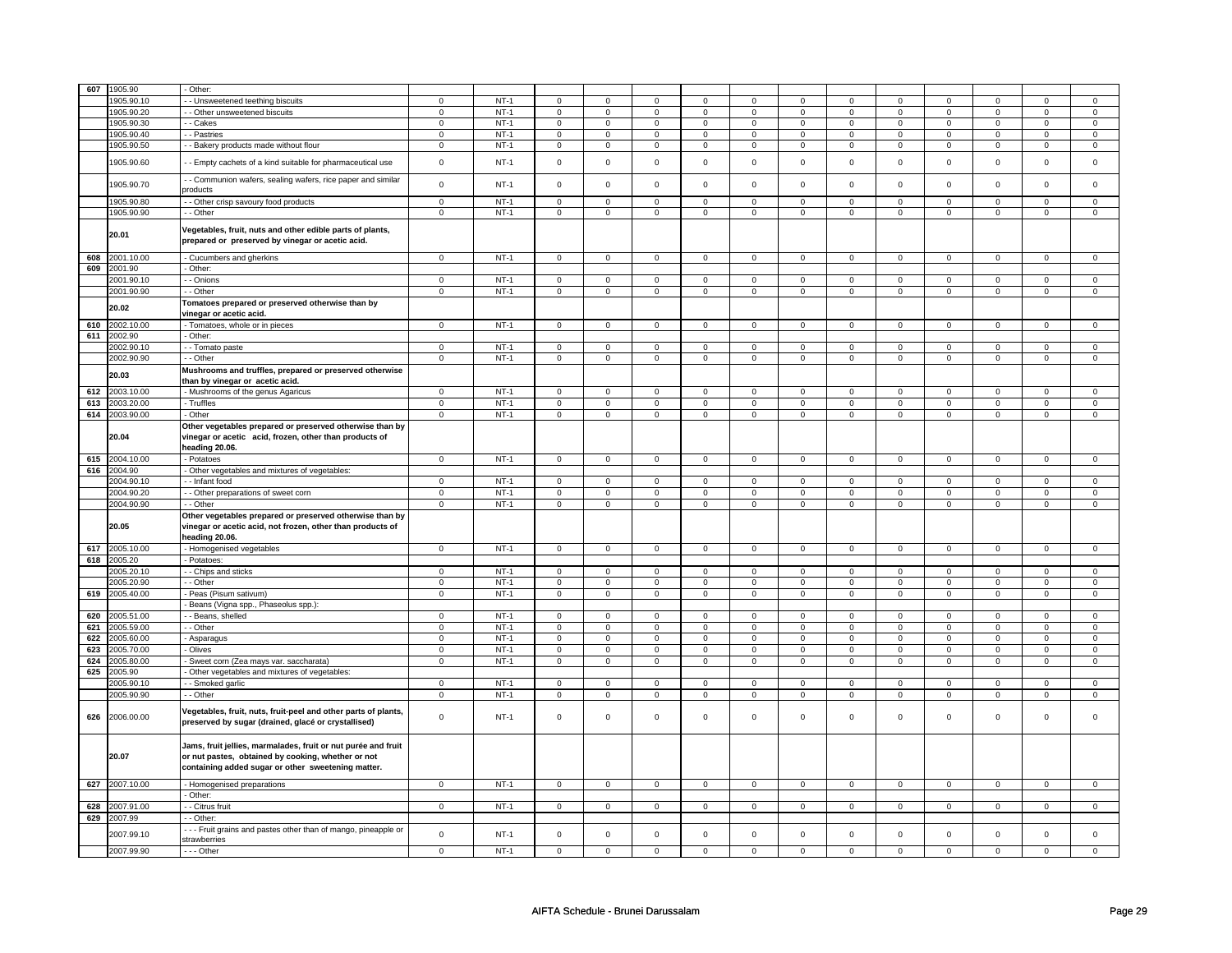| 607 | 1905.90        | Other:                                                                                                                                                                    |                |        |                |                |                |                     |                |                     |                |                |                |                |                |                |
|-----|----------------|---------------------------------------------------------------------------------------------------------------------------------------------------------------------------|----------------|--------|----------------|----------------|----------------|---------------------|----------------|---------------------|----------------|----------------|----------------|----------------|----------------|----------------|
|     | 905.90.10      | - Unsweetened teething biscuits                                                                                                                                           |                | $NT-1$ |                | $\mathsf 0$    | $\mathbf 0$    |                     | 0              | 0                   | 0              |                |                |                | $\mathbf 0$    | $\mathsf 0$    |
|     | 1905.90.20     |                                                                                                                                                                           | 0              |        | 0              |                |                | 0                   |                |                     |                | 0              | 0              | 0              |                | $\overline{0}$ |
|     |                | - Other unsweetened biscuits                                                                                                                                              | $\mathbf 0$    | $NT-1$ | 0              | $\mathbf 0$    | 0              | $\mathbf 0$         | 0              | $\mathbf 0$         | 0              | $\mathbf 0$    | 0              | $\mathbf 0$    | $\mathbf 0$    |                |
|     | 1905.90.30     | - - Cakes                                                                                                                                                                 | $\mathbf 0$    | $NT-1$ | $\mathbf 0$    | $\mathbf 0$    | $\mathbf 0$    | $\mathbf 0$         | $\mathbf 0$    | $\mathbf 0$         | $\mathbf 0$    | $\mathbf 0$    | $\mathbf 0$    | $\mathbf 0$    | $\mathbf 0$    | $\mathbf 0$    |
|     | 1905.90.40     | - Pastries                                                                                                                                                                | $\mathbf 0$    | $NT-1$ | $\mathbf 0$    | $\mathbf 0$    | $\mathbf 0$    | $\mathbf 0$         | $\mathbf 0$    | $\mathbf 0$         | $\mathbf 0$    | $\mathbf 0$    | $\mathbf 0$    | $\mathbf 0$    | $\Omega$       | $\mathbf 0$    |
|     | 1905.90.50     | - Bakery products made without flour                                                                                                                                      | $\mathbf 0$    | $NT-1$ | $\mathsf 0$    | $\mathbf 0$    | $\mathbf 0$    | $\mathsf{O}\xspace$ | $\mathsf 0$    | $\mathsf{O}\xspace$ | $\mathbf 0$    | $\mathsf 0$    | $\mathsf 0$    | $\mathsf 0$    | $\mathbf 0$    | $\mathbf 0$    |
|     | 1905.90.60     | - Empty cachets of a kind suitable for pharmaceutical use                                                                                                                 | $\mathsf 0$    | $NT-1$ | $\mathsf 0$    | $\mathsf 0$    | $\mathbf 0$    | $\mathsf 0$         | $\mathsf 0$    | $\mathsf 0$         | $\mathbf 0$    | $\mathsf 0$    | $\mathsf 0$    | $\mathsf 0$    | $\mathbf 0$    | $\mathbf 0$    |
|     | 1905.90.70     | - Communion wafers, sealing wafers, rice paper and similar<br>products                                                                                                    | $\mathbf 0$    | $NT-1$ | $\mathsf 0$    | $\mathbf 0$    | $\mathsf 0$    | $\mathsf{O}\xspace$ | $\mathsf 0$    | $\mathsf 0$         | $\mathsf 0$    | $\mathsf 0$    | $\mathsf 0$    | $\mathsf 0$    | $\mathsf 0$    | $\mathsf 0$    |
|     | 1905.90.80     | - Other crisp savoury food products                                                                                                                                       | $\mathbf 0$    | $NT-1$ | $\mathbf 0$    | $\mathbf 0$    | $\mathbf 0$    | $\mathbf 0$         | $\mathbf 0$    | $\mathbf 0$         | $\mathbf 0$    | $\mathbf 0$    | $\mathbf 0$    | $\mathbf 0$    | $\mathbf 0$    | $\mathbf 0$    |
|     | 1905.90.90     | - - Other                                                                                                                                                                 | $\overline{0}$ | $NT-1$ | $\overline{0}$ | $\overline{0}$ | $\overline{0}$ | $\overline{0}$      | $\overline{0}$ | $\overline{0}$      | $\overline{0}$ | $\overline{0}$ | $\overline{0}$ | $\overline{0}$ | $\overline{0}$ | $\overline{0}$ |
|     | 20.01          | Vegetables, fruit, nuts and other edible parts of plants,<br>prepared or preserved by vinegar or acetic acid.                                                             |                |        |                |                |                |                     |                |                     |                |                |                |                |                |                |
|     | 608 2001.10.00 | - Cucumbers and gherkins                                                                                                                                                  | $\mathsf 0$    | $NT-1$ | $\mathbf 0$    | $\mathsf 0$    | $\mathbf 0$    | $\mathbf 0$         | $\mathbf 0$    | $\mathbf 0$         | $\mathbf 0$    | $\mathbf 0$    | $\mathsf 0$    | $\mathbf 0$    | $\mathbf 0$    | $\mathbf 0$    |
| 609 | 2001.90        | - Other:                                                                                                                                                                  |                |        |                |                |                |                     |                |                     |                |                |                |                |                |                |
|     | 2001.90.10     | - Onions                                                                                                                                                                  | $\mathsf 0$    | $NT-1$ | $\mathbf 0$    | $\mathsf 0$    | $\mathbf 0$    | $\mathbf 0$         | $\mathbf 0$    | $\mathbf 0$         | $\mathbf 0$    | $\mathbf 0$    | $\mathbf 0$    | $\mathbf 0$    | $\Omega$       | $\mathbf 0$    |
|     | 2001.90.90     | - - Other                                                                                                                                                                 | $\overline{0}$ | $NT-1$ | $\overline{0}$ | $\overline{0}$ | $\overline{0}$ | $\overline{0}$      | $\overline{0}$ | $\overline{0}$      | $\overline{0}$ | $\overline{0}$ | $\overline{0}$ | $\overline{0}$ | $\overline{0}$ | $\overline{0}$ |
|     | 20.02          | Tomatoes prepared or preserved otherwise than by<br>vinegar or acetic acid.                                                                                               |                |        |                |                |                |                     |                |                     |                |                |                |                |                |                |
|     | 610 2002.10.00 | - Tomatoes, whole or in pieces                                                                                                                                            | $\overline{0}$ | $NT-1$ | $\mathbf 0$    | $\mathbf{0}$   | $\mathbf 0$    | $\mathbf{0}$        | $\mathbf 0$    | $\mathbf 0$         | $\mathbf 0$    | $\mathbf{0}$   | $\mathbf 0$    | $\mathbf{0}$   | $\mathsf 0$    | $\mathbf{0}$   |
|     | 611 2002.90    | - Other:                                                                                                                                                                  |                |        |                |                |                |                     |                |                     |                |                |                |                |                |                |
|     | 2002.90.1      | - - Tomato paste                                                                                                                                                          | $\mathsf 0$    | $NT-1$ | $\mathsf 0$    | $\mathsf 0$    | $\mathbf 0$    | $\mathbf 0$         | $\mathbf 0$    | $\mathbf 0$         | $\mathbf 0$    | $\mathbf 0$    | $\mathbf 0$    | $\mathbf 0$    | $\mathbf 0$    | $\mathbf 0$    |
|     | 2002.90.90     | - - Other                                                                                                                                                                 | $\overline{0}$ | $NT-1$ | $\overline{0}$ | $\overline{0}$ | $\mathbf 0$    | $\overline{0}$      | $\mathbf 0$    | $\overline{0}$      | $\mathbf 0$    | $\overline{0}$ | $\mathbf 0$    | $\overline{0}$ | $\overline{0}$ | $\overline{0}$ |
|     | 20.03          | Mushrooms and truffles, prepared or preserved otherwise<br>than by vinegar or acetic acid.                                                                                |                |        |                |                |                |                     |                |                     |                |                |                |                |                |                |
|     | 612 2003.10.00 | - Mushrooms of the genus Agaricus                                                                                                                                         | $\overline{0}$ | $NT-1$ | $\overline{0}$ | $\overline{0}$ | $\mathbf 0$    | $\overline{0}$      | $\overline{0}$ | $\overline{0}$      | $\mathsf 0$    | $\overline{0}$ | $\overline{0}$ | $\overline{0}$ | $\mathsf 0$    | $\overline{0}$ |
|     | 613 2003.20.00 | - Truffles                                                                                                                                                                | 0              | $NT-1$ | 0              | 0              | 0              | $\mathbf 0$         | 0              | $\mathbf 0$         | 0              | $\mathbf 0$    | 0              | $\mathsf 0$    | 0              | $\mathsf 0$    |
|     | 614 2003.90.00 | - Other                                                                                                                                                                   | $\mathsf 0$    | $NT-1$ | $\mathsf 0$    | $\mathsf 0$    | $\mathsf 0$    | $\mathsf 0$         | $\mathsf 0$    | $\mathsf 0$         | $\mathsf 0$    | $\mathsf 0$    | $\mathsf 0$    | $\mathsf 0$    | $\mathsf 0$    | $\mathsf 0$    |
|     | 20.04          | Other vegetables prepared or preserved otherwise than by<br>vinegar or acetic acid, frozen, other than products of<br>heading 20.06.                                      |                |        |                |                |                |                     |                |                     |                |                |                |                |                |                |
|     | 615 2004.10.00 | - Potatoes                                                                                                                                                                | $\overline{0}$ | $NT-1$ | $\mathbf 0$    | $\overline{0}$ | $\mathbf 0$    | $\mathbf 0$         | $\mathbf 0$    | $\mathbf 0$         | $\mathbf 0$    | $\mathbf 0$    | $\mathsf 0$    | $\mathbf 0$    | $\mathsf 0$    | $\mathbf 0$    |
|     | 616 2004.90    | - Other vegetables and mixtures of vegetables:                                                                                                                            |                |        |                |                |                |                     |                |                     |                |                |                |                |                |                |
|     | 2004.90.1      | - - Infant food                                                                                                                                                           | $\mathsf 0$    | $NT-1$ | $\mathbf 0$    | $\mathsf 0$    | $\mathbf 0$    | $\mathbf 0$         | $\mathbf 0$    | $\mathbf 0$         | $\mathbf 0$    | $\mathbf 0$    | $\mathsf 0$    | $\mathbf 0$    | $\mathsf 0$    | $\mathbf 0$    |
|     | 2004.90.20     | - Other preparations of sweet corn                                                                                                                                        | $\mathbf 0$    | $NT-1$ | $\mathbf 0$    | $\mathbf 0$    | $\mathbf 0$    | $\mathbf 0$         | $\mathbf 0$    | $\mathbf 0$         | $\mathbf 0$    | $\mathbf 0$    | $\mathbf 0$    | $\mathbf 0$    | $\mathbf 0$    | $\mathbf 0$    |
|     | 2004.90.90     | - - Other                                                                                                                                                                 | $\overline{0}$ | $NT-1$ | $\mathbf 0$    | $\overline{0}$ | $\mathbf 0$    | $\overline{0}$      | $\overline{0}$ | $\overline{0}$      | $\mathbf 0$    | $\overline{0}$ | $\mathsf 0$    | $\overline{0}$ | $\mathsf 0$    | $\overline{0}$ |
|     | 20.05          | Other vegetables prepared or preserved otherwise than by<br>vinegar or acetic acid, not frozen, other than products of<br>heading 20.06.                                  |                |        |                |                |                |                     |                |                     |                |                |                |                |                |                |
|     | 617 2005.10.00 | - Homogenised vegetables                                                                                                                                                  | $\mathbf 0$    | $NT-1$ | $\mathbf 0$    | $\mathbf{0}$   | $\mathbf 0$    | $\mathbf{0}$        | $\mathbf 0$    | $\mathbf{0}$        | $\mathbf 0$    | $\mathbf{0}$   | $\mathbf 0$    | $\mathbf{0}$   | $\mathbf 0$    | $\mathbf{0}$   |
| 618 | 2005.20        | - Potatoes:                                                                                                                                                               |                |        |                |                |                |                     |                |                     |                |                |                |                |                |                |
|     | 2005.20.10     | - Chips and sticks                                                                                                                                                        | $\mathsf 0$    | $NT-1$ | $\mathbf 0$    | $\mathbf 0$    | $\mathbf 0$    | $\mathbf 0$         | $\mathbf 0$    | $\mathbf 0$         | $\mathbf 0$    | $\mathbf 0$    | $\mathbf 0$    | $\mathbf 0$    | $\mathbf 0$    | $\mathbf 0$    |
|     | 2005.20.90     | - Other                                                                                                                                                                   | $\mathsf 0$    | $NT-1$ | $\mathsf 0$    | $\mathsf 0$    | $\mathsf 0$    | $\mathbf 0$         | $\mathsf 0$    | $\mathbf 0$         | $\mathsf 0$    | $\mathbf 0$    | $\mathsf 0$    | $\mathbf 0$    | $\mathbf 0$    | $\mathbf 0$    |
| 619 | 2005.40.00     | Peas (Pisum sativum)                                                                                                                                                      | $\mathsf 0$    | $NT-1$ | $\mathbf 0$    | $\mathsf 0$    | $\mathbf 0$    | $\mathbf 0$         | $\mathbf 0$    | $\mathbf 0$         | $\mathsf 0$    | $\mathbf 0$    | $\mathsf 0$    | $\mathbf 0$    | $\mathbf 0$    | $\mathbf 0$    |
|     |                | Beans (Vigna spp., Phaseolus spp.):                                                                                                                                       |                |        |                |                |                |                     |                |                     |                |                |                |                |                |                |
| 620 | 2005.51.00     | - Beans, shelled                                                                                                                                                          | $\mathbf 0$    | $NT-1$ | $\mathbf 0$    | $\mathbf 0$    | $\mathbf 0$    | 0                   | $\mathbf 0$    | 0                   | $\mathbf{0}$   | $\mathbf 0$    | 0              | $\mathbf 0$    | 0              | $\mathbf 0$    |
| 621 | 2005.59.00     | - - Other                                                                                                                                                                 | $\mathsf 0$    | $NT-1$ | $\mathbf 0$    | $\mathsf 0$    | $\mathbf 0$    | $\mathbf 0$         | $\mathbf 0$    | $\mathbf 0$         | $\mathbf 0$    | $\mathbf 0$    | $\mathsf 0$    | $\mathbf 0$    | $\mathbf 0$    | $\mathbf 0$    |
| 622 | 005.60.00      | Asparagus                                                                                                                                                                 | $\mathbf 0$    | $NT-1$ | $\mathbf 0$    | $\mathsf 0$    | $\Omega$       | $\Omega$            | $\mathbf 0$    | $\mathbf{0}$        | $\Omega$       | $\Omega$       | $\mathbf 0$    | $\mathbf 0$    | $\Omega$       | $\mathsf 0$    |
| 623 | 2005.70.00     | Olives                                                                                                                                                                    | $\mathbf 0$    | $NT-1$ | $\mathsf 0$    | $\mathbf 0$    | $\mathsf 0$    | $\mathsf 0$         | $\mathsf 0$    | $\mathsf 0$         | $\mathsf 0$    | $\mathsf 0$    | $\mathsf 0$    | $\mathsf 0$    | $\mathbf 0$    | $\mathsf 0$    |
| 624 | 2005.80.00     | Sweet corn (Zea mays var. saccharata)                                                                                                                                     | $\mathbf 0$    | $NT-1$ | $\mathsf 0$    | $\mathbf 0$    | $\mathsf 0$    | $\mathbf 0$         | $\mathsf 0$    | $\mathbf 0$         | $\mathsf 0$    | $\mathsf 0$    | $\mathsf 0$    | $\mathsf 0$    | $\mathsf 0$    | $\mathsf 0$    |
| 625 | 2005.90        | Other vegetables and mixtures of vegetables:                                                                                                                              |                |        |                |                |                |                     |                |                     |                |                |                |                |                |                |
|     | 2005.90.10     | - Smoked garlic                                                                                                                                                           | $\mathbf 0$    | $NT-1$ | $\mathsf 0$    | $\overline{0}$ | $\mathbf 0$    | $\mathbf 0$         | $\mathsf 0$    | $\overline{0}$      | $\mathbf 0$    | $\mathbf 0$    | $\mathsf 0$    | $\overline{0}$ | $\mathbf 0$    | $\mathbf 0$    |
|     | 2005.90.90     | - - Other                                                                                                                                                                 | $\mathsf 0$    | $NT-1$ | $\mathsf 0$    | $\mathsf 0$    | $\mathbf 0$    | $\mathbf 0$         | $\mathsf 0$    | $\mathbf 0$         | $\mathbf 0$    | $\mathbf 0$    | $\mathsf 0$    | $\mathbf 0$    | $\mathsf 0$    | $\mathbf 0$    |
| 626 | 2006.00.00     | Vegetables, fruit, nuts, fruit-peel and other parts of plants,<br>preserved by sugar (drained, glacé or crystallised)                                                     | $\mathsf 0$    | $NT-1$ | $\mathsf 0$    | $\mathsf 0$    | $\mathsf 0$    | $\mathsf 0$         | $\mathsf 0$    | $\mathsf 0$         | $\mathsf 0$    | $\mathsf 0$    | $\mathsf 0$    | $\mathsf 0$    | $\mathsf 0$    | $\mathsf 0$    |
|     | 20.07          | Jams, fruit jellies, marmalades, fruit or nut purée and fruit<br>or nut pastes, obtained by cooking, whether or not<br>containing added sugar or other sweetening matter. |                |        |                |                |                |                     |                |                     |                |                |                |                |                |                |
| 627 | 2007.10.00     | - Homogenised preparations                                                                                                                                                | $\mathsf 0$    | $NT-1$ | $\mathbf 0$    | $\mathbf 0$    | $\mathbf 0$    | $\mathbf{0}$        | $\mathbf 0$    | $\mathbf 0$         | $\mathbf 0$    | $\mathbf{0}$   | $\mathsf 0$    | $\mathbf 0$    | $\mathbf 0$    | $\mathbf 0$    |
|     |                | - Other:                                                                                                                                                                  |                |        |                |                |                |                     |                |                     |                |                |                |                |                |                |
| 628 | 2007.91.00     | - Citrus fruit                                                                                                                                                            | $\mathsf 0$    | $NT-1$ | $\mathbf 0$    | $\mathsf 0$    | $\mathbf 0$    | $\mathbf 0$         | $\mathbf 0$    | $\mathbf 0$         | $\mathbf 0$    | $\mathbf 0$    | $\mathsf 0$    | $\mathbf 0$    | $\mathbf 0$    | $\mathbf 0$    |
| 629 | 2007.99        | - Other:                                                                                                                                                                  |                |        |                |                |                |                     |                |                     |                |                |                |                |                |                |
|     | 2007.99.10     | -- Fruit grains and pastes other than of mango, pineapple or<br>strawberries                                                                                              | $\mathsf 0$    | $NT-1$ | $\mathsf 0$    | $\mathsf 0$    | $\mathsf 0$    | $\mathsf 0$         | $\mathsf 0$    | $\mathsf 0$         | $\mathsf 0$    | $\mathsf 0$    | $\mathsf 0$    | $\mathsf 0$    | $\mathsf 0$    | $\mathbf 0$    |
|     | 2007.99.90     | $--$ Other                                                                                                                                                                | $\overline{0}$ | $NT-1$ | $\Omega$       | $\Omega$       | $\Omega$       | $\Omega$            | $\Omega$       | $\Omega$            | $\Omega$       | $\Omega$       | $\Omega$       | $\Omega$       | $\Omega$       | $\Omega$       |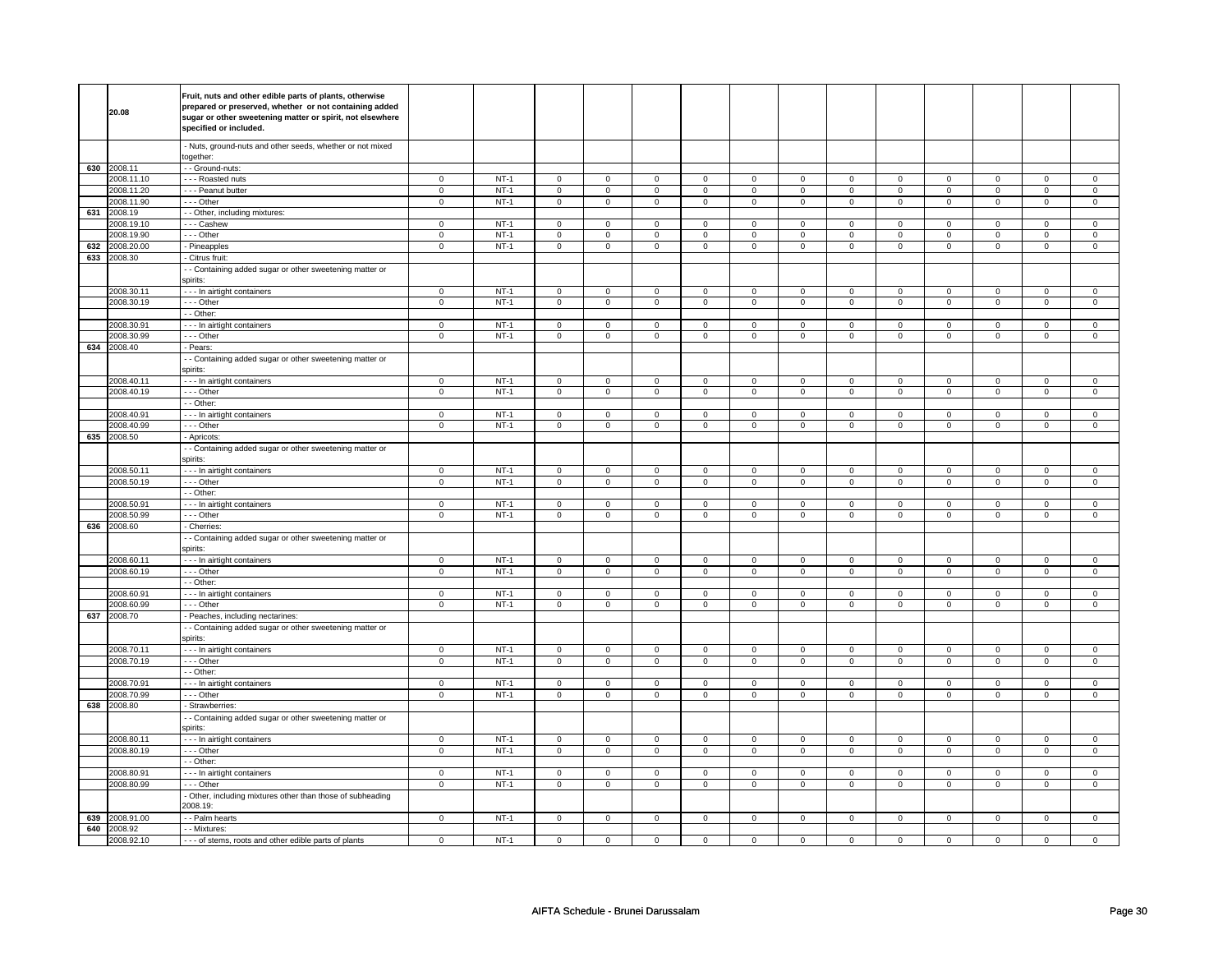|     | 20.08       | Fruit, nuts and other edible parts of plants, otherwise<br>prepared or preserved, whether or not containing added<br>sugar or other sweetening matter or spirit, not elsewhere<br>specified or included. |                |        |                                    |                            |                     |                |                     |                |                     |                |                     |                |             |                |
|-----|-------------|----------------------------------------------------------------------------------------------------------------------------------------------------------------------------------------------------------|----------------|--------|------------------------------------|----------------------------|---------------------|----------------|---------------------|----------------|---------------------|----------------|---------------------|----------------|-------------|----------------|
|     |             | - Nuts, ground-nuts and other seeds, whether or not mixed<br>ogether:                                                                                                                                    |                |        |                                    |                            |                     |                |                     |                |                     |                |                     |                |             |                |
|     | 630 2008.11 | - - Ground-nuts:                                                                                                                                                                                         |                |        |                                    |                            |                     |                |                     |                |                     |                |                     |                |             |                |
|     | 2008.11.10  | - - - Roasted nuts                                                                                                                                                                                       | $\mathbf 0$    | $NT-1$ | $\mathbf 0$                        | $\mathbf 0$                | $\mathbf 0$         | $\mathbf 0$    | $\mathbf 0$         | $\mathbf 0$    | 0                   | $\mathbf 0$    | 0                   | $\mathbf 0$    | 0           | 0              |
|     | 2008.11.20  | - - - Peanut butter                                                                                                                                                                                      | $\mathsf 0$    | $NT-1$ | $\mathbf 0$                        | $\mathbf 0$                | $\mathbf 0$         | $\mathbf 0$    | $\mathbf 0$         | $\mathbf 0$    | $\mathbf 0$         | $\mathbf{0}$   | $\mathbf 0$         | $\mathbf 0$    | $\mathbf 0$ | $\mathbf 0$    |
|     | 2008.11.90  | --- Other                                                                                                                                                                                                | $\overline{0}$ | $NT-1$ | $\mathsf{O}\xspace$                | $\overline{0}$             | $\mathsf 0$         | $\mathsf 0$    | $\mathsf{O}\xspace$ | $\mathbf 0$    | $\mathbf 0$         | $\mathbf 0$    | $\mathsf 0$         | $\overline{0}$ | $\mathsf 0$ | $\overline{0}$ |
| 631 | 2008.19     | - - Other, including mixtures:                                                                                                                                                                           |                |        |                                    |                            |                     |                |                     |                |                     |                |                     |                |             |                |
|     | 2008.19.10  | --- Cashew                                                                                                                                                                                               | $\mathsf 0$    | $NT-1$ | $\mathbf 0$                        | $\mathbf 0$                | $\mathbf 0$         | $\mathbf 0$    | $\mathsf 0$         | $\mathbf{0}$   | $\mathbf 0$         | $\mathbf{0}$   | $\mathbf 0$         | $\mathbf 0$    | $\mathbf 0$ | $\mathbf 0$    |
|     | 2008.19.90  | --- Other                                                                                                                                                                                                | 0              | $NT-1$ | 0                                  | $\mathbf 0$                | 0                   | $\mathbf 0$    | 0                   | $\mathbf 0$    | 0                   | $\mathbf 0$    | 0                   | $\mathbf 0$    | 0           | $\mathbf 0$    |
| 632 | 2008.20.00  | - Pineapples                                                                                                                                                                                             | $\mathsf 0$    | $NT-1$ | $\mathsf 0$                        | $\mathsf 0$                | $\mathsf{O}\xspace$ | $\mathsf 0$    | $\mathsf{O}\xspace$ | $\mathbf 0$    | $\mathsf 0$         | $\mathbf 0$    | $\mathbf 0$         | $\mathbf 0$    | $\mathsf 0$ | $\mathbf{O}$   |
| 633 | 2008.30     | - Citrus fruit:                                                                                                                                                                                          |                |        |                                    |                            |                     |                |                     |                |                     |                |                     |                |             |                |
|     |             | - Containing added sugar or other sweetening matter or<br>spirits:                                                                                                                                       |                |        |                                    |                            |                     |                |                     |                |                     |                |                     |                |             |                |
|     | 2008.30.11  | --- In airtight containers                                                                                                                                                                               | $\overline{0}$ | $NT-1$ | $\overline{0}$                     | $\overline{0}$             | $\mathsf 0$         | $\overline{0}$ | $\mathsf 0$         | $\overline{0}$ | $\mathsf{O}\xspace$ | $\mathbf 0$    | $\mathsf{O}\xspace$ | $\overline{0}$ | $\mathsf 0$ | $\overline{0}$ |
|     | 2008.30.19  | --- Other                                                                                                                                                                                                | $\mathsf 0$    | $NT-1$ | $\mathbf 0$                        | $\mathbf 0$                | $\mathbf 0$         | $\mathbf 0$    | $\mathbf 0$         | $\mathbf 0$    | $\mathbf 0$         | $\mathbf 0$    | $\mathbf 0$         | $\mathbf 0$    | $\mathsf 0$ | $\mathbf 0$    |
|     |             | - - Other:                                                                                                                                                                                               |                |        |                                    |                            |                     |                |                     |                |                     |                |                     |                |             |                |
|     | 2008.30.91  | - - - In airtight containers                                                                                                                                                                             | 0              | $NT-1$ | 0                                  | $\mathbf 0$                | $^{\circ}$          | $\mathbf 0$    | $\mathbf 0$         | $\mathbf 0$    | $\mathbf 0$         | $\mathbf 0$    | 0                   | $\mathbf 0$    | 0           | $\mathbf 0$    |
|     | 2008.30.99  | --- Other                                                                                                                                                                                                | $\mathsf 0$    | $NT-1$ | $\mathsf 0$                        | $\mathbf 0$                | $\mathsf 0$         | $\mathbf 0$    | $\mathsf 0$         | $\mathsf 0$    | $\mathbf 0$         | $\mathsf 0$    | $\mathsf 0$         | $\mathbf 0$    | $\mathsf 0$ | 0              |
| 634 | 2008.40     | Pears:                                                                                                                                                                                                   |                |        |                                    |                            |                     |                |                     |                |                     |                |                     |                |             |                |
|     |             | - Containing added sugar or other sweetening matter or<br>spirits:                                                                                                                                       |                |        |                                    |                            |                     |                |                     |                |                     |                |                     |                |             |                |
|     | 2008.40.11  | - - - In airtight containers                                                                                                                                                                             | $\overline{0}$ | $NT-1$ | $\overline{0}$                     | $\overline{0}$             | $\overline{0}$      | $\overline{0}$ | $\overline{0}$      | $\overline{0}$ | $\overline{0}$      | $\overline{0}$ | $\overline{0}$      | $\overline{0}$ | $\mathbf 0$ | $\overline{0}$ |
|     | 2008.40.19  | --- Other                                                                                                                                                                                                | 0              | $NT-1$ | 0                                  | $\mathbf 0$                | 0                   | $\mathbf 0$    | $\mathbf 0$         | $\mathbf 0$    | 0                   | $\mathbf 0$    | 0                   | $\mathbf 0$    | 0           | $\mathbf 0$    |
|     |             | $-$ Other:                                                                                                                                                                                               |                |        |                                    |                            |                     |                |                     |                |                     |                |                     |                |             |                |
|     | 2008.40.91  | - - - In airtight containers                                                                                                                                                                             | $\mathbf 0$    | $NT-1$ | $\mathsf 0$                        | $\mathsf 0$                | $\mathsf 0$         | $\mathbf 0$    | $\mathsf 0$         | $\mathsf{O}$   | $\mathsf 0$         | $\mathbf 0$    | $\mathsf{O}\xspace$ | $\mathbf 0$    | 0           | $\mathbf 0$    |
|     | 2008.40.99  | - - - Other                                                                                                                                                                                              | $\mathsf 0$    | $NT-1$ | $\mathbf 0$                        | $\mathbf 0$                | $\mathbf 0$         | $\mathbf 0$    | $\mathbf 0$         | $\mathbf 0$    | $\mathbf 0$         | $\mathbf 0$    | $\mathbf 0$         | $\mathbf 0$    | $\mathsf 0$ | $\mathbf{0}$   |
| 635 | 2008.50     | - Apricots:                                                                                                                                                                                              |                |        |                                    |                            |                     |                |                     |                |                     |                |                     |                |             |                |
|     |             | - Containing added sugar or other sweetening matter or                                                                                                                                                   |                |        |                                    |                            |                     |                |                     |                |                     |                |                     |                |             |                |
|     |             | spirits:                                                                                                                                                                                                 |                |        |                                    |                            |                     |                |                     |                |                     |                |                     |                |             |                |
|     | 2008.50.11  | - - - In airtight containers                                                                                                                                                                             | $\mathbf 0$    | $NT-1$ | $\mathsf 0$                        | $\mathsf 0$                | $\mathsf 0$         | $\mathsf 0$    | $\mathsf 0$         | $\mathbf 0$    | $\mathbf 0$         | $\mathbf 0$    | $\mathsf{O}\xspace$ | $\mathbf 0$    | 0           | $\mathsf 0$    |
|     |             |                                                                                                                                                                                                          |                |        |                                    |                            |                     |                |                     |                |                     |                |                     |                |             |                |
|     | 2008.50.19  | - - - Other                                                                                                                                                                                              | 0              | $NT-1$ | 0                                  | $\mathbf 0$                | 0                   | $\mathbf 0$    | 0                   | $\mathbf 0$    | 0                   | $\mathbf 0$    | 0                   | $\mathbf 0$    | 0           | $\mathbf 0$    |
|     |             | $-$ Other:                                                                                                                                                                                               |                |        |                                    |                            |                     |                |                     |                |                     |                |                     |                |             |                |
|     | 2008.50.91  | - - - In airtight containers                                                                                                                                                                             | $\overline{0}$ | $NT-1$ | $\overline{0}$                     | $\overline{0}$             | $\mathbf 0$         | $\mathbf 0$    | $\mathsf 0$         | $\mathbf 0$    | $\mathbf 0$         | $\mathbf 0$    | $\overline{0}$      | $\mathbf 0$    | $\mathbf 0$ | 0              |
|     | 2008.50.99  | --- Other                                                                                                                                                                                                | 0              | $NT-1$ | 0                                  | $\mathbf 0$                | 0                   | $\mathbf 0$    | 0                   | $\mathbf 0$    | 0                   | $\mathbf 0$    | 0                   | 0              | 0           | 0              |
| 636 | 2008.60     | Cherries:                                                                                                                                                                                                |                |        |                                    |                            |                     |                |                     |                |                     |                |                     |                |             |                |
|     |             | - - Containing added sugar or other sweetening matter or<br>spirits:                                                                                                                                     |                |        |                                    |                            |                     |                |                     |                |                     |                |                     |                |             |                |
|     | 2008.60.11  | --- In airtight containers                                                                                                                                                                               | $\mathsf 0$    | $NT-1$ | $\mathbf 0$                        | $\mathsf 0$                | $\mathsf 0$         | $\mathsf 0$    | $\mathsf{O}\xspace$ | $\mathbf 0$    | $\mathbf 0$         | $\mathbf 0$    | $\mathsf 0$         | $\mathbf 0$    | $\Omega$    | 0              |
|     | 2008.60.19  | --- Other                                                                                                                                                                                                | $\overline{0}$ | $NT-1$ | $\overline{0}$                     | $\overline{0}$             | $\mathsf{O}\xspace$ | $\overline{0}$ | $\mathsf{O}\xspace$ | $\overline{0}$ | $\mathsf 0$         | $\overline{0}$ | $\overline{0}$      | $\overline{0}$ | $\mathsf 0$ | $\overline{0}$ |
|     |             | - Other:                                                                                                                                                                                                 |                |        |                                    |                            |                     |                |                     |                |                     |                |                     |                |             |                |
|     | 2008.60.91  | - - - In airtight containers                                                                                                                                                                             | $\mathbf 0$    | $NT-1$ | $\mathsf 0$                        | $\mathbf 0$                | $\mathbf 0$         | $\mathbf 0$    | $\mathbf 0$         | $\mathbf 0$    | 0                   | $\mathbf 0$    | 0                   | $\mathbf 0$    | 0           | $\mathbf 0$    |
|     | 2008.60.99  | --- Other                                                                                                                                                                                                | $\mathbf 0$    | $NT-1$ | $\mathbf 0$                        | $\mathbf 0$                | $\mathbf 0$         | $\mathbf 0$    | $\mathbf 0$         | $\mathbf 0$    | $\mathbf 0$         | $\mathbf 0$    | 0                   | $\mathbf 0$    | 0           | 0              |
| 637 | 2008.70     | - Peaches, including nectarines:                                                                                                                                                                         |                |        |                                    |                            |                     |                |                     |                |                     |                |                     |                |             |                |
|     |             | - - Containing added sugar or other sweetening matter or<br>spirits:                                                                                                                                     |                |        |                                    |                            |                     |                |                     |                |                     |                |                     |                |             |                |
|     | 2008.70.11  |                                                                                                                                                                                                          | $\mathbf 0$    | $NT-1$ |                                    |                            | $\mathsf 0$         | $\mathsf 0$    | $\mathsf 0$         | $\mathbf 0$    | $\mathsf 0$         | $\mathbf 0$    | $\mathbf 0$         | $\mathbf 0$    | $\mathsf 0$ | $\mathbf 0$    |
|     | 2008.70.19  | - - - In airtight containers<br>- - - Other                                                                                                                                                              | $\mathbf 0$    | $NT-1$ | $\mathsf{O}\xspace$<br>$\mathbf 0$ | $\mathbf 0$<br>$\mathbf 0$ | $\mathbf 0$         | $\mathbf{0}$   | $\mathbf 0$         | $\mathbf 0$    | $\mathbf{0}$        | $\mathbf 0$    | $\mathbf{0}$        | $\mathbf 0$    | 0           | $\mathbf{0}$   |
|     |             | - - Other:                                                                                                                                                                                               |                |        |                                    |                            |                     |                |                     |                |                     |                |                     |                |             |                |
|     | 2008.70.91  | - - - In airtight containers                                                                                                                                                                             | 0              | $NT-1$ | $\overline{0}$                     | $\overline{0}$             | $\mathbf 0$         | $\overline{0}$ | $\mathbf 0$         | $\overline{0}$ | 0                   | $\mathbf 0$    | $\overline{0}$      | $\overline{0}$ | 0           | 0              |
|     | 2008.70.99  | --- Other                                                                                                                                                                                                | $\mathsf 0$    | $NT-1$ | $\mathbf 0$                        | $\mathsf 0$                | $\mathsf 0$         | $\mathbf 0$    | $\mathsf 0$         | $\mathsf 0$    | $\mathbf 0$         | $\mathsf 0$    | $\mathsf 0$         | $\mathbf 0$    | $\mathsf 0$ | $\mathbf 0$    |
| 638 | 2008.80     | Strawberries:                                                                                                                                                                                            |                |        |                                    |                            |                     |                |                     |                |                     |                |                     |                |             |                |
|     |             | - Containing added sugar or other sweetening matter or<br>spirits:                                                                                                                                       |                |        |                                    |                            |                     |                |                     |                |                     |                |                     |                |             |                |
|     | 2008.80.11  | - - - In airtight containers                                                                                                                                                                             | $\mathbf 0$    | $NT-1$ | $\overline{0}$                     | $\mathbf 0$                | $\mathbf{0}$        | $\mathbf 0$    | $\mathbf 0$         | $\mathbf{0}$   | $\mathbf 0$         | $\mathbf{0}$   | $\mathbf 0$         | $\mathbf{0}$   | $\mathbf 0$ | $\mathbf 0$    |
|     | 2008.80.19  | $\overline{-}$ - Other                                                                                                                                                                                   | $\mathsf 0$    | $NT-1$ | $\mathsf 0$                        | $\mathsf 0$                | $\mathsf 0$         | $\mathsf 0$    | $\mathsf{O}\xspace$ | $\mathsf 0$    | $\mathbf 0$         | $\mathsf 0$    | $\mathsf 0$         | $\overline{0}$ | $\mathbf 0$ | $\mathbf 0$    |
|     |             | - Other:                                                                                                                                                                                                 |                |        |                                    |                            |                     |                |                     |                |                     |                |                     |                |             |                |
|     | 2008.80.91  | - - - In airtight containers                                                                                                                                                                             | $\mathbf 0$    | $NT-1$ | $\mathsf 0$                        | $\mathbf 0$                | $\mathbf 0$         | $\mathbf 0$    | $\mathbf 0$         | $\mathbf 0$    | $\mathbf 0$         | $\mathbf 0$    | 0                   | $\mathbf 0$    | 0           | $\mathbf 0$    |
|     | 2008.80.99  | - - - Other                                                                                                                                                                                              | $\mathbf 0$    | $NT-1$ | 0                                  | $\mathbf 0$                | $\mathbf 0$         | $\mathbf 0$    | $\mathbf 0$         | $\mathbf 0$    | $\mathbf 0$         | $\mathbf 0$    | 0                   | $\mathbf 0$    | 0           | 0              |
|     |             | - Other, including mixtures other than those of subheading<br>2008.19:                                                                                                                                   |                |        |                                    |                            |                     |                |                     |                |                     |                |                     |                |             |                |
| 639 | 2008.91.00  | - - Palm hearts                                                                                                                                                                                          | $\mathsf 0$    | $NT-1$ | $\mathbf 0$                        | $\mathbf 0$                | $\mathbf 0$         | $\mathbf 0$    | $\mathsf 0$         | $\mathbf 0$    | $\mathbf 0$         | $\mathbf 0$    | $\mathsf 0$         | $\mathbf 0$    | $\mathsf 0$ | $\mathbf 0$    |
| 640 | 2008.92     | - - Mixtures:                                                                                                                                                                                            |                |        |                                    |                            |                     |                |                     |                |                     |                |                     |                |             |                |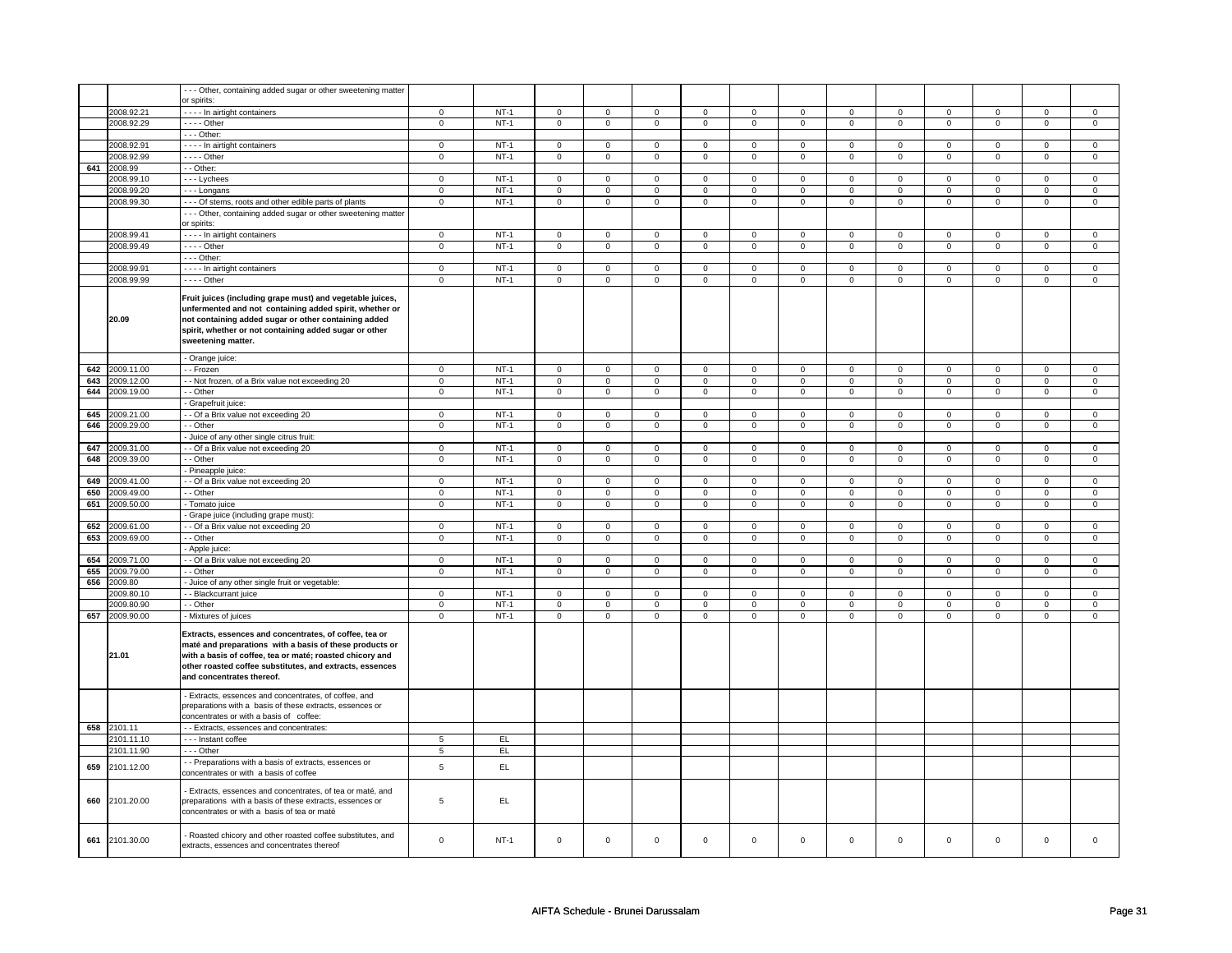|     |                | - - - Other, containing added sugar or other sweetening matter                                                                                                                                                                                                         |                |        |                |                |                |                |                |                     |                |                |                |                |                |                |
|-----|----------------|------------------------------------------------------------------------------------------------------------------------------------------------------------------------------------------------------------------------------------------------------------------------|----------------|--------|----------------|----------------|----------------|----------------|----------------|---------------------|----------------|----------------|----------------|----------------|----------------|----------------|
|     |                | or spirits:                                                                                                                                                                                                                                                            |                |        |                |                |                |                |                |                     |                |                |                |                |                |                |
|     | 2008.92.21     | - - - - In airtight containers                                                                                                                                                                                                                                         | $\mathsf 0$    | $NT-1$ | $\mathbf 0$    | $\overline{0}$ | $\mathsf 0$    | $\overline{0}$ | $\mathbf 0$    | $\overline{0}$      | $\mathsf 0$    | $\overline{0}$ | $\mathsf 0$    | $\overline{0}$ | $\mathsf 0$    | $\overline{0}$ |
|     | 2008.92.29     | $- - -$ Other                                                                                                                                                                                                                                                          | $\mathbf 0$    | $NT-1$ | $\mathbf 0$    | $\mathsf 0$    | $\mathbf 0$    | $\mathbf 0$    | $\mathbf 0$    | $\mathbf 0$         | $\mathbf 0$    | $\mathbf 0$    | $\mathbf 0$    | $\mathbf 0$    | $\mathbf 0$    | $\mathbf 0$    |
|     |                |                                                                                                                                                                                                                                                                        |                |        |                |                |                |                |                |                     |                |                |                |                |                |                |
|     |                | $- -$ Other:                                                                                                                                                                                                                                                           |                |        |                |                |                |                |                |                     |                |                |                |                |                |                |
|     | 2008.92.91     | - - - - In airtight containers                                                                                                                                                                                                                                         | $\mathsf 0$    | $NT-1$ | $\mathbf 0$    | $\mathbf 0$    | $\mathbf 0$    | $\mathbf 0$    | $\mathbf 0$    | $\mathbf 0$         | $\mathbf 0$    | $\mathbf 0$    | $\mathbf 0$    | $\mathbf 0$    | $\mathbf 0$    | $\mathbf 0$    |
|     | 2008.92.99     | $--$ Other                                                                                                                                                                                                                                                             | $\mathsf 0$    | $NT-1$ | $\mathbf 0$    | $\mathsf 0$    | $\mathbf 0$    | $\mathbf 0$    | $\mathbf 0$    | $\mathbf 0$         | $\mathbf 0$    | $\overline{0}$ | $\mathsf 0$    | $\overline{0}$ | $\mathsf 0$    | $\mathbf 0$    |
| 641 | 2008.99        | - - Other:                                                                                                                                                                                                                                                             |                |        |                |                |                |                |                |                     |                |                |                |                |                |                |
|     | 2008.99.10     | --- Lychees                                                                                                                                                                                                                                                            | $\mathbf 0$    | $NT-1$ | $\mathsf 0$    | $\mathbf 0$    | 0              | $\mathsf 0$    | 0              | $\mathbf 0$         | 0              | $\mathsf 0$    | 0              | $\mathsf 0$    | 0              | $\mathsf 0$    |
|     | 2008.99.20     |                                                                                                                                                                                                                                                                        | $\mathbf 0$    | $NT-1$ | $\mathbf 0$    | $\mathbf 0$    | $\mathbf 0$    | $\mathbf 0$    | $\mathbf 0$    | $\mathbf 0$         | $\mathbf 0$    | $\mathbf 0$    | $\mathbf 0$    | $\mathbf 0$    | $\mathbf 0$    | $\mathbf 0$    |
|     |                | --- Longans                                                                                                                                                                                                                                                            |                |        |                |                |                |                |                |                     |                |                |                |                |                |                |
|     | 2008.99.30     | - - - Of stems, roots and other edible parts of plants                                                                                                                                                                                                                 | $\mathsf 0$    | $NT-1$ | $\mathsf 0$    | $\mathsf 0$    | $\mathsf 0$    | $\mathsf 0$    | $\mathsf 0$    | $\mathsf 0$         | $\mathsf 0$    | $\mathsf 0$    | $\mathsf 0$    | $\mathsf 0$    | $\mathsf 0$    | $\mathsf 0$    |
|     |                | - - - Other, containing added sugar or other sweetening matter                                                                                                                                                                                                         |                |        |                |                |                |                |                |                     |                |                |                |                |                |                |
|     |                | or spirits:                                                                                                                                                                                                                                                            |                |        |                |                |                |                |                |                     |                |                |                |                |                |                |
|     | 2008.99.41     | In airtight containers                                                                                                                                                                                                                                                 | $\mathsf 0$    | $NT-1$ | $\mathbf 0$    | $\mathsf 0$    | $\mathbf 0$    | $\mathbf 0$    | $\mathbf 0$    | $\mathbf 0$         | $\mathbf 0$    | $\mathbf 0$    | $\mathsf 0$    | $\mathbf 0$    | $\mathsf 0$    | $\mathbf 0$    |
|     | 2008.99.49     | $---$ Other                                                                                                                                                                                                                                                            | $\mathsf 0$    | $NT-1$ | $\mathsf 0$    | $\mathsf 0$    | $\mathsf 0$    | $\mathbf 0$    | $\mathsf 0$    | $\mathsf{O}\xspace$ | $\mathsf 0$    | $\mathbf 0$    | $\mathsf 0$    | $\mathsf 0$    | $\mathsf 0$    | $\mathsf 0$    |
|     |                | - - - Other:                                                                                                                                                                                                                                                           |                |        |                |                |                |                |                |                     |                |                |                |                |                |                |
|     | 2008.99.91     |                                                                                                                                                                                                                                                                        | $\mathsf 0$    | $NT-1$ | $\mathbf 0$    | $\mathsf 0$    |                | $\mathbf 0$    | $\mathsf 0$    | $\mathbf 0$         |                | $\mathbf 0$    | $\mathsf 0$    | $\mathbf 0$    | $\Omega$       |                |
|     |                | - - - - In airtight containers                                                                                                                                                                                                                                         |                |        |                |                | $\mathbf 0$    |                |                |                     | $\mathbf 0$    |                |                |                |                | $\mathbf 0$    |
|     | 2008.99.99     | $--$ Other                                                                                                                                                                                                                                                             | $\mathbf 0$    | $NT-1$ | $\mathbf 0$    | $\mathsf 0$    | $\mathbf 0$    | $\mathbf 0$    | $\mathbf 0$    | $\mathbf 0$         | $\mathsf 0$    | $\mathbf 0$    | $\mathsf 0$    | $\mathbf 0$    | $\mathsf 0$    | $\mathbf 0$    |
|     | 20.09          | Fruit juices (including grape must) and vegetable juices,<br>unfermented and not containing added spirit, whether or<br>not containing added sugar or other containing added<br>spirit, whether or not containing added sugar or other<br>sweetening matter.           |                |        |                |                |                |                |                |                     |                |                |                |                |                |                |
|     |                | - Orange juice:                                                                                                                                                                                                                                                        |                |        |                |                |                |                |                |                     |                |                |                |                |                |                |
| 642 | 2009.11.00     | - Frozen                                                                                                                                                                                                                                                               | $\mathsf 0$    | $NT-1$ | $\mathbf 0$    | $\mathsf 0$    | $\mathbf 0$    | $\mathbf 0$    | $\mathbf 0$    | $\mathbf 0$         | $\mathsf 0$    | $\mathbf 0$    | $\mathsf 0$    | $\mathbf 0$    | $\mathsf 0$    | $\mathbf 0$    |
| 643 | 2009.12.00     | - Not frozen, of a Brix value not exceeding 20                                                                                                                                                                                                                         | $\mathbf 0$    | $NT-1$ | $\mathsf 0$    | $\mathbf 0$    | 0              | $\mathbf 0$    | $\mathsf 0$    | $\mathbf 0$         | 0              | $\mathsf 0$    | $\mathsf 0$    | $\mathsf 0$    | $\mathsf 0$    | $\mathsf 0$    |
|     | 644 2009.19.00 | - - Other                                                                                                                                                                                                                                                              | 0              | $NT-1$ | 0              | $\overline{0}$ | 0              | $\overline{0}$ | 0              | $\overline{0}$      | 0              | $\overline{0}$ | 0              | $\overline{0}$ | $\mathbf 0$    | $\overline{0}$ |
|     |                | - Grapefruit juice:                                                                                                                                                                                                                                                    |                |        |                |                |                |                |                |                     |                |                |                |                |                |                |
|     |                |                                                                                                                                                                                                                                                                        | $\Omega$       |        | $\Omega$       | $\Omega$       | $\Omega$       | $\Omega$       | $\Omega$       | $\Omega$            | $\Omega$       | $\Omega$       | $\Omega$       | $\Omega$       | $\Omega$       | $\Omega$       |
| 645 | 2009.21.00     | - - Of a Brix value not exceeding 20                                                                                                                                                                                                                                   |                | $NT-1$ |                |                |                |                |                |                     |                |                |                |                |                |                |
| 646 | 2009.29.00     | - - Other                                                                                                                                                                                                                                                              | $\mathsf 0$    | $NT-1$ | $\mathsf 0$    | $\mathbf 0$    | $\mathsf 0$    | $\mathsf 0$    | $\mathsf 0$    | $\mathsf 0$         | $\mathsf 0$    | $\mathsf 0$    | $\mathsf 0$    | $\mathsf 0$    | $\mathsf 0$    | $\mathsf 0$    |
|     |                | Juice of any other single citrus fruit:                                                                                                                                                                                                                                |                |        |                |                |                |                |                |                     |                |                |                |                |                |                |
| 647 | 2009.31.00     | - Of a Brix value not exceeding 20                                                                                                                                                                                                                                     | $\mathsf 0$    | $NT-1$ | $\mathsf 0$    | $\mathsf 0$    | $\mathsf 0$    | $\mathsf 0$    | $\mathsf 0$    | $\mathsf 0$         | $\mathsf 0$    | $\mathbf 0$    | $\mathsf 0$    | $\mathbf 0$    | $\mathbf 0$    | $\mathbf 0$    |
|     | 648 2009.39.00 | - Other                                                                                                                                                                                                                                                                | $\mathbf 0$    | $NT-1$ | $\mathbf 0$    | $\overline{0}$ | $\mathbf 0$    | $\mathbf 0$    | $\mathbf 0$    | $\overline{0}$      | $\mathbf 0$    | $\mathbf 0$    | $\mathsf 0$    | $\overline{0}$ | $\mathsf 0$    | $\mathbf 0$    |
|     |                | - Pineapple juice:                                                                                                                                                                                                                                                     |                |        |                |                |                |                |                |                     |                |                |                |                |                |                |
| 649 | 2009.41.00     | - Of a Brix value not exceeding 20                                                                                                                                                                                                                                     | $\mathbf 0$    | $NT-1$ | $\mathbf 0$    | $\mathsf 0$    | $\mathbf 0$    | $\mathbf 0$    | $\mathbf 0$    | $\mathbf 0$         | $\mathbf 0$    | $\mathbf 0$    | $\mathbf 0$    | $\mathbf 0$    | $\mathbf 0$    | $\mathbf 0$    |
|     |                |                                                                                                                                                                                                                                                                        |                |        |                |                |                |                |                |                     |                |                |                |                |                |                |
| 650 | 2009.49.00     | - Other                                                                                                                                                                                                                                                                | $\overline{0}$ | $NT-1$ | $\overline{0}$ | $\overline{0}$ | $\overline{0}$ | $\overline{0}$ | $\overline{0}$ | $\overline{0}$      | $\overline{0}$ | $\overline{0}$ | $\overline{0}$ | $\overline{0}$ | $\overline{0}$ | $\overline{0}$ |
| 651 | 2009.50.00     | - Tomato juice                                                                                                                                                                                                                                                         | $\mathbf 0$    | $NT-1$ | $\mathsf 0$    | $\mathbf 0$    | $\mathsf 0$    | $\mathbf 0$    | $\mathsf 0$    | $\mathbf 0$         | $\mathsf 0$    | $\mathsf 0$    | $\mathsf 0$    | $\mathsf 0$    | $\mathsf 0$    | $\mathsf 0$    |
|     |                | Grape juice (including grape must):                                                                                                                                                                                                                                    |                |        |                |                |                |                |                |                     |                |                |                |                |                |                |
|     | 652 2009.61.00 | - Of a Brix value not exceeding 20                                                                                                                                                                                                                                     | $\mathsf 0$    | $NT-1$ | $\mathsf 0$    | $\mathbf 0$    | $\mathsf 0$    | $\mathbf 0$    | $\mathsf 0$    | $\mathsf 0$         | $\mathsf 0$    | $\mathsf 0$    | $\mathsf 0$    | $\mathsf 0$    | $\mathsf 0$    | $\mathsf 0$    |
|     | 653 2009.69.00 | - - Other                                                                                                                                                                                                                                                              | $\mathbf 0$    | $NT-1$ | $\mathbf 0$    | $\mathbf 0$    | $\mathbf 0$    | $\mathbf 0$    | $\mathbf 0$    | $\mathbf 0$         | $\mathbf 0$    | $\mathbf 0$    | $\mathbf 0$    | $\mathbf 0$    | $\mathbf 0$    | $\mathbf 0$    |
|     |                | - Apple juice:                                                                                                                                                                                                                                                         |                |        |                |                |                |                |                |                     |                |                |                |                |                |                |
|     | 654 2009.71.00 | - - Of a Brix value not exceeding 20                                                                                                                                                                                                                                   | $\overline{0}$ | $NT-1$ | $\overline{0}$ | $\overline{0}$ | $\mathbf 0$    | $\overline{0}$ | $\overline{0}$ | $\overline{0}$      | $\mathbf 0$    | $\overline{0}$ | $\overline{0}$ | $\overline{0}$ | $\mathbf 0$    | $\overline{0}$ |
| 655 | 2009.79.00     | - - Other                                                                                                                                                                                                                                                              |                | $NT-1$ | $\mathbf 0$    | $\mathbf 0$    | $\mathbf 0$    | $\mathbf 0$    | $\mathbf 0$    | $\mathbf 0$         | $\mathbf 0$    | $\mathbf 0$    | $\mathbf 0$    | $\mathbf 0$    | $\mathbf 0$    | $\mathbf 0$    |
|     |                |                                                                                                                                                                                                                                                                        | 0              |        |                |                |                |                |                |                     |                |                |                |                |                |                |
| 656 | 2009.80        | Juice of any other single fruit or vegetable:                                                                                                                                                                                                                          |                |        |                |                |                |                |                |                     |                |                |                |                |                |                |
|     | 2009.80.10     | - Blackcurrant juice                                                                                                                                                                                                                                                   | 0              | $NT-1$ | 0              | $\mathbf 0$    | 0              | $\mathbf 0$    | 0              | $\mathbf 0$         | 0              | $\mathbf 0$    | 0              | $\mathsf 0$    | $\mathbf 0$    | $\mathbf 0$    |
|     | 2009.80.90     | - - Other                                                                                                                                                                                                                                                              | $\mathbf 0$    | $NT-1$ | $\mathbf 0$    | $\mathbf 0$    | $\mathbf 0$    | $\mathbf 0$    | $\mathbf 0$    | $\mathbf 0$         | $\mathbf 0$    | $\mathbf 0$    | $\mathsf 0$    | $\mathbf 0$    | $\mathsf 0$    | $\mathbf 0$    |
| 657 | 2009.90.00     | - Mixtures of juices                                                                                                                                                                                                                                                   | $\mathsf 0$    | $NT-1$ | $\mathsf 0$    | $\mathsf 0$    | $\Omega$       | $\mathbf 0$    | $\mathsf 0$    | $\mathbf 0$         | $\Omega$       | $\mathbf 0$    | $\mathsf 0$    | $\mathbf 0$    | $\Omega$       | $\mathbf 0$    |
|     | 21.01          | Extracts, essences and concentrates, of coffee, tea or<br>maté and preparations with a basis of these products or<br>with a basis of coffee, tea or maté; roasted chicory and<br>other roasted coffee substitutes, and extracts, essences<br>and concentrates thereof. |                |        |                |                |                |                |                |                     |                |                |                |                |                |                |
|     |                | - Extracts, essences and concentrates, of coffee, and                                                                                                                                                                                                                  |                |        |                |                |                |                |                |                     |                |                |                |                |                |                |
|     |                | preparations with a basis of these extracts, essences or                                                                                                                                                                                                               |                |        |                |                |                |                |                |                     |                |                |                |                |                |                |
|     |                | concentrates or with a basis of coffee:                                                                                                                                                                                                                                |                |        |                |                |                |                |                |                     |                |                |                |                |                |                |
|     | 658 2101.11    | - - Extracts, essences and concentrates:                                                                                                                                                                                                                               |                |        |                |                |                |                |                |                     |                |                |                |                |                |                |
|     |                |                                                                                                                                                                                                                                                                        |                |        |                |                |                |                |                |                     |                |                |                |                |                |                |
|     | 2101.11.10     | - - - Instant coffee                                                                                                                                                                                                                                                   | 5              | EL     |                |                |                |                |                |                     |                |                |                |                |                |                |
|     | 2101.11.90     | --- Other                                                                                                                                                                                                                                                              | 5              | EL.    |                |                |                |                |                |                     |                |                |                |                |                |                |
| 659 | 2101.12.00     | - Preparations with a basis of extracts, essences or<br>concentrates or with a basis of coffee                                                                                                                                                                         | 5              | EL     |                |                |                |                |                |                     |                |                |                |                |                |                |
| 660 | 2101.20.00     | Extracts, essences and concentrates, of tea or maté, and<br>preparations with a basis of these extracts, essences or<br>concentrates or with a basis of tea or maté                                                                                                    | 5              | EL     |                |                |                |                |                |                     |                |                |                |                |                |                |
| 661 | 2101.30.00     | Roasted chicory and other roasted coffee substitutes, and<br>extracts, essences and concentrates thereof                                                                                                                                                               | $\Omega$       | $NT-1$ | $\mathbf 0$    | $\mathsf 0$    | $\mathbf 0$    | $\mathbf 0$    | $\mathbf 0$    | $\mathbf 0$         | $\mathsf 0$    | $\mathbf 0$    | $\mathbf 0$    | $\mathbf 0$    | $\mathsf 0$    | $\mathbf 0$    |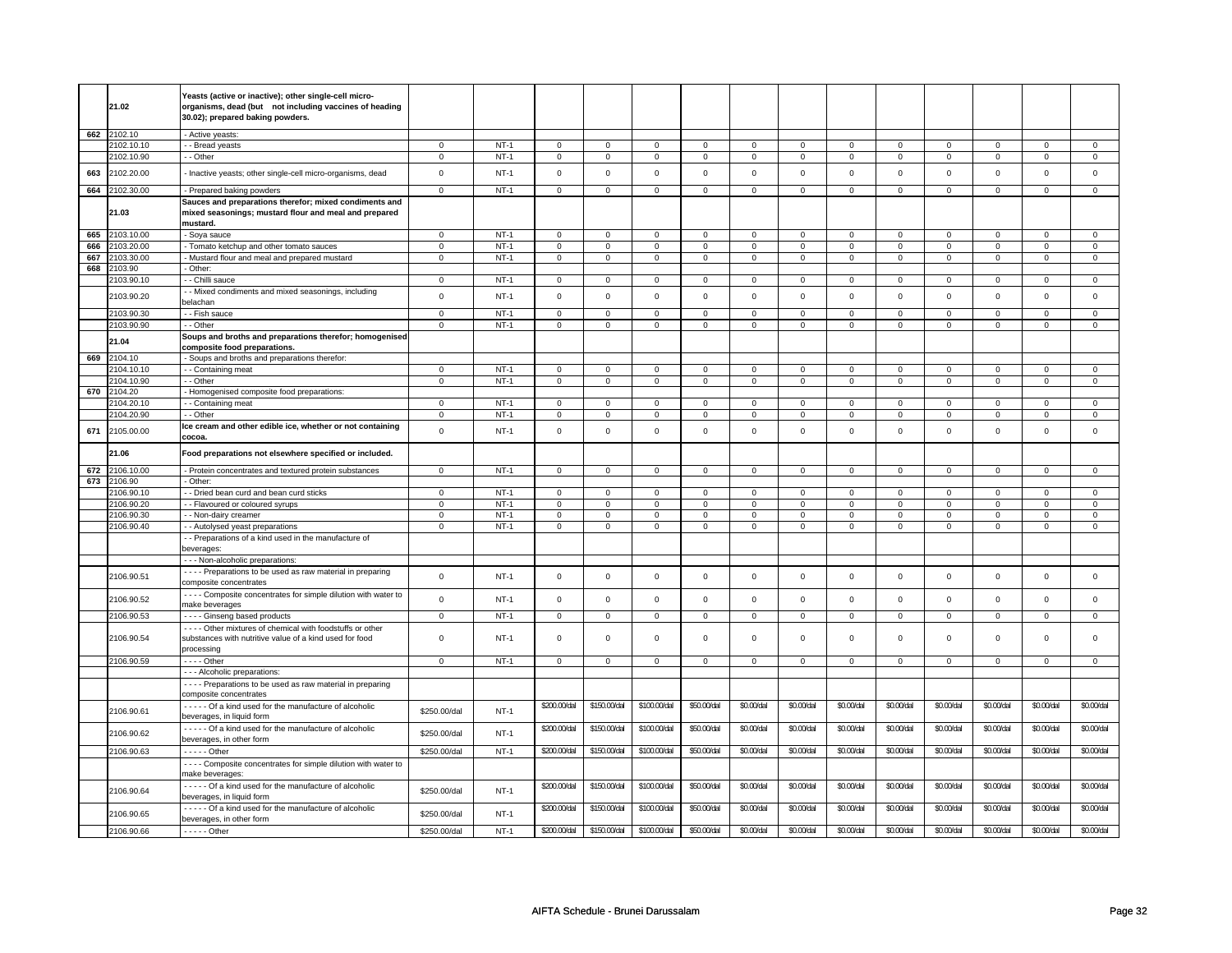|     |            | Yeasts (active or inactive); other single-cell micro-            |                |        |                |                |                |                |                     |                |                |                |                |                |                |                |
|-----|------------|------------------------------------------------------------------|----------------|--------|----------------|----------------|----------------|----------------|---------------------|----------------|----------------|----------------|----------------|----------------|----------------|----------------|
|     | 21.02      | organisms, dead (but not including vaccines of heading           |                |        |                |                |                |                |                     |                |                |                |                |                |                |                |
|     |            | 30.02); prepared baking powders.                                 |                |        |                |                |                |                |                     |                |                |                |                |                |                |                |
| 662 | 2102.10    | - Active yeasts:                                                 |                |        |                |                |                |                |                     |                |                |                |                |                |                |                |
|     | 2102.10.10 | - Bread yeasts                                                   | $\mathsf 0$    | $NT-1$ | $\mathbf 0$    | $\mathbf 0$    | $\mathbf{0}$   | $\mathbf 0$    | 0                   | $\mathbf 0$    | $\mathbf 0$    | $\mathbf 0$    | $\mathbf 0$    | $\mathbf 0$    | $\mathbf 0$    | $\mathbf 0$    |
|     | 2102.10.90 | - Other                                                          | 0              | $NT-1$ | $\mathbf 0$    | $\mathbf 0$    | $\mathbf 0$    | $\mathbf 0$    | $\mathbf 0$         | $\mathbf 0$    | 0              | $\mathbf 0$    | 0              | $\mathbf 0$    | 0              | 0              |
|     |            |                                                                  |                |        |                |                |                |                |                     |                |                |                |                |                |                |                |
| 663 | 2102.20.00 | - Inactive yeasts; other single-cell micro-organisms, dead       | $\mathsf 0$    | $NT-1$ | $\mathsf 0$    | $\mathsf 0$    | $\mathbf 0$    | $\mathsf 0$    | $\mathsf{O}\xspace$ | $\mathsf 0$    | $\mathbf 0$    | $\mathsf 0$    | $\mathbf 0$    | $\mathbf 0$    | $\mathbf 0$    | $\mathsf 0$    |
| 664 | 2102.30.00 | - Prepared baking powders                                        | $\mathsf 0$    | $NT-1$ | $\mathsf 0$    | $\mathbf 0$    | $\mathsf 0$    | $\mathbf 0$    | $\mathsf 0$         | $\mathsf 0$    | $\mathbf 0$    | $\mathbf 0$    | $\mathsf 0$    | $\mathbf 0$    | $\mathsf 0$    | $\mathbf 0$    |
|     |            | Sauces and preparations therefor; mixed condiments and           |                |        |                |                |                |                |                     |                |                |                |                |                |                |                |
|     | 21.03      | mixed seasonings; mustard flour and meal and prepared            |                |        |                |                |                |                |                     |                |                |                |                |                |                |                |
|     |            | mustard.                                                         |                |        |                |                |                |                |                     |                |                |                |                |                |                |                |
| 665 | 2103.10.00 | - Soya sauce                                                     | $\overline{0}$ | $NT-1$ | $\overline{0}$ | $\overline{0}$ | $\mathbf 0$    | $\overline{0}$ | $\mathsf 0$         | $\mathbf 0$    | $\mathbf 0$    | $\mathbf 0$    | $\mathbf 0$    | $\overline{0}$ | $\mathbf 0$    | $\mathbf 0$    |
| 666 | 2103.20.00 | Tomato ketchup and other tomato sauces                           | $\mathsf 0$    | $NT-1$ | $\mathsf 0$    | $\mathbf 0$    | $\mathbf 0$    | $\mathbf 0$    | $\mathbf 0$         | $\mathsf 0$    | 0              | 0              | 0              | $\mathbf 0$    | 0              | 0              |
| 667 | 2103.30.00 | - Mustard flour and meal and prepared mustard                    | $\mathsf 0$    | $NT-1$ | 0              | $\mathsf 0$    | $\mathbf 0$    | $\mathbf 0$    | $\mathbf 0$         | $\mathbf 0$    | 0              | $\mathbf 0$    | 0              | $\mathbf 0$    | 0              | $\mathbf 0$    |
| 668 | 2103.90    | - Other:                                                         |                |        |                |                |                |                |                     |                |                |                |                |                |                |                |
|     | 2103.90.10 | - Chilli sauce                                                   | $\mathbf 0$    | $NT-1$ | $\mathbf 0$    | $\mathbf 0$    | $\mathbf 0$    | $\mathbf 0$    | $\mathbf 0$         | $\mathbf{0}$   | $\mathbf 0$    | $\mathbf{0}$   | $\mathbf 0$    | $\mathbf{0}$   | $\mathbf 0$    | $\mathbf 0$    |
|     |            | - Mixed condiments and mixed seasonings, including               |                |        |                |                |                |                |                     |                |                |                |                |                |                |                |
|     | 2103.90.20 | belachan                                                         | $\mathsf 0$    | $NT-1$ | $\mathbf 0$    | $\mathbf 0$    | $\mathbf 0$    | $\mathbf 0$    | $\mathsf 0$         | $\mathsf 0$    | $\mathbf 0$    | $\mathsf 0$    | $\mathsf 0$    | $\mathbf 0$    | $\mathsf 0$    | 0              |
|     | 2103.90.30 | - Fish sauce                                                     | $\mathsf 0$    | $NT-1$ | $\mathbf 0$    | $\mathbf 0$    | $\mathbf 0$    | $\mathbf 0$    | $\mathsf 0$         | $\mathbf 0$    | $\Omega$       | $\mathbf{0}$   | $\mathsf 0$    | $\mathbf 0$    | $\Omega$       | $\mathbf 0$    |
|     | 2103.90.90 | - - Other                                                        | 0              | $NT-1$ | $\mathbf 0$    | $\mathbf 0$    | $\mathbf 0$    | $\mathbf 0$    | $\mathbf 0$         | $\mathbf 0$    | 0              | 0              | 0              | $\mathbf 0$    | 0              | 0              |
|     |            | Soups and broths and preparations therefor; homogenised          |                |        |                |                |                |                |                     |                |                |                |                |                |                |                |
|     | 21.04      | composite food preparations.                                     |                |        |                |                |                |                |                     |                |                |                |                |                |                |                |
| 669 | 2104.10    | - Soups and broths and preparations therefor:                    |                |        |                |                |                |                |                     |                |                |                |                |                |                |                |
|     | 2104.10.10 | - Containing meat                                                | $\mathbf 0$    | $NT-1$ | $\mathsf 0$    | $\mathbf 0$    | 0              | $\mathbf 0$    | $\mathbf 0$         | $\mathbf 0$    | 0              | $\mathbf 0$    | 0              | $\mathbf 0$    | 0              | $\mathbf{0}$   |
|     | 2104.10.90 | - - Other                                                        | $\mathsf 0$    | $NT-1$ | $\mathbf 0$    | $\mathbf 0$    | $\mathbf 0$    | $\mathbf 0$    | $\mathsf 0$         | $\mathbf 0$    | $\mathbf 0$    | $\mathbf 0$    | $\mathsf 0$    | $\mathbf 0$    | $\Omega$       | $\mathbf{0}$   |
| 670 | 2104.20    | - Homogenised composite food preparations:                       |                |        |                |                |                |                |                     |                |                |                |                |                |                |                |
|     | 2104.20.10 | - - Containing meat                                              | 0              | $NT-1$ | $\mathbf 0$    | $\overline{0}$ | $\Omega$       | $\mathbf 0$    | $\Omega$            | $\mathbf 0$    | $\Omega$       | $\mathbf{0}$   | $\Omega$       | 0              | $\Omega$       | $\mathbf 0$    |
|     | 2104.20.90 | - Other                                                          | $\mathsf 0$    | $NT-1$ | $\mathbf 0$    | $\mathbf 0$    | $\mathbf 0$    | $\mathbf 0$    | $\mathsf 0$         | $\mathbf 0$    | $\mathbf 0$    | $\mathbf 0$    | $\mathbf 0$    | $\mathbf 0$    | $\Omega$       | $\mathbf 0$    |
|     |            | Ice cream and other edible ice, whether or not containing        |                |        |                |                |                |                |                     |                |                |                |                |                |                |                |
| 671 | 2105.00.00 | cocoa.                                                           | $\mathbf 0$    | $NT-1$ | $\Omega$       | $\mathbf 0$    | $\mathbf 0$    | $\mathsf 0$    | $\mathbf 0$         | $\mathbf 0$    | $\mathbf 0$    | $\mathbf{0}$   | $\mathbf 0$    | $\mathbf{0}$   | $\mathbf 0$    | $\mathbf 0$    |
|     |            |                                                                  |                |        |                |                |                |                |                     |                |                |                |                |                |                |                |
|     | 21.06      | Food preparations not elsewhere specified or included.           |                |        |                |                |                |                |                     |                |                |                |                |                |                |                |
| 672 | 2106.10.00 | Protein concentrates and textured protein substances             | $\mathsf 0$    | $NT-1$ | $\mathbf 0$    | $\mathbf 0$    | $\mathsf 0$    | $\mathbf 0$    | $\mathsf 0$         | $\mathbf 0$    | $\mathbf 0$    | $\mathbf 0$    | $\mathbf 0$    | $\mathbf 0$    | $\mathbf 0$    | $\mathbf 0$    |
| 673 |            |                                                                  |                |        |                |                |                |                |                     |                |                |                |                |                |                |                |
|     | 2106.90    | Other:                                                           |                |        |                |                |                |                |                     |                |                |                |                |                |                |                |
|     | 2106.90.10 | - Dried bean curd and bean curd sticks                           | $\mathsf 0$    | $NT-1$ | $\mathbf 0$    | $\mathbf 0$    | $\Omega$       | $\mathbf 0$    | $\Omega$            | $\mathbf 0$    | $\Omega$       | $\mathbf 0$    | $\Omega$       | $\mathbf 0$    | $\Omega$       | $\Omega$       |
|     | 2106.90.20 | - Flavoured or coloured syrups                                   | $\mathsf 0$    | $NT-1$ | $\mathbf 0$    | $\mathbf 0$    | $\mathbf 0$    | $\mathbf 0$    | $\mathsf 0$         | $\mathsf 0$    | $\mathbf 0$    | $\mathsf 0$    | $\mathbf 0$    | $\mathbf 0$    | $\Omega$       | 0              |
|     | 2106.90.30 | - Non-dairy creamer                                              | $\mathsf 0$    | $NT-1$ | $\mathsf 0$    | $\mathbf 0$    | $\mathbf 0$    | $\mathbf 0$    | $\mathbf 0$         | $\mathsf 0$    | 0              | $\mathsf 0$    | $\mathsf 0$    | $\mathbf 0$    | 0              | $\overline{0}$ |
|     | 2106.90.40 | - Autolysed yeast preparations                                   | $\mathsf 0$    | $NT-1$ | $\mathsf 0$    | $\mathbf 0$    | $\mathsf 0$    | $\mathbf 0$    | $\mathsf 0$         | $\mathbf 0$    | $\mathbf 0$    | $\mathbf 0$    | $\mathsf 0$    | $\mathbf 0$    | $\mathsf 0$    | $\mathbf 0$    |
|     |            | - Preparations of a kind used in the manufacture of              |                |        |                |                |                |                |                     |                |                |                |                |                |                |                |
|     |            | beverages:                                                       |                |        |                |                |                |                |                     |                |                |                |                |                |                |                |
|     |            | - - - Non-alcoholic preparations:                                |                |        |                |                |                |                |                     |                |                |                |                |                |                |                |
|     | 2106.90.51 | - - - - Preparations to be used as raw material in preparing     | $\mathbf 0$    | $NT-1$ | $\mathbf 0$    | $\mathbf 0$    | $\mathsf 0$    | $\mathbf 0$    | $\mathsf 0$         | $\mathsf 0$    | $\mathbf 0$    | $\mathsf 0$    | $\mathsf 0$    | $\mathbf 0$    | $\mathsf 0$    | 0              |
|     |            | composite concentrates                                           |                |        |                |                |                |                |                     |                |                |                |                |                |                |                |
|     | 2106.90.52 | - - - - Composite concentrates for simple dilution with water to | $\mathbf 0$    | $NT-1$ | $\mathsf 0$    | $\mathsf 0$    | $\mathsf 0$    | $\mathbf 0$    | $\mathsf 0$         | $\mathsf 0$    | $\mathbf 0$    | $\mathsf 0$    | $\mathsf 0$    | $\mathbf 0$    | $\mathbf 0$    | $\mathbf 0$    |
|     |            | make beverages                                                   |                |        |                |                |                |                |                     |                |                |                |                |                |                |                |
|     | 2106.90.53 | - - - - Ginseng based products                                   | $\overline{0}$ | $NT-1$ | $\overline{0}$ | $\overline{0}$ | $\overline{0}$ | $\overline{0}$ | $\overline{0}$      | $\overline{0}$ | $\overline{0}$ | $\overline{0}$ | $\overline{0}$ | $\overline{0}$ | $\overline{0}$ | $\overline{0}$ |
|     |            | - - - - Other mixtures of chemical with foodstuffs or other      |                |        |                |                |                |                |                     |                |                |                |                |                |                |                |
|     | 2106.90.54 | substances with nutritive value of a kind used for food          | $\mathbf 0$    | $NT-1$ | $\mathbf 0$    | $\mathbf 0$    | $\mathsf 0$    | $\mathbf 0$    | $\mathsf 0$         | $\mathsf 0$    | $\Omega$       | $\mathbf 0$    | $\mathsf 0$    | $\mathbf 0$    | $\Omega$       | $\mathbf{0}$   |
|     |            | processing                                                       |                |        |                |                |                |                |                     |                |                |                |                |                |                |                |
|     | 2106.90.59 | - - - - Other                                                    | $\mathbf 0$    | $NT-1$ | $\mathbf 0$    | $\mathbf 0$    | $\mathsf 0$    | $\mathbf 0$    | $\mathsf 0$         | $\mathbf 0$    | 0              | $\mathbf 0$    | $\mathsf 0$    | $\mathbf 0$    | 0              | 0              |
|     |            | - - - Alcoholic preparations:                                    |                |        |                |                |                |                |                     |                |                |                |                |                |                |                |
|     |            | - - - - Preparations to be used as raw material in preparing     |                |        |                |                |                |                |                     |                |                |                |                |                |                |                |
|     |            | composite concentrates                                           |                |        |                |                |                |                |                     |                |                |                |                |                |                |                |
|     | 2106.90.61 | - - - - - Of a kind used for the manufacture of alcoholic        | \$250.00/dal   | $NT-1$ | \$200.00/dal   | \$150.00/dal   | \$100.00/dal   | \$50.00/dal    | \$0.00/dal          | \$0.00/dal     | \$0.00/dal     | \$0.00/dal     | \$0.00/dal     | \$0.00/dal     | \$0.00/dal     | \$0.00/dal     |
|     |            | beverages, in liquid form                                        |                |        |                |                |                |                |                     |                |                |                |                |                |                |                |
|     |            | Of a kind used for the manufacture of alcoholic                  | \$250.00/dal   | $NT-1$ | \$200.00/dal   | \$150.00/dal   | \$100.00/dal   | \$50.00/dal    | \$0.00/dal          | \$0.00/dal     | \$0.00/dal     | \$0.00/dal     | \$0.00/dal     | \$0.00/dal     | \$0.00/dal     | \$0.00/dal     |
|     |            |                                                                  |                |        |                |                |                |                |                     |                |                |                |                |                |                |                |
|     | 2106.90.62 | beverages, in other form                                         |                |        |                |                |                |                |                     |                |                |                |                |                |                |                |
|     | 2106.90.63 | - - - - - Other                                                  | \$250.00/dal   | $NT-1$ | \$200.00/dal   | \$150.00/dal   | \$100.00/dal   | \$50.00/dal    | \$0.00/dal          | \$0.00/dal     | \$0.00/dal     | \$0.00/dal     | \$0.00/dal     | \$0.00/dal     | \$0.00/dal     | \$0.00/dal     |
|     |            | - - - - Composite concentrates for simple dilution with water to |                |        |                |                |                |                |                     |                |                |                |                |                |                |                |
|     |            | make beverages                                                   |                |        |                |                |                |                |                     |                |                |                |                |                |                |                |
|     |            | - - - - Of a kind used for the manufacture of alcoholic          |                |        | \$200.00/dal   | \$150.00/dal   | \$100.00/dal   | \$50.00/dal    | \$0.00/dal          | \$0.00/dal     | \$0.00/dal     | \$0.00/dal     | \$0.00/dal     | \$0.00/dal     | \$0.00/dal     | \$0.00/dal     |
|     | 2106.90.64 | beverages, in liquid form                                        | \$250.00/dal   | $NT-1$ |                |                |                |                |                     |                |                |                |                |                |                |                |
|     |            | Of a kind used for the manufacture of alcoholic                  |                |        | \$200.00/dal   | \$150.00/dal   | \$100.00/dal   | \$50.00/dal    | \$0.00/dal          | \$0.00/dal     | \$0.00/dal     | \$0.00/da      | \$0.00/dal     | \$0.00/dal     | \$0.00/dal     | \$0.00/dal     |
|     | 2106.90.65 | beverages, in other form                                         | \$250.00/dal   | $NT-1$ |                |                |                |                |                     |                |                |                |                |                |                |                |
|     | 2106.90.66 | - - - - - Other                                                  | \$250.00/dal   | $NT-1$ | \$200.00/dal   | \$150.00/dal   | \$100.00/dal   | \$50.00/dal    | \$0.00/dal          | \$0.00/dal     | \$0.00/dal     | \$0.00/dal     | \$0.00/dal     | \$0.00/dal     | \$0.00/dal     | \$0.00/dal     |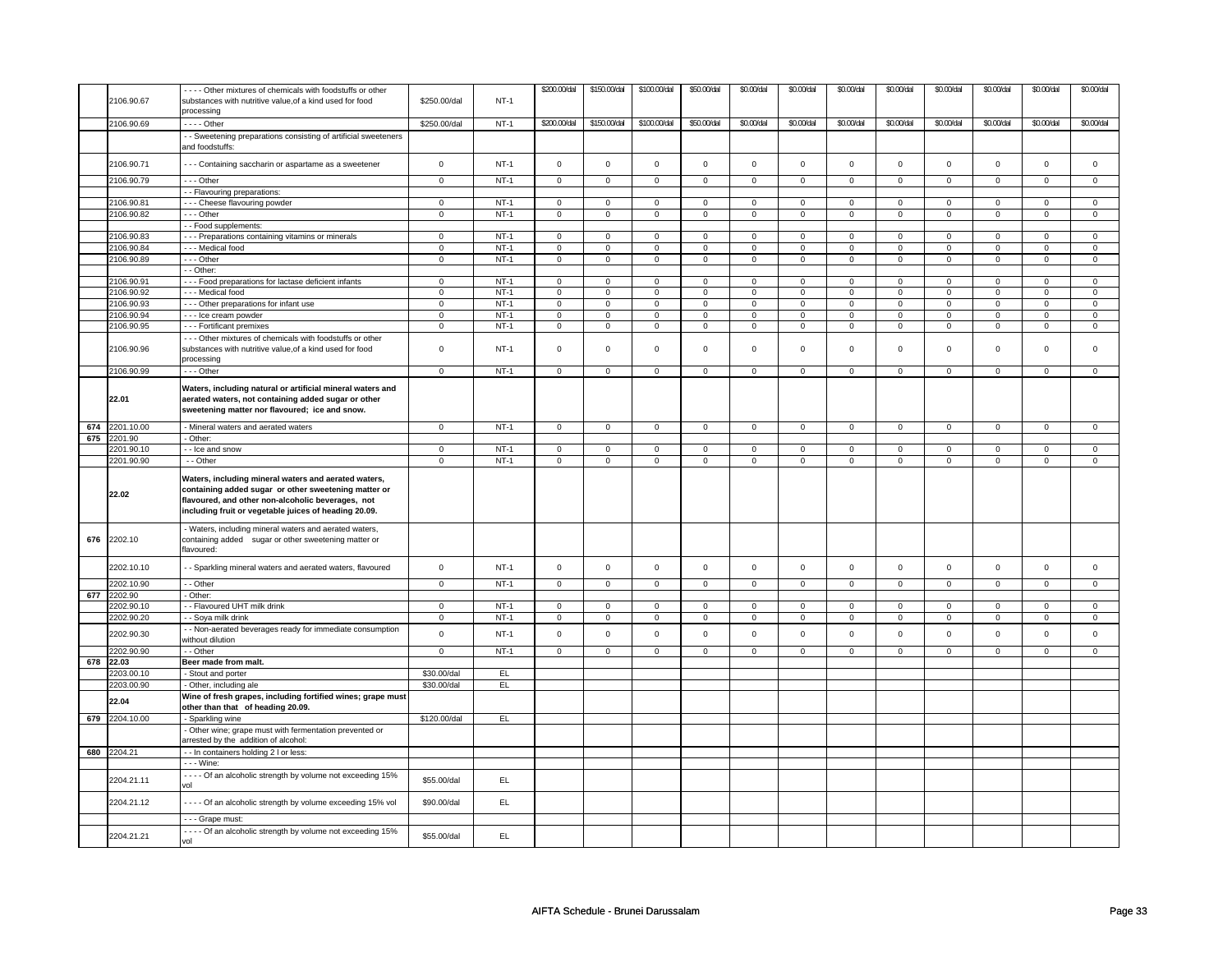|     | 2106.90.67               | --- Other mixtures of chemicals with foodstuffs or other<br>substances with nutritive value, of a kind used for food<br>processing                                  | \$250.00/dal               | $NT-1$           | \$200.00/dal   | \$150.00/dal               | \$100.00/dal        | \$50.00/dal                | \$0.00/dal       | \$0.00/dal                 | \$0.00/dal          | \$0.00/dal                 | \$0.00/dal     | \$0.00/dal          | \$0.00/dal     | \$0.00/dal          |
|-----|--------------------------|---------------------------------------------------------------------------------------------------------------------------------------------------------------------|----------------------------|------------------|----------------|----------------------------|---------------------|----------------------------|------------------|----------------------------|---------------------|----------------------------|----------------|---------------------|----------------|---------------------|
|     | 2106.90.69               | - - - - Other                                                                                                                                                       | \$250.00/dal               | $NT-1$           | \$200.00/dal   | \$150.00/dal               | \$100.00/dal        | \$50.00/dal                | \$0.00/dal       | \$0.00/dal                 | \$0.00/dal          | \$0.00/dal                 | \$0.00/dal     | \$0.00/dal          | \$0.00/dal     | \$0.00/dal          |
|     |                          | - - Sweetening preparations consisting of artificial sweeteners<br>and foodstuffs:                                                                                  |                            |                  |                |                            |                     |                            |                  |                            |                     |                            |                |                     |                |                     |
|     | 2106.90.71               | - - - Containing saccharin or aspartame as a sweetener                                                                                                              | $\mathsf 0$                | $NT-1$           | $\mathsf 0$    | $\mathbf 0$                | $\mathbf 0$         | $\mathbf 0$                | $\mathbf 0$      | $\mathbf{0}$               | $\mathbf 0$         | $\mathbf{0}$               | $\mathbf 0$    | $\mathsf{O}\xspace$ | $\mathbf 0$    | $\mathbf 0$         |
|     | 2106.90.79               | --- Other                                                                                                                                                           | $\mathbf 0$                | $NT-1$           | $\mathbf 0$    | $\mathbf 0$                | $\mathbf 0$         | $\mathbf 0$                | $\mathbf 0$      | $\mathbf 0$                | $\mathbf 0$         | $\mathbf 0$                | $\mathsf 0$    | $\mathbf 0$         | $\mathbf 0$    | $\mathbf 0$         |
|     |                          | - - Flavouring preparations:                                                                                                                                        |                            |                  |                |                            |                     |                            |                  |                            |                     |                            |                |                     | $\Omega$       |                     |
|     | 2106.90.81<br>2106.90.82 | --- Cheese flavouring powder<br>- - Other                                                                                                                           | $\mathbf 0$<br>$\mathbf 0$ | $NT-1$<br>$NT-1$ | 0<br>0         | $\mathbf 0$<br>$\mathsf 0$ | 0<br>0              | $\mathbf 0$<br>$\mathbf 0$ | $\mathbf 0$<br>0 | $\mathbf 0$<br>$\mathbf 0$ | 0<br>0              | $\mathbf 0$<br>$\mathbf 0$ | 0<br>0         | $\mathbf 0$<br>0    | 0              | $\mathbf 0$<br>0    |
|     |                          |                                                                                                                                                                     |                            |                  |                |                            |                     |                            |                  |                            |                     |                            |                |                     |                |                     |
|     | 2106.90.83               | - - Food supplements:<br>- - - Preparations containing vitamins or minerals                                                                                         | $\mathbf 0$                | $NT-1$           | $\mathbf 0$    | $\mathbf 0$                | $\mathbf 0$         | $\mathbf 0$                | $\mathbf 0$      | $\mathbf 0$                | $\mathbf 0$         | $\mathbf 0$                | $\mathbf 0$    | $\mathbf{0}$        | $\Omega$       | $\mathbf{0}$        |
|     | 106.90.84                | - - - Medical food                                                                                                                                                  | $\mathbf 0$                | $NT-1$           | $\mathbf 0$    | $\mathsf 0$                | $\mathbf 0$         | $\mathbf 0$                | $\mathbf 0$      | $\mathbf 0$                | $\mathbf 0$         | $\mathbf 0$                | $\mathsf 0$    | $\mathbf{0}$        | $\mathbf 0$    | $\mathbf 0$         |
|     | 2106.90.89               | --- Other                                                                                                                                                           | $\overline{0}$             | $NT-1$           | $\overline{0}$ | $\overline{0}$             | $\mathbf 0$         | $\overline{0}$             | $\pmb{0}$        | $\overline{0}$             | $\mathbf 0$         | $\overline{0}$             | $\overline{0}$ | $\overline{0}$      | $\mathbf 0$    | $\overline{0}$      |
|     |                          | - - Other:                                                                                                                                                          |                            |                  |                |                            |                     |                            |                  |                            |                     |                            |                |                     |                |                     |
|     | 2106.90.91               | - - - Food preparations for lactase deficient infants                                                                                                               | $\mathbf 0$                | $NT-1$           | 0              | $\mathbf 0$                | 0                   | $\mathbf 0$                | 0                | $\mathbf 0$                | 0                   | $\mathbf 0$                | 0              | $\mathbf{0}$        | 0              | $\mathbf 0$         |
|     | 2106.90.92               | - - - Medical food                                                                                                                                                  | $\mathbf 0$                | $NT-1$           | 0              | $\mathbf 0$                | 0                   | $\mathbf 0$                | 0                | $\mathbf 0$                | 0                   | $\mathbf 0$                | 0              | $\mathbf 0$         | 0              | $\mathbf 0$         |
|     | 106.90.93                | - - - Other preparations for infant use                                                                                                                             | $\mathbf 0$                | $NT-1$           | $\mathbf 0$    | $\overline{0}$             | $\mathbf 0$         | $\mathbf 0$                | $\mathbf 0$      | $\overline{0}$             | $\mathbf 0$         | $\overline{0}$             | $\mathbf 0$    | $\overline{0}$      | $\mathbf 0$    | $\overline{0}$      |
|     | 2106.90.94               | - - - Ice cream powder                                                                                                                                              | $\overline{0}$             | $NT-1$           | $\overline{0}$ | $\overline{0}$             | $\overline{0}$      | $\overline{0}$             | $\overline{0}$   | $\overline{0}$             | $\overline{0}$      | $\overline{0}$             | $\overline{0}$ | $\overline{0}$      | $\overline{0}$ | $\overline{0}$      |
|     | 2106.90.95               | --- Fortificant premixes                                                                                                                                            | $\mathbf 0$                | <b>NT-1</b>      | 0              | $\mathbf 0$                | 0                   | $\mathbf 0$                | 0                | $\mathbf 0$                | 0                   | $\mathbf 0$                | 0              | $\mathbf 0$         | 0              | $\mathbf 0$         |
|     |                          |                                                                                                                                                                     |                            |                  |                |                            |                     |                            |                  |                            |                     |                            |                |                     |                |                     |
|     | 2106.90.96               | --- Other mixtures of chemicals with foodstuffs or other<br>substances with nutritive value, of a kind used for food<br>processing                                  | $\mathbf 0$                | $NT-1$           | 0              | 0                          | 0                   | 0                          | 0                | $\mathbf 0$                | 0                   | 0                          | 0              | 0                   | 0              | $\mathbf{0}$        |
|     | 2106.90.99               | $\cdots$ Other                                                                                                                                                      | $\overline{0}$             | $NT-1$           | $\overline{0}$ | $\overline{0}$             | $\overline{0}$      | $\overline{0}$             | $\overline{0}$   | $\overline{0}$             | $\mathbf 0$         | $\overline{0}$             | $\overline{0}$ | $\overline{0}$      | $\overline{0}$ | $\overline{0}$      |
|     | 22.01                    | Waters, including natural or artificial mineral waters and<br>aerated waters, not containing added sugar or other<br>sweetening matter nor flavoured; ice and snow. |                            |                  |                |                            |                     |                            |                  |                            |                     |                            |                |                     |                |                     |
|     | 674 2201.10.00           | - Mineral waters and aerated waters                                                                                                                                 | $\mathbf 0$                | $NT-1$           | $\mathbf 0$    | $\mathbf 0$                | $\mathbf 0$         | $\mathbf 0$                | $\mathbf 0$      | $\mathbf 0$                | $\mathbf 0$         | $\mathbf 0$                | $\mathbf 0$    | $\mathbf{0}$        | $\mathbf 0$    | $\mathbf 0$         |
|     | 675 2201.90              | - Other:                                                                                                                                                            |                            |                  |                |                            |                     |                            |                  |                            |                     |                            |                |                     |                |                     |
|     | 2201.90.10               | - Ice and snow                                                                                                                                                      | $\mathbf 0$                | $NT-1$           | $\mathbf 0$    | $\mathbf 0$                | $\mathbf 0$         | $\mathbf 0$                | $\mathbf 0$      | $\mathbf 0$                | $\mathbf 0$         | $\mathbf 0$                | $\mathbf 0$    | $\mathbf{0}$        | $\mathbf 0$    | $\mathbf{0}$        |
|     | 2201.90.90               | - - Other                                                                                                                                                           | $\mathbf 0$                | $NT-1$           | $\mathbf 0$    | $\mathbf 0$                | 0                   | $\mathbf{0}$               | $\mathbf 0$      | $\mathbf 0$                | $\mathbf 0$         | $\mathbf{0}$               | 0              | $\mathbf 0$         | 0              | $\overline{0}$      |
|     |                          | Waters, including mineral waters and aerated waters,                                                                                                                |                            |                  |                |                            |                     |                            |                  |                            |                     |                            |                |                     |                |                     |
|     | 22.02                    | containing added sugar or other sweetening matter or<br>flavoured, and other non-alcoholic beverages, not<br>including fruit or vegetable juices of heading 20.09.  |                            |                  |                |                            |                     |                            |                  |                            |                     |                            |                |                     |                |                     |
| 676 | 2202.10                  | - Waters, including mineral waters and aerated waters,<br>containing added sugar or other sweetening matter or<br>lavoured:                                         |                            |                  |                |                            |                     |                            |                  |                            |                     |                            |                |                     |                |                     |
|     | 2202.10.10               | - Sparkling mineral waters and aerated waters, flavoured                                                                                                            | $\mathbf 0$                | $NT-1$           | $\mathbf 0$    | $\mathsf 0$                | $\mathbf 0$         | $\mathbf 0$                | $\mathbf 0$      | $\mathbf 0$                | $\mathbf 0$         | $\mathbf 0$                | $\mathsf 0$    | 0                   | $\mathbf 0$    | $\mathbf 0$         |
|     | 2202.10.90               | - - Other                                                                                                                                                           | $\overline{0}$             | $NT-1$           | $\mathbf 0$    | $\mathbf 0$                | $\mathbf 0$         | $\mathbf 0$                | $\mathbf 0$      | $\mathbf 0$                | $\mathbf 0$         | $\mathbf 0$                | $\mathsf 0$    | $\mathbf{0}$        | 0              | $\mathbf 0$         |
| 677 | 2202.90                  | - Other:                                                                                                                                                            |                            |                  |                |                            |                     |                            |                  |                            |                     |                            |                |                     |                |                     |
|     | 2202.90.10               | - - Flavoured UHT milk drink                                                                                                                                        | $\mathbf 0$                | $NT-1$           | $\mathbf 0$    | $\mathbf 0$                | $\mathbf 0$         | $\mathbf 0$                | $\mathbf 0$      | $\mathbf 0$                | $\mathbf 0$         | $\mathbf 0$                | $\mathbf 0$    | 0                   | $\Omega$       | $\mathbf 0$         |
|     | 2202.90.20               | - - Soya milk drink                                                                                                                                                 | $\mathbf 0$                | $NT-1$           | $\mathsf 0$    | $\mathsf 0$                | $\mathsf{O}\xspace$ | $\mathsf 0$                | 0                | $\mathsf 0$                | $\mathsf{O}\xspace$ | $\mathsf 0$                | $\mathsf 0$    | $\mathsf{O}\xspace$ | $\Omega$       | $\mathsf{O}\xspace$ |
|     | 2202.90.30               | - Non-aerated beverages ready for immediate consumption<br>without dilution                                                                                         | $\mathbf 0$                | $NT-1$           | $\mathbf 0$    | $\mathsf 0$                | $\mathbf 0$         | $\mathbf 0$                | $\mathbf 0$      | $\mathbf 0$                | $\mathbf 0$         | $\mathbf 0$                | $\mathbf 0$    | 0                   | $\Omega$       | $\mathbf 0$         |
|     | 2202.90.90               | - - Other                                                                                                                                                           | $\mathbf 0$                | $NT-1$           | $\mathbf{0}$   | $\mathbf{0}$               | $\mathbf 0$         | $\mathbf{0}$               | $\mathbf 0$      | $\mathbf 0$                | $\mathbf 0$         | $\mathbf{0}$               | $\mathbf 0$    | $\mathbf{0}$        | $\mathbf 0$    | $\mathbf{0}$        |
| 678 | 22.03                    | Beer made from malt.                                                                                                                                                |                            |                  |                |                            |                     |                            |                  |                            |                     |                            |                |                     |                |                     |
|     | 2203.00.10               | Stout and porter                                                                                                                                                    | \$30.00/dal                | EL               |                |                            |                     |                            |                  |                            |                     |                            |                |                     |                |                     |
|     | 2203.00.90<br>22.04      | Other, including ale<br>Wine of fresh grapes, including fortified wines; grape must                                                                                 | \$30.00/dal                | EL               |                |                            |                     |                            |                  |                            |                     |                            |                |                     |                |                     |
|     |                          | other than that of heading 20.09.                                                                                                                                   |                            |                  |                |                            |                     |                            |                  |                            |                     |                            |                |                     |                |                     |
| 679 | 2204.10.00               | Sparkling wine                                                                                                                                                      | \$120.00/dal               | EL               |                |                            |                     |                            |                  |                            |                     |                            |                |                     |                |                     |
|     |                          | - Other wine; grape must with fermentation prevented or<br>arrested by the addition of alcohol:                                                                     |                            |                  |                |                            |                     |                            |                  |                            |                     |                            |                |                     |                |                     |
|     | 680 2204.21              | - - In containers holding 2 I or less:                                                                                                                              |                            |                  |                |                            |                     |                            |                  |                            |                     |                            |                |                     |                |                     |
|     | 2204.21.11               | - - - Wine:<br>- - - - Of an alcoholic strength by volume not exceeding 15%<br>lov                                                                                  | \$55.00/dal                | EL.              |                |                            |                     |                            |                  |                            |                     |                            |                |                     |                |                     |
|     | 2204.21.12               | - - - - Of an alcoholic strength by volume exceeding 15% vol<br>- - - Grape must:                                                                                   | \$90.00/dal                | EL.              |                |                            |                     |                            |                  |                            |                     |                            |                |                     |                |                     |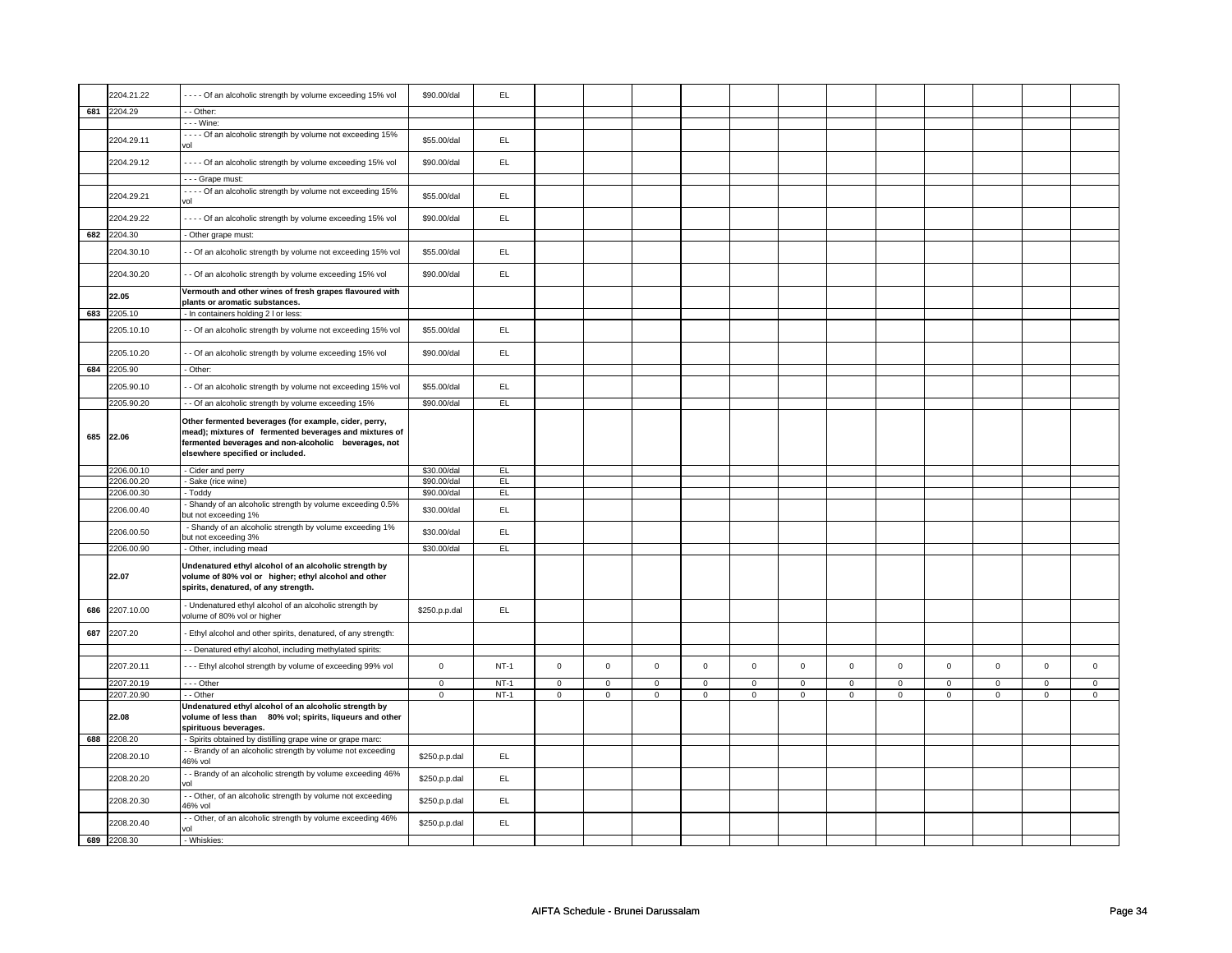|     | 2204.21.22               | - - - - Of an alcoholic strength by volume exceeding 15% vol                                                                                                                                                | \$90.00/dal    | EL            |                |                |             |             |             |             |             |             |             |             |             |             |
|-----|--------------------------|-------------------------------------------------------------------------------------------------------------------------------------------------------------------------------------------------------------|----------------|---------------|----------------|----------------|-------------|-------------|-------------|-------------|-------------|-------------|-------------|-------------|-------------|-------------|
| 681 | 2204.29                  | - Other:                                                                                                                                                                                                    |                |               |                |                |             |             |             |             |             |             |             |             |             |             |
|     |                          | - - - Wine:                                                                                                                                                                                                 |                |               |                |                |             |             |             |             |             |             |             |             |             |             |
|     | 2204.29.11               | - - - - Of an alcoholic strength by volume not exceeding 15%<br>lov                                                                                                                                         | \$55.00/dal    | EL            |                |                |             |             |             |             |             |             |             |             |             |             |
|     | 2204.29.12               | Of an alcoholic strength by volume exceeding 15% vol                                                                                                                                                        | \$90,00/dal    | EL.           |                |                |             |             |             |             |             |             |             |             |             |             |
|     |                          | - - - Grape must:                                                                                                                                                                                           |                |               |                |                |             |             |             |             |             |             |             |             |             |             |
|     | 2204.29.21               | ---- Of an alcoholic strength by volume not exceeding 15%<br>vol                                                                                                                                            | \$55,00/dal    | EL.           |                |                |             |             |             |             |             |             |             |             |             |             |
|     | 2204.29.22               | ---- Of an alcoholic strength by volume exceeding 15% vol                                                                                                                                                   | \$90.00/dal    | EL            |                |                |             |             |             |             |             |             |             |             |             |             |
|     | 682 2204.30              | - Other grape must:                                                                                                                                                                                         |                |               |                |                |             |             |             |             |             |             |             |             |             |             |
|     | 2204.30.10               | - Of an alcoholic strength by volume not exceeding 15% vol                                                                                                                                                  | \$55.00/dal    | EL.           |                |                |             |             |             |             |             |             |             |             |             |             |
|     | 2204.30.20               | - Of an alcoholic strength by volume exceeding 15% vol                                                                                                                                                      | \$90.00/dal    | EL            |                |                |             |             |             |             |             |             |             |             |             |             |
|     | 22.05                    | Vermouth and other wines of fresh grapes flavoured with<br>plants or aromatic substances.                                                                                                                   |                |               |                |                |             |             |             |             |             |             |             |             |             |             |
| 683 | 2205.10                  | - In containers holding 2 I or less:                                                                                                                                                                        |                |               |                |                |             |             |             |             |             |             |             |             |             |             |
|     | 2205.10.10               | - Of an alcoholic strength by volume not exceeding 15% vol                                                                                                                                                  | \$55.00/dal    | EL.           |                |                |             |             |             |             |             |             |             |             |             |             |
|     | 2205.10.20               | - Of an alcoholic strength by volume exceeding 15% vol                                                                                                                                                      | \$90.00/dal    | EL            |                |                |             |             |             |             |             |             |             |             |             |             |
| 684 | 2205.90                  | - Other:                                                                                                                                                                                                    |                |               |                |                |             |             |             |             |             |             |             |             |             |             |
|     | 2205.90.10<br>2205.90.20 | - Of an alcoholic strength by volume not exceeding 15% vol                                                                                                                                                  | \$55.00/dal    | EL<br>EL      |                |                |             |             |             |             |             |             |             |             |             |             |
|     |                          | - Of an alcoholic strength by volume exceeding 15%                                                                                                                                                          | \$90.00/dal    |               |                |                |             |             |             |             |             |             |             |             |             |             |
| 685 | 22.06                    | Other fermented beverages (for example, cider, perry,<br>mead); mixtures of fermented beverages and mixtures of<br>fermented beverages and non-alcoholic beverages, not<br>elsewhere specified or included. |                |               |                |                |             |             |             |             |             |             |             |             |             |             |
|     |                          |                                                                                                                                                                                                             |                |               |                |                |             |             |             |             |             |             |             |             |             |             |
|     | 2206.00.10               | - Cider and perry                                                                                                                                                                                           | \$30.00/dal    | E             |                |                |             |             |             |             |             |             |             |             |             |             |
|     | 2206.00.20               | - Sake (rice wine)                                                                                                                                                                                          | \$90.00/dal    | EL            |                |                |             |             |             |             |             |             |             |             |             |             |
|     | 2206.00.30               | · Toddy                                                                                                                                                                                                     | \$90.00/dal    | EL            |                |                |             |             |             |             |             |             |             |             |             |             |
|     | 2206.00.40               | Shandy of an alcoholic strength by volume exceeding 0.5%<br>out not exceeding 1%                                                                                                                            | \$30.00/dal    | EL            |                |                |             |             |             |             |             |             |             |             |             |             |
|     | 2206.00.50               | - Shandy of an alcoholic strength by volume exceeding 1%<br>out not exceeding 3%                                                                                                                            | \$30.00/dal    | $\mathsf{EL}$ |                |                |             |             |             |             |             |             |             |             |             |             |
|     | 2206.00.90               | Other, including mead                                                                                                                                                                                       | \$30.00/dal    | EL            |                |                |             |             |             |             |             |             |             |             |             |             |
|     | 22.07                    | Undenatured ethyl alcohol of an alcoholic strength by<br>volume of 80% vol or higher; ethyl alcohol and other<br>spirits, denatured, of any strength.                                                       |                |               |                |                |             |             |             |             |             |             |             |             |             |             |
| 686 | 2207.10.00               | - Undenatured ethyl alcohol of an alcoholic strength by<br>volume of 80% vol or higher                                                                                                                      | \$250.p.p.dal  | EL.           |                |                |             |             |             |             |             |             |             |             |             |             |
| 687 | 2207.20                  | - Ethyl alcohol and other spirits, denatured, of any strength:                                                                                                                                              |                |               |                |                |             |             |             |             |             |             |             |             |             |             |
|     |                          | - Denatured ethyl alcohol, including methylated spirits:                                                                                                                                                    |                |               |                |                |             |             |             |             |             |             |             |             |             |             |
|     | 2207.20.11               | --- Ethyl alcohol strength by volume of exceeding 99% vol                                                                                                                                                   | $\mathbf 0$    | $NT-1$        | $\mathsf 0$    | $\mathbf 0$    | $\mathsf 0$ | $\mathbf 0$ | $\mathsf 0$ | $\mathsf 0$ | $\mathbf 0$ | $\mathbf 0$ | $\mathbf 0$ | $\mathsf 0$ | $\mathbf 0$ | $\mathbf 0$ |
|     | 2207.20.19               | $--$ Other                                                                                                                                                                                                  | $\overline{0}$ | $NT-1$        | $\overline{0}$ | $\overline{0}$ | $\mathbf 0$ | $\circ$     | $\mathbf 0$ | $\mathbf 0$ | $\mathsf 0$ | $\mathbf 0$ | $\mathsf 0$ | $\mathbf 0$ | $\mathbf 0$ | $\mathbf 0$ |
|     | 2207.20.90               | - Other                                                                                                                                                                                                     | $\mathbf{0}$   | $NT-1$        | $\mathsf 0$    | $\mathbf 0$    | $\mathsf 0$ | $\mathbf 0$ | $\mathsf 0$ | $\mathbf 0$ | $\mathsf 0$ | $\mathbf 0$ | $\mathsf 0$ | $\mathbf 0$ | $\mathbf 0$ | $\mathsf 0$ |
|     | 22.08                    | Undenatured ethyl alcohol of an alcoholic strength by<br>volume of less than 80% vol; spirits, liqueurs and other                                                                                           |                |               |                |                |             |             |             |             |             |             |             |             |             |             |
| 688 |                          | spirituous beverages.                                                                                                                                                                                       |                |               |                |                |             |             |             |             |             |             |             |             |             |             |
|     | 2208.20                  | - Spirits obtained by distilling grape wine or grape marc:<br>- Brandy of an alcoholic strength by volume not exceeding                                                                                     |                |               |                |                |             |             |             |             |             |             |             |             |             |             |
|     | 2208.20.10               | 46% vol                                                                                                                                                                                                     | \$250.p.p.dal  | EL.           |                |                |             |             |             |             |             |             |             |             |             |             |
|     | 2208.20.20               | - Brandy of an alcoholic strength by volume exceeding 46%<br>vol                                                                                                                                            | \$250.p.p.dal  | EL.           |                |                |             |             |             |             |             |             |             |             |             |             |
|     | 2208.20.30               | - Other, of an alcoholic strength by volume not exceeding<br>46% vol                                                                                                                                        | \$250.p.p.dal  | EL            |                |                |             |             |             |             |             |             |             |             |             |             |
| 689 | 2208.20.40<br>2208.30    | - Other, of an alcoholic strength by volume exceeding 46%<br>/ol<br>- Whiskies:                                                                                                                             | \$250.p.p.dal  | EL            |                |                |             |             |             |             |             |             |             |             |             |             |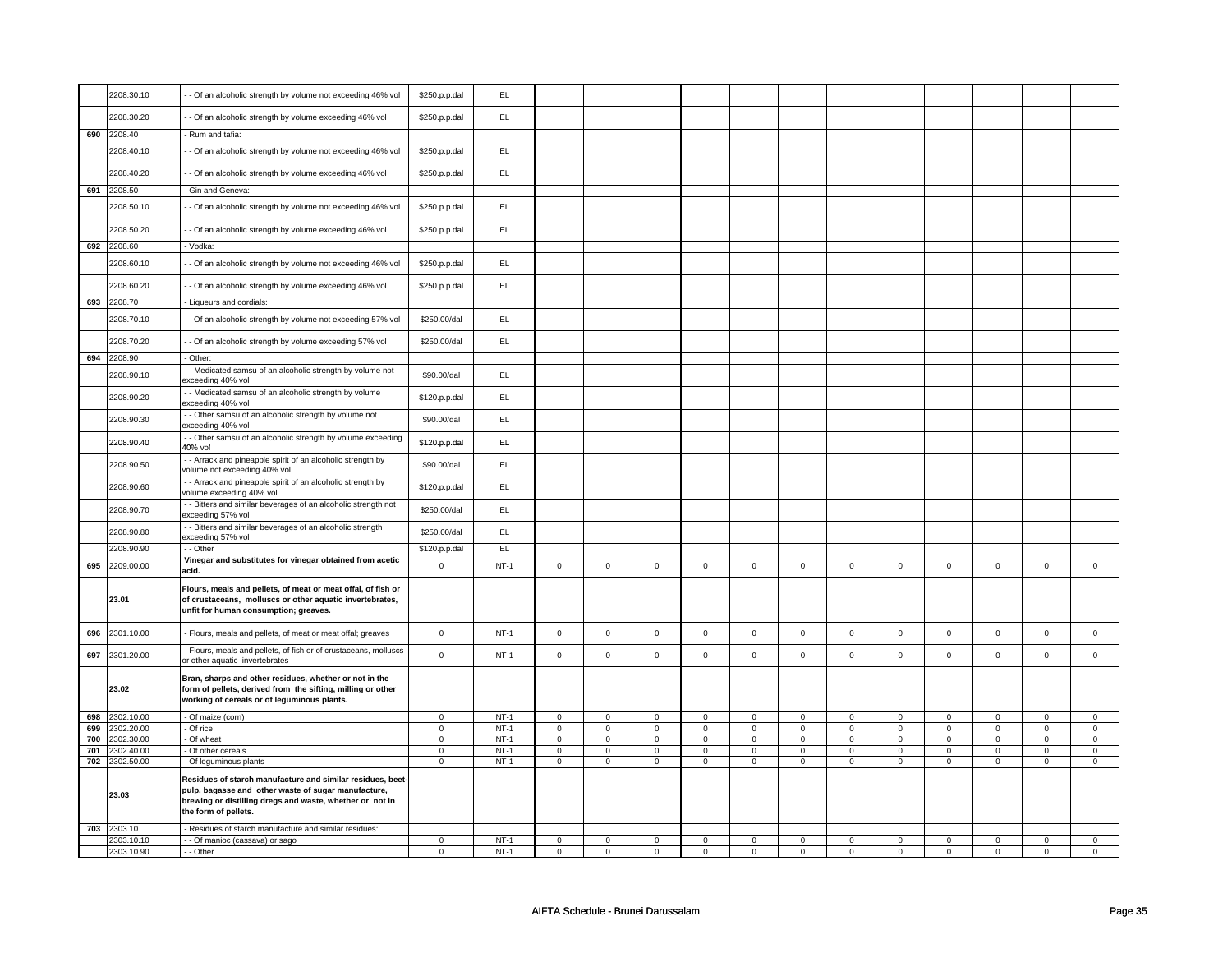|     | 2208.30.10 | - - Of an alcoholic strength by volume not exceeding 46% vol                                                                                                                                          | \$250.p.p.dal  | <b>EL</b> |             |                |             |                |             |                |             |                |             |                     |                |                |
|-----|------------|-------------------------------------------------------------------------------------------------------------------------------------------------------------------------------------------------------|----------------|-----------|-------------|----------------|-------------|----------------|-------------|----------------|-------------|----------------|-------------|---------------------|----------------|----------------|
|     | 2208.30.20 | - - Of an alcoholic strength by volume exceeding 46% vol                                                                                                                                              | \$250.p.p.dal  | <b>EL</b> |             |                |             |                |             |                |             |                |             |                     |                |                |
| 690 | 2208.40    | - Rum and tafia:                                                                                                                                                                                      |                |           |             |                |             |                |             |                |             |                |             |                     |                |                |
|     |            |                                                                                                                                                                                                       |                |           |             |                |             |                |             |                |             |                |             |                     |                |                |
|     | 2208.40.10 | - - Of an alcoholic strength by volume not exceeding 46% vol                                                                                                                                          | \$250.p.p.dal  | <b>EL</b> |             |                |             |                |             |                |             |                |             |                     |                |                |
|     | 2208.40.20 | - Of an alcoholic strength by volume exceeding 46% vol                                                                                                                                                | \$250.p.p.dal  | EL.       |             |                |             |                |             |                |             |                |             |                     |                |                |
| 691 | 2208.50    | - Gin and Geneva:                                                                                                                                                                                     |                |           |             |                |             |                |             |                |             |                |             |                     |                |                |
|     | 2208.50.10 | - Of an alcoholic strength by volume not exceeding 46% vol                                                                                                                                            | \$250.p.p.dal  | EL        |             |                |             |                |             |                |             |                |             |                     |                |                |
|     | 2208.50.20 | - Of an alcoholic strength by volume exceeding 46% vol                                                                                                                                                | \$250.p.p.dal  | EL        |             |                |             |                |             |                |             |                |             |                     |                |                |
| 692 | 2208.60    | - Vodka:                                                                                                                                                                                              |                |           |             |                |             |                |             |                |             |                |             |                     |                |                |
|     | 2208.60.10 | - Of an alcoholic strength by volume not exceeding 46% vol                                                                                                                                            | \$250.p.p.dal  | EL.       |             |                |             |                |             |                |             |                |             |                     |                |                |
|     | 2208.60.20 | - - Of an alcoholic strength by volume exceeding 46% vol                                                                                                                                              | \$250.p.p.dal  | EL        |             |                |             |                |             |                |             |                |             |                     |                |                |
| 693 | 2208.70    | - Liqueurs and cordials:                                                                                                                                                                              |                |           |             |                |             |                |             |                |             |                |             |                     |                |                |
|     | 2208.70.10 | - - Of an alcoholic strength by volume not exceeding 57% vol                                                                                                                                          | \$250.00/dal   | EL        |             |                |             |                |             |                |             |                |             |                     |                |                |
|     | 2208.70.20 | - Of an alcoholic strength by volume exceeding 57% vol                                                                                                                                                | \$250.00/dal   | EL        |             |                |             |                |             |                |             |                |             |                     |                |                |
| 694 | 2208.90    | - Other:                                                                                                                                                                                              |                |           |             |                |             |                |             |                |             |                |             |                     |                |                |
|     | 2208.90.10 | - Medicated samsu of an alcoholic strength by volume not<br>exceeding 40% vol                                                                                                                         | \$90.00/dal    | EL        |             |                |             |                |             |                |             |                |             |                     |                |                |
|     | 2208.90.20 | - Medicated samsu of an alcoholic strength by volume<br>exceeding 40% vol                                                                                                                             | \$120.p.p.dal  | <b>EL</b> |             |                |             |                |             |                |             |                |             |                     |                |                |
|     | 2208.90.30 | - Other samsu of an alcoholic strength by volume not<br>exceeding 40% vol                                                                                                                             | \$90.00/dal    | EL        |             |                |             |                |             |                |             |                |             |                     |                |                |
|     | 2208.90.40 | - Other samsu of an alcoholic strength by volume exceeding<br>40% vol                                                                                                                                 | \$120.p.p.dal  | EL.       |             |                |             |                |             |                |             |                |             |                     |                |                |
|     | 2208.90.50 | - - Arrack and pineapple spirit of an alcoholic strength by<br>volume not exceeding 40% vol                                                                                                           | \$90.00/dal    | EL        |             |                |             |                |             |                |             |                |             |                     |                |                |
|     | 2208.90.60 | - - Arrack and pineapple spirit of an alcoholic strength by<br>volume exceeding 40% vol                                                                                                               | \$120.p.p.dal  | EL        |             |                |             |                |             |                |             |                |             |                     |                |                |
|     | 2208.90.70 | - Bitters and similar beverages of an alcoholic strength not<br>exceeding 57% vol                                                                                                                     | \$250.00/dal   | EL        |             |                |             |                |             |                |             |                |             |                     |                |                |
|     | 2208.90.80 | - Bitters and similar beverages of an alcoholic strength<br>exceeding 57% vol                                                                                                                         | \$250.00/dal   | EL        |             |                |             |                |             |                |             |                |             |                     |                |                |
|     | 2208.90.90 | - - Other                                                                                                                                                                                             | \$120.p.p.dal  | EL        |             |                |             |                |             |                |             |                |             |                     |                |                |
| 695 | 2209.00.00 | Vinegar and substitutes for vinegar obtained from acetic<br>acid.                                                                                                                                     | $\mathbf 0$    | $NT-1$    | $\mathsf 0$ | $\mathsf{o}$   | $\mathsf 0$ | $\mathbf 0$    | $\mathsf 0$ | $\mathbf 0$    | $\mathsf 0$ | $\mathbf 0$    | $\mathsf 0$ | $\mathsf{o}\xspace$ | $\mathsf 0$    | $\mathsf{o}\,$ |
|     | 23.01      | Flours, meals and pellets, of meat or meat offal, of fish or<br>of crustaceans, molluscs or other aquatic invertebrates,<br>unfit for human consumption; greaves.                                     |                |           |             |                |             |                |             |                |             |                |             |                     |                |                |
| 696 | 2301.10.00 | - Flours, meals and pellets, of meat or meat offal; greaves                                                                                                                                           | $\pmb{0}$      | $NT-1$    | $\mathsf 0$ | $\mathsf 0$    | $\mathsf 0$ | $\mathsf 0$    | $\mathsf 0$ | $\mathsf 0$    | $\mathsf 0$ | $\mathbf 0$    | $\mathsf 0$ | $\mathsf 0$         | $\mathsf 0$    | $\mathsf 0$    |
| 697 | 2301.20.00 | - Flours, meals and pellets, of fish or of crustaceans, molluscs<br>or other aquatic invertebrates                                                                                                    | $\mathbf 0$    | $NT-1$    | $\mathsf 0$ | $\mathbf 0$    | $\mathsf 0$ | $\mathsf 0$    | $\mathsf 0$ | $\mathsf 0$    | $\mathsf 0$ | $\mathsf 0$    | $\mathsf 0$ | $\mathbf 0$         | $\mathsf 0$    | $\mathbf 0$    |
|     | 23.02      | Bran, sharps and other residues, whether or not in the<br>form of pellets, derived from the sifting, milling or other<br>working of cereals or of leguminous plants.                                  |                |           |             |                |             |                |             |                |             |                |             |                     |                |                |
| 698 | 2302.10.00 | - Of maize (corn)                                                                                                                                                                                     | $\mathsf 0$    | $NT-1$    | $\mathsf 0$ | $\mathbf 0$    | $\mathsf 0$ | $\mathbf 0$    | $\mathsf 0$ | $\mathbf 0$    | $\mathsf 0$ | $\mathbf 0$    | $\mathsf 0$ | $\mathbf 0$         | $\mathbf 0$    | $\mathbf 0$    |
| 699 | 2302.20.00 | - Of rice                                                                                                                                                                                             | $\mathbf 0$    | $NT-1$    | $\mathbf 0$ | $\mathbf 0$    | $\mathbf 0$ | $\mathsf 0$    | $\mathsf 0$ | $\mathbf 0$    | $\mathsf 0$ | $\mathbf 0$    | $\mathbf 0$ | $\mathsf 0$         | $\mathbf 0$    | $\mathbf 0$    |
| 700 | 2302.30.00 | - Of wheat                                                                                                                                                                                            | $\overline{0}$ | $NT-1$    | $\mathbf 0$ | $\overline{0}$ | $\mathbf 0$ | $\overline{0}$ | $\mathsf 0$ | $\overline{0}$ | $\mathsf 0$ | $\overline{0}$ | $\mathsf 0$ | $\overline{0}$      | $\overline{0}$ | $\overline{0}$ |
| 701 | 2302.40.00 | - Of other cereals                                                                                                                                                                                    | $\mathbf 0$    | $NT-1$    | $\mathsf 0$ | $\mathbf 0$    | $\mathsf 0$ | $\mathbf 0$    | $\mathsf 0$ | $\mathbf 0$    | $\mathsf 0$ | $\mathbf 0$    | $\mathsf 0$ | $\mathbf 0$         | $\mathsf 0$    | $\mathbf 0$    |
| 702 | 2302.50.00 | - Of leguminous plants                                                                                                                                                                                | $\mathsf 0$    | $NT-1$    | $\mathbf 0$ | $\mathbf 0$    | $\mathbf 0$ | $\mathsf 0$    | $\mathsf 0$ | $\mathsf 0$    | $\mathsf 0$ | $\mathsf 0$    | $\mathbf 0$ | $\mathbf 0$         | $\mathbf 0$    | $\mathbf 0$    |
|     | 23.03      | Residues of starch manufacture and similar residues, beet-<br>pulp, bagasse and other waste of sugar manufacture,<br>brewing or distilling dregs and waste, whether or not in<br>the form of pellets. |                |           |             |                |             |                |             |                |             |                |             |                     |                |                |
| 703 | 2303.10    | Residues of starch manufacture and similar residues:                                                                                                                                                  |                |           |             |                |             |                |             |                |             |                |             |                     |                |                |
|     | 2303.10.10 | - - Of manioc (cassava) or sago                                                                                                                                                                       | $\mathbf 0$    | $NT-1$    | $\mathbf 0$ | $\mathbf 0$    | $\mathbf 0$ | $\mathbf 0$    | $\mathbf 0$ | $\mathbf 0$    | $\mathbf 0$ | $\mathbf 0$    | $\mathbf 0$ | $\mathbf 0$         | $\mathbf 0$    | $\mathbf 0$    |
|     | 2303.10.90 | - - Other                                                                                                                                                                                             | $\mathbf 0$    | $NT-1$    | $\mathbf 0$ | $\mathbf 0$    | $\mathbf 0$ | $\mathbf 0$    | $\mathbf 0$ | $\mathbf 0$    | $\mathbf 0$ | $\mathbf 0$    | $\mathbf 0$ | $\mathbf 0$         | $\mathbf 0$    | $\mathbf 0$    |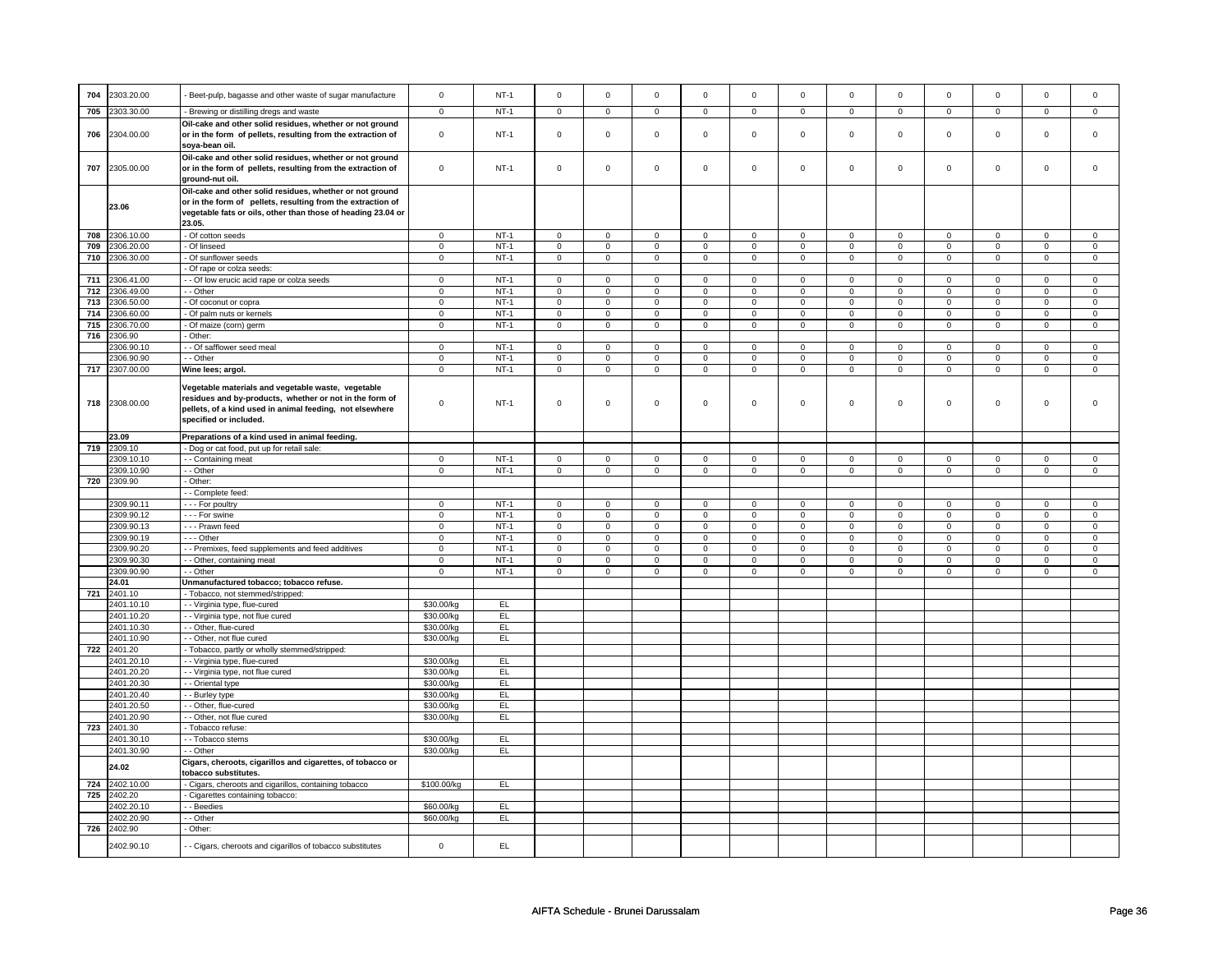| 704 | 2303.20.00          | Beet-pulp, bagasse and other waste of sugar manufacture                                                                                                                                             | $\mathbf 0$  | $NT-1$      | $\mathsf 0$         | $\mathsf 0$    | $\mathbf 0$         | $\mathsf 0$    | $\mathsf 0$    | $\mathbf 0$    | $\mathbf 0$    | $\mathbf 0$    | $\mathbf 0$    | $\mathsf 0$    | $\Omega$       | $\mathbf 0$    |
|-----|---------------------|-----------------------------------------------------------------------------------------------------------------------------------------------------------------------------------------------------|--------------|-------------|---------------------|----------------|---------------------|----------------|----------------|----------------|----------------|----------------|----------------|----------------|----------------|----------------|
| 705 | 2303.30.00          | - Brewing or distilling dregs and waste                                                                                                                                                             | $\mathsf 0$  | $NT-1$      | $\mathsf 0$         | $\mathsf 0$    | $\mathsf 0$         | $\mathsf 0$    | $\mathbf 0$    | $\mathsf 0$    | $\mathbf 0$    | $\mathsf 0$    | $\mathsf 0$    | $\mathbf 0$    | $\mathsf 0$    | $\mathbf 0$    |
|     |                     |                                                                                                                                                                                                     |              |             |                     |                |                     |                |                |                |                |                |                |                |                |                |
| 706 | 2304.00.00          | Oil-cake and other solid residues, whether or not ground<br>or in the form of pellets, resulting from the extraction of<br>soya-bean oil.                                                           | $\mathsf 0$  | $NT-1$      | $\mathsf 0$         | $\mathsf 0$    | $\mathbf 0$         | $\mathsf 0$    | $\mathbf 0$    | $\mathsf 0$    | $\mathsf 0$    | $\mathsf 0$    | $\mathsf 0$    | $\mathbf 0$    | $\mathsf 0$    | $\mathbf 0$    |
| 707 | 2305.00.00          | Oil-cake and other solid residues, whether or not ground<br>or in the form of pellets, resulting from the extraction of<br>ground-nut oil.                                                          | $\mathsf 0$  | $NT-1$      | $\mathsf 0$         | $\mathbf 0$    | $\mathbf 0$         | $\mathbf 0$    | $\mathsf 0$    | $\mathbf 0$    | $\mathsf 0$    | $\mathbf 0$    | $\mathsf 0$    | $\mathsf 0$    | $\mathsf 0$    | $\mathbf 0$    |
|     | 23.06               | Oil-cake and other solid residues, whether or not ground<br>or in the form of pellets, resulting from the extraction of<br>vegetable fats or oils, other than those of heading 23.04 or<br>23.05.   |              |             |                     |                |                     |                |                |                |                |                |                |                |                |                |
| 708 | 2306.10.00          | - Of cotton seeds                                                                                                                                                                                   | $\mathsf 0$  | $NT-1$      | $\overline{0}$      | $\overline{0}$ | $\overline{0}$      | $\overline{0}$ | $\overline{0}$ | $\overline{0}$ | $\overline{0}$ | $\overline{0}$ | $\overline{0}$ | $\overline{0}$ | $\overline{0}$ | $\overline{0}$ |
| 709 | 2306.20.00          | - Of linseed                                                                                                                                                                                        | $\mathsf 0$  | $NT-1$      | $\mathsf 0$         | $\mathsf 0$    | $\mathsf 0$         | $\mathsf 0$    | $\mathbf 0$    | $\mathsf 0$    | $\mathbf 0$    | $\mathsf 0$    | $\mathsf 0$    | $\mathsf 0$    | $\mathsf 0$    | $\mathsf 0$    |
| 710 | 2306.30.00          | Of sunflower seeds                                                                                                                                                                                  | $\mathbf 0$  | $NT-1$      | $\mathsf 0$         | $\mathbf 0$    | $\mathsf{O}\xspace$ | $\mathbf 0$    | $\mathsf 0$    | $\mathbf 0$    | $\mathbf 0$    | $\mathbf 0$    | $\mathsf 0$    | $\mathsf 0$    | $\mathsf 0$    | $\mathsf 0$    |
|     |                     | Of rape or colza seeds:                                                                                                                                                                             |              |             |                     |                |                     |                |                |                |                |                |                |                |                |                |
| 711 | 2306.41.00          | - - Of low erucic acid rape or colza seeds                                                                                                                                                          | $\mathbf 0$  | <b>NT-1</b> | $\mathbf 0$         | $\mathbf 0$    | $\mathbf 0$         | $\mathbf 0$    | $\mathbf 0$    | $\mathbf 0$    | $\mathbf 0$    | $\mathbf 0$    | $\mathbf 0$    | $\mathbf 0$    | $\mathbf 0$    | $\mathbf 0$    |
| 712 | 2306.49.00          | - Other                                                                                                                                                                                             | $\mathbf 0$  | $NT-1$      | $\overline{0}$      | $\mathbf 0$    | $\mathbf 0$         | 0              | $\overline{0}$ | $\mathbf 0$    | $\mathbf 0$    | $\mathbf 0$    | $\overline{0}$ | $\overline{0}$ | $\mathbf 0$    | $\mathbf 0$    |
| 713 | 2306.50.00          | Of coconut or copra                                                                                                                                                                                 | $\mathsf 0$  | $NT-1$      | $\overline{0}$      | $\overline{0}$ | $\mathbf 0$         | $\pmb{0}$      | $\overline{0}$ | $\overline{0}$ | $\mathsf 0$    | $\overline{0}$ | $\overline{0}$ | $\overline{0}$ | $\mathbf 0$    | $\overline{0}$ |
| 714 | 2306.60.00          | - Of palm nuts or kernels                                                                                                                                                                           | $\mathbf 0$  | $NT-1$      | $\mathsf 0$         | $\mathbf 0$    | $\mathbf 0$         | $\mathbf 0$    | $\mathbf 0$    | $\mathbf 0$    | $\mathsf 0$    | $\mathbf 0$    | $\mathsf 0$    | $\mathsf 0$    | $\mathsf 0$    | $\mathbf 0$    |
| 715 | 2306.70.00          | Of maize (corn) germ                                                                                                                                                                                | $\mathbf 0$  | $NT-1$      | $\mathsf{O}\xspace$ | $\overline{0}$ | $\mathsf{O}\xspace$ | $\overline{0}$ | $\mathsf 0$    | $\overline{0}$ | $\mathbf 0$    | $\overline{0}$ | $\mathsf 0$    | $\overline{0}$ | $\pmb{0}$      | $\overline{0}$ |
| 716 | 2306.90             | Other:                                                                                                                                                                                              |              |             |                     |                |                     |                |                |                |                |                |                |                |                |                |
|     | 2306.90.10          | - Of safflower seed meal                                                                                                                                                                            | $\mathbf{0}$ | <b>NT-1</b> | $\mathbf 0$         | $\mathbf{0}$   | $\mathbf 0$         | $\mathbf{0}$   | $\mathbf 0$    | $\mathbf{0}$   | $\mathbf 0$    | $\mathbf{0}$   | $\mathbf 0$    | $\mathbf{0}$   | $\mathbf 0$    | $\mathbf{0}$   |
|     | 2306.90.90          | - Other                                                                                                                                                                                             | $\mathbf 0$  | $NT-1$      | $\Omega$            | $\mathbf 0$    | $\Omega$            | $\mathbf 0$    | $\Omega$       | $\mathbf 0$    | $\Omega$       | $\mathbf 0$    | $\Omega$       | $\mathbf 0$    | $\Omega$       | $\mathbf 0$    |
| 717 | 2307.00.00          | Wine lees; argol.                                                                                                                                                                                   | $\mathsf 0$  | $NT-1$      | $\mathsf{O}\xspace$ | $\mathsf 0$    | $\mathbf 0$         | $\mathsf 0$    | $\mathsf 0$    | $\mathsf 0$    | $\mathbf 0$    | $\mathsf 0$    | $\mathsf 0$    | $\mathsf 0$    | $\mathbf 0$    | $\mathbf 0$    |
| 718 | 2308.00.00          | Vegetable materials and vegetable waste, vegetable<br>residues and by-products, whether or not in the form of<br>pellets, of a kind used in animal feeding, not elsewhere<br>specified or included. | $\mathsf 0$  | $NT-1$      | $\mathbf 0$         | $\mathsf 0$    | $\mathsf 0$         | $\mathsf 0$    | $\mathsf 0$    | $\mathsf 0$    | $\mathsf 0$    | $\mathsf 0$    | $\mathsf 0$    | $\mathbf 0$    | $\mathsf 0$    | $\Omega$       |
|     | 23.09               | Preparations of a kind used in animal feeding.                                                                                                                                                      |              |             |                     |                |                     |                |                |                |                |                |                |                |                |                |
| 719 | 2309.10             | - Dog or cat food, put up for retail sale:                                                                                                                                                          |              |             |                     |                |                     |                |                |                |                |                |                |                |                |                |
|     | 2309.10.10          | - Containing meat                                                                                                                                                                                   | $\mathbf 0$  | $NT-1$      | $\mathbf 0$         | $\mathbf 0$    | $\mathbf 0$         | 0              | $\mathbf 0$    | $\mathbf 0$    | $\mathbf 0$    | $\mathbf 0$    | $\mathbf 0$    | $\mathbf 0$    | $\mathbf 0$    | $\mathbf 0$    |
|     | 2309.10.90          | - - Other                                                                                                                                                                                           | $\mathbf 0$  | $NT-1$      | $\mathsf 0$         | $\mathbf 0$    | $\mathsf 0$         | $\mathsf 0$    | $\mathsf 0$    | $\mathsf 0$    | $\mathsf 0$    | $\mathsf 0$    | $\mathsf 0$    | $\mathsf 0$    | $\mathsf 0$    | $\mathsf 0$    |
| 720 | 2309.90             | Other:                                                                                                                                                                                              |              |             |                     |                |                     |                |                |                |                |                |                |                |                |                |
|     |                     | - Complete feed:                                                                                                                                                                                    |              |             |                     |                |                     |                |                |                |                |                |                |                |                |                |
|     | 2309.90.11          | - - - For poultry                                                                                                                                                                                   | $\mathsf 0$  | $NT-1$      | $\mathsf 0$         | $\mathbf 0$    | $\mathbf 0$         | $\mathsf 0$    | $\mathbf 0$    | $\mathsf 0$    | $\mathbf 0$    | $\mathbf 0$    | $\mathbf 0$    | $\mathbf 0$    | $\mathbf 0$    | $\mathbf 0$    |
|     | 2309.90.12          | --- For swine                                                                                                                                                                                       | $\mathbf 0$  | $NT-1$      | $\mathsf 0$         | $\mathbf 0$    | $\mathsf 0$         | $\mathsf 0$    | $\mathbf 0$    | $\mathsf 0$    | $\mathsf 0$    | $\mathsf 0$    | $\mathbf 0$    | $\mathbf 0$    | $\mathbf 0$    | $\mathbf 0$    |
|     | 2309.90.13          | --- Prawn feed                                                                                                                                                                                      | $\mathsf 0$  | $NT-1$      | $\mathsf 0$         | $\mathsf 0$    | $\mathsf 0$         | $\mathsf 0$    | $\mathbf 0$    | $\mathsf 0$    | $\mathsf 0$    | $\mathsf 0$    | $\mathsf 0$    | $\mathbf 0$    | $\mathsf 0$    | $\mathbf 0$    |
|     | 2309.90.19          | - - - Other                                                                                                                                                                                         | $\mathbf 0$  | $NT-1$      | $\mathbf 0$         | $\mathsf 0$    | $\mathbf 0$         | 0              | $\mathbf 0$    | $\mathsf 0$    | $\mathbf 0$    | $\mathbf 0$    | 0              | $\mathsf 0$    | $\mathbf 0$    | $\mathbf 0$    |
|     | 2309.90.20          | - - Premixes, feed supplements and feed additives                                                                                                                                                   | $\mathbf 0$  | $NT-1$      | $\mathbf 0$         | 0              | $\mathbf 0$         | 0              | 0              | $\mathbf 0$    | 0              | 0              | 0              | $\mathsf 0$    | 0              | $\mathbf 0$    |
|     | 2309.90.30          | - - Other, containing meat                                                                                                                                                                          | $\mathbf 0$  | $NT-1$      | $\mathbf 0$         | $\mathbf 0$    | $\mathbf 0$         | $\mathbf 0$    | $\mathbf 0$    | $\mathbf 0$    | $\mathbf 0$    | $\mathbf 0$    | $\mathbf 0$    | $\mathbf 0$    | $\mathbf 0$    | $\mathbf 0$    |
|     | 2309.90.90          | - Other                                                                                                                                                                                             | $\mathbf 0$  | $NT-1$      | $\mathbf 0$         | $\mathbf 0$    | $\mathbf 0$         | $\mathbf 0$    | $\mathbf 0$    | $\mathbf 0$    | $\Omega$       | $\mathbf 0$    | $\mathbf 0$    | $\mathbf 0$    | $\Omega$       | $\mathbf 0$    |
|     | 24.01               |                                                                                                                                                                                                     |              |             |                     |                |                     |                |                |                |                |                |                |                |                |                |
| 721 | 2401.10             | Unmanufactured tobacco; tobacco refuse.<br>- Tobacco, not stemmed/stripped:                                                                                                                         |              |             |                     |                |                     |                |                |                |                |                |                |                |                |                |
|     | 2401.10.10          | - - Virginia type, flue-cured                                                                                                                                                                       | \$30.00/kg   | EL.         |                     |                |                     |                |                |                |                |                |                |                |                |                |
|     | 2401.10.20          | - - Virginia type, not flue cured                                                                                                                                                                   | \$30.00/kg   | EL          |                     |                |                     |                |                |                |                |                |                |                |                |                |
|     | 2401.10.30          | - - Other, flue-cured                                                                                                                                                                               | \$30.00/kg   | EL          |                     |                |                     |                |                |                |                |                |                |                |                |                |
|     | 2401.10.90          | - - Other, not flue cured                                                                                                                                                                           | \$30.00/kg   | EL          |                     |                |                     |                |                |                |                |                |                |                |                |                |
| 722 | 2401.20             | - Tobacco, partly or wholly stemmed/stripped:                                                                                                                                                       |              |             |                     |                |                     |                |                |                |                |                |                |                |                |                |
|     | 2401.20.10          | - - Virginia type, flue-cured                                                                                                                                                                       | \$30.00/kg   | EL          |                     |                |                     |                |                |                |                |                |                |                |                |                |
|     | 2401.20.20          | - Virginia type, not flue cured                                                                                                                                                                     | \$30.00/kg   | EL          |                     |                |                     |                |                |                |                |                |                |                |                |                |
|     | 2401.20.30          | - - Oriental type                                                                                                                                                                                   | \$30.00/kg   | EL          |                     |                |                     |                |                |                |                |                |                |                |                |                |
|     | 2401.20.40          | - Burley type                                                                                                                                                                                       | \$30.00/kg   | EL.         |                     |                |                     |                |                |                |                |                |                |                |                |                |
|     | 2401.20.50          | - - Other, flue-cured                                                                                                                                                                               | \$30.00/kg   | EL          |                     |                |                     |                |                |                |                |                |                |                |                |                |
|     | 2401.20.90          | - - Other, not flue cured                                                                                                                                                                           | \$30.00/kg   | EL          |                     |                |                     |                |                |                |                |                |                |                |                |                |
| 723 | 2401.30             | - Tobacco refuse:                                                                                                                                                                                   |              |             |                     |                |                     |                |                |                |                |                |                |                |                |                |
|     | 2401.30.10          | - Tobacco stems                                                                                                                                                                                     | \$30.00/kg   | EL          |                     |                |                     |                |                |                |                |                |                |                |                |                |
|     | 2401.30.90          | - - Other                                                                                                                                                                                           | \$30.00/kg   | EL          |                     |                |                     |                |                |                |                |                |                |                |                |                |
|     |                     | Cigars, cheroots, cigarillos and cigarettes, of tobacco or                                                                                                                                          |              |             |                     |                |                     |                |                |                |                |                |                |                |                |                |
| 724 | 24.02<br>2402.10.00 | tobacco substitutes.<br>- Cigars, cheroots and cigarillos, containing tobacco                                                                                                                       | \$100.00/kg  | EL          |                     |                |                     |                |                |                |                |                |                |                |                |                |
| 725 | 2402.20             | Cigarettes containing tobacco:                                                                                                                                                                      |              |             |                     |                |                     |                |                |                |                |                |                |                |                |                |
|     | 2402.20.10          | - Beedies                                                                                                                                                                                           | \$60.00/kg   | EL          |                     |                |                     |                |                |                |                |                |                |                |                |                |
|     | 2402.20.90          | - Other                                                                                                                                                                                             | \$60.00/kg   | EL          |                     |                |                     |                |                |                |                |                |                |                |                |                |
| 726 | 2402.90             | - Other:                                                                                                                                                                                            |              |             |                     |                |                     |                |                |                |                |                |                |                |                |                |
|     | 2402.90.10          | - Cigars, cheroots and cigarillos of tobacco substitutes                                                                                                                                            | $\mathsf 0$  | EL          |                     |                |                     |                |                |                |                |                |                |                |                |                |
|     |                     |                                                                                                                                                                                                     |              |             |                     |                |                     |                |                |                |                |                |                |                |                |                |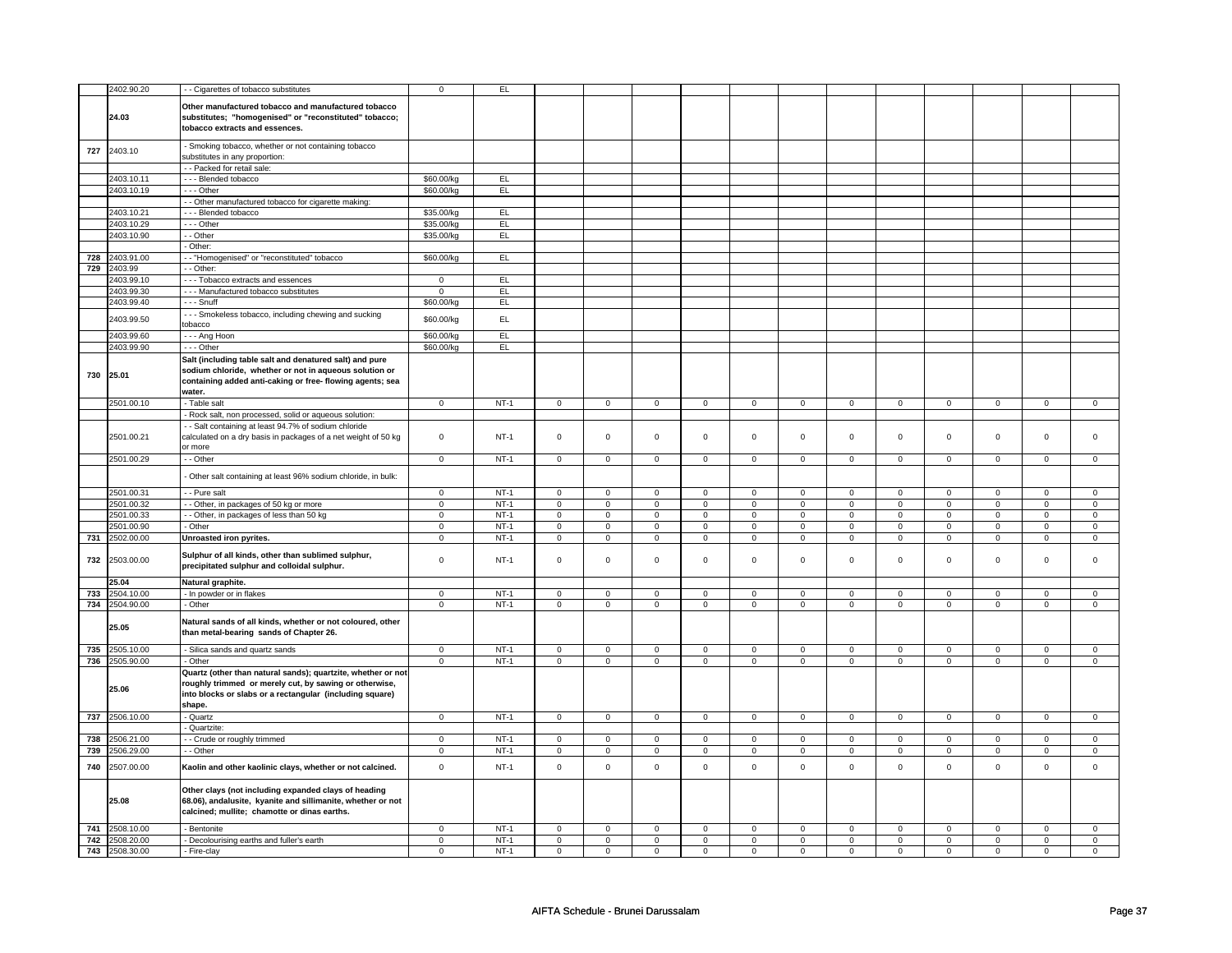|     | 2402.90.20     | - Cigarettes of tobacco substitutes                            | $\mathsf 0$    | E      |                     |                |                     |                |                     |                |                     |                |                     |                |                |                |
|-----|----------------|----------------------------------------------------------------|----------------|--------|---------------------|----------------|---------------------|----------------|---------------------|----------------|---------------------|----------------|---------------------|----------------|----------------|----------------|
|     |                |                                                                |                |        |                     |                |                     |                |                     |                |                     |                |                     |                |                |                |
|     |                | Other manufactured tobacco and manufactured tobacco            |                |        |                     |                |                     |                |                     |                |                     |                |                     |                |                |                |
|     | 24.03          | substitutes; "homogenised" or "reconstituted" tobacco;         |                |        |                     |                |                     |                |                     |                |                     |                |                     |                |                |                |
|     |                | tobacco extracts and essences.                                 |                |        |                     |                |                     |                |                     |                |                     |                |                     |                |                |                |
|     |                |                                                                |                |        |                     |                |                     |                |                     |                |                     |                |                     |                |                |                |
| 727 | 2403.10        | Smoking tobacco, whether or not containing tobacco             |                |        |                     |                |                     |                |                     |                |                     |                |                     |                |                |                |
|     |                | substitutes in any proportion:                                 |                |        |                     |                |                     |                |                     |                |                     |                |                     |                |                |                |
|     |                | - Packed for retail sale:                                      |                |        |                     |                |                     |                |                     |                |                     |                |                     |                |                |                |
|     | 2403.10.11     | -- Blended tobacco                                             | \$60.00/kg     | EL     |                     |                |                     |                |                     |                |                     |                |                     |                |                |                |
|     | 2403.10.19     | --- Other                                                      | \$60.00/kg     | EL     |                     |                |                     |                |                     |                |                     |                |                     |                |                |                |
|     |                | - - Other manufactured tobacco for cigarette making:           |                |        |                     |                |                     |                |                     |                |                     |                |                     |                |                |                |
|     | 2403.10.21     | --- Blended tobacco                                            | \$35.00/kg     | EL     |                     |                |                     |                |                     |                |                     |                |                     |                |                |                |
|     | 2403.10.29     | $\cdots$ Other                                                 | \$35.00/kg     | EL     |                     |                |                     |                |                     |                |                     |                |                     |                |                |                |
|     | 2403.10.90     | - Other                                                        | \$35.00/kg     | EL     |                     |                |                     |                |                     |                |                     |                |                     |                |                |                |
|     |                | Other:                                                         |                |        |                     |                |                     |                |                     |                |                     |                |                     |                |                |                |
| 728 | 2403.91.00     | - "Homogenised" or "reconstituted" tobacco                     | \$60.00/kg     | EL     |                     |                |                     |                |                     |                |                     |                |                     |                |                |                |
|     | 729 2403.99    | - Other:                                                       |                |        |                     |                |                     |                |                     |                |                     |                |                     |                |                |                |
|     | 2403.99.10     | - - - Tobacco extracts and essences                            | $\mathbf 0$    | EL     |                     |                |                     |                |                     |                |                     |                |                     |                |                |                |
|     | 2403.99.30     | --- Manufactured tobacco substitutes                           | $\mathbf 0$    | E      |                     |                |                     |                |                     |                |                     |                |                     |                |                |                |
|     | 2403.99.40     | $- -$ Snuff                                                    | \$60.00/kg     | EL     |                     |                |                     |                |                     |                |                     |                |                     |                |                |                |
|     | 2403.99.50     | - - Smokeless tobacco, including chewing and sucking           | \$60.00/kg     | EL.    |                     |                |                     |                |                     |                |                     |                |                     |                |                |                |
|     |                | tobacco                                                        |                |        |                     |                |                     |                |                     |                |                     |                |                     |                |                |                |
|     | 2403.99.60     | - - - Ang Hoon                                                 | \$60.00/kg     | EL     |                     |                |                     |                |                     |                |                     |                |                     |                |                |                |
|     | 2403.99.90     | --- Other                                                      | \$60.00/kg     | EL.    |                     |                |                     |                |                     |                |                     |                |                     |                |                |                |
|     |                | Salt (including table salt and denatured salt) and pure        |                |        |                     |                |                     |                |                     |                |                     |                |                     |                |                |                |
|     |                | sodium chloride, whether or not in aqueous solution or         |                |        |                     |                |                     |                |                     |                |                     |                |                     |                |                |                |
| 730 | 25.01          | containing added anti-caking or free-flowing agents; sea       |                |        |                     |                |                     |                |                     |                |                     |                |                     |                |                |                |
|     |                | water.                                                         |                |        |                     |                |                     |                |                     |                |                     |                |                     |                |                |                |
|     | 2501.00.10     | - Table salt                                                   | $\overline{0}$ | $NT-1$ | $\overline{0}$      | $\overline{0}$ | $\mathbf{0}$        | $\overline{0}$ | $\overline{0}$      | $\overline{0}$ | $\mathbf{0}$        | $\overline{0}$ | $\overline{0}$      | $\overline{0}$ | $\mathbf 0$    | $\overline{0}$ |
|     |                | - Rock salt, non processed, solid or aqueous solution:         |                |        |                     |                |                     |                |                     |                |                     |                |                     |                |                |                |
|     |                | - - Salt containing at least 94.7% of sodium chloride          |                |        |                     |                |                     |                |                     |                |                     |                |                     |                |                |                |
|     | 2501.00.21     | calculated on a dry basis in packages of a net weight of 50 kg | $\mathbf 0$    | $NT-1$ | $\mathsf 0$         | $\mathsf 0$    | $\mathsf 0$         | $\mathbf 0$    | $\mathsf 0$         | $\mathbf 0$    | $\mathsf 0$         | $\mathbf 0$    | $\mathsf 0$         | $\mathbf 0$    | $\mathbf 0$    | $\mathbf 0$    |
|     |                | or more                                                        |                |        |                     |                |                     |                |                     |                |                     |                |                     |                |                |                |
|     | 2501.00.29     | - Other                                                        | $\mathsf 0$    | $NT-1$ | $\mathsf 0$         | $\mathbf 0$    | $\mathsf 0$         | $\mathbf 0$    | $\mathsf 0$         | $\mathbf 0$    | $\mathsf 0$         | $\mathbf 0$    | $\mathsf 0$         | $\mathbf 0$    | $\mathbf 0$    | $\mathbf 0$    |
|     |                |                                                                |                |        |                     |                |                     |                |                     |                |                     |                |                     |                |                |                |
|     |                | Other salt containing at least 96% sodium chloride, in bulk:   |                |        |                     |                |                     |                |                     |                |                     |                |                     |                |                |                |
|     | 2501.00.31     | - Pure salt                                                    | $\overline{0}$ | $NT-1$ | $\mathsf 0$         | $\overline{0}$ | $\mathsf 0$         | $\overline{0}$ | $\overline{0}$      | $\overline{0}$ | $\mathsf 0$         | $\overline{0}$ | $\mathsf 0$         | $\overline{0}$ | $\mathbf 0$    | $\mathbf 0$    |
|     | 2501.00.32     | - Other, in packages of 50 kg or more                          | $\overline{0}$ | $NT-1$ | $\overline{0}$      | $\overline{0}$ | $\overline{0}$      | $\overline{0}$ | $\overline{0}$      | $\overline{0}$ | $\overline{0}$      | $\overline{0}$ | $\overline{0}$      | $\overline{0}$ | $\overline{0}$ | $\overline{0}$ |
|     | 2501.00.33     | - Other, in packages of less than 50 kg                        | $\overline{0}$ | $NT-1$ | $\mathsf 0$         | $\overline{0}$ | $\mathsf 0$         | $\mathsf 0$    | $\mathsf 0$         | $\mathsf 0$    | $\mathsf 0$         | $\mathsf 0$    | $\mathsf 0$         | $\mathsf 0$    | $\mathbf 0$    | $\mathsf 0$    |
|     | 2501.00.90     | Other                                                          | $\mathbf 0$    | $NT-1$ | $\mathsf 0$         | $\mathsf 0$    | $\mathbf 0$         | $\mathbf 0$    | $\mathsf{O}\xspace$ | $\mathbf 0$    | $\mathbf 0$         | $\mathbf{0}$   | $\mathbf 0$         | $\mathbf 0$    | $\mathbf 0$    | $\mathbf 0$    |
|     | 731 2502.00.00 | Unroasted iron pyrites.                                        | $\mathsf 0$    | $NT-1$ | $\mathsf{O}\xspace$ | $\mathbf 0$    | $\mathsf{O}\xspace$ | $\mathbf 0$    | $\mathsf{O}\xspace$ | $\mathbf 0$    | $\mathsf{O}\xspace$ | $\mathbf 0$    | $\mathsf{O}\xspace$ | $\mathsf{o}\,$ | $\mathbf 0$    | $\mathbf 0$    |
|     |                |                                                                |                |        |                     |                |                     |                |                     |                |                     |                |                     |                |                |                |
| 732 | 2503.00.00     | Sulphur of all kinds, other than sublimed sulphur,             | $\mathsf 0$    | $NT-1$ | $\mathsf 0$         | $\mathbf 0$    | $\mathsf 0$         | $\mathbf 0$    | $\mathsf 0$         | $\mathbf 0$    | $\mathsf 0$         | $\mathbf 0$    | $\mathsf 0$         | $\mathbf 0$    | $\mathbf 0$    | $\mathsf 0$    |
|     |                | precipitated sulphur and colloidal sulphur.                    |                |        |                     |                |                     |                |                     |                |                     |                |                     |                |                |                |
|     | 25.04          | Natural graphite.                                              |                |        |                     |                |                     |                |                     |                |                     |                |                     |                |                |                |
| 733 | 2504.10.00     | - In powder or in flakes                                       | $\mathsf 0$    | $NT-1$ | $\mathbf 0$         | $\mathbf 0$    | $\mathbf 0$         | $\mathbf 0$    | $\mathsf 0$         | $\mathbf 0$    | $\mathbf 0$         | $\mathbf 0$    | $\mathsf 0$         | $\mathbf 0$    | 0              | $\mathbf 0$    |
|     | 734 2504.90.00 | - Other                                                        | $\overline{0}$ | $NT-1$ | $\overline{0}$      | $\overline{0}$ | $\overline{0}$      | $\overline{0}$ | $\overline{0}$      | $\overline{0}$ | $\overline{0}$      | $\overline{0}$ | $\overline{0}$      | $\overline{0}$ | $\overline{0}$ | $\overline{0}$ |
|     |                |                                                                |                |        |                     |                |                     |                |                     |                |                     |                |                     |                |                |                |
|     | 25.05          | Natural sands of all kinds, whether or not coloured, other     |                |        |                     |                |                     |                |                     |                |                     |                |                     |                |                |                |
|     |                | than metal-bearing sands of Chapter 26.                        |                |        |                     |                |                     |                |                     |                |                     |                |                     |                |                |                |
| 735 | 2505.10.00     | Silica sands and quartz sands                                  | $\mathbf 0$    | $NT-1$ | $\mathsf 0$         | $\mathsf 0$    | $\mathsf 0$         | $\mathsf 0$    | $\mathsf 0$         | $\mathsf 0$    | $\mathsf{O}\xspace$ | $\mathsf 0$    | $\mathsf 0$         | $\mathsf 0$    | $\mathsf 0$    | $\mathsf 0$    |
|     | 736 2505.90.00 | Other                                                          | $\mathsf 0$    | $NT-1$ | $\mathbf 0$         | $\mathbf 0$    | $\mathbf 0$         | $\mathbf 0$    | $\mathbf 0$         | $\mathbf 0$    | $\mathsf 0$         | $\mathbf 0$    | $\mathsf 0$         | $\mathbf 0$    | $\mathbf 0$    | $\mathbf 0$    |
|     |                | Quartz (other than natural sands); quartzite, whether or not   |                |        |                     |                |                     |                |                     |                |                     |                |                     |                |                |                |
|     |                | roughly trimmed or merely cut, by sawing or otherwise,         |                |        |                     |                |                     |                |                     |                |                     |                |                     |                |                |                |
|     | 25.06          | into blocks or slabs or a rectangular (including square)       |                |        |                     |                |                     |                |                     |                |                     |                |                     |                |                |                |
|     |                | shape.                                                         |                |        |                     |                |                     |                |                     |                |                     |                |                     |                |                |                |
|     | 737 2506.10.00 | - Quartz                                                       | $\overline{0}$ | $NT-1$ | $\overline{0}$      | $\overline{0}$ | $\overline{0}$      | $\overline{0}$ | $\overline{0}$      | $\overline{0}$ | $\mathsf 0$         | $\overline{0}$ | $\overline{0}$      | $\overline{0}$ | $\mathsf 0$    | $\mathsf 0$    |
|     |                | Quartzite:                                                     |                |        |                     |                |                     |                |                     |                |                     |                |                     |                |                |                |
| 738 | 2506.21.00     | - Crude or roughly trimmed                                     | $\overline{0}$ | $NT-1$ | $\overline{0}$      | $\overline{0}$ | $\mathbf 0$         | $\mathbf 0$    | $\mathbf 0$         | $\overline{0}$ | $\mathbf 0$         | $\overline{0}$ | $\mathbf 0$         | $\overline{0}$ | 0              | $\mathbf 0$    |
|     | 739 2506.29.00 | - Other                                                        | $\overline{0}$ | $NT-1$ | $\overline{0}$      | $\overline{0}$ | $\overline{0}$      | $\mathsf 0$    | $\overline{0}$      | $\overline{0}$ | $\mathsf 0$         | $\mathsf 0$    | $\overline{0}$      | $\mathsf 0$    | $\overline{0}$ | $\overline{0}$ |
|     |                |                                                                |                |        |                     |                |                     |                |                     |                |                     |                |                     |                |                |                |
| 740 | 2507.00.00     | Kaolin and other kaolinic clays, whether or not calcined.      | $\mathbf 0$    | $NT-1$ | $\mathsf 0$         | $\mathsf 0$    | $\mathsf{O}\xspace$ | $\mathsf 0$    | $\mathsf{O}\xspace$ | $\mathsf 0$    | $\mathsf{O}\xspace$ | $\mathsf 0$    | $\mathbf 0$         | $\mathbf 0$    | $\mathsf 0$    | $\mathbf 0$    |
|     |                |                                                                |                |        |                     |                |                     |                |                     |                |                     |                |                     |                |                |                |
|     |                | Other clays (not including expanded clays of heading           |                |        |                     |                |                     |                |                     |                |                     |                |                     |                |                |                |
|     | 25.08          | 68.06), andalusite, kyanite and sillimanite, whether or not    |                |        |                     |                |                     |                |                     |                |                     |                |                     |                |                |                |
|     |                | calcined; mullite; chamotte or dinas earths.                   |                |        |                     |                |                     |                |                     |                |                     |                |                     |                |                |                |
|     | 741 2508.10.00 | - Bentonite                                                    | $\mathbf 0$    | $NT-1$ | $\mathbf 0$         | $\mathbf 0$    | 0                   | $\mathbf 0$    | $\mathbf 0$         | $\mathbf 0$    | $\mathbf 0$         | $\mathbf 0$    | $\mathbf 0$         | $\mathbf 0$    | $\mathbf 0$    | $\mathbf{0}$   |
| 742 | 2508.20.00     | - Decolourising earths and fuller's earth                      | $\mathbf 0$    | $NT-1$ | $\mathsf 0$         | $\mathbf 0$    | $\mathsf 0$         | $\mathbf 0$    | $\mathsf 0$         | $\mathbf 0$    | $\mathsf 0$         | $\mathbf 0$    | $\mathsf 0$         | $\mathsf 0$    | $\mathbf 0$    | $\mathsf 0$    |
|     | 743 2508.30.00 | - Fire-clay                                                    | $\mathbf 0$    | $NT-1$ | $\mathbf 0$         | $\mathbf 0$    | $\mathbf 0$         | $\mathbf 0$    | $\mathbf 0$         | $\mathbf 0$    | $\mathbf 0$         | $\mathbf 0$    | $\mathbf 0$         | $\mathbf 0$    | $\mathbf 0$    | $\mathbf 0$    |
|     |                |                                                                |                |        |                     |                |                     |                |                     |                |                     |                |                     |                |                |                |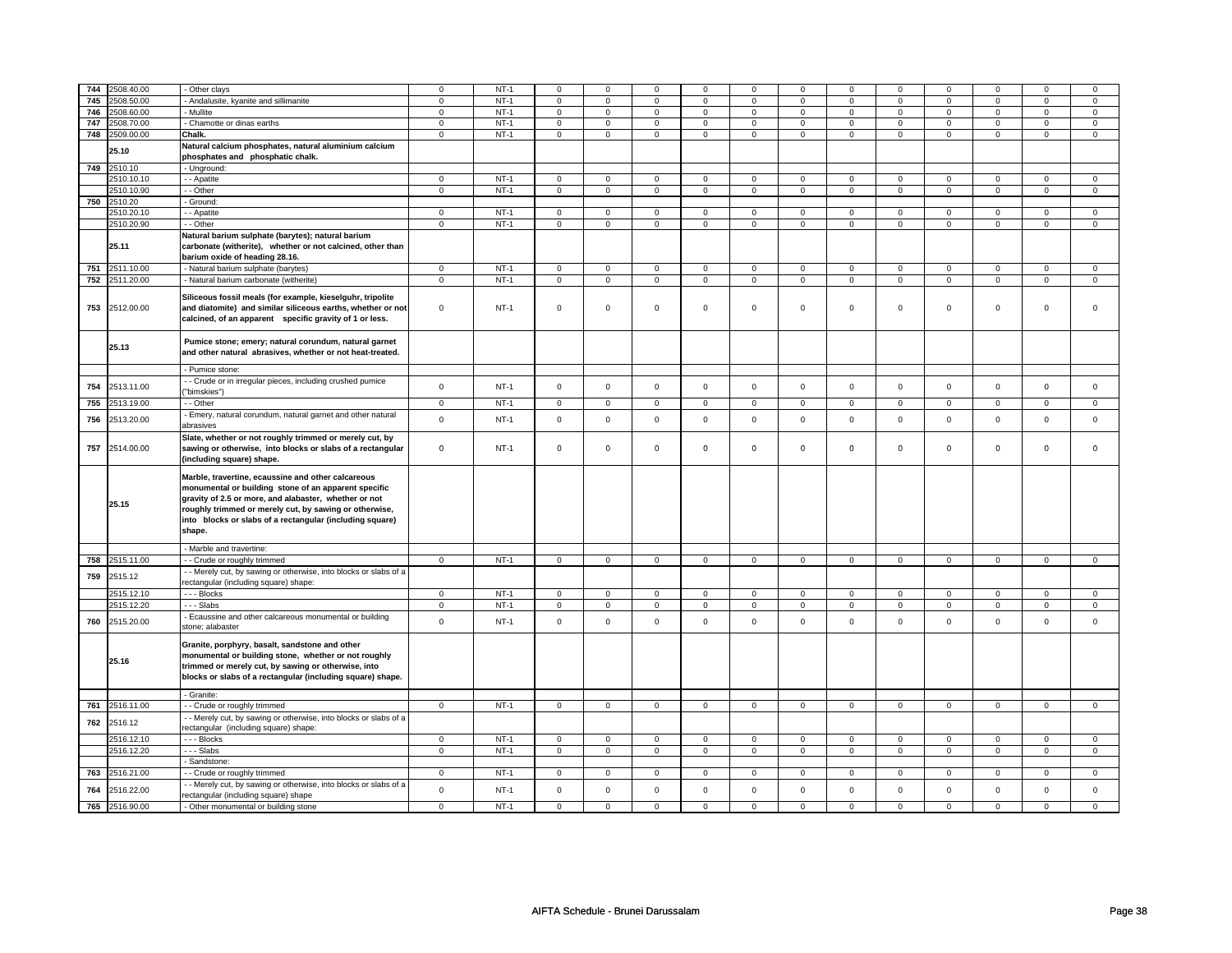| 744 | 2508.40.00     | - Other clays                                                                                                                                                                                                                                                                                       | $\mathbf 0$    | $NT-1$ | 0              | $\mathsf 0$    | $\mathbf 0$    | $\mathbf 0$    | $\mathbf 0$         | $\mathbf 0$    | 0              | $\mathsf 0$    | 0              | $\mathbf 0$    | $\Omega$       | 0              |
|-----|----------------|-----------------------------------------------------------------------------------------------------------------------------------------------------------------------------------------------------------------------------------------------------------------------------------------------------|----------------|--------|----------------|----------------|----------------|----------------|---------------------|----------------|----------------|----------------|----------------|----------------|----------------|----------------|
| 745 | 2508.50.00     | - Andalusite, kyanite and sillimanite                                                                                                                                                                                                                                                               | $\mathsf 0$    | $NT-1$ | $\mathbf 0$    | $\mathsf 0$    | $\mathbf 0$    | $\mathbf 0$    | $\mathsf 0$         | $\mathbf 0$    | $\mathbf 0$    | $\mathbf 0$    | $\mathsf 0$    | $\mathbf 0$    | 0              | $\mathbf{0}$   |
| 746 | 2508.60.00     | - Mullite                                                                                                                                                                                                                                                                                           | $\mathbf 0$    | $NT-1$ | $\mathsf 0$    | $\mathbf 0$    | $\mathsf 0$    | $\overline{0}$ | $\mathsf{O}\xspace$ | $\mathsf 0$    | $\mathsf 0$    | $\mathbf 0$    | $\mathsf 0$    | $\mathbf 0$    | $\mathsf 0$    | $\overline{0}$ |
| 747 | 2508.70.00     | - Chamotte or dinas earths                                                                                                                                                                                                                                                                          | $\mathbf 0$    | $NT-1$ | $\mathbf 0$    | $\mathsf 0$    | $\mathbf 0$    | $\mathbf 0$    | $\mathbf 0$         | $\mathbf 0$    | 0              | $\mathbf 0$    | 0              | $\mathbf 0$    | $\mathbf 0$    | $\mathbf{0}$   |
| 748 | 2509.00.00     | Chalk.                                                                                                                                                                                                                                                                                              | $\mathbf 0$    | $NT-1$ | $\mathbf 0$    | $\mathbf{0}$   | $\mathbf{0}$   | $\mathbf 0$    | $\mathbf{0}$        | $\mathbf 0$    | $\mathbf{0}$   | $\mathbf 0$    | $\mathbf 0$    | $\mathbf 0$    | $\mathbf 0$    | $\mathbf{0}$   |
|     |                | Natural calcium phosphates, natural aluminium calcium                                                                                                                                                                                                                                               |                |        |                |                |                |                |                     |                |                |                |                |                |                |                |
|     | 25.10          | phosphates and phosphatic chalk.                                                                                                                                                                                                                                                                    |                |        |                |                |                |                |                     |                |                |                |                |                |                |                |
|     |                |                                                                                                                                                                                                                                                                                                     |                |        |                |                |                |                |                     |                |                |                |                |                |                |                |
|     | 749 2510.10    | - Unground:                                                                                                                                                                                                                                                                                         |                |        |                |                |                |                |                     |                |                |                |                |                |                |                |
|     | 2510.10.10     | - - Apatite                                                                                                                                                                                                                                                                                         | $\mathsf 0$    | $NT-1$ | $\mathbf 0$    | $\mathsf 0$    | $\mathbf 0$    | $\mathbf 0$    | $\mathbf 0$         | $\mathbf 0$    | $\mathbf 0$    | $\mathbf 0$    | $\mathsf 0$    | $\mathbf 0$    | $\mathsf 0$    | $\mathbf 0$    |
|     | 2510.10.90     | - - Other                                                                                                                                                                                                                                                                                           | $\mathsf 0$    | $NT-1$ | $\overline{0}$ | $\overline{0}$ | $\mathsf 0$    | $\overline{0}$ | $\mathsf{O}\xspace$ | $\mathsf 0$    | $\mathsf 0$    | $\mathsf 0$    | $\mathsf 0$    | $\overline{0}$ | $\mathsf 0$    | $\overline{0}$ |
| 750 | 2510.20        | - Ground:                                                                                                                                                                                                                                                                                           |                |        |                |                |                |                |                     |                |                |                |                |                |                |                |
|     | 2510.20.10     | - - Apatite                                                                                                                                                                                                                                                                                         | $\mathbf 0$    | $NT-1$ | $\mathbf 0$    | $\mathbf 0$    | $\mathbf 0$    | $\mathbf 0$    | $\mathbf 0$         | $\mathbf 0$    | 0              | $\mathbf 0$    | 0              | $\mathbf 0$    | 0              | 0              |
|     | 2510.20.90     | - - Other                                                                                                                                                                                                                                                                                           | $\mathbf 0$    | $NT-1$ | $\mathbf 0$    | $\mathsf 0$    | $\mathsf 0$    | $\mathbf 0$    | $\mathsf 0$         | $\mathbf 0$    | $\mathbf 0$    | $\mathbf 0$    | $\mathsf 0$    | $\mathbf 0$    | $\mathbf 0$    | 0              |
|     |                | Natural barium sulphate (barytes); natural barium                                                                                                                                                                                                                                                   |                |        |                |                |                |                |                     |                |                |                |                |                |                |                |
|     | 25.11          | carbonate (witherite), whether or not calcined, other than<br>barium oxide of heading 28.16.                                                                                                                                                                                                        |                |        |                |                |                |                |                     |                |                |                |                |                |                |                |
| 751 | 2511.10.00     | - Natural barium sulphate (barytes)                                                                                                                                                                                                                                                                 | $\mathbf 0$    | $NT-1$ | $\mathbf 0$    | $\mathsf 0$    | $\mathsf 0$    | $\mathbf 0$    | $\mathsf 0$         | $\mathbf 0$    | 0              | $\mathbf 0$    | 0              | $\mathbf 0$    | $\mathbf 0$    | 0              |
| 752 | 2511.20.00     | - Natural barium carbonate (witherite)                                                                                                                                                                                                                                                              | $\mathbf 0$    | $NT-1$ | $\mathsf 0$    | $\mathbf 0$    | $\mathsf 0$    | $\mathsf 0$    | $\mathsf 0$         | $\mathsf 0$    | 0              | $\mathbf 0$    | $\mathsf 0$    | $\mathbf 0$    | 0              | $\mathbf 0$    |
|     |                |                                                                                                                                                                                                                                                                                                     |                |        |                |                |                |                |                     |                |                |                |                |                |                |                |
| 753 | 2512.00.00     | Siliceous fossil meals (for example, kieselguhr, tripolite<br>and diatomite) and similar siliceous earths, whether or not<br>calcined, of an apparent specific gravity of 1 or less.                                                                                                                | $\mathsf 0$    | $NT-1$ | $\mathbf 0$    | $\mathbf 0$    | $\mathsf 0$    | $\mathsf 0$    | $\mathsf{O}\xspace$ | $\mathsf 0$    | $\mathbf 0$    | 0              | $\mathsf 0$    | $\mathbf 0$    | $\mathsf 0$    | 0              |
|     | 25.13          | Pumice stone; emery; natural corundum, natural garnet<br>and other natural abrasives, whether or not heat-treated.                                                                                                                                                                                  |                |        |                |                |                |                |                     |                |                |                |                |                |                |                |
|     |                | - Pumice stone:                                                                                                                                                                                                                                                                                     |                |        |                |                |                |                |                     |                |                |                |                |                |                |                |
| 754 | 2513.11.00     | - - Crude or in irregular pieces, including crushed pumice<br>"bimskies")                                                                                                                                                                                                                           | $\mathsf 0$    | $NT-1$ | $\mathsf 0$    | $\mathbf 0$    | $\mathsf 0$    | $\mathsf 0$    | $\mathsf{O}\xspace$ | $\mathsf 0$    | $\mathbf 0$    | $\mathbf 0$    | $\mathsf 0$    | $\mathbf 0$    | $\mathsf 0$    | $\mathbf 0$    |
| 755 | 2513.19.00     | - - Other                                                                                                                                                                                                                                                                                           | $\mathbf{0}$   | $NT-1$ | 0              | $\mathbf{0}$   | 0              | $\mathbf 0$    | 0                   | $\overline{0}$ | $\mathbf 0$    | $\mathbf 0$    | $\mathbf 0$    | $\mathbf 0$    | 0              | $\mathbf 0$    |
|     |                | - Emery, natural corundum, natural garnet and other natural                                                                                                                                                                                                                                         |                |        |                |                |                |                |                     |                |                |                |                |                |                |                |
| 756 | 2513.20.00     | abrasives                                                                                                                                                                                                                                                                                           | $\mathsf 0$    | $NT-1$ | $\mathsf 0$    | $\mathsf 0$    | $\mathbf 0$    | $\mathsf 0$    | $\mathsf{O}$        | $\mathsf 0$    | $\mathbf 0$    | $\mathbf 0$    | $\mathsf 0$    | $\mathbf 0$    | $\mathbf 0$    | $\mathbf 0$    |
| 757 | 2514.00.00     | Slate, whether or not roughly trimmed or merely cut, by<br>sawing or otherwise, into blocks or slabs of a rectangular<br>(including square) shape.                                                                                                                                                  | $\mathsf{o}\,$ | $NT-1$ | $\mathsf 0$    | $\mathsf 0$    | $\mathsf{o}\,$ | $\mathsf 0$    | $\mathsf{o}\,$      | $\mathsf 0$    | $\mathsf{o}\,$ | $\mathbf 0$    | $\mathsf{o}\,$ | $\mathbf 0$    | $\mathsf{o}\,$ | $\mathbf 0$    |
|     | 25.15          | Marble, travertine, ecaussine and other calcareous<br>monumental or building stone of an apparent specific<br>gravity of 2.5 or more, and alabaster, whether or not<br>roughly trimmed or merely cut, by sawing or otherwise,<br>into blocks or slabs of a rectangular (including square)<br>shape. |                |        |                |                |                |                |                     |                |                |                |                |                |                |                |
|     |                | - Marble and travertine:                                                                                                                                                                                                                                                                            |                |        |                |                |                |                |                     |                |                |                |                |                |                |                |
|     | 758 2515.11.00 | - - Crude or roughly trimmed                                                                                                                                                                                                                                                                        | $\mathbf{0}$   | $NT-1$ | $\overline{0}$ | $\overline{0}$ | $\overline{0}$ | $\overline{0}$ | $\overline{0}$      | $\overline{0}$ | $\mathbf 0$    | $\overline{0}$ | $\mathbf 0$    | $\overline{0}$ | 0              | $\overline{0}$ |
|     |                | - - Merely cut, by sawing or otherwise, into blocks or slabs of a                                                                                                                                                                                                                                   |                |        |                |                |                |                |                     |                |                |                |                |                |                |                |
| 759 | 2515.12        | rectangular (including square) shape:                                                                                                                                                                                                                                                               |                |        |                |                |                |                |                     |                |                |                |                |                |                |                |
|     |                |                                                                                                                                                                                                                                                                                                     |                |        |                |                |                |                |                     |                |                |                |                |                |                |                |
|     | 2515.12.10     | - - - Blocks                                                                                                                                                                                                                                                                                        | $\mathbf 0$    | $NT-1$ | $\mathbf 0$    | $\mathsf 0$    | $\mathbf 0$    | $\mathbf 0$    | $\mathbf 0$         | $\mathbf 0$    | $\mathbf 0$    | $\mathbf 0$    | $\mathsf 0$    | $\mathbf 0$    | $\Omega$       | $\mathbf{0}$   |
|     | 2515.12.20     | - - - Slabs                                                                                                                                                                                                                                                                                         | $\mathbf 0$    | $NT-1$ | $\mathbf 0$    | $\mathsf 0$    | $\mathbf 0$    | $\mathbf 0$    | $\mathbf 0$         | $\mathbf 0$    | $\mathbf 0$    | $\mathbf 0$    | $\mathbf 0$    | $\mathbf 0$    | 0              | $\mathbf 0$    |
| 760 | 2515.20.00     | - Ecaussine and other calcareous monumental or building<br>stone; alabaster                                                                                                                                                                                                                         | $\mathbf 0$    | $NT-1$ | $\mathbf 0$    | $\mathsf 0$    | $\mathbf 0$    | $\mathsf{o}\,$ | $\mathsf 0$         | $\mathbf 0$    | $\mathbf 0$    | $\mathbf 0$    | $\mathsf 0$    | $\mathbf 0$    | $\mathsf 0$    | $\mathbf 0$    |
|     | 25.16          | Granite, porphyry, basalt, sandstone and other<br>monumental or building stone, whether or not roughly<br>trimmed or merely cut, by sawing or otherwise, into<br>blocks or slabs of a rectangular (including square) shape.                                                                         |                |        |                |                |                |                |                     |                |                |                |                |                |                |                |
|     |                | - Granite:                                                                                                                                                                                                                                                                                          |                |        |                |                |                |                |                     |                |                |                |                |                |                |                |
| 761 | 2516.11.00     | - - Crude or roughly trimmed                                                                                                                                                                                                                                                                        | $\mathsf 0$    | $NT-1$ | $\mathbf 0$    | $\mathsf 0$    | $\mathbf 0$    | $\mathbf 0$    | $\mathsf 0$         | $\mathbf 0$    | $\mathbf 0$    | $\mathbf 0$    | $\mathsf 0$    | $\mathbf 0$    | $\mathsf 0$    | $\mathbf 0$    |
| 762 | 2516.12        | - - Merely cut, by sawing or otherwise, into blocks or slabs of a<br>rectangular (including square) shape:                                                                                                                                                                                          |                |        |                |                |                |                |                     |                |                |                |                |                |                |                |
|     | 2516.12.10     | - - - Blocks                                                                                                                                                                                                                                                                                        | $\mathbf 0$    | $NT-1$ | $\overline{0}$ | $\overline{0}$ | $\mathbf 0$    | $\overline{0}$ | $\mathbf 0$         | $\mathsf 0$    | $\mathbf 0$    | $\mathsf 0$    | $\mathsf 0$    | $\mathbf 0$    | $\mathsf 0$    | $\mathbf 0$    |
|     | 2516.12.20     | - - - Slabs                                                                                                                                                                                                                                                                                         | $\mathsf 0$    | $NT-1$ | $\mathsf 0$    | $\mathbf 0$    | $\mathbf 0$    | $\mathsf 0$    | $\mathbf 0$         | $\mathsf 0$    | $\mathbf 0$    | $\mathbf 0$    | $\mathbf 0$    | $\mathbf 0$    | $\mathsf 0$    | $\mathbf{0}$   |
|     |                | - Sandstone                                                                                                                                                                                                                                                                                         |                |        |                |                |                |                |                     |                |                |                |                |                |                |                |
|     |                |                                                                                                                                                                                                                                                                                                     |                |        | $\mathbf 0$    |                | $\mathbf 0$    | $\mathbf 0$    | $\mathbf{0}$        |                | $\mathbf 0$    |                | $\mathbf 0$    |                | $\mathbf 0$    | $\mathbf{0}$   |
| 763 | 2516.21.00     | - - Crude or roughly trimmed                                                                                                                                                                                                                                                                        | $\mathsf 0$    | $NT-1$ |                | $\mathbf 0$    |                |                |                     | $\mathsf 0$    |                | $\mathbf 0$    |                | $\mathbf 0$    |                |                |
| 764 | 2516.22.00     | - - Merely cut, by sawing or otherwise, into blocks or slabs of a<br>rectangular (including square) shape                                                                                                                                                                                           | $\mathbf 0$    | $NT-1$ | $\Omega$       | $\mathsf 0$    | $\Omega$       | $\mathbf 0$    | $\mathbf 0$         | $\mathsf 0$    | $\mathbf 0$    | $\mathbf 0$    | $\mathbf 0$    | $\mathbf{0}$   | $\mathbf 0$    | $\mathbf{0}$   |
| 765 | 2516.90.00     | - Other monumental or building stone                                                                                                                                                                                                                                                                | $\mathbf 0$    | $NT-1$ | $\mathbf 0$    | $\mathbf 0$    | $\Omega$       | $\Omega$       | $\Omega$            | $\mathbf 0$    | $\mathbf 0$    | $\mathbf{0}$   | $\mathbf 0$    | $\mathbf 0$    | $\Omega$       | $\mathbf{0}$   |
|     |                |                                                                                                                                                                                                                                                                                                     |                |        |                |                |                |                |                     |                |                |                |                |                |                |                |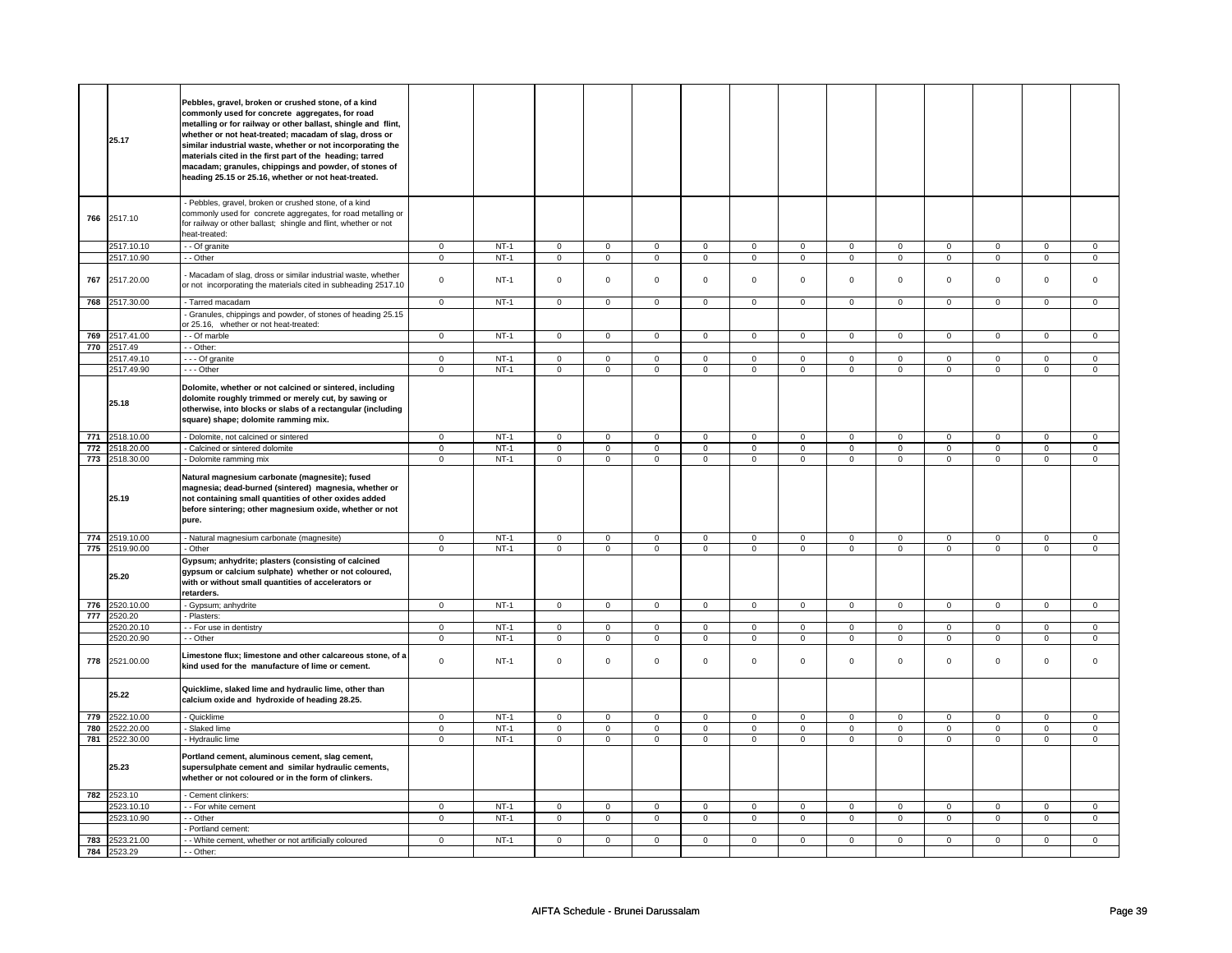|     | 25.17                         | Pebbles, gravel, broken or crushed stone, of a kind<br>commonly used for concrete aggregates, for road<br>metalling or for railway or other ballast, shingle and flint,<br>whether or not heat-treated; macadam of slag, dross or<br>similar industrial waste, whether or not incorporating the<br>materials cited in the first part of the heading; tarred<br>macadam; granules, chippings and powder, of stones of<br>heading 25.15 or 25.16, whether or not heat-treated. |                         |        |                         |                         |                |                |                         |                |                |                         |                |                         |                         |                |
|-----|-------------------------------|------------------------------------------------------------------------------------------------------------------------------------------------------------------------------------------------------------------------------------------------------------------------------------------------------------------------------------------------------------------------------------------------------------------------------------------------------------------------------|-------------------------|--------|-------------------------|-------------------------|----------------|----------------|-------------------------|----------------|----------------|-------------------------|----------------|-------------------------|-------------------------|----------------|
|     | 766 2517.10                   | Pebbles, gravel, broken or crushed stone, of a kind<br>commonly used for concrete aggregates, for road metalling or<br>for railway or other ballast; shingle and flint, whether or not<br>heat-treated:                                                                                                                                                                                                                                                                      |                         |        |                         |                         |                |                |                         |                |                |                         |                |                         |                         |                |
|     | 2517.10.10                    | - Of granite                                                                                                                                                                                                                                                                                                                                                                                                                                                                 | $\mathbf 0$             | $NT-1$ | $\mathbf 0$             | $\mathbf 0$             | $\mathbf 0$    | $\mathbf{0}$   | $\mathbf 0$             | $\mathbf{0}$   | $\mathbf 0$    | $\mathbf 0$             | $\mathbf 0$    | $\mathbf{0}$            | $\mathbf 0$             | $\mathbf 0$    |
|     | 2517.10.90                    | - - Other                                                                                                                                                                                                                                                                                                                                                                                                                                                                    | $\mathsf 0$             | $NT-1$ | $\mathsf{O}$            | $\mathsf 0$             | $\mathbf 0$    | $\mathsf{O}$   | $\mathbf 0$             | $\mathbf 0$    | $\mathbf 0$    | $\mathbf 0$             | $\mathbf 0$    | $\mathbf 0$             | $\mathbf 0$             | $\mathbf 0$    |
| 767 | 2517.20.00                    | Macadam of slag, dross or similar industrial waste, whether<br>or not incorporating the materials cited in subheading 2517.10                                                                                                                                                                                                                                                                                                                                                | $\mathbf 0$             | $NT-1$ | $\mathsf 0$             | $\mathbf 0$             | $\mathbf 0$    | $\mathbf 0$    | $\mathbf 0$             | $\mathsf 0$    | $\mathbf 0$    | $\mathbf 0$             | $\mathsf 0$    | $\mathbf 0$             | $\mathbf 0$             | $\mathbf{0}$   |
|     | 768 2517.30.00                | - Tarred macadam                                                                                                                                                                                                                                                                                                                                                                                                                                                             | $\mathsf 0$             | $NT-1$ | $\mathsf 0$             | $\mathbf 0$             | $\mathbf 0$    | $\mathbf 0$    | $\mathbf 0$             | $\mathbf 0$    | $\mathbf 0$    | $\mathbf 0$             | $\mathsf 0$    | $\mathbf 0$             | $\mathbf 0$             | 0              |
|     |                               | Granules, chippings and powder, of stones of heading 25.15<br>or 25.16, whether or not heat-treated:                                                                                                                                                                                                                                                                                                                                                                         |                         |        |                         |                         |                |                |                         |                |                |                         |                |                         |                         |                |
|     | 769 2517.41.00                | - - Of marble                                                                                                                                                                                                                                                                                                                                                                                                                                                                | $\overline{0}$          | $NT-1$ | $\mathbf 0$             | $\overline{0}$          | $\mathbf{0}$   | $\overline{0}$ | $\mathbf{0}$            | $\overline{0}$ | $\mathbf{0}$   | $\overline{0}$          | $\mathbf{0}$   | $\mathbf{0}$            | $\mathbf{0}$            | $\mathbf{0}$   |
|     | 770 2517.49                   | - - Other:                                                                                                                                                                                                                                                                                                                                                                                                                                                                   |                         |        |                         |                         |                |                |                         |                |                |                         |                |                         |                         |                |
|     | 2517.49.10                    | - - - Of granite                                                                                                                                                                                                                                                                                                                                                                                                                                                             | $\mathsf 0$             | $NT-1$ | $\mathsf{O}\xspace$     | $\mathsf 0$             | $\mathsf 0$    | $\mathbf 0$    | $\mathsf 0$             | $\mathbf 0$    | $\mathbf{0}$   | $\mathbf 0$             | $\mathsf 0$    | $\mathbf 0$             | $\mathbf{0}$            | $\mathbf{O}$   |
|     | 2517.49.90                    | --- Other                                                                                                                                                                                                                                                                                                                                                                                                                                                                    | $\overline{0}$          | $NT-1$ | $\mathsf{O}\xspace$     | $\overline{0}$          | $\mathsf 0$    | $\overline{0}$ | $\mathsf 0$             | $\overline{0}$ | $\mathbf 0$    | $\overline{0}$          | $\mathsf 0$    | $\overline{0}$          | $\mathsf 0$             | $\overline{0}$ |
|     | 25.18                         | Dolomite, whether or not calcined or sintered, including<br>dolomite roughly trimmed or merely cut, by sawing or<br>otherwise, into blocks or slabs of a rectangular (including<br>square) shape; dolomite ramming mix.                                                                                                                                                                                                                                                      |                         |        |                         |                         |                |                |                         |                |                |                         |                |                         |                         |                |
|     | 771 2518.10.00                | - Dolomite, not calcined or sintered                                                                                                                                                                                                                                                                                                                                                                                                                                         | $\overline{0}$          | $NT-1$ | $\overline{0}$          | $\overline{0}$          | $\overline{0}$ | $\overline{0}$ | $\overline{0}$          | $\overline{0}$ | $\overline{0}$ | $\overline{0}$          | $\overline{0}$ | $\overline{0}$          | $\mathbf 0$             | $\mathbf 0$    |
|     | 772 2518.20.00                | Calcined or sintered dolomite                                                                                                                                                                                                                                                                                                                                                                                                                                                | $\overline{\mathbf{0}}$ | $NT-1$ | $\overline{\mathbf{0}}$ | $\overline{\mathbf{0}}$ | $\mathbf 0$    | $\overline{0}$ | $\overline{\mathbf{0}}$ | $\overline{0}$ | 0              | $\overline{\mathbf{0}}$ | $\overline{0}$ | $\overline{\mathbf{0}}$ | $\overline{\mathbf{0}}$ | $\overline{0}$ |
|     | 773 2518.30.00                | Dolomite ramming mix                                                                                                                                                                                                                                                                                                                                                                                                                                                         | $\mathbf 0$             | $NT-1$ | $\mathbf 0$             | $\mathbf 0$             | $\mathbf 0$    | $\mathbf 0$    | $\mathbf 0$             | $\mathbf 0$    | $\mathbf 0$    | $\mathbf 0$             | $\mathsf 0$    | $\mathbf 0$             | $\mathbf 0$             | $\mathbf{0}$   |
|     |                               | Natural magnesium carbonate (magnesite); fused                                                                                                                                                                                                                                                                                                                                                                                                                               |                         |        |                         |                         |                |                |                         |                |                |                         |                |                         |                         |                |
|     | 25.19                         | magnesia; dead-burned (sintered) magnesia, whether or<br>not containing small quantities of other oxides added<br>before sintering; other magnesium oxide, whether or not<br>pure.                                                                                                                                                                                                                                                                                           |                         |        |                         |                         |                |                |                         |                |                |                         |                |                         |                         |                |
|     | 774 2519.10.00                | Natural magnesium carbonate (magnesite)                                                                                                                                                                                                                                                                                                                                                                                                                                      | $\mathsf 0$             | $NT-1$ | $\mathsf 0$             | $\mathsf 0$             | $\mathsf 0$    | $\mathbf 0$    | $\mathsf 0$             | $\mathbf 0$    | $\mathbf 0$    | $\mathsf 0$             | $\mathsf 0$    | $\mathsf 0$             | $\mathbf 0$             | $\mathbf 0$    |
|     | 775 2519.90.00                | - Other                                                                                                                                                                                                                                                                                                                                                                                                                                                                      | $\overline{0}$          | $NT-1$ | $\mathbf 0$             | $\overline{0}$          | $\mathbf{0}$   | $\overline{0}$ | $\mathbf 0$             | $\overline{0}$ | $\mathbf 0$    | $\overline{0}$          | $\mathbf 0$    | $\overline{0}$          | $\mathbf 0$             | $\overline{0}$ |
|     | 25.20                         | Gypsum; anhydrite; plasters (consisting of calcined<br>gypsum or calcium sulphate) whether or not coloured,<br>with or without small quantities of accelerators or<br>retarders.                                                                                                                                                                                                                                                                                             |                         |        |                         |                         |                |                |                         |                |                |                         |                |                         |                         |                |
|     | 776 2520.10.00                | - Gypsum; anhydrite                                                                                                                                                                                                                                                                                                                                                                                                                                                          | $\overline{0}$          | $NT-1$ | $\overline{0}$          | $\overline{0}$          | $\overline{0}$ | $\overline{0}$ | $\overline{0}$          | $\overline{0}$ | $\overline{0}$ | $\overline{0}$          | $\overline{0}$ | $\overline{0}$          | $\overline{0}$          | $\overline{0}$ |
|     | 777 2520.20                   | Plasters:                                                                                                                                                                                                                                                                                                                                                                                                                                                                    |                         |        |                         |                         |                |                |                         |                |                |                         |                |                         |                         |                |
|     | 2520.20.10                    | - For use in dentistry                                                                                                                                                                                                                                                                                                                                                                                                                                                       | $\mathsf 0$             | $NT-1$ | 0                       | $\mathbf 0$             | $\Omega$       | $\overline{0}$ | 0                       | $\mathbf 0$    | $\Omega$       | $\mathbf 0$             | $\Omega$       | $\mathbf 0$             | $\Omega$                | $\mathbf 0$    |
|     | 2520.20.90                    | - Other                                                                                                                                                                                                                                                                                                                                                                                                                                                                      | $\mathsf 0$             | $NT-1$ | $\mathsf{O}$            | $\mathsf 0$             | $\mathsf{O}$   | $\mathbf 0$    | $\mathsf{O}$            | $\mathbf 0$    | $\mathbf 0$    | $\mathbf{0}$            | $\mathbf 0$    | $\mathbf 0$             | $\mathbf 0$             | $\mathbf 0$    |
| 778 | 2521.00.00                    | Limestone flux; limestone and other calcareous stone, of a<br>kind used for the manufacture of lime or cement.                                                                                                                                                                                                                                                                                                                                                               | $\mathbf 0$             | $NT-1$ | $\mathsf{O}\xspace$     | $\mathsf 0$             | $\mathsf 0$    | $\mathbf 0$    | $\mathsf 0$             | $\mathbf 0$    | 0              | $\mathbf 0$             | $\mathsf 0$    | $\mathbf 0$             | 0                       | 0              |
|     | 25.22                         | Quicklime, slaked lime and hydraulic lime, other than<br>calcium oxide and hydroxide of heading 28.25.                                                                                                                                                                                                                                                                                                                                                                       |                         |        |                         |                         |                |                |                         |                |                |                         |                |                         |                         |                |
| 779 | 2522.10.00                    | - Quicklime                                                                                                                                                                                                                                                                                                                                                                                                                                                                  | $\mathbf 0$             | $NT-1$ | $\overline{0}$          | $\mathbf 0$             | $\mathbf 0$    | $\mathbf{0}$   | $\mathbf{O}$            | $\mathbf 0$    | $\mathbf 0$    | $\mathbf{0}$            | $\mathbf{0}$   | $\mathbf 0$             | $\mathbf 0$             | $\mathbf 0$    |
| 780 | 2522.20.00                    | - Slaked lime                                                                                                                                                                                                                                                                                                                                                                                                                                                                | $\overline{0}$          | $NT-1$ | $\overline{0}$          | $\overline{0}$          | $\overline{0}$ | $\overline{0}$ | $\overline{0}$          | $\overline{0}$ | $\overline{0}$ | $\overline{0}$          | $\overline{0}$ | $\overline{0}$          | $\overline{0}$          | $\overline{0}$ |
|     | 781 2522.30.00                | - Hydraulic lime                                                                                                                                                                                                                                                                                                                                                                                                                                                             | $\mathbf 0$             | $NT-1$ | $\mathbf 0$             | $\mathsf 0$             | 0              | $\mathsf 0$    | 0                       | $\mathbf 0$    | 0              | $\mathbf 0$             | 0              | $\mathbf 0$             | 0                       | $\mathbf 0$    |
|     | 25.23                         | Portland cement, aluminous cement, slag cement,<br>supersulphate cement and similar hydraulic cements,<br>whether or not coloured or in the form of clinkers.                                                                                                                                                                                                                                                                                                                |                         |        |                         |                         |                |                |                         |                |                |                         |                |                         |                         |                |
|     | 782 2523.10                   | - Cement clinkers:                                                                                                                                                                                                                                                                                                                                                                                                                                                           |                         |        |                         |                         |                |                |                         |                |                |                         |                |                         |                         |                |
|     | 2523.10.10                    | - For white cement                                                                                                                                                                                                                                                                                                                                                                                                                                                           | $\mathbf 0$             | $NT-1$ | $\mathbf 0$             | $\mathbf 0$             | $\mathbf 0$    | $\mathbf 0$    | $\mathbf 0$             | $\mathbf 0$    | 0              | $\mathbf 0$             | $\mathbf 0$    | 0                       | 0                       | $\mathbf 0$    |
|     | 2523.10.90                    | - Other                                                                                                                                                                                                                                                                                                                                                                                                                                                                      | $\mathbf 0$             | $NT-1$ | $\mathsf 0$             | $\mathbf 0$             | 0              | $\mathbf 0$    | $\mathbf 0$             | $\mathbf 0$    | 0              | $\mathbf 0$             | 0              | $\mathbf 0$             | 0                       | $\mathbf{0}$   |
|     |                               | Portland cement:                                                                                                                                                                                                                                                                                                                                                                                                                                                             |                         |        |                         |                         |                |                |                         |                |                |                         |                |                         |                         |                |
|     | 783 2523.21.00<br>784 2523.29 | - - White cement, whether or not artificially coloured<br>- - Other:                                                                                                                                                                                                                                                                                                                                                                                                         | $\overline{0}$          | $NT-1$ | $\overline{0}$          | $\overline{0}$          | $\mathbf 0$    | $\overline{0}$ | $\mathbf 0$             | $\overline{0}$ | 0              | $\overline{0}$          | 0              | $\overline{0}$          | 0                       | $\overline{0}$ |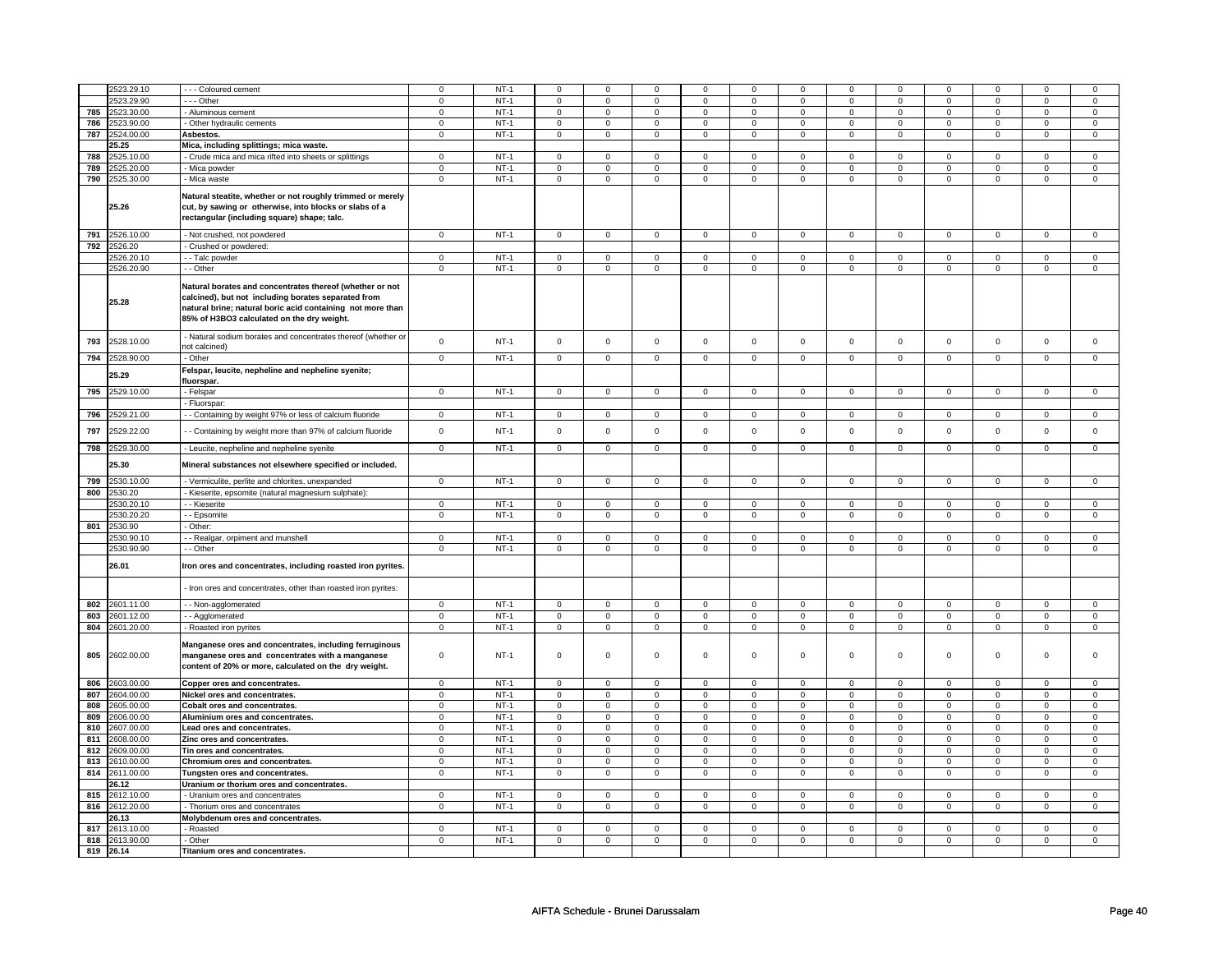|     | 2523.29.10     | --- Coloured cement                                                                                                                                                                                                         | $\mathbf 0$             | $NT-1$ | $\mathbf 0$         | $\mathbf 0$    | $\mathbf 0$    | 0              | 0              | 0              | $\Omega$       | $\mathbf 0$    | $\mathbf 0$    | 0              | $\Omega$       | $\Omega$       |
|-----|----------------|-----------------------------------------------------------------------------------------------------------------------------------------------------------------------------------------------------------------------------|-------------------------|--------|---------------------|----------------|----------------|----------------|----------------|----------------|----------------|----------------|----------------|----------------|----------------|----------------|
|     | 2523.29.90     | $\cdots$ Other                                                                                                                                                                                                              | $\overline{0}$          | $NT-1$ | 0                   | $\overline{0}$ | 0              | $\overline{0}$ | 0              | $\overline{0}$ | 0              | 0              | 0              | $\overline{0}$ | 0              | $\overline{0}$ |
|     | 785 2523.30.00 | - Aluminous cement                                                                                                                                                                                                          | $\mathsf 0$             | $NT-1$ | $\mathsf 0$         | $\mathbf 0$    | $\mathbf 0$    | $\mathbf 0$    | $\mathbf 0$    | $\mathbf 0$    | $\mathbf 0$    | $\mathbf 0$    | $\mathbf 0$    | $\mathbf 0$    | $\mathbf 0$    | $\mathbf 0$    |
| 786 | 2523.90.00     | - Other hydraulic cements                                                                                                                                                                                                   | $\mathbf 0$             | $NT-1$ | $\mathbf 0$         | $\mathbf 0$    | $\mathbf 0$    | $\mathbf 0$    | $\mathsf 0$    | $\mathbf 0$    | $\mathbf 0$    | $\mathbf 0$    | $\mathbf 0$    | $\mathbf 0$    | $\mathbf 0$    | $\mathbf{0}$   |
|     |                |                                                                                                                                                                                                                             | $\Omega$                |        |                     |                |                |                |                |                | $\Omega$       |                |                |                | $\Omega$       |                |
| 787 | 2524.00.00     | Asbestos.                                                                                                                                                                                                                   |                         | $NT-1$ | $\mathsf{O}\xspace$ | $\mathsf 0$    | $\mathsf 0$    | $\mathsf 0$    | $\mathsf 0$    | $\mathsf 0$    |                | $\mathbf 0$    | $\mathsf 0$    | $\mathbf 0$    |                | $\mathbf 0$    |
|     | 25.25          | Mica, including splittings; mica waste.                                                                                                                                                                                     |                         |        |                     |                |                |                |                |                |                |                |                |                |                |                |
| 788 | 2525.10.00     | Crude mica and mica rifted into sheets or splittings                                                                                                                                                                        | $\mathbf 0$             | $NT-1$ | $\mathsf 0$         | $\mathbf 0$    | $\mathbf 0$    | $\mathbf 0$    | $\mathbf 0$    | $\mathbf 0$    | $\mathbf 0$    | $\mathbf 0$    | $\mathsf 0$    | $\mathbf 0$    | $\Omega$       | $\mathbf{0}$   |
| 789 | 2525.20.00     | Mica powder                                                                                                                                                                                                                 | $\mathbf 0$             | $NT-1$ | $\mathsf 0$         | $\mathbf 0$    | $\mathbf 0$    | $\mathbf 0$    | $\mathbf 0$    | $\mathbf 0$    | $\mathbf 0$    | $\mathbf 0$    | $\mathsf 0$    | $\mathbf 0$    | $\mathbf 0$    | $\mathbf{0}$   |
|     | 790 2525.30.00 | Mica waste                                                                                                                                                                                                                  | $\mathbf 0$             | $NT-1$ | $\mathbf 0$         | $\overline{0}$ | $\mathbf 0$    | $\mathbf{0}$   | $\mathbf 0$    | $\overline{0}$ | $\mathbf{0}$   | $\overline{0}$ | $\mathbf 0$    | $\overline{0}$ | $\mathbf 0$    | $\overline{0}$ |
|     | 25.26          | Natural steatite, whether or not roughly trimmed or merely<br>cut, by sawing or otherwise, into blocks or slabs of a<br>rectangular (including square) shape; talc.                                                         |                         |        |                     |                |                |                |                |                |                |                |                |                |                |                |
|     | 791 2526.10.00 | Not crushed, not powdered                                                                                                                                                                                                   | $\mathbf 0$             | $NT-1$ | $\overline{0}$      | $\overline{0}$ | 0              | $\overline{0}$ | 0              | $\overline{0}$ | 0              | $\overline{0}$ | 0              | $\overline{0}$ | 0              | $\overline{0}$ |
|     | 792 2526.20    |                                                                                                                                                                                                                             |                         |        |                     |                |                |                |                |                |                |                |                |                |                |                |
|     |                | Crushed or powdered:                                                                                                                                                                                                        |                         |        |                     |                |                |                |                |                |                |                |                |                |                |                |
|     | 2526.20.10     | - - Talc powder                                                                                                                                                                                                             | $\mathbf 0$             | $NT-1$ | $\mathsf 0$         | $\mathbf 0$    | $\mathbf 0$    | $\mathbf 0$    | $\mathbf 0$    | $\mathbf 0$    | $\mathbf 0$    | $\mathbf 0$    | $\mathsf 0$    | $\mathbf 0$    | $\mathbf 0$    | $\mathbf{0}$   |
|     | 2526.20.90     | - - Other                                                                                                                                                                                                                   | $\Omega$                | $NT-1$ | $\mathsf 0$         | $\overline{0}$ | $\mathbf 0$    | $\overline{0}$ | $\mathbf 0$    | $\mathsf 0$    | $\mathbf 0$    | $\overline{0}$ | $\mathsf 0$    | $\overline{0}$ | $\mathbf 0$    | $\overline{0}$ |
|     | 25.28          | Natural borates and concentrates thereof (whether or not<br>calcined), but not including borates separated from<br>natural brine; natural boric acid containing not more than<br>85% of H3BO3 calculated on the dry weight. |                         |        |                     |                |                |                |                |                |                |                |                |                |                |                |
| 793 | 2528.10.00     | Natural sodium borates and concentrates thereof (whether or<br>not calcined)                                                                                                                                                | $\mathbf 0$             | $NT-1$ | $\mathsf 0$         | $\mathbf 0$    | $\mathbf 0$    | $\mathsf 0$    | $\mathbf 0$    | $\mathsf 0$    | $\mathbf 0$    | $\mathbf 0$    | $\mathbf 0$    | $\mathbf 0$    | $\mathbf 0$    | $\mathbf 0$    |
|     | 794 2528.90.00 | - Other                                                                                                                                                                                                                     | $\overline{0}$          | $NT-1$ | $\mathsf 0$         | $\mathbf 0$    | $\mathbf 0$    | $\mathbf 0$    | $\mathbf 0$    | $\mathbf 0$    | $\mathbf 0$    | $\overline{0}$ | $\mathsf 0$    | $\mathbf 0$    | $\mathbf 0$    | $\overline{0}$ |
|     | 25.29          | Felspar, leucite, nepheline and nepheline syenite;<br>fluorspar.                                                                                                                                                            |                         |        |                     |                |                |                |                |                |                |                |                |                |                |                |
|     | 795 2529.10.00 | - Felspar                                                                                                                                                                                                                   | $\mathsf 0$             | $NT-1$ | $\mathbf 0$         | $\mathbf 0$    | $\mathbf 0$    | $\mathbf 0$    | $\mathbf 0$    | $\mathbf 0$    | $\mathbf 0$    | $\mathbf 0$    | $\mathbf 0$    | $\mathbf{0}$   | $\Omega$       | $\mathbf 0$    |
| 796 | !529.21.00     | - Fluorspar:<br>- - Containing by weight 97% or less of calcium fluoride                                                                                                                                                    | $\Omega$                | $NT-1$ | $\mathbf 0$         | $\mathbf 0$    | $\Omega$       | $\mathbf 0$    | $\Omega$       | $\mathbf 0$    | $\Omega$       | $\mathbf 0$    | $\Omega$       | $\mathbf 0$    | $\Omega$       | $\Omega$       |
|     | 2529.22.00     |                                                                                                                                                                                                                             | $\mathbf 0$             | $NT-1$ | $\mathsf{O}\xspace$ | $\mathsf 0$    | $\mathsf 0$    | $\mathsf 0$    | $\mathsf 0$    | $\mathsf 0$    | $\mathbf 0$    | $\mathbf 0$    | $\mathsf 0$    | $\mathbf 0$    | $\mathsf 0$    | $\mathsf 0$    |
| 797 |                | - Containing by weight more than 97% of calcium fluoride                                                                                                                                                                    |                         |        |                     |                |                |                |                |                |                |                |                |                |                |                |
| 798 | 2529.30.00     | - Leucite, nepheline and nepheline syenite                                                                                                                                                                                  | $\overline{\mathbf{0}}$ | $NT-1$ | $\mathbf 0$         | $\circ$        | $\mathbf 0$    | $\circ$        | $\mathbf 0$    | $\circ$        | $\circ$        | $\circ$        | $\mathbf 0$    | $\circ$        | $\mathbf 0$    | $\circ$        |
|     | 25.30          | Mineral substances not elsewhere specified or included.                                                                                                                                                                     |                         |        |                     |                |                |                |                |                |                |                |                |                |                |                |
| 799 | 2530.10.00     | - Vermiculite, perlite and chlorites, unexpanded                                                                                                                                                                            | $\mathbf 0$             | $NT-1$ | $\mathbf 0$         | $\mathbf 0$    | $\mathbf 0$    | $\mathbf 0$    | $\mathbf 0$    | $\mathbf 0$    | $\mathbf 0$    | $\mathbf{0}$   | $\mathbf 0$    | $\mathbf{0}$   | $\mathbf 0$    | $\mathbf{0}$   |
| 800 | 2530.20        | Kieserite, epsomite (natural magnesium sulphate):                                                                                                                                                                           |                         |        |                     |                |                |                |                |                |                |                |                |                |                |                |
|     | 1530.20.10     | - Kieserite                                                                                                                                                                                                                 | $\mathbf 0$             | $NT-1$ | 0                   | $\mathbf 0$    | 0              | $\mathbf 0$    | 0              | $\mathbf 0$    | 0              | $\mathbf 0$    | 0              | $\mathbf 0$    | 0              | 0              |
|     | 2530.20.20     | - Epsomite                                                                                                                                                                                                                  | $\overline{0}$          | $NT-1$ | $\mathsf{O}\xspace$ | $\overline{0}$ | $\mathsf 0$    | $\mathbf 0$    | $\mathsf 0$    | $\overline{0}$ | $\mathbf 0$    | $\mathsf 0$    | $\mathsf 0$    | $\overline{0}$ | 0              | $\overline{0}$ |
|     |                | Other:                                                                                                                                                                                                                      |                         |        |                     |                |                |                |                |                |                |                |                |                |                |                |
|     | 801 2530.90    |                                                                                                                                                                                                                             |                         |        |                     |                |                |                |                |                |                |                |                |                |                |                |
|     | 2530.90.10     | - Realgar, orpiment and munshell                                                                                                                                                                                            | $\Omega$                | $NT-1$ | $\mathsf 0$         | $\mathbf 0$    | $\mathbf 0$    | $\mathsf 0$    | $\mathbf 0$    | $\mathsf 0$    | $\mathbf 0$    | $\mathbf 0$    | $\mathsf 0$    | $\mathbf 0$    | $\Omega$       | 0              |
|     | 2530.90.90     | - - Other                                                                                                                                                                                                                   | $\mathbf 0$             | $NT-1$ | $\mathbf 0$         | $\mathbf 0$    | $\mathbf 0$    | $\mathbf{0}$   | $\mathbf 0$    | $\mathbf{0}$   | $\mathbf 0$    | $\mathbf{0}$   | $\mathbf 0$    | $\mathbf 0$    | $\mathbf 0$    | $\mathbf{0}$   |
|     | 26.01          | Iron ores and concentrates, including roasted iron pyrites.                                                                                                                                                                 |                         |        |                     |                |                |                |                |                |                |                |                |                |                |                |
|     |                | Iron ores and concentrates, other than roasted iron pyrites:                                                                                                                                                                |                         |        |                     |                |                |                |                |                |                |                |                |                |                |                |
| 802 | 2601.11.00     | -- Non-agglomerated                                                                                                                                                                                                         | $\mathbf 0$             | $NT-1$ | $\mathbf 0$         | $\mathbf 0$    | $\mathbf 0$    | $\mathbf{0}$   | $\mathbf 0$    | $\mathbf 0$    | 0              | $\mathbf 0$    | 0              | $\mathbf 0$    | 0              | 0              |
| 803 | 2601.12.00     | - - Agglomerated                                                                                                                                                                                                            | $\mathbf 0$             | $NT-1$ | $\mathsf 0$         | $\mathbf 0$    | 0              | $\mathbf 0$    | $\mathbf 0$    | $\mathbf 0$    | 0              | $\mathbf 0$    | 0              | $\mathbf 0$    | 0              | $\mathbf{0}$   |
| 804 | 2601.20.00     | - Roasted iron pyrites                                                                                                                                                                                                      | $\overline{0}$          | $NT-1$ | $\overline{0}$      | $\overline{0}$ | $\overline{0}$ | $\overline{0}$ | $\overline{0}$ | $\overline{0}$ | $\overline{0}$ | $\overline{0}$ | $\overline{0}$ | $\overline{0}$ | $\overline{0}$ | $\overline{0}$ |
| 805 | 2602.00.00     | Manganese ores and concentrates, including ferruginous<br>manganese ores and concentrates with a manganese<br>content of 20% or more, calculated on the dry weight.                                                         | $\Omega$                | $NT-1$ | $\mathsf{O}\xspace$ | $\mathsf 0$    | $\mathbf 0$    | $\mathsf 0$    | $\mathsf 0$    | $\mathsf 0$    | $\Omega$       | $\mathbf 0$    | $\mathsf 0$    | $\mathbf 0$    | $\Omega$       | 0              |
| 806 | 2603.00.00     | Copper ores and concentrates.                                                                                                                                                                                               | $\mathbf 0$             | $NT-1$ | $\mathbf 0$         | $\mathbf 0$    | $\mathbf 0$    | $\mathbf{0}$   | $\mathbf 0$    | $\mathbf{0}$   | $\mathbf 0$    | $\mathbf{0}$   | $\mathbf 0$    | $\mathbf{0}$   | $\Omega$       | $\mathbf{0}$   |
| 807 | 2604.00.00     |                                                                                                                                                                                                                             | $\mathbf 0$             | $NT-1$ | $\mathbf 0$         | $\mathbf 0$    | $\mathbf 0$    | $\mathbf{0}$   | $\mathbf 0$    | $\mathbf 0$    | $\mathbf{0}$   | $\mathbf{0}$   | $\mathbf 0$    | $\mathbf 0$    | $\Omega$       | $\mathbf{O}$   |
|     |                | Nickel ores and concentrates.                                                                                                                                                                                               |                         |        |                     |                |                |                |                |                |                |                |                |                |                |                |
| 808 | 2605.00.00     | Cobalt ores and concentrates.                                                                                                                                                                                               | $\mathsf 0$             | $NT-1$ | $\mathsf 0$         | $\mathsf 0$    | $\mathbf 0$    | $\mathbf 0$    | $\mathbf 0$    | $\mathbf 0$    | $\mathbf 0$    | $\mathbf 0$    | $\mathsf 0$    | $\mathbf 0$    | $\mathbf 0$    | $\mathbf 0$    |
| 809 | 2606.00.00     | Aluminium ores and concentrates.                                                                                                                                                                                            | $\mathbf 0$             | $NT-1$ | $\mathbf 0$         | $\mathbf 0$    | 0              | $\mathsf 0$    | 0              | $\mathsf 0$    | 0              | $\mathbf 0$    | 0              | $\mathbf 0$    | 0              | 0              |
| 810 | 2607.00.00     | Lead ores and concentrates.                                                                                                                                                                                                 | $\mathsf 0$             | $NT-1$ | $\mathsf 0$         | $\mathsf 0$    | $\mathsf 0$    | $\mathbf 0$    | 0              | $\mathbf 0$    | 0              | $\mathbf 0$    | 0              | $\mathbf 0$    | 0              | $\mathbf 0$    |
| 811 | 2608.00.00     | Zinc ores and concentrates.                                                                                                                                                                                                 | $\mathbf 0$             | $NT-1$ | $\mathbf 0$         | $\overline{0}$ | $\mathbf 0$    | $\mathbf{0}$   | $\mathbf 0$    | $\mathbf 0$    | 0              | $\mathbf{0}$   | 0              | $\mathbf{0}$   | 0              | $\mathbf 0$    |
| 812 | 2609.00.00     | Tin ores and concentrates.                                                                                                                                                                                                  | $\mathbf 0$             | $NT-1$ | $\mathsf 0$         | $\mathbf 0$    | $\mathbf 0$    | $\mathbf 0$    | $\mathbf 0$    | $\mathbf 0$    | 0              | $\mathbf 0$    | $\mathsf 0$    | $\mathbf 0$    | 0              | $\mathbf 0$    |
| 813 | 2610.00.00     |                                                                                                                                                                                                                             | $\mathsf 0$             | $NT-1$ | $\mathsf 0$         | $\mathbf 0$    | $\mathbf 0$    | $\mathsf 0$    | $\mathbf 0$    | $\mathsf 0$    | $\mathbf 0$    | $\mathbf 0$    | $\mathsf 0$    | $\mathsf 0$    | $\Omega$       | 0              |
|     |                | Chromium ores and concentrates.                                                                                                                                                                                             |                         |        |                     |                |                |                |                |                |                |                |                |                |                |                |
|     | 814 2611.00.00 | Tungsten ores and concentrates.                                                                                                                                                                                             | $\overline{0}$          | $NT-1$ | $\overline{0}$      | $\overline{0}$ | $\overline{0}$ | $\overline{0}$ | $\overline{0}$ | $\overline{0}$ | $\overline{0}$ | $\overline{0}$ | $\overline{0}$ | $\overline{0}$ | $\overline{0}$ | $\overline{0}$ |
|     | 26.12          | Uranium or thorium ores and concentrates.                                                                                                                                                                                   |                         |        |                     |                |                |                |                |                |                |                |                |                |                |                |
|     | 815 2612.10.00 | Uranium ores and concentrates                                                                                                                                                                                               | $\mathsf 0$             | $NT-1$ | $\mathsf 0$         | $\mathbf 0$    | $\mathbf 0$    | $\mathsf 0$    | $\mathbf 0$    | $\mathsf 0$    | $\mathbf 0$    | $\mathbf 0$    | $\mathsf 0$    | $\mathbf 0$    | $\Omega$       | 0              |
|     | 816 2612.20.00 | Thorium ores and concentrates                                                                                                                                                                                               | $\mathsf 0$             | $NT-1$ | $\mathsf 0$         | $\mathsf 0$    | $\mathsf 0$    | $\mathsf{O}$   | $\mathsf 0$    | $\mathsf{O}$   | $\mathbf 0$    | $\mathsf{O}$   | $\mathbf 0$    | $\mathsf{O}$   | 0              | $\mathsf 0$    |
|     | 26.13          | Molybdenum ores and concentrates.                                                                                                                                                                                           |                         |        |                     |                |                |                |                |                |                |                |                |                |                |                |
| 817 | 2613.10.00     | - Roasted                                                                                                                                                                                                                   | $\Omega$                | $NT-1$ | $\mathbf 0$         | $\mathbf 0$    | $\mathbf 0$    | $\mathbf 0$    | $\mathbf 0$    | $\mathbf 0$    | $\mathbf 0$    | $\mathbf 0$    | $\mathbf 0$    | $\mathbf 0$    | $\mathbf 0$    | 0              |
|     | 818 2613.90.00 | - Other                                                                                                                                                                                                                     | $\overline{0}$          | $NT-1$ | $\overline{0}$      | $\overline{0}$ | $\overline{0}$ | $\overline{0}$ | $\overline{0}$ | $\overline{0}$ | $\overline{0}$ | $\overline{0}$ | $\overline{0}$ | $\overline{0}$ | $\overline{0}$ | $\overline{0}$ |
|     | 819 26.14      | Titanium ores and concentrates.                                                                                                                                                                                             |                         |        |                     |                |                |                |                |                |                |                |                |                |                |                |
|     |                |                                                                                                                                                                                                                             |                         |        |                     |                |                |                |                |                |                |                |                |                |                |                |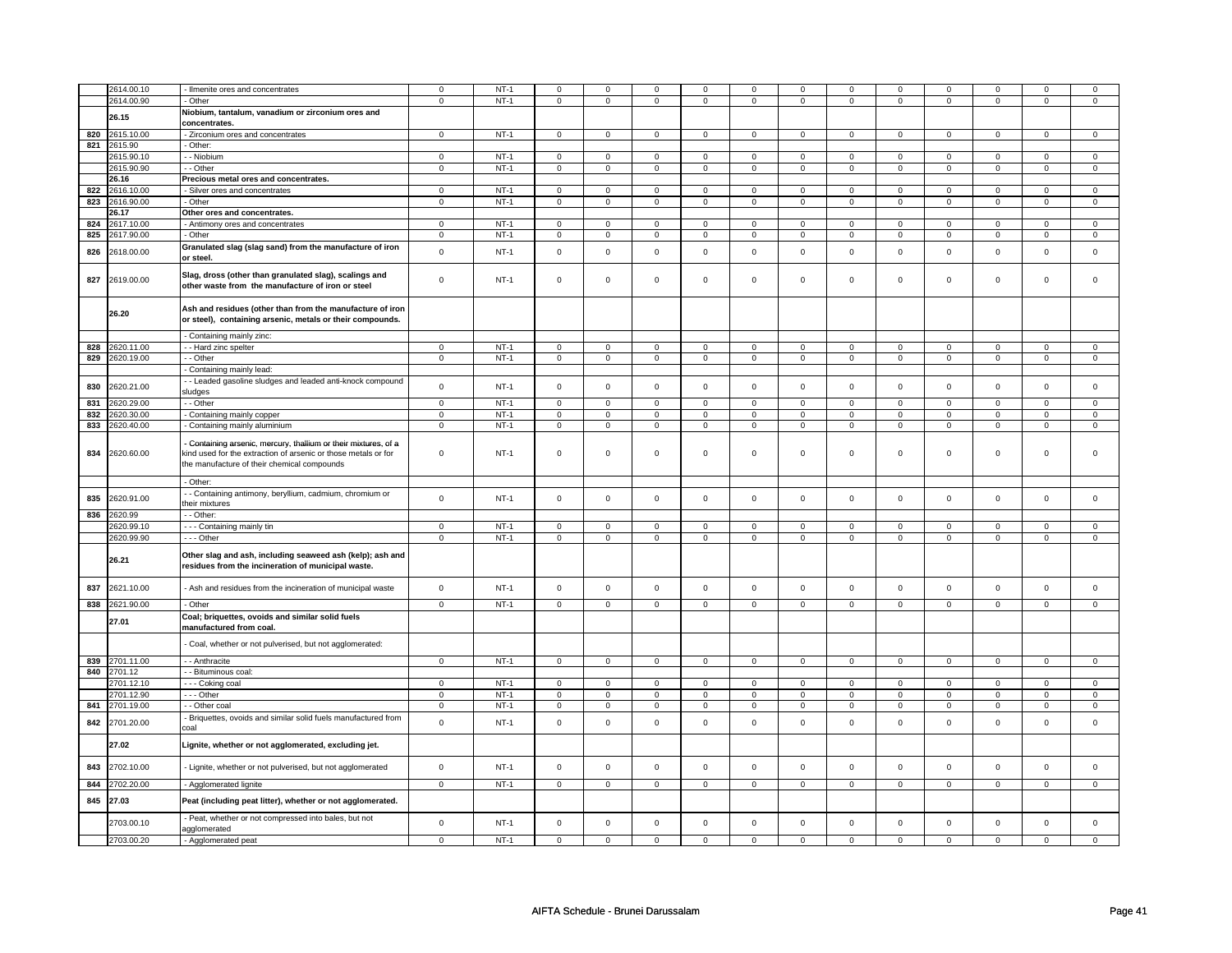|     | 2614.00.10 | Ilmenite ores and concentrates                                 | 0              | $NT-1$ | $\mathbf 0$         | $\mathbf 0$    | $\mathbf 0$         | $\mathbf 0$    | $\mathbf 0$    | $\mathbf 0$    | $\mathbf 0$    | $\mathbf 0$    | $\mathbf 0$    | $\mathbf 0$    | $\mathbf 0$    | $\mathbf 0$    |
|-----|------------|----------------------------------------------------------------|----------------|--------|---------------------|----------------|---------------------|----------------|----------------|----------------|----------------|----------------|----------------|----------------|----------------|----------------|
|     | 2614.00.90 | Other                                                          | $\overline{0}$ | $NT-1$ | $\mathbf 0$         | $\overline{0}$ | $\mathbf 0$         | $\overline{0}$ | $\mathbf{0}$   | $\overline{0}$ | $\mathbf 0$    | $\mathbf 0$    | $\mathbf 0$    | $\overline{0}$ | $\mathsf 0$    | $\mathbf 0$    |
|     |            | Niobium, tantalum, vanadium or zirconium ores and              |                |        |                     |                |                     |                |                |                |                |                |                |                |                |                |
|     | 26.15      |                                                                |                |        |                     |                |                     |                |                |                |                |                |                |                |                |                |
|     |            | concentrates.                                                  |                |        |                     |                |                     |                |                |                |                |                |                |                |                |                |
| 820 | 2615.10.00 | - Zirconium ores and concentrates                              | $\Omega$       | $NT-1$ | $\overline{0}$      | $\mathbf 0$    | $\Omega$            | $\mathbf 0$    | $\overline{0}$ | $\Omega$       | $\mathsf 0$    | $\mathsf 0$    | $\overline{0}$ | $\Omega$       | $\Omega$       | $\Omega$       |
| 821 | 2615.90    | - Other:                                                       |                |        |                     |                |                     |                |                |                |                |                |                |                |                |                |
|     | 2615.90.10 | - Niobium                                                      | $\mathbf 0$    | $NT-1$ | $\mathsf 0$         | $\mathbf 0$    | $\overline{0}$      | $\overline{0}$ | $\overline{0}$ | $\overline{0}$ | $\overline{0}$ | $\overline{0}$ | $\mathsf 0$    | $\overline{0}$ | $\mathbf 0$    | $\mathsf 0$    |
|     |            |                                                                |                |        |                     |                |                     |                |                |                |                |                |                |                |                |                |
|     | 2615.90.90 | - - Other                                                      | $\mathbf 0$    | $NT-1$ | $\mathbf 0$         | $\overline{0}$ | $\overline{0}$      | $\overline{0}$ | $\overline{0}$ | $\overline{0}$ | $\overline{0}$ | $\overline{0}$ | $\mathbf 0$    | $\overline{0}$ | $\overline{0}$ | $\overline{0}$ |
|     | 26.16      | Precious metal ores and concentrates.                          |                |        |                     |                |                     |                |                |                |                |                |                |                |                |                |
| 822 | 2616.10.00 | - Silver ores and concentrates                                 | $\mathbf 0$    | $NT-1$ | $\mathbf{0}$        | $\mathbf 0$    | $\mathbf{0}$        | $\mathbf{0}$   | $\circ$        | $\mathbf{0}$   | $\Omega$       | $\mathbf{0}$   | $\mathbf 0$    | $\mathbf{0}$   | $\Omega$       | $\mathbf{0}$   |
| 823 | 2616.90.00 | - Other                                                        | $\mathsf 0$    | $NT-1$ | $\mathsf{O}\xspace$ | $\mathsf 0$    | $\mathsf{O}\xspace$ | $\mathsf 0$    | $\mathsf 0$    | $\mathsf 0$    | $\mathbf 0$    | $\mathsf 0$    | $\mathsf 0$    | $\mathsf 0$    | $\mathsf 0$    | $\mathbf 0$    |
|     |            |                                                                |                |        |                     |                |                     |                |                |                |                |                |                |                |                |                |
|     | 26.17      | Other ores and concentrates.                                   |                |        |                     |                |                     |                |                |                |                |                |                |                |                |                |
| 824 | 2617.10.00 | - Antimony ores and concentrates                               | $\Omega$       | $NT-1$ | $\mathbf 0$         | $\mathbf 0$    | $\mathbf{0}$        | $\mathbf 0$    | $\mathbf{0}$   | $\mathbf 0$    | $\mathbf{0}$   | $\mathbf 0$    | $\mathbf 0$    | $\mathbf 0$    | $\mathsf 0$    | $\mathbf{0}$   |
| 825 | 2617.90.00 | - Other                                                        | 0              | $NT-1$ | 0                   | 0              | $\mathbf 0$         | $\mathbf 0$    | $\overline{0}$ | $\mathbf 0$    | 0              | $\mathbf 0$    | $\mathbf 0$    | $\mathbf{0}$   | $\mathbf 0$    | $\mathbf{0}$   |
|     |            | Granulated slag (slag sand) from the manufacture of iron       |                |        |                     |                |                     |                |                |                |                |                |                |                |                |                |
| 826 | 2618.00.00 |                                                                | $\mathsf 0$    | $NT-1$ | $\mathsf 0$         | $\mathsf 0$    | $\mathsf 0$         | $\mathsf 0$    | $\mathsf 0$    | $\mathsf 0$    | $\mathsf 0$    | $\mathsf 0$    | $\mathbf 0$    | $\mathsf 0$    | $\mathbf 0$    | $\mathsf 0$    |
|     |            | or steel.                                                      |                |        |                     |                |                     |                |                |                |                |                |                |                |                |                |
|     |            | Slag, dross (other than granulated slag), scalings and         |                |        |                     |                |                     |                |                |                |                |                |                |                |                |                |
| 827 | 2619.00.00 |                                                                | $\mathbf 0$    | $NT-1$ | $\mathbf 0$         | $\mathbf 0$    | $\mathbf 0$         | $\mathbf 0$    | $\mathbf 0$    | $\mathbf 0$    | $\mathbf 0$    | $\mathbf 0$    | $\mathsf 0$    | $\mathbf 0$    | $\mathsf 0$    | $\mathbf 0$    |
|     |            | other waste from the manufacture of iron or steel              |                |        |                     |                |                     |                |                |                |                |                |                |                |                |                |
|     |            |                                                                |                |        |                     |                |                     |                |                |                |                |                |                |                |                |                |
|     |            | Ash and residues (other than from the manufacture of iron      |                |        |                     |                |                     |                |                |                |                |                |                |                |                |                |
|     | 26.20      |                                                                |                |        |                     |                |                     |                |                |                |                |                |                |                |                |                |
|     |            | or steel), containing arsenic, metals or their compounds.      |                |        |                     |                |                     |                |                |                |                |                |                |                |                |                |
|     |            | Containing mainly zinc:                                        |                |        |                     |                |                     |                |                |                |                |                |                |                |                |                |
|     |            |                                                                |                |        |                     |                |                     |                |                |                |                |                |                |                |                |                |
| 828 | 2620.11.00 | - - Hard zinc spelter                                          | $\mathbf{0}$   | $NT-1$ | $\mathbf 0$         | $\mathbf{0}$   | $\mathbf{0}$        | $\mathbf 0$    | $\mathbf{0}$   | $\mathbf 0$    | $\mathbf{0}$   | $\circ$        | $\mathbf 0$    | $\circ$        | $\mathbf{0}$   | $\circ$        |
| 829 | 2620.19.00 | - - Other                                                      | $\mathbf 0$    | $NT-1$ | $\mathbf 0$         | $\mathbf 0$    | $\mathbf 0$         | $\mathbf 0$    | $\mathbf{0}$   | $\mathbf 0$    | $\mathbf{0}$   | $\circ$        | $\mathbf 0$    | $\circ$        | $\mathbf{0}$   | $\circ$        |
|     |            | Containing mainly lead:                                        |                |        |                     |                |                     |                |                |                |                |                |                |                |                |                |
|     |            | - - Leaded gasoline sludges and leaded anti-knock compound     |                |        |                     |                |                     |                |                |                |                |                |                |                |                |                |
| 830 | 2620.21.00 |                                                                | $\mathbf 0$    | $NT-1$ | $\mathsf 0$         | $\mathbf 0$    | $\mathsf 0$         | $\mathbf 0$    | $\mathbf 0$    | $\mathsf 0$    | $\mathsf 0$    | $\mathsf 0$    | $\mathsf 0$    | $\mathbf 0$    | $\mathsf 0$    | $\mathbf 0$    |
|     |            | sludges                                                        |                |        |                     |                |                     |                |                |                |                |                |                |                |                |                |
| 831 | 2620.29.00 | - - Other                                                      | $\mathbf 0$    | $NT-1$ | $\mathbf 0$         | $\mathsf 0$    | $\mathbf 0$         | $\mathsf 0$    | $\mathbf 0$    | $\mathsf 0$    | $\mathbf 0$    | $\mathbf 0$    | $\mathbf 0$    | $\mathbf 0$    | $\mathsf 0$    | $\mathbf 0$    |
| 832 | 2620.30.00 | - Containing mainly copper                                     | $\mathsf 0$    | $NT-1$ | 0                   | $\mathsf 0$    | $\mathsf 0$         | $\mathsf 0$    | $\mathsf 0$    | $\mathsf 0$    | $\mathbf 0$    | $\mathsf 0$    | $\mathsf 0$    | $\mathsf 0$    | $\mathsf 0$    | $\mathbf 0$    |
| 833 | 2620.40.00 | Containing mainly aluminium                                    | $\mathbf 0$    | $NT-1$ | $\mathbf{0}$        | $\mathsf 0$    | $\mathbf{0}$        | $\mathsf 0$    | $\mathbf{0}$   | $\mathsf 0$    | $\mathbf 0$    | $\mathbf 0$    | $\mathbf{0}$   | $\mathbf{0}$   | $\mathbf 0$    | $\mathbf{0}$   |
|     |            |                                                                |                |        |                     |                |                     |                |                |                |                |                |                |                |                |                |
|     |            | Containing arsenic, mercury, thallium or their mixtures, of a  |                |        |                     |                |                     |                |                |                |                |                |                |                |                |                |
| 834 | 2620.60.00 | kind used for the extraction of arsenic or those metals or for | $\mathbf 0$    | $NT-1$ | $\Omega$            | 0              | $\mathsf 0$         | $\mathbf 0$    | $\mathsf 0$    | $\mathsf 0$    | $\mathsf 0$    | $\mathsf 0$    | $\mathsf 0$    | $\mathbf 0$    | $\Omega$       | $\Omega$       |
|     |            |                                                                |                |        |                     |                |                     |                |                |                |                |                |                |                |                |                |
|     |            | the manufacture of their chemical compounds                    |                |        |                     |                |                     |                |                |                |                |                |                |                |                |                |
|     |            |                                                                |                |        |                     |                |                     |                |                |                |                |                |                |                |                |                |
|     |            | - Other:                                                       |                |        |                     |                |                     |                |                |                |                |                |                |                |                |                |
|     | 2620.91.00 | - Containing antimony, beryllium, cadmium, chromium or         | $\mathbf 0$    | $NT-1$ | $\mathsf 0$         | $\mathsf 0$    | $\mathsf 0$         | $\mathbf 0$    | $\mathbf 0$    | $\mathbf 0$    | $\mathbf 0$    | $\mathbf 0$    | $\mathsf 0$    | $\mathbf 0$    | $\mathsf 0$    | $\mathbf 0$    |
| 835 |            | heir mixtures                                                  |                |        |                     |                |                     |                |                |                |                |                |                |                |                |                |
| 836 | 2620.99    | - - Other:                                                     |                |        |                     |                |                     |                |                |                |                |                |                |                |                |                |
|     |            |                                                                |                |        |                     |                |                     |                |                |                |                |                |                |                |                |                |
|     | 2620.99.10 | --- Containing mainly tin                                      | $\mathbf 0$    | $NT-1$ | $\mathsf 0$         | $\mathbf 0$    | $\mathbf 0$         | $\mathbf 0$    | $\overline{0}$ | $\mathsf 0$    | $\overline{0}$ | $\overline{0}$ | $\mathbf 0$    | $\mathsf 0$    | $\mathbf{0}$   | $\overline{0}$ |
|     | 2620.99.90 | --- Other                                                      | $\mathbf 0$    | $NT-1$ | $\mathbf 0$         | $\mathbf 0$    | $\mathbf 0$         | $\mathbf 0$    | $\mathbf 0$    | $\mathbf 0$    | $\mathbf 0$    | $\mathbf 0$    | $\mathbf 0$    | $\mathbf 0$    | $\mathsf 0$    | $\mathbf 0$    |
|     |            |                                                                |                |        |                     |                |                     |                |                |                |                |                |                |                |                |                |
|     | 26.21      | Other slag and ash, including seaweed ash (kelp); ash and      |                |        |                     |                |                     |                |                |                |                |                |                |                |                |                |
|     |            | residues from the incineration of municipal waste.             |                |        |                     |                |                     |                |                |                |                |                |                |                |                |                |
|     |            |                                                                |                |        |                     |                |                     |                |                |                |                |                |                |                |                |                |
| 837 | 2621.10.00 | Ash and residues from the incineration of municipal waste      | $\mathbf 0$    | $NT-1$ | $\mathbf 0$         | $\mathsf 0$    | $\mathbf 0$         | $\mathbf 0$    | $\mathbf 0$    | $\mathbf 0$    | $\mathbf 0$    | $\mathbf 0$    | $\mathsf 0$    | $\mathbf 0$    | $\mathsf 0$    | $\mathbf 0$    |
|     |            |                                                                |                |        |                     |                |                     |                |                |                |                |                |                |                |                |                |
| 838 | 2621.90.00 | - Other                                                        | $\mathbf 0$    | $NT-1$ | $\mathbf 0$         | $\mathbf 0$    | $\mathsf 0$         | $\mathbf 0$    | $\mathbf 0$    | $\mathbf 0$    | $\mathbf 0$    | $\circ$        | $\mathsf 0$    | $\mathbf 0$    | $\mathsf 0$    | $\circ$        |
|     |            | Coal; briquettes, ovoids and similar solid fuels               |                |        |                     |                |                     |                |                |                |                |                |                |                |                |                |
|     | 27.01      |                                                                |                |        |                     |                |                     |                |                |                |                |                |                |                |                |                |
|     |            | manufactured from coal.                                        |                |        |                     |                |                     |                |                |                |                |                |                |                |                |                |
|     |            | Coal, whether or not pulverised, but not agglomerated:         |                |        |                     |                |                     |                |                |                |                |                |                |                |                |                |
|     |            |                                                                |                |        |                     |                |                     |                |                |                |                |                |                |                |                |                |
| 839 | 2701.11.00 | - - Anthracite                                                 | $\mathbf{0}$   | $NT-1$ | $\mathbf 0$         | $\mathbf 0$    | $\mathbf{0}$        | $\mathbf 0$    | $\mathbf{0}$   | $\mathbf 0$    | $\mathbf 0$    | $\circ$        | $\mathbf 0$    | $\mathbf{0}$   | $\mathbf{0}$   | $\circ$        |
| 840 | 2701.12    | - - Bituminous coal:                                           |                |        |                     |                |                     |                |                |                |                |                |                |                |                |                |
|     |            |                                                                |                |        |                     |                |                     |                |                |                |                |                |                |                |                |                |
|     | 2701.12.10 | - - - Coking coal                                              | $\mathbf 0$    | $NT-1$ | $\circ$             | $\overline{0}$ | $\mathbf{0}$        | $\overline{0}$ | $\mathbf{0}$   | $\overline{0}$ | $\mathbf 0$    | $\overline{0}$ | $\mathbf 0$    | $\overline{0}$ | $\mathsf 0$    | $\overline{0}$ |
|     | 2701.12.90 | - - - Other                                                    | $\mathbf 0$    | $NT-1$ | $\Omega$            | $\mathbf{0}$   | $\Omega$            | $\mathbf 0$    | $\Omega$       | $\mathbf 0$    | $\Omega$       | $\mathbf 0$    | $\mathbf 0$    | $\mathbf 0$    | $\Omega$       | $\mathbf 0$    |
| 841 | 2701.19.00 | - - Other coal                                                 | 0              | $NT-1$ | $\mathbf 0$         | $\mathbf 0$    | $\overline{0}$      | $\mathsf 0$    | $\overline{0}$ | $\mathbf 0$    | $\overline{0}$ | $\overline{0}$ | $\mathbf 0$    | $\overline{0}$ | $\overline{0}$ | $\mathbf 0$    |
|     |            |                                                                |                |        |                     |                |                     |                |                |                |                |                |                |                |                |                |
| 842 | 2701.20.00 | Briquettes, ovoids and similar solid fuels manufactured from   | $\mathbf 0$    | $NT-1$ | $\mathsf 0$         | $\mathbf 0$    | $\mathsf 0$         | $\mathsf 0$    | $\mathsf 0$    | $\mathbf 0$    | $\mathsf 0$    | $\mathbf 0$    | $\mathsf 0$    | $\mathbf 0$    | $\mathsf 0$    | $\mathbf 0$    |
|     |            | coal                                                           |                |        |                     |                |                     |                |                |                |                |                |                |                |                |                |
|     |            |                                                                |                |        |                     |                |                     |                |                |                |                |                |                |                |                |                |
|     | 27.02      | Lignite, whether or not agglomerated, excluding jet.           |                |        |                     |                |                     |                |                |                |                |                |                |                |                |                |
|     |            |                                                                |                |        |                     |                |                     |                |                |                |                |                |                |                |                |                |
| 843 | 2702.10.00 | - Lignite, whether or not pulverised, but not agglomerated     | $\mathbf 0$    | $NT-1$ | $\mathsf 0$         | $\mathsf 0$    | $\mathbf 0$         | $\mathsf 0$    | $\mathbf 0$    | $\mathbf 0$    | $\mathbf 0$    | $\mathsf 0$    | $\mathsf 0$    | $\mathsf 0$    | $\mathsf 0$    | $\mathbf 0$    |
|     |            |                                                                |                |        |                     |                |                     |                |                |                |                |                |                |                |                |                |
| 844 | 2702.20.00 | - Agglomerated lignite                                         | $\mathbf{0}$   | $NT-1$ | $\mathbf{0}$        | $\mathbf{0}$   | $\circ$             | $\overline{0}$ | $\circ$        | $\mathbf{0}$   | $\mathbf{0}$   | $\circ$        | $\mathbf{0}$   | $\mathbf{0}$   | $\mathbf{0}$   | $\mathbf{0}$   |
|     |            |                                                                |                |        |                     |                |                     |                |                |                |                |                |                |                |                |                |
| 845 | 27.03      | Peat (including peat litter), whether or not agglomerated.     |                |        |                     |                |                     |                |                |                |                |                |                |                |                |                |
|     |            |                                                                |                |        |                     |                |                     |                |                |                |                |                |                |                |                |                |
|     | 2703.00.10 | Peat, whether or not compressed into bales, but not            | $\mathbf 0$    | $NT-1$ | $\mathbf 0$         | $\mathbf 0$    | $\mathbf 0$         | $\mathbf{0}$   | $\mathbf 0$    | $\mathbf 0$    | $\mathbf 0$    | $\mathbf 0$    | $\mathbf 0$    | $\mathbf 0$    | $\mathbf 0$    | $\mathbf 0$    |
|     |            | agglomerated                                                   |                |        |                     |                |                     |                |                |                |                |                |                |                |                |                |
|     | 2703.00.20 | - Agglomerated peat                                            | 0              | $NT-1$ | $\mathbf 0$         | $\Omega$       | $^{\circ}$          | $\Omega$       | 0              | 0              | 0              | 0              | 0              | 0              | $\mathbf 0$    | $\mathbf{0}$   |
|     |            |                                                                |                |        |                     |                |                     |                |                |                |                |                |                |                |                |                |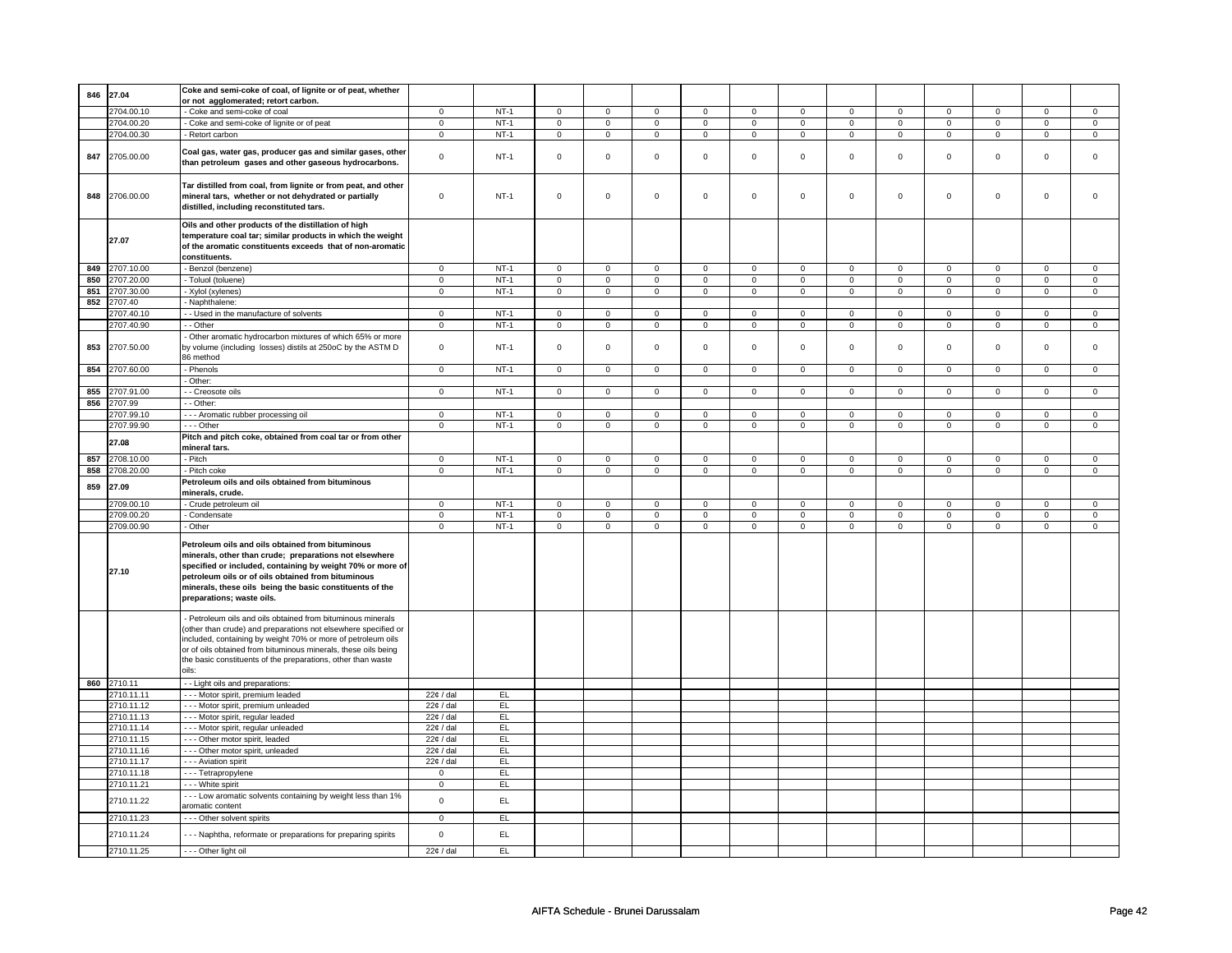|     |                          | Coke and semi-coke of coal, of lignite or of peat, whether                                                                                                                                                                                                                                                                           |                            |          |                               |                     |                     |                     |                     |                     |                |                |                |                |                |                |
|-----|--------------------------|--------------------------------------------------------------------------------------------------------------------------------------------------------------------------------------------------------------------------------------------------------------------------------------------------------------------------------------|----------------------------|----------|-------------------------------|---------------------|---------------------|---------------------|---------------------|---------------------|----------------|----------------|----------------|----------------|----------------|----------------|
| 846 | 27.04                    | or not agglomerated; retort carbon.                                                                                                                                                                                                                                                                                                  |                            |          |                               |                     |                     |                     |                     |                     |                |                |                |                |                |                |
|     | 2704.00.10               | - Coke and semi-coke of coal                                                                                                                                                                                                                                                                                                         | $\mathbf 0$                | $NT-1$   | $\mathsf 0$                   | $\mathbf 0$         | $\mathsf 0$         | $\mathsf 0$         | $\mathbf 0$         | $\mathsf 0$         | $\mathbf 0$    | $\mathsf 0$    | $\mathsf 0$    | $\overline{0}$ | $\mathsf 0$    | $\mathbf 0$    |
|     | 2704.00.20               | - Coke and semi-coke of lignite or of peat                                                                                                                                                                                                                                                                                           | $\mathsf 0$                | $NT-1$   | $\mathsf 0$                   | $\mathsf 0$         | $\mathsf{O}\xspace$ | $\mathsf 0$         | $\mathsf 0$         | $\mathsf 0$         | $\mathbf 0$    | $\mathsf 0$    | $\mathsf 0$    | $\mathbf 0$    | $\mathsf 0$    | $\mathbf 0$    |
|     | 2704.00.30               | - Retort carbon                                                                                                                                                                                                                                                                                                                      | $\mathsf 0$                | $NT-1$   | $\mathsf 0$                   | $\mathsf 0$         | $\mathsf 0$         | $\mathsf 0$         | $\mathsf 0$         | $\mathsf 0$         | $\mathsf 0$    | $\mathsf 0$    | $\mathsf 0$    | $\mathsf 0$    | $\mathsf 0$    | $\mathsf 0$    |
| 847 | 2705.00.00               | Coal gas, water gas, producer gas and similar gases, other<br>than petroleum gases and other gaseous hydrocarbons.                                                                                                                                                                                                                   | $\mathsf 0$                | $NT-1$   | $\mathbf 0$                   | $\mathbf 0$         | $\mathsf 0$         | $\mathsf 0$         | $\mathsf 0$         | $\mathsf 0$         | $\mathsf 0$    | $\mathsf 0$    | $\mathsf 0$    | $\mathbf 0$    | $\mathsf 0$    | $\mathbf 0$    |
| 848 | 2706.00.00               | Tar distilled from coal, from lignite or from peat, and other<br>mineral tars, whether or not dehydrated or partially<br>distilled, including reconstituted tars.                                                                                                                                                                    | $\mathsf 0$                | $NT-1$   | $\mathbf 0$                   | $\mathbf 0$         | $\mathbf 0$         | $\mathsf 0$         | $\mathbf 0$         | $\mathsf 0$         | $\mathsf 0$    | $\mathsf 0$    | $\mathbf 0$    | $\mathbf 0$    | $\mathsf 0$    | $\mathbf 0$    |
|     | 27.07                    | Oils and other products of the distillation of high<br>temperature coal tar; similar products in which the weight<br>of the aromatic constituents exceeds that of non-aromatic<br>constituents.                                                                                                                                      |                            |          |                               |                     |                     |                     |                     |                     |                |                |                |                |                |                |
| 849 | 2707.10.00               | Benzol (benzene)                                                                                                                                                                                                                                                                                                                     | $\mathsf 0$                | $NT-1$   | $\overline{0}$                | $\overline{0}$      | $\overline{0}$      | $\overline{0}$      | $\overline{0}$      | $\overline{0}$      | $\overline{0}$ | $\overline{0}$ | $\overline{0}$ | $\overline{0}$ | $\overline{0}$ | $\overline{0}$ |
| 850 | 2707.20.00               | - Toluol (toluene)                                                                                                                                                                                                                                                                                                                   | $\overline{0}$             | $NT-1$   | $\overline{0}$                | $\overline{0}$      | $\overline{0}$      | $\overline{0}$      | $\overline{0}$      | $\overline{0}$      | $\overline{0}$ | $\overline{0}$ | $\overline{0}$ | $\overline{0}$ | $\overline{0}$ | $\overline{0}$ |
| 851 | 2707.30.00               | - Xylol (xylenes)                                                                                                                                                                                                                                                                                                                    | $\,0\,$                    | $NT-1$   | $\overline{0}$                | $\overline{0}$      | $\overline{0}$      | $\overline{0}$      | $\overline{0}$      | $\overline{0}$      | $\overline{0}$ | $\overline{0}$ | $\overline{0}$ | $\overline{0}$ | $\overline{0}$ | $\overline{0}$ |
| 852 | 2707.40                  | Naphthalene:                                                                                                                                                                                                                                                                                                                         |                            |          |                               |                     |                     |                     |                     |                     |                |                |                |                |                |                |
|     | 2707.40.10               | - - Used in the manufacture of solvents                                                                                                                                                                                                                                                                                              | $\mathbf 0$                | $NT-1$   | $\mathsf 0$                   | $\mathbf{0}$        | $\mathsf 0$         | $\mathbf{0}$        | $\mathbf 0$         | $\mathsf 0$         | $\mathbf 0$    | $\mathbf 0$    | $\mathsf 0$    | $\mathbf 0$    | $\mathsf 0$    | $\mathbf 0$    |
|     | 2707.40.90               | - - Other                                                                                                                                                                                                                                                                                                                            | $\mathbf{0}$               | $NT-1$   | $\mathbf 0$                   | $\overline{0}$      | $\mathbf 0$         | $\overline{0}$      | 0                   | $\mathbf 0$         | $\mathbf 0$    | $\overline{0}$ | 0              | $\mathbf{0}$   | $\mathbf 0$    | $\mathbf{0}$   |
|     |                          |                                                                                                                                                                                                                                                                                                                                      |                            |          |                               |                     |                     |                     |                     |                     |                |                |                |                |                |                |
| 853 | 2707.50.00               | Other aromatic hydrocarbon mixtures of which 65% or more<br>by volume (including losses) distils at 250oC by the ASTM D<br>86 method                                                                                                                                                                                                 | $\mathsf 0$                | $NT-1$   | $\mathsf 0$                   | $\mathsf 0$         | $\mathsf 0$         | $\mathsf 0$         | $\mathbf 0$         | $\mathsf 0$         | $\mathsf 0$    | $\mathsf 0$    | $\mathsf 0$    | $\mathbf 0$    | $\mathsf 0$    | $\mathbf 0$    |
| 854 | 2707.60.00               | - Phenols                                                                                                                                                                                                                                                                                                                            | $\mathsf 0$                | $NT-1$   | $\mathsf 0$                   | $\mathsf 0$         | $\mathbf 0$         | $\mathsf 0$         | $\mathsf 0$         | $\mathsf 0$         | $\mathsf 0$    | $\mathsf 0$    | $\mathsf 0$    | $\mathsf 0$    | $\mathsf 0$    | $\mathsf 0$    |
|     |                          | - Other:                                                                                                                                                                                                                                                                                                                             |                            |          |                               |                     |                     |                     |                     |                     |                |                |                |                |                |                |
| 855 | 2707.91.00               | - - Creosote oils                                                                                                                                                                                                                                                                                                                    | $\mathsf 0$                | $NT-1$   | $\mathsf 0$                   | $\mathbf 0$         | $\mathbf 0$         | $\mathbf 0$         | $\mathsf 0$         | $\mathsf 0$         | $\mathsf 0$    | $\mathsf 0$    | $\mathsf 0$    | $\mathsf 0$    | $\mathsf 0$    | $\mathsf 0$    |
| 856 | 2707.99                  | - - Other:                                                                                                                                                                                                                                                                                                                           |                            |          |                               |                     |                     |                     |                     |                     |                |                |                |                |                |                |
|     | 2707.99.10               | - - - Aromatic rubber processing oil                                                                                                                                                                                                                                                                                                 | $\mathbf 0$                | $NT-1$   | $\mathbf 0$                   | $\mathbf 0$         | $\mathbf 0$         | $\mathbf 0$         | $\mathbf 0$         | $\mathbf 0$         | $\Omega$       | $\mathbf 0$    | $\mathbf 0$    | $\mathbf 0$    | $\Omega$       | $\mathbf 0$    |
|     | 2707.99.90               | --- Other                                                                                                                                                                                                                                                                                                                            | $\mathsf 0$                | $NT-1$   | $\mathsf 0$                   | $\mathsf 0$         | $\mathsf 0$         | $\mathsf 0$         | $\mathsf 0$         | $\mathsf 0$         | $\mathsf 0$    | $\mathsf 0$    | $\mathsf 0$    | $\overline{0}$ | $\mathsf 0$    | $\mathsf 0$    |
|     |                          | Pitch and pitch coke, obtained from coal tar or from other                                                                                                                                                                                                                                                                           |                            |          |                               |                     |                     |                     |                     |                     |                |                |                |                |                |                |
| 857 | 27.08<br>2708.10.00      | mineral tars.<br>- Pitch                                                                                                                                                                                                                                                                                                             | $\overline{0}$             | $NT-1$   | $\mathbf 0$                   | $\mathbf 0$         | $\mathbf 0$         | $\mathbf{0}$        | $\mathbf 0$         | $\mathbf 0$         | $\mathbf 0$    | $\mathbf 0$    | $\mathsf 0$    | $\mathbf 0$    | $\mathsf 0$    | $\mathsf 0$    |
| 858 | 2708.20.00               | - Pitch coke                                                                                                                                                                                                                                                                                                                         | $\mathbf 0$                | $NT-1$   | $\mathbf 0$                   | $\mathbf{0}$        | $\mathbf 0$         | $\mathbf{0}$        | $\mathbf 0$         | $\mathbf{0}$        | $\mathbf 0$    | $\mathbf 0$    | $\mathbf 0$    | $\mathbf 0$    | $\mathsf 0$    | $\overline{0}$ |
|     |                          | Petroleum oils and oils obtained from bituminous                                                                                                                                                                                                                                                                                     |                            |          |                               |                     |                     |                     |                     |                     |                |                |                |                |                |                |
| 859 | 27.09<br>2709.00.10      | minerals, crude.                                                                                                                                                                                                                                                                                                                     |                            | $NT-1$   |                               |                     |                     |                     |                     |                     | $\mathbf 0$    | $\mathbf 0$    | $\mathbf 0$    | $\mathbf 0$    | $\mathbf 0$    | $\mathbf 0$    |
|     | 2709.00.20               | - Crude petroleum oil<br>Condensate                                                                                                                                                                                                                                                                                                  | $\mathbf 0$<br>$\mathsf 0$ | $NT-1$   | $\mathbf 0$<br>$\overline{0}$ | 0<br>$\overline{0}$ | $\mathbf 0$         | 0<br>$\overline{0}$ | 0<br>$\overline{0}$ | 0<br>$\overline{0}$ | $\overline{0}$ | $\overline{0}$ | $\overline{0}$ | $\overline{0}$ | $\overline{0}$ | $\overline{0}$ |
|     |                          |                                                                                                                                                                                                                                                                                                                                      |                            | $NT-1$   |                               |                     | $\mathsf 0$         | $\overline{0}$      |                     | $\overline{0}$      |                | $\overline{0}$ |                |                |                | $\overline{0}$ |
|     | 2709.00.90               | - Other                                                                                                                                                                                                                                                                                                                              | $\mathbf 0$                |          | $\mathsf 0$                   | $\mathbf 0$         | $\mathsf 0$         |                     | $\mathsf 0$         |                     | $\mathsf 0$    |                | $\mathsf 0$    | $\overline{0}$ | $\mathsf 0$    |                |
|     | 27.10                    | Petroleum oils and oils obtained from bituminous<br>minerals, other than crude; preparations not elsewhere<br>specified or included, containing by weight 70% or more of<br>petroleum oils or of oils obtained from bituminous<br>minerals, these oils being the basic constituents of the<br>preparations; waste oils.              |                            |          |                               |                     |                     |                     |                     |                     |                |                |                |                |                |                |
|     |                          | Petroleum oils and oils obtained from bituminous minerals<br>other than crude) and preparations not elsewhere specified or<br>ncluded, containing by weight 70% or more of petroleum oils<br>or of oils obtained from bituminous minerals, these oils being<br>the basic constituents of the preparations, other than waste<br>oils: |                            |          |                               |                     |                     |                     |                     |                     |                |                |                |                |                |                |
|     | 860 2710.11              | - - Light oils and preparations:                                                                                                                                                                                                                                                                                                     |                            |          |                               |                     |                     |                     |                     |                     |                |                |                |                |                |                |
|     | 2710.11.11               | - - - Motor spirit, premium leaded                                                                                                                                                                                                                                                                                                   | $22¢$ / dal                | EL       |                               |                     |                     |                     |                     |                     |                |                |                |                |                |                |
|     | 2710.11.12               | - - - Motor spirit, premium unleaded                                                                                                                                                                                                                                                                                                 | $22¢$ / dal                | EL       |                               |                     |                     |                     |                     |                     |                |                |                |                |                |                |
|     | 2710.11.13               | --- Motor spirit, regular leaded                                                                                                                                                                                                                                                                                                     | $22¢$ / dal                | EL       |                               |                     |                     |                     |                     |                     |                |                |                |                |                |                |
|     | 2710.11.14               | --- Motor spirit, regular unleaded                                                                                                                                                                                                                                                                                                   | $22¢$ / dal                | EL.      |                               |                     |                     |                     |                     |                     |                |                |                |                |                |                |
|     | 2710.11.15               | - - - Other motor spirit, leaded                                                                                                                                                                                                                                                                                                     | $22¢$ / dal                | EL       |                               |                     |                     |                     |                     |                     |                |                |                |                |                |                |
|     | 2710.11.16               | - - - Other motor spirit, unleaded                                                                                                                                                                                                                                                                                                   | $22¢$ / dal                | EL.      |                               |                     |                     |                     |                     |                     |                |                |                |                |                |                |
|     |                          | - - - Aviation spirit                                                                                                                                                                                                                                                                                                                | $22¢$ / dal                | EL       |                               |                     |                     |                     |                     |                     |                |                |                |                |                |                |
|     |                          |                                                                                                                                                                                                                                                                                                                                      |                            |          |                               |                     |                     |                     |                     |                     |                |                |                |                |                |                |
|     | 2710.11.17               |                                                                                                                                                                                                                                                                                                                                      |                            |          |                               |                     |                     |                     |                     |                     |                |                |                |                |                |                |
|     | 2710.11.18               | - - - Tetrapropylene                                                                                                                                                                                                                                                                                                                 | $\mathbf 0$                | EL       |                               |                     |                     |                     |                     |                     |                |                |                |                |                |                |
|     | 2710.11.21               | - - - White spirit                                                                                                                                                                                                                                                                                                                   | $\mathbf 0$                | EL       |                               |                     |                     |                     |                     |                     |                |                |                |                |                |                |
|     | 2710.11.22               | --- Low aromatic solvents containing by weight less than 1%<br>aromatic content                                                                                                                                                                                                                                                      | $\mathbf 0$                | EL       |                               |                     |                     |                     |                     |                     |                |                |                |                |                |                |
|     | 2710.11.23               | --- Other solvent spirits                                                                                                                                                                                                                                                                                                            | $\mathbf 0$                | EL.      |                               |                     |                     |                     |                     |                     |                |                |                |                |                |                |
|     | 2710.11.24<br>2710.11.25 | - - - Naphtha, reformate or preparations for preparing spirits<br>- - - Other light oil                                                                                                                                                                                                                                              | $\mathsf 0$<br>$22¢$ / dal | EL<br>EL |                               |                     |                     |                     |                     |                     |                |                |                |                |                |                |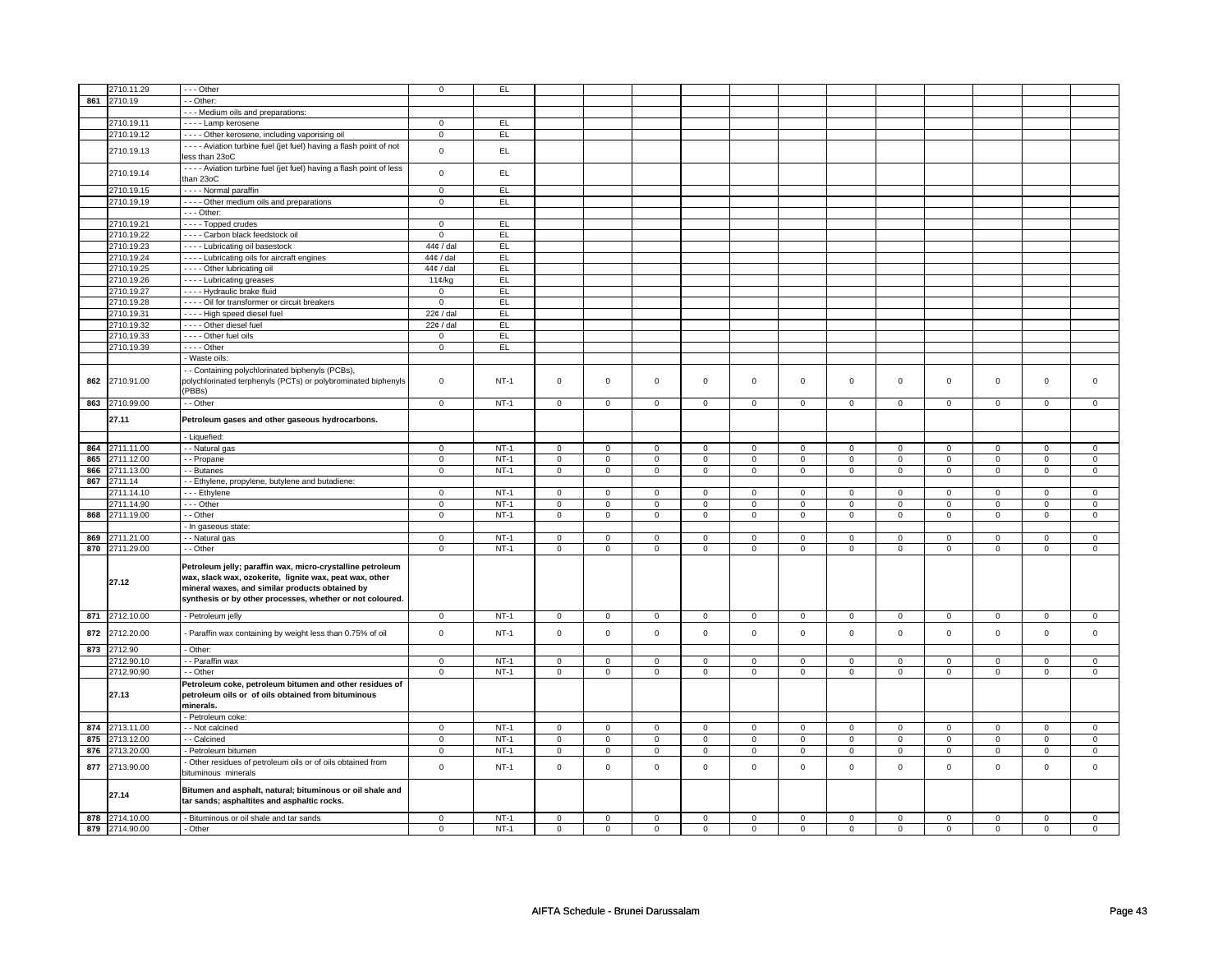|     | 2710.11.29     | - - - Other                                                                           | $\mathsf 0$    | EL     |                |                |                |                |                |                |                |                |                |                |                |                |
|-----|----------------|---------------------------------------------------------------------------------------|----------------|--------|----------------|----------------|----------------|----------------|----------------|----------------|----------------|----------------|----------------|----------------|----------------|----------------|
|     |                |                                                                                       |                |        |                |                |                |                |                |                |                |                |                |                |                |                |
| 861 | 2710.19        | - - Other:                                                                            |                |        |                |                |                |                |                |                |                |                |                |                |                |                |
|     |                | --- Medium oils and preparations:                                                     |                |        |                |                |                |                |                |                |                |                |                |                |                |                |
|     | 2710.19.11     | ---- Lamp kerosene                                                                    | $\mathbf 0$    | EL.    |                |                |                |                |                |                |                |                |                |                |                |                |
|     | 2710.19.12     | - - - - Other kerosene, including vaporising oil                                      | $\mathsf 0$    | EL     |                |                |                |                |                |                |                |                |                |                |                |                |
|     |                |                                                                                       |                |        |                |                |                |                |                |                |                |                |                |                |                |                |
|     | 2710.19.13     | - - - - Aviation turbine fuel (jet fuel) having a flash point of not<br>ess than 23oC | $\mathbf 0$    | EL.    |                |                |                |                |                |                |                |                |                |                |                |                |
|     |                |                                                                                       |                |        |                |                |                |                |                |                |                |                |                |                |                |                |
|     | 2710.19.14     | ---- Aviation turbine fuel (jet fuel) having a flash point of less                    | $\mathsf 0$    | EL     |                |                |                |                |                |                |                |                |                |                |                |                |
|     |                | han 23oC                                                                              |                |        |                |                |                |                |                |                |                |                |                |                |                |                |
|     | 2710.19.15     | - - - - Normal paraffin                                                               | $\mathsf 0$    | EL     |                |                |                |                |                |                |                |                |                |                |                |                |
|     | 2710.19.19     | - - - - Other medium oils and preparations                                            | $\mathbf 0$    | EL     |                |                |                |                |                |                |                |                |                |                |                |                |
|     |                | - - - Other:                                                                          |                |        |                |                |                |                |                |                |                |                |                |                |                |                |
|     |                |                                                                                       |                | EL     |                |                |                |                |                |                |                |                |                |                |                |                |
|     | 2710.19.21     | - - - - Topped crudes                                                                 | $\mathbf 0$    |        |                |                |                |                |                |                |                |                |                |                |                |                |
|     | 2710.19.22     | - - - - Carbon black feedstock oil                                                    | $\mathbf 0$    | EL     |                |                |                |                |                |                |                |                |                |                |                |                |
|     | 2710.19.23     | - - - - Lubricating oil basestock                                                     | 44¢ / dal      | EL.    |                |                |                |                |                |                |                |                |                |                |                |                |
|     | 2710.19.24     | - - - - Lubricating oils for aircraft engines                                         | 44¢ / dal      | EL     |                |                |                |                |                |                |                |                |                |                |                |                |
|     | 2710.19.25     | - - - - Other lubricating oil                                                         | 44¢ / dal      | EL.    |                |                |                |                |                |                |                |                |                |                |                |                |
|     |                |                                                                                       |                | EL     |                |                |                |                |                |                |                |                |                |                |                |                |
|     | 2710.19.26     | - - - - Lubricating greases                                                           | 11¢/kg         |        |                |                |                |                |                |                |                |                |                |                |                |                |
|     | 2710.19.27     | - - - - Hydraulic brake fluid                                                         | $\mathbf 0$    | EL     |                |                |                |                |                |                |                |                |                |                |                |                |
|     | 2710.19.28     | - - - - Oil for transformer or circuit breakers                                       | $\mathbf 0$    | EL     |                |                |                |                |                |                |                |                |                |                |                |                |
|     | 2710.19.31     | - - - - High speed diesel fuel                                                        | $22¢$ / dal    | EL     |                |                |                |                |                |                |                |                |                |                |                |                |
|     | 2710.19.32     | - - - - Other diesel fuel                                                             | $22¢$ / dal    | EL     |                |                |                |                |                |                |                |                |                |                |                |                |
|     | 2710.19.33     | - - - - Other fuel oils                                                               | $\mathbf 0$    | EL     |                |                |                |                |                |                |                |                |                |                |                |                |
|     |                | - - - - Other                                                                         | $\mathsf 0$    | EL.    |                |                |                |                |                |                |                |                |                |                |                |                |
|     | 2710.19.39     |                                                                                       |                |        |                |                |                |                |                |                |                |                |                |                |                |                |
|     |                | - Waste oils:                                                                         |                |        |                |                |                |                |                |                |                |                |                |                |                |                |
|     |                | - Containing polychlorinated biphenyls (PCBs),                                        |                |        |                |                |                |                |                |                |                |                |                |                |                |                |
| 862 | 2710.91.00     | polychlorinated terphenyls (PCTs) or polybrominated biphenyls                         | $\mathbf 0$    | $NT-1$ | $\mathsf 0$    | $\mathsf 0$    | $\mathsf 0$    | $\mathbf 0$    | $\mathsf 0$    | $\mathbf 0$    | $\mathsf 0$    | $\mathbf 0$    | $\mathsf 0$    | $\mathsf 0$    | $\mathsf 0$    | $\mathbf 0$    |
|     |                | (PBBs)                                                                                |                |        |                |                |                |                |                |                |                |                |                |                |                |                |
|     | 863 2710.99.00 | - - Other                                                                             | $\mathsf 0$    | $NT-1$ | $\mathsf 0$    | $\mathsf 0$    | $\mathsf 0$    | $\mathsf 0$    | $\mathbf 0$    | $\mathsf 0$    | $\mathbf 0$    | $\mathsf 0$    | $\mathsf 0$    | $\mathbf 0$    | $\mathbf 0$    | $\mathbf 0$    |
|     |                |                                                                                       |                |        |                |                |                |                |                |                |                |                |                |                |                |                |
|     | 27.11          | Petroleum gases and other gaseous hydrocarbons.                                       |                |        |                |                |                |                |                |                |                |                |                |                |                |                |
|     |                |                                                                                       |                |        |                |                |                |                |                |                |                |                |                |                |                |                |
|     |                | - Liquefied:                                                                          |                |        |                |                |                |                |                |                |                |                |                |                |                |                |
| 864 | 2711.11.00     | - - Natural gas                                                                       | $\mathsf 0$    | $NT-1$ | $\mathsf 0$    | $\mathsf 0$    | $\mathsf 0$    | $\mathsf 0$    | $\mathsf 0$    | $\mathsf 0$    | $\mathsf{o}$   | $\mathsf 0$    | $\mathsf 0$    | $\mathbf 0$    | $\mathsf 0$    | $\mathbf 0$    |
| 865 | 2711.12.00     | - - Propane                                                                           | $\mathbf 0$    | $NT-1$ | $\mathsf 0$    | $\mathbf 0$    | $\mathsf 0$    | $\mathsf 0$    | $\mathsf 0$    | $\mathbf 0$    | $\mathsf 0$    | $\mathbf 0$    | $\mathsf 0$    | $\mathsf 0$    | $\mathsf 0$    | $\mathsf 0$    |
|     |                |                                                                                       |                |        |                |                |                |                |                |                |                |                |                |                |                |                |
| 866 | 2711.13.00     | - - Butanes                                                                           | $\mathbf 0$    | $NT-1$ | $\mathsf 0$    | $\mathbf 0$    | $\mathsf 0$    | $\mathbf 0$    | $\mathbf 0$    | $\mathbf 0$    | $\mathbf 0$    | $\mathbf 0$    | $\mathsf 0$    | $\mathbf 0$    | $\mathsf 0$    | $\mathbf 0$    |
| 867 | 2711.14        | - Ethylene, propylene, butylene and butadiene:                                        |                |        |                |                |                |                |                |                |                |                |                |                |                |                |
|     | 2711.14.10     | - - - Ethylene                                                                        | $\mathbf 0$    | $NT-1$ | $\mathbf 0$    | $\mathbf 0$    | $\mathbf 0$    | $\mathbf 0$    | 0              | 0              | $\mathbf 0$    | $\mathbf 0$    | $\mathbf 0$    | $\mathbf 0$    | $\mathbf 0$    | $\mathbf 0$    |
|     | 2711.14.90     | - - - Other                                                                           | $\mathsf 0$    | $NT-1$ | $\mathsf 0$    | $\mathsf 0$    | $\mathsf 0$    | $\mathsf 0$    | $\mathbf 0$    | $\mathsf 0$    | $\mathsf 0$    | $\mathsf 0$    | $\mathsf 0$    | $\mathbf 0$    | $\mathsf 0$    | $\mathbf 0$    |
|     | 868 2711.19.00 | - - Other                                                                             | $\mathbf 0$    | $NT-1$ | $\mathsf 0$    | $\mathbf 0$    | $\mathbf 0$    | $\mathsf 0$    | $\mathsf 0$    | $\mathbf 0$    | 0              | $\mathbf 0$    | $\mathsf 0$    | $\mathsf 0$    | 0              | $\mathsf 0$    |
|     |                | - In gaseous state:                                                                   |                |        |                |                |                |                |                |                |                |                |                |                |                |                |
|     |                |                                                                                       |                |        |                |                |                |                |                |                |                |                |                |                |                |                |
| 869 | 2711.21.00     | - Natural gas                                                                         | $\mathbf 0$    | $NT-1$ | $\mathsf 0$    | $\mathbf 0$    | $\mathbf 0$    | $\mathsf 0$    | $\mathbf 0$    | $\mathbf 0$    | $\mathsf 0$    | $\mathsf 0$    | $\mathsf 0$    | $\mathbf 0$    | $\mathbf 0$    | $\mathbf 0$    |
|     | 870 2711.29.00 | - - Other                                                                             | $\mathsf 0$    | $NT-1$ | $\mathsf 0$    | $\mathsf 0$    | $\mathsf 0$    | $\mathsf 0$    | $\mathbf 0$    | $\mathsf 0$    | $\mathbf 0$    | $\mathsf 0$    | $\mathsf 0$    | $\mathbf 0$    | $\mathsf 0$    | $\mathbf 0$    |
|     |                |                                                                                       |                |        |                |                |                |                |                |                |                |                |                |                |                |                |
|     |                | Petroleum jelly; paraffin wax, micro-crystalline petroleum                            |                |        |                |                |                |                |                |                |                |                |                |                |                |                |
|     | 27.12          | wax, slack wax, ozokerite, lignite wax, peat wax, other                               |                |        |                |                |                |                |                |                |                |                |                |                |                |                |
|     |                | mineral waxes, and similar products obtained by                                       |                |        |                |                |                |                |                |                |                |                |                |                |                |                |
|     |                | synthesis or by other processes, whether or not coloured.                             |                |        |                |                |                |                |                |                |                |                |                |                |                |                |
|     |                |                                                                                       |                |        |                |                |                |                |                |                |                |                |                |                |                |                |
|     | 871 2712.10.00 | - Petroleum jelly                                                                     | $\mathbf 0$    | $NT-1$ | $\mathbf 0$    | $\mathbf 0$    | 0              | $\mathbf 0$    | 0              | 0              | $\mathbf 0$    | 0              | 0              | $\mathbf 0$    | 0              | $\mathbf 0$    |
| 872 | 2712.20.00     | - Paraffin wax containing by weight less than 0.75% of oil                            | $\mathsf 0$    | $NT-1$ | $\mathsf 0$    | $\mathbf 0$    | $\mathsf 0$    | $\mathsf 0$    | $\mathbf 0$    | $\mathbf 0$    | $\mathbf 0$    | $\mathbf 0$    | $\mathsf 0$    | $\mathsf 0$    | $\mathsf 0$    | $\mathbf 0$    |
|     |                |                                                                                       |                |        |                |                |                |                |                |                |                |                |                |                |                |                |
| 873 | 2712.90        | - Other:                                                                              |                |        |                |                |                |                |                |                |                |                |                |                |                |                |
|     | 2712.90.10     | - - Paraffin wax                                                                      | $\overline{0}$ | $NT-1$ | $\overline{0}$ | $\overline{0}$ | $\mathbf 0$    | $\mathbf 0$    | 0              | 0              | 0              | 0              | 0              | $\mathbf 0$    | 0              | $\mathbf 0$    |
|     | 2712.90.90     | - - Other                                                                             | $\mathbf 0$    | $NT-1$ | 0              | 0              | $\mathbf 0$    | 0              | 0              | 0              | $\mathbf 0$    | 0              | 0              | $\mathbf 0$    | $\mathbf 0$    | $\mathbf{0}$   |
|     |                |                                                                                       |                |        |                |                |                |                |                |                |                |                |                |                |                |                |
|     |                | Petroleum coke, petroleum bitumen and other residues of                               |                |        |                |                |                |                |                |                |                |                |                |                |                |                |
|     | 27.13          | petroleum oils or of oils obtained from bituminous                                    |                |        |                |                |                |                |                |                |                |                |                |                |                |                |
|     |                | minerals.                                                                             |                |        |                |                |                |                |                |                |                |                |                |                |                |                |
|     |                | - Petroleum coke:                                                                     |                |        |                |                |                |                |                |                |                |                |                |                |                |                |
| 874 | 2713.11.00     | - - Not calcined                                                                      | $\mathsf 0$    | $NT-1$ | $\mathsf 0$    | $\mathsf 0$    | $\mathsf 0$    | $\mathsf 0$    | $\mathbf 0$    | $\mathsf 0$    | $\mathbf 0$    | $\mathsf 0$    | $\mathsf 0$    | $\mathbf 0$    | $\mathsf 0$    | $\mathbf 0$    |
| 875 | 2713.12.00     | - Calcined                                                                            | $\mathbf 0$    | $NT-1$ | $\overline{0}$ | $\overline{0}$ | $\overline{0}$ | $\overline{0}$ | $\overline{0}$ | $\overline{0}$ | $\overline{0}$ | $\overline{0}$ | $\overline{0}$ | $\overline{0}$ | $\overline{0}$ | $\overline{0}$ |
|     |                |                                                                                       |                |        |                |                |                |                |                |                |                |                |                |                |                |                |
| 876 | 2713.20.00     | - Petroleum bitumen                                                                   | $\mathsf 0$    | $NT-1$ | $\mathsf 0$    | $\mathsf 0$    | $\mathsf 0$    | $\mathsf 0$    | $\mathbf 0$    | $\mathsf 0$    | $\mathbf 0$    | $\mathsf 0$    | $\mathsf 0$    | $\mathbf 0$    | $\mathsf 0$    | $\mathbf 0$    |
| 877 | 2713.90.00     | Other residues of petroleum oils or of oils obtained from                             | $\mathsf 0$    | $NT-1$ | $\mathsf 0$    | $\mathsf 0$    | $\mathsf 0$    | $\mathsf 0$    | $\mathsf 0$    | $\mathbf 0$    | $\mathbf 0$    | $\mathbf 0$    | $\mathsf 0$    | $\mathsf 0$    | $\mathsf 0$    | $\mathbf 0$    |
|     |                | pituminous minerals                                                                   |                |        |                |                |                |                |                |                |                |                |                |                |                |                |
|     |                |                                                                                       |                |        |                |                |                |                |                |                |                |                |                |                |                |                |
|     | 27.14          | Bitumen and asphalt, natural; bituminous or oil shale and                             |                |        |                |                |                |                |                |                |                |                |                |                |                |                |
|     |                | tar sands; asphaltites and asphaltic rocks.                                           |                |        |                |                |                |                |                |                |                |                |                |                |                |                |
|     |                |                                                                                       |                |        |                |                |                |                |                |                |                |                |                |                |                |                |
|     | 878 2714.10.00 | Bituminous or oil shale and tar sands                                                 | $\mathbf 0$    | $NT-1$ | $\mathbf 0$    | $\mathbf 0$    | 0              | 0              | 0              | 0              | 0              | 0              | 0              | $\mathbf 0$    | 0              | $\mathsf 0$    |
|     | 879 2714.90.00 | - Other                                                                               | $\mathsf 0$    | $NT-1$ | $\mathsf 0$    | $\mathsf 0$    | $\mathsf 0$    | $\mathsf 0$    | $\mathbf 0$    | $\mathsf 0$    | $\mathbf 0$    | $\mathsf 0$    | $\mathsf 0$    | $\mathbf 0$    | $\mathsf 0$    | $\mathbf 0$    |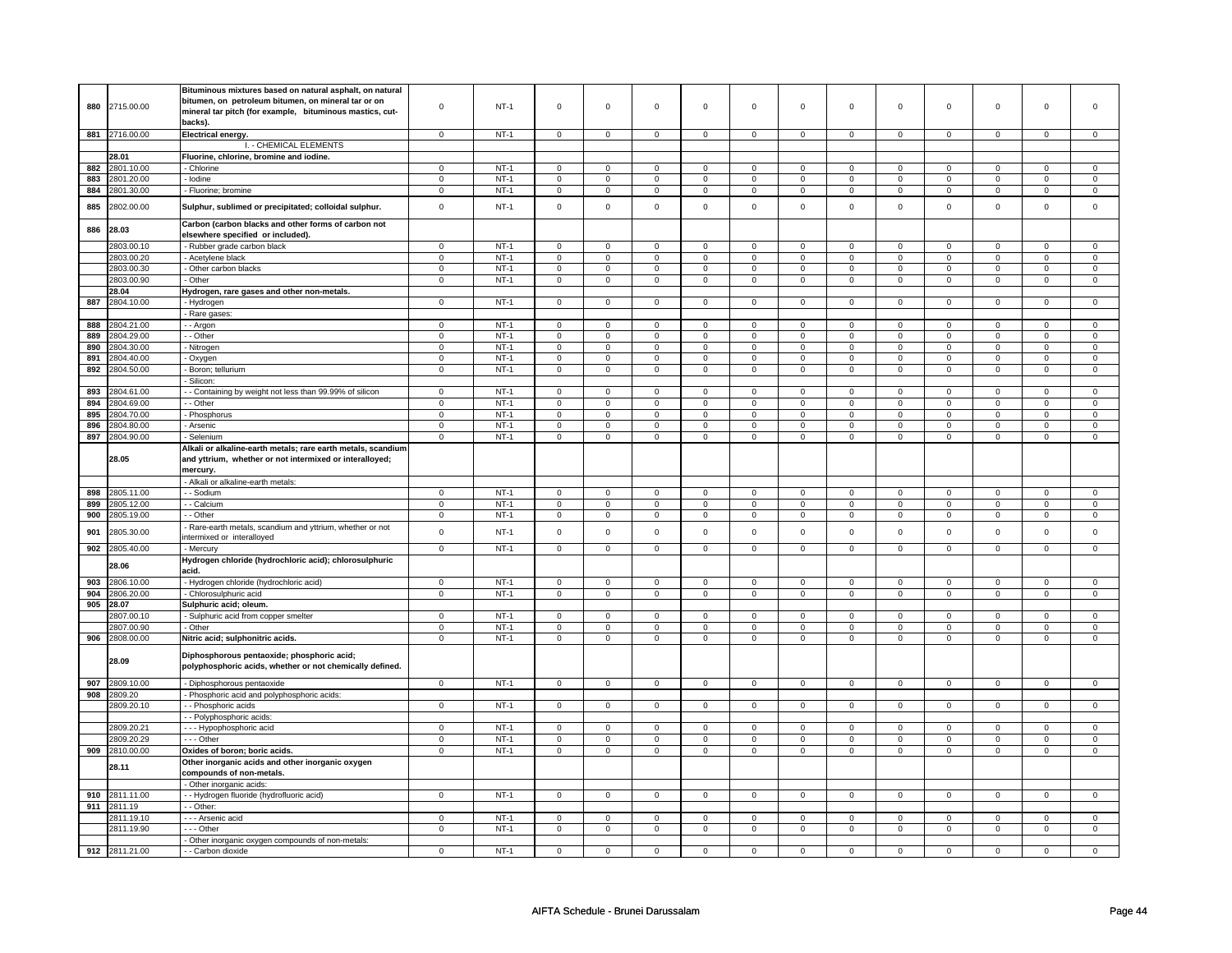|     |                | Bituminous mixtures based on natural asphalt, on natural     |                |        |                     |                |                     |                |                     |                     |                |                |                     |                     |                     |                     |
|-----|----------------|--------------------------------------------------------------|----------------|--------|---------------------|----------------|---------------------|----------------|---------------------|---------------------|----------------|----------------|---------------------|---------------------|---------------------|---------------------|
| 880 | 2715.00.00     | bitumen, on petroleum bitumen, on mineral tar or on          | $\mathsf 0$    | $NT-1$ | $\mathsf 0$         | $\mathsf 0$    | $\mathsf{O}\xspace$ | $\mathsf 0$    | $\mathsf{O}\xspace$ | $\mathsf 0$         | $\mathbf 0$    | $\mathsf 0$    | $\mathsf 0$         | $\mathbf 0$         | $\mathbf 0$         | $\mathbf 0$         |
|     |                | mineral tar pitch (for example, bituminous mastics, cut-     |                |        |                     |                |                     |                |                     |                     |                |                |                     |                     |                     |                     |
|     |                | backs).                                                      |                |        |                     |                |                     |                |                     |                     |                |                |                     |                     |                     |                     |
|     | 881 2716.00.00 | Electrical energy.                                           | $\Omega$       | $NT-1$ | $\Omega$            | $\Omega$       | $\Omega$            | $\Omega$       | $\mathsf 0$         | $\mathbf 0$         | $\mathbf 0$    | $\mathbf 0$    | $\mathsf 0$         | $\mathbf 0$         | $\Omega$            | $\mathbf{0}$        |
|     |                |                                                              |                |        |                     |                |                     |                |                     |                     |                |                |                     |                     |                     |                     |
|     |                | I. - CHEMICAL ELEMENTS                                       |                |        |                     |                |                     |                |                     |                     |                |                |                     |                     |                     |                     |
|     | 28.01          | Fluorine, chlorine, bromine and iodine.                      |                |        |                     |                |                     |                |                     |                     |                |                |                     |                     |                     |                     |
| 882 | 2801.10.00     | - Chlorine                                                   | $\mathsf 0$    | $NT-1$ | $\mathbf 0$         | $\mathbf 0$    | $\mathbf 0$         | $\mathbf 0$    | $\mathbf 0$         | $\mathsf 0$         | 0              | $\mathsf 0$    | 0                   | $\mathbf 0$         | $\Omega$            | 0                   |
| 883 | 2801.20.00     | Iodine                                                       | $\mathbf 0$    | $NT-1$ | $\mathsf 0$         | $\mathsf 0$    | $\mathsf 0$         | $\mathsf 0$    | $\mathsf{O}\xspace$ | $\mathbf 0$         | $\mathbf 0$    | $\mathbf 0$    | $\mathsf 0$         | $\mathbf 0$         | $\mathsf 0$         | $\mathbf 0$         |
| 884 | 2801.30.00     | - Fluorine; bromine                                          | $\mathsf 0$    | $NT-1$ | $\mathbf 0$         | $\mathbf 0$    | $\mathbf 0$         | $\mathbf 0$    | $\mathbf 0$         | $\mathbf{0}$        | $\mathbf 0$    | $\mathbf 0$    | $\mathbf 0$         | $\mathbf{0}$        | 0                   | $\mathbf{0}$        |
|     |                |                                                              |                |        |                     |                |                     |                |                     |                     |                |                |                     |                     |                     |                     |
| 885 | 2802.00.00     | Sulphur, sublimed or precipitated; colloidal sulphur.        | $\mathbf 0$    | $NT-1$ | $\mathbf 0$         | $\mathsf 0$    | $\mathsf 0$         | $\mathbf 0$    | $\mathsf 0$         | $\mathsf 0$         | $\mathbf 0$    | $\mathsf 0$    | $\mathsf 0$         | $\mathbf 0$         | $\mathsf 0$         | 0                   |
|     |                |                                                              |                |        |                     |                |                     |                |                     |                     |                |                |                     |                     |                     |                     |
| 886 | 28.03          | Carbon (carbon blacks and other forms of carbon not          |                |        |                     |                |                     |                |                     |                     |                |                |                     |                     |                     |                     |
|     |                | elsewhere specified or included).                            |                |        |                     |                |                     |                |                     |                     |                |                |                     |                     |                     |                     |
|     | 2803.00.10     | - Rubber grade carbon black                                  | $\mathsf 0$    | $NT-1$ | $\mathsf 0$         | $\mathbf 0$    | $\mathsf 0$         | $\mathbf 0$    | $\mathsf 0$         | $\mathsf 0$         | $\mathbf 0$    | $\mathsf 0$    | $\mathsf 0$         | $\mathbf 0$         | $\mathbf 0$         | 0                   |
|     | 2803.00.20     | Acetylene black                                              | $\mathsf 0$    | $NT-1$ | $\mathsf 0$         | $\mathsf 0$    | $\mathsf{O}\xspace$ | $\mathsf 0$    | $\mathsf{O}\xspace$ | $\mathsf{O}$        | $\mathsf 0$    | $\mathsf{O}$   | $\mathsf 0$         | $\mathsf{O}$        | $\mathsf{O}\xspace$ | $\mathbf 0$         |
|     | 2803.00.30     | - Other carbon blacks                                        | $\mathsf 0$    | $NT-1$ | $\mathsf 0$         | $\mathbf 0$    | $\mathbf 0$         | $\mathsf 0$    | $\mathsf 0$         | $\mathbf 0$         | $\mathsf 0$    | $\mathbf 0$    | $\mathbf 0$         | $\mathbf 0$         | $\mathsf 0$         | $\mathbf{0}$        |
|     | 2803.00.90     | - Other                                                      | $\overline{0}$ | $NT-1$ | $\overline{0}$      | $\overline{0}$ | $\mathsf 0$         | $\overline{0}$ | $\mathsf 0$         | $\overline{0}$      | $\mathbf 0$    | $\overline{0}$ | $\overline{0}$      | $\overline{0}$      | $\mathsf 0$         | $\overline{0}$      |
|     | 28.04          |                                                              |                |        |                     |                |                     |                |                     |                     |                |                |                     |                     |                     |                     |
|     |                | Hydrogen, rare gases and other non-metals.                   |                |        |                     |                |                     |                |                     |                     |                |                |                     |                     |                     |                     |
| 887 | 2804.10.00     | - Hydrogen                                                   | $\mathbf 0$    | $NT-1$ | $\mathsf 0$         | $\mathsf 0$    | $\mathsf{O}\xspace$ | $\mathsf 0$    | $\mathsf{O}\xspace$ | $\mathsf 0$         | $\mathsf 0$    | $\mathbf 0$    | $\mathsf 0$         | $\mathbf 0$         | $\mathbf 0$         | $\mathbf{0}$        |
|     |                | Rare gases:                                                  |                |        |                     |                |                     |                |                     |                     |                |                |                     |                     |                     |                     |
| 888 | 2804.21.00     | - Argon                                                      | $\mathbf 0$    | $NT-1$ | $\mathbf 0$         | $\mathbf 0$    | $\mathbf 0$         | $\mathbf 0$    | $\mathbf 0$         | $\mathbf 0$         | $\mathbf 0$    | $\mathbf 0$    | $\mathbf{0}$        | $\mathbf 0$         | $\Omega$            | $\mathbf 0$         |
| 889 | 2804.29.00     | - Other                                                      | 0              | $NT-1$ | $\mathbf 0$         | $\mathbf 0$    | $\mathbf 0$         | $\mathbf 0$    | $\mathbf 0$         | $\mathbf 0$         | 0              | $\mathbf 0$    | 0                   | $\mathbf 0$         | 0                   | 0                   |
| 890 | 2804.30.00     | - Nitrogen                                                   | $\mathsf 0$    | $NT-1$ | $\mathsf 0$         | $\mathbf 0$    | $\mathbf 0$         | $\mathbf 0$    | $\mathsf 0$         | $\mathbf 0$         | $\mathbf 0$    | $\mathsf 0$    | $\mathsf 0$         | $\mathbf 0$         | $\Omega$            | 0                   |
| 891 | 2804.40.00     | - Oxygen                                                     | $\mathsf 0$    | $NT-1$ | $\mathbf 0$         | $\mathsf 0$    | $\mathbf 0$         | $\mathsf 0$    | $\mathbf 0$         | $\mathbf 0$         | $\mathbf 0$    | $\mathsf 0$    | $\mathbf 0$         | $\mathbf 0$         | $\mathbf 0$         | $\mathbf 0$         |
| 892 | 2804.50.00     | Boron; tellurium                                             | $\mathbf 0$    | $NT-1$ | $\mathsf 0$         | $\mathbf 0$    | $\mathbf 0$         | $\mathsf 0$    | 0                   | $\mathbf 0$         | 0              | $\mathsf 0$    | $\mathsf 0$         | $\mathbf 0$         | 0                   | 0                   |
|     |                | Silicon:                                                     |                |        |                     |                |                     |                |                     |                     |                |                |                     |                     |                     |                     |
| 893 | 2804.61.00     |                                                              | $\mathbf 0$    | $NT-1$ | $\mathsf 0$         | $\mathbf 0$    | $\mathbf 0$         | $\mathbf 0$    | $\mathbf 0$         | $\mathbf 0$         | 0              | $\mathsf 0$    | 0                   | $\mathbf 0$         | 0                   | $\mathbf 0$         |
|     |                | - Containing by weight not less than 99.99% of silicon       |                |        |                     |                |                     |                |                     |                     |                |                |                     |                     |                     |                     |
| 894 | 2804.69.00     | - - Other                                                    | 0              | $NT-1$ | 0                   | $\mathbf 0$    | $\mathbf{0}$        | $\mathbf 0$    | 0                   | $\mathbf 0$         | $^{\circ}$     | $\mathbf 0$    | 0                   | $\mathbf 0$         | 0                   | 0                   |
| 895 | 2804.70.00     | - Phosphorus                                                 | $\mathsf 0$    | $NT-1$ | $\mathsf 0$         | $\mathsf 0$    | $\mathsf{O}\xspace$ | $\mathsf 0$    | $\mathsf{O}\xspace$ | $\mathbf 0$         | $\mathsf 0$    | $\mathsf 0$    | $\mathsf 0$         | $\mathbf 0$         | $\mathsf 0$         | $\mathbf{O}$        |
| 896 | 2804.80.00     | - Arsenic                                                    | $\mathbf 0$    | $NT-1$ | $\mathsf 0$         | $\mathsf 0$    | $\mathsf{O}\xspace$ | $\mathsf 0$    | $\mathsf 0$         | $\mathsf 0$         | $\mathsf 0$    | $\mathsf 0$    | $\mathsf{O}\xspace$ | $\mathsf 0$         | $\mathbf 0$         | $\mathsf{O}\xspace$ |
| 897 | 2804.90.00     | - Selenium                                                   | $\overline{0}$ | $NT-1$ | $\overline{0}$      | $\overline{0}$ | $\overline{0}$      | $\overline{0}$ | $\overline{0}$      | $\overline{0}$      | $\overline{0}$ | $\overline{0}$ | $\overline{0}$      | $\overline{0}$      | $\overline{0}$      | $\pmb{0}$           |
|     |                | Alkali or alkaline-earth metals; rare earth metals, scandium |                |        |                     |                |                     |                |                     |                     |                |                |                     |                     |                     |                     |
|     | 28.05          | and yttrium, whether or not intermixed or interalloyed;      |                |        |                     |                |                     |                |                     |                     |                |                |                     |                     |                     |                     |
|     |                | mercury.                                                     |                |        |                     |                |                     |                |                     |                     |                |                |                     |                     |                     |                     |
|     |                | - Alkali or alkaline-earth metals:                           |                |        |                     |                |                     |                |                     |                     |                |                |                     |                     |                     |                     |
|     |                |                                                              |                |        |                     |                |                     |                |                     |                     |                |                |                     |                     |                     |                     |
| 898 | 2805.11.00     | - Sodium                                                     | $\mathsf 0$    | $NT-1$ | $\mathbf 0$         | $\mathbf 0$    | $\mathbf{0}$        | $\mathbf 0$    | $\mathbf 0$         | $\mathbf 0$         | $\mathbf 0$    | $\mathbf 0$    | $\mathbf 0$         | $\mathbf 0$         | $\mathbf 0$         | $\mathbf 0$         |
| 899 | 2805.12.00     | - Calcium                                                    | $\overline{0}$ | $NT-1$ | $\overline{0}$      | $\overline{0}$ | $\mathbf 0$         | $\overline{0}$ | $\mathsf 0$         | $\overline{0}$      | $\mathbf 0$    | $\overline{0}$ | $\mathbf 0$         | $\overline{0}$      | $\overline{0}$      | $\overline{0}$      |
| 900 | 2805.19.00     | - - Other                                                    | $\mathbf 0$    | $NT-1$ | $\mathbf 0$         | $\mathsf 0$    | 0                   | $\mathsf 0$    | 0                   | $\mathbf 0$         | 0              | $\mathbf 0$    | 0                   | $\mathbf 0$         | 0                   | $\mathsf 0$         |
| 901 | 2805.30.00     | Rare-earth metals, scandium and yttrium, whether or not      | $\mathsf 0$    | $NT-1$ | $\mathsf 0$         | $\mathbf 0$    | $\mathsf 0$         | $\mathbf 0$    | $\mathsf 0$         | $\mathsf 0$         | $\Omega$       | $\mathsf 0$    | $\mathsf 0$         | $\mathbf 0$         | $\Omega$            | $\mathbf 0$         |
|     |                | intermixed or interalloyed                                   |                |        |                     |                |                     |                |                     |                     |                |                |                     |                     |                     |                     |
| 902 | 2805.40.00     | - Mercury                                                    | $\mathbf 0$    | $NT-1$ | $\mathbf 0$         | $\mathbf 0$    | $\mathbf 0$         | $\mathbf 0$    | $\mathbf 0$         | $\mathbf 0$         | 0              | $\mathbf 0$    | 0                   | $\mathbf 0$         | 0                   | 0                   |
|     |                | Hydrogen chloride (hydrochloric acid); chlorosulphuric       |                |        |                     |                |                     |                |                     |                     |                |                |                     |                     |                     |                     |
|     | 28.06          | acid.                                                        |                |        |                     |                |                     |                |                     |                     |                |                |                     |                     |                     |                     |
| 903 | 2806.10.00     | - Hydrogen chloride (hydrochloric acid)                      | $\mathbf 0$    | $NT-1$ | $\mathsf 0$         | $\mathsf 0$    | $\mathsf 0$         | $\mathbf 0$    | $\mathsf 0$         | $\mathsf 0$         | $\mathbf 0$    | $\mathsf 0$    | $\mathsf 0$         | $\mathbf 0$         | $\mathbf 0$         | 0                   |
| 904 | 2806.20.00     | Chlorosulphuric acid                                         | $\mathbf 0$    | $NT-1$ | $\mathsf 0$         | $\mathsf 0$    | $\mathsf{O}\xspace$ | $\mathsf 0$    | $\mathsf 0$         | $\mathsf{O}\xspace$ | $\mathbf 0$    | $\mathbf 0$    | $\mathsf 0$         | $\mathsf{O}\xspace$ | $\mathsf 0$         | $\mathbf 0$         |
| 905 | 28.07          |                                                              |                |        |                     |                |                     |                |                     |                     |                |                |                     |                     |                     |                     |
|     |                | Sulphuric acid; oleum.                                       |                |        |                     |                |                     |                |                     |                     |                |                |                     |                     |                     |                     |
|     | 2807.00.10     | - Sulphuric acid from copper smelter                         | 0              | $NT-1$ | 0                   | $\mathbf 0$    | 0                   | $\mathbf 0$    | 0                   | $\mathbf 0$         | 0              | $\mathbf 0$    | 0                   | $\mathbf 0$         | $\Omega$            | $\mathbf 0$         |
|     | 2807.00.90     | - Other                                                      | $\mathsf 0$    | $NT-1$ | $\mathbf 0$         | $\mathbf 0$    | $\mathsf 0$         | $\mathbf 0$    | $\mathsf 0$         | $\mathbf 0$         | $\mathbf 0$    | $\mathsf 0$    | $\mathsf 0$         | $\mathbf 0$         | 0                   | 0                   |
| 906 | 2808.00.00     | Nitric acid; sulphonitric acids.                             | $\mathsf 0$    | $NT-1$ | $\mathbf 0$         | $\mathsf 0$    | $\mathbf 0$         | $\mathsf 0$    | $\mathsf{O}\xspace$ | $\mathbf 0$         | $\mathsf 0$    | $\mathsf 0$    | $\mathsf 0$         | $\mathbf 0$         | $\mathbf 0$         | $\mathbf 0$         |
|     |                | Diphosphorous pentaoxide; phosphoric acid;                   |                |        |                     |                |                     |                |                     |                     |                |                |                     |                     |                     |                     |
|     | 28.09          | polyphosphoric acids, whether or not chemically defined.     |                |        |                     |                |                     |                |                     |                     |                |                |                     |                     |                     |                     |
|     |                |                                                              |                |        |                     |                |                     |                |                     |                     |                |                |                     |                     |                     |                     |
| 907 | 2809.10.00     | - Diphosphorous pentaoxide                                   | $\mathbf 0$    | $NT-1$ | $\mathsf 0$         | $\mathsf 0$    | $\mathbf 0$         | $\mathbf 0$    | $\mathsf 0$         | $\mathbf 0$         | $\mathbf 0$    | $\mathbf 0$    | $\mathbf 0$         | $\mathbf 0$         | 0                   | $\overline{0}$      |
| 908 | 2809.20        | - Phosphoric acid and polyphosphoric acids:                  |                |        |                     |                |                     |                |                     |                     |                |                |                     |                     |                     |                     |
|     | 2809.20.10     | - - Phosphoric acids                                         | $\mathbf 0$    | $NT-1$ | $\mathbf 0$         | $\mathbf 0$    | $\mathbf 0$         | $\mathbf 0$    | $\mathbf 0$         | $\mathsf 0$         | $\mathbf 0$    | $\mathbf 0$    | $\mathbf 0$         | $\mathbf 0$         | $\Omega$            | $\mathbf{0}$        |
|     |                | - - Polyphosphoric acids:                                    |                |        |                     |                |                     |                |                     |                     |                |                |                     |                     |                     |                     |
|     |                |                                                              |                |        |                     |                |                     |                |                     |                     |                |                |                     |                     |                     |                     |
|     | 2809.20.21     | - - - Hypophosphoric acid                                    | $\mathbf 0$    | $NT-1$ | $\mathsf{O}\xspace$ | $\mathsf 0$    | $\mathsf{O}\xspace$ | $\mathsf 0$    | $\mathsf{O}\xspace$ | $\mathbf 0$         | $\mathsf 0$    | $\mathsf 0$    | $\mathsf 0$         | $\mathsf 0$         | 0                   | 0                   |
|     | 2809.20.29     | --- Other                                                    | $\overline{0}$ | $NT-1$ | $\overline{0}$      | $\overline{0}$ | $\mathsf{O}\xspace$ | $\overline{0}$ | $\mathsf{O}\xspace$ | $\overline{0}$      | $\mathbf 0$    | $\mathbf 0$    | $\mathsf 0$         | $\overline{0}$      | $\mathsf 0$         | $\overline{0}$      |
| 909 | 2810.00.00     | Oxides of boron; boric acids.                                | $\mathbf 0$    | $NT-1$ | $\mathsf 0$         | $\overline{0}$ | $\mathsf{O}\xspace$ | $\overline{0}$ | $\mathsf 0$         | $\mathsf 0$         | $\mathsf 0$    | $\mathsf 0$    | $\mathsf{O}\xspace$ | $\mathsf{O}^-$      | $\mathbf 0$         | $\mathbf{0}$        |
|     | 28.11          | Other inorganic acids and other inorganic oxygen             |                |        |                     |                |                     |                |                     |                     |                |                |                     |                     |                     |                     |
|     |                | compounds of non-metals.                                     |                |        |                     |                |                     |                |                     |                     |                |                |                     |                     |                     |                     |
|     |                | - Other inorganic acids:                                     |                |        |                     |                |                     |                |                     |                     |                |                |                     |                     |                     |                     |
| 910 | 2811.11.00     | - Hydrogen fluoride (hydrofluoric acid)                      | $\mathsf 0$    | $NT-1$ | $\mathbf 0$         | $\mathbf 0$    | $\mathbf 0$         | $\mathbf 0$    | $\mathbf 0$         | $\mathbf 0$         | 0              | $\mathbf 0$    | 0                   | $\mathbf 0$         | $\Omega$            | $\mathbf 0$         |
| 911 | 2811.19        | - Other:                                                     |                |        |                     |                |                     |                |                     |                     |                |                |                     |                     |                     |                     |
|     | 2811.19.10     | - - - Arsenic acid                                           | $\mathsf 0$    | $NT-1$ | $\mathbf 0$         | $\mathbf 0$    | $\mathbf 0$         | $\mathbf 0$    | $\mathbf 0$         | $\mathbf 0$         | 0              | $\mathbf 0$    | 0                   | $\mathbf 0$         | 0                   | $\mathbf{0}$        |
|     | 2811.19.90     | - - - Other                                                  | $\mathbf 0$    | $NT-1$ | $\mathbf 0$         | $\mathbf 0$    | $\mathbf 0$         | $\mathbf 0$    | $\mathbf 0$         | $\mathbf 0$         | $\mathbf 0$    | $\mathbf 0$    | 0                   | $\mathbf 0$         | 0                   | $\mathbf{0}$        |
|     |                | - Other inorganic oxygen compounds of non-metals:            |                |        |                     |                |                     |                |                     |                     |                |                |                     |                     |                     |                     |
|     | 912 2811.21.00 | - - Carbon dioxide                                           | $\Omega$       |        | $\Omega$            |                |                     | $\Omega$       |                     |                     |                |                |                     |                     |                     |                     |
|     |                |                                                              |                | $NT-1$ |                     | $\Omega$       | $\Omega$            |                | $\Omega$            | $\mathbf 0$         | $\mathbf 0$    | $\mathbf 0$    | $\mathbf 0$         | $\mathbf 0$         | $\Omega$            | $\Omega$            |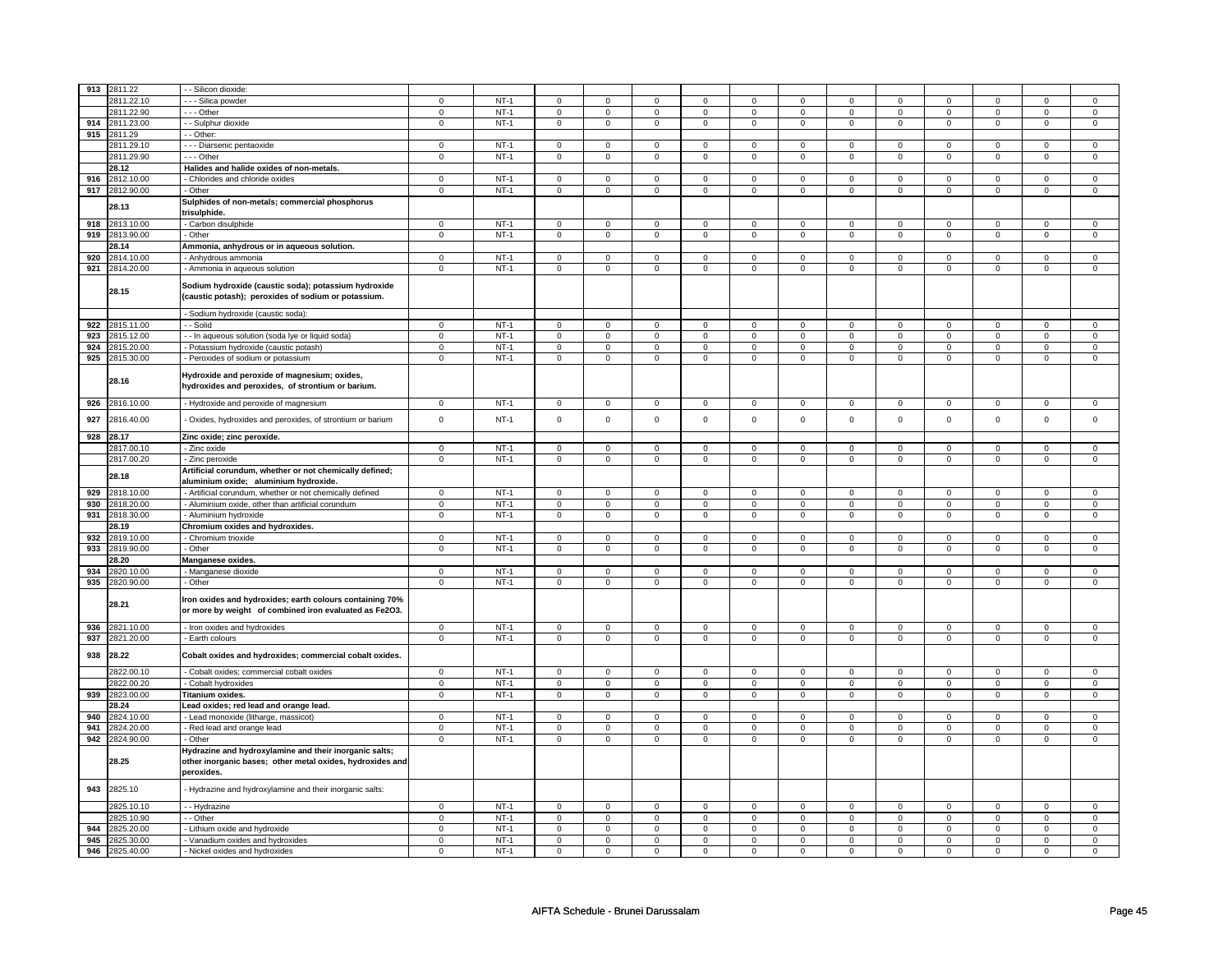| 913 | 2811.22        | - Silicon dioxide:                                                                                                                |                |        |                     |                |                |                |                |                |                |                |                     |                |                |                     |
|-----|----------------|-----------------------------------------------------------------------------------------------------------------------------------|----------------|--------|---------------------|----------------|----------------|----------------|----------------|----------------|----------------|----------------|---------------------|----------------|----------------|---------------------|
|     | 2811.22.10     | - - - Silica powder                                                                                                               | $\Omega$       | $NT-1$ | $\mathbf 0$         | $\Omega$       | $\mathbf 0$    | $\mathbf{0}$   | $\mathbf 0$    | $\Omega$       | $\mathbf 0$    | $\Omega$       | $\mathbf 0$         | $\Omega$       | $\Omega$       | $\mathbf{0}$        |
|     | 2811.22.90     | $- -$ Other                                                                                                                       | $\mathbf 0$    | $NT-1$ | $\mathbf 0$         | $\mathbf 0$    | 0              | $\mathbf 0$    | 0              | 0              | 0              | $\mathbf 0$    | 0                   | 0              | 0              | 0                   |
| 914 | 2811.23.00     | - - Sulphur dioxide                                                                                                               | $\mathbf 0$    | $NT-1$ | $\mathsf 0$         | $\mathbf 0$    | 0              | $\mathsf 0$    | $\mathbf 0$    | $\mathsf 0$    | $\mathbf 0$    | $\mathbf 0$    | $\mathsf 0$         | $\mathbf 0$    | $\Omega$       | 0                   |
| 915 | 2811.29        | - Other:                                                                                                                          |                |        |                     |                |                |                |                |                |                |                |                     |                |                |                     |
|     | 2811.29.10     | - - - Diarsenic pentaoxide                                                                                                        | $\mathbf 0$    | $NT-1$ | $\mathbf 0$         | $\mathbf 0$    | 0              | $\mathbf 0$    | 0              | $\mathbf 0$    | 0              | $\mathbf 0$    | 0                   | $\mathbf 0$    | 0              | 0                   |
|     |                |                                                                                                                                   | $\mathbf 0$    |        |                     |                |                |                |                |                |                |                |                     |                |                |                     |
|     | 2811.29.90     | --- Other                                                                                                                         |                | $NT-1$ | $\mathbf 0$         | $\mathbf 0$    | 0              | $\mathsf 0$    | $\mathbf 0$    | $\mathsf 0$    | 0              | $\mathbf 0$    | $\mathsf 0$         | $\mathbf 0$    | 0              | 0                   |
|     | 28.12          | Halides and halide oxides of non-metals.                                                                                          |                |        |                     |                |                |                |                |                |                |                |                     |                |                |                     |
|     | 916 2812.10.00 | - Chlorides and chloride oxides                                                                                                   | $\mathbf 0$    | $NT-1$ | $\mathbf 0$         | $\mathbf 0$    | $^{\circ}$     | $\mathbf{0}$   | 0              | $\mathbf 0$    | 0              | $\mathbf 0$    | 0                   | $\mathbf 0$    | 0              | $\overline{0}$      |
|     | 917 2812.90.00 | - Other                                                                                                                           | $\mathbf 0$    | $NT-1$ | $\mathbf 0$         | $\mathbf 0$    | $\mathbf 0$    | $\mathbf 0$    | $\mathbf 0$    | $\mathbf 0$    | $\mathbf 0$    | $\mathbf 0$    | $\mathbf 0$         | $\mathbf 0$    | $\mathbf 0$    | $\mathbf 0$         |
|     |                | Sulphides of non-metals; commercial phosphorus                                                                                    |                |        |                     |                |                |                |                |                |                |                |                     |                |                |                     |
|     | 28.13          | trisulphide.                                                                                                                      |                |        |                     |                |                |                |                |                |                |                |                     |                |                |                     |
|     |                |                                                                                                                                   |                |        |                     |                |                |                |                |                |                |                |                     |                |                |                     |
|     | 918 2813.10.00 | Carbon disulphide                                                                                                                 | $\mathbf 0$    | $NT-1$ | $\mathbf 0$         | $\mathbf 0$    | 0              | $\mathbf 0$    | 0              | $\mathbf 0$    | 0              | $\mathbf 0$    | 0                   | 0              | 0              | 0                   |
| 919 | 2813.90.00     | Other                                                                                                                             | $\mathbf 0$    | $NT-1$ | $\mathsf 0$         | $\mathbf 0$    | 0              | $\mathbf 0$    | $\mathbf 0$    | $\mathbf 0$    | 0              | $\mathbf 0$    | $\mathsf 0$         | $\mathbf 0$    | 0              | $\mathbf 0$         |
|     | 28.14          | Ammonia, anhydrous or in aqueous solution.                                                                                        |                |        |                     |                |                |                |                |                |                |                |                     |                |                |                     |
| 920 | 2814.10.00     | Anhydrous ammonia                                                                                                                 | $\mathbf 0$    | $NT-1$ | $\mathbf 0$         | $\mathbf 0$    | 0              | $\mathbf 0$    | 0              | $\mathbf 0$    | 0              | 0              | 0                   | $\mathbf 0$    | 0              | 0                   |
|     | 921 2814.20.00 | - Ammonia in aqueous solution                                                                                                     | $\mathbf 0$    | $NT-1$ | $\mathsf 0$         | $\mathbf 0$    | $\mathbf 0$    | $\mathbf 0$    | $\mathbf 0$    | $\mathbf 0$    | $\mathbf 0$    | $\mathbf 0$    | $\mathsf 0$         | $\mathbf 0$    | $\Omega$       | $\mathbf{0}$        |
|     | 28.15          | Sodium hydroxide (caustic soda); potassium hydroxide<br>(caustic potash); peroxides of sodium or potassium.                       |                |        |                     |                |                |                |                |                |                |                |                     |                |                |                     |
|     |                | Sodium hydroxide (caustic soda):                                                                                                  |                |        |                     |                |                |                |                |                |                |                |                     |                |                |                     |
|     | 922 2815.11.00 | - - Solid                                                                                                                         | $\mathbf 0$    | $NT-1$ | $\mathbf 0$         | $\mathbf{0}$   | $\mathbf 0$    | $\mathbf{0}$   | $\mathbf 0$    | $\mathbf{0}$   | $\mathbf{0}$   | $\mathbf{0}$   | $\mathbf{0}$        | $\mathbf 0$    | 0              | $\mathbf 0$         |
|     | 923 2815.12.00 | - - In aqueous solution (soda lye or liquid soda)                                                                                 | $\mathbf 0$    | $NT-1$ | $\mathbf 0$         | $\mathbf 0$    | $\mathbf 0$    | $\mathbf 0$    | $\mathbf 0$    | $\mathbf 0$    | 0              | $\mathbf 0$    | 0                   | $\mathbf 0$    | 0              | 0                   |
| 924 | 2815.20.00     | - Potassium hydroxide (caustic potash)                                                                                            | $\mathbf 0$    | $NT-1$ | $\mathbf 0$         | $\mathbf 0$    | 0              | $\mathsf 0$    | 0              | $\mathsf 0$    | 0              | $\mathbf 0$    | 0                   | $\mathbf 0$    | 0              | 0                   |
| 925 | 2815.30.00     | Peroxides of sodium or potassium                                                                                                  | $\mathbf 0$    | $NT-1$ | $\mathsf{O}\xspace$ | $\mathsf 0$    | $\mathsf 0$    | $\mathbf 0$    | $\mathsf 0$    | $\mathsf 0$    | $\mathbf 0$    | $\mathbf 0$    | $\mathsf 0$         | $\mathbf 0$    | $\mathbf{0}$   | $\mathbf 0$         |
|     |                |                                                                                                                                   |                |        |                     |                |                |                |                |                |                |                |                     |                |                |                     |
|     | 28.16          | Hydroxide and peroxide of magnesium; oxides,<br>hydroxides and peroxides, of strontium or barium.                                 |                |        |                     |                |                |                |                |                |                |                |                     |                |                |                     |
|     | 926 2816.10.00 | - Hydroxide and peroxide of magnesium                                                                                             | $\mathbf 0$    | $NT-1$ | $\mathsf 0$         | $\mathbf{0}$   | $\mathbf 0$    | $\mathbf{0}$   | $\circ$        | $\mathbf 0$    | $\mathbf{0}$   | $\mathbf 0$    | $\mathbf 0$         | $\mathbf 0$    | $\mathbf 0$    | $\mathbf 0$         |
| 927 | 2816.40.00     | Oxides, hydroxides and peroxides, of strontium or barium                                                                          | $\mathbf 0$    | $NT-1$ | $\mathsf 0$         | $\mathbf 0$    | $\mathbf 0$    | $\mathbf 0$    | $\mathbf 0$    | $\mathsf 0$    | $\mathbf 0$    | $\mathbf 0$    | $\mathsf 0$         | $\mathbf 0$    | $\mathbf{0}$   | $\mathbf{O}$        |
|     | 928 28.17      | Zinc oxide; zinc peroxide.                                                                                                        |                |        |                     |                |                |                |                |                |                |                |                     |                |                |                     |
|     | 2817.00.10     | - Zinc oxide                                                                                                                      | $\mathbf 0$    | $NT-1$ | $\mathsf{o}\,$      | $\mathbf 0$    | 0              | $\mathbf 0$    | 0              | $\mathbf 0$    | 0              | $\mathbf 0$    | 0                   | $\mathbf 0$    | 0              | 0                   |
|     | 2817.00.20     | - Zinc peroxide                                                                                                                   | $\mathsf 0$    | $NT-1$ | $\mathsf 0$         | $\mathbf 0$    | $\mathbf 0$    | $\mathbf 0$    | $\mathbf 0$    | $\mathbf 0$    | $\mathbf 0$    | $\mathbf 0$    | $\mathsf 0$         | $\mathbf 0$    | $\mathbf 0$    | $\mathbf 0$         |
|     |                |                                                                                                                                   |                |        |                     |                |                |                |                |                |                |                |                     |                |                |                     |
|     | 28.18          | Artificial corundum, whether or not chemically defined;                                                                           |                |        |                     |                |                |                |                |                |                |                |                     |                |                |                     |
|     |                | aluminium oxide; aluminium hydroxide.                                                                                             |                |        |                     |                |                |                |                |                |                |                |                     |                |                |                     |
| 929 | 2818.10.00     | - Artificial corundum, whether or not chemically defined                                                                          | $\mathbf 0$    | $NT-1$ | $\mathbf 0$         | $\mathbf 0$    | $\Omega$       | $\mathbf{0}$   | $\mathbf 0$    | $\mathbf{0}$   | $\Omega$       | $\mathbf{0}$   | $\mathbf 0$         | $\mathbf{0}$   | $\Omega$       | $\Omega$            |
| 930 | 2818.20.00     | - Aluminium oxide, other than artificial corundum                                                                                 | $\mathbf 0$    | $NT-1$ | $\mathbf 0$         | $\mathbf 0$    | $\mathbf 0$    | $\mathbf 0$    | $\mathbf 0$    | $\mathbf{0}$   | $\mathbf 0$    | $\mathbf 0$    | $\mathbf 0$         | $\mathbf 0$    | $\mathbf 0$    | $\mathbf 0$         |
| 931 | 2818.30.00     | - Aluminium hydroxide                                                                                                             | $\overline{0}$ | $NT-1$ | $\overline{0}$      | $\overline{0}$ | $\overline{0}$ | $\overline{0}$ | $\overline{0}$ | $\overline{0}$ | $\overline{0}$ | $\overline{0}$ | $\overline{0}$      | $\overline{0}$ | $\overline{0}$ | $\overline{0}$      |
|     | 28.19          | Chromium oxides and hydroxides.                                                                                                   |                |        |                     |                |                |                |                |                |                |                |                     |                |                |                     |
| 932 | 2819.10.00     | Chromium trioxide                                                                                                                 | $\mathbf 0$    | $NT-1$ | $\mathbf 0$         | $\mathbf 0$    | $\mathbf 0$    | $\mathbf 0$    | $\mathbf 0$    | $\mathbf 0$    | $\mathbf 0$    | $\mathbf 0$    | $\mathbf 0$         | $\mathbf 0$    | $\Omega$       | $\mathbf{0}$        |
|     | 933 2819.90.00 | - Other                                                                                                                           | $\mathbf 0$    | $NT-1$ | $\mathbf 0$         | $\mathbf 0$    | $\mathbf{0}$   | $\mathbf 0$    | $\mathbf 0$    | $\mathbf 0$    | $\mathbf 0$    | $\mathbf 0$    | $\mathbf 0$         | $\mathbf 0$    | 0              | $\mathbf 0$         |
|     |                |                                                                                                                                   |                |        |                     |                |                |                |                |                |                |                |                     |                |                |                     |
|     | 28.20          | Manganese oxides.                                                                                                                 |                |        |                     |                |                |                |                |                |                |                |                     |                |                |                     |
| 934 | 2820.10.00     | - Manganese dioxide                                                                                                               | $\mathbf 0$    | $NT-1$ | $\mathbf 0$         | $\mathbf 0$    | $\Omega$       | $\mathbf 0$    | $\mathbf 0$    | $\mathbf 0$    | $\Omega$       | $\mathbf 0$    | $\mathbf 0$         | $\mathbf 0$    | $\Omega$       | $\Omega$            |
| 935 | 2820.90.00     | - Other                                                                                                                           | $\mathbf 0$    | $NT-1$ | $\mathbf 0$         | $\mathsf 0$    | $\mathsf 0$    | $\mathsf 0$    | $\mathsf 0$    | $\mathsf 0$    | $\mathbf{0}$   | $\mathsf 0$    | $\mathsf{O}\xspace$ | $\mathsf 0$    | $\mathbf{0}$   | $\mathsf{O}\xspace$ |
|     | 28.21          | Iron oxides and hydroxides; earth colours containing 70%<br>or more by weight of combined iron evaluated as Fe2O3.                |                |        |                     |                |                |                |                |                |                |                |                     |                |                |                     |
|     | 936 2821.10.00 | - Iron oxides and hydroxides                                                                                                      | $\overline{0}$ | $NT-1$ | $\mathbf 0$         | $\mathbf 0$    | $\mathbf 0$    | $\mathbf{0}$   | $\mathbf 0$    | $\mathbf{0}$   | $\mathbf 0$    | $\overline{0}$ | $\mathbf{0}$        | $\overline{0}$ | $\mathbf{0}$   | $\overline{0}$      |
|     | 937 2821.20.00 | - Earth colours                                                                                                                   | $\mathbf 0$    | $NT-1$ | $\mathsf 0$         | $\mathsf 0$    | $\mathbf{0}$   | $\mathbf 0$    | $\mathsf 0$    | $\mathbf 0$    | $\mathbf 0$    | $\mathbf 0$    | $\mathbf 0$         | $\mathbf 0$    | $\mathbf 0$    | $\mathbf{0}$        |
| 938 | 28.22          | Cobalt oxides and hydroxides; commercial cobalt oxides.                                                                           |                |        |                     |                |                |                |                |                |                |                |                     |                |                |                     |
|     | 2822.00.10     | Cobalt oxides; commercial cobalt oxides                                                                                           | $\mathbf 0$    | $NT-1$ | $\mathbf 0$         | $\mathbf 0$    | 0              | $\mathbf 0$    | 0              | $\mathbf 0$    | 0              | 0              | 0                   | 0              | $\Omega$       | 0                   |
|     | 2822.00.20     | Cobalt hydroxides                                                                                                                 | $\mathbf 0$    | $NT-1$ | $\mathsf 0$         | $\mathbf 0$    | 0              | $\mathsf 0$    | $\mathbf 0$    | $\mathbf 0$    | 0              | $\mathbf 0$    | $\mathsf 0$         | $\mathbf 0$    | 0              | 0                   |
| 939 | 2823.00.00     | Titanium oxides.                                                                                                                  | $\mathsf 0$    | $NT-1$ | $\mathsf 0$         | $\mathsf 0$    | $\mathsf 0$    | $\mathsf 0$    | $\mathsf 0$    | $\mathsf 0$    | $\mathbf 0$    | $\mathsf 0$    | $\mathbf 0$         | $\mathsf 0$    | $\mathbf 0$    | $\mathsf 0$         |
|     | 28.24          | Lead oxides; red lead and orange lead.                                                                                            |                |        |                     |                |                |                |                |                |                |                |                     |                |                |                     |
| 940 | 2824.10.00     | - Lead monoxide (litharge, massicot)                                                                                              | $\mathbf 0$    | $NT-1$ | $\mathsf{O}\xspace$ | $\mathbf 0$    | $\mathbf 0$    | $\mathbf{0}$   | $\mathsf 0$    | $\mathbf{0}$   | $\mathbf 0$    | $\mathbf 0$    | $\mathbf 0$         | $\mathbf 0$    | $\Omega$       | $\mathbf{0}$        |
| 941 |                |                                                                                                                                   | $\mathbf 0$    | $NT-1$ | $\mathbf 0$         | $\mathbf 0$    | $\mathbf 0$    | $\mathbf 0$    | $\mathbf 0$    | $\mathbf 0$    | $\mathbf 0$    | $\mathbf 0$    | $\mathbf 0$         | $\mathbf 0$    | $\mathbf 0$    |                     |
|     | 2824.20.00     | - Red lead and orange lead                                                                                                        |                |        |                     |                |                |                |                |                |                |                |                     |                |                | 0                   |
| 942 | 2824.90.00     | - Other                                                                                                                           | $\overline{0}$ | $NT-1$ | $\overline{0}$      | $\overline{0}$ | $\overline{0}$ | $\overline{0}$ | $\overline{0}$ | $\overline{0}$ | $\overline{0}$ | $\overline{0}$ | $\overline{0}$      | $\overline{0}$ | $\overline{0}$ | $\overline{0}$      |
|     | 28.25          | Hydrazine and hydroxylamine and their inorganic salts;<br>other inorganic bases; other metal oxides, hydroxides and<br>peroxides. |                |        |                     |                |                |                |                |                |                |                |                     |                |                |                     |
| 943 | 2825.10        | Hydrazine and hydroxylamine and their inorganic salts:                                                                            | $\Omega$       |        |                     | $\mathsf 0$    |                | $\mathsf 0$    |                | $\mathsf 0$    | $\Omega$       | $\mathbf 0$    | $\Omega$            | $\mathbf 0$    | $\Omega$       | $\mathbf 0$         |
|     | 2825.10.10     | - - Hydrazine                                                                                                                     |                | $NT-1$ | $\mathsf 0$         |                | $\mathbf 0$    |                | $\mathbf 0$    |                |                |                |                     |                |                |                     |
|     | 2825.10.90     | - Other                                                                                                                           | $\mathbf 0$    | $NT-1$ | $\mathsf 0$         | $\mathsf 0$    | $\mathbf 0$    | $\mathsf 0$    | $\mathsf 0$    | $\mathsf 0$    | $\mathbf 0$    | $\mathsf 0$    | $\mathsf 0$         | $\mathsf 0$    | $\Omega$       | $\mathsf{O}\xspace$ |
| 944 | 2825.20.00     | Lithium oxide and hydroxide                                                                                                       | $\mathbf 0$    | $NT-1$ | $\mathsf{O}\xspace$ | $\mathbf 0$    | $\mathsf 0$    | $\mathsf 0$    | $\mathsf 0$    | $\mathsf 0$    | 0              | $\mathsf 0$    | $\mathsf 0$         | $\mathsf 0$    | $\mathbf 0$    | 0                   |
| 945 | 2825.30.00     | Vanadium oxides and hydroxides                                                                                                    | $\mathbf 0$    | $NT-1$ | $\mathbf 0$         | $\mathbf 0$    | $\mathbf 0$    | $\mathbf 0$    | $\mathbf 0$    | $\mathbf 0$    | $\mathbf 0$    | $\mathbf 0$    | $\mathbf 0$         | $\mathbf 0$    | $\mathbf 0$    | $\mathbf{0}$        |
|     | 946 2825.40.00 | - Nickel oxides and hydroxides                                                                                                    | $\overline{0}$ | $NT-1$ | $\mathsf 0$         | $\mathbf 0$    | $\mathsf 0$    | $\mathsf 0$    | $\mathsf 0$    | $\mathsf 0$    | $\mathbf 0$    | $\mathsf 0$    | $\mathsf 0$         | $\mathsf 0$    | 0              | $\mathbf 0$         |
|     |                |                                                                                                                                   |                |        |                     |                |                |                |                |                |                |                |                     |                |                |                     |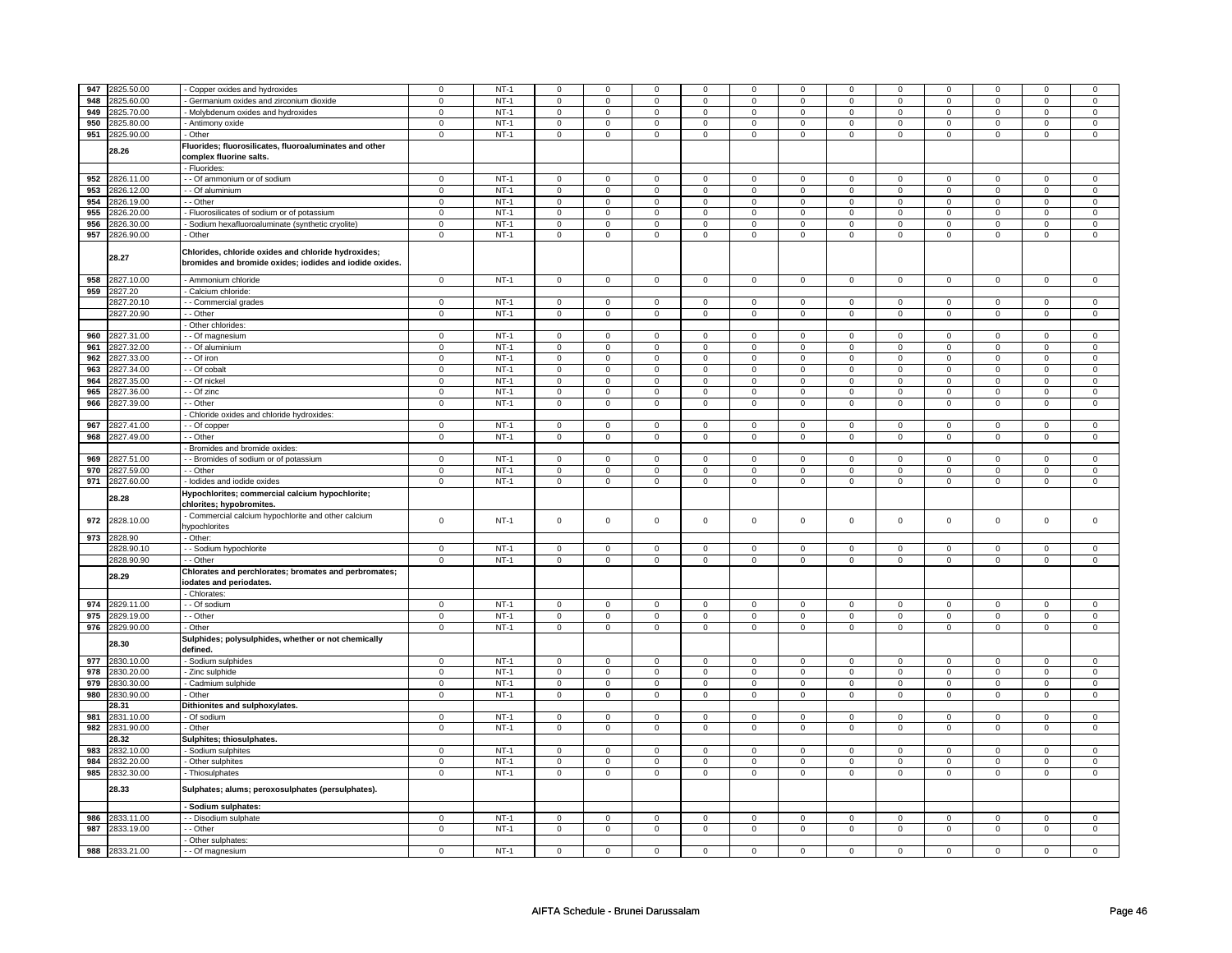|            | 947 2825.50.00        | Copper oxides and hydroxides                                                                                   | $\mathbf 0$         | $NT-1$ | $\mathbf 0$    | $\mathsf 0$    | $\mathbf 0$    | 0              | $\mathbf 0$    | 0              | $\mathbf 0$    | $\mathbf 0$    | $\mathbf 0$    | 0                   | $\Omega$       | $\Omega$            |
|------------|-----------------------|----------------------------------------------------------------------------------------------------------------|---------------------|--------|----------------|----------------|----------------|----------------|----------------|----------------|----------------|----------------|----------------|---------------------|----------------|---------------------|
|            |                       |                                                                                                                |                     |        |                |                |                |                |                |                |                |                |                |                     |                |                     |
| 948        | 2825.60.00            | Germanium oxides and zirconium dioxide                                                                         | $\mathbf 0$         | $NT-1$ | 0              | $\mathsf 0$    | 0              | $\mathbf 0$    | 0              | $\mathbf 0$    | 0              | 0              | 0              | 0                   | 0              | 0                   |
| 949        | 2825.70.00            | - Molybdenum oxides and hydroxides                                                                             | $\mathbf 0$         | $NT-1$ | $\mathbf 0$    | $\mathbf 0$    | $\mathbf{0}$   | $\mathbf 0$    | $\mathbf{0}$   | $\mathbf 0$    | $\mathbf 0$    | $\mathbf{0}$   | $\mathbf{0}$   | $\mathbf 0$         | $\mathbf 0$    | $\mathbf 0$         |
| 950        | 2825.80.00            | - Antimony oxide                                                                                               | $\mathbf 0$         | $NT-1$ | 0              | $\mathbf 0$    | 0              | $\mathbf 0$    | $\mathbf 0$    | $\mathbf 0$    | 0              | $\mathbf 0$    | 0              | 0                   | 0              | 0                   |
| 951        | 2825.90.00            | Other                                                                                                          | $\mathbf 0$         | $NT-1$ | $\mathbf 0$    | $\mathbf 0$    | $\mathbf 0$    | $\mathbf 0$    | $\mathbf 0$    | $\mathbf 0$    | $\mathbf 0$    | $\mathbf 0$    | $\mathbf 0$    | 0                   | $\mathbf 0$    | 0                   |
|            |                       | Iuorides; fluorosilicates, fluoroaluminates and other                                                          |                     |        |                |                |                |                |                |                |                |                |                |                     |                |                     |
|            | 28.26                 | complex fluorine salts.                                                                                        |                     |        |                |                |                |                |                |                |                |                |                |                     |                |                     |
|            |                       |                                                                                                                |                     |        |                |                |                |                |                |                |                |                |                |                     |                |                     |
|            |                       | Fluorides:                                                                                                     |                     |        |                |                |                |                |                |                |                |                |                |                     |                |                     |
| 952        | 2826.11.00            | - Of ammonium or of sodium                                                                                     | $\overline{0}$      | $NT-1$ | $\overline{0}$ | $\overline{0}$ | 0              | $\mathbf 0$    | $\overline{0}$ | $\overline{0}$ | 0              | $\mathbf 0$    | $\overline{0}$ | $\overline{0}$      | 0              | $\mathbf 0$         |
| 953        | 2826.12.00            | - Of aluminium                                                                                                 | $\mathbf 0$         | $NT-1$ | $\mathbf 0$    | $\mathbf 0$    | 0              | $\mathbf 0$    | 0              | $\mathbf 0$    | 0              | $\mathbf 0$    | 0              | 0                   | 0              | $\overline{0}$      |
| 954        | 2826.19.00            | - Other                                                                                                        | $\mathbf 0$         | $NT-1$ | 0              | $\mathsf 0$    | 0              | $\mathbf 0$    | 0              | $\mathbf 0$    | 0              | $\mathbf 0$    | 0              | $\mathbf{O}$        | 0              | $\overline{0}$      |
| 955        | 2826.20.00            | - Fluorosilicates of sodium or of potassium                                                                    | $\overline{0}$      | $NT-1$ | $\overline{0}$ | $\overline{0}$ | $\overline{0}$ | $\overline{0}$ | $\overline{0}$ | $\overline{0}$ | $\overline{0}$ | $\overline{0}$ | $\overline{0}$ | $\overline{0}$      | $\overline{0}$ | $\overline{0}$      |
| 956        | 2826.30.00            | Sodium hexafluoroaluminate (synthetic cryolite)                                                                | $\mathbf 0$         | $NT-1$ | $\mathsf 0$    | $\overline{0}$ | 0              | $\mathbf 0$    | 0              | $\overline{0}$ | 0              | $\mathsf 0$    | $\mathsf 0$    | $\overline{0}$      | $\mathbf 0$    | $\overline{0}$      |
| 957        | 2826.90.00            | - Other                                                                                                        | $\mathbf 0$         | $NT-1$ | $\mathsf 0$    | $\mathsf 0$    | 0              | $\mathsf 0$    | 0              | $\mathsf 0$    | 0              | $\mathsf 0$    | $\mathsf 0$    | 0                   | 0              | 0                   |
|            |                       |                                                                                                                |                     |        |                |                |                |                |                |                |                |                |                |                     |                |                     |
|            | 28.27                 | Chlorides, chloride oxides and chloride hydroxides;<br>bromides and bromide oxides; iodides and iodide oxides. |                     |        |                |                |                |                |                |                |                |                |                |                     |                |                     |
| 958        | 2827.10.00            | - Ammonium chloride                                                                                            | $\overline{0}$      | $NT-1$ | $\overline{0}$ | $\overline{0}$ | $\mathbf 0$    | $\overline{0}$ | $\overline{0}$ | $\overline{0}$ | $\mathbf 0$    | $\overline{0}$ | $\overline{0}$ | $\overline{0}$      | $\mathbf 0$    | $\overline{0}$      |
| 959        | 2827.20               | - Calcium chloride:                                                                                            |                     |        |                |                |                |                |                |                |                |                |                |                     |                |                     |
|            | 2827.20.10            | - - Commercial grades                                                                                          | $\mathbf 0$         | $NT-1$ | $\mathsf 0$    | $\mathsf 0$    | $\mathbf 0$    | $\mathsf 0$    | $\mathbf 0$    | $\mathsf 0$    | $\mathbf 0$    | $\mathsf 0$    | $\mathsf 0$    | 0                   | 0              | 0                   |
|            | 2827.20.90            | - Other                                                                                                        | $\mathsf 0$         | $NT-1$ | $\mathbf 0$    | $\mathsf 0$    | $\mathbf 0$    | $\mathbf 0$    | $\mathbf 0$    | $\mathbf 0$    | $\mathbf 0$    | $\mathbf 0$    | $\mathsf 0$    | $\mathsf{O}\xspace$ | $\mathbf 0$    | $\mathsf 0$         |
|            |                       | Other chlorides:                                                                                               |                     |        |                |                |                |                |                |                |                |                |                |                     |                |                     |
| 960        | 2827.31.00            |                                                                                                                | $\mathbf 0$         | $NT-1$ | 0              | $\mathbf 0$    | 0              | $\mathbf 0$    | 0              | $\mathbf 0$    | 0              | $\mathbf 0$    | 0              | $\mathbf 0$         | $\Omega$       | $\mathbf 0$         |
|            |                       | - Of magnesium                                                                                                 |                     |        |                |                | $\mathbf 0$    |                |                |                | $\Omega$       |                |                |                     | $\Omega$       | $\mathbf{0}$        |
| 961        | 2827.32.00            | - - Of aluminium                                                                                               | $\mathsf 0$         | $NT-1$ | $\mathsf 0$    | $\mathbf 0$    |                | $\mathbf 0$    | $\mathbf 0$    | $\mathbf 0$    |                | $\mathbf 0$    | $\mathsf 0$    | $\mathbf 0$         |                |                     |
| 962        | 2827.33.00            | $-$ Of iron                                                                                                    | $\mathsf 0$         | $NT-1$ | $\mathsf 0$    | $\mathbf 0$    | $\Omega$       | $\mathbf 0$    | $\mathbf 0$    | $\mathbf 0$    | $\Omega$       | $\mathbf 0$    | $\Omega$       | $\mathbf{O}$        | $\Omega$       | $\mathbf 0$         |
| 963        | 2827.34.00            | - Of cobalt                                                                                                    | $\mathsf{O}\xspace$ | $NT-1$ | $\mathsf 0$    | $\mathsf 0$    | $\mathbf 0$    | $\mathsf 0$    | $\mathbf 0$    | $\mathsf 0$    | $\mathbf 0$    | $\mathsf 0$    | $\mathsf 0$    | $\mathsf{O}\xspace$ | $\Omega$       | $\mathsf{O}\xspace$ |
| 964        | 2827.35.00            | - Of nickel                                                                                                    | $\mathbf 0$         | $NT-1$ | $\mathsf 0$    | $\mathsf 0$    | $\mathbf 0$    | $\mathsf 0$    | $\mathbf 0$    | $\mathsf 0$    | $\mathbf 0$    | $\mathsf 0$    | $\mathsf 0$    | 0                   | $\Omega$       | $\mathsf 0$         |
| 965        | 2827.36.00            | - Of zinc                                                                                                      | $\mathbf 0$         | $NT-1$ | $\mathbf 0$    | $\mathbf 0$    | $\Omega$       | $\mathbf 0$    | 0              | $\mathsf 0$    | $\Omega$       | $\mathsf 0$    | 0              | 0                   | $\Omega$       | 0                   |
| 966        | 2827.39.00            | - Other                                                                                                        | $\overline{0}$      | $NT-1$ | $\mathbf 0$    | $\mathbf 0$    | $\mathbf 0$    | $\mathbf 0$    | $\mathbf 0$    | $\mathbf 0$    | 0              | $\mathbf 0$    | $\mathsf 0$    | $\mathbf 0$         | 0              | $\mathbf 0$         |
|            |                       | Chloride oxides and chloride hydroxides:                                                                       |                     |        |                |                |                |                |                |                |                |                |                |                     |                |                     |
| 967        | 2827.41.00            | - Of copper                                                                                                    | $\mathbf 0$         | $NT-1$ | $\mathbf 0$    | $\mathbf 0$    | $\mathbf 0$    | $\mathbf 0$    | $\mathbf 0$    | $\mathbf 0$    | $\Omega$       | $\mathbf 0$    | $\mathbf 0$    | $\mathbf{0}$        | $\Omega$       | 0                   |
| 968        | 2827.49.00            | - - Other                                                                                                      | $\overline{0}$      | $NT-1$ | $\overline{0}$ | $\overline{0}$ | $\overline{0}$ | $\overline{0}$ | $\overline{0}$ | $\overline{0}$ | $\overline{0}$ | $\overline{0}$ | $\overline{0}$ | $\overline{0}$      | $\overline{0}$ | $\overline{0}$      |
|            |                       | Bromides and bromide oxides:                                                                                   |                     |        |                |                |                |                |                |                |                |                |                |                     |                |                     |
| 969        | 827.51.00             | - Bromides of sodium or of potassium                                                                           | $\mathbf 0$         | $NT-1$ | $\mathbf 0$    | $\mathsf 0$    | $\mathbf 0$    | $\mathbf 0$    | $\mathbf 0$    | $\mathbf 0$    | $\mathbf 0$    | $\mathbf 0$    | $\mathbf 0$    | 0                   | $\Omega$       | 0                   |
|            | 970 2827.59.00        | $-$ Other                                                                                                      | $\mathsf 0$         | $NT-1$ | $\mathbf 0$    |                | $\mathbf 0$    | $\mathbf 0$    | $\mathbf 0$    |                | $\mathbf 0$    |                | $\mathsf 0$    |                     | $\mathbf 0$    |                     |
|            |                       |                                                                                                                |                     |        |                | $\mathbf 0$    |                |                |                | $\mathbf 0$    |                | $\mathbf 0$    |                | $\mathbf 0$         |                | $\mathbf 0$         |
|            | 971 2827.60.00        | lodides and iodide oxides                                                                                      | $\mathbf 0$         | $NT-1$ | $\mathbf 0$    | $\mathbf 0$    | 0              | $\mathbf 0$    | 0              | $\mathbf 0$    | 0              | $\mathbf{0}$   | 0              | $\mathbf 0$         | 0              | $\mathbf 0$         |
|            | 28.28                 | Hypochlorites; commercial calcium hypochlorite;<br>chlorites; hypobromites.                                    |                     |        |                |                |                |                |                |                |                |                |                |                     |                |                     |
| 972<br>973 | 2828.10.00<br>2828.90 | Commercial calcium hypochlorite and other calcium<br>ypochlorites<br>Other:                                    | $\mathsf 0$         | $NT-1$ | $\mathbf 0$    | $\mathsf 0$    | $\mathbf 0$    | $\mathbf 0$    | $\mathbf 0$    | $\mathbf 0$    | $\mathbf 0$    | $\mathbf 0$    | $\mathsf 0$    | $\mathbf 0$         | $\mathbf 0$    | $\mathbf 0$         |
|            | 2828.90.10            |                                                                                                                | $\mathbf 0$         | $NT-1$ | 0              | $\mathbf 0$    | 0              | $\mathbf 0$    | 0              | $\mathbf 0$    | 0              | $\mathbf 0$    | 0              | 0                   | 0              | $\overline{0}$      |
|            |                       | - - Sodium hypochlorite                                                                                        |                     |        |                |                |                |                |                |                |                |                |                |                     |                |                     |
|            | 2828.90.90            | - Other                                                                                                        | $\mathbf 0$         | $NT-1$ | 0              | $\mathbf 0$    | 0              | $\mathbf 0$    | 0              | $\mathbf 0$    | 0              | $\mathbf 0$    | 0              | $\mathbf 0$         | 0              | $\mathbf 0$         |
|            | 28.29                 | Chlorates and perchlorates; bromates and perbromates;<br>odates and periodates.                                |                     |        |                |                |                |                |                |                |                |                |                |                     |                |                     |
|            |                       | - Chlorates:                                                                                                   |                     |        |                |                |                |                |                |                |                |                |                |                     |                |                     |
| 974        | 2829.11.00            | - Of sodium                                                                                                    | $\mathbf 0$         | $NT-1$ | 0              | $\mathsf 0$    | 0              | 0              | 0              | $\mathbf 0$    | 0              | 0              | 0              | 0                   | 0              | $\mathbf 0$         |
| 975        | 2829.19.00            | - Other                                                                                                        | $\mathsf 0$         | $NT-1$ | $\mathsf 0$    | $\mathbf 0$    | 0              | $\mathbf 0$    | 0              | $\mathbf 0$    | 0              | $\mathbf 0$    | $\mathsf 0$    | $\mathbf 0$         | 0              | $\mathbf 0$         |
|            | 976 2829.90.00        | Other                                                                                                          | $\mathbf 0$         | $NT-1$ | $\mathbf 0$    | $\mathsf 0$    | 0              | $\mathsf 0$    | $\mathbf 0$    | $\mathsf 0$    | 0              | $\mathbf 0$    | 0              | $\mathbf 0$         | 0              | $\overline{0}$      |
|            | 28.30                 | Sulphides; polysulphides, whether or not chemically<br>defined.                                                |                     |        |                |                |                |                |                |                |                |                |                |                     |                |                     |
| 977        | 2830.10.00            | - Sodium sulphides                                                                                             | $\mathbf 0$         | $NT-1$ | $\mathbf 0$    | $\mathbf 0$    | $\mathbf 0$    | $\mathbf 0$    | $\mathbf 0$    | $\mathbf 0$    | $\mathbf 0$    | $\mathbf 0$    | $\mathbf 0$    | $\mathbf 0$         | $\mathbf 0$    | $\mathbf 0$         |
| 978        | 2830.20.00            | - Zinc sulphide                                                                                                | $\mathbf 0$         | $NT-1$ | 0              | 0              | 0              | 0              | 0              | 0              | $\mathbf 0$    | 0              | 0              | 0                   | $\mathbf 0$    | 0                   |
| 979        | 2830.30.00            | Cadmium sulphide                                                                                               | $\mathbf 0$         | $NT-1$ | 0              | $\mathsf 0$    | 0              | 0              | 0              | $\mathbf 0$    | 0              | 0              | 0              | 0                   | $\mathbf 0$    | $\mathbf 0$         |
|            | 980 2830.90.00        | Other                                                                                                          | $\overline{0}$      | $NT-1$ | $\mathsf 0$    | $\mathsf 0$    | 0              | $\mathbf 0$    | $\mathbf 0$    | $\mathbf 0$    | 0              | $\mathsf 0$    | $\mathsf 0$    | $\mathbf 0$         | 0              | $\mathbf 0$         |
|            | 28.31                 | Dithionites and sulphoxylates.                                                                                 |                     |        |                |                |                |                |                |                |                |                |                |                     |                |                     |
| 981        | 2831.10.00            | Of sodium                                                                                                      | $\mathbf 0$         | $NT-1$ | $\mathbf 0$    | $\mathsf 0$    | 0              | 0              | $\mathbf 0$    | $\mathbf 0$    | $\mathbf 0$    | 0              | $\mathsf 0$    | 0                   | $\mathbf 0$    | 0                   |
| 982        | 2831.90.00            | Other                                                                                                          | $\overline{0}$      | $NT-1$ | $\overline{0}$ | $\overline{0}$ | $\overline{0}$ | $\overline{0}$ | $\overline{0}$ | $\overline{0}$ | $\overline{0}$ | $\overline{0}$ | $\overline{0}$ | $\overline{0}$      | $\overline{0}$ | $\overline{0}$      |
|            | 28.32                 | Sulphites; thiosulphates.                                                                                      |                     |        |                |                |                |                |                |                |                |                |                |                     |                |                     |
| 983        | 2832.10.00            | Sodium sulphites                                                                                               | $\mathsf 0$         | $NT-1$ | 0              | $\mathsf 0$    | 0              | $\mathbf 0$    | 0              | $\mathbf 0$    | 0              | $\mathbf 0$    | 0              | $\mathbf 0$         | $\mathbf 0$    | $\mathbf 0$         |
|            | 984 2832.20.00        | - Other sulphites                                                                                              | $\mathsf{O}\xspace$ | $NT-1$ | 0              | 0              | 0              | 0              | 0              | 0              | 0              | 0              | 0              | 0                   | 0              | $\mathsf 0$         |
|            | 985 2832.30.00        | - Thiosulphates                                                                                                | $\mathbf 0$         | $NT-1$ | 0              | $\mathbf 0$    | 0              | $\mathbf 0$    | $\mathbf 0$    | $\mathbf 0$    | 0              | $\mathbf 0$    | 0              | $\mathbf 0$         | 0              | $\mathbf 0$         |
|            | 28.33                 | Sulphates; alums; peroxosulphates (persulphates).                                                              |                     |        |                |                |                |                |                |                |                |                |                |                     |                |                     |
|            |                       |                                                                                                                |                     |        |                |                |                |                |                |                |                |                |                |                     |                |                     |
| 986        | 2833.11.00            | Sodium sulphates:<br>- Disodium sulphate                                                                       | $\mathbf 0$         | $NT-1$ | $\mathsf 0$    | $\mathsf 0$    | 0              | $\mathsf 0$    | $\mathsf 0$    | $\mathsf 0$    | 0              | $\mathsf 0$    | $\mathsf 0$    | $\mathbf 0$         | $\mathbf 0$    | $\mathbf 0$         |
| 987        | 2833.19.00            | - Other                                                                                                        | $\overline{0}$      | $NT-1$ | $\mathsf 0$    | $\overline{0}$ | 0              | $\mathbf 0$    | 0              | $\overline{0}$ | 0              | $\mathbf 0$    | $\mathsf 0$    | $\overline{0}$      | 0              | $\overline{0}$      |
|            |                       |                                                                                                                |                     |        |                |                |                |                |                |                |                |                |                |                     |                |                     |
|            |                       | Other sulphates:                                                                                               |                     |        |                |                |                |                |                |                |                |                |                |                     |                |                     |
|            | 988 2833.21.00        | - - Of magnesium                                                                                               | $\mathbf 0$         | $NT-1$ | $\mathsf 0$    | $\mathsf 0$    | $\Omega$       | $\mathsf 0$    | 0              | $\Omega$       | $\Omega$       | $\Omega$       | 0              | $\Omega$            | $\Omega$       | $\Omega$            |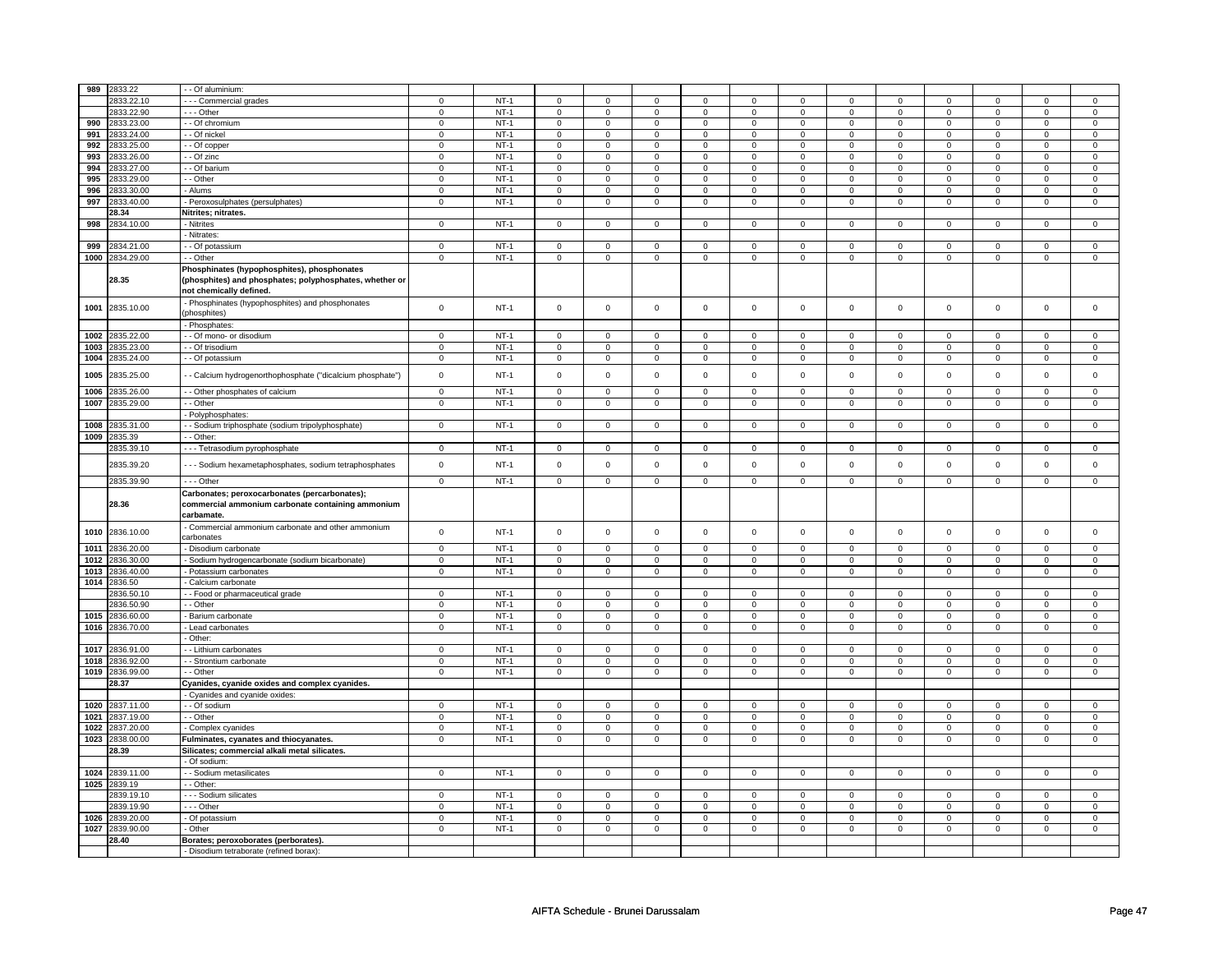| 989  | 2833.22    | - - Of aluminium:                                                                                                                 |                |             |                         |                         |             |                         |                         |                |             |                |                |                |              |                |
|------|------------|-----------------------------------------------------------------------------------------------------------------------------------|----------------|-------------|-------------------------|-------------------------|-------------|-------------------------|-------------------------|----------------|-------------|----------------|----------------|----------------|--------------|----------------|
|      | 2833.22.10 | --- Commercial grades                                                                                                             | $\mathbf 0$    | $NT-1$      | $\mathbf 0$             | $\mathbf 0$             | $\mathbf 0$ | $\mathbf 0$             | $\mathbf 0$             | $\mathbf 0$    | $\mathbf 0$ | $\mathbf 0$    | $\mathbf 0$    | $\mathbf 0$    | 0            | 0              |
|      | 2833.22.90 | $- -$ Other                                                                                                                       | $\mathbf 0$    | $NT-1$      | $\mathbf 0$             | 0                       | $\mathbf 0$ | 0                       | 0                       | $\mathbf 0$    | 0           | $\mathbf 0$    | 0              | $\mathbf 0$    | $\mathbf 0$  | $\overline{0}$ |
| 990  | 2833.23.00 | - - Of chromium                                                                                                                   | $\mathbf 0$    | $NT-1$      | $\mathsf 0$             | $^{\circ}$              | $\mathbf 0$ | $\mathbf 0$             | $\mathbf 0$             | $\mathsf 0$    | $\mathbf 0$ | $\mathsf 0$    | 0              | $\mathbf 0$    | $^{\circ}$   | $\mathbf 0$    |
|      |            |                                                                                                                                   |                |             |                         |                         |             |                         |                         |                |             |                |                |                |              |                |
| 991  | 2833.24.00 | - - Of nickel                                                                                                                     | $\mathsf 0$    | $NT-1$      | $\mathsf 0$             | $\mathsf 0$             | $\mathsf 0$ | $\mathsf 0$             | $\mathsf 0$             | $\mathsf 0$    | $\mathsf 0$ | $\mathsf 0$    | $\mathsf 0$    | $\mathsf 0$    | $\Omega$     | $\mathbf 0$    |
| 992  | 2833.25.00 | - Of copper                                                                                                                       | $\mathbf 0$    | $NT-1$      | $\mathbf 0$             | $\mathsf 0$             | $\mathbf 0$ | $\mathsf 0$             | $\mathsf 0$             | $\mathsf 0$    | $\mathbf 0$ | $\mathsf 0$    | $\mathsf 0$    | $\mathsf 0$    | $\Omega$     | $\mathsf 0$    |
| 993  | 2833.26.00 | - - Of zinc                                                                                                                       | $\mathbf 0$    | $NT-1$      | $\mathsf 0$             | $\mathbf 0$             | $\mathbf 0$ | $\mathbf 0$             | $\mathsf 0$             | $\mathsf 0$    | $\mathsf 0$ | $\overline{0}$ | $\mathsf 0$    | $\mathsf 0$    | $\mathsf 0$  | $\overline{0}$ |
| 994  | 833.27.00  | - - Of barium                                                                                                                     | $\mathbf 0$    | $NT-1$      | 0                       | $\mathbf 0$             | $\mathbf 0$ | $\mathbf 0$             | $\mathbf 0$             | $\mathsf 0$    | 0           | $\mathsf 0$    | 0              | $\mathbf 0$    | 0            | $\mathsf 0$    |
| 995  | 833.29.00  | - Other                                                                                                                           | $\mathbf 0$    | $NT-1$      | $\mathsf{O}\xspace$     | $\mathbf 0$             | $\mathbf 0$ | $\mathbf 0$             | $\mathbf 0$             | $\mathsf 0$    | $\mathsf 0$ | $\mathsf 0$    | $\mathbf 0$    | $\mathsf 0$    | $\mathsf 0$  | $\mathbf 0$    |
| 996  | 833.30.00  | - Alums                                                                                                                           | $\mathsf 0$    | $NT-1$      | $\mathsf 0$             | $\mathbf 0$             | 0           | $\mathsf 0$             | $\mathsf 0$             | $\mathsf 0$    | 0           | $\mathsf 0$    | $\mathsf 0$    | $\mathsf 0$    | 0            | $\mathsf 0$    |
| 997  | 833.40.00  | - Peroxosulphates (persulphates)                                                                                                  | $\mathsf 0$    | $NT-1$      | $\mathsf{O}\xspace$     | $\mathsf 0$             | $\mathbf 0$ | $\mathbf 0$             | $\mathbf 0$             | $\mathsf 0$    | $\mathbf 0$ | $\mathbf 0$    | $\mathsf 0$    | $\mathsf 0$    | $\mathsf 0$  | $\mathbf 0$    |
|      | 28.34      | Nitrites; nitrates.                                                                                                               |                |             |                         |                         |             |                         |                         |                |             |                |                |                |              |                |
| 998  | 2834.10.00 | - Nitrites                                                                                                                        | $\mathsf 0$    | $NT-1$      | $\overline{0}$          | $\overline{0}$          | $\mathbf 0$ | $\overline{0}$          | $\overline{0}$          | $\overline{0}$ | $\mathbf 0$ | $\overline{0}$ | $\overline{0}$ | $\overline{0}$ | $\mathbf 0$  | $\mathbf{0}$   |
|      |            | - Nitrates:                                                                                                                       |                |             |                         |                         |             |                         |                         |                |             |                |                |                |              |                |
| 999  | 834.21.00  | - Of potassium                                                                                                                    | $\mathbf 0$    | $NT-1$      | $\mathbf 0$             | $\mathbf 0$             | $\Omega$    | $\mathbf 0$             | $\mathbf 0$             | $\mathbf 0$    | $\mathbf 0$ | $\mathbf 0$    | $\mathbf 0$    | $\mathbf 0$    | $\mathbf 0$  | $\mathbf 0$    |
| 1000 |            |                                                                                                                                   | $\mathsf 0$    | $NT-1$      | $\mathsf 0$             | $\mathsf 0$             |             | $\mathsf 0$             | $\mathbf 0$             | $\mathbf 0$    |             | $\mathbf 0$    | $\mathbf 0$    | $\mathbf 0$    |              | $\mathbf 0$    |
|      | 2834.29.00 | - - Other                                                                                                                         |                |             |                         |                         | $\mathbf 0$ |                         |                         |                | $\mathbf 0$ |                |                |                | $\mathbf 0$  |                |
|      | 28.35      | Phosphinates (hypophosphites), phosphonates<br>(phosphites) and phosphates; polyphosphates, whether or<br>not chemically defined. |                |             |                         |                         |             |                         |                         |                |             |                |                |                |              |                |
| 1001 | 2835.10.00 | - Phosphinates (hypophosphites) and phosphonates<br>phosphites)                                                                   | $\mathsf 0$    | $NT-1$      | $\mathsf 0$             | $\mathsf 0$             | $\mathsf 0$ | $\mathsf 0$             | $\mathsf 0$             | $\mathsf 0$    | $\mathsf 0$ | $\mathbf 0$    | $\mathsf 0$    | $\mathbf 0$    | $\mathsf 0$  | $\mathbf 0$    |
|      |            | - Phosphates:                                                                                                                     |                |             |                         |                         |             |                         |                         |                |             |                |                |                |              |                |
| 1002 | 835.22.00  | - - Of mono- or disodium                                                                                                          | $\mathbf 0$    | <b>NT-1</b> | $\mathbf 0$             | $\mathbf{0}$            | 0           | $^{\circ}$              | $\mathbf 0$             | $\mathbf 0$    | $^{\circ}$  | $\mathbf 0$    | $\mathbf{0}$   | $\mathbf{0}$   | $^{\circ}$   | $\mathbf 0$    |
| 1003 | 2835.23.00 | - - Of trisodium                                                                                                                  | $\mathbf 0$    | <b>NT-1</b> | $\mathbf 0$             | 0                       | $\mathbf 0$ | 0                       | $\mathbf 0$             | $\mathbf 0$    | $\mathbf 0$ | $\mathbf 0$    | $\mathbf 0$    | $\mathbf 0$    | $\mathbf 0$  | $\mathbf{0}$   |
| 1004 | 835.24.00  | - Of potassium                                                                                                                    | $\mathsf 0$    | $NT-1$      | $\mathbf 0$             | $\mathbf 0$             | $\Omega$    | $\mathbf 0$             | $\mathbf 0$             | $\mathbf 0$    | $\Omega$    | $\mathbf 0$    | $\mathbf 0$    | $\mathbf 0$    | $\Omega$     | $\mathbf{0}$   |
| 1005 | 2835.25.00 | - - Calcium hydrogenorthophosphate ("dicalcium phosphate")                                                                        | $\mathbf 0$    | $NT-1$      | $\mathsf 0$             | $\mathbf 0$             | $\mathsf 0$ | $\mathbf 0$             | $\mathsf 0$             | $\mathsf 0$    | $\mathsf 0$ | $\mathsf 0$    | $\mathsf 0$    | $\mathbf 0$    | $\mathbf 0$  | $\mathsf 0$    |
| 1006 | 835.26.00  | - Other phosphates of calcium                                                                                                     | $\mathsf 0$    | $NT-1$      | $\mathbf 0$             | $\mathbf 0$             | $\mathbf 0$ | $\mathsf 0$             | $\mathsf 0$             | $\mathbf 0$    | $\mathbf 0$ | $\mathsf 0$    | $\mathbf 0$    | $\mathbf 0$    | $\mathbf 0$  | $\mathsf 0$    |
| 1007 | 835.29.00  | - - Other                                                                                                                         | $\mathbf 0$    | $NT-1$      | $\mathsf{O}$            | $\mathbf 0$             | 0           | $\mathbf 0$             | $\mathsf 0$             | $\mathsf 0$    | $\mathbf 0$ | $\mathsf 0$    | 0              | $\mathsf 0$    | 0            | $\mathbf 0$    |
|      |            | - Polyphosphates                                                                                                                  |                |             |                         |                         |             |                         |                         |                |             |                |                |                |              |                |
| 1008 | 835.31.00  | - - Sodium triphosphate (sodium tripolyphosphate)                                                                                 | $\mathsf 0$    | $NT-1$      | $\mathsf 0$             | $\mathsf 0$             | $\mathbf 0$ | $\mathsf 0$             | $\mathbf 0$             | $\mathbf 0$    | $\mathsf 0$ | $\mathbf 0$    | $\mathbf 0$    | $\mathbf 0$    | $\mathbf 0$  | $\mathbf 0$    |
| 1009 | 835.39     | - Other                                                                                                                           |                |             |                         |                         |             |                         |                         |                |             |                |                |                |              |                |
|      | 2835.39.10 |                                                                                                                                   | 0              | $NT-1$      | $\overline{\mathbf{0}}$ | $\overline{\mathbf{0}}$ | $\mathbf 0$ | $\overline{\mathbf{0}}$ | $\overline{\mathbf{0}}$ | $\overline{0}$ | $\mathbf 0$ | $\overline{0}$ | $\overline{0}$ | $\overline{0}$ | 0            | $\mathbf 0$    |
|      | 2835.39.20 | - - - Tetrasodium pyrophosphate<br>- - - Sodium hexametaphosphates, sodium tetraphosphates                                        | $\mathbf 0$    | $NT-1$      | $\mathbf 0$             | $\mathsf 0$             | $\mathbf 0$ | $\mathbf 0$             | $\mathbf 0$             | $\mathsf 0$    | $\mathbf 0$ | $\mathbf 0$    | $\mathbf 0$    | $\mathsf 0$    | $\Omega$     | 0              |
|      |            |                                                                                                                                   |                |             |                         |                         |             |                         |                         |                |             |                |                |                |              |                |
|      | 2835.39.90 | $\overline{-}$ - Other                                                                                                            | $\mathsf 0$    | $NT-1$      | $\mathsf 0$             | $\mathbf 0$             | $\mathsf 0$ | $\mathsf 0$             | $\mathsf 0$             | $\mathsf 0$    | $\mathsf 0$ | $\mathsf 0$    | $\mathsf 0$    | $\mathsf 0$    | $\mathsf 0$  | $\mathbf 0$    |
|      | 28.36      | Carbonates; peroxocarbonates (percarbonates);<br>commercial ammonium carbonate containing ammonium<br>carbamate.                  |                |             |                         |                         |             |                         |                         |                |             |                |                |                |              |                |
| 1010 | 2836.10.00 | - Commercial ammonium carbonate and other ammonium<br>carbonates                                                                  | $\mathbf 0$    | $NT-1$      | $\mathbf 0$             | $\mathbf 0$             | $\mathsf 0$ | $\mathbf 0$             | $\mathbf 0$             | $\mathsf 0$    | $\mathsf 0$ | $\mathbf 0$    | $\mathbf 0$    | $\mathbf 0$    | $\mathsf 0$  | $\mathsf 0$    |
| 1011 | 2836.20.00 | - Disodium carbonate                                                                                                              | $\overline{0}$ | $NT-1$      | $\mathsf 0$             | $\mathbf{0}$            | $\mathbf 0$ | $\mathbf{0}$            | $\mathsf 0$             | $\mathbf 0$    | $\mathbf 0$ | $\mathbf 0$    | $\mathsf 0$    | $\mathbf 0$    | $\mathbf 0$  | $\mathbf{0}$   |
| 1012 | 836.30.00  | - Sodium hydrogencarbonate (sodium bicarbonate)                                                                                   | $\mathbf 0$    | $NT-1$      | $\mathbf 0$             | $\mathbf 0$             | 0           | 0                       | 0                       | $\mathbf 0$    | 0           | $\mathbf 0$    | 0              | $\mathbf 0$    | 0            | $\mathbf 0$    |
| 1013 | 836.40.00  | - Potassium carbonates                                                                                                            | $\mathsf 0$    | $NT-1$      | $\mathsf 0$             | $\mathbf 0$             | $\mathbf 0$ | $\mathbf 0$             | $\mathbf 0$             | $\mathbf 0$    | $\mathbf 0$ | $\mathbf 0$    | $\mathbf 0$    | $\mathbf 0$    | $\mathbf 0$  | $\mathbf 0$    |
| 1014 | 836.50     | Calcium carbonate                                                                                                                 |                |             |                         |                         |             |                         |                         |                |             |                |                |                |              |                |
|      | 2836.50.10 | - - Food or pharmaceutical grade                                                                                                  | $\mathbf 0$    | $NT-1$      | $\mathsf 0$             | $\mathsf 0$             | $\mathbf 0$ | $\mathsf 0$             | $\mathsf 0$             | $\mathbf 0$    | $\Omega$    | $\mathbf 0$    | $\mathsf 0$    | $\mathbf 0$    | $\Omega$     | $\mathbf 0$    |
|      | 836.50.90  |                                                                                                                                   |                | $NT-1$      | $\mathsf 0$             | $\mathbf 0$             |             | $\mathsf 0$             | $\mathbf 0$             | $\mathbf 0$    |             | $\mathbf 0$    | $\mathsf 0$    | $\mathbf 0$    |              | $\mathsf 0$    |
| 1015 | 2836.60.00 | - - Other                                                                                                                         | $\mathbf 0$    | $NT-1$      |                         |                         | $\mathbf 0$ |                         |                         |                | $\mathbf 0$ |                |                |                | $\mathbf 0$  | $\mathbf{0}$   |
| 1016 |            | - Barium carbonate                                                                                                                | $\mathbf 0$    |             | $\mathsf 0$             | $\mathbf 0$             | $\mathbf 0$ | $\mathsf 0$             | $\mathbf 0$             | $\mathbf 0$    | $\mathbf 0$ | $\mathbf 0$    | $\mathbf 0$    | $\mathbf 0$    | $\mathbf 0$  |                |
|      | 2836.70.00 | - Lead carbonates                                                                                                                 | $\mathsf 0$    | $NT-1$      | $\mathbf 0$             | $\mathbf 0$             | 0           | $\mathbf 0$             | 0                       | $\mathsf 0$    | 0           | $\mathbf 0$    | 0              | $\mathbf 0$    | 0            | $\mathbf 0$    |
|      |            | - Other:                                                                                                                          |                |             |                         |                         |             |                         |                         |                |             |                |                |                |              |                |
| 1017 | 836.91.00  | - Lithium carbonates                                                                                                              | $\mathsf 0$    | $NT-1$      | $\mathbf 0$             | $\mathbf 0$             | $\mathbf 0$ | $\mathbf 0$             | $\mathbf 0$             | $\mathbf 0$    | $\mathbf 0$ | $\mathbf 0$    | $\mathbf 0$    | $\mathbf 0$    | $\mathbf 0$  | $\mathbf 0$    |
| 1018 | 2836.92.00 | - - Strontium carbonate                                                                                                           | $\mathbf 0$    | $NT-1$      | $\mathsf 0$             | $\mathbf 0$             | $\mathsf 0$ | $\mathsf 0$             | $\mathbf 0$             | $\mathsf 0$    | $\mathsf 0$ | $\mathbf 0$    | $\mathsf 0$    | $\mathsf 0$    | $\mathbf 0$  | $\mathbf 0$    |
| 1019 | 836.99.00  | - - Other                                                                                                                         | $\mathsf 0$    | $NT-1$      | $\mathbf 0$             | $\mathsf 0$             | $\mathbf 0$ | $\mathsf 0$             | $\mathbf 0$             | $\mathbf 0$    | $\mathbf 0$ | $\mathbf 0$    | $\mathbf 0$    | $\mathsf 0$    | $\mathbf 0$  | $\mathbf 0$    |
|      | 28.37      | Cyanides, cyanide oxides and complex cyanides.                                                                                    |                |             |                         |                         |             |                         |                         |                |             |                |                |                |              |                |
|      |            | - Cyanides and cyanide oxides:                                                                                                    |                |             |                         |                         |             |                         |                         |                |             |                |                |                |              |                |
| 1020 | 837.11.00  | - - Of sodium                                                                                                                     | $\mathbf 0$    | $NT-1$      | $\mathbf 0$             | $\mathbf 0$             | $\mathbf 0$ | 0                       | $\mathbf 0$             | $\mathbf 0$    | $\mathbf 0$ | $\mathbf 0$    | $\mathbf 0$    | $\mathbf 0$    | 0            | $\mathbf 0$    |
| 1021 | 837.19.00  | - - Other                                                                                                                         | $\mathbf 0$    | $NT-1$      | $\mathsf 0$             | $\mathbf 0$             | $\mathbf 0$ | 0                       | $\mathsf 0$             | $\mathbf 0$    | $\mathbf 0$ | $\mathbf 0$    | $\mathsf 0$    | $\mathbf 0$    | $\Omega$     | $\mathsf 0$    |
| 1022 | 837.20.00  | Complex cyanides                                                                                                                  | $\mathbf 0$    | $NT-1$      | $\mathsf{O}\xspace$     | $\mathbf 0$             | $\mathsf 0$ | $\mathsf 0$             | $\mathsf 0$             | $\mathbf 0$    | $\mathbf 0$ | $\mathbf 0$    | $\mathsf 0$    | $\mathbf 0$    | $\mathbf 0$  | $\mathsf 0$    |
| 1023 | 2838.00.00 | Fulminates, cyanates and thiocyanates.                                                                                            | $\mathbf 0$    | $NT-1$      | $\mathsf 0$             | $\mathbf 0$             | $\mathbf 0$ | $\overline{0}$          | $\mathbf 0$             | $\mathbf 0$    | $\mathbf 0$ | $\overline{0}$ | $\mathbf 0$    | $\mathsf 0$    | $\mathsf 0$  | $\overline{0}$ |
|      | 28.39      | Silicates; commercial alkali metal silicates.                                                                                     |                |             |                         |                         |             |                         |                         |                |             |                |                |                |              |                |
|      |            | - Of sodium:                                                                                                                      |                |             |                         |                         |             |                         |                         |                |             |                |                |                |              |                |
| 1024 | 2839.11.00 | - - Sodium metasilicates                                                                                                          | $\mathbf{0}$   | <b>NT-1</b> | $\mathbf 0$             | $\mathbf{0}$            | $\mathbf 0$ | $\mathbf{0}$            | $\mathbf 0$             | $\mathbf 0$    | $\mathbf 0$ | $\mathbf{0}$   | 0              | $\mathbf{0}$   | $\mathbf{0}$ | $\mathbf{0}$   |
| 1025 | 2839.19    | - - Other:                                                                                                                        |                |             |                         |                         |             |                         |                         |                |             |                |                |                |              |                |
|      | 839.19.10  | - - - Sodium silicates                                                                                                            | $\mathbf 0$    | $NT-1$      | $\mathbf 0$             | $\mathbf 0$             | $\Omega$    | $\mathbf 0$             | $\mathbf 0$             | $\mathbf 0$    | $\Omega$    | $\mathbf 0$    | $\mathbf 0$    | $\mathbf 0$    | $\Omega$     | 0              |
|      | 839.19.90  | - - - Other                                                                                                                       | $\mathbf 0$    | $NT-1$      | $\mathbf 0$             | $\mathsf 0$             | $\Omega$    | $\Omega$                | $\Omega$                | $\mathbf 0$    | $\Omega$    | $\Omega$       | $\Omega$       | $\mathsf 0$    | $\Omega$     | $\mathsf 0$    |
| 1026 | 839.20.00  | - Of potassium                                                                                                                    | $\mathbf 0$    | $NT-1$      | 0                       | 0                       | $\mathbf 0$ | 0                       | $\mathbf 0$             | $\mathbf 0$    | $\mathbf 0$ | $\mathbf 0$    | 0              | $\mathbf 0$    | $^{\circ}$   | 0              |
| 1027 | 2839.90.00 | Other                                                                                                                             | $\overline{0}$ | $NT-1$      | $\mathsf{O}\xspace$     | $\mathbf 0$             | $\mathbf 0$ | $\mathbf 0$             | $\mathbf 0$             | $\overline{0}$ | $\mathbf 0$ | $\mathsf 0$    | $\mathsf 0$    | $\mathsf 0$    | $\mathsf 0$  | $\mathsf 0$    |
|      | 28.40      | Borates; peroxoborates (perborates).                                                                                              |                |             |                         |                         |             |                         |                         |                |             |                |                |                |              |                |
|      |            | - Disodium tetraborate (refined borax):                                                                                           |                |             |                         |                         |             |                         |                         |                |             |                |                |                |              |                |
|      |            |                                                                                                                                   |                |             |                         |                         |             |                         |                         |                |             |                |                |                |              |                |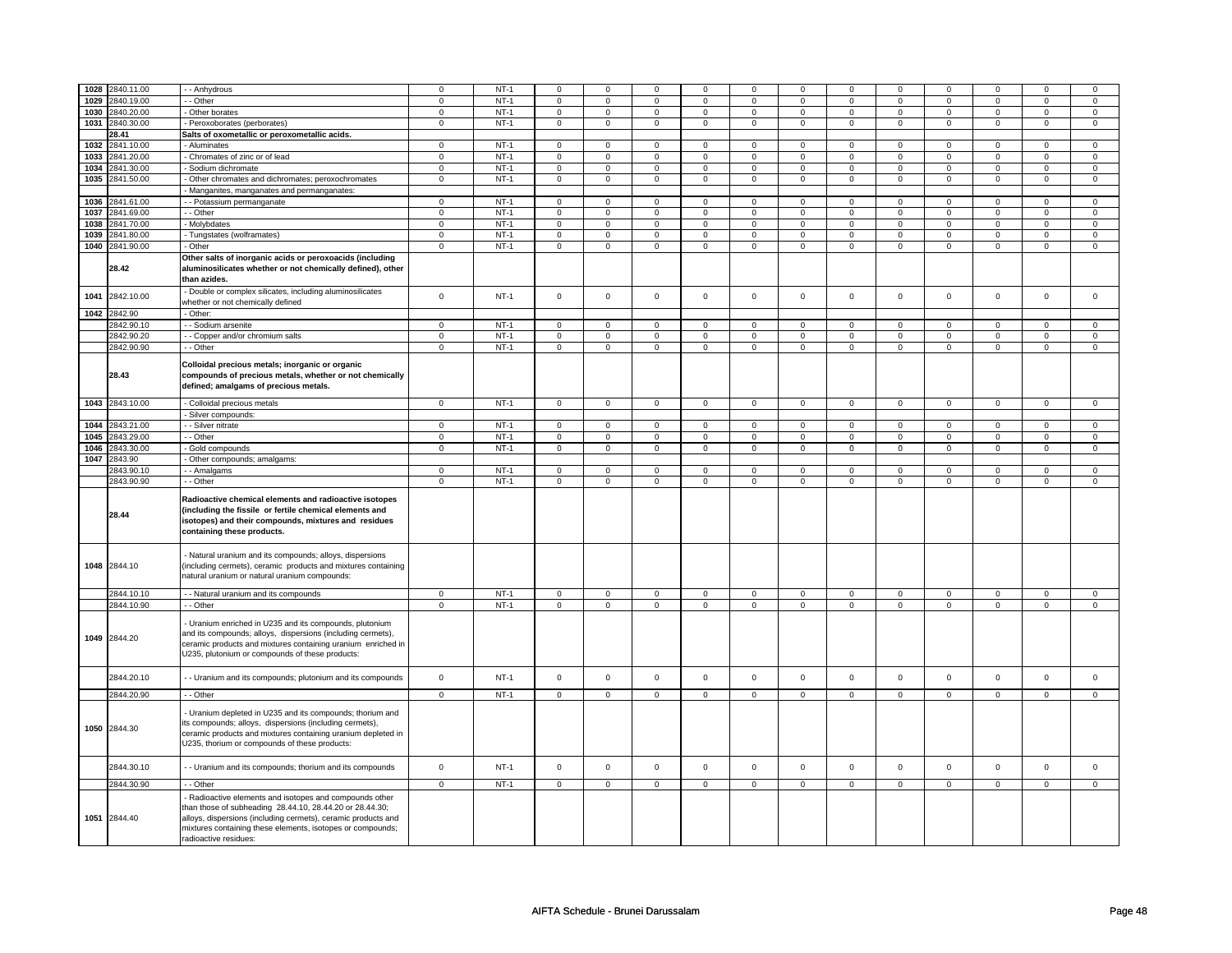|      | 1028 2840.11.00 |                                                                                                                                                                                                                                                                           |                     |        |                     | $\mathbf 0$    |                |                     |                | $\Omega$       |                |                |                | $\Omega$            |                | $\Omega$       |
|------|-----------------|---------------------------------------------------------------------------------------------------------------------------------------------------------------------------------------------------------------------------------------------------------------------------|---------------------|--------|---------------------|----------------|----------------|---------------------|----------------|----------------|----------------|----------------|----------------|---------------------|----------------|----------------|
|      |                 | - Anhydrous                                                                                                                                                                                                                                                               | $\mathbf 0$         | $NT-1$ | $\mathbf 0$         |                | $\mathbf 0$    | 0                   | $\mathbf 0$    |                | $\Omega$       | 0              | $\mathbf 0$    |                     | 0              |                |
|      | 1029 2840.19.00 | - Other                                                                                                                                                                                                                                                                   | $\mathbf 0$         | $NT-1$ | 0                   | 0              | $\mathbf 0$    | $\mathbf 0$         | $\mathbf{0}$   | $\mathbf 0$    | $\mathbf 0$    | $\mathbf 0$    | 0              | $\mathbf 0$         | $\mathbf 0$    | $\mathbf 0$    |
|      | 1030 2840.20.00 | Other borates                                                                                                                                                                                                                                                             | $\mathbf 0$         | $NT-1$ | $\mathbf 0$         | $\mathbf 0$    | $\mathbf 0$    | $\mathbf 0$         | $\mathbf 0$    | $\mathsf 0$    | $\mathbf 0$    | $\mathbf 0$    | $\mathsf 0$    | $\mathbf 0$         | $\mathbf 0$    | $\mathbf 0$    |
|      | 1031 2840.30.00 | Peroxoborates (perborates)                                                                                                                                                                                                                                                | $\mathbf 0$         | $NT-1$ | $\mathbf 0$         | $\mathbf 0$    | $\mathbf 0$    | $\mathsf 0$         | $\mathbf 0$    | $\mathbf 0$    | $\mathbf 0$    | $\mathbf 0$    | $\mathsf 0$    | $\mathbf 0$         | $\mathbf 0$    | $\mathbf 0$    |
|      | 28.41           | Salts of oxometallic or peroxometallic acids.                                                                                                                                                                                                                             |                     |        |                     |                |                |                     |                |                |                |                |                |                     |                |                |
| 1032 | 2841.10.00      | Aluminates                                                                                                                                                                                                                                                                | $\mathbf 0$         | $NT-1$ | $\mathbf 0$         | $\mathbf 0$    | $\Omega$       | 0                   | $\mathbf 0$    | $\mathsf 0$    | $\Omega$       | 0              | $\Omega$       | $\mathbf{0}$        | $\Omega$       | $\mathbf{0}$   |
|      | 1033 2841.20.00 | Chromates of zinc or of lead                                                                                                                                                                                                                                              | $\mathbf 0$         | $NT-1$ | 0                   | $\mathbf 0$    | $\mathbf 0$    | $\mathbf 0$         | $\mathbf{0}$   | $\mathbf 0$    | $\mathbf{0}$   | $\mathbf 0$    | $\mathbf{0}$   | $\mathbf 0$         | $\mathbf 0$    | $\mathbf{0}$   |
|      | 1034 2841.30.00 | - Sodium dichromate                                                                                                                                                                                                                                                       | $\mathbf 0$         | $NT-1$ | $\mathbf 0$         | $\mathbf 0$    | $\Omega$       | 0                   | $\mathbf 0$    | $\mathbf 0$    | $\Omega$       | $\mathsf 0$    | $\mathbf 0$    | $\mathbf 0$         | $\Omega$       | $\mathbf{0}$   |
|      | 1035 2841.50.00 | Other chromates and dichromates; peroxochromates                                                                                                                                                                                                                          | $\mathbf 0$         | $NT-1$ | $\mathbf 0$         | $\mathbf 0$    | $\mathbf{0}$   | $\mathbf 0$         | $\mathbf{O}$   | $\mathbf{0}$   | $\mathbf 0$    | $\mathbf{0}$   | $\mathbf 0$    | $\mathbf{0}$        | $\mathbf 0$    | $\mathbf 0$    |
|      |                 | Manganites, manganates and permanganates:                                                                                                                                                                                                                                 |                     |        |                     |                |                |                     |                |                |                |                |                |                     |                |                |
|      | 1036 2841.61.00 | - Potassium permanganate                                                                                                                                                                                                                                                  | $\mathsf 0$         | $NT-1$ | $\mathbf 0$         | $\mathbf 0$    | $\mathbf 0$    | $\mathsf 0$         | $\mathsf 0$    | $\mathsf 0$    | $\mathbf 0$    | $\mathsf 0$    | $\mathsf 0$    | $\mathsf 0$         | $\mathbf 0$    | $\mathsf 0$    |
|      | 1037 2841.69.00 | - Other                                                                                                                                                                                                                                                                   | $\overline{0}$      | $NT-1$ | $\mathbf 0$         | $\mathbf 0$    | $\mathbf 0$    | $\overline{0}$      | $\mathbf 0$    | $\mathbf{0}$   | $\mathbf 0$    | $\mathbf 0$    | $\mathbf 0$    | $\mathbf 0$         | $\mathbf 0$    | $\mathbf{0}$   |
|      | 1038 2841.70.00 | Molybdates                                                                                                                                                                                                                                                                | $\mathbf 0$         | $NT-1$ | 0                   | $\mathbf 0$    | $\mathbf 0$    | $\mathbf 0$         | $\mathbf{0}$   | $\mathbf{0}$   | $\mathbf{0}$   | $\mathbf{0}$   | $\mathbf 0$    | $\mathbf{0}$        | $\mathbf 0$    | $\mathbf{0}$   |
| 1039 | 2841.80.00      | - Tungstates (wolframates)                                                                                                                                                                                                                                                | $\mathbf 0$         | $NT-1$ | $\mathbf 0$         | $\mathbf 0$    | 0              | $\mathbf 0$         | $\mathbf 0$    | $\mathsf 0$    | $\mathbf 0$    | $\mathbf 0$    | $\mathsf 0$    | $\mathbf 0$         | $\mathbf 0$    | $\mathbf{0}$   |
|      |                 |                                                                                                                                                                                                                                                                           |                     |        |                     |                |                |                     | $\overline{0}$ |                | $\overline{0}$ |                |                |                     | $\Omega$       |                |
|      | 1040 2841.90.00 | - Other                                                                                                                                                                                                                                                                   | $\mathsf{O}\xspace$ | $NT-1$ | $\mathsf{O}\xspace$ | $\mathsf 0$    | $\mathbf 0$    | $\pmb{0}$           |                | $\overline{0}$ |                | $\overline{0}$ | $\overline{0}$ | $\overline{0}$      |                | $\mathsf 0$    |
|      | 28.42           | Other salts of inorganic acids or peroxoacids (including<br>aluminosilicates whether or not chemically defined), other<br>than azides.                                                                                                                                    |                     |        |                     |                |                |                     |                |                |                |                |                |                     |                |                |
| 1041 | 2842.10.00      | Double or complex silicates, including aluminosilicates<br>whether or not chemically defined                                                                                                                                                                              | $\mathbf 0$         | $NT-1$ | $\mathbf 0$         | $\mathbf 0$    | $\mathbf 0$    | $\mathbf 0$         | $\mathbf 0$    | $\mathsf 0$    | $\mathsf 0$    | $\mathbf 0$    | $\mathbf 0$    | $\mathbf 0$         | $\mathbf 0$    | $\mathbf 0$    |
| 1042 | 2842.90         | Other:                                                                                                                                                                                                                                                                    |                     |        |                     |                |                |                     |                |                |                |                |                |                     |                |                |
|      | 2842.90.10      | - Sodium arsenite                                                                                                                                                                                                                                                         | $\mathbf 0$         | $NT-1$ | $\mathbf 0$         | $\mathbf 0$    | $\mathbf{0}$   | $\mathbf{0}$        | $\circ$        | $\mathbf 0$    | $\mathbf 0$    | $\mathbf 0$    | $\mathbf 0$    | $\mathbf 0$         | $\mathbf 0$    | $\mathbf 0$    |
|      | 2842.90.20      | - Copper and/or chromium salts                                                                                                                                                                                                                                            | $\mathbf 0$         | $NT-1$ | 0                   | $\mathbf 0$    | $\mathbf 0$    | $\overline{0}$      | $\mathbf{0}$   | $\mathbf{0}$   | $\mathbf 0$    | $\mathbf{0}$   | $\mathbf{0}$   | $\overline{0}$      | $\mathbf{0}$   | $\mathbf{0}$   |
|      | 2842.90.90      | - - Other                                                                                                                                                                                                                                                                 | $\mathbf 0$         | $NT-1$ | 0                   | $\mathbf 0$    | 0              | 0                   | $\mathbf 0$    | $\mathbf{0}$   | $\mathbf 0$    | $\mathbf{0}$   | 0              | $\overline{0}$      | $\Omega$       | $\mathbf{0}$   |
|      | 28.43           | Colloidal precious metals; inorganic or organic<br>compounds of precious metals, whether or not chemically<br>defined; amalgams of precious metals.                                                                                                                       |                     |        |                     |                |                |                     |                |                |                |                |                |                     |                |                |
|      | 1043 2843.10.00 | - Colloidal precious metals                                                                                                                                                                                                                                               | $\mathbf{0}$        | $NT-1$ | $\mathbf{0}$        | $\mathbf{0}$   | $\mathbf{0}$   | $\mathbf{0}$        | $\overline{0}$ | $\overline{0}$ | $\mathbf{0}$   | $\overline{0}$ | $\mathbf 0$    | $\overline{0}$      | $\mathbf 0$    | $\mathbf{0}$   |
|      |                 | Silver compounds:                                                                                                                                                                                                                                                         |                     |        |                     |                |                |                     |                |                |                |                |                |                     |                |                |
|      | 1044 2843.21.00 | - Silver nitrate                                                                                                                                                                                                                                                          | $\mathbf 0$         | $NT-1$ | $\mathbf 0$         | $\mathsf{O}$   | $\mathbf{0}$   | $\mathsf 0$         | $\mathbf 0$    | $\mathsf 0$    | $\mathbf 0$    | $\mathsf 0$    | $\mathbf 0$    | $\mathsf{O}\xspace$ | $\mathbf 0$    | $\mathsf 0$    |
| 1045 | 2843.29.00      | - Other                                                                                                                                                                                                                                                                   | $\mathbf 0$         | $NT-1$ | $\mathbf 0$         | $\mathbf 0$    | 0              | 0                   | $\mathbf 0$    | $\mathbf 0$    | $\mathsf 0$    | $\mathbf 0$    | $\mathbf 0$    | $\mathbf 0$         | $\mathbf 0$    | $\mathbf 0$    |
|      | 1046 2843.30.00 | Gold compounds                                                                                                                                                                                                                                                            | $\mathsf 0$         | $NT-1$ | 0                   | $\circ$        | $\mathbf 0$    | $\mathsf 0$         | $\circ$        | $\mathsf 0$    | $\mathbf 0$    | $\mathbf 0$    | 0              | $\circ$             | $\circ$        | $\mathbf 0$    |
|      | 1047 2843.90    | Other compounds; amalgams:                                                                                                                                                                                                                                                |                     |        |                     |                |                |                     |                |                |                |                |                |                     |                |                |
|      | 2843.90.10      | - Amalgams                                                                                                                                                                                                                                                                | $\mathbf 0$         | $NT-1$ | $\mathbf 0$         | $\mathbf 0$    | $\Omega$       | $\mathbf 0$         | $\mathbf 0$    | $\mathbf 0$    | $\mathbf 0$    | $\mathbf 0$    | $\mathbf 0$    | $\mathbf{0}$        | $\Omega$       | $\mathbf 0$    |
|      | 2843.90.90      | - Other                                                                                                                                                                                                                                                                   | $\mathsf 0$         | $NT-1$ | $\mathbf 0$         | $\mathbf 0$    | $\mathbf 0$    | $\mathbf 0$         | $\mathsf 0$    | $\mathsf 0$    | $\mathbf 0$    | $\mathsf 0$    | $\mathbf 0$    | $\mathsf 0$         | $\mathbf 0$    | $\mathsf 0$    |
|      | 28.44           | Radioactive chemical elements and radioactive isotopes<br>(including the fissile or fertile chemical elements and<br>isotopes) and their compounds, mixtures and residues<br>containing these products.                                                                   |                     |        |                     |                |                |                     |                |                |                |                |                |                     |                |                |
|      | 1048 2844.10    | Natural uranium and its compounds; alloys, dispersions<br>(including cermets), ceramic products and mixtures containing<br>natural uranium or natural uranium compounds:                                                                                                  |                     |        |                     |                |                |                     |                |                |                |                |                |                     |                |                |
|      | 2844.10.10      | - - Natural uranium and its compounds                                                                                                                                                                                                                                     | $\mathbf 0$         | $NT-1$ | $\mathbf 0$         | $\mathbf 0$    | $\mathbf 0$    | $\mathbf 0$         | $\mathbf 0$    | $\mathbf 0$    | $\mathbf 0$    | $\mathbf 0$    | $\mathbf 0$    | $\mathbf 0$         | $\mathbf 0$    | $\mathsf 0$    |
|      | 2844.10.90      | - - Other                                                                                                                                                                                                                                                                 | $\overline{0}$      | $NT-1$ | $\overline{0}$      | $\overline{0}$ | $\overline{0}$ | $\overline{0}$      | $\overline{0}$ | $\overline{0}$ | $\overline{0}$ | $\overline{0}$ | $\overline{0}$ | $\overline{0}$      | $\overline{0}$ | $\overline{0}$ |
|      | 1049 2844.20    | Uranium enriched in U235 and its compounds, plutonium<br>and its compounds; alloys, dispersions (including cermets),<br>ceramic products and mixtures containing uranium enriched in<br>U235, plutonium or compounds of these products:                                   |                     |        |                     |                |                |                     |                |                |                |                |                |                     |                |                |
|      | 2844.20.10      | - Uranium and its compounds; plutonium and its compounds                                                                                                                                                                                                                  | $\mathsf 0$         | $NT-1$ | $\mathbf 0$         | $\mathbf 0$    | $\mathsf{O}$   | $\mathsf{O}\xspace$ | $\mathbf 0$    | $\mathbf 0$    | $\mathsf 0$    | $\mathbf 0$    | $\mathsf 0$    | $\mathbf 0$         | $\mathsf 0$    | $\mathsf 0$    |
|      | 2844.20.90      | - - Other                                                                                                                                                                                                                                                                 | $\mathsf 0$         | $NT-1$ | $\mathbf 0$         | $\mathbf 0$    | $\mathbf 0$    | $\mathbf{0}$        | $\mathbf 0$    | $\mathbf 0$    | $\mathbf{0}$   | $\mathbf 0$    | $\mathbf 0$    | $\mathbf{0}$        | $\mathbf{0}$   | $\overline{0}$ |
|      | 1050 2844.30    | Uranium depleted in U235 and its compounds; thorium and<br>its compounds; alloys, dispersions (including cermets),<br>ceramic products and mixtures containing uranium depleted in<br>U235, thorium or compounds of these products:                                       |                     |        |                     |                |                |                     |                |                |                |                |                |                     |                |                |
|      | 2844.30.10      | - Uranium and its compounds; thorium and its compounds                                                                                                                                                                                                                    | $\mathbf 0$         | $NT-1$ | $\mathbf 0$         | $\mathbf 0$    | $\mathbf 0$    | $\mathbf 0$         | $\mathbf 0$    | $\mathsf 0$    | $\mathsf 0$    | $\mathbf 0$    | $\mathsf 0$    | $\mathbf 0$         | $\mathsf 0$    | $\mathsf 0$    |
|      | 2844.30.90      | - - Other                                                                                                                                                                                                                                                                 | $\overline{0}$      | $NT-1$ | $\overline{0}$      | $\overline{0}$ | $\overline{0}$ | $\overline{0}$      | $\overline{0}$ | $\overline{0}$ | $\overline{0}$ | $\overline{0}$ | $\overline{0}$ | $\overline{0}$      | $\overline{0}$ | $\overline{0}$ |
|      | 1051 2844.40    | Radioactive elements and isotopes and compounds other<br>than those of subheading 28.44.10, 28.44.20 or 28.44.30;<br>alloys, dispersions (including cermets), ceramic products and<br>mixtures containing these elements, isotopes or compounds;<br>radioactive residues: |                     |        |                     |                |                |                     |                |                |                |                |                |                     |                |                |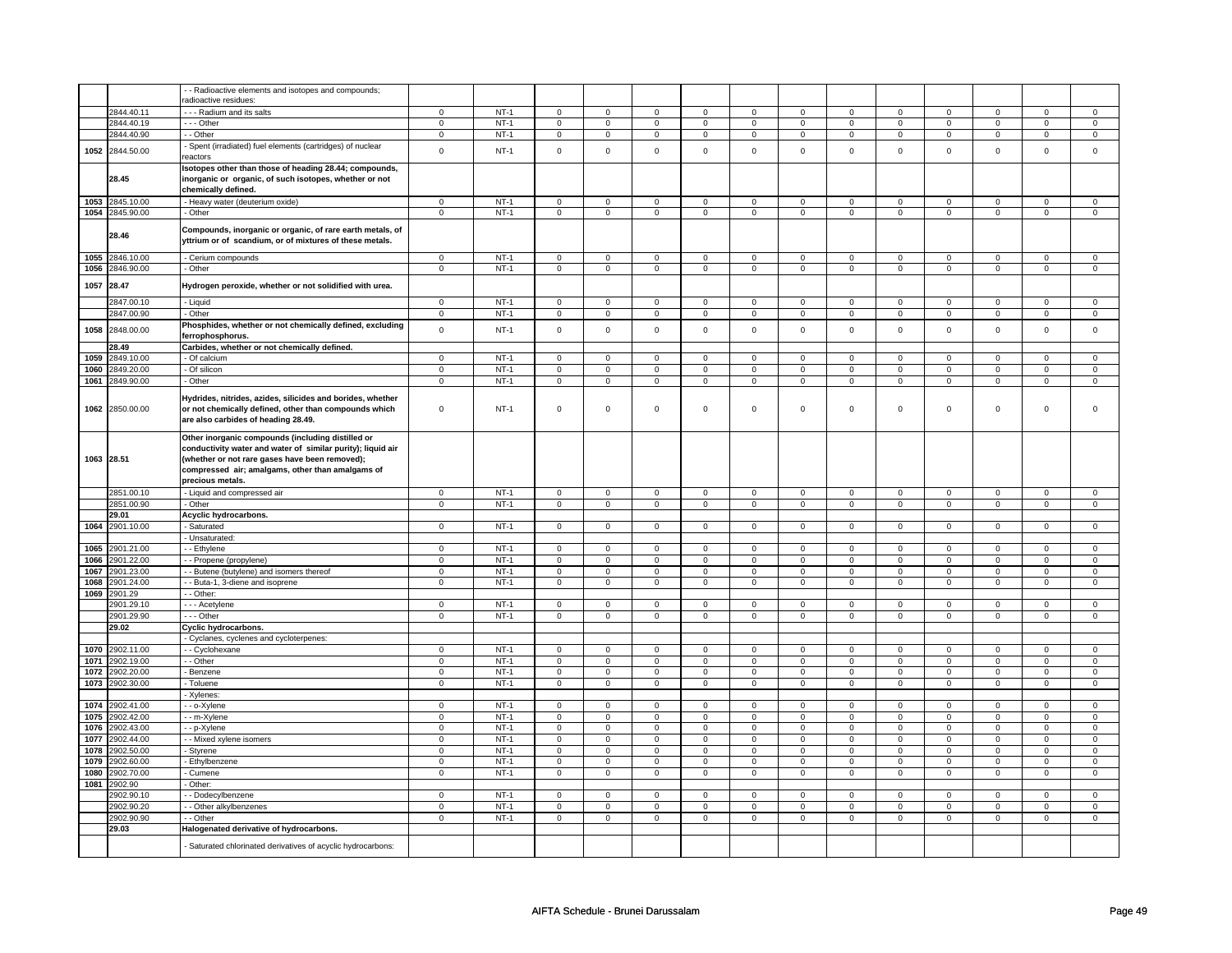|              |                          | - Radioactive elements and isotopes and compounds;                                                                                                                                                                                         |                            |                  |                            |                               |                                    |                            |                               |                            |                                            |                               |                            |                            |                            |                            |
|--------------|--------------------------|--------------------------------------------------------------------------------------------------------------------------------------------------------------------------------------------------------------------------------------------|----------------------------|------------------|----------------------------|-------------------------------|------------------------------------|----------------------------|-------------------------------|----------------------------|--------------------------------------------|-------------------------------|----------------------------|----------------------------|----------------------------|----------------------------|
|              |                          | adioactive residues:                                                                                                                                                                                                                       |                            |                  |                            |                               |                                    |                            |                               |                            |                                            |                               |                            |                            |                            |                            |
|              | 2844.40.11               | - - - Radium and its salts                                                                                                                                                                                                                 | $\mathbf 0$                | $NT-1$           | $\mathbf 0$                | $\mathbf 0$                   | $\mathbf 0$                        | $\mathbf 0$                | $\mathbf 0$                   | $\mathbf 0$                | $\mathbf 0$                                | $\mathbf 0$                   | $\mathbf 0$                | $\mathbf 0$                | 0                          | $\overline{0}$             |
|              | 2844.40.19               | --- Other                                                                                                                                                                                                                                  | $\mathbf 0$                | $NT-1$           | $\mathsf 0$                | $\mathsf 0$                   | $\mathbf 0$                        | $\mathbf 0$                | $\mathsf 0$                   | $\mathbf 0$                | $\mathbf 0$                                | $\mathbf 0$                   | $\mathsf 0$                | $\mathbf 0$                | $\mathbf 0$                | $\mathbf 0$                |
|              | 2844.40.90               | - - Other                                                                                                                                                                                                                                  | $\Omega$                   | $NT-1$           | $\mathbf 0$                | $\mathbf 0$                   | $\mathbf 0$                        | $\mathbf 0$                | $\mathbf 0$                   | $\mathbf 0$                | $\mathbf 0$                                | $\mathsf 0$                   | $\mathbf 0$                | $\mathsf 0$                | $\Omega$                   | $\mathsf 0$                |
| 1052         | 2844.50.00               | Spent (irradiated) fuel elements (cartridges) of nuclear<br>reactors                                                                                                                                                                       | $\mathsf 0$                | $NT-1$           | $\mathsf 0$                | $\mathbf 0$                   | $\Omega$                           | $\mathsf 0$                | $\mathsf 0$                   | $\pmb{0}$                  | $\mathsf{O}\xspace$                        | $\mathsf 0$                   | $\mathsf 0$                | $\mathsf 0$                | $\mathsf 0$                | $\mathsf{O}\xspace$        |
|              | 28.45                    | Isotopes other than those of heading 28.44; compounds,<br>inorganic or organic, of such isotopes, whether or not<br>chemically defined.                                                                                                    |                            |                  |                            |                               |                                    |                            |                               |                            |                                            |                               |                            |                            |                            |                            |
|              | 1053 2845.10.00          | - Heavy water (deuterium oxide)                                                                                                                                                                                                            | $\mathbf 0$                | $NT-1$           | $\mathbf 0$                | $\mathbf 0$                   | $\mathbf 0$                        | $\mathbf 0$                | $\mathbf 0$                   | $\mathbf 0$                | $\mathbf 0$                                | $\mathbf 0$                   | $\mathbf 0$                | $\mathbf 0$                | $\mathbf 0$                | $\mathbf 0$                |
|              | 1054 2845.90.00          | - Other                                                                                                                                                                                                                                    | $\mathsf 0$                | $NT-1$           | $\overline{0}$             | $\overline{0}$                | $\overline{0}$                     | $\overline{0}$             | $\overline{0}$                | $\overline{0}$             | $\overline{0}$                             | $\overline{0}$                | $\overline{0}$             | $\overline{0}$             | $\overline{0}$             | $\overline{0}$             |
|              | 28.46                    | Compounds, inorganic or organic, of rare earth metals, of<br>yttrium or of scandium, or of mixtures of these metals.                                                                                                                       |                            |                  |                            |                               |                                    |                            |                               |                            |                                            |                               |                            |                            |                            |                            |
| 1055         | 2846.10.00               | - Cerium compounds                                                                                                                                                                                                                         | $\mathbf 0$                | $NT-1$           | $\mathbf 0$                | $\mathbf 0$                   | $\mathbf 0$                        | $\mathbf{0}$               | $\mathbf 0$                   | $\mathbf 0$                | $\mathbf 0$                                | $\mathbf{0}$                  | $\mathbf 0$                | $\mathbf 0$                | 0                          | $\mathbf 0$                |
| 1056         | 2846.90.00               | - Other                                                                                                                                                                                                                                    | $\mathsf 0$                | $NT-1$           | $\mathbf 0$                | $\mathsf 0$                   | $\mathbf 0$                        | $\mathbf 0$                | $\mathbf 0$                   | $\mathbf 0$                | $\mathsf 0$                                | $\mathbf 0$                   | $\mathbf 0$                | $\mathbf 0$                | $\mathbf 0$                | $\mathbf 0$                |
| 1057         | 28.47                    | Hydrogen peroxide, whether or not solidified with urea.                                                                                                                                                                                    |                            |                  |                            |                               |                                    |                            |                               |                            |                                            |                               |                            |                            |                            |                            |
|              | 2847.00.10               | - Liquid                                                                                                                                                                                                                                   | $\mathbf 0$                | $NT-1$           | $\mathbf 0$                | $\mathsf 0$                   | $\mathbf 0$                        | 0                          | $\mathbf 0$                   | $\mathbf 0$                | $\mathbf 0$                                | $\mathbf 0$                   | $\mathbf 0$                | $\mathbf 0$                | 0                          | 0                          |
|              | 2847.00.90               | - Other                                                                                                                                                                                                                                    | $\mathbf 0$                | $NT-1$           | $\mathsf 0$                | $\mathbf 0$                   | $\mathsf 0$                        | $\mathsf 0$                | $\mathsf 0$                   | $\mathbf 0$                | $\mathsf{O}\xspace$                        | $\mathsf 0$                   | $\mathsf 0$                | $\mathsf 0$                | $\mathsf 0$                | $\mathsf{O}$               |
| 1058         | 2848.00.00               | Phosphides, whether or not chemically defined, excluding<br>ferrophosphorus.                                                                                                                                                               | $\mathsf 0$                | $NT-1$           | $\mathsf 0$                | $\mathsf 0$                   | $\mathsf 0$                        | $\mathsf 0$                | $\mathsf 0$                   | $\mathsf 0$                | $\mathsf{O}\xspace$                        | $\mathsf 0$                   | $\mathsf 0$                | $\mathsf 0$                | $\mathsf 0$                | $\mathbf 0$                |
|              | 28.49                    | Carbides, whether or not chemically defined.                                                                                                                                                                                               |                            |                  |                            |                               |                                    |                            |                               |                            |                                            |                               |                            |                            |                            |                            |
| 1059         | 2849.10.00               | - Of calcium                                                                                                                                                                                                                               | $\mathsf 0$                | $NT-1$           | $\mathsf 0$                | $\mathsf 0$                   | $\Omega$                           | $\Omega$                   | $\mathsf 0$                   | $\mathsf 0$                | $\mathsf{O}\xspace$                        | $\mathsf 0$                   | $\mathsf 0$                | $\mathsf 0$                | $\mathbf 0$                | $\mathbf 0$                |
| 1060         | 2849.20.00               | - Of silicon                                                                                                                                                                                                                               | $\mathbf 0$                | $NT-1$           | $\mathsf 0$                | $\mathbf 0$                   | $\mathbf 0$                        | $\mathsf 0$                | $\mathbf 0$                   | $\mathsf 0$                | $\mathsf{O}\xspace$                        | $\mathsf 0$                   | $\mathbf 0$                | $\mathsf 0$                | $\mathsf 0$                | $\mathsf 0$                |
| 1061         | 2849.90.00               | - Other                                                                                                                                                                                                                                    | $\mathsf 0$                | $NT-1$           | $\mathbf 0$                | $\overline{0}$                | $\mathbf 0$                        | $\overline{0}$             | $\mathbf 0$                   | $\overline{0}$             | $\mathbf 0$                                | $\overline{0}$                | $\mathbf 0$                | $\mathbf 0$                | $\mathbf 0$                | $\mathbf 0$                |
| 1062         | 2850.00.00               | Hydrides, nitrides, azides, silicides and borides, whether<br>or not chemically defined, other than compounds which<br>are also carbides of heading 28.49.                                                                                 | $\mathbf 0$                | $NT-1$           | $\mathsf 0$                | $\mathsf 0$                   | $\mathsf 0$                        | $\mathbf 0$                | $\mathsf 0$                   | $\mathbf 0$                | $\mathsf 0$                                | $\mathbf 0$                   | $\mathsf 0$                | $\mathbf 0$                | $\mathbf 0$                | $\mathbf 0$                |
|              | 1063 28.51               | Other inorganic compounds (including distilled or<br>conductivity water and water of similar purity); liquid air<br>(whether or not rare gases have been removed);<br>compressed air; amalgams, other than amalgams of<br>precious metals. |                            |                  |                            |                               |                                    |                            |                               |                            |                                            |                               |                            |                            |                            |                            |
|              | 2851.00.10               | - Liquid and compressed air                                                                                                                                                                                                                | $\mathbf 0$                | $NT-1$           | $\overline{0}$             | $\overline{0}$                | $\overline{0}$                     | $\overline{0}$             | $\overline{0}$                | $\overline{0}$             | $\overline{0}$                             | $\overline{0}$                | $\overline{0}$             | $\overline{0}$             | $\overline{0}$             | $\overline{0}$             |
|              | 2851.00.90               | - Other                                                                                                                                                                                                                                    | $\overline{0}$             | $NT-1$           | $\overline{0}$             | $\overline{0}$                | $\overline{0}$                     | $\overline{0}$             | $\overline{0}$                | $\overline{0}$             | $\overline{0}$                             | $\overline{0}$                | $\overline{0}$             | $\overline{0}$             | $\overline{0}$             | $\overline{0}$             |
|              | 29.01                    | Acyclic hydrocarbons.                                                                                                                                                                                                                      |                            |                  |                            |                               |                                    |                            |                               |                            |                                            |                               |                            |                            |                            |                            |
| 1064         | 2901.10.00               | - Saturated                                                                                                                                                                                                                                | $\mathbf 0$                | $NT-1$           | $\mathsf 0$                | $\mathbf 0$                   | $\mathsf 0$                        | $\mathsf 0$                | $\mathsf 0$                   | $\mathsf 0$                | $\mathsf{O}\xspace$                        | $\mathsf 0$                   | $\mathsf 0$                | $\mathsf 0$                | $\mathsf 0$                | $\mathbf 0$                |
|              |                          | - Unsaturated:                                                                                                                                                                                                                             |                            |                  |                            |                               |                                    |                            |                               |                            |                                            |                               |                            |                            |                            |                            |
|              | 1065 2901.21.00          | - - Ethylene                                                                                                                                                                                                                               | $\mathbf 0$<br>$\mathbf 0$ | $NT-1$<br>$NT-1$ | $\mathbf 0$<br>$\mathbf 0$ | $\mathsf 0$<br>$\mathbf 0$    | $\mathbf 0$<br>$\mathbf 0$         | $\mathbf 0$<br>$\mathbf 0$ | $\mathbf 0$<br>$\overline{0}$ | $\mathbf 0$<br>$\mathbf 0$ | $\mathbf 0$<br>$\mathbf 0$                 | $\mathbf 0$<br>$\overline{0}$ | $\mathbf 0$<br>$\mathbf 0$ | $\mathbf 0$<br>$\mathbf 0$ | $\mathbf 0$<br>$\mathbf 0$ | $\mathbf 0$<br>$\mathbf 0$ |
| 1066<br>1067 | 2901.22.00<br>2901.23.00 | - Propene (propylene)<br>- Butene (butylene) and isomers thereof                                                                                                                                                                           | $\overline{0}$             | $NT-1$           | $\overline{0}$             | $\overline{0}$                | $\overline{0}$                     | $\overline{0}$             | $\overline{0}$                | $\overline{0}$             | $\overline{0}$                             | $\overline{0}$                | $\overline{0}$             | $\overline{0}$             | $\overline{0}$             | $\overline{0}$             |
| 1068         | 2901.24.00               | - - Buta-1, 3-diene and isoprene                                                                                                                                                                                                           | $\mathsf 0$                | $NT-1$           | $\mathsf 0$                | $\mathsf 0$                   | $\mathsf 0$                        | $\mathsf 0$                | $\mathsf 0$                   | $\mathsf 0$                | $\mathbf 0$                                | $\mathsf 0$                   | $\mathbf 0$                | $\mathsf 0$                | $\mathbf 0$                | $\mathbf 0$                |
| 1069         | 2901.29                  | - Other:                                                                                                                                                                                                                                   |                            |                  |                            |                               |                                    |                            |                               |                            |                                            |                               |                            |                            |                            |                            |
|              | 2901.29.10               | --- Acetylene                                                                                                                                                                                                                              | $\mathbf{0}$               | $NT-1$           | $\mathbf 0$                | $\mathbf 0$                   | $\mathbf 0$                        | $\overline{0}$             | $\mathbf 0$                   | $\mathbf 0$                | $\mathbf 0$                                | $\overline{0}$                | $\mathbf 0$                | $\overline{0}$             | $\mathbf 0$                | $\mathbf{0}$               |
|              | 2901.29.90               | --- Other                                                                                                                                                                                                                                  | $\mathbf 0$                | $NT-1$           | $\mathbf 0$                | $\mathbf{0}$                  | $\mathbf 0$                        | $\mathbf{0}$               | $\mathbf 0$                   | $\mathbf{0}$               | $\mathbf 0$                                | $\overline{0}$                | $\mathbf 0$                | $\overline{0}$             | $\mathbf 0$                | $\mathbf{0}$               |
|              | 29.02                    | Cyclic hydrocarbons.                                                                                                                                                                                                                       |                            |                  |                            |                               |                                    |                            |                               |                            |                                            |                               |                            |                            |                            |                            |
|              |                          | Cyclanes, cyclenes and cycloterpenes:                                                                                                                                                                                                      |                            |                  |                            |                               |                                    |                            |                               |                            |                                            |                               |                            |                            |                            |                            |
| 1070         | 2902.11.00               | - - Cyclohexane                                                                                                                                                                                                                            | $\mathbf 0$                | $NT-1$           | $\mathbf 0$                | $\mathbf 0$                   | $\mathbf 0$                        | $\mathbf 0$                | $\mathbf 0$                   | $\mathbf 0$                | $\mathbf 0$                                | $\mathbf 0$                   | $\mathbf 0$                | $\mathbf 0$                | 0                          | $\mathbf{0}$               |
| 1071         | 2902.19.00               | - Other                                                                                                                                                                                                                                    | $\mathbf 0$                | $NT-1$           | $\mathbf 0$                | $\mathsf 0$                   | $\mathsf 0$                        | $\mathbf 0$                | $\mathbf 0$                   | $\mathbf 0$                | $\mathbf 0$                                | $\mathbf 0$                   | $\mathbf 0$                | $\mathbf 0$                | 0                          | $\mathsf 0$                |
| 1072         | 2902.20.00               | - Benzene                                                                                                                                                                                                                                  | $\mathsf 0$                | $NT-1$           | $\mathsf 0$                | $\mathsf 0$                   | $\mathsf 0$                        | $\mathbf 0$                | $\mathsf 0$                   | $\mathsf 0$                | $\mathbf 0$                                | $\mathbf 0$                   | $\mathsf 0$                | $\mathbf 0$                | $\mathbf 0$                | $\mathbf 0$                |
| 1073         | 2902.30.00               | - Toluene                                                                                                                                                                                                                                  | 0                          | $NT-1$           | 0                          | 0                             | 0                                  | $\mathbf 0$                | 0                             | $\mathbf 0$                | 0                                          | $\mathbf 0$                   | 0                          | $\mathbf 0$                | $\mathbf 0$                | $\mathbf 0$                |
|              |                          | - Xylenes:                                                                                                                                                                                                                                 |                            |                  |                            |                               |                                    |                            |                               |                            |                                            |                               |                            |                            |                            |                            |
| 1074         | 2902.41.00               | - - o-Xylene                                                                                                                                                                                                                               | $\mathbf 0$                | $NT-1$           | $\mathbf 0$                | $\mathbf 0$                   | $\mathbf 0$                        | $\mathbf 0$                | $\mathbf 0$                   | $\mathbf 0$                | $\mathbf 0$                                | $\mathbf 0$                   | $\mathbf 0$                | $\mathsf 0$                | $\mathbf 0$                | $\mathsf 0$                |
| 1075         | 2902.42.00               | - - m-Xylene                                                                                                                                                                                                                               | $\mathbf 0$                | $NT-1$           | $\overline{0}$             | $\overline{0}$                | $\overline{0}$                     | $\overline{0}$             | $\overline{0}$                | $\overline{0}$             | $\overline{0}$                             | $\overline{0}$                | $\overline{0}$             | $\overline{0}$             | $\overline{0}$             | $\overline{0}$             |
| 1076<br>1077 | 2902.43.00<br>2902.44.00 | - - p-Xylene                                                                                                                                                                                                                               | $\mathbf 0$                | $NT-1$<br>$NT-1$ | $\mathsf 0$                | $\mathbf 0$<br>$\overline{0}$ | $\mathsf{O}\xspace$                | $\mathsf 0$                | $\mathsf{O}\xspace$           | $\mathsf 0$                | $\mathsf{O}\xspace$                        | $\mathsf 0$<br>$\overline{0}$ | $\mathbf 0$                | $\mathsf 0$                | $\mathsf 0$<br>$\mathbf 0$ | $\mathbf 0$                |
| 1078         | 2902.50.00               | - Mixed xylene isomers                                                                                                                                                                                                                     | $\mathbf 0$<br>$\mathbf 0$ | $NT-1$           | $\mathsf 0$<br>$\mathsf 0$ | $\mathsf 0$                   | $\mathsf{O}\xspace$<br>$\mathsf 0$ | $\mathsf 0$<br>$\mathsf 0$ | $\mathsf 0$<br>$\mathsf 0$    | $\mathsf 0$<br>$\mathsf 0$ | $\mathsf{O}\xspace$<br>$\mathsf{O}\xspace$ | $\mathsf 0$                   | $\mathbf 0$<br>$\mathsf 0$ | $\mathsf 0$<br>$\mathsf 0$ | $\mathsf 0$                | $\mathbf 0$<br>$\mathsf 0$ |
| 1079         | 2902.60.00               | Styrene<br>- Ethylbenzene                                                                                                                                                                                                                  | $\mathbf 0$                | $NT-1$           | $\mathsf 0$                | $\mathbf 0$                   | 0                                  | $\mathsf 0$                | $\mathsf 0$                   | $\mathsf 0$                | $\mathsf{O}\xspace$                        | $\mathsf 0$                   | $\mathbf 0$                | $\mathsf 0$                | $\mathsf 0$                | $\mathbf 0$                |
| 1080         | 2902.70.00               | - Cumene                                                                                                                                                                                                                                   | $\mathbf 0$                | $NT-1$           | $\mathbf 0$                | $\mathbf 0$                   | $\mathbf 0$                        | $\mathbf 0$                | $\mathbf 0$                   | $\mathbf 0$                | $\mathbf{0}$                               | $\mathbf 0$                   | $\mathbf 0$                | $\mathbf 0$                | $\mathbf 0$                | $\mathbf{0}$               |
| 1081         | 2902.90                  | - Other:                                                                                                                                                                                                                                   |                            |                  |                            |                               |                                    |                            |                               |                            |                                            |                               |                            |                            |                            |                            |
|              | 2902.90.10               | - Dodecylbenzene                                                                                                                                                                                                                           | $\mathbf 0$                | $NT-1$           | $\mathbf 0$                | $\mathsf 0$                   | $\mathbf 0$                        | $\mathbf 0$                | $\mathbf 0$                   | $\mathbf 0$                | $\mathbf 0$                                | $\mathbf 0$                   | $\mathbf 0$                | $\mathbf 0$                | 0                          | $\mathbf 0$                |
|              | 2902.90.20               | - Other alkylbenzenes                                                                                                                                                                                                                      | $\mathbf 0$                | $NT-1$           | $\Omega$                   | $\mathbf 0$                   | $\mathbf 0$                        | $\mathbf 0$                | $\mathbf 0$                   | $\mathbf 0$                | $\mathbf 0$                                | $\mathbf 0$                   | $\mathsf 0$                | $\mathbf 0$                | $\mathbf 0$                | $\mathbf 0$                |
|              | 2902.90.90               | - Other                                                                                                                                                                                                                                    | $\mathbf 0$                | $NT-1$           | $\mathbf 0$                | $\mathsf 0$                   | $\mathbf 0$                        | $\mathbf 0$                | $\mathbf 0$                   | $\mathbf 0$                | $\mathbf 0$                                | $\mathbf 0$                   | $\mathbf 0$                | $\mathbf 0$                | $\mathbf 0$                | $\mathbf 0$                |
|              | 29.03                    | Halogenated derivative of hydrocarbons.                                                                                                                                                                                                    |                            |                  |                            |                               |                                    |                            |                               |                            |                                            |                               |                            |                            |                            |                            |
|              |                          | - Saturated chlorinated derivatives of acyclic hydrocarbons:                                                                                                                                                                               |                            |                  |                            |                               |                                    |                            |                               |                            |                                            |                               |                            |                            |                            |                            |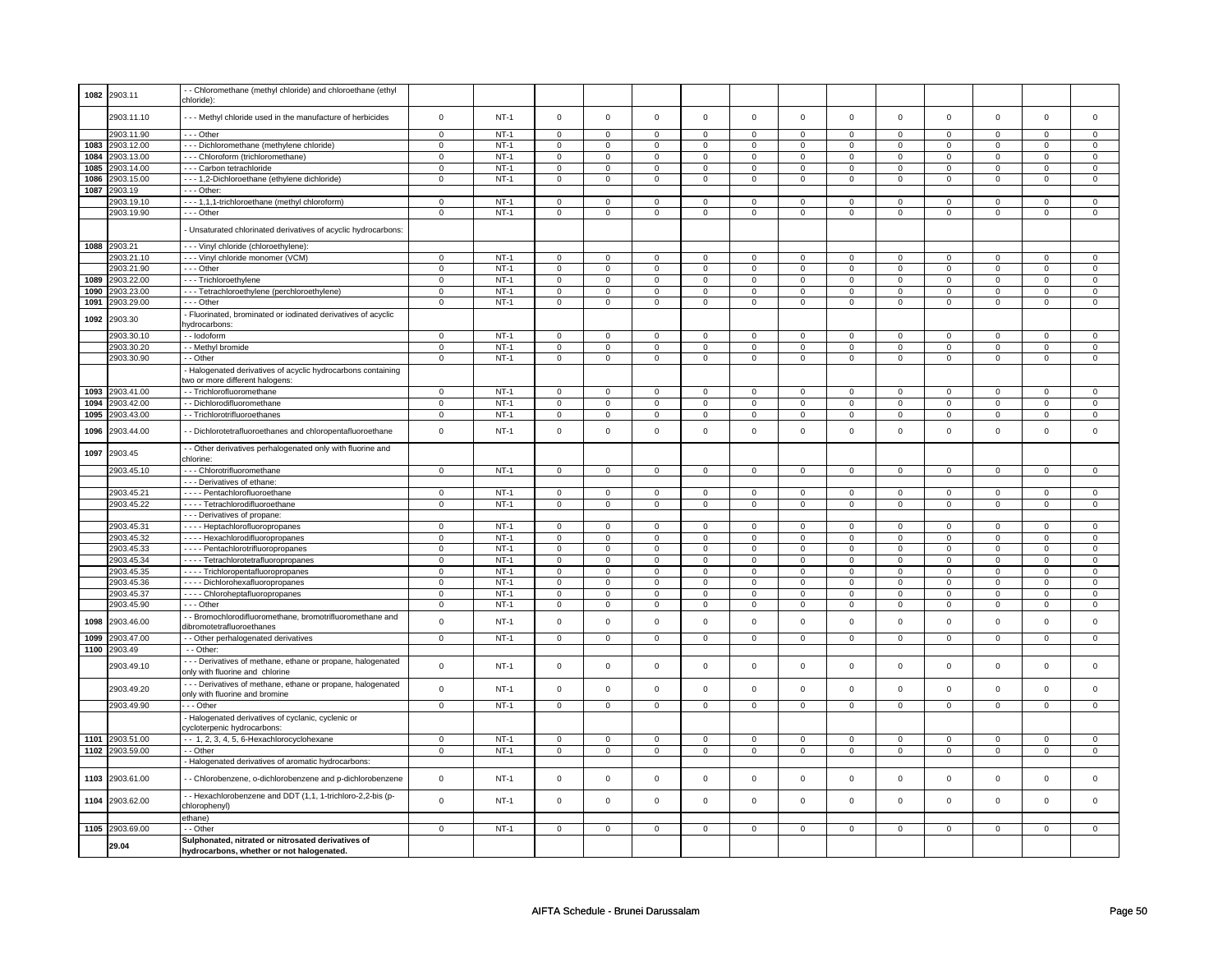| 1082 | 2903.11               | - - Chloromethane (methyl chloride) and chloroethane (ethyl<br>chloride):                       |                |        |                     |                |                     |                     |                |                |                     |                |                |                |                |                |
|------|-----------------------|-------------------------------------------------------------------------------------------------|----------------|--------|---------------------|----------------|---------------------|---------------------|----------------|----------------|---------------------|----------------|----------------|----------------|----------------|----------------|
|      | 2903.11.10            | --- Methyl chloride used in the manufacture of herbicides                                       | $\mathsf 0$    | $NT-1$ | $\mathsf 0$         | $\mathsf 0$    | $\mathbf 0$         | $\mathsf 0$         | $\mathsf 0$    | $\mathsf 0$    | $\mathsf 0$         | $\mathsf 0$    | $\mathsf 0$    | $\mathsf 0$    | $\mathsf 0$    | $\mathbf 0$    |
|      | 2903.11.90            | --- Other                                                                                       | $\mathsf 0$    | $NT-1$ | $\mathsf 0$         | $\mathsf 0$    | $\mathsf 0$         | $\mathbf 0$         | $\mathbf 0$    | $\mathsf 0$    | $\mathbf 0$         | $\mathbf 0$    | $\mathbf 0$    | $\mathbf 0$    | $\mathsf 0$    | $\mathbf 0$    |
| 1083 | 2903.12.00            | --- Dichloromethane (methylene chloride)                                                        | $\mathbf 0$    | $NT-1$ | $\mathsf 0$         | $\mathsf 0$    | $\mathsf 0$         | $\mathbf 0$         | $\mathbf 0$    | $\mathsf 0$    | $\mathsf 0$         | $\mathbf 0$    | $\mathsf 0$    | $\mathbf 0$    | $\mathsf 0$    | $\mathsf 0$    |
| 1084 | 2903.13.00            | --- Chloroform (trichloromethane)                                                               | $\overline{0}$ | $NT-1$ | $\mathsf 0$         | $\mathbf 0$    | $\mathsf 0$         | $\overline{0}$      | $\overline{0}$ | $\overline{0}$ | $\overline{0}$      | $\overline{0}$ | $\overline{0}$ | $\overline{0}$ | $\overline{0}$ | $\overline{0}$ |
| 1085 | 2903.14.00            | - - - Carbon tetrachloride                                                                      | $\mathbf 0$    | $NT-1$ | $\mathbf 0$         | $\mathsf 0$    | $\mathbf 0$         | $\mathsf 0$         | $\mathbf 0$    | $\mathsf 0$    | $\mathbf 0$         | $\mathbf 0$    | $\mathbf 0$    | $\mathbf 0$    | $\mathsf 0$    | $\mathbf 0$    |
| 1086 | 2903.15.00            | - - - 1,2-Dichloroethane (ethylene dichloride)                                                  | $\mathbf 0$    | $NT-1$ | $\mathbf 0$         | $\mathsf 0$    | $\mathbf 0$         | $\mathbf 0$         | $\mathbf 0$    | $\mathsf 0$    | $\mathbf 0$         | $\mathbf 0$    | $\mathbf 0$    | $\mathbf 0$    | $\mathbf 0$    | $\mathsf 0$    |
| 1087 | 2903.19               | --- Other:                                                                                      |                |        |                     |                |                     |                     |                |                |                     |                |                |                |                |                |
|      | 2903.19.10            | --- 1,1,1-trichloroethane (methyl chloroform)                                                   | $\mathbf{0}$   | $NT-1$ | $\mathbf 0$         | $\mathbf 0$    | $\mathbf 0$         | $\mathbf 0$         | 0              | $\mathbf 0$    | $\mathbf 0$         | $\mathbf 0$    | 0              | $\mathbf 0$    | $\mathbf 0$    | $\mathbf 0$    |
|      | 2903.19.90            | --- Other                                                                                       | $\mathbf 0$    | $NT-1$ | $\mathbf 0$         | $\mathsf 0$    | $\mathbf 0$         | $\mathbf 0$         | $\mathbf 0$    | $\mathsf 0$    | $\mathbf 0$         | $\mathbf 0$    | $\mathsf 0$    | 0              | $\Omega$       | $\mathbf 0$    |
|      |                       | - Unsaturated chlorinated derivatives of acyclic hydrocarbons:                                  |                |        |                     |                |                     |                     |                |                |                     |                |                |                |                |                |
|      | 1088 2903.21          | - - - Vinyl chloride (chloroethylene):                                                          |                |        |                     |                |                     |                     |                |                |                     |                |                |                |                |                |
|      | 2903.21.10            | --- Vinyl chloride monomer (VCM)                                                                | $\mathbf 0$    | $NT-1$ | $\mathsf 0$         | $\mathsf 0$    | $\mathbf 0$         | $\mathbf 0$         | $\mathbf 0$    | $\Omega$       | $\Omega$            | $\Omega$       | $\mathbf 0$    | $\Omega$       | $\Omega$       | $\mathbf 0$    |
|      | 2903.21.90            | --- Other                                                                                       | $\mathbf 0$    | $NT-1$ | $\mathbf 0$         | $\mathbf 0$    | $\mathbf 0$         | $\mathbf 0$         | 0              | $\mathbf 0$    | 0                   | $\mathbf 0$    | $\mathbf 0$    | $\mathbf 0$    | $\mathbf 0$    | $\mathbf 0$    |
| 1089 | 2903.22.00            | --- Trichloroethylene                                                                           | $\mathbf 0$    | $NT-1$ | $\mathbf 0$         | $\mathbf 0$    | $\mathbf 0$         | $\mathbf 0$         | 0              | $\mathbf 0$    | $\mathbf 0$         | $\mathbf 0$    | $\mathbf 0$    | $\mathbf 0$    | $\mathbf 0$    | $\mathbf 0$    |
| 1090 | 2903.23.00            | --- Tetrachloroethylene (perchloroethylene)                                                     | $\mathbf 0$    | $NT-1$ | $\mathbf 0$         | $\mathbf 0$    | $\mathbf 0$         | $\mathbf 0$         | $\mathbf 0$    | $\mathsf 0$    | $\mathbf 0$         | $\mathbf 0$    | $\mathsf 0$    | $\mathbf 0$    | $\mathbf 0$    | 0              |
| 1091 | 2903.29.00            | --- Other                                                                                       | $\mathbf 0$    | $NT-1$ | $\mathsf 0$         | $\mathsf 0$    | $\mathsf 0$         | $\overline{0}$      | $\overline{0}$ | $\overline{0}$ | $\overline{0}$      | $\overline{0}$ | $\overline{0}$ | $\overline{0}$ | $\overline{0}$ | $\overline{0}$ |
| 1092 | 2903.30               | - Fluorinated, brominated or iodinated derivatives of acyclic<br>ydrocarbons:                   |                |        |                     |                |                     |                     |                |                |                     |                |                |                |                |                |
|      | 2903.30.10            | -- lodoform                                                                                     | $\overline{0}$ | $NT-1$ | $\mathsf 0$         | $\overline{0}$ | $\mathsf 0$         | $\mathbf{0}$        | $\mathbf 0$    | $\overline{0}$ | $\mathbf 0$         | $\mathsf 0$    | $\mathbf 0$    | $\overline{0}$ | $\mathsf 0$    | $\overline{0}$ |
|      | 2903.30.20            | - - Methyl bromide                                                                              | $\overline{0}$ | $NT-1$ | $\mathsf 0$         | $\mathbf 0$    | 0                   | $\mathbf 0$         | 0              | $\mathbf 0$    | $\mathbf 0$         | $\mathbf 0$    | 0              | $\mathsf 0$    | $^{\circ}$     | $\mathbf 0$    |
|      | 2903.30.90            | - Other                                                                                         | $\mathsf 0$    | $NT-1$ | $\mathsf 0$         | $\mathsf 0$    | $\mathsf{O}\xspace$ | $\mathsf 0$         | $\mathsf 0$    | $\mathsf 0$    | $\mathsf 0$         | $\mathsf 0$    | $\mathsf 0$    | $\mathsf 0$    | $\mathsf 0$    | $\mathbf 0$    |
|      |                       | Halogenated derivatives of acyclic hydrocarbons containing<br>two or more different halogens:   |                |        |                     |                |                     |                     |                |                |                     |                |                |                |                |                |
| 1093 | 2903.41.00            | - - Trichlorofluoromethane                                                                      | $\mathbf 0$    | $NT-1$ | $\mathsf{O}\xspace$ | $\mathbf 0$    | $\mathbf 0$         | $\mathbf 0$         | $\mathsf 0$    | $\mathbf 0$    | $\mathsf{O}\xspace$ | $\mathsf 0$    | $\mathsf 0$    | $\mathsf 0$    | 0              | $\mathbf 0$    |
| 1094 | 2903.42.00            | - Dichlorodifluoromethane                                                                       | $\mathbf 0$    | $NT-1$ | $\mathsf{O}\xspace$ | $\mathbf 0$    | $\mathsf{O}\xspace$ | $\mathbf 0$         | $\mathsf 0$    | $\mathbf 0$    | $\mathbf 0$         | $\mathbf 0$    | $\mathbf 0$    | $\mathbf 0$    | $\mathbf 0$    | $\mathbf{0}$   |
| 1095 | 2903.43.00            | - - Trichlorotrifluoroethanes                                                                   | $\mathbf 0$    | $NT-1$ | $\mathsf{O}\xspace$ | $\mathsf 0$    | $\mathsf 0$         | $\mathsf 0$         | $\mathsf 0$    | $\mathbf 0$    | $\mathsf 0$         | $\mathsf 0$    | $\mathsf 0$    | $\mathsf 0$    | $\mathbf 0$    | $\mathsf 0$    |
| 1096 | 2903.44.00            | - Dichlorotetrafluoroethanes and chloropentafluoroethane                                        | $\mathbf 0$    | $NT-1$ | $\mathsf 0$         | $\mathsf 0$    | $\mathsf 0$         | $\mathbf 0$         | $\mathbf 0$    | $\mathsf 0$    | $\mathbf 0$         | $\mathbf 0$    | $\mathbf 0$    | $\mathbf 0$    | $\mathbf 0$    | $\mathbf 0$    |
| 1097 | 2903.45               | - - Other derivatives perhalogenated only with fluorine and<br>chlorine:                        |                |        |                     |                |                     |                     |                |                |                     |                |                |                |                |                |
|      | 2903.45.10            | - - - Chlorotrifluoromethane                                                                    | $\mathbf 0$    | $NT-1$ | $\mathbf 0$         | $\mathbf 0$    | $\mathbf 0$         | $\mathbf 0$         | $\mathbf 0$    | $\mathbf 0$    | $\mathbf 0$         | $\mathbf 0$    | $\mathbf 0$    | $\mathbf 0$    | $\mathbf 0$    | $\mathbf{0}$   |
|      |                       | - - - Derivatives of ethane:                                                                    |                |        |                     |                |                     |                     |                |                |                     |                |                |                |                |                |
|      | 2903.45.21            | - - - - Pentachlorofluoroethane                                                                 | $\mathbf{0}$   | $NT-1$ | $\mathbf 0$         | $\mathbf 0$    | $\mathbf 0$         | $\mathbf 0$         | $\mathbf 0$    | $\mathbf 0$    | $\mathbf 0$         | $\mathbf{0}$   | 0              | $\mathbf 0$    | $\mathbf 0$    | $\mathbf{0}$   |
|      | 2903.45.22            | - - - - Tetrachlorodifluoroethane                                                               | $\mathbf 0$    | $NT-1$ | $\mathbf 0$         | $\mathbf 0$    | $\Omega$            | $\mathbf 0$         | 0              | $\mathsf 0$    | $\Omega$            | $\Omega$       | $\mathbf 0$    | 0              | $\Omega$       | $\mathbf 0$    |
|      |                       | --- Derivatives of propane:                                                                     |                |        |                     |                |                     |                     |                |                |                     |                |                |                |                |                |
|      | 2903.45.31            | - - - - Heptachlorofluoropropanes                                                               | $\mathsf 0$    | $NT-1$ | $\mathbf 0$         | $\mathbf 0$    | $\mathbf 0$         | $\mathbf 0$         | $\mathbf 0$    | $\mathsf 0$    | $\Omega$            | $\mathbf 0$    | $\Omega$       | $\mathbf 0$    | $\Omega$       | 0              |
|      | 2903.45.32            | - - - - Hexachlorodifluoropropanes                                                              | $\mathbf 0$    | $NT-1$ | $\mathbf 0$         | $\mathbf 0$    | $\mathbf 0$         | $\mathbf 0$         | $\mathbf 0$    | $\mathsf 0$    | $\mathbf 0$         | $\mathbf 0$    | $\mathbf 0$    | $\mathbf 0$    | $\mathbf 0$    | 0              |
|      | 2903.45.33            | - - - - Pentachlorotrifluoropropanes                                                            | $\mathsf 0$    | $NT-1$ | $\mathbf 0$         | $\mathbf 0$    | $\mathbf 0$         | $\mathbf 0$         | $\mathbf 0$    | $\mathsf 0$    | $\mathbf 0$         | $\mathbf 0$    | $\mathsf 0$    | $\mathbf 0$    | $\mathbf 0$    | $\mathsf 0$    |
|      | 2903.45.34            | - - - - Tetrachlorotetrafluoropropanes                                                          | $\mathbf 0$    | $NT-1$ | $\mathbf 0$         | $\mathbf 0$    | 0                   | $^{\circ}$          | $\mathbf 0$    | $\mathbf 0$    | $\mathbf 0$         | $\mathbf 0$    | 0              | $\mathbf 0$    | $^{\circ}$     | $\mathbf 0$    |
|      | 2903.45.35            | - - - - Trichloropentafluoropropanes                                                            | $\mathbf 0$    | $NT-1$ | $\mathbf 0$         | $\mathbf 0$    | $\mathbf 0$         | $\mathbf 0$         | $\mathbf 0$    | 0              | $\mathbf 0$         | $\mathbf 0$    | 0              | $\mathbf 0$    | $\mathbf 0$    | $\mathbf 0$    |
|      | 2903.45.36            | - - - - Dichlorohexafluoropropanes                                                              | $\pmb{0}$      | $NT-1$ | $\mathsf 0$         | $\mathsf 0$    | $\mathbf 0$         | $\mathsf 0$         | $\mathbf 0$    | $\mathbf 0$    | $\Omega$            | $\mathbf 0$    | $\mathbf 0$    | $\mathbf 0$    | $\Omega$       | $\mathsf 0$    |
|      | 2903.45.37            | - - - - Chloroheptafluoropropanes                                                               | $\,0\,$        | $NT-1$ | $\mathsf{O}\xspace$ | $\mathbf 0$    | $\mathsf 0$         | $\mathsf{O}\xspace$ | $\mathsf 0$    | $\mathbf 0$    | $\mathsf 0$         | $\mathsf 0$    | $\mathsf 0$    | $\mathsf 0$    | $\mathsf 0$    | $\mathsf 0$    |
|      | 2903.45.90            | --- Other                                                                                       | $\,0\,$        | $NT-1$ | $\mathsf{O}\xspace$ | $\mathbf 0$    | $\mathsf{O}\xspace$ | $\mathbf 0$         | $\mathsf 0$    | $\mathbf 0$    | $\mathsf{O}\xspace$ | $\mathsf 0$    | $\mathbf 0$    | $\mathsf 0$    | $\mathsf 0$    | $\mathsf 0$    |
| 1098 | 2903.46.00            | - Bromochlorodifluoromethane, bromotrifluoromethane and<br>dibromotetrafluoroethanes            | $\mathbf 0$    | $NT-1$ | $\mathsf 0$         | $\mathsf 0$    | $\Omega$            | $\mathbf 0$         | $\Omega$       | $\mathbf 0$    | $\Omega$            | $\mathsf 0$    | $\mathsf 0$    | $\mathsf 0$    | $\Omega$       | $\mathsf 0$    |
| 1099 | 2903.47.00            | - - Other perhalogenated derivatives                                                            | $\mathbf 0$    | $NT-1$ | $\mathsf 0$         | $\mathbf 0$    | $\mathsf 0$         | $\mathbf 0$         | $\mathbf 0$    | $\mathsf 0$    | $\mathbf 0$         | $\mathbf 0$    | $\mathbf 0$    | $\mathbf 0$    | $\mathsf 0$    | $\mathbf 0$    |
| 1100 | 2903.49<br>2903.49.10 | - - Other:<br>- - - Derivatives of methane, ethane or propane, halogenated                      | $\pmb{0}$      | $NT-1$ | $\mathsf{O}\xspace$ | $\mathbf 0$    | $\mathsf{O}\xspace$ | $\mathbf 0$         | $\mathbf 0$    | $\mathbf 0$    | $\mathsf{O}\xspace$ | $\mathsf 0$    | $\mathbf 0$    | $\mathsf 0$    | $\mathbf 0$    | $\mathbf 0$    |
|      | 2903.49.20            | only with fluorine and chlorine<br>- - - Derivatives of methane, ethane or propane, halogenated | $\mathbf 0$    | $NT-1$ | $\mathbf 0$         | $\mathsf 0$    | $\Omega$            | $\mathsf 0$         | $\mathsf 0$    | $\mathsf 0$    | $\mathbf 0$         | $\mathbf 0$    | $\mathsf 0$    | $\mathbf 0$    | $\mathbf 0$    | $\mathsf 0$    |
|      |                       | only with fluorine and bromine                                                                  |                |        |                     |                |                     |                     |                |                |                     |                |                |                |                |                |
|      | 2903.49.90            | - - Other                                                                                       | $\mathsf 0$    | $NT-1$ | $\mathbf 0$         | $\mathbf 0$    | $\mathbf 0$         | $\mathbf 0$         | $\mathbf 0$    | $\mathsf 0$    | $\mathbf 0$         | $\mathbf 0$    | 0              | $\mathbf 0$    | $\mathbf 0$    | $\mathbf 0$    |
|      |                       | - Halogenated derivatives of cyclanic, cyclenic or<br>cycloterpenic hydrocarbons:               |                |        |                     |                |                     |                     |                |                |                     |                |                |                |                |                |
|      | 1101 2903.51.00       | -- 1, 2, 3, 4, 5, 6-Hexachlorocyclohexane                                                       | $\mathsf 0$    | $NT-1$ | $\mathsf 0$         | $\mathbf 0$    | $\mathsf 0$         | $\mathbf{0}$        | $\mathbf 0$    | $\mathsf 0$    | $\mathbf 0$         | $\mathbf 0$    | $\mathbf 0$    | $\mathbf 0$    | $\mathbf 0$    | $\mathbf 0$    |
| 1102 | 2903.59.00            | - - Other                                                                                       | $\mathbf 0$    | $NT-1$ | $\mathsf 0$         | $\mathsf 0$    | $\mathsf 0$         | $\mathsf 0$         | $\mathbf 0$    | $\mathsf 0$    | $\mathbf 0$         | $\mathbf 0$    | $\mathbf 0$    | $\mathbf 0$    | $\mathsf 0$    | $\mathsf 0$    |
|      |                       | - Halogenated derivatives of aromatic hydrocarbons:                                             |                |        |                     |                |                     |                     |                |                |                     |                |                |                |                |                |
| 1103 | 2903.61.00            | - Chlorobenzene, o-dichlorobenzene and p-dichlorobenzene                                        | $\mathbf 0$    | $NT-1$ | $\mathsf 0$         | $\mathsf 0$    | $\mathbf 0$         | $\mathbf 0$         | $\mathbf 0$    | $\mathsf 0$    | $\mathbf 0$         | $\mathbf 0$    | $\mathsf 0$    | $\mathbf 0$    | $\mathbf 0$    | $\mathbf 0$    |
| 1104 | 2903.62.00            | - - Hexachlorobenzene and DDT (1,1, 1-trichloro-2,2-bis (p-<br>chlorophenyl)                    | $\mathbf 0$    | $NT-1$ | $\mathsf 0$         | $\mathsf 0$    | $\Omega$            | $\mathbf 0$         | $\mathbf 0$    | $\mathbf 0$    | $\mathbf 0$         | $\mathbf 0$    | $\mathbf 0$    | $\mathbf 0$    | $\mathsf 0$    | $\mathbf 0$    |
|      |                       | ethane)                                                                                         |                |        |                     |                |                     |                     |                |                |                     |                |                |                |                |                |
|      | 1105 2903.69.00       | - Other                                                                                         | $\overline{0}$ | $NT-1$ | $\mathsf 0$         | $\mathsf 0$    | $\mathsf 0$         | $\overline{0}$      | $\mathsf 0$    | $\overline{0}$ | $\mathsf 0$         | $\overline{0}$ | $\mathbf 0$    | $\mathbf 0$    | $\mathsf 0$    | $\overline{0}$ |
|      | 29.04                 | Sulphonated, nitrated or nitrosated derivatives of<br>hydrocarbons, whether or not halogenated. |                |        |                     |                |                     |                     |                |                |                     |                |                |                |                |                |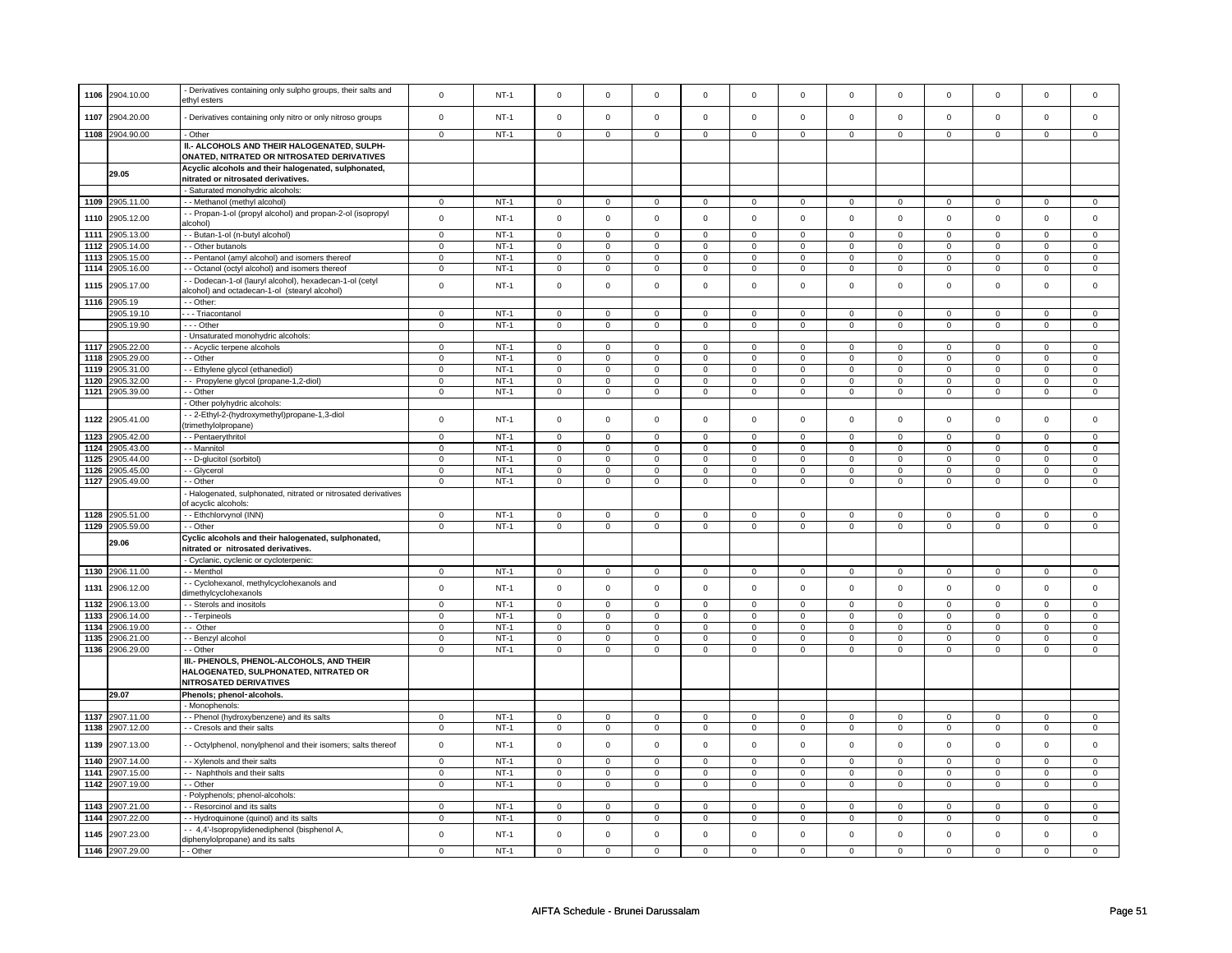| 1106 | 2904.10.00                    | Derivatives containing only sulpho groups, their salts and     | $\pmb{0}$               | $NT-1$ | $\mathsf 0$             | $\mathbf 0$    | $\Omega$            | $\mathsf 0$    | $\Omega$            | $\mathsf 0$         | $\Omega$                | $\Omega$            | $\Omega$                | $\mathbf 0$    | $\Omega$       | $\Omega$       |
|------|-------------------------------|----------------------------------------------------------------|-------------------------|--------|-------------------------|----------------|---------------------|----------------|---------------------|---------------------|-------------------------|---------------------|-------------------------|----------------|----------------|----------------|
|      |                               | ethvl esters                                                   |                         |        |                         |                |                     |                |                     |                     |                         |                     |                         |                |                |                |
|      |                               |                                                                |                         |        |                         |                |                     |                |                     |                     |                         |                     |                         |                |                |                |
| 1107 | 2904.20.00                    | Derivatives containing only nitro or only nitroso groups       | $\mathbf 0$             | $NT-1$ | $\mathbf 0$             | $\mathbf 0$    | $\mathbf 0$         | $\mathbf 0$    | $\mathbf 0$         | $\mathbf 0$         | $\Omega$                | $\mathbf 0$         | $\Omega$                | $\mathbf 0$    | $\Omega$       | $\mathbf 0$    |
|      |                               |                                                                |                         |        |                         |                |                     |                |                     |                     |                         |                     |                         |                |                |                |
|      | 1108 2904.90.00               | - Other                                                        | $\mathbf 0$             | $NT-1$ | $\mathsf 0$             | $\mathbf 0$    | $\mathbf 0$         | $\mathbf 0$    | $\mathsf 0$         | $\mathbf 0$         | $\mathbf 0$             | $\mathbf 0$         | $\mathbf 0$             | $\mathsf 0$    | $\Omega$       | $\mathbf 0$    |
|      |                               | II.- ALCOHOLS AND THEIR HALOGENATED, SULPH-                    |                         |        |                         |                |                     |                |                     |                     |                         |                     |                         |                |                |                |
|      |                               | ONATED, NITRATED OR NITROSATED DERIVATIVES                     |                         |        |                         |                |                     |                |                     |                     |                         |                     |                         |                |                |                |
|      |                               | Acyclic alcohols and their halogenated, sulphonated,           |                         |        |                         |                |                     |                |                     |                     |                         |                     |                         |                |                |                |
|      | 29.05                         | nitrated or nitrosated derivatives.                            |                         |        |                         |                |                     |                |                     |                     |                         |                     |                         |                |                |                |
|      |                               |                                                                |                         |        |                         |                |                     |                |                     |                     |                         |                     |                         |                |                |                |
|      |                               | Saturated monohydric alcohols:                                 |                         |        |                         |                |                     |                |                     |                     |                         |                     |                         |                |                |                |
| 1109 | 2905.11.00                    | - Methanol (methyl alcohol)                                    | $\mathsf 0$             | $NT-1$ | $\mathbf 0$             | $\mathbf 0$    | $\mathbf 0$         | $\mathbf 0$    | $\mathsf 0$         | $\mathbf 0$         | $\mathbf 0$             | $\overline{0}$      | $\mathsf 0$             | $\mathsf 0$    | $\mathsf 0$    | $\mathbf 0$    |
|      |                               | - Propan-1-ol (propyl alcohol) and propan-2-ol (isopropyl      | $\mathbf 0$             | $NT-1$ | $\mathsf 0$             | $\mathbf 0$    | $\mathbf 0$         | $\mathsf 0$    | $\mathbf 0$         | $\mathbf 0$         | $\mathbf 0$             | $\mathbf 0$         | $\mathbf 0$             | $\mathsf 0$    | $\mathbf 0$    | $\mathbf 0$    |
| 1110 | 2905.12.00                    | alcohol)                                                       |                         |        |                         |                |                     |                |                     |                     |                         |                     |                         |                |                |                |
| 1111 | 2905.13.00                    | - Butan-1-ol (n-butyl alcohol)                                 | $\overline{0}$          | $NT-1$ | $\overline{0}$          | $\overline{0}$ | $\overline{0}$      | $\overline{0}$ | $\overline{0}$      | $\overline{0}$      | $\overline{0}$          | $\overline{0}$      | $\overline{0}$          | $\overline{0}$ | $\overline{0}$ | $\overline{0}$ |
| 1112 | 2905.14.00                    | - Other butanols                                               | $\mathbf 0$             | $NT-1$ | $\mathsf 0$             | $\mathbf 0$    | $\mathbf 0$         | $\mathsf 0$    | $\mathbf 0$         | $\mathbf 0$         | $\mathbf 0$             | $\mathbf 0$         | $\mathbf 0$             | $\mathsf 0$    | $\mathbf 0$    | $\mathbf 0$    |
|      |                               |                                                                |                         |        |                         |                |                     |                |                     |                     |                         |                     |                         |                | $\Omega$       |                |
| 1113 | 2905.15.00                    | - Pentanol (amyl alcohol) and isomers thereof                  | $\mathbf 0$             | $NT-1$ | $\mathsf 0$             | $\mathbf 0$    | $\mathsf 0$         | $\mathsf 0$    | $\mathsf 0$         | $\mathbf 0$         | $\mathsf 0$             | $\mathbf 0$         | $\mathbf 0$             | $\mathbf 0$    |                | $\mathbf 0$    |
| 1114 | 2905.16.00                    | - Octanol (octyl alcohol) and isomers thereof                  | $\overline{0}$          | $NT-1$ | $\mathbf 0$             | $\mathbf 0$    | $\mathsf 0$         | $\mathsf 0$    | $\mathsf 0$         | $\mathsf 0$         | $\mathsf 0$             | $\mathsf 0$         | $\mathsf 0$             | $\overline{0}$ | $\mathsf 0$    | $\overline{0}$ |
| 1115 | 2905.17.00                    | - - Dodecan-1-ol (lauryl alcohol), hexadecan-1-ol (cetyl       | $\mathbf 0$             | $NT-1$ | $\mathbf 0$             | $\mathbf 0$    | $\Omega$            | $\mathbf 0$    | $\mathbf 0$         | $\mathsf 0$         | $\Omega$                | $\mathbf 0$         | $\Omega$                | $\mathsf 0$    | $\Omega$       | $\mathbf 0$    |
|      |                               | alcohol) and octadecan-1-ol (stearyl alcohol)                  |                         |        |                         |                |                     |                |                     |                     |                         |                     |                         |                |                |                |
| 1116 | 2905.19                       | - Other:                                                       |                         |        |                         |                |                     |                |                     |                     |                         |                     |                         |                |                |                |
|      | 2905.19.10                    | - - Triacontanol                                               | $\mathsf 0$             | $NT-1$ | $\mathbf 0$             | $\mathbf 0$    | $\mathbf 0$         | $\mathbf 0$    | $\mathbf 0$         | $\mathbf 0$         | $\mathbf 0$             | $\mathbf 0$         | $\mathbf 0$             | $\mathsf 0$    | $\mathbf 0$    | $\mathbf 0$    |
|      |                               |                                                                |                         |        |                         |                |                     |                |                     |                     |                         |                     |                         |                |                |                |
|      | 2905.19.90                    | --- Other                                                      | $\mathbf 0$             | $NT-1$ | $\mathsf 0$             | $\mathbf 0$    | $\mathbf 0$         | $\mathsf 0$    | $\mathsf 0$         | $\mathbf 0$         | $\mathsf 0$             | $\mathbf 0$         | $\mathbf 0$             | $\mathsf 0$    | $\mathbf 0$    | $\mathbf 0$    |
|      |                               | Unsaturated monohydric alcohols:                               |                         |        |                         |                |                     |                |                     |                     |                         |                     |                         |                |                |                |
| 1117 | 2905.22.00                    | - - Acyclic terpene alcohols                                   | $\mathbf 0$             | $NT-1$ | $\mathbf 0$             | $\mathbf{0}$   | $^{\circ}$          | $\mathbf{0}$   | $^{\circ}$          | $\mathbf{0}$        | $^{\circ}$              | $\mathbf 0$         | $^{\circ}$              | $\mathbf 0$    | 0              | $\mathbf 0$    |
| 1118 | 2905.29.00                    | - - Other                                                      | $\mathbf 0$             | $NT-1$ | $\mathbf 0$             | $\mathsf 0$    | $\mathbf 0$         | $\mathbf 0$    | $\mathbf 0$         | $\mathbf 0$         | $\Omega$                | $\mathbf 0$         | $\mathbf 0$             | $\mathsf 0$    | $\Omega$       | $\mathbf 0$    |
| 1119 | 2905.31.00                    | - Ethylene glycol (ethanediol)                                 | $\,0\,$                 | $NT-1$ | $\mathbf 0$             | $\mathbf 0$    | $\mathbf 0$         | $\mathsf 0$    | $\mathbf 0$         | $\mathbf 0$         | $\Omega$                | $\mathbf 0$         | $\mathbf 0$             | $\mathbf 0$    | $\Omega$       | $\mathbf 0$    |
|      |                               |                                                                |                         |        |                         |                |                     |                |                     |                     |                         |                     |                         | $\overline{0}$ |                | $\overline{0}$ |
| 1120 | 2905.32.00                    | - Propylene glycol (propane-1,2-diol)                          | $\overline{0}$          | $NT-1$ | $\,0\,$                 | $\mathbf 0$    | 0                   | 0              | $\mathbf 0$         | $\mathbf 0$         | $\mathbf 0$             | $\mathbf 0$         | $\mathbf 0$             |                | $\mathbf 0$    |                |
| 1121 | 2905.39.00                    | - - Other                                                      | $\,0\,$                 | $NT-1$ | $\mathbf 0$             | $\mathbf 0$    | $\mathsf{O}\xspace$ | $\mathbf 0$    | $\mathsf{O}\xspace$ | $\mathbf 0$         | $\mathbf 0$             | $\mathbf 0$         | $\mathsf 0$             | $\mathbf 0$    | $\mathbf 0$    | $\mathbf 0$    |
|      |                               | Other polyhydric alcohols:                                     |                         |        |                         |                |                     |                |                     |                     |                         |                     |                         |                |                |                |
|      |                               | - 2-Ethyl-2-(hydroxymethyl)propane-1,3-diol                    |                         |        |                         |                |                     |                |                     |                     |                         |                     |                         |                |                |                |
| 1122 | 2905.41.00                    | trimethylolpropane)                                            | $\pmb{0}$               | $NT-1$ | $\mathbf 0$             | $\mathbf 0$    | $\Omega$            | $\mathbf 0$    | $\mathbf 0$         | $\mathsf{O}\xspace$ | $\Omega$                | $\mathsf{O}\xspace$ | $\mathbf 0$             | $\mathbf 0$    | $\Omega$       | $\mathbf 0$    |
| 1123 | 2905.42.00                    | - - Pentaerythritol                                            | $\mathbf 0$             | $NT-1$ | $\mathbf 0$             | $\mathbf 0$    | $\mathbf 0$         | $\mathbf 0$    | $\mathbf 0$         | $\mathbf 0$         | $\mathbf 0$             | $\mathbf 0$         | $\mathbf 0$             | $\mathbf 0$    | $\mathbf 0$    | $\mathbf 0$    |
|      |                               |                                                                |                         |        |                         |                |                     |                |                     |                     |                         |                     |                         |                |                |                |
| 1124 | 2905.43.00                    | - Mannitol                                                     | $\overline{\mathbf{0}}$ | $NT-1$ | $\overline{\mathbf{0}}$ | $\mathsf 0$    | $\mathsf 0$         | $\mathsf 0$    | $\mathsf 0$         | $\mathsf 0$         | $\overline{\mathbf{0}}$ | $\overline{0}$      | $\overline{\mathbf{0}}$ | $\overline{0}$ | $\overline{0}$ | $\overline{0}$ |
| 1125 | 2905.44.00                    | - D-glucitol (sorbitol)                                        | $\mathbf 0$             | $NT-1$ | $\mathbf 0$             | $\mathbf 0$    | $\mathbf 0$         | $\mathbf 0$    | $\mathbf 0$         | $\mathbf 0$         | $\mathbf 0$             | $\mathbf 0$         | $\mathbf 0$             | $\mathbf 0$    | $\mathbf 0$    | $\mathbf 0$    |
|      |                               |                                                                |                         |        |                         |                |                     |                |                     |                     |                         |                     |                         |                |                |                |
| 1126 | 2905.45.00                    | - Glycerol                                                     | $\mathbf 0$             | $NT-1$ | $\mathsf 0$             | $\mathbf 0$    | $\mathsf 0$         | $\mathsf 0$    | $\mathsf 0$         | $\mathsf 0$         | $\mathsf 0$             | $\mathsf 0$         | $\mathbf 0$             | $\mathsf 0$    | $\Omega$       | $\mathbf 0$    |
|      |                               |                                                                |                         |        |                         |                |                     |                |                     |                     |                         |                     |                         |                |                |                |
| 1127 | 2905.49.00                    | - Other                                                        | $\mathsf 0$             | $NT-1$ | $\mathsf 0$             | $\mathsf 0$    | $\mathbf 0$         | $\mathsf 0$    | $\mathsf 0$         | $\mathbf 0$         | $\mathsf{O}\xspace$     | $\mathsf 0$         | $\mathsf 0$             | $\mathbf 0$    | $\mathsf 0$    | $\mathbf 0$    |
|      |                               | - Halogenated, sulphonated, nitrated or nitrosated derivatives |                         |        |                         |                |                     |                |                     |                     |                         |                     |                         |                |                |                |
|      |                               | of acyclic alcohols:                                           |                         |        |                         |                |                     |                |                     |                     |                         |                     |                         |                |                |                |
| 1128 | 2905.51.00                    | -- Ethchlorvynol (INN)                                         | $\mathbf 0$             | $NT-1$ | $\mathbf 0$             | $\mathbf 0$    | $\mathbf 0$         | $\mathbf 0$    | $\mathbf 0$         | $\mathbf 0$         | $\mathbf 0$             | $\mathbf 0$         | 0                       | $\mathbf 0$    | $\mathbf 0$    | $\mathsf 0$    |
| 1129 | 2905.59.00                    | - - Other                                                      | $\overline{0}$          | $NT-1$ | $\mathsf 0$             | $\mathbf 0$    | $\mathbf 0$         | $\mathbf 0$    | $\mathbf 0$         | $\mathbf 0$         | $\mathbf 0$             | $\mathsf 0$         | $\mathbf 0$             | $\overline{0}$ | $\mathbf 0$    | $\overline{0}$ |
|      |                               | Cyclic alcohols and their halogenated, sulphonated,            |                         |        |                         |                |                     |                |                     |                     |                         |                     |                         |                |                |                |
|      | 29.06                         |                                                                |                         |        |                         |                |                     |                |                     |                     |                         |                     |                         |                |                |                |
|      |                               | nitrated or nitrosated derivatives.                            |                         |        |                         |                |                     |                |                     |                     |                         |                     |                         |                |                |                |
|      |                               | - Cyclanic, cyclenic or cycloterpenic                          |                         |        |                         |                |                     |                |                     |                     |                         |                     |                         |                |                |                |
|      | 1130 2906.11.00               | - - Menthol                                                    | $\mathbf 0$             | $NT-1$ | $\mathbf 0$             | $\mathbf 0$    | $\Omega$            | $\Omega$       | $\Omega$            | $\mathbf 0$         | $\Omega$                | $\mathbf 0$         | $\mathbf 0$             | $\mathbf 0$    | $\Omega$       | $\mathbf 0$    |
|      |                               | - Cyclohexanol, methylcyclohexanols and                        |                         | $NT-1$ |                         |                | $\mathbf 0$         | $\mathbf 0$    | $\mathbf 0$         |                     | $\Omega$                | $\mathbf 0$         | $\mathbf 0$             |                | $\mathbf 0$    | $\mathbf 0$    |
| 1131 | 2906.12.00                    | dimethylcyclohexanols                                          | $\mathbf 0$             |        | $\mathsf 0$             | $\mathsf 0$    |                     |                |                     | $\mathsf 0$         |                         |                     |                         | $\mathbf 0$    |                |                |
| 1132 | 2906.13.00                    | - - Sterols and inositols                                      | $\mathsf 0$             | $NT-1$ | $\mathsf 0$             | $\mathbf 0$    | $\mathbf 0$         | $\mathsf 0$    | $\mathbf 0$         | $\mathbf 0$         | $\mathbf 0$             | $\mathbf 0$         | $\mathbf 0$             | $\mathsf 0$    | $\Omega$       | $\Omega$       |
| 1133 | 2906.14.00                    | - Terpineols                                                   | $\mathsf 0$             | $NT-1$ | $\mathbf 0$             | $\mathbf 0$    | $\mathsf{O}\xspace$ | $\mathbf 0$    | $\mathsf{O}\xspace$ | $\mathsf 0$         | $\mathsf 0$             | $\mathbf 0$         | $\mathsf 0$             | $\mathbf 0$    | $\mathbf 0$    | $\mathbf 0$    |
|      |                               |                                                                |                         |        |                         |                |                     |                |                     |                     |                         |                     |                         |                |                |                |
| 1134 | 2906.19.00                    | -- Other                                                       | $\overline{0}$          | $NT-1$ | $\mathbf 0$             | $\overline{0}$ | $\mathbf 0$         | $\mathbf 0$    | $\mathsf 0$         | $\overline{0}$      | $\mathsf 0$             | $\mathbf 0$         | $\mathsf 0$             | $\overline{0}$ | $\mathbf 0$    | $\mathbf 0$    |
| 1135 | 2906.21.00                    | - - Benzyl alcohol                                             | $\mathsf 0$             | $NT-1$ | $\mathsf 0$             | $\mathsf 0$    | $\mathbf 0$         | $\mathsf 0$    | $\mathsf 0$         | $\mathbf 0$         | $\Omega$                | $\mathbf 0$         | $\mathbf 0$             | $\mathsf 0$    | $\mathbf 0$    | $\mathbf 0$    |
| 1136 | 2906.29.00                    | - Other                                                        | $\mathbf 0$             | $NT-1$ | $\mathsf 0$             | $\mathbf 0$    | $\Omega$            | $\mathsf 0$    | $\mathbf 0$         | $\mathbf 0$         | $\mathbf 0$             | $\mathbf 0$         | $\mathbf 0$             | $\mathsf 0$    | $\Omega$       | $\mathbf 0$    |
|      |                               | III.- PHENOLS, PHENOL-ALCOHOLS, AND THEIR                      |                         |        |                         |                |                     |                |                     |                     |                         |                     |                         |                |                |                |
|      |                               | HALOGENATED, SULPHONATED, NITRATED OR                          |                         |        |                         |                |                     |                |                     |                     |                         |                     |                         |                |                |                |
|      |                               | <b>NITROSATED DERIVATIVES</b>                                  |                         |        |                         |                |                     |                |                     |                     |                         |                     |                         |                |                |                |
|      |                               |                                                                |                         |        |                         |                |                     |                |                     |                     |                         |                     |                         |                |                |                |
|      | 29.07                         | Phenols; phenol-alcohols.                                      |                         |        |                         |                |                     |                |                     |                     |                         |                     |                         |                |                |                |
|      |                               | - Monophenols                                                  |                         |        |                         |                |                     |                |                     |                     |                         |                     |                         |                |                |                |
| 1137 | 2907.11.00                    | - Phenol (hydroxybenzene) and its salts                        | $\Omega$                | $NT-1$ | $\mathsf 0$             | $\mathbf 0$    | $\Omega$            | $\mathsf 0$    | $\Omega$            | $\mathbf 0$         | $\Omega$                | $\Omega$            | $\Omega$                | $\Omega$       | $\Omega$       | $\Omega$       |
| 1138 | 2907.12.00                    | - - Cresols and their salts                                    | $\overline{0}$          | $NT-1$ | $\overline{0}$          | $\overline{0}$ | $\mathsf 0$         | $\mathbf 0$    | $\overline{0}$      | $\mathbf 0$         | $\overline{0}$          | $\overline{0}$      | $\overline{0}$          | $\overline{0}$ | $\overline{0}$ | $\overline{0}$ |
|      |                               |                                                                |                         |        |                         |                |                     |                |                     |                     |                         |                     |                         |                |                |                |
| 1139 | 2907.13.00                    | - Octylphenol, nonylphenol and their isomers; salts thereof    | $\mathbf 0$             | $NT-1$ | $\Omega$                | $\mathbf 0$    | $\Omega$            | $\mathbf 0$    | $\Omega$            | $\mathbf 0$         | $\Omega$                | $\Omega$            | $\Omega$                | $\Omega$       | $\Omega$       | $\Omega$       |
|      |                               |                                                                |                         |        |                         |                |                     |                |                     |                     |                         |                     |                         |                |                |                |
| 1140 | 2907.14.00                    | - Xylenols and their salts                                     | $\mathsf 0$             | $NT-1$ | $\mathsf 0$             | $\mathsf 0$    | $\mathsf 0$         | $\mathbf 0$    | $\mathbf 0$         | $\mathbf 0$         | $\mathbf 0$             | $\mathbf 0$         | $\mathbf 0$             | $\mathbf 0$    | $\mathbf 0$    | $\mathbf 0$    |
| 1141 | 2907.15.00                    | -- Naphthols and their salts                                   | $\mathbf 0$             | $NT-1$ | $\mathbf 0$             | $\mathbf 0$    | $\mathbf 0$         | $\mathbf 0$    | $\mathbf 0$         | $\mathbf 0$         | $\mathbf 0$             | $\mathbf 0$         | 0                       | $\mathbf 0$    | $\mathbf 0$    | $\mathbf 0$    |
| 1142 | 2907.19.00                    | - - Other                                                      | $\mathbf 0$             | $NT-1$ | $\mathsf 0$             | $\mathsf 0$    | $\mathbf 0$         | $\mathsf 0$    | $\mathsf 0$         | $\mathbf 0$         | $\mathsf 0$             | $\mathbf 0$         | $\mathbf 0$             | $\mathsf 0$    | $\Omega$       | $\mathbf 0$    |
|      |                               | Polyphenols; phenol-alcohols:                                  |                         |        |                         |                |                     |                |                     |                     |                         |                     |                         |                |                |                |
|      |                               |                                                                |                         |        |                         |                |                     |                |                     |                     |                         |                     |                         |                | $\Omega$       |                |
| 1143 | 2907.21.00                    | - Resorcinol and its salts                                     | $\mathbf 0$             | $NT-1$ | $\mathbf 0$             | $\mathbf 0$    | $\mathbf 0$         | $\mathbf 0$    | $\mathbf 0$         | $\mathbf 0$         | $\mathbf 0$             | $\mathbf 0$         | $\mathbf 0$             | 0              |                | $\mathbf 0$    |
| 1144 | 2907.22.00                    | - Hydroquinone (quinol) and its salts                          | $\mathbf 0$             | $NT-1$ | $\mathbf 0$             | $\mathbf 0$    | $\mathbf 0$         | $\mathbf 0$    | $\mathbf 0$         | $\mathbf 0$         | $\mathbf 0$             | $\mathbf 0$         | 0                       | 0              | $\mathbf 0$    | $\mathbf 0$    |
| 1145 |                               | - 4,4'-Isopropylidenediphenol (bisphenol A,                    | $\mathbf 0$             | $NT-1$ | $\mathsf 0$             | $\mathsf{o}$   | $\mathbf 0$         | $\mathbf 0$    | $\mathsf 0$         | $\mathsf{o}\xspace$ | $\Omega$                | $\mathsf{o}\xspace$ | $\mathbf 0$             | $\mathsf 0$    | $\mathbf 0$    | $\mathsf{o}\,$ |
|      | 2907.23.00<br>1146 2907.29.00 | diphenylolpropane) and its salts<br>- - Other                  | $\mathbf 0$             | $NT-1$ | $\mathsf 0$             | $\mathbf 0$    | $\mathsf 0$         | $\mathsf 0$    | $^{\circ}$          | $\mathbf 0$         | $\mathbf 0$             | $\Omega$            | $\mathbf 0$             | $\mathsf 0$    | $\mathbf 0$    | $\mathbf 0$    |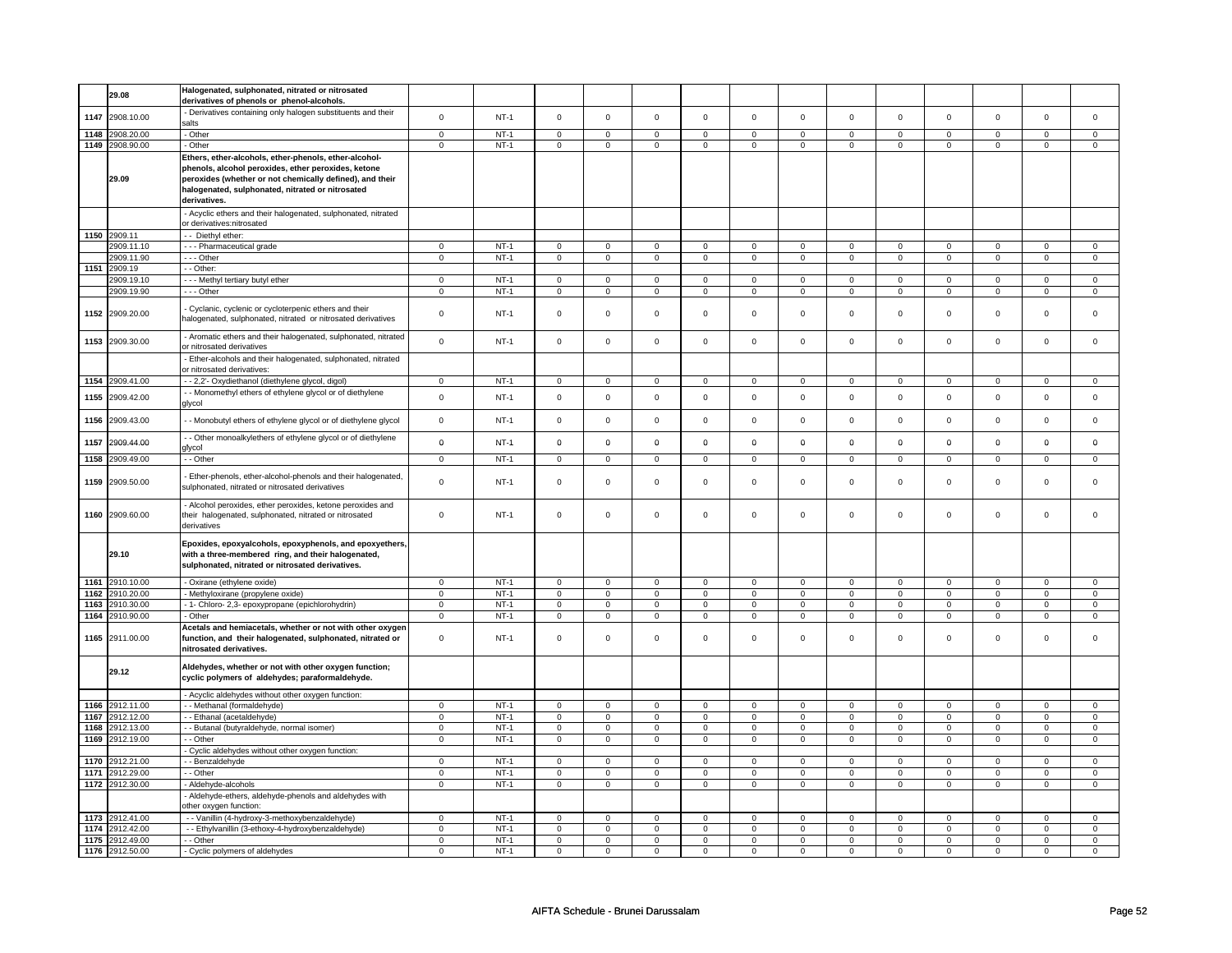|      | 29.08           | Halogenated, sulphonated, nitrated or nitrosated                |                |             |                     |                |                     |                |                     |                |                |                |                     |                |                |                     |
|------|-----------------|-----------------------------------------------------------------|----------------|-------------|---------------------|----------------|---------------------|----------------|---------------------|----------------|----------------|----------------|---------------------|----------------|----------------|---------------------|
|      |                 | derivatives of phenols or phenol-alcohols.                      |                |             |                     |                |                     |                |                     |                |                |                |                     |                |                |                     |
| 1147 | 2908.10.00      | Derivatives containing only halogen substituents and their      | $\mathsf 0$    | $NT-1$      | $\mathsf 0$         | $\mathsf{o}\,$ | $\mathsf 0$         | $\mathsf{o}\,$ | $\mathsf{O}\xspace$ | $\mathsf 0$    | $\mathsf 0$    | $\mathsf 0$    | $\mathsf 0$         | $\mathsf{o}\,$ | $\mathbf 0$    | $\mathbf 0$         |
|      |                 | salts                                                           |                |             |                     |                |                     |                |                     |                |                |                |                     |                |                |                     |
| 1148 | 2908.20.00      | - Other                                                         | $\mathsf 0$    | $NT-1$      | $\mathsf 0$         | $\Omega$       | $\mathsf 0$         | $\mathsf 0$    | $\mathsf{O}\xspace$ | $\mathbf 0$    | $\mathsf 0$    | $\mathbf 0$    | $\mathsf 0$         | $\mathbf 0$    | $\Omega$       | $\mathbf 0$         |
| 1149 | 2908.90.00      | - Other                                                         | $\Omega$       | $NT-1$      | $\mathsf 0$         | $\mathbf 0$    | $\mathsf 0$         | $\mathsf 0$    | $\mathsf 0$         | $\mathsf 0$    | $\mathsf 0$    | $\mathsf 0$    | $\mathsf{O}\xspace$ | $\mathsf 0$    | $\mathbf 0$    | $\mathsf{O}\xspace$ |
|      |                 | Ethers, ether-alcohols, ether-phenols, ether-alcohol-           |                |             |                     |                |                     |                |                     |                |                |                |                     |                |                |                     |
|      |                 |                                                                 |                |             |                     |                |                     |                |                     |                |                |                |                     |                |                |                     |
|      |                 | phenols, alcohol peroxides, ether peroxides, ketone             |                |             |                     |                |                     |                |                     |                |                |                |                     |                |                |                     |
|      | 29.09           | peroxides (whether or not chemically defined), and their        |                |             |                     |                |                     |                |                     |                |                |                |                     |                |                |                     |
|      |                 | halogenated, sulphonated, nitrated or nitrosated                |                |             |                     |                |                     |                |                     |                |                |                |                     |                |                |                     |
|      |                 | derivatives.                                                    |                |             |                     |                |                     |                |                     |                |                |                |                     |                |                |                     |
|      |                 | Acyclic ethers and their halogenated, sulphonated, nitrated     |                |             |                     |                |                     |                |                     |                |                |                |                     |                |                |                     |
|      |                 | or derivatives:nitrosated                                       |                |             |                     |                |                     |                |                     |                |                |                |                     |                |                |                     |
|      | 1150 2909.11    | - Diethyl ether:                                                |                |             |                     |                |                     |                |                     |                |                |                |                     |                |                |                     |
|      | 2909.11.10      |                                                                 | $\mathsf 0$    | $NT-1$      | $\mathsf 0$         | $\mathbf 0$    |                     | $\mathbf 0$    |                     | $\mathsf 0$    |                | $\mathsf 0$    | $\mathsf 0$         | $\mathbf 0$    |                | $\mathbf 0$         |
|      |                 | --- Pharmaceutical grade                                        |                |             |                     |                | $\mathbf 0$         |                | $\mathbf 0$         |                | 0              |                |                     |                | 0              |                     |
|      | 2909.11.90      | - - - Other                                                     | $\mathbf 0$    | $NT-1$      | $\mathsf 0$         | $\mathsf 0$    | 0                   | $\mathsf 0$    | 0                   | $\mathsf{O}$   | 0              | $\mathsf{O}$   | 0                   | $\mathsf{O}$   | 0              | $\mathsf 0$         |
| 1151 | 2909.19         | - - Other:                                                      |                |             |                     |                |                     |                |                     |                |                |                |                     |                |                |                     |
|      | 2909.19.10      | - - - Methyl tertiary butyl ether                               | $\overline{0}$ | $NT-1$      | $\mathsf 0$         | $\mathbf 0$    | $\mathsf 0$         | $\mathbf 0$    | $\mathsf 0$         | $\mathsf 0$    | $\mathbf 0$    | $\mathsf 0$    | $\mathsf 0$         | $\mathbf 0$    | $\Omega$       | 0                   |
|      | 2909.19.90      | $\cdots$ Other                                                  | $\overline{0}$ | $NT-1$      | $\overline{0}$      | $\overline{0}$ | $\overline{0}$      | $\overline{0}$ | $\overline{0}$      | $\overline{0}$ | $\overline{0}$ | $\overline{0}$ | $\overline{0}$      | $\overline{0}$ | $\overline{0}$ | $\overline{0}$      |
|      |                 |                                                                 |                |             |                     |                |                     |                |                     |                |                |                |                     |                |                |                     |
|      | 1152 2909.20.00 | Cyclanic, cyclenic or cycloterpenic ethers and their            | $\mathbf 0$    | $NT-1$      | $\mathbf 0$         | $\mathbf 0$    | $\mathbf 0$         | $\mathbf 0$    | $\mathbf 0$         | $\mathbf 0$    | $\mathbf 0$    | $\mathbf 0$    | $\mathbf 0$         | $\mathbf 0$    | $\Omega$       | $\mathbf{0}$        |
|      |                 | halogenated, sulphonated, nitrated or nitrosated derivatives    |                |             |                     |                |                     |                |                     |                |                |                |                     |                |                |                     |
|      |                 |                                                                 |                |             |                     |                |                     |                |                     |                |                |                |                     |                |                |                     |
| 1153 | 2909.30.00      | - Aromatic ethers and their halogenated, sulphonated, nitrated  | $\mathbf 0$    | $NT-1$      | $\Omega$            | $\mathbf 0$    | $\mathbf 0$         | $\mathbf 0$    | $\mathbf 0$         | $\mathbf{0}$   | $\mathbf 0$    | $\mathbf 0$    | $\mathbf 0$         | $\mathbf{0}$   | $\mathbf 0$    | $\mathbf{0}$        |
|      |                 | or nitrosated derivatives                                       |                |             |                     |                |                     |                |                     |                |                |                |                     |                |                |                     |
|      |                 | Ether-alcohols and their halogenated, sulphonated, nitrated     |                |             |                     |                |                     |                |                     |                |                |                |                     |                |                |                     |
|      |                 | or nitrosated derivatives:                                      |                |             |                     |                |                     |                |                     |                |                |                |                     |                |                |                     |
| 1154 | 2909.41.00      | - - 2,2'- Oxydiethanol (diethylene glycol, digol)               | $\mathsf 0$    | $NT-1$      | $\mathbf 0$         | $\mathbf 0$    | $\mathbf 0$         | $\mathbf 0$    | $\mathbf 0$         | 0              | 0              | 0              | 0                   | $\mathbf 0$    | $\mathbf 0$    | 0                   |
|      |                 | - Monomethyl ethers of ethylene glycol or of diethylene         |                |             |                     |                |                     |                |                     |                |                |                |                     |                |                |                     |
| 1155 | 2909.42.00      | glycol                                                          | $\mathsf 0$    | $NT-1$      | $\mathsf 0$         | $\mathsf{o}\,$ | $\mathsf 0$         | $\mathsf 0$    | $\mathsf 0$         | $\mathbf 0$    | $\mathbf 0$    | $\mathbf 0$    | $\mathsf 0$         | $\mathbf 0$    | $\mathsf 0$    | $\mathbf 0$         |
|      |                 |                                                                 |                |             |                     |                |                     |                |                     |                |                |                |                     |                |                |                     |
| 1156 | 2909.43.00      | - - Monobutyl ethers of ethylene glycol or of diethylene glycol | $\mathsf 0$    | $NT-1$      | $\mathsf 0$         | $\mathsf 0$    | $\mathsf{O}\xspace$ | $\mathsf 0$    | $\mathsf{O}\xspace$ | $\mathbf 0$    | $\mathsf 0$    | $\mathbf 0$    | $\mathsf 0$         | $\mathbf 0$    | $\mathsf 0$    | $\mathbf 0$         |
|      |                 |                                                                 |                |             |                     |                |                     |                |                     |                |                |                |                     |                |                |                     |
| 1157 | 2909.44.00      | - Other monoalkylethers of ethylene glycol or of diethylene     | $\mathbf 0$    | $NT-1$      | $\mathbf 0$         | $\Omega$       | $\mathbf 0$         | $\mathbf 0$    | $\mathbf 0$         | $\mathbf 0$    | 0              | $\mathbf 0$    | 0                   | $\mathbf 0$    | 0              | 0                   |
|      |                 | glycol                                                          |                |             |                     |                |                     |                |                     |                |                |                |                     |                |                |                     |
| 1158 | 2909.49.00      | - - Other                                                       | $\mathsf 0$    | $NT-1$      | $\mathbf 0$         | $\mathbf 0$    | $\overline{0}$      | $\mathbf 0$    | $\mathbf 0$         | $\mathbf 0$    | $\mathbf 0$    | $\mathbf 0$    | $\mathbf 0$         | $\mathbf 0$    | $\mathbf 0$    | $\mathbf{0}$        |
|      |                 |                                                                 |                |             |                     |                |                     |                |                     |                |                |                |                     |                |                |                     |
| 1159 | 2909.50.00      | Ether-phenols, ether-alcohol-phenols and their halogenated,     | $\mathbf 0$    | $NT-1$      | $\mathsf 0$         | $\mathbf 0$    | $\mathsf 0$         | $\mathbf 0$    | $\mathsf 0$         | $\mathbf 0$    | $\mathbf 0$    | $\mathbf 0$    | $\mathsf 0$         | $\mathbf 0$    | $\mathbf 0$    | $\mathbf{0}$        |
|      |                 | sulphonated, nitrated or nitrosated derivatives                 |                |             |                     |                |                     |                |                     |                |                |                |                     |                |                |                     |
|      |                 |                                                                 |                |             |                     |                |                     |                |                     |                |                |                |                     |                |                |                     |
|      |                 | - Alcohol peroxides, ether peroxides, ketone peroxides and      |                |             |                     |                |                     |                |                     |                |                |                |                     |                |                |                     |
| 1160 | 2909.60.00      | their halogenated, sulphonated, nitrated or nitrosated          | $\mathbf 0$    | <b>NT-1</b> | $\mathbf 0$         | $\mathsf 0$    | $\mathsf 0$         | $\mathbf 0$    | $\mathbf 0$         | 0              | $\mathbf 0$    | 0              | 0                   | 0              | $\mathsf 0$    | 0                   |
|      |                 | derivatives                                                     |                |             |                     |                |                     |                |                     |                |                |                |                     |                |                |                     |
|      |                 |                                                                 |                |             |                     |                |                     |                |                     |                |                |                |                     |                |                |                     |
|      |                 | Epoxides, epoxyalcohols, epoxyphenols, and epoxyethers,         |                |             |                     |                |                     |                |                     |                |                |                |                     |                |                |                     |
|      | 29.10           | with a three-membered ring, and their halogenated,              |                |             |                     |                |                     |                |                     |                |                |                |                     |                |                |                     |
|      |                 | sulphonated, nitrated or nitrosated derivatives.                |                |             |                     |                |                     |                |                     |                |                |                |                     |                |                |                     |
| 1161 | 2910.10.00      | - Oxirane (ethylene oxide)                                      | $\mathsf 0$    | $NT-1$      | $\mathsf 0$         | $\mathbf 0$    | $\mathsf 0$         | $\mathbf 0$    | $\mathsf 0$         | $\mathsf 0$    | $\mathbf 0$    | $\mathsf 0$    | $\mathsf 0$         | $\mathbf 0$    | $\mathsf 0$    | $\mathbf 0$         |
| 1162 | 2910.20.00      |                                                                 | $\mathsf 0$    | $NT-1$      | $\mathsf 0$         | $\mathsf 0$    | $\mathbf 0$         | $\mathsf 0$    | $\mathsf 0$         | $\mathbf 0$    | $\mathbf 0$    | $\mathbf 0$    | $\mathsf 0$         |                | $\mathsf 0$    | $\mathbf 0$         |
|      |                 | Methyloxirane (propylene oxide)                                 |                |             |                     | $\overline{0}$ |                     |                |                     |                |                |                |                     |                |                |                     |
| 1163 | 2910.30.00      | - 1- Chloro- 2,3- epoxypropane (epichlorohydrin)                | $\overline{0}$ | $NT-1$      | $\overline{0}$      |                |                     |                |                     |                |                |                |                     | $\mathbf 0$    |                |                     |
| 1164 | 2910.90.00      |                                                                 |                |             |                     |                | $\mathsf 0$         | $\overline{0}$ | $\mathsf 0$         | $\overline{0}$ | $\mathsf 0$    | $\mathbf 0$    | $\mathbf 0$         | $\overline{0}$ | $\mathsf 0$    | $\overline{0}$      |
|      |                 | - Other                                                         | $\mathbf 0$    | $NT-1$      | 0                   | $\mathbf 0$    | $\mathbf 0$         | $\overline{0}$ | $\mathbf 0$         | $\overline{0}$ | $\mathbf 0$    | $\mathbf 0$    | $\mathbf 0$         | $\mathbf 0$    | 0              | $\overline{0}$      |
|      |                 | Acetals and hemiacetals, whether or not with other oxygen       |                |             |                     |                |                     |                |                     |                |                |                |                     |                |                |                     |
|      | 1165 2911.00.00 | function, and their halogenated, sulphonated, nitrated or       | $\mathsf 0$    | $NT-1$      | $\mathsf 0$         | $\mathbf 0$    | $\mathsf 0$         | $\mathbf 0$    | $\mathsf 0$         | $\mathbf 0$    | $\mathbf 0$    | $\mathsf 0$    | $\mathsf 0$         | $\mathbf 0$    | $\mathsf 0$    | 0                   |
|      |                 | nitrosated derivatives.                                         |                |             |                     |                |                     |                |                     |                |                |                |                     |                |                |                     |
|      |                 |                                                                 |                |             |                     |                |                     |                |                     |                |                |                |                     |                |                |                     |
|      |                 | Aldehydes, whether or not with other oxygen function;           |                |             |                     |                |                     |                |                     |                |                |                |                     |                |                |                     |
|      | 29.12           | cyclic polymers of aldehydes; paraformaldehyde.                 |                |             |                     |                |                     |                |                     |                |                |                |                     |                |                |                     |
|      |                 |                                                                 |                |             |                     |                |                     |                |                     |                |                |                |                     |                |                |                     |
|      |                 | - Acyclic aldehydes without other oxygen function:              |                |             |                     |                |                     |                |                     |                |                |                |                     |                |                |                     |
| 1166 | 2912.11.00      | - - Methanal (formaldehyde)                                     | $\Omega$       | $NT-1$      | $\mathbf 0$         | $\Omega$       | $\mathbf 0$         | $\mathbf 0$    | $\mathbf 0$         | $\mathbf 0$    | $\mathbf 0$    | $\mathsf 0$    | $\mathbf 0$         | $\mathbf 0$    | $\mathbf 0$    | 0                   |
| 1167 | 2912.12.00      | -- Ethanal (acetaldehyde)                                       | $\overline{0}$ | $NT-1$      | $\overline{0}$      | $\overline{0}$ | $\overline{0}$      | $\overline{0}$ | $\overline{0}$      | $\overline{0}$ | $\overline{0}$ | $\overline{0}$ | $\overline{0}$      | $\overline{0}$ | $\overline{0}$ | $\overline{0}$      |
| 1168 | 2912.13.00      | - - Butanal (butyraldehyde, normal isomer)                      | $\mathsf 0$    | $NT-1$      | $\mathsf{O}\xspace$ | $\mathsf 0$    | $\mathsf{O}\xspace$ | $\mathsf 0$    | $\mathsf{O}\xspace$ | $\mathsf 0$    | $\mathsf 0$    | $\mathsf 0$    | $\mathsf 0$         | $\mathsf 0$    | $\mathbf 0$    | 0                   |
| 1169 | 2912.19.00      | - Other                                                         | $\overline{0}$ | $NT-1$      | $\overline{0}$      | $\overline{0}$ | $\mathsf{O}\xspace$ | $\overline{0}$ | $\mathsf{O}\xspace$ | $\overline{0}$ | $\mathbf 0$    | $\overline{0}$ | $\mathsf 0$         | $\overline{0}$ | $\mathsf 0$    | $\overline{0}$      |
|      |                 |                                                                 |                |             |                     |                |                     |                |                     |                |                |                |                     |                |                |                     |
|      |                 | Cyclic aldehydes without other oxygen function:                 |                |             |                     |                |                     |                |                     |                |                |                |                     |                |                |                     |
| 1170 | 2912.21.00      | - - Benzaldehyde                                                | $\mathsf 0$    | $NT-1$      | $\mathsf{O}\xspace$ | $\mathsf 0$    | $\mathsf{O}\xspace$ | $\mathsf 0$    | $\mathsf{O}\xspace$ | $\mathbf 0$    | $\mathsf 0$    | $\mathbf 0$    | $\mathsf 0$         | $\mathbf 0$    | $\mathsf 0$    | 0                   |
| 1171 | 2912.29.00      | - - Other                                                       | $\mathbf 0$    | $NT-1$      | $\mathbf 0$         | $\mathbf 0$    | $\mathbf 0$         | $\mathbf 0$    | $\mathbf 0$         | $\mathbf 0$    | $\mathbf 0$    | $\mathbf 0$    | $\mathbf 0$         | $\mathbf 0$    | $\mathbf 0$    | $\mathbf{0}$        |
| 1172 | 2912.30.00      | - Aldehyde-alcohols                                             | $\overline{0}$ | $NT-1$      | $\overline{0}$      | $\overline{0}$ | $\mathbf 0$         | $\overline{0}$ | $\mathsf 0$         | $\overline{0}$ | $\mathbf 0$    | $\overline{0}$ | $\mathbf 0$         | $\overline{0}$ | $\mathbf 0$    | $\overline{0}$      |
|      |                 | Aldehyde-ethers, aldehyde-phenols and aldehydes with            |                |             |                     |                |                     |                |                     |                |                |                |                     |                |                |                     |
|      |                 | other oxygen function:                                          |                |             |                     |                |                     |                |                     |                |                |                |                     |                |                |                     |
|      | 1173 2912.41.00 | - - Vanillin (4-hydroxy-3-methoxybenzaldehyde)                  | $\mathsf 0$    | $NT-1$      | $\mathbf 0$         | $\mathbf 0$    | $\mathbf 0$         | $\mathbf 0$    | $\mathbf 0$         | $\mathbf 0$    | 0              | $\mathbf 0$    | $\mathbf 0$         | $\mathbf 0$    | 0              | $\mathbf{0}$        |
|      | 1174 2912.42.00 | - - Ethylvanillin (3-ethoxy-4-hydroxybenzaldehyde)              | 0              | $NT-1$      | $\mathbf 0$         | $\mathbf 0$    | $\mathbf 0$         | $\mathbf 0$    | $\mathbf 0$         | $\mathbf 0$    | $\mathbf 0$    | $\mathbf 0$    | 0                   | $\mathbf 0$    | 0              | 0                   |
| 1175 | 2912.49.00      | - - Other<br>- Cyclic polymers of aldehydes                     | $\mathsf 0$    | $NT-1$      | $\mathbf 0$         | $\mathbf 0$    | $\mathbf 0$         | 0              | $\mathbf 0$         | $\mathsf 0$    | 0              | $\mathsf 0$    | $\mathsf 0$         | $\mathbf 0$    | 0              | 0                   |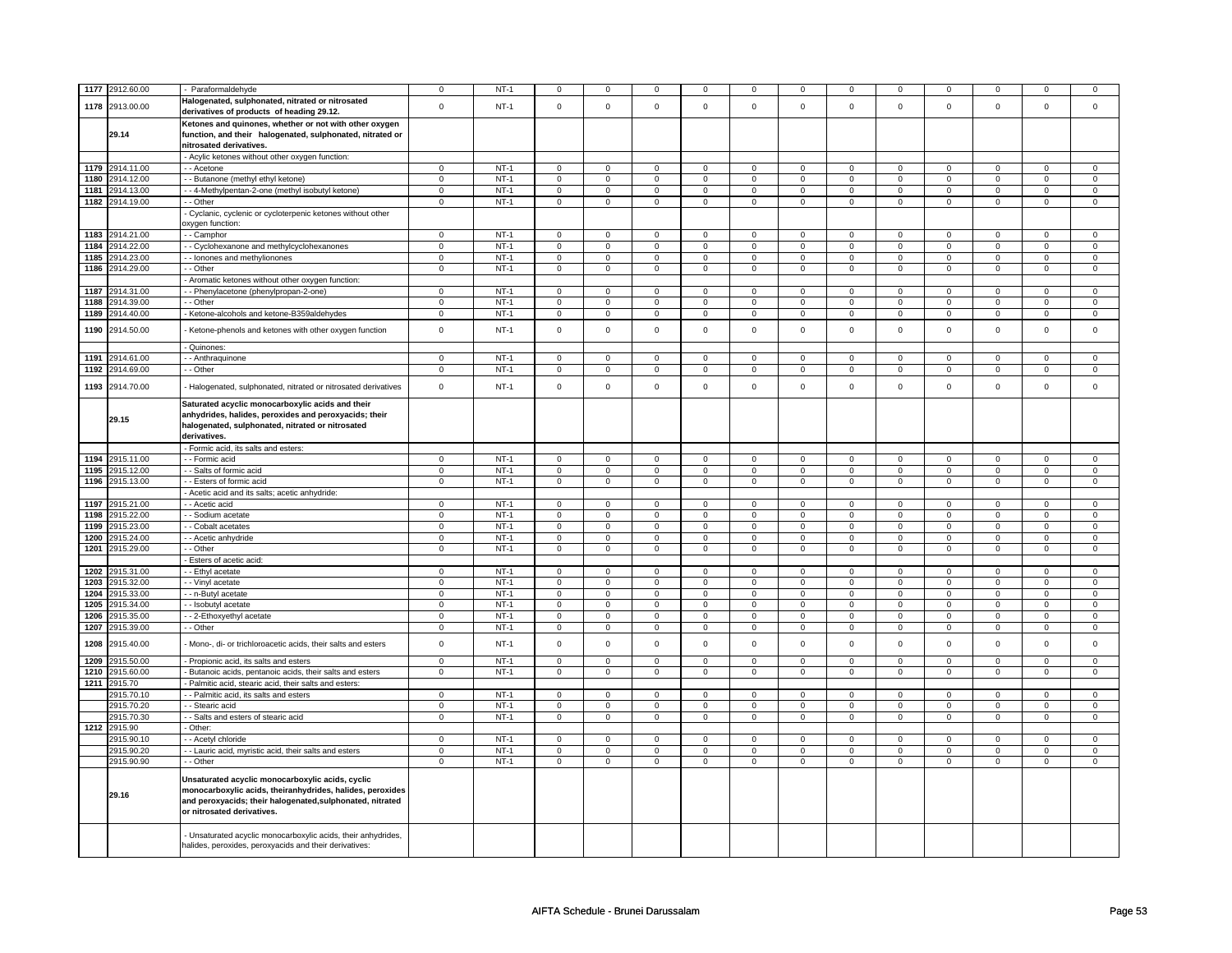| Halogenated, sulphonated, nitrated or nitrosated<br>1178<br>2913.00.00<br>$\mathbf 0$<br>$NT-1$<br>$\mathsf 0$<br>$\mathbf 0$<br>$\mathsf 0$<br>$\mathbf 0$<br>$\mathbf 0$<br>$\mathsf 0$<br>$\mathbf 0$<br>$\mathsf 0$<br>$\mathbf 0$<br>$\mathbf 0$<br>$\mathbf 0$<br>derivatives of products of heading 29.12.<br>Ketones and quinones, whether or not with other oxygen<br>29.14<br>function, and their halogenated, sulphonated, nitrated or<br>nitrosated derivatives.<br>- Acylic ketones without other oxygen function:<br>1179 2914.11.00<br>$NT-1$<br>$\overline{0}$<br>$\overline{0}$<br>$\mathbf{0}$<br>$\circ$<br>$\overline{0}$<br>$\mathbf{0}$<br>$\mathsf 0$<br>$\mathbf{0}$<br>$\mathbf 0$<br>$\overline{0}$<br>$\mathbf 0$<br>$\mathbf{0}$<br>- - Acetone<br>2914.12.00<br>1180<br>- - Butanone (methyl ethyl ketone)<br>$NT-1$<br>0<br>$\mathbf 0$<br>0<br>$\mathbf 0$<br>0<br>0<br>$\mathbf 0$<br>0<br>$\mathbf 0$<br>$\mathbf 0$<br>$\mathbf 0$<br>$\mathbf 0$<br>2914.13.00<br>- 4-Methylpentan-2-one (methyl isobutyl ketone)<br>$NT-1$<br>1181<br>$\mathbf 0$<br>$\mathbf 0$<br>$\mathbf 0$<br>$\mathsf 0$<br>$\mathbf 0$<br>$\mathbf 0$<br>$\Omega$<br>$\mathbf 0$<br>$\mathbf 0$<br>$\mathbf 0$<br>$\mathbf 0$<br>$\mathbf 0$<br>1182 2914.19.00<br>$NT-1$<br>- - Other<br>$\mathbf 0$<br>$\mathbf{0}$<br>$\mathsf 0$<br>$\mathbf 0$<br>$\mathbf 0$<br>$\mathbf 0$<br>$\mathbf 0$<br>$\mathbf 0$<br>$\mathbf 0$<br>$\mathbf 0$<br>$\mathbf 0$<br>$\mathbf{0}$<br>- Cyclanic, cyclenic or cycloterpenic ketones without other<br>oxygen function:<br>2914.21.00<br>1183<br>- Camphor<br>$\mathbf{0}$<br>$NT-1$<br>$\mathbf 0$<br>$\mathbf 0$<br>$\mathsf 0$<br>$\mathbf 0$<br>$\mathbf 0$<br>$\mathbf 0$<br>$\mathbf 0$<br>$\mathbf{0}$<br>$\mathbf{0}$<br>$\mathbf 0$<br>$\mathbf 0$<br>2914.22.00<br>$\mathbf 0$<br>$NT-1$<br>$\mathbf{0}$<br>$\mathbf 0$<br>$\mathsf 0$<br>$\Omega$<br>1184<br>$\mathbf 0$<br>$\mathbf 0$<br>$\mathsf 0$<br>$\mathbf 0$<br>$\mathbf 0$<br>$\mathbf 0$<br>- Cyclohexanone and methylcyclohexanones<br>$\Omega$<br>1185<br>2914.23.00<br>- Ionones and methylionones<br>$\mathbf 0$<br>$NT-1$<br>$\mathbf 0$<br>$\mathbf 0$<br>$\mathsf 0$<br>$\mathbf 0$<br>$\mathbf 0$<br>$\mathbf 0$<br>$\mathsf 0$<br>$\mathbf 0$<br>$\mathbf 0$<br>$\mathbf 0$<br>$\Omega$<br>2914.29.00<br>1186<br>- Other<br>$\mathbf 0$<br>$NT-1$<br>$\mathbf 0$<br>$\mathsf 0$<br>$\mathsf 0$<br>$\mathbf 0$<br>$\mathsf 0$<br>$\mathsf 0$<br>$\mathbf 0$<br>$\mathbf 0$<br>$\mathbf 0$<br>$\mathbf 0$<br>$\Omega$<br>- Aromatic ketones without other oxygen function:<br>2914.31.00<br>$NT-1$<br>1187<br>- - Phenylacetone (phenylpropan-2-one)<br>0<br>$\mathbf 0$<br>0<br>$\mathbf{0}$<br>$\mathbf 0$<br>0<br>$\mathbf 0$<br>$\mathbf 0$<br>$\mathbf 0$<br>$\mathbf 0$<br>$\mathbf 0$<br>$\mathbf 0$<br>2914.39.00<br>$NT-1$<br>1188<br>- Other<br>$\mathbf 0$<br>$\Omega$<br>$\mathbf 0$<br>$\mathbf 0$<br>$\Omega$<br>$\mathbf 0$<br>$\mathbf 0$<br>$\Omega$<br>$\Omega$<br>$\mathbf 0$<br>$\mathbf 0$<br>$\Omega$<br>1189<br>2914.40.00<br>$\mathsf 0$<br>$NT-1$<br>$\mathsf 0$<br>$\mathbf 0$<br>- Ketone-alcohols and ketone-B359aldehydes<br>$\mathbf 0$<br>$\mathbf 0$<br>$\mathsf 0$<br>$\Omega$<br>$\mathsf{O}\xspace$<br>$\mathbf 0$<br>$\mathsf 0$<br>$\mathbf 0$<br>$\Omega$<br>1190<br>2914.50.00<br>Ketone-phenols and ketones with other oxygen function<br>$\mathbf 0$<br>$NT-1$<br>$\mathsf 0$<br>$\mathbf 0$<br>$\mathsf 0$<br>$\Omega$<br>$\mathbf 0$<br>$\Omega$<br>$\mathsf 0$<br>$\mathbf 0$<br>$\mathbf 0$<br>$\mathbf 0$<br>$\Omega$<br>Quinones:<br>1191<br>2914.61.00<br>$NT-1$<br>- - Anthraquinone<br>$\mathbf 0$<br>$\overline{0}$<br>$\overline{0}$<br>$\mathbf{0}$<br>$\mathbf 0$<br>$\mathbf 0$<br>$\mathbf 0$<br>$\mathbf{0}$<br>$\mathbf 0$<br>$\mathbf 0$<br>$\mathbf 0$<br>$\mathbf{0}$<br>$NT-1$<br>1192<br>2914.69.00<br>- - Other<br>$\mathbf 0$<br>$\mathbf 0$<br>$\mathsf 0$<br>$\mathsf 0$<br>$\mathsf 0$<br>$\mathbf 0$<br>$\mathbf 0$<br>$\mathsf 0$<br>$\mathbf 0$<br>$\mathbf 0$<br>$\mathbf 0$<br>$\mathbf 0$<br>1193<br>2914.70.00<br>$\mathsf 0$<br>$NT-1$<br>$\mathsf 0$<br>$\mathbf 0$<br>$\mathsf 0$<br>$\mathbf 0$<br>$\mathsf 0$<br>$\mathbf 0$<br>$\mathbf 0$<br>- Halogenated, sulphonated, nitrated or nitrosated derivatives<br>$\mathsf 0$<br>$\mathsf 0$<br>$\mathsf 0$<br>$\mathbf 0$<br>Saturated acyclic monocarboxylic acids and their<br>anhydrides, halides, peroxides and peroxyacids; their<br>29.15<br>halogenated, sulphonated, nitrated or nitrosated<br>derivatives.<br>- Formic acid, its salts and esters:<br>2915.11.00<br>$NT-1$<br>1194<br>- Formic acid<br>0<br>$\mathbf 0$<br>$\mathbf 0$<br>$\mathbf 0$<br>$\mathbf 0$<br>0<br>$\mathbf 0$<br>$\mathbf 0$<br>$\mathbf 0$<br>$\mathbf 0$<br>$\mathbf 0$<br>$\mathbf 0$<br>1195 2915.12.00<br>$NT-1$<br>$\overline{0}$<br>$\overline{0}$<br>- - Salts of formic acid<br>$\mathbf 0$<br>$\mathbf 0$<br>$\mathsf 0$<br>$\mathsf 0$<br>$\mathbf 0$<br>$\mathbf 0$<br>$\mathsf 0$<br>$\mathsf 0$<br>$\mathbf 0$<br>$\mathsf 0$<br>1196<br>2915.13.00<br>$\mathsf 0$<br>$NT-1$<br>$\mathsf 0$<br>$\mathsf 0$<br>$\mathsf 0$<br>-- Esters of formic acid<br>$\mathbf 0$<br>0<br>$\mathbf 0$<br>$\mathbf 0$<br>0<br>$\mathbf 0$<br>$\mathbf 0$<br>$\mathbf 0$<br>Acetic acid and its salts; acetic anhydride:<br>1197<br>2915.21.00<br>- - Acetic acid<br>$NT-1$<br>$\mathbf 0$<br>$\mathbf 0$<br>$\overline{0}$<br>$\overline{0}$<br>0<br>$\mathbf 0$<br>$\mathbf 0$<br>$\mathbf 0$<br>$\mathbf{0}$<br>$\overline{0}$<br>$\overline{0}$<br>$\mathbf 0$<br>$NT-1$<br>1198<br>2915.22.00<br>- - Sodium acetate<br>$\mathbf 0$<br>$\Omega$<br>$\mathbf{0}$<br>$\mathbf 0$<br>$\mathbf 0$<br>$\mathbf{0}$<br>$\mathbf{0}$<br>$\mathbf{0}$<br>$\mathbf{0}$<br>$\mathbf{0}$<br>$\Omega$<br>$^{\circ}$<br>1199<br>2915.23.00<br>- - Cobalt acetates<br>$\mathbf 0$<br>$NT-1$<br>$\mathbf 0$<br>$\mathsf 0$<br>$\mathbf 0$<br>$\mathbf 0$<br>$\mathbf 0$<br>$\mathbf 0$<br>$\mathbf 0$<br>0<br>$\mathbf 0$<br>$\mathbf 0$<br>$\mathbf{0}$<br>2915.24.00<br>1200<br>- - Acetic anhydride<br>$\mathbf 0$<br>$NT-1$<br>$\mathbf 0$<br>$\mathbf 0$<br>$\mathsf 0$<br>$\Omega$<br>$\mathbf 0$<br>$\Omega$<br>$\mathsf 0$<br>$\mathbf 0$<br>$\overline{0}$<br>$\mathbf 0$<br>$\Omega$<br>2915.29.00<br>$\overline{0}$<br>1201<br>$\mathbf 0$<br>$NT-1$<br>$\mathsf 0$<br>$\mathbf 0$<br>$\mathsf 0$<br>$\mathsf 0$<br>$\mathbf 0$<br>$\mathbf 0$<br>$\overline{0}$<br>$\mathbf 0$<br>$\mathbf 0$<br>$\mathbf{0}$<br>- - Other<br>Esters of acetic acid:<br>1202<br>2915.31.00<br>- Ethyl acetate<br>$NT-1$<br>$\mathbf 0$<br>$\mathsf 0$<br>$\mathbf 0$<br>0<br>$\mathbf 0$<br>$\mathbf 0$<br>$\mathbf 0$<br>$\mathbf 0$<br>$\Omega$<br>$\Omega$<br>$\mathbf 0$<br>$\mathbf 0$<br>1203<br>2915.32.00<br>$NT-1$<br>- - Vinyl acetate<br>$\mathbf{0}$<br>0<br>$\mathbf 0$<br>0<br>$\mathbf{0}$<br>$\mathbf 0$<br>$\mathbf 0$<br>$\mathbf 0$<br>$\mathbf 0$<br>$\Omega$<br>$\mathbf 0$<br>$\mathbf 0$<br>1204<br>$NT-1$<br>2915.33.00<br>$\mathbf 0$<br>$\mathsf 0$<br>- - n-Butyl acetate<br>$\mathbf 0$<br>$\mathbf 0$<br>$\mathbf{0}$<br>$\mathbf 0$<br>$\mathbf 0$<br>$\mathbf{0}$<br>$\mathbf 0$<br>$\mathbf{0}$<br>$\mathbf 0$<br>$\mathbf 0$<br>1205<br>2915.34.00<br>- - Isobutyl acetate<br>$\mathbf 0$<br>$NT-1$<br>$\mathbf 0$<br>$\circ$<br>$\mathbf 0$<br>$\mathbf 0$<br>$\mathbf 0$<br>$\mathbf 0$<br>$\mathbf{0}$<br>$\mathbf{0}$<br>$\Omega$<br>$\Omega$<br>$\Omega$<br>1206<br>2915.35.00<br>- 2-Ethoxyethyl acetate<br>$\mathbf 0$<br>$NT-1$<br>$\mathbf 0$<br>$\mathbf 0$<br>$\mathsf 0$<br>$\mathbf 0$<br>$\mathbf 0$<br>$\mathbf 0$<br>$\mathbf 0$<br>$\mathbf 0$<br>$\mathsf 0$<br>$\mathbf 0$<br>$\mathbf 0$<br>2915.39.00<br>$\overline{0}$<br>$NT-1$<br>$\overline{0}$<br>$\overline{0}$<br>$\overline{0}$<br>$\overline{0}$<br>$\overline{0}$<br>$\overline{0}$<br>1207<br>- - Other<br>$\mathbf 0$<br>$\mathbf 0$<br>$\mathbf 0$<br>$\mathbf 0$<br>$\mathbf 0$<br>1208<br>2915.40.00<br>$\mathbf 0$<br>$NT-1$<br>$\mathbf 0$<br>$\mathbf 0$<br>$\mathsf 0$<br>$\Omega$<br>$\mathbf 0$<br>$\mathbf 0$<br>$\mathsf 0$<br>$\mathbf 0$<br>$\mathbf 0$<br>$\mathbf 0$<br>$\Omega$<br>Mono-, di- or trichloroacetic acids, their salts and esters<br>1209<br>2915.50.00<br>$NT-1$<br>$\mathbf{0}$<br>$\mathbf 0$<br>$\mathbf{0}$<br>$\mathbf{0}$<br>$\mathbf 0$<br>$\mathbf{0}$<br>$\mathbf 0$<br>$\mathbf{0}$<br>$\mathbf{0}$<br>$\mathbf{0}$<br>- Propionic acid, its salts and esters<br>$\Omega$<br>$\Omega$<br>1210<br>$NT-1$<br>2915.60.00<br>- Butanoic acids, pentanoic acids, their salts and esters<br>$\mathbf 0$<br>0<br>$\mathbf 0$<br>$\overline{0}$<br>0<br>$\mathbf 0$<br>$\overline{0}$<br>0<br>$\overline{0}$<br>$\overline{0}$<br>$\mathbf 0$<br>$\mathbf 0$<br>1211<br>2915.70<br>- Palmitic acid, stearic acid, their salts and esters:<br>2915.70.10<br>$NT-1$<br>$\Omega$<br>$\mathbf 0$<br>$\mathsf 0$<br>$\Omega$<br>$\mathsf 0$<br>- - Palmitic acid, its salts and esters<br>$\mathbf 0$<br>$\mathbf 0$<br>$\mathsf 0$<br>$\mathsf{O}\xspace$<br>$\Omega$<br>$\mathbf 0$<br>$\Omega$<br>2915.70.20<br>$\mathsf 0$<br>$NT-1$<br>$\mathsf 0$<br>$\mathsf 0$<br>$\mathsf 0$<br>$\pmb{0}$<br>$\mathsf 0$<br>$\Omega$<br>$\mathsf{O}\xspace$<br>$\mathsf 0$<br>$\mathbf 0$<br>$\mathbf 0$<br>$\Omega$<br>- Stearic acid<br>2915.70.30<br>- - Salts and esters of stearic acid<br>$\mathsf 0$<br>$NT-1$<br>$\mathbf 0$<br>$\mathsf 0$<br>$\mathsf 0$<br>$\mathbf 0$<br>$\mathsf 0$<br>$\mathbf 0$<br>$\mathsf 0$<br>$\mathbf 0$<br>$\mathsf 0$<br>$\mathbf 0$<br>$\mathsf 0$<br>1212<br>2915.90<br>Other:<br>2915.90.10<br>$NT-1$<br>$\overline{0}$<br>- - Acetyl chloride<br>$\mathbf 0$<br>$\mathbf 0$<br>$\mathbf 0$<br>$\mathsf 0$<br>$\mathbf 0$<br>$\mathsf 0$<br>$\Omega$<br>$\mathbf 0$<br>$\mathbf 0$<br>$\mathsf 0$<br>$\Omega$<br>$NT-1$<br>2915.90.20<br>- - Lauric acid, myristic acid, their salts and esters<br>$\mathbf 0$<br>$\mathsf 0$<br>$\mathbf 0$<br>$\mathsf 0$<br>$\mathsf 0$<br>$\mathbf 0$<br>$\mathbf 0$<br>$\mathsf 0$<br>$\mathbf 0$<br>$\mathsf 0$<br>$\mathbf 0$<br>$\mathbf 0$<br>2915.90.90<br>$NT-1$<br>- - Other<br>$\mathbf 0$<br>$\mathbf 0$<br>$\mathbf 0$<br>$\mathsf 0$<br>$\mathsf 0$<br>$\mathbf 0$<br>$\mathbf 0$<br>$\mathbf 0$<br>$\mathbf 0$<br>$\mathsf 0$<br>$\mathbf 0$<br>$\mathsf 0$<br>Unsaturated acyclic monocarboxylic acids, cyclic<br>monocarboxylic acids, theiranhydrides, halides, peroxides<br>29.16<br>and peroxyacids; their halogenated, sulphonated, nitrated<br>or nitrosated derivatives.<br>Unsaturated acyclic monocarboxylic acids, their anhydrides,<br>halides, peroxides, peroxyacids and their derivatives: | 1177 | 2912.60.00 | Paraformaldehyde | $\Omega$ | $NT-1$ | $\Omega$ | 0 | $\mathbf 0$ | $\Omega$ | 0 | $\mathbf 0$ | $\Omega$ | $\mathbf 0$ | $\mathbf 0$ | $\Omega$ | $\mathbf 0$                |
|--------------------------------------------------------------------------------------------------------------------------------------------------------------------------------------------------------------------------------------------------------------------------------------------------------------------------------------------------------------------------------------------------------------------------------------------------------------------------------------------------------------------------------------------------------------------------------------------------------------------------------------------------------------------------------------------------------------------------------------------------------------------------------------------------------------------------------------------------------------------------------------------------------------------------------------------------------------------------------------------------------------------------------------------------------------------------------------------------------------------------------------------------------------------------------------------------------------------------------------------------------------------------------------------------------------------------------------------------------------------------------------------------------------------------------------------------------------------------------------------------------------------------------------------------------------------------------------------------------------------------------------------------------------------------------------------------------------------------------------------------------------------------------------------------------------------------------------------------------------------------------------------------------------------------------------------------------------------------------------------------------------------------------------------------------------------------------------------------------------------------------------------------------------------------------------------------------------------------------------------------------------------------------------------------------------------------------------------------------------------------------------------------------------------------------------------------------------------------------------------------------------------------------------------------------------------------------------------------------------------------------------------------------------------------------------------------------------------------------------------------------------------------------------------------------------------------------------------------------------------------------------------------------------------------------------------------------------------------------------------------------------------------------------------------------------------------------------------------------------------------------------------------------------------------------------------------------------------------------------------------------------------------------------------------------------------------------------------------------------------------------------------------------------------------------------------------------------------------------------------------------------------------------------------------------------------------------------------------------------------------------------------------------------------------------------------------------------------------------------------------------------------------------------------------------------------------------------------------------------------------------------------------------------------------------------------------------------------------------------------------------------------------------------------------------------------------------------------------------------------------------------------------------------------------------------------------------------------------------------------------------------------------------------------------------------------------------------------------------------------------------------------------------------------------------------------------------------------------------------------------------------------------------------------------------------------------------------------------------------------------------------------------------------------------------------------------------------------------------------------------------------------------------------------------------------------------------------------------------------------------------------------------------------------------------------------------------------------------------------------------------------------------------------------------------------------------------------------------------------------------------------------------------------------------------------------------------------------------------------------------------------------------------------------------------------------------------------------------------------------------------------------------------------------------------------------------------------------------------------------------------------------------------------------------------------------------------------------------------------------------------------------------------------------------------------------------------------------------------------------------------------------------------------------------------------------------------------------------------------------------------------------------------------------------------------------------------------------------------------------------------------------------------------------------------------------------------------------------------------------------------------------------------------------------------------------------------------------------------------------------------------------------------------------------------------------------------------------------------------------------------------------------------------------------------------------------------------------------------------------------------------------------------------------------------------------------------------------------------------------------------------------------------------------------------------------------------------------------------------------------------------------------------------------------------------------------------------------------------------------------------------------------------------------------------------------------------------------------------------------------------------------------------------------------------------------------------------------------------------------------------------------------------------------------------------------------------------------------------------------------------------------------------------------------------------------------------------------------------------------------------------------------------------------------------------------------------------------------------------------------------------------------------------------------------------------------------------------------------------------------------------------------------------------------------------------------------------------------------------------------------------------------------------------------------------------------------------------------------------------------------------------------------------------------------------------------------------------------------------------------------------------------------------------------------------------------------------------------------------------------------------------------------------------------------------------------------------------------------------------------------------------------------------------------------------------------------------------------------------------------------------------------------------------------------------------------------------------------------------------------------------------------------------------------------------------------------------------------------------------------------------------------------------------------------------------------------------------------------------------------------------------------------------------------------------------------------------------------------------------------------------------------------------------------------------------------------------------------------------------------------------------------------------------------------------------------------------------------------------------------------------------------------------------------------------------------------------------------------------------------------------------------------------------------------------------------------------------------------------------------------------------------------------------------------------------------------------------------------------------------------------------------------------------------------------------------------------------------------------------------------------------------------------------------------------------------------------------------------------------------------------------------------------------------------------------------------------------------------------------------------------------------------------------------------------------------------------------------------------------------------------------------------------------------------------------------------------------------------------------------------------------------------------------------------------------------------------------------------------------------------------------------------------------------------------------------------------------------------------------------------------------------------------------------------------------------------------------------------------------------------------------------------------------------------------------------------------------------------------------------------------------------------------------------------------------------------------------------------------------------------------------------------|------|------------|------------------|----------|--------|----------|---|-------------|----------|---|-------------|----------|-------------|-------------|----------|----------------------------|
|                                                                                                                                                                                                                                                                                                                                                                                                                                                                                                                                                                                                                                                                                                                                                                                                                                                                                                                                                                                                                                                                                                                                                                                                                                                                                                                                                                                                                                                                                                                                                                                                                                                                                                                                                                                                                                                                                                                                                                                                                                                                                                                                                                                                                                                                                                                                                                                                                                                                                                                                                                                                                                                                                                                                                                                                                                                                                                                                                                                                                                                                                                                                                                                                                                                                                                                                                                                                                                                                                                                                                                                                                                                                                                                                                                                                                                                                                                                                                                                                                                                                                                                                                                                                                                                                                                                                                                                                                                                                                                                                                                                                                                                                                                                                                                                                                                                                                                                                                                                                                                                                                                                                                                                                                                                                                                                                                                                                                                                                                                                                                                                                                                                                                                                                                                                                                                                                                                                                                                                                                                                                                                                                                                                                                                                                                                                                                                                                                                                                                                                                                                                                                                                                                                                                                                                                                                                                                                                                                                                                                                                                                                                                                                                                                                                                                                                                                                                                                                                                                                                                                                                                                                                                                                                                                                                                                                                                                                                                                                                                                                                                                                                                                                                                                                                                                                                                                                                                                                                                                                                                                                                                                                                                                                                                                                                                                                                                                                                                                                                                                                                                                                                                                                                                                                                                                                                                                                                                                                                                                                                                                                                                                                                                                                                                                                                                                                                                                                                                                                                                                                                                                                                                                                                                                                                                                                                                                                                                                                                                                                                                                                                                                                                                                                                                                                                |      |            |                  |          |        |          |   |             |          |   |             |          |             |             |          | $\mathbf 0$                |
|                                                                                                                                                                                                                                                                                                                                                                                                                                                                                                                                                                                                                                                                                                                                                                                                                                                                                                                                                                                                                                                                                                                                                                                                                                                                                                                                                                                                                                                                                                                                                                                                                                                                                                                                                                                                                                                                                                                                                                                                                                                                                                                                                                                                                                                                                                                                                                                                                                                                                                                                                                                                                                                                                                                                                                                                                                                                                                                                                                                                                                                                                                                                                                                                                                                                                                                                                                                                                                                                                                                                                                                                                                                                                                                                                                                                                                                                                                                                                                                                                                                                                                                                                                                                                                                                                                                                                                                                                                                                                                                                                                                                                                                                                                                                                                                                                                                                                                                                                                                                                                                                                                                                                                                                                                                                                                                                                                                                                                                                                                                                                                                                                                                                                                                                                                                                                                                                                                                                                                                                                                                                                                                                                                                                                                                                                                                                                                                                                                                                                                                                                                                                                                                                                                                                                                                                                                                                                                                                                                                                                                                                                                                                                                                                                                                                                                                                                                                                                                                                                                                                                                                                                                                                                                                                                                                                                                                                                                                                                                                                                                                                                                                                                                                                                                                                                                                                                                                                                                                                                                                                                                                                                                                                                                                                                                                                                                                                                                                                                                                                                                                                                                                                                                                                                                                                                                                                                                                                                                                                                                                                                                                                                                                                                                                                                                                                                                                                                                                                                                                                                                                                                                                                                                                                                                                                                                                                                                                                                                                                                                                                                                                                                                                                                                                                                                                |      |            |                  |          |        |          |   |             |          |   |             |          |             |             |          |                            |
|                                                                                                                                                                                                                                                                                                                                                                                                                                                                                                                                                                                                                                                                                                                                                                                                                                                                                                                                                                                                                                                                                                                                                                                                                                                                                                                                                                                                                                                                                                                                                                                                                                                                                                                                                                                                                                                                                                                                                                                                                                                                                                                                                                                                                                                                                                                                                                                                                                                                                                                                                                                                                                                                                                                                                                                                                                                                                                                                                                                                                                                                                                                                                                                                                                                                                                                                                                                                                                                                                                                                                                                                                                                                                                                                                                                                                                                                                                                                                                                                                                                                                                                                                                                                                                                                                                                                                                                                                                                                                                                                                                                                                                                                                                                                                                                                                                                                                                                                                                                                                                                                                                                                                                                                                                                                                                                                                                                                                                                                                                                                                                                                                                                                                                                                                                                                                                                                                                                                                                                                                                                                                                                                                                                                                                                                                                                                                                                                                                                                                                                                                                                                                                                                                                                                                                                                                                                                                                                                                                                                                                                                                                                                                                                                                                                                                                                                                                                                                                                                                                                                                                                                                                                                                                                                                                                                                                                                                                                                                                                                                                                                                                                                                                                                                                                                                                                                                                                                                                                                                                                                                                                                                                                                                                                                                                                                                                                                                                                                                                                                                                                                                                                                                                                                                                                                                                                                                                                                                                                                                                                                                                                                                                                                                                                                                                                                                                                                                                                                                                                                                                                                                                                                                                                                                                                                                                                                                                                                                                                                                                                                                                                                                                                                                                                                                                                |      |            |                  |          |        |          |   |             |          |   |             |          |             |             |          |                            |
|                                                                                                                                                                                                                                                                                                                                                                                                                                                                                                                                                                                                                                                                                                                                                                                                                                                                                                                                                                                                                                                                                                                                                                                                                                                                                                                                                                                                                                                                                                                                                                                                                                                                                                                                                                                                                                                                                                                                                                                                                                                                                                                                                                                                                                                                                                                                                                                                                                                                                                                                                                                                                                                                                                                                                                                                                                                                                                                                                                                                                                                                                                                                                                                                                                                                                                                                                                                                                                                                                                                                                                                                                                                                                                                                                                                                                                                                                                                                                                                                                                                                                                                                                                                                                                                                                                                                                                                                                                                                                                                                                                                                                                                                                                                                                                                                                                                                                                                                                                                                                                                                                                                                                                                                                                                                                                                                                                                                                                                                                                                                                                                                                                                                                                                                                                                                                                                                                                                                                                                                                                                                                                                                                                                                                                                                                                                                                                                                                                                                                                                                                                                                                                                                                                                                                                                                                                                                                                                                                                                                                                                                                                                                                                                                                                                                                                                                                                                                                                                                                                                                                                                                                                                                                                                                                                                                                                                                                                                                                                                                                                                                                                                                                                                                                                                                                                                                                                                                                                                                                                                                                                                                                                                                                                                                                                                                                                                                                                                                                                                                                                                                                                                                                                                                                                                                                                                                                                                                                                                                                                                                                                                                                                                                                                                                                                                                                                                                                                                                                                                                                                                                                                                                                                                                                                                                                                                                                                                                                                                                                                                                                                                                                                                                                                                                                                                |      |            |                  |          |        |          |   |             |          |   |             |          |             |             |          |                            |
|                                                                                                                                                                                                                                                                                                                                                                                                                                                                                                                                                                                                                                                                                                                                                                                                                                                                                                                                                                                                                                                                                                                                                                                                                                                                                                                                                                                                                                                                                                                                                                                                                                                                                                                                                                                                                                                                                                                                                                                                                                                                                                                                                                                                                                                                                                                                                                                                                                                                                                                                                                                                                                                                                                                                                                                                                                                                                                                                                                                                                                                                                                                                                                                                                                                                                                                                                                                                                                                                                                                                                                                                                                                                                                                                                                                                                                                                                                                                                                                                                                                                                                                                                                                                                                                                                                                                                                                                                                                                                                                                                                                                                                                                                                                                                                                                                                                                                                                                                                                                                                                                                                                                                                                                                                                                                                                                                                                                                                                                                                                                                                                                                                                                                                                                                                                                                                                                                                                                                                                                                                                                                                                                                                                                                                                                                                                                                                                                                                                                                                                                                                                                                                                                                                                                                                                                                                                                                                                                                                                                                                                                                                                                                                                                                                                                                                                                                                                                                                                                                                                                                                                                                                                                                                                                                                                                                                                                                                                                                                                                                                                                                                                                                                                                                                                                                                                                                                                                                                                                                                                                                                                                                                                                                                                                                                                                                                                                                                                                                                                                                                                                                                                                                                                                                                                                                                                                                                                                                                                                                                                                                                                                                                                                                                                                                                                                                                                                                                                                                                                                                                                                                                                                                                                                                                                                                                                                                                                                                                                                                                                                                                                                                                                                                                                                                                                |      |            |                  |          |        |          |   |             |          |   |             |          |             |             |          |                            |
|                                                                                                                                                                                                                                                                                                                                                                                                                                                                                                                                                                                                                                                                                                                                                                                                                                                                                                                                                                                                                                                                                                                                                                                                                                                                                                                                                                                                                                                                                                                                                                                                                                                                                                                                                                                                                                                                                                                                                                                                                                                                                                                                                                                                                                                                                                                                                                                                                                                                                                                                                                                                                                                                                                                                                                                                                                                                                                                                                                                                                                                                                                                                                                                                                                                                                                                                                                                                                                                                                                                                                                                                                                                                                                                                                                                                                                                                                                                                                                                                                                                                                                                                                                                                                                                                                                                                                                                                                                                                                                                                                                                                                                                                                                                                                                                                                                                                                                                                                                                                                                                                                                                                                                                                                                                                                                                                                                                                                                                                                                                                                                                                                                                                                                                                                                                                                                                                                                                                                                                                                                                                                                                                                                                                                                                                                                                                                                                                                                                                                                                                                                                                                                                                                                                                                                                                                                                                                                                                                                                                                                                                                                                                                                                                                                                                                                                                                                                                                                                                                                                                                                                                                                                                                                                                                                                                                                                                                                                                                                                                                                                                                                                                                                                                                                                                                                                                                                                                                                                                                                                                                                                                                                                                                                                                                                                                                                                                                                                                                                                                                                                                                                                                                                                                                                                                                                                                                                                                                                                                                                                                                                                                                                                                                                                                                                                                                                                                                                                                                                                                                                                                                                                                                                                                                                                                                                                                                                                                                                                                                                                                                                                                                                                                                                                                                                                |      |            |                  |          |        |          |   |             |          |   |             |          |             |             |          |                            |
|                                                                                                                                                                                                                                                                                                                                                                                                                                                                                                                                                                                                                                                                                                                                                                                                                                                                                                                                                                                                                                                                                                                                                                                                                                                                                                                                                                                                                                                                                                                                                                                                                                                                                                                                                                                                                                                                                                                                                                                                                                                                                                                                                                                                                                                                                                                                                                                                                                                                                                                                                                                                                                                                                                                                                                                                                                                                                                                                                                                                                                                                                                                                                                                                                                                                                                                                                                                                                                                                                                                                                                                                                                                                                                                                                                                                                                                                                                                                                                                                                                                                                                                                                                                                                                                                                                                                                                                                                                                                                                                                                                                                                                                                                                                                                                                                                                                                                                                                                                                                                                                                                                                                                                                                                                                                                                                                                                                                                                                                                                                                                                                                                                                                                                                                                                                                                                                                                                                                                                                                                                                                                                                                                                                                                                                                                                                                                                                                                                                                                                                                                                                                                                                                                                                                                                                                                                                                                                                                                                                                                                                                                                                                                                                                                                                                                                                                                                                                                                                                                                                                                                                                                                                                                                                                                                                                                                                                                                                                                                                                                                                                                                                                                                                                                                                                                                                                                                                                                                                                                                                                                                                                                                                                                                                                                                                                                                                                                                                                                                                                                                                                                                                                                                                                                                                                                                                                                                                                                                                                                                                                                                                                                                                                                                                                                                                                                                                                                                                                                                                                                                                                                                                                                                                                                                                                                                                                                                                                                                                                                                                                                                                                                                                                                                                                                                                |      |            |                  |          |        |          |   |             |          |   |             |          |             |             |          | $\mathbf 0$                |
|                                                                                                                                                                                                                                                                                                                                                                                                                                                                                                                                                                                                                                                                                                                                                                                                                                                                                                                                                                                                                                                                                                                                                                                                                                                                                                                                                                                                                                                                                                                                                                                                                                                                                                                                                                                                                                                                                                                                                                                                                                                                                                                                                                                                                                                                                                                                                                                                                                                                                                                                                                                                                                                                                                                                                                                                                                                                                                                                                                                                                                                                                                                                                                                                                                                                                                                                                                                                                                                                                                                                                                                                                                                                                                                                                                                                                                                                                                                                                                                                                                                                                                                                                                                                                                                                                                                                                                                                                                                                                                                                                                                                                                                                                                                                                                                                                                                                                                                                                                                                                                                                                                                                                                                                                                                                                                                                                                                                                                                                                                                                                                                                                                                                                                                                                                                                                                                                                                                                                                                                                                                                                                                                                                                                                                                                                                                                                                                                                                                                                                                                                                                                                                                                                                                                                                                                                                                                                                                                                                                                                                                                                                                                                                                                                                                                                                                                                                                                                                                                                                                                                                                                                                                                                                                                                                                                                                                                                                                                                                                                                                                                                                                                                                                                                                                                                                                                                                                                                                                                                                                                                                                                                                                                                                                                                                                                                                                                                                                                                                                                                                                                                                                                                                                                                                                                                                                                                                                                                                                                                                                                                                                                                                                                                                                                                                                                                                                                                                                                                                                                                                                                                                                                                                                                                                                                                                                                                                                                                                                                                                                                                                                                                                                                                                                                                                                |      |            |                  |          |        |          |   |             |          |   |             |          |             |             |          | 0                          |
|                                                                                                                                                                                                                                                                                                                                                                                                                                                                                                                                                                                                                                                                                                                                                                                                                                                                                                                                                                                                                                                                                                                                                                                                                                                                                                                                                                                                                                                                                                                                                                                                                                                                                                                                                                                                                                                                                                                                                                                                                                                                                                                                                                                                                                                                                                                                                                                                                                                                                                                                                                                                                                                                                                                                                                                                                                                                                                                                                                                                                                                                                                                                                                                                                                                                                                                                                                                                                                                                                                                                                                                                                                                                                                                                                                                                                                                                                                                                                                                                                                                                                                                                                                                                                                                                                                                                                                                                                                                                                                                                                                                                                                                                                                                                                                                                                                                                                                                                                                                                                                                                                                                                                                                                                                                                                                                                                                                                                                                                                                                                                                                                                                                                                                                                                                                                                                                                                                                                                                                                                                                                                                                                                                                                                                                                                                                                                                                                                                                                                                                                                                                                                                                                                                                                                                                                                                                                                                                                                                                                                                                                                                                                                                                                                                                                                                                                                                                                                                                                                                                                                                                                                                                                                                                                                                                                                                                                                                                                                                                                                                                                                                                                                                                                                                                                                                                                                                                                                                                                                                                                                                                                                                                                                                                                                                                                                                                                                                                                                                                                                                                                                                                                                                                                                                                                                                                                                                                                                                                                                                                                                                                                                                                                                                                                                                                                                                                                                                                                                                                                                                                                                                                                                                                                                                                                                                                                                                                                                                                                                                                                                                                                                                                                                                                                                                                |      |            |                  |          |        |          |   |             |          |   |             |          |             |             |          | $\mathbf 0$                |
|                                                                                                                                                                                                                                                                                                                                                                                                                                                                                                                                                                                                                                                                                                                                                                                                                                                                                                                                                                                                                                                                                                                                                                                                                                                                                                                                                                                                                                                                                                                                                                                                                                                                                                                                                                                                                                                                                                                                                                                                                                                                                                                                                                                                                                                                                                                                                                                                                                                                                                                                                                                                                                                                                                                                                                                                                                                                                                                                                                                                                                                                                                                                                                                                                                                                                                                                                                                                                                                                                                                                                                                                                                                                                                                                                                                                                                                                                                                                                                                                                                                                                                                                                                                                                                                                                                                                                                                                                                                                                                                                                                                                                                                                                                                                                                                                                                                                                                                                                                                                                                                                                                                                                                                                                                                                                                                                                                                                                                                                                                                                                                                                                                                                                                                                                                                                                                                                                                                                                                                                                                                                                                                                                                                                                                                                                                                                                                                                                                                                                                                                                                                                                                                                                                                                                                                                                                                                                                                                                                                                                                                                                                                                                                                                                                                                                                                                                                                                                                                                                                                                                                                                                                                                                                                                                                                                                                                                                                                                                                                                                                                                                                                                                                                                                                                                                                                                                                                                                                                                                                                                                                                                                                                                                                                                                                                                                                                                                                                                                                                                                                                                                                                                                                                                                                                                                                                                                                                                                                                                                                                                                                                                                                                                                                                                                                                                                                                                                                                                                                                                                                                                                                                                                                                                                                                                                                                                                                                                                                                                                                                                                                                                                                                                                                                                                                                |      |            |                  |          |        |          |   |             |          |   |             |          |             |             |          | $\mathbf 0$                |
|                                                                                                                                                                                                                                                                                                                                                                                                                                                                                                                                                                                                                                                                                                                                                                                                                                                                                                                                                                                                                                                                                                                                                                                                                                                                                                                                                                                                                                                                                                                                                                                                                                                                                                                                                                                                                                                                                                                                                                                                                                                                                                                                                                                                                                                                                                                                                                                                                                                                                                                                                                                                                                                                                                                                                                                                                                                                                                                                                                                                                                                                                                                                                                                                                                                                                                                                                                                                                                                                                                                                                                                                                                                                                                                                                                                                                                                                                                                                                                                                                                                                                                                                                                                                                                                                                                                                                                                                                                                                                                                                                                                                                                                                                                                                                                                                                                                                                                                                                                                                                                                                                                                                                                                                                                                                                                                                                                                                                                                                                                                                                                                                                                                                                                                                                                                                                                                                                                                                                                                                                                                                                                                                                                                                                                                                                                                                                                                                                                                                                                                                                                                                                                                                                                                                                                                                                                                                                                                                                                                                                                                                                                                                                                                                                                                                                                                                                                                                                                                                                                                                                                                                                                                                                                                                                                                                                                                                                                                                                                                                                                                                                                                                                                                                                                                                                                                                                                                                                                                                                                                                                                                                                                                                                                                                                                                                                                                                                                                                                                                                                                                                                                                                                                                                                                                                                                                                                                                                                                                                                                                                                                                                                                                                                                                                                                                                                                                                                                                                                                                                                                                                                                                                                                                                                                                                                                                                                                                                                                                                                                                                                                                                                                                                                                                                                                                |      |            |                  |          |        |          |   |             |          |   |             |          |             |             |          |                            |
|                                                                                                                                                                                                                                                                                                                                                                                                                                                                                                                                                                                                                                                                                                                                                                                                                                                                                                                                                                                                                                                                                                                                                                                                                                                                                                                                                                                                                                                                                                                                                                                                                                                                                                                                                                                                                                                                                                                                                                                                                                                                                                                                                                                                                                                                                                                                                                                                                                                                                                                                                                                                                                                                                                                                                                                                                                                                                                                                                                                                                                                                                                                                                                                                                                                                                                                                                                                                                                                                                                                                                                                                                                                                                                                                                                                                                                                                                                                                                                                                                                                                                                                                                                                                                                                                                                                                                                                                                                                                                                                                                                                                                                                                                                                                                                                                                                                                                                                                                                                                                                                                                                                                                                                                                                                                                                                                                                                                                                                                                                                                                                                                                                                                                                                                                                                                                                                                                                                                                                                                                                                                                                                                                                                                                                                                                                                                                                                                                                                                                                                                                                                                                                                                                                                                                                                                                                                                                                                                                                                                                                                                                                                                                                                                                                                                                                                                                                                                                                                                                                                                                                                                                                                                                                                                                                                                                                                                                                                                                                                                                                                                                                                                                                                                                                                                                                                                                                                                                                                                                                                                                                                                                                                                                                                                                                                                                                                                                                                                                                                                                                                                                                                                                                                                                                                                                                                                                                                                                                                                                                                                                                                                                                                                                                                                                                                                                                                                                                                                                                                                                                                                                                                                                                                                                                                                                                                                                                                                                                                                                                                                                                                                                                                                                                                                                                                |      |            |                  |          |        |          |   |             |          |   |             |          |             |             |          |                            |
|                                                                                                                                                                                                                                                                                                                                                                                                                                                                                                                                                                                                                                                                                                                                                                                                                                                                                                                                                                                                                                                                                                                                                                                                                                                                                                                                                                                                                                                                                                                                                                                                                                                                                                                                                                                                                                                                                                                                                                                                                                                                                                                                                                                                                                                                                                                                                                                                                                                                                                                                                                                                                                                                                                                                                                                                                                                                                                                                                                                                                                                                                                                                                                                                                                                                                                                                                                                                                                                                                                                                                                                                                                                                                                                                                                                                                                                                                                                                                                                                                                                                                                                                                                                                                                                                                                                                                                                                                                                                                                                                                                                                                                                                                                                                                                                                                                                                                                                                                                                                                                                                                                                                                                                                                                                                                                                                                                                                                                                                                                                                                                                                                                                                                                                                                                                                                                                                                                                                                                                                                                                                                                                                                                                                                                                                                                                                                                                                                                                                                                                                                                                                                                                                                                                                                                                                                                                                                                                                                                                                                                                                                                                                                                                                                                                                                                                                                                                                                                                                                                                                                                                                                                                                                                                                                                                                                                                                                                                                                                                                                                                                                                                                                                                                                                                                                                                                                                                                                                                                                                                                                                                                                                                                                                                                                                                                                                                                                                                                                                                                                                                                                                                                                                                                                                                                                                                                                                                                                                                                                                                                                                                                                                                                                                                                                                                                                                                                                                                                                                                                                                                                                                                                                                                                                                                                                                                                                                                                                                                                                                                                                                                                                                                                                                                                                                                |      |            |                  |          |        |          |   |             |          |   |             |          |             |             |          | $\mathbf 0$<br>$\mathsf 0$ |
|                                                                                                                                                                                                                                                                                                                                                                                                                                                                                                                                                                                                                                                                                                                                                                                                                                                                                                                                                                                                                                                                                                                                                                                                                                                                                                                                                                                                                                                                                                                                                                                                                                                                                                                                                                                                                                                                                                                                                                                                                                                                                                                                                                                                                                                                                                                                                                                                                                                                                                                                                                                                                                                                                                                                                                                                                                                                                                                                                                                                                                                                                                                                                                                                                                                                                                                                                                                                                                                                                                                                                                                                                                                                                                                                                                                                                                                                                                                                                                                                                                                                                                                                                                                                                                                                                                                                                                                                                                                                                                                                                                                                                                                                                                                                                                                                                                                                                                                                                                                                                                                                                                                                                                                                                                                                                                                                                                                                                                                                                                                                                                                                                                                                                                                                                                                                                                                                                                                                                                                                                                                                                                                                                                                                                                                                                                                                                                                                                                                                                                                                                                                                                                                                                                                                                                                                                                                                                                                                                                                                                                                                                                                                                                                                                                                                                                                                                                                                                                                                                                                                                                                                                                                                                                                                                                                                                                                                                                                                                                                                                                                                                                                                                                                                                                                                                                                                                                                                                                                                                                                                                                                                                                                                                                                                                                                                                                                                                                                                                                                                                                                                                                                                                                                                                                                                                                                                                                                                                                                                                                                                                                                                                                                                                                                                                                                                                                                                                                                                                                                                                                                                                                                                                                                                                                                                                                                                                                                                                                                                                                                                                                                                                                                                                                                                                                                |      |            |                  |          |        |          |   |             |          |   |             |          |             |             |          | 0                          |
|                                                                                                                                                                                                                                                                                                                                                                                                                                                                                                                                                                                                                                                                                                                                                                                                                                                                                                                                                                                                                                                                                                                                                                                                                                                                                                                                                                                                                                                                                                                                                                                                                                                                                                                                                                                                                                                                                                                                                                                                                                                                                                                                                                                                                                                                                                                                                                                                                                                                                                                                                                                                                                                                                                                                                                                                                                                                                                                                                                                                                                                                                                                                                                                                                                                                                                                                                                                                                                                                                                                                                                                                                                                                                                                                                                                                                                                                                                                                                                                                                                                                                                                                                                                                                                                                                                                                                                                                                                                                                                                                                                                                                                                                                                                                                                                                                                                                                                                                                                                                                                                                                                                                                                                                                                                                                                                                                                                                                                                                                                                                                                                                                                                                                                                                                                                                                                                                                                                                                                                                                                                                                                                                                                                                                                                                                                                                                                                                                                                                                                                                                                                                                                                                                                                                                                                                                                                                                                                                                                                                                                                                                                                                                                                                                                                                                                                                                                                                                                                                                                                                                                                                                                                                                                                                                                                                                                                                                                                                                                                                                                                                                                                                                                                                                                                                                                                                                                                                                                                                                                                                                                                                                                                                                                                                                                                                                                                                                                                                                                                                                                                                                                                                                                                                                                                                                                                                                                                                                                                                                                                                                                                                                                                                                                                                                                                                                                                                                                                                                                                                                                                                                                                                                                                                                                                                                                                                                                                                                                                                                                                                                                                                                                                                                                                                                                                |      |            |                  |          |        |          |   |             |          |   |             |          |             |             |          | 0                          |
|                                                                                                                                                                                                                                                                                                                                                                                                                                                                                                                                                                                                                                                                                                                                                                                                                                                                                                                                                                                                                                                                                                                                                                                                                                                                                                                                                                                                                                                                                                                                                                                                                                                                                                                                                                                                                                                                                                                                                                                                                                                                                                                                                                                                                                                                                                                                                                                                                                                                                                                                                                                                                                                                                                                                                                                                                                                                                                                                                                                                                                                                                                                                                                                                                                                                                                                                                                                                                                                                                                                                                                                                                                                                                                                                                                                                                                                                                                                                                                                                                                                                                                                                                                                                                                                                                                                                                                                                                                                                                                                                                                                                                                                                                                                                                                                                                                                                                                                                                                                                                                                                                                                                                                                                                                                                                                                                                                                                                                                                                                                                                                                                                                                                                                                                                                                                                                                                                                                                                                                                                                                                                                                                                                                                                                                                                                                                                                                                                                                                                                                                                                                                                                                                                                                                                                                                                                                                                                                                                                                                                                                                                                                                                                                                                                                                                                                                                                                                                                                                                                                                                                                                                                                                                                                                                                                                                                                                                                                                                                                                                                                                                                                                                                                                                                                                                                                                                                                                                                                                                                                                                                                                                                                                                                                                                                                                                                                                                                                                                                                                                                                                                                                                                                                                                                                                                                                                                                                                                                                                                                                                                                                                                                                                                                                                                                                                                                                                                                                                                                                                                                                                                                                                                                                                                                                                                                                                                                                                                                                                                                                                                                                                                                                                                                                                                                                |      |            |                  |          |        |          |   |             |          |   |             |          |             |             |          |                            |
|                                                                                                                                                                                                                                                                                                                                                                                                                                                                                                                                                                                                                                                                                                                                                                                                                                                                                                                                                                                                                                                                                                                                                                                                                                                                                                                                                                                                                                                                                                                                                                                                                                                                                                                                                                                                                                                                                                                                                                                                                                                                                                                                                                                                                                                                                                                                                                                                                                                                                                                                                                                                                                                                                                                                                                                                                                                                                                                                                                                                                                                                                                                                                                                                                                                                                                                                                                                                                                                                                                                                                                                                                                                                                                                                                                                                                                                                                                                                                                                                                                                                                                                                                                                                                                                                                                                                                                                                                                                                                                                                                                                                                                                                                                                                                                                                                                                                                                                                                                                                                                                                                                                                                                                                                                                                                                                                                                                                                                                                                                                                                                                                                                                                                                                                                                                                                                                                                                                                                                                                                                                                                                                                                                                                                                                                                                                                                                                                                                                                                                                                                                                                                                                                                                                                                                                                                                                                                                                                                                                                                                                                                                                                                                                                                                                                                                                                                                                                                                                                                                                                                                                                                                                                                                                                                                                                                                                                                                                                                                                                                                                                                                                                                                                                                                                                                                                                                                                                                                                                                                                                                                                                                                                                                                                                                                                                                                                                                                                                                                                                                                                                                                                                                                                                                                                                                                                                                                                                                                                                                                                                                                                                                                                                                                                                                                                                                                                                                                                                                                                                                                                                                                                                                                                                                                                                                                                                                                                                                                                                                                                                                                                                                                                                                                                                                                                |      |            |                  |          |        |          |   |             |          |   |             |          |             |             |          | 0                          |
|                                                                                                                                                                                                                                                                                                                                                                                                                                                                                                                                                                                                                                                                                                                                                                                                                                                                                                                                                                                                                                                                                                                                                                                                                                                                                                                                                                                                                                                                                                                                                                                                                                                                                                                                                                                                                                                                                                                                                                                                                                                                                                                                                                                                                                                                                                                                                                                                                                                                                                                                                                                                                                                                                                                                                                                                                                                                                                                                                                                                                                                                                                                                                                                                                                                                                                                                                                                                                                                                                                                                                                                                                                                                                                                                                                                                                                                                                                                                                                                                                                                                                                                                                                                                                                                                                                                                                                                                                                                                                                                                                                                                                                                                                                                                                                                                                                                                                                                                                                                                                                                                                                                                                                                                                                                                                                                                                                                                                                                                                                                                                                                                                                                                                                                                                                                                                                                                                                                                                                                                                                                                                                                                                                                                                                                                                                                                                                                                                                                                                                                                                                                                                                                                                                                                                                                                                                                                                                                                                                                                                                                                                                                                                                                                                                                                                                                                                                                                                                                                                                                                                                                                                                                                                                                                                                                                                                                                                                                                                                                                                                                                                                                                                                                                                                                                                                                                                                                                                                                                                                                                                                                                                                                                                                                                                                                                                                                                                                                                                                                                                                                                                                                                                                                                                                                                                                                                                                                                                                                                                                                                                                                                                                                                                                                                                                                                                                                                                                                                                                                                                                                                                                                                                                                                                                                                                                                                                                                                                                                                                                                                                                                                                                                                                                                                                                                |      |            |                  |          |        |          |   |             |          |   |             |          |             |             |          | $\mathbf{0}$               |
|                                                                                                                                                                                                                                                                                                                                                                                                                                                                                                                                                                                                                                                                                                                                                                                                                                                                                                                                                                                                                                                                                                                                                                                                                                                                                                                                                                                                                                                                                                                                                                                                                                                                                                                                                                                                                                                                                                                                                                                                                                                                                                                                                                                                                                                                                                                                                                                                                                                                                                                                                                                                                                                                                                                                                                                                                                                                                                                                                                                                                                                                                                                                                                                                                                                                                                                                                                                                                                                                                                                                                                                                                                                                                                                                                                                                                                                                                                                                                                                                                                                                                                                                                                                                                                                                                                                                                                                                                                                                                                                                                                                                                                                                                                                                                                                                                                                                                                                                                                                                                                                                                                                                                                                                                                                                                                                                                                                                                                                                                                                                                                                                                                                                                                                                                                                                                                                                                                                                                                                                                                                                                                                                                                                                                                                                                                                                                                                                                                                                                                                                                                                                                                                                                                                                                                                                                                                                                                                                                                                                                                                                                                                                                                                                                                                                                                                                                                                                                                                                                                                                                                                                                                                                                                                                                                                                                                                                                                                                                                                                                                                                                                                                                                                                                                                                                                                                                                                                                                                                                                                                                                                                                                                                                                                                                                                                                                                                                                                                                                                                                                                                                                                                                                                                                                                                                                                                                                                                                                                                                                                                                                                                                                                                                                                                                                                                                                                                                                                                                                                                                                                                                                                                                                                                                                                                                                                                                                                                                                                                                                                                                                                                                                                                                                                                                                                |      |            |                  |          |        |          |   |             |          |   |             |          |             |             |          | $\mathsf{O}\xspace$        |
|                                                                                                                                                                                                                                                                                                                                                                                                                                                                                                                                                                                                                                                                                                                                                                                                                                                                                                                                                                                                                                                                                                                                                                                                                                                                                                                                                                                                                                                                                                                                                                                                                                                                                                                                                                                                                                                                                                                                                                                                                                                                                                                                                                                                                                                                                                                                                                                                                                                                                                                                                                                                                                                                                                                                                                                                                                                                                                                                                                                                                                                                                                                                                                                                                                                                                                                                                                                                                                                                                                                                                                                                                                                                                                                                                                                                                                                                                                                                                                                                                                                                                                                                                                                                                                                                                                                                                                                                                                                                                                                                                                                                                                                                                                                                                                                                                                                                                                                                                                                                                                                                                                                                                                                                                                                                                                                                                                                                                                                                                                                                                                                                                                                                                                                                                                                                                                                                                                                                                                                                                                                                                                                                                                                                                                                                                                                                                                                                                                                                                                                                                                                                                                                                                                                                                                                                                                                                                                                                                                                                                                                                                                                                                                                                                                                                                                                                                                                                                                                                                                                                                                                                                                                                                                                                                                                                                                                                                                                                                                                                                                                                                                                                                                                                                                                                                                                                                                                                                                                                                                                                                                                                                                                                                                                                                                                                                                                                                                                                                                                                                                                                                                                                                                                                                                                                                                                                                                                                                                                                                                                                                                                                                                                                                                                                                                                                                                                                                                                                                                                                                                                                                                                                                                                                                                                                                                                                                                                                                                                                                                                                                                                                                                                                                                                                                                                |      |            |                  |          |        |          |   |             |          |   |             |          |             |             |          |                            |
|                                                                                                                                                                                                                                                                                                                                                                                                                                                                                                                                                                                                                                                                                                                                                                                                                                                                                                                                                                                                                                                                                                                                                                                                                                                                                                                                                                                                                                                                                                                                                                                                                                                                                                                                                                                                                                                                                                                                                                                                                                                                                                                                                                                                                                                                                                                                                                                                                                                                                                                                                                                                                                                                                                                                                                                                                                                                                                                                                                                                                                                                                                                                                                                                                                                                                                                                                                                                                                                                                                                                                                                                                                                                                                                                                                                                                                                                                                                                                                                                                                                                                                                                                                                                                                                                                                                                                                                                                                                                                                                                                                                                                                                                                                                                                                                                                                                                                                                                                                                                                                                                                                                                                                                                                                                                                                                                                                                                                                                                                                                                                                                                                                                                                                                                                                                                                                                                                                                                                                                                                                                                                                                                                                                                                                                                                                                                                                                                                                                                                                                                                                                                                                                                                                                                                                                                                                                                                                                                                                                                                                                                                                                                                                                                                                                                                                                                                                                                                                                                                                                                                                                                                                                                                                                                                                                                                                                                                                                                                                                                                                                                                                                                                                                                                                                                                                                                                                                                                                                                                                                                                                                                                                                                                                                                                                                                                                                                                                                                                                                                                                                                                                                                                                                                                                                                                                                                                                                                                                                                                                                                                                                                                                                                                                                                                                                                                                                                                                                                                                                                                                                                                                                                                                                                                                                                                                                                                                                                                                                                                                                                                                                                                                                                                                                                                                                |      |            |                  |          |        |          |   |             |          |   |             |          |             |             |          | $\mathsf{O}\xspace$        |
|                                                                                                                                                                                                                                                                                                                                                                                                                                                                                                                                                                                                                                                                                                                                                                                                                                                                                                                                                                                                                                                                                                                                                                                                                                                                                                                                                                                                                                                                                                                                                                                                                                                                                                                                                                                                                                                                                                                                                                                                                                                                                                                                                                                                                                                                                                                                                                                                                                                                                                                                                                                                                                                                                                                                                                                                                                                                                                                                                                                                                                                                                                                                                                                                                                                                                                                                                                                                                                                                                                                                                                                                                                                                                                                                                                                                                                                                                                                                                                                                                                                                                                                                                                                                                                                                                                                                                                                                                                                                                                                                                                                                                                                                                                                                                                                                                                                                                                                                                                                                                                                                                                                                                                                                                                                                                                                                                                                                                                                                                                                                                                                                                                                                                                                                                                                                                                                                                                                                                                                                                                                                                                                                                                                                                                                                                                                                                                                                                                                                                                                                                                                                                                                                                                                                                                                                                                                                                                                                                                                                                                                                                                                                                                                                                                                                                                                                                                                                                                                                                                                                                                                                                                                                                                                                                                                                                                                                                                                                                                                                                                                                                                                                                                                                                                                                                                                                                                                                                                                                                                                                                                                                                                                                                                                                                                                                                                                                                                                                                                                                                                                                                                                                                                                                                                                                                                                                                                                                                                                                                                                                                                                                                                                                                                                                                                                                                                                                                                                                                                                                                                                                                                                                                                                                                                                                                                                                                                                                                                                                                                                                                                                                                                                                                                                                                                                |      |            |                  |          |        |          |   |             |          |   |             |          |             |             |          |                            |
|                                                                                                                                                                                                                                                                                                                                                                                                                                                                                                                                                                                                                                                                                                                                                                                                                                                                                                                                                                                                                                                                                                                                                                                                                                                                                                                                                                                                                                                                                                                                                                                                                                                                                                                                                                                                                                                                                                                                                                                                                                                                                                                                                                                                                                                                                                                                                                                                                                                                                                                                                                                                                                                                                                                                                                                                                                                                                                                                                                                                                                                                                                                                                                                                                                                                                                                                                                                                                                                                                                                                                                                                                                                                                                                                                                                                                                                                                                                                                                                                                                                                                                                                                                                                                                                                                                                                                                                                                                                                                                                                                                                                                                                                                                                                                                                                                                                                                                                                                                                                                                                                                                                                                                                                                                                                                                                                                                                                                                                                                                                                                                                                                                                                                                                                                                                                                                                                                                                                                                                                                                                                                                                                                                                                                                                                                                                                                                                                                                                                                                                                                                                                                                                                                                                                                                                                                                                                                                                                                                                                                                                                                                                                                                                                                                                                                                                                                                                                                                                                                                                                                                                                                                                                                                                                                                                                                                                                                                                                                                                                                                                                                                                                                                                                                                                                                                                                                                                                                                                                                                                                                                                                                                                                                                                                                                                                                                                                                                                                                                                                                                                                                                                                                                                                                                                                                                                                                                                                                                                                                                                                                                                                                                                                                                                                                                                                                                                                                                                                                                                                                                                                                                                                                                                                                                                                                                                                                                                                                                                                                                                                                                                                                                                                                                                                                                                |      |            |                  |          |        |          |   |             |          |   |             |          |             |             |          | $\mathbf 0$                |
|                                                                                                                                                                                                                                                                                                                                                                                                                                                                                                                                                                                                                                                                                                                                                                                                                                                                                                                                                                                                                                                                                                                                                                                                                                                                                                                                                                                                                                                                                                                                                                                                                                                                                                                                                                                                                                                                                                                                                                                                                                                                                                                                                                                                                                                                                                                                                                                                                                                                                                                                                                                                                                                                                                                                                                                                                                                                                                                                                                                                                                                                                                                                                                                                                                                                                                                                                                                                                                                                                                                                                                                                                                                                                                                                                                                                                                                                                                                                                                                                                                                                                                                                                                                                                                                                                                                                                                                                                                                                                                                                                                                                                                                                                                                                                                                                                                                                                                                                                                                                                                                                                                                                                                                                                                                                                                                                                                                                                                                                                                                                                                                                                                                                                                                                                                                                                                                                                                                                                                                                                                                                                                                                                                                                                                                                                                                                                                                                                                                                                                                                                                                                                                                                                                                                                                                                                                                                                                                                                                                                                                                                                                                                                                                                                                                                                                                                                                                                                                                                                                                                                                                                                                                                                                                                                                                                                                                                                                                                                                                                                                                                                                                                                                                                                                                                                                                                                                                                                                                                                                                                                                                                                                                                                                                                                                                                                                                                                                                                                                                                                                                                                                                                                                                                                                                                                                                                                                                                                                                                                                                                                                                                                                                                                                                                                                                                                                                                                                                                                                                                                                                                                                                                                                                                                                                                                                                                                                                                                                                                                                                                                                                                                                                                                                                                                                                |      |            |                  |          |        |          |   |             |          |   |             |          |             |             |          | $\mathbf{0}$               |
|                                                                                                                                                                                                                                                                                                                                                                                                                                                                                                                                                                                                                                                                                                                                                                                                                                                                                                                                                                                                                                                                                                                                                                                                                                                                                                                                                                                                                                                                                                                                                                                                                                                                                                                                                                                                                                                                                                                                                                                                                                                                                                                                                                                                                                                                                                                                                                                                                                                                                                                                                                                                                                                                                                                                                                                                                                                                                                                                                                                                                                                                                                                                                                                                                                                                                                                                                                                                                                                                                                                                                                                                                                                                                                                                                                                                                                                                                                                                                                                                                                                                                                                                                                                                                                                                                                                                                                                                                                                                                                                                                                                                                                                                                                                                                                                                                                                                                                                                                                                                                                                                                                                                                                                                                                                                                                                                                                                                                                                                                                                                                                                                                                                                                                                                                                                                                                                                                                                                                                                                                                                                                                                                                                                                                                                                                                                                                                                                                                                                                                                                                                                                                                                                                                                                                                                                                                                                                                                                                                                                                                                                                                                                                                                                                                                                                                                                                                                                                                                                                                                                                                                                                                                                                                                                                                                                                                                                                                                                                                                                                                                                                                                                                                                                                                                                                                                                                                                                                                                                                                                                                                                                                                                                                                                                                                                                                                                                                                                                                                                                                                                                                                                                                                                                                                                                                                                                                                                                                                                                                                                                                                                                                                                                                                                                                                                                                                                                                                                                                                                                                                                                                                                                                                                                                                                                                                                                                                                                                                                                                                                                                                                                                                                                                                                                                                                |      |            |                  |          |        |          |   |             |          |   |             |          |             |             |          |                            |
|                                                                                                                                                                                                                                                                                                                                                                                                                                                                                                                                                                                                                                                                                                                                                                                                                                                                                                                                                                                                                                                                                                                                                                                                                                                                                                                                                                                                                                                                                                                                                                                                                                                                                                                                                                                                                                                                                                                                                                                                                                                                                                                                                                                                                                                                                                                                                                                                                                                                                                                                                                                                                                                                                                                                                                                                                                                                                                                                                                                                                                                                                                                                                                                                                                                                                                                                                                                                                                                                                                                                                                                                                                                                                                                                                                                                                                                                                                                                                                                                                                                                                                                                                                                                                                                                                                                                                                                                                                                                                                                                                                                                                                                                                                                                                                                                                                                                                                                                                                                                                                                                                                                                                                                                                                                                                                                                                                                                                                                                                                                                                                                                                                                                                                                                                                                                                                                                                                                                                                                                                                                                                                                                                                                                                                                                                                                                                                                                                                                                                                                                                                                                                                                                                                                                                                                                                                                                                                                                                                                                                                                                                                                                                                                                                                                                                                                                                                                                                                                                                                                                                                                                                                                                                                                                                                                                                                                                                                                                                                                                                                                                                                                                                                                                                                                                                                                                                                                                                                                                                                                                                                                                                                                                                                                                                                                                                                                                                                                                                                                                                                                                                                                                                                                                                                                                                                                                                                                                                                                                                                                                                                                                                                                                                                                                                                                                                                                                                                                                                                                                                                                                                                                                                                                                                                                                                                                                                                                                                                                                                                                                                                                                                                                                                                                                                                                |      |            |                  |          |        |          |   |             |          |   |             |          |             |             |          | $\mathsf 0$                |
|                                                                                                                                                                                                                                                                                                                                                                                                                                                                                                                                                                                                                                                                                                                                                                                                                                                                                                                                                                                                                                                                                                                                                                                                                                                                                                                                                                                                                                                                                                                                                                                                                                                                                                                                                                                                                                                                                                                                                                                                                                                                                                                                                                                                                                                                                                                                                                                                                                                                                                                                                                                                                                                                                                                                                                                                                                                                                                                                                                                                                                                                                                                                                                                                                                                                                                                                                                                                                                                                                                                                                                                                                                                                                                                                                                                                                                                                                                                                                                                                                                                                                                                                                                                                                                                                                                                                                                                                                                                                                                                                                                                                                                                                                                                                                                                                                                                                                                                                                                                                                                                                                                                                                                                                                                                                                                                                                                                                                                                                                                                                                                                                                                                                                                                                                                                                                                                                                                                                                                                                                                                                                                                                                                                                                                                                                                                                                                                                                                                                                                                                                                                                                                                                                                                                                                                                                                                                                                                                                                                                                                                                                                                                                                                                                                                                                                                                                                                                                                                                                                                                                                                                                                                                                                                                                                                                                                                                                                                                                                                                                                                                                                                                                                                                                                                                                                                                                                                                                                                                                                                                                                                                                                                                                                                                                                                                                                                                                                                                                                                                                                                                                                                                                                                                                                                                                                                                                                                                                                                                                                                                                                                                                                                                                                                                                                                                                                                                                                                                                                                                                                                                                                                                                                                                                                                                                                                                                                                                                                                                                                                                                                                                                                                                                                                                                                                |      |            |                  |          |        |          |   |             |          |   |             |          |             |             |          |                            |
|                                                                                                                                                                                                                                                                                                                                                                                                                                                                                                                                                                                                                                                                                                                                                                                                                                                                                                                                                                                                                                                                                                                                                                                                                                                                                                                                                                                                                                                                                                                                                                                                                                                                                                                                                                                                                                                                                                                                                                                                                                                                                                                                                                                                                                                                                                                                                                                                                                                                                                                                                                                                                                                                                                                                                                                                                                                                                                                                                                                                                                                                                                                                                                                                                                                                                                                                                                                                                                                                                                                                                                                                                                                                                                                                                                                                                                                                                                                                                                                                                                                                                                                                                                                                                                                                                                                                                                                                                                                                                                                                                                                                                                                                                                                                                                                                                                                                                                                                                                                                                                                                                                                                                                                                                                                                                                                                                                                                                                                                                                                                                                                                                                                                                                                                                                                                                                                                                                                                                                                                                                                                                                                                                                                                                                                                                                                                                                                                                                                                                                                                                                                                                                                                                                                                                                                                                                                                                                                                                                                                                                                                                                                                                                                                                                                                                                                                                                                                                                                                                                                                                                                                                                                                                                                                                                                                                                                                                                                                                                                                                                                                                                                                                                                                                                                                                                                                                                                                                                                                                                                                                                                                                                                                                                                                                                                                                                                                                                                                                                                                                                                                                                                                                                                                                                                                                                                                                                                                                                                                                                                                                                                                                                                                                                                                                                                                                                                                                                                                                                                                                                                                                                                                                                                                                                                                                                                                                                                                                                                                                                                                                                                                                                                                                                                                                                                |      |            |                  |          |        |          |   |             |          |   |             |          |             |             |          |                            |
|                                                                                                                                                                                                                                                                                                                                                                                                                                                                                                                                                                                                                                                                                                                                                                                                                                                                                                                                                                                                                                                                                                                                                                                                                                                                                                                                                                                                                                                                                                                                                                                                                                                                                                                                                                                                                                                                                                                                                                                                                                                                                                                                                                                                                                                                                                                                                                                                                                                                                                                                                                                                                                                                                                                                                                                                                                                                                                                                                                                                                                                                                                                                                                                                                                                                                                                                                                                                                                                                                                                                                                                                                                                                                                                                                                                                                                                                                                                                                                                                                                                                                                                                                                                                                                                                                                                                                                                                                                                                                                                                                                                                                                                                                                                                                                                                                                                                                                                                                                                                                                                                                                                                                                                                                                                                                                                                                                                                                                                                                                                                                                                                                                                                                                                                                                                                                                                                                                                                                                                                                                                                                                                                                                                                                                                                                                                                                                                                                                                                                                                                                                                                                                                                                                                                                                                                                                                                                                                                                                                                                                                                                                                                                                                                                                                                                                                                                                                                                                                                                                                                                                                                                                                                                                                                                                                                                                                                                                                                                                                                                                                                                                                                                                                                                                                                                                                                                                                                                                                                                                                                                                                                                                                                                                                                                                                                                                                                                                                                                                                                                                                                                                                                                                                                                                                                                                                                                                                                                                                                                                                                                                                                                                                                                                                                                                                                                                                                                                                                                                                                                                                                                                                                                                                                                                                                                                                                                                                                                                                                                                                                                                                                                                                                                                                                                                                |      |            |                  |          |        |          |   |             |          |   |             |          |             |             |          |                            |
|                                                                                                                                                                                                                                                                                                                                                                                                                                                                                                                                                                                                                                                                                                                                                                                                                                                                                                                                                                                                                                                                                                                                                                                                                                                                                                                                                                                                                                                                                                                                                                                                                                                                                                                                                                                                                                                                                                                                                                                                                                                                                                                                                                                                                                                                                                                                                                                                                                                                                                                                                                                                                                                                                                                                                                                                                                                                                                                                                                                                                                                                                                                                                                                                                                                                                                                                                                                                                                                                                                                                                                                                                                                                                                                                                                                                                                                                                                                                                                                                                                                                                                                                                                                                                                                                                                                                                                                                                                                                                                                                                                                                                                                                                                                                                                                                                                                                                                                                                                                                                                                                                                                                                                                                                                                                                                                                                                                                                                                                                                                                                                                                                                                                                                                                                                                                                                                                                                                                                                                                                                                                                                                                                                                                                                                                                                                                                                                                                                                                                                                                                                                                                                                                                                                                                                                                                                                                                                                                                                                                                                                                                                                                                                                                                                                                                                                                                                                                                                                                                                                                                                                                                                                                                                                                                                                                                                                                                                                                                                                                                                                                                                                                                                                                                                                                                                                                                                                                                                                                                                                                                                                                                                                                                                                                                                                                                                                                                                                                                                                                                                                                                                                                                                                                                                                                                                                                                                                                                                                                                                                                                                                                                                                                                                                                                                                                                                                                                                                                                                                                                                                                                                                                                                                                                                                                                                                                                                                                                                                                                                                                                                                                                                                                                                                                                                                |      |            |                  |          |        |          |   |             |          |   |             |          |             |             |          |                            |
|                                                                                                                                                                                                                                                                                                                                                                                                                                                                                                                                                                                                                                                                                                                                                                                                                                                                                                                                                                                                                                                                                                                                                                                                                                                                                                                                                                                                                                                                                                                                                                                                                                                                                                                                                                                                                                                                                                                                                                                                                                                                                                                                                                                                                                                                                                                                                                                                                                                                                                                                                                                                                                                                                                                                                                                                                                                                                                                                                                                                                                                                                                                                                                                                                                                                                                                                                                                                                                                                                                                                                                                                                                                                                                                                                                                                                                                                                                                                                                                                                                                                                                                                                                                                                                                                                                                                                                                                                                                                                                                                                                                                                                                                                                                                                                                                                                                                                                                                                                                                                                                                                                                                                                                                                                                                                                                                                                                                                                                                                                                                                                                                                                                                                                                                                                                                                                                                                                                                                                                                                                                                                                                                                                                                                                                                                                                                                                                                                                                                                                                                                                                                                                                                                                                                                                                                                                                                                                                                                                                                                                                                                                                                                                                                                                                                                                                                                                                                                                                                                                                                                                                                                                                                                                                                                                                                                                                                                                                                                                                                                                                                                                                                                                                                                                                                                                                                                                                                                                                                                                                                                                                                                                                                                                                                                                                                                                                                                                                                                                                                                                                                                                                                                                                                                                                                                                                                                                                                                                                                                                                                                                                                                                                                                                                                                                                                                                                                                                                                                                                                                                                                                                                                                                                                                                                                                                                                                                                                                                                                                                                                                                                                                                                                                                                                                                                |      |            |                  |          |        |          |   |             |          |   |             |          |             |             |          |                            |
|                                                                                                                                                                                                                                                                                                                                                                                                                                                                                                                                                                                                                                                                                                                                                                                                                                                                                                                                                                                                                                                                                                                                                                                                                                                                                                                                                                                                                                                                                                                                                                                                                                                                                                                                                                                                                                                                                                                                                                                                                                                                                                                                                                                                                                                                                                                                                                                                                                                                                                                                                                                                                                                                                                                                                                                                                                                                                                                                                                                                                                                                                                                                                                                                                                                                                                                                                                                                                                                                                                                                                                                                                                                                                                                                                                                                                                                                                                                                                                                                                                                                                                                                                                                                                                                                                                                                                                                                                                                                                                                                                                                                                                                                                                                                                                                                                                                                                                                                                                                                                                                                                                                                                                                                                                                                                                                                                                                                                                                                                                                                                                                                                                                                                                                                                                                                                                                                                                                                                                                                                                                                                                                                                                                                                                                                                                                                                                                                                                                                                                                                                                                                                                                                                                                                                                                                                                                                                                                                                                                                                                                                                                                                                                                                                                                                                                                                                                                                                                                                                                                                                                                                                                                                                                                                                                                                                                                                                                                                                                                                                                                                                                                                                                                                                                                                                                                                                                                                                                                                                                                                                                                                                                                                                                                                                                                                                                                                                                                                                                                                                                                                                                                                                                                                                                                                                                                                                                                                                                                                                                                                                                                                                                                                                                                                                                                                                                                                                                                                                                                                                                                                                                                                                                                                                                                                                                                                                                                                                                                                                                                                                                                                                                                                                                                                                                                |      |            |                  |          |        |          |   |             |          |   |             |          |             |             |          | 0                          |
|                                                                                                                                                                                                                                                                                                                                                                                                                                                                                                                                                                                                                                                                                                                                                                                                                                                                                                                                                                                                                                                                                                                                                                                                                                                                                                                                                                                                                                                                                                                                                                                                                                                                                                                                                                                                                                                                                                                                                                                                                                                                                                                                                                                                                                                                                                                                                                                                                                                                                                                                                                                                                                                                                                                                                                                                                                                                                                                                                                                                                                                                                                                                                                                                                                                                                                                                                                                                                                                                                                                                                                                                                                                                                                                                                                                                                                                                                                                                                                                                                                                                                                                                                                                                                                                                                                                                                                                                                                                                                                                                                                                                                                                                                                                                                                                                                                                                                                                                                                                                                                                                                                                                                                                                                                                                                                                                                                                                                                                                                                                                                                                                                                                                                                                                                                                                                                                                                                                                                                                                                                                                                                                                                                                                                                                                                                                                                                                                                                                                                                                                                                                                                                                                                                                                                                                                                                                                                                                                                                                                                                                                                                                                                                                                                                                                                                                                                                                                                                                                                                                                                                                                                                                                                                                                                                                                                                                                                                                                                                                                                                                                                                                                                                                                                                                                                                                                                                                                                                                                                                                                                                                                                                                                                                                                                                                                                                                                                                                                                                                                                                                                                                                                                                                                                                                                                                                                                                                                                                                                                                                                                                                                                                                                                                                                                                                                                                                                                                                                                                                                                                                                                                                                                                                                                                                                                                                                                                                                                                                                                                                                                                                                                                                                                                                                                                                |      |            |                  |          |        |          |   |             |          |   |             |          |             |             |          | $\pmb{0}$                  |
|                                                                                                                                                                                                                                                                                                                                                                                                                                                                                                                                                                                                                                                                                                                                                                                                                                                                                                                                                                                                                                                                                                                                                                                                                                                                                                                                                                                                                                                                                                                                                                                                                                                                                                                                                                                                                                                                                                                                                                                                                                                                                                                                                                                                                                                                                                                                                                                                                                                                                                                                                                                                                                                                                                                                                                                                                                                                                                                                                                                                                                                                                                                                                                                                                                                                                                                                                                                                                                                                                                                                                                                                                                                                                                                                                                                                                                                                                                                                                                                                                                                                                                                                                                                                                                                                                                                                                                                                                                                                                                                                                                                                                                                                                                                                                                                                                                                                                                                                                                                                                                                                                                                                                                                                                                                                                                                                                                                                                                                                                                                                                                                                                                                                                                                                                                                                                                                                                                                                                                                                                                                                                                                                                                                                                                                                                                                                                                                                                                                                                                                                                                                                                                                                                                                                                                                                                                                                                                                                                                                                                                                                                                                                                                                                                                                                                                                                                                                                                                                                                                                                                                                                                                                                                                                                                                                                                                                                                                                                                                                                                                                                                                                                                                                                                                                                                                                                                                                                                                                                                                                                                                                                                                                                                                                                                                                                                                                                                                                                                                                                                                                                                                                                                                                                                                                                                                                                                                                                                                                                                                                                                                                                                                                                                                                                                                                                                                                                                                                                                                                                                                                                                                                                                                                                                                                                                                                                                                                                                                                                                                                                                                                                                                                                                                                                                                                |      |            |                  |          |        |          |   |             |          |   |             |          |             |             |          | $\mathsf 0$                |
|                                                                                                                                                                                                                                                                                                                                                                                                                                                                                                                                                                                                                                                                                                                                                                                                                                                                                                                                                                                                                                                                                                                                                                                                                                                                                                                                                                                                                                                                                                                                                                                                                                                                                                                                                                                                                                                                                                                                                                                                                                                                                                                                                                                                                                                                                                                                                                                                                                                                                                                                                                                                                                                                                                                                                                                                                                                                                                                                                                                                                                                                                                                                                                                                                                                                                                                                                                                                                                                                                                                                                                                                                                                                                                                                                                                                                                                                                                                                                                                                                                                                                                                                                                                                                                                                                                                                                                                                                                                                                                                                                                                                                                                                                                                                                                                                                                                                                                                                                                                                                                                                                                                                                                                                                                                                                                                                                                                                                                                                                                                                                                                                                                                                                                                                                                                                                                                                                                                                                                                                                                                                                                                                                                                                                                                                                                                                                                                                                                                                                                                                                                                                                                                                                                                                                                                                                                                                                                                                                                                                                                                                                                                                                                                                                                                                                                                                                                                                                                                                                                                                                                                                                                                                                                                                                                                                                                                                                                                                                                                                                                                                                                                                                                                                                                                                                                                                                                                                                                                                                                                                                                                                                                                                                                                                                                                                                                                                                                                                                                                                                                                                                                                                                                                                                                                                                                                                                                                                                                                                                                                                                                                                                                                                                                                                                                                                                                                                                                                                                                                                                                                                                                                                                                                                                                                                                                                                                                                                                                                                                                                                                                                                                                                                                                                                                                                |      |            |                  |          |        |          |   |             |          |   |             |          |             |             |          |                            |
|                                                                                                                                                                                                                                                                                                                                                                                                                                                                                                                                                                                                                                                                                                                                                                                                                                                                                                                                                                                                                                                                                                                                                                                                                                                                                                                                                                                                                                                                                                                                                                                                                                                                                                                                                                                                                                                                                                                                                                                                                                                                                                                                                                                                                                                                                                                                                                                                                                                                                                                                                                                                                                                                                                                                                                                                                                                                                                                                                                                                                                                                                                                                                                                                                                                                                                                                                                                                                                                                                                                                                                                                                                                                                                                                                                                                                                                                                                                                                                                                                                                                                                                                                                                                                                                                                                                                                                                                                                                                                                                                                                                                                                                                                                                                                                                                                                                                                                                                                                                                                                                                                                                                                                                                                                                                                                                                                                                                                                                                                                                                                                                                                                                                                                                                                                                                                                                                                                                                                                                                                                                                                                                                                                                                                                                                                                                                                                                                                                                                                                                                                                                                                                                                                                                                                                                                                                                                                                                                                                                                                                                                                                                                                                                                                                                                                                                                                                                                                                                                                                                                                                                                                                                                                                                                                                                                                                                                                                                                                                                                                                                                                                                                                                                                                                                                                                                                                                                                                                                                                                                                                                                                                                                                                                                                                                                                                                                                                                                                                                                                                                                                                                                                                                                                                                                                                                                                                                                                                                                                                                                                                                                                                                                                                                                                                                                                                                                                                                                                                                                                                                                                                                                                                                                                                                                                                                                                                                                                                                                                                                                                                                                                                                                                                                                                                                                |      |            |                  |          |        |          |   |             |          |   |             |          |             |             |          | $\mathbf 0$                |
|                                                                                                                                                                                                                                                                                                                                                                                                                                                                                                                                                                                                                                                                                                                                                                                                                                                                                                                                                                                                                                                                                                                                                                                                                                                                                                                                                                                                                                                                                                                                                                                                                                                                                                                                                                                                                                                                                                                                                                                                                                                                                                                                                                                                                                                                                                                                                                                                                                                                                                                                                                                                                                                                                                                                                                                                                                                                                                                                                                                                                                                                                                                                                                                                                                                                                                                                                                                                                                                                                                                                                                                                                                                                                                                                                                                                                                                                                                                                                                                                                                                                                                                                                                                                                                                                                                                                                                                                                                                                                                                                                                                                                                                                                                                                                                                                                                                                                                                                                                                                                                                                                                                                                                                                                                                                                                                                                                                                                                                                                                                                                                                                                                                                                                                                                                                                                                                                                                                                                                                                                                                                                                                                                                                                                                                                                                                                                                                                                                                                                                                                                                                                                                                                                                                                                                                                                                                                                                                                                                                                                                                                                                                                                                                                                                                                                                                                                                                                                                                                                                                                                                                                                                                                                                                                                                                                                                                                                                                                                                                                                                                                                                                                                                                                                                                                                                                                                                                                                                                                                                                                                                                                                                                                                                                                                                                                                                                                                                                                                                                                                                                                                                                                                                                                                                                                                                                                                                                                                                                                                                                                                                                                                                                                                                                                                                                                                                                                                                                                                                                                                                                                                                                                                                                                                                                                                                                                                                                                                                                                                                                                                                                                                                                                                                                                                                                |      |            |                  |          |        |          |   |             |          |   |             |          |             |             |          | $\overline{0}$             |
|                                                                                                                                                                                                                                                                                                                                                                                                                                                                                                                                                                                                                                                                                                                                                                                                                                                                                                                                                                                                                                                                                                                                                                                                                                                                                                                                                                                                                                                                                                                                                                                                                                                                                                                                                                                                                                                                                                                                                                                                                                                                                                                                                                                                                                                                                                                                                                                                                                                                                                                                                                                                                                                                                                                                                                                                                                                                                                                                                                                                                                                                                                                                                                                                                                                                                                                                                                                                                                                                                                                                                                                                                                                                                                                                                                                                                                                                                                                                                                                                                                                                                                                                                                                                                                                                                                                                                                                                                                                                                                                                                                                                                                                                                                                                                                                                                                                                                                                                                                                                                                                                                                                                                                                                                                                                                                                                                                                                                                                                                                                                                                                                                                                                                                                                                                                                                                                                                                                                                                                                                                                                                                                                                                                                                                                                                                                                                                                                                                                                                                                                                                                                                                                                                                                                                                                                                                                                                                                                                                                                                                                                                                                                                                                                                                                                                                                                                                                                                                                                                                                                                                                                                                                                                                                                                                                                                                                                                                                                                                                                                                                                                                                                                                                                                                                                                                                                                                                                                                                                                                                                                                                                                                                                                                                                                                                                                                                                                                                                                                                                                                                                                                                                                                                                                                                                                                                                                                                                                                                                                                                                                                                                                                                                                                                                                                                                                                                                                                                                                                                                                                                                                                                                                                                                                                                                                                                                                                                                                                                                                                                                                                                                                                                                                                                                                                                |      |            |                  |          |        |          |   |             |          |   |             |          |             |             |          | $\mathbf 0$                |
|                                                                                                                                                                                                                                                                                                                                                                                                                                                                                                                                                                                                                                                                                                                                                                                                                                                                                                                                                                                                                                                                                                                                                                                                                                                                                                                                                                                                                                                                                                                                                                                                                                                                                                                                                                                                                                                                                                                                                                                                                                                                                                                                                                                                                                                                                                                                                                                                                                                                                                                                                                                                                                                                                                                                                                                                                                                                                                                                                                                                                                                                                                                                                                                                                                                                                                                                                                                                                                                                                                                                                                                                                                                                                                                                                                                                                                                                                                                                                                                                                                                                                                                                                                                                                                                                                                                                                                                                                                                                                                                                                                                                                                                                                                                                                                                                                                                                                                                                                                                                                                                                                                                                                                                                                                                                                                                                                                                                                                                                                                                                                                                                                                                                                                                                                                                                                                                                                                                                                                                                                                                                                                                                                                                                                                                                                                                                                                                                                                                                                                                                                                                                                                                                                                                                                                                                                                                                                                                                                                                                                                                                                                                                                                                                                                                                                                                                                                                                                                                                                                                                                                                                                                                                                                                                                                                                                                                                                                                                                                                                                                                                                                                                                                                                                                                                                                                                                                                                                                                                                                                                                                                                                                                                                                                                                                                                                                                                                                                                                                                                                                                                                                                                                                                                                                                                                                                                                                                                                                                                                                                                                                                                                                                                                                                                                                                                                                                                                                                                                                                                                                                                                                                                                                                                                                                                                                                                                                                                                                                                                                                                                                                                                                                                                                                                                                                |      |            |                  |          |        |          |   |             |          |   |             |          |             |             |          | 0                          |
|                                                                                                                                                                                                                                                                                                                                                                                                                                                                                                                                                                                                                                                                                                                                                                                                                                                                                                                                                                                                                                                                                                                                                                                                                                                                                                                                                                                                                                                                                                                                                                                                                                                                                                                                                                                                                                                                                                                                                                                                                                                                                                                                                                                                                                                                                                                                                                                                                                                                                                                                                                                                                                                                                                                                                                                                                                                                                                                                                                                                                                                                                                                                                                                                                                                                                                                                                                                                                                                                                                                                                                                                                                                                                                                                                                                                                                                                                                                                                                                                                                                                                                                                                                                                                                                                                                                                                                                                                                                                                                                                                                                                                                                                                                                                                                                                                                                                                                                                                                                                                                                                                                                                                                                                                                                                                                                                                                                                                                                                                                                                                                                                                                                                                                                                                                                                                                                                                                                                                                                                                                                                                                                                                                                                                                                                                                                                                                                                                                                                                                                                                                                                                                                                                                                                                                                                                                                                                                                                                                                                                                                                                                                                                                                                                                                                                                                                                                                                                                                                                                                                                                                                                                                                                                                                                                                                                                                                                                                                                                                                                                                                                                                                                                                                                                                                                                                                                                                                                                                                                                                                                                                                                                                                                                                                                                                                                                                                                                                                                                                                                                                                                                                                                                                                                                                                                                                                                                                                                                                                                                                                                                                                                                                                                                                                                                                                                                                                                                                                                                                                                                                                                                                                                                                                                                                                                                                                                                                                                                                                                                                                                                                                                                                                                                                                                                                |      |            |                  |          |        |          |   |             |          |   |             |          |             |             |          | $\overline{0}$             |
|                                                                                                                                                                                                                                                                                                                                                                                                                                                                                                                                                                                                                                                                                                                                                                                                                                                                                                                                                                                                                                                                                                                                                                                                                                                                                                                                                                                                                                                                                                                                                                                                                                                                                                                                                                                                                                                                                                                                                                                                                                                                                                                                                                                                                                                                                                                                                                                                                                                                                                                                                                                                                                                                                                                                                                                                                                                                                                                                                                                                                                                                                                                                                                                                                                                                                                                                                                                                                                                                                                                                                                                                                                                                                                                                                                                                                                                                                                                                                                                                                                                                                                                                                                                                                                                                                                                                                                                                                                                                                                                                                                                                                                                                                                                                                                                                                                                                                                                                                                                                                                                                                                                                                                                                                                                                                                                                                                                                                                                                                                                                                                                                                                                                                                                                                                                                                                                                                                                                                                                                                                                                                                                                                                                                                                                                                                                                                                                                                                                                                                                                                                                                                                                                                                                                                                                                                                                                                                                                                                                                                                                                                                                                                                                                                                                                                                                                                                                                                                                                                                                                                                                                                                                                                                                                                                                                                                                                                                                                                                                                                                                                                                                                                                                                                                                                                                                                                                                                                                                                                                                                                                                                                                                                                                                                                                                                                                                                                                                                                                                                                                                                                                                                                                                                                                                                                                                                                                                                                                                                                                                                                                                                                                                                                                                                                                                                                                                                                                                                                                                                                                                                                                                                                                                                                                                                                                                                                                                                                                                                                                                                                                                                                                                                                                                                                                                |      |            |                  |          |        |          |   |             |          |   |             |          |             |             |          |                            |
|                                                                                                                                                                                                                                                                                                                                                                                                                                                                                                                                                                                                                                                                                                                                                                                                                                                                                                                                                                                                                                                                                                                                                                                                                                                                                                                                                                                                                                                                                                                                                                                                                                                                                                                                                                                                                                                                                                                                                                                                                                                                                                                                                                                                                                                                                                                                                                                                                                                                                                                                                                                                                                                                                                                                                                                                                                                                                                                                                                                                                                                                                                                                                                                                                                                                                                                                                                                                                                                                                                                                                                                                                                                                                                                                                                                                                                                                                                                                                                                                                                                                                                                                                                                                                                                                                                                                                                                                                                                                                                                                                                                                                                                                                                                                                                                                                                                                                                                                                                                                                                                                                                                                                                                                                                                                                                                                                                                                                                                                                                                                                                                                                                                                                                                                                                                                                                                                                                                                                                                                                                                                                                                                                                                                                                                                                                                                                                                                                                                                                                                                                                                                                                                                                                                                                                                                                                                                                                                                                                                                                                                                                                                                                                                                                                                                                                                                                                                                                                                                                                                                                                                                                                                                                                                                                                                                                                                                                                                                                                                                                                                                                                                                                                                                                                                                                                                                                                                                                                                                                                                                                                                                                                                                                                                                                                                                                                                                                                                                                                                                                                                                                                                                                                                                                                                                                                                                                                                                                                                                                                                                                                                                                                                                                                                                                                                                                                                                                                                                                                                                                                                                                                                                                                                                                                                                                                                                                                                                                                                                                                                                                                                                                                                                                                                                                                                |      |            |                  |          |        |          |   |             |          |   |             |          |             |             |          | 0                          |
|                                                                                                                                                                                                                                                                                                                                                                                                                                                                                                                                                                                                                                                                                                                                                                                                                                                                                                                                                                                                                                                                                                                                                                                                                                                                                                                                                                                                                                                                                                                                                                                                                                                                                                                                                                                                                                                                                                                                                                                                                                                                                                                                                                                                                                                                                                                                                                                                                                                                                                                                                                                                                                                                                                                                                                                                                                                                                                                                                                                                                                                                                                                                                                                                                                                                                                                                                                                                                                                                                                                                                                                                                                                                                                                                                                                                                                                                                                                                                                                                                                                                                                                                                                                                                                                                                                                                                                                                                                                                                                                                                                                                                                                                                                                                                                                                                                                                                                                                                                                                                                                                                                                                                                                                                                                                                                                                                                                                                                                                                                                                                                                                                                                                                                                                                                                                                                                                                                                                                                                                                                                                                                                                                                                                                                                                                                                                                                                                                                                                                                                                                                                                                                                                                                                                                                                                                                                                                                                                                                                                                                                                                                                                                                                                                                                                                                                                                                                                                                                                                                                                                                                                                                                                                                                                                                                                                                                                                                                                                                                                                                                                                                                                                                                                                                                                                                                                                                                                                                                                                                                                                                                                                                                                                                                                                                                                                                                                                                                                                                                                                                                                                                                                                                                                                                                                                                                                                                                                                                                                                                                                                                                                                                                                                                                                                                                                                                                                                                                                                                                                                                                                                                                                                                                                                                                                                                                                                                                                                                                                                                                                                                                                                                                                                                                                                                                |      |            |                  |          |        |          |   |             |          |   |             |          |             |             |          | $\mathbf 0$                |
|                                                                                                                                                                                                                                                                                                                                                                                                                                                                                                                                                                                                                                                                                                                                                                                                                                                                                                                                                                                                                                                                                                                                                                                                                                                                                                                                                                                                                                                                                                                                                                                                                                                                                                                                                                                                                                                                                                                                                                                                                                                                                                                                                                                                                                                                                                                                                                                                                                                                                                                                                                                                                                                                                                                                                                                                                                                                                                                                                                                                                                                                                                                                                                                                                                                                                                                                                                                                                                                                                                                                                                                                                                                                                                                                                                                                                                                                                                                                                                                                                                                                                                                                                                                                                                                                                                                                                                                                                                                                                                                                                                                                                                                                                                                                                                                                                                                                                                                                                                                                                                                                                                                                                                                                                                                                                                                                                                                                                                                                                                                                                                                                                                                                                                                                                                                                                                                                                                                                                                                                                                                                                                                                                                                                                                                                                                                                                                                                                                                                                                                                                                                                                                                                                                                                                                                                                                                                                                                                                                                                                                                                                                                                                                                                                                                                                                                                                                                                                                                                                                                                                                                                                                                                                                                                                                                                                                                                                                                                                                                                                                                                                                                                                                                                                                                                                                                                                                                                                                                                                                                                                                                                                                                                                                                                                                                                                                                                                                                                                                                                                                                                                                                                                                                                                                                                                                                                                                                                                                                                                                                                                                                                                                                                                                                                                                                                                                                                                                                                                                                                                                                                                                                                                                                                                                                                                                                                                                                                                                                                                                                                                                                                                                                                                                                                                                                |      |            |                  |          |        |          |   |             |          |   |             |          |             |             |          | 0                          |
|                                                                                                                                                                                                                                                                                                                                                                                                                                                                                                                                                                                                                                                                                                                                                                                                                                                                                                                                                                                                                                                                                                                                                                                                                                                                                                                                                                                                                                                                                                                                                                                                                                                                                                                                                                                                                                                                                                                                                                                                                                                                                                                                                                                                                                                                                                                                                                                                                                                                                                                                                                                                                                                                                                                                                                                                                                                                                                                                                                                                                                                                                                                                                                                                                                                                                                                                                                                                                                                                                                                                                                                                                                                                                                                                                                                                                                                                                                                                                                                                                                                                                                                                                                                                                                                                                                                                                                                                                                                                                                                                                                                                                                                                                                                                                                                                                                                                                                                                                                                                                                                                                                                                                                                                                                                                                                                                                                                                                                                                                                                                                                                                                                                                                                                                                                                                                                                                                                                                                                                                                                                                                                                                                                                                                                                                                                                                                                                                                                                                                                                                                                                                                                                                                                                                                                                                                                                                                                                                                                                                                                                                                                                                                                                                                                                                                                                                                                                                                                                                                                                                                                                                                                                                                                                                                                                                                                                                                                                                                                                                                                                                                                                                                                                                                                                                                                                                                                                                                                                                                                                                                                                                                                                                                                                                                                                                                                                                                                                                                                                                                                                                                                                                                                                                                                                                                                                                                                                                                                                                                                                                                                                                                                                                                                                                                                                                                                                                                                                                                                                                                                                                                                                                                                                                                                                                                                                                                                                                                                                                                                                                                                                                                                                                                                                                                                                |      |            |                  |          |        |          |   |             |          |   |             |          |             |             |          | 0<br>0                     |
|                                                                                                                                                                                                                                                                                                                                                                                                                                                                                                                                                                                                                                                                                                                                                                                                                                                                                                                                                                                                                                                                                                                                                                                                                                                                                                                                                                                                                                                                                                                                                                                                                                                                                                                                                                                                                                                                                                                                                                                                                                                                                                                                                                                                                                                                                                                                                                                                                                                                                                                                                                                                                                                                                                                                                                                                                                                                                                                                                                                                                                                                                                                                                                                                                                                                                                                                                                                                                                                                                                                                                                                                                                                                                                                                                                                                                                                                                                                                                                                                                                                                                                                                                                                                                                                                                                                                                                                                                                                                                                                                                                                                                                                                                                                                                                                                                                                                                                                                                                                                                                                                                                                                                                                                                                                                                                                                                                                                                                                                                                                                                                                                                                                                                                                                                                                                                                                                                                                                                                                                                                                                                                                                                                                                                                                                                                                                                                                                                                                                                                                                                                                                                                                                                                                                                                                                                                                                                                                                                                                                                                                                                                                                                                                                                                                                                                                                                                                                                                                                                                                                                                                                                                                                                                                                                                                                                                                                                                                                                                                                                                                                                                                                                                                                                                                                                                                                                                                                                                                                                                                                                                                                                                                                                                                                                                                                                                                                                                                                                                                                                                                                                                                                                                                                                                                                                                                                                                                                                                                                                                                                                                                                                                                                                                                                                                                                                                                                                                                                                                                                                                                                                                                                                                                                                                                                                                                                                                                                                                                                                                                                                                                                                                                                                                                                                                                |      |            |                  |          |        |          |   |             |          |   |             |          |             |             |          | $\overline{0}$             |
|                                                                                                                                                                                                                                                                                                                                                                                                                                                                                                                                                                                                                                                                                                                                                                                                                                                                                                                                                                                                                                                                                                                                                                                                                                                                                                                                                                                                                                                                                                                                                                                                                                                                                                                                                                                                                                                                                                                                                                                                                                                                                                                                                                                                                                                                                                                                                                                                                                                                                                                                                                                                                                                                                                                                                                                                                                                                                                                                                                                                                                                                                                                                                                                                                                                                                                                                                                                                                                                                                                                                                                                                                                                                                                                                                                                                                                                                                                                                                                                                                                                                                                                                                                                                                                                                                                                                                                                                                                                                                                                                                                                                                                                                                                                                                                                                                                                                                                                                                                                                                                                                                                                                                                                                                                                                                                                                                                                                                                                                                                                                                                                                                                                                                                                                                                                                                                                                                                                                                                                                                                                                                                                                                                                                                                                                                                                                                                                                                                                                                                                                                                                                                                                                                                                                                                                                                                                                                                                                                                                                                                                                                                                                                                                                                                                                                                                                                                                                                                                                                                                                                                                                                                                                                                                                                                                                                                                                                                                                                                                                                                                                                                                                                                                                                                                                                                                                                                                                                                                                                                                                                                                                                                                                                                                                                                                                                                                                                                                                                                                                                                                                                                                                                                                                                                                                                                                                                                                                                                                                                                                                                                                                                                                                                                                                                                                                                                                                                                                                                                                                                                                                                                                                                                                                                                                                                                                                                                                                                                                                                                                                                                                                                                                                                                                                                                                |      |            |                  |          |        |          |   |             |          |   |             |          |             |             |          |                            |
|                                                                                                                                                                                                                                                                                                                                                                                                                                                                                                                                                                                                                                                                                                                                                                                                                                                                                                                                                                                                                                                                                                                                                                                                                                                                                                                                                                                                                                                                                                                                                                                                                                                                                                                                                                                                                                                                                                                                                                                                                                                                                                                                                                                                                                                                                                                                                                                                                                                                                                                                                                                                                                                                                                                                                                                                                                                                                                                                                                                                                                                                                                                                                                                                                                                                                                                                                                                                                                                                                                                                                                                                                                                                                                                                                                                                                                                                                                                                                                                                                                                                                                                                                                                                                                                                                                                                                                                                                                                                                                                                                                                                                                                                                                                                                                                                                                                                                                                                                                                                                                                                                                                                                                                                                                                                                                                                                                                                                                                                                                                                                                                                                                                                                                                                                                                                                                                                                                                                                                                                                                                                                                                                                                                                                                                                                                                                                                                                                                                                                                                                                                                                                                                                                                                                                                                                                                                                                                                                                                                                                                                                                                                                                                                                                                                                                                                                                                                                                                                                                                                                                                                                                                                                                                                                                                                                                                                                                                                                                                                                                                                                                                                                                                                                                                                                                                                                                                                                                                                                                                                                                                                                                                                                                                                                                                                                                                                                                                                                                                                                                                                                                                                                                                                                                                                                                                                                                                                                                                                                                                                                                                                                                                                                                                                                                                                                                                                                                                                                                                                                                                                                                                                                                                                                                                                                                                                                                                                                                                                                                                                                                                                                                                                                                                                                                                                |      |            |                  |          |        |          |   |             |          |   |             |          |             |             |          | $\mathbf 0$                |
|                                                                                                                                                                                                                                                                                                                                                                                                                                                                                                                                                                                                                                                                                                                                                                                                                                                                                                                                                                                                                                                                                                                                                                                                                                                                                                                                                                                                                                                                                                                                                                                                                                                                                                                                                                                                                                                                                                                                                                                                                                                                                                                                                                                                                                                                                                                                                                                                                                                                                                                                                                                                                                                                                                                                                                                                                                                                                                                                                                                                                                                                                                                                                                                                                                                                                                                                                                                                                                                                                                                                                                                                                                                                                                                                                                                                                                                                                                                                                                                                                                                                                                                                                                                                                                                                                                                                                                                                                                                                                                                                                                                                                                                                                                                                                                                                                                                                                                                                                                                                                                                                                                                                                                                                                                                                                                                                                                                                                                                                                                                                                                                                                                                                                                                                                                                                                                                                                                                                                                                                                                                                                                                                                                                                                                                                                                                                                                                                                                                                                                                                                                                                                                                                                                                                                                                                                                                                                                                                                                                                                                                                                                                                                                                                                                                                                                                                                                                                                                                                                                                                                                                                                                                                                                                                                                                                                                                                                                                                                                                                                                                                                                                                                                                                                                                                                                                                                                                                                                                                                                                                                                                                                                                                                                                                                                                                                                                                                                                                                                                                                                                                                                                                                                                                                                                                                                                                                                                                                                                                                                                                                                                                                                                                                                                                                                                                                                                                                                                                                                                                                                                                                                                                                                                                                                                                                                                                                                                                                                                                                                                                                                                                                                                                                                                                                                                |      |            |                  |          |        |          |   |             |          |   |             |          |             |             |          | $\mathbf{0}$               |
|                                                                                                                                                                                                                                                                                                                                                                                                                                                                                                                                                                                                                                                                                                                                                                                                                                                                                                                                                                                                                                                                                                                                                                                                                                                                                                                                                                                                                                                                                                                                                                                                                                                                                                                                                                                                                                                                                                                                                                                                                                                                                                                                                                                                                                                                                                                                                                                                                                                                                                                                                                                                                                                                                                                                                                                                                                                                                                                                                                                                                                                                                                                                                                                                                                                                                                                                                                                                                                                                                                                                                                                                                                                                                                                                                                                                                                                                                                                                                                                                                                                                                                                                                                                                                                                                                                                                                                                                                                                                                                                                                                                                                                                                                                                                                                                                                                                                                                                                                                                                                                                                                                                                                                                                                                                                                                                                                                                                                                                                                                                                                                                                                                                                                                                                                                                                                                                                                                                                                                                                                                                                                                                                                                                                                                                                                                                                                                                                                                                                                                                                                                                                                                                                                                                                                                                                                                                                                                                                                                                                                                                                                                                                                                                                                                                                                                                                                                                                                                                                                                                                                                                                                                                                                                                                                                                                                                                                                                                                                                                                                                                                                                                                                                                                                                                                                                                                                                                                                                                                                                                                                                                                                                                                                                                                                                                                                                                                                                                                                                                                                                                                                                                                                                                                                                                                                                                                                                                                                                                                                                                                                                                                                                                                                                                                                                                                                                                                                                                                                                                                                                                                                                                                                                                                                                                                                                                                                                                                                                                                                                                                                                                                                                                                                                                                                                                |      |            |                  |          |        |          |   |             |          |   |             |          |             |             |          | $\mathbf 0$                |
|                                                                                                                                                                                                                                                                                                                                                                                                                                                                                                                                                                                                                                                                                                                                                                                                                                                                                                                                                                                                                                                                                                                                                                                                                                                                                                                                                                                                                                                                                                                                                                                                                                                                                                                                                                                                                                                                                                                                                                                                                                                                                                                                                                                                                                                                                                                                                                                                                                                                                                                                                                                                                                                                                                                                                                                                                                                                                                                                                                                                                                                                                                                                                                                                                                                                                                                                                                                                                                                                                                                                                                                                                                                                                                                                                                                                                                                                                                                                                                                                                                                                                                                                                                                                                                                                                                                                                                                                                                                                                                                                                                                                                                                                                                                                                                                                                                                                                                                                                                                                                                                                                                                                                                                                                                                                                                                                                                                                                                                                                                                                                                                                                                                                                                                                                                                                                                                                                                                                                                                                                                                                                                                                                                                                                                                                                                                                                                                                                                                                                                                                                                                                                                                                                                                                                                                                                                                                                                                                                                                                                                                                                                                                                                                                                                                                                                                                                                                                                                                                                                                                                                                                                                                                                                                                                                                                                                                                                                                                                                                                                                                                                                                                                                                                                                                                                                                                                                                                                                                                                                                                                                                                                                                                                                                                                                                                                                                                                                                                                                                                                                                                                                                                                                                                                                                                                                                                                                                                                                                                                                                                                                                                                                                                                                                                                                                                                                                                                                                                                                                                                                                                                                                                                                                                                                                                                                                                                                                                                                                                                                                                                                                                                                                                                                                                                                                |      |            |                  |          |        |          |   |             |          |   |             |          |             |             |          |                            |
|                                                                                                                                                                                                                                                                                                                                                                                                                                                                                                                                                                                                                                                                                                                                                                                                                                                                                                                                                                                                                                                                                                                                                                                                                                                                                                                                                                                                                                                                                                                                                                                                                                                                                                                                                                                                                                                                                                                                                                                                                                                                                                                                                                                                                                                                                                                                                                                                                                                                                                                                                                                                                                                                                                                                                                                                                                                                                                                                                                                                                                                                                                                                                                                                                                                                                                                                                                                                                                                                                                                                                                                                                                                                                                                                                                                                                                                                                                                                                                                                                                                                                                                                                                                                                                                                                                                                                                                                                                                                                                                                                                                                                                                                                                                                                                                                                                                                                                                                                                                                                                                                                                                                                                                                                                                                                                                                                                                                                                                                                                                                                                                                                                                                                                                                                                                                                                                                                                                                                                                                                                                                                                                                                                                                                                                                                                                                                                                                                                                                                                                                                                                                                                                                                                                                                                                                                                                                                                                                                                                                                                                                                                                                                                                                                                                                                                                                                                                                                                                                                                                                                                                                                                                                                                                                                                                                                                                                                                                                                                                                                                                                                                                                                                                                                                                                                                                                                                                                                                                                                                                                                                                                                                                                                                                                                                                                                                                                                                                                                                                                                                                                                                                                                                                                                                                                                                                                                                                                                                                                                                                                                                                                                                                                                                                                                                                                                                                                                                                                                                                                                                                                                                                                                                                                                                                                                                                                                                                                                                                                                                                                                                                                                                                                                                                                                                                |      |            |                  |          |        |          |   |             |          |   |             |          |             |             |          | $\mathbf 0$                |
|                                                                                                                                                                                                                                                                                                                                                                                                                                                                                                                                                                                                                                                                                                                                                                                                                                                                                                                                                                                                                                                                                                                                                                                                                                                                                                                                                                                                                                                                                                                                                                                                                                                                                                                                                                                                                                                                                                                                                                                                                                                                                                                                                                                                                                                                                                                                                                                                                                                                                                                                                                                                                                                                                                                                                                                                                                                                                                                                                                                                                                                                                                                                                                                                                                                                                                                                                                                                                                                                                                                                                                                                                                                                                                                                                                                                                                                                                                                                                                                                                                                                                                                                                                                                                                                                                                                                                                                                                                                                                                                                                                                                                                                                                                                                                                                                                                                                                                                                                                                                                                                                                                                                                                                                                                                                                                                                                                                                                                                                                                                                                                                                                                                                                                                                                                                                                                                                                                                                                                                                                                                                                                                                                                                                                                                                                                                                                                                                                                                                                                                                                                                                                                                                                                                                                                                                                                                                                                                                                                                                                                                                                                                                                                                                                                                                                                                                                                                                                                                                                                                                                                                                                                                                                                                                                                                                                                                                                                                                                                                                                                                                                                                                                                                                                                                                                                                                                                                                                                                                                                                                                                                                                                                                                                                                                                                                                                                                                                                                                                                                                                                                                                                                                                                                                                                                                                                                                                                                                                                                                                                                                                                                                                                                                                                                                                                                                                                                                                                                                                                                                                                                                                                                                                                                                                                                                                                                                                                                                                                                                                                                                                                                                                                                                                                                                                                |      |            |                  |          |        |          |   |             |          |   |             |          |             |             |          | $\mathsf{O}\xspace$        |
|                                                                                                                                                                                                                                                                                                                                                                                                                                                                                                                                                                                                                                                                                                                                                                                                                                                                                                                                                                                                                                                                                                                                                                                                                                                                                                                                                                                                                                                                                                                                                                                                                                                                                                                                                                                                                                                                                                                                                                                                                                                                                                                                                                                                                                                                                                                                                                                                                                                                                                                                                                                                                                                                                                                                                                                                                                                                                                                                                                                                                                                                                                                                                                                                                                                                                                                                                                                                                                                                                                                                                                                                                                                                                                                                                                                                                                                                                                                                                                                                                                                                                                                                                                                                                                                                                                                                                                                                                                                                                                                                                                                                                                                                                                                                                                                                                                                                                                                                                                                                                                                                                                                                                                                                                                                                                                                                                                                                                                                                                                                                                                                                                                                                                                                                                                                                                                                                                                                                                                                                                                                                                                                                                                                                                                                                                                                                                                                                                                                                                                                                                                                                                                                                                                                                                                                                                                                                                                                                                                                                                                                                                                                                                                                                                                                                                                                                                                                                                                                                                                                                                                                                                                                                                                                                                                                                                                                                                                                                                                                                                                                                                                                                                                                                                                                                                                                                                                                                                                                                                                                                                                                                                                                                                                                                                                                                                                                                                                                                                                                                                                                                                                                                                                                                                                                                                                                                                                                                                                                                                                                                                                                                                                                                                                                                                                                                                                                                                                                                                                                                                                                                                                                                                                                                                                                                                                                                                                                                                                                                                                                                                                                                                                                                                                                                                                                |      |            |                  |          |        |          |   |             |          |   |             |          |             |             |          | $\mathsf 0$                |
|                                                                                                                                                                                                                                                                                                                                                                                                                                                                                                                                                                                                                                                                                                                                                                                                                                                                                                                                                                                                                                                                                                                                                                                                                                                                                                                                                                                                                                                                                                                                                                                                                                                                                                                                                                                                                                                                                                                                                                                                                                                                                                                                                                                                                                                                                                                                                                                                                                                                                                                                                                                                                                                                                                                                                                                                                                                                                                                                                                                                                                                                                                                                                                                                                                                                                                                                                                                                                                                                                                                                                                                                                                                                                                                                                                                                                                                                                                                                                                                                                                                                                                                                                                                                                                                                                                                                                                                                                                                                                                                                                                                                                                                                                                                                                                                                                                                                                                                                                                                                                                                                                                                                                                                                                                                                                                                                                                                                                                                                                                                                                                                                                                                                                                                                                                                                                                                                                                                                                                                                                                                                                                                                                                                                                                                                                                                                                                                                                                                                                                                                                                                                                                                                                                                                                                                                                                                                                                                                                                                                                                                                                                                                                                                                                                                                                                                                                                                                                                                                                                                                                                                                                                                                                                                                                                                                                                                                                                                                                                                                                                                                                                                                                                                                                                                                                                                                                                                                                                                                                                                                                                                                                                                                                                                                                                                                                                                                                                                                                                                                                                                                                                                                                                                                                                                                                                                                                                                                                                                                                                                                                                                                                                                                                                                                                                                                                                                                                                                                                                                                                                                                                                                                                                                                                                                                                                                                                                                                                                                                                                                                                                                                                                                                                                                                                                                |      |            |                  |          |        |          |   |             |          |   |             |          |             |             |          |                            |
|                                                                                                                                                                                                                                                                                                                                                                                                                                                                                                                                                                                                                                                                                                                                                                                                                                                                                                                                                                                                                                                                                                                                                                                                                                                                                                                                                                                                                                                                                                                                                                                                                                                                                                                                                                                                                                                                                                                                                                                                                                                                                                                                                                                                                                                                                                                                                                                                                                                                                                                                                                                                                                                                                                                                                                                                                                                                                                                                                                                                                                                                                                                                                                                                                                                                                                                                                                                                                                                                                                                                                                                                                                                                                                                                                                                                                                                                                                                                                                                                                                                                                                                                                                                                                                                                                                                                                                                                                                                                                                                                                                                                                                                                                                                                                                                                                                                                                                                                                                                                                                                                                                                                                                                                                                                                                                                                                                                                                                                                                                                                                                                                                                                                                                                                                                                                                                                                                                                                                                                                                                                                                                                                                                                                                                                                                                                                                                                                                                                                                                                                                                                                                                                                                                                                                                                                                                                                                                                                                                                                                                                                                                                                                                                                                                                                                                                                                                                                                                                                                                                                                                                                                                                                                                                                                                                                                                                                                                                                                                                                                                                                                                                                                                                                                                                                                                                                                                                                                                                                                                                                                                                                                                                                                                                                                                                                                                                                                                                                                                                                                                                                                                                                                                                                                                                                                                                                                                                                                                                                                                                                                                                                                                                                                                                                                                                                                                                                                                                                                                                                                                                                                                                                                                                                                                                                                                                                                                                                                                                                                                                                                                                                                                                                                                                                                                                |      |            |                  |          |        |          |   |             |          |   |             |          |             |             |          | $\mathbf 0$                |
|                                                                                                                                                                                                                                                                                                                                                                                                                                                                                                                                                                                                                                                                                                                                                                                                                                                                                                                                                                                                                                                                                                                                                                                                                                                                                                                                                                                                                                                                                                                                                                                                                                                                                                                                                                                                                                                                                                                                                                                                                                                                                                                                                                                                                                                                                                                                                                                                                                                                                                                                                                                                                                                                                                                                                                                                                                                                                                                                                                                                                                                                                                                                                                                                                                                                                                                                                                                                                                                                                                                                                                                                                                                                                                                                                                                                                                                                                                                                                                                                                                                                                                                                                                                                                                                                                                                                                                                                                                                                                                                                                                                                                                                                                                                                                                                                                                                                                                                                                                                                                                                                                                                                                                                                                                                                                                                                                                                                                                                                                                                                                                                                                                                                                                                                                                                                                                                                                                                                                                                                                                                                                                                                                                                                                                                                                                                                                                                                                                                                                                                                                                                                                                                                                                                                                                                                                                                                                                                                                                                                                                                                                                                                                                                                                                                                                                                                                                                                                                                                                                                                                                                                                                                                                                                                                                                                                                                                                                                                                                                                                                                                                                                                                                                                                                                                                                                                                                                                                                                                                                                                                                                                                                                                                                                                                                                                                                                                                                                                                                                                                                                                                                                                                                                                                                                                                                                                                                                                                                                                                                                                                                                                                                                                                                                                                                                                                                                                                                                                                                                                                                                                                                                                                                                                                                                                                                                                                                                                                                                                                                                                                                                                                                                                                                                                                                                |      |            |                  |          |        |          |   |             |          |   |             |          |             |             |          | 0                          |
|                                                                                                                                                                                                                                                                                                                                                                                                                                                                                                                                                                                                                                                                                                                                                                                                                                                                                                                                                                                                                                                                                                                                                                                                                                                                                                                                                                                                                                                                                                                                                                                                                                                                                                                                                                                                                                                                                                                                                                                                                                                                                                                                                                                                                                                                                                                                                                                                                                                                                                                                                                                                                                                                                                                                                                                                                                                                                                                                                                                                                                                                                                                                                                                                                                                                                                                                                                                                                                                                                                                                                                                                                                                                                                                                                                                                                                                                                                                                                                                                                                                                                                                                                                                                                                                                                                                                                                                                                                                                                                                                                                                                                                                                                                                                                                                                                                                                                                                                                                                                                                                                                                                                                                                                                                                                                                                                                                                                                                                                                                                                                                                                                                                                                                                                                                                                                                                                                                                                                                                                                                                                                                                                                                                                                                                                                                                                                                                                                                                                                                                                                                                                                                                                                                                                                                                                                                                                                                                                                                                                                                                                                                                                                                                                                                                                                                                                                                                                                                                                                                                                                                                                                                                                                                                                                                                                                                                                                                                                                                                                                                                                                                                                                                                                                                                                                                                                                                                                                                                                                                                                                                                                                                                                                                                                                                                                                                                                                                                                                                                                                                                                                                                                                                                                                                                                                                                                                                                                                                                                                                                                                                                                                                                                                                                                                                                                                                                                                                                                                                                                                                                                                                                                                                                                                                                                                                                                                                                                                                                                                                                                                                                                                                                                                                                                                                                |      |            |                  |          |        |          |   |             |          |   |             |          |             |             |          | $\mathbf 0$                |
|                                                                                                                                                                                                                                                                                                                                                                                                                                                                                                                                                                                                                                                                                                                                                                                                                                                                                                                                                                                                                                                                                                                                                                                                                                                                                                                                                                                                                                                                                                                                                                                                                                                                                                                                                                                                                                                                                                                                                                                                                                                                                                                                                                                                                                                                                                                                                                                                                                                                                                                                                                                                                                                                                                                                                                                                                                                                                                                                                                                                                                                                                                                                                                                                                                                                                                                                                                                                                                                                                                                                                                                                                                                                                                                                                                                                                                                                                                                                                                                                                                                                                                                                                                                                                                                                                                                                                                                                                                                                                                                                                                                                                                                                                                                                                                                                                                                                                                                                                                                                                                                                                                                                                                                                                                                                                                                                                                                                                                                                                                                                                                                                                                                                                                                                                                                                                                                                                                                                                                                                                                                                                                                                                                                                                                                                                                                                                                                                                                                                                                                                                                                                                                                                                                                                                                                                                                                                                                                                                                                                                                                                                                                                                                                                                                                                                                                                                                                                                                                                                                                                                                                                                                                                                                                                                                                                                                                                                                                                                                                                                                                                                                                                                                                                                                                                                                                                                                                                                                                                                                                                                                                                                                                                                                                                                                                                                                                                                                                                                                                                                                                                                                                                                                                                                                                                                                                                                                                                                                                                                                                                                                                                                                                                                                                                                                                                                                                                                                                                                                                                                                                                                                                                                                                                                                                                                                                                                                                                                                                                                                                                                                                                                                                                                                                                                                                |      |            |                  |          |        |          |   |             |          |   |             |          |             |             |          |                            |
|                                                                                                                                                                                                                                                                                                                                                                                                                                                                                                                                                                                                                                                                                                                                                                                                                                                                                                                                                                                                                                                                                                                                                                                                                                                                                                                                                                                                                                                                                                                                                                                                                                                                                                                                                                                                                                                                                                                                                                                                                                                                                                                                                                                                                                                                                                                                                                                                                                                                                                                                                                                                                                                                                                                                                                                                                                                                                                                                                                                                                                                                                                                                                                                                                                                                                                                                                                                                                                                                                                                                                                                                                                                                                                                                                                                                                                                                                                                                                                                                                                                                                                                                                                                                                                                                                                                                                                                                                                                                                                                                                                                                                                                                                                                                                                                                                                                                                                                                                                                                                                                                                                                                                                                                                                                                                                                                                                                                                                                                                                                                                                                                                                                                                                                                                                                                                                                                                                                                                                                                                                                                                                                                                                                                                                                                                                                                                                                                                                                                                                                                                                                                                                                                                                                                                                                                                                                                                                                                                                                                                                                                                                                                                                                                                                                                                                                                                                                                                                                                                                                                                                                                                                                                                                                                                                                                                                                                                                                                                                                                                                                                                                                                                                                                                                                                                                                                                                                                                                                                                                                                                                                                                                                                                                                                                                                                                                                                                                                                                                                                                                                                                                                                                                                                                                                                                                                                                                                                                                                                                                                                                                                                                                                                                                                                                                                                                                                                                                                                                                                                                                                                                                                                                                                                                                                                                                                                                                                                                                                                                                                                                                                                                                                                                                                                                                                |      |            |                  |          |        |          |   |             |          |   |             |          |             |             |          |                            |
|                                                                                                                                                                                                                                                                                                                                                                                                                                                                                                                                                                                                                                                                                                                                                                                                                                                                                                                                                                                                                                                                                                                                                                                                                                                                                                                                                                                                                                                                                                                                                                                                                                                                                                                                                                                                                                                                                                                                                                                                                                                                                                                                                                                                                                                                                                                                                                                                                                                                                                                                                                                                                                                                                                                                                                                                                                                                                                                                                                                                                                                                                                                                                                                                                                                                                                                                                                                                                                                                                                                                                                                                                                                                                                                                                                                                                                                                                                                                                                                                                                                                                                                                                                                                                                                                                                                                                                                                                                                                                                                                                                                                                                                                                                                                                                                                                                                                                                                                                                                                                                                                                                                                                                                                                                                                                                                                                                                                                                                                                                                                                                                                                                                                                                                                                                                                                                                                                                                                                                                                                                                                                                                                                                                                                                                                                                                                                                                                                                                                                                                                                                                                                                                                                                                                                                                                                                                                                                                                                                                                                                                                                                                                                                                                                                                                                                                                                                                                                                                                                                                                                                                                                                                                                                                                                                                                                                                                                                                                                                                                                                                                                                                                                                                                                                                                                                                                                                                                                                                                                                                                                                                                                                                                                                                                                                                                                                                                                                                                                                                                                                                                                                                                                                                                                                                                                                                                                                                                                                                                                                                                                                                                                                                                                                                                                                                                                                                                                                                                                                                                                                                                                                                                                                                                                                                                                                                                                                                                                                                                                                                                                                                                                                                                                                                                                                                |      |            |                  |          |        |          |   |             |          |   |             |          |             |             |          |                            |
|                                                                                                                                                                                                                                                                                                                                                                                                                                                                                                                                                                                                                                                                                                                                                                                                                                                                                                                                                                                                                                                                                                                                                                                                                                                                                                                                                                                                                                                                                                                                                                                                                                                                                                                                                                                                                                                                                                                                                                                                                                                                                                                                                                                                                                                                                                                                                                                                                                                                                                                                                                                                                                                                                                                                                                                                                                                                                                                                                                                                                                                                                                                                                                                                                                                                                                                                                                                                                                                                                                                                                                                                                                                                                                                                                                                                                                                                                                                                                                                                                                                                                                                                                                                                                                                                                                                                                                                                                                                                                                                                                                                                                                                                                                                                                                                                                                                                                                                                                                                                                                                                                                                                                                                                                                                                                                                                                                                                                                                                                                                                                                                                                                                                                                                                                                                                                                                                                                                                                                                                                                                                                                                                                                                                                                                                                                                                                                                                                                                                                                                                                                                                                                                                                                                                                                                                                                                                                                                                                                                                                                                                                                                                                                                                                                                                                                                                                                                                                                                                                                                                                                                                                                                                                                                                                                                                                                                                                                                                                                                                                                                                                                                                                                                                                                                                                                                                                                                                                                                                                                                                                                                                                                                                                                                                                                                                                                                                                                                                                                                                                                                                                                                                                                                                                                                                                                                                                                                                                                                                                                                                                                                                                                                                                                                                                                                                                                                                                                                                                                                                                                                                                                                                                                                                                                                                                                                                                                                                                                                                                                                                                                                                                                                                                                                                                                                |      |            |                  |          |        |          |   |             |          |   |             |          |             |             |          |                            |
|                                                                                                                                                                                                                                                                                                                                                                                                                                                                                                                                                                                                                                                                                                                                                                                                                                                                                                                                                                                                                                                                                                                                                                                                                                                                                                                                                                                                                                                                                                                                                                                                                                                                                                                                                                                                                                                                                                                                                                                                                                                                                                                                                                                                                                                                                                                                                                                                                                                                                                                                                                                                                                                                                                                                                                                                                                                                                                                                                                                                                                                                                                                                                                                                                                                                                                                                                                                                                                                                                                                                                                                                                                                                                                                                                                                                                                                                                                                                                                                                                                                                                                                                                                                                                                                                                                                                                                                                                                                                                                                                                                                                                                                                                                                                                                                                                                                                                                                                                                                                                                                                                                                                                                                                                                                                                                                                                                                                                                                                                                                                                                                                                                                                                                                                                                                                                                                                                                                                                                                                                                                                                                                                                                                                                                                                                                                                                                                                                                                                                                                                                                                                                                                                                                                                                                                                                                                                                                                                                                                                                                                                                                                                                                                                                                                                                                                                                                                                                                                                                                                                                                                                                                                                                                                                                                                                                                                                                                                                                                                                                                                                                                                                                                                                                                                                                                                                                                                                                                                                                                                                                                                                                                                                                                                                                                                                                                                                                                                                                                                                                                                                                                                                                                                                                                                                                                                                                                                                                                                                                                                                                                                                                                                                                                                                                                                                                                                                                                                                                                                                                                                                                                                                                                                                                                                                                                                                                                                                                                                                                                                                                                                                                                                                                                                                                                                |      |            |                  |          |        |          |   |             |          |   |             |          |             |             |          |                            |
|                                                                                                                                                                                                                                                                                                                                                                                                                                                                                                                                                                                                                                                                                                                                                                                                                                                                                                                                                                                                                                                                                                                                                                                                                                                                                                                                                                                                                                                                                                                                                                                                                                                                                                                                                                                                                                                                                                                                                                                                                                                                                                                                                                                                                                                                                                                                                                                                                                                                                                                                                                                                                                                                                                                                                                                                                                                                                                                                                                                                                                                                                                                                                                                                                                                                                                                                                                                                                                                                                                                                                                                                                                                                                                                                                                                                                                                                                                                                                                                                                                                                                                                                                                                                                                                                                                                                                                                                                                                                                                                                                                                                                                                                                                                                                                                                                                                                                                                                                                                                                                                                                                                                                                                                                                                                                                                                                                                                                                                                                                                                                                                                                                                                                                                                                                                                                                                                                                                                                                                                                                                                                                                                                                                                                                                                                                                                                                                                                                                                                                                                                                                                                                                                                                                                                                                                                                                                                                                                                                                                                                                                                                                                                                                                                                                                                                                                                                                                                                                                                                                                                                                                                                                                                                                                                                                                                                                                                                                                                                                                                                                                                                                                                                                                                                                                                                                                                                                                                                                                                                                                                                                                                                                                                                                                                                                                                                                                                                                                                                                                                                                                                                                                                                                                                                                                                                                                                                                                                                                                                                                                                                                                                                                                                                                                                                                                                                                                                                                                                                                                                                                                                                                                                                                                                                                                                                                                                                                                                                                                                                                                                                                                                                                                                                                                                                                |      |            |                  |          |        |          |   |             |          |   |             |          |             |             |          |                            |
|                                                                                                                                                                                                                                                                                                                                                                                                                                                                                                                                                                                                                                                                                                                                                                                                                                                                                                                                                                                                                                                                                                                                                                                                                                                                                                                                                                                                                                                                                                                                                                                                                                                                                                                                                                                                                                                                                                                                                                                                                                                                                                                                                                                                                                                                                                                                                                                                                                                                                                                                                                                                                                                                                                                                                                                                                                                                                                                                                                                                                                                                                                                                                                                                                                                                                                                                                                                                                                                                                                                                                                                                                                                                                                                                                                                                                                                                                                                                                                                                                                                                                                                                                                                                                                                                                                                                                                                                                                                                                                                                                                                                                                                                                                                                                                                                                                                                                                                                                                                                                                                                                                                                                                                                                                                                                                                                                                                                                                                                                                                                                                                                                                                                                                                                                                                                                                                                                                                                                                                                                                                                                                                                                                                                                                                                                                                                                                                                                                                                                                                                                                                                                                                                                                                                                                                                                                                                                                                                                                                                                                                                                                                                                                                                                                                                                                                                                                                                                                                                                                                                                                                                                                                                                                                                                                                                                                                                                                                                                                                                                                                                                                                                                                                                                                                                                                                                                                                                                                                                                                                                                                                                                                                                                                                                                                                                                                                                                                                                                                                                                                                                                                                                                                                                                                                                                                                                                                                                                                                                                                                                                                                                                                                                                                                                                                                                                                                                                                                                                                                                                                                                                                                                                                                                                                                                                                                                                                                                                                                                                                                                                                                                                                                                                                                                                                                |      |            |                  |          |        |          |   |             |          |   |             |          |             |             |          |                            |
|                                                                                                                                                                                                                                                                                                                                                                                                                                                                                                                                                                                                                                                                                                                                                                                                                                                                                                                                                                                                                                                                                                                                                                                                                                                                                                                                                                                                                                                                                                                                                                                                                                                                                                                                                                                                                                                                                                                                                                                                                                                                                                                                                                                                                                                                                                                                                                                                                                                                                                                                                                                                                                                                                                                                                                                                                                                                                                                                                                                                                                                                                                                                                                                                                                                                                                                                                                                                                                                                                                                                                                                                                                                                                                                                                                                                                                                                                                                                                                                                                                                                                                                                                                                                                                                                                                                                                                                                                                                                                                                                                                                                                                                                                                                                                                                                                                                                                                                                                                                                                                                                                                                                                                                                                                                                                                                                                                                                                                                                                                                                                                                                                                                                                                                                                                                                                                                                                                                                                                                                                                                                                                                                                                                                                                                                                                                                                                                                                                                                                                                                                                                                                                                                                                                                                                                                                                                                                                                                                                                                                                                                                                                                                                                                                                                                                                                                                                                                                                                                                                                                                                                                                                                                                                                                                                                                                                                                                                                                                                                                                                                                                                                                                                                                                                                                                                                                                                                                                                                                                                                                                                                                                                                                                                                                                                                                                                                                                                                                                                                                                                                                                                                                                                                                                                                                                                                                                                                                                                                                                                                                                                                                                                                                                                                                                                                                                                                                                                                                                                                                                                                                                                                                                                                                                                                                                                                                                                                                                                                                                                                                                                                                                                                                                                                                                                                |      |            |                  |          |        |          |   |             |          |   |             |          |             |             |          |                            |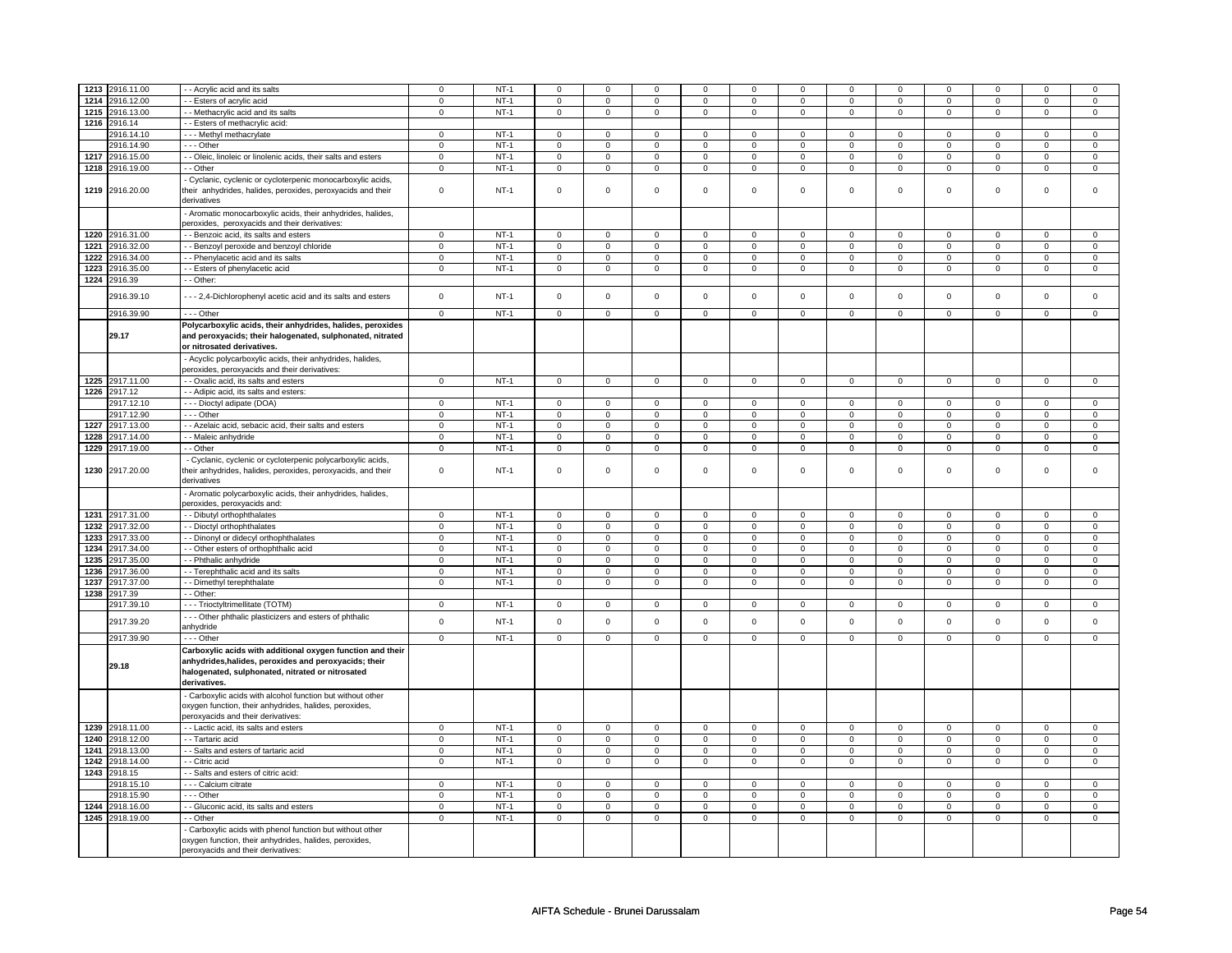| 1213 | 2916.11.00      | - - Acrylic acid and its salts                                                                                                                          | 0              | $NT-1$ | $\overline{0}$ | $\mathsf 0$    | $\mathbf 0$    | $\mathbf 0$    | $\mathbf 0$    | $\mathbf 0$    | $^{\circ}$          | $\mathbf 0$    | $^{\circ}$     | $\mathbf 0$         | $\mathbf 0$    | $\mathbf 0$    |
|------|-----------------|---------------------------------------------------------------------------------------------------------------------------------------------------------|----------------|--------|----------------|----------------|----------------|----------------|----------------|----------------|---------------------|----------------|----------------|---------------------|----------------|----------------|
|      |                 |                                                                                                                                                         |                |        |                |                |                |                |                |                |                     |                |                |                     |                |                |
| 1214 | 2916.12.00      | - Esters of acrylic acid                                                                                                                                | 0              | $NT-1$ | $\mathbf 0$    | $\mathbf 0$    | $\mathbf 0$    | $\mathbf 0$    | $\mathbf 0$    | $\mathbf 0$    | $\mathbf 0$         | $\mathbf 0$    | $\mathbf 0$    | $\mathbf 0$         | $\mathbf 0$    | $\mathbf 0$    |
| 1215 | 2916.13.00      | - - Methacrylic acid and its salts                                                                                                                      | $\mathbf 0$    | $NT-1$ | $\overline{0}$ | $\overline{0}$ | $\overline{0}$ | $\overline{0}$ | $\overline{0}$ | $\overline{0}$ | $\mathsf 0$         | $\mathbf 0$    | $\mathbf 0$    | $\overline{0}$      | $\overline{0}$ | $\overline{0}$ |
|      | 1216 2916.14    | - - Esters of methacrylic acid:                                                                                                                         |                |        |                |                |                |                |                |                |                     |                |                |                     |                |                |
|      | 2916.14.10      | --- Methyl methacrylate                                                                                                                                 | $\mathbf 0$    | $NT-1$ | $\mathbf 0$    | $\Omega$       | $\Omega$       | $\mathsf 0$    | $\mathsf 0$    | $\Omega$       | $\Omega$            | $\Omega$       | $\mathsf 0$    | $\Omega$            | $\Omega$       | $\Omega$       |
|      | 2916.14.90      | --- Other                                                                                                                                               | $\Omega$       | $NT-1$ | $\,$ 0         | $\mathsf 0$    | $\pmb{0}$      | $\pmb{0}$      | $\mathsf{O}$   | $\mathbf 0$    | $\mathsf 0$         | $\mathbf 0$    | $\mathbf 0$    | $\mathbf 0$         | $\Omega$       | $\mathbf 0$    |
|      | 1217 2916.15.00 | - - Oleic, linoleic or linolenic acids, their salts and esters                                                                                          | $\mathbf{0}$   | $NT-1$ | $\overline{0}$ | $\overline{0}$ | $\overline{0}$ | $\overline{0}$ | $\mathsf 0$    | $\mathsf 0$    | $\mathsf 0$         | $\mathsf 0$    | $\mathsf 0$    | $\mathsf 0$         | $\mathsf 0$    | $\mathbf 0$    |
|      | 1218 2916.19.00 | - - Other                                                                                                                                               | $\mathbf 0$    | $NT-1$ | $\overline{0}$ | $\mathsf 0$    | $\mathbf 0$    | $\mathsf 0$    | $\mathsf 0$    | $\mathbf 0$    | $\mathsf 0$         | $\mathsf 0$    | $\mathsf 0$    | $\mathbf 0$         | $\mathbf 0$    | $\mathbf 0$    |
|      |                 |                                                                                                                                                         |                |        |                |                |                |                |                |                |                     |                |                |                     |                |                |
|      |                 | Cyclanic, cyclenic or cycloterpenic monocarboxylic acids,                                                                                               |                |        |                |                |                |                |                |                |                     |                |                |                     |                |                |
|      | 1219 2916.20.00 | their anhydrides, halides, peroxides, peroxyacids and their                                                                                             | $\mathbf 0$    | $NT-1$ | $\overline{0}$ | $\mathsf 0$    | $\mathbf 0$    | $\mathsf 0$    | $\mathsf 0$    | $\mathsf 0$    | $\mathsf 0$         | $\mathsf 0$    | $\mathsf 0$    | $\mathsf 0$         | $\mathbf 0$    | $\mathbf 0$    |
|      |                 | derivatives                                                                                                                                             |                |        |                |                |                |                |                |                |                     |                |                |                     |                |                |
|      |                 | Aromatic monocarboxylic acids, their anhydrides, halides,                                                                                               |                |        |                |                |                |                |                |                |                     |                |                |                     |                |                |
|      |                 | peroxides, peroxyacids and their derivatives:                                                                                                           |                |        |                |                |                |                |                |                |                     |                |                |                     |                |                |
| 1220 | 2916.31.00      | - - Benzoic acid, its salts and esters                                                                                                                  | 0              | $NT-1$ | $\mathbf 0$    | $\mathbf 0$    | $\mathbf 0$    | $\mathbf 0$    | $\mathbf 0$    | $\mathbf 0$    | $\mathbf 0$         | $\mathbf 0$    | $\mathbf 0$    | $\mathbf 0$         | $\mathbf 0$    | 0              |
| 1221 | 2916.32.00      | - Benzoyl peroxide and benzoyl chloride                                                                                                                 | $\mathbf 0$    | $NT-1$ | $\mathbf 0$    | $\mathbf 0$    | $\mathbf 0$    | $\mathsf 0$    | $\mathsf 0$    | $\mathbf 0$    | $\mathsf 0$         | $\mathsf 0$    | $\mathsf 0$    | $\mathsf 0$         | $\mathbf 0$    | $\mathbf 0$    |
|      |                 |                                                                                                                                                         |                |        |                |                |                |                |                |                |                     |                |                |                     |                |                |
| 1222 | 2916.34.00      | - - Phenylacetic acid and its salts                                                                                                                     | $\mathbf{0}$   | $NT-1$ | $\mathbf 0$    | $\mathbf 0$    | $\mathsf 0$    | $\mathbf 0$    | $\mathsf 0$    | $\mathbf 0$    | $\mathbf 0$         | $\mathbf{0}$   | $\mathbf 0$    | $\mathsf 0$         | 0              | $\mathsf 0$    |
| 1223 | 2916.35.00      | - - Esters of phenylacetic acid                                                                                                                         | $\mathbf 0$    | $NT-1$ | $\mathbf 0$    | $\circ$        | $\mathsf 0$    | $\mathbf 0$    | $\mathbf 0$    | $\mathbf 0$    | $\mathsf 0$         | $\mathbf 0$    | $\mathsf 0$    | $\mathsf 0$         | $\mathbf 0$    | $\mathbf 0$    |
|      | 1224 2916.39    | - - Other:                                                                                                                                              |                |        |                |                |                |                |                |                |                     |                |                |                     |                |                |
|      |                 |                                                                                                                                                         | $\mathsf 0$    | $NT-1$ | $\mathsf 0$    | $\mathbf 0$    | $\mathbf 0$    | $\mathbf 0$    | $\mathbf 0$    | $\mathbf 0$    | $\mathbf 0$         | $\mathbf 0$    | $\mathbf 0$    | $\mathsf{O}\xspace$ | $\Omega$       | $\mathsf 0$    |
|      | 2916.39.10      | - - 2,4-Dichlorophenyl acetic acid and its salts and esters                                                                                             |                |        |                |                |                |                |                |                |                     |                |                |                     |                |                |
|      | 2916.39.90      | $- -$ Other                                                                                                                                             | $\mathbf 0$    | $NT-1$ | $\mathbf 0$    | $\mathbf 0$    | $\mathbf 0$    | $\mathbf{0}$   | $\mathsf 0$    | $\mathsf 0$    | $\mathbf 0$         | $\mathbf 0$    | $\mathsf 0$    | $\mathbf 0$         | $\Omega$       | $\mathsf 0$    |
|      |                 | Polycarboxylic acids, their anhydrides, halides, peroxides                                                                                              |                |        |                |                |                |                |                |                |                     |                |                |                     |                |                |
|      | 29.17           | and peroxyacids; their halogenated, sulphonated, nitrated                                                                                               |                |        |                |                |                |                |                |                |                     |                |                |                     |                |                |
|      |                 | or nitrosated derivatives.                                                                                                                              |                |        |                |                |                |                |                |                |                     |                |                |                     |                |                |
|      |                 |                                                                                                                                                         |                |        |                |                |                |                |                |                |                     |                |                |                     |                |                |
|      |                 | - Acyclic polycarboxylic acids, their anhydrides, halides,                                                                                              |                |        |                |                |                |                |                |                |                     |                |                |                     |                |                |
|      |                 | peroxides, peroxyacids and their derivatives:                                                                                                           |                |        |                |                |                |                |                |                |                     |                |                |                     |                |                |
|      | 1225 2917.11.00 | - Oxalic acid, its salts and esters                                                                                                                     | $\mathbf 0$    | $NT-1$ | $\mathbf 0$    | $\mathbf 0$    | $\mathbf 0$    | $\mathsf 0$    | $\mathbf 0$    | $\mathbf 0$    | $\mathbf 0$         | $\mathsf 0$    | $\mathbf 0$    | $\mathbf 0$         | $\mathbf 0$    | $\mathbf 0$    |
|      | 1226 2917.12    | - - Adipic acid, its salts and esters:                                                                                                                  |                |        |                |                |                |                |                |                |                     |                |                |                     |                |                |
|      | 2917.12.10      | --- Dioctyl adipate (DOA)                                                                                                                               | $\mathbf{0}$   | $NT-1$ | $\mathbf 0$    | $\overline{0}$ | $\mathbf 0$    | $\mathbf 0$    | $\mathbf 0$    | $\mathbf{0}$   | $^{\circ}$          | $\mathbf 0$    | $\mathbf 0$    | $\mathbf 0$         | 0              | $\mathbf 0$    |
|      | 2917.12.90      | --- Other                                                                                                                                               | 0              | $NT-1$ | $\mathbf 0$    | $\mathsf 0$    | $\mathsf 0$    | $\mathsf 0$    | $\mathsf 0$    | $\mathsf 0$    | $\mathsf 0$         | $\mathbf 0$    | $\mathsf 0$    | $\mathsf 0$         | $\mathbf 0$    | $\mathsf 0$    |
| 1227 | 2917.13.00      | - - Azelaic acid, sebacic acid, their salts and esters                                                                                                  | $\mathbf 0$    | $NT-1$ | $\mathbf 0$    | $\mathbf 0$    | $\pmb{0}$      | $\pmb{0}$      | $\mathsf 0$    | $\mathbf 0$    | $\mathsf 0$         | $\mathbf 0$    | $\mathsf 0$    | $\mathsf{O}\xspace$ | $\mathbf 0$    | $\mathbf 0$    |
|      | 1228 2917.14.00 | - - Maleic anhydride                                                                                                                                    | $\mathsf 0$    | $NT-1$ | $\overline{0}$ | $\overline{0}$ | $\overline{0}$ | $\overline{0}$ | $\overline{0}$ | $\overline{0}$ | $\mathsf 0$         | $\mathbf 0$    | $\mathbf 0$    | $\overline{0}$      | $\mathbf 0$    | $\overline{0}$ |
|      |                 |                                                                                                                                                         |                |        |                |                |                |                |                |                |                     |                |                |                     |                |                |
|      | 1229 2917.19.00 | - - Other                                                                                                                                               | $\mathsf 0$    | $NT-1$ | $\mathsf 0$    | $\mathsf 0$    | $\mathsf 0$    | $\mathsf 0$    | $\mathsf 0$    | $\mathsf 0$    | $\mathsf{o}\,$      | $\mathsf{o}\,$ | $\mathsf{o}\,$ | $\mathsf 0$         | $\mathsf 0$    | $\mathsf 0$    |
|      | 1230 2917.20.00 | - Cyclanic, cyclenic or cycloterpenic polycarboxylic acids,<br>their anhydrides, halides, peroxides, peroxyacids, and their<br>derivatives              | $\mathsf 0$    | $NT-1$ | $\Omega$       | $\mathbf{0}$   | $\mathbf 0$    | $\mathbf 0$    | $\mathbf 0$    | $\mathbf 0$    | $\mathbf 0$         | $\mathbf 0$    | $\mathbf 0$    | $\mathsf 0$         | $\Omega$       | $\mathsf 0$    |
|      |                 | - Aromatic polycarboxylic acids, their anhydrides, halides,<br>peroxides, peroxyacids and:                                                              |                |        |                |                |                |                |                |                |                     |                |                |                     |                |                |
|      | 1231 2917.31.00 | - - Dibutyl orthophthalates                                                                                                                             | $\mathbf 0$    | $NT-1$ | $\mathbf 0$    | $\mathbf 0$    | $\mathbf 0$    | $\mathbf 0$    | $\mathbf 0$    | $\mathbf 0$    | $\mathbf 0$         | $\mathbf 0$    | $\mathbf 0$    | $\mathbf 0$         | $\mathbf 0$    | $\mathbf 0$    |
| 1232 | 2917.32.00      | - Dioctyl orthophthalates                                                                                                                               | $\mathbf 0$    | $NT-1$ | $\mathbf{0}$   | $\mathbf 0$    | $\mathbf 0$    | $\mathbf 0$    | $\mathsf 0$    | $\mathbf 0$    | $\mathbf 0$         | $\mathbf 0$    | $\mathsf 0$    | $\mathbf 0$         | $\Omega$       | $\mathbf 0$    |
|      |                 |                                                                                                                                                         |                |        |                |                |                |                |                |                |                     |                |                |                     |                |                |
| 1233 | 2917.33.00      | - - Dinonyl or didecyl orthophthalates                                                                                                                  | 0              | $NT-1$ | $\mathbf 0$    | $\mathbf 0$    | $\mathsf 0$    | $\mathbf 0$    | $\mathsf 0$    | $\mathsf 0$    | $\mathsf 0$         | $\mathbf 0$    | $\mathsf 0$    | $\mathbf 0$         | $\mathbf 0$    | $\mathbf 0$    |
|      | 1234 2917.34.00 | - - Other esters of orthophthalic acid                                                                                                                  | 0              | $NT-1$ | $\overline{0}$ | $\mathbf 0$    | $\mathbf{0}$   | $\mathbf 0$    | $\mathbf 0$    | $\mathbf{0}$   | $\mathbf 0$         | $\mathbf 0$    | 0              | $\mathbf 0$         | 0              | $\mathbf 0$    |
| 1235 | 2917.35.00      | - - Phthalic anhydride                                                                                                                                  | 0              | $NT-1$ | $\overline{0}$ | $\overline{0}$ | $\overline{0}$ | $\overline{0}$ | $\mathbf 0$    | $\mathbf 0$    | $\mathbf 0$         | $\mathbf 0$    | $\mathbf 0$    | $\overline{0}$      | $\mathbf 0$    | $\overline{0}$ |
| 1236 | 2917.36.00      | - - Terephthalic acid and its salts                                                                                                                     | $\overline{0}$ | $NT-1$ | $\overline{0}$ | $\overline{0}$ | $\overline{0}$ | $\overline{0}$ | $\overline{0}$ | $\overline{0}$ | $\overline{0}$      | $\overline{0}$ | $\overline{0}$ | $\overline{0}$      | $\overline{0}$ | $\overline{0}$ |
| 1237 | 2917.37.00      | - - Dimethyl terephthalate                                                                                                                              | $\mathsf 0$    | $NT-1$ | $\mathbf 0$    | $\mathsf 0$    | $\mathsf 0$    | $\mathbf 0$    | $\mathsf 0$    | $\mathbf 0$    | $\mathsf 0$         | $\mathsf 0$    | $\mathsf 0$    | $\mathbf 0$         | $\mathbf 0$    | $\mathsf 0$    |
| 1238 | 2917.39         | - - Other:                                                                                                                                              |                |        |                |                |                |                |                |                |                     |                |                |                     |                |                |
|      | 2917.39.10      | - - - Trioctyltrimellitate (TOTM)                                                                                                                       | $\overline{0}$ | $NT-1$ | $\mathbf{0}$   | $\overline{0}$ | $\mathbf 0$    | $\overline{0}$ | $\mathsf 0$    | $\overline{0}$ | $\mathsf 0$         | $\overline{0}$ | $\mathsf 0$    | $\overline{0}$      | $\mathsf 0$    | $\overline{0}$ |
|      |                 | - - - Other phthalic plasticizers and esters of phthalic                                                                                                |                |        |                |                |                |                |                |                |                     |                |                |                     |                |                |
|      | 2917.39.20      | anhydride                                                                                                                                               | $\mathbf 0$    | $NT-1$ | $\mathbf{0}$   | $\mathbf{0}$   | $\mathbf 0$    | $\mathbf 0$    | $\mathbf 0$    | $\mathbf 0$    | $\mathbf 0$         | $\mathbf 0$    | $\mathbf 0$    | $\mathbf 0$         | $\Omega$       | $\mathbf 0$    |
|      | 2917.39.90      | --- Other                                                                                                                                               | $\mathbf 0$    | $NT-1$ | $\circ$        | $\mathbf 0$    | $\mathbf{0}$   | $\mathsf 0$    | $\mathsf 0$    | $\mathbf 0$    | $\mathbf 0$         | $\mathbf 0$    | $\mathbf 0$    | $\mathbf 0$         | $\mathbf 0$    | $\mathbf 0$    |
|      |                 | Carboxylic acids with additional oxygen function and their                                                                                              |                |        |                |                |                |                |                |                |                     |                |                |                     |                |                |
|      | 29.18           | anhydrides, halides, peroxides and peroxyacids; their<br>halogenated, sulphonated, nitrated or nitrosated<br>derivatives.                               |                |        |                |                |                |                |                |                |                     |                |                |                     |                |                |
|      |                 |                                                                                                                                                         |                |        |                |                |                |                |                |                |                     |                |                |                     |                |                |
|      |                 | - Carboxylic acids with alcohol function but without other                                                                                              |                |        |                |                |                |                |                |                |                     |                |                |                     |                |                |
|      |                 | oxygen function, their anhydrides, halides, peroxides,                                                                                                  |                |        |                |                |                |                |                |                |                     |                |                |                     |                |                |
|      |                 | peroxyacids and their derivatives:                                                                                                                      |                |        |                |                |                |                |                |                |                     |                |                |                     |                |                |
|      | 1239 2918.11.00 | - - Lactic acid, its salts and esters                                                                                                                   | $\mathsf 0$    | $NT-1$ | $\,0\,$        | $\mathbf 0$    | $\mathsf 0$    | $\mathbf 0$    | $\mathsf 0$    | $\mathsf 0$    | $\mathsf{O}\xspace$ | $\mathsf 0$    | 0              | $\mathbf 0$         | 0              | $\mathbf 0$    |
| 1240 | 2918.12.00      | - - Tartaric acid                                                                                                                                       | $\mathbf 0$    | $NT-1$ | $\overline{0}$ | $\overline{0}$ | $\overline{0}$ | $\overline{0}$ | $\mathsf 0$    | $\overline{0}$ | $\mathsf{O}\xspace$ | $\overline{0}$ | $\overline{0}$ | $\overline{0}$      | $\overline{0}$ | $\overline{0}$ |
| 1241 | 2918.13.00      | - Salts and esters of tartaric acid                                                                                                                     | $\overline{0}$ | $NT-1$ | $\mathsf 0$    | $\overline{0}$ | $\mathsf 0$    | $\mathsf 0$    | $\mathsf 0$    | $\mathsf 0$    | $\mathsf 0$         | $\mathsf 0$    | $\mathsf 0$    | $\overline{0}$      | $\mathsf 0$    | $\mathsf 0$    |
| 1242 | 2918.14.00      | - - Citric acid                                                                                                                                         | $\circ$        | $NT-1$ | $\mathbf{0}$   | $\circ$        | $\mathsf 0$    | $\mathbf{0}$   | $\mathsf 0$    | $\mathbf{0}$   | $\mathbf 0$         | $\mathbf 0$    | $\mathsf 0$    | $\mathbf 0$         | $\mathbf 0$    | $\mathbf 0$    |
| 1243 | 2918.15         | - Salts and esters of citric acid:                                                                                                                      |                |        |                |                |                |                |                |                |                     |                |                |                     |                |                |
|      | 2918.15.10      | - - - Calcium citrate                                                                                                                                   | $\overline{0}$ | $NT-1$ | $\overline{0}$ | $\overline{0}$ | $\overline{0}$ | $\overline{0}$ | $\mathbf 0$    | $\mathsf 0$    | $\mathbf 0$         | $\mathbf 0$    | $\mathbf 0$    | $\overline{0}$      | $\Omega$       | $\Omega$       |
|      | 2918.15.90      | --- Other                                                                                                                                               | 0              | $NT-1$ | $\overline{0}$ | $\mathbf 0$    | $\mathbf 0$    | $\mathbf 0$    | $\mathbf 0$    | $\mathbf 0$    | $\mathbf 0$         | $\mathbf 0$    | $\mathbf 0$    | $\mathbf 0$         | $\mathbf 0$    | $\mathbf 0$    |
| 1244 | 2918.16.00      | - Gluconic acid, its salts and esters                                                                                                                   | $\mathbf 0$    | $NT-1$ | $\overline{0}$ | $\mathbf 0$    | $\Omega$       | $\mathbf 0$    | $\mathsf 0$    | $\mathbf 0$    | $\mathbf 0$         | $\mathbf 0$    | $\mathbf 0$    | $\mathbf 0$         | $\Omega$       | $\mathbf 0$    |
|      | 1245 2918.19.00 | - Other                                                                                                                                                 | $\mathbf 0$    | $NT-1$ | $\mathbf 0$    | $\mathsf 0$    | $\mathsf 0$    | $\mathbf 0$    | $\mathsf 0$    | $\mathsf 0$    | $\mathsf 0$         | $\mathbf 0$    | $\mathbf 0$    | $\mathbf 0$         | $\mathbf 0$    | $\mathbf 0$    |
|      |                 |                                                                                                                                                         |                |        |                |                |                |                |                |                |                     |                |                |                     |                |                |
|      |                 | Carboxylic acids with phenol function but without other<br>oxygen function, their anhydrides, halides, peroxides,<br>peroxyacids and their derivatives: |                |        |                |                |                |                |                |                |                     |                |                |                     |                |                |
|      |                 |                                                                                                                                                         |                |        |                |                |                |                |                |                |                     |                |                |                     |                |                |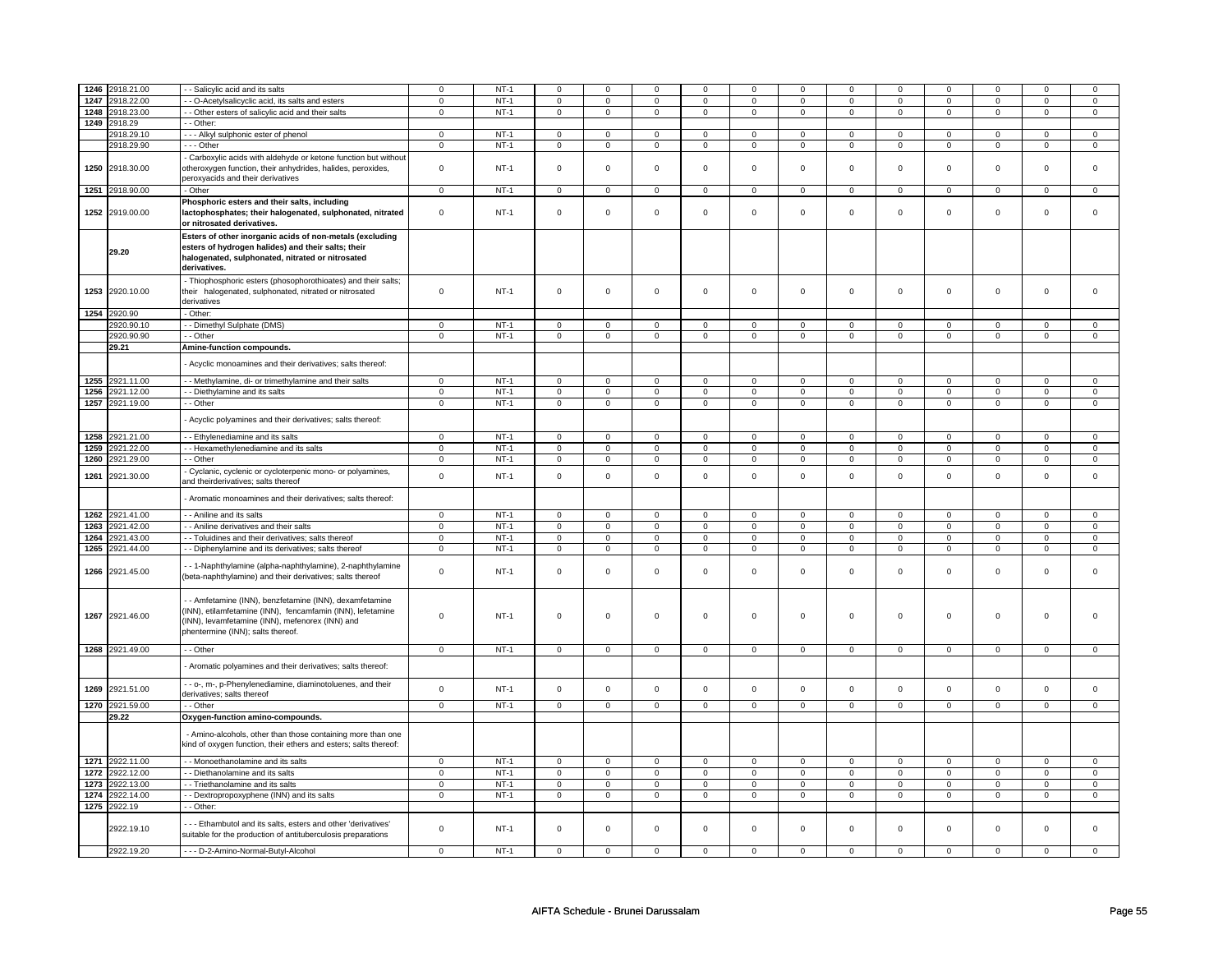|      | 1246 2918.21.00 | - Salicylic acid and its salts                                   | $\mathbf 0$    | $NT-1$ | $\mathsf 0$         | $\mathbf 0$    | $\Omega$       | $\mathbf 0$    | $\mathbf 0$    | $\mathbf 0$    | $\Omega$            | $\mathbf 0$    | $\Omega$            | $\mathbf 0$    | 0              | $\Omega$            |
|------|-----------------|------------------------------------------------------------------|----------------|--------|---------------------|----------------|----------------|----------------|----------------|----------------|---------------------|----------------|---------------------|----------------|----------------|---------------------|
|      | 1247 2918.22.00 | - O-Acetylsalicyclic acid, its salts and esters                  | $\mathbf 0$    | $NT-1$ | $\mathbf 0$         | $\mathbf 0$    | $\mathbf{0}$   | $\mathbf 0$    | $\mathbf{0}$   | $\mathbf 0$    | $\mathbf 0$         | $\mathbf 0$    | $\mathbf{0}$        | $\mathbf 0$    | 0              | $\mathbf 0$         |
|      |                 |                                                                  |                |        |                     |                |                |                |                |                |                     |                |                     |                |                |                     |
| 1248 | 2918.23.00      | - - Other esters of salicylic acid and their salts               | $\mathbf 0$    | $NT-1$ | $\mathbf 0$         | $\mathbf 0$    | $\mathbf 0$    | $\mathbf 0$    | $\mathbf 0$    | $\mathbf 0$    | 0                   | $\mathbf 0$    | 0                   | $\mathbf 0$    | 0              | 0                   |
| 1249 | 2918.29         | - Other:                                                         |                |        |                     |                |                |                |                |                |                     |                |                     |                |                |                     |
|      | 2918.29.10      | --- Alkyl sulphonic ester of phenol                              | $\mathbf 0$    | $NT-1$ | $\mathsf 0$         | $\mathbf 0$    | $\mathbf 0$    | $\mathsf 0$    | $\mathbf 0$    | $\mathsf 0$    | $\mathbf 0$         | $\mathbf 0$    | $\mathsf 0$         | $\mathbf 0$    | $\Omega$       | 0                   |
|      | 2918.29.90      | --- Other                                                        | $\mathsf 0$    | $NT-1$ | $\mathsf 0$         | $\mathbf 0$    | 0              | $\mathsf 0$    | $\mathsf 0$    | $\mathsf 0$    | 0                   | $\mathsf 0$    | $\mathsf{O}\xspace$ | $\mathsf 0$    | 0              | $\mathsf{O}\xspace$ |
|      |                 |                                                                  |                |        |                     |                |                |                |                |                |                     |                |                     |                |                |                     |
|      |                 | Carboxylic acids with aldehyde or ketone function but without    |                |        |                     |                |                |                |                |                |                     |                |                     |                |                |                     |
|      | 1250 2918.30.00 | otheroxygen function, their anhydrides, halides, peroxides,      | $\mathbf 0$    | $NT-1$ | $\mathsf{O}\xspace$ | $\mathsf 0$    | $\mathsf 0$    | $\mathbf 0$    | $\mathsf 0$    | $\mathbf 0$    | $\mathbf 0$         | $\mathbf 0$    | $\mathsf 0$         | $\mathbf 0$    | $\Omega$       | $\mathbf 0$         |
|      |                 | peroxyacids and their derivatives                                |                |        |                     |                |                |                |                |                |                     |                |                     |                |                |                     |
|      | 1251 2918.90.00 |                                                                  | $\mathbf 0$    | $NT-1$ | $\mathsf{O}$        | $\mathbf 0$    | $\mathsf 0$    | $\mathbf 0$    | $\mathsf{O}$   | $\mathbf 0$    | $\mathbf 0$         | $\mathbf 0$    | $\mathbf 0$         | $\mathbf 0$    |                |                     |
|      |                 | - Other                                                          |                |        |                     |                |                |                |                |                |                     |                |                     |                | $\mathbf 0$    | $\mathbf 0$         |
|      |                 | Phosphoric esters and their salts, including                     |                |        |                     |                |                |                |                |                |                     |                |                     |                |                |                     |
|      | 1252 2919.00.00 | lactophosphates; their halogenated, sulphonated, nitrated        | $\mathsf 0$    | $NT-1$ | $\mathsf 0$         | $\mathbf 0$    | $\mathbf 0$    | $\mathbf 0$    | $\mathbf 0$    | $\mathbf 0$    | $\mathbf 0$         | $\mathbf 0$    | $\mathsf 0$         | $\mathbf 0$    | $\mathbf 0$    | 0                   |
|      |                 | or nitrosated derivatives.                                       |                |        |                     |                |                |                |                |                |                     |                |                     |                |                |                     |
|      |                 |                                                                  |                |        |                     |                |                |                |                |                |                     |                |                     |                |                |                     |
|      |                 | Esters of other inorganic acids of non-metals (excluding         |                |        |                     |                |                |                |                |                |                     |                |                     |                |                |                     |
|      | 29.20           | esters of hydrogen halides) and their salts; their               |                |        |                     |                |                |                |                |                |                     |                |                     |                |                |                     |
|      |                 | halogenated, sulphonated, nitrated or nitrosated                 |                |        |                     |                |                |                |                |                |                     |                |                     |                |                |                     |
|      |                 | derivatives.                                                     |                |        |                     |                |                |                |                |                |                     |                |                     |                |                |                     |
|      |                 | - Thiophosphoric esters (phosophorothioates) and their salts;    |                |        |                     |                |                |                |                |                |                     |                |                     |                |                |                     |
|      |                 |                                                                  |                |        |                     |                |                |                |                |                |                     |                |                     |                |                |                     |
| 1253 | 2920.10.00      | their halogenated, sulphonated, nitrated or nitrosated           | $\mathbf 0$    | NT-1   | $\mathbf 0$         | $\mathbf 0$    | 0              | $\mathbf 0$    | 0              | $\mathbf 0$    | 0                   | $\mathbf 0$    | 0                   | $\mathbf 0$    | $\mathbf 0$    | 0                   |
|      |                 | derivatives                                                      |                |        |                     |                |                |                |                |                |                     |                |                     |                |                |                     |
|      | 1254 2920.90    | - Other:                                                         |                |        |                     |                |                |                |                |                |                     |                |                     |                |                |                     |
|      | 2920.90.10      | - - Dimethyl Sulphate (DMS)                                      | 0              | $NT-1$ | $\mathbf 0$         | $\mathbf 0$    | 0              | $\mathbf 0$    | $\mathbf 0$    | $\mathbf 0$    | 0                   | $\mathbf 0$    | 0                   | $\mathbf 0$    | 0              | 0                   |
|      |                 |                                                                  |                |        |                     |                |                |                |                |                |                     |                |                     |                |                |                     |
|      | 2920.90.90      | - - Other                                                        | $\mathbf 0$    | $NT-1$ | $\mathsf 0$         | $\overline{0}$ | $\mathbf 0$    | $\overline{0}$ | $\mathbf 0$    | $\overline{0}$ | $\mathbf 0$         | $\overline{0}$ | $\mathsf 0$         | $\overline{0}$ | $\mathbf 0$    | $\overline{0}$      |
|      | 29.21           | Amine-function compounds.                                        |                |        |                     |                |                |                |                |                |                     |                |                     |                |                |                     |
|      |                 |                                                                  |                |        |                     |                |                |                |                |                |                     |                |                     |                |                |                     |
|      |                 | Acyclic monoamines and their derivatives; salts thereof:         |                |        |                     |                |                |                |                |                |                     |                |                     |                |                |                     |
|      |                 |                                                                  |                |        |                     |                |                |                |                |                |                     |                |                     |                |                |                     |
|      | 1255 2921.11.00 | - Methylamine, di- or trimethylamine and their salts             | $\Omega$       | $NT-1$ | $\overline{0}$      | $\overline{0}$ | $\mathbf 0$    | $\mathbf{0}$   | $\mathsf 0$    | $\mathbf 0$    | $\mathbf 0$         | $\mathbf 0$    | $\mathbf 0$         | $\mathbf 0$    | $\Omega$       | $\mathbf{0}$        |
|      | 1256 2921.12.00 | - Diethylamine and its salts                                     | $\mathsf 0$    | $NT-1$ | 0                   | $\mathsf 0$    | 0              | $\mathbf 0$    | 0              | $\mathbf 0$    | 0                   | $\mathbf 0$    | 0                   | $\mathbf 0$    | 0              | $\mathbf 0$         |
|      | 1257 2921.19.00 | - - Other                                                        | $\mathbf 0$    | $NT-1$ | $\mathbf 0$         | $\mathbf 0$    | $\mathbf{0}$   | $\mathbf 0$    | $\mathbf 0$    | $\mathbf 0$    | $\mathbf 0$         | $\mathbf 0$    | $\mathbf 0$         | $\mathbf 0$    | $\mathbf 0$    | $\mathbf{0}$        |
|      |                 |                                                                  |                |        |                     |                |                |                |                |                |                     |                |                     |                |                |                     |
|      |                 | Acyclic polyamines and their derivatives; salts thereof:         |                |        |                     |                |                |                |                |                |                     |                |                     |                |                |                     |
|      |                 |                                                                  |                |        |                     |                |                |                |                |                |                     |                |                     |                |                |                     |
|      | 1258 2921.21.00 | - Ethylenediamine and its salts                                  | $\mathbf 0$    | $NT-1$ | $\mathsf 0$         | $\mathbf 0$    | 0              | $\mathsf 0$    | $\mathbf 0$    | $\mathsf 0$    | 0                   | $\mathbf 0$    | $\mathsf 0$         | $\mathbf 0$    | 0              | 0                   |
| 1259 | 2921.22.00      | - Hexamethylenediamine and its salts                             | $\mathsf 0$    | $NT-1$ | $\circ$             | $\mathbf 0$    | $\mathsf{o}$   | $\circ$        | $\mathsf{o}\,$ | $\mathbf 0$    | 0                   | $\circ$        | 0                   | $\circ$        | 0              | $\mathbf 0$         |
| 1260 | 2921.29.00      | - Other                                                          | $\overline{0}$ | $NT-1$ | $\mathbf 0$         | $\mathbf{0}$   | $\mathbf 0$    | $\mathbf{0}$   | $\mathbf 0$    | $\mathbf{0}$   | $\mathbf 0$         | $\overline{0}$ | $\mathbf 0$         | $\overline{0}$ | $\mathbf 0$    | $\overline{0}$      |
|      |                 |                                                                  |                |        |                     |                |                |                |                |                |                     |                |                     |                |                |                     |
| 1261 | 2921.30.00      | Cyclanic, cyclenic or cycloterpenic mono- or polyamines,         | $\mathbf 0$    | $NT-1$ | $\mathsf 0$         | $\mathbf 0$    | $\mathbf 0$    | $\mathsf 0$    | $\mathbf 0$    | $\mathsf 0$    | $\mathbf 0$         | $\mathbf 0$    | $\mathsf 0$         | $\mathbf 0$    | $\mathbf 0$    | 0                   |
|      |                 | and theirderivatives; salts thereof                              |                |        |                     |                |                |                |                |                |                     |                |                     |                |                |                     |
|      |                 |                                                                  |                |        |                     |                |                |                |                |                |                     |                |                     |                |                |                     |
|      |                 | Aromatic monoamines and their derivatives; salts thereof:        |                |        |                     |                |                |                |                |                |                     |                |                     |                |                |                     |
|      |                 |                                                                  |                |        |                     |                |                |                |                |                |                     |                |                     |                |                |                     |
|      | 1262 2921.41.00 | - Aniline and its salts                                          | $\overline{0}$ | $NT-1$ | $\overline{0}$      | $\overline{0}$ | 0              | $\overline{0}$ | 0              | $\overline{0}$ | 0                   | $\overline{0}$ | 0                   | $\overline{0}$ | $\mathbf 0$    | $\overline{0}$      |
| 1263 | 2921.42.00      | - Aniline derivatives and their salts                            | $\overline{0}$ | $NT-1$ | $\mathsf{O}$        | $\overline{0}$ | $\mathsf 0$    | $\mathbf 0$    | $\mathsf 0$    | $\overline{0}$ | $\mathsf{O}\xspace$ | $\mathbf 0$    | $\mathsf{O}\xspace$ | $\mathbf 0$    | 0              | $\mathbf 0$         |
| 1264 | 2921.43.00      | - Toluidines and their derivatives; salts thereof                | $\mathbf 0$    | $NT-1$ | $\mathbf 0$         | $\mathbf 0$    | $\mathbf 0$    | $\mathbf 0$    | $\mathsf 0$    | $\mathsf 0$    | $\mathbf 0$         | $\mathbf 0$    | $\mathsf 0$         | $\mathbf 0$    | $\mathbf 0$    | $\mathbf 0$         |
| 1265 | 2921.44.00      | - Diphenylamine and its derivatives; salts thereof               | $\mathbf 0$    | $NT-1$ | $\overline{0}$      | $\overline{0}$ | $\mathbf 0$    | $\mathsf 0$    | $\overline{0}$ | $\overline{0}$ | $\mathbf 0$         | $\overline{0}$ | $\overline{0}$      | $\overline{0}$ | $\mathbf 0$    | $\overline{0}$      |
|      |                 |                                                                  |                |        |                     |                |                |                |                |                |                     |                |                     |                |                |                     |
|      |                 | -- 1-Naphthylamine (alpha-naphthylamine), 2-naphthylamine        |                |        |                     |                |                |                |                |                |                     |                |                     |                |                |                     |
|      | 1266 2921.45.00 |                                                                  | $\mathbf 0$    | $NT-1$ | $\mathsf{O}\xspace$ | $\mathsf 0$    | $\mathbf 0$    | $\mathbf 0$    | $\mathsf 0$    | $\mathbf 0$    | $\mathbf 0$         | $\mathsf 0$    | $\mathsf 0$         | $\mathbf 0$    | $\mathbf 0$    | $\mathsf 0$         |
|      |                 | (beta-naphthylamine) and their derivatives; salts thereof        |                |        |                     |                |                |                |                |                |                     |                |                     |                |                |                     |
|      |                 |                                                                  |                |        |                     |                |                |                |                |                |                     |                |                     |                |                |                     |
|      |                 | - Amfetamine (INN), benzfetamine (INN), dexamfetamine            |                |        |                     |                |                |                |                |                |                     |                |                     |                |                |                     |
|      |                 | (INN), etilamfetamine (INN), fencamfamin (INN), lefetamine       |                |        |                     |                |                |                |                |                |                     |                |                     |                |                |                     |
|      | 1267 2921.46.00 | (INN), levamfetamine (INN), mefenorex (INN) and                  | $\mathbf 0$    | $NT-1$ | $\mathsf 0$         | $\mathbf 0$    | $\mathbf 0$    | $\mathbf 0$    | $\mathbf 0$    | $\mathsf 0$    | $\mathbf 0$         | $\mathbf 0$    | $\mathsf 0$         | $\mathbf 0$    | $\mathbf 0$    | $\mathbf{0}$        |
|      |                 |                                                                  |                |        |                     |                |                |                |                |                |                     |                |                     |                |                |                     |
|      |                 | phentermine (INN); salts thereof.                                |                |        |                     |                |                |                |                |                |                     |                |                     |                |                |                     |
|      |                 |                                                                  |                |        |                     |                |                |                |                |                |                     |                |                     |                |                |                     |
|      | 1268 2921.49.00 | - - Other                                                        | $\mathbf 0$    | $NT-1$ | $\mathsf 0$         | $\mathbf 0$    | $\mathbf 0$    | $\mathbf 0$    | $\mathbf 0$    | $\mathbf 0$    | $\mathbf 0$         | $\mathbf 0$    | $\mathsf 0$         | $\mathbf 0$    | $\mathbf 0$    | $\mathbf 0$         |
|      |                 | Aromatic polyamines and their derivatives; salts thereof:        |                |        |                     |                |                |                |                |                |                     |                |                     |                |                |                     |
|      |                 |                                                                  |                |        |                     |                |                |                |                |                |                     |                |                     |                |                |                     |
|      |                 | - - o-, m-, p-Phenylenediamine, diaminotoluenes, and their       |                |        |                     |                |                |                |                |                |                     |                |                     |                |                |                     |
| 1269 | 2921.51.00      | derivatives; salts thereof                                       | $\mathsf{o}\,$ | $NT-1$ | $\mathsf 0$         | $\mathbf 0$    | $\mathbf 0$    | $\mathbf 0$    | $\mathbf 0$    | $\mathbf 0$    | $\mathbf 0$         | $\mathbf 0$    | $\mathsf 0$         | $\mathbf 0$    | $\mathbf 0$    | $\mathbf{0}$        |
|      |                 |                                                                  |                |        |                     |                |                |                |                |                |                     |                |                     |                |                |                     |
|      | 1270 2921.59.00 | - - Other                                                        | $\overline{0}$ | $NT-1$ | $\overline{0}$      | $\overline{0}$ | $\overline{0}$ | $\overline{0}$ | $\overline{0}$ | $\overline{0}$ | $\overline{0}$      | $\overline{0}$ | $\overline{0}$      | $\overline{0}$ | $\overline{0}$ | $\overline{0}$      |
|      | 29.22           | Oxygen-function amino-compounds.                                 |                |        |                     |                |                |                |                |                |                     |                |                     |                |                |                     |
|      |                 |                                                                  |                |        |                     |                |                |                |                |                |                     |                |                     |                |                |                     |
|      |                 | - Amino-alcohols, other than those containing more than one      |                |        |                     |                |                |                |                |                |                     |                |                     |                |                |                     |
|      |                 | kind of oxygen function, their ethers and esters; salts thereof: |                |        |                     |                |                |                |                |                |                     |                |                     |                |                |                     |
|      |                 |                                                                  |                |        |                     |                |                |                |                |                |                     |                |                     |                |                |                     |
|      | 1271 2922.11.00 | - - Monoethanolamine and its salts                               | $\mathsf 0$    | $NT-1$ | $\mathsf{O}\xspace$ | $\mathsf 0$    | $\mathbf 0$    | $\mathbf 0$    | $\mathbf 0$    | $\mathbf 0$    | $\mathbf 0$         | $\mathbf 0$    | $\mathsf 0$         | $\mathbf 0$    | $\mathbf 0$    | $\mathbf 0$         |
| 1272 | 2922.12.00      | - Diethanolamine and its salts                                   | $\overline{0}$ | $NT-1$ | $\overline{0}$      | $\overline{0}$ | $\overline{0}$ | $\overline{0}$ | $\overline{0}$ | $\overline{0}$ | $\overline{0}$      | $\overline{0}$ | $\overline{0}$      | $\overline{0}$ | $\overline{0}$ | $\overline{0}$      |
| 1273 | 2922.13.00      | - Triethanolamine and its salts                                  | $\mathbf 0$    | $NT-1$ | $\mathsf 0$         | $\mathbf 0$    | $\mathbf 0$    | $\mathbf 0$    | $\mathbf 0$    | $\mathbf 0$    | $\mathbf 0$         | $\overline{0}$ | $\mathsf 0$         | $\overline{0}$ | $\mathbf 0$    | $\overline{0}$      |
|      |                 |                                                                  |                |        |                     |                |                |                |                |                |                     |                |                     |                |                |                     |
| 1274 | 2922.14.00      | - Dextropropoxyphene (INN) and its salts                         | $\mathbf 0$    | $NT-1$ | $\mathsf 0$         | $\mathbf 0$    | 0              | $\mathbf 0$    | 0              | $\mathbf 0$    | 0                   | $\mathbf 0$    | 0                   | $\mathbf 0$    | 0              | $\mathbf 0$         |
|      | 1275 2922.19    | - - Other:                                                       |                |        |                     |                |                |                |                |                |                     |                |                     |                |                |                     |
|      |                 |                                                                  |                |        |                     |                |                |                |                |                |                     |                |                     |                |                |                     |
|      |                 | - - Ethambutol and its salts, esters and other 'derivatives'     | $\mathbf 0$    | $NT-1$ | $\mathsf 0$         | $\mathbf 0$    | $\mathbf 0$    | $\mathsf 0$    | $\mathbf 0$    | $\mathsf 0$    | $\mathbf 0$         | $\mathbf 0$    | $\mathsf 0$         | $\mathbf 0$    | $\mathbf 0$    | $\mathbf{0}$        |
|      |                 |                                                                  |                |        |                     |                |                |                |                |                |                     |                |                     |                |                |                     |
|      | 2922.19.10      | suitable for the production of antituberculosis preparations     |                |        |                     |                |                |                |                |                |                     |                |                     |                |                |                     |
|      | 2922.19.20      | --- D-2-Amino-Normal-Butyl-Alcohol                               | $\overline{0}$ | $NT-1$ | $\Omega$            | $\Omega$       | $\Omega$       | $\Omega$       | $\Omega$       | $\Omega$       | $\Omega$            | $\Omega$       | $\Omega$            | $\Omega$       | $\Omega$       | $\mathbf{0}$        |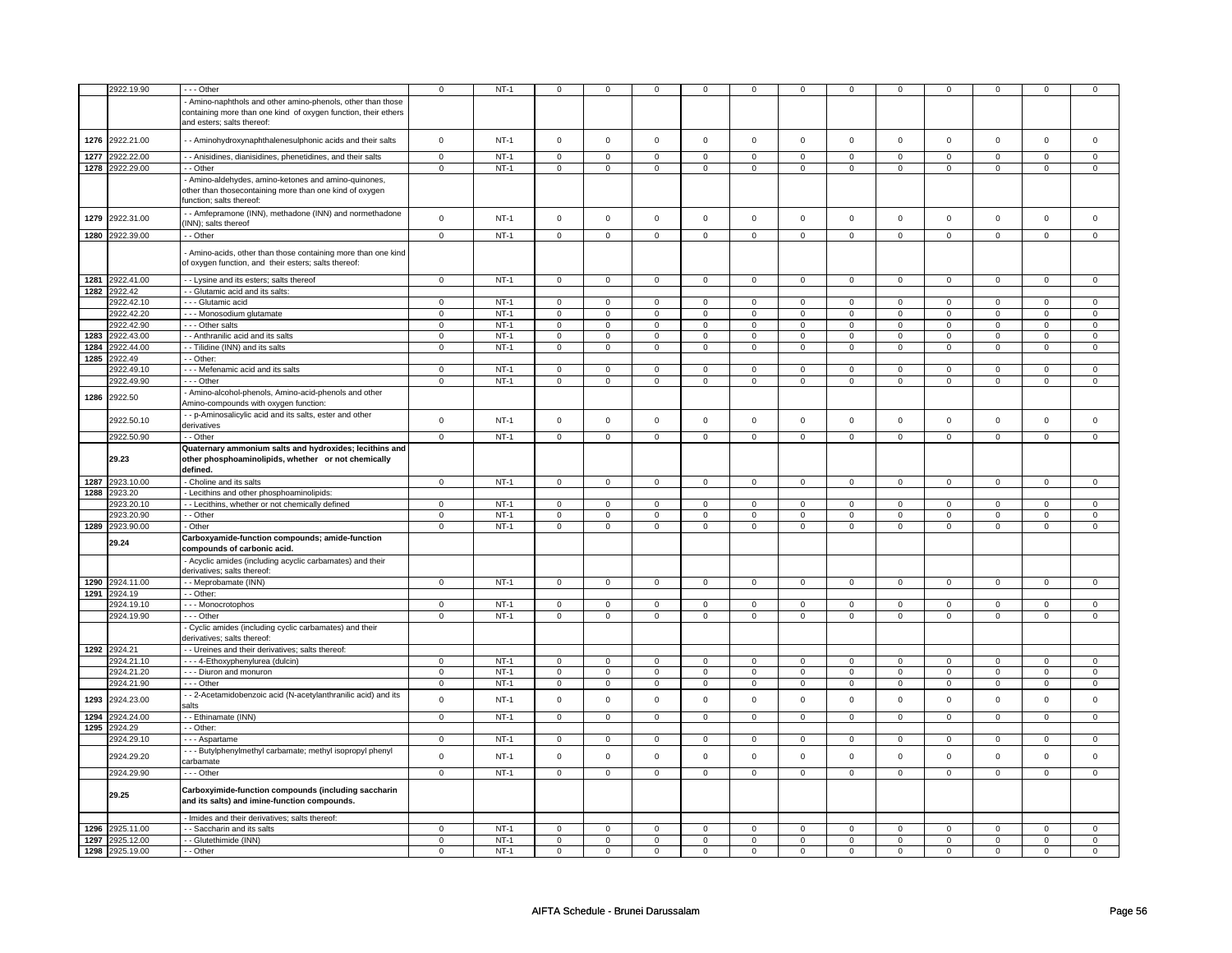|      | 2922.19.90      | --- Other                                                                                    | $\mathbf 0$    | $NT-1$      | $\mathbf 0$         | $\mathbf 0$    | $^{\circ}$     | 0              | 0              | 0              | 0              | $\mathbf 0$    | 0                   | $\mathbf 0$    |                | 0              |
|------|-----------------|----------------------------------------------------------------------------------------------|----------------|-------------|---------------------|----------------|----------------|----------------|----------------|----------------|----------------|----------------|---------------------|----------------|----------------|----------------|
|      |                 |                                                                                              |                |             |                     |                |                |                |                |                |                |                |                     |                |                |                |
|      |                 | Amino-naphthols and other amino-phenols, other than those                                    |                |             |                     |                |                |                |                |                |                |                |                     |                |                |                |
|      |                 | containing more than one kind of oxygen function, their ethers<br>and esters; salts thereof: |                |             |                     |                |                |                |                |                |                |                |                     |                |                |                |
|      |                 |                                                                                              |                |             |                     |                |                |                |                |                |                |                |                     |                |                |                |
|      | 1276 2922.21.00 | - Aminohydroxynaphthalenesulphonic acids and their salts                                     | $\mathbf 0$    | $NT-1$      | $\mathsf{O}\xspace$ | $\mathsf 0$    | $\mathsf 0$    | $\mathbf 0$    | $\mathsf 0$    | $\mathsf 0$    | $\mathbf 0$    | $\mathbf 0$    | $\mathsf 0$         | $\mathbf 0$    | $\mathsf 0$    | $\mathbf 0$    |
|      |                 |                                                                                              |                |             |                     |                |                |                |                |                |                |                |                     |                |                |                |
| 1277 | 2922.22.00      | - - Anisidines, dianisidines, phenetidines, and their salts                                  | $\overline{0}$ | $NT-1$      | $\overline{0}$      | $\overline{0}$ | $\overline{0}$ | $\overline{0}$ | $\overline{0}$ | $\overline{0}$ | $\overline{0}$ | $\overline{0}$ | $\overline{0}$      | $\overline{0}$ | $\overline{0}$ | $\overline{0}$ |
|      | 1278 2922.29.00 | - - Other                                                                                    | $\mathsf 0$    | $NT-1$      | $\mathsf{O}\xspace$ | $\mathbf 0$    | $\mathsf 0$    | $\mathsf 0$    | $\mathsf 0$    | $\mathsf 0$    | $\mathbf 0$    | $\mathsf 0$    | $\mathsf 0$         | $\mathsf 0$    | 0              | $\mathsf 0$    |
|      |                 | Amino-aldehydes, amino-ketones and amino-quinones,                                           |                |             |                     |                |                |                |                |                |                |                |                     |                |                |                |
|      |                 | other than thosecontaining more than one kind of oxygen                                      |                |             |                     |                |                |                |                |                |                |                |                     |                |                |                |
|      |                 | function; salts thereof:                                                                     |                |             |                     |                |                |                |                |                |                |                |                     |                |                |                |
| 1279 | 2922.31.00      | - Amfepramone (INN), methadone (INN) and normethadone                                        | $\mathbf 0$    | $NT-1$      | $\mathsf{O}\xspace$ | $\mathsf 0$    | $\mathsf 0$    | $\mathsf 0$    | $\mathsf 0$    | $\mathsf 0$    | $\mathsf 0$    | $\mathbf 0$    | $\mathsf 0$         | $\mathbf 0$    | $\Omega$       | $\mathsf 0$    |
|      |                 | INN); salts thereof                                                                          |                |             |                     |                |                |                |                |                |                |                |                     |                |                |                |
|      | 1280 2922.39.00 | - Other                                                                                      | $\mathsf 0$    | $NT-1$      | $\mathsf{O}\xspace$ | $\mathsf 0$    | 0              | $\mathsf 0$    | $\mathsf 0$    | $\mathsf 0$    | $\mathbf 0$    | $\mathsf 0$    | $\mathsf 0$         | $\mathbf 0$    | 0              | $\mathbf 0$    |
|      |                 | Amino-acids, other than those containing more than one kind                                  |                |             |                     |                |                |                |                |                |                |                |                     |                |                |                |
|      |                 | of oxygen function, and their esters; salts thereof:                                         |                |             |                     |                |                |                |                |                |                |                |                     |                |                |                |
|      |                 |                                                                                              |                |             |                     |                |                |                |                |                |                |                |                     |                |                |                |
|      | 1281 2922.41.00 | - - Lysine and its esters; salts thereof                                                     | $\mathbf 0$    | $NT-1$      | $\mathbf 0$         | $\mathbf 0$    | $\mathbf 0$    | $\mathbf{0}$   | $\mathbf 0$    | $\mathbf{0}$   | $\mathbf 0$    | $\mathbf{0}$   | $\mathbf 0$         | $\mathbf{0}$   | $\Omega$       | $\mathbf{0}$   |
| 1282 | 2922.42         | - - Glutamic acid and its salts:                                                             |                |             |                     |                |                |                |                |                |                |                |                     |                |                |                |
|      | 2922.42.10      | - - - Glutamic acid                                                                          | $\Omega$       | $NT-1$      | $\mathsf{O}\xspace$ | $\mathsf 0$    | $\mathsf 0$    | $\mathbf 0$    | $\mathsf 0$    | $\mathbf 0$    | $\mathbf 0$    | $\mathbf 0$    | $\mathsf 0$         | $\mathbf 0$    | $\Omega$       | $\mathbf 0$    |
|      | 2922.42.20      | --- Monosodium glutamate                                                                     | $\mathbf 0$    | $NT-1$      | $\mathsf{O}\xspace$ | $\mathbf 0$    | $\mathsf 0$    | $\mathsf 0$    | $\mathsf 0$    | $\mathsf 0$    | $\mathbf 0$    | $\mathsf 0$    | $\mathsf 0$         | $\mathsf 0$    | 0              | 0              |
|      | 2922.42.90      | Other salts                                                                                  | $\mathbf 0$    | $NT-1$      | $\mathbf 0$         | $\mathbf 0$    | $\mathbf 0$    | $\mathbf{0}$   | $\mathbf 0$    | $\mathbf{0}$   | $\mathbf 0$    | $\mathbf{0}$   | $\mathbf 0$         | $\mathbf{0}$   | $\mathbf 0$    | $\mathbf{0}$   |
| 1283 | 2922.43.00      | - Anthranilic acid and its salts                                                             | $\mathsf 0$    | $NT-1$      | 0                   | $\mathsf 0$    | 0              | $\mathbf 0$    | 0              | $\mathbf 0$    | 0              | $\mathbf 0$    | 0                   | $\mathbf 0$    | 0              | $\mathbf 0$    |
|      | 1284 2922.44.00 | - Tilidine (INN) and its salts                                                               | $\mathbf 0$    | $NT-1$      | $\mathbf 0$         | $\mathbf 0$    | $\mathbf 0$    | $\mathbf 0$    | $\mathbf 0$    | $\mathbf 0$    | 0              | $\mathbf 0$    | 0                   | $\mathbf 0$    | 0              | $\overline{0}$ |
|      | 1285 2922.49    | - Other:                                                                                     |                |             |                     |                |                |                |                |                |                |                |                     |                |                |                |
|      | 2922.49.10      | --- Mefenamic acid and its salts                                                             | $\mathsf 0$    | $NT-1$      | $\mathsf 0$         | $\mathsf 0$    | $\mathbf 0$    | $\mathbf 0$    | $\mathbf 0$    | $\mathsf 0$    | $\mathbf 0$    | $\mathbf 0$    | $\mathbf 0$         | $\mathbf 0$    | $\mathbf 0$    | $\mathbf 0$    |
|      | 2922.49.90      | --- Other                                                                                    | $\mathbf 0$    | $NT-1$      | $\mathsf 0$         | $\mathbf 0$    | 0              | $\mathbf 0$    | $\mathbf 0$    | $\mathsf 0$    | 0              | $\mathbf 0$    | $\mathsf 0$         | $\mathbf 0$    | 0              | $\mathbf 0$    |
|      |                 | Amino-alcohol-phenols, Amino-acid-phenols and other                                          |                |             |                     |                |                |                |                |                |                |                |                     |                |                |                |
| 1286 | 2922.50         | Amino-compounds with oxygen function:                                                        |                |             |                     |                |                |                |                |                |                |                |                     |                |                |                |
|      |                 | - - p-Aminosalicylic acid and its salts, ester and other                                     |                |             |                     |                |                |                |                |                |                |                |                     |                |                |                |
|      | 2922.50.10      | derivatives                                                                                  | $\mathbf 0$    | $NT-1$      | $\mathbf 0$         | $\mathbf 0$    | $\mathbf 0$    | $\mathsf 0$    | $\mathsf 0$    | $\mathbf 0$    | $\mathbf{0}$   | $\mathbf 0$    | $\mathsf 0$         | $\mathbf{0}$   | $\mathbf{0}$   | $\mathbf 0$    |
|      | 2922.50.90      | - - Other                                                                                    | $\mathbf 0$    | $NT-1$      | $\mathbf 0$         | $\mathbf 0$    | $\mathbf 0$    | $\mathbf{0}$   | $\mathbf 0$    | $\mathbf 0$    | $\mathbf 0$    | $\mathbf 0$    | $\mathbf 0$         | $\mathbf 0$    | $\mathbf 0$    | $\mathbf 0$    |
|      |                 | Quaternary ammonium salts and hydroxides; lecithins and                                      |                |             |                     |                |                |                |                |                |                |                |                     |                |                |                |
|      | 29.23           | other phosphoaminolipids, whether or not chemically                                          |                |             |                     |                |                |                |                |                |                |                |                     |                |                |                |
|      |                 | defined.                                                                                     |                |             |                     |                |                |                |                |                |                |                |                     |                |                |                |
|      | 1287 2923.10.00 | - Choline and its salts                                                                      | $\mathsf 0$    | $NT-1$      | $\mathsf{O}$        | $\mathsf 0$    | $\mathbf 0$    | $\mathbf 0$    | $\mathbf 0$    | $\mathbf 0$    | $\mathbf 0$    | $\mathbf 0$    | $\mathsf{O}\xspace$ | $\mathbf 0$    | $\mathbf 0$    | $\mathbf 0$    |
|      | 1288 2923.20    | - Lecithins and other phosphoaminolipids:                                                    |                |             |                     |                |                |                |                |                |                |                |                     |                |                |                |
|      | 2923.20.10      | - - Lecithins, whether or not chemically defined                                             | $\mathbf 0$    | $NT-1$      | $\mathbf 0$         | $\mathbf 0$    | 0              | $\mathbf 0$    | 0              | $\mathsf 0$    | $\Omega$       | $\mathbf 0$    | 0                   | $\mathbf 0$    | $\Omega$       | 0              |
|      | 2923.20.90      | - - Other                                                                                    | $\mathbf 0$    | $NT-1$      | $\mathbf 0$         | $\mathbf 0$    | $\mathbf 0$    | $\mathbf 0$    | $\mathbf 0$    | $\mathsf 0$    | $\mathbf 0$    | $\mathbf 0$    | $\mathbf 0$         | $\mathbf 0$    | $\mathbf 0$    | $\mathbf 0$    |
| 1289 | 2923.90.00      | - Other                                                                                      | $\mathsf 0$    | $NT-1$      | $\mathsf 0$         | $\mathbf 0$    | 0              | $\mathbf 0$    | $\mathbf 0$    | $\mathbf 0$    | $\mathbf 0$    | $\mathbf 0$    | $\mathsf 0$         | $\mathbf 0$    | $\mathbf 0$    | $\mathsf 0$    |
|      |                 | Carboxyamide-function compounds; amide-function                                              |                |             |                     |                |                |                |                |                |                |                |                     |                |                |                |
|      | 29.24           | compounds of carbonic acid.                                                                  |                |             |                     |                |                |                |                |                |                |                |                     |                |                |                |
|      |                 | Acyclic amides (including acyclic carbamates) and their                                      |                |             |                     |                |                |                |                |                |                |                |                     |                |                |                |
|      |                 | derivatives; salts thereof:                                                                  |                |             |                     |                |                |                |                |                |                |                |                     |                |                |                |
| 1290 | 2924.11.00      | - - Meprobamate (INN)                                                                        | $\Omega$       | $NT-1$      | $\mathbf 0$         | $\mathbf 0$    | $\mathbf 0$    | $\mathbf 0$    | $\mathbf 0$    | $\mathbf 0$    | $\mathbf 0$    | $\mathbf 0$    | $\mathbf 0$         | $\mathbf 0$    | $\Omega$       | $\mathbf{0}$   |
|      | 1291 2924.19    | - Other:                                                                                     |                |             |                     |                |                |                |                |                |                |                |                     |                |                |                |
|      | 2924.19.10      | --- Monocrotophos                                                                            | $\mathbf 0$    | $NT-1$      | $\mathbf 0$         | $\mathbf 0$    | 0              | $\mathbf 0$    | 0              | 0              | 0              | 0              | 0                   | 0              | 0              | 0              |
|      | 2924.19.90      | - - Other                                                                                    | $\mathsf 0$    | $NT-1$      | $\mathsf 0$         | $\mathbf 0$    | 0              | $\mathsf 0$    | 0              | $\mathbf 0$    | 0              | $\mathbf 0$    | 0                   | $\mathbf 0$    | 0              | 0              |
|      |                 | Cyclic amides (including cyclic carbamates) and their                                        |                |             |                     |                |                |                |                |                |                |                |                     |                |                |                |
|      |                 | derivatives; salts thereof:                                                                  |                |             |                     |                |                |                |                |                |                |                |                     |                |                |                |
|      | 1292 2924.21    | - - Ureines and their derivatives; salts thereof:                                            |                |             |                     |                |                |                |                |                |                |                |                     |                |                |                |
|      | 2924.21.10      | - - - 4-Ethoxyphenylurea (dulcin)                                                            | $\mathbf 0$    | $NT-1$      | $\mathsf 0$         | $\mathbf 0$    | 0              | $\mathbf 0$    | 0              | $\mathsf 0$    | $\Omega$       | $\mathbf 0$    | 0                   | 0              | $\Omega$       | $\mathbf 0$    |
|      | 2924.21.20      | --- Diuron and monuron                                                                       | $\overline{0}$ | $NT-1$      | $\overline{0}$      | $\overline{0}$ | 0              | $\overline{0}$ | $\overline{0}$ | $\overline{0}$ | $\overline{0}$ | $\overline{0}$ | $\overline{0}$      | $\overline{0}$ | $\overline{0}$ | $\overline{0}$ |
|      | 2924.21.90      | --- Other                                                                                    | $\mathbf 0$    | <b>NT-1</b> | 0                   | $\mathbf 0$    | 0              | $\mathbf 0$    | 0              | 0              | 0              | 0              | 0                   | 0              | 0              | $\mathbf 0$    |
|      |                 | - 2-Acetamidobenzoic acid (N-acetylanthranilic acid) and its                                 |                |             |                     |                |                |                |                |                |                |                |                     |                |                |                |
| 1293 | 2924.23.00      | salts                                                                                        | $\mathsf 0$    | $NT-1$      | $\mathsf{O}\xspace$ | $\mathsf 0$    | $\mathsf 0$    | $\mathsf 0$    | $\mathsf 0$    | $\mathsf 0$    | $\Omega$       | $\mathbf 0$    | $\mathsf 0$         | $\mathbf 0$    | $\Omega$       | $\mathsf 0$    |
|      | 1294 2924.24.00 | - - Ethinamate (INN)                                                                         | $\mathbf 0$    | $NT-1$      | $\mathbf 0$         | $\mathbf 0$    | 0              | $\mathbf 0$    | $\mathbf 0$    | $\mathbf 0$    | 0              | $\mathbf 0$    | 0                   | $\mathbf 0$    | 0              | 0              |
| 1295 | 2924.29         | - - Other:                                                                                   |                |             |                     |                |                |                |                |                |                |                |                     |                |                |                |
|      | 2924.29.10      | - - - Aspartame                                                                              | $\Omega$       | $NT-1$      | $\overline{0}$      | $\overline{0}$ | $\Omega$       | $\overline{0}$ | $\Omega$       | $\overline{0}$ | $\Omega$       | $\mathbf 0$    | $\Omega$            | $\mathbf 0$    | O              | $\Omega$       |
|      |                 | --- Butylphenylmethyl carbamate; methyl isopropyl phenyl                                     |                |             |                     |                |                |                |                |                |                |                |                     |                |                |                |
|      | 2924.29.20      | carbamate                                                                                    | $\mathsf 0$    | $NT-1$      | $\mathsf 0$         | $\mathbf 0$    | $\mathbf 0$    | $\mathsf 0$    | $\mathbf 0$    | $\mathsf 0$    | $\mathbf 0$    | $\mathsf 0$    | $\mathsf 0$         | $\mathbf 0$    | $\mathbf 0$    | $\mathsf 0$    |
|      | 2924.29.90      | $--$ Other                                                                                   | $\overline{0}$ | $NT-1$      | $\overline{0}$      | $\overline{0}$ | $\overline{0}$ | $\overline{0}$ | $\overline{0}$ | $\overline{0}$ | $\overline{0}$ | $\overline{0}$ | $\overline{0}$      | $\overline{0}$ | $\overline{0}$ | $\overline{0}$ |
|      |                 |                                                                                              |                |             |                     |                |                |                |                |                |                |                |                     |                |                |                |
|      | 29.25           | Carboxyimide-function compounds (including saccharin                                         |                |             |                     |                |                |                |                |                |                |                |                     |                |                |                |
|      |                 | and its salts) and imine-function compounds.                                                 |                |             |                     |                |                |                |                |                |                |                |                     |                |                |                |
|      |                 | - Imides and their derivatives; salts thereof:                                               |                |             |                     |                |                |                |                |                |                |                |                     |                |                |                |
| 1296 | 2925.11.00      | - Saccharin and its salts                                                                    | $\Omega$       | $NT-1$      | $\mathsf{O}\xspace$ | $\mathbf 0$    | $\mathsf 0$    | $\mathsf 0$    | $\mathsf 0$    | $\mathsf 0$    | $\mathbf 0$    | $\mathsf 0$    | $\mathsf 0$         | $\mathsf 0$    | 0              | 0              |
| 1297 | 2925.12.00      | - Glutethimide (INN)                                                                         | $\mathsf 0$    | $NT-1$      | $\mathsf 0$         | $\mathbf 0$    | $\mathbf 0$    | $\mathsf 0$    | $\mathbf 0$    | $\mathsf 0$    | $\mathbf 0$    | $\mathbf 0$    | $\mathsf 0$         | $\mathbf 0$    | $\mathbf 0$    | $\overline{0}$ |
|      | 1298 2925.19.00 | $-$ Other                                                                                    | $\overline{0}$ | $NT-1$      | $\mathsf 0$         | $\mathsf 0$    | $\mathsf 0$    | $\mathsf 0$    | $\mathsf 0$    | $\mathsf 0$    | $\mathbf 0$    | $\mathsf 0$    | $\mathsf{O}\xspace$ | $\mathsf 0$    | $\mathbf 0$    | $\mathbf 0$    |
|      |                 |                                                                                              |                |             |                     |                |                |                |                |                |                |                |                     |                |                |                |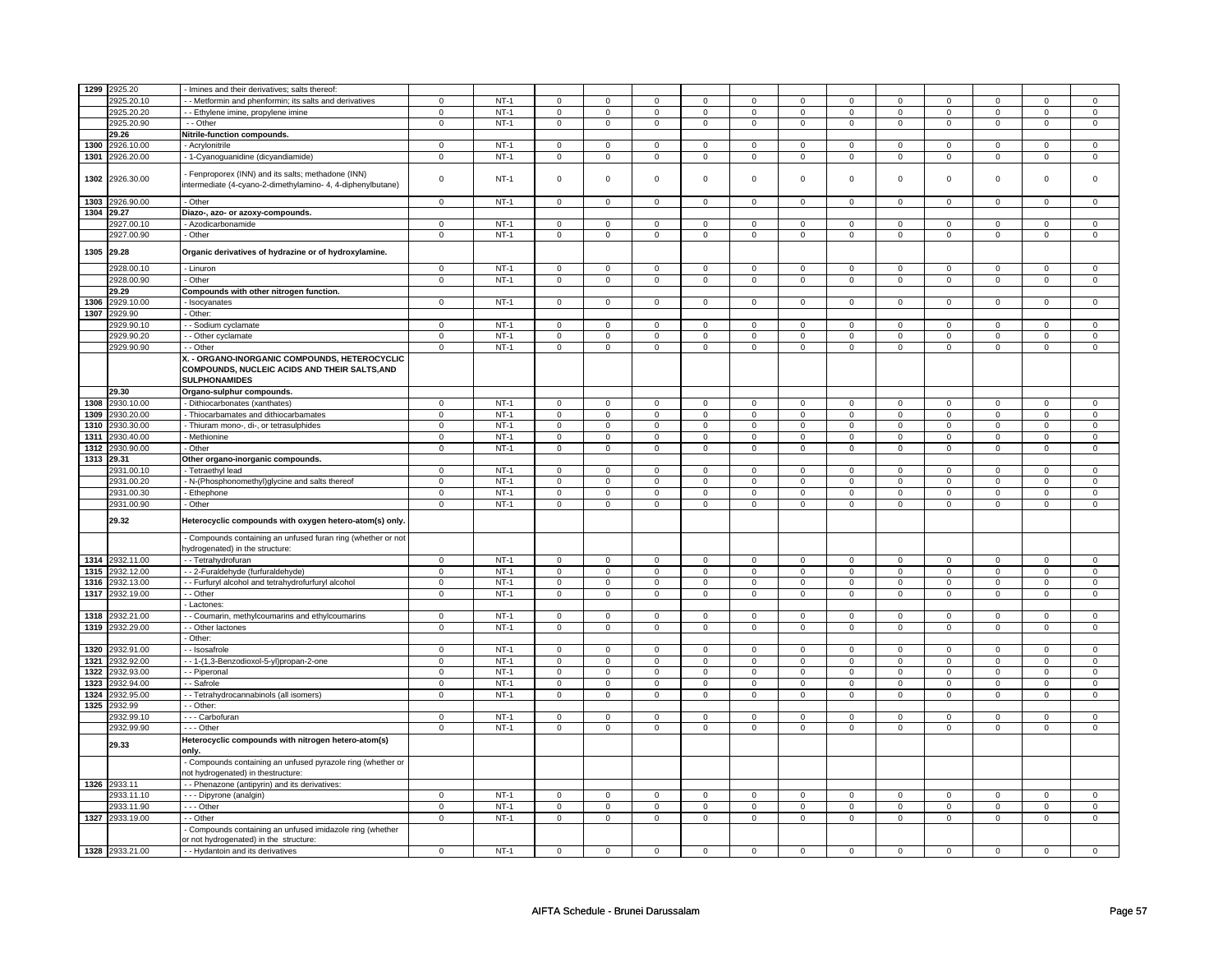|            | 1299 2925.20    | - Imines and their derivatives; salts thereof:                                                                  |                |             |                     |                |                |                |                |                |                |                |                |                |                |                |
|------------|-----------------|-----------------------------------------------------------------------------------------------------------------|----------------|-------------|---------------------|----------------|----------------|----------------|----------------|----------------|----------------|----------------|----------------|----------------|----------------|----------------|
|            |                 |                                                                                                                 |                |             |                     |                |                |                |                |                |                |                |                |                |                |                |
|            | 2925.20.10      | - Metformin and phenformin; its salts and derivatives                                                           | 0              | $NT-1$      | $\mathbf 0$         | $\mathbf 0$    | 0              | $\mathbf 0$    | 0              | $\mathbf 0$    | 0              | $\mathbf 0$    | 0              | 0              | 0<br>$\Omega$  | 0              |
|            | 2925.20.20      | - Ethylene imine, propylene imine                                                                               | $\mathbf 0$    | $NT-1$      | $\mathbf 0$         | $\mathbf 0$    | 0              | $\mathsf 0$    | 0              | $\mathsf 0$    | 0              | $\mathbf 0$    | $\mathsf 0$    | $\mathbf 0$    |                | 0              |
|            | 2925.20.90      | - - Other                                                                                                       | $\mathbf 0$    | $NT-1$      | $\mathbf 0$         | $\mathbf 0$    | $\mathbf 0$    | $\mathbf 0$    | $\mathbf 0$    | $\mathbf 0$    | $\mathbf 0$    | $\mathbf 0$    | $\mathbf 0$    | $\mathbf 0$    | $\mathbf 0$    | $\mathbf 0$    |
|            | 29.26           | Nitrile-function compounds.                                                                                     |                |             |                     |                |                |                |                |                |                |                |                |                |                |                |
| 1300       | 2926.10.00      | Acrylonitrile                                                                                                   | $\mathbf 0$    | $NT-1$      | $\mathbf 0$         | $\mathbf 0$    | 0              | 0              | 0              | $\mathsf 0$    | 0              | 0              | 0              | $\mathbf 0$    | $\mathbf 0$    | 0              |
| 1301       | 2926.20.00      | - 1-Cyanoguanidine (dicyandiamide)                                                                              | $\mathsf 0$    | $NT-1$      | $\mathsf 0$         | $\mathsf 0$    | $\mathsf 0$    | $\mathbf 0$    | $\mathsf 0$    | $\mathbf 0$    | $\mathbf 0$    | $\mathbf 0$    | $\mathbf 0$    | $\mathbf 0$    | $\mathbf 0$    | $\mathbf 0$    |
| 1302       | 2926.30.00      | Fenproporex (INN) and its salts; methadone (INN)<br>intermediate (4-cyano-2-dimethylamino- 4, 4-diphenylbutane) | $\mathbf 0$    | <b>NT-1</b> | $\mathbf 0$         | $\mathbf 0$    | 0              | $\mathbf 0$    | 0              | $\mathbf 0$    | 0              | 0              | 0              | $\mathbf 0$    | 0              | 0              |
| 1303       | 2926.90.00      | - Other                                                                                                         | $\mathbf 0$    | $NT-1$      | $\mathsf 0$         | $\mathbf 0$    | 0              | $\mathbf 0$    | $\mathbf 0$    | $\mathbf 0$    | $\mathbf 0$    | $\mathbf 0$    | $\mathsf 0$    | $\mathsf 0$    | $\mathbf 0$    | $\mathbf 0$    |
| 1304 29.27 |                 | Diazo-, azo- or azoxy-compounds.                                                                                |                |             |                     |                |                |                |                |                |                |                |                |                |                |                |
|            | 2927.00.10      | Azodicarbonamide                                                                                                | $\mathbf 0$    | $NT-1$      | $\mathbf 0$         | $\mathbf 0$    | 0              | 0              | 0              | 0              | 0              | 0              | 0              | 0              | 0              | $\overline{0}$ |
|            | 2927.00.90      | - Other                                                                                                         | $\overline{0}$ | $NT-1$      | $\mathsf 0$         | $\overline{0}$ | $\mathsf 0$    | $\mathsf 0$    | $\mathsf 0$    | $\mathbf 0$    | 0              | $\mathsf 0$    | $\mathbf 0$    | $\mathsf 0$    | 0              | $\overline{0}$ |
|            | 1305 29.28      | Organic derivatives of hydrazine or of hydroxylamine.                                                           |                |             |                     |                |                |                |                |                |                |                |                |                |                |                |
|            | 2928.00.10      | - Linuron                                                                                                       | $\overline{0}$ | $NT-1$      | $\overline{0}$      | $\overline{0}$ | $\mathbf 0$    | $\overline{0}$ | $\overline{0}$ | $\overline{0}$ | $\Omega$       | $\mathbf 0$    | $\overline{0}$ | $\overline{0}$ | $\Omega$       | $\overline{0}$ |
|            | 2928.00.90      | - Other                                                                                                         | $\overline{0}$ | $NT-1$      | $\overline{0}$      | $\overline{0}$ | $\overline{0}$ | $\overline{0}$ | $\overline{0}$ | $\overline{0}$ | $\overline{0}$ | $\overline{0}$ | $\overline{0}$ | $\overline{0}$ | $\overline{0}$ | $\overline{0}$ |
|            | 29.29           | Compounds with other nitrogen function.                                                                         |                |             |                     |                |                |                |                |                |                |                |                |                |                |                |
| 1306       | 2929.10.00      | Isocyanates                                                                                                     | $\mathsf 0$    | $NT-1$      | $\mathsf{O}\xspace$ | $\mathsf 0$    | 0              | $\mathbf 0$    | $\mathsf 0$    | $\mathsf 0$    | $\mathbf 0$    | $\mathbf 0$    | $\mathsf 0$    | $\mathsf 0$    | $\mathbf 0$    | $\mathsf 0$    |
|            | 1307 2929.90    | Other:                                                                                                          |                |             |                     |                |                |                |                |                |                |                |                |                |                |                |
|            | 2929.90.1       | - - Sodium cyclamate                                                                                            | $\mathbf 0$    | $NT-1$      | $\mathbf 0$         | $\mathbf 0$    | $\Omega$       | $\mathbf{0}$   | $\mathbf 0$    | $\mathbf{0}$   | $\Omega$       | $\Omega$       | $\Omega$       | $\mathbf{0}$   | $\Omega$       | $\mathbf{0}$   |
|            | 2929.90.20      | - Other cyclamate                                                                                               | $\Omega$       | $NT-1$      | $\mathbf 0$         | $\mathbf 0$    | $\mathbf 0$    | $\mathbf 0$    | $\mathbf 0$    | $\mathbf 0$    | $\mathbf 0$    | $\mathbf 0$    | $\mathbf 0$    | $\mathsf 0$    | $\Omega$       | 0              |
|            | 2929.90.90      | - Other                                                                                                         | $\overline{0}$ | $NT-1$      | $\overline{0}$      | $\overline{0}$ | $\mathbf 0$    | $\overline{0}$ | $\overline{0}$ | $\overline{0}$ | $\mathbf 0$    | $\overline{0}$ | $\mathsf 0$    | $\overline{0}$ | $\mathbf 0$    | $\overline{0}$ |
|            |                 | X. - ORGANO-INORGANIC COMPOUNDS, HETEROCYCLIC<br>COMPOUNDS, NUCLEIC ACIDS AND THEIR SALTS, AND                  |                |             |                     |                |                |                |                |                |                |                |                |                |                |                |
|            | 29.30           | <b>SULPHONAMIDES</b><br>Organo-sulphur compounds.                                                               |                |             |                     |                |                |                |                |                |                |                |                |                |                |                |
| 1308       | 2930.10.00      | - Dithiocarbonates (xanthates)                                                                                  | $\Omega$       | $NT-1$      | $\mathsf 0$         | $\mathbf 0$    | $\Omega$       | $\mathsf 0$    | $\mathbf 0$    | $\mathsf 0$    | $\Omega$       | $\Omega$       | $\Omega$       | $\mathbf 0$    | $\Omega$       | $\mathbf{0}$   |
|            |                 |                                                                                                                 |                |             |                     |                |                |                |                |                | $\mathbf{0}$   |                | $\mathbf 0$    |                | $\Omega$       |                |
| 1309       | 2930.20.00      | Thiocarbamates and dithiocarbamates                                                                             | $\mathsf 0$    | $NT-1$      | $\mathsf{O}\xspace$ | $\mathsf 0$    | $\mathsf 0$    | $\mathsf 0$    | $\mathsf 0$    | $\mathsf 0$    |                | $\mathbf 0$    |                | $\mathsf 0$    |                | $\mathbf{O}$   |
| 1310       | 2930.30.00      | - Thiuram mono-, di-, or tetrasulphides                                                                         | $\mathbf 0$    | $NT-1$      | $\mathbf 0$         | $\mathbf 0$    | 0              | $\mathbf 0$    | 0              | $\mathbf 0$    | 0              | $\mathbf 0$    | 0              | $\mathbf 0$    | 0              | $\mathbf 0$    |
| 1311       | 2930.40.00      | Methionine                                                                                                      | $\mathbf 0$    | $NT-1$      | $\mathbf 0$         | $\mathbf 0$    | 0              | 0              | 0              | 0              | 0              | 0              | 0              | 0              | $\mathbf 0$    | 0              |
| 1312       | 2930.90.00      | Other                                                                                                           | $\mathbf 0$    | $NT-1$      | $\mathsf{o}\,$      | $\mathbf 0$    | $\mathsf{o}$   | $\mathbf 0$    | $\mathsf{o}$   | $\mathbf 0$    | 0              | $\mathbf 0$    | 0              | $\mathbf 0$    | 0              | $\circ$        |
| 1313 29.31 |                 | Other organo-inorganic compounds.                                                                               |                |             |                     |                |                |                |                |                |                |                |                |                |                |                |
|            | 2931.00.1       | - Tetraethyl lead                                                                                               | $\mathbf 0$    | $NT-1$      | $\mathsf 0$         | $\mathbf 0$    | 0              | $\mathbf 0$    | 0              | $\mathbf 0$    | 0              | $\mathbf 0$    | 0              | $\mathbf 0$    | $\Omega$       | $\mathbf 0$    |
|            | 2931.00.20      | N-(Phosphonomethyl)glycine and salts thereof                                                                    | $\Omega$       | $NT-1$      | $\mathbf 0$         | $\mathbf 0$    | $\mathbf 0$    | $\mathbf 0$    | $\mathbf 0$    | $\mathbf 0$    | $\mathbf 0$    | $\mathbf 0$    | $\mathbf 0$    | $\mathbf 0$    | $\Omega$       | $\mathbf{0}$   |
|            | 2931.00.30      | - Ethephone                                                                                                     | $\mathbf 0$    | $NT-1$      | $\mathsf 0$         | $\mathbf 0$    | 0              | $\mathsf 0$    | $\mathbf 0$    | $\mathsf 0$    | $\mathbf 0$    | $\mathbf 0$    | $\mathsf 0$    | $\mathsf 0$    | $\mathbf 0$    | 0              |
|            | 2931.00.90      | - Other                                                                                                         | $\mathbf 0$    | $NT-1$      | $\mathbf 0$         | $\mathbf 0$    | 0              | 0              | 0              | 0              | 0              | 0              | 0              | 0              | 0              | 0              |
|            | 29.32           | Heterocyclic compounds with oxygen hetero-atom(s) only                                                          |                |             |                     |                |                |                |                |                |                |                |                |                |                |                |
|            |                 | Compounds containing an unfused furan ring (whether or not<br>hydrogenated) in the structure:                   |                |             |                     |                |                |                |                |                |                |                |                |                |                |                |
|            | 1314 2932.11.00 | --Tetrahydrofuran                                                                                               | $\overline{0}$ | $NT-1$      | $\overline{0}$      | $\overline{0}$ | $\overline{0}$ | $\overline{0}$ | $\overline{0}$ | $\overline{0}$ | $\overline{0}$ | $\overline{0}$ | $\overline{0}$ | $\overline{0}$ | $\Omega$       | $\overline{0}$ |
|            | 1315 2932.12.00 | - - 2-Furaldehyde (furfuraldehyde)                                                                              | $\overline{0}$ | $NT-1$      | $\overline{0}$      | $\overline{0}$ | $\overline{0}$ | $\overline{0}$ | $\overline{0}$ | $\overline{0}$ | $\overline{0}$ | $\overline{0}$ | $\overline{0}$ | $\overline{0}$ | $\overline{0}$ | $\overline{0}$ |
| 1316       | 2932.13.00      | - Furfuryl alcohol and tetrahydrofurfuryl alcohol                                                               | $\mathsf 0$    | $NT-1$      | $\mathbf 0$         | $\mathbf 0$    | 0              | 0              | 0              | 0              | 0              | 0              | 0              | 0              | $\mathbf 0$    | $\mathbf 0$    |
|            | 1317 2932.19.00 | - Other                                                                                                         | $\mathbf 0$    | $NT-1$      | $\mathsf{O}\xspace$ | $\mathbf 0$    | 0              | $\mathbf 0$    | $\mathsf 0$    | $\mathbf 0$    | 0              | $\mathbf 0$    | $\mathsf 0$    | $\mathbf 0$    | 0              | $\mathbf 0$    |
|            |                 | - Lactones                                                                                                      |                |             |                     |                |                |                |                |                |                |                |                |                |                |                |
|            | 1318 2932.21.00 | - - Coumarin, methylcoumarins and ethylcoumarins                                                                | $\mathbf 0$    | $NT-1$      | $\mathsf 0$         | $\mathsf 0$    | $\Omega$       | $\mathbf 0$    | $\mathbf 0$    | $\mathbf 0$    | $\Omega$       | $\mathbf 0$    | $\mathsf 0$    | $\mathbf 0$    | $\Omega$       | $\mathbf 0$    |
| 1319       | 2932.29.00      | - Other lactones                                                                                                | $\Omega$       | $NT-1$      | $\mathsf 0$         | $\mathbf 0$    | $\mathbf 0$    | $\mathsf 0$    | $\mathbf 0$    | $\mathsf 0$    | $\mathbf 0$    | $\mathbf 0$    | $\mathsf 0$    | $\mathbf 0$    | $\mathbf 0$    | 0              |
|            |                 | Other:                                                                                                          |                |             |                     |                |                |                |                |                |                |                |                |                |                |                |
| 1320       | 2932.91.00      | - Isosafrole                                                                                                    | $\mathsf 0$    | $NT-1$      | $\mathsf{O}\xspace$ | $\mathsf 0$    | $\Omega$       | $\mathsf 0$    | $\mathsf 0$    | $\mathsf 0$    | $\mathbf 0$    | $\mathsf 0$    | $\mathsf 0$    | $\mathbf 0$    | $\Omega$       | $\mathbf 0$    |
| 1321       | 2932.92.00      | - 1-(1,3-Benzodioxol-5-yl)propan-2-one                                                                          | $\Omega$       | $NT-1$      | $\mathsf{O}\xspace$ | $\mathbf 0$    | 0              | $\mathbf 0$    | $\Omega$       | $\mathbf 0$    | $\Omega$       | $\mathbf 0$    | $\Omega$       | $\mathbf 0$    | $\Omega$       | $\mathbf{0}$   |
| 1322       | 2932.93.00      | - Piperonal                                                                                                     | $\mathsf 0$    | $NT-1$      | $\mathsf 0$         | $\mathsf 0$    | 0              | $\mathbf 0$    | $\mathsf 0$    | $\mathbf 0$    | 0              | $\mathbf 0$    | $\mathsf 0$    | $\mathbf 0$    | 0              | $\mathbf 0$    |
|            | 1323 2932.94.00 | - - Safrole                                                                                                     | $\mathbf 0$    | $NT-1$      | $\mathbf 0$         | $\mathbf 0$    | $\mathbf 0$    | $\mathbf 0$    | $\mathbf 0$    | $\mathbf 0$    | 0              | $\mathbf 0$    | 0              | $\mathbf 0$    | 0              | $\mathbf{0}$   |
| 1324       | 2932.95.00      | - Tetrahydrocannabinols (all isomers)                                                                           | $\Omega$       | $NT-1$      | $\mathbf 0$         | $\mathbf 0$    | $\mathbf 0$    | $\mathbf 0$    | $\mathbf 0$    | $\mathbf 0$    | $\mathbf 0$    | $\mathbf 0$    | $\mathbf 0$    | $\mathbf 0$    | $\mathbf 0$    | $\mathbf{0}$   |
| 1325       | 2932.99         | - - Other:                                                                                                      |                |             |                     |                |                |                |                |                |                |                |                |                |                |                |
|            | 2932.99.10      | - - - Carbofuran                                                                                                | $\mathbf 0$    | $NT-1$      | $\mathbf 0$         | $\mathbf 0$    | 0              | 0              | 0              | 0              | 0              | 0              | 0              | 0              | $\Omega$       | 0              |
|            | 2932.99.90      | . - - Other                                                                                                     | $\mathbf 0$    | $NT-1$      | $\mathbf 0$         | $\mathbf 0$    | 0              | $\mathsf 0$    | $\mathbf 0$    | $\mathsf 0$    | 0              | $\mathbf 0$    | $\mathsf 0$    | $\mathbf 0$    | 0              | $\mathbf 0$    |
|            | 29.33           | Heterocyclic compounds with nitrogen hetero-atom(s)<br>only.                                                    |                |             |                     |                |                |                |                |                |                |                |                |                |                |                |
|            |                 | - Compounds containing an unfused pyrazole ring (whether or<br>not hydrogenated) in thestructure:               |                |             |                     |                |                |                |                |                |                |                |                |                |                |                |
|            | 1326 2933.11    | - Phenazone (antipyrin) and its derivatives:                                                                    |                |             |                     |                |                |                |                |                |                |                |                |                |                |                |
|            | 2933.11.10      | - - - Dipyrone (analgin)                                                                                        | $\mathbf 0$    | $NT-1$      | 0                   | $\mathbf 0$    | 0              | 0              | 0              | 0              | 0              | 0              | 0              | 0              | 0              | $\mathbf 0$    |
|            | 2933.11.90      | - - Other                                                                                                       | $\mathsf 0$    | $NT-1$      | $\mathbf 0$         | $\mathbf 0$    | 0              | $\mathsf 0$    | 0              | $\mathsf 0$    | $\Omega$       | $\mathbf 0$    | 0              | $\mathbf 0$    | $\Omega$       | 0              |
|            | 1327 2933.19.00 | - Other                                                                                                         | $\mathsf 0$    | $NT-1$      | $\mathbf 0$         | $\mathbf 0$    | 0              | $\mathbf 0$    | 0              | $\mathbf 0$    | 0              | $\mathbf 0$    | 0              | $\mathbf 0$    | 0              | $\mathbf 0$    |
|            |                 | Compounds containing an unfused imidazole ring (whether<br>or not hydrogenated) in the structure:               |                |             |                     |                |                |                |                |                |                |                |                |                |                |                |
|            | 1328 2933.21.00 | - - Hydantoin and its derivatives                                                                               | $\Omega$       | $NT-1$      | $\mathbf 0$         | $\mathbf 0$    | $\mathbf 0$    | $\mathbf 0$    | $\mathbf 0$    | $\mathbf 0$    | $\Omega$       | $\mathbf 0$    | $\mathbf 0$    | $\mathbf 0$    | $\Omega$       | $\mathbf{0}$   |
|            |                 |                                                                                                                 |                |             |                     |                |                |                |                |                |                |                |                |                |                |                |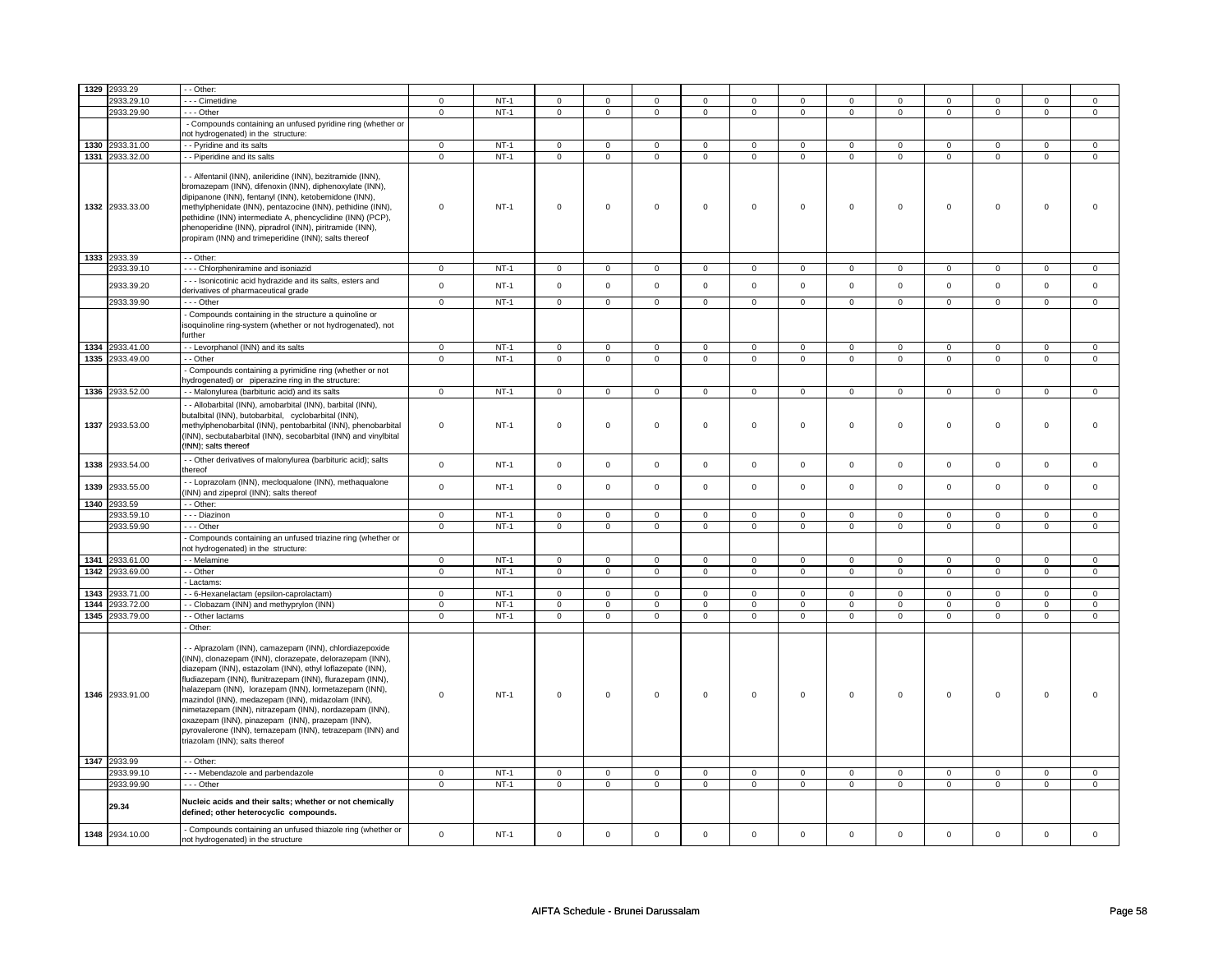|      | 1329 2933.29    | - Other:                                                                                                                                                                                                                                                                                                                                                                                                                                                                                                                                                                         |                |        |                     |                |                |                |                |                |                     |                |                     |                |                |                |
|------|-----------------|----------------------------------------------------------------------------------------------------------------------------------------------------------------------------------------------------------------------------------------------------------------------------------------------------------------------------------------------------------------------------------------------------------------------------------------------------------------------------------------------------------------------------------------------------------------------------------|----------------|--------|---------------------|----------------|----------------|----------------|----------------|----------------|---------------------|----------------|---------------------|----------------|----------------|----------------|
|      | 2933.29.10      | - - Cimetidine                                                                                                                                                                                                                                                                                                                                                                                                                                                                                                                                                                   | $\mathbf 0$    | $NT-1$ | $\mathbf 0$         | $\mathbf 0$    | 0              | 0              | 0              | 0              | 0                   | 0              | 0                   | 0              | 0              | 0              |
|      | 2933.29.90      | --- Other                                                                                                                                                                                                                                                                                                                                                                                                                                                                                                                                                                        | $\mathsf 0$    | $NT-1$ | 0                   | $\mathsf 0$    | 0              | $\mathbf 0$    | 0              | $\mathbf 0$    | 0                   | $\mathbf 0$    | 0                   | $\mathbf 0$    | 0              | $\mathbf 0$    |
|      |                 | - Compounds containing an unfused pyridine ring (whether or                                                                                                                                                                                                                                                                                                                                                                                                                                                                                                                      |                |        |                     |                |                |                |                |                |                     |                |                     |                |                |                |
|      |                 | not hydrogenated) in the structure:                                                                                                                                                                                                                                                                                                                                                                                                                                                                                                                                              |                |        |                     |                |                |                |                |                |                     |                |                     |                |                |                |
|      | 1330 2933.31.00 | - Pyridine and its salts                                                                                                                                                                                                                                                                                                                                                                                                                                                                                                                                                         | $\mathsf 0$    | $NT-1$ | $\mathsf{O}\xspace$ | $\mathsf 0$    | $\mathsf 0$    | $\mathsf 0$    | $\mathsf 0$    | $\mathsf 0$    | $\mathbf 0$         | $\mathbf 0$    | $\mathbf 0$         | $\mathbf 0$    | $\mathbf 0$    | 0              |
|      | 1331 2933.32.00 | - - Piperidine and its salts                                                                                                                                                                                                                                                                                                                                                                                                                                                                                                                                                     | $\mathbf 0$    | $NT-1$ | 0                   | $\mathbf 0$    | 0              | $\mathbf 0$    | 0              | $\overline{0}$ | 0                   | 0              | 0                   | 0              | 0              | 0              |
|      | 1332 2933.33.00 | - Alfentanil (INN), anileridine (INN), bezitramide (INN),<br>bromazepam (INN), difenoxin (INN), diphenoxylate (INN),<br>dipipanone (INN), fentanyl (INN), ketobemidone (INN),<br>methylphenidate (INN), pentazocine (INN), pethidine (INN),<br>pethidine (INN) intermediate A, phencyclidine (INN) (PCP),<br>phenoperidine (INN), pipradrol (INN), piritramide (INN),<br>propiram (INN) and trimeperidine (INN); salts thereof                                                                                                                                                   | $\mathbf 0$    | $NT-1$ | $\mathsf 0$         | $\mathbf 0$    | $\mathbf 0$    | $\mathsf 0$    | $\mathbf 0$    | $\mathsf 0$    | $\mathbf 0$         | $\mathbf 0$    | $\mathsf 0$         | $\mathbf 0$    | $\mathbf 0$    | 0              |
|      | 1333 2933.39    | - - Other:                                                                                                                                                                                                                                                                                                                                                                                                                                                                                                                                                                       |                |        |                     |                |                |                |                |                |                     |                |                     |                |                |                |
|      | 2933.39.10      | --- Chlorpheniramine and isoniazid                                                                                                                                                                                                                                                                                                                                                                                                                                                                                                                                               | $\Omega$       | $NT-1$ | $\mathsf{O}\xspace$ | $\mathsf 0$    | $\mathbf 0$    | $\mathsf 0$    | 0              | 0              | $\Omega$            | $\mathsf 0$    | $\Omega$            | 0              | $\Omega$       | 0              |
|      | 2933.39.20      | -- Isonicotinic acid hydrazide and its salts, esters and<br>derivatives of pharmaceutical grade                                                                                                                                                                                                                                                                                                                                                                                                                                                                                  | $\Omega$       | $NT-1$ | $\mathbf 0$         | $\mathbf 0$    | $\mathbf 0$    | $\mathbf 0$    | $\mathbf 0$    | $\mathbf 0$    | $\mathbf 0$         | $\mathbf 0$    | $\mathbf 0$         | $\mathbf 0$    | $\mathbf 0$    | $\mathbf 0$    |
|      | 2933.39.90      | $- -$ Other                                                                                                                                                                                                                                                                                                                                                                                                                                                                                                                                                                      | $\mathsf 0$    | $NT-1$ | $\mathbf 0$         | $\mathbf 0$    | $\mathbf 0$    | $\mathbf{0}$   | $\mathbf 0$    | $\mathbf 0$    | 0                   | $\mathbf 0$    | 0                   | $\mathbf 0$    | 0              | $\mathbf 0$    |
|      |                 | Compounds containing in the structure a quinoline or<br>isoquinoline ring-system (whether or not hydrogenated), not<br>further                                                                                                                                                                                                                                                                                                                                                                                                                                                   |                |        |                     |                |                |                |                |                |                     |                |                     |                |                |                |
|      | 1334 2933.41.00 | - Levorphanol (INN) and its salts                                                                                                                                                                                                                                                                                                                                                                                                                                                                                                                                                | $\mathbf 0$    | $NT-1$ | $\mathsf 0$         | $\mathbf 0$    | $\mathbf 0$    | $\mathbf 0$    | $\mathbf 0$    | $\mathsf 0$    | $\mathbf 0$         | $\mathbf 0$    | $\mathsf 0$         | $\mathbf 0$    | $\mathbf 0$    | $\mathbf 0$    |
|      | 1335 2933.49.00 | - - Other                                                                                                                                                                                                                                                                                                                                                                                                                                                                                                                                                                        | $\mathsf 0$    | $NT-1$ | $\mathbf 0$         | $\mathsf 0$    | $\mathbf 0$    | $\mathsf 0$    | $\mathbf 0$    | $\mathsf 0$    | $\mathbf 0$         | $\mathbf 0$    | $\mathbf 0$         | $\mathbf 0$    | $\mathbf 0$    | $\mathbf 0$    |
|      |                 | Compounds containing a pyrimidine ring (whether or not<br>nydrogenated) or piperazine ring in the structure:                                                                                                                                                                                                                                                                                                                                                                                                                                                                     |                |        |                     |                |                |                |                |                |                     |                |                     |                |                |                |
|      | 1336 2933.52.00 | - - Malonylurea (barbituric acid) and its salts                                                                                                                                                                                                                                                                                                                                                                                                                                                                                                                                  | $\mathbf 0$    | $NT-1$ | $\mathbf 0$         | $\mathbf 0$    | $\mathbf 0$    | $\mathbf 0$    | $\mathbf 0$    | $\mathbf 0$    | $\mathbf 0$         | $\mathbf 0$    | $\mathbf 0$         | $\mathbf 0$    | $\mathbf 0$    | $\mathbf 0$    |
|      | 1337 2933.53.00 | - Allobarbital (INN), amobarbital (INN), barbital (INN),<br>butalbital (INN), butobarbital, cyclobarbital (INN),<br>methylphenobarbital (INN), pentobarbital (INN), phenobarbital<br>(INN), secbutabarbital (INN), secobarbital (INN) and vinylbital<br>(INN); salts thereof                                                                                                                                                                                                                                                                                                     | $\mathbf 0$    | $NT-1$ | $\mathsf 0$         | $\mathbf 0$    | $\mathbf 0$    | $\mathbf 0$    | $\mathbf 0$    | $\mathsf 0$    | $\mathbf 0$         | $\mathbf 0$    | $\mathsf 0$         | $\mathbf 0$    | $\mathbf 0$    | $\mathbf{0}$   |
| 1338 | 2933.54.00      | - Other derivatives of malonylurea (barbituric acid); salts<br>thereof                                                                                                                                                                                                                                                                                                                                                                                                                                                                                                           | $\mathbf 0$    | $NT-1$ | $\mathsf 0$         | $\mathbf 0$    | $\mathbf 0$    | $\mathbf 0$    | $\mathbf 0$    | $\mathsf 0$    | $\mathbf 0$         | $\mathbf 0$    | $\mathbf 0$         | $\mathbf 0$    | $\mathbf 0$    | $\mathbf 0$    |
| 1339 | 2933.55.00      | - Loprazolam (INN), mecloqualone (INN), methaqualone<br>INN) and zipeprol (INN); salts thereof                                                                                                                                                                                                                                                                                                                                                                                                                                                                                   | $\mathbf{0}$   | $NT-1$ | $\mathbf 0$         | $\mathbf 0$    | $\mathbf 0$    | $\mathbf{0}$   | $\mathbf 0$    | $\mathbf{0}$   | $\mathbf{0}$        | $\mathbf{0}$   | $\mathbf 0$         | $\mathbf{0}$   | $\mathbf{0}$   | $\mathbf{0}$   |
|      | 1340 2933.59    | $-$ Other:                                                                                                                                                                                                                                                                                                                                                                                                                                                                                                                                                                       |                |        |                     |                |                |                |                |                |                     |                |                     |                |                |                |
|      | 2933.59.10      | - - - Diazinon                                                                                                                                                                                                                                                                                                                                                                                                                                                                                                                                                                   | $\mathbf 0$    | $NT-1$ | 0                   | $\mathbf 0$    | 0              | 0              | 0              | 0              | 0                   | 0              | 0                   | 0              | 0              | 0              |
|      | 2933.59.90      | --- Other                                                                                                                                                                                                                                                                                                                                                                                                                                                                                                                                                                        | $\mathsf 0$    | $NT-1$ | $\mathsf{O}\xspace$ | $\mathsf 0$    | $\mathsf 0$    | $\mathsf{O}$   | $\mathsf 0$    | $\mathsf{O}$   | $\mathsf{O}\xspace$ | $\mathsf{O}$   | $\mathsf{O}\xspace$ | $\mathsf{O}$   | $\mathsf 0$    | $\mathsf 0$    |
|      |                 | Compounds containing an unfused triazine ring (whether or<br>not hydrogenated) in the structure:                                                                                                                                                                                                                                                                                                                                                                                                                                                                                 |                |        |                     |                |                |                |                |                |                     |                |                     |                |                |                |
|      | 1341 2933.61.00 | - Melamine                                                                                                                                                                                                                                                                                                                                                                                                                                                                                                                                                                       | $\overline{0}$ | $NT-1$ | $\overline{0}$      | $\overline{0}$ | $\overline{0}$ | $\overline{0}$ | $\overline{0}$ | $\overline{0}$ | $\overline{0}$      | $\overline{0}$ | $\overline{0}$      | $\overline{0}$ | $\overline{0}$ | $\overline{0}$ |
|      | 1342 2933.69.00 | - Other                                                                                                                                                                                                                                                                                                                                                                                                                                                                                                                                                                          | $\mathbf 0$    | $NT-1$ | $\mathbf 0$         | $\mathbf 0$    | 0              | $\mathbf 0$    | 0              | $\mathbf 0$    | $\mathbf 0$         | $\mathbf 0$    | $\mathsf 0$         | $\mathbf 0$    | 0              | $\mathbf 0$    |
|      |                 | Lactams:                                                                                                                                                                                                                                                                                                                                                                                                                                                                                                                                                                         |                |        |                     |                |                |                |                |                |                     |                |                     |                |                |                |
|      | 1343 2933.71.00 | - 6-Hexanelactam (epsilon-caprolactam)                                                                                                                                                                                                                                                                                                                                                                                                                                                                                                                                           | $\mathsf 0$    | $NT-1$ | 0                   | $\mathsf 0$    | 0              | $\mathbf 0$    | 0              | $\mathbf 0$    | 0                   | $\mathbf 0$    | 0                   | $\mathbf 0$    | 0              | 0              |
|      | 1344 2933.72.00 | - Clobazam (INN) and methyprylon (INN)                                                                                                                                                                                                                                                                                                                                                                                                                                                                                                                                           | $\mathbf 0$    | $NT-1$ | $\mathsf 0$         | $\mathbf 0$    | $\mathbf 0$    | $\mathbf 0$    | $\mathbf 0$    | $\mathsf 0$    | $\mathbf 0$         | $\mathbf 0$    | $\mathsf 0$         | $\mathbf 0$    | $\Omega$       | 0              |
|      | 1345 2933.79.00 | - Other lactams                                                                                                                                                                                                                                                                                                                                                                                                                                                                                                                                                                  | $\mathbf 0$    | $NT-1$ | $\mathbf 0$         | $\mathbf 0$    | $\mathbf 0$    | $\mathbf 0$    | $\mathbf 0$    | $\mathbf 0$    | $\mathbf 0$         | $\mathbf 0$    | $\mathbf 0$         | $\mathbf 0$    | $\mathbf 0$    | $\mathbf 0$    |
|      | 1346 2933.91.00 | Other:<br>- Alprazolam (INN), camazepam (INN), chlordiazepoxide<br>(INN), clonazepam (INN), clorazepate, delorazepam (INN),<br>diazepam (INN), estazolam (INN), ethyl loflazepate (INN),<br>fludiazepam (INN), flunitrazepam (INN), flurazepam (INN),<br>halazepam (INN), lorazepam (INN), lormetazepam (INN),<br>mazindol (INN), medazepam (INN), midazolam (INN),<br>nimetazepam (INN), nitrazepam (INN), nordazepam (INN),<br>oxazepam (INN), pinazepam (INN), prazepam (INN),<br>pyrovalerone (INN), temazepam (INN), tetrazepam (INN) and<br>triazolam (INN); salts thereof | $\mathbf 0$    | $NT-1$ | $\mathbf 0$         | $\mathbf 0$    | 0              | 0              | 0              | $\mathsf 0$    | $\mathbf 0$         | $\mathbf 0$    | $\mathbf 0$         | 0              | $\mathbf 0$    | 0              |
|      | 1347 2933.99    | - Other:                                                                                                                                                                                                                                                                                                                                                                                                                                                                                                                                                                         |                |        |                     |                |                |                |                |                |                     |                |                     |                |                |                |
|      | 2933.99.10      | --- Mebendazole and parbendazole                                                                                                                                                                                                                                                                                                                                                                                                                                                                                                                                                 | $\mathbf{0}$   | $NT-1$ | $\mathbf{0}$        | $\mathbf{0}$   | $^{\circ}$     | $\mathbf 0$    | $\mathbf{0}$   | $\mathbf{0}$   | $\mathbf 0$         | $\mathbf{0}$   | 0                   | $\mathbf{0}$   | 0              | $\mathbf 0$    |
|      | 2933.99.90      | $- -$ Other                                                                                                                                                                                                                                                                                                                                                                                                                                                                                                                                                                      | $\mathbf 0$    | $NT-1$ | $\mathbf 0$         | $\mathbf 0$    | $\mathbf 0$    | $\mathbf 0$    | $\mathbf 0$    | $\mathbf 0$    | $\mathbf 0$         | $\mathbf 0$    | $\mathbf 0$         | $\mathbf 0$    | $\mathbf 0$    | $\mathbf{0}$   |
|      | 29.34           | Nucleic acids and their salts; whether or not chemically<br>defined; other heterocyclic compounds.                                                                                                                                                                                                                                                                                                                                                                                                                                                                               |                |        |                     |                |                |                |                |                |                     |                |                     |                |                |                |
| 1348 | 2934.10.00      | - Compounds containing an unfused thiazole ring (whether or<br>not hydrogenated) in the structure                                                                                                                                                                                                                                                                                                                                                                                                                                                                                | $\Omega$       | $NT-1$ | $\mathbf 0$         | $\mathbf{0}$   | $\mathbf 0$    | $\mathsf 0$    | $\mathbf 0$    | $\mathbf 0$    | $\mathbf{0}$        | $\mathbf{0}$   | $\mathbf 0$         | $\mathbf{0}$   | $\mathbf{0}$   | $\mathbf{O}$   |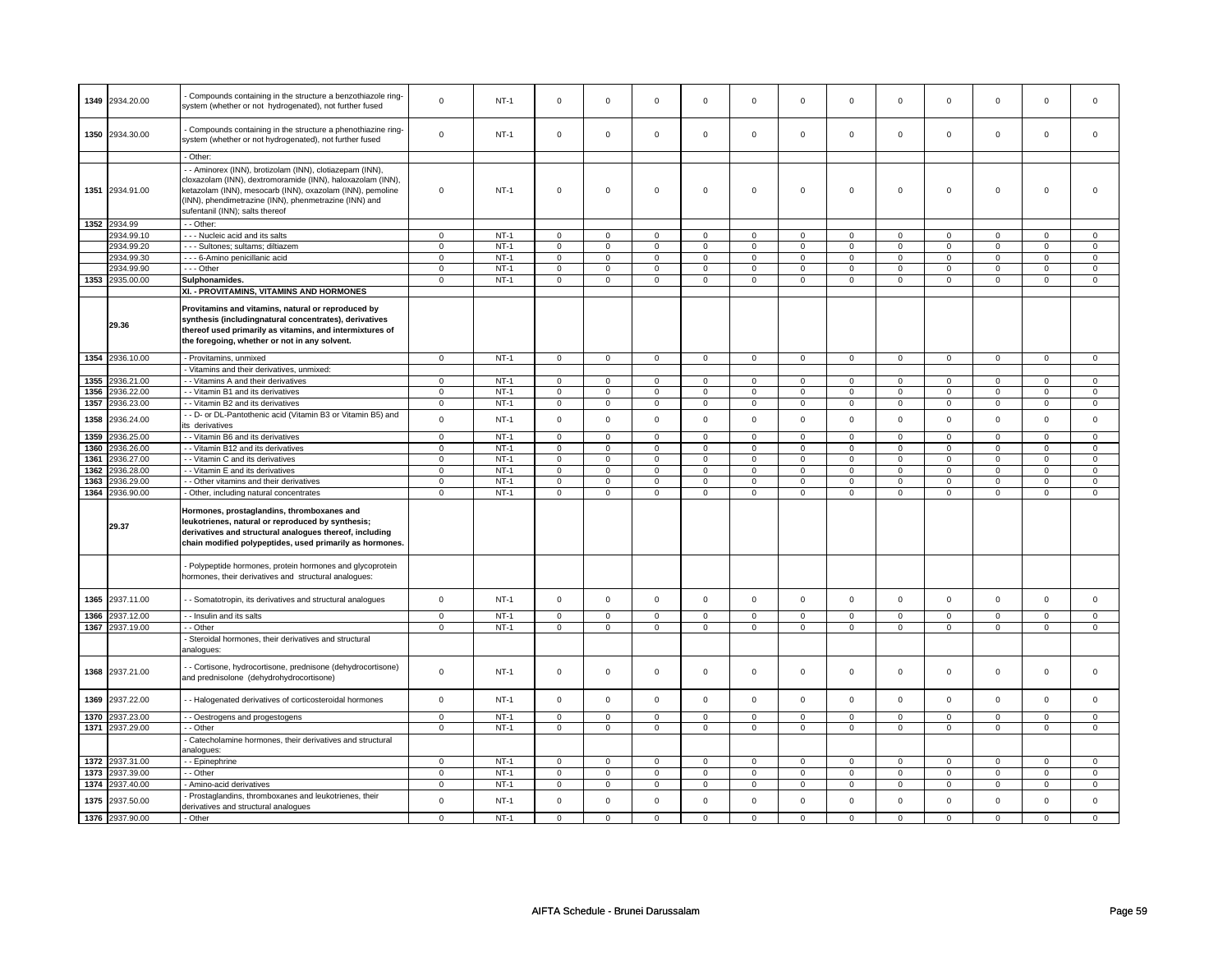|      | 1349 2934.20.00 | Compounds containing in the structure a benzothiazole ring-<br>system (whether or not hydrogenated), not further fused                                                                                                                                                        | $\mathbf 0$                | $NT-1$           | $\mathsf 0$         | $\mathbf 0$    | $\mathbf 0$ | $\mathsf 0$  | $\mathbf 0$ | $\mathsf 0$  | $\mathbf 0$ | $\mathbf 0$  | $\mathsf 0$ | $\mathbf 0$  | $\mathbf 0$                | 0                          |
|------|-----------------|-------------------------------------------------------------------------------------------------------------------------------------------------------------------------------------------------------------------------------------------------------------------------------|----------------------------|------------------|---------------------|----------------|-------------|--------------|-------------|--------------|-------------|--------------|-------------|--------------|----------------------------|----------------------------|
|      | 1350 2934.30.00 | Compounds containing in the structure a phenothiazine ring-<br>system (whether or not hydrogenated), not further fused                                                                                                                                                        | $\mathbf 0$                | $NT-1$           | $\mathsf 0$         | $\mathbf 0$    | $\mathbf 0$ | $\mathsf 0$  | $\mathbf 0$ | $\mathsf 0$  | $\mathbf 0$ | $\mathbf 0$  | $\mathsf 0$ | $\mathbf 0$  | $\mathbf 0$                | 0                          |
|      |                 | - Other:                                                                                                                                                                                                                                                                      |                            |                  |                     |                |             |              |             |              |             |              |             |              |                            |                            |
|      | 1351 2934.91.00 | - Aminorex (INN), brotizolam (INN), clotiazepam (INN),<br>cloxazolam (INN), dextromoramide (INN), haloxazolam (INN),<br>ketazolam (INN), mesocarb (INN), oxazolam (INN), pemoline<br>(INN), phendimetrazine (INN), phenmetrazine (INN) and<br>sufentanil (INN); salts thereof | $\Omega$                   | $NT-1$           | 0                   | $\mathbf 0$    | $\mathbf 0$ | $\mathbf 0$  | $\mathbf 0$ | $\mathbf 0$  | $\mathbf 0$ | $\mathbf{0}$ | $\mathbf 0$ | $\mathbf{0}$ | $\mathbf 0$                | $\mathbf{0}$               |
|      | 1352 2934.99    | - - Other:                                                                                                                                                                                                                                                                    |                            |                  |                     |                |             |              |             |              |             |              |             |              |                            |                            |
|      | 2934.99.10      | - - - Nucleic acid and its salts                                                                                                                                                                                                                                              | $\mathbf 0$                | $NT-1$           | $\mathbf 0$         | $\mathbf 0$    | $\mathbf 0$ | $\mathbf 0$  | $\mathbf 0$ | $\mathbf 0$  | $\mathbf 0$ | $\mathbf 0$  | $\mathbf 0$ | $\mathbf 0$  | $\mathbf 0$                | $\mathbf 0$                |
|      | 2934.99.20      | - - - Sultones: sultams: diltiazem                                                                                                                                                                                                                                            | $\mathbf 0$                | $NT-1$           | $\mathbf 0$         | $\mathbf{0}$   | $\mathbf 0$ | $\mathbf{0}$ | $\mathbf 0$ | $\mathbf{0}$ | $\mathbf 0$ | $\mathbf{0}$ | $\mathbf 0$ | $\mathbf{0}$ | $\mathbf 0$                | $\overline{0}$             |
|      | 2934.99.30      | - - - 6-Amino penicillanic acid                                                                                                                                                                                                                                               | $\mathbf 0$                | $NT-1$           | $\mathbf 0$         | $\mathbf 0$    | $\mathbf 0$ | $\mathsf 0$  | $\mathbf 0$ | $\mathsf 0$  | $\Omega$    | $\mathsf 0$  | $\mathbf 0$ | $\mathsf 0$  | $\Omega$                   | $\mathsf{O}\xspace$        |
|      | 2934.99.90      | --- Other                                                                                                                                                                                                                                                                     | $\mathbf 0$                | $NT-1$           | $\mathbf 0$         | $\mathbf 0$    | 0           | $\mathsf 0$  | 0           | $\mathsf 0$  | 0           | $\mathbf 0$  | 0           | $\mathbf 0$  | $\mathbf 0$                | 0                          |
|      | 1353 2935.00.00 | Sulphonamides.                                                                                                                                                                                                                                                                | $\overline{0}$             | $NT-1$           | $\mathsf 0$         | $\mathbf 0$    | $\mathbf 0$ | $\mathbf 0$  | $\mathbf 0$ | $\mathbf 0$  | $\mathbf 0$ | $\mathbf 0$  | $\mathsf 0$ | $\mathbf 0$  | $\mathbf 0$                | $\mathbf 0$                |
|      |                 | XI. - PROVITAMINS, VITAMINS AND HORMONES                                                                                                                                                                                                                                      |                            |                  |                     |                |             |              |             |              |             |              |             |              |                            |                            |
|      | 29.36           | Provitamins and vitamins, natural or reproduced by<br>synthesis (includingnatural concentrates), derivatives<br>thereof used primarily as vitamins, and intermixtures of<br>the foregoing, whether or not in any solvent.                                                     |                            |                  |                     |                |             |              |             |              |             |              |             |              |                            |                            |
|      | 1354 2936.10.00 | - Provitamins, unmixed                                                                                                                                                                                                                                                        | $\mathbf 0$                | $NT-1$           | $\mathsf 0$         | $\mathsf 0$    | $\mathbf 0$ | $\mathsf 0$  | $\mathbf 0$ | $\mathsf 0$  | $\mathbf 0$ | $\mathbf 0$  | $\mathsf 0$ | $\mathbf 0$  | $\mathbf 0$                | $\mathbf 0$                |
|      |                 | - Vitamins and their derivatives, unmixed:                                                                                                                                                                                                                                    |                            |                  |                     |                |             |              |             |              |             |              |             |              |                            |                            |
| 1355 | 2936.21.00      | - - Vitamins A and their derivatives                                                                                                                                                                                                                                          | $\mathbf 0$                | $NT-1$           | $\mathbf 0$         | $\mathbf 0$    | $\mathbf 0$ | $\mathbf{0}$ | $\mathbf 0$ | $\mathbf{0}$ | $\mathbf 0$ | $\mathbf{0}$ | $\mathbf 0$ | $\mathbf{0}$ | $\mathbf 0$                | $\mathbf{0}$               |
| 1356 | 2936.22.00      | - - Vitamin B1 and its derivatives                                                                                                                                                                                                                                            | $\mathsf 0$                | $NT-1$           | $\mathsf{O}\xspace$ | $\mathsf 0$    | $\mathsf 0$ | $\mathbf 0$  | $\mathsf 0$ | $\mathbf 0$  | $\mathbf 0$ | $\mathbf 0$  | $\mathsf 0$ | $\mathbf 0$  | $\mathbf 0$                | $\overline{0}$             |
| 1357 | 2936.23.00      | - Vitamin B2 and its derivatives                                                                                                                                                                                                                                              | $\mathsf 0$                | $NT-1$           | $\mathbf 0$         | $\mathsf 0$    | 0           | $\mathbf 0$  | 0           | $\mathsf 0$  | 0           | $\mathbf 0$  | $\mathsf 0$ | $\mathbf 0$  | 0                          | 0                          |
| 1358 | 2936.24.00      | - - D- or DL-Pantothenic acid (Vitamin B3 or Vitamin B5) and<br>its derivatives                                                                                                                                                                                               | $\mathbf 0$                | <b>NT-1</b>      | $\mathbf 0$         | $\mathbf 0$    | $\mathbf 0$ | $\mathbf 0$  | $\mathbf 0$ | $\mathbf 0$  | $\mathbf 0$ | $\mathbf 0$  | $\mathbf 0$ | $\mathbf 0$  | $\mathbf 0$                | $\mathbf{0}$               |
| 1359 | 2936.25.00      | - Vitamin B6 and its derivatives                                                                                                                                                                                                                                              | $\overline{0}$             | $NT-1$           | $\mathsf 0$         | $\overline{0}$ | $\mathbf 0$ | $\mathsf 0$  | $\mathbf 0$ | $\mathsf 0$  | $\mathbf 0$ | $\mathbf 0$  | $\mathsf 0$ | $\mathbf 0$  | $\Omega$                   | $\mathbf 0$                |
| 1360 | 2936.26.00      | - Vitamin B12 and its derivatives                                                                                                                                                                                                                                             | $\Omega$                   | $NT-1$           | $\mathbf 0$         | $\mathbf 0$    | $\circ$     | $\mathbf 0$  | $\circ$     | $\mathbf 0$  | 0           | $\mathbf 0$  | 0           | $\mathbf 0$  | $\Omega$                   | $\mathbf{0}$               |
| 1361 | 2936.27.00      | - - Vitamin C and its derivatives                                                                                                                                                                                                                                             | $\mathsf 0$                | $NT-1$           | $\mathsf 0$         | $\mathsf 0$    | 0           | $\mathbf 0$  | 0           | $\mathbf 0$  | $\mathbf 0$ | $\mathbf 0$  | 0           | $\mathbf 0$  | 0                          | $\mathbf 0$                |
| 1362 | 2936.28.00      | - Vitamin E and its derivatives                                                                                                                                                                                                                                               | $\mathbf 0$                | $NT-1$           | $\mathbf 0$         | $\mathbf 0$    | $\mathbf 0$ | $\mathbf 0$  | $\mathbf 0$ | $\mathbf 0$  | $\mathbf 0$ | $\mathbf 0$  | $\mathbf 0$ | $\mathbf{0}$ | $\mathbf 0$                | $\mathbf{0}$               |
| 1363 | 2936.29.00      | - - Other vitamins and their derivatives                                                                                                                                                                                                                                      | $\mathsf 0$                | $NT-1$           | $\mathsf{O}\xspace$ | $\mathbf 0$    | $\mathbf 0$ | $\mathsf 0$  | $\mathsf 0$ | $\mathsf 0$  | $\mathbf 0$ | $\mathbf 0$  | $\mathsf 0$ | $\mathsf 0$  | $\mathbf 0$                | $\mathbf 0$                |
| 1364 | 2936.90.00      | Other, including natural concentrates                                                                                                                                                                                                                                         | $\mathsf 0$                | $NT-1$           | $\mathsf 0$         | $\mathbf 0$    | $\mathbf 0$ | $\mathbf 0$  | $\mathbf 0$ | $\mathbf 0$  | $\mathbf 0$ | $\mathbf 0$  | $\mathsf 0$ | $\mathbf 0$  | $\mathbf 0$                | $\mathbf 0$                |
|      | 29.37           | Hormones, prostaglandins, thromboxanes and<br>leukotrienes, natural or reproduced by synthesis;<br>derivatives and structural analogues thereof, including<br>chain modified polypeptides, used primarily as hormones.                                                        |                            |                  |                     |                |             |              |             |              |             |              |             |              |                            |                            |
|      |                 | Polypeptide hormones, protein hormones and glycoprotein<br>hormones, their derivatives and structural analogues:                                                                                                                                                              |                            |                  |                     |                |             |              |             |              |             |              |             |              |                            |                            |
| 1365 | 2937.11.00      | - Somatotropin, its derivatives and structural analogues                                                                                                                                                                                                                      | $\mathbf 0$                | $NT-1$           | $\mathsf 0$         | $\mathbf 0$    | $\mathbf 0$ | $\mathsf 0$  | $\mathbf 0$ | $\mathsf 0$  | $\mathbf 0$ | $\mathbf 0$  | $\mathsf 0$ | $\mathbf 0$  | $\mathbf 0$                | $\mathbf 0$                |
| 1366 | 2937.12.00      | - - Insulin and its salts<br>- Other                                                                                                                                                                                                                                          | $\mathbf 0$<br>$\mathbf 0$ | $NT-1$<br>$NT-1$ | $\mathsf 0$         | $\mathbf 0$    | $\mathbf 0$ | $\mathbf 0$  | $\mathbf 0$ | $\mathsf 0$  | $\mathbf 0$ | $\mathbf 0$  | $\mathsf 0$ | $\mathbf 0$  | $\mathbf 0$<br>$\mathbf 0$ | $\mathbf 0$<br>$\mathbf 0$ |
|      | 1367 2937.19.00 | Steroidal hormones, their derivatives and structural<br>analogues:                                                                                                                                                                                                            |                            |                  | $\mathsf 0$         | $\mathbf 0$    | $\mathbf 0$ | $\mathbf 0$  | $\mathbf 0$ | $\mathsf 0$  | $\mathbf 0$ | $\mathbf 0$  | $\mathsf 0$ | $\mathbf 0$  |                            |                            |
|      | 1368 2937.21.00 | - Cortisone, hydrocortisone, prednisone (dehydrocortisone)<br>and prednisolone (dehydrohydrocortisone)                                                                                                                                                                        | $\mathbf 0$                | $NT-1$           | $\mathsf 0$         | $\mathbf 0$    | $\mathbf 0$ | $\mathsf 0$  | $\mathbf 0$ | $\mathsf 0$  | $\mathbf 0$ | $\mathbf 0$  | $\mathsf 0$ | $\mathbf 0$  | $\mathbf 0$                | 0                          |
| 1369 | 2937.22.00      | - Halogenated derivatives of corticosteroidal hormones                                                                                                                                                                                                                        | $\mathbf 0$                | $NT-1$           | $\mathsf{O}\xspace$ | $\mathsf 0$    | $\mathbf 0$ | $\mathsf 0$  | $\mathbf 0$ | $\mathsf 0$  | $\mathbf 0$ | $\mathbf 0$  | $\mathsf 0$ | $\mathbf 0$  | $\mathbf{0}$               | $\mathbf 0$                |
|      | 1370 2937.23.00 | - Oestrogens and progestogens                                                                                                                                                                                                                                                 | $\mathbf 0$                | $NT-1$           | $\mathbf 0$         | $\mathbf 0$    | $\mathbf 0$ | $\mathbf 0$  | $\mathbf 0$ | $\mathbf 0$  | $\mathbf 0$ | $\mathbf 0$  | $\mathsf 0$ | $\mathbf 0$  | $\mathbf 0$                | $\mathbf 0$                |
|      | 1371 2937.29.00 | - - Other                                                                                                                                                                                                                                                                     | $\mathbf 0$                | $NT-1$           | $\mathbf 0$         | $\mathbf 0$    | $\mathbf 0$ | $\mathbf 0$  | $\mathbf 0$ | $\mathbf 0$  | 0           | $\mathbf 0$  | 0           | $\mathbf 0$  | 0                          | 0                          |
|      |                 | Catecholamine hormones, their derivatives and structural<br>analogues:                                                                                                                                                                                                        |                            |                  |                     |                |             |              |             |              |             |              |             |              |                            |                            |
|      | 1372 2937.31.00 | - Epinephrine                                                                                                                                                                                                                                                                 | $\mathsf 0$                | $NT-1$           | $\mathsf{O}\xspace$ | $\mathsf 0$    | $\mathbf 0$ | $\mathbf 0$  | $\mathsf 0$ | $\mathbf 0$  | $\mathbf 0$ | $\mathbf 0$  | $\mathsf 0$ | $\mathbf 0$  | $\mathbf 0$                | 0                          |
|      | 1373 2937.39.00 | - - Other                                                                                                                                                                                                                                                                     | $\mathbf 0$                | $NT-1$           | $\mathbf 0$         | $\mathbf 0$    | 0           | $\mathbf 0$  | 0           | $\mathbf 0$  | 0           | $\mathbf 0$  | 0           | $\mathbf 0$  | $\mathbf 0$                | 0                          |
| 1374 | 2937.40.00      | - Amino-acid derivatives                                                                                                                                                                                                                                                      | $\mathbf 0$                | $NT-1$           | $\mathsf 0$         | $\mathbf 0$    | $\mathbf 0$ | $\mathbf 0$  | $\mathbf 0$ | $\mathbf 0$  | $\mathbf 0$ | $\mathbf 0$  | $\mathsf 0$ | $\mathbf 0$  | $\mathbf 0$                | $\mathbf 0$                |
|      |                 |                                                                                                                                                                                                                                                                               |                            |                  |                     |                |             |              |             |              |             |              |             |              |                            |                            |
|      |                 |                                                                                                                                                                                                                                                                               |                            |                  |                     |                |             |              |             |              |             |              |             |              |                            |                            |
| 1375 | 2937.50.00      | Prostaglandins, thromboxanes and leukotrienes, their                                                                                                                                                                                                                          | $\Omega$                   | $NT-1$           | $\mathbf 0$         | $\mathbf 0$    | $\mathbf 0$ | $\mathbf 0$  | $\mathbf 0$ | $\mathbf 0$  | $\Omega$    | $\mathbf 0$  | $\mathbf 0$ | $\mathbf 0$  | $\Omega$                   | $\mathbf{0}$               |
|      | 1376 2937.90.00 | derivatives and structural analogues<br>- Other                                                                                                                                                                                                                               | $\mathbf 0$                | $NT-1$           | $\mathbf 0$         | $\mathbf 0$    | $\mathbf 0$ | $\mathbf 0$  | $\mathbf 0$ | $\mathbf 0$  | $\mathbf 0$ | $\mathbf 0$  | $\mathbf 0$ | $\mathbf 0$  | $\Omega$                   | $\mathbf{0}$               |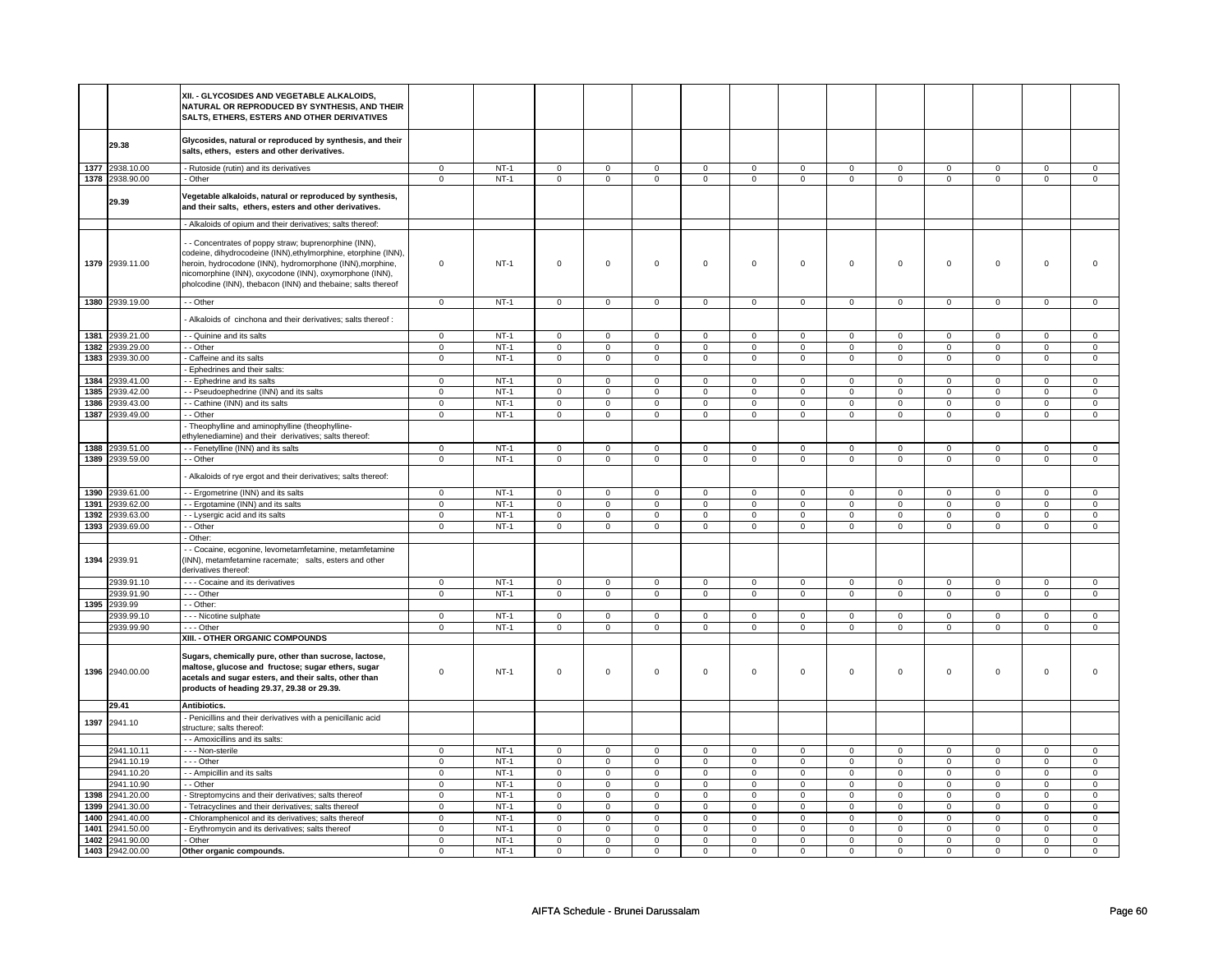|      |                          | XII. - GLYCOSIDES AND VEGETABLE ALKALOIDS,<br>NATURAL OR REPRODUCED BY SYNTHESIS. AND THEIR<br>SALTS, ETHERS, ESTERS AND OTHER DERIVATIVES                                                                                                             |                               |                  |                               |                               |                               |                             |                               |                               |                            |                         |                            |                               |                            |                               |
|------|--------------------------|--------------------------------------------------------------------------------------------------------------------------------------------------------------------------------------------------------------------------------------------------------|-------------------------------|------------------|-------------------------------|-------------------------------|-------------------------------|-----------------------------|-------------------------------|-------------------------------|----------------------------|-------------------------|----------------------------|-------------------------------|----------------------------|-------------------------------|
|      | 29.38                    | Glycosides, natural or reproduced by synthesis, and their<br>salts, ethers, esters and other derivatives.                                                                                                                                              |                               |                  |                               |                               |                               |                             |                               |                               |                            |                         |                            |                               |                            |                               |
|      | 1377 2938.10.00          | - Rutoside (rutin) and its derivatives                                                                                                                                                                                                                 | $\mathbf 0$                   | $NT-1$           | $\mathbf 0$                   | $\mathbf{0}$                  | $\mathbf{0}$                  | $\mathbf 0$                 | $\mathbf 0$                   | $\mathbf 0$                   | $\mathbf{0}$               | $\mathbf 0$             | $\mathbf 0$                | $\mathbf 0$                   | $\mathbf 0$                | $\mathbf 0$                   |
|      | 1378 2938.90.00          | - Other                                                                                                                                                                                                                                                | $\mathsf 0$                   | $NT-1$           | $\mathbf 0$                   | $\mathbf 0$                   | $\mathsf 0$                   | $\mathbf 0$                 | $\mathbf 0$                   | $\mathbf 0$                   | $\mathbf 0$                | $\mathbf 0$             | $\mathbf 0$                | $\mathsf 0$                   | $\mathbf 0$                | $\mathbf 0$                   |
|      | 29.39                    | Vegetable alkaloids, natural or reproduced by synthesis,<br>and their salts, ethers, esters and other derivatives.                                                                                                                                     |                               |                  |                               |                               |                               |                             |                               |                               |                            |                         |                            |                               |                            |                               |
|      |                          | - Alkaloids of opium and their derivatives; salts thereof:<br>- - Concentrates of poppy straw; buprenorphine (INN),                                                                                                                                    |                               |                  |                               |                               |                               |                             |                               |                               |                            |                         |                            |                               |                            |                               |
|      | 1379 2939.11.00          | codeine, dihydrocodeine (INN), ethylmorphine, etorphine (INN),<br>heroin, hydrocodone (INN), hydromorphone (INN), morphine,<br>nicomorphine (INN), oxycodone (INN), oxymorphone (INN),<br>pholcodine (INN), thebacon (INN) and thebaine; salts thereof | $\mathsf 0$                   | $NT-1$           | $\mathsf 0$                   | $\mathbf 0$                   | $\mathbf 0$                   | $\mathbf 0$                 | $\mathbf 0$                   | $\mathsf 0$                   | $\mathsf 0$                | $\mathsf 0$             | $\mathbf 0$                | $\mathbf 0$                   | $\Omega$                   | $\mathsf 0$                   |
|      | 1380 2939.19.00          | - - Other                                                                                                                                                                                                                                              | $\mathbf 0$                   | $NT-1$           | $\mathbf 0$                   | $\mathbf{0}$                  | $\mathbf 0$                   | $\mathbf{0}$                | $\mathbf 0$                   | $\mathbf 0$                   | $\mathbf 0$                | $\mathbf 0$             | $\mathbf{0}$               | $\mathbf 0$                   | $\Omega$                   | $\mathbf 0$                   |
|      |                          | - Alkaloids of cinchona and their derivatives; salts thereof :                                                                                                                                                                                         |                               |                  |                               |                               |                               |                             |                               |                               |                            |                         |                            |                               |                            |                               |
|      | 1381 2939.21.00          | - - Quinine and its salts                                                                                                                                                                                                                              | 0                             | $NT-1$           | $\mathbf 0$                   | 0                             | $\mathbf 0$                   | $\mathbf 0$                 | 0                             | $\mathbf 0$                   | $\mathbf 0$                | $\mathbf 0$             | $\mathbf 0$                | $\mathbf 0$                   | $\mathbf 0$                | 0                             |
| 1382 | 2939.29.00               | - - Other                                                                                                                                                                                                                                              | $\mathbf 0$                   | $NT-1$           | $\mathbf 0$                   | $\mathbf 0$                   | $\mathbf 0$                   | $\mathbf 0$                 | $\mathsf 0$                   | $\mathbf{0}$                  | $\mathbf{0}$               | $\mathbf 0$             | $\mathbf 0$                | $\mathbf 0$                   | $\mathbf 0$                | $\mathbf 0$                   |
|      | 1383 2939.30.00          | - Caffeine and its salts                                                                                                                                                                                                                               | $\overline{0}$                | $NT-1$           | $\mathbf{0}$                  | $\mathbf{0}$                  | $\mathbf{0}$                  | $\mathbf 0$                 | $\mathbf{0}$                  | $\overline{0}$                | $\overline{0}$             | $\mathbf 0$             | $\mathbf{0}$               | $\overline{0}$                | $\mathbf 0$                | $\overline{0}$                |
| 1384 | 2939.41.00               | - Ephedrines and their salts:<br>- - Ephedrine and its salts                                                                                                                                                                                           | $\mathbf 0$                   | $NT-1$           | $\mathbf 0$                   | $\mathbf{0}$                  | $\circ$                       |                             | $\mathbf 0$                   | $\mathbf{0}$                  |                            | $\Omega$                | $\Omega$                   | $\mathsf 0$                   | $\Omega$                   | $\mathbf 0$                   |
| 1385 | 2939.42.00               | - - Pseudoephedrine (INN) and its salts                                                                                                                                                                                                                | $\mathbf{0}$                  | $NT-1$           | $\mathbf 0$                   | $\mathbf{0}$                  | $\mathsf 0$                   | $\mathbf 0$<br>$\mathbf{0}$ | $\mathbf{0}$                  | $\overline{0}$                | $\mathbf 0$<br>$\mathbf 0$ | $\overline{0}$          | $\mathbf{0}$               | $\mathbf 0$                   | $\mathbf{0}$               | $\mathbf 0$                   |
| 1386 | 2939.43.00               | - - Cathine (INN) and its salts                                                                                                                                                                                                                        | 0                             | $NT-1$           | $\mathbf 0$                   | 0                             | $\mathbf 0$                   | $\mathbf 0$                 | 0                             | 0                             | $\mathbf 0$                | $\mathbf 0$             | 0                          | $\mathbf 0$                   | $\mathbf 0$                | $\mathbf 0$                   |
| 1387 | 2939.49.00               | - Other                                                                                                                                                                                                                                                | $\mathbf 0$                   | $NT-1$           | $\mathbf 0$                   | $\mathbf{0}$                  | $\mathbf 0$                   | $\mathbf 0$                 | $\mathbf{0}$                  | $\mathbf 0$                   | $\mathbf 0$                | $\mathbf 0$             | $\mathbf 0$                | $\mathbf 0$                   | $\mathbf 0$                | $\mathbf 0$                   |
|      |                          | - Theophylline and aminophylline (theophylline-<br>ethylenediamine) and their derivatives; salts thereof:                                                                                                                                              |                               |                  |                               |                               |                               |                             |                               |                               |                            |                         |                            |                               |                            |                               |
|      | 1388 2939.51.00          | - - Fenetylline (INN) and its salts                                                                                                                                                                                                                    | $\mathbf 0$                   | $NT-1$           | $\circ$                       | $\mathbf 0$                   | $\circ$                       | $\Omega$                    | $\circ$                       | $\circ$                       | $\Omega$                   | $\circ$                 | $\Omega$                   | $\circ$                       | $\Omega$                   | $\mathbf 0$                   |
|      | 1389 2939.59.00          | - - Other                                                                                                                                                                                                                                              | $\mathbf 0$                   | $NT-1$           | $\mathbf 0$                   | $\mathbf{0}$                  | $\mathbf 0$                   | $\mathbf 0$                 | $\mathbf{0}$                  | $\mathbf{0}$                  | $\mathbf 0$                | $\mathbf 0$             | $\mathbf 0$                | $\mathbf 0$                   | $\mathbf{0}$               | $\mathbf 0$                   |
|      |                          | - Alkaloids of rye ergot and their derivatives; salts thereof:                                                                                                                                                                                         |                               |                  |                               |                               |                               |                             |                               |                               |                            |                         |                            |                               |                            |                               |
|      | 1390 2939.61.00          | - - Ergometrine (INN) and its salts                                                                                                                                                                                                                    | $\mathbf 0$                   | $NT-1$           | $\mathbf 0$                   | $\mathbf 0$                   | $\mathbf 0$                   | $\mathbf 0$                 | $\mathbf 0$                   | $\mathbf{0}$                  | $\mathbf 0$                | $\mathbf 0$             | $\mathbf 0$                | $\mathbf 0$                   | $\mathsf 0$                | $\mathbf 0$                   |
|      | 1391 2939.62.00          | - - Ergotamine (INN) and its salts                                                                                                                                                                                                                     | $\mathbf 0$                   | $NT-1$           | $\mathbf 0$                   | $\mathbf 0$                   | $\overline{0}$                | $\mathbf 0$                 | $\mathsf 0$                   | $\mathbf{0}$                  | $\mathbf 0$                | $\mathbf 0$             | $\mathbf 0$                | $\overline{0}$                | $\mathsf 0$                | $\mathbf 0$                   |
| 1392 | 2939.63.00               | - - Lysergic acid and its salts                                                                                                                                                                                                                        | $\Omega$                      | $NT-1$           | 0                             | $\Omega$                      | $\mathbf 0$                   | $\mathbf 0$                 | $\mathbf 0$                   | $\overline{0}$                | $\mathbf 0$                | $\mathbf 0$             | $\Omega$                   | $\mathbf 0$                   | $\mathbf 0$                | $\Omega$                      |
| 1393 | 2939.69.00               | - - Other                                                                                                                                                                                                                                              | $\mathbf 0$                   | $NT-1$           | $\Omega$                      | $\mathbf 0$                   | $\mathsf{O}$                  | $\mathbf 0$                 | $\mathsf{O}$                  | $\mathbf 0$                   | $\mathbf 0$                | $\Omega$                | $\mathbf 0$                | $\mathbf 0$                   | $\Omega$                   | $\mathbf 0$                   |
| 1394 | 2939.91                  | - Other:<br>- - Cocaine, ecgonine, levometamfetamine, metamfetamine<br>(INN), metamfetamine racemate; salts, esters and other<br>derivatives thereof:                                                                                                  |                               |                  |                               |                               |                               |                             |                               |                               |                            |                         |                            |                               |                            |                               |
|      | 2939.91.10               | - - - Cocaine and its derivatives                                                                                                                                                                                                                      | $\mathbf 0$                   | $NT-1$           | $\mathbf 0$                   | 0                             | $\mathsf 0$                   | $\mathbf 0$                 | $\mathbf 0$                   | $\mathbf{0}$                  | $\mathbf 0$                | $\mathbf 0$             | $\mathbf 0$                | $\mathsf 0$                   | $\mathbf 0$                | $\mathbf 0$                   |
|      | 2939.91.90               | --- Other                                                                                                                                                                                                                                              | $\mathbf 0$                   | $NT-1$           | $\mathbf 0$                   | $\mathbf 0$                   | $\mathbf{0}$                  | $\mathbf 0$                 | $\mathbf 0$                   | $\mathbf{0}$                  | $\mathbf 0$                | $\mathbf 0$             | 0                          | $\mathbf 0$                   | $\mathbf 0$                | $\mathbf 0$                   |
| 1395 | 2939.99                  | - - Other:                                                                                                                                                                                                                                             |                               |                  |                               |                               |                               |                             |                               |                               |                            |                         |                            |                               |                            |                               |
|      | 2939.99.10               | - - - Nicotine sulphate                                                                                                                                                                                                                                | $\mathbf 0$                   | $NT-1$           | $\mathbf 0$                   | $\mathbf 0$                   | $\mathbf 0$                   | $\Omega$                    | $\mathbf 0$                   | $\mathbf 0$                   | $\mathbf 0$                | $\mathbf 0$             | $\mathbf 0$                | $\mathbf 0$                   | $\Omega$                   | $\mathbf 0$                   |
|      | 2939.99.90               | --- Other                                                                                                                                                                                                                                              | $\mathsf 0$                   | $NT-1$           | $\mathbf 0$                   | $\mathbf 0$                   | $\overline{0}$                | $\mathbf 0$                 | $\mathbf 0$                   | $\overline{0}$                | $\mathbf 0$                | $\mathbf 0$             | $\mathbf 0$                | $\mathbf 0$                   | $\mathbf 0$                | $\mathsf 0$                   |
|      |                          | XIII. - OTHER ORGANIC COMPOUNDS                                                                                                                                                                                                                        |                               |                  |                               |                               |                               |                             |                               |                               |                            |                         |                            |                               |                            |                               |
| 1396 | 2940.00.00               | Sugars, chemically pure, other than sucrose, lactose,<br>maltose, glucose and fructose; sugar ethers, sugar<br>acetals and sugar esters, and their salts, other than<br>products of heading 29.37, 29.38 or 29.39.                                     | 0                             | $NT-1$           | $\mathbf 0$                   | 0                             | $\mathbf 0$                   | $\mathbf 0$                 | $\mathbf 0$                   | $\mathsf 0$                   | $\mathbf 0$                | $\mathbf 0$             | 0                          | $\mathbf 0$                   | $\Omega$                   | $\Omega$                      |
|      | 29.41                    | Antibiotics.                                                                                                                                                                                                                                           |                               |                  |                               |                               |                               |                             |                               |                               |                            |                         |                            |                               |                            |                               |
| 1397 | 2941.10                  | - Penicillins and their derivatives with a penicillanic acid<br>structure; salts thereof:                                                                                                                                                              |                               |                  |                               |                               |                               |                             |                               |                               |                            |                         |                            |                               |                            |                               |
|      |                          | - - Amoxicillins and its salts:                                                                                                                                                                                                                        |                               |                  |                               |                               |                               |                             |                               |                               |                            |                         |                            |                               |                            |                               |
|      | 2941.10.11               | - - - Non-sterile                                                                                                                                                                                                                                      | $\mathsf 0$                   | $NT-1$           | $\mathbf 0$                   | $\mathbf 0$                   | $\mathsf 0$                   | $\Omega$                    | $\mathbf 0$                   | $\mathsf 0$                   | $\mathsf 0$                | $\mathbf 0$             | $\Omega$                   | $\mathsf 0$                   | $\Omega$                   | $\mathbf 0$                   |
|      | 2941.10.19               | --- Other                                                                                                                                                                                                                                              | $\mathsf 0$<br>$\overline{0}$ | $NT-1$<br>$NT-1$ | $\mathbf 0$<br>$\overline{0}$ | $\mathbf 0$                   | $\mathsf 0$<br>$\overline{0}$ | $\mathbf 0$                 | $\mathbf 0$<br>$\overline{0}$ | $\mathbf 0$<br>$\overline{0}$ | $\mathbf 0$                | $\mathbf 0$<br>$\Omega$ | $\mathbf 0$                | $\mathsf 0$<br>$\overline{0}$ | $\mathbf 0$                | $\mathbf 0$<br>$\overline{0}$ |
|      | 2941.10.20<br>2941.10.90 | - - Ampicillin and its salts<br>- - Other                                                                                                                                                                                                              | $\overline{0}$                | $NT-1$           | $\overline{0}$                | $\mathbf 0$<br>$\overline{0}$ | $\overline{0}$                | $\mathbf 0$<br>$\mathbf 0$  | $\overline{0}$                | $\overline{0}$                | $\mathbf 0$<br>$\mathsf 0$ | $\mathsf 0$             | $\mathbf 0$<br>$\mathbf 0$ | $\,0\,$                       | $\mathbf 0$<br>$\mathsf 0$ | $\overline{0}$                |
| 1398 | 2941.20.00               | - Streptomycins and their derivatives; salts thereof                                                                                                                                                                                                   | $\mathsf 0$                   | $NT-1$           | $\mathsf 0$                   | $\mathsf 0$                   | $\mathsf 0$                   | 0                           | $\mathsf 0$                   | $\mathsf 0$                   | $\mathsf 0$                | $\mathsf 0$             | 0                          | $\mathbf 0$                   | $\mathbf 0$                | $\mathsf 0$                   |
| 1399 | 2941.30.00               | - Tetracyclines and their derivatives; salts thereof                                                                                                                                                                                                   | 0                             | $NT-1$           | $\mathbf 0$                   | 0                             | $\mathbf 0$                   | 0                           | $\mathbf 0$                   | 0                             | $^{\circ}$                 | $\mathbf 0$             | 0                          | 0                             | $\mathbf 0$                | $\mathsf 0$                   |
| 1400 | 2941.40.00               | - Chloramphenicol and its derivatives; salts thereof                                                                                                                                                                                                   | $\mathbf 0$                   | $NT-1$           | $^{\circ}$                    | $\mathbf{0}$                  | $\mathsf 0$                   | $\mathbf 0$                 | $\mathbf 0$                   | $\overline{0}$                | $^{\circ}$                 | $\mathbf 0$             | 0                          | $\mathbf 0$                   | $\mathbf 0$                | $\mathbf 0$                   |
| 1401 | 2941.50.00               | - Erythromycin and its derivatives; salts thereof                                                                                                                                                                                                      | $\mathbf 0$                   | $NT-1$           | $\mathbf 0$                   | $\mathbf 0$                   | $\mathbf{0}$                  | $\mathbf 0$                 | $\mathbf 0$                   | $\overline{0}$                | $\mathbf 0$                | $\mathbf 0$             | 0                          | $\mathbf{0}$                  | 0                          | $\mathbf 0$                   |
| 1402 | 2941.90.00               | - Other                                                                                                                                                                                                                                                | 0                             | $NT-1$           | $\mathbf 0$                   | 0                             | $\mathbf 0$                   | $\mathbf 0$                 | 0                             | 0                             | $\mathbf 0$                | $\Omega$                | 0                          | $\mathbf 0$                   | $\mathbf 0$                | 0                             |
|      | 1403 2942.00.00          | Other organic compounds.                                                                                                                                                                                                                               | $\mathbf 0$                   | $NT-1$           | $\Omega$                      | $\mathbf 0$                   | $\mathsf 0$                   | $\Omega$                    | $\mathbf 0$                   | $\mathbf 0$                   | $\mathbf 0$                | $\Omega$                | $\mathbf 0$                | $\mathbf 0$                   | $\mathbf 0$                | $\mathbf 0$                   |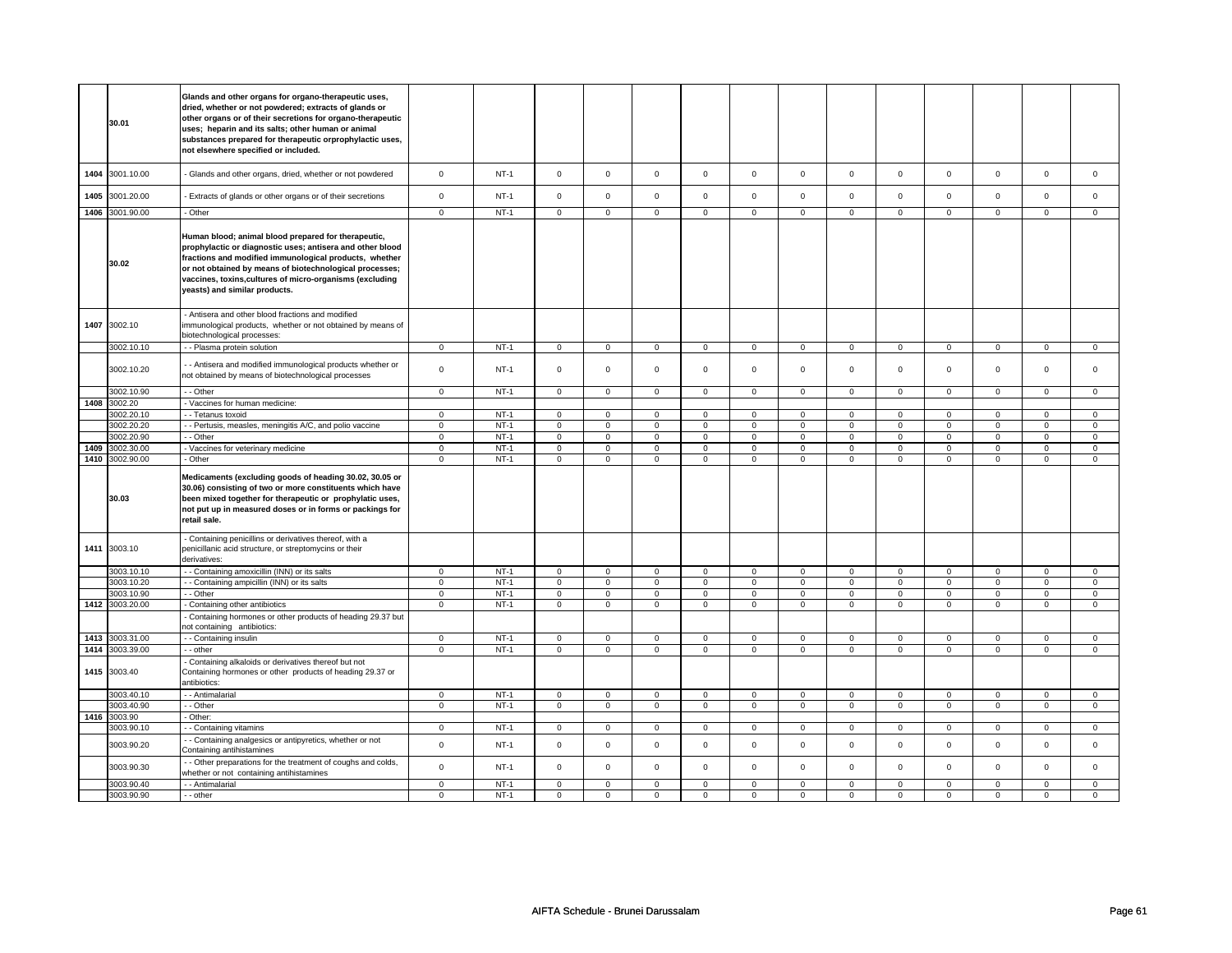|      | 30.01                    | Glands and other organs for organo-therapeutic uses,<br>dried, whether or not powdered; extracts of glands or<br>other organs or of their secretions for organo-therapeutic<br>uses; heparin and its salts; other human or animal<br>substances prepared for therapeutic orprophylactic uses,<br>not elsewhere specified or included. |                            |                  |                            |                            |                               |                            |                               |                               |                            |                               |                            |                             |                  |                   |
|------|--------------------------|---------------------------------------------------------------------------------------------------------------------------------------------------------------------------------------------------------------------------------------------------------------------------------------------------------------------------------------|----------------------------|------------------|----------------------------|----------------------------|-------------------------------|----------------------------|-------------------------------|-------------------------------|----------------------------|-------------------------------|----------------------------|-----------------------------|------------------|-------------------|
| 1404 | 3001.10.00               | - Glands and other organs, dried, whether or not powdered                                                                                                                                                                                                                                                                             | $\mathbf 0$                | $NT-1$           | $\mathsf 0$                | $\mathsf 0$                | $\mathsf{O}\xspace$           | $\mathsf 0$                | $\mathsf{O}\xspace$           | $\mathbf 0$                   | $\mathbf 0$                | $\mathbf 0$                   | $\mathsf 0$                | $\mathbf 0$                 | $\mathbf 0$      | $\mathbf 0$       |
| 1405 | 3001.20.00               | Extracts of glands or other organs or of their secretions                                                                                                                                                                                                                                                                             | $\mathsf 0$                | $NT-1$           | $\mathsf 0$                | $\mathbf 0$                | $\mathbf 0$                   | $\mathbf 0$                | $\mathsf 0$                   | $\mathbf 0$                   | $\mathbf 0$                | $\mathbf 0$                   | $\mathbf 0$                | $\mathbf 0$                 | $\mathbf 0$      | $\mathbf{0}$      |
| 1406 | 3001.90.00               | - Other                                                                                                                                                                                                                                                                                                                               | $\overline{0}$             | $NT-1$           | $\overline{0}$             | $\overline{0}$             | $\overline{0}$                | $\overline{0}$             | $\overline{0}$                | $\overline{0}$                | $\overline{0}$             | $\overline{0}$                | $\overline{0}$             | $\overline{0}$              | $\overline{0}$   | $\overline{0}$    |
|      | 30.02                    | Human blood; animal blood prepared for therapeutic,<br>prophylactic or diagnostic uses; antisera and other blood<br>fractions and modified immunological products, whether<br>or not obtained by means of biotechnological processes;<br>vaccines, toxins,cultures of micro-organisms (excluding<br>yeasts) and similar products.     |                            |                  |                            |                            |                               |                            |                               |                               |                            |                               |                            |                             |                  |                   |
| 1407 | 3002.10                  | - Antisera and other blood fractions and modified<br>mmunological products, whether or not obtained by means of<br>biotechnological processes:                                                                                                                                                                                        |                            |                  |                            |                            |                               |                            |                               |                               |                            |                               |                            |                             |                  |                   |
|      | 3002.10.10               | - - Plasma protein solution                                                                                                                                                                                                                                                                                                           | $\mathbf 0$                | $NT-1$           | $\mathbf 0$                | $\mathbf{0}$               | $\mathbf{0}$                  | $\mathbf 0$                | $\mathsf 0$                   | $\mathbf 0$                   | $\mathbf 0$                | $\mathbf 0$                   | $\mathbf 0$                | $\mathbf{0}$                | $\mathbf 0$      | $\mathbf 0$       |
|      | 3002.10.20               | - Antisera and modified immunological products whether or<br>not obtained by means of biotechnological processes                                                                                                                                                                                                                      | $\mathbf 0$                | $NT-1$           | $\mathsf 0$                | $\mathbf 0$                | $\mathsf 0$                   | $\mathbf 0$                | $\mathbf 0$                   | $\mathbf{0}$                  | $\mathbf 0$                | $\mathbf{0}$                  | 0                          | $\mathbf 0$                 | $\mathbf 0$      | $\mathbf{0}$      |
|      | 3002.10.90               | - - Other                                                                                                                                                                                                                                                                                                                             | $\overline{0}$             | $NT-1$           | $\mathsf 0$                | $\mathbf 0$                | $\mathsf{O}\xspace$           | $\mathsf 0$                | $\mathsf 0$                   | $\mathbf 0$                   | $\mathsf 0$                | $\mathsf 0$                   | $\mathsf 0$                | $\mathsf 0$                 | $\mathsf 0$      | 0                 |
| 1408 | 3002.20                  | Vaccines for human medicine:                                                                                                                                                                                                                                                                                                          |                            |                  |                            |                            |                               |                            |                               |                               |                            |                               |                            |                             |                  |                   |
|      | 3002.20.10               | - - Tetanus toxoid                                                                                                                                                                                                                                                                                                                    | $\mathsf 0$                | $NT-1$           | $\mathbf 0$                | $\mathbf 0$                | $\mathbf{0}$                  | $\mathbf 0$                | $\mathbf 0$                   | $\mathbf{0}$                  | $\mathbf 0$                | $\mathbf{0}$                  | $\mathbf 0$                | $\mathbf{0}$                | $\mathbf 0$      | $\mathbf{0}$      |
|      | 3002.20.20               | - - Pertusis, measles, meningitis A/C, and polio vaccine                                                                                                                                                                                                                                                                              | $\mathsf 0$                | $NT-1$           | $\mathbf 0$                | $\Omega$                   | $\Omega$                      | $\mathbf 0$                | $\mathsf 0$                   | $\mathbf 0$                   | $\mathbf 0$                | $\mathbf 0$                   | $\mathbf 0$                | $\mathbf{0}$                | $\Omega$         | $\mathbf{0}$      |
| 1409 | 3002.20.90               | - - Other                                                                                                                                                                                                                                                                                                                             | $\mathsf 0$<br>$\mathsf 0$ | $NT-1$<br>$NT-1$ | $\mathsf 0$<br>$\mathbf 0$ | $\mathbf 0$<br>$\mathbf 0$ | $\mathbf 0$<br>$\mathsf{o}\,$ | $\mathbf 0$<br>$\mathbf 0$ | $\mathbf 0$<br>$\mathsf{o}\,$ | $\mathbf 0$<br>$\mathsf{o}\,$ | 0<br>$\mathsf{o}$          | $\mathbf 0$<br>$\mathsf{o}\,$ | $\mathbf 0$<br>0           | $\mathbf 0$<br>$\mathbf 0$  | 0<br>0           | $\mathbf{0}$<br>0 |
|      | 3002.30.00               | Vaccines for veterinary medicine                                                                                                                                                                                                                                                                                                      |                            |                  |                            |                            |                               |                            |                               |                               |                            |                               |                            |                             |                  |                   |
|      |                          |                                                                                                                                                                                                                                                                                                                                       |                            |                  |                            |                            |                               |                            |                               |                               |                            |                               |                            |                             |                  |                   |
|      | 1410 3002.90.00<br>30.03 | - Other<br>Medicaments (excluding goods of heading 30.02, 30.05 or<br>30.06) consisting of two or more constituents which have<br>been mixed together for therapeutic or prophylatic uses,<br>not put up in measured doses or in forms or packings for<br>retail sale.                                                                | $\overline{0}$             | $NT-1$           | $\overline{0}$             | $\overline{0}$             | $\mathsf 0$                   | $\overline{0}$             | $\mathsf 0$                   | $\overline{0}$                | $\mathbf 0$                | $\overline{0}$                | $\overline{0}$             | $\overline{0}$              | $\mathsf 0$      | $\overline{0}$    |
|      | 1411 3003.10             | - Containing penicillins or derivatives thereof, with a<br>penicillanic acid structure, or streptomycins or their<br>derivatives:                                                                                                                                                                                                     |                            |                  |                            |                            |                               |                            |                               |                               |                            |                               |                            |                             |                  |                   |
|      | 3003.10.10               | - Containing amoxicillin (INN) or its salts                                                                                                                                                                                                                                                                                           | $\mathsf 0$                | $NT-1$           | $\mathsf 0$                | $\mathbf 0$                | $\mathbf 0$                   | $\mathbf 0$                | $\mathbf 0$                   | $\mathsf 0$                   | 0                          | $\mathbf 0$                   | 0                          | $\mathbf 0$                 | $\Omega$         | $\mathbf{0}$      |
|      | 3003.10.20               | - Containing ampicillin (INN) or its salts                                                                                                                                                                                                                                                                                            | $\mathsf 0$                | $NT-1$           | $\mathbf 0$                | $\mathbf 0$                | $\mathsf 0$                   | $\mathbf 0$                | $\mathsf 0$                   | $\mathsf 0$                   | $\mathbf 0$                | $\mathsf 0$                   | $\mathsf 0$                | $\mathbf 0$                 | $\mathsf 0$      | $\mathbf{O}$      |
|      | 3003.10.90               | - - Other                                                                                                                                                                                                                                                                                                                             | $\mathsf 0$                | $NT-1$           | $\mathsf 0$                | $\mathsf 0$                | $\mathsf{O}\xspace$           | $\mathsf 0$                | $\mathsf 0$                   | $\mathsf 0$                   | $\mathbf 0$                | $\mathsf 0$                   | $\mathsf 0$                | $\mathbf 0$                 | $\mathbf 0$      | $\mathbf 0$       |
| 1412 | 3003.20.00               | - Containing other antibiotics<br>- Containing hormones or other products of heading 29.37 but<br>not containing antibiotics:                                                                                                                                                                                                         | $\mathsf 0$                | $NT-1$           | $\mathbf 0$                | $\mathsf 0$                | $\mathbf 0$                   | $\mathsf 0$                | 0                             | $\mathbf 0$                   | 0                          | $\mathsf 0$                   | 0                          | 0                           | 0                | $\mathbf{0}$      |
|      | 1413 3003.31.00          | - Containing insulin                                                                                                                                                                                                                                                                                                                  | $\mathsf 0$                | $NT-1$           | $\mathbf 0$                | $\mathsf 0$                | $\mathbf 0$                   | $\mathbf 0$                | $\mathbf 0$                   | $\mathbf{0}$                  | $\mathbf 0$                | $\mathbf{0}$                  | $\mathbf 0$                | $\mathbf{0}$                | $\mathbf 0$      | $\mathbf{0}$      |
| 1414 | 3003.39.00               | - - other                                                                                                                                                                                                                                                                                                                             | $\mathbf 0$                | $NT-1$           | $\mathbf 0$                | $\mathbf 0$                | $\mathbf{0}$                  | $\mathbf 0$                | $\mathbf{0}$                  | $\mathbf{0}$                  | $\mathbf 0$                | $\mathbf{0}$                  | $\mathbf 0$                | $\mathbf 0$                 | $\mathbf 0$      | $\mathbf{0}$      |
| 1415 | 3003.40                  | Containing alkaloids or derivatives thereof but not<br>Containing hormones or other products of heading 29.37 or<br>antibiotics:                                                                                                                                                                                                      |                            |                  |                            |                            |                               |                            |                               |                               |                            |                               |                            |                             |                  |                   |
|      | 3003.40.10               | - - Antimalarial                                                                                                                                                                                                                                                                                                                      | $\mathsf 0$                | $NT-1$           | $\mathsf 0$                | $\mathsf 0$                | $\mathbf 0$                   | $\mathsf 0$                | $\mathsf{O}\xspace$           | $\mathsf 0$                   | $\mathsf 0$                | $\mathbf 0$                   | $\mathsf 0$                | $\mathbf 0$                 | $\mathbf 0$      | $\mathbf 0$       |
|      | 3003.40.90               | - Other                                                                                                                                                                                                                                                                                                                               | $\mathbf 0$                | $NT-1$           | $\mathbf 0$                | $\mathsf 0$                | $\mathbf 0$                   | $\mathsf 0$                | $\mathsf{O}\xspace$           | $\mathsf 0$                   | $\mathbf 0$                | $\mathbf 0$                   | $\mathbf 0$                | $\mathsf{O}$                | $\mathbf 0$      | $\mathbf 0$       |
| 1416 | 3003.90                  | - Other:                                                                                                                                                                                                                                                                                                                              |                            |                  |                            |                            |                               |                            |                               |                               |                            |                               |                            |                             |                  |                   |
|      | 3003.90.10               | - - Containing vitamins                                                                                                                                                                                                                                                                                                               | $\mathbf 0$                | $NT-1$           | $\mathbf 0$                | $\mathbf 0$                | $\mathbf 0$                   | $\mathbf 0$                | $\mathsf 0$                   | $\mathsf 0$                   | $\mathbf 0$                | $\mathsf 0$                   | $\mathbf 0$                | $\mathbf 0$                 | $\mathbf 0$      | 0                 |
|      | 3003.90.20               | - Containing analgesics or antipyretics, whether or not<br>Containing antihistamines                                                                                                                                                                                                                                                  | $\mathsf 0$                | $NT-1$           | $\mathsf 0$                | $\mathsf 0$                | $\mathsf 0$                   | $\mathsf 0$                | $\mathsf 0$                   | $\mathsf 0$                   | $\mathbf 0$                | $\mathsf 0$                   | $\mathbf 0$                | $\mathbf 0$                 | $\Omega$         | 0                 |
|      | 3003.90.30               | - Other preparations for the treatment of coughs and colds,<br>whether or not containing antihistamines                                                                                                                                                                                                                               | $\mathsf 0$                | $NT-1$           | $\mathsf 0$                | $\mathsf 0$                | $\mathsf{O}\xspace$           | $\mathsf 0$                | $\mathsf{O}\xspace$           | $\mathsf 0$                   | $\mathsf 0$                | $\mathsf 0$                   | $\mathsf 0$                | $\mathbf 0$                 | $\mathbf 0$      | $\mathbf 0$       |
|      | 3003.90.40<br>3003.90.90 | - - Antimalarial<br>- - other                                                                                                                                                                                                                                                                                                         | $\mathsf 0$<br>$\Omega$    | $NT-1$<br>$NT-1$ | $\mathbf 0$<br>$\Omega$    | $\mathbf 0$<br>$\Omega$    | $\mathsf 0$<br>$\Omega$       | $\mathbf 0$<br>$\mathbf 0$ | $\mathsf 0$<br>$\mathbf 0$    | $\mathbf{0}$<br>$\mathbf 0$   | $\mathbf 0$<br>$\mathbf 0$ | $\mathbf 0$<br>$\mathbf 0$    | $\mathsf 0$<br>$\mathbf 0$ | $\mathbf 0$<br>$\mathbf{0}$ | $\mathbf 0$<br>0 | 0<br>$\mathbf{0}$ |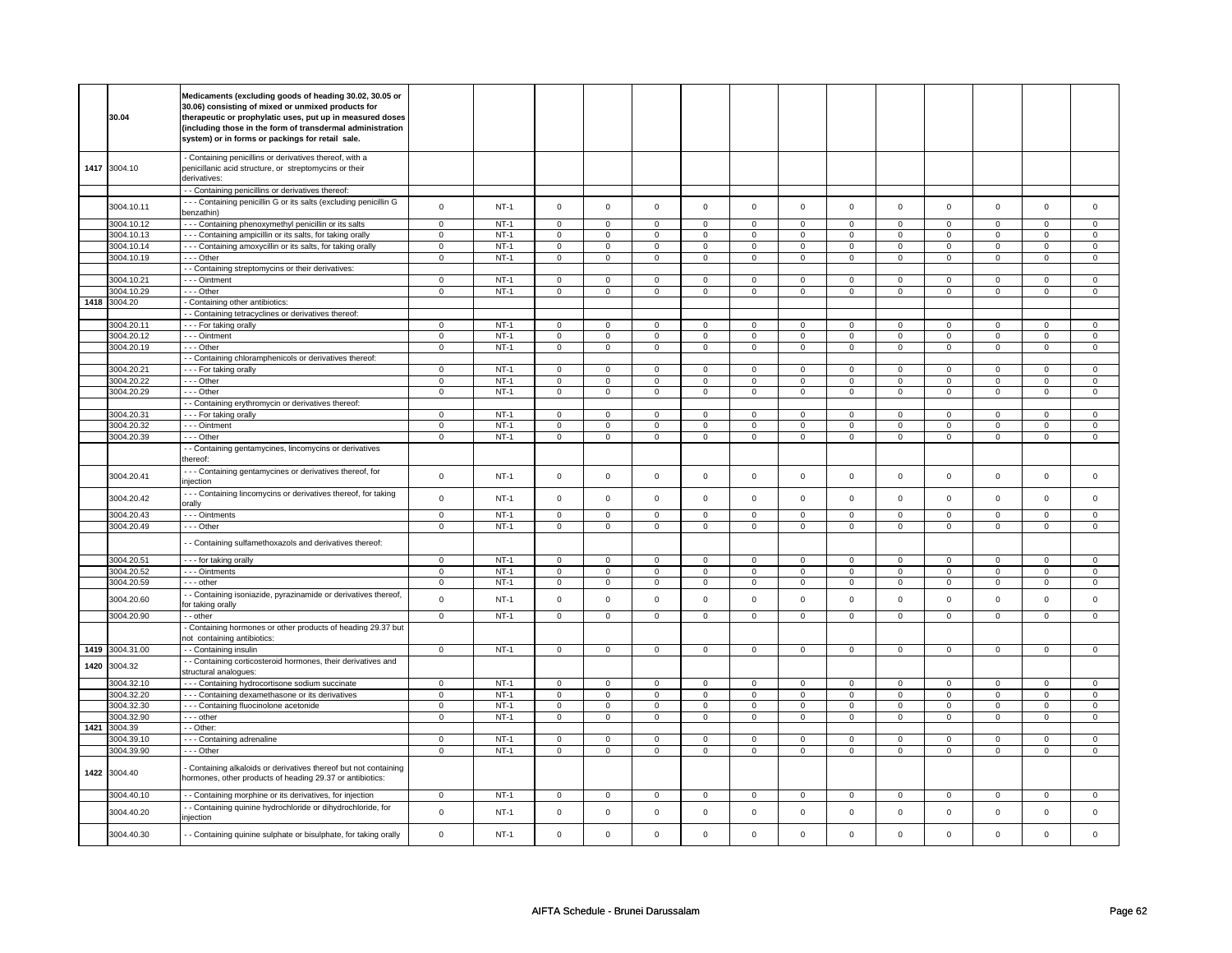|      | 30.04           | Medicaments (excluding goods of heading 30.02, 30.05 or<br>30.06) consisting of mixed or unmixed products for<br>therapeutic or prophylatic uses, put up in measured doses<br>(including those in the form of transdermal administration<br>system) or in forms or packings for retail sale. |                |        |                |                |                |                |                     |                     |                |                     |                |                     |                |                     |
|------|-----------------|----------------------------------------------------------------------------------------------------------------------------------------------------------------------------------------------------------------------------------------------------------------------------------------------|----------------|--------|----------------|----------------|----------------|----------------|---------------------|---------------------|----------------|---------------------|----------------|---------------------|----------------|---------------------|
|      | 1417 3004.10    | - Containing penicillins or derivatives thereof, with a<br>penicillanic acid structure, or streptomycins or their<br>derivatives:                                                                                                                                                            |                |        |                |                |                |                |                     |                     |                |                     |                |                     |                |                     |
|      |                 | - Containing penicillins or derivatives thereof:                                                                                                                                                                                                                                             |                |        |                |                |                |                |                     |                     |                |                     |                |                     |                |                     |
|      | 3004.10.11      | --- Containing penicillin G or its salts (excluding penicillin G<br>benzathin)                                                                                                                                                                                                               | $\mathsf 0$    | $NT-1$ | $\mathsf 0$    | $\mathsf 0$    | $\mathsf 0$    | $\mathsf 0$    | $\mathsf{O}\xspace$ | $\mathsf 0$         | $\mathsf 0$    | $\mathbf 0$         | $\mathsf 0$    | $\mathbf 0$         | $\mathbf 0$    | $\mathsf 0$         |
|      | 3004.10.12      | - - - Containing phenoxymethyl penicillin or its salts                                                                                                                                                                                                                                       | $\mathsf 0$    | $NT-1$ | $\mathbf 0$    | $\mathsf 0$    | $\mathsf 0$    | $\mathbf 0$    | $\mathsf 0$         | $\mathbf 0$         | $\mathbf 0$    | $\mathbf{0}$        | $\mathsf 0$    | $\mathbf 0$         | $\mathbf 0$    | $\mathbf 0$         |
|      | 3004.10.13      | --- Containing ampicillin or its salts, for taking orally                                                                                                                                                                                                                                    | $\mathbf 0$    | $NT-1$ | $\mathbf 0$    | 0              | $\mathbf 0$    | $\mathbf 0$    | $\mathbf 0$         | $\mathbf 0$         | 0              | $\mathbf 0$         | 0              | $\mathbf 0$         | 0              | $\mathbf 0$         |
|      | 3004.10.14      | - - - Containing amoxycillin or its salts, for taking orally                                                                                                                                                                                                                                 | $\mathbf 0$    | $NT-1$ | $\mathbf 0$    | $\mathbf 0$    | $\mathbf 0$    | $\mathbf 0$    | $\mathbf 0$         | $\mathbf 0$         | $\mathbf 0$    | $\mathbf 0$         | $\mathbf 0$    | $\mathbf{0}$        | $\mathbf 0$    | $\mathbf{0}$        |
|      | 3004.10.19      | --- Other                                                                                                                                                                                                                                                                                    | $\mathsf 0$    | $NT-1$ | $\mathbf 0$    | $\mathsf 0$    | $\mathbf 0$    | $\mathsf 0$    | $\mathsf{O}\xspace$ | $\mathsf 0$         | $\mathsf 0$    | $\mathsf 0$         | $\mathsf 0$    | $\mathbf 0$         | $\mathbf 0$    | $\mathbf 0$         |
|      |                 | - - Containing streptomycins or their derivatives:                                                                                                                                                                                                                                           |                |        |                |                |                |                |                     |                     |                |                     |                |                     |                |                     |
|      | 3004.10.21      | - - - Ointment                                                                                                                                                                                                                                                                               | $\mathbf 0$    | $NT-1$ | $\mathsf 0$    | $\overline{0}$ | $\mathsf 0$    | $\mathbf 0$    | $\mathsf 0$         | $\overline{0}$      | $\mathbf 0$    | $\mathbf 0$         | $\mathsf 0$    | $\overline{0}$      | $\mathsf 0$    | 0                   |
|      | 3004.10.29      | $- -$ Other                                                                                                                                                                                                                                                                                  | $\mathbf 0$    | $NT-1$ | $\overline{0}$ | $\overline{0}$ | $\overline{0}$ | $\mathbf 0$    | $\overline{0}$      | $\overline{0}$      | $\mathbf 0$    | $\mathbf{0}$        | $\mathbf 0$    | $\mathbf 0$         | $\mathbf 0$    | $\mathbf{0}$        |
|      | 1418 3004.20    | - Containing other antibiotics:                                                                                                                                                                                                                                                              |                |        |                |                |                |                |                     |                     |                |                     |                |                     |                |                     |
|      | 3004.20.11      | - Containing tetracyclines or derivatives thereof:<br>--- For taking orally                                                                                                                                                                                                                  | $\mathbf 0$    | $NT-1$ | $\mathbf 0$    | $\mathsf 0$    | $\mathbf 0$    | $\mathbf 0$    | $\mathbf 0$         | $\mathbf 0$         | 0              | $\mathbf{0}$        | 0              | $\mathbf 0$         | $\Omega$       | $\mathbf 0$         |
|      | 3004.20.12      | --- Ointment                                                                                                                                                                                                                                                                                 | $\mathsf 0$    | $NT-1$ | $\mathbf 0$    | $\mathsf 0$    | $\mathbf 0$    | $\mathbf 0$    | $\mathbf 0$         | $\mathbf 0$         | 0              | $\mathsf 0$         | 0              | $\mathbf 0$         | 0              | 0                   |
|      | 3004.20.19      | --- Other                                                                                                                                                                                                                                                                                    | $\mathbf 0$    | $NT-1$ | $\mathsf 0$    | $\mathbf 0$    | $\mathsf 0$    | $\mathsf 0$    | $\mathsf 0$         | $\mathsf 0$         | 0              | $\mathbf 0$         | $\mathsf 0$    | $\mathbf 0$         | 0              | $\mathbf 0$         |
|      |                 | - - Containing chloramphenicols or derivatives thereof.                                                                                                                                                                                                                                      |                |        |                |                |                |                |                     |                     |                |                     |                |                     |                |                     |
|      | 3004.20.21      | --- For taking orally                                                                                                                                                                                                                                                                        | $\mathbf 0$    | $NT-1$ | $\mathbf 0$    | $\mathbf 0$    | $\mathbf 0$    | $\mathbf 0$    | $\mathbf 0$         | $\mathbf 0$         | $\mathbf 0$    | $\mathbf 0$         | $\mathbf 0$    | $\mathbf 0$         | $\mathbf 0$    | $\mathbf{0}$        |
|      | 3004.20.22      | --- Other                                                                                                                                                                                                                                                                                    | $\mathbf 0$    | $NT-1$ | $\mathbf 0$    | $\overline{0}$ | $\mathsf 0$    | $\overline{0}$ | $\mathsf 0$         | $\overline{0}$      | $\mathbf 0$    | $\mathsf 0$         | $\mathsf 0$    | $\overline{0}$      | $\mathsf 0$    | $\overline{0}$      |
|      | 3004.20.29      | --- Other                                                                                                                                                                                                                                                                                    | $\mathbf 0$    | $NT-1$ | $\mathsf 0$    | $\mathbf 0$    | $\mathsf 0$    | $\mathsf 0$    | $\mathsf{O}\xspace$ | $\mathsf 0$         | $\mathsf 0$    | $\mathbf 0$         | $\mathsf 0$    | $\mathbf 0$         | $\mathsf 0$    | 0                   |
|      |                 | - Containing erythromycin or derivatives thereof:                                                                                                                                                                                                                                            |                |        |                |                |                |                |                     |                     |                |                     |                |                     |                |                     |
|      | 3004.20.31      | --- For taking orally                                                                                                                                                                                                                                                                        | $\mathbf{0}$   | $NT-1$ | $\mathbf 0$    | $\mathbf 0$    | $\mathbf 0$    | $\mathbf 0$    | $\mathbf 0$         | $\mathbf 0$         | $\mathbf 0$    | $\mathbf 0$         | $\mathbf 0$    | $\mathbf 0$         | $\Omega$       | $\overline{0}$      |
|      | 3004.20.32      | --- Ointment                                                                                                                                                                                                                                                                                 | $\mathbf 0$    | $NT-1$ | $\mathbf 0$    | $\mathsf 0$    | $\mathbf 0$    | $\mathbf 0$    | $\mathbf 0$         | $\mathbf 0$         | 0              | $\mathbf 0$         | 0              | 0                   | 0              | 0                   |
|      | 3004.20.39      | $- -$ Other                                                                                                                                                                                                                                                                                  | $\overline{0}$ | $NT-1$ | $\overline{0}$ | $\overline{0}$ | $\overline{0}$ | $\overline{0}$ | $\overline{0}$      | $\overline{0}$      | $\overline{0}$ | $\overline{0}$      | $\overline{0}$ | $\overline{0}$      | $\overline{0}$ | $\overline{0}$      |
|      |                 | - Containing gentamycines, lincomycins or derivatives<br>thereof:                                                                                                                                                                                                                            |                |        |                |                |                |                |                     |                     |                |                     |                |                     |                |                     |
|      | 3004.20.41      | - - - Containing gentamycines or derivatives thereof, for<br>injection                                                                                                                                                                                                                       | $\mathbf 0$    | $NT-1$ | $\mathsf 0$    | $\mathbf 0$    | $\mathbf 0$    | $\mathsf 0$    | $\mathsf{O}\xspace$ | $\mathbf 0$         | $\mathbf 0$    | $\mathbf 0$         | $\mathsf 0$    | $\mathbf{0}$        | $\mathbf 0$    | $\mathsf 0$         |
|      | 3004.20.42      | - - - Containing lincomycins or derivatives thereof, for taking<br>orally                                                                                                                                                                                                                    | $\mathsf 0$    | $NT-1$ | $\mathsf 0$    | $\mathsf 0$    | $\mathsf 0$    | $\mathsf 0$    | $\mathsf 0$         | $\mathsf 0$         | $\mathbf 0$    | $\mathbf 0$         | $\mathsf 0$    | $\mathbf 0$         | $\mathsf 0$    | $\mathbf 0$         |
|      | 3004.20.43      | --- Ointments                                                                                                                                                                                                                                                                                | $\mathsf 0$    | $NT-1$ | $\mathsf 0$    | $\mathsf 0$    | $\mathsf 0$    | $\mathbf 0$    | $\mathsf 0$         | $\mathbf 0$         | $\mathbf 0$    | $\mathsf 0$         | $\mathsf 0$    | $\mathbf 0$         | $\mathbf 0$    | 0                   |
|      | 3004.20.49      | --- Other                                                                                                                                                                                                                                                                                    | $\mathbf 0$    | $NT-1$ | $\mathsf 0$    | $\mathbf 0$    | $\mathsf 0$    | $\mathsf 0$    | $\mathsf 0$         | $\mathsf 0$         | $\mathbf 0$    | $\mathbf 0$         | 0              | $\mathbf 0$         | $\mathsf 0$    | $\mathbf 0$         |
|      |                 | - Containing sulfamethoxazols and derivatives thereof:                                                                                                                                                                                                                                       |                |        |                |                |                |                |                     |                     |                |                     |                |                     |                |                     |
|      | 3004.20.51      | --- for taking orally                                                                                                                                                                                                                                                                        | $\overline{0}$ | $NT-1$ | $\overline{0}$ | $\overline{0}$ | $\overline{0}$ | $\overline{0}$ | $\overline{0}$      | $\overline{0}$      | $\overline{0}$ | $\overline{0}$      | $\overline{0}$ | $\overline{0}$      | $\mathbf 0$    | $\overline{0}$      |
|      | 3004.20.52      | - - - Ointments                                                                                                                                                                                                                                                                              | $\mathbf 0$    | $NT-1$ | $\mathbf 0$    | $\mathbf 0$    | $\mathbf 0$    | $\mathbf 0$    | $\mathbf 0$         | $\mathbf 0$         | 0              | 0                   | 0              | 0                   | 0              | 0                   |
|      | 3004.20.59      | - - - other                                                                                                                                                                                                                                                                                  | $\mathbf 0$    | $NT-1$ | $\mathsf 0$    | $\mathbf 0$    | $\mathsf 0$    | $\mathsf 0$    | 0                   | $\mathsf 0$         | 0              | $\mathsf{O}\xspace$ | 0              | $\mathsf{O}\xspace$ | 0              | $\mathsf 0$         |
|      | 3004.20.60      | - Containing isoniazide, pyrazinamide or derivatives thereof,<br>for taking orally                                                                                                                                                                                                           | $\mathsf 0$    | $NT-1$ | $\mathsf 0$    | $\mathsf 0$    | $\mathsf 0$    | $\mathsf 0$    | $\mathsf 0$         | $\mathsf 0$         | $\mathbf 0$    | $\mathbf 0$         | $\mathsf 0$    | $\mathbf 0$         | $\mathsf 0$    | $\mathbf 0$         |
|      | 3004.20.90      | - - other                                                                                                                                                                                                                                                                                    | $\mathsf 0$    | $NT-1$ | $\mathbf 0$    | $\mathbf 0$    | $\mathbf 0$    | $\mathbf 0$    | $\mathsf 0$         | $\mathbf 0$         | $\mathbf 0$    | $\mathsf 0$         | $\mathsf 0$    | $\mathbf 0$         | $\mathbf 0$    | 0                   |
|      |                 | - Containing hormones or other products of heading 29.37 but<br>not containing antibiotics:                                                                                                                                                                                                  |                |        |                |                |                |                |                     |                     |                |                     |                |                     |                |                     |
|      | 1419 3004.31.00 | -- Containing insulin                                                                                                                                                                                                                                                                        | $\overline{0}$ | $NT-1$ | $\mathsf 0$    | $\mathbf 0$    | $\mathsf 0$    | $\mathbf 0$    | $\mathsf 0$         | $\mathbf 0$         | $\mathbf 0$    | $\mathbf 0$         | $\mathbf 0$    | $\mathbf{0}$        | $\mathbf 0$    | $\overline{0}$      |
| 1420 | 3004.32         | - Containing corticosteroid hormones, their derivatives and<br>structural analogues:                                                                                                                                                                                                         |                |        |                |                |                |                |                     |                     |                |                     |                |                     |                |                     |
|      | 3004.32.10      | --- Containing hydrocortisone sodium succinate                                                                                                                                                                                                                                               | $\mathbf 0$    | $NT-1$ | $\mathbf 0$    | $\overline{0}$ | $\mathsf 0$    | $\overline{0}$ | $\mathsf 0$         | $\mathbf 0$         | $\mathbf 0$    | $\mathbf 0$         | $\mathsf 0$    | $\mathbf 0$         | $\mathbf 0$    | $\mathbf 0$         |
|      | 3004.32.20      | --- Containing dexamethasone or its derivatives                                                                                                                                                                                                                                              | $\mathsf 0$    | $NT-1$ | $\mathbf 0$    | $\mathsf 0$    | $\mathbf 0$    | $\mathbf 0$    | $\mathsf 0$         | $\mathbf 0$         | 0              | $\mathsf 0$         | 0              | $\mathbf 0$         | 0              | 0                   |
|      | 3004.32.30      | - - - Containing fluocinolone acetonide                                                                                                                                                                                                                                                      | $\mathsf 0$    | $NT-1$ | $\mathbf 0$    | $\mathsf 0$    | $\mathbf 0$    | $\mathbf 0$    | $\mathbf 0$         | $\mathbf 0$         | 0              | $\mathbf 0$         | $\mathsf 0$    | $\mathbf 0$         | 0              | $\mathbf{0}$        |
|      | 3004.32.90      | --- other                                                                                                                                                                                                                                                                                    | $\mathsf 0$    | $NT-1$ | $\mathbf 0$    | $\mathsf 0$    | $\mathbf 0$    | $\mathbf 0$    | $\mathbf 0$         | $\mathbf 0$         | $\mathbf 0$    | $\mathbf 0$         | 0              | $\mathbf 0$         | 0              | 0                   |
| 1421 | 3004.39         | - - Other:                                                                                                                                                                                                                                                                                   |                |        |                |                |                |                |                     |                     |                |                     |                |                     |                |                     |
|      | 3004.39.10      | --- Containing adrenaline                                                                                                                                                                                                                                                                    | $\mathbf 0$    | $NT-1$ | $\mathbf 0$    | $\mathbf 0$    | $\Omega$       | $\mathbf 0$    | $\mathbf 0$         | $\mathbf 0$         | $\mathbf 0$    | $\mathbf 0$         | $\mathbf 0$    | $\mathbf 0$         | $\Omega$       | 0                   |
|      | 3004.39.90      | --- Other                                                                                                                                                                                                                                                                                    | $\mathsf 0$    | $NT-1$ | $\mathbf 0$    | $\mathsf 0$    | $\mathbf 0$    | $\mathbf 0$    | $\mathsf 0$         | $\mathbf 0$         | $\mathbf 0$    | $\mathbf 0$         | $\mathsf 0$    | $\mathbf 0$         | $\mathsf 0$    | 0                   |
|      | 1422 3004.40    | - Containing alkaloids or derivatives thereof but not containing<br>hormones, other products of heading 29.37 or antibiotics:                                                                                                                                                                |                |        |                |                |                |                |                     |                     |                |                     |                |                     |                |                     |
|      | 3004.40.10      | - - Containing morphine or its derivatives, for injection                                                                                                                                                                                                                                    | $\mathsf 0$    | $NT-1$ | $\mathbf 0$    | $\mathsf 0$    | $\mathbf 0$    | $\mathbf 0$    | $\mathbf{0}$        | $\mathbf 0$         | $\mathbf 0$    | $\mathbf 0$         | $\mathsf 0$    | $\mathbf 0$         | $\mathbf 0$    | $\mathbf 0$         |
|      | 3004.40.20      | - Containing quinine hydrochloride or dihydrochloride, for<br>injection                                                                                                                                                                                                                      | $\mathsf 0$    | $NT-1$ | $\mathsf 0$    | $\mathbf 0$    | $\Omega$       | $\mathsf 0$    | $\mathsf{O}\xspace$ | $\mathsf{O}\xspace$ | $\mathbf 0$    | $\mathsf 0$         | $\mathsf 0$    | $\mathsf 0$         | $\mathsf 0$    | $\mathsf{O}\xspace$ |
|      | 3004.40.30      | - Containing quinine sulphate or bisulphate, for taking orally                                                                                                                                                                                                                               | $\mathbf 0$    | $NT-1$ | $\Omega$       | $\mathsf 0$    | $\Omega$       | $\mathbf 0$    | $\mathsf{O}\xspace$ | $\mathsf 0$         | $\mathbf 0$    | $\mathsf 0$         | $\mathsf 0$    | $\mathbf 0$         | $\mathbf 0$    | $\mathbf{0}$        |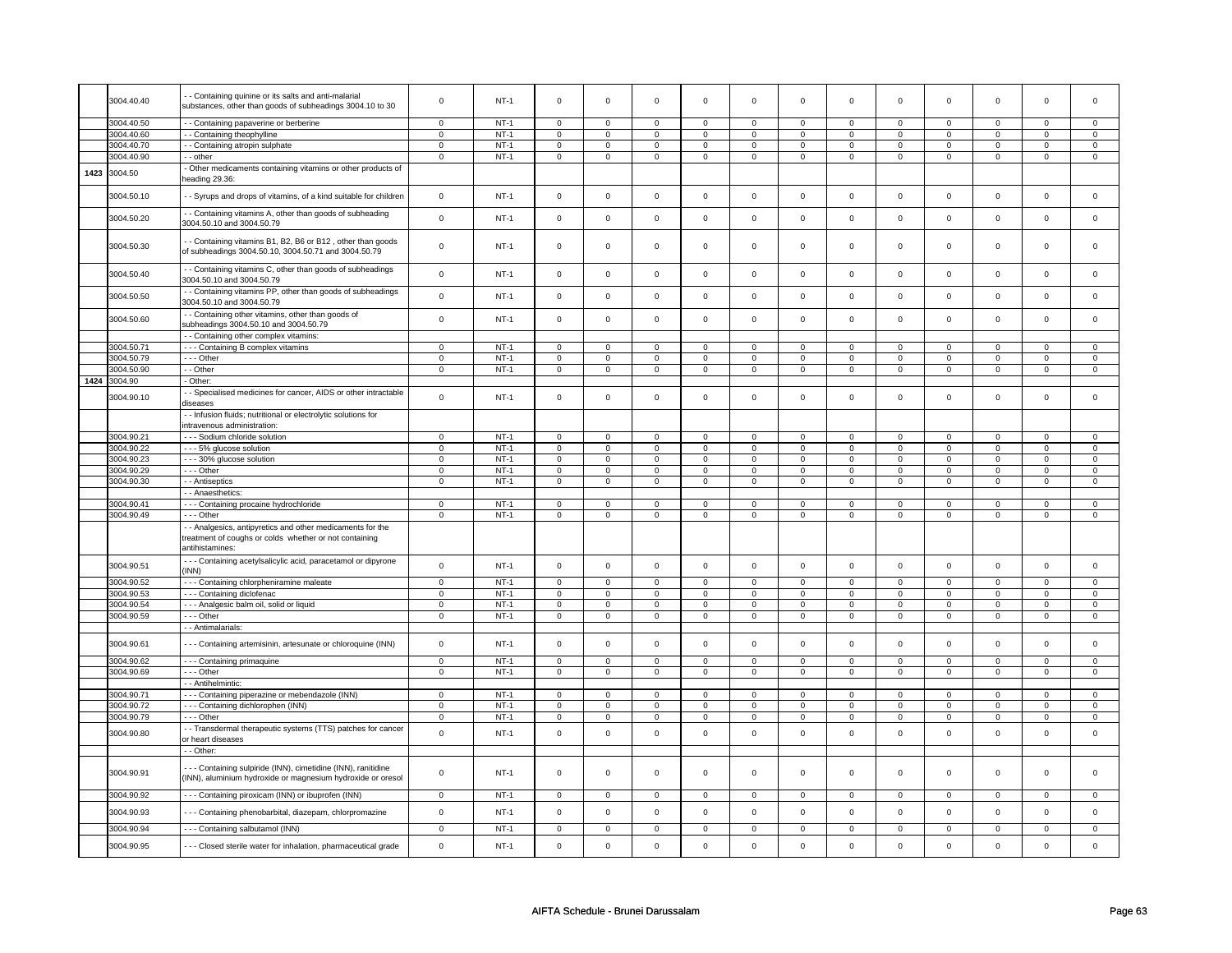|      | 3004.40.40   | - Containing quinine or its salts and anti-malarial                                                                                     | $\mathbf 0$    | <b>NT-1</b> | $\mathbf 0$         | $\mathbf 0$    | $\mathbf 0$         | $\mathbf 0$    | $\mathbf 0$         | $\mathbf 0$    | $\mathbf 0$ | 0                   | 0              | 0              | $\mathbf 0$ | 0                   |
|------|--------------|-----------------------------------------------------------------------------------------------------------------------------------------|----------------|-------------|---------------------|----------------|---------------------|----------------|---------------------|----------------|-------------|---------------------|----------------|----------------|-------------|---------------------|
|      |              | substances, other than goods of subheadings 3004.10 to 30                                                                               |                |             |                     |                |                     |                |                     |                |             |                     |                |                |             |                     |
|      | 3004.40.50   |                                                                                                                                         | $\mathbf 0$    | $NT-1$      | 0                   | $\Omega$       | 0                   | $\Omega$       | 0                   | $\Omega$       | 0           | $\Omega$            | $\mathbf 0$    | $\Omega$       | $\Omega$    | $\Omega$            |
|      | 3004.40.60   | - - Containing papaverine or berberine                                                                                                  | $\mathsf 0$    | $NT-1$      | $\mathsf 0$         | $\mathsf 0$    | $\mathsf 0$         | $\mathbf 0$    | $\mathsf 0$         | $\mathbf 0$    | $\mathbf 0$ | $\mathsf 0$         | $\mathsf 0$    | $\mathbf 0$    | $\Omega$    | 0                   |
|      |              | - Containing theophylline                                                                                                               |                |             |                     |                | $\mathbf 0$         | $\mathbf 0$    | $\mathbf 0$         | $\mathbf 0$    | $\mathbf 0$ |                     |                |                | $\Omega$    |                     |
|      | 3004.40.70   | - - Containing atropin sulphate                                                                                                         | $\mathbf 0$    | $NT-1$      | $\mathsf 0$         | $\mathbf 0$    |                     |                |                     |                |             | $\mathsf 0$         | $\mathsf 0$    | $\mathsf 0$    |             | $\mathsf{O}\xspace$ |
|      | 3004.40.90   | - - other                                                                                                                               | $\mathbf 0$    | $NT-1$      | $\mathbf 0$         | $\mathsf 0$    | $\mathbf 0$         | $\mathbf 0$    | $\mathbf 0$         | $\mathbf 0$    | 0           | $\mathbf 0$         | $\mathbf 0$    | $\mathbf 0$    | 0           | $\overline{0}$      |
| 1423 | 3004.50      | Other medicaments containing vitamins or other products of<br>heading 29.36:                                                            |                |             |                     |                |                     |                |                     |                |             |                     |                |                |             |                     |
|      | 3004.50.10   | - Syrups and drops of vitamins, of a kind suitable for children                                                                         | $\mathsf 0$    | $NT-1$      | $\mathbf 0$         | $\mathsf 0$    | $\mathbf 0$         | $\mathbf 0$    | $\mathsf 0$         | $\mathbf 0$    | 0           | 0                   | 0              | $\mathbf 0$    | 0           | 0                   |
|      | 3004.50.20   | - - Containing vitamins A, other than goods of subheading<br>3004.50.10 and 3004.50.79                                                  | $\mathbf 0$    | $NT-1$      | $\mathsf 0$         | $\mathbf 0$    | $\mathsf 0$         | $\mathsf 0$    | $\mathsf{O}\xspace$ | $\mathbf 0$    | 0           | 0                   | $\mathsf 0$    | $\mathsf 0$    | $\mathsf 0$ | $\mathsf 0$         |
|      | 3004.50.30   | - Containing vitamins B1, B2, B6 or B12, other than goods<br>of subheadings 3004.50.10, 3004.50.71 and 3004.50.79                       | $\mathsf 0$    | <b>NT-1</b> | $\mathsf 0$         | $\mathsf 0$    | $\mathbf 0$         | $\mathbf 0$    | $\mathbf 0$         | $\mathbf 0$    | 0           | 0                   | 0              | 0              | $\Omega$    | 0                   |
|      | 3004.50.40   | - Containing vitamins C, other than goods of subheadings<br>3004.50.10 and 3004.50.79                                                   | $\mathbf 0$    | $NT-1$      | $\mathsf 0$         | $\mathbf 0$    | $\mathsf 0$         | $\mathbf 0$    | $\mathsf{O}\xspace$ | $\mathsf 0$    | $\mathbf 0$ | $\mathsf 0$         | $\mathsf 0$    | $\mathbf 0$    | $\mathsf 0$ | $\mathbf 0$         |
|      | 3004.50.50   | - Containing vitamins PP, other than goods of subheadings<br>3004.50.10 and 3004.50.79                                                  | $\mathbf 0$    | $NT-1$      | $\mathsf 0$         | $\mathbf 0$    | $\mathsf 0$         | $\mathsf 0$    | $\mathsf 0$         | $\mathsf 0$    | $\mathsf 0$ | $\mathsf{O}\xspace$ | $\mathsf 0$    | $\mathsf 0$    | $\mathsf 0$ | $\mathsf 0$         |
|      | 3004.50.60   | - - Containing other vitamins, other than goods of<br>subheadings 3004.50.10 and 3004.50.79                                             | $\mathsf 0$    | $NT-1$      | $\mathbf 0$         | $\mathbf 0$    | $\mathbf 0$         | $\mathbf 0$    | $\mathbf 0$         | $\mathbf 0$    | $\mathbf 0$ | $\mathbf 0$         | $\mathbf 0$    | $\mathbf 0$    | $\Omega$    | $\mathbf{0}$        |
|      |              | - - Containing other complex vitamins:                                                                                                  |                |             |                     |                |                     |                |                     |                |             |                     |                |                |             |                     |
|      | 3004.50.71   | --- Containing B complex vitamins                                                                                                       | $\mathbf 0$    | $NT-1$      | $\mathbf 0$         | $\mathsf 0$    | $\Omega$            | $\mathbf 0$    | $\mathbf 0$         | $\mathbf 0$    | $\Omega$    | $\mathbf 0$         | 0              | $\mathbf 0$    | $\Omega$    | 0                   |
|      | 3004.50.79   | $- -$ Other                                                                                                                             | $\mathbf 0$    | $NT-1$      | $\mathbf 0$         | $\mathbf 0$    | $\Omega$            | $\mathbf 0$    | $\mathbf 0$         | $\mathbf 0$    | $\mathbf 0$ | $\mathsf 0$         | $\mathbf 0$    | $\mathbf 0$    | $\mathbf 0$ | 0                   |
|      | 3004.50.90   | - - Other                                                                                                                               | $\mathbf 0$    | <b>NT-1</b> | $\mathbf 0$         | $\mathsf 0$    | $\mathbf 0$         | $\mathbf 0$    | $\mathbf 0$         | $\mathbf 0$    | 0           | $\mathbf 0$         | 0              | $\mathbf 0$    | 0           | 0                   |
|      | 1424 3004.90 | Other:                                                                                                                                  |                |             |                     |                |                     |                |                     |                |             |                     |                |                |             |                     |
|      |              | - - Specialised medicines for cancer, AIDS or other intractable                                                                         |                |             |                     |                |                     |                |                     |                |             |                     |                |                |             |                     |
|      | 3004.90.10   | diseases                                                                                                                                | $\pmb{0}$      | $NT-1$      | $\mathsf 0$         | $\mathsf 0$    | $\mathsf 0$         | $\mathsf 0$    | $\mathsf 0$         | $\mathbf 0$    | 0           | $\mathsf 0$         | $\mathsf 0$    | $\mathbf 0$    | $\mathsf 0$ | $\mathsf{o}\,$      |
|      |              | - - Infusion fluids; nutritional or electrolytic solutions for<br>intravenous administration:                                           |                |             |                     |                |                     |                |                     |                |             |                     |                |                |             |                     |
|      | 3004.90.21   | --- Sodium chloride solution                                                                                                            | $\mathbf 0$    | $NT-1$      | $\mathsf 0$         | $\mathbf 0$    | $\Omega$            | $\Omega$       | $\Omega$            | $\mathbf 0$    | 0           | $\mathbf 0$         | $\Omega$       | $\mathbf 0$    | $\Omega$    | $\mathbf 0$         |
|      | 3004.90.22   | --- 5% glucose solution                                                                                                                 | $\mathsf{o}\,$ | $NT-1$      | $\mathsf{O}\xspace$ | $\mathsf 0$    | $\mathbf 0$         | $\mathsf 0$    | $\mathsf{o}\,$      | $\mathsf 0$    | $\mathsf 0$ | $\mathsf{o}\,$      | 0              | $\mathbf 0$    | $\circ$     | 0                   |
|      | 3004.90.23   | - - - 30% glucose solution                                                                                                              | $\mathsf 0$    | $NT-1$      | $\mathbf 0$         | $\mathsf 0$    | $\mathsf 0$         | $\mathbf 0$    | $\mathsf 0$         | $\mathbf 0$    | $\mathbf 0$ | $\mathbf 0$         | $\mathsf 0$    | $\mathbf 0$    | $\mathbf 0$ | $\mathbf 0$         |
|      | 3004.90.29   | - - - Other                                                                                                                             | $\mathsf 0$    | $NT-1$      | $\mathsf 0$         | $\mathbf 0$    | 0                   | $\mathbf 0$    | 0                   | $\mathsf 0$    | 0           | $\mathbf 0$         | $\mathbf 0$    | $\mathbf 0$    | 0           | $\mathbf 0$         |
|      | 3004.90.30   | - - Antiseptics                                                                                                                         | $\mathsf 0$    | $NT-1$      | $\mathbf 0$         | $\mathsf 0$    | $\mathbf 0$         | $\mathbf 0$    | $\mathbf 0$         | $\mathbf 0$    | 0           | $\mathbf 0$         | $\mathsf 0$    | $\mathbf 0$    | $\Omega$    | 0                   |
|      |              | - - Anaesthetics:                                                                                                                       |                |             |                     |                |                     |                |                     |                |             |                     |                |                |             |                     |
|      | 3004.90.41   | - - - Containing procaine hydrochloride                                                                                                 | $\mathbf 0$    | $NT-1$      | $\mathbf 0$         | $\mathsf 0$    | $\mathbf 0$         | $\mathbf 0$    | $\mathbf 0$         | $\overline{0}$ | $\Omega$    | $\mathbf 0$         | $\mathsf 0$    | $\mathbf 0$    | $\Omega$    | $\mathbf 0$         |
|      | 3004.90.49   | - - - Other                                                                                                                             | $\mathbf 0$    | <b>NT-1</b> | $\mathbf 0$         | $\mathbf 0$    | $\mathbf 0$         | $\mathbf 0$    | 0                   | $\mathbf 0$    | 0           | 0                   | 0              | 0              | 0           | 0                   |
|      |              | - - Analgesics, antipyretics and other medicaments for the<br>treatment of coughs or colds whether or not containing<br>antihistamines: |                |             |                     |                |                     |                |                     |                |             |                     |                |                |             |                     |
|      | 3004.90.51   | - - - Containing acetylsalicylic acid, paracetamol or dipyrone<br>INN)                                                                  | $\mathsf 0$    | $NT-1$      | $\mathsf 0$         | $\mathbf 0$    | $\mathsf 0$         | $\mathsf 0$    | $\mathsf 0$         | $\mathsf 0$    | $\mathsf 0$ | $\mathsf{O}\xspace$ | $\mathsf 0$    | $\mathbf 0$    | $\mathsf 0$ | $\mathbf 0$         |
|      | 3004.90.52   | - - - Containing chlorpheniramine maleate                                                                                               | $\mathsf 0$    | $NT-1$      | $\mathsf 0$         | $\mathbf 0$    | $\mathsf 0$         | $\mathsf 0$    | $\mathsf 0$         | $\mathbf 0$    | $\mathbf 0$ | $\mathsf 0$         | $\mathsf 0$    | $\mathbf 0$    | $\Omega$    | 0                   |
|      | 3004.90.53   | --- Containing diclofenac                                                                                                               | $\mathsf 0$    | $NT-1$      | $\mathbf 0$         | $\mathbf 0$    | $\mathsf 0$         | $\mathbf 0$    | $\mathsf 0$         | $\mathbf 0$    | $\mathbf 0$ | $\mathsf 0$         | $\mathsf 0$    | $\mathbf 0$    | $\mathsf 0$ | 0                   |
|      | 3004.90.54   | - - - Analgesic balm oil, solid or liquid                                                                                               | $\mathsf 0$    | $NT-1$      | $\mathsf 0$         | $\mathbf 0$    | 0                   | $\mathbf 0$    | 0                   | $\mathsf 0$    | 0           | $\mathbf 0$         | 0              | $\mathbf 0$    | $\Omega$    | $\mathbf 0$         |
|      | 3004.90.59   | - - - Other                                                                                                                             | $\overline{0}$ | $NT-1$      | 0                   | $\mathbf 0$    | 0                   | $\mathbf 0$    | 0                   | $\mathbf 0$    | 0           | $\overline{0}$      | $\mathbf 0$    | $\mathbf 0$    | 0           | $\overline{0}$      |
|      |              | - - Antimalarials:                                                                                                                      |                |             |                     |                |                     |                |                     |                |             |                     |                |                |             |                     |
|      | 3004.90.61   | - - - Containing artemisinin, artesunate or chloroquine (INN)                                                                           | $\mathsf 0$    | $NT-1$      | $\mathsf 0$         | $\mathsf 0$    | $\mathsf 0$         | $\mathsf 0$    | $\mathsf{O}\xspace$ | $\mathsf 0$    | $\mathbf 0$ | $\mathsf 0$         | $\mathsf 0$    | $\mathbf 0$    | $\mathbf 0$ | $\mathsf 0$         |
|      | 3004.90.62   | - - - Containing primaquine                                                                                                             | $\mathsf 0$    | $NT-1$      | $\mathsf 0$         | $\mathsf 0$    | $\mathsf 0$         | $\mathsf 0$    | $\mathsf 0$         | $\mathbf 0$    | 0           | $\mathsf 0$         | $\mathsf 0$    | $\mathbf 0$    | $\mathbf 0$ | 0                   |
|      | 3004.90.69   | - - - Other                                                                                                                             | $\mathbf 0$    | $NT-1$      | $\mathsf 0$         | $\mathbf 0$    | $\mathsf{O}\xspace$ | $\mathsf 0$    | $\mathsf{O}\xspace$ | $\mathsf 0$    | 0           | $\mathbf 0$         | $\mathsf 0$    | $\mathbf 0$    | 0           | $\mathbf{0}$        |
|      |              | - - Antihelmintic:                                                                                                                      |                |             |                     |                |                     |                |                     |                |             |                     |                |                |             |                     |
|      | 3004.90.71   | --- Containing piperazine or mebendazole (INN)                                                                                          | $\mathsf 0$    | $NT-1$      | $\mathbf 0$         | $\mathsf 0$    | $\mathbf 0$         | $\Omega$       | $\mathbf 0$         | $\mathbf 0$    | 0           | $\mathbf 0$         | $\mathsf 0$    | $\mathbf 0$    | $\Omega$    | $\Omega$            |
|      | 3004.90.72   | - - - Containing dichlorophen (INN)                                                                                                     | $\mathbf 0$    | $NT-1$      | $\mathbf 0$         | $\mathbf 0$    | $\mathbf 0$         | $\mathbf 0$    | $\mathbf 0$         | $\mathbf 0$    | $\mathbf 0$ | $\mathsf 0$         | $\mathsf 0$    | $\mathbf 0$    | $\Omega$    | 0                   |
|      | 3004.90.79   | - - - Other                                                                                                                             | $\mathbf 0$    | <b>NT-1</b> | $\overline{0}$      | $\overline{0}$ | $\mathbf 0$         | $\overline{0}$ | $\overline{0}$      | $\overline{0}$ | 0           | $\overline{0}$      | $\overline{0}$ | $\overline{0}$ | $\mathbf 0$ | $\overline{0}$      |
|      |              | - Transdermal therapeutic systems (TTS) patches for cancer                                                                              |                |             |                     |                |                     |                |                     |                |             |                     |                |                |             |                     |
|      | 3004.90.80   | or heart diseases                                                                                                                       | $\mathsf 0$    | $NT-1$      | $\mathbf 0$         | $\mathsf 0$    | $\mathbf 0$         | $\mathbf 0$    | $\mathbf 0$         | $\mathsf 0$    | $\mathbf 0$ | 0                   | 0              | $\mathbf 0$    | 0           | $\mathsf 0$         |
|      |              | - - Other:                                                                                                                              |                |             |                     |                |                     |                |                     |                |             |                     |                |                |             |                     |
|      | 3004.90.91   | - - - Containing sulpiride (INN), cimetidine (INN), ranitidine<br>(INN), aluminium hydroxide or magnesium hydroxide or oresol           | $\mathbf 0$    | $NT-1$      | $\mathbf 0$         | $\mathbf 0$    | $\mathbf 0$         | $\mathbf 0$    | $\mathbf 0$         | $\mathbf 0$    | $\mathbf 0$ | $\mathbf 0$         | $\mathbf 0$    | $\mathbf 0$    | $\mathbf 0$ | $\mathbf{0}$        |
|      | 3004.90.92   | --- Containing piroxicam (INN) or ibuprofen (INN)                                                                                       | $\mathbf 0$    | $NT-1$      | $\mathbf 0$         | $\mathbf 0$    | $\mathbf 0$         | $\mathbf 0$    | $\mathbf 0$         | $\mathbf 0$    | 0           | 0                   | 0              | $\mathbf 0$    | 0           | 0                   |
|      | 3004.90.93   | --- Containing phenobarbital, diazepam, chlorpromazine                                                                                  | $\mathsf 0$    | $NT-1$      | $\mathsf 0$         | $\mathsf 0$    | $\Omega$            | $\mathbf 0$    | $\mathsf 0$         | $\mathbf 0$    | $\mathbf 0$ | $\mathsf 0$         | $\mathsf 0$    | $\mathbf 0$    | $\Omega$    | $\mathbf 0$         |
|      | 3004.90.94   | --- Containing salbutamol (INN)                                                                                                         | $\mathbf 0$    | $NT-1$      | $\mathbf 0$         | $\mathbf 0$    | $\mathbf 0$         | $\mathbf 0$    | $\mathbf 0$         | $\mathbf 0$    | 0           | $\mathbf 0$         | 0              | $\mathbf 0$    | 0           | 0                   |
|      | 3004.90.95   | - - - Closed sterile water for inhalation, pharmaceutical grade                                                                         | $\mathsf 0$    | $NT-1$      | $\Omega$            | $\mathbf 0$    | $\Omega$            | $\mathbf 0$    | $\Omega$            | $\mathbf 0$    | $\mathbf 0$ | $\mathsf 0$         | $\mathbf 0$    | $\mathbf 0$    | $\mathbf 0$ | $\mathbf{0}$        |
|      |              |                                                                                                                                         |                |             |                     |                |                     |                |                     |                |             |                     |                |                |             |                     |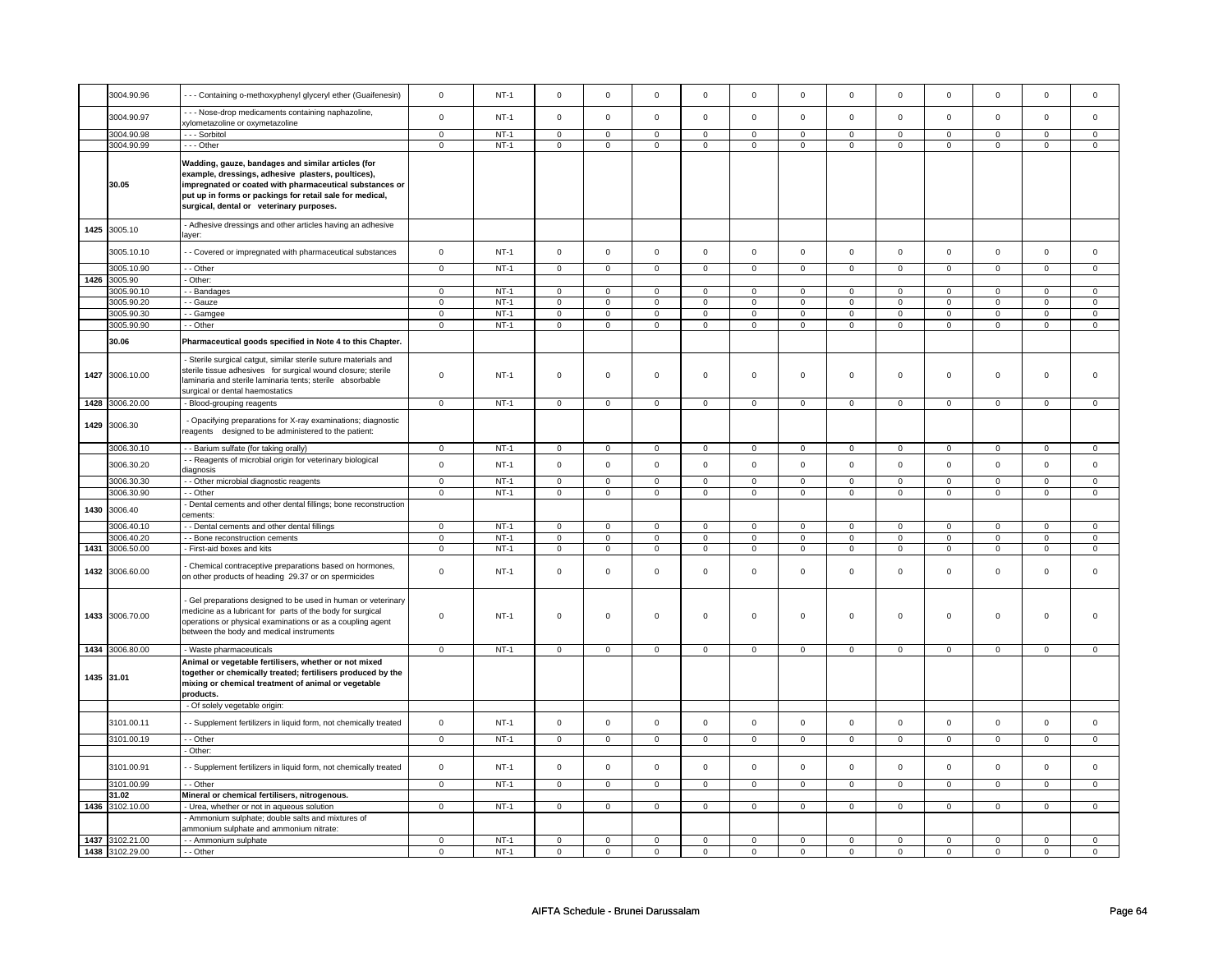|      | 3004.90.96      | - - - Containing o-methoxyphenyl glyceryl ether (Guaifenesin)                                                                                                                                                                                                               | $\mathbf 0$      | $NT-1$           | $\mathsf 0$                | $\mathsf 0$                | $\mathbf 0$                 | $\mathsf 0$                | $\mathsf 0$    | $\mathbf{0}$   | $\mathsf 0$         | $\mathsf 0$    | $\mathsf 0$    | $\mathsf 0$    | $\mathsf 0$    | $\mathsf 0$    |
|------|-----------------|-----------------------------------------------------------------------------------------------------------------------------------------------------------------------------------------------------------------------------------------------------------------------------|------------------|------------------|----------------------------|----------------------------|-----------------------------|----------------------------|----------------|----------------|---------------------|----------------|----------------|----------------|----------------|----------------|
|      | 3004.90.97      | - - - Nose-drop medicaments containing naphazoline,<br>xylometazoline or oxymetazoline                                                                                                                                                                                      | $\mathbf 0$      | $NT-1$           | $\mathsf 0$                | $\mathbf 0$                | $\mathsf 0$                 | $\mathsf 0$                | $\mathbf 0$    | $\mathbf 0$    | $\mathsf 0$         | $\mathbf 0$    | $\mathsf 0$    | $\mathsf 0$    | $\mathsf 0$    | $\mathsf 0$    |
|      | 3004.90.98      | - - - Sorbitol                                                                                                                                                                                                                                                              | $\mathbf 0$      | $NT-1$           | $\mathsf 0$                | $\mathsf 0$                | $\overline{0}$              | $\mathbf 0$                | $\mathsf 0$    | $\mathbf 0$    | $\overline{0}$      | $\mathbf 0$    | $\mathbf 0$    | $\mathsf 0$    | $\mathsf 0$    | $\mathsf 0$    |
|      | 3004.90.99      | $- -$ Other                                                                                                                                                                                                                                                                 | 0                | $NT-1$           | $\mathbf 0$                | $\mathbf 0$                | $\mathbf 0$                 | $\mathbf 0$                | $\mathbf 0$    | 0              | $\mathbf{0}$        | $\mathbf 0$    | $\mathbf 0$    | $\mathbf 0$    | $\mathbf 0$    | $\mathbf 0$    |
|      | 30.05           | Wadding, gauze, bandages and similar articles (for<br>example, dressings, adhesive plasters, poultices),<br>impregnated or coated with pharmaceutical substances or<br>put up in forms or packings for retail sale for medical,<br>surgical, dental or veterinary purposes. |                  |                  |                            |                            |                             |                            |                |                |                     |                |                |                |                |                |
|      | 1425 3005.10    | - Adhesive dressings and other articles having an adhesive<br>laver:                                                                                                                                                                                                        |                  |                  |                            |                            |                             |                            |                |                |                     |                |                |                |                |                |
|      | 3005.10.10      | - - Covered or impregnated with pharmaceutical substances                                                                                                                                                                                                                   | $\mathbf 0$      | $NT-1$           | $\mathbf 0$                | $\mathbf 0$                | $\,0\,$                     | $\mathsf 0$                | $\mathsf 0$    | $\mathbf 0$    | $\mathbf 0$         | $\mathbf 0$    | $\mathbf 0$    | $\mathbf 0$    | $\mathsf 0$    | $\mathsf 0$    |
|      | 3005.10.90      | - - Other                                                                                                                                                                                                                                                                   | $\mathbf 0$      | $NT-1$           | $\mathbf 0$                | $\mathbf 0$                | $\mathbf 0$                 | $\mathsf 0$                | $\mathbf 0$    | $\mathbf 0$    | $\mathbf 0$         | $\mathbf 0$    | $\mathsf 0$    | $\mathbf 0$    | $\mathsf 0$    | $\mathsf 0$    |
| 1426 | 3005.90         | - Other:                                                                                                                                                                                                                                                                    |                  |                  |                            |                            |                             |                            |                |                |                     |                |                |                |                |                |
|      | 3005.90.10      | - - Bandages                                                                                                                                                                                                                                                                | $\Omega$         | $NT-1$           | $\mathbf 0$                | $\mathbf{0}$               | $\mathbf 0$                 | $\Omega$                   | $\mathbf 0$    | 0              | $\mathbf 0$         | $\mathbf{0}$   | $\mathbf 0$    | $\mathbf 0$    | $\Omega$       | $\Omega$       |
|      | 3005.90.20      | - - Gauze                                                                                                                                                                                                                                                                   | $\mathbf 0$      | $NT-1$           | $\mathbf 0$                | $\mathbf 0$                | $\mathbf 0$                 | $\mathsf 0$                | $\mathbf 0$    | $\mathbf 0$    | $\mathbf 0$         | $\Omega$       | $\mathbf 0$    | $\mathbf 0$    | $\mathbf 0$    | $\mathbf 0$    |
|      | 3005.90.30      | - - Gamgee                                                                                                                                                                                                                                                                  | $\mathbf 0$      | $NT-1$           | $\mathbf 0$                | $\mathbf 0$                | $\mathbf{0}$                | $\mathbf 0$                | $\mathbf 0$    | $\mathbf 0$    | $\mathbf{O}$        | $\mathbf 0$    | $\mathbf 0$    | $\mathbf 0$    | $\Omega$       | $\mathbf 0$    |
|      | 3005.90.90      | $-$ Other                                                                                                                                                                                                                                                                   | $\overline{0}$   | $NT-1$           | $\mathbf 0$                | $\mathbf 0$                | $\overline{0}$              | $\mathbf 0$                | $\overline{0}$ | $\mathbf 0$    | $\overline{0}$      | $\mathbf 0$    | $\mathbf 0$    | $\mathbf 0$    | $\mathsf 0$    | $\mathsf 0$    |
|      | 30.06           | Pharmaceutical goods specified in Note 4 to this Chapter.                                                                                                                                                                                                                   |                  |                  |                            |                            |                             |                            |                |                |                     |                |                |                |                |                |
|      | 1427 3006.10.00 | - Sterile surgical catqut, similar sterile suture materials and<br>sterile tissue adhesives for surgical wound closure; sterile<br>laminaria and sterile laminaria tents; sterile absorbable<br>surgical or dental haemostatics                                             | 0                | <b>NT-1</b>      | $\mathbf 0$                | $\mathbf 0$                | $\mathbf 0$                 | $\mathbf 0$                | $\mathbf 0$    | 0              | $\mathbf 0$         | $\mathbf 0$    | $\mathbf 0$    | $\mathbf 0$    | $\mathsf 0$    | $\Omega$       |
| 1428 | 3006.20.00      | - Blood-grouping reagents                                                                                                                                                                                                                                                   | $\overline{0}$   | $NT-1$           | $\mathbf 0$                | $\circ$                    | $\overline{0}$              | $\mathbf 0$                | $\mathbf 0$    | $\mathbf 0$    | $\mathbf{0}$        | $\mathbf 0$    | $\mathbf 0$    | $\mathbf 0$    | $\mathsf 0$    | $\mathsf 0$    |
| 1429 | 3006.30         | - Opacifying preparations for X-ray examinations; diagnostic<br>reagents designed to be administered to the patient:                                                                                                                                                        |                  |                  |                            |                            |                             |                            |                |                |                     |                |                |                |                |                |
|      | 3006.30.10      | - - Barium sulfate (for taking orally)                                                                                                                                                                                                                                      | 0                | $NT-1$           | $\mathbf 0$                | 0                          | $\circ$                     | $\mathbf 0$                | $\mathbf 0$    | 0              | $\circ$             | $\mathbf 0$    | 0              | $\circ$        | $\mathbf 0$    | $\mathbf 0$    |
|      | 3006.30.20      | - - Reagents of microbial origin for veterinary biological                                                                                                                                                                                                                  | $\mathbf{0}$     | $NT-1$           | $\mathbf 0$                | $\mathbf{0}$               | $\mathsf 0$                 | $\mathbf 0$                | $\mathsf 0$    | $\mathbf{0}$   | $\mathbf 0$         | $\mathbf 0$    | $\mathbf 0$    | $\mathbf{0}$   | $\mathbf 0$    | $\mathbf 0$    |
|      |                 | diagnosis                                                                                                                                                                                                                                                                   |                  |                  |                            |                            |                             |                            |                |                |                     |                |                |                |                |                |
|      | 3006.30.30      | - - Other microbial diagnostic reagents                                                                                                                                                                                                                                     | $\mathbf 0$      | $NT-1$           | $\mathsf 0$                | $\circ$                    | $\mathbf 0$                 | $\mathsf 0$                | $\mathsf 0$    | $\mathbf 0$    | $\mathsf 0$         | $\mathbf 0$    | $\mathbf 0$    | $\mathbf 0$    | $\mathsf 0$    | $\mathsf 0$    |
|      | 3006.30.90      | - - Other                                                                                                                                                                                                                                                                   | $\mathbf 0$      | $NT-1$           | $\mathbf 0$                | $\mathbf 0$                | $\mathbf 0$                 | $\mathsf 0$                | $\mathbf 0$    | $\mathbf 0$    | $\mathbf{0}$        | $\Omega$       | $\mathbf 0$    | $\mathbf{0}$   | $\mathsf 0$    | $\mathbf 0$    |
| 1430 | 3006.40         | - Dental cements and other dental fillings; bone reconstruction<br>cements:                                                                                                                                                                                                 |                  |                  |                            |                            |                             |                            |                |                |                     |                |                |                |                |                |
|      | 3006.40.10      | - - Dental cements and other dental fillings                                                                                                                                                                                                                                | $\mathbf 0$      | $NT-1$           | $\mathbf 0$                | $\mathbf 0$                | $\mathbf 0$                 | $\mathbf 0$                | $\mathbf 0$    | $\mathbf 0$    | $\mathbf{0}$        | $\Omega$       | $\Omega$       | $\mathbf 0$    | $\Omega$       | $\Omega$       |
|      | 3006.40.20      | - - Bone reconstruction cements                                                                                                                                                                                                                                             | $\mathbf{0}$     | $NT-1$           | $\mathbf 0$                | $\mathbf 0$                | $\mathbf 0$                 | $\mathbf 0$                | $\mathbf 0$    | $\mathbf 0$    | $\mathbf{0}$        | $\mathbf 0$    | $\mathbf 0$    | $\mathbf 0$    | $\mathbf 0$    | $\mathbf 0$    |
| 1431 | 3006.50.00      | - First-aid boxes and kits                                                                                                                                                                                                                                                  | $\overline{0}$   | $NT-1$           | $\overline{0}$             | $\mathbf{0}$               | $\overline{0}$              | $\mathbf 0$                | $\overline{0}$ | $\overline{0}$ | $\overline{0}$      | $\mathbf 0$    | $\overline{0}$ | $\overline{0}$ | $\overline{0}$ | $\overline{0}$ |
| 1432 | 3006.60.00      | - Chemical contraceptive preparations based on hormones,<br>on other products of heading 29.37 or on spermicides                                                                                                                                                            | $\mathbf 0$      | $NT-1$           | $\Omega$                   | $\mathbf 0$                | $\mathbf 0$                 | $\Omega$                   | $\mathbf 0$    | $\mathbf 0$    | $\Omega$            | $\mathbf 0$    | $\mathbf 0$    | 0              | $\,0\,$        | $\Omega$       |
|      | 1433 3006.70.00 | - Gel preparations designed to be used in human or veterinary<br>medicine as a lubricant for parts of the body for surgical<br>operations or physical examinations or as a coupling agent<br>between the body and medical instruments                                       | $\mathbf 0$      | $NT-1$           | $\Omega$                   | $\Omega$                   | $\overline{0}$              | $\Omega$                   | $\mathsf 0$    | $\mathbf 0$    | $\Omega$            | $\mathbf 0$    | $\mathsf 0$    | $\Omega$       | $\mathsf 0$    | $\Omega$       |
|      | 1434 3006.80.00 | - Waste pharmaceuticals                                                                                                                                                                                                                                                     | $\mathbf 0$      | $NT-1$           | $\mathsf 0$                | $\mathbf 0$                | $\mathbf 0$                 | $\mathsf 0$                | $\mathsf 0$    | $\mathbf 0$    | $\mathbf 0$         | $\mathbf 0$    | $\mathsf 0$    | $\mathsf 0$    | $\mathsf 0$    | $\mathbf 0$    |
|      | 1435 31.01      | Animal or vegetable fertilisers, whether or not mixed<br>together or chemically treated; fertilisers produced by the<br>mixing or chemical treatment of animal or vegetable<br>products.                                                                                    |                  |                  |                            |                            |                             |                            |                |                |                     |                |                |                |                |                |
|      |                 | - Of solely vegetable origin:                                                                                                                                                                                                                                               |                  |                  |                            |                            |                             |                            |                |                |                     |                |                |                |                |                |
|      | 3101.00.11      | - Supplement fertilizers in liquid form, not chemically treated                                                                                                                                                                                                             | 0                | $NT-1$           | $\mathsf 0$                | $\mathsf 0$                | $\mathsf 0$                 | $\mathsf 0$                | $\mathsf 0$    | 0              | $\mathsf 0$         | $\mathbf 0$    | $\mathbf 0$    | $\mathsf 0$    | $\mathsf 0$    | $\mathsf 0$    |
|      | 3101.00.19      | - - Other                                                                                                                                                                                                                                                                   | $\overline{0}$   | $NT-1$           | $\overline{0}$             | $\overline{0}$             | $\overline{0}$              | $\mathbf 0$                | $\overline{0}$ | $\overline{0}$ | $\overline{0}$      | $\overline{0}$ | $\overline{0}$ | $\overline{0}$ | $\overline{0}$ | $\overline{0}$ |
|      |                 | - Other:                                                                                                                                                                                                                                                                    |                  |                  |                            |                            |                             |                            |                |                |                     |                |                |                |                |                |
|      | 3101.00.91      | - Supplement fertilizers in liquid form, not chemically treated                                                                                                                                                                                                             | $\mathbf 0$      | $NT-1$           | $\mathsf 0$                | $\mathbf 0$                | $\mathbf 0$                 | $\mathsf 0$                | $\mathsf 0$    | $\mathbf 0$    | $\mathsf{O}\xspace$ | $\mathbf 0$    | $\mathbf 0$    | $\mathsf 0$    | $\mathsf 0$    | $\mathsf 0$    |
|      | 3101.00.99      | $-$ Other                                                                                                                                                                                                                                                                   | $\overline{0}$   | $NT-1$           | $\overline{0}$             | $\overline{0}$             | $\overline{0}$              | $\overline{0}$             | $\overline{0}$ | $\overline{0}$ | $\overline{0}$      | $\overline{0}$ | $\overline{0}$ | $\overline{0}$ | $\overline{0}$ | $\overline{0}$ |
|      | 31.02           | Mineral or chemical fertilisers, nitrogenous.                                                                                                                                                                                                                               |                  |                  |                            |                            |                             |                            |                |                |                     |                |                |                |                |                |
| 1436 | 3102.10.00      | - Urea, whether or not in aqueous solution                                                                                                                                                                                                                                  | $\mathbf 0$      | $NT-1$           | $\mathbf 0$                | $\mathbf 0$                | $\mathbf 0$                 | $\mathsf 0$                | $\mathbf 0$    | $\mathbf 0$    | $\mathbf{O}$        | $\mathbf 0$    | $\mathbf 0$    | $\mathbf 0$    | $\Omega$       | $\mathsf 0$    |
|      |                 | - Ammonium sulphate; double salts and mixtures of<br>ammonium sulphate and ammonium nitrate:                                                                                                                                                                                |                  |                  |                            |                            |                             |                            |                |                |                     |                |                |                |                |                |
| 1437 | 3102.21.00      | - - Ammonium sulphate<br>- - Other                                                                                                                                                                                                                                          | 0<br>$\mathbf 0$ | $NT-1$<br>$NT-1$ | $\mathbf 0$<br>$\mathbf 0$ | $\mathbf 0$<br>$\mathbf 0$ | $\mathbf 0$<br>$\mathbf{0}$ | $\mathbf 0$<br>$\mathbf 0$ | $\mathbf 0$    | $\mathbf 0$    | $\mathbf 0$         | $\mathbf 0$    | $\mathbf 0$    | 0<br>$\Omega$  | $\mathbf 0$    | $\mathbf 0$    |
|      | 1438 3102.29.00 |                                                                                                                                                                                                                                                                             |                  |                  |                            |                            |                             |                            | $\Omega$       | $\Omega$       | $\mathbf 0$         | $\Omega$       | $\mathbf 0$    |                | $\mathsf 0$    | $\Omega$       |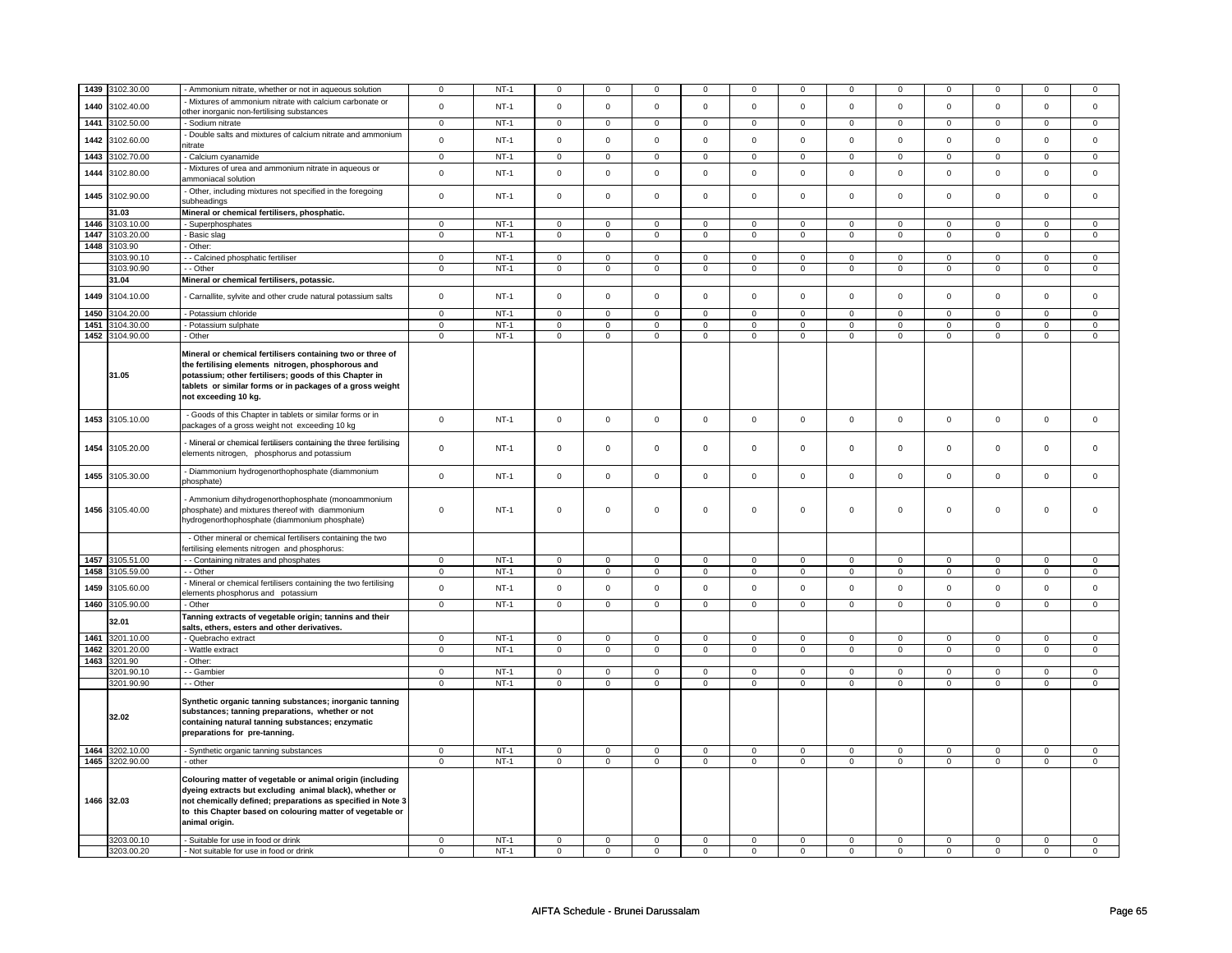|      | 3102.30.00      |                                                                                                                                                                                                                                                                    |             | $NT-1$ |                | $\mathbf 0$ |                     |             |                     |             |             |             | $\mathbf 0$  |              |                     | 0              |
|------|-----------------|--------------------------------------------------------------------------------------------------------------------------------------------------------------------------------------------------------------------------------------------------------------------|-------------|--------|----------------|-------------|---------------------|-------------|---------------------|-------------|-------------|-------------|--------------|--------------|---------------------|----------------|
| 1439 |                 | - Ammonium nitrate, whether or not in aqueous solution                                                                                                                                                                                                             | 0           |        | $\mathbf 0$    |             | 0                   | $\mathbf 0$ | $^{\circ}$          | 0           | 0           | 0           |              | 0            | 0                   |                |
| 1440 | 3102.40.00      | Mixtures of ammonium nitrate with calcium carbonate or                                                                                                                                                                                                             | $\mathsf 0$ | $NT-1$ | $\mathsf 0$    | $\mathsf 0$ | $\mathsf{O}\xspace$ | $\mathsf 0$ | $\mathsf{O}\xspace$ | $\mathsf 0$ | $\mathsf 0$ | $\mathsf 0$ | $\mathsf 0$  | $\mathbf 0$  | $\mathsf 0$         | $\mathsf 0$    |
|      |                 | other inorganic non-fertilising substances                                                                                                                                                                                                                         |             |        |                |             |                     |             |                     |             |             |             |              |              |                     |                |
| 1441 | 3102.50.00      | - Sodium nitrate                                                                                                                                                                                                                                                   | $\mathbf 0$ | $NT-1$ | $\mathbf 0$    | $\mathbf 0$ | $\mathbf 0$         | $\mathbf 0$ | $\mathbf 0$         | $\mathbf 0$ | $\mathbf 0$ | $\mathbf 0$ | $\mathbf{0}$ | $\mathbf 0$  | 0                   | $\overline{0}$ |
| 1442 | 3102.60.00      | - Double salts and mixtures of calcium nitrate and ammonium                                                                                                                                                                                                        | $\mathsf 0$ | $NT-1$ | $\mathsf 0$    | $\mathsf 0$ | $\mathbf 0$         | $\mathbf 0$ | $\mathsf 0$         | $\mathsf 0$ | $\mathbf 0$ | $\mathsf 0$ | $\mathbf 0$  | $\mathbf 0$  | $\Omega$            | $\mathbf 0$    |
|      |                 | nitrate                                                                                                                                                                                                                                                            |             |        |                |             |                     |             |                     |             |             |             |              |              |                     |                |
| 1443 | 3102.70.00      | - Calcium cyanamide                                                                                                                                                                                                                                                | $\mathbf 0$ | $NT-1$ | $\mathbf 0$    | $\mathbf 0$ | $\mathbf 0$         | $\mathbf 0$ | $\mathbf 0$         | $\mathbf 0$ | 0           | $\mathbf 0$ | $\mathbf 0$  | $\mathbf 0$  | 0                   | 0              |
| 1444 | 3102.80.00      | Mixtures of urea and ammonium nitrate in aqueous or<br>ammoniacal solution                                                                                                                                                                                         | $\mathsf 0$ | $NT-1$ | $\mathsf 0$    | $\mathbf 0$ | $\mathsf 0$         | $\mathbf 0$ | $\mathsf 0$         | $\mathsf 0$ | $\Omega$    | $\mathsf 0$ | $\mathsf 0$  | $\mathbf 0$  | $\mathbf 0$         | $\mathbf 0$    |
| 1445 | 3102.90.00      | Other, including mixtures not specified in the foregoing<br>subheadings                                                                                                                                                                                            | $\mathbf 0$ | $NT-1$ | $\mathsf 0$    | $\mathbf 0$ | $\mathsf 0$         | $\mathbf 0$ | $\mathsf 0$         | $\mathsf 0$ | $\mathbf 0$ | $\mathsf 0$ | $\mathsf 0$  | $\mathbf 0$  | $\mathsf 0$         | $\mathbf 0$    |
|      | 31.03           | Mineral or chemical fertilisers, phosphatic.                                                                                                                                                                                                                       |             |        |                |             |                     |             |                     |             |             |             |              |              |                     |                |
| 1446 | 3103.10.00      | - Superphosphates                                                                                                                                                                                                                                                  | $\mathsf 0$ | $NT-1$ | $\mathbf 0$    | $\mathbf 0$ | $\mathbf 0$         | $\mathbf 0$ | $\mathbf 0$         | $\mathbf 0$ | 0           | $\mathbf 0$ | 0            | 0            | $\Omega$            | $\mathbf 0$    |
| 1447 | 3103.20.00      | Basic slag                                                                                                                                                                                                                                                         | $\mathbf 0$ | $NT-1$ | $\mathbf 0$    | $\mathbf 0$ | $\mathbf 0$         | $\mathbf 0$ | $\mathbf 0$         | 0           | 0           | 0           | 0            | $\mathbf 0$  | 0                   | 0              |
| 1448 | 3103.90         | Other:                                                                                                                                                                                                                                                             |             |        |                |             |                     |             |                     |             |             |             |              |              |                     |                |
|      | 3103.90.10      | - Calcined phosphatic fertiliser                                                                                                                                                                                                                                   | 0           | $NT-1$ | $\mathbf 0$    | $\mathbf 0$ | $\mathbf 0$         | $\mathbf 0$ | $\mathbf 0$         | $\mathbf 0$ | 0           | 0           | 0            | 0            | 0                   | 0              |
|      | 3103.90.90      | - Other                                                                                                                                                                                                                                                            | $\mathsf 0$ | $NT-1$ | $\mathbf 0$    | $\mathbf 0$ | $\mathsf 0$         | $\mathbf 0$ | $\mathbf 0$         | $\mathsf 0$ | 0           | $\mathsf 0$ | $\mathsf 0$  | $\mathbf 0$  | 0                   | 0              |
|      | 31.04           | Mineral or chemical fertilisers, potassic.                                                                                                                                                                                                                         |             |        |                |             |                     |             |                     |             |             |             |              |              |                     |                |
|      |                 |                                                                                                                                                                                                                                                                    |             |        |                |             |                     |             |                     |             |             |             |              |              |                     |                |
| 1449 | 3104.10.00      | Carnallite, sylvite and other crude natural potassium salts                                                                                                                                                                                                        | 0           | NT-1   | $\mathbf 0$    | $\mathbf 0$ | $\mathbf 0$         | $\mathbf 0$ | $\mathbf 0$         | 0           | 0           | 0           | 0            | 0            | 0                   | $\mathbf 0$    |
| 1450 | 3104.20.00      | - Potassium chloride                                                                                                                                                                                                                                               | $\mathbf 0$ | $NT-1$ | $\mathsf 0$    | $\mathsf 0$ | $\mathsf{O}\xspace$ | $\mathsf 0$ | $\mathsf{O}\xspace$ | $\mathbf 0$ | $\mathbf 0$ | $\mathsf 0$ | $\mathsf 0$  | $\mathsf 0$  | $\mathsf 0$         | 0              |
| 1451 | 3104.30.00      | - Potassium sulphate                                                                                                                                                                                                                                               | $\mathbf 0$ | $NT-1$ | 0              | $\mathbf 0$ | 0                   | $\mathbf 0$ | 0                   | $\mathbf 0$ | 0           | $\mathbf 0$ | 0            | $\mathbf 0$  | 0                   | $\mathbf 0$    |
| 1452 | 3104.90.00      | - Other                                                                                                                                                                                                                                                            | $\mathsf 0$ | $NT-1$ | $\mathbf 0$    | $\mathbf 0$ | $\mathbf 0$         | $\mathbf 0$ | $\mathsf 0$         | $\mathbf 0$ | 0           | $\mathbf 0$ | $\mathsf 0$  | $\mathbf 0$  | 0                   | 0              |
|      | 31.05           | Mineral or chemical fertilisers containing two or three of<br>the fertilising elements nitrogen, phosphorous and<br>potassium; other fertilisers; goods of this Chapter in<br>tablets or similar forms or in packages of a gross weight<br>not exceeding 10 kg.    |             |        |                |             |                     |             |                     |             |             |             |              |              |                     |                |
|      | 1453 3105.10.00 | - Goods of this Chapter in tablets or similar forms or in<br>packages of a gross weight not exceeding 10 kg                                                                                                                                                        | $\mathbf 0$ | $NT-1$ | $\mathsf 0$    | $\mathsf 0$ | $\mathsf 0$         | $\mathsf 0$ | $\mathsf 0$         | $\mathsf 0$ | $\mathsf 0$ | $\mathsf 0$ | $\mathsf 0$  | $\mathsf{O}$ | $\mathsf{O}\xspace$ | $\mathsf 0$    |
| 1454 | 3105.20.00      | Mineral or chemical fertilisers containing the three fertilising<br>elements nitrogen, phosphorus and potassium                                                                                                                                                    | $\mathbf 0$ | $NT-1$ | $\mathsf 0$    | $\circ$     | $\mathbf 0$         | $\mathbf 0$ | $\mathsf{o}\,$      | $\mathbf 0$ | $\mathbf 0$ | $\mathbf 0$ | $\mathbf 0$  | $\mathbf 0$  | $\mathbf 0$         | $\mathbf{0}$   |
| 1455 | 3105.30.00      | - Diammonium hydrogenorthophosphate (diammonium<br>phosphate)                                                                                                                                                                                                      | $\mathsf 0$ | $NT-1$ | $\mathbf 0$    | $\mathsf 0$ | $\mathsf 0$         | $\mathbf 0$ | $\mathsf 0$         | $\mathsf 0$ | $\mathbf 0$ | $\mathsf 0$ | $\mathsf 0$  | $\mathbf 0$  | $\mathsf 0$         | 0              |
|      | 1456 3105.40.00 | - Ammonium dihydrogenorthophosphate (monoammonium<br>phosphate) and mixtures thereof with diammonium<br>hydrogenorthophosphate (diammonium phosphate)                                                                                                              | $\mathbf 0$ | $NT-1$ | $\mathsf 0$    | $\mathsf 0$ | $\mathsf{O}\xspace$ | $\mathsf 0$ | $\mathsf{O}\xspace$ | $\mathsf 0$ | $\mathsf 0$ | $\mathsf 0$ | $\mathsf 0$  | $\mathbf 0$  | $\mathsf 0$         | 0              |
|      |                 | - Other mineral or chemical fertilisers containing the two<br>ertilising elements nitrogen and phosphorus:                                                                                                                                                         |             |        |                |             |                     |             |                     |             |             |             |              |              |                     |                |
| 1457 | 3105.51.00      | - - Containing nitrates and phosphates                                                                                                                                                                                                                             | $\mathbf 0$ | $NT-1$ | $\overline{0}$ | $\mathbf 0$ | $\mathbf 0$         | $\mathbf 0$ | $\mathsf 0$         | $\mathsf 0$ | $\mathbf 0$ | $\mathbf 0$ | $\mathbf 0$  | $\mathbf 0$  | $\mathbf 0$         | 0              |
| 1458 | 3105.59.00      | - - Other                                                                                                                                                                                                                                                          | $\mathbf 0$ | $NT-1$ | $\mathbf 0$    | $\mathbf 0$ | 0                   | $\mathbf 0$ | 0                   | 0           | 0           | 0           | 0            | 0            | $\mathbf 0$         | 0              |
| 1459 | 3105.60.00      | Mineral or chemical fertilisers containing the two fertilising                                                                                                                                                                                                     | $\mathsf 0$ | $NT-1$ | $\mathsf 0$    | $\mathbf 0$ | $\mathbf 0$         | $\mathbf 0$ | $\mathbf 0$         | 0           | 0           | 0           | 0            | $\mathbf 0$  | $\Omega$            | $\mathbf 0$    |
|      |                 | elements phosphorus and potassium                                                                                                                                                                                                                                  |             |        |                |             |                     |             |                     |             |             |             |              |              |                     |                |
| 1460 | 3105.90.00      | - Other                                                                                                                                                                                                                                                            | $\mathsf 0$ | $NT-1$ | $\mathbf 0$    | $\mathbf 0$ | $\mathbf 0$         | $\mathbf 0$ | $\mathbf 0$         | $\mathbf 0$ | $\mathbf 0$ | $\mathbf 0$ | $\mathbf 0$  | $\mathbf 0$  | $\mathsf 0$         | $\mathbf{0}$   |
|      | 32.01           | Tanning extracts of vegetable origin; tannins and their<br>salts, ethers, esters and other derivatives.                                                                                                                                                            |             |        |                |             |                     |             |                     |             |             |             |              |              |                     |                |
| 1461 | 3201.10.00      | Quebracho extract                                                                                                                                                                                                                                                  | $\mathsf 0$ | $NT-1$ | $\mathsf 0$    | $\mathbf 0$ | $\mathbf 0$         | $\mathbf 0$ | $\mathsf 0$         | $\mathsf 0$ | $\mathbf 0$ | $\mathsf 0$ | $\mathsf 0$  | $\mathbf 0$  | $\Omega$            | 0              |
| 1462 | 3201.20.00      | - Wattle extract                                                                                                                                                                                                                                                   | $\mathsf 0$ | $NT-1$ | $\mathbf 0$    | $\mathbf 0$ | $\mathsf 0$         | $\mathbf 0$ | $\mathsf 0$         | $\mathbf 0$ | $\mathbf 0$ | $\mathsf 0$ | $\mathsf 0$  | $\mathbf 0$  | $\mathsf 0$         | $\mathbf 0$    |
| 1463 | 3201.90         | - Other:                                                                                                                                                                                                                                                           |             |        |                |             |                     |             |                     |             |             |             |              |              |                     |                |
|      | 3201.90.10      | - - Gambier                                                                                                                                                                                                                                                        | $\mathbf 0$ | $NT-1$ | $\mathbf 0$    | $\mathbf 0$ | $\mathbf 0$         | $\mathbf 0$ | $\mathbf 0$         | $\mathbf 0$ | 0           | $\mathbf 0$ | 0            | $\mathbf 0$  | 0                   | 0              |
|      | 3201.90.90      | - - Other                                                                                                                                                                                                                                                          | $\mathbf 0$ | $NT-1$ | $\mathbf 0$    | $\mathbf 0$ | $\mathbf 0$         | $\mathbf 0$ | $\mathbf 0$         | 0           | 0           | 0           | 0            | 0            | 0                   | 0              |
|      | 32.02           | Synthetic organic tanning substances; inorganic tanning<br>substances; tanning preparations, whether or not<br>containing natural tanning substances; enzymatic<br>preparations for pre-tanning.                                                                   |             |        |                |             |                     |             |                     |             |             |             |              |              |                     |                |
| 1464 | 3202.10.00      | - Synthetic organic tanning substances                                                                                                                                                                                                                             | $\mathbf 0$ | $NT-1$ | $\mathbf 0$    | $\mathbf 0$ | $\mathbf 0$         | $\mathbf 0$ | $\mathbf 0$         | $\mathbf 0$ | $\mathbf 0$ | $\mathbf 0$ | $\mathbf 0$  | $\mathbf 0$  | $\mathbf 0$         | $\mathbf{0}$   |
| 1465 | 3202.90.00      | - other                                                                                                                                                                                                                                                            | $\mathsf 0$ | $NT-1$ | $\mathbf 0$    | $\mathsf 0$ | $\mathsf 0$         | $\mathbf 0$ | $\mathsf 0$         | $\mathsf 0$ | $\mathbf 0$ | $\mathsf 0$ | $\mathsf 0$  | $\mathbf 0$  | $\mathsf 0$         | $\mathbf 0$    |
|      | 1466 32.03      | Colouring matter of vegetable or animal origin (including<br>dyeing extracts but excluding animal black), whether or<br>not chemically defined; preparations as specified in Note 3<br>to this Chapter based on colouring matter of vegetable or<br>animal origin. |             |        |                |             |                     |             |                     |             |             |             |              |              |                     |                |
|      | 3203.00.10      | - Suitable for use in food or drink                                                                                                                                                                                                                                | $\mathbf 0$ | $NT-1$ | $\mathbf 0$    | $\mathbf 0$ | $\mathbf 0$         | $\mathbf 0$ | $\mathbf 0$         | 0           | 0           | 0           | 0            | 0            | 0                   | 0              |
|      | 3203.00.20      | - Not suitable for use in food or drink                                                                                                                                                                                                                            | $\mathbf 0$ | $NT-1$ | $\mathbf 0$    | $\mathbf 0$ | $\mathbf 0$         | 0           | $\mathbf 0$         | 0           | $\mathbf 0$ | 0           | 0            | 0            | 0                   | 0              |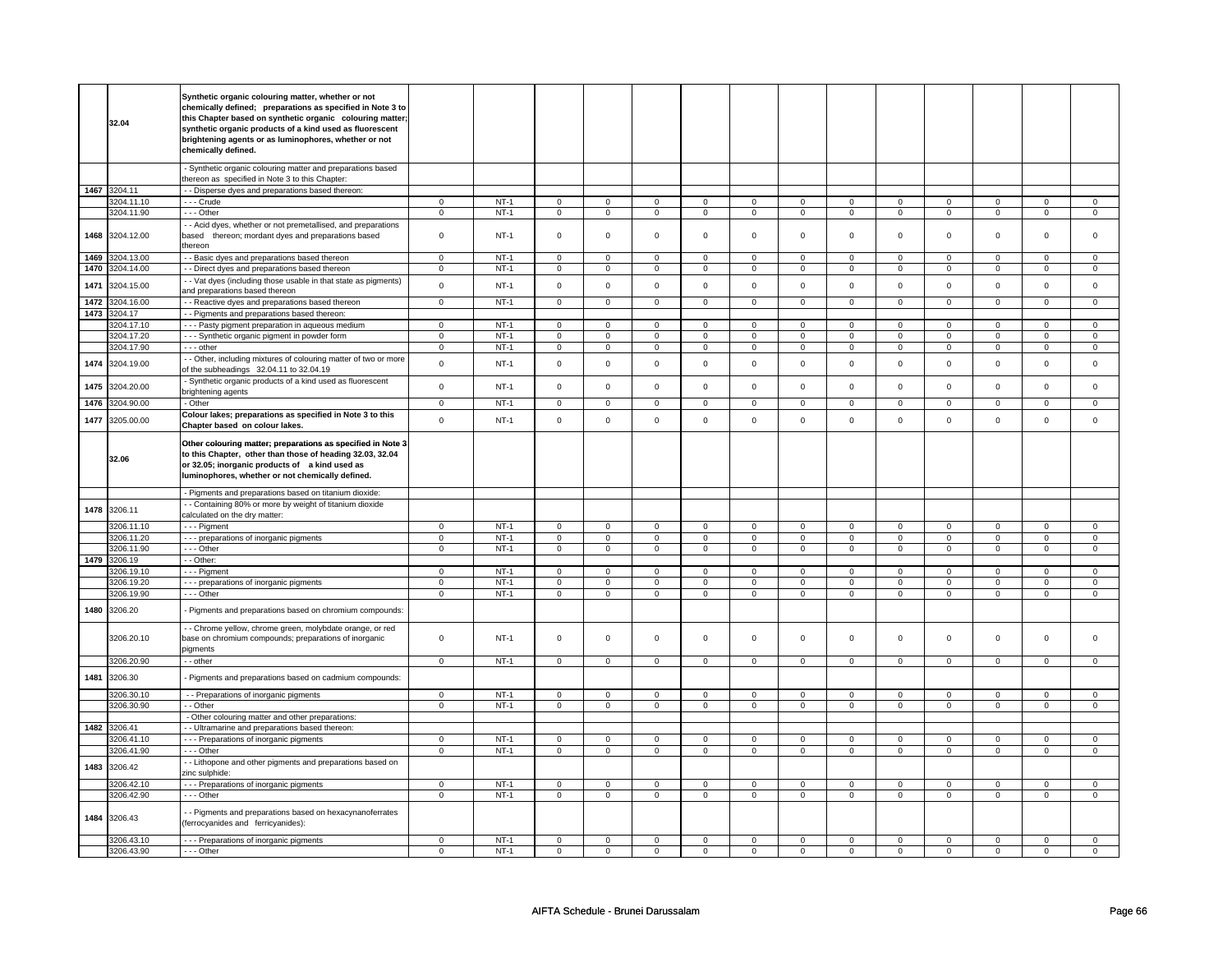|      | 32.04        | Synthetic organic colouring matter, whether or not<br>chemically defined; preparations as specified in Note 3 to<br>this Chapter based on synthetic organic colouring matter;<br>synthetic organic products of a kind used as fluorescent<br>brightening agents or as luminophores, whether or not<br>chemically defined. |                |        |                |                |                     |                |                     |                     |                |                     |                     |                     |                |                     |
|------|--------------|---------------------------------------------------------------------------------------------------------------------------------------------------------------------------------------------------------------------------------------------------------------------------------------------------------------------------|----------------|--------|----------------|----------------|---------------------|----------------|---------------------|---------------------|----------------|---------------------|---------------------|---------------------|----------------|---------------------|
|      |              | - Synthetic organic colouring matter and preparations based<br>thereon as specified in Note 3 to this Chapter:                                                                                                                                                                                                            |                |        |                |                |                     |                |                     |                     |                |                     |                     |                     |                |                     |
|      | 1467 3204.11 | - - Disperse dyes and preparations based thereon:                                                                                                                                                                                                                                                                         |                |        |                |                |                     |                |                     |                     |                |                     |                     |                     |                |                     |
|      | 3204.11.10   | - - - Crude                                                                                                                                                                                                                                                                                                               | $\mathbf 0$    | $NT-1$ | $\mathbf 0$    | $\mathbf 0$    | $\mathbf 0$         | $\mathbf 0$    | $\mathbf 0$         | $\mathbf 0$         | 0              | 0                   | 0                   | 0                   | 0              | $\mathbf 0$         |
|      | 3204.11.90   | $- -$ Other                                                                                                                                                                                                                                                                                                               | $\overline{0}$ | $NT-1$ | $\overline{0}$ | $\overline{0}$ | $\overline{0}$      | $\overline{0}$ | $\overline{0}$      | $\overline{0}$      | $\overline{0}$ | $\overline{0}$      | $\overline{0}$      | $\overline{0}$      | $\overline{0}$ | $\overline{0}$      |
| 1468 | 3204.12.00   | - - Acid dyes, whether or not premetallised, and preparations<br>based thereon; mordant dyes and preparations based<br>thereon                                                                                                                                                                                            | $\mathbf 0$    | $NT-1$ | $\mathbf 0$    | $\mathbf 0$    | $\mathbf 0$         | $\mathbf 0$    | $\mathsf{O}\xspace$ | $\mathsf 0$         | $\Omega$       | $\mathsf 0$         | $\mathsf 0$         | $\mathbf 0$         | $\Omega$       | $\mathbf{0}$        |
| 1469 | 3204.13.00   | - Basic dyes and preparations based thereon                                                                                                                                                                                                                                                                               | $\mathsf 0$    | $NT-1$ | $\mathbf 0$    | $\mathbf 0$    | $\mathbf 0$         | $\mathbf 0$    | $\mathbf 0$         | $\mathbf 0$         | 0              | $\mathbf 0$         | 0                   | $\mathbf 0$         | 0              | 0                   |
| 1470 | 3204.14.00   | - - Direct dyes and preparations based thereon                                                                                                                                                                                                                                                                            | $\mathsf 0$    | $NT-1$ | $\mathbf 0$    | $\mathbf 0$    | $\mathsf 0$         | $\mathbf 0$    | $\mathsf 0$         | $\mathbf 0$         | $\mathbf 0$    | $\mathsf 0$         | $\mathsf 0$         | $\mathbf 0$         | $\mathsf 0$    | 0                   |
| 1471 | 3204.15.00   | - - Vat dyes (including those usable in that state as pigments)<br>and preparations based thereon                                                                                                                                                                                                                         | $\mathsf 0$    | $NT-1$ | $\mathsf 0$    | $\mathsf 0$    | $\mathsf{O}\xspace$ | $\mathsf 0$    | $\mathsf 0$         | $\mathbf 0$         | $\mathbf 0$    | $\mathbf 0$         | $\mathsf 0$         | $\mathsf 0$         | $\mathsf 0$    | $\mathsf 0$         |
| 1472 | 3204.16.00   | - Reactive dyes and preparations based thereon                                                                                                                                                                                                                                                                            | $\mathsf 0$    | $NT-1$ | $\mathbf 0$    | $\mathbf 0$    | $\mathsf 0$         | $\mathbf 0$    | $\mathsf 0$         | $\mathbf 0$         | $\mathbf 0$    | $\mathbf 0$         | $\mathsf 0$         | $\mathbf 0$         | $\mathsf 0$    | 0                   |
| 1473 | 3204.17      | - Pigments and preparations based thereon:                                                                                                                                                                                                                                                                                |                |        |                |                |                     |                |                     |                     |                |                     |                     |                     |                |                     |
|      | 3204.17.10   | - - - Pasty pigment preparation in aqueous medium                                                                                                                                                                                                                                                                         | $\mathbf 0$    | $NT-1$ | $\mathbf 0$    | $\mathbf 0$    | $\mathbf{0}$        | $\mathbf{0}$   | $\mathbf{0}$        | $\mathbf{0}$        | $^{\circ}$     | $\mathbf{0}$        | $\mathbf{0}$        | $\mathbf{0}$        | 0              | $\mathbf{0}$        |
|      | 3204.17.20   | - - - Synthetic organic pigment in powder form                                                                                                                                                                                                                                                                            | $\mathsf 0$    | $NT-1$ | $\mathbf 0$    | $\mathbf 0$    | $\mathbf 0$         | $\mathsf 0$    | $\mathsf 0$         | $\mathbf 0$         | $\mathbf 0$    | $\mathbf 0$         | $\mathsf 0$         | $\mathbf 0$         | 0              | $\mathbf{0}$        |
|      | 3204.17.90   | --- other                                                                                                                                                                                                                                                                                                                 | $\mathbf 0$    | $NT-1$ | $\mathbf 0$    | $\mathbf 0$    | $\mathbf 0$         | $\mathbf 0$    | $\mathbf 0$         | $\mathbf{0}$        | $\mathbf 0$    | $\mathbf{0}$        | $\mathbf 0$         | $\mathbf 0$         | $\mathbf 0$    | 0                   |
| 1474 | 3204.19.00   | - Other, including mixtures of colouring matter of two or more<br>of the subheadings 32.04.11 to 32.04.19                                                                                                                                                                                                                 | $\mathbf 0$    | $NT-1$ | $\mathsf 0$    | $\mathsf 0$    | $\mathsf 0$         | $\mathsf 0$    | $\mathsf 0$         | $\mathsf 0$         | $\mathbf 0$    | $\mathsf 0$         | $\mathsf 0$         | $\mathbf 0$         | $\mathsf 0$    | $\mathsf 0$         |
| 1475 | 3204.20.00   | Synthetic organic products of a kind used as fluorescent<br>brightening agents                                                                                                                                                                                                                                            | $\mathsf 0$    | $NT-1$ | $\mathsf 0$    | $\mathsf 0$    | $\mathsf 0$         | $\mathsf 0$    | $\mathsf 0$         | $\mathbf 0$         | $\mathbf 0$    | $\mathsf 0$         | $\mathsf 0$         | $\mathbf 0$         | $\mathbf 0$    | $\mathbf 0$         |
| 1476 | 3204.90.00   | - Other                                                                                                                                                                                                                                                                                                                   | $\mathbf 0$    | $NT-1$ | $\mathbf 0$    | $\mathbf 0$    | $\mathbf 0$         | $\mathbf 0$    | $\mathbf 0$         | $\mathbf 0$         | 0              | $\mathbf 0$         | 0                   | $\mathbf 0$         | 0              | 0                   |
| 1477 | 3205.00.00   | Colour lakes; preparations as specified in Note 3 to this<br>Chapter based on colour lakes.                                                                                                                                                                                                                               | $\mathsf 0$    | $NT-1$ | $\mathsf 0$    | $\mathsf 0$    | $\mathsf 0$         | $\mathsf 0$    | $\mathsf 0$         | $\mathsf 0$         | $\mathbf 0$    | $\mathbf 0$         | $\mathsf 0$         | $\mathbf 0$         | $\mathsf 0$    | $\mathbf 0$         |
|      | 32.06        | Other colouring matter; preparations as specified in Note 3<br>to this Chapter, other than those of heading 32.03, 32.04<br>or 32.05; inorganic products of a kind used as<br>luminophores, whether or not chemically defined.                                                                                            |                |        |                |                |                     |                |                     |                     |                |                     |                     |                     |                |                     |
|      |              | - Pigments and preparations based on titanium dioxide:                                                                                                                                                                                                                                                                    |                |        |                |                |                     |                |                     |                     |                |                     |                     |                     |                |                     |
| 1478 | 3206.11      | - Containing 80% or more by weight of titanium dioxide                                                                                                                                                                                                                                                                    |                |        |                |                |                     |                |                     |                     |                |                     |                     |                     |                |                     |
|      |              | calculated on the dry matter:                                                                                                                                                                                                                                                                                             |                |        |                |                |                     |                |                     |                     |                |                     |                     |                     |                |                     |
|      | 3206.11.10   | - - - Pigment                                                                                                                                                                                                                                                                                                             | $\mathsf 0$    | $NT-1$ | $\mathsf 0$    | $\mathbf 0$    | $\mathbf 0$         | $\mathbf 0$    | 0                   | $\mathbf 0$         | 0              | $\mathsf 0$         | 0                   | $\mathbf 0$         | 0              | $\mathbf{0}$        |
|      | 3206.11.20   | --- preparations of inorganic pigments                                                                                                                                                                                                                                                                                    | 0              | $NT-1$ | 0              | $\mathbf 0$    | 0                   | $\mathbf 0$    | 0                   | $\mathbf 0$         | 0              | $\mathbf 0$         | 0                   | $\mathbf 0$         | 0              | $\mathbf 0$         |
|      | 3206.11.90   | --- Other                                                                                                                                                                                                                                                                                                                 | $\overline{0}$ | $NT-1$ | $\overline{0}$ | $\overline{0}$ | $\mathbf 0$         | $\overline{0}$ | $\overline{0}$      | $\overline{0}$      | 0              | $\overline{0}$      | $\overline{0}$      | $\overline{0}$      | 0              | $\overline{0}$      |
| 1479 | 3206.19      | - - Other:                                                                                                                                                                                                                                                                                                                |                |        |                |                |                     |                |                     |                     |                |                     |                     |                     |                |                     |
|      | 3206.19.10   | - - - Pigment                                                                                                                                                                                                                                                                                                             | $\mathbf 0$    | $NT-1$ | $\mathsf 0$    | $\mathsf 0$    | 0                   | $\mathsf 0$    | 0                   | $\mathbf 0$         | $\Omega$       | $\mathbf 0$         | $\Omega$            | $\mathbf 0$         | $\Omega$       | $\mathsf 0$         |
|      | 3206.19.20   | --- preparations of inorganic pigments                                                                                                                                                                                                                                                                                    | $\mathsf 0$    | $NT-1$ | $\mathsf 0$    | $\mathsf 0$    | $\mathsf 0$         | $\mathbf 0$    | $\mathsf 0$         | $\mathsf 0$         | $\mathbf 0$    | $\mathsf 0$         | $\mathsf 0$         | $\mathbf 0$         | $\Omega$       | 0                   |
|      | 3206.19.90   | --- Other                                                                                                                                                                                                                                                                                                                 | $\mathbf 0$    | $NT-1$ | $\mathsf 0$    | $\mathbf 0$    | 0                   | $\mathsf 0$    | 0                   | $\mathbf 0$         | 0              | $\mathbf 0$         | 0                   | $\mathbf 0$         | $\mathsf 0$    | $\mathbf 0$         |
| 1480 | 3206.20      | Pigments and preparations based on chromium compounds:                                                                                                                                                                                                                                                                    |                |        |                |                |                     |                |                     |                     |                |                     |                     |                     |                |                     |
|      | 3206.20.10   | - Chrome yellow, chrome green, molybdate orange, or red<br>base on chromium compounds; preparations of inorganic<br>oigments                                                                                                                                                                                              | 0              | $NT-1$ | $\mathsf 0$    | $\mathbf 0$    | $\mathbf 0$         | $\mathbf 0$    | $\mathbf 0$         | $\mathbf 0$         | 0              | $\mathbf 0$         | 0                   | $\mathbf 0$         | $\mathsf 0$    | 0                   |
|      | 3206.20.90   | - - other                                                                                                                                                                                                                                                                                                                 | $\mathbf 0$    | $NT-1$ | $\mathsf 0$    | $\mathsf 0$    | $\mathsf 0$         | $\mathsf 0$    | $\mathsf 0$         | $\mathbf 0$         | 0              | $\mathsf 0$         | $\mathbf 0$         | $\mathbf 0$         | 0              | $\mathbf 0$         |
| 1481 | 3206.30      | Pigments and preparations based on cadmium compounds:                                                                                                                                                                                                                                                                     |                |        |                |                |                     |                |                     |                     |                |                     |                     |                     |                |                     |
|      | 3206.30.10   | - - Preparations of inorganic pigments                                                                                                                                                                                                                                                                                    | $\mathsf 0$    | $NT-1$ | $\Omega$       | $\Omega$       | $\Omega$            | $\Omega$       | $\mathsf{O}\xspace$ | $\mathsf 0$         | $\Omega$       | $\mathsf 0$         | $\Omega$            | $\mathbf 0$         | $\Omega$       | $\mathbf 0$         |
|      | 3206.30.90   | - - Other                                                                                                                                                                                                                                                                                                                 | $\mathsf 0$    | $NT-1$ | $\mathsf 0$    | $\mathsf 0$    | $\mathsf{O}\xspace$ | $\mathsf 0$    | $\mathsf{O}\xspace$ | $\mathsf{O}\xspace$ | $\mathsf 0$    | $\mathsf{O}\xspace$ | $\mathsf{O}\xspace$ | $\mathsf{O}\xspace$ | $\mathsf 0$    | $\mathsf{O}\xspace$ |
|      |              | - Other colouring matter and other preparations:                                                                                                                                                                                                                                                                          |                |        |                |                |                     |                |                     |                     |                |                     |                     |                     |                |                     |
| 1482 | 3206.41      | - Ultramarine and preparations based thereon:                                                                                                                                                                                                                                                                             |                |        |                |                |                     |                |                     |                     |                |                     |                     |                     |                |                     |
|      |              |                                                                                                                                                                                                                                                                                                                           | 0              | $NT-1$ | 0              | $\mathbf 0$    | $\mathbf{0}$        | $\mathbf 0$    | $\mathbf{0}$        | $\mathbf 0$         | $\mathbf{0}$   | $\mathbf 0$         | 0                   | $\mathbf 0$         | 0              | $\mathbf{0}$        |
|      | 3206.41.10   | --- Preparations of inorganic pigments                                                                                                                                                                                                                                                                                    |                |        |                |                |                     |                |                     |                     |                |                     |                     |                     |                |                     |
|      | 3206.41.90   | --- Other                                                                                                                                                                                                                                                                                                                 | $\mathsf 0$    | $NT-1$ | $\mathbf 0$    | $\mathbf 0$    | $\mathbf 0$         | $\mathbf 0$    | $\mathbf 0$         | $\mathbf 0$         | $\mathbf 0$    | $\mathbf 0$         | $\mathbf 0$         | $\mathbf 0$         | $\mathsf 0$    | $\mathbf{0}$        |
| 1483 | 3206.42      | - Lithopone and other pigments and preparations based on<br>zinc sulphide:                                                                                                                                                                                                                                                |                |        |                |                |                     |                |                     |                     |                |                     |                     |                     |                |                     |
|      | 3206.42.10   | --- Preparations of inorganic pigments                                                                                                                                                                                                                                                                                    | 0              | $NT-1$ | 0              | $\mathbf 0$    | 0                   | $\mathbf 0$    | 0                   | $\mathbf 0$         | 0              | $\mathbf 0$         | 0                   | 0                   | 0              | $\mathbf 0$         |
|      | 3206.42.90   | --- Other                                                                                                                                                                                                                                                                                                                 | $\mathsf 0$    | $NT-1$ | $\mathsf 0$    | $\mathbf 0$    | $\mathsf 0$         | $\mathbf 0$    | $\mathsf 0$         | $\mathsf 0$         | $\mathbf 0$    | $\mathsf 0$         | $\mathsf 0$         | $\mathbf 0$         | $\mathsf 0$    | $\overline{0}$      |
| 1484 | 3206.43      | - Pigments and preparations based on hexacynanoferrates<br>(ferrocyanides and ferricyanides):                                                                                                                                                                                                                             |                |        |                |                |                     |                |                     |                     |                |                     |                     |                     |                |                     |
|      | 3206.43.10   | --- Preparations of inorganic pigments                                                                                                                                                                                                                                                                                    | $\mathbf 0$    | $NT-1$ | $\mathbf 0$    | $\mathsf 0$    | $\mathbf 0$         | $\mathbf 0$    | $\mathsf 0$         | $\mathsf 0$         | $\mathbf 0$    | $\mathsf 0$         | $\mathsf 0$         | $\mathbf 0$         | $\Omega$       | 0                   |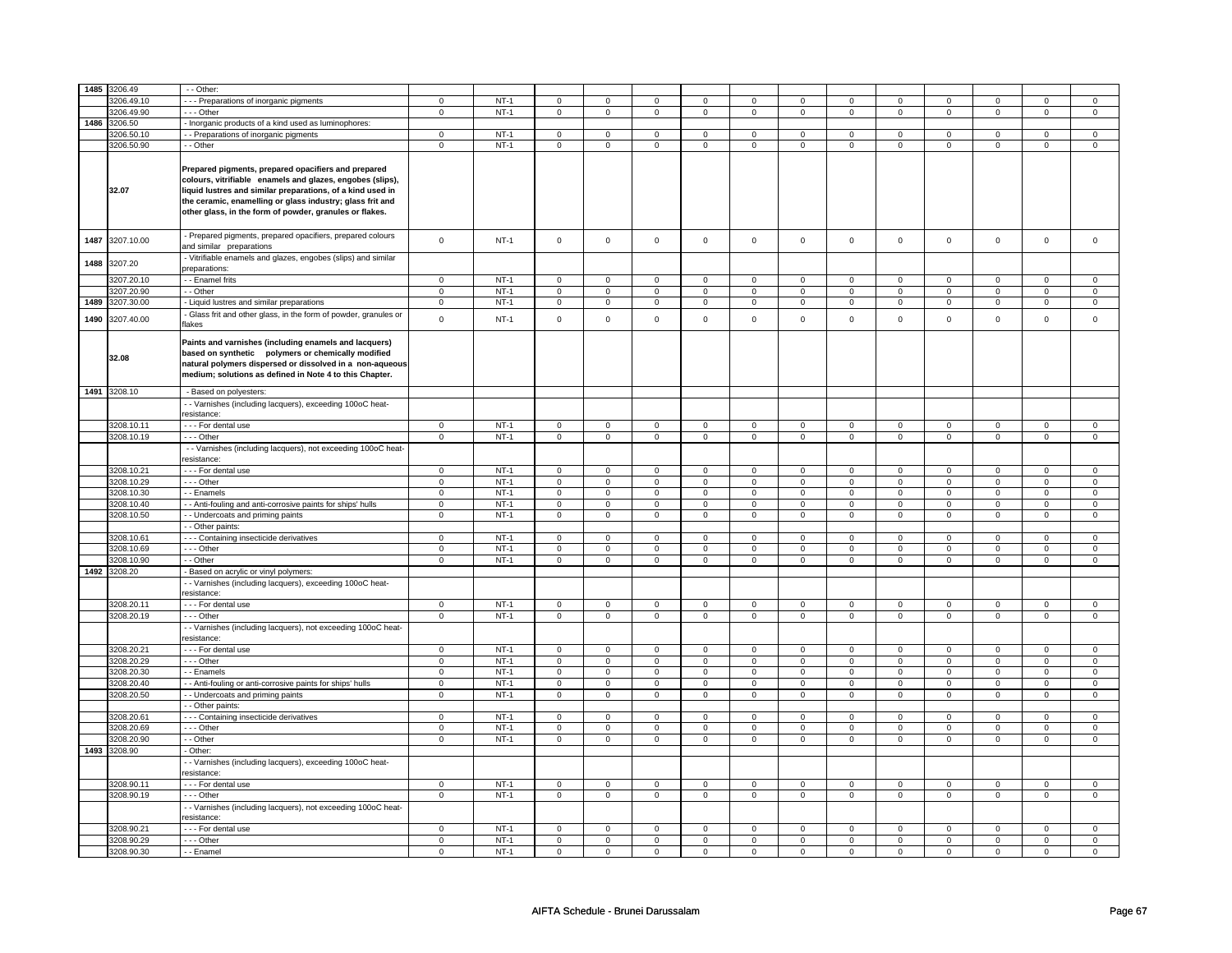| 1485 | 3206.49               | - - Other:                                                                                                                                                                                                                                                                                                          |                |        |                |                |                |                |                |                |                |                |                |                |                |                  |
|------|-----------------------|---------------------------------------------------------------------------------------------------------------------------------------------------------------------------------------------------------------------------------------------------------------------------------------------------------------------|----------------|--------|----------------|----------------|----------------|----------------|----------------|----------------|----------------|----------------|----------------|----------------|----------------|------------------|
|      | 3206.49.10            | - - Preparations of inorganic pigments                                                                                                                                                                                                                                                                              |                | $NT-1$ |                | $\mathsf 0$    |                | $\mathbf 0$    |                | 0              | 0              | $\mathbf 0$    |                | 0              | $\mathbf 0$    |                  |
|      | 3206.49.90            |                                                                                                                                                                                                                                                                                                                     | 0              | $NT-1$ | 0              | $\mathsf 0$    | 0              |                | 0              | $\mathbf 0$    |                |                | 0              | $\mathbf 0$    |                | 0<br>$\mathbf 0$ |
|      |                       | - - - Other                                                                                                                                                                                                                                                                                                         | $\mathbf 0$    |        | $\mathbf 0$    |                | 0              | $\mathbf 0$    | 0              |                | 0              | $\mathbf 0$    | 0              |                | $\mathbf 0$    |                  |
| 1486 | 3206.50               | - Inorganic products of a kind used as luminophores:                                                                                                                                                                                                                                                                |                |        |                |                |                |                |                |                |                |                |                |                |                |                  |
|      | 206.50.1              | - Preparations of inorganic pigments                                                                                                                                                                                                                                                                                | $\Omega$       | $NT-1$ | $\mathbf 0$    | $\Omega$       | $\mathbf 0$    | $\mathbf 0$    | $\mathbf 0$    | $\mathbf 0$    | $\mathbf 0$    | $\mathbf 0$    | $\mathbf 0$    | $\Omega$       | $\Omega$       | $\Omega$         |
|      | 3206.50.90<br>32.07   | - - Other<br>Prepared pigments, prepared opacifiers and prepared<br>colours, vitrifiable enamels and glazes, engobes (slips),<br>liquid lustres and similar preparations, of a kind used in<br>the ceramic, enamelling or glass industry; glass frit and<br>other glass, in the form of powder, granules or flakes. | $\mathbf 0$    | $NT-1$ | $\overline{0}$ | $\overline{0}$ | $\mathsf 0$    | $\overline{0}$ | $\overline{0}$ | $\overline{0}$ | $\mathsf 0$    | $\overline{0}$ | $\overline{0}$ | $\overline{0}$ | $\mathsf 0$    | $\overline{0}$   |
| 1487 | 3207.10.00            | - Prepared pigments, prepared opacifiers, prepared colours<br>and similar preparations                                                                                                                                                                                                                              | $\mathsf 0$    | $NT-1$ | $\mathsf 0$    | $\mathsf 0$    | $\mathsf 0$    | $\mathsf 0$    | $\mathsf 0$    | $\mathsf 0$    | $\mathsf 0$    | $\mathsf 0$    | $\mathsf 0$    | $\mathsf 0$    | $\mathsf 0$    | $\mathsf 0$      |
| 1488 | 3207.20               | - Vitrifiable enamels and glazes, engobes (slips) and similar<br>preparations:                                                                                                                                                                                                                                      |                |        |                |                |                |                |                |                |                |                |                |                |                |                  |
|      | 3207.20.10            | - - Enamel frits                                                                                                                                                                                                                                                                                                    | $\overline{0}$ | $NT-1$ | $\overline{0}$ | $\overline{0}$ | $\mathsf 0$    | $\mathbf 0$    | $\overline{0}$ | $\overline{0}$ | $\mathsf 0$    | $\mathbf 0$    | $\overline{0}$ | $\overline{0}$ | $\Omega$       | $\mathbf 0$      |
|      | 3207.20.90            | - - Other                                                                                                                                                                                                                                                                                                           | $\overline{0}$ | $NT-1$ | $\overline{0}$ | $\overline{0}$ | $\overline{0}$ | $\overline{0}$ | $\overline{0}$ | $\overline{0}$ | $\overline{0}$ | $\overline{0}$ | $\overline{0}$ | $\overline{0}$ | $\overline{0}$ | $\overline{0}$   |
| 1489 | 3207.30.00            | - Liquid lustres and similar preparations                                                                                                                                                                                                                                                                           | $\mathbf 0$    | $NT-1$ | $\mathbf 0$    | $\mathbf 0$    | $\mathsf 0$    | $\mathbf 0$    | $\mathbf 0$    | $\mathbf 0$    | $\mathsf 0$    | $\mathsf 0$    | $\mathsf 0$    | $\mathsf 0$    | $\mathsf 0$    | $\mathbf 0$      |
| 1490 | 3207.40.00            | Glass frit and other glass, in the form of powder, granules or<br>flakes                                                                                                                                                                                                                                            | $\Omega$       | $NT-1$ | $\mathsf 0$    | $\mathbf 0$    | $\Omega$       | $\mathbf 0$    | $\mathsf 0$    | $\mathsf 0$    | $\Omega$       | $\mathbf 0$    | $\mathsf 0$    | $\mathsf 0$    | $\Omega$       | $\mathsf 0$      |
|      | 32.08                 | Paints and varnishes (including enamels and lacquers)<br>based on synthetic polymers or chemically modified<br>natural polymers dispersed or dissolved in a non-aqueous<br>medium; solutions as defined in Note 4 to this Chapter.                                                                                  |                |        |                |                |                |                |                |                |                |                |                |                |                |                  |
|      | 1491 3208.10          | - Based on polyesters:                                                                                                                                                                                                                                                                                              |                |        |                |                |                |                |                |                |                |                |                |                |                |                  |
|      |                       | - Varnishes (including lacquers), exceeding 100oC heat-<br>resistance:                                                                                                                                                                                                                                              |                |        |                |                |                |                |                |                |                |                |                |                |                |                  |
|      | 3208.10.11            | - - - For dental use                                                                                                                                                                                                                                                                                                | $\mathbf 0$    | $NT-1$ | $\mathbf 0$    | $\mathbf 0$    | $\mathbf 0$    | $\mathbf 0$    | $\mathbf 0$    | $\mathbf 0$    | $\mathbf 0$    | $\mathbf 0$    | $\mathbf 0$    | $\mathbf 0$    | $\mathbf 0$    | $\mathbf 0$      |
|      | 3208.10.19            | --- Other                                                                                                                                                                                                                                                                                                           | $\overline{0}$ | $NT-1$ | $\overline{0}$ | $\overline{0}$ | $\overline{0}$ | $\overline{0}$ | $\overline{0}$ | $\overline{0}$ | $\overline{0}$ | $\overline{0}$ | $\overline{0}$ | $\overline{0}$ | $\overline{0}$ | $\overline{0}$   |
|      |                       | - - Varnishes (including lacquers), not exceeding 100oC heat-                                                                                                                                                                                                                                                       |                |        |                |                |                |                |                |                |                |                |                |                |                |                  |
|      |                       | esistance:                                                                                                                                                                                                                                                                                                          |                |        |                |                |                |                |                |                |                |                |                |                |                |                  |
|      | 3208.10.21            | - - - For dental use                                                                                                                                                                                                                                                                                                | $\mathbf 0$    | $NT-1$ | $\mathbf 0$    | $\mathbf 0$    | $\mathbf 0$    | $\mathbf 0$    | $\mathbf 0$    | $\mathbf 0$    | $\mathbf 0$    | $\mathbf 0$    | $\mathsf 0$    | $\mathbf 0$    | $\mathsf 0$    | $\mathbf 0$      |
|      | 3208.10.29            | --- Other                                                                                                                                                                                                                                                                                                           | $\mathsf 0$    | $NT-1$ | $\mathbf 0$    | $\mathbf 0$    | $\mathbf 0$    | $\mathbf{0}$   | $\mathbf 0$    | $\mathbf 0$    | $\mathbf 0$    | $\mathbf{0}$   | $\mathbf 0$    | $\mathbf 0$    | $\mathbf 0$    | $\mathbf 0$      |
|      | 3208.10.30            | - - Enamels                                                                                                                                                                                                                                                                                                         | $\mathsf 0$    | $NT-1$ | $\mathbf 0$    | $\mathsf 0$    | $\mathbf 0$    | $\mathbf 0$    | $\mathbf 0$    | $\mathbf 0$    | $\mathbf 0$    | $\mathbf 0$    | $\mathbf 0$    | $\mathbf 0$    | $\mathbf 0$    | $\mathbf{0}$     |
|      | 3208.10.40            | - - Anti-fouling and anti-corrosive paints for ships' hulls                                                                                                                                                                                                                                                         | $\mathsf 0$    | $NT-1$ | $\mathbf 0$    | $\mathbf 0$    | $\mathbf 0$    | $\mathbf 0$    | $\mathbf 0$    | $\mathbf 0$    | $\mathbf 0$    | $\mathbf 0$    | $\mathbf 0$    | $\mathbf 0$    | $\Omega$       | $\mathbf 0$      |
|      | 3208.10.50            | - - Undercoats and priming paints                                                                                                                                                                                                                                                                                   | $\overline{0}$ | $NT-1$ | $\overline{0}$ | $\overline{0}$ | $\overline{0}$ | $\overline{0}$ | $\overline{0}$ | $\overline{0}$ | $\overline{0}$ | $\overline{0}$ | $\overline{0}$ | $\overline{0}$ | $\mathsf 0$    | $\overline{0}$   |
|      |                       | - Other paints:                                                                                                                                                                                                                                                                                                     |                |        |                |                |                |                |                |                |                |                |                |                |                |                  |
|      | 3208.10.61            | - - Containing insecticide derivatives                                                                                                                                                                                                                                                                              | $\mathbf 0$    | $NT-1$ | $\mathsf 0$    | $\mathsf 0$    | $\mathsf 0$    | $\mathbf 0$    | $\mathsf 0$    | $\mathbf 0$    | $\mathsf 0$    | $\mathbf 0$    | $\mathsf 0$    | $\mathbf 0$    | $\Omega$       | $\mathbf 0$      |
|      | 3208.10.69            | --- Other                                                                                                                                                                                                                                                                                                           | $\mathsf 0$    | $NT-1$ | $\mathbf 0$    | $\mathsf 0$    | $\mathbf 0$    | $\mathbf 0$    | $\mathbf 0$    | $\mathbf 0$    | $\mathbf 0$    | $\mathbf 0$    | $\mathsf 0$    | $\mathbf 0$    | $\mathbf 0$    | $\mathbf 0$      |
| 1492 | 3208.10.90<br>3208.20 | - - Other                                                                                                                                                                                                                                                                                                           | $\mathbf 0$    | $NT-1$ | $\mathbf 0$    | $\mathbf 0$    | $\mathbf 0$    | $\mathbf 0$    | $\mathbf 0$    | $\mathbf 0$    | $\mathbf 0$    | $\mathbf 0$    | $\mathbf 0$    | $\mathbf 0$    | $\mathbf 0$    | $\mathbf 0$      |
|      |                       | - Based on acrylic or vinyl polymers:<br>- - Varnishes (including lacquers), exceeding 100oC heat-<br>resistance:                                                                                                                                                                                                   |                |        |                |                |                |                |                |                |                |                |                |                |                |                  |
|      | 3208.20.11            | - - - For dental use                                                                                                                                                                                                                                                                                                | $\mathsf 0$    | $NT-1$ | $\mathbf 0$    | $\mathsf 0$    | $\mathbf 0$    | $\mathbf 0$    | $\mathbf 0$    | $\mathbf 0$    | $\mathbf 0$    | $\mathbf 0$    | $\mathbf 0$    | $\mathbf 0$    | $\mathbf 0$    | $\mathbf 0$      |
|      | 3208.20.19            | --- Other                                                                                                                                                                                                                                                                                                           | $\mathbf 0$    | $NT-1$ | $\mathsf 0$    | $\overline{0}$ | $\mathsf 0$    | $\mathbf 0$    | $\mathsf 0$    | $\overline{0}$ | $\mathsf 0$    | $\mathsf 0$    | $\mathsf 0$    | $\overline{0}$ | $\mathsf 0$    | $\mathsf 0$      |
|      |                       | - Varnishes (including lacquers), not exceeding 100oC heat-<br>resistance:                                                                                                                                                                                                                                          |                |        |                |                |                |                |                |                |                |                |                |                |                |                  |
|      | 3208.20.21            | - - - For dental use                                                                                                                                                                                                                                                                                                | $\mathsf 0$    | $NT-1$ | $\mathbf 0$    | $\mathbf 0$    | $\mathbf 0$    | $\mathbf 0$    | $\mathbf 0$    | $\mathbf 0$    | $\mathbf 0$    | $\mathbf 0$    | $\mathbf 0$    | $\mathbf 0$    | $\mathbf 0$    | $\mathbf 0$      |
|      | 3208.20.29            | --- Other                                                                                                                                                                                                                                                                                                           | $\mathsf 0$    | $NT-1$ | $\mathbf 0$    | $\mathsf 0$    | $\mathbf 0$    | $\mathbf 0$    | $\mathbf 0$    | $\mathbf 0$    | $\mathbf 0$    | $\mathbf 0$    | $\mathsf 0$    | $\mathbf 0$    | $\mathbf 0$    | $\mathbf 0$      |
|      | 3208.20.30            | - - Enamels                                                                                                                                                                                                                                                                                                         | 0              | $NT-1$ | $\mathbf 0$    | 0              | $\mathbf 0$    | $\mathbf 0$    | $\mathbf 0$    | $\mathbf 0$    | $\mathbf 0$    | $\mathbf 0$    | $\mathbf 0$    | $\mathbf 0$    | $\mathbf 0$    | $\mathbf 0$      |
|      | 3208.20.40            | - Anti-fouling or anti-corrosive paints for ships' hulls                                                                                                                                                                                                                                                            | 0              | $NT-1$ | $\mathbf 0$    | $\mathbf 0$    | $\mathbf 0$    | $\mathbf 0$    | $\mathbf 0$    | $\mathbf 0$    | $\mathbf 0$    | $\mathbf 0$    | $\mathbf 0$    | $\mathsf 0$    | $\mathbf 0$    | $\mathbf 0$      |
|      | 3208.20.50            | - Undercoats and priming paints                                                                                                                                                                                                                                                                                     | $\mathbf 0$    | $NT-1$ | $\mathsf 0$    | $\overline{0}$ | $\mathsf 0$    | $\mathbf 0$    | $\mathsf 0$    | $\overline{0}$ | $\mathsf 0$    | $\mathsf 0$    | $\mathsf 0$    | $\overline{0}$ | $\mathsf 0$    | $\mathsf 0$      |
|      |                       | - - Other paints:                                                                                                                                                                                                                                                                                                   |                |        |                |                |                |                |                |                |                |                |                |                |                |                  |
|      | 3208.20.61            | - - - Containing insecticide derivatives                                                                                                                                                                                                                                                                            | $\mathsf 0$    | $NT-1$ | $\mathsf 0$    | $\mathsf 0$    | $\mathsf 0$    | $\mathbf 0$    | $\mathsf 0$    | $\mathbf 0$    | $\mathsf 0$    | $\mathbf 0$    | $\mathsf 0$    | $\mathbf 0$    | $\mathsf 0$    | 0                |
|      | 3208.20.69            | $\cdots$ Other                                                                                                                                                                                                                                                                                                      | $\overline{0}$ | $NT-1$ | $\overline{0}$ | $\overline{0}$ | $\overline{0}$ | $\overline{0}$ | $\overline{0}$ | $\overline{0}$ | $\overline{0}$ | $\overline{0}$ | $\overline{0}$ | $\overline{0}$ | $\overline{0}$ | $\overline{0}$   |
|      | 3208.20.90            | - - Other                                                                                                                                                                                                                                                                                                           | $\overline{0}$ | $NT-1$ | $\overline{0}$ | $\overline{0}$ | $\overline{0}$ | $\overline{0}$ | $\overline{0}$ | $\overline{0}$ | $\overline{0}$ | $\overline{0}$ | $\overline{0}$ | $\overline{0}$ | $\overline{0}$ | $\overline{0}$   |
|      | 1493 3208.90          | Other:                                                                                                                                                                                                                                                                                                              |                |        |                |                |                |                |                |                |                |                |                |                |                |                  |
|      |                       | - Varnishes (including lacquers), exceeding 100oC heat-<br>resistance:                                                                                                                                                                                                                                              |                |        |                |                |                |                |                |                |                |                |                |                |                |                  |
|      | 3208.90.11            | - - - For dental use                                                                                                                                                                                                                                                                                                | $\mathsf 0$    | $NT-1$ | $\mathbf 0$    | $\mathbf 0$    | $\mathbf 0$    | $\mathbf 0$    | $\mathbf 0$    | $\mathbf 0$    | $\mathbf 0$    | $\mathbf 0$    | $\mathsf 0$    | $\mathsf 0$    | $\mathsf 0$    | $\mathbf 0$      |
|      | 3208.90.19            | --- Other                                                                                                                                                                                                                                                                                                           | $\mathsf 0$    | $NT-1$ | $\overline{0}$ | $\overline{0}$ | $\overline{0}$ | $\overline{0}$ | $\overline{0}$ | $\overline{0}$ | $\mathbf 0$    | $\overline{0}$ | $\overline{0}$ | $\overline{0}$ | $\overline{0}$ | $\overline{0}$   |
|      |                       | - - Varnishes (including lacquers), not exceeding 100oC heat-<br>resistance:                                                                                                                                                                                                                                        |                |        |                |                |                |                |                |                |                |                |                |                |                |                  |
|      | 3208.90.21            | -- For dental use                                                                                                                                                                                                                                                                                                   | $\mathsf 0$    | $NT-1$ | $\mathbf 0$    | $\mathsf 0$    | $\mathsf 0$    | $\mathbf 0$    | $\mathbf 0$    | $\mathbf 0$    | $\mathsf 0$    | $\mathbf 0$    | $\mathsf 0$    | $\mathbf 0$    | $\mathsf 0$    | $\mathbf 0$      |
|      | 3208.90.29            | $- -$ Other                                                                                                                                                                                                                                                                                                         | $\overline{0}$ | $NT-1$ | $\overline{0}$ | $\overline{0}$ | $\mathbf 0$    | $\overline{0}$ | $\overline{0}$ | $\overline{0}$ | $\mathbf 0$    | $\overline{0}$ | $\overline{0}$ | $\overline{0}$ | $\overline{0}$ | $\overline{0}$   |
|      | 3208.90.30            | - - Enamel                                                                                                                                                                                                                                                                                                          | 0              | $NT-1$ | 0              | $\mathbf 0$    | $\mathsf 0$    | $\mathbf 0$    | 0              | $\mathbf 0$    | $\mathbf 0$    | $\mathbf 0$    | 0              | $\mathsf 0$    | $\mathbf 0$    | $\mathsf 0$      |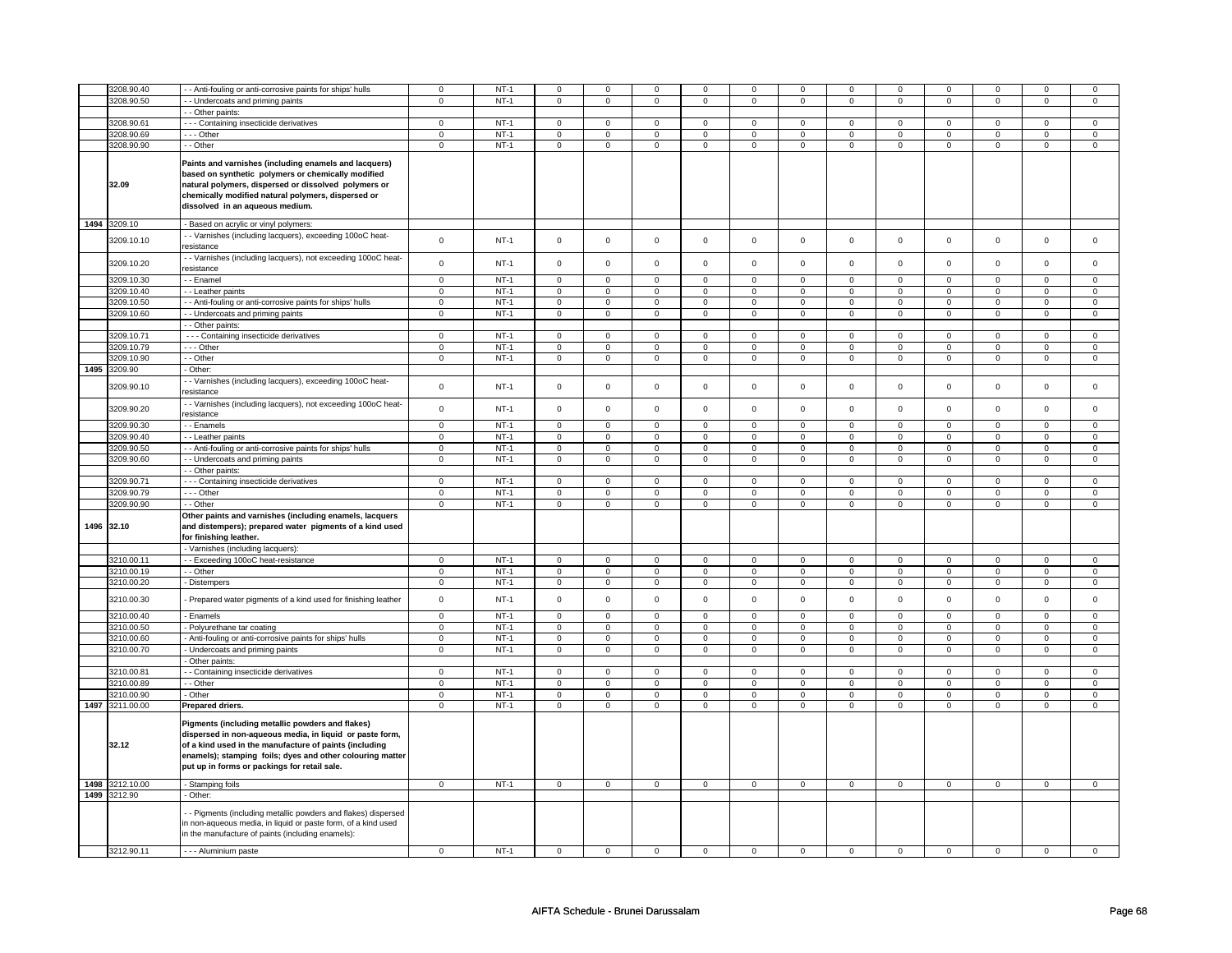|      | 3208.90.40      | - Anti-fouling or anti-corrosive paints for ships' hulls                                                                                                                                                                                                                            | $\mathbf 0$    | $NT-1$      | $\mathbf 0$         | $\mathbf 0$         | $\mathbf 0$         | $\mathbf 0$    | $\mathbf 0$         | $\mathbf 0$    | $\mathbf 0$         | $\mathbf 0$    | $\mathbf 0$         | $\mathsf 0$    | $\mathbf 0$    | $\mathsf 0$    |
|------|-----------------|-------------------------------------------------------------------------------------------------------------------------------------------------------------------------------------------------------------------------------------------------------------------------------------|----------------|-------------|---------------------|---------------------|---------------------|----------------|---------------------|----------------|---------------------|----------------|---------------------|----------------|----------------|----------------|
|      | 3208.90.50      | - Undercoats and priming paints                                                                                                                                                                                                                                                     | $\mathbf 0$    | $NT-1$      | $\mathsf 0$         | $\mathbf 0$         |                     | $\mathbf 0$    |                     | $\mathbf 0$    |                     | $\mathbf 0$    | $\mathsf 0$         | $\mathsf 0$    | $\mathsf 0$    | $\mathsf 0$    |
|      |                 |                                                                                                                                                                                                                                                                                     |                |             |                     |                     | $\mathbf 0$         |                | 0                   |                | $\mathsf 0$         |                |                     |                |                |                |
|      |                 | - - Other paints:                                                                                                                                                                                                                                                                   |                |             |                     |                     |                     |                |                     |                |                     |                |                     |                |                |                |
|      | 3208.90.61      | - - - Containing insecticide derivatives                                                                                                                                                                                                                                            | $\mathsf 0$    | $NT-1$      | $\mathsf 0$         | $\mathsf 0$         | $\mathsf 0$         | $\mathbf 0$    | $\mathsf 0$         | $\mathsf 0$    | $\mathbf 0$         | $\mathsf 0$    | $\mathsf 0$         | $\mathbf 0$    | $\mathsf 0$    | $\mathbf 0$    |
|      | 3208.90.69      | --- Other                                                                                                                                                                                                                                                                           | $\mathbf 0$    | $NT-1$      | $\mathbf 0$         | $\mathsf 0$         | $\mathbf 0$         | $\mathbf 0$    | $\mathsf 0$         | $\mathbf 0$    | $\mathbf 0$         | $\mathsf 0$    | $\mathsf 0$         | $\mathsf 0$    | $\Omega$       | $\mathsf 0$    |
|      | 3208.90.90      | - - Other                                                                                                                                                                                                                                                                           | $\mathbf 0$    | $NT-1$      | $\mathsf 0$         | $\mathsf{O}\xspace$ | $\mathbf 0$         | $\mathbf 0$    | $\mathsf 0$         | $\mathbf 0$    | $\pmb{0}$           | $\mathbf 0$    | $\mathsf{O}\xspace$ | $\overline{0}$ | $\pmb{0}$      | $\overline{0}$ |
|      | 32.09           | Paints and varnishes (including enamels and lacquers)<br>based on synthetic polymers or chemically modified<br>natural polymers, dispersed or dissolved polymers or<br>chemically modified natural polymers, dispersed or<br>dissolved in an aqueous medium.                        |                |             |                     |                     |                     |                |                     |                |                     |                |                     |                |                |                |
|      | 1494 3209.10    | - Based on acrylic or vinyl polymers:                                                                                                                                                                                                                                               |                |             |                     |                     |                     |                |                     |                |                     |                |                     |                |                |                |
|      | 3209.10.10      | - Varnishes (including lacquers), exceeding 100oC heat-<br>resistance                                                                                                                                                                                                               | $\mathsf 0$    | $NT-1$      | $\mathsf 0$         | $\mathsf 0$         | $\mathsf 0$         | $\mathsf 0$    | $\mathbf 0$         | $\mathsf 0$    | $\mathsf 0$         | $\mathsf 0$    | $\mathsf 0$         | $\mathbf 0$    | $\mathsf 0$    | $\mathbf 0$    |
|      | 3209.10.20      | - Varnishes (including lacquers), not exceeding 100oC heat-                                                                                                                                                                                                                         | $\mathsf 0$    | NT-1        | $\mathsf 0$         | $\mathsf 0$         | $\mathsf 0$         | $\mathsf 0$    | $\mathsf 0$         | $\mathsf 0$    | $\mathsf 0$         | $\mathsf 0$    | $\mathsf 0$         | $\mathsf 0$    | $\mathsf 0$    | $\mathbf 0$    |
|      |                 | resistance                                                                                                                                                                                                                                                                          |                |             |                     |                     |                     |                |                     |                |                     |                |                     |                |                |                |
|      | 3209.10.30      | - - Enamel                                                                                                                                                                                                                                                                          | $\mathsf 0$    | $NT-1$      | $\mathsf 0$         | $\mathbf 0$         | $\mathbf 0$         | $\mathsf 0$    | $\mathbf 0$         | $\mathbf 0$    | $\mathbf 0$         | $\mathbf 0$    | $\mathbf 0$         | $\mathbf 0$    | $\mathbf 0$    | $\mathbf 0$    |
|      | 3209.10.40      | - - Leather paints                                                                                                                                                                                                                                                                  | $\mathbf 0$    | <b>NT-1</b> | $\mathbf 0$         | $\mathbf 0$         | $\,0\,$             | 0              | $\,0\,$             | 0              | $\mathbf 0$         | $\mathbf 0$    | 0                   | $\mathsf 0$    | $\mathbf 0$    | $\mathbf 0$    |
|      | 3209.10.50      | - Anti-fouling or anti-corrosive paints for ships' hulls                                                                                                                                                                                                                            | $\mathsf 0$    | $NT-1$      | $\mathsf 0$         | $\mathsf 0$         | $\mathbf 0$         | $\mathsf 0$    | $\mathbf 0$         | $\mathsf 0$    | $\mathbf 0$         | $\mathsf 0$    | $\mathbf 0$         | $\mathbf 0$    | $\mathsf 0$    | $\mathbf 0$    |
|      | 3209.10.60      | - Undercoats and priming paints                                                                                                                                                                                                                                                     | $\mathbf 0$    | $NT-1$      | $\mathbf 0$         | $\mathbf 0$         | $\mathsf 0$         | $\mathbf 0$    | $\mathsf{O}\xspace$ | $\mathbf 0$    | $\mathsf 0$         | $\mathbf 0$    | $\mathsf 0$         | $\mathbf 0$    | $\mathsf 0$    | $\mathsf 0$    |
|      |                 | - - Other paints:                                                                                                                                                                                                                                                                   |                |             |                     |                     |                     |                |                     |                |                     |                |                     |                |                |                |
|      | 3209.10.71      | - - - Containing insecticide derivatives                                                                                                                                                                                                                                            | $\mathbf 0$    | $NT-1$      | $\mathsf{O}\xspace$ | $\mathsf 0$         | $\mathsf 0$         | $\mathsf 0$    | $\mathbf 0$         | $\mathsf 0$    | $\mathbf 0$         | $\mathbf 0$    | $\mathsf 0$         | $\mathbf 0$    | $\mathbf 0$    | $\mathbf 0$    |
|      | 3209.10.79      | --- Other                                                                                                                                                                                                                                                                           | $\mathsf 0$    | $NT-1$      | $\Omega$            | $\mathbf 0$         | $\Omega$            | $\mathsf 0$    | $\Omega$            | $\mathsf 0$    | $\Omega$            | $\mathsf 0$    | $\Omega$            | $\mathbf 0$    | $\Omega$       | $\mathbf 0$    |
|      | 3209.10.90      | - - Other                                                                                                                                                                                                                                                                           | $\mathbf 0$    | $NT-1$      | $\mathsf 0$         | $\mathsf{O}\xspace$ | $\mathsf 0$         | $\mathbf 0$    | $\mathsf{O}\xspace$ | $\mathbf 0$    | $\mathsf 0$         | $\mathbf 0$    | $\mathsf 0$         | $\mathsf 0$    | $\mathsf 0$    | $\mathsf 0$    |
| 1495 | 3209.90         | Other:                                                                                                                                                                                                                                                                              |                |             |                     |                     |                     |                |                     |                |                     |                |                     |                |                |                |
|      | 3209.90.10      | - Varnishes (including lacquers), exceeding 100oC heat-<br>esistance                                                                                                                                                                                                                | $\mathbf 0$    | $NT-1$      | $\mathsf 0$         | $\mathsf{O}\xspace$ | $\mathbf 0$         | $\mathbf 0$    | $\mathsf 0$         | $\mathbf 0$    | $\mathbf 0$         | $\mathbf 0$    | $\mathbf 0$         | $\mathsf 0$    | $\mathsf 0$    | $\mathsf 0$    |
|      | 3209.90.20      | - Varnishes (including lacquers), not exceeding 100oC heat-<br>resistance                                                                                                                                                                                                           | $\mathsf 0$    | $NT-1$      | $\mathbf 0$         | $\mathbf 0$         | $\mathbf 0$         | $\mathsf 0$    | $\mathsf 0$         | $\mathsf 0$    | $\mathbf 0$         | $\mathbf 0$    | $\mathsf 0$         | $\mathsf 0$    | $\mathbf 0$    | $\mathbf 0$    |
|      | 3209.90.30      | - Enamels                                                                                                                                                                                                                                                                           | $\mathsf 0$    | $NT-1$      | $\mathsf 0$         | $\mathbf 0$         | $\mathsf 0$         | $\mathsf 0$    | $\mathsf 0$         | $\mathsf 0$    | $\mathbf 0$         | $\mathsf 0$    | $\mathsf 0$         | $\mathsf 0$    | $\mathbf 0$    | $\mathbf 0$    |
|      | 3209.90.40      | - - Leather paints                                                                                                                                                                                                                                                                  | $\mathbf 0$    | NT-1        | $\mathbf 0$         | 0                   | $\mathbf 0$         | 0              | 0                   | 0              | $\mathbf 0$         | 0              | 0                   | $\mathbf 0$    | $\mathbf 0$    | $\mathbf 0$    |
|      | 3209.90.50      | - Anti-fouling or anti-corrosive paints for ships' hulls                                                                                                                                                                                                                            | $\mathsf 0$    | $NT-1$      | $\mathsf 0$         | $\mathsf 0$         | $\mathbf 0$         | $\mathsf 0$    | $\mathbf 0$         | $\mathsf 0$    | $\mathbf 0$         | $\mathsf 0$    | $\mathsf 0$         | $\mathbf 0$    | 0              | $\mathbf 0$    |
|      | 3209.90.60      | - Undercoats and priming paints                                                                                                                                                                                                                                                     | $\mathsf 0$    | $NT-1$      | $\mathbf 0$         | $\overline{0}$      | $\mathbf 0$         | $\mathbf 0$    | $\mathsf{O}\xspace$ | $\mathbf 0$    | $\mathsf{O}\xspace$ | $\mathbf 0$    | $\mathsf{O}\xspace$ | $\mathbf 0$    | $\mathsf 0$    | $\mathsf 0$    |
|      |                 | - Other paints:                                                                                                                                                                                                                                                                     |                |             |                     |                     |                     |                |                     |                |                     |                |                     |                |                |                |
|      | 3209.90.71      | - - - Containing insecticide derivatives                                                                                                                                                                                                                                            | $\mathsf 0$    | $NT-1$      | $\mathsf 0$         | $\mathsf 0$         | $\mathbf 0$         | $\mathsf 0$    | $\mathbf 0$         | $\mathsf 0$    | $\mathbf 0$         | $\mathsf 0$    | $\mathsf 0$         | $\mathbf 0$    | $\mathbf 0$    | $\mathbf 0$    |
|      | 3209.90.79      | $- -$ Other                                                                                                                                                                                                                                                                         | $\overline{0}$ | $NT-1$      | $\overline{0}$      | $\overline{0}$      | $\overline{0}$      | $\overline{0}$ | $\overline{0}$      | $\overline{0}$ | $\overline{0}$      | $\overline{0}$ | $\overline{0}$      | $\overline{0}$ | $\overline{0}$ | $\overline{0}$ |
|      | 3209.90.90      | - - Other                                                                                                                                                                                                                                                                           | $\mathbf 0$    | <b>NT-1</b> | $\overline{0}$      | $\overline{0}$      | $\overline{0}$      | $\overline{0}$ | $\overline{0}$      | $\overline{0}$ | $\overline{0}$      | $\overline{0}$ | $\overline{0}$      | $\overline{0}$ | $\overline{0}$ | $\overline{0}$ |
|      | 1496 32.10      | Other paints and varnishes (including enamels, lacquers<br>and distempers); prepared water pigments of a kind used<br>for finishing leather.                                                                                                                                        |                |             |                     |                     |                     |                |                     |                |                     |                |                     |                |                |                |
|      |                 | - Varnishes (including lacquers):                                                                                                                                                                                                                                                   |                |             |                     |                     |                     |                |                     |                |                     |                |                     |                |                |                |
|      | 3210.00.11      | - - Exceeding 100oC heat-resistance                                                                                                                                                                                                                                                 | $\Omega$       | $NT-1$      | $\mathbf 0$         | $\Omega$            | $\mathbf 0$         | $\mathbf 0$    | $\mathbf 0$         | $\Omega$       | $\mathbf 0$         | $\mathbf 0$    | $\mathbf 0$         | $\Omega$       | $\mathbf 0$    | $\mathbf 0$    |
|      | 3210.00.19      | - - Other                                                                                                                                                                                                                                                                           | $\mathsf 0$    | $NT-1$      | $\overline{0}$      | $\mathsf 0$         | $\overline{0}$      | $\overline{0}$ | $\overline{0}$      | $\overline{0}$ | $\overline{0}$      | $\overline{0}$ | $\overline{0}$      | $\overline{0}$ | $\overline{0}$ | $\overline{0}$ |
|      | 3210.00.20      | - Distempers                                                                                                                                                                                                                                                                        | $\mathsf 0$    | $NT-1$      | $\mathsf 0$         | $\mathsf 0$         | $\mathsf 0$         | $\mathsf 0$    | $\mathbf 0$         | $\mathsf 0$    | $\mathbf 0$         | $\mathsf 0$    | $\mathsf 0$         | $\mathbf 0$    | $\mathsf 0$    | $\mathbf 0$    |
|      | 3210.00.30      | Prepared water pigments of a kind used for finishing leather                                                                                                                                                                                                                        | $\mathbf 0$    | $NT-1$      | $\Omega$            | $\mathbf 0$         | $\Omega$            | $\mathbf 0$    | $\mathbf 0$         | $\mathbf 0$    | $\Omega$            | $\mathbf 0$    | $\mathbf 0$         | $\mathbf 0$    | $\Omega$       | $\mathbf 0$    |
|      | 3210.00.40      | - Enamels                                                                                                                                                                                                                                                                           | $\mathbf 0$    | <b>NT-1</b> | $\mathbf 0$         | $\mathbf 0$         | $\mathbf 0$         | $\mathbf 0$    | $\mathbf 0$         | $\mathbf 0$    | $\mathbf 0$         | $\mathbf 0$    | $\mathbf 0$         | $\mathbf 0$    | $\mathbf 0$    | $\mathbf 0$    |
|      | 3210.00.50      | - Polyurethane tar coating                                                                                                                                                                                                                                                          | $\mathsf 0$    | $NT-1$      | $\mathsf 0$         | $\mathbf 0$         | $\mathbf 0$         | $\mathsf 0$    | $\mathbf 0$         | $\mathsf 0$    | $\mathbf 0$         | $\mathsf 0$    | $\mathbf 0$         | $\mathbf 0$    | $\Omega$       | $\mathbf 0$    |
|      | 3210.00.60      | Anti-fouling or anti-corrosive paints for ships' hulls                                                                                                                                                                                                                              | $\mathbf 0$    | $NT-1$      | $\mathsf{O}\xspace$ | $\mathsf 0$         | $\mathbf 0$         | $\mathsf 0$    | $\mathbf 0$         | $\mathsf 0$    | $\mathbf 0$         | $\mathsf 0$    | $\mathbf 0$         | $\mathsf 0$    | $\Omega$       | $\mathsf 0$    |
|      | 3210.00.70      | Undercoats and priming paints                                                                                                                                                                                                                                                       | $\mathbf 0$    | <b>NT-1</b> | $\mathbf 0$         | $\mathbf 0$         | 0                   | 0              | 0                   | 0              | $\mathbf 0$         | 0              | 0                   | $\mathsf 0$    | $\mathbf 0$    | $\mathbf 0$    |
|      |                 | Other paints:                                                                                                                                                                                                                                                                       |                |             |                     |                     |                     |                |                     |                |                     |                |                     |                |                |                |
|      | 3210.00.81      | - Containing insecticide derivatives                                                                                                                                                                                                                                                | $\mathbf 0$    | $NT-1$      | $\mathsf 0$         | $\mathsf 0$         | $\mathbf 0$         | $\mathsf 0$    | $\mathbf 0$         | $\mathsf 0$    | $\mathbf 0$         | $\mathsf 0$    | $\mathsf 0$         | $\mathbf 0$    | $\mathbf 0$    | $\mathbf 0$    |
|      | 3210.00.89      | - - Other                                                                                                                                                                                                                                                                           | 0              | $NT-1$      | $\mathbf 0$         | 0                   | 0                   | $\mathbf 0$    | $\mathbf 0$         | $\mathbf 0$    | $\mathbf 0$         | $\mathbf 0$    | 0                   | $\mathbf 0$    | 0              | $\mathbf 0$    |
|      | 3210.00.90      | - Other                                                                                                                                                                                                                                                                             | $\mathbf 0$    | $NT-1$      | $\mathsf{O}\xspace$ | $\mathsf 0$         | $\mathsf{O}\xspace$ | $\mathsf 0$    | $\mathsf 0$         | $\mathsf 0$    | $\mathsf 0$         | $\mathsf 0$    | $\mathsf 0$         | $\mathsf 0$    | $\mathbf 0$    | $\mathsf 0$    |
| 1497 | 3211.00.00      | Prepared driers.                                                                                                                                                                                                                                                                    | $\mathbf 0$    | $NT-1$      | $\mathbf 0$         | $\mathbf 0$         | $\mathbf 0$         | $\mathbf 0$    | $\pmb{0}$           | $\mathbf 0$    | $\mathbf 0$         | $\mathsf 0$    | $\pmb{0}$           | $\mathsf 0$    | $\mathbf 0$    | $\mathbf 0$    |
|      | 32.12           | Pigments (including metallic powders and flakes)<br>dispersed in non-aqueous media, in liquid or paste form,<br>of a kind used in the manufacture of paints (including<br>enamels); stamping foils; dyes and other colouring matter<br>put up in forms or packings for retail sale. |                |             |                     |                     |                     |                |                     |                |                     |                |                     |                |                |                |
|      | 1498 3212.10.00 | - Stamping foils                                                                                                                                                                                                                                                                    | $\mathsf 0$    | $NT-1$      | $\mathsf 0$         | $\mathsf 0$         | $\mathsf 0$         | $\mathsf 0$    | $\mathbf 0$         | $\mathsf 0$    | $\mathbf 0$         | $\mathsf 0$    | $\mathsf 0$         | $\mathbf 0$    | $\mathsf 0$    | $\mathbf 0$    |
|      | 1499 3212.90    | Other:                                                                                                                                                                                                                                                                              |                |             |                     |                     |                     |                |                     |                |                     |                |                     |                |                |                |
|      |                 | - Pigments (including metallic powders and flakes) dispersed<br>n non-aqueous media, in liquid or paste form, of a kind used<br>in the manufacture of paints (including enamels):                                                                                                   |                |             |                     |                     |                     |                |                     |                |                     |                |                     |                |                |                |
|      | 3212.90.11      | - - - Aluminium paste                                                                                                                                                                                                                                                               | $\mathsf 0$    | $NT-1$      | $\mathsf 0$         | $\mathbf 0$         | $\Omega$            | $\mathsf 0$    | $\mathbf 0$         | $\mathbf 0$    | $\Omega$            | $\mathbf 0$    | $\mathsf 0$         | $\mathbf 0$    | $\mathbf 0$    | $\mathbf 0$    |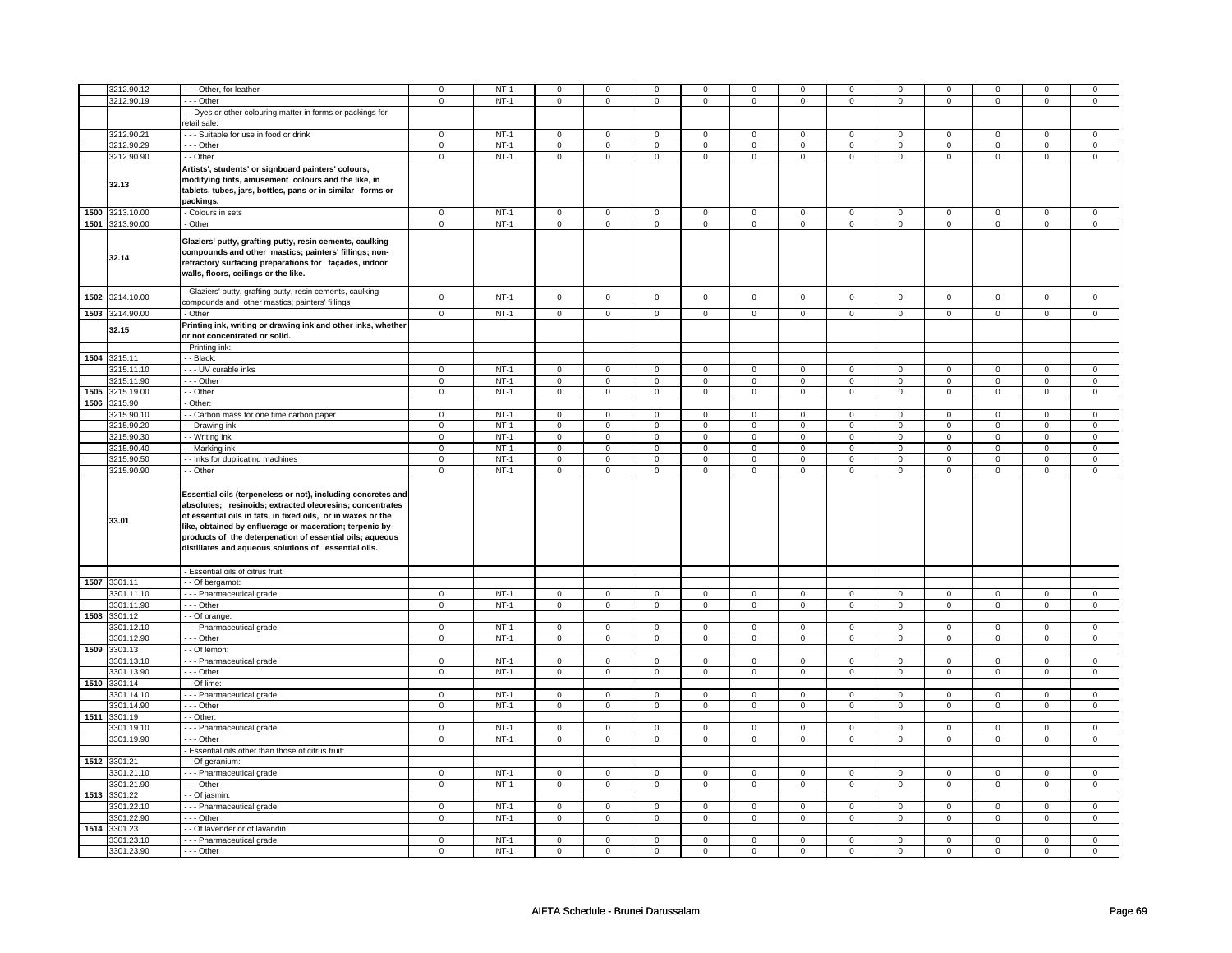|      | 3212.90.12      | --- Other, for leather                                                                                                                                                                                                                                                                                   | $\mathsf 0$    | $NT-1$ | $\mathsf 0$    | $\mathbf 0$    | $\mathbf 0$         | $\mathbf 0$    | $\mathbf 0$             | $\mathbf 0$    | $\mathbf 0$    | 0              | 0              | $\mathbf 0$    | $\mathbf 0$  | 0                   |
|------|-----------------|----------------------------------------------------------------------------------------------------------------------------------------------------------------------------------------------------------------------------------------------------------------------------------------------------------|----------------|--------|----------------|----------------|---------------------|----------------|-------------------------|----------------|----------------|----------------|----------------|----------------|--------------|---------------------|
|      | 3212.90.19      | - - - Other                                                                                                                                                                                                                                                                                              | $\mathbf 0$    | $NT-1$ | $\mathsf 0$    | $\mathbf 0$    | $\mathsf{O}\xspace$ | $\mathsf 0$    | 0                       | $\mathsf 0$    | 0              | $\mathbf 0$    | 0              | $\mathsf 0$    | 0            | $\mathbf 0$         |
|      |                 | - - Dyes or other colouring matter in forms or packings for                                                                                                                                                                                                                                              |                |        |                |                |                     |                |                         |                |                |                |                |                |              |                     |
|      |                 |                                                                                                                                                                                                                                                                                                          |                |        |                |                |                     |                |                         |                |                |                |                |                |              |                     |
|      |                 | retail sale:                                                                                                                                                                                                                                                                                             |                |        |                |                |                     |                |                         |                |                |                |                |                |              |                     |
|      | 3212.90.21      | --- Suitable for use in food or drink                                                                                                                                                                                                                                                                    | $\mathsf 0$    | $NT-1$ | $\mathbf 0$    | $\mathbf 0$    | $\mathbf 0$         | $\Omega$       | $\mathbf 0$             | $\mathbf 0$    | $\mathbf 0$    | $\mathbf 0$    | $\mathbf 0$    | $\mathbf{0}$   | $\mathbf 0$  | $\mathbf{0}$        |
|      | 3212.90.29      | --- Other                                                                                                                                                                                                                                                                                                | $\mathbf 0$    | $NT-1$ | $\overline{0}$ | $\overline{0}$ | $\overline{0}$      | $\overline{0}$ | $\overline{\mathbf{0}}$ | $\overline{0}$ | $\overline{0}$ | $\overline{0}$ | $\pmb{0}$      | $\overline{0}$ | $\pmb{0}$    | $\overline{0}$      |
|      |                 |                                                                                                                                                                                                                                                                                                          |                |        |                |                |                     |                |                         |                |                |                |                |                |              |                     |
|      | 3212.90.90      | - - Other                                                                                                                                                                                                                                                                                                | $\mathbf 0$    | $NT-1$ | $\mathsf 0$    | $\mathbf 0$    | $\mathsf 0$         | $\mathsf 0$    | $\mathsf 0$             | $\mathsf 0$    | $\mathsf 0$    | $\mathsf 0$    | 0              | $\mathsf 0$    | $\mathsf 0$  | $\mathbf 0$         |
|      | 32.13           | Artists', students' or signboard painters' colours,<br>modifying tints, amusement colours and the like, in<br>tablets, tubes, jars, bottles, pans or in similar forms or<br>packings.                                                                                                                    |                |        |                |                |                     |                |                         |                |                |                |                |                |              |                     |
|      |                 |                                                                                                                                                                                                                                                                                                          |                |        |                |                |                     |                |                         |                |                |                |                |                |              |                     |
| 1500 | 3213.10.00      | - Colours in sets                                                                                                                                                                                                                                                                                        | $\mathbf 0$    | $NT-1$ | $\overline{0}$ | $\overline{0}$ | $\overline{0}$      | $\overline{0}$ | $\overline{0}$          | $\overline{0}$ | $\overline{0}$ | $\overline{0}$ | $\overline{0}$ | $\overline{0}$ | $\mathbf{0}$ | $\mathbf 0$         |
|      | 1501 3213.90.00 | - Other                                                                                                                                                                                                                                                                                                  | $\mathsf 0$    | $NT-1$ | $\mathbf 0$    | $\overline{0}$ | $\mathbf 0$         | $\overline{0}$ | $\mathbf 0$             | $\mathbf 0$    | 0              | $\mathbf 0$    | $\mathsf 0$    | $\overline{0}$ | $\mathsf 0$  | $\overline{0}$      |
|      | 32.14           | Glaziers' putty, grafting putty, resin cements, caulking<br>compounds and other mastics; painters' fillings; non-<br>refractory surfacing preparations for façades, indoor<br>walls, floors, ceilings or the like.                                                                                       |                |        |                |                |                     |                |                         |                |                |                |                |                |              |                     |
| 1502 | 3214.10.00      | - Glaziers' putty, grafting putty, resin cements, caulking<br>compounds and other mastics; painters' fillings                                                                                                                                                                                            | $\mathsf 0$    | $NT-1$ | $\mathsf 0$    | $\mathsf 0$    | $\mathsf 0$         | $\mathsf 0$    | $\mathsf{O}\xspace$     | $\mathsf 0$    | $\mathbf 0$    | $\mathbf 0$    | $\mathsf 0$    | $\mathbf 0$    | $\mathsf 0$  | $\mathbf 0$         |
| 1503 | 3214.90.00      | - Other                                                                                                                                                                                                                                                                                                  | $\mathbf 0$    | $NT-1$ | $\mathsf 0$    | $\mathbf 0$    | $\mathsf 0$         | $\mathsf 0$    | $\mathsf 0$             | $\mathsf 0$    | $\mathsf 0$    | $\mathbf 0$    | $\mathsf 0$    | $\mathbf 0$    | $\mathsf 0$  | $\mathbf 0$         |
|      |                 |                                                                                                                                                                                                                                                                                                          |                |        |                |                |                     |                |                         |                |                |                |                |                |              |                     |
|      | 32.15           | Printing ink, writing or drawing ink and other inks, whether<br>or not concentrated or solid.<br>- Printing ink:                                                                                                                                                                                         |                |        |                |                |                     |                |                         |                |                |                |                |                |              |                     |
|      |                 |                                                                                                                                                                                                                                                                                                          |                |        |                |                |                     |                |                         |                |                |                |                |                |              |                     |
| 1504 | 3215.11         | - Black:                                                                                                                                                                                                                                                                                                 |                |        |                |                |                     |                |                         |                |                |                |                |                |              |                     |
|      | 3215.11.10      | - - - UV curable inks                                                                                                                                                                                                                                                                                    | $\mathbf 0$    | $NT-1$ | $\mathbf 0$    | $\mathsf 0$    | $\mathbf 0$         | $\mathsf 0$    | $\mathbf 0$             | $\mathbf 0$    | $\mathbf 0$    | $\mathsf 0$    | $\mathbf 0$    | $\mathbf 0$    | 0            | $\mathsf 0$         |
|      | 3215.11.90      | $\cdots$ Other                                                                                                                                                                                                                                                                                           | $\mathbf 0$    | $NT-1$ | $\mathbf 0$    | $\overline{0}$ | $\mathbf 0$         | $\mathbf 0$    | $\mathbf 0$             | $\mathbf 0$    | 0              | 0              | 0              | 0              | 0            | $\overline{0}$      |
| 1505 | 3215.19.00      | - - Other                                                                                                                                                                                                                                                                                                |                | $NT-1$ |                |                |                     |                |                         |                |                |                |                |                |              |                     |
|      |                 |                                                                                                                                                                                                                                                                                                          | $\overline{0}$ |        | $\overline{0}$ | $\overline{0}$ | $\overline{0}$      | $\overline{0}$ | $\overline{0}$          | $\overline{0}$ | $\overline{0}$ | $\overline{0}$ | $\overline{0}$ | $\overline{0}$ | $\mathsf 0$  | $\overline{0}$      |
| 1506 | 3215.90         | - Other:                                                                                                                                                                                                                                                                                                 |                |        |                |                |                     |                |                         |                |                |                |                |                |              |                     |
|      | 3215.90.10      | - Carbon mass for one time carbon paper                                                                                                                                                                                                                                                                  | $\mathsf 0$    | $NT-1$ | $\mathsf 0$    | $\mathsf 0$    | $\mathsf 0$         | $\mathsf 0$    | $\mathsf{O}$            | $\mathsf 0$    | $\mathbf 0$    | $\mathbf 0$    | $\mathbf 0$    | $\mathbf 0$    | $\mathsf 0$  | 0                   |
|      | 3215.90.20      | - - Drawing ink                                                                                                                                                                                                                                                                                          | $\mathsf 0$    | $NT-1$ | $\mathsf 0$    | $\mathsf 0$    | $\mathsf 0$         | $\mathsf 0$    | $\mathsf{O}\xspace$     | $\mathsf 0$    | $\mathsf 0$    | $\mathsf 0$    | $\mathsf 0$    | $\mathbf 0$    | $\Omega$     | $\mathsf{O}\xspace$ |
|      |                 |                                                                                                                                                                                                                                                                                                          |                |        |                |                |                     |                |                         |                |                |                |                |                |              |                     |
|      | 3215.90.30      | - - Writing ink                                                                                                                                                                                                                                                                                          | $\mathbf 0$    | $NT-1$ | $\overline{0}$ | $\overline{0}$ | $\mathsf 0$         | $\overline{0}$ | $\mathsf 0$             | $\overline{0}$ | $\mathsf 0$    | $\overline{0}$ | 0              | $\overline{0}$ | $\mathsf 0$  | $\overline{0}$      |
|      | 3215.90.40      | - - Marking ink                                                                                                                                                                                                                                                                                          | $\mathsf{o}\,$ | NT-1   | $\mathsf 0$    | $\mathsf 0$    | $\mathsf{o}\,$      | $\mathsf 0$    | $\mathsf{o}\,$          | $\mathsf 0$    | $\mathsf{o}\,$ | $\mathsf{o}\,$ | 0              | $\mathsf{o}\,$ | $\mathbf 0$  | 0                   |
|      | 3215.90.50      | - Inks for duplicating machines                                                                                                                                                                                                                                                                          | $\mathsf 0$    | $NT-1$ | $\mathbf 0$    | $\overline{0}$ | $\mathbf 0$         | $\overline{0}$ | $\mathbf 0$             | $\overline{0}$ | $\mathbf 0$    | $\mathbf 0$    | $\mathsf 0$    | $\mathbf 0$    | $\mathbf 0$  | $\overline{0}$      |
|      | 3215.90.90      | - - Other                                                                                                                                                                                                                                                                                                | $\overline{0}$ | $NT-1$ | $\mathsf 0$    | $\mathsf 0$    | $\mathsf 0$         | $\mathsf 0$    | $\mathsf{O}\xspace$     | $\mathsf 0$    | $\mathsf 0$    | $\mathsf 0$    | $\mathsf 0$    | $\mathsf{O}^-$ | $\mathbf 0$  | $\mathbf{0}$        |
|      |                 | Essential oils (terpeneless or not), including concretes and                                                                                                                                                                                                                                             |                |        |                |                |                     |                |                         |                |                |                |                |                |              |                     |
|      | 33.01           | absolutes; resinoids; extracted oleoresins; concentrates<br>of essential oils in fats, in fixed oils, or in waxes or the<br>like, obtained by enfluerage or maceration; terpenic by-<br>products of the deterpenation of essential oils; aqueous<br>distillates and aqueous solutions of essential oils. |                |        |                |                |                     |                |                         |                |                |                |                |                |              |                     |
|      |                 | - Essential oils of citrus fruit:                                                                                                                                                                                                                                                                        |                |        |                |                |                     |                |                         |                |                |                |                |                |              |                     |
| 1507 | 3301.11         | - - Of bergamot:                                                                                                                                                                                                                                                                                         |                |        |                |                |                     |                |                         |                |                |                |                |                |              |                     |
|      |                 |                                                                                                                                                                                                                                                                                                          |                |        |                |                |                     |                |                         |                |                |                |                |                |              |                     |
|      | 3301.11.10      | --- Pharmaceutical grade                                                                                                                                                                                                                                                                                 | $\mathbf 0$    | $NT-1$ | $\mathbf 0$    | $\mathsf 0$    | $\mathbf 0$         | $\mathbf 0$    | $\mathbf 0$             | $\mathbf 0$    | 0              | $\mathbf 0$    | 0              | $\mathbf 0$    | 0            | 0                   |
|      | 3301.11.90      | - - - Other                                                                                                                                                                                                                                                                                              | $\mathbf 0$    | $NT-1$ | $\mathsf 0$    | $\mathbf 0$    | $\mathsf 0$         | $\mathsf 0$    | $\mathsf 0$             | $\mathsf 0$    | $\mathsf 0$    | $\mathsf 0$    | $\mathsf 0$    | $\mathbf 0$    | $\mathsf 0$  | $\mathbf 0$         |
|      | 1508 3301.12    | - - Of orange:                                                                                                                                                                                                                                                                                           |                |        |                |                |                     |                |                         |                |                |                |                |                |              |                     |
|      | 3301.12.10      | - - - Pharmaceutical grade                                                                                                                                                                                                                                                                               | $\mathbf 0$    | $NT-1$ | $\mathbf 0$    | $\mathbf 0$    | $\mathbf 0$         | $\mathbf 0$    | $\mathbf 0$             | $\mathbf 0$    | $\mathbf 0$    | $\mathbf 0$    | $\mathbf 0$    | $\mathbf 0$    | $\mathsf 0$  | $\mathbf 0$         |
|      | 3301.12.90      | --- Other                                                                                                                                                                                                                                                                                                | $\mathsf 0$    | $NT-1$ | $\mathbf 0$    | $\mathbf 0$    | $\mathbf 0$         | $\mathbf 0$    | $\mathbf 0$             | $\mathbf 0$    | $\mathbf 0$    | $\mathbf 0$    | $\mathbf 0$    | $\mathbf{0}$   | $\mathbf 0$  | $\mathbf{0}$        |
|      |                 |                                                                                                                                                                                                                                                                                                          |                |        |                |                |                     |                |                         |                |                |                |                |                |              |                     |
| 1509 | 3301.13         | - - Of lemon:                                                                                                                                                                                                                                                                                            |                |        |                |                |                     |                |                         |                |                |                |                |                |              |                     |
|      | 3301.13.10      | --- Pharmaceutical grade                                                                                                                                                                                                                                                                                 | $\mathbf 0$    | $NT-1$ | $\mathbf 0$    | $\mathsf 0$    | $\mathsf 0$         | $\mathbf 0$    | $\mathsf{O}\xspace$     | $\mathsf 0$    | $\mathbf 0$    | $\mathsf 0$    | $\mathsf 0$    | $\mathbf 0$    | $\mathsf 0$  | $\mathbf 0$         |
|      | 3301.13.90      | $- -$ Other                                                                                                                                                                                                                                                                                              | $\mathbf 0$    | $NT-1$ | $\mathbf 0$    | $\mathbf 0$    | $\mathsf 0$         | $\mathsf 0$    | $\mathsf{O}\xspace$     | $\mathsf 0$    | $\mathsf 0$    | $\mathsf 0$    | $\mathsf 0$    | $\mathsf 0$    | $\mathsf 0$  | 0                   |
| 1510 | 3301.14         | - Of lime:                                                                                                                                                                                                                                                                                               |                |        |                |                |                     |                |                         |                |                |                |                |                |              |                     |
|      |                 |                                                                                                                                                                                                                                                                                                          |                |        |                |                |                     |                |                         |                |                |                |                |                |              |                     |
|      | 3301.14.10      | --- Pharmaceutical grade                                                                                                                                                                                                                                                                                 | $\mathsf 0$    | $NT-1$ | $\mathbf 0$    | $\mathsf 0$    | $\mathbf 0$         | $\mathbf 0$    | $\mathsf 0$             | $\mathbf 0$    | $\mathbf 0$    | $\mathbf 0$    | 0              | $\mathbf 0$    | $\mathsf 0$  | $\mathbf{0}$        |
|      | 3301.14.90      | --- Other                                                                                                                                                                                                                                                                                                | $\mathbf 0$    | $NT-1$ | $\mathbf 0$    | $\mathbf 0$    | $\mathbf 0$         | $\mathbf 0$    | $\mathbf{0}$            | $\mathbf 0$    | $\mathbf 0$    | $\mathbf{0}$   | $\mathbf 0$    | $\mathbf{0}$   | $\mathbf 0$  | $\mathbf{0}$        |
| 1511 | 3301.19         | $-$ Other:                                                                                                                                                                                                                                                                                               |                |        |                |                |                     |                |                         |                |                |                |                |                |              |                     |
|      |                 |                                                                                                                                                                                                                                                                                                          |                |        |                |                |                     |                |                         |                |                |                |                |                |              |                     |
|      | 3301.19.10      | --- Pharmaceutical grade                                                                                                                                                                                                                                                                                 | $\mathbf 0$    | $NT-1$ | $\mathbf 0$    | $\mathsf 0$    | $\mathbf 0$         | $\mathbf 0$    | $\mathbf 0$             | $\mathbf 0$    | 0              | $\mathbf 0$    | 0              | $\mathbf 0$    | 0            | $\overline{0}$      |
|      | 3301.19.90      | --- Other                                                                                                                                                                                                                                                                                                | $\mathsf 0$    | $NT-1$ | $\mathbf 0$    | $\mathsf 0$    | $\mathbf 0$         | $\mathbf 0$    | $\mathbf 0$             | $\mathbf 0$    | $\mathbf 0$    | $\mathsf 0$    | $\mathsf 0$    | $\mathbf 0$    | $\mathsf 0$  | 0                   |
|      |                 | - Essential oils other than those of citrus fruit:                                                                                                                                                                                                                                                       |                |        |                |                |                     |                |                         |                |                |                |                |                |              |                     |
|      | 1512 3301.21    |                                                                                                                                                                                                                                                                                                          |                |        |                |                |                     |                |                         |                |                |                |                |                |              |                     |
|      |                 | - - Of geranium:                                                                                                                                                                                                                                                                                         |                |        |                |                |                     |                |                         |                |                |                |                |                |              |                     |
|      | 3301.21.10      | - - - Pharmaceutical grade                                                                                                                                                                                                                                                                               | $\mathbf 0$    | $NT-1$ | $\mathbf 0$    | $\mathsf 0$    | $\mathbf 0$         | $\mathbf 0$    | $\mathsf 0$             | $\mathbf 0$    | $\mathbf 0$    | $\mathbf 0$    | $\mathsf 0$    | $\mathbf 0$    | $\Omega$     | 0                   |
|      | 3301.21.90      | --- Other                                                                                                                                                                                                                                                                                                | $\mathbf 0$    | $NT-1$ | $\mathbf 0$    | $\mathbf 0$    | $\mathbf 0$         | $\mathbf 0$    | $\mathbf{0}$            | $\mathbf 0$    | $\mathbf 0$    | $\mathbf{0}$   | $\mathbf 0$    | $\mathbf{0}$   | $\mathbf 0$  | $\mathbf{0}$        |
| 1513 | 3301.22         | - - Of jasmin:                                                                                                                                                                                                                                                                                           |                |        |                |                |                     |                |                         |                |                |                |                |                |              |                     |
|      |                 |                                                                                                                                                                                                                                                                                                          |                |        |                |                |                     |                |                         |                |                |                |                |                |              |                     |
|      | 3301.22.10      | --- Pharmaceutical grade                                                                                                                                                                                                                                                                                 | $\mathsf 0$    | $NT-1$ | $\mathbf 0$    | $\mathsf 0$    | $\mathbf 0$         | $\mathbf 0$    | $\mathsf 0$             | $\mathbf 0$    | 0              | $\mathsf 0$    | $\mathsf 0$    | $\mathbf 0$    | $\mathbf 0$  | 0                   |
|      | 301.22.90       | --- Other                                                                                                                                                                                                                                                                                                | $\mathbf 0$    | $NT-1$ | $\mathsf 0$    | $\mathbf 0$    | $\mathsf{O}\xspace$ | $\mathsf 0$    | $\mathsf{O}\xspace$     | $\mathsf 0$    | 0              | $\mathbf 0$    | $\mathsf 0$    | $\mathbf 0$    | 0            | $\mathbf 0$         |
| 1514 | 3301.23         | - - Of lavender or of lavandin:                                                                                                                                                                                                                                                                          |                |        |                |                |                     |                |                         |                |                |                |                |                |              |                     |
|      | 3301.23.10      | --- Pharmaceutical grade                                                                                                                                                                                                                                                                                 | $\mathbf 0$    | $NT-1$ | $\mathbf 0$    | 0              | $\mathbf 0$         | 0              | $\mathbf 0$             | $\mathbf 0$    | 0              | $\mathbf 0$    | 0              | 0              | 0            | 0                   |
|      | 3301.23.90      | $--$ Other                                                                                                                                                                                                                                                                                               | $\mathbf 0$    | $NT-1$ | $\overline{0}$ | $\overline{0}$ | $\mathbf 0$         | $\overline{0}$ | $\mathbf 0$             | $\overline{0}$ | 0              | $\overline{0}$ | 0              | $\overline{0}$ | 0            | 0                   |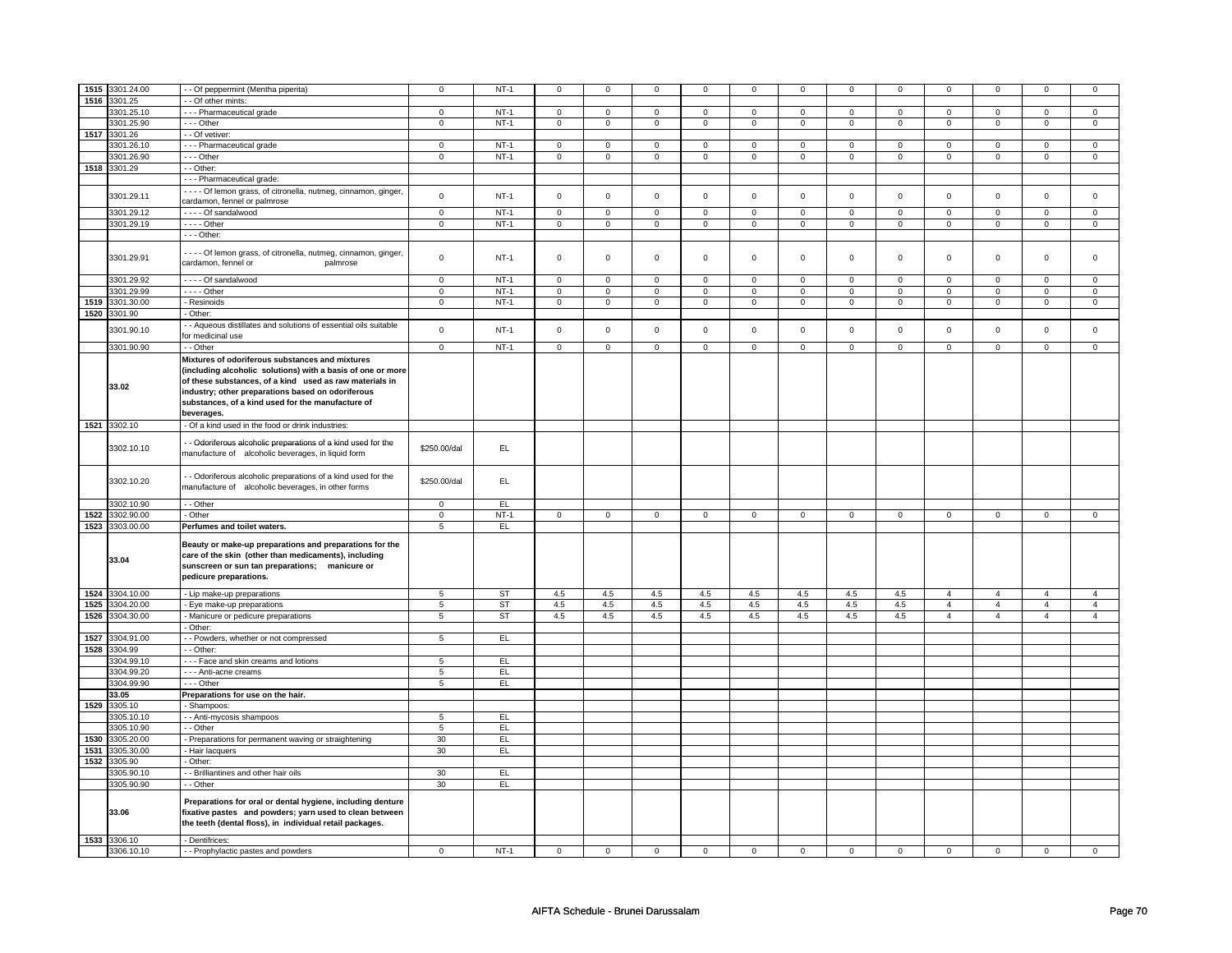| 1515 |                            |                                                                                                                                                                                                                                                                                                   |                 |           |                     |                     |                |                     |                     |                     |                     |                |                |                |                |                |
|------|----------------------------|---------------------------------------------------------------------------------------------------------------------------------------------------------------------------------------------------------------------------------------------------------------------------------------------------|-----------------|-----------|---------------------|---------------------|----------------|---------------------|---------------------|---------------------|---------------------|----------------|----------------|----------------|----------------|----------------|
|      | 3301.24.00                 | - - Of peppermint (Mentha piperita)                                                                                                                                                                                                                                                               | $\mathsf 0$     | $NT-1$    | $\mathsf 0$         | $\mathbf 0$         | 0              | 0                   | $\mathbf 0$         | $\mathbf 0$         | $\mathbf 0$         | 0              | 0              | $\Omega$       | $\Omega$       | $\Omega$       |
| 1516 | 3301.25                    | - - Of other mints:                                                                                                                                                                                                                                                                               |                 |           |                     |                     |                |                     |                     |                     |                     |                |                |                |                |                |
|      |                            |                                                                                                                                                                                                                                                                                                   |                 |           |                     |                     |                |                     |                     |                     |                     |                |                |                |                |                |
|      | 3301.25.10                 | --- Pharmaceutical grade                                                                                                                                                                                                                                                                          | $\mathbf 0$     | $NT-1$    | $\mathbf 0$         | $\mathbf 0$         | $\mathbf 0$    | $\mathbf 0$         | $\mathbf 0$         | $\mathbf 0$         | $\mathbf 0$         | $\overline{0}$ | $\mathbf 0$    | $\mathbf{0}$   | $\mathbf 0$    | $\mathbf 0$    |
|      | 3301.25.90                 | $- -$ Other                                                                                                                                                                                                                                                                                       | $\overline{0}$  | $NT-1$    | $\overline{0}$      | $\overline{0}$      | $\overline{0}$ | $\overline{0}$      | $\overline{0}$      | $\overline{0}$      | $\overline{0}$      | $\overline{0}$ | $\overline{0}$ | $\overline{0}$ | $\mathbf 0$    | $\overline{0}$ |
| 1517 | 3301.26                    |                                                                                                                                                                                                                                                                                                   |                 |           |                     |                     |                |                     |                     |                     |                     |                |                |                |                |                |
|      |                            | - - Of vetiver:                                                                                                                                                                                                                                                                                   |                 |           |                     |                     |                |                     |                     |                     |                     |                |                |                |                |                |
|      | 3301.26.10                 | - - - Pharmaceutical grade                                                                                                                                                                                                                                                                        | $\mathbf 0$     | $NT-1$    | $\mathsf{O}\xspace$ | $\mathsf 0$         | $\mathsf 0$    | $\mathsf 0$         | 0                   | $\mathsf 0$         | $\mathbf 0$         | $\mathsf 0$    | $\mathsf 0$    | $\mathbf 0$    | $\mathsf 0$    | $\circ$        |
|      | 3301.26.90                 | $\cdots$ Other                                                                                                                                                                                                                                                                                    | $\overline{0}$  | $NT-1$    | $\overline{0}$      | $\overline{0}$      | $\mathsf 0$    | $\overline{0}$      | 0                   | $\overline{0}$      | 0                   | $\overline{0}$ | 0              | $\overline{0}$ | $\mathsf 0$    | $\mathsf 0$    |
|      |                            |                                                                                                                                                                                                                                                                                                   |                 |           |                     |                     |                |                     |                     |                     |                     |                |                |                |                |                |
|      | 1518 3301.29               | - - Other:                                                                                                                                                                                                                                                                                        |                 |           |                     |                     |                |                     |                     |                     |                     |                |                |                |                |                |
|      |                            | - - - Pharmaceutical grade:                                                                                                                                                                                                                                                                       |                 |           |                     |                     |                |                     |                     |                     |                     |                |                |                |                |                |
|      |                            |                                                                                                                                                                                                                                                                                                   |                 |           |                     |                     |                |                     |                     |                     |                     |                |                |                |                |                |
|      | 3301.29.11                 | - - - - Of lemon grass, of citronella, nutmeg, cinnamon, ginger,                                                                                                                                                                                                                                  | $\mathbf 0$     | $NT-1$    | $\mathbf 0$         | $\mathbf 0$         | $\mathbf 0$    | $\mathbf 0$         | $\mathbf 0$         | $\mathbf 0$         | $\mathbf{0}$        | $\mathbf{0}$   | $\mathbf{0}$   | $\mathbf 0$    | $\mathbf 0$    | $\mathbf 0$    |
|      |                            | cardamon, fennel or palmrose                                                                                                                                                                                                                                                                      |                 |           |                     |                     |                |                     |                     |                     |                     |                |                |                |                |                |
|      |                            | - - - - Of sandalwood                                                                                                                                                                                                                                                                             | $\mathsf 0$     | $NT-1$    | $\mathsf 0$         |                     |                |                     |                     |                     | $\mathbf 0$         | 0              | $\mathbf 0$    | $\mathsf 0$    |                | $\mathbf 0$    |
|      | 3301.29.12                 |                                                                                                                                                                                                                                                                                                   |                 |           |                     | $\mathbf 0$         | 0              | $\mathbf 0$         | 0                   | 0                   |                     |                |                |                | $\mathbf 0$    |                |
|      | 3301.29.19                 | - - - - Other                                                                                                                                                                                                                                                                                     | $\mathsf 0$     | $NT-1$    | $\mathsf 0$         | $\mathbf 0$         | $\mathbf 0$    | $\mathbf 0$         | $\mathbf 0$         | $\mathbf 0$         | $\mathbf 0$         | $\mathbf 0$    | 0              | $\mathbf 0$    | $\mathsf 0$    | $\circ$        |
|      |                            | - - - Other:                                                                                                                                                                                                                                                                                      |                 |           |                     |                     |                |                     |                     |                     |                     |                |                |                |                |                |
|      |                            |                                                                                                                                                                                                                                                                                                   |                 |           |                     |                     |                |                     |                     |                     |                     |                |                |                |                |                |
|      | 3301.29.91                 | - - - - Of lemon grass, of citronella, nutmeg, cinnamon, ginger,<br>cardamon, fennel or<br>palmrose                                                                                                                                                                                               | $\mathbf 0$     | $NT-1$    | $\mathsf 0$         | $\mathbf 0$         | $\mathbf 0$    | $\mathsf 0$         | $\mathbf 0$         | $\mathbf 0$         | $\mathbf 0$         | 0              | $\mathbf 0$    | $\mathsf 0$    | $\mathbf 0$    | $\mathbf 0$    |
|      | 3301.29.92                 | - - - - Of sandalwood                                                                                                                                                                                                                                                                             | $\overline{0}$  | $NT-1$    | $\overline{0}$      | $\overline{0}$      | $\overline{0}$ | $\overline{0}$      | $\overline{0}$      | $\overline{0}$      | $\overline{0}$      | $\overline{0}$ | $\overline{0}$ | $\overline{0}$ | $\overline{0}$ | $\overline{0}$ |
|      |                            |                                                                                                                                                                                                                                                                                                   |                 |           |                     |                     |                |                     |                     |                     |                     |                |                |                |                |                |
|      | 3301.29.99                 | $- - -$ Other                                                                                                                                                                                                                                                                                     | $\mathbf 0$     | $NT-1$    | $\mathsf{O}\xspace$ | $\mathbf 0$         | $\mathsf 0$    | $\mathsf 0$         | 0                   | $\mathsf 0$         | $\mathsf 0$         | 0              | 0              | $\mathsf 0$    | $\mathsf 0$    | $\overline{0}$ |
| 1519 | 3301.30.00                 | - Resinoids                                                                                                                                                                                                                                                                                       | $\mathbf 0$     | $NT-1$    | $\mathsf 0$         | $\mathsf 0$         | $\mathsf 0$    | $\mathsf{O}\xspace$ | $\mathsf{O}\xspace$ | $\mathsf{O}\xspace$ | $\mathsf{O}\xspace$ | $\mathsf 0$    | $\mathsf 0$    | $\mathsf 0$    | $\mathsf 0$    | $\mathsf 0$    |
|      |                            |                                                                                                                                                                                                                                                                                                   |                 |           |                     |                     |                |                     |                     |                     |                     |                |                |                |                |                |
| 1520 | 3301.90                    | - Other:                                                                                                                                                                                                                                                                                          |                 |           |                     |                     |                |                     |                     |                     |                     |                |                |                |                |                |
|      |                            | - Aqueous distillates and solutions of essential oils suitable                                                                                                                                                                                                                                    |                 |           |                     |                     |                |                     |                     |                     |                     |                |                |                |                |                |
|      | 3301.90.10                 | for medicinal use                                                                                                                                                                                                                                                                                 | $\mathbf 0$     | $NT-1$    | $\mathbf 0$         | $\mathsf{O}\xspace$ | $\mathbf 0$    | $\mathbf 0$         | $\mathbf 0$         | $\mathbf 0$         | $\mathbf{0}$        | $\mathbf 0$    | $\mathbf 0$    | $\mathbf 0$    | $\mathbf 0$    | $\mathsf 0$    |
|      |                            |                                                                                                                                                                                                                                                                                                   |                 |           |                     |                     |                |                     |                     |                     |                     |                |                |                |                |                |
|      | 3301.90.90                 | - - Other                                                                                                                                                                                                                                                                                         | $\overline{0}$  | $NT-1$    | $\overline{0}$      | $\overline{0}$      | $\overline{0}$ | $\overline{0}$      | $\overline{0}$      | $\overline{0}$      | $\overline{0}$      | $\overline{0}$ | $\overline{0}$ | $\overline{0}$ | $\overline{0}$ | $\overline{0}$ |
|      |                            |                                                                                                                                                                                                                                                                                                   |                 |           |                     |                     |                |                     |                     |                     |                     |                |                |                |                |                |
|      | 33.02                      | Mixtures of odoriferous substances and mixtures<br>(including alcoholic solutions) with a basis of one or more<br>of these substances, of a kind used as raw materials in<br>industry; other preparations based on odoriferous<br>substances, of a kind used for the manufacture of<br>beverages. |                 |           |                     |                     |                |                     |                     |                     |                     |                |                |                |                |                |
|      |                            |                                                                                                                                                                                                                                                                                                   |                 |           |                     |                     |                |                     |                     |                     |                     |                |                |                |                |                |
|      | 1521 3302.10               | - Of a kind used in the food or drink industries:                                                                                                                                                                                                                                                 |                 |           |                     |                     |                |                     |                     |                     |                     |                |                |                |                |                |
|      | 3302.10.10                 | - Odoriferous alcoholic preparations of a kind used for the<br>manufacture of alcoholic beverages, in liquid form                                                                                                                                                                                 | \$250.00/dal    | EL.       |                     |                     |                |                     |                     |                     |                     |                |                |                |                |                |
|      | 3302.10.20                 | - Odoriferous alcoholic preparations of a kind used for the<br>manufacture of alcoholic beverages, in other forms                                                                                                                                                                                 | \$250.00/dal    | EL        |                     |                     |                |                     |                     |                     |                     |                |                |                |                |                |
|      |                            |                                                                                                                                                                                                                                                                                                   |                 |           |                     |                     |                |                     |                     |                     |                     |                |                |                |                |                |
|      |                            |                                                                                                                                                                                                                                                                                                   |                 |           |                     |                     |                |                     |                     |                     |                     |                |                |                |                |                |
|      | 3302.10.90                 | - - Other                                                                                                                                                                                                                                                                                         | $\mathsf 0$     | EL.       |                     |                     |                |                     |                     |                     |                     |                |                |                |                |                |
| 1522 | 3302.90.00                 | - Other                                                                                                                                                                                                                                                                                           | $\mathsf 0$     | $NT-1$    | $\mathbf 0$         | $\mathbf 0$         | $\mathbf 0$    | $\circ$             | $\mathbf 0$         | $\mathbf 0$         | $\mathbf{0}$        | $\overline{0}$ | $\mathbf 0$    | $\overline{0}$ | $\mathbf{0}$   | $\overline{0}$ |
|      |                            |                                                                                                                                                                                                                                                                                                   |                 |           |                     |                     |                |                     |                     |                     |                     |                |                |                |                |                |
|      | 1523 3303.00.00<br>33.04   | Perfumes and toilet waters.<br>Beauty or make-up preparations and preparations for the<br>care of the skin (other than medicaments), including<br>sunscreen or sun tan preparations; manicure or<br>pedicure preparations.                                                                        | 5               | EL        |                     |                     |                |                     |                     |                     |                     |                |                |                |                |                |
|      |                            |                                                                                                                                                                                                                                                                                                   |                 |           |                     |                     |                |                     |                     |                     |                     |                |                |                | 4              | $\overline{4}$ |
| 1524 | 3304.10.00                 | - Lip make-up preparations                                                                                                                                                                                                                                                                        | 5               | <b>ST</b> | 4.5                 | 4.5                 | $4.5\,$        | 4.5                 | 4.5                 | $4.5\,$             | $4.5\,$             | 4.5            | $\overline{4}$ | $\overline{4}$ |                |                |
| 1525 | 3304.20.00                 | - Eye make-up preparations                                                                                                                                                                                                                                                                        | 5               | ST        | 4.5                 | 4.5                 | 4.5            | 4.5                 | 4.5                 | 4.5                 | 4.5                 | 4.5            | $\overline{4}$ | $\overline{4}$ | $\overline{4}$ | $\overline{4}$ |
| 1526 | 3304.30.00                 | - Manicure or pedicure preparations                                                                                                                                                                                                                                                               | $\overline{5}$  | ST        | 4.5                 | 4.5                 | 4.5            | 4.5                 | 4.5                 | 4.5                 | 4.5                 | 4.5            | $\overline{4}$ | $\overline{4}$ | $\overline{4}$ | $\overline{4}$ |
|      |                            |                                                                                                                                                                                                                                                                                                   |                 |           |                     |                     |                |                     |                     |                     |                     |                |                |                |                |                |
|      |                            | - Other:                                                                                                                                                                                                                                                                                          |                 |           |                     |                     |                |                     |                     |                     |                     |                |                |                |                |                |
| 1527 | 3304.91.00                 | - - Powders, whether or not compressed                                                                                                                                                                                                                                                            | 5               | <b>EL</b> |                     |                     |                |                     |                     |                     |                     |                |                |                |                |                |
| 1528 | 3304.99                    | - Other:                                                                                                                                                                                                                                                                                          |                 |           |                     |                     |                |                     |                     |                     |                     |                |                |                |                |                |
|      |                            |                                                                                                                                                                                                                                                                                                   |                 |           |                     |                     |                |                     |                     |                     |                     |                |                |                |                |                |
|      | 3304.99.10                 | --- Face and skin creams and lotions                                                                                                                                                                                                                                                              | 5               | EL.       |                     |                     |                |                     |                     |                     |                     |                |                |                |                |                |
|      | 3304.99.20                 | - - - Anti-acne creams                                                                                                                                                                                                                                                                            | 5               | EL.       |                     |                     |                |                     |                     |                     |                     |                |                |                |                |                |
|      | 3304.99.90                 | --- Other                                                                                                                                                                                                                                                                                         | 5               | EL.       |                     |                     |                |                     |                     |                     |                     |                |                |                |                |                |
|      |                            |                                                                                                                                                                                                                                                                                                   |                 |           |                     |                     |                |                     |                     |                     |                     |                |                |                |                |                |
|      | 33.05                      | Preparations for use on the hair.                                                                                                                                                                                                                                                                 |                 |           |                     |                     |                |                     |                     |                     |                     |                |                |                |                |                |
| 1529 | 3305.10                    | - Shampoos:                                                                                                                                                                                                                                                                                       |                 |           |                     |                     |                |                     |                     |                     |                     |                |                |                |                |                |
|      |                            |                                                                                                                                                                                                                                                                                                   |                 |           |                     |                     |                |                     |                     |                     |                     |                |                |                |                |                |
|      | 3305.10.10                 | - Anti-mycosis shampoos                                                                                                                                                                                                                                                                           | 5               | EL.       |                     |                     |                |                     |                     |                     |                     |                |                |                |                |                |
|      | 3305.10.90                 | - - Other                                                                                                                                                                                                                                                                                         | $5\phantom{.0}$ | EL        |                     |                     |                |                     |                     |                     |                     |                |                |                |                |                |
|      |                            |                                                                                                                                                                                                                                                                                                   |                 |           |                     |                     |                |                     |                     |                     |                     |                |                |                |                |                |
| 1530 | 3305.20.00                 | - Preparations for permanent waving or straightening                                                                                                                                                                                                                                              | 30              | EL.       |                     |                     |                |                     |                     |                     |                     |                |                |                |                |                |
| 1531 | 3305.30.00                 | - Hair lacquers                                                                                                                                                                                                                                                                                   | 30              | EL.       |                     |                     |                |                     |                     |                     |                     |                |                |                |                |                |
|      |                            |                                                                                                                                                                                                                                                                                                   |                 |           |                     |                     |                |                     |                     |                     |                     |                |                |                |                |                |
| 1532 | 3305.90                    | - Other:                                                                                                                                                                                                                                                                                          |                 |           |                     |                     |                |                     |                     |                     |                     |                |                |                |                |                |
|      | 3305.90.10                 | - Brilliantines and other hair oils                                                                                                                                                                                                                                                               | 30              | E         |                     |                     |                |                     |                     |                     |                     |                |                |                |                |                |
|      | 3305.90.90                 | - - Other                                                                                                                                                                                                                                                                                         | 30              | EL        |                     |                     |                |                     |                     |                     |                     |                |                |                |                |                |
|      |                            |                                                                                                                                                                                                                                                                                                   |                 |           |                     |                     |                |                     |                     |                     |                     |                |                |                |                |                |
|      | 33.06                      | Preparations for oral or dental hygiene, including denture<br>fixative pastes and powders; yarn used to clean between<br>the teeth (dental floss), in individual retail packages.                                                                                                                 |                 |           |                     |                     |                |                     |                     |                     |                     |                |                |                |                |                |
|      |                            |                                                                                                                                                                                                                                                                                                   |                 |           |                     |                     |                |                     |                     |                     |                     |                |                |                |                |                |
|      | 1533 3306.10<br>3306.10.10 | - Dentifrices:<br>- - Prophylactic pastes and powders                                                                                                                                                                                                                                             | $\mathbf 0$     | $NT-1$    | $\mathbf 0$         | $\mathbf 0$         | 0              | $\mathbf{0}$        | 0                   | 0                   | $\mathbf 0$         | $\mathbf 0$    | $\mathbf 0$    | $\mathbf 0$    | $\mathbf{0}$   | $\overline{0}$ |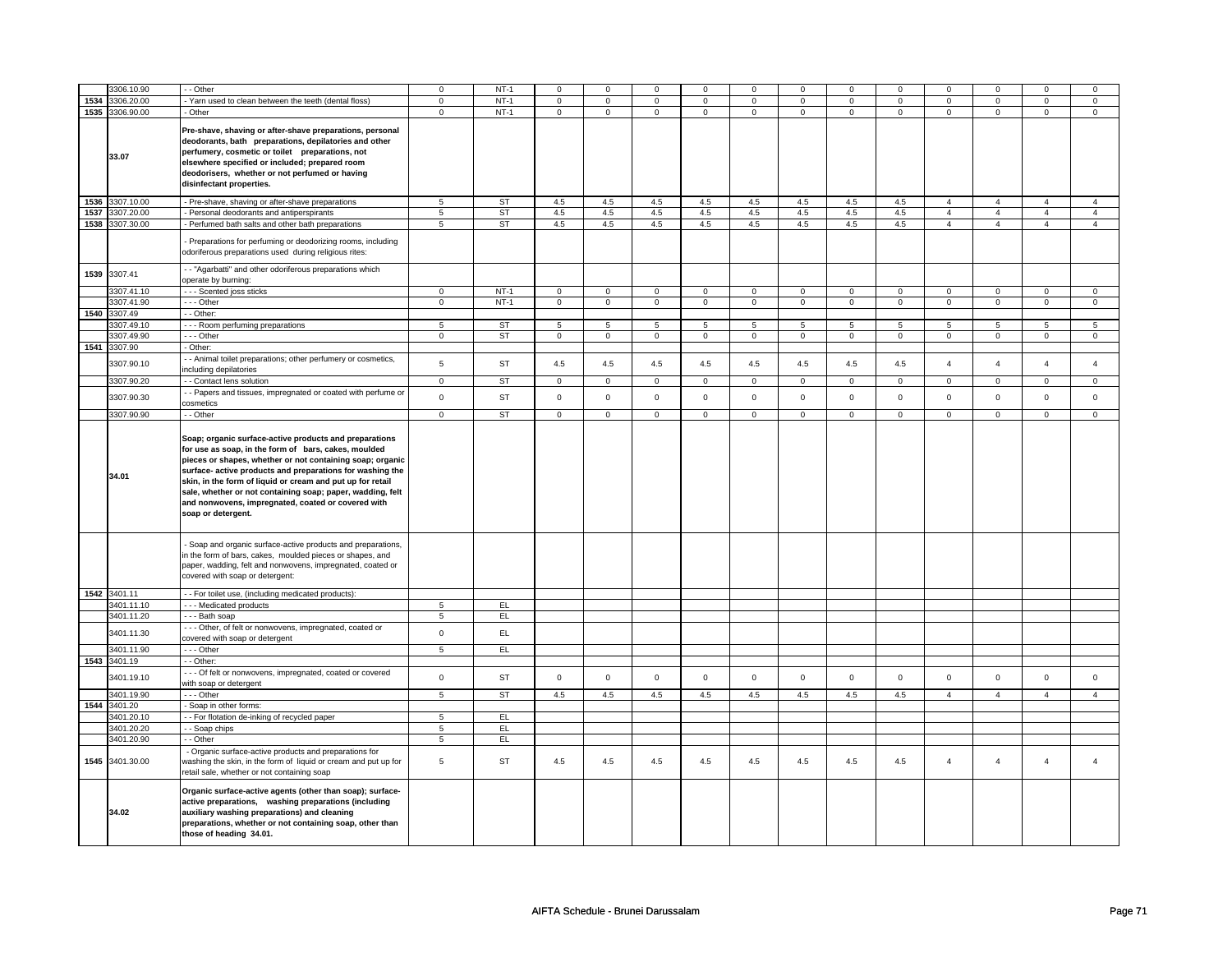|      | 306.10.90       | - - Other                                                                                                                                                                                                                                                                                                                                                                                                                                        | $\mathbf 0$    | $NT-1$      | $\mathbf 0$ | $\Omega$    | $\Omega$    | $\Omega$    | $\Omega$    | $\Omega$     | $\Omega$    | $\Omega$     | $\Omega$       | $\mathbf 0$    |                | $\Omega$       |
|------|-----------------|--------------------------------------------------------------------------------------------------------------------------------------------------------------------------------------------------------------------------------------------------------------------------------------------------------------------------------------------------------------------------------------------------------------------------------------------------|----------------|-------------|-------------|-------------|-------------|-------------|-------------|--------------|-------------|--------------|----------------|----------------|----------------|----------------|
| 1534 | 3306.20.00      | Yarn used to clean between the teeth (dental floss)                                                                                                                                                                                                                                                                                                                                                                                              | $\mathsf 0$    | $NT-1$      | $\mathsf 0$ | $\mathbf 0$ | $\mathsf 0$ | $\mathsf 0$ | $\mathsf 0$ | $\mathbf 0$  | $\mathsf 0$ | $\mathbf 0$  | $\mathsf 0$    | $\mathbf 0$    | $\Omega$       | $\mathbf{0}$   |
|      | 1535 3306.90.00 |                                                                                                                                                                                                                                                                                                                                                                                                                                                  |                | $NT-1$      |             | $\mathsf 0$ |             | $\mathsf 0$ |             | $\mathbf 0$  |             | $\mathbf 0$  |                | $\mathbf 0$    |                | $\mathbf 0$    |
|      | 33.07           | - Other<br>Pre-shave, shaving or after-shave preparations, personal<br>deodorants, bath preparations, depilatories and other<br>perfumery, cosmetic or toilet preparations, not<br>elsewhere specified or included; prepared room<br>deodorisers, whether or not perfumed or having<br>disinfectant properties.                                                                                                                                  | $\mathbf 0$    |             | $\mathbf 0$ |             | 0           |             | 0           |              | 0           |              | 0              |                | $\mathbf 0$    |                |
| 1536 | 3307.10.00      | - Pre-shave, shaving or after-shave preparations                                                                                                                                                                                                                                                                                                                                                                                                 | 5              | <b>ST</b>   | 4.5         | 4.5         | 4.5         | 4.5         | 4.5         | $4.5\,$      | 4.5         | 4.5          | $\overline{4}$ | $\overline{4}$ | $\overline{4}$ | $\overline{4}$ |
| 1537 | 3307.20.00      | Personal deodorants and antiperspirants                                                                                                                                                                                                                                                                                                                                                                                                          | 5              | ST          | 4.5         | 4.5         | 4.5         | 4.5         | 4.5         | 4.5          | 4.5         | 4.5          | $\overline{4}$ | $\overline{4}$ | $\overline{4}$ | $\overline{4}$ |
|      |                 |                                                                                                                                                                                                                                                                                                                                                                                                                                                  |                |             |             |             |             |             |             |              |             |              |                |                |                |                |
|      | 1538 3307.30.00 | - Perfumed bath salts and other bath preparations                                                                                                                                                                                                                                                                                                                                                                                                | 5              | <b>ST</b>   | 4.5         | 4.5         | 4.5         | 4.5         | 4.5         | 4.5          | 4.5         | 4.5          | $\overline{4}$ | $\overline{4}$ | $\overline{4}$ | $\overline{4}$ |
|      |                 | - Preparations for perfuming or deodorizing rooms, including<br>odoriferous preparations used during religious rites:                                                                                                                                                                                                                                                                                                                            |                |             |             |             |             |             |             |              |             |              |                |                |                |                |
| 1539 | 3307.41         | - - "Agarbatti" and other odoriferous preparations which<br>operate by burning:                                                                                                                                                                                                                                                                                                                                                                  |                |             |             |             |             |             |             |              |             |              |                |                |                |                |
|      | 3307.41.10      | --- Scented joss sticks                                                                                                                                                                                                                                                                                                                                                                                                                          | $\overline{0}$ | <b>NT-1</b> | $\mathbf 0$ | $\mathbf 0$ | $\mathbf 0$ | $\mathbf 0$ | $\mathbf 0$ | $\mathbf{0}$ | $\mathbf 0$ | $\mathbf{0}$ | $\mathbf 0$    | $\overline{0}$ | $\mathbf 0$    | $\mathbf{0}$   |
|      | 3307.41.90      | --- Other                                                                                                                                                                                                                                                                                                                                                                                                                                        | $\mathbf 0$    | $NT-1$      | $\mathbf 0$ | $\mathbf 0$ | $\mathbf 0$ | $\mathbf 0$ | $\mathbf 0$ | $\mathbf 0$  | $\mathbf 0$ | $\mathbf 0$  | $\mathbf 0$    | $\mathbf 0$    | $\mathbf 0$    | $\mathbf{0}$   |
| 1540 | 3307.49         | - - Other:                                                                                                                                                                                                                                                                                                                                                                                                                                       |                |             |             |             |             |             |             |              |             |              |                |                |                |                |
|      | 3307.49.10      | --- Room perfuming preparations                                                                                                                                                                                                                                                                                                                                                                                                                  | 5              | <b>ST</b>   | 5           | 5           | 5           | 5           | 5           | 5            | 5           | 5            | 5              | 5              | 5              | 5              |
|      | 3307.49.90      | --- Other                                                                                                                                                                                                                                                                                                                                                                                                                                        | $\mathsf 0$    | ST          | $\mathsf 0$ | $\mathbf 0$ | $\mathsf 0$ | $\mathbf 0$ | $\mathsf 0$ | $\mathsf 0$  | $\mathsf 0$ | $\mathsf 0$  | $\mathsf 0$    | $\mathsf 0$    | 0              | $\mathbf 0$    |
|      |                 |                                                                                                                                                                                                                                                                                                                                                                                                                                                  |                |             |             |             |             |             |             |              |             |              |                |                |                |                |
|      | 1541 3307.90    | - Other:                                                                                                                                                                                                                                                                                                                                                                                                                                         |                |             |             |             |             |             |             |              |             |              |                |                |                |                |
|      | 3307.90.10      | - - Animal toilet preparations; other perfumery or cosmetics,<br>including depilatories                                                                                                                                                                                                                                                                                                                                                          | 5              | <b>ST</b>   | 4.5         | 4.5         | 4.5         | 4.5         | $4.5\,$     | 4.5          | 4.5         | 4.5          | $\overline{4}$ | $\overline{4}$ | $\overline{4}$ | $\overline{4}$ |
|      | 3307.90.20      | - - Contact lens solution                                                                                                                                                                                                                                                                                                                                                                                                                        | $\mathbf 0$    | <b>ST</b>   | $\mathsf 0$ | $\mathbf 0$ | $\mathsf 0$ | $\mathbf 0$ | $\mathsf 0$ | $\mathsf 0$  | $\mathsf 0$ | $\mathsf 0$  | $\mathsf 0$    | $\mathsf 0$    | $\mathbf 0$    | $\mathbf 0$    |
|      | 3307.90.30      | - Papers and tissues, impregnated or coated with perfume or<br>cosmetics                                                                                                                                                                                                                                                                                                                                                                         | $\mathsf 0$    | <b>ST</b>   | $\mathsf 0$ | $\mathsf 0$ | $\mathbf 0$ | $\mathsf 0$ | $\mathsf 0$ | $\mathsf 0$  | $\mathsf 0$ | $\mathsf 0$  | $\mathsf 0$    | $\mathsf 0$    | $\mathbf 0$    | $\mathbf 0$    |
|      | 3307.90.90      | - - Other                                                                                                                                                                                                                                                                                                                                                                                                                                        | $\mathbf 0$    | <b>ST</b>   | $\mathbf 0$ | $\mathbf 0$ | $\mathbf 0$ | $\mathbf 0$ | $\mathbf 0$ | $\mathbf 0$  | $\mathbf 0$ | $\mathbf 0$  | $\mathbf 0$    | $\mathbf 0$    | $\mathbf 0$    | $\mathbf{0}$   |
|      |                 |                                                                                                                                                                                                                                                                                                                                                                                                                                                  |                |             |             |             |             |             |             |              |             |              |                |                |                |                |
|      | 34.01           | Soap; organic surface-active products and preparations<br>for use as soap, in the form of bars, cakes, moulded<br>pieces or shapes, whether or not containing soap; organic<br>surface- active products and preparations for washing the<br>skin, in the form of liquid or cream and put up for retail<br>sale, whether or not containing soap; paper, wadding, felt<br>and nonwovens, impregnated, coated or covered with<br>soap or detergent. |                |             |             |             |             |             |             |              |             |              |                |                |                |                |
|      |                 | Soap and organic surface-active products and preparations,<br>in the form of bars, cakes, moulded pieces or shapes, and<br>paper, wadding, felt and nonwovens, impregnated, coated or<br>covered with soap or detergent:                                                                                                                                                                                                                         |                |             |             |             |             |             |             |              |             |              |                |                |                |                |
|      | 1542 3401.11    | - - For toilet use, (including medicated products):                                                                                                                                                                                                                                                                                                                                                                                              |                |             |             |             |             |             |             |              |             |              |                |                |                |                |
|      | 3401.11.10      | --- Medicated products                                                                                                                                                                                                                                                                                                                                                                                                                           | $\overline{5}$ | EL          |             |             |             |             |             |              |             |              |                |                |                |                |
|      | 3401.11.20      | --- Bath soap                                                                                                                                                                                                                                                                                                                                                                                                                                    | 5              | EL.         |             |             |             |             |             |              |             |              |                |                |                |                |
|      | 3401.11.30      | --- Other, of felt or nonwovens, impregnated, coated or<br>covered with soap or detergent                                                                                                                                                                                                                                                                                                                                                        | $\mathbf 0$    | EL          |             |             |             |             |             |              |             |              |                |                |                |                |
|      | 3401.11.90      | --- Other                                                                                                                                                                                                                                                                                                                                                                                                                                        | 5              | EL          |             |             |             |             |             |              |             |              |                |                |                |                |
|      |                 |                                                                                                                                                                                                                                                                                                                                                                                                                                                  |                |             |             |             |             |             |             |              |             |              |                |                |                |                |
| 1543 | 3401.19         | - - Other:                                                                                                                                                                                                                                                                                                                                                                                                                                       |                |             |             |             |             |             |             |              |             |              |                |                |                |                |
|      | 3401.19.10      | - - - Of felt or nonwovens, impregnated, coated or covered<br>with soap or detergent                                                                                                                                                                                                                                                                                                                                                             | $\mathsf 0$    | <b>ST</b>   | $\Omega$    | $\mathbf 0$ | $\Omega$    | $\mathsf 0$ | $\mathbf 0$ | $\mathbf 0$  | $\Omega$    | $\mathbf 0$  | $\mathbf 0$    | $\mathbf 0$    | $\mathbf 0$    | $\mathbf 0$    |
|      | 3401.19.90      | - - - Other                                                                                                                                                                                                                                                                                                                                                                                                                                      | 5              | <b>ST</b>   | 4.5         | 4.5         | 4.5         | 4.5         | 4.5         | 4.5          | 4.5         | 4.5          | $\overline{4}$ | $\overline{4}$ | $\overline{4}$ | $\overline{4}$ |
|      | 1544 3401.20    | - Soap in other forms:                                                                                                                                                                                                                                                                                                                                                                                                                           |                |             |             |             |             |             |             |              |             |              |                |                |                |                |
|      | 3401.20.10      | - - For flotation de-inking of recycled paper                                                                                                                                                                                                                                                                                                                                                                                                    | 5              | EL          |             |             |             |             |             |              |             |              |                |                |                |                |
|      | 3401.20.20      | - - Soap chips                                                                                                                                                                                                                                                                                                                                                                                                                                   | 5              | EL.         |             |             |             |             |             |              |             |              |                |                |                |                |
|      | 3401.20.90      | - - Other                                                                                                                                                                                                                                                                                                                                                                                                                                        | $\overline{5}$ | EL          |             |             |             |             |             |              |             |              |                |                |                |                |
|      | 1545 3401.30.00 | - Organic surface-active products and preparations for<br>washing the skin, in the form of liquid or cream and put up for<br>retail sale, whether or not containing soap                                                                                                                                                                                                                                                                         | 5              | <b>ST</b>   | 4.5         | 4.5         | 4.5         | 4.5         | 4.5         | 4.5          | 4.5         | 4.5          | $\overline{4}$ | $\overline{4}$ | $\overline{4}$ | $\mathbf{A}$   |
|      | 34.02           | Organic surface-active agents (other than soap); surface-<br>active preparations, washing preparations (including<br>auxiliary washing preparations) and cleaning<br>preparations, whether or not containing soap, other than<br>those of heading 34.01.                                                                                                                                                                                         |                |             |             |             |             |             |             |              |             |              |                |                |                |                |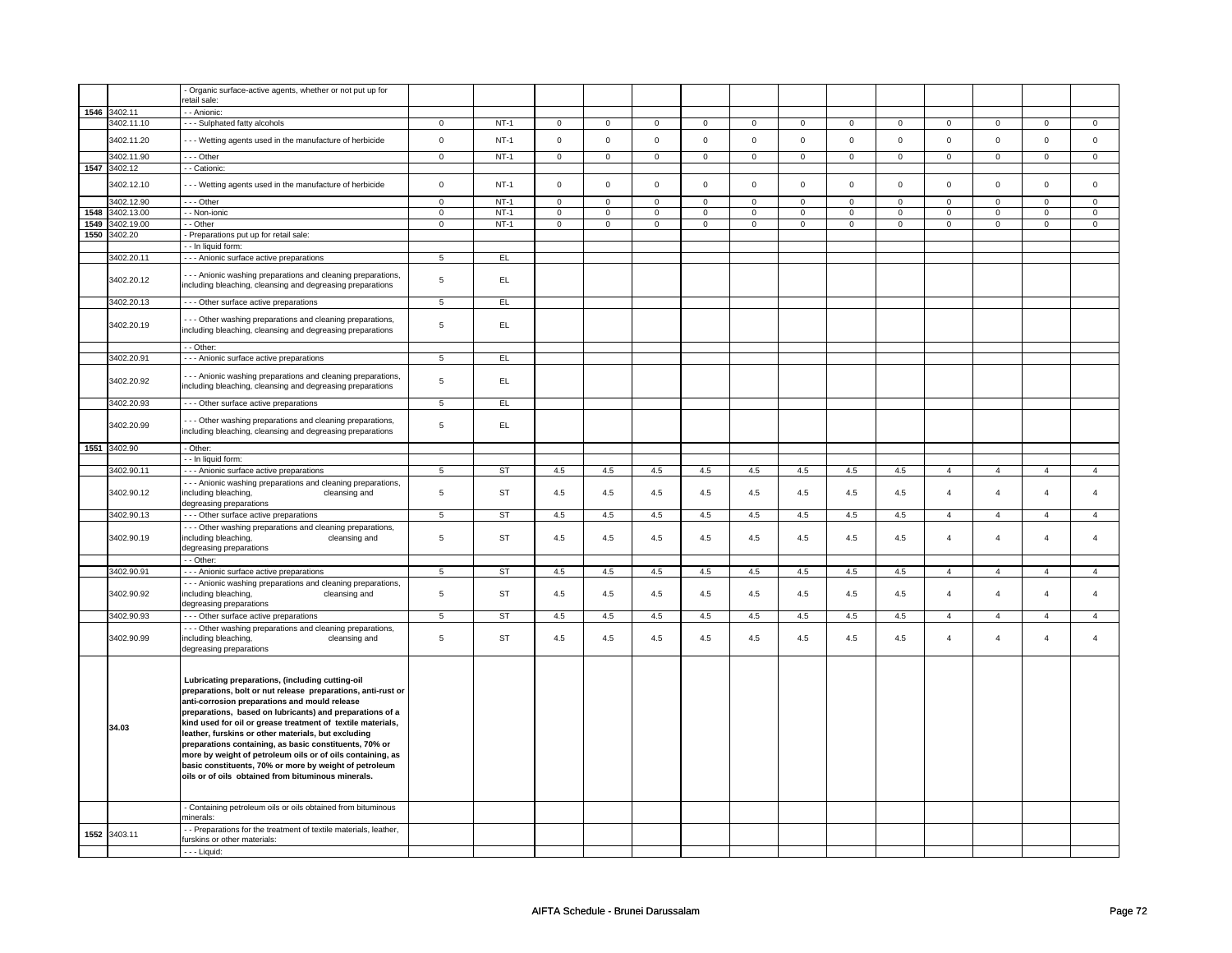|      |              | - Organic surface-active agents, whether or not put up for      |                 |           |                |                |                |                |                |                |                     |                |                |                |                |                |
|------|--------------|-----------------------------------------------------------------|-----------------|-----------|----------------|----------------|----------------|----------------|----------------|----------------|---------------------|----------------|----------------|----------------|----------------|----------------|
|      |              | retail sale:                                                    |                 |           |                |                |                |                |                |                |                     |                |                |                |                |                |
| 1546 | 3402.11      | - - Anionic:                                                    |                 |           |                |                |                |                |                |                |                     |                |                |                |                |                |
|      | 3402.11.10   | --- Sulphated fatty alcohols                                    | $\mathbf{0}$    | $NT-1$    | $\mathbf 0$    | $\mathbf{0}$   | $\mathbf 0$    | $\mathbf{0}$   | $\mathbf 0$    | $\mathbf{0}$   | $\mathbf 0$         | $\mathbf{0}$   | $\mathbf 0$    | $\mathbf{0}$   | $\mathbf 0$    | $\mathbf{0}$   |
|      |              |                                                                 |                 |           |                |                |                |                |                |                |                     |                |                |                |                |                |
|      | 3402.11.20   | - - - Wetting agents used in the manufacture of herbicide       | $\mathsf 0$     | $NT-1$    | $\mathbf 0$    | $\mathbf 0$    | $\mathbf 0$    | $\mathbf 0$    | $\mathbf 0$    | $\mathbf 0$    | $\Omega$            | $\mathbf 0$    | $\mathbf 0$    | $\mathsf 0$    | $\Omega$       | $\mathsf 0$    |
|      |              |                                                                 |                 |           |                |                |                |                |                |                |                     |                |                |                |                |                |
|      | 3402.11.90   | $- -$ Other                                                     | $\circ$         | $NT-1$    | $\mathbf 0$    | $\mathbf 0$    | $\mathbf 0$    | $\mathbf{0}$   | $\mathbf 0$    | $\mathbf 0$    | $\mathbf 0$         | $\mathbf 0$    | $\mathsf 0$    | $\mathsf 0$    | $\mathsf 0$    | $\mathbf 0$    |
| 1547 | 3402.12      | - - Cationic:                                                   |                 |           |                |                |                |                |                |                |                     |                |                |                |                |                |
|      |              |                                                                 |                 |           |                |                |                |                |                |                |                     |                |                |                |                |                |
|      | 3402.12.10   | --- Wetting agents used in the manufacture of herbicide         | $\mathsf 0$     | $NT-1$    | $\mathsf 0$    | $\mathsf 0$    | $\mathbf 0$    | $\mathsf 0$    | $\mathsf 0$    | $\mathbf 0$    | $\mathsf 0$         | $\mathsf 0$    | $\mathsf 0$    | $\mathsf 0$    | $\mathsf 0$    | $\mathsf{o}\,$ |
|      |              |                                                                 |                 |           |                |                |                |                |                |                |                     |                |                |                |                |                |
|      | 3402.12.90   | --- Other                                                       | $\mathsf 0$     | $NT-1$    | $\mathsf 0$    | $\mathsf 0$    | $\mathsf 0$    | $\mathsf 0$    | $\mathsf 0$    | $\mathsf 0$    | $\mathsf{O}\xspace$ | $\mathsf 0$    | $\mathsf 0$    | $\mathsf 0$    | $\mathsf 0$    | $\mathsf 0$    |
| 1548 | 3402.13.00   | - - Non-ionic                                                   | $\overline{0}$  | $NT-1$    | $\overline{0}$ | $\overline{0}$ | $\overline{0}$ | $\overline{0}$ | $\overline{0}$ | $\overline{0}$ | $\overline{0}$      | $\overline{0}$ | $\overline{0}$ | $\overline{0}$ | $\overline{0}$ | $\overline{0}$ |
|      |              |                                                                 |                 |           |                |                |                |                |                |                |                     |                |                |                |                |                |
| 1549 | 3402.19.00   | - - Other                                                       | $\overline{0}$  | $NT-1$    | $\mathsf 0$    | $\mathbf 0$    | $\mathbf 0$    | $\mathsf 0$    | $\mathbf 0$    | $\mathbf 0$    | $\mathbf 0$         | $\mathbf 0$    | $\mathsf 0$    | $\mathsf 0$    | $\mathsf 0$    | $\mathbf 0$    |
| 1550 | 3402.20      | - Preparations put up for retail sale:                          |                 |           |                |                |                |                |                |                |                     |                |                |                |                |                |
|      |              | - - In liquid form:                                             |                 |           |                |                |                |                |                |                |                     |                |                |                |                |                |
|      | 3402.20.11   | - - - Anionic surface active preparations                       | $5\overline{5}$ | EL        |                |                |                |                |                |                |                     |                |                |                |                |                |
|      |              |                                                                 |                 |           |                |                |                |                |                |                |                     |                |                |                |                |                |
|      |              | - - - Anionic washing preparations and cleaning preparations,   |                 |           |                |                |                |                |                |                |                     |                |                |                |                |                |
|      | 3402.20.12   |                                                                 | 5               | EL.       |                |                |                |                |                |                |                     |                |                |                |                |                |
|      |              | including bleaching, cleansing and degreasing preparations      |                 |           |                |                |                |                |                |                |                     |                |                |                |                |                |
|      | 3402.20.13   | - - - Other surface active preparations                         | 5               | EL        |                |                |                |                |                |                |                     |                |                |                |                |                |
|      |              |                                                                 |                 |           |                |                |                |                |                |                |                     |                |                |                |                |                |
|      |              | - - - Other washing preparations and cleaning preparations,     |                 |           |                |                |                |                |                |                |                     |                |                |                |                |                |
|      | 3402.20.19   |                                                                 | $\,$ 5          | EL.       |                |                |                |                |                |                |                     |                |                |                |                |                |
|      |              | including bleaching, cleansing and degreasing preparations      |                 |           |                |                |                |                |                |                |                     |                |                |                |                |                |
|      |              | - - Other:                                                      |                 |           |                |                |                |                |                |                |                     |                |                |                |                |                |
|      |              |                                                                 |                 |           |                |                |                |                |                |                |                     |                |                |                |                |                |
|      | 3402.20.91   | - - - Anionic surface active preparations                       | 5               | EL        |                |                |                |                |                |                |                     |                |                |                |                |                |
|      |              |                                                                 |                 |           |                |                |                |                |                |                |                     |                |                |                |                |                |
|      | 3402.20.92   | -- Anionic washing preparations and cleaning preparations,      | 5               | EL.       |                |                |                |                |                |                |                     |                |                |                |                |                |
|      |              | including bleaching, cleansing and degreasing preparations      |                 |           |                |                |                |                |                |                |                     |                |                |                |                |                |
|      |              |                                                                 |                 |           |                |                |                |                |                |                |                     |                |                |                |                |                |
|      | 3402.20.93   | - - - Other surface active preparations                         | $5\overline{5}$ | EL        |                |                |                |                |                |                |                     |                |                |                |                |                |
|      |              |                                                                 |                 |           |                |                |                |                |                |                |                     |                |                |                |                |                |
|      | 3402.20.99   | - - - Other washing preparations and cleaning preparations,     | $\,$ 5 $\,$     | EL.       |                |                |                |                |                |                |                     |                |                |                |                |                |
|      |              | including bleaching, cleansing and degreasing preparations      |                 |           |                |                |                |                |                |                |                     |                |                |                |                |                |
|      | 1551 3402.90 | - Other:                                                        |                 |           |                |                |                |                |                |                |                     |                |                |                |                |                |
|      |              |                                                                 |                 |           |                |                |                |                |                |                |                     |                |                |                |                |                |
|      |              | - - In liquid form:                                             |                 |           |                |                |                |                |                |                |                     |                |                |                |                |                |
|      | 3402.90.11   | - - - Anionic surface active preparations                       | $5\overline{5}$ | ST        | 4.5            | 4.5            | 4.5            | 4.5            | 4.5            | 4.5            | 4.5                 | 4.5            | $\overline{4}$ | $\overline{4}$ | $\overline{4}$ | 4              |
|      |              | - - - Anionic washing preparations and cleaning preparations,   |                 |           |                |                |                |                |                |                |                     |                |                |                |                |                |
|      | 3402.90.12   |                                                                 | $\,$ 5 $\,$     | <b>ST</b> | $4.5\,$        | 4.5            | 4.5            | $4.5\,$        | 4.5            | 4.5            | 4.5                 | 4.5            | $\overline{4}$ | $\overline{4}$ | $\overline{4}$ | $\overline{4}$ |
|      |              | including bleaching,<br>cleansing and                           |                 |           |                |                |                |                |                |                |                     |                |                |                |                |                |
|      |              | degreasing preparations                                         |                 |           |                |                |                |                |                |                |                     |                |                |                |                |                |
|      | 3402.90.13   | - - - Other surface active preparations                         | $\overline{5}$  | <b>ST</b> | 4.5            | 4.5            | 4.5            | 4.5            | 4.5            | 4.5            | 4.5                 | 4.5            | $\overline{4}$ | $\overline{4}$ | $\overline{4}$ | $\overline{4}$ |
|      |              | - - - Other washing preparations and cleaning preparations,     |                 |           |                |                |                |                |                |                |                     |                |                |                |                |                |
|      | 3402.90.19   | including bleaching,<br>cleansing and                           | 5               | <b>ST</b> | 4.5            | 4.5            | 4.5            | 4.5            | 4.5            | 4.5            | 4.5                 | 4.5            | $\overline{4}$ | $\overline{4}$ | $\overline{4}$ | $\overline{4}$ |
|      |              |                                                                 |                 |           |                |                |                |                |                |                |                     |                |                |                |                |                |
|      |              | degreasing preparations                                         |                 |           |                |                |                |                |                |                |                     |                |                |                |                |                |
|      |              | - - Other:                                                      |                 |           |                |                |                |                |                |                |                     |                |                |                |                |                |
|      | 3402.90.91   | - - - Anionic surface active preparations                       | 5               | ST        | 4.5            | 4.5            | 4.5            | 4.5            | 4.5            | 4.5            | 4.5                 | 4.5            | $\overline{4}$ | $\overline{4}$ | $\overline{4}$ | $\overline{4}$ |
|      |              | - - - Anionic washing preparations and cleaning preparations,   |                 |           |                |                |                |                |                |                |                     |                |                |                |                |                |
|      |              |                                                                 |                 |           |                |                |                |                |                |                |                     |                |                |                |                |                |
|      | 3402.90.92   | including bleaching,<br>cleansing and                           | $\sqrt{5}$      | <b>ST</b> | $4.5\,$        | 4.5            | 4.5            | 4.5            | 4.5            | 4.5            | 4.5                 | 4.5            | $\overline{4}$ | $\overline{4}$ | $\overline{4}$ | $\overline{4}$ |
|      |              | degreasing preparations                                         |                 |           |                |                |                |                |                |                |                     |                |                |                |                |                |
|      | 3402.90.93   | - - - Other surface active preparations                         | $5\overline{)}$ | ST        | 4.5            | 4.5            | 4.5            | 4.5            | 4.5            | 4.5            | 4.5                 | 4.5            | $\overline{4}$ | $\overline{4}$ | $\overline{4}$ | $\overline{4}$ |
|      |              | - - - Other washing preparations and cleaning preparations,     |                 |           |                |                |                |                |                |                |                     |                |                |                |                |                |
|      | 3402.90.99   | including bleaching,<br>cleansing and                           | 5               | <b>ST</b> | 4.5            | 4.5            | 4.5            | 4.5            | 4.5            | 4.5            | 4.5                 | 4.5            | $\overline{4}$ | $\overline{4}$ | $\overline{4}$ | $\overline{4}$ |
|      |              |                                                                 |                 |           |                |                |                |                |                |                |                     |                |                |                |                |                |
|      |              | degreasing preparations                                         |                 |           |                |                |                |                |                |                |                     |                |                |                |                |                |
|      |              |                                                                 |                 |           |                |                |                |                |                |                |                     |                |                |                |                |                |
|      |              |                                                                 |                 |           |                |                |                |                |                |                |                     |                |                |                |                |                |
|      |              | Lubricating preparations, (including cutting-oil                |                 |           |                |                |                |                |                |                |                     |                |                |                |                |                |
|      |              | preparations, bolt or nut release preparations, anti-rust or    |                 |           |                |                |                |                |                |                |                     |                |                |                |                |                |
|      |              | anti-corrosion preparations and mould release                   |                 |           |                |                |                |                |                |                |                     |                |                |                |                |                |
|      |              |                                                                 |                 |           |                |                |                |                |                |                |                     |                |                |                |                |                |
|      |              | preparations, based on lubricants) and preparations of a        |                 |           |                |                |                |                |                |                |                     |                |                |                |                |                |
|      | 34.03        | kind used for oil or grease treatment of textile materials,     |                 |           |                |                |                |                |                |                |                     |                |                |                |                |                |
|      |              | leather, furskins or other materials, but excluding             |                 |           |                |                |                |                |                |                |                     |                |                |                |                |                |
|      |              | preparations containing, as basic constituents, 70% or          |                 |           |                |                |                |                |                |                |                     |                |                |                |                |                |
|      |              | more by weight of petroleum oils or of oils containing, as      |                 |           |                |                |                |                |                |                |                     |                |                |                |                |                |
|      |              | basic constituents, 70% or more by weight of petroleum          |                 |           |                |                |                |                |                |                |                     |                |                |                |                |                |
|      |              |                                                                 |                 |           |                |                |                |                |                |                |                     |                |                |                |                |                |
|      |              | oils or of oils obtained from bituminous minerals.              |                 |           |                |                |                |                |                |                |                     |                |                |                |                |                |
|      |              |                                                                 |                 |           |                |                |                |                |                |                |                     |                |                |                |                |                |
|      |              |                                                                 |                 |           |                |                |                |                |                |                |                     |                |                |                |                |                |
|      |              | - Containing petroleum oils or oils obtained from bituminous    |                 |           |                |                |                |                |                |                |                     |                |                |                |                |                |
|      |              | minerals:                                                       |                 |           |                |                |                |                |                |                |                     |                |                |                |                |                |
|      |              | - Preparations for the treatment of textile materials, leather, |                 |           |                |                |                |                |                |                |                     |                |                |                |                |                |
| 1552 | 3403.11      | furskins or other materials:                                    |                 |           |                |                |                |                |                |                |                     |                |                |                |                |                |
|      |              | $- -$ Liquid:                                                   |                 |           |                |                |                |                |                |                |                     |                |                |                |                |                |
|      |              |                                                                 |                 |           |                |                |                |                |                |                |                     |                |                |                |                |                |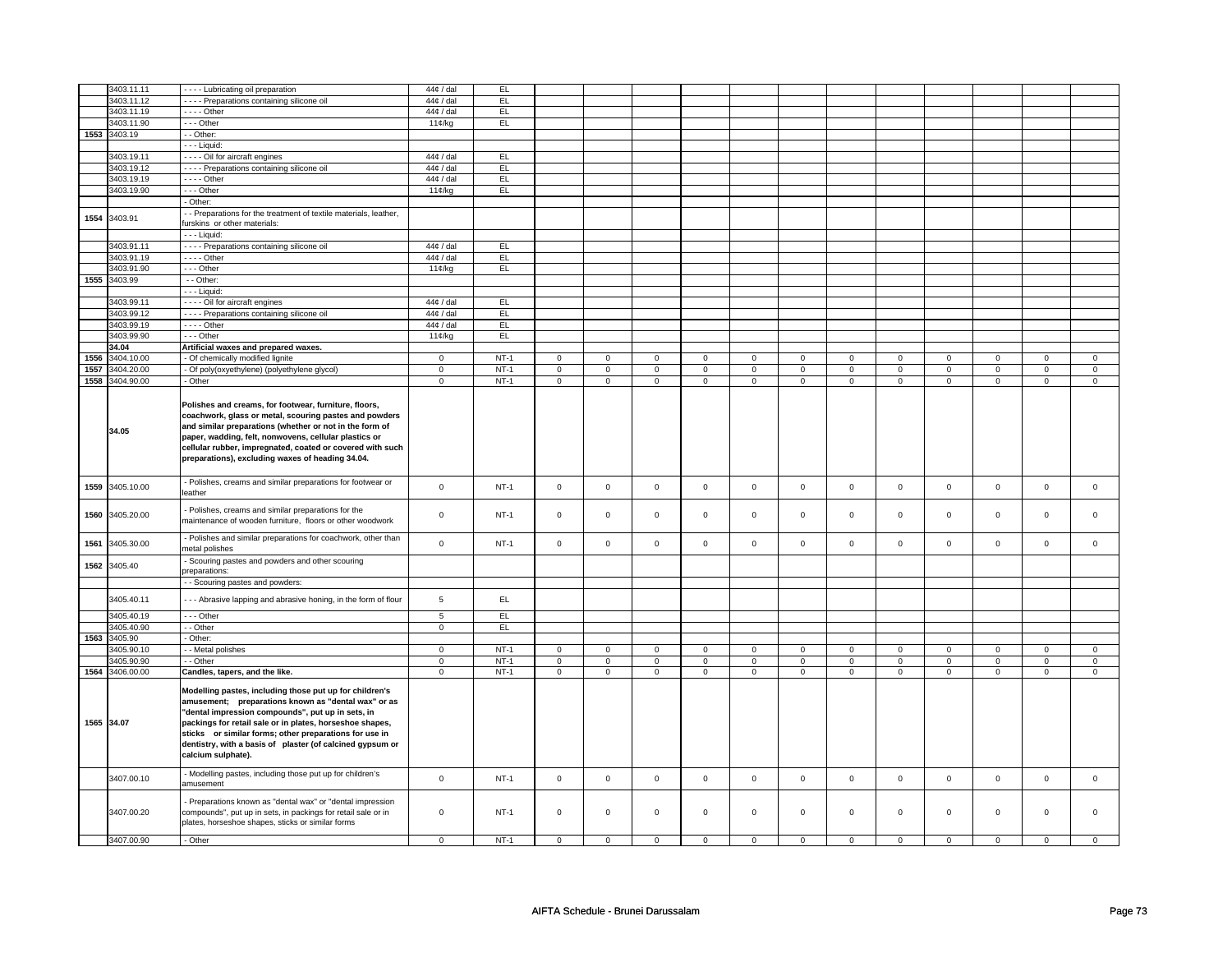|      | 3403.11.11               | - - - - Lubricating oil preparation                                                                                                                                                                                                                                                                                                                                          | $44¢$ / dal      | EL          |                     |                     |                     |              |             |                |             |                |             |                |                |                |
|------|--------------------------|------------------------------------------------------------------------------------------------------------------------------------------------------------------------------------------------------------------------------------------------------------------------------------------------------------------------------------------------------------------------------|------------------|-------------|---------------------|---------------------|---------------------|--------------|-------------|----------------|-------------|----------------|-------------|----------------|----------------|----------------|
|      | 3403.11.12               | - - - - Preparations containing silicone oil                                                                                                                                                                                                                                                                                                                                 | $44¢$ / dal      | EL          |                     |                     |                     |              |             |                |             |                |             |                |                |                |
|      | 3403.11.19               | - - - - Other                                                                                                                                                                                                                                                                                                                                                                | $44¢$ / dal      | EL          |                     |                     |                     |              |             |                |             |                |             |                |                |                |
|      | 3403.11.90               | $- -$ Other                                                                                                                                                                                                                                                                                                                                                                  | 11¢/kg           | EL          |                     |                     |                     |              |             |                |             |                |             |                |                |                |
|      |                          |                                                                                                                                                                                                                                                                                                                                                                              |                  |             |                     |                     |                     |              |             |                |             |                |             |                |                |                |
|      | 1553 3403.19             | - - Other:                                                                                                                                                                                                                                                                                                                                                                   |                  |             |                     |                     |                     |              |             |                |             |                |             |                |                |                |
|      |                          | - - - Liquid:                                                                                                                                                                                                                                                                                                                                                                |                  |             |                     |                     |                     |              |             |                |             |                |             |                |                |                |
|      | 3403.19.11               | - - - - Oil for aircraft engines                                                                                                                                                                                                                                                                                                                                             | $44¢$ / dal      | EL          |                     |                     |                     |              |             |                |             |                |             |                |                |                |
|      | 3403.19.12               | - - - - Preparations containing silicone oil                                                                                                                                                                                                                                                                                                                                 | $44¢$ / dal      | EL          |                     |                     |                     |              |             |                |             |                |             |                |                |                |
|      | 3403.19.19               | - - - - Other                                                                                                                                                                                                                                                                                                                                                                | $44¢$ / dal      | EL.         |                     |                     |                     |              |             |                |             |                |             |                |                |                |
|      | 3403.19.90               |                                                                                                                                                                                                                                                                                                                                                                              |                  | EL          |                     |                     |                     |              |             |                |             |                |             |                |                |                |
|      |                          | --- Other                                                                                                                                                                                                                                                                                                                                                                    | 11¢/kg           |             |                     |                     |                     |              |             |                |             |                |             |                |                |                |
|      |                          | - Other:                                                                                                                                                                                                                                                                                                                                                                     |                  |             |                     |                     |                     |              |             |                |             |                |             |                |                |                |
| 1554 | 3403.91                  | - - Preparations for the treatment of textile materials, leather,<br>furskins or other materials:                                                                                                                                                                                                                                                                            |                  |             |                     |                     |                     |              |             |                |             |                |             |                |                |                |
|      |                          | - - - Liquid:                                                                                                                                                                                                                                                                                                                                                                |                  |             |                     |                     |                     |              |             |                |             |                |             |                |                |                |
|      | 3403.91.11               | - - - - Preparations containing silicone oil                                                                                                                                                                                                                                                                                                                                 | $44¢$ / dal      | EL.         |                     |                     |                     |              |             |                |             |                |             |                |                |                |
|      | 3403.91.19               | - - - - Other                                                                                                                                                                                                                                                                                                                                                                | $44¢$ / dal      | EL          |                     |                     |                     |              |             |                |             |                |             |                |                |                |
|      | 3403.91.90               | $- -$ Other                                                                                                                                                                                                                                                                                                                                                                  |                  | EL          |                     |                     |                     |              |             |                |             |                |             |                |                |                |
|      |                          |                                                                                                                                                                                                                                                                                                                                                                              | 11¢/kg           |             |                     |                     |                     |              |             |                |             |                |             |                |                |                |
|      | 1555 3403.99             | $-$ Other:                                                                                                                                                                                                                                                                                                                                                                   |                  |             |                     |                     |                     |              |             |                |             |                |             |                |                |                |
|      |                          | - - - Liquid:                                                                                                                                                                                                                                                                                                                                                                |                  |             |                     |                     |                     |              |             |                |             |                |             |                |                |                |
|      | 3403.99.11               | - - - - Oil for aircraft engines                                                                                                                                                                                                                                                                                                                                             | 44¢ / dal        | EL.         |                     |                     |                     |              |             |                |             |                |             |                |                |                |
|      | 3403.99.12               | - - - - Preparations containing silicone oil                                                                                                                                                                                                                                                                                                                                 | $44¢$ / dal      | EL          |                     |                     |                     |              |             |                |             |                |             |                |                |                |
|      | 3403.99.19               | $\cdots$ - Other                                                                                                                                                                                                                                                                                                                                                             | $44¢$ / dal      | EL          |                     |                     |                     |              |             |                |             |                |             |                |                |                |
|      |                          |                                                                                                                                                                                                                                                                                                                                                                              |                  |             |                     |                     |                     |              |             |                |             |                |             |                |                |                |
|      | 3403.99.90               | $- -$ Other                                                                                                                                                                                                                                                                                                                                                                  | 11¢/kg           | EL          |                     |                     |                     |              |             |                |             |                |             |                |                |                |
|      | 34.04                    | Artificial waxes and prepared waxes.                                                                                                                                                                                                                                                                                                                                         |                  |             |                     |                     |                     |              |             |                |             |                |             |                |                |                |
| 1556 | 3404.10.00               | - Of chemically modified lignite                                                                                                                                                                                                                                                                                                                                             | $\mathbf 0$      | $NT-1$      | $\mathsf 0$         | $\mathsf 0$         | $\mathsf{O}\xspace$ | $\mathsf 0$  | $\mathsf 0$ | $\mathsf 0$    | $\Omega$    | $\Omega$       | $\Omega$    | $\Omega$       | $\Omega$       | $\Omega$       |
| 1557 | 3404.20.00               | - Of poly(oxyethylene) (polyethylene glycol)                                                                                                                                                                                                                                                                                                                                 | $\mathbf 0$      | $NT-1$      | $\mathsf 0$         | $\mathbf 0$         | $\mathsf 0$         | $\mathbf 0$  | $\mathsf 0$ | $\mathbf 0$    | $\mathsf 0$ | $\mathbf 0$    | $\mathsf 0$ | $\mathbf 0$    | $\mathsf 0$    | $\overline{0}$ |
| 1558 | 3404.90.00               | - Other                                                                                                                                                                                                                                                                                                                                                                      | $\mathsf 0$      | $NT-1$      | $\mathsf 0$         | $\circ$             | $\mathsf 0$         | $\mathbf 0$  | $\mathsf 0$ | $\mathbf 0$    | $\mathbf 0$ | $\mathbf 0$    | $\mathsf 0$ | $\mathsf 0$    | $\mathsf 0$    | $\mathbf 0$    |
|      |                          |                                                                                                                                                                                                                                                                                                                                                                              |                  |             |                     |                     |                     |              |             |                |             |                |             |                |                |                |
|      | 34.05                    | Polishes and creams, for footwear, furniture, floors,<br>coachwork, glass or metal, scouring pastes and powders<br>and similar preparations (whether or not in the form of<br>paper, wadding, felt, nonwovens, cellular plastics or<br>cellular rubber, impregnated, coated or covered with such<br>preparations), excluding waxes of heading 34.04.                         |                  |             |                     |                     |                     |              |             |                |             |                |             |                |                |                |
|      | 1559 3405.10.00          | - Polishes, creams and similar preparations for footwear or<br>eather                                                                                                                                                                                                                                                                                                        | $\mathbf 0$      | $NT-1$      | $\mathsf 0$         | $\mathsf{o}\xspace$ | $\mathsf 0$         | $\mathsf 0$  | $\mathsf 0$ | $\mathsf 0$    | $\mathsf 0$ | $\mathbf 0$    | $\mathsf 0$ | $\mathbf 0$    | $\mathsf 0$    | $\mathsf 0$    |
| 1560 | 3405.20.00               | - Polishes, creams and similar preparations for the<br>maintenance of wooden furniture, floors or other woodwork                                                                                                                                                                                                                                                             | $\mathbf 0$      | <b>NT-1</b> | $\mathsf 0$         | $\mathsf 0$         | $\mathbf 0$         | 0            | $\mathsf 0$ | $\mathbf 0$    | $\mathsf 0$ | 0              | $\mathsf 0$ | $\mathbf 0$    | $\mathsf 0$    | $\mathbf 0$    |
| 1561 | 3405.30.00               | - Polishes and similar preparations for coachwork, other than<br>netal polishes                                                                                                                                                                                                                                                                                              | $\mathsf 0$      | $NT-1$      | $\mathsf 0$         | $\mathsf 0$         | $\mathsf 0$         | $\mathsf 0$  | $\mathsf 0$ | $\mathsf 0$    | $\mathsf 0$ | $\mathsf 0$    | $\mathsf 0$ | $\mathsf 0$    | $\mathsf 0$    | $\mathsf 0$    |
| 1562 | 3405.40                  | - Scouring pastes and powders and other scouring<br>preparations:                                                                                                                                                                                                                                                                                                            |                  |             |                     |                     |                     |              |             |                |             |                |             |                |                |                |
|      |                          | - - Scouring pastes and powders:                                                                                                                                                                                                                                                                                                                                             |                  |             |                     |                     |                     |              |             |                |             |                |             |                |                |                |
|      |                          |                                                                                                                                                                                                                                                                                                                                                                              |                  |             |                     |                     |                     |              |             |                |             |                |             |                |                |                |
|      | 3405.40.11<br>3405.40.19 | --- Abrasive lapping and abrasive honing, in the form of flour<br>--- Other                                                                                                                                                                                                                                                                                                  | $\,$ 5 $\,$<br>5 | EL<br>EL.   |                     |                     |                     |              |             |                |             |                |             |                |                |                |
|      | 3405.40.90               | - - Other                                                                                                                                                                                                                                                                                                                                                                    | $\overline{0}$   | EL          |                     |                     |                     |              |             |                |             |                |             |                |                |                |
|      |                          |                                                                                                                                                                                                                                                                                                                                                                              |                  |             |                     |                     |                     |              |             |                |             |                |             |                |                |                |
| 1563 | 3405.90                  | - Other:                                                                                                                                                                                                                                                                                                                                                                     |                  |             |                     |                     |                     |              |             |                |             |                |             |                |                |                |
|      | 3405.90.10               | - - Metal polishes                                                                                                                                                                                                                                                                                                                                                           | $\mathbf 0$      | $NT-1$      | $\mathsf 0$         | $\mathbf 0$         | $\mathsf 0$         | $\mathbf 0$  | $\mathsf 0$ | $\mathbf 0$    | $\mathbf 0$ | $\mathsf 0$    | $\mathsf 0$ | $\mathsf 0$    | $\mathbf 0$    | $\mathbf 0$    |
|      | 3405.90.90               | - - Other                                                                                                                                                                                                                                                                                                                                                                    | $\overline{0}$   | $NT-1$      | $\mathsf{O}\xspace$ | $\mathbf 0$         | $\mathsf{O}\xspace$ | $\mathbf 0$  | $\mathsf 0$ | $\overline{0}$ | $\mathsf 0$ | $\overline{0}$ | $\mathsf 0$ | $\overline{0}$ | $\overline{0}$ | $\overline{0}$ |
|      | 1564 3406.00.00          | Candles, tapers, and the like.                                                                                                                                                                                                                                                                                                                                               | $\mathsf 0$      | $NT-1$      | $\mathsf 0$         | $\mathbf 0$         | $\mathsf 0$         | $\mathbf{0}$ | $\mathsf 0$ | $\mathbf 0$    | $\mathbf 0$ | $\mathbf 0$    | $\mathsf 0$ | $\mathsf 0$    | $\mathsf 0$    | $\mathbf 0$    |
|      | 1565 34.07               | Modelling pastes, including those put up for children's<br>amusement; preparations known as "dental wax" or as<br>"dental impression compounds", put up in sets, in<br>packings for retail sale or in plates, horseshoe shapes,<br>sticks or similar forms; other preparations for use in<br>dentistry, with a basis of plaster (of calcined gypsum or<br>calcium sulphate). |                  |             |                     |                     |                     |              |             |                |             |                |             |                |                |                |
|      | 3407.00.10               | - Modelling pastes, including those put up for children's<br>amusement                                                                                                                                                                                                                                                                                                       | $\mathsf 0$      | $NT-1$      | $\mathsf 0$         | $\mathsf 0$         | $\mathsf 0$         | $\mathsf 0$  | $\mathsf 0$ | $\mathsf 0$    | $\mathbf 0$ | $\mathsf 0$    | $\mathsf 0$ | $\mathsf 0$    | $\mathsf 0$    | $\mathbf 0$    |
|      | 3407.00.20               | - Preparations known as "dental wax" or "dental impression<br>compounds", put up in sets, in packings for retail sale or in<br>plates, horseshoe shapes, sticks or similar forms                                                                                                                                                                                             | $\mathbf 0$      | $NT-1$      | $\mathsf 0$         | $\mathsf 0$         | $\mathsf 0$         | $\mathbf 0$  | $\mathsf 0$ | $\mathsf 0$    | $\mathsf 0$ | $\mathsf 0$    | $\mathsf 0$ | $\mathsf 0$    | $\mathsf 0$    | $\Omega$       |
|      | 3407.00.90               | - Other                                                                                                                                                                                                                                                                                                                                                                      | $\mathbf 0$      | $NT-1$      | $\mathbf 0$         | $\mathbf 0$         | $\mathbf 0$         | $\mathbf 0$  | $\mathsf 0$ | $\mathbf 0$    | $\Omega$    | $\Omega$       | $\mathbf 0$ | $\mathsf 0$    | $\Omega$       | $\Omega$       |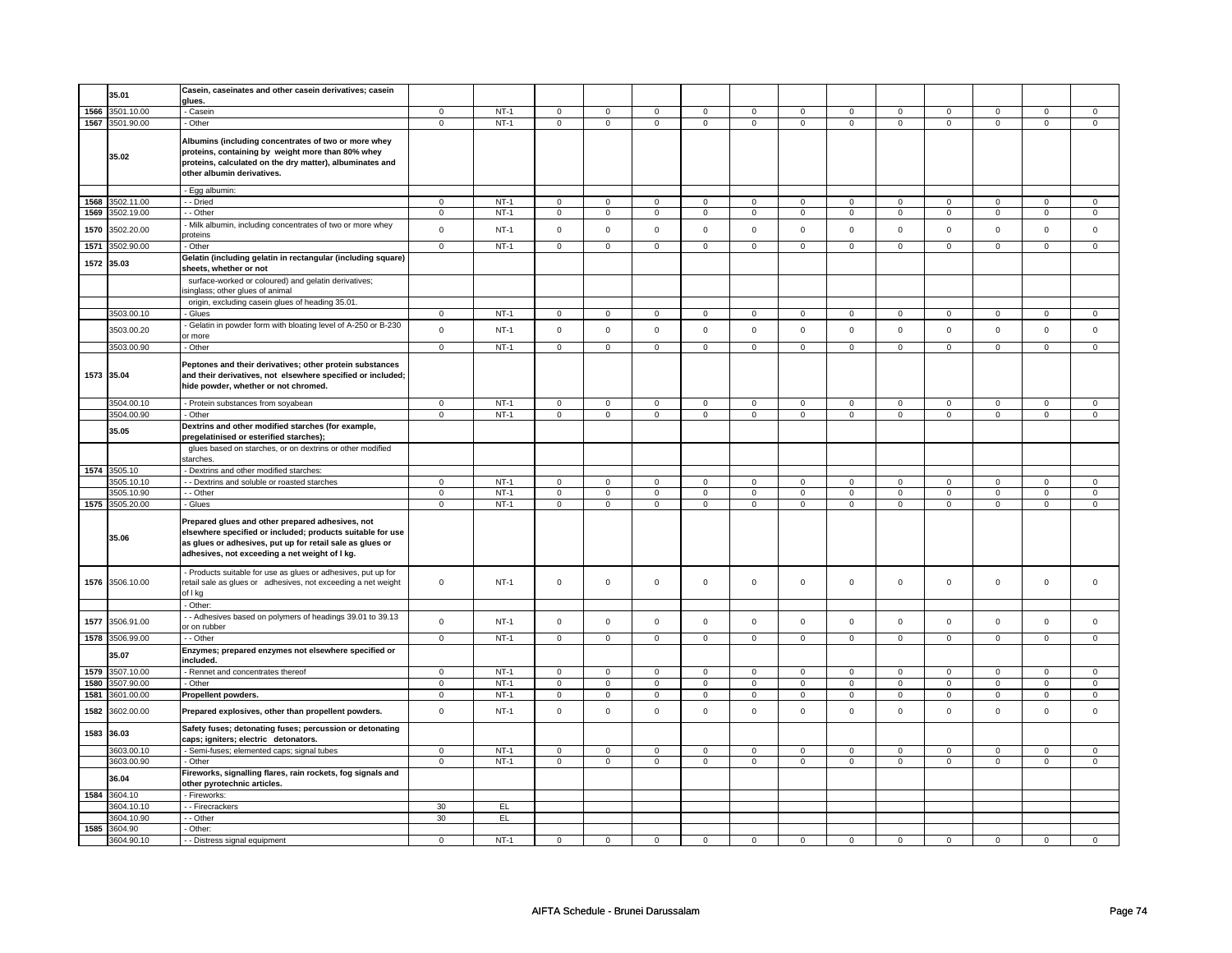|      |                 | Casein, caseinates and other casein derivatives; casein                                                                                                                                                                       |                |             |                |                |                     |                     |                     |                |                |                |                |                |                |                     |
|------|-----------------|-------------------------------------------------------------------------------------------------------------------------------------------------------------------------------------------------------------------------------|----------------|-------------|----------------|----------------|---------------------|---------------------|---------------------|----------------|----------------|----------------|----------------|----------------|----------------|---------------------|
|      | 35.01           | glues.                                                                                                                                                                                                                        |                |             |                |                |                     |                     |                     |                |                |                |                |                |                |                     |
| 1566 | 3501.10.00      | - Casein                                                                                                                                                                                                                      | $\mathbf 0$    | $NT-1$      | $\mathbf 0$    | $\mathbf 0$    | $\mathbf 0$         | $\mathbf 0$         | $\mathbf 0$         | $\mathbf 0$    | $\mathbf 0$    | $\mathbf 0$    | 0              | $\mathbf 0$    | 0              | $\overline{0}$      |
| 1567 | 3501.90.00      | - Other                                                                                                                                                                                                                       | $\mathbf 0$    | $NT-1$      | $\mathbf 0$    | $\mathbf 0$    | $\mathbf 0$         | $\mathbf 0$         | $\mathsf 0$         | $\mathsf 0$    | 0              | $\mathsf 0$    | $\mathsf 0$    | $\mathbf 0$    | 0              | $\mathbf 0$         |
|      | 35.02           | Albumins (including concentrates of two or more whey<br>proteins, containing by weight more than 80% whey<br>proteins, calculated on the dry matter), albuminates and<br>other albumin derivatives.                           |                |             |                |                |                     |                     |                     |                |                |                |                |                |                |                     |
|      |                 | - Egg albumin:                                                                                                                                                                                                                |                |             |                |                |                     |                     |                     |                |                |                |                |                |                |                     |
| 1568 | 3502.11.00      | - - Dried                                                                                                                                                                                                                     | 0              | $NT-1$      | 0              | $\mathsf 0$    | 0                   | $\mathbf 0$         | $\mathbf 0$         | $\mathsf 0$    | 0              | $\mathsf 0$    | 0              | $\mathsf 0$    | 0              | $\mathbf 0$         |
| 1569 | 3502.19.00      | - - Other                                                                                                                                                                                                                     | $\mathsf 0$    | $NT-1$      | $\mathbf 0$    | $\mathbf 0$    | $\mathbf 0$         | $\mathbf 0$         | $\mathsf 0$         | $\mathbf 0$    | $\mathbf 0$    | $\mathbf 0$    | $\mathsf 0$    | $\mathbf 0$    | $\mathsf 0$    | $\mathbf{0}$        |
| 1570 | 3502.20.00      | - Milk albumin, including concentrates of two or more whey<br>proteins                                                                                                                                                        | $\mathsf 0$    | $NT-1$      | $\mathsf 0$    | $\mathsf 0$    | $\mathsf 0$         | $\mathsf 0$         | $\mathsf 0$         | $\mathbf 0$    | $\mathbf 0$    | $\mathsf 0$    | $\mathsf 0$    | $\mathbf 0$    | $\mathsf 0$    | $\mathbf 0$         |
| 1571 | 3502.90.00      | - Other                                                                                                                                                                                                                       | $\Omega$       | $NT-1$      | $\Omega$       | $\Omega$       | $\Omega$            | $\mathsf 0$         | $\mathsf{O}\xspace$ | $\mathsf 0$    | $\Omega$       | $\mathsf 0$    | $\Omega$       | $\Omega$       | $\Omega$       | $\Omega$            |
| 1572 | 35.03           | Gelatin (including gelatin in rectangular (including square)<br>sheets, whether or not                                                                                                                                        |                |             |                |                |                     |                     |                     |                |                |                |                |                |                |                     |
|      |                 | surface-worked or coloured) and gelatin derivatives;<br>singlass; other glues of animal                                                                                                                                       |                |             |                |                |                     |                     |                     |                |                |                |                |                |                |                     |
|      |                 | origin, excluding casein glues of heading 35.01.                                                                                                                                                                              |                |             |                |                |                     |                     |                     |                |                |                |                |                |                |                     |
|      | 3503.00.10      | - Glues                                                                                                                                                                                                                       | $\mathbf 0$    | $NT-1$      | $\mathsf 0$    | $\mathsf 0$    | $\mathsf 0$         | $\mathsf 0$         | $\mathsf 0$         | $\mathsf 0$    | $\mathbf 0$    | $\mathsf 0$    | $\mathsf 0$    | $\mathbf 0$    | $\Omega$       | $\mathsf 0$         |
|      | 3503.00.20      | Gelatin in powder form with bloating level of A-250 or B-230<br>or more                                                                                                                                                       | $\mathbf 0$    | $NT-1$      | $\mathbf 0$    | $\mathsf 0$    | $\mathbf 0$         | $\mathsf 0$         | $\mathbf 0$         | $\mathbf{0}$   | $\mathbf 0$    | $\mathbf{0}$   | $\mathbf 0$    | $\mathbf{0}$   | $\mathbf 0$    | $\mathbf{0}$        |
|      | 3503.00.90      | - Other                                                                                                                                                                                                                       | $\mathbf 0$    | $NT-1$      | 0              | $\mathbf 0$    | 0                   | $\mathbf 0$         | 0                   | $\mathbf 0$    | $\mathbf 0$    | $\mathbf 0$    | 0              | $\mathbf 0$    | 0              | $\mathbf 0$         |
|      | 1573 35.04      | Peptones and their derivatives; other protein substances<br>and their derivatives, not elsewhere specified or included;<br>hide powder, whether or not chromed.                                                               |                |             |                |                |                     |                     |                     |                |                |                |                |                |                |                     |
|      | 3504.00.10      | - Protein substances from soyabean                                                                                                                                                                                            | $\mathbf{0}$   | $NT-1$      | $\overline{0}$ | $\mathbf 0$    | $\mathbf 0$         | $\mathbf 0$         | $\mathbf 0$         | $\mathbf 0$    | $\mathbf 0$    | $\mathbf 0$    | $\mathbf{0}$   | $\mathbf 0$    | $\mathbf 0$    | $\overline{0}$      |
|      | 3504.00.90      | - Other                                                                                                                                                                                                                       | $\mathsf 0$    | $NT-1$      | $\mathbf 0$    | $\mathbf 0$    | $\mathbf 0$         | $\mathbf 0$         | $\mathbf 0$         | $\mathbf 0$    | $\mathbf 0$    | $\mathbf 0$    | $\mathbf 0$    | $\mathbf 0$    | $\mathbf 0$    | $\mathbf 0$         |
|      | 35.05           | Dextrins and other modified starches (for example,                                                                                                                                                                            |                |             |                |                |                     |                     |                     |                |                |                |                |                |                |                     |
|      |                 | pregelatinised or esterified starches);<br>glues based on starches, or on dextrins or other modified<br>starches.                                                                                                             |                |             |                |                |                     |                     |                     |                |                |                |                |                |                |                     |
|      | 1574 3505.10    | - Dextrins and other modified starches:                                                                                                                                                                                       |                |             |                |                |                     |                     |                     |                |                |                |                |                |                |                     |
|      | 3505.10.10      | - - Dextrins and soluble or roasted starches                                                                                                                                                                                  | $\mathbf 0$    | $NT-1$      | $\mathbf 0$    | $\mathbf 0$    | $\mathbf 0$         | $\mathbf 0$         | $\mathbf 0$         | $\mathbf{0}$   | $\mathbf 0$    | $\mathbf 0$    | $\mathbf 0$    | $\mathbf 0$    | $\mathbf 0$    | 0                   |
|      | 3505.10.90      | - - Other                                                                                                                                                                                                                     | $\overline{0}$ | $NT-1$      | $\overline{0}$ | $\overline{0}$ | $\mathbf 0$         | $\overline{0}$      | $\mathbf 0$         | $\overline{0}$ | $\mathbf 0$    | $\overline{0}$ | $\overline{0}$ | $\overline{0}$ | $\overline{0}$ | $\overline{0}$      |
|      | 1575 3505.20.00 | - Glues                                                                                                                                                                                                                       | 0              | NT-1        | 0              | $\mathbf 0$    | 0                   | $\mathbf 0$         | 0                   | $\mathbf 0$    | 0              | $\mathbf 0$    | 0              | $\mathbf 0$    | 0              | $\mathbf 0$         |
|      | 35.06           | Prepared glues and other prepared adhesives, not<br>elsewhere specified or included; products suitable for use<br>as glues or adhesives, put up for retail sale as glues or<br>adhesives, not exceeding a net weight of I kg. |                |             |                |                |                     |                     |                     |                |                |                |                |                |                |                     |
|      | 1576 3506.10.00 | - Products suitable for use as glues or adhesives, put up for<br>retail sale as glues or adhesives, not exceeding a net weight<br>of I kg                                                                                     | $\mathbf 0$    | <b>NT-1</b> | $\mathsf 0$    | $\mathbf 0$    | $\mathbf 0$         | $\mathbf 0$         | $\mathbf 0$         | $\mathbf 0$    | 0              | $\mathbf 0$    | 0              | $\mathbf 0$    | 0              | 0                   |
|      |                 | - Other:                                                                                                                                                                                                                      |                |             |                |                |                     |                     |                     |                |                |                |                |                |                |                     |
| 1577 | 3506.91.00      | - Adhesives based on polymers of headings 39.01 to 39.13<br>or on rubber                                                                                                                                                      | $\mathsf 0$    | $NT-1$      | $\mathsf 0$    | $\mathbf 0$    | $\mathsf{O}\xspace$ | $\mathsf{O}\xspace$ | $\mathbf 0$         | $\mathsf 0$    | $\mathsf 0$    | $\mathsf 0$    | $\mathsf 0$    | $\mathbf 0$    | $\mathsf 0$    | $\mathsf{O}\xspace$ |
| 1578 | 3506.99.00      | - - Other                                                                                                                                                                                                                     | $\mathbf 0$    | $NT-1$      | $\mathsf 0$    | $\mathsf 0$    | $\mathsf 0$         | $\mathsf 0$         | $\mathsf 0$         | $\mathbf 0$    | $\mathbf 0$    | $\mathbf 0$    | $\mathbf 0$    | $\mathbf 0$    | $\mathsf 0$    | $\mathbf 0$         |
|      | 35.07           | Enzymes; prepared enzymes not elsewhere specified or<br>included.                                                                                                                                                             |                |             |                |                |                     |                     |                     |                |                |                |                |                |                |                     |
| 1579 | 3507.10.00      | - Rennet and concentrates thereof                                                                                                                                                                                             | $\overline{0}$ | $NT-1$      | $\overline{0}$ | $\overline{0}$ | $\overline{0}$      | $\overline{0}$      | $\overline{0}$      | $\overline{0}$ | $\overline{0}$ | $\overline{0}$ | $\overline{0}$ | $\overline{0}$ | $\overline{0}$ | $\overline{0}$      |
| 1580 | 3507.90.00      | - Other                                                                                                                                                                                                                       | $\mathsf 0$    | $NT-1$      | $\mathbf 0$    | $\mathbf 0$    | $\mathbf 0$         | $\mathbf 0$         | $\mathbf 0$         | $\mathbf 0$    | 0              | $\mathbf 0$    | 0              | $\mathbf 0$    | 0              | $\mathbf 0$         |
| 1581 | 3601.00.00      | Propellent powders.                                                                                                                                                                                                           | $\mathbf 0$    | $NT-1$      | $\mathsf 0$    | $\mathsf 0$    | $\mathbf 0$         | $\mathsf 0$         | 0                   | $\mathbf 0$    | 0              | $\mathbf 0$    | $\mathsf 0$    | $\mathbf 0$    | 0              | $\mathbf 0$         |
| 1582 | 3602.00.00      | Prepared explosives, other than propellent powders.                                                                                                                                                                           | $\mathsf 0$    | $NT-1$      | $\mathsf 0$    | $\mathsf 0$    | $\mathsf 0$         | $\mathsf 0$         | $\mathsf 0$         | $\mathbf 0$    | $\mathbf 0$    | $\mathbf 0$    | $\mathsf 0$    | $\mathbf 0$    | $\mathbf 0$    | $\mathbf 0$         |
| 1583 | 36.03           | Safety fuses; detonating fuses; percussion or detonating<br>caps; igniters; electric detonators.                                                                                                                              |                |             |                |                |                     |                     |                     |                |                |                |                |                |                |                     |
|      | 3603.00.10      | - Semi-fuses; elemented caps; signal tubes                                                                                                                                                                                    | $\mathsf 0$    | $NT-1$      | $\mathsf 0$    | $\mathbf 0$    | $\mathbf 0$         | $\mathbf 0$         | $\mathbf 0$         | $\mathbf 0$    | $\mathbf 0$    | $\mathbf 0$    | $\mathbf 0$    | $\mathbf 0$    | $\mathbf 0$    | $\mathbf{0}$        |
|      | 3603.00.90      | - Other                                                                                                                                                                                                                       | $\mathbf 0$    | $NT-1$      | $\mathsf 0$    | $\mathsf 0$    | $\mathsf 0$         | $\mathbf 0$         | $\mathbf 0$         | $\mathbf 0$    | $\mathbf 0$    | $\mathbf 0$    | $\mathbf 0$    | $\mathbf{0}$   | $\mathbf 0$    | $\overline{0}$      |
|      | 36.04           | Fireworks, signalling flares, rain rockets, fog signals and<br>other pyrotechnic articles.                                                                                                                                    |                |             |                |                |                     |                     |                     |                |                |                |                |                |                |                     |
| 1584 | 3604.10         | - Fireworks:                                                                                                                                                                                                                  |                |             |                |                |                     |                     |                     |                |                |                |                |                |                |                     |
|      | 3604.10.10      | - Firecrackers                                                                                                                                                                                                                | 30             | EL.         |                |                |                     |                     |                     |                |                |                |                |                |                |                     |
|      | 3604.10.90      | - Other                                                                                                                                                                                                                       | 30             | EL          |                |                |                     |                     |                     |                |                |                |                |                |                |                     |
| 1585 | 3604.90         | - Other:                                                                                                                                                                                                                      |                |             |                |                |                     |                     |                     |                |                |                |                |                |                |                     |
|      | 3604.90.10      | - - Distress signal equipment                                                                                                                                                                                                 | $\mathbf 0$    | $NT-1$      | $\Omega$       | $\Omega$       | $\Omega$            | $\Omega$            | $\Omega$            | 0              | $\Omega$       | $\Omega$       | $\Omega$       | $\Omega$       | $\Omega$       | $\Omega$            |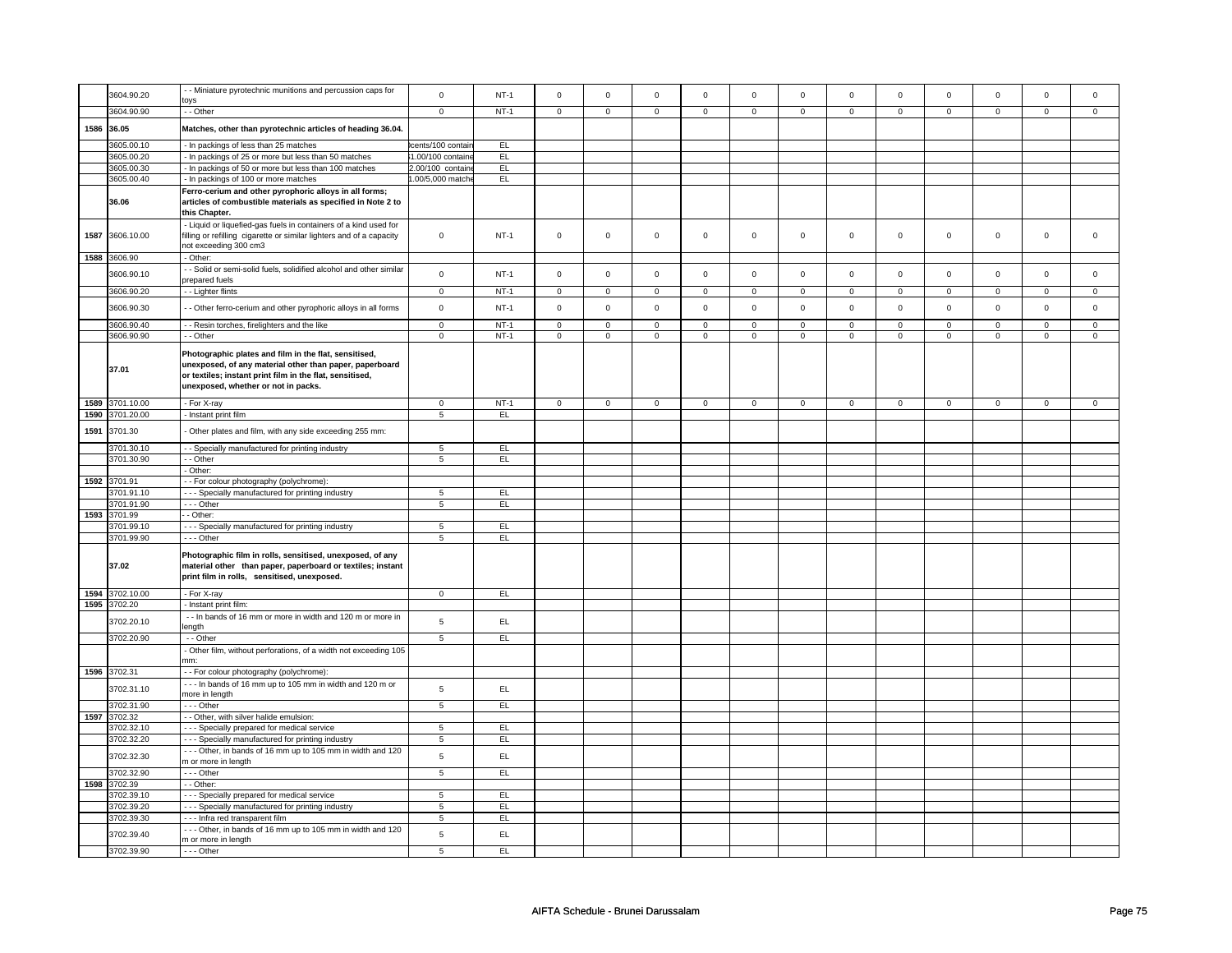|      | 3604.90.20          | - Miniature pyrotechnic munitions and percussion caps for<br>oys                                                                                                                                                    | $\mathsf{o}$      | $NT-1$ | $\mathsf 0$  | $\mathbf 0$    | $\mathsf{O}\xspace$ | $\mathsf{O}\xspace$ | $\mathsf{O}\xspace$ | $\mathsf{O}\xspace$ | $\mathsf 0$ | $\mathbf 0$  | $\mathsf 0$ | $\mathbf 0$    | $\Omega$    | $\Omega$       |
|------|---------------------|---------------------------------------------------------------------------------------------------------------------------------------------------------------------------------------------------------------------|-------------------|--------|--------------|----------------|---------------------|---------------------|---------------------|---------------------|-------------|--------------|-------------|----------------|-------------|----------------|
|      | 3604.90.90          | - - Other                                                                                                                                                                                                           | $\mathbf 0$       | $NT-1$ | $\mathsf 0$  | $\overline{0}$ | $\mathsf 0$         | $\mathbf{0}$        | $\mathsf 0$         | $\mathbf 0$         | $\mathsf 0$ | $\mathsf 0$  | $\mathsf 0$ | $\mathbf 0$    | $\mathbf 0$ | $\mathbf 0$    |
| 1586 | 36.05               | Matches, other than pyrotechnic articles of heading 36.04.                                                                                                                                                          |                   |        |              |                |                     |                     |                     |                     |             |              |             |                |             |                |
|      | 3605.00.10          | In packings of less than 25 matches                                                                                                                                                                                 | cents/100 contair | EL     |              |                |                     |                     |                     |                     |             |              |             |                |             |                |
|      | 3605.00.20          | - In packings of 25 or more but less than 50 matches                                                                                                                                                                | 1.00/100 containe | EL     |              |                |                     |                     |                     |                     |             |              |             |                |             |                |
|      | 3605.00.30          | - In packings of 50 or more but less than 100 matches                                                                                                                                                               | 2.00/100 contain  | EL     |              |                |                     |                     |                     |                     |             |              |             |                |             |                |
|      | 3605.00.40          | - In packings of 100 or more matches                                                                                                                                                                                | .00/5,000 matche  | EL.    |              |                |                     |                     |                     |                     |             |              |             |                |             |                |
|      | 36.06               | Ferro-cerium and other pyrophoric alloys in all forms;<br>articles of combustible materials as specified in Note 2 to<br>this Chapter.                                                                              |                   |        |              |                |                     |                     |                     |                     |             |              |             |                |             |                |
| 1587 | 3606.10.00          | - Liquid or liquefied-gas fuels in containers of a kind used for<br>filling or refilling cigarette or similar lighters and of a capacity<br>not exceeding 300 cm3                                                   | $\mathbf 0$       | $NT-1$ | $\mathsf 0$  | $\mathbf 0$    | $\mathsf 0$         | $\mathbf 0$         | $\mathsf 0$         | $\mathbf 0$         | $\mathsf 0$ | $\mathbf 0$  | $\mathsf 0$ | $\mathbf 0$    | $\mathsf 0$ | $\mathbf 0$    |
|      | 1588 3606.90        | - Other:                                                                                                                                                                                                            |                   |        |              |                |                     |                     |                     |                     |             |              |             |                |             |                |
|      | 3606.90.10          | - Solid or semi-solid fuels, solidified alcohol and other similar<br>prepared fuels                                                                                                                                 | $\mathsf 0$       | $NT-1$ | $\mathbf 0$  | $\mathbf 0$    | $\mathbf 0$         | $\mathbf 0$         | $\mathbf 0$         | $\mathbf 0$         | $\mathbf 0$ | $\mathsf 0$  | $\mathbf 0$ | $\mathbf 0$    | $\mathbf 0$ | $\mathbf 0$    |
|      | 3606.90.20          | - Lighter flints                                                                                                                                                                                                    | $\mathbf 0$       | $NT-1$ | $\mathbf 0$  | $\mathbf 0$    | $\mathsf 0$         | $\mathbf 0$         | $\mathsf 0$         | $\mathsf 0$         | $\mathbf 0$ | $\mathbf 0$  | $\mathsf 0$ | $\mathbf 0$    | $\mathbf 0$ | $\mathbf 0$    |
|      | 3606.90.30          | - Other ferro-cerium and other pyrophoric alloys in all forms                                                                                                                                                       | $\mathbf 0$       | $NT-1$ | $\mathsf 0$  | $\mathsf 0$    | $\mathsf{O}\xspace$ | $\mathsf 0$         | $\mathsf 0$         | $\mathsf 0$         | $\mathbf 0$ | $\mathsf 0$  | $\mathsf 0$ | $\mathsf 0$    | $\mathbf 0$ | $\mathsf 0$    |
|      | 3606.90.40          | - - Resin torches, firelighters and the like                                                                                                                                                                        | $\mathsf 0$       | $NT-1$ | $\mathsf 0$  | $\mathsf 0$    | $\mathsf 0$         | $\mathbf 0$         | $\mathsf 0$         | $\mathbf 0$         | $\mathsf 0$ | $\mathbf 0$  | $\mathsf 0$ | $\mathbf 0$    | $\mathsf 0$ | $\mathsf 0$    |
|      | 3606.90.90          | - - Other                                                                                                                                                                                                           | $\overline{0}$    | $NT-1$ | $\mathbf 0$  | $\circ$        | $\mathsf 0$         | $\mathbf{0}$        | $\mathsf 0$         | $\mathbf 0$         | $\mathbf 0$ | $\mathsf 0$  | $\mathsf 0$ | $\mathbf 0$    | $\mathsf 0$ | $\mathbf{0}$   |
|      | 37.01               | Photographic plates and film in the flat, sensitised,<br>unexposed, of any material other than paper, paperboard<br>or textiles; instant print film in the flat, sensitised,<br>unexposed, whether or not in packs. |                   |        |              |                |                     |                     |                     |                     |             |              |             |                |             |                |
| 1589 | 3701.10.00          | - For X-ray                                                                                                                                                                                                         | $\overline{0}$    | $NT-1$ | $\mathbf{0}$ | $\overline{0}$ | $\mathbf{0}$        | $\overline{0}$      | $\mathbf{0}$        | $\overline{0}$      | $\mathbf 0$ | $\mathbf{0}$ | $\mathbf 0$ | $\overline{0}$ | $\mathbf 0$ | $\overline{0}$ |
| 1590 | 3701.20.00          | - Instant print film                                                                                                                                                                                                | 5                 | EL     |              |                |                     |                     |                     |                     |             |              |             |                |             |                |
| 1591 | 3701.30             | - Other plates and film, with any side exceeding 255 mm:                                                                                                                                                            |                   |        |              |                |                     |                     |                     |                     |             |              |             |                |             |                |
|      | 3701.30.10          | - - Specially manufactured for printing industry                                                                                                                                                                    | 5                 | EL     |              |                |                     |                     |                     |                     |             |              |             |                |             |                |
|      | 3701.30.90          | - - Other                                                                                                                                                                                                           | 5                 | EL.    |              |                |                     |                     |                     |                     |             |              |             |                |             |                |
|      |                     | - Other:                                                                                                                                                                                                            |                   |        |              |                |                     |                     |                     |                     |             |              |             |                |             |                |
| 1592 | 3701.91             | - - For colour photography (polychrome):                                                                                                                                                                            |                   |        |              |                |                     |                     |                     |                     |             |              |             |                |             |                |
|      | 3701.91.10          | --- Specially manufactured for printing industry                                                                                                                                                                    | $\overline{5}$    | EL     |              |                |                     |                     |                     |                     |             |              |             |                |             |                |
|      | 3701.91.90          | $\cdots$ Other                                                                                                                                                                                                      | $\overline{5}$    | EL     |              |                |                     |                     |                     |                     |             |              |             |                |             |                |
|      | 1593 3701.99        | - Other:                                                                                                                                                                                                            |                   |        |              |                |                     |                     |                     |                     |             |              |             |                |             |                |
|      | 3701.99.10          | - - Specially manufactured for printing industry                                                                                                                                                                    | 5                 | EL.    |              |                |                     |                     |                     |                     |             |              |             |                |             |                |
|      | 3701.99.90<br>37.02 | --- Other<br>Photographic film in rolls, sensitised, unexposed, of any<br>material other than paper, paperboard or textiles; instant<br>print film in rolls, sensitised, unexposed.                                 | 5                 | EL     |              |                |                     |                     |                     |                     |             |              |             |                |             |                |
|      | 1594 3702.10.00     | - For X-ray                                                                                                                                                                                                         | $\mathbf 0$       | EL.    |              |                |                     |                     |                     |                     |             |              |             |                |             |                |
| 1595 | 3702.20             | - Instant print film:                                                                                                                                                                                               |                   |        |              |                |                     |                     |                     |                     |             |              |             |                |             |                |
|      |                     | - - In bands of 16 mm or more in width and 120 m or more in                                                                                                                                                         |                   |        |              |                |                     |                     |                     |                     |             |              |             |                |             |                |
|      | 3702.20.10          | length                                                                                                                                                                                                              | $\sqrt{5}$        | EL     |              |                |                     |                     |                     |                     |             |              |             |                |             |                |
|      | 3702.20.90          | $-$ Other                                                                                                                                                                                                           | $\,$ 5 $\,$       | E      |              |                |                     |                     |                     |                     |             |              |             |                |             |                |
|      |                     | - Other film, without perforations, of a width not exceeding 105<br>nm:                                                                                                                                             |                   |        |              |                |                     |                     |                     |                     |             |              |             |                |             |                |
|      | 1596 3702.31        | - - For colour photography (polychrome):                                                                                                                                                                            |                   |        |              |                |                     |                     |                     |                     |             |              |             |                |             |                |
|      | 3702.31.10          | --- In bands of 16 mm up to 105 mm in width and 120 m or<br>more in length                                                                                                                                          | $\sqrt{5}$        | EL     |              |                |                     |                     |                     |                     |             |              |             |                |             |                |
|      | 3702.31.90          | --- Other                                                                                                                                                                                                           | 5                 | EL     |              |                |                     |                     |                     |                     |             |              |             |                |             |                |
| 1597 | 3702.32             | - - Other, with silver halide emulsion:                                                                                                                                                                             |                   |        |              |                |                     |                     |                     |                     |             |              |             |                |             |                |
|      | 3702.32.10          | --- Specially prepared for medical service                                                                                                                                                                          | 5                 | EL     |              |                |                     |                     |                     |                     |             |              |             |                |             |                |
|      | 3702.32.20          | - - - Specially manufactured for printing industry                                                                                                                                                                  | $\overline{5}$    | EL     |              |                |                     |                     |                     |                     |             |              |             |                |             |                |
|      | 3702.32.30          | --- Other, in bands of 16 mm up to 105 mm in width and 120<br>m or more in length                                                                                                                                   | $\sqrt{5}$        | EL     |              |                |                     |                     |                     |                     |             |              |             |                |             |                |
|      | 3702.32.90          | $\cdots$ Other                                                                                                                                                                                                      | $5\overline{)}$   | EL     |              |                |                     |                     |                     |                     |             |              |             |                |             |                |
| 1598 | 3702.39             | - - Other:                                                                                                                                                                                                          |                   |        |              |                |                     |                     |                     |                     |             |              |             |                |             |                |
|      | 3702.39.10          | - - - Specially prepared for medical service                                                                                                                                                                        | $\overline{5}$    | EL     |              |                |                     |                     |                     |                     |             |              |             |                |             |                |
|      | 3702.39.20          | - - - Specially manufactured for printing industry                                                                                                                                                                  | 5                 | EL     |              |                |                     |                     |                     |                     |             |              |             |                |             |                |
|      | 3702.39.30          | --- Infra red transparent film                                                                                                                                                                                      | 5                 | EL     |              |                |                     |                     |                     |                     |             |              |             |                |             |                |
|      | 3702.39.40          | --- Other, in bands of 16 mm up to 105 mm in width and 120<br>m or more in length                                                                                                                                   | $\sqrt{5}$        | EL     |              |                |                     |                     |                     |                     |             |              |             |                |             |                |
|      | 3702.39.90          | --- Other                                                                                                                                                                                                           | 5                 | EL     |              |                |                     |                     |                     |                     |             |              |             |                |             |                |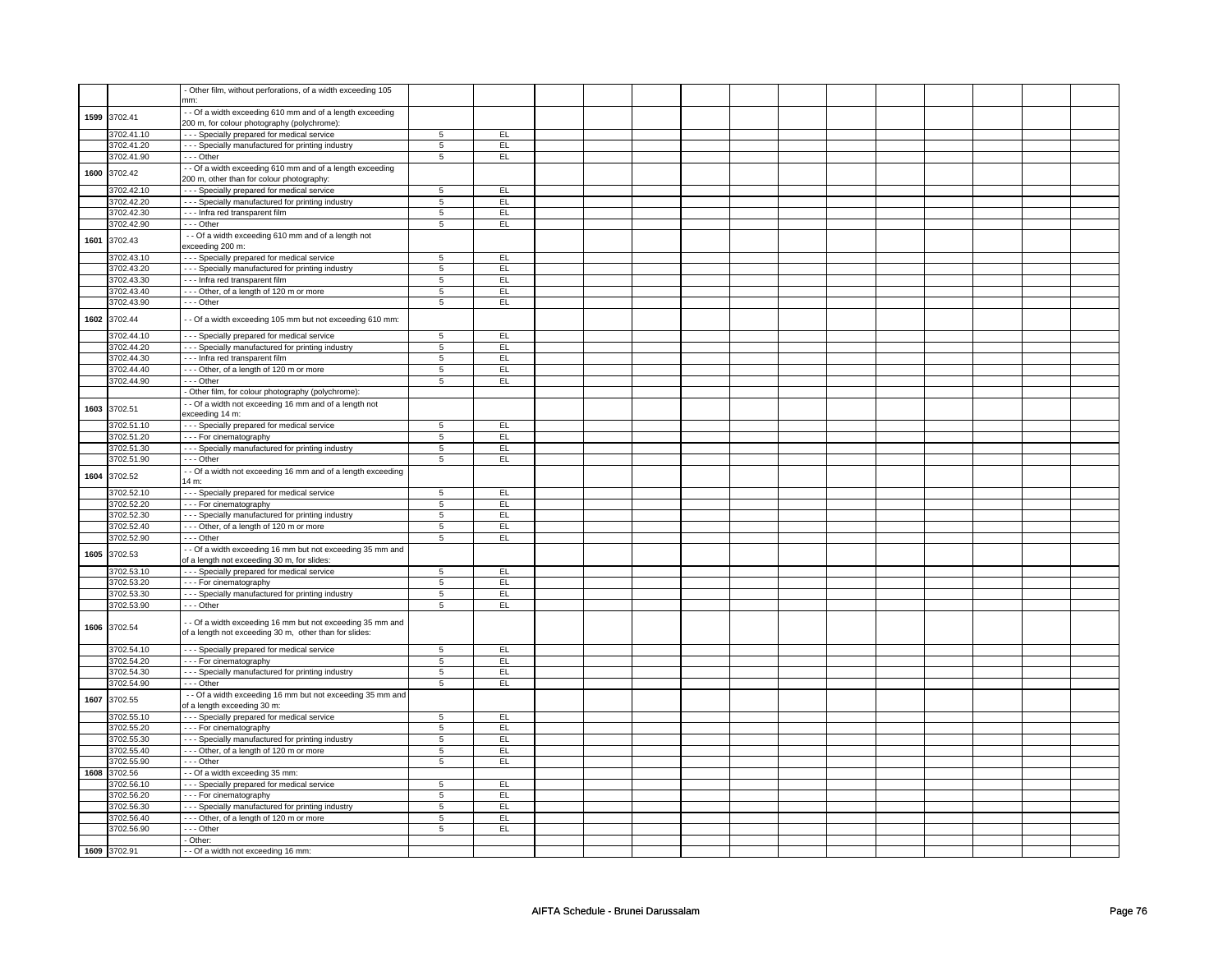|      |                          | - Other film, without perforations, of a width exceeding 105                 |                  |           |  |  |  |  |  |  |
|------|--------------------------|------------------------------------------------------------------------------|------------------|-----------|--|--|--|--|--|--|
|      |                          | nm:<br>- Of a width exceeding 610 mm and of a length exceeding               |                  |           |  |  |  |  |  |  |
|      | 1599 3702.41             | 200 m, for colour photography (polychrome):                                  |                  |           |  |  |  |  |  |  |
|      | 3702.41.10               | - - - Specially prepared for medical service                                 | 5                | EL        |  |  |  |  |  |  |
|      | 3702.41.20               | - - - Specially manufactured for printing industry                           | $\,$ 5 $\,$      | EL        |  |  |  |  |  |  |
|      | 3702.41.90               | --- Other                                                                    | $\overline{5}$   | EL        |  |  |  |  |  |  |
|      |                          | - Of a width exceeding 610 mm and of a length exceeding                      |                  |           |  |  |  |  |  |  |
| 1600 | 3702.42                  | 200 m, other than for colour photography:                                    |                  |           |  |  |  |  |  |  |
|      | 3702.42.10               | - - - Specially prepared for medical service                                 | 5                | EL        |  |  |  |  |  |  |
|      | 3702.42.20               | - - - Specially manufactured for printing industry                           | $5\overline{5}$  | EL.       |  |  |  |  |  |  |
|      | 3702.42.30               | --- Infra red transparent film                                               | 5                | <b>EL</b> |  |  |  |  |  |  |
|      | 3702.42.90               | --- Other                                                                    | $\overline{5}$   | EL        |  |  |  |  |  |  |
|      |                          | - - Of a width exceeding 610 mm and of a length not                          |                  |           |  |  |  |  |  |  |
| 1601 | 3702.43                  | exceeding 200 m:                                                             |                  |           |  |  |  |  |  |  |
|      | 3702.43.10               | - - - Specially prepared for medical service                                 | 5                | EL        |  |  |  |  |  |  |
|      | 3702.43.20               | - - - Specially manufactured for printing industry                           | $5\phantom{.0}$  | EL        |  |  |  |  |  |  |
|      | 3702.43.30               | --- Infra red transparent film                                               | 5                | EL        |  |  |  |  |  |  |
|      | 3702.43.40               | --- Other, of a length of 120 m or more                                      | $\overline{5}$   | EL        |  |  |  |  |  |  |
|      | 3702.43.90               | --- Other                                                                    | 5                | EL        |  |  |  |  |  |  |
|      |                          |                                                                              |                  |           |  |  |  |  |  |  |
| 1602 | 3702.44                  | - - Of a width exceeding 105 mm but not exceeding 610 mm:                    |                  |           |  |  |  |  |  |  |
|      | 3702.44.10               | - - - Specially prepared for medical service                                 | $5\overline{5}$  | EL        |  |  |  |  |  |  |
|      | 3702.44.20               | - - - Specially manufactured for printing industry                           | $5\overline{5}$  | EL.       |  |  |  |  |  |  |
|      | 3702.44.30               | --- Infra red transparent film                                               | 5                | EL        |  |  |  |  |  |  |
|      | 3702.44.40               | --- Other, of a length of 120 m or more                                      | $\overline{5}$   | EL        |  |  |  |  |  |  |
|      | 3702.44.90               | --- Other                                                                    | 5                | EL.       |  |  |  |  |  |  |
|      |                          | - Other film, for colour photography (polychrome):                           |                  |           |  |  |  |  |  |  |
| 1603 | 3702.51                  | - - Of a width not exceeding 16 mm and of a length not                       |                  |           |  |  |  |  |  |  |
|      |                          | exceeding 14 m:                                                              |                  |           |  |  |  |  |  |  |
|      | 3702.51.10               | - - - Specially prepared for medical service                                 | $\,$ 5 $\,$      | EL        |  |  |  |  |  |  |
|      | 3702.51.20               | - - - For cinematography                                                     | $\overline{5}$   | EL        |  |  |  |  |  |  |
|      | 3702.51.30               | - - - Specially manufactured for printing industry                           | 5                | EL        |  |  |  |  |  |  |
|      | 3702.51.90               | $- -$ Other                                                                  | $5\overline{5}$  | EL        |  |  |  |  |  |  |
| 1604 | 3702.52                  | - - Of a width not exceeding 16 mm and of a length exceeding                 |                  |           |  |  |  |  |  |  |
|      |                          | 14 m:                                                                        |                  |           |  |  |  |  |  |  |
|      | 3702.52.10               | --- Specially prepared for medical service                                   | $5\overline{5}$  | EL        |  |  |  |  |  |  |
|      | 3702.52.20               | - - - For cinematography                                                     | $\overline{5}$   | EL        |  |  |  |  |  |  |
|      | 3702.52.30               | - - - Specially manufactured for printing industry                           | 5                | EL        |  |  |  |  |  |  |
|      | 3702.52.40               | --- Other, of a length of 120 m or more                                      | 5                | EL.       |  |  |  |  |  |  |
|      | 3702.52.90               | --- Other                                                                    | 5                | EL        |  |  |  |  |  |  |
| 1605 | 3702.53                  | - Of a width exceeding 16 mm but not exceeding 35 mm and                     |                  |           |  |  |  |  |  |  |
|      |                          | of a length not exceeding 30 m, for slides:                                  |                  |           |  |  |  |  |  |  |
|      | 3702.53.10               | - - - Specially prepared for medical service                                 | $\overline{5}$   | EL<br>EL  |  |  |  |  |  |  |
|      | 3702.53.20<br>3702.53.30 | --- For cinematography<br>- - - Specially manufactured for printing industry | $\,$ 5 $\,$<br>5 | EL        |  |  |  |  |  |  |
|      | 3702.53.90               | $\cdots$ Other                                                               | $\overline{5}$   | EL        |  |  |  |  |  |  |
|      |                          |                                                                              |                  |           |  |  |  |  |  |  |
| 1606 | 3702.54                  | - Of a width exceeding 16 mm but not exceeding 35 mm and                     |                  |           |  |  |  |  |  |  |
|      |                          | of a length not exceeding 30 m, other than for slides:                       |                  |           |  |  |  |  |  |  |
|      | 3702.54.10               | - - - Specially prepared for medical service                                 | 5                | EL        |  |  |  |  |  |  |
|      | 3702.54.20               | --- For cinematography                                                       | 5                | EL.       |  |  |  |  |  |  |
|      | 3702.54.30               | --- Specially manufactured for printing industry                             | 5                | EL        |  |  |  |  |  |  |
|      | 3702.54.90               | --- Other                                                                    | 5                | EL        |  |  |  |  |  |  |
|      |                          | - - Of a width exceeding 16 mm but not exceeding 35 mm and                   |                  |           |  |  |  |  |  |  |
| 1607 | 3702.55                  | of a length exceeding 30 m:                                                  |                  |           |  |  |  |  |  |  |
|      | 3702.55.10               | - - - Specially prepared for medical service                                 | $\overline{5}$   | EL        |  |  |  |  |  |  |
|      | 3702.55.20               | --- For cinematography                                                       | 5                | EL        |  |  |  |  |  |  |
|      | 3702.55.30               | --- Specially manufactured for printing industry                             | $\overline{5}$   | EL        |  |  |  |  |  |  |
|      | 3702.55.40               | --- Other, of a length of 120 m or more                                      | $\overline{5}$   | E         |  |  |  |  |  |  |
|      | 3702.55.90               | --- Other                                                                    | 5                | EL        |  |  |  |  |  |  |
| 1608 | 3702.56                  | -- Of a width exceeding 35 mm:                                               |                  |           |  |  |  |  |  |  |
|      | 3702.56.10               | - - - Specially prepared for medical service                                 | $\overline{5}$   | EL        |  |  |  |  |  |  |
|      | 3702.56.20               | --- For cinematography                                                       | $5\overline{5}$  | EL        |  |  |  |  |  |  |
|      | 3702.56.30               | - - - Specially manufactured for printing industry                           | 5                | EL.       |  |  |  |  |  |  |
|      |                          |                                                                              |                  |           |  |  |  |  |  |  |
|      | 3702.56.40               | --- Other, of a length of 120 m or more                                      | 5                | EL        |  |  |  |  |  |  |
|      | 3702.56.90               | $- -$ Other                                                                  | 5                | EL        |  |  |  |  |  |  |
|      |                          | - Other:<br>- - Of a width not exceeding 16 mm:                              |                  |           |  |  |  |  |  |  |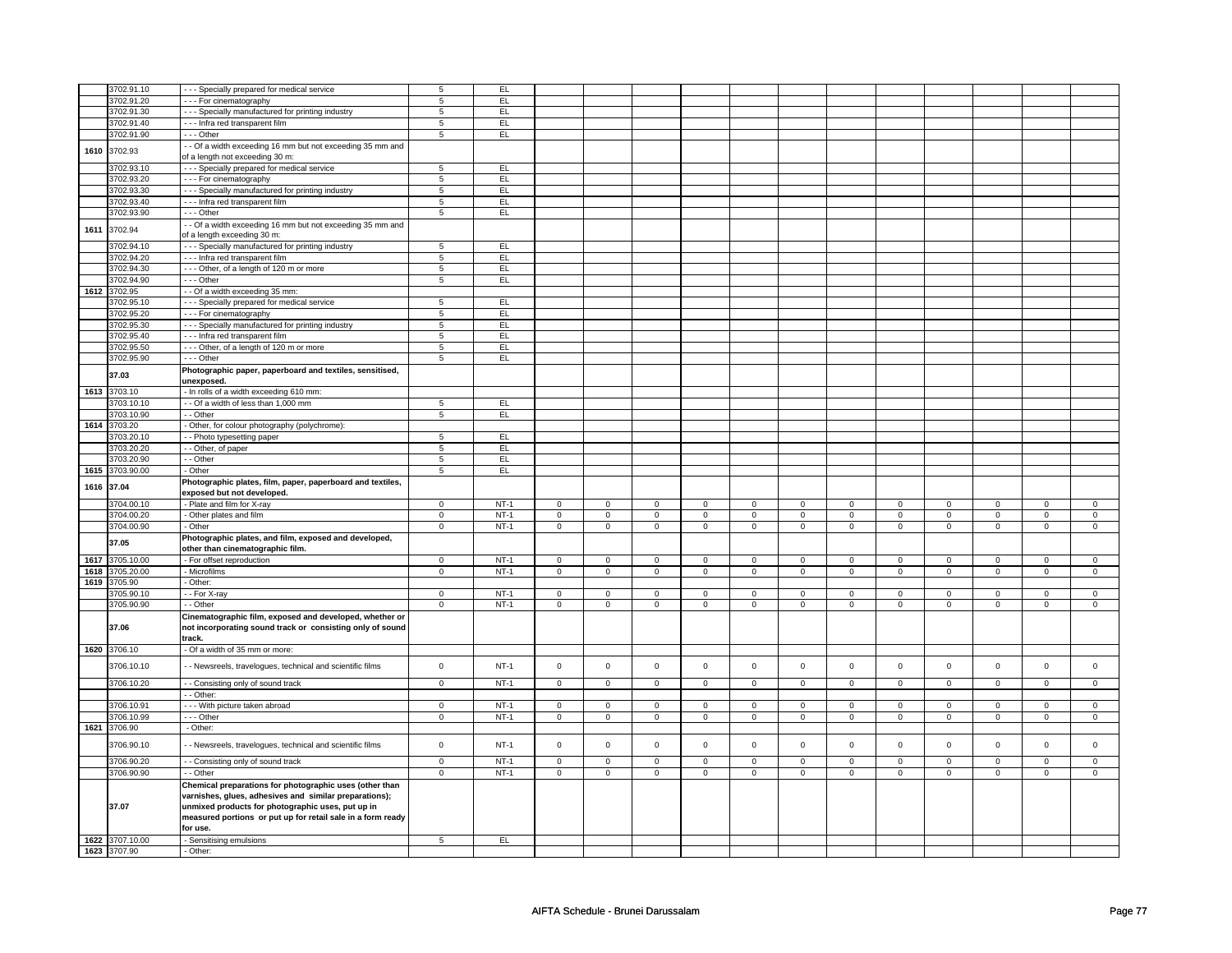|      | 3702.91.10                 | - - - Specially prepared for medical service                                                                                                                                                                                                      | 5                   | EL     |                     |                |                |                |                     |                |                |                |                |                     |                |                |
|------|----------------------------|---------------------------------------------------------------------------------------------------------------------------------------------------------------------------------------------------------------------------------------------------|---------------------|--------|---------------------|----------------|----------------|----------------|---------------------|----------------|----------------|----------------|----------------|---------------------|----------------|----------------|
|      | 3702.91.20                 | --- For cinematography                                                                                                                                                                                                                            | 5                   | EL     |                     |                |                |                |                     |                |                |                |                |                     |                |                |
|      | 3702.91.30                 | - - - Specially manufactured for printing industry                                                                                                                                                                                                | 5                   | EL     |                     |                |                |                |                     |                |                |                |                |                     |                |                |
|      |                            |                                                                                                                                                                                                                                                   |                     |        |                     |                |                |                |                     |                |                |                |                |                     |                |                |
|      | 3702.91.40                 | - - - Infra red transparent film                                                                                                                                                                                                                  | 5                   | EL.    |                     |                |                |                |                     |                |                |                |                |                     |                |                |
|      | 3702.91.90                 | --- Other                                                                                                                                                                                                                                         | $\overline{5}$      | EL     |                     |                |                |                |                     |                |                |                |                |                     |                |                |
| 1610 | 3702.93                    | - - Of a width exceeding 16 mm but not exceeding 35 mm and                                                                                                                                                                                        |                     |        |                     |                |                |                |                     |                |                |                |                |                     |                |                |
|      |                            | of a length not exceeding 30 m:                                                                                                                                                                                                                   |                     |        |                     |                |                |                |                     |                |                |                |                |                     |                |                |
|      | 3702.93.10                 | - - - Specially prepared for medical service                                                                                                                                                                                                      | 5                   | EL     |                     |                |                |                |                     |                |                |                |                |                     |                |                |
|      | 3702.93.20                 | - - - For cinematography                                                                                                                                                                                                                          | $\sqrt{5}$          | EL     |                     |                |                |                |                     |                |                |                |                |                     |                |                |
|      | 3702.93.30                 | - - - Specially manufactured for printing industry                                                                                                                                                                                                | $\sqrt{5}$          | EL.    |                     |                |                |                |                     |                |                |                |                |                     |                |                |
|      |                            |                                                                                                                                                                                                                                                   |                     |        |                     |                |                |                |                     |                |                |                |                |                     |                |                |
|      | 3702.93.40                 | - - - Infra red transparent film                                                                                                                                                                                                                  | $5\phantom{.0}$     | EL     |                     |                |                |                |                     |                |                |                |                |                     |                |                |
|      | 3702.93.90                 | $--$ Other                                                                                                                                                                                                                                        | $\overline{5}$      | EL     |                     |                |                |                |                     |                |                |                |                |                     |                |                |
| 1611 | 3702.94                    | - - Of a width exceeding 16 mm but not exceeding 35 mm and                                                                                                                                                                                        |                     |        |                     |                |                |                |                     |                |                |                |                |                     |                |                |
|      |                            | of a length exceeding 30 m:                                                                                                                                                                                                                       |                     |        |                     |                |                |                |                     |                |                |                |                |                     |                |                |
|      | 3702.94.10                 | - - - Specially manufactured for printing industry                                                                                                                                                                                                | $\,$ 5 $\,$         | EL     |                     |                |                |                |                     |                |                |                |                |                     |                |                |
|      | 3702.94.20                 | - - - Infra red transparent film                                                                                                                                                                                                                  | $\overline{5}$      | EL     |                     |                |                |                |                     |                |                |                |                |                     |                |                |
|      | 3702.94.30                 | --- Other, of a length of 120 m or more                                                                                                                                                                                                           | $5\phantom{.0}$     | EL     |                     |                |                |                |                     |                |                |                |                |                     |                |                |
|      |                            |                                                                                                                                                                                                                                                   |                     |        |                     |                |                |                |                     |                |                |                |                |                     |                |                |
|      | 3702.94.90                 | $--$ Other                                                                                                                                                                                                                                        | $\overline{5}$      | EL     |                     |                |                |                |                     |                |                |                |                |                     |                |                |
| 1612 | 3702.95                    | - - Of a width exceeding 35 mm:                                                                                                                                                                                                                   |                     |        |                     |                |                |                |                     |                |                |                |                |                     |                |                |
|      | 3702.95.10                 | - - - Specially prepared for medical service                                                                                                                                                                                                      | 5                   | EL     |                     |                |                |                |                     |                |                |                |                |                     |                |                |
|      | 3702.95.20                 | - - - For cinematography                                                                                                                                                                                                                          | 5                   | EL.    |                     |                |                |                |                     |                |                |                |                |                     |                |                |
|      | 3702.95.30                 | - - - Specially manufactured for printing industry                                                                                                                                                                                                | $5\phantom{.0}$     | EL.    |                     |                |                |                |                     |                |                |                |                |                     |                |                |
|      | 3702.95.40                 | - - - Infra red transparent film                                                                                                                                                                                                                  | 5                   | EL     |                     |                |                |                |                     |                |                |                |                |                     |                |                |
|      | 3702.95.50                 | --- Other, of a length of 120 m or more                                                                                                                                                                                                           | $5\phantom{.0}$     | EL     |                     |                |                |                |                     |                |                |                |                |                     |                |                |
|      | 3702.95.90                 | $- -$ Other                                                                                                                                                                                                                                       | 5                   | EL.    |                     |                |                |                |                     |                |                |                |                |                     |                |                |
|      |                            |                                                                                                                                                                                                                                                   |                     |        |                     |                |                |                |                     |                |                |                |                |                     |                |                |
|      | 37.03                      | Photographic paper, paperboard and textiles, sensitised,                                                                                                                                                                                          |                     |        |                     |                |                |                |                     |                |                |                |                |                     |                |                |
|      |                            | unexposed.                                                                                                                                                                                                                                        |                     |        |                     |                |                |                |                     |                |                |                |                |                     |                |                |
| 1613 | 3703.10                    | - In rolls of a width exceeding 610 mm:                                                                                                                                                                                                           |                     |        |                     |                |                |                |                     |                |                |                |                |                     |                |                |
|      | 3703.10.10                 | - - Of a width of less than 1,000 mm                                                                                                                                                                                                              | 5                   | EL.    |                     |                |                |                |                     |                |                |                |                |                     |                |                |
|      | 3703.10.90                 | - - Other                                                                                                                                                                                                                                         | $\sqrt{5}$          | EL.    |                     |                |                |                |                     |                |                |                |                |                     |                |                |
| 1614 | 3703.20                    | - Other, for colour photography (polychrome):                                                                                                                                                                                                     |                     |        |                     |                |                |                |                     |                |                |                |                |                     |                |                |
|      | 3703.20.10                 | - - Photo typesetting paper                                                                                                                                                                                                                       | 5                   | EL     |                     |                |                |                |                     |                |                |                |                |                     |                |                |
|      | 3703.20.20                 | - - Other, of paper                                                                                                                                                                                                                               | $\overline{5}$      | EL     |                     |                |                |                |                     |                |                |                |                |                     |                |                |
|      | 3703.20.90                 | - - Other                                                                                                                                                                                                                                         | $\overline{5}$      | EL     |                     |                |                |                |                     |                |                |                |                |                     |                |                |
| 1615 | 3703.90.00                 | - Other                                                                                                                                                                                                                                           | $\overline{5}$      | EL     |                     |                |                |                |                     |                |                |                |                |                     |                |                |
|      |                            |                                                                                                                                                                                                                                                   |                     |        |                     |                |                |                |                     |                |                |                |                |                     |                |                |
| 1616 | 37.04                      | Photographic plates, film, paper, paperboard and textiles,<br>exposed but not developed.                                                                                                                                                          |                     |        |                     |                |                |                |                     |                |                |                |                |                     |                |                |
|      | 3704.00.10                 | - Plate and film for X-ray                                                                                                                                                                                                                        | $\mathbf{0}$        | $NT-1$ | $\mathbf 0$         | $\mathsf 0$    | $\mathbf 0$    | $\mathbf 0$    | $\mathbf 0$         | $\mathbf 0$    | $\mathbf 0$    | $\mathbf 0$    | $\mathbf 0$    | $\mathbf{0}$        | $^{\circ}$     | $\circ$        |
|      |                            |                                                                                                                                                                                                                                                   |                     |        |                     |                |                |                | $\overline{0}$      | $\overline{0}$ | $\overline{0}$ |                |                |                     |                |                |
|      |                            |                                                                                                                                                                                                                                                   |                     |        |                     |                |                |                |                     |                |                |                |                |                     |                |                |
|      | 3704.00.20                 | - Other plates and film                                                                                                                                                                                                                           | $\overline{0}$      | $NT-1$ | $\mathbf 0$         | $\mathbf 0$    | $\overline{0}$ | $\mathbf 0$    |                     |                |                | 0              | $\overline{0}$ | $\overline{0}$      | $\overline{0}$ | $\overline{0}$ |
|      | 3704.00.90                 | - Other                                                                                                                                                                                                                                           | $\overline{0}$      | $NT-1$ | $\overline{0}$      | $\overline{0}$ | $\overline{0}$ | $\mathbf 0$    | $\overline{0}$      | $\overline{0}$ | $\mathbf 0$    | $\mathbf 0$    | $\mathbf 0$    | $\overline{0}$      | $\overline{0}$ | $\overline{0}$ |
|      | 37.05                      | Photographic plates, and film, exposed and developed,                                                                                                                                                                                             |                     |        |                     |                |                |                |                     |                |                |                |                |                     |                |                |
|      |                            | other than cinematographic film.                                                                                                                                                                                                                  |                     |        |                     |                |                |                |                     |                |                |                |                |                     |                |                |
| 1617 | 3705.10.00                 | - For offset reproduction                                                                                                                                                                                                                         | $\mathbf 0$         | $NT-1$ | $\mathbf 0$         | $\mathbf 0$    | $\mathbf 0$    | $\mathbf 0$    | $\mathbf 0$         | $\mathbf 0$    | $\mathbf 0$    | $\mathbf{0}$   | $\mathbf 0$    | $\overline{0}$      | $\mathbf{0}$   | $\overline{0}$ |
| 1618 | 3705.20.00                 | - Microfilms                                                                                                                                                                                                                                      | $\overline{0}$      | $NT-1$ | $\mathbf{0}$        | $\mathbf 0$    | $\mathbf 0$    | $\mathbf 0$    | $\mathbf 0$         | $\overline{0}$ | $\mathbf{O}$   | $\Omega$       | $\mathbf{0}$   | $\overline{0}$      | $\mathbf{0}$   | $\overline{0}$ |
| 1619 | 3705.90                    | - Other:                                                                                                                                                                                                                                          |                     |        |                     |                |                |                |                     |                |                |                |                |                     |                |                |
|      | 3705.90.10                 | - - For X-ray                                                                                                                                                                                                                                     | $\mathsf 0$         | $NT-1$ | $\mathsf 0$         | $\mathsf 0$    | $\Omega$       | $\mathbf 0$    | $\mathbf 0$         | $\mathbf 0$    | $\mathbf 0$    | $\Omega$       | $\mathbf 0$    | $\mathsf 0$         | $\Omega$       | $\mathbf 0$    |
|      |                            |                                                                                                                                                                                                                                                   |                     |        |                     |                |                | $\overline{0}$ |                     | $\overline{0}$ |                | $\mathbf{0}$   |                |                     |                |                |
|      | 3705.90.90<br>37.06        | - - Other<br>Cinematographic film, exposed and developed, whether or<br>not incorporating sound track or consisting only of sound                                                                                                                 | $\mathsf 0$         | $NT-1$ | $\overline{0}$      | $\overline{0}$ | $\overline{0}$ |                | $\mathbf{0}$        |                | $\mathbf 0$    |                | $\mathbf{0}$   | $\overline{0}$      | $\overline{0}$ | $\overline{0}$ |
|      |                            | track.                                                                                                                                                                                                                                            |                     |        |                     |                |                |                |                     |                |                |                |                |                     |                |                |
|      | 1620 3706.10               | - Of a width of 35 mm or more:                                                                                                                                                                                                                    |                     |        |                     |                |                |                |                     |                |                |                |                |                     |                |                |
|      | 3706.10.10                 | - - Newsreels, travelogues, technical and scientific films                                                                                                                                                                                        | $\mathsf{O}\xspace$ | $NT-1$ | $\mathbf 0$         | $\mathbf 0$    | $\mathbf 0$    | $\mathbf 0$    | $\mathbf 0$         | $\mathbf 0$    | $\mathbf 0$    | $\mathbf 0$    | $\mathbf 0$    | $\mathsf{O}\xspace$ | $\mathbf 0$    | $\mathsf 0$    |
|      | 3706.10.20                 | - - Consisting only of sound track                                                                                                                                                                                                                | $\overline{0}$      | $NT-1$ | $\overline{0}$      | $\overline{0}$ | $\overline{0}$ | $\overline{0}$ | $\overline{0}$      | $\overline{0}$ | $\overline{0}$ | $\overline{0}$ | $\overline{0}$ | $\overline{0}$      | $\overline{0}$ | $\overline{0}$ |
|      |                            | - - Other:                                                                                                                                                                                                                                        |                     |        |                     |                |                |                |                     |                |                |                |                |                     |                |                |
|      | 3706.10.91                 | - - - With picture taken abroad                                                                                                                                                                                                                   | $\mathsf 0$         | $NT-1$ | $\mathsf 0$         | $\mathsf 0$    | $\mathbf 0$    | $\mathbf 0$    | $\mathsf 0$         | $\mathsf 0$    | $\mathbf 0$    | $\mathbf 0$    | $\mathsf 0$    | $\mathsf 0$         | $\mathsf 0$    | $\mathbf 0$    |
|      | 3706.10.99                 | $- -$ Other                                                                                                                                                                                                                                       | $\mathbf 0$         | $NT-1$ | $\mathbf 0$         | $\mathbf 0$    | $\overline{0}$ | $\mathsf 0$    | $\overline{0}$      | $\overline{0}$ | $\mathbf 0$    | $\mathbf 0$    | $\mathbf 0$    | $\mathbf{0}$        | $\overline{0}$ | $\overline{0}$ |
|      | 1621 3706.90               | - Other:                                                                                                                                                                                                                                          |                     |        |                     |                |                |                |                     |                |                |                |                |                     |                |                |
|      |                            |                                                                                                                                                                                                                                                   |                     |        |                     |                |                |                |                     |                |                |                |                |                     |                |                |
|      | 3706.90.10                 | - Newsreels, travelogues, technical and scientific films                                                                                                                                                                                          | $\mathsf 0$         | $NT-1$ | $\mathsf{O}\xspace$ | $\mathsf 0$    | $\mathsf 0$    | $\mathsf 0$    | $\mathsf{O}\xspace$ | $\mathsf 0$    | $\mathsf 0$    | $\mathbf 0$    | $\mathsf 0$    | $\mathsf 0$         | $\mathsf 0$    | $\mathbf 0$    |
|      | 3706.90.20                 | - - Consisting only of sound track                                                                                                                                                                                                                | $\overline{0}$      | $NT-1$ | $\mathsf{O}\xspace$ | $\mathsf 0$    | $\mathsf 0$    | $\mathsf 0$    | $\mathsf{O}\xspace$ | $\overline{0}$ | $\mathsf 0$    | $\mathsf 0$    | $\mathsf 0$    | $\overline{0}$      | $\mathsf 0$    | $\overline{0}$ |
|      | 3706.90.90                 | - - Other                                                                                                                                                                                                                                         | $\mathbf 0$         | $NT-1$ | 0                   | $\mathbf 0$    | $\mathbf 0$    | $\mathbf 0$    | 0                   | $\mathbf 0$    | 0              | 0              | 0              | $\mathbf 0$         | 0              | $\overline{0}$ |
|      | 37.07                      | Chemical preparations for photographic uses (other than<br>varnishes, glues, adhesives and similar preparations);<br>unmixed products for photographic uses, put up in<br>measured portions or put up for retail sale in a form ready<br>for use. |                     |        |                     |                |                |                |                     |                |                |                |                |                     |                |                |
|      |                            |                                                                                                                                                                                                                                                   | $5\overline{5}$     | EL     |                     |                |                |                |                     |                |                |                |                |                     |                |                |
| 1622 | 3707.10.00<br>1623 3707.90 | - Sensitising emulsions<br>- Other:                                                                                                                                                                                                               |                     |        |                     |                |                |                |                     |                |                |                |                |                     |                |                |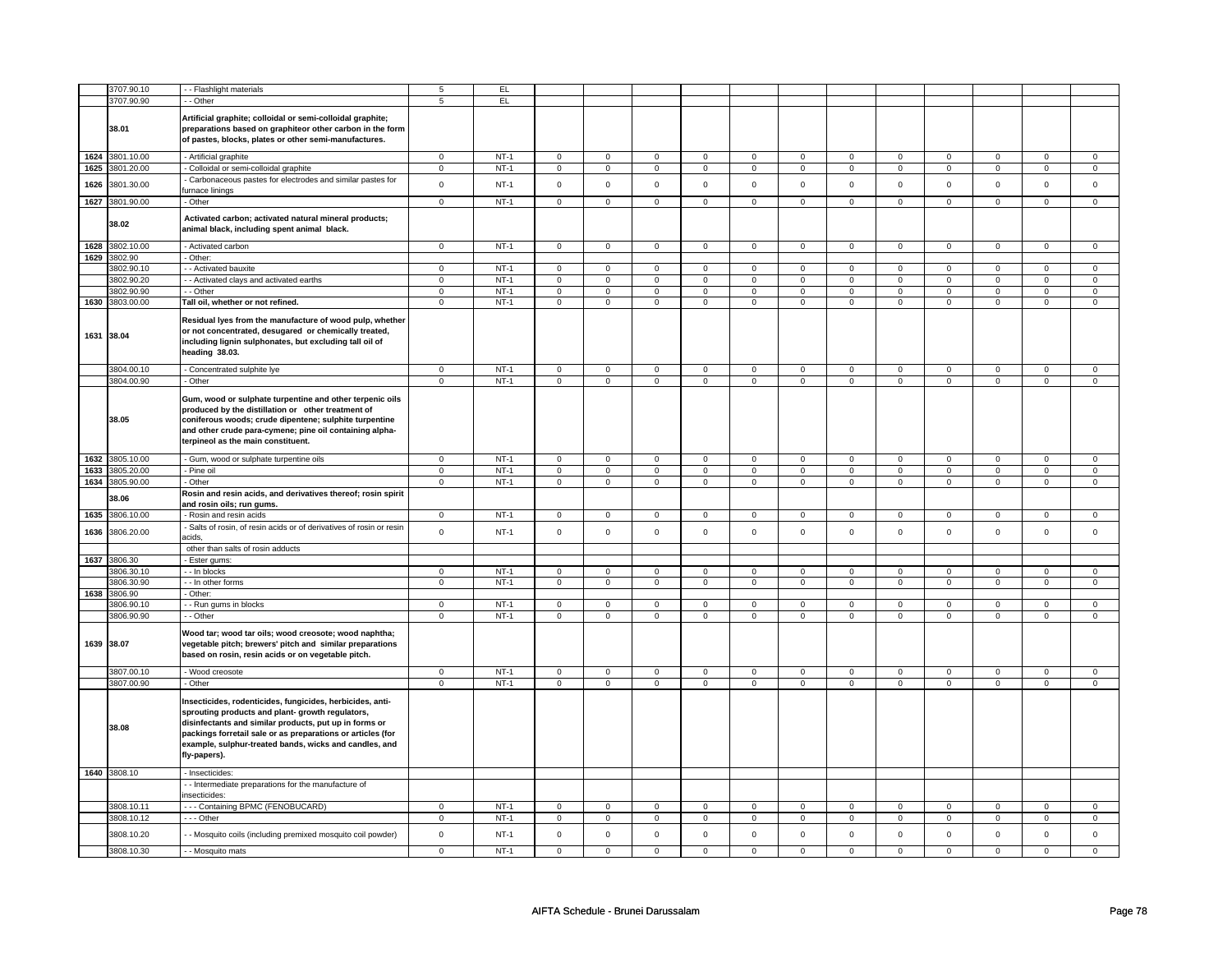|      | 3707.90.10                    | - - Flashlight materials                                                                                                                                                                                                                                                                                         | 5              | EL.    |                                    |                |                               |                |                               |                |                               |                            |                |                               |                     |                               |
|------|-------------------------------|------------------------------------------------------------------------------------------------------------------------------------------------------------------------------------------------------------------------------------------------------------------------------------------------------------------|----------------|--------|------------------------------------|----------------|-------------------------------|----------------|-------------------------------|----------------|-------------------------------|----------------------------|----------------|-------------------------------|---------------------|-------------------------------|
|      | 3707.90.90                    | - - Other                                                                                                                                                                                                                                                                                                        | 5              | EL.    |                                    |                |                               |                |                               |                |                               |                            |                |                               |                     |                               |
|      | 38.01                         | Artificial graphite; colloidal or semi-colloidal graphite;<br>preparations based on graphiteor other carbon in the form<br>of pastes, blocks, plates or other semi-manufactures.                                                                                                                                 |                |        |                                    |                |                               |                |                               |                |                               |                            |                |                               |                     |                               |
|      | 1624 3801.10.00               | - Artificial graphite                                                                                                                                                                                                                                                                                            | $\mathsf 0$    | $NT-1$ | $\mathsf 0$                        | $\mathsf 0$    | $\overline{0}$                | $\mathbf 0$    | $\mathsf 0$                   | $\mathsf 0$    | $\mathbf 0$                   | $\mathbf 0$                | $\mathsf 0$    | $\overline{0}$                | $\mathbf 0$         | $\mathsf 0$                   |
| 1625 | 3801.20.00                    | - Colloidal or semi-colloidal graphite                                                                                                                                                                                                                                                                           | $\mathbf 0$    | $NT-1$ | $\mathsf 0$                        | $\overline{0}$ | $\overline{0}$                | $\mathbf 0$    | $\overline{0}$                | $\mathbf 0$    | $\mathbf 0$                   | $\mathsf 0$                | $\overline{0}$ | $\overline{0}$                | $\mathsf 0$         | $\overline{0}$                |
| 1626 | 3801.30.00                    | - Carbonaceous pastes for electrodes and similar pastes for                                                                                                                                                                                                                                                      | $\mathsf 0$    | $NT-1$ | $\mathsf 0$                        | $\mathsf 0$    | $\mathbf 0$                   | $\mathsf 0$    | $\mathsf 0$                   | $\mathbf 0$    | $\mathsf 0$                   | $\mathbf 0$                | $\mathsf 0$    | $\mathbf 0$                   | $\mathsf 0$         | $\mathsf 0$                   |
|      |                               | furnace linings                                                                                                                                                                                                                                                                                                  |                |        |                                    |                |                               |                |                               |                |                               |                            |                |                               |                     |                               |
| 1627 | 3801.90.00                    | - Other                                                                                                                                                                                                                                                                                                          | $\mathsf 0$    | $NT-1$ | $\mathsf 0$                        | $\mathbf 0$    | $\mathbf 0$                   | $\mathsf 0$    | $\mathsf 0$                   | $\mathbf 0$    | $\mathsf 0$                   | $\mathbf 0$                | $\mathsf 0$    | $\mathbf 0$                   | $\mathsf 0$         | $\mathbf 0$                   |
|      | 38.02                         | Activated carbon; activated natural mineral products;<br>animal black, including spent animal black.                                                                                                                                                                                                             |                |        |                                    |                |                               |                |                               |                |                               |                            |                |                               |                     |                               |
|      | 1628 3802.10.00               | - Activated carbon                                                                                                                                                                                                                                                                                               | $\mathbf 0$    | $NT-1$ | $\mathbf 0$                        | $\mathbf 0$    | $\mathbf 0$                   | $\mathbf 0$    | $\mathbf 0$                   | $\mathbf 0$    | $\mathbf{0}$                  | $\mathbf 0$                | $\mathbf 0$    | $\circ$                       | $\mathsf 0$         | $\mathbf 0$                   |
|      | 1629 3802.90                  | - Other:                                                                                                                                                                                                                                                                                                         |                |        |                                    |                |                               |                |                               |                |                               |                            |                |                               |                     |                               |
|      | 3802.90.10                    | - - Activated bauxite                                                                                                                                                                                                                                                                                            | $\mathbf 0$    | $NT-1$ | $\mathbf 0$                        | $\mathbf{0}$   | $\mathbf{0}$                  | $\mathbf 0$    | $\mathbf 0$                   | $\mathbf{0}$   | $\mathbf{0}$                  | $\mathbf 0$                | $\mathbf 0$    | $\mathbf{0}$                  | $\mathbf 0$         | $\overline{0}$                |
|      | 3802.90.20                    | - - Activated clays and activated earths                                                                                                                                                                                                                                                                         | $\mathbf 0$    | $NT-1$ | $\mathbf 0$                        | $\mathbf 0$    | $\mathbf 0$                   | $\mathbf 0$    | $\mathbf 0$                   | $\mathbf 0$    | $\mathbf{0}$                  | $\Omega$                   | $\mathbf 0$    | $\mathbf 0$                   | $\mathbf 0$         | $\mathbf 0$                   |
|      | 3802.90.90<br>1630 3803.00.00 | - - Other                                                                                                                                                                                                                                                                                                        | $\mathbf 0$    | $NT-1$ | $\mathbf 0$<br>$\mathsf{O}\xspace$ | $\mathbf{0}$   | $\mathbf 0$<br>$\overline{0}$ | $\mathbf 0$    | $\mathbf 0$<br>$\overline{0}$ | $\mathbf 0$    | $\mathbf 0$<br>$\overline{0}$ | $\mathbf 0$<br>$\mathsf 0$ | $\mathbf 0$    | $\mathbf 0$<br>$\overline{0}$ | $\mathsf 0$         | $\mathbf 0$<br>$\overline{0}$ |
|      |                               | Tall oil, whether or not refined.                                                                                                                                                                                                                                                                                | $\mathsf 0$    | $NT-1$ |                                    | $\mathsf 0$    |                               | $\mathbf 0$    |                               | $\mathsf 0$    |                               |                            | $\mathsf 0$    |                               | $\mathsf 0$         |                               |
|      | 1631 38.04                    | Residual lyes from the manufacture of wood pulp, whether<br>or not concentrated, desugared or chemically treated,<br>including lignin sulphonates, but excluding tall oil of<br>heading 38.03.                                                                                                                   |                |        |                                    |                |                               |                |                               |                |                               |                            |                |                               |                     |                               |
|      | 3804.00.10                    | - Concentrated sulphite lye                                                                                                                                                                                                                                                                                      | $\mathbf 0$    | $NT-1$ | $\mathsf 0$                        | $\mathbf 0$    | $\mathbf 0$                   | $\mathbf 0$    | $\mathbf 0$                   | $\mathbf 0$    | $\mathsf 0$                   | $\mathsf 0$                | $\mathbf 0$    | $\mathbf 0$                   | $\mathsf 0$         | $\mathbf 0$                   |
|      | 3804.00.90                    | - Other                                                                                                                                                                                                                                                                                                          | $\mathbf 0$    | $NT-1$ | $\mathbf 0$                        | $\mathbf{0}$   | $\overline{0}$                | $\mathbf 0$    | $\overline{0}$                | $\mathbf 0$    | $\mathsf 0$                   | $\mathbf 0$                | $\mathbf{0}$   | $\overline{0}$                | $\mathbf 0$         | $\overline{0}$                |
|      | 38.05                         | Gum, wood or sulphate turpentine and other terpenic oils<br>produced by the distillation or other treatment of<br>coniferous woods; crude dipentene; sulphite turpentine<br>and other crude para-cymene; pine oil containing alpha-<br>terpineol as the main constituent.                                        |                |        |                                    |                |                               |                |                               |                |                               |                            |                |                               |                     |                               |
|      | 1632 3805.10.00               | - Gum, wood or sulphate turpentine oils                                                                                                                                                                                                                                                                          | $\mathbf 0$    | $NT-1$ | $\mathbf{0}$                       | $\mathbf{0}$   | $\overline{0}$                | $\mathbf 0$    | $\overline{0}$                | $\mathbf 0$    | $\mathbf 0$                   | $\mathbf{0}$               | $\mathbf{0}$   | $\overline{0}$                | $\mathsf 0$         | $\mathsf 0$                   |
| 1633 | 3805.20.00                    | - Pine oil                                                                                                                                                                                                                                                                                                       | $\mathsf 0$    | $NT-1$ | $\mathsf 0$                        | $\mathbf 0$    | $\mathsf 0$                   | $\mathbf 0$    | $\mathsf 0$                   | $\mathsf 0$    | $\mathsf 0$                   | $\mathbf 0$                | $\mathsf 0$    | $\mathbf 0$                   | $\mathsf 0$         | $\mathsf 0$                   |
| 1634 | 3805.90.00                    | - Other                                                                                                                                                                                                                                                                                                          | $\mathsf 0$    | $NT-1$ | $\mathsf 0$                        | $\mathsf 0$    | $\mathbf 0$                   | $\mathbf 0$    | $\mathsf 0$                   | $\mathbf 0$    | $\mathbf 0$                   | $\mathsf 0$                | $\mathbf 0$    | $\mathbf 0$                   | $\mathsf 0$         | $\mathsf 0$                   |
|      | 38.06                         | Rosin and resin acids, and derivatives thereof; rosin spirit<br>and rosin oils; run gums.                                                                                                                                                                                                                        |                |        |                                    |                |                               |                |                               |                |                               |                            |                |                               |                     |                               |
|      | 1635 3806.10.00               | - Rosin and resin acids                                                                                                                                                                                                                                                                                          | $\overline{0}$ | $NT-1$ | $\overline{0}$                     | $\mathbf{0}$   | $\overline{0}$                | $\mathbf 0$    | $\mathbf 0$                   | $\mathbf 0$    | $\overline{0}$                | $\mathbf 0$                | $\mathbf{0}$   | $\overline{0}$                | $\mathbf 0$         | $\overline{0}$                |
| 1636 | 3806.20.00                    | - Salts of rosin, of resin acids or of derivatives of rosin or resin<br>acids<br>other than salts of rosin adducts                                                                                                                                                                                               | $\mathbf 0$    | $NT-1$ | $\mathsf 0$                        | $\mathbf 0$    | $\mathbf 0$                   | $\mathbf 0$    | $\mathbf 0$                   | $\mathbf 0$    | $\mathbf 0$                   | $\mathsf 0$                | $\mathbf 0$    | $\mathbf 0$                   | $\mathsf 0$         | $\mathbf 0$                   |
| 1637 | 3806.30                       | - Ester gums:                                                                                                                                                                                                                                                                                                    |                |        |                                    |                |                               |                |                               |                |                               |                            |                |                               |                     |                               |
|      | 3806.30.10                    | - - In blocks                                                                                                                                                                                                                                                                                                    | $\mathbf 0$    | $NT-1$ | $\mathbf 0$                        | $\mathbf 0$    | $\mathbf{0}$                  | $\mathbf 0$    | $\mathsf 0$                   | 0              | $\mathbf 0$                   | $\mathbf{0}$               | $\mathbf 0$    | $\overline{0}$                | 0                   | $\mathsf 0$                   |
|      | 3806.30.90                    | - - In other forms                                                                                                                                                                                                                                                                                               | $\mathbf 0$    | $NT-1$ | $\mathbf 0$                        | $\overline{0}$ | $\mathbf 0$                   | $\circ$        | $\mathbf 0$                   | $\overline{0}$ | $\overline{0}$                | $\mathbf{0}$               | $\mathbf{0}$   | $\overline{0}$                | $\mathbf 0$         | $\mathbf 0$                   |
| 1638 | 3806.90                       | - Other:                                                                                                                                                                                                                                                                                                         |                |        |                                    |                |                               |                |                               |                |                               |                            |                |                               |                     |                               |
|      | 3806.90.10                    | - - Run gums in blocks                                                                                                                                                                                                                                                                                           | $\mathbf 0$    | $NT-1$ | $\mathbf 0$                        | $\mathbf{0}$   | $\mathbf{0}$                  | $\mathbf 0$    | $\mathbf 0$                   | $\mathbf 0$    | $\mathbf{0}$                  | $\mathbf 0$                | $\mathbf 0$    | $\overline{0}$                | $\mathbf 0$         | $\mathbf 0$                   |
|      | 3806.90.90                    | - - Other                                                                                                                                                                                                                                                                                                        | $\overline{0}$ | $NT-1$ | $\overline{0}$                     | $\overline{0}$ | $\overline{0}$                | $\overline{0}$ | $\overline{0}$                | $\overline{0}$ | $\overline{0}$                | $\overline{0}$             | $\overline{0}$ | $\overline{0}$                | $\overline{0}$      | $\overline{0}$                |
|      | 1639 38.07                    | Wood tar; wood tar oils; wood creosote; wood naphtha;<br>vegetable pitch; brewers' pitch and similar preparations<br>based on rosin, resin acids or on vegetable pitch.                                                                                                                                          |                |        |                                    |                |                               |                |                               |                |                               |                            |                |                               |                     |                               |
|      | 3807.00.10                    | - Wood creosote                                                                                                                                                                                                                                                                                                  | $\mathbf 0$    | $NT-1$ | $\mathsf 0$                        | $\mathbf 0$    | $\mathbf{0}$                  | $\mathbf 0$    | $\mathbf 0$                   | $\mathbf 0$    | $\mathbf 0$                   | $^{\circ}$                 | $\mathbf 0$    | $\circ$                       | $\mathsf 0$         | $\mathbf 0$                   |
|      | 3807.00.90                    | - Other                                                                                                                                                                                                                                                                                                          | $\overline{0}$ | $NT-1$ | $\mathbf 0$                        | $\overline{0}$ | $\overline{0}$                | $\mathbf 0$    | $\overline{0}$                | 0              | $\mathbf 0$                   | $\Omega$                   | $\overline{0}$ | $\overline{0}$                | $\mathbf 0$         | $\overline{0}$                |
|      | 38.08                         | Insecticides, rodenticides, fungicides, herbicides, anti-<br>sprouting products and plant- growth regulators,<br>disinfectants and similar products, put up in forms or<br>packings forretail sale or as preparations or articles (for<br>example, sulphur-treated bands, wicks and candles, and<br>fly-papers). |                |        |                                    |                |                               |                |                               |                |                               |                            |                |                               |                     |                               |
|      | 1640 3808.10                  | - Insecticides:                                                                                                                                                                                                                                                                                                  |                |        |                                    |                |                               |                |                               |                |                               |                            |                |                               |                     |                               |
|      |                               | - - Intermediate preparations for the manufacture of<br>nsecticides:                                                                                                                                                                                                                                             |                |        |                                    |                |                               |                |                               |                |                               |                            |                |                               |                     |                               |
|      | 3808.10.11                    | --- Containing BPMC (FENOBUCARD)                                                                                                                                                                                                                                                                                 | $\mathsf 0$    | $NT-1$ | $\mathsf{O}\xspace$                | $\mathbf{0}$   | $\overline{0}$                | 0              | $\mathsf 0$                   | $\mathsf 0$    | $\mathbf 0$                   | $\mathbf{0}$               | $\mathbf{0}$   | $\overline{0}$                | 0                   | $\mathsf 0$                   |
|      | 3808.10.12                    | --- Other                                                                                                                                                                                                                                                                                                        | $\mathsf 0$    | $NT-1$ | $\mathbf 0$                        | $\mathbf 0$    | $\mathbf 0$                   | $\mathsf 0$    | $\mathsf 0$                   | $\mathbf 0$    | $\mathsf{O}$                  | $\mathbf 0$                | $\mathbf 0$    | $\overline{0}$                | $\mathsf{O}\xspace$ | $\mathsf{O}^-$                |
|      | 3808.10.20                    | - - Mosquito coils (including premixed mosquito coil powder)                                                                                                                                                                                                                                                     | $\mathsf 0$    | $NT-1$ | $\mathbf 0$                        | $\mathbf 0$    | $\mathbf 0$                   | $\mathsf 0$    | $\mathsf 0$                   | $\mathbf 0$    | $\mathsf 0$                   | $\mathbf 0$                | 0              | $\mathsf 0$                   | $\mathsf 0$         | $\mathbf 0$                   |
|      | 3808.10.30                    | - - Mosquito mats                                                                                                                                                                                                                                                                                                | $\overline{0}$ | $NT-1$ | $\overline{0}$                     | $\overline{0}$ | $\overline{0}$                | $\overline{0}$ | $\overline{0}$                | $\overline{0}$ | $\overline{0}$                | $\overline{0}$             | $\overline{0}$ | $\overline{0}$                | $\overline{0}$      | $\overline{0}$                |
|      |                               |                                                                                                                                                                                                                                                                                                                  |                |        |                                    |                |                               |                |                               |                |                               |                            |                |                               |                     |                               |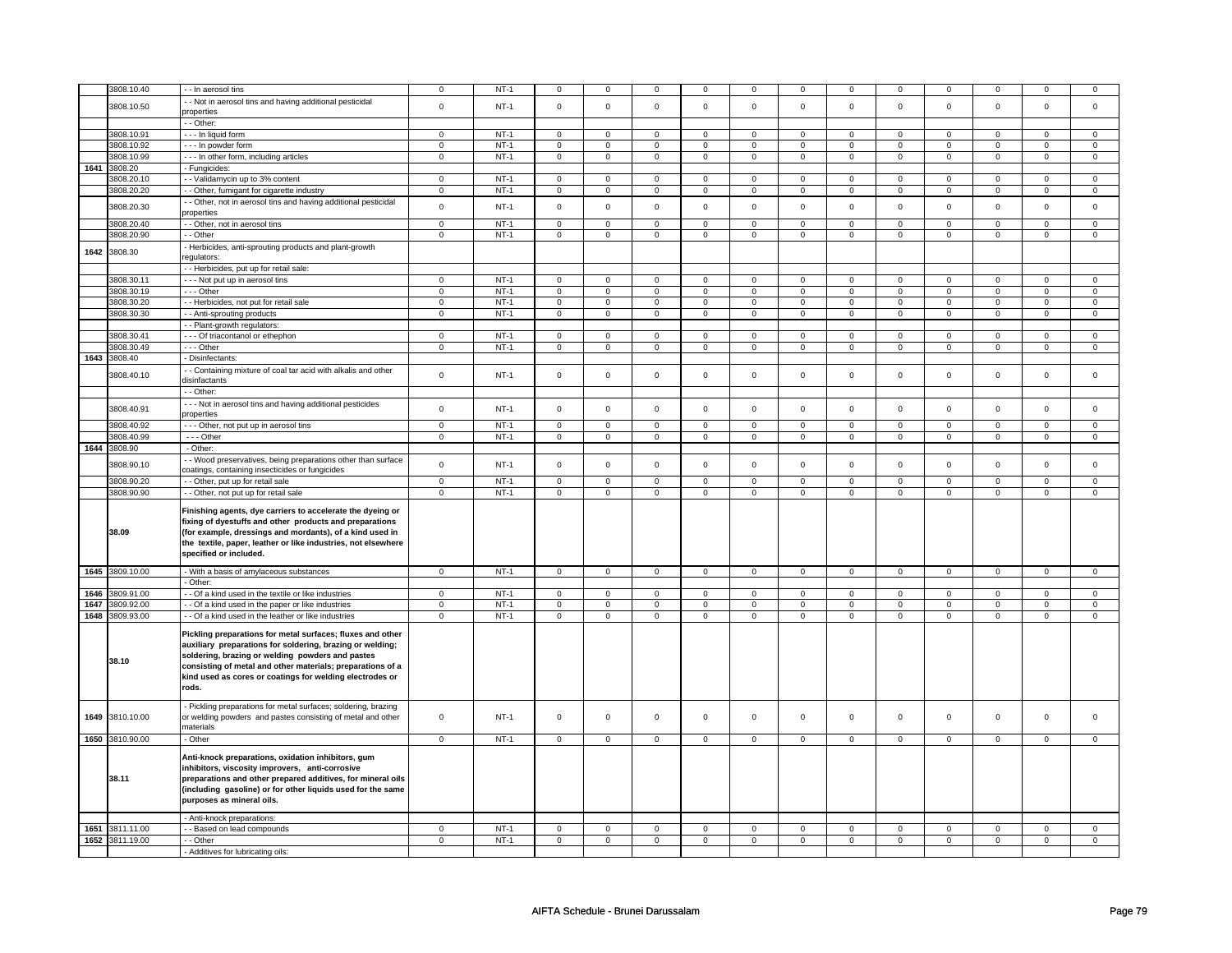|      | 3808.10.40      | - In aerosol tins                                                                                                                                                                                                                                                                                              | 0              | $NT-1$ | $\mathbf 0$ | $\mathbf 0$    | $\pmb{0}$      | $^{\circ}$   | 0                   | $\mathbf 0$    | 0            | $\Omega$    | $\mathbf 0$  | $\mathbf 0$    | $\Omega$     | $\mathsf 0$         |
|------|-----------------|----------------------------------------------------------------------------------------------------------------------------------------------------------------------------------------------------------------------------------------------------------------------------------------------------------------|----------------|--------|-------------|----------------|----------------|--------------|---------------------|----------------|--------------|-------------|--------------|----------------|--------------|---------------------|
|      | 3808.10.50      | - Not in aerosol tins and having additional pesticidal                                                                                                                                                                                                                                                         | $\mathsf 0$    | $NT-1$ | $\mathsf 0$ | $\mathbf 0$    | $\mathsf 0$    | $\mathbf 0$  | $\mathbf 0$         | $\mathsf 0$    | $\mathsf 0$  | $\mathsf 0$ | $\mathbf 0$  | $\mathsf 0$    | $\mathbf 0$  | $\mathsf 0$         |
|      |                 | properties                                                                                                                                                                                                                                                                                                     |                |        |             |                |                |              |                     |                |              |             |              |                |              |                     |
|      |                 | - - Other:                                                                                                                                                                                                                                                                                                     |                |        |             |                |                |              |                     |                |              |             |              |                |              |                     |
|      | 3808.10.91      | - - - In liquid form                                                                                                                                                                                                                                                                                           | $\mathbf 0$    | $NT-1$ | $\mathbf 0$ | $\mathbf 0$    | $\mathbf{0}$   | $\mathbf 0$  | $\mathbf 0$         | $\mathbf 0$    | $\mathbf 0$  | $\mathbf 0$ | 0            | $\mathbf 0$    | 0            | $\mathbf 0$         |
|      | 3808.10.92      | --- In powder form                                                                                                                                                                                                                                                                                             | $\mathsf 0$    | $NT-1$ | $\mathbf 0$ | $\mathbf 0$    | $\mathsf 0$    | $\mathbf 0$  | $\mathbf 0$         | $\mathbf 0$    | $\mathbf 0$  | $\mathbf 0$ | 0            | $\mathsf 0$    | $\mathbf 0$  | $\mathbf 0$         |
|      | 3808.10.99      | --- In other form, including articles                                                                                                                                                                                                                                                                          | $\mathsf 0$    | $NT-1$ | $\mathbf 0$ | $\mathbf 0$    | $\mathsf 0$    | $\mathbf 0$  | $\mathbf 0$         | $\mathbf 0$    | $\mathbf 0$  | $\mathbf 0$ | $\mathbf 0$  | $\mathbf 0$    | $\mathbf 0$  | $\mathbf 0$         |
|      | 1641 3808.20    | - Fungicides:                                                                                                                                                                                                                                                                                                  |                |        |             |                |                |              |                     |                |              |             |              |                |              |                     |
|      | 3808.20.10      | - Validamycin up to 3% content                                                                                                                                                                                                                                                                                 | $\mathbf 0$    | $NT-1$ | $\mathbf 0$ | $\mathbf 0$    | $\mathbf 0$    | $\mathbf 0$  | 0                   | $\mathbf 0$    | $\mathbf 0$  | $\mathbf 0$ | 0            | $\mathbf 0$    | 0            | $\mathbf 0$         |
|      | 3808.20.20      | - Other, fumigant for cigarette industry                                                                                                                                                                                                                                                                       | $\mathsf 0$    | $NT-1$ | $\mathbf 0$ | $\mathbf 0$    | $\mathsf 0$    | $\mathbf 0$  | $\mathbf 0$         | $\mathsf 0$    | $\mathbf 0$  | $\mathbf 0$ | $\mathbf 0$  | $\mathsf 0$    | $\mathbf{0}$ | $\mathbf 0$         |
|      | 3808.20.30      | - - Other, not in aerosol tins and having additional pesticidal<br>properties                                                                                                                                                                                                                                  | $\mathsf 0$    | $NT-1$ | $\mathbf 0$ | $\mathbf 0$    | $\mathsf 0$    | $\mathbf 0$  | $\mathbf 0$         | $\mathsf 0$    | $\mathsf 0$  | $\mathbf 0$ | $\mathbf 0$  | $\mathsf 0$    | $\mathbf 0$  | $\mathbf 0$         |
|      | 3808.20.40      | - - Other, not in aerosol tins                                                                                                                                                                                                                                                                                 | $\mathbf 0$    | $NT-1$ | $\mathbf 0$ | $\mathbf 0$    | $\mathsf 0$    | $\mathbf 0$  | $\mathbf 0$         | $\mathbf 0$    | $\Omega$     | $\Omega$    | $\Omega$     | $\mathsf 0$    | $\mathbf 0$  | $\mathsf 0$         |
|      | 3808.20.90      | - - Other                                                                                                                                                                                                                                                                                                      | $\mathbf 0$    | $NT-1$ | $\mathbf 0$ | $\mathbf 0$    | $\mathsf 0$    | $\mathbf 0$  | $\mathbf 0$         | $\mathbf 0$    | $\mathbf 0$  | $\mathbf 0$ | $\mathbf 0$  | $\mathsf 0$    | $\Omega$     | $\mathbf 0$         |
| 1642 | 3808.30         | - Herbicides, anti-sprouting products and plant-growth<br>requlators:                                                                                                                                                                                                                                          |                |        |             |                |                |              |                     |                |              |             |              |                |              |                     |
|      |                 | - - Herbicides, put up for retail sale:                                                                                                                                                                                                                                                                        |                |        |             |                |                |              |                     |                |              |             |              |                |              |                     |
|      | 3808.30.11      | - - - Not put up in aerosol tins                                                                                                                                                                                                                                                                               | $\mathbf{0}$   | $NT-1$ | $\mathbf 0$ | $\mathbf{0}$   | $\mathsf 0$    | $\mathbf{0}$ | $\mathbf{0}$        | $\mathbf{0}$   | $\Omega$     | $\mathbf 0$ | $\Omega$     | $\mathbf{0}$   | $\mathbf{0}$ | $\mathbf{0}$        |
|      | 3808.30.19      | --- Other                                                                                                                                                                                                                                                                                                      | $\mathbf 0$    | $NT-1$ | $\mathbf 0$ | $\mathbf 0$    | $\mathbf{0}$   | $\mathbf 0$  | $\mathbf 0$         | $\mathbf{0}$   | $\mathbf{0}$ | $\mathbf 0$ | 0            | $\mathbf 0$    | 0            | $\mathbf 0$         |
|      | 3808.30.20      | - - Herbicides, not put for retail sale                                                                                                                                                                                                                                                                        | $\mathbf 0$    | $NT-1$ | $\mathbf 0$ | $\mathbf 0$    | $\mathbf 0$    | $\mathbf 0$  | $\mathbf 0$         | $\mathbf 0$    | $\mathbf 0$  | $\mathbf 0$ | $\mathbf 0$  | $\mathbf 0$    | $\Omega$     | $\mathbf{0}$        |
|      | 3808.30.30      | - - Anti-sprouting products                                                                                                                                                                                                                                                                                    | $\mathsf 0$    | $NT-1$ | $\mathbf 0$ | $\mathsf 0$    | $\mathsf 0$    | $\mathbf 0$  | $\mathsf{O}\xspace$ | $\mathsf 0$    | $\mathbf 0$  | $\mathbf 0$ | $\mathsf 0$  | $\mathbf 0$    | $\mathsf 0$  | $\mathsf{O}\xspace$ |
|      |                 | - - Plant-growth regulators:                                                                                                                                                                                                                                                                                   |                |        |             |                |                |              |                     |                |              |             |              |                |              |                     |
|      | 3808.30.41      | - - - Of triacontanol or ethephon                                                                                                                                                                                                                                                                              | $\mathsf 0$    | $NT-1$ | $\mathsf 0$ | $\mathsf 0$    | $\mathsf 0$    | $\mathbf 0$  | $\mathsf 0$         | $\mathsf 0$    | $\mathsf 0$  | $\mathsf 0$ | 0            | $\mathbf 0$    | $\mathbf 0$  | $\mathsf 0$         |
|      | 3808.30.49      | --- Other                                                                                                                                                                                                                                                                                                      | $\mathbf 0$    | $NT-1$ | $\mathbf 0$ | $\mathbf{0}$   | $\mathsf 0$    | $\mathbf 0$  | $\mathsf 0$         | $\mathsf 0$    | $\mathbf 0$  | $\mathbf 0$ | $\mathbf{0}$ | $\mathbf 0$    | $\mathbf 0$  | $\mathbf 0$         |
|      | 1643 3808.40    | - Disinfectants:                                                                                                                                                                                                                                                                                               |                |        |             |                |                |              |                     |                |              |             |              |                |              |                     |
|      | 3808.40.10      | - - Containing mixture of coal tar acid with alkalis and other<br>disinfactants                                                                                                                                                                                                                                | $\mathbf 0$    | $NT-1$ | $\mathbf 0$ | $\mathbf 0$    | $\pmb{0}$      | $\mathbf 0$  | $\mathsf 0$         | $\mathbf 0$    | $\mathbf 0$  | $\mathsf 0$ | $\mathbf 0$  | $\pmb{0}$      | $\mathbf 0$  | $\mathbf 0$         |
|      |                 | -- Other:                                                                                                                                                                                                                                                                                                      |                |        |             |                |                |              |                     |                |              |             |              |                |              |                     |
|      | 3808.40.91      | --- Not in aerosol tins and having additional pesticides<br>properties                                                                                                                                                                                                                                         | $\mathsf 0$    | $NT-1$ | $\mathsf 0$ | $\mathbf 0$    | $\mathsf 0$    | $\mathbf 0$  | $\mathsf 0$         | $\mathsf 0$    | $\mathsf 0$  | $\mathsf 0$ | $\mathbf 0$  | $\mathsf 0$    | $\mathbf 0$  | $\mathsf 0$         |
|      | 3808.40.92      | - - - Other, not put up in aerosol tins                                                                                                                                                                                                                                                                        | $\mathsf 0$    | $NT-1$ | $\mathsf 0$ | $\mathbf 0$    | $\mathsf 0$    | $\mathbf 0$  | $\mathsf 0$         | $\mathbf 0$    | $\mathbf 0$  | $\Omega$    | 0            | $\mathbf 0$    | $\mathbf 0$  | $\mathsf 0$         |
|      | 3808.40.99      | $- -$ Other                                                                                                                                                                                                                                                                                                    | $\mathbf 0$    | $NT-1$ | $\mathbf 0$ | $\mathbf{0}$   | $\mathbf{0}$   | $\mathbf 0$  | 0                   | $\mathbf{0}$   | $\mathbf{0}$ | $\mathbf 0$ | $\mathbf{0}$ | $\overline{0}$ | $\mathbf{0}$ | $\mathbf{0}$        |
|      | 1644 3808.90    | - Other:                                                                                                                                                                                                                                                                                                       |                |        |             |                |                |              |                     |                |              |             |              |                |              |                     |
|      | 3808.90.10      | - Wood preservatives, being preparations other than surface<br>coatings, containing insecticides or fungicides                                                                                                                                                                                                 | $\mathbf 0$    | $NT-1$ | $\mathsf 0$ | $\mathsf 0$    | $\mathsf 0$    | $\mathsf 0$  | $\mathsf{O}$        | $\mathbf 0$    | $\mathsf 0$  | $\mathsf 0$ | $\mathsf 0$  | $\mathsf 0$    | $\mathsf 0$  | $\mathsf 0$         |
|      | 3808.90.20      | - - Other, put up for retail sale                                                                                                                                                                                                                                                                              | $\mathbf 0$    | $NT-1$ | $\mathbf 0$ | $\mathbf 0$    | $\mathsf 0$    | $\mathbf 0$  | $\mathbf 0$         | $\mathbf 0$    | $\mathbf 0$  | $\mathbf 0$ | $\mathbf 0$  | $\mathsf 0$    | $\mathbf 0$  | 0                   |
|      | 3808.90.90      | - - Other, not put up for retail sale                                                                                                                                                                                                                                                                          | 0              | $NT-1$ | $\mathbf 0$ | $\mathbf 0$    | $\mathsf 0$    | $\mathbf 0$  | $\mathbf 0$         | $\mathsf 0$    | $\mathbf 0$  | $\mathbf 0$ | $\mathbf 0$  | $\mathsf 0$    | $\mathbf 0$  | $\mathsf 0$         |
|      | 38.09           | Finishing agents, dye carriers to accelerate the dyeing or<br>fixing of dyestuffs and other products and preparations<br>(for example, dressings and mordants), of a kind used in<br>the textile, paper, leather or like industries, not elsewhere<br>specified or included.                                   |                |        |             |                |                |              |                     |                |              |             |              |                |              |                     |
|      | 1645 3809.10.00 | - With a basis of amylaceous substances                                                                                                                                                                                                                                                                        | 0              | $NT-1$ | $\mathbf 0$ | $\mathbf 0$    | $\mathsf 0$    | $\mathbf 0$  | $\mathbf 0$         | $\mathbf{0}$   | $\mathbf{0}$ | $\mathbf 0$ | $\mathbf 0$  | $\mathbf 0$    | $\mathbf 0$  | $\mathbf{0}$        |
|      |                 | - Other:                                                                                                                                                                                                                                                                                                       |                |        |             |                |                |              |                     |                |              |             |              |                |              |                     |
| 1646 | 3809.91.00      | - - Of a kind used in the textile or like industries                                                                                                                                                                                                                                                           | $\mathbf 0$    | $NT-1$ | $\mathbf 0$ | 0              | $\mathbf{0}$   | $\mathbf 0$  | $\mathbf 0$         | $\mathbf{0}$   | $\mathbf 0$  | $\mathbf 0$ | 0            | $\mathbf 0$    | 0            | $\mathbf 0$         |
| 1647 | 3809.92.00      | - - Of a kind used in the paper or like industries                                                                                                                                                                                                                                                             | $\mathbf 0$    | $NT-1$ | $\mathbf 0$ | $\mathbf 0$    | $\mathsf 0$    | $\mathbf 0$  | $\mathbf 0$         | $\mathbf 0$    | $\Omega$     | $\Omega$    | $\mathbf 0$  | $\mathsf 0$    | $\mathbf 0$  | $\mathbf 0$         |
| 1648 | 3809.93.00      | - - Of a kind used in the leather or like industries                                                                                                                                                                                                                                                           | $\mathbf 0$    | $NT-1$ | $\mathbf 0$ | $\mathbf{0}$   | $\circ$        | $\mathbf 0$  | $\mathbf{0}$        | $\mathbf{0}$   | $\mathbf{0}$ | $\mathbf 0$ | $\mathbf 0$  | $\mathbf 0$    | $\mathbf 0$  | $\mathbf{0}$        |
|      | 38.10           | Pickling preparations for metal surfaces; fluxes and other<br>auxiliary preparations for soldering, brazing or welding;<br>soldering, brazing or welding powders and pastes<br>consisting of metal and other materials; preparations of a<br>kind used as cores or coatings for welding electrodes or<br>rods. |                |        |             |                |                |              |                     |                |              |             |              |                |              |                     |
| 1649 | 3810.10.00      | Pickling preparations for metal surfaces; soldering, brazing<br>or welding powders and pastes consisting of metal and other<br>materials                                                                                                                                                                       | $\mathsf 0$    | $NT-1$ | $\mathsf 0$ | $\mathsf 0$    | $\mathsf 0$    | $\Omega$     | $\mathsf 0$         | $\mathsf 0$    | $\mathsf 0$  | $\mathsf 0$ | $\mathbf 0$  | $\mathbf 0$    | $\Omega$     | $\mathsf 0$         |
|      | 1650 3810.90.00 | - Other                                                                                                                                                                                                                                                                                                        | $\overline{0}$ | $NT-1$ | $\mathsf 0$ | $\overline{0}$ | $\overline{0}$ | $\mathbf 0$  | $\mathsf 0$         | $\overline{0}$ | $\mathbf 0$  | $\mathsf 0$ | $\mathbf 0$  | $\mathbf 0$    | $\mathbf 0$  | $\mathbf 0$         |
|      | 38.11           | Anti-knock preparations, oxidation inhibitors, gum<br>inhibitors, viscosity improvers, anti-corrosive<br>preparations and other prepared additives, for mineral oils<br>(including gasoline) or for other liquids used for the same<br>purposes as mineral oils.                                               |                |        |             |                |                |              |                     |                |              |             |              |                |              |                     |
|      |                 | - Anti-knock preparations:                                                                                                                                                                                                                                                                                     |                |        |             |                |                |              |                     |                |              |             |              |                |              |                     |
|      | 1651 3811.11.00 | - - Based on lead compounds                                                                                                                                                                                                                                                                                    | $\mathbf 0$    | $NT-1$ | $\mathbf 0$ | $\mathbf 0$    | $\mathbf 0$    | $\mathbf 0$  | $\mathbf 0$         | $\mathbf{0}$   | $\mathbf 0$  | $\mathbf 0$ | 0            | $\mathbf 0$    | $\mathbf 0$  | $\mathbf 0$         |
| 1652 | 3811.19.00      | - - Other                                                                                                                                                                                                                                                                                                      | 0              | $NT-1$ | $\mathbf 0$ | 0              | $\mathsf 0$    | $\mathbf 0$  | $\mathbf 0$         | 0              | $\mathbf 0$  | $\mathbf 0$ | 0            | $\mathsf 0$    | 0            | $\mathbf 0$         |
|      |                 | - Additives for lubricating oils:                                                                                                                                                                                                                                                                              |                |        |             |                |                |              |                     |                |              |             |              |                |              |                     |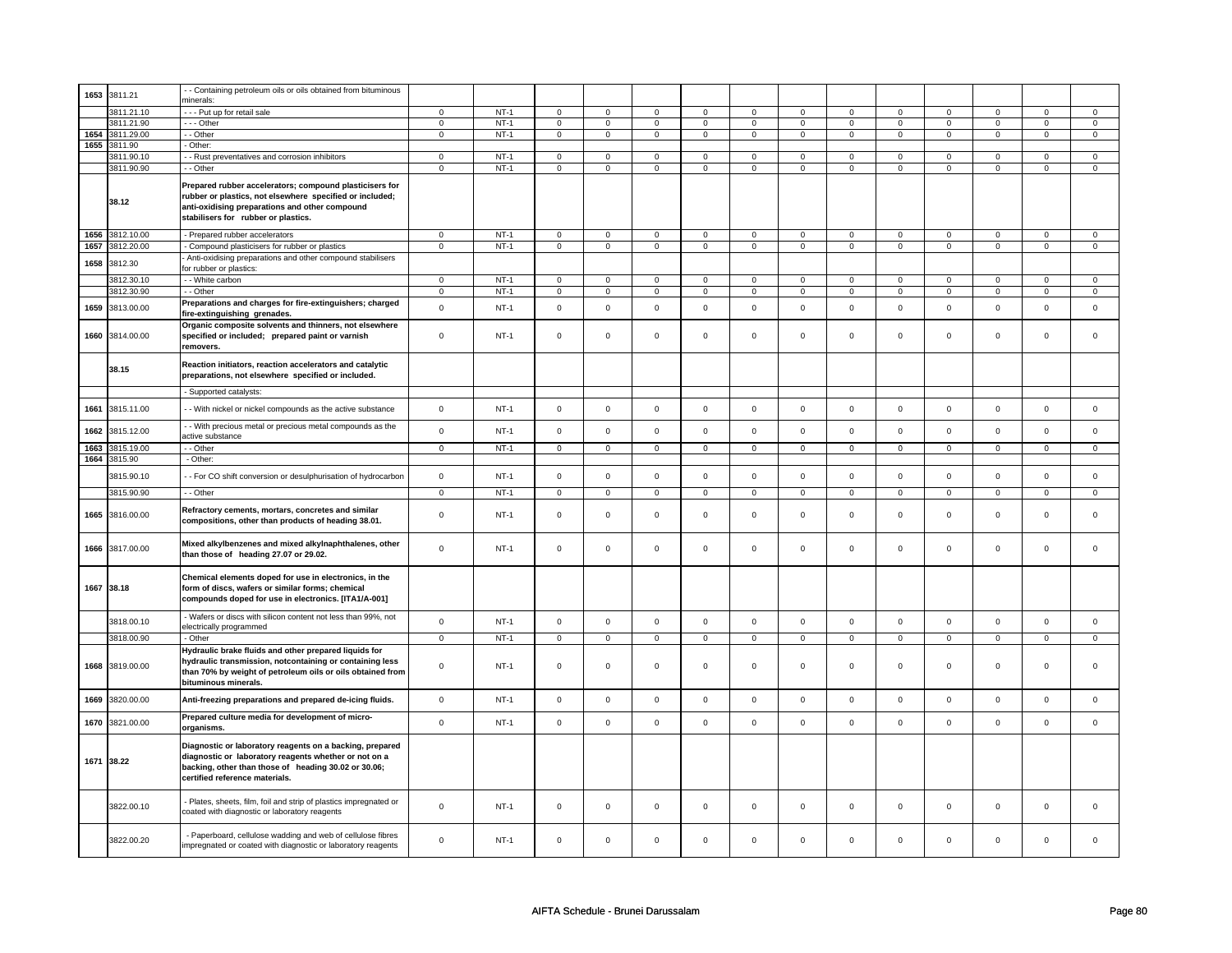| 1653 | 3811.21    | - Containing petroleum oils or oils obtained from bituminous                                                                                                                                                 |                |        |                         |                |                     |                |                     |                |                |                     |                |                |                |                |
|------|------------|--------------------------------------------------------------------------------------------------------------------------------------------------------------------------------------------------------------|----------------|--------|-------------------------|----------------|---------------------|----------------|---------------------|----------------|----------------|---------------------|----------------|----------------|----------------|----------------|
|      |            | minerals:                                                                                                                                                                                                    |                |        |                         |                |                     |                |                     |                |                |                     |                |                |                |                |
|      | 3811.21.10 | --- Put up for retail sale                                                                                                                                                                                   | $\mathsf 0$    | $NT-1$ | $\overline{0}$          | $\overline{0}$ | $\mathsf 0$         | $\overline{0}$ | $\mathsf 0$         | $\overline{0}$ | $\mathbf 0$    | $\overline{0}$      | $\mathsf 0$    | $\overline{0}$ | $\Omega$       | $\overline{0}$ |
|      | 3811.21.90 | --- Other                                                                                                                                                                                                    | $\mathbf 0$    | $NT-1$ | $\mathbf 0$             | $\mathbf 0$    | $\mathbf 0$         | $\mathbf 0$    | $\mathbf 0$         | $\mathbf 0$    | $\mathbf 0$    | $\mathbf 0$         | 0              | $\mathbf 0$    | 0              | $\mathbf 0$    |
| 1654 | 3811.29.00 | - Other                                                                                                                                                                                                      | $\mathbf 0$    | $NT-1$ | $\mathbf 0$             | $\mathbf 0$    | $\mathbf{0}$        | $\mathbf 0$    | $\mathbf{0}$        | $\mathbf{0}$   | $\mathbf{0}$   | $\mathbf{0}$        | $\mathbf{0}$   | $\mathbf{0}$   | $\mathbf 0$    | $\mathbf{0}$   |
| 1655 | 3811.90    | - Other:                                                                                                                                                                                                     |                |        |                         |                |                     |                |                     |                |                |                     |                |                |                |                |
|      | 3811.90.10 | - - Rust preventatives and corrosion inhibitors                                                                                                                                                              | $\mathsf 0$    | $NT-1$ | $\mathbf 0$             | $\mathbf 0$    | $\mathbf 0$         | $\mathbf 0$    | $\mathbf 0$         | $\mathbf 0$    | 0              | $\mathbf 0$         | $\mathbf 0$    | $\mathbf 0$    | 0              | $\mathbf 0$    |
|      | 3811.90.90 | - - Other                                                                                                                                                                                                    | $\mathbf 0$    | $NT-1$ | $\mathbf 0$             | $\mathbf 0$    | $\mathsf 0$         | $\mathbf 0$    | $\mathsf 0$         | $\mathsf 0$    | $\mathbf 0$    | $\mathsf 0$         | $\mathsf 0$    | $\mathbf 0$    | $\mathsf 0$    | $\mathbf 0$    |
|      | 38.12      | Prepared rubber accelerators; compound plasticisers for<br>rubber or plastics, not elsewhere specified or included;<br>anti-oxidising preparations and other compound<br>stabilisers for rubber or plastics. |                |        |                         |                |                     |                |                     |                |                |                     |                |                |                |                |
| 1656 | 3812.10.00 | - Prepared rubber accelerators                                                                                                                                                                               | $\mathsf 0$    | $NT-1$ | $\mathsf 0$             | $\mathbf 0$    | $\mathbf 0$         | $\mathbf 0$    | $\mathsf 0$         | $\mathbf 0$    | $\mathbf 0$    | $\mathbf 0$         | $\mathsf 0$    | $\mathbf 0$    | $\mathsf 0$    | $\mathbf 0$    |
| 1657 | 3812.20.00 | - Compound plasticisers for rubber or plastics                                                                                                                                                               | $\mathbf 0$    | $NT-1$ | $\mathsf 0$             | $\mathsf 0$    | $\mathsf 0$         | $\mathsf 0$    | $\mathsf 0$         | $\mathbf 0$    | 0              | $\mathbf 0$         | $\mathsf 0$    | $\mathbf 0$    | 0              | $\mathbf 0$    |
|      |            | Anti-oxidising preparations and other compound stabilisers                                                                                                                                                   |                |        |                         |                |                     |                |                     |                |                |                     |                |                |                |                |
| 1658 | 3812.30    | for rubber or plastics:                                                                                                                                                                                      |                |        |                         |                |                     |                |                     |                |                |                     |                |                |                |                |
|      | 3812.30.10 | - - White carbon                                                                                                                                                                                             | $\mathsf 0$    | $NT-1$ | $\mathbf 0$             | $\Omega$       | $\mathbf 0$         | $\mathbf 0$    | $\mathbf 0$         | $\mathsf 0$    | $\mathbf 0$    | $\mathsf 0$         | $\mathbf 0$    | $\mathbf 0$    | $\mathbf 0$    | $\mathbf{0}$   |
|      | 3812.30.90 | - - Other                                                                                                                                                                                                    | $\overline{0}$ | $NT-1$ | $\overline{0}$          | $\overline{0}$ | $\overline{0}$      | $\overline{0}$ | $\overline{0}$      | $\overline{0}$ | $\overline{0}$ | $\overline{0}$      | $\overline{0}$ | $\overline{0}$ | $\overline{0}$ | $\pmb{0}$      |
|      |            | Preparations and charges for fire-extinguishers; charged                                                                                                                                                     |                |        |                         |                |                     |                |                     |                |                |                     |                |                |                |                |
| 1659 | 3813.00.00 | fire-extinguishing grenades.                                                                                                                                                                                 | $\mathsf 0$    | $NT-1$ | $\mathsf 0$             | $\mathsf 0$    | $\mathsf{O}\xspace$ | $\mathsf 0$    | $\mathsf 0$         | $\mathsf 0$    | $\mathbf 0$    | $\mathsf 0$         | $\mathsf 0$    | $\mathbf 0$    | $\mathsf 0$    | $\mathbf 0$    |
| 1660 | 3814.00.00 | Organic composite solvents and thinners, not elsewhere<br>specified or included; prepared paint or varnish<br>removers.                                                                                      | $\mathsf 0$    | $NT-1$ | $\mathsf 0$             | $\mathbf 0$    | $\mathsf 0$         | $\mathbf 0$    | $\mathsf 0$         | $\mathbf 0$    | $\mathbf 0$    | $\mathsf 0$         | $\mathsf 0$    | $\mathbf 0$    | $\mathbf 0$    | $\mathbf{0}$   |
|      | 38.15      | Reaction initiators, reaction accelerators and catalytic<br>preparations, not elsewhere specified or included.                                                                                               |                |        |                         |                |                     |                |                     |                |                |                     |                |                |                |                |
|      |            | - Supported catalysts:                                                                                                                                                                                       |                |        |                         |                |                     |                |                     |                |                |                     |                |                |                |                |
| 1661 | 3815.11.00 | - - With nickel or nickel compounds as the active substance                                                                                                                                                  | $\mathsf 0$    | $NT-1$ | $\mathsf 0$             | $\mathsf 0$    | $\mathsf{O}\xspace$ | $\mathsf 0$    | $\mathsf{O}\xspace$ | $\mathbf 0$    | $\mathsf 0$    | $\mathbf 0$         | $\mathsf 0$    | $\mathbf 0$    | $\mathsf 0$    | $\mathbf 0$    |
| 1662 | 3815.12.00 | - With precious metal or precious metal compounds as the<br>active substance                                                                                                                                 | $\mathsf 0$    | $NT-1$ | $\mathsf 0$             | $\mathbf 0$    | $\mathsf{O}\xspace$ | $\mathsf 0$    | $\mathsf{O}\xspace$ | $\mathsf 0$    | $\mathsf 0$    | $\mathsf 0$         | $\mathsf 0$    | $\mathbf 0$    | $\mathsf 0$    | $\mathsf 0$    |
| 1663 | 3815.19.00 | - Other                                                                                                                                                                                                      | $\circ$        | $NT-1$ | $\overline{\mathbf{0}}$ | $\overline{0}$ | $\circ$             | $\overline{0}$ | $\circ$             | $\circ$        | $\circ$        | $\overline{0}$      | $\circ$        | $\circ$        | $\overline{0}$ | $\circ$        |
| 1664 | 3815.90    | - Other:                                                                                                                                                                                                     |                |        |                         |                |                     |                |                     |                |                |                     |                |                |                |                |
|      | 3815.90.10 | - - For CO shift conversion or desulphurisation of hydrocarbon                                                                                                                                               | $\mathsf 0$    | $NT-1$ | $\mathsf 0$             | $\mathbf 0$    | $\mathsf 0$         | $\mathbf 0$    | $\mathsf 0$         | $\mathbf 0$    | $\mathbf 0$    | $\mathbf 0$         | $\mathsf 0$    | $\mathbf 0$    | $\mathbf 0$    | $\mathbf 0$    |
|      | 3815.90.90 | $-$ Other                                                                                                                                                                                                    | $\overline{0}$ | $NT-1$ | $\overline{0}$          | $\overline{0}$ | $\overline{0}$      | $\overline{0}$ | $\overline{0}$      | $\overline{0}$ | $\overline{0}$ | $\overline{0}$      | $\overline{0}$ | $\overline{0}$ | $\overline{0}$ | $\overline{0}$ |
| 1665 | 3816.00.00 | Refractory cements, mortars, concretes and similar<br>compositions, other than products of heading 38.01.                                                                                                    | $\Omega$       | $NT-1$ | $\mathsf 0$             | $\mathsf 0$    | $\mathsf 0$         | $\mathsf 0$    | $\mathsf 0$         | $\mathsf 0$    | $\mathbf 0$    | $\mathsf 0$         | $\mathsf 0$    | $\mathbf 0$    | $\Omega$       | 0              |
| 1666 | 3817.00.00 | Mixed alkylbenzenes and mixed alkylnaphthalenes, other<br>than those of heading 27.07 or 29.02.                                                                                                              | $\Omega$       | $NT-1$ | $\Omega$                | $\mathbf 0$    | $\mathbf 0$         | $\mathbf 0$    | $\mathbf 0$         | $\mathbf 0$    | $\mathbf 0$    | $\mathbf 0$         | $\mathbf 0$    | $\mathbf 0$    | $\mathbf 0$    | $\mathbf{0}$   |
|      | 1667 38.18 | Chemical elements doped for use in electronics, in the<br>form of discs, wafers or similar forms; chemical<br>compounds doped for use in electronics. [ITA1/A-001]                                           |                |        |                         |                |                     |                |                     |                |                |                     |                |                |                |                |
|      | 3818.00.10 | - Wafers or discs with silicon content not less than 99%, not<br>electrically programmed                                                                                                                     | $\mathbf 0$    | $NT-1$ | $\mathsf 0$             | $\mathsf 0$    | $\mathsf{O}\xspace$ | $\mathsf 0$    | $\mathsf 0$         | $\mathsf 0$    | $\mathsf 0$    | $\mathsf{O}\xspace$ | $\mathsf 0$    | $\mathsf 0$    | $\mathsf 0$    | $\mathsf 0$    |
|      | 3818.00.90 | - Other                                                                                                                                                                                                      | $\mathsf 0$    | $NT-1$ | $\mathbf 0$             | $\mathsf 0$    | $\mathsf 0$         | $\mathbf 0$    | $\mathsf 0$         | $\mathbf 0$    | $\mathbf 0$    | $\mathbf 0$         | $\mathsf 0$    | $\mathbf 0$    | $\mathbf 0$    | $\mathbf 0$    |
| 1668 | 3819.00.00 | Hydraulic brake fluids and other prepared liquids for<br>hydraulic transmission, notcontaining or containing less<br>than 70% by weight of petroleum oils or oils obtained from<br>bituminous minerals.      | $\mathsf 0$    | $NT-1$ | $\mathsf 0$             | $\mathbf 0$    | $\mathsf 0$         | $\mathbf 0$    | $\mathsf 0$         | $\mathbf 0$    | $\mathbf 0$    | $\mathbf 0$         | $\mathsf 0$    | $\mathbf 0$    | $\mathsf 0$    | 0              |
| 1669 | 3820.00.00 | Anti-freezing preparations and prepared de-icing fluids.                                                                                                                                                     | $\mathsf 0$    | $NT-1$ | $\mathsf 0$             | $\mathsf{o}\,$ | $\mathsf 0$         | $\mathsf{o}\,$ | $\mathsf{O}\xspace$ | $\mathsf 0$    | $\mathsf 0$    | $\mathsf 0$         | $\mathsf 0$    | $\mathbf 0$    | $\mathsf 0$    | $\mathbf 0$    |
| 1670 | 3821.00.00 | Prepared culture media for development of micro-<br>organisms.                                                                                                                                               | $\mathsf 0$    | $NT-1$ | $\mathsf 0$             | $\mathsf 0$    | $\mathsf{O}\xspace$ | $\mathsf 0$    | $\mathsf{O}\xspace$ | $\mathsf 0$    | $\mathsf 0$    | $\mathsf 0$         | $\mathsf 0$    | $\mathbf 0$    | $\mathsf 0$    | $\mathbf 0$    |
|      | 1671 38.22 | Diagnostic or laboratory reagents on a backing, prepared<br>diagnostic or laboratory reagents whether or not on a<br>backing, other than those of heading 30.02 or 30.06;<br>certified reference materials.  |                |        |                         |                |                     |                |                     |                |                |                     |                |                |                |                |
|      | 3822.00.10 | Plates, sheets, film, foil and strip of plastics impregnated or<br>coated with diagnostic or laboratory reagents                                                                                             | $\mathbf 0$    | $NT-1$ | $\mathbf 0$             | $\mathbf 0$    | $\mathbf 0$         | $\mathbf 0$    | $\mathbf 0$         | $\mathbf 0$    | 0              | 0                   | 0              | $\mathbf 0$    | 0              | 0              |
|      | 3822.00.20 | - Paperboard, cellulose wadding and web of cellulose fibres<br>impregnated or coated with diagnostic or laboratory reagents                                                                                  | $\mathbf 0$    | $NT-1$ | $\mathsf 0$             | $\mathsf 0$    | $\mathsf 0$         | $\mathbf 0$    | $\mathsf 0$         | 0              | 0              | 0                   | $\mathsf 0$    | $\mathbf 0$    | $\mathsf 0$    | $\mathbf{0}$   |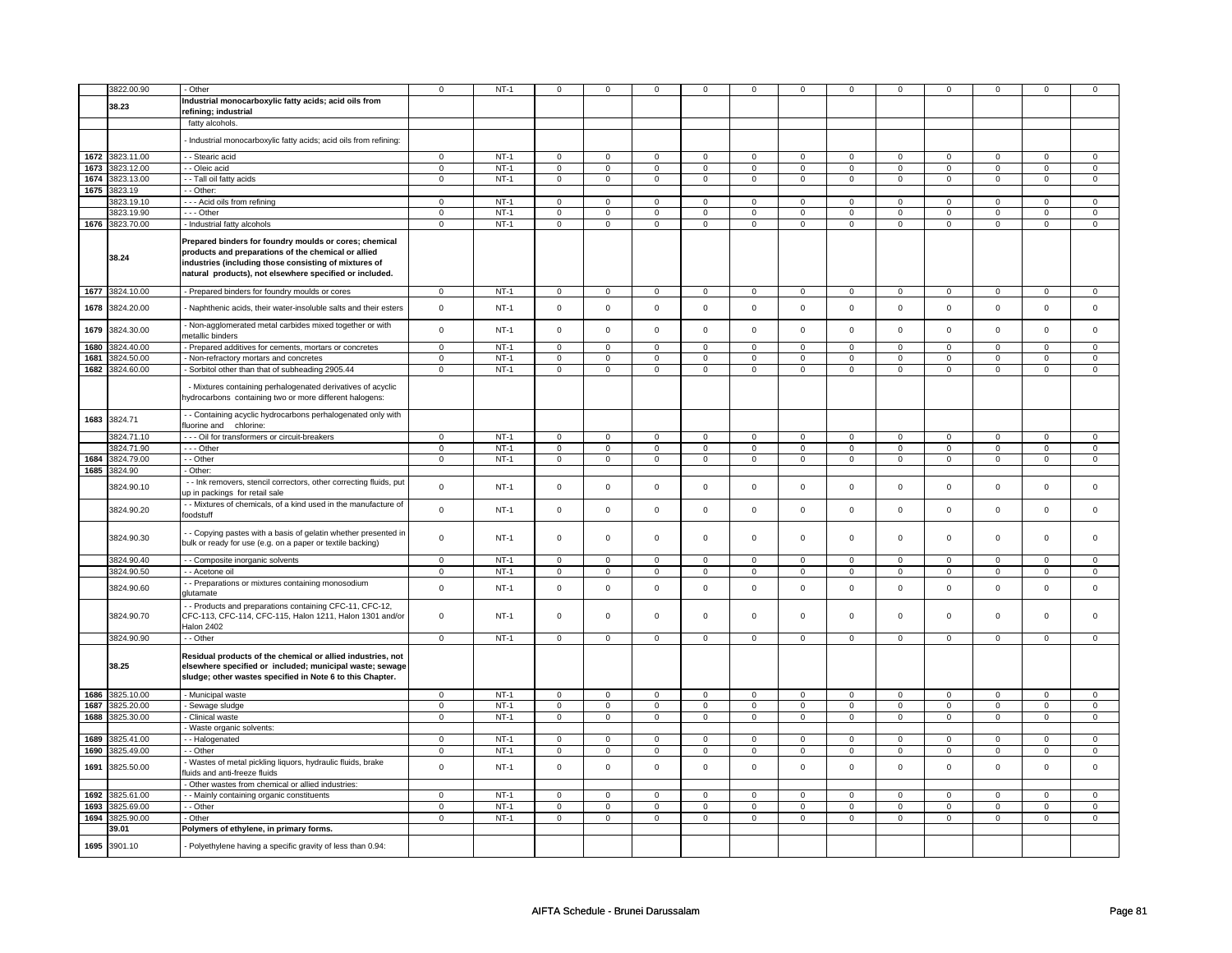|      | 3822.00.90                 | - Other                                                                                                                                                                                                                           | $\mathsf 0$    | $NT-1$ | $\mathbf 0$    | $\mathsf 0$         | 0                   | $\mathbf 0$    | 0                   | 0                   | $\mathbf 0$         | $\mathbf 0$    | $\mathbf 0$         | $\mathbf 0$    | $\mathbf 0$    | $\mathsf 0$    |
|------|----------------------------|-----------------------------------------------------------------------------------------------------------------------------------------------------------------------------------------------------------------------------------|----------------|--------|----------------|---------------------|---------------------|----------------|---------------------|---------------------|---------------------|----------------|---------------------|----------------|----------------|----------------|
|      |                            | Industrial monocarboxylic fatty acids; acid oils from                                                                                                                                                                             |                |        |                |                     |                     |                |                     |                     |                     |                |                     |                |                |                |
|      | 38.23                      | refining; industrial                                                                                                                                                                                                              |                |        |                |                     |                     |                |                     |                     |                     |                |                     |                |                |                |
|      |                            | fatty alcohols.                                                                                                                                                                                                                   |                |        |                |                     |                     |                |                     |                     |                     |                |                     |                |                |                |
|      |                            | - Industrial monocarboxylic fatty acids; acid oils from refining:                                                                                                                                                                 |                |        |                |                     |                     |                |                     |                     |                     |                |                     |                |                |                |
|      |                            |                                                                                                                                                                                                                                   |                |        |                |                     |                     |                |                     |                     |                     |                |                     |                |                |                |
|      | 1672 3823.11.00            | - - Stearic acid                                                                                                                                                                                                                  | $\mathbf 0$    | $NT-1$ | $\overline{0}$ | $\mathbf 0$         | $\mathbf 0$         | $\overline{0}$ | $\overline{0}$      | 0                   | $\mathbf{0}$        | $\overline{0}$ | $\overline{0}$      | $\mathbf 0$    | $\mathbf{0}$   | $\mathbf 0$    |
|      | 1673 3823.12.00            | - - Oleic acid                                                                                                                                                                                                                    | $\mathbf 0$    | $NT-1$ | 0              | 0                   | 0                   | 0              | 0                   | 0                   | $\mathbf 0$         | 0              | 0                   | 0              | $\mathbf 0$    | $\mathbf 0$    |
|      | 1674 3823.13.00            | - Tall oil fatty acids                                                                                                                                                                                                            | $\overline{0}$ | $NT-1$ | 0              | $\overline{0}$      | 0                   | $\overline{0}$ | 0                   | $\overline{0}$      | $\mathbf 0$         | $\overline{0}$ | $\mathbf 0$         | $\overline{0}$ | $\mathbf 0$    | $\overline{0}$ |
|      | 1675 3823.19               | $-$ Other:                                                                                                                                                                                                                        |                |        |                |                     |                     |                |                     |                     |                     |                |                     |                |                |                |
|      | 3823.19.10                 | --- Acid oils from refining                                                                                                                                                                                                       | $\mathbf 0$    | $NT-1$ | $\mathbf 0$    | $\mathbf 0$         | $\mathbf 0$         | $\mathbf 0$    | $\mathbf 0$         | 0                   | $\mathsf 0$         | $\mathsf 0$    | $\mathbf 0$         | $\mathsf 0$    | $\Omega$       | $\mathbf 0$    |
|      | 3823.19.90                 | $- -$ Other                                                                                                                                                                                                                       | $\mathbf 0$    | $NT-1$ | $\mathbf 0$    | $\mathbf 0$         | $\mathbf 0$         | $\mathbf 0$    | $\mathbf 0$         | $\mathbf{0}$        | $\Omega$            | $\mathbf 0$    | $\Omega$            | $\mathbf 0$    | $\Omega$       | $\mathbf 0$    |
|      | 1676 3823.70.00            | - Industrial fatty alcohols                                                                                                                                                                                                       | $\overline{0}$ | $NT-1$ | $\overline{0}$ | $\overline{0}$      | $\overline{0}$      | $\overline{0}$ | $\overline{0}$      | $\overline{0}$      | $\overline{0}$      | $\overline{0}$ | $\overline{0}$      | $\overline{0}$ | $\overline{0}$ | $\overline{0}$ |
|      | 38.24                      | Prepared binders for foundry moulds or cores; chemical<br>products and preparations of the chemical or allied<br>industries (including those consisting of mixtures of<br>natural products), not elsewhere specified or included. |                |        |                |                     |                     |                |                     |                     |                     |                |                     |                |                |                |
|      | 1677 3824.10.00            | - Prepared binders for foundry moulds or cores                                                                                                                                                                                    | $\Omega$       | $NT-1$ | $\overline{0}$ | $\overline{0}$      | $\Omega$            | $\overline{0}$ | $\overline{0}$      | $\overline{0}$      | $\Omega$            | $\overline{0}$ | $\overline{0}$      | $\overline{0}$ | $\Omega$       | $\overline{0}$ |
| 1678 | 3824.20.00                 | Naphthenic acids, their water-insoluble salts and their esters                                                                                                                                                                    | $\mathbf 0$    | $NT-1$ | $\mathbf 0$    | $\mathsf 0$         | $\mathbf 0$         | $\mathsf 0$    | $\mathbf 0$         | 0                   | $\mathbf 0$         | $\mathsf 0$    | $\mathbf 0$         | $\mathbf 0$    | $\mathbf 0$    | $\mathsf 0$    |
| 1679 | 3824.30.00                 | Non-agglomerated metal carbides mixed together or with<br>metallic binders                                                                                                                                                        | $\mathsf 0$    | $NT-1$ | $\mathbf 0$    | $\mathsf 0$         | $\mathbf 0$         | $\mathbf 0$    | $\mathbf 0$         | $\mathbf 0$         | $\mathbf 0$         | $\mathbf 0$    | $\mathsf 0$         | $\mathbf 0$    | $\mathbf 0$    | $\mathbf 0$    |
| 1680 | 3824.40.00                 | - Prepared additives for cements, mortars or concretes                                                                                                                                                                            | $\mathbf 0$    | $NT-1$ | $\mathbf 0$    | $\mathsf 0$         | $\mathbf 0$         | $\mathbf 0$    | $\mathbf 0$         | 0                   | $\mathbf 0$         | $\mathsf 0$    | $\mathsf 0$         | $\mathbf 0$    | $\mathbf 0$    | $\mathsf 0$    |
| 1681 | 3824.50.00                 | Non-refractory mortars and concretes                                                                                                                                                                                              | $\mathsf 0$    | $NT-1$ | $\mathsf 0$    | $\mathsf 0$         | $\mathbf{0}$        | $\mathbf 0$    | $\mathbf 0$         | $\mathbf 0$         | $\Omega$            | $\mathbf 0$    | $\Omega$            | $\mathbf 0$    | $\Omega$       | $\mathbf 0$    |
| 1682 | 3824.60.00                 | Sorbitol other than that of subheading 2905.44                                                                                                                                                                                    | $\mathbf 0$    | $NT-1$ | 0              | $\mathbf 0$         | 0                   | $\mathbf 0$    | 0                   | 0                   | $\mathsf 0$         | $\mathsf 0$    | 0                   | $\mathbf 0$    | $\mathsf 0$    | $\mathbf 0$    |
|      |                            | - Mixtures containing perhalogenated derivatives of acyclic<br>hydrocarbons containing two or more different halogens:                                                                                                            |                |        |                |                     |                     |                |                     |                     |                     |                |                     |                |                |                |
| 1683 | 3824.71                    | - - Containing acyclic hydrocarbons perhalogenated only with<br>fluorine and chlorine:                                                                                                                                            |                |        |                |                     |                     |                |                     |                     |                     |                |                     |                |                |                |
|      | 3824.71.10                 | - - - Oil for transformers or circuit-breakers                                                                                                                                                                                    | $\mathbf 0$    | $NT-1$ | 0              | 0                   | 0                   | $\mathbf 0$    | 0                   | 0                   | $\mathbf 0$         | 0              | 0                   | 0              | $\Omega$       | $\mathbf{0}$   |
|      | 3824.71.90                 | --- Other                                                                                                                                                                                                                         | $\mathsf 0$    | $NT-1$ | $\mathsf{o}$   | $\mathsf{o}\,$      | 0                   | $\mathbf 0$    | 0                   | 0                   | $\mathsf{o}\,$      | $\mathbf 0$    | $\mathbf 0$         | $\mathsf 0$    | $\mathsf 0$    | $\circ$        |
| 1684 | 3824.79.00                 | - Other                                                                                                                                                                                                                           | $\mathsf 0$    | $NT-1$ | $\mathbf 0$    | $\mathbf 0$         | $\mathbf 0$         | $\mathbf 0$    | $\mathbf 0$         | $\mathbf 0$         | $\mathbf 0$         | $\mathbf 0$    | $\mathbf 0$         | $\circ$        | $\mathbf 0$    | $\circ$        |
|      | 1685 3824.90<br>3824.90.10 | Other:<br>- - Ink removers, stencil correctors, other correcting fluids, put                                                                                                                                                      | $\mathbf 0$    | $NT-1$ | $\mathsf 0$    | $\mathsf 0$         | $\mathbf 0$         | $\mathbf 0$    | $\mathbf 0$         | $\mathbf 0$         | $\mathsf 0$         | $\mathsf 0$    | $\mathsf 0$         | $\mathsf 0$    | $\mathsf 0$    | $\mathsf 0$    |
|      | 3824.90.20                 | up in packings for retail sale<br>- - Mixtures of chemicals, of a kind used in the manufacture of                                                                                                                                 | $\mathsf 0$    | $NT-1$ | $\mathbf 0$    | $\mathsf 0$         | $\mathbf 0$         | $\mathsf 0$    | $\mathbf 0$         | 0                   | $\mathsf 0$         | $\mathsf 0$    | $\mathsf 0$         | $\mathsf 0$    | $\mathsf 0$    | $\mathbf 0$    |
|      | 3824.90.30                 | foodstuff<br>- Copying pastes with a basis of gelatin whether presented in<br>bulk or ready for use (e.g. on a paper or textile backing)                                                                                          | $\mathbf 0$    | $NT-1$ | 0              | 0                   | 0                   | 0              | 0                   | $\mathbf{0}$        | $\mathsf 0$         | $\mathbf{0}$   | $\mathsf{O}$        | $\mathbf 0$    | $\mathbf 0$    | $\mathbf 0$    |
|      | 3824.90.40                 | - - Composite inorganic solvents                                                                                                                                                                                                  | $\mathbf 0$    | $NT-1$ | $\mathbf 0$    | $\mathbf 0$         | $\mathbf 0$         | $\mathbf 0$    | $\mathbf 0$         | $\mathbf{0}$        | $\mathbf{0}$        | $\mathbf 0$    | $\mathbf{0}$        | $\mathbf{0}$   | $\mathbf 0$    | $\mathbf 0$    |
|      | 3824.90.50                 | - - Acetone oil                                                                                                                                                                                                                   | $\mathbf 0$    | $NT-1$ | $\mathbf 0$    | $\mathsf 0$         | $\mathbf 0$         | $\mathsf 0$    | $\mathbf 0$         | 0                   | $\overline{0}$      | $\overline{0}$ | $\overline{0}$      | $\overline{0}$ | $\mathbf 0$    | $\overline{0}$ |
|      | 3824.90.60                 | - Preparations or mixtures containing monosodium<br>glutamate                                                                                                                                                                     | $\mathsf 0$    | $NT-1$ | $\mathsf 0$    | $\mathsf 0$         | $\mathbf 0$         | $\mathbf 0$    | $\mathbf 0$         | $\mathbf 0$         | $\mathsf{O}\xspace$ | $\mathbf 0$    | $\mathsf 0$         | $\mathsf 0$    | $\mathsf 0$    | $\mathsf 0$    |
|      | 3824.90.70                 | - Products and preparations containing CFC-11, CFC-12,<br>CFC-113, CFC-114, CFC-115, Halon 1211, Halon 1301 and/or<br>Halon 2402                                                                                                  | $\mathbf 0$    | $NT-1$ | $\mathbf 0$    | $\mathbf 0$         | $\mathbf 0$         | $\mathbf 0$    | $\mathbf 0$         | $\mathbf{0}$        | $\mathbf{0}$        | $\mathbf{0}$   | $\mathbf 0$         | $\mathbf{0}$   | $\mathbf 0$    | $\mathbf 0$    |
|      | 3824.90.90                 | - Other                                                                                                                                                                                                                           | $\mathsf 0$    | $NT-1$ | $\mathbf 0$    | $\mathsf 0$         | $\mathbf 0$         | $\mathbf 0$    | $\mathsf 0$         | $\mathbf 0$         | $\mathsf 0$         | $\mathsf 0$    | $\mathsf 0$         | $\mathbf 0$    | $\mathsf 0$    | $\mathbf 0$    |
|      | 38.25                      | Residual products of the chemical or allied industries, not<br>elsewhere specified or included; municipal waste; sewage<br>sludge; other wastes specified in Note 6 to this Chapter.                                              |                |        |                |                     |                     |                |                     |                     |                     |                |                     |                |                |                |
| 1686 | 3825.10.00                 | - Municipal waste                                                                                                                                                                                                                 | $\mathbf{0}$   | $NT-1$ | $\mathbf 0$    | $\mathbf 0$         | $\mathbf{0}$        | $\mathbf{0}$   | $\mathbf{0}$        | $\mathbf{0}$        | $\mathbf 0$         | $\mathbf{0}$   | $\mathbf 0$         | $\mathbf 0$    | $\mathbf 0$    | $\mathbf 0$    |
| 1687 | 3825.20.00                 | Sewage sludge                                                                                                                                                                                                                     | $\mathsf 0$    | $NT-1$ | $\mathsf 0$    | $\mathsf 0$         | $\mathsf{O}\xspace$ | $\mathsf{O}$   | $\mathsf{O}\xspace$ | $\mathsf{O}\xspace$ | $\mathsf 0$         | $\mathsf 0$    | $\mathsf 0$         | $\overline{0}$ | $\mathsf 0$    | $\overline{0}$ |
| 1688 | 3825.30.00                 | Clinical waste                                                                                                                                                                                                                    | $\mathsf 0$    | $NT-1$ | $\mathsf 0$    | $\mathbf 0$         | $\mathbf 0$         | $\mathbf 0$    | $\mathbf 0$         | $\mathbf 0$         | $\mathsf{O}\xspace$ | $\mathsf 0$    | $\mathsf 0$         | $\mathbf 0$    | $\mathsf 0$    | $\mathbf 0$    |
|      |                            | Waste organic solvents:                                                                                                                                                                                                           |                |        |                |                     |                     |                |                     |                     |                     |                |                     |                |                |                |
| 1689 | 3825.41.00                 | - Halogenated                                                                                                                                                                                                                     | $\mathbf 0$    | $NT-1$ | 0              | $\mathbf 0$         | 0                   | $\mathbf 0$    | 0                   | 0                   | $\mathbf 0$         | $\mathbf 0$    | $\mathbf 0$         | $\mathbf 0$    | $\mathbf 0$    | $\mathbf 0$    |
| 1690 | 3825.49.00                 | - - Other                                                                                                                                                                                                                         | $\mathbf 0$    | $NT-1$ | $\mathbf 0$    | $\mathbf 0$         | $\mathbf 0$         | $\mathbf 0$    | $\mathbf 0$         | $\mathbf{0}$        | $\mathbf{0}$        | $\mathbf 0$    | $\mathbf 0$         | $\mathbf 0$    | $\mathbf{0}$   | $\circ$        |
| 1691 | 3825.50.00                 | Wastes of metal pickling liquors, hydraulic fluids, brake<br>fluids and anti-freeze fluids                                                                                                                                        | $\mathbf 0$    | $NT-1$ | $\mathbf 0$    | $\mathsf 0$         | $\mathbf 0$         | $\mathbf 0$    | $\mathbf 0$         | 0                   | $\mathbf 0$         | $\mathbf 0$    | $\mathbf 0$         | $\mathsf 0$    | $\mathbf 0$    | $\mathbf 0$    |
|      |                            | Other wastes from chemical or allied industries:                                                                                                                                                                                  |                |        |                |                     |                     |                |                     |                     |                     |                |                     |                |                |                |
| 1692 | 3825.61.00                 | - Mainly containing organic constituents                                                                                                                                                                                          | $\mathbf 0$    | $NT-1$ | $\mathbf 0$    | $\overline{0}$      | $\mathbf 0$         | $\mathbf 0$    | $\mathbf 0$         | 0                   | $\mathsf 0$         | $\mathsf 0$    | $\mathbf 0$         | $\mathbf 0$    | $\mathsf 0$    | $\mathsf 0$    |
| 1693 | 3825.69.00                 | - Other                                                                                                                                                                                                                           | $\mathsf 0$    | $NT-1$ | $\mathsf 0$    | $\mathsf{O}\xspace$ | $\mathbf 0$         | $\mathbf 0$    | $\mathbf 0$         | $\mathbf 0$         | $\mathsf 0$         | $\mathsf 0$    | $\mathsf{O}\xspace$ | $\mathsf 0$    | $\mathsf 0$    | $\mathsf 0$    |
| 1694 | 3825.90.00<br>39.01        | - Other                                                                                                                                                                                                                           | $\mathbf 0$    | $NT-1$ | $\mathbf 0$    | $\mathbf{0}$        | $\mathbf 0$         | $\mathbf{0}$   | $\mathbf 0$         | $\mathbf{0}$        | $\mathbf{0}$        | $\mathbf{0}$   | $\mathbf 0$         | $\mathbf{0}$   | $\mathbf{0}$   | $\mathbf{0}$   |
|      |                            | Polymers of ethylene, in primary forms.                                                                                                                                                                                           |                |        |                |                     |                     |                |                     |                     |                     |                |                     |                |                |                |
| 1695 | 3901.10                    | Polyethylene having a specific gravity of less than 0.94:                                                                                                                                                                         |                |        |                |                     |                     |                |                     |                     |                     |                |                     |                |                |                |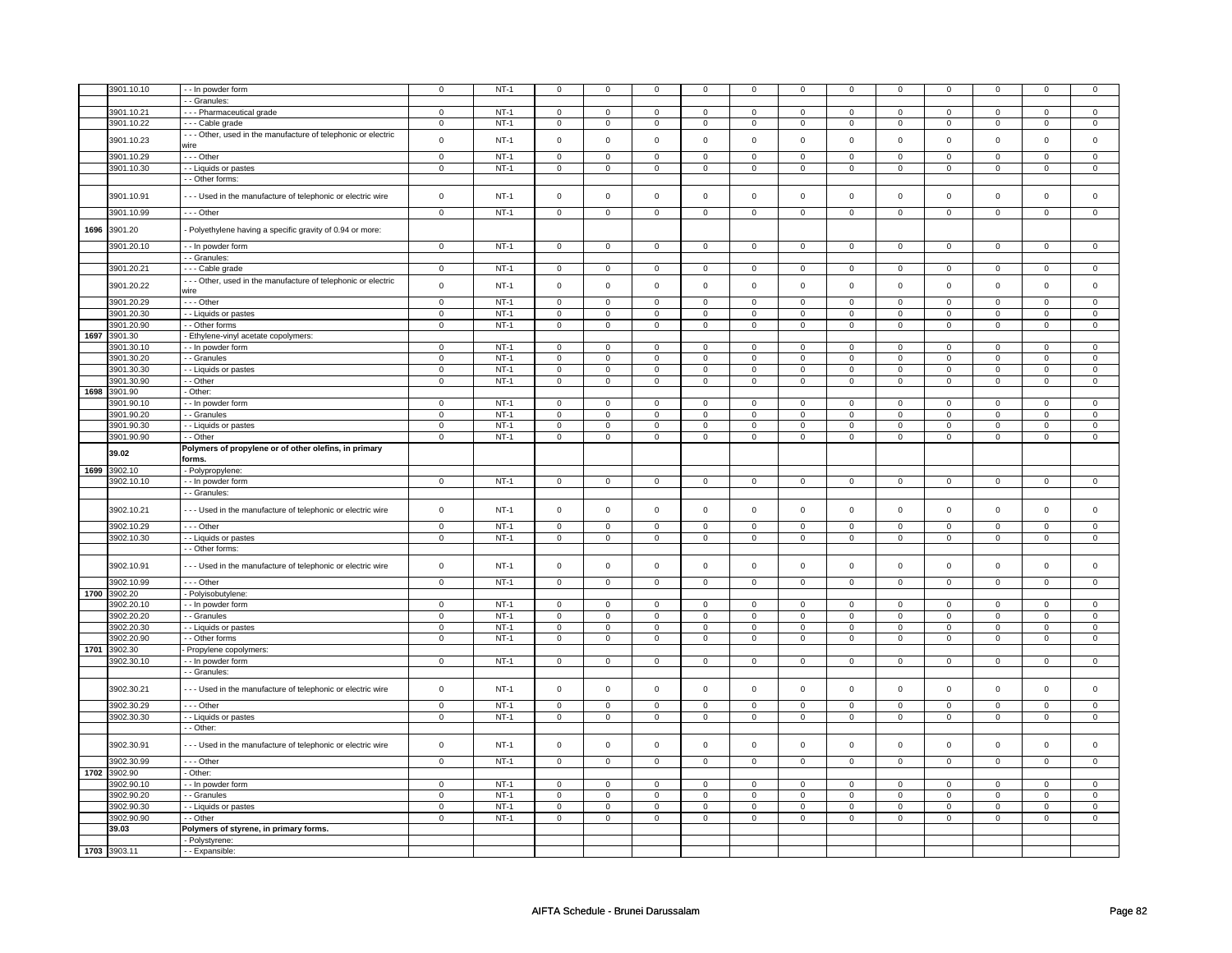|      | 3901.10.10   | - - In powder form                                             | $\mathbf 0$    | $NT-1$      | $\mathsf 0$    | $\mathsf 0$    | $\mathbf 0$         | $\mathbf 0$    | $\mathsf 0$         | $\mathbf 0$    | 0              | $\mathsf 0$    | $\mathsf 0$    | $\mathbf 0$    | $\mathbf 0$    | 0                   |
|------|--------------|----------------------------------------------------------------|----------------|-------------|----------------|----------------|---------------------|----------------|---------------------|----------------|----------------|----------------|----------------|----------------|----------------|---------------------|
|      |              | - Granules:                                                    |                |             |                |                |                     |                |                     |                |                |                |                |                |                |                     |
|      | 3901.10.21   | --- Pharmaceutical grade                                       | $\mathbf 0$    | $NT-1$      | $\mathbf 0$    | $\mathbf 0$    | $\mathbf 0$         | $\mathbf{0}$   | $\mathbf 0$         | $\mathbf 0$    | $\mathbf 0$    | $\mathbf 0$    | 0              | $\mathbf 0$    | 0              | 0                   |
|      | 3901.10.22   | - - - Cable grade                                              | $\mathsf 0$    | $NT-1$      | $\mathbf 0$    | $\mathsf 0$    | $\mathbf 0$         | $\mathbf 0$    | $\mathsf 0$         | $\mathbf 0$    | 0              | $\mathsf 0$    | $\mathsf 0$    | $\mathbf 0$    | 0              | 0                   |
|      |              |                                                                |                |             |                |                |                     |                |                     |                |                |                |                |                |                |                     |
|      | 3901.10.23   | - - - Other, used in the manufacture of telephonic or electric | $\mathbf 0$    | $NT-1$      | $\mathsf 0$    | $\mathbf 0$    | $\mathsf 0$         | $\mathsf 0$    | $\mathsf 0$         | $\mathsf 0$    | $\mathbf 0$    | $\mathbf 0$    | $\mathsf 0$    | $\mathsf 0$    | $\mathsf 0$    | $\mathsf 0$         |
|      |              | wire                                                           |                |             |                |                |                     |                |                     |                |                |                |                |                |                |                     |
|      | 3901.10.29   | --- Other                                                      | $\mathsf 0$    | $NT-1$      | $\mathbf 0$    | $\mathsf 0$    | $\mathsf 0$         | $\mathbf 0$    | $\mathsf 0$         | $\mathbf 0$    | 0              | 0              | $\mathsf 0$    | $\mathbf 0$    | $\mathbf 0$    | 0                   |
|      | 3901.10.30   | - - Liquids or pastes                                          | $\mathbf 0$    | $NT-1$      | $\mathbf 0$    | $\mathsf 0$    | $\mathbf 0$         | $\mathsf 0$    | $\mathbf 0$         | $\mathbf 0$    | $\mathbf 0$    | $\mathbf 0$    | $\mathbf 0$    | $\mathbf 0$    | $\mathsf 0$    | $\mathbf{0}$        |
|      |              | - - Other forms:                                               |                |             |                |                |                     |                |                     |                |                |                |                |                |                |                     |
|      |              |                                                                |                |             |                |                |                     |                |                     |                |                |                |                |                |                |                     |
|      | 3901.10.91   | --- Used in the manufacture of telephonic or electric wire     | $\mathsf 0$    | $NT-1$      | $\mathbf 0$    | $\mathsf 0$    | $\mathsf 0$         | $\mathbf 0$    | $\mathsf 0$         | $\mathbf 0$    | $\mathbf 0$    | $\mathsf 0$    | $\mathsf 0$    | $\mathbf 0$    | $\mathsf 0$    | $\mathbf 0$         |
|      |              |                                                                |                |             |                |                |                     |                |                     |                |                |                |                |                |                |                     |
|      | 3901.10.99   | $- -$ Other                                                    | $\overline{0}$ | $NT-1$      | $\overline{0}$ | $\overline{0}$ | $\overline{0}$      | $\overline{0}$ | $\overline{0}$      | $\overline{0}$ | $\overline{0}$ | $\overline{0}$ | $\overline{0}$ | $\overline{0}$ | $\overline{0}$ | $\overline{0}$      |
|      |              |                                                                |                |             |                |                |                     |                |                     |                |                |                |                |                |                |                     |
| 1696 | 3901.20      | - Polyethylene having a specific gravity of 0.94 or more:      |                |             |                |                |                     |                |                     |                |                |                |                |                |                |                     |
|      |              |                                                                |                |             |                |                |                     |                |                     |                |                |                |                |                |                |                     |
|      | 3901.20.10   | - - In powder form                                             | $\mathbf 0$    | $NT-1$      | $\mathsf 0$    | $\mathsf 0$    | $\mathsf 0$         | $\mathsf 0$    | $\mathsf 0$         | $\mathbf 0$    | $\mathsf 0$    | $\mathbf 0$    | $\mathsf 0$    | $\mathsf 0$    | $\mathbf 0$    | $\overline{0}$      |
|      |              | - - Granules:                                                  |                |             |                |                |                     |                |                     |                |                |                |                |                |                |                     |
|      | 3901.20.21   | - - - Cable grade                                              | $\mathsf 0$    | $NT-1$      | $\mathbf 0$    | $\mathsf 0$    | $\mathsf 0$         | $\mathbf 0$    | $\mathsf 0$         | $\mathbf 0$    | 0              | $\mathbf 0$    | $\mathsf 0$    | $\mathbf 0$    | $\Omega$       | 0                   |
|      |              | - - - Other, used in the manufacture of telephonic or electric |                |             |                |                |                     |                |                     |                |                |                |                |                |                |                     |
|      | 3901.20.22   |                                                                | $\mathsf 0$    | $NT-1$      | $\mathsf 0$    | $\mathsf 0$    | $\mathsf 0$         | $\mathsf 0$    | $\mathsf{O}\xspace$ | $\mathsf 0$    | $\mathsf 0$    | $\mathbf 0$    | $\mathsf 0$    | $\mathbf 0$    | $\mathsf 0$    | $\mathbf 0$         |
|      |              | wire                                                           |                |             |                |                |                     |                |                     |                |                |                |                |                |                |                     |
|      | 3901.20.29   | --- Other                                                      | $\mathsf 0$    | $NT-1$      | $\mathbf 0$    | $\mathsf 0$    | $\mathsf 0$         | $\mathbf 0$    | $\mathsf 0$         | $\mathbf 0$    | $\mathbf 0$    | $\mathsf 0$    | $\mathsf 0$    | $\mathbf 0$    | $\mathsf 0$    | 0                   |
|      | 3901.20.30   | - - Liquids or pastes                                          | $\mathsf 0$    | $NT-1$      | $\mathbf 0$    | $\mathsf 0$    | $\mathbf 0$         | $\mathbf 0$    | $\mathbf 0$         | $\mathbf 0$    | $\mathbf 0$    | $\mathbf 0$    | $\mathbf 0$    | $\mathbf 0$    | $\mathsf 0$    | $\mathbf 0$         |
|      | 3901.20.90   | - - Other forms                                                | $\circ$        | $NT-1$      | $\mathsf 0$    | $\mathsf 0$    | $\mathsf 0$         | $\mathsf 0$    | $\mathsf 0$         | $\mathbf 0$    | $\mathbf 0$    | $\mathbf 0$    | $\mathsf 0$    | $\mathsf 0$    | $\mathsf 0$    | $\mathbf{0}$        |
|      | 1697 3901.30 | - Ethylene-vinyl acetate copolymers:                           |                |             |                |                |                     |                |                     |                |                |                |                |                |                |                     |
|      |              |                                                                |                |             |                |                |                     |                |                     |                |                |                |                |                |                |                     |
|      | 3901.30.10   | - - In powder form                                             | $\mathsf 0$    | $NT-1$      | $\mathbf 0$    | $\mathsf 0$    | $\mathbf 0$         | $\mathbf 0$    | $\mathsf 0$         | $\mathbf 0$    | 0              | $\mathbf 0$    | $\mathsf 0$    | $\mathbf 0$    | 0              | 0                   |
|      | 3901.30.20   | - - Granules                                                   | $\mathsf 0$    | $NT-1$      | $\Omega$       | $\mathbf 0$    | $\Omega$            | $\mathbf 0$    | $\mathbf 0$         | $\mathbf 0$    | $\mathbf 0$    | $\mathbf 0$    | $\mathbf 0$    | $\mathbf{0}$   | $\Omega$       | $\mathbf{O}$        |
|      | 3901.30.30   | - - Liquids or pastes                                          | $\mathbf 0$    | $NT-1$      | $\mathbf 0$    | $\mathsf 0$    | $\mathbf 0$         | $\mathbf 0$    | $\mathsf 0$         | $\mathbf 0$    | 0              | $\mathbf 0$    | $\mathsf 0$    | $\mathbf 0$    | 0              | 0                   |
|      | 3901.30.90   | - - Other                                                      | $\mathsf 0$    | $NT-1$      | $\mathbf 0$    | $\mathsf 0$    | $\mathbf 0$         | $\mathbf 0$    | $\mathbf 0$         | $\mathbf 0$    | 0              | $\mathbf 0$    | $\mathsf 0$    | $\mathbf 0$    | $\mathsf 0$    | $\mathbf 0$         |
| 1698 | 3901.90      | - Other:                                                       |                |             |                |                |                     |                |                     |                |                |                |                |                |                |                     |
|      |              |                                                                |                |             |                |                |                     |                |                     |                |                |                |                |                |                |                     |
|      | 3901.90.10   | - - In powder form                                             | $\mathsf 0$    | $NT-1$      | $\mathbf 0$    | $\mathsf 0$    | $\mathbf 0$         | $\mathbf 0$    | $\mathbf 0$         | $\mathbf 0$    | 0              | $\mathbf 0$    | 0              | $\mathbf 0$    | 0              | $\mathbf{0}$        |
|      | 3901.90.20   | - - Granules                                                   | $\mathsf 0$    | $NT-1$      | $\mathbf 0$    | $\mathsf 0$    | $\mathbf 0$         | $\mathbf 0$    | $\mathbf 0$         | $\mathbf 0$    | $\mathbf 0$    | $\mathbf 0$    | $\mathbf 0$    | $\mathbf 0$    | $\mathsf 0$    | $\mathbf{0}$        |
|      | 3901.90.30   | - - Liquids or pastes                                          | $\mathsf 0$    | $NT-1$      | $\mathbf 0$    | $\mathbf 0$    | $\mathbf 0$         | $\mathbf 0$    | $\mathbf 0$         | $\mathbf 0$    | $\mathbf 0$    | $\mathsf 0$    | $\mathbf 0$    | $\mathbf 0$    | $\mathbf 0$    | 0                   |
|      | 3901.90.90   | - - Other                                                      | $\mathsf 0$    | $NT-1$      | $\overline{0}$ | $\overline{0}$ | $\overline{0}$      | $\overline{0}$ | $\overline{0}$      | $\overline{0}$ | $\mathbf 0$    | $\overline{0}$ | $\overline{0}$ | $\overline{0}$ | $\overline{0}$ | $\overline{0}$      |
|      |              |                                                                |                |             |                |                |                     |                |                     |                |                |                |                |                |                |                     |
|      | 39.02        | Polymers of propylene or of other olefins, in primary          |                |             |                |                |                     |                |                     |                |                |                |                |                |                |                     |
|      |              | forms.                                                         |                |             |                |                |                     |                |                     |                |                |                |                |                |                |                     |
| 1699 | 3902.10      | - Polypropylene:                                               |                |             |                |                |                     |                |                     |                |                |                |                |                |                |                     |
|      | 3902.10.10   | - - In powder form                                             | $\circ$        | $NT-1$      | $\mathbf 0$    | $\mathbf 0$    | $\mathbf 0$         | $\overline{0}$ | $\mathbf{0}$        | $\mathbf 0$    | $\mathbf{0}$   | $\overline{0}$ | $\mathbf 0$    | $\mathbf{0}$   | $\mathbf 0$    | $\overline{0}$      |
|      |              | - - Granules:                                                  |                |             |                |                |                     |                |                     |                |                |                |                |                |                |                     |
|      |              |                                                                |                |             |                |                |                     |                |                     |                |                |                |                |                |                |                     |
|      | 3902.10.21   | - - - Used in the manufacture of telephonic or electric wire   | $\mathsf 0$    | $NT-1$      | $\mathsf 0$    | $\mathsf 0$    | $\mathsf 0$         | $\mathsf 0$    | $\mathsf{O}\xspace$ | $\mathsf 0$    | $\mathbf 0$    | $\mathbf 0$    | $\mathsf 0$    | $\mathbf 0$    | $\mathsf 0$    | $\mathbf 0$         |
|      |              |                                                                |                |             |                |                |                     |                |                     |                |                |                |                |                |                |                     |
|      | 3902.10.29   | --- Other                                                      | $\mathsf 0$    | $NT-1$      | $\mathbf 0$    | $\mathsf 0$    | $\mathbf 0$         | $\mathbf 0$    | $\mathsf 0$         | $\mathbf 0$    | $\mathbf 0$    | $\mathsf 0$    | $\mathsf 0$    | $\mathbf 0$    | $\mathsf 0$    | 0                   |
|      | 3902.10.30   | - - Liquids or pastes                                          | $\mathbf 0$    | $NT-1$      | $\mathbf 0$    | $\mathsf 0$    | $\mathbf 0$         | $\mathbf 0$    | $\mathbf 0$         | $\mathbf 0$    | $\mathbf 0$    | $\mathbf 0$    | $\mathsf 0$    | $\mathbf 0$    | $\mathsf 0$    | $\mathbf 0$         |
|      |              |                                                                |                |             |                |                |                     |                |                     |                |                |                |                |                |                |                     |
|      |              | - - Other forms:                                               |                |             |                |                |                     |                |                     |                |                |                |                |                |                |                     |
|      | 3902.10.91   | - - - Used in the manufacture of telephonic or electric wire   | $\mathsf 0$    | $NT-1$      | $\mathbf 0$    | $\mathsf 0$    | $\mathbf 0$         | $\mathbf 0$    | $\mathsf 0$         | $\mathbf 0$    | $\mathbf 0$    | $\mathbf 0$    | $\mathsf 0$    | $\mathbf{0}$   | $\mathbf 0$    | $\mathbf{0}$        |
|      |              |                                                                |                |             |                |                |                     |                |                     |                |                |                |                |                |                |                     |
|      | 3902.10.99   | $-$ - Other                                                    | $\mathbf 0$    | $NT-1$      | $\mathbf 0$    | $\mathbf 0$    | $\mathbf 0$         | $\Omega$       | $\mathbf{0}$        | $\mathbf 0$    | $\mathbf 0$    | $\mathbf{0}$   | $\mathbf 0$    | $\mathbf{0}$   | $\Omega$       | $\mathbf{0}$        |
| 1700 |              |                                                                |                |             |                |                |                     |                |                     |                |                |                |                |                |                |                     |
|      | 3902.20      | - Polyisobutylene:                                             |                |             |                |                |                     |                |                     |                |                |                |                |                |                |                     |
|      | 3902.20.10   | - - In powder form                                             | $\mathsf 0$    | $NT-1$      | $\mathbf 0$    | $\mathsf 0$    | $\mathsf 0$         | $\mathbf 0$    | $\mathsf 0$         | $\mathbf 0$    | 0              | $\mathbf 0$    | $\mathsf 0$    | $\mathbf 0$    | $\mathbf 0$    | 0                   |
|      | 3902.20.20   | - Granules                                                     | $\mathsf 0$    | $NT-1$      | $\mathbf 0$    | $\mathsf 0$    | $\mathbf 0$         | $\mathbf 0$    | $\mathbf 0$         | $\mathbf 0$    | $\mathbf 0$    | $\mathbf 0$    | $\mathsf 0$    | $\mathbf 0$    | $\mathsf 0$    | $\mathbf{0}$        |
|      | 3902.20.30   | - - Liquids or pastes                                          | $\mathbf 0$    | $NT-1$      | $\mathbf 0$    | $\mathbf 0$    | $\mathsf 0$         | $\mathbf 0$    | $\mathsf{O}\xspace$ | $\mathbf 0$    | $\mathbf 0$    | $\mathbf 0$    | $\mathbf 0$    | $\mathbf 0$    | 0              | $\mathbf{0}$        |
|      | 3902.20.90   | - - Other forms                                                | $\mathbf 0$    | $NT-1$      | $\mathsf 0$    | $\mathsf 0$    | $\mathsf 0$         | $\mathsf 0$    | $\mathsf 0$         | $\mathsf 0$    | $\mathsf 0$    | $\mathbf 0$    | 0              | $\mathbf 0$    | $\mathsf 0$    | $\mathbf 0$         |
|      |              |                                                                |                |             |                |                |                     |                |                     |                |                |                |                |                |                |                     |
| 1701 | 3902.30      | Propylene copolymers:                                          |                |             |                |                |                     |                |                     |                |                |                |                |                |                |                     |
|      | 3902.30.10   | - - In powder form                                             | $\mathbf 0$    | $NT-1$      | $\overline{0}$ | $\overline{0}$ | $\overline{0}$      | $\overline{0}$ | $\mathbf{0}$        | $\overline{0}$ | $\mathsf 0$    | $\overline{0}$ | $\mathsf 0$    | $\overline{0}$ | $\mathbf 0$    | $\overline{0}$      |
|      |              | - - Granules:                                                  |                |             |                |                |                     |                |                     |                |                |                |                |                |                |                     |
|      |              |                                                                |                |             |                |                |                     |                |                     |                |                |                |                |                |                |                     |
|      | 3902.30.21   | --- Used in the manufacture of telephonic or electric wire     | $\mathbf 0$    | $NT-1$      | $\mathsf 0$    | $\mathbf 0$    | $\mathbf 0$         | $\mathsf 0$    | $\mathsf{O}\xspace$ | $\mathsf 0$    | $\mathbf 0$    | $\mathbf 0$    | $\mathsf 0$    | $\mathsf 0$    | $\Omega$       | $\mathsf 0$         |
|      |              |                                                                |                |             |                |                |                     |                |                     |                |                |                |                |                |                |                     |
|      | 3902.30.29   | --- Other                                                      | $\mathsf 0$    | $NT-1$      | $\mathsf 0$    | $\mathbf 0$    | 0                   | $\mathsf 0$    | $\mathsf 0$         | $\mathsf 0$    | 0              | $\mathbf 0$    | 0              | $\mathbf 0$    | 0              | $\mathbf 0$         |
|      | 3902.30.30   | - - Liquids or pastes                                          | $\mathbf 0$    | $NT-1$      | $\mathbf 0$    | $\mathbf 0$    | $\mathsf 0$         | $\mathsf 0$    | $\mathsf 0$         | $\mathsf 0$    | $\mathbf 0$    | $\mathbf 0$    | 0              | $\mathbf 0$    | $\mathbf 0$    | $\mathbf 0$         |
|      |              | - - Other:                                                     |                |             |                |                |                     |                |                     |                |                |                |                |                |                |                     |
|      |              |                                                                |                |             |                |                |                     |                |                     |                |                |                |                |                |                |                     |
|      | 3902.30.91   | --- Used in the manufacture of telephonic or electric wire     | $\mathbf 0$    | $NT-1$      | $\mathsf 0$    | $\mathbf 0$    | $\mathsf{O}\xspace$ | $\mathsf 0$    | $\mathsf 0$         | $\mathsf 0$    | $\mathsf 0$    | $\mathbf 0$    | $\mathsf 0$    | $\mathsf{O}$   | $\mathsf 0$    | $\mathsf 0$         |
|      |              |                                                                |                |             |                |                |                     |                |                     |                |                |                |                |                |                |                     |
|      | 3902.30.99   | --- Other                                                      | $\,0\,$        | $NT-1$      | $\mathsf 0$    | $\mathbf 0$    | $\mathsf 0$         | $\mathsf 0$    | $\mathsf 0$         | $\mathsf 0$    | $\mathsf 0$    | $\mathbf 0$    | $\mathsf 0$    | $\mathbf 0$    | $\mathsf 0$    | $\mathbf 0$         |
|      | 1702 3902.90 | - Other:                                                       |                |             |                |                |                     |                |                     |                |                |                |                |                |                |                     |
|      | 3902.90.10   | - - In powder form                                             | $\mathbf 0$    | <b>NT-1</b> | 0              | 0              | 0                   | $\mathbf 0$    | 0                   | $\mathbf 0$    | 0              | $\mathbf 0$    | 0              | $\mathbf 0$    | 0              | $\mathbf 0$         |
|      |              |                                                                | $\mathbf 0$    | $NT-1$      | $\mathbf 0$    | $\mathbf 0$    | $\mathbf 0$         | $\mathbf 0$    |                     |                | $\mathbf 0$    |                |                |                | $\Omega$       | $\mathbf{0}$        |
|      | 3902.90.20   | - - Granules                                                   |                |             |                |                |                     |                | $\mathsf 0$         | $\mathsf 0$    |                | $\mathbf 0$    | $\mathsf 0$    | $\mathbf 0$    |                |                     |
|      | 3902.90.30   | - - Liquids or pastes                                          | $\pmb{0}$      | $NT-1$      | $\mathsf 0$    | $\mathsf 0$    | $\Omega$            | $\mathsf 0$    | $\mathsf{O}\xspace$ | $\mathsf 0$    | $\Omega$       | $\mathsf 0$    | $\mathsf 0$    | $\mathsf 0$    | $\Omega$       | $\mathsf{O}\xspace$ |
|      | 3902.90.90   | - - Other                                                      | $\mathbf 0$    | $NT-1$      | $\mathsf 0$    | $\mathbf 0$    | $\mathsf{O}\xspace$ | $\mathsf 0$    | $\mathsf 0$         | $\mathsf 0$    | $\mathsf 0$    | $\mathsf 0$    | $\mathsf 0$    | $\mathsf{O}$   | $\mathsf 0$    | $\mathsf{O}\xspace$ |
|      |              | Polymers of styrene, in primary forms.                         |                |             |                |                |                     |                |                     |                |                |                |                |                |                |                     |
|      |              |                                                                |                |             |                |                |                     |                |                     |                |                |                |                |                |                |                     |
|      | 39.03        |                                                                |                |             |                |                |                     |                |                     |                |                |                |                |                |                |                     |
|      | 1703 3903.11 | - Polystyrene:<br>- - Expansible:                              |                |             |                |                |                     |                |                     |                |                |                |                |                |                |                     |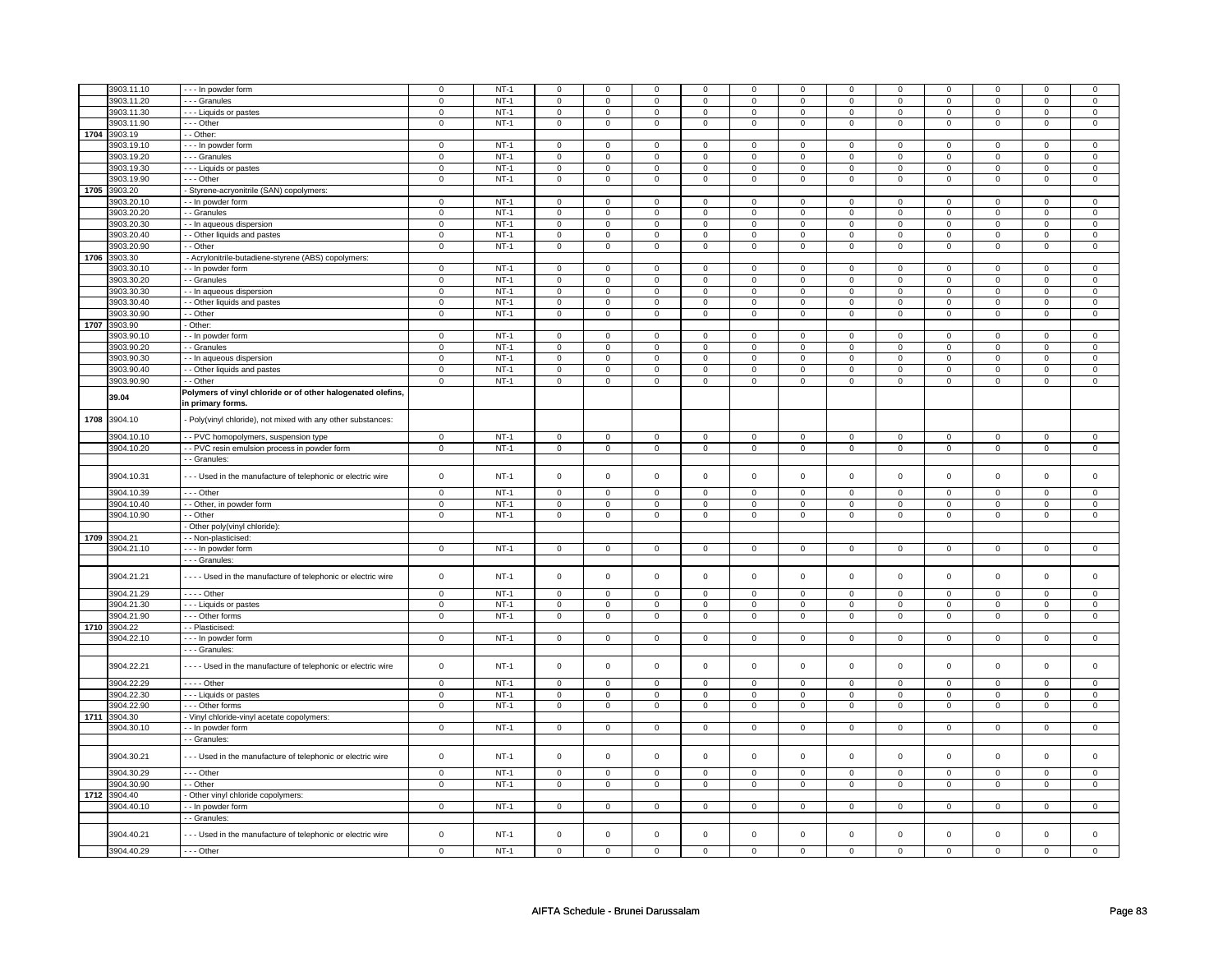|      | 3903.11.10   | - - - In powder form                                           | $\mathsf 0$    | $NT-1$ | $\mathbf 0$    | $\mathbf 0$    | $\mathbf 0$         | $\mathbf 0$    | $\mathsf 0$         | $\mathbf 0$    | 0              | 0              | $\mathsf 0$         | $\mathbf 0$    | $\Omega$       | $\Omega$            |
|------|--------------|----------------------------------------------------------------|----------------|--------|----------------|----------------|---------------------|----------------|---------------------|----------------|----------------|----------------|---------------------|----------------|----------------|---------------------|
|      | 3903.11.20   | - - - Granules                                                 | $\mathbf 0$    | $NT-1$ | $\mathbf 0$    | $\mathsf 0$    | 0                   | $\mathbf 0$    | $\mathbf 0$         | $\mathbf 0$    | $\mathbf 0$    | $\mathbf 0$    | $\mathbf 0$         | $\mathbf 0$    | $\mathbf 0$    | $\mathbf 0$         |
|      |              |                                                                |                |        |                |                |                     |                |                     |                |                |                |                     |                |                |                     |
|      | 3903.11.30   | --- Liquids or pastes                                          | $\mathbf 0$    | $NT-1$ | 0              | $\mathbf 0$    | $\mathbf 0$         | $\mathbf 0$    | $\mathbf 0$         | $\mathbf 0$    | $\mathbf 0$    | $\mathbf 0$    | 0                   | $\mathbf 0$    | 0              | 0                   |
|      | 3903.11.90   | --- Other                                                      | $\mathsf 0$    | $NT-1$ | $\mathbf 0$    | $\mathsf 0$    | $\mathbf 0$         | $\mathbf 0$    | $\mathsf 0$         | $\mathbf 0$    | 0              | $\mathsf 0$    | $\mathsf 0$         | $\mathbf 0$    | 0              | 0                   |
|      |              |                                                                |                |        |                |                |                     |                |                     |                |                |                |                     |                |                |                     |
| 1704 | 3903.19      | - - Other:                                                     |                |        |                |                |                     |                |                     |                |                |                |                     |                |                |                     |
|      | 3903.19.10   | - - - In powder form                                           | $\mathbf 0$    | $NT-1$ | $\,0\,$        | 0              | $\mathbf 0$         | $\mathbf 0$    | 0                   | $\mathbf 0$    | 0              | $\mathbf 0$    | 0                   | 0              | 0              | 0                   |
|      | 3903.19.20   | - - - Granules                                                 | $\mathsf 0$    | $NT-1$ | $\mathbf 0$    | $\mathsf 0$    | $\mathbf 0$         | $\mathbf 0$    | $\mathbf 0$         | $\mathbf 0$    | 0              | $\mathbf 0$    | 0                   | $\mathbf 0$    | 0              | 0                   |
|      |              |                                                                |                |        |                |                |                     |                |                     |                |                |                |                     |                |                |                     |
|      | 3903.19.30   | - - - Liquids or pastes                                        | $\,0\,$        | $NT-1$ | $\mathsf 0$    | $\mathbf 0$    | $\mathsf 0$         | $\mathsf 0$    | $\mathsf 0$         | $\mathbf 0$    | 0              | $\mathbf 0$    | $\mathbf 0$         | $\mathbf 0$    | 0              | $\mathbf 0$         |
|      | 3903.19.90   | --- Other                                                      | $\mathbf 0$    | $NT-1$ | 0              | 0              | 0                   | $\mathbf 0$    | 0                   | $\mathbf 0$    | $\mathbf{0}$   | $\mathbf 0$    | $\mathbf 0$         | $\mathbf 0$    | 0              | $\mathbf{0}$        |
|      |              |                                                                |                |        |                |                |                     |                |                     |                |                |                |                     |                |                |                     |
| 1705 | 3903.20      | - Styrene-acryonitrile (SAN) copolymers:                       |                |        |                |                |                     |                |                     |                |                |                |                     |                |                |                     |
|      | 3903.20.10   | - - In powder form                                             | $\mathbf 0$    | $NT-1$ | $\mathbf 0$    | $\mathsf 0$    | $\mathbf 0$         | $\mathbf 0$    | $\mathbf 0$         | $\mathbf 0$    | $\mathbf 0$    | $\mathsf 0$    | $\mathsf 0$         | $\mathbf 0$    | $\Omega$       | 0                   |
|      | 3903.20.20   |                                                                | $\mathbf 0$    | $NT-1$ | $\mathsf 0$    | $\mathsf 0$    | $\mathbf 0$         | $\mathbf 0$    | $\mathsf 0$         | $\mathbf 0$    | 0              | 0              | 0                   | $\mathbf 0$    | $\Omega$       | $\mathsf 0$         |
|      |              | - - Granules                                                   |                |        |                |                |                     |                |                     |                |                |                |                     |                |                |                     |
|      | 3903.20.30   | - - In aqueous dispersion                                      | $\mathbf 0$    | $NT-1$ | 0              | 0              | $\mathbf 0$         | $\mathbf 0$    | 0                   | $\mathbf 0$    | 0              | 0              | 0                   | 0              | 0              | 0                   |
|      | 3903.20.40   | - - Other liquids and pastes                                   | $\mathbf 0$    | $NT-1$ | $\mathbf 0$    | $\mathbf 0$    | $\mathbf 0$         | $\mathbf 0$    | $\mathbf 0$         | $\mathbf 0$    | 0              | 0              | 0                   | 0              | 0              | $\overline{0}$      |
|      |              |                                                                |                |        |                |                |                     |                |                     |                |                |                |                     |                |                |                     |
|      | 3903.20.90   | - - Other                                                      | $\mathsf 0$    | $NT-1$ | $\mathsf 0$    | $\mathbf 0$    | $\mathsf 0$         | $\mathsf 0$    | $\mathsf{O}\xspace$ | $\mathsf 0$    | $\mathbf 0$    | $\mathsf 0$    | $\mathsf 0$         | $\mathsf 0$    | 0              | $\mathsf 0$         |
| 1706 | 3903.30      | - Acrylonitrile-butadiene-styrene (ABS) copolymers:            |                |        |                |                |                     |                |                     |                |                |                |                     |                |                |                     |
|      | 3903.30.10   | - - In powder form                                             | $\mathbf 0$    | $NT-1$ | $\overline{0}$ | $\mathbf 0$    | $\mathbf 0$         | $\mathbf 0$    | $\mathbf 0$         | $\mathbf 0$    | 0              | 0              | $\overline{0}$      | 0              | $\mathbf 0$    | 0                   |
|      |              |                                                                |                |        |                |                |                     |                |                     |                |                |                |                     |                |                |                     |
|      | 3903.30.20   | - - Granules                                                   | $\overline{0}$ | $NT-1$ | $\overline{0}$ | $\overline{0}$ | $\overline{0}$      | $\overline{0}$ | $\overline{0}$      | $\overline{0}$ | $\overline{0}$ | $\overline{0}$ | $\overline{0}$      | $\overline{0}$ | $\overline{0}$ | $\overline{0}$      |
|      | 3903.30.30   | - - In aqueous dispersion                                      | $\mathbf 0$    | $NT-1$ | $\overline{0}$ | $\overline{0}$ | $\overline{0}$      | $\overline{0}$ | $\overline{0}$      | $\overline{0}$ | $\overline{0}$ | $\overline{0}$ | $\overline{0}$      | $\overline{0}$ | $\overline{0}$ | $\overline{0}$      |
|      |              |                                                                |                |        |                |                |                     |                |                     |                |                |                |                     |                |                |                     |
|      | 3903.30.40   | - Other liquids and pastes                                     | $\mathsf 0$    | $NT-1$ | $\mathsf 0$    | $\mathbf 0$    | $\mathsf 0$         | $\mathsf 0$    | $\mathsf 0$         | $\mathsf 0$    | $\mathbf 0$    | $\mathsf 0$    | $\mathsf 0$         | $\mathbf 0$    | $\mathsf 0$    | $\mathsf 0$         |
|      | 3903.30.90   | - - Other                                                      | $\mathbf 0$    | $NT-1$ | $\mathsf 0$    | $\mathbf 0$    | $\mathsf{O}\xspace$ | $\mathbf 0$    | $\mathsf{O}\xspace$ | $\mathbf 0$    | $\mathsf 0$    | $\mathbf 0$    | $\mathsf 0$         | $\mathbf 0$    | $\mathsf 0$    | $\mathbf 0$         |
|      | 1707 3903.90 | - Other:                                                       |                |        |                |                |                     |                |                     |                |                |                |                     |                |                |                     |
|      |              |                                                                |                |        |                |                |                     |                |                     |                |                |                |                     |                |                |                     |
|      | 3903.90.10   | - - In powder form                                             | $\mathbf 0$    | $NT-1$ | $\mathbf 0$    | $\mathsf 0$    | $\mathbf 0$         | $\mathbf 0$    | $\mathsf 0$         | $\mathsf 0$    | $\mathbf 0$    | $\mathbf 0$    | $\mathsf 0$         | $\mathbf 0$    | $\mathbf 0$    | $\mathbf 0$         |
|      | 3903.90.20   | - - Granules                                                   | $\Omega$       | $NT-1$ | $\mathsf 0$    | $\mathsf 0$    | $\mathsf 0$         | $\mathsf 0$    | $\mathsf 0$         | $\mathbf 0$    | $\mathbf 0$    | $\mathsf 0$    | $\mathsf 0$         | $\mathbf 0$    | $\mathsf 0$    | 0                   |
|      |              |                                                                |                | $NT-1$ |                | $\overline{0}$ | $\mathsf 0$         | $\mathsf 0$    | $\mathsf{O}\xspace$ |                | $\mathsf 0$    |                |                     | $\overline{0}$ | $\mathsf 0$    |                     |
|      | 3903.90.30   | - In aqueous dispersion                                        | $\mathbf 0$    |        | $\mathsf 0$    |                |                     |                |                     | $\mathsf 0$    |                | $\mathsf{O}$   | $\mathsf{O}\xspace$ |                |                | $\mathsf{O}\xspace$ |
|      | 3903.90.40   | - - Other liquids and pastes                                   | $\mathbf 0$    | $NT-1$ | $\mathsf 0$    | $\mathbf 0$    | $\mathsf 0$         | $\mathsf 0$    | $\mathsf{O}\xspace$ | $\mathsf 0$    | $\mathsf 0$    | $\mathsf 0$    | $\mathsf 0$         | $\mathbf 0$    | $\mathsf 0$    | $\mathbf 0$         |
|      | 3903.90.90   | - Other                                                        | $\mathbf 0$    | $NT-1$ | $\mathsf 0$    | $\mathbf 0$    | $\mathsf{O}\xspace$ | $\mathsf 0$    | $\mathsf{O}\xspace$ | $\mathsf 0$    | $\mathsf 0$    | $\mathbf 0$    | $\mathsf 0$         | $\mathsf 0$    | $\mathsf 0$    | 0                   |
|      |              |                                                                |                |        |                |                |                     |                |                     |                |                |                |                     |                |                |                     |
|      |              | Polymers of vinyl chloride or of other halogenated olefins,    |                |        |                |                |                     |                |                     |                |                |                |                     |                |                |                     |
|      | 39.04        | in primary forms.                                              |                |        |                |                |                     |                |                     |                |                |                |                     |                |                |                     |
|      |              |                                                                |                |        |                |                |                     |                |                     |                |                |                |                     |                |                |                     |
| 1708 | 3904.10      | - Poly(vinyl chloride), not mixed with any other substances:   |                |        |                |                |                     |                |                     |                |                |                |                     |                |                |                     |
|      |              |                                                                |                |        |                |                |                     |                |                     |                |                |                |                     |                |                |                     |
|      | 3904.10.10   | - - PVC homopolymers, suspension type                          | $\mathbf 0$    | $NT-1$ | $\mathsf 0$    | $\mathbf 0$    | $\mathbf 0$         | $\mathsf 0$    | $\mathsf{O}\xspace$ | $\mathsf 0$    | 0              | $\mathsf 0$    | $\mathsf 0$         | $\mathbf 0$    | $\Omega$       | $\mathsf 0$         |
|      |              |                                                                |                |        |                |                |                     |                |                     |                |                |                |                     |                |                |                     |
|      | 3904.10.20   | - - PVC resin emulsion process in powder form                  | $\mathsf{o}\,$ | NT-1   | $\mathsf 0$    | $\mathsf 0$    | $\mathsf 0$         | $\mathsf 0$    | $\circ$             | $\mathsf 0$    | $\mathsf 0$    | $\mathsf 0$    | 0                   | $\circ$        | 0              | $\circ$             |
|      |              | - - Granules:                                                  |                |        |                |                |                     |                |                     |                |                |                |                     |                |                |                     |
|      |              |                                                                |                |        |                |                |                     |                |                     |                |                |                |                     |                |                |                     |
|      | 3904.10.31   | --- Used in the manufacture of telephonic or electric wire     | $\mathsf 0$    | $NT-1$ | $\mathbf 0$    | $\mathbf 0$    | $\mathsf 0$         | $\mathbf 0$    | $\mathsf 0$         | $\mathsf 0$    | $\mathbf 0$    | $\mathbf 0$    | $\mathsf 0$         | $\mathbf 0$    | $\mathbf 0$    | $\mathbf 0$         |
|      |              |                                                                |                |        |                |                |                     |                |                     |                |                |                |                     |                |                |                     |
|      | 3904.10.39   | --- Other                                                      | $\mathsf 0$    | $NT-1$ | $\mathbf 0$    | $\mathbf 0$    | $\mathbf 0$         | $\mathbf 0$    | $\mathbf 0$         | $\mathbf 0$    | $\mathbf 0$    | $\mathbf 0$    | $\mathbf 0$         | $\mathbf 0$    | $\mathbf 0$    | $\mathbf{0}$        |
|      |              |                                                                |                |        |                |                |                     |                |                     |                |                |                |                     |                |                |                     |
|      | 3904.10.40   | - - Other, in powder form                                      | $\mathsf 0$    | $NT-1$ | $\overline{0}$ | $\overline{0}$ | $\mathbf 0$         | $\overline{0}$ | $\overline{0}$      | $\overline{0}$ | $\mathbf 0$    | $\mathbf 0$    | $\mathsf 0$         | $\overline{0}$ | $\mathbf 0$    | $\overline{0}$      |
|      | 3904.10.90   | - - Other                                                      | $\mathsf 0$    | $NT-1$ | $\mathbf 0$    | $\mathsf 0$    | $\mathbf 0$         | $\mathbf 0$    | $\mathbf 0$         | $\mathbf 0$    | 0              | $\mathbf 0$    | 0                   | $\mathbf 0$    | 0              | $\mathbf{0}$        |
|      |              |                                                                |                |        |                |                |                     |                |                     |                |                |                |                     |                |                |                     |
|      |              | Other poly(vinyl chloride):                                    |                |        |                |                |                     |                |                     |                |                |                |                     |                |                |                     |
|      | 1709 3904.21 | - - Non-plasticised:                                           |                |        |                |                |                     |                |                     |                |                |                |                     |                |                |                     |
|      | 3904.21.10   | - - - In powder form                                           | $\mathbf 0$    | $NT-1$ | $\mathbf 0$    | $\mathbf 0$    | $\mathbf 0$         | $\mathbf{0}$   | $\mathbf 0$         | $\mathbf{0}$   | $\mathbf 0$    | $\mathbf{0}$   | 0                   |                |                |                     |
|      |              |                                                                |                |        |                |                |                     |                |                     |                |                |                |                     |                |                |                     |
|      |              |                                                                |                |        |                |                |                     |                |                     |                |                |                |                     | $\mathbf 0$    | 0              | $\mathbf{0}$        |
|      |              | - - - Granules                                                 |                |        |                |                |                     |                |                     |                |                |                |                     |                |                |                     |
|      | 3904.21.21   |                                                                |                |        |                |                |                     |                |                     |                |                |                |                     |                |                |                     |
|      |              | - - - - Used in the manufacture of telephonic or electric wire | $\mathsf 0$    | $NT-1$ | $\mathsf 0$    | $\mathsf 0$    | $\mathsf 0$         | $\mathsf 0$    | $\mathsf 0$         | $\mathsf 0$    | $\mathbf 0$    | $\mathbf 0$    | $\mathsf 0$         | $\mathbf 0$    | $\mathsf 0$    | $\mathbf 0$         |
|      |              |                                                                |                |        |                |                |                     |                |                     |                |                |                |                     |                |                |                     |
|      | 3904.21.29   |                                                                | $\mathsf 0$    | $NT-1$ | $\mathbf 0$    | $\mathsf 0$    | $\mathbf 0$         | $\mathbf 0$    | $\mathsf 0$         | $\mathbf 0$    | $\mathbf 0$    | $\mathbf 0$    | $\mathsf 0$         | $\mathbf 0$    | $\mathsf 0$    | 0                   |
|      |              | $\overline{\cdots}$ - Other                                    |                |        |                |                |                     |                |                     |                |                |                |                     |                |                |                     |
|      | 3904.21.30   | - - - Liquids or pastes                                        | $\mathsf 0$    | $NT-1$ | $\mathbf 0$    | $\mathsf 0$    | $\mathbf 0$         | $\mathbf 0$    | $\mathbf 0$         | $\mathbf 0$    | $\mathbf 0$    | $\mathbf 0$    | $\mathbf 0$         | $\mathbf 0$    | $\mathsf 0$    | $\mathbf 0$         |
|      | 3904.21.90   | --- Other forms                                                | $\overline{0}$ | $NT-1$ | $\mathsf 0$    | $\mathsf 0$    | 0                   | $\mathsf 0$    | $\mathsf 0$         | $\mathbf 0$    | $\mathbf 0$    | $\overline{0}$ | $\mathbf 0$         | $\mathbf 0$    | 0              | $\overline{0}$      |
|      |              | - - Plasticised:                                               |                |        |                |                |                     |                |                     |                |                |                |                     |                |                |                     |
|      | 1710 3904.22 |                                                                |                |        |                |                |                     |                |                     |                |                |                |                     |                |                |                     |
|      | 3904.22.10   | --- In powder form                                             | $\mathbf 0$    | $NT-1$ | $\mathbf 0$    | $\mathbf 0$    | $\mathbf 0$         | $\mathbf 0$    | $\mathbf 0$         | $\mathbf 0$    | $\mathbf 0$    | $\mathbf{0}$   | $\mathbf 0$         | $\mathbf{0}$   | $\mathbf 0$    | $\mathbf{0}$        |
|      |              | --- Granules:                                                  |                |        |                |                |                     |                |                     |                |                |                |                     |                |                |                     |
|      |              |                                                                |                |        |                |                |                     |                |                     |                |                |                |                     |                |                |                     |
|      | 3904.22.21   | - - - - Used in the manufacture of telephonic or electric wire | $\mathsf 0$    | $NT-1$ | $\mathbf 0$    | $\mathsf 0$    | $\mathbf 0$         | $\mathbf 0$    | $\mathsf 0$         | $\mathbf 0$    | $\mathbf 0$    | $\mathsf 0$    | $\mathsf 0$         | $\mathbf 0$    | $\mathsf 0$    | 0                   |
|      |              |                                                                |                |        |                |                |                     |                |                     |                |                |                |                     |                |                |                     |
|      | 3904.22.29   | - - - - Other                                                  | $\mathsf 0$    | $NT-1$ | $\mathsf 0$    | $\mathbf 0$    | 0                   | $\mathbf 0$    | $\mathsf 0$         | $\mathbf 0$    | 0              | $\mathbf 0$    | 0                   | $\mathbf 0$    | 0              | $\mathbf 0$         |
|      |              |                                                                |                |        |                |                |                     |                |                     |                |                |                |                     |                |                |                     |
|      | 3904.22.30   | - - - Liquids or pastes                                        | $\mathbf 0$    | $NT-1$ | $\mathbf 0$    | $\mathbf 0$    | $\mathbf 0$         | $\mathbf 0$    | $\mathbf 0$         | $\mathbf 0$    | $\mathbf 0$    | $\mathbf 0$    | 0                   | $\mathbf 0$    | 0              | 0                   |
|      | 3904.22.90   | --- Other forms                                                | $\mathsf 0$    | $NT-1$ | $\mathbf 0$    | $\mathsf 0$    | $\mathbf 0$         | $\mathbf 0$    | $\mathsf 0$         | $\mathbf 0$    | 0              | $\mathbf 0$    | $\mathsf 0$         | $\mathbf 0$    | 0              | $\mathbf{0}$        |
|      |              |                                                                |                |        |                |                |                     |                |                     |                |                |                |                     |                |                |                     |
| 1711 | 3904.30      | - Vinyl chloride-vinyl acetate copolymers:                     |                |        |                |                |                     |                |                     |                |                |                |                     |                |                |                     |
|      | 3904.30.10   | - - In powder form                                             | $\mathbf 0$    | $NT-1$ | $\mathbf 0$    | $\mathsf 0$    | $\mathbf 0$         | $\mathbf 0$    | $\mathbf 0$         | $\mathbf 0$    | $\mathbf 0$    | $\mathbf 0$    | $\mathbf 0$         | $\mathbf 0$    | $\mathsf 0$    | $\mathbf 0$         |
|      |              |                                                                |                |        |                |                |                     |                |                     |                |                |                |                     |                |                |                     |
|      |              | - - Granules:                                                  |                |        |                |                |                     |                |                     |                |                |                |                     |                |                |                     |
|      |              |                                                                |                |        |                |                |                     |                |                     |                | $\Omega$       |                |                     |                |                |                     |
|      | 3904.30.21   | --- Used in the manufacture of telephonic or electric wire     | $\mathsf 0$    | $NT-1$ | $\mathbf 0$    | $\mathsf 0$    | $\mathsf 0$         | $\mathbf 0$    | $\mathsf 0$         | $\mathbf 0$    |                | $\mathsf 0$    | $\mathsf 0$         | $\mathbf 0$    | $\mathbf 0$    | $\mathbf 0$         |
|      |              |                                                                |                |        |                |                |                     |                |                     |                |                |                |                     |                |                |                     |
|      | 3904.30.29   | --- Other                                                      | $\mathbf 0$    | $NT-1$ | $\mathbf 0$    | 0              | $\mathbf 0$         | $\mathbf 0$    | $\mathbf 0$         | $\mathbf 0$    | 0              | $\mathbf 0$    | 0                   | $\mathbf 0$    | 0              | 0                   |
|      | 3904.30.90   | - - Other                                                      | $\mathbf 0$    | $NT-1$ | $\overline{0}$ | $\overline{0}$ | $\mathbf 0$         | $\mathbf 0$    | $\mathbf 0$         | $\overline{0}$ | 0              | 0              | 0                   | $\overline{0}$ | 0              | 0                   |
|      |              |                                                                |                |        |                |                |                     |                |                     |                |                |                |                     |                |                |                     |
| 1712 | 3904.40      | - Other vinyl chloride copolymers:                             |                |        |                |                |                     |                |                     |                |                |                |                     |                |                |                     |
|      | 3904.40.10   | - - In powder form                                             | $\mathbf 0$    | $NT-1$ | $\mathbf 0$    | $\mathbf 0$    | $\mathbf 0$         | $\mathbf 0$    | $\mathbf 0$         | $\mathbf 0$    | 0              | $\mathbf{0}$   | 0                   | $\mathbf 0$    | 0              | 0                   |
|      |              | - Granules:                                                    |                |        |                |                |                     |                |                     |                |                |                |                     |                |                |                     |
|      |              |                                                                |                |        |                |                |                     |                |                     |                |                |                |                     |                |                |                     |
|      |              |                                                                |                |        |                |                |                     |                |                     |                |                |                |                     |                |                |                     |
|      | 3904.40.21   | --- Used in the manufacture of telephonic or electric wire     | $\mathbf 0$    | $NT-1$ | $\mathsf 0$    | $\mathbf 0$    | $\mathsf 0$         | $\mathsf{o}\,$ | $\mathsf 0$         | $\mathsf{o}\,$ | $\mathsf 0$    | $\mathbf 0$    | $\mathsf 0$         | $\mathbf 0$    | $\mathsf 0$    | $\mathsf 0$         |
|      | 3904.40.29   | $- -$ Other                                                    | $\mathsf 0$    | $NT-1$ | $\mathbf 0$    | $\mathsf 0$    | $\mathsf 0$         | $\mathbf 0$    | $\mathsf 0$         | $\mathbf 0$    | $\mathbf 0$    | $\mathsf 0$    | $\mathsf 0$         | $\mathbf 0$    | $\mathsf 0$    | 0                   |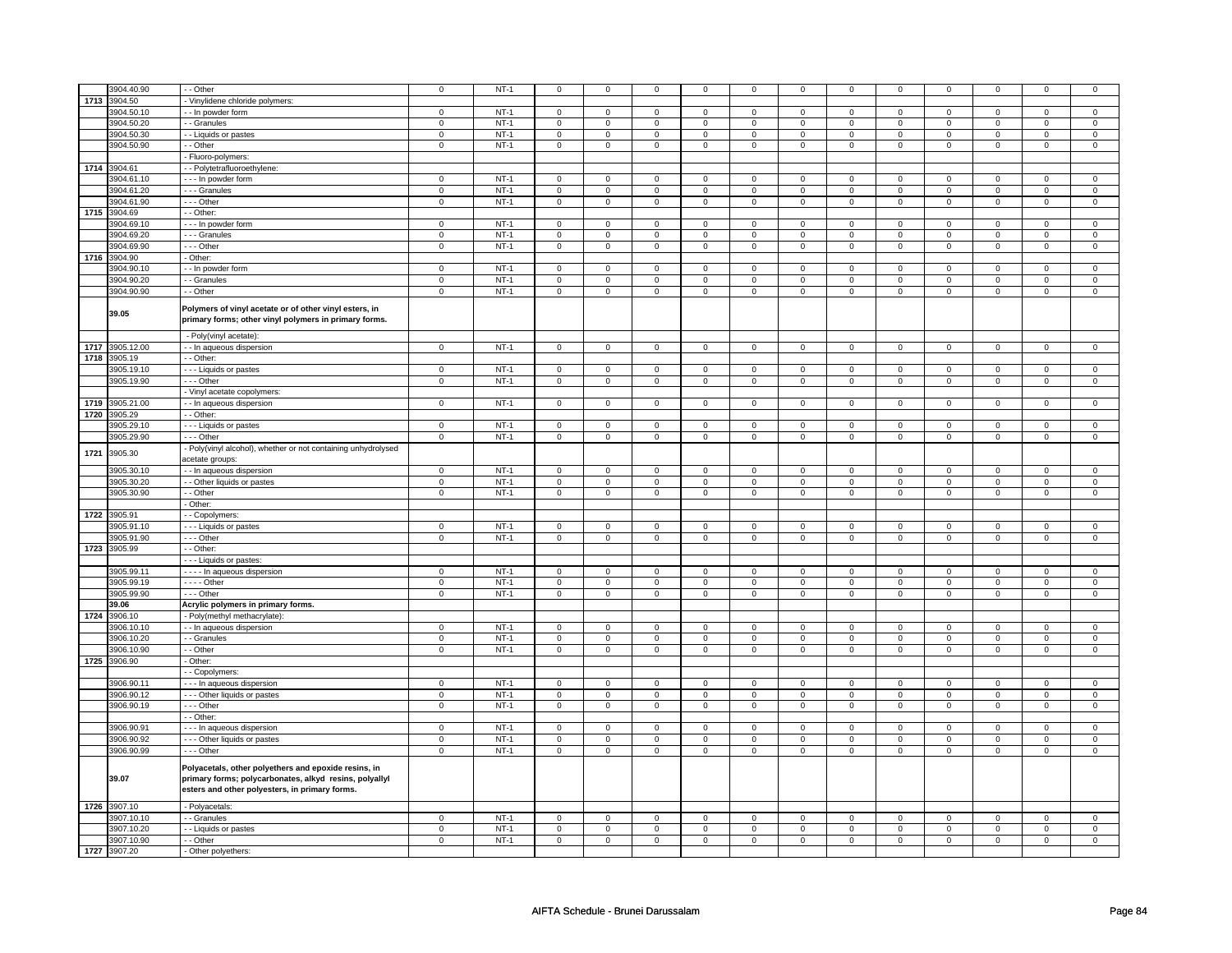|      | 3904.40.90   | - - Other                                                                                                                                                        | 0              | $NT-1$ | $\mathbf 0$    | $\mathbf 0$    | $\mathbf 0$         | $\mathbf 0$    | 0                   | 0                   | 0              | 0                   | 0                   | 0                   | 0              | 0                   |
|------|--------------|------------------------------------------------------------------------------------------------------------------------------------------------------------------|----------------|--------|----------------|----------------|---------------------|----------------|---------------------|---------------------|----------------|---------------------|---------------------|---------------------|----------------|---------------------|
| 1713 | 3904.50      |                                                                                                                                                                  |                |        |                |                |                     |                |                     |                     |                |                     |                     |                     |                |                     |
|      |              | - Vinylidene chloride polymers:                                                                                                                                  |                | $NT-1$ |                |                |                     |                |                     |                     |                |                     |                     |                     |                |                     |
|      | 3904.50.10   | - In powder form                                                                                                                                                 | $\mathsf 0$    |        | $\overline{0}$ | $\overline{0}$ | $\mathsf 0$         | $\overline{0}$ | $\mathsf{O}\xspace$ | $\overline{0}$      | $\mathbf 0$    | $\overline{0}$      | $\mathsf 0$         | $\overline{0}$      | $\mathbf 0$    | $\overline{0}$      |
|      | 3904.50.20   | - - Granules                                                                                                                                                     | $\mathbf 0$    | $NT-1$ | $\mathsf 0$    | $\mathsf 0$    | $\mathbf 0$         | $\mathsf 0$    | $\mathbf 0$         | $\mathbf 0$         | 0              | $\mathbf 0$         | 0                   | $\mathbf 0$         | 0              | $\mathbf 0$         |
|      | 3904.50.30   | - Liquids or pastes                                                                                                                                              | $\mathsf 0$    | $NT-1$ | $\mathsf 0$    | $\mathsf 0$    | $\mathsf{O}\xspace$ | $\mathsf 0$    | $\mathsf{O}\xspace$ | $\mathbf 0$         | $\mathsf 0$    | $\mathbf 0$         | $\mathsf 0$         | $\mathbf 0$         | $\mathsf 0$    | $\mathbf{O}$        |
|      | 3904.50.90   | - - Other                                                                                                                                                        | $\mathbf 0$    | $NT-1$ | $\mathsf 0$    | $\mathsf 0$    | $\mathsf{O}\xspace$ | $\mathsf 0$    | $\mathsf 0$         | $\mathsf 0$         | $\mathsf 0$    | $\mathsf 0$         | $\mathsf{O}\xspace$ | $\mathsf 0$         | $\mathbf 0$    | $\mathsf{O}\xspace$ |
|      |              | - Fluoro-polymers:                                                                                                                                               |                |        |                |                |                     |                |                     |                     |                |                     |                     |                     |                |                     |
| 1714 | 3904.61      | - - Polytetrafluoroethylene:                                                                                                                                     |                |        |                |                |                     |                |                     |                     |                |                     |                     |                     |                |                     |
|      | 3904.61.10   | --- In powder form                                                                                                                                               | $\mathsf 0$    | $NT-1$ | $\mathsf 0$    | $\mathsf 0$    | $\mathsf{O}\xspace$ | $\mathsf 0$    | $\mathsf{O}\xspace$ | $\mathbf 0$         | $\mathsf 0$    | $\mathbf 0$         | $\mathsf 0$         | $\mathsf 0$         | $\Omega$       | 0                   |
|      | 3904.61.20   | - - - Granules                                                                                                                                                   | $\mathbf 0$    | $NT-1$ | $\mathsf 0$    | $\mathsf 0$    | $\mathsf 0$         | $\mathbf 0$    | $\mathsf 0$         | $\mathbf 0$         | $\mathsf 0$    | $\mathbf 0$         | $\mathsf 0$         | $\mathbf 0$         | 0              | $\mathsf{O}^-$      |
|      |              |                                                                                                                                                                  |                |        |                |                |                     |                |                     |                     |                |                     |                     |                     | $\mathbf 0$    |                     |
|      | 3904.61.90   | - - - Other                                                                                                                                                      | $\mathsf 0$    | $NT-1$ | $\mathbf 0$    | $\mathbf 0$    | $\mathbf 0$         | $\mathbf 0$    | $\mathbf 0$         | $\mathbf 0$         | $\mathbf 0$    | $\mathbf 0$         | $\mathbf 0$         | $\mathbf 0$         |                | $\mathbf 0$         |
| 1715 | 3904.69      | - Other:                                                                                                                                                         |                |        |                |                |                     |                |                     |                     |                |                     |                     |                     |                |                     |
|      | 3904.69.10   | - - - In powder form                                                                                                                                             | $\mathsf 0$    | $NT-1$ | $\overline{0}$ | $\overline{0}$ | $\mathbf{0}$        | $\overline{0}$ | $\mathsf 0$         | $\mathbf 0$         | $\mathbf 0$    | $\mathbf 0$         | $\mathbf 0$         | $\overline{0}$      | $\mathbf 0$    | $\mathbf 0$         |
|      | 3904.69.20   | - - - Granules                                                                                                                                                   | 0              | $NT-1$ | $\mathbf 0$    | $\mathbf 0$    | $\mathbf 0$         | $\mathbf 0$    | $\mathbf 0$         | 0                   | 0              | 0                   | 0                   | 0                   | 0              | 0                   |
|      | 3904.69.90   | --- Other                                                                                                                                                        | $\mathsf 0$    | $NT-1$ | $\mathsf 0$    | $\mathsf 0$    | $\mathsf 0$         | $\mathsf 0$    | $\mathsf 0$         | $\mathbf 0$         | $\mathbf 0$    | $\mathsf 0$         | $\mathsf 0$         | $\mathbf 0$         | $\mathsf 0$    | $\mathsf 0$         |
| 1716 | 3904.90      | - Other:                                                                                                                                                         |                |        |                |                |                     |                |                     |                     |                |                     |                     |                     |                |                     |
|      | 3904.90.10   | - In powder form                                                                                                                                                 | $\mathbf 0$    | $NT-1$ | 0              | $\mathbf 0$    | $\mathbf 0$         | $\mathbf 0$    | $\mathbf 0$         | $\mathbf 0$         | 0              | $\mathbf 0$         | 0                   | $\mathbf 0$         | 0              | 0                   |
|      | 3904.90.20   | - Granules                                                                                                                                                       | $\mathsf 0$    | $NT-1$ | $\mathbf 0$    | $\mathbf 0$    | $\mathbf 0$         | $\mathbf 0$    | $\mathsf 0$         | $\mathsf 0$         | 0              | $\mathsf 0$         | $\mathsf 0$         | $\mathbf 0$         | 0              | $\mathbf{0}$        |
|      |              |                                                                                                                                                                  |                |        |                |                |                     |                |                     |                     |                |                     |                     |                     |                |                     |
|      | 3904.90.90   | - - Other                                                                                                                                                        | $\mathbf 0$    | $NT-1$ | $\mathbf 0$    | $\mathbf 0$    | $\mathbf 0$         | $\mathbf 0$    | $\mathsf 0$         | $\mathsf 0$         | $\mathbf 0$    | $\mathsf 0$         | $\mathsf 0$         | $\mathbf 0$         | $\mathbf 0$    | 0                   |
|      | 39.05        | Polymers of vinyl acetate or of other vinyl esters, in<br>primary forms; other vinyl polymers in primary forms.                                                  |                |        |                |                |                     |                |                     |                     |                |                     |                     |                     |                |                     |
|      |              | - Poly(vinyl acetate):                                                                                                                                           |                |        |                |                |                     |                |                     |                     |                |                     |                     |                     |                |                     |
| 1717 | 3905.12.00   | - - In aqueous dispersion                                                                                                                                        | $\mathbf 0$    | $NT-1$ | 0              | $\mathbf{0}$   | $\mathbf 0$         | $\mathbf 0$    | $\mathbf 0$         | $\mathbf{0}$        | $\mathbf{0}$   | $\mathbf 0$         | $\mathbf 0$         | $\mathbf 0$         | 0              | $\overline{0}$      |
| 1718 | 3905.19      | - Other:                                                                                                                                                         |                |        |                |                |                     |                |                     |                     |                |                     |                     |                     |                |                     |
|      |              |                                                                                                                                                                  |                |        |                |                |                     |                |                     |                     |                |                     |                     |                     |                |                     |
|      | 3905.19.10   | - - - Liquids or pastes                                                                                                                                          | $\mathbf 0$    | $NT-1$ | $\mathsf 0$    | $\mathsf 0$    | $\mathsf 0$         | $\mathsf 0$    | $\mathsf{O}\xspace$ | $\mathbf 0$         | $\mathbf 0$    | $\mathsf 0$         | $\mathsf 0$         | $\mathsf{O}\xspace$ | 0              | $\mathsf 0$         |
|      | 3905.19.90   | - - - Other                                                                                                                                                      | $\mathbf 0$    | $NT-1$ | $\mathsf 0$    | $\mathsf 0$    | $\mathsf{O}\xspace$ | $\mathsf 0$    | $\mathsf{O}\xspace$ | $\mathbf 0$         | $\mathsf 0$    | $\mathbf 0$         | $\mathsf 0$         | $\mathbf 0$         | $\mathsf 0$    | $\mathbf 0$         |
|      |              | - Vinyl acetate copolymers:                                                                                                                                      |                |        |                |                |                     |                |                     |                     |                |                     |                     |                     |                |                     |
| 1719 | 3905.21.00   | - - In aqueous dispersion                                                                                                                                        | $\overline{0}$ | $NT-1$ | $\overline{0}$ | $\overline{0}$ | $\mathsf{O}\xspace$ | $\overline{0}$ | $\mathsf 0$         | $\overline{0}$      | $\mathsf 0$    | $\mathbf 0$         | $\mathsf 0$         | $\mathbf 0$         | 0              | $\overline{0}$      |
| 1720 | 3905.29      | - - Other:                                                                                                                                                       |                |        |                |                |                     |                |                     |                     |                |                     |                     |                     |                |                     |
|      | 3905.29.10   | - - - Liquids or pastes                                                                                                                                          | $\mathbf 0$    | $NT-1$ | $\mathbf 0$    | $\mathbf 0$    | $\mathbf 0$         | $\mathbf 0$    | $\mathbf 0$         | $\mathbf 0$         | $\mathbf 0$    | $\mathbf 0$         | $\mathbf 0$         | $\mathbf{0}$        | $\mathbf 0$    | $\mathbf 0$         |
|      | 3905.29.90   | --- Other                                                                                                                                                        | $\overline{0}$ | $NT-1$ | $\overline{0}$ | $\overline{0}$ | $\overline{0}$      | $\overline{0}$ | $\overline{0}$      | $\overline{0}$      | $\overline{0}$ | $\overline{0}$      | $\overline{0}$      | $\overline{0}$      | $\overline{0}$ | $\overline{0}$      |
| 1721 | 3905.30      | - Poly(vinyl alcohol), whether or not containing unhydrolysed<br>cetate groups:                                                                                  |                |        |                |                |                     |                |                     |                     |                |                     |                     |                     |                |                     |
|      |              |                                                                                                                                                                  |                | $NT-1$ |                |                |                     |                |                     |                     |                |                     |                     |                     |                |                     |
|      | 3905.30.10   | - - In aqueous dispersion                                                                                                                                        | $\mathbf 0$    |        | $\mathsf 0$    | $\mathbf 0$    | $\mathbf 0$         | $\mathbf 0$    | $\mathbf 0$         | $\mathbf 0$         | 0              | $\mathbf 0$         | $\mathsf 0$         | $\mathbf 0$         | 0              | $\mathbf 0$         |
|      | 3905.30.20   | - Other liquids or pastes                                                                                                                                        | $\mathsf 0$    | $NT-1$ | $\mathbf 0$    | $\mathbf 0$    | $\mathbf 0$         | $\overline{0}$ | $\mathbf 0$         | $\mathbf 0$         | $\mathbf 0$    | $\mathbf 0$         | 0                   | $\mathbf 0$         | 0              | $\mathbf 0$         |
|      | 3905.30.90   | - - Other                                                                                                                                                        | $\mathsf 0$    | $NT-1$ | $\mathbf 0$    | $\mathbf 0$    | $\mathbf 0$         | $\mathbf 0$    | $\mathsf 0$         | $\mathbf 0$         | $\mathbf 0$    | $\mathbf 0$         | $\mathsf 0$         | $\mathbf 0$         | 0              | $\mathbf{0}$        |
|      |              | - Other:                                                                                                                                                         |                |        |                |                |                     |                |                     |                     |                |                     |                     |                     |                |                     |
| 1722 | 3905.91      | - Copolymers:                                                                                                                                                    |                |        |                |                |                     |                |                     |                     |                |                     |                     |                     |                |                     |
|      | 3905.91.10   | Liquids or pastes                                                                                                                                                | $\mathsf 0$    | $NT-1$ | $\mathbf 0$    | $\mathbf 0$    | $\mathbf 0$         | $\mathbf 0$    | $\mathbf 0$         | $\mathbf 0$         | 0              | $\mathsf 0$         | $\mathsf 0$         | $\mathbf 0$         | 0              | $\mathbf{0}$        |
|      | 3905.91.90   | --- Other                                                                                                                                                        | $\mathbf 0$    | $NT-1$ | $\mathbf 0$    | $\mathsf 0$    | $\mathbf 0$         | $\mathsf 0$    | $\mathsf{O}\xspace$ | $\mathbf 0$         | 0              | $\mathbf 0$         | $\mathsf 0$         | $\mathbf 0$         | 0              | $\mathbf 0$         |
|      | 1723 3905.99 | - - Other:                                                                                                                                                       |                |        |                |                |                     |                |                     |                     |                |                     |                     |                     |                |                     |
|      |              |                                                                                                                                                                  |                |        |                |                |                     |                |                     |                     |                |                     |                     |                     |                |                     |
|      |              | --- Liquids or pastes:                                                                                                                                           |                |        |                |                |                     |                |                     |                     |                |                     |                     |                     |                |                     |
|      | 3905.99.11   | - - - - In aqueous dispersion                                                                                                                                    | $\mathbf 0$    | $NT-1$ | $\mathsf 0$    | $\mathbf 0$    | $\mathbf 0$         | $\mathbf 0$    | $\mathbf 0$         | 0                   | 0              | 0                   | 0                   | 0                   | $\mathbf 0$    | 0                   |
|      | 3905.99.19   | $---$ Other                                                                                                                                                      | $\overline{0}$ | $NT-1$ | $\overline{0}$ | $\mathsf 0$    | $\mathsf 0$         | $\mathsf 0$    | $\mathsf{O}\xspace$ | $\mathbf 0$         | $\mathbf 0$    | $\mathbf 0$         | $\mathsf 0$         | $\mathbf 0$         | $\mathsf 0$    | $\overline{0}$      |
|      | 3905.99.90   | --- Other                                                                                                                                                        | $\mathbf 0$    | $NT-1$ | $\mathsf 0$    | $\mathsf 0$    | 0                   | $\mathsf 0$    | 0                   | $\mathsf{O}$        | 0              | $\mathsf{O}$        | $\mathsf{O}\xspace$ | $\mathsf{O}$        | 0              | $\overline{0}$      |
|      | 39.06        | Acrylic polymers in primary forms.                                                                                                                               |                |        |                |                |                     |                |                     |                     |                |                     |                     |                     |                |                     |
| 1724 | 3906.10      | - Poly(methyl methacrylate):                                                                                                                                     |                |        |                |                |                     |                |                     |                     |                |                     |                     |                     |                |                     |
|      | 3906.10.10   | - - In aqueous dispersion                                                                                                                                        | 0              | $NT-1$ | 0              | $\mathbf 0$    | 0                   | $\mathbf 0$    | 0                   | $\mathbf 0$         | $\Omega$       | $\mathbf 0$         | 0                   | $\mathbf 0$         | $\Omega$       | $\mathbf 0$         |
|      | 3906.10.20   | - - Granules                                                                                                                                                     | $\mathsf 0$    | $NT-1$ | $\mathsf 0$    | $\mathsf 0$    | $\mathsf 0$         | $\mathsf 0$    | $\mathsf{O}\xspace$ | $\mathbf 0$         | $\mathbf 0$    | $\mathbf 0$         | $\mathsf 0$         | $\mathbf 0$         | $\mathsf 0$    | $\mathbf{O}$        |
|      | 3906.10.90   | - Other                                                                                                                                                          | $\mathbf 0$    | $NT-1$ | $\mathsf 0$    | $\mathsf 0$    | $\mathsf{O}\xspace$ | $\mathsf 0$    | $\mathsf 0$         | $\mathsf{O}\xspace$ | $\mathbf 0$    | $\mathsf{O}\xspace$ | $\mathsf 0$         | $\mathsf{O}\xspace$ | $\Omega$       | $\mathbf 0$         |
| 1725 |              |                                                                                                                                                                  |                |        |                |                |                     |                |                     |                     |                |                     |                     |                     |                |                     |
|      | 3906.90      | - Other:                                                                                                                                                         |                |        |                |                |                     |                |                     |                     |                |                     |                     |                     |                |                     |
|      |              | - Copolymers:                                                                                                                                                    |                |        |                |                |                     |                |                     |                     |                |                     |                     |                     |                |                     |
|      | 3906.90.11   | - - - In aqueous dispersion                                                                                                                                      | $\mathbf 0$    | $NT-1$ | $\mathsf 0$    | $\mathbf 0$    | $\mathbf 0$         | $\mathbf 0$    | $\mathsf 0$         | $\mathsf 0$         | 0              | $\mathsf 0$         | $\mathsf 0$         | $\mathbf 0$         | 0              | 0                   |
|      | 3906.90.12   | - - - Other liquids or pastes                                                                                                                                    | $\mathbf 0$    | $NT-1$ | $\mathsf 0$    | $\mathsf 0$    | 0                   | $\mathsf 0$    | $\mathsf 0$         | $\mathbf 0$         | 0              | $\mathbf 0$         | $\mathbf 0$         | $\mathbf 0$         | 0              | $\mathbf 0$         |
|      | 3906.90.19   | --- Other                                                                                                                                                        | $\mathsf 0$    | $NT-1$ | $\mathbf 0$    | $\mathbf 0$    | $\mathbf 0$         | $\mathbf 0$    | $\mathbf 0$         | $\mathbf 0$         | $\mathbf 0$    | $\mathbf 0$         | $\mathbf 0$         | $\mathbf 0$         | $\mathbf 0$    | $\mathbf 0$         |
|      |              | - Other:                                                                                                                                                         |                |        |                |                |                     |                |                     |                     |                |                     |                     |                     |                |                     |
|      | 3906.90.91   | - - - In aqueous dispersion                                                                                                                                      | $\mathsf 0$    | $NT-1$ | $\overline{0}$ | $\overline{0}$ | $\mathbf 0$         | $\mathbf 0$    | $\mathsf 0$         | $\mathbf 0$         | $\mathbf 0$    | $\mathbf 0$         | $\overline{0}$      | $\mathbf 0$         | $\Omega$       | $\mathbf 0$         |
|      | 3906.90.92   |                                                                                                                                                                  |                | $NT-1$ |                |                | $\mathbf 0$         |                |                     |                     | 0              |                     |                     |                     | $\mathbf 0$    |                     |
|      |              | - - - Other liquids or pastes                                                                                                                                    | 0              |        | 0              | $\mathbf 0$    |                     | $\mathbf 0$    | 0                   | $\mathbf 0$         |                | 0                   | 0                   | 0                   |                | 0                   |
|      | 3906.90.99   | --- Other                                                                                                                                                        | $\mathbf 0$    | $NT-1$ | $\mathbf 0$    | $\mathsf 0$    | $\mathsf 0$         | $\mathsf 0$    | $\mathsf 0$         | $\mathbf 0$         | $\mathbf 0$    | $\mathbf 0$         | $\mathsf 0$         | $\mathbf 0$         | $\mathsf 0$    | $\mathbf 0$         |
|      | 39.07        | Polyacetals, other polyethers and epoxide resins, in<br>primary forms; polycarbonates, alkyd resins, polyallyl<br>esters and other polyesters, in primary forms. |                |        |                |                |                     |                |                     |                     |                |                     |                     |                     |                |                     |
|      | 1726 3907.10 | - Polyacetals:                                                                                                                                                   |                |        |                |                |                     |                |                     |                     |                |                     |                     |                     |                |                     |
|      | 3907.10.10   | - Granules                                                                                                                                                       | $\mathbf 0$    | $NT-1$ | $\mathbf 0$    | $\mathbf 0$    | $\mathbf 0$         | $\mathbf 0$    | $\mathbf 0$         | 0                   | 0              | 0                   | 0                   | 0                   | 0              | 0                   |
|      |              |                                                                                                                                                                  |                | $NT-1$ |                |                |                     |                |                     |                     |                |                     |                     |                     |                |                     |
|      | 3907.10.20   | - Liquids or pastes                                                                                                                                              | $\overline{0}$ |        | 0              | $\mathbf 0$    | $\mathbf 0$         | $\mathbf 0$    | 0                   | $\mathbf 0$         | 0              | $\mathbf 0$         | 0                   | $\mathbf 0$         | 0              | $\overline{0}$      |
|      | 3907.10.90   | - - Other                                                                                                                                                        | 0              | $NT-1$ | 0              | $\mathbf 0$    | 0                   | $\mathbf 0$    | $\mathbf 0$         | $\mathbf 0$         | $\mathbf 0$    | $\mathbf 0$         | 0                   | $\mathbf 0$         | 0              | $\overline{0}$      |
|      | 1727 3907.20 | - Other polyethers:                                                                                                                                              |                |        |                |                |                     |                |                     |                     |                |                     |                     |                     |                |                     |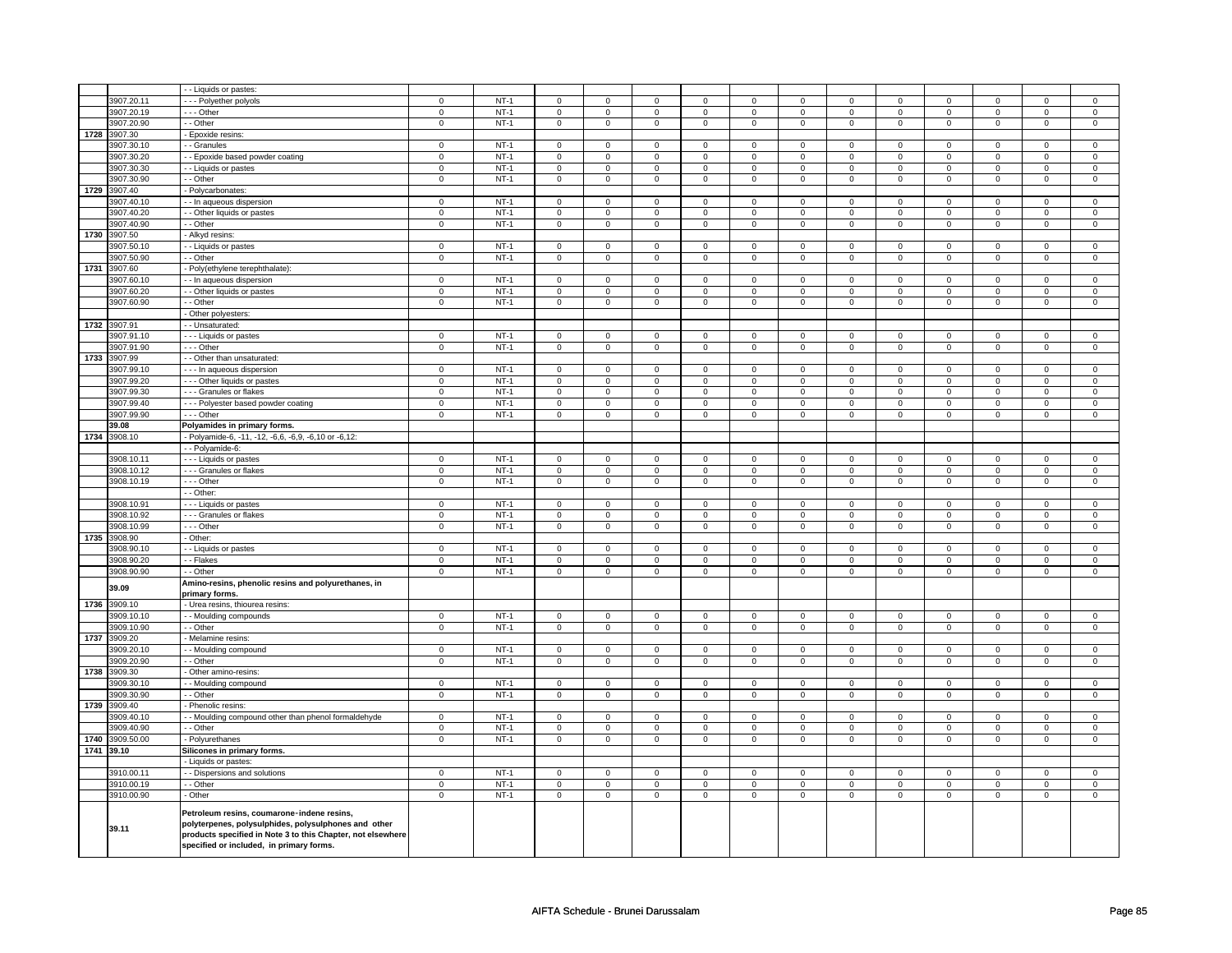|      |              | - Liquids or pastes:                                                                                                                                                                                          |                |        |                         |                |                |                |                |                |                |                         |                     |                |                             |                     |
|------|--------------|---------------------------------------------------------------------------------------------------------------------------------------------------------------------------------------------------------------|----------------|--------|-------------------------|----------------|----------------|----------------|----------------|----------------|----------------|-------------------------|---------------------|----------------|-----------------------------|---------------------|
|      | 3907.20.11   | --- Polyether polyols                                                                                                                                                                                         | $\mathbf 0$    | $NT-1$ | $\mathbf 0$             | $\mathbf{0}$   | $\mathsf 0$    | $\mathbf 0$    | $\mathbf{0}$   | $\mathbf{0}$   | $\Omega$       | $\Omega$                | $\mathbf 0$         | $\mathsf 0$    | $\mathbf 0$                 | $\mathsf 0$         |
|      | 3907.20.19   | --- Other                                                                                                                                                                                                     | $\mathbf 0$    | $NT-1$ | $\mathbf 0$             | $\mathbf{0}$   | $\mathbf{0}$   | $\mathbf 0$    | $\mathbf 0$    | $\overline{0}$ | $\mathbf{0}$   | $\mathbf 0$             | $\mathbf{0}$        | $\mathbf 0$    | $\mathbf 0$                 | $\mathbf{0}$        |
|      | 3907.20.90   | - - Other                                                                                                                                                                                                     | $\mathbf 0$    | $NT-1$ | $\mathbf 0$             | $\mathbf{0}$   | $\mathbf{0}$   | $\mathbf 0$    | $\mathbf 0$    | $\mathbf{0}$   | $\mathbf{0}$   | $\mathbf{0}$            | $\mathbf{0}$        | $\mathbf{0}$   | $\mathbf 0$                 | $\mathbf{0}$        |
| 1728 | 3907.30      |                                                                                                                                                                                                               |                |        |                         |                |                |                |                |                |                |                         |                     |                |                             |                     |
|      |              | Epoxide resins:                                                                                                                                                                                               | $\mathsf 0$    | $NT-1$ | $\mathbf 0$             | $\mathbf 0$    | $\mathsf 0$    |                | $\mathsf 0$    | $\mathbf{0}$   | $\mathbf 0$    | $\Omega$                | $\mathbf 0$         |                | $\Omega$                    |                     |
|      | 3907.30.10   | - - Granules                                                                                                                                                                                                  |                |        |                         |                |                | $\mathbf 0$    |                |                |                |                         |                     | $\mathbf 0$    |                             | $\mathbf 0$         |
|      | 3907.30.20   | - - Epoxide based powder coating                                                                                                                                                                              | $\mathsf 0$    | $NT-1$ | 0                       | $\mathsf 0$    | $\mathsf 0$    | $\mathbf 0$    | $\mathsf 0$    | $\overline{0}$ | $\mathbf 0$    | $\mathbf 0$             | $\mathbf 0$         | $\mathbf 0$    | $\mathbf 0$                 | $\mathsf 0$         |
|      | 3907.30.30   | - - Liquids or pastes                                                                                                                                                                                         | $\mathsf 0$    | $NT-1$ | $\mathsf 0$             | $\mathsf 0$    | $\mathsf 0$    | $\mathbf 0$    | $\mathsf 0$    | $\mathbf 0$    | $\mathsf 0$    | $\mathbf 0$             | $\mathbf 0$         | $\mathbf 0$    | $\mathbf 0$                 | $\mathsf 0$         |
|      | 3907.30.90   | - - Other                                                                                                                                                                                                     | $\mathbf 0$    | $NT-1$ | $\mathsf 0$             | $\mathbf{0}$   | $\mathsf 0$    | $\mathbf 0$    | $\mathsf 0$    | $\overline{0}$ | $\mathbf{0}$   | $\mathbf 0$             | $\mathbf{0}$        | $\mathbf 0$    | $\mathbf 0$                 | $\mathsf 0$         |
|      | 1729 3907.40 | - Polycarbonates:                                                                                                                                                                                             |                |        |                         |                |                |                |                |                |                |                         |                     |                |                             |                     |
|      | 3907.40.10   | - - In aqueous dispersion                                                                                                                                                                                     | $\mathbf 0$    | $NT-1$ | $\mathsf 0$             | $\mathsf 0$    | $\mathsf 0$    | $\mathbf 0$    | $\mathsf 0$    | $\mathbf 0$    | $\mathsf 0$    | $\mathbf 0$             | 0                   | $\mathbf 0$    | $\mathsf 0$                 | $\mathbf 0$         |
|      | 3907.40.20   | - - Other liquids or pastes                                                                                                                                                                                   | $\mathsf 0$    | $NT-1$ | $\mathsf 0$             | $\mathbf 0$    | $\mathbf 0$    | $\mathbf 0$    | $\mathbf 0$    | $\mathsf 0$    | $\mathsf 0$    | $\mathsf 0$             | $\mathbf 0$         | $\mathbf 0$    | $\mathbf 0$                 | $\mathsf 0$         |
|      | 3907.40.90   | - - Other                                                                                                                                                                                                     | $\overline{0}$ | $NT-1$ | $\overline{0}$          | $\overline{0}$ | $\overline{0}$ | $\mathbf 0$    | $\overline{0}$ | $\overline{0}$ | $\overline{0}$ | $\overline{0}$          | $\overline{0}$      | $\overline{0}$ | $\mathbf 0$                 | $\overline{0}$      |
| 1730 | 3907.50      | - Alkyd resins:                                                                                                                                                                                               |                |        |                         |                |                |                |                |                |                |                         |                     |                |                             |                     |
|      | 3907.50.10   | - - Liquids or pastes                                                                                                                                                                                         | $\mathsf 0$    | $NT-1$ | $\mathbf 0$             | $\mathbf 0$    | $\mathsf 0$    | $\mathbf 0$    | $\mathbf 0$    | $\mathsf 0$    | $\mathbf 0$    | $\mathsf 0$             | $\mathbf 0$         | $\mathsf 0$    | 0                           | $\mathsf 0$         |
|      | 3907.50.90   | - - Other                                                                                                                                                                                                     | $\mathsf 0$    | $NT-1$ | $\mathbf 0$             | 0              | $\mathbf 0$    | 0              | $\mathsf 0$    | $\mathbf 0$    | $\mathbf 0$    | $\mathbf 0$             | 0                   | 0              | $\mathbf 0$                 | $\mathbf 0$         |
| 1731 | 3907.60      | - Poly(ethylene terephthalate):                                                                                                                                                                               |                |        |                         |                |                |                |                |                |                |                         |                     |                |                             |                     |
|      | 3907.60.10   | - - In aqueous dispersion                                                                                                                                                                                     | $\mathbf 0$    | $NT-1$ | $\mathbf 0$             | 0              | $\mathbf{0}$   | $\mathbf 0$    | $\mathbf 0$    | $\mathbf{0}$   | $\mathbf 0$    | $\mathbf 0$             | 0                   | $\mathbf 0$    | 0                           | $\mathbf 0$         |
|      | 3907.60.20   | - - Other liquids or pastes                                                                                                                                                                                   | $\mathsf 0$    | $NT-1$ | $\mathbf 0$             | 0              | $\mathsf 0$    | $\mathbf 0$    | $\mathbf 0$    | $\mathsf 0$    | 0              | $\mathbf 0$             | 0                   | $\mathsf 0$    | 0                           | $\mathbf 0$         |
|      | 3907.60.90   | - - Other                                                                                                                                                                                                     | $\mathsf 0$    | $NT-1$ | $\mathbf 0$             | $\mathbf 0$    | $\mathsf 0$    | $\mathbf 0$    | $\mathsf{O}$   | $\mathbf 0$    | $\mathbf 0$    | $\mathbf 0$             | $\mathbf 0$         | $\mathsf 0$    | $\mathbf 0$                 | $\mathbf 0$         |
|      |              | - Other polyesters:                                                                                                                                                                                           |                |        |                         |                |                |                |                |                |                |                         |                     |                |                             |                     |
|      | 1732 3907.91 | - - Unsaturated:                                                                                                                                                                                              |                |        |                         |                |                |                |                |                |                |                         |                     |                |                             |                     |
|      | 3907.91.10   | - - - Liquids or pastes                                                                                                                                                                                       | $\mathbf 0$    | $NT-1$ | $\mathbf 0$             | $\mathbf 0$    | $\mathsf 0$    | $\mathbf 0$    | $\mathbf 0$    | $\mathbf{0}$   | $\mathbf 0$    | $\mathbf 0$             | 0                   | $\mathbf 0$    | $\mathbf 0$                 | $\mathbf 0$         |
|      | 3907.91.90   | --- Other                                                                                                                                                                                                     | $\mathbf{0}$   | $NT-1$ | $\overline{0}$          | $\mathbf{0}$   | $\overline{0}$ | $\overline{0}$ | $\mathbf{0}$   | $\overline{0}$ | $\overline{0}$ | $\overline{0}$          | $\overline{0}$      | $\overline{0}$ | $\mathbf 0$                 | $\mathbf{0}$        |
| 1733 |              |                                                                                                                                                                                                               |                |        |                         |                |                |                |                |                |                |                         |                     |                |                             |                     |
|      | 3907.99      | - - Other than unsaturated:                                                                                                                                                                                   |                |        |                         |                |                |                |                |                |                |                         |                     |                |                             |                     |
|      | 3907.99.10   | - - - In aqueous dispersion                                                                                                                                                                                   | $\mathsf 0$    | $NT-1$ | $\mathbf 0$<br>$\Omega$ | $\mathbf 0$    | $\mathsf 0$    | $\mathbf 0$    | $\mathbf 0$    | $\mathsf 0$    | $\mathsf 0$    | $\mathsf 0$<br>$\Omega$ | $\mathbf 0$         | $\mathsf 0$    | $\mathsf 0$                 | $\mathsf 0$         |
|      | 3907.99.20   | - - - Other liquids or pastes                                                                                                                                                                                 | $\overline{0}$ | $NT-1$ |                         | $\mathbf 0$    | $\overline{0}$ | $\Omega$       | $\mathbf 0$    | $\overline{0}$ | $\mathbf 0$    |                         | $\mathbf 0$         | $\mathsf 0$    | $\mathbf 0$                 | $\mathbf 0$         |
|      | 3907.99.30   | --- Granules or flakes                                                                                                                                                                                        | $\mathsf 0$    | $NT-1$ | $\Omega$                | $\mathsf 0$    | $\mathsf 0$    | $\mathbf 0$    | $\mathsf 0$    | $\mathbf 0$    | $\mathsf 0$    | $\Omega$                | $\overline{0}$      | $\mathbf 0$    | $\mathbf 0$                 | $\mathsf 0$         |
|      | 3907.99.40   | --- Polyester based powder coating                                                                                                                                                                            | $\mathsf 0$    | $NT-1$ | $\mathbf 0$             | $\mathsf 0$    | $\mathsf 0$    | $\mathbf 0$    | $\mathsf 0$    | $\mathsf 0$    | $\mathsf 0$    | $\mathsf 0$             | $\mathsf 0$         | $\mathbf 0$    | $\mathbf 0$                 | $\mathbf 0$         |
|      | 3907.99.90   | --- Other                                                                                                                                                                                                     | $\mathsf 0$    | $NT-1$ | $\mathbf 0$             | $\mathsf 0$    | $\mathsf 0$    | 0              | $\mathsf 0$    | $\mathbf 0$    | $\mathbf 0$    | $\mathbf 0$             | 0                   | $\mathbf 0$    | $\mathbf 0$                 | $\mathsf{O}\xspace$ |
|      | 39.08        | Polyamides in primary forms.                                                                                                                                                                                  |                |        |                         |                |                |                |                |                |                |                         |                     |                |                             |                     |
| 1734 | 3908.10      | - Polyamide-6, -11, -12, -6,6, -6,9, -6,10 or -6,12:                                                                                                                                                          |                |        |                         |                |                |                |                |                |                |                         |                     |                |                             |                     |
|      |              | - - Polyamide-6:                                                                                                                                                                                              |                |        |                         |                |                |                |                |                |                |                         |                     |                |                             |                     |
|      | 3908.10.11   | - - - Liquids or pastes                                                                                                                                                                                       | $\mathbf 0$    | $NT-1$ | $\mathbf 0$             | $\mathbf 0$    | $\mathsf 0$    | $\mathbf 0$    | $\mathbf 0$    | $\mathbf{0}$   | $\mathbf 0$    | $\mathbf 0$             | $\mathbf 0$         | $\mathbf 0$    | $\mathbf 0$                 | $\mathbf 0$         |
|      | 3908.10.12   | - - - Granules or flakes                                                                                                                                                                                      | $\mathsf 0$    | $NT-1$ | $\mathsf 0$             | $\mathbf 0$    | $\mathbf 0$    | $\mathbf 0$    | $\mathbf 0$    | $\mathsf 0$    | $\mathbf 0$    | $\mathbf 0$             | $\mathbf 0$         | $\mathbf 0$    | $\mathbf 0$                 | $\mathbf 0$         |
|      | 3908.10.19   | --- Other                                                                                                                                                                                                     | $\mathbf 0$    | $NT-1$ | $\mathbf 0$             | $\mathbf 0$    | $\mathsf 0$    | $\mathbf 0$    | $\mathbf 0$    | $\mathbf 0$    | $\mathbf 0$    | $\mathbf 0$             | $\mathbf 0$         | $\mathsf 0$    | $\mathsf 0$                 | $\mathbf 0$         |
|      |              | - - Other:                                                                                                                                                                                                    |                |        |                         |                |                |                |                |                |                |                         |                     |                |                             |                     |
|      | 3908.10.91   | - - - Liquids or pastes                                                                                                                                                                                       | $\mathbf 0$    | $NT-1$ | $^{\circ}$              | $\mathbf{0}$   | $\mathbf{0}$   | $\mathbf{0}$   | $\mathbf 0$    | $\mathbf{0}$   | $^{\circ}$     | $\mathbf{0}$            | $\mathbf{0}$        | $\mathbf{0}$   | $\mathbf{0}$                | $\mathbf{0}$        |
|      | 3908.10.92   | --- Granules or flakes                                                                                                                                                                                        | $\mathbf 0$    | $NT-1$ | $\mathbf 0$             | $\mathbf{0}$   | $\mathbf{0}$   | $\mathbf 0$    | $\mathbf 0$    | $\mathbf{0}$   | $\mathbf{0}$   | $\mathbf 0$             | $\mathbf{0}$        | $\mathbf{0}$   | $\mathbf 0$                 | $\mathbf{0}$        |
|      | 3908.10.99   | --- Other                                                                                                                                                                                                     | $\mathbf{0}$   | $NT-1$ | $\mathbf 0$             | $\mathbf 0$    | $\circ$        | $\mathbf 0$    | $\mathbf{0}$   | $\mathbf 0$    | $\mathbf 0$    | $\mathbf 0$             | $\mathbf 0$         | $\mathbf 0$    | $\mathbf{0}$                | $\mathbf{0}$        |
| 1735 | 3908.90      | - Other:                                                                                                                                                                                                      |                |        |                         |                |                |                |                |                |                |                         |                     |                |                             |                     |
|      | 3908.90.10   | - - Liquids or pastes                                                                                                                                                                                         | $\mathbf 0$    | $NT-1$ | $\mathbf 0$             | $\overline{0}$ | $\mathbf 0$    | $\mathbf 0$    | $\mathbf 0$    | $\overline{0}$ | $\mathbf 0$    | $\mathbf 0$             | $\overline{0}$      | $\mathbf 0$    | $\mathbf 0$                 | $\mathbf 0$         |
|      | 3908.90.20   | - - Flakes                                                                                                                                                                                                    | $\mathsf 0$    | $NT-1$ | $\mathbf 0$             | $\mathbf 0$    | $\mathbf 0$    |                | $\mathsf 0$    | $\mathbf 0$    | $\mathsf 0$    | $\Omega$                | $\mathbf 0$         | $\mathbf 0$    |                             | $\mathsf 0$         |
|      | 3908.90.90   | - - Other                                                                                                                                                                                                     |                | $NT-1$ | $\mathbf 0$             | $\mathbf{0}$   |                | $\mathbf 0$    |                |                | $\mathbf{0}$   | $\mathbf 0$             | $\mathbf{0}$        | $\mathbf 0$    | $\mathbf 0$<br>$\mathbf{0}$ | $\mathbf{0}$        |
|      |              |                                                                                                                                                                                                               | $\mathbf 0$    |        |                         |                | $\mathsf 0$    | $\mathbf 0$    | $\mathsf 0$    | $\mathsf 0$    |                |                         |                     |                |                             |                     |
|      | 39.09        | Amino-resins, phenolic resins and polyurethanes, in<br>primary forms.                                                                                                                                         |                |        |                         |                |                |                |                |                |                |                         |                     |                |                             |                     |
| 1736 | 3909.10      | - Urea resins, thiourea resins:                                                                                                                                                                               |                |        |                         |                |                |                |                |                |                |                         |                     |                |                             |                     |
|      | 3909.10.10   | - - Moulding compounds                                                                                                                                                                                        | $\mathsf 0$    | $NT-1$ | $\Omega$                | $\mathbf 0$    | $\overline{0}$ | $\mathbf 0$    | $\mathbf 0$    | $\overline{0}$ | $\mathbf 0$    | $\Omega$                | $\mathbf 0$         | $\mathbf 0$    | $\mathbf 0$                 | $\mathsf 0$         |
|      | 3909.10.90   | - - Other                                                                                                                                                                                                     | $\mathsf 0$    | $NT-1$ | $\mathbf 0$             | $\mathbf 0$    | $\overline{0}$ | $\mathbf 0$    | $\mathsf 0$    | $\overline{0}$ | $\mathsf 0$    | $\mathbf 0$             | $\mathsf 0$         | $\mathbf 0$    | $\mathbf 0$                 | $\overline{0}$      |
| 1737 | 3909.20      | - Melamine resins:                                                                                                                                                                                            |                |        |                         |                |                |                |                |                |                |                         |                     |                |                             |                     |
|      | 3909.20.10   | - - Moulding compound                                                                                                                                                                                         | $\mathbf 0$    | $NT-1$ | $\mathbf 0$             | 0              | $\mathsf 0$    | $\mathbf 0$    | $\mathsf 0$    | $\mathbf 0$    | $\mathbf 0$    | $\mathbf 0$             | 0                   | $\mathbf 0$    | $\mathbf 0$                 | $\mathbf 0$         |
|      | 3909.20.90   | - - Other                                                                                                                                                                                                     | $\mathbf 0$    | $NT-1$ | $\overline{0}$          | $\mathbf{0}$   | $\mathbf{0}$   | $\mathbf 0$    | $\mathbf 0$    | $\overline{0}$ | $\overline{0}$ | $\overline{0}$          | $\mathbf{0}$        | $\overline{0}$ | $\mathbf 0$                 | $\overline{0}$      |
| 1738 | 3909.30      | - Other amino-resins:                                                                                                                                                                                         |                |        |                         |                |                |                |                |                |                |                         |                     |                |                             |                     |
|      | 3909.30.10   | - - Moulding compound                                                                                                                                                                                         | 0              | $NT-1$ | $\mathbf 0$             | 0              | $\mathsf 0$    | $\mathbf 0$    | $\mathbf 0$    | $\Omega$       | $\mathbf 0$    | $\mathbf 0$             | 0                   | $\mathbf 0$    | 0                           | 0                   |
|      | 3909.30.90   | - - Other                                                                                                                                                                                                     | $\mathsf 0$    | $NT-1$ | $\mathbf 0$             | $\mathbf 0$    | $\mathsf 0$    | $\mathbf 0$    | $\mathbf 0$    | $\mathsf 0$    | $\mathbf 0$    | $\mathbf 0$             | $\mathbf 0$         | $\mathsf 0$    | $\mathbf 0$                 | $\mathbf 0$         |
| 1739 | 3909.40      |                                                                                                                                                                                                               |                |        |                         |                |                |                |                |                |                |                         |                     |                |                             |                     |
|      | 3909.40.10   | - Phenolic resins:                                                                                                                                                                                            |                | $NT-1$ | $\mathbf 0$             | $\mathbf 0$    | $\mathsf 0$    |                | $\mathbf 0$    | $\mathsf 0$    | $\mathbf 0$    | $\mathbf 0$             | $\mathbf 0$         | $\mathsf 0$    |                             | $\mathsf 0$         |
|      |              | - Moulding compound other than phenol formaldehyde                                                                                                                                                            | 0              |        |                         |                |                | $\mathbf 0$    |                |                |                |                         |                     |                | 0                           |                     |
|      | 3909.40.90   | - Other                                                                                                                                                                                                       | $\mathbf 0$    | $NT-1$ | $\mathbf 0$             | 0              | $\mathbf 0$    | $^{\circ}$     | $\mathbf 0$    | $\mathbf 0$    | $\mathbf 0$    | $\mathbf{0}$            | 0                   | $\mathbf 0$    | $\mathbf{0}$                | $\mathbf 0$         |
| 1740 | 3909.50.00   | - Polyurethanes                                                                                                                                                                                               | $\mathbf 0$    | $NT-1$ | $\mathbf{0}$            | $\overline{0}$ | $\mathbf{0}$   | $\overline{0}$ | $\mathbf 0$    | $\mathbf{0}$   | $\overline{0}$ | $\circ$                 | $\overline{0}$      | $\mathbf{0}$   | $\mathbf 0$                 | $\mathbf 0$         |
|      | 1741 39.10   | Silicones in primary forms.                                                                                                                                                                                   |                |        |                         |                |                |                |                |                |                |                         |                     |                |                             |                     |
|      |              | - Liquids or pastes:                                                                                                                                                                                          |                |        |                         |                |                |                |                |                |                |                         |                     |                |                             |                     |
|      | 3910.00.11   | - - Dispersions and solutions                                                                                                                                                                                 | $\mathsf 0$    | $NT-1$ | $\Omega$                | $\mathbf 0$    | $\overline{0}$ | $\Omega$       | $\mathbf 0$    | $\overline{0}$ | $\mathbf 0$    | $\Omega$                | $\mathbf 0$         | $\overline{0}$ | $\Omega$                    | $\mathbf 0$         |
|      | 3910.00.19   | - - Other                                                                                                                                                                                                     | $\mathsf 0$    | $NT-1$ | $\mathsf 0$             | $\mathsf 0$    | $\mathsf 0$    | $\mathbf 0$    | $\mathsf 0$    | $\overline{0}$ | $\mathsf 0$    | $\mathsf 0$             | $\mathsf 0$         | $\mathbf 0$    | $\mathbf 0$                 | $\overline{0}$      |
|      | 3910.00.90   | - Other                                                                                                                                                                                                       | $\mathbf 0$    | $NT-1$ | $\mathsf 0$             | $\mathsf 0$    | $\mathsf 0$    | $\mathbf 0$    | $\mathsf 0$    | $\mathsf 0$    | $\mathbf 0$    | $\mathsf 0$             | $\mathsf{O}\xspace$ | $\mathbf 0$    | $\mathbf 0$                 | $\mathsf 0$         |
|      | 39.11        | Petroleum resins, coumarone-indene resins,<br>polyterpenes, polysulphides, polysulphones and other<br>products specified in Note 3 to this Chapter, not elsewhere<br>specified or included, in primary forms. |                |        |                         |                |                |                |                |                |                |                         |                     |                |                             |                     |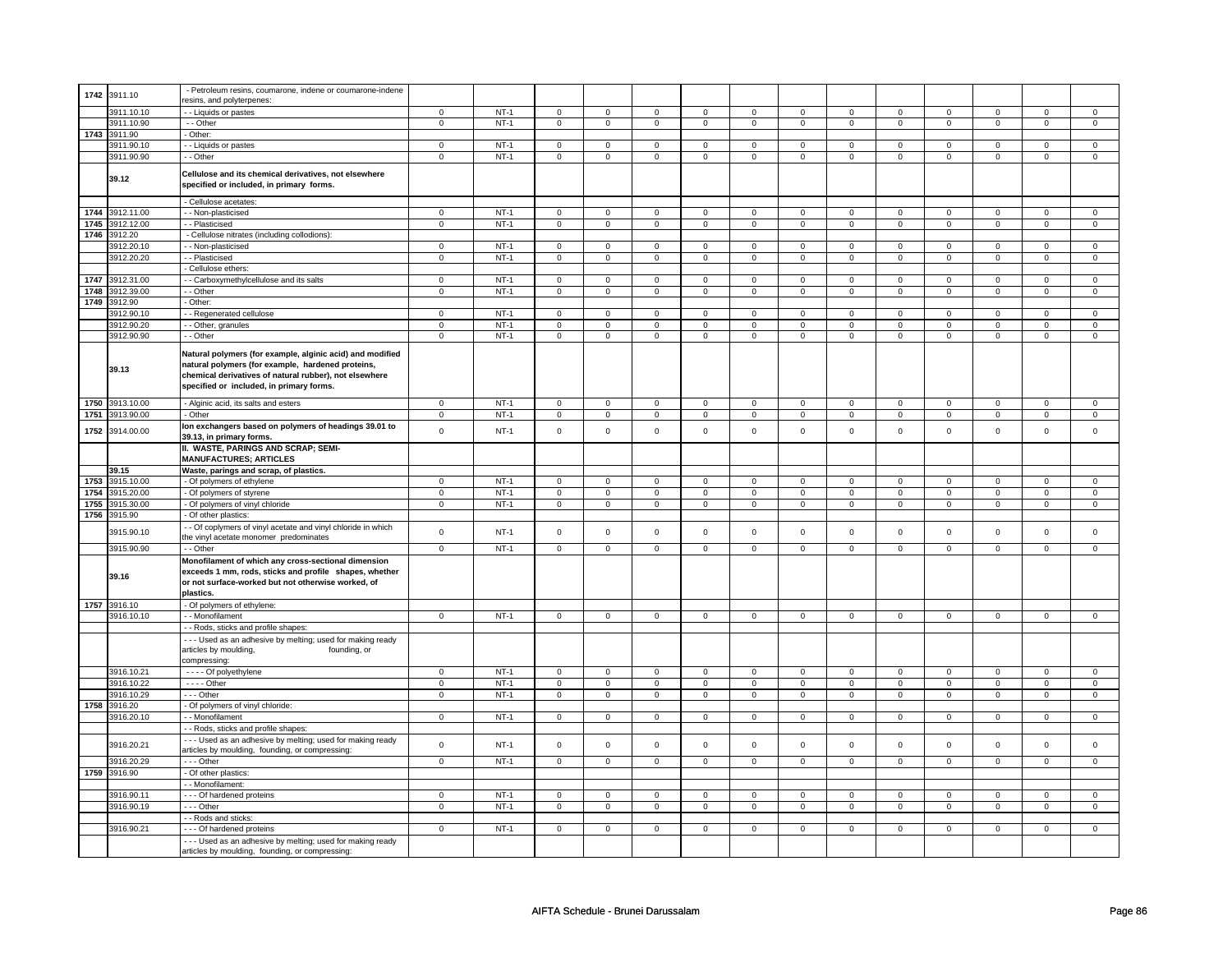|      | 1742 3911.10    | - Petroleum resins, coumarone, indene or coumarone-indene   |                |        |                     |                |                     |                |                     |                |                     |                |                     |                |                     |                |
|------|-----------------|-------------------------------------------------------------|----------------|--------|---------------------|----------------|---------------------|----------------|---------------------|----------------|---------------------|----------------|---------------------|----------------|---------------------|----------------|
|      |                 | esins, and polyterpenes:                                    |                |        |                     |                |                     |                |                     |                |                     |                |                     |                |                     |                |
|      | 3911.10.10      | - Liquids or pastes                                         | $\mathbf 0$    | $NT-1$ | $\mathbf 0$         | $\mathbf 0$    | 0                   | $\mathbf 0$    | $\mathbf 0$         | $\mathbf 0$    | $\mathbf 0$         | $\mathbf 0$    | $\mathbf 0$         | $\mathbf 0$    | 0                   | $\mathbf 0$    |
|      | 3911.10.90      | - - Other                                                   | $\mathbf 0$    | $NT-1$ | $\mathbf 0$         | $\mathbf 0$    | 0                   | $\mathbf 0$    | $\mathbf 0$         | $\mathbf 0$    | $\mathbf 0$         | $\mathbf 0$    | $\mathbf 0$         | $\mathbf 0$    | 0                   | $\mathbf 0$    |
| 1743 | 3911.90         | Other:                                                      |                |        |                     |                |                     |                |                     |                |                     |                |                     |                |                     |                |
|      | 3911.90.10      | - Liquids or pastes                                         | $\overline{0}$ | $NT-1$ | $\overline{0}$      | $\mathsf 0$    | $\mathsf{O}\xspace$ | $\mathsf 0$    | $\mathsf{O}\xspace$ | $\mathsf 0$    | $\mathsf{O}\xspace$ | $\mathsf 0$    | $\mathsf 0$         | $\mathsf 0$    | $\mathsf 0$         | $\mathbf 0$    |
|      | 3911.90.90      | - - Other                                                   |                | $NT-1$ |                     |                |                     |                |                     |                |                     |                |                     |                |                     |                |
|      |                 |                                                             | 0              |        | 0                   | $\mathbf 0$    | 0                   | $\mathbf 0$    | 0                   | $\mathbf 0$    | 0                   | $\mathbf 0$    | 0                   | $\mathbf 0$    | $\mathbf 0$         | $\mathbf 0$    |
|      |                 | Cellulose and its chemical derivatives, not elsewhere       |                |        |                     |                |                     |                |                     |                |                     |                |                     |                |                     |                |
|      | 39.12           |                                                             |                |        |                     |                |                     |                |                     |                |                     |                |                     |                |                     |                |
|      |                 | specified or included, in primary forms.                    |                |        |                     |                |                     |                |                     |                |                     |                |                     |                |                     |                |
|      |                 | - Cellulose acetates:                                       |                |        |                     |                |                     |                |                     |                |                     |                |                     |                |                     |                |
|      | 1744 3912.11.00 | - - Non-plasticised                                         | $\overline{0}$ | $NT-1$ | $\overline{0}$      | $\overline{0}$ | $\overline{0}$      | $\overline{0}$ | $\overline{0}$      | $\overline{0}$ | $\overline{0}$      | $\overline{0}$ | $\overline{0}$      | $\overline{0}$ | $\overline{0}$      | $\overline{0}$ |
|      |                 |                                                             |                |        |                     |                |                     |                |                     |                |                     |                |                     |                |                     |                |
|      | 1745 3912.12.00 | - Plasticised                                               | $\overline{0}$ | $NT-1$ | $\overline{0}$      | $\overline{0}$ | $\overline{0}$      | $\overline{0}$ | $\overline{0}$      | $\overline{0}$ | $\mathsf{O}\xspace$ | $\overline{0}$ | $\mathsf 0$         | $\overline{0}$ | $\mathsf 0$         | $\overline{0}$ |
|      | 1746 3912.20    | - Cellulose nitrates (including collodions):                |                |        |                     |                |                     |                |                     |                |                     |                |                     |                |                     |                |
|      | 3912.20.10      | - Non-plasticised                                           | $\mathbf 0$    | $NT-1$ | $\mathsf{O}\xspace$ | $\mathsf 0$    | $\mathsf{O}\xspace$ | $\mathsf 0$    | $\mathsf{O}\xspace$ | $\mathsf 0$    | $\mathsf{O}\xspace$ | $\mathbf 0$    | $\mathbf 0$         | $\mathbf 0$    | $\mathsf 0$         | $\mathbf 0$    |
|      | 3912.20.20      | - Plasticised                                               | $\mathbf 0$    | $NT-1$ | $\mathsf 0$         | $\mathsf 0$    | $\mathsf 0$         | $\mathsf 0$    | $\mathsf 0$         | $\mathsf 0$    | $\mathsf 0$         | $\mathsf 0$    | $\mathsf 0$         | $\mathsf{O}$   | $\mathsf 0$         | $\mathsf 0$    |
|      |                 | Cellulose ethers:                                           |                |        |                     |                |                     |                |                     |                |                     |                |                     |                |                     |                |
| 1747 | 3912.31.00      | - Carboxymethylcellulose and its salts                      | $\overline{0}$ | $NT-1$ | $\mathbf 0$         | $\mathbf 0$    | $\mathbf 0$         | $\mathbf 0$    | $\mathbf 0$         | $\mathbf 0$    | $\mathbf 0$         | $\mathbf 0$    | $\mathbf 0$         | $\mathbf{0}$   | $\mathbf 0$         | $\mathbf{0}$   |
|      |                 |                                                             |                |        |                     |                |                     |                |                     |                |                     |                |                     |                |                     |                |
|      | 1748 3912.39.00 | - Other                                                     | $\overline{0}$ | $NT-1$ | $\overline{0}$      | $\overline{0}$ | $\overline{0}$      | $\overline{0}$ | $\overline{0}$      | $\overline{0}$ | $\overline{0}$      | $\overline{0}$ | $\overline{0}$      | $\overline{0}$ | $\overline{0}$      | $\overline{0}$ |
|      | 1749 3912.90    | Other:                                                      |                |        |                     |                |                     |                |                     |                |                     |                |                     |                |                     |                |
|      | 3912.90.10      | - Regenerated cellulose                                     | $\mathsf 0$    | $NT-1$ | $\mathbf 0$         | $\mathsf 0$    | $\mathbf 0$         | $\mathsf 0$    | $\mathbf 0$         | $\mathsf 0$    | $\mathbf 0$         | $\mathbf 0$    | $\mathbf 0$         | $\mathbf 0$    | $\mathbf 0$         | $\mathbf{0}$   |
|      | 3912.90.20      | - Other, granules                                           | $\overline{0}$ | $NT-1$ | $\overline{0}$      | $\overline{0}$ | $\mathbf 0$         | $\mathbf 0$    | $\mathbf 0$         | $\overline{0}$ | $\mathbf 0$         | $\mathbf 0$    | $\mathbf 0$         | $\overline{0}$ | $\overline{0}$      | $\mathbf{0}$   |
|      | 3912.90.90      | - - Other                                                   | $\mathbf 0$    | $NT-1$ | $\mathbf 0$         | $\mathbf 0$    | 0                   | $\mathbf 0$    | $\mathbf 0$         | $\mathbf 0$    | $\mathbf 0$         | $\mathbf 0$    | $\mathbf 0$         | $\mathbf 0$    | $\mathbf 0$         | $\mathbf{0}$   |
|      |                 |                                                             |                |        |                     |                |                     |                |                     |                |                     |                |                     |                |                     |                |
|      |                 | Natural polymers (for example, alginic acid) and modified   |                |        |                     |                |                     |                |                     |                |                     |                |                     |                |                     |                |
|      |                 | natural polymers (for example, hardened proteins,           |                |        |                     |                |                     |                |                     |                |                     |                |                     |                |                     |                |
|      | 39.13           |                                                             |                |        |                     |                |                     |                |                     |                |                     |                |                     |                |                     |                |
|      |                 | chemical derivatives of natural rubber), not elsewhere      |                |        |                     |                |                     |                |                     |                |                     |                |                     |                |                     |                |
|      |                 | specified or included, in primary forms.                    |                |        |                     |                |                     |                |                     |                |                     |                |                     |                |                     |                |
|      | 1750 3913.10.00 | - Alginic acid, its salts and esters                        | $\mathsf 0$    | $NT-1$ | $\mathbf 0$         | $\mathsf 0$    | 0                   | $\mathsf 0$    | $\mathbf 0$         | $\mathbf 0$    | $\mathbf 0$         | $\mathbf 0$    | $\mathbf 0$         | $\mathbf 0$    | 0                   | $\mathbf 0$    |
|      |                 |                                                             |                |        |                     |                |                     |                |                     |                |                     |                |                     |                |                     |                |
|      | 1751 3913.90.00 | - Other                                                     | $\mathsf 0$    | $NT-1$ | $\mathbf 0$         | $\mathbf 0$    | $\mathsf 0$         | $\mathbf 0$    | $\mathbf 0$         | $\mathbf 0$    | $\mathsf 0$         | $\mathbf 0$    | $\mathsf 0$         | $\mathbf 0$    | $\mathbf 0$         | $\mathbf 0$    |
|      | 1752 3914.00.00 | Ion exchangers based on polymers of headings 39.01 to       | $\mathsf 0$    | $NT-1$ | $\mathsf 0$         | $\mathsf 0$    | $\mathsf{O}\xspace$ | $\mathsf 0$    | $\mathsf 0$         | $\mathsf 0$    | $\mathsf 0$         | $\mathsf 0$    | $\mathsf 0$         | $\mathsf{o}\,$ | $\mathbf 0$         | $\mathbf 0$    |
|      |                 | 39.13, in primary forms.                                    |                |        |                     |                |                     |                |                     |                |                     |                |                     |                |                     |                |
|      |                 | II. WASTE, PARINGS AND SCRAP; SEMI-                         |                |        |                     |                |                     |                |                     |                |                     |                |                     |                |                     |                |
|      |                 | <b>MANUFACTURES; ARTICLES</b>                               |                |        |                     |                |                     |                |                     |                |                     |                |                     |                |                     |                |
|      | 39.15           | Waste, parings and scrap, of plastics.                      |                |        |                     |                |                     |                |                     |                |                     |                |                     |                |                     |                |
| 1753 |                 |                                                             |                | $NT-1$ |                     |                |                     |                |                     |                |                     |                |                     |                |                     |                |
|      | 3915.10.00      | - Of polymers of ethylene                                   | $\mathbf 0$    |        | $\mathbf 0$         | $\mathbf 0$    | $\mathbf 0$         | $\mathbf 0$    | $\mathbf 0$         | $\mathbf 0$    | $\mathbf 0$         | $\mathbf 0$    | $\mathbf 0$         | $\mathbf 0$    | 0                   | $\mathbf 0$    |
| 1754 | 3915.20.00      | Of polymers of styrene                                      | $\overline{0}$ | $NT-1$ | $\overline{0}$      | $\overline{0}$ | $\mathbf 0$         | $\overline{0}$ | $\overline{0}$      | $\overline{0}$ | $\mathbf 0$         | $\overline{0}$ | $\overline{0}$      | $\overline{0}$ | 0                   | $\overline{0}$ |
| 1755 | 3915.30.00      | Of polymers of vinyl chloride                               | $\overline{0}$ | $NT-1$ | $\overline{0}$      | $\overline{0}$ | $\overline{0}$      | $\overline{0}$ | $\overline{0}$      | $\overline{0}$ | $\overline{0}$      | $\overline{0}$ | $\overline{0}$      | $\overline{0}$ | $\overline{0}$      | $\overline{0}$ |
|      | 1756 3915.90    | Of other plastics:                                          |                |        |                     |                |                     |                |                     |                |                     |                |                     |                |                     |                |
|      |                 | - Of coplymers of vinyl acetate and vinyl chloride in which |                |        |                     |                |                     |                |                     |                |                     |                |                     |                |                     |                |
|      | 3915.90.10      | the vinyl acetate monomer predominates                      | $\mathbf 0$    | $NT-1$ | $\mathbf 0$         | $\mathsf 0$    | $\mathsf{O}\xspace$ | $\mathsf 0$    | $\mathsf{O}\xspace$ | $\mathsf 0$    | $\mathsf{O}\xspace$ | $\mathsf 0$    | $\mathsf 0$         | $\mathsf 0$    | $\mathsf 0$         | $\mathsf 0$    |
|      | 3915.90.90      | - - Other                                                   | $\overline{0}$ | $NT-1$ | $\mathbf 0$         | $\overline{0}$ | $\mathbf 0$         | $\overline{0}$ | $\mathbf 0$         | $\overline{0}$ | $\mathbf 0$         | $\overline{0}$ | $\mathbf 0$         | $\overline{0}$ | $\mathbf 0$         | $\overline{0}$ |
|      |                 |                                                             |                |        |                     |                |                     |                |                     |                |                     |                |                     |                |                     |                |
|      |                 | Monofilament of which any cross-sectional dimension         |                |        |                     |                |                     |                |                     |                |                     |                |                     |                |                     |                |
|      | 39.16           | exceeds 1 mm, rods, sticks and profile shapes, whether      |                |        |                     |                |                     |                |                     |                |                     |                |                     |                |                     |                |
|      |                 | or not surface-worked but not otherwise worked, of          |                |        |                     |                |                     |                |                     |                |                     |                |                     |                |                     |                |
|      |                 | plastics.                                                   |                |        |                     |                |                     |                |                     |                |                     |                |                     |                |                     |                |
|      | 1757 3916.10    | Of polymers of ethylene:                                    |                |        |                     |                |                     |                |                     |                |                     |                |                     |                |                     |                |
|      | 3916.10.10      | - Monofilament                                              | $\overline{0}$ | $NT-1$ | $\overline{0}$      | $\overline{0}$ | $\overline{0}$      | $\overline{0}$ | $\overline{0}$      | $\overline{0}$ | $\overline{0}$      | $\overline{0}$ | $\overline{0}$      | $\overline{0}$ | $\overline{0}$      | $\overline{0}$ |
|      |                 |                                                             |                |        |                     |                |                     |                |                     |                |                     |                |                     |                |                     |                |
|      |                 | - - Rods, sticks and profile shapes:                        |                |        |                     |                |                     |                |                     |                |                     |                |                     |                |                     |                |
|      |                 | - - - Used as an adhesive by melting; used for making ready |                |        |                     |                |                     |                |                     |                |                     |                |                     |                |                     |                |
|      |                 | articles by moulding,<br>founding, or                       |                |        |                     |                |                     |                |                     |                |                     |                |                     |                |                     |                |
|      |                 | compressing:                                                |                |        |                     |                |                     |                |                     |                |                     |                |                     |                |                     |                |
|      | 3916.10.21      | - - - - Of polyethylene                                     | $\mathsf 0$    | $NT-1$ | $\mathsf 0$         | $\mathbf 0$    | $\mathsf 0$         | $\mathbf 0$    | $\mathsf 0$         | $\mathbf 0$    | $\mathsf 0$         | $\mathbf 0$    | $\mathsf 0$         | $\mathsf 0$    | $\mathbf 0$         | $\mathsf 0$    |
|      | 3916.10.22      | $---$ Other                                                 | $\mathsf 0$    | $NT-1$ | $\mathsf 0$         | $\mathsf 0$    | $\mathsf 0$         | $\mathbf 0$    | $\mathsf 0$         | $\mathbf 0$    | $\mathsf 0$         | $\mathbf 0$    | $\mathsf{O}\xspace$ | $\mathbf 0$    | $\mathsf{O}\xspace$ | $\mathbf 0$    |
|      | 3916.10.29      | --- Other                                                   | $\mathbf 0$    | $NT-1$ | $\mathsf 0$         | $\mathbf 0$    | $\mathsf 0$         | $\mathbf 0$    | $\mathbf 0$         | $\mathbf 0$    | $\mathbf 0$         | $\mathbf 0$    | $\mathbf 0$         | $\mathbf 0$    | $\mathbf 0$         | $\overline{0}$ |
|      |                 |                                                             |                |        |                     |                |                     |                |                     |                |                     |                |                     |                |                     |                |
| 1758 | 3916.20         | - Of polymers of vinyl chloride:                            |                |        |                     |                |                     |                |                     |                |                     |                |                     |                |                     |                |
|      | 3916.20.10      | - Monofilament                                              | $\overline{0}$ | $NT-1$ | $\overline{0}$      | $\overline{0}$ | $\mathbf 0$         | $\overline{0}$ | $\mathbf{0}$        | $\overline{0}$ | $\mathbf 0$         | $\mathbf 0$    | $\mathbf 0$         | $\overline{0}$ | $\mathbf 0$         | $\mathbf{0}$   |
|      |                 | - - Rods, sticks and profile shapes:                        |                |        |                     |                |                     |                |                     |                |                     |                |                     |                |                     |                |
|      |                 | --- Used as an adhesive by melting; used for making ready   |                |        |                     |                |                     |                |                     |                |                     |                |                     |                |                     |                |
|      | 3916.20.21      | articles by moulding, founding, or compressing:             | $\mathsf 0$    | $NT-1$ | $\mathsf 0$         | $\mathsf 0$    | $\mathsf 0$         | $\mathbf 0$    | $\mathsf 0$         | $\mathbf 0$    | $\mathsf 0$         | $\mathbf 0$    | $\mathsf 0$         | $\mathbf 0$    | $\mathbf 0$         | $\mathbf 0$    |
|      | 3916.20.29      | $- -$ Other                                                 | $\mathsf 0$    | $NT-1$ | $\mathsf 0$         | $\mathsf 0$    | $\mathsf 0$         | $\mathsf 0$    | $\mathsf{O}\xspace$ | $\mathsf 0$    | $\mathsf{O}$        | $\mathsf 0$    | $\mathsf 0$         | $\mathsf{O}$   | $\mathsf 0$         | $\mathbf 0$    |
|      |                 |                                                             |                |        |                     |                |                     |                |                     |                |                     |                |                     |                |                     |                |
|      | 1759 3916.90    | - Of other plastics:                                        |                |        |                     |                |                     |                |                     |                |                     |                |                     |                |                     |                |
|      |                 | - Monofilament:                                             |                |        |                     |                |                     |                |                     |                |                     |                |                     |                |                     |                |
|      | 3916.90.11      | --- Of hardened proteins                                    | $\mathsf 0$    | $NT-1$ | $\mathbf 0$         | $\mathbf 0$    | $\mathbf 0$         | $\mathbf 0$    | $\mathbf{0}$        | $\mathbf 0$    | $\mathbf 0$         | $\mathbf 0$    | $\mathbf 0$         | $\mathbf 0$    | $\mathbf 0$         | $\mathbf 0$    |
|      | 3916.90.19      | --- Other                                                   | $\mathsf 0$    | $NT-1$ | $\mathbf 0$         | $\mathbf 0$    | $\mathbf 0$         | $\mathbf 0$    | $\mathbf 0$         | $\mathbf 0$    | $\mathbf 0$         | $\mathbf 0$    | $\mathbf 0$         | $\mathbf 0$    | 0                   | $\mathsf 0$    |
|      |                 | - Rods and sticks:                                          |                |        |                     |                |                     |                |                     |                |                     |                |                     |                |                     |                |
|      | 3916.90.21      | - - - Of hardened proteins                                  | $\overline{0}$ | $NT-1$ | $\overline{0}$      | $\overline{0}$ | $\overline{0}$      | $\overline{0}$ | $\overline{0}$      | $\overline{0}$ | 0                   | $\overline{0}$ | 0                   | $\overline{0}$ | $\overline{0}$      | $\overline{0}$ |
|      |                 |                                                             |                |        |                     |                |                     |                |                     |                |                     |                |                     |                |                     |                |
|      |                 | --- Used as an adhesive by melting; used for making ready   |                |        |                     |                |                     |                |                     |                |                     |                |                     |                |                     |                |
|      |                 | articles by moulding, founding, or compressing:             |                |        |                     |                |                     |                |                     |                |                     |                |                     |                |                     |                |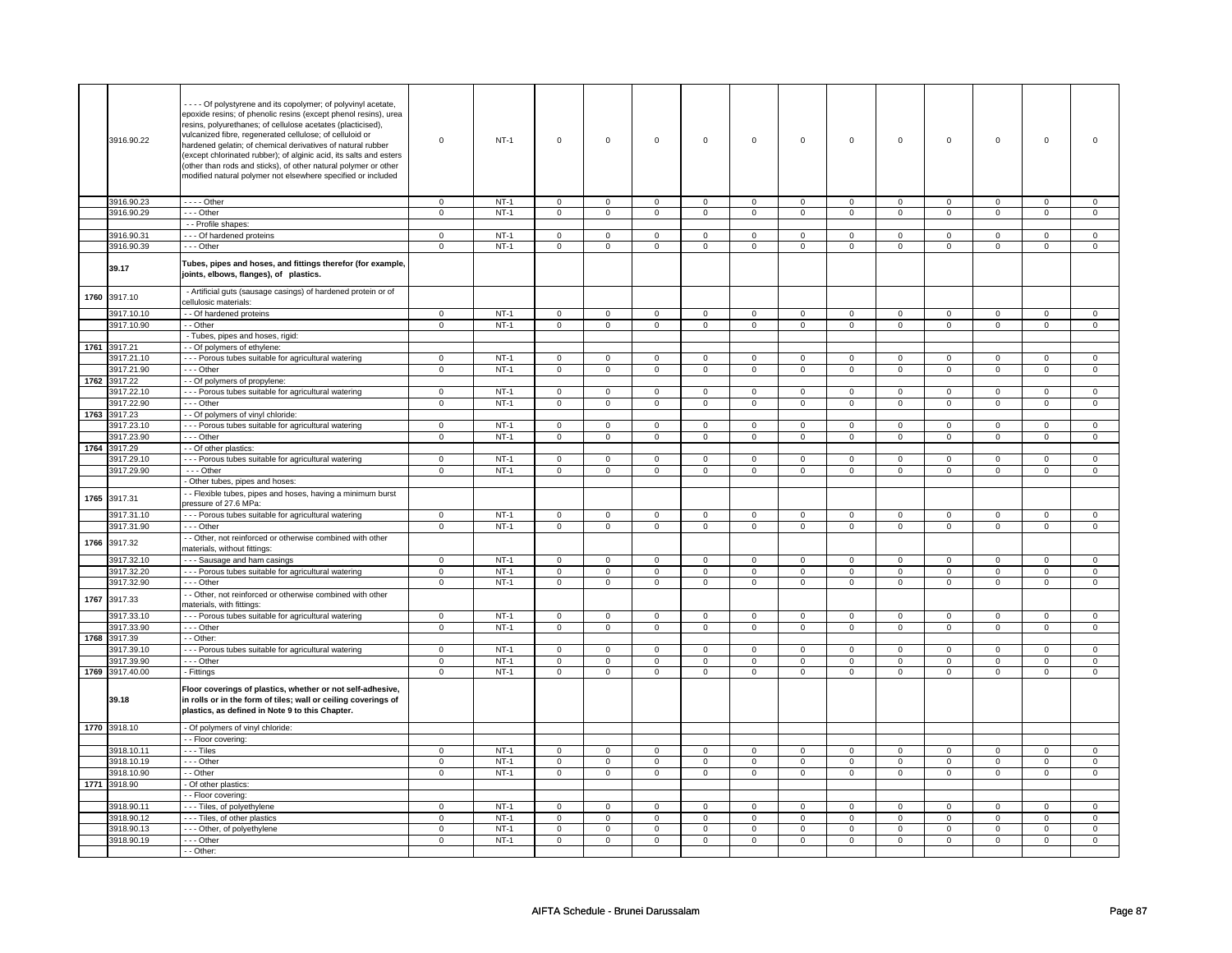|      | 3916.90.22      | - - - Of polystyrene and its copolymer; of polyvinyl acetate,<br>epoxide resins; of phenolic resins (except phenol resins), urea<br>resins, polyurethanes; of cellulose acetates (placticised),<br>vulcanized fibre, regenerated cellulose; of celluloid or<br>hardened gelatin; of chemical derivatives of natural rubber<br>(except chlorinated rubber); of alginic acid, its salts and esters<br>(other than rods and sticks), of other natural polymer or other<br>modified natural polymer not elsewhere specified or included | $\Omega$       | $NT-1$ | $\mathsf 0$    | $\mathbf 0$    | $\mathsf 0$    | $\mathbf 0$    | $\mathsf 0$    | $\mathbf 0$    | $\mathsf 0$    | $\mathbf 0$    | $\mathsf 0$    | $\mathbf 0$    | $\mathbf 0$    |                |
|------|-----------------|-------------------------------------------------------------------------------------------------------------------------------------------------------------------------------------------------------------------------------------------------------------------------------------------------------------------------------------------------------------------------------------------------------------------------------------------------------------------------------------------------------------------------------------|----------------|--------|----------------|----------------|----------------|----------------|----------------|----------------|----------------|----------------|----------------|----------------|----------------|----------------|
|      | 3916.90.23      | $---$ Other                                                                                                                                                                                                                                                                                                                                                                                                                                                                                                                         | $\mathsf 0$    | $NT-1$ | $\mathbf 0$    | $\mathsf 0$    | $\mathbf 0$    | $\mathbf 0$    | $\mathbf 0$    | $\mathbf 0$    | $\mathbf 0$    | $\mathbf 0$    | $\mathsf 0$    | $\mathbf 0$    | $\mathbf 0$    | $\mathbf 0$    |
|      | 3916.90.29      | - - - Other                                                                                                                                                                                                                                                                                                                                                                                                                                                                                                                         | $\mathsf 0$    | $NT-1$ | $\mathbf 0$    | $\mathsf 0$    | $\mathbf 0$    | $\mathbf 0$    | $\mathbf 0$    | $\mathbf 0$    | $\mathbf 0$    | $\mathbf 0$    | $\mathsf 0$    | $\mathbf 0$    | $\Omega$       | $\mathbf 0$    |
|      |                 |                                                                                                                                                                                                                                                                                                                                                                                                                                                                                                                                     |                |        |                |                |                |                |                |                |                |                |                |                |                |                |
|      |                 | - - Profile shapes:                                                                                                                                                                                                                                                                                                                                                                                                                                                                                                                 |                |        |                |                |                |                |                |                |                |                |                |                |                |                |
|      | 3916.90.31      | --- Of hardened proteins                                                                                                                                                                                                                                                                                                                                                                                                                                                                                                            | $\mathsf 0$    | $NT-1$ | $\mathbf 0$    | $\mathsf 0$    | $\mathsf 0$    | $\mathbf 0$    | $\mathbf 0$    | $\mathbf 0$    | $\mathsf 0$    | $\mathbf 0$    | $\mathsf 0$    | $\mathbf 0$    | $\mathbf 0$    | $\mathbf 0$    |
|      | 3916.90.39      | --- Other                                                                                                                                                                                                                                                                                                                                                                                                                                                                                                                           | $\mathsf 0$    | $NT-1$ | $\mathsf 0$    | $\mathsf 0$    | $\mathsf 0$    | $\mathsf 0$    | $\mathsf 0$    | $\mathsf 0$    | $\mathsf 0$    | $\mathsf 0$    | $\mathsf 0$    | $\mathsf 0$    | $\mathsf 0$    | $\mathsf 0$    |
|      |                 |                                                                                                                                                                                                                                                                                                                                                                                                                                                                                                                                     |                |        |                |                |                |                |                |                |                |                |                |                |                |                |
|      | 39.17           | Tubes, pipes and hoses, and fittings therefor (for example,<br>joints, elbows, flanges), of plastics.                                                                                                                                                                                                                                                                                                                                                                                                                               |                |        |                |                |                |                |                |                |                |                |                |                |                |                |
| 1760 | 3917.10         | - Artificial guts (sausage casings) of hardened protein or of<br>cellulosic materials:                                                                                                                                                                                                                                                                                                                                                                                                                                              |                |        |                |                |                |                |                |                |                |                |                |                |                |                |
|      | 3917.10.10      | - Of hardened proteins                                                                                                                                                                                                                                                                                                                                                                                                                                                                                                              | $\mathbf 0$    | $NT-1$ | $\mathbf 0$    | $\mathsf 0$    | $\mathbf 0$    | $\mathbf 0$    | $\mathbf 0$    | $\mathbf 0$    | $\mathsf 0$    | $\mathbf 0$    | $\mathsf 0$    | $\mathsf 0$    | $\mathsf 0$    | $\mathsf 0$    |
|      | 3917.10.90      | - - Other                                                                                                                                                                                                                                                                                                                                                                                                                                                                                                                           | $\overline{0}$ | $NT-1$ | $\overline{0}$ | $\overline{0}$ | $\mathbf 0$    | $\overline{0}$ | $\mathbf 0$    | $\overline{0}$ | $\mathbf 0$    | $\overline{0}$ | $\mathsf 0$    | $\overline{0}$ | $\overline{0}$ | $\overline{0}$ |
|      |                 |                                                                                                                                                                                                                                                                                                                                                                                                                                                                                                                                     |                |        |                |                |                |                |                |                |                |                |                |                |                |                |
|      |                 | - Tubes, pipes and hoses, rigid:                                                                                                                                                                                                                                                                                                                                                                                                                                                                                                    |                |        |                |                |                |                |                |                |                |                |                |                |                |                |
|      | 1761 3917.21    | - Of polymers of ethylene:                                                                                                                                                                                                                                                                                                                                                                                                                                                                                                          |                |        |                |                |                |                |                |                |                |                |                |                |                |                |
|      | 3917.21.10      | - - Porous tubes suitable for agricultural watering                                                                                                                                                                                                                                                                                                                                                                                                                                                                                 | $\mathsf 0$    | $NT-1$ | $\mathsf 0$    | $\mathsf 0$    | $\mathsf 0$    | $\mathsf 0$    | $\mathbf 0$    | $\mathsf 0$    | $\mathsf 0$    | $\mathsf 0$    | $\mathbf 0$    | $\mathsf 0$    | $\Omega$       | $\mathbf 0$    |
|      |                 |                                                                                                                                                                                                                                                                                                                                                                                                                                                                                                                                     |                |        |                |                |                |                |                |                |                |                |                |                |                |                |
|      | 3917.21.90      | --- Other                                                                                                                                                                                                                                                                                                                                                                                                                                                                                                                           | $\mathsf 0$    | $NT-1$ | $\mathsf 0$    | $\mathsf 0$    | $\mathsf 0$    | $\mathsf 0$    | $\mathsf 0$    | $\mathsf 0$    | $\mathsf 0$    | $\mathsf 0$    | $\mathsf 0$    | $\mathsf 0$    | $\mathsf 0$    | $\mathsf 0$    |
| 1762 | 3917.22         | - Of polymers of propylene:                                                                                                                                                                                                                                                                                                                                                                                                                                                                                                         |                |        |                |                |                |                |                |                |                |                |                |                |                |                |
|      | 3917.22.10      | --- Porous tubes suitable for agricultural watering                                                                                                                                                                                                                                                                                                                                                                                                                                                                                 | $\mathbf 0$    | $NT-1$ | $\overline{0}$ | $\overline{0}$ | $\mathbf 0$    | $\mathbf 0$    | $\mathbf 0$    | $\overline{0}$ | $\mathbf 0$    | $\overline{0}$ | $\mathbf 0$    | $\overline{0}$ | $\mathbf 0$    | $\overline{0}$ |
|      | 3917.22.90      | --- Other                                                                                                                                                                                                                                                                                                                                                                                                                                                                                                                           |                | $NT-1$ |                | $\mathsf 0$    |                | $\mathbf 0$    |                | $\mathbf 0$    |                | $\mathbf 0$    |                | $\mathbf 0$    |                |                |
|      |                 |                                                                                                                                                                                                                                                                                                                                                                                                                                                                                                                                     | $\mathbf 0$    |        | $\mathbf 0$    |                | $\mathbf 0$    |                | $\mathbf 0$    |                | $\mathbf 0$    |                | $\mathbf 0$    |                | $\mathbf 0$    | $\mathbf{0}$   |
| 1763 | 3917.23         | - Of polymers of vinyl chloride:                                                                                                                                                                                                                                                                                                                                                                                                                                                                                                    |                |        |                |                |                |                |                |                |                |                |                |                |                |                |
|      | 3917.23.10      | - - - Porous tubes suitable for agricultural watering                                                                                                                                                                                                                                                                                                                                                                                                                                                                               | $\mathsf 0$    | $NT-1$ | $\mathsf 0$    | $\mathsf 0$    | $\mathbf 0$    | $\mathsf 0$    | $\mathsf 0$    | $\mathsf 0$    | $\mathbf 0$    | $\mathsf 0$    | $\mathsf 0$    | $\mathsf 0$    | $\mathbf 0$    | $\mathbf 0$    |
|      | 3917.23.90      | --- Other                                                                                                                                                                                                                                                                                                                                                                                                                                                                                                                           | $\overline{0}$ | $NT-1$ | $\overline{0}$ | $\overline{0}$ | $\overline{0}$ | $\overline{0}$ | $\overline{0}$ | $\overline{0}$ | $\overline{0}$ | $\overline{0}$ | $\overline{0}$ | $\overline{0}$ | $\overline{0}$ | $\overline{0}$ |
|      | 1764 3917.29    | - Of other plastics:                                                                                                                                                                                                                                                                                                                                                                                                                                                                                                                |                |        |                |                |                |                |                |                |                |                |                |                |                |                |
|      |                 |                                                                                                                                                                                                                                                                                                                                                                                                                                                                                                                                     |                |        |                |                |                |                |                |                |                |                |                |                |                |                |
|      | 3917.29.10      | --- Porous tubes suitable for agricultural watering                                                                                                                                                                                                                                                                                                                                                                                                                                                                                 | $\mathsf 0$    | $NT-1$ | $\mathsf 0$    | $\mathsf 0$    | $\mathsf 0$    | $\mathsf 0$    | $\mathsf 0$    | $\mathsf 0$    | $\mathsf 0$    | $\mathsf 0$    | $\mathsf 0$    | $\mathsf 0$    | $\mathsf 0$    | $\mathsf 0$    |
|      | 3917.29.90      | $- -$ Other                                                                                                                                                                                                                                                                                                                                                                                                                                                                                                                         | $\mathsf 0$    | $NT-1$ | $\mathbf 0$    | $\mathbf 0$    | $\mathbf 0$    | $\mathbf 0$    | $\mathbf 0$    | $\mathbf 0$    | $\mathbf 0$    | $\mathbf 0$    | $\mathsf 0$    | $\mathbf 0$    | $\mathsf 0$    | $\mathbf 0$    |
|      |                 | - Other tubes, pipes and hoses:                                                                                                                                                                                                                                                                                                                                                                                                                                                                                                     |                |        |                |                |                |                |                |                |                |                |                |                |                |                |
|      | 1765 3917.31    | - - Flexible tubes, pipes and hoses, having a minimum burst<br>pressure of 27.6 MPa:                                                                                                                                                                                                                                                                                                                                                                                                                                                |                |        |                |                |                |                |                |                |                |                |                |                |                |                |
|      | 3917.31.10      | --- Porous tubes suitable for agricultural watering                                                                                                                                                                                                                                                                                                                                                                                                                                                                                 | $\mathbf 0$    | $NT-1$ | $\mathsf 0$    | $\mathbf 0$    | $\mathsf 0$    | $\mathbf 0$    | $\mathsf 0$    | $\mathbf 0$    | $\mathsf 0$    | $\mathsf 0$    | $\mathsf 0$    | $\mathsf 0$    | $\mathsf 0$    | $\mathsf 0$    |
|      | 3917.31.90      | --- Other                                                                                                                                                                                                                                                                                                                                                                                                                                                                                                                           | $\mathbf 0$    | $NT-1$ | $\mathsf 0$    | $\mathbf 0$    | $\mathsf 0$    | $\mathsf 0$    | $\mathsf 0$    | $\mathsf 0$    | $\mathsf 0$    | $\mathsf 0$    | $\mathsf 0$    | $\mathsf 0$    | $\mathsf 0$    | $\mathsf 0$    |
|      |                 |                                                                                                                                                                                                                                                                                                                                                                                                                                                                                                                                     |                |        |                |                |                |                |                |                |                |                |                |                |                |                |
| 1766 | 3917.32         | - - Other, not reinforced or otherwise combined with other<br>materials, without fittings:                                                                                                                                                                                                                                                                                                                                                                                                                                          |                |        |                |                |                |                |                |                |                |                |                |                |                |                |
|      | 3917.32.10      | --- Sausage and ham casings                                                                                                                                                                                                                                                                                                                                                                                                                                                                                                         | $\mathbf 0$    | $NT-1$ | $\mathbf 0$    | $\mathbf 0$    | $\mathbf 0$    | $\mathbf 0$    | $\mathbf 0$    | $\mathbf 0$    | $\mathbf 0$    | $\mathbf 0$    | $\mathbf 0$    | $\mathbf 0$    | $\Omega$       | $\mathbf 0$    |
|      | 3917.32.20      | - - - Porous tubes suitable for agricultural watering                                                                                                                                                                                                                                                                                                                                                                                                                                                                               | $\overline{0}$ | $NT-1$ | $\overline{0}$ | $\overline{0}$ | $\overline{0}$ | $\overline{0}$ | $\overline{0}$ | $\overline{0}$ | $\overline{0}$ | $\overline{0}$ | $\overline{0}$ | $\overline{0}$ | $\overline{0}$ | $\overline{0}$ |
|      | 3917.32.90      | --- Other                                                                                                                                                                                                                                                                                                                                                                                                                                                                                                                           | $\mathsf 0$    | $NT-1$ | $\mathsf 0$    | $\mathbf 0$    | $\mathsf 0$    | $\mathsf 0$    | $\mathsf 0$    | $\mathsf 0$    | $\mathsf 0$    | $\mathsf 0$    | $\mathsf 0$    | $\mathsf 0$    | $\mathsf 0$    | $\mathsf 0$    |
| 1767 | 3917.33         | - Other, not reinforced or otherwise combined with other<br>materials, with fittings:                                                                                                                                                                                                                                                                                                                                                                                                                                               |                |        |                |                |                |                |                |                |                |                |                |                |                |                |
|      |                 |                                                                                                                                                                                                                                                                                                                                                                                                                                                                                                                                     |                |        |                |                |                |                |                |                |                |                |                |                |                |                |
|      | 3917.33.10      | --- Porous tubes suitable for agricultural watering                                                                                                                                                                                                                                                                                                                                                                                                                                                                                 | $\overline{0}$ | $NT-1$ | $\mathbf 0$    | $\mathbf{0}$   | $\mathbf 0$    | $\mathbf{0}$   | $\mathbf 0$    | $\mathbf{0}$   | $\mathbf 0$    | $\mathbf{0}$   | $\mathbf 0$    | $\mathbf{0}$   | $\mathbf 0$    | $\mathbf{0}$   |
|      | 3917.33.90      | $--$ Other                                                                                                                                                                                                                                                                                                                                                                                                                                                                                                                          | $\overline{0}$ | $NT-1$ | $\overline{0}$ | $\overline{0}$ | $\overline{0}$ | $\overline{0}$ | $\overline{0}$ | $\overline{0}$ | $\overline{0}$ | $\overline{0}$ | $\overline{0}$ | $\overline{0}$ | $\mathsf 0$    | $\overline{0}$ |
| 1768 | 3917.39         | - Other:                                                                                                                                                                                                                                                                                                                                                                                                                                                                                                                            |                |        |                |                |                |                |                |                |                |                |                |                |                |                |
|      | 3917.39.10      | --- Porous tubes suitable for agricultural watering                                                                                                                                                                                                                                                                                                                                                                                                                                                                                 | $\mathsf 0$    | $NT-1$ | $\mathbf 0$    | $\mathsf 0$    | $\mathbf 0$    | $\mathbf 0$    | $\mathbf 0$    | $\mathsf 0$    | $\mathsf 0$    | $\mathbf 0$    | $\mathsf 0$    | $\mathsf 0$    | $\mathsf 0$    | $\mathbf 0$    |
|      |                 |                                                                                                                                                                                                                                                                                                                                                                                                                                                                                                                                     |                |        |                |                |                |                |                |                |                |                |                |                |                |                |
|      | 3917.39.90      | $- -$ Other                                                                                                                                                                                                                                                                                                                                                                                                                                                                                                                         | $\mathbf 0$    | $NT-1$ | $\Omega$       | $\mathbf 0$    | $\mathbf 0$    | $\mathbf 0$    | $\mathbf 0$    | $\mathbf 0$    | $\Omega$       | $\mathbf 0$    | $\Omega$       | $\mathsf 0$    | $\Omega$       | $\mathsf 0$    |
|      | 1769 3917.40.00 | - Fittings                                                                                                                                                                                                                                                                                                                                                                                                                                                                                                                          | $\overline{0}$ | $NT-1$ | $\overline{0}$ | $\overline{0}$ | $\overline{0}$ | $\overline{0}$ | $\overline{0}$ | $\overline{0}$ | $\overline{0}$ | $\overline{0}$ | $\overline{0}$ | $\overline{0}$ | $\overline{0}$ | $\overline{0}$ |
|      | 39.18           | Floor coverings of plastics, whether or not self-adhesive,<br>in rolls or in the form of tiles; wall or ceiling coverings of<br>plastics, as defined in Note 9 to this Chapter.                                                                                                                                                                                                                                                                                                                                                     |                |        |                |                |                |                |                |                |                |                |                |                |                |                |
|      | 1770 3918.10    | - Of polymers of vinyl chloride:                                                                                                                                                                                                                                                                                                                                                                                                                                                                                                    |                |        |                |                |                |                |                |                |                |                |                |                |                |                |
|      |                 | - Floor covering:                                                                                                                                                                                                                                                                                                                                                                                                                                                                                                                   |                |        |                |                |                |                |                |                |                |                |                |                |                |                |
|      | 3918.10.11      | $\cdots$ Tiles                                                                                                                                                                                                                                                                                                                                                                                                                                                                                                                      |                |        |                |                |                |                |                |                |                |                |                |                |                |                |
|      |                 |                                                                                                                                                                                                                                                                                                                                                                                                                                                                                                                                     | 0              | $NT-1$ | $\mathbf 0$    | $\mathbf 0$    | $\mathbf 0$    | $\mathbf 0$    | $\mathbf 0$    | $\mathbf 0$    | 0              | $\mathbf 0$    | $\mathbf 0$    | $\mathbf 0$    | $\mathbf 0$    | $\mathbf 0$    |
|      | 3918.10.19      | --- Other                                                                                                                                                                                                                                                                                                                                                                                                                                                                                                                           | $\mathsf 0$    | $NT-1$ | $\mathsf 0$    | $\mathsf 0$    | $\mathsf 0$    | $\mathsf 0$    | $\mathsf 0$    | $\mathsf 0$    | $\mathbf 0$    | $\mathsf 0$    | $\mathsf 0$    | $\mathsf 0$    | $\mathsf 0$    | $\mathsf 0$    |
|      | 3918.10.90      | - - Other                                                                                                                                                                                                                                                                                                                                                                                                                                                                                                                           | $\overline{0}$ | $NT-1$ | $\overline{0}$ | $\overline{0}$ | $\overline{0}$ | $\overline{0}$ | $\overline{0}$ | $\overline{0}$ | $\overline{0}$ | $\overline{0}$ | $\overline{0}$ | $\overline{0}$ | $\overline{0}$ | $\overline{0}$ |
|      | 1771 3918.90    | - Of other plastics:                                                                                                                                                                                                                                                                                                                                                                                                                                                                                                                |                |        |                |                |                |                |                |                |                |                |                |                |                |                |
|      |                 | - - Floor covering:                                                                                                                                                                                                                                                                                                                                                                                                                                                                                                                 |                |        |                |                |                |                |                |                |                |                |                |                |                |                |
|      |                 |                                                                                                                                                                                                                                                                                                                                                                                                                                                                                                                                     |                |        |                |                |                |                |                |                |                |                |                |                |                |                |
|      | 3918.90.11      | --- Tiles, of polyethylene                                                                                                                                                                                                                                                                                                                                                                                                                                                                                                          | $\mathbf 0$    | $NT-1$ | $\mathsf 0$    | $\mathbf 0$    | $\mathsf 0$    | $\mathbf 0$    | $\mathsf 0$    | $\mathbf{0}$   | $\mathsf 0$    | $\mathbf 0$    | $\mathsf 0$    | $\mathbf 0$    | $\Omega$       | $\mathbf 0$    |
|      | 3918.90.12      | - - - Tiles, of other plastics                                                                                                                                                                                                                                                                                                                                                                                                                                                                                                      | $\mathsf 0$    | $NT-1$ | $\mathbf 0$    | $\mathsf 0$    | $\mathbf 0$    | $\mathbf 0$    | $\mathbf 0$    | $\mathbf 0$    | $\mathbf 0$    | $\mathbf 0$    | $\mathsf 0$    | $\mathbf 0$    | $\mathbf 0$    | $\mathbf 0$    |
|      | 3918.90.13      | - - - Other, of polyethylene                                                                                                                                                                                                                                                                                                                                                                                                                                                                                                        | $\mathbf 0$    | $NT-1$ | $\mathbf 0$    | $\mathsf 0$    | $\mathbf 0$    | $\mathbf 0$    | $\mathbf 0$    | $\mathbf 0$    | $\mathbf 0$    | $\mathbf 0$    | $\mathsf 0$    | $\mathbf 0$    | $\mathbf 0$    | $\mathbf 0$    |
|      | 3918.90.19      | --- Other                                                                                                                                                                                                                                                                                                                                                                                                                                                                                                                           | $\mathbf 0$    | $NT-1$ | $\mathbf 0$    | $\mathsf 0$    | $\mathbf 0$    | $\mathbf 0$    | $\mathbf 0$    | $\mathbf 0$    | $\mathbf 0$    | $\mathbf 0$    | $\mathsf 0$    | $\mathbf 0$    | $\mathsf 0$    | $\mathbf 0$    |
|      |                 |                                                                                                                                                                                                                                                                                                                                                                                                                                                                                                                                     |                |        |                |                |                |                |                |                |                |                |                |                |                |                |
|      |                 | - - Other:                                                                                                                                                                                                                                                                                                                                                                                                                                                                                                                          |                |        |                |                |                |                |                |                |                |                |                |                |                |                |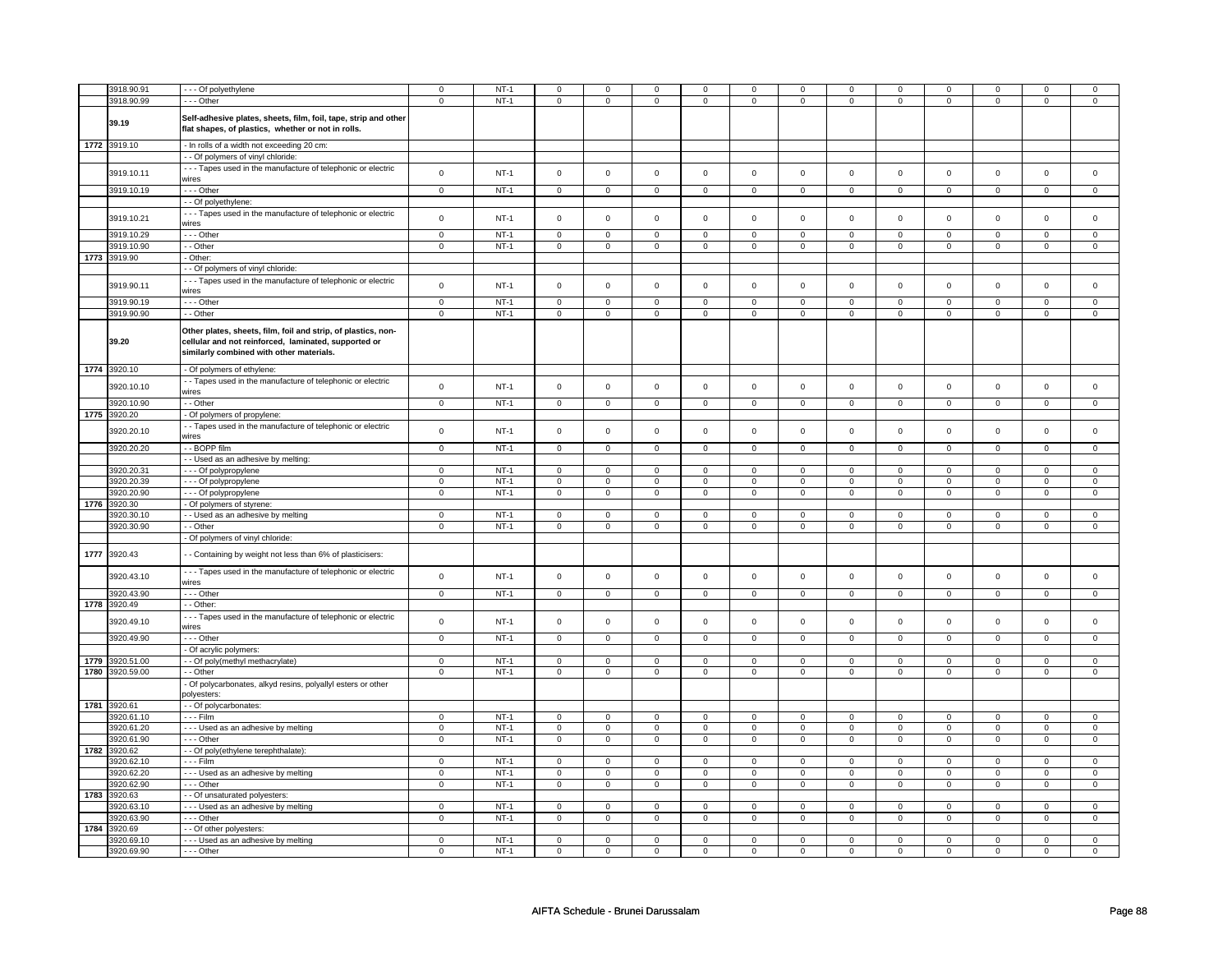|      | 3918.90.91      | --- Of polyethylene                                                                                                                                               | $\mathbf 0$    | $NT-1$ | $\mathbf 0$    | $\mathbf 0$    | $\mathbf 0$         | $\mathbf 0$    | $\mathbf 0$         | $\mathbf 0$    | 0              | $\mathbf 0$         | $\mathbf 0$         | 0                   | $\Omega$            | $\Omega$       |
|------|-----------------|-------------------------------------------------------------------------------------------------------------------------------------------------------------------|----------------|--------|----------------|----------------|---------------------|----------------|---------------------|----------------|----------------|---------------------|---------------------|---------------------|---------------------|----------------|
|      | 3918.90.99      | --- Other                                                                                                                                                         | $\mathbf 0$    | $NT-1$ | $\mathsf 0$    | $\mathbf 0$    | $\mathbf 0$         | $\mathsf 0$    | 0                   | $\mathsf 0$    | 0              | $\mathbf 0$         | 0                   | $\mathsf 0$         | 0                   | $\mathbf 0$    |
|      | 39.19           | Self-adhesive plates, sheets, film, foil, tape, strip and other<br>flat shapes, of plastics, whether or not in rolls.                                             |                |        |                |                |                     |                |                     |                |                |                     |                     |                     |                     |                |
|      | 1772 3919.10    | - In rolls of a width not exceeding 20 cm:                                                                                                                        |                |        |                |                |                     |                |                     |                |                |                     |                     |                     |                     |                |
|      |                 |                                                                                                                                                                   |                |        |                |                |                     |                |                     |                |                |                     |                     |                     |                     |                |
|      |                 | - - Of polymers of vinyl chloride:                                                                                                                                |                |        |                |                |                     |                |                     |                |                |                     |                     |                     |                     |                |
|      | 3919.10.11      | --- Tapes used in the manufacture of telephonic or electric<br>wires                                                                                              | $\mathbf 0$    | $NT-1$ | $\mathsf 0$    | $\mathbf 0$    | $\mathsf 0$         | $\mathsf 0$    | $\mathbf 0$         | $\mathsf 0$    | $\mathbf 0$    | $\mathsf 0$         | $\mathbf 0$         | $\mathbf{0}$        | $\mathbf 0$         | $\mathsf 0$    |
|      | 3919.10.19      | --- Other                                                                                                                                                         | $\mathbf 0$    | $NT-1$ | $\mathbf 0$    | $\mathbf{0}$   | $\mathbf 0$         | $\overline{0}$ | $\mathbf{0}$        | $\mathbf 0$    | $\mathbf{O}$   | $\mathbf{0}$        | $\mathbf{0}$        | $\overline{0}$      | $\mathbf 0$         | $\mathbf{0}$   |
|      |                 | - - Of polyethylene:                                                                                                                                              |                |        |                |                |                     |                |                     |                |                |                     |                     |                     |                     |                |
|      |                 |                                                                                                                                                                   |                |        |                |                |                     |                |                     |                |                |                     |                     |                     |                     |                |
|      | 3919.10.21      | --- Tapes used in the manufacture of telephonic or electric<br>wires                                                                                              | $\mathsf 0$    | $NT-1$ | $\mathsf 0$    | $\mathsf 0$    | $\mathsf 0$         | $\mathsf 0$    | $\mathsf 0$         | $\mathsf 0$    | $\mathbf 0$    | $\mathbf 0$         | $\mathsf 0$         | $\mathbf 0$         | $\mathsf 0$         | $\mathbf 0$    |
|      | 3919.10.29      | - - - Other                                                                                                                                                       | $\mathsf 0$    | $NT-1$ | $\mathbf 0$    | $\mathsf 0$    | $\mathsf 0$         | $\mathbf 0$    | $\mathsf 0$         | $\mathbf 0$    | $\mathbf 0$    | $\mathsf 0$         | $\mathsf 0$         | $\mathbf 0$         | $\mathsf 0$         | $\mathbf 0$    |
|      | 3919.10.90      | - - Other                                                                                                                                                         | $\mathsf 0$    | $NT-1$ | $\mathsf 0$    | $\mathsf 0$    | $\mathbf 0$         | $\mathsf 0$    | $\mathbf 0$         | $\mathsf 0$    | $\mathbf 0$    | $\mathbf 0$         | $\mathbf 0$         | $\mathbf 0$         | 0                   | $\mathbf{0}$   |
|      | 1773 3919.90    | - Other:                                                                                                                                                          |                |        |                |                |                     |                |                     |                |                |                     |                     |                     |                     |                |
|      |                 |                                                                                                                                                                   |                |        |                |                |                     |                |                     |                |                |                     |                     |                     |                     |                |
|      |                 | - - Of polymers of vinyl chloride:                                                                                                                                |                |        |                |                |                     |                |                     |                |                |                     |                     |                     |                     |                |
|      | 3919.90.11      | --- Tapes used in the manufacture of telephonic or electric                                                                                                       | $\mathbf 0$    | $NT-1$ | $\mathsf 0$    | $\mathsf 0$    | $\mathsf 0$         | $\mathsf{o}\,$ | $\mathsf{O}\xspace$ | $\mathsf{o}\,$ | $\mathbf 0$    | $\mathbf 0$         | $\mathbf 0$         | $\mathbf 0$         | $\mathsf 0$         | $\mathbf{0}$   |
|      |                 | wires                                                                                                                                                             |                |        |                |                |                     |                |                     |                |                |                     |                     |                     |                     |                |
|      | 3919.90.19      | - - - Other                                                                                                                                                       | $\mathsf 0$    | $NT-1$ | $\mathbf 0$    | $\mathsf 0$    | $\mathsf 0$         | $\mathbf 0$    | $\mathsf 0$         | $\mathbf 0$    | $\mathbf 0$    | $\mathsf 0$         | $\mathsf 0$         | $\mathbf 0$         | $\mathsf 0$         | 0              |
|      | 3919.90.90      | - - Other                                                                                                                                                         | $\mathsf 0$    | $NT-1$ | $\mathsf 0$    | $\mathbf 0$    | $\mathsf 0$         | $\mathbf 0$    | $\mathsf{O}\xspace$ | $\mathbf 0$    | $\mathsf 0$    | $\mathsf{O}\xspace$ | $\mathsf{O}\xspace$ | $\mathsf{O}\xspace$ | $\mathsf{O}\xspace$ | $\mathsf 0$    |
|      |                 |                                                                                                                                                                   |                |        |                |                |                     |                |                     |                |                |                     |                     |                     |                     |                |
|      | 39.20           | Other plates, sheets, film, foil and strip, of plastics, non-<br>cellular and not reinforced, laminated, supported or<br>similarly combined with other materials. |                |        |                |                |                     |                |                     |                |                |                     |                     |                     |                     |                |
|      | 1774 3920.10    | - Of polymers of ethylene:                                                                                                                                        |                |        |                |                |                     |                |                     |                |                |                     |                     |                     |                     |                |
|      | 3920.10.10      | - Tapes used in the manufacture of telephonic or electric<br>wires                                                                                                | $\mathbf 0$    | $NT-1$ | $\mathsf 0$    | $\mathbf 0$    | $\mathsf 0$         | $\mathsf 0$    | $\mathsf 0$         | $\mathsf 0$    | $\mathsf 0$    | $\mathsf 0$         | $\mathsf{O}\xspace$ | $\mathbf{0}$        | $\mathbf 0$         | $\mathsf 0$    |
|      |                 |                                                                                                                                                                   |                |        |                |                |                     |                |                     |                |                |                     |                     |                     |                     |                |
|      | 3920.10.90      | - - Other                                                                                                                                                         | $\mathbf{0}$   | $NT-1$ | $\mathbf 0$    | $\mathbf 0$    | $\mathbf{0}$        | $\overline{0}$ | $\mathbf 0$         | $\mathbf{0}$   | $\mathbf{0}$   | $\overline{0}$      | $\mathbf 0$         | $\mathbf{0}$        | $\mathbf{0}$        | $\overline{0}$ |
|      | 1775 3920.20    | - Of polymers of propylene:                                                                                                                                       |                |        |                |                |                     |                |                     |                |                |                     |                     |                     |                     |                |
|      | 3920.20.10      | - Tapes used in the manufacture of telephonic or electric<br>wires                                                                                                | $\mathsf 0$    | $NT-1$ | $\mathsf 0$    | $\mathbf 0$    | $\mathsf 0$         | $\mathsf 0$    | $\mathsf{O}\xspace$ | $\mathsf 0$    | $\mathbf 0$    | $\mathsf 0$         | $\mathsf 0$         | $\mathbf 0$         | $\mathsf 0$         | $\mathbf 0$    |
|      | 3920.20.20      | - - BOPP film                                                                                                                                                     | $\mathsf 0$    | $NT-1$ | $\mathsf 0$    | $\mathsf 0$    | $\mathsf 0$         | $\mathbf 0$    | $\mathsf{o}\,$      | $\mathbf 0$    | $\mathsf{o}$   | $\mathbf 0$         | $\mathsf 0$         | $\mathbf 0$         | 0                   | $\mathbf 0$    |
|      |                 | - - Used as an adhesive by melting:                                                                                                                               |                |        |                |                |                     |                |                     |                |                |                     |                     |                     |                     |                |
|      |                 |                                                                                                                                                                   |                |        |                |                |                     |                |                     |                |                |                     |                     |                     |                     |                |
|      | 3920.20.31      | --- Of polypropylene                                                                                                                                              | $\mathbf 0$    | $NT-1$ | $\mathbf 0$    | $\mathbf 0$    | $\mathbf 0$         | $\mathbf{0}$   | $\mathbf 0$         | $\mathbf 0$    | $\mathbf{0}$   | $\mathbf{0}$        | $\mathbf 0$         | $\mathbf 0$         | 0                   | $\mathbf{0}$   |
|      | 3920.20.39      | --- Of polypropylene                                                                                                                                              | $\mathbf 0$    | $NT-1$ | $\mathbf 0$    | $\mathsf 0$    | $\mathbf 0$         | $\mathbf 0$    | $\mathbf 0$         | $\mathbf 0$    | 0              | $\mathbf 0$         | 0                   | $\mathbf 0$         | 0                   | 0              |
|      | 3920.20.90      | --- Of polypropylene                                                                                                                                              | $\overline{0}$ | $NT-1$ | $\overline{0}$ | $\overline{0}$ | $\overline{0}$      | $\overline{0}$ | $\overline{0}$      | $\overline{0}$ | $\overline{0}$ | $\overline{0}$      | $\overline{0}$      | $\overline{0}$      | $\overline{0}$      | $\overline{0}$ |
| 1776 | 3920.30         | - Of polymers of styrene:                                                                                                                                         |                |        |                |                |                     |                |                     |                |                |                     |                     |                     |                     |                |
|      | 3920.30.10      | - - Used as an adhesive by melting                                                                                                                                | $\mathbf 0$    | $NT-1$ | $\mathsf 0$    | $\mathbf 0$    | $\mathsf 0$         | $\mathsf 0$    | $\mathsf{O}\xspace$ | $\mathsf 0$    | $\mathsf 0$    | $\mathsf 0$         | $\mathsf 0$         | $\mathsf 0$         | $\mathbf 0$         | 0              |
|      |                 | - - Other                                                                                                                                                         |                | $NT-1$ |                |                |                     |                |                     |                |                |                     |                     |                     |                     |                |
|      | 3920.30.90      |                                                                                                                                                                   | $\mathsf 0$    |        | $\mathsf 0$    | $\mathbf 0$    | $\mathsf 0$         | $\mathsf 0$    | $\mathsf{O}\xspace$ | $\mathsf 0$    | $\mathsf 0$    | $\mathsf{O}$        | $\mathsf{O}\xspace$ | $\mathsf{O}$        | $\mathsf 0$         | $\mathsf 0$    |
|      |                 | - Of polymers of vinyl chloride:                                                                                                                                  |                |        |                |                |                     |                |                     |                |                |                     |                     |                     |                     |                |
| 1777 | 3920.43         | - Containing by weight not less than 6% of plasticisers:                                                                                                          |                |        |                |                |                     |                |                     |                |                |                     |                     |                     |                     |                |
|      | 3920.43.10      | - - - Tapes used in the manufacture of telephonic or electric<br>wires                                                                                            | $\mathsf 0$    | $NT-1$ | $\mathsf 0$    | $\mathsf 0$    | $\mathsf 0$         | $\mathsf 0$    | $\mathsf{O}\xspace$ | $\mathsf 0$    | $\mathbf 0$    | $\mathbf 0$         | $\mathsf 0$         | $\mathbf 0$         | $\mathsf 0$         | $\mathbf 0$    |
|      | 3920.43.90      | - - - Other                                                                                                                                                       | $\mathbf 0$    | $NT-1$ | $\mathbf 0$    | $\mathsf 0$    | $\mathbf 0$         | $\mathbf 0$    | $\mathbf 0$         | $\mathbf 0$    | $\mathbf 0$    | $\mathbf 0$         | $\mathbf 0$         | $\mathbf 0$         | $\mathbf 0$         | $\mathbf 0$    |
|      |                 |                                                                                                                                                                   |                |        |                |                |                     |                |                     |                |                |                     |                     |                     |                     |                |
|      | 1778 3920.49    | - - Other:                                                                                                                                                        |                |        |                |                |                     |                |                     |                |                |                     |                     |                     |                     |                |
|      | 3920.49.10      | --- Tapes used in the manufacture of telephonic or electric                                                                                                       | $\mathsf 0$    | $NT-1$ | $\mathbf 0$    | $\mathsf 0$    | $\mathsf 0$         | $\mathbf 0$    | $\mathsf 0$         | $\mathbf 0$    | $\mathbf 0$    | $\mathbf 0$         | $\mathsf 0$         | $\mathbf 0$         | $\mathbf 0$         | 0              |
|      |                 | wires                                                                                                                                                             |                |        |                |                |                     |                |                     |                |                |                     |                     |                     |                     |                |
|      | 3920.49.90      | --- Other                                                                                                                                                         | $\mathsf 0$    | $NT-1$ | $\mathsf 0$    | $\mathsf 0$    | $\mathsf 0$         | $\mathsf 0$    | $\mathsf{O}$        | $\mathsf 0$    | $\mathsf 0$    | $\mathbf 0$         | $\mathsf 0$         | $\mathbf 0$         | $\mathbf 0$         | $\mathbf 0$    |
|      |                 | - Of acrylic polymers:                                                                                                                                            |                |        |                |                |                     |                |                     |                |                |                     |                     |                     |                     |                |
|      | 1779 3920.51.00 | - - Of poly(methyl methacrylate)                                                                                                                                  | $\mathsf 0$    | $NT-1$ | $\mathsf 0$    | $\mathsf 0$    | $\mathbf 0$         | $\mathbf 0$    | $\mathsf 0$         | $\mathbf 0$    | 0              | $\mathsf 0$         | $\mathsf 0$         | $\mathbf 0$         | $\mathbf 0$         | 0              |
|      |                 | - - Other                                                                                                                                                         | $\mathbf 0$    | $NT-1$ | $\mathsf 0$    | $\mathbf 0$    |                     | $\mathsf 0$    | $\mathsf 0$         | $\mathsf 0$    |                | $\mathbf 0$         | 0                   | $\mathbf 0$         | 0                   | $\mathbf 0$    |
|      | 1780 3920.59.00 | - Of polycarbonates, alkyd resins, polyallyl esters or other                                                                                                      |                |        |                |                | 0                   |                |                     |                | 0              |                     |                     |                     |                     |                |
|      |                 | polyesters:                                                                                                                                                       |                |        |                |                |                     |                |                     |                |                |                     |                     |                     |                     |                |
|      | 1781 3920.61    | - - Of polycarbonates:                                                                                                                                            |                |        |                |                |                     |                |                     |                |                |                     |                     |                     |                     |                |
|      | 3920.61.10      | - - - Film                                                                                                                                                        | 0              | $NT-1$ | $\mathsf 0$    | $\mathbf 0$    | $\mathsf 0$         | $\mathsf 0$    | $\mathsf 0$         | $\mathsf 0$    | $\mathbf 0$    | $\mathsf 0$         | $\mathsf 0$         | $\mathbf 0$         | 0                   | $\mathbf{0}$   |
|      |                 |                                                                                                                                                                   |                | $NT-1$ |                |                |                     |                |                     |                |                |                     |                     |                     |                     |                |
|      | 3920.61.20      | --- Used as an adhesive by melting                                                                                                                                | $\mathbf 0$    |        | $\mathsf 0$    | $\mathbf 0$    | $\mathsf{O}\xspace$ | $\mathsf 0$    | $\mathsf{O}\xspace$ | $\mathsf 0$    | $\mathsf 0$    | $\mathsf 0$         | $\mathsf 0$         | $\mathsf 0$         | $\mathsf 0$         | $\mathsf 0$    |
|      | 3920.61.90      | $- -$ Other                                                                                                                                                       | $\mathbf 0$    | $NT-1$ | $\overline{0}$ | $\overline{0}$ | $\overline{0}$      | $\overline{0}$ | $\mathsf 0$         | $\overline{0}$ | $\mathsf 0$    | $\overline{0}$      | $\mathsf 0$         | $\overline{0}$      | $\mathsf 0$         | $\overline{0}$ |
|      | 1782 3920.62    | - - Of poly(ethylene terephthalate):                                                                                                                              |                |        |                |                |                     |                |                     |                |                |                     |                     |                     |                     |                |
|      | 3920.62.10      | $- -$ Film                                                                                                                                                        | $\mathbf 0$    | $NT-1$ | $\mathsf 0$    | $\mathbf 0$    | $\mathsf 0$         | $\mathsf 0$    | $\mathsf{O}\xspace$ | $\mathsf 0$    | $\mathsf 0$    | $\mathbf 0$         | $\mathsf 0$         | $\mathbf 0$         | $\mathsf 0$         | 0              |
|      | 3920.62.20      | --- Used as an adhesive by melting                                                                                                                                | $\mathsf 0$    | $NT-1$ | $\mathbf 0$    | $\mathbf 0$    | $\mathbf 0$         | $\mathbf 0$    | $\mathbf{0}$        | $\mathbf 0$    | $\mathbf 0$    | $\mathbf{0}$        | $\mathbf 0$         | $\mathbf{0}$        | $\mathbf 0$         | $\mathbf{0}$   |
|      | 3920.62.90      | --- Other                                                                                                                                                         | $\mathsf 0$    | $NT-1$ | $\overline{0}$ | $\overline{0}$ | $\overline{0}$      | $\overline{0}$ | $\overline{0}$      | $\overline{0}$ | $\mathbf 0$    | $\overline{0}$      | $\mathsf 0$         | $\overline{0}$      | $\mathbf 0$         | $\overline{0}$ |
|      |                 |                                                                                                                                                                   |                |        |                |                |                     |                |                     |                |                |                     |                     |                     |                     |                |
|      | 1783 3920.63    | - - Of unsaturated polyesters:                                                                                                                                    |                |        |                |                |                     |                |                     |                |                |                     |                     |                     |                     |                |
|      | 3920.63.10      | --- Used as an adhesive by melting                                                                                                                                | $\mathbf 0$    | $NT-1$ | $\mathbf 0$    | $\mathbf 0$    | $\mathbf 0$         | $\mathbf 0$    | $\mathbf 0$         | $\mathbf 0$    | $\mathbf 0$    | $\mathbf 0$         | $\mathbf 0$         | $\mathbf 0$         | $\Omega$            | $\mathbf{0}$   |
|      | 3920.63.90      | $- -$ Other                                                                                                                                                       | $\,0\,$        | $NT-1$ | $\mathsf 0$    | $\mathbf 0$    | 0                   | $\mathsf 0$    | $\mathsf 0$         | $\mathsf 0$    | 0              | $\mathbf 0$         | 0                   | $\mathbf 0$         | 0                   | $\mathbf 0$    |
| 1784 | 3920.69         | - - Of other polyesters:                                                                                                                                          |                |        |                |                |                     |                |                     |                |                |                     |                     |                     |                     |                |
|      | 3920.69.10      | --- Used as an adhesive by melting                                                                                                                                | $\mathbf 0$    | $NT-1$ | $\Omega$       | $\Omega$       | $\Omega$            | $\Omega$       | $\mathbf 0$         | 0              | 0              | 0                   | 0                   | 0                   | $\Omega$            | $\Omega$       |
|      |                 |                                                                                                                                                                   | $\mathbf 0$    |        | $\Omega$       | $\mathbf 0$    | $\mathbf 0$         | $\mathbf 0$    | $\mathbf 0$         | $\mathbf 0$    | $\mathbf 0$    | $\mathbf 0$         | $\mathbf 0$         | $\mathbf 0$         | $\Omega$            | $\mathbf{0}$   |
|      | 3920.69.90      | --- Other                                                                                                                                                         |                | $NT-1$ |                |                |                     |                |                     |                |                |                     |                     |                     |                     |                |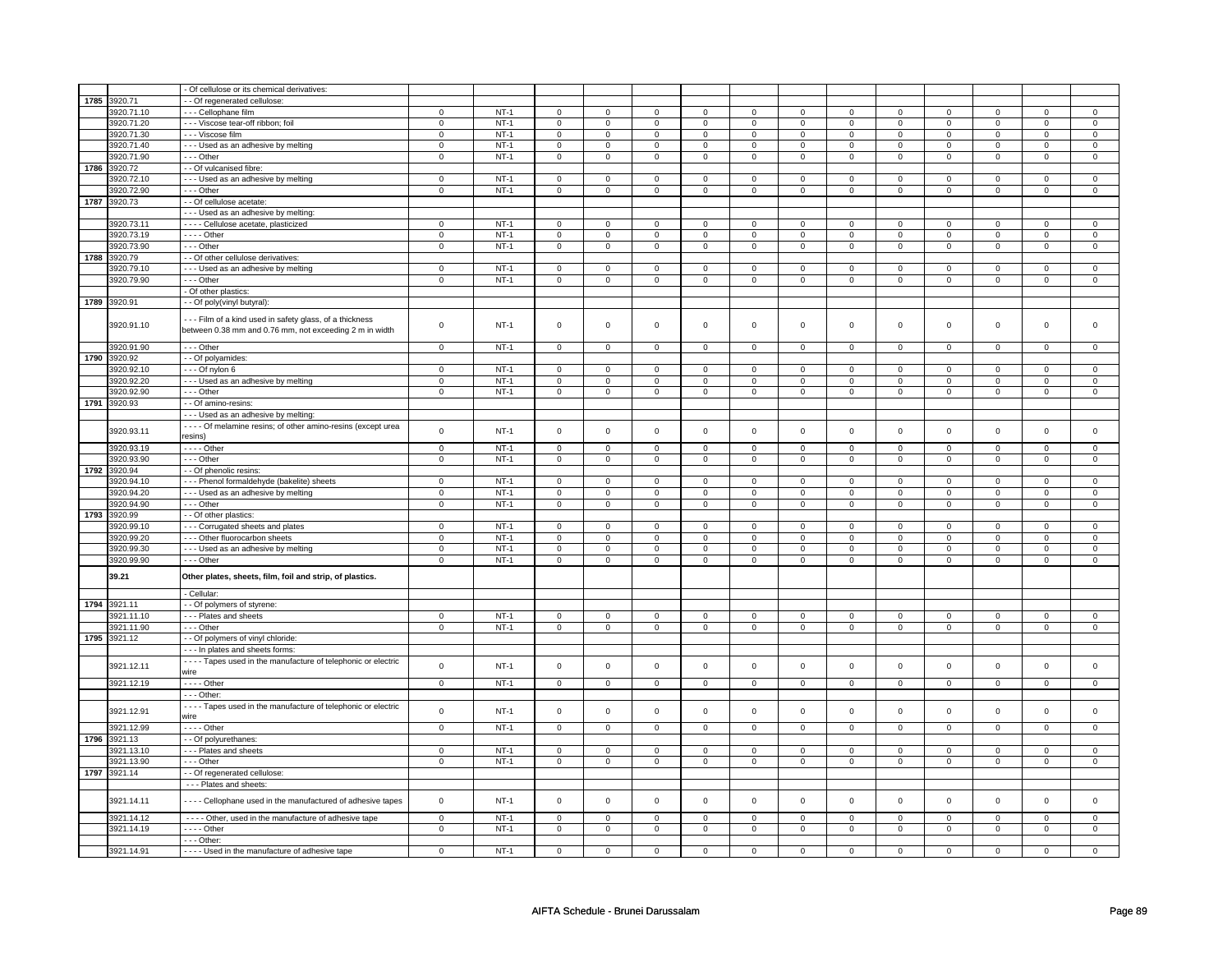|      |            | - Of cellulose or its chemical derivatives:                                                                    |                |        |                     |                |                     |                |                     |                |                |                |                     |                |             |                     |
|------|------------|----------------------------------------------------------------------------------------------------------------|----------------|--------|---------------------|----------------|---------------------|----------------|---------------------|----------------|----------------|----------------|---------------------|----------------|-------------|---------------------|
| 1785 | 3920.71    |                                                                                                                |                |        |                     |                |                     |                |                     |                |                |                |                     |                |             |                     |
|      |            | - Of regenerated cellulose:                                                                                    |                | $NT-1$ |                     |                |                     |                |                     |                |                |                |                     |                |             |                     |
|      | 3920.71.10 | --- Cellophane film                                                                                            | 0              |        | 0                   | $\pmb{0}$      | 0                   | $\mathsf 0$    | 0                   | 0              | $^{\circ}$     | 0              | 0                   | 0              | 0           | 0                   |
|      | 3920.71.20 | - - - Viscose tear-off ribbon; foil                                                                            | 0              | $NT-1$ | $\mathbf 0$         | $\mathbf 0$    | $\mathbf 0$         | $\mathbf 0$    | $\mathbf 0$         | 0              | $\mathbf 0$    | 0              | 0                   | 0              | 0           | $\mathbf 0$         |
|      | 3920.71.30 | - - - Viscose film                                                                                             | $\mathsf 0$    | $NT-1$ | $\mathsf 0$         | $\mathsf 0$    | $\mathsf 0$         | $\mathsf 0$    | $\mathsf 0$         | $\mathbf 0$    | $\mathbf 0$    | $\mathbf 0$    | $\mathsf 0$         | $\mathbf 0$    | $\Omega$    | $\mathbf{0}$        |
|      | 3920.71.40 | - - - Used as an adhesive by melting                                                                           | $\mathbf 0$    | $NT-1$ | $\mathsf 0$         | $\mathsf 0$    | $\mathsf 0$         | $\mathbf 0$    | $\mathsf{O}\xspace$ | $\mathsf 0$    | $\mathbf 0$    | $\mathsf 0$    | $\mathsf 0$         | $\mathsf 0$    | $\Omega$    | $\mathsf{O}\xspace$ |
|      | 3920.71.90 | --- Other                                                                                                      | $\mathbf 0$    | $NT-1$ | $\mathsf 0$         | $\mathsf 0$    | $\mathsf{O}\xspace$ | $\mathsf 0$    | $\mathsf{O}\xspace$ | $\mathsf 0$    | $\mathsf 0$    | $\mathbf 0$    | $\mathsf 0$         | $\mathbf 0$    | $\Omega$    | $\overline{0}$      |
| 1786 | 3920.72    | - - Of vulcanised fibre:                                                                                       |                |        |                     |                |                     |                |                     |                |                |                |                     |                |             |                     |
|      | 3920.72.10 | --- Used as an adhesive by melting                                                                             | $\mathbf 0$    | $NT-1$ | $\mathbf 0$         | $\mathbf 0$    | 0                   | $\mathbf 0$    | 0                   | $\mathbf 0$    | 0              | $\mathbf 0$    | $\mathsf 0$         | $\mathbf 0$    | $\mathbf 0$ | 0                   |
|      | 3920.72.90 | --- Other                                                                                                      | $\mathbf 0$    | $NT-1$ | $\mathsf 0$         | $\mathsf 0$    | $\mathsf 0$         | $\overline{0}$ | $\mathsf 0$         | $\mathbf 0$    | $\mathsf 0$    | $\overline{0}$ | $\mathsf{O}\xspace$ | $\mathbf 0$    | 0           | $\mathbf{0}$        |
| 1787 | 3920.73    | - - Of cellulose acetate:                                                                                      |                |        |                     |                |                     |                |                     |                |                |                |                     |                |             |                     |
|      |            |                                                                                                                |                |        |                     |                |                     |                |                     |                |                |                |                     |                |             |                     |
|      |            | - - - Used as an adhesive by melting                                                                           |                |        |                     |                |                     |                |                     |                |                |                |                     |                |             |                     |
|      | 3920.73.11 | - - - - Cellulose acetate, plasticized                                                                         | $\mathsf 0$    | $NT-1$ | $\mathbf 0$         | $\mathbf 0$    | $\Omega$            | $\mathbf 0$    | $\mathsf 0$         | $\mathbf 0$    | $\Omega$       | $\mathbf 0$    | $\mathsf 0$         | $\mathbf 0$    | $\Omega$    | $\mathbf 0$         |
|      | 3920.73.19 | - - - - Other                                                                                                  | 0              | $NT-1$ | $\mathbf 0$         | $\mathbf 0$    | 0                   | $\mathbf 0$    | 0                   | 0              | 0              | 0              | 0                   | 0              | 0           | 0                   |
|      | 3920.73.90 | --- Other                                                                                                      | $\mathbf 0$    | $NT-1$ | $\mathsf 0$         | $\mathsf 0$    | $\mathsf 0$         | $\mathsf 0$    | $\mathsf 0$         | $\mathbf 0$    | $\mathbf 0$    | $\mathbf 0$    | $\mathsf 0$         | $\mathbf 0$    | $\mathsf 0$ | $\mathbf 0$         |
| 1788 | 3920.79    | - - Of other cellulose derivatives:                                                                            |                |        |                     |                |                     |                |                     |                |                |                |                     |                |             |                     |
|      | 3920.79.10 | --- Used as an adhesive by melting                                                                             | 0              | $NT-1$ | 0                   | $\mathbf 0$    | $^{\circ}$          | $\mathbf 0$    | $\mathbf 0$         | $\mathbf 0$    | $^{\circ}$     | $\mathbf 0$    | 0                   | $\mathbf 0$    | 0           | 0                   |
|      | 3920.79.90 | --- Other                                                                                                      | $\mathsf 0$    | $NT-1$ | $\mathbf 0$         | $\mathbf 0$    | $\mathbf 0$         | $\mathbf 0$    | $\mathbf 0$         | $\mathbf 0$    | 0              | $\mathbf 0$    | $\mathsf 0$         | $\mathbf 0$    | $\Omega$    | $\mathbf{0}$        |
|      |            | - Of other plastics:                                                                                           |                |        |                     |                |                     |                |                     |                |                |                |                     |                |             |                     |
| 1789 | 3920.91    | - - Of poly(vinyl butyral):                                                                                    |                |        |                     |                |                     |                |                     |                |                |                |                     |                |             |                     |
|      |            |                                                                                                                |                |        |                     |                |                     |                |                     |                |                |                |                     |                |             |                     |
|      | 3920.91.10 | Film of a kind used in safety glass, of a thickness<br>between 0.38 mm and 0.76 mm, not exceeding 2 m in width | $\mathbf 0$    | $NT-1$ | $\mathsf{O}\xspace$ | $\mathsf 0$    | $\mathsf{O}\xspace$ | $\mathsf 0$    | $\mathsf{O}\xspace$ | $\mathbf 0$    | $\mathbf 0$    | $\mathbf 0$    | $\mathsf 0$         | $\mathbf 0$    | $\mathsf 0$ | 0                   |
|      | 3920.91.90 | --- Other                                                                                                      | $\overline{0}$ | $NT-1$ | 0                   | $\mathbf{0}$   | $\mathbf 0$         | $\overline{0}$ | $\mathbf 0$         | $\mathbf{0}$   | $\mathbf 0$    | $\mathbf 0$    | $\mathbf 0$         | $\mathbf 0$    | 0           | 0                   |
| 1790 | 3920.92    | - - Of polyamides:                                                                                             |                |        |                     |                |                     |                |                     |                |                |                |                     |                |             |                     |
|      |            |                                                                                                                |                |        | $\mathsf 0$         |                |                     |                |                     |                |                |                | $\mathsf 0$         |                | $\Omega$    |                     |
|      | 3920.92.10 | --- Of nylon 6                                                                                                 | $\mathsf 0$    | $NT-1$ |                     | $\mathsf 0$    | $^{\circ}$          | $\mathsf 0$    | $^{\circ}$          | $\mathbf 0$    | $^{\circ}$     | $\mathsf 0$    |                     | $\mathbf 0$    |             | $\mathsf 0$         |
|      | 3920.92.20 | - - - Used as an adhesive by melting                                                                           | $\mathsf 0$    | $NT-1$ | $\mathsf 0$         | $\mathsf 0$    | 0                   | $\mathsf 0$    | 0                   | $\mathsf 0$    | 0              | $\mathsf 0$    | 0                   | $\mathsf 0$    | 0           | 0                   |
|      | 3920.92.90 | --- Other                                                                                                      | $\mathbf 0$    | $NT-1$ | $\mathbf 0$         | $\mathbf 0$    | $\mathsf{O}\xspace$ | $\mathbf 0$    | $\mathbf 0$         | $\mathbf 0$    | 0              | $\mathsf 0$    | $\mathsf 0$         | $\mathbf 0$    | 0           | $\mathbf 0$         |
| 1791 | 3920.93    | - - Of amino-resins:                                                                                           |                |        |                     |                |                     |                |                     |                |                |                |                     |                |             |                     |
|      |            | --- Used as an adhesive by melting                                                                             |                |        |                     |                |                     |                |                     |                |                |                |                     |                |             |                     |
|      | 3920.93.11 | - - - - Of melamine resins; of other amino-resins (except urea<br>resins)                                      | $\mathsf 0$    | $NT-1$ | $\mathsf 0$         | $\mathbf 0$    | $\mathsf 0$         | $\mathbf 0$    | $\mathsf 0$         | $\mathsf 0$    | $\mathbf 0$    | $\mathsf 0$    | $\mathsf 0$         | $\mathbf 0$    | $\mathbf 0$ | $\mathbf 0$         |
|      | 3920.93.19 | - - - - Other                                                                                                  | $\mathsf{o}$   | $NT-1$ | $\mathbf 0$         | $\mathbf 0$    | $\circ$             | $\mathbf 0$    | $\circ$             | $\circ$        | $\mathbf 0$    | $\circ$        | $\mathbf 0$         | $\mathbf 0$    | 0           | $\circ$             |
|      | 3920.93.90 | - - - Other                                                                                                    | $\mathsf 0$    | $NT-1$ | $\mathsf{O}\xspace$ | $\mathsf 0$    | $\mathbf 0$         | $\mathbf 0$    | 0                   | 0              | 0              | 0              | 0                   | 0              | $\mathbf 0$ | 0                   |
| 1792 | 3920.94    | - - Of phenolic resins:                                                                                        |                |        |                     |                |                     |                |                     |                |                |                |                     |                |             |                     |
|      | 3920.94.10 | --- Phenol formaldehyde (bakelite) sheets                                                                      | $\mathbf 0$    | $NT-1$ | $\mathbf 0$         | $\mathbf{0}$   | $\mathbf 0$         | $\mathbf{0}$   | $\mathbf 0$         | $\mathbf{0}$   | 0              | $\mathbf 0$    | 0                   | $\mathbf 0$    | 0           | 0                   |
|      | 3920.94.20 |                                                                                                                | $\mathbf 0$    | $NT-1$ | $\mathbf 0$         |                | $\mathbf 0$         | 0              | $\mathbf 0$         |                |                |                |                     |                | 0           |                     |
|      |            | --- Used as an adhesive by melting                                                                             |                |        |                     | 0              |                     |                |                     | 0              | 0              | 0              | 0                   | 0              |             | 0                   |
|      | 3920.94.90 | --- Other                                                                                                      | $\mathsf 0$    | $NT-1$ | $\mathbf 0$         | $\mathbf 0$    | $\mathbf{0}$        | $\mathbf 0$    | $\mathsf 0$         | $\mathbf 0$    | $\mathbf 0$    | $\mathbf 0$    | $\mathbf 0$         | $\mathbf 0$    | $\mathbf 0$ | $\mathbf 0$         |
| 1793 | 3920.99    | - - Of other plastics:                                                                                         |                |        |                     |                |                     |                |                     |                |                |                |                     |                |             |                     |
|      | 3920.99.10 | --- Corrugated sheets and plates                                                                               | 0              | $NT-1$ | $\mathbf 0$         | $\mathbf 0$    | $\mathbf 0$         | $\mathbf 0$    | $\mathbf 0$         | 0              | 0              | 0              | 0                   | $\mathbf 0$    | 0           | 0                   |
|      | 3920.99.20 | - - - Other fluorocarbon sheets                                                                                | $\mathsf 0$    | $NT-1$ | 0                   | $\mathsf 0$    | $^{\circ}$          | $\mathbf 0$    | 0                   | 0              | $^{\circ}$     | 0              | 0                   | 0              | 0           | 0                   |
|      | 3920.99.30 | - - - Used as an adhesive by melting                                                                           | 0              | $NT-1$ | 0                   | $\mathbf 0$    | $\mathbf 0$         | $\mathbf 0$    | 0                   | $\mathbf 0$    | $\mathbf 0$    | $\mathbf 0$    | 0                   | $\mathbf 0$    | 0           | $\mathbf 0$         |
|      | 3920.99.90 | --- Other                                                                                                      | 0              | $NT-1$ | $\mathbf 0$         | $\mathbf 0$    | $\mathbf 0$         | $\mathbf 0$    | $\mathbf 0$         | $\mathbf 0$    | 0              | $\mathbf 0$    | 0                   | $\mathbf 0$    | 0           | 0                   |
|      | 39.21      | Other plates, sheets, film, foil and strip, of plastics.                                                       |                |        |                     |                |                     |                |                     |                |                |                |                     |                |             |                     |
|      |            | - Cellular                                                                                                     |                |        |                     |                |                     |                |                     |                |                |                |                     |                |             |                     |
| 1794 | 3921.11    | - - Of polymers of styrene:                                                                                    |                |        |                     |                |                     |                |                     |                |                |                |                     |                |             |                     |
|      | 3921.11.10 | - - - Plates and sheets                                                                                        | $\mathbf 0$    | $NT-1$ | 0                   | 0              | $\mathbf{0}$        | $\overline{0}$ | $\mathbf{0}$        | 0              | 0              | 0              | 0                   | 0              | 0           | $\mathbf 0$         |
|      | 3921.11.90 | - - - Other                                                                                                    | 0              | $NT-1$ | 0                   | $\mathbf 0$    | 0                   | $\mathbf 0$    | 0                   | $\mathbf 0$    | 0              | $\mathbf 0$    | 0                   | $\mathbf 0$    | 0           | $\mathbf 0$         |
| 1795 | 3921.12    |                                                                                                                |                |        |                     |                |                     |                |                     |                |                |                |                     |                |             |                     |
|      |            | - - Of polymers of vinyl chloride:                                                                             |                |        |                     |                |                     |                |                     |                |                |                |                     |                |             |                     |
|      | 3921.12.11 | - - - In plates and sheets forms:<br>- - - - Tapes used in the manufacture of telephonic or electric<br>wire   | $\pmb{0}$      | $NT-1$ | $\mathsf{O}\xspace$ | $\mathsf 0$    | $\mathsf{O}\xspace$ | $\mathbf 0$    | $\mathsf{O}\xspace$ | $\mathsf 0$    | $\mathsf 0$    | $\mathsf 0$    | $\mathsf 0$         | $\mathsf 0$    | $\mathsf 0$ | 0                   |
|      |            |                                                                                                                |                |        |                     |                |                     |                |                     |                |                |                |                     |                |             |                     |
|      | 3921.12.19 |                                                                                                                | $\mathbf 0$    | $NT-1$ | $\mathsf 0$         | $\mathbf 0$    | $\mathbf 0$         | $\mathbf 0$    | 0                   | $\mathbf 0$    | 0              | $\mathbf 0$    | 0                   | $\mathbf 0$    | 0           | $\mathbf 0$         |
|      |            | - - - Other:                                                                                                   |                |        |                     |                |                     |                |                     |                |                |                |                     |                |             |                     |
|      | 3921.12.91 | - - - - Tapes used in the manufacture of telephonic or electric<br>wire                                        | $\mathsf 0$    | $NT-1$ | $\mathsf 0$         | $\mathbf 0$    | $\mathsf 0$         | $\mathbf 0$    | $\mathsf 0$         | $\mathbf 0$    | $\mathbf 0$    | $\mathbf 0$    | $\mathsf 0$         | $\mathbf 0$    | $\mathsf 0$ | $\mathbf{0}$        |
|      | 3921.12.99 | $- - -$ Other                                                                                                  | $\overline{0}$ | $NT-1$ | $\overline{0}$      | $\overline{0}$ | $\overline{0}$      | $\overline{0}$ | $\overline{0}$      | $\overline{0}$ | $\overline{0}$ | $\overline{0}$ | $\overline{0}$      | $\overline{0}$ | $\mathbf 0$ | $\overline{0}$      |
| 1796 | 3921.13    | - - Of polyurethanes:                                                                                          |                |        |                     |                |                     |                |                     |                |                |                |                     |                |             |                     |
|      | 3921.13.10 | --- Plates and sheets                                                                                          | $\mathbf 0$    | $NT-1$ | $\mathbf 0$         | $\mathbf 0$    | $^{\circ}$          | $\mathbf 0$    | $\mathbf 0$         | $\mathbf 0$    | $^{\circ}$     | 0              | 0                   | $\mathbf 0$    | $\Omega$    | $\mathbf 0$         |
|      | 3921.13.90 | - - - Other                                                                                                    | $\mathsf 0$    | $NT-1$ | 0                   | $\mathbf 0$    | 0                   | $\mathbf 0$    | 0                   | $\mathbf 0$    | 0              | $\mathbf 0$    | 0                   | $\mathbf 0$    | 0           | $\mathbf 0$         |
| 1797 | 3921.14    | - - Of regenerated cellulose:                                                                                  |                |        |                     |                |                     |                |                     |                |                |                |                     |                |             |                     |
|      |            | - - - Plates and sheets:                                                                                       |                |        |                     |                |                     |                |                     |                |                |                |                     |                |             |                     |
|      |            |                                                                                                                |                |        |                     |                |                     |                |                     |                |                |                |                     |                |             |                     |
|      | 3921.14.11 | - - - - Cellophane used in the manufactured of adhesive tapes                                                  | $\mathbf 0$    | $NT-1$ | $\mathsf{O}\xspace$ | $\mathsf 0$    | 0                   | $\mathsf 0$    | $\mathbf 0$         | 0              | 0              | 0              | $\mathsf 0$         | $\mathsf 0$    | 0           | $\mathbf 0$         |
|      | 3921.14.12 | - - - - Other, used in the manufacture of adhesive tape                                                        | $\mathsf 0$    | $NT-1$ | $\mathsf 0$         | $\mathbf 0$    | $\mathbf 0$         | $\mathbf 0$    | $\mathbf 0$         | 0              | 0              | 0              | 0                   | $\mathbf 0$    | 0           | 0                   |
|      | 3921.14.19 | $---$ Other                                                                                                    | $\overline{0}$ | $NT-1$ | $\mathbf 0$         | $\overline{0}$ | 0                   | $\overline{0}$ | 0                   | $\overline{0}$ | 0              | $\mathbf 0$    | $\mathbf 0$         | $\mathbf 0$    | 0           | $\overline{0}$      |
|      |            | - - - Other:                                                                                                   |                |        |                     |                |                     |                |                     |                |                |                |                     |                |             |                     |
|      | 3921.14.91 | - - - - Used in the manufacture of adhesive tape                                                               | $\mathsf 0$    | $NT-1$ | $\mathbf 0$         | $\mathbf 0$    | 0                   | 0              | 0                   | $\mathbf 0$    | 0              | $\mathbf 0$    | $\mathsf 0$         | $\mathbf 0$    | 0           | $\Omega$            |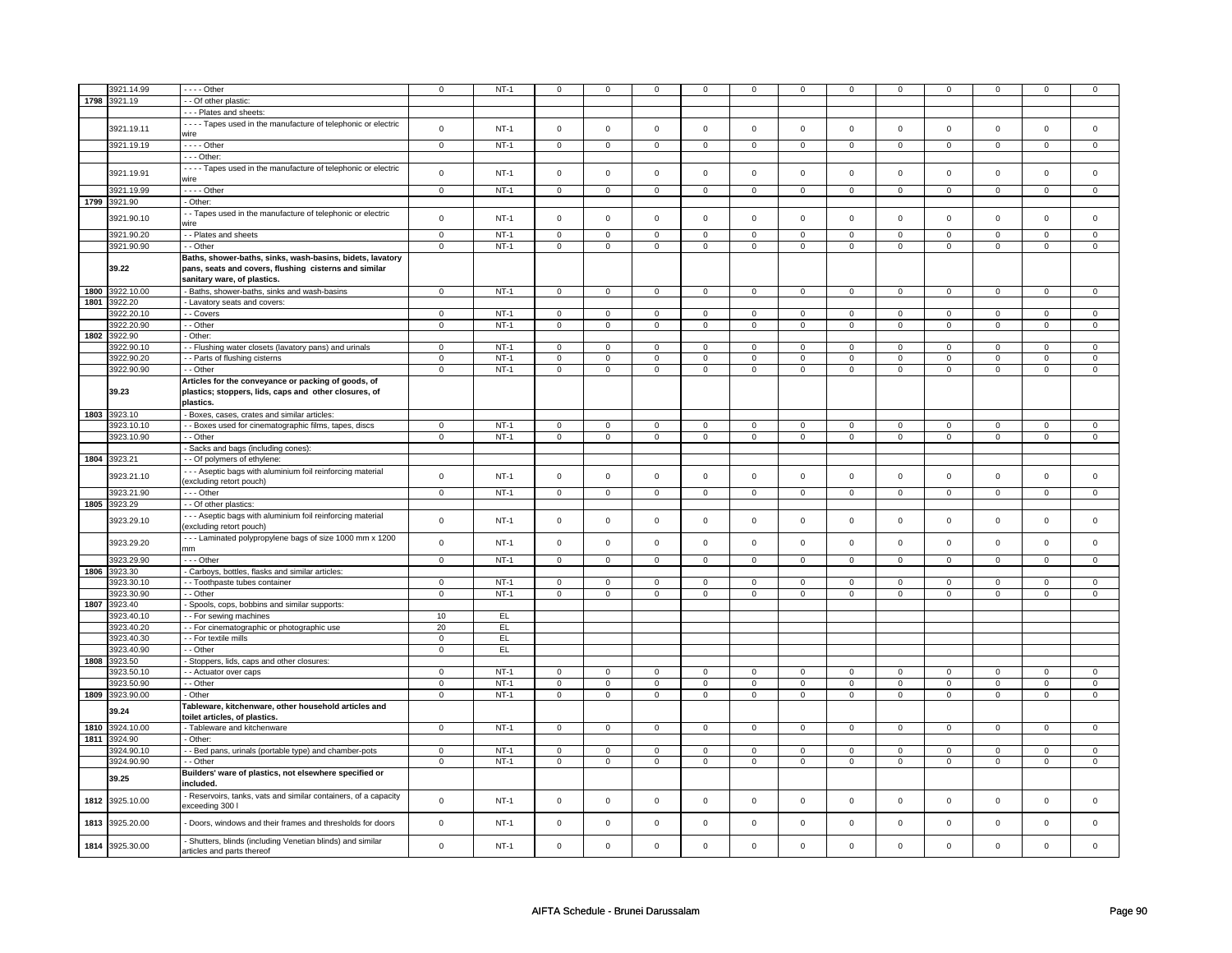|      | 3921.14.99      | - - - - Other                                                   | $\mathbf 0$    | $NT-1$ | $\mathbf 0$    | $\mathbf 0$    | $\mathbf 0$    | $\mathbf 0$    | 0                   | $\mathbf 0$    | 0              | 0              | $\mathbf 0$    | $\mathbf 0$    | 0              | 0              |
|------|-----------------|-----------------------------------------------------------------|----------------|--------|----------------|----------------|----------------|----------------|---------------------|----------------|----------------|----------------|----------------|----------------|----------------|----------------|
|      |                 |                                                                 |                |        |                |                |                |                |                     |                |                |                |                |                |                |                |
| 1798 | 3921.19         | - Of other plastic:                                             |                |        |                |                |                |                |                     |                |                |                |                |                |                |                |
|      |                 | - - - Plates and sheets:                                        |                |        |                |                |                |                |                     |                |                |                |                |                |                |                |
|      |                 | - - - - Tapes used in the manufacture of telephonic or electric | $\mathsf 0$    | $NT-1$ | $\mathsf 0$    | $\mathsf 0$    | $\mathsf 0$    | $\mathsf 0$    | $\mathsf 0$         | $\mathsf 0$    | $\mathbf 0$    | $\mathbf 0$    | $\mathsf 0$    | $\mathbf 0$    | $\mathsf 0$    | $\mathbf{O}$   |
|      | 3921.19.11      | wire                                                            |                |        |                |                |                |                |                     |                |                |                |                |                |                |                |
|      | 3921.19.19      | - - - - Other                                                   | $\mathbf 0$    | $NT-1$ | $\mathbf 0$    | $\mathbf 0$    | $\mathbf 0$    | $\mathbf 0$    | $\mathbf 0$         | $\mathbf 0$    | $\mathbf 0$    | $\mathbf{0}$   | $\mathbf 0$    | $\mathbf{0}$   | $\Omega$       | $\mathbf{0}$   |
|      |                 | - - - Other:                                                    |                |        |                |                |                |                |                     |                |                |                |                |                |                |                |
|      |                 |                                                                 |                |        |                |                |                |                |                     |                |                |                |                |                |                |                |
|      | 3921.19.91      | - - - - Tapes used in the manufacture of telephonic or electric | $\mathbf 0$    | $NT-1$ | $\mathbf 0$    | $\mathbf 0$    | $\Omega$       | $\mathbf{0}$   | $\mathbf 0$         | $\mathbf 0$    | $\mathbf 0$    | $\mathbf{0}$   | $\mathbf 0$    | $\mathbf{0}$   | $\mathbf 0$    | $\mathbf 0$    |
|      |                 | wire                                                            |                |        |                |                |                |                |                     |                |                |                |                |                |                |                |
|      | 3921.19.99      | - - - - Other                                                   | $\circ$        | $NT-1$ | $\mathbf 0$    | $\mathsf 0$    | $\mathsf 0$    | $\mathbf 0$    | $\mathbf 0$         | $\mathbf{0}$   | $\mathsf 0$    | $\overline{0}$ | $\mathbf 0$    | $\mathbf{O}$   | $\mathbf 0$    | $\overline{0}$ |
| 1799 | 3921.90         | - Other:                                                        |                |        |                |                |                |                |                     |                |                |                |                |                |                |                |
|      |                 | - Tapes used in the manufacture of telephonic or electric       |                |        |                |                |                |                |                     |                |                |                |                |                |                |                |
|      | 3921.90.10      | wire                                                            | $\mathsf 0$    | $NT-1$ | $\mathsf 0$    | $\mathsf 0$    | $\mathsf 0$    | $\mathsf 0$    | $\mathsf{O}\xspace$ | $\mathsf 0$    | $\mathsf 0$    | $\mathbf 0$    | $\mathsf 0$    | $\mathbf 0$    | $\mathbf 0$    | $\mathsf 0$    |
|      |                 |                                                                 |                |        |                |                |                |                |                     |                |                |                |                |                |                |                |
|      | 3921.90.20      | - - Plates and sheets                                           | $\mathbf 0$    | $NT-1$ | $\mathbf 0$    | $\mathsf 0$    | $\mathbf 0$    | $\mathbf 0$    | 0                   | $\mathbf 0$    | 0              | $\mathbf 0$    | 0              | $\mathbf 0$    | 0              | $\mathbf 0$    |
|      | 3921.90.90      | - - Other                                                       | $\mathsf 0$    | $NT-1$ | $\mathbf 0$    | $\overline{0}$ | $\mathsf 0$    | $\mathbf 0$    | $\mathsf{O}\xspace$ | $\overline{0}$ | $\mathbf 0$    | $\mathbf 0$    | $\mathsf 0$    | $\mathbf 0$    | $\mathsf 0$    | $\mathbf 0$    |
|      |                 | Baths, shower-baths, sinks, wash-basins, bidets, lavatory       |                |        |                |                |                |                |                     |                |                |                |                |                |                |                |
|      | 39.22           | pans, seats and covers, flushing cisterns and similar           |                |        |                |                |                |                |                     |                |                |                |                |                |                |                |
|      |                 | sanitary ware, of plastics.                                     |                |        |                |                |                |                |                     |                |                |                |                |                |                |                |
| 1800 | 3922.10.00      |                                                                 | $\overline{0}$ | $NT-1$ | $\overline{0}$ | $\overline{0}$ | $\overline{0}$ | $\overline{0}$ | $\overline{0}$      | $\overline{0}$ | $\overline{0}$ | $\overline{0}$ | $\overline{0}$ | $\overline{0}$ | $\Omega$       | $\overline{0}$ |
|      |                 | - Baths, shower-baths, sinks and wash-basins                    |                |        |                |                |                |                |                     |                |                |                |                |                |                |                |
| 1801 | 922.20          | - Lavatory seats and covers:                                    |                |        |                |                |                |                |                     |                |                |                |                |                |                |                |
|      | 3922.20.10      | - Covers                                                        | $\mathsf 0$    | $NT-1$ | $\mathbf 0$    | $\mathsf 0$    | $\mathbf 0$    | $\mathbf 0$    | $\mathbf 0$         | $\mathbf 0$    | $\mathbf 0$    | $\mathbf{0}$   | $\mathbf 0$    | $\mathbf{0}$   | $\mathbf 0$    | $\mathbf{0}$   |
|      | 3922.20.90      | - - Other                                                       | $\mathbf 0$    | $NT-1$ | $\overline{0}$ | $\overline{0}$ | $\overline{0}$ | $\overline{0}$ | $\overline{0}$      | $\overline{0}$ | $\overline{0}$ | $\overline{0}$ | $\overline{0}$ | $\overline{0}$ | $\mathsf 0$    | $\overline{0}$ |
| 1802 | 3922.90         | - Other:                                                        |                |        |                |                |                |                |                     |                |                |                |                |                |                |                |
|      | 3922.90.10      | - - Flushing water closets (lavatory pans) and urinals          | $\mathsf 0$    | $NT-1$ | $\mathbf 0$    | $\mathsf 0$    | $\Omega$       | $\mathbf 0$    | $\mathsf 0$         | $\mathbf 0$    | 0              | $\mathbf 0$    | $\mathsf 0$    | $\mathbf 0$    | $\Omega$       | 0              |
|      |                 |                                                                 |                |        |                |                |                |                |                     |                |                |                |                |                |                |                |
|      | 3922.90.20      | - - Parts of flushing cisterns                                  | $\mathbf 0$    | $NT-1$ | $\mathsf 0$    | $\mathsf 0$    | $\mathbf 0$    | $\mathsf 0$    | $\mathsf{O}\xspace$ | $\mathsf 0$    | $\mathbf 0$    | $\mathbf 0$    | $\mathsf 0$    | $\mathbf 0$    | $\mathbf 0$    | $\mathbf{O}$   |
|      | 3922.90.90      | - - Other                                                       | $\mathsf 0$    | $NT-1$ | $\mathbf 0$    | $\mathsf 0$    | $\mathbf 0$    | $\mathsf 0$    | $\mathsf 0$         | $\mathsf 0$    | $\mathbf 0$    | $\mathbf 0$    | $\mathsf 0$    | $\mathbf 0$    | $\mathsf 0$    | $\mathbf 0$    |
|      |                 | Articles for the conveyance or packing of goods, of             |                |        |                |                |                |                |                     |                |                |                |                |                |                |                |
|      | 39.23           | plastics; stoppers, lids, caps and other closures, of           |                |        |                |                |                |                |                     |                |                |                |                |                |                |                |
|      |                 | plastics.                                                       |                |        |                |                |                |                |                     |                |                |                |                |                |                |                |
|      | 1803 3923.10    | - Boxes, cases, crates and similar articles:                    |                |        |                |                |                |                |                     |                |                |                |                |                |                |                |
|      |                 |                                                                 | $\mathbf 0$    |        |                |                | $\mathbf 0$    |                |                     |                |                |                |                |                | $\mathbf 0$    |                |
|      | 3923.10.10      | - Boxes used for cinematographic films, tapes, discs            |                | $NT-1$ | $\mathsf 0$    | $\mathsf 0$    |                | $\mathsf 0$    | $\mathsf{O}\xspace$ | $\mathsf 0$    | $\mathsf 0$    | $\mathsf 0$    | $\mathsf 0$    | $\mathbf 0$    |                | $\mathbf 0$    |
|      | 3923.10.90      | - - Other                                                       | $\mathbf 0$    | $NT-1$ | $\overline{0}$ | $\overline{0}$ | $\overline{0}$ | $\overline{0}$ | $\overline{0}$      | $\overline{0}$ | $\mathsf 0$    | $\overline{0}$ | $\overline{0}$ | $\overline{0}$ | $\overline{0}$ | $\overline{0}$ |
|      |                 | - Sacks and bags (including cones):                             |                |        |                |                |                |                |                     |                |                |                |                |                |                |                |
| 1804 | 3923.21         | - Of polymers of ethylene:                                      |                |        |                |                |                |                |                     |                |                |                |                |                |                |                |
|      |                 | --- Aseptic bags with aluminium foil reinforcing material       |                |        |                |                |                |                |                     |                |                |                |                |                |                |                |
|      | 3923.21.10      | (excluding retort pouch)                                        | $\mathsf 0$    | $NT-1$ | $\mathsf 0$    | $\mathsf 0$    | $\mathsf 0$    | $\mathbf 0$    | $\mathsf 0$         | $\mathsf 0$    | $\mathbf 0$    | $\mathsf 0$    | $\mathsf 0$    | $\mathbf 0$    | $\mathbf 0$    | $\mathbf 0$    |
|      |                 | $- -$ Other                                                     |                |        | $\overline{0}$ | $\overline{0}$ |                | $\overline{0}$ | $\overline{0}$      |                |                |                | $\overline{0}$ | $\overline{0}$ |                |                |
|      | 3923.21.90      |                                                                 | $\mathbf 0$    | $NT-1$ |                |                | $\mathbf 0$    |                |                     | $\mathbf 0$    | $\mathbf 0$    | $\mathbf{0}$   |                |                | $\mathbf 0$    | $\mathbf{0}$   |
| 1805 | 3923.29         | - - Of other plastics:                                          |                |        |                |                |                |                |                     |                |                |                |                |                |                |                |
|      | 3923.29.10      | --- Aseptic bags with aluminium foil reinforcing material       | $\mathsf 0$    | $NT-1$ | $\mathsf 0$    | $\mathsf 0$    | $\mathbf 0$    | $\mathbf 0$    | $\mathsf 0$         | $\mathbf 0$    | $\mathbf 0$    | $\mathsf 0$    | $\mathsf 0$    | $\mathbf 0$    | $\mathbf 0$    | 0              |
|      |                 | excluding retort pouch)                                         |                |        |                |                |                |                |                     |                |                |                |                |                |                |                |
|      |                 | --- Laminated polypropylene bags of size 1000 mm x 1200         |                |        |                |                |                |                |                     |                |                |                |                |                |                |                |
|      | 3923.29.20      | mm                                                              | $\mathbf 0$    | $NT-1$ | $\mathsf 0$    | $\mathsf 0$    | $\mathsf 0$    | $\mathsf{o}\,$ | $\mathsf 0$         | $\mathsf{o}\,$ | $\mathbf 0$    | $\mathbf 0$    | $\mathsf 0$    | $\mathsf{o}\,$ | $\mathsf 0$    | $\mathbf 0$    |
|      | 3923.29.90      |                                                                 | $\overline{0}$ | $NT-1$ | $\overline{0}$ | $\overline{0}$ | $\overline{0}$ | $\overline{0}$ | $\overline{0}$      | $\overline{0}$ | $\overline{0}$ | $\overline{0}$ | $\overline{0}$ | $\overline{0}$ |                | $\overline{0}$ |
|      |                 | $\overline{-}$ - Other                                          |                |        |                |                |                |                |                     |                |                |                |                |                | 0              |                |
| 1806 | 3923.30         | - Carboys, bottles, flasks and similar articles:                |                |        |                |                |                |                |                     |                |                |                |                |                |                |                |
|      | 923.30.10       | - - Toothpaste tubes container                                  | $\mathsf 0$    | $NT-1$ | $\mathsf 0$    | $\mathbf 0$    | $\mathsf 0$    | $\mathbf 0$    | $\mathsf 0$         | $\mathbf 0$    | $\mathbf 0$    | $\mathsf 0$    | $\mathsf 0$    | $\mathbf 0$    | $\mathbf 0$    | $\mathbf 0$    |
|      | 3923.30.90      | - Other                                                         | $\mathsf 0$    | $NT-1$ | $\mathsf 0$    | $\mathbf 0$    | $\mathsf 0$    | $\mathsf 0$    | $\mathsf{O}\xspace$ | $\mathsf 0$    | $\mathbf 0$    | $\mathbf 0$    | $\mathsf 0$    | $\mathbf 0$    | $\mathsf 0$    | $\mathbf 0$    |
| 1807 | 3923.40         | - Spools, cops, bobbins and similar supports:                   |                |        |                |                |                |                |                     |                |                |                |                |                |                |                |
|      | 3923.40.10      | - - For sewing machines                                         | 10             | EL     |                |                |                |                |                     |                |                |                |                |                |                |                |
|      | 3923.40.20      | - - For cinematographic or photographic use                     | 20             | EL.    |                |                |                |                |                     |                |                |                |                |                |                |                |
|      |                 |                                                                 |                |        |                |                |                |                |                     |                |                |                |                |                |                |                |
|      | 3923.40.30      | - - For textile mills                                           | $\mathsf 0$    | EL     |                |                |                |                |                     |                |                |                |                |                |                |                |
|      | 3923.40.90      | - - Other                                                       | $\mathsf 0$    | EL     |                |                |                |                |                     |                |                |                |                |                |                |                |
| 1808 | 3923.50         | Stoppers, lids, caps and other closures:                        |                |        |                |                |                |                |                     |                |                |                |                |                |                |                |
|      | 923.50.10       | - - Actuator over caps                                          | $\mathsf 0$    | $NT-1$ | $\mathsf 0$    | $\mathsf 0$    | $\mathsf 0$    | $\mathsf 0$    | $\mathsf 0$         | $\mathbf 0$    | $\mathsf 0$    | $\mathbf 0$    | $\mathsf 0$    | $\mathbf 0$    | 0              | 0              |
|      | 3923.50.90      | - - Other                                                       | $\mathbf 0$    | $NT-1$ | $\mathbf 0$    | $\mathsf 0$    | $\mathsf 0$    | $\mathsf 0$    | $\mathsf 0$         | $\mathbf 0$    | $\mathbf{0}$   | $\mathbf 0$    | $\mathbf 0$    | $\mathbf 0$    | $\mathbf{0}$   | $\mathbf 0$    |
|      | 1809 3923.90.00 | - Other                                                         | $\mathsf 0$    | $NT-1$ | $\mathbf 0$    | $\mathsf 0$    | $\mathbf 0$    | $\mathbf 0$    | $\mathbf 0$         | $\mathbf 0$    | $\mathbf 0$    | $\mathbf 0$    | $\mathbf 0$    | $\mathbf 0$    | $\mathsf 0$    | $\mathbf{0}$   |
|      |                 |                                                                 |                |        |                |                |                |                |                     |                |                |                |                |                |                |                |
|      | 39.24           | Tableware, kitchenware, other household articles and            |                |        |                |                |                |                |                     |                |                |                |                |                |                |                |
|      |                 | toilet articles, of plastics.                                   |                |        |                |                |                |                |                     |                |                |                |                |                |                |                |
| 1810 | 924.10.00       | - Tableware and kitchenware                                     | $\mathbf 0$    | $NT-1$ | $\mathsf 0$    | $\mathbf 0$    | $\mathsf 0$    | $\mathbf 0$    | $\mathsf 0$         | $\mathsf 0$    | $\mathsf 0$    | $\mathbf 0$    | $\mathsf 0$    | $\mathbf 0$    | $\mathsf 0$    | 0              |
|      | 1811 3924.90    | - Other:                                                        |                |        |                |                |                |                |                     |                |                |                |                |                |                |                |
|      | 3924.90.10      | - Bed pans, urinals (portable type) and chamber-pots            | $\mathsf 0$    | $NT-1$ | $\mathsf 0$    | $\overline{0}$ | $\mathsf 0$    | $\mathsf{O}^-$ | $\mathsf{O}$        | $\overline{0}$ | $\mathbf 0$    | $\mathbf{0}$   | $\mathsf 0$    | $\mathsf{O}^-$ | $\mathsf 0$    | $\mathsf 0$    |
|      | 3924.90.90      | - - Other                                                       | $\mathbf 0$    | $NT-1$ | $\mathbf 0$    | $\mathbf 0$    | $\mathbf 0$    | $\mathsf 0$    | $\mathsf 0$         | $\mathsf 0$    | $\mathbf 0$    | $\mathbf 0$    | 0              | $\mathbf 0$    | $\mathsf 0$    | $\mathbf 0$    |
|      |                 |                                                                 |                |        |                |                |                |                |                     |                |                |                |                |                |                |                |
|      | 39.25           | Builders' ware of plastics, not elsewhere specified or          |                |        |                |                |                |                |                     |                |                |                |                |                |                |                |
|      |                 | included.                                                       |                |        |                |                |                |                |                     |                |                |                |                |                |                |                |
| 1812 | 3925.10.00      | Reservoirs, tanks, vats and similar containers, of a capacity   | $\mathsf 0$    | $NT-1$ | $\mathsf 0$    | $\mathsf 0$    | $\mathsf 0$    | $\mathbf 0$    | $\mathsf 0$         | $\mathbf 0$    | $\mathbf 0$    | $\mathsf 0$    | $\mathsf 0$    | $\mathbf 0$    | $\mathbf 0$    | 0              |
|      |                 | exceeding 300 l                                                 |                |        |                |                |                |                |                     |                |                |                |                |                |                |                |
|      |                 |                                                                 |                |        |                |                |                |                |                     |                |                |                |                |                |                |                |
| 1813 | 3925.20.00      | - Doors, windows and their frames and thresholds for doors      | $\mathsf 0$    | $NT-1$ | $\mathsf 0$    | $\mathsf 0$    | $\mathsf 0$    | $\mathsf 0$    | $\mathsf{O}\xspace$ | $\mathsf 0$    | $\mathbf 0$    | $\mathbf 0$    | $\mathsf 0$    | $\mathbf 0$    | $\mathbf 0$    | $\mathbf 0$    |
|      |                 |                                                                 |                |        |                |                |                |                |                     |                |                |                |                |                |                |                |
| 1814 | 3925.30.00      | - Shutters, blinds (including Venetian blinds) and similar      | $\mathbf 0$    | $NT-1$ | $\Omega$       | $\mathsf 0$    | $\mathbf 0$    | $\mathbf 0$    | $\mathbf 0$         | $\mathbf 0$    | $\mathbf 0$    | $\mathbf 0$    | $\mathbf 0$    | $\mathbf 0$    | $\mathbf 0$    | $\mathbf{0}$   |
|      |                 | articles and parts thereof                                      |                |        |                |                |                |                |                     |                |                |                |                |                |                |                |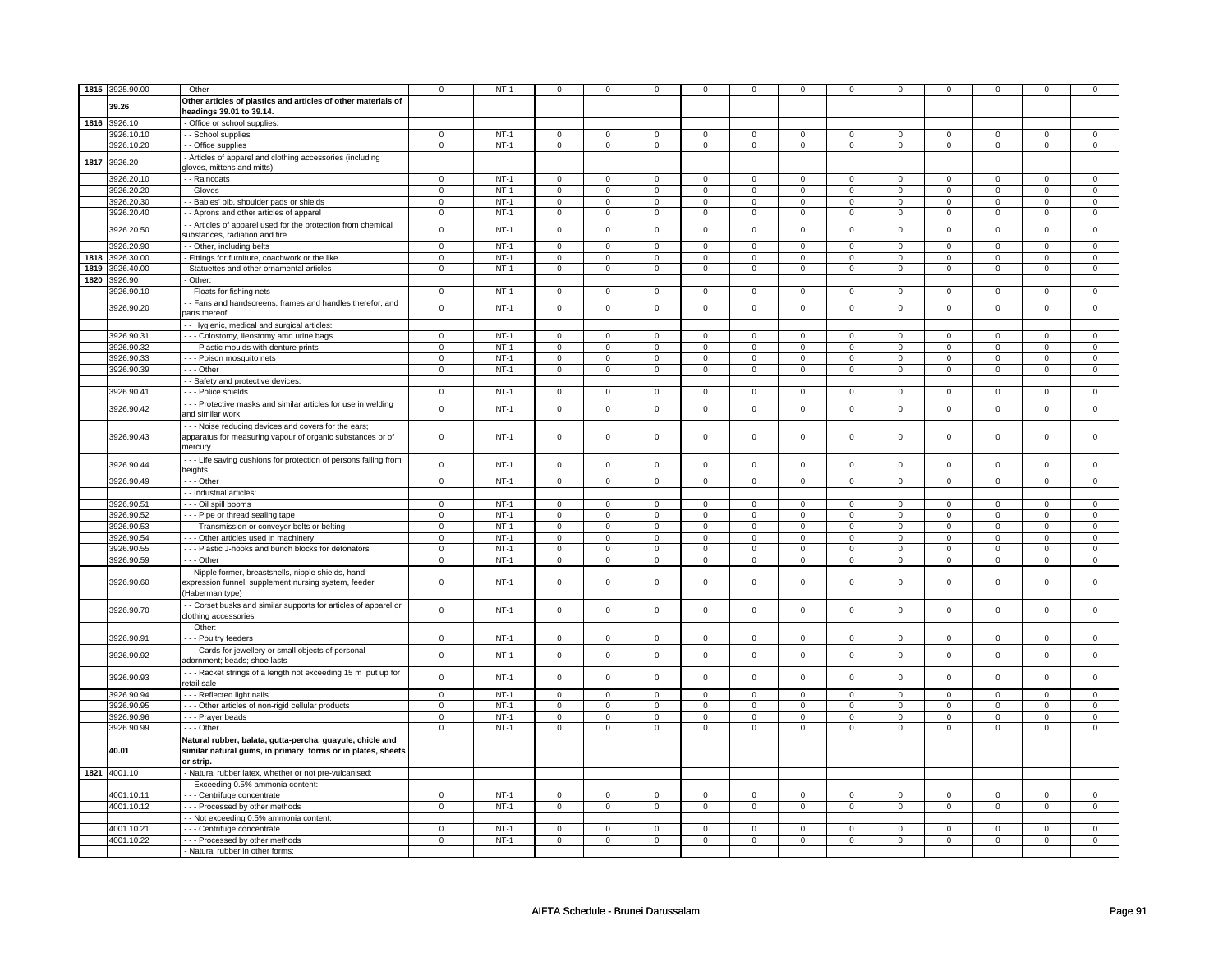| 1815 | 3925.90.00   | - Other                                                         | 0              | $NT-1$ | $\mathbf 0$         | $\mathbf 0$    | $\mathbf 0$         | $\mathbf 0$    | $\mathbf 0$         | 0              | 0              | 0              | $\mathbf 0$         | 0                   |             |                |
|------|--------------|-----------------------------------------------------------------|----------------|--------|---------------------|----------------|---------------------|----------------|---------------------|----------------|----------------|----------------|---------------------|---------------------|-------------|----------------|
|      |              |                                                                 |                |        |                     |                |                     |                |                     |                |                |                |                     |                     |             |                |
|      | 39.26        | Other articles of plastics and articles of other materials of   |                |        |                     |                |                     |                |                     |                |                |                |                     |                     |             |                |
|      |              | headings 39.01 to 39.14.                                        |                |        |                     |                |                     |                |                     |                |                |                |                     |                     |             |                |
|      | 1816 3926.10 | - Office or school supplies:                                    |                |        |                     |                |                     |                |                     |                |                |                |                     |                     |             |                |
|      | 3926.10.10   | - School supplies                                               | $\Omega$       | $NT-1$ | $\Omega$            | $\Omega$       | $\Omega$            | $\mathbf 0$    | $\mathbf 0$         | $\mathbf 0$    | $\mathbf 0$    | $\mathbf 0$    | $\mathbf 0$         | $\mathbf 0$         | $\Omega$    | $\mathbf{0}$   |
|      | 3926.10.20   | - - Office supplies                                             | $\mathsf 0$    | $NT-1$ | $\mathsf 0$         | $\mathsf 0$    | $\mathsf 0$         | $\mathsf 0$    | $\mathsf 0$         | $\pmb{0}$      | $\mathbf 0$    | $\mathsf 0$    | $\mathsf 0$         | $\mathbf 0$         | $\mathsf 0$ | $\mathbf 0$    |
|      |              |                                                                 |                |        |                     |                |                     |                |                     |                |                |                |                     |                     |             |                |
| 1817 | 3926.20      | Articles of apparel and clothing accessories (including         |                |        |                     |                |                     |                |                     |                |                |                |                     |                     |             |                |
|      |              | gloves, mittens and mitts):                                     |                |        |                     |                |                     |                |                     |                |                |                |                     |                     |             |                |
|      | 3926.20.10   | - Raincoats                                                     | $\mathbf 0$    | $NT-1$ | $\mathbf 0$         | $\mathbf 0$    | $\mathbf 0$         | $\mathbf 0$    | $\mathbf 0$         | $\mathbf 0$    | 0              | $\mathbf 0$    | 0                   | $\mathbf 0$         | 0           | 0              |
|      | 3926.20.20   | - - Gloves                                                      | $\mathsf 0$    | $NT-1$ | $\mathbf 0$         | $\mathbf 0$    | $\mathbf 0$         | $\mathbf{0}$   | $\mathbf 0$         | $\mathbf 0$    | $\mathbf 0$    | $\mathbf{0}$   | $\mathbf{0}$        | $\mathbf 0$         | 0           | $\mathbf{0}$   |
|      | 3926.20.30   | - - Babies' bib, shoulder pads or shields                       | $\mathsf 0$    | $NT-1$ | $\mathsf 0$         | $\mathbf 0$    | $\mathbf 0$         | $\mathbf 0$    | $\mathbf 0$         | $\mathbf 0$    | 0              | 0              | 0                   | $\mathbf 0$         | 0           | $\mathbf 0$    |
|      | 3926.20.40   | - Aprons and other articles of apparel                          | $\mathbf 0$    | $NT-1$ | $\mathsf 0$         | $\mathbf 0$    | $\mathsf 0$         | $\mathbf 0$    | $\mathsf 0$         | $\mathbf 0$    | $\mathbf 0$    | $\mathsf 0$    | $\mathsf 0$         | $\mathsf 0$         | $\mathbf 0$ | 0              |
|      |              |                                                                 |                |        |                     |                |                     |                |                     |                |                |                |                     |                     |             |                |
|      | 3926.20.50   | - Articles of apparel used for the protection from chemical     | $\mathsf 0$    | $NT-1$ | $\mathsf 0$         | $\mathbf 0$    | $\mathbf 0$         | $\mathsf 0$    | $\mathbf 0$         | $\mathsf 0$    | 0              | $\mathsf 0$    | 0                   | $\mathsf 0$         | 0           | $\mathbf 0$    |
|      |              | substances, radiation and fire                                  |                |        |                     |                |                     |                |                     |                |                |                |                     |                     |             |                |
|      | 3926.20.90   | - - Other, including belts                                      | $\mathsf 0$    | $NT-1$ | $\mathsf 0$         | $\mathsf 0$    | $\mathsf 0$         | $\mathsf 0$    | $\mathsf{O}\xspace$ | $\mathsf 0$    | $\mathbf 0$    | $\mathsf 0$    | $\mathsf 0$         | $\mathbf 0$         | $\Omega$    | $\mathbf 0$    |
| 1818 | 3926.30.00   | - Fittings for furniture, coachwork or the like                 | $\mathbf 0$    | $NT-1$ | $\mathsf 0$         | $\mathsf 0$    | $\mathsf 0$         | $\mathsf 0$    | $\mathsf 0$         | $\mathbf 0$    | 0              | $\mathbf 0$    | $\mathbf 0$         | $\mathbf 0$         | 0           | $\mathbf 0$    |
| 1819 | 3926.40.00   | - Statuettes and other ornamental articles                      | $\mathbf 0$    | $NT-1$ | $\mathbf 0$         | $\mathsf 0$    | $\mathbf 0$         | $\mathsf 0$    | $\mathsf{O}\xspace$ | $\mathbf 0$    | $\mathbf 0$    | $\mathbf 0$    | $\mathsf 0$         | $\mathbf 0$         | $\mathbf 0$ | $\mathbf{0}$   |
| 1820 | 3926.90      | - Other:                                                        |                |        |                     |                |                     |                |                     |                |                |                |                     |                     |             |                |
|      |              |                                                                 |                |        |                     |                |                     |                |                     |                |                |                |                     |                     |             |                |
|      | 3926.90.10   | - - Floats for fishing nets                                     | $\mathbf 0$    | $NT-1$ | $\mathbf 0$         | $\overline{0}$ | $\mathbf 0$         | $\mathbf 0$    | $\mathsf 0$         | $\mathbf 0$    | $\mathbf 0$    | $\mathbf 0$    | $\mathbf 0$         | $\mathbf 0$         | $\Omega$    | 0              |
|      | 3926.90.20   | - Fans and handscreens, frames and handles therefor, and        | $\mathbf 0$    | $NT-1$ | $\mathbf 0$         | $\mathbf 0$    | $\mathsf 0$         | $\mathbf 0$    | $\mathsf 0$         | $\mathsf 0$    | $\mathbf 0$    | $\mathsf 0$    | $\mathsf 0$         | $\mathbf 0$         | $\mathbf 0$ | 0              |
|      |              | parts thereof                                                   |                |        |                     |                |                     |                |                     |                |                |                |                     |                     |             |                |
|      |              | - - Hygienic, medical and surgical articles:                    |                |        |                     |                |                     |                |                     |                |                |                |                     |                     |             |                |
|      | 3926.90.31   | --- Colostomy, ileostomy amd urine bags                         | 0              | $NT-1$ | $\mathbf 0$         | $\mathbf 0$    | $\mathbf 0$         | $\mathbf 0$    | $\mathbf 0$         | $\mathbf 0$    | 0              | $\mathbf 0$    | 0                   | $\mathbf 0$         | 0           | 0              |
|      |              |                                                                 |                |        |                     |                |                     |                |                     |                |                |                |                     |                     |             |                |
|      | 3926.90.32   | --- Plastic moulds with denture prints                          | $\overline{0}$ | $NT-1$ | $\mathbf 0$         | 0              | $\mathbf 0$         | $\mathbf 0$    | $\mathbf 0$         | 0              | 0              | 0              | 0                   | 0                   | 0           | $\overline{0}$ |
|      | 3926.90.33   | - - - Poison mosquito nets                                      | $\overline{0}$ | $NT-1$ | $\mathsf 0$         | $\mathsf 0$    | $\mathsf{O}\xspace$ | $\mathsf 0$    | $\mathsf{O}\xspace$ | $\mathbf 0$    | $\mathsf 0$    | $\mathbf 0$    | $\mathsf 0$         | $\mathsf{O}$        | $\mathsf 0$ | $\overline{0}$ |
|      | 3926.90.39   | --- Other                                                       | $\mathbf 0$    | $NT-1$ | $\mathsf 0$         | $\mathsf 0$    | $\mathsf{O}\xspace$ | $\mathsf 0$    | $\mathsf{O}\xspace$ | $\mathbf 0$    | $\mathsf 0$    | $\mathbf 0$    | $\mathsf 0$         | $\mathsf{O}$        | $\mathsf 0$ | $\mathsf 0$    |
|      |              | - Safety and protective devices:                                |                |        |                     |                |                     |                |                     |                |                |                |                     |                     |             |                |
|      | 3926.90.41   | Police shields                                                  | $\mathbf 0$    | $NT-1$ | $\mathsf 0$         | $\mathsf 0$    | $\mathsf 0$         | $\mathsf 0$    | $\mathsf 0$         | $\mathbf 0$    | 0              | $\mathsf 0$    | $\mathsf{O}\xspace$ | $\mathbf 0$         | 0           | $\mathbf 0$    |
|      |              |                                                                 |                |        |                     |                |                     |                |                     |                |                |                |                     |                     |             |                |
|      | 3926.90.42   | --- Protective masks and similar articles for use in welding    | $\mathbf 0$    | $NT-1$ | $\mathbf 0$         | $\mathbf 0$    | $\mathbf 0$         | $\mathbf 0$    | $\mathbf 0$         | $\mathbf 0$    | $\mathbf 0$    | $\mathbf 0$    | $\mathbf 0$         | $\mathbf 0$         | $\mathbf 0$ | $\mathbf{0}$   |
|      |              | and similar work                                                |                |        |                     |                |                     |                |                     |                |                |                |                     |                     |             |                |
|      |              | - - - Noise reducing devices and covers for the ears;           |                |        |                     |                |                     |                |                     |                |                |                |                     |                     |             |                |
|      | 3926.90.43   | apparatus for measuring vapour of organic substances or of      | $\mathbf 0$    | $NT-1$ | $\mathbf 0$         | $\mathbf 0$    | $\mathbf 0$         | $\mathbf 0$    | $\mathbf 0$         | 0              | 0              | 0              | 0                   | 0                   | 0           | $\mathbf 0$    |
|      |              | mercury                                                         |                |        |                     |                |                     |                |                     |                |                |                |                     |                     |             |                |
|      |              | --- Life saving cushions for protection of persons falling from |                |        |                     |                |                     |                |                     |                |                |                |                     |                     |             |                |
|      | 3926.90.44   |                                                                 | $\mathsf 0$    | $NT-1$ | $\mathsf 0$         | $\mathsf 0$    | $\mathsf 0$         | $\mathbf 0$    | $\mathsf 0$         | $\mathsf 0$    | $\mathbf 0$    | $\mathsf 0$    | $\mathsf 0$         | $\mathbf 0$         | $\mathbf 0$ | $\mathbf 0$    |
|      |              | heights                                                         |                |        |                     |                |                     |                |                     |                |                |                |                     |                     |             |                |
|      | 3926.90.49   | --- Other                                                       | $\mathsf 0$    | $NT-1$ | $\mathbf 0$         | $\mathbf 0$    | $\mathsf 0$         | $\mathbf 0$    | $\mathsf 0$         | $\mathbf 0$    | $\mathbf 0$    | $\mathbf 0$    | $\mathsf 0$         | $\mathbf 0$         | $\mathsf 0$ | $\mathbf 0$    |
|      |              | - - Industrial articles:                                        |                |        |                     |                |                     |                |                     |                |                |                |                     |                     |             |                |
|      | 3926.90.51   | - - - Oil spill booms                                           | $\overline{0}$ | $NT-1$ | $\overline{0}$      | $\overline{0}$ | $\overline{0}$      | $\overline{0}$ | $\mathsf 0$         | $\overline{0}$ | $\overline{0}$ | $\overline{0}$ | $\mathsf 0$         | $\overline{0}$      | $\mathsf 0$ | $\overline{0}$ |
|      | 3926.90.52   | --- Pipe or thread sealing tape                                 | $\mathsf 0$    | $NT-1$ | $\mathsf 0$         | $\mathsf 0$    | 0                   | $\mathsf 0$    | 0                   | $\mathsf 0$    | 0              | $\mathsf 0$    | 0                   | $\mathsf 0$         | $\Omega$    | 0              |
|      |              |                                                                 |                |        |                     |                |                     |                |                     |                |                |                |                     |                     |             |                |
|      | 3926.90.53   | - - - Transmission or conveyor belts or belting                 | $\mathsf 0$    | $NT-1$ | $\mathsf{O}\xspace$ | $\mathsf 0$    | 0                   | $\mathsf 0$    | 0                   | $\mathsf 0$    | $\Omega$       | $\mathsf 0$    | 0                   | $\mathbf 0$         | $\Omega$    | 0              |
|      | 3926.90.54   | --- Other articles used in machinery                            | $\mathsf 0$    | $NT-1$ | $\mathsf 0$         | $\mathsf 0$    | 0                   | $\mathsf 0$    | $\mathsf 0$         | $\mathbf 0$    | 0              | $\mathbf 0$    | $\mathbf 0$         | $\mathbf 0$         | 0           | $\mathbf 0$    |
|      | 3926.90.55   | - - - Plastic J-hooks and bunch blocks for detonators           | $\mathbf 0$    | $NT-1$ | $\mathbf 0$         | $\mathbf 0$    | $\mathbf 0$         | $\mathbf 0$    | $\mathsf 0$         | $\mathsf 0$    | $\mathbf 0$    | $\mathbf 0$    | $\mathsf 0$         | $\mathbf 0$         | $\Omega$    | $\mathbf{0}$   |
|      | 3926.90.59   | --- Other                                                       | $\Omega$       | $NT-1$ | $\mathbf 0$         | $\mathbf 0$    | $\mathbf 0$         | $\mathbf 0$    | $\mathsf 0$         | $\mathsf 0$    | $\mathbf 0$    | $\mathsf 0$    | $\mathbf 0$         | $\mathbf 0$         | $\mathbf 0$ | 0              |
|      |              | - - Nipple former, breastshells, nipple shields, hand           |                |        |                     |                |                     |                |                     |                |                |                |                     |                     |             |                |
|      | 3926.90.60   | expression funnel, supplement nursing system, feeder            | $\mathbf 0$    | $NT-1$ | $\mathbf 0$         | $\mathsf 0$    | $\mathsf 0$         | $\mathbf 0$    | $\mathsf 0$         | $\mathsf 0$    | $\mathbf 0$    | $\mathsf 0$    | $\mathsf 0$         | $\mathbf 0$         | $\mathbf 0$ | 0              |
|      |              |                                                                 |                |        |                     |                |                     |                |                     |                |                |                |                     |                     |             |                |
|      |              | (Haberman type)                                                 |                |        |                     |                |                     |                |                     |                |                |                |                     |                     |             |                |
|      | 3926.90.70   | - Corset busks and similar supports for articles of apparel or  | $\mathsf 0$    | $NT-1$ | $\mathsf 0$         | $\mathbf 0$    | $\mathbf 0$         | $\mathbf 0$    | $\mathsf 0$         | $\mathbf 0$    | 0              | $\mathsf 0$    | $\mathsf 0$         | $\mathbf 0$         | $\mathsf 0$ | $\mathbf 0$    |
|      |              | clothing accessories                                            |                |        |                     |                |                     |                |                     |                |                |                |                     |                     |             |                |
|      |              | - - Other:                                                      |                |        |                     |                |                     |                |                     |                |                |                |                     |                     |             |                |
|      | 3926.90.91   | - - - Poultry feeders                                           | $\mathbf 0$    | $NT-1$ | $\mathsf 0$         | $\mathsf 0$    | $\mathsf 0$         | $\mathsf 0$    | $\mathsf 0$         | $\mathbf 0$    | $\mathbf 0$    | $\mathsf 0$    | $\mathsf 0$         | $\mathsf{O}\xspace$ | 0           | $\mathsf 0$    |
|      |              |                                                                 |                |        |                     |                |                     |                |                     |                |                |                |                     |                     |             |                |
|      | 3926.90.92   | --- Cards for jewellery or small objects of personal            | $\mathbf 0$    | $NT-1$ | $\mathbf 0$         | $\mathbf 0$    | $\mathbf 0$         | $\mathbf 0$    | $\mathsf{O}\xspace$ | $\mathsf 0$    | $\mathbf 0$    | $\mathsf 0$    | $\mathbf 0$         | $\mathsf 0$         | $\mathbf 0$ | 0              |
|      |              | adornment; beads; shoe lasts                                    |                |        |                     |                |                     |                |                     |                |                |                |                     |                     |             |                |
|      | 3926.90.93   | --- Racket strings of a length not exceeding 15 m put up for    | $\mathbf 0$    | $NT-1$ | $\mathsf 0$         | $\mathsf 0$    | $\mathsf 0$         | $\mathsf 0$    | $\mathsf 0$         | $\mathbf 0$    | $\mathbf 0$    | $\mathsf 0$    | $\mathsf 0$         | $\mathbf 0$         | $\mathsf 0$ | $\mathsf 0$    |
|      |              | retail sale                                                     |                |        |                     |                |                     |                |                     |                |                |                |                     |                     |             |                |
|      | 3926.90.94   | - - - Reflected light nails                                     | $\Omega$       | $NT-1$ | $\mathbf 0$         | $\Omega$       | $\mathbf 0$         | $\Omega$       | $\mathbf 0$         | $\mathbf 0$    | $\mathbf 0$    | $\mathbf 0$    | $\mathbf 0$         | $\mathbf 0$         | $\Omega$    | $\mathbf{0}$   |
|      | 3926.90.95   | --- Other articles of non-rigid cellular products               | $\mathsf 0$    | $NT-1$ | $\mathsf 0$         | $\mathsf 0$    | $\mathbf 0$         | $\mathsf 0$    | $\mathsf{O}\xspace$ | $\mathsf 0$    | $\mathsf 0$    | $\mathsf 0$    | $\mathsf 0$         | $\mathbf 0$         | $\mathbf 0$ | $\mathbf 0$    |
|      |              |                                                                 |                |        |                     |                |                     |                |                     |                |                |                |                     |                     |             |                |
|      | 3926.90.96   | - - - Prayer beads                                              | 0              | $NT-1$ | $\mathbf 0$         | $\mathbf 0$    | 0                   | $\mathbf 0$    | 0                   | $\mathbf 0$    | 0              | 0              | 0                   | 0                   | 0           | 0              |
|      | 3926.90.99   | --- Other                                                       | 0              | $NT-1$ | $\mathbf 0$         | $\mathbf 0$    | $\mathbf 0$         | $\mathsf 0$    | $\mathbf 0$         | $\mathbf 0$    | 0              | $\mathbf 0$    | 0                   | $\mathbf 0$         | 0           | $\mathbf 0$    |
|      |              | Natural rubber, balata, gutta-percha, guayule, chicle and       |                |        |                     |                |                     |                |                     |                |                |                |                     |                     |             |                |
|      | 40.01        | similar natural gums, in primary forms or in plates, sheets     |                |        |                     |                |                     |                |                     |                |                |                |                     |                     |             |                |
|      |              | or strip.                                                       |                |        |                     |                |                     |                |                     |                |                |                |                     |                     |             |                |
|      |              |                                                                 |                |        |                     |                |                     |                |                     |                |                |                |                     |                     |             |                |
|      | 1821 4001.10 | - Natural rubber latex, whether or not pre-vulcanised:          |                |        |                     |                |                     |                |                     |                |                |                |                     |                     |             |                |
|      |              | - - Exceeding 0.5% ammonia content:                             |                |        |                     |                |                     |                |                     |                |                |                |                     |                     |             |                |
|      | 4001.10.11   | --- Centrifuge concentrate                                      | $\mathbf 0$    | $NT-1$ | $\mathsf 0$         | $\mathsf 0$    | 0                   | $\mathsf 0$    | 0                   | $\mathsf 0$    | 0              | $\mathsf 0$    | 0                   | $\mathsf 0$         | 0           | $\mathsf 0$    |
|      | 4001.10.12   | --- Processed by other methods                                  | $\mathbf 0$    | $NT-1$ | $\mathsf 0$         | $\mathsf 0$    | 0                   | $\mathsf 0$    | 0                   | $\mathbf 0$    | 0              | $\mathsf 0$    | 0                   | $\mathbf 0$         | 0           | $\mathbf 0$    |
|      |              | - - Not exceeding 0.5% ammonia content:                         |                |        |                     |                |                     |                |                     |                |                |                |                     |                     |             |                |
|      | 4001.10.21   | - - - Centrifuge concentrate                                    | $\Omega$       | $NT-1$ | $\Omega$            | $\Omega$       | $\Omega$            | $\Omega$       | $\Omega$            | $\Omega$       | $\Omega$       | $\Omega$       | $\Omega$            | $\Omega$            | $\Omega$    | $\Omega$       |
|      |              |                                                                 |                |        |                     |                |                     |                |                     |                |                |                |                     |                     |             |                |
|      | 4001.10.22   | --- Processed by other methods                                  | $\Omega$       | $NT-1$ | $\mathbf 0$         | $\mathbf 0$    | $\mathsf 0$         | $\mathbf 0$    | $\mathsf 0$         | $\mathsf 0$    | $\mathbf 0$    | $\mathsf 0$    | $\mathsf 0$         | $\mathbf 0$         | $\mathbf 0$ | 0              |
|      |              | - Natural rubber in other forms:                                |                |        |                     |                |                     |                |                     |                |                |                |                     |                     |             |                |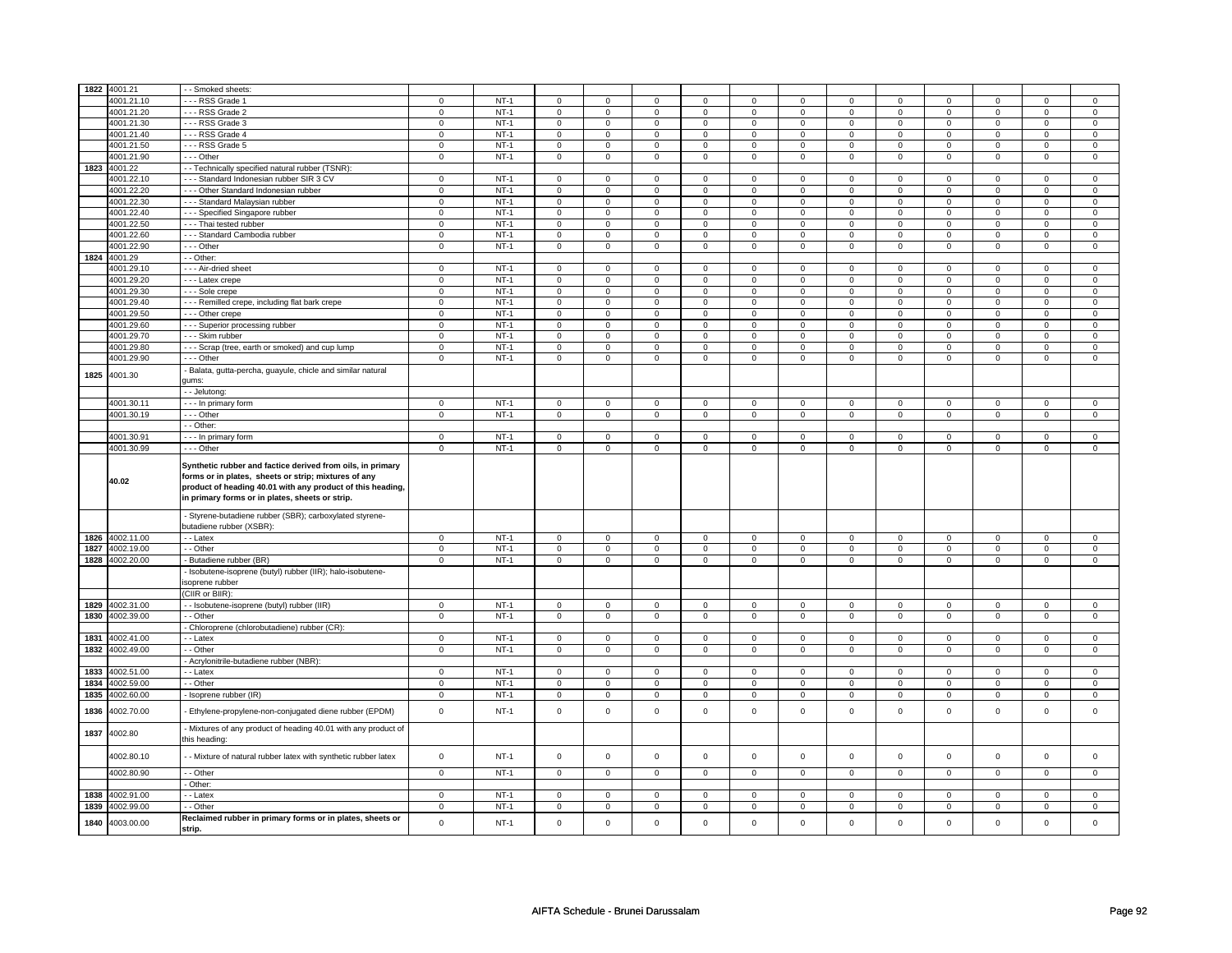|      | 1822 4001.21 | - - Smoked sheets:                                                                                                                                                                                                                  |                |        |                     |                |                |                |                |                |                     |                |                     |                |                |                |
|------|--------------|-------------------------------------------------------------------------------------------------------------------------------------------------------------------------------------------------------------------------------------|----------------|--------|---------------------|----------------|----------------|----------------|----------------|----------------|---------------------|----------------|---------------------|----------------|----------------|----------------|
|      | 4001.21.10   | --- RSS Grade 1                                                                                                                                                                                                                     | $\mathbf 0$    | $NT-1$ | $\mathbf 0$         | $\mathbf 0$    | $\mathbf 0$    | 0              | $\mathbf 0$    | $\mathbf 0$    | $\mathbf 0$         | $\mathbf 0$    | $\mathbf 0$         | 0              | 0              | 0              |
|      | 4001.21.20   | --- RSS Grade 2                                                                                                                                                                                                                     | $\mathbf 0$    | $NT-1$ | $\mathbf 0$         | $\mathbf 0$    | $\mathbf 0$    | $\mathbf{0}$   | $\mathbf 0$    | $\mathbf 0$    | $\mathbf 0$         | $\overline{0}$ | $\overline{0}$      | $\overline{0}$ | $\mathbf 0$    | $\overline{0}$ |
|      | 4001.21.30   | --- RSS Grade 3                                                                                                                                                                                                                     | $\overline{0}$ | $NT-1$ |                     | $\mathsf 0$    | $\mathsf 0$    | $\overline{0}$ | $\overline{0}$ | $\overline{0}$ | $\overline{0}$      | $\overline{0}$ | $\overline{0}$      | $\overline{0}$ | $\overline{0}$ | $\overline{0}$ |
|      |              |                                                                                                                                                                                                                                     |                |        | $\mathsf{O}\xspace$ |                |                |                |                |                |                     |                |                     |                |                |                |
|      | 4001.21.40   | --- RSS Grade 4                                                                                                                                                                                                                     | $\mathsf 0$    | $NT-1$ | $\mathbf 0$         | $\mathsf 0$    | $\mathbf 0$    | $\mathsf 0$    | $\mathsf 0$    | $\mathbf 0$    | $\mathbf 0$         | $\mathbf 0$    | $\mathbf 0$         | $\mathsf 0$    | 0              | 0              |
|      | 4001.21.50   | --- RSS Grade 5                                                                                                                                                                                                                     | $\mathbf 0$    | $NT-1$ | $\mathbf 0$         | $\mathbf 0$    | $\mathbf 0$    | $\mathbf 0$    | $\mathbf 0$    | $\mathbf 0$    | $\mathbf 0$         | $\mathbf 0$    | $\mathbf 0$         | $\mathbf 0$    | 0              | $\mathbf{0}$   |
|      | 4001.21.90   | --- Other                                                                                                                                                                                                                           | $\mathbf 0$    | $NT-1$ | $\mathbf 0$         | $\mathbf 0$    | $\mathbf 0$    | $\mathbf 0$    | 0              | $\mathbf 0$    | $\mathbf 0$         | $\mathbf 0$    | 0                   | $\mathbf 0$    | 0              | $\mathbf 0$    |
| 1823 | 4001.22      | - - Technically specified natural rubber (TSNR):                                                                                                                                                                                    |                |        |                     |                |                |                |                |                |                     |                |                     |                |                |                |
|      | 4001.22.10   | --- Standard Indonesian rubber SIR 3 CV                                                                                                                                                                                             | $\mathbf 0$    | $NT-1$ | $\mathbf 0$         | $\mathbf 0$    | $\mathbf 0$    | $\mathbf 0$    | $\mathbf 0$    | $\mathbf 0$    | $\mathbf 0$         | $\mathbf 0$    | $\mathbf 0$         | $\mathbf 0$    | $\Omega$       | $\mathbf 0$    |
|      | 4001.22.20   | - - - Other Standard Indonesian rubber                                                                                                                                                                                              | $\mathbf 0$    | $NT-1$ | $\mathbf 0$         | $\mathbf 0$    | $\Omega$       | $\mathbf 0$    | $\mathbf 0$    | $\mathbf 0$    | $\mathbf 0$         | $\mathbf 0$    | $\mathbf 0$         | $\mathbf 0$    | $\mathbf 0$    | $\mathbf{0}$   |
|      | 4001.22.30   | --- Standard Malaysian rubber                                                                                                                                                                                                       | $\mathsf 0$    | $NT-1$ | $\mathbf 0$         | $\mathbf 0$    | 0              | 0              | 0              | $\mathsf 0$    | 0                   | $\mathbf 0$    | 0                   | $\mathbf 0$    | 0              | 0              |
|      | 4001.22.40   | - - - Specified Singapore rubber                                                                                                                                                                                                    | $\mathsf 0$    | $NT-1$ | $\mathsf 0$         | $\mathsf 0$    | $\mathsf 0$    | $\mathsf 0$    | $\mathbf 0$    | $\mathbf 0$    | $\mathsf 0$         | $\mathbf 0$    | $\mathbf 0$         | $\mathsf 0$    | $\mathsf 0$    | 0              |
|      | 4001.22.50   | - - - Thai tested rubber                                                                                                                                                                                                            | $\,0\,$        | $NT-1$ | $\mathsf{O}\xspace$ | $\mathsf 0$    | $\mathsf 0$    | $\mathsf 0$    | $\mathbf 0$    | $\mathbf 0$    | $\mathbf 0$         | $\mathbf 0$    | $\mathbf 0$         | $\mathsf 0$    | $\mathbf 0$    | 0              |
|      | 4001.22.60   | - - - Standard Cambodia rubber                                                                                                                                                                                                      | $\mathsf 0$    | $NT-1$ | $\mathbf 0$         | $\mathbf 0$    | $\mathbf 0$    | $\mathbf 0$    | $\mathbf 0$    | $\mathbf 0$    | $\mathbf 0$         | $\mathbf 0$    | 0                   | $\mathbf 0$    | 0              | $\mathbf 0$    |
|      | 4001.22.90   | --- Other                                                                                                                                                                                                                           | $\mathbf 0$    | $NT-1$ | $\mathsf{O}\xspace$ | $\,0\,$        | $\mathsf 0$    | $\mathbf 0$    | $\mathsf 0$    | $\mathsf 0$    | $\mathsf 0$         | $\mathsf 0$    | $\mathsf 0$         | $\mathbf 0$    | $\mathsf 0$    | $\mathbf 0$    |
| 1824 | 4001.29      | - - Other:                                                                                                                                                                                                                          |                |        |                     |                |                |                |                |                |                     |                |                     |                |                |                |
|      | 4001.29.10   | - - - Air-dried sheet                                                                                                                                                                                                               | $\mathsf 0$    | $NT-1$ | $\mathbf 0$         | $\mathbf 0$    | $\mathbf 0$    | $\mathsf 0$    | $\mathsf 0$    | $\mathbf 0$    | $\mathbf 0$         | $\mathbf 0$    | $\mathbf 0$         | $\mathsf 0$    | 0              | 0              |
|      | 4001.29.20   | - - - Latex crepe                                                                                                                                                                                                                   | $\overline{0}$ | $NT-1$ | $\mathbf 0$         | $\mathbf 0$    | $\Omega$       | $\overline{0}$ | $\overline{0}$ | $\overline{0}$ | $\overline{0}$      | $\overline{0}$ | $\overline{0}$      | $\overline{0}$ | $\Omega$       | $\overline{0}$ |
|      | 4001.29.30   | - - - Sole crepe                                                                                                                                                                                                                    | $\mathbf 0$    | $NT-1$ | $\mathbf 0$         | $\mathbf 0$    | 0              | $\mathbf 0$    | $\mathbf 0$    | $\mathbf 0$    | $\mathbf 0$         | $\mathbf 0$    | $\mathbf 0$         | $\mathbf 0$    | 0              | 0              |
|      | 4001.29.40   | --- Remilled crepe, including flat bark crepe                                                                                                                                                                                       | $\mathbf 0$    | $NT-1$ | $\mathsf 0$         | $\mathsf 0$    | $\mathsf 0$    | $\mathsf 0$    | $\mathbf 0$    | $\mathsf 0$    | $\mathsf 0$         | $\mathbf 0$    | $\mathbf 0$         | $\mathbf 0$    | $\Omega$       | $\mathbf{0}$   |
|      | 4001.29.50   | - - - Other crepe                                                                                                                                                                                                                   | $\mathbf 0$    | $NT-1$ | $\mathbf 0$         | $\mathbf 0$    | $\mathbf 0$    | $\mathbf 0$    | $\mathbf 0$    | $\mathbf 0$    | $\mathbf 0$         | $\mathbf 0$    | 0                   | 0              | 0              | 0              |
|      | 4001.29.60   | --- Superior processing rubber                                                                                                                                                                                                      | $\mathbf 0$    | $NT-1$ | $\mathbf 0$         | $\mathbf 0$    | $\Omega$       | $\mathbf 0$    | $\mathbf 0$    | $\mathbf 0$    | $\mathbf 0$         | $\mathbf 0$    | $\mathbf 0$         | $\mathbf 0$    | $\mathbf 0$    | $\mathbf{0}$   |
|      | 4001.29.70   | - - - Skim rubber                                                                                                                                                                                                                   | $\overline{0}$ | $NT-1$ | $\mathsf{O}\xspace$ | $\mathbf 0$    | $\mathsf 0$    | $\mathbf 0$    | $\overline{0}$ | $\overline{0}$ | $\mathbf 0$         | $\overline{0}$ | $\overline{0}$      | $\overline{0}$ | $\mathbf 0$    | $\overline{0}$ |
|      | 4001.29.80   | --- Scrap (tree, earth or smoked) and cup lump                                                                                                                                                                                      | $\mathbf 0$    | $NT-1$ | $\mathsf 0$         | $\mathsf 0$    | $\mathsf 0$    | $\mathsf 0$    | $\mathbf 0$    | $\mathbf 0$    | $\mathsf 0$         | $\mathbf 0$    | $\mathbf 0$         | $\mathsf 0$    | $\mathsf 0$    | 0              |
|      | 4001.29.90   | --- Other                                                                                                                                                                                                                           | $\mathsf 0$    | $NT-1$ | $\mathsf 0$         | $\mathbf 0$    | $\mathsf 0$    | $\mathsf 0$    | $\mathsf 0$    | $\mathsf 0$    | $\mathsf 0$         | $\mathsf 0$    | $\mathsf{O}\xspace$ | $\mathbf 0$    | $\mathsf 0$    | $\mathbf 0$    |
|      |              | - Balata, gutta-percha, guayule, chicle and similar natural                                                                                                                                                                         |                |        |                     |                |                |                |                |                |                     |                |                     |                |                |                |
| 1825 | 4001.30      | qums:                                                                                                                                                                                                                               |                |        |                     |                |                |                |                |                |                     |                |                     |                |                |                |
|      |              | - - Jelutong:                                                                                                                                                                                                                       |                |        |                     |                |                |                |                |                |                     |                |                     |                |                |                |
|      | 4001.30.11   | --- In primary form                                                                                                                                                                                                                 | $\mathsf 0$    | $NT-1$ | $\mathsf 0$         | $\mathsf 0$    |                | $\mathsf 0$    | $\mathbf 0$    | $\mathbf 0$    |                     | $\mathbf 0$    | $\mathbf 0$         | $\mathsf 0$    |                | $\mathbf 0$    |
|      |              |                                                                                                                                                                                                                                     |                |        |                     |                | $\mathbf 0$    |                |                |                | $\mathbf 0$         |                |                     |                | 0              |                |
|      | 4001.30.19   | $- -$ Other                                                                                                                                                                                                                         | $\mathsf 0$    | $NT-1$ | $\mathsf 0$         | $\mathsf 0$    | $\mathsf 0$    | $\mathsf 0$    | $\mathsf 0$    | $\overline{0}$ | $\mathsf{O}\xspace$ | $\mathsf 0$    | $\mathsf 0$         | $\mathsf{O}$   | 0              | $\mathsf 0$    |
|      |              | - - Other:                                                                                                                                                                                                                          |                |        |                     |                |                |                |                |                |                     |                |                     |                |                |                |
|      | 4001.30.91   | --- In primary form                                                                                                                                                                                                                 | $\overline{0}$ | $NT-1$ | $\overline{0}$      | $\overline{0}$ | $\overline{0}$ | $\overline{0}$ | $\overline{0}$ | $\overline{0}$ | $\overline{0}$      | $\overline{0}$ | $\overline{0}$      | $\overline{0}$ | $\overline{0}$ | $\overline{0}$ |
|      | 4001.30.99   | --- Other                                                                                                                                                                                                                           | $\mathsf{o}$   | $NT-1$ | $\mathsf{o}\,$      | $\mathbf 0$    | $\circ$        | $\mathsf 0$    | $\mathbf 0$    | $\mathbf 0$    | $\mathbf 0$         | $\mathbf 0$    | $\mathbf 0$         | $\mathbf 0$    | 0              | $\mathbf 0$    |
|      | 40.02        | Synthetic rubber and factice derived from oils, in primary<br>forms or in plates, sheets or strip; mixtures of any<br>product of heading 40.01 with any product of this heading,<br>in primary forms or in plates, sheets or strip. |                |        |                     |                |                |                |                |                |                     |                |                     |                |                |                |
|      |              | - Styrene-butadiene rubber (SBR); carboxylated styrene-<br>butadiene rubber (XSBR):                                                                                                                                                 |                |        |                     |                |                |                |                |                |                     |                |                     |                |                |                |
| 1826 | 4002.11.00   | - - Latex                                                                                                                                                                                                                           | $\mathbf 0$    | $NT-1$ | $\mathbf 0$         | $\mathbf 0$    | $\mathbf 0$    | $\mathbf 0$    | $\mathbf 0$    | $\mathbf 0$    | $\mathbf 0$         | $\mathbf 0$    | $\mathbf 0$         | $\mathbf 0$    | $\mathbf 0$    | $\mathbf{0}$   |
| 1827 | 4002.19.00   | - - Other                                                                                                                                                                                                                           | $\mathbf 0$    | $NT-1$ | $\mathbf 0$         | $\mathbf 0$    | $\mathsf 0$    | $\mathbf 0$    | $\mathsf 0$    | $\mathsf 0$    | $\mathsf 0$         | $\mathsf 0$    | $\mathsf 0$         | $\mathsf 0$    | $\mathsf 0$    | $\overline{0}$ |
| 1828 | 4002.20.00   | - Butadiene rubber (BR)                                                                                                                                                                                                             | $\mathbf 0$    | $NT-1$ | $\mathsf 0$         | $\mathsf 0$    | $\mathsf 0$    | $\mathsf 0$    | $\mathbf 0$    | $\mathbf 0$    | $\mathsf 0$         | $\mathbf 0$    | $\mathbf 0$         | $\mathsf 0$    | $\mathsf 0$    | $\mathbf{0}$   |
|      |              | - Isobutene-isoprene (butyl) rubber (IIR); halo-isobutene-<br>soprene rubber<br>(CIIR or BIIR):                                                                                                                                     |                |        |                     |                |                |                |                |                |                     |                |                     |                |                |                |
| 1829 | 4002.31.00   | -- Isobutene-isoprene (butyl) rubber (IIR)                                                                                                                                                                                          | $\mathbf 0$    | $NT-1$ | $\mathbf 0$         | $\mathbf 0$    | $\mathbf 0$    | $\mathbf 0$    | $\mathbf 0$    | $\mathbf 0$    | $\mathbf 0$         | $\mathbf 0$    | 0                   | 0              | 0              | $\mathbf 0$    |
| 1830 | 4002.39.00   | - - Other                                                                                                                                                                                                                           | $\mathsf 0$    | $NT-1$ | $\mathbf 0$         | $\mathsf 0$    | $\mathbf 0$    | $\mathsf 0$    | $\mathbf 0$    | $\mathbf 0$    | $\mathbf 0$         | $\mathbf 0$    | 0                   | $\mathbf 0$    | 0              | $\mathbf{0}$   |
|      |              | - Chloroprene (chlorobutadiene) rubber (CR):                                                                                                                                                                                        |                |        |                     |                |                |                |                |                |                     |                |                     |                |                |                |
|      |              |                                                                                                                                                                                                                                     |                |        |                     |                |                |                |                |                |                     |                |                     |                |                |                |
| 1831 | 4002.41.00   | - - Latex                                                                                                                                                                                                                           | $\mathsf 0$    | $NT-1$ | $\mathsf 0$         | $\mathsf 0$    | $\mathbf 0$    | $\mathsf 0$    | $\mathbf 0$    | $\mathbf 0$    | $\mathbf 0$         | $\mathbf 0$    | $\mathbf 0$         | $\mathbf 0$    | 0              | $\mathbf{0}$   |
| 1832 | 4002.49.00   | - - Other                                                                                                                                                                                                                           | $\mathbf 0$    | $NT-1$ | $\mathsf 0$         | $\mathbf 0$    | $\mathbf 0$    | $\mathbf 0$    | $\mathbf 0$    | $\mathbf 0$    | $\mathbf 0$         | $\mathsf 0$    | $\mathbf 0$         | $\mathsf 0$    | $\mathbf 0$    | $\mathbf 0$    |
|      |              | - Acrylonitrile-butadiene rubber (NBR):                                                                                                                                                                                             |                |        |                     |                |                |                |                |                |                     |                |                     |                |                |                |
| 1833 | 4002.51.00   | - Latex                                                                                                                                                                                                                             | $\mathbf 0$    | $NT-1$ | $\mathsf 0$         | $\mathsf 0$    | $\mathsf 0$    | $\mathsf 0$    | $\mathbf 0$    | $\mathbf 0$    | $\mathsf 0$         | $\mathbf 0$    | $\mathbf 0$         | $\mathsf 0$    | $\mathbf 0$    | $\mathbf{0}$   |
| 1834 | 4002.59.00   | $\overline{-}$ Other                                                                                                                                                                                                                | $\overline{0}$ | $NT-1$ | $\mathbf 0$         | $\circ$        | $\mathsf 0$    | $\mathbf 0$    | $\mathbf 0$    | $\mathbf 0$    | $\mathbf 0$         | $\mathbf 0$    | $\mathbf 0$         | $\mathbf 0$    | 0              | $\overline{0}$ |
| 1835 | 4002.60.00   | - Isoprene rubber (IR)                                                                                                                                                                                                              | $\mathbf{0}$   | $NT-1$ | $\mathbf 0$         | $\mathbf 0$    | $\mathbf{0}$   | $\mathbf{0}$   | $\mathbf 0$    | $\mathbf 0$    | $\mathbf 0$         | $\mathbf 0$    | $\mathbf 0$         | $\mathbf{0}$   | $\mathbf 0$    | $\mathbf{0}$   |
| 1836 | 4002.70.00   | Ethylene-propylene-non-conjugated diene rubber (EPDM)                                                                                                                                                                               | $\pmb{0}$      | $NT-1$ | $\mathsf 0$         | $\mathbf 0$    | $\mathsf 0$    | $\mathbf 0$    | $\mathbf 0$    | $\mathsf 0$    | $\mathsf 0$         | $\mathsf 0$    | $\mathbf 0$         | $\mathsf 0$    | $\mathsf 0$    | $\mathsf 0$    |
| 1837 | 4002.80      | - Mixtures of any product of heading 40.01 with any product of<br>this heading:                                                                                                                                                     |                |        |                     |                |                |                |                |                |                     |                |                     |                |                |                |
|      | 4002.80.10   | - Mixture of natural rubber latex with synthetic rubber latex                                                                                                                                                                       | $\mathbf 0$    | $NT-1$ | $\mathsf 0$         | $\mathsf 0$    | $\mathsf 0$    | $\mathsf 0$    | $\mathbf 0$    | $\mathsf 0$    | $\mathsf 0$         | $\mathsf 0$    | $\mathbf 0$         | $\mathsf 0$    | $\mathsf 0$    | $\mathbf 0$    |
|      | 4002.80.90   | - - Other                                                                                                                                                                                                                           | $\mathsf 0$    | $NT-1$ | $\mathsf 0$         | $\mathbf 0$    | $\mathsf 0$    | $\mathsf 0$    | $\mathbf 0$    | $\mathbf 0$    | $\mathsf 0$         | $\mathbf 0$    | $\mathbf 0$         | $\mathbf 0$    | $\mathsf 0$    | 0              |
|      |              | Other:                                                                                                                                                                                                                              |                |        |                     |                |                |                |                |                |                     |                |                     |                |                |                |
| 1838 | 4002.91.00   | - Latex                                                                                                                                                                                                                             | $\mathbf 0$    | $NT-1$ | $\mathbf 0$         | $\mathbf 0$    | $\mathbf 0$    | 0              | $\mathbf 0$    | $\mathbf 0$    | $\mathbf 0$         | $\mathbf 0$    | 0                   | $\mathbf 0$    | 0              | 0              |
| 1839 | 4002.99.00   | - - Other                                                                                                                                                                                                                           | $\mathbf 0$    | $NT-1$ | $\mathsf 0$         | $\mathsf 0$    | $\Omega$       | $\mathsf 0$    | $\mathbf 0$    | $\mathbf 0$    | $\mathbf 0$         | $\mathbf 0$    | $\mathbf 0$         | $\mathsf 0$    | $\mathbf 0$    | 0              |
| 1840 | 4003.00.00   | Reclaimed rubber in primary forms or in plates, sheets or<br>strip.                                                                                                                                                                 | $\mathbf 0$    | $NT-1$ | $\mathbf 0$         | $\mathsf 0$    | $\mathbf 0$    | $\mathsf 0$    | $\mathbf 0$    | $\mathbf 0$    | $\mathbf 0$         | $\mathbf 0$    | $\mathbf 0$         | $\mathsf 0$    | $\mathsf 0$    | 0              |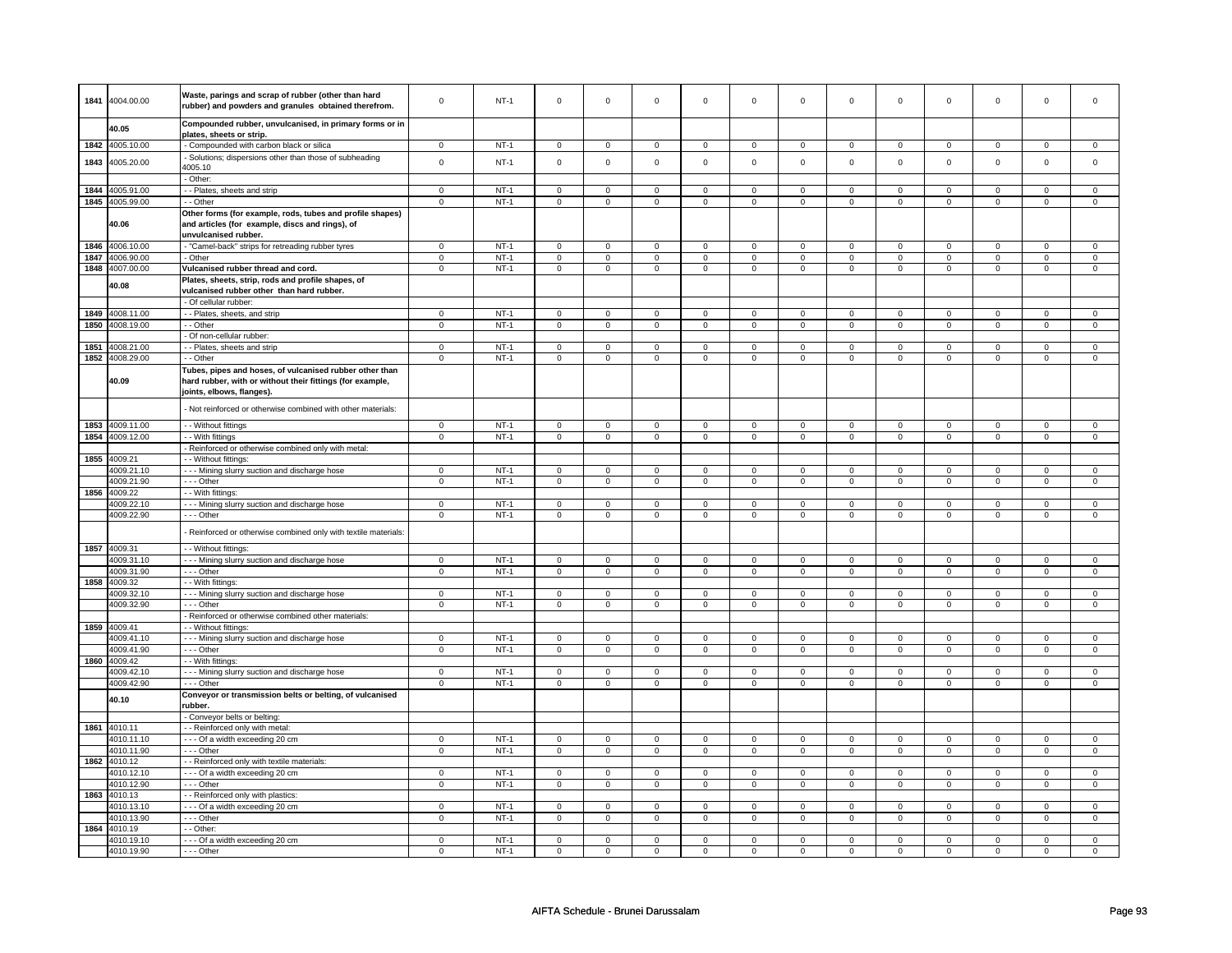| 1841 | 4004.00.00      | Waste, parings and scrap of rubber (other than hard             | $\mathsf 0$    | $NT-1$ | $\mathbf 0$         | $\mathsf 0$    | $\mathbf 0$         | $\mathbf 0$    | $\mathsf 0$         | $\mathbf 0$    | $\mathbf 0$    | $\mathsf 0$    | $\mathsf 0$         | $\mathbf 0$         | $\mathsf 0$    | 0              |
|------|-----------------|-----------------------------------------------------------------|----------------|--------|---------------------|----------------|---------------------|----------------|---------------------|----------------|----------------|----------------|---------------------|---------------------|----------------|----------------|
|      |                 | rubber) and powders and granules obtained therefrom.            |                |        |                     |                |                     |                |                     |                |                |                |                     |                     |                |                |
|      |                 | Compounded rubber, unvulcanised, in primary forms or in         |                |        |                     |                |                     |                |                     |                |                |                |                     |                     |                |                |
|      | 40.05           | plates, sheets or strip.                                        |                |        |                     |                |                     |                |                     |                |                |                |                     |                     |                |                |
|      | 1842 4005.10.00 | - Compounded with carbon black or silica                        | $\mathbf 0$    | $NT-1$ | $\mathbf 0$         | $\mathbf 0$    | $\mathbf 0$         | $\mathbf 0$    | $\mathbf 0$         | $\mathbf 0$    | $\mathbf 0$    | $\mathbf{0}$   | $\mathbf 0$         | $\mathbf{0}$        | $\Omega$       | $\mathbf{0}$   |
|      |                 |                                                                 |                |        |                     |                |                     |                |                     |                |                |                |                     |                     |                |                |
| 1843 | 4005.20.00      | - Solutions; dispersions other than those of subheading         | $\mathsf 0$    | $NT-1$ | $\mathsf 0$         | $\mathbf 0$    | $\mathsf 0$         | $\mathsf 0$    | $\mathsf{O}\xspace$ | $\mathsf 0$    | $\mathsf 0$    | $\mathbf 0$    | $\mathsf 0$         | $\mathbf 0$         | $\mathsf 0$    | $\mathbf 0$    |
|      |                 | 4005.10                                                         |                |        |                     |                |                     |                |                     |                |                |                |                     |                     |                |                |
|      |                 | - Other:                                                        |                |        |                     |                |                     |                |                     |                |                |                |                     |                     |                |                |
|      | 1844 4005.91.00 | - - Plates, sheets and strip                                    | $\mathbf 0$    | $NT-1$ | $\mathbf 0$         | $\mathbf 0$    | $\mathsf 0$         | $\mathsf 0$    | $\mathbf 0$         | $\mathsf 0$    | 0              | $\mathbf 0$    | 0                   | $\mathbf 0$         | 0              | $\mathbf 0$    |
|      | 1845 4005.99.00 | - - Other                                                       | $\mathbf 0$    | $NT-1$ | $\mathbf 0$         | $\mathbf 0$    | $\mathbf 0$         | $\mathbf{0}$   | $\mathbf 0$         | $\overline{0}$ | $\mathbf 0$    | $\mathbf{0}$   | 0                   | $\mathbf 0$         | 0              | $\mathbf{0}$   |
|      |                 | Other forms (for example, rods, tubes and profile shapes)       |                |        |                     |                |                     |                |                     |                |                |                |                     |                     |                |                |
|      | 40.06           | and articles (for example, discs and rings), of                 |                |        |                     |                |                     |                |                     |                |                |                |                     |                     |                |                |
|      |                 | unvulcanised rubber.                                            |                |        |                     |                |                     |                |                     |                |                |                |                     |                     |                |                |
|      | 1846 4006.10.00 | - "Camel-back" strips for retreading rubber tyres               | $\mathbf 0$    | $NT-1$ | $\mathsf 0$         | $\mathsf 0$    | $\mathbf 0$         | $\mathsf 0$    | $\mathbf 0$         | $\mathsf 0$    | 0              | $\mathsf 0$    | 0                   | $\mathbf 0$         | 0              | 0              |
| 1847 | 4006.90.00      | - Other                                                         | $\mathsf 0$    | $NT-1$ | $\mathsf 0$         | $\mathbf 0$    | $\mathsf{O}\xspace$ | $\mathsf 0$    | $\mathsf{O}\xspace$ | $\mathsf 0$    | $\mathsf 0$    | $\mathsf 0$    | $\mathsf 0$         | $\mathbf 0$         | $\mathsf 0$    | $\mathsf 0$    |
|      | 1848 4007.00.00 | Vulcanised rubber thread and cord.                              | $\mathbf 0$    | $NT-1$ | 0                   | $\mathbf 0$    | 0                   | $\mathsf 0$    | 0                   | $\mathsf 0$    | 0              | $\mathsf 0$    | 0                   | $\mathbf 0$         | 0              | $\mathbf 0$    |
|      |                 | Plates, sheets, strip, rods and profile shapes, of              |                |        |                     |                |                     |                |                     |                |                |                |                     |                     |                |                |
|      | 40.08           | vulcanised rubber other than hard rubber.                       |                |        |                     |                |                     |                |                     |                |                |                |                     |                     |                |                |
|      |                 | - Of cellular rubber:                                           |                |        |                     |                |                     |                |                     |                |                |                |                     |                     |                |                |
| 1849 | 4008.11.00      | - - Plates, sheets, and strip                                   | $\mathsf 0$    | $NT-1$ | $\mathbf 0$         | $\mathsf 0$    | $\mathbf 0$         | $\mathbf 0$    | $\mathsf 0$         | $\mathbf 0$    | $\mathbf 0$    | $\mathsf 0$    | $\mathsf 0$         | $\mathbf 0$         | $\mathsf 0$    | 0              |
| 1850 | 4008.19.00      | - - Other                                                       | $\mathbf 0$    | $NT-1$ | $\mathbf 0$         | $\overline{0}$ | $\mathbf 0$         | $\mathbf 0$    | $\mathbf 0$         | $\mathbf 0$    | $\mathbf 0$    | $\mathbf{0}$   | $\mathbf 0$         | $\mathbf 0$         | $\mathsf 0$    | $\mathbf 0$    |
|      |                 | - Of non-cellular rubber:                                       |                |        |                     |                |                     |                |                     |                |                |                |                     |                     |                |                |
| 1851 | 4008.21.00      | - - Plates, sheets and strip                                    | $\mathbf 0$    | $NT-1$ | $\mathbf 0$         | $\mathbf 0$    | $\mathbf 0$         | $\mathbf 0$    | $\mathbf 0$         | $\mathbf 0$    | 0              | $\mathbf 0$    | 0                   | $\mathbf 0$         | 0              | 0              |
| 1852 | 4008.29.00      | - - Other                                                       | $\mathbf 0$    | $NT-1$ | $\mathbf 0$         | $\mathbf 0$    | $\mathbf 0$         | $\mathbf 0$    | $\mathbf 0$         | $\mathbf 0$    | $\mathbf 0$    | $\mathbf 0$    | $\mathbf 0$         | $\mathbf{0}$        | $\mathbf 0$    | $\mathbf{0}$   |
|      |                 |                                                                 |                |        |                     |                |                     |                |                     |                |                |                |                     |                     |                |                |
|      |                 | Tubes, pipes and hoses, of vulcanised rubber other than         |                |        |                     |                |                     |                |                     |                |                |                |                     |                     |                |                |
|      | 40.09           | hard rubber, with or without their fittings (for example,       |                |        |                     |                |                     |                |                     |                |                |                |                     |                     |                |                |
|      |                 | joints, elbows, flanges).                                       |                |        |                     |                |                     |                |                     |                |                |                |                     |                     |                |                |
|      |                 | - Not reinforced or otherwise combined with other materials:    |                |        |                     |                |                     |                |                     |                |                |                |                     |                     |                |                |
|      |                 |                                                                 |                |        |                     |                |                     |                |                     |                |                |                |                     |                     |                |                |
|      | 1853 4009.11.00 | - - Without fittings                                            | $\mathsf 0$    | $NT-1$ | $\mathsf 0$         | $\mathsf 0$    | $\mathsf 0$         | $\mathbf 0$    | $\mathsf 0$         | $\mathbf 0$    | $\mathbf 0$    | $\mathbf 0$    | $\mathsf 0$         | $\mathbf 0$         | $\mathsf 0$    | 0              |
| 1854 | 4009.12.00      | - - With fittings                                               | $\overline{0}$ | $NT-1$ | $\overline{0}$      | $\overline{0}$ | $\overline{0}$      | $\overline{0}$ | $\overline{0}$      | $\overline{0}$ | $\overline{0}$ | $\overline{0}$ | $\overline{0}$      | $\overline{0}$      | $\overline{0}$ | $\overline{0}$ |
|      |                 | - Reinforced or otherwise combined only with metal:             |                |        |                     |                |                     |                |                     |                |                |                |                     |                     |                |                |
| 1855 | 4009.21         | - - Without fittings:                                           |                |        |                     |                |                     |                |                     |                |                |                |                     |                     |                |                |
|      | 4009.21.10      | --- Mining slurry suction and discharge hose                    | $\mathbf 0$    | $NT-1$ | $\mathsf{O}\xspace$ | $\mathsf 0$    | $\mathbf 0$         | $\mathbf 0$    | $\mathbf 0$         | $\mathbf 0$    | 0              | $\mathbf 0$    | 0                   | $\mathbf 0$         | 0              | $\mathbf{0}$   |
|      | 4009.21.90      | --- Other                                                       | $\mathbf{0}$   | $NT-1$ | $\mathbf 0$         | $\mathbf 0$    | $\mathbf 0$         | $\mathbf 0$    | $\mathbf 0$         | $\mathbf 0$    | $\mathbf 0$    | $\mathbf{0}$   | $\mathbf 0$         | $\mathbf{0}$        | 0              | $\overline{0}$ |
|      | 1856 4009.22    | - - With fittings:                                              |                |        |                     |                |                     |                |                     |                |                |                |                     |                     |                |                |
|      | 4009.22.10      | --- Mining slurry suction and discharge hose                    | $\mathsf 0$    | $NT-1$ | $\mathbf 0$         | $\mathbf 0$    | $\mathbf 0$         | $\mathbf 0$    | $\mathbf{0}$        | $\mathbf 0$    | $\mathbf 0$    | $\mathbf 0$    | $\mathbf 0$         | $\mathbf{0}$        | $\mathbf 0$    | $\mathbf{0}$   |
|      | 4009.22.90      | $\overline{-}$ Other                                            | $\mathsf 0$    | $NT-1$ | $\mathbf 0$         | $\mathsf 0$    | $\mathsf 0$         | $\overline{0}$ | $\mathsf 0$         | $\mathbf 0$    | 0              | $\mathsf 0$    | $\mathsf 0$         | $\mathbf 0$         | $\mathsf 0$    | 0              |
|      |                 |                                                                 |                |        |                     |                |                     |                |                     |                |                |                |                     |                     |                |                |
|      |                 | - Reinforced or otherwise combined only with textile materials: |                |        |                     |                |                     |                |                     |                |                |                |                     |                     |                |                |
|      | 1857 4009.31    | - - Without fittings:                                           |                |        |                     |                |                     |                |                     |                |                |                |                     |                     |                |                |
|      | 4009.31.10      | - - - Mining slurry suction and discharge hose                  | $\mathsf 0$    | $NT-1$ | $\mathbf 0$         | $\mathsf 0$    | $\mathbf 0$         | $\mathbf 0$    | $\mathbf 0$         | $\mathbf 0$    | $\mathbf 0$    | $\mathbf 0$    | $\mathbf 0$         | $\mathbf 0$         | $\mathsf 0$    | $\mathbf 0$    |
|      | 4009.31.90      | --- Other                                                       | $\mathsf 0$    | $NT-1$ | $\overline{0}$      | $\overline{0}$ | $\mathsf 0$         | $\mathbf 0$    | $\mathsf 0$         | $\overline{0}$ | $\mathbf 0$    | $\overline{0}$ | $\mathsf 0$         | $\overline{0}$      | $\mathsf 0$    | $\overline{0}$ |
| 1858 | 4009.32         | - - With fittings:                                              |                |        |                     |                |                     |                |                     |                |                |                |                     |                     |                |                |
|      | 4009.32.10      | - - - Mining slurry suction and discharge hose                  | $\mathbf 0$    | $NT-1$ | $\mathbf 0$         | $\mathbf 0$    | $\mathsf{O}\xspace$ | $\mathsf 0$    | $\mathsf{O}\xspace$ | $\mathsf 0$    | $\mathsf 0$    | $\mathsf 0$    | $\mathsf 0$         | $\mathsf 0$         | $\Omega$       | 0              |
|      | 4009.32.90      | --- Other                                                       | $\mathbf 0$    | $NT-1$ | $\mathsf 0$         | $\mathbf 0$    | $\mathsf 0$         | $\mathsf 0$    | $\mathsf 0$         | $\mathsf 0$    | $\mathsf 0$    | $\mathsf 0$    | $\mathsf 0$         | $\mathbf{0}$        | $\mathbf 0$    | $\mathbf 0$    |
|      |                 | - Reinforced or otherwise combined other materials:             |                |        |                     |                |                     |                |                     |                |                |                |                     |                     |                |                |
|      | 1859 4009.41    | - - Without fittings:                                           |                |        |                     |                |                     |                |                     |                |                |                |                     |                     |                |                |
|      | 4009.41.10      |                                                                 | $\mathbf 0$    | $NT-1$ | $\mathbf 0$         | $\mathbf 0$    | $\mathbf 0$         | $\mathbf 0$    | $\mathbf 0$         | $\mathbf 0$    | $\mathbf 0$    | $\mathbf{0}$   | $\mathbf 0$         | $\mathbf 0$         | $\mathbf 0$    | $\mathbf{0}$   |
|      | 4009.41.90      | --- Mining slurry suction and discharge hose<br>--- Other       | $\mathsf 0$    | $NT-1$ | $\mathsf 0$         | $\mathsf 0$    | $\mathsf 0$         | $\mathsf 0$    | $\mathsf 0$         | $\mathsf 0$    | $\mathbf 0$    | $\mathbf 0$    | $\mathsf 0$         | $\mathbf 0$         | $\mathbf 0$    | $\mathsf 0$    |
| 1860 | 4009.42         | - - With fittings:                                              |                |        |                     |                |                     |                |                     |                |                |                |                     |                     |                |                |
|      |                 |                                                                 |                |        |                     |                |                     |                |                     |                |                |                |                     |                     |                |                |
|      | 4009.42.10      | --- Mining slurry suction and discharge hose                    | $\mathsf 0$    | $NT-1$ | $\mathsf 0$         | $\mathsf 0$    | $\mathbf 0$         | $\mathbf 0$    | $\mathbf 0$         | $\mathbf 0$    | 0              | 0              | 0                   | $\mathbf 0$         | $\mathbf 0$    | 0              |
|      | 4009.42.90      | - - - Other                                                     | $\mathbf 0$    | $NT-1$ | $\mathsf 0$         | $\mathbf 0$    | $\mathsf{O}\xspace$ | $\mathsf 0$    | 0                   | $\mathsf 0$    | 0              | $\mathbf 0$    | 0                   | $\mathbf 0$         | 0              | $\mathbf 0$    |
|      | 40.10           | Conveyor or transmission belts or belting, of vulcanised        |                |        |                     |                |                     |                |                     |                |                |                |                     |                     |                |                |
|      |                 | rubber.                                                         |                |        |                     |                |                     |                |                     |                |                |                |                     |                     |                |                |
|      |                 | - Conveyor belts or belting:                                    |                |        |                     |                |                     |                |                     |                |                |                |                     |                     |                |                |
|      | 1861 4010.11    | - - Reinforced only with metal                                  |                |        |                     |                |                     |                |                     |                |                |                |                     |                     |                |                |
|      | 4010.11.10      | --- Of a width exceeding 20 cm                                  | $\mathbf 0$    | $NT-1$ | $\mathbf 0$         | $\pmb{0}$      | 0                   | 0              | 0                   | $\mathbf 0$    | 0              | 0              | $\mathsf 0$         | $\mathsf 0$         | $\Omega$       | $\Omega$       |
|      | 4010.11.90      | - - - Other                                                     | $\,0\,$        | $NT-1$ | $\mathsf 0$         | $\mathbf 0$    | $\mathsf 0$         | $\mathsf 0$    | $\mathsf{O}\xspace$ | $\mathsf 0$    | $\mathsf 0$    | $\mathbf 0$    | $\mathsf{O}\xspace$ | $\mathsf{O}\xspace$ | $\mathsf 0$    | $\mathsf 0$    |
|      | 1862 4010.12    | - - Reinforced only with textile materials:                     |                |        |                     |                |                     |                |                     |                |                |                |                     |                     |                |                |
|      | 4010.12.10      | --- Of a width exceeding 20 cm                                  | $\mathsf 0$    | $NT-1$ | $\mathbf 0$         | $\mathsf 0$    | $\mathbf 0$         | $\mathbf 0$    | $\mathsf 0$         | $\mathbf 0$    | $\mathbf 0$    | $\mathbf 0$    | $\mathsf 0$         | $\mathbf 0$         | $\Omega$       | $\mathbf{0}$   |
|      | 4010.12.90      | --- Other                                                       | $\mathbf 0$    | $NT-1$ | $\mathbf 0$         | $\overline{0}$ | $\mathbf 0$         | $\mathbf 0$    | $\mathbf{0}$        | $\mathbf 0$    | $\mathbf 0$    | $\mathbf{0}$   | $\mathbf{0}$        | $\mathbf{0}$        | $\mathbf 0$    | $\mathbf{0}$   |
| 1863 | 4010.13         | - - Reinforced only with plastics:                              |                |        |                     |                |                     |                |                     |                |                |                |                     |                     |                |                |
|      | 4010.13.10      | --- Of a width exceeding 20 cm                                  | $\mathsf 0$    | $NT-1$ | $\mathbf 0$         | $\mathsf 0$    | $\mathbf 0$         | $\mathbf 0$    | $\mathbf 0$         | $\mathbf 0$    | 0              | 0              | 0                   | $\mathbf 0$         | $\Omega$       | 0              |
|      | 4010.13.90      | --- Other                                                       | $\mathsf 0$    | $NT-1$ | $\mathsf 0$         | $\mathsf 0$    | $\mathsf 0$         | $\mathbf 0$    | $\mathsf 0$         | $\mathbf 0$    | 0              | $\mathsf 0$    | $\mathsf 0$         | $\mathbf 0$         | 0              | $\mathbf 0$    |
| 1864 | 4010.19         | - - Other:                                                      |                |        |                     |                |                     |                |                     |                |                |                |                     |                     |                |                |
|      | 4010.19.10      | --- Of a width exceeding 20 cm                                  | $\mathbf 0$    | $NT-1$ | 0                   | 0              | $\mathbf 0$         | 0              | $\mathbf 0$         | $\mathbf 0$    | 0              | 0              | 0                   | 0                   | 0              | 0              |
|      | 4010.19.90      | --- Other                                                       | $\mathbf 0$    | $NT-1$ | $\mathbf 0$         | $\overline{0}$ | $\mathbf 0$         | $\mathbf 0$    | $\mathbf 0$         | $\mathbf 0$    | $\Omega$       | 0              | 0                   | $\overline{0}$      | $\Omega$       | 0              |
|      |                 |                                                                 |                |        |                     |                |                     |                |                     |                |                |                |                     |                     |                |                |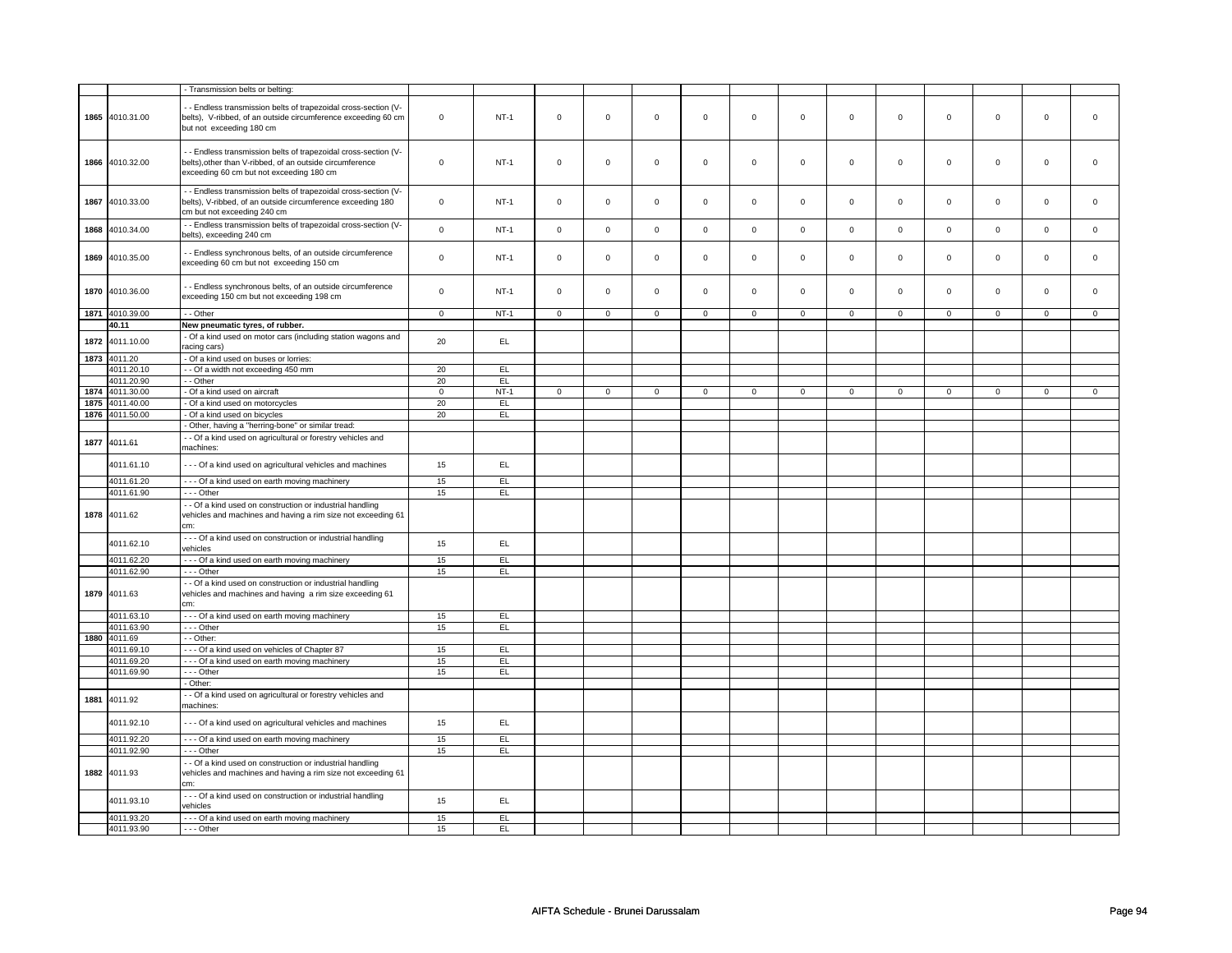|      |                 | Transmission belts or belting:                                                                                                                                        |                |        |             |             |             |             |             |             |              |             |             |             |              |                |
|------|-----------------|-----------------------------------------------------------------------------------------------------------------------------------------------------------------------|----------------|--------|-------------|-------------|-------------|-------------|-------------|-------------|--------------|-------------|-------------|-------------|--------------|----------------|
|      |                 |                                                                                                                                                                       |                |        |             |             |             |             |             |             |              |             |             |             |              |                |
|      | 1865 4010.31.00 | - - Endless transmission belts of trapezoidal cross-section (V-<br>belts), V-ribbed, of an outside circumference exceeding 60 cm<br>but not exceeding 180 cm          | $\mathsf 0$    | $NT-1$ | $\mathsf 0$ | $\mathsf 0$ | $\mathsf 0$ | $\mathsf 0$ | $\mathsf 0$ | $\mathsf 0$ | $\mathbf 0$  | $\mathsf 0$ | $\mathsf 0$ | $\mathsf 0$ | $\mathsf 0$  | $\mathbf 0$    |
|      | 1866 4010.32.00 | - Endless transmission belts of trapezoidal cross-section (V-<br>belts), other than V-ribbed, of an outside circumference<br>exceeding 60 cm but not exceeding 180 cm | $\mathbf 0$    | $NT-1$ | $\mathsf 0$ | $\mathsf 0$ | $\mathsf 0$ | $\mathbf 0$ | $\mathsf 0$ | $\mathbf 0$ | $\mathsf 0$  | $\mathsf 0$ | $\mathsf 0$ | $\mathsf 0$ | $\mathsf 0$  | $\mathbf 0$    |
| 1867 | 4010.33.00      | - Endless transmission belts of trapezoidal cross-section (V-<br>belts), V-ribbed, of an outside circumference exceeding 180<br>cm but not exceeding 240 cm           | $\mathbf 0$    | $NT-1$ | $\mathsf 0$ | $\mathsf 0$ | $\mathsf 0$ | $\mathbf 0$ | $\mathsf 0$ | $\mathsf 0$ | $\mathbf 0$  | $\mathsf 0$ | $\mathsf 0$ | $\mathsf 0$ | $\mathsf 0$  | $\mathbf 0$    |
|      | 1868 4010.34.00 | - - Endless transmission belts of trapezoidal cross-section (V-<br>belts), exceeding 240 cm                                                                           | $\mathbf 0$    | $NT-1$ | $\mathsf 0$ | $\mathbf 0$ | $\mathbf 0$ | $\mathsf 0$ | $\mathsf 0$ | $\mathsf 0$ | $\mathsf 0$  | $\mathbf 0$ | $\mathsf 0$ | $\mathbf 0$ | $\mathsf 0$  | $\mathbf 0$    |
| 1869 | 4010.35.00      | - Endless synchronous belts, of an outside circumference<br>exceeding 60 cm but not exceeding 150 cm                                                                  | $\mathbf 0$    | $NT-1$ | $\mathsf 0$ | $\mathsf 0$ | $\mathsf 0$ | $\mathsf 0$ | $\mathsf 0$ | $\mathbf 0$ | $\mathbf 0$  | $\mathsf 0$ | $\mathsf 0$ | $\mathbf 0$ | $\mathsf 0$  | $\mathbf 0$    |
|      | 1870 4010.36.00 | - Endless synchronous belts, of an outside circumference<br>exceeding 150 cm but not exceeding 198 cm                                                                 | $\mathbf 0$    | $NT-1$ | $\mathbf 0$ | $\mathbf 0$ | $\Omega$    | $\mathbf 0$ | $\mathsf 0$ | $\mathsf 0$ | $\mathbf 0$  | $\mathsf 0$ | $\mathsf 0$ | $\mathsf 0$ | $\mathbf 0$  | $\mathbf 0$    |
|      | 1871 4010.39.00 | - - Other                                                                                                                                                             | $\mathbf 0$    | $NT-1$ | $\mathbf 0$ | $\mathbf 0$ | $\mathbf 0$ | $\mathbf 0$ | $\mathbf 0$ | $\mathbf 0$ | $\mathbf 0$  | $\mathbf 0$ | $\mathbf 0$ | $\mathbf 0$ | $\mathbf 0$  | $\mathbf 0$    |
|      | 40.11           | New pneumatic tyres, of rubber.                                                                                                                                       |                |        |             |             |             |             |             |             |              |             |             |             |              |                |
| 1872 | 4011.10.00      | - Of a kind used on motor cars (including station wagons and<br>acing cars)                                                                                           | 20             | EL.    |             |             |             |             |             |             |              |             |             |             |              |                |
|      | 1873 4011.20    | - Of a kind used on buses or lorries:                                                                                                                                 |                |        |             |             |             |             |             |             |              |             |             |             |              |                |
|      | 4011.20.10      | - - Of a width not exceeding 450 mm                                                                                                                                   | 20             | EL     |             |             |             |             |             |             |              |             |             |             |              |                |
|      | 4011.20.90      | - - Other                                                                                                                                                             | 20             | EL     |             |             |             |             |             |             |              |             |             |             |              |                |
|      | 1874 4011.30.00 | - Of a kind used on aircraft                                                                                                                                          | $\overline{0}$ | $NT-1$ | $\mathbf 0$ | $\mathbf 0$ | $\mathbf 0$ | $\mathbf 0$ | $\mathbf 0$ | $\mathbf 0$ | $\mathbf{0}$ | $\mathbf 0$ | $\mathbf 0$ | $\mathbf 0$ | $\mathbf{0}$ | $\overline{0}$ |
| 1875 | 4011.40.00      | - Of a kind used on motorcycles                                                                                                                                       | 20             | EL     |             |             |             |             |             |             |              |             |             |             |              |                |
| 1876 | 4011.50.00      | - Of a kind used on bicycles                                                                                                                                          | 20             | EL     |             |             |             |             |             |             |              |             |             |             |              |                |
|      |                 | - Other, having a "herring-bone" or similar tread:                                                                                                                    |                |        |             |             |             |             |             |             |              |             |             |             |              |                |
| 1877 | 4011.61         | - Of a kind used on agricultural or forestry vehicles and<br>nachines:                                                                                                |                |        |             |             |             |             |             |             |              |             |             |             |              |                |
|      | 4011.61.10      | --- Of a kind used on agricultural vehicles and machines                                                                                                              | 15             | EL     |             |             |             |             |             |             |              |             |             |             |              |                |
|      | 4011.61.20      | --- Of a kind used on earth moving machinery                                                                                                                          | 15             | EL     |             |             |             |             |             |             |              |             |             |             |              |                |
|      | 4011.61.90      | --- Other                                                                                                                                                             | 15             | EL     |             |             |             |             |             |             |              |             |             |             |              |                |
|      |                 | - Of a kind used on construction or industrial handling                                                                                                               |                |        |             |             |             |             |             |             |              |             |             |             |              |                |
|      | 1878 4011.62    | vehicles and machines and having a rim size not exceeding 61<br>cm:                                                                                                   |                |        |             |             |             |             |             |             |              |             |             |             |              |                |
|      | 4011.62.10      | - - - Of a kind used on construction or industrial handling<br>vehicles                                                                                               | 15             | EL     |             |             |             |             |             |             |              |             |             |             |              |                |
|      | 4011.62.20      | --- Of a kind used on earth moving machinery                                                                                                                          | 15             | EL     |             |             |             |             |             |             |              |             |             |             |              |                |
|      | 4011.62.90      | --- Other                                                                                                                                                             | 15             | EL.    |             |             |             |             |             |             |              |             |             |             |              |                |
|      | 1879 4011.63    | - Of a kind used on construction or industrial handling<br>vehicles and machines and having a rim size exceeding 61<br>cm:                                            |                |        |             |             |             |             |             |             |              |             |             |             |              |                |
|      | 4011.63.10      | --- Of a kind used on earth moving machinery                                                                                                                          | 15             | EL     |             |             |             |             |             |             |              |             |             |             |              |                |
|      | 4011.63.90      | --- Other                                                                                                                                                             | 15             | EL.    |             |             |             |             |             |             |              |             |             |             |              |                |
| 1880 | 4011.69         | - - Other:                                                                                                                                                            |                |        |             |             |             |             |             |             |              |             |             |             |              |                |
|      | 4011.69.10      | --- Of a kind used on vehicles of Chapter 87                                                                                                                          | 15             | EL     |             |             |             |             |             |             |              |             |             |             |              |                |
|      | 4011.69.20      | --- Of a kind used on earth moving machinery                                                                                                                          | 15             | EL     |             |             |             |             |             |             |              |             |             |             |              |                |
|      | 4011.69.90      | --- Other                                                                                                                                                             | 15             | EL.    |             |             |             |             |             |             |              |             |             |             |              |                |
|      |                 | - Other:                                                                                                                                                              |                |        |             |             |             |             |             |             |              |             |             |             |              |                |
| 1881 | 4011.92         | - - Of a kind used on agricultural or forestry vehicles and<br>nachines:                                                                                              |                |        |             |             |             |             |             |             |              |             |             |             |              |                |
|      | 4011.92.10      | --- Of a kind used on agricultural vehicles and machines                                                                                                              | 15             | EL     |             |             |             |             |             |             |              |             |             |             |              |                |
|      | 4011.92.20      | --- Of a kind used on earth moving machinery                                                                                                                          | 15             | EL     |             |             |             |             |             |             |              |             |             |             |              |                |
|      | 4011.92.90      | --- Other                                                                                                                                                             | 15             | EL     |             |             |             |             |             |             |              |             |             |             |              |                |
|      | 1882 4011.93    | - - Of a kind used on construction or industrial handling<br>vehicles and machines and having a rim size not exceeding 61<br>cm:                                      |                |        |             |             |             |             |             |             |              |             |             |             |              |                |
|      | 4011.93.10      | --- Of a kind used on construction or industrial handling<br>vehicles                                                                                                 | 15             | EL     |             |             |             |             |             |             |              |             |             |             |              |                |
|      | 4011.93.20      | --- Of a kind used on earth moving machinery                                                                                                                          | 15             | EL     |             |             |             |             |             |             |              |             |             |             |              |                |
|      | 4011.93.90      | --- Other                                                                                                                                                             | 15             | EL.    |             |             |             |             |             |             |              |             |             |             |              |                |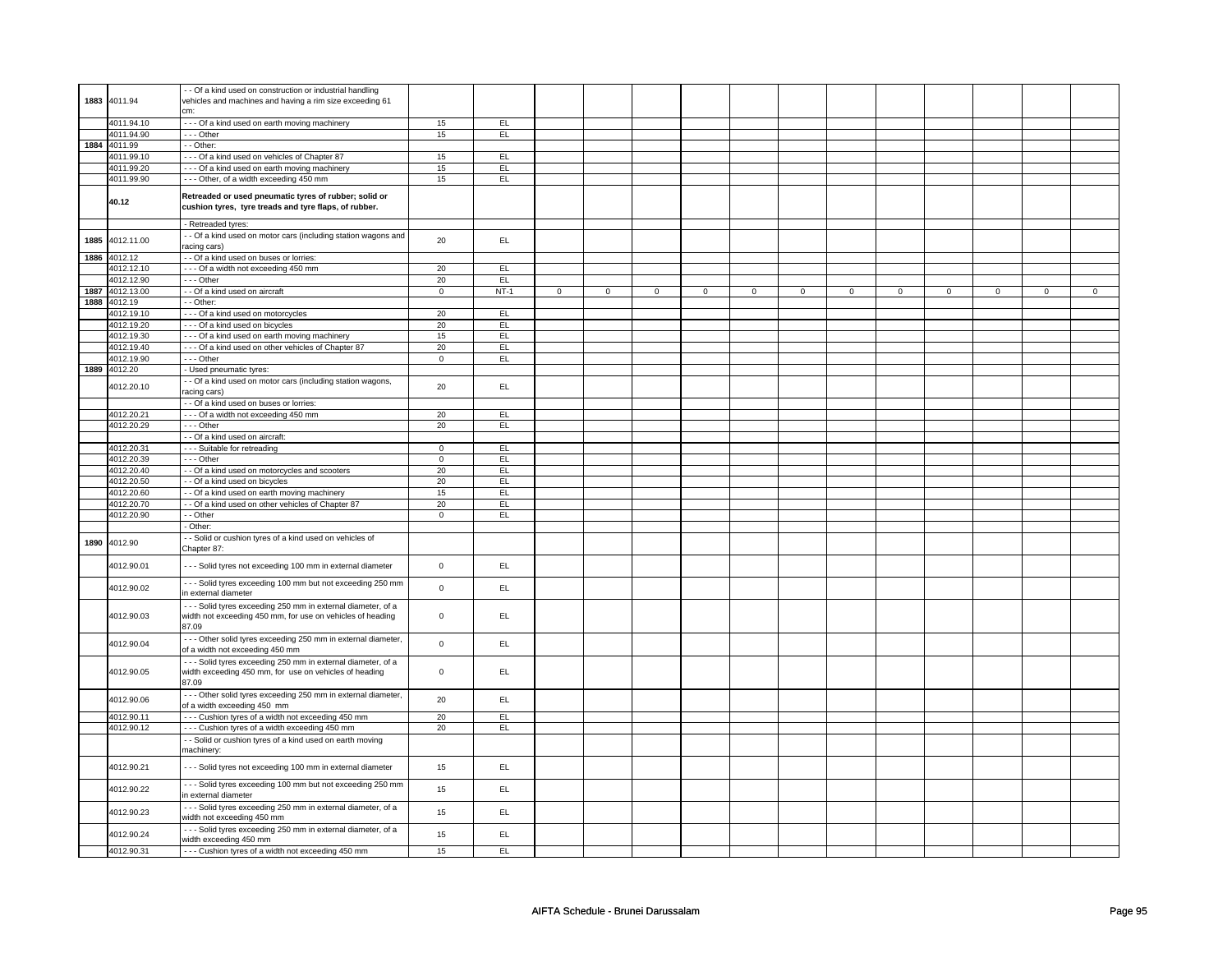| 4011.94.10<br>--- Of a kind used on earth moving machinery<br>15<br>EL<br>4011.94.90<br>--- Other<br>15<br>EL.<br>1884<br>4011.99<br>- - Other:<br>4011.99.10<br>--- Of a kind used on vehicles of Chapter 87<br>15<br>EL<br>4011.99.20<br>--- Of a kind used on earth moving machinery<br>15<br>EL<br>4011.99.90<br>--- Other, of a width exceeding 450 mm<br>15<br>EL<br>Retreaded or used pneumatic tyres of rubber; solid or<br>40.12<br>cushion tyres, tyre treads and tyre flaps, of rubber.<br>- Retreaded tyres:<br>- - Of a kind used on motor cars (including station wagons and<br>4012.11.00<br>20<br>EL.<br>1885<br>racing cars)<br>4012.12<br>- - Of a kind used on buses or lorries:<br>1886<br>- - - Of a width not exceeding 450 mm<br>4012.12.10<br>20<br>EL<br>4012.12.90<br>--- Other<br>20<br>EL<br>1887<br>4012.13.00<br>- - Of a kind used on aircraft<br>$\mathsf 0$<br>$NT-1$<br>$\circ$<br>$\Omega$<br>$\Omega$<br>$\Omega$<br>$\Omega$<br>$\Omega$<br>$\Omega$<br>$\Omega$<br>$\Omega$<br>1888<br>4012.19<br>- - Other:<br>20<br>--- Of a kind used on motorcycles<br>EL<br>4012.19.10<br>4012.19.20<br>- - - Of a kind used on bicycles<br>20<br>EL<br>4012.19.30<br>- - - Of a kind used on earth moving machinery<br>15<br>EL<br>4012.19.40<br>--- Of a kind used on other vehicles of Chapter 87<br>20<br>EL<br>--- Other<br>4012.19.90<br>$\mathbf 0$<br>EL.<br>4012.20<br>1889<br>- Used pneumatic tyres:<br>- - Of a kind used on motor cars (including station wagons,<br>4012.20.10<br>20<br>EL.<br>racing cars)<br>- - Of a kind used on buses or lorries:<br>--- Of a width not exceeding 450 mm<br>4012.20.21<br>20<br>EL<br>4012.20.29<br>$--$ Other<br>20<br>EL<br>- - Of a kind used on aircraft:<br>4012.20.31<br>- - - Suitable for retreading<br>$\overline{0}$<br>EL<br>4012.20.39<br>--- Other<br>$\mathbf 0$<br>EL.<br>20<br>4012.20.40<br>- - Of a kind used on motorcycles and scooters<br>EL<br>4012.20.50<br>- - Of a kind used on bicycles<br>20<br>EL<br>4012.20.60<br>- - Of a kind used on earth moving machinery<br>15<br>EL<br>4012.20.70<br>- - Of a kind used on other vehicles of Chapter 87<br>20<br>EL.<br>4012.20.90<br>$-$ Other<br>$\mathbf{0}$<br>EL<br>- Other:<br>- Solid or cushion tyres of a kind used on vehicles of<br>1890<br>4012.90<br>Chapter 87:<br>4012.90.01<br>- - - Solid tyres not exceeding 100 mm in external diameter<br>EL<br>$\mathsf 0$<br>--- Solid tyres exceeding 100 mm but not exceeding 250 mm<br>4012.90.02<br>$\mathsf{O}\xspace$<br>EL.<br>in external diameter<br>- - - Solid tyres exceeding 250 mm in external diameter, of a<br>4012.90.03<br>width not exceeding 450 mm, for use on vehicles of heading<br>$\mathsf 0$<br>EL<br>87.09<br>- - - Other solid tyres exceeding 250 mm in external diameter,<br>4012.90.04<br>$\mathsf 0$<br>EL<br>of a width not exceeding 450 mm<br>--- Solid tyres exceeding 250 mm in external diameter, of a<br>4012.90.05<br>width exceeding 450 mm, for use on vehicles of heading<br>$\mathbf 0$<br>EL<br>87.09<br>- - - Other solid tyres exceeding 250 mm in external diameter,<br>20<br>EL<br>4012.90.06<br>of a width exceeding 450 mm<br>--- Cushion tyres of a width not exceeding 450 mm<br>20<br>EL<br>4012.90.11<br>4012.90.12<br>--- Cushion tyres of a width exceeding 450 mm<br>20<br>EL.<br>- - Solid or cushion tyres of a kind used on earth moving<br>machinery:<br>4012.90.21<br>- - - Solid tyres not exceeding 100 mm in external diameter<br>EL.<br>15<br>--- Solid tyres exceeding 100 mm but not exceeding 250 mm<br>EL.<br>4012.90.22<br>15<br>in external diameter | 1883 | 4011.94 | - Of a kind used on construction or industrial handling<br>vehicles and machines and having a rim size exceeding 61<br>cm: |  |  |  |  |  |          |          |          |
|---------------------------------------------------------------------------------------------------------------------------------------------------------------------------------------------------------------------------------------------------------------------------------------------------------------------------------------------------------------------------------------------------------------------------------------------------------------------------------------------------------------------------------------------------------------------------------------------------------------------------------------------------------------------------------------------------------------------------------------------------------------------------------------------------------------------------------------------------------------------------------------------------------------------------------------------------------------------------------------------------------------------------------------------------------------------------------------------------------------------------------------------------------------------------------------------------------------------------------------------------------------------------------------------------------------------------------------------------------------------------------------------------------------------------------------------------------------------------------------------------------------------------------------------------------------------------------------------------------------------------------------------------------------------------------------------------------------------------------------------------------------------------------------------------------------------------------------------------------------------------------------------------------------------------------------------------------------------------------------------------------------------------------------------------------------------------------------------------------------------------------------------------------------------------------------------------------------------------------------------------------------------------------------------------------------------------------------------------------------------------------------------------------------------------------------------------------------------------------------------------------------------------------------------------------------------------------------------------------------------------------------------------------------------------------------------------------------------------------------------------------------------------------------------------------------------------------------------------------------------------------------------------------------------------------------------------------------------------------------------------------------------------------------------------------------------------------------------------------------------------------------------------------------------------------------------------------------------------------------------------------------------------------------------------------------------------------------------------------------------------------------------------------------------------------------------------------------------------------------------------------------------------------------------------------------------------------------------------------------------------------------|------|---------|----------------------------------------------------------------------------------------------------------------------------|--|--|--|--|--|----------|----------|----------|
|                                                                                                                                                                                                                                                                                                                                                                                                                                                                                                                                                                                                                                                                                                                                                                                                                                                                                                                                                                                                                                                                                                                                                                                                                                                                                                                                                                                                                                                                                                                                                                                                                                                                                                                                                                                                                                                                                                                                                                                                                                                                                                                                                                                                                                                                                                                                                                                                                                                                                                                                                                                                                                                                                                                                                                                                                                                                                                                                                                                                                                                                                                                                                                                                                                                                                                                                                                                                                                                                                                                                                                                                                                       |      |         |                                                                                                                            |  |  |  |  |  |          |          |          |
|                                                                                                                                                                                                                                                                                                                                                                                                                                                                                                                                                                                                                                                                                                                                                                                                                                                                                                                                                                                                                                                                                                                                                                                                                                                                                                                                                                                                                                                                                                                                                                                                                                                                                                                                                                                                                                                                                                                                                                                                                                                                                                                                                                                                                                                                                                                                                                                                                                                                                                                                                                                                                                                                                                                                                                                                                                                                                                                                                                                                                                                                                                                                                                                                                                                                                                                                                                                                                                                                                                                                                                                                                                       |      |         |                                                                                                                            |  |  |  |  |  |          |          |          |
|                                                                                                                                                                                                                                                                                                                                                                                                                                                                                                                                                                                                                                                                                                                                                                                                                                                                                                                                                                                                                                                                                                                                                                                                                                                                                                                                                                                                                                                                                                                                                                                                                                                                                                                                                                                                                                                                                                                                                                                                                                                                                                                                                                                                                                                                                                                                                                                                                                                                                                                                                                                                                                                                                                                                                                                                                                                                                                                                                                                                                                                                                                                                                                                                                                                                                                                                                                                                                                                                                                                                                                                                                                       |      |         |                                                                                                                            |  |  |  |  |  |          |          |          |
|                                                                                                                                                                                                                                                                                                                                                                                                                                                                                                                                                                                                                                                                                                                                                                                                                                                                                                                                                                                                                                                                                                                                                                                                                                                                                                                                                                                                                                                                                                                                                                                                                                                                                                                                                                                                                                                                                                                                                                                                                                                                                                                                                                                                                                                                                                                                                                                                                                                                                                                                                                                                                                                                                                                                                                                                                                                                                                                                                                                                                                                                                                                                                                                                                                                                                                                                                                                                                                                                                                                                                                                                                                       |      |         |                                                                                                                            |  |  |  |  |  |          |          |          |
|                                                                                                                                                                                                                                                                                                                                                                                                                                                                                                                                                                                                                                                                                                                                                                                                                                                                                                                                                                                                                                                                                                                                                                                                                                                                                                                                                                                                                                                                                                                                                                                                                                                                                                                                                                                                                                                                                                                                                                                                                                                                                                                                                                                                                                                                                                                                                                                                                                                                                                                                                                                                                                                                                                                                                                                                                                                                                                                                                                                                                                                                                                                                                                                                                                                                                                                                                                                                                                                                                                                                                                                                                                       |      |         |                                                                                                                            |  |  |  |  |  |          |          |          |
|                                                                                                                                                                                                                                                                                                                                                                                                                                                                                                                                                                                                                                                                                                                                                                                                                                                                                                                                                                                                                                                                                                                                                                                                                                                                                                                                                                                                                                                                                                                                                                                                                                                                                                                                                                                                                                                                                                                                                                                                                                                                                                                                                                                                                                                                                                                                                                                                                                                                                                                                                                                                                                                                                                                                                                                                                                                                                                                                                                                                                                                                                                                                                                                                                                                                                                                                                                                                                                                                                                                                                                                                                                       |      |         |                                                                                                                            |  |  |  |  |  |          |          |          |
|                                                                                                                                                                                                                                                                                                                                                                                                                                                                                                                                                                                                                                                                                                                                                                                                                                                                                                                                                                                                                                                                                                                                                                                                                                                                                                                                                                                                                                                                                                                                                                                                                                                                                                                                                                                                                                                                                                                                                                                                                                                                                                                                                                                                                                                                                                                                                                                                                                                                                                                                                                                                                                                                                                                                                                                                                                                                                                                                                                                                                                                                                                                                                                                                                                                                                                                                                                                                                                                                                                                                                                                                                                       |      |         |                                                                                                                            |  |  |  |  |  |          |          |          |
|                                                                                                                                                                                                                                                                                                                                                                                                                                                                                                                                                                                                                                                                                                                                                                                                                                                                                                                                                                                                                                                                                                                                                                                                                                                                                                                                                                                                                                                                                                                                                                                                                                                                                                                                                                                                                                                                                                                                                                                                                                                                                                                                                                                                                                                                                                                                                                                                                                                                                                                                                                                                                                                                                                                                                                                                                                                                                                                                                                                                                                                                                                                                                                                                                                                                                                                                                                                                                                                                                                                                                                                                                                       |      |         |                                                                                                                            |  |  |  |  |  |          |          |          |
|                                                                                                                                                                                                                                                                                                                                                                                                                                                                                                                                                                                                                                                                                                                                                                                                                                                                                                                                                                                                                                                                                                                                                                                                                                                                                                                                                                                                                                                                                                                                                                                                                                                                                                                                                                                                                                                                                                                                                                                                                                                                                                                                                                                                                                                                                                                                                                                                                                                                                                                                                                                                                                                                                                                                                                                                                                                                                                                                                                                                                                                                                                                                                                                                                                                                                                                                                                                                                                                                                                                                                                                                                                       |      |         |                                                                                                                            |  |  |  |  |  |          |          |          |
|                                                                                                                                                                                                                                                                                                                                                                                                                                                                                                                                                                                                                                                                                                                                                                                                                                                                                                                                                                                                                                                                                                                                                                                                                                                                                                                                                                                                                                                                                                                                                                                                                                                                                                                                                                                                                                                                                                                                                                                                                                                                                                                                                                                                                                                                                                                                                                                                                                                                                                                                                                                                                                                                                                                                                                                                                                                                                                                                                                                                                                                                                                                                                                                                                                                                                                                                                                                                                                                                                                                                                                                                                                       |      |         |                                                                                                                            |  |  |  |  |  |          |          |          |
|                                                                                                                                                                                                                                                                                                                                                                                                                                                                                                                                                                                                                                                                                                                                                                                                                                                                                                                                                                                                                                                                                                                                                                                                                                                                                                                                                                                                                                                                                                                                                                                                                                                                                                                                                                                                                                                                                                                                                                                                                                                                                                                                                                                                                                                                                                                                                                                                                                                                                                                                                                                                                                                                                                                                                                                                                                                                                                                                                                                                                                                                                                                                                                                                                                                                                                                                                                                                                                                                                                                                                                                                                                       |      |         |                                                                                                                            |  |  |  |  |  |          |          |          |
|                                                                                                                                                                                                                                                                                                                                                                                                                                                                                                                                                                                                                                                                                                                                                                                                                                                                                                                                                                                                                                                                                                                                                                                                                                                                                                                                                                                                                                                                                                                                                                                                                                                                                                                                                                                                                                                                                                                                                                                                                                                                                                                                                                                                                                                                                                                                                                                                                                                                                                                                                                                                                                                                                                                                                                                                                                                                                                                                                                                                                                                                                                                                                                                                                                                                                                                                                                                                                                                                                                                                                                                                                                       |      |         |                                                                                                                            |  |  |  |  |  |          |          |          |
|                                                                                                                                                                                                                                                                                                                                                                                                                                                                                                                                                                                                                                                                                                                                                                                                                                                                                                                                                                                                                                                                                                                                                                                                                                                                                                                                                                                                                                                                                                                                                                                                                                                                                                                                                                                                                                                                                                                                                                                                                                                                                                                                                                                                                                                                                                                                                                                                                                                                                                                                                                                                                                                                                                                                                                                                                                                                                                                                                                                                                                                                                                                                                                                                                                                                                                                                                                                                                                                                                                                                                                                                                                       |      |         |                                                                                                                            |  |  |  |  |  | $\Omega$ | $\Omega$ | $\Omega$ |
|                                                                                                                                                                                                                                                                                                                                                                                                                                                                                                                                                                                                                                                                                                                                                                                                                                                                                                                                                                                                                                                                                                                                                                                                                                                                                                                                                                                                                                                                                                                                                                                                                                                                                                                                                                                                                                                                                                                                                                                                                                                                                                                                                                                                                                                                                                                                                                                                                                                                                                                                                                                                                                                                                                                                                                                                                                                                                                                                                                                                                                                                                                                                                                                                                                                                                                                                                                                                                                                                                                                                                                                                                                       |      |         |                                                                                                                            |  |  |  |  |  |          |          |          |
|                                                                                                                                                                                                                                                                                                                                                                                                                                                                                                                                                                                                                                                                                                                                                                                                                                                                                                                                                                                                                                                                                                                                                                                                                                                                                                                                                                                                                                                                                                                                                                                                                                                                                                                                                                                                                                                                                                                                                                                                                                                                                                                                                                                                                                                                                                                                                                                                                                                                                                                                                                                                                                                                                                                                                                                                                                                                                                                                                                                                                                                                                                                                                                                                                                                                                                                                                                                                                                                                                                                                                                                                                                       |      |         |                                                                                                                            |  |  |  |  |  |          |          |          |
|                                                                                                                                                                                                                                                                                                                                                                                                                                                                                                                                                                                                                                                                                                                                                                                                                                                                                                                                                                                                                                                                                                                                                                                                                                                                                                                                                                                                                                                                                                                                                                                                                                                                                                                                                                                                                                                                                                                                                                                                                                                                                                                                                                                                                                                                                                                                                                                                                                                                                                                                                                                                                                                                                                                                                                                                                                                                                                                                                                                                                                                                                                                                                                                                                                                                                                                                                                                                                                                                                                                                                                                                                                       |      |         |                                                                                                                            |  |  |  |  |  |          |          |          |
|                                                                                                                                                                                                                                                                                                                                                                                                                                                                                                                                                                                                                                                                                                                                                                                                                                                                                                                                                                                                                                                                                                                                                                                                                                                                                                                                                                                                                                                                                                                                                                                                                                                                                                                                                                                                                                                                                                                                                                                                                                                                                                                                                                                                                                                                                                                                                                                                                                                                                                                                                                                                                                                                                                                                                                                                                                                                                                                                                                                                                                                                                                                                                                                                                                                                                                                                                                                                                                                                                                                                                                                                                                       |      |         |                                                                                                                            |  |  |  |  |  |          |          |          |
|                                                                                                                                                                                                                                                                                                                                                                                                                                                                                                                                                                                                                                                                                                                                                                                                                                                                                                                                                                                                                                                                                                                                                                                                                                                                                                                                                                                                                                                                                                                                                                                                                                                                                                                                                                                                                                                                                                                                                                                                                                                                                                                                                                                                                                                                                                                                                                                                                                                                                                                                                                                                                                                                                                                                                                                                                                                                                                                                                                                                                                                                                                                                                                                                                                                                                                                                                                                                                                                                                                                                                                                                                                       |      |         |                                                                                                                            |  |  |  |  |  |          |          |          |
|                                                                                                                                                                                                                                                                                                                                                                                                                                                                                                                                                                                                                                                                                                                                                                                                                                                                                                                                                                                                                                                                                                                                                                                                                                                                                                                                                                                                                                                                                                                                                                                                                                                                                                                                                                                                                                                                                                                                                                                                                                                                                                                                                                                                                                                                                                                                                                                                                                                                                                                                                                                                                                                                                                                                                                                                                                                                                                                                                                                                                                                                                                                                                                                                                                                                                                                                                                                                                                                                                                                                                                                                                                       |      |         |                                                                                                                            |  |  |  |  |  |          |          |          |
|                                                                                                                                                                                                                                                                                                                                                                                                                                                                                                                                                                                                                                                                                                                                                                                                                                                                                                                                                                                                                                                                                                                                                                                                                                                                                                                                                                                                                                                                                                                                                                                                                                                                                                                                                                                                                                                                                                                                                                                                                                                                                                                                                                                                                                                                                                                                                                                                                                                                                                                                                                                                                                                                                                                                                                                                                                                                                                                                                                                                                                                                                                                                                                                                                                                                                                                                                                                                                                                                                                                                                                                                                                       |      |         |                                                                                                                            |  |  |  |  |  |          |          |          |
|                                                                                                                                                                                                                                                                                                                                                                                                                                                                                                                                                                                                                                                                                                                                                                                                                                                                                                                                                                                                                                                                                                                                                                                                                                                                                                                                                                                                                                                                                                                                                                                                                                                                                                                                                                                                                                                                                                                                                                                                                                                                                                                                                                                                                                                                                                                                                                                                                                                                                                                                                                                                                                                                                                                                                                                                                                                                                                                                                                                                                                                                                                                                                                                                                                                                                                                                                                                                                                                                                                                                                                                                                                       |      |         |                                                                                                                            |  |  |  |  |  |          |          |          |
|                                                                                                                                                                                                                                                                                                                                                                                                                                                                                                                                                                                                                                                                                                                                                                                                                                                                                                                                                                                                                                                                                                                                                                                                                                                                                                                                                                                                                                                                                                                                                                                                                                                                                                                                                                                                                                                                                                                                                                                                                                                                                                                                                                                                                                                                                                                                                                                                                                                                                                                                                                                                                                                                                                                                                                                                                                                                                                                                                                                                                                                                                                                                                                                                                                                                                                                                                                                                                                                                                                                                                                                                                                       |      |         |                                                                                                                            |  |  |  |  |  |          |          |          |
|                                                                                                                                                                                                                                                                                                                                                                                                                                                                                                                                                                                                                                                                                                                                                                                                                                                                                                                                                                                                                                                                                                                                                                                                                                                                                                                                                                                                                                                                                                                                                                                                                                                                                                                                                                                                                                                                                                                                                                                                                                                                                                                                                                                                                                                                                                                                                                                                                                                                                                                                                                                                                                                                                                                                                                                                                                                                                                                                                                                                                                                                                                                                                                                                                                                                                                                                                                                                                                                                                                                                                                                                                                       |      |         |                                                                                                                            |  |  |  |  |  |          |          |          |
|                                                                                                                                                                                                                                                                                                                                                                                                                                                                                                                                                                                                                                                                                                                                                                                                                                                                                                                                                                                                                                                                                                                                                                                                                                                                                                                                                                                                                                                                                                                                                                                                                                                                                                                                                                                                                                                                                                                                                                                                                                                                                                                                                                                                                                                                                                                                                                                                                                                                                                                                                                                                                                                                                                                                                                                                                                                                                                                                                                                                                                                                                                                                                                                                                                                                                                                                                                                                                                                                                                                                                                                                                                       |      |         |                                                                                                                            |  |  |  |  |  |          |          |          |
|                                                                                                                                                                                                                                                                                                                                                                                                                                                                                                                                                                                                                                                                                                                                                                                                                                                                                                                                                                                                                                                                                                                                                                                                                                                                                                                                                                                                                                                                                                                                                                                                                                                                                                                                                                                                                                                                                                                                                                                                                                                                                                                                                                                                                                                                                                                                                                                                                                                                                                                                                                                                                                                                                                                                                                                                                                                                                                                                                                                                                                                                                                                                                                                                                                                                                                                                                                                                                                                                                                                                                                                                                                       |      |         |                                                                                                                            |  |  |  |  |  |          |          |          |
|                                                                                                                                                                                                                                                                                                                                                                                                                                                                                                                                                                                                                                                                                                                                                                                                                                                                                                                                                                                                                                                                                                                                                                                                                                                                                                                                                                                                                                                                                                                                                                                                                                                                                                                                                                                                                                                                                                                                                                                                                                                                                                                                                                                                                                                                                                                                                                                                                                                                                                                                                                                                                                                                                                                                                                                                                                                                                                                                                                                                                                                                                                                                                                                                                                                                                                                                                                                                                                                                                                                                                                                                                                       |      |         |                                                                                                                            |  |  |  |  |  |          |          |          |
|                                                                                                                                                                                                                                                                                                                                                                                                                                                                                                                                                                                                                                                                                                                                                                                                                                                                                                                                                                                                                                                                                                                                                                                                                                                                                                                                                                                                                                                                                                                                                                                                                                                                                                                                                                                                                                                                                                                                                                                                                                                                                                                                                                                                                                                                                                                                                                                                                                                                                                                                                                                                                                                                                                                                                                                                                                                                                                                                                                                                                                                                                                                                                                                                                                                                                                                                                                                                                                                                                                                                                                                                                                       |      |         |                                                                                                                            |  |  |  |  |  |          |          |          |
|                                                                                                                                                                                                                                                                                                                                                                                                                                                                                                                                                                                                                                                                                                                                                                                                                                                                                                                                                                                                                                                                                                                                                                                                                                                                                                                                                                                                                                                                                                                                                                                                                                                                                                                                                                                                                                                                                                                                                                                                                                                                                                                                                                                                                                                                                                                                                                                                                                                                                                                                                                                                                                                                                                                                                                                                                                                                                                                                                                                                                                                                                                                                                                                                                                                                                                                                                                                                                                                                                                                                                                                                                                       |      |         |                                                                                                                            |  |  |  |  |  |          |          |          |
|                                                                                                                                                                                                                                                                                                                                                                                                                                                                                                                                                                                                                                                                                                                                                                                                                                                                                                                                                                                                                                                                                                                                                                                                                                                                                                                                                                                                                                                                                                                                                                                                                                                                                                                                                                                                                                                                                                                                                                                                                                                                                                                                                                                                                                                                                                                                                                                                                                                                                                                                                                                                                                                                                                                                                                                                                                                                                                                                                                                                                                                                                                                                                                                                                                                                                                                                                                                                                                                                                                                                                                                                                                       |      |         |                                                                                                                            |  |  |  |  |  |          |          |          |
|                                                                                                                                                                                                                                                                                                                                                                                                                                                                                                                                                                                                                                                                                                                                                                                                                                                                                                                                                                                                                                                                                                                                                                                                                                                                                                                                                                                                                                                                                                                                                                                                                                                                                                                                                                                                                                                                                                                                                                                                                                                                                                                                                                                                                                                                                                                                                                                                                                                                                                                                                                                                                                                                                                                                                                                                                                                                                                                                                                                                                                                                                                                                                                                                                                                                                                                                                                                                                                                                                                                                                                                                                                       |      |         |                                                                                                                            |  |  |  |  |  |          |          |          |
|                                                                                                                                                                                                                                                                                                                                                                                                                                                                                                                                                                                                                                                                                                                                                                                                                                                                                                                                                                                                                                                                                                                                                                                                                                                                                                                                                                                                                                                                                                                                                                                                                                                                                                                                                                                                                                                                                                                                                                                                                                                                                                                                                                                                                                                                                                                                                                                                                                                                                                                                                                                                                                                                                                                                                                                                                                                                                                                                                                                                                                                                                                                                                                                                                                                                                                                                                                                                                                                                                                                                                                                                                                       |      |         |                                                                                                                            |  |  |  |  |  |          |          |          |
|                                                                                                                                                                                                                                                                                                                                                                                                                                                                                                                                                                                                                                                                                                                                                                                                                                                                                                                                                                                                                                                                                                                                                                                                                                                                                                                                                                                                                                                                                                                                                                                                                                                                                                                                                                                                                                                                                                                                                                                                                                                                                                                                                                                                                                                                                                                                                                                                                                                                                                                                                                                                                                                                                                                                                                                                                                                                                                                                                                                                                                                                                                                                                                                                                                                                                                                                                                                                                                                                                                                                                                                                                                       |      |         |                                                                                                                            |  |  |  |  |  |          |          |          |
|                                                                                                                                                                                                                                                                                                                                                                                                                                                                                                                                                                                                                                                                                                                                                                                                                                                                                                                                                                                                                                                                                                                                                                                                                                                                                                                                                                                                                                                                                                                                                                                                                                                                                                                                                                                                                                                                                                                                                                                                                                                                                                                                                                                                                                                                                                                                                                                                                                                                                                                                                                                                                                                                                                                                                                                                                                                                                                                                                                                                                                                                                                                                                                                                                                                                                                                                                                                                                                                                                                                                                                                                                                       |      |         |                                                                                                                            |  |  |  |  |  |          |          |          |
|                                                                                                                                                                                                                                                                                                                                                                                                                                                                                                                                                                                                                                                                                                                                                                                                                                                                                                                                                                                                                                                                                                                                                                                                                                                                                                                                                                                                                                                                                                                                                                                                                                                                                                                                                                                                                                                                                                                                                                                                                                                                                                                                                                                                                                                                                                                                                                                                                                                                                                                                                                                                                                                                                                                                                                                                                                                                                                                                                                                                                                                                                                                                                                                                                                                                                                                                                                                                                                                                                                                                                                                                                                       |      |         |                                                                                                                            |  |  |  |  |  |          |          |          |
|                                                                                                                                                                                                                                                                                                                                                                                                                                                                                                                                                                                                                                                                                                                                                                                                                                                                                                                                                                                                                                                                                                                                                                                                                                                                                                                                                                                                                                                                                                                                                                                                                                                                                                                                                                                                                                                                                                                                                                                                                                                                                                                                                                                                                                                                                                                                                                                                                                                                                                                                                                                                                                                                                                                                                                                                                                                                                                                                                                                                                                                                                                                                                                                                                                                                                                                                                                                                                                                                                                                                                                                                                                       |      |         |                                                                                                                            |  |  |  |  |  |          |          |          |
|                                                                                                                                                                                                                                                                                                                                                                                                                                                                                                                                                                                                                                                                                                                                                                                                                                                                                                                                                                                                                                                                                                                                                                                                                                                                                                                                                                                                                                                                                                                                                                                                                                                                                                                                                                                                                                                                                                                                                                                                                                                                                                                                                                                                                                                                                                                                                                                                                                                                                                                                                                                                                                                                                                                                                                                                                                                                                                                                                                                                                                                                                                                                                                                                                                                                                                                                                                                                                                                                                                                                                                                                                                       |      |         |                                                                                                                            |  |  |  |  |  |          |          |          |
|                                                                                                                                                                                                                                                                                                                                                                                                                                                                                                                                                                                                                                                                                                                                                                                                                                                                                                                                                                                                                                                                                                                                                                                                                                                                                                                                                                                                                                                                                                                                                                                                                                                                                                                                                                                                                                                                                                                                                                                                                                                                                                                                                                                                                                                                                                                                                                                                                                                                                                                                                                                                                                                                                                                                                                                                                                                                                                                                                                                                                                                                                                                                                                                                                                                                                                                                                                                                                                                                                                                                                                                                                                       |      |         |                                                                                                                            |  |  |  |  |  |          |          |          |
|                                                                                                                                                                                                                                                                                                                                                                                                                                                                                                                                                                                                                                                                                                                                                                                                                                                                                                                                                                                                                                                                                                                                                                                                                                                                                                                                                                                                                                                                                                                                                                                                                                                                                                                                                                                                                                                                                                                                                                                                                                                                                                                                                                                                                                                                                                                                                                                                                                                                                                                                                                                                                                                                                                                                                                                                                                                                                                                                                                                                                                                                                                                                                                                                                                                                                                                                                                                                                                                                                                                                                                                                                                       |      |         |                                                                                                                            |  |  |  |  |  |          |          |          |
|                                                                                                                                                                                                                                                                                                                                                                                                                                                                                                                                                                                                                                                                                                                                                                                                                                                                                                                                                                                                                                                                                                                                                                                                                                                                                                                                                                                                                                                                                                                                                                                                                                                                                                                                                                                                                                                                                                                                                                                                                                                                                                                                                                                                                                                                                                                                                                                                                                                                                                                                                                                                                                                                                                                                                                                                                                                                                                                                                                                                                                                                                                                                                                                                                                                                                                                                                                                                                                                                                                                                                                                                                                       |      |         |                                                                                                                            |  |  |  |  |  |          |          |          |
|                                                                                                                                                                                                                                                                                                                                                                                                                                                                                                                                                                                                                                                                                                                                                                                                                                                                                                                                                                                                                                                                                                                                                                                                                                                                                                                                                                                                                                                                                                                                                                                                                                                                                                                                                                                                                                                                                                                                                                                                                                                                                                                                                                                                                                                                                                                                                                                                                                                                                                                                                                                                                                                                                                                                                                                                                                                                                                                                                                                                                                                                                                                                                                                                                                                                                                                                                                                                                                                                                                                                                                                                                                       |      |         |                                                                                                                            |  |  |  |  |  |          |          |          |
|                                                                                                                                                                                                                                                                                                                                                                                                                                                                                                                                                                                                                                                                                                                                                                                                                                                                                                                                                                                                                                                                                                                                                                                                                                                                                                                                                                                                                                                                                                                                                                                                                                                                                                                                                                                                                                                                                                                                                                                                                                                                                                                                                                                                                                                                                                                                                                                                                                                                                                                                                                                                                                                                                                                                                                                                                                                                                                                                                                                                                                                                                                                                                                                                                                                                                                                                                                                                                                                                                                                                                                                                                                       |      |         |                                                                                                                            |  |  |  |  |  |          |          |          |
|                                                                                                                                                                                                                                                                                                                                                                                                                                                                                                                                                                                                                                                                                                                                                                                                                                                                                                                                                                                                                                                                                                                                                                                                                                                                                                                                                                                                                                                                                                                                                                                                                                                                                                                                                                                                                                                                                                                                                                                                                                                                                                                                                                                                                                                                                                                                                                                                                                                                                                                                                                                                                                                                                                                                                                                                                                                                                                                                                                                                                                                                                                                                                                                                                                                                                                                                                                                                                                                                                                                                                                                                                                       |      |         |                                                                                                                            |  |  |  |  |  |          |          |          |
|                                                                                                                                                                                                                                                                                                                                                                                                                                                                                                                                                                                                                                                                                                                                                                                                                                                                                                                                                                                                                                                                                                                                                                                                                                                                                                                                                                                                                                                                                                                                                                                                                                                                                                                                                                                                                                                                                                                                                                                                                                                                                                                                                                                                                                                                                                                                                                                                                                                                                                                                                                                                                                                                                                                                                                                                                                                                                                                                                                                                                                                                                                                                                                                                                                                                                                                                                                                                                                                                                                                                                                                                                                       |      |         |                                                                                                                            |  |  |  |  |  |          |          |          |
|                                                                                                                                                                                                                                                                                                                                                                                                                                                                                                                                                                                                                                                                                                                                                                                                                                                                                                                                                                                                                                                                                                                                                                                                                                                                                                                                                                                                                                                                                                                                                                                                                                                                                                                                                                                                                                                                                                                                                                                                                                                                                                                                                                                                                                                                                                                                                                                                                                                                                                                                                                                                                                                                                                                                                                                                                                                                                                                                                                                                                                                                                                                                                                                                                                                                                                                                                                                                                                                                                                                                                                                                                                       |      |         |                                                                                                                            |  |  |  |  |  |          |          |          |
| 4012.90.23<br>EL.<br>15<br>width not exceeding 450 mm                                                                                                                                                                                                                                                                                                                                                                                                                                                                                                                                                                                                                                                                                                                                                                                                                                                                                                                                                                                                                                                                                                                                                                                                                                                                                                                                                                                                                                                                                                                                                                                                                                                                                                                                                                                                                                                                                                                                                                                                                                                                                                                                                                                                                                                                                                                                                                                                                                                                                                                                                                                                                                                                                                                                                                                                                                                                                                                                                                                                                                                                                                                                                                                                                                                                                                                                                                                                                                                                                                                                                                                 |      |         | - - - Solid tyres exceeding 250 mm in external diameter, of a                                                              |  |  |  |  |  |          |          |          |
| --- Solid tyres exceeding 250 mm in external diameter, of a<br>4012.90.24<br>15<br>EL.<br>width exceeding 450 mm                                                                                                                                                                                                                                                                                                                                                                                                                                                                                                                                                                                                                                                                                                                                                                                                                                                                                                                                                                                                                                                                                                                                                                                                                                                                                                                                                                                                                                                                                                                                                                                                                                                                                                                                                                                                                                                                                                                                                                                                                                                                                                                                                                                                                                                                                                                                                                                                                                                                                                                                                                                                                                                                                                                                                                                                                                                                                                                                                                                                                                                                                                                                                                                                                                                                                                                                                                                                                                                                                                                      |      |         |                                                                                                                            |  |  |  |  |  |          |          |          |
| 4012.90.31<br>--- Cushion tyres of a width not exceeding 450 mm<br>15<br>EL                                                                                                                                                                                                                                                                                                                                                                                                                                                                                                                                                                                                                                                                                                                                                                                                                                                                                                                                                                                                                                                                                                                                                                                                                                                                                                                                                                                                                                                                                                                                                                                                                                                                                                                                                                                                                                                                                                                                                                                                                                                                                                                                                                                                                                                                                                                                                                                                                                                                                                                                                                                                                                                                                                                                                                                                                                                                                                                                                                                                                                                                                                                                                                                                                                                                                                                                                                                                                                                                                                                                                           |      |         |                                                                                                                            |  |  |  |  |  |          |          |          |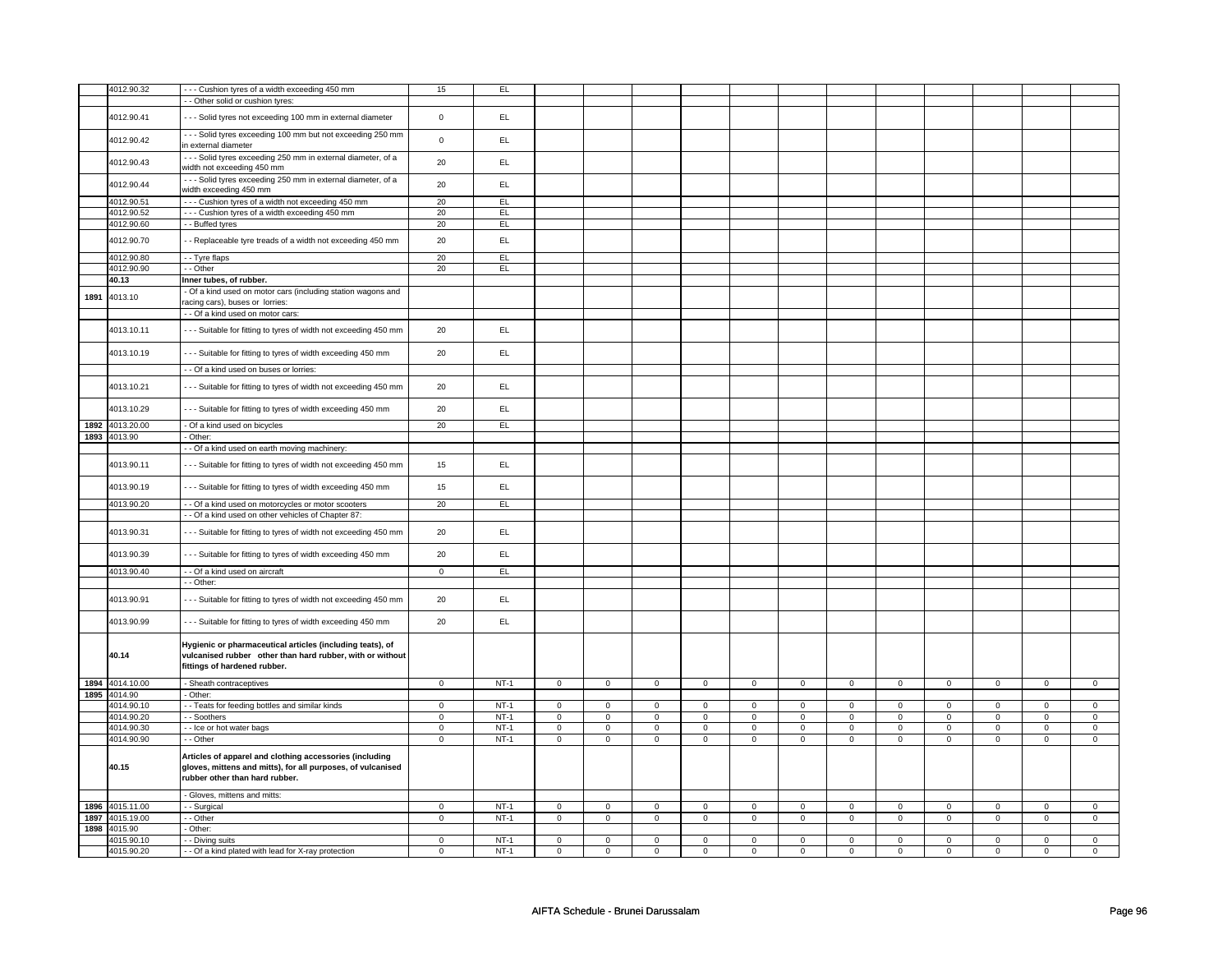|      | 4012.90.32      | --- Cushion tyres of a width exceeding 450 mm                   | 15                  | EL     |                |                |             |                |                     |                |                     |             |             |                |             |                |
|------|-----------------|-----------------------------------------------------------------|---------------------|--------|----------------|----------------|-------------|----------------|---------------------|----------------|---------------------|-------------|-------------|----------------|-------------|----------------|
|      |                 | - Other solid or cushion tyres:                                 |                     |        |                |                |             |                |                     |                |                     |             |             |                |             |                |
|      |                 |                                                                 |                     |        |                |                |             |                |                     |                |                     |             |             |                |             |                |
|      | 4012.90.41      | - - - Solid tyres not exceeding 100 mm in external diameter     | $\mathsf{o}\xspace$ | EL     |                |                |             |                |                     |                |                     |             |             |                |             |                |
|      |                 |                                                                 |                     |        |                |                |             |                |                     |                |                     |             |             |                |             |                |
|      |                 | - - - Solid tyres exceeding 100 mm but not exceeding 250 mm     |                     |        |                |                |             |                |                     |                |                     |             |             |                |             |                |
|      | 4012.90.42      |                                                                 | $\mathsf 0$         | EL.    |                |                |             |                |                     |                |                     |             |             |                |             |                |
|      |                 | in external diameter                                            |                     |        |                |                |             |                |                     |                |                     |             |             |                |             |                |
|      |                 | - - - Solid tyres exceeding 250 mm in external diameter, of a   |                     |        |                |                |             |                |                     |                |                     |             |             |                |             |                |
|      | 4012.90.43      |                                                                 | 20                  | EL.    |                |                |             |                |                     |                |                     |             |             |                |             |                |
|      |                 | width not exceeding 450 mm                                      |                     |        |                |                |             |                |                     |                |                     |             |             |                |             |                |
|      |                 | --- Solid tyres exceeding 250 mm in external diameter, of a     |                     |        |                |                |             |                |                     |                |                     |             |             |                |             |                |
|      | 4012.90.44      | width exceeding 450 mm                                          | 20                  | EL     |                |                |             |                |                     |                |                     |             |             |                |             |                |
|      |                 |                                                                 |                     |        |                |                |             |                |                     |                |                     |             |             |                |             |                |
|      | 4012.90.51      | --- Cushion tyres of a width not exceeding 450 mm               | 20                  | EL     |                |                |             |                |                     |                |                     |             |             |                |             |                |
|      | 4012.90.52      | --- Cushion tyres of a width exceeding 450 mm                   | 20                  | EL     |                |                |             |                |                     |                |                     |             |             |                |             |                |
|      | 4012.90.60      | - - Buffed tyres                                                | 20                  | EL     |                |                |             |                |                     |                |                     |             |             |                |             |                |
|      |                 |                                                                 |                     |        |                |                |             |                |                     |                |                     |             |             |                |             |                |
|      | 4012.90.70      |                                                                 | 20                  | EL     |                |                |             |                |                     |                |                     |             |             |                |             |                |
|      |                 | - Replaceable tyre treads of a width not exceeding 450 mm       |                     |        |                |                |             |                |                     |                |                     |             |             |                |             |                |
|      | 4012.90.80      |                                                                 | 20                  | EL.    |                |                |             |                |                     |                |                     |             |             |                |             |                |
|      |                 | - - Tyre flaps                                                  |                     |        |                |                |             |                |                     |                |                     |             |             |                |             |                |
|      | 4012.90.90      | - - Other                                                       | 20                  | EL.    |                |                |             |                |                     |                |                     |             |             |                |             |                |
|      | 40.13           | Inner tubes, of rubber.                                         |                     |        |                |                |             |                |                     |                |                     |             |             |                |             |                |
|      |                 |                                                                 |                     |        |                |                |             |                |                     |                |                     |             |             |                |             |                |
| 1891 | 4013.10         | - Of a kind used on motor cars (including station wagons and    |                     |        |                |                |             |                |                     |                |                     |             |             |                |             |                |
|      |                 | racing cars), buses or lorries:                                 |                     |        |                |                |             |                |                     |                |                     |             |             |                |             |                |
|      |                 | - - Of a kind used on motor cars:                               |                     |        |                |                |             |                |                     |                |                     |             |             |                |             |                |
|      |                 |                                                                 |                     |        |                |                |             |                |                     |                |                     |             |             |                |             |                |
|      |                 |                                                                 |                     | EL.    |                |                |             |                |                     |                |                     |             |             |                |             |                |
|      | 4013.10.11      | --- Suitable for fitting to tyres of width not exceeding 450 mm | 20                  |        |                |                |             |                |                     |                |                     |             |             |                |             |                |
|      |                 |                                                                 |                     |        |                |                |             |                |                     |                |                     |             |             |                |             |                |
|      | 4013.10.19      | --- Suitable for fitting to tyres of width exceeding 450 mm     | 20                  | EL     |                |                |             |                |                     |                |                     |             |             |                |             |                |
|      |                 |                                                                 |                     |        |                |                |             |                |                     |                |                     |             |             |                |             |                |
|      |                 | - - Of a kind used on buses or lorries:                         |                     |        |                |                |             |                |                     |                |                     |             |             |                |             |                |
|      |                 |                                                                 |                     |        |                |                |             |                |                     |                |                     |             |             |                |             |                |
|      | 4013.10.21      | -- Suitable for fitting to tyres of width not exceeding 450 mm  | 20                  | EL.    |                |                |             |                |                     |                |                     |             |             |                |             |                |
|      |                 |                                                                 |                     |        |                |                |             |                |                     |                |                     |             |             |                |             |                |
|      |                 |                                                                 |                     |        |                |                |             |                |                     |                |                     |             |             |                |             |                |
|      | 4013.10.29      | --- Suitable for fitting to tyres of width exceeding 450 mm     | 20                  | EL     |                |                |             |                |                     |                |                     |             |             |                |             |                |
|      |                 |                                                                 |                     |        |                |                |             |                |                     |                |                     |             |             |                |             |                |
|      | 1892 4013.20.00 | - Of a kind used on bicycles                                    | 20                  | EL.    |                |                |             |                |                     |                |                     |             |             |                |             |                |
|      |                 |                                                                 |                     |        |                |                |             |                |                     |                |                     |             |             |                |             |                |
|      | 1893 4013.90    | - Other:                                                        |                     |        |                |                |             |                |                     |                |                     |             |             |                |             |                |
|      |                 | - Of a kind used on earth moving machinery:                     |                     |        |                |                |             |                |                     |                |                     |             |             |                |             |                |
|      |                 |                                                                 |                     |        |                |                |             |                |                     |                |                     |             |             |                |             |                |
|      | 4013.90.11      | - - Suitable for fitting to tyres of width not exceeding 450 mm | 15                  | EL     |                |                |             |                |                     |                |                     |             |             |                |             |                |
|      |                 |                                                                 |                     |        |                |                |             |                |                     |                |                     |             |             |                |             |                |
|      |                 |                                                                 |                     |        |                |                |             |                |                     |                |                     |             |             |                |             |                |
|      | 4013.90.19      | --- Suitable for fitting to tyres of width exceeding 450 mm     | 15                  | EL     |                |                |             |                |                     |                |                     |             |             |                |             |                |
|      |                 |                                                                 |                     |        |                |                |             |                |                     |                |                     |             |             |                |             |                |
|      | 4013.90.20      | - - Of a kind used on motorcycles or motor scooters             | 20                  | EL     |                |                |             |                |                     |                |                     |             |             |                |             |                |
|      |                 | - - Of a kind used on other vehicles of Chapter 87:             |                     |        |                |                |             |                |                     |                |                     |             |             |                |             |                |
|      |                 |                                                                 |                     |        |                |                |             |                |                     |                |                     |             |             |                |             |                |
|      |                 |                                                                 |                     |        |                |                |             |                |                     |                |                     |             |             |                |             |                |
|      | 4013.90.31      | --- Suitable for fitting to tyres of width not exceeding 450 mm | 20                  | EL.    |                |                |             |                |                     |                |                     |             |             |                |             |                |
|      |                 |                                                                 |                     |        |                |                |             |                |                     |                |                     |             |             |                |             |                |
|      | 4013.90.39      |                                                                 | 20                  | EL.    |                |                |             |                |                     |                |                     |             |             |                |             |                |
|      |                 | --- Suitable for fitting to tyres of width exceeding 450 mm     |                     |        |                |                |             |                |                     |                |                     |             |             |                |             |                |
|      | 4013.90.40      | - - Of a kind used on aircraft                                  | $\mathbf 0$         | EL.    |                |                |             |                |                     |                |                     |             |             |                |             |                |
|      |                 |                                                                 |                     |        |                |                |             |                |                     |                |                     |             |             |                |             |                |
|      |                 | - - Other:                                                      |                     |        |                |                |             |                |                     |                |                     |             |             |                |             |                |
|      |                 |                                                                 |                     |        |                |                |             |                |                     |                |                     |             |             |                |             |                |
|      | 4013.90.91      | -- Suitable for fitting to tyres of width not exceeding 450 mm  | 20                  | EL     |                |                |             |                |                     |                |                     |             |             |                |             |                |
|      |                 |                                                                 |                     |        |                |                |             |                |                     |                |                     |             |             |                |             |                |
|      |                 |                                                                 |                     |        |                |                |             |                |                     |                |                     |             |             |                |             |                |
|      | 4013.90.99      | --- Suitable for fitting to tyres of width exceeding 450 mm     | 20                  | EL     |                |                |             |                |                     |                |                     |             |             |                |             |                |
|      |                 |                                                                 |                     |        |                |                |             |                |                     |                |                     |             |             |                |             |                |
|      |                 | Hygienic or pharmaceutical articles (including teats), of       |                     |        |                |                |             |                |                     |                |                     |             |             |                |             |                |
|      | 40.14           |                                                                 |                     |        |                |                |             |                |                     |                |                     |             |             |                |             |                |
|      |                 | vulcanised rubber other than hard rubber, with or without       |                     |        |                |                |             |                |                     |                |                     |             |             |                |             |                |
|      |                 | fittings of hardened rubber.                                    |                     |        |                |                |             |                |                     |                |                     |             |             |                |             |                |
|      |                 |                                                                 |                     |        |                |                |             |                |                     |                |                     |             |             |                |             |                |
|      | 1894 4014.10.00 | - Sheath contraceptives                                         | $\mathbf 0$         | $NT-1$ | $\mathsf 0$    | $\mathsf 0$    | $\mathsf 0$ | $\mathsf 0$    | $\mathsf 0$         | $\mathsf 0$    | $\mathsf 0$         | $\mathsf 0$ | $\mathsf 0$ | $\mathsf 0$    | $\mathsf 0$ | $\mathsf 0$    |
|      | 1895 4014.90    | - Other:                                                        |                     |        |                |                |             |                |                     |                |                     |             |             |                |             |                |
|      |                 |                                                                 |                     |        |                |                |             |                |                     |                |                     |             |             |                |             |                |
|      | 4014.90.10      | - - Teats for feeding bottles and similar kinds                 | $\mathbf 0$         | $NT-1$ | $\mathbf 0$    | $\mathbf 0$    | $\mathbf 0$ | $\mathbf 0$    | $\mathbf 0$         | $\mathbf 0$    | $\mathbf 0$         | $\mathbf 0$ | $\mathbf 0$ | $\mathbf 0$    | $\mathbf 0$ | $\mathbf 0$    |
|      | 4014.90.20      | - - Soothers                                                    | $\mathbf 0$         | $NT-1$ | $\mathsf 0$    | $\mathbf 0$    | $\mathsf 0$ | $\mathbf 0$    | $\mathsf 0$         | $\mathbf 0$    | $\mathsf 0$         | $\mathbf 0$ | $\mathsf 0$ | $\mathbf 0$    | $\mathsf 0$ | $\mathbf 0$    |
|      |                 |                                                                 |                     |        |                |                |             |                |                     |                |                     |             |             |                |             |                |
|      | 4014.90.30      | -- Ice or hot water bags                                        | $\mathsf 0$         | $NT-1$ | $\overline{0}$ | $\mathbf 0$    | $\mathsf 0$ | $\mathbf 0$    | $\mathsf 0$         | $\mathbf 0$    | $\mathsf 0$         | $\mathbf 0$ | $\mathsf 0$ | $\mathbf 0$    | $\mathsf 0$ | $\mathbf 0$    |
|      | 4014.90.90      | - - Other                                                       | $\mathbf 0$         | $NT-1$ | $\mathsf 0$    | $\mathsf 0$    | $\mathsf 0$ | $\mathbf 0$    | $\mathsf{O}\xspace$ | $\mathsf 0$    | $\mathsf{O}\xspace$ | $\mathbf 0$ | $\mathbf 0$ | $\mathsf 0$    | 0           | $\mathbf 0$    |
|      |                 |                                                                 |                     |        |                |                |             |                |                     |                |                     |             |             |                |             |                |
|      |                 | Articles of apparel and clothing accessories (including         |                     |        |                |                |             |                |                     |                |                     |             |             |                |             |                |
|      | 40.15           | gloves, mittens and mitts), for all purposes, of vulcanised     |                     |        |                |                |             |                |                     |                |                     |             |             |                |             |                |
|      |                 |                                                                 |                     |        |                |                |             |                |                     |                |                     |             |             |                |             |                |
|      |                 | rubber other than hard rubber.                                  |                     |        |                |                |             |                |                     |                |                     |             |             |                |             |                |
|      |                 |                                                                 |                     |        |                |                |             |                |                     |                |                     |             |             |                |             |                |
|      |                 | - Gloves, mittens and mitts:                                    |                     |        |                |                |             |                |                     |                |                     |             |             |                |             |                |
|      | 1896 4015.11.00 | - Surgical                                                      | $\mathbf 0$         | $NT-1$ | $\mathsf 0$    | $\mathbf 0$    | $\mathbf 0$ | $\mathbf 0$    | $\mathbf 0$         | $\mathbf 0$    | $\mathbf 0$         | $\mathbf 0$ | 0           | $\mathbf 0$    | $\mathbf 0$ | $\mathsf 0$    |
|      |                 |                                                                 |                     |        |                |                |             |                |                     |                |                     |             |             |                |             |                |
|      | 1897 4015.19.00 | - - Other                                                       | $\mathbf 0$         | NT-1   | $\mathbf 0$    | 0              | $\mathbf 0$ | 0              | $\mathbf 0$         | 0              | $\mathbf 0$         | 0           | 0           | 0              | 0           | 0              |
|      | 1898 4015.90    | Other:                                                          |                     |        |                |                |             |                |                     |                |                     |             |             |                |             |                |
|      | 4015.90.10      | - - Diving suits                                                | $\mathbf 0$         | $NT-1$ | $\overline{0}$ | $\overline{0}$ | $\mathsf 0$ | $\overline{0}$ | $\mathsf 0$         | $\overline{0}$ | $\mathsf 0$         | $\mathbf 0$ | $\mathsf 0$ | $\overline{0}$ | $\mathsf 0$ | $\overline{0}$ |
|      |                 |                                                                 |                     |        |                |                |             |                |                     |                |                     |             |             |                |             |                |
|      | 4015.90.20      | - - Of a kind plated with lead for X-ray protection             | $\mathbf 0$         | $NT-1$ | $\mathbf 0$    | 0              | $\mathbf 0$ | 0              | $\mathbf 0$         | 0              | $\mathbf 0$         | 0           | 0           | 0              | 0           | $\mathbf 0$    |
|      |                 |                                                                 |                     |        |                |                |             |                |                     |                |                     |             |             |                |             |                |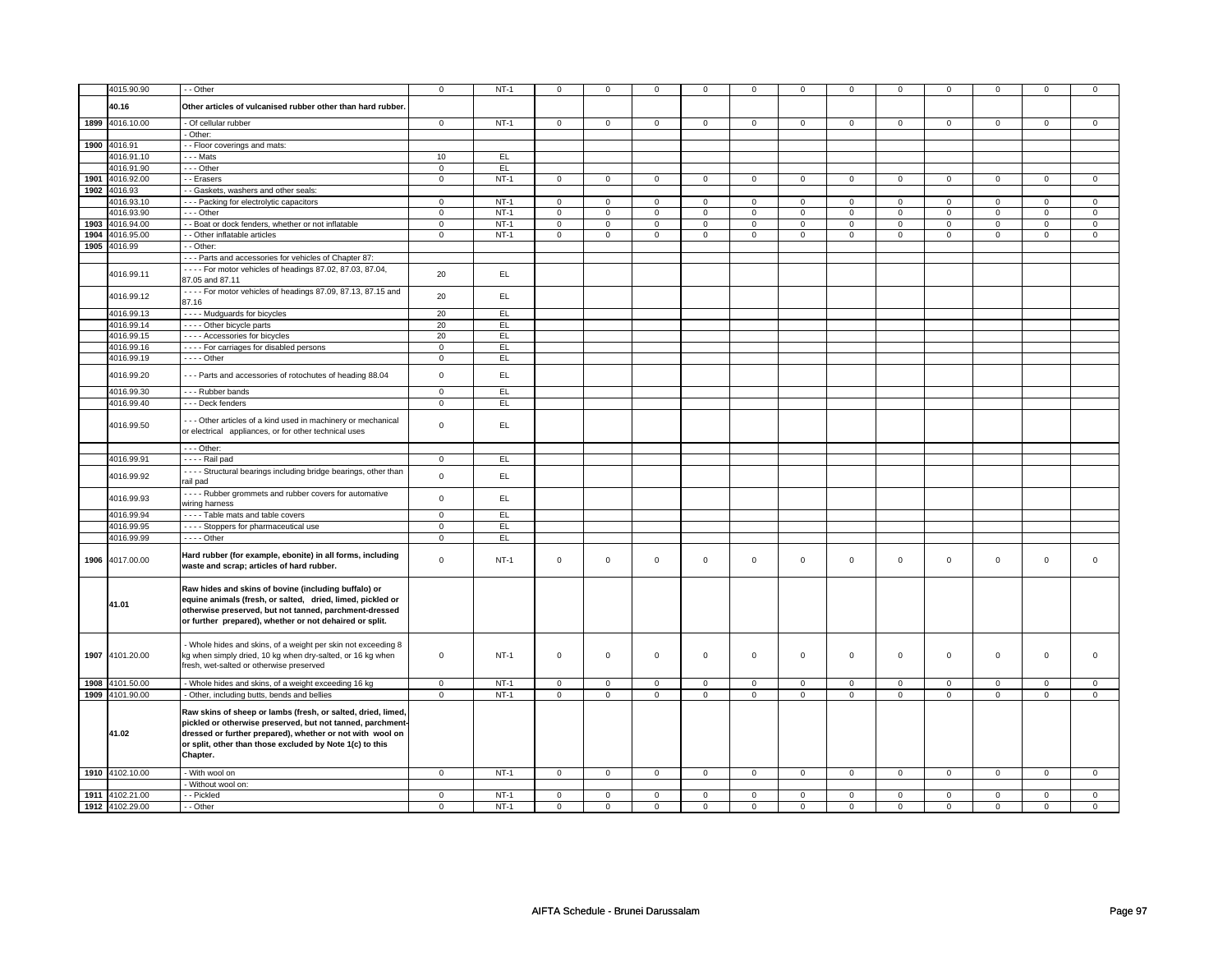|      | 4015.90.90      | - - Other                                                      | $\mathbf 0$    | $NT-1$      | $\mathbf 0$    | $\mathbf 0$    | $\mathbf{0}$   | $\mathbf 0$    | $\mathbf 0$    | $\mathbf 0$    | $\mathbf 0$    | $\mathbf 0$    | $\mathbf 0$    | $\mathbf{0}$   | $\mathbf 0$    | $\mathbf 0$    |
|------|-----------------|----------------------------------------------------------------|----------------|-------------|----------------|----------------|----------------|----------------|----------------|----------------|----------------|----------------|----------------|----------------|----------------|----------------|
|      | 40.16           | Other articles of vulcanised rubber other than hard rubber     |                |             |                |                |                |                |                |                |                |                |                |                |                |                |
|      |                 |                                                                |                |             |                |                |                |                |                |                |                |                |                |                |                |                |
|      | 1899 4016.10.00 | - Of cellular rubber                                           | $\overline{0}$ | $NT-1$      | $\overline{0}$ | $\overline{0}$ | $\overline{0}$ | $\overline{0}$ | $\overline{0}$ | $\overline{0}$ | $\overline{0}$ | $\overline{0}$ | $\overline{0}$ | $\overline{0}$ | $\overline{0}$ | $\overline{0}$ |
|      |                 | Other:                                                         |                |             |                |                |                |                |                |                |                |                |                |                |                |                |
|      | 1900 4016.91    | - Floor coverings and mats:                                    |                |             |                |                |                |                |                |                |                |                |                |                |                |                |
|      |                 |                                                                |                |             |                |                |                |                |                |                |                |                |                |                |                |                |
|      | 4016.91.10      | - - - Mats                                                     | 10             | EL          |                |                |                |                |                |                |                |                |                |                |                |                |
|      | 4016.91.90      | --- Other                                                      | $\mathbf 0$    | EL          |                |                |                |                |                |                |                |                |                |                |                |                |
|      | 1901 4016.92.00 | - - Erasers                                                    | $\mathbf 0$    | $NT-1$      | $\mathbf 0$    | $\mathbf 0$    | $\mathbf{0}$   | $\mathbf 0$    | $\mathbf{0}$   | $\mathbf 0$    | 0              | $\mathbf 0$    | $\mathbf{0}$   | $\mathbf 0$    | 0              | 0              |
| 1902 | 4016.93         | - Gaskets, washers and other seals:                            |                |             |                |                |                |                |                |                |                |                |                |                |                |                |
|      | 4016.93.10      | --- Packing for electrolytic capacitors                        | $\mathbf 0$    | $NT-1$      | $\mathsf 0$    | $\mathbf 0$    | $\mathbf 0$    | $\mathbf 0$    | $\mathbf 0$    | $\mathbf 0$    | $\mathbf 0$    | $\mathbf 0$    | $\mathsf 0$    | $\mathbf 0$    | $\Omega$       | $\mathbf 0$    |
|      | 4016.93.90      | $--$ Other                                                     | $\overline{0}$ | $NT-1$      | $\overline{0}$ | $\overline{0}$ | $\overline{0}$ | $\overline{0}$ | $\overline{0}$ | $\overline{0}$ | $\mathbf 0$    | $\overline{0}$ | $\overline{0}$ | $\overline{0}$ | $\mathbf 0$    | $\overline{0}$ |
|      |                 |                                                                | $\mathbf 0$    |             | $\mathbf{0}$   | $\mathbf 0$    | $\mathbf{0}$   | $\mathbf{0}$   | $\mathbf{0}$   | $\mathbf{0}$   | $\mathbf 0$    | $\mathbf{0}$   | $\mathbf 0$    | $\mathbf{0}$   | $\mathbf 0$    | $\mathbf{0}$   |
|      | 1903 4016.94.00 | - - Boat or dock fenders, whether or not inflatable            |                | $NT-1$      |                |                |                |                |                |                |                |                |                |                |                |                |
|      | 1904 4016.95.00 | - - Other inflatable articles                                  | $\mathbf 0$    | $NT-1$      | $\mathsf 0$    | $\mathbf 0$    | 0              | $\mathbf 0$    | 0              | $\mathbf 0$    | 0              | $\mathbf 0$    | 0              | $\mathbf 0$    | 0              | $\mathbf 0$    |
|      | 1905 4016.99    | - - Other:                                                     |                |             |                |                |                |                |                |                |                |                |                |                |                |                |
|      |                 | - - - Parts and accessories for vehicles of Chapter 87:        |                |             |                |                |                |                |                |                |                |                |                |                |                |                |
|      |                 | - - - - For motor vehicles of headings 87.02, 87.03, 87.04,    |                |             |                |                |                |                |                |                |                |                |                |                |                |                |
|      | 4016.99.11      | 87.05 and 87.11                                                | 20             | EL          |                |                |                |                |                |                |                |                |                |                |                |                |
|      |                 |                                                                |                |             |                |                |                |                |                |                |                |                |                |                |                |                |
|      | 4016.99.12      | - - - - For motor vehicles of headings 87.09, 87.13, 87.15 and | 20             | EL          |                |                |                |                |                |                |                |                |                |                |                |                |
|      |                 | 87.16                                                          |                |             |                |                |                |                |                |                |                |                |                |                |                |                |
|      | 4016.99.13      | - - - - Mudguards for bicycles                                 | 20             | EL          |                |                |                |                |                |                |                |                |                |                |                |                |
|      | 4016.99.14      | - - - - Other bicycle parts                                    | 20             | E           |                |                |                |                |                |                |                |                |                |                |                |                |
|      | 4016.99.15      | - - - - Accessories for bicycles                               | 20             | EL.         |                |                |                |                |                |                |                |                |                |                |                |                |
|      | 4016.99.16      | - - - - For carriages for disabled persons                     | $\overline{0}$ | EL          |                |                |                |                |                |                |                |                |                |                |                |                |
|      | 4016.99.19      | $- - -$ Other                                                  | $\mathsf 0$    | EL          |                |                |                |                |                |                |                |                |                |                |                |                |
|      |                 |                                                                |                |             |                |                |                |                |                |                |                |                |                |                |                |                |
|      | 4016.99.20      | --- Parts and accessories of rotochutes of heading 88.04       | $\mathsf 0$    | EL          |                |                |                |                |                |                |                |                |                |                |                |                |
|      |                 |                                                                |                |             |                |                |                |                |                |                |                |                |                |                |                |                |
|      | 4016.99.30      | --- Rubber bands                                               | $\overline{0}$ | EL          |                |                |                |                |                |                |                |                |                |                |                |                |
|      | 4016.99.40      | --- Deck fenders                                               | $\overline{0}$ | EL          |                |                |                |                |                |                |                |                |                |                |                |                |
|      |                 |                                                                |                |             |                |                |                |                |                |                |                |                |                |                |                |                |
|      | 4016.99.50      | --- Other articles of a kind used in machinery or mechanical   | $\mathbf 0$    | EL.         |                |                |                |                |                |                |                |                |                |                |                |                |
|      |                 | or electrical appliances, or for other technical uses          |                |             |                |                |                |                |                |                |                |                |                |                |                |                |
|      |                 |                                                                |                |             |                |                |                |                |                |                |                |                |                |                |                |                |
|      |                 | $--$ Other:                                                    |                |             |                |                |                |                |                |                |                |                |                |                |                |                |
|      | 4016.99.91      | $- - -$ Rail pad                                               | $\overline{0}$ | E           |                |                |                |                |                |                |                |                |                |                |                |                |
|      |                 | - Structural bearings including bridge bearings, other than    |                | EL          |                |                |                |                |                |                |                |                |                |                |                |                |
|      | 4016.99.92      | rail pad                                                       | $\mathsf 0$    |             |                |                |                |                |                |                |                |                |                |                |                |                |
|      |                 | - - - - Rubber grommets and rubber covers for automative       |                |             |                |                |                |                |                |                |                |                |                |                |                |                |
|      | 4016.99.93      | wiring harness                                                 | $\mathsf 0$    | EL          |                |                |                |                |                |                |                |                |                |                |                |                |
|      |                 |                                                                |                |             |                |                |                |                |                |                |                |                |                |                |                |                |
|      | 4016.99.94      | ---- Table mats and table covers                               | $\overline{0}$ | EL          |                |                |                |                |                |                |                |                |                |                |                |                |
|      | 4016.99.95      | - - - - Stoppers for pharmaceutical use                        | $\mathsf 0$    | <b>EL</b>   |                |                |                |                |                |                |                |                |                |                |                |                |
|      | 4016.99.99      | - - - - Other                                                  | $\mathsf 0$    | E           |                |                |                |                |                |                |                |                |                |                |                |                |
|      |                 |                                                                |                |             |                |                |                |                |                |                |                |                |                |                |                |                |
|      | 1906 4017.00.00 | Hard rubber (for example, ebonite) in all forms, including     | $\mathbf 0$    | <b>NT-1</b> | $\mathbf 0$    | $\mathbf{0}$   | $\mathbf 0$    | $\mathbf{0}$   | $\mathbf 0$    | $\mathbf{0}$   | $\mathbf 0$    | $\mathbf{0}$   | $\mathbf 0$    | $\mathbf{0}$   | $\mathbf 0$    | $\mathbf{0}$   |
|      |                 | waste and scrap; articles of hard rubber.                      |                |             |                |                |                |                |                |                |                |                |                |                |                |                |
|      |                 |                                                                |                |             |                |                |                |                |                |                |                |                |                |                |                |                |
|      |                 | Raw hides and skins of bovine (including buffalo) or           |                |             |                |                |                |                |                |                |                |                |                |                |                |                |
|      |                 | equine animals (fresh, or salted, dried, limed, pickled or     |                |             |                |                |                |                |                |                |                |                |                |                |                |                |
|      | 41.01           | otherwise preserved, but not tanned, parchment-dressed         |                |             |                |                |                |                |                |                |                |                |                |                |                |                |
|      |                 | or further prepared), whether or not dehaired or split.        |                |             |                |                |                |                |                |                |                |                |                |                |                |                |
|      |                 |                                                                |                |             |                |                |                |                |                |                |                |                |                |                |                |                |
|      |                 |                                                                |                |             |                |                |                |                |                |                |                |                |                |                |                |                |
|      |                 | Whole hides and skins, of a weight per skin not exceeding 8    |                |             |                |                |                |                |                |                |                |                |                |                |                |                |
|      | 1907 4101.20.00 | kg when simply dried, 10 kg when dry-salted, or 16 kg when     | $\mathsf 0$    | $NT-1$      | $\mathsf 0$    | $\mathbf 0$    | $\mathbf 0$    | $\mathbf{0}$   | $\mathbf 0$    | $\mathbf{0}$   | $\mathbf 0$    | $\mathbf{0}$   | $\mathbf 0$    | $\mathbf{0}$   | $\mathbf 0$    | $\mathbf{0}$   |
|      |                 | fresh, wet-salted or otherwise preserved                       |                |             |                |                |                |                |                |                |                |                |                |                |                |                |
|      |                 |                                                                |                |             |                |                |                |                |                |                |                |                |                |                |                |                |
|      | 1908 4101.50.00 | - Whole hides and skins, of a weight exceeding 16 kg           | $\mathbf 0$    | $NT-1$      | $\mathbf 0$    | $\mathbf 0$    | $\mathbf 0$    | $\mathbf 0$    | $\mathbf 0$    | $\mathbf 0$    | $\mathbf 0$    | $\mathbf{0}$   | $\mathbf 0$    | $\mathbf 0$    | $\mathbf 0$    | $\mathbf 0$    |
|      | 1909 4101.90.00 | Other, including butts, bends and bellies                      | $\mathbf 0$    | $NT-1$      | $\mathsf 0$    | $\mathbf 0$    | $\mathbf 0$    | $\mathbf 0$    | $\mathbf 0$    | $\mathbf{0}$   | $\mathbf 0$    | $\mathbf{0}$   | $\mathbf 0$    | $\mathbf 0$    | $\mathbf 0$    | $\mathbf{0}$   |
|      |                 |                                                                |                |             |                |                |                |                |                |                |                |                |                |                |                |                |
|      |                 | Raw skins of sheep or lambs (fresh, or salted, dried, limed,   |                |             |                |                |                |                |                |                |                |                |                |                |                |                |
|      |                 | pickled or otherwise preserved, but not tanned, parchment-     |                |             |                |                |                |                |                |                |                |                |                |                |                |                |
|      | 41.02           | dressed or further prepared), whether or not with wool on      |                |             |                |                |                |                |                |                |                |                |                |                |                |                |
|      |                 | or split, other than those excluded by Note 1(c) to this       |                |             |                |                |                |                |                |                |                |                |                |                |                |                |
|      |                 | Chapter.                                                       |                |             |                |                |                |                |                |                |                |                |                |                |                |                |
|      |                 |                                                                |                |             |                |                |                |                |                |                |                |                |                |                |                |                |
|      | 1910 4102.10.00 | - With wool on                                                 | $\mathbf 0$    | $NT-1$      | $\mathsf 0$    | $\mathbf 0$    | $\mathbf 0$    | $\mathbf 0$    | $\mathbf 0$    | $\mathsf 0$    | $\mathbf 0$    | $\mathbf 0$    | $\mathsf 0$    | $\mathbf 0$    | $\mathbf 0$    | $\mathbf 0$    |
|      |                 | - Without wool on:                                             |                |             |                |                |                |                |                |                |                |                |                |                |                |                |
|      | 1911 4102.21.00 | - - Pickled                                                    | $\mathsf 0$    | $NT-1$      | $\mathsf 0$    | $\mathbf 0$    | $\mathbf 0$    | $\mathsf 0$    | $\mathbf 0$    | $\mathsf 0$    | $\mathbf 0$    | $\mathbf 0$    | $\mathsf 0$    | $\mathbf 0$    | $\Omega$       | 0              |
|      | 1912 4102.29.00 | - Other                                                        | $\Omega$       | $NT-1$      | $\mathbf 0$    | $\mathbf 0$    | $\mathbf 0$    | $\mathbf 0$    | $\mathbf 0$    | $\mathbf 0$    | $\Omega$       | $\mathbf 0$    | $\mathbf 0$    | $\mathbf 0$    | $\Omega$       | $\mathbf{0}$   |
|      |                 |                                                                |                |             |                |                |                |                |                |                |                |                |                |                |                |                |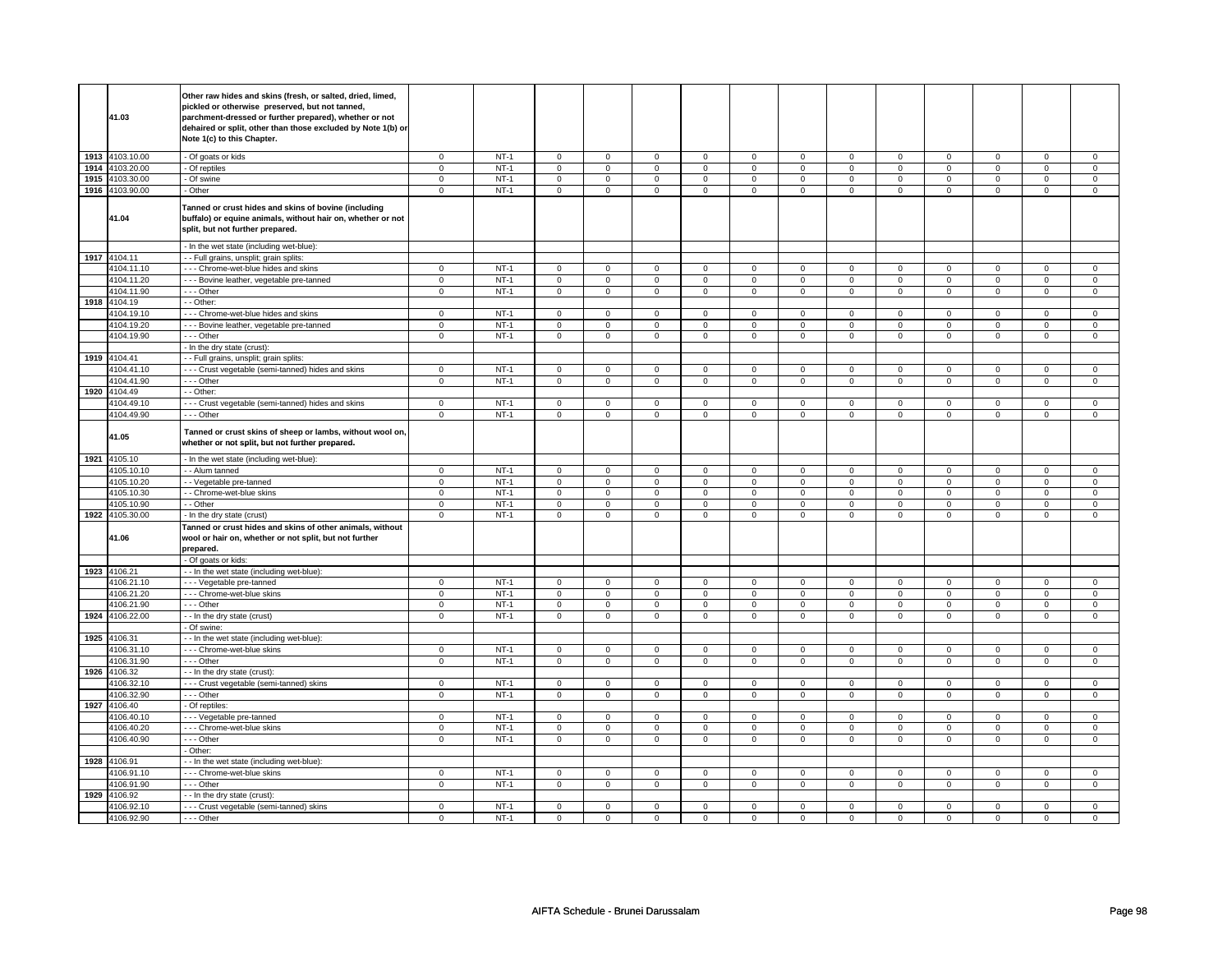|      | 41.03           | Other raw hides and skins (fresh, or salted, dried, limed,<br>pickled or otherwise preserved, but not tanned,<br>parchment-dressed or further prepared), whether or not<br>dehaired or split, other than those excluded by Note 1(b) or<br>Note 1(c) to this Chapter. |              |                  |              |                |              |                |              |                |              |              |                     |                |              |                |
|------|-----------------|-----------------------------------------------------------------------------------------------------------------------------------------------------------------------------------------------------------------------------------------------------------------------|--------------|------------------|--------------|----------------|--------------|----------------|--------------|----------------|--------------|--------------|---------------------|----------------|--------------|----------------|
|      | 1913 4103.10.00 | - Of goats or kids                                                                                                                                                                                                                                                    | $^{\circ}$   | $NT-1$           | $\mathbf{0}$ | $\mathbf{0}$   | $^{\circ}$   | $\mathbf{0}$   | $\mathbf{0}$ | $\mathbf{0}$   | $\mathbf 0$  | $\mathbf{0}$ | $\mathbf 0$         | $\mathbf 0$    | $\mathbf 0$  | $\mathbf 0$    |
| 1914 | 4103.20.00      | - Of reptiles                                                                                                                                                                                                                                                         | $\mathbf 0$  | $NT-1$           | $\mathsf 0$  | $\overline{0}$ | $\mathsf 0$  | $\overline{0}$ | $\mathsf 0$  | $\overline{0}$ | $\mathsf 0$  | $\mathsf 0$  | $\mathsf 0$         | $\overline{0}$ | $\mathbf 0$  | $\overline{0}$ |
| 1915 | 4103.30.00      | - Of swine                                                                                                                                                                                                                                                            | $\mathbf 0$  | $NT-1$           | $\mathbf 0$  | $\mathsf 0$    | $\mathbf 0$  | $\mathbf 0$    | $\mathbf 0$  | $\mathbf 0$    | $\mathsf 0$  | $\mathbf 0$  | $\mathsf 0$         | $\mathbf 0$    | $\mathbf 0$  | $\mathbf 0$    |
|      | 1916 4103.90.00 | - Other                                                                                                                                                                                                                                                               | $\mathsf 0$  | $NT-1$           | $\mathsf 0$  | $\mathsf 0$    | $\mathbf 0$  | $\mathsf 0$    | $\mathsf 0$  | $\mathsf 0$    | $\mathbf 0$  | $\mathsf 0$  | $\mathbf 0$         | $\mathsf 0$    | $\mathbf 0$  | $\mathbf 0$    |
|      | 41.04           | Tanned or crust hides and skins of bovine (including<br>buffalo) or equine animals, without hair on, whether or not<br>split, but not further prepared.<br>- In the wet state (including wet-blue):                                                                   |              |                  |              |                |              |                |              |                |              |              |                     |                |              |                |
|      |                 |                                                                                                                                                                                                                                                                       |              |                  |              |                |              |                |              |                |              |              |                     |                |              |                |
| 1917 | 4104.11         | - - Full grains, unsplit; grain splits                                                                                                                                                                                                                                |              |                  |              |                |              |                |              |                |              |              |                     |                |              |                |
|      | 4104.11.10      | --- Chrome-wet-blue hides and skins                                                                                                                                                                                                                                   | $\mathbf 0$  | $NT-1$           | $\mathbf 0$  | $\mathsf 0$    | $\mathbf 0$  | $\mathbf 0$    | $\mathbf 0$  | $\mathbf 0$    | $\mathbf 0$  | $\mathbf 0$  | $\mathbf 0$         | $\mathbf 0$    | 0            | $\mathbf 0$    |
|      | 4104.11.20      | - - - Bovine leather, vegetable pre-tanned                                                                                                                                                                                                                            | $\mathbf 0$  | $NT-1$           | $\mathsf 0$  | $\mathsf 0$    | $\mathsf 0$  | $\mathbf 0$    | $\mathsf 0$  | $\mathsf 0$    | $\mathsf 0$  | $\mathbf 0$  | $\mathsf 0$         | $\mathbf 0$    | $\mathsf 0$  | $\mathbf 0$    |
|      | 4104.11.90      | - - - Other                                                                                                                                                                                                                                                           | $\mathbf 0$  | $NT-1$           | $\mathbf 0$  | $\mathsf 0$    | $\mathbf 0$  | $\mathbf 0$    | $\mathbf 0$  | $\mathbf 0$    | $\mathsf 0$  | $\mathbf 0$  | $\mathbf 0$         | $\mathbf 0$    | $\mathbf 0$  | $\mathbf 0$    |
| 1918 | 4104.19         | - - Other:                                                                                                                                                                                                                                                            |              |                  |              |                |              |                |              |                |              |              |                     |                |              |                |
|      | 4104.19.10      | - - - Chrome-wet-blue hides and skins                                                                                                                                                                                                                                 | $\mathbf 0$  | $NT-1$           | $\mathbf 0$  | $\mathsf 0$    | $\mathbf 0$  | $\mathbf 0$    | $\mathsf 0$  | $\mathbf 0$    | $\mathbf 0$  | $\mathbf 0$  | $\mathsf 0$         | $\mathbf 0$    | 0            | 0              |
|      | 4104.19.20      | --- Bovine leather, vegetable pre-tanned                                                                                                                                                                                                                              | $\mathbf 0$  | $NT-1$           | $\mathbf 0$  | $\overline{0}$ | $\mathbf 0$  | $\mathbf 0$    | $\mathsf 0$  | $\mathsf 0$    | $\mathbf 0$  | $\mathsf 0$  | $\mathsf 0$         | $\mathbf 0$    | $\mathbf 0$  | $\mathbf 0$    |
|      | 4104.19.90      | --- Other                                                                                                                                                                                                                                                             | $\mathbf 0$  | $NT-1$           | $\mathbf 0$  | $\mathsf 0$    | $\mathbf 0$  | $\mathbf 0$    | $\mathbf 0$  | $\mathbf 0$    | $\mathbf 0$  | $\mathbf 0$  | $\mathbf 0$         | $\mathbf 0$    | $\mathbf 0$  | $\mathbf 0$    |
|      |                 | - In the dry state (crust):                                                                                                                                                                                                                                           |              |                  |              |                |              |                |              |                |              |              |                     |                |              |                |
|      | 1919 4104.41    | - Full grains, unsplit; grain splits:                                                                                                                                                                                                                                 |              |                  |              |                |              |                |              |                |              |              |                     |                |              |                |
|      | 4104.41.10      | --- Crust vegetable (semi-tanned) hides and skins                                                                                                                                                                                                                     | $\mathbf 0$  | $NT-1$           | $\mathsf 0$  | $\mathsf 0$    | 0            | $\mathbf 0$    | 0            | $\mathsf 0$    | $\mathbf 0$  | $\mathbf 0$  | 0                   | $\mathbf 0$    | 0            | $\mathbf 0$    |
|      | 4104.41.90      | --- Other                                                                                                                                                                                                                                                             | $\mathbf 0$  | $NT-1$           | $\mathbf 0$  | $\mathsf 0$    | $\mathbf 0$  | $\mathbf 0$    | $\mathbf 0$  | $\mathbf 0$    | $\mathbf 0$  | $\mathbf 0$  | $\mathbf 0$         | $\mathbf 0$    | $\mathbf 0$  | $\mathbf 0$    |
| 1920 | 4104.49         | - - Other:                                                                                                                                                                                                                                                            |              |                  |              |                |              |                |              |                |              |              |                     |                |              |                |
|      | 4104.49.10      | - - - Crust vegetable (semi-tanned) hides and skins                                                                                                                                                                                                                   | $\mathbf 0$  | $NT-1$           | $\mathbf 0$  | $\mathbf 0$    | $\mathbf 0$  | $\mathbf 0$    | $\mathbf 0$  | $\mathbf 0$    | $\mathbf 0$  | $\mathbf 0$  | $\mathbf 0$         | $\mathbf 0$    | 0            | $\mathbf 0$    |
|      | 4104.49.90      | --- Other                                                                                                                                                                                                                                                             | $\mathbf 0$  | $NT-1$           | $\mathsf 0$  | $\mathbf 0$    | $\mathsf 0$  | $\mathsf 0$    | $\mathsf 0$  | $\mathsf 0$    | $\mathsf{O}$ | $\mathsf 0$  | $\mathsf 0$         | $\mathbf 0$    | $\mathsf 0$  | $\mathbf 0$    |
|      | 41.05           | Tanned or crust skins of sheep or lambs, without wool on,<br>whether or not split, but not further prepared.                                                                                                                                                          |              |                  |              |                |              |                |              |                |              |              |                     |                |              |                |
|      |                 |                                                                                                                                                                                                                                                                       |              |                  |              |                |              |                |              |                |              |              |                     |                |              |                |
|      | 1921 4105.10    | - In the wet state (including wet-blue):                                                                                                                                                                                                                              |              |                  |              |                |              |                |              |                |              |              |                     |                |              |                |
|      | 4105.10.10      | - - Alum tanned                                                                                                                                                                                                                                                       | $\mathbf 0$  | $NT-1$           | $\mathbf 0$  | $\mathsf 0$    | $\mathbf 0$  | $\mathbf 0$    | $\mathbf 0$  | $\mathbf 0$    | $\mathsf 0$  | $\mathbf 0$  | $\mathsf 0$         | $\mathbf 0$    | $\Omega$     | $\mathbf 0$    |
|      | 4105.10.20      | - - Vegetable pre-tanned                                                                                                                                                                                                                                              | $\mathbf 0$  | $NT-1$           | $\mathsf 0$  | $\mathsf 0$    | $\mathbf 0$  | $\mathsf 0$    | $\mathsf 0$  | $\mathsf 0$    | $\mathbf 0$  | $\mathsf 0$  | $\mathbf 0$         | $\mathsf 0$    | $\mathbf 0$  | $\mathsf 0$    |
|      | 4105.10.30      | - - Chrome-wet-blue skins                                                                                                                                                                                                                                             | $\mathbf 0$  | $NT-1$           | $\mathsf 0$  | $\mathsf 0$    | $\mathsf 0$  | $\mathbf 0$    | $\mathsf 0$  | $\mathbf 0$    | $\mathsf 0$  | $\mathbf 0$  | $\mathsf 0$         | $\mathbf 0$    | $\mathbf 0$  | $\mathsf 0$    |
|      | 4105.10.90      | - - Other                                                                                                                                                                                                                                                             | $\mathbf 0$  | $NT-1$           | $\mathsf 0$  | $\mathbf 0$    | $\mathsf 0$  | $\mathsf 0$    | $\mathsf 0$  | $\mathsf 0$    | $\mathsf 0$  | $\mathsf 0$  | $\mathsf{O}\xspace$ | $\mathsf 0$    | $\mathbf 0$  | $\mathbf{0}$   |
|      | 1922 4105.30.00 | - In the dry state (crust)                                                                                                                                                                                                                                            | $\mathbf 0$  | $NT-1$           | 0            | $\mathbf 0$    | $\mathbf 0$  | $\mathbf 0$    | $\mathbf 0$  | $\mathbf 0$    | $\mathbf 0$  | $\mathbf 0$  | $\mathbf 0$         | $\mathbf 0$    | 0            | $\mathbf 0$    |
|      | 41.06           | Tanned or crust hides and skins of other animals, without<br>wool or hair on, whether or not split, but not further<br>prepared.                                                                                                                                      |              |                  |              |                |              |                |              |                |              |              |                     |                |              |                |
|      |                 | - Of goats or kids:                                                                                                                                                                                                                                                   |              |                  |              |                |              |                |              |                |              |              |                     |                |              |                |
|      | 1923 4106.21    | - - In the wet state (including wet-blue):                                                                                                                                                                                                                            |              |                  |              |                |              |                |              |                |              |              |                     |                |              |                |
|      | 4106.21.10      | - - - Vegetable pre-tanned                                                                                                                                                                                                                                            | $\mathbf 0$  | $NT-1$           | $\mathbf 0$  | $\mathsf 0$    | $\mathbf 0$  | $\mathbf 0$    | $\mathsf 0$  | $\mathbf 0$    | $\mathbf 0$  | $\mathbf 0$  | $\mathbf 0$         | $\mathbf 0$    | $\Omega$     | $\mathbf 0$    |
|      | 4106.21.20      | - - - Chrome-wet-blue skins                                                                                                                                                                                                                                           | $\mathbf 0$  | $NT-1$           | $\mathsf 0$  | $\mathsf 0$    | $\mathbf 0$  | $\mathsf 0$    | $\mathbf 0$  | $\mathsf 0$    | $\mathbf 0$  | $\mathbf 0$  | $\mathbf 0$         | $\mathsf 0$    | 0            | $\mathbf{0}$   |
|      | 4106.21.90      | --- Other                                                                                                                                                                                                                                                             | $\mathbf 0$  | $NT-1$           | $\mathbf 0$  | 0              | $\mathbf 0$  | $\mathbf 0$    | $\mathbf 0$  | $\mathbf 0$    | $\mathbf 0$  | $\mathbf 0$  | $\mathbf 0$         | $\mathbf 0$    | 0            | $\mathbf 0$    |
| 1924 | 4106.22.00      | - - In the dry state (crust)                                                                                                                                                                                                                                          | $\mathbf 0$  | $NT-1$           | $\Omega$     | $\mathsf 0$    | $\Omega$     | $\mathbf 0$    | $\mathbf 0$  | $\mathbf 0$    | $\mathbf 0$  | $\mathbf 0$  | $\Omega$            | $\mathbf 0$    | $\mathbf 0$  | $\mathbf 0$    |
|      |                 | - Of swine:                                                                                                                                                                                                                                                           |              |                  |              |                |              |                |              |                |              |              |                     |                |              |                |
| 1925 | 4106.31         | - - In the wet state (including wet-blue):                                                                                                                                                                                                                            |              |                  |              |                |              |                |              |                |              |              |                     |                |              |                |
|      | 4106.31.10      | - - - Chrome-wet-blue skins                                                                                                                                                                                                                                           | $\mathbf 0$  | $NT-1$           | $\mathbf 0$  | $\mathbf 0$    | $\Omega$     | $\mathbf{0}$   | $\mathbf 0$  | $\Omega$       | $\mathbf 0$  | $\mathbf 0$  | $\mathbf 0$         | $\mathbf 0$    | $\mathbf 0$  | $\mathbf 0$    |
|      | 4106.31.90      | --- Other                                                                                                                                                                                                                                                             | $\mathsf 0$  | $NT-1$           | $\mathbf 0$  | $\mathsf 0$    | $\mathbf 0$  | $\mathbf 0$    | $\mathbf 0$  | $\mathbf 0$    | $\mathbf 0$  | $\mathbf 0$  | $\mathbf 0$         | $\mathbf 0$    | $\mathbf 0$  | $\mathbf 0$    |
| 1926 | 4106.32         | - - In the dry state (crust):                                                                                                                                                                                                                                         |              |                  |              |                |              |                |              |                |              |              |                     |                |              |                |
|      | 4106.32.10      | --- Crust vegetable (semi-tanned) skins                                                                                                                                                                                                                               | $\mathbf 0$  | $NT-1$           | $\mathsf 0$  | $\mathsf 0$    | $\mathsf 0$  | $\mathbf 0$    | $\mathsf 0$  | $\mathbf 0$    | $\mathsf 0$  | $\mathbf 0$  | $\mathsf 0$         | $\mathbf 0$    | $\mathbf 0$  | $\mathbf 0$    |
|      | 4106.32.90      | --- Other                                                                                                                                                                                                                                                             | $\mathbf{0}$ | $NT-1$           | $\mathbf{0}$ | $\mathbf{0}$   | $\mathbf{0}$ | $\mathbf{0}$   | $\mathbf{0}$ | $\mathbf{0}$   | $\mathbf{0}$ | $\mathbf{0}$ | $\mathbf{0}$        | $\mathbf{0}$   | $\mathbf 0$  | $\mathbf{0}$   |
| 1927 | 4106.40         | - Of reptiles:                                                                                                                                                                                                                                                        |              |                  |              |                |              |                |              |                |              |              |                     |                |              |                |
|      | 4106.40.10      | --- Vegetable pre-tanned                                                                                                                                                                                                                                              | $\mathbf 0$  | $NT-1$           | $\mathbf 0$  | $\mathbf 0$    | $\mathbf 0$  | $\mathbf 0$    | $\mathbf 0$  | $\mathbf 0$    | $\mathbf 0$  | $\mathbf 0$  | $\mathbf 0$         | $\mathbf 0$    | 0            | $\mathbf{0}$   |
|      | 4106.40.20      | - - - Chrome-wet-blue skins                                                                                                                                                                                                                                           | $\mathbf 0$  | $NT-1$           | $\mathsf 0$  | $\mathsf 0$    | $\mathbf 0$  | $\mathsf 0$    | $\mathsf 0$  | $\mathbf 0$    | $\mathbf 0$  | $\mathbf 0$  | $\mathbf 0$         | $\mathbf 0$    | 0            | $\mathbf 0$    |
|      | 4106.40.90      | --- Other                                                                                                                                                                                                                                                             | $\mathbf 0$  | $NT-1$           | $\mathbf 0$  | $\mathsf 0$    | $\mathbf 0$  | $\mathbf 0$    | $\mathbf 0$  | $\mathbf 0$    | $\mathbf{0}$ | $\mathbf 0$  | $\mathbf{0}$        | $\mathbf 0$    | $\mathbf{0}$ | $\mathbf 0$    |
|      |                 | - Other:                                                                                                                                                                                                                                                              |              |                  |              |                |              |                |              |                |              |              |                     |                |              |                |
| 1928 | 4106.91         | - In the wet state (including wet-blue):                                                                                                                                                                                                                              |              |                  |              |                |              |                |              |                |              |              |                     |                |              |                |
|      | 4106.91.10      | - - - Chrome-wet-blue skins                                                                                                                                                                                                                                           | $\mathbf 0$  | $NT-1$           | $\mathsf 0$  | $\mathsf 0$    | $\mathbf 0$  | $\mathbf 0$    | $\mathsf 0$  | $\mathsf 0$    | $\mathbf 0$  | $\mathbf 0$  | $\mathbf 0$         | $\mathbf 0$    | 0            | $\mathbf 0$    |
|      | 4106.91.90      | --- Other                                                                                                                                                                                                                                                             | $\mathsf 0$  | $NT-1$           | $\mathbf 0$  | $\mathsf 0$    | $\mathbf 0$  | $\mathbf 0$    | $\mathbf 0$  | $\mathbf 0$    | $\mathbf 0$  | $\mathbf 0$  | $\mathbf 0$         | $\mathbf 0$    | 0            | $\mathbf 0$    |
| 1929 | 4106.92         | -- In the dry state (crust):                                                                                                                                                                                                                                          |              |                  |              |                |              |                |              |                |              |              |                     |                |              |                |
|      | 4106.92.10      | - - - Crust vegetable (semi-tanned) skins                                                                                                                                                                                                                             | $\mathbf 0$  | $NT-1$<br>$NT-1$ | $\mathsf 0$  | $\mathsf 0$    | $\mathbf 0$  | $\mathbf 0$    | $\mathbf 0$  | $\mathbf 0$    | $\mathbf 0$  | $\mathbf 0$  | $\mathbf 0$         | $\mathbf 0$    | 0            | $\mathsf 0$    |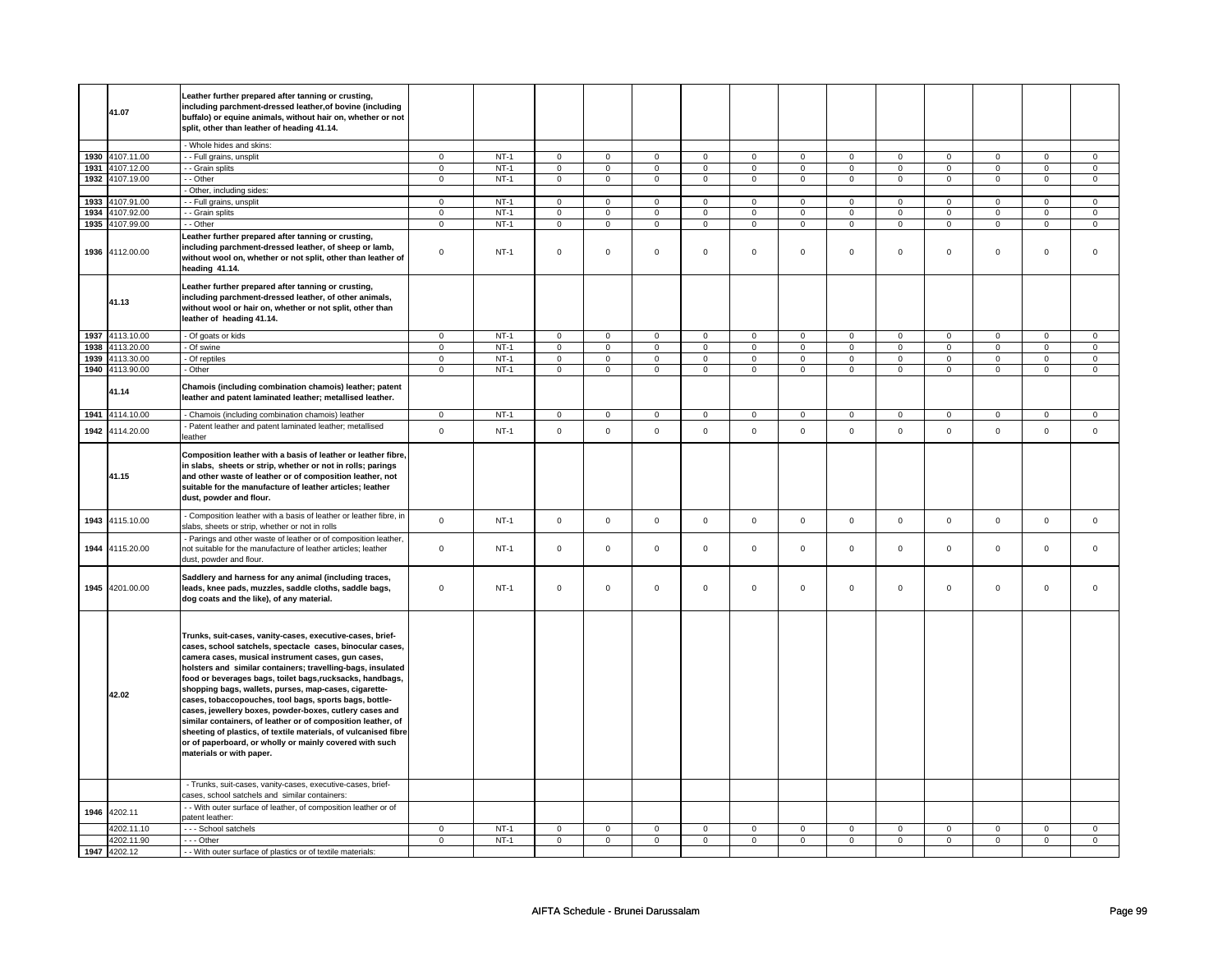|      | 41.07           | Leather further prepared after tanning or crusting,<br>including parchment-dressed leather, of bovine (including<br>buffalo) or equine animals, without hair on, whether or not<br>split, other than leather of heading 41.14.                                                                                                                                                                                                                                                                                                                                                                                                                                                                                   |                |        |                |                |                |                |                     |                |                |                     |                |                     |                |                |
|------|-----------------|------------------------------------------------------------------------------------------------------------------------------------------------------------------------------------------------------------------------------------------------------------------------------------------------------------------------------------------------------------------------------------------------------------------------------------------------------------------------------------------------------------------------------------------------------------------------------------------------------------------------------------------------------------------------------------------------------------------|----------------|--------|----------------|----------------|----------------|----------------|---------------------|----------------|----------------|---------------------|----------------|---------------------|----------------|----------------|
|      |                 | - Whole hides and skins:                                                                                                                                                                                                                                                                                                                                                                                                                                                                                                                                                                                                                                                                                         |                |        |                |                |                |                |                     |                |                |                     |                |                     |                |                |
| 1930 | 4107.11.00      | - - Full grains, unsplit                                                                                                                                                                                                                                                                                                                                                                                                                                                                                                                                                                                                                                                                                         | $\mathsf 0$    | $NT-1$ | $\overline{0}$ | $\overline{0}$ | $\overline{0}$ | $\overline{0}$ | $\overline{0}$      | $\overline{0}$ | $\overline{0}$ | $\overline{0}$      | $\overline{0}$ | $\overline{0}$      | $\overline{0}$ | $\mathbf 0$    |
|      | 1931 4107.12.00 | - - Grain splits                                                                                                                                                                                                                                                                                                                                                                                                                                                                                                                                                                                                                                                                                                 | $\mathbf 0$    | $NT-1$ | $\overline{0}$ | $\overline{0}$ | $\overline{0}$ | $\overline{0}$ | $\overline{0}$      | $\overline{0}$ | $\overline{0}$ | $\overline{0}$      | $\overline{0}$ | $\overline{0}$      | $\overline{0}$ | $\overline{0}$ |
| 1932 | 4107.19.00      | - - Other                                                                                                                                                                                                                                                                                                                                                                                                                                                                                                                                                                                                                                                                                                        | $\mathsf 0$    | $NT-1$ | $\mathbf 0$    | $\mathsf 0$    | $\mathbf 0$    | $\mathbf 0$    | $\mathsf 0$         | $\mathbf 0$    | $\mathbf 0$    | $\mathbf 0$         | $\mathsf 0$    | $\mathbf 0$         | $\mathsf 0$    | $\mathbf 0$    |
|      |                 | - Other, including sides:                                                                                                                                                                                                                                                                                                                                                                                                                                                                                                                                                                                                                                                                                        |                |        |                |                |                |                |                     |                |                |                     |                |                     |                |                |
| 1933 | 4107.91.00      | -- Full grains, unsplit                                                                                                                                                                                                                                                                                                                                                                                                                                                                                                                                                                                                                                                                                          | $\mathbf{0}$   | $NT-1$ | $\mathbf 0$    | $\mathbf 0$    | $\mathbf 0$    | $\mathbf 0$    | $\mathbf 0$         | $\mathbf 0$    | 0              | $\mathbf 0$         | 0              | $\mathbf 0$         | 0              | 0              |
| 1934 | 4107.92.00      | - - Grain splits                                                                                                                                                                                                                                                                                                                                                                                                                                                                                                                                                                                                                                                                                                 | $\mathbf 0$    | $NT-1$ | $\mathbf 0$    | $\mathsf 0$    | 0              | $\mathbf 0$    | $\mathbf 0$         | $\mathbf 0$    | 0              | $\mathbf 0$         | $\mathsf 0$    | $\mathbf 0$         | $\Omega$       | 0              |
| 1935 | 4107.99.00      | - - Other                                                                                                                                                                                                                                                                                                                                                                                                                                                                                                                                                                                                                                                                                                        | $\overline{0}$ | $NT-1$ | $\overline{0}$ | $\overline{0}$ | $\overline{0}$ | $\overline{0}$ | $\overline{0}$      | $\overline{0}$ | $\overline{0}$ | $\overline{0}$      | $\overline{0}$ | $\overline{0}$      | $\overline{0}$ | $\overline{0}$ |
|      | 1936 4112.00.00 | Leather further prepared after tanning or crusting,<br>including parchment-dressed leather, of sheep or lamb,<br>without wool on, whether or not split, other than leather of<br>heading 41.14.                                                                                                                                                                                                                                                                                                                                                                                                                                                                                                                  | $\mathbf 0$    | $NT-1$ | $\mathbf 0$    | $\mathbf 0$    | $\mathbf 0$    | $\mathbf 0$    | $\mathbf 0$         | $\mathbf 0$    | $\mathbf 0$    | $\mathbf 0$         | $\mathbf 0$    | $\mathbf 0$         | $\mathbf 0$    | $\mathbf{0}$   |
|      | 41.13           | Leather further prepared after tanning or crusting,<br>including parchment-dressed leather, of other animals,<br>without wool or hair on, whether or not split, other than<br>leather of heading 41.14.                                                                                                                                                                                                                                                                                                                                                                                                                                                                                                          |                |        |                |                |                |                |                     |                |                |                     |                |                     |                |                |
|      | 1937 4113.10.00 | - Of goats or kids                                                                                                                                                                                                                                                                                                                                                                                                                                                                                                                                                                                                                                                                                               | $\mathbf{0}$   | $NT-1$ | $\mathbf 0$    | $\mathbf 0$    | $\mathbf 0$    | $\mathbf{0}$   | $\mathbf 0$         | $\overline{0}$ | $\mathbf{0}$   | $\overline{0}$      | $\mathbf 0$    | $\mathbf{0}$        | 0              | $\mathbf{0}$   |
|      | 1938 4113.20.00 | - Of swine                                                                                                                                                                                                                                                                                                                                                                                                                                                                                                                                                                                                                                                                                                       | $\mathsf 0$    | $NT-1$ | $\mathbf 0$    | $\mathsf 0$    | $\mathbf 0$    | $\mathbf 0$    | $\mathbf 0$         | $\mathbf 0$    | $\mathbf 0$    | $\mathbf 0$         | $\mathsf 0$    | $\mathbf 0$         | $\mathsf 0$    | $\mathbf 0$    |
| 1939 | 4113.30.00      | - Of reptiles                                                                                                                                                                                                                                                                                                                                                                                                                                                                                                                                                                                                                                                                                                    | $\mathbf 0$    | $NT-1$ | $\mathsf 0$    | $\mathbf 0$    | $\mathsf 0$    | $\mathsf 0$    | $\mathsf{O}\xspace$ | $\mathsf 0$    | $\mathbf 0$    | $\mathsf{O}\xspace$ | $\mathsf 0$    | $\mathsf{O}\xspace$ | $\mathsf 0$    | $\mathbf 0$    |
|      | 1940 4113.90.00 | - Other                                                                                                                                                                                                                                                                                                                                                                                                                                                                                                                                                                                                                                                                                                          | $\mathbf 0$    | $NT-1$ | $\mathsf 0$    | $\mathsf 0$    | $\mathbf 0$    | $\mathsf 0$    | $\mathsf 0$         | $\mathsf 0$    | 0              | $\mathsf 0$         | 0              | $\mathbf 0$         | $\mathsf 0$    | $\mathbf 0$    |
|      | 41.14           | Chamois (including combination chamois) leather; patent<br>leather and patent laminated leather; metallised leather.                                                                                                                                                                                                                                                                                                                                                                                                                                                                                                                                                                                             |                |        |                |                |                |                |                     |                |                |                     |                |                     |                |                |
|      | 1941 4114.10.00 | - Chamois (including combination chamois) leather                                                                                                                                                                                                                                                                                                                                                                                                                                                                                                                                                                                                                                                                | $\mathbf 0$    | $NT-1$ | $\mathbf 0$    | $\mathbf 0$    | $\mathbf 0$    | $\mathbf 0$    | $\mathbf 0$         | $\mathbf 0$    | $\mathbf 0$    | $\mathbf{0}$        | $\mathbf 0$    | $\mathbf 0$         | $\mathbf 0$    | $\mathbf{0}$   |
|      | 1942 4114.20.00 | - Patent leather and patent laminated leather; metallised<br>leather                                                                                                                                                                                                                                                                                                                                                                                                                                                                                                                                                                                                                                             | $\mathsf 0$    | $NT-1$ | $\mathsf 0$    | $\mathsf 0$    | $\mathsf 0$    | $\mathsf 0$    | $\mathsf{O}\xspace$ | $\mathsf 0$    | $\mathsf 0$    | $\mathbf 0$         | $\mathsf 0$    | $\mathbf 0$         | $\mathsf 0$    | $\mathbf 0$    |
|      | 41.15           | Composition leather with a basis of leather or leather fibre<br>in slabs, sheets or strip, whether or not in rolls; parings<br>and other waste of leather or of composition leather, not<br>suitable for the manufacture of leather articles; leather<br>dust, powder and flour.                                                                                                                                                                                                                                                                                                                                                                                                                                 |                |        |                |                |                |                |                     |                |                |                     |                |                     |                |                |
| 1943 | 4115.10.00      | - Composition leather with a basis of leather or leather fibre, in<br>slabs, sheets or strip, whether or not in rolls                                                                                                                                                                                                                                                                                                                                                                                                                                                                                                                                                                                            | $\mathbf 0$    | $NT-1$ | $\mathsf 0$    | $\mathbf 0$    | $\mathsf 0$    | $\mathsf 0$    | $\mathsf{O}\xspace$ | $\mathsf 0$    | $\mathbf 0$    | $\mathbf 0$         | $\mathsf 0$    | $\mathbf 0$         | $\mathsf 0$    | $\mathbf 0$    |
|      | 1944 4115.20.00 | - Parings and other waste of leather or of composition leather,<br>not suitable for the manufacture of leather articles; leather<br>dust, powder and flour.                                                                                                                                                                                                                                                                                                                                                                                                                                                                                                                                                      | $\mathbf 0$    | $NT-1$ | $\mathbf 0$    | $\mathbf 0$    | $\mathbf 0$    | $\mathbf 0$    | $\mathbf 0$         | $\mathbf 0$    | $\mathbf 0$    | $\mathbf 0$         | $\mathbf 0$    | $\mathbf 0$         | $\mathbf 0$    | $\mathbf{0}$   |
|      | 1945 4201.00.00 | Saddlery and harness for any animal (including traces,<br>leads, knee pads, muzzles, saddle cloths, saddle bags,<br>dog coats and the like), of any material.                                                                                                                                                                                                                                                                                                                                                                                                                                                                                                                                                    | $\mathsf 0$    | $NT-1$ | $\mathbf 0$    | $\mathsf 0$    | $\mathsf 0$    | $\mathbf 0$    | $\mathsf 0$         | $\mathbf 0$    | $\mathbf 0$    | $\mathbf 0$         | $\mathsf 0$    | $\mathbf 0$         | $\mathbf 0$    | $\Omega$       |
|      | 42.02           | Trunks, suit-cases, vanity-cases, executive-cases, brief-<br>cases, school satchels, spectacle cases, binocular cases,<br>camera cases, musical instrument cases, gun cases,<br>holsters and similar containers; travelling-bags, insulated<br>food or beverages bags, toilet bags, rucksacks, handbags,<br>shopping bags, wallets, purses, map-cases, cigarette-<br>cases, tobaccopouches, tool bags, sports bags, bottle-<br>cases, jewellery boxes, powder-boxes, cutlery cases and<br>similar containers, of leather or of composition leather, of<br>sheeting of plastics, of textile materials, of vulcanised fibre<br>or of paperboard, or wholly or mainly covered with such<br>materials or with paper. |                |        |                |                |                |                |                     |                |                |                     |                |                     |                |                |
|      |                 | - Trunks, suit-cases, vanity-cases, executive-cases, brief-<br>cases, school satchels and similar containers:                                                                                                                                                                                                                                                                                                                                                                                                                                                                                                                                                                                                    |                |        |                |                |                |                |                     |                |                |                     |                |                     |                |                |
|      | 1946 4202.11    | - With outer surface of leather, of composition leather or of<br>patent leather:                                                                                                                                                                                                                                                                                                                                                                                                                                                                                                                                                                                                                                 |                |        |                |                |                |                |                     |                |                |                     |                |                     |                |                |
|      | 4202.11.10      | - - - School satchels                                                                                                                                                                                                                                                                                                                                                                                                                                                                                                                                                                                                                                                                                            | $\mathbf 0$    | $NT-1$ | $\mathsf 0$    | $\mathbf 0$    | $\mathbf 0$    | $\mathsf 0$    | $\mathsf{O}\xspace$ | $\mathsf 0$    | $\mathbf 0$    | $\mathbf 0$         | $\mathsf 0$    | $\mathbf 0$         | $\mathsf 0$    | $\mathbf 0$    |
|      | 4202.11.90      | --- Other                                                                                                                                                                                                                                                                                                                                                                                                                                                                                                                                                                                                                                                                                                        | $\mathbf 0$    | $NT-1$ | $\mathsf 0$    | $\mathbf 0$    | $\mathsf 0$    | $\mathsf 0$    | $\mathsf 0$         | $\mathsf 0$    | $\mathsf 0$    | $\mathsf 0$         | $\mathsf 0$    | $\mathsf 0$         | $\mathsf 0$    | $\mathbf 0$    |
|      | 1947 4202.12    | - With outer surface of plastics or of textile materials:                                                                                                                                                                                                                                                                                                                                                                                                                                                                                                                                                                                                                                                        |                |        |                |                |                |                |                     |                |                |                     |                |                     |                |                |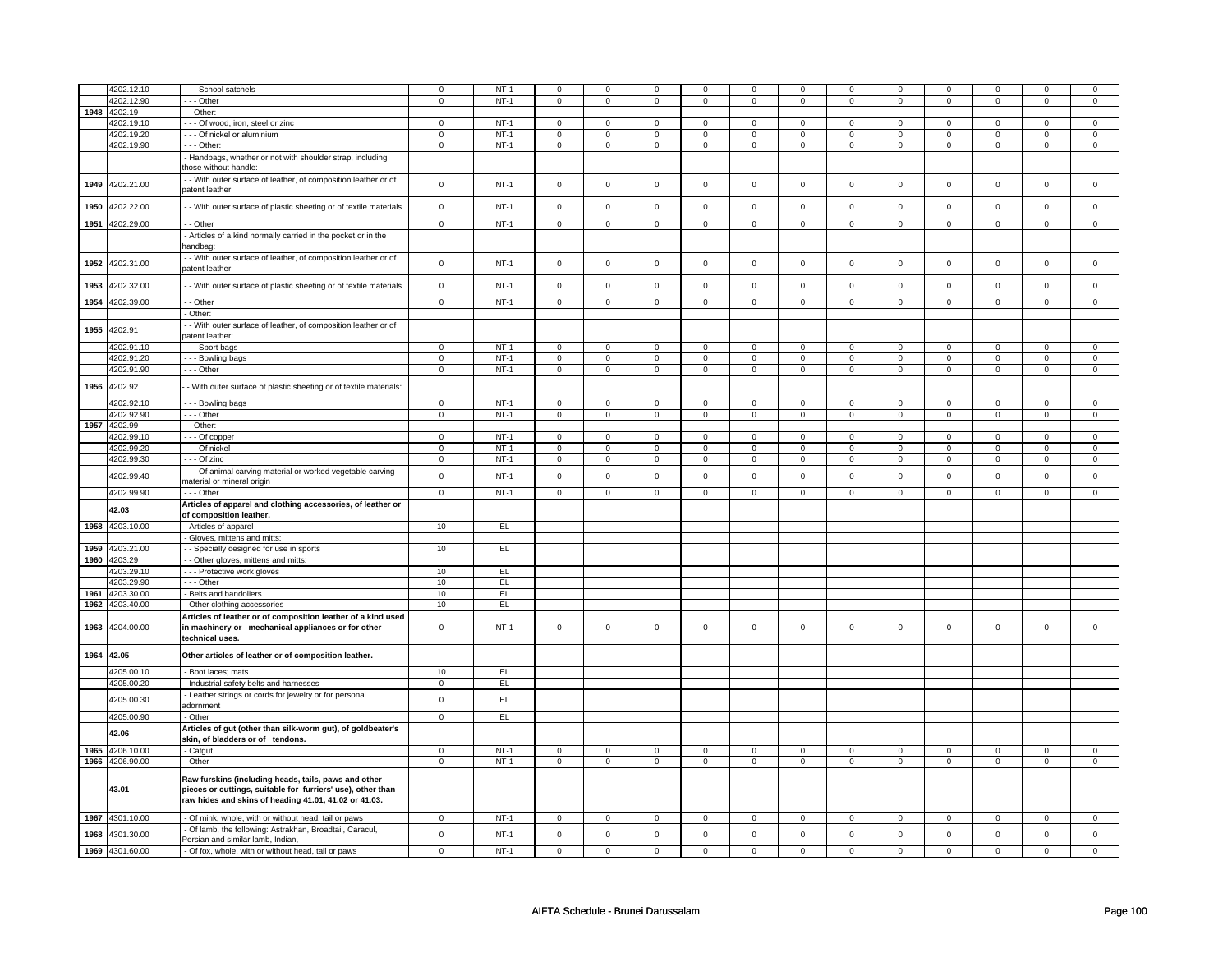|      | 4202.12.10                    | - - - School satchels                                                                    | $\mathsf 0$                | $NT-1$           | $\mathbf 0$                | $\mathbf 0$                | $\mathsf 0$                | $\mathbf 0$                | $\mathsf 0$                | $\mathsf 0$                | $\Omega$                   | $\mathsf 0$                | $\mathbf 0$                | $\mathbf 0$                | $\Omega$                   | 0                           |
|------|-------------------------------|------------------------------------------------------------------------------------------|----------------------------|------------------|----------------------------|----------------------------|----------------------------|----------------------------|----------------------------|----------------------------|----------------------------|----------------------------|----------------------------|----------------------------|----------------------------|-----------------------------|
|      | 4202.12.90                    | - - - Other                                                                              | $\mathbf 0$                | $NT-1$           | $\mathbf 0$                | $\mathbf 0$                | $\mathbf 0$                | $\mathbf 0$                | $\mathbf 0$                | $\mathbf 0$                | $\mathbf 0$                | $\mathbf 0$                | 0                          | $\mathbf 0$                | 0                          | 0                           |
|      |                               |                                                                                          |                            |                  |                            |                            |                            |                            |                            |                            |                            |                            |                            |                            |                            |                             |
| 1948 | 4202.19                       | - - Other:                                                                               |                            |                  |                            |                            |                            |                            |                            |                            |                            |                            |                            |                            |                            |                             |
|      | 4202.19.10                    | --- Of wood, iron, steel or zinc                                                         | $\mathsf 0$                | $NT-1$           | $\mathbf 0$                | $\mathbf 0$                | $\mathbf 0$                | $\mathbf 0$                | $\mathbf 0$                | $\mathbf{0}$               | $\mathbf 0$                | $\mathbf{0}$               | $\mathbf 0$                | $\mathbf 0$                | $\mathbf 0$                | $\mathbf{0}$                |
|      | 4202.19.20                    | - - - Of nickel or aluminium                                                             | $\mathsf 0$                | $NT-1$           | $\mathsf 0$                | $\mathsf 0$                | $\mathsf 0$                | $\mathsf 0$                | $\mathsf 0$                | $\mathbf 0$                | $\mathsf 0$                | $\mathbf 0$                | $\mathsf 0$                | $\mathbf 0$                | $\mathsf 0$                | $\mathbf 0$                 |
|      | 4202.19.90                    | - - - Other:                                                                             | $\mathsf 0$                | $NT-1$           | $\mathbf 0$                | $\mathbf 0$                | $\mathsf 0$                | $\mathsf 0$                | $\mathsf 0$                | $\mathbf 0$                | $\mathbf 0$                | $\mathbf 0$                | $\mathsf 0$                | $\mathbf 0$                | $\mathsf 0$                | 0                           |
|      |                               |                                                                                          |                            |                  |                            |                            |                            |                            |                            |                            |                            |                            |                            |                            |                            |                             |
|      |                               | - Handbags, whether or not with shoulder strap, including                                |                            |                  |                            |                            |                            |                            |                            |                            |                            |                            |                            |                            |                            |                             |
|      |                               | those without handle:                                                                    |                            |                  |                            |                            |                            |                            |                            |                            |                            |                            |                            |                            |                            |                             |
|      |                               | - With outer surface of leather, of composition leather or of                            |                            |                  |                            |                            |                            |                            |                            |                            |                            |                            |                            |                            |                            |                             |
| 1949 | 4202.21.00                    |                                                                                          | $\mathsf 0$                | $NT-1$           | $\mathsf 0$                | $\mathbf 0$                | $\mathsf 0$                | $\mathbf 0$                | $\mathsf 0$                | $\mathbf 0$                | $\mathbf 0$                | $\mathsf 0$                | $\mathsf 0$                | $\mathbf 0$                | $\mathbf 0$                | 0                           |
|      |                               | patent leather                                                                           |                            |                  |                            |                            |                            |                            |                            |                            |                            |                            |                            |                            |                            |                             |
| 1950 | 4202.22.00                    | - With outer surface of plastic sheeting or of textile materials                         | $\mathbf 0$                | $NT-1$           | $\mathsf 0$                | $\mathsf{o}\xspace$        | $\mathsf{O}\xspace$        | $\mathsf{o}\xspace$        | $\mathsf 0$                | $\mathsf 0$                | $\mathsf 0$                | $\mathsf 0$                | $\mathsf{O}\xspace$        | $\mathsf{o}\xspace$        | $\mathsf 0$                | $\mathsf 0$                 |
|      |                               |                                                                                          |                            |                  |                            |                            |                            |                            |                            |                            |                            |                            |                            |                            |                            |                             |
| 1951 | 4202.29.00                    | - Other                                                                                  | $\overline{0}$             | $NT-1$           | $\overline{0}$             | $\overline{0}$             | $\overline{0}$             | $\overline{0}$             | $\overline{0}$             | $\overline{0}$             | $\overline{0}$             | $\overline{0}$             | $\overline{0}$             | $\overline{0}$             | $\overline{0}$             | $\overline{0}$              |
|      |                               |                                                                                          |                            |                  |                            |                            |                            |                            |                            |                            |                            |                            |                            |                            |                            |                             |
|      |                               | Articles of a kind normally carried in the pocket or in the                              |                            |                  |                            |                            |                            |                            |                            |                            |                            |                            |                            |                            |                            |                             |
|      |                               | handbag:                                                                                 |                            |                  |                            |                            |                            |                            |                            |                            |                            |                            |                            |                            |                            |                             |
|      |                               | - With outer surface of leather, of composition leather or of                            |                            |                  |                            |                            |                            |                            |                            |                            |                            |                            |                            |                            |                            |                             |
| 1952 | 4202.31.00                    | patent leather                                                                           | $\mathsf 0$                | $NT-1$           | $\mathsf 0$                | $\mathsf 0$                | $\mathsf{O}\xspace$        | $\mathsf 0$                | $\mathsf 0$                | $\mathbf 0$                | $\mathsf 0$                | $\mathbf 0$                | $\mathsf 0$                | $\mathbf 0$                | $\mathsf 0$                | $\mathsf 0$                 |
|      |                               |                                                                                          |                            |                  |                            |                            |                            |                            |                            |                            |                            |                            |                            |                            |                            |                             |
| 1953 | 4202.32.00                    | - With outer surface of plastic sheeting or of textile materials                         | $\mathsf 0$                | $NT-1$           | $\mathsf 0$                | $\mathsf 0$                | $\mathsf 0$                | $\mathsf 0$                | $\mathsf 0$                | $\mathsf 0$                | $\mathbf 0$                | $\mathsf 0$                | $\mathsf 0$                | $\mathbf 0$                | $\mathsf 0$                | $\mathsf 0$                 |
|      |                               |                                                                                          |                            |                  |                            |                            |                            |                            |                            |                            |                            |                            |                            |                            |                            |                             |
| 1954 | 4202.39.00                    | - - Other                                                                                | $\mathbf 0$                | $NT-1$           | $\mathsf 0$                | $\mathsf 0$                | $\mathsf{O}\xspace$        | $\mathsf 0$                | $\mathsf 0$                | $\mathsf 0$                | $\mathsf 0$                | $\mathsf 0$                | $\mathsf{O}\xspace$        | $\mathsf{O}\xspace$        | $\mathsf 0$                | $\mathsf 0$                 |
|      |                               | - Other:                                                                                 |                            |                  |                            |                            |                            |                            |                            |                            |                            |                            |                            |                            |                            |                             |
|      |                               |                                                                                          |                            |                  |                            |                            |                            |                            |                            |                            |                            |                            |                            |                            |                            |                             |
| 1955 | 4202.91                       | - With outer surface of leather, of composition leather or of                            |                            |                  |                            |                            |                            |                            |                            |                            |                            |                            |                            |                            |                            |                             |
|      |                               | patent leather:                                                                          |                            |                  |                            |                            |                            |                            |                            |                            |                            |                            |                            |                            |                            |                             |
|      | 4202.91.10                    | --- Sport bags                                                                           | $\overline{0}$             | $NT-1$           | $\overline{0}$             | $\overline{0}$             | $\overline{0}$             | $\overline{0}$             | $\overline{0}$             | $\overline{0}$             | $\overline{0}$             | $\overline{0}$             | $\overline{0}$             | $\overline{0}$             | $\mathbf 0$                | $\overline{0}$              |
|      | 4202.91.20                    | - - - Bowling bags                                                                       | $\mathbf 0$                | $NT-1$           | $\mathsf 0$                | $\mathsf 0$                | $\mathsf{O}\xspace$        | $\mathsf 0$                | $\mathsf{O}\xspace$        | $\mathsf 0$                | $\mathsf 0$                | $\mathsf 0$                | $\mathsf 0$                | $\mathsf{O}$               | $\mathbf 0$                | $\overline{0}$              |
|      |                               |                                                                                          |                            |                  |                            |                            |                            |                            |                            |                            |                            |                            |                            |                            |                            |                             |
|      | 4202.91.90                    | --- Other                                                                                | $\mathsf 0$                | $NT-1$           | $\mathbf 0$                | $\mathsf 0$                | $\mathsf 0$                | $\mathsf 0$                | $\mathsf 0$                | $\mathbf 0$                | $\mathbf 0$                | $\mathbf 0$                | $\mathsf 0$                | $\mathbf 0$                | $\mathsf 0$                | 0                           |
|      | 4202.92                       |                                                                                          |                            |                  |                            |                            |                            |                            |                            |                            |                            |                            |                            |                            |                            |                             |
| 1956 |                               | - With outer surface of plastic sheeting or of textile materials:                        |                            |                  |                            |                            |                            |                            |                            |                            |                            |                            |                            |                            |                            |                             |
|      | 4202.92.10                    | --- Bowling bags                                                                         | $\mathbf 0$                | $NT-1$           | $\mathbf 0$                | $\mathbf 0$                | $\mathbf 0$                | $\mathbf 0$                | $\mathsf 0$                | $\mathbf 0$                | $\mathbf 0$                | $\mathsf 0$                | $\mathsf 0$                | $\mathbf 0$                | $\Omega$                   | $\mathbf{0}$                |
|      |                               |                                                                                          |                            |                  |                            |                            |                            |                            |                            |                            |                            |                            |                            |                            |                            |                             |
|      | 4202.92.90                    | --- Other                                                                                | $\mathsf 0$                | $NT-1$           | $\mathsf 0$                | $\mathsf 0$                | $\mathsf{O}\xspace$        | $\mathsf 0$                | $\mathsf{O}\xspace$        | $\mathsf{O}$               | $\mathsf 0$                | $\mathbf 0$                | $\mathsf 0$                | $\mathsf{O}$               | $\mathbf 0$                | $\mathbf 0$                 |
| 1957 | 4202.99                       | - - Other:                                                                               |                            |                  |                            |                            |                            |                            |                            |                            |                            |                            |                            |                            |                            |                             |
|      | 4202.99.10                    | --- Of copper                                                                            | $\mathsf 0$                | $NT-1$           | $\mathsf 0$                | $\mathbf 0$                | $\mathbf 0$                | $\mathbf 0$                | $\mathsf 0$                | $\mathbf 0$                | $\mathbf 0$                | $\mathsf 0$                | $\mathsf 0$                | $\mathbf 0$                | 0                          | 0                           |
|      | 4202.99.20                    | --- Of nickel                                                                            | $\mathsf 0$                | $NT-1$           | $\mathbf 0$                | $\mathbf 0$                | $\mathbf 0$                | $\mathbf 0$                | $\mathbf 0$                | $\mathbf 0$                | $\mathsf{o}$               | $\mathbf 0$                | $\mathbf 0$                | $\mathbf 0$                | 0                          | $\circ$                     |
|      |                               |                                                                                          |                            |                  |                            |                            |                            |                            |                            |                            |                            |                            |                            |                            |                            |                             |
|      | 4202.99.30                    | - - - Of zinc                                                                            | $\mathsf 0$                | $NT-1$           | $\mathsf 0$                | $\mathsf 0$                | $\mathsf 0$                | $\mathbf 0$                | $\mathsf 0$                | $\mathbf 0$                | $\mathbf 0$                | $\mathbf 0$                | $\mathbf 0$                | $\mathbf{0}$               | 0                          | $\overline{0}$              |
|      |                               | --- Of animal carving material or worked vegetable carving                               |                            |                  |                            |                            |                            |                            |                            |                            |                            |                            |                            |                            | $\mathbf 0$                |                             |
|      | 4202.99.40                    | material or mineral origin                                                               | $\mathsf 0$                | $NT-1$           | $\mathsf 0$                | $\mathbf 0$                | $\mathsf 0$                | $\mathbf 0$                | $\mathsf 0$                | $\mathbf 0$                | $\mathbf 0$                | $\mathsf 0$                | $\mathsf 0$                | $\mathbf 0$                |                            | 0                           |
|      | 4202.99.90                    | --- Other                                                                                | $\overline{0}$             | $NT-1$           | $\overline{0}$             | $\overline{0}$             | $\overline{0}$             | $\overline{0}$             | $\overline{0}$             | $\overline{0}$             | $\overline{0}$             | $\overline{0}$             | $\overline{0}$             | $\overline{0}$             | $\mathbf 0$                | $\overline{0}$              |
|      |                               |                                                                                          |                            |                  |                            |                            |                            |                            |                            |                            |                            |                            |                            |                            |                            |                             |
|      | 42.03                         | Articles of apparel and clothing accessories, of leather or                              |                            |                  |                            |                            |                            |                            |                            |                            |                            |                            |                            |                            |                            |                             |
|      |                               | of composition leather.                                                                  |                            |                  |                            |                            |                            |                            |                            |                            |                            |                            |                            |                            |                            |                             |
|      | 1958 4203.10.00               | - Articles of apparel                                                                    | 10                         | EL               |                            |                            |                            |                            |                            |                            |                            |                            |                            |                            |                            |                             |
|      |                               | - Gloves, mittens and mitts:                                                             |                            |                  |                            |                            |                            |                            |                            |                            |                            |                            |                            |                            |                            |                             |
|      |                               |                                                                                          |                            |                  |                            |                            |                            |                            |                            |                            |                            |                            |                            |                            |                            |                             |
| 1959 | 4203.21.00                    | - - Specially designed for use in sports                                                 | 10                         | EL               |                            |                            |                            |                            |                            |                            |                            |                            |                            |                            |                            |                             |
| 1960 | 4203.29                       | - Other gloves, mittens and mitts:                                                       |                            |                  |                            |                            |                            |                            |                            |                            |                            |                            |                            |                            |                            |                             |
|      | 4203.29.10                    | - - - Protective work gloves                                                             | 10                         | EL               |                            |                            |                            |                            |                            |                            |                            |                            |                            |                            |                            |                             |
|      | 4203.29.90                    | --- Other                                                                                | 10                         | EL               |                            |                            |                            |                            |                            |                            |                            |                            |                            |                            |                            |                             |
|      |                               |                                                                                          |                            |                  |                            |                            |                            |                            |                            |                            |                            |                            |                            |                            |                            |                             |
| 1961 | 4203.30.00                    | Belts and bandoliers                                                                     | 10                         | EL               |                            |                            |                            |                            |                            |                            |                            |                            |                            |                            |                            |                             |
| 1962 | 4203.40.00                    | - Other clothing accessories                                                             | 10                         | EL               |                            |                            |                            |                            |                            |                            |                            |                            |                            |                            |                            |                             |
|      |                               | Articles of leather or of composition leather of a kind used                             |                            |                  |                            |                            |                            |                            |                            |                            |                            |                            |                            |                            |                            |                             |
| 1963 | 4204.00.00                    | in machinery or mechanical appliances or for other                                       | $\mathsf 0$                | $NT-1$           | $\mathsf 0$                | $\mathbf 0$                | $\mathsf{O}\xspace$        | $\mathbf 0$                | $\mathsf{O}\xspace$        | $\mathsf 0$                | $\mathsf 0$                | $\mathsf 0$                | $\mathsf 0$                | $\mathbf 0$                | $\mathsf 0$                | $\mathbf 0$                 |
|      |                               | technical uses.                                                                          |                            |                  |                            |                            |                            |                            |                            |                            |                            |                            |                            |                            |                            |                             |
|      |                               |                                                                                          |                            |                  |                            |                            |                            |                            |                            |                            |                            |                            |                            |                            |                            |                             |
| 1964 | 42.05                         | Other articles of leather or of composition leather.                                     |                            |                  |                            |                            |                            |                            |                            |                            |                            |                            |                            |                            |                            |                             |
|      |                               |                                                                                          |                            |                  |                            |                            |                            |                            |                            |                            |                            |                            |                            |                            |                            |                             |
|      | 4205.00.10                    | Boot laces; mats                                                                         | 10                         | E                |                            |                            |                            |                            |                            |                            |                            |                            |                            |                            |                            |                             |
|      | 4205.00.20                    | - Industrial safety belts and harnesses                                                  | $\mathsf 0$                | EL               |                            |                            |                            |                            |                            |                            |                            |                            |                            |                            |                            |                             |
|      |                               |                                                                                          |                            |                  |                            |                            |                            |                            |                            |                            |                            |                            |                            |                            |                            |                             |
|      | 4205.00.30                    | - Leather strings or cords for jewelry or for personal                                   | $\mathbf 0$                | EL.              |                            |                            |                            |                            |                            |                            |                            |                            |                            |                            |                            |                             |
|      |                               | adornment                                                                                |                            |                  |                            |                            |                            |                            |                            |                            |                            |                            |                            |                            |                            |                             |
|      | 4205.00.90                    | - Other                                                                                  | $\overline{0}$             | EL               |                            |                            |                            |                            |                            |                            |                            |                            |                            |                            |                            |                             |
|      |                               |                                                                                          |                            |                  |                            |                            |                            |                            |                            |                            |                            |                            |                            |                            |                            |                             |
|      | 42.06                         | Articles of gut (other than silk-worm gut), of goldbeater's                              |                            |                  |                            |                            |                            |                            |                            |                            |                            |                            |                            |                            |                            |                             |
|      |                               | skin, of bladders or of tendons.                                                         |                            |                  |                            |                            |                            |                            |                            |                            |                            |                            |                            |                            |                            |                             |
|      | 1965 4206.10.00               | - Catgut                                                                                 | $\mathbf 0$                | $NT-1$           | $\mathbf 0$                | $\mathbf 0$                | $\mathbf 0$                | $\overline{0}$             | $\mathbf 0$                | $\overline{0}$             | $\mathbf 0$                | $\mathbf 0$                | $\mathbf 0$                | $\mathbf{0}$               | 0                          | $\mathbf{0}$                |
| 1966 | 4206.90.00                    | - Other                                                                                  | $\mathsf 0$                | $NT-1$           | $\mathbf 0$                | $\mathbf 0$                | $\mathbf 0$                | $\mathbf 0$                | $\mathbf 0$                | $\mathbf 0$                | $\mathbf 0$                | $\mathbf 0$                | $\mathbf 0$                | $\mathbf 0$                | $\mathsf 0$                | $\mathbf 0$                 |
|      |                               |                                                                                          |                            |                  |                            |                            |                            |                            |                            |                            |                            |                            |                            |                            |                            |                             |
|      |                               | Raw furskins (including heads, tails, paws and other                                     |                            |                  |                            |                            |                            |                            |                            |                            |                            |                            |                            |                            |                            |                             |
|      | 43.01                         | pieces or cuttings, suitable for furriers' use), other than                              |                            |                  |                            |                            |                            |                            |                            |                            |                            |                            |                            |                            |                            |                             |
|      |                               |                                                                                          |                            |                  |                            |                            |                            |                            |                            |                            |                            |                            |                            |                            |                            |                             |
|      |                               |                                                                                          |                            |                  |                            |                            |                            |                            |                            |                            |                            |                            |                            |                            |                            |                             |
|      |                               | raw hides and skins of heading 41.01, 41.02 or 41.03.                                    |                            |                  |                            |                            |                            |                            |                            |                            |                            |                            |                            |                            |                            |                             |
|      |                               |                                                                                          |                            |                  |                            |                            |                            |                            |                            |                            |                            |                            |                            |                            |                            |                             |
|      | 1967 4301.10.00               | - Of mink, whole, with or without head, tail or paws                                     | $\mathsf 0$                | $NT-1$           | $\mathsf 0$                | $\mathsf 0$                | $\mathsf 0$                | $\mathbf 0$                | $\mathsf 0$                | $\mathbf 0$                | $\mathbf 0$                | $\mathsf 0$                | $\mathsf{O}\xspace$        | $\mathsf 0$                | $\mathsf 0$                | $\mathbf 0$                 |
|      |                               | - Of lamb, the following: Astrakhan, Broadtail, Caracul,                                 |                            |                  |                            |                            |                            |                            |                            |                            |                            |                            |                            |                            |                            |                             |
| 1968 | 4301.30.00<br>1969 4301.60.00 | Persian and similar lamb, Indian,<br>- Of fox, whole, with or without head, tail or paws | $\mathsf 0$<br>$\mathbf 0$ | $NT-1$<br>$NT-1$ | $\mathbf 0$<br>$\mathbf 0$ | $\mathbf 0$<br>$\mathbf 0$ | $\mathsf 0$<br>$\mathbf 0$ | $\mathbf 0$<br>$\mathbf 0$ | $\mathsf 0$<br>$\mathbf 0$ | $\mathbf 0$<br>$\mathbf 0$ | $\mathbf 0$<br>$\mathbf 0$ | $\mathbf 0$<br>$\mathbf 0$ | $\mathsf 0$<br>$\mathbf 0$ | $\mathbf 0$<br>$\mathbf 0$ | $\mathsf 0$<br>$\mathbf 0$ | $\mathbf 0$<br>$\mathbf{0}$ |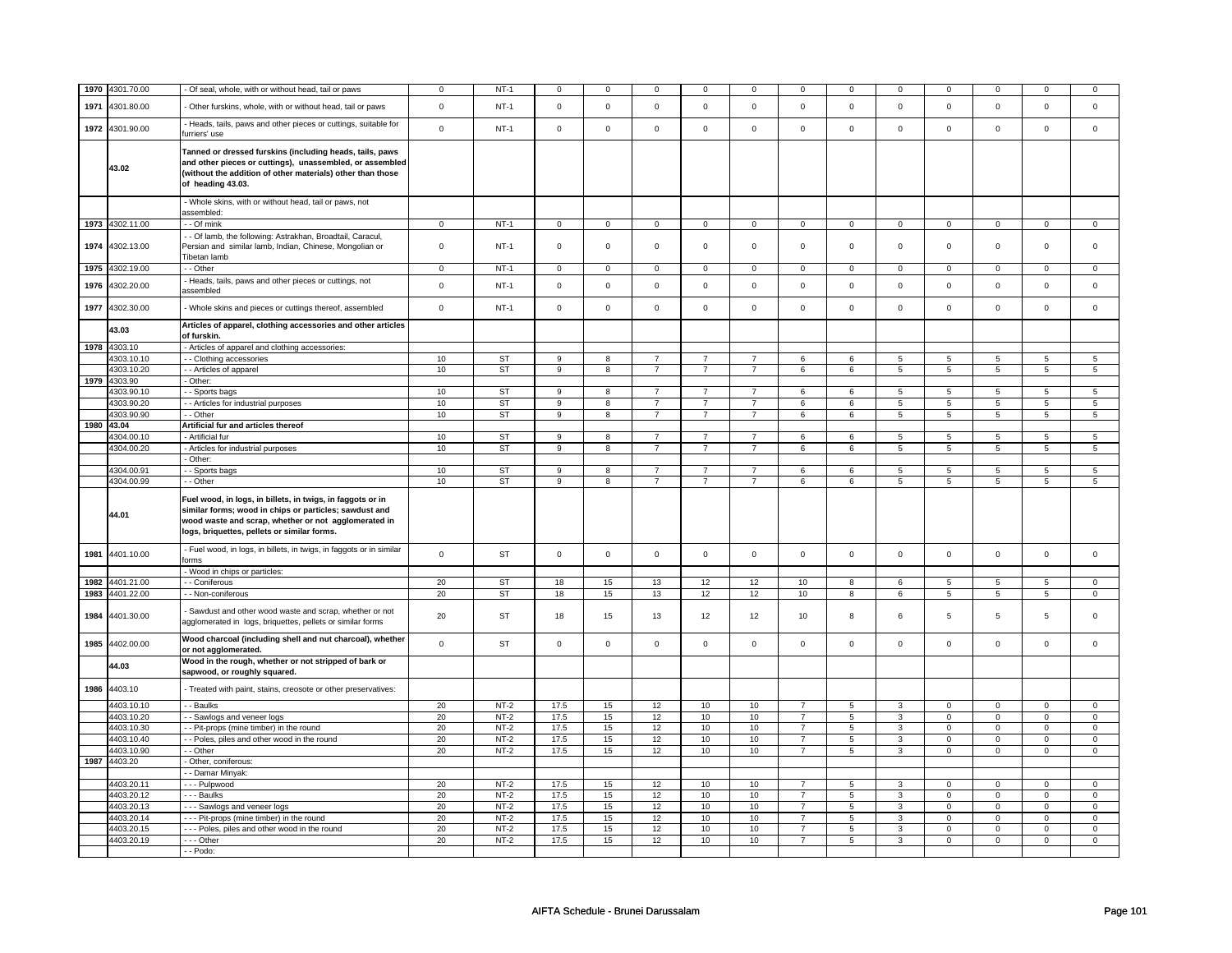| 1970 | 4301.70.00               | - Of seal, whole, with or without head, tail or paws                                                                                                                                                                        | 0           | $NT-1$                 | $\mathbf 0$  | $\mathbf 0$  | $\mathsf 0$                      | $^{\circ}$                       | 0                                | $\mathsf 0$    | $\mathbf 0$    | $\mathbf 0$ | $\mathbf 0$         | $\pmb{0}$           | $\Omega$       | $\mathsf 0$          |
|------|--------------------------|-----------------------------------------------------------------------------------------------------------------------------------------------------------------------------------------------------------------------------|-------------|------------------------|--------------|--------------|----------------------------------|----------------------------------|----------------------------------|----------------|----------------|-------------|---------------------|---------------------|----------------|----------------------|
| 1971 | 4301.80.00               | Other furskins, whole, with or without head, tail or paws                                                                                                                                                                   | $\mathsf 0$ | $NT-1$                 | $\mathsf 0$  | $\mathbf 0$  | $\mathsf 0$                      | $\mathbf 0$                      | $\mathbf 0$                      | $\mathbf 0$    | $\mathsf 0$    | $\mathsf 0$ | $\mathbf 0$         | $\mathsf 0$         | $\Omega$       | $\mathsf 0$          |
| 1972 | 4301.90.00               | - Heads, tails, paws and other pieces or cuttings, suitable for<br>furriers' use                                                                                                                                            | $\mathsf 0$ | $NT-1$                 | $\mathsf 0$  | $\mathbf 0$  | $\mathbf 0$                      | $\Omega$                         | $\mathsf 0$                      | $\mathsf 0$    | $\mathbf 0$    | $\mathsf 0$ | $\mathbf 0$         | $\mathbf 0$         | $\Omega$       | $\mathbf 0$          |
|      | 43.02                    | Tanned or dressed furskins (including heads, tails, paws<br>and other pieces or cuttings), unassembled, or assembled<br>(without the addition of other materials) other than those<br>of heading 43.03.                     |             |                        |              |              |                                  |                                  |                                  |                |                |             |                     |                     |                |                      |
|      |                          | - Whole skins, with or without head, tail or paws, not<br>assembled:                                                                                                                                                        |             |                        |              |              |                                  |                                  |                                  |                |                |             |                     |                     |                |                      |
|      | 1973 4302.11.00          | - - Of mink                                                                                                                                                                                                                 | $\mathbf 0$ | $NT-1$                 | $\mathbf 0$  | $\mathbf 0$  | $\mathbf{0}$                     | $\mathbf 0$                      | $\mathbf 0$                      | $\mathbf{0}$   | $\overline{0}$ | $\mathbf 0$ | $\mathbf 0$         | $\mathbf{0}$        | $\mathsf 0$    | $\mathbf 0$          |
| 1974 | 4302.13.00               | - - Of lamb, the following: Astrakhan, Broadtail, Caracul,<br>Persian and similar lamb, Indian, Chinese, Mongolian or<br>Tibetan lamb                                                                                       | 0           | $NT-1$                 | $\mathbf 0$  | 0            | $\mathbf 0$                      | $\mathbf 0$                      | $\mathbf 0$                      | $\mathsf 0$    | $\mathbf 0$    | $\mathbf 0$ | 0                   | $\mathbf 0$         | $\mathbf 0$    | 0                    |
|      | 1975 4302.19.00          | - - Other                                                                                                                                                                                                                   | $\mathbf 0$ | $NT-1$                 | $\mathbf 0$  | $\mathbf 0$  | $\mathbf{0}$                     | $\overline{0}$                   | $\mathbf 0$                      | $\mathbf{0}$   | $\mathbf 0$    | $\mathbf 0$ | $\mathbf 0$         | $\mathbf{0}$        | $\mathsf 0$    | $\mathbf{0}$         |
| 1976 | 4302.20.00               | - Heads, tails, paws and other pieces or cuttings, not<br>assembled                                                                                                                                                         | $\mathsf 0$ | $NT-1$                 | $\mathbf 0$  | $\mathbf 0$  | $\mathsf 0$                      | $\mathbf 0$                      | $\mathbf 0$                      | $\mathbf 0$    | $\mathbf 0$    | $\mathsf 0$ | $\mathbf 0$         | $\mathbf 0$         | $\mathbf 0$    | $\mathbf 0$          |
| 1977 | 4302.30.00               | - Whole skins and pieces or cuttings thereof, assembled                                                                                                                                                                     | $\mathbf 0$ | $NT-1$                 | $\mathbf 0$  | $\mathbf 0$  | $\mathbf 0$                      | $\mathbf 0$                      | $\mathbf 0$                      | $\overline{0}$ | $\mathbf 0$    | $\mathbf 0$ | $\Omega$            | $\mathbf 0$         | $\Omega$       | $\mathbf 0$          |
|      | 43.03<br>1978 4303.10    | Articles of apparel, clothing accessories and other articles<br>of furskin.<br>- Articles of apparel and clothing accessories:                                                                                              |             |                        |              |              |                                  |                                  |                                  |                |                |             |                     |                     |                |                      |
|      | 4303.10.10               | - Clothing accessories                                                                                                                                                                                                      | 10          | <b>ST</b>              | 9            | 8            | $\overline{7}$                   | $\overline{7}$                   | $\overline{7}$                   | 6              | 6              | 5           | 5                   | $\sqrt{5}$          | $\overline{5}$ | 5                    |
|      | 4303.10.20               | - - Articles of apparel                                                                                                                                                                                                     | 10          | ST                     | 9            | 8            | $\overline{7}$                   | $\overline{7}$                   | $\overline{7}$                   | 6              | 6              | 5           | 5                   | 5                   | 5              | $5\phantom{.0}$      |
| 1979 | 4303.90                  | - Other:                                                                                                                                                                                                                    |             |                        |              |              |                                  |                                  |                                  |                |                |             |                     |                     |                |                      |
|      | 4303.90.10               | - - Sports bags                                                                                                                                                                                                             | 10          | <b>ST</b>              | $\mathbf{q}$ | $\mathbf{R}$ | $\overline{7}$                   |                                  | $\overline{7}$                   | 6              | 6              | 5           | $5\overline{5}$     | $\overline{5}$      | 5              | $\overline{5}$       |
|      | 4303.90.20<br>4303.90.90 | - - Articles for industrial purposes                                                                                                                                                                                        | 10<br>10    | <b>ST</b><br><b>ST</b> | $\mathbf{Q}$ | 8<br>8       | $\overline{7}$<br>$\overline{7}$ | $\overline{7}$<br>$\overline{7}$ | $\overline{7}$<br>$\overline{7}$ | 6<br>6         | 6              | 5<br>5      | 5<br>$\overline{5}$ | 5<br>$\overline{5}$ | 5<br>5         | $5\phantom{.0}$<br>5 |
|      | 1980 43.04               | - Other<br>Artificial fur and articles thereof                                                                                                                                                                              |             |                        | 9            |              |                                  |                                  |                                  |                | 6              |             |                     |                     |                |                      |
|      | 4304.00.10               | - Artificial fur                                                                                                                                                                                                            | 10          | ST                     | 9            | 8            | $\overline{7}$                   | $\overline{7}$                   | $\overline{7}$                   | 6              | 6              | 5           | 5                   | 5                   | 5              | 5                    |
|      | 4304.00.20               | - Articles for industrial purposes                                                                                                                                                                                          | 10          | ST                     | 9            | 8            | $\overline{7}$                   | $\overline{7}$                   | $\overline{7}$                   | 6              | 6              | 5           | 5                   | 5                   | 5              | 5                    |
|      |                          | - Other:                                                                                                                                                                                                                    |             |                        |              |              |                                  |                                  |                                  |                |                |             |                     |                     |                |                      |
|      | 4304.00.91               | - - Sports bags                                                                                                                                                                                                             | 10          | ST                     | 9            | 8            | $\overline{7}$                   | $\overline{7}$                   | $\overline{7}$                   | 6              | 6              | 5           | 5                   | 5                   | $\overline{5}$ | 5                    |
|      | 4304.00.99               | - - Other                                                                                                                                                                                                                   | 10          | ST                     | 9            | 8            | $\overline{7}$                   | $\overline{7}$                   | $\overline{7}$                   | 6              | 6              | 5           | 5                   | 5                   | 5              | $\overline{5}$       |
|      |                          |                                                                                                                                                                                                                             |             |                        |              |              |                                  |                                  |                                  |                |                |             |                     |                     |                |                      |
|      | 44.01                    | Fuel wood, in logs, in billets, in twigs, in faggots or in<br>similar forms; wood in chips or particles; sawdust and<br>wood waste and scrap, whether or not agglomerated in<br>logs, briquettes, pellets or similar forms. |             |                        |              |              |                                  |                                  |                                  |                |                |             |                     |                     |                |                      |
| 1981 | 4401.10.00               | - Fuel wood, in logs, in billets, in twigs, in faggots or in similar<br>forms                                                                                                                                               | $\mathsf 0$ | <b>ST</b>              | $\mathsf 0$  | $\mathbf 0$  | $\mathsf 0$                      | $\mathbf 0$                      | $\mathbf 0$                      | $\mathsf 0$    | $\mathsf 0$    | $\mathsf 0$ | $\mathbf 0$         | $\mathbf 0$         | $\mathbf 0$    | $\mathsf 0$          |
|      |                          | Wood in chips or particles:                                                                                                                                                                                                 |             |                        |              |              |                                  |                                  |                                  |                |                |             |                     |                     |                |                      |
|      | 1982 4401.21.00          | - - Coniferous                                                                                                                                                                                                              | 20          | <b>ST</b>              | 18           | 15           | 13                               | 12                               | 12                               | 10             | 8              | 6           | 5                   | 5                   | 5              | $\Omega$             |
|      | 1983 4401.22.00          | - - Non-coniferous                                                                                                                                                                                                          | 20          | ST                     | 18           | 15           | 13                               | 12                               | 12                               | 10             | 8              | 6           | 5                   | $5\overline{5}$     | 5              | $\mathbf 0$          |
| 1984 | 4401.30.00               | - Sawdust and other wood waste and scrap, whether or not<br>agglomerated in logs, briquettes, pellets or similar forms                                                                                                      | 20          | <b>ST</b>              | 18           | 15           | 13                               | 12                               | 12                               | 10             | 8              | 6           | 5                   | 5                   | $\overline{5}$ | $\mathbf 0$          |
| 1985 | 4402.00.00               | Wood charcoal (including shell and nut charcoal), whether<br>or not agglomerated.                                                                                                                                           | $\mathsf 0$ | <b>ST</b>              | $\mathbf 0$  | $\mathbf 0$  | $\mathbf 0$                      | $\mathbf 0$                      | $\mathbf 0$                      | $\mathsf 0$    | $\mathbf 0$    | $\mathbf 0$ | $\mathbf 0$         | $\mathbf 0$         | $\Omega$       | $\mathsf 0$          |
|      | 44.03                    | Wood in the rough, whether or not stripped of bark or<br>sapwood, or roughly squared.                                                                                                                                       |             |                        |              |              |                                  |                                  |                                  |                |                |             |                     |                     |                |                      |
| 1986 | 4403.10                  | - Treated with paint, stains, creosote or other preservatives:                                                                                                                                                              |             |                        |              |              |                                  |                                  |                                  |                |                |             |                     |                     |                |                      |
|      | 4403.10.10               | - - Baulks                                                                                                                                                                                                                  | 20          | $NT-2$                 | 17.5         | 15           | 12                               | 10                               | 10                               | $\overline{7}$ | 5              | 3           | $\mathsf 0$         | $\mathsf 0$         | $\mathbf 0$    | $\mathsf 0$          |
|      | 4403.10.20               | - - Sawlogs and veneer logs                                                                                                                                                                                                 | 20          | $NT-2$                 | 17.5         | 15           | 12                               | 10                               | 10                               | $\overline{7}$ | 5              | 3           | $\mathbf 0$         | $\mathbf 0$         | $\mathsf 0$    | $\mathsf 0$          |
|      | 4403.10.30               | - - Pit-props (mine timber) in the round                                                                                                                                                                                    | 20          | $NT-2$                 | 17.5         | 15           | 12                               | 10                               | 10                               | $\overline{7}$ | 5              | 3           | $\mathbf 0$         | $\mathbf 0$         | $\mathbf 0$    | $\mathsf 0$          |
|      | 4403.10.40               | - - Poles, piles and other wood in the round                                                                                                                                                                                | 20          | $NT-2$                 | 17.5         | 15           | 12                               | 10                               | 10                               | $\overline{7}$ | 5              | 3           | $\mathbf 0$         | $\overline{0}$      | $\mathsf 0$    | $\mathbf 0$          |
|      | 4403.10.90               | - - Other                                                                                                                                                                                                                   | 20          | $NT-2$                 | 17.5         | 15           | 12                               | 10                               | 10                               | $\overline{7}$ | 5              | 3           | $\mathbf 0$         | $\mathsf 0$         | $\mathbf 0$    | $\mathbf 0$          |
|      | 1987 4403.20             | - Other, coniferous:                                                                                                                                                                                                        |             |                        |              |              |                                  |                                  |                                  |                |                |             |                     |                     |                |                      |
|      | 4403.20.11               | - - Damar Minyak:<br>- - - Pulpwood                                                                                                                                                                                         | 20          | $NT-2$                 | 17.5         | 15           | 12                               | 10                               | 10                               | $\overline{7}$ | $\overline{5}$ | 3           | $\mathbf 0$         | $\overline{0}$      | $\mathsf 0$    | $\overline{0}$       |
|      | 4403.20.12               | --- Baulks                                                                                                                                                                                                                  | 20          | $NT-2$                 | 17.5         | 15           | 12                               | 10                               | 10                               | $\overline{7}$ | 5              | 3           | $\mathbf 0$         | $\mathbf 0$         | $\mathbf 0$    | $\mathsf 0$          |
|      | 4403.20.13               | - - - Sawlogs and veneer logs                                                                                                                                                                                               | 20          | $NT-2$                 | 17.5         | 15           | 12                               | 10                               | 10                               | $\overline{7}$ | 5              | 3           | $\Omega$            | 0                   | 0              | $\mathsf 0$          |
|      | 4403.20.14               | --- Pit-props (mine timber) in the round                                                                                                                                                                                    | 20          | $NT-2$                 | 17.5         | 15           | 12                               | 10                               | 10                               | $\overline{7}$ | 5              | 3           | 0                   | $\mathbf{0}$        | 0              | $\mathbf 0$          |
|      | 4403.20.15               | --- Poles, piles and other wood in the round                                                                                                                                                                                | 20          | $NT-2$                 | 17.5         | 15           | 12                               | 10                               | 10                               | $\overline{7}$ | 5              | 3           | 0                   | $\mathbf{0}$        | 0              | $\mathbf 0$          |
|      | 4403.20.19               | --- Other<br>- - Podo:                                                                                                                                                                                                      | 20          | $NT-2$                 | 17.5         | 15           | 12                               | 10                               | 10                               | $\overline{7}$ | 5              | 3           | 0                   | $\mathbf 0$         | $\mathbf 0$    | 0                    |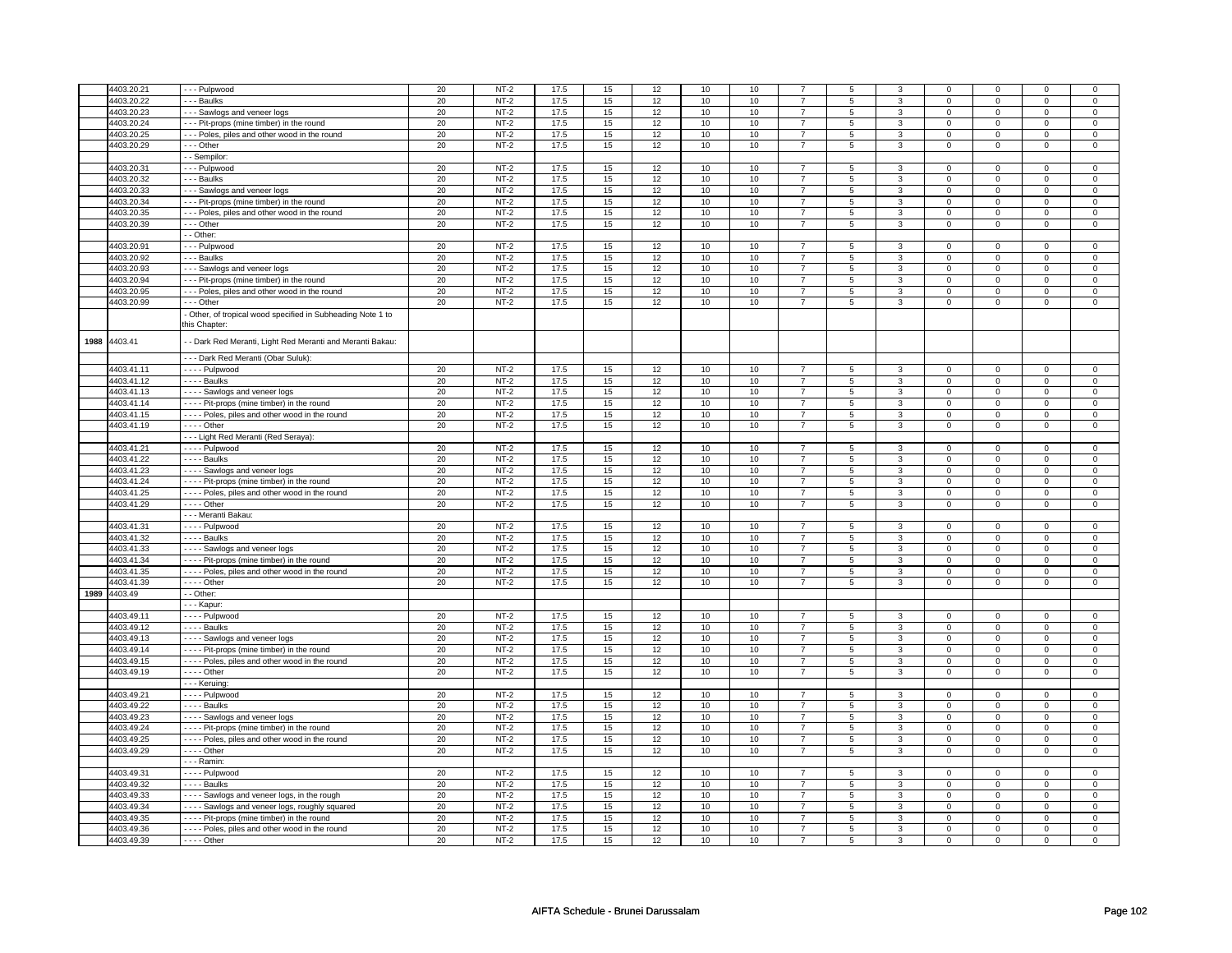|      | 4403.20.21   |                                                                            |    | $NT-2$ | 17.5 |    |    | 10   | 10   |                | 5              | 3              |                | $\mathbf 0$    | $\Omega$       | $\Omega$       |
|------|--------------|----------------------------------------------------------------------------|----|--------|------|----|----|------|------|----------------|----------------|----------------|----------------|----------------|----------------|----------------|
|      |              | --- Pulpwood                                                               | 20 |        |      | 15 | 12 |      |      |                |                |                | 0              |                |                |                |
|      | 4403.20.22   | - - - Baulks                                                               | 20 | $NT-2$ | 17.5 | 15 | 12 | 10   | 10   | $\overline{7}$ | 5              | 3              | $\mathsf 0$    | $\mathbf 0$    | 0              | $\mathbf{0}$   |
|      | 4403.20.23   | --- Sawlogs and veneer logs                                                | 20 | $NT-2$ | 17.5 | 15 | 12 | 10   | 10   | $\overline{7}$ | 5              | 3              | $\mathbf 0$    | $\mathbf{0}$   | $\mathbf 0$    | $\mathbf{0}$   |
|      | 4403.20.24   | --- Pit-props (mine timber) in the round                                   | 20 | $NT-2$ | 17.5 | 15 | 12 | 10   | 10   | $\overline{7}$ | 5              | 3              | $\mathbf 0$    | $\mathbf 0$    | $\mathbf 0$    | 0              |
|      | 4403.20.25   | --- Poles, piles and other wood in the round                               | 20 | $NT-2$ | 17.5 | 15 | 12 | 10   | 10   | $\overline{7}$ | 5              | $\mathbf{3}$   | $\mathbf 0$    | $\mathbf 0$    | $\mathsf 0$    | $\mathbf 0$    |
|      | 4403.20.29   | --- Other                                                                  | 20 | $NT-2$ | 17.5 | 15 | 12 | 10   | 10   | $\overline{7}$ | 5              | 3              | $\mathbf 0$    | $\mathbf 0$    | 0              | 0              |
|      |              | - - Sempilor                                                               |    |        |      |    |    |      |      |                |                |                |                |                |                |                |
|      |              |                                                                            |    |        |      |    |    |      |      |                |                |                |                |                | $\Omega$       |                |
|      | 4403.20.31   | --- Pulpwood                                                               | 20 | $NT-2$ | 17.5 | 15 | 12 | 10   | 10   | $\overline{7}$ | 5              | 3              | $\mathbf 0$    | $\mathbf 0$    |                | 0              |
|      | 4403.20.32   | - - - Baulks                                                               | 20 | $NT-2$ | 17.5 | 15 | 12 | 10   | 10   | $\overline{7}$ | 5              | 3              | 0              | 0              | $\Omega$       | 0              |
|      | 4403.20.33   | --- Sawlogs and veneer logs                                                | 20 | $NT-2$ | 17.5 | 15 | 12 | 10   | 10   | $\overline{7}$ | 5              | $\mathbf{3}$   | $\mathbf 0$    | $\mathbf 0$    | $\Omega$       | $\mathbf 0$    |
|      | 4403.20.34   | --- Pit-props (mine timber) in the round                                   | 20 | $NT-2$ | 17.5 | 15 | 12 | 10   | $10$ | $\overline{7}$ | 5              | $\mathbf 3$    | $\mathbf 0$    | $\mathsf 0$    | $\mathbf 0$    | $\mathbf 0$    |
|      | 4403.20.35   | --- Poles, piles and other wood in the round                               | 20 | $NT-2$ | 17.5 | 15 | 12 | 10   | 10   | $\overline{7}$ | 5              | 3              | $\mathsf 0$    | $\mathbf 0$    | $\mathbf 0$    | $\mathbf{0}$   |
|      | 4403.20.39   | $- -$ Other                                                                | 20 | $NT-2$ | 17.5 | 15 | 12 | 10   | 10   | $\overline{7}$ | 5              | 3              | $\mathbf 0$    | $\overline{0}$ | $\mathsf 0$    | $\mathbf 0$    |
|      |              | - - Other:                                                                 |    |        |      |    |    |      |      |                |                |                |                |                |                |                |
|      |              |                                                                            |    |        |      |    |    |      |      |                |                |                |                |                |                |                |
|      | 4403.20.91   | --- Pulpwood                                                               | 20 | $NT-2$ | 17.5 | 15 | 12 | 10   | 10   | $\overline{7}$ | 5              | 3              | $\mathbf 0$    | $\mathbf 0$    | $\Omega$       | $\mathbf{0}$   |
|      | 4403.20.92   | - - - Baulks                                                               | 20 | $NT-2$ | 17.5 | 15 | 12 | 10   | 10   | $\overline{7}$ | $\mathbf 5$    | $\overline{3}$ | $\mathsf 0$    | $\overline{0}$ | $\mathbf 0$    | $\pmb{0}$      |
|      | 4403.20.93   | - - - Sawlogs and veneer logs                                              | 20 | $NT-2$ | 17.5 | 15 | 12 | 10   | 10   | $\overline{7}$ | 5              | 3              | $\mathbf 0$    | $\mathbf 0$    | 0              | 0              |
|      | 4403.20.94   | --- Pit-props (mine timber) in the round                                   | 20 | $NT-2$ | 17.5 | 15 | 12 | 10   | 10   | $\overline{7}$ | 5              | 3              | $\mathbf 0$    | $\mathbf 0$    | $\mathbf 0$    | 0              |
|      | 4403.20.95   | --- Poles, piles and other wood in the round                               | 20 | $NT-2$ | 17.5 | 15 | 12 | 10   | 10   | $\overline{7}$ | 5              | 3              | $\mathbf 0$    | $\mathbf 0$    | 0              | 0              |
|      | 4403.20.99   | --- Other                                                                  | 20 | $NT-2$ | 17.5 | 15 | 12 | 10   | 10   | $\overline{7}$ | 5              | 3              | 0              | $\mathbf 0$    | $\Omega$       | 0              |
|      |              |                                                                            |    |        |      |    |    |      |      |                |                |                |                |                |                |                |
|      |              | Other, of tropical wood specified in Subheading Note 1 to<br>this Chapter: |    |        |      |    |    |      |      |                |                |                |                |                |                |                |
|      |              |                                                                            |    |        |      |    |    |      |      |                |                |                |                |                |                |                |
| 1988 | 4403.41      | - - Dark Red Meranti, Light Red Meranti and Meranti Bakau:                 |    |        |      |    |    |      |      |                |                |                |                |                |                |                |
|      |              |                                                                            |    |        |      |    |    |      |      |                |                |                |                |                |                |                |
|      |              | --- Dark Red Meranti (Obar Suluk):                                         |    |        |      |    |    |      |      |                |                |                |                |                |                |                |
|      | 4403.41.11   | - - - - Pulpwood                                                           | 20 | $NT-2$ | 17.5 | 15 | 12 | $10$ | 10   | $\overline{7}$ | 5              | 3              | $\mathbf 0$    | $\mathbf 0$    | $\mathbf 0$    | $\mathbf{0}$   |
|      | 4403.41.12   | $---$ Baulks                                                               | 20 | $NT-2$ | 17.5 | 15 | 12 | 10   | 10   | $\overline{7}$ | $\overline{5}$ | $\overline{3}$ | $\overline{0}$ | $\overline{0}$ | $\overline{0}$ | $\overline{0}$ |
|      | 4403.41.13   | - - - - Sawlogs and veneer logs                                            | 20 | $NT-2$ | 17.5 | 15 | 12 | 10   | 10   | $\overline{7}$ | 5              | 3              | $\mathbf 0$    | $\mathsf 0$    | 0              | 0              |
|      | 4403.41.14   | - - - - Pit-props (mine timber) in the round                               | 20 | $NT-2$ | 17.5 | 15 | 12 | 10   | 10   | $\overline{7}$ | 5              | 3              | $\mathbf 0$    | $\mathbf 0$    | 0              | 0              |
|      | 4403.41.15   | - - - - Poles, piles and other wood in the round                           | 20 | $NT-2$ | 17.5 | 15 | 12 | 10   | 10   | $\overline{7}$ | 5              | $\mathbf{3}$   | $\mathsf 0$    | $\mathbf 0$    | $\mathsf 0$    | $\mathbf 0$    |
|      | 4403.41.19   | - - - - Other                                                              | 20 | $NT-2$ | 17.5 | 15 | 12 | 10   | 10   | $\overline{7}$ | 5              | 3              | $\mathbf 0$    | $\mathbf 0$    | $\Omega$       | 0              |
|      |              | --- Light Red Meranti (Red Seraya):                                        |    |        |      |    |    |      |      |                |                |                |                |                |                |                |
|      |              |                                                                            | 20 | $NT-2$ | 17.5 | 15 | 12 | 10   | 10   | $\overline{7}$ | 5              | $\overline{3}$ | $\mathsf 0$    | $\mathbf 0$    | $\Omega$       | $\mathbf 0$    |
|      | 4403.41.21   | - - - - Pulpwood                                                           |    |        |      |    |    |      |      |                |                |                |                |                |                |                |
|      | 4403.41.22   | - - - - Baulks                                                             | 20 | $NT-2$ | 17.5 | 15 | 12 | 10   | 10   | $\overline{7}$ | 5              | 3              | $\mathbf 0$    | 0              | 0              | 0              |
|      | 4403.41.23   | - - - - Sawlogs and veneer logs                                            | 20 | $NT-2$ | 17.5 | 15 | 12 | 10   | $10$ | $\overline{7}$ | 5              | $\mathbf 3$    | $\mathbf 0$    | $\mathbf 0$    | $\mathsf 0$    | $\mathbf 0$    |
|      | 4403.41.24   | - - - - Pit-props (mine timber) in the round                               | 20 | $NT-2$ | 17.5 | 15 | 12 | 10   | 10   | $\overline{7}$ | 5              | 3              | $\mathbf 0$    | $\mathbf 0$    | 0              | $\mathbf 0$    |
|      | 4403.41.25   | - - - - Poles, piles and other wood in the round                           | 20 | $NT-2$ | 17.5 | 15 | 12 | 10   | 10   | $\overline{7}$ | 5              | 3              | $\mathbf 0$    | $\mathbf 0$    | $\Omega$       | 0              |
|      | 4403.41.29   | - - - - Other                                                              | 20 | $NT-2$ | 17.5 | 15 | 12 | 10   | 10   | $\overline{7}$ | 5              | 3              | $\mathbf 0$    | $\mathsf 0$    | $\mathsf 0$    | 0              |
|      |              | - - - Meranti Bakau:                                                       |    |        |      |    |    |      |      |                |                |                |                |                |                |                |
|      | 4403.41.31   | - - - - Pulpwood                                                           | 20 | $NT-2$ | 17.5 | 15 | 12 | $10$ | $10$ | $\overline{7}$ | 5              | 3              | $\mathbf 0$    | $\mathbf{0}$   | $\Omega$       | $\mathbf{0}$   |
|      | 4403.41.32   | - - - - Baulks                                                             | 20 | $NT-2$ | 17.5 | 15 | 12 | 10   | 10   | $\overline{7}$ | 5              | 3              | $\mathbf 0$    | $\mathbf 0$    | $\mathsf 0$    | $\mathbf 0$    |
|      |              |                                                                            |    | $NT-2$ | 17.5 |    |    |      |      |                |                |                |                |                |                |                |
|      | 4403.41.33   | ---- Sawlogs and veneer logs                                               | 20 |        |      | 15 | 12 | 10   | 10   | $\overline{7}$ | 5              | 3              | 0              | $\mathbf 0$    | 0              | 0              |
|      | 4403.41.34   | ---- Pit-props (mine timber) in the round                                  | 20 | $NT-2$ | 17.5 | 15 | 12 | 10   | 10   | $\overline{7}$ | 5              | 3              | 0              | 0              | 0              | 0              |
|      | 4403.41.35   | - - - - Poles, piles and other wood in the round                           | 20 | $NT-2$ | 17.5 | 15 | 12 | 10   | 10   | $\overline{7}$ | 5              | $\overline{3}$ | $\overline{0}$ | $\overline{0}$ | $\Omega$       | $\overline{0}$ |
|      | 4403.41.39   | - - - - Other                                                              | 20 | $NT-2$ | 17.5 | 15 | 12 | 10   | 10   | $\overline{7}$ | 5              | 3              | $\mathbf 0$    | $\mathbf 0$    | $\Omega$       | $\mathbf{0}$   |
|      | 1989 4403.49 | - Other:                                                                   |    |        |      |    |    |      |      |                |                |                |                |                |                |                |
|      |              | - - - Kapur:                                                               |    |        |      |    |    |      |      |                |                |                |                |                |                |                |
|      | 4403.49.11   | - - - - Pulpwood                                                           | 20 | $NT-2$ | 17.5 | 15 | 12 | 10   | 10   | $\overline{7}$ | 5              | 3              | 0              | 0              | 0              | 0              |
|      | 4403.49.12   | - - - - Baulks                                                             | 20 | $NT-2$ | 17.5 | 15 | 12 | 10   | 10   | $\overline{7}$ | 5              | 3              | $\mathbf 0$    | $\mathbf 0$    | $\mathbf 0$    | $\mathbf{0}$   |
|      | 4403.49.13   | - - - - Sawlogs and veneer logs                                            | 20 | $NT-2$ | 17.5 | 15 | 12 | 10   | 10   | $\overline{7}$ | 5              | $\overline{3}$ | $\mathsf 0$    | $\mathbf 0$    | $\mathbf 0$    | $\overline{0}$ |
|      | 4403.49.14   | - - - - Pit-props (mine timber) in the round                               | 20 | $NT-2$ | 17.5 | 15 | 12 | 10   | 10   | $\overline{7}$ | 5              | 3              | $\mathbf 0$    | $\mathbf 0$    | $\mathsf 0$    | 0              |
|      | 4403.49.15   | - - - - Poles, piles and other wood in the round                           | 20 | $NT-2$ | 17.5 | 15 | 12 | 10   | 10   | $\overline{7}$ | 5              | 3              | $\mathsf 0$    | $\mathbf 0$    | $\mathsf 0$    | $\mathbf 0$    |
|      |              |                                                                            |    |        |      |    |    |      |      |                |                |                |                |                |                |                |
|      | 4403.49.19   | $- - -$ Other                                                              | 20 | $NT-2$ | 17.5 | 15 | 12 | 10   | 10   | $\overline{7}$ | 5              | $\overline{3}$ | $\mathsf 0$    | $\mathbf 0$    | $\mathsf 0$    | $\mathbf 0$    |
|      |              | --- Keruing:                                                               |    |        |      |    |    |      |      |                |                |                |                |                |                |                |
|      | 4403.49.21   | - - - - Pulpwood                                                           | 20 | $NT-2$ | 17.5 | 15 | 12 | 10   | 10   | $\overline{7}$ | 5              | $\overline{3}$ | $\mathbf 0$    | $\mathbf{0}$   | $\Omega$       | 0              |
|      | 4403.49.22   | - - - - Baulks                                                             | 20 | $NT-2$ | 17.5 | 15 | 12 | 10   | 10   | $\overline{7}$ | 5              | $\mathbf{3}$   | $\mathbf 0$    | $\mathbf 0$    | 0              | 0              |
|      | 4403.49.23   | - - - - Sawlogs and veneer logs                                            | 20 | $NT-2$ | 17.5 | 15 | 12 | 10   | 10   | $\overline{7}$ | 5              | 3              | 0              | $\mathbf 0$    | $\mathbf 0$    | 0              |
|      | 4403.49.24   | ---- Pit-props (mine timber) in the round                                  | 20 | $NT-2$ | 17.5 | 15 | 12 | 10   | 10   | $\overline{7}$ | 5              | 3              | $\mathsf 0$    | $\overline{0}$ | $\mathsf 0$    | $\overline{0}$ |
|      | 4403.49.25   | - - - - Poles, piles and other wood in the round                           | 20 | $NT-2$ | 17.5 | 15 | 12 | 10   | 10   | $\overline{7}$ | 5              | 3              | $\mathbf 0$    | $\mathbf 0$    | 0              | 0              |
|      | 4403.49.29   | - - - - Other                                                              | 20 | $NT-2$ | 17.5 | 15 | 12 | 10   | 10   | $\overline{7}$ | 5              | 3              | $\mathbf 0$    | $\mathbf 0$    | $\mathbf 0$    | $\mathbf{0}$   |
|      |              | - - - Ramin                                                                |    |        |      |    |    |      |      |                |                |                |                |                |                |                |
|      |              |                                                                            |    | $NT-2$ |      |    |    |      |      |                |                |                |                |                |                |                |
|      | 4403.49.31   | $- - -$ Pulpwood                                                           | 20 |        | 17.5 | 15 | 12 | 10   | 10   | $\overline{7}$ | 5              | 3              | $\mathbf 0$    | $\mathbf 0$    | 0              | 0              |
|      | 4403.49.32   | - - - - Baulks                                                             | 20 | $NT-2$ | 17.5 | 15 | 12 | 10   | 10   | $\overline{7}$ | 5              | 3              | $\mathsf 0$    | $\mathbf 0$    | $\mathbf 0$    | $\mathbf{0}$   |
|      | 4403.49.33   | - - - - Sawlogs and veneer logs, in the rough                              | 20 | $NT-2$ | 17.5 | 15 | 12 | 10   | 10   | $\overline{7}$ | 5              | 3              | $\mathbf 0$    | $\mathbf 0$    | $\mathbf 0$    | $\mathbf{0}$   |
|      | 4403.49.34   | - - - - Sawlogs and veneer logs, roughly squared                           | 20 | $NT-2$ | 17.5 | 15 | 12 | 10   | 10   | $\overline{7}$ | 5              | 3              | $\mathbf 0$    | $\mathbf 0$    | $\Omega$       | 0              |
|      | 4403.49.35   | - - - - Pit-props (mine timber) in the round                               | 20 | $NT-2$ | 17.5 | 15 | 12 | 10   | 10   | $\overline{7}$ | 5              | 3              | $\mathbf 0$    | $\mathbf 0$    | $\Omega$       | 0              |
|      | 4403.49.36   | - - - - Poles, piles and other wood in the round                           | 20 | $NT-2$ | 17.5 | 15 | 12 | 10   | 10   | $\overline{7}$ | 5              | $\overline{3}$ | 0              | $\overline{0}$ | 0              | $\overline{0}$ |
|      | 4403.49.39   | - - - - Other                                                              | 20 | $NT-2$ | 17.5 | 15 | 12 | 10   | 10   | $\overline{7}$ | 5              | 3              | $\Omega$       | $\mathbf 0$    | $\Omega$       | $\Omega$       |
|      |              |                                                                            |    |        |      |    |    |      |      |                |                |                |                |                |                |                |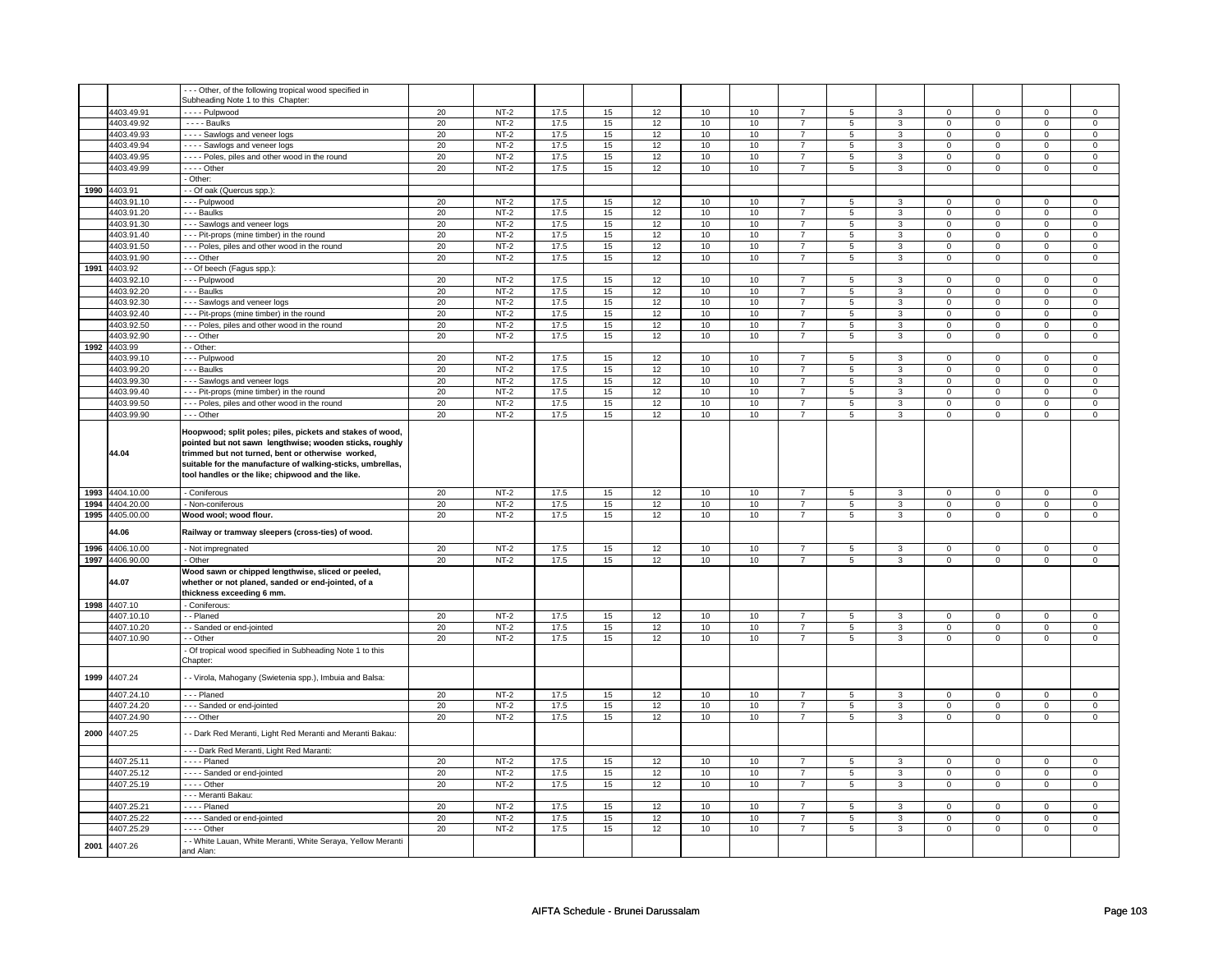|      |                          | --- Other, of the following tropical wood specified in                                                                                                                                                                                                                                      |          |                  |              |          |          |          |          |                                  |                 |                |                            |                            |                            |                            |
|------|--------------------------|---------------------------------------------------------------------------------------------------------------------------------------------------------------------------------------------------------------------------------------------------------------------------------------------|----------|------------------|--------------|----------|----------|----------|----------|----------------------------------|-----------------|----------------|----------------------------|----------------------------|----------------------------|----------------------------|
|      |                          | Subheading Note 1 to this Chapter:                                                                                                                                                                                                                                                          |          |                  |              |          |          |          |          |                                  |                 |                |                            |                            |                            |                            |
|      | 4403.49.91               | - - - - Pulpwood                                                                                                                                                                                                                                                                            | 20       | $NT-2$           | 17.5         | 15       | 12       | 10       | 10       | $\overline{7}$                   | 5               | 3              | $\overline{0}$             | $\overline{0}$             | 0                          | $\overline{0}$             |
|      | 4403.49.92               | $- - -$ Baulks                                                                                                                                                                                                                                                                              | 20       | $NT-2$           | 17.5         | 15       | 12       | 10       | 10       | $\overline{7}$                   | 5               | $\mathbf{3}$   | $\mathsf 0$                | $\mathbf 0$                | 0                          | $\mathbf 0$                |
|      | 4403.49.93               | - - - - Sawlogs and veneer logs                                                                                                                                                                                                                                                             | 20       | $NT-2$           | 17.5         | 15       | 12       | 10       | 10       | $\overline{7}$                   | 5               | $\mathbf{3}$   | $\mathsf 0$                | $\mathsf 0$                | $\mathsf 0$                | $\mathbf 0$                |
|      | 4403.49.94               | - - - - Sawlogs and veneer logs                                                                                                                                                                                                                                                             | 20       | $NT-2$           | 17.5         | $15\,$   | 12       | $10\,$   | $10$     | $\overline{7}$                   | $\mathbf 5$     | $\mathbf{3}$   | $\mathsf 0$                | $\mathsf 0$                | $\mathsf 0$                | $\mathsf 0$                |
|      | 4403.49.95               | - - - - Poles, piles and other wood in the round                                                                                                                                                                                                                                            | 20       | $NT-2$           | 17.5         | 15       | 12       | 10       | 10       | $\overline{7}$                   | $\overline{5}$  | $\overline{3}$ | $\overline{0}$             | $\overline{0}$             | $\overline{0}$             | $\overline{0}$             |
|      | 4403.49.99               | $- - -$ Other                                                                                                                                                                                                                                                                               | 20       | $NT-2$           | 17.5         | 15       | 12       | 10       | 10       | $\overline{7}$                   | 5               | $\mathbf{3}$   | $\mathbf 0$                | $\mathsf 0$                | $\mathsf 0$                | $\mathsf 0$                |
|      |                          | Other:                                                                                                                                                                                                                                                                                      |          |                  |              |          |          |          |          |                                  |                 |                |                            |                            |                            |                            |
| 1990 | 4403.91                  | - Of oak (Quercus spp.):                                                                                                                                                                                                                                                                    |          |                  |              |          |          |          |          |                                  |                 |                |                            |                            |                            |                            |
|      | 4403.91.10               | - - - Pulpwood                                                                                                                                                                                                                                                                              | 20       | $NT-2$           | 17.5         | 15       | 12       | 10       | 10       | $\overline{7}$                   | 5               | 3              | $\mathbf 0$                | $\mathbf 0$                | $\Omega$                   | $\mathbf 0$                |
|      | 4403.91.20               | - - - Baulks                                                                                                                                                                                                                                                                                | 20       | $NT-2$           | 17.5         | 15       | 12       | 10       | 10       | $\overline{7}$                   | 5               | 3              | $\mathbf 0$                | $\mathbf 0$                | $\Omega$                   | $\mathbf 0$                |
|      | 4403.91.30               | --- Sawlogs and veneer logs                                                                                                                                                                                                                                                                 | 20       | $NT-2$           | 17.5         | 15       | 12       | 10       | 10       | $\overline{7}$                   | $5^{\circ}$     | $\overline{3}$ | $\overline{0}$             | $\overline{0}$             | $\overline{0}$             | $\mathbf{0}$               |
|      | 4403.91.40               | --- Pit-props (mine timber) in the round                                                                                                                                                                                                                                                    | 20       | $NT-2$           | 17.5         | 15       | 12       | 10       | 10       | $\overline{7}$                   | 5               | 3              | $\mathbf 0$                | $\mathbf 0$                | 0                          | 0                          |
|      | 4403.91.50               | --- Poles, piles and other wood in the round                                                                                                                                                                                                                                                | 20       | $NT-2$           | 17.5         | 15       | 12       | 10       | 10       | $\overline{7}$                   | 5               | 3              | $\mathbf 0$                | $\mathbf 0$                | $\mathbf 0$                | $\mathbf 0$                |
|      | 4403.91.90               | - - - Other                                                                                                                                                                                                                                                                                 | 20       | $NT-2$           | 17.5         | 15       | 12       | 10       | 10       | $\overline{7}$                   | 5               | 3              | $\mathbf 0$                | $\mathbf 0$                | $\mathbf 0$                | $\mathbf 0$                |
| 1991 | 4403.92                  | - Of beech (Fagus spp.):                                                                                                                                                                                                                                                                    |          |                  |              |          |          |          |          |                                  |                 |                |                            |                            |                            |                            |
|      | 4403.92.10               | --- Pulpwood                                                                                                                                                                                                                                                                                | 20       | $NT-2$           | 17.5         | 15       | 12       | 10       | 10       | $\overline{7}$                   | 5               | 3              | $\mathsf 0$                | $\mathbf 0$                | $\Omega$                   | $\Omega$                   |
|      | 4403.92.20               | - - - Baulks                                                                                                                                                                                                                                                                                | 20       | $NT-2$           | 17.5         | 15       | 12       | 10       | 10       | $\overline{7}$                   | 5               | 3              | $\mathbf 0$                | $\mathbf 0$                | $\mathbf 0$                | $\mathbf{0}$               |
|      | 4403.92.30               | --- Sawlogs and veneer logs                                                                                                                                                                                                                                                                 | 20       | $NT-2$           | 17.5         | 15       | 12       | 10       | 10       | $\overline{7}$                   | 5               | $\mathbf{3}$   | $\mathsf 0$                | $\mathsf 0$                | $\mathsf 0$                | $\mathbf 0$                |
|      | 4403.92.40               | --- Pit-props (mine timber) in the round                                                                                                                                                                                                                                                    | 20       | $NT-2$           | 17.5         | 15       | 12       | 10       | 10       | $\overline{7}$                   | 5               | 3              | $\mathsf 0$                | $\mathbf 0$                | $\mathbf 0$                | $\mathsf 0$                |
|      | 4403.92.50               | - - - Poles, piles and other wood in the round                                                                                                                                                                                                                                              | 20       | $NT-2$           | 17.5         | 15       | 12       | 10       | 10       | $\overline{7}$                   | 5               | 3              | $\mathbf 0$                | $\mathbf 0$                | $\mathbf 0$                | $\mathbf 0$                |
|      | 4403.92.90               | - - - Other                                                                                                                                                                                                                                                                                 | 20       | $NT-2$           | 17.5         | 15       | 12       | 10       | 10       | $\overline{7}$                   | 5               | $\mathbf{3}$   | $\mathsf 0$                | $\mathsf 0$                | $\mathbf 0$                | $\mathbf{0}$               |
|      | 1992 4403.99             | - - Other:                                                                                                                                                                                                                                                                                  |          |                  |              |          |          |          |          |                                  |                 |                |                            |                            |                            |                            |
|      | 4403.99.10               | --- Pulpwood                                                                                                                                                                                                                                                                                | 20       | $NT-2$           | 17.5         | 15       | 12       | 10       | 10       | $\overline{7}$                   | 5               | 3              | $\mathbf 0$                | $\mathbf 0$                | $\mathbf 0$                | $\mathbf 0$                |
|      | 4403.99.20               | - - - Baulks                                                                                                                                                                                                                                                                                | 20       | $NT-2$           | 17.5         | 15       | 12       | 10       | 10       | $\overline{7}$                   | 5               | 3              | $\mathbf 0$                | $\mathbf 0$                | $\mathbf 0$                | $\mathsf 0$                |
|      | 4403.99.30               | --- Sawlogs and veneer logs                                                                                                                                                                                                                                                                 | 20       | $NT-2$           | 17.5         | 15       | 12       | 10       | 10       | $\overline{7}$                   | 5               | 3              | $\mathbf 0$                | $\mathbf 0$                | 0                          | 0                          |
|      | 4403.99.40               | --- Pit-props (mine timber) in the round                                                                                                                                                                                                                                                    | 20       | $NT-2$           | 17.5         | 15       | 12       | 10       | 10       | $\overline{7}$                   | 5               | 3              | $\mathbf 0$                | $\mathbf 0$                | 0                          | 0                          |
|      | 4403.99.50               | --- Poles, piles and other wood in the round                                                                                                                                                                                                                                                | 20       | $NT-2$           | 17.5         | 15       | 12       | 10       | 10       | $\overline{7}$                   | 5               | $\mathbf{3}$   | $\mathsf 0$                | $\mathsf 0$                | $\mathbf 0$                | $\mathbf 0$                |
|      | 4403.99.90               | --- Other                                                                                                                                                                                                                                                                                   | 20       | $NT-2$           | 17.5         | 15       | 12       | 10       | 10       | $\overline{7}$                   | 5               | 3              | $\mathbf 0$                | $\mathbf 0$                | 0                          | $\mathbf 0$                |
|      | 44.04                    | Hoopwood; split poles; piles, pickets and stakes of wood,<br>pointed but not sawn lengthwise; wooden sticks, roughly<br>trimmed but not turned, bent or otherwise worked,<br>suitable for the manufacture of walking-sticks, umbrellas,<br>tool handles or the like; chipwood and the like. |          |                  |              |          |          |          |          |                                  |                 |                |                            |                            |                            |                            |
|      |                          |                                                                                                                                                                                                                                                                                             |          |                  |              |          |          |          |          |                                  |                 |                |                            |                            |                            |                            |
|      | 1993 4404.10.00          | - Coniferous                                                                                                                                                                                                                                                                                | 20       | $NT-2$           | 17.5         | 15       | 12       | 10       | 10       | $\overline{7}$                   | $5\phantom{.0}$ | $\mathbf{3}$   | $\mathbf 0$                | $\mathbf 0$                | $\mathbf 0$                | $\mathbf 0$                |
| 1994 | 4404.20.00               | - Non-coniferous                                                                                                                                                                                                                                                                            | 20       | $NT-2$           | 17.5         | 15       | 12       | 10       | 10       | $\overline{7}$                   | 5               | $\overline{3}$ | $\mathsf 0$                | $\overline{0}$             | $\mathbf 0$                | $\overline{0}$             |
| 1995 | 4405.00.00               | Wood wool; wood flour.                                                                                                                                                                                                                                                                      | 20       | $NT-2$           | 17.5         | 15       | 12       | 10       | 10       | $\overline{7}$                   | 5               | $\overline{3}$ | $\overline{0}$             | $\overline{0}$             | $\overline{0}$             | $\overline{0}$             |
|      | 44.06                    | Railway or tramway sleepers (cross-ties) of wood.                                                                                                                                                                                                                                           |          |                  |              |          |          |          |          |                                  |                 |                |                            |                            |                            |                            |
| 1996 | 4406.10.00               | Not impregnated                                                                                                                                                                                                                                                                             | 20       | $NT-2$           | 17.5         | 15       | 12       | 10       | 10       | $\overline{7}$                   | 5               | 3              | $\mathbf 0$                | $\mathbf 0$                | $\mathbf 0$                | $\mathbf{0}$               |
|      | 1997 4406.90.00          | - Other                                                                                                                                                                                                                                                                                     | 20       | $NT-2$           | 17.5         | 15       | 12       | 10       | 10       | $\overline{7}$                   | 5               | 3              | 0                          | $\mathbf 0$                | 0                          | $\mathbf 0$                |
|      | 44.07                    | Wood sawn or chipped lengthwise, sliced or peeled,<br>whether or not planed, sanded or end-jointed, of a<br>thickness exceeding 6 mm.                                                                                                                                                       |          |                  |              |          |          |          |          |                                  |                 |                |                            |                            |                            |                            |
| 1998 | 4407.10                  | - Coniferous:                                                                                                                                                                                                                                                                               |          |                  |              |          |          |          |          |                                  |                 |                |                            |                            |                            |                            |
|      | 4407.10.10               | - - Planed                                                                                                                                                                                                                                                                                  | 20       | $NT-2$           | 17.5         | 15       | 12       | 10       | 10       | $\overline{7}$                   | 5               | 3              | $\mathbf 0$                | $\mathbf 0$                | $\mathbf 0$                | $\mathbf{0}$               |
|      | 4407.10.20               | - - Sanded or end-jointed                                                                                                                                                                                                                                                                   | 20       | $NT-2$           | 17.5         | 15       | 12       | 10       | 10       | $\overline{7}$                   | 5               | 3              | $\mathbf 0$                | $\mathbf 0$                | $\mathbf 0$                | $\mathbf 0$                |
|      | 4407.10.90               | - - Other<br>Of tropical wood specified in Subheading Note 1 to this                                                                                                                                                                                                                        | 20       | $NT-2$           | 17.5         | 15       | 12       | 10       | 10       | $\overline{7}$                   | 5               | 3              | $\mathbf 0$                | $\mathbf 0$                | $\mathbf 0$                | $\mathbf 0$                |
| 1999 | 4407.24                  | Chapter:<br>- Virola, Mahogany (Swietenia spp.), Imbuia and Balsa:                                                                                                                                                                                                                          |          |                  |              |          |          |          |          |                                  |                 |                |                            |                            |                            |                            |
|      |                          |                                                                                                                                                                                                                                                                                             |          |                  |              |          |          |          |          |                                  |                 |                |                            |                            |                            |                            |
|      | 4407.24.10<br>4407.24.20 | --- Planed                                                                                                                                                                                                                                                                                  | 20<br>20 | $NT-2$<br>$NT-2$ | 17.5<br>17.5 | 15       | 12       | 10<br>10 | 10<br>10 | $\overline{7}$<br>$\overline{7}$ | 5<br>5          | 3<br>3         | $\mathbf 0$<br>$\mathbf 0$ | $\mathbf 0$<br>$\mathbf 0$ | $\mathbf 0$<br>$\mathbf 0$ | $\mathbf 0$<br>$\mathbf 0$ |
|      | 4407.24.90               | --- Sanded or end-jointed<br>--- Other                                                                                                                                                                                                                                                      | 20       | $NT-2$           | 17.5         | 15<br>15 | 12<br>12 | 10       | 10       | $\overline{7}$                   | 5               | 3              | $\mathbf 0$                | $\mathbf 0$                | 0                          | $\mathbf 0$                |
| 2000 | 4407.25                  | - - Dark Red Meranti, Light Red Meranti and Meranti Bakau:                                                                                                                                                                                                                                  |          |                  |              |          |          |          |          |                                  |                 |                |                            |                            |                            |                            |
|      |                          | - - - Dark Red Meranti, Light Red Maranti:                                                                                                                                                                                                                                                  |          |                  |              |          |          |          |          |                                  |                 |                |                            |                            |                            |                            |
|      | 4407.25.11               | $- -$ - Planed                                                                                                                                                                                                                                                                              | 20       | $NT-2$           | 17.5         | 15       | 12       | 10       | 10       | $\overline{7}$                   | 5               | $\mathbf{3}$   | $\mathbf 0$                | $\mathbf 0$                | 0                          | $\mathbf 0$                |
|      | 4407.25.12               | ---- Sanded or end-jointed                                                                                                                                                                                                                                                                  | 20       | $NT-2$           | 17.5         | 15       | 12       | 10       | 10       | $\overline{7}$                   | 5               | 3              | 0                          | $\mathbf 0$                | $\mathbf 0$                | $\mathbf{0}$               |
|      | 4407.25.19               | - - - - Other                                                                                                                                                                                                                                                                               | 20       | $NT-2$           | 17.5         | 15       | 12       | 10       | 10       | $\overline{7}$                   | 5               | 3              | $\mathbf 0$                | $\overline{0}$             | $\mathbf 0$                | $\mathbf{0}$               |
|      |                          | - - - Meranti Bakau:                                                                                                                                                                                                                                                                        |          |                  |              |          |          |          |          |                                  |                 |                |                            |                            |                            |                            |
|      | 4407.25.21               | $- - -$ Planed                                                                                                                                                                                                                                                                              | 20       | $NT-2$           | 17.5         | 15       | 12       | 10       | 10       | $\overline{7}$                   | 5               | $\mathbf{3}$   | $\mathsf{O}\xspace$        | $\mathsf 0$                | $\mathbf 0$                | 0                          |
|      | 4407.25.22               | - - - - Sanded or end-jointed                                                                                                                                                                                                                                                               | 20       | $NT-2$           | 17.5         | 15       | 12       | $10$     | 10       | $\overline{7}$                   | 5               | 3              | 0                          | $\mathbf 0$                | 0                          | $\mathbf 0$                |
|      | 4407.25.29               | . - - - Other<br>- White Lauan, White Meranti, White Seraya, Yellow Meranti                                                                                                                                                                                                                 | 20       | $NT-2$           | 17.5         | 15       | 12       | 10       | 10       | $\overline{7}$                   | 5               | $\overline{3}$ | $\mathsf 0$                | $\overline{0}$             | $\mathbf 0$                | $\mathsf 0$                |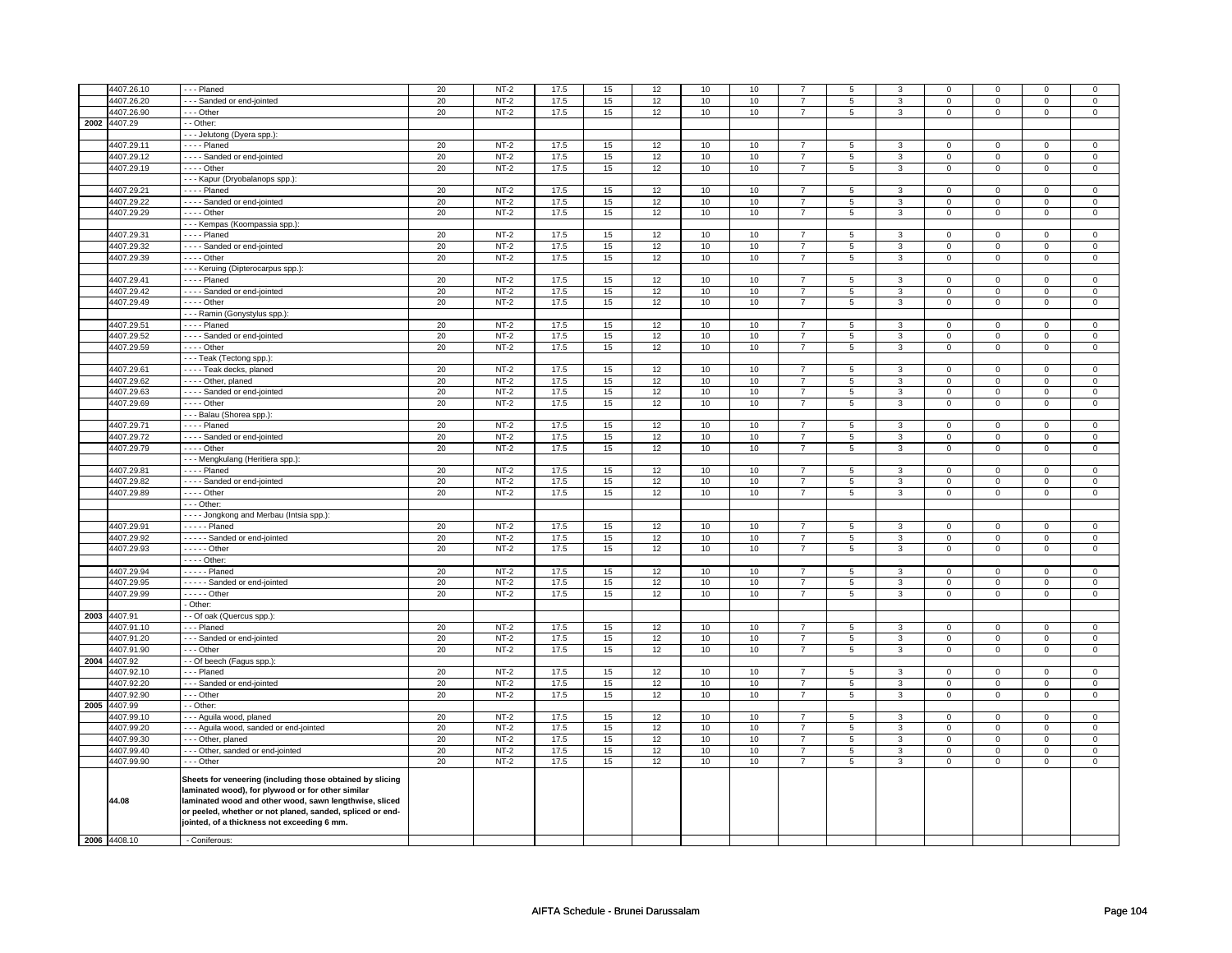|      | 4407.26.10   | --- Planed                                                                                                                                                                                                                                                                           | 20     | $NT-2$      | 17.5 | 15     | 12 | $10$ | 10   | $\overline{7}$ | 5 | 3              | $\mathbf 0$ | $\mathsf 0$    | $\Omega$      | $\Omega$            |
|------|--------------|--------------------------------------------------------------------------------------------------------------------------------------------------------------------------------------------------------------------------------------------------------------------------------------|--------|-------------|------|--------|----|------|------|----------------|---|----------------|-------------|----------------|---------------|---------------------|
|      | 4407.26.20   | --- Sanded or end-jointed                                                                                                                                                                                                                                                            | 20     | $NT-2$      | 17.5 | 15     | 12 | 10   | 10   | $\overline{7}$ | 5 | 3              | 0           | $\mathbf 0$    | 0             | 0                   |
|      |              |                                                                                                                                                                                                                                                                                      |        |             |      |        |    |      |      |                |   |                |             |                |               |                     |
|      | 4407.26.90   | - - - Other                                                                                                                                                                                                                                                                          | 20     | $NT-2$      | 17.5 | 15     | 12 | 10   | 10   | $\overline{7}$ | 5 | 3              | 0           | $\mathbf 0$    | 0             | $\mathbf 0$         |
|      | 2002 4407.29 | - - Other:                                                                                                                                                                                                                                                                           |        |             |      |        |    |      |      |                |   |                |             |                |               |                     |
|      |              | --- Jelutong (Dyera spp.):                                                                                                                                                                                                                                                           |        |             |      |        |    |      |      |                |   |                |             |                |               |                     |
|      | 4407.29.11   | - - - - Planed                                                                                                                                                                                                                                                                       | 20     | $NT-2$      | 17.5 | 15     | 12 | 10   | 10   | $\overline{7}$ | 5 | 3              | 0           | 0              | 0             | 0                   |
|      | 4407.29.12   | - - - - Sanded or end-jointed                                                                                                                                                                                                                                                        | 20     | $NT-2$      | 17.5 | 15     | 12 | 10   | 10   | $\overline{7}$ | 5 | 3              | $\mathbf 0$ | $\mathbf 0$    | $\mathbf 0$   | $\mathbf{0}$        |
|      | 4407.29.19   | - - - - Other                                                                                                                                                                                                                                                                        | 20     | $NT-2$      | 17.5 | 15     | 12 | 10   | 10   | $\overline{7}$ | 5 | $\mathbf{3}$   | $\mathsf 0$ | $\mathbf 0$    | 0             | $\overline{0}$      |
|      |              | - - - Kapur (Dryobalanops spp.):                                                                                                                                                                                                                                                     |        |             |      |        |    |      |      |                |   |                |             |                |               |                     |
|      | 4407.29.21   | - - - - Planed                                                                                                                                                                                                                                                                       | $20\,$ | $NT-2$      | 17.5 | $15\,$ | 12 | 10   | 10   | $\overline{7}$ | 5 | $\overline{3}$ | $\mathbf 0$ | $\mathbf 0$    | $\Omega$      | $\mathbf{0}$        |
|      | 4407.29.22   | ---- Sanded or end-jointed                                                                                                                                                                                                                                                           | 20     | $NT-2$      | 17.5 | 15     | 12 | 10   | 10   | $\overline{7}$ | 5 | 3              | 0           | $\mathbf 0$    | 0             | 0                   |
|      | 4407.29.29   | - - - - Other                                                                                                                                                                                                                                                                        | 20     | $NT-2$      | 17.5 | 15     | 12 | 10   | 10   | $\overline{7}$ | 5 | 3              | 0           | $\mathbf 0$    | 0             | $\mathbf 0$         |
|      |              | - - - Kempas (Koompassia spp.):                                                                                                                                                                                                                                                      |        |             |      |        |    |      |      |                |   |                |             |                |               |                     |
|      | 4407.29.31   | - - - - Planed                                                                                                                                                                                                                                                                       |        | $NT-2$      |      |        |    |      |      | $\overline{7}$ |   | 3              | 0           | $\mathbf 0$    | 0             | 0                   |
|      |              |                                                                                                                                                                                                                                                                                      | 20     |             | 17.5 | 15     | 12 | 10   | 10   |                | 5 |                |             |                |               |                     |
|      | 1407.29.32   | - - - - Sanded or end-jointed                                                                                                                                                                                                                                                        | 20     | $NT-2$      | 17.5 | 15     | 12 | 10   | 10   | $\overline{7}$ | 5 | 3              | $\mathsf 0$ | $\mathbf 0$    | $\mathbf 0$   | 0                   |
|      | 4407.29.39   | - - - - Other                                                                                                                                                                                                                                                                        | 20     | $NT-2$      | 17.5 | 15     | 12 | $10$ | 10   | $\overline{7}$ | 5 | $\mathbf{3}$   | $\mathsf 0$ | $\mathbf 0$    | $\mathsf 0$   | $\mathbf 0$         |
|      |              | --- Keruing (Dipterocarpus spp.):                                                                                                                                                                                                                                                    |        |             |      |        |    |      |      |                |   |                |             |                |               |                     |
|      | 4407.29.41   | $\cdots$ - Planed                                                                                                                                                                                                                                                                    | 20     | $NT-2$      | 17.5 | 15     | 12 | 10   | 10   | $\overline{7}$ | 5 | 3              | 0           | $\mathbf 0$    | 0             | $\overline{0}$      |
|      | 4407.29.42   | ---- Sanded or end-jointed                                                                                                                                                                                                                                                           | 20     | $NT-2$      | 17.5 | 15     | 12 | 10   | 10   | $\overline{7}$ | 5 | 3              | 0           | $\mathbf 0$    | 0             | 0                   |
|      | 4407.29.49   | - - - - Other                                                                                                                                                                                                                                                                        | 20     | $NT-2$      | 17.5 | 15     | 12 | 10   | 10   | $\overline{7}$ | 5 | 3              | $\mathbf 0$ | $\mathbf{0}$   | $\mathbf 0$   | 0                   |
|      |              | - - - Ramin (Gonystylus spp.):                                                                                                                                                                                                                                                       |        |             |      |        |    |      |      |                |   |                |             |                |               |                     |
|      | 4407.29.51   | - - - - Planed                                                                                                                                                                                                                                                                       | 20     | $NT-2$      | 17.5 | 15     | 12 | 10   | 10   | $\overline{7}$ | 5 | 3              | $\mathsf 0$ | $\mathbf 0$    | $\mathbf 0$   | 0                   |
|      | 4407.29.52   | ---- Sanded or end-jointed                                                                                                                                                                                                                                                           | 20     | $NT-2$      | 17.5 | 15     | 12 | 10   | 10   | $\overline{7}$ | 5 | 3              | 0           | $\mathbf 0$    | 0             | 0                   |
|      | 4407.29.59   | - - - - Other                                                                                                                                                                                                                                                                        | 20     | $NT-2$      | 17.5 | 15     | 12 | 10   | 10   | $\overline{7}$ | 5 | 3              | 0           | $\mathbf 0$    | 0             | $\mathbf 0$         |
|      |              | --- Teak (Tectong spp.)                                                                                                                                                                                                                                                              |        |             |      |        |    |      |      |                |   |                |             |                |               |                     |
|      | 4407.29.61   | - - - - Teak decks, planed                                                                                                                                                                                                                                                           | 20     | $NT-2$      | 17.5 | 15     | 12 | 10   | 10   | $\overline{7}$ | 5 | 3              | $\mathsf 0$ | $\mathbf 0$    | $\Omega$      | 0                   |
|      |              |                                                                                                                                                                                                                                                                                      |        |             |      |        |    |      |      |                |   |                |             |                |               |                     |
|      | 4407.29.62   | - - - - Other, planed                                                                                                                                                                                                                                                                | 20     | $NT-2$      | 17.5 | 15     | 12 | 10   | 10   | $\overline{7}$ | 5 | 3              | $\mathsf 0$ | $\mathsf 0$    | $\mathsf 0$   | 0                   |
|      | 4407.29.63   | ---- Sanded or end-jointed                                                                                                                                                                                                                                                           | 20     | $NT-2$      | 17.5 | 15     | 12 | 10   | 10   | $\overline{7}$ | 5 | $\mathbf{3}$   | $\mathsf 0$ | $\mathbf 0$    | 0             | $\mathbf 0$         |
|      | 4407.29.69   | - - - - Other                                                                                                                                                                                                                                                                        | 20     | $NT-2$      | 17.5 | 15     | 12 | 10   | 10   | $\overline{7}$ | 5 | 3              | $\mathbf 0$ | $\mathbf 0$    | 0             | $\overline{0}$      |
|      |              | - - - Balau (Shorea spp.):                                                                                                                                                                                                                                                           |        |             |      |        |    |      |      |                |   |                |             |                |               |                     |
|      | 4407.29.71   | - - - - Planed                                                                                                                                                                                                                                                                       | 20     | $NT-2$      | 17.5 | 15     | 12 | 10   | $10$ | $\overline{7}$ | 5 | 3              | $\mathsf 0$ | $\mathbf 0$    | $\mathbf 0$   | 0                   |
|      | 4407.29.72   | ---- Sanded or end-jointed                                                                                                                                                                                                                                                           | 20     | <b>NT-2</b> | 17.5 | 15     | 12 | 10   | 10   | $\overline{7}$ | 5 | 3              | 0           | 0              | 0             | 0                   |
|      | 4407.29.79   | - - - - Other                                                                                                                                                                                                                                                                        | 20     | $NT-2$      | 17.5 | 15     | 12 | 10   | 10   | $\overline{7}$ | 5 | 3              | 0           | $\mathbf 0$    | 0             | 0                   |
|      |              | - - - Mengkulang (Heritiera spp.):                                                                                                                                                                                                                                                   |        |             |      |        |    |      |      |                |   |                |             |                |               |                     |
|      | 4407.29.81   | - - - - Planed                                                                                                                                                                                                                                                                       | 20     | $NT-2$      | 17.5 | 15     | 12 | 10   | 10   | $\overline{7}$ | 5 | 3              | $\mathsf 0$ | $\mathbf 0$    | 0             | 0                   |
|      | 4407.29.82   | ---- Sanded or end-jointed                                                                                                                                                                                                                                                           | 20     | $NT-2$      | 17.5 | 15     | 12 | $10$ | 10   | $\overline{7}$ | 5 | 3              | $\mathsf 0$ | $\mathbf 0$    | $\mathbf 0$   | $\mathsf{O}\xspace$ |
|      | 4407.29.89   | $- - -$ Other                                                                                                                                                                                                                                                                        | 20     | $NT-2$      | 17.5 | 15     | 12 | 10   | 10   | $\overline{7}$ | 5 | $\overline{3}$ | 0           | $\mathbf 0$    | 0             | $\mathsf 0$         |
|      |              | $- -$ Other:                                                                                                                                                                                                                                                                         |        |             |      |        |    |      |      |                |   |                |             |                |               |                     |
|      |              | - - - - Jongkong and Merbau (Intsia spp.):                                                                                                                                                                                                                                           |        |             |      |        |    |      |      |                |   |                |             |                |               |                     |
|      | 4407.29.91   | - - - - - Planed                                                                                                                                                                                                                                                                     | 20     | $NT-2$      | 17.5 | 15     | 12 | 10   | 10   |                |   | 3              | $\mathsf 0$ | $\mathbf 0$    |               |                     |
|      |              |                                                                                                                                                                                                                                                                                      |        |             |      |        |    |      |      | $\overline{7}$ | 5 |                |             |                | 0<br>$\Omega$ | 0                   |
|      | 4407.29.92   | - - - - Sanded or end-jointed                                                                                                                                                                                                                                                        | $20\,$ | $NT-2$      | 17.5 | 15     | 12 | 10   | 10   | $\overline{7}$ | 5 | $\mathbf 3$    | $\mathsf 0$ | $\mathsf 0$    |               | $\mathsf{O}\xspace$ |
|      | 4407.29.93   | - - - - - Other                                                                                                                                                                                                                                                                      | 20     | $NT-2$      | 17.5 | 15     | 12 | 10   | 10   | $\overline{7}$ | 5 | $\overline{3}$ | $\mathsf 0$ | $\overline{0}$ | $\mathsf 0$   | 0                   |
|      |              | - - - - Other:                                                                                                                                                                                                                                                                       |        |             |      |        |    |      |      |                |   |                |             |                |               |                     |
|      | 4407.29.94   | $\cdots$ - Planed                                                                                                                                                                                                                                                                    | 20     | $NT-2$      | 17.5 | 15     | 12 | 10   | 10   | $\overline{7}$ | 5 | 3              | $\mathbf 0$ | $\mathbf{0}$   | $\Omega$      | $\mathbf{0}$        |
|      | 4407.29.95   | - - - - - Sanded or end-jointed                                                                                                                                                                                                                                                      | 20     | $NT-2$      | 17.5 | 15     | 12 | 10   | 10   | $\overline{7}$ | 5 | 3              | $\mathsf 0$ | $\mathbf 0$    | 0             | $\mathbf{0}$        |
|      | 4407.29.99   | - - - - - Other                                                                                                                                                                                                                                                                      | 20     | $NT-2$      | 17.5 | 15     | 12 | 10   | 10   | $\overline{7}$ | 5 | 3              | $\mathsf 0$ | $\mathbf 0$    | $\mathbf 0$   | 0                   |
|      |              | - Other:                                                                                                                                                                                                                                                                             |        |             |      |        |    |      |      |                |   |                |             |                |               |                     |
| 2003 | 4407.91      | - - Of oak (Quercus spp.):                                                                                                                                                                                                                                                           |        |             |      |        |    |      |      |                |   |                |             |                |               |                     |
|      | 4407.91.10   | --- Planed                                                                                                                                                                                                                                                                           | 20     | $NT-2$      | 17.5 | 15     | 12 | 10   | 10   | $\overline{7}$ | 5 | 3              | 0           | $\mathbf 0$    | 0             | $\mathbf 0$         |
|      | 4407.91.20   | --- Sanded or end-jointed                                                                                                                                                                                                                                                            | 20     | $NT-2$      | 17.5 | 15     | 12 | 10   | 10   | $\overline{7}$ | 5 | 3              | $\mathbf 0$ | $\mathbf 0$    | $\mathbf 0$   | $\mathbf 0$         |
|      | 4407.91.90   | --- Other                                                                                                                                                                                                                                                                            | 20     | $NT-2$      | 17.5 | 15     | 12 | 10   | 10   | $\overline{7}$ | 5 | 3              | $\mathbf 0$ | $\mathbf{0}$   | $\mathbf 0$   | $\mathbf{0}$        |
| 2004 | 4407.92      | - - Of beech (Fagus spp.):                                                                                                                                                                                                                                                           |        |             |      |        |    |      |      |                |   |                |             |                |               |                     |
|      | 4407.92.10   | --- Planed                                                                                                                                                                                                                                                                           | 20     | $NT-2$      | 17.5 | 15     | 12 | 10   | 10   | $\overline{7}$ | 5 | 3              | $\mathsf 0$ | $\mathbf 0$    | $\mathsf 0$   | 0                   |
|      | 4407.92.20   | --- Sanded or end-jointed                                                                                                                                                                                                                                                            | 20     | $NT-2$      | 17.5 | 15     | 12 | 10   | 10   | $\overline{7}$ | 5 | 3              | $\mathsf 0$ | $\mathbf 0$    | 0             | 0                   |
|      | 4407.92.90   | - - - Other                                                                                                                                                                                                                                                                          | 20     | $NT-2$      | 17.5 | 15     | 12 | 10   | 10   | $\overline{7}$ | 5 | 3              | 0           | $\mathbf 0$    | 0             | 0                   |
| 2005 | 4407.99      | - - Other:                                                                                                                                                                                                                                                                           |        |             |      |        |    |      |      |                |   |                |             |                |               |                     |
|      | 4407.99.10   |                                                                                                                                                                                                                                                                                      | 20     | $NT-2$      | 17.5 | 15     | 12 | 10   | 10   | $\overline{7}$ | 5 | 3              | $\mathsf 0$ | $\mathbf 0$    | $\mathbf 0$   | $\mathbf 0$         |
|      |              | - - - Aguila wood, planed                                                                                                                                                                                                                                                            |        |             |      |        |    |      |      |                |   |                |             |                |               |                     |
|      | 4407.99.20   | --- Aguila wood, sanded or end-jointed                                                                                                                                                                                                                                               | 20     | <b>NT-2</b> | 17.5 | 15     | 12 | 10   | 10   | $\overline{7}$ | 5 | 3              | 0           | 0              | 0             | 0                   |
|      | 4407.99.30   | --- Other, planed                                                                                                                                                                                                                                                                    | 20     | $NT-2$      | 17.5 | 15     | 12 | 10   | 10   | $\overline{7}$ | 5 | 3              | $\mathsf 0$ | $\mathbf 0$    | $\mathsf 0$   | 0                   |
|      | 4407.99.40   | --- Other, sanded or end-jointed                                                                                                                                                                                                                                                     | 20     | $NT-2$      | 17.5 | 15     | 12 | 10   | 10   | $\overline{7}$ | 5 | 3              | 0           | $\mathbf 0$    | 0             | $\mathbf 0$         |
|      | 4407.99.90   | --- Other                                                                                                                                                                                                                                                                            | 20     | $NT-2$      | 17.5 | 15     | 12 | 10   | 10   | $\overline{7}$ | 5 | 3              | 0           | $\mathbf 0$    | 0             | 0                   |
|      | 44.08        | Sheets for veneering (including those obtained by slicing<br>laminated wood), for plywood or for other similar<br>laminated wood and other wood, sawn lengthwise, sliced<br>or peeled, whether or not planed, sanded, spliced or end-<br>jointed, of a thickness not exceeding 6 mm. |        |             |      |        |    |      |      |                |   |                |             |                |               |                     |
|      | 2006 4408.10 | - Coniferous:                                                                                                                                                                                                                                                                        |        |             |      |        |    |      |      |                |   |                |             |                |               |                     |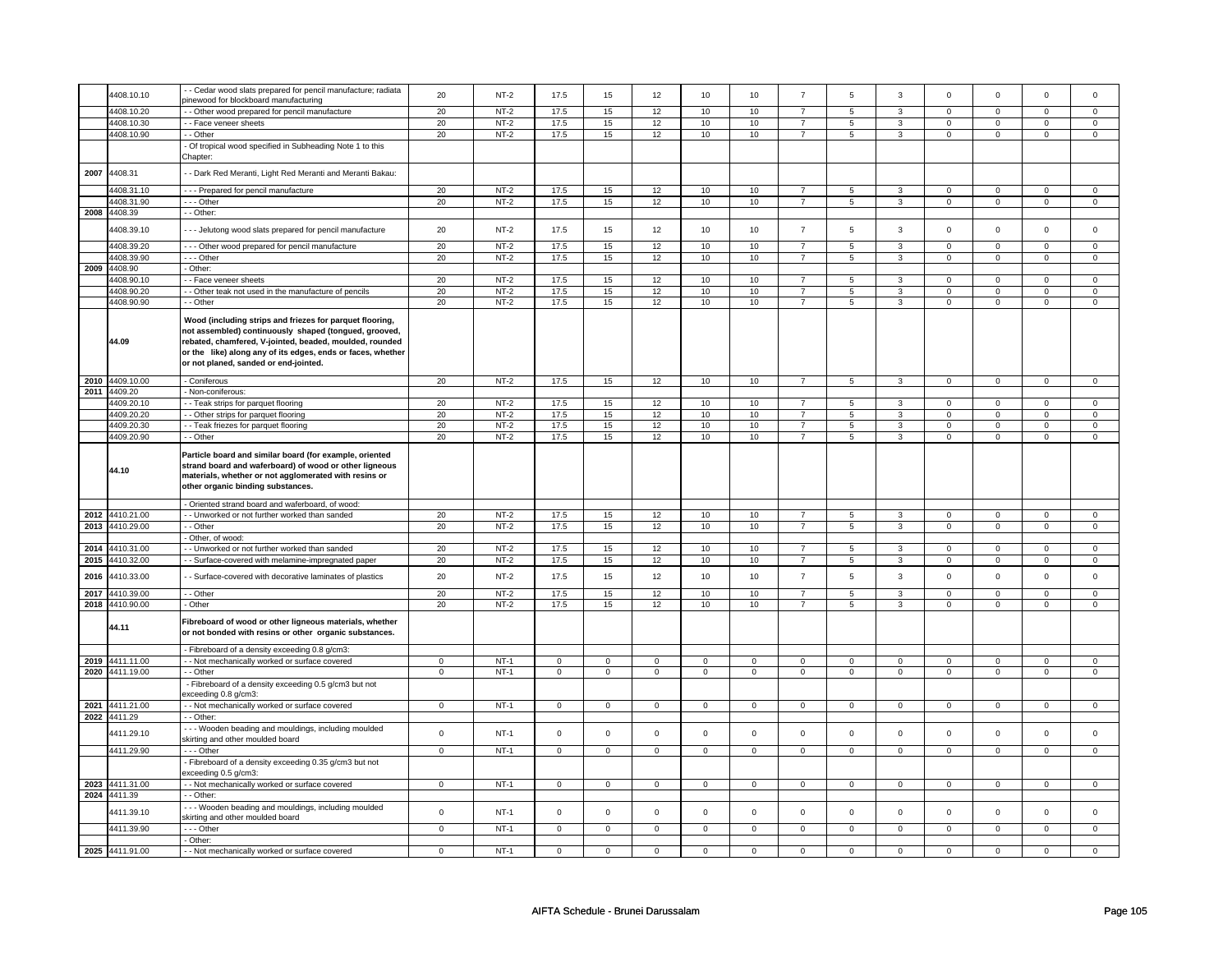|      | 4408.10.10      | - Cedar wood slats prepared for pencil manufacture; radiata                                                                                                                                                                                                                          | 20             | $NT-2$ | 17.5           | 15             | 12                  | 10             | 10                  | $\overline{7}$ | 5                   | 3              | $\mathbf 0$    | $\mathsf 0$    | 0              | $\mathsf 0$    |
|------|-----------------|--------------------------------------------------------------------------------------------------------------------------------------------------------------------------------------------------------------------------------------------------------------------------------------|----------------|--------|----------------|----------------|---------------------|----------------|---------------------|----------------|---------------------|----------------|----------------|----------------|----------------|----------------|
|      |                 | binewood for blockboard manufacturing                                                                                                                                                                                                                                                |                |        |                |                |                     |                |                     |                |                     |                |                |                |                |                |
|      | 4408.10.20      | - Other wood prepared for pencil manufacture                                                                                                                                                                                                                                         | 20             | $NT-2$ | 17.5           | 15             | 12                  | 10             | 10                  | $\overline{7}$ | 5                   | $\overline{3}$ | $\overline{0}$ | $\overline{0}$ | $\overline{0}$ | $\overline{0}$ |
|      |                 |                                                                                                                                                                                                                                                                                      |                |        |                |                |                     |                |                     |                |                     |                |                |                |                |                |
|      | 4408.10.30      | - Face veneer sheets                                                                                                                                                                                                                                                                 | 20             | $NT-2$ | 17.5           | 15             | 12                  | 10             | 10                  | $\overline{7}$ | 5                   | $\mathbf{3}$   | $\mathsf 0$    | $\mathbf 0$    | $^{\circ}$     | $\mathbf 0$    |
|      | 4408.10.90      | - Other                                                                                                                                                                                                                                                                              | 20             | $NT-2$ | 17.5           | 15             | 12                  | 10             | 10                  | $\overline{7}$ | 5                   | $\mathbf{3}$   | $\mathsf 0$    | $\mathbf 0$    | $\mathsf 0$    | $\mathbf 0$    |
|      |                 | Of tropical wood specified in Subheading Note 1 to this                                                                                                                                                                                                                              |                |        |                |                |                     |                |                     |                |                     |                |                |                |                |                |
|      |                 |                                                                                                                                                                                                                                                                                      |                |        |                |                |                     |                |                     |                |                     |                |                |                |                |                |
|      |                 | Chapter:                                                                                                                                                                                                                                                                             |                |        |                |                |                     |                |                     |                |                     |                |                |                |                |                |
|      | 4408.31         |                                                                                                                                                                                                                                                                                      |                |        |                |                |                     |                |                     |                |                     |                |                |                |                |                |
| 2007 |                 | - Dark Red Meranti, Light Red Meranti and Meranti Bakau:                                                                                                                                                                                                                             |                |        |                |                |                     |                |                     |                |                     |                |                |                |                |                |
|      | 4408.31.10      |                                                                                                                                                                                                                                                                                      | 20             | $NT-2$ | 17.5           | 15             | 12                  | 10             | 10                  |                |                     |                |                | $\mathsf{O}$   |                |                |
|      |                 | --- Prepared for pencil manufacture                                                                                                                                                                                                                                                  |                |        |                |                |                     |                |                     | $\overline{7}$ | 5                   | $\mathbf{3}$   | $\mathsf 0$    |                | $\mathsf 0$    | $\mathbf 0$    |
|      | 4408.31.90      | --- Other                                                                                                                                                                                                                                                                            | 20             | $NT-2$ | 17.5           | 15             | 12                  | 10             | 10                  | $\overline{7}$ | 5                   | 3              | $\mathbf 0$    | $\mathbf 0$    | $\mathbf 0$    | $\mathbf{0}$   |
| 2008 | 4408.39         | - Other:                                                                                                                                                                                                                                                                             |                |        |                |                |                     |                |                     |                |                     |                |                |                |                |                |
|      |                 |                                                                                                                                                                                                                                                                                      |                |        |                |                |                     |                |                     |                |                     |                |                |                |                |                |
|      | 4408.39.10      | --- Jelutong wood slats prepared for pencil manufacture                                                                                                                                                                                                                              | 20             | $NT-2$ | 17.5           | 15             | 12                  | 10             | 10                  | $\overline{7}$ | 5                   | $\mathbf{3}$   | $\mathsf 0$    | $\mathsf 0$    | $\mathsf 0$    | $\mathsf 0$    |
|      |                 |                                                                                                                                                                                                                                                                                      |                |        |                |                |                     |                |                     |                |                     |                |                |                |                |                |
|      | 4408.39.20      | -- Other wood prepared for pencil manufacture                                                                                                                                                                                                                                        | 20             | $NT-2$ | 17.5           | 15             | 12                  | 10             | 10                  | $\overline{7}$ | 5                   | $\mathbf{3}$   | $\mathbf 0$    | $\mathbf 0$    | $\mathbf 0$    | $\mathbf 0$    |
|      | 4408.39.90      | --- Other                                                                                                                                                                                                                                                                            | 20             | $NT-2$ | 17.5           | 15             | 12                  | 10             | 10                  | $\overline{7}$ | 5                   | 3              | $\mathbf 0$    | $\mathbf 0$    | $\mathbf 0$    | $\mathbf 0$    |
|      | 2009 4408.90    | - Other:                                                                                                                                                                                                                                                                             |                |        |                |                |                     |                |                     |                |                     |                |                |                |                |                |
|      | 4408.90.10      | - Face veneer sheets                                                                                                                                                                                                                                                                 | 20             | $NT-2$ | 17.5           | 15             | 12                  | 10             | 10                  | $\overline{7}$ | 5                   | 3              | $\mathsf 0$    | $\mathsf 0$    | $\Omega$       | $\mathsf 0$    |
|      |                 |                                                                                                                                                                                                                                                                                      |                |        |                |                |                     |                |                     |                |                     |                |                |                |                |                |
|      | 4408.90.20      | - Other teak not used in the manufacture of pencils                                                                                                                                                                                                                                  | 20             | $NT-2$ | 17.5           | 15             | 12                  | 10             | 10                  | $\overline{7}$ | 5                   | 3              | $\mathsf 0$    | $\mathbf 0$    | $\mathbf 0$    | $\mathsf 0$    |
|      | 4408.90.90      | - Other                                                                                                                                                                                                                                                                              | 20             | $NT-2$ | 17.5           | 15             | 12                  | 10             | 10                  | $\overline{7}$ | 5                   | $\mathbf{3}$   | $\mathsf 0$    | $\mathbf 0$    | $\mathsf 0$    | $\mathsf 0$    |
|      | 44.09           | Wood (including strips and friezes for parquet flooring,<br>not assembled) continuously shaped (tongued, grooved,<br>rebated, chamfered, V-jointed, beaded, moulded, rounded<br>or the like) along any of its edges, ends or faces, whether<br>or not planed, sanded or end-jointed. |                |        |                |                |                     |                |                     |                |                     |                |                |                |                |                |
|      | 2010 4409.10.00 | - Coniferous                                                                                                                                                                                                                                                                         | 20             | $NT-2$ | 17.5           | 15             | 12                  | 10             | 10                  | $\overline{7}$ | 5                   | $\mathbf{3}$   | $\mathbf 0$    | $\mathbf 0$    | $\mathsf 0$    | $\mathsf 0$    |
|      | 2011 4409.20    | Non-coniferous:                                                                                                                                                                                                                                                                      |                |        |                |                |                     |                |                     |                |                     |                |                |                |                |                |
|      | 4409.20.10      | - Teak strips for parquet flooring                                                                                                                                                                                                                                                   | 20             | $NT-2$ | 17.5           | 15             | 12                  | 10             | 10                  | $\overline{7}$ | 5                   | 3              | $\overline{0}$ | $\overline{0}$ | $\mathbf 0$    | $\overline{0}$ |
|      |                 |                                                                                                                                                                                                                                                                                      |                |        |                |                |                     |                |                     |                |                     |                |                |                |                |                |
|      | 4409.20.20      | - - Other strips for parquet flooring                                                                                                                                                                                                                                                | 20             | $NT-2$ | 17.5           | 15             | 12                  | 10             | 10                  | $\overline{7}$ | 5                   | $\mathbf{3}$   | $\mathbf 0$    | $\mathbf 0$    | $\mathbf 0$    | $\mathbf 0$    |
|      | 4409.20.30      | - - Teak friezes for parquet flooring                                                                                                                                                                                                                                                | 20             | $NT-2$ | 17.5           | 15             | 12                  | 10             | $10$                | $\overline{7}$ | 5                   | $\overline{3}$ | $\mathbf 0$    | $\mathbf{0}$   | $\mathbf 0$    | $\mathbf 0$    |
|      | 4409.20.90      | - - Other                                                                                                                                                                                                                                                                            | 20             | $NT-2$ | 17.5           | 15             | 12                  | 10             | 10                  | $\overline{7}$ | $\overline{5}$      | $\overline{3}$ | $\overline{0}$ | $\overline{0}$ | $\overline{0}$ | $\overline{0}$ |
|      | 44.10           | Particle board and similar board (for example, oriented<br>strand board and waferboard) of wood or other ligneous<br>materials, whether or not agglomerated with resins or<br>other organic binding substances.                                                                      |                |        |                |                |                     |                |                     |                |                     |                |                |                |                |                |
|      |                 | - Oriented strand board and waferboard, of wood:                                                                                                                                                                                                                                     |                |        |                |                |                     |                |                     |                |                     |                |                |                |                |                |
|      | 2012 4410.21.00 | - Unworked or not further worked than sanded                                                                                                                                                                                                                                         | 20             | $NT-2$ | 17.5           | 15             | 12                  | 10             | 10                  | $\overline{7}$ | 5                   | $\overline{3}$ | $\mathsf 0$    | $\mathbf 0$    | $\mathsf 0$    | $\overline{0}$ |
|      |                 |                                                                                                                                                                                                                                                                                      |                |        |                |                |                     |                |                     |                |                     |                |                |                |                |                |
|      | 2013 4410.29.00 | - Other                                                                                                                                                                                                                                                                              | 20             | $NT-2$ | 17.5           | 15             | 12                  | 10             | 10                  | $\overline{7}$ | 5                   | 3              | $\mathsf 0$    | $\mathbf 0$    | $\mathbf 0$    | $\mathbf 0$    |
|      |                 | Other, of wood:                                                                                                                                                                                                                                                                      |                |        |                |                |                     |                |                     |                |                     |                |                |                |                |                |
|      | 2014 4410.31.00 | - Unworked or not further worked than sanded                                                                                                                                                                                                                                         | 20             | $NT-2$ | 17.5           | 15             | 12                  | 10             | 10                  | $\overline{7}$ | 5                   | 3              | $\mathbf 0$    | $\mathbf 0$    | $\Omega$       | $\Omega$       |
|      | 2015 4410.32.00 | - - Surface-covered with melamine-impregnated paper                                                                                                                                                                                                                                  | 20             | $NT-2$ | 17.5           | 15             | 12                  | 10             | 10                  | $\overline{7}$ | 5                   | 3              | $\mathbf 0$    | $\mathbf 0$    | 0              | $\mathbf 0$    |
|      |                 |                                                                                                                                                                                                                                                                                      |                |        |                |                |                     |                |                     |                |                     |                |                |                |                |                |
| 2016 | 4410.33.00      | - Surface-covered with decorative laminates of plastics                                                                                                                                                                                                                              | 20             | $NT-2$ | 17.5           | 15             | 12                  | 10             | 10                  | $\overline{7}$ | 5                   | 3              | $\mathsf 0$    | $\mathsf 0$    | $\mathbf 0$    | $\mathbf 0$    |
| 2017 | 4410.39.00      | - - Other                                                                                                                                                                                                                                                                            | 20             | $NT-2$ | 17.5           | 15             | 12                  | 10             | 10                  | $\overline{7}$ | $\mathbf 5$         | $\mathbf 3$    | $\mathbf 0$    | $\mathsf 0$    | 0              | $\mathsf 0$    |
|      | 2018 4410.90.00 | Other                                                                                                                                                                                                                                                                                | 20             | $NT-2$ | 17.5           | 15             | 12                  | 10             | 10                  | $\overline{7}$ | $\overline{5}$      | $\overline{3}$ | $\overline{0}$ | $\overline{0}$ | 0              | $\overline{0}$ |
|      | 44.11           | Fibreboard of wood or other ligneous materials, whether<br>or not bonded with resins or other organic substances.                                                                                                                                                                    |                |        |                |                |                     |                |                     |                |                     |                |                |                |                |                |
|      |                 | - Fibreboard of a density exceeding 0.8 g/cm3:                                                                                                                                                                                                                                       |                |        |                |                |                     |                |                     |                |                     |                |                |                |                |                |
|      | 2019 4411.11.00 | - Not mechanically worked or surface covered                                                                                                                                                                                                                                         | 0              | $NT-1$ | 0              | $\mathsf 0$    | 0                   | $\mathsf 0$    | $\mathbf 0$         | $\mathbf 0$    | $\mathbf 0$         | $\mathsf 0$    | $\mathbf 0$    | $\mathbf 0$    | 0              | $\mathsf 0$    |
|      | 2020 4411.19.00 | - Other                                                                                                                                                                                                                                                                              | $\mathbf 0$    | $NT-1$ | $\mathbf 0$    | $\mathsf 0$    | $\mathbf 0$         | $\mathsf 0$    | $\mathbf 0$         | $\mathsf 0$    | 0                   | $\mathsf 0$    | $\mathbf 0$    | $\mathsf 0$    | $\mathbf 0$    | $\mathsf 0$    |
|      |                 | - Fibreboard of a density exceeding 0.5 g/cm3 but not<br>exceeding 0.8 g/cm3:                                                                                                                                                                                                        |                |        |                |                |                     |                |                     |                |                     |                |                |                |                |                |
|      | 2021 4411.21.00 | - - Not mechanically worked or surface covered                                                                                                                                                                                                                                       | $\mathbf 0$    | $NT-1$ | $\mathbf 0$    | $\mathbf 0$    | $\mathbf 0$         | $\mathbf 0$    | $\mathbf{0}$        | $\mathbf 0$    | $\mathbf 0$         | $\mathbf 0$    | $\mathbf 0$    | $\mathbf 0$    | $\mathbf 0$    | $\mathbf 0$    |
|      |                 |                                                                                                                                                                                                                                                                                      |                |        |                |                |                     |                |                     |                |                     |                |                |                |                |                |
|      | 2022 4411.29    | - Other:                                                                                                                                                                                                                                                                             |                |        |                |                |                     |                |                     |                |                     |                |                |                |                |                |
|      | 4411.29.10      | - - Wooden beading and mouldings, including moulded                                                                                                                                                                                                                                  | $\mathsf 0$    | $NT-1$ | $\mathsf 0$    | $\mathbf 0$    | $\mathsf{O}\xspace$ | $\mathsf 0$    | $\mathsf{O}\xspace$ | $\mathsf 0$    | $\mathsf{O}\xspace$ | $\mathsf 0$    | $\mathsf 0$    | $\mathbf 0$    | $\mathsf 0$    | $\mathbf 0$    |
|      | 4411.29.90      | skirting and other moulded board<br>--- Other                                                                                                                                                                                                                                        | $\mathsf 0$    | $NT-1$ | $\mathsf 0$    | $\mathsf 0$    | $\mathbf 0$         | $\mathsf 0$    | $\mathsf{O}\xspace$ | $\mathsf 0$    | $\mathsf{O}\xspace$ | $\mathsf 0$    | $\mathsf 0$    | $\mathbf 0$    | $\mathbf 0$    | $\mathbf 0$    |
|      |                 |                                                                                                                                                                                                                                                                                      |                |        |                |                |                     |                |                     |                |                     |                |                |                |                |                |
|      |                 | Fibreboard of a density exceeding 0.35 g/cm3 but not                                                                                                                                                                                                                                 |                |        |                |                |                     |                |                     |                |                     |                |                |                |                |                |
|      |                 | exceeding 0.5 g/cm3:                                                                                                                                                                                                                                                                 |                |        |                |                |                     |                |                     |                |                     |                |                |                |                |                |
|      | 2023 4411.31.00 | - - Not mechanically worked or surface covered                                                                                                                                                                                                                                       | $\mathbf 0$    | $NT-1$ | $\mathbf 0$    | $\mathbf 0$    | $\mathbf 0$         | $\mathbf 0$    | $\mathbf 0$         | $\mathbf 0$    | $\mathbf 0$         | $\mathbf 0$    | $\mathbf 0$    | $\mathbf 0$    | $\mathbf 0$    | $\mathbf 0$    |
|      | 2024 4411.39    | - Other:                                                                                                                                                                                                                                                                             |                |        |                |                |                     |                |                     |                |                     |                |                |                |                |                |
|      | 4411.39.10      | -- Wooden beading and mouldings, including moulded<br>skirting and other moulded board                                                                                                                                                                                               | $\mathbf 0$    | $NT-1$ | $\mathsf 0$    | $\mathbf 0$    | $\mathsf 0$         | $\mathbf 0$    | $\mathsf 0$         | $\mathbf 0$    | $\mathsf 0$         | $\mathbf 0$    | $\mathsf 0$    | $\mathbf 0$    | $\mathbf 0$    | $\mathsf 0$    |
|      | 4411.39.90      | $- -$ Other                                                                                                                                                                                                                                                                          | $\overline{0}$ | $NT-1$ | $\overline{0}$ | $\overline{0}$ | $\overline{0}$      | $\overline{0}$ | $\overline{0}$      | $\overline{0}$ | $\overline{0}$      | $\overline{0}$ | $\overline{0}$ | $\overline{0}$ | $\overline{0}$ | $\overline{0}$ |
|      |                 |                                                                                                                                                                                                                                                                                      |                |        |                |                |                     |                |                     |                |                     |                |                |                |                |                |
|      |                 | Other:<br>- - Not mechanically worked or surface covered                                                                                                                                                                                                                             | $\mathsf 0$    | $NT-1$ |                |                |                     |                |                     |                |                     |                |                |                |                |                |
|      | 2025 4411.91.00 |                                                                                                                                                                                                                                                                                      |                |        | $\mathbf 0$    | $\mathbf 0$    | $\mathbf 0$         | 0              | $\mathsf 0$         | $\mathbf 0$    | $^{\circ}$          | $\mathbf 0$    | $\mathsf 0$    | $\mathbf 0$    | 0              | $\mathsf 0$    |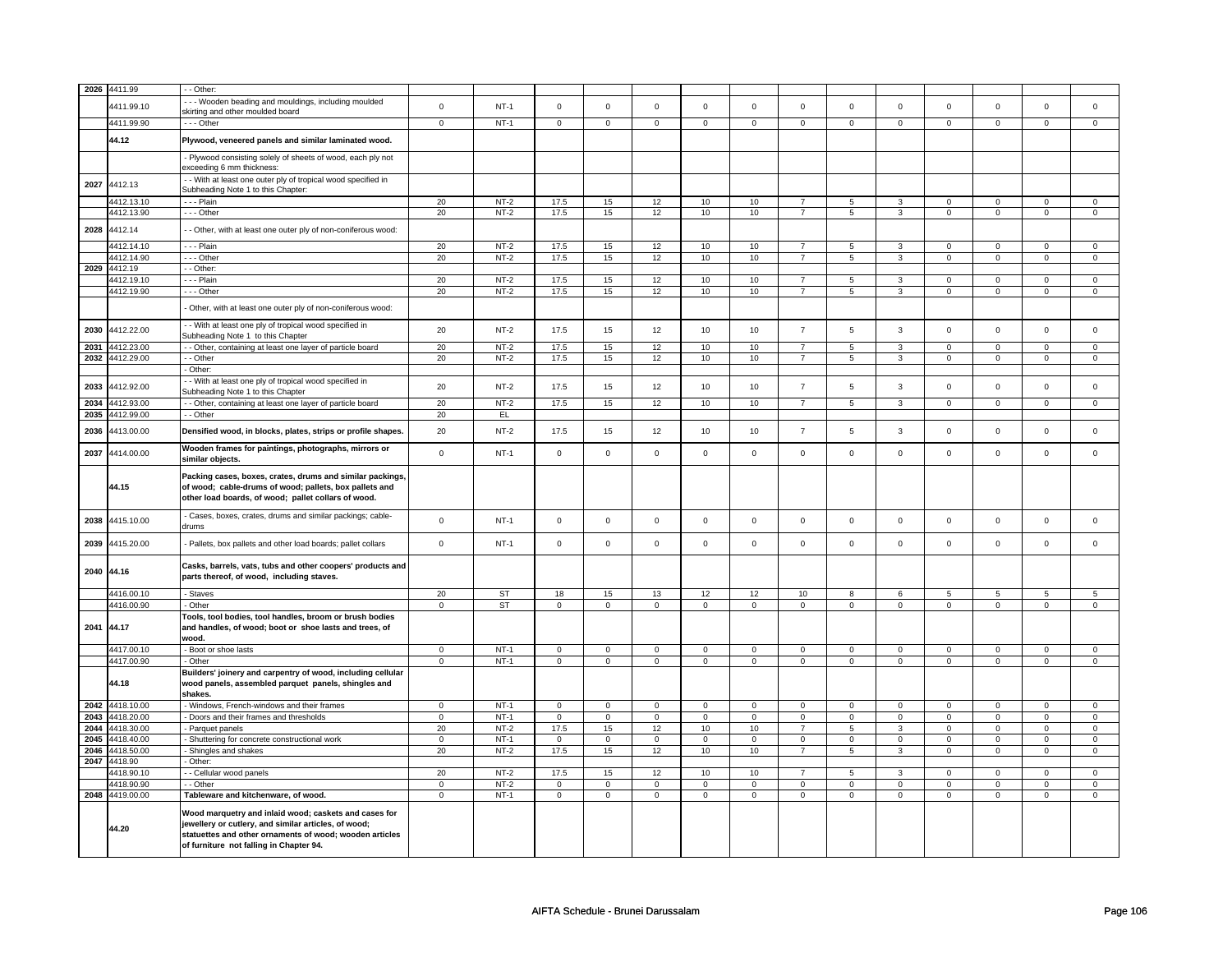|      | 2026 4411.99    | - - Other:                                                                                                                                                                                                          |             |           |                |                |                |                |                     |                |                |                |                |                |                |                |
|------|-----------------|---------------------------------------------------------------------------------------------------------------------------------------------------------------------------------------------------------------------|-------------|-----------|----------------|----------------|----------------|----------------|---------------------|----------------|----------------|----------------|----------------|----------------|----------------|----------------|
|      |                 |                                                                                                                                                                                                                     |             |           |                |                |                |                |                     |                |                |                |                |                |                |                |
|      | 4411.99.10      | - - - Wooden beading and mouldings, including moulded<br>skirting and other moulded board                                                                                                                           | $\mathsf 0$ | $NT-1$    | $\mathsf 0$    | $\mathbf 0$    | $\mathsf 0$    | $\mathsf 0$    | $\mathsf{O}\xspace$ | $\mathsf 0$    | $\mathsf 0$    | $\mathbf 0$    | $\mathsf 0$    | $\mathbf 0$    | $\mathsf 0$    | $\mathsf 0$    |
|      | 4411.99.90      | - - - Other                                                                                                                                                                                                         | $\mathbf 0$ | $NT-1$    | $\mathbf 0$    | $\mathbf 0$    | $\mathbf 0$    | $\mathbf 0$    | $\mathbf 0$         | $\mathbf{0}$   | $\mathbf{0}$   | $\mathbf{0}$   | $\mathbf 0$    | $\mathbf 0$    | 0              | $\overline{0}$ |
|      | 44.12           | Plywood, veneered panels and similar laminated wood.                                                                                                                                                                |             |           |                |                |                |                |                     |                |                |                |                |                |                |                |
|      |                 | - Plywood consisting solely of sheets of wood, each ply not<br>exceeding 6 mm thickness:                                                                                                                            |             |           |                |                |                |                |                     |                |                |                |                |                |                |                |
| 2027 | 4412.13         | - With at least one outer ply of tropical wood specified in<br>Subheading Note 1 to this Chapter:                                                                                                                   |             |           |                |                |                |                |                     |                |                |                |                |                |                |                |
|      | 4412.13.10      | - - - Plain                                                                                                                                                                                                         | 20          | $NT-2$    | 17.5           | 15             | 12             | $10$           | 10                  | $\overline{7}$ | 5              | 3              | $\mathsf 0$    | $\mathbf 0$    | $\mathsf 0$    | 0              |
|      | 4412.13.90      | $- -$ Other                                                                                                                                                                                                         | 20          | $NT-2$    | 17.5           | 15             | 12             | 10             | 10                  | $\overline{7}$ | $\overline{5}$ | $\overline{3}$ | $\overline{0}$ | $\overline{0}$ | $\overline{0}$ | $\overline{0}$ |
| 2028 | 4412.14         | - Other, with at least one outer ply of non-coniferous wood:                                                                                                                                                        |             |           |                |                |                |                |                     |                |                |                |                |                |                |                |
|      | 4412.14.10      | - - - Plain                                                                                                                                                                                                         | 20          | $NT-2$    | 17.5           | 15             | 12             | 10             | 10                  | $\overline{7}$ | 5              | 3              | $\mathbf 0$    | $\mathbf 0$    | $\Omega$       | $\mathbf{0}$   |
|      | 4412.14.90      | --- Other                                                                                                                                                                                                           | 20          | $NT-2$    | 17.5           | 15             | 12             | 10             | 10                  | $\overline{7}$ | 5              | 3              | $\mathbf 0$    | $\mathbf 0$    | 0              | $\overline{0}$ |
|      | 2029 4412.19    | - - Other:                                                                                                                                                                                                          |             |           |                |                |                |                |                     |                |                |                |                |                |                |                |
|      | 4412.19.10      | - - - Plain                                                                                                                                                                                                         | 20          | $NT-2$    | 17.5           | 15             | 12             | 10             | 10                  | $\overline{7}$ | 5              | 3              | $\mathsf 0$    | $\mathbf 0$    | $\mathbf 0$    | 0              |
|      | 4412.19.90      | $- -$ Other                                                                                                                                                                                                         | 20          | $NT-2$    | 17.5           | 15             | 12             | 10             | 10                  | $\overline{7}$ | $\overline{5}$ | $\overline{3}$ | $\overline{0}$ | $\overline{0}$ | $\overline{0}$ | $\overline{0}$ |
|      |                 |                                                                                                                                                                                                                     |             |           |                |                |                |                |                     |                |                |                |                |                |                |                |
|      |                 | - Other, with at least one outer ply of non-coniferous wood:                                                                                                                                                        |             |           |                |                |                |                |                     |                |                |                |                |                |                |                |
| 2030 | 4412.22.00      | - With at least one ply of tropical wood specified in<br>Subheading Note 1 to this Chapter                                                                                                                          | 20          | $NT-2$    | 17.5           | 15             | 12             | 10             | 10                  | $\overline{7}$ | 5              | 3              | $\mathbf 0$    | $\mathbf{0}$   | $\mathbf 0$    | $\mathbf{0}$   |
| 2031 | 4412.23.00      | - Other, containing at least one layer of particle board                                                                                                                                                            | 20          | $NT-2$    | 17.5           | 15             | 12             | 10             | 10                  | $\overline{7}$ | 5              | $\overline{3}$ | $\mathbf 0$    | $\mathbf{0}$   | $\mathbf 0$    | $\mathbf{0}$   |
| 2032 | 4412.29.00      | - - Other                                                                                                                                                                                                           | 20          | $NT-2$    | 17.5           | 15             | 12             | 10             | 10                  | $\overline{7}$ | 5              | 3              | $\mathsf 0$    | $\mathbf 0$    | 0              | $\mathsf 0$    |
|      |                 | Other:                                                                                                                                                                                                              |             |           |                |                |                |                |                     |                |                |                |                |                |                |                |
| 2033 | 4412.92.00      | - With at least one ply of tropical wood specified in<br>Subheading Note 1 to this Chapter                                                                                                                          | 20          | $NT-2$    | 17.5           | 15             | 12             | 10             | 10                  | $\overline{7}$ | 5              | $\mathbf{3}$   | $\mathsf 0$    | $\mathbf 0$    | $\mathsf 0$    | $\mathbf 0$    |
| 2034 | 4412.93.00      | - - Other, containing at least one layer of particle board                                                                                                                                                          | 20          | $NT-2$    | 17.5           | 15             | 12             | 10             | 10                  | $\overline{7}$ | 5              | 3              | $\mathbf 0$    | $\mathbf 0$    | $\mathsf 0$    | $\mathbf{0}$   |
| 2035 | 4412.99.00      | - - Other                                                                                                                                                                                                           | 20          | EL        |                |                |                |                |                     |                |                |                |                |                |                |                |
| 2036 | 4413.00.00      | Densified wood, in blocks, plates, strips or profile shapes.                                                                                                                                                        | 20          | $NT-2$    | 17.5           | 15             | 12             | 10             | 10                  | $\overline{7}$ | 5              | $\mathbf{3}$   | $\mathsf 0$    | $\mathbf 0$    | $\mathsf 0$    | $\mathbf 0$    |
| 2037 | 4414.00.00      | Wooden frames for paintings, photographs, mirrors or<br>similar objects.                                                                                                                                            | $\mathbf 0$ | $NT-1$    | $\mathsf 0$    | $\mathbf 0$    | $\mathsf 0$    | $\mathsf 0$    | $\mathsf{O}\xspace$ | $\mathsf 0$    | $\mathbf 0$    | $\mathbf 0$    | $\mathsf 0$    | $\mathbf 0$    | $\mathbf 0$    | $\mathbf{0}$   |
|      | 44.15           | Packing cases, boxes, crates, drums and similar packings<br>of wood; cable-drums of wood; pallets, box pallets and<br>other load boards, of wood; pallet collars of wood.                                           |             |           |                |                |                |                |                     |                |                |                |                |                |                |                |
| 2038 | 4415.10.00      | - Cases, boxes, crates, drums and similar packings; cable-<br>drums                                                                                                                                                 | $\mathbf 0$ | $NT-1$    | $\mathbf 0$    | $\mathbf 0$    | $\mathbf 0$    | $\mathsf 0$    | $\mathbf 0$         | $\mathbf 0$    | $\mathbf 0$    | $\mathsf 0$    | $\mathbf 0$    | $\mathbf{0}$   | $\mathbf 0$    | $\mathsf 0$    |
| 2039 | 4415.20.00      | - Pallets, box pallets and other load boards; pallet collars                                                                                                                                                        | $\mathsf 0$ | $NT-1$    | $\mathsf 0$    | $\mathsf 0$    | $\mathsf 0$    | $\mathsf 0$    | $\mathsf 0$         | $\mathbf 0$    | $\mathbf 0$    | $\mathbf 0$    | $\mathsf 0$    | $\mathbf 0$    | $\mathsf 0$    | $\mathbf{0}$   |
|      | 2040 44.16      | Casks, barrels, vats, tubs and other coopers' products and<br>parts thereof, of wood, including staves.                                                                                                             |             |           |                |                |                |                |                     |                |                |                |                |                |                |                |
|      | 4416.00.10      | - Staves                                                                                                                                                                                                            | 20          | <b>ST</b> | 18             | 15             | 13             | 12             | 12                  | 10             | 8              | 6              | 5              | 5              | 5              | 5              |
|      | 4416.00.90      | - Other                                                                                                                                                                                                             | $\mathsf 0$ | ST        | $\mathbf 0$    | $\mathsf 0$    | $\mathbf 0$    | $\mathsf 0$    | $\mathbf 0$         | $\mathbf 0$    | $\mathbf 0$    | $\mathbf 0$    | $\mathbf 0$    | $\mathbf 0$    | $\mathbf 0$    | $\mathbf{0}$   |
| 2041 | 44.17           | Tools, tool bodies, tool handles, broom or brush bodies<br>and handles, of wood; boot or shoe lasts and trees, of<br>wood.                                                                                          |             |           |                |                |                |                |                     |                |                |                |                |                |                |                |
|      | 4417.00.10      | Boot or shoe lasts                                                                                                                                                                                                  | $\mathsf 0$ | $NT-1$    | $\mathbf 0$    | $\mathsf 0$    | $\mathbf 0$    | $\mathbf 0$    | $\mathbf 0$         | $\mathbf 0$    | $\mathbf 0$    | $\mathbf 0$    | $\mathbf 0$    | $\mathbf 0$    | $\mathbf 0$    | $\mathbf 0$    |
|      | 4417.00.90      | - Other                                                                                                                                                                                                             | $\mathsf 0$ | $NT-1$    | $\mathsf 0$    | $\mathbf 0$    | 0              | $\mathsf 0$    | 0                   | $\mathsf 0$    | 0              | $\mathbf 0$    | 0              | $\mathbf 0$    | 0              | $\mathbf 0$    |
|      | 44.18           | Builders' joinery and carpentry of wood, including cellular<br>wood panels, assembled parquet panels, shingles and<br>shakes.                                                                                       |             |           |                |                |                |                |                     |                |                |                |                |                |                |                |
| 2042 | 4418.10.00      | - Windows, French-windows and their frames                                                                                                                                                                          | $\mathbf 0$ | $NT-1$    | 0              | $\mathbf 0$    | 0              | $\mathbf 0$    | 0                   | $\mathbf 0$    | 0              | $\mathbf 0$    | 0              | $\mathsf 0$    | 0              | 0              |
| 2043 | 4418.20.00      | - Doors and their frames and thresholds                                                                                                                                                                             | $\mathsf 0$ | $NT-1$    | $\overline{0}$ | $\overline{0}$ | $\overline{0}$ | $\overline{0}$ | $\mathbf 0$         | $\overline{0}$ | $\mathbf 0$    | $\mathbf 0$    | $\mathsf 0$    | $\mathbf 0$    | $\mathsf 0$    | $\mathbf 0$    |
| 2044 | 4418.30.00      |                                                                                                                                                                                                                     | 20          | $NT-2$    | 17.5           | 15             | 12             | 10             | 10                  | $\overline{7}$ | 5              | 3              | 0              | $\mathbf 0$    | $\mathbf 0$    | $\mathbf 0$    |
| 2045 | 4418.40.00      | Parquet panels                                                                                                                                                                                                      | $\mathbf 0$ | $NT-1$    | $\mathbf 0$    | $\mathbf 0$    | $\mathbf 0$    | $\mathbf{0}$   | $\mathbf 0$         | $\mathbf 0$    | $\mathbf 0$    | $\mathbf 0$    | 0              | $\mathbf 0$    | 0              | $\overline{0}$ |
|      |                 | - Shuttering for concrete constructional work                                                                                                                                                                       |             |           |                |                |                |                |                     |                |                |                |                |                |                |                |
| 2046 | 1418.50.00      | Shingles and shakes                                                                                                                                                                                                 | 20          | $NT-2$    | 17.5           | 15             | 12             | 10             | 10                  | $\overline{7}$ | 5              | 3              | $\mathbf 0$    | $\mathbf{0}$   | $\mathbf 0$    | $\mathbf{0}$   |
| 2047 | 4418.90         | - Other:                                                                                                                                                                                                            |             |           |                |                |                |                |                     |                |                |                |                |                |                |                |
|      | 4418.90.10      | - Cellular wood panels                                                                                                                                                                                              | 20          | $NT-2$    | 17.5           | 15             | 12             | 10             | 10                  | $\overline{7}$ | 5              | 3              | 0              | $\mathbf 0$    | 0              | $\mathbf 0$    |
|      | 1418.90.90      | - Other                                                                                                                                                                                                             | $\mathbf 0$ | $NT-2$    | $\mathbf 0$    | $\mathsf 0$    | $\mathbf 0$    | $\mathbf 0$    | $\mathbf 0$         | $\mathbf 0$    | 0              | 0              | 0              | 0              | $\mathbf 0$    | 0              |
|      | 2048 4419.00.00 | Tableware and kitchenware, of wood.                                                                                                                                                                                 | $\mathbf 0$ | $NT-1$    | $\overline{0}$ | $\overline{0}$ | $\overline{0}$ | $\overline{0}$ | $\overline{0}$      | $\overline{0}$ | $\overline{0}$ | $\overline{0}$ | $\overline{0}$ | $\overline{0}$ | 0              | $\overline{0}$ |
|      | 44.20           | Wood marquetry and inlaid wood; caskets and cases for<br>jewellery or cutlery, and similar articles, of wood;<br>statuettes and other ornaments of wood; wooden articles<br>of furniture not falling in Chapter 94. |             |           |                |                |                |                |                     |                |                |                |                |                |                |                |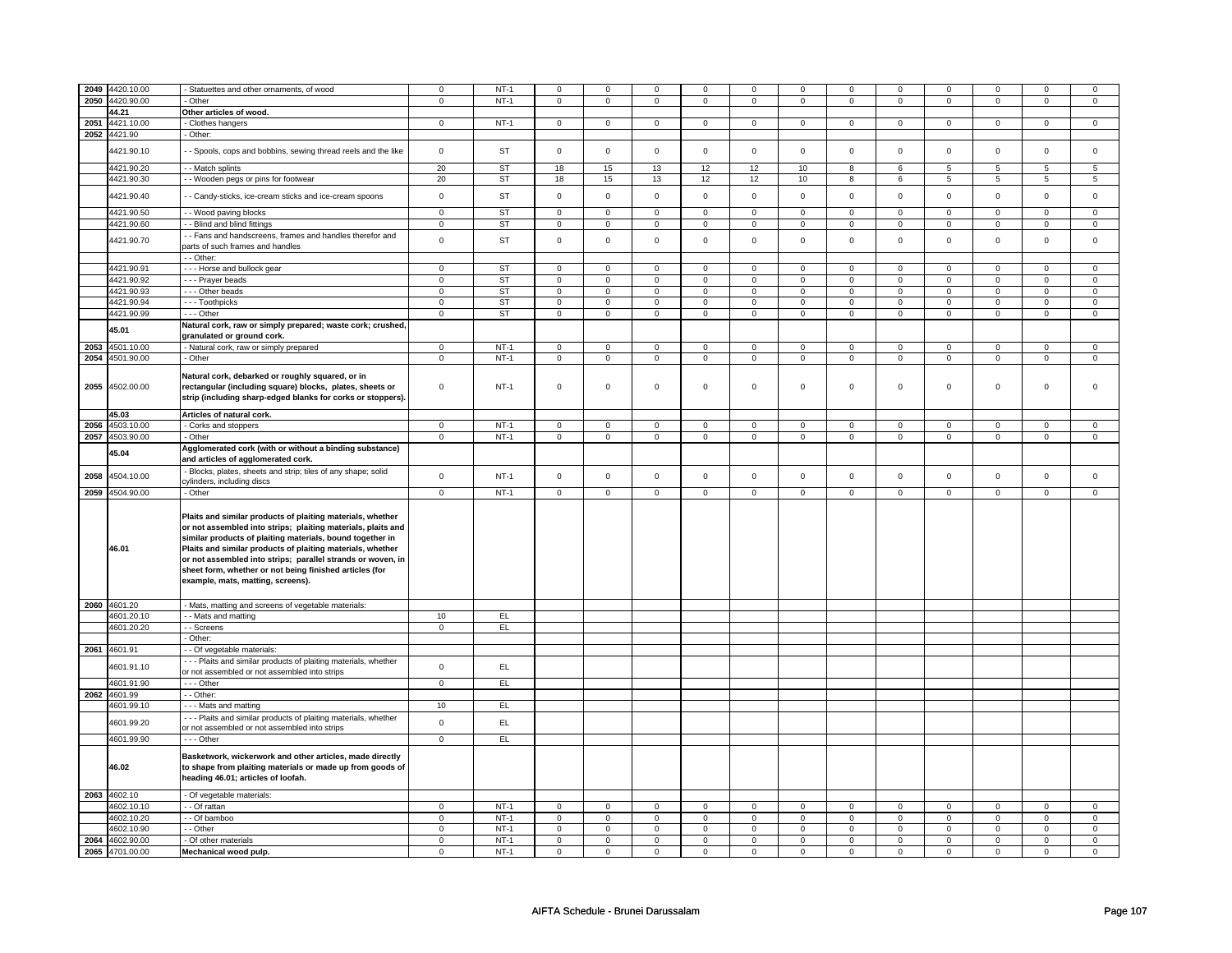|      | 2049 4420.10.00                    | Statuettes and other ornaments, of wood                        | $\mathbf 0$                | $NT-1$           | $\mathbf 0$                | $\mathsf 0$                | $\Omega$                   | $\mathbf 0$                | $\Omega$                   | $\mathbf 0$                | $\Omega$                   | $\mathbf 0$                | $\Omega$                   | 0                           | 0                          | $\Omega$                    |
|------|------------------------------------|----------------------------------------------------------------|----------------------------|------------------|----------------------------|----------------------------|----------------------------|----------------------------|----------------------------|----------------------------|----------------------------|----------------------------|----------------------------|-----------------------------|----------------------------|-----------------------------|
|      | 2050 4420.90.00                    | Other                                                          | $\mathbf 0$                | $NT-1$           | $\mathbf{0}$               | $\mathbf 0$                | $\mathbf 0$                | $\circ$                    | $\mathbf{0}$               | $\mathbf 0$                | $\mathbf{0}$               | $\circ$                    | $\mathbf{0}$               | $\mathbf 0$                 | $\mathbf 0$                | $\mathbf{0}$                |
|      |                                    |                                                                |                            |                  |                            |                            |                            |                            |                            |                            |                            |                            |                            |                             |                            |                             |
|      | 44.21                              | Other articles of wood.                                        |                            |                  |                            |                            |                            |                            |                            |                            |                            |                            |                            |                             |                            |                             |
|      | 2051 4421.10.00                    | Clothes hangers                                                | $\mathbf 0$                | $NT-1$           | $\mathbf 0$                | $\mathsf 0$                | $\mathbf 0$                | $\mathbf 0$                | $\mathbf 0$                | $\mathbf 0$                | 0                          | $\mathbf 0$                | $\mathsf 0$                | $\mathbf{0}$                | $\Omega$                   | $\mathbf{0}$                |
|      | 2052 4421.90                       | Other:                                                         |                            |                  |                            |                            |                            |                            |                            |                            |                            |                            |                            |                             |                            |                             |
|      |                                    |                                                                |                            |                  |                            |                            |                            |                            |                            |                            |                            |                            |                            |                             |                            |                             |
|      | 4421.90.10                         | - Spools, cops and bobbins, sewing thread reels and the like   | $\mathbf 0$                | ST               | $\mathbf 0$                | $\mathsf 0$                | $\mathbf 0$                | $\mathbf 0$                | $\mathbf 0$                | $\mathbf 0$                | $\mathbf 0$                | $\mathbf 0$                | $\mathsf 0$                | 0                           | $\mathbf 0$                | $\mathbf 0$                 |
|      |                                    |                                                                |                            |                  |                            |                            |                            |                            |                            |                            |                            |                            |                            |                             |                            |                             |
|      | 4421.90.20                         | - - Match splints                                              | 20                         | <b>ST</b>        | 18                         | 15                         | 13                         | 12                         | 12                         | 10                         | 8                          | 6                          | 5                          | 5                           | 5                          | 5                           |
|      | 4421.90.30                         | - - Wooden pegs or pins for footwear                           | 20                         | ST               | 18                         | 15                         | 13                         | 12                         | 12                         | 10                         | 8                          | 6                          | 5                          | 5                           | 5                          | 5                           |
|      |                                    |                                                                |                            |                  |                            |                            |                            |                            |                            |                            |                            |                            |                            |                             |                            |                             |
|      | 4421.90.40                         | - Candy-sticks, ice-cream sticks and ice-cream spoons          | $\mathbf 0$                | ST               | $\mathbf 0$                | $\mathsf 0$                | $\mathbf 0$                | $\mathbf 0$                | $\mathbf 0$                | $\mathbf 0$                | $\mathbf 0$                | $\mathbf 0$                | $\mathsf 0$                | 0                           | $\mathbf 0$                | $\mathbf 0$                 |
|      |                                    |                                                                |                            |                  |                            |                            |                            |                            |                            |                            |                            |                            |                            |                             |                            |                             |
|      | 4421.90.50                         | - - Wood paving blocks                                         | $\overline{0}$             | ST               | $\overline{0}$             | $\overline{0}$             | $\overline{0}$             | $\overline{0}$             | $\overline{0}$             | $\overline{0}$             | $\overline{0}$             | $\overline{0}$             | $\overline{0}$             | $\overline{0}$              | $\mathbf 0$                | $\mathbf 0$                 |
|      | 4421.90.60                         | - Blind and blind fittings                                     | $\mathbf 0$                | <b>ST</b>        | 0                          | 0                          | 0                          | 0                          | 0                          | 0                          | 0                          | 0                          | 0                          | 0                           | 0                          | 0                           |
|      |                                    |                                                                |                            |                  |                            |                            |                            |                            |                            |                            |                            |                            |                            |                             |                            |                             |
|      | 4421.90.70                         | - Fans and handscreens, frames and handles therefor and        | $\mathbf 0$                | ST               | $\mathbf 0$                | $\mathbf 0$                | $\Omega$                   | $\mathbf 0$                | $\mathbf 0$                | $\mathbf 0$                | $\Omega$                   | $\mathbf 0$                | $\mathbf 0$                | $\mathbf{0}$                | $\Omega$                   | $\mathbf 0$                 |
|      |                                    | parts of such frames and handles                               |                            |                  |                            |                            |                            |                            |                            |                            |                            |                            |                            |                             |                            |                             |
|      |                                    | - Other:                                                       |                            |                  |                            |                            |                            |                            |                            |                            |                            |                            |                            |                             |                            |                             |
|      | 4421.90.91                         | --- Horse and bullock gear                                     | $\mathbf 0$                | <b>ST</b>        | $\mathbf 0$                | $\mathbf{0}$               | $\mathbf 0$                | $\mathbf 0$                | $\mathbf 0$                | $\mathbf{0}$               | $\mathbf 0$                | $\mathbf{0}$               | $\mathbf 0$                | $\mathbf{0}$                | $\Omega$                   | $\mathbf{0}$                |
|      | 4421.90.92                         |                                                                | $\mathbf 0$                | ST               | $\mathbf 0$                | $\mathbf 0$                | $\mathbf 0$                | $\mathbf{0}$               | $\mathbf 0$                | $\mathbf{0}$               | $\mathbf 0$                | $\mathbf{0}$               | $\mathbf 0$                | $\mathbf{0}$                | $\mathbf 0$                |                             |
|      |                                    | - - - Prayer beads                                             |                            |                  |                            |                            |                            |                            |                            |                            |                            |                            |                            |                             |                            | $\mathbf 0$                 |
|      | 4421.90.93                         | --- Other beads                                                | $\overline{0}$             | <b>ST</b>        | $\overline{0}$             | $\overline{0}$             | $\overline{0}$             | $\overline{0}$             | $\overline{0}$             | $\overline{0}$             | $\overline{0}$             | $\overline{0}$             | $\overline{0}$             | $\overline{0}$              | $\overline{0}$             | $\overline{0}$              |
|      | 4421.90.94                         | --- Toothpicks                                                 | $\mathbf 0$                | <b>ST</b>        | $\mathbf 0$                | $\mathsf 0$                | $\mathbf 0$                | $\mathbf 0$                | $\mathbf 0$                | $\mathbf 0$                | $\mathbf 0$                | $\mathbf 0$                | $\mathbf 0$                | 0                           | 0                          | 0                           |
|      | 4421.90.99                         | - - Other                                                      | $\mathbf 0$                | ST               | $\mathbf 0$                | $\mathbf 0$                | $\mathbf 0$                | $\mathbf 0$                | $\mathbf 0$                | $\mathbf 0$                | $\mathbf 0$                | $\mathbf 0$                | $\mathsf 0$                | $\mathbf 0$                 | $\mathbf 0$                | $\mathbf 0$                 |
|      |                                    |                                                                |                            |                  |                            |                            |                            |                            |                            |                            |                            |                            |                            |                             |                            |                             |
|      | 45.01                              | Natural cork, raw or simply prepared; waste cork; crushed,     |                            |                  |                            |                            |                            |                            |                            |                            |                            |                            |                            |                             |                            |                             |
|      |                                    | granulated or ground cork.                                     |                            |                  |                            |                            |                            |                            |                            |                            |                            |                            |                            |                             |                            |                             |
|      | 2053 4501.10.00                    | - Natural cork, raw or simply prepared                         | $\mathbf 0$                | $NT-1$           | $\mathbf 0$                | $\mathbf 0$                | $\Omega$                   | $\mathbf 0$                | $\mathbf 0$                | $\mathbf 0$                | $\Omega$                   | $\mathbf 0$                | $\mathbf 0$                | $\mathbf{0}$                | $\Omega$                   | $\Omega$                    |
|      | 2054 4501.90.00                    | Other                                                          | $\mathbf 0$                | $NT-1$           | $\mathbf 0$                | $\mathsf 0$                | $\mathbf{0}$               | $\mathbf{0}$               | $\mathbf{0}$               | $\mathbf{0}$               | $\mathbf{0}$               | $\mathbf 0$                | $\mathbf 0$                | $\mathbf{O}$                | $\mathbf{0}$               | $\mathbf{0}$                |
|      |                                    |                                                                |                            |                  |                            |                            |                            |                            |                            |                            |                            |                            |                            |                             |                            |                             |
|      |                                    | Natural cork, debarked or roughly squared, or in               |                            |                  |                            |                            |                            |                            |                            |                            |                            |                            |                            |                             |                            |                             |
| 2055 | 4502.00.00                         |                                                                | $\mathbf 0$                | $NT-1$           | $\mathbf 0$                | $\mathbf 0$                | $\mathbf 0$                | $\mathbf 0$                | $\mathbf 0$                | $\mathbf 0$                | $\Omega$                   | $\mathbf 0$                | $\mathbf 0$                | $\mathbf{0}$                | $\Omega$                   | $\Omega$                    |
|      |                                    | rectangular (including square) blocks, plates, sheets or       |                            |                  |                            |                            |                            |                            |                            |                            |                            |                            |                            |                             |                            |                             |
|      |                                    | strip (including sharp-edged blanks for corks or stoppers).    |                            |                  |                            |                            |                            |                            |                            |                            |                            |                            |                            |                             |                            |                             |
|      |                                    |                                                                |                            |                  |                            |                            |                            |                            |                            |                            |                            |                            |                            |                             |                            |                             |
|      | 45.03                              | Articles of natural cork.                                      |                            |                  |                            |                            |                            |                            |                            |                            |                            |                            |                            |                             |                            |                             |
|      | 2056 4503.10.00                    | - Corks and stoppers                                           | $\mathbf{0}$               | $NT-1$           | $\mathbf 0$                | $\mathbf 0$                | $\mathbf 0$                | $\mathbf 0$                | $\mathbf 0$                | $\mathbf 0$                | $\mathbf 0$                | $\mathbf 0$                | $\mathbf 0$                | $\mathbf{0}$                | $\mathbf 0$                | 0                           |
|      | 2057 4503.90.00                    | - Other                                                        | $\overline{0}$             | $NT-1$           | $\overline{0}$             | $\overline{0}$             | $\overline{0}$             | $\overline{0}$             | $\overline{0}$             | $\overline{0}$             | $\overline{0}$             | $\overline{0}$             | $\overline{0}$             | $\overline{0}$              | $\overline{0}$             | $\overline{0}$              |
|      |                                    | Agglomerated cork (with or without a binding substance)        |                            |                  |                            |                            |                            |                            |                            |                            |                            |                            |                            |                             |                            |                             |
|      | 45.04                              |                                                                |                            |                  |                            |                            |                            |                            |                            |                            |                            |                            |                            |                             |                            |                             |
|      |                                    | and articles of agglomerated cork.                             |                            |                  |                            |                            |                            |                            |                            |                            |                            |                            |                            |                             |                            |                             |
| 2058 | 4504.10.00                         | Blocks, plates, sheets and strip; tiles of any shape; solid    | $\mathsf 0$                | $NT-1$           | $\mathbf 0$                | $\mathbf 0$                | $\mathbf 0$                | $\mathbf 0$                | $\mathbf 0$                | $\mathbf{0}$               | $\mathbf 0$                | $\mathbf{0}$               | $\mathbf 0$                | $\mathbf{0}$                | $\mathbf 0$                | $\mathbf 0$                 |
|      |                                    | cylinders, including discs                                     |                            |                  |                            |                            |                            |                            |                            |                            |                            |                            |                            |                             |                            |                             |
|      | 2059 4504.90.00                    | - Other                                                        | $\mathbf 0$                | $NT-1$           | $\mathbf 0$                | $\mathbf 0$                | $\mathbf 0$                | $\mathbf 0$                | $\mathbf 0$                | $\mathbf 0$                | $\mathbf 0$                | $\mathbf 0$                | $\mathbf 0$                | $\mathbf{0}$                | $\mathbf 0$                | $\mathbf{0}$                |
|      |                                    |                                                                |                            |                  |                            |                            |                            |                            |                            |                            |                            |                            |                            |                             |                            |                             |
|      |                                    |                                                                |                            |                  |                            |                            |                            |                            |                            |                            |                            |                            |                            |                             |                            |                             |
|      |                                    | Plaits and similar products of plaiting materials, whether     |                            |                  |                            |                            |                            |                            |                            |                            |                            |                            |                            |                             |                            |                             |
|      |                                    | or not assembled into strips; plaiting materials, plaits and   |                            |                  |                            |                            |                            |                            |                            |                            |                            |                            |                            |                             |                            |                             |
|      |                                    |                                                                |                            |                  |                            |                            |                            |                            |                            |                            |                            |                            |                            |                             |                            |                             |
|      |                                    |                                                                |                            |                  |                            |                            |                            |                            |                            |                            |                            |                            |                            |                             |                            |                             |
|      |                                    | similar products of plaiting materials, bound together in      |                            |                  |                            |                            |                            |                            |                            |                            |                            |                            |                            |                             |                            |                             |
|      | 46.01                              | Plaits and similar products of plaiting materials, whether     |                            |                  |                            |                            |                            |                            |                            |                            |                            |                            |                            |                             |                            |                             |
|      |                                    | or not assembled into strips; parallel strands or woven, in    |                            |                  |                            |                            |                            |                            |                            |                            |                            |                            |                            |                             |                            |                             |
|      |                                    | sheet form, whether or not being finished articles (for        |                            |                  |                            |                            |                            |                            |                            |                            |                            |                            |                            |                             |                            |                             |
|      |                                    | example, mats, matting, screens).                              |                            |                  |                            |                            |                            |                            |                            |                            |                            |                            |                            |                             |                            |                             |
|      |                                    |                                                                |                            |                  |                            |                            |                            |                            |                            |                            |                            |                            |                            |                             |                            |                             |
|      |                                    |                                                                |                            |                  |                            |                            |                            |                            |                            |                            |                            |                            |                            |                             |                            |                             |
|      | 2060 4601.20                       | - Mats, matting and screens of vegetable materials:            |                            |                  |                            |                            |                            |                            |                            |                            |                            |                            |                            |                             |                            |                             |
|      | 4601.20.10                         | - - Mats and matting                                           | 10                         | EL.              |                            |                            |                            |                            |                            |                            |                            |                            |                            |                             |                            |                             |
|      | 4601.20.20                         | - - Screens                                                    | $\mathbf 0$                | EL               |                            |                            |                            |                            |                            |                            |                            |                            |                            |                             |                            |                             |
|      |                                    |                                                                |                            |                  |                            |                            |                            |                            |                            |                            |                            |                            |                            |                             |                            |                             |
|      |                                    | - Other:                                                       |                            |                  |                            |                            |                            |                            |                            |                            |                            |                            |                            |                             |                            |                             |
|      | 2061 4601.91                       | - Of vegetable materials:                                      |                            |                  |                            |                            |                            |                            |                            |                            |                            |                            |                            |                             |                            |                             |
|      |                                    | --- Plaits and similar products of plaiting materials, whether |                            |                  |                            |                            |                            |                            |                            |                            |                            |                            |                            |                             |                            |                             |
|      | 4601.91.10                         | or not assembled or not assembled into strips                  | $\mathsf{O}\xspace$        | EL.              |                            |                            |                            |                            |                            |                            |                            |                            |                            |                             |                            |                             |
|      |                                    |                                                                |                            |                  |                            |                            |                            |                            |                            |                            |                            |                            |                            |                             |                            |                             |
|      | 4601.91.90                         | - - Other                                                      | $\mathbf 0$                | EL.              |                            |                            |                            |                            |                            |                            |                            |                            |                            |                             |                            |                             |
| 2062 | 4601.99                            | - - Other:                                                     |                            |                  |                            |                            |                            |                            |                            |                            |                            |                            |                            |                             |                            |                             |
|      | 4601.99.10                         | - - - Mats and matting                                         | 10                         | EL.              |                            |                            |                            |                            |                            |                            |                            |                            |                            |                             |                            |                             |
|      |                                    | --- Plaits and similar products of plaiting materials, whether |                            |                  |                            |                            |                            |                            |                            |                            |                            |                            |                            |                             |                            |                             |
|      | 4601.99.20                         | or not assembled or not assembled into strips                  | $\mathsf{O}\xspace$        | EL.              |                            |                            |                            |                            |                            |                            |                            |                            |                            |                             |                            |                             |
|      |                                    |                                                                |                            |                  |                            |                            |                            |                            |                            |                            |                            |                            |                            |                             |                            |                             |
|      | 4601.99.90                         | $\cdots$ Other                                                 | $\overline{0}$             | EL               |                            |                            |                            |                            |                            |                            |                            |                            |                            |                             |                            |                             |
|      |                                    |                                                                |                            |                  |                            |                            |                            |                            |                            |                            |                            |                            |                            |                             |                            |                             |
|      |                                    | Basketwork, wickerwork and other articles, made directly       |                            |                  |                            |                            |                            |                            |                            |                            |                            |                            |                            |                             |                            |                             |
|      | 46.02                              | to shape from plaiting materials or made up from goods of      |                            |                  |                            |                            |                            |                            |                            |                            |                            |                            |                            |                             |                            |                             |
|      |                                    | heading 46.01; articles of loofah.                             |                            |                  |                            |                            |                            |                            |                            |                            |                            |                            |                            |                             |                            |                             |
|      |                                    |                                                                |                            |                  |                            |                            |                            |                            |                            |                            |                            |                            |                            |                             |                            |                             |
|      | 2063 4602.10                       | - Of vegetable materials:                                      |                            |                  |                            |                            |                            |                            |                            |                            |                            |                            |                            |                             |                            |                             |
|      | 4602.10.10                         | - - Of rattan                                                  | $\mathbf 0$                | $NT-1$           | $\Omega$                   | $\mathsf 0$                | $\Omega$                   | $\mathbf 0$                | $\Omega$                   | $\mathbf 0$                | $\Omega$                   | $\mathbf 0$                | $\Omega$                   | 0                           | $\Omega$                   | $\mathsf 0$                 |
|      |                                    |                                                                |                            |                  | $\mathbf 0$                |                            | $\mathbf 0$                |                            | $\mathbf 0$                |                            | $\mathbf 0$                |                            | $\mathsf 0$                |                             | $\mathbf 0$                |                             |
|      | 4602.10.20                         | - Of bamboo                                                    | $\mathsf{O}\xspace$        | $NT-1$           |                            | $\mathsf 0$                |                            | $\mathsf{O}$               |                            | $\mathsf{O}$               |                            | $\mathsf{O}$               |                            | $\mathbf 0$                 |                            | $\mathsf 0$                 |
|      | 4602.10.90                         | - Other                                                        | $\mathbf 0$                | $NT-1$           | $\mathsf 0$                | $\mathsf 0$                | $\mathbf 0$                | $\mathsf 0$                | $\mathbf 0$                | $\mathsf 0$                | $\mathbf 0$                | $\mathsf 0$                | $\mathsf 0$                | 0                           | 0                          | $\mathsf 0$                 |
|      | 2064 4602.90.00<br>2065 4701.00.00 | Of other materials<br>Mechanical wood pulp.                    | $\mathbf 0$<br>$\mathsf 0$ | $NT-1$<br>$NT-1$ | $\mathbf 0$<br>$\mathsf 0$ | $\mathbf 0$<br>$\mathbf 0$ | $\mathbf 0$<br>$\mathsf 0$ | $\mathbf 0$<br>$\mathbf 0$ | $\mathbf 0$<br>$\mathbf 0$ | $\mathbf 0$<br>$\mathbf 0$ | $\mathbf 0$<br>$\mathsf 0$ | $\mathbf 0$<br>$\mathsf 0$ | $\mathbf 0$<br>$\mathsf 0$ | $\mathbf{0}$<br>$\mathbf 0$ | $\mathbf 0$<br>$\mathsf 0$ | $\mathbf{0}$<br>$\mathbf 0$ |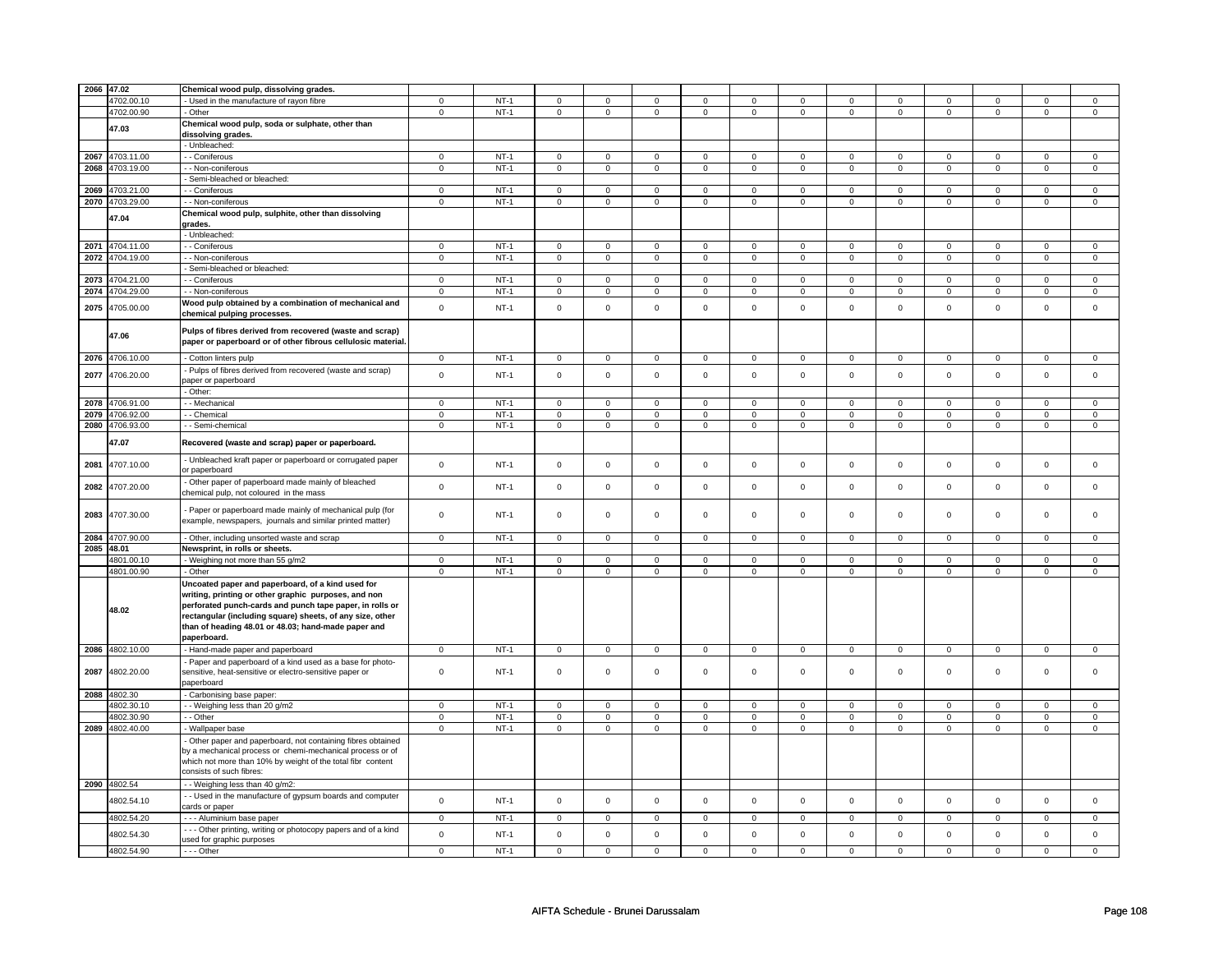| 2066 47.02 |                 | Chemical wood pulp, dissolving grades.                          |                     |        |                |                     |                |                     |                     |                |                     |                     |                |                |                |                |
|------------|-----------------|-----------------------------------------------------------------|---------------------|--------|----------------|---------------------|----------------|---------------------|---------------------|----------------|---------------------|---------------------|----------------|----------------|----------------|----------------|
|            | 4702.00.10      | - Used in the manufacture of rayon fibre                        | $\mathbf 0$         | $NT-1$ | $\mathbf{0}$   | $\mathbf{0}$        | 0              | $\mathbf 0$         | $\mathbf{0}$        | 0              | $\mathbf{0}$        | 0                   | $\mathbf 0$    | $\mathbf 0$    | $\mathbf 0$    | $\mathbf{0}$   |
|            | 4702.00.90      | Other                                                           | $\mathbf 0$         | $NT-1$ | $\mathbf 0$    | $\mathbf 0$         | 0              | $\mathbf 0$         | 0                   | 0              | $\mathbf 0$         | $\mathbf{0}$        | $\mathbf 0$    | $\mathbf{0}$   | $\mathbf 0$    | $\mathbf{0}$   |
|            |                 | Chemical wood pulp, soda or sulphate, other than                |                     |        |                |                     |                |                     |                     |                |                     |                     |                |                |                |                |
|            | 47.03           | dissolving grades.                                              |                     |        |                |                     |                |                     |                     |                |                     |                     |                |                |                |                |
|            |                 | - Unbleached:                                                   |                     |        |                |                     |                |                     |                     |                |                     |                     |                |                |                |                |
| 2067       | 4703.11.00      | - Coniferous                                                    | $\overline{0}$      | $NT-1$ | $\mathbf 0$    | $\mathsf 0$         | $\mathbf 0$    | $\mathbf 0$         | $\mathbf 0$         | 0              | $\mathsf 0$         | $\mathbf 0$         | $\mathsf 0$    | $\mathsf 0$    | $\mathsf 0$    | $\mathbf 0$    |
|            |                 |                                                                 |                     |        |                |                     |                |                     |                     |                |                     |                     |                |                |                |                |
|            | 2068 4703.19.00 | - Non-coniferous                                                | $\overline{0}$      | $NT-1$ | $\overline{0}$ | $\overline{0}$      | $\overline{0}$ | $\overline{0}$      | $\overline{0}$      | $\overline{0}$ | $\overline{0}$      | $\overline{0}$      | $\overline{0}$ | $\overline{0}$ | $\mathsf 0$    | $\overline{0}$ |
|            |                 | Semi-bleached or bleached:                                      |                     |        |                |                     |                |                     |                     |                |                     |                     |                |                |                |                |
| 2069       | 4703.21.00      | - Coniferous                                                    | $\mathbf 0$         | $NT-1$ | $\mathbf 0$    | $\mathbf 0$         | $\mathbf 0$    | $\mathbf 0$         | $\mathbf 0$         | $\mathbf{0}$   | $\mathbf 0$         | $\mathbf 0$         | $\mathbf 0$    | $\mathbf 0$    | $\mathbf 0$    | $\mathbf 0$    |
|            | 2070 4703.29.00 | - Non-coniferous                                                | $\mathsf 0$         | $NT-1$ | $\mathbf 0$    | $\mathsf 0$         | $\mathbf{0}$   | $\mathbf 0$         | $\mathbf{0}$        | $\mathbf 0$    | $\mathsf{O}$        | $\mathbf 0$         | $\mathbf 0$    | $\mathsf 0$    | $\mathbf 0$    | $\mathbf 0$    |
|            |                 | Chemical wood pulp, sulphite, other than dissolving             |                     |        |                |                     |                |                     |                     |                |                     |                     |                |                |                |                |
|            | 47.04           | grades.                                                         |                     |        |                |                     |                |                     |                     |                |                     |                     |                |                |                |                |
|            |                 | Unbleached:                                                     |                     |        |                |                     |                |                     |                     |                |                     |                     |                |                |                |                |
|            |                 |                                                                 |                     |        |                |                     |                |                     |                     |                |                     |                     |                |                |                |                |
|            | 2071 4704.11.00 | - Coniferous                                                    | $\mathbf 0$         | $NT-1$ | $\mathbf 0$    | $\mathbf 0$         | 0              | $\mathbf 0$         | 0                   | 0              | $\mathbf 0$         | 0                   | $\mathbf 0$    | $\mathbf{0}$   | $\mathbf 0$    | $\mathbf 0$    |
|            | 2072 4704.19.00 | - Non-coniferous                                                | $\mathbf 0$         | $NT-1$ | $\mathbf 0$    | $\mathbf 0$         | $\mathbf 0$    | $\mathbf 0$         | $\mathbf 0$         | $\mathbf{0}$   | $\mathbf 0$         | $\mathbf 0$         | $\mathbf 0$    | $\mathbf 0$    | $\mathsf 0$    | $\circ$        |
|            |                 | Semi-bleached or bleached:                                      |                     |        |                |                     |                |                     |                     |                |                     |                     |                |                |                |                |
|            | 2073 4704.21.00 | - - Coniferous                                                  | $\overline{0}$      | $NT-1$ | $\overline{0}$ | $\overline{0}$      | $\Omega$       | $\overline{0}$      | $\overline{0}$      | $\overline{0}$ | $\overline{0}$      | $\overline{0}$      | $\overline{0}$ | $\overline{0}$ | $\overline{0}$ | $\overline{0}$ |
|            | 2074 4704.29.00 | - Non-coniferous                                                | $\mathbf 0$         | $NT-1$ | $\mathsf 0$    | $\mathsf 0$         | $\mathbf 0$    | $\mathsf 0$         | $\mathbf 0$         | 0              | $\mathsf 0$         | 0                   | $\mathsf 0$    | $\mathbf 0$    | $\mathbf 0$    | $\overline{0}$ |
|            |                 | Wood pulp obtained by a combination of mechanical and           |                     |        |                |                     |                |                     |                     |                |                     |                     |                |                |                |                |
| 2075       | 4705.00.00      | chemical pulping processes.                                     | $\mathsf 0$         | $NT-1$ | $\mathbf 0$    | $\mathsf 0$         | $\mathbf 0$    | $\mathbf 0$         | $\mathbf 0$         | $\mathbf 0$    | $\mathsf 0$         | $\mathsf{O}\xspace$ | $\mathsf 0$    | $\mathsf 0$    | $\mathsf 0$    | $\mathsf 0$    |
|            |                 |                                                                 |                     |        |                |                     |                |                     |                     |                |                     |                     |                |                |                |                |
|            | 47.06           | Pulps of fibres derived from recovered (waste and scrap)        |                     |        |                |                     |                |                     |                     |                |                     |                     |                |                |                |                |
|            |                 | paper or paperboard or of other fibrous cellulosic material.    |                     |        |                |                     |                |                     |                     |                |                     |                     |                |                |                |                |
|            |                 |                                                                 |                     |        |                |                     |                |                     |                     |                |                     |                     |                |                |                |                |
|            | 2076 4706.10.00 | Cotton linters pulp                                             | $\mathbf 0$         | $NT-1$ | $\mathbf 0$    | $\mathbf 0$         | $\mathbf 0$    | $\mathbf 0$         | $\mathbf 0$         | $\mathbf 0$    | $\mathbf 0$         | $\mathbf 0$         | $\mathbf 0$    | $\circ$        | $\mathbf 0$    | $\circ$        |
| 2077       | 4706.20.00      | Pulps of fibres derived from recovered (waste and scrap)        | $\mathbf 0$         | $NT-1$ | $\mathbf 0$    | $\mathsf 0$         | $\mathbf 0$    | $\mathbf 0$         | $\mathbf 0$         | $\mathbf 0$    | $\mathsf 0$         | $\mathbf 0$         | $\mathsf 0$    | $\circ$        | $\mathbf 0$    | $\mathbf 0$    |
|            |                 | paper or paperboard                                             |                     |        |                |                     |                |                     |                     |                |                     |                     |                |                |                |                |
|            |                 | Other:                                                          |                     |        |                |                     |                |                     |                     |                |                     |                     |                |                |                |                |
|            | 2078 4706.91.00 | - - Mechanical                                                  | $\mathbf 0$         | $NT-1$ | $\mathbf 0$    | $\mathsf 0$         | 0              | 0                   | 0                   | 0              | $\mathbf 0$         | 0                   | $\mathbf 0$    | $\Omega$       | $\Omega$       | $\mathbf 0$    |
|            | 2079 4706.92.00 | - Chemical                                                      | $\mathsf{O}\xspace$ | $NT-1$ | $\mathsf 0$    | $\mathsf{O}\xspace$ | $\mathbf 0$    | $\mathsf{O}\xspace$ | $\mathsf{O}\xspace$ | $\mathbf 0$    | $\mathsf{O}\xspace$ | $\mathsf 0$         | $\mathsf 0$    | $\mathsf 0$    | $\mathsf 0$    | $\mathsf 0$    |
| 2080       | 4706.93.00      | - - Semi-chemical                                               | $\overline{0}$      | $NT-1$ | $\mathbf 0$    | $\overline{0}$      | $\mathbf 0$    | $\overline{0}$      | $\overline{0}$      | $\pmb{0}$      | $\overline{0}$      | $\overline{0}$      | $\overline{0}$ | $\overline{0}$ | $\overline{0}$ | $\overline{0}$ |
|            |                 |                                                                 |                     |        |                |                     |                |                     |                     |                |                     |                     |                |                |                |                |
|            | 47.07           | Recovered (waste and scrap) paper or paperboard.                |                     |        |                |                     |                |                     |                     |                |                     |                     |                |                |                |                |
| 2081       | 4707.10.00      | Unbleached kraft paper or paperboard or corrugated paper        | $\mathsf 0$         | $NT-1$ | $\mathbf 0$    | $\mathbf 0$         | $\mathbf 0$    | $\mathbf 0$         | $\mathbf 0$         | $\mathbf 0$    | $\mathbf 0$         | $\mathsf 0$         | $\mathbf{0}$   | $\mathbf 0$    | $\mathsf 0$    | $\circ$        |
|            |                 | or paperboard                                                   |                     |        |                |                     |                |                     |                     |                |                     |                     |                |                |                |                |
| 2082       | 4707.20.00      | Other paper of paperboard made mainly of bleached               | $\mathsf{O}\xspace$ | $NT-1$ | $\mathsf 0$    | $\mathsf 0$         | $\mathbf{0}$   | $\mathsf 0$         | $\mathsf 0$         | $\mathsf 0$    | $\mathbf 0$         | $\mathsf{O}\xspace$ | $\mathbf 0$    | $\mathsf 0$    | $\mathbf 0$    | $\mathsf 0$    |
|            |                 | chemical pulp, not coloured in the mass                         |                     |        |                |                     |                |                     |                     |                |                     |                     |                |                |                |                |
|            |                 |                                                                 |                     |        |                |                     |                |                     |                     |                |                     |                     |                |                |                |                |
| 2083       | 4707.30.00      | Paper or paperboard made mainly of mechanical pulp (for         | $\mathbf 0$         | $NT-1$ | $\mathbf 0$    | $\mathbf 0$         | $\mathbf 0$    | $\mathbf 0$         | $\mathbf 0$         | $\mathbf{0}$   | $\mathbf 0$         | $\mathbf 0$         | $\mathbf 0$    | $\mathbf 0$    | $\mathbf 0$    | $\mathbf 0$    |
|            |                 | example, newspapers, journals and similar printed matter)       |                     |        |                |                     |                |                     |                     |                |                     |                     |                |                |                |                |
|            | 2084 4707.90.00 | - Other, including unsorted waste and scrap                     | $\mathbf 0$         | $NT-1$ | $\mathbf 0$    | $\mathbf 0$         | $\mathbf 0$    | $\mathbf 0$         | $\mathbf 0$         | $\mathbf{0}$   | $\mathbf{0}$        | $\mathbf 0$         | $\mathbf 0$    | $\circ$        | $\mathbf{0}$   | $\mathbf 0$    |
| 2085 48.01 |                 | Newsprint, in rolls or sheets.                                  |                     |        |                |                     |                |                     |                     |                |                     |                     |                |                |                |                |
|            |                 |                                                                 | $\overline{0}$      | $NT-1$ | $\mathbf 0$    | $\mathbf 0$         | $\mathbf 0$    | $\mathbf 0$         | $\mathbf 0$         | $\overline{0}$ | $\mathbf 0$         | $\overline{0}$      | $\overline{0}$ | $\overline{0}$ | $\mathbf 0$    | $\overline{0}$ |
|            | 4801.00.10      | - Weighing not more than 55 g/m2                                |                     |        |                |                     |                |                     |                     |                |                     |                     |                |                |                |                |
|            | 4801.00.90      | Other                                                           | $\mathbf 0$         | $NT-1$ | 0              | 0                   | 0              | 0                   | 0                   | 0              | 0                   | 0                   | 0              | $\mathbf 0$    | $\mathbf 0$    | $\circ$        |
|            |                 | Uncoated paper and paperboard, of a kind used for               |                     |        |                |                     |                |                     |                     |                |                     |                     |                |                |                |                |
|            |                 | writing, printing or other graphic purposes, and non            |                     |        |                |                     |                |                     |                     |                |                     |                     |                |                |                |                |
|            |                 | perforated punch-cards and punch tape paper, in rolls or        |                     |        |                |                     |                |                     |                     |                |                     |                     |                |                |                |                |
|            | 48.02           | rectangular (including square) sheets, of any size, other       |                     |        |                |                     |                |                     |                     |                |                     |                     |                |                |                |                |
|            |                 | than of heading 48.01 or 48.03; hand-made paper and             |                     |        |                |                     |                |                     |                     |                |                     |                     |                |                |                |                |
|            |                 | paperboard.                                                     |                     |        |                |                     |                |                     |                     |                |                     |                     |                |                |                |                |
|            | 2086 4802.10.00 | Hand-made paper and paperboard                                  | $\mathsf 0$         | $NT-1$ | $\mathsf 0$    | $\mathsf 0$         | $\mathsf 0$    | $\mathbf 0$         | $\mathsf 0$         | $\mathsf 0$    | $\mathsf 0$         | $\mathbf 0$         | $\mathsf 0$    | $\mathsf 0$    | $\mathbf 0$    | $\mathsf 0$    |
|            |                 | Paper and paperboard of a kind used as a base for photo-        |                     |        |                |                     |                |                     |                     |                |                     |                     |                |                |                |                |
| 2087       | 4802.20.00      | sensitive, heat-sensitive or electro-sensitive paper or         | $\mathsf 0$         | $NT-1$ | $\mathbf 0$    | $\mathsf 0$         | $\mathbf 0$    | $\mathbf 0$         | $\mathbf 0$         | $\mathbf{0}$   | $\mathbf 0$         | $\mathbf 0$         | $\mathbf 0$    | $\mathbf{0}$   | $\mathbf 0$    | $\mathbf 0$    |
|            |                 | paperboard                                                      |                     |        |                |                     |                |                     |                     |                |                     |                     |                |                |                |                |
|            | 2088 4802.30    |                                                                 |                     |        |                |                     |                |                     |                     |                |                     |                     |                |                |                |                |
|            | 4802.30.10      | Carbonising base paper:                                         | $\mathbf 0$         | $NT-1$ | $\mathbf 0$    | $\mathsf 0$         |                | $\mathbf 0$         | $\mathbf 0$         | 0              | $\mathsf 0$         | $\mathbf 0$         | $\mathsf 0$    | $\mathsf 0$    | $\mathsf 0$    | $\mathbf 0$    |
|            |                 | - Weighing less than 20 g/m2                                    |                     |        |                |                     | 0              |                     |                     |                |                     |                     |                |                |                |                |
|            | 4802.30.90      | - Other                                                         | $\mathbf 0$         | $NT-1$ | 0              | $\mathsf 0$         | 0              | $\mathbf 0$         | $\mathbf 0$         | 0              | $\mathbf 0$         | $\mathbf 0$         | $\mathbf 0$    | $\mathbf 0$    | $\mathsf 0$    | $\mathbf 0$    |
|            | 2089 4802.40.00 | - Wallpaper base                                                | $\mathsf 0$         | $NT-1$ | $\mathsf 0$    | $\mathbf 0$         | $\mathbf 0$    | $\mathbf 0$         | $\mathsf 0$         | $\mathbf 0$    | $\mathsf 0$         | $\mathbf 0$         | $\mathsf 0$    | $\overline{0}$ | $\mathsf 0$    | $\overline{0}$ |
|            |                 | Other paper and paperboard, not containing fibres obtained      |                     |        |                |                     |                |                     |                     |                |                     |                     |                |                |                |                |
|            |                 | by a mechanical process or chemi-mechanical process or of       |                     |        |                |                     |                |                     |                     |                |                     |                     |                |                |                |                |
|            |                 | which not more than 10% by weight of the total fibr content     |                     |        |                |                     |                |                     |                     |                |                     |                     |                |                |                |                |
|            |                 | consists of such fibres:                                        |                     |        |                |                     |                |                     |                     |                |                     |                     |                |                |                |                |
|            | 2090 4802.54    | - Weighing less than 40 g/m2:                                   |                     |        |                |                     |                |                     |                     |                |                     |                     |                |                |                |                |
|            |                 |                                                                 |                     |        |                |                     |                |                     |                     |                |                     |                     |                |                |                |                |
|            | 4802.54.10      | - Used in the manufacture of gypsum boards and computer         | $\mathsf{O}\xspace$ | $NT-1$ | $\mathsf 0$    | $\mathbf 0$         | $\mathbf{0}$   | $\mathsf{O}$        | $\mathsf{O}\xspace$ | $\mathbf 0$    | $\mathsf 0$         | $\mathsf{O}\xspace$ | $\mathsf 0$    | $\mathsf 0$    | $\mathsf 0$    | $\mathsf 0$    |
|            |                 | cards or paper                                                  |                     |        |                |                     |                |                     |                     |                |                     |                     |                |                |                |                |
|            | 4802.54.20      | - - - Aluminium base paper                                      | $\mathbf 0$         | $NT-1$ | $\mathbf 0$    | $\mathbf{0}$        | $\mathbf 0$    | $\mathbf 0$         | $\mathbf 0$         | $\mathbf{0}$   | $\mathbf{0}$        | $\mathbf{0}$        | $\mathbf{0}$   | $\mathbf{0}$   | $\mathbf{0}$   | $\overline{0}$ |
|            | 4802.54.30      | - - - Other printing, writing or photocopy papers and of a kind | $\mathbf 0$         | $NT-1$ | $\mathbf 0$    | $\mathsf 0$         | $\mathbf{0}$   | $\mathbf{0}$        | $\mathsf 0$         | $\mathbf 0$    | $\mathsf 0$         | $\mathsf 0$         | $\mathsf 0$    | $\mathsf 0$    | $\mathsf 0$    | $\mathsf 0$    |
|            |                 | used for graphic purposes                                       |                     |        |                |                     |                |                     |                     |                |                     |                     |                |                |                |                |
|            | 4802.54.90      | $- -$ Other                                                     | $\mathbf 0$         | $NT-1$ | $\mathbf 0$    | $\mathsf 0$         | $\mathbf 0$    | $\mathbf 0$         | $\mathbf 0$         | $\mathbf{0}$   | $\overline{0}$      | $\overline{0}$      | $\overline{0}$ | $\overline{0}$ | $\overline{0}$ | $\overline{0}$ |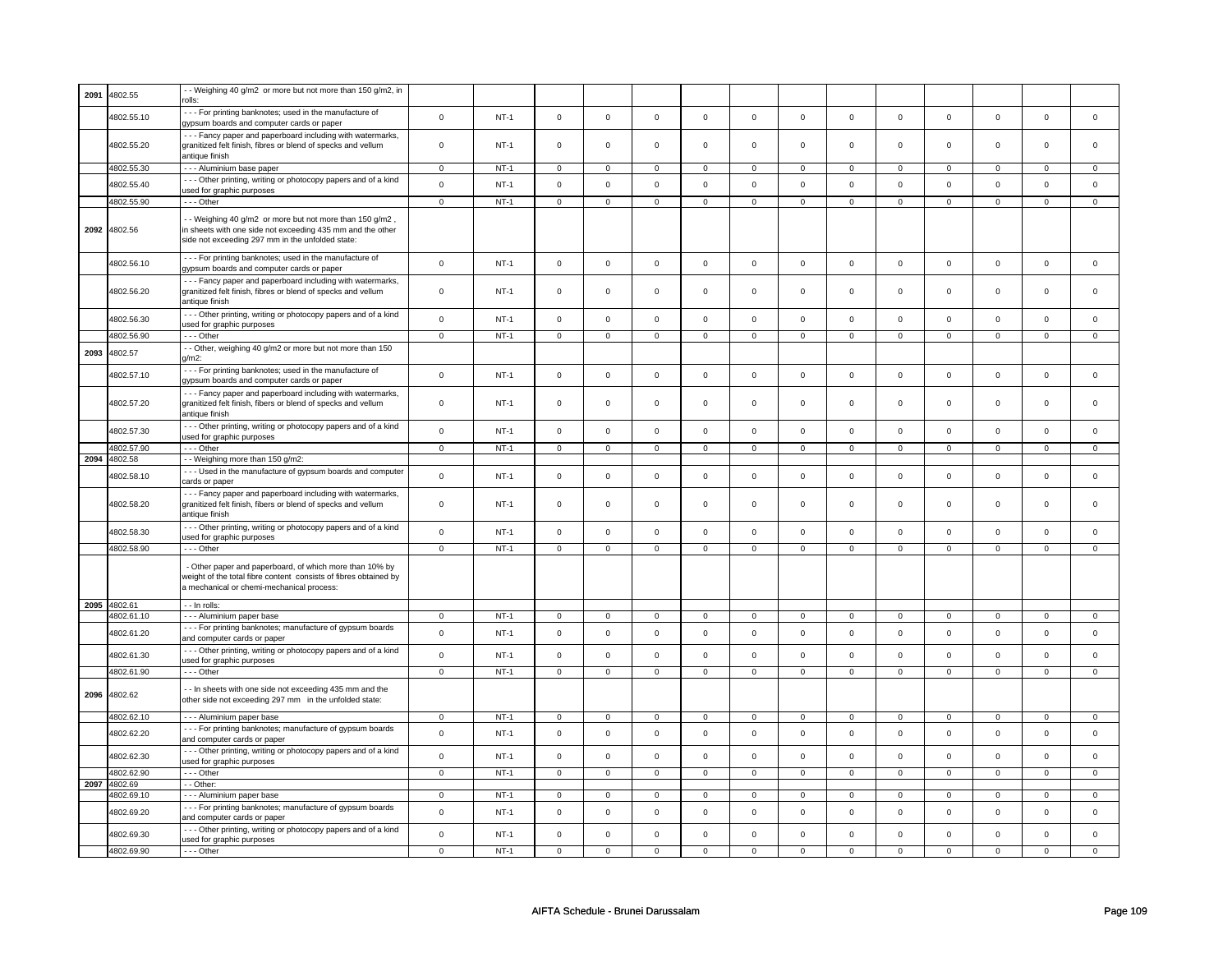| 2091 | 4802.55    | - - Weighing 40 g/m2 or more but not more than 150 g/m2, in                                         |                |             |                     |                |                     |                     |                     |                |                     |                |                |                |                |                |
|------|------------|-----------------------------------------------------------------------------------------------------|----------------|-------------|---------------------|----------------|---------------------|---------------------|---------------------|----------------|---------------------|----------------|----------------|----------------|----------------|----------------|
|      |            | --- For printing banknotes; used in the manufacture of                                              |                |             |                     |                |                     |                     |                     |                |                     |                |                |                |                |                |
|      | 4802.55.10 | gypsum boards and computer cards or paper                                                           | $\mathsf 0$    | $NT-1$      | $\mathsf{O}\xspace$ | $\mathsf 0$    | $\mathsf 0$         | $\mathsf 0$         | $\mathsf 0$         | $\mathsf{o}\,$ | $\mathsf{O}\xspace$ | $\mathbf 0$    | $\mathsf 0$    | $\mathsf{o}\,$ | $\mathsf 0$    | $\mathbf 0$    |
|      |            | - - - Fancy paper and paperboard including with watermarks,                                         |                |             |                     |                |                     |                     |                     |                |                     |                |                |                |                |                |
|      | 4802.55.20 | granitized felt finish, fibres or blend of specks and vellum                                        | $\mathbf 0$    | $NT-1$      | $\mathbf 0$         | $\mathbf 0$    | $\mathbf 0$         | $\mathsf{O}\xspace$ | $\mathsf 0$         | $\mathbf 0$    | $\mathbf 0$         | $\mathbf{0}$   | $\mathbf 0$    | $\mathbf 0$    | $\Omega$       | $\mathbf{0}$   |
|      |            | antique finish                                                                                      |                |             |                     |                |                     |                     |                     |                |                     |                |                |                |                |                |
|      | 4802.55.30 | - - - Aluminium base paper                                                                          | $\mathsf 0$    | $NT-1$      | $\mathsf 0$         | $\mathbf 0$    | $\mathsf 0$         | $\mathsf 0$         | $\mathsf 0$         | 0              | $\mathsf 0$         | $\mathsf 0$    | $\mathbf 0$    | $\mathbf 0$    | $\Omega$       | $\Omega$       |
|      | 4802.55.40 | --- Other printing, writing or photocopy papers and of a kind                                       | $\mathsf 0$    |             | $\Omega$            | $\mathbf{0}$   | $\Omega$            | $\mathsf 0$         | $\mathsf 0$         | $\mathsf 0$    | $\mathbf 0$         | $\mathbf 0$    |                | $\mathbf{0}$   | $\mathbf 0$    |                |
|      |            | used for graphic purposes                                                                           |                | $NT-1$      |                     |                |                     |                     |                     |                |                     |                | $\mathbf 0$    |                |                | $\mathbf 0$    |
|      | 4802.55.90 | --- Other                                                                                           | $\mathsf 0$    | $NT-1$      | $\mathsf 0$         | $\mathbf 0$    | $\mathbf 0$         | $\mathbf 0$         | $\mathbf 0$         | $\mathbf 0$    | $\mathsf 0$         | $\mathbf 0$    | $\mathbf 0$    | $\mathbf 0$    | $\mathsf 0$    | $\mathbf 0$    |
|      |            | - Weighing 40 g/m2 or more but not more than 150 g/m2,                                              |                |             |                     |                |                     |                     |                     |                |                     |                |                |                |                |                |
| 2092 | 4802.56    | in sheets with one side not exceeding 435 mm and the other                                          |                |             |                     |                |                     |                     |                     |                |                     |                |                |                |                |                |
|      |            | side not exceeding 297 mm in the unfolded state:                                                    |                |             |                     |                |                     |                     |                     |                |                     |                |                |                |                |                |
|      |            | --- For printing banknotes; used in the manufacture of                                              |                |             |                     |                |                     |                     |                     |                |                     |                |                |                |                |                |
|      | 4802.56.10 | gypsum boards and computer cards or paper                                                           | $\mathsf{o}$   | $NT-1$      | $\mathsf 0$         | $\mathbf 0$    | $\mathsf 0$         | $\mathsf 0$         | $\mathsf 0$         | $\mathsf{o}\,$ | $\mathsf{O}\xspace$ | $\mathsf{O}$   | $\mathsf 0$    | $\mathbf 0$    | $\mathsf 0$    | $\mathbf 0$    |
|      |            | --- Fancy paper and paperboard including with watermarks,                                           |                |             |                     |                |                     |                     |                     |                |                     |                |                |                |                |                |
|      | 4802.56.20 | granitized felt finish, fibres or blend of specks and vellum                                        | $\mathbf 0$    | $NT-1$      | $\mathbf 0$         | $\mathbf{0}$   | $\mathbf 0$         | $\mathbf 0$         | $\mathsf 0$         | $\mathsf 0$    | $\mathbf 0$         | $\mathsf 0$    | $\mathsf 0$    | $\mathbf 0$    | $\mathbf 0$    | $\mathbf{0}$   |
|      |            | antique finish                                                                                      |                |             |                     |                |                     |                     |                     |                |                     |                |                |                |                |                |
|      | 4802.56.30 | --- Other printing, writing or photocopy papers and of a kind                                       | $\mathbf 0$    | $NT-1$      | $\Omega$            | $\mathbf 0$    | $\Omega$            | $\mathbf 0$         | $\Omega$            | $\Omega$       | $\mathbf 0$         | $\mathbf 0$    | $\mathbf 0$    | $\mathbf 0$    | $\Omega$       | $\mathbf{0}$   |
|      |            | used for graphic purposes                                                                           |                |             |                     |                |                     |                     |                     |                |                     |                |                |                |                |                |
|      | 4802.56.90 | --- Other                                                                                           | $\mathbf{0}$   | $NT-1$      | $\mathbf 0$         | $\mathbf 0$    | $\mathbf 0$         | $\mathbf 0$         | $\mathbf 0$         | $\mathbf{0}$   | $\mathbf 0$         | $\mathbf{0}$   | $\mathbf 0$    | $\mathbf 0$    | 0              | $\overline{0}$ |
| 2093 | 4802.57    | - Other, weighing 40 g/m2 or more but not more than 150                                             |                |             |                     |                |                     |                     |                     |                |                     |                |                |                |                |                |
|      |            | $n/m2$ :                                                                                            |                |             |                     |                |                     |                     |                     |                |                     |                |                |                |                |                |
|      | 4802.57.10 | --- For printing banknotes; used in the manufacture of<br>gypsum boards and computer cards or paper | $\mathsf 0$    | $NT-1$      | $\mathbf 0$         | $\mathsf 0$    | $\mathsf 0$         | $\mathbf 0$         | $\mathsf 0$         | $\mathsf 0$    | $\mathsf 0$         | $\mathsf 0$    | $\mathbf 0$    | $\mathbf 0$    | $\mathsf 0$    | 0              |
|      |            | --- Fancy paper and paperboard including with watermarks,                                           |                |             |                     |                |                     |                     |                     |                |                     |                |                |                |                |                |
|      | 4802.57.20 | granitized felt finish, fibers or blend of specks and vellum                                        | $\mathsf 0$    | <b>NT-1</b> | $\mathbf 0$         | $\mathsf 0$    | $\mathbf 0$         | $\mathbf 0$         | $\mathbf 0$         | $\mathsf 0$    | $\mathbf 0$         | 0              | 0              | $\mathbf 0$    | 0              | 0              |
|      |            | antique finish                                                                                      |                |             |                     |                |                     |                     |                     |                |                     |                |                |                |                |                |
|      |            | --- Other printing, writing or photocopy papers and of a kind                                       |                |             |                     |                |                     |                     |                     |                |                     |                |                |                |                |                |
|      | 4802.57.30 | used for graphic purposes                                                                           | $\mathsf 0$    | $NT-1$      | $\mathsf 0$         | $\mathsf 0$    | $\mathsf 0$         | $\mathsf 0$         | $\mathsf 0$         | $\mathsf 0$    | $\mathsf{O}\xspace$ | $\mathbf 0$    | $\mathsf 0$    | $\mathbf 0$    | $\mathsf 0$    | $\mathsf 0$    |
|      | 4802.57.90 | --- Other                                                                                           | $\mathsf 0$    | $NT-1$      | $\mathsf 0$         | $\mathsf 0$    | $\mathsf{O}\xspace$ | $\mathsf 0$         | $\mathsf{O}\xspace$ | $\mathsf 0$    | $\mathsf{o}\,$      | $\circ$        | $\mathsf 0$    | $\circ$        | $\mathbf 0$    | $\circ$        |
| 2094 | 4802.58    | -- Weighing more than 150 g/m2:                                                                     |                |             |                     |                |                     |                     |                     |                |                     |                |                |                |                |                |
|      | 4802.58.10 | - - - Used in the manufacture of gypsum boards and computer                                         | $\mathsf 0$    | $NT-1$      | $\mathbf 0$         | $\mathsf 0$    | $\mathsf 0$         | $\mathsf 0$         | $\mathsf 0$         | $\mathsf 0$    | $\mathsf 0$         | $\mathsf 0$    | $\mathbf 0$    | $\mathbf 0$    | $\mathbf 0$    | $\mathsf 0$    |
|      |            | cards or paper                                                                                      |                |             |                     |                |                     |                     |                     |                |                     |                |                |                |                |                |
|      |            | --- Fancy paper and paperboard including with watermarks,                                           |                |             |                     |                |                     |                     |                     |                |                     |                |                |                |                |                |
|      | 4802.58.20 | granitized felt finish, fibers or blend of specks and vellum                                        | $\mathbf 0$    | $NT-1$      | $\mathsf 0$         | $\mathsf 0$    | $\mathsf 0$         | $\mathbf 0$         | $\mathsf 0$         | $\mathbf 0$    | $\mathsf 0$         | $\mathbf 0$    | $\mathbf 0$    | $\mathbf 0$    | $\mathsf 0$    | 0              |
|      |            | antique finish<br>--- Other printing, writing or photocopy papers and of a kind                     |                |             |                     |                |                     |                     |                     |                |                     |                |                |                |                |                |
|      | 4802.58.30 | used for graphic purposes                                                                           | $\mathbf 0$    | $NT-1$      | $\mathbf 0$         | $\mathbf 0$    | $\mathsf 0$         | $\mathbf 0$         | $\mathbf 0$         | $\mathsf 0$    | $\mathsf 0$         | $\mathsf 0$    | $\mathbf 0$    | $\mathbf 0$    | $\Omega$       | $\mathbf 0$    |
|      | 4802.58.90 | --- Other                                                                                           | $\mathbf 0$    | NT-1        | $\mathbf 0$         | $\mathbf 0$    | $\mathbf 0$         | $\mathbf 0$         | $\mathbf 0$         | $\mathbf 0$    | $\mathbf 0$         | $\mathbf 0$    | $\mathbf 0$    | $\mathbf 0$    | 0              | 0              |
|      |            |                                                                                                     |                |             |                     |                |                     |                     |                     |                |                     |                |                |                |                |                |
|      |            | - Other paper and paperboard, of which more than 10% by                                             |                |             |                     |                |                     |                     |                     |                |                     |                |                |                |                |                |
|      |            | weight of the total fibre content consists of fibres obtained by                                    |                |             |                     |                |                     |                     |                     |                |                     |                |                |                |                |                |
|      |            | a mechanical or chemi-mechanical process:                                                           |                |             |                     |                |                     |                     |                     |                |                     |                |                |                |                |                |
| 2095 | 4802.61    | - - In rolls:                                                                                       |                |             |                     |                |                     |                     |                     |                |                     |                |                |                |                |                |
|      | 4802.61.10 | - - - Aluminium paper base                                                                          | $\overline{0}$ | $NT-1$      | $\mathbf 0$         | $\mathbf 0$    | 0                   | $\mathbf 0$         | 0                   | $\mathbf 0$    | $\mathbf 0$         | $\overline{0}$ | $\mathbf 0$    | $\mathbf 0$    | 0              | $\mathbf 0$    |
|      | 4802.61.20 | --- For printing banknotes; manufacture of gypsum boards                                            | $\mathsf 0$    | $NT-1$      | $\mathsf 0$         | $\mathsf 0$    | $\mathbf 0$         | $\mathbf 0$         | $\mathsf 0$         | $\mathsf 0$    | $\mathbf 0$         | $\mathsf 0$    | $\mathbf 0$    | $\mathbf 0$    | $\mathbf 0$    | $\mathbf 0$    |
|      |            | and computer cards or paper                                                                         |                |             |                     |                |                     |                     |                     |                |                     |                |                |                |                |                |
|      | 4802.61.30 | --- Other printing, writing or photocopy papers and of a kind<br>used for graphic purposes          | $\mathsf 0$    | $NT-1$      | $\mathbf 0$         | $\mathsf 0$    | $\mathsf 0$         | $\mathsf 0$         | $\mathsf 0$         | $\mathsf 0$    | $\mathsf 0$         | $\mathsf 0$    | $\mathbf 0$    | $\mathbf 0$    | $\mathsf 0$    | $\mathbf 0$    |
|      | 4802.61.90 | --- Other                                                                                           | $\overline{0}$ | $NT-1$      | $\mathsf 0$         | $\mathsf 0$    | $\mathbf 0$         | $\mathbf 0$         | $\mathbf 0$         | $\mathbf 0$    | $\mathsf 0$         | $\mathbf 0$    | $\mathbf 0$    | $\mathbf 0$    | $\mathsf 0$    | $\mathbf 0$    |
|      |            |                                                                                                     |                |             |                     |                |                     |                     |                     |                |                     |                |                |                |                |                |
| 2096 | 4802.62    | - - In sheets with one side not exceeding 435 mm and the                                            |                |             |                     |                |                     |                     |                     |                |                     |                |                |                |                |                |
|      |            | other side not exceeding 297 mm in the unfolded state:                                              |                |             |                     |                |                     |                     |                     |                |                     |                |                |                |                |                |
|      |            |                                                                                                     |                |             |                     |                |                     |                     |                     |                |                     |                |                |                |                | 0              |
|      | 4802.62.10 | - - - Aluminium paper base                                                                          | $\mathbf 0$    | $NT-1$      | $\overline{0}$      | $\mathbf 0$    | $\mathbf 0$         | $\mathbf 0$         | $\overline{0}$      | $\overline{0}$ | $\mathbf 0$         | 0              | $\mathbf 0$    | $\overline{0}$ | $\Omega$       |                |
|      |            | --- For printing banknotes; manufacture of gypsum boards                                            |                |             |                     |                |                     |                     |                     |                |                     |                |                |                |                |                |
|      | 4802.62.20 | and computer cards or paper                                                                         | $\mathsf 0$    | $NT-1$      | $\mathbf 0$         | $\mathsf 0$    | $\mathbf 0$         | $\mathsf 0$         | $\mathsf 0$         | $\mathsf 0$    | $\mathsf{O}\xspace$ | $\mathsf 0$    | $\mathsf 0$    | $\mathbf 0$    | $\mathsf 0$    | $\mathsf 0$    |
|      |            | --- Other printing, writing or photocopy papers and of a kind                                       | $\mathsf{o}$   |             | $\mathsf{O}\xspace$ | $\mathsf 0$    | $\mathsf 0$         | $\mathsf 0$         |                     | $\mathsf 0$    | $\mathsf{O}\xspace$ | $\mathsf 0$    |                | $\mathbf 0$    | $\mathsf 0$    | $\mathsf 0$    |
|      | 4802.62.30 | used for graphic purposes                                                                           |                | $NT-1$      |                     |                |                     |                     | $\mathsf 0$         |                |                     |                | $\mathsf 0$    |                |                |                |
|      | 4802.62.90 | $- -$ Other                                                                                         | $\overline{0}$ | $NT-1$      | $\overline{0}$      | $\overline{0}$ | $\overline{0}$      | $\overline{0}$      | $\overline{0}$      | $\overline{0}$ | $\overline{0}$      | $\overline{0}$ | $\overline{0}$ | $\overline{0}$ | $\overline{0}$ | $\mathbf{0}$   |
| 2097 | 4802.69    | - - Other:                                                                                          |                |             |                     |                |                     |                     |                     |                |                     |                |                |                |                |                |
|      | 4802.69.10 | --- Aluminium paper base                                                                            | $\mathbf 0$    | $NT-1$      | $\mathbf 0$         | $\mathbf 0$    | $\mathbf 0$         | $\mathbf 0$         | $\mathbf 0$         | $\mathbf 0$    | $\mathbf 0$         | $\mathbf 0$    | 0              | $\mathbf 0$    | 0              | 0              |
|      | 4802.69.20 | --- For printing banknotes; manufacture of gypsum boards                                            | $\mathbf 0$    | $NT-1$      | $\Omega$            | $\mathbf 0$    | $\Omega$            | $\mathbf 0$         | $\mathbf 0$         | $\mathsf 0$    | $\mathbf 0$         | $\mathbf 0$    | $\mathbf 0$    | $\mathbf 0$    | $\Omega$       | 0              |
|      |            | and computer cards or paper                                                                         |                |             |                     |                |                     |                     |                     |                |                     |                |                |                |                |                |
|      | 4802.69.30 | --- Other printing, writing or photocopy papers and of a kind<br>used for graphic purposes          | $\mathbf 0$    | $NT-1$      | $\mathbf 0$         | $\mathsf 0$    | $\Omega$            | $\mathsf 0$         | $\mathbf 0$         | 0              | $\mathbf 0$         | $\mathbf 0$    | $\mathbf 0$    | $\mathbf{0}$   | $\mathbf 0$    | $\mathbf{0}$   |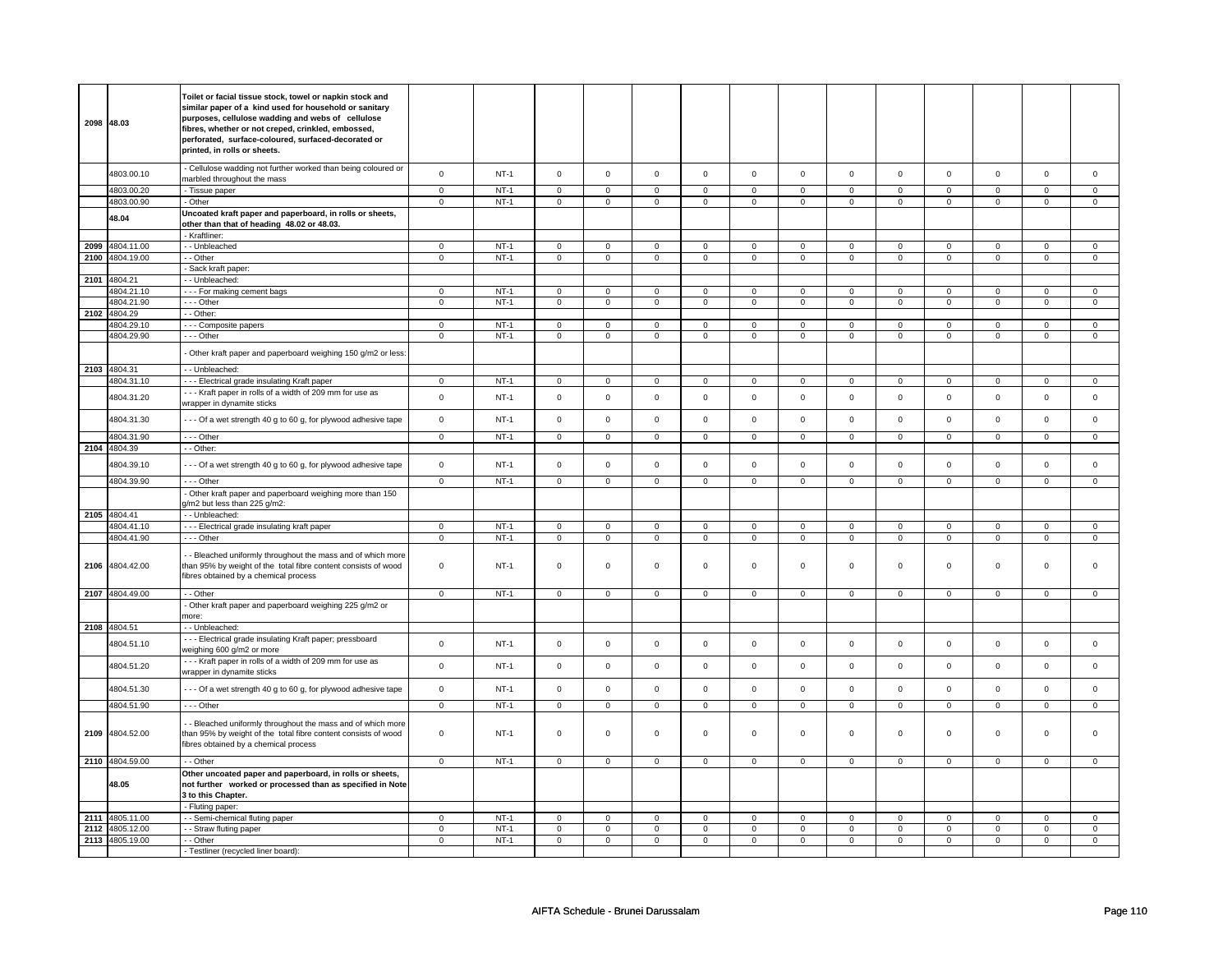| 2098 | 48.03                              | Toilet or facial tissue stock, towel or napkin stock and<br>similar paper of a kind used for household or sanitary<br>purposes, cellulose wadding and webs of cellulose<br>fibres, whether or not creped, crinkled, embossed,<br>perforated, surface-coloured, surfaced-decorated or<br>printed, in rolls or sheets. |                               |                  |                               |                            |                                       |                               |                               |                               |                                       |                               |                               |                               |                               |                               |
|------|------------------------------------|----------------------------------------------------------------------------------------------------------------------------------------------------------------------------------------------------------------------------------------------------------------------------------------------------------------------|-------------------------------|------------------|-------------------------------|----------------------------|---------------------------------------|-------------------------------|-------------------------------|-------------------------------|---------------------------------------|-------------------------------|-------------------------------|-------------------------------|-------------------------------|-------------------------------|
|      | 4803.00.10                         | - Cellulose wadding not further worked than being coloured or<br>marbled throughout the mass                                                                                                                                                                                                                         | $\mathbf 0$                   | $NT-1$           | $\mathbf 0$                   | $\mathbf 0$                | $\mathbf 0$                           | $\mathbf 0$                   | $\Omega$                      | $\mathbf 0$                   | $\mathbf 0$                           | $\mathbf 0$                   | $\mathbf 0$                   | $\mathbf 0$                   | $\mathbf 0$                   | $\mathbf{0}$                  |
|      | 4803.00.20                         | - Tissue paper                                                                                                                                                                                                                                                                                                       | $\mathbf 0$                   | $NT-1$           | $\mathbf 0$                   | $\mathbf 0$                | $\mathsf 0$                           | $\mathbf 0$                   | $\mathbf 0$                   | $\mathsf 0$                   | $\mathbf 0$                           | $\mathbf 0$                   | $\mathbf 0$                   | $\mathbf 0$                   | $\mathsf 0$                   | $\mathbf 0$                   |
|      | 4803.00.90                         | - Other                                                                                                                                                                                                                                                                                                              | $\mathbf 0$                   | $NT-1$           | $\mathbf 0$                   | $\mathbf 0$                | $\mathsf 0$                           | $\mathsf 0$                   | $\mathbf 0$                   | $\mathbf 0$                   | $\mathbf 0$                           | $\mathbf 0$                   | $\mathbf 0$                   | $\mathbf 0$                   | $\mathsf 0$                   | $\mathbf{0}$                  |
|      | 48.04                              | Uncoated kraft paper and paperboard, in rolls or sheets,<br>other than that of heading 48.02 or 48.03.                                                                                                                                                                                                               |                               |                  |                               |                            |                                       |                               |                               |                               |                                       |                               |                               |                               |                               |                               |
|      |                                    | - Kraftliner:                                                                                                                                                                                                                                                                                                        |                               |                  |                               |                            |                                       |                               |                               |                               |                                       |                               |                               |                               |                               |                               |
| 2099 | 4804.11.00                         | -- Unbleached                                                                                                                                                                                                                                                                                                        | $\mathbf 0$                   | $NT-1$           | $\mathsf 0$                   | $\mathsf 0$                | $\mathsf 0$                           | $\mathsf 0$                   | $\mathbf 0$                   | $\mathbf 0$                   | $\mathsf 0$                           | $\mathbf 0$                   | $\mathbf 0$                   | $\mathsf 0$                   | $\mathsf 0$                   | $\mathbf 0$                   |
|      | 2100 4804.19.00                    | - - Other                                                                                                                                                                                                                                                                                                            | $\mathsf{O}\xspace$           | $NT-1$           | $\mathsf{O}$                  | $\mathbf 0$                | $\mathsf 0$                           | $\mathsf 0$                   | $\mathsf 0$                   | $\mathsf 0$                   | $\mathsf{O}\xspace$                   | $\mathsf 0$                   | $\mathsf 0$                   | $\mathbf 0$                   | $\mathbf 0$                   | $\mathbf 0$                   |
|      |                                    | - Sack kraft paper:                                                                                                                                                                                                                                                                                                  |                               |                  |                               |                            |                                       |                               |                               |                               |                                       |                               |                               |                               |                               |                               |
| 2101 | 4804.21                            | - - Unbleached:                                                                                                                                                                                                                                                                                                      |                               | $NT-1$           | $\mathbf 0$                   | $\mathbf 0$                | $\mathbf 0$                           | $\mathbf 0$                   | $\overline{0}$                | $\overline{0}$                | $\mathbf 0$                           | $\overline{0}$                | $\overline{0}$                | $\overline{0}$                | $\Omega$                      | $\overline{0}$                |
|      | 4804.21.10<br>4804.21.90           | --- For making cement bags<br>--- Other                                                                                                                                                                                                                                                                              | $\overline{0}$<br>$\pmb{0}$   | $NT-1$           |                               | $\mathbf 0$                | $\mathbf 0$                           | $\mathbf 0$                   | $\mathbf 0$                   | $\mathsf 0$                   |                                       | $\mathsf 0$                   | $\mathsf 0$                   | $\mathsf{O}$                  | $\mathbf 0$                   | $\mathbf 0$                   |
| 2102 | 4804.29                            | - - Other:                                                                                                                                                                                                                                                                                                           |                               |                  | $\mathsf{O}\xspace$           |                            |                                       |                               |                               |                               | $\mathsf{O}\xspace$                   |                               |                               |                               |                               |                               |
|      | 4804.29.10                         | - - - Composite papers                                                                                                                                                                                                                                                                                               | $\mathbf{0}$                  | $NT-1$           | $\mathbf 0$                   | $\mathbf{0}$               | $\Omega$                              | $\mathbf{0}$                  | $\mathbf 0$                   | $\mathbf 0$                   | $\mathbf 0$                           | $\mathbf 0$                   | $\mathbf 0$                   | $\mathbf 0$                   | 0                             | $\mathbf 0$                   |
|      | 4804.29.90                         | --- Other                                                                                                                                                                                                                                                                                                            | $\mathbf 0$                   | $NT-1$           | $\mathbf 0$                   | $\mathbf 0$                | $\mathbf 0$                           | $\mathbf{0}$                  | $\mathbf 0$                   | $\mathbf 0$                   | $\mathbf 0$                           | $\overline{0}$                | $\mathbf 0$                   | $\mathbf 0$                   | 0                             | 0                             |
|      |                                    | - Other kraft paper and paperboard weighing 150 g/m2 or less                                                                                                                                                                                                                                                         |                               |                  |                               |                            |                                       |                               |                               |                               |                                       |                               |                               |                               |                               |                               |
| 2103 | 4804.31                            | - - Unbleached:                                                                                                                                                                                                                                                                                                      |                               |                  |                               |                            |                                       |                               |                               |                               |                                       |                               |                               |                               |                               |                               |
|      | 4804.31.10                         | --- Electrical grade insulating Kraft paper                                                                                                                                                                                                                                                                          | $\mathsf 0$                   | $NT-1$           | $\mathsf 0$                   | $\mathsf 0$                | $\mathbf 0$                           | $\mathbf 0$                   | $\mathbf 0$                   | $\mathbf 0$                   | $\mathbf 0$                           | $\mathsf 0$                   | $\mathbf 0$                   | $\mathsf 0$                   | 0                             | $\mathbf 0$                   |
|      |                                    | --- Kraft paper in rolls of a width of 209 mm for use as                                                                                                                                                                                                                                                             | $\mathbf 0$                   |                  |                               | $\mathbf 0$                |                                       |                               |                               | $\mathsf 0$                   |                                       | $\mathsf{o}\,$                |                               |                               |                               |                               |
|      | 4804.31.20                         | wrapper in dynamite sticks                                                                                                                                                                                                                                                                                           |                               | $NT-1$           | $\mathsf 0$                   |                            | $\mathsf 0$                           | $\mathbf 0$                   | $\mathbf 0$                   |                               | $\mathsf 0$                           |                               | $\mathbf 0$                   | $\mathbf 0$                   | $\mathsf 0$                   | $\mathbf 0$                   |
|      | 4804.31.30<br>4804.31.90           | --- Of a wet strength 40 g to 60 g, for plywood adhesive tape<br>$--$ Other                                                                                                                                                                                                                                          | $\mathbf 0$<br>$\overline{0}$ | $NT-1$<br>$NT-1$ | $\mathsf 0$<br>$\overline{0}$ | $\mathsf 0$<br>$\mathsf 0$ | $\mathsf{O}\xspace$<br>$\overline{0}$ | $\mathbf 0$<br>$\overline{0}$ | $\mathsf 0$<br>$\overline{0}$ | $\mathsf 0$<br>$\overline{0}$ | $\mathsf{O}\xspace$<br>$\overline{0}$ | $\mathsf 0$<br>$\overline{0}$ | $\mathsf 0$<br>$\overline{0}$ | $\mathbf 0$<br>$\overline{0}$ | $\mathsf 0$<br>$\overline{0}$ | $\mathbf 0$<br>$\overline{0}$ |
| 2104 | 4804.39                            | - - Other:                                                                                                                                                                                                                                                                                                           |                               |                  |                               |                            |                                       |                               |                               |                               |                                       |                               |                               |                               |                               |                               |
|      | 4804.39.10                         | --- Of a wet strength 40 g to 60 g, for plywood adhesive tape                                                                                                                                                                                                                                                        | $\mathsf{O}\xspace$           | $NT-1$           | $\mathbf 0$                   | $\mathbf 0$                | $\mathbf 0$                           | $\mathbf 0$                   | $\mathsf 0$                   | $\mathsf 0$                   | $\mathbf 0$                           | $\mathsf 0$                   | $\mathbf 0$                   | $\mathbf 0$                   | $\mathbf 0$                   | $\mathsf 0$                   |
|      | 4804.39.90                         | $- -$ Other                                                                                                                                                                                                                                                                                                          | $\mathbf 0$                   | $NT-1$           | $\mathbf 0$                   | $\mathbf 0$                | $\mathbf 0$                           | $\mathbf 0$                   | $\mathbf 0$                   | $\mathbf 0$                   | $\mathbf{0}$                          | $\mathbf 0$                   | $\mathbf 0$                   | $\mathbf{0}$                  | $\mathbf 0$                   | $\mathbf{0}$                  |
|      |                                    | - Other kraft paper and paperboard weighing more than 150<br>g/m2 but less than 225 g/m2:                                                                                                                                                                                                                            |                               |                  |                               |                            |                                       |                               |                               |                               |                                       |                               |                               |                               |                               |                               |
| 2105 | 4804.41                            | -- Unbleached:                                                                                                                                                                                                                                                                                                       |                               |                  |                               |                            |                                       |                               |                               |                               |                                       |                               |                               |                               |                               |                               |
|      | 4804.41.10                         | --- Electrical grade insulating kraft paper                                                                                                                                                                                                                                                                          | $\mathbf 0$                   | $NT-1$           | $\mathsf 0$                   | $\mathbf 0$                | $\mathsf 0$                           | $\mathbf 0$                   | $\mathbf 0$                   | $\mathbf 0$                   | $\mathbf 0$                           | $\mathbf 0$                   | $\mathbf 0$                   | $\mathbf 0$                   | $\mathbf 0$                   | $\mathbf 0$                   |
|      | 4804.41.90                         | $- -$ Other                                                                                                                                                                                                                                                                                                          | $\mathbf 0$                   | $NT-1$           | $\mathsf{O}\xspace$           | $\mathbf 0$                | $\mathsf 0$                           | $\mathbf 0$                   | $\mathsf 0$                   | $\mathsf 0$                   | 0                                     | $\mathsf 0$                   | 0                             | $\mathbf 0$                   | 0                             | $\mathbf 0$                   |
|      | 2106 4804.42.00                    | - Bleached uniformly throughout the mass and of which more<br>than 95% by weight of the total fibre content consists of wood<br>fibres obtained by a chemical process                                                                                                                                                | $\pmb{0}$                     | $NT-1$           | $\mathsf 0$                   | $\mathsf 0$                | $\mathsf 0$                           | $\mathsf 0$                   | $\mathsf 0$                   | $\mathsf 0$                   | $\mathsf{O}\xspace$                   | $\mathsf 0$                   | $\mathsf 0$                   | $\mathbf 0$                   | $\mathsf 0$                   | $\mathbf 0$                   |
|      | 2107 4804.49.00                    | - - Other                                                                                                                                                                                                                                                                                                            | $\mathsf 0$                   | $NT-1$           | $\mathsf 0$                   | $\mathsf 0$                | $\mathsf 0$                           | $\mathsf 0$                   | $\mathsf 0$                   | $\mathsf 0$                   | $\mathsf{O}\xspace$                   | $\mathsf 0$                   | $\mathsf 0$                   | $\mathbf 0$                   | $\mathsf 0$                   | $\mathbf 0$                   |
|      |                                    | - Other kraft paper and paperboard weighing 225 g/m2 or                                                                                                                                                                                                                                                              |                               |                  |                               |                            |                                       |                               |                               |                               |                                       |                               |                               |                               |                               |                               |
|      |                                    | more:                                                                                                                                                                                                                                                                                                                |                               |                  |                               |                            |                                       |                               |                               |                               |                                       |                               |                               |                               |                               |                               |
|      | 2108 4804.51<br>4804.51.10         | - - Unbleached:<br>--- Electrical grade insulating Kraft paper; pressboard                                                                                                                                                                                                                                           | $\pmb{0}$                     | $NT-1$           | $\mathsf 0$                   | $\mathsf 0$                | $\mathsf 0$                           | $\mathbf 0$                   | $\mathsf 0$                   | $\mathsf 0$                   | $\mathsf 0$                           | $\mathsf 0$                   | $\mathbf 0$                   | $\mathsf 0$                   | $\mathsf 0$                   | $\mathsf 0$                   |
|      | 4804.51.20                         | weighing 600 g/m2 or more<br>--- Kraft paper in rolls of a width of 209 mm for use as                                                                                                                                                                                                                                | $\mathsf 0$                   | $NT-1$           | $\mathsf 0$                   | $\mathsf 0$                | $\mathsf 0$                           | $\mathsf 0$                   | $\mathsf 0$                   | $\mathbf 0$                   | $\mathsf 0$                           | $\mathbf 0$                   | $\mathbf 0$                   | $\mathsf 0$                   | $\mathbf 0$                   | $\mathbf 0$                   |
|      |                                    | wrapper in dynamite sticks                                                                                                                                                                                                                                                                                           |                               |                  |                               |                            |                                       |                               |                               |                               |                                       |                               |                               |                               |                               |                               |
|      | 4804.51.30                         | --- Of a wet strength 40 g to 60 g, for plywood adhesive tape                                                                                                                                                                                                                                                        | $\mathsf 0$                   | $NT-1$           | $\mathsf 0$                   | $\mathsf 0$                | $\mathsf 0$                           | $\mathsf 0$                   | $\mathsf 0$                   | $\mathsf 0$                   | $\mathsf 0$                           | $\mathbf 0$                   | $\mathbf 0$                   | $\mathbf 0$                   | $\mathsf 0$                   | $\mathbf 0$                   |
|      | 4804.51.90                         | --- Other                                                                                                                                                                                                                                                                                                            | $\mathbf 0$                   | $NT-1$           | $\mathsf 0$                   | $\mathbf 0$                | $\mathsf 0$                           | $\mathbf 0$                   | $\mathbf 0$                   | $\mathbf 0$                   | $\mathbf 0$                           | $\mathbf 0$                   | $\mathbf 0$                   | $\mathsf 0$                   | $\mathbf 0$                   | $\mathbf{0}$                  |
|      | 2109 4804.52.00                    | - Bleached uniformly throughout the mass and of which more<br>than 95% by weight of the total fibre content consists of wood<br>fibres obtained by a chemical process                                                                                                                                                | $\mathbf 0$                   | $NT-1$           | $\mathsf 0$                   | $\mathsf 0$                | $\mathbf 0$                           | $\mathbf 0$                   | $\mathsf 0$                   | $\mathsf 0$                   | $\mathsf{O}\xspace$                   | $\mathsf 0$                   | $\mathsf 0$                   | $\mathsf 0$                   | $\mathsf 0$                   | 0                             |
|      | 2110 4804.59.00                    | - - Other                                                                                                                                                                                                                                                                                                            | $\mathbf{0}$                  | $NT-1$           | $\mathbf 0$                   | $\mathbf 0$                | $\mathsf 0$                           | $\mathbf 0$                   | $\mathbf 0$                   | $\mathbf 0$                   | $\mathbf 0$                           | $\mathbf 0$                   | $\mathbf 0$                   | $\mathbf 0$                   | $\mathbf 0$                   | $\mathbf{0}$                  |
|      | 48.05                              | Other uncoated paper and paperboard, in rolls or sheets,<br>not further worked or processed than as specified in Note<br>3 to this Chapter.                                                                                                                                                                          |                               |                  |                               |                            |                                       |                               |                               |                               |                                       |                               |                               |                               |                               |                               |
|      |                                    | - Fluting paper:                                                                                                                                                                                                                                                                                                     |                               |                  |                               |                            |                                       |                               |                               |                               |                                       |                               |                               |                               |                               |                               |
| 2111 | 4805.11.00                         | - Semi-chemical fluting paper                                                                                                                                                                                                                                                                                        | $\mathsf 0$                   | $NT-1$           | $\mathsf 0$                   | $\mathbf 0$                | $\mathbf 0$                           | $\mathsf 0$                   | $\mathsf 0$                   | $\mathbf 0$                   | $\mathbf 0$                           | $\mathbf 0$                   | $\mathsf 0$                   | $\mathbf 0$                   | 0                             | $\mathbf{0}$                  |
|      | 2112 4805.12.00<br>2113 4805.19.00 | - - Straw fluting paper<br>- - Other                                                                                                                                                                                                                                                                                 | $\mathbf 0$<br>$\mathsf 0$    | $NT-1$<br>$NT-1$ | $\mathbf 0$<br>$\mathsf 0$    | $\mathbf 0$<br>$\mathsf 0$ | $\mathbf 0$<br>$\mathsf 0$            | $\mathbf 0$<br>$\mathsf 0$    | $\mathbf 0$<br>$\mathbf 0$    | $\mathbf 0$<br>$\mathbf 0$    | $\mathbf 0$<br>$\mathbf 0$            | $\mathbf 0$<br>$\mathbf 0$    | $\mathbf 0$<br>$\mathbf 0$    | $\mathbf 0$<br>$\mathbf 0$    | 0<br>$\mathsf 0$              | 0<br>$\mathbf{0}$             |
|      |                                    | - Testliner (recycled liner board):                                                                                                                                                                                                                                                                                  |                               |                  |                               |                            |                                       |                               |                               |                               |                                       |                               |                               |                               |                               |                               |
|      |                                    |                                                                                                                                                                                                                                                                                                                      |                               |                  |                               |                            |                                       |                               |                               |                               |                                       |                               |                               |                               |                               |                               |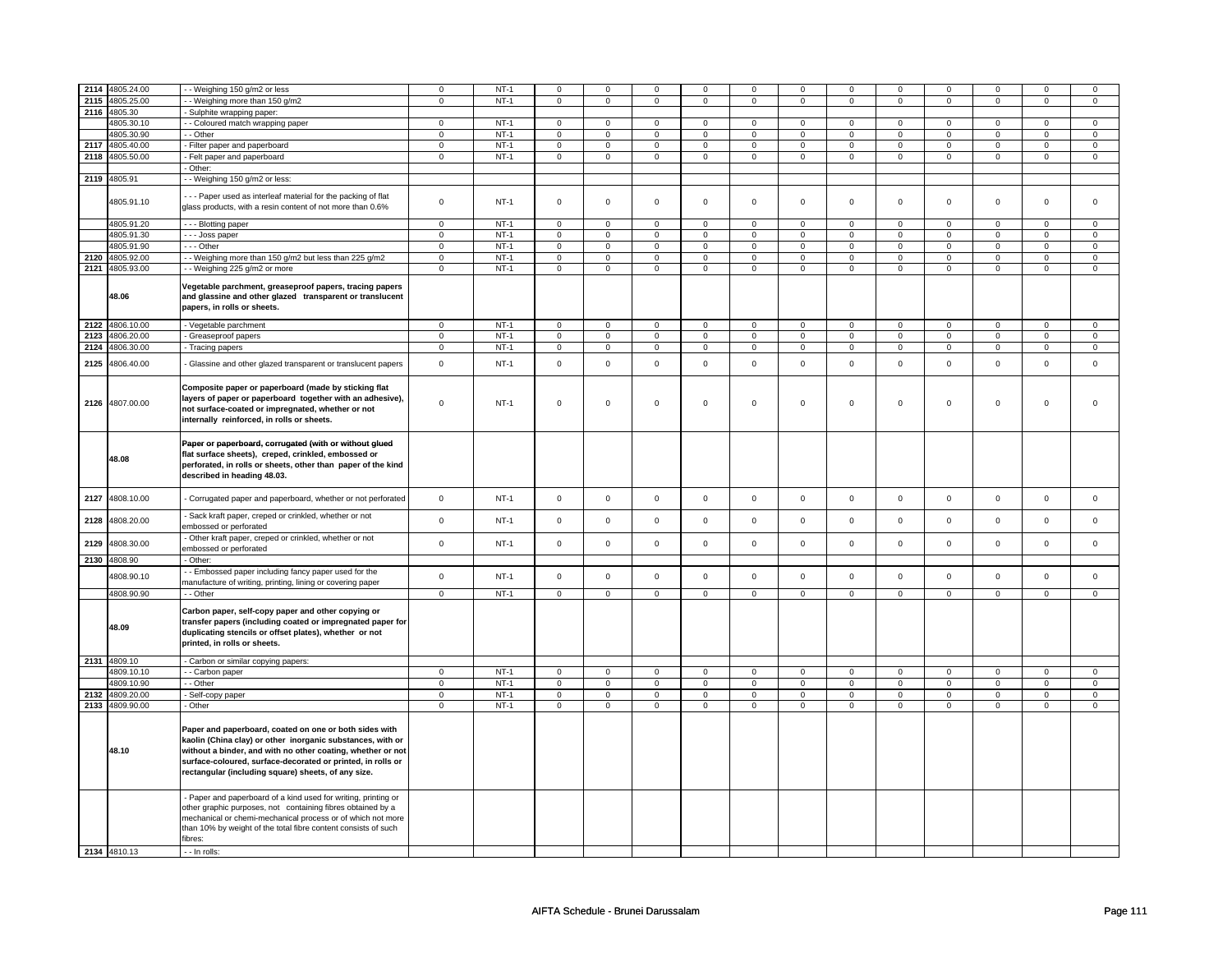|      | 2114 4805.24.00 | -- Weighing 150 g/m2 or less                                                                                                                                                                                                                                                                              | $\mathbf 0$    | $NT-1$      | $\mathbf 0$         | $\mathbf 0$    | 0            | 0              | 0              | 0              | $\mathbf 0$ | 0              | 0                   | 0              | $\mathbf 0$  | 0              |
|------|-----------------|-----------------------------------------------------------------------------------------------------------------------------------------------------------------------------------------------------------------------------------------------------------------------------------------------------------|----------------|-------------|---------------------|----------------|--------------|----------------|----------------|----------------|-------------|----------------|---------------------|----------------|--------------|----------------|
|      | 2115 4805.25.00 | - Weighing more than 150 g/m2                                                                                                                                                                                                                                                                             | $\mathsf 0$    | $NT-1$      | $\mathsf{O}\xspace$ | $\overline{0}$ | $\mathbf 0$  | $\mathsf 0$    | $\mathbf 0$    | $\mathsf 0$    | $\mathbf 0$ | $\mathbf 0$    | $\mathsf 0$         | $\mathsf 0$    | $\mathbf 0$  | $\mathsf 0$    |
|      |                 |                                                                                                                                                                                                                                                                                                           |                |             |                     |                |              |                |                |                |             |                |                     |                |              |                |
|      | 2116 4805.30    | Sulphite wrapping paper:                                                                                                                                                                                                                                                                                  |                |             |                     |                |              |                |                |                |             |                |                     |                |              |                |
|      | 4805.30.10      | - Coloured match wrapping paper                                                                                                                                                                                                                                                                           | $\mathbf 0$    | $NT-1$      | $\mathbf 0$         | $\mathbf 0$    | $\mathbf 0$  | $\mathbf 0$    | $\mathbf 0$    | $\mathbf 0$    | 0           | $\mathbf 0$    | 0                   | $\mathbf 0$    | 0            | 0              |
|      | 4805.30.90      | - Other                                                                                                                                                                                                                                                                                                   | $\mathbf 0$    | $NT-1$      | $\mathbf 0$         | $\mathbf 0$    | $\mathbf 0$  | $\mathbf{0}$   | $\mathbf 0$    | $\mathbf{0}$   | $\mathbf 0$ | $\mathbf{0}$   | $\mathbf 0$         | $\mathbf{0}$   | $\mathbf 0$  | $\mathbf{0}$   |
|      | 2117 4805.40.00 | - Filter paper and paperboard                                                                                                                                                                                                                                                                             | $\mathsf 0$    | $NT-1$      | $\mathsf{O}\xspace$ | $\mathsf 0$    | $\mathsf 0$  | $\mathsf{O}$   | $\mathsf 0$    | $\mathbf 0$    | $\mathbf 0$ | $\mathbf 0$    | $\mathsf 0$         | $\mathsf{O}$   | $\mathbf 0$  | $\mathsf 0$    |
|      | 2118 4805.50.00 | - Felt paper and paperboard                                                                                                                                                                                                                                                                               | $\mathsf 0$    | $NT-1$      | $\mathsf{O}\xspace$ | $\mathbf 0$    | $\mathbf 0$  | $\mathsf 0$    | $\mathsf 0$    | $\mathbf 0$    | $\mathbf 0$ | $\mathbf 0$    | $\mathsf 0$         | $\mathbf 0$    | $\mathbf 0$  | $\overline{0}$ |
|      |                 | Other:                                                                                                                                                                                                                                                                                                    |                |             |                     |                |              |                |                |                |             |                |                     |                |              |                |
|      | 2119 4805.91    | - Weighing 150 g/m2 or less:                                                                                                                                                                                                                                                                              |                |             |                     |                |              |                |                |                |             |                |                     |                |              |                |
|      |                 |                                                                                                                                                                                                                                                                                                           |                |             |                     |                |              |                |                |                |             |                |                     |                |              |                |
|      | 4805.91.10      | --- Paper used as interleaf material for the packing of flat<br>glass products, with a resin content of not more than 0.6%                                                                                                                                                                                | $\Omega$       | $NT-1$      | $\mathsf{O}\xspace$ | $\mathsf 0$    | $\mathsf 0$  | $\mathbf 0$    | $\mathsf 0$    | $\mathsf 0$    | $\mathbf 0$ | $\mathbf 0$    | $\mathsf 0$         | $\mathbf 0$    | $\mathbf 0$  | 0              |
|      | 4805.91.20      | - - - Blotting paper                                                                                                                                                                                                                                                                                      | $\mathbf 0$    | $NT-1$      | $\mathbf 0$         | $\mathbf 0$    | $\mathbf 0$  | $\mathbf{0}$   | $\mathbf 0$    | $\mathbf 0$    | $\mathbf 0$ | $\mathbf{0}$   | $\mathbf 0$         | $\mathbf 0$    | 0            | $\mathbf{0}$   |
|      | 4805.91.30      | - - Joss paper                                                                                                                                                                                                                                                                                            | $\mathbf 0$    | $NT-1$      | $\mathbf 0$         | $\mathbf 0$    | 0            | 0              | 0              | $\mathsf 0$    | 0           | $\mathbf 0$    | 0                   | $\mathbf 0$    | 0            | 0              |
|      | 4805.91.90      | --- Other                                                                                                                                                                                                                                                                                                 |                | $NT-1$      |                     | $\mathsf 0$    |              |                |                | $\mathbf 0$    |             |                |                     |                |              |                |
|      |                 |                                                                                                                                                                                                                                                                                                           | $\mathsf 0$    |             | $\mathbf 0$         |                | $\mathbf 0$  | $\mathbf 0$    | $\mathsf 0$    |                | $\mathbf 0$ | $\mathbf 0$    | $\mathbf 0$         | $\mathbf 0$    | 0            | $\mathbf 0$    |
| 2120 | 4805.92.00      | - - Weighing more than 150 g/m2 but less than 225 g/m2                                                                                                                                                                                                                                                    | $\mathbf 0$    | $NT-1$      | $\mathbf 0$         | $\mathbf 0$    | 0            | $\mathbf 0$    | 0              | $\mathbf 0$    | 0           | $\mathbf 0$    | 0                   | $\mathbf 0$    | 0            | 0              |
|      | 2121 4805.93.00 | - - Weighing 225 g/m2 or more                                                                                                                                                                                                                                                                             | $\overline{0}$ | $NT-1$      | $\overline{0}$      | $\overline{0}$ | 0            | $\overline{0}$ | $\overline{0}$ | $\overline{0}$ | 0           | $\overline{0}$ | $\overline{0}$      | $\overline{0}$ | 0            | $\overline{0}$ |
|      | 48.06           | Vegetable parchment, greaseproof papers, tracing papers<br>and glassine and other glazed transparent or translucent<br>papers, in rolls or sheets.                                                                                                                                                        |                |             |                     |                |              |                |                |                |             |                |                     |                |              |                |
|      | 2122 4806.10.00 | - Vegetable parchment                                                                                                                                                                                                                                                                                     | $\mathbf 0$    | $NT-1$      | $\mathbf 0$         | $\mathbf 0$    | $\mathbf{0}$ | $\mathbf 0$    | $\mathbf 0$    | $\mathbf 0$    | 0           | $\mathbf{0}$   | 0                   | $\mathbf 0$    | 0            | 0              |
| 2123 | 4806.20.00      | - Greaseproof papers                                                                                                                                                                                                                                                                                      | $\mathsf 0$    | $NT-1$      | $\mathsf 0$         | $\mathbf 0$    | $\mathbf 0$  | $\mathbf 0$    | $\mathbf 0$    | $\mathsf 0$    | 0           | $\mathbf 0$    | $\mathsf 0$         | $\mathbf 0$    | 0            | 0              |
|      | 2124 4806.30.00 | - Tracing papers                                                                                                                                                                                                                                                                                          | $\mathbf 0$    | $NT-1$      | $\mathsf 0$         | $\mathsf 0$    | $\mathbf 0$  | $\mathbf 0$    | $\mathbf 0$    | $\mathbf 0$    | $\mathbf 0$ | $\mathbf 0$    | $\mathsf 0$         | $\mathbf 0$    | $\mathbf 0$  | $\mathbf 0$    |
|      |                 |                                                                                                                                                                                                                                                                                                           |                |             |                     |                |              |                |                |                |             |                |                     |                |              |                |
| 2125 | 4806.40.00      | Glassine and other glazed transparent or translucent papers                                                                                                                                                                                                                                               | $\pmb{0}$      | <b>NT-1</b> | $\mathsf 0$         | $\mathsf 0$    | $\mathsf 0$  | $\mathsf{O}$   | $\mathsf 0$    | $\mathsf 0$    | $\mathbf 0$ | $\mathsf 0$    | $\mathsf{O}\xspace$ | $\mathsf{O}$   | $\mathsf 0$  | $\mathsf 0$    |
|      | 2126 4807.00.00 | Composite paper or paperboard (made by sticking flat<br>layers of paper or paperboard together with an adhesive),<br>not surface-coated or impregnated, whether or not<br>internally reinforced, in rolls or sheets.                                                                                      | $\Omega$       | $NT-1$      | $\mathsf 0$         | $\mathbf 0$    | $\mathbf 0$  | $\mathsf 0$    | $\mathbf 0$    | $\mathsf 0$    | $\mathbf 0$ | $\mathbf 0$    | $\mathbf 0$         | $\mathbf 0$    | $\mathbf 0$  | $\Omega$       |
|      | 48.08           | Paper or paperboard, corrugated (with or without glued<br>flat surface sheets), creped, crinkled, embossed or<br>perforated, in rolls or sheets, other than paper of the kind<br>described in heading 48.03.                                                                                              |                |             |                     |                |              |                |                |                |             |                |                     |                |              |                |
| 2127 | 4808.10.00      | Corrugated paper and paperboard, whether or not perforated                                                                                                                                                                                                                                                | $\mathbf 0$    | $NT-1$      | $\mathsf 0$         | $\mathbf 0$    | $\mathbf 0$  | $\mathsf 0$    | $\mathbf 0$    | $\mathsf 0$    | $\mathbf 0$ | $\mathbf 0$    | $\mathsf 0$         | $\mathbf 0$    | $\mathbf 0$  | $\mathbf 0$    |
| 2128 | 4808.20.00      | Sack kraft paper, creped or crinkled, whether or not<br>embossed or perforated                                                                                                                                                                                                                            | $\mathsf 0$    | $NT-1$      | $\mathsf{O}\xspace$ | $\mathsf 0$    | $\mathbf 0$  | $\mathbf 0$    | $\mathbf 0$    | $\mathbf 0$    | $\mathbf 0$ | $\mathbf 0$    | $\mathsf 0$         | $\mathbf 0$    | $\mathbf{0}$ | $\mathbf 0$    |
| 2129 | 4808.30.00      | Other kraft paper, creped or crinkled, whether or not<br>embossed or perforated                                                                                                                                                                                                                           | $\mathbf 0$    | $NT-1$      | $\mathsf{O}\xspace$ | $\mathsf 0$    | $\mathsf 0$  | $\mathbf 0$    | $\mathsf 0$    | $\mathbf 0$    | $\mathbf 0$ | $\mathbf 0$    | $\mathsf 0$         | $\mathbf 0$    | $\mathbf 0$  | $\mathbf 0$    |
|      | 2130 4808.90    | - Other:                                                                                                                                                                                                                                                                                                  |                |             |                     |                |              |                |                |                |             |                |                     |                |              |                |
|      | 4808.90.10      | - Embossed paper including fancy paper used for the<br>manufacture of writing, printing, lining or covering paper                                                                                                                                                                                         | $\mathbf 0$    | $NT-1$      | $\mathbf 0$         | $\mathbf 0$    | $\mathbf 0$  | $\mathbf 0$    | $\mathbf 0$    | $\mathsf 0$    | $\mathbf 0$ | $\mathbf 0$    | $\mathbf 0$         | $\mathbf 0$    | $\mathbf 0$  | $\mathbf 0$    |
|      | 4808.90.90      | - - Other                                                                                                                                                                                                                                                                                                 | $\mathbf 0$    | $NT-1$      | $\mathbf 0$         | $\mathbf{0}$   | $\mathbf 0$  | $\overline{0}$ | $\mathbf 0$    | $\mathbf 0$    | $\mathbf 0$ | $\mathbf{0}$   | $\mathbf 0$         | $\mathbf{0}$   | $\mathbf 0$  | $\overline{0}$ |
|      | 48.09           | Carbon paper, self-copy paper and other copying or<br>transfer papers (including coated or impregnated paper for<br>duplicating stencils or offset plates), whether or not<br>printed, in rolls or sheets.                                                                                                |                |             |                     |                |              |                |                |                |             |                |                     |                |              |                |
|      | 2131 4809.10    | - Carbon or similar copying papers:                                                                                                                                                                                                                                                                       |                |             |                     |                |              |                |                |                |             |                |                     |                |              |                |
|      | 4809.10.10      | - - Carbon paper                                                                                                                                                                                                                                                                                          | $\Omega$       | $NT-1$      | $\mathsf 0$         | $\mathbf 0$    | $\mathbf 0$  | $\mathbf 0$    | $\mathbf 0$    | $\mathbf{0}$   | $\mathbf 0$ | $\mathbf{0}$   | $\mathbf 0$         | $\mathbf 0$    | $\Omega$     | $\mathbf{0}$   |
|      | 4809.10.90      | - Other                                                                                                                                                                                                                                                                                                   | $\mathbf 0$    | $NT-1$      | $\mathsf 0$         | $\mathbf 0$    | $\mathbf 0$  | $\mathbf 0$    | $\mathbf 0$    | $\mathbf 0$    | $\mathbf 0$ | $\mathbf 0$    | $\mathsf 0$         | $\mathbf 0$    | $\mathbf 0$  | $\mathbf 0$    |
|      | 2132 4809.20.00 | - Self-copy paper                                                                                                                                                                                                                                                                                         | $\mathsf 0$    | $NT-1$      | $\mathsf{O}\xspace$ | $\mathsf 0$    | $\mathbf 0$  | $\mathbf 0$    | $\mathsf 0$    | $\mathbf 0$    | $\mathbf 0$ | $\mathbf 0$    | $\mathsf 0$         | $\mathbf 0$    | $\mathbf 0$  | $\overline{0}$ |
|      | 2133 4809.90.00 | Other                                                                                                                                                                                                                                                                                                     | $\mathbf 0$    | $NT-1$      | $\mathsf 0$         | $\mathbf 0$    | 0            | $\mathsf 0$    | $\mathbf 0$    | $\mathsf 0$    | $\mathbf 0$ | $\mathbf 0$    | $\mathsf 0$         | $\mathbf 0$    | $\mathbf 0$  | $\mathbf 0$    |
|      | 48.10           | Paper and paperboard, coated on one or both sides with<br>kaolin (China clay) or other inorganic substances, with or<br>without a binder, and with no other coating, whether or not<br>surface-coloured, surface-decorated or printed, in rolls or<br>rectangular (including square) sheets, of any size. |                |             |                     |                |              |                |                |                |             |                |                     |                |              |                |
|      |                 | Paper and paperboard of a kind used for writing, printing or<br>other graphic purposes, not containing fibres obtained by a<br>mechanical or chemi-mechanical process or of which not more<br>than 10% by weight of the total fibre content consists of such<br>fibres:                                   |                |             |                     |                |              |                |                |                |             |                |                     |                |              |                |
|      | 2134 4810.13    | - In rolls:                                                                                                                                                                                                                                                                                               |                |             |                     |                |              |                |                |                |             |                |                     |                |              |                |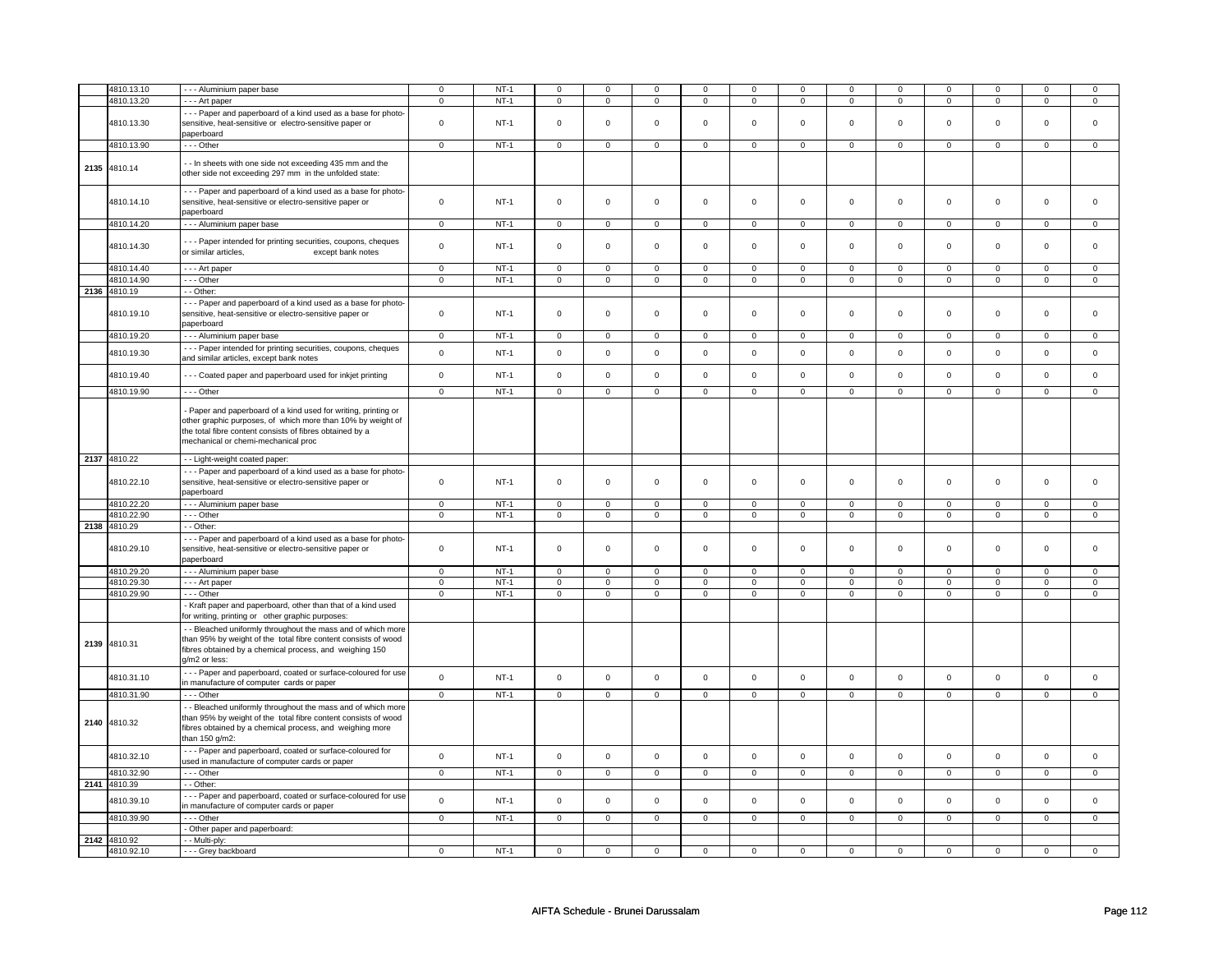| 4810.13.10   | --- Aluminium paper base                                       | $\mathsf 0$    | $NT-1$ | $\mathbf 0$         | $\mathbf 0$    | 0              | 0              | $\mathbf 0$    | 0                   | $\mathbf 0$    | 0              | 0              | 0                   | $\mathbf 0$    | 0              |
|--------------|----------------------------------------------------------------|----------------|--------|---------------------|----------------|----------------|----------------|----------------|---------------------|----------------|----------------|----------------|---------------------|----------------|----------------|
| 4810.13.20   |                                                                | $\overline{0}$ | $NT-1$ |                     |                |                |                |                | $\overline{0}$      |                |                |                | $\overline{0}$      |                |                |
|              | - - - Art paper                                                |                |        | $\mathsf 0$         | $\overline{0}$ | $\mathbf 0$    | $\mathsf 0$    | $\mathbf 0$    |                     | $\mathbf 0$    | $\mathbf 0$    | $\mathsf 0$    |                     | $\mathbf 0$    | $\mathsf 0$    |
|              | --- Paper and paperboard of a kind used as a base for photo-   |                |        |                     |                |                |                |                |                     |                |                |                |                     |                |                |
| 4810.13.30   | sensitive, heat-sensitive or electro-sensitive paper or        | $\mathsf 0$    | $NT-1$ | $\mathbf 0$         | $\mathbf 0$    | $\Omega$       | $\mathbf 0$    | $\mathsf 0$    | $\mathbf 0$         | $\mathbf 0$    | $\mathbf 0$    | $\mathbf 0$    | $\mathbf 0$         | $\mathbf 0$    | $\mathbf{0}$   |
|              | paperboard                                                     |                |        |                     |                |                |                |                |                     |                |                |                |                     |                |                |
| 4810.13.90   | --- Other                                                      | $\mathsf 0$    | $NT-1$ | $\mathsf{O}\xspace$ | $\mathsf 0$    | $\mathbf 0$    | $\mathsf 0$    | $\mathsf 0$    | $\mathsf 0$         | $\mathbf 0$    | $\mathbf 0$    | $\mathsf 0$    | $\mathbf 0$         | $\mathsf 0$    | $\mathbf 0$    |
|              |                                                                |                |        |                     |                |                |                |                |                     |                |                |                |                     |                |                |
|              | - In sheets with one side not exceeding 435 mm and the         |                |        |                     |                |                |                |                |                     |                |                |                |                     |                |                |
| 2135 4810.14 | other side not exceeding 297 mm in the unfolded state:         |                |        |                     |                |                |                |                |                     |                |                |                |                     |                |                |
|              |                                                                |                |        |                     |                |                |                |                |                     |                |                |                |                     |                |                |
|              | --- Paper and paperboard of a kind used as a base for photo-   |                |        |                     |                |                |                |                |                     |                |                |                |                     |                |                |
| 4810.14.10   | sensitive, heat-sensitive or electro-sensitive paper or        | $\mathbf 0$    | $NT-1$ | $\mathsf 0$         | $\mathbf 0$    | $\mathbf 0$    | $\mathsf 0$    | $\mathbf 0$    | $\mathsf 0$         | $\mathbf 0$    | $\mathbf 0$    | $\mathsf 0$    | $\mathbf 0$         | $\mathbf 0$    | 0              |
|              | paperboard                                                     |                |        |                     |                |                |                |                |                     |                |                |                |                     |                |                |
| 4810.14.20   | - - - Aluminium paper base                                     | $\overline{0}$ | $NT-1$ | $\mathsf 0$         | $\mathbf 0$    | $\mathsf 0$    | $\mathsf 0$    | $\mathsf 0$    | $\mathsf 0$         | $\mathsf 0$    | $\mathsf 0$    | $\mathsf 0$    | $\mathbf 0$         | $\mathbf 0$    | $\mathsf 0$    |
|              |                                                                |                |        |                     |                |                |                |                |                     |                |                |                |                     |                |                |
|              | --- Paper intended for printing securities, coupons, cheques   |                |        |                     |                |                |                |                |                     |                |                |                |                     |                |                |
| 4810.14.30   | or similar articles,<br>except bank notes                      | $\mathbf 0$    | $NT-1$ | $\mathsf{O}\xspace$ | $\mathbf 0$    | $\mathbf 0$    | $\mathbf 0$    | $\mathsf 0$    | $\mathbf 0$         | $\mathbf 0$    | $\mathbf 0$    | $\mathbf 0$    | $\mathbf 0$         | $\mathbf 0$    | $\mathbf{0}$   |
|              |                                                                |                |        |                     |                |                |                |                |                     |                |                |                |                     |                |                |
| 4810.14.40   | - - - Art paper                                                | $\mathbf 0$    | $NT-1$ | $\mathsf 0$         | $\mathbf 0$    | $\mathbf 0$    | $\mathsf 0$    | $\mathbf 0$    | $\mathsf 0$         | $\mathbf 0$    | $\mathbf 0$    | $\mathsf 0$    | $\mathbf 0$         | $\mathbf 0$    | $\mathbf{0}$   |
| 4810.14.90   | $- -$ Other                                                    | $\mathbf 0$    | $NT-1$ | $\overline{0}$      | $\mathbf 0$    | $\mathbf 0$    | $\mathbf 0$    | $\mathbf 0$    | $\mathbf 0$         | $\mathbf 0$    | $\mathbf 0$    | $\mathsf 0$    | $\mathbf 0$         | $\mathbf 0$    | $\mathbf 0$    |
| 2136 4810.19 | - - Other:                                                     |                |        |                     |                |                |                |                |                     |                |                |                |                     |                |                |
|              |                                                                |                |        |                     |                |                |                |                |                     |                |                |                |                     |                |                |
|              | --- Paper and paperboard of a kind used as a base for photo-   |                |        |                     |                |                |                |                |                     |                |                |                |                     |                |                |
| 4810.19.10   | sensitive, heat-sensitive or electro-sensitive paper or        | $\mathsf 0$    | $NT-1$ | $\mathsf 0$         | $\mathbf 0$    | $\mathbf 0$    | $\mathbf 0$    | $\mathbf 0$    | $\mathsf 0$         | $\mathbf 0$    | $\mathbf 0$    | $\mathbf 0$    | $\mathbf 0$         | $\Omega$       | 0              |
|              | paperboard                                                     |                |        |                     |                |                |                |                |                     |                |                |                |                     |                |                |
| 4810.19.20   | - - - Aluminium paper base                                     | $\overline{0}$ | $NT-1$ | $\mathbf 0$         | $\overline{0}$ | $\mathbf 0$    | $\overline{0}$ | $\mathbf 0$    | $\mathbf 0$         | $\mathbf 0$    | $\mathbf{0}$   | $\mathbf 0$    | $\mathbf{0}$        | $\mathbf 0$    | $\mathbf 0$    |
|              | - - - Paper intended for printing securities, coupons, cheques |                |        |                     |                |                |                |                |                     |                |                |                |                     |                |                |
| 4810.19.30   |                                                                | $\mathsf 0$    | $NT-1$ | $\mathsf 0$         | $\mathsf 0$    | $\mathbf 0$    | $\mathsf{O}$   | $\mathsf 0$    | $\mathsf 0$         | $\mathbf{0}$   | $\mathsf{O}$   | $\mathbf 0$    | $\mathsf{O}$        | $\mathbf{0}$   | $\mathsf 0$    |
|              | and similar articles, except bank notes                        |                |        |                     |                |                |                |                |                     |                |                |                |                     |                |                |
| 4810.19.40   | -- Coated paper and paperboard used for inkjet printing        | $\mathsf 0$    | $NT-1$ | $\mathsf 0$         | $\mathbf 0$    | $\mathbf 0$    | $\mathsf 0$    | $\mathbf 0$    | $\mathsf 0$         | $\mathbf 0$    | $\mathbf 0$    | $\mathsf 0$    | $\mathbf 0$         | $\mathbf 0$    | 0              |
|              |                                                                |                |        |                     |                |                |                |                |                     |                |                |                |                     |                |                |
| 4810.19.90   | $--$ Other                                                     | $\overline{0}$ | $NT-1$ | $\mathbf 0$         | $\overline{0}$ | $\mathbf 0$    | $\mathbf 0$    | $\mathbf 0$    | $\mathbf 0$         | $\mathbf 0$    | $\mathbf 0$    | $\mathbf 0$    | $\mathbf 0$         | $\mathbf 0$    | $\overline{0}$ |
|              |                                                                |                |        |                     |                |                |                |                |                     |                |                |                |                     |                |                |
|              | Paper and paperboard of a kind used for writing, printing or   |                |        |                     |                |                |                |                |                     |                |                |                |                     |                |                |
|              | other graphic purposes, of which more than 10% by weight of    |                |        |                     |                |                |                |                |                     |                |                |                |                     |                |                |
|              | the total fibre content consists of fibres obtained by a       |                |        |                     |                |                |                |                |                     |                |                |                |                     |                |                |
|              | mechanical or chemi-mechanical proc                            |                |        |                     |                |                |                |                |                     |                |                |                |                     |                |                |
|              |                                                                |                |        |                     |                |                |                |                |                     |                |                |                |                     |                |                |
| 2137 4810.22 | - - Light-weight coated paper:                                 |                |        |                     |                |                |                |                |                     |                |                |                |                     |                |                |
|              | --- Paper and paperboard of a kind used as a base for photo-   |                |        |                     |                |                |                |                |                     |                |                |                |                     |                |                |
| 4810.22.10   | sensitive, heat-sensitive or electro-sensitive paper or        | $\mathbf 0$    | $NT-1$ | $\mathbf 0$         | $\mathbf 0$    | $\mathbf 0$    | $\mathbf 0$    | $\mathbf 0$    | $\mathbf 0$         | $\mathbf{0}$   | $\mathbf 0$    | $\mathbf 0$    | $\mathbf 0$         | $\mathbf{0}$   | $\mathbf 0$    |
|              | paperboard                                                     |                |        |                     |                |                |                |                |                     |                |                |                |                     |                |                |
|              |                                                                |                |        |                     |                |                |                |                |                     |                |                |                |                     |                |                |
| 4810.22.20   | --- Aluminium paper base                                       | $\mathbf 0$    | $NT-1$ | $\mathbf 0$         | $\mathbf 0$    | 0              | $\mathbf 0$    | 0              | $\mathbf 0$         | 0              | 0              | 0              | 0                   | $\mathbf 0$    | 0              |
| 4810.22.90   | - - Other                                                      | $\mathbf 0$    | $NT-1$ | $\mathsf 0$         | $\mathbf 0$    | 0              | $\mathbf 0$    | $\mathbf 0$    | $\mathbf 0$         | 0              | $\mathbf 0$    | $\mathsf 0$    | $\mathbf 0$         | 0              | $\mathbf{0}$   |
| 2138 4810.29 | - - Other:                                                     |                |        |                     |                |                |                |                |                     |                |                |                |                     |                |                |
|              | --- Paper and paperboard of a kind used as a base for photo-   |                |        |                     |                |                |                |                |                     |                |                |                |                     |                |                |
| 4810.29.10   | sensitive, heat-sensitive or electro-sensitive paper or        | $\mathbf 0$    | $NT-1$ | $\mathsf{O}\xspace$ | $\mathsf 0$    | $\mathsf 0$    | $\mathsf 0$    | $\mathsf 0$    | $\mathsf 0$         | $\mathbf 0$    | $\mathbf 0$    | $\mathsf 0$    | $\mathbf 0$         | $\mathbf{0}$   | $\mathbf 0$    |
|              | paperboard                                                     |                |        |                     |                |                |                |                |                     |                |                |                |                     |                |                |
| 4810.29.20   | - - - Aluminium paper base                                     | $\overline{0}$ | $NT-1$ | $\overline{0}$      | $\overline{0}$ | $\mathbf 0$    | $\mathsf 0$    | $\mathsf 0$    | $\overline{0}$      | $\mathbf 0$    | $\mathbf 0$    | $\overline{0}$ | $\mathsf 0$         | $\mathbf 0$    | 0              |
|              |                                                                |                |        |                     |                |                |                |                |                     |                |                |                |                     |                |                |
| 4810.29.30   | - - - Art paper                                                | $\mathsf 0$    | $NT-1$ | $\mathsf{O}\xspace$ | $\mathsf 0$    | $\mathbf 0$    | $\mathsf 0$    | $\mathsf 0$    | $\mathsf 0$         | $\mathbf 0$    | $\mathbf 0$    | $\mathsf 0$    | $\mathbf 0$         | $\mathbf 0$    | $\mathsf 0$    |
| 4810.29.90   | --- Other                                                      | $\mathsf 0$    | $NT-1$ | $\mathsf 0$         | $\mathsf 0$    | $\mathsf 0$    | $\mathbf 0$    | $\mathsf 0$    | $\mathsf{O}\xspace$ | $\mathbf 0$    | $\mathbf 0$    | $\mathbf 0$    | $\mathsf{O}\xspace$ | 0              | $\mathsf{O}^-$ |
|              | - Kraft paper and paperboard, other than that of a kind used   |                |        |                     |                |                |                |                |                     |                |                |                |                     |                |                |
|              | for writing, printing or other graphic purposes:               |                |        |                     |                |                |                |                |                     |                |                |                |                     |                |                |
|              | - Bleached uniformly throughout the mass and of which more     |                |        |                     |                |                |                |                |                     |                |                |                |                     |                |                |
|              | than 95% by weight of the total fibre content consists of wood |                |        |                     |                |                |                |                |                     |                |                |                |                     |                |                |
| 2139 4810.31 |                                                                |                |        |                     |                |                |                |                |                     |                |                |                |                     |                |                |
|              | fibres obtained by a chemical process, and weighing 150        |                |        |                     |                |                |                |                |                     |                |                |                |                     |                |                |
|              | g/m2 or less:                                                  |                |        |                     |                |                |                |                |                     |                |                |                |                     |                |                |
| 4810.31.10   | --- Paper and paperboard, coated or surface-coloured for use   | $\mathsf{o}\,$ | $NT-1$ | $\mathsf{O}\xspace$ | $\mathsf 0$    | $\mathsf 0$    | $\mathbf 0$    | $\mathsf 0$    | $\mathbf 0$         | $\mathbf 0$    | $\mathbf 0$    | $\mathsf 0$    | $\mathbf 0$         | $\mathbf 0$    | $\mathbf 0$    |
|              | in manufacture of computer cards or paper                      |                |        |                     |                |                |                |                |                     |                |                |                |                     |                |                |
| 4810.31.90   | --- Other                                                      | $\Omega$       | $NT-1$ | $\Omega$            | $\Omega$       | $\Omega$       | $\mathbf 0$    | $\Omega$       | $\Omega$            | $\Omega$       | $\Omega$       | $\Omega$       | $\Omega$            | $\Omega$       | $\Omega$       |
|              | - Bleached uniformly throughout the mass and of which more     |                |        |                     |                |                |                |                |                     |                |                |                |                     |                |                |
|              |                                                                |                |        |                     |                |                |                |                |                     |                |                |                |                     |                |                |
| 2140 4810.32 | than 95% by weight of the total fibre content consists of wood |                |        |                     |                |                |                |                |                     |                |                |                |                     |                |                |
|              | fibres obtained by a chemical process, and weighing more       |                |        |                     |                |                |                |                |                     |                |                |                |                     |                |                |
|              | than 150 g/m2:                                                 |                |        |                     |                |                |                |                |                     |                |                |                |                     |                |                |
|              | --- Paper and paperboard, coated or surface-coloured for       | $\mathsf 0$    | $NT-1$ | $\mathsf 0$         | $\mathbf 0$    | $\mathbf 0$    | $\mathbf 0$    | $\mathbf 0$    | $\mathbf 0$         | $\mathbf 0$    | $\mathbf 0$    | $\mathsf 0$    | $\mathbf 0$         | $\mathbf 0$    | $\mathbf 0$    |
| 4810.32.10   | used in manufacture of computer cards or paper                 |                |        |                     |                |                |                |                |                     |                |                |                |                     |                |                |
| 4810.32.90   | --- Other                                                      | $\overline{0}$ | $NT-1$ | $\overline{0}$      | $\overline{0}$ | $\overline{0}$ | $\mathbf 0$    | $\overline{0}$ | $\overline{0}$      | $\overline{0}$ | $\overline{0}$ | $\overline{0}$ | $\overline{0}$      | $\overline{0}$ | $\overline{0}$ |
| 2141 4810.39 | - - Other:                                                     |                |        |                     |                |                |                |                |                     |                |                |                |                     |                |                |
|              |                                                                |                |        |                     |                |                |                |                |                     |                |                |                |                     |                |                |
| 4810.39.10   | --- Paper and paperboard, coated or surface-coloured for use   | $\mathbf 0$    | $NT-1$ | $\mathsf{O}\xspace$ | $\mathsf 0$    | $\mathsf 0$    | $\mathbf 0$    | $\mathsf 0$    | $\mathsf 0$         | $\mathbf 0$    | $\mathbf 0$    | $\mathsf 0$    | $\mathbf 0$         | $\mathbf 0$    | $\mathsf 0$    |
|              | in manufacture of computer cards or paper                      |                |        |                     |                |                |                |                |                     |                |                |                |                     |                |                |
| 4810.39.90   | --- Other                                                      | $\mathbf 0$    | $NT-1$ | $\mathbf 0$         | $\mathbf 0$    | $\mathbf 0$    | $\mathbf{0}$   | $\mathbf 0$    | $\mathbf{0}$        | $\mathbf 0$    | $\mathbf{0}$   | $\mathbf 0$    | $\mathbf{0}$        | $\mathbf 0$    | $\mathbf{0}$   |
|              | Other paper and paperboard:                                    |                |        |                     |                |                |                |                |                     |                |                |                |                     |                |                |
| 2142 4810.92 | - - Multi-ply:                                                 |                |        |                     |                |                |                |                |                     |                |                |                |                     |                |                |
| 4810.92.10   | --- Grey backboard                                             | $\Omega$       | $NT-1$ | $\mathbf 0$         | $\mathbf 0$    | 0              | 0              | 0              | 0                   | $\Omega$       | 0              | 0              | 0                   | $\Omega$       | $\Omega$       |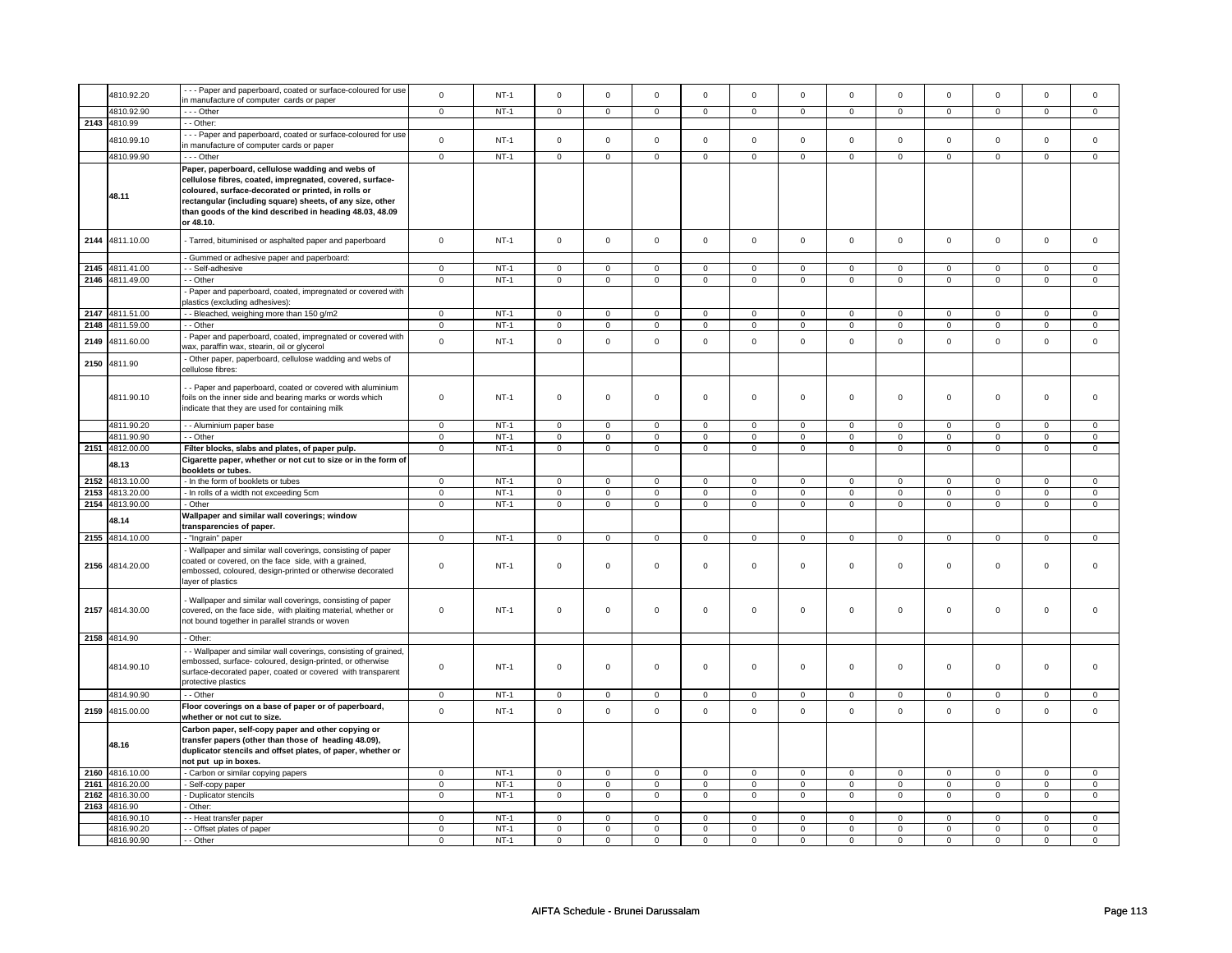|      | 4810.92.20      | --- Paper and paperboard, coated or surface-coloured for use                                                 | $\mathsf 0$    | $NT-1$      | $\Omega$                | $\mathsf 0$             | $\mathbf 0$             | $\mathsf 0$             | $\Omega$                | $\mathsf 0$             | $\Omega$                | $\mathbf 0$             | $\Omega$       | $\mathbf 0$    | $\Omega$                | $\mathbf 0$    |
|------|-----------------|--------------------------------------------------------------------------------------------------------------|----------------|-------------|-------------------------|-------------------------|-------------------------|-------------------------|-------------------------|-------------------------|-------------------------|-------------------------|----------------|----------------|-------------------------|----------------|
|      |                 | in manufacture of computer cards or paper                                                                    |                |             |                         |                         |                         |                         |                         |                         |                         |                         |                |                |                         |                |
|      | 4810.92.90      | --- Other                                                                                                    | $\mathsf 0$    | $NT-1$      | $\mathsf 0$             | $\mathsf 0$             | $\mathbf 0$             | $\mathsf 0$             | $\mathsf 0$             | $\mathsf 0$             | $\mathsf 0$             | $\mathsf 0$             | $\mathsf 0$    | $\mathsf 0$    | $\mathsf 0$             | $\mathsf 0$    |
|      | 2143 4810.99    | - - Other:                                                                                                   |                |             |                         |                         |                         |                         |                         |                         |                         |                         |                |                |                         |                |
|      |                 | - - - Paper and paperboard, coated or surface-coloured for use                                               |                |             | $\mathbf 0$             |                         |                         |                         |                         |                         |                         |                         |                |                | $\Omega$                |                |
|      | 4810.99.10      | in manufacture of computer cards or paper                                                                    | $\mathsf 0$    | $NT-1$      |                         | $\mathsf 0$             | $\mathbf 0$             | $\mathsf 0$             | $\mathbf 0$             | $\mathsf 0$             | $\mathsf 0$             | $\mathsf 0$             | $\mathsf 0$    | $\mathbf 0$    |                         | $\mathbf 0$    |
|      | 4810.99.90      | --- Other                                                                                                    | $\mathbf 0$    | $NT-1$      | $\mathbf 0$             | $\mathbf 0$             | $\mathbf 0$             | $\mathbf 0$             | $\mathbf 0$             | $\mathbf 0$             | $\mathbf 0$             | $\mathbf 0$             | $\mathbf 0$    | $\overline{0}$ | $\mathbf 0$             | $\overline{0}$ |
|      |                 | Paper, paperboard, cellulose wadding and webs of<br>cellulose fibres, coated, impregnated, covered, surface- |                |             |                         |                         |                         |                         |                         |                         |                         |                         |                |                |                         |                |
|      |                 | coloured, surface-decorated or printed, in rolls or                                                          |                |             |                         |                         |                         |                         |                         |                         |                         |                         |                |                |                         |                |
|      | 48.11           | rectangular (including square) sheets, of any size, other                                                    |                |             |                         |                         |                         |                         |                         |                         |                         |                         |                |                |                         |                |
|      |                 | than goods of the kind described in heading 48.03, 48.09                                                     |                |             |                         |                         |                         |                         |                         |                         |                         |                         |                |                |                         |                |
|      |                 | or 48.10.                                                                                                    |                |             |                         |                         |                         |                         |                         |                         |                         |                         |                |                |                         |                |
|      |                 |                                                                                                              |                |             |                         |                         |                         |                         |                         |                         |                         |                         |                |                |                         |                |
| 2144 | 4811.10.00      | - Tarred, bituminised or asphalted paper and paperboard                                                      | $\mathbf 0$    | $NT-1$      | $\mathbf 0$             | $\mathbf 0$             | $\mathbf 0$             | $\mathbf 0$             | $\mathbf 0$             | $\mathbf 0$             | $\mathbf 0$             | $\mathbf 0$             | $\mathbf 0$    | $\mathbf 0$    | $\mathbf 0$             | $\mathsf 0$    |
|      |                 | - Gummed or adhesive paper and paperboard:                                                                   |                |             |                         |                         |                         |                         |                         |                         |                         |                         |                |                |                         |                |
|      | 2145 4811.41.00 | - - Self-adhesive                                                                                            | $\mathbf 0$    | $NT-1$      | $\overline{0}$          | $\overline{0}$          | $\mathbf 0$             | $\overline{0}$          | $\overline{0}$          | $\overline{0}$          | $\mathbf 0$             | $\overline{0}$          | $\overline{0}$ | $\overline{0}$ | $\overline{0}$          | $\overline{0}$ |
|      | 2146 4811.49.00 | - - Other                                                                                                    | $\mathsf 0$    | $NT-1$      | $\mathsf 0$             | $\mathsf 0$             | $\mathsf 0$             | $\mathsf 0$             | $\mathbf 0$             | $\mathsf 0$             | $\mathbf 0$             | $\mathsf 0$             | $\mathsf 0$    | $\mathbf 0$    | $\mathsf 0$             | $\mathbf 0$    |
|      |                 | Paper and paperboard, coated, impregnated or covered with                                                    |                |             |                         |                         |                         |                         |                         |                         |                         |                         |                |                |                         |                |
|      |                 | plastics (excluding adhesives):                                                                              |                |             |                         |                         |                         |                         |                         |                         |                         |                         |                |                |                         |                |
|      | 2147 4811.51.00 | - Bleached, weighing more than 150 g/m2                                                                      | $\mathbf 0$    | $NT-1$      | $\mathbf 0$             | $\mathbf 0$             | $\mathbf 0$             | $\mathbf 0$             | $\mathbf 0$             | $\mathbf 0$             | $\mathbf 0$             | $\mathbf 0$             | $\mathbf 0$    | $\mathbf 0$    | $\mathbf 0$             | $\mathbf 0$    |
| 2148 | 4811.59.00      | - - Other                                                                                                    | $\mathsf 0$    | $NT-1$      | $\overline{0}$          | $\overline{0}$          | $\Omega$                | $\mathsf 0$             | $\overline{0}$          | $\overline{0}$          | $\mathbf 0$             | $\overline{0}$          | $\overline{0}$ | $\overline{0}$ | $\Omega$                | $\overline{0}$ |
|      |                 | Paper and paperboard, coated, impregnated or covered with                                                    |                |             |                         |                         |                         |                         |                         |                         |                         |                         |                |                |                         |                |
| 2149 | 4811.60.00      | wax, paraffin wax, stearin, oil or glycerol                                                                  | $\mathsf 0$    | $NT-1$      | $\Omega$                | $\mathsf 0$             | $\Omega$                | $\mathsf 0$             | $\Omega$                | $\mathsf 0$             | $\Omega$                | $\mathsf 0$             | $\Omega$       | $\mathsf 0$    | $\Omega$                | $\mathbf 0$    |
|      |                 | Other paper, paperboard, cellulose wadding and webs of                                                       |                |             |                         |                         |                         |                         |                         |                         |                         |                         |                |                |                         |                |
| 2150 | 4811.90         | cellulose fibres:                                                                                            |                |             |                         |                         |                         |                         |                         |                         |                         |                         |                |                |                         |                |
|      |                 |                                                                                                              |                |             |                         |                         |                         |                         |                         |                         |                         |                         |                |                |                         |                |
|      |                 | - Paper and paperboard, coated or covered with aluminium                                                     |                |             | $\mathbf 0$             |                         | $\mathbf 0$             |                         |                         |                         |                         |                         |                |                |                         | $\Omega$       |
|      | 4811.90.10      | foils on the inner side and bearing marks or words which<br>indicate that they are used for containing milk  | $\mathsf 0$    | $NT-1$      |                         | $\mathbf 0$             |                         | $\mathsf 0$             | $\mathsf 0$             | $\mathsf 0$             | $\mathsf 0$             | $\mathsf 0$             | $\mathsf 0$    | $\mathbf 0$    | $\mathsf 0$             |                |
|      |                 |                                                                                                              |                |             |                         |                         |                         |                         |                         |                         |                         |                         |                |                |                         |                |
|      | 4811.90.20      | - - Aluminium paper base                                                                                     | $\mathsf 0$    | $NT-1$      | $\mathsf 0$             | $\mathbf 0$             | $\mathsf 0$             | $\mathsf 0$             | $\mathbf 0$             | $\mathsf 0$             | $\mathsf 0$             | $\mathsf 0$             | $\mathsf 0$    | $\mathbf 0$    | $\mathsf 0$             | $\mathbf 0$    |
|      | 4811.90.90      | - - Other                                                                                                    | $\mathsf 0$    | $NT-1$      | $\mathsf 0$             | $\mathsf 0$             | $\mathsf 0$             | $\mathsf 0$             | $\mathbf 0$             | $\mathsf 0$             | $\mathbf 0$             | $\mathsf 0$             | $\mathsf 0$    | $\mathbf 0$    | $\mathbf 0$             | $\mathbf 0$    |
|      | 2151 4812.00.00 | Filter blocks, slabs and plates, of paper pulp.                                                              | 0              | $NT-1$      | $\overline{\mathbf{0}}$ | $\overline{\mathbf{0}}$ | $\overline{\mathbf{0}}$ | $\overline{\mathbf{0}}$ | $\overline{\mathbf{0}}$ | $\overline{\mathbf{0}}$ | $\overline{\mathbf{0}}$ | $\overline{\mathbf{0}}$ | $\overline{0}$ | $\overline{0}$ | $\overline{\mathbf{0}}$ | $\overline{0}$ |
|      | 48.13           | Cigarette paper, whether or not cut to size or in the form of                                                |                |             |                         |                         |                         |                         |                         |                         |                         |                         |                |                |                         |                |
|      |                 | booklets or tubes.                                                                                           |                |             |                         |                         |                         |                         |                         |                         |                         |                         |                |                |                         |                |
|      | 2152 4813.10.00 | - In the form of booklets or tubes                                                                           | $\mathbf 0$    | $NT-1$      | $\mathbf 0$             | $\mathbf 0$             | $\mathbf 0$             | 0                       | $\mathbf 0$             | 0                       | $\mathbf 0$             | 0                       | $\mathbf 0$    | $\mathbf 0$    | $\mathbf 0$             | 0              |
|      | 2153 4813.20.00 | - In rolls of a width not exceeding 5cm                                                                      | $\mathbf 0$    | $NT-1$      | $\overline{0}$          | $\overline{0}$          | $\Omega$                | $\mathsf 0$             | $\overline{0}$          | $\overline{0}$          | $\mathbf 0$             | $\overline{0}$          | $\overline{0}$ | $\overline{0}$ | $\Omega$                | $\overline{0}$ |
|      | 2154 4813.90.00 | - Other                                                                                                      | $\overline{0}$ | $NT-1$      | $\overline{0}$          | $\overline{0}$          | $\overline{0}$          | $\overline{0}$          | $\overline{0}$          | $\overline{0}$          | $\overline{0}$          | $\overline{0}$          | $\overline{0}$ | $\overline{0}$ | $\overline{0}$          | $\overline{0}$ |
|      | 48.14           | Wallpaper and similar wall coverings; window                                                                 |                |             |                         |                         |                         |                         |                         |                         |                         |                         |                |                |                         |                |
|      |                 | transparencies of paper.                                                                                     |                |             |                         |                         |                         |                         |                         |                         |                         |                         |                |                |                         |                |
|      | 2155 4814.10.00 | - "Ingrain" paper                                                                                            | $\overline{0}$ | $NT-1$      | $\mathsf 0$             | $\mathbf{0}$            | $\mathsf 0$             | $\mathbf{0}$            | $\mathbf 0$             | $\mathbf{0}$            | $\mathbf 0$             | $\mathbf 0$             | $\mathsf 0$    | $\mathbf 0$    | $\mathsf 0$             | $\overline{0}$ |
|      |                 | - Wallpaper and similar wall coverings, consisting of paper                                                  |                |             |                         |                         |                         |                         |                         |                         |                         |                         |                |                |                         |                |
|      | 2156 4814.20.00 | coated or covered, on the face side, with a grained,                                                         | $\mathsf 0$    | $NT-1$      | $\mathsf 0$             | $\mathsf 0$             | $\mathbf 0$             | $\mathsf 0$             | $\mathsf 0$             | $\mathbf 0$             | $\mathsf 0$             | $\mathbf 0$             | $\mathsf 0$    | $\mathsf 0$    | $\Omega$                | $\Omega$       |
|      |                 | embossed, coloured, design-printed or otherwise decorated                                                    |                |             |                         |                         |                         |                         |                         |                         |                         |                         |                |                |                         |                |
|      |                 | layer of plastics                                                                                            |                |             |                         |                         |                         |                         |                         |                         |                         |                         |                |                |                         |                |
|      |                 | - Wallpaper and similar wall coverings, consisting of paper                                                  |                |             |                         |                         |                         |                         |                         |                         |                         |                         |                |                |                         |                |
|      | 2157 4814.30.00 | covered, on the face side, with plaiting material, whether or                                                | $\mathsf 0$    | $NT-1$      | $\mathbf 0$             | $\mathbf 0$             | $\mathbf 0$             | $\mathbf 0$             | $\mathbf 0$             | $\mathbf 0$             | $\mathbf 0$             | $\mathbf 0$             | $\mathbf 0$    | $\mathbf 0$    | $\mathbf 0$             | $\Omega$       |
|      |                 | not bound together in parallel strands or woven                                                              |                |             |                         |                         |                         |                         |                         |                         |                         |                         |                |                |                         |                |
|      |                 |                                                                                                              |                |             |                         |                         |                         |                         |                         |                         |                         |                         |                |                |                         |                |
|      | 2158 4814.90    | - Other:                                                                                                     |                |             |                         |                         |                         |                         |                         |                         |                         |                         |                |                |                         |                |
|      |                 | - Wallpaper and similar wall coverings, consisting of grained,                                               |                |             |                         |                         |                         |                         |                         |                         |                         |                         |                |                |                         |                |
|      | 4814.90.10      | embossed, surface- coloured, design-printed, or otherwise                                                    | $\mathsf 0$    | $NT-1$      | $\mathbf 0$             | $\mathsf 0$             | $\mathbf 0$             | 0                       | $\mathbf 0$             | $\mathsf 0$             | $\mathbf 0$             | $\mathbf 0$             | $\mathbf 0$    | $\mathbf 0$    | $\mathbf 0$             | $\Omega$       |
|      |                 | surface-decorated paper, coated or covered with transparent                                                  |                |             |                         |                         |                         |                         |                         |                         |                         |                         |                |                |                         |                |
|      |                 | protective plastics                                                                                          |                |             |                         |                         |                         |                         |                         |                         |                         |                         |                |                |                         |                |
|      | 4814.90.90      | - - Other                                                                                                    | $\mathsf 0$    | $NT-1$      | $\mathsf 0$             | $\mathbf 0$             | $\mathbf 0$             | $\mathsf 0$             | $\mathbf 0$             | $\mathsf 0$             | $\mathbf 0$             | $\mathsf 0$             | $\mathsf 0$    | $\mathbf 0$    | $\mathbf 0$             | $\mathbf 0$    |
|      | 2159 4815.00.00 | Floor coverings on a base of paper or of paperboard,                                                         | $\mathbf 0$    | $NT-1$      | $\Omega$                | $\mathbf{0}$            | $\Omega$                | $\mathsf 0$             | $\Omega$                | $\mathbf 0$             | $\Omega$                | $\mathbf 0$             | $\Omega$       | $\mathbf 0$    | $\Omega$                | $\mathbf 0$    |
|      |                 | whether or not cut to size.                                                                                  |                |             |                         |                         |                         |                         |                         |                         |                         |                         |                |                |                         |                |
|      |                 | Carbon paper, self-copy paper and other copying or                                                           |                |             |                         |                         |                         |                         |                         |                         |                         |                         |                |                |                         |                |
|      | 48.16           | transfer papers (other than those of heading 48.09),                                                         |                |             |                         |                         |                         |                         |                         |                         |                         |                         |                |                |                         |                |
|      |                 | duplicator stencils and offset plates, of paper, whether or<br>not put up in boxes.                          |                |             |                         |                         |                         |                         |                         |                         |                         |                         |                |                |                         |                |
|      | 2160 4816.10.00 | - Carbon or similar copying papers                                                                           | $\mathbf 0$    | <b>NT-1</b> | $\mathbf 0$             | $\mathbf{0}$            | $\mathbf 0$             | $\mathbf{0}$            | 0                       | $\mathbf{0}$            | $\mathbf 0$             | $\mathbf{0}$            | $\mathbf 0$    | $\mathbf 0$    | $\mathbf 0$             | $\mathbf 0$    |
|      | 2161 4816.20.00 | - Self-copy paper                                                                                            | $\mathbf 0$    | $NT-1$      | $\mathsf 0$             | $\mathsf 0$             | $\mathbf 0$             | $\mathsf 0$             | $\mathbf 0$             | $\mathsf 0$             | $\mathbf 0$             | $\mathbf 0$             | $\mathbf 0$    | $\mathbf 0$    | $\mathbf 0$             | $\mathbf 0$    |
|      | 2162 4816.30.00 | - Duplicator stencils                                                                                        | $\mathsf 0$    | $NT-1$      | $\mathsf 0$             | $\mathbf 0$             | $\mathsf 0$             | $\mathbf 0$             | $\mathbf 0$             | $\mathbf 0$             | $\mathbf 0$             | $\mathsf 0$             | $\mathsf 0$    | $\mathbf 0$    | $\mathbf 0$             | $\mathbf 0$    |
| 2163 | 4816.90         | - Other:                                                                                                     |                |             |                         |                         |                         |                         |                         |                         |                         |                         |                |                |                         |                |
|      | 4816.90.10      | - Heat transfer paper                                                                                        | $\mathbf 0$    | $NT-1$      | $\mathbf 0$             | $\mathbf{0}$            | $\Omega$                | $\mathbf 0$             | $\mathbf 0$             | $\mathbf 0$             | $\Omega$                | $\mathbf 0$             | $\mathbf 0$    | $\mathbf 0$    | $\Omega$                | $\mathbf 0$    |
|      | 4816.90.20      | - - Offset plates of paper                                                                                   | $\mathsf 0$    | $NT-1$      | $\mathsf 0$             | $\mathbf 0$             | $\mathsf 0$             | $\mathsf 0$             | $\mathbf 0$             | $\mathsf 0$             | $\mathbf 0$             | $\mathsf 0$             | $\mathsf 0$    | $\mathbf 0$    | $\mathsf 0$             | $\mathbf 0$    |
|      |                 | $-$ Other                                                                                                    | $\mathbf 0$    | $NT-1$      | $\mathbf 0$             | $\mathbf 0$             | $\mathbf 0$             | 0                       | 0                       | 0                       | 0                       | 0                       | 0              | $\mathbf 0$    | 0                       | 0              |
|      | 4816.90.90      |                                                                                                              |                |             |                         |                         |                         |                         |                         |                         |                         |                         |                |                |                         |                |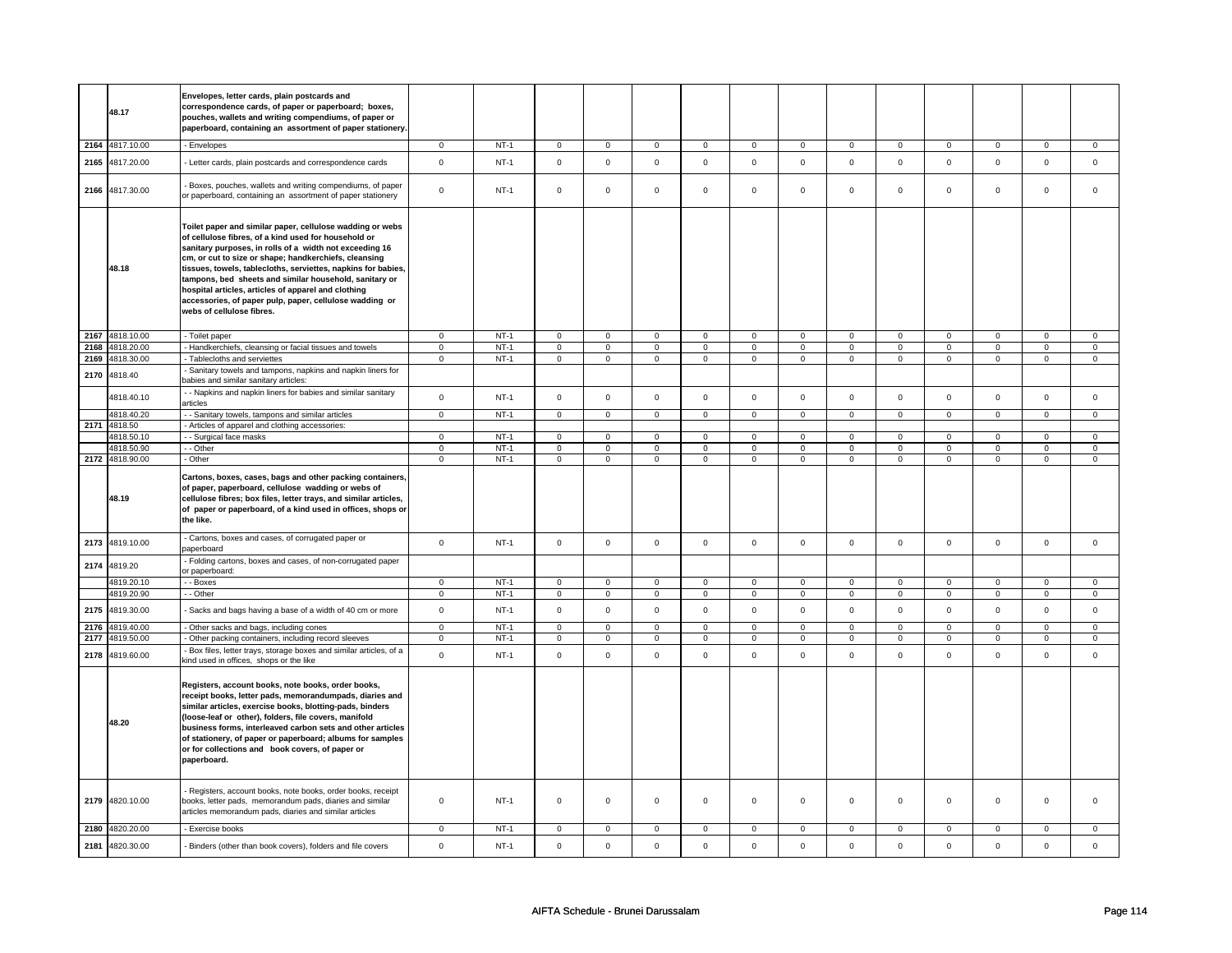|      | 48.17                    | Envelopes, letter cards, plain postcards and<br>correspondence cards, of paper or paperboard; boxes,<br>pouches, wallets and writing compendiums, of paper or<br>paperboard, containing an assortment of paper stationery.                                                                                                                                                                                                                                                                                      |                               |                  |                                                |                                  |                                        |                                  |                                        |                                  |                                        |                                  |                                        |                                  |                               |                                |
|------|--------------------------|-----------------------------------------------------------------------------------------------------------------------------------------------------------------------------------------------------------------------------------------------------------------------------------------------------------------------------------------------------------------------------------------------------------------------------------------------------------------------------------------------------------------|-------------------------------|------------------|------------------------------------------------|----------------------------------|----------------------------------------|----------------------------------|----------------------------------------|----------------------------------|----------------------------------------|----------------------------------|----------------------------------------|----------------------------------|-------------------------------|--------------------------------|
|      | 2164 4817.10.00          | - Envelopes                                                                                                                                                                                                                                                                                                                                                                                                                                                                                                     | $\mathbf 0$                   | $NT-1$           | $\mathbf 0$                                    | $\mathsf 0$                      | $\mathbf 0$                            | $\mathsf 0$                      | $\mathbf 0$                            | $\mathbf 0$                      | $\mathbf 0$                            | $\mathbf 0$                      | $\mathsf 0$                            | $\mathbf 0$                      | $\Omega$                      | 0                              |
| 2165 | 4817.20.00               | - Letter cards, plain postcards and correspondence cards                                                                                                                                                                                                                                                                                                                                                                                                                                                        | $\mathbf 0$                   | $NT-1$           | $\mathsf 0$                                    | $\mathbf 0$                      | $\mathbf 0$                            | $\mathbf 0$                      | $\mathbf 0$                            | $\mathsf 0$                      | $\mathsf 0$                            | $\mathsf 0$                      | $\mathbf 0$                            | $\mathbf 0$                      | $\mathbf 0$                   | $\mathbf 0$                    |
| 2166 | 4817.30.00               | Boxes, pouches, wallets and writing compendiums, of paper<br>or paperboard, containing an assortment of paper stationery                                                                                                                                                                                                                                                                                                                                                                                        | $\mathbf 0$                   | $NT-1$           | $\mathsf{O}\xspace$                            | $\mathbf 0$                      | $\mathsf 0$                            | $\mathbf 0$                      | $\mathsf{O}\xspace$                    | $\mathbf 0$                      | $\mathsf 0$                            | $\mathbf 0$                      | $\mathbf 0$                            | $\mathbf 0$                      | $\mathsf 0$                   | 0                              |
|      | 48.18                    | Toilet paper and similar paper, cellulose wadding or webs<br>of cellulose fibres, of a kind used for household or<br>sanitary purposes, in rolls of a width not exceeding 16<br>cm, or cut to size or shape; handkerchiefs, cleansing<br>tissues, towels, tablecloths, serviettes, napkins for babies,<br>tampons, bed sheets and similar household, sanitary or<br>hospital articles, articles of apparel and clothing<br>accessories, of paper pulp, paper, cellulose wadding or<br>webs of cellulose fibres. |                               |                  |                                                |                                  |                                        |                                  |                                        |                                  |                                        |                                  |                                        |                                  |                               |                                |
|      | 2167 4818.10.00          | - Toilet paper                                                                                                                                                                                                                                                                                                                                                                                                                                                                                                  | $\mathbf 0$                   | $NT-1$           | $\overline{0}$                                 | $\overline{0}$                   | $\mathbf 0$                            | $\overline{0}$                   | $\mathbf 0$                            | $\overline{0}$                   | $\mathbf 0$                            | $\overline{0}$                   | $\overline{0}$                         | $\overline{0}$                   | 0                             | 0                              |
| 2168 | 4818.20.00               | - Handkerchiefs, cleansing or facial tissues and towels                                                                                                                                                                                                                                                                                                                                                                                                                                                         | $\overline{0}$                | $NT-1$           | $\overline{0}$                                 | $\overline{0}$                   | $\overline{0}$                         | $\overline{0}$                   | $\overline{0}$                         | $\overline{0}$                   | $\overline{0}$                         | $\overline{0}$                   | $\overline{0}$                         | $\overline{0}$                   | $\overline{0}$                | $\overline{0}$                 |
| 2169 | 4818.30.00               | Tablecloths and serviettes<br>Sanitary towels and tampons, napkins and napkin liners for                                                                                                                                                                                                                                                                                                                                                                                                                        | $\mathbf 0$                   | $NT-1$           | $\mathsf{O}\xspace$                            | $\mathbf 0$                      | $\mathbf 0$                            | $\mathbf 0$                      | $\mathbf 0$                            | $\mathsf 0$                      | $\mathbf 0$                            | $\mathsf{O}$                     | $\mathsf 0$                            | $\mathsf{O}$                     | $\mathbf 0$                   | $\mathbf{0}$                   |
| 2170 | 4818.40                  | babies and similar sanitary articles:<br>- - Napkins and napkin liners for babies and similar sanitary                                                                                                                                                                                                                                                                                                                                                                                                          |                               |                  |                                                |                                  |                                        |                                  |                                        |                                  |                                        |                                  |                                        |                                  |                               |                                |
|      | 4818.40.10               | articles                                                                                                                                                                                                                                                                                                                                                                                                                                                                                                        | $\mathsf 0$                   | $NT-1$           | $\mathsf{O}\xspace$                            | $\mathsf 0$                      | $\mathbf 0$                            | $\mathbf 0$                      | $\mathsf 0$                            | 0                                | $\mathsf 0$                            | $\mathbf 0$                      | $\mathsf 0$                            | $\mathbf 0$                      | $\mathsf 0$                   | $\mathbf 0$                    |
|      | 4818.40.20               | - Sanitary towels, tampons and similar articles                                                                                                                                                                                                                                                                                                                                                                                                                                                                 | $\mathbf 0$                   | $NT-1$           | $\overline{0}$                                 | $\overline{0}$                   | $\overline{0}$                         | $\overline{0}$                   | $\overline{0}$                         | $\overline{0}$                   | $\overline{0}$                         | $\overline{0}$                   | $\overline{0}$                         | $\overline{0}$                   | $\overline{0}$                | $\overline{0}$                 |
| 2171 | 4818.50                  | - Articles of apparel and clothing accessories:                                                                                                                                                                                                                                                                                                                                                                                                                                                                 |                               |                  |                                                |                                  |                                        |                                  |                                        |                                  |                                        |                                  |                                        |                                  |                               |                                |
|      | 4818.50.10<br>4818.50.90 | - Surgical face masks<br>- - Other                                                                                                                                                                                                                                                                                                                                                                                                                                                                              | $\mathbf 0$<br>$\overline{0}$ | $NT-1$<br>$NT-1$ | $\mathsf{O}\xspace$<br>$\overline{\mathbf{0}}$ | $\overline{0}$<br>$\overline{0}$ | $\mathbf 0$<br>$\overline{\mathbf{0}}$ | $\overline{0}$<br>$\overline{0}$ | $\mathbf 0$<br>$\overline{\mathbf{0}}$ | $\overline{0}$<br>$\overline{0}$ | $\mathbf 0$<br>$\overline{\mathbf{0}}$ | $\overline{0}$<br>$\overline{0}$ | $\mathbf 0$<br>$\overline{\mathbf{0}}$ | $\overline{0}$<br>$\overline{0}$ | $\mathbf 0$<br>$\overline{0}$ | $\mathbf{0}$<br>$\overline{0}$ |
|      | 2172 4818.90.00          | - Other                                                                                                                                                                                                                                                                                                                                                                                                                                                                                                         | $\mathbf 0$                   | $NT-1$           | $\mathbf 0$                                    | $\mathbf 0$                      | $\mathbf 0$                            | $\mathbf 0$                      | $\mathbf 0$                            | $\mathbf{0}$                     | $\mathbf 0$                            | $\mathbf 0$                      | $\mathbf 0$                            | $\mathbf{0}$                     | 0                             | $\mathbf{0}$                   |
|      | 48.19                    | Cartons, boxes, cases, bags and other packing containers,<br>of paper, paperboard, cellulose wadding or webs of<br>cellulose fibres; box files, letter trays, and similar articles,<br>of paper or paperboard, of a kind used in offices, shops or<br>the like.                                                                                                                                                                                                                                                 |                               |                  |                                                |                                  |                                        |                                  |                                        |                                  |                                        |                                  |                                        |                                  |                               |                                |
|      | 2173 4819.10.00          | - Cartons, boxes and cases, of corrugated paper or<br>paperboard                                                                                                                                                                                                                                                                                                                                                                                                                                                | $\mathbf 0$                   | $NT-1$           | $\mathbf 0$                                    | $\mathbf 0$                      | $\mathbf 0$                            | $\mathsf 0$                      | $\mathsf 0$                            | $\mathbf 0$                      | $\mathbf 0$                            | $\mathbf 0$                      | $\mathbf 0$                            | $\mathbf{0}$                     | $\mathbf 0$                   | $\mathbf 0$                    |
| 2174 | 4819.20                  | - Folding cartons, boxes and cases, of non-corrugated paper<br>or paperboard:                                                                                                                                                                                                                                                                                                                                                                                                                                   |                               |                  |                                                |                                  |                                        |                                  |                                        |                                  |                                        |                                  |                                        |                                  |                               |                                |
|      | 4819.20.10               | - - Boxes                                                                                                                                                                                                                                                                                                                                                                                                                                                                                                       | $\mathbf 0$                   | $NT-1$           | $\mathsf 0$                                    | $\mathsf 0$                      | $\mathsf 0$                            | $\mathsf 0$                      | $\mathsf 0$                            | $\mathsf 0$                      | $\mathsf{O}\xspace$                    | $\mathsf{O}$                     | $\mathsf 0$                            | $\mathbf 0$                      | 0                             | $\mathbf{0}$                   |
|      | 4819.20.90               | - - Other                                                                                                                                                                                                                                                                                                                                                                                                                                                                                                       | $\mathbf 0$                   | $NT-1$           | $\mathsf 0$                                    | $\mathbf 0$                      | $\mathbf 0$                            | $\mathbf 0$                      | $\mathbf 0$                            | $\mathsf 0$                      | $\mathbf 0$                            | $\mathbf 0$                      | $\mathbf 0$                            | $\mathbf 0$                      | $\mathsf 0$                   | $\mathbf 0$                    |
| 2175 | 4819.30.00               | Sacks and bags having a base of a width of 40 cm or more                                                                                                                                                                                                                                                                                                                                                                                                                                                        | $\mathbf 0$                   | $NT-1$           | $\mathsf 0$                                    | $\mathbf 0$                      | $\mathbf 0$                            | $\mathsf 0$                      | $\mathsf 0$                            | $\mathsf 0$                      | $\mathbf 0$                            | $\mathsf{O}$                     | $\mathbf 0$                            | $\mathsf{O}$                     | $\Omega$                      | $\mathsf 0$                    |
| 2176 | 4819.40.00               | Other sacks and bags, including cones                                                                                                                                                                                                                                                                                                                                                                                                                                                                           | $\mathsf 0$                   | $NT-1$           | $\mathsf 0$                                    | $\mathsf 0$                      | $\mathbf 0$                            | $\mathbf 0$                      | $\mathbf 0$                            | $\mathbf 0$                      | $\mathbf 0$                            | $\mathbf 0$                      | 0                                      | $\mathbf 0$                      | $\mathsf 0$                   | 0                              |
| 2177 | 4819.50.00               | Other packing containers, including record sleeves                                                                                                                                                                                                                                                                                                                                                                                                                                                              | $\mathsf 0$                   | $NT-1$           | $\mathsf 0$                                    | $\mathsf 0$                      | $\mathbf 0$                            | $\mathbf 0$                      | $\mathsf 0$                            | $\mathbf 0$                      | $\mathsf 0$                            | $\mathbf 0$                      | $\mathbf 0$                            | $\mathbf 0$                      | $\mathsf 0$                   | 0                              |
| 2178 | 4819.60.00               | Box files, letter trays, storage boxes and similar articles, of a<br>kind used in offices, shops or the like                                                                                                                                                                                                                                                                                                                                                                                                    | $\mathbf 0$                   | $NT-1$           | $\mathbf 0$                                    | $\mathsf{o}\xspace$              | $\Omega$                               | $\mathsf{o}\xspace$              | $\Omega$                               | $\mathsf{o}\,$                   | $\mathbf 0$                            | $\mathbf 0$                      | $\mathbf{0}$                           | $\mathbf{0}$                     | $\mathbf 0$                   | $\mathbf 0$                    |
|      | 48.20                    | Registers, account books, note books, order books,<br>receipt books, letter pads, memorandumpads, diaries and<br>similar articles, exercise books, blotting-pads, binders<br>(loose-leaf or other), folders, file covers, manifold<br>business forms, interleaved carbon sets and other articles<br>of stationery, of paper or paperboard; albums for samples<br>or for collections and book covers, of paper or<br>paperboard.                                                                                 |                               |                  |                                                |                                  |                                        |                                  |                                        |                                  |                                        |                                  |                                        |                                  |                               |                                |
| 2179 | 4820.10.00               | - Registers, account books, note books, order books, receipt<br>books, letter pads, memorandum pads, diaries and similar<br>articles memorandum pads, diaries and similar articles                                                                                                                                                                                                                                                                                                                              | $\mathbf 0$                   | $NT-1$           | $\mathsf 0$                                    | $\mathbf 0$                      | $\mathsf 0$                            | $\mathsf 0$                      | $\mathbf 0$                            | 0                                | $\mathsf 0$                            | $\mathbf 0$                      | $\mathbf 0$                            | $\mathbf 0$                      | $\mathsf 0$                   | $\Omega$                       |
|      |                          |                                                                                                                                                                                                                                                                                                                                                                                                                                                                                                                 |                               |                  |                                                |                                  |                                        |                                  |                                        |                                  |                                        |                                  |                                        |                                  |                               |                                |
|      | 2180 4820.20.00          | - Exercise books                                                                                                                                                                                                                                                                                                                                                                                                                                                                                                | $\mathbf 0$                   | <b>NT-1</b>      | 0                                              | $\mathbf 0$                      | $\mathbf 0$                            | 0                                | $\mathbf 0$                            | 0                                | 0                                      | $\mathbf 0$                      | $\mathbf 0$                            | 0                                | 0                             | 0                              |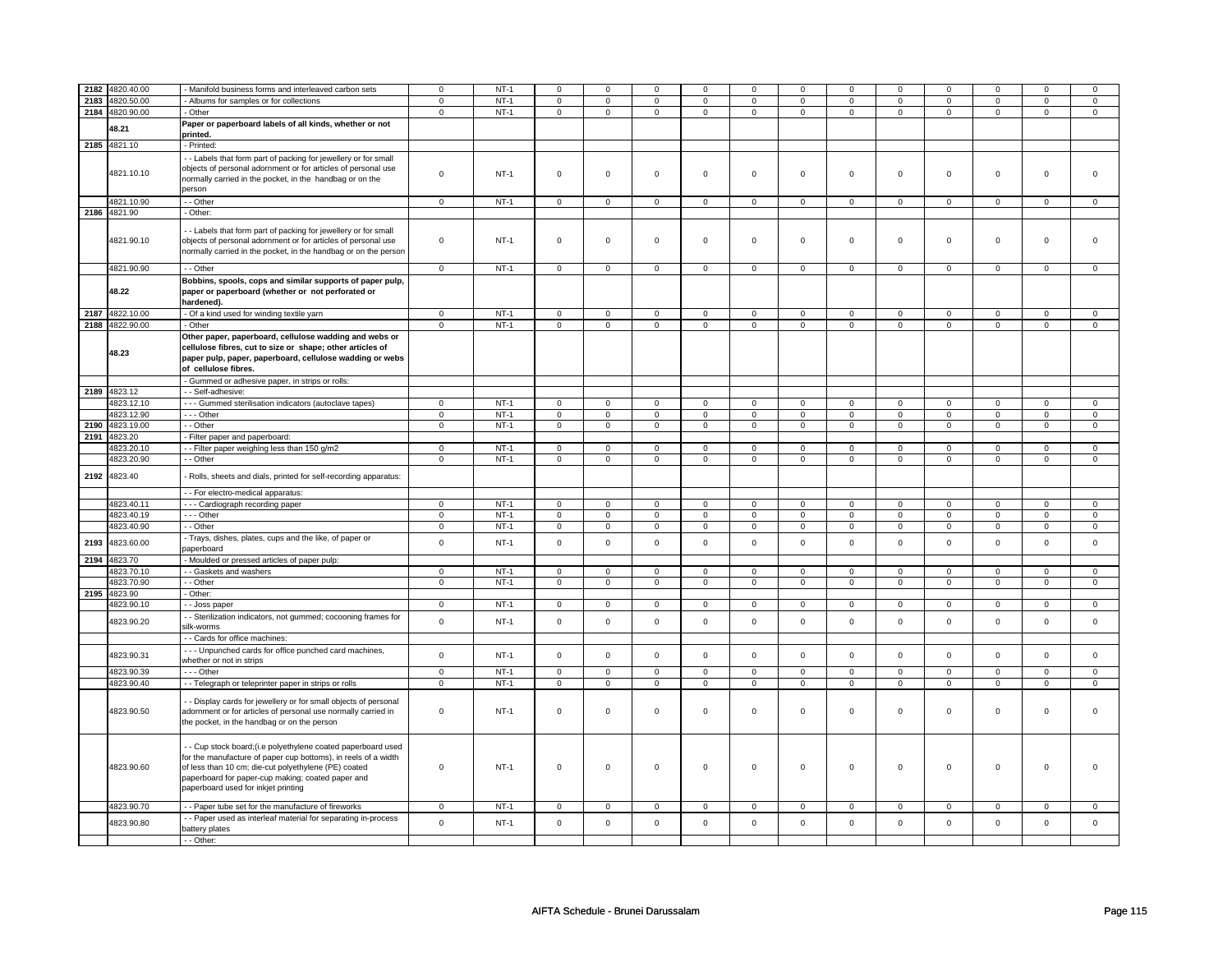| 2182 | 4820.40.00      | Manifold business forms and interleaved carbon sets             | $\mathbf 0$ | $NT-1$ | $\mathbf 0$    | $\mathbf 0$    | $\Omega$       | $\mathbf 0$    | $\mathbf 0$         | $\mathbf 0$    | $\Omega$            | 0              | $\mathbf 0$    | $\mathbf 0$    | $\Omega$       | $\Omega$       |
|------|-----------------|-----------------------------------------------------------------|-------------|--------|----------------|----------------|----------------|----------------|---------------------|----------------|---------------------|----------------|----------------|----------------|----------------|----------------|
| 2183 | 4820.50.00      | Albums for samples or for collections                           | $\mathbf 0$ | $NT-1$ | $\mathbf 0$    | $\overline{0}$ | $\mathbf 0$    | $\overline{0}$ | $\mathbf 0$         | $\overline{0}$ | $\mathbf 0$         | $\overline{0}$ | $\mathbf 0$    | $\overline{0}$ | $\mathbf 0$    | $\mathbf 0$    |
|      | 2184 4820.90.00 | - Other                                                         | $\mathbf 0$ | $NT-1$ | $\mathbf 0$    | $\mathbf 0$    | $\mathbf 0$    | $\mathbf 0$    | $\mathbf 0$         | $\mathbf 0$    | $\mathbf 0$         | $\overline{0}$ | $\mathbf 0$    | $\mathbf 0$    | $\mathbf 0$    | $\mathbf 0$    |
|      |                 |                                                                 |             |        |                |                |                |                |                     |                |                     |                |                |                |                |                |
|      | 48.21           | Paper or paperboard labels of all kinds, whether or not         |             |        |                |                |                |                |                     |                |                     |                |                |                |                |                |
|      |                 | printed.                                                        |             |        |                |                |                |                |                     |                |                     |                |                |                |                |                |
| 2185 | 4821.10         | - Printed:                                                      |             |        |                |                |                |                |                     |                |                     |                |                |                |                |                |
|      |                 |                                                                 |             |        |                |                |                |                |                     |                |                     |                |                |                |                |                |
|      |                 | - - Labels that form part of packing for jewellery or for small |             |        |                |                |                |                |                     |                |                     |                |                |                |                |                |
|      |                 | objects of personal adornment or for articles of personal use   |             |        |                |                |                |                |                     |                |                     |                |                |                |                |                |
|      | 4821.10.10      |                                                                 | $\mathbf 0$ | $NT-1$ | $\mathsf 0$    | $\mathsf 0$    | $\mathsf 0$    | $\mathbf 0$    | $\mathsf 0$         | $\mathbf 0$    | $\mathsf 0$         | $\mathbf 0$    | $\mathsf 0$    | $\mathbf 0$    | $\mathbf 0$    | $\mathbf 0$    |
|      |                 | normally carried in the pocket, in the handbag or on the        |             |        |                |                |                |                |                     |                |                     |                |                |                |                |                |
|      |                 | person                                                          |             |        |                |                |                |                |                     |                |                     |                |                |                |                |                |
|      | 4821.10.90      | - - Other                                                       |             | $NT-1$ |                | $\mathsf 0$    |                |                |                     | $\mathbf 0$    |                     |                |                |                |                |                |
|      |                 |                                                                 | $\mathbf 0$ |        | $\mathbf 0$    |                | $\mathbf 0$    | $\mathbf 0$    | $\mathbf 0$         |                | $\mathbf 0$         | $\mathbf 0$    | $\mathbf 0$    | $\mathbf 0$    | 0              | $\mathbf{0}$   |
|      | 2186 4821.90    | - Other:                                                        |             |        |                |                |                |                |                     |                |                     |                |                |                |                |                |
|      |                 |                                                                 |             |        |                |                |                |                |                     |                |                     |                |                |                |                |                |
|      |                 | - Labels that form part of packing for jewellery or for small   |             |        |                |                |                |                |                     |                |                     |                |                |                |                |                |
|      | 4821.90.10      | objects of personal adornment or for articles of personal use   | $\mathbf 0$ | $NT-1$ | $\mathsf 0$    | $\mathsf 0$    | $\mathsf 0$    | $\mathbf 0$    | $\mathsf 0$         | $\mathbf 0$    | $\mathsf 0$         | $\mathbf 0$    | $\mathsf 0$    | $\mathbf 0$    | $\mathbf 0$    | $\mathsf 0$    |
|      |                 |                                                                 |             |        |                |                |                |                |                     |                |                     |                |                |                |                |                |
|      |                 | normally carried in the pocket, in the handbag or on the person |             |        |                |                |                |                |                     |                |                     |                |                |                |                |                |
|      |                 |                                                                 |             |        |                |                |                |                |                     |                |                     |                |                |                |                |                |
|      | 4821.90.90      | - - Other                                                       | $\mathbf 0$ | $NT-1$ | $\mathbf 0$    | $\mathsf 0$    | $\mathsf 0$    | $\mathbf 0$    | $\mathsf 0$         | $\mathbf 0$    | $\mathsf 0$         | $\mathbf 0$    | $\mathsf 0$    | $\mathbf 0$    | $\mathbf 0$    | $\mathsf 0$    |
|      |                 | Bobbins, spools, cops and similar supports of paper pulp,       |             |        |                |                |                |                |                     |                |                     |                |                |                |                |                |
|      | 48.22           |                                                                 |             |        |                |                |                |                |                     |                |                     |                |                |                |                |                |
|      |                 | paper or paperboard (whether or not perforated or               |             |        |                |                |                |                |                     |                |                     |                |                |                |                |                |
|      |                 | hardened).                                                      |             |        |                |                |                |                |                     |                |                     |                |                |                |                |                |
| 2187 | 4822.10.00      | - Of a kind used for winding textile yarn                       | $\mathsf 0$ | $NT-1$ | $\mathsf 0$    | $\mathsf 0$    | $\mathsf 0$    | $\mathsf 0$    | $\mathsf 0$         | $\mathsf 0$    | $\mathsf{O}\xspace$ | $\mathsf 0$    | $\mathbf 0$    | $\mathsf 0$    | $\mathbf 0$    | $\mathbf 0$    |
|      |                 |                                                                 |             |        |                |                |                |                |                     |                |                     |                |                |                |                |                |
|      | 2188 4822.90.00 | - Other                                                         | $\mathbf 0$ | $NT-1$ | $\mathbf 0$    | $\mathbf 0$    | $\mathbf 0$    | $\mathbf 0$    | 0                   | $\mathbf 0$    | $\mathbf 0$         | $\mathbf 0$    | 0              | $\mathbf 0$    | 0              | $\mathbf 0$    |
|      |                 | Other paper, paperboard, cellulose wadding and webs or          |             |        |                |                |                |                |                     |                |                     |                |                |                |                |                |
|      |                 |                                                                 |             |        |                |                |                |                |                     |                |                     |                |                |                |                |                |
|      | 48.23           | cellulose fibres, cut to size or shape; other articles of       |             |        |                |                |                |                |                     |                |                     |                |                |                |                |                |
|      |                 | paper pulp, paper, paperboard, cellulose wadding or webs        |             |        |                |                |                |                |                     |                |                     |                |                |                |                |                |
|      |                 | of cellulose fibres.                                            |             |        |                |                |                |                |                     |                |                     |                |                |                |                |                |
|      |                 |                                                                 |             |        |                |                |                |                |                     |                |                     |                |                |                |                |                |
|      |                 | - Gummed or adhesive paper, in strips or rolls:                 |             |        |                |                |                |                |                     |                |                     |                |                |                |                |                |
| 2189 | 4823.12         | - Self-adhesive:                                                |             |        |                |                |                |                |                     |                |                     |                |                |                |                |                |
|      | 4823.12.10      | - - - Gummed sterilisation indicators (autoclave tapes)         | $\mathbf 0$ | $NT-1$ | $\mathsf 0$    | $\mathbf 0$    | 0              | $\mathbf 0$    | 0                   | $\mathsf 0$    | 0                   | $\mathsf 0$    | 0              | $\mathsf 0$    | 0              | $\mathbf 0$    |
|      |                 |                                                                 |             |        |                |                |                |                |                     |                |                     |                |                |                |                |                |
|      | 4823.12.90      | --- Other                                                       | $\mathbf 0$ | $NT-1$ | $\mathbf 0$    | $\mathsf 0$    | $\mathbf 0$    | $\mathsf 0$    | $\mathbf 0$         | $\mathsf 0$    | $\mathbf 0$         | $\mathsf 0$    | $\mathsf 0$    | $\mathsf 0$    | $\mathbf 0$    | $\mathbf 0$    |
| 2190 | 4823.19.00      | - Other                                                         | $\mathbf 0$ | $NT-1$ | $\mathbf 0$    | $\mathbf 0$    | $\mathbf 0$    | $\mathbf 0$    | $\mathbf 0$         | $\mathbf 0$    | $\mathbf 0$         | $\mathbf 0$    | $\mathbf 0$    | $\mathbf 0$    | $\mathbf 0$    | $\mathbf{0}$   |
| 2191 | 4823.20         |                                                                 |             |        |                |                |                |                |                     |                |                     |                |                |                |                |                |
|      |                 | - Filter paper and paperboard:                                  |             |        |                |                |                |                |                     |                |                     |                |                |                |                |                |
|      | 4823.20.10      | -- Filter paper weighing less than 150 g/m2                     | 0           | NT-1   | $\mathbf 0$    | $\mathbf 0$    | $\mathbf 0$    | 0              | 0                   | 0              | 0                   | 0              | 0              | 0              | 0              | 0              |
|      | 4823.20.90      | - - Other                                                       | $\mathsf 0$ | $NT-1$ | $\mathbf 0$    | $\mathsf 0$    | $\mathsf 0$    | $\mathbf 0$    | $\mathbf 0$         | $\mathbf 0$    | $\mathsf 0$         | $\mathbf 0$    | $\mathsf 0$    | $\mathbf 0$    | $\mathbf 0$    | $\mathbf 0$    |
|      |                 |                                                                 |             |        |                |                |                |                |                     |                |                     |                |                |                |                |                |
| 2192 | 4823.40         | Rolls, sheets and dials, printed for self-recording apparatus:  |             |        |                |                |                |                |                     |                |                     |                |                |                |                |                |
|      |                 |                                                                 |             |        |                |                |                |                |                     |                |                     |                |                |                |                |                |
|      |                 | - - For electro-medical apparatus:                              |             |        |                |                |                |                |                     |                |                     |                |                |                |                |                |
|      | 4823.40.11      |                                                                 |             | $NT-1$ |                |                |                |                |                     |                |                     |                |                |                |                |                |
|      |                 | --- Cardiograph recording paper                                 | $\mathbf 0$ |        | $\mathbf 0$    | $\mathsf 0$    | $\mathsf 0$    | $\mathbf 0$    | $\mathbf 0$         | $\mathbf 0$    | $\mathbf 0$         | $\mathbf 0$    | $\mathbf 0$    | $\mathbf 0$    | 0              | $\mathbf 0$    |
|      | 4823.40.19      | --- Other                                                       | $\mathbf 0$ | $NT-1$ | $\mathbf 0$    | $\mathsf 0$    | $\mathbf 0$    | $\mathbf 0$    | $\mathbf 0$         | $\mathbf 0$    | $\mathsf 0$         | $\mathbf 0$    | $\mathbf 0$    | $\mathbf 0$    | 0              | $\mathbf 0$    |
|      | 4823.40.90      | - - Other                                                       | $\mathbf 0$ | $NT-1$ | $\overline{0}$ | $\overline{0}$ | $\overline{0}$ | $\overline{0}$ | $\overline{0}$      | $\overline{0}$ | $\overline{0}$      | $\overline{0}$ | $\overline{0}$ | $\overline{0}$ | $\overline{0}$ | $\overline{0}$ |
|      |                 |                                                                 |             |        |                |                |                |                |                     |                |                     |                |                |                |                |                |
| 2193 | 4823.60.00      | - Trays, dishes, plates, cups and the like, of paper or         | $\mathsf 0$ | $NT-1$ | $\mathbf 0$    | $\mathsf 0$    | $\Omega$       | $\mathbf 0$    | $\mathsf 0$         | $\mathsf 0$    | $\mathbf 0$         | $\mathbf 0$    | $\mathsf 0$    | $\mathbf 0$    | $\mathbf 0$    | $\mathbf{0}$   |
|      |                 | paperboard                                                      |             |        |                |                |                |                |                     |                |                     |                |                |                |                |                |
| 2194 | 4823.70         | - Moulded or pressed articles of paper pulp:                    |             |        |                |                |                |                |                     |                |                     |                |                |                |                |                |
|      |                 |                                                                 |             |        |                |                |                |                |                     |                |                     |                |                |                |                |                |
|      | 4823.70.10      | - - Gaskets and washers                                         | $\mathbf 0$ | $NT-1$ | $\mathsf 0$    | $\mathsf 0$    | $\Omega$       | $\mathbf 0$    | $\mathsf{O}\xspace$ | $\pmb{0}$      | $\mathsf{O}\xspace$ | $\mathbf 0$    | $\mathbf 0$    | $\mathbf 0$    | $\Omega$       | $\mathsf 0$    |
|      | 4823.70.90      | - - Other                                                       | $\mathbf 0$ | $NT-1$ | $\mathsf 0$    | $\mathsf 0$    | $\mathbf 0$    | $\mathsf 0$    | $\mathbf 0$         | $\mathsf 0$    | $\mathsf 0$         | $\mathsf 0$    | $\mathsf 0$    | $\mathsf 0$    | $\mathbf 0$    | $\mathbf 0$    |
|      | 2195 4823.90    | Other:                                                          |             |        |                |                |                |                |                     |                |                     |                |                |                |                |                |
|      |                 |                                                                 |             |        |                |                |                |                |                     |                |                     |                |                |                |                |                |
|      | 4823.90.10      | - Joss paper                                                    | $\mathbf 0$ | $NT-1$ | $\mathbf 0$    | $\mathsf 0$    | $\mathbf 0$    | $\mathbf 0$    | $\mathsf 0$         | $\mathbf 0$    | $\mathbf 0$         | $\mathbf 0$    | $\mathbf 0$    | $\mathbf 0$    | 0              | $\mathbf 0$    |
|      |                 | - Sterilization indicators, not gummed; cocooning frames for    |             |        |                |                |                |                |                     |                |                     |                |                |                |                |                |
|      | 4823.90.20      | silk-worms                                                      | $\mathsf 0$ | $NT-1$ | $\mathsf 0$    | $\mathsf 0$    | $\Omega$       | $\mathsf 0$    | $\mathsf 0$         | $\mathsf{o}\,$ | $\mathbf 0$         | $\mathsf 0$    | $\mathsf 0$    | $\mathsf 0$    | $\mathbf 0$    | $\mathbf 0$    |
|      |                 |                                                                 |             |        |                |                |                |                |                     |                |                     |                |                |                |                |                |
|      |                 | - Cards for office machines:                                    |             |        |                |                |                |                |                     |                |                     |                |                |                |                |                |
|      |                 | --- Unpunched cards for office punched card machines,           |             |        |                |                |                |                |                     |                |                     |                |                |                |                |                |
|      | 4823.90.31      | whether or not in strips                                        | $\mathbf 0$ | $NT-1$ | $\mathbf 0$    | $\mathbf 0$    | $\mathbf 0$    | $\mathbf 0$    | $\mathsf 0$         | $\mathbf 0$    | $\mathbf 0$         | $\mathbf 0$    | $\mathbf 0$    | $\mathbf 0$    | $\mathbf 0$    | $\mathbf{0}$   |
|      |                 |                                                                 |             |        |                |                |                |                |                     |                |                     |                |                |                |                |                |
|      | 4823.90.39      | --- Other                                                       | $\mathbf 0$ | $NT-1$ | $\mathbf 0$    | $\mathsf 0$    | $\mathbf 0$    | $\mathbf 0$    | $\mathbf 0$         | $\mathbf 0$    | $\mathbf{0}$        | $\mathbf 0$    | $\mathbf 0$    | $\mathbf 0$    | $\mathbf 0$    | $\mathbf 0$    |
|      | 4823.90.40      | - - Telegraph or teleprinter paper in strips or rolls           | $\mathbf 0$ | $NT-1$ | $\mathbf 0$    | $\mathsf 0$    | $\mathbf 0$    | $\mathbf 0$    | $\mathbf 0$         | $\overline{0}$ | $\mathsf 0$         | $\mathbf 0$    | $\mathsf 0$    | $\mathbf 0$    | $\mathbf 0$    | $\mathsf 0$    |
|      |                 |                                                                 |             |        |                |                |                |                |                     |                |                     |                |                |                |                |                |
|      |                 | - Display cards for jewellery or for small objects of personal  |             |        |                |                |                |                |                     |                |                     |                |                |                |                |                |
|      | 4823.90.50      |                                                                 |             |        | $\mathsf 0$    | $\mathsf 0$    |                |                | $\mathsf 0$         | $\mathsf 0$    |                     |                | $\mathsf 0$    | $\mathsf 0$    |                | $\mathbf 0$    |
|      |                 | adornment or for articles of personal use normally carried in   | $\mathbf 0$ | $NT-1$ |                |                | $\mathsf 0$    | $\mathbf 0$    |                     |                | $\mathsf 0$         | $\mathbf 0$    |                |                | $\mathbf 0$    |                |
|      |                 | the pocket, in the handbag or on the person                     |             |        |                |                |                |                |                     |                |                     |                |                |                |                |                |
|      |                 |                                                                 |             |        |                |                |                |                |                     |                |                     |                |                |                |                |                |
|      |                 |                                                                 |             |        |                |                |                |                |                     |                |                     |                |                |                |                |                |
|      |                 | - - Cup stock board;(i.e polyethylene coated paperboard used    |             |        |                |                |                |                |                     |                |                     |                |                |                |                |                |
|      |                 | for the manufacture of paper cup bottoms), in reels of a width  |             |        |                |                |                |                |                     |                |                     |                |                |                |                |                |
|      | 4823.90.60      | of less than 10 cm; die-cut polyethylene (PE) coated            | $\mathsf 0$ | $NT-1$ | $\mathsf 0$    | $\mathsf 0$    | $\mathbf 0$    | $\mathsf 0$    | $\mathsf 0$         | $\mathsf 0$    | $\mathbf 0$         | $\mathbf 0$    | $\mathsf 0$    | $\mathsf 0$    | $\mathbf 0$    | $\Omega$       |
|      |                 |                                                                 |             |        |                |                |                |                |                     |                |                     |                |                |                |                |                |
|      |                 | paperboard for paper-cup making; coated paper and               |             |        |                |                |                |                |                     |                |                     |                |                |                |                |                |
|      |                 | paperboard used for inkjet printing                             |             |        |                |                |                |                |                     |                |                     |                |                |                |                |                |
|      |                 |                                                                 |             |        |                |                |                |                |                     |                |                     |                |                |                |                |                |
|      | 4823.90.70      | - - Paper tube set for the manufacture of fireworks             | $\mathbf 0$ | $NT-1$ | $\mathsf 0$    | $\mathsf 0$    | $\mathbf 0$    | $\mathbf 0$    | $\mathbf 0$         | $\mathbf 0$    | $\mathbf 0$         | $\mathbf 0$    | $\mathbf 0$    | $\mathbf 0$    | 0              | $\mathbf 0$    |
|      |                 |                                                                 |             |        |                |                |                |                |                     |                |                     |                |                |                |                |                |
|      | 4823.90.80      | - Paper used as interleaf material for separating in-process    | $\mathbf 0$ | $NT-1$ | $\Omega$       | $\mathbf 0$    | $\Omega$       | $\mathbf 0$    | $\Omega$            | $\mathbf 0$    | $\Omega$            | $\mathbf 0$    | $\Omega$       | $\mathbf 0$    | $\mathbf 0$    | $\mathbf 0$    |
|      |                 | battery plates                                                  |             |        |                |                |                |                |                     |                |                     |                |                |                |                |                |
|      |                 | - - Other:                                                      |             |        |                |                |                |                |                     |                |                     |                |                |                |                |                |
|      |                 |                                                                 |             |        |                |                |                |                |                     |                |                     |                |                |                |                |                |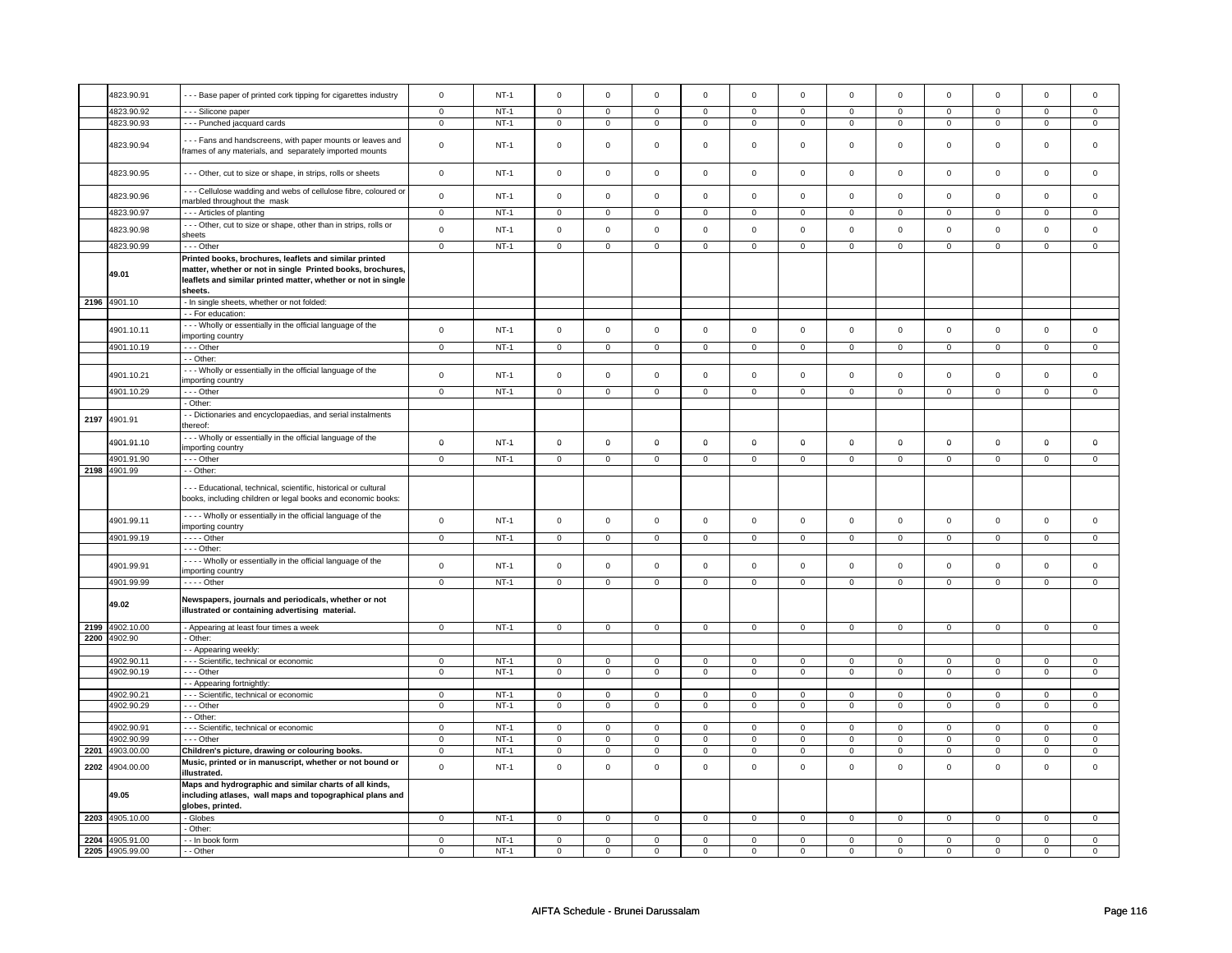|      | 4823.90.91               | --- Base paper of printed cork tipping for cigarettes industry                                                                                                                                   | $\mathbf 0$                | $NT-1$           | $\mathbf 0$                | $\mathbf 0$                | $\mathbf 0$                | $\mathbf 0$                | $\mathbf 0$                | $\mathbf 0$                | $\mathsf 0$                | $\mathsf 0$                | $\mathbf 0$                | $\mathbf 0$                | $\mathbf 0$      | 0                            |
|------|--------------------------|--------------------------------------------------------------------------------------------------------------------------------------------------------------------------------------------------|----------------------------|------------------|----------------------------|----------------------------|----------------------------|----------------------------|----------------------------|----------------------------|----------------------------|----------------------------|----------------------------|----------------------------|------------------|------------------------------|
|      | 4823.90.92               |                                                                                                                                                                                                  |                            | $NT-1$           |                            |                            |                            |                            |                            |                            |                            |                            |                            | $\Omega$                   |                  |                              |
|      |                          | - - - Silicone paper                                                                                                                                                                             | $\mathbf 0$                |                  | $\mathbf 0$                | $\mathbf 0$                | $\mathbf 0$                | $\mathbf 0$                | $\mathbf 0$                | $\mathbf 0$                | $\mathbf 0$                | $\mathbf{0}$               | $\mathbf 0$                |                            | 0                | $\overline{0}$               |
|      | 4823.90.93               | --- Punched jacquard cards                                                                                                                                                                       | $\mathbf 0$                | <b>NT-1</b>      | $\mathbf 0$                | $\mathbf 0$                | 0                          | $\mathbf 0$                | 0                          | $\mathbf 0$                | 0                          | $\mathbf 0$                | 0                          | $\mathbf 0$                | 0                | 0                            |
|      | 4823.90.94               | --- Fans and handscreens, with paper mounts or leaves and<br>frames of any materials, and separately imported mounts                                                                             | $\mathsf 0$                | <b>NT-1</b>      | $\mathbf 0$                | 0                          | $\mathsf 0$                | $\mathbf 0$                | $\mathbf 0$                | $\mathsf 0$                | 0                          | $\mathbf 0$                | $\mathbf 0$                | 0                          | 0                | 0                            |
|      | 4823.90.95               | - - - Other, cut to size or shape, in strips, rolls or sheets                                                                                                                                    | $\mathbf 0$                | $NT-1$           | $\mathsf 0$                | $\mathbf 0$                | $\mathsf 0$                | $\mathsf{O}\xspace$        | $\mathsf 0$                | $\mathsf 0$                | $\mathsf 0$                | $\mathsf 0$                | $\mathbf 0$                | $\mathbf 0$                | $\mathsf 0$      | $\mathsf 0$                  |
|      | 4823.90.96               | --- Cellulose wadding and webs of cellulose fibre, coloured or<br>marbled throughout the mask                                                                                                    | $\mathsf 0$                | $NT-1$           | $\mathsf 0$                | $\mathbf 0$                | $\mathsf 0$                | $\mathbf 0$                | $\mathsf 0$                | $\mathbf 0$                | $\mathsf 0$                | $\mathsf 0$                | $\mathbf 0$                | $\mathbf 0$                | $\mathsf 0$      | 0                            |
|      | 4823.90.97               | --- Articles of planting                                                                                                                                                                         | $\overline{0}$             | $NT-1$           | $\overline{0}$             | $\overline{0}$             | $\overline{0}$             | $\overline{0}$             | $\overline{0}$             | $\overline{0}$             | $\overline{0}$             | $\overline{0}$             | $\overline{0}$             | $\overline{0}$             | $\overline{0}$   | $\overline{0}$               |
|      | 4823.90.98               | --- Other, cut to size or shape, other than in strips, rolls or<br>sheets                                                                                                                        | $\mathbf 0$                | $NT-1$           | $\Omega$                   | $\mathbf 0$                | $\mathsf 0$                | $\mathsf{O}\xspace$        | $\mathsf{O}\xspace$        | $\mathsf 0$                | $\mathsf 0$                | $\mathsf 0$                | $\mathbf 0$                | $\mathsf 0$                | $\mathsf 0$      | 0                            |
|      | 4823.90.99               | --- Other                                                                                                                                                                                        | $\mathsf 0$                | $NT-1$           | $\mathsf 0$                | $\mathbf 0$                | $\mathsf 0$                | $\mathsf{O}\xspace$        | $\mathsf 0$                | $\mathsf 0$                | $\mathsf{O}\xspace$        | $\mathsf 0$                | $\mathsf 0$                | $\mathbf 0$                | $\mathsf 0$      | $\mathsf 0$                  |
|      | 49.01                    | Printed books, brochures, leaflets and similar printed<br>matter, whether or not in single Printed books, brochures,<br>leaflets and similar printed matter, whether or not in single<br>sheets. |                            |                  |                            |                            |                            |                            |                            |                            |                            |                            |                            |                            |                  |                              |
|      | 2196 4901.10             | - In single sheets, whether or not folded:                                                                                                                                                       |                            |                  |                            |                            |                            |                            |                            |                            |                            |                            |                            |                            |                  |                              |
|      |                          | - For education:                                                                                                                                                                                 |                            |                  |                            |                            |                            |                            |                            |                            |                            |                            |                            |                            |                  |                              |
|      | 4901.10.11               | - - - Wholly or essentially in the official language of the<br>importing country                                                                                                                 | $\mathbf 0$                | NT-1             | $\mathsf 0$                | $\mathsf 0$                | $\mathsf 0$                | $\mathbf 0$                | $\mathsf 0$                | $\mathsf 0$                | $\mathsf 0$                | $\mathbf 0$                | $\mathbf 0$                | $\mathbf 0$                | $\mathsf 0$      | $\mathbf 0$                  |
|      | 4901.10.19               | --- Other                                                                                                                                                                                        | $\mathbf 0$                | $NT-1$           | $\mathsf 0$                | $\mathbf 0$                | $\mathbf 0$                | $\mathbf 0$                | $\mathbf 0$                | $\mathbf 0$                | $\mathsf 0$                | $\mathbf 0$                | $\mathbf 0$                | $\mathbf 0$                | $\mathbf 0$      | 0                            |
|      |                          | - - Other:                                                                                                                                                                                       |                            |                  |                            |                            |                            |                            |                            |                            |                            |                            |                            |                            |                  |                              |
|      | 4901.10.21               | -- Wholly or essentially in the official language of the<br>importing country                                                                                                                    | $\mathbf 0$                | $NT-1$           | $\mathbf 0$                | $\mathsf 0$                | $\mathsf 0$                | $\mathbf 0$                | $\mathsf 0$                | $\mathsf 0$                | $\mathsf 0$                | $\mathsf 0$                | $\mathbf 0$                | $\mathbf 0$                | $\mathsf 0$      | 0                            |
|      | 4901.10.29               | --- Other                                                                                                                                                                                        | $\mathsf 0$                | $NT-1$           | $\mathsf 0$                | $\mathsf 0$                | $\mathbf 0$                | $\mathbf 0$                | $\mathbf 0$                | $\mathbf 0$                | $\mathsf 0$                | $\mathbf 0$                | $\mathbf 0$                | $\mathbf 0$                | $\mathsf 0$      | $\mathbf{0}$                 |
|      |                          | - Other:                                                                                                                                                                                         |                            |                  |                            |                            |                            |                            |                            |                            |                            |                            |                            |                            |                  |                              |
| 2197 | 4901.91                  | - - Dictionaries and encyclopaedias, and serial instalments<br>thereof:                                                                                                                          |                            |                  |                            |                            |                            |                            |                            |                            |                            |                            |                            |                            |                  |                              |
|      | 4901.91.10               | --- Wholly or essentially in the official language of the                                                                                                                                        | $\mathbf 0$                | $NT-1$           | $\mathbf 0$                | $\mathbf 0$                | $\mathbf 0$                | $\mathbf 0$                | $\mathbf 0$                | $\mathbf 0$                | $\mathbf 0$                | 0                          | $\mathbf 0$                | 0                          | 0                | 0                            |
|      |                          | importing country                                                                                                                                                                                |                            |                  |                            |                            |                            |                            |                            |                            |                            |                            |                            |                            |                  |                              |
|      | 4901.91.90               | $--$ Other                                                                                                                                                                                       | $\overline{0}$             | $NT-1$           | $\overline{0}$             | $\overline{0}$             | $\overline{0}$             | $\overline{0}$             | $\overline{0}$             | $\overline{0}$             | $\overline{0}$             | $\overline{0}$             | $\overline{0}$             | $\overline{0}$             | $\overline{0}$   | $\overline{0}$               |
|      | 2198 4901.99             | - - Other:<br>- - - Educational, technical, scientific, historical or cultural<br>books, including children or legal books and economic books:                                                   |                            |                  |                            |                            |                            |                            |                            |                            |                            |                            |                            |                            |                  |                              |
|      | 4901.99.11               | - - - - Wholly or essentially in the official language of the<br>importing country                                                                                                               | $\mathbf 0$                | $NT-1$           | $\mathsf 0$                | $\mathbf 0$                | $\mathsf 0$                | $\mathsf 0$                | $\mathsf 0$                | $\mathsf 0$                | $\mathsf 0$                | $\mathsf 0$                | $\mathbf 0$                | $\mathsf 0$                | $\mathsf 0$      | $\mathsf 0$                  |
|      | 4901.99.19               | - - - - Other                                                                                                                                                                                    | $\mathbf 0$                | $NT-1$           | $\mathsf 0$                | $\mathbf 0$                | $\mathsf 0$                | $\mathsf 0$                | $\mathsf 0$                | $\mathsf 0$                | $\mathsf{O}\xspace$        | $\mathsf{O}$               | $\mathsf 0$                | $\mathsf 0$                | $\mathsf 0$      | $\mathsf 0$                  |
|      |                          | - - - Other:                                                                                                                                                                                     |                            |                  |                            |                            |                            |                            |                            |                            |                            |                            |                            |                            |                  |                              |
|      | 4901.99.91               | - - - - Wholly or essentially in the official language of the<br>importing country                                                                                                               | $\mathbf 0$                | $NT-1$           | $\mathsf 0$                | $\mathsf 0$                | $\mathsf 0$                | $\mathsf 0$                | $\mathsf 0$                | $\mathsf 0$                | $\mathsf{O}\xspace$        | $\mathsf{O}$               | $\mathsf 0$                | $\mathbf 0$                | $\mathsf 0$      | $\mathbf 0$                  |
|      | 4901.99.99               | - - - - Other                                                                                                                                                                                    | $\mathbf 0$                | $NT-1$           | $\mathsf 0$                | $\mathsf 0$                | $\mathsf 0$                | $\overline{0}$             | $\overline{0}$             | $\overline{0}$             | $\mathsf{O}\xspace$        | $\mathsf{O}$               | $\mathsf 0$                | $\mathsf{O}$               | $\mathsf 0$      | $\mathbf{O}$                 |
|      | 49.02                    | Newspapers, journals and periodicals, whether or not<br>illustrated or containing advertising material.                                                                                          |                            |                  |                            |                            |                            |                            |                            |                            |                            |                            |                            |                            |                  |                              |
|      | 2199 4902.10.00          | - Appearing at least four times a week                                                                                                                                                           | $\mathbf{0}$               | $NT-1$           | $\mathbf 0$                | $\mathbf 0$                | $\mathbf 0$                | $\mathbf{0}$               | $\mathbf 0$                | $\mathbf 0$                | $\mathbf 0$                | $\mathbf{0}$               | $\mathbf 0$                | $\mathbf{0}$               | 0                | 0                            |
|      | 2200 4902.90             | - Other:                                                                                                                                                                                         |                            |                  |                            |                            |                            |                            |                            |                            |                            |                            |                            |                            |                  |                              |
|      |                          | - Appearing weekly:                                                                                                                                                                              |                            |                  |                            |                            |                            |                            |                            |                            |                            |                            |                            |                            |                  |                              |
|      | 4902.90.11               | - - - Scientific, technical or economic                                                                                                                                                          | $\mathbf 0$                | $NT-1$           | $\mathbf 0$                | $\mathbf 0$                | $\mathbf 0$                | $\mathbf 0$                | $\mathbf 0$                | $\mathbf 0$                | $\mathbf 0$                | $\mathbf 0$                | 0                          | 0                          | 0                | $\mathbf 0$                  |
|      | 4902.90.19               | --- Other                                                                                                                                                                                        | $\mathbf 0$                | $NT-1$           | $\mathsf 0$                | $\mathsf 0$                | $\mathbf 0$                | $\mathbf 0$                | $\mathbf 0$                | $\mathbf 0$                | $\mathbf 0$                | $\mathbf 0$                | 0                          | $\mathbf 0$                | 0                | $\mathbf 0$                  |
|      |                          | - - Appearing fortnightly:                                                                                                                                                                       |                            |                  |                            |                            |                            |                            |                            |                            |                            |                            |                            |                            |                  |                              |
|      | 4902.90.21<br>4902.90.29 | - - - Scientific, technical or economic<br>--- Other                                                                                                                                             | $\mathsf 0$<br>$\mathbf 0$ | $NT-1$<br>$NT-1$ | $\mathbf 0$<br>$\mathsf 0$ | $\mathbf 0$<br>$\mathsf 0$ | $\mathbf 0$<br>$\mathbf 0$ | $\mathbf 0$<br>$\mathbf 0$ | $\mathbf 0$<br>$\mathbf 0$ | $\mathbf 0$<br>$\mathbf 0$ | $\mathbf 0$<br>$\mathsf 0$ | $\mathbf 0$<br>$\mathbf 0$ | $\mathbf 0$<br>$\mathbf 0$ | $\mathbf 0$<br>$\mathbf 0$ | 0<br>$\mathsf 0$ | $\mathbf{0}$<br>$\mathbf{0}$ |
|      |                          | - Other:                                                                                                                                                                                         |                            |                  |                            |                            |                            |                            |                            |                            |                            |                            |                            |                            |                  |                              |
|      | 4902.90.91               | - - - Scientific, technical or economic                                                                                                                                                          | $\mathsf 0$                | $NT-1$           | $\mathbf 0$                | $\overline{0}$             | $\mathbf 0$                | $\overline{0}$             | $\mathbf 0$                | $\overline{0}$             | $\mathbf 0$                | $\overline{0}$             | $\mathbf 0$                | $\overline{0}$             | $\mathbf 0$      | $\mathbf{0}$                 |
|      | 4902.90.99               | --- Other                                                                                                                                                                                        | $\mathbf 0$                | $NT-1$           | 0                          | $\mathbf 0$                | $\mathbf 0$                | $\mathbf 0$                | $\mathbf 0$                | $\mathbf 0$                | $\mathbf 0$                | 0                          | 0                          | 0                          | $\mathbf 0$      | 0                            |
| 2201 | 4903.00.00               | Children's picture, drawing or colouring books.                                                                                                                                                  | $\mathbf 0$                | $NT-1$           | $\mathsf 0$                | $\mathsf 0$                | $\mathbf 0$                | $\mathbf 0$                | $\mathbf 0$                | $\mathbf 0$                | $\mathsf 0$                | $\mathbf 0$                | $\mathbf 0$                | $\mathbf 0$                | $\mathbf 0$      | $\mathbf 0$                  |
| 2202 | 4904.00.00               | Music, printed or in manuscript, whether or not bound or                                                                                                                                         | $\mathsf{o}$               | $NT-1$           | $\mathsf 0$                | $\mathsf 0$                | $\mathbf 0$                | $\mathsf{o}\xspace$        | $\mathsf 0$                | $\mathbf 0$                | $\mathsf 0$                | $\mathsf 0$                | $\mathbf 0$                | $\mathbf 0$                | $\mathsf 0$      | $\mathbf 0$                  |
|      |                          | illustrated.<br>Maps and hydrographic and similar charts of all kinds,                                                                                                                           |                            |                  |                            |                            |                            |                            |                            |                            |                            |                            |                            |                            |                  |                              |
|      | 49.05                    | including atlases, wall maps and topographical plans and<br>globes, printed.                                                                                                                     |                            |                  |                            |                            |                            |                            |                            |                            |                            |                            |                            |                            |                  |                              |
|      | 2203 4905.10.00          | - Globes                                                                                                                                                                                         | $\mathsf 0$                | $NT-1$           | $\mathsf 0$                | $\mathsf 0$                | $\mathbf 0$                | $\mathbf 0$                | $\mathbf 0$                | $\mathbf 0$                | $\mathbf 0$                | $\mathbf 0$                | $\mathbf 0$                | $\mathbf 0$                | 0                | 0                            |
|      |                          | Other:                                                                                                                                                                                           |                            |                  |                            |                            |                            |                            |                            |                            |                            |                            |                            |                            |                  |                              |
|      | 2204 4905.91.00          | - - In book form                                                                                                                                                                                 | $\mathbf 0$                | $NT-1$           | $\mathbf{0}$               | $\mathbf 0$                | $^{\circ}$                 | $\mathbf 0$                | $\mathbf 0$                | $\mathbf{0}$               | $^{\circ}$                 | $\Omega$                   | $\mathbf{0}$               | $\Omega$                   | 0                | $\Omega$                     |
|      | 2205 4905.99.00          | - - Other                                                                                                                                                                                        | $\mathbf 0$                | $NT-1$           | $\mathsf 0$                | $\mathbf 0$                | $\mathbf 0$                | $\mathbf 0$                | $\mathbf 0$                | $\mathbf 0$                | $\mathsf 0$                | $\mathbf 0$                | $\mathbf 0$                | $\mathbf 0$                | $\mathsf 0$      | 0                            |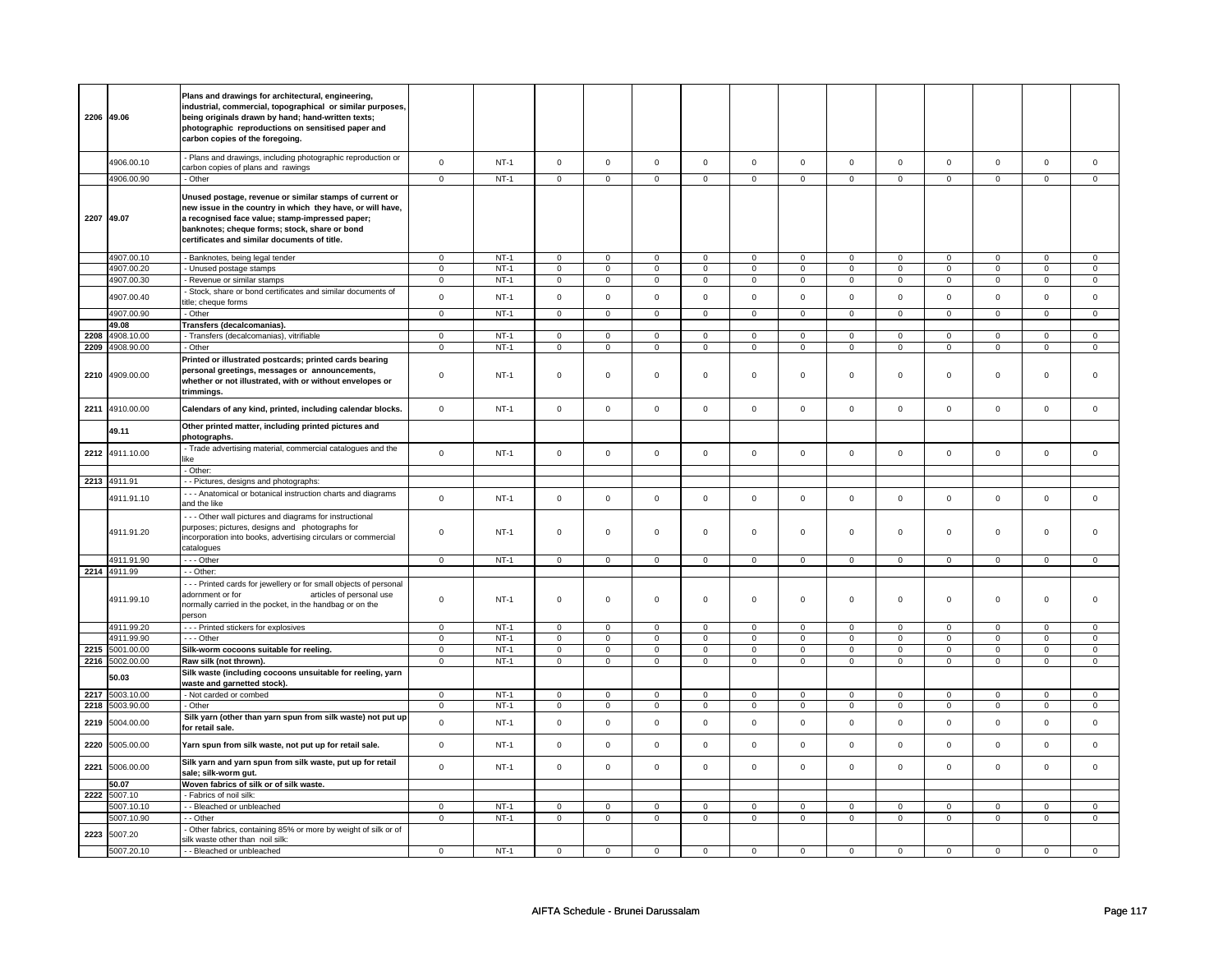|      | 2206 49.06   | Plans and drawings for architectural, engineering,<br>industrial, commercial, topographical or similar purposes,<br>being originals drawn by hand; hand-written texts;<br>photographic reproductions on sensitised paper and<br>carbon copies of the foregoing.           |                |             |                |                |                |                |                     |                |                     |                |                     |                |                |                |
|------|--------------|---------------------------------------------------------------------------------------------------------------------------------------------------------------------------------------------------------------------------------------------------------------------------|----------------|-------------|----------------|----------------|----------------|----------------|---------------------|----------------|---------------------|----------------|---------------------|----------------|----------------|----------------|
|      | 4906.00.10   | - Plans and drawings, including photographic reproduction or<br>carbon copies of plans and rawings                                                                                                                                                                        | $\mathbf 0$    | $NT-1$      | $\Omega$       | $\mathbf 0$    | $\mathbf 0$    | $\mathbf 0$    | $\mathbf 0$         | $\mathsf 0$    | $\mathbf 0$         | $\mathbf 0$    | $\mathbf 0$         | $\mathbf 0$    | $\mathbf 0$    | $\mathbf 0$    |
|      | 4906.00.90   | - Other                                                                                                                                                                                                                                                                   | $\overline{0}$ | $NT-1$      | $\overline{0}$ | $\overline{0}$ | $\overline{0}$ | $\overline{0}$ | $\overline{0}$      | $\overline{0}$ | $\overline{0}$      | $\overline{0}$ | $\overline{0}$      | $\overline{0}$ | $\overline{0}$ | $\overline{0}$ |
|      | 2207 49.07   | Unused postage, revenue or similar stamps of current or<br>new issue in the country in which they have, or will have,<br>a recognised face value; stamp-impressed paper;<br>banknotes; cheque forms; stock, share or bond<br>certificates and similar documents of title. |                |             |                |                |                |                |                     |                |                     |                |                     |                |                |                |
|      | 4907.00.10   | Banknotes, being legal tender                                                                                                                                                                                                                                             | $\mathbf 0$    | $NT-1$      | $\mathsf 0$    | $\overline{0}$ | $\mathsf 0$    | $\mathsf 0$    | $\mathsf{O}\xspace$ | $\mathbf 0$    | $\mathbf 0$         | $\mathbf 0$    | $\mathbf 0$         | $\mathsf 0$    | $\mathsf 0$    | $\mathbf 0$    |
|      | 4907.00.20   | - Unused postage stamps                                                                                                                                                                                                                                                   | $\mathbf 0$    | $NT-1$      | $\mathsf 0$    | $\mathsf 0$    | $\mathbf 0$    | $\mathbf 0$    | $\mathbf 0$         | $\mathbf 0$    | $\mathbf 0$         | $\mathbf 0$    | 0                   | 0              | $\mathbf 0$    | $\mathbf 0$    |
|      | 4907.00.30   |                                                                                                                                                                                                                                                                           | $\mathsf 0$    | $NT-1$      | $\mathbf 0$    | $\mathsf 0$    | $\mathsf 0$    | $\mathbf 0$    | $\mathsf 0$         | $\mathbf 0$    | $\mathbf 0$         | $\mathbf 0$    | $\mathbf 0$         | $\mathbf 0$    | $\mathbf 0$    | $\mathbf 0$    |
|      |              | - Revenue or similar stamps<br>Stock, share or bond certificates and similar documents of                                                                                                                                                                                 | $\pmb{0}$      |             |                | $\mathbf 0$    | $\mathbf 0$    | $\mathsf 0$    |                     |                |                     |                |                     | $\mathsf 0$    | $\mathbf 0$    | $\mathbf 0$    |
|      | 4907.00.40   | itle; cheque forms                                                                                                                                                                                                                                                        |                | $NT-1$      | $\mathsf 0$    |                |                |                | $\mathsf 0$         | $\mathsf 0$    | $\mathsf{O}\xspace$ | $\mathsf 0$    | $\mathsf{O}\xspace$ |                |                |                |
|      | 4907.00.90   | - Other                                                                                                                                                                                                                                                                   | $\mathbf 0$    | $NT-1$      | $\mathbf 0$    | $\mathbf 0$    | $\mathbf 0$    | $\mathsf 0$    | $\mathbf 0$         | $\mathbf 0$    | $\mathbf 0$         | $\mathbf{0}$   | $\mathbf{0}$        | $\mathbf 0$    | $\mathbf 0$    | $\mathbf{0}$   |
|      | 49.08        | Transfers (decalcomanias).                                                                                                                                                                                                                                                |                |             |                |                |                |                |                     |                |                     |                |                     |                |                |                |
| 2208 | 4908.10.00   | - Transfers (decalcomanias), vitrifiable                                                                                                                                                                                                                                  | $\mathbf{0}$   | <b>NT-1</b> | $\mathbf 0$    | $\mathbf{0}$   | $\mathbf 0$    | $\overline{0}$ | $\mathbf 0$         | $\mathbf{0}$   | 0                   | $\mathbf 0$    | 0                   | $\overline{0}$ | $\mathbf 0$    | $\mathbf{0}$   |
| 2209 | 4908.90.00   | - Other                                                                                                                                                                                                                                                                   | $\mathsf 0$    | $NT-1$      | $\mathbf 0$    | $\mathsf 0$    | $\mathbf 0$    | $\mathbf 0$    | $\mathsf 0$         | $\mathbf 0$    | $\mathbf 0$         | $\mathbf 0$    | 0                   | 0              | $\mathbf 0$    | $\circ$        |
|      |              | Printed or illustrated postcards; printed cards bearing                                                                                                                                                                                                                   |                |             |                |                |                |                |                     |                |                     |                |                     |                |                |                |
| 2210 | 4909.00.00   | personal greetings, messages or announcements,<br>whether or not illustrated, with or without envelopes or<br>trimmings.                                                                                                                                                  | $\mathbf 0$    | $NT-1$      | $\mathbf 0$    | $\mathsf 0$    | $\mathbf 0$    | $\mathbf 0$    | $\mathbf 0$         | $\mathbf 0$    | 0                   | 0              | 0                   | 0              | $\mathbf 0$    | 0              |
| 2211 | 4910.00.00   | Calendars of any kind, printed, including calendar blocks.                                                                                                                                                                                                                | $\mathsf 0$    | <b>NT-1</b> | $\mathsf 0$    | $\mathsf 0$    | $\mathsf 0$    | $\mathsf 0$    | $\mathsf{O}\xspace$ | $\mathbf 0$    | $\mathbf 0$         | $\mathbf 0$    | $\mathbf 0$         | $\mathbf 0$    | $\mathsf 0$    | $\mathbf 0$    |
|      | 49.11        | Other printed matter, including printed pictures and<br>photographs.                                                                                                                                                                                                      |                |             |                |                |                |                |                     |                |                     |                |                     |                |                |                |
| 2212 | 4911.10.00   | - Trade advertising material, commercial catalogues and the<br>ike                                                                                                                                                                                                        | $\mathbf 0$    | $NT-1$      | $\Omega$       | $\mathbf 0$    | $\mathbf 0$    | $\mathbf 0$    | $\mathbf 0$         | $\mathbf 0$    | $\mathbf 0$         | $\mathbf{0}$   | $\mathbf 0$         | $\mathbf 0$    | $\mathbf 0$    | $\mathbf 0$    |
|      |              | - Other:                                                                                                                                                                                                                                                                  |                |             |                |                |                |                |                     |                |                     |                |                     |                |                |                |
| 2213 | 4911.91      | - - Pictures, designs and photographs:                                                                                                                                                                                                                                    |                |             |                |                |                |                |                     |                |                     |                |                     |                |                |                |
|      |              |                                                                                                                                                                                                                                                                           |                |             |                |                |                |                |                     |                |                     |                |                     |                |                |                |
|      | 4911.91.10   | --- Anatomical or botanical instruction charts and diagrams<br>and the like                                                                                                                                                                                               | $\mathsf 0$    | $NT-1$      | $\mathsf 0$    | $\mathsf 0$    | $\mathsf 0$    | $\mathsf 0$    | $\mathsf{O}\xspace$ | $\mathsf 0$    | $\mathbf 0$         | $\mathbf 0$    | $\mathbf 0$         | $\mathsf 0$    | $\mathsf 0$    | $\mathbf 0$    |
|      | 4911.91.20   | - - - Other wall pictures and diagrams for instructional<br>purposes; pictures, designs and photographs for<br>incorporation into books, advertising circulars or commercial<br>catalogues                                                                                | $\mathsf 0$    | $NT-1$      | $\mathbf 0$    | $\mathbf 0$    | $\mathbf 0$    | $\mathbf 0$    | $\mathbf 0$         | $\mathbf 0$    | $\mathbf 0$         | $\mathbf 0$    | $\mathbf 0$         | $\mathbf 0$    | $\mathbf 0$    | $\mathbf 0$    |
|      | 4911.91.90   | $- -$ Other                                                                                                                                                                                                                                                               | $\overline{0}$ | $NT-1$      | $\overline{0}$ | $\overline{0}$ | $\overline{0}$ | $\overline{0}$ | $\overline{0}$      | $\overline{0}$ | $\overline{0}$      | $\overline{0}$ |                     |                | $\overline{0}$ | $\overline{0}$ |
|      | 2214 4911.99 | - Other:                                                                                                                                                                                                                                                                  |                |             |                |                |                |                |                     |                |                     |                | $\overline{0}$      | $\overline{0}$ |                |                |
|      |              | --- Printed cards for jewellery or for small objects of personal                                                                                                                                                                                                          |                |             |                |                |                |                |                     |                |                     |                |                     |                |                |                |
|      | 4911.99.10   | adornment or for<br>articles of personal use<br>normally carried in the pocket, in the handbag or on the<br>person                                                                                                                                                        | $\mathsf 0$    | $NT-1$      | $\mathsf 0$    | $\mathsf 0$    | $\mathsf 0$    | $\mathbf 0$    | $\mathsf{O}\xspace$ | $\mathsf 0$    | $\mathbf 0$         | $\mathbf 0$    | $\mathbf 0$         | $\mathsf 0$    | $\mathsf 0$    | $\mathsf 0$    |
|      | 4911.99.20   | - - - Printed stickers for explosives                                                                                                                                                                                                                                     | $\mathbf 0$    | $NT-1$      | $\mathbf 0$    | $\mathbf 0$    | $\mathbf 0$    | $\mathbf 0$    | $\mathbf 0$         | $\mathbf 0$    | $\mathbf 0$         | $\mathbf 0$    | $\mathbf 0$         | $\mathbf{0}$   | $\mathbf 0$    | $\mathbf 0$    |
|      | 4911.99.90   | - - - Other                                                                                                                                                                                                                                                               | $\mathsf 0$    | $NT-1$      | $\mathbf 0$    | $\mathbf 0$    | $\Omega$       | $\mathbf 0$    | $\mathbf 0$         | $\mathbf{0}$   | $\Omega$            | $\mathbf{0}$   | $\mathbf{0}$        | $\mathsf 0$    | $\Omega$       | $\mathbf 0$    |
| 2215 | 5001.00.00   | Silk-worm cocoons suitable for reeling.                                                                                                                                                                                                                                   | $\mathsf 0$    | $NT-1$      | $\mathbf 0$    | $\mathsf 0$    | $\mathbf 0$    | $\mathsf 0$    | $\mathsf 0$         | $\mathbf 0$    | $\mathbf 0$         | $\mathbf 0$    | $\mathbf 0$         | $\mathsf 0$    | $\mathsf 0$    | $\mathbf 0$    |
| 2216 | 5002.00.00   | Raw silk (not thrown).                                                                                                                                                                                                                                                    | $\mathsf 0$    | $NT-1$      | $\mathbf 0$    | $\mathsf 0$    | $\mathbf 0$    | $\mathbf 0$    | $\mathbf 0$         | $\mathbf 0$    | 0                   | $\mathbf 0$    | 0                   | $\mathbf 0$    | $\mathbf 0$    | $\mathbf 0$    |
|      | 50.03        | Silk waste (including cocoons unsuitable for reeling, yarn                                                                                                                                                                                                                |                |             |                |                |                |                |                     |                |                     |                |                     |                |                |                |
|      |              | waste and garnetted stock).                                                                                                                                                                                                                                               |                |             |                |                |                |                |                     |                |                     |                |                     |                |                |                |
| 2217 | 5003.10.00   | - Not carded or combed                                                                                                                                                                                                                                                    | $\mathbf 0$    | $NT-1$      | $\mathbf 0$    | $\mathbf 0$    | $\mathbf 0$    | $\mathbf 0$    | $\mathsf 0$         | $\mathbf 0$    | $\mathbf 0$         | $\mathbf 0$    | $\mathbf 0$         | $\mathbf 0$    | $\mathbf 0$    | $\mathbf{0}$   |
| 2218 | 5003.90.00   | - Other                                                                                                                                                                                                                                                                   | $\mathsf 0$    | $NT-1$      | $\mathbf 0$    | $\mathsf 0$    | $\mathbf 0$    | $\mathbf 0$    | $\mathsf 0$         | $\mathsf 0$    | $\mathbf 0$         | $\mathbf 0$    | $\mathbf 0$         | $\mathsf 0$    | $\mathbf 0$    | $\mathsf 0$    |
| 2219 | 5004.00.00   | Silk yarn (other than yarn spun from silk waste) not put up<br>for retail sale.                                                                                                                                                                                           | $\mathbf 0$    | $NT-1$      | $\mathbf 0$    | $\mathsf{o}$   | $\mathbf 0$    | $\mathsf 0$    | $\mathsf{O}\xspace$ | $\mathsf 0$    | $\mathbf 0$         | $\mathbf 0$    | $\mathbf 0$         | $\mathsf{o}\,$ | $\mathsf 0$    | $\mathsf 0$    |
| 2220 | 5005.00.00   | Yarn spun from silk waste, not put up for retail sale.                                                                                                                                                                                                                    | $\mathsf 0$    | $NT-1$      | $\mathsf 0$    | $\mathsf 0$    | $\mathsf 0$    | $\mathsf 0$    | $\mathsf{O}\xspace$ | $\mathsf 0$    | $\mathbf 0$         | $\mathbf 0$    | $\mathbf 0$         | $\mathsf 0$    | $\mathsf 0$    | $\mathsf 0$    |
| 2221 | 5006.00.00   | Silk yarn and yarn spun from silk waste, put up for retail<br>sale; silk-worm gut.                                                                                                                                                                                        | $\mathbf 0$    | $NT-1$      | $\mathbf 0$    | $\mathbf 0$    | $\mathbf 0$    | $\mathbf 0$    | $\mathbf 0$         | $\mathbf 0$    | $\mathbf 0$         | $\mathbf 0$    | $\mathbf 0$         | $\mathbf 0$    | $\mathbf 0$    | $\mathbf 0$    |
|      | 50.07        |                                                                                                                                                                                                                                                                           |                |             |                |                |                |                |                     |                |                     |                |                     |                |                |                |
|      |              | Woven fabrics of silk or of silk waste.                                                                                                                                                                                                                                   |                |             |                |                |                |                |                     |                |                     |                |                     |                |                |                |
| 2222 | 5007.10      | - Fabrics of noil silk:                                                                                                                                                                                                                                                   |                |             |                |                |                |                |                     |                |                     |                |                     |                |                |                |
|      | 5007.10.10   | - Bleached or unbleached                                                                                                                                                                                                                                                  | $\mathsf 0$    | $NT-1$      | $\mathbf 0$    | $\mathbf 0$    | $\mathbf 0$    | $\mathbf 0$    | $\mathsf 0$         | $\mathsf 0$    | $\mathbf 0$         | $\mathbf 0$    | $\mathbf 0$         | $\mathbf 0$    | $\mathbf 0$    | $\mathbf 0$    |
|      | 5007.10.90   | - Other                                                                                                                                                                                                                                                                   | $\mathsf 0$    | $NT-1$      | $\mathbf 0$    | $\mathsf 0$    | $\mathbf 0$    | $\mathbf 0$    | $\mathbf 0$         | $\mathbf 0$    | 0                   | $\mathbf 0$    | 0                   | 0              | $\mathbf 0$    | $\mathbf 0$    |
| 2223 | 5007.20      | - Other fabrics, containing 85% or more by weight of silk or of<br>silk waste other than noil silk:                                                                                                                                                                       |                |             |                |                |                |                |                     |                |                     |                |                     |                |                |                |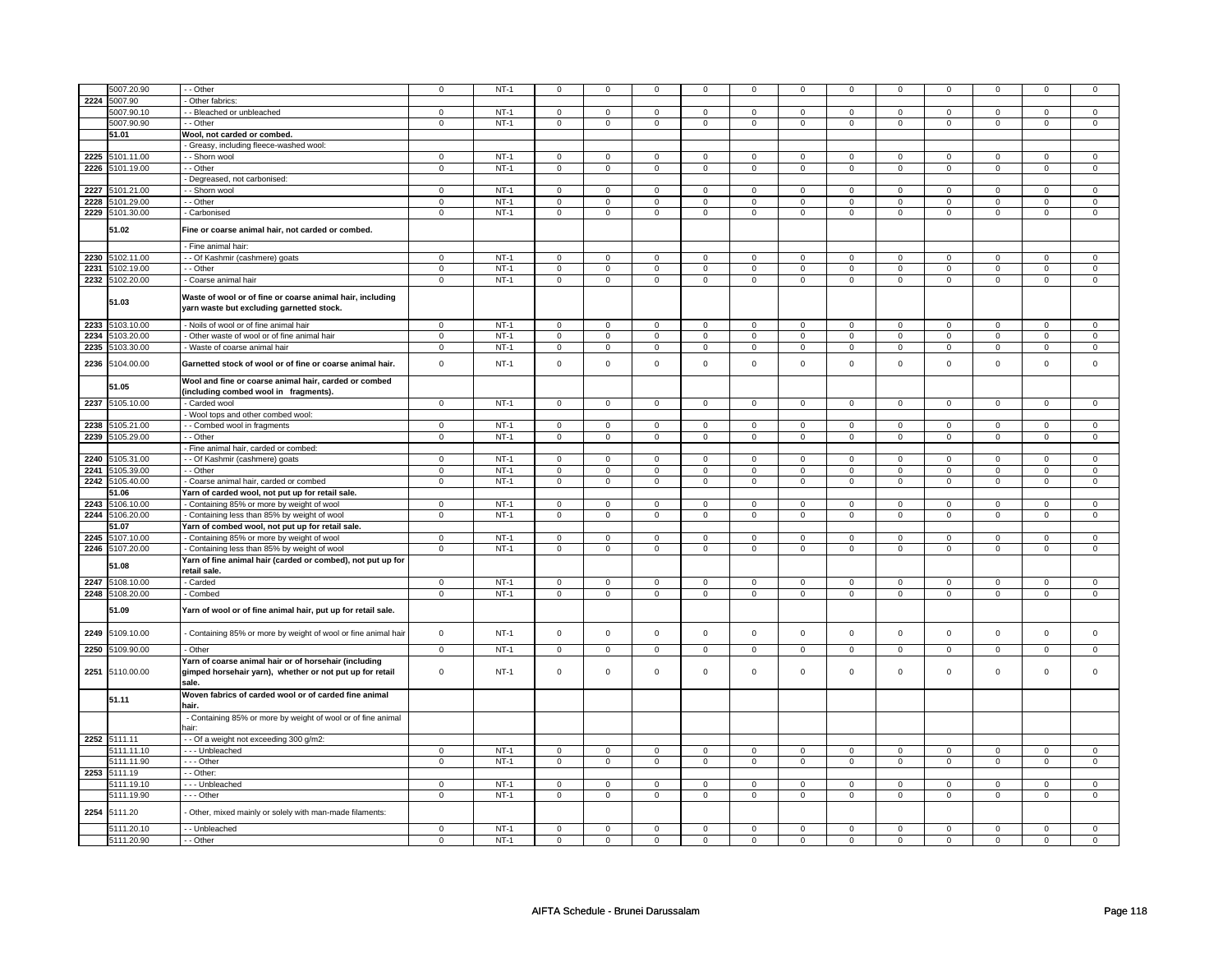|      |                 |                                                                                                                   |                |        |                |                |                     |                |                     |                |                |                |                | $\Omega$       |                |                |
|------|-----------------|-------------------------------------------------------------------------------------------------------------------|----------------|--------|----------------|----------------|---------------------|----------------|---------------------|----------------|----------------|----------------|----------------|----------------|----------------|----------------|
|      | 5007.20.90      | - - Other                                                                                                         | $\mathsf 0$    | $NT-1$ | 0              | $\Omega$       | $\Omega$            | $\Omega$       | $\Omega$            | $\Omega$       | $\Omega$       | $\Omega$       | $\Omega$       |                |                | $\mathsf 0$    |
| 2224 | 5007.90         | - Other fabrics:                                                                                                  |                |        |                |                |                     |                |                     |                |                |                |                |                |                |                |
|      | 5007.90.10      | - - Bleached or unbleached                                                                                        | $\mathbf 0$    | $NT-1$ | $\mathbf 0$    | $\mathsf 0$    | $\mathbf 0$         | $\mathbf{0}$   | $\mathbf 0$         | $\mathsf 0$    | $\mathbf 0$    | $\mathbf 0$    | $\mathsf 0$    | $\mathbf 0$    | $\mathbf 0$    | $\mathbf 0$    |
|      | 5007.90.90      | - - Other                                                                                                         | $\mathbf{0}$   | $NT-1$ | $\mathbf 0$    | $\mathbf 0$    | $\mathbf 0$         | $\mathbf 0$    | $\mathbf 0$         | $\mathbf 0$    | $\mathbf 0$    | $\mathbf 0$    | $\mathbf 0$    | $\mathbf 0$    | $\mathbf 0$    | $\mathbf 0$    |
|      | 51.01           |                                                                                                                   |                |        |                |                |                     |                |                     |                |                |                |                |                |                |                |
|      |                 | Wool, not carded or combed.                                                                                       |                |        |                |                |                     |                |                     |                |                |                |                |                |                |                |
|      |                 | - Greasy, including fleece-washed wool:                                                                           |                |        |                |                |                     |                |                     |                |                |                |                |                |                |                |
| 2225 | 5101.11.00      | - - Shorn wool                                                                                                    | $\mathbf 0$    | $NT-1$ | $\mathbf 0$    | $\mathbf 0$    | $\mathbf 0$         | $\mathbf 0$    | $\mathbf 0$         | $\mathbf 0$    | $\mathbf 0$    | $\mathbf 0$    | $\mathbf 0$    | $\mathbf 0$    | $\mathbf 0$    | 0              |
|      | 2226 5101.19.00 | $-$ Other                                                                                                         | $\overline{0}$ | $NT-1$ | $\overline{0}$ | $\overline{0}$ | $\overline{0}$      | $\overline{0}$ | $\overline{0}$      | $\overline{0}$ | $\overline{0}$ | $\overline{0}$ | $\overline{0}$ | $\overline{0}$ | $\overline{0}$ | $\overline{0}$ |
|      |                 | - Degreased, not carbonised:                                                                                      |                |        |                |                |                     |                |                     |                |                |                |                |                |                |                |
|      |                 |                                                                                                                   |                |        |                |                |                     |                |                     |                |                |                |                |                |                |                |
| 2227 | 5101.21.00      | - - Shorn wool                                                                                                    | $\mathbf 0$    | $NT-1$ | $\mathbf 0$    | $\mathbf 0$    | $\mathbf 0$         | $\mathbf 0$    | $\mathbf 0$         | $\mathbf 0$    | $\mathbf 0$    | $\mathbf 0$    | $\mathbf 0$    | $\mathbf 0$    | $\Omega$       | $\mathbf 0$    |
| 2228 | 5101.29.00      | - - Other                                                                                                         | $\overline{0}$ | $NT-1$ | $\mathsf 0$    | $\mathbf 0$    | $\mathbf 0$         | $\mathbf 0$    | 0                   | $\mathbf 0$    | $\mathsf 0$    | $\mathsf 0$    | $\mathsf 0$    | $\mathsf 0$    | $\mathsf 0$    | $\mathsf 0$    |
| 2229 | 5101.30.00      | - Carbonised                                                                                                      | $\,0\,$        | $NT-1$ | $\mathbf 0$    | $\mathbf 0$    | $\mathsf{O}\xspace$ | $\mathbf 0$    | $\mathsf{O}\xspace$ | $\mathbf 0$    | $\mathsf 0$    | $\mathsf 0$    | $\mathsf 0$    | $\mathsf 0$    | $\mathbf 0$    | $\mathbf 0$    |
|      |                 |                                                                                                                   |                |        |                |                |                     |                |                     |                |                |                |                |                |                |                |
|      | 51.02           | Fine or coarse animal hair, not carded or combed.                                                                 |                |        |                |                |                     |                |                     |                |                |                |                |                |                |                |
|      |                 |                                                                                                                   |                |        |                |                |                     |                |                     |                |                |                |                |                |                |                |
|      |                 | - Fine animal hair:                                                                                               |                |        |                |                |                     |                |                     |                |                |                |                |                |                |                |
| 2230 | 5102.11.00      | - - Of Kashmir (cashmere) goats                                                                                   | $\mathsf 0$    | $NT-1$ | $\mathsf 0$    | $\mathbf 0$    | $\mathsf 0$         | $\mathsf 0$    | $\mathsf 0$         | $\mathsf 0$    | $\mathbf 0$    | $\mathbf 0$    | $\mathbf 0$    | $\mathbf 0$    | $\Omega$       | $\mathsf 0$    |
| 2231 | 5102.19.00      | - - Other                                                                                                         | $\,0\,$        | $NT-1$ | $\mathbf 0$    | $\mathbf 0$    | $\mathbf 0$         | $\mathbf 0$    | $\mathbf 0$         | $\mathbf 0$    | $\mathbf 0$    | $\mathsf 0$    | $\mathsf 0$    | $\mathsf 0$    | $\mathbf 0$    | $\mathsf 0$    |
| 2232 | 5102.20.00      | - Coarse animal hair                                                                                              | $\mathbf 0$    | $NT-1$ | $\mathsf 0$    | $\mathsf 0$    | $\mathsf 0$         | $\mathbf 0$    | $\mathsf 0$         | $\mathsf 0$    | $\mathbf 0$    | $\mathbf 0$    | $\mathsf 0$    | $\mathbf 0$    | $\mathsf 0$    | $\mathbf 0$    |
|      |                 |                                                                                                                   |                |        |                |                |                     |                |                     |                |                |                |                |                |                |                |
|      | 51.03           | Waste of wool or of fine or coarse animal hair, including<br>yarn waste but excluding garnetted stock.            |                |        |                |                |                     |                |                     |                |                |                |                |                |                |                |
| 2233 | 5103.10.00      | - Noils of wool or of fine animal hair                                                                            | $\overline{0}$ | $NT-1$ | $\overline{0}$ | $\overline{0}$ | $\mathbf 0$         | $\mathbf 0$    | $\mathbf 0$         | $\overline{0}$ | $\mathbf 0$    | $\overline{0}$ | $\overline{0}$ | $\overline{0}$ | $\mathbf 0$    | $\overline{0}$ |
| 2234 | 5103.20.00      | - Other waste of wool or of fine animal hair                                                                      | $\mathbf 0$    | $NT-1$ | $\mathsf 0$    | $\mathbf 0$    | $\mathsf 0$         | $\mathsf 0$    | $\mathsf 0$         | $\mathsf 0$    | $\mathbf 0$    | $\mathbf 0$    | $\mathsf 0$    | $\mathbf 0$    | $\mathsf 0$    | $\mathbf 0$    |
| 2235 | 5103.30.00      | - Waste of coarse animal hair                                                                                     | $\mathbf 0$    | $NT-1$ | $\mathsf 0$    | $\mathsf 0$    | $\mathsf 0$         | $\mathbf 0$    | $\mathsf 0$         | $\mathsf 0$    | $\mathsf 0$    | $\mathsf 0$    | $\mathsf 0$    | $\mathsf 0$    | $\mathbf 0$    | $\mathsf 0$    |
|      |                 |                                                                                                                   |                |        |                |                |                     |                |                     |                |                |                |                |                |                |                |
| 2236 | 5104.00.00      | Garnetted stock of wool or of fine or coarse animal hair.                                                         | $\pmb{0}$      | $NT-1$ | $\mathsf 0$    | $\mathsf 0$    | $\mathsf 0$         | $\mathsf 0$    | $\mathsf{O}\xspace$ | $\mathsf 0$    | $\mathbf 0$    | $\mathsf 0$    | $\mathbf 0$    | $\mathsf 0$    | $\mathbf 0$    | $\mathbf 0$    |
|      | 51.05           | Wool and fine or coarse animal hair, carded or combed<br>(including combed wool in fragments).                    |                |        |                |                |                     |                |                     |                |                |                |                |                |                |                |
| 2237 | 5105.10.00      | - Carded wool                                                                                                     | $\overline{0}$ | $NT-1$ | 0              | $\overline{0}$ | $\mathbf 0$         | $\mathbf{0}$   | $\mathbf 0$         | $\overline{0}$ | $\mathbf 0$    | $\overline{0}$ | $\mathbf 0$    | $\overline{0}$ | $\mathbf 0$    | $\mathbf 0$    |
|      |                 | Wool tops and other combed wool:                                                                                  |                |        |                |                |                     |                |                     |                |                |                |                |                |                |                |
|      |                 |                                                                                                                   |                |        |                |                |                     |                |                     |                |                |                |                |                |                |                |
| 2238 | 5105.21.00      | - - Combed wool in fragments                                                                                      | $\mathbf 0$    | $NT-1$ | $\mathbf 0$    | $\mathsf 0$    | $\mathbf 0$         | $\mathbf 0$    | $\mathbf 0$         | $\mathsf 0$    | $\mathbf 0$    | $\mathbf 0$    | $\mathsf 0$    | $\mathbf 0$    | $\mathbf 0$    | $\mathbf 0$    |
| 2239 | 5105.29.00      | - - Other                                                                                                         | $\,0\,$        | $NT-1$ | $\mathbf 0$    | $\mathbf 0$    | $\mathbf 0$         | $\mathbf 0$    | $\mathsf{O}\xspace$ | $\mathsf 0$    | $\mathbf 0$    | $\mathbf 0$    | $\mathsf 0$    | $\mathsf 0$    | $\mathbf 0$    | $\mathbf 0$    |
|      |                 | - Fine animal hair, carded or combed:                                                                             |                |        |                |                |                     |                |                     |                |                |                |                |                |                |                |
| 2240 | 5105.31.00      | - - Of Kashmir (cashmere) goats                                                                                   | $\mathbf 0$    | $NT-1$ | $\mathsf 0$    | $\mathsf 0$    | $\mathsf 0$         | $\mathbf 0$    | $\mathsf 0$         | $\mathsf 0$    | $\mathsf 0$    | $\mathbf 0$    | $\mathsf 0$    | $\mathbf 0$    | $\mathbf 0$    | $\mathbf 0$    |
| 2241 | 5105.39.00      | - Other                                                                                                           | $\mathbf 0$    | $NT-1$ | $\mathbf 0$    | $\mathsf 0$    | $\mathbf 0$         | $\mathbf 0$    | $\mathbf 0$         | $\mathsf 0$    | $\mathbf 0$    | $\mathbf 0$    | $\mathsf 0$    | $\mathsf 0$    | $\mathbf 0$    | $\mathbf 0$    |
|      |                 |                                                                                                                   |                |        |                |                |                     |                |                     |                |                |                |                |                |                |                |
| 2242 | 5105.40.00      | - Coarse animal hair, carded or combed                                                                            | $\mathbf 0$    | $NT-1$ | $\mathbf 0$    | $\mathbf 0$    | $\mathbf 0$         | $\mathbf 0$    | $\mathbf 0$         | $\mathbf 0$    | $\mathbf 0$    | $\mathbf 0$    | $\mathbf 0$    | $\mathbf 0$    | $\mathbf 0$    | $\mathbf 0$    |
|      | 51.06           | Yarn of carded wool, not put up for retail sale.                                                                  |                |        |                |                |                     |                |                     |                |                |                |                |                |                |                |
| 2243 | 5106.10.00      | - Containing 85% or more by weight of wool                                                                        | $\overline{0}$ | $NT-1$ | $\mathbf 0$    | $\mathbf 0$    | $\mathsf 0$         | $\mathsf 0$    | $\mathsf 0$         | $\overline{0}$ | $\mathbf 0$    | $\mathbf 0$    | $\mathbf 0$    | $\overline{0}$ | $\mathbf 0$    | $\mathsf 0$    |
| 2244 | 5106.20.00      | - Containing less than 85% by weight of wool                                                                      | $\,0\,$        | $NT-1$ | $\,0\,$        | $\mathbf 0$    | $\mathbf 0$         | $\mathbf 0$    | $\mathbf 0$         | 0              | $\mathbf 0$    | $\mathbf 0$    | $\mathsf 0$    | $\mathsf 0$    | $\mathbf 0$    | $\mathbf 0$    |
|      | 51.07           | Yarn of combed wool, not put up for retail sale.                                                                  |                |        |                |                |                     |                |                     |                |                |                |                |                |                |                |
|      |                 |                                                                                                                   |                |        |                |                |                     |                |                     |                |                |                |                |                |                |                |
| 2245 | 5107.10.00      | - Containing 85% or more by weight of wool                                                                        | $\circ$        | $NT-1$ | $\mathbf 0$    | $\mathbf{0}$   | $\mathbf 0$         | $\mathbf{0}$   | $\mathbf 0$         | $\mathbf{0}$   | $\mathbf 0$    | $\mathbf 0$    | $\mathsf 0$    | $\mathbf 0$    | $\mathbf 0$    | $\mathbf 0$    |
| 2246 | 5107.20.00      | - Containing less than 85% by weight of wool                                                                      | $\mathsf 0$    | $NT-1$ | $\mathbf 0$    | $\mathsf 0$    | $\mathsf 0$         | $\mathbf 0$    | $\mathsf 0$         | $\mathsf 0$    | $\mathbf 0$    | $\mathbf 0$    | $\mathsf 0$    | $\mathbf 0$    | $\mathbf 0$    | $\mathbf 0$    |
|      |                 | Yarn of fine animal hair (carded or combed), not put up for                                                       |                |        |                |                |                     |                |                     |                |                |                |                |                |                |                |
|      | 51.08           | retail sale.                                                                                                      |                |        |                |                |                     |                |                     |                |                |                |                |                |                |                |
| 2247 | 5108.10.00      | - Carded                                                                                                          | $\mathsf 0$    | $NT-1$ | $\mathbf 0$    | $\mathbf 0$    | $\mathbf 0$         | $\mathbf 0$    | $\mathbf 0$         | $\mathsf 0$    | $\mathbf 0$    | $\mathbf 0$    | $\mathbf 0$    | $\mathsf 0$    | $\mathbf 0$    | $\mathbf 0$    |
|      |                 |                                                                                                                   |                |        |                |                |                     |                |                     |                |                |                |                |                |                |                |
|      | 2248 5108.20.00 | - Combed                                                                                                          | $\mathbf 0$    | $NT-1$ | $\mathsf 0$    | $\mathsf 0$    | $\mathbf 0$         | $\mathsf 0$    | $\mathbf 0$         | $\mathsf 0$    | $\mathsf 0$    | $\mathsf 0$    | $\mathsf 0$    | $\mathsf 0$    | 0              | $\mathbf 0$    |
|      | 51.09           | Yarn of wool or of fine animal hair, put up for retail sale.                                                      |                |        |                |                |                     |                |                     |                |                |                |                |                |                |                |
| 2249 | 5109.10.00      | - Containing 85% or more by weight of wool or fine animal hair                                                    | $\mathbf 0$    | $NT-1$ | $\mathsf 0$    | $\mathbf 0$    | $\mathsf 0$         | $\mathbf 0$    | $\mathsf 0$         | $\mathsf 0$    | $\mathsf 0$    | $\mathbf 0$    | $\mathsf 0$    | $\mathbf 0$    | $\mathsf 0$    | $\mathbf 0$    |
| 2250 | 5109.90.00      | - Other                                                                                                           | $\mathsf 0$    | $NT-1$ | $\mathsf 0$    | $\mathsf 0$    | $\mathsf 0$         | $\mathsf 0$    | $\mathsf 0$         | $\mathsf 0$    | $\mathsf 0$    | $\mathsf 0$    | $\mathsf 0$    | $\mathbf 0$    | $\mathsf 0$    | $\mathsf{O}$   |
| 2251 | 5110.00.00      | Yarn of coarse animal hair or of horsehair (including<br>gimped horsehair yarn), whether or not put up for retail | $\mathbf 0$    | $NT-1$ | $\mathsf 0$    | $\mathbf 0$    | $\mathbf 0$         | $\mathsf 0$    | $\mathbf 0$         | $\mathsf 0$    | $\mathsf 0$    | $\mathbf 0$    | $\mathbf 0$    | 0              | $\mathsf 0$    | $\mathbf 0$    |
|      | 51.11           | sale.<br>Woven fabrics of carded wool or of carded fine animal                                                    |                |        |                |                |                     |                |                     |                |                |                |                |                |                |                |
|      |                 | hair.                                                                                                             |                |        |                |                |                     |                |                     |                |                |                |                |                |                |                |
|      |                 | - Containing 85% or more by weight of wool or of fine animal                                                      |                |        |                |                |                     |                |                     |                |                |                |                |                |                |                |
|      |                 | hair:                                                                                                             |                |        |                |                |                     |                |                     |                |                |                |                |                |                |                |
|      | 2252 5111.11    | -- Of a weight not exceeding 300 g/m2:                                                                            |                |        |                |                |                     |                |                     |                |                |                |                |                |                |                |
|      | 5111.11.10      | --- Unbleached                                                                                                    | $\mathbf 0$    | $NT-1$ | $\mathbf 0$    | $\mathbf 0$    | $\mathbf 0$         | $\mathbf 0$    | $\mathbf 0$         | $\mathbf 0$    | $\mathbf 0$    | $\mathbf 0$    | $\mathbf 0$    | $\mathbf 0$    | $\mathbf 0$    | $\mathbf 0$    |
|      | 5111.11.90      | --- Other                                                                                                         | $\mathsf 0$    | $NT-1$ | $\mathsf 0$    | $\mathsf 0$    | $\mathsf 0$         | $\mathbf 0$    | $\mathsf 0$         | $\mathsf 0$    | $\mathbf 0$    | $\mathbf 0$    | $\mathsf 0$    | $\mathbf 0$    | $\mathsf 0$    | $\mathbf 0$    |
|      | 2253 5111.19    | - - Other:                                                                                                        |                |        |                |                |                     |                |                     |                |                |                |                |                |                |                |
|      |                 |                                                                                                                   |                |        |                |                |                     |                |                     |                |                |                |                |                |                |                |
|      | 5111.19.10      | --- Unbleached                                                                                                    | $\mathbf{0}$   | $NT-1$ | $\mathbf 0$    | $\mathbf{0}$   | $\mathbf 0$         | $\mathbf 0$    | 0                   | $\mathbf 0$    | $\mathbf 0$    | $\mathbf 0$    | $\mathbf 0$    | $\mathbf 0$    | $\mathbf 0$    | $\mathbf{0}$   |
|      | 5111.19.90      | --- Other                                                                                                         | $\mathbf 0$    | $NT-1$ | $\mathbf 0$    | $\mathsf 0$    | $\mathbf 0$         | $\mathbf 0$    | $\mathbf 0$         | $\mathsf 0$    | $\mathbf 0$    | $\mathbf 0$    | 0              | $\mathbf 0$    | $\mathbf 0$    | $\mathbf 0$    |
| 2254 | 5111.20         | Other, mixed mainly or solely with man-made filaments:                                                            |                |        |                |                |                     |                |                     |                |                |                |                |                |                |                |
|      | 5111.20.10      | - - Unbleached                                                                                                    | $\mathsf 0$    | $NT-1$ | $\mathsf 0$    | $\mathbf 0$    | $\mathbf 0$         | $\mathsf 0$    | $\mathsf 0$         | $\mathsf 0$    | $\mathsf 0$    | $\mathbf 0$    | $\mathsf 0$    | $\mathbf 0$    | $\Omega$       | $\mathsf 0$    |
|      | 5111.20.90      | - - Other                                                                                                         | $\mathbf 0$    | $NT-1$ | 0              | 0              | $\mathbf 0$         |                | $\mathbf 0$         | 0              |                | $\mathbf 0$    | 0              | $\mathbf 0$    | 0              | $\mathbf 0$    |
|      |                 |                                                                                                                   |                |        |                |                |                     | $\mathbf 0$    |                     |                | $\mathbf 0$    |                |                |                |                |                |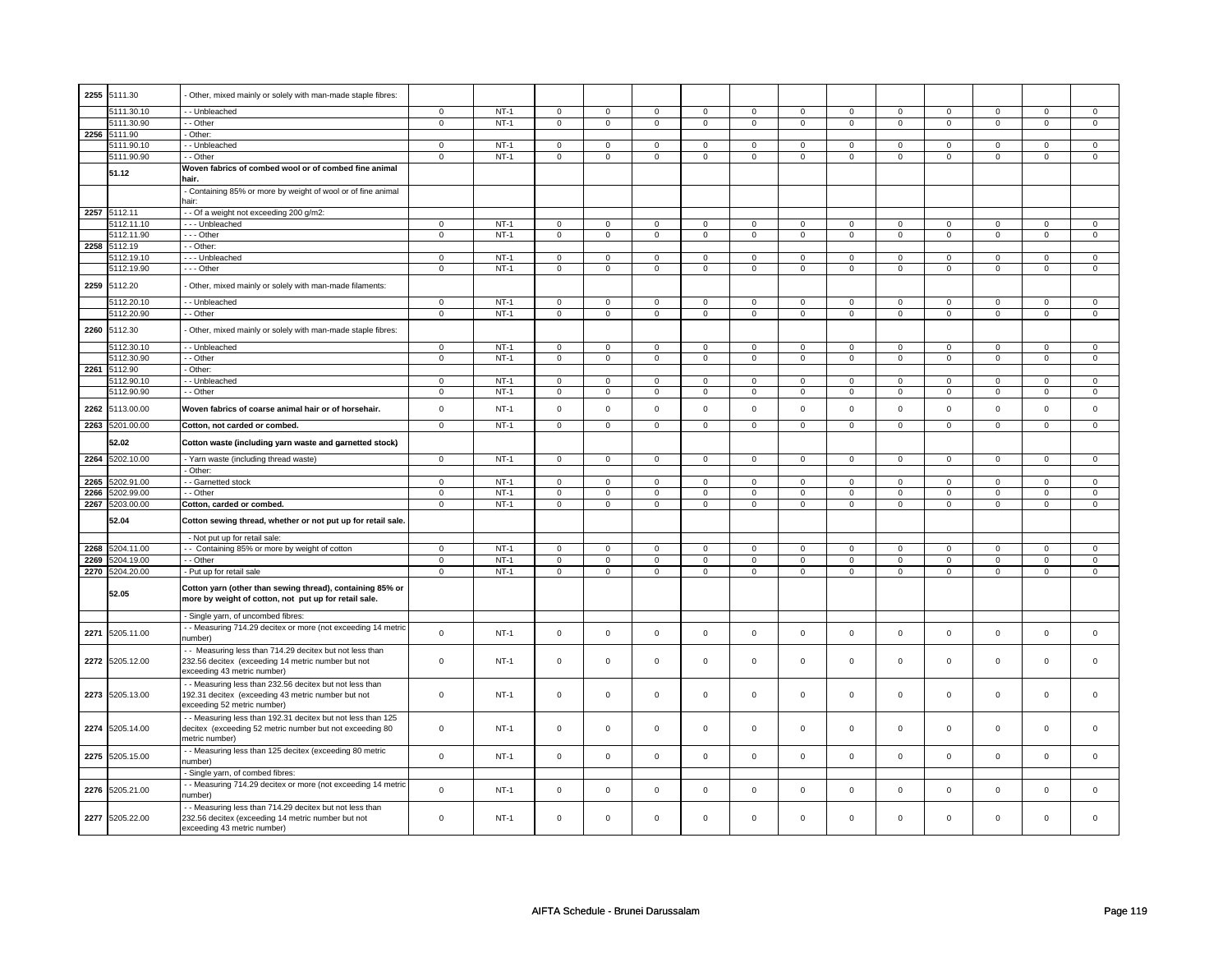| 2255<br>5111.30<br>Other, mixed mainly or solely with man-made staple fibres:<br>$NT-1$<br>5111.30.10<br>- Unbleached<br>$\mathbf 0$<br>0<br>$\mathbf 0$<br>$\mathbf 0$<br>$\mathbf 0$<br>$\mathbf 0$<br>$\mathbf 0$<br>$\mathbf 0$<br>$\mathbf 0$<br>$\mathbf 0$<br>$\mathbf 0$<br>$\mathbf 0$<br>0<br>5111.30.90<br>- Other<br>$\overline{0}$<br>$NT-1$<br>$\overline{0}$<br>$\overline{0}$<br>$\overline{0}$<br>$\overline{0}$<br>$\overline{0}$<br>$\overline{0}$<br>$\overline{0}$<br>$\overline{0}$<br>$\overline{0}$<br>$\overline{0}$<br>$\overline{0}$<br>$\overline{0}$<br>2256 5111.90<br>Other:<br>5111.90.10<br>- Unbleached<br>$\mathsf 0$<br>$NT-1$<br>$\mathsf 0$<br>$\mathsf 0$<br>$\mathbf 0$<br>$\mathsf 0$<br>$\mathbf{0}$<br>$\mathbf{0}$<br>$\mathbf 0$<br>$\mathbf 0$<br>$\mathbf 0$<br>$\mathbf 0$<br>$\mathbf 0$<br>$\mathbf 0$<br>5111.90.90<br>- - Other<br>$NT-1$<br>$\overline{0}$<br>$\overline{0}$<br>$\overline{0}$<br>$\overline{0}$<br>$\overline{0}$<br>$\overline{0}$<br>$\overline{0}$<br>$\overline{0}$<br>$\overline{0}$<br>$\overline{0}$<br>$\overline{0}$<br>$\mathsf 0$<br>$\overline{0}$<br>Woven fabrics of combed wool or of combed fine animal<br>51.12<br>hair<br>- Containing 85% or more by weight of wool or of fine animal<br>hair:<br>2257 5112.11<br>- - Of a weight not exceeding 200 g/m2:<br>5112.11.10<br>$\overline{0}$<br>$NT-1$<br>$\overline{0}$<br>$\overline{0}$<br>$\overline{0}$<br>$\overline{0}$<br>$\overline{0}$<br>--- Unbleached<br>$\mathbf 0$<br>$\mathbf 0$<br>$\mathbf 0$<br>$\mathbf 0$<br>$\mathbf 0$<br>$\mathbf 0$<br>$\mathbf{0}$<br>5112.11.90<br>$--$ Other<br>$\overline{0}$<br>$NT-1$<br>$\overline{0}$<br>$\overline{0}$<br>$\overline{0}$<br>$\overline{0}$<br>$\overline{0}$<br>$\overline{0}$<br>$\overline{0}$<br>$\overline{0}$<br>$\overline{0}$<br>$\overline{0}$<br>$\overline{0}$<br>$\overline{0}$<br>2258 5112.19<br>- Other:<br>5112.19.10<br>- - - Unbleached<br>$\mathbf 0$<br>$NT-1$<br>$\mathsf 0$<br>$\mathsf 0$<br>$\mathsf 0$<br>$\mathsf 0$<br>$\mathsf 0$<br>$\mathbf 0$<br>0<br>0<br>$\mathbf 0$<br>0<br>0<br>$\mathbf 0$<br>5112.19.90<br>--- Other<br>$\mathsf 0$<br>$NT-1$<br>$\mathbf 0$<br>$\mathbf 0$<br>$\mathbf 0$<br>$\mathbf 0$<br>$\mathbf 0$<br>$\mathbf 0$<br>$\mathsf 0$<br>$\mathbf 0$<br>$\mathbf 0$<br>$\mathbf 0$<br>$\mathbf 0$<br>$\mathbf 0$<br>2259 5112.20<br>Other, mixed mainly or solely with man-made filaments:<br>5112.20.10<br>- - Unbleached<br>$\mathsf 0$<br>$NT-1$<br>$\mathsf 0$<br>$\mathsf 0$<br>$\mathsf 0$<br>$\mathsf{O}$<br>$\mathsf 0$<br>$\mathsf 0$<br>$\mathsf 0$<br>$\mathbf 0$<br>$\mathbf 0$<br>$\mathbf 0$<br>$\mathsf 0$<br>$\mathbf 0$<br>5112.20.90<br>$NT-1$<br>$\mathbf 0$<br>$\mathbf 0$<br>- - Other<br>$\mathbf 0$<br>$\mathbf 0$<br>$\mathbf 0$<br>0<br>$\mathbf 0$<br>$\mathbf 0$<br>$\mathbf 0$<br>$\mathbf 0$<br>$\mathbf 0$<br>$\mathbf 0$<br>0<br>2260 5112.30<br>Other, mixed mainly or solely with man-made staple fibres:<br>5112.30.10<br>- Unbleached<br>$\mathsf 0$<br>$NT-1$<br>$\mathsf 0$<br>$\mathbf 0$<br>$\mathsf 0$<br>$\mathbf 0$<br>$\mathsf 0$<br>$\mathbf 0$<br>$\mathbf 0$<br>$\mathsf 0$<br>$\mathbf 0$<br>$\mathbf 0$<br>$\mathbf 0$<br>0<br>5112.30.90<br>$-$ Other<br>$\overline{0}$<br>$NT-1$<br>$\overline{0}$<br>$\overline{0}$<br>$\overline{0}$<br>$\overline{0}$<br>$\overline{0}$<br>$\overline{0}$<br>$\overline{0}$<br>$\overline{0}$<br>$\overline{0}$<br>$\overline{0}$<br>$\overline{0}$<br>$\mathbf{0}$<br>2261 5112.90<br>Other:<br>5112.90.10<br>- Unbleached<br>$\overline{0}$<br>$NT-1$<br>$\overline{0}$<br>$\overline{0}$<br>$\overline{0}$<br>$\overline{0}$<br>$\overline{0}$<br>$\overline{0}$<br>$\overline{0}$<br>$\overline{0}$<br>$\overline{0}$<br>$\overline{0}$<br>$\overline{0}$<br>$\overline{0}$<br>5112.90.90<br>$NT-1$<br>- - Other<br>0<br>$\mathbf 0$<br>$\mathbf 0$<br>$\mathbf 0$<br>$\mathbf 0$<br>0<br>$\mathbf 0$<br>0<br>$\mathbf 0$<br>0<br>$\mathbf 0$<br>0<br>$\mathbf 0$<br>$\mathsf 0$<br>$NT-1$<br>$\mathsf 0$<br>$\mathsf 0$<br>$\mathsf{O}\xspace$<br>$\mathsf 0$<br>$\mathsf{O}\xspace$<br>$\mathsf 0$<br>$\mathsf{O}\xspace$<br>$\mathsf 0$<br>$\mathsf 0$<br>$\mathbf 0$<br>$\mathsf 0$<br>2262<br>5113.00.00<br>Woven fabrics of coarse animal hair or of horsehair.<br>$\mathbf 0$<br>2263<br>5201.00.00<br>$\mathbf 0$<br>$NT-1$<br>Cotton, not carded or combed.<br>$\mathbf 0$<br>$\mathbf 0$<br>$\mathbf 0$<br>$\mathbf 0$<br>$\mathbf 0$<br>$\mathbf 0$<br>$\mathbf 0$<br>$\mathbf 0$<br>$\mathbf 0$<br>$\mathbf 0$<br>$\mathbf 0$<br>$\mathbf 0$<br>52.02<br>Cotton waste (including yarn waste and garnetted stock)<br>2264 5202.10.00<br>- Yarn waste (including thread waste)<br>$\overline{0}$<br>$NT-1$<br>$\overline{0}$<br>$\overline{0}$<br>$\overline{0}$<br>$\overline{0}$<br>$\overline{0}$<br>$\overline{0}$<br>$\overline{0}$<br>$\overline{0}$<br>$\overline{0}$<br>$\overline{0}$<br>$\overline{0}$<br>$\overline{0}$<br>- Other:<br>5202.91.00<br>$\mathsf 0$<br>$NT-1$<br>$\mathsf 0$<br>$\mathsf 0$<br>$\mathbf 0$<br>$\mathsf 0$<br>$\mathsf{O}\xspace$<br>$\mathsf 0$<br>$\mathbf 0$<br>$\mathsf 0$<br>$\mathsf 0$<br>$\mathbf 0$<br>$\mathsf 0$<br>2265<br>- Garnetted stock<br>$\mathbf 0$<br>2266<br>5202.99.00<br>- - Other<br>$\mathbf 0$<br>$NT-1$<br>$\mathbf 0$<br>$\mathbf 0$<br>$\mathbf 0$<br>$\mathbf 0$<br>$\mathbf 0$<br>$\mathbf 0$<br>$\Omega$<br>$\mathbf 0$<br>$\mathbf 0$<br>$\mathbf 0$<br>$\Omega$<br>$\mathbf 0$<br>2267 5203.00.00<br>Cotton, carded or combed.<br>$\mathbf 0$<br>$NT-1$<br>$\mathsf 0$<br>$\mathsf 0$<br>$\mathsf 0$<br>$\mathsf 0$<br>$\mathsf 0$<br>$\mathsf 0$<br>$\mathsf{O}\xspace$<br>$\mathsf 0$<br>$\mathsf 0$<br>$\mathbf 0$<br>$\mathsf 0$<br>$\mathbf 0$<br>52.04<br>Cotton sewing thread, whether or not put up for retail sale.<br>- Not put up for retail sale:<br>2268<br>5204.11.00<br>- Containing 85% or more by weight of cotton<br>$\mathsf 0$<br>$NT-1$<br>$\mathbf 0$<br>$\mathsf 0$<br>$\mathsf 0$<br>$\mathsf 0$<br>$\mathsf 0$<br>$\mathbf 0$<br>$\mathbf 0$<br>$\mathbf 0$<br>$\mathbf 0$<br>$\mathbf 0$<br>0<br>$\mathbf 0$<br>2269<br>5204.19.00<br>$\overline{0}$<br>$NT-1$<br>$\overline{0}$<br>$\overline{0}$<br>$\overline{0}$<br>$\overline{0}$<br>$\overline{0}$<br>$\overline{0}$<br>$\overline{0}$<br>$\overline{0}$<br>$\overline{0}$<br>$\overline{0}$<br>$\overline{0}$<br>$\overline{0}$<br>- - Other<br>2270 5204.20.00<br>- Put up for retail sale<br>$\mathsf 0$<br>$NT-1$<br>$\mathbf 0$<br>$\mathbf 0$<br>$\mathbf 0$<br>$\mathbf 0$<br>$\mathbf 0$<br>$\mathbf 0$<br>$\mathbf{0}$<br>$\mathbf 0$<br>$\mathbf 0$<br>$\mathbf 0$<br>$\mathbf 0$<br>$\mathbf 0$<br>Cotton yarn (other than sewing thread), containing 85% or<br>52.05<br>more by weight of cotton, not put up for retail sale.<br>- Single yarn, of uncombed fibres:<br>- - Measuring 714.29 decitex or more (not exceeding 14 metric<br>5205.11.00<br>$\mathsf 0$<br>$NT-1$<br>$\mathsf 0$<br>$\mathsf 0$<br>$\mathsf{O}\xspace$<br>$\mathsf 0$<br>$\mathsf{O}\xspace$<br>$\mathsf 0$<br>$\mathbf 0$<br>$\mathsf 0$<br>$\mathsf 0$<br>$\mathbf 0$<br>$\mathsf 0$<br>$\mathsf 0$<br>2271<br>number)<br>- Measuring less than 714.29 decitex but not less than<br>$\mathbf 0$<br>$\mathsf{O}\xspace$<br>$\mathsf 0$<br>$\mathsf{O}\xspace$<br>$\mathsf 0$<br>$\mathsf 0$<br>$\mathsf{O}\xspace$<br>$\mathsf 0$<br>$\mathsf 0$<br>2272 5205.12.00<br>$NT-1$<br>$\mathsf 0$<br>$\mathbf 0$<br>$\mathbf 0$<br>$\mathsf 0$<br>232.56 decitex (exceeding 14 metric number but not<br>exceeding 43 metric number)<br>- Measuring less than 232.56 decitex but not less than<br>2273 5205.13.00<br>192.31 decitex (exceeding 43 metric number but not<br>$\mathsf 0$<br>$NT-1$<br>$\mathsf 0$<br>$\mathbf 0$<br>$\mathsf 0$<br>$\mathbf 0$<br>$\mathsf 0$<br>$\mathbf 0$<br>$\mathsf 0$<br>$\mathbf 0$<br>$\mathsf 0$<br>$\mathbf 0$<br>$\mathbf 0$<br>$\mathsf 0$<br>exceeding 52 metric number)<br>- Measuring less than 192.31 decitex but not less than 125<br>$\mathbf 0$<br>$NT-1$<br>$\mathbf 0$<br>$\mathbf 0$<br>$\mathbf 0$<br>2274<br>5205.14.00<br>decitex (exceeding 52 metric number but not exceeding 80<br>$\Omega$<br>$\mathbf 0$<br>$\mathbf 0$<br>$\mathbf 0$<br>$\mathbf 0$<br>$\mathbf 0$<br>$\mathbf 0$<br>$\mathbf 0$<br>$\mathbf 0$<br>metric number)<br>- Measuring less than 125 decitex (exceeding 80 metric<br>$\mathsf 0$<br>2275 5205.15.00<br>$NT-1$<br>$\mathsf 0$<br>$\mathsf 0$<br>$\mathbf 0$<br>$\mathbf 0$<br>$\mathbf 0$<br>$\mathbf 0$<br>$\mathbf 0$<br>$\mathbf 0$<br>$\mathbf 0$<br>$\mathbf 0$<br>$\mathbf 0$<br>$\mathbf 0$<br>number)<br>- Single yarn, of combed fibres:<br>- Measuring 714.29 decitex or more (not exceeding 14 metric<br>2276 5205.21.00<br>$\mathbf 0$<br>$\mathsf 0$<br>$\mathsf 0$<br>$\mathsf 0$<br>$\mathsf 0$<br>$\mathsf 0$<br>$NT-1$<br>$\mathsf 0$<br>$\mathsf 0$<br>$\mathsf 0$<br>$\mathbf 0$<br>$\mathsf 0$<br>$\mathbf 0$<br>$\mathsf 0$<br>number)<br>- Measuring less than 714.29 decitex but not less than<br>$\mathbf 0$<br>2277 5205.22.00<br>232.56 decitex (exceeding 14 metric number but not<br>$NT-1$<br>$\mathbf 0$<br>0<br>$\mathbf 0$<br>0<br>$\mathbf 0$<br>$\mathbf 0$<br>$\mathbf 0$<br>0<br>0<br>0<br>0<br>0<br>exceeding 43 metric number) |  |  |  |  |  |  |  |  |  |
|------------------------------------------------------------------------------------------------------------------------------------------------------------------------------------------------------------------------------------------------------------------------------------------------------------------------------------------------------------------------------------------------------------------------------------------------------------------------------------------------------------------------------------------------------------------------------------------------------------------------------------------------------------------------------------------------------------------------------------------------------------------------------------------------------------------------------------------------------------------------------------------------------------------------------------------------------------------------------------------------------------------------------------------------------------------------------------------------------------------------------------------------------------------------------------------------------------------------------------------------------------------------------------------------------------------------------------------------------------------------------------------------------------------------------------------------------------------------------------------------------------------------------------------------------------------------------------------------------------------------------------------------------------------------------------------------------------------------------------------------------------------------------------------------------------------------------------------------------------------------------------------------------------------------------------------------------------------------------------------------------------------------------------------------------------------------------------------------------------------------------------------------------------------------------------------------------------------------------------------------------------------------------------------------------------------------------------------------------------------------------------------------------------------------------------------------------------------------------------------------------------------------------------------------------------------------------------------------------------------------------------------------------------------------------------------------------------------------------------------------------------------------------------------------------------------------------------------------------------------------------------------------------------------------------------------------------------------------------------------------------------------------------------------------------------------------------------------------------------------------------------------------------------------------------------------------------------------------------------------------------------------------------------------------------------------------------------------------------------------------------------------------------------------------------------------------------------------------------------------------------------------------------------------------------------------------------------------------------------------------------------------------------------------------------------------------------------------------------------------------------------------------------------------------------------------------------------------------------------------------------------------------------------------------------------------------------------------------------------------------------------------------------------------------------------------------------------------------------------------------------------------------------------------------------------------------------------------------------------------------------------------------------------------------------------------------------------------------------------------------------------------------------------------------------------------------------------------------------------------------------------------------------------------------------------------------------------------------------------------------------------------------------------------------------------------------------------------------------------------------------------------------------------------------------------------------------------------------------------------------------------------------------------------------------------------------------------------------------------------------------------------------------------------------------------------------------------------------------------------------------------------------------------------------------------------------------------------------------------------------------------------------------------------------------------------------------------------------------------------------------------------------------------------------------------------------------------------------------------------------------------------------------------------------------------------------------------------------------------------------------------------------------------------------------------------------------------------------------------------------------------------------------------------------------------------------------------------------------------------------------------------------------------------------------------------------------------------------------------------------------------------------------------------------------------------------------------------------------------------------------------------------------------------------------------------------------------------------------------------------------------------------------------------------------------------------------------------------------------------------------------------------------------------------------------------------------------------------------------------------------------------------------------------------------------------------------------------------------------------------------------------------------------------------------------------------------------------------------------------------------------------------------------------------------------------------------------------------------------------------------------------------------------------------------------------------------------------------------------------------------------------------------------------------------------------------------------------------------------------------------------------------------------------------------------------------------------------------------------------------------------------------------------------------------------------------------------------------------------------------------------------------------------------------------------------------------------------------------------------------------------------------------------------------------------------------------------------------------------------------------------------------------------------------------------------------------------------------------------------------------------------------------------------------------------------------------------------------------------------------------------------------------------------------------------------------------------------------------------------------------------------------------------------------------------------------------------------------------------------------------------------------------------------------------------------------------------------------------------------------------------------------------------------------------------------------------------------------------------------------------------------------------------------------------------------------------------------------------------------------------------------------------------------------------------------------------------------------------------------------------------------------------------------------------------------------------------------------------------------------------------------------------------------------------------------------------------------------------------------------------------------------------------------------------------------------------------------------------------------------------------------------------------------------------------------------------------------------------------------------------------------------------------------------------------------------------------------------------------------------------------------------------------------------------------------------------------------------------------------------|--|--|--|--|--|--|--|--|--|
|                                                                                                                                                                                                                                                                                                                                                                                                                                                                                                                                                                                                                                                                                                                                                                                                                                                                                                                                                                                                                                                                                                                                                                                                                                                                                                                                                                                                                                                                                                                                                                                                                                                                                                                                                                                                                                                                                                                                                                                                                                                                                                                                                                                                                                                                                                                                                                                                                                                                                                                                                                                                                                                                                                                                                                                                                                                                                                                                                                                                                                                                                                                                                                                                                                                                                                                                                                                                                                                                                                                                                                                                                                                                                                                                                                                                                                                                                                                                                                                                                                                                                                                                                                                                                                                                                                                                                                                                                                                                                                                                                                                                                                                                                                                                                                                                                                                                                                                                                                                                                                                                                                                                                                                                                                                                                                                                                                                                                                                                                                                                                                                                                                                                                                                                                                                                                                                                                                                                                                                                                                                                                                                                                                                                                                                                                                                                                                                                                                                                                                                                                                                                                                                                                                                                                                                                                                                                                                                                                                                                                                                                                                                                                                                                                                                                                                                                                                                                                                                                                                                                                                                                                                                                                                                                                                                                                                                                                                                                                                                                                                                                                                                                                                                                                                                                                                                                                                                                                                                                                                                                                                                                                                                                                                                                                                                                                                                                                                                                                                                                                                                                                                                                                                                                                                                                                                                                                                        |  |  |  |  |  |  |  |  |  |
|                                                                                                                                                                                                                                                                                                                                                                                                                                                                                                                                                                                                                                                                                                                                                                                                                                                                                                                                                                                                                                                                                                                                                                                                                                                                                                                                                                                                                                                                                                                                                                                                                                                                                                                                                                                                                                                                                                                                                                                                                                                                                                                                                                                                                                                                                                                                                                                                                                                                                                                                                                                                                                                                                                                                                                                                                                                                                                                                                                                                                                                                                                                                                                                                                                                                                                                                                                                                                                                                                                                                                                                                                                                                                                                                                                                                                                                                                                                                                                                                                                                                                                                                                                                                                                                                                                                                                                                                                                                                                                                                                                                                                                                                                                                                                                                                                                                                                                                                                                                                                                                                                                                                                                                                                                                                                                                                                                                                                                                                                                                                                                                                                                                                                                                                                                                                                                                                                                                                                                                                                                                                                                                                                                                                                                                                                                                                                                                                                                                                                                                                                                                                                                                                                                                                                                                                                                                                                                                                                                                                                                                                                                                                                                                                                                                                                                                                                                                                                                                                                                                                                                                                                                                                                                                                                                                                                                                                                                                                                                                                                                                                                                                                                                                                                                                                                                                                                                                                                                                                                                                                                                                                                                                                                                                                                                                                                                                                                                                                                                                                                                                                                                                                                                                                                                                                                                                                                                        |  |  |  |  |  |  |  |  |  |
|                                                                                                                                                                                                                                                                                                                                                                                                                                                                                                                                                                                                                                                                                                                                                                                                                                                                                                                                                                                                                                                                                                                                                                                                                                                                                                                                                                                                                                                                                                                                                                                                                                                                                                                                                                                                                                                                                                                                                                                                                                                                                                                                                                                                                                                                                                                                                                                                                                                                                                                                                                                                                                                                                                                                                                                                                                                                                                                                                                                                                                                                                                                                                                                                                                                                                                                                                                                                                                                                                                                                                                                                                                                                                                                                                                                                                                                                                                                                                                                                                                                                                                                                                                                                                                                                                                                                                                                                                                                                                                                                                                                                                                                                                                                                                                                                                                                                                                                                                                                                                                                                                                                                                                                                                                                                                                                                                                                                                                                                                                                                                                                                                                                                                                                                                                                                                                                                                                                                                                                                                                                                                                                                                                                                                                                                                                                                                                                                                                                                                                                                                                                                                                                                                                                                                                                                                                                                                                                                                                                                                                                                                                                                                                                                                                                                                                                                                                                                                                                                                                                                                                                                                                                                                                                                                                                                                                                                                                                                                                                                                                                                                                                                                                                                                                                                                                                                                                                                                                                                                                                                                                                                                                                                                                                                                                                                                                                                                                                                                                                                                                                                                                                                                                                                                                                                                                                                                                        |  |  |  |  |  |  |  |  |  |
|                                                                                                                                                                                                                                                                                                                                                                                                                                                                                                                                                                                                                                                                                                                                                                                                                                                                                                                                                                                                                                                                                                                                                                                                                                                                                                                                                                                                                                                                                                                                                                                                                                                                                                                                                                                                                                                                                                                                                                                                                                                                                                                                                                                                                                                                                                                                                                                                                                                                                                                                                                                                                                                                                                                                                                                                                                                                                                                                                                                                                                                                                                                                                                                                                                                                                                                                                                                                                                                                                                                                                                                                                                                                                                                                                                                                                                                                                                                                                                                                                                                                                                                                                                                                                                                                                                                                                                                                                                                                                                                                                                                                                                                                                                                                                                                                                                                                                                                                                                                                                                                                                                                                                                                                                                                                                                                                                                                                                                                                                                                                                                                                                                                                                                                                                                                                                                                                                                                                                                                                                                                                                                                                                                                                                                                                                                                                                                                                                                                                                                                                                                                                                                                                                                                                                                                                                                                                                                                                                                                                                                                                                                                                                                                                                                                                                                                                                                                                                                                                                                                                                                                                                                                                                                                                                                                                                                                                                                                                                                                                                                                                                                                                                                                                                                                                                                                                                                                                                                                                                                                                                                                                                                                                                                                                                                                                                                                                                                                                                                                                                                                                                                                                                                                                                                                                                                                                                                        |  |  |  |  |  |  |  |  |  |
|                                                                                                                                                                                                                                                                                                                                                                                                                                                                                                                                                                                                                                                                                                                                                                                                                                                                                                                                                                                                                                                                                                                                                                                                                                                                                                                                                                                                                                                                                                                                                                                                                                                                                                                                                                                                                                                                                                                                                                                                                                                                                                                                                                                                                                                                                                                                                                                                                                                                                                                                                                                                                                                                                                                                                                                                                                                                                                                                                                                                                                                                                                                                                                                                                                                                                                                                                                                                                                                                                                                                                                                                                                                                                                                                                                                                                                                                                                                                                                                                                                                                                                                                                                                                                                                                                                                                                                                                                                                                                                                                                                                                                                                                                                                                                                                                                                                                                                                                                                                                                                                                                                                                                                                                                                                                                                                                                                                                                                                                                                                                                                                                                                                                                                                                                                                                                                                                                                                                                                                                                                                                                                                                                                                                                                                                                                                                                                                                                                                                                                                                                                                                                                                                                                                                                                                                                                                                                                                                                                                                                                                                                                                                                                                                                                                                                                                                                                                                                                                                                                                                                                                                                                                                                                                                                                                                                                                                                                                                                                                                                                                                                                                                                                                                                                                                                                                                                                                                                                                                                                                                                                                                                                                                                                                                                                                                                                                                                                                                                                                                                                                                                                                                                                                                                                                                                                                                                                        |  |  |  |  |  |  |  |  |  |
|                                                                                                                                                                                                                                                                                                                                                                                                                                                                                                                                                                                                                                                                                                                                                                                                                                                                                                                                                                                                                                                                                                                                                                                                                                                                                                                                                                                                                                                                                                                                                                                                                                                                                                                                                                                                                                                                                                                                                                                                                                                                                                                                                                                                                                                                                                                                                                                                                                                                                                                                                                                                                                                                                                                                                                                                                                                                                                                                                                                                                                                                                                                                                                                                                                                                                                                                                                                                                                                                                                                                                                                                                                                                                                                                                                                                                                                                                                                                                                                                                                                                                                                                                                                                                                                                                                                                                                                                                                                                                                                                                                                                                                                                                                                                                                                                                                                                                                                                                                                                                                                                                                                                                                                                                                                                                                                                                                                                                                                                                                                                                                                                                                                                                                                                                                                                                                                                                                                                                                                                                                                                                                                                                                                                                                                                                                                                                                                                                                                                                                                                                                                                                                                                                                                                                                                                                                                                                                                                                                                                                                                                                                                                                                                                                                                                                                                                                                                                                                                                                                                                                                                                                                                                                                                                                                                                                                                                                                                                                                                                                                                                                                                                                                                                                                                                                                                                                                                                                                                                                                                                                                                                                                                                                                                                                                                                                                                                                                                                                                                                                                                                                                                                                                                                                                                                                                                                                                        |  |  |  |  |  |  |  |  |  |
|                                                                                                                                                                                                                                                                                                                                                                                                                                                                                                                                                                                                                                                                                                                                                                                                                                                                                                                                                                                                                                                                                                                                                                                                                                                                                                                                                                                                                                                                                                                                                                                                                                                                                                                                                                                                                                                                                                                                                                                                                                                                                                                                                                                                                                                                                                                                                                                                                                                                                                                                                                                                                                                                                                                                                                                                                                                                                                                                                                                                                                                                                                                                                                                                                                                                                                                                                                                                                                                                                                                                                                                                                                                                                                                                                                                                                                                                                                                                                                                                                                                                                                                                                                                                                                                                                                                                                                                                                                                                                                                                                                                                                                                                                                                                                                                                                                                                                                                                                                                                                                                                                                                                                                                                                                                                                                                                                                                                                                                                                                                                                                                                                                                                                                                                                                                                                                                                                                                                                                                                                                                                                                                                                                                                                                                                                                                                                                                                                                                                                                                                                                                                                                                                                                                                                                                                                                                                                                                                                                                                                                                                                                                                                                                                                                                                                                                                                                                                                                                                                                                                                                                                                                                                                                                                                                                                                                                                                                                                                                                                                                                                                                                                                                                                                                                                                                                                                                                                                                                                                                                                                                                                                                                                                                                                                                                                                                                                                                                                                                                                                                                                                                                                                                                                                                                                                                                                                                        |  |  |  |  |  |  |  |  |  |
|                                                                                                                                                                                                                                                                                                                                                                                                                                                                                                                                                                                                                                                                                                                                                                                                                                                                                                                                                                                                                                                                                                                                                                                                                                                                                                                                                                                                                                                                                                                                                                                                                                                                                                                                                                                                                                                                                                                                                                                                                                                                                                                                                                                                                                                                                                                                                                                                                                                                                                                                                                                                                                                                                                                                                                                                                                                                                                                                                                                                                                                                                                                                                                                                                                                                                                                                                                                                                                                                                                                                                                                                                                                                                                                                                                                                                                                                                                                                                                                                                                                                                                                                                                                                                                                                                                                                                                                                                                                                                                                                                                                                                                                                                                                                                                                                                                                                                                                                                                                                                                                                                                                                                                                                                                                                                                                                                                                                                                                                                                                                                                                                                                                                                                                                                                                                                                                                                                                                                                                                                                                                                                                                                                                                                                                                                                                                                                                                                                                                                                                                                                                                                                                                                                                                                                                                                                                                                                                                                                                                                                                                                                                                                                                                                                                                                                                                                                                                                                                                                                                                                                                                                                                                                                                                                                                                                                                                                                                                                                                                                                                                                                                                                                                                                                                                                                                                                                                                                                                                                                                                                                                                                                                                                                                                                                                                                                                                                                                                                                                                                                                                                                                                                                                                                                                                                                                                                                        |  |  |  |  |  |  |  |  |  |
|                                                                                                                                                                                                                                                                                                                                                                                                                                                                                                                                                                                                                                                                                                                                                                                                                                                                                                                                                                                                                                                                                                                                                                                                                                                                                                                                                                                                                                                                                                                                                                                                                                                                                                                                                                                                                                                                                                                                                                                                                                                                                                                                                                                                                                                                                                                                                                                                                                                                                                                                                                                                                                                                                                                                                                                                                                                                                                                                                                                                                                                                                                                                                                                                                                                                                                                                                                                                                                                                                                                                                                                                                                                                                                                                                                                                                                                                                                                                                                                                                                                                                                                                                                                                                                                                                                                                                                                                                                                                                                                                                                                                                                                                                                                                                                                                                                                                                                                                                                                                                                                                                                                                                                                                                                                                                                                                                                                                                                                                                                                                                                                                                                                                                                                                                                                                                                                                                                                                                                                                                                                                                                                                                                                                                                                                                                                                                                                                                                                                                                                                                                                                                                                                                                                                                                                                                                                                                                                                                                                                                                                                                                                                                                                                                                                                                                                                                                                                                                                                                                                                                                                                                                                                                                                                                                                                                                                                                                                                                                                                                                                                                                                                                                                                                                                                                                                                                                                                                                                                                                                                                                                                                                                                                                                                                                                                                                                                                                                                                                                                                                                                                                                                                                                                                                                                                                                                                                        |  |  |  |  |  |  |  |  |  |
|                                                                                                                                                                                                                                                                                                                                                                                                                                                                                                                                                                                                                                                                                                                                                                                                                                                                                                                                                                                                                                                                                                                                                                                                                                                                                                                                                                                                                                                                                                                                                                                                                                                                                                                                                                                                                                                                                                                                                                                                                                                                                                                                                                                                                                                                                                                                                                                                                                                                                                                                                                                                                                                                                                                                                                                                                                                                                                                                                                                                                                                                                                                                                                                                                                                                                                                                                                                                                                                                                                                                                                                                                                                                                                                                                                                                                                                                                                                                                                                                                                                                                                                                                                                                                                                                                                                                                                                                                                                                                                                                                                                                                                                                                                                                                                                                                                                                                                                                                                                                                                                                                                                                                                                                                                                                                                                                                                                                                                                                                                                                                                                                                                                                                                                                                                                                                                                                                                                                                                                                                                                                                                                                                                                                                                                                                                                                                                                                                                                                                                                                                                                                                                                                                                                                                                                                                                                                                                                                                                                                                                                                                                                                                                                                                                                                                                                                                                                                                                                                                                                                                                                                                                                                                                                                                                                                                                                                                                                                                                                                                                                                                                                                                                                                                                                                                                                                                                                                                                                                                                                                                                                                                                                                                                                                                                                                                                                                                                                                                                                                                                                                                                                                                                                                                                                                                                                                                                        |  |  |  |  |  |  |  |  |  |
|                                                                                                                                                                                                                                                                                                                                                                                                                                                                                                                                                                                                                                                                                                                                                                                                                                                                                                                                                                                                                                                                                                                                                                                                                                                                                                                                                                                                                                                                                                                                                                                                                                                                                                                                                                                                                                                                                                                                                                                                                                                                                                                                                                                                                                                                                                                                                                                                                                                                                                                                                                                                                                                                                                                                                                                                                                                                                                                                                                                                                                                                                                                                                                                                                                                                                                                                                                                                                                                                                                                                                                                                                                                                                                                                                                                                                                                                                                                                                                                                                                                                                                                                                                                                                                                                                                                                                                                                                                                                                                                                                                                                                                                                                                                                                                                                                                                                                                                                                                                                                                                                                                                                                                                                                                                                                                                                                                                                                                                                                                                                                                                                                                                                                                                                                                                                                                                                                                                                                                                                                                                                                                                                                                                                                                                                                                                                                                                                                                                                                                                                                                                                                                                                                                                                                                                                                                                                                                                                                                                                                                                                                                                                                                                                                                                                                                                                                                                                                                                                                                                                                                                                                                                                                                                                                                                                                                                                                                                                                                                                                                                                                                                                                                                                                                                                                                                                                                                                                                                                                                                                                                                                                                                                                                                                                                                                                                                                                                                                                                                                                                                                                                                                                                                                                                                                                                                                                                        |  |  |  |  |  |  |  |  |  |
|                                                                                                                                                                                                                                                                                                                                                                                                                                                                                                                                                                                                                                                                                                                                                                                                                                                                                                                                                                                                                                                                                                                                                                                                                                                                                                                                                                                                                                                                                                                                                                                                                                                                                                                                                                                                                                                                                                                                                                                                                                                                                                                                                                                                                                                                                                                                                                                                                                                                                                                                                                                                                                                                                                                                                                                                                                                                                                                                                                                                                                                                                                                                                                                                                                                                                                                                                                                                                                                                                                                                                                                                                                                                                                                                                                                                                                                                                                                                                                                                                                                                                                                                                                                                                                                                                                                                                                                                                                                                                                                                                                                                                                                                                                                                                                                                                                                                                                                                                                                                                                                                                                                                                                                                                                                                                                                                                                                                                                                                                                                                                                                                                                                                                                                                                                                                                                                                                                                                                                                                                                                                                                                                                                                                                                                                                                                                                                                                                                                                                                                                                                                                                                                                                                                                                                                                                                                                                                                                                                                                                                                                                                                                                                                                                                                                                                                                                                                                                                                                                                                                                                                                                                                                                                                                                                                                                                                                                                                                                                                                                                                                                                                                                                                                                                                                                                                                                                                                                                                                                                                                                                                                                                                                                                                                                                                                                                                                                                                                                                                                                                                                                                                                                                                                                                                                                                                                                                        |  |  |  |  |  |  |  |  |  |
|                                                                                                                                                                                                                                                                                                                                                                                                                                                                                                                                                                                                                                                                                                                                                                                                                                                                                                                                                                                                                                                                                                                                                                                                                                                                                                                                                                                                                                                                                                                                                                                                                                                                                                                                                                                                                                                                                                                                                                                                                                                                                                                                                                                                                                                                                                                                                                                                                                                                                                                                                                                                                                                                                                                                                                                                                                                                                                                                                                                                                                                                                                                                                                                                                                                                                                                                                                                                                                                                                                                                                                                                                                                                                                                                                                                                                                                                                                                                                                                                                                                                                                                                                                                                                                                                                                                                                                                                                                                                                                                                                                                                                                                                                                                                                                                                                                                                                                                                                                                                                                                                                                                                                                                                                                                                                                                                                                                                                                                                                                                                                                                                                                                                                                                                                                                                                                                                                                                                                                                                                                                                                                                                                                                                                                                                                                                                                                                                                                                                                                                                                                                                                                                                                                                                                                                                                                                                                                                                                                                                                                                                                                                                                                                                                                                                                                                                                                                                                                                                                                                                                                                                                                                                                                                                                                                                                                                                                                                                                                                                                                                                                                                                                                                                                                                                                                                                                                                                                                                                                                                                                                                                                                                                                                                                                                                                                                                                                                                                                                                                                                                                                                                                                                                                                                                                                                                                                                        |  |  |  |  |  |  |  |  |  |
|                                                                                                                                                                                                                                                                                                                                                                                                                                                                                                                                                                                                                                                                                                                                                                                                                                                                                                                                                                                                                                                                                                                                                                                                                                                                                                                                                                                                                                                                                                                                                                                                                                                                                                                                                                                                                                                                                                                                                                                                                                                                                                                                                                                                                                                                                                                                                                                                                                                                                                                                                                                                                                                                                                                                                                                                                                                                                                                                                                                                                                                                                                                                                                                                                                                                                                                                                                                                                                                                                                                                                                                                                                                                                                                                                                                                                                                                                                                                                                                                                                                                                                                                                                                                                                                                                                                                                                                                                                                                                                                                                                                                                                                                                                                                                                                                                                                                                                                                                                                                                                                                                                                                                                                                                                                                                                                                                                                                                                                                                                                                                                                                                                                                                                                                                                                                                                                                                                                                                                                                                                                                                                                                                                                                                                                                                                                                                                                                                                                                                                                                                                                                                                                                                                                                                                                                                                                                                                                                                                                                                                                                                                                                                                                                                                                                                                                                                                                                                                                                                                                                                                                                                                                                                                                                                                                                                                                                                                                                                                                                                                                                                                                                                                                                                                                                                                                                                                                                                                                                                                                                                                                                                                                                                                                                                                                                                                                                                                                                                                                                                                                                                                                                                                                                                                                                                                                                                                        |  |  |  |  |  |  |  |  |  |
|                                                                                                                                                                                                                                                                                                                                                                                                                                                                                                                                                                                                                                                                                                                                                                                                                                                                                                                                                                                                                                                                                                                                                                                                                                                                                                                                                                                                                                                                                                                                                                                                                                                                                                                                                                                                                                                                                                                                                                                                                                                                                                                                                                                                                                                                                                                                                                                                                                                                                                                                                                                                                                                                                                                                                                                                                                                                                                                                                                                                                                                                                                                                                                                                                                                                                                                                                                                                                                                                                                                                                                                                                                                                                                                                                                                                                                                                                                                                                                                                                                                                                                                                                                                                                                                                                                                                                                                                                                                                                                                                                                                                                                                                                                                                                                                                                                                                                                                                                                                                                                                                                                                                                                                                                                                                                                                                                                                                                                                                                                                                                                                                                                                                                                                                                                                                                                                                                                                                                                                                                                                                                                                                                                                                                                                                                                                                                                                                                                                                                                                                                                                                                                                                                                                                                                                                                                                                                                                                                                                                                                                                                                                                                                                                                                                                                                                                                                                                                                                                                                                                                                                                                                                                                                                                                                                                                                                                                                                                                                                                                                                                                                                                                                                                                                                                                                                                                                                                                                                                                                                                                                                                                                                                                                                                                                                                                                                                                                                                                                                                                                                                                                                                                                                                                                                                                                                                                                        |  |  |  |  |  |  |  |  |  |
|                                                                                                                                                                                                                                                                                                                                                                                                                                                                                                                                                                                                                                                                                                                                                                                                                                                                                                                                                                                                                                                                                                                                                                                                                                                                                                                                                                                                                                                                                                                                                                                                                                                                                                                                                                                                                                                                                                                                                                                                                                                                                                                                                                                                                                                                                                                                                                                                                                                                                                                                                                                                                                                                                                                                                                                                                                                                                                                                                                                                                                                                                                                                                                                                                                                                                                                                                                                                                                                                                                                                                                                                                                                                                                                                                                                                                                                                                                                                                                                                                                                                                                                                                                                                                                                                                                                                                                                                                                                                                                                                                                                                                                                                                                                                                                                                                                                                                                                                                                                                                                                                                                                                                                                                                                                                                                                                                                                                                                                                                                                                                                                                                                                                                                                                                                                                                                                                                                                                                                                                                                                                                                                                                                                                                                                                                                                                                                                                                                                                                                                                                                                                                                                                                                                                                                                                                                                                                                                                                                                                                                                                                                                                                                                                                                                                                                                                                                                                                                                                                                                                                                                                                                                                                                                                                                                                                                                                                                                                                                                                                                                                                                                                                                                                                                                                                                                                                                                                                                                                                                                                                                                                                                                                                                                                                                                                                                                                                                                                                                                                                                                                                                                                                                                                                                                                                                                                                                        |  |  |  |  |  |  |  |  |  |
|                                                                                                                                                                                                                                                                                                                                                                                                                                                                                                                                                                                                                                                                                                                                                                                                                                                                                                                                                                                                                                                                                                                                                                                                                                                                                                                                                                                                                                                                                                                                                                                                                                                                                                                                                                                                                                                                                                                                                                                                                                                                                                                                                                                                                                                                                                                                                                                                                                                                                                                                                                                                                                                                                                                                                                                                                                                                                                                                                                                                                                                                                                                                                                                                                                                                                                                                                                                                                                                                                                                                                                                                                                                                                                                                                                                                                                                                                                                                                                                                                                                                                                                                                                                                                                                                                                                                                                                                                                                                                                                                                                                                                                                                                                                                                                                                                                                                                                                                                                                                                                                                                                                                                                                                                                                                                                                                                                                                                                                                                                                                                                                                                                                                                                                                                                                                                                                                                                                                                                                                                                                                                                                                                                                                                                                                                                                                                                                                                                                                                                                                                                                                                                                                                                                                                                                                                                                                                                                                                                                                                                                                                                                                                                                                                                                                                                                                                                                                                                                                                                                                                                                                                                                                                                                                                                                                                                                                                                                                                                                                                                                                                                                                                                                                                                                                                                                                                                                                                                                                                                                                                                                                                                                                                                                                                                                                                                                                                                                                                                                                                                                                                                                                                                                                                                                                                                                                                                        |  |  |  |  |  |  |  |  |  |
|                                                                                                                                                                                                                                                                                                                                                                                                                                                                                                                                                                                                                                                                                                                                                                                                                                                                                                                                                                                                                                                                                                                                                                                                                                                                                                                                                                                                                                                                                                                                                                                                                                                                                                                                                                                                                                                                                                                                                                                                                                                                                                                                                                                                                                                                                                                                                                                                                                                                                                                                                                                                                                                                                                                                                                                                                                                                                                                                                                                                                                                                                                                                                                                                                                                                                                                                                                                                                                                                                                                                                                                                                                                                                                                                                                                                                                                                                                                                                                                                                                                                                                                                                                                                                                                                                                                                                                                                                                                                                                                                                                                                                                                                                                                                                                                                                                                                                                                                                                                                                                                                                                                                                                                                                                                                                                                                                                                                                                                                                                                                                                                                                                                                                                                                                                                                                                                                                                                                                                                                                                                                                                                                                                                                                                                                                                                                                                                                                                                                                                                                                                                                                                                                                                                                                                                                                                                                                                                                                                                                                                                                                                                                                                                                                                                                                                                                                                                                                                                                                                                                                                                                                                                                                                                                                                                                                                                                                                                                                                                                                                                                                                                                                                                                                                                                                                                                                                                                                                                                                                                                                                                                                                                                                                                                                                                                                                                                                                                                                                                                                                                                                                                                                                                                                                                                                                                                                                        |  |  |  |  |  |  |  |  |  |
|                                                                                                                                                                                                                                                                                                                                                                                                                                                                                                                                                                                                                                                                                                                                                                                                                                                                                                                                                                                                                                                                                                                                                                                                                                                                                                                                                                                                                                                                                                                                                                                                                                                                                                                                                                                                                                                                                                                                                                                                                                                                                                                                                                                                                                                                                                                                                                                                                                                                                                                                                                                                                                                                                                                                                                                                                                                                                                                                                                                                                                                                                                                                                                                                                                                                                                                                                                                                                                                                                                                                                                                                                                                                                                                                                                                                                                                                                                                                                                                                                                                                                                                                                                                                                                                                                                                                                                                                                                                                                                                                                                                                                                                                                                                                                                                                                                                                                                                                                                                                                                                                                                                                                                                                                                                                                                                                                                                                                                                                                                                                                                                                                                                                                                                                                                                                                                                                                                                                                                                                                                                                                                                                                                                                                                                                                                                                                                                                                                                                                                                                                                                                                                                                                                                                                                                                                                                                                                                                                                                                                                                                                                                                                                                                                                                                                                                                                                                                                                                                                                                                                                                                                                                                                                                                                                                                                                                                                                                                                                                                                                                                                                                                                                                                                                                                                                                                                                                                                                                                                                                                                                                                                                                                                                                                                                                                                                                                                                                                                                                                                                                                                                                                                                                                                                                                                                                                                                        |  |  |  |  |  |  |  |  |  |
|                                                                                                                                                                                                                                                                                                                                                                                                                                                                                                                                                                                                                                                                                                                                                                                                                                                                                                                                                                                                                                                                                                                                                                                                                                                                                                                                                                                                                                                                                                                                                                                                                                                                                                                                                                                                                                                                                                                                                                                                                                                                                                                                                                                                                                                                                                                                                                                                                                                                                                                                                                                                                                                                                                                                                                                                                                                                                                                                                                                                                                                                                                                                                                                                                                                                                                                                                                                                                                                                                                                                                                                                                                                                                                                                                                                                                                                                                                                                                                                                                                                                                                                                                                                                                                                                                                                                                                                                                                                                                                                                                                                                                                                                                                                                                                                                                                                                                                                                                                                                                                                                                                                                                                                                                                                                                                                                                                                                                                                                                                                                                                                                                                                                                                                                                                                                                                                                                                                                                                                                                                                                                                                                                                                                                                                                                                                                                                                                                                                                                                                                                                                                                                                                                                                                                                                                                                                                                                                                                                                                                                                                                                                                                                                                                                                                                                                                                                                                                                                                                                                                                                                                                                                                                                                                                                                                                                                                                                                                                                                                                                                                                                                                                                                                                                                                                                                                                                                                                                                                                                                                                                                                                                                                                                                                                                                                                                                                                                                                                                                                                                                                                                                                                                                                                                                                                                                                                                        |  |  |  |  |  |  |  |  |  |
|                                                                                                                                                                                                                                                                                                                                                                                                                                                                                                                                                                                                                                                                                                                                                                                                                                                                                                                                                                                                                                                                                                                                                                                                                                                                                                                                                                                                                                                                                                                                                                                                                                                                                                                                                                                                                                                                                                                                                                                                                                                                                                                                                                                                                                                                                                                                                                                                                                                                                                                                                                                                                                                                                                                                                                                                                                                                                                                                                                                                                                                                                                                                                                                                                                                                                                                                                                                                                                                                                                                                                                                                                                                                                                                                                                                                                                                                                                                                                                                                                                                                                                                                                                                                                                                                                                                                                                                                                                                                                                                                                                                                                                                                                                                                                                                                                                                                                                                                                                                                                                                                                                                                                                                                                                                                                                                                                                                                                                                                                                                                                                                                                                                                                                                                                                                                                                                                                                                                                                                                                                                                                                                                                                                                                                                                                                                                                                                                                                                                                                                                                                                                                                                                                                                                                                                                                                                                                                                                                                                                                                                                                                                                                                                                                                                                                                                                                                                                                                                                                                                                                                                                                                                                                                                                                                                                                                                                                                                                                                                                                                                                                                                                                                                                                                                                                                                                                                                                                                                                                                                                                                                                                                                                                                                                                                                                                                                                                                                                                                                                                                                                                                                                                                                                                                                                                                                                                                        |  |  |  |  |  |  |  |  |  |
|                                                                                                                                                                                                                                                                                                                                                                                                                                                                                                                                                                                                                                                                                                                                                                                                                                                                                                                                                                                                                                                                                                                                                                                                                                                                                                                                                                                                                                                                                                                                                                                                                                                                                                                                                                                                                                                                                                                                                                                                                                                                                                                                                                                                                                                                                                                                                                                                                                                                                                                                                                                                                                                                                                                                                                                                                                                                                                                                                                                                                                                                                                                                                                                                                                                                                                                                                                                                                                                                                                                                                                                                                                                                                                                                                                                                                                                                                                                                                                                                                                                                                                                                                                                                                                                                                                                                                                                                                                                                                                                                                                                                                                                                                                                                                                                                                                                                                                                                                                                                                                                                                                                                                                                                                                                                                                                                                                                                                                                                                                                                                                                                                                                                                                                                                                                                                                                                                                                                                                                                                                                                                                                                                                                                                                                                                                                                                                                                                                                                                                                                                                                                                                                                                                                                                                                                                                                                                                                                                                                                                                                                                                                                                                                                                                                                                                                                                                                                                                                                                                                                                                                                                                                                                                                                                                                                                                                                                                                                                                                                                                                                                                                                                                                                                                                                                                                                                                                                                                                                                                                                                                                                                                                                                                                                                                                                                                                                                                                                                                                                                                                                                                                                                                                                                                                                                                                                                                        |  |  |  |  |  |  |  |  |  |
|                                                                                                                                                                                                                                                                                                                                                                                                                                                                                                                                                                                                                                                                                                                                                                                                                                                                                                                                                                                                                                                                                                                                                                                                                                                                                                                                                                                                                                                                                                                                                                                                                                                                                                                                                                                                                                                                                                                                                                                                                                                                                                                                                                                                                                                                                                                                                                                                                                                                                                                                                                                                                                                                                                                                                                                                                                                                                                                                                                                                                                                                                                                                                                                                                                                                                                                                                                                                                                                                                                                                                                                                                                                                                                                                                                                                                                                                                                                                                                                                                                                                                                                                                                                                                                                                                                                                                                                                                                                                                                                                                                                                                                                                                                                                                                                                                                                                                                                                                                                                                                                                                                                                                                                                                                                                                                                                                                                                                                                                                                                                                                                                                                                                                                                                                                                                                                                                                                                                                                                                                                                                                                                                                                                                                                                                                                                                                                                                                                                                                                                                                                                                                                                                                                                                                                                                                                                                                                                                                                                                                                                                                                                                                                                                                                                                                                                                                                                                                                                                                                                                                                                                                                                                                                                                                                                                                                                                                                                                                                                                                                                                                                                                                                                                                                                                                                                                                                                                                                                                                                                                                                                                                                                                                                                                                                                                                                                                                                                                                                                                                                                                                                                                                                                                                                                                                                                                                                        |  |  |  |  |  |  |  |  |  |
|                                                                                                                                                                                                                                                                                                                                                                                                                                                                                                                                                                                                                                                                                                                                                                                                                                                                                                                                                                                                                                                                                                                                                                                                                                                                                                                                                                                                                                                                                                                                                                                                                                                                                                                                                                                                                                                                                                                                                                                                                                                                                                                                                                                                                                                                                                                                                                                                                                                                                                                                                                                                                                                                                                                                                                                                                                                                                                                                                                                                                                                                                                                                                                                                                                                                                                                                                                                                                                                                                                                                                                                                                                                                                                                                                                                                                                                                                                                                                                                                                                                                                                                                                                                                                                                                                                                                                                                                                                                                                                                                                                                                                                                                                                                                                                                                                                                                                                                                                                                                                                                                                                                                                                                                                                                                                                                                                                                                                                                                                                                                                                                                                                                                                                                                                                                                                                                                                                                                                                                                                                                                                                                                                                                                                                                                                                                                                                                                                                                                                                                                                                                                                                                                                                                                                                                                                                                                                                                                                                                                                                                                                                                                                                                                                                                                                                                                                                                                                                                                                                                                                                                                                                                                                                                                                                                                                                                                                                                                                                                                                                                                                                                                                                                                                                                                                                                                                                                                                                                                                                                                                                                                                                                                                                                                                                                                                                                                                                                                                                                                                                                                                                                                                                                                                                                                                                                                                                        |  |  |  |  |  |  |  |  |  |
|                                                                                                                                                                                                                                                                                                                                                                                                                                                                                                                                                                                                                                                                                                                                                                                                                                                                                                                                                                                                                                                                                                                                                                                                                                                                                                                                                                                                                                                                                                                                                                                                                                                                                                                                                                                                                                                                                                                                                                                                                                                                                                                                                                                                                                                                                                                                                                                                                                                                                                                                                                                                                                                                                                                                                                                                                                                                                                                                                                                                                                                                                                                                                                                                                                                                                                                                                                                                                                                                                                                                                                                                                                                                                                                                                                                                                                                                                                                                                                                                                                                                                                                                                                                                                                                                                                                                                                                                                                                                                                                                                                                                                                                                                                                                                                                                                                                                                                                                                                                                                                                                                                                                                                                                                                                                                                                                                                                                                                                                                                                                                                                                                                                                                                                                                                                                                                                                                                                                                                                                                                                                                                                                                                                                                                                                                                                                                                                                                                                                                                                                                                                                                                                                                                                                                                                                                                                                                                                                                                                                                                                                                                                                                                                                                                                                                                                                                                                                                                                                                                                                                                                                                                                                                                                                                                                                                                                                                                                                                                                                                                                                                                                                                                                                                                                                                                                                                                                                                                                                                                                                                                                                                                                                                                                                                                                                                                                                                                                                                                                                                                                                                                                                                                                                                                                                                                                                                                        |  |  |  |  |  |  |  |  |  |
|                                                                                                                                                                                                                                                                                                                                                                                                                                                                                                                                                                                                                                                                                                                                                                                                                                                                                                                                                                                                                                                                                                                                                                                                                                                                                                                                                                                                                                                                                                                                                                                                                                                                                                                                                                                                                                                                                                                                                                                                                                                                                                                                                                                                                                                                                                                                                                                                                                                                                                                                                                                                                                                                                                                                                                                                                                                                                                                                                                                                                                                                                                                                                                                                                                                                                                                                                                                                                                                                                                                                                                                                                                                                                                                                                                                                                                                                                                                                                                                                                                                                                                                                                                                                                                                                                                                                                                                                                                                                                                                                                                                                                                                                                                                                                                                                                                                                                                                                                                                                                                                                                                                                                                                                                                                                                                                                                                                                                                                                                                                                                                                                                                                                                                                                                                                                                                                                                                                                                                                                                                                                                                                                                                                                                                                                                                                                                                                                                                                                                                                                                                                                                                                                                                                                                                                                                                                                                                                                                                                                                                                                                                                                                                                                                                                                                                                                                                                                                                                                                                                                                                                                                                                                                                                                                                                                                                                                                                                                                                                                                                                                                                                                                                                                                                                                                                                                                                                                                                                                                                                                                                                                                                                                                                                                                                                                                                                                                                                                                                                                                                                                                                                                                                                                                                                                                                                                                                        |  |  |  |  |  |  |  |  |  |
|                                                                                                                                                                                                                                                                                                                                                                                                                                                                                                                                                                                                                                                                                                                                                                                                                                                                                                                                                                                                                                                                                                                                                                                                                                                                                                                                                                                                                                                                                                                                                                                                                                                                                                                                                                                                                                                                                                                                                                                                                                                                                                                                                                                                                                                                                                                                                                                                                                                                                                                                                                                                                                                                                                                                                                                                                                                                                                                                                                                                                                                                                                                                                                                                                                                                                                                                                                                                                                                                                                                                                                                                                                                                                                                                                                                                                                                                                                                                                                                                                                                                                                                                                                                                                                                                                                                                                                                                                                                                                                                                                                                                                                                                                                                                                                                                                                                                                                                                                                                                                                                                                                                                                                                                                                                                                                                                                                                                                                                                                                                                                                                                                                                                                                                                                                                                                                                                                                                                                                                                                                                                                                                                                                                                                                                                                                                                                                                                                                                                                                                                                                                                                                                                                                                                                                                                                                                                                                                                                                                                                                                                                                                                                                                                                                                                                                                                                                                                                                                                                                                                                                                                                                                                                                                                                                                                                                                                                                                                                                                                                                                                                                                                                                                                                                                                                                                                                                                                                                                                                                                                                                                                                                                                                                                                                                                                                                                                                                                                                                                                                                                                                                                                                                                                                                                                                                                                                                        |  |  |  |  |  |  |  |  |  |
|                                                                                                                                                                                                                                                                                                                                                                                                                                                                                                                                                                                                                                                                                                                                                                                                                                                                                                                                                                                                                                                                                                                                                                                                                                                                                                                                                                                                                                                                                                                                                                                                                                                                                                                                                                                                                                                                                                                                                                                                                                                                                                                                                                                                                                                                                                                                                                                                                                                                                                                                                                                                                                                                                                                                                                                                                                                                                                                                                                                                                                                                                                                                                                                                                                                                                                                                                                                                                                                                                                                                                                                                                                                                                                                                                                                                                                                                                                                                                                                                                                                                                                                                                                                                                                                                                                                                                                                                                                                                                                                                                                                                                                                                                                                                                                                                                                                                                                                                                                                                                                                                                                                                                                                                                                                                                                                                                                                                                                                                                                                                                                                                                                                                                                                                                                                                                                                                                                                                                                                                                                                                                                                                                                                                                                                                                                                                                                                                                                                                                                                                                                                                                                                                                                                                                                                                                                                                                                                                                                                                                                                                                                                                                                                                                                                                                                                                                                                                                                                                                                                                                                                                                                                                                                                                                                                                                                                                                                                                                                                                                                                                                                                                                                                                                                                                                                                                                                                                                                                                                                                                                                                                                                                                                                                                                                                                                                                                                                                                                                                                                                                                                                                                                                                                                                                                                                                                                                        |  |  |  |  |  |  |  |  |  |
|                                                                                                                                                                                                                                                                                                                                                                                                                                                                                                                                                                                                                                                                                                                                                                                                                                                                                                                                                                                                                                                                                                                                                                                                                                                                                                                                                                                                                                                                                                                                                                                                                                                                                                                                                                                                                                                                                                                                                                                                                                                                                                                                                                                                                                                                                                                                                                                                                                                                                                                                                                                                                                                                                                                                                                                                                                                                                                                                                                                                                                                                                                                                                                                                                                                                                                                                                                                                                                                                                                                                                                                                                                                                                                                                                                                                                                                                                                                                                                                                                                                                                                                                                                                                                                                                                                                                                                                                                                                                                                                                                                                                                                                                                                                                                                                                                                                                                                                                                                                                                                                                                                                                                                                                                                                                                                                                                                                                                                                                                                                                                                                                                                                                                                                                                                                                                                                                                                                                                                                                                                                                                                                                                                                                                                                                                                                                                                                                                                                                                                                                                                                                                                                                                                                                                                                                                                                                                                                                                                                                                                                                                                                                                                                                                                                                                                                                                                                                                                                                                                                                                                                                                                                                                                                                                                                                                                                                                                                                                                                                                                                                                                                                                                                                                                                                                                                                                                                                                                                                                                                                                                                                                                                                                                                                                                                                                                                                                                                                                                                                                                                                                                                                                                                                                                                                                                                                                                        |  |  |  |  |  |  |  |  |  |
|                                                                                                                                                                                                                                                                                                                                                                                                                                                                                                                                                                                                                                                                                                                                                                                                                                                                                                                                                                                                                                                                                                                                                                                                                                                                                                                                                                                                                                                                                                                                                                                                                                                                                                                                                                                                                                                                                                                                                                                                                                                                                                                                                                                                                                                                                                                                                                                                                                                                                                                                                                                                                                                                                                                                                                                                                                                                                                                                                                                                                                                                                                                                                                                                                                                                                                                                                                                                                                                                                                                                                                                                                                                                                                                                                                                                                                                                                                                                                                                                                                                                                                                                                                                                                                                                                                                                                                                                                                                                                                                                                                                                                                                                                                                                                                                                                                                                                                                                                                                                                                                                                                                                                                                                                                                                                                                                                                                                                                                                                                                                                                                                                                                                                                                                                                                                                                                                                                                                                                                                                                                                                                                                                                                                                                                                                                                                                                                                                                                                                                                                                                                                                                                                                                                                                                                                                                                                                                                                                                                                                                                                                                                                                                                                                                                                                                                                                                                                                                                                                                                                                                                                                                                                                                                                                                                                                                                                                                                                                                                                                                                                                                                                                                                                                                                                                                                                                                                                                                                                                                                                                                                                                                                                                                                                                                                                                                                                                                                                                                                                                                                                                                                                                                                                                                                                                                                                                                        |  |  |  |  |  |  |  |  |  |
|                                                                                                                                                                                                                                                                                                                                                                                                                                                                                                                                                                                                                                                                                                                                                                                                                                                                                                                                                                                                                                                                                                                                                                                                                                                                                                                                                                                                                                                                                                                                                                                                                                                                                                                                                                                                                                                                                                                                                                                                                                                                                                                                                                                                                                                                                                                                                                                                                                                                                                                                                                                                                                                                                                                                                                                                                                                                                                                                                                                                                                                                                                                                                                                                                                                                                                                                                                                                                                                                                                                                                                                                                                                                                                                                                                                                                                                                                                                                                                                                                                                                                                                                                                                                                                                                                                                                                                                                                                                                                                                                                                                                                                                                                                                                                                                                                                                                                                                                                                                                                                                                                                                                                                                                                                                                                                                                                                                                                                                                                                                                                                                                                                                                                                                                                                                                                                                                                                                                                                                                                                                                                                                                                                                                                                                                                                                                                                                                                                                                                                                                                                                                                                                                                                                                                                                                                                                                                                                                                                                                                                                                                                                                                                                                                                                                                                                                                                                                                                                                                                                                                                                                                                                                                                                                                                                                                                                                                                                                                                                                                                                                                                                                                                                                                                                                                                                                                                                                                                                                                                                                                                                                                                                                                                                                                                                                                                                                                                                                                                                                                                                                                                                                                                                                                                                                                                                                                                        |  |  |  |  |  |  |  |  |  |
|                                                                                                                                                                                                                                                                                                                                                                                                                                                                                                                                                                                                                                                                                                                                                                                                                                                                                                                                                                                                                                                                                                                                                                                                                                                                                                                                                                                                                                                                                                                                                                                                                                                                                                                                                                                                                                                                                                                                                                                                                                                                                                                                                                                                                                                                                                                                                                                                                                                                                                                                                                                                                                                                                                                                                                                                                                                                                                                                                                                                                                                                                                                                                                                                                                                                                                                                                                                                                                                                                                                                                                                                                                                                                                                                                                                                                                                                                                                                                                                                                                                                                                                                                                                                                                                                                                                                                                                                                                                                                                                                                                                                                                                                                                                                                                                                                                                                                                                                                                                                                                                                                                                                                                                                                                                                                                                                                                                                                                                                                                                                                                                                                                                                                                                                                                                                                                                                                                                                                                                                                                                                                                                                                                                                                                                                                                                                                                                                                                                                                                                                                                                                                                                                                                                                                                                                                                                                                                                                                                                                                                                                                                                                                                                                                                                                                                                                                                                                                                                                                                                                                                                                                                                                                                                                                                                                                                                                                                                                                                                                                                                                                                                                                                                                                                                                                                                                                                                                                                                                                                                                                                                                                                                                                                                                                                                                                                                                                                                                                                                                                                                                                                                                                                                                                                                                                                                                                                        |  |  |  |  |  |  |  |  |  |
|                                                                                                                                                                                                                                                                                                                                                                                                                                                                                                                                                                                                                                                                                                                                                                                                                                                                                                                                                                                                                                                                                                                                                                                                                                                                                                                                                                                                                                                                                                                                                                                                                                                                                                                                                                                                                                                                                                                                                                                                                                                                                                                                                                                                                                                                                                                                                                                                                                                                                                                                                                                                                                                                                                                                                                                                                                                                                                                                                                                                                                                                                                                                                                                                                                                                                                                                                                                                                                                                                                                                                                                                                                                                                                                                                                                                                                                                                                                                                                                                                                                                                                                                                                                                                                                                                                                                                                                                                                                                                                                                                                                                                                                                                                                                                                                                                                                                                                                                                                                                                                                                                                                                                                                                                                                                                                                                                                                                                                                                                                                                                                                                                                                                                                                                                                                                                                                                                                                                                                                                                                                                                                                                                                                                                                                                                                                                                                                                                                                                                                                                                                                                                                                                                                                                                                                                                                                                                                                                                                                                                                                                                                                                                                                                                                                                                                                                                                                                                                                                                                                                                                                                                                                                                                                                                                                                                                                                                                                                                                                                                                                                                                                                                                                                                                                                                                                                                                                                                                                                                                                                                                                                                                                                                                                                                                                                                                                                                                                                                                                                                                                                                                                                                                                                                                                                                                                                                                        |  |  |  |  |  |  |  |  |  |
|                                                                                                                                                                                                                                                                                                                                                                                                                                                                                                                                                                                                                                                                                                                                                                                                                                                                                                                                                                                                                                                                                                                                                                                                                                                                                                                                                                                                                                                                                                                                                                                                                                                                                                                                                                                                                                                                                                                                                                                                                                                                                                                                                                                                                                                                                                                                                                                                                                                                                                                                                                                                                                                                                                                                                                                                                                                                                                                                                                                                                                                                                                                                                                                                                                                                                                                                                                                                                                                                                                                                                                                                                                                                                                                                                                                                                                                                                                                                                                                                                                                                                                                                                                                                                                                                                                                                                                                                                                                                                                                                                                                                                                                                                                                                                                                                                                                                                                                                                                                                                                                                                                                                                                                                                                                                                                                                                                                                                                                                                                                                                                                                                                                                                                                                                                                                                                                                                                                                                                                                                                                                                                                                                                                                                                                                                                                                                                                                                                                                                                                                                                                                                                                                                                                                                                                                                                                                                                                                                                                                                                                                                                                                                                                                                                                                                                                                                                                                                                                                                                                                                                                                                                                                                                                                                                                                                                                                                                                                                                                                                                                                                                                                                                                                                                                                                                                                                                                                                                                                                                                                                                                                                                                                                                                                                                                                                                                                                                                                                                                                                                                                                                                                                                                                                                                                                                                                                                        |  |  |  |  |  |  |  |  |  |
|                                                                                                                                                                                                                                                                                                                                                                                                                                                                                                                                                                                                                                                                                                                                                                                                                                                                                                                                                                                                                                                                                                                                                                                                                                                                                                                                                                                                                                                                                                                                                                                                                                                                                                                                                                                                                                                                                                                                                                                                                                                                                                                                                                                                                                                                                                                                                                                                                                                                                                                                                                                                                                                                                                                                                                                                                                                                                                                                                                                                                                                                                                                                                                                                                                                                                                                                                                                                                                                                                                                                                                                                                                                                                                                                                                                                                                                                                                                                                                                                                                                                                                                                                                                                                                                                                                                                                                                                                                                                                                                                                                                                                                                                                                                                                                                                                                                                                                                                                                                                                                                                                                                                                                                                                                                                                                                                                                                                                                                                                                                                                                                                                                                                                                                                                                                                                                                                                                                                                                                                                                                                                                                                                                                                                                                                                                                                                                                                                                                                                                                                                                                                                                                                                                                                                                                                                                                                                                                                                                                                                                                                                                                                                                                                                                                                                                                                                                                                                                                                                                                                                                                                                                                                                                                                                                                                                                                                                                                                                                                                                                                                                                                                                                                                                                                                                                                                                                                                                                                                                                                                                                                                                                                                                                                                                                                                                                                                                                                                                                                                                                                                                                                                                                                                                                                                                                                                                                        |  |  |  |  |  |  |  |  |  |
|                                                                                                                                                                                                                                                                                                                                                                                                                                                                                                                                                                                                                                                                                                                                                                                                                                                                                                                                                                                                                                                                                                                                                                                                                                                                                                                                                                                                                                                                                                                                                                                                                                                                                                                                                                                                                                                                                                                                                                                                                                                                                                                                                                                                                                                                                                                                                                                                                                                                                                                                                                                                                                                                                                                                                                                                                                                                                                                                                                                                                                                                                                                                                                                                                                                                                                                                                                                                                                                                                                                                                                                                                                                                                                                                                                                                                                                                                                                                                                                                                                                                                                                                                                                                                                                                                                                                                                                                                                                                                                                                                                                                                                                                                                                                                                                                                                                                                                                                                                                                                                                                                                                                                                                                                                                                                                                                                                                                                                                                                                                                                                                                                                                                                                                                                                                                                                                                                                                                                                                                                                                                                                                                                                                                                                                                                                                                                                                                                                                                                                                                                                                                                                                                                                                                                                                                                                                                                                                                                                                                                                                                                                                                                                                                                                                                                                                                                                                                                                                                                                                                                                                                                                                                                                                                                                                                                                                                                                                                                                                                                                                                                                                                                                                                                                                                                                                                                                                                                                                                                                                                                                                                                                                                                                                                                                                                                                                                                                                                                                                                                                                                                                                                                                                                                                                                                                                                                                        |  |  |  |  |  |  |  |  |  |
|                                                                                                                                                                                                                                                                                                                                                                                                                                                                                                                                                                                                                                                                                                                                                                                                                                                                                                                                                                                                                                                                                                                                                                                                                                                                                                                                                                                                                                                                                                                                                                                                                                                                                                                                                                                                                                                                                                                                                                                                                                                                                                                                                                                                                                                                                                                                                                                                                                                                                                                                                                                                                                                                                                                                                                                                                                                                                                                                                                                                                                                                                                                                                                                                                                                                                                                                                                                                                                                                                                                                                                                                                                                                                                                                                                                                                                                                                                                                                                                                                                                                                                                                                                                                                                                                                                                                                                                                                                                                                                                                                                                                                                                                                                                                                                                                                                                                                                                                                                                                                                                                                                                                                                                                                                                                                                                                                                                                                                                                                                                                                                                                                                                                                                                                                                                                                                                                                                                                                                                                                                                                                                                                                                                                                                                                                                                                                                                                                                                                                                                                                                                                                                                                                                                                                                                                                                                                                                                                                                                                                                                                                                                                                                                                                                                                                                                                                                                                                                                                                                                                                                                                                                                                                                                                                                                                                                                                                                                                                                                                                                                                                                                                                                                                                                                                                                                                                                                                                                                                                                                                                                                                                                                                                                                                                                                                                                                                                                                                                                                                                                                                                                                                                                                                                                                                                                                                                                        |  |  |  |  |  |  |  |  |  |
|                                                                                                                                                                                                                                                                                                                                                                                                                                                                                                                                                                                                                                                                                                                                                                                                                                                                                                                                                                                                                                                                                                                                                                                                                                                                                                                                                                                                                                                                                                                                                                                                                                                                                                                                                                                                                                                                                                                                                                                                                                                                                                                                                                                                                                                                                                                                                                                                                                                                                                                                                                                                                                                                                                                                                                                                                                                                                                                                                                                                                                                                                                                                                                                                                                                                                                                                                                                                                                                                                                                                                                                                                                                                                                                                                                                                                                                                                                                                                                                                                                                                                                                                                                                                                                                                                                                                                                                                                                                                                                                                                                                                                                                                                                                                                                                                                                                                                                                                                                                                                                                                                                                                                                                                                                                                                                                                                                                                                                                                                                                                                                                                                                                                                                                                                                                                                                                                                                                                                                                                                                                                                                                                                                                                                                                                                                                                                                                                                                                                                                                                                                                                                                                                                                                                                                                                                                                                                                                                                                                                                                                                                                                                                                                                                                                                                                                                                                                                                                                                                                                                                                                                                                                                                                                                                                                                                                                                                                                                                                                                                                                                                                                                                                                                                                                                                                                                                                                                                                                                                                                                                                                                                                                                                                                                                                                                                                                                                                                                                                                                                                                                                                                                                                                                                                                                                                                                                                        |  |  |  |  |  |  |  |  |  |
|                                                                                                                                                                                                                                                                                                                                                                                                                                                                                                                                                                                                                                                                                                                                                                                                                                                                                                                                                                                                                                                                                                                                                                                                                                                                                                                                                                                                                                                                                                                                                                                                                                                                                                                                                                                                                                                                                                                                                                                                                                                                                                                                                                                                                                                                                                                                                                                                                                                                                                                                                                                                                                                                                                                                                                                                                                                                                                                                                                                                                                                                                                                                                                                                                                                                                                                                                                                                                                                                                                                                                                                                                                                                                                                                                                                                                                                                                                                                                                                                                                                                                                                                                                                                                                                                                                                                                                                                                                                                                                                                                                                                                                                                                                                                                                                                                                                                                                                                                                                                                                                                                                                                                                                                                                                                                                                                                                                                                                                                                                                                                                                                                                                                                                                                                                                                                                                                                                                                                                                                                                                                                                                                                                                                                                                                                                                                                                                                                                                                                                                                                                                                                                                                                                                                                                                                                                                                                                                                                                                                                                                                                                                                                                                                                                                                                                                                                                                                                                                                                                                                                                                                                                                                                                                                                                                                                                                                                                                                                                                                                                                                                                                                                                                                                                                                                                                                                                                                                                                                                                                                                                                                                                                                                                                                                                                                                                                                                                                                                                                                                                                                                                                                                                                                                                                                                                                                                                        |  |  |  |  |  |  |  |  |  |
|                                                                                                                                                                                                                                                                                                                                                                                                                                                                                                                                                                                                                                                                                                                                                                                                                                                                                                                                                                                                                                                                                                                                                                                                                                                                                                                                                                                                                                                                                                                                                                                                                                                                                                                                                                                                                                                                                                                                                                                                                                                                                                                                                                                                                                                                                                                                                                                                                                                                                                                                                                                                                                                                                                                                                                                                                                                                                                                                                                                                                                                                                                                                                                                                                                                                                                                                                                                                                                                                                                                                                                                                                                                                                                                                                                                                                                                                                                                                                                                                                                                                                                                                                                                                                                                                                                                                                                                                                                                                                                                                                                                                                                                                                                                                                                                                                                                                                                                                                                                                                                                                                                                                                                                                                                                                                                                                                                                                                                                                                                                                                                                                                                                                                                                                                                                                                                                                                                                                                                                                                                                                                                                                                                                                                                                                                                                                                                                                                                                                                                                                                                                                                                                                                                                                                                                                                                                                                                                                                                                                                                                                                                                                                                                                                                                                                                                                                                                                                                                                                                                                                                                                                                                                                                                                                                                                                                                                                                                                                                                                                                                                                                                                                                                                                                                                                                                                                                                                                                                                                                                                                                                                                                                                                                                                                                                                                                                                                                                                                                                                                                                                                                                                                                                                                                                                                                                                                                        |  |  |  |  |  |  |  |  |  |
|                                                                                                                                                                                                                                                                                                                                                                                                                                                                                                                                                                                                                                                                                                                                                                                                                                                                                                                                                                                                                                                                                                                                                                                                                                                                                                                                                                                                                                                                                                                                                                                                                                                                                                                                                                                                                                                                                                                                                                                                                                                                                                                                                                                                                                                                                                                                                                                                                                                                                                                                                                                                                                                                                                                                                                                                                                                                                                                                                                                                                                                                                                                                                                                                                                                                                                                                                                                                                                                                                                                                                                                                                                                                                                                                                                                                                                                                                                                                                                                                                                                                                                                                                                                                                                                                                                                                                                                                                                                                                                                                                                                                                                                                                                                                                                                                                                                                                                                                                                                                                                                                                                                                                                                                                                                                                                                                                                                                                                                                                                                                                                                                                                                                                                                                                                                                                                                                                                                                                                                                                                                                                                                                                                                                                                                                                                                                                                                                                                                                                                                                                                                                                                                                                                                                                                                                                                                                                                                                                                                                                                                                                                                                                                                                                                                                                                                                                                                                                                                                                                                                                                                                                                                                                                                                                                                                                                                                                                                                                                                                                                                                                                                                                                                                                                                                                                                                                                                                                                                                                                                                                                                                                                                                                                                                                                                                                                                                                                                                                                                                                                                                                                                                                                                                                                                                                                                                                                        |  |  |  |  |  |  |  |  |  |
|                                                                                                                                                                                                                                                                                                                                                                                                                                                                                                                                                                                                                                                                                                                                                                                                                                                                                                                                                                                                                                                                                                                                                                                                                                                                                                                                                                                                                                                                                                                                                                                                                                                                                                                                                                                                                                                                                                                                                                                                                                                                                                                                                                                                                                                                                                                                                                                                                                                                                                                                                                                                                                                                                                                                                                                                                                                                                                                                                                                                                                                                                                                                                                                                                                                                                                                                                                                                                                                                                                                                                                                                                                                                                                                                                                                                                                                                                                                                                                                                                                                                                                                                                                                                                                                                                                                                                                                                                                                                                                                                                                                                                                                                                                                                                                                                                                                                                                                                                                                                                                                                                                                                                                                                                                                                                                                                                                                                                                                                                                                                                                                                                                                                                                                                                                                                                                                                                                                                                                                                                                                                                                                                                                                                                                                                                                                                                                                                                                                                                                                                                                                                                                                                                                                                                                                                                                                                                                                                                                                                                                                                                                                                                                                                                                                                                                                                                                                                                                                                                                                                                                                                                                                                                                                                                                                                                                                                                                                                                                                                                                                                                                                                                                                                                                                                                                                                                                                                                                                                                                                                                                                                                                                                                                                                                                                                                                                                                                                                                                                                                                                                                                                                                                                                                                                                                                                                                                        |  |  |  |  |  |  |  |  |  |
|                                                                                                                                                                                                                                                                                                                                                                                                                                                                                                                                                                                                                                                                                                                                                                                                                                                                                                                                                                                                                                                                                                                                                                                                                                                                                                                                                                                                                                                                                                                                                                                                                                                                                                                                                                                                                                                                                                                                                                                                                                                                                                                                                                                                                                                                                                                                                                                                                                                                                                                                                                                                                                                                                                                                                                                                                                                                                                                                                                                                                                                                                                                                                                                                                                                                                                                                                                                                                                                                                                                                                                                                                                                                                                                                                                                                                                                                                                                                                                                                                                                                                                                                                                                                                                                                                                                                                                                                                                                                                                                                                                                                                                                                                                                                                                                                                                                                                                                                                                                                                                                                                                                                                                                                                                                                                                                                                                                                                                                                                                                                                                                                                                                                                                                                                                                                                                                                                                                                                                                                                                                                                                                                                                                                                                                                                                                                                                                                                                                                                                                                                                                                                                                                                                                                                                                                                                                                                                                                                                                                                                                                                                                                                                                                                                                                                                                                                                                                                                                                                                                                                                                                                                                                                                                                                                                                                                                                                                                                                                                                                                                                                                                                                                                                                                                                                                                                                                                                                                                                                                                                                                                                                                                                                                                                                                                                                                                                                                                                                                                                                                                                                                                                                                                                                                                                                                                                                                        |  |  |  |  |  |  |  |  |  |
|                                                                                                                                                                                                                                                                                                                                                                                                                                                                                                                                                                                                                                                                                                                                                                                                                                                                                                                                                                                                                                                                                                                                                                                                                                                                                                                                                                                                                                                                                                                                                                                                                                                                                                                                                                                                                                                                                                                                                                                                                                                                                                                                                                                                                                                                                                                                                                                                                                                                                                                                                                                                                                                                                                                                                                                                                                                                                                                                                                                                                                                                                                                                                                                                                                                                                                                                                                                                                                                                                                                                                                                                                                                                                                                                                                                                                                                                                                                                                                                                                                                                                                                                                                                                                                                                                                                                                                                                                                                                                                                                                                                                                                                                                                                                                                                                                                                                                                                                                                                                                                                                                                                                                                                                                                                                                                                                                                                                                                                                                                                                                                                                                                                                                                                                                                                                                                                                                                                                                                                                                                                                                                                                                                                                                                                                                                                                                                                                                                                                                                                                                                                                                                                                                                                                                                                                                                                                                                                                                                                                                                                                                                                                                                                                                                                                                                                                                                                                                                                                                                                                                                                                                                                                                                                                                                                                                                                                                                                                                                                                                                                                                                                                                                                                                                                                                                                                                                                                                                                                                                                                                                                                                                                                                                                                                                                                                                                                                                                                                                                                                                                                                                                                                                                                                                                                                                                                                                        |  |  |  |  |  |  |  |  |  |
|                                                                                                                                                                                                                                                                                                                                                                                                                                                                                                                                                                                                                                                                                                                                                                                                                                                                                                                                                                                                                                                                                                                                                                                                                                                                                                                                                                                                                                                                                                                                                                                                                                                                                                                                                                                                                                                                                                                                                                                                                                                                                                                                                                                                                                                                                                                                                                                                                                                                                                                                                                                                                                                                                                                                                                                                                                                                                                                                                                                                                                                                                                                                                                                                                                                                                                                                                                                                                                                                                                                                                                                                                                                                                                                                                                                                                                                                                                                                                                                                                                                                                                                                                                                                                                                                                                                                                                                                                                                                                                                                                                                                                                                                                                                                                                                                                                                                                                                                                                                                                                                                                                                                                                                                                                                                                                                                                                                                                                                                                                                                                                                                                                                                                                                                                                                                                                                                                                                                                                                                                                                                                                                                                                                                                                                                                                                                                                                                                                                                                                                                                                                                                                                                                                                                                                                                                                                                                                                                                                                                                                                                                                                                                                                                                                                                                                                                                                                                                                                                                                                                                                                                                                                                                                                                                                                                                                                                                                                                                                                                                                                                                                                                                                                                                                                                                                                                                                                                                                                                                                                                                                                                                                                                                                                                                                                                                                                                                                                                                                                                                                                                                                                                                                                                                                                                                                                                                                        |  |  |  |  |  |  |  |  |  |
|                                                                                                                                                                                                                                                                                                                                                                                                                                                                                                                                                                                                                                                                                                                                                                                                                                                                                                                                                                                                                                                                                                                                                                                                                                                                                                                                                                                                                                                                                                                                                                                                                                                                                                                                                                                                                                                                                                                                                                                                                                                                                                                                                                                                                                                                                                                                                                                                                                                                                                                                                                                                                                                                                                                                                                                                                                                                                                                                                                                                                                                                                                                                                                                                                                                                                                                                                                                                                                                                                                                                                                                                                                                                                                                                                                                                                                                                                                                                                                                                                                                                                                                                                                                                                                                                                                                                                                                                                                                                                                                                                                                                                                                                                                                                                                                                                                                                                                                                                                                                                                                                                                                                                                                                                                                                                                                                                                                                                                                                                                                                                                                                                                                                                                                                                                                                                                                                                                                                                                                                                                                                                                                                                                                                                                                                                                                                                                                                                                                                                                                                                                                                                                                                                                                                                                                                                                                                                                                                                                                                                                                                                                                                                                                                                                                                                                                                                                                                                                                                                                                                                                                                                                                                                                                                                                                                                                                                                                                                                                                                                                                                                                                                                                                                                                                                                                                                                                                                                                                                                                                                                                                                                                                                                                                                                                                                                                                                                                                                                                                                                                                                                                                                                                                                                                                                                                                                                                        |  |  |  |  |  |  |  |  |  |
|                                                                                                                                                                                                                                                                                                                                                                                                                                                                                                                                                                                                                                                                                                                                                                                                                                                                                                                                                                                                                                                                                                                                                                                                                                                                                                                                                                                                                                                                                                                                                                                                                                                                                                                                                                                                                                                                                                                                                                                                                                                                                                                                                                                                                                                                                                                                                                                                                                                                                                                                                                                                                                                                                                                                                                                                                                                                                                                                                                                                                                                                                                                                                                                                                                                                                                                                                                                                                                                                                                                                                                                                                                                                                                                                                                                                                                                                                                                                                                                                                                                                                                                                                                                                                                                                                                                                                                                                                                                                                                                                                                                                                                                                                                                                                                                                                                                                                                                                                                                                                                                                                                                                                                                                                                                                                                                                                                                                                                                                                                                                                                                                                                                                                                                                                                                                                                                                                                                                                                                                                                                                                                                                                                                                                                                                                                                                                                                                                                                                                                                                                                                                                                                                                                                                                                                                                                                                                                                                                                                                                                                                                                                                                                                                                                                                                                                                                                                                                                                                                                                                                                                                                                                                                                                                                                                                                                                                                                                                                                                                                                                                                                                                                                                                                                                                                                                                                                                                                                                                                                                                                                                                                                                                                                                                                                                                                                                                                                                                                                                                                                                                                                                                                                                                                                                                                                                                                                        |  |  |  |  |  |  |  |  |  |
|                                                                                                                                                                                                                                                                                                                                                                                                                                                                                                                                                                                                                                                                                                                                                                                                                                                                                                                                                                                                                                                                                                                                                                                                                                                                                                                                                                                                                                                                                                                                                                                                                                                                                                                                                                                                                                                                                                                                                                                                                                                                                                                                                                                                                                                                                                                                                                                                                                                                                                                                                                                                                                                                                                                                                                                                                                                                                                                                                                                                                                                                                                                                                                                                                                                                                                                                                                                                                                                                                                                                                                                                                                                                                                                                                                                                                                                                                                                                                                                                                                                                                                                                                                                                                                                                                                                                                                                                                                                                                                                                                                                                                                                                                                                                                                                                                                                                                                                                                                                                                                                                                                                                                                                                                                                                                                                                                                                                                                                                                                                                                                                                                                                                                                                                                                                                                                                                                                                                                                                                                                                                                                                                                                                                                                                                                                                                                                                                                                                                                                                                                                                                                                                                                                                                                                                                                                                                                                                                                                                                                                                                                                                                                                                                                                                                                                                                                                                                                                                                                                                                                                                                                                                                                                                                                                                                                                                                                                                                                                                                                                                                                                                                                                                                                                                                                                                                                                                                                                                                                                                                                                                                                                                                                                                                                                                                                                                                                                                                                                                                                                                                                                                                                                                                                                                                                                                                                                        |  |  |  |  |  |  |  |  |  |
|                                                                                                                                                                                                                                                                                                                                                                                                                                                                                                                                                                                                                                                                                                                                                                                                                                                                                                                                                                                                                                                                                                                                                                                                                                                                                                                                                                                                                                                                                                                                                                                                                                                                                                                                                                                                                                                                                                                                                                                                                                                                                                                                                                                                                                                                                                                                                                                                                                                                                                                                                                                                                                                                                                                                                                                                                                                                                                                                                                                                                                                                                                                                                                                                                                                                                                                                                                                                                                                                                                                                                                                                                                                                                                                                                                                                                                                                                                                                                                                                                                                                                                                                                                                                                                                                                                                                                                                                                                                                                                                                                                                                                                                                                                                                                                                                                                                                                                                                                                                                                                                                                                                                                                                                                                                                                                                                                                                                                                                                                                                                                                                                                                                                                                                                                                                                                                                                                                                                                                                                                                                                                                                                                                                                                                                                                                                                                                                                                                                                                                                                                                                                                                                                                                                                                                                                                                                                                                                                                                                                                                                                                                                                                                                                                                                                                                                                                                                                                                                                                                                                                                                                                                                                                                                                                                                                                                                                                                                                                                                                                                                                                                                                                                                                                                                                                                                                                                                                                                                                                                                                                                                                                                                                                                                                                                                                                                                                                                                                                                                                                                                                                                                                                                                                                                                                                                                                                                        |  |  |  |  |  |  |  |  |  |
|                                                                                                                                                                                                                                                                                                                                                                                                                                                                                                                                                                                                                                                                                                                                                                                                                                                                                                                                                                                                                                                                                                                                                                                                                                                                                                                                                                                                                                                                                                                                                                                                                                                                                                                                                                                                                                                                                                                                                                                                                                                                                                                                                                                                                                                                                                                                                                                                                                                                                                                                                                                                                                                                                                                                                                                                                                                                                                                                                                                                                                                                                                                                                                                                                                                                                                                                                                                                                                                                                                                                                                                                                                                                                                                                                                                                                                                                                                                                                                                                                                                                                                                                                                                                                                                                                                                                                                                                                                                                                                                                                                                                                                                                                                                                                                                                                                                                                                                                                                                                                                                                                                                                                                                                                                                                                                                                                                                                                                                                                                                                                                                                                                                                                                                                                                                                                                                                                                                                                                                                                                                                                                                                                                                                                                                                                                                                                                                                                                                                                                                                                                                                                                                                                                                                                                                                                                                                                                                                                                                                                                                                                                                                                                                                                                                                                                                                                                                                                                                                                                                                                                                                                                                                                                                                                                                                                                                                                                                                                                                                                                                                                                                                                                                                                                                                                                                                                                                                                                                                                                                                                                                                                                                                                                                                                                                                                                                                                                                                                                                                                                                                                                                                                                                                                                                                                                                                                                        |  |  |  |  |  |  |  |  |  |
|                                                                                                                                                                                                                                                                                                                                                                                                                                                                                                                                                                                                                                                                                                                                                                                                                                                                                                                                                                                                                                                                                                                                                                                                                                                                                                                                                                                                                                                                                                                                                                                                                                                                                                                                                                                                                                                                                                                                                                                                                                                                                                                                                                                                                                                                                                                                                                                                                                                                                                                                                                                                                                                                                                                                                                                                                                                                                                                                                                                                                                                                                                                                                                                                                                                                                                                                                                                                                                                                                                                                                                                                                                                                                                                                                                                                                                                                                                                                                                                                                                                                                                                                                                                                                                                                                                                                                                                                                                                                                                                                                                                                                                                                                                                                                                                                                                                                                                                                                                                                                                                                                                                                                                                                                                                                                                                                                                                                                                                                                                                                                                                                                                                                                                                                                                                                                                                                                                                                                                                                                                                                                                                                                                                                                                                                                                                                                                                                                                                                                                                                                                                                                                                                                                                                                                                                                                                                                                                                                                                                                                                                                                                                                                                                                                                                                                                                                                                                                                                                                                                                                                                                                                                                                                                                                                                                                                                                                                                                                                                                                                                                                                                                                                                                                                                                                                                                                                                                                                                                                                                                                                                                                                                                                                                                                                                                                                                                                                                                                                                                                                                                                                                                                                                                                                                                                                                                                                        |  |  |  |  |  |  |  |  |  |
|                                                                                                                                                                                                                                                                                                                                                                                                                                                                                                                                                                                                                                                                                                                                                                                                                                                                                                                                                                                                                                                                                                                                                                                                                                                                                                                                                                                                                                                                                                                                                                                                                                                                                                                                                                                                                                                                                                                                                                                                                                                                                                                                                                                                                                                                                                                                                                                                                                                                                                                                                                                                                                                                                                                                                                                                                                                                                                                                                                                                                                                                                                                                                                                                                                                                                                                                                                                                                                                                                                                                                                                                                                                                                                                                                                                                                                                                                                                                                                                                                                                                                                                                                                                                                                                                                                                                                                                                                                                                                                                                                                                                                                                                                                                                                                                                                                                                                                                                                                                                                                                                                                                                                                                                                                                                                                                                                                                                                                                                                                                                                                                                                                                                                                                                                                                                                                                                                                                                                                                                                                                                                                                                                                                                                                                                                                                                                                                                                                                                                                                                                                                                                                                                                                                                                                                                                                                                                                                                                                                                                                                                                                                                                                                                                                                                                                                                                                                                                                                                                                                                                                                                                                                                                                                                                                                                                                                                                                                                                                                                                                                                                                                                                                                                                                                                                                                                                                                                                                                                                                                                                                                                                                                                                                                                                                                                                                                                                                                                                                                                                                                                                                                                                                                                                                                                                                                                                                        |  |  |  |  |  |  |  |  |  |
|                                                                                                                                                                                                                                                                                                                                                                                                                                                                                                                                                                                                                                                                                                                                                                                                                                                                                                                                                                                                                                                                                                                                                                                                                                                                                                                                                                                                                                                                                                                                                                                                                                                                                                                                                                                                                                                                                                                                                                                                                                                                                                                                                                                                                                                                                                                                                                                                                                                                                                                                                                                                                                                                                                                                                                                                                                                                                                                                                                                                                                                                                                                                                                                                                                                                                                                                                                                                                                                                                                                                                                                                                                                                                                                                                                                                                                                                                                                                                                                                                                                                                                                                                                                                                                                                                                                                                                                                                                                                                                                                                                                                                                                                                                                                                                                                                                                                                                                                                                                                                                                                                                                                                                                                                                                                                                                                                                                                                                                                                                                                                                                                                                                                                                                                                                                                                                                                                                                                                                                                                                                                                                                                                                                                                                                                                                                                                                                                                                                                                                                                                                                                                                                                                                                                                                                                                                                                                                                                                                                                                                                                                                                                                                                                                                                                                                                                                                                                                                                                                                                                                                                                                                                                                                                                                                                                                                                                                                                                                                                                                                                                                                                                                                                                                                                                                                                                                                                                                                                                                                                                                                                                                                                                                                                                                                                                                                                                                                                                                                                                                                                                                                                                                                                                                                                                                                                                                                        |  |  |  |  |  |  |  |  |  |
|                                                                                                                                                                                                                                                                                                                                                                                                                                                                                                                                                                                                                                                                                                                                                                                                                                                                                                                                                                                                                                                                                                                                                                                                                                                                                                                                                                                                                                                                                                                                                                                                                                                                                                                                                                                                                                                                                                                                                                                                                                                                                                                                                                                                                                                                                                                                                                                                                                                                                                                                                                                                                                                                                                                                                                                                                                                                                                                                                                                                                                                                                                                                                                                                                                                                                                                                                                                                                                                                                                                                                                                                                                                                                                                                                                                                                                                                                                                                                                                                                                                                                                                                                                                                                                                                                                                                                                                                                                                                                                                                                                                                                                                                                                                                                                                                                                                                                                                                                                                                                                                                                                                                                                                                                                                                                                                                                                                                                                                                                                                                                                                                                                                                                                                                                                                                                                                                                                                                                                                                                                                                                                                                                                                                                                                                                                                                                                                                                                                                                                                                                                                                                                                                                                                                                                                                                                                                                                                                                                                                                                                                                                                                                                                                                                                                                                                                                                                                                                                                                                                                                                                                                                                                                                                                                                                                                                                                                                                                                                                                                                                                                                                                                                                                                                                                                                                                                                                                                                                                                                                                                                                                                                                                                                                                                                                                                                                                                                                                                                                                                                                                                                                                                                                                                                                                                                                                                                        |  |  |  |  |  |  |  |  |  |
|                                                                                                                                                                                                                                                                                                                                                                                                                                                                                                                                                                                                                                                                                                                                                                                                                                                                                                                                                                                                                                                                                                                                                                                                                                                                                                                                                                                                                                                                                                                                                                                                                                                                                                                                                                                                                                                                                                                                                                                                                                                                                                                                                                                                                                                                                                                                                                                                                                                                                                                                                                                                                                                                                                                                                                                                                                                                                                                                                                                                                                                                                                                                                                                                                                                                                                                                                                                                                                                                                                                                                                                                                                                                                                                                                                                                                                                                                                                                                                                                                                                                                                                                                                                                                                                                                                                                                                                                                                                                                                                                                                                                                                                                                                                                                                                                                                                                                                                                                                                                                                                                                                                                                                                                                                                                                                                                                                                                                                                                                                                                                                                                                                                                                                                                                                                                                                                                                                                                                                                                                                                                                                                                                                                                                                                                                                                                                                                                                                                                                                                                                                                                                                                                                                                                                                                                                                                                                                                                                                                                                                                                                                                                                                                                                                                                                                                                                                                                                                                                                                                                                                                                                                                                                                                                                                                                                                                                                                                                                                                                                                                                                                                                                                                                                                                                                                                                                                                                                                                                                                                                                                                                                                                                                                                                                                                                                                                                                                                                                                                                                                                                                                                                                                                                                                                                                                                                                                        |  |  |  |  |  |  |  |  |  |
|                                                                                                                                                                                                                                                                                                                                                                                                                                                                                                                                                                                                                                                                                                                                                                                                                                                                                                                                                                                                                                                                                                                                                                                                                                                                                                                                                                                                                                                                                                                                                                                                                                                                                                                                                                                                                                                                                                                                                                                                                                                                                                                                                                                                                                                                                                                                                                                                                                                                                                                                                                                                                                                                                                                                                                                                                                                                                                                                                                                                                                                                                                                                                                                                                                                                                                                                                                                                                                                                                                                                                                                                                                                                                                                                                                                                                                                                                                                                                                                                                                                                                                                                                                                                                                                                                                                                                                                                                                                                                                                                                                                                                                                                                                                                                                                                                                                                                                                                                                                                                                                                                                                                                                                                                                                                                                                                                                                                                                                                                                                                                                                                                                                                                                                                                                                                                                                                                                                                                                                                                                                                                                                                                                                                                                                                                                                                                                                                                                                                                                                                                                                                                                                                                                                                                                                                                                                                                                                                                                                                                                                                                                                                                                                                                                                                                                                                                                                                                                                                                                                                                                                                                                                                                                                                                                                                                                                                                                                                                                                                                                                                                                                                                                                                                                                                                                                                                                                                                                                                                                                                                                                                                                                                                                                                                                                                                                                                                                                                                                                                                                                                                                                                                                                                                                                                                                                                                                        |  |  |  |  |  |  |  |  |  |
|                                                                                                                                                                                                                                                                                                                                                                                                                                                                                                                                                                                                                                                                                                                                                                                                                                                                                                                                                                                                                                                                                                                                                                                                                                                                                                                                                                                                                                                                                                                                                                                                                                                                                                                                                                                                                                                                                                                                                                                                                                                                                                                                                                                                                                                                                                                                                                                                                                                                                                                                                                                                                                                                                                                                                                                                                                                                                                                                                                                                                                                                                                                                                                                                                                                                                                                                                                                                                                                                                                                                                                                                                                                                                                                                                                                                                                                                                                                                                                                                                                                                                                                                                                                                                                                                                                                                                                                                                                                                                                                                                                                                                                                                                                                                                                                                                                                                                                                                                                                                                                                                                                                                                                                                                                                                                                                                                                                                                                                                                                                                                                                                                                                                                                                                                                                                                                                                                                                                                                                                                                                                                                                                                                                                                                                                                                                                                                                                                                                                                                                                                                                                                                                                                                                                                                                                                                                                                                                                                                                                                                                                                                                                                                                                                                                                                                                                                                                                                                                                                                                                                                                                                                                                                                                                                                                                                                                                                                                                                                                                                                                                                                                                                                                                                                                                                                                                                                                                                                                                                                                                                                                                                                                                                                                                                                                                                                                                                                                                                                                                                                                                                                                                                                                                                                                                                                                                                                        |  |  |  |  |  |  |  |  |  |
|                                                                                                                                                                                                                                                                                                                                                                                                                                                                                                                                                                                                                                                                                                                                                                                                                                                                                                                                                                                                                                                                                                                                                                                                                                                                                                                                                                                                                                                                                                                                                                                                                                                                                                                                                                                                                                                                                                                                                                                                                                                                                                                                                                                                                                                                                                                                                                                                                                                                                                                                                                                                                                                                                                                                                                                                                                                                                                                                                                                                                                                                                                                                                                                                                                                                                                                                                                                                                                                                                                                                                                                                                                                                                                                                                                                                                                                                                                                                                                                                                                                                                                                                                                                                                                                                                                                                                                                                                                                                                                                                                                                                                                                                                                                                                                                                                                                                                                                                                                                                                                                                                                                                                                                                                                                                                                                                                                                                                                                                                                                                                                                                                                                                                                                                                                                                                                                                                                                                                                                                                                                                                                                                                                                                                                                                                                                                                                                                                                                                                                                                                                                                                                                                                                                                                                                                                                                                                                                                                                                                                                                                                                                                                                                                                                                                                                                                                                                                                                                                                                                                                                                                                                                                                                                                                                                                                                                                                                                                                                                                                                                                                                                                                                                                                                                                                                                                                                                                                                                                                                                                                                                                                                                                                                                                                                                                                                                                                                                                                                                                                                                                                                                                                                                                                                                                                                                                                                        |  |  |  |  |  |  |  |  |  |
|                                                                                                                                                                                                                                                                                                                                                                                                                                                                                                                                                                                                                                                                                                                                                                                                                                                                                                                                                                                                                                                                                                                                                                                                                                                                                                                                                                                                                                                                                                                                                                                                                                                                                                                                                                                                                                                                                                                                                                                                                                                                                                                                                                                                                                                                                                                                                                                                                                                                                                                                                                                                                                                                                                                                                                                                                                                                                                                                                                                                                                                                                                                                                                                                                                                                                                                                                                                                                                                                                                                                                                                                                                                                                                                                                                                                                                                                                                                                                                                                                                                                                                                                                                                                                                                                                                                                                                                                                                                                                                                                                                                                                                                                                                                                                                                                                                                                                                                                                                                                                                                                                                                                                                                                                                                                                                                                                                                                                                                                                                                                                                                                                                                                                                                                                                                                                                                                                                                                                                                                                                                                                                                                                                                                                                                                                                                                                                                                                                                                                                                                                                                                                                                                                                                                                                                                                                                                                                                                                                                                                                                                                                                                                                                                                                                                                                                                                                                                                                                                                                                                                                                                                                                                                                                                                                                                                                                                                                                                                                                                                                                                                                                                                                                                                                                                                                                                                                                                                                                                                                                                                                                                                                                                                                                                                                                                                                                                                                                                                                                                                                                                                                                                                                                                                                                                                                                                                                        |  |  |  |  |  |  |  |  |  |
|                                                                                                                                                                                                                                                                                                                                                                                                                                                                                                                                                                                                                                                                                                                                                                                                                                                                                                                                                                                                                                                                                                                                                                                                                                                                                                                                                                                                                                                                                                                                                                                                                                                                                                                                                                                                                                                                                                                                                                                                                                                                                                                                                                                                                                                                                                                                                                                                                                                                                                                                                                                                                                                                                                                                                                                                                                                                                                                                                                                                                                                                                                                                                                                                                                                                                                                                                                                                                                                                                                                                                                                                                                                                                                                                                                                                                                                                                                                                                                                                                                                                                                                                                                                                                                                                                                                                                                                                                                                                                                                                                                                                                                                                                                                                                                                                                                                                                                                                                                                                                                                                                                                                                                                                                                                                                                                                                                                                                                                                                                                                                                                                                                                                                                                                                                                                                                                                                                                                                                                                                                                                                                                                                                                                                                                                                                                                                                                                                                                                                                                                                                                                                                                                                                                                                                                                                                                                                                                                                                                                                                                                                                                                                                                                                                                                                                                                                                                                                                                                                                                                                                                                                                                                                                                                                                                                                                                                                                                                                                                                                                                                                                                                                                                                                                                                                                                                                                                                                                                                                                                                                                                                                                                                                                                                                                                                                                                                                                                                                                                                                                                                                                                                                                                                                                                                                                                                                                        |  |  |  |  |  |  |  |  |  |
|                                                                                                                                                                                                                                                                                                                                                                                                                                                                                                                                                                                                                                                                                                                                                                                                                                                                                                                                                                                                                                                                                                                                                                                                                                                                                                                                                                                                                                                                                                                                                                                                                                                                                                                                                                                                                                                                                                                                                                                                                                                                                                                                                                                                                                                                                                                                                                                                                                                                                                                                                                                                                                                                                                                                                                                                                                                                                                                                                                                                                                                                                                                                                                                                                                                                                                                                                                                                                                                                                                                                                                                                                                                                                                                                                                                                                                                                                                                                                                                                                                                                                                                                                                                                                                                                                                                                                                                                                                                                                                                                                                                                                                                                                                                                                                                                                                                                                                                                                                                                                                                                                                                                                                                                                                                                                                                                                                                                                                                                                                                                                                                                                                                                                                                                                                                                                                                                                                                                                                                                                                                                                                                                                                                                                                                                                                                                                                                                                                                                                                                                                                                                                                                                                                                                                                                                                                                                                                                                                                                                                                                                                                                                                                                                                                                                                                                                                                                                                                                                                                                                                                                                                                                                                                                                                                                                                                                                                                                                                                                                                                                                                                                                                                                                                                                                                                                                                                                                                                                                                                                                                                                                                                                                                                                                                                                                                                                                                                                                                                                                                                                                                                                                                                                                                                                                                                                                                                        |  |  |  |  |  |  |  |  |  |
|                                                                                                                                                                                                                                                                                                                                                                                                                                                                                                                                                                                                                                                                                                                                                                                                                                                                                                                                                                                                                                                                                                                                                                                                                                                                                                                                                                                                                                                                                                                                                                                                                                                                                                                                                                                                                                                                                                                                                                                                                                                                                                                                                                                                                                                                                                                                                                                                                                                                                                                                                                                                                                                                                                                                                                                                                                                                                                                                                                                                                                                                                                                                                                                                                                                                                                                                                                                                                                                                                                                                                                                                                                                                                                                                                                                                                                                                                                                                                                                                                                                                                                                                                                                                                                                                                                                                                                                                                                                                                                                                                                                                                                                                                                                                                                                                                                                                                                                                                                                                                                                                                                                                                                                                                                                                                                                                                                                                                                                                                                                                                                                                                                                                                                                                                                                                                                                                                                                                                                                                                                                                                                                                                                                                                                                                                                                                                                                                                                                                                                                                                                                                                                                                                                                                                                                                                                                                                                                                                                                                                                                                                                                                                                                                                                                                                                                                                                                                                                                                                                                                                                                                                                                                                                                                                                                                                                                                                                                                                                                                                                                                                                                                                                                                                                                                                                                                                                                                                                                                                                                                                                                                                                                                                                                                                                                                                                                                                                                                                                                                                                                                                                                                                                                                                                                                                                                                                                        |  |  |  |  |  |  |  |  |  |
|                                                                                                                                                                                                                                                                                                                                                                                                                                                                                                                                                                                                                                                                                                                                                                                                                                                                                                                                                                                                                                                                                                                                                                                                                                                                                                                                                                                                                                                                                                                                                                                                                                                                                                                                                                                                                                                                                                                                                                                                                                                                                                                                                                                                                                                                                                                                                                                                                                                                                                                                                                                                                                                                                                                                                                                                                                                                                                                                                                                                                                                                                                                                                                                                                                                                                                                                                                                                                                                                                                                                                                                                                                                                                                                                                                                                                                                                                                                                                                                                                                                                                                                                                                                                                                                                                                                                                                                                                                                                                                                                                                                                                                                                                                                                                                                                                                                                                                                                                                                                                                                                                                                                                                                                                                                                                                                                                                                                                                                                                                                                                                                                                                                                                                                                                                                                                                                                                                                                                                                                                                                                                                                                                                                                                                                                                                                                                                                                                                                                                                                                                                                                                                                                                                                                                                                                                                                                                                                                                                                                                                                                                                                                                                                                                                                                                                                                                                                                                                                                                                                                                                                                                                                                                                                                                                                                                                                                                                                                                                                                                                                                                                                                                                                                                                                                                                                                                                                                                                                                                                                                                                                                                                                                                                                                                                                                                                                                                                                                                                                                                                                                                                                                                                                                                                                                                                                                                                        |  |  |  |  |  |  |  |  |  |
|                                                                                                                                                                                                                                                                                                                                                                                                                                                                                                                                                                                                                                                                                                                                                                                                                                                                                                                                                                                                                                                                                                                                                                                                                                                                                                                                                                                                                                                                                                                                                                                                                                                                                                                                                                                                                                                                                                                                                                                                                                                                                                                                                                                                                                                                                                                                                                                                                                                                                                                                                                                                                                                                                                                                                                                                                                                                                                                                                                                                                                                                                                                                                                                                                                                                                                                                                                                                                                                                                                                                                                                                                                                                                                                                                                                                                                                                                                                                                                                                                                                                                                                                                                                                                                                                                                                                                                                                                                                                                                                                                                                                                                                                                                                                                                                                                                                                                                                                                                                                                                                                                                                                                                                                                                                                                                                                                                                                                                                                                                                                                                                                                                                                                                                                                                                                                                                                                                                                                                                                                                                                                                                                                                                                                                                                                                                                                                                                                                                                                                                                                                                                                                                                                                                                                                                                                                                                                                                                                                                                                                                                                                                                                                                                                                                                                                                                                                                                                                                                                                                                                                                                                                                                                                                                                                                                                                                                                                                                                                                                                                                                                                                                                                                                                                                                                                                                                                                                                                                                                                                                                                                                                                                                                                                                                                                                                                                                                                                                                                                                                                                                                                                                                                                                                                                                                                                                                                        |  |  |  |  |  |  |  |  |  |
|                                                                                                                                                                                                                                                                                                                                                                                                                                                                                                                                                                                                                                                                                                                                                                                                                                                                                                                                                                                                                                                                                                                                                                                                                                                                                                                                                                                                                                                                                                                                                                                                                                                                                                                                                                                                                                                                                                                                                                                                                                                                                                                                                                                                                                                                                                                                                                                                                                                                                                                                                                                                                                                                                                                                                                                                                                                                                                                                                                                                                                                                                                                                                                                                                                                                                                                                                                                                                                                                                                                                                                                                                                                                                                                                                                                                                                                                                                                                                                                                                                                                                                                                                                                                                                                                                                                                                                                                                                                                                                                                                                                                                                                                                                                                                                                                                                                                                                                                                                                                                                                                                                                                                                                                                                                                                                                                                                                                                                                                                                                                                                                                                                                                                                                                                                                                                                                                                                                                                                                                                                                                                                                                                                                                                                                                                                                                                                                                                                                                                                                                                                                                                                                                                                                                                                                                                                                                                                                                                                                                                                                                                                                                                                                                                                                                                                                                                                                                                                                                                                                                                                                                                                                                                                                                                                                                                                                                                                                                                                                                                                                                                                                                                                                                                                                                                                                                                                                                                                                                                                                                                                                                                                                                                                                                                                                                                                                                                                                                                                                                                                                                                                                                                                                                                                                                                                                                                                        |  |  |  |  |  |  |  |  |  |
|                                                                                                                                                                                                                                                                                                                                                                                                                                                                                                                                                                                                                                                                                                                                                                                                                                                                                                                                                                                                                                                                                                                                                                                                                                                                                                                                                                                                                                                                                                                                                                                                                                                                                                                                                                                                                                                                                                                                                                                                                                                                                                                                                                                                                                                                                                                                                                                                                                                                                                                                                                                                                                                                                                                                                                                                                                                                                                                                                                                                                                                                                                                                                                                                                                                                                                                                                                                                                                                                                                                                                                                                                                                                                                                                                                                                                                                                                                                                                                                                                                                                                                                                                                                                                                                                                                                                                                                                                                                                                                                                                                                                                                                                                                                                                                                                                                                                                                                                                                                                                                                                                                                                                                                                                                                                                                                                                                                                                                                                                                                                                                                                                                                                                                                                                                                                                                                                                                                                                                                                                                                                                                                                                                                                                                                                                                                                                                                                                                                                                                                                                                                                                                                                                                                                                                                                                                                                                                                                                                                                                                                                                                                                                                                                                                                                                                                                                                                                                                                                                                                                                                                                                                                                                                                                                                                                                                                                                                                                                                                                                                                                                                                                                                                                                                                                                                                                                                                                                                                                                                                                                                                                                                                                                                                                                                                                                                                                                                                                                                                                                                                                                                                                                                                                                                                                                                                                                                        |  |  |  |  |  |  |  |  |  |
|                                                                                                                                                                                                                                                                                                                                                                                                                                                                                                                                                                                                                                                                                                                                                                                                                                                                                                                                                                                                                                                                                                                                                                                                                                                                                                                                                                                                                                                                                                                                                                                                                                                                                                                                                                                                                                                                                                                                                                                                                                                                                                                                                                                                                                                                                                                                                                                                                                                                                                                                                                                                                                                                                                                                                                                                                                                                                                                                                                                                                                                                                                                                                                                                                                                                                                                                                                                                                                                                                                                                                                                                                                                                                                                                                                                                                                                                                                                                                                                                                                                                                                                                                                                                                                                                                                                                                                                                                                                                                                                                                                                                                                                                                                                                                                                                                                                                                                                                                                                                                                                                                                                                                                                                                                                                                                                                                                                                                                                                                                                                                                                                                                                                                                                                                                                                                                                                                                                                                                                                                                                                                                                                                                                                                                                                                                                                                                                                                                                                                                                                                                                                                                                                                                                                                                                                                                                                                                                                                                                                                                                                                                                                                                                                                                                                                                                                                                                                                                                                                                                                                                                                                                                                                                                                                                                                                                                                                                                                                                                                                                                                                                                                                                                                                                                                                                                                                                                                                                                                                                                                                                                                                                                                                                                                                                                                                                                                                                                                                                                                                                                                                                                                                                                                                                                                                                                                                                        |  |  |  |  |  |  |  |  |  |
|                                                                                                                                                                                                                                                                                                                                                                                                                                                                                                                                                                                                                                                                                                                                                                                                                                                                                                                                                                                                                                                                                                                                                                                                                                                                                                                                                                                                                                                                                                                                                                                                                                                                                                                                                                                                                                                                                                                                                                                                                                                                                                                                                                                                                                                                                                                                                                                                                                                                                                                                                                                                                                                                                                                                                                                                                                                                                                                                                                                                                                                                                                                                                                                                                                                                                                                                                                                                                                                                                                                                                                                                                                                                                                                                                                                                                                                                                                                                                                                                                                                                                                                                                                                                                                                                                                                                                                                                                                                                                                                                                                                                                                                                                                                                                                                                                                                                                                                                                                                                                                                                                                                                                                                                                                                                                                                                                                                                                                                                                                                                                                                                                                                                                                                                                                                                                                                                                                                                                                                                                                                                                                                                                                                                                                                                                                                                                                                                                                                                                                                                                                                                                                                                                                                                                                                                                                                                                                                                                                                                                                                                                                                                                                                                                                                                                                                                                                                                                                                                                                                                                                                                                                                                                                                                                                                                                                                                                                                                                                                                                                                                                                                                                                                                                                                                                                                                                                                                                                                                                                                                                                                                                                                                                                                                                                                                                                                                                                                                                                                                                                                                                                                                                                                                                                                                                                                                                                        |  |  |  |  |  |  |  |  |  |
|                                                                                                                                                                                                                                                                                                                                                                                                                                                                                                                                                                                                                                                                                                                                                                                                                                                                                                                                                                                                                                                                                                                                                                                                                                                                                                                                                                                                                                                                                                                                                                                                                                                                                                                                                                                                                                                                                                                                                                                                                                                                                                                                                                                                                                                                                                                                                                                                                                                                                                                                                                                                                                                                                                                                                                                                                                                                                                                                                                                                                                                                                                                                                                                                                                                                                                                                                                                                                                                                                                                                                                                                                                                                                                                                                                                                                                                                                                                                                                                                                                                                                                                                                                                                                                                                                                                                                                                                                                                                                                                                                                                                                                                                                                                                                                                                                                                                                                                                                                                                                                                                                                                                                                                                                                                                                                                                                                                                                                                                                                                                                                                                                                                                                                                                                                                                                                                                                                                                                                                                                                                                                                                                                                                                                                                                                                                                                                                                                                                                                                                                                                                                                                                                                                                                                                                                                                                                                                                                                                                                                                                                                                                                                                                                                                                                                                                                                                                                                                                                                                                                                                                                                                                                                                                                                                                                                                                                                                                                                                                                                                                                                                                                                                                                                                                                                                                                                                                                                                                                                                                                                                                                                                                                                                                                                                                                                                                                                                                                                                                                                                                                                                                                                                                                                                                                                                                                                                        |  |  |  |  |  |  |  |  |  |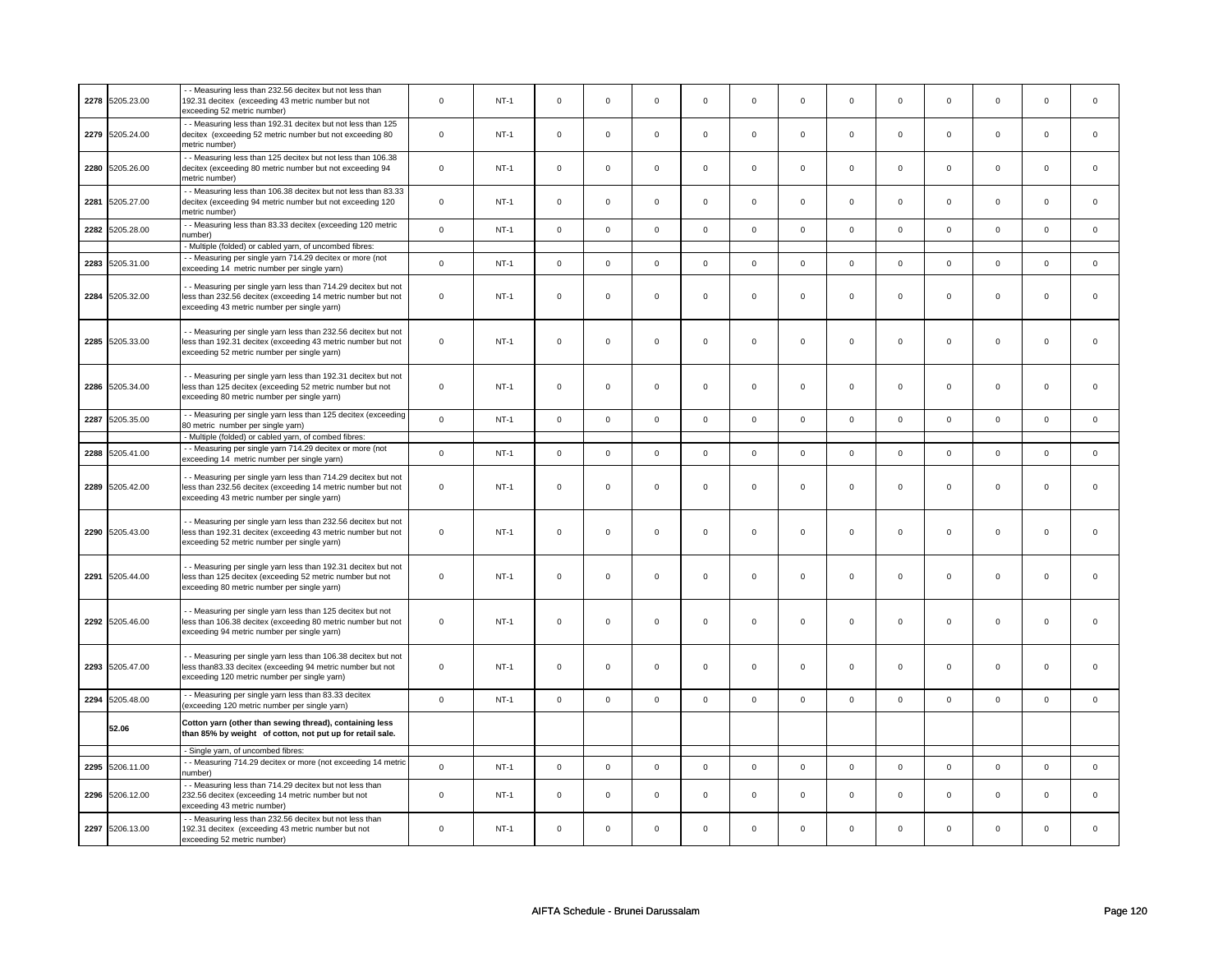| 2278 | 5205.23.00      | - - Measuring less than 232.56 decitex but not less than<br>192.31 decitex (exceeding 43 metric number but not<br>exceeding 52 metric number)                                 | $\mathbf 0$         | $NT-1$ | $\mathbf 0$ | $\mathbf 0$ | $\mathbf 0$ | $\mathbf 0$ | $\mathbf 0$ | $\mathbf 0$ | $\Omega$    | $\mathbf 0$         | $\mathbf 0$ | $\mathsf 0$ | $\Omega$    | $\mathbf 0$  |
|------|-----------------|-------------------------------------------------------------------------------------------------------------------------------------------------------------------------------|---------------------|--------|-------------|-------------|-------------|-------------|-------------|-------------|-------------|---------------------|-------------|-------------|-------------|--------------|
|      | 2279 5205.24.00 | - - Measuring less than 192.31 decitex but not less than 125<br>decitex (exceeding 52 metric number but not exceeding 80<br>metric number)                                    | $\mathbf 0$         | $NT-1$ | $\mathsf 0$ | $\mathbf 0$ | $\mathbf 0$ | $\mathsf 0$ | $\mathsf 0$ | $\mathsf 0$ | $\mathbf 0$ | $\mathsf 0$         | $\mathbf 0$ | $\mathsf 0$ | $\mathbf 0$ | $\mathbf{0}$ |
| 2280 | 5205.26.00      | - - Measuring less than 125 decitex but not less than 106.38<br>decitex (exceeding 80 metric number but not exceeding 94<br>metric number)                                    | $\pmb{0}$           | $NT-1$ | $\mathbf 0$ | $\mathbf 0$ | $\mathbf 0$ | $\mathbf 0$ | $\mathbf 0$ | $\mathbf 0$ | $\mathbf 0$ | $\mathbf 0$         | $\mathsf 0$ | $\mathbf 0$ | $\Omega$    | $\mathbf{0}$ |
| 2281 | 5205.27.00      | - Measuring less than 106.38 decitex but not less than 83.33<br>decitex (exceeding 94 metric number but not exceeding 120<br>metric number)                                   | $\mathbf 0$         | $NT-1$ | $\mathsf 0$ | $\mathsf 0$ | $\Omega$    | $\mathsf 0$ | $\mathsf 0$ | $\mathsf 0$ | $\Omega$    | $\mathsf 0$         | $\Omega$    | $\mathsf 0$ | $\Omega$    | $\mathbf 0$  |
| 2282 | 5205.28.00      | - - Measuring less than 83.33 decitex (exceeding 120 metric<br>number)                                                                                                        | $\mathsf{o}\xspace$ | $NT-1$ | $\mathsf 0$ | $\mathsf 0$ | $\mathbf 0$ | $\mathsf 0$ | $\mathbf 0$ | $\mathsf 0$ | $\Omega$    | $\mathsf 0$         | $\mathsf 0$ | $\mathsf 0$ | $\Omega$    | $\mathsf 0$  |
|      |                 | Multiple (folded) or cabled yarn, of uncombed fibres:                                                                                                                         |                     |        |             |             |             |             |             |             |             |                     |             |             |             |              |
| 2283 | 5205.31.00      | - - Measuring per single yarn 714.29 decitex or more (not<br>exceeding 14 metric number per single yarn)                                                                      | $\mathsf{o}\xspace$ | $NT-1$ | $\mathsf 0$ | $\mathsf 0$ | $\mathsf 0$ | $\mathsf 0$ | $\mathsf 0$ | $\mathsf 0$ | $\mathbf 0$ | $\mathsf 0$         | $\mathbf 0$ | $\mathsf 0$ | $\mathbf 0$ | $\mathbf 0$  |
| 2284 | 5205.32.00      | - Measuring per single yarn less than 714.29 decitex but not<br>less than 232.56 decitex (exceeding 14 metric number but not<br>exceeding 43 metric number per single yarn)   | $\mathbf 0$         | $NT-1$ | $\mathsf 0$ | $\mathbf 0$ | $\Omega$    | $\mathsf 0$ | $\mathbf 0$ | $\mathbf 0$ | $\Omega$    | $\mathbf 0$         | $\mathbf 0$ | $\mathsf 0$ | $\mathbf 0$ | $\mathbf 0$  |
|      | 2285 5205.33.00 | - - Measuring per single yarn less than 232.56 decitex but not<br>less than 192.31 decitex (exceeding 43 metric number but not<br>exceeding 52 metric number per single yarn) | $\mathbf 0$         | NT-1   | $\mathsf 0$ | $\mathbf 0$ | $\mathbf 0$ | $\mathsf 0$ | $\mathsf 0$ | $\mathbf 0$ | $\mathbf 0$ | $\mathbf 0$         | $\mathbf 0$ | $\mathbf 0$ | $\mathbf 0$ | $\mathbf 0$  |
|      | 2286 5205.34.00 | - Measuring per single yarn less than 192.31 decitex but not<br>less than 125 decitex (exceeding 52 metric number but not<br>exceeding 80 metric number per single yarn)      | $\mathbf 0$         | $NT-1$ | $\mathbf 0$ | $\mathbf 0$ | $\mathbf 0$ | $\mathbf 0$ | $\mathbf 0$ | $\mathbf 0$ | $\Omega$    | $\mathbf 0$         | $\Omega$    | $\mathbf 0$ | $\Omega$    | $\Omega$     |
| 2287 | 5205.35.00      | - - Measuring per single yarn less than 125 decitex (exceeding<br>80 metric number per single yarn)<br>- Multiple (folded) or cabled yarn, of combed fibres:                  | $\mathbf 0$         | $NT-1$ | $\mathsf 0$ | $\mathsf 0$ | $\mathsf 0$ | $\mathsf 0$ | $\mathsf 0$ | $\mathsf 0$ | $\Omega$    | $\mathsf 0$         | $\Omega$    | $\mathsf 0$ | $\Omega$    | $\mathbf 0$  |
|      |                 | - Measuring per single yarn 714.29 decitex or more (not                                                                                                                       |                     |        |             |             |             |             |             |             |             |                     |             |             |             |              |
| 2288 | 5205.41.00      | exceeding 14 metric number per single yarn)                                                                                                                                   | $\mathsf 0$         | $NT-1$ | $\mathsf 0$ | $\mathsf 0$ | $\mathbf 0$ | $\mathsf 0$ | $\mathsf 0$ | $\mathsf 0$ | $\mathbf 0$ | $\mathsf 0$         | $\mathbf 0$ | $\mathsf 0$ | $\mathbf 0$ | $\mathsf 0$  |
|      | 2289 5205.42.00 | - - Measuring per single yarn less than 714.29 decitex but not<br>less than 232.56 decitex (exceeding 14 metric number but not<br>exceeding 43 metric number per single yarn) | $\pmb{0}$           | $NT-1$ | $\mathsf 0$ | $\mathbf 0$ | $\mathsf 0$ | $\mathsf 0$ | $\mathsf 0$ | $\mathsf 0$ | $\mathbf 0$ | $\mathsf{O}\xspace$ | $\mathsf 0$ | $\mathbf 0$ | $\mathbf 0$ | $\mathsf 0$  |
|      | 2290 5205.43.00 | - Measuring per single yarn less than 232.56 decitex but not<br>less than 192.31 decitex (exceeding 43 metric number but not<br>exceeding 52 metric number per single yarn)   | $\mathbf 0$         | $NT-1$ | $\mathbf 0$ | $\mathbf 0$ | $\mathbf 0$ | $\mathbf 0$ | $\mathbf 0$ | $\mathbf 0$ | $\Omega$    | $\mathbf 0$         | $\Omega$    | $\mathbf 0$ | $\Omega$    | $\mathbf 0$  |
|      | 2291 5205.44.00 | - Measuring per single yarn less than 192.31 decitex but not<br>less than 125 decitex (exceeding 52 metric number but not<br>exceeding 80 metric number per single yarn)      | $\mathbf 0$         | $NT-1$ | $\mathsf 0$ | $\mathsf 0$ | $\mathbf 0$ | $\mathsf 0$ | $\mathsf 0$ | $\mathsf 0$ | $\mathbf 0$ | $\mathbf 0$         | $\mathsf 0$ | $\mathsf 0$ | $\mathsf 0$ | $\mathbf 0$  |
|      | 2292 5205.46.00 | - - Measuring per single yarn less than 125 decitex but not<br>less than 106.38 decitex (exceeding 80 metric number but not<br>exceeding 94 metric number per single yarn)    | $\mathsf 0$         | $NT-1$ | $\mathsf 0$ | $\mathbf 0$ | $\mathbf 0$ | $\mathsf 0$ | $\mathsf 0$ | $\mathbf 0$ | $\mathbf 0$ | $\mathbf 0$         | $\mathbf 0$ | $\mathsf 0$ | $\mathbf 0$ | $\Omega$     |
|      | 2293 5205.47.00 | - - Measuring per single yarn less than 106.38 decitex but not<br>less than83.33 decitex (exceeding 94 metric number but not<br>exceeding 120 metric number per single yarn)  | $\mathbf 0$         | $NT-1$ | $\mathsf 0$ | $\mathbf 0$ | $\mathbf 0$ | $\mathsf 0$ | $\mathbf 0$ | $\mathbf 0$ | $\mathbf 0$ | $\mathbf 0$         | $\mathbf 0$ | $\mathbf 0$ | $\mathbf 0$ | $\mathbf 0$  |
| 2294 | 5205.48.00      | - - Measuring per single yarn less than 83.33 decitex<br>(exceeding 120 metric number per single yarn)                                                                        | $\mathsf 0$         | $NT-1$ | $\mathbf 0$ | $\mathbf 0$ | $\mathbf 0$ | $\mathsf 0$ | $\mathbf 0$ | $\mathsf 0$ | $\mathbf 0$ | $\mathsf 0$         | $\mathsf 0$ | $\mathsf 0$ | $\mathbf 0$ | $\mathsf 0$  |
|      | 52.06           | Cotton yarn (other than sewing thread), containing less<br>than 85% by weight of cotton, not put up for retail sale.                                                          |                     |        |             |             |             |             |             |             |             |                     |             |             |             |              |
|      |                 | - Single yarn, of uncombed fibres:                                                                                                                                            |                     |        |             |             |             |             |             |             |             |                     |             |             |             |              |
| 2295 | 5206.11.00      | - - Measuring 714.29 decitex or more (not exceeding 14 metric<br>number)                                                                                                      | $\mathbf 0$         | $NT-1$ | $\mathsf 0$ | $\mathsf 0$ | $\mathsf 0$ | $\mathsf 0$ | $\mathsf 0$ | $\mathsf 0$ | $\mathsf 0$ | $\mathsf 0$         | $\mathsf 0$ | $\mathsf 0$ | $\mathsf 0$ | $\mathsf 0$  |
| 2296 | 5206.12.00      | - Measuring less than 714.29 decitex but not less than<br>232.56 decitex (exceeding 14 metric number but not<br>exceeding 43 metric number)                                   | $\mathbf 0$         | $NT-1$ | $\mathsf 0$ | $\mathbf 0$ | $\mathbf 0$ | $\mathsf 0$ | $\mathbf 0$ | $\mathbf 0$ | $\mathbf 0$ | $\mathbf 0$         | $\mathbf 0$ | $\mathsf 0$ | $\mathbf 0$ | $\mathbf 0$  |
|      | 2297 5206.13.00 | - - Measuring less than 232.56 decitex but not less than<br>192.31 decitex (exceeding 43 metric number but not<br>exceeding 52 metric number)                                 | $\Omega$            | $NT-1$ | $\Omega$    | $\mathbf 0$ | $\Omega$    | $\mathbf 0$ | $\Omega$    | $\mathbf 0$ | $\Omega$    | $\mathbf 0$         | $\Omega$    | $\mathbf 0$ | $\Omega$    | $\mathbf 0$  |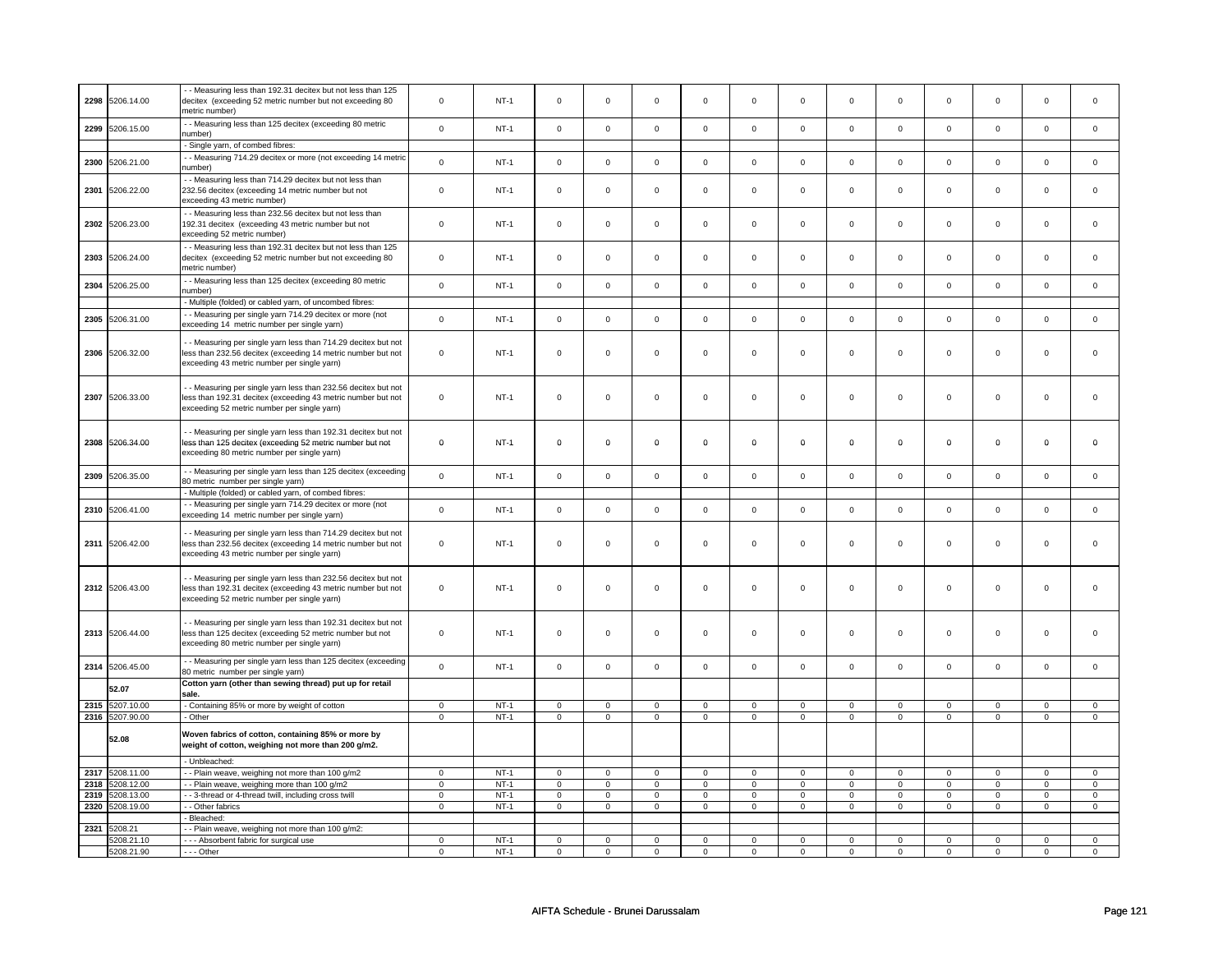|      | 2298 5206.14.00 | - Measuring less than 192.31 decitex but not less than 125<br>decitex (exceeding 52 metric number but not exceeding 80<br>netric number)                                      | $\mathbf 0$  | $NT-1$ | $\mathsf 0$         | $\mathsf 0$ | $\mathbf 0$         | $\mathbf 0$         | $\mathbf 0$         | $\mathbf 0$         | $\mathbf 0$ | $\mathbf 0$ | $\mathbf 0$ | $\mathbf 0$ | $\mathbf 0$ | $\mathbf 0$    |
|------|-----------------|-------------------------------------------------------------------------------------------------------------------------------------------------------------------------------|--------------|--------|---------------------|-------------|---------------------|---------------------|---------------------|---------------------|-------------|-------------|-------------|-------------|-------------|----------------|
| 2299 | 5206.15.00      | - - Measuring less than 125 decitex (exceeding 80 metric<br>number)                                                                                                           | $\mathbf 0$  | $NT-1$ | $\mathbf 0$         | $\mathbf 0$ | $\mathbf 0$         | $\mathbf 0$         | $\mathbf 0$         | $\mathbf 0$         | $\mathbf 0$ | $\mathbf 0$ | $\mathbf 0$ | $\mathbf 0$ | $\Omega$    | $\mathbf 0$    |
|      |                 | - Single yarn, of combed fibres:                                                                                                                                              |              |        |                     |             |                     |                     |                     |                     |             |             |             |             |             |                |
| 2300 | 5206.21.00      | - - Measuring 714.29 decitex or more (not exceeding 14 metric<br>number)                                                                                                      | $\mathsf 0$  | $NT-1$ | $\mathsf 0$         | $\mathsf 0$ | $\mathbf 0$         | $\mathbf 0$         | $\mathbf 0$         | $\mathbf 0$         | $\mathbf 0$ | $\mathbf 0$ | $\mathbf 0$ | $\mathsf 0$ | $\mathbf 0$ | $\mathbf 0$    |
| 2301 | 5206.22.00      | - Measuring less than 714.29 decitex but not less than<br>232.56 decitex (exceeding 14 metric number but not<br>exceeding 43 metric number)                                   | $\mathbf 0$  | $NT-1$ | $\mathsf 0$         | $\mathsf 0$ | $\mathsf 0$         | $\mathbf 0$         | $\mathsf 0$         | $\mathbf 0$         | $\mathsf 0$ | $\mathbf 0$ | $\mathsf 0$ | $\mathsf 0$ | $\mathsf 0$ | 0              |
| 2302 | 5206.23.00      | - Measuring less than 232.56 decitex but not less than<br>192.31 decitex (exceeding 43 metric number but not<br>exceeding 52 metric number)                                   | $\mathbf 0$  | $NT-1$ | $\mathsf{O}\xspace$ | $\mathbf 0$ | $\mathsf{O}\xspace$ | $\mathbf 0$         | $\mathsf{O}\xspace$ | $\mathsf{O}\xspace$ | $\mathbf 0$ | $\mathsf 0$ | $\mathbf 0$ | $\mathbf 0$ | $\pmb{0}$   | $\mathsf 0$    |
| 2303 | 5206.24.00      | - - Measuring less than 192.31 decitex but not less than 125<br>decitex (exceeding 52 metric number but not exceeding 80<br>metric number)                                    | $\mathbf 0$  | $NT-1$ | $\mathsf 0$         | $\mathsf 0$ | $\mathbf 0$         | $\mathbf 0$         | $\mathsf 0$         | $\mathbf 0$         | $\mathbf 0$ | $\mathsf 0$ | $\mathbf 0$ | $\mathsf 0$ | $\Omega$    | $\mathbf 0$    |
| 2304 | 5206.25.00      | - - Measuring less than 125 decitex (exceeding 80 metric<br>number)                                                                                                           | $\mathsf 0$  | $NT-1$ | $\mathsf 0$         | $\mathsf 0$ | $\mathbf 0$         | $\mathbf 0$         | $\mathsf 0$         | $\mathsf 0$         | $\mathbf 0$ | $\mathsf 0$ | $\mathsf 0$ | $\mathsf 0$ | $\mathbf 0$ | $\mathsf 0$    |
|      |                 | - Multiple (folded) or cabled yarn, of uncombed fibres:                                                                                                                       |              |        |                     |             |                     |                     |                     |                     |             |             |             |             |             |                |
| 2305 | 5206.31.00      | - Measuring per single yarn 714.29 decitex or more (not<br>exceeding 14 metric number per single yarn)                                                                        | $\mathsf 0$  | $NT-1$ | $\mathsf 0$         | $\mathsf 0$ | $\mathsf{O}\xspace$ | $\mathsf 0$         | $\mathsf{O}\xspace$ | $\mathsf 0$         | $\mathsf 0$ | $\mathsf 0$ | $\mathsf 0$ | $\mathbf 0$ | $\mathsf 0$ | $\mathsf 0$    |
|      | 2306 5206.32.00 | - - Measuring per single yarn less than 714.29 decitex but not<br>less than 232.56 decitex (exceeding 14 metric number but not<br>exceeding 43 metric number per single yarn) | $\mathbf 0$  | $NT-1$ | $\mathsf{O}\xspace$ | $\mathbf 0$ | $\mathbf 0$         | $\mathsf{O}\xspace$ | $\mathbf 0$         | $\mathbf 0$         | $\mathsf 0$ | $\mathbf 0$ | $\mathbf 0$ | $\mathbf 0$ | $\mathsf 0$ | $\mathbf 0$    |
| 2307 | 5206.33.00      | - - Measuring per single yarn less than 232.56 decitex but not<br>less than 192.31 decitex (exceeding 43 metric number but not<br>exceeding 52 metric number per single yarn) | $\mathbf 0$  | $NT-1$ | $\mathsf 0$         | $\mathsf 0$ | $\mathsf 0$         | $\mathbf 0$         | $\mathsf 0$         | $\mathsf 0$         | $\mathsf 0$ | $\mathbf 0$ | $\mathsf 0$ | $\mathsf 0$ | $\mathsf 0$ | $\mathbf 0$    |
|      | 2308 5206.34.00 | - - Measuring per single yarn less than 192.31 decitex but not<br>less than 125 decitex (exceeding 52 metric number but not<br>exceeding 80 metric number per single yarn)    | $\mathbf 0$  | $NT-1$ | $\mathbf 0$         | $\mathbf 0$ | 0                   | 0                   | $\mathbf 0$         | $\mathbf 0$         | $\mathbf 0$ | 0           | $\mathbf 0$ | $\mathbf 0$ | $\mathbf 0$ | 0              |
| 2309 | 5206.35.00      | - - Measuring per single yarn less than 125 decitex (exceeding<br>80 metric number per single yarn)                                                                           | $\mathsf 0$  | $NT-1$ | $\mathbf 0$         | $\mathbf 0$ | $\mathbf 0$         | $\mathbf 0$         | $\mathbf 0$         | $\mathbf 0$         | $\Omega$    | $\mathbf 0$ | $\mathbf 0$ | $\mathbf 0$ | $\Omega$    | $\mathsf 0$    |
|      |                 | - Multiple (folded) or cabled yarn, of combed fibres:                                                                                                                         |              |        |                     |             |                     |                     |                     |                     |             |             |             |             |             |                |
| 2310 | 5206.41.00      | - Measuring per single yarn 714.29 decitex or more (not<br>exceeding 14 metric number per single yarn)                                                                        | $\mathsf 0$  | $NT-1$ | $\mathsf 0$         | $\mathsf 0$ | $\mathsf 0$         | $\mathbf 0$         | $\mathbf 0$         | $\mathbf 0$         | $\mathbf 0$ | $\mathsf 0$ | $\mathbf 0$ | $\mathsf 0$ | $\mathbf 0$ | $\mathbf 0$    |
|      | 2311 5206.42.00 | - Measuring per single yarn less than 714.29 decitex but not<br>less than 232.56 decitex (exceeding 14 metric number but not<br>exceeding 43 metric number per single yarn)   | $\mathsf 0$  | $NT-1$ | $\mathsf 0$         | $\mathsf 0$ | $\mathbf 0$         | $\mathbf 0$         | $\mathbf 0$         | $\mathsf 0$         | $\mathbf 0$ | 0           | $\mathbf 0$ | $\mathsf 0$ | $\mathbf 0$ | 0              |
|      | 2312 5206.43.00 | - - Measuring per single yarn less than 232.56 decitex but not<br>less than 192.31 decitex (exceeding 43 metric number but not<br>exceeding 52 metric number per single yarn) | $\mathbf 0$  | $NT-1$ | $\mathbf 0$         | $\mathbf 0$ | $\mathbf 0$         | $\mathbf 0$         | $\mathbf 0$         | $\mathbf 0$         | $\mathbf 0$ | $\mathbf 0$ | $\mathbf 0$ | $\mathbf 0$ | $\mathbf 0$ | $\Omega$       |
|      | 2313 5206.44.00 | - - Measuring per single yarn less than 192.31 decitex but not<br>less than 125 decitex (exceeding 52 metric number but not<br>exceeding 80 metric number per single yarn)    | $\mathbf 0$  | $NT-1$ | $\mathsf 0$         | $\mathsf 0$ | $\mathbf 0$         | $\mathbf 0$         | $\mathbf 0$         | $\mathbf 0$         | $\mathbf 0$ | $\mathsf 0$ | $\mathbf 0$ | $\mathsf 0$ | $\mathbf 0$ | $\Omega$       |
| 2314 | 5206.45.00      | - Measuring per single yarn less than 125 decitex (exceeding<br>80 metric number per single yarn)                                                                             | $\mathsf{o}$ | $NT-1$ | $\mathbf 0$         | $\mathbf 0$ | $\mathbf 0$         | $\mathsf{o}\xspace$ | $\mathbf 0$         | $\mathsf{o}\xspace$ | $\mathsf 0$ | $\mathsf 0$ | $\mathbf 0$ | $\mathsf 0$ | $\mathsf 0$ | $\mathsf{o}\,$ |
|      | 52.07           | Cotton yarn (other than sewing thread) put up for retail<br>sale.                                                                                                             |              |        |                     |             |                     |                     |                     |                     |             |             |             |             |             |                |
| 2315 | 5207.10.00      | - Containing 85% or more by weight of cotton                                                                                                                                  | $\mathbf 0$  | $NT-1$ | $\mathsf{O}\xspace$ | $\mathbf 0$ | $\mathsf{O}\xspace$ | $\mathbf 0$         | $\mathsf 0$         | $\mathbf 0$         | $\mathbf 0$ | $\mathbf 0$ | $\mathbf 0$ | $\mathbf 0$ | $\mathsf 0$ | $\mathsf 0$    |
|      | 2316 5207.90.00 | - Other                                                                                                                                                                       | $\mathbf 0$  | $NT-1$ | $\mathsf 0$         | $\mathbf 0$ | $\mathsf 0$         | $\mathbf 0$         | $\mathsf 0$         | $\mathbf 0$         | $\mathbf 0$ | $\mathsf 0$ | $\mathsf 0$ | $\mathsf 0$ | $\mathsf 0$ | $\mathbf 0$    |
|      | 52.08           | Woven fabrics of cotton, containing 85% or more by<br>weight of cotton, weighing not more than 200 g/m2.                                                                      |              |        |                     |             |                     |                     |                     |                     |             |             |             |             |             |                |
|      |                 | - Unbleached:                                                                                                                                                                 |              |        |                     |             |                     |                     |                     |                     |             |             |             |             |             |                |
| 2317 | 5208.11.00      | - - Plain weave, weighing not more than 100 g/m2                                                                                                                              | $\mathbf 0$  | $NT-1$ | $\mathsf 0$         | $\mathbf 0$ | $\mathsf 0$         | $\mathbf 0$         | $\mathsf 0$         | $\mathsf 0$         | $\mathbf 0$ | $\mathsf 0$ | $\mathsf 0$ | $\mathsf 0$ | $\mathsf 0$ | $\mathbf 0$    |
| 2318 | 208.12.00       | -- Plain weave, weighing more than 100 g/m2                                                                                                                                   | 0            | $NT-1$ | $\mathbf 0$         | $\mathbf 0$ | 0                   | $\mathbf 0$         | $\mathbf 0$         | 0                   | 0           | 0           | 0           | 0           | $\mathbf 0$ | $\overline{0}$ |
| 2319 | 5208.13.00      | - 3-thread or 4-thread twill, including cross twill                                                                                                                           | $\mathbf 0$  | $NT-1$ | $\mathsf 0$         | $\mathsf 0$ | $\mathsf{O}\xspace$ | $\mathbf 0$         | $\mathsf{O}\xspace$ | $\mathbf 0$         | $\mathbf 0$ | $\mathsf 0$ | $\mathsf 0$ | $\mathsf 0$ | $\Omega$    | $\mathbf 0$    |
| 2320 | 5208.19.00      | - Other fabrics                                                                                                                                                               | $\mathsf 0$  | $NT-1$ | $\mathsf 0$         | $\mathsf 0$ | $\mathsf 0$         | $\mathsf 0$         | $\mathsf 0$         | $\mathsf 0$         | $\mathsf 0$ | $\mathbf 0$ | $\mathsf 0$ | $\mathbf 0$ | $\mathsf 0$ | $\mathsf 0$    |
|      |                 | - Bleached:                                                                                                                                                                   |              |        |                     |             |                     |                     |                     |                     |             |             |             |             |             |                |
| 2321 | 5208.21         | - Plain weave, weighing not more than 100 g/m2:                                                                                                                               |              |        |                     |             |                     |                     |                     |                     |             |             |             |             |             |                |
|      | 5208.21.10      | --- Absorbent fabric for surgical use                                                                                                                                         | $\mathbf 0$  | $NT-1$ | $\mathbf 0$         | $\mathbf 0$ | $\mathbf 0$         | $\mathbf 0$         | $\mathbf 0$         | $\mathbf 0$         | $\mathbf 0$ | $\mathbf 0$ | $\mathbf 0$ | $\mathbf 0$ | $\mathbf 0$ | $\mathsf 0$    |
|      | 5208.21.90      | --- Other                                                                                                                                                                     | $\mathbf 0$  | $NT-1$ | $\mathbf 0$         | $\mathbf 0$ | $\mathbf 0$         | $\mathbf 0$         | $\mathbf 0$         | $\mathbf 0$         | $\mathbf 0$ | $\mathbf 0$ | $\mathbf 0$ | $\mathbf 0$ | $\mathbf 0$ | $\mathsf 0$    |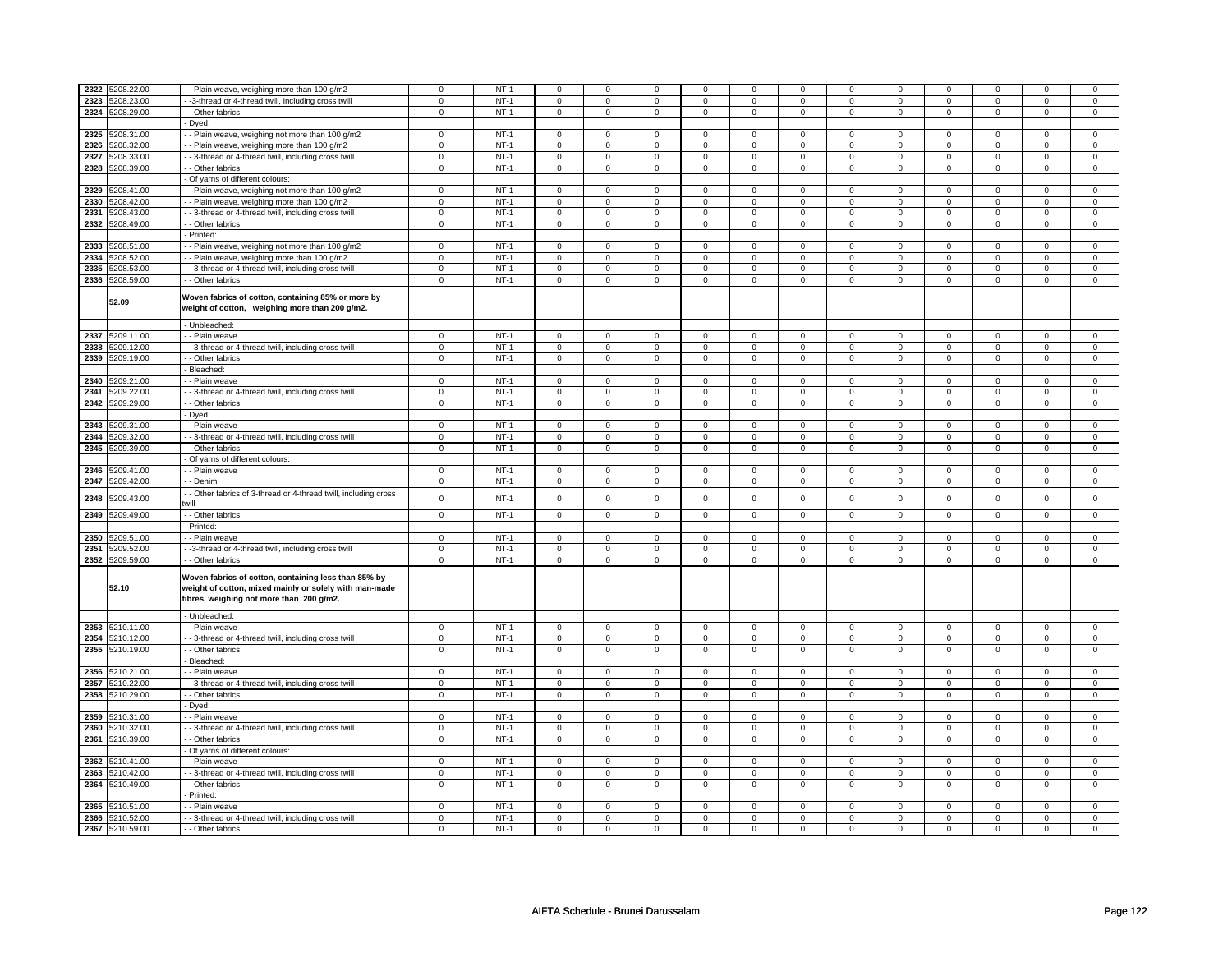| 2322 | 5208.22.00 | -- Plain weave, weighing more than 100 g/m2                                                                                                                | $\mathbf 0$              | $NT-1$ | $\mathbf 0$         | $\mathbf 0$    | $\Omega$                | $\Omega$       | $\Omega$                | $\Omega$       | $\Omega$                      | $\mathbf 0$    | $\mathbf 0$    | $\mathbf 0$    | $\Omega$       | $\Omega$       |
|------|------------|------------------------------------------------------------------------------------------------------------------------------------------------------------|--------------------------|--------|---------------------|----------------|-------------------------|----------------|-------------------------|----------------|-------------------------------|----------------|----------------|----------------|----------------|----------------|
| 2323 | 5208.23.00 | -3-thread or 4-thread twill, including cross twill                                                                                                         | $\mathsf 0$              | $NT-1$ | $\mathbf 0$         | $\mathbf 0$    | $\mathbf 0$             | 0              | $\mathbf 0$             | $\mathbf 0$    | $\mathbf 0$                   | $\mathbf 0$    | $\mathbf 0$    | $\mathsf 0$    | 0              | $\mathbf{0}$   |
| 2324 | 5208.29.00 | - - Other fabrics                                                                                                                                          | $\mathbf 0$              | $NT-1$ | $\mathbf 0$         | $\mathbf 0$    | $\mathbf 0$             | $\mathsf 0$    | $\mathbf 0$             | $\mathbf 0$    | $\mathbf{0}$                  | $\mathbf 0$    | $\mathbf 0$    | $\mathbf{0}$   | $\mathbf 0$    | $\mathbf{0}$   |
|      |            | - Dyed:                                                                                                                                                    |                          |        |                     |                |                         |                |                         |                |                               |                |                |                |                |                |
| 2325 | 5208.31.00 | -- Plain weave, weighing not more than 100 g/m2                                                                                                            | $\mathbf 0$              | $NT-1$ | $\mathbf 0$         | $\mathbf 0$    | $\Omega$                | $\mathbf 0$    | $\Omega$                | $\Omega$       | $\Omega$                      | $\mathbf 0$    | $\mathbf 0$    | $\mathbf 0$    | $\Omega$       | $\mathbf{0}$   |
| 2326 |            |                                                                                                                                                            |                          | $NT-1$ |                     |                |                         |                |                         |                | $\mathbf 0$                   |                |                | $\mathbf 0$    | $\mathbf 0$    |                |
|      | 5208.32.00 | - Plain weave, weighing more than 100 g/m2                                                                                                                 | $\mathbf 0$              |        | $\mathsf 0$         | $\mathsf 0$    | $\mathsf 0$             | $\mathsf 0$    | $\mathsf 0$             | $\mathbf 0$    |                               | $\mathbf 0$    | $\mathbf 0$    |                |                | 0              |
| 2327 | 5208.33.00 | - - 3-thread or 4-thread twill, including cross twill                                                                                                      | $\overline{0}$           | $NT-1$ | 0                   | 0              | 0                       | 0              | $\mathbf 0$             | $\mathbf 0$    | 0                             | $\mathbf 0$    | 0              | 0              | 0              | 0              |
| 2328 | 5208.39.00 | - - Other fabrics                                                                                                                                          | $\mathsf 0$              | $NT-1$ | $\mathbf 0$         | $\mathsf 0$    | $\mathbf 0$             | $\mathsf 0$    | $\mathbf 0$             | $\mathbf 0$    | $\mathbf 0$                   | $\mathbf 0$    | 0              | $\mathbf 0$    | 0              | $\mathbf{0}$   |
|      |            | - Of yarns of different colours:                                                                                                                           |                          |        |                     |                |                         |                |                         |                |                               |                |                |                |                |                |
| 2329 | 5208.41.00 | - - Plain weave, weighing not more than 100 g/m2                                                                                                           | $\mathsf 0$              | $NT-1$ | $\mathsf 0$         | $\mathsf 0$    | $\Omega$                | $\mathbf 0$    | $\mathsf 0$             | $\mathbf 0$    | $\mathbf 0$                   | $\mathbf 0$    | $\mathbf 0$    | $\mathsf 0$    | $\Omega$       | $\mathbf{0}$   |
| 2330 | 5208.42.00 | - - Plain weave, weighing more than 100 g/m2                                                                                                               | $\,0\,$                  | $NT-1$ | $\mathbf 0$         | $\mathbf 0$    | $\Omega$                | 0              | $\mathbf 0$             | $\pmb{0}$      | $\mathbf 0$                   | $\mathbf 0$    | $\mathbf 0$    | $\mathsf 0$    | 0              | 0              |
|      |            |                                                                                                                                                            |                          |        |                     |                |                         |                |                         |                |                               |                |                |                |                |                |
| 2331 | 5208.43.00 | -- 3-thread or 4-thread twill, including cross twill                                                                                                       | $\mathsf 0$              | $NT-1$ | $\mathbf 0$         | $\mathbf 0$    | $\mathbf 0$             | $\mathbf 0$    | $\mathbf 0$             | $\mathbf 0$    | $\mathbf 0$                   | $\mathbf 0$    | $\mathbf 0$    | $\mathbf 0$    | 0              | 0              |
| 2332 | 5208.49.00 | - - Other fabrics                                                                                                                                          | $\mathbf 0$              | $NT-1$ | $\mathbf 0$         | $\mathbf 0$    | $\Omega$                | 0              | $\mathbf 0$             | $\mathbf 0$    | $\mathbf 0$                   | $\mathbf 0$    | 0              | $\mathsf 0$    | 0              | 0              |
|      |            | - Printed:                                                                                                                                                 |                          |        |                     |                |                         |                |                         |                |                               |                |                |                |                |                |
| 2333 | 5208.51.00 | - Plain weave, weighing not more than 100 g/m2                                                                                                             | $\mathsf 0$              | $NT-1$ | $\mathbf 0$         | $\mathsf 0$    | $\mathbf 0$             | 0              | $\mathbf 0$             | $\mathbf 0$    | $\mathbf 0$                   | $\mathbf 0$    | 0              | $\mathsf 0$    | $\Omega$       | 0              |
| 2334 | 5208.52.00 | - - Plain weave, weighing more than 100 g/m2                                                                                                               | $\mathbf 0$              | $NT-1$ | $\mathbf 0$         | $\mathbf 0$    | $\mathbf 0$             | 0              | $\mathbf 0$             | $\mathbf 0$    | $\mathbf 0$                   | $\mathbf 0$    | 0              | 0              | 0              | 0              |
| 2335 | 5208.53.00 | -- 3-thread or 4-thread twill, including cross twill                                                                                                       | $\mathbf 0$              | $NT-1$ | $\mathbf 0$         | $\mathbf 0$    | $\mathbf 0$             | 0              | $\mathbf 0$             | $\mathbf 0$    | $\mathbf 0$                   | $\mathbf 0$    | 0              | $\mathbf 0$    | 0              | 0              |
| 2336 |            |                                                                                                                                                            | $\mathbf 0$              |        |                     |                | $\mathbf 0$             | $\mathbf 0$    | $\Omega$                | $\Omega$       | $\Omega$                      | $\mathbf 0$    | $\mathbf 0$    |                | $\mathbf 0$    |                |
|      | 5208.59.00 | - Other fabrics                                                                                                                                            |                          | $NT-1$ | $\mathsf 0$         | $\mathsf 0$    |                         |                |                         |                |                               |                |                | $\mathsf 0$    |                | 0              |
|      | 52.09      | Woven fabrics of cotton, containing 85% or more by<br>weight of cotton, weighing more than 200 g/m2.                                                       |                          |        |                     |                |                         |                |                         |                |                               |                |                |                |                |                |
|      |            | - Unbleached:                                                                                                                                              |                          |        |                     |                |                         |                |                         |                |                               |                |                |                |                |                |
| 2337 | 5209.11.00 | - - Plain weave                                                                                                                                            | $\mathbf 0$              | $NT-1$ | $\mathsf 0$         | $\mathsf 0$    | $\mathbf 0$             | $\mathsf 0$    | $\mathbf 0$             | $\mathbf 0$    | $\mathbf 0$                   | $\mathbf 0$    | $\mathbf 0$    | $\mathsf 0$    | $\Omega$       | 0              |
| 2338 | 5209.12.00 | - - 3-thread or 4-thread twill, including cross twill                                                                                                      | $\mathbf 0$              | $NT-1$ | $\mathbf 0$         | $\mathbf 0$    | $\mathbf 0$             | $\mathsf 0$    | $\mathsf 0$             | $\mathbf 0$    | $\mathsf 0$                   | $\mathbf 0$    | $\mathbf 0$    | $\mathsf 0$    | $\mathsf 0$    | $\overline{0}$ |
| 2339 | 5209.19.00 | - - Other fabrics                                                                                                                                          | $\mathbf 0$              | $NT-1$ | $\mathsf{O}\xspace$ | $\mathbf 0$    | $\mathsf 0$             | $\mathsf 0$    | $\mathbf 0$             | $\mathsf 0$    | $\mathsf 0$                   | $\mathsf 0$    | $\mathsf 0$    | $\mathbf 0$    | $\mathsf 0$    | $\mathbf 0$    |
|      |            | - Bleached:                                                                                                                                                |                          |        |                     |                |                         |                |                         |                |                               |                |                |                |                |                |
| 2340 | 5209.21.00 |                                                                                                                                                            | $\mathsf 0$              | $NT-1$ |                     | $\mathsf 0$    | $\mathbf 0$             |                |                         | $\mathbf 0$    |                               |                |                |                |                |                |
|      |            | - - Plain weave                                                                                                                                            |                          |        | $\mathbf 0$         |                |                         | 0              | $\mathbf 0$             |                | $\mathbf 0$<br>$\overline{0}$ | $\mathbf 0$    | 0              | 0              | 0<br>$\Omega$  | 0              |
| 2341 | 5209.22.00 | - - 3-thread or 4-thread twill, including cross twill                                                                                                      | $\overline{0}$           | $NT-1$ | $\mathbf 0$         | $\mathbf 0$    | $\Omega$                | $\overline{0}$ | $\overline{0}$          | $\overline{0}$ |                               | $\overline{0}$ | $\overline{0}$ | $\overline{0}$ |                | $\overline{0}$ |
| 2342 | 5209.29.00 | - - Other fabrics                                                                                                                                          | $\mathbf 0$              | $NT-1$ | $\mathbf 0$         | $\mathbf 0$    | 0                       | 0              | 0                       | $\mathbf 0$    | $\mathbf 0$                   | $\mathbf 0$    | $\mathbf 0$    | 0              | 0              | 0              |
|      |            | - Dyed:                                                                                                                                                    |                          |        |                     |                |                         |                |                         |                |                               |                |                |                |                |                |
| 2343 | 5209.31.00 | - - Plain weave                                                                                                                                            | $\mathbf 0$              | $NT-1$ | $\mathbf 0$         | $\mathbf 0$    | $\mathbf 0$             | 0              | $\mathbf 0$             | $\mathbf 0$    | $\mathbf 0$                   | $\mathbf 0$    | 0              | $\mathbf 0$    | 0              | 0              |
| 2344 | 5209.32.00 | - - 3-thread or 4-thread twill, including cross twill                                                                                                      | $\mathbf 0$              | $NT-1$ | $\mathbf 0$         | $\mathbf 0$    | $\Omega$                | $\mathbf 0$    | $\mathbf 0$             | $\Omega$       | $\mathbf 0$                   | $\mathbf 0$    | $\mathbf 0$    | $\mathbf 0$    | $\mathbf 0$    | $\overline{0}$ |
| 2345 | 5209.39.00 | - - Other fabrics                                                                                                                                          | $\overline{\phantom{0}}$ | $NT-1$ | $\mathsf{o}\,$      | $\mathsf{o}\,$ | $\overline{\mathbf{0}}$ | $\overline{0}$ | $\overline{\mathbf{0}}$ | $\overline{0}$ | $\overline{0}$                | $\overline{0}$ | $\overline{0}$ | $\overline{0}$ | $\overline{0}$ | $\overline{0}$ |
|      |            |                                                                                                                                                            |                          |        |                     |                |                         |                |                         |                |                               |                |                |                |                |                |
|      |            | - Of yarns of different colours:                                                                                                                           |                          |        |                     |                |                         |                |                         |                |                               |                |                |                |                |                |
| 2346 | 5209.41.00 | - - Plain weave                                                                                                                                            | $\mathbf 0$              | $NT-1$ | $\mathbf 0$         | $\mathbf 0$    | $\mathbf 0$             | $\mathbf 0$    | 0                       | $\mathbf 0$    | 0                             | $\mathbf 0$    | $^{\circ}$     | $\mathbf 0$    | 0              | 0              |
| 2347 | 5209.42.00 | - - Denim                                                                                                                                                  | 0                        | $NT-1$ | $\mathbf 0$         | $\mathbf 0$    | $\mathbf 0$             | $\mathbf 0$    | $\mathbf 0$             | $\mathbf 0$    | $\mathbf 0$                   | $\mathbf 0$    | 0              | $\mathbf 0$    | 0              | 0              |
|      |            | - Other fabrics of 3-thread or 4-thread twill, including cross                                                                                             |                          |        |                     |                |                         |                |                         |                |                               |                |                |                |                |                |
| 2348 | 5209.43.00 | will                                                                                                                                                       | $\pmb{0}$                | $NT-1$ | $\mathsf{O}\xspace$ | $\mathsf 0$    | $\mathbf 0$             | $\mathbf 0$    | $\mathbf 0$             | $\mathsf 0$    | $\mathsf 0$                   | $\mathbf 0$    | $\mathbf 0$    | $\mathsf 0$    | $\mathsf 0$    | $\mathsf 0$    |
| 2349 | 5209.49.00 | - - Other fabrics                                                                                                                                          | $\mathsf 0$              | $NT-1$ | $\mathsf 0$         | $\mathsf 0$    | $\mathbf 0$             | $\mathsf 0$    | $\mathsf 0$             | $\mathbf 0$    | $\mathsf 0$                   | $\mathbf 0$    | $\mathbf 0$    | $\mathsf 0$    | $\mathsf 0$    | 0              |
|      |            | - Printed:                                                                                                                                                 |                          |        |                     |                |                         |                |                         |                |                               |                |                |                |                |                |
| 2350 | 5209.51.00 | - - Plain weave                                                                                                                                            | $\mathbf 0$              | $NT-1$ | $\mathsf 0$         | $\mathsf 0$    | $\mathbf 0$             | $\mathbf 0$    | $\mathsf 0$             | $\mathbf 0$    | $\mathbf 0$                   | $\mathbf 0$    | $\mathbf 0$    | $\mathsf 0$    | 0              | 0              |
|      |            |                                                                                                                                                            |                          |        |                     |                |                         |                |                         |                |                               |                |                |                |                |                |
| 2351 | 5209.52.00 | -3-thread or 4-thread twill, including cross twill                                                                                                         | $\,0\,$                  | $NT-1$ | $\mathsf{O}\xspace$ | $\mathbf 0$    | $\mathbf 0$             | $\mathsf 0$    | $\mathbf 0$             | $\mathsf 0$    | $\mathsf 0$                   | $\mathbf 0$    | $\mathbf 0$    | $\mathsf 0$    | $\mathsf 0$    | 0              |
| 2352 | 5209.59.00 | - - Other fabrics                                                                                                                                          | $\overline{0}$           | $NT-1$ | $\mathsf 0$         | $\mathsf 0$    | $\mathbf 0$             | $\mathsf 0$    | $\mathbf 0$             | $\overline{0}$ | $\mathsf 0$                   | $\overline{0}$ | $\mathbf 0$    | $\overline{0}$ | $\mathsf 0$    | $\overline{0}$ |
|      | 52.10      | Woven fabrics of cotton, containing less than 85% by<br>weight of cotton, mixed mainly or solely with man-made<br>fibres, weighing not more than 200 g/m2. |                          |        |                     |                |                         |                |                         |                |                               |                |                |                |                |                |
|      |            | - Unbleached:                                                                                                                                              |                          |        |                     |                |                         |                |                         |                |                               |                |                |                |                |                |
| 2353 | 5210.11.00 | - Plain weave                                                                                                                                              | $\mathbf 0$              | $NT-1$ | $\mathsf 0$         | $\mathsf 0$    | $\mathsf 0$             | $\mathsf 0$    | $\mathbf 0$             | $\mathbf 0$    | $\mathsf 0$                   | $\mathbf 0$    | $\mathbf 0$    | $\mathsf 0$    | $\mathbf 0$    | 0              |
| 2354 | 5210.12.00 | - - 3-thread or 4-thread twill, including cross twill                                                                                                      | $\mathsf 0$              | $NT-1$ | $\mathbf 0$         | $\mathbf 0$    | $\mathbf 0$             | $\mathbf 0$    | $\mathbf 0$             | $\mathbf 0$    | $\mathbf 0$                   | $\mathbf 0$    | $\mathbf 0$    | $\mathbf 0$    | 0              | 0              |
| 2355 | 5210.19.00 | - - Other fabrics                                                                                                                                          | $\mathbf 0$              | $NT-1$ | $\mathbf 0$         | $\mathbf 0$    | $\mathbf 0$             | $\mathbf 0$    | $\mathbf 0$             | $\mathbf 0$    | $\mathbf 0$                   | $\mathbf 0$    | $\mathbf 0$    | $\mathbf{0}$   | $\mathbf 0$    | $\mathbf{0}$   |
|      |            | - Bleached:                                                                                                                                                |                          |        |                     |                |                         |                |                         |                |                               |                |                |                |                |                |
| 2356 | 5210.21.00 | - - Plain weave                                                                                                                                            | $\mathsf 0$              | $NT-1$ |                     | $\mathsf 0$    | $\mathbf 0$             | $\mathsf 0$    | $\mathbf 0$             | $\mathbf 0$    |                               | $\mathbf 0$    |                | $\mathsf 0$    | $\mathbf 0$    | 0              |
|      |            |                                                                                                                                                            |                          |        | $\mathbf 0$         |                |                         |                |                         |                | $\mathbf 0$                   |                | 0              |                |                |                |
| 2357 | 5210.22.00 | - - 3-thread or 4-thread twill, including cross twill                                                                                                      | $\mathsf 0$              | $NT-1$ | $\mathbf 0$         | $\mathbf 0$    | $\mathbf 0$             | 0              | $\mathsf 0$             | $\mathsf 0$    | 0                             | $\mathbf 0$    | $\mathbf 0$    | $\mathbf 0$    | 0              | $\mathbf 0$    |
| 2358 | 5210.29.00 | - - Other fabrics                                                                                                                                          | $\mathsf 0$              | $NT-1$ | $\mathsf 0$         | $\mathsf 0$    | $\mathbf 0$             | $\mathsf 0$    | $\mathbf 0$             | $\mathbf 0$    | $\mathsf 0$                   | $\mathbf 0$    | $\mathbf 0$    | $\mathbf 0$    | $\mathbf 0$    | $\mathbf 0$    |
|      |            | - Dyed:                                                                                                                                                    |                          |        |                     |                |                         |                |                         |                |                               |                |                |                |                |                |
| 2359 | 5210.31.00 | - - Plain weave                                                                                                                                            | $\overline{0}$           | $NT-1$ | $\mathsf 0$         | $\mathsf 0$    | $\mathbf 0$             | $\mathsf 0$    | $\mathsf 0$             | $\overline{0}$ | $\mathsf 0$                   | $\overline{0}$ | $\mathbf 0$    | $\mathsf 0$    | $\mathbf 0$    | 0              |
| 2360 | 5210.32.00 | - 3-thread or 4-thread twill, including cross twill                                                                                                        | $\mathbf 0$              | $NT-1$ | $\mathbf 0$         | $\mathbf 0$    | $\mathbf 0$             | 0              | $\mathbf 0$             | $\mathbf 0$    | $\mathbf 0$                   | $\mathbf 0$    | 0              | 0              | $\mathbf 0$    | 0              |
| 2361 | 5210.39.00 | - Other fabrics                                                                                                                                            | $\overline{0}$           | $NT-1$ | $\mathbf 0$         | $\mathbf 0$    | $\mathsf 0$             | $\overline{0}$ | $\overline{0}$          | $\overline{0}$ | $\mathbf 0$                   | $\overline{0}$ | $\mathbf 0$    | $\overline{0}$ | $\mathsf 0$    | $\mathbf 0$    |
|      |            |                                                                                                                                                            |                          |        |                     |                |                         |                |                         |                |                               |                |                |                |                |                |
|      |            | - Of yarns of different colours:                                                                                                                           |                          |        |                     |                |                         |                |                         |                |                               |                |                |                |                |                |
| 2362 | 5210.41.00 | - - Plain weave                                                                                                                                            | $\mathbf 0$              | $NT-1$ | $\Omega$            | $\mathbf 0$    | $\Omega$                | $\Omega$       | $\Omega$                | $\Omega$       | $\Omega$                      | $\Omega$       | $\mathbf 0$    | $\mathbf 0$    | $\Omega$       | $\mathbf{0}$   |
| 2363 | 5210.42.00 | - 3-thread or 4-thread twill, including cross twill                                                                                                        | $\mathbf 0$              | $NT-1$ | $\mathbf 0$         | $\mathbf 0$    | $\mathbf 0$             | 0              | $\mathbf 0$             | $\mathbf 0$    | $\mathbf 0$                   | $\mathbf 0$    | $\mathbf 0$    | 0              | $\mathbf 0$    | 0              |
| 2364 | 5210.49.00 | - Other fabrics                                                                                                                                            | $\overline{0}$           | $NT-1$ | $\mathbf 0$         | $\overline{0}$ | $\overline{0}$          | $\overline{0}$ | $\overline{0}$          | $\overline{0}$ | $\mathbf 0$                   | $\overline{0}$ | $\mathbf 0$    | $\overline{0}$ | $\mathbf 0$    | $\overline{0}$ |
|      |            | - Printed:                                                                                                                                                 |                          |        |                     |                |                         |                |                         |                |                               |                |                |                |                |                |
| 2365 | 5210.51.00 | - - Plain weave                                                                                                                                            | $\mathbf 0$              | $NT-1$ | $\mathbf 0$         | $\mathbf 0$    | $\mathbf 0$             | $\mathbf 0$    | $\mathbf 0$             | $\mathbf 0$    | $\mathbf 0$                   | $\mathbf 0$    | 0              | $\mathbf 0$    | 0              | 0              |
| 2366 | 5210.52.00 |                                                                                                                                                            | $\mathbf 0$              | $NT-1$ | $\mathbf 0$         | $\mathsf 0$    | $\mathbf 0$             | $\mathsf 0$    | $\Omega$                | $\mathbf 0$    | $\Omega$                      | $\mathbf 0$    | $\mathbf 0$    | $\mathsf 0$    | $\mathbf 0$    | $\mathbf 0$    |
| 2367 |            | - - 3-thread or 4-thread twill, including cross twill                                                                                                      |                          |        |                     |                |                         |                |                         |                |                               |                |                |                |                |                |
|      | 5210.59.00 | - - Other fabrics                                                                                                                                          | $\mathbf 0$              | $NT-1$ | $\mathbf 0$         | $\mathbf 0$    | $\Omega$                | $\Omega$       | $\Omega$                | $\Omega$       | $\Omega$                      | $\mathbf 0$    | 0              | 0              | 0              | 0              |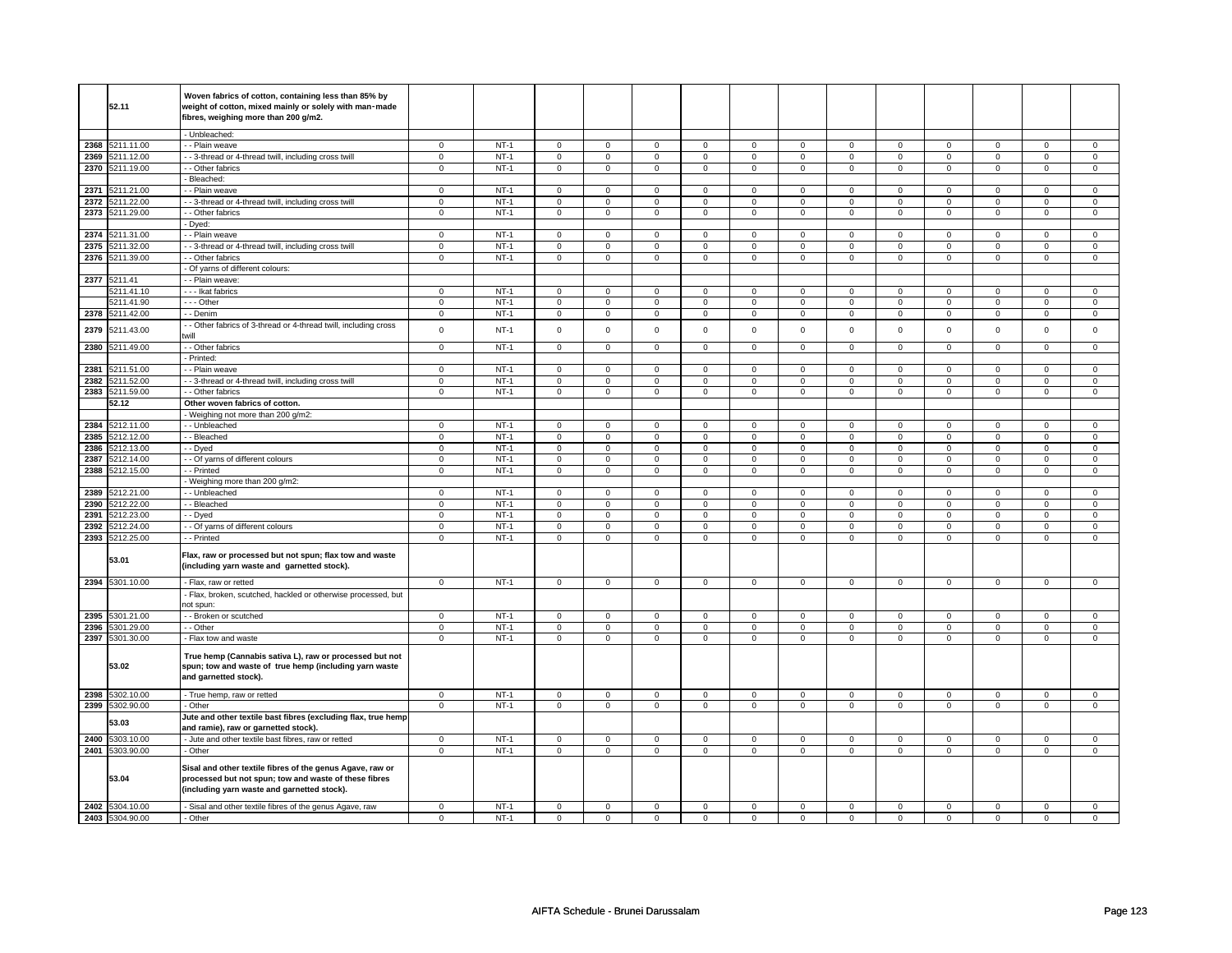|              | 52.11                    | Woven fabrics of cotton, containing less than 85% by<br>weight of cotton, mixed mainly or solely with man-made |                  |                  |                  |                            |                  |                            |                     |                            |                  |                            |                     |                            |                     |                             |
|--------------|--------------------------|----------------------------------------------------------------------------------------------------------------|------------------|------------------|------------------|----------------------------|------------------|----------------------------|---------------------|----------------------------|------------------|----------------------------|---------------------|----------------------------|---------------------|-----------------------------|
|              |                          | fibres, weighing more than 200 g/m2.                                                                           |                  |                  |                  |                            |                  |                            |                     |                            |                  |                            |                     |                            |                     |                             |
|              |                          |                                                                                                                |                  |                  |                  |                            |                  |                            |                     |                            |                  |                            |                     |                            |                     |                             |
|              |                          | - Unbleached:                                                                                                  |                  |                  |                  |                            |                  |                            |                     |                            |                  |                            |                     |                            |                     |                             |
| 2368<br>2369 | 5211.11.00<br>5211.12.00 | - Plain weave<br>- - 3-thread or 4-thread twill, including cross twill                                         | 0<br>$\mathsf 0$ | $NT-1$<br>$NT-1$ | 0<br>$\mathbf 0$ | $\mathbf 0$<br>$\mathbf 0$ | 0<br>$\mathsf 0$ | $\mathbf 0$<br>$\mathbf 0$ | 0<br>$\mathsf 0$    | $\mathbf 0$<br>$\mathbf 0$ | 0<br>$\mathbf 0$ | $\mathbf 0$<br>$\mathbf 0$ | 0<br>$\mathsf 0$    | $\mathbf 0$<br>$\mathbf 0$ | 0<br>$\mathsf 0$    | $\mathbf 0$<br>$\mathbf{0}$ |
| 2370         | 5211.19.00               | - - Other fabrics                                                                                              | $\overline{0}$   | $NT-1$           | $\mathsf 0$      | $\overline{0}$             | $\mathsf 0$      | $\mathbf 0$                | $\mathsf 0$         | $\mathsf 0$                | $\mathbf 0$      | $\mathbf 0$                | $\mathsf 0$         | $\mathbf 0$                | $\mathbf 0$         | 0                           |
|              |                          | Bleached:                                                                                                      |                  |                  |                  |                            |                  |                            |                     |                            |                  |                            |                     |                            |                     |                             |
| 2371         | 5211.21.00               | - Plain weave                                                                                                  | 0                | $NT-1$           | $\mathbf 0$      | $\mathbf 0$                | $\mathbf 0$      | $\mathbf 0$                | $\mathbf 0$         | $\mathbf 0$                | 0                | $\mathbf 0$                | 0                   | 0                          | 0                   | $\mathbf{0}$                |
| 2372         | 5211.22.00               | - 3-thread or 4-thread twill, including cross twill                                                            | $\mathbf 0$      | $NT-1$           | $\mathbf 0$      | $\mathbf 0$                | $\mathbf 0$      | $\mathbf 0$                | $\mathbf 0$         | $\mathbf 0$                | $\mathbf 0$      | $\mathbf 0$                | $\mathbf 0$         | $\mathbf 0$                | $\mathbf 0$         | 0                           |
| 2373         | 5211.29.00               | - - Other fabrics                                                                                              | $\overline{0}$   | $NT-1$           | $\overline{0}$   | $\overline{0}$             | $\mathsf 0$      | $\overline{0}$             | $\overline{0}$      | $\mathbf 0$                | $\mathbf 0$      | $\overline{0}$             | $\overline{0}$      | $\overline{0}$             | $\mathsf 0$         | $\overline{0}$              |
|              |                          | Dyed:                                                                                                          |                  |                  |                  |                            |                  |                            |                     |                            |                  |                            |                     |                            |                     |                             |
| 2374         | 5211.31.00               | - Plain weave                                                                                                  | $\mathbf 0$      | $NT-1$           | $\mathsf 0$      | $\mathsf 0$                | $\mathbf 0$      | $\mathbf 0$                | $\mathbf 0$         | $\mathbf 0$                | 0                | $\mathbf 0$                | $\mathbf 0$         | $\mathbf 0$                | 0                   | $\mathbf{0}$                |
| 2375         | 5211.32.00               | - - 3-thread or 4-thread twill, including cross twill                                                          | $\mathsf 0$      | $NT-1$           | $\mathbf 0$      | $\mathbf 0$                | $\mathbf 0$      | $\mathbf 0$                | $\mathbf 0$         | $\mathbf{0}$               | $\mathbf 0$      | $\mathbf{0}$               | $\mathbf 0$         | $\mathbf{0}$               | $\mathbf 0$         | $\mathbf{0}$                |
| 2376         | 5211.39.00               | - Other fabrics                                                                                                | $\mathbf 0$      | $NT-1$           | $\mathbf 0$      | $\mathsf 0$                | $\mathbf 0$      | $\mathsf 0$                | $\mathbf 0$         | $\mathsf 0$                | $\mathbf 0$      | $\mathsf 0$                | 0                   | $\mathbf 0$                | 0                   | $\mathbf 0$                 |
|              |                          | Of yarns of different colours:                                                                                 |                  |                  |                  |                            |                  |                            |                     |                            |                  |                            |                     |                            |                     |                             |
|              | 2377 5211.41             | - - Plain weave:                                                                                               |                  |                  |                  |                            |                  |                            |                     |                            |                  |                            |                     |                            |                     |                             |
|              | 5211.41.10               | --- Ikat fabrics                                                                                               | $\mathsf 0$      | $NT-1$           | $\mathbf 0$      | $\mathbf 0$                | $\mathbf 0$      | $\mathbf 0$                | $\mathbf 0$         | $\mathbf 0$                | 0                | $\mathbf 0$                | $\mathsf 0$         | $\mathbf 0$                | 0                   | $\mathbf{0}$                |
|              | 5211.41.90               | --- Other                                                                                                      | $\mathsf 0$      | $NT-1$           | $\mathsf 0$      | $\mathsf 0$                | $\mathsf 0$      | $\mathsf 0$                | $\mathsf 0$         | $\mathsf 0$                | $\mathbf 0$      | $\mathsf 0$                | $\mathsf 0$         | $\mathbf 0$                | $\mathbf 0$         | $\mathbf 0$                 |
| 2378         | 5211.42.00               | - - Denim                                                                                                      | $\mathsf 0$      | $NT-1$           | $\mathbf 0$      | $\mathsf 0$                | $\mathsf 0$      | $\mathbf 0$                | $\mathsf 0$         | $\mathbf 0$                | $\mathbf 0$      | $\mathbf 0$                | $\mathsf 0$         | $\mathbf 0$                | $\mathsf 0$         | $\mathbf 0$                 |
|              |                          | - Other fabrics of 3-thread or 4-thread twill, including cross                                                 |                  |                  |                  |                            |                  |                            |                     |                            |                  |                            |                     |                            |                     |                             |
| 2379         | 5211.43.00               | will                                                                                                           | $\mathbf 0$      | $NT-1$           | $\mathsf 0$      | $\mathsf 0$                | $\mathsf 0$      | $\mathbf 0$                | $\mathsf 0$         | $\mathsf 0$                | $\mathbf 0$      | $\mathsf 0$                | $\mathsf 0$         | $\mathbf 0$                | $\mathsf 0$         | 0                           |
| 2380         | 5211.49.00               | - - Other fabrics                                                                                              | $\overline{0}$   | $NT-1$           | $\overline{0}$   | $\overline{0}$             | $\mathbf 0$      | $\overline{0}$             | $\mathsf{O}\xspace$ | $\mathbf 0$                | $\mathbf 0$      | $\mathbf 0$                | $\mathsf 0$         | $\mathbf 0$                | $\mathbf 0$         | 0                           |
|              |                          | Printed:                                                                                                       |                  |                  |                  |                            |                  |                            |                     |                            |                  |                            |                     |                            |                     |                             |
| 2381         | 5211.51.00               | - Plain weave                                                                                                  | $\mathsf 0$      | $NT-1$           | $\mathbf 0$      | $\mathbf 0$                | $\mathbf 0$      | $\mathbf 0$                | $\mathbf 0$         | $\mathbf 0$                | 0                | $\mathbf 0$                | 0                   | $\mathbf 0$                | 0                   | 0                           |
| 2382         | 5211.52.00               | - - 3-thread or 4-thread twill, including cross twill                                                          | $\mathbf 0$      | $NT-1$           | $\mathbf 0$      | $\mathbf 0$                | $\mathbf 0$      | $\mathbf 0$                | $\mathbf 0$         | $\mathsf 0$                | $\mathbf 0$      | $\mathsf 0$                | $\mathbf 0$         | $\mathbf 0$                | $\mathbf 0$         | 0                           |
| 2383         | 5211.59.00               | - - Other fabrics                                                                                              | $\mathsf 0$      | $NT-1$           | $\mathbf 0$      | $\overline{0}$             | $\mathsf 0$      | $\mathbf 0$                | $\mathsf 0$         | $\mathbf 0$                | $\mathbf 0$      | $\mathsf 0$                | $\mathsf 0$         | $\mathbf 0$                | $\mathsf 0$         | 0                           |
|              | 52.12                    | Other woven fabrics of cotton.                                                                                 |                  |                  |                  |                            |                  |                            |                     |                            |                  |                            |                     |                            |                     |                             |
|              |                          | - Weighing not more than 200 g/m2:                                                                             |                  |                  |                  |                            |                  |                            |                     |                            |                  |                            |                     |                            |                     |                             |
| 2384         | 5212.11.00               | - Unbleached                                                                                                   | $\mathbf 0$      | $NT-1$           | $\mathbf 0$      | $\mathbf 0$                | $\mathbf 0$      | $\mathbf 0$                | $\mathbf 0$         | $\mathsf 0$                | $\mathbf 0$      | $\mathsf 0$                | $\mathbf 0$         | $\mathbf 0$                | $\mathbf 0$         | 0                           |
| 2385         | 5212.12.00               | - - Bleached                                                                                                   | $\mathbf 0$      | $NT-1$           | $\mathbf 0$      | $\mathbf 0$                | $\mathbf 0$      | $\mathbf 0$                | $\mathbf 0$         | 0                          | 0                | $\mathsf 0$                | 0                   | $\mathbf 0$                | $\mathbf 0$         | 0                           |
| 2386         | 5212.13.00               | - Dyed                                                                                                         | $\mathsf 0$      | $NT-1$           | $\mathsf 0$      | $\mathsf 0$                | $\mathbf 0$      | $\mathsf 0$                | $\mathsf{o}\,$      | $\mathbf 0$                | $\mathbf 0$      | $\mathbf 0$                | $\mathbf 0$         | $\mathbf 0$                | $\mathbf 0$         | $\mathbf{0}$                |
| 2387         | 5212.14.00               | - - Of yarns of different colours                                                                              | $\mathbf 0$      | $NT-1$           | $\mathbf 0$      | $\mathbf 0$                | $\mathbf 0$      | $\mathbf 0$                | $\mathbf 0$         | $\mathbf 0$                | 0                | 0                          | 0                   | 0                          | 0                   | 0                           |
| 2388         | 5212.15.00               | - - Printed                                                                                                    | $\mathbf 0$      | $NT-1$           | $\mathbf 0$      | $\mathsf 0$                | $\mathbf 0$      | $\mathsf 0$                | $\mathsf{O}\xspace$ | $\mathsf 0$                | $\mathbf 0$      | $\mathsf 0$                | $\mathsf 0$         | $\mathbf 0$                | $\mathbf 0$         | $\mathbf 0$                 |
| 2389         |                          | - Weighing more than 200 g/m2:                                                                                 |                  | $NT-1$           |                  |                            |                  |                            |                     |                            |                  |                            |                     | $\mathbf 0$                |                     | $\mathbf{0}$                |
| 2390         | 5212.21.00<br>5212.22.00 | - Unbleached<br>- Bleached                                                                                     | $\mathbf 0$<br>0 | $NT-1$           | 0<br>$\mathbf 0$ | $\mathbf 0$<br>$\mathbf 0$ | 0<br>$\mathbf 0$ | $\mathbf 0$<br>$\mathbf 0$ | 0<br>$\mathbf 0$    | $\mathbf 0$<br>$\mathbf 0$ | 0<br>0           | $\mathbf 0$<br>$\mathbf 0$ | 0<br>0              | 0                          | 0<br>0              | 0                           |
| 2391         | 5212.23.00               | - Dyed                                                                                                         | $\mathsf 0$      | $NT-1$           | $\mathbf 0$      | $\mathbf 0$                | $\mathbf 0$      | $\mathbf 0$                | $\mathsf 0$         | $\mathsf 0$                | $\mathbf 0$      | $\mathsf 0$                | $\mathbf 0$         | $\mathbf 0$                | $\mathbf 0$         | 0                           |
| 2392         | 5212.24.00               | - - Of yarns of different colours                                                                              | $\mathsf 0$      | $NT-1$           | $\mathsf 0$      | $\mathbf 0$                | $\mathsf 0$      | $\mathbf 0$                | $\mathsf 0$         | $\mathsf 0$                | $\mathbf 0$      | $\mathsf 0$                | $\mathsf 0$         | $\mathbf 0$                | $\mathsf 0$         | 0                           |
| 2393         | 5212.25.00               | - - Printed                                                                                                    | $\mathsf 0$      | $NT-1$           | $\mathbf 0$      | $\mathsf 0$                | $\mathsf 0$      | $\mathbf 0$                | $\mathsf 0$         | $\mathbf 0$                | $\mathbf 0$      | $\mathsf 0$                | $\mathsf 0$         | $\mathbf 0$                | $\mathsf 0$         | $\mathbf 0$                 |
|              |                          |                                                                                                                |                  |                  |                  |                            |                  |                            |                     |                            |                  |                            |                     |                            |                     |                             |
|              | 53.01                    | Flax, raw or processed but not spun; flax tow and waste                                                        |                  |                  |                  |                            |                  |                            |                     |                            |                  |                            |                     |                            |                     |                             |
|              |                          | (including yarn waste and garnetted stock).                                                                    |                  |                  |                  |                            |                  |                            |                     |                            |                  |                            |                     |                            |                     |                             |
|              | 2394 5301.10.00          | - Flax, raw or retted                                                                                          | $\mathbf 0$      | $NT-1$           | $\mathsf 0$      | $\mathsf 0$                | $\mathsf 0$      | $\mathsf 0$                | $\mathsf 0$         | $\mathsf{O}\xspace$        | $\mathsf 0$      | $\mathsf 0$                | $\mathsf{O}\xspace$ | $\mathsf{O}\xspace$        | $\mathsf{O}\xspace$ | $\mathsf 0$                 |
|              |                          | - Flax, broken, scutched, hackled or otherwise processed, but                                                  |                  |                  |                  |                            |                  |                            |                     |                            |                  |                            |                     |                            |                     |                             |
|              |                          | not spun:                                                                                                      |                  |                  |                  |                            |                  |                            |                     |                            |                  |                            |                     |                            |                     |                             |
| 2395         | 5301.21.00               | - - Broken or scutched                                                                                         | $\mathbf 0$      | $NT-1$           | $\mathbf 0$      | $\mathbf 0$                | $\mathbf 0$      | $\mathbf 0$                | $\mathbf 0$         | 0                          | 0                | 0                          | 0                   | 0                          | 0                   | 0                           |
| 2396         | 5301.29.00               | - - Other                                                                                                      | $\mathsf 0$      | $NT-1$           | $\mathbf 0$      | $\mathbf 0$                | $\mathbf 0$      | $\mathbf 0$                | $\mathbf 0$         | $\mathbf 0$                | 0                | $\mathbf 0$                | 0                   | $\mathbf 0$                | 0                   | $\mathbf 0$                 |
| 2397         | 5301.30.00               | - Flax tow and waste                                                                                           | $\mathsf 0$      | $NT-1$           | $\mathbf 0$      | $\mathbf 0$                | $\mathbf 0$      | $\mathbf 0$                | $\mathbf 0$         | $\mathsf 0$                | 0                | $\mathsf 0$                | $\mathsf 0$         | $\mathbf 0$                | 0                   | 0                           |
|              |                          | True hemp (Cannabis sativa L), raw or processed but not                                                        |                  |                  |                  |                            |                  |                            |                     |                            |                  |                            |                     |                            |                     |                             |
|              | 53.02                    | spun; tow and waste of true hemp (including yarn waste                                                         |                  |                  |                  |                            |                  |                            |                     |                            |                  |                            |                     |                            |                     |                             |
|              |                          | and garnetted stock).                                                                                          |                  |                  |                  |                            |                  |                            |                     |                            |                  |                            |                     |                            |                     |                             |
|              |                          |                                                                                                                |                  |                  |                  |                            |                  |                            |                     |                            |                  |                            |                     |                            |                     |                             |
| 2398         | 5302.10.00               | - True hemp, raw or retted                                                                                     | $\mathsf 0$      | $NT-1$           | $\mathsf 0$      | $\mathbf 0$                | $\mathbf 0$      | $\mathbf 0$                | $\mathsf 0$         | $\mathsf 0$                | 0                | $\mathbf 0$                | $\mathsf 0$         | $\mathbf 0$                | $\mathbf 0$         | 0                           |
|              | 2399 5302.90.00          | - Other                                                                                                        | $\mathsf 0$      | $NT-1$           | $\mathsf 0$      | $\mathbf 0$                | $\mathsf 0$      | $\mathbf 0$                | $\mathsf 0$         | $\mathbf 0$                | 0                | $\mathbf 0$                | $\mathsf 0$         | $\mathbf 0$                | $\mathsf 0$         | $\mathbf 0$                 |
|              | 53.03                    | Jute and other textile bast fibres (excluding flax, true hemp<br>and ramie), raw or garnetted stock).          |                  |                  |                  |                            |                  |                            |                     |                            |                  |                            |                     |                            |                     |                             |
| 2400         | 5303.10.00               | - Jute and other textile bast fibres, raw or retted                                                            | $\overline{0}$   | $NT-1$           | $\overline{0}$   | $\overline{0}$             | $\overline{0}$   | $\overline{0}$             | $\overline{0}$      | $\overline{0}$             | $\mathbf 0$      | $\overline{0}$             | $\overline{0}$      | $\overline{0}$             | $\mathbf 0$         | 0                           |
| 2401         | 5303.90.00               | - Other                                                                                                        | $\Omega$         | $NT-1$           | $\mathbf 0$      | $\mathbf 0$                | $\mathbf 0$      | $\mathsf 0$                | $\mathbf 0$         | $\mathsf 0$                | $\mathbf 0$      | $\mathbf 0$                | $\mathbf 0$         | $\mathbf 0$                | $\mathbf 0$         | $\mathbf 0$                 |
|              |                          |                                                                                                                |                  |                  |                  |                            |                  |                            |                     |                            |                  |                            |                     |                            |                     |                             |
|              |                          | Sisal and other textile fibres of the genus Agave, raw or                                                      |                  |                  |                  |                            |                  |                            |                     |                            |                  |                            |                     |                            |                     |                             |
|              | 53.04                    | processed but not spun; tow and waste of these fibres                                                          |                  |                  |                  |                            |                  |                            |                     |                            |                  |                            |                     |                            |                     |                             |
|              |                          | (including yarn waste and garnetted stock).                                                                    |                  |                  |                  |                            |                  |                            |                     |                            |                  |                            |                     |                            |                     |                             |
|              | 2402 5304.10.00          | - Sisal and other textile fibres of the genus Agave, raw                                                       | $\mathbf 0$      | $NT-1$           | $\mathbf 0$      | $\mathbf 0$                | $\mathbf 0$      | $\mathbf 0$                | $\mathsf 0$         | $\mathsf 0$                | 0                | $\mathsf 0$                | $\mathsf 0$         | $\mathbf 0$                | 0                   | 0                           |
|              | 2403 5304.90.00          | - Other                                                                                                        | $\Omega$         | $NT-1$           | $\mathbf 0$      | $\mathbf 0$                | $\mathbf 0$      | $\mathbf 0$                | $\mathbf 0$         | $\mathbf 0$                | $\mathbf 0$      | $\mathbf 0$                | $\mathbf 0$         | $\mathbf 0$                | $\mathbf 0$         | $\mathbf{0}$                |
|              |                          |                                                                                                                |                  |                  |                  |                            |                  |                            |                     |                            |                  |                            |                     |                            |                     |                             |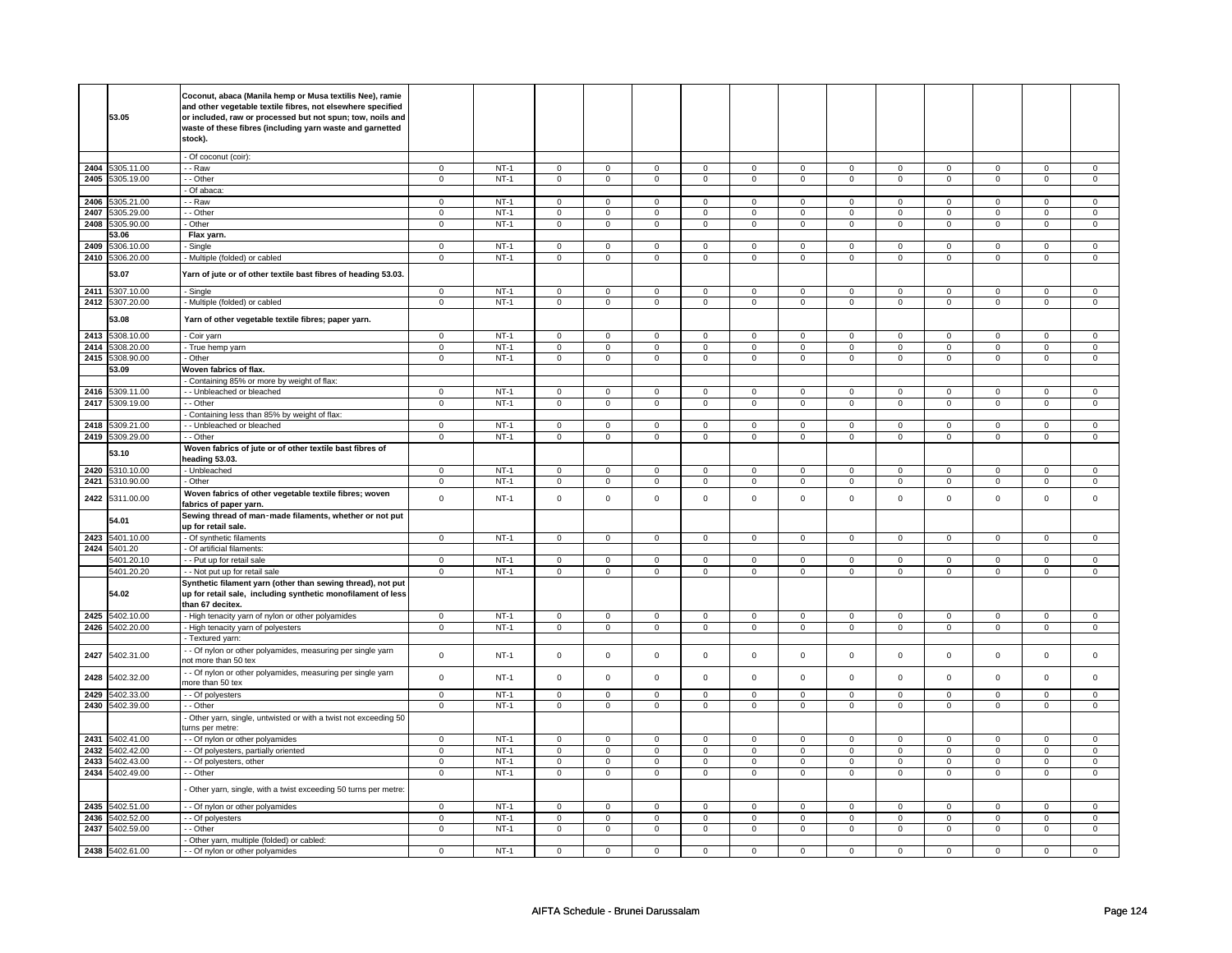|      | 53.05           | Coconut, abaca (Manila hemp or Musa textilis Nee), ramie<br>and other vegetable textile fibres, not elsewhere specified<br>or included, raw or processed but not spun; tow, noils and<br>waste of these fibres (including yarn waste and garnetted<br>stock). |                |        |                     |                |                     |                |                     |                |                |                |                |                |                |                     |
|------|-----------------|---------------------------------------------------------------------------------------------------------------------------------------------------------------------------------------------------------------------------------------------------------------|----------------|--------|---------------------|----------------|---------------------|----------------|---------------------|----------------|----------------|----------------|----------------|----------------|----------------|---------------------|
|      |                 | - Of coconut (coir):                                                                                                                                                                                                                                          |                |        |                     |                |                     |                |                     |                |                |                |                |                |                |                     |
| 2404 | 5305.11.00      | - - Raw                                                                                                                                                                                                                                                       | $\mathsf 0$    | $NT-1$ | $\mathsf{O}\xspace$ | $\mathsf 0$    | 0                   | $\mathsf 0$    | $\mathsf{O}\xspace$ | $\mathsf 0$    | 0              | $\mathsf 0$    | $\mathsf 0$    | $\mathsf 0$    | $\Omega$       | 0                   |
| 2405 | 5305.19.00      | - Other                                                                                                                                                                                                                                                       | $\mathsf 0$    | $NT-1$ | $\overline{0}$      | $\overline{0}$ | $\mathsf{O}\xspace$ | $\overline{0}$ | $\mathsf{O}\xspace$ | $\overline{0}$ | $\mathsf 0$    | $\mathbf 0$    | $\mathsf 0$    | $\overline{0}$ | $\mathsf 0$    | $\overline{0}$      |
|      |                 |                                                                                                                                                                                                                                                               |                |        |                     |                |                     |                |                     |                |                |                |                |                |                |                     |
|      |                 | Of abaca:                                                                                                                                                                                                                                                     |                |        |                     |                |                     |                |                     |                |                |                |                |                |                |                     |
| 2406 | 5305.21.00      | - - Raw                                                                                                                                                                                                                                                       | $\mathsf 0$    | $NT-1$ | $\mathbf 0$         | $\mathbf 0$    | $\mathbf 0$         | $\mathbf 0$    | $\mathsf 0$         | $\mathbf 0$    | $\mathbf 0$    | $\mathbf 0$    | $\mathsf 0$    | $\mathbf 0$    | $\mathbf 0$    | $\mathbf{0}$        |
| 2407 | 5305.29.00      | - Other                                                                                                                                                                                                                                                       | $\Omega$       | $NT-1$ | $\mathbf 0$         | $\mathbf 0$    | $\mathbf 0$         | $\mathbf 0$    | $\mathbf 0$         | $\mathbf 0$    | $\mathbf 0$    | $\mathbf 0$    | $\mathbf 0$    | $\mathbf 0$    | $\mathbf 0$    | $\mathbf{0}$        |
| 2408 | 5305.90.00      | - Other                                                                                                                                                                                                                                                       | $\overline{0}$ | $NT-1$ | $\overline{0}$      | $\overline{0}$ | $\overline{0}$      | $\overline{0}$ | $\overline{0}$      | $\overline{0}$ | $\mathbf 0$    | $\overline{0}$ | $\overline{0}$ | $\overline{0}$ | $\overline{0}$ | $\overline{0}$      |
|      | 53.06           | Flax yarn.                                                                                                                                                                                                                                                    |                |        |                     |                |                     |                |                     |                |                |                |                |                |                |                     |
| 2409 | 5306.10.00      | Single                                                                                                                                                                                                                                                        | $\mathbf 0$    | $NT-1$ | $\mathbf 0$         | $\mathbf 0$    | $\mathbf 0$         | $\mathbf 0$    | $\mathbf 0$         | $\mathbf 0$    | $\mathbf 0$    | $\mathbf 0$    | $\mathbf 0$    | $\mathbf 0$    | $\mathbf 0$    | 0                   |
|      |                 |                                                                                                                                                                                                                                                               |                |        |                     |                |                     |                |                     |                |                |                |                |                |                |                     |
|      | 2410 5306.20.00 | - Multiple (folded) or cabled                                                                                                                                                                                                                                 | $\mathsf 0$    | $NT-1$ | $\mathbf 0$         | $\mathsf 0$    | $\mathsf 0$         | $\mathsf 0$    | $\mathsf 0$         | $\mathbf 0$    | $\mathbf 0$    | $\mathbf 0$    | $\mathsf 0$    | $\mathbf 0$    | $\mathsf 0$    | $\mathbf 0$         |
|      | 53.07           | Yarn of jute or of other textile bast fibres of heading 53.03.                                                                                                                                                                                                |                |        |                     |                |                     |                |                     |                |                |                |                |                |                |                     |
| 2411 | 5307.10.00      | - Single                                                                                                                                                                                                                                                      | $\mathsf 0$    | $NT-1$ | $\mathbf 0$         | $\mathbf 0$    | $\mathbf 0$         | $\mathbf 0$    | $\mathbf 0$         | $\mathbf 0$    | $\mathbf 0$    | $\mathbf 0$    | $\mathbf 0$    | $\mathbf{0}$   | $\mathbf 0$    | 0                   |
| 2412 | 5307.20.00      | - Multiple (folded) or cabled                                                                                                                                                                                                                                 | $\mathbf 0$    | $NT-1$ | $\mathsf 0$         | $\mathsf 0$    | $\mathsf 0$         | $\mathsf 0$    | $\mathsf{O}\xspace$ | $\mathsf 0$    | $\mathsf 0$    | $\mathsf 0$    | $\mathsf 0$    | $\mathbf 0$    | $\mathsf 0$    | $\mathbf 0$         |
|      |                 |                                                                                                                                                                                                                                                               |                |        |                     |                |                     |                |                     |                |                |                |                |                |                |                     |
|      | 53.08           | Yarn of other vegetable textile fibres; paper yarn.                                                                                                                                                                                                           |                |        |                     |                |                     |                |                     |                |                |                |                |                |                |                     |
| 2413 | 5308.10.00      | - Coir yarn                                                                                                                                                                                                                                                   | 0              | $NT-1$ | $\mathbf 0$         | $\overline{0}$ | $\mathbf 0$         | $\mathbf 0$    | $\mathbf 0$         | $\overline{0}$ | 0              | $\mathbf 0$    | $\Omega$       | $\overline{0}$ | $\Omega$       | 0                   |
| 2414 | 5308.20.00      | - True hemp yarn                                                                                                                                                                                                                                              | $\mathbf 0$    | $NT-1$ | $\mathbf 0$         | $\mathbf 0$    | $\mathbf 0$         | $\mathbf 0$    | $\mathbf 0$         | $\mathbf 0$    | 0              | $\mathbf 0$    | 0              | $\mathbf 0$    | 0              | 0                   |
| 2415 | 5308.90.00      | - Other                                                                                                                                                                                                                                                       | $\mathbf 0$    | $NT-1$ | $\mathbf 0$         | $\mathbf 0$    | $\mathbf 0$         | $\mathbf 0$    | $\mathbf 0$         | $\mathbf 0$    | $\mathbf 0$    | $\mathbf{0}$   | $\mathbf 0$    | $\mathbf 0$    | $\mathbf 0$    | $\mathbf{0}$        |
|      | 53.09           | Woven fabrics of flax.                                                                                                                                                                                                                                        |                |        |                     |                |                     |                |                     |                |                |                |                |                |                |                     |
|      |                 | - Containing 85% or more by weight of flax:                                                                                                                                                                                                                   |                |        |                     |                |                     |                |                     |                |                |                |                |                |                |                     |
|      |                 |                                                                                                                                                                                                                                                               |                |        |                     |                |                     |                |                     |                |                |                |                |                |                |                     |
| 2416 | 5309.11.00      | - Unbleached or bleached                                                                                                                                                                                                                                      | $\mathsf 0$    | $NT-1$ | $\mathsf 0$         | $\mathsf 0$    | $\mathsf 0$         | $\mathbf 0$    | $\mathsf 0$         | $\mathsf 0$    | $\mathbf 0$    | $\mathsf 0$    | $\mathsf 0$    | $\mathbf 0$    | $\mathsf 0$    | 0                   |
| 2417 | 5309.19.00      | $-$ Other                                                                                                                                                                                                                                                     | $\overline{0}$ | $NT-1$ | $\overline{0}$      | $\overline{0}$ | $\mathsf 0$         | $\overline{0}$ | $\overline{0}$      | $\overline{0}$ | $\mathsf 0$    | $\overline{0}$ | $\mathsf 0$    | $\overline{0}$ | $\mathsf 0$    | $\overline{0}$      |
|      |                 | - Containing less than 85% by weight of flax:                                                                                                                                                                                                                 |                |        |                     |                |                     |                |                     |                |                |                |                |                |                |                     |
| 2418 | 5309.21.00      | - - Unbleached or bleached                                                                                                                                                                                                                                    | $\mathbf 0$    | $NT-1$ | $\mathbf 0$         | $\mathbf 0$    | $\mathbf 0$         | $\mathbf 0$    | $\mathbf 0$         | $\mathbf{0}$   | $\mathbf 0$    | $\mathbf{0}$   | $\mathbf 0$    | $\mathbf{0}$   | $\mathbf 0$    | $\mathbf{0}$        |
| 2419 | 5309.29.00      | - - Other                                                                                                                                                                                                                                                     | $\overline{0}$ | $NT-1$ | $\overline{0}$      | $\overline{0}$ | $\overline{0}$      | $\overline{0}$ | $\overline{0}$      | $\overline{0}$ | $\overline{0}$ | $\overline{0}$ | $\overline{0}$ | $\overline{0}$ | $\overline{0}$ | $\overline{0}$      |
|      |                 |                                                                                                                                                                                                                                                               |                |        |                     |                |                     |                |                     |                |                |                |                |                |                |                     |
|      | 53.10           | Woven fabrics of jute or of other textile bast fibres of<br>heading 53.03.                                                                                                                                                                                    |                |        |                     |                |                     |                |                     |                |                |                |                |                |                |                     |
| 2420 | 5310.10.00      | - Unbleached                                                                                                                                                                                                                                                  | $\mathsf 0$    | $NT-1$ | $\mathsf{O}\xspace$ | $\mathbf 0$    | $\mathbf 0$         | $\mathbf 0$    | $\mathbf 0$         | $\mathbf 0$    | $\mathbf 0$    | $\mathbf 0$    | $\mathbf 0$    | $\mathbf 0$    | $\mathsf 0$    | $\mathbf{0}$        |
| 2421 | 5310.90.00      | - Other                                                                                                                                                                                                                                                       | $\mathsf 0$    | $NT-1$ | $\mathbf 0$         | $\mathbf 0$    | $\mathbf 0$         | $\mathbf 0$    | $\mathbf 0$         | $\mathbf 0$    | $\mathbf 0$    | $\mathbf 0$    | $\mathbf 0$    | $\mathbf{0}$   | $\mathbf 0$    | $\mathbf 0$         |
| 2422 | 5311.00.00      | Woven fabrics of other vegetable textile fibres; woven<br>fabrics of paper yarn.                                                                                                                                                                              | $\mathbf 0$    | $NT-1$ | $\mathsf 0$         | $\mathsf 0$    | $\mathbf 0$         | $\mathbf 0$    | $\mathsf 0$         | $\mathsf 0$    | $\mathbf 0$    | $\mathsf 0$    | $\mathbf 0$    | $\mathbf 0$    | $\mathbf 0$    | $\mathbf 0$         |
|      | 54.01           | Sewing thread of man-made filaments, whether or not put<br>up for retail sale.                                                                                                                                                                                |                |        |                     |                |                     |                |                     |                |                |                |                |                |                |                     |
| 2423 | 5401.10.00      | - Of synthetic filaments                                                                                                                                                                                                                                      | $\mathbf 0$    | $NT-1$ | $\mathsf 0$         | $\mathbf 0$    | $\mathsf 0$         | $\mathsf 0$    | $\mathsf 0$         | $\mathbf 0$    | $\mathbf 0$    | $\mathbf 0$    | $\mathsf 0$    | $\mathbf 0$    | $\mathsf 0$    | $\mathsf 0$         |
|      |                 |                                                                                                                                                                                                                                                               |                |        |                     |                |                     |                |                     |                |                |                |                |                |                |                     |
|      | 2424 5401.20    | - Of artificial filaments:                                                                                                                                                                                                                                    |                |        |                     |                |                     |                |                     |                |                |                |                |                |                |                     |
|      | 5401.20.10      | -- Put up for retail sale                                                                                                                                                                                                                                     | 0              | $NT-1$ | $\mathbf 0$         | $\mathbf 0$    | $\mathbf 0$         | $\mathbf 0$    | $\mathbf 0$         | $\mathbf 0$    | 0              | $\mathbf 0$    | 0              | $\mathbf 0$    | 0              | 0                   |
|      | 5401.20.20      | - - Not put up for retail sale                                                                                                                                                                                                                                | $\mathsf 0$    | $NT-1$ | $\mathbf 0$         | $\mathbf 0$    | $\mathbf 0$         | $\mathbf 0$    | $\mathsf 0$         | $\mathbf 0$    | $\mathbf 0$    | $\mathbf 0$    | $\mathsf 0$    | $\mathbf 0$    | 0              | 0                   |
|      | 54.02           | Synthetic filament yarn (other than sewing thread), not put<br>up for retail sale, including synthetic monofilament of less                                                                                                                                   |                |        |                     |                |                     |                |                     |                |                |                |                |                |                |                     |
|      |                 | than 67 decitex.                                                                                                                                                                                                                                              |                |        |                     |                |                     |                |                     |                |                |                |                |                |                |                     |
| 2425 | 5402.10.00      | - High tenacity yarn of nylon or other polyamides                                                                                                                                                                                                             | $\overline{0}$ | $NT-1$ | $\overline{0}$      | $\overline{0}$ | $\mathsf 0$         | $\overline{0}$ | $\mathsf 0$         | $\overline{0}$ | $\mathsf 0$    | $\mathbf 0$    | $\mathbf 0$    | $\overline{0}$ | $\mathsf 0$    | $\mathbf 0$         |
| 2426 | 5402.20.00      | - High tenacity yarn of polyesters                                                                                                                                                                                                                            | $\mathbf 0$    | $NT-1$ | $\mathsf 0$         | $\overline{0}$ | $\mathsf 0$         | $\mathsf 0$    | $\mathsf 0$         | $\overline{0}$ | $\mathsf 0$    | $\mathbf 0$    | $\mathbf 0$    | $\overline{0}$ | $\mathsf 0$    | $\mathbf 0$         |
|      |                 | - Textured yarn:                                                                                                                                                                                                                                              |                |        |                     |                |                     |                |                     |                |                |                |                |                |                |                     |
| 2427 | 5402.31.00      | - Of nylon or other polyamides, measuring per single yarn<br>not more than 50 tex                                                                                                                                                                             | $\mathsf 0$    | $NT-1$ | $\mathsf 0$         | $\mathsf 0$    | $\mathbf 0$         | $\mathsf 0$    | $\mathbf 0$         | $\mathsf 0$    | $\mathbf 0$    | $\mathsf 0$    | $\mathbf 0$    | $\mathsf 0$    | $\mathbf 0$    | $\mathsf{O}\xspace$ |
| 2428 | 5402.32.00      | - Of nylon or other polyamides, measuring per single yarn<br>nore than 50 tex                                                                                                                                                                                 | $\mathbf 0$    | $NT-1$ | $\mathbf 0$         | $\mathbf 0$    | $\mathbf 0$         | $\mathbf 0$    | $\mathbf 0$         | $\mathbf 0$    | $\Omega$       | $\mathbf 0$    | $\mathbf 0$    | $\mathbf 0$    | $\mathbf 0$    | 0                   |
| 2429 | 5402.33.00      | - - Of polyesters                                                                                                                                                                                                                                             | $\mathbf 0$    | $NT-1$ | $\mathsf 0$         | $\mathsf 0$    | $\mathsf 0$         | $\mathsf 0$    | $\mathsf 0$         | $\mathsf{O}$   | $\mathsf 0$    | $\mathbf 0$    | $\mathbf 0$    | $\mathbf 0$    | $\mathsf 0$    | $\mathbf 0$         |
|      | 2430 5402.39.00 | - Other                                                                                                                                                                                                                                                       | $\mathbf 0$    | $NT-1$ | $\mathbf 0$         | $\mathbf 0$    | $\mathbf{0}$        | $\mathbf 0$    | $\mathbf{0}$        | $\mathbf 0$    | $\mathbf 0$    | $\mathbf{0}$   | $\mathbf 0$    | $\mathbf 0$    | $\mathbf 0$    | $\mathbf{0}$        |
|      |                 | Other yarn, single, untwisted or with a twist not exceeding 50<br>urns per metre:                                                                                                                                                                             |                |        |                     |                |                     |                |                     |                |                |                |                |                |                |                     |
| 2431 | 5402.41.00      |                                                                                                                                                                                                                                                               |                | $NT-1$ |                     | $\mathbf 0$    |                     |                |                     |                |                |                |                |                |                |                     |
|      |                 | - - Of nylon or other polyamides                                                                                                                                                                                                                              | $\mathbf 0$    |        | $\mathbf 0$         |                | $\mathbf 0$         | $\mathbf 0$    | $\mathbf 0$         | $\mathbf 0$    | 0              | $\mathbf 0$    | 0              | $\mathbf 0$    | 0              | 0                   |
| 2432 | 5402.42.00      | - Of polyesters, partially oriented                                                                                                                                                                                                                           | $\mathbf 0$    | $NT-1$ | $\mathsf 0$         | $\mathsf 0$    | $\mathbf 0$         | $\mathsf 0$    | $\mathbf 0$         | $\mathbf 0$    | $\mathbf 0$    | $\mathbf 0$    | $\mathbf 0$    | $\mathbf{0}$   | $\mathbf 0$    | $\mathbf 0$         |
| 2433 | 5402.43.00      | - Of polyesters, other                                                                                                                                                                                                                                        | $\mathbf 0$    | $NT-1$ | $\mathsf 0$         | $\mathsf 0$    | $\mathbf 0$         | $\mathsf 0$    | $\mathsf 0$         | $\mathbf 0$    | $\mathbf 0$    | $\mathbf 0$    | $\mathsf 0$    | $\mathbf 0$    | $\mathsf 0$    | $\mathbf{0}$        |
|      | 2434 5402.49.00 | - Other                                                                                                                                                                                                                                                       | $\mathbf 0$    | $NT-1$ | $\mathbf 0$         | $\mathbf 0$    | $\mathbf 0$         | $\overline{0}$ | $\mathbf 0$         | $\mathbf 0$    | $\mathbf 0$    | $\mathbf{0}$   | 0              | $\mathbf 0$    | 0              | 0                   |
|      |                 | Other yarn, single, with a twist exceeding 50 turns per metre:                                                                                                                                                                                                |                |        |                     |                |                     |                |                     |                |                |                |                |                |                |                     |
| 2435 | 5402.51.00      | - - Of nylon or other polyamides                                                                                                                                                                                                                              | $\mathbf 0$    | $NT-1$ | $\mathsf 0$         | $\mathbf 0$    | $\mathbf 0$         | $\mathbf 0$    | $\mathbf 0$         | $\mathsf 0$    | 0              | $\mathsf 0$    | $\mathsf 0$    | $\mathbf 0$    | $\Omega$       | 0                   |
|      |                 |                                                                                                                                                                                                                                                               |                |        |                     |                |                     |                |                     |                |                |                |                |                |                |                     |
| 2436 | 5402.52.00      | - Of polyesters                                                                                                                                                                                                                                               | $\mathsf 0$    | $NT-1$ | $\mathsf 0$         | $\mathbf 0$    | $\mathbf 0$         | $\mathbf 0$    | $\mathbf 0$         | $\mathsf 0$    | 0              | $\mathsf 0$    | 0              | $\mathbf 0$    | 0              | 0                   |
| 2437 | 5402.59.00      | - Other                                                                                                                                                                                                                                                       | $\overline{0}$ | $NT-1$ | $\overline{0}$      | $\overline{0}$ | $\overline{0}$      | $\overline{0}$ | $\overline{0}$      | $\overline{0}$ | 0              | $\overline{0}$ | $\overline{0}$ | $\overline{0}$ | 0              | $\overline{0}$      |
|      |                 | Other yarn, multiple (folded) or cabled:                                                                                                                                                                                                                      |                |        |                     |                |                     |                |                     |                |                |                |                |                |                |                     |
|      | 2438 5402.61.00 | - - Of nylon or other polyamides                                                                                                                                                                                                                              | $\mathsf 0$    | $NT-1$ | $\mathbf 0$         | $\mathbf 0$    | $^{\circ}$          | $\mathbf 0$    | $\mathsf 0$         | $\mathbf 0$    | $\mathbf 0$    | $\mathsf 0$    | $\mathsf 0$    | $\mathbf 0$    | 0              | $\Omega$            |
|      |                 |                                                                                                                                                                                                                                                               |                |        |                     |                |                     |                |                     |                |                |                |                |                |                |                     |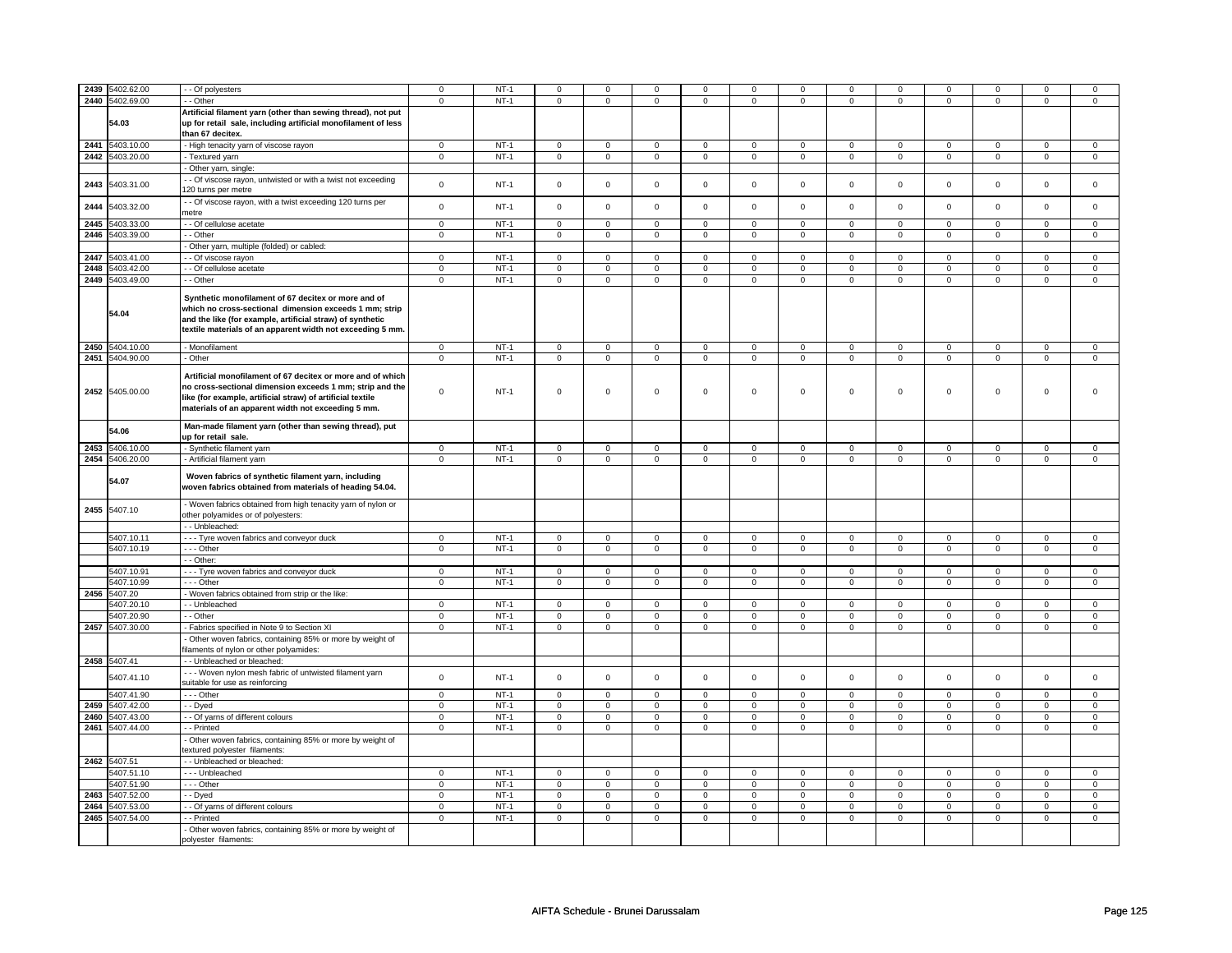| 2439 | 5402.62.00      | - Of polyesters                                                                                                | $\mathsf 0$    | $NT-1$ | $\mathsf{O}\xspace$ | $\mathbf 0$    | $\Omega$       | 0              | $\mathbf 0$    | $\mathsf 0$    | $\Omega$       | $\Omega$       | $\Omega$       | $\mathsf 0$    | $\Omega$       | $\Omega$       |
|------|-----------------|----------------------------------------------------------------------------------------------------------------|----------------|--------|---------------------|----------------|----------------|----------------|----------------|----------------|----------------|----------------|----------------|----------------|----------------|----------------|
|      | 2440 5402.69.00 | - Other                                                                                                        | $\mathbf 0$    | $NT-1$ | $\mathsf 0$         | $\mathbf 0$    | 0              | $\mathbf 0$    | 0              | $\mathbf 0$    | 0              | $\mathbf 0$    | 0              | $\mathbf 0$    | 0              | 0              |
|      |                 |                                                                                                                |                |        |                     |                |                |                |                |                |                |                |                |                |                |                |
|      |                 | Artificial filament yarn (other than sewing thread), not put                                                   |                |        |                     |                |                |                |                |                |                |                |                |                |                |                |
|      | 54.03           | up for retail sale, including artificial monofilament of less                                                  |                |        |                     |                |                |                |                |                |                |                |                |                |                |                |
|      |                 | than 67 decitex.                                                                                               |                |        |                     |                |                |                |                |                |                |                |                |                |                |                |
| 2441 | 5403.10.00      | - High tenacity yarn of viscose rayon                                                                          | $\mathsf 0$    | $NT-1$ | $\mathsf{O}\xspace$ | $\mathbf 0$    | $\mathbf 0$    | $\mathsf 0$    | $\mathsf 0$    | $\mathsf 0$    | $\mathbf 0$    | $\mathbf 0$    | $\mathbf 0$    | $\mathbf 0$    | $\mathbf 0$    | 0              |
|      | 2442 5403.20.00 | - Textured yarn                                                                                                | $\mathbf 0$    | $NT-1$ | 0                   | $\mathbf 0$    | 0              | $\mathbf 0$    | 0              | 0              | 0              | 0              | 0              | 0              | 0              | $\mathbf 0$    |
|      |                 | Other yarn, single:                                                                                            |                |        |                     |                |                |                |                |                |                |                |                |                |                |                |
| 2443 | 5403.31.00      | - Of viscose rayon, untwisted or with a twist not exceeding                                                    | $\mathsf 0$    | $NT-1$ | $\mathsf 0$         | $\mathbf 0$    | $\mathbf 0$    | $\mathsf 0$    | $\mathbf 0$    | $\mathsf 0$    | $\mathbf 0$    | $\mathbf 0$    | $\mathsf 0$    | $\mathbf 0$    | $\mathbf 0$    | 0              |
|      |                 | 120 turns per metre                                                                                            |                |        |                     |                |                |                |                |                |                |                |                |                |                |                |
| 2444 | 5403.32.00      | - Of viscose rayon, with a twist exceeding 120 turns per                                                       | $\mathsf 0$    | $NT-1$ | $\mathsf{O}\xspace$ | $\mathsf 0$    | $\mathbf 0$    | $\mathsf 0$    | $\mathbf 0$    | $\mathsf 0$    | $\mathbf{0}$   | $\mathbf 0$    | $\mathbf 0$    | $\mathbf 0$    | $\mathbf{0}$   | $\mathbf 0$    |
|      |                 | metre                                                                                                          |                |        |                     |                |                |                |                |                |                |                |                |                |                |                |
| 2445 | 5403.33.00      | - Of cellulose acetate                                                                                         | $\mathsf 0$    | $NT-1$ | $\mathsf 0$         | $\mathbf 0$    | 0              | $\mathsf 0$    | $\mathbf 0$    | $\mathsf 0$    | $\mathbf 0$    | $\mathbf 0$    | $\mathsf 0$    | $\mathbf 0$    | $\mathbf 0$    | 0              |
|      | 2446 5403.39.00 | - - Other                                                                                                      | $\overline{0}$ | $NT-1$ | $\overline{0}$      | $\overline{0}$ | $\mathbf 0$    | $\overline{0}$ | $\mathbf 0$    | $\overline{0}$ | $\mathbf 0$    | $\overline{0}$ | $\mathsf 0$    | $\overline{0}$ | $\mathbf 0$    | $\overline{0}$ |
|      |                 | Other yarn, multiple (folded) or cabled:                                                                       |                |        |                     |                |                |                |                |                |                |                |                |                |                |                |
| 2447 | 5403.41.00      | - Of viscose rayon                                                                                             | $\mathbf 0$    | $NT-1$ | $\mathbf 0$         | $\mathbf 0$    | $\mathbf 0$    | $\mathsf 0$    | $\mathbf 0$    | $\mathsf 0$    | $\mathbf 0$    | $\mathbf 0$    | $\mathbf 0$    | $\mathbf 0$    | $\Omega$       | $\mathbf{0}$   |
|      | 2448 5403.42.00 | - Of cellulose acetate                                                                                         | $\overline{0}$ | $NT-1$ | $\overline{0}$      | $\overline{0}$ | $\overline{0}$ | $\overline{0}$ | $\overline{0}$ | $\overline{0}$ | $\overline{0}$ | $\overline{0}$ | $\overline{0}$ | $\overline{0}$ | $\overline{0}$ | $\overline{0}$ |
|      | 2449 5403.49.00 | - Other                                                                                                        | $\mathbf 0$    | $NT-1$ | $\mathsf 0$         | $\mathbf 0$    | $\mathbf 0$    | $\mathsf 0$    | $\mathbf 0$    | $\mathsf 0$    | $\mathbf 0$    | $\mathbf 0$    | $\mathsf 0$    | $\mathbf 0$    | $\mathbf 0$    | 0              |
|      |                 |                                                                                                                |                |        |                     |                |                |                |                |                |                |                |                |                |                |                |
|      |                 | Synthetic monofilament of 67 decitex or more and of                                                            |                |        |                     |                |                |                |                |                |                |                |                |                |                |                |
|      | 54.04           | which no cross-sectional dimension exceeds 1 mm; strip                                                         |                |        |                     |                |                |                |                |                |                |                |                |                |                |                |
|      |                 | and the like (for example, artificial straw) of synthetic                                                      |                |        |                     |                |                |                |                |                |                |                |                |                |                |                |
|      |                 | textile materials of an apparent width not exceeding 5 mm.                                                     |                |        |                     |                |                |                |                |                |                |                |                |                |                |                |
|      | 2450 5404.10.00 | Monofilament                                                                                                   | $\mathsf 0$    | $NT-1$ | $\mathsf 0$         | $\mathbf 0$    | $\mathbf 0$    | $\mathbf 0$    | $\mathbf 0$    | $\mathsf 0$    | $\mathbf 0$    | $\mathbf 0$    | $\mathsf 0$    | $\mathbf 0$    | $\mathbf 0$    | $\mathsf 0$    |
|      | 2451 5404.90.00 | - Other                                                                                                        | $\mathbf 0$    | $NT-1$ | $\mathbf 0$         | $\mathsf 0$    | $\mathbf 0$    | $\mathbf 0$    | $\mathbf 0$    | $\mathsf 0$    | $\mathbf 0$    | $\mathbf 0$    | $\mathbf 0$    | $\mathbf 0$    | $\mathbf 0$    | $\mathbf 0$    |
|      |                 |                                                                                                                |                |        |                     |                |                |                |                |                |                |                |                |                |                |                |
|      |                 | Artificial monofilament of 67 decitex or more and of which                                                     |                |        |                     |                |                |                |                |                |                |                |                |                |                |                |
|      | 2452 5405.00.00 | no cross-sectional dimension exceeds 1 mm; strip and the                                                       | $\mathbf 0$    | $NT-1$ | $\mathsf 0$         | $\mathbf 0$    | $\mathbf 0$    | 0              | $\mathbf 0$    | $\mathsf 0$    | $\mathbf 0$    | 0              | 0              | $\mathbf 0$    | $\mathbf 0$    | $\Omega$       |
|      |                 | like (for example, artificial straw) of artificial textile                                                     |                |        |                     |                |                |                |                |                |                |                |                |                |                |                |
|      |                 | materials of an apparent width not exceeding 5 mm.                                                             |                |        |                     |                |                |                |                |                |                |                |                |                |                |                |
|      |                 | Man-made filament yarn (other than sewing thread), put                                                         |                |        |                     |                |                |                |                |                |                |                |                |                |                |                |
|      | 54.06           | up for retail sale.                                                                                            |                |        |                     |                |                |                |                |                |                |                |                |                |                |                |
|      | 2453 5406.10.00 | - Synthetic filament yarn                                                                                      | $\mathbf 0$    | $NT-1$ | 0                   | $\overline{0}$ | 0              | $\overline{0}$ | 0              | $\overline{0}$ | 0              | $\mathbf 0$    | 0              | 0              | 0              | 0              |
|      | 2454 5406.20.00 | Artificial filament yarn                                                                                       | $\mathbf 0$    | $NT-1$ | $\mathsf 0$         | $\mathbf 0$    | $\mathbf 0$    | $\mathbf 0$    | $\mathbf 0$    | $\mathbf 0$    | $\mathbf 0$    | $\mathbf 0$    | $\mathsf 0$    | $\mathbf 0$    | $\mathbf 0$    | $\mathbf 0$    |
|      |                 |                                                                                                                |                |        |                     |                |                |                |                |                |                |                |                |                |                |                |
|      | 54.07           | Woven fabrics of synthetic filament yarn, including<br>woven fabrics obtained from materials of heading 54.04. |                |        |                     |                |                |                |                |                |                |                |                |                |                |                |
|      |                 | - Woven fabrics obtained from high tenacity yarn of nylon or                                                   |                |        |                     |                |                |                |                |                |                |                |                |                |                |                |
|      | 2455 5407.10    | other polyamides or of polyesters:                                                                             |                |        |                     |                |                |                |                |                |                |                |                |                |                |                |
|      |                 | - - Unbleached:                                                                                                |                |        |                     |                |                |                |                |                |                |                |                |                |                |                |
|      | 5407.10.11      | --- Tyre woven fabrics and conveyor duck                                                                       | $\mathbf 0$    | $NT-1$ | $\mathbf 0$         | $\mathbf 0$    | $\mathbf 0$    | $\mathbf 0$    | $\mathbf 0$    | $\mathbf 0$    | 0              | $\mathbf 0$    | 0              | $\mathbf 0$    | 0              | 0              |
|      | 5407.10.19      | --- Other                                                                                                      | $\mathbf 0$    | $NT-1$ | $\mathbf 0$         | $\mathbf 0$    | $\mathbf 0$    | $\mathbf 0$    | $\mathbf 0$    | $\mathbf 0$    | 0              | $\mathbf 0$    | 0              | $\mathbf 0$    | 0              | $\mathbf{0}$   |
|      |                 | - - Other:                                                                                                     |                |        |                     |                |                |                |                |                |                |                |                |                |                |                |
|      | 5407.10.91      | --- Tyre woven fabrics and conveyor duck                                                                       | $\mathbf 0$    | $NT-1$ | $\mathbf 0$         | $\mathbf 0$    | 0              | $\mathbf 0$    | 0              | $\mathbf 0$    | 0              | $\mathbf 0$    | 0              | 0              | $\Omega$       | $\mathbf 0$    |
|      | 5407.10.99      | --- Other                                                                                                      | $\mathbf 0$    | $NT-1$ | $\mathsf 0$         | $\mathbf 0$    | $\mathbf 0$    | $\mathbf 0$    | $\mathbf 0$    | $\mathsf 0$    | $\mathbf 0$    | $\mathbf 0$    | $\mathsf 0$    | $\mathbf 0$    | $\mathbf 0$    | $\mathbf 0$    |
| 2456 | 5407.20         | - Woven fabrics obtained from strip or the like:                                                               |                |        |                     |                |                |                |                |                |                |                |                |                |                |                |
|      | 5407.20.10      | -- Unbleached                                                                                                  | $\mathbf 0$    | $NT-1$ | $\mathsf 0$         | $\mathbf 0$    | $\mathbf 0$    | $\mathbf 0$    | $\mathbf 0$    | $\mathbf 0$    | $\mathbf 0$    | $\mathbf 0$    | $\mathsf 0$    | $\mathbf 0$    | $\Omega$       | $\mathbf{0}$   |
|      | 5407.20.90      | - - Other                                                                                                      | $\mathsf 0$    | $NT-1$ | $\mathbf 0$         | $\mathbf 0$    | $\mathbf 0$    | $\mathbf 0$    | $\mathbf 0$    | $\mathsf 0$    | $\mathbf 0$    | $\mathbf 0$    | $\mathbf 0$    | $\mathbf 0$    | $\mathbf 0$    | $\mathbf 0$    |
|      | 2457 5407.30.00 | - Fabrics specified in Note 9 to Section XI                                                                    | $\overline{0}$ | $NT-1$ | $\overline{0}$      | $\overline{0}$ | $\overline{0}$ | $\overline{0}$ | $\overline{0}$ | $\overline{0}$ | $\overline{0}$ | $\overline{0}$ | $\overline{0}$ | $\overline{0}$ | $\overline{0}$ | $\overline{0}$ |
|      |                 | Other woven fabrics, containing 85% or more by weight of                                                       |                |        |                     |                |                |                |                |                |                |                |                |                |                |                |
|      |                 | filaments of nylon or other polyamides:                                                                        |                |        |                     |                |                |                |                |                |                |                |                |                |                |                |
|      | 2458 5407.41    | - - Unbleached or bleached:                                                                                    |                |        |                     |                |                |                |                |                |                |                |                |                |                |                |
|      |                 | - - - Woven nylon mesh fabric of untwisted filament yarn                                                       |                |        |                     |                |                |                |                |                |                |                |                |                |                |                |
|      | 5407.41.10      | suitable for use as reinforcing                                                                                | $\mathsf 0$    | $NT-1$ | $\mathsf{O}\xspace$ | $\mathsf 0$    | $\mathbf 0$    | $\mathbf 0$    | $\mathbf 0$    | $\mathsf 0$    | $\mathbf{0}$   | $\mathbf 0$    | $\mathbf 0$    | $\mathbf 0$    | $\mathbf{0}$   | $\mathsf 0$    |
|      | 5407.41.90      | --- Other                                                                                                      | $\mathbf 0$    | $NT-1$ | $\mathsf 0$         | $\mathbf 0$    | $\mathbf 0$    | $\mathbf 0$    | $\mathbf 0$    | $\mathsf 0$    | $\mathbf 0$    | $\mathbf 0$    | $\mathsf 0$    | $\mathbf 0$    | $\mathbf 0$    | $\mathbf 0$    |
| 2459 | 5407.42.00      | - Dyed                                                                                                         | $\mathbf 0$    | $NT-1$ | $\mathsf{O}\xspace$ | $\mathbf 0$    | 0              | $\mathsf 0$    | $\mathsf 0$    | $\mathsf 0$    | $\Omega$       | $\mathbf 0$    | $\mathsf 0$    | $\mathbf 0$    | $\Omega$       | $\mathbf 0$    |
|      | 2460 5407.43.00 | - - Of yarns of different colours                                                                              | $\mathbf 0$    | $NT-1$ | $\mathbf 0$         | $\mathbf 0$    | $\mathbf 0$    | $\mathbf 0$    | $\mathbf 0$    | $\mathbf 0$    | 0              | $\mathbf 0$    | 0              | $\mathbf 0$    | 0              | 0              |
|      | 2461 5407.44.00 | - Printed                                                                                                      | $\Omega$       | $NT-1$ | $\mathbf 0$         | $\mathbf 0$    | 0              | $\mathsf 0$    | 0              | $\mathsf 0$    | 0              | $\mathbf 0$    | $\mathsf 0$    | $\mathbf 0$    | 0              | 0              |
|      |                 | Other woven fabrics, containing 85% or more by weight of                                                       |                |        |                     |                |                |                |                |                |                |                |                |                |                |                |
|      |                 | textured polyester filaments:                                                                                  |                |        |                     |                |                |                |                |                |                |                |                |                |                |                |
|      | 2462 5407.51    | - Unbleached or bleached:                                                                                      |                |        |                     |                |                |                |                |                |                |                |                |                |                |                |
|      | 5407.51.10      | - - - Unbleached                                                                                               | $\mathbf 0$    | $NT-1$ | $\mathbf 0$         | $\mathbf 0$    | $\mathbf{0}$   | $\mathbf 0$    | $\mathbf{0}$   | $\mathbf 0$    | $\mathbf 0$    | $\mathbf 0$    | $\mathbf{0}$   | $\mathbf 0$    | 0              | 0              |
|      | 5407.51.90      | $- -$ Other                                                                                                    | $\mathbf 0$    | $NT-1$ | $\mathbf 0$         | $\mathbf 0$    | $\mathbf 0$    | $\mathbf 0$    | $\mathbf 0$    | $\mathbf 0$    | $\mathbf 0$    | $\mathbf 0$    | $\mathsf 0$    | $\mathbf 0$    | $\Omega$       | $\mathbf{0}$   |
| 2463 | 5407.52.00      | - - Dyed                                                                                                       | $\mathbf 0$    | $NT-1$ | $\mathsf 0$         | $\mathbf 0$    | $\mathbf 0$    | $\mathbf 0$    | $\mathbf 0$    | $\mathbf 0$    | $\mathbf 0$    | $\mathbf 0$    | $\mathbf 0$    | $\mathbf 0$    | $\mathbf 0$    | $\mathbf 0$    |
| 2464 | 5407.53.00      | - Of yarns of different colours                                                                                | $\mathbf 0$    | $NT-1$ | $\mathbf 0$         | $\mathbf 0$    | 0              | $\mathsf 0$    | 0              | $\mathsf 0$    | $\mathbf 0$    | $\mathbf 0$    | $\mathsf 0$    | $\mathbf 0$    | $\mathbf 0$    | $\mathbf 0$    |
|      | 2465 5407.54.00 | - Printed                                                                                                      | $\mathbf 0$    | $NT-1$ | $\mathbf 0$         | $\mathbf 0$    | $\mathbf 0$    | $\mathbf 0$    | $\mathbf 0$    | $\mathbf 0$    | $\mathbf 0$    | $\mathbf 0$    | $\mathbf 0$    | $\mathbf 0$    | $\mathbf 0$    | $\mathbf{0}$   |
|      |                 |                                                                                                                |                |        |                     |                |                |                |                |                |                |                |                |                |                |                |
|      |                 | Other woven fabrics, containing 85% or more by weight of<br>polyester filaments:                               |                |        |                     |                |                |                |                |                |                |                |                |                |                |                |
|      |                 |                                                                                                                |                |        |                     |                |                |                |                |                |                |                |                |                |                |                |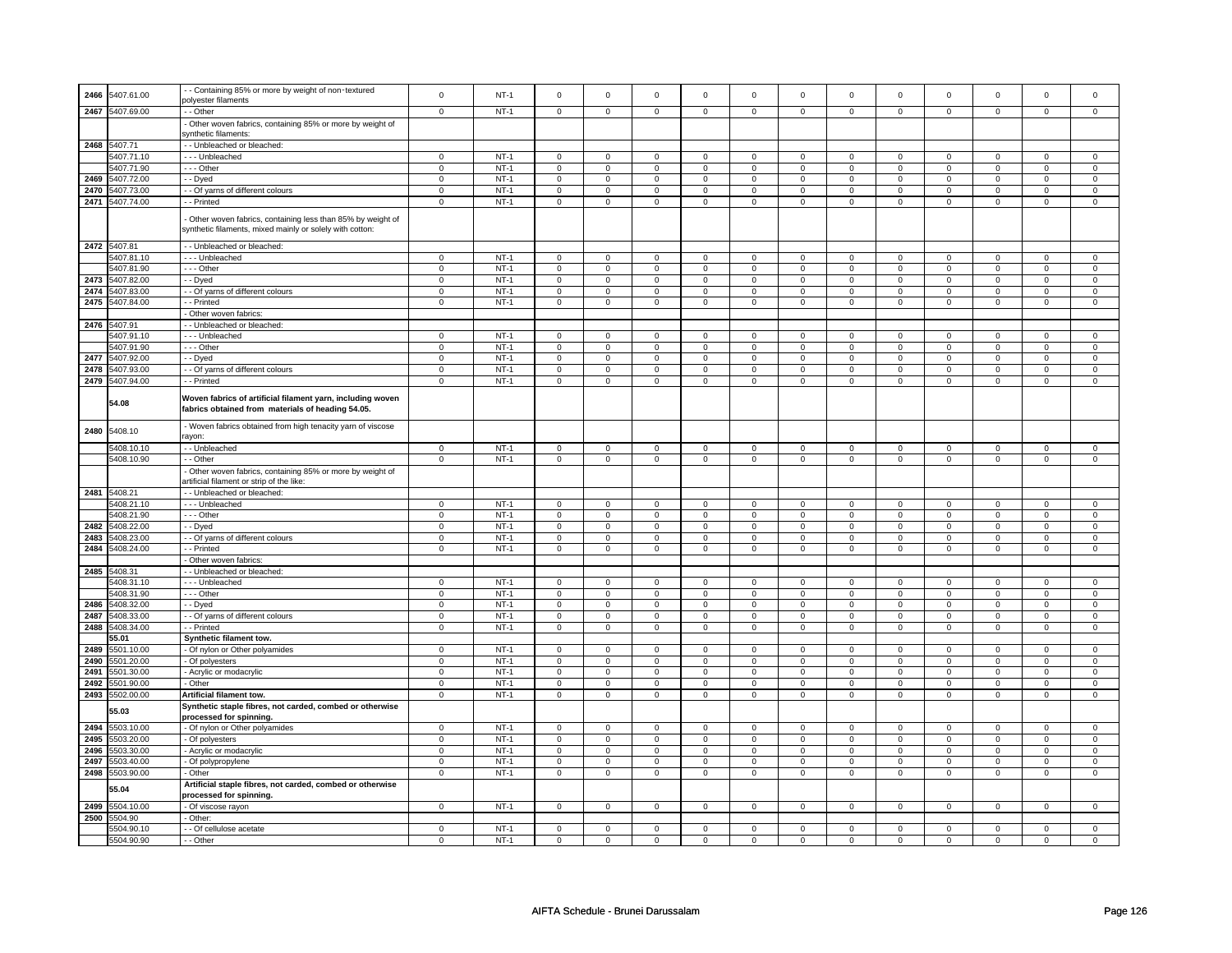| 2466 | 5407.61.00               | - Containing 85% or more by weight of non-textured                                                                     | $\Omega$                   | $NT-1$           | $\Omega$                      | $\Omega$                      | $\Omega$                   | $\Omega$                      | $\Omega$                      | $\Omega$                      | $\Omega$                      | $\Omega$                      | $\Omega$                      | $\Omega$                      | $\Omega$                      | $\Omega$                      |
|------|--------------------------|------------------------------------------------------------------------------------------------------------------------|----------------------------|------------------|-------------------------------|-------------------------------|----------------------------|-------------------------------|-------------------------------|-------------------------------|-------------------------------|-------------------------------|-------------------------------|-------------------------------|-------------------------------|-------------------------------|
|      |                          | polyester filaments                                                                                                    |                            |                  |                               |                               |                            |                               |                               |                               |                               |                               |                               |                               |                               |                               |
| 2467 | 5407.69.00               | - Other                                                                                                                | $\mathbf 0$                | NT-1             | $\mathbf 0$                   | 0                             | $\mathbf 0$                | 0                             | 0                             | 0                             | $\mathbf 0$                   | 0                             | 0                             | $\mathbf 0$                   | $\mathbf 0$                   | $\mathbf 0$                   |
|      |                          | Other woven fabrics, containing 85% or more by weight of<br>synthetic filaments:                                       |                            |                  |                               |                               |                            |                               |                               |                               |                               |                               |                               |                               |                               |                               |
|      | 2468 5407.71             | - - Unbleached or bleached:                                                                                            |                            |                  |                               |                               |                            |                               |                               |                               |                               |                               |                               |                               |                               |                               |
|      | 5407.71.10               | --- Unbleached                                                                                                         | $\overline{0}$             | $NT-1$           | $\overline{0}$                | $\overline{0}$                | $\overline{0}$             | $\overline{0}$                | $\overline{0}$                | $\overline{0}$                | $\overline{0}$                | $\overline{0}$                | $\overline{0}$                | $\overline{0}$                | $\Omega$                      | $\overline{0}$                |
|      | 5407.71.90               | $- -$ Other                                                                                                            | $\mathbf 0$                | $NT-1$           | $\mathsf 0$                   | $\mathsf 0$                   | $\mathbf 0$                | $\mathbf 0$                   | $\mathbf 0$                   | $\mathsf 0$                   | $\mathbf 0$                   | $\mathsf 0$                   | $\mathsf 0$                   | $\mathbf 0$                   | $\mathbf 0$                   | $\mathbf 0$                   |
| 2469 | 5407.72.00               | - Dyed                                                                                                                 | $\mathbf 0$                | $NT-1$           | $\mathsf 0$                   | $\mathsf 0$                   | $\mathbf 0$                | $\mathbf 0$                   | $\mathsf 0$                   | $\mathsf 0$                   | $\mathbf 0$                   | $\mathsf 0$                   | $\mathsf 0$                   | $\mathbf 0$                   | $\mathbf 0$                   | $\mathbf 0$                   |
| 2470 | 5407.73.00               | - Of yarns of different colours                                                                                        | $\mathsf 0$                | $NT-1$           | $\mathsf 0$                   | $\mathbf 0$                   | $\mathbf 0$                | $\mathbf 0$                   | $\mathsf 0$                   | $\mathbf 0$                   | $\,0\,$                       | $\mathbf 0$                   | $\mathsf 0$                   | $\mathsf 0$                   | $\mathsf 0$                   | $\mathsf 0$                   |
| 2471 | 5407.74.00               | - Printed                                                                                                              | $\mathbf 0$                | $NT-1$           | $\mathbf 0$                   | $\mathbf 0$                   | $\mathbf 0$                | $\mathbf 0$                   | $\mathbf 0$                   | $\mathbf 0$                   | $\mathbf 0$                   | $\mathbf 0$                   | $\mathbf 0$                   | $\mathbf 0$                   | $\Omega$                      | $\mathbf 0$                   |
|      |                          | Other woven fabrics, containing less than 85% by weight of<br>synthetic filaments, mixed mainly or solely with cotton: |                            |                  |                               |                               |                            |                               |                               |                               |                               |                               |                               |                               |                               |                               |
|      | 2472 5407.81             | - Unbleached or bleached:                                                                                              |                            |                  |                               |                               |                            |                               |                               |                               |                               |                               |                               |                               |                               |                               |
|      | 5407.81.10               | - - - Unbleached                                                                                                       | $\mathbf 0$                | $NT-1$           | $\mathbf 0$                   | $\mathbf 0$                   | $\mathbf 0$                | 0                             | $\mathbf 0$                   | 0                             | $\mathbf 0$                   | $\mathbf 0$                   | $\mathbf 0$                   | $\mathbf 0$                   | $\mathbf 0$                   | $\mathbf 0$                   |
| 2473 | 5407.81.90<br>5407.82.00 | --- Other<br>- - Dyed                                                                                                  | $\mathbf 0$<br>$\mathbf 0$ | $NT-1$<br>$NT-1$ | $\mathsf 0$<br>$\overline{0}$ | $\mathbf 0$<br>$\overline{0}$ | $\mathbf 0$<br>$\mathbf 0$ | $\mathbf 0$<br>$\overline{0}$ | $\mathsf 0$<br>$\overline{0}$ | $\mathbf 0$<br>$\overline{0}$ | $\mathbf 0$<br>$\overline{0}$ | $\mathbf 0$<br>$\overline{0}$ | $\mathsf 0$<br>$\overline{0}$ | $\mathsf 0$<br>$\overline{0}$ | $\mathbf 0$<br>$\overline{0}$ | $\mathbf 0$<br>$\overline{0}$ |
|      | 2474 5407.83.00          | - Of yarns of different colours                                                                                        | $\mathbf 0$                | $NT-1$           | $\mathsf 0$                   | $\mathbf 0$                   | $\mathbf 0$                | $\mathsf 0$                   | $\mathbf 0$                   | $\mathsf 0$                   | $\mathsf 0$                   | $\mathsf 0$                   | $\mathsf 0$                   | $\mathbf 0$                   | $\mathsf 0$                   | $\mathbf 0$                   |
| 2475 | 5407.84.00               | - Printed                                                                                                              | $\mathsf 0$                | $NT-1$           | $\mathsf 0$                   | $\mathsf 0$                   | $\mathbf 0$                | $\mathsf 0$                   | $\mathbf 0$                   | $\mathsf 0$                   | $\mathbf 0$                   | $\mathsf 0$                   | $\mathsf 0$                   | $\mathbf 0$                   | $\mathbf 0$                   | $\mathbf 0$                   |
|      |                          | Other woven fabrics:                                                                                                   |                            |                  |                               |                               |                            |                               |                               |                               |                               |                               |                               |                               |                               |                               |
|      | 2476 5407.91             | - Unbleached or bleached:                                                                                              |                            |                  |                               |                               |                            |                               |                               |                               |                               |                               |                               |                               |                               |                               |
|      | 5407.91.10               | - - - Unbleached                                                                                                       | $\mathsf 0$                | $NT-1$           | $\mathsf 0$                   | $\mathsf 0$                   | $\mathbf 0$                | $\mathbf 0$                   | $\mathbf 0$                   | $\mathbf 0$                   | $\mathbf 0$                   | $\mathbf 0$                   | $\mathbf 0$                   | $\mathbf 0$                   | $\Omega$                      | $\mathbf 0$                   |
|      | 5407.91.90               | - - - Other                                                                                                            | $\mathbf 0$                | $NT-1$           | $\mathsf 0$                   | $\mathbf 0$                   | $\mathbf 0$                | $\mathsf 0$                   | $\mathsf 0$                   | $\mathsf 0$                   | $\mathbf 0$                   | $\mathsf 0$                   | $\mathsf 0$                   | $\mathbf 0$                   | $\mathbf 0$                   | $\mathbf 0$                   |
| 2477 | 5407.92.00               | - - Dyed                                                                                                               | $\mathsf 0$                | $NT-1$           | $\mathsf 0$                   | $\mathsf 0$                   | $\mathsf 0$                | $\mathsf 0$                   | $\mathsf 0$                   | $\mathsf 0$                   | $\mathsf 0$                   | $\mathsf 0$                   | $\mathsf 0$                   | $\mathsf 0$                   | $\mathsf 0$                   | $\mathsf 0$                   |
| 2478 | 5407.93.00               | - Of yarns of different colours                                                                                        | $\mathsf 0$                | $NT-1$           | $\mathsf 0$                   | $\mathbf 0$                   | $\mathsf 0$                | 0                             | $\mathbf 0$                   | $\mathsf 0$                   | $\mathsf 0$                   | $\mathbf 0$                   | $\mathsf 0$                   | $\mathbf 0$                   | $\mathsf 0$                   | $\mathbf 0$                   |
|      | 2479 5407.94.00          | - Printed                                                                                                              | $\mathbf 0$                | $NT-1$           | $\mathbf 0$                   | $\mathbf 0$                   | $\mathbf 0$                | 0                             | $\mathbf 0$                   | $\mathbf 0$                   | $\mathbf 0$                   | $\mathbf 0$                   | $\mathbf 0$                   | $\mathbf 0$                   | $\mathbf 0$                   | $\mathbf 0$                   |
|      | 54.08                    | Woven fabrics of artificial filament yarn, including woven<br>fabrics obtained from materials of heading 54.05.        |                            |                  |                               |                               |                            |                               |                               |                               |                               |                               |                               |                               |                               |                               |
| 2480 | 5408.10                  | - Woven fabrics obtained from high tenacity yarn of viscose<br>ravon:                                                  |                            |                  |                               |                               |                            |                               |                               |                               |                               |                               |                               |                               |                               |                               |
|      | 5408.10.10               | - - Unbleached                                                                                                         | $\mathsf 0$                | $NT-1$           | 0                             | $\mathsf 0$                   | $\circ$                    | $\mathsf{o}\,$                | $\mathbf 0$                   | $\mathsf{o}\,$                | $\mathbf 0$                   | $\mathsf 0$                   | $\mathsf 0$                   | $\mathbf 0$                   | $\mathbf 0$                   | $\mathbf 0$                   |
|      | 5408.10.90               | - - Other                                                                                                              | $\mathbf 0$                | $NT-1$           | $\mathsf 0$                   | $\mathsf 0$                   | $\mathbf 0$                | $\mathsf 0$                   | $\mathbf 0$                   | $\overline{0}$                | $\mathbf 0$                   | $\overline{0}$                | $\mathbf 0$                   | $\overline{0}$                | $\mathbf 0$                   | $\mathbf 0$                   |
|      |                          | - Other woven fabrics, containing 85% or more by weight of<br>artificial filament or strip of the like:                |                            |                  |                               |                               |                            |                               |                               |                               |                               |                               |                               |                               |                               |                               |
|      | 2481 5408.21             | - Unbleached or bleached:<br>- - - Unbleached                                                                          | $\mathbf 0$                | <b>NT-1</b>      |                               | $\mathbf 0$                   | $\mathbf 0$                | 0                             |                               | $\mathbf 0$                   | $\mathbf 0$                   | $\mathbf 0$                   |                               | $\mathbf 0$                   | $\mathbf 0$                   | $\mathbf 0$                   |
|      | 5408.21.10<br>5408.21.90 | $- -$ Other                                                                                                            | $\Omega$                   | $NT-1$           | $\mathbf 0$<br>$\overline{0}$ | $\mathbf 0$                   | $\Omega$                   | $\Omega$                      | 0<br>$\mathsf 0$              | $\Omega$                      | $\mathsf 0$                   | $\mathbf 0$                   | 0<br>$\mathsf 0$              | $\mathsf 0$                   | $\Omega$                      | $\mathsf 0$                   |
| 2482 | 5408.22.00               | - - Dyed                                                                                                               | $\mathsf 0$                | $NT-1$           | $\mathsf 0$                   | $\mathsf 0$                   | $\mathbf 0$                | $\mathsf 0$                   | $\mathsf 0$                   | $\mathsf 0$                   | $\mathsf 0$                   | $\mathsf 0$                   | $\mathsf 0$                   | $\mathsf 0$                   | $\mathbf 0$                   | $\mathsf 0$                   |
| 2483 | 5408.23.00               | - Of yarns of different colours                                                                                        | $\mathsf 0$                | $NT-1$           | $\mathsf 0$                   | $\mathsf 0$                   | $\mathbf 0$                | $\mathsf 0$                   | $\mathsf 0$                   | $\mathsf 0$                   | $\mathbf 0$                   | $\mathsf 0$                   | $\mathsf 0$                   | $\mathbf 0$                   | $\mathbf 0$                   | $\mathbf 0$                   |
| 2484 | 5408.24.00               | - Printed                                                                                                              | $\mathbf 0$                | $NT-1$           | $\mathsf{O}\xspace$           | $\mathbf 0$                   | $\mathsf{O}\xspace$        | $\mathbf 0$                   | $\mathsf 0$                   | $\mathbf 0$                   | $\mathsf 0$                   | $\mathbf 0$                   | $\mathsf 0$                   | $\mathsf 0$                   | $\mathsf 0$                   | $\mathsf 0$                   |
|      |                          | Other woven fabrics:                                                                                                   |                            |                  |                               |                               |                            |                               |                               |                               |                               |                               |                               |                               |                               |                               |
| 2485 | 5408.31                  | - Unbleached or bleached:                                                                                              |                            |                  |                               |                               |                            |                               |                               |                               |                               |                               |                               |                               |                               |                               |
|      | 5408.31.10               | - - - Unbleached                                                                                                       | $\mathbf 0$                | $NT-1$           | $\mathsf 0$                   | $\mathbf 0$                   | $\mathsf 0$                | $\mathsf 0$                   | $\mathsf 0$                   | $\mathsf 0$                   | $\mathsf 0$                   | $\mathsf 0$                   | $\mathsf 0$                   | $\mathbf 0$                   | $\mathbf 0$                   | $\mathbf 0$                   |
| 2486 | 5408.31.90<br>5408.32.00 | --- Other<br>- Dyed                                                                                                    | $\mathbf 0$<br>$\mathsf 0$ | $NT-1$<br>$NT-1$ | 0<br>$\mathsf 0$              | $\mathbf 0$<br>$\mathbf 0$    | $\mathbf 0$<br>$\mathbf 0$ | 0<br>$\mathsf 0$              | 0<br>$\mathbf 0$              | 0<br>$\mathsf 0$              | $\mathbf 0$<br>$\mathbf 0$    | $\mathbf 0$<br>$\mathbf 0$    | 0<br>$\mathsf 0$              | $\mathsf 0$<br>$\mathbf 0$    | $\mathbf 0$<br>$\mathbf 0$    | $\mathsf 0$<br>$\mathbf 0$    |
| 2487 | 5408.33.00               | - Of yarns of different colours                                                                                        | $\mathsf 0$                | $NT-1$           | $\mathsf 0$                   | $\mathsf 0$                   | $\mathsf 0$                | $\mathbf 0$                   | $\mathbf 0$                   | $\mathsf 0$                   | $\mathbf 0$                   | $\mathbf 0$                   | $\mathsf 0$                   | $\mathbf 0$                   | $\mathsf 0$                   | $\mathbf 0$                   |
| 2488 | 5408.34.00               | - - Printed                                                                                                            | $\mathbf 0$                | <b>NT-1</b>      | $\mathbf 0$                   | $\mathbf 0$                   | $\mathbf 0$                | $\mathbf 0$                   | $\mathbf 0$                   | $\mathbf 0$                   | $\mathbf 0$                   | $\mathbf 0$                   | $\mathbf 0$                   | $\mathbf 0$                   | $\mathbf 0$                   | $\mathbf 0$                   |
|      | 55.01                    | Synthetic filament tow.                                                                                                |                            |                  |                               |                               |                            |                               |                               |                               |                               |                               |                               |                               |                               |                               |
| 2489 | 5501.10.00               | - Of nylon or Other polyamides                                                                                         | $\mathbf 0$                | $NT-1$           | $\mathsf 0$                   | $\mathbf 0$                   | $\mathbf 0$                | $\mathsf 0$                   | $\mathsf 0$                   | $\mathsf 0$                   | $\mathbf 0$                   | $\mathsf 0$                   | $\mathsf 0$                   | $\mathbf 0$                   | $\mathbf 0$                   | $\mathbf 0$                   |
| 2490 | 5501.20.00               | - Of polyesters                                                                                                        | $\mathsf 0$                | $NT-1$           | $\mathsf 0$                   | $\mathsf 0$                   | $\mathbf 0$                | $\mathsf 0$                   | $\mathbf 0$                   | $\mathsf 0$                   | $\mathbf 0$                   | $\mathsf 0$                   | $\mathsf 0$                   | $\mathbf 0$                   | $\mathbf 0$                   | $\mathbf 0$                   |
| 2491 | 5501.30.00               | - Acrylic or modacrylic                                                                                                | $\overline{0}$             | $NT-1$           | $\overline{0}$                | $\overline{0}$                | $\overline{0}$             | $\overline{0}$                | $\overline{0}$                | $\overline{0}$                | $\overline{0}$                | $\overline{0}$                | $\overline{0}$                | $\overline{0}$                | $\overline{0}$                | $\overline{0}$                |
| 2492 | 5501.90.00               | - Other                                                                                                                | $\mathsf 0$                | $NT-1$           | $\mathbf 0$                   | $\mathbf 0$                   | $\mathbf 0$                | $\mathbf 0$                   | $\mathbf 0$                   | $\mathbf 0$                   | $\mathbf 0$                   | $\mathbf 0$                   | $\mathbf 0$                   | $\mathbf 0$                   | $\mathbf 0$                   | $\mathbf 0$                   |
| 2493 | 5502.00.00               | Artificial filament tow.                                                                                               | $\mathbf 0$                | $NT-1$           | $\mathbf 0$                   | $\mathbf 0$                   | $\Omega$                   | $\mathbf 0$                   | $\Omega$                      | $\mathbf 0$                   | $\Omega$                      | $\mathbf 0$                   | $\Omega$                      | $\mathbf 0$                   | $\Omega$                      | $\mathbf 0$                   |
|      | 55.03                    | Synthetic staple fibres, not carded, combed or otherwise<br>processed for spinning.                                    |                            |                  |                               |                               |                            |                               |                               |                               |                               |                               |                               |                               |                               |                               |
| 2494 | 5503.10.00               | - Of nylon or Other polyamides                                                                                         | $\mathbf 0$                | $NT-1$           | $\mathsf 0$                   | $\mathsf 0$                   | $\mathbf 0$                | $\mathbf 0$                   | $\mathbf 0$                   | $\mathbf 0$                   | $\mathbf 0$                   | $\mathbf 0$                   | $\mathbf 0$                   | $\mathbf 0$                   | $\mathbf 0$                   | $\mathbf 0$                   |
| 2495 | 5503.20.00               | - Of polyesters                                                                                                        | $\mathbf 0$                | $NT-1$           | $\mathbf 0$                   | 0                             | $\mathbf 0$                | 0                             | 0                             | 0                             | 0                             | 0                             | 0                             | $\mathbf 0$                   | 0                             | $\mathbf 0$                   |
| 2496 | 5503.30.00               | Acrylic or modacrylic                                                                                                  | $\mathsf 0$                | $NT-1$           | $\mathsf 0$                   | $\mathbf 0$                   | $\mathsf 0$                | $\mathsf 0$                   | $\mathbf 0$                   | $\mathsf 0$                   | $\mathsf 0$                   | $\mathsf 0$                   | $\mathsf 0$                   | $\mathbf 0$                   | $\mathsf 0$                   | $\mathbf 0$                   |
| 2497 | 5503.40.00               | - Of polypropylene                                                                                                     | $\mathbf 0$                | $NT-1$           | $\Omega$                      | $\mathbf 0$                   | $\Omega$                   | $\Omega$                      | $\mathbf 0$                   | $\mathbf 0$                   | $\mathbf 0$                   | $\mathbf 0$                   | $\mathbf 0$                   | $\mathbf 0$                   | $\mathbf 0$                   | $\mathbf 0$                   |
| 2498 | 5503.90.00               | Other                                                                                                                  | $\mathbf 0$                | $NT-1$           | $\mathbf 0$                   | $\mathbf 0$                   | $\mathbf 0$                | 0                             | $\mathbf 0$                   | $\mathbf 0$                   | $\mathbf 0$                   | $\mathbf 0$                   | 0                             | $\mathsf 0$                   | $\mathbf 0$                   | $\mathbf 0$                   |
|      | 55.04                    | Artificial staple fibres, not carded, combed or otherwise<br>processed for spinning.                                   |                            |                  |                               |                               |                            |                               |                               |                               |                               |                               |                               |                               |                               |                               |
| 2499 | 5504.10.00               | - Of viscose rayon                                                                                                     | $\mathbf{0}$               | $NT-1$           | $\mathbf 0$                   | $\mathbf{0}$                  | $\mathbf 0$                | $\mathbf{0}$                  | $\mathbf 0$                   | $\mathbf{0}$                  | $\mathbf 0$                   | $\mathbf{0}$                  | $\mathbf 0$                   | $\mathbf{0}$                  | $\mathbf 0$                   | $\mathbf{0}$                  |
| 2500 | 5504.90                  | - Other:                                                                                                               |                            |                  |                               |                               |                            |                               |                               |                               |                               |                               |                               |                               |                               |                               |
|      | 5504.90.10<br>5504.90.90 | - - Of cellulose acetate<br>- - Other                                                                                  | $\mathbf 0$<br>$\mathbf 0$ | $NT-1$<br>$NT-1$ | $\mathbf 0$<br>$\mathbf 0$    | $\mathbf 0$<br>$\mathbf 0$    | $^{\circ}$<br>$\mathbf 0$  | 0<br>$\mathbf 0$              | $\mathbf 0$<br>$\Omega$       | 0<br>$\mathbf 0$              | $\mathbf 0$<br>$\Omega$       | $\mathbf 0$<br>$\Omega$       | $\mathbf 0$<br>$\Omega$       | $\mathbf 0$<br>$\mathbf 0$    | $\mathbf 0$<br>$\Omega$       | $\mathbf 0$<br>$\Omega$       |
|      |                          |                                                                                                                        |                            |                  |                               |                               |                            |                               |                               |                               |                               |                               |                               |                               |                               |                               |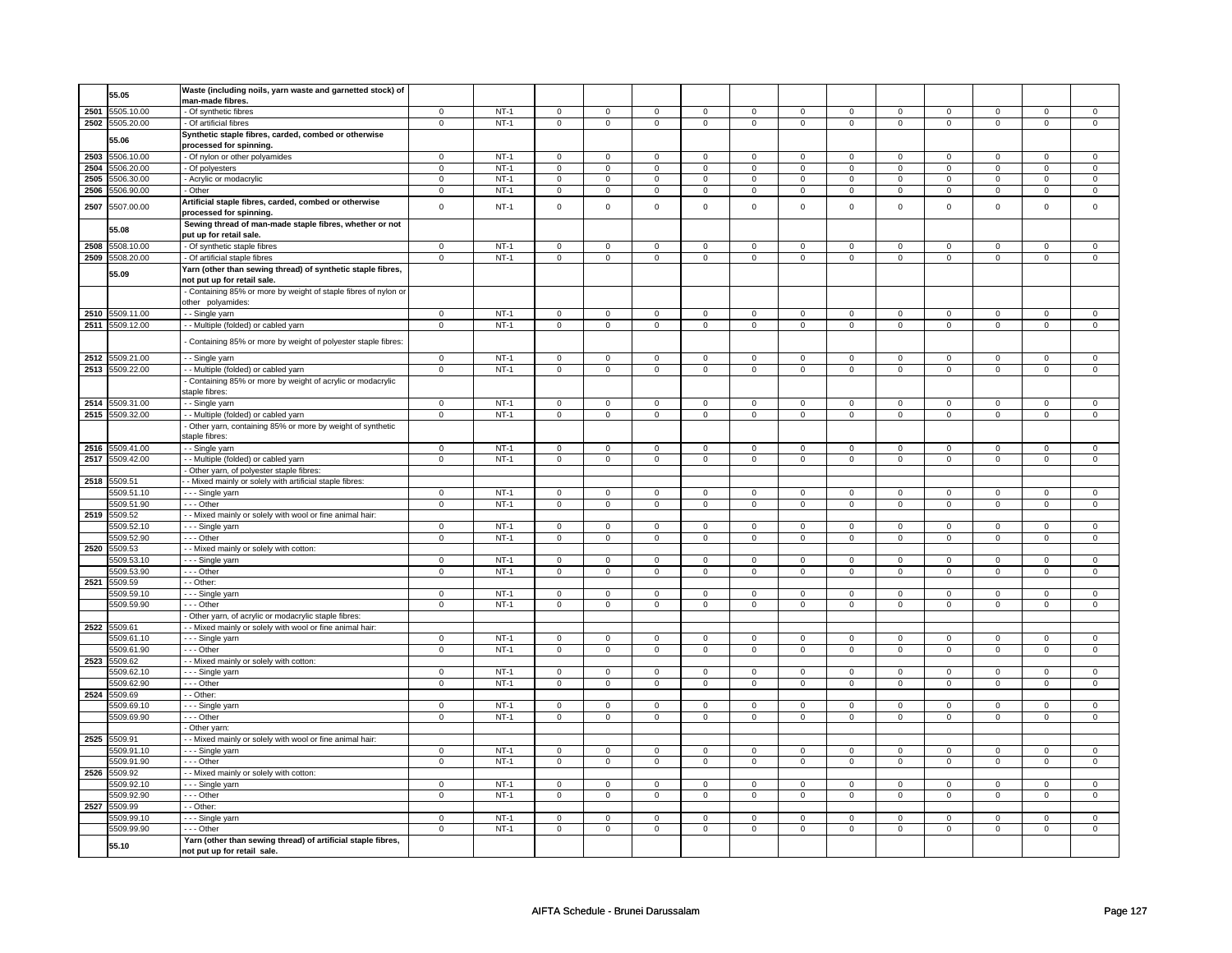|      | 55.05           | Waste (including noils, yarn waste and garnetted stock) of      |                |        |                |                |                |                     |                |                     |                |                |                |                |                |                |
|------|-----------------|-----------------------------------------------------------------|----------------|--------|----------------|----------------|----------------|---------------------|----------------|---------------------|----------------|----------------|----------------|----------------|----------------|----------------|
|      |                 | man-made fibres.                                                |                |        |                |                |                |                     |                |                     |                |                |                |                |                |                |
|      | 2501 5505.10.00 | - Of synthetic fibres                                           | $\mathbf 0$    | $NT-1$ | $\mathbf 0$    | $\mathsf 0$    | $\mathbf 0$    | $\mathbf 0$         | $\mathbf 0$    | $\mathbf 0$         | $\mathbf 0$    | $\mathbf 0$    | $\mathsf 0$    | $\mathbf 0$    | $\Omega$       | $\mathbf 0$    |
|      | 2502 5505.20.00 | - Of artificial fibres                                          | $\mathbf 0$    | $NT-1$ | $\mathbf 0$    | $\mathbf 0$    | $\mathbf 0$    | $\mathbf 0$         | $\mathbf 0$    | $\mathbf 0$         | $\mathbf 0$    | $\mathbf 0$    | $\mathbf 0$    | $\mathbf 0$    | $\mathbf 0$    | $\mathbf 0$    |
|      | 55.06           | Synthetic staple fibres, carded, combed or otherwise            |                |        |                |                |                |                     |                |                     |                |                |                |                |                |                |
|      |                 | processed for spinning.                                         |                |        |                |                |                |                     |                |                     |                |                |                |                |                |                |
|      | 2503 5506.10.00 | - Of nylon or other polyamides                                  | 0              | $NT-1$ | 0              | $\mathbf 0$    | $\mathbf 0$    | 0                   | $\mathbf 0$    | 0                   | $\mathbf 0$    | 0              | $\mathbf 0$    | 0              | $\mathbf 0$    | 0              |
| 2504 | 5506.20.00      | Of polyesters                                                   | $\overline{0}$ | $NT-1$ | $\overline{0}$ | $\overline{0}$ | $\overline{0}$ | $\overline{0}$      | $\overline{0}$ | $\overline{0}$      | $\overline{0}$ | $\overline{0}$ | $\overline{0}$ | $\overline{0}$ | $\overline{0}$ | $\overline{0}$ |
| 2505 | 5506.30.00      | - Acrylic or modacrylic                                         | $\overline{0}$ | $NT-1$ | $\overline{0}$ | $\overline{0}$ | $\overline{0}$ | $\overline{0}$      | $\overline{0}$ | $\overline{0}$      | $\overline{0}$ | $\overline{0}$ | $\overline{0}$ | $\overline{0}$ | $\overline{0}$ | $\overline{0}$ |
| 2506 | 5506.90.00      | - Other                                                         | $\mathbf 0$    | $NT-1$ | $\mathbf 0$    | $\mathbf{0}$   | $\mathbf 0$    | $\mathbf{0}$        | $\mathbf 0$    | $\mathbf 0$         | $\mathbf 0$    | $\mathbf{0}$   | $\mathbf 0$    | $\mathbf 0$    | $\mathbf 0$    | $\mathbf{0}$   |
|      |                 | Artificial staple fibres, carded, combed or otherwise           |                |        |                |                |                |                     |                |                     |                |                |                |                |                |                |
| 2507 | 5507.00.00      |                                                                 | $\mathbf 0$    | $NT-1$ | $\mathbf 0$    | $\mathsf 0$    | $\mathbf 0$    | $\mathbf 0$         | $\mathbf 0$    | $\mathsf 0$         | $\mathbf 0$    | $\mathbf 0$    | $\mathbf 0$    | $\mathsf 0$    | $\mathbf 0$    | $\mathbf 0$    |
|      |                 | processed for spinning.                                         |                |        |                |                |                |                     |                |                     |                |                |                |                |                |                |
|      | 55.08           | Sewing thread of man-made staple fibres, whether or not         |                |        |                |                |                |                     |                |                     |                |                |                |                |                |                |
|      |                 | put up for retail sale.                                         |                |        |                |                |                |                     |                |                     |                |                |                |                |                |                |
| 2508 | 5508.10.00      | - Of synthetic staple fibres                                    | $\mathsf 0$    | $NT-1$ | $\mathsf 0$    | $\mathbf 0$    | $\mathsf 0$    | $\mathsf 0$         | $\mathsf 0$    | $\mathsf 0$         | $\mathsf 0$    | $\mathsf 0$    | $\mathsf 0$    | $\mathsf 0$    | $\mathsf 0$    | $\mathsf 0$    |
|      | 2509 5508.20.00 | - Of artificial staple fibres                                   | $\mathsf 0$    | $NT-1$ | $\mathsf 0$    | $\mathbf 0$    | $\mathsf 0$    | $\mathsf 0$         | $\mathsf 0$    | $\mathsf 0$         | $\mathsf 0$    | $\mathsf 0$    | $\mathsf 0$    | $\mathsf 0$    | $\mathsf 0$    | $\mathsf 0$    |
|      | 55.09           | Yarn (other than sewing thread) of synthetic staple fibres,     |                |        |                |                |                |                     |                |                     |                |                |                |                |                |                |
|      |                 | not put up for retail sale.                                     |                |        |                |                |                |                     |                |                     |                |                |                |                |                |                |
|      |                 | - Containing 85% or more by weight of staple fibres of nylon or |                |        |                |                |                |                     |                |                     |                |                |                |                |                |                |
|      |                 | other polyamides:                                               |                |        |                |                |                |                     |                |                     |                |                |                |                |                |                |
|      | 2510 5509.11.00 | - - Single yarn                                                 | $\mathbf 0$    | $NT-1$ | $\mathsf 0$    | $\mathbf 0$    | $\mathbf 0$    | $\mathsf 0$         | $\mathsf 0$    | $\mathsf 0$         | $\mathbf 0$    | $\mathsf 0$    | $\mathsf 0$    | $\mathsf 0$    | $\mathsf 0$    | $\mathsf 0$    |
|      | 2511 5509.12.00 | - - Multiple (folded) or cabled yarn                            | $\overline{0}$ | $NT-1$ | $\overline{0}$ | $\overline{0}$ | $\overline{0}$ | $\overline{0}$      | $\overline{0}$ | $\overline{0}$      | $\overline{0}$ | $\overline{0}$ | $\overline{0}$ | $\overline{0}$ | $\overline{0}$ | $\overline{0}$ |
|      |                 |                                                                 |                |        |                |                |                |                     |                |                     |                |                |                |                |                |                |
|      |                 | Containing 85% or more by weight of polyester staple fibres:    |                |        |                |                |                |                     |                |                     |                |                |                |                |                |                |
|      |                 |                                                                 |                |        |                |                |                |                     |                |                     |                |                |                |                |                |                |
| 2512 | 5509.21.00      | - - Single yarn                                                 | $\mathbf 0$    | $NT-1$ | $\mathsf 0$    | $\mathsf 0$    | $\mathsf 0$    | $\mathsf 0$         | $\Omega$       | $\mathsf 0$         | $\Omega$       | $\mathsf 0$    | $\Omega$       | $\mathsf 0$    | $\Omega$       | $\mathsf 0$    |
|      | 2513 5509.22.00 | - Multiple (folded) or cabled yarn                              | $\mathbf 0$    | $NT-1$ | $\mathbf 0$    | $\overline{0}$ | $\mathbf 0$    | $\mathsf 0$         | $\mathbf 0$    | $\overline{0}$      | $\mathbf 0$    | $\mathbf 0$    | $\mathsf 0$    | $\overline{0}$ | $\mathbf 0$    | $\mathbf 0$    |
|      |                 | Containing 85% or more by weight of acrylic or modacrylic       |                |        |                |                |                |                     |                |                     |                |                |                |                |                |                |
|      |                 | staple fibres:                                                  |                |        |                |                |                |                     |                |                     |                |                |                |                |                |                |
|      | 2514 5509.31.00 | - - Single yarn                                                 | $\mathsf 0$    | $NT-1$ | $\mathbf 0$    | $\mathsf 0$    | $\mathbf 0$    | $\mathbf 0$         | $\mathbf 0$    | $\overline{0}$      | $\mathbf 0$    | $\mathbf 0$    | $\mathsf 0$    | $\overline{0}$ | $\mathbf 0$    | $\mathbf{0}$   |
|      | 2515 5509.32.00 | - - Multiple (folded) or cabled yarn                            | $\mathbf 0$    | $NT-1$ | $\mathbf 0$    | $\mathbf 0$    | $\mathbf 0$    | $\mathbf 0$         | $\mathsf 0$    | $\mathbf 0$         | $\mathbf 0$    | $\mathbf 0$    | $\mathsf 0$    | $\mathsf 0$    | $\mathbf 0$    | $\mathbf 0$    |
|      |                 | Other yarn, containing 85% or more by weight of synthetic       |                |        |                |                |                |                     |                |                     |                |                |                |                |                |                |
|      |                 | staple fibres:                                                  |                |        |                |                |                |                     |                |                     |                |                |                |                |                |                |
|      | 2516 5509.41.00 | - Single yarn                                                   | $\mathsf 0$    | $NT-1$ | $\mathbf 0$    | $\mathsf 0$    | $\mathbf 0$    | $\mathsf 0$         | $\mathbf 0$    | $\mathsf 0$         | $\mathbf 0$    | $\mathbf 0$    | $\mathsf 0$    | $\mathbf 0$    | 0              | $\mathbf 0$    |
|      | 2517 5509.42.00 | - Multiple (folded) or cabled yarn                              | $\mathsf 0$    | $NT-1$ | $\mathbf 0$    | $\mathsf 0$    | $\mathbf 0$    | $\mathbf 0$         | $\mathbf 0$    | $\mathbf 0$         | $\mathbf 0$    | $\mathbf 0$    | $\mathsf 0$    | $\mathbf 0$    | $\mathsf 0$    | $\mathbf 0$    |
|      |                 |                                                                 |                |        |                |                |                |                     |                |                     |                |                |                |                |                |                |
|      |                 | Other yarn, of polyester staple fibres:                         |                |        |                |                |                |                     |                |                     |                |                |                |                |                |                |
|      | 2518 5509.51    | - Mixed mainly or solely with artificial staple fibres:         |                |        |                |                |                |                     |                |                     |                |                |                |                |                |                |
|      | 5509.51.10      | - - - Single yarn                                               | $\mathsf 0$    | $NT-1$ | $\mathbf 0$    | $\mathbf 0$    | $\Omega$       | $\mathbf{0}$        | $\Omega$       | $\mathbf 0$         | $\Omega$       | $\mathbf 0$    | $\mathbf 0$    | $\mathbf 0$    | $\Omega$       | $\Omega$       |
|      | 5509.51.90      | --- Other                                                       | $\mathsf 0$    | $NT-1$ | $\mathbf 0$    | $\mathbf 0$    | $\mathbf 0$    | $\mathbf 0$         | $\mathbf 0$    | $\mathbf 0$         | $\mathbf 0$    | $\mathbf 0$    | $\mathbf 0$    | $\mathbf 0$    | $\Omega$       | $\mathbf 0$    |
| 2519 | 5509.52         | - - Mixed mainly or solely with wool or fine animal hair:       |                |        |                |                |                |                     |                |                     |                |                |                |                |                |                |
|      | 5509.52.10      | -- Single yarn                                                  | $\mathsf 0$    | $NT-1$ | $\mathbf 0$    | $\mathsf 0$    | $\mathbf 0$    | $\mathbf 0$         | $\mathbf 0$    | $\mathbf 0$         | $\mathbf 0$    | $\mathbf 0$    | $\mathbf 0$    | $\mathbf 0$    | $\mathbf 0$    | $\mathbf 0$    |
|      | 5509.52.90      | -- Other                                                        | $\mathbf 0$    | $NT-1$ | $\mathsf 0$    | $\mathbf 0$    | $\mathbf 0$    | $\mathbf 0$         | $\mathsf 0$    | $\mathbf 0$         | $\mathsf 0$    | $\mathbf 0$    | $\mathsf 0$    | $\mathsf 0$    | $\pmb{0}$      | $\mathbf 0$    |
| 2520 | 5509.53         | - Mixed mainly or solely with cotton:                           |                |        |                |                |                |                     |                |                     |                |                |                |                |                |                |
|      | 5509.53.10      | --- Single yarn                                                 | $\mathbf 0$    | $NT-1$ | $\mathbf 0$    | $\mathbf 0$    | $\mathbf 0$    | $\mathbf 0$         | $\mathbf 0$    | $\mathbf 0$         | $\mathbf 0$    | $\mathbf 0$    | $\mathbf 0$    | $\mathbf 0$    | $\mathbf 0$    | $\mathbf 0$    |
|      | 5509.53.90      | --- Other                                                       | $\mathsf 0$    | $NT-1$ | $\mathbf 0$    | $\mathsf 0$    | $\Omega$       | $\mathbf 0$         | $\mathbf 0$    | $\mathbf 0$         | $\Omega$       | $\mathbf 0$    | $\mathsf 0$    | $\mathbf 0$    | $\Omega$       | $\mathbf 0$    |
| 2521 | 5509.59         | - - Other:                                                      |                |        |                |                |                |                     |                |                     |                |                |                |                |                |                |
|      | 5509.59.10      | - - - Single yarn                                               | $\mathsf 0$    | $NT-1$ | $\mathbf 0$    | $\mathsf 0$    | $\mathsf 0$    | $\mathbf 0$         | $\mathbf 0$    | $\mathsf 0$         | $\mathsf 0$    | $\mathbf 0$    | $\mathsf 0$    | $\mathsf 0$    | $\mathsf 0$    | $\mathbf 0$    |
|      |                 |                                                                 | $\mathbf 0$    |        | $\mathbf 0$    |                | $\mathbf 0$    |                     | $\mathbf 0$    |                     | $\mathbf 0$    |                | $\mathbf 0$    |                | $\mathbf 0$    |                |
|      | 5509.59.90      | - - - Other                                                     |                | $NT-1$ |                | $\mathsf 0$    |                | $\mathsf 0$         |                | $\mathbf 0$         |                | $\mathbf 0$    |                | $\mathbf 0$    |                | $\mathbf 0$    |
|      |                 | Other yarn, of acrylic or modacrylic staple fibres:             |                |        |                |                |                |                     |                |                     |                |                |                |                |                |                |
|      | 2522 5509.61    | - Mixed mainly or solely with wool or fine animal hair:         |                |        |                |                |                |                     |                |                     |                |                |                |                |                |                |
|      | 5509.61.10      | - - - Single yarn                                               | $\mathsf 0$    | $NT-1$ | $\mathbf 0$    | $\mathsf 0$    | $\mathbf 0$    | $\mathbf 0$         | $\mathbf 0$    | $\mathbf 0$         | $\mathbf 0$    | $\mathbf 0$    | $\mathsf 0$    | $\mathbf 0$    | $\Omega$       | $\Omega$       |
|      | 5509.61.90      | --- Other                                                       | $\mathsf 0$    | $NT-1$ | $\mathbf 0$    | $\mathbf 0$    | $\mathbf 0$    | $\mathbf 0$         | $\mathbf 0$    | $\mathbf 0$         | $\mathbf 0$    | $\mathbf 0$    | $\mathbf 0$    | $\mathbf 0$    | $\Omega$       | $\mathbf 0$    |
| 2523 | 5509.62         | - - Mixed mainly or solely with cotton:                         |                |        |                |                |                |                     |                |                     |                |                |                |                |                |                |
|      | 5509.62.10      | - - - Single yarn                                               | 0              | $NT-1$ | $\mathbf 0$    | $\mathbf 0$    | $\mathbf 0$    | $\mathbf 0$         | $\mathbf 0$    | $\mathbf 0$         | $\mathbf 0$    | $\mathbf 0$    | $\mathbf 0$    | $\mathbf 0$    | $\mathbf 0$    | $\mathbf 0$    |
|      | 5509.62.90      | - - Other                                                       | $\mathbf 0$    | $NT-1$ | $\mathbf 0$    | $\mathbf 0$    | $\mathbf 0$    | $\mathbf 0$         | $\mathbf 0$    | $\mathbf 0$         | $\mathbf 0$    | $\mathbf 0$    | $\mathbf 0$    | $\mathbf 0$    | $\mathbf 0$    | $\mathbf 0$    |
| 2524 | 5509.69         | - - Other:                                                      |                |        |                |                |                |                     |                |                     |                |                |                |                |                |                |
|      | 5509.69.10      | - - - Single yarn                                               | $\mathbf 0$    | $NT-1$ | $\mathbf 0$    | $\mathbf 0$    | $\mathbf 0$    | $\mathbf 0$         | $\mathbf 0$    | $\mathbf 0$         | $\mathbf 0$    | $\mathbf 0$    | $\mathbf 0$    | $\mathbf 0$    | $\mathbf 0$    | $\mathbf 0$    |
|      | 5509.69.90      | --- Other                                                       | $\mathsf 0$    | $NT-1$ | $\mathbf 0$    | $\mathsf 0$    | $\Omega$       | $\mathbf 0$         | $\mathbf 0$    | $\mathbf 0$         | $\Omega$       | $\mathbf 0$    | $\mathsf 0$    | $\mathbf 0$    | $\Omega$       | $\mathbf 0$    |
|      |                 | - Other yarn:                                                   |                |        |                |                |                |                     |                |                     |                |                |                |                |                |                |
|      | 2525 5509.91    | - Mixed mainly or solely with wool or fine animal hair:         |                |        |                |                |                |                     |                |                     |                |                |                |                |                |                |
|      |                 |                                                                 |                |        |                |                |                |                     |                |                     |                |                |                |                |                |                |
|      | 5509.91.10      | -- Single yarn                                                  | $\mathsf 0$    | $NT-1$ | $\mathbf 0$    | $\mathsf 0$    | $\mathbf 0$    | $\mathsf 0$         | $\mathbf 0$    | $\mathsf 0$         | $\mathbf 0$    | 0              | 0              | $\mathsf 0$    | $\mathbf 0$    | $\mathsf 0$    |
|      | 5509.91.90      | --- Other                                                       | $\mathbf 0$    | $NT-1$ | $\mathsf 0$    | $\mathbf 0$    | $\mathsf 0$    | $\mathsf{O}\xspace$ | $\mathsf 0$    | $\mathsf{O}\xspace$ | $\mathsf 0$    | $\mathsf 0$    | $\mathsf 0$    | $\mathsf 0$    | $\mathsf 0$    | $\mathsf 0$    |
|      | 2526 5509.92    | - - Mixed mainly or solely with cotton:                         |                |        |                |                |                |                     |                |                     |                |                |                |                |                |                |
|      | 5509.92.10      | - - - Single yarn                                               | $\mathbf 0$    | $NT-1$ | $\mathbf 0$    | $\mathbf 0$    | $\mathbf 0$    | $\mathbf 0$         | $\mathbf 0$    | $\mathbf 0$         | $\mathbf 0$    | $\mathbf 0$    | $\mathsf 0$    | $\mathbf 0$    | 0              | $\mathbf 0$    |
|      | 5509.92.90      | $--$ Other                                                      | $\mathsf 0$    | $NT-1$ | $\mathbf 0$    | $\overline{0}$ | $\mathbf 0$    | $\mathsf 0$         | $\mathbf 0$    | $\overline{0}$      | $\mathbf 0$    | $\mathbf 0$    | $\mathsf 0$    | $\mathbf 0$    | $\mathbf 0$    | $\mathbf 0$    |
| 2527 | 5509.99         | - - Other:                                                      |                |        |                |                |                |                     |                |                     |                |                |                |                |                |                |
|      | 5509.99.10      | -- Single yarn                                                  | $\mathbf 0$    | $NT-1$ | $\mathbf 0$    | $\mathbf 0$    | $\mathsf 0$    | $\mathbf 0$         | $\mathbf 0$    | $\mathbf 0$         | $\mathsf 0$    | $\mathbf 0$    | $\mathsf 0$    | $\mathsf 0$    | $\mathsf 0$    | $\mathbf 0$    |
|      | 5509.99.90      | - - Other                                                       | $\overline{0}$ | $NT-1$ | $\mathbf 0$    | $\overline{0}$ | $\mathbf 0$    | $\overline{0}$      | $\mathsf 0$    | $\overline{0}$      | $\mathbf 0$    | $\overline{0}$ | $\pmb{0}$      | $\overline{0}$ | $\mathbf 0$    | $\overline{0}$ |
|      |                 | Yarn (other than sewing thread) of artificial staple fibres,    |                |        |                |                |                |                     |                |                     |                |                |                |                |                |                |
|      | 55.10           | not put up for retail sale.                                     |                |        |                |                |                |                     |                |                     |                |                |                |                |                |                |
|      |                 |                                                                 |                |        |                |                |                |                     |                |                     |                |                |                |                |                |                |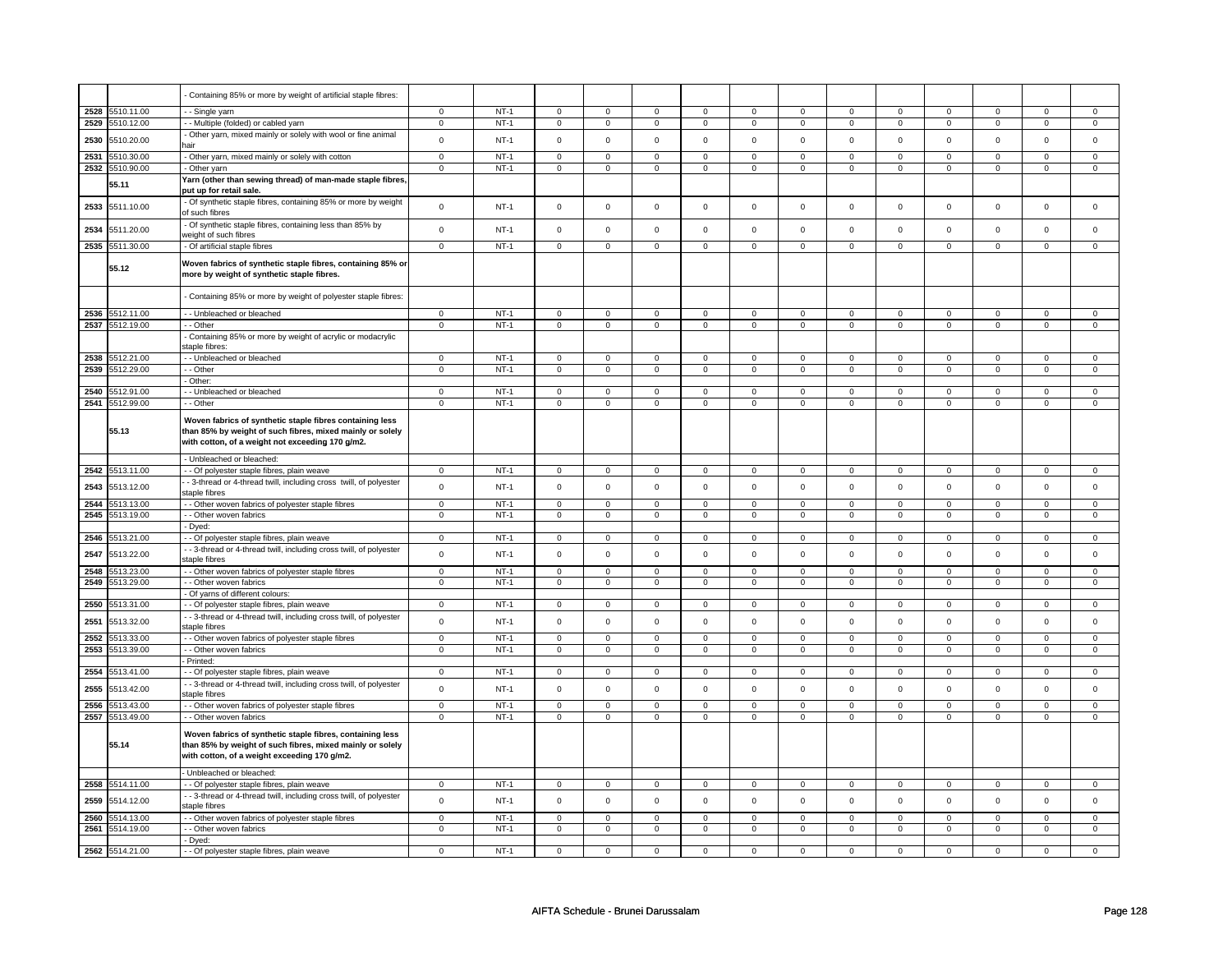|      |                               | Containing 85% or more by weight of artificial staple fibres:                                                                                                             |                            |                  |                            |                            |                            |                            |                            |                               |                            |                            |                            |                            |                            |                        |
|------|-------------------------------|---------------------------------------------------------------------------------------------------------------------------------------------------------------------------|----------------------------|------------------|----------------------------|----------------------------|----------------------------|----------------------------|----------------------------|-------------------------------|----------------------------|----------------------------|----------------------------|----------------------------|----------------------------|------------------------|
| 2528 | 5510.11.00                    | - - Single yarn                                                                                                                                                           | $\mathbf 0$                | $NT-1$           | $\mathbf 0$                | $\Omega$                   | $\mathbf 0$                | $\mathbf 0$                | $\mathbf 0$                | $\mathbf 0$                   | $\mathbf 0$                | $\mathbf 0$                | $\mathbf 0$                | $\Omega$                   | $\Omega$                   | $\Omega$               |
| 2529 | 5510.12.00                    | - - Multiple (folded) or cabled yarn                                                                                                                                      | $\mathbf 0$                | NT-1             | $\mathbf 0$                | $\mathbf 0$                | $\mathbf 0$                | $\mathbf 0$                | 0                          | $\mathbf 0$                   | $\mathbf 0$                | $\mathbf 0$                | 0                          | $\mathbf 0$                | $\mathbf 0$                | $\mathbf 0$            |
| 2530 | 5510.20.00                    | - Other yarn, mixed mainly or solely with wool or fine animal<br>hair                                                                                                     | $\mathsf 0$                | $NT-1$           | $\mathsf 0$                | $\mathsf 0$                | $\mathsf 0$                | $\mathsf 0$                | $\mathsf 0$                | $\mathbf 0$                   | $\mathsf 0$                | $\mathbf 0$                | $\mathsf 0$                | $\mathbf 0$                | $\mathbf 0$                | $\mathbf 0$            |
| 2531 | 510.30.00                     | - Other yarn, mixed mainly or solely with cotton                                                                                                                          | $\mathbf 0$                | <b>NT-1</b>      | 0                          | $\mathbf 0$                | 0                          | 0                          | $\mathbf 0$                | 0                             | $\mathbf 0$                | 0                          | 0                          | $\mathbf 0$                | $^{\circ}$                 | 0                      |
| 2532 | 5510.90.00                    | - Other yarn                                                                                                                                                              | $\overline{0}$             | $NT-1$           | $\overline{0}$             | $\overline{0}$             | $\overline{0}$             | $\overline{0}$             | $\overline{0}$             | $\overline{0}$                | $\overline{0}$             | $\overline{0}$             | $\overline{0}$             | $\overline{0}$             | $\overline{0}$             | $\overline{0}$         |
|      |                               | Yarn (other than sewing thread) of man-made staple fibres,                                                                                                                |                            |                  |                            |                            |                            |                            |                            |                               |                            |                            |                            |                            |                            |                        |
|      | 55.11                         | put up for retail sale.                                                                                                                                                   |                            |                  |                            |                            |                            |                            |                            |                               |                            |                            |                            |                            |                            |                        |
| 2533 | 5511.10.00                    | - Of synthetic staple fibres, containing 85% or more by weight<br>of such fibres                                                                                          | $\mathsf 0$                | $NT-1$           | $\mathbf 0$                | $\mathsf 0$                | $\mathsf 0$                | $\mathsf 0$                | $\mathsf 0$                | $\mathsf 0$                   | $\mathsf 0$                | $\mathsf 0$                | $\mathsf 0$                | $\mathsf 0$                | $\mathsf 0$                | $\mathsf 0$            |
| 2534 | 5511.20.00                    | - Of synthetic staple fibres, containing less than 85% by<br>veight of such fibres                                                                                        | $\mathsf 0$                | $NT-1$           | $\mathbf 0$                | $\mathsf 0$                | $\mathsf 0$                | $\mathsf 0$                | $\mathsf 0$                | $\mathsf 0$                   | $\mathsf 0$                | $\mathbf 0$                | $\mathsf 0$                | $\mathbf 0$                | $\mathsf 0$                | $\mathsf 0$            |
|      | 2535 5511.30.00               | - Of artificial staple fibres                                                                                                                                             | $\mathsf 0$                | $NT-1$           | $\mathsf 0$                | $\mathbf 0$                | $\mathsf 0$                | $\mathbf 0$                | $\mathsf 0$                | $\mathsf 0$                   | $\mathsf 0$                | $\mathsf 0$                | $\mathsf 0$                | $\mathsf 0$                | $\mathsf 0$                | $\mathbf 0$            |
|      | 55.12                         | Woven fabrics of synthetic staple fibres, containing 85% or<br>more by weight of synthetic staple fibres.                                                                 |                            |                  |                            |                            |                            |                            |                            |                               |                            |                            |                            |                            |                            |                        |
|      |                               | - Containing 85% or more by weight of polyester staple fibres:                                                                                                            |                            |                  |                            |                            |                            |                            |                            |                               |                            |                            |                            |                            |                            |                        |
|      | 2536 5512.11.00               | - - Unbleached or bleached                                                                                                                                                | $\mathbf 0$                | $NT-1$           | $\mathsf 0$                | $\mathbf 0$                | $\mathsf 0$                | $\mathbf 0$                | $\mathbf 0$                | $\mathbf 0$                   | $\mathsf 0$                | $\mathsf 0$                | $\mathsf 0$                | $\mathbf 0$                | $\mathsf 0$                | $\mathsf 0$            |
|      | 2537 5512.19.00               | - - Other                                                                                                                                                                 | $\overline{0}$             | $NT-1$           | $\overline{0}$             | $\overline{0}$             | $\overline{0}$             | $\overline{0}$             | $\overline{0}$             | $\overline{0}$                | $\overline{0}$             | $\overline{0}$             | $\overline{0}$             | $\overline{0}$             | $\overline{0}$             | $\overline{0}$         |
|      |                               | - Containing 85% or more by weight of acrylic or modacrylic<br>staple fibres:                                                                                             |                            |                  |                            |                            |                            |                            |                            |                               |                            |                            |                            |                            |                            |                        |
| 2538 | 512.21.00                     | - - Unbleached or bleached                                                                                                                                                | $\mathbf 0$                | $NT-1$           | $\mathsf{O}\xspace$        | $\mathsf 0$                | $\Omega$                   | $\Omega$                   | $\Omega$                   | $\mathsf 0$                   | $\Omega$                   | $\Omega$                   | $\Omega$                   | $\mathsf 0$                | $\Omega$                   | $\mathsf 0$            |
| 2539 | 5512.29.00                    | - - Other                                                                                                                                                                 | $\mathbf 0$                | $NT-1$           | $\mathsf{O}\xspace$        | $\mathsf 0$                | $\mathsf 0$                | $\mathbf 0$                | $\mathsf 0$                | $\mathsf 0$                   | $\mathsf 0$                | $\mathsf 0$                | $\mathsf 0$                | $\mathsf 0$                | $\mathbf 0$                | $\mathsf 0$            |
|      |                               | - Other:                                                                                                                                                                  |                            |                  |                            |                            |                            |                            |                            |                               |                            |                            |                            |                            |                            |                        |
| 2540 | 5512.91.00<br>2541 5512.99.00 | - Unbleached or bleached<br>- - Other                                                                                                                                     | $\mathbf 0$<br>$\mathbf 0$ | $NT-1$<br>$NT-1$ | $\mathsf 0$<br>$\mathbf 0$ | $\mathbf 0$<br>$\mathbf 0$ | $\mathsf 0$<br>$\mathbf 0$ | $\mathbf 0$<br>$\mathbf 0$ | $\mathsf 0$<br>$\mathbf 0$ | $\mathsf 0$<br>$\overline{0}$ | $\mathsf 0$<br>$\mathbf 0$ | $\mathsf 0$<br>$\mathbf 0$ | $\mathbf 0$<br>$\mathbf 0$ | $\mathbf 0$<br>$\mathbf 0$ | $\mathbf 0$<br>$\mathbf 0$ | $\mathbf 0$<br>$\circ$ |
|      |                               |                                                                                                                                                                           |                            |                  |                            |                            |                            |                            |                            |                               |                            |                            |                            |                            |                            |                        |
|      | 55.13                         | Woven fabrics of synthetic staple fibres containing less<br>than 85% by weight of such fibres, mixed mainly or solely<br>with cotton, of a weight not exceeding 170 g/m2. |                            |                  |                            |                            |                            |                            |                            |                               |                            |                            |                            |                            |                            |                        |
|      |                               | - Unbleached or bleached:                                                                                                                                                 |                            |                  |                            |                            |                            |                            |                            |                               |                            |                            |                            |                            |                            |                        |
| 2542 | 5513.11.00                    | - - Of polyester staple fibres, plain weave                                                                                                                               | $\overline{0}$             | $NT-1$           | $\mathbf 0$                | $\mathbf{0}$               | $\mathbf 0$                | $\mathbf{0}$               | $\mathbf 0$                | $\mathbf 0$                   | $\mathbf 0$                | $\mathbf 0$                | $\mathbf 0$                | $\mathbf 0$                | $\mathsf 0$                | $\mathbf{0}$           |
| 2543 | 5513.12.00                    | - 3-thread or 4-thread twill, including cross twill, of polyester<br>staple fibres                                                                                        | $\mathsf 0$                | NT-1             | $\mathsf 0$                | $\mathbf 0$                | $\mathbf 0$                | $\mathsf 0$                | $\mathsf 0$                | $\mathbf 0$                   | $\mathsf 0$                | $\mathbf 0$                | $\mathsf 0$                | $\mathbf 0$                | $\mathbf 0$                | $\mathbf 0$            |
| 2544 | 513.13.00                     | - Other woven fabrics of polyester staple fibres                                                                                                                          | $\mathsf 0$                | $NT-1$           | $\mathsf 0$                | $\mathbf 0$                | $\mathbf 0$                | $\mathbf 0$                | $\mathbf 0$                | $\mathbf 0$                   | $\mathbf 0$                | $\mathbf 0$                | $\mathbf 0$                | $\mathbf 0$                | $\mathbf 0$                | $\mathbf{0}$           |
| 2545 | 5513.19.00                    | - - Other woven fabrics                                                                                                                                                   | $\mathsf 0$                | $NT-1$           | $\mathsf 0$                | $\mathsf 0$                | $\mathbf 0$                | $\mathsf 0$                | $\mathbf 0$                | $\overline{0}$                | $\mathbf 0$                | $\overline{0}$             | $\mathbf 0$                | $\mathbf 0$                | $\mathsf 0$                | $\mathbf 0$            |
|      |                               | - Dyed:                                                                                                                                                                   |                            |                  |                            |                            |                            |                            |                            |                               |                            |                            |                            |                            |                            |                        |
| 2546 | 5513.21.00                    | - Of polyester staple fibres, plain weave                                                                                                                                 | $\mathsf 0$                | $NT-1$           | $\mathsf 0$                | $\mathbf 0$                | $\mathbf 0$                | $\mathbf 0$                | $\mathbf 0$                | $\mathsf 0$                   | $\mathsf 0$                | $\mathbf 0$                | $\mathsf 0$                | $\mathbf 0$                | $\mathsf 0$                | $\mathsf 0$            |
| 2547 | 5513.22.00                    | - - 3-thread or 4-thread twill, including cross twill, of polyester<br>staple fibres                                                                                      | $\mathsf 0$                | <b>NT-1</b>      | $\mathbf 0$                | $\mathsf 0$                | $\mathbf 0$                | $\mathsf 0$                | $\mathsf 0$                | $\mathsf 0$                   | $\mathsf 0$                | $\mathsf 0$                | $\mathsf 0$                | $\mathbf 0$                | $\mathbf 0$                | $\mathbf 0$            |
| 2548 | 5513.23.00                    | - - Other woven fabrics of polyester staple fibres                                                                                                                        | $\mathsf 0$                | $NT-1$           | $\mathbf 0$                | $\mathbf 0$                | $\mathbf 0$                | $\Omega$                   | $\mathsf 0$                | $\Omega$                      | $\Omega$                   | $\Omega$                   | $\mathsf 0$                | $\Omega$                   | $\Omega$                   | $\mathbf 0$            |
| 2549 | 513.29.00                     | - - Other woven fabrics                                                                                                                                                   | $\mathbf 0$                | $NT-1$           | $\mathsf 0$                | $\mathsf 0$                | $\mathsf 0$                | $\mathsf 0$                | $\mathsf 0$                | $\mathsf 0$                   | $\mathsf 0$                | $\mathsf 0$                | $\mathsf 0$                | $\mathsf 0$                | $\mathbf 0$                | $\mathsf 0$            |
|      |                               | - Of yarns of different colours:                                                                                                                                          |                            |                  |                            |                            |                            |                            |                            |                               |                            |                            |                            |                            |                            |                        |
| 2550 | 5513.31.00                    | - Of polyester staple fibres, plain weave                                                                                                                                 | $\mathbf 0$                | $NT-1$           | $\mathbf 0$                | $\mathbf 0$                | $\mathbf 0$                | $\mathsf 0$                | $\mathbf 0$                | $\mathbf 0$                   | $\mathbf 0$                | $\mathbf 0$                | $\mathbf 0$                | $\mathbf 0$                | $\mathbf 0$                | 0                      |
| 2551 | 5513.32.00                    | - - 3-thread or 4-thread twill, including cross twill, of polyester<br>staple fibres                                                                                      | $\mathsf 0$                | $NT-1$           | $\mathbf 0$                | $\mathbf 0$                | $\mathbf 0$                | $\mathsf 0$                | $\mathsf 0$                | $\mathbf 0$                   | $\mathsf 0$                | $\mathbf 0$                | $\mathsf 0$                | $\mathbf 0$                | $\mathbf 0$                | $\mathsf 0$            |
| 2552 | 5513.33.00                    | - - Other woven fabrics of polyester staple fibres                                                                                                                        | $\mathsf 0$                | $NT-1$           | $\mathsf 0$                | $\mathbf 0$                | $\mathbf 0$                | $\mathsf 0$                | $\mathbf 0$                | $\mathbf 0$                   | $\mathbf 0$                | $\mathbf 0$                | $\mathbf 0$                | $\mathbf 0$                | $\Omega$                   | $\mathbf 0$            |
| 2553 | 513.39.00                     | - - Other woven fabrics                                                                                                                                                   | $\mathsf 0$                | $NT-1$           | $\mathsf 0$                | $\mathbf 0$                | $\Omega$                   | $\mathbf 0$                | $\Omega$                   | $\mathbf 0$                   | $\mathbf 0$                | $\Omega$                   | $\Omega$                   | $\mathbf 0$                | $\Omega$                   | $\mathbf 0$            |
|      |                               | Printed:                                                                                                                                                                  |                            |                  |                            |                            |                            |                            |                            |                               |                            |                            |                            |                            |                            |                        |
| 2554 | 5513.41.00                    | - - Of polyester staple fibres, plain weave                                                                                                                               | $\mathbf 0$                | <b>NT-1</b>      | 0                          | $\mathbf 0$                | $\mathbf 0$                | 0                          | $\mathbf 0$                | $\mathbf 0$                   | $\mathbf 0$                | $\mathbf 0$                | 0                          | $\mathbf 0$                | 0                          | $\mathbf 0$            |
| 2555 | 5513.42.00                    | - 3-thread or 4-thread twill, including cross twill, of polyester<br>staple fibres                                                                                        | $\mathsf 0$                | $NT-1$           | $\mathbf 0$                | $\mathbf 0$                | $\mathbf 0$                | $\mathbf 0$                | $\mathsf 0$                | $\mathsf 0$                   | $\mathsf 0$                | $\mathsf 0$                | $\mathsf 0$                | $\mathsf 0$                | $\mathsf 0$                | $\mathsf 0$            |
| 2556 | 513.43.00                     | - - Other woven fabrics of polyester staple fibres                                                                                                                        | $\mathsf 0$                | $NT-1$           | $\mathbf 0$                | $\mathbf 0$                | $\mathbf 0$                | $\mathbf 0$                | $\mathbf 0$                | $\mathbf 0$                   | $\mathbf 0$                | $\mathbf 0$                | $\mathbf 0$                | $\mathbf 0$                | $\mathbf 0$                | 0                      |
| 2557 | 5513.49.00                    | - - Other woven fabrics                                                                                                                                                   | $\mathbf 0$                | $NT-1$           | $\mathbf 0$                | $\mathbf 0$                | $\mathbf 0$                | 0                          | $\mathbf 0$                | 0                             | $\mathbf 0$                | $\mathbf 0$                | $\mathbf 0$                | $\mathbf 0$                | $\mathbf 0$                | $\mathsf 0$            |
|      | 55.14                         | Woven fabrics of synthetic staple fibres, containing less<br>than 85% by weight of such fibres, mixed mainly or solely<br>with cotton, of a weight exceeding 170 g/m2.    |                            |                  |                            |                            |                            |                            |                            |                               |                            |                            |                            |                            |                            |                        |
|      |                               | Unbleached or bleached:                                                                                                                                                   |                            |                  |                            |                            |                            |                            |                            |                               |                            |                            |                            |                            |                            |                        |
| 2558 | 5514.11.00                    | - - Of polyester staple fibres, plain weave                                                                                                                               | $\mathsf 0$                | $NT-1$           | $\mathsf 0$                | $\mathbf 0$                | $\mathbf 0$                | $\mathbf{0}$               | $\mathbf 0$                | $\overline{0}$                | $\mathbf 0$                | $\overline{0}$             | $\mathbf 0$                | $\mathbf 0$                | $\mathbf 0$                | $\mathbf{0}$           |
| 2559 | 5514.12.00                    | - - 3-thread or 4-thread twill, including cross twill, of polyester<br>staple fibres                                                                                      | $\mathbf 0$                | $NT-1$           | $\mathsf{O}\xspace$        | $\mathsf 0$                | $\mathsf 0$                | $\mathsf 0$                | $\mathsf 0$                | $\mathsf 0$                   | $\mathsf 0$                | $\mathsf 0$                | $\mathsf 0$                | $\mathsf 0$                | $\mathsf 0$                | $\mathbf 0$            |
| 2560 | 5514.13.00                    | - - Other woven fabrics of polyester staple fibres                                                                                                                        | $\mathbf 0$                | $NT-1$           | $\mathsf 0$                | $\mathbf 0$                | $\mathbf 0$                | $\mathbf 0$                | $\mathbf 0$                | $\mathsf 0$                   | $\mathsf 0$                | $\mathsf 0$                | $\mathbf 0$                | $\mathsf 0$                | $\mathsf 0$                | $\mathbf 0$            |
| 2561 | 5514.19.00                    | - Other woven fabrics                                                                                                                                                     | $\overline{0}$             | $NT-1$           | $\mathsf{O}\xspace$        | $\overline{0}$             | $\mathsf 0$                | $\mathbf 0$                | $\mathsf 0$                | $\overline{0}$                | $\mathsf 0$                | $\overline{0}$             | $\mathsf 0$                | $\overline{0}$             | $\mathbf 0$                | $\mathbf 0$            |
|      |                               | - Dyed:                                                                                                                                                                   |                            |                  |                            |                            |                            |                            |                            |                               |                            |                            |                            |                            |                            |                        |
|      | 2562 5514.21.00               | - - Of polyester staple fibres, plain weave                                                                                                                               | $\mathsf 0$                | $NT-1$           | 0                          | $\mathbf 0$                | $\mathbf 0$                | $\Omega$                   | 0                          | $\mathsf 0$                   | $\Omega$                   | $\mathbf 0$                | 0                          | $\Omega$                   | $\Omega$                   | $\mathbf 0$            |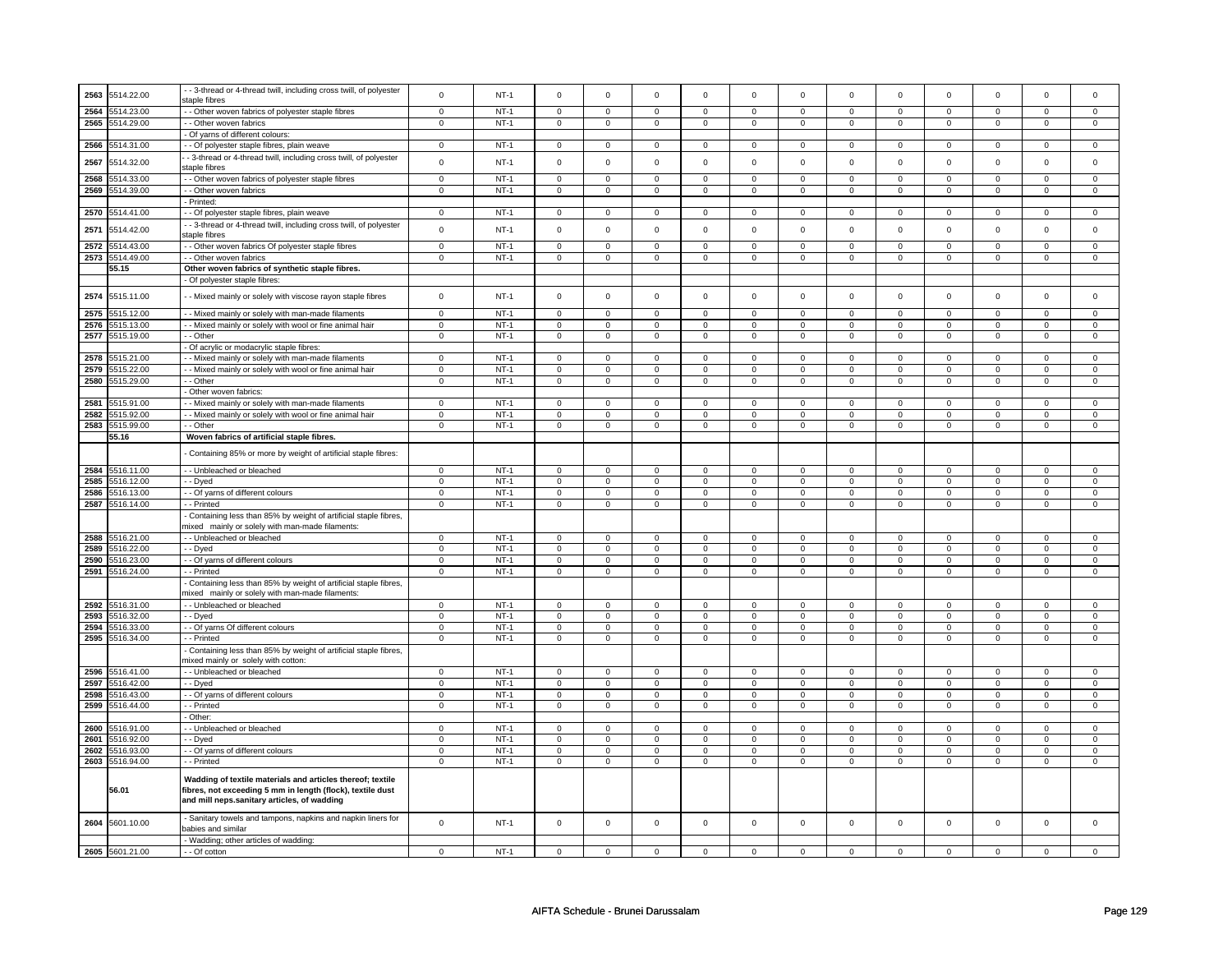| 2563 | 5514.22.00      | - - 3-thread or 4-thread twill, including cross twill, of polyester | $\mathbf 0$ | $NT-1$ | $\mathbf 0$         | $\mathbf 0$    | $\mathbf 0$         | $\mathbf 0$         | $\mathsf{O}\xspace$ | $\mathsf 0$    | $\mathsf 0$ | $\mathsf 0$  | $\mathsf 0$         | $\mathbf 0$    | $\mathsf 0$ | $\mathsf 0$    |
|------|-----------------|---------------------------------------------------------------------|-------------|--------|---------------------|----------------|---------------------|---------------------|---------------------|----------------|-------------|--------------|---------------------|----------------|-------------|----------------|
|      |                 | staple fibres                                                       |             |        |                     |                |                     |                     |                     |                |             |              |                     |                |             |                |
| 2564 | 5514.23.00      | - Other woven fabrics of polyester staple fibres                    | $\mathsf 0$ | $NT-1$ | $\mathsf 0$         | $\mathsf 0$    | $\mathsf 0$         | $\mathbf 0$         | $\mathsf 0$         | $\mathbf 0$    | $\mathbf 0$ | $\mathsf 0$  | $\mathsf 0$         | $\mathbf 0$    | $\mathsf 0$ | $\mathbf 0$    |
|      |                 |                                                                     |             |        |                     |                |                     |                     |                     |                |             |              |                     |                |             |                |
| 2565 | 5514.29.00      | - - Other woven fabrics                                             | $\mathbf 0$ | $NT-1$ | $\mathsf 0$         | $\overline{0}$ | $\mathsf 0$         | $\mathsf 0$         | $\mathsf 0$         | $\overline{0}$ | 0           | $\mathbf 0$  | $\mathsf 0$         | $\mathbf 0$    | $\Omega$    | $\mathbf 0$    |
|      |                 | - Of yarns of different colours:                                    |             |        |                     |                |                     |                     |                     |                |             |              |                     |                |             |                |
|      |                 |                                                                     |             |        |                     |                |                     |                     |                     |                |             |              |                     |                |             |                |
| 2566 | 5514.31.00      | - Of polyester staple fibres, plain weave                           | $\mathbf 0$ | $NT-1$ | $\mathbf 0$         | $\mathbf 0$    | $\mathbf 0$         | $\mathbf 0$         | $\mathbf 0$         | $\mathbf 0$    | $\mathbf 0$ | $\mathbf 0$  | $\mathbf 0$         | $\mathbf 0$    | $\Omega$    | $\mathbf{0}$   |
|      |                 | - 3-thread or 4-thread twill, including cross twill, of polyester   |             |        |                     |                |                     |                     |                     |                |             |              |                     |                |             |                |
| 2567 | 5514.32.00      |                                                                     | $\mathsf 0$ | $NT-1$ | $\mathbf 0$         | $\mathsf 0$    | $\mathbf 0$         | $\mathbf 0$         | $\mathsf{O}\xspace$ | $\mathsf 0$    | $\mathbf 0$ | $\mathsf 0$  | $\mathsf 0$         | $\mathbf 0$    | $\mathsf 0$ | $\mathsf 0$    |
|      |                 | staple fibres                                                       |             |        |                     |                |                     |                     |                     |                |             |              |                     |                |             |                |
| 2568 | 5514.33.00      | - - Other woven fabrics of polyester staple fibres                  | $\mathsf 0$ | $NT-1$ | $\mathbf 0$         | $\mathsf 0$    | $\mathbf 0$         | $\mathbf 0$         | $\mathsf 0$         | $\mathbf 0$    | 0           | 0            | $\mathsf 0$         | $\mathbf 0$    | $\mathbf 0$ | 0              |
|      |                 |                                                                     |             |        |                     |                |                     |                     |                     |                |             |              |                     |                |             |                |
| 2569 | 5514.39.00      | - - Other woven fabrics                                             | $\mathbf 0$ | $NT-1$ | $\mathsf{O}\xspace$ | $\mathbf 0$    | $\mathsf{O}\xspace$ | $\mathsf 0$         | $\mathsf{O}\xspace$ | $\mathsf 0$    | $\mathbf 0$ | $\mathsf{O}$ | $\mathsf{O}\xspace$ | $\mathsf{O}$   | $\mathsf 0$ | $\mathsf 0$    |
|      |                 | - Printed:                                                          |             |        |                     |                |                     |                     |                     |                |             |              |                     |                |             |                |
| 2570 | 5514.41.00      | - - Of polyester staple fibres, plain weave                         | $\mathsf 0$ | $NT-1$ | $\mathbf 0$         | $\mathsf 0$    | $\mathbf 0$         | $\mathbf 0$         | $\mathsf 0$         | $\mathbf 0$    | 0           | $\mathbf 0$  | $\mathsf 0$         | $\mathbf 0$    | 0           | 0              |
|      |                 |                                                                     |             |        |                     |                |                     |                     |                     |                |             |              |                     |                |             |                |
|      |                 | - 3-thread or 4-thread twill, including cross twill, of polyester   |             |        |                     |                | $\mathsf 0$         |                     | $\mathsf 0$         |                |             |              |                     |                |             |                |
| 2571 | 5514.42.00      | staple fibres                                                       | $\mathbf 0$ | $NT-1$ | $\pmb{0}$           | $\mathbf 0$    |                     | $\mathsf{O}\xspace$ |                     | $\mathsf 0$    | $\mathbf 0$ | $\mathsf 0$  | $\mathsf 0$         | $\mathsf 0$    | $\mathsf 0$ | $\mathsf 0$    |
|      |                 |                                                                     |             |        |                     |                |                     |                     |                     |                |             |              |                     |                |             |                |
| 2572 | 5514.43.00      | - Other woven fabrics Of polyester staple fibres                    | $\mathsf 0$ | $NT-1$ | $\mathbf 0$         | $\mathsf 0$    | $\mathsf 0$         | $\mathsf 0$         | $\mathsf{O}\xspace$ | $\mathsf 0$    | 0           | $\mathsf 0$  | $\mathsf 0$         | $\mathbf 0$    | 0           | $\mathbf 0$    |
| 2573 | 5514.49.00      | - - Other woven fabrics                                             | $\mathbf 0$ | $NT-1$ | $\pmb{0}$           | $\mathbf 0$    | $\mathsf 0$         | $\mathsf 0$         | $\mathsf{O}\xspace$ | $\mathsf 0$    | $\mathsf 0$ | $\mathsf 0$  | $\mathsf 0$         | $\mathsf 0$    | $\mathsf 0$ | $\mathsf 0$    |
|      |                 |                                                                     |             |        |                     |                |                     |                     |                     |                |             |              |                     |                |             |                |
|      | 55.15           | Other woven fabrics of synthetic staple fibres.                     |             |        |                     |                |                     |                     |                     |                |             |              |                     |                |             |                |
|      |                 | - Of polyester staple fibres:                                       |             |        |                     |                |                     |                     |                     |                |             |              |                     |                |             |                |
|      |                 |                                                                     |             |        |                     |                |                     |                     |                     |                |             |              |                     |                |             |                |
| 2574 | 5515.11.00      | - - Mixed mainly or solely with viscose rayon staple fibres         | $\mathsf 0$ | $NT-1$ | $\mathsf 0$         | $\mathbf 0$    | $\mathsf 0$         | $\mathsf 0$         | $\mathsf{O}\xspace$ | $\mathsf 0$    | $\mathbf 0$ | $\mathsf 0$  | $\mathsf 0$         | $\mathbf{0}$   | $\mathbf 0$ | $\mathbf 0$    |
|      |                 |                                                                     |             |        |                     |                |                     |                     |                     |                |             |              |                     |                |             |                |
| 2575 | 515.12.00       | - Mixed mainly or solely with man-made filaments                    | $\mathsf 0$ | $NT-1$ | $\mathsf 0$         | $\mathsf 0$    | $\mathsf 0$         | $\mathbf 0$         | $\mathsf 0$         | $\mathbf 0$    | $\mathbf 0$ | $\mathsf 0$  | $\mathsf 0$         | $\mathbf 0$    | $\mathsf 0$ | 0              |
|      |                 |                                                                     |             |        |                     |                |                     |                     |                     |                |             |              |                     |                |             |                |
| 2576 | 5515.13.00      | - Mixed mainly or solely with wool or fine animal hair              | $\mathsf 0$ | $NT-1$ | $\mathbf 0$         | $\mathsf 0$    | $\mathbf 0$         | $\mathbf 0$         | $\mathbf 0$         | $\mathbf 0$    | $\mathbf 0$ | $\mathbf 0$  | $\mathsf 0$         | $\mathbf 0$    | $\mathbf 0$ | $\mathbf{0}$   |
| 2577 | 5515.19.00      | - - Other                                                           | $\mathsf 0$ | $NT-1$ | $\mathsf 0$         | $\mathbf 0$    | $\mathsf 0$         | $\mathsf 0$         | $\mathsf 0$         | $\mathsf 0$    | $\mathbf 0$ | $\mathbf 0$  | 0                   | $\mathbf 0$    | 0           | $\overline{0}$ |
|      |                 | - Of acrylic or modacrylic staple fibres:                           |             |        |                     |                |                     |                     |                     |                |             |              |                     |                |             |                |
|      |                 |                                                                     |             |        |                     |                |                     |                     |                     |                |             |              |                     |                |             |                |
| 2578 | 515.21.00       | - Mixed mainly or solely with man-made filaments                    | $\mathsf 0$ | $NT-1$ | $\mathbf 0$         | $\mathbf 0$    | $\mathbf 0$         | $\mathbf 0$         | $\mathbf 0$         | $\mathbf 0$    | $\mathbf 0$ | $\mathbf 0$  | $\mathbf 0$         | $\mathbf 0$    | $\mathbf 0$ | $\mathbf{0}$   |
| 2579 | 5515.22.00      | - Mixed mainly or solely with wool or fine animal hair              | $\mathbf 0$ | $NT-1$ | $\mathbf 0$         | $\mathsf 0$    | $\mathsf 0$         | $\mathbf 0$         | $\mathsf 0$         | $\mathbf 0$    | $\mathbf 0$ | $\mathsf 0$  | $\mathsf 0$         | $\mathbf 0$    | $\mathbf 0$ | 0              |
|      |                 |                                                                     |             |        |                     |                |                     |                     |                     |                |             |              |                     |                |             |                |
| 2580 | 5515.29.00      | - - Other                                                           | $\mathbf 0$ | NT-1   | 0                   | $\mathbf 0$    | $\mathbf 0$         | $\mathbf 0$         | 0                   | $\mathbf 0$    | 0           | $\mathbf 0$  | 0                   | $\mathbf 0$    | 0           | $\mathbf 0$    |
|      |                 | Other woven fabrics:                                                |             |        |                     |                |                     |                     |                     |                |             |              |                     |                |             |                |
|      |                 |                                                                     |             |        | $\overline{0}$      |                |                     |                     |                     |                |             |              |                     |                |             |                |
| 2581 | 5515.91.00      | - Mixed mainly or solely with man-made filaments                    | $\mathsf 0$ | $NT-1$ |                     | $\overline{0}$ | $\mathbf 0$         | $\overline{0}$      | $\mathsf{O}\xspace$ | $\overline{0}$ | $\mathbf 0$ | $\mathsf 0$  | $\mathsf 0$         | $\overline{0}$ | $\mathbf 0$ | $\overline{0}$ |
| 2582 | 5515.92.00      | - Mixed mainly or solely with wool or fine animal hair              | $\mathsf 0$ | $NT-1$ | $\mathbf 0$         | $\mathsf 0$    | $\mathbf 0$         | $\mathbf 0$         | $\mathsf 0$         | $\mathbf 0$    | $\mathbf 0$ | $\mathsf 0$  | $\mathsf 0$         | $\mathbf 0$    | $\mathsf 0$ | 0              |
| 2583 | 5515.99.00      | - - Other                                                           | $\mathsf 0$ | $NT-1$ | $\mathbf 0$         | $\mathbf 0$    | $\mathbf 0$         | $\mathsf 0$         | $\mathsf 0$         | $\mathbf 0$    | $\mathbf 0$ | $\mathbf 0$  | $\mathsf 0$         | $\mathbf 0$    | $\mathsf 0$ | $\mathbf{0}$   |
|      |                 |                                                                     |             |        |                     |                |                     |                     |                     |                |             |              |                     |                |             |                |
|      | 55.16           | Woven fabrics of artificial staple fibres.                          |             |        |                     |                |                     |                     |                     |                |             |              |                     |                |             |                |
|      |                 |                                                                     |             |        |                     |                |                     |                     |                     |                |             |              |                     |                |             |                |
|      |                 | Containing 85% or more by weight of artificial staple fibres:       |             |        |                     |                |                     |                     |                     |                |             |              |                     |                |             |                |
|      |                 |                                                                     |             |        |                     |                |                     |                     |                     |                |             |              |                     |                |             |                |
| 2584 | 5516.11.00      | - - Unbleached or bleached                                          | $\mathbf 0$ | $NT-1$ | $\mathbf 0$         | $\mathbf 0$    | $\mathbf 0$         | $\mathbf 0$         | $\mathbf 0$         | $\mathbf 0$    | $\mathbf 0$ | $\mathbf 0$  | $\mathsf 0$         | $\mathbf 0$    | $\mathbf 0$ | $\mathbf{0}$   |
|      |                 |                                                                     |             |        |                     |                |                     |                     |                     |                |             |              |                     |                |             |                |
| 2585 | 5516.12.00      | - - Dyed                                                            | $\mathbf 0$ | $NT-1$ | $\mathbf 0$         | $\mathbf 0$    | $\mathbf 0$         | $\mathbf 0$         | $\mathbf 0$         | $\mathbf 0$    | $\mathbf 0$ | $\mathbf 0$  | 0                   | $\mathbf 0$    | 0           | $\overline{0}$ |
| 2586 | 5516.13.00      | - - Of yarns of different colours                                   | $\mathsf 0$ | $NT-1$ | $\mathbf 0$         | $\mathsf 0$    | $\mathsf 0$         | $\mathbf 0$         | $\mathsf 0$         | $\mathbf 0$    | 0           | $\mathbf 0$  | $\mathsf 0$         | $\mathbf 0$    | $\Omega$    | 0              |
| 2587 | 5516.14.00      | - - Printed                                                         | $\mathsf 0$ | $NT-1$ | $\mathbf 0$         | $\mathbf 0$    | $\mathbf 0$         | $\mathbf 0$         | $\mathbf 0$         | $\mathbf 0$    | $\mathbf 0$ | $\mathbf 0$  | $\mathsf 0$         | $\mathbf 0$    | $\mathbf 0$ | 0              |
|      |                 |                                                                     |             |        |                     |                |                     |                     |                     |                |             |              |                     |                |             |                |
|      |                 | - Containing less than 85% by weight of artificial staple fibres,   |             |        |                     |                |                     |                     |                     |                |             |              |                     |                |             |                |
|      |                 | mixed mainly or solely with man-made filaments                      |             |        |                     |                |                     |                     |                     |                |             |              |                     |                |             |                |
|      |                 |                                                                     |             |        |                     |                |                     |                     |                     |                |             |              |                     |                |             |                |
| 2588 | 5516.21.00      | - - Unbleached or bleached                                          | $\mathsf 0$ | $NT-1$ | $\mathsf 0$         | $\mathbf 0$    | $\mathsf 0$         | $\mathbf 0$         | $\mathsf 0$         | $\mathbf 0$    | 0           | $\mathsf 0$  | $\mathsf 0$         | $\mathbf 0$    | $\Omega$    | 0              |
| 2589 | 5516.22.00      | - - Dyed                                                            | $\mathbf 0$ | $NT-1$ | 0                   | 0              | $\mathbf 0$         | $\mathbf 0$         | 0                   | $\mathbf 0$    | 0           | $\mathbf 0$  | 0                   | $\mathbf 0$    | 0           | 0              |
|      |                 |                                                                     |             |        |                     |                |                     |                     |                     |                |             |              |                     |                |             |                |
| 2590 | 5516.23.00      | - - Of yarns of different colours                                   | $\mathsf 0$ | $NT-1$ | $\mathbf 0$         | $\mathsf 0$    | $\mathbf 0$         | $\mathbf 0$         | $\mathbf 0$         | $\mathbf 0$    | $\mathbf 0$ | $\mathbf 0$  | $\mathsf 0$         | $\mathbf 0$    | $\mathsf 0$ | $\mathbf{0}$   |
| 2591 | 5516.24.00      | - - Printed                                                         | $\Omega$    | $NT-1$ | $\Omega$            | $\overline{0}$ | $\Omega$            | $\mathbf 0$         | $\mathsf 0$         | $\mathbf 0$    | $\mathbf 0$ | $\mathsf 0$  | $\mathsf 0$         | $\mathbf 0$    | $\mathsf 0$ | $\overline{0}$ |
|      |                 |                                                                     |             |        |                     |                |                     |                     |                     |                |             |              |                     |                |             |                |
|      |                 | - Containing less than 85% by weight of artificial staple fibres,   |             |        |                     |                |                     |                     |                     |                |             |              |                     |                |             |                |
|      |                 | mixed mainly or solely with man-made filaments                      |             |        |                     |                |                     |                     |                     |                |             |              |                     |                |             |                |
| 2592 | 5516.31.00      | - - Unbleached or bleached                                          | $\mathbf 0$ | $NT-1$ | $\mathbf 0$         | $\mathbf 0$    | $\mathbf 0$         | $\mathbf 0$         | $\mathbf 0$         | $\mathbf 0$    | $\mathbf 0$ | $\mathbf{0}$ | $\mathbf 0$         | $\mathbf{0}$   | $\mathbf 0$ | $\mathbf{0}$   |
|      |                 |                                                                     |             |        |                     |                |                     |                     |                     |                |             |              |                     |                |             |                |
| 2593 | 5516.32.00      | - - Dyed                                                            | $\mathbf 0$ | $NT-1$ | $\mathbf 0$         | $\overline{0}$ | $\mathsf{O}\xspace$ | $\mathbf 0$         | $\mathbf 0$         | $\mathbf 0$    | $\mathbf 0$ | $\mathbf 0$  | $\mathbf 0$         | $\mathbf 0$    | $\mathsf 0$ | $\mathbf 0$    |
| 2594 | 5516.33.00      | - - Of yarns Of different colours                                   | $\mathbf 0$ | $NT-1$ | $\mathbf 0$         | $\mathbf{0}$   | $\mathbf 0$         | $\mathbf{0}$        | $\mathbf 0$         | $\overline{0}$ | $\mathbf 0$ | $\mathbf{0}$ | 0                   | $\mathbf 0$    | 0           | $\mathbf{0}$   |
| 2595 | 5516.34.00      | - Printed                                                           | $\mathbf 0$ | $NT-1$ | $\Omega$            | $\mathbf 0$    | $\Omega$            | $\mathbf 0$         | $\Omega$            | $\mathbf 0$    | $\mathbf 0$ | $\mathbf{0}$ | $\mathbf 0$         | $\mathbf{0}$   | $\Omega$    | $\mathbf{0}$   |
|      |                 |                                                                     |             |        |                     |                |                     |                     |                     |                |             |              |                     |                |             |                |
|      |                 | - Containing less than 85% by weight of artificial staple fibres,   |             |        |                     |                |                     |                     |                     |                |             |              |                     |                |             |                |
|      |                 | mixed mainly or solely with cotton:                                 |             |        |                     |                |                     |                     |                     |                |             |              |                     |                |             |                |
|      |                 |                                                                     |             |        |                     |                |                     |                     |                     |                |             |              |                     |                |             |                |
| 2596 | 5516.41.00      | - Unbleached or bleached                                            | $\mathsf 0$ | $NT-1$ | $\mathsf 0$         | $\mathbf 0$    | $\mathbf 0$         | $\mathbf 0$         | $\mathbf 0$         | $\mathbf 0$    | 0           | 0            | 0                   | $\mathbf 0$    | $\mathbf 0$ | 0              |
| 2597 | 5516.42.00      | - - Dyed                                                            | $\mathbf 0$ | $NT-1$ | $\mathsf 0$         | $\mathbf 0$    | 0                   | $\mathsf 0$         | $\mathsf 0$         | $\mathsf 0$    | 0           | $\mathbf 0$  | $\mathsf 0$         | $\mathsf 0$    | 0           | $\mathbf 0$    |
|      |                 |                                                                     |             |        |                     |                |                     |                     |                     |                |             |              |                     |                |             |                |
| 2598 | 5516.43.00      | - - Of yarns of different colours                                   | $\mathbf 0$ | $NT-1$ | $\mathbf 0$         | $\mathbf 0$    | $\mathbf 0$         | $\mathbf 0$         | $\mathbf 0$         | $\mathbf 0$    | 0           | $\mathbf 0$  | 0                   | $\mathbf 0$    | 0           | $\overline{0}$ |
| 2599 | 5516.44.00      | - - Printed                                                         | $\mathbf 0$ | $NT-1$ | $\mathsf 0$         | $\mathsf 0$    | $\mathsf 0$         | $\mathsf 0$         | $\mathsf{O}\xspace$ | $\mathsf 0$    | 0           | $\mathsf 0$  | $\mathsf 0$         | $\mathbf 0$    | 0           | $\mathbf 0$    |
|      |                 | - Other:                                                            |             |        |                     |                |                     |                     |                     |                |             |              |                     |                |             |                |
|      |                 |                                                                     |             |        |                     |                |                     |                     |                     |                |             |              |                     |                |             |                |
| 2600 | 5516.91.00      | - - Unbleached or bleached                                          | $\mathbf 0$ | $NT-1$ | $\mathbf 0$         | $\mathsf 0$    | $\mathbf 0$         | $\mathbf 0$         | $\mathbf 0$         | $\mathbf 0$    | $\mathbf 0$ | $\mathbf 0$  | $\mathbf 0$         | $\mathbf 0$    | $\Omega$    | $\mathbf 0$    |
| 2601 | 516.92.00       | - - Dyed                                                            | $\mathbf 0$ | $NT-1$ | $\mathbf 0$         | $\mathbf 0$    | $\mathsf 0$         | $\pmb{0}$           | $\mathsf{O}\xspace$ | $\mathbf 0$    | 0           | $\mathsf 0$  | $\mathsf 0$         | $\mathsf 0$    | 0           | 0              |
|      |                 |                                                                     |             |        |                     |                |                     |                     |                     |                |             |              |                     |                |             |                |
|      |                 |                                                                     | $\mathbf 0$ | $NT-1$ | $\mathsf 0$         | $\mathbf 0$    | $\mathsf 0$         | $\mathsf 0$         | $\mathsf{O}\xspace$ | $\mathsf 0$    | $\mathsf 0$ | $\mathbf 0$  | $\mathsf 0$         | $\mathbf 0$    | $\mathsf 0$ | $\mathbf 0$    |
| 2602 | 516.93.00       | - - Of yarns of different colours                                   |             |        |                     |                |                     |                     |                     |                |             |              |                     |                |             |                |
|      |                 |                                                                     |             |        |                     |                |                     |                     |                     |                |             |              |                     |                |             |                |
| 2603 | 5516.94.00      | - - Printed                                                         | $\mathsf 0$ | $NT-1$ | $\mathsf 0$         | $\mathbf 0$    | $\mathsf 0$         | $\mathsf 0$         | $\mathsf 0$         | $\mathbf 0$    | $\mathsf 0$ | $\mathbf 0$  | 0                   | $\mathbf 0$    | $\mathsf 0$ | $\mathbf 0$    |
|      |                 |                                                                     |             |        |                     |                |                     |                     |                     |                |             |              |                     |                |             |                |
|      |                 | Wadding of textile materials and articles thereof; textile          |             |        |                     |                |                     |                     |                     |                |             |              |                     |                |             |                |
|      | 56.01           | fibres, not exceeding 5 mm in length (flock), textile dust          |             |        |                     |                |                     |                     |                     |                |             |              |                     |                |             |                |
|      |                 |                                                                     |             |        |                     |                |                     |                     |                     |                |             |              |                     |                |             |                |
|      |                 | and mill neps.sanitary articles, of wadding                         |             |        |                     |                |                     |                     |                     |                |             |              |                     |                |             |                |
|      |                 |                                                                     |             |        |                     |                |                     |                     |                     |                |             |              |                     |                |             |                |
| 2604 | 5601.10.00      | - Sanitary towels and tampons, napkins and napkin liners for        | $\mathsf 0$ | $NT-1$ | $\mathsf 0$         | $\mathsf 0$    | $\mathsf 0$         | $\mathbf 0$         | $\mathsf 0$         | $\mathbf 0$    | $\mathbf 0$ | $\mathsf 0$  | $\mathsf 0$         | $\mathbf 0$    | $\mathsf 0$ | $\mathbf 0$    |
|      |                 | pabies and similar                                                  |             |        |                     |                |                     |                     |                     |                |             |              |                     |                |             |                |
|      |                 |                                                                     |             |        |                     |                |                     |                     |                     |                |             |              |                     |                |             |                |
|      | 2605 5601.21.00 | - Wadding; other articles of wadding:<br>- - Of cotton              | $\Omega$    | $NT-1$ | $\Omega$            | $\Omega$       | $\Omega$            | $\Omega$            | $\Omega$            | $\Omega$       | $\Omega$    | $\Omega$     | $\Omega$            | $\Omega$       | $\Omega$    | $\Omega$       |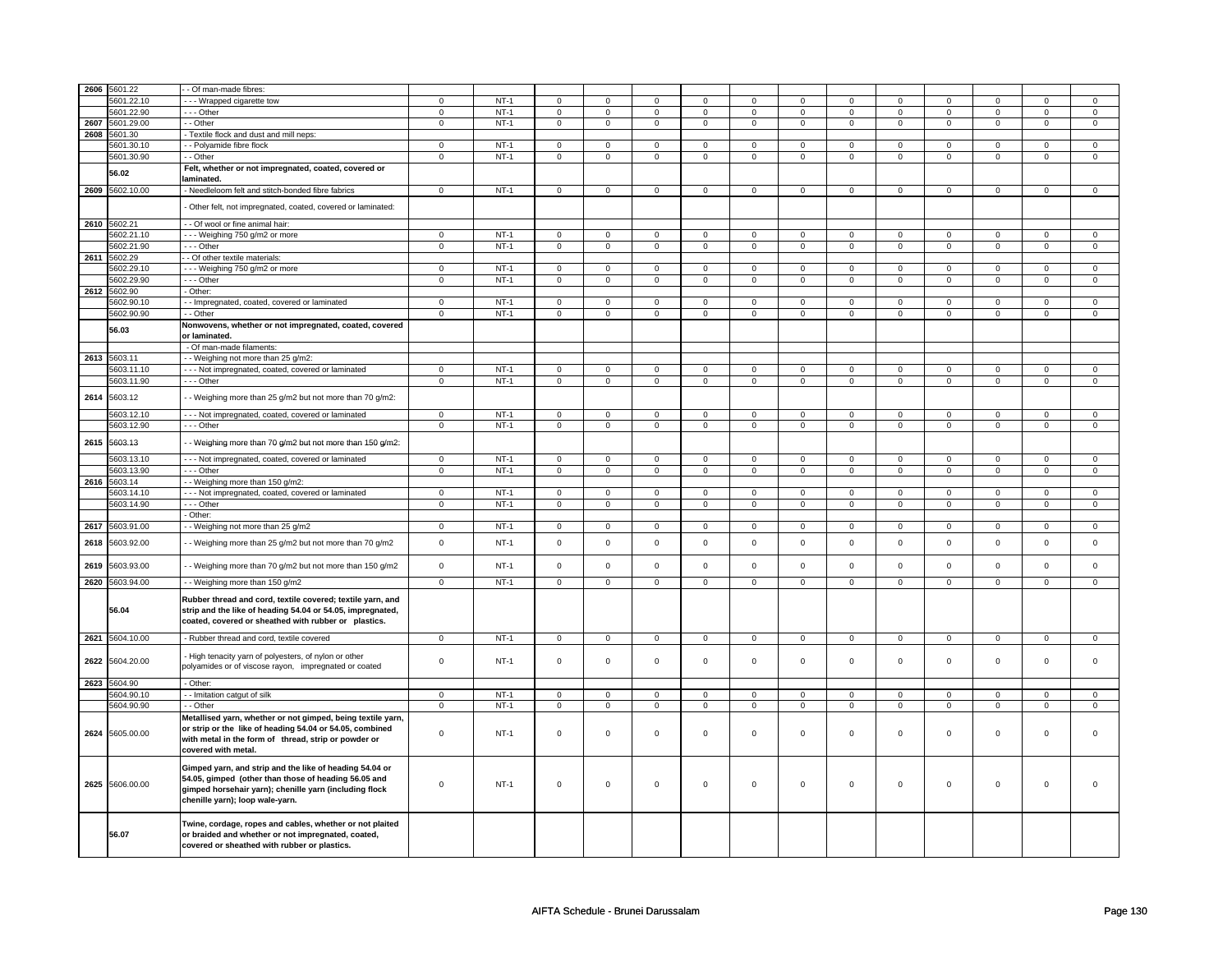|      | 2606 5601.22    | - Of man-made fibres:                                        |                |        |                |                |                |                |                |                |                     |                |                |                     |                |                |
|------|-----------------|--------------------------------------------------------------|----------------|--------|----------------|----------------|----------------|----------------|----------------|----------------|---------------------|----------------|----------------|---------------------|----------------|----------------|
|      | 5601.22.10      | --- Wrapped cigarette tow                                    | $\mathbf 0$    | $NT-1$ | $\mathbf 0$    | $\Omega$       | $\mathbf 0$    | $\Omega$       | $\mathbf 0$    | $\Omega$       | $\mathbf 0$         | $\Omega$       | 0              | $\Omega$            | 0              | $\mathbf 0$    |
|      | 5601.22.90      | - - - Other                                                  | $\mathbf 0$    | $NT-1$ | $\mathbf 0$    | $\mathbf 0$    | 0              | $\mathbf 0$    | 0              | $\mathbf 0$    | 0                   | $\mathbf 0$    | 0              | 0                   | 0              | 0              |
|      | 2607 5601.29.00 | - - Other                                                    | $\mathbf 0$    | $NT-1$ | $\mathbf 0$    | $\mathsf 0$    | $\mathbf 0$    | $\mathbf 0$    | $\mathbf 0$    | $\mathbf 0$    | $\mathbf 0$         | $\mathbf 0$    | $\mathsf 0$    | 0                   | 0              | 0              |
|      | 2608 5601.30    | Textile flock and dust and mill neps:                        |                |        |                |                |                |                |                |                |                     |                |                |                     |                |                |
|      | 5601.30.10      | - - Polyamide fibre flock                                    | $\mathbf 0$    | $NT-1$ | 0              | 0              | 0              | 0              | 0              | 0              | $\mathbf 0$         | 0              | 0              | 0                   | 0              | $\mathbf 0$    |
|      | 5601.30.90      | - Other                                                      | $\overline{0}$ | $NT-1$ | $\overline{0}$ | $\overline{0}$ | $\overline{0}$ | $\overline{0}$ | $\overline{0}$ | $\overline{0}$ | $\overline{0}$      | $\overline{0}$ | $\overline{0}$ | $\overline{0}$      | 0              | $\overline{0}$ |
|      |                 |                                                              |                |        |                |                |                |                |                |                |                     |                |                |                     |                |                |
|      | 56.02           | Felt, whether or not impregnated, coated, covered or         |                |        |                |                |                |                |                |                |                     |                |                |                     |                |                |
|      |                 | laminated.                                                   |                |        |                |                |                |                |                |                |                     |                |                |                     |                |                |
|      | 2609 5602.10.00 | Needleloom felt and stitch-bonded fibre fabrics              | $\mathbf 0$    | $NT-1$ | $\mathsf{O}$   | $\mathbf{0}$   | $\mathbf 0$    | $\mathbf{0}$   | $\mathbf 0$    | $\mathbf{0}$   | $\mathsf{O}\xspace$ | $\mathbf{0}$   | $\mathbf 0$    | $\mathbf{O}$        | $\mathbf{0}$   | $\mathbf 0$    |
|      |                 | - Other felt, not impregnated, coated, covered or laminated: |                |        |                |                |                |                |                |                |                     |                |                |                     |                |                |
|      |                 |                                                              |                |        |                |                |                |                |                |                |                     |                |                |                     |                |                |
|      | 2610 5602.21    | - - Of wool or fine animal hair:                             |                |        |                |                |                |                |                |                |                     |                |                |                     |                |                |
|      | 5602.21.10      | - - Weighing 750 g/m2 or more                                | $\mathbf 0$    | $NT-1$ | $\mathbf 0$    | $\mathsf 0$    | $\mathbf 0$    | $\mathbf 0$    | $\mathbf 0$    | $\mathbf 0$    | $\mathbf 0$         | $\mathbf 0$    | $\mathsf 0$    | $\mathbf 0$         | $\mathbf 0$    | $\mathbf 0$    |
|      | 5602.21.90      | --- Other                                                    | $\mathsf 0$    | $NT-1$ | $\mathsf 0$    | $\mathsf 0$    | $\mathsf 0$    | $\mathsf{O}^-$ | $\mathbf 0$    | $\mathsf{O}^-$ | $\mathbf 0$         | $\mathsf{O}^-$ | $\mathsf 0$    | $\mathsf{O}^-$      | $\mathbf{0}$   | $\mathsf 0$    |
|      | 2611 5602.29    | - Of other textile materials:                                |                |        |                |                |                |                |                |                |                     |                |                |                     |                |                |
|      | 5602.29.10      | --- Weighing 750 g/m2 or more                                | $\mathbf 0$    | $NT-1$ | $\mathbf 0$    | $\mathbf{0}$   | $\mathbf 0$    | $\mathbf{0}$   | $\mathbf 0$    | $\mathbf{0}$   | $\mathbf 0$         | $\mathbf{0}$   | $\mathbf 0$    | $\mathbf{0}$        | $\mathbf 0$    | $\mathbf{0}$   |
|      | 5602.29.90      | --- Other                                                    | $\overline{0}$ | $NT-1$ | $\overline{0}$ | $\overline{0}$ | $\overline{0}$ | $\overline{0}$ | $\overline{0}$ | $\overline{0}$ | $\overline{0}$      | $\overline{0}$ | $\overline{0}$ | $\overline{0}$      | $\overline{0}$ | $\overline{0}$ |
|      | 2612 5602.90    | - Other:                                                     |                |        |                |                |                |                |                |                |                     |                |                |                     |                |                |
|      | 5602.90.10      | - Impregnated, coated, covered or laminated                  | $\mathbf 0$    | $NT-1$ | $\mathbf 0$    | $\mathsf 0$    | $\mathbf 0$    | $\mathbf 0$    | $\mathbf 0$    | $\mathbf 0$    | $\mathbf 0$         | $\mathbf 0$    | $\mathbf 0$    | 0                   | $\mathbf 0$    | $\mathbf 0$    |
|      | 5602.90.90      | - Other                                                      | $\mathbf 0$    | $NT-1$ | $\mathbf 0$    | $\mathbf 0$    | $\mathbf 0$    | $\mathbf 0$    | $\mathbf 0$    | $\mathbf 0$    | $\mathbf 0$         | $\mathbf 0$    | $\mathsf 0$    | $\mathbf 0$         | $\mathbf 0$    | $\mathbf 0$    |
|      |                 | Nonwovens, whether or not impregnated, coated, covered       |                |        |                |                |                |                |                |                |                     |                |                |                     |                |                |
|      | 56.03           | or laminated.                                                |                |        |                |                |                |                |                |                |                     |                |                |                     |                |                |
|      |                 | - Of man-made filaments:                                     |                |        |                |                |                |                |                |                |                     |                |                |                     |                |                |
|      |                 |                                                              |                |        |                |                |                |                |                |                |                     |                |                |                     |                |                |
|      | 2613 5603.11    | - Weighing not more than 25 g/m2:                            |                |        |                |                |                |                |                |                |                     |                |                |                     |                |                |
|      | 5603.11.10      | -- Not impregnated, coated, covered or laminated             | $\mathbf 0$    | $NT-1$ | $\mathbf 0$    | $\mathsf 0$    | 0              | $\mathbf 0$    | $\mathbf 0$    | $\mathbf 0$    | 0                   | $\mathbf 0$    | $\mathsf 0$    | 0                   | 0              | 0              |
|      | 5603.11.90      | --- Other                                                    | $\mathsf 0$    | $NT-1$ | $\mathsf 0$    | $\mathbf 0$    | 0              | $\mathbf 0$    | 0              | $\mathbf 0$    | 0                   | $\mathbf 0$    | 0              | $\mathbf 0$         | 0              | $\mathbf 0$    |
| 2614 | 5603.12         | - - Weighing more than 25 g/m2 but not more than 70 g/m2:    |                |        |                |                |                |                |                |                |                     |                |                |                     |                |                |
|      |                 |                                                              |                |        |                |                |                |                |                |                |                     |                |                |                     |                |                |
|      | 5603.12.10      | - - - Not impregnated, coated, covered or laminated          | $\mathbf{0}$   | $NT-1$ | $\mathbf 0$    | $\mathbf 0$    | $\mathbf{0}$   | $\mathbf{0}$   | $\mathbf{0}$   | $\mathbf{0}$   | $\mathbf{0}$        | $\mathbf{0}$   | $\mathbf 0$    | $\mathbf{0}$        | $\mathbf{0}$   | $\mathsf 0$    |
|      | 5603.12.90      | --- Other                                                    | $\overline{0}$ | $NT-1$ | $\overline{0}$ | $\pmb{0}$      | $\mathbf 0$    | $\overline{0}$ | $\overline{0}$ | $\overline{0}$ | $\mathbf 0$         | $\overline{0}$ | $\overline{0}$ | $\pmb{0}$           | $\mathsf 0$    | $\overline{0}$ |
|      |                 |                                                              |                |        |                |                |                |                |                |                |                     |                |                |                     |                |                |
| 2615 | 5603.13         | - Weighing more than 70 g/m2 but not more than 150 g/m2:     |                |        |                |                |                |                |                |                |                     |                |                |                     |                |                |
|      | 5603.13.10      | - - - Not impregnated, coated, covered or laminated          | $\overline{0}$ | $NT-1$ | $\mathbf 0$    | $\mathbf 0$    | $\mathbf 0$    | $\mathbf 0$    | $\mathbf 0$    | $\mathbf{0}$   | $\mathbf 0$         | $\mathbf{0}$   | $\mathbf 0$    | $\mathbf 0$         | $\mathbf 0$    | $\mathbf{0}$   |
|      | 5603.13.90      | --- Other                                                    | $\mathbf 0$    | $NT-1$ | $\mathbf 0$    | $\mathbf 0$    | $\mathbf 0$    | $\mathbf 0$    | $\mathbf 0$    | $\mathbf 0$    | $\mathbf 0$         | $\mathbf 0$    | $\mathbf 0$    | $\mathbf 0$         | $\mathbf 0$    | $\mathbf 0$    |
|      | 2616 5603.14    | - - Weighing more than 150 g/m2:                             |                |        |                |                |                |                |                |                |                     |                |                |                     |                |                |
|      | 5603.14.10      | - - - Not impregnated, coated, covered or laminated          | $\overline{0}$ | $NT-1$ | $\mathbf 0$    | $\overline{0}$ | $\mathbf 0$    | $\mathbf{0}$   | $\mathbf 0$    | $\overline{0}$ | $\mathbf 0$         | $\mathbf{0}$   | $\mathbf 0$    | $\overline{0}$      | $\Omega$       | $\overline{0}$ |
|      | 5603.14.90      | --- Other                                                    | $\mathbf 0$    | $NT-1$ | $\mathbf 0$    | $\mathbf 0$    | 0              | $\mathbf 0$    | $\mathbf 0$    | $\mathbf 0$    | 0                   | $\mathbf 0$    | $\mathsf 0$    | $\mathbf{0}$        | 0              | $\mathbf{0}$   |
|      |                 | Other:                                                       |                |        |                |                |                |                |                |                |                     |                |                |                     |                |                |
|      |                 |                                                              |                |        |                |                |                |                |                |                |                     | $\mathbf 0$    |                |                     |                | $\mathbf 0$    |
|      | 2617 5603.91.00 | - - Weighing not more than 25 g/m2                           | $\mathbf 0$    | $NT-1$ | 0              | $\mathbf 0$    | 0              | $\mathbf 0$    | 0              | $\mathbf 0$    | 0                   |                | 0              | $\mathbf 0$         | 0              |                |
| 2618 | 5603.92.00      | - Weighing more than 25 g/m2 but not more than 70 g/m2       | $\mathbf 0$    | $NT-1$ | $\mathbf 0$    | $\mathsf 0$    | $\mathbf 0$    | $\mathbf 0$    | $\mathbf 0$    | $\mathbf 0$    | $\mathbf 0$         | $\mathbf 0$    | $\mathsf 0$    | $\mathbf 0$         | $\mathbf{0}$   | $\mathsf 0$    |
|      |                 |                                                              |                |        |                |                |                |                |                |                |                     |                |                |                     |                |                |
| 2619 | 5603.93.00      | - - Weighing more than 70 g/m2 but not more than 150 g/m2    | $\mathsf 0$    | $NT-1$ | $\mathsf 0$    | $\mathsf 0$    | $\mathsf 0$    | $\mathbf 0$    | $\mathsf 0$    | $\mathbf 0$    | $\mathsf 0$         | $\mathbf 0$    | $\mathsf 0$    | $\mathbf 0$         | $\mathbf{0}$   | $\mathsf 0$    |
|      |                 |                                                              |                |        |                |                |                |                |                |                |                     |                |                |                     |                |                |
|      | 2620 5603.94.00 | - - Weighing more than 150 g/m2                              | $\mathbf 0$    | $NT-1$ | $\mathbf 0$    | $\mathbf 0$    | $\mathbf 0$    | $\mathbf 0$    | $\mathbf 0$    | $\mathbf 0$    | $\mathbf 0$         | $\mathbf 0$    | $\mathsf 0$    | $\mathbf{0}$        | $\mathbf 0$    | $\mathbf{0}$   |
|      |                 | Rubber thread and cord, textile covered; textile yarn, and   |                |        |                |                |                |                |                |                |                     |                |                |                     |                |                |
|      | 56.04           | strip and the like of heading 54.04 or 54.05, impregnated,   |                |        |                |                |                |                |                |                |                     |                |                |                     |                |                |
|      |                 | coated, covered or sheathed with rubber or plastics.         |                |        |                |                |                |                |                |                |                     |                |                |                     |                |                |
|      |                 |                                                              |                |        |                |                |                |                |                |                |                     |                |                |                     |                |                |
|      | 2621 5604.10.00 | - Rubber thread and cord, textile covered                    | $\mathbf 0$    | $NT-1$ | $\overline{0}$ | $\overline{0}$ | $\mathbf 0$    | $\overline{0}$ | $\pmb{0}$      | $\overline{0}$ | $\mathbf 0$         | $\overline{0}$ | $\overline{0}$ | $\overline{0}$      | $\mathbf 0$    | $\overline{0}$ |
|      |                 | High tenacity yarn of polyesters, of nylon or other          |                |        |                |                |                |                |                |                |                     |                |                |                     |                |                |
| 2622 | 5604.20.00      | polyamides or of viscose rayon, impregnated or coated        | $\mathsf 0$    | $NT-1$ | $\mathbf 0$    | $\mathsf 0$    | $\mathbf 0$    | $\mathbf 0$    | $\mathbf 0$    | $\mathbf 0$    | $\mathbf 0$         | $\mathbf 0$    | $\mathsf 0$    | $\mathbf 0$         | $\mathbf 0$    | 0              |
|      |                 |                                                              |                |        |                |                |                |                |                |                |                     |                |                |                     |                |                |
|      | 2623 5604.90    | - Other:                                                     |                |        |                |                |                |                |                |                |                     |                |                |                     |                |                |
|      | 5604.90.10      | - Imitation catgut of silk                                   | $\mathsf 0$    | $NT-1$ | $\mathsf 0$    | $\mathsf 0$    | $\mathbf 0$    | $\mathbf 0$    | $\mathbf 0$    | $\mathbf 0$    | $\mathbf 0$         | $\mathbf 0$    | $\mathsf 0$    | 0                   | $\Omega$       | 0              |
|      | 5604.90.90      | - - Other                                                    | $\mathsf 0$    | $NT-1$ | $\mathsf 0$    | $\mathsf 0$    | $\mathsf 0$    | $\mathbf 0$    | $\mathsf 0$    | $\mathbf 0$    | $\mathsf 0$         | $\mathbf 0$    | $\mathsf 0$    | $\mathsf{O}\xspace$ | $\mathsf 0$    | $\mathbf 0$    |
|      |                 | Metallised yarn, whether or not gimped, being textile yarn,  |                |        |                |                |                |                |                |                |                     |                |                |                     |                |                |
|      |                 | or strip or the like of heading 54.04 or 54.05, combined     |                |        |                |                |                |                |                |                |                     |                |                |                     |                |                |
|      | 2624 5605.00.00 | with metal in the form of thread, strip or powder or         | $\mathbf 0$    | $NT-1$ | $\mathbf 0$    | $\mathbf 0$    | $\mathbf 0$    | $\mathbf 0$    | $\mathbf 0$    | $\mathbf 0$    | $\mathbf 0$         | $\mathbf 0$    | $\mathbf 0$    | $\mathbf{0}$        | $\Omega$       | $\mathbf{0}$   |
|      |                 | covered with metal.                                          |                |        |                |                |                |                |                |                |                     |                |                |                     |                |                |
|      |                 |                                                              |                |        |                |                |                |                |                |                |                     |                |                |                     |                |                |
|      |                 | Gimped yarn, and strip and the like of heading 54.04 or      |                |        |                |                |                |                |                |                |                     |                |                |                     |                |                |
|      |                 | 54.05, gimped (other than those of heading 56.05 and         |                |        |                |                |                |                |                |                |                     |                |                |                     |                |                |
|      | 2625 5606.00.00 | gimped horsehair yarn); chenille yarn (including flock       | $\mathbf 0$    | $NT-1$ | $\mathbf 0$    | $\mathsf 0$    | $\mathbf 0$    | 0              | $\mathbf 0$    | $\mathbf 0$    | $\mathbf 0$         | 0              | $\mathsf 0$    | $\mathbf{0}$        | $\mathbf 0$    | 0              |
|      |                 | chenille yarn); loop wale-yarn.                              |                |        |                |                |                |                |                |                |                     |                |                |                     |                |                |
|      |                 |                                                              |                |        |                |                |                |                |                |                |                     |                |                |                     |                |                |
|      |                 | Twine, cordage, ropes and cables, whether or not plaited     |                |        |                |                |                |                |                |                |                     |                |                |                     |                |                |
|      | 56.07           | or braided and whether or not impregnated, coated,           |                |        |                |                |                |                |                |                |                     |                |                |                     |                |                |
|      |                 | covered or sheathed with rubber or plastics.                 |                |        |                |                |                |                |                |                |                     |                |                |                     |                |                |
|      |                 |                                                              |                |        |                |                |                |                |                |                |                     |                |                |                     |                |                |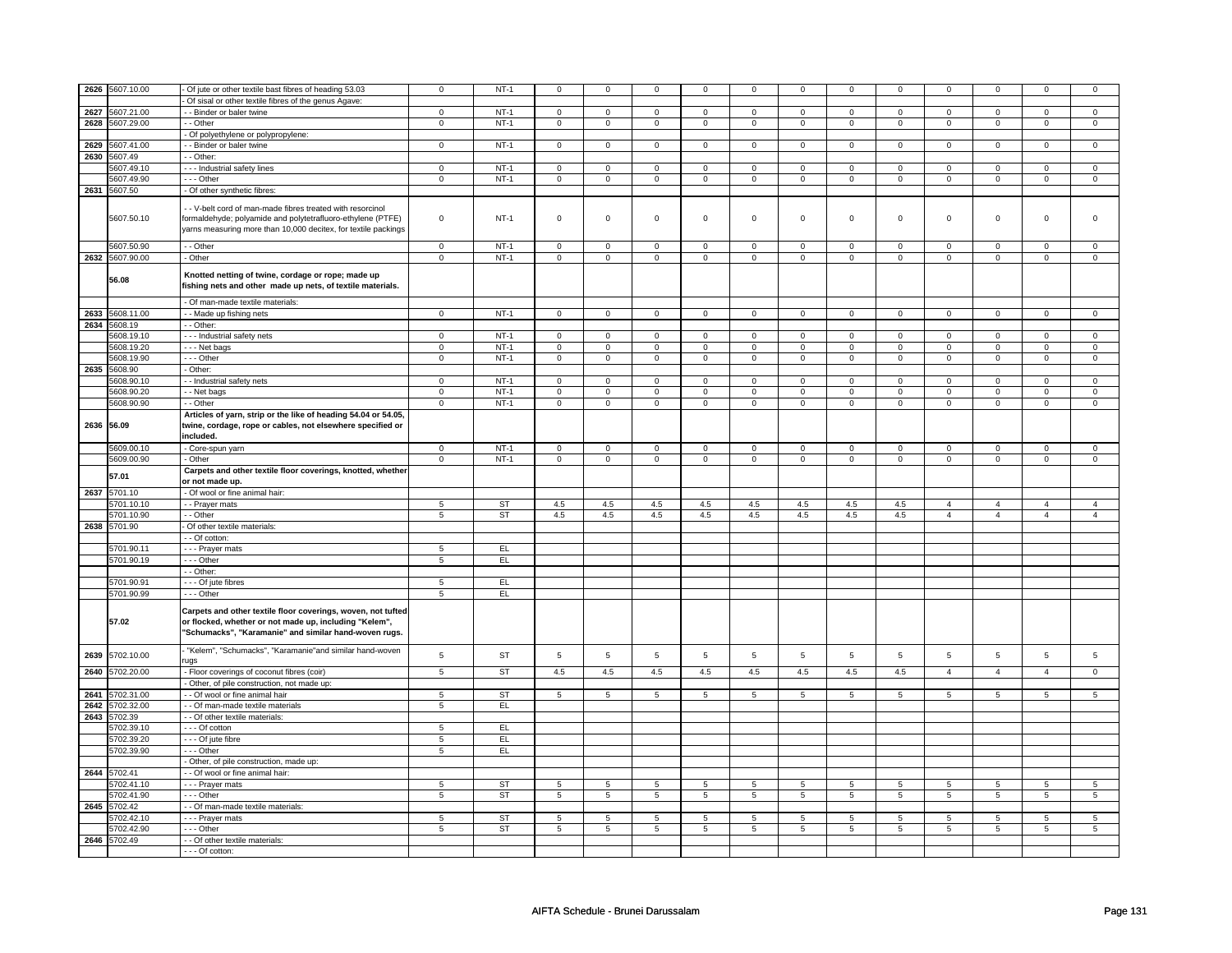|      | 2626 5607.10.00 | Of jute or other textile bast fibres of heading 53.03                                                                                                                           | 0              | $NT-1$    | $\mathbf 0$         | $\mathbf 0$    | $\mathbf 0$  | 0              | $\mathbf 0$    | 0               | 0            | 0              | 0              | 0              |                | 0               |
|------|-----------------|---------------------------------------------------------------------------------------------------------------------------------------------------------------------------------|----------------|-----------|---------------------|----------------|--------------|----------------|----------------|-----------------|--------------|----------------|----------------|----------------|----------------|-----------------|
|      |                 | Of sisal or other textile fibres of the genus Agave:                                                                                                                            |                |           |                     |                |              |                |                |                 |              |                |                |                |                |                 |
|      | 2627 5607.21.00 | - Binder or baler twine                                                                                                                                                         | $\overline{0}$ | $NT-1$    | $\overline{0}$      | $\overline{0}$ | $\mathbf 0$  | $\overline{0}$ | $\overline{0}$ | $\overline{0}$  | $\mathbf 0$  | $\overline{0}$ | $\mathsf 0$    | $\overline{0}$ | $\mathbf 0$    | $\overline{0}$  |
|      | 2628 5607.29.00 |                                                                                                                                                                                 |                | $NT-1$    |                     | $\overline{0}$ |              | $\overline{0}$ |                | $\overline{0}$  |              |                |                | $\overline{0}$ | $\mathbf 0$    | $\mathbf 0$     |
|      |                 | - Other                                                                                                                                                                         | $\mathsf 0$    |           | $\mathsf 0$         |                | $\mathsf 0$  |                | $\mathsf 0$    |                 | $\mathbf 0$  | $\mathbf 0$    | $\mathbf 0$    |                |                |                 |
|      |                 | - Of polyethylene or polypropylene:                                                                                                                                             |                |           |                     |                |              |                |                |                 |              |                |                |                |                |                 |
|      | 2629 5607.41.00 | - Binder or baler twine                                                                                                                                                         | $\mathsf 0$    | $NT-1$    | $\mathsf{O}\xspace$ | $\mathsf 0$    | $\mathsf 0$  | $\mathbf 0$    | $\mathsf 0$    | $\mathbf 0$     | $\mathbf{0}$ | $\mathbf 0$    | $\mathsf 0$    | $\mathbf 0$    | $\mathbf{0}$   | $\mathbf{0}$    |
|      | 2630 5607.49    | - Other:                                                                                                                                                                        |                |           |                     |                |              |                |                |                 |              |                |                |                |                |                 |
|      | 5607.49.10      | --- Industrial safety lines                                                                                                                                                     | $\mathsf 0$    | $NT-1$    | $\mathsf{O}\xspace$ | $\mathsf 0$    | $\mathsf 0$  | $\mathbf 0$    | $\mathsf 0$    | $\mathbf 0$     | 0            | $\mathbf 0$    | $\mathsf 0$    | $\mathbf 0$    | $\Omega$       | $\mathsf 0$     |
|      | 5607.49.90      | $\cdots$ Other                                                                                                                                                                  | $\overline{0}$ | $NT-1$    | $\mathsf{O}\xspace$ | $\overline{0}$ | $\mathsf 0$  | $\mathbf 0$    | $\mathsf 0$    | $\overline{0}$  | 0            | $\mathbf 0$    | $\mathsf 0$    | $\overline{0}$ | 0              | $\overline{0}$  |
|      | 2631 5607.50    | - Of other synthetic fibres:                                                                                                                                                    |                |           |                     |                |              |                |                |                 |              |                |                |                |                |                 |
|      |                 |                                                                                                                                                                                 |                |           |                     |                |              |                |                |                 |              |                |                |                |                |                 |
|      | 5607.50.10      | - - V-belt cord of man-made fibres treated with resorcinol                                                                                                                      | $\mathsf 0$    | $NT-1$    | $\mathsf{O}\xspace$ | $\mathsf 0$    | $\mathbf 0$  | $\mathbf 0$    | $\mathbf 0$    | $\mathbf 0$     | $\mathbf 0$  | $\mathbf 0$    | $\mathbf 0$    | $\mathbf 0$    | $\mathbf{0}$   | $\mathbf{0}$    |
|      |                 | formaldehyde; polyamide and polytetrafluoro-ethylene (PTFE)<br>yarns measuring more than 10,000 decitex, for textile packings                                                   |                |           |                     |                |              |                |                |                 |              |                |                |                |                |                 |
|      |                 |                                                                                                                                                                                 |                |           |                     |                |              |                |                |                 |              |                |                |                |                |                 |
|      | 5607.50.90      | - Other                                                                                                                                                                         | $\mathbf 0$    | $NT-1$    | $\mathbf 0$         | $\mathbf 0$    | $\mathbf 0$  | $\mathbf 0$    | $\mathbf 0$    | $\mathbf 0$     | $\mathbf 0$  | $\mathbf 0$    | $\mathbf 0$    | $\mathbf 0$    | $\mathbf 0$    | $\mathbf 0$     |
|      | 2632 5607.90.00 | - Other                                                                                                                                                                         | $\mathsf 0$    | $NT-1$    | $\mathbf 0$         | $\mathsf 0$    | $\mathbf 0$  | $\mathbf 0$    | $\mathbf 0$    | $\mathbf 0$     | $\mathbf 0$  | $\mathbf 0$    | $\mathbf 0$    | $\mathbf 0$    | $\mathbf 0$    | $\mathbf 0$     |
|      |                 |                                                                                                                                                                                 |                |           |                     |                |              |                |                |                 |              |                |                |                |                |                 |
|      | 56.08           | Knotted netting of twine, cordage or rope; made up                                                                                                                              |                |           |                     |                |              |                |                |                 |              |                |                |                |                |                 |
|      |                 | fishing nets and other made up nets, of textile materials.                                                                                                                      |                |           |                     |                |              |                |                |                 |              |                |                |                |                |                 |
|      |                 |                                                                                                                                                                                 |                |           |                     |                |              |                |                |                 |              |                |                |                |                |                 |
|      |                 | - Of man-made textile materials:                                                                                                                                                |                |           |                     |                |              |                |                |                 |              |                |                |                |                |                 |
|      | 2633 5608.11.00 | - Made up fishing nets                                                                                                                                                          | $\mathbf 0$    | $NT-1$    | $\mathsf 0$         | $\mathbf 0$    | $\mathbf 0$  | $\mathbf 0$    | $\mathbf 0$    | $\mathbf 0$     | $\mathbf 0$  | $\mathbf 0$    | $\mathsf 0$    | $\mathbf 0$    | $\mathbf 0$    | $\mathbf 0$     |
|      | 2634 5608.19    | - - Other:                                                                                                                                                                      |                |           |                     |                |              |                |                |                 |              |                |                |                |                |                 |
|      | 5608.19.10      | --- Industrial safety nets                                                                                                                                                      | $\mathbf 0$    | $NT-1$    | $\mathbf 0$         | $\overline{0}$ | $\mathbf{0}$ | $\mathbf{0}$   | $\mathbf{0}$   | $\mathbf{0}$    | 0            | $\mathbf{0}$   | 0              | $\mathbf 0$    | $\Omega$       | $\overline{0}$  |
|      | 5608.19.20      | --- Net bags                                                                                                                                                                    | $\mathbf 0$    | $NT-1$    | 0                   | $\mathbf 0$    | $\mathbf 0$  | $\mathbf 0$    | 0              | $\mathbf 0$     | 0            | $\mathbf 0$    | 0              | $\mathbf 0$    | 0              | 0               |
|      | 5608.19.90      | --- Other                                                                                                                                                                       | $\mathsf 0$    | $NT-1$    | $\mathsf{O}\xspace$ | $\mathsf 0$    | $\mathsf 0$  | $\mathbf 0$    | $\mathsf 0$    | $\mathbf 0$     | $\mathbf{0}$ | $\mathbf 0$    | $\mathsf 0$    | $\mathbf 0$    | $\mathbf{0}$   | $\mathbf 0$     |
|      | 2635 5608.90    | Other:                                                                                                                                                                          |                |           |                     |                |              |                |                |                 |              |                |                |                |                |                 |
|      | 5608.90.10      | - Industrial safety nets                                                                                                                                                        | $\overline{0}$ | $NT-1$    | $\mathsf{O}\xspace$ | $\mathsf 0$    | $\mathbf 0$  | $\mathbf 0$    | $\mathsf 0$    | $\mathbf 0$     | $\mathbf 0$  | $\mathbf 0$    | $\mathsf 0$    | $\mathbf 0$    | 0              | 0               |
|      | 5608.90.20      | - Net bags                                                                                                                                                                      | $\overline{0}$ | $NT-1$    | $\mathsf 0$         | $\overline{0}$ | $\mathbf 0$  | $\mathsf 0$    | $\mathbf 0$    | $\overline{0}$  | $\mathbf 0$  | $\mathbf 0$    | $\mathsf 0$    | $\overline{0}$ | $\mathbf 0$    | $\overline{0}$  |
|      | 5608.90.90      | - - Other                                                                                                                                                                       | $\overline{0}$ | $NT-1$    | $\overline{0}$      | $\overline{0}$ | $\mathsf 0$  | $\overline{0}$ | $\overline{0}$ | $\overline{0}$  | $\mathbf 0$  | $\overline{0}$ | $\overline{0}$ | $\overline{0}$ | $\mathsf 0$    | $\overline{0}$  |
|      |                 | Articles of yarn, strip or the like of heading 54.04 or 54.05,                                                                                                                  |                |           |                     |                |              |                |                |                 |              |                |                |                |                |                 |
|      | 2636 56.09      | twine, cordage, rope or cables, not elsewhere specified or<br>included.                                                                                                         |                |           |                     |                |              |                |                |                 |              |                |                |                |                |                 |
|      |                 |                                                                                                                                                                                 |                | $NT-1$    |                     |                |              |                |                |                 |              |                |                |                |                |                 |
|      | 5609.00.10      | - Core-spun yarn                                                                                                                                                                | $\overline{0}$ |           | $\mathsf{o}\,$      | $\mathbf 0$    | $\mathsf{o}$ | $\mathbf 0$    | $\mathsf 0$    | $\mathbf 0$     | 0            | $\mathbf 0$    | 0              | $\mathbf 0$    | 0              | 0               |
|      | 5609.00.90      | Other                                                                                                                                                                           | $\mathbf 0$    | $NT-1$    | $\mathbf 0$         | $\mathbf 0$    | $\mathbf 0$  | $\mathbf 0$    | $\mathbf 0$    | $\mathbf 0$     | $\mathbf 0$  | $\mathbf 0$    | $\mathbf 0$    | $\mathbf 0$    | $\mathbf 0$    | $\mathbf 0$     |
|      | 57.01           | Carpets and other textile floor coverings, knotted, whether                                                                                                                     |                |           |                     |                |              |                |                |                 |              |                |                |                |                |                 |
|      |                 | or not made up.                                                                                                                                                                 |                |           |                     |                |              |                |                |                 |              |                |                |                |                |                 |
|      | 2637 5701.10    | - Of wool or fine animal hair:                                                                                                                                                  |                |           |                     |                |              |                |                |                 |              |                |                |                |                |                 |
|      | 5701.10.10      | - - Prayer mats                                                                                                                                                                 | 5              | <b>ST</b> | 4.5                 | 4.5            | 4.5          | 4.5            | 4.5            | 4.5             | 4.5          | 4.5            | $\overline{4}$ | $\overline{4}$ | $\overline{4}$ | $\overline{4}$  |
|      | 5701.10.90      | - - Other                                                                                                                                                                       | $\overline{5}$ | ST        | 4.5                 | 4.5            | 4.5          | 4.5            | 4.5            | 4.5             | 4.5          | 4.5            | $\overline{4}$ | $\overline{4}$ | $\overline{4}$ | $\overline{4}$  |
|      | 2638 5701.90    | Of other textile materials:                                                                                                                                                     |                |           |                     |                |              |                |                |                 |              |                |                |                |                |                 |
|      |                 | - Of cotton:                                                                                                                                                                    |                |           |                     |                |              |                |                |                 |              |                |                |                |                |                 |
|      | 5701.90.11      | - - - Prayer mats                                                                                                                                                               | 5              | EL        |                     |                |              |                |                |                 |              |                |                |                |                |                 |
|      | 5701.90.19      | --- Other                                                                                                                                                                       | 5              | EL.       |                     |                |              |                |                |                 |              |                |                |                |                |                 |
|      |                 | - - Other:                                                                                                                                                                      |                |           |                     |                |              |                |                |                 |              |                |                |                |                |                 |
|      | 5701.90.91      | --- Of jute fibres                                                                                                                                                              | 5              | E         |                     |                |              |                |                |                 |              |                |                |                |                |                 |
|      | 5701.90.99      | --- Other                                                                                                                                                                       | $\,$ 5 $\,$    | EL        |                     |                |              |                |                |                 |              |                |                |                |                |                 |
|      |                 |                                                                                                                                                                                 |                |           |                     |                |              |                |                |                 |              |                |                |                |                |                 |
|      | 57.02           | Carpets and other textile floor coverings, woven, not tufted<br>or flocked, whether or not made up, including "Kelem",<br>"Schumacks", "Karamanie" and similar hand-woven rugs. |                |           |                     |                |              |                |                |                 |              |                |                |                |                |                 |
| 2639 | 5702.10.00      | "Kelem", "Schumacks", "Karamanie"and similar hand-woven<br>uas                                                                                                                  | $\,$ 5 $\,$    | <b>ST</b> | $\mathbf 5$         | $\,$ 5 $\,$    | 5            | 5              | 5              | $\sqrt{5}$      | 5            | $\overline{5}$ | 5              | $\overline{5}$ | 5              | $5\phantom{.0}$ |
|      | 2640 5702.20.00 | - Floor coverings of coconut fibres (coir)                                                                                                                                      | 5              | ST        | 4.5                 | 4.5            | 4.5          | 4.5            | 4.5            | 4.5             | 4.5          | 4.5            | $\overline{4}$ | $\overline{4}$ | $\overline{4}$ | $\mathbf 0$     |
|      |                 | Other, of pile construction, not made up:                                                                                                                                       |                |           |                     |                |              |                |                |                 |              |                |                |                |                |                 |
|      | 2641 5702.31.00 | - Of wool or fine animal hair                                                                                                                                                   | $\,$ 5 $\,$    | ST        | 5                   | 5              | 5            | 5              | 5              | $5\phantom{.0}$ | 5            | $\sqrt{5}$     | 5              | $\sqrt{5}$     | 5              | $5\phantom{.0}$ |
|      | 2642 5702.32.00 | - - Of man-made textile materials                                                                                                                                               | 5              | EL.       |                     |                |              |                |                |                 |              |                |                |                |                |                 |
| 2643 | 5702.39         | - Of other textile materials:                                                                                                                                                   |                |           |                     |                |              |                |                |                 |              |                |                |                |                |                 |
|      | 5702.39.10      | $- -$ Of cotton                                                                                                                                                                 | $\overline{5}$ | EL        |                     |                |              |                |                |                 |              |                |                |                |                |                 |
|      | 5702.39.20      | - - - Of jute fibre                                                                                                                                                             | 5              | E         |                     |                |              |                |                |                 |              |                |                |                |                |                 |
|      | 5702.39.90      | Other                                                                                                                                                                           | 5              | EL        |                     |                |              |                |                |                 |              |                |                |                |                |                 |
|      |                 |                                                                                                                                                                                 |                |           |                     |                |              |                |                |                 |              |                |                |                |                |                 |
|      |                 | Other, of pile construction, made up:                                                                                                                                           |                |           |                     |                |              |                |                |                 |              |                |                |                |                |                 |
|      | 2644 5702.41    | - - Of wool or fine animal hair:                                                                                                                                                |                |           |                     |                |              |                |                |                 |              |                |                |                |                |                 |
|      | 5702.41.10      | - - - Prayer mats                                                                                                                                                               | 5              | ST        | 5                   | 5              | 5            | 5              | 5              | 5               | 5            | 5              | 5              | 5              | 5              | 5               |
|      | 5702.41.90      | $- -$ Other                                                                                                                                                                     | 5              | <b>ST</b> | 5                   | 5              | 5            | 5              | 5              | 5               | 5            | 5              | 5              | 5              | 5              | 5               |
|      | 2645 5702.42    | - Of man-made textile materials:                                                                                                                                                |                |           |                     |                |              |                |                |                 |              |                |                |                |                |                 |
|      | 5702.42.10      | --- Prayer mats                                                                                                                                                                 | 5              | <b>ST</b> | 5                   | 5              | 5            | 5              | 5              | 5               | 5            | 5              | 5              | 5              | 5              | 5               |
|      | 5702.42.90      | $- -$ Other                                                                                                                                                                     | $\overline{5}$ | ST        | 5                   | $\overline{5}$ | 5            | $\overline{5}$ | 5              | $\overline{5}$  | 5            | $\overline{5}$ | $\sqrt{5}$     | $\overline{5}$ | 5              | $\overline{5}$  |
|      |                 |                                                                                                                                                                                 |                |           |                     |                |              |                |                |                 |              |                |                |                |                |                 |
|      | 2646 5702.49    | - - Of other textile materials:                                                                                                                                                 |                |           |                     |                |              |                |                |                 |              |                |                |                |                |                 |
|      |                 | --- Of cotton:                                                                                                                                                                  |                |           |                     |                |              |                |                |                 |              |                |                |                |                |                 |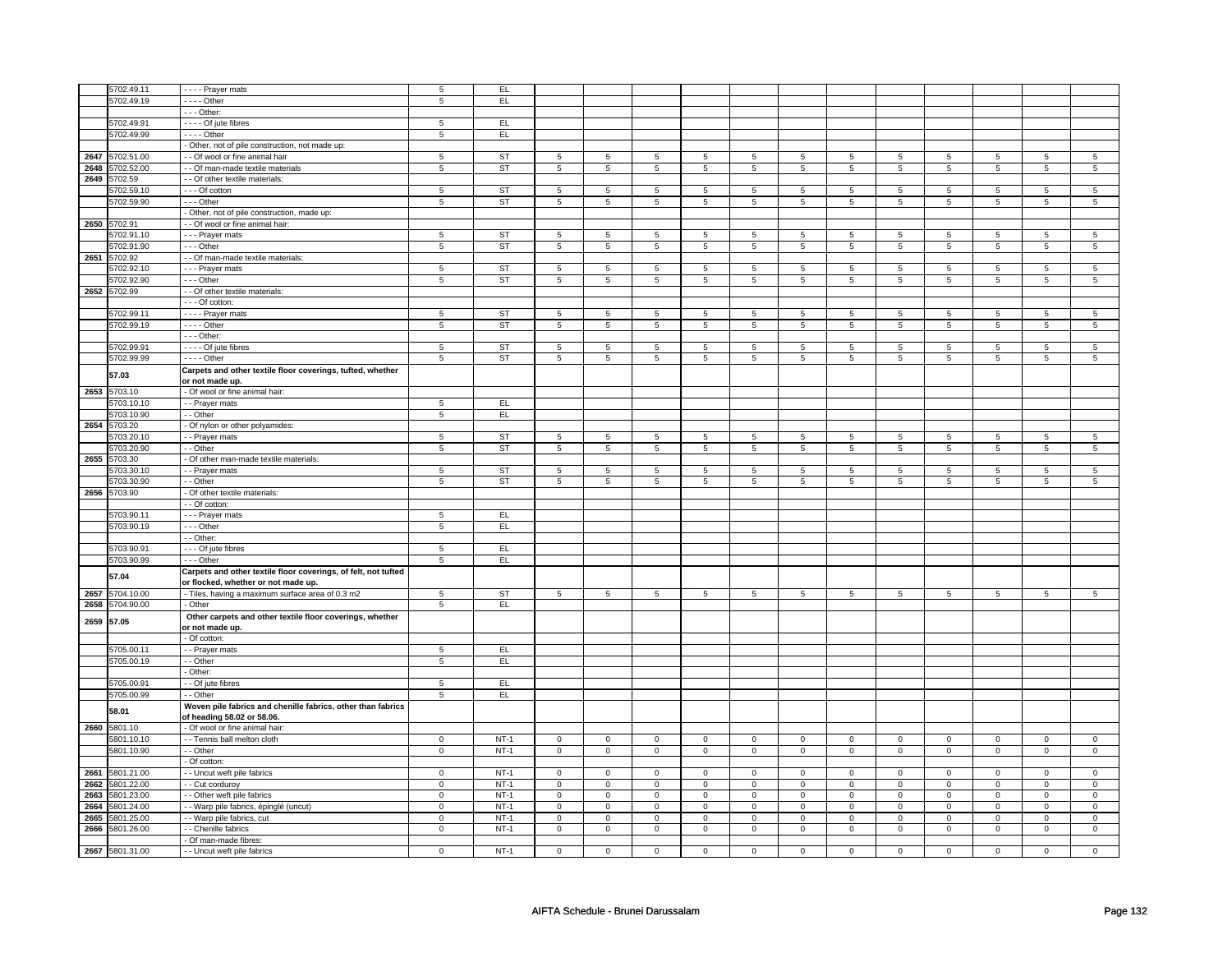|            | 5702.49.11      | Prayer mats                                                    | 5              | EL.       |                |                |                |                |                |                |                |                |                |                |                |                |
|------------|-----------------|----------------------------------------------------------------|----------------|-----------|----------------|----------------|----------------|----------------|----------------|----------------|----------------|----------------|----------------|----------------|----------------|----------------|
|            | 5702.49.19      | - - - - Other                                                  |                | EL        |                |                |                |                |                |                |                |                |                |                |                |                |
|            |                 | - - - Other:                                                   | $\sqrt{5}$     |           |                |                |                |                |                |                |                |                |                |                |                |                |
|            |                 |                                                                |                |           |                |                |                |                |                |                |                |                |                |                |                |                |
|            | 5702.49.91      | - - - - Of jute fibres                                         | 5              | EL        |                |                |                |                |                |                |                |                |                |                |                |                |
|            | 5702.49.99      | $- - -$ Other                                                  | $\overline{5}$ | EL        |                |                |                |                |                |                |                |                |                |                |                |                |
|            |                 | - Other, not of pile construction, not made up:                |                |           |                |                |                |                |                |                |                |                |                |                |                |                |
|            | 2647 5702.51.00 | - - Of wool or fine animal hair                                | 5              | ST        | 5              | 5              | 5              | 5              | 5              | 5              | 5              | 5              | 5              | 5              | 5              | 5              |
|            | 2648 5702.52.00 | - Of man-made textile materials                                | $\overline{5}$ | <b>ST</b> | $\overline{5}$ | $\overline{5}$ | $\overline{5}$ | $\sqrt{5}$     | $\overline{5}$ | $\overline{5}$ | $\overline{5}$ | $\sqrt{5}$     | $\overline{5}$ | $\overline{5}$ | $\overline{5}$ | $\sqrt{5}$     |
|            | 2649 5702.59    | - - Of other textile materials:                                |                |           |                |                |                |                |                |                |                |                |                |                |                |                |
|            | 5702.59.10      | --- Of cotton                                                  | 5              | ST        | 5              | 5              | 5              | 5              | 5              | 5              | 5              | 5              | 5              | 5              | 5              | 5              |
|            | 5702.59.90      | - - - Other                                                    | 5              | ST        | 5              | 5              | 5              | 5              | 5              | 5              | 5              | 5              | 5              | 5              | 5              | 5              |
|            |                 | - Other, not of pile construction, made up:                    |                |           |                |                |                |                |                |                |                |                |                |                |                |                |
|            | 2650 5702.91    | - Of wool or fine animal hair:                                 |                |           |                |                |                |                |                |                |                |                |                |                |                |                |
|            | 5702.91.10      | --- Prayer mats                                                | 5              | ST        | 5              | 5              | 5              | 5              | 5              | 5              | 5              | 5              | 5              | 5              | 5              | 5              |
|            | 5702.91.90      | - - - Other                                                    | $\,$ 5 $\,$    | <b>ST</b> | $\overline{5}$ | $\,$ 5 $\,$    | 5              | $\,$ 5 $\,$    | $\overline{5}$ | $\,$ 5 $\,$    | 5              | $\,$ 5 $\,$    | $\,$ 5 $\,$    | $\overline{5}$ | 5              | $\overline{5}$ |
|            | 2651 5702.92    | - - Of man-made textile materials:                             |                |           |                |                |                |                |                |                |                |                |                |                |                |                |
|            | 5702.92.10      | - - - Prayer mats                                              | $\overline{5}$ | <b>ST</b> | $\overline{5}$ | $\overline{5}$ | $\overline{5}$ | $\overline{5}$ | $\overline{5}$ | $\overline{5}$ | $\overline{5}$ | $\overline{5}$ | $\overline{5}$ | $\overline{5}$ | 5              | $\overline{5}$ |
|            | 702.92.90       | $- -$ Other                                                    | $\overline{5}$ | <b>ST</b> | $\overline{5}$ | $\overline{5}$ | $\overline{5}$ | $\overline{5}$ | $\overline{5}$ | $\overline{5}$ | $\overline{5}$ | $\overline{5}$ | $\overline{5}$ | $\overline{5}$ | $\overline{5}$ | $\overline{5}$ |
|            | 2652 5702.99    | - - Of other textile materials:                                |                |           |                |                |                |                |                |                |                |                |                |                |                |                |
|            |                 | - - Of cotton:                                                 |                |           |                |                |                |                |                |                |                |                |                |                |                |                |
|            | 5702.99.1       | - - - - Prayer mats                                            | $\overline{5}$ | <b>ST</b> | $\overline{5}$ | $\overline{5}$ | 5              | $\overline{5}$ | 5              | $\overline{5}$ | 5              | $\overline{5}$ | 5              | $\sqrt{5}$     | 5              | 5              |
|            | 5702.99.19      | $---$ Other                                                    | 5              | ST        | 5              | 5              | 5              | 5 <sup>5</sup> | 5              | 5              | 5              | 5 <sup>5</sup> | 5              | 5 <sup>5</sup> | 5              | 5 <sup>5</sup> |
|            |                 | - - - Other:                                                   |                |           |                |                |                |                |                |                |                |                |                |                |                |                |
|            | 5702.99.91      | - - - - Of jute fibres                                         | 5              | ST        | 5              | 5              | 5              | 5              | 5              | 5              | 5              | 5              | 5              | 5              | 5              | 5              |
|            | 5702.99.99      | - - - - Other                                                  | $\overline{5}$ | ST        | 5              | $\overline{5}$ | 5              | $\overline{5}$ | 5              | $\overline{5}$ | 5              | $\overline{5}$ | 5              | $\overline{5}$ | 5              | $\overline{5}$ |
|            |                 | Carpets and other textile floor coverings, tufted, whether     |                |           |                |                |                |                |                |                |                |                |                |                |                |                |
|            | 57.03           | or not made up.                                                |                |           |                |                |                |                |                |                |                |                |                |                |                |                |
|            | 2653 5703.10    | - Of wool or fine animal hair:                                 |                |           |                |                |                |                |                |                |                |                |                |                |                |                |
|            | 5703.10.10      | - - Prayer mats                                                | 5              | EL        |                |                |                |                |                |                |                |                |                |                |                |                |
|            | 5703.10.90      | - Other                                                        | $\overline{5}$ | EL        |                |                |                |                |                |                |                |                |                |                |                |                |
|            | 2654 5703.20    | Of nylon or other polyamides:                                  |                |           |                |                |                |                |                |                |                |                |                |                |                |                |
|            | 5703.20.10      | - - Prayer mats                                                | 5              | ST        | 5              | 5              | 5              | 5              | 5              | 5              | 5              | 5              | 5              | 5              | 5              | 5              |
|            | 5703.20.90      | - Other                                                        | $\overline{5}$ | ST        | $\overline{5}$ | $\overline{5}$ | $\overline{5}$ | $\overline{5}$ | $\overline{5}$ | $\overline{5}$ | $\overline{5}$ | $\overline{5}$ | $\overline{5}$ | $\overline{5}$ | $\overline{5}$ | $\overline{5}$ |
|            | 2655 5703.30    | Of other man-made textile materials:                           |                |           |                |                |                |                |                |                |                |                |                |                |                |                |
|            | 5703.30.1       | - - Prayer mats                                                | 5              | <b>ST</b> | 5              | 5              | 5              | 5              | 5              | 5              | 5              | 5              | 5              | 5              | 5              | 5              |
|            | 703.30.90       | - Other                                                        | 5              | <b>ST</b> | 5              | 5              | 5              | 5              | 5              | 5              | 5              | 5              | 5              | 5              | 5              | 5              |
|            | 2656 5703.90    | - Of other textile materials:                                  |                |           |                |                |                |                |                |                |                |                |                |                |                |                |
|            |                 | - Of cotton:                                                   |                |           |                |                |                |                |                |                |                |                |                |                |                |                |
|            | 5703.90.11      | - - - Prayer mats                                              | 5              | EL.       |                |                |                |                |                |                |                |                |                |                |                |                |
|            | 5703.90.19      | - - - Other                                                    | $\,$ 5 $\,$    | EL        |                |                |                |                |                |                |                |                |                |                |                |                |
|            |                 | - - Other:                                                     |                |           |                |                |                |                |                |                |                |                |                |                |                |                |
|            | 5703.90.9       |                                                                | 5              | EL.       |                |                |                |                |                |                |                |                |                |                |                |                |
|            |                 | - - - Of jute fibres                                           |                | EL        |                |                |                |                |                |                |                |                |                |                |                |                |
|            | 5703.90.99      | - - - Other                                                    | 5              |           |                |                |                |                |                |                |                |                |                |                |                |                |
|            | 57.04           | Carpets and other textile floor coverings, of felt, not tufted |                |           |                |                |                |                |                |                |                |                |                |                |                |                |
|            |                 | or flocked, whether or not made up.                            |                |           |                |                |                |                |                |                |                |                |                |                |                |                |
|            | 2657 5704.10.00 | - Tiles, having a maximum surface area of 0.3 m2               | $\,$ 5 $\,$    | <b>ST</b> | $\mathbf 5$    | $\overline{5}$ | $\mathbf 5$    | $\overline{5}$ | $\mathbf 5$    | $\overline{5}$ | $\mathbf 5$    | $\overline{5}$ | $\,$ 5 $\,$    | $\overline{5}$ | $\,$ 5 $\,$    | $\overline{5}$ |
|            | 2658 5704.90.00 | - Other                                                        | $\overline{5}$ | EL        |                |                |                |                |                |                |                |                |                |                |                |                |
| 2659 57.05 |                 | Other carpets and other textile floor coverings, whether       |                |           |                |                |                |                |                |                |                |                |                |                |                |                |
|            |                 | or not made up.                                                |                |           |                |                |                |                |                |                |                |                |                |                |                |                |
|            |                 | - Of cotton:                                                   |                |           |                |                |                |                |                |                |                |                |                |                |                |                |
|            | 5705.00.11      | - - Prayer mats                                                | 5              | EL        |                |                |                |                |                |                |                |                |                |                |                |                |
|            | 5705.00.19      | - Other                                                        | 5              | EL        |                |                |                |                |                |                |                |                |                |                |                |                |
|            |                 | Other:                                                         |                |           |                |                |                |                |                |                |                |                |                |                |                |                |
|            | 5705.00.91      | - Of jute fibres                                               | 5              | EL        |                |                |                |                |                |                |                |                |                |                |                |                |
|            | 5705.00.99      | - Other                                                        | 5              | EL.       |                |                |                |                |                |                |                |                |                |                |                |                |
|            | 58.01           | Woven pile fabrics and chenille fabrics, other than fabrics    |                |           |                |                |                |                |                |                |                |                |                |                |                |                |
|            |                 | of heading 58.02 or 58.06.                                     |                |           |                |                |                |                |                |                |                |                |                |                |                |                |
|            | 2660 5801.10    | - Of wool or fine animal hair                                  |                |           |                |                |                |                |                |                |                |                |                |                |                |                |
|            | 5801.10.10      | - - Tennis ball melton cloth                                   | $\overline{0}$ | $NT-1$    | $\overline{0}$ | $\overline{0}$ | 0              | $\overline{0}$ | $\overline{0}$ | $\overline{0}$ | 0              | $\overline{0}$ | $\overline{0}$ | $\overline{0}$ | $\overline{0}$ | $\overline{0}$ |
|            | 5801.10.90      | - - Other                                                      | $\mathsf 0$    | $NT-1$    | $\mathbf 0$    | $\mathsf 0$    | $\mathbf 0$    | $\mathbf{0}$   | $\mathsf 0$    | $\mathbf 0$    | $\mathsf 0$    | $\mathbf{0}$   | $\mathsf 0$    | $\mathbf 0$    | $\mathsf 0$    | $\mathbf{0}$   |
|            |                 | Of cotton:                                                     |                |           |                |                |                |                |                |                |                |                |                |                |                |                |
|            | 2661 5801.21.00 | - Uncut weft pile fabrics                                      | $\overline{0}$ | $NT-1$    | $\overline{0}$ | $\overline{0}$ | $\overline{0}$ | $\overline{0}$ | $\overline{0}$ | $\overline{0}$ | $\overline{0}$ | $\overline{0}$ | $\overline{0}$ | $\overline{0}$ | $\overline{0}$ | $\overline{0}$ |
|            | 2662 5801.22.00 | - Cut corduroy                                                 | $\overline{0}$ | $NT-1$    | $\mathsf 0$    | $\overline{0}$ | $\mathsf 0$    | $\mathsf 0$    | $\mathsf 0$    | $\overline{0}$ | $\mathsf 0$    | $\mathsf 0$    | $\mathsf 0$    | $\overline{0}$ | $\mathsf 0$    | $\overline{0}$ |
|            | 2663 5801.23.00 | - Other weft pile fabrics                                      | $\mathbf 0$    | $NT-1$    | $\mathbf 0$    | $\mathbf 0$    | $\mathsf 0$    | $\mathbf 0$    | $\mathbf 0$    | $\mathbf 0$    | $\mathsf 0$    | $\mathbf 0$    | $\mathsf 0$    | $\mathbf 0$    | $\mathsf 0$    | $\mathbf 0$    |
|            | 2664 5801.24.00 | - Warp pile fabrics, épinglé (uncut)                           | $\mathsf 0$    | $NT-1$    | $\mathbf 0$    | $\mathbf 0$    | $\mathbf 0$    | $\mathbf 0$    | $\mathbf 0$    | $\mathbf 0$    | $\mathbf 0$    | $\mathbf 0$    | $\mathsf 0$    | $\mathsf 0$    | $\mathsf 0$    | $\mathbf 0$    |
|            | 2665 5801.25.00 | - - Warp pile fabrics, cut                                     | $\mathbf 0$    | $NT-1$    | $\mathbf 0$    | $\mathbf 0$    | $\mathbf 0$    | $\mathbf 0$    | $\mathbf 0$    | $\mathbf 0$    | $\mathbf 0$    | $\mathbf 0$    | $\mathsf 0$    | $\mathbf 0$    | $\mathbf 0$    | $\mathbf 0$    |
|            | 2666 5801.26.00 | - - Chenille fabrics                                           | $\mathbf 0$    | $NT-1$    | $\mathbf 0$    | $\mathbf 0$    | $\mathbf 0$    | $\mathbf 0$    | $\mathbf 0$    | $\mathbf 0$    | $\mathbf 0$    | $\mathbf 0$    | $\mathsf 0$    | $\mathbf 0$    | $\mathbf 0$    | $\mathbf 0$    |
|            |                 | - Of man-made fibres:                                          |                |           |                |                |                |                |                |                |                |                |                |                |                |                |
|            | 2667 5801.31.00 | - - Uncut weft pile fabrics                                    | $\overline{0}$ | $NT-1$    | $\overline{0}$ | $\overline{0}$ | $\mathbf 0$    | $\overline{0}$ | $\overline{0}$ | $\overline{0}$ | $\mathbf 0$    | $\overline{0}$ | $\overline{0}$ | $\overline{0}$ | $\mathbf 0$    | $\overline{0}$ |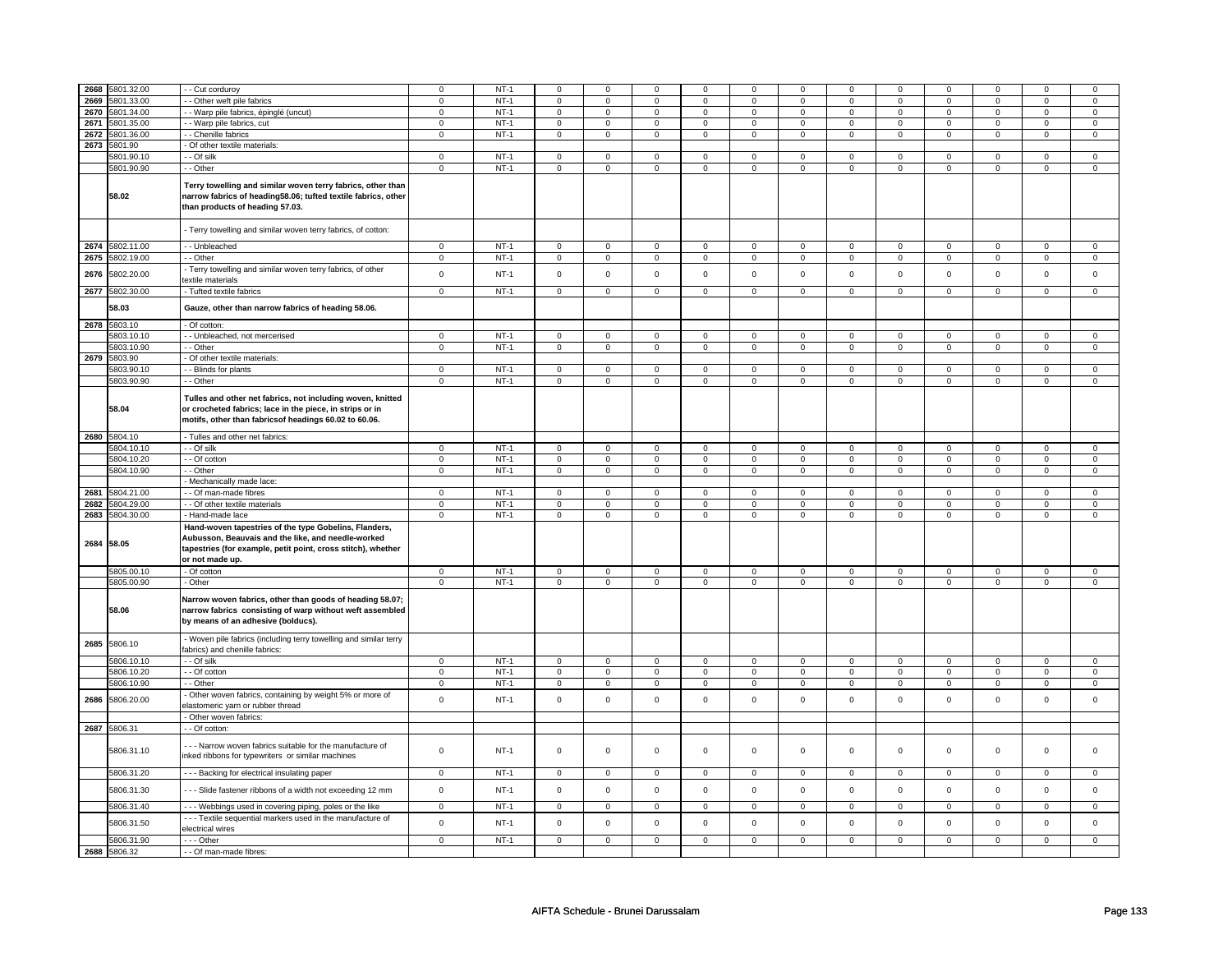| 2668 | 5801.32.00               | - Cut corduroy                                                                                                                                                                                                     | $\mathbf 0$    | $NT-1$ | $\mathsf 0$         | $\mathbf 0$    | $\Omega$            | $\mathbf 0$    | $\mathsf 0$         | $\mathsf 0$         | $\Omega$            | $\mathsf 0$         | 0              | $\mathbf 0$         | 0              | $\Omega$       |
|------|--------------------------|--------------------------------------------------------------------------------------------------------------------------------------------------------------------------------------------------------------------|----------------|--------|---------------------|----------------|---------------------|----------------|---------------------|---------------------|---------------------|---------------------|----------------|---------------------|----------------|----------------|
| 2669 | 5801.33.00               | - Other weft pile fabrics                                                                                                                                                                                          | $\mathsf 0$    | $NT-1$ | $\mathbf 0$         | $\mathbf 0$    | $\mathbf 0$         | $\mathbf 0$    | $\mathbf 0$         | $\mathbf 0$         | $\mathbf 0$         | $\mathbf{0}$        | $\mathbf{0}$   | $\mathbf 0$         | 0              | $\mathbf 0$    |
| 2670 | 5801.34.00               | - Warp pile fabrics, épinglé (uncut)                                                                                                                                                                               | $\mathbf 0$    | $NT-1$ | $\mathbf 0$         | $\mathbf 0$    | $\mathbf 0$         | $\mathbf 0$    | $\mathbf 0$         | $\mathbf 0$         | $\mathbf 0$         | $\mathbf 0$         | 0              | $\mathbf 0$         | 0              | 0              |
| 2671 | 5801.35.00               | - - Warp pile fabrics, cut                                                                                                                                                                                         | $\mathsf 0$    | $NT-1$ | $\mathsf 0$         | $\mathbf 0$    | $\mathbf 0$         | $\mathbf 0$    | $\mathsf 0$         | $\mathsf 0$         | 0                   | $\mathsf 0$         | $\mathsf 0$    | $\mathbf 0$         | 0              | 0              |
| 2672 | 5801.36.00               | - - Chenille fabrics                                                                                                                                                                                               | $\mathbf 0$    | $NT-1$ | $\mathsf 0$         | $\mathsf 0$    | $\mathsf{O}\xspace$ | $\mathsf 0$    | $\mathsf{O}\xspace$ | $\mathsf{O}\xspace$ | $\mathsf 0$         | $\mathsf{O}\xspace$ | $\mathsf 0$    | $\mathsf{O}\xspace$ | $\mathbf 0$    | $\mathbf{O}$   |
|      |                          |                                                                                                                                                                                                                    |                |        |                     |                |                     |                |                     |                     |                     |                     |                |                     |                |                |
| 2673 | 5801.90                  | - Of other textile materials:                                                                                                                                                                                      |                |        |                     |                |                     |                |                     |                     |                     |                     |                |                     |                |                |
|      | 5801.90.10               | - Of silk                                                                                                                                                                                                          | $\mathsf 0$    | $NT-1$ | $\mathbf 0$         | $\mathbf 0$    | $\mathbf 0$         | $\mathbf 0$    | $\mathbf 0$         | $\mathsf 0$         | 0                   | 0                   | 0              | $\mathbf 0$         | 0              | 0              |
|      | 5801.90.90               | - - Other                                                                                                                                                                                                          | $\mathbf 0$    | $NT-1$ | $\mathsf 0$         | $\mathsf 0$    | $\mathbf 0$         | $\mathsf 0$    | $\mathbf 0$         | $\mathbf 0$         | $\mathbf 0$         | $\mathbf 0$         | $\mathsf 0$    | $\mathbf 0$         | $\mathsf 0$    | $\mathbf 0$    |
|      | 58.02                    | Terry towelling and similar woven terry fabrics, other than<br>narrow fabrics of heading58.06; tufted textile fabrics, other<br>than products of heading 57.03.                                                    |                |        |                     |                |                     |                |                     |                     |                     |                     |                |                     |                |                |
|      |                          | - Terry towelling and similar woven terry fabrics, of cotton:                                                                                                                                                      |                |        |                     |                |                     |                |                     |                     |                     |                     |                |                     |                |                |
|      | 2674 5802.11.00          | - Unbleached                                                                                                                                                                                                       | $\mathsf 0$    | $NT-1$ | $\mathsf 0$         | $\mathsf 0$    | 0                   | $\mathsf 0$    | $\mathbf 0$         | $\mathsf 0$         | $\mathbf 0$         | $\mathbf{0}$        | $\mathbf 0$    | $\mathbf 0$         | 0              | $\mathbf 0$    |
| 2675 | 5802.19.00               | - - Other                                                                                                                                                                                                          | $\mathbf 0$    | $NT-1$ | 0                   | $\mathbf 0$    | $\mathbf 0$         | $\mathbf 0$    | $\mathbf 0$         | $\mathbf 0$         | 0                   | $\mathbf 0$         | 0              | $\mathbf 0$         | 0              | 0              |
| 2676 | 5802.20.00               | - Terry towelling and similar woven terry fabrics, of other<br>textile materials                                                                                                                                   | $\mathsf 0$    | $NT-1$ | $\mathsf 0$         | $\mathsf 0$    | $\mathsf{O}\xspace$ | $\mathsf 0$    | $\mathsf{O}\xspace$ | $\mathsf{O}$        | $\mathsf 0$         | $\mathbf 0$         | $\mathsf 0$    | $\mathbf 0$         | $\mathsf 0$    | $\mathbf 0$    |
| 2677 | 5802.30.00               | - Tufted textile fabrics                                                                                                                                                                                           | $\overline{0}$ | $NT-1$ | $\overline{0}$      | $\overline{0}$ | $\overline{0}$      | $\overline{0}$ | $\overline{0}$      | $\overline{0}$      | $\overline{0}$      | $\overline{0}$      | $\overline{0}$ | $\overline{0}$      | $\overline{0}$ | $\overline{0}$ |
|      | 58.03                    | Gauze, other than narrow fabrics of heading 58.06.                                                                                                                                                                 |                |        |                     |                |                     |                |                     |                     |                     |                     |                |                     |                |                |
|      | 2678 5803.10             | - Of cotton:                                                                                                                                                                                                       |                |        |                     |                |                     |                |                     |                     |                     |                     |                |                     |                |                |
|      | 5803.10.10               | - - Unbleached, not mercerised                                                                                                                                                                                     | $\mathsf 0$    | $NT-1$ | $\mathbf 0$         | $\mathbf 0$    | $\mathbf 0$         | $\mathsf 0$    | $\mathbf 0$         | $\mathbf 0$         | $\mathbf 0$         | $\mathbf 0$         | $\mathbf 0$    | $\mathbf 0$         | $\mathbf 0$    | $\mathbf 0$    |
|      | 5803.10.90               | - Other                                                                                                                                                                                                            | $\mathsf 0$    | $NT-1$ | $\mathbf 0$         | $\mathbf 0$    | $\mathsf 0$         | $\overline{0}$ | $\mathsf 0$         | $\overline{0}$      | $\mathbf 0$         | $\mathbf 0$         | $\mathsf 0$    | $\overline{0}$      | $\mathsf 0$    | $\overline{0}$ |
|      |                          |                                                                                                                                                                                                                    |                |        |                     |                |                     |                |                     |                     |                     |                     |                |                     |                |                |
| 2679 | 5803.90                  | Of other textile materials:                                                                                                                                                                                        |                |        |                     |                |                     |                |                     |                     |                     |                     |                |                     |                |                |
|      | 5803.90.10               | - - Blinds for plants                                                                                                                                                                                              | $\mathbf 0$    | $NT-1$ | $\mathsf 0$         | $\mathsf 0$    | $\mathsf{O}\xspace$ | $\mathbf 0$    | $\mathsf 0$         | $\mathsf 0$         | $\mathsf 0$         | $\mathsf 0$         | $\mathsf 0$    | $\mathsf 0$         | $\mathsf 0$    | $\mathbf 0$    |
|      | 5803.90.90               | - - Other                                                                                                                                                                                                          | $\mathbf 0$    | $NT-1$ | $\mathsf{O}\xspace$ | $\overline{0}$ | $\mathsf{O}\xspace$ | $\overline{0}$ | $\mathsf{O}\xspace$ | $\mathbf 0$         | $\mathsf 0$         | $\mathsf 0$         | $\mathsf 0$    | $\mathsf 0$         | $\mathsf 0$    | $\overline{0}$ |
|      | 58.04                    | Tulles and other net fabrics, not including woven, knitted<br>or crocheted fabrics; lace in the piece, in strips or in<br>motifs, other than fabricsof headings 60.02 to 60.06.                                    |                |        |                     |                |                     |                |                     |                     |                     |                     |                |                     |                |                |
|      | 2680 5804.10             | - Tulles and other net fabrics:                                                                                                                                                                                    |                |        |                     |                |                     |                |                     |                     |                     |                     |                |                     |                |                |
|      | 5804.10.10               | - - Of silk                                                                                                                                                                                                        | $\mathsf 0$    | NT-1   | $\mathsf 0$         | $\mathsf 0$    | $\mathsf{o}\,$      | $\mathsf 0$    | $\mathsf{o}\,$      | $\circ$             | $\mathsf{o}\,$      | $\circ$             | 0              | $\circ$             | 0              | $\mathsf 0$    |
|      |                          |                                                                                                                                                                                                                    |                |        |                     |                |                     |                |                     |                     |                     |                     |                |                     |                |                |
|      | 5804.10.20               | $-$ Of cotton                                                                                                                                                                                                      | $\mathsf 0$    | $NT-1$ | $\mathbf 0$         | $\mathbf 0$    | $\mathbf 0$         | $\mathbf 0$    | $\mathbf 0$         | $\mathbf 0$         | $\mathbf 0$         | $\mathbf 0$         | $\mathbf 0$    | $\mathbf 0$         | $\mathbf 0$    | $\mathbf 0$    |
|      | 5804.10.90               | - Other                                                                                                                                                                                                            | $\mathbf 0$    | $NT-1$ | $\mathsf 0$         | $\mathsf 0$    | $\mathsf 0$         | $\mathsf 0$    | $\mathsf 0$         | $\mathbf 0$         | $\mathsf 0$         | $\mathbf 0$         | $\mathbf 0$    | $\mathbf 0$         | $\mathsf 0$    | $\mathbf 0$    |
|      |                          | Mechanically made lace:                                                                                                                                                                                            |                |        |                     |                |                     |                |                     |                     |                     |                     |                |                     |                |                |
| 2681 | 5804.21.00               | - Of man-made fibres                                                                                                                                                                                               | $\mathsf 0$    | $NT-1$ | $\mathbf 0$         | $\mathbf 0$    | $\mathbf 0$         | $\mathbf 0$    | $\mathbf 0$         | $\mathbf{0}$        | $\mathbf 0$         | $\mathbf{0}$        | $\mathbf 0$    | $\mathbf{0}$        | $\mathbf 0$    | $\mathbf 0$    |
| 2682 | 5804.29.00               | - Of other textile materials                                                                                                                                                                                       | $\overline{0}$ | $NT-1$ | $\overline{0}$      | $\overline{0}$ | $\overline{0}$      | $\overline{0}$ | $\overline{0}$      | $\overline{0}$      | $\overline{0}$      | $\overline{0}$      | $\overline{0}$ | $\overline{0}$      | $\overline{0}$ | $\overline{0}$ |
| 2683 |                          |                                                                                                                                                                                                                    | $\mathsf 0$    | $NT-1$ | $\mathbf 0$         | $\overline{0}$ | $\mathbf 0$         | $\overline{0}$ | $\mathbf 0$         | $\mathbf 0$         | $\mathbf 0$         | $\overline{0}$      | $\mathbf 0$    | $\overline{0}$      | $\mathsf 0$    | $\overline{0}$ |
|      | 5804.30.00<br>2684 58.05 | - Hand-made lace<br>Hand-woven tapestries of the type Gobelins, Flanders,<br>Aubusson, Beauvais and the like, and needle-worked<br>tapestries (for example, petit point, cross stitch), whether<br>or not made up. |                |        |                     |                |                     |                |                     |                     |                     |                     |                |                     |                |                |
|      | 5805.00.10               | - Of cotton                                                                                                                                                                                                        | $\mathsf 0$    | $NT-1$ | $\mathbf 0$         | $\mathbf 0$    | $\mathbf 0$         | $\mathbf 0$    | $\mathsf 0$         | $\mathbf 0$         | $\mathbf 0$         | $\mathbf 0$         | $\mathbf 0$    | $\mathbf 0$         | $\mathbf 0$    | $\mathbf 0$    |
|      | 5805.00.90               | - Other                                                                                                                                                                                                            | $\mathsf 0$    | $NT-1$ | $\mathsf 0$         | $\mathsf 0$    | $\mathsf{O}\xspace$ | $\mathsf 0$    | $\mathsf{O}\xspace$ | $\mathsf 0$         | $\mathsf{O}\xspace$ | $\mathbf 0$         | $\mathbf 0$    | $\mathbf 0$         | $\mathsf 0$    | $\mathsf 0$    |
|      | 58.06                    | Narrow woven fabrics, other than goods of heading 58.07;<br>narrow fabrics consisting of warp without weft assembled<br>by means of an adhesive (bolducs).                                                         |                |        |                     |                |                     |                |                     |                     |                     |                     |                |                     |                |                |
| 2685 | 5806.10                  | - Woven pile fabrics (including terry towelling and similar terry<br>fabrics) and chenille fabrics:                                                                                                                |                |        |                     |                |                     |                |                     |                     |                     |                     |                |                     |                |                |
|      | 5806.10.10               | - Of silk                                                                                                                                                                                                          | 0              | $NT-1$ | $\mathbf 0$         | $\mathbf 0$    | $\mathbf 0$         | $\mathbf 0$    | $\mathbf 0$         | $\mathbf 0$         | 0                   | $\mathbf 0$         | 0              | $\mathbf 0$         | 0              | 0              |
|      | 5806.10.20               | - Of cotton                                                                                                                                                                                                        | $\mathsf 0$    | $NT-1$ | $\mathbf 0$         | $\mathbf 0$    | $\mathbf 0$         | $\mathbf 0$    | $\mathbf 0$         | $\mathsf 0$         | 0                   | 0                   | 0              | $\mathbf 0$         | $\mathbf 0$    | 0              |
|      | 5806.10.90               | - Other                                                                                                                                                                                                            | $\mathbf 0$    | $NT-1$ | $\mathsf 0$         | $\mathbf 0$    | 0                   | $\mathsf 0$    | 0                   | $\mathbf 0$         | 0                   | $\mathbf 0$         | 0              | $\mathbf 0$         | 0              | $\mathbf 0$    |
| 2686 | 5806.20.00               | Other woven fabrics, containing by weight 5% or more of<br>elastomeric yarn or rubber thread                                                                                                                       | $\mathsf 0$    | $NT-1$ | $\mathsf 0$         | $\mathbf 0$    | $\mathsf 0$         | $\mathbf 0$    | $\mathsf 0$         | $\mathbf 0$         | $\mathbf 0$         | $\mathsf 0$         | $\mathsf 0$    | $\mathbf 0$         | $\mathsf 0$    | $\mathbf 0$    |
|      |                          | - Other woven fabrics:                                                                                                                                                                                             |                |        |                     |                |                     |                |                     |                     |                     |                     |                |                     |                |                |
| 2687 | 5806.31                  | - - Of cotton:                                                                                                                                                                                                     |                |        |                     |                |                     |                |                     |                     |                     |                     |                |                     |                |                |
|      |                          |                                                                                                                                                                                                                    |                |        |                     |                |                     |                |                     |                     |                     |                     |                |                     |                |                |
|      | 5806.31.10               | - - Narrow woven fabrics suitable for the manufacture of<br>inked ribbons for typewriters or similar machines                                                                                                      | $\mathbf 0$    | $NT-1$ | $\mathsf 0$         | $\mathbf 0$    | $\mathsf 0$         | $\mathbf 0$    | $\mathsf 0$         | $\mathsf 0$         | $\mathbf 0$         | $\mathsf 0$         | $\mathsf 0$    | $\mathbf 0$         | $\mathbf 0$    | 0              |
|      | 5806.31.20               | --- Backing for electrical insulating paper                                                                                                                                                                        | $\overline{0}$ | NT-1   | $\mathbf 0$         | $\mathbf{0}$   | $\mathbf 0$         | $\mathbf{0}$   | $\mathbf 0$         | $\overline{0}$      | $\mathbf{0}$        | $\overline{0}$      | $\mathbf{0}$   | $\mathbf 0$         | 0              | $\mathbf{O}$   |
|      | 5806.31.30               | --- Slide fastener ribbons of a width not exceeding 12 mm                                                                                                                                                          | $\mathsf 0$    | $NT-1$ | $\mathsf 0$         | $\mathsf 0$    | $\mathsf 0$         | $\mathsf 0$    | $\mathsf 0$         | $\mathsf 0$         | $\mathbf 0$         | $\mathbf 0$         | $\mathsf 0$    | $\mathbf 0$         | $\mathbf 0$    | $\mathbf 0$    |
|      | 5806.31.40               | --- Webbings used in covering piping, poles or the like                                                                                                                                                            | $\mathbf 0$    | $NT-1$ | $\mathsf 0$         | $\mathsf 0$    | $\mathbf 0$         | $\mathbf 0$    | $\mathbf 0$         | $\mathbf 0$         | 0                   | 0                   | 0              | $\mathbf 0$         | 0              | $\mathbf 0$    |
|      | 5806.31.50               | --- Textile sequential markers used in the manufacture of<br>electrical wires                                                                                                                                      | $\mathbf 0$    | $NT-1$ | $\mathbf 0$         | $\mathsf 0$    | $\mathsf{O}\xspace$ | $\mathsf 0$    | $\mathsf{O}\xspace$ | $\mathsf 0$         | $\mathbf 0$         | $\mathsf 0$         | $\mathsf 0$    | $\mathbf 0$         | $\mathbf 0$    | $\mathbf 0$    |
|      | 5806.31.90               | $- -$ Other                                                                                                                                                                                                        | $\overline{0}$ | $NT-1$ | $\mathbf 0$         | $\mathbf 0$    | $\mathbf 0$         | $\overline{0}$ | $\mathbf 0$         | $\mathbf 0$         | $\mathbf 0$         | $\overline{0}$      | $\mathbf 0$    | $\mathbf 0$         | $\mathsf 0$    | $\overline{0}$ |
|      |                          |                                                                                                                                                                                                                    |                |        |                     |                |                     |                |                     |                     |                     |                     |                |                     |                |                |
| 2688 | 5806.32                  | - - Of man-made fibres:                                                                                                                                                                                            |                |        |                     |                |                     |                |                     |                     |                     |                     |                |                     |                |                |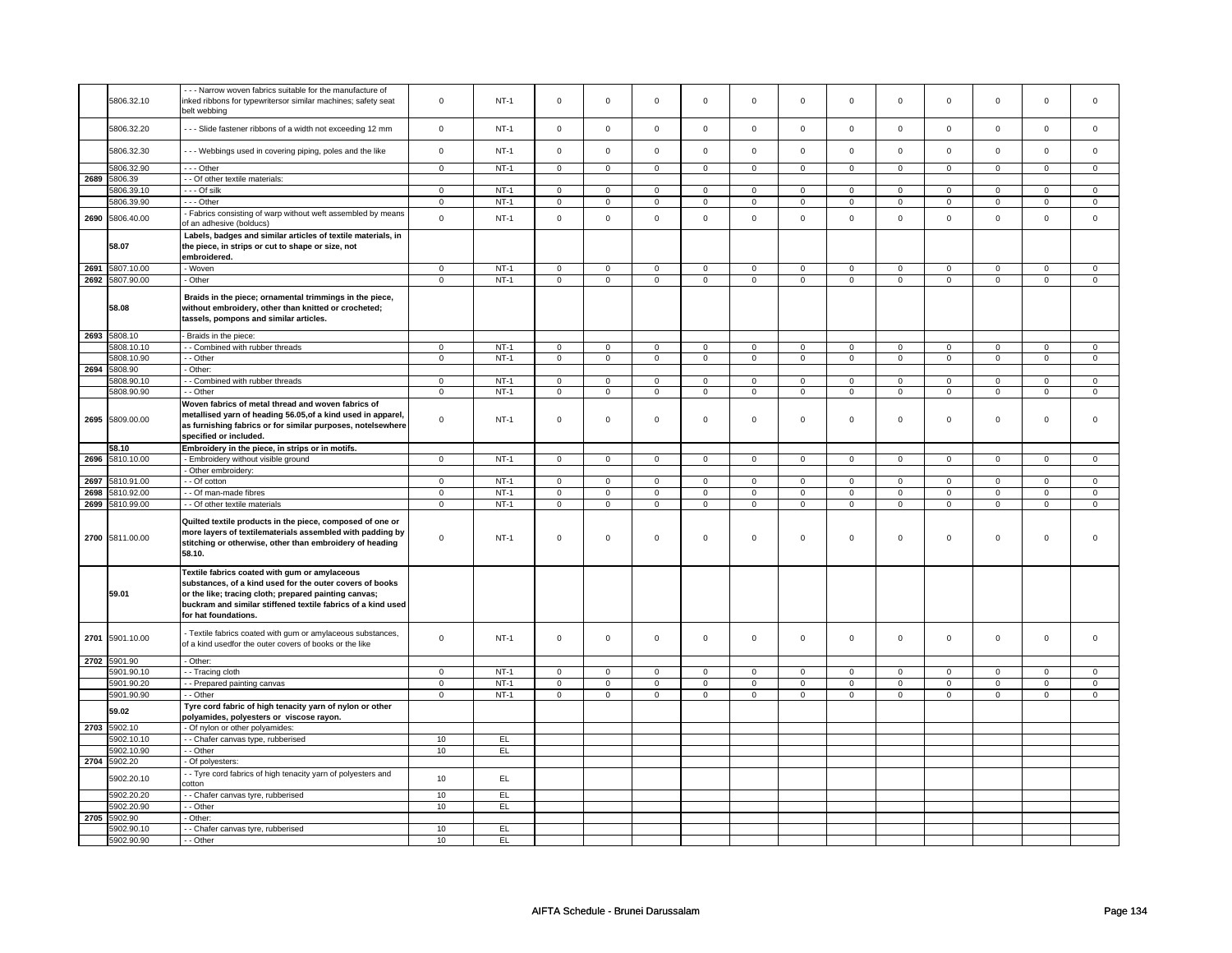|      | 5806.32.10      | -- Narrow woven fabrics suitable for the manufacture of<br>inked ribbons for typewritersor similar machines; safety seat<br>belt webbing                                                                                                                   | $\mathsf 0$    | $NT-1$ | $\mathsf 0$         | $\mathbf 0$    | $\mathbf 0$    | $\mathbf 0$    | $\mathbf 0$    | $\mathbf 0$    | $\mathbf 0$         | $\mathbf 0$    | $\mathbf 0$    | $\mathbf 0$    | $\mathbf 0$    | $\mathbf{0}$        |
|------|-----------------|------------------------------------------------------------------------------------------------------------------------------------------------------------------------------------------------------------------------------------------------------------|----------------|--------|---------------------|----------------|----------------|----------------|----------------|----------------|---------------------|----------------|----------------|----------------|----------------|---------------------|
|      | 5806.32.20      | --- Slide fastener ribbons of a width not exceeding 12 mm                                                                                                                                                                                                  | $\mathsf 0$    | $NT-1$ | $\mathsf 0$         | $\mathsf 0$    | $\mathsf 0$    | $\mathsf{O}$   | $\mathsf 0$    | $\mathsf 0$    | $\mathbf 0$         | $\mathsf 0$    | $\mathsf 0$    | $\mathbf 0$    | $\mathsf 0$    | $\mathbf 0$         |
|      | 5806.32.30      | -- Webbings used in covering piping, poles and the like                                                                                                                                                                                                    | $\mathbf 0$    | $NT-1$ | $\mathsf 0$         | $\mathbf 0$    | $\mathbf 0$    | $\mathbf 0$    | $\mathbf 0$    | $\mathsf 0$    | $\mathbf 0$         | $\mathbf 0$    | $\mathsf 0$    | $\mathbf 0$    | $\mathbf 0$    | 0                   |
|      | 5806.32.90      | $- -$ Other                                                                                                                                                                                                                                                | $\overline{0}$ | $NT-1$ | $\overline{0}$      | $\overline{0}$ | $\overline{0}$ | $\overline{0}$ | $\mathsf 0$    | $\overline{0}$ | $\mathbf 0$         | $\overline{0}$ | $\overline{0}$ | $\overline{0}$ | $\overline{0}$ | $\mathbf 0$         |
| 2689 | 5806.39         | - - Of other textile materials:                                                                                                                                                                                                                            |                |        |                     |                |                |                |                |                |                     |                |                |                |                |                     |
|      | 5806.39.10      | --- Of silk                                                                                                                                                                                                                                                | $\mathsf 0$    | $NT-1$ | $\mathsf 0$         | $\mathsf 0$    | $\mathbf 0$    | $\mathbf 0$    | $\mathbf 0$    | $\mathbf 0$    | $\mathbf 0$         | $\mathbf 0$    | $\mathbf 0$    | $\mathbf 0$    | $\mathbf 0$    | 0                   |
|      | 5806.39.90      | --- Other                                                                                                                                                                                                                                                  | $\mathsf 0$    | $NT-1$ | $\mathsf{O}\xspace$ | $\mathsf 0$    | $\mathsf 0$    | $\mathbf 0$    | $\mathsf 0$    | $\mathsf{O}$   | 0                   | $\mathsf{O}$   | $\mathsf 0$    | $\mathsf{O}$   | 0              | $\mathsf{O}\xspace$ |
| 2690 | 5806.40.00      | - Fabrics consisting of warp without weft assembled by means                                                                                                                                                                                               | $\mathsf 0$    | $NT-1$ | $\mathsf{O}\xspace$ | $\mathsf 0$    | $\mathbf 0$    | $\mathbf 0$    | $\mathbf 0$    | $\mathbf 0$    | $\mathbf 0$         | $\mathbf 0$    | $\mathsf 0$    | $\mathbf 0$    | $\mathbf{0}$   | $\mathbf 0$         |
|      |                 | of an adhesive (bolducs)<br>Labels, badges and similar articles of textile materials, in                                                                                                                                                                   |                |        |                     |                |                |                |                |                |                     |                |                |                |                |                     |
|      | 58.07           | the piece, in strips or cut to shape or size, not<br>embroidered.                                                                                                                                                                                          |                |        |                     |                |                |                |                |                |                     |                |                |                |                |                     |
|      | 2691 5807.10.00 | - Woven                                                                                                                                                                                                                                                    | $\mathbf 0$    | $NT-1$ | $\mathsf 0$         | $\mathbf 0$    | 0              | $\mathbf 0$    | 0              | $\mathbf 0$    | 0                   | $\mathbf 0$    | 0              | $\mathbf 0$    | 0              | $\mathbf 0$         |
|      | 2692 5807.90.00 | - Other                                                                                                                                                                                                                                                    | $\overline{0}$ | $NT-1$ | $\overline{0}$      | $\overline{0}$ | $\overline{0}$ | $\overline{0}$ | $\overline{0}$ | $\overline{0}$ | $\overline{0}$      | $\overline{0}$ | $\overline{0}$ | $\overline{0}$ | $\overline{0}$ | $\overline{0}$      |
|      | 58.08           | Braids in the piece; ornamental trimmings in the piece,<br>without embroidery, other than knitted or crocheted;<br>tassels, pompons and similar articles.                                                                                                  |                |        |                     |                |                |                |                |                |                     |                |                |                |                |                     |
|      | 2693 5808.10    | Braids in the piece:                                                                                                                                                                                                                                       |                |        |                     |                |                |                |                |                |                     |                |                |                |                |                     |
|      | 5808.10.10      | - - Combined with rubber threads                                                                                                                                                                                                                           | $\mathbf 0$    | $NT-1$ | $\mathsf 0$         | $\mathsf 0$    | $\mathbf 0$    | $\mathbf 0$    | $\mathbf 0$    | 0              | 0                   | 0              | 0              | 0              | 0              | $\mathbf 0$         |
|      | 5808.10.90      | - Other                                                                                                                                                                                                                                                    | $\mathbf 0$    | $NT-1$ | $\mathbf 0$         | $\mathbf 0$    | $\mathbf 0$    | $\mathbf{0}$   | $\mathbf 0$    | $\mathbf{0}$   | $\mathbf 0$         | $\mathbf{0}$   | $\mathbf 0$    | $\mathbf{0}$   | $\mathbf 0$    | $\mathbf{0}$        |
| 2694 | 5808.90         | Other:                                                                                                                                                                                                                                                     |                |        |                     |                |                |                |                |                |                     |                |                |                |                |                     |
|      | 5808.90.10      | - Combined with rubber threads                                                                                                                                                                                                                             | $\mathbf 0$    | $NT-1$ | 0                   | $\mathbf 0$    | 0              | $\mathbf 0$    | 0              | $\mathbf 0$    | 0                   | $\mathbf 0$    | 0              | $\mathbf 0$    | 0              | $\mathbf 0$         |
|      | 5808.90.90      | - Other                                                                                                                                                                                                                                                    | $\overline{0}$ | $NT-1$ | $\mathsf{O}\xspace$ | $\overline{0}$ | $\mathbf 0$    | $\overline{0}$ | $\mathsf 0$    | $\overline{0}$ | $\mathbf 0$         | $\mathbf 0$    | $\mathsf 0$    | $\mathsf 0$    | $\mathbf 0$    | 0                   |
|      | 2695 5809.00.00 | Woven fabrics of metal thread and woven fabrics of<br>metallised yarn of heading 56.05, of a kind used in apparel,<br>as furnishing fabrics or for similar purposes, notelsewhere<br>specified or included.                                                | $\mathsf 0$    | $NT-1$ | $\mathsf{O}\xspace$ | $\mathsf 0$    | $\mathbf 0$    | $\mathsf 0$    | $\mathsf 0$    | $\mathsf 0$    | $\mathbf 0$         | $\mathbf 0$    | $\mathsf 0$    | $\mathbf 0$    | $\mathsf 0$    | 0                   |
|      |                 |                                                                                                                                                                                                                                                            |                |        |                     |                |                |                |                |                |                     |                |                |                |                |                     |
|      | 58.10           | Embroidery in the piece, in strips or in motifs.                                                                                                                                                                                                           |                |        |                     |                |                |                |                |                |                     |                |                |                |                |                     |
|      | 2696 5810.10.00 | - Embroidery without visible ground                                                                                                                                                                                                                        | $\overline{0}$ | $NT-1$ | $\overline{0}$      | $\overline{0}$ | $\mathsf 0$    | $\overline{0}$ | $\overline{0}$ | $\overline{0}$ | $\overline{0}$      | $\overline{0}$ | $\overline{0}$ | $\overline{0}$ | $\mathbf 0$    | $\overline{0}$      |
|      |                 | Other embroidery:                                                                                                                                                                                                                                          |                |        |                     |                |                |                |                |                |                     |                |                |                |                |                     |
| 2697 | 5810.91.00      | - Of cotton                                                                                                                                                                                                                                                | $\mathsf 0$    | $NT-1$ | $\mathsf 0$         | $\mathbf 0$    | $\mathbf 0$    | $\mathsf 0$    | $\mathbf 0$    | $\mathsf 0$    | $\mathbf 0$         | $\mathbf 0$    | $\mathsf 0$    | $\mathbf 0$    | $\mathbf 0$    | 0                   |
|      | 2698 5810.92.00 | - - Of man-made fibres                                                                                                                                                                                                                                     | $\overline{0}$ | $NT-1$ | $\overline{0}$      | $\overline{0}$ | $\overline{0}$ | $\overline{0}$ | $\overline{0}$ | $\overline{0}$ | $\overline{0}$      | $\overline{0}$ | $\pmb{0}$      | $\overline{0}$ | $\overline{0}$ | $\overline{0}$      |
|      | 2699 5810.99.00 | - - Of other textile materials                                                                                                                                                                                                                             | $\mathbf 0$    | $NT-1$ | $\mathsf 0$         | $\mathbf 0$    | $\mathbf 0$    | $\mathbf 0$    | $\mathbf 0$    | $\mathbf 0$    | $\mathbf 0$         | $\mathbf 0$    | $\mathsf 0$    | $\mathbf 0$    | $\mathbf 0$    | $\mathbf 0$         |
|      | 2700 5811.00.00 | Quilted textile products in the piece, composed of one or<br>more layers of textilematerials assembled with padding by<br>stitching or otherwise, other than embroidery of heading<br>58.10.                                                               | $\mathsf 0$    | $NT-1$ | $\mathbf 0$         | $\mathbf 0$    | $\mathbf 0$    | $\mathbf{0}$   | $\mathbf 0$    | $\mathbf 0$    | $\mathbf 0$         | $\mathbf 0$    | $\mathbf 0$    | $\mathbf 0$    | $\mathbf{0}$   | $\mathbf{0}$        |
|      | 59.01           | Textile fabrics coated with gum or amylaceous<br>substances, of a kind used for the outer covers of books<br>or the like; tracing cloth; prepared painting canvas;<br>buckram and similar stiffened textile fabrics of a kind used<br>for hat foundations. |                |        |                     |                |                |                |                |                |                     |                |                |                |                |                     |
|      | 2701 5901.10.00 | Textile fabrics coated with gum or amylaceous substances,<br>of a kind usedfor the outer covers of books or the like                                                                                                                                       | $\mathsf 0$    | $NT-1$ | $\mathsf{O}\xspace$ | $\mathsf 0$    | 0              | $\mathbf 0$    | $\mathsf 0$    | $\mathbf 0$    | $\mathsf{O}\xspace$ | $\mathbf 0$    | 0              | $\mathbf 0$    | $\mathbf 0$    | 0                   |
|      | 2702 5901.90    | - Other:                                                                                                                                                                                                                                                   |                |        |                     |                |                |                |                |                |                     |                |                |                |                |                     |
|      | 5901.90.10      | - - Tracing cloth                                                                                                                                                                                                                                          | $\mathbf 0$    | $NT-1$ | $\mathbf 0$         | $\mathbf 0$    | $\mathbf 0$    | $\mathbf 0$    | 0              | 0              | 0                   | 0              | 0              | 0              | $\Omega$       | $\mathbf 0$         |
|      | 5901.90.20      | - Prepared painting canvas                                                                                                                                                                                                                                 | $\mathsf 0$    | $NT-1$ | $\mathbf 0$         | $\mathbf 0$    | 0              | $\mathsf 0$    | 0              | $\mathsf 0$    | 0                   | $\mathbf 0$    | $\mathsf 0$    | $\mathbf 0$    | 0              | 0                   |
|      | 5901.90.90      | - - Other                                                                                                                                                                                                                                                  | $\mathsf 0$    | $NT-1$ | $\mathsf 0$         | $\mathsf 0$    | $\mathbf 0$    | $\mathsf{O}$   | $\mathsf 0$    | $\mathbf 0$    | $\mathbf 0$         | $\mathsf{O}$   | $\mathsf 0$    | $\mathsf{O}$   | $\mathbf 0$    | $\mathbf 0$         |
|      | 59.02           | Tyre cord fabric of high tenacity yarn of nylon or other<br>polyamides, polyesters or viscose rayon.                                                                                                                                                       |                |        |                     |                |                |                |                |                |                     |                |                |                |                |                     |
|      | 2703 5902.10    | - Of nylon or other polyamides:                                                                                                                                                                                                                            |                |        |                     |                |                |                |                |                |                     |                |                |                |                |                     |
|      | 5902.10.10      | - - Chafer canvas type, rubberised                                                                                                                                                                                                                         | 10             | EL     |                     |                |                |                |                |                |                     |                |                |                |                |                     |
|      | 902.10.90       | - - Other                                                                                                                                                                                                                                                  | 10             | E      |                     |                |                |                |                |                |                     |                |                |                |                |                     |
|      | 2704 5902.20    | Of polyesters:                                                                                                                                                                                                                                             |                |        |                     |                |                |                |                |                |                     |                |                |                |                |                     |
|      | 5902.20.10      | - Tyre cord fabrics of high tenacity yarn of polyesters and                                                                                                                                                                                                | 10             | EL     |                     |                |                |                |                |                |                     |                |                |                |                |                     |
|      |                 | cotton                                                                                                                                                                                                                                                     |                |        |                     |                |                |                |                |                |                     |                |                |                |                |                     |
|      | 5902.20.20      | - Chafer canvas tyre, rubberised                                                                                                                                                                                                                           | 10             | EL     |                     |                |                |                |                |                |                     |                |                |                |                |                     |
|      | 5902.20.90      | - Other                                                                                                                                                                                                                                                    | 10             | EL     |                     |                |                |                |                |                |                     |                |                |                |                |                     |
| 2705 |                 |                                                                                                                                                                                                                                                            |                |        |                     |                |                |                |                |                |                     |                |                |                |                |                     |
|      | 5902.90         | Other:                                                                                                                                                                                                                                                     |                |        |                     |                |                |                |                |                |                     |                |                |                |                |                     |
|      | 5902.90.10      | - - Chafer canvas tyre, rubberised                                                                                                                                                                                                                         | 10             | EL.    |                     |                |                |                |                |                |                     |                |                |                |                |                     |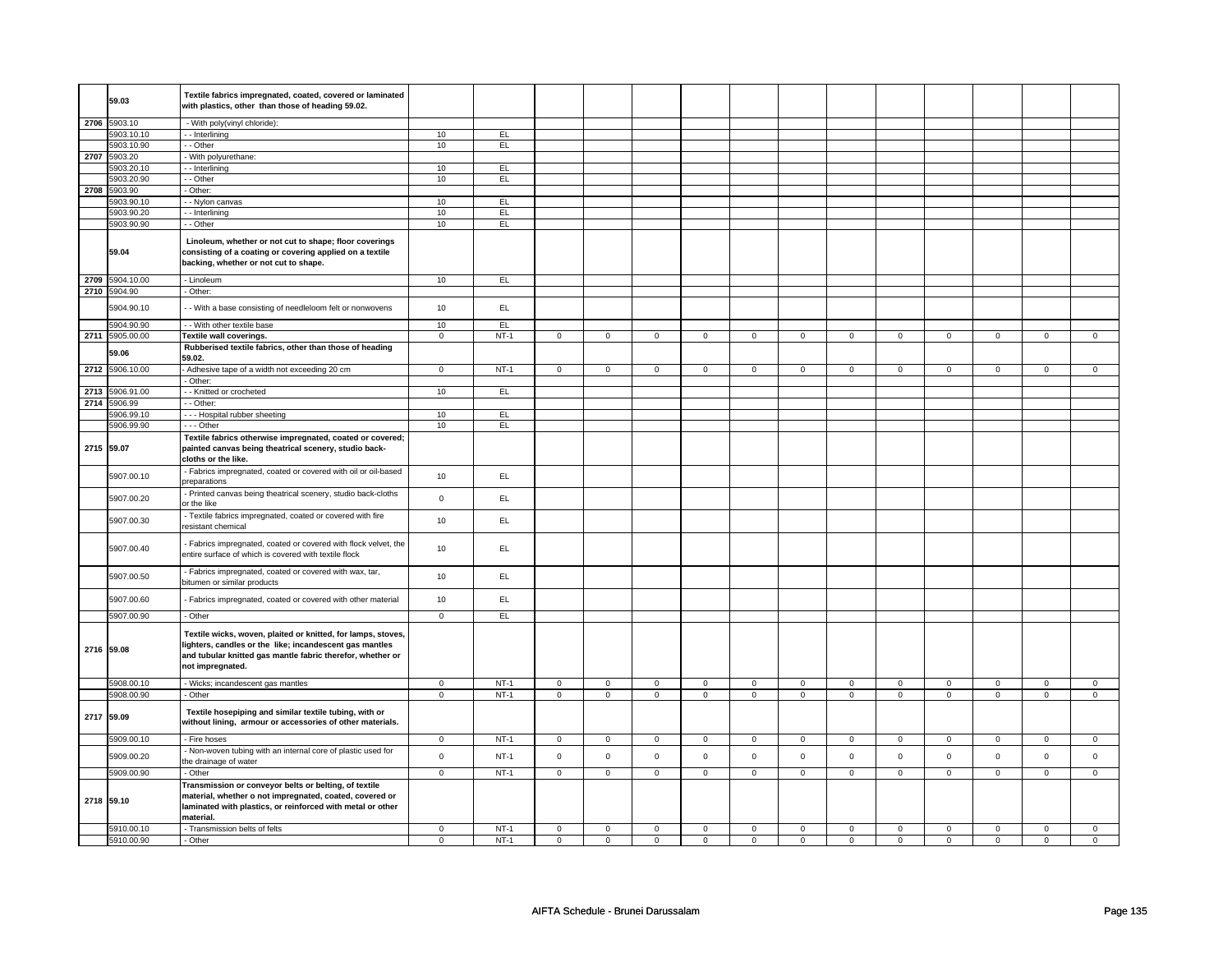|      | 59.03                    | Textile fabrics impregnated, coated, covered or laminated<br>with plastics, other than those of heading 59.02.                                                                                            |                |          |                |             |             |                |                     |                |                |                |                |                |             |                |
|------|--------------------------|-----------------------------------------------------------------------------------------------------------------------------------------------------------------------------------------------------------|----------------|----------|----------------|-------------|-------------|----------------|---------------------|----------------|----------------|----------------|----------------|----------------|-------------|----------------|
|      | 2706 5903.10             | - With poly(vinyl chloride):                                                                                                                                                                              |                |          |                |             |             |                |                     |                |                |                |                |                |             |                |
|      | 5903.10.10               | -- Interlining                                                                                                                                                                                            | 10             | EL       |                |             |             |                |                     |                |                |                |                |                |             |                |
|      | 5903.10.90               | - - Other                                                                                                                                                                                                 | 10             | EL.      |                |             |             |                |                     |                |                |                |                |                |             |                |
|      | 2707 5903.20             | - With polyurethane:                                                                                                                                                                                      |                |          |                |             |             |                |                     |                |                |                |                |                |             |                |
|      | 5903.20.10               | -- Interlining                                                                                                                                                                                            | 10             | EL.      |                |             |             |                |                     |                |                |                |                |                |             |                |
|      | 5903.20.90<br>5903.90    | - - Other<br>- Other:                                                                                                                                                                                     | 10             | EL.      |                |             |             |                |                     |                |                |                |                |                |             |                |
| 2708 | 5903.90.10               | - Nylon canvas                                                                                                                                                                                            | 10             | EL       |                |             |             |                |                     |                |                |                |                |                |             |                |
|      | 5903.90.20               | -- Interlining                                                                                                                                                                                            | 10             | EL       |                |             |             |                |                     |                |                |                |                |                |             |                |
|      | 5903.90.90               | - - Other                                                                                                                                                                                                 | 10             | EL       |                |             |             |                |                     |                |                |                |                |                |             |                |
|      | 59.04                    | Linoleum, whether or not cut to shape; floor coverings<br>consisting of a coating or covering applied on a textile<br>backing, whether or not cut to shape.                                               |                |          |                |             |             |                |                     |                |                |                |                |                |             |                |
|      | 2709 5904.10.00          | - Linoleum                                                                                                                                                                                                | 10             | EL       |                |             |             |                |                     |                |                |                |                |                |             |                |
|      | 2710 5904.90             | - Other:                                                                                                                                                                                                  |                |          |                |             |             |                |                     |                |                |                |                |                |             |                |
|      | 5904.90.10               | - With a base consisting of needleloom felt or nonwovens                                                                                                                                                  | 10             | EL       |                |             |             |                |                     |                |                |                |                |                |             |                |
|      | 5904.90.90               | - - With other textile base                                                                                                                                                                               | 10             | EL       |                |             |             |                |                     |                |                |                |                |                |             |                |
|      | 2711 5905.00.00          | Textile wall coverings.                                                                                                                                                                                   | $\overline{0}$ | $NT-1$   | $\mathsf 0$    | $\mathbf 0$ | $\mathsf 0$ | $\overline{0}$ | $\mathbf 0$         | $\mathbf 0$    | $\mathbf 0$    | $\overline{0}$ | $\mathbf{0}$   | $\mathbf{0}$   | $\mathbf 0$ | $\overline{0}$ |
|      | 59.06                    | Rubberised textile fabrics, other than those of heading<br>59.02.                                                                                                                                         |                |          |                |             |             |                |                     |                |                |                |                |                |             |                |
| 2712 | 5906.10.00               | Adhesive tape of a width not exceeding 20 cm                                                                                                                                                              | $\mathsf 0$    | $NT-1$   | $\mathsf 0$    | $\mathsf 0$ | $\mathsf 0$ | $\mathbf 0$    | $\mathsf 0$         | $\mathbf 0$    | $\mathsf 0$    | $\mathsf 0$    | $\mathsf 0$    | $\mathsf 0$    | $\mathbf 0$ | $\mathsf 0$    |
|      |                          | Other:                                                                                                                                                                                                    |                |          |                |             |             |                |                     |                |                |                |                |                |             |                |
| 2713 | 5906.91.00               | - - Knitted or crocheted                                                                                                                                                                                  | 10             | EL       |                |             |             |                |                     |                |                |                |                |                |             |                |
|      | 2714 5906.99             | - - Other:                                                                                                                                                                                                |                |          |                |             |             |                |                     |                |                |                |                |                |             |                |
|      | 5906.99.10<br>5906.99.90 | --- Hospital rubber sheeting<br>- - - Other                                                                                                                                                               | 10<br>10       | EL<br>EL |                |             |             |                |                     |                |                |                |                |                |             |                |
|      | 2715 59.07               | Textile fabrics otherwise impregnated, coated or covered;<br>painted canvas being theatrical scenery, studio back-                                                                                        |                |          |                |             |             |                |                     |                |                |                |                |                |             |                |
|      | 5907.00.10               | cloths or the like.<br>- Fabrics impregnated, coated or covered with oil or oil-based                                                                                                                     | 10             | EL       |                |             |             |                |                     |                |                |                |                |                |             |                |
|      | 5907.00.20               | preparations<br>Printed canvas being theatrical scenery, studio back-cloths                                                                                                                               | $\mathbf 0$    | EL       |                |             |             |                |                     |                |                |                |                |                |             |                |
|      | 5907.00.30               | or the like<br>Textile fabrics impregnated, coated or covered with fire                                                                                                                                   | 10             | EL       |                |             |             |                |                     |                |                |                |                |                |             |                |
|      | 5907.00.40               | resistant chemical<br>Fabrics impregnated, coated or covered with flock velvet, the                                                                                                                       | 10             | EL.      |                |             |             |                |                     |                |                |                |                |                |             |                |
|      |                          | entire surface of which is covered with textile flock<br>Fabrics impregnated, coated or covered with wax, tar,                                                                                            |                |          |                |             |             |                |                     |                |                |                |                |                |             |                |
|      | 5907.00.50               | bitumen or similar products                                                                                                                                                                               | 10             | EL       |                |             |             |                |                     |                |                |                |                |                |             |                |
|      | 5907.00.60               | Fabrics impregnated, coated or covered with other material                                                                                                                                                | 10             | EL       |                |             |             |                |                     |                |                |                |                |                |             |                |
|      | 5907.00.90               | - Other                                                                                                                                                                                                   | $\mathsf 0$    | EL       |                |             |             |                |                     |                |                |                |                |                |             |                |
|      | 2716 59.08               | Textile wicks, woven, plaited or knitted, for lamps, stoves,<br>lighters, candles or the like; incandescent gas mantles<br>and tubular knitted gas mantle fabric therefor, whether or<br>not impregnated. |                |          |                |             |             |                |                     |                |                |                |                |                |             |                |
|      | 5908.00.10               | - Wicks; incandescent gas mantles                                                                                                                                                                         | $\mathbf 0$    | $NT-1$   | $\mathsf 0$    | $\mathbf 0$ | $\mathbf 0$ | $\mathbf 0$    | $\mathsf 0$         | $\mathsf 0$    | $\mathbf 0$    | $\overline{0}$ | $\mathsf 0$    | $\mathbf 0$    | $\mathbf 0$ | $\overline{0}$ |
|      | 5908.00.90               | - Other                                                                                                                                                                                                   | $\mathbf 0$    | $NT-1$   | $\mathbf 0$    | $\mathbf 0$ | $\mathbf 0$ | $\mathbf 0$    | 0                   | $\mathbf 0$    | 0              | 0              | 0              | 0              | 0           | $\mathbf 0$    |
|      | 2717 59.09               | Textile hosepiping and similar textile tubing, with or<br>without lining, armour or accessories of other materials.                                                                                       |                |          |                |             |             |                |                     |                |                |                |                |                |             |                |
|      | 5909.00.10               | - Fire hoses                                                                                                                                                                                              | $\mathbf 0$    | $NT-1$   | $\mathsf 0$    | $\mathbf 0$ | $\mathsf 0$ | $\overline{0}$ | $\mathsf 0$         | $\overline{0}$ | $\mathbf 0$    | $\overline{0}$ | $\mathsf 0$    | $\overline{0}$ | $\mathbf 0$ | $\overline{0}$ |
|      | 5909.00.20               | - Non-woven tubing with an internal core of plastic used for<br>the drainage of water                                                                                                                     | $\mathbf 0$    | $NT-1$   | $\mathsf 0$    | $\mathbf 0$ | $\mathsf 0$ | $\mathsf 0$    | $\mathsf 0$         | $\pmb{0}$      | $\mathsf 0$    | $\mathbf 0$    | $\mathsf 0$    | $\mathbf 0$    | $\mathsf 0$ | $\mathsf{o}\,$ |
|      | 5909.00.90               | - Other                                                                                                                                                                                                   | $\overline{0}$ | $NT-1$   | $\overline{0}$ | $\mathbf 0$ | $\mathsf 0$ | $\overline{0}$ | $\overline{0}$      | $\overline{0}$ | $\overline{0}$ | $\overline{0}$ | $\overline{0}$ | $\overline{0}$ | $\mathsf 0$ | $\mathbf 0$    |
|      |                          | Transmission or conveyor belts or belting, of textile                                                                                                                                                     |                |          |                |             |             |                |                     |                |                |                |                |                |             |                |
|      | 2718 59.10               | material, whether o not impregnated, coated, covered or<br>laminated with plastics, or reinforced with metal or other<br>material.                                                                        |                |          |                |             |             |                |                     |                |                |                |                |                |             |                |
|      | 5910.00.10               | - Transmission belts of felts                                                                                                                                                                             | $\mathbf 0$    | $NT-1$   | $\mathsf 0$    | $\mathbf 0$ | $\mathsf 0$ | $\mathsf 0$    | $\mathsf{O}\xspace$ | $\mathbf 0$    | $\Omega$       | $\mathbf 0$    | $\mathsf 0$    | $\mathbf 0$    | $\Omega$    | $\mathbf 0$    |
|      | 5910.00.90               | - Other                                                                                                                                                                                                   | $\mathbf 0$    | $NT-1$   | $\mathbf 0$    | $\mathbf 0$ | $\mathbf 0$ | $\mathbf 0$    | $\mathbf 0$         | $\mathbf 0$    | $\mathbf 0$    | $\mathbf 0$    | $\mathbf 0$    | $\mathbf 0$    | $\mathbf 0$ | $\mathbf 0$    |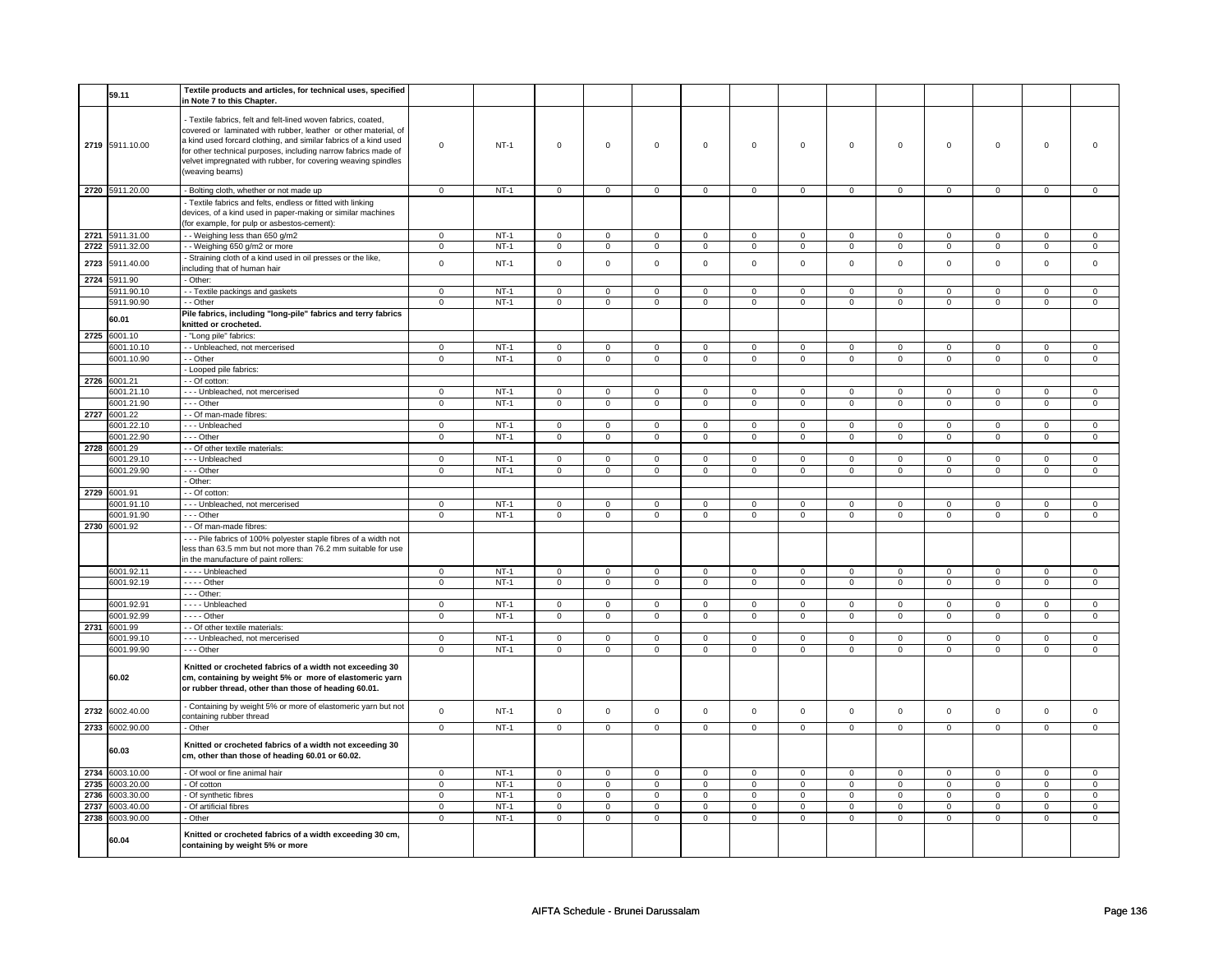|      | 59.11           | Textile products and articles, for technical uses, specified                                                                                                                                                                                                                                                                                               |                |        |                |                |                     |                |                     |                |                     |                |                     |                |                |                     |
|------|-----------------|------------------------------------------------------------------------------------------------------------------------------------------------------------------------------------------------------------------------------------------------------------------------------------------------------------------------------------------------------------|----------------|--------|----------------|----------------|---------------------|----------------|---------------------|----------------|---------------------|----------------|---------------------|----------------|----------------|---------------------|
|      |                 | in Note 7 to this Chapter.                                                                                                                                                                                                                                                                                                                                 |                |        |                |                |                     |                |                     |                |                     |                |                     |                |                |                     |
|      | 2719 5911.10.00 | - Textile fabrics, felt and felt-lined woven fabrics, coated,<br>covered or laminated with rubber, leather or other material, of<br>a kind used forcard clothing, and similar fabrics of a kind used<br>for other technical purposes, including narrow fabrics made of<br>velvet impregnated with rubber, for covering weaving spindles<br>(weaving beams) | $\Omega$       | $NT-1$ | $\mathsf 0$    | $\mathsf 0$    | $\mathbf 0$         | $\mathsf 0$    | $\mathsf 0$         | $\mathbf 0$    | $\mathbf 0$         | $\mathsf 0$    | $\mathbf 0$         | $\mathbf 0$    | $\mathbf 0$    | $\mathbf{0}$        |
|      |                 |                                                                                                                                                                                                                                                                                                                                                            |                |        |                |                |                     |                |                     |                |                     |                |                     |                |                |                     |
|      | 2720 5911.20.00 | - Bolting cloth, whether or not made up                                                                                                                                                                                                                                                                                                                    | $\mathbf 0$    | $NT-1$ | $\mathbf 0$    | $\mathbf 0$    | $\mathbf{0}$        | $\overline{0}$ | $\mathbf{0}$        | $\overline{0}$ | $\mathbf{0}$        | $\overline{0}$ | $\mathbf{0}$        | $\overline{0}$ | $\mathbf 0$    | $\overline{0}$      |
|      |                 | - Textile fabrics and felts, endless or fitted with linking<br>devices, of a kind used in paper-making or similar machines<br>(for example, for pulp or asbestos-cement):                                                                                                                                                                                  |                |        |                |                |                     |                |                     |                |                     |                |                     |                |                |                     |
|      | 2721 5911.31.00 | - - Weighing less than 650 g/m2                                                                                                                                                                                                                                                                                                                            | 0              | $NT-1$ | 0              | $\mathbf 0$    | 0                   | $\mathbf 0$    | 0                   | $\mathbf 0$    | 0                   | $\mathbf 0$    | 0                   | $\mathbf 0$    | 0              | 0                   |
| 2722 | 5911.32.00      | - - Weighing 650 g/m2 or more                                                                                                                                                                                                                                                                                                                              | $\mathbf 0$    | $NT-1$ | $\mathsf 0$    | $\mathsf 0$    | $\mathbf 0$         | $\mathsf 0$    | $\mathsf{O}\xspace$ | $\mathbf 0$    | 0                   | $\mathbf 0$    | $\mathsf 0$         | $\mathbf 0$    | 0              | $\mathbf 0$         |
| 2723 | 5911.40.00      | Straining cloth of a kind used in oil presses or the like,<br>ncluding that of human hair                                                                                                                                                                                                                                                                  | $\mathsf 0$    | $NT-1$ | $\mathsf 0$    | $\mathsf{o}\,$ | $\mathsf{O}\xspace$ | $\mathsf 0$    | $\mathsf{O}\xspace$ | $\mathbf 0$    | $\mathsf 0$         | $\mathbf 0$    | $\mathsf 0$         | $\mathbf 0$    | $\mathsf 0$    | $\mathsf 0$         |
|      | 2724 5911.90    | - Other:                                                                                                                                                                                                                                                                                                                                                   |                |        |                |                |                     |                |                     |                |                     |                |                     |                |                |                     |
|      | 5911.90.10      | - - Textile packings and gaskets                                                                                                                                                                                                                                                                                                                           | $\overline{0}$ | $NT-1$ | $\overline{0}$ | $\overline{0}$ | $\mathbf 0$         | $\mathbf 0$    | $\mathbf 0$         | $\mathbf 0$    | $\mathbf 0$         | $\mathbf 0$    | $\mathbf 0$         | $\mathbf{0}$   | $\mathbf 0$    | $\mathbf 0$         |
|      |                 |                                                                                                                                                                                                                                                                                                                                                            |                |        |                |                |                     |                |                     |                |                     |                |                     |                |                |                     |
|      | 5911.90.90      | - - Other                                                                                                                                                                                                                                                                                                                                                  | $\mathbf 0$    | $NT-1$ | $\mathbf 0$    | $\mathbf 0$    | $\mathbf{0}$        | $\mathsf 0$    | $\mathsf{O}\xspace$ | $\mathbf 0$    | $\mathbf 0$         | $\mathsf{O}$   | $\mathbf 0$         | $\mathsf{O}$   | $\mathbf 0$    | $\mathbf{0}$        |
|      | 60.01           | Pile fabrics, including "long-pile" fabrics and terry fabrics<br>knitted or crocheted.                                                                                                                                                                                                                                                                     |                |        |                |                |                     |                |                     |                |                     |                |                     |                |                |                     |
|      | 2725 6001.10    | - "Long pile" fabrics:                                                                                                                                                                                                                                                                                                                                     |                |        |                |                |                     |                |                     |                |                     |                |                     |                |                |                     |
|      | 6001.10.10      | - - Unbleached, not mercerised                                                                                                                                                                                                                                                                                                                             | $\mathsf 0$    | $NT-1$ | $\mathbf 0$    | $\mathbf 0$    | $\mathbf 0$         | $\mathbf 0$    | $\mathsf 0$         | $\mathbf 0$    | 0                   | $\mathbf 0$    | $\mathsf 0$         | $\mathbf 0$    | $\Omega$       | 0                   |
|      | 6001.10.90      | - - Other                                                                                                                                                                                                                                                                                                                                                  | $\mathbf 0$    | $NT-1$ | $\mathbf 0$    | $\mathbf 0$    | $\mathbf 0$         | $\mathbf 0$    | $\mathbf 0$         | $\mathbf 0$    | $\mathbf 0$         | $\mathbf{0}$   | $\mathbf 0$         | $\mathbf{0}$   | $\mathbf 0$    | $\mathbf{O}$        |
|      |                 | - Looped pile fabrics:                                                                                                                                                                                                                                                                                                                                     |                |        |                |                |                     |                |                     |                |                     |                |                     |                |                |                     |
|      | 2726 6001.21    | - Of cotton:                                                                                                                                                                                                                                                                                                                                               |                |        |                |                |                     |                |                     |                |                     |                |                     |                |                |                     |
|      | 6001.21.10      | --- Unbleached, not mercerised                                                                                                                                                                                                                                                                                                                             | 0              | $NT-1$ | $\mathsf 0$    | $\mathsf 0$    | 0                   | $\mathbf 0$    | 0                   | $\mathbf 0$    | 0                   | $\mathbf 0$    | 0                   | $\mathbf 0$    | 0              | $\mathbf 0$         |
|      | 6001.21.90      | - - - Other                                                                                                                                                                                                                                                                                                                                                | $\mathbf 0$    | $NT-1$ | 0              | $\overline{0}$ | $\mathbf 0$         | $\mathbf 0$    | $\mathbf 0$         | $\overline{0}$ | $\mathbf 0$         | $\mathbf 0$    | 0                   | $\overline{0}$ | 0              | $\overline{0}$      |
| 2727 | 6001.22         | - - Of man-made fibres:                                                                                                                                                                                                                                                                                                                                    |                |        |                |                |                     |                |                     |                |                     |                |                     |                |                |                     |
|      | 6001.22.10      | --- Unbleached                                                                                                                                                                                                                                                                                                                                             | $\mathsf 0$    | $NT-1$ | $\mathsf 0$    | $\mathsf 0$    | $\mathsf{O}\xspace$ | $\mathsf 0$    | $\mathsf{O}\xspace$ | $\mathsf 0$    | $\mathsf 0$         | $\mathsf 0$    | $\mathsf 0$         | $\mathbf 0$    | $\Omega$       | $\mathbf 0$         |
|      | 6001.22.90      | --- Other                                                                                                                                                                                                                                                                                                                                                  | $\overline{0}$ | $NT-1$ | $\overline{0}$ | $\overline{0}$ | $\overline{0}$      | $\overline{0}$ | $\overline{0}$      | $\overline{0}$ | $\overline{0}$      | $\overline{0}$ | $\overline{0}$      | $\overline{0}$ | $\overline{0}$ | $\overline{0}$      |
|      | 2728 6001.29    |                                                                                                                                                                                                                                                                                                                                                            |                |        |                |                |                     |                |                     |                |                     |                |                     |                |                |                     |
|      |                 | - - Of other textile materials:                                                                                                                                                                                                                                                                                                                            |                | $NT-1$ |                |                |                     |                |                     |                |                     |                |                     |                |                |                     |
|      | 6001.29.10      | --- Unbleached                                                                                                                                                                                                                                                                                                                                             | $\mathsf 0$    |        | $\mathbf 0$    | $\mathbf 0$    | $\mathbf{0}$        | $\mathbf 0$    | $\mathbf 0$         | $\mathbf 0$    | $\mathbf 0$         | $\mathbf{0}$   | $\mathbf 0$         | $\mathbf{0}$   | $\mathbf 0$    | $\mathbf{0}$        |
|      | 6001.29.90      | --- Other                                                                                                                                                                                                                                                                                                                                                  | $\mathbf 0$    | $NT-1$ | $\mathsf 0$    | $\mathsf 0$    | $\mathsf{O}\xspace$ | $\mathsf 0$    | $\mathsf{O}\xspace$ | $\mathsf{O}$   | $\mathsf{O}\xspace$ | $\mathbf 0$    | $\mathbf 0$         | $\mathbf{0}$   | $\mathbf 0$    | $\mathbf 0$         |
|      |                 | - Other:                                                                                                                                                                                                                                                                                                                                                   |                |        |                |                |                     |                |                     |                |                     |                |                     |                |                |                     |
| 2729 | 6001.91         | - Of cotton:                                                                                                                                                                                                                                                                                                                                               |                |        |                |                |                     |                |                     |                |                     |                |                     |                |                |                     |
|      | 6001.91.10      | --- Unbleached, not mercerised                                                                                                                                                                                                                                                                                                                             | $\mathsf 0$    | $NT-1$ | $\overline{0}$ | $\overline{0}$ | $\mathbf 0$         | $\overline{0}$ | $\mathsf 0$         | $\mathbf 0$    | $\mathbf 0$         | $\mathbf 0$    | $\mathbf 0$         | $\overline{0}$ | $\mathbf 0$    | $\mathbf 0$         |
|      | 6001.91.90      | --- Other                                                                                                                                                                                                                                                                                                                                                  | $\mathsf 0$    | $NT-1$ | $\mathbf 0$    | $\mathbf 0$    | $\mathbf 0$         | $\mathbf 0$    | $\mathbf 0$         | $\mathbf 0$    | 0                   | $\mathbf 0$    | 0                   | $\mathbf 0$    | 0              | $\mathbf 0$         |
|      | 2730 6001.92    | - Of man-made fibres:                                                                                                                                                                                                                                                                                                                                      |                |        |                |                |                     |                |                     |                |                     |                |                     |                |                |                     |
|      |                 | --- Pile fabrics of 100% polyester staple fibres of a width not<br>less than 63.5 mm but not more than 76.2 mm suitable for use<br>in the manufacture of paint rollers:                                                                                                                                                                                    |                |        |                |                |                     |                |                     |                |                     |                |                     |                |                |                     |
|      | 6001.92.11      | - - - - Unbleached                                                                                                                                                                                                                                                                                                                                         | $\overline{0}$ | $NT-1$ | $\overline{0}$ | $\overline{0}$ | $\overline{0}$      | $\overline{0}$ | $\overline{0}$      | $\overline{0}$ | $\overline{0}$      | $\overline{0}$ | $\overline{0}$      | $\overline{0}$ | $\Omega$       | $\overline{0}$      |
|      | 6001.92.19      | $---$ Other                                                                                                                                                                                                                                                                                                                                                | $\mathsf 0$    | $NT-1$ | $\mathsf 0$    | $\mathsf 0$    | $\mathsf 0$         | $\mathsf 0$    | $\mathsf 0$         | $\mathsf 0$    | $\mathbf 0$         | $\mathsf 0$    | $\mathsf{O}\xspace$ | $\mathsf{O}$   | $\mathsf 0$    | $\mathsf{O}\xspace$ |
|      |                 | $- -$ Other:                                                                                                                                                                                                                                                                                                                                               |                |        |                |                |                     |                |                     |                |                     |                |                     |                |                |                     |
|      | 6001.92.91      | - - - - Unbleached                                                                                                                                                                                                                                                                                                                                         | $\overline{0}$ | $NT-1$ | $\mathsf 0$    | $\overline{0}$ | $\mathsf 0$         | $\overline{0}$ | $\mathbf 0$         | $\overline{0}$ | $\mathbf 0$         | $\mathbf 0$    | $\mathsf 0$         | $\overline{0}$ | $\mathsf 0$    | $\mathbf 0$         |
|      | 6001.92.99      | - - - - Other                                                                                                                                                                                                                                                                                                                                              | $\mathbf 0$    | $NT-1$ | $\mathsf 0$    | $\mathsf 0$    | $\mathsf 0$         | $\overline{0}$ | $\mathsf 0$         | $\overline{0}$ | $\mathsf 0$         | $\mathbf 0$    | $\mathbf 0$         | $\overline{0}$ | 0              | $\overline{0}$      |
| 2731 | 6001.99         | - - Of other textile materials:                                                                                                                                                                                                                                                                                                                            |                |        |                |                |                     |                |                     |                |                     |                |                     |                |                |                     |
|      | 6001.99.10      | --- Unbleached, not mercerised                                                                                                                                                                                                                                                                                                                             | $\mathsf 0$    | $NT-1$ | $\mathbf 0$    | $\mathsf 0$    | $\mathbf 0$         | $\mathsf 0$    | $\mathbf 0$         | $\mathbf 0$    | $\mathbf 0$         | $\mathbf 0$    | $\mathbf 0$         | $\mathbf 0$    | $\Omega$       | 0                   |
|      | 6001.99.90      | --- Other                                                                                                                                                                                                                                                                                                                                                  | $\mathsf 0$    | $NT-1$ | $\mathbf 0$    | $\mathsf 0$    | $\mathsf 0$         | $\mathbf 0$    | $\mathsf 0$         | $\mathbf 0$    | $\mathbf 0$         | $\mathbf 0$    | $\mathsf 0$         | $\mathbf 0$    | $\mathsf 0$    | $\mathbf 0$         |
|      | 60.02           | Knitted or crocheted fabrics of a width not exceeding 30<br>cm, containing by weight 5% or more of elastomeric yarn<br>or rubber thread, other than those of heading 60.01.                                                                                                                                                                                |                |        |                |                |                     |                |                     |                |                     |                |                     |                |                |                     |
| 2732 | 6002.40.00      | - Containing by weight 5% or more of elastomeric yarn but not<br>containing rubber thread                                                                                                                                                                                                                                                                  | $\mathsf 0$    | $NT-1$ | $\mathsf 0$    | $\mathsf 0$    | $\mathsf{O}\xspace$ | $\mathsf 0$    | $\mathsf 0$         | $\mathsf 0$    | $\mathsf 0$         | $\mathbf 0$    | $\mathsf 0$         | $\mathbf 0$    | $\mathsf 0$    | $\mathbf 0$         |
| 2733 | 6002.90.00      | - Other                                                                                                                                                                                                                                                                                                                                                    | $\mathsf 0$    | $NT-1$ | $\mathsf 0$    | $\mathbf 0$    | $\mathsf{O}\xspace$ | $\mathsf 0$    | $\mathsf 0$         | $\mathbf 0$    | $\mathsf 0$         | $\mathbf 0$    | $\mathbf 0$         | $\mathbf 0$    | $\mathsf 0$    | 0                   |
|      | 60.03           | Knitted or crocheted fabrics of a width not exceeding 30<br>cm, other than those of heading 60.01 or 60.02.                                                                                                                                                                                                                                                |                |        |                |                |                     |                |                     |                |                     |                |                     |                |                |                     |
| 2734 | 6003.10.00      | - Of wool or fine animal hair                                                                                                                                                                                                                                                                                                                              | $\mathbf 0$    | $NT-1$ | $\mathbf 0$    | $\mathbf 0$    | $\mathbf{0}$        | $\mathbf 0$    | $\mathbf 0$         | $\mathbf{0}$   | $\mathbf 0$         | $\mathbf{0}$   | $\mathbf{0}$        | $\mathbf{0}$   | $\mathbf 0$    | $\mathbf{0}$        |
| 2735 | 6003.20.00      | - Of cotton                                                                                                                                                                                                                                                                                                                                                | $\overline{0}$ | $NT-1$ | $\overline{0}$ | $\overline{0}$ | $\overline{0}$      | $\overline{0}$ | $\overline{0}$      | $\overline{0}$ | $\overline{0}$      | $\overline{0}$ | $\overline{0}$      | $\overline{0}$ | $\overline{0}$ | $\overline{0}$      |
| 2736 | 6003.30.00      | - Of synthetic fibres                                                                                                                                                                                                                                                                                                                                      | $\mathsf 0$    | $NT-1$ | $\mathbf 0$    | $\mathbf 0$    | $\mathbf 0$         | $\mathbf 0$    | $\mathbf 0$         | $\mathbf 0$    | 0                   | $\mathbf 0$    | $\mathsf 0$         | $\mathbf 0$    | 0              | $\mathbf 0$         |
| 2737 | 6003.40.00      | Of artificial fibres                                                                                                                                                                                                                                                                                                                                       | $\mathbf 0$    | $NT-1$ | $\mathbf 0$    | $\mathbf 0$    | $\mathbf 0$         | $\mathbf 0$    | $\mathbf 0$         | $\mathbf 0$    | $\mathbf 0$         | $\mathbf 0$    | $\mathbf 0$         | $\mathbf 0$    | $\mathbf 0$    | $\mathbf{0}$        |
|      | 2738 6003.90.00 | Other                                                                                                                                                                                                                                                                                                                                                      | $\mathsf 0$    | $NT-1$ | $\mathsf 0$    | $\mathbf 0$    | $\mathbf 0$         | $\mathsf 0$    | $\mathbf 0$         | $\mathbf 0$    | 0                   | $\mathbf 0$    | 0                   | $\mathbf 0$    | 0              | $\mathbf 0$         |
|      |                 |                                                                                                                                                                                                                                                                                                                                                            |                |        |                |                |                     |                |                     |                |                     |                |                     |                |                |                     |
|      | 60.04           | Knitted or crocheted fabrics of a width exceeding 30 cm,<br>containing by weight 5% or more                                                                                                                                                                                                                                                                |                |        |                |                |                     |                |                     |                |                     |                |                     |                |                |                     |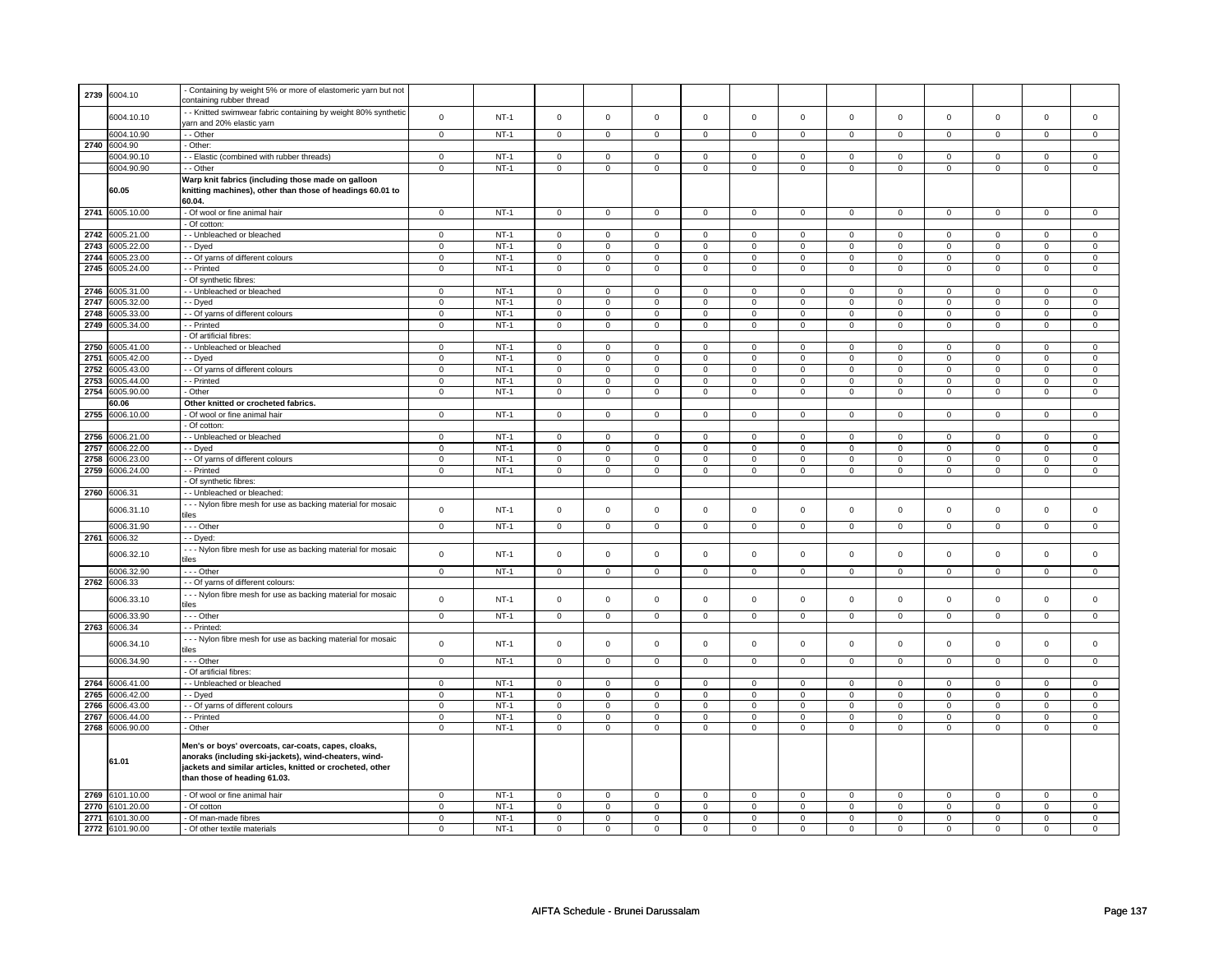| 2739 | 6004.10                       | - Containing by weight 5% or more of elastomeric yarn but not |                         |                  |                         |                         |                         |                         |                            |                         |                         |                         |                |                         |                         |                         |
|------|-------------------------------|---------------------------------------------------------------|-------------------------|------------------|-------------------------|-------------------------|-------------------------|-------------------------|----------------------------|-------------------------|-------------------------|-------------------------|----------------|-------------------------|-------------------------|-------------------------|
|      |                               | containing rubber thread                                      |                         |                  |                         |                         |                         |                         |                            |                         |                         |                         |                |                         |                         |                         |
|      |                               |                                                               |                         |                  |                         |                         |                         |                         |                            |                         |                         |                         |                |                         |                         |                         |
|      | 6004.10.10                    | - Knitted swimwear fabric containing by weight 80% synthetic  | $\mathbf 0$             | $NT-1$           | $\mathsf 0$             | $\mathsf 0$             | $\mathsf 0$             | $\mathbf 0$             | $\mathsf 0$                | $\mathsf 0$             | $\mathbf 0$             | $\mathsf 0$             | $\mathsf 0$    | $\mathbf 0$             | $\mathsf 0$             | $\mathbf 0$             |
|      |                               | arn and 20% elastic yarn                                      |                         |                  |                         |                         |                         |                         |                            |                         |                         |                         |                |                         |                         |                         |
|      |                               |                                                               |                         |                  |                         |                         |                         |                         |                            |                         |                         |                         |                |                         |                         |                         |
|      | 6004.10.90                    | - - Other                                                     | $\mathsf 0$             | $NT-1$           | $\mathsf 0$             | $\mathbf 0$             | $\mathsf 0$             | $\mathbf 0$             | $\mathsf 0$                | $\mathsf 0$             | $\mathsf 0$             | $\mathsf 0$             | $\mathsf 0$    | $\mathsf 0$             | $\mathsf 0$             | $\mathsf 0$             |
|      | 2740 6004.90                  | Other:                                                        |                         |                  |                         |                         |                         |                         |                            |                         |                         |                         |                |                         |                         |                         |
|      | 6004.90.10                    | - - Elastic (combined with rubber threads)                    | $\mathbf 0$             | $NT-1$           | $\mathbf 0$             | $\mathbf{0}$            | $\mathbf 0$             | $\mathbf{0}$            | $\mathbf 0$                | $\mathbf{0}$            | $^{\circ}$              | $\mathbf 0$             | 0              | $\mathbf 0$             | $^{\circ}$              | $\mathbf 0$             |
|      |                               |                                                               |                         |                  |                         |                         |                         |                         |                            |                         |                         |                         |                |                         |                         |                         |
|      | 6004.90.90                    | - - Other                                                     | $\mathbf 0$             | $NT-1$           | $\mathsf 0$             | $\mathsf 0$             | $\mathsf 0$             | $\mathbf 0$             | $\mathsf 0$                | $\mathbf 0$             | $\mathbf 0$             | $\mathsf 0$             | $\mathsf 0$    | $\mathsf 0$             | $\mathsf 0$             | $\mathbf 0$             |
|      |                               | Warp knit fabrics (including those made on galloon            |                         |                  |                         |                         |                         |                         |                            |                         |                         |                         |                |                         |                         |                         |
|      |                               |                                                               |                         |                  |                         |                         |                         |                         |                            |                         |                         |                         |                |                         |                         |                         |
|      | 60.05                         | knitting machines), other than those of headings 60.01 to     |                         |                  |                         |                         |                         |                         |                            |                         |                         |                         |                |                         |                         |                         |
|      |                               | 60.04.                                                        |                         |                  |                         |                         |                         |                         |                            |                         |                         |                         |                |                         |                         |                         |
|      | 2741 6005.10.00               | - Of wool or fine animal hair                                 | $\mathbf 0$             | $NT-1$           | $\mathbf 0$             | $\mathbf 0$             | $\mathbf 0$             | $\mathbf 0$             | $\mathbf 0$                | $\mathbf 0$             | $\mathbf 0$             | 0                       | $\mathbf 0$    | $\mathbf 0$             | $\mathbf 0$             | $\mathbf 0$             |
|      |                               |                                                               |                         |                  |                         |                         |                         |                         |                            |                         |                         |                         |                |                         |                         |                         |
|      |                               | - Of cotton:                                                  |                         |                  |                         |                         |                         |                         |                            |                         |                         |                         |                |                         |                         |                         |
| 2742 | 6005.21.00                    | - - Unbleached or bleached                                    | 0                       | $NT-1$           | $\mathbf 0$             | $\mathbf 0$             | 0                       | 0                       | $\mathbf 0$                | $\mathbf 0$             | $\mathbf 0$             | 0                       | 0              | $\mathbf 0$             | $\mathbf 0$             | $\mathbf 0$             |
| 2743 | 6005.22.00                    | - Dyed                                                        | $\mathbf 0$             | $NT-1$           | $\mathbf 0$             | $\mathbf 0$             | $\mathsf 0$             | $\mathbf 0$             | $\mathbf 0$                | $\mathbf 0$             | $\mathbf 0$             | $\mathbf 0$             | $\mathbf 0$    | $\mathbf 0$             | $\mathbf 0$             | $\mathbf 0$             |
|      |                               |                                                               |                         |                  |                         |                         |                         |                         |                            |                         |                         |                         |                |                         |                         |                         |
| 2744 | 6005.23.00                    | - Of yarns of different colours                               | $\mathsf 0$             | $NT-1$           | $\mathbf 0$             | $\mathbf 0$             | 0                       | $\mathbf 0$             | 0                          | $\mathbf 0$             | 0                       | 0                       | 0              | 0                       | 0                       | $\mathbf 0$             |
| 2745 | 6005.24.00                    | - - Printed                                                   | $\mathsf 0$             | $NT-1$           | $\mathsf 0$             | $\mathbf 0$             | $\mathsf 0$             | $\mathbf 0$             | $\mathsf 0$                | $\mathsf 0$             | $\mathbf 0$             | $\mathsf 0$             | $\mathsf 0$    | $\mathsf 0$             | $\mathsf 0$             | $\mathbf 0$             |
|      |                               |                                                               |                         |                  |                         |                         |                         |                         |                            |                         |                         |                         |                |                         |                         |                         |
|      |                               | - Of synthetic fibres:                                        |                         |                  |                         |                         |                         |                         |                            |                         |                         |                         |                |                         |                         |                         |
| 2746 | 6005.31.00                    | - - Unbleached or bleached                                    | 0                       | $NT-1$           | $\mathbf 0$             | $\mathbf 0$             | $\mathbf 0$             | $\mathbf 0$             | $\mathbf 0$                | $\mathsf 0$             | $\mathbf 0$             | $\mathbf 0$             | $\mathbf 0$    | $\mathsf 0$             | $\mathbf 0$             | $\mathbf 0$             |
| 2747 | 6005.32.00                    | - Dyed                                                        | $\mathbf 0$             | $NT-1$           | $\mathsf 0$             | $\mathsf 0$             | $\mathsf 0$             | $\mathbf 0$             | $\mathsf 0$                | $\mathsf 0$             | $\mathsf 0$             | $\mathsf 0$             | $\mathsf 0$    | $\mathbf 0$             | $\mathsf 0$             | $\mathsf 0$             |
|      |                               |                                                               |                         |                  |                         |                         |                         |                         |                            |                         |                         |                         |                |                         |                         |                         |
| 2748 | 6005.33.00                    | - - Of yarns of different colours                             | $\mathbf 0$             | $NT-1$           | $\mathbf 0$             | $\mathbf 0$             | 0                       | $\mathbf 0$             | $\mathbf 0$                | $\mathbf 0$             | $\mathbf 0$             | $\mathbf 0$             | 0              | 0                       | $\mathbf 0$             | $\mathbf 0$             |
| 2749 | 6005.34.00                    | - - Printed                                                   | $\mathbf 0$             | $NT-1$           | $\mathsf 0$             | $\mathsf 0$             | $\mathsf 0$             | $\mathbf 0$             | $\mathsf 0$                | $\mathsf 0$             | $\mathbf 0$             | $\mathbf 0$             | $\mathsf 0$    | $\mathsf 0$             | $\mathbf 0$             | $\mathbf 0$             |
|      |                               | - Of artificial fibres:                                       |                         |                  |                         |                         |                         |                         |                            |                         |                         |                         |                |                         |                         |                         |
|      |                               |                                                               |                         |                  |                         |                         |                         |                         |                            |                         |                         |                         |                |                         |                         |                         |
| 2750 | 6005.41.00                    | - - Unbleached or bleached                                    | $\mathbf 0$             | $NT-1$           | $\mathsf 0$             | $\mathsf 0$             | $\mathbf 0$             | $\mathbf 0$             | $\mathbf 0$                | $\mathbf 0$             | $\mathbf 0$             | $\mathsf 0$             | $\mathbf 0$    | $\mathsf 0$             | $\mathbf 0$             | $\mathbf 0$             |
| 2751 | 6005.42.00                    | - Dyed                                                        | $\mathsf 0$             | $NT-1$           | $\mathsf 0$             | $\mathsf 0$             | $\mathsf 0$             | $\mathbf 0$             | $\mathsf 0$                | $\mathsf 0$             | $\mathsf 0$             | $\mathsf 0$             | $\mathsf 0$    | $\mathsf 0$             | $\mathsf 0$             | $\mathsf 0$             |
| 2752 | 6005.43.00                    | - - Of yarns of different colours                             | $\mathbf 0$             | $NT-1$           | $\mathsf 0$             | $\mathsf 0$             | $\mathsf 0$             | $\mathbf 0$             | $\mathsf 0$                | $\mathsf 0$             | $\mathbf 0$             | $\mathsf 0$             | $\mathsf 0$    | $\mathsf 0$             | $\mathsf 0$             | $\mathbf 0$             |
|      |                               |                                                               |                         |                  |                         |                         |                         |                         |                            |                         |                         |                         |                |                         |                         |                         |
| 2753 | 6005.44.00                    | - - Printed                                                   | $\mathbf 0$             | $NT-1$           | $\mathsf 0$             | $\mathsf 0$             | $\mathsf 0$             | $\mathbf 0$             | $\overline{0}$             | $\overline{0}$          | $\mathbf 0$             | $\overline{0}$          | $\overline{0}$ | $\overline{0}$          | $\overline{0}$          | $\overline{0}$          |
| 2754 | 6005.90.00                    | Other                                                         | $\mathbf 0$             | $NT-1$           | $\mathbf 0$             | $\mathbf 0$             | 0                       | $\mathbf 0$             | 0                          | 0                       | 0                       | 0                       | 0              | 0                       | $\mathbf 0$             | $\mathbf 0$             |
|      | 60.06                         | Other knitted or crocheted fabrics.                           |                         |                  |                         |                         |                         |                         |                            |                         |                         |                         |                |                         |                         |                         |
|      |                               |                                                               |                         |                  |                         |                         |                         |                         |                            |                         |                         |                         |                |                         |                         |                         |
| 2755 | 6006.10.00                    | - Of wool or fine animal hair                                 | $\mathbf{0}$            | $NT-1$           | $\mathbf 0$             | $\mathbf 0$             | $\mathbf 0$             | $\mathbf{0}$            | $\mathbf{0}$               | $\mathbf 0$             | $\mathbf{0}$            | $\mathbf{0}$            | $\mathbf{0}$   | $\mathbf 0$             | $\mathbf{0}$            | $\mathbf{0}$            |
|      |                               | - Of cotton:                                                  |                         |                  |                         |                         |                         |                         |                            |                         |                         |                         |                |                         |                         |                         |
| 2756 | 6006.21.00                    | - - Unbleached or bleached                                    | $\mathbf 0$             | $NT-1$           | $\mathsf 0$             | $\mathsf 0$             | $\mathbf 0$             | $\mathbf 0$             | $\mathsf 0$                | $\mathsf 0$             | $\mathsf 0$             | $\mathsf 0$             | $\mathsf 0$    | $\mathsf 0$             | $\mathbf 0$             | $\mathbf 0$             |
| 2757 | 6006.22.00                    | - Dyed                                                        | $\mathsf 0$             | $NT-1$           | $\mathsf 0$             | $\mathbf 0$             | $\mathsf{o}\,$          | $\mathbf 0$             | $\mathsf 0$                | $\mathsf 0$             | $\mathsf 0$             | $\mathsf 0$             | $\mathsf 0$    | $\mathsf 0$             | $\mathsf 0$             | $\mathbf 0$             |
|      |                               |                                                               |                         |                  |                         |                         |                         |                         |                            |                         |                         |                         |                |                         |                         |                         |
| 2758 | 6006.23.00                    | - - Of yarns of different colours                             | $\circ$                 | $NT-1$           | $\mathbf 0$             | $\circ$                 | $\mathbf 0$             | $\mathbf{0}$            | $\overline{0}$             | $\mathbf{0}$            | $\mathbf 0$             | $\mathbf 0$             | $\overline{0}$ | $\overline{0}$          | $\mathsf 0$             | $\mathbf 0$             |
| 2759 | 6006.24.00                    | - - Printed                                                   | $\mathsf 0$             | $NT-1$           | $\mathsf 0$             | $\mathbf 0$             | $\mathbf 0$             | $\mathbf 0$             | $\mathsf 0$                | $\mathbf 0$             | $\mathbf 0$             | $\mathbf 0$             | $\mathsf 0$    | $\mathsf 0$             | $\mathsf 0$             | $\mathbf 0$             |
|      |                               |                                                               |                         |                  |                         |                         |                         |                         |                            |                         |                         |                         |                |                         |                         |                         |
|      |                               | - Of synthetic fibres:                                        |                         |                  |                         |                         |                         |                         |                            |                         |                         |                         |                |                         |                         |                         |
|      | 2760 6006.31                  | - - Unbleached or bleached:                                   |                         |                  |                         |                         |                         |                         |                            |                         |                         |                         |                |                         |                         |                         |
|      |                               | --- Nylon fibre mesh for use as backing material for mosaic   |                         |                  |                         |                         |                         |                         |                            |                         |                         |                         |                |                         |                         |                         |
|      | 6006.31.10                    | tiles                                                         | $\mathbf 0$             | $NT-1$           | $\mathsf 0$             | $\mathsf 0$             | $\mathsf 0$             | $\mathbf 0$             | $\mathsf 0$                | $\mathbf 0$             | $\mathsf 0$             | $\mathbf 0$             | $\mathsf 0$    | $\mathbf 0$             | $\mathsf 0$             | $\mathbf 0$             |
|      |                               |                                                               |                         |                  |                         |                         |                         |                         |                            |                         |                         |                         |                |                         |                         |                         |
|      | 6006.31.90                    | - - - Other                                                   | $\mathbf 0$             | $NT-1$           | $\mathsf 0$             | $\mathsf 0$             | $\Omega$                | $\mathbf 0$             | $\mathbf 0$                | $\mathbf 0$             | $\mathbf 0$             | $\mathbf 0$             | $\mathbf 0$    | $\mathbf 0$             | $\mathbf 0$             | $\mathbf 0$             |
| 2761 | 6006.32                       | - - Dyed:                                                     |                         |                  |                         |                         |                         |                         |                            |                         |                         |                         |                |                         |                         |                         |
|      |                               |                                                               |                         |                  |                         |                         |                         |                         |                            |                         |                         |                         |                |                         |                         |                         |
|      | 6006.32.10                    | --- Nylon fibre mesh for use as backing material for mosaic   | $\mathbf 0$             | $NT-1$           | $\mathsf 0$             | $\mathsf 0$             | $\mathbf 0$             | $\mathbf 0$             | $\mathsf 0$                | $\mathsf 0$             | $\mathsf 0$             | $\mathsf 0$             | $\mathsf 0$    | $\mathsf 0$             | $\mathsf 0$             | $\mathbf 0$             |
|      |                               | tiles                                                         |                         |                  |                         |                         |                         |                         |                            |                         |                         |                         |                |                         |                         |                         |
|      | 6006.32.90                    | --- Other                                                     | $\mathsf 0$             | $NT-1$           | $\mathsf 0$             | $\mathbf 0$             | $\mathsf 0$             | $\mathbf 0$             | $\mathsf 0$                | $\mathsf 0$             | $\mathbf 0$             | $\mathbf 0$             | $\mathsf 0$    | $\mathsf 0$             | $\mathsf 0$             | $\mathbf 0$             |
|      |                               |                                                               |                         |                  |                         |                         |                         |                         |                            |                         |                         |                         |                |                         |                         |                         |
| 2762 | 6006.33                       | - - Of yarns of different colours:                            |                         |                  |                         |                         |                         |                         |                            |                         |                         |                         |                |                         |                         |                         |
|      |                               | --- Nylon fibre mesh for use as backing material for mosaic   |                         | $NT-1$           | $\mathsf 0$             | $\mathsf 0$             | $\mathbf 0$             | $\mathbf 0$             | $\mathbf 0$                | $\mathbf 0$             | $\mathbf 0$             | $\mathsf 0$             | $\mathbf 0$    |                         | $\mathbf 0$             | $\mathbf 0$             |
|      | 6006.33.10                    | tiles                                                         | $\mathbf 0$             |                  |                         |                         |                         |                         |                            |                         |                         |                         |                | $\mathbf 0$             |                         |                         |
|      |                               |                                                               |                         |                  |                         |                         |                         |                         |                            |                         |                         |                         |                |                         |                         |                         |
|      | 6006.33.90                    | --- Other                                                     | $\mathsf 0$             | $NT-1$           | $\mathbf 0$             | $\mathbf 0$             | $\mathbf 0$             | $\mathbf 0$             | $\mathbf 0$                | $\mathbf 0$             | $\mathbf 0$             | $\mathbf 0$             | $\mathbf 0$    | $\mathbf 0$             | $\mathbf 0$             | $\mathbf 0$             |
|      | 2763 6006.34                  | -- Printed:                                                   |                         |                  |                         |                         |                         |                         |                            |                         |                         |                         |                |                         |                         |                         |
|      |                               | --- Nylon fibre mesh for use as backing material for mosaic   |                         |                  |                         |                         |                         |                         |                            |                         |                         |                         |                |                         |                         |                         |
|      | 6006.34.10                    | tiles                                                         | $\mathbf 0$             | $NT-1$           | $\mathsf 0$             | $\mathsf 0$             | $\mathsf 0$             | $\mathbf 0$             | $\mathsf 0$                | $\mathsf 0$             | $\mathsf 0$             | $\mathsf 0$             | $\mathsf 0$    | $\mathsf 0$             | $\mathsf 0$             | $\mathbf 0$             |
|      |                               |                                                               |                         |                  |                         |                         |                         |                         |                            |                         |                         |                         |                |                         |                         |                         |
|      | 6006.34.90                    | - - - Other                                                   | $\mathbf 0$             | $NT-1$           | $\mathbf 0$             | $\overline{0}$          | $\mathsf 0$             | $\overline{0}$          | $\mathsf 0$                | $\overline{0}$          | $\mathsf 0$             | $\overline{0}$          | $\mathsf 0$    | $\mathbf 0$             | $\mathsf 0$             | $\mathbf 0$             |
|      |                               | - Of artificial fibres:                                       |                         |                  |                         |                         |                         |                         |                            |                         |                         |                         |                |                         |                         |                         |
| 2764 | 6006.41.00                    | - Unbleached or bleached                                      | $\mathbf 0$             | $NT-1$           | $\mathsf{O}\xspace$     | $\mathbf 0$             | $\mathsf 0$             | $\mathsf 0$             | $\mathsf 0$                | $\mathbf 0$             | $\mathbf 0$             | $\mathsf 0$             | $\mathsf 0$    | $\mathsf 0$             | $\Omega$                | $\mathbf 0$             |
|      |                               |                                                               |                         |                  |                         |                         |                         |                         |                            |                         |                         |                         |                |                         |                         |                         |
| 2765 | 6006.42.00                    | - - Dyed                                                      | $\mathbf 0$             | $NT-1$           | $\mathsf 0$             | $\mathsf 0$             | $\mathsf 0$             | $\mathbf 0$             | $\mathsf 0$                | $\mathsf 0$             | $\mathbf 0$             | $\mathsf 0$             | $\mathsf 0$    | $\mathsf 0$             | $\mathsf 0$             | $\mathbf 0$             |
| 2766 | 6006.43.00                    | - - Of yarns of different colours                             | $\mathbf 0$             | $NT-1$           | $\mathbf 0$             | $\mathbf 0$             | $\mathbf 0$             | 0                       | $\mathbf 0$                | 0                       | 0                       | 0                       | 0              | $\mathbf 0$             | 0                       | $\mathsf 0$             |
| 2767 | 6006.44.00                    | - - Printed                                                   | $\mathbf 0$             | $NT-1$           | $\mathbf 0$             | $\mathbf 0$             | $\mathbf 0$             | $\mathbf 0$             | $\mathbf 0$                | $\mathbf 0$             | $\mathbf 0$             | $\mathbf 0$             | $\mathbf 0$    | $\mathbf 0$             | $\mathbf 0$             | $\mathbf 0$             |
|      |                               |                                                               |                         |                  |                         |                         |                         |                         |                            |                         |                         |                         |                |                         |                         |                         |
| 2768 | 6006.90.00                    | - Other                                                       | $\mathbf 0$             | $NT-1$           | $\mathsf 0$             | $\mathbf 0$             | $\mathsf 0$             | $\mathbf 0$             | $\mathsf 0$                | $\mathbf 0$             | $\mathbf 0$             | $\mathbf 0$             | $\mathbf 0$    | $\mathbf 0$             | $\Omega$                | $\mathbf 0$             |
|      |                               |                                                               |                         |                  |                         |                         |                         |                         |                            |                         |                         |                         |                |                         |                         |                         |
|      |                               | Men's or boys' overcoats, car-coats, capes, cloaks,           |                         |                  |                         |                         |                         |                         |                            |                         |                         |                         |                |                         |                         |                         |
|      |                               | anoraks (including ski-jackets), wind-cheaters, wind-         |                         |                  |                         |                         |                         |                         |                            |                         |                         |                         |                |                         |                         |                         |
|      | 61.01                         | jackets and similar articles, knitted or crocheted, other     |                         |                  |                         |                         |                         |                         |                            |                         |                         |                         |                |                         |                         |                         |
|      |                               |                                                               |                         |                  |                         |                         |                         |                         |                            |                         |                         |                         |                |                         |                         |                         |
|      |                               |                                                               |                         |                  |                         |                         |                         |                         |                            |                         |                         |                         |                |                         |                         |                         |
|      |                               | than those of heading 61.03.                                  |                         |                  |                         |                         |                         |                         |                            |                         |                         |                         |                |                         |                         |                         |
|      |                               |                                                               |                         |                  |                         |                         |                         |                         |                            |                         |                         |                         |                |                         |                         |                         |
| 2769 | 6101.10.00                    | - Of wool or fine animal hair                                 | $\mathbf 0$             | NT-1             | $\mathbf 0$             | $\mathbf 0$             | $\mathbf 0$             | $\mathbf 0$             | $\mathbf 0$                | 0                       | $\,0\,$                 | 0                       | 0              | 0                       | $\mathbf 0$             | $\mathbf 0$             |
| 2770 | 3101.20.00                    | - Of cotton                                                   | $\mathbf 0$             | $NT-1$           | $\mathbf 0$             | $\mathbf 0$             | $\mathbf 0$             | $\mathbf 0$             | $\mathsf 0$                | $\mathsf 0$             | $\mathsf 0$             | $\mathsf 0$             | $\mathsf 0$    | $\mathbf 0$             | $\mathsf 0$             | $\mathsf 0$             |
|      |                               |                                                               |                         |                  |                         |                         |                         |                         |                            |                         |                         |                         |                |                         |                         |                         |
| 2771 | 6101.30.00<br>2772 6101.90.00 | - Of man-made fibres<br>- Of other textile materials          | $\mathbf 0$<br>$\Omega$ | $NT-1$<br>$NT-1$ | $\mathbf 0$<br>$\Omega$ | $\mathbf 0$<br>$\Omega$ | $\mathbf 0$<br>$\Omega$ | $\mathbf 0$<br>$\Omega$ | $\mathbf 0$<br>$\mathbf 0$ | $\mathbf 0$<br>$\Omega$ | $\mathbf 0$<br>$\Omega$ | $\mathbf 0$<br>$\Omega$ | 0<br>$\Omega$  | $\mathbf 0$<br>$\Omega$ | $\mathbf 0$<br>$\Omega$ | $\mathbf 0$<br>$\Omega$ |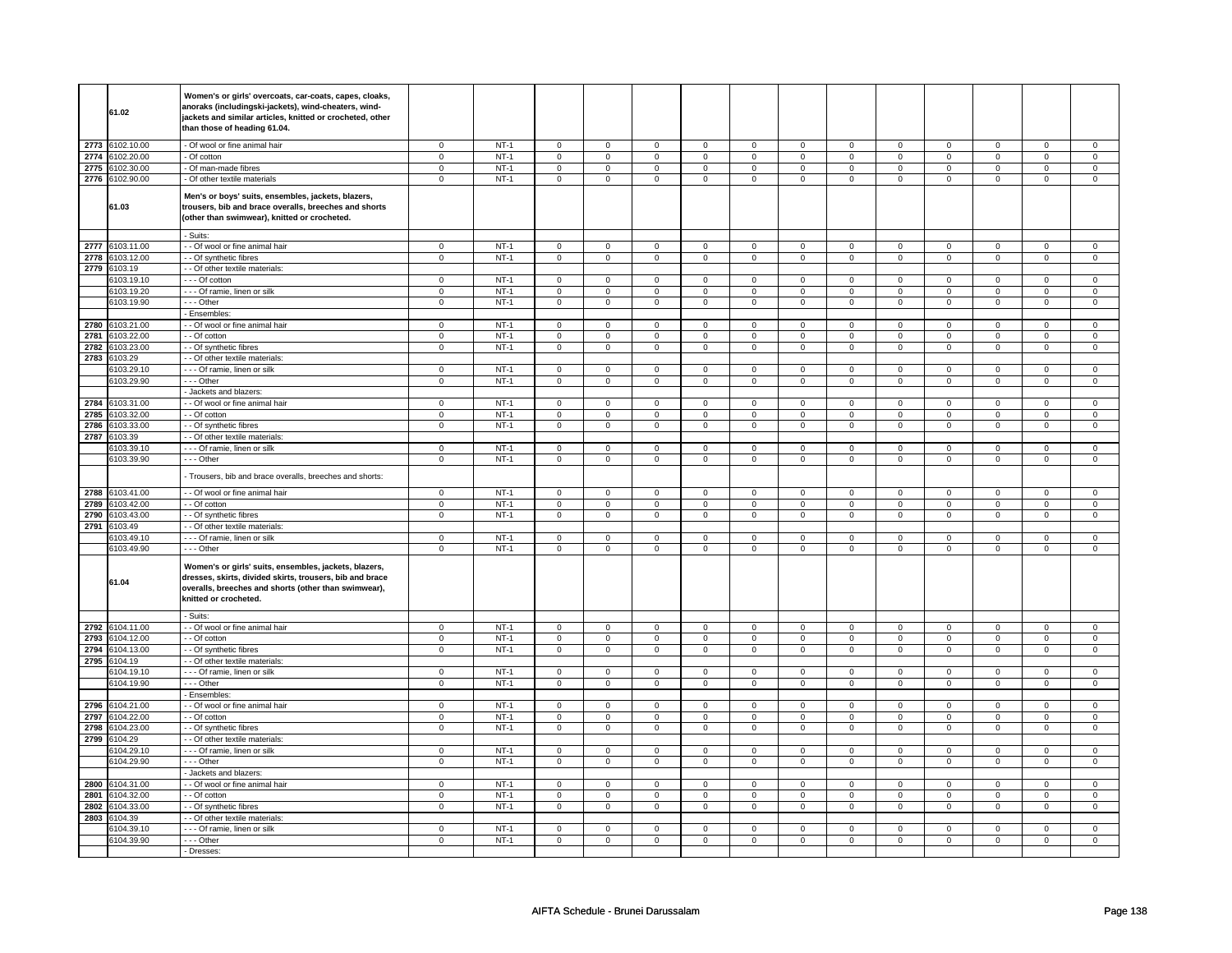|              | 61.02                   | Women's or girls' overcoats, car-coats, capes, cloaks,<br>anoraks (includingski-jackets), wind-cheaters, wind-<br>jackets and similar articles, knitted or crocheted, other<br>than those of heading 61.04. |                            |                  |                            |                            |                            |                            |                            |                                    |                   |                            |                             |                               |                                |                            |
|--------------|-------------------------|-------------------------------------------------------------------------------------------------------------------------------------------------------------------------------------------------------------|----------------------------|------------------|----------------------------|----------------------------|----------------------------|----------------------------|----------------------------|------------------------------------|-------------------|----------------------------|-----------------------------|-------------------------------|--------------------------------|----------------------------|
| 2773         | 6102.10.00              | - Of wool or fine animal hair                                                                                                                                                                               | $\mathsf 0$                | $NT-1$           | $\overline{0}$             | $\mathsf 0$                | $\mathsf{O}\xspace$        | $\mathbf 0$                | $\mathsf 0$                | $\mathbf 0$                        | $\mathbf 0$       | $\mathbf 0$                | $\mathsf 0$                 | $\mathbf 0$                   | $\mathbf 0$                    | $\mathsf 0$                |
|              | 2774 6102.20.00         | - Of cotton                                                                                                                                                                                                 | $\mathbf 0$                | $NT-1$           | $\mathsf 0$                | $\mathsf 0$                | $\mathsf{O}\xspace$        | $\mathsf 0$                | $\mathsf 0$                | $\mathbf 0$                        | $\mathbf 0$       | $\mathbf 0$                | 0                           | $\mathsf 0$                   | $\mathsf 0$                    | $\overline{0}$             |
| 2775         | 6102.30.00              | - Of man-made fibres                                                                                                                                                                                        | $\overline{0}$             | $NT-1$           | $\overline{0}$             | $\overline{0}$             | $\mathsf{O}\xspace$        | $\overline{0}$             | $\mathsf 0$                | $\overline{0}$                     | $\mathbf 0$       | $\overline{0}$             | $\overline{0}$              | $\overline{0}$                | $\overline{0}$                 | $\overline{0}$             |
|              | 2776 6102.90.00         | - Of other textile materials                                                                                                                                                                                | $\overline{0}$             | $NT-1$           | $\overline{0}$             | $\overline{0}$             | $\overline{0}$             | $\overline{0}$             | $\overline{0}$             | $\overline{0}$                     | $\mathbf 0$       | $\overline{0}$             | $\mathsf 0$                 | $\overline{0}$                | $\mathsf 0$                    | $\overline{0}$             |
|              | 61.03                   | Men's or boys' suits, ensembles, jackets, blazers,<br>trousers, bib and brace overalls, breeches and shorts<br>(other than swimwear), knitted or crocheted.                                                 |                            |                  |                            |                            |                            |                            |                            |                                    |                   |                            |                             |                               |                                |                            |
|              |                         | - Suits:                                                                                                                                                                                                    |                            |                  |                            |                            |                            |                            |                            |                                    |                   |                            |                             |                               |                                |                            |
| 2777         | 6103.11.00              | - - Of wool or fine animal hair                                                                                                                                                                             | $\mathbf 0$                | $NT-1$           | $\mathbf 0$                | $\mathbf 0$                | $\mathbf 0$                | $\mathbf 0$                | $\mathbf{0}$               | $\mathbf{0}$                       | $\mathbf 0$       | $\mathbf 0$                | $\mathbf 0$                 | $\mathbf 0$                   | $\mathbf 0$                    | $\mathbf 0$                |
| 2778         | 3103.12.00              | - - Of synthetic fibres                                                                                                                                                                                     | $\mathbf 0$                | $NT-1$           | $\mathbf 0$                | $\mathbf 0$                | $\mathbf 0$                | $\mathbf 0$                | $\mathbf 0$                | $\mathbf 0$                        | 0                 | 0                          | 0                           | $\mathbf 0$                   | $\mathbf 0$                    | $\mathbf 0$                |
| 2779         | 6103.19                 | - - Of other textile materials:                                                                                                                                                                             |                            |                  |                            |                            |                            |                            |                            |                                    |                   |                            |                             |                               |                                |                            |
|              | 103.19.10               | - - - Of cotton                                                                                                                                                                                             | $\mathbf 0$                | $NT-1$           | $\mathbf 0$                | $\mathbf 0$                | $\mathbf 0$                | $\mathbf 0$                | $\mathbf 0$                | $\mathbf 0$                        | $\mathbf 0$       | $\mathbf{0}$               | $\mathbf 0$                 | $\mathbf 0$                   | $\mathbf{0}$<br>$\overline{0}$ | $\mathbf 0$                |
|              | 6103.19.20              | --- Of ramie, linen or silk                                                                                                                                                                                 | $\mathsf 0$                | $NT-1$           | $\overline{0}$             | $\overline{0}$             | $\mathsf 0$                | $\mathbf 0$                | $\overline{0}$             | $\overline{0}$                     | $\mathbf 0$       | $\overline{0}$             | $\overline{0}$              | $\overline{0}$                |                                | $\overline{0}$             |
|              | 6103.19.90              | --- Other                                                                                                                                                                                                   | $\mathsf 0$                | $NT-1$           | $\mathbf 0$                | $\mathbf 0$                | $\mathsf 0$                | $\mathbf 0$                | $\mathbf 0$                | $\mathbf 0$                        | $\mathbf 0$       | $\mathbf{0}$               | $\mathbf 0$                 | $\mathbf 0$                   | $\mathsf 0$                    | $\circ$                    |
| 2780         | 6103.21.00              | - Ensembles:<br>- - Of wool or fine animal hair                                                                                                                                                             | $\mathbf{0}$               | $NT-1$           | $\mathbf 0$                | $\mathbf{0}$               | $^{\circ}$                 | $\overline{0}$             | $\mathbf{0}$               | $\mathbf{0}$                       | $\mathbf{0}$      | $\mathbf{0}$               | $\mathbf 0$                 | $\mathbf{0}$                  | $\mathbf 0$                    | $\mathbf{0}$               |
| 2781         | 3103.22.00              | - - Of cotton                                                                                                                                                                                               | $\mathbf 0$                | $NT-1$           | 0                          | $\mathbf 0$                | $\mathbf 0$                | 0                          | $\mathbf 0$                | $\mathbf 0$                        | 0                 | $\mathbf 0$                | 0                           | $\mathbf 0$                   | $\mathbf 0$                    | $\mathbf 0$                |
| 2782         | 103.23.00               | - - Of synthetic fibres                                                                                                                                                                                     | $\mathbf 0$                | $NT-1$           | $\mathsf 0$                | $\mathbf 0$                | $\mathbf 0$                | $\mathbf 0$                | 0                          | $\mathsf 0$                        | 0                 | 0                          | 0                           | $\mathbf 0$                   | $\mathbf 0$                    | $\mathbf 0$                |
| 2783         | 103.29                  | - Of other textile materials:                                                                                                                                                                               |                            |                  |                            |                            |                            |                            |                            |                                    |                   |                            |                             |                               |                                |                            |
|              | 103.29.10               | - - - Of ramie, linen or silk                                                                                                                                                                               | 0                          | $NT-1$           | $\mathbf 0$                | $\mathbf 0$                | $\mathbf 0$                | $\mathbf 0$                | 0                          | $\mathbf 0$                        | 0                 | $\mathbf 0$                | $\mathbf 0$                 | $\mathsf 0$                   | $\mathbf 0$                    | $\mathbf 0$                |
|              | 6103.29.90              | $- -$ Other                                                                                                                                                                                                 | $\overline{0}$             | $NT-1$           | $\overline{0}$             | $\overline{0}$             | $\mathbf 0$                | $\overline{0}$             | 0                          | $\overline{0}$                     | 0                 | $\overline{0}$             | 0                           | $\overline{0}$                | 0                              | $\overline{0}$             |
|              |                         | Jackets and blazers:                                                                                                                                                                                        |                            |                  |                            |                            |                            |                            |                            |                                    |                   |                            |                             |                               |                                |                            |
| 2784         | 6103.31.00              | - - Of wool or fine animal hair                                                                                                                                                                             | $\mathbf 0$                | $NT-1$           | $\mathsf 0$                | $\mathsf 0$                | $\mathbf 0$                | $\mathbf 0$                | 0                          | $\mathbf 0$                        | 0                 | $\mathbf{0}$               | 0                           | $\mathbf 0$                   | 0                              | $\mathbf 0$                |
| 2785         | 3103.32.00              | - - Of cotton                                                                                                                                                                                               | $\mathbf 0$                | $NT-1$           | $\mathsf 0$                | $\mathsf 0$                | $\mathsf 0$                | $\mathbf 0$                | $\mathsf 0$                | $\mathsf 0$                        | $\mathbf 0$       | 0                          | $\mathbf 0$                 | $\mathbf 0$                   | $\mathsf 0$                    | $\mathbf 0$                |
| 2786         | 103.33.00               | - - Of synthetic fibres                                                                                                                                                                                     | $\mathsf{O}\xspace$        | $NT-1$           | $\mathsf 0$                | $\mathsf 0$                | $\mathsf{O}\xspace$        | $\mathsf 0$                | $\mathsf 0$                | $\mathsf 0$                        | $\mathsf 0$       | $\mathsf{O}\xspace$        | $\mathsf 0$                 | $\mathsf{O}\xspace$           | $\mathsf 0$                    | $\mathsf 0$                |
| 2787         | 3103.39                 | - - Of other textile materials:                                                                                                                                                                             |                            |                  |                            |                            |                            |                            |                            |                                    |                   |                            |                             |                               |                                |                            |
|              | 103.39.10               | - - - Of ramie, linen or silk                                                                                                                                                                               | $\mathsf 0$                | <b>NT-1</b>      | $\mathsf 0$                | $\mathsf 0$                | $\mathsf{o}\,$             | $\mathsf{o}\,$             | $\mathsf{o}\,$             | $\circ$                            | 0                 | $\circ$                    | 0                           | $\mathsf 0$                   | $\mathsf 0$                    | $\circ$                    |
|              | 3103.39.90              | $- -$ Other                                                                                                                                                                                                 | $\mathsf 0$                | $NT-1$           | $\mathbf 0$                | $\overline{0}$             | $\mathbf{0}$               | $\mathbf 0$                | $\mathbf 0$                | $\mathbf 0$                        | $\mathbf 0$       | $\mathbf 0$                | $\mathbf 0$                 | $\mathbf{0}$                  | $\mathbf 0$                    | $\circ$                    |
|              |                         | - Trousers, bib and brace overalls, breeches and shorts:                                                                                                                                                    |                            |                  |                            |                            |                            |                            |                            |                                    |                   |                            |                             |                               |                                |                            |
| 2788         | 103.41.00               | - - Of wool or fine animal hair                                                                                                                                                                             | $\mathbf 0$                | $NT-1$           | $\mathbf 0$                | $\mathbf 0$                | $\mathbf 0$                | $\mathbf 0$                | $\mathbf 0$                | $\mathbf 0$                        | $\mathbf 0$       | $\mathbf{0}$               | $\mathbf 0$                 | $\mathbf 0$                   | $\mathbf{0}$                   | $\mathbf 0$                |
| 2789         | 3103.42.00              | - - Of cotton                                                                                                                                                                                               | $\mathbf 0$                | $NT-1$           | $\overline{0}$             | $\overline{0}$             | $\mathbf 0$                | $\overline{0}$             | $\overline{0}$             | $\overline{0}$                     | $\mathbf 0$       | $\overline{0}$             | $\overline{0}$              | $\overline{0}$                | $\overline{0}$                 | $\overline{0}$             |
| 2790<br>2791 | 103.43.00<br>6103.49    | - - Of synthetic fibres<br>- Of other textile materials:                                                                                                                                                    | $\mathbf 0$                | $NT-1$           | $\mathbf 0$                | $\overline{0}$             | $\mathbf 0$                | $\mathbf 0$                | $\mathbf 0$                | $\overline{0}$                     | $\mathbf 0$       | $\overline{0}$             | $\mathbf 0$                 | $\overline{0}$                | $\mathbf 0$                    | $\overline{0}$             |
|              | 6103.49.10              | --- Of ramie, linen or silk                                                                                                                                                                                 | $\mathbf 0$                | $NT-1$           | $\mathbf 0$                | $\mathbf 0$                | $\mathbf 0$                | $\Omega$                   | 0                          | $\mathsf 0$                        | $\Omega$          | $\Omega$                   | 0                           | $\mathbf 0$                   | $\mathbf 0$                    | $\mathbf 0$                |
|              | 6103.49.90              | $- -$ Other                                                                                                                                                                                                 | $\mathbf 0$                | $NT-1$           | $\mathbf 0$                | $\mathbf 0$                | $\mathbf 0$                | 0                          | $\mathbf 0$                | $\mathbf 0$                        | 0                 | 0                          | 0                           | $\mathbf 0$                   | $\mathbf 0$                    | $\mathbf{0}$               |
|              | 61.04                   | Women's or girls' suits, ensembles, jackets, blazers,<br>dresses, skirts, divided skirts, trousers, bib and brace<br>overalls, breeches and shorts (other than swimwear),<br>knitted or crocheted.          |                            |                  |                            |                            |                            |                            |                            |                                    |                   |                            |                             |                               |                                |                            |
|              |                         | - Suits:                                                                                                                                                                                                    |                            |                  |                            |                            |                            |                            |                            |                                    |                   |                            |                             |                               |                                |                            |
| 2792         | 3104.11.00              | - - Of wool or fine animal hair                                                                                                                                                                             | $\mathbf 0$                | $NT-1$           | $\mathbf 0$                | $\mathbf 0$                | $\mathbf 0$                | $\mathbf 0$                | $\mathbf 0$                | $\mathbf 0$                        | $\mathbf 0$       | $\mathbf{0}$               | $\mathbf 0$                 | $\mathbf 0$                   | $\mathbf{0}$                   | $\circ$                    |
| 2793<br>2794 | 104.12.00<br>6104.13.00 | - - Of cotton<br>- - Of synthetic fibres                                                                                                                                                                    | $\mathsf 0$<br>$\mathsf 0$ | $NT-1$<br>$NT-1$ | $\mathbf 0$<br>$\mathsf 0$ | $\mathsf 0$<br>$\mathsf 0$ | $\mathbf 0$<br>$\mathsf 0$ | $\mathbf 0$<br>$\mathsf 0$ | $\mathbf 0$<br>$\mathsf 0$ | $\mathsf 0$<br>$\mathsf{O}\xspace$ | $\mathbf{0}$<br>0 | $\mathbf 0$<br>$\mathbf 0$ | $\mathbf{0}$<br>$\mathsf 0$ | $\mathbf 0$<br>$\overline{0}$ | $\mathbf 0$<br>$\mathsf 0$     | $\mathbf 0$<br>$\mathsf 0$ |
| 2795         | 6104.19                 | - - Of other textile materials:                                                                                                                                                                             |                            |                  |                            |                            |                            |                            |                            |                                    |                   |                            |                             |                               |                                |                            |
|              | 3104.19.10              | --- Of ramie, linen or silk                                                                                                                                                                                 | $\mathsf 0$                | $NT-1$           | $\mathsf 0$                | $\mathbf 0$                | $\mathsf 0$                | $\mathbf 0$                | $\mathbf 0$                | $\mathsf 0$                        | $\mathbf 0$       | 0                          | $\mathbf 0$                 | $\mathbf 0$                   | $\mathsf 0$                    | $\mathbf 0$                |
|              | 6104.19.90              | $- -$ Other                                                                                                                                                                                                 | $\mathbf 0$                | $NT-1$           | $\mathsf 0$                | $\overline{0}$             | $\mathsf 0$                | $\overline{0}$             | $\mathsf 0$                | $\mathbf 0$                        | 0                 | $\mathbf 0$                | 0                           | $\overline{0}$                | $\mathsf 0$                    | $\overline{0}$             |
|              |                         | - Ensembles:                                                                                                                                                                                                |                            |                  |                            |                            |                            |                            |                            |                                    |                   |                            |                             |                               |                                |                            |
| 2796         | 3104.21.00              | - Of wool or fine animal hair                                                                                                                                                                               | $\mathbf 0$                | $NT-1$           | $\mathbf 0$                | $\mathbf 0$                | $\mathbf 0$                | $\mathbf 0$                | $\mathbf 0$                | $\mathbf 0$                        | $\mathbf 0$       | $\mathbf{0}$               | $\mathbf 0$                 | $\mathbf{0}$                  | $\mathbf 0$                    | $\mathbf 0$                |
| 2797         | 3104.22.00              | - - Of cotton                                                                                                                                                                                               | $\mathsf 0$                | $NT-1$           | $\overline{0}$             | $\overline{0}$             | $\overline{0}$             | $\overline{0}$             | $\overline{0}$             | $\overline{0}$                     | $\overline{0}$    | $\overline{0}$             | $\overline{0}$              | $\overline{0}$                | $\overline{0}$                 | $\overline{0}$             |
| 2798         | 3104.23.00              | - - Of synthetic fibres                                                                                                                                                                                     | $\mathbf 0$                | $NT-1$           | $\overline{0}$             | $\overline{0}$             | $\mathbf 0$                | $\overline{0}$             | $\mathbf 0$                | $\overline{0}$                     | $\mathbf 0$       | $\overline{0}$             | $\mathbf 0$                 | $\overline{0}$                | $\overline{0}$                 | $\overline{0}$             |
| 2799         | 3104.29                 | - - Of other textile materials:                                                                                                                                                                             |                            |                  |                            |                            |                            |                            |                            |                                    |                   |                            |                             |                               |                                |                            |
|              | 104.29.10               | --- Of ramie, linen or silk                                                                                                                                                                                 | $\mathbf 0$                | $NT-1$           | $\mathsf 0$                | $\mathsf 0$                | $\mathbf 0$                | $\mathbf 0$                | 0                          | $\mathbf 0$                        | $\mathbf 0$       | $\mathbf{0}$               | $\mathbf 0$                 | $\mathsf{O}$                  | $\mathbf 0$                    | $\mathbf 0$                |
|              | 3104.29.90              | --- Other                                                                                                                                                                                                   | $\mathbf 0$                | $NT-1$           | $\mathbf 0$                | $\mathbf 0$                | $\mathbf 0$                | $\mathbf 0$                | $\mathbf 0$                | $\mathbf 0$                        | 0                 | $\mathbf{O}$               | 0                           | $\mathbf 0$                   | $\mathbf 0$                    | $\overline{0}$             |
|              |                         | - Jackets and blazers:                                                                                                                                                                                      |                            |                  |                            |                            |                            |                            |                            |                                    |                   |                            |                             |                               |                                |                            |
| 2800         | 104.31.00               | - - Of wool or fine animal hair                                                                                                                                                                             | $\mathsf 0$                | $NT-1$           | $\mathbf 0$                | $\mathbf 0$                | $\mathbf{0}$               | $\mathbf 0$                | $\mathbf{O}$               | $\mathbf 0$                        | $\mathbf 0$       | $\mathbf{0}$               | $\mathbf 0$                 | $\mathbf 0$                   | $\mathbf{0}$                   | $\circ$                    |
| 2801         | 3104.32.00              | - - Of cotton                                                                                                                                                                                               | $\mathbf 0$                | $NT-1$           | $\mathbf 0$                | $\mathbf 0$                | $\mathsf 0$                | $\mathbf 0$                | $\mathbf 0$                | $\mathbf 0$                        | $\mathbf 0$       | $\mathbf{0}$               | $\mathbf 0$                 | $\overline{0}$                | $\mathbf 0$                    | $\circ$                    |
| 2802         | 104.33.00               | - Of synthetic fibres                                                                                                                                                                                       | $\mathsf 0$                | $NT-1$           | $\mathbf 0$                | $\mathbf 0$                | $\mathbf 0$                | $\mathbf 0$                | 0                          | $\mathbf 0$                        | 0                 | $\mathbf{0}$               | 0                           | $\mathbf 0$                   | $\mathbf 0$                    | $\circ$                    |
| 2803         | 104.39                  | - Of other textile materials:                                                                                                                                                                               |                            |                  |                            |                            |                            |                            |                            |                                    |                   |                            |                             |                               |                                |                            |
|              | 6104.39.10              | - - - Of ramie, linen or silk                                                                                                                                                                               | $^{\circ}$                 | $NT-1$           | 0                          | $\mathbf 0$                | $^{\circ}$                 | 0                          | $\mathbf 0$                | $\mathbf 0$                        | 0                 | 0                          | 0                           | $\mathbf 0$                   | $\mathbf 0$                    | $\mathbf 0$                |
|              | 6104.39.90              | --- Other                                                                                                                                                                                                   | $\mathbf 0$                | $NT-1$           | $\mathbf 0$                | $\mathbf 0$                | $\mathbf 0$                | 0                          | $\mathbf 0$                | $\mathbf 0$                        | 0                 | 0                          | 0                           | $\mathbf 0$                   | $\mathbf 0$                    | $\mathbf{0}$               |
|              |                         | - Dresses:                                                                                                                                                                                                  |                            |                  |                            |                            |                            |                            |                            |                                    |                   |                            |                             |                               |                                |                            |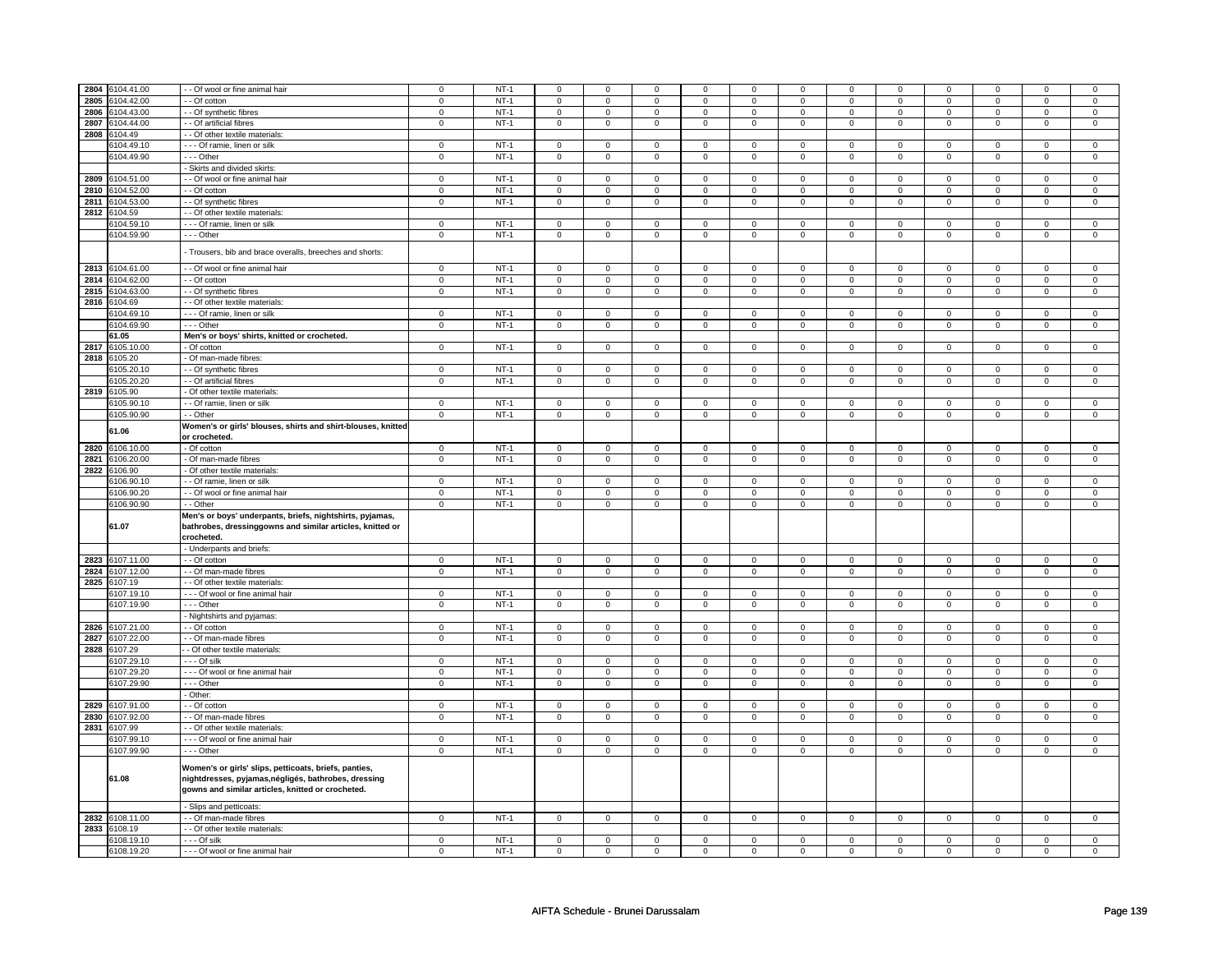|      | 2804 6104.41.00          | - Of wool or fine animal hair                                                                                                                                      | $\mathbf 0$                | $NT-1$           | $\mathbf 0$         | $\mathbf 0$                | $\mathbf 0$         | 0                          | 0                | 0                          | $\Omega$         | 0                          | $\mathbf 0$      | 0                          | $\Omega$         | $\Omega$                      |
|------|--------------------------|--------------------------------------------------------------------------------------------------------------------------------------------------------------------|----------------------------|------------------|---------------------|----------------------------|---------------------|----------------------------|------------------|----------------------------|------------------|----------------------------|------------------|----------------------------|------------------|-------------------------------|
| 2805 | 3104.42.00               | - Of cotton                                                                                                                                                        | $\mathbf 0$                | $NT-1$           | 0                   | $\mathbf 0$                | 0                   | $\mathsf 0$                | 0                | $\mathsf 0$                | 0                | $\mathbf 0$                | 0                | $\mathbf 0$                | 0                | 0                             |
| 2806 | 6104.43.00               | - Of synthetic fibres                                                                                                                                              | $\mathbf 0$                | $NT-1$           | $\mathbf 0$         | $\mathbf 0$                | $\mathbf{0}$        | $\mathbf{0}$               | $\mathbf 0$      | $\mathbf{0}$               | $\mathbf{0}$     | $\mathbf{0}$               | $\mathbf{0}$     | $\mathbf{0}$               | $\mathbf 0$      | $\mathbf{0}$                  |
| 2807 | 6104.44.00               | - - Of artificial fibres                                                                                                                                           | $\mathbf 0$                | $NT-1$           | $\mathbf 0$         | $\mathbf 0$                | $\mathbf 0$         | $\mathbf 0$                | $\mathbf 0$      | $\mathbf 0$                | 0                | $\mathbf 0$                | 0                | $\mathbf 0$                | 0                | 0                             |
| 2808 | 104.49                   | - Of other textile materials                                                                                                                                       |                            |                  |                     |                            |                     |                            |                  |                            |                  |                            |                  |                            |                  |                               |
|      | \$104.49.10              | --- Of ramie, linen or silk                                                                                                                                        | $\mathsf 0$                | $NT-1$           | $\mathsf 0$         | $\mathbf 0$                | $\mathbf 0$         | $\mathsf 0$                | $\mathbf 0$      | $\mathsf 0$                | $\mathbf 0$      | $\mathbf 0$                | $\mathbf 0$      | $\mathbf 0$                | $\Omega$         | 0                             |
|      | 6104.49.90               | --- Other                                                                                                                                                          |                            | $NT-1$           |                     |                            |                     |                            |                  |                            |                  |                            |                  |                            |                  |                               |
|      |                          |                                                                                                                                                                    | $\mathbf 0$                |                  | 0                   | $\mathbf 0$                | 0                   | $\mathbf 0$                | 0                | $\mathbf 0$                | 0                | $\mathbf 0$                | 0                | $\mathbf 0$                | 0                | $\mathbf 0$                   |
|      |                          | Skirts and divided skirts:                                                                                                                                         |                            |                  |                     |                            |                     |                            |                  |                            |                  |                            |                  |                            |                  |                               |
| 2809 | 6104.51.00               | - Of wool or fine animal hair                                                                                                                                      | $\overline{0}$             | $NT-1$           | $\overline{0}$      | $\overline{0}$             | 0                   | $\overline{0}$             | 0                | $\overline{0}$             | 0                | $\mathbf 0$                | 0                | $\overline{0}$             | 0                | $\overline{0}$                |
| 2810 | 6104.52.00               | - Of cotton                                                                                                                                                        | $\mathbf 0$                | $NT-1$           | $\mathbf 0$         | $\mathbf 0$                | 0                   | $\mathbf 0$                | $\mathbf 0$      | $\mathbf 0$                | 0                | $\mathbf 0$                | 0                | $\mathbf 0$                | 0                | $\overline{0}$                |
| 2811 | 6104.53.00               | - Of synthetic fibres                                                                                                                                              | $\mathsf 0$                | $NT-1$           | $\mathbf 0$         | $\mathsf 0$                | 0                   | $\mathbf 0$                | 0                | $\mathbf 0$                | 0                | $\mathbf 0$                | 0                | $\mathbf 0$                | 0                | $\overline{0}$                |
| 2812 | 6104.59                  | - Of other textile materials                                                                                                                                       |                            |                  |                     |                            |                     |                            |                  |                            |                  |                            |                  |                            |                  |                               |
|      | 6104.59.10               | --- Of ramie, linen or silk                                                                                                                                        | $\mathsf 0$                | $NT-1$           | $\mathsf 0$         | $\mathbf 0$                | $\mathbf 0$         | $\mathsf 0$                | $\mathbf 0$      | $\mathbf 0$                | $\mathbf 0$      | $\mathsf 0$                | $\mathsf 0$      | $\mathbf 0$                | 0                | $\mathsf 0$                   |
|      | 6104.59.90               | --- Other                                                                                                                                                          | $\mathbf 0$                | $NT-1$           | $\mathsf{O}\xspace$ | $\mathbf 0$                | $\mathsf 0$         | $\mathbf 0$                | $\mathsf 0$      | $\mathsf 0$                | $\mathbf 0$      | $\mathsf 0$                | $\mathsf 0$      | $\mathsf 0$                | 0                | 0                             |
|      |                          |                                                                                                                                                                    |                            |                  |                     |                            |                     |                            |                  |                            |                  |                            |                  |                            |                  |                               |
|      |                          | Trousers, bib and brace overalls, breeches and shorts:                                                                                                             |                            |                  |                     |                            |                     |                            |                  |                            |                  |                            |                  |                            |                  |                               |
|      | 2813 6104.61.00          | - - Of wool or fine animal hair                                                                                                                                    | $\mathbf 0$                | $NT-1$           | $\mathbf 0$         | $\mathbf 0$                | $\mathbf 0$         | $\mathbf 0$                | $\mathbf 0$      | $\mathbf 0$                | $\mathbf 0$      | $\mathbf 0$                | $\mathsf 0$      | $\mathbf 0$                | 0                | 0                             |
| 2814 | 6104.62.00               |                                                                                                                                                                    | $\mathsf 0$                | $NT-1$           | $\overline{0}$      | $\mathbf 0$                | $\mathbf 0$         | $\mathsf 0$                | $\mathbf 0$      | $\overline{0}$             | $\mathbf 0$      | $\mathbf 0$                | $\mathsf 0$      | $\overline{0}$             | $\mathbf 0$      | $\overline{0}$                |
|      |                          | - - Of cotton                                                                                                                                                      |                            |                  |                     |                            |                     |                            |                  |                            |                  |                            |                  |                            |                  |                               |
| 2815 | 6104.63.00               | - - Of synthetic fibres                                                                                                                                            | $\overline{0}$             | $NT-1$           | $\overline{0}$      | $\overline{0}$             | $\overline{0}$      | $\overline{0}$             | $\overline{0}$   | $\overline{0}$             | $\overline{0}$   | $\overline{0}$             | $\overline{0}$   | $\overline{0}$             | $\overline{0}$   | $\overline{0}$                |
| 2816 | 6104.69                  | - - Of other textile materials:                                                                                                                                    |                            |                  |                     |                            |                     |                            |                  |                            |                  |                            |                  |                            |                  |                               |
|      | 6104.69.10               | - - - Of ramie, linen or silk                                                                                                                                      | $\mathsf 0$                | $NT-1$           | $\mathsf 0$         | $\mathbf 0$                | $\mathbf 0$         | $\mathbf 0$                | $\mathbf 0$      | $\mathsf 0$                | $\mathbf 0$      | $\mathbf 0$                | $\mathsf 0$      | $\mathbf 0$                | $\Omega$         | $\mathbf 0$                   |
|      | 6104.69.90               | $--$ Other                                                                                                                                                         | $\overline{0}$             | $NT-1$           | $\overline{0}$      | $\overline{0}$             | $\mathsf 0$         | $\overline{0}$             | $\mathsf 0$      | $\overline{0}$             | $\mathbf 0$      | $\mathbf{0}$               | $\mathbf 0$      | $\mathbf{0}$               | 0                | $\overline{0}$                |
|      | 61.05                    | Men's or boys' shirts, knitted or crocheted.                                                                                                                       |                            |                  |                     |                            |                     |                            |                  |                            |                  |                            |                  |                            |                  |                               |
|      | 2817 6105.10.00          | - Of cotton                                                                                                                                                        | $\mathsf 0$                | $NT-1$           | $\mathsf 0$         | $\mathbf 0$                | $\mathsf{O}\xspace$ | $\mathbf 0$                | $\mathsf 0$      | $\mathbf 0$                | 0                | $\mathbf 0$                | $\mathbf 0$      | $\mathbf 0$                | $\mathbf 0$      | $\mathbf{0}$                  |
| 2818 | 3105.20                  | Of man-made fibres:                                                                                                                                                |                            |                  |                     |                            |                     |                            |                  |                            |                  |                            |                  |                            |                  |                               |
|      | 6105.20.10               | - Of synthetic fibres                                                                                                                                              | $\mathsf 0$                | $NT-1$           | $\mathsf{O}\xspace$ | $\mathsf 0$                | $\mathsf 0$         | $\mathsf 0$                | $\mathsf 0$      | $\mathsf{O}$               | $\mathbf 0$      | $\mathsf{O}$               | $\mathsf 0$      | $\mathsf{O}$               | $\Omega$         | $\mathsf 0$                   |
|      | 6105.20.20               | - Of artificial fibres                                                                                                                                             | $\mathsf 0$                | $NT-1$           | $\mathsf{O}\xspace$ | $\mathsf 0$                |                     | $\mathbf 0$                | $\mathsf 0$      | $\mathbf 0$                |                  | $\mathbf 0$                | $\mathsf 0$      | $\mathbf 0$                |                  | $\mathbf 0$                   |
|      |                          |                                                                                                                                                                    |                            |                  |                     |                            | 0                   |                            |                  |                            | 0                |                            |                  |                            | 0                |                               |
| 2819 | 6105.90                  | Of other textile materials:                                                                                                                                        |                            |                  |                     |                            |                     |                            |                  |                            |                  |                            |                  |                            |                  |                               |
|      | 6105.90.10               | - Of ramie, linen or silk                                                                                                                                          | $\mathbf 0$                | $NT-1$           | $\mathbf 0$         | $\mathbf 0$                | 0                   | $\mathbf 0$                | $\mathbf 0$      | $\mathbf 0$                | $\Omega$         | $\mathbf{0}$               | $\mathsf 0$      | $\mathbf 0$                | 0                | $\mathbf 0$                   |
|      | 6105.90.90               | - - Other                                                                                                                                                          | $\mathbf 0$                | $NT-1$           | $\mathsf 0$         | $\mathsf 0$                | $\mathsf 0$         | $\mathbf 0$                | $\mathsf 0$      | $\mathbf 0$                | $\mathbf 0$      | $\mathbf 0$                | $\mathbf 0$      | $\mathbf 0$                | $\mathbf 0$      | $\mathbf 0$                   |
|      | 61.06                    | Women's or girls' blouses, shirts and shirt-blouses, knitted                                                                                                       |                            |                  |                     |                            |                     |                            |                  |                            |                  |                            |                  |                            |                  |                               |
|      |                          | or crocheted.                                                                                                                                                      |                            |                  |                     |                            |                     |                            |                  |                            |                  |                            |                  |                            |                  |                               |
|      | 2820 6106.10.00          | - Of cotton                                                                                                                                                        | $\mathbf 0$                | $NT-1$           | $\mathsf 0$         | $\mathbf 0$                | $\mathbf 0$         | $\circ$                    | $\mathbf 0$      | $\circ$                    | $\mathbf 0$      | 0                          | $\mathsf 0$      | $\mathbf 0$                | 0                | $\mathbf 0$                   |
| 2821 | 6106.20.00               | Of man-made fibres                                                                                                                                                 | $\mathsf 0$                | $NT-1$           | $\mathsf 0$         | $\mathbf 0$                | 0                   | $\mathsf 0$                | $\mathbf 0$      | $\mathsf 0$                | 0                | $\mathbf 0$                | $\mathsf 0$      | $\mathbf 0$                | 0                | 0                             |
| 2822 | 6106.90                  | Of other textile materials:                                                                                                                                        |                            |                  |                     |                            |                     |                            |                  |                            |                  |                            |                  |                            |                  |                               |
|      | 6106.90.10               |                                                                                                                                                                    | $\mathbf 0$                | $NT-1$           |                     | $\mathbf 0$                |                     |                            |                  |                            |                  |                            |                  |                            |                  |                               |
|      |                          | - Of ramie, linen or silk                                                                                                                                          |                            |                  | $\mathbf 0$         |                            | 0                   | $\mathbf{0}$               | $\mathbf 0$      | $\mathbf 0$                | 0                | $\mathbf 0$                | 0                | $\mathbf 0$                | 0                | 0                             |
|      | 6106.90.20               | - - Of wool or fine animal hair                                                                                                                                    | $\mathbf 0$                | $NT-1$           | $\mathsf 0$         | $\mathbf 0$                | 0                   | $\mathbf 0$                | 0                | $\mathsf 0$                | 0                | $\mathbf 0$                | 0                | $\mathbf 0$                | 0                | 0                             |
|      | 6106.90.90               | - - Other                                                                                                                                                          | $\mathbf 0$                | $NT-1$           | $\mathbf 0$         | $\mathbf 0$                | $\mathbf 0$         | $\mathbf 0$                | $\mathbf 0$      | $\mathbf 0$                | $\mathbf 0$      | $\mathbf 0$                | $\mathbf 0$      | $\mathbf 0$                | $\mathbf 0$      | $\mathbf 0$                   |
|      | 61.07                    | Men's or boys' underpants, briefs, nightshirts, pyjamas,<br>bathrobes, dressinggowns and similar articles, knitted or                                              |                            |                  |                     |                            |                     |                            |                  |                            |                  |                            |                  |                            |                  |                               |
|      |                          |                                                                                                                                                                    |                            |                  |                     |                            |                     |                            |                  |                            |                  |                            |                  |                            |                  |                               |
|      |                          | crocheted.                                                                                                                                                         |                            |                  |                     |                            |                     |                            |                  |                            |                  |                            |                  |                            |                  |                               |
|      |                          | - Underpants and briefs:                                                                                                                                           |                            |                  |                     |                            |                     |                            |                  |                            |                  |                            |                  |                            |                  |                               |
|      | 2823 6107.11.00          | - Of cotton                                                                                                                                                        | $\mathbf 0$                | $NT-1$           | $\mathbf 0$         | $\mathbf 0$                | $\mathbf 0$         | $\mathbf 0$                | $\mathbf 0$      | $\mathbf 0$                | 0                | $\mathbf 0$                | 0                | $\mathbf 0$                | 0                | 0                             |
| 2824 | 6107.12.00               | - Of man-made fibres                                                                                                                                               | $\mathbf 0$                | $NT-1$           | $\mathsf 0$         | $\mathbf 0$                | $\mathbf 0$         | $\mathbf 0$                | $\mathbf 0$      | $\mathbf 0$                | $\mathbf 0$      | $\mathbf 0$                | $\mathsf 0$      | $\mathbf 0$                | $\mathbf 0$      | $\mathbf{0}$                  |
| 2825 | 6107.19                  | - Of other textile materials                                                                                                                                       |                            |                  |                     |                            |                     |                            |                  |                            |                  |                            |                  |                            |                  |                               |
|      | 6107.19.10               | --- Of wool or fine animal hair                                                                                                                                    | $\mathbf 0$                | $NT-1$           | $\mathsf 0$         | $\mathbf 0$                | 0                   | $\mathbf 0$                | 0                | $\mathbf 0$                | 0                | $\mathbf 0$                | 0                | $\mathbf 0$                | $\mathbf 0$      | $\mathbf 0$                   |
|      | 6107.19.90               | --- Other                                                                                                                                                          | $\mathbf 0$                | $NT-1$           | $\mathsf 0$         | $\mathbf 0$                | 0                   | $\mathbf 0$                | $\mathbf 0$      | $\mathbf 0$                | 0                | $\mathbf 0$                | $\mathsf 0$      | $\mathbf 0$                | 0                | $\mathbf 0$                   |
|      |                          | - Nightshirts and pyjamas:                                                                                                                                         |                            |                  |                     |                            |                     |                            |                  |                            |                  |                            |                  |                            |                  |                               |
| 2826 | 6107.21.00               | - - Of cotton                                                                                                                                                      | $\mathbf 0$                | $NT-1$           | $\mathbf 0$         | $\mathbf 0$                | $^{\circ}$          | $\mathbf{0}$               | $\mathbf 0$      | $\mathbf 0$                | 0                | $\mathbf 0$                | 0                | $\mathbf 0$                | 0                | $\mathbf 0$                   |
| 2827 | 6107.22.00               | - - Of man-made fibres                                                                                                                                             | $\mathbf 0$                | $NT-1$           | $\mathbf 0$         | $\mathbf 0$                | $\mathbf 0$         | $\mathbf 0$                | $\mathbf 0$      | $\mathbf 0$                | $\mathbf 0$      | $\mathbf 0$                | $\mathbf 0$      | $\mathbf 0$                | $\Omega$         | $\mathbf{0}$                  |
| 2828 | 3107.29                  |                                                                                                                                                                    |                            |                  |                     |                            |                     |                            |                  |                            |                  |                            |                  |                            |                  |                               |
|      |                          | - Of other textile materials:                                                                                                                                      |                            |                  |                     |                            |                     |                            |                  |                            | $\mathbf 0$      |                            | $\mathbf 0$      |                            | $\Omega$         |                               |
|      | 6107.29.10               | - - - Of silk                                                                                                                                                      | $\mathbf 0$                | $NT-1$           | $\mathsf 0$         | $\mathbf 0$                | $\mathbf 0$         | $\mathbf 0$                | $\mathbf 0$      | $\mathbf 0$                |                  | $\mathbf 0$                |                  | $\mathbf 0$                |                  | $\mathbf 0$                   |
|      | 6107.29.20               | --- Of wool or fine animal hair                                                                                                                                    | $\mathbf 0$                | $NT-1$           | $\mathbf 0$         | $\mathbf 0$                | 0                   | 0                          | 0                | 0                          | 0                | 0                          | 0                | 0                          | 0                | 0                             |
|      | 6107.29.90               | --- Other                                                                                                                                                          | $\mathsf 0$                | $NT-1$           | $\mathbf 0$         | $\mathbf 0$                | 0                   | 0                          | 0                | $\mathsf 0$                | 0                | 0                          | 0                | $\mathbf 0$                | $\mathbf 0$      | $\mathbf 0$                   |
|      |                          | Other:                                                                                                                                                             |                            |                  |                     |                            |                     |                            |                  |                            |                  |                            |                  |                            |                  |                               |
| 2829 | 6107.91.00               | - Of cotton                                                                                                                                                        | $\mathbf 0$                | $NT-1$           | $\mathbf 0$         | $\mathbf 0$                | 0                   | 0                          | 0                | 0                          | 0                | 0                          | 0                | 0                          | $\mathbf 0$      | 0                             |
| 2830 | 6107.92.00               | - Of man-made fibres                                                                                                                                               | $\mathbf 0$                | $NT-1$           | $\mathsf 0$         | $\mathbf 0$                | 0                   | $\mathsf 0$                | $\mathbf 0$      | $\mathsf 0$                | 0                | $\mathbf 0$                | $\mathsf 0$      | $\mathbf 0$                | 0                | 0                             |
| 2831 | 6107.99                  | - Of other textile materials                                                                                                                                       |                            |                  |                     |                            |                     |                            |                  |                            |                  |                            |                  |                            |                  |                               |
|      | 6107.99.10               | - - - Of wool or fine animal hair                                                                                                                                  | $\mathbf 0$                | $NT-1$           | $\overline{0}$      | $\overline{0}$             | 0                   | $\mathbf 0$                | $\overline{0}$   | $\overline{0}$             | 0                | $\overline{0}$             | $\overline{0}$   | $\overline{0}$             | 0                | $\overline{0}$                |
|      | 6107.99.90               | --- Other                                                                                                                                                          | $\mathsf 0$                | $NT-1$           | $\mathsf{O}$        | $\mathsf 0$                | 0                   | $\mathsf 0$                | $\mathsf{O}$     | $\mathsf 0$                | 0                | $\mathbf 0$                | $\mathbf 0$      | $\mathbf 0$                | 0                | $\mathbf 0$                   |
|      | 61.08                    | Women's or girls' slips, petticoats, briefs, panties,<br>nightdresses, pyjamas, négligés, bathrobes, dressing<br>gowns and similar articles, knitted or crocheted. |                            |                  |                     |                            |                     |                            |                  |                            |                  |                            |                  |                            |                  |                               |
|      |                          | - Slips and petticoats:                                                                                                                                            |                            |                  |                     |                            |                     |                            |                  |                            |                  |                            |                  |                            |                  |                               |
|      | 2832 6108.11.00          | - Of man-made fibres                                                                                                                                               | $\mathsf 0$                | $NT-1$           | $\mathsf 0$         | $\mathbf 0$                | $\mathsf 0$         | $\mathbf 0$                | $\mathsf 0$      | $\mathsf 0$                | $\mathsf 0$      | $\mathsf 0$                | $\mathsf 0$      | $\mathsf 0$                | 0                | $\mathbf 0$                   |
| 2833 | 6108.19                  | - Of other textile materials:                                                                                                                                      |                            |                  |                     |                            |                     |                            |                  |                            |                  |                            |                  |                            |                  |                               |
|      | 6108.19.10<br>6108.19.20 | $--$ Of silk<br>- - - Of wool or fine animal hair                                                                                                                  | $\mathbf 0$<br>$\mathsf 0$ | $NT-1$<br>$NT-1$ | $\mathbf 0$<br>0    | $\mathbf 0$<br>$\mathsf 0$ | $\mathbf 0$<br>0    | $\mathbf 0$<br>$\mathbf 0$ | $\mathbf 0$<br>0 | $\mathbf 0$<br>$\mathbf 0$ | $\mathbf 0$<br>0 | $\mathbf 0$<br>$\mathbf 0$ | $\mathsf 0$<br>0 | $\mathbf 0$<br>$\mathbf 0$ | $\mathbf 0$<br>0 | $\overline{0}$<br>$\mathbf 0$ |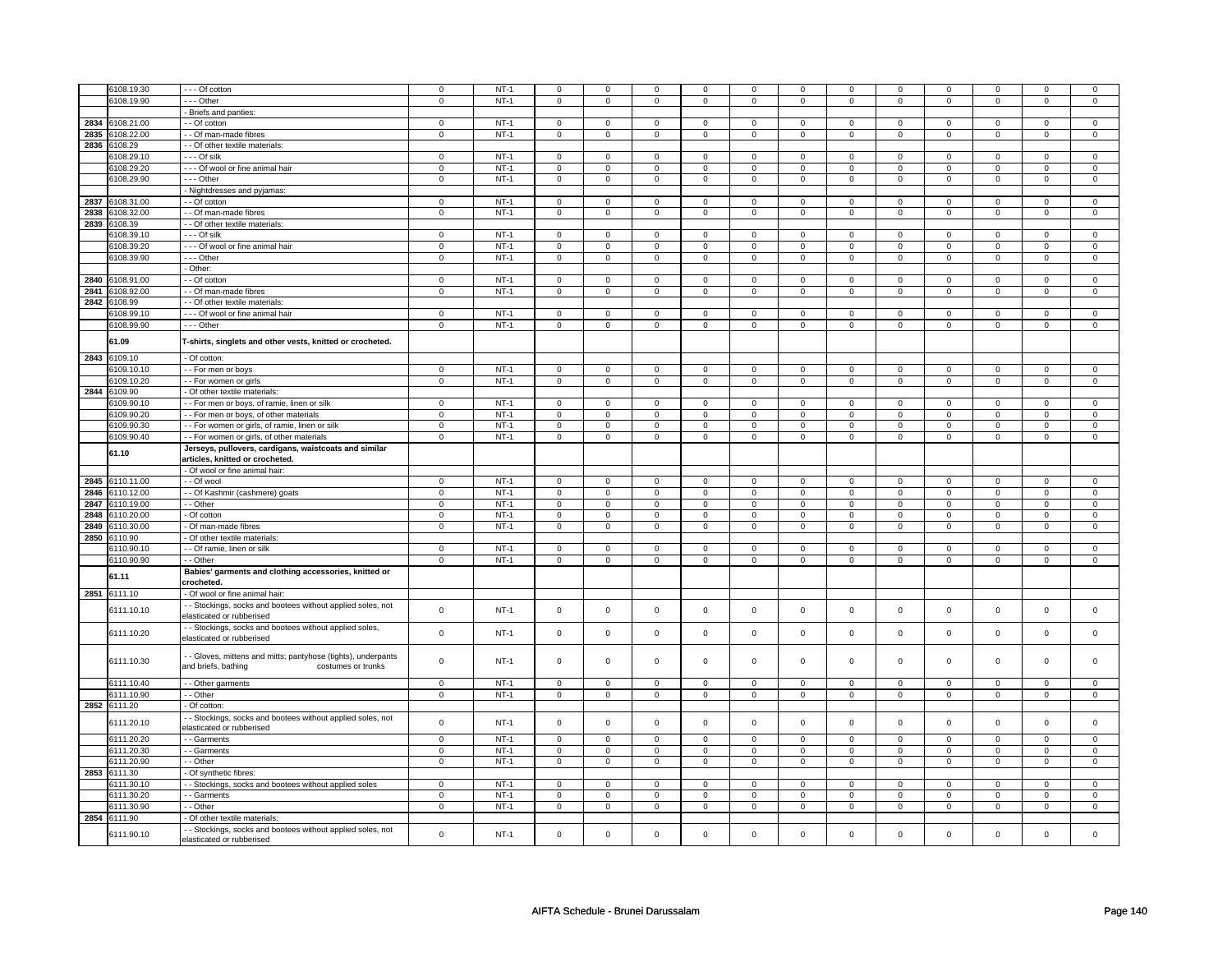| 6108.19.30<br>--- Of cotton<br>$\mathbf 0$<br>$NT-1$<br>$\mathsf 0$<br>$\mathbf 0$<br>$\mathbf 0$<br>$\mathbf 0$<br>$\mathsf 0$<br>$\mathbf 0$<br>$\mathbf 0$<br>$\mathbf 0$<br>$\mathbf 0$<br>$\mathbf 0$<br>$\mathbf 0$<br>0<br>6108.19.90<br>$- -$ Other<br>$NT-1$<br>$\mathbf 0$<br>$\mathsf 0$<br>$\mathbf 0$<br>$\mathbf 0$<br>$\mathsf 0$<br>$\mathsf 0$<br>$\mathsf 0$<br>$\mathsf 0$<br>$\mathbf 0$<br>$\mathbf 0$<br>$\mathbf 0$<br>0<br>0<br>- Briefs and panties:<br>2834<br>108.21.00<br>- Of cotton<br>$\mathbf 0$<br>$NT-1$<br>$\mathsf 0$<br>$\mathbf 0$<br>$\mathbf 0$<br>$\mathsf 0$<br>$\mathbf 0$<br>$\mathbf 0$<br>$\mathbf 0$<br>$\mathbf 0$<br>$\mathbf 0$<br>$\mathbf 0$<br>$\mathbf 0$<br>$\mathbf 0$<br>$NT-1$<br>$\mathsf 0$<br>$\mathsf 0$<br>2835<br>3108.22.00<br>$\mathsf 0$<br>$\mathsf 0$<br>$\mathsf 0$<br>$\mathsf 0$<br>$\mathsf 0$<br>$\mathbf 0$<br>$\mathsf 0$<br>$\mathsf 0$<br>$\mathbf 0$<br>$\mathbf 0$<br>- - Of man-made fibres<br>$\mathbf 0$<br>2836<br>3108.29<br>- - Of other textile materials:<br>3108.29.10<br>$- -$ Of silk<br>$\mathbf 0$<br>$NT-1$<br>$\mathsf 0$<br>$\mathbf{0}$<br>$\mathbf 0$<br>$\mathbf 0$<br>$\mathbf 0$<br>$\mathbf 0$<br>$\mathbf 0$<br>$\mathbf 0$<br>$\mathbf 0$<br>$\mathbf 0$<br>$\mathbf 0$<br>$\mathbf 0$<br>6108.29.20<br>- - - Of wool or fine animal hair<br>$NT-1$<br>$\mathbf 0$<br>$\mathbf 0$<br>$\mathbf 0$<br>$\mathbf 0$<br>$\mathbf 0$<br>$\mathbf 0$<br>$\mathbf 0$<br>$\mathbf 0$<br>$\mathbf 0$<br>$\mathbf 0$<br>$\mathbf 0$<br>$\mathbf 0$<br>$\mathbf 0$<br>6108.29.90<br>--- Other<br>$NT-1$<br>$\mathbf 0$<br>$\mathbf 0$<br>$\mathbf 0$<br>$\mathbf 0$<br>0<br>$\mathbf 0$<br>$\mathbf 0$<br>$\mathbf 0$<br>$\mathbf 0$<br>$\mathbf 0$<br>$\mathbf 0$<br>0<br>$\mathbf 0$<br>Nightdresses and pyjamas:<br>2837<br>6108.31.00<br>- - Of cotton<br>$\mathsf 0$<br>$NT-1$<br>$\mathsf 0$<br>$\mathsf 0$<br>$\mathsf 0$<br>$\mathsf 0$<br>$\mathsf 0$<br>$\mathbf 0$<br>$\mathsf 0$<br>$\mathbf 0$<br>$\mathsf 0$<br>$\mathbf 0$<br>$\mathsf 0$<br>$\mathbf 0$<br>2838<br>108.32.00<br>- Of man-made fibres<br>$\mathbf 0$<br>$NT-1$<br>$\mathsf{O}\xspace$<br>$\mathbf 0$<br>$\mathbf 0$<br>$\mathsf 0$<br>$\mathsf 0$<br>$\mathsf 0$<br>$\mathsf 0$<br>$\mathbf 0$<br>0<br>$\mathbf 0$<br>0<br>0<br>2839<br>6108.39<br>- Of other textile materials:<br>3108.39.10<br>- - - Of silk<br>$\mathbf 0$<br>$NT-1$<br>$\mathsf 0$<br>$\mathbf 0$<br>$\mathbf 0$<br>$\mathbf 0$<br>$\mathbf 0$<br>$\mathbf 0$<br>$\mathbf 0$<br>$\mathbf 0$<br>$\mathbf 0$<br>$\mathbf 0$<br>$\mathbf{0}$<br>$\Omega$<br>3108.39.20<br>- - - Of wool or fine animal hair<br>$NT-1$<br>$\mathsf 0$<br>$\mathbf 0$<br>$\mathsf 0$<br>$\mathbf 0$<br>$\mathsf 0$<br>$\mathsf 0$<br>$\mathsf 0$<br>$\mathsf 0$<br>$\mathsf 0$<br>$\mathsf 0$<br>$\mathsf 0$<br>$\mathbf 0$<br>$\mathbf 0$<br>$\mathbf 0$<br>$\mathsf 0$<br>$\mathsf 0$<br>$\mathsf 0$<br>$\mathbf 0$<br>3108.39.90<br>--- Other<br>$\mathbf 0$<br>$NT-1$<br>$\mathsf 0$<br>$\mathbf 0$<br>$\mathbf 0$<br>$\mathbf 0$<br>$\mathsf 0$<br>$\mathbf 0$<br>$\mathsf 0$<br>- Other:<br>2840<br>3108.91.00<br>- - Of cotton<br>$NT-1$<br>$\overline{0}$<br>$\mathsf 0$<br>$\mathsf 0$<br>$\mathbf 0$<br>$\mathsf 0$<br>$\mathsf 0$<br>$\mathsf 0$<br>$\mathsf 0$<br>$\mathsf 0$<br>$\mathsf{O}\xspace$<br>$\mathbf 0$<br>$\mathbf 0$<br>$\mathbf 0$<br>2841<br>3108.92.00<br>$\mathbf 0$<br>$NT-1$<br>- - Of man-made fibres<br>$\mathbf 0$<br>$\mathbf 0$<br>$\mathbf 0$<br>$\mathbf{0}$<br>$\mathbf 0$<br>$\mathbf 0$<br>$\mathbf 0$<br>$\mathbf 0$<br>$\mathbf 0$<br>$\overline{0}$<br>$\mathbf 0$<br>$\mathbf{0}$<br>2842<br>108.99<br>- Of other textile materials<br>$NT-1$<br>3108.99.10<br>$\mathbf 0$<br>$\mathsf 0$<br>$\mathbf 0$<br>$\mathsf 0$<br>$\mathsf 0$<br>$\mathbf 0$<br>$\mathsf 0$<br>$\mathsf 0$<br>$\mathsf 0$<br>$\mathbf 0$<br>$\mathbf 0$<br>$\mathbf 0$<br>$\mathbf 0$<br>- - - Of wool or fine animal hair<br>6108.99.90<br>- - - Other<br>$\mathbf 0$<br>$NT-1$<br>$\mathsf{O}\xspace$<br>$\mathbf 0$<br>$\mathsf 0$<br>$\mathbf 0$<br>$\mathsf 0$<br>$\mathsf 0$<br>$\mathbf 0$<br>$\mathsf 0$<br>0<br>$\mathsf 0$<br>$\mathbf 0$<br>$\mathbf 0$<br>61.09<br>T-shirts, singlets and other vests, knitted or crocheted.<br>2843 6109.10<br>- Of cotton:<br>3109.10.10<br>$\mathbf 0$<br>$NT-1$<br>$\mathsf 0$<br>$\mathsf 0$<br>$\mathbf 0$<br>$\mathbf 0$<br>$\mathbf 0$<br>$\mathbf 0$<br>$\mathbf 0$<br>$\mathbf 0$<br>$\mathbf 0$<br>$\mathbf 0$<br>$\mathsf 0$<br>- - For men or boys<br>$\mathbf 0$<br>$\overline{0}$<br>$\overline{0}$<br>6109.10.20<br>$\mathbf 0$<br>$NT-1$<br>$\mathsf 0$<br>$\mathbf 0$<br>$\mathbf 0$<br>$\mathsf 0$<br>$\mathbf 0$<br>$\mathbf 0$<br>$\mathbf 0$<br>$\mathsf 0$<br>$\mathsf 0$<br>$\mathbf 0$<br>-- For women or girls<br>2844 6109.90<br>Of other textile materials:<br>3109.90.10<br>- For men or boys, of ramie, linen or silk<br>$NT-1$<br>$\overline{0}$<br>$\overline{0}$<br>$\overline{0}$<br>$\mathbf 0$<br>$\mathbf 0$<br>0<br>$\mathbf 0$<br>0<br>$\mathbf 0$<br>$\mathbf 0$<br>0<br>$\mathbf 0$<br>$^{\circ}$<br>6109.90.20<br>- - For men or boys, of other materials<br>$\mathbf 0$<br>$NT-1$<br>$\mathsf{O}\xspace$<br>$\mathbf 0$<br>$\mathbf 0$<br>$\mathbf 0$<br>$\mathsf 0$<br>$\mathsf 0$<br>$\mathsf{O}\xspace$<br>$\mathsf 0$<br>$\mathsf{O}\xspace$<br>$\mathsf 0$<br>$\mathbf 0$<br>$\mathbf 0$<br>6109.90.30<br>-- For women or girls, of ramie, linen or silk<br>$\mathbf 0$<br>$NT-1$<br>$\mathbf 0$<br>$\mathbf 0$<br>$\Omega$<br>$\mathsf 0$<br>$\mathbf 0$<br>$\mathbf 0$<br>$\mathbf 0$<br>$\mathbf 0$<br>$\mathbf 0$<br>$\mathbf 0$<br>$\mathbf 0$<br>$\mathbf 0$<br>$\overline{0}$<br>6109.90.40<br>$\mathbf 0$<br>$NT-1$<br>$\mathsf{O}\xspace$<br>$\mathbf 0$<br>$\mathbf 0$<br>$\mathsf 0$<br>$\mathbf 0$<br>$\mathsf 0$<br>$\mathbf 0$<br>$\mathsf 0$<br>$\mathsf 0$<br>$\mathsf 0$<br>$\mathsf 0$<br>- - For women or girls, of other materials<br>Jerseys, pullovers, cardigans, waistcoats and similar<br>61.10<br>articles, knitted or crocheted.<br>- Of wool or fine animal hair:<br>2845 6110.11.00<br>- - Of wool<br>$\mathsf 0$<br>$NT-1$<br>$\mathsf 0$<br>$\mathbf 0$<br>$\mathsf 0$<br>$\mathbf 0$<br>$\mathbf 0$<br>$\mathsf 0$<br>$\mathbf 0$<br>$\mathbf 0$<br>$\mathbf 0$<br>$\mathbf 0$<br>$\Omega$<br>0<br>2846<br>6110.12.00<br>- Of Kashmir (cashmere) goats<br>$\overline{0}$<br>$NT-1$<br>$\overline{0}$<br>$\overline{0}$<br>$\overline{0}$<br>$\overline{0}$<br>$\overline{0}$<br>$\overline{0}$<br>$\overline{0}$<br>$\overline{0}$<br>$\overline{0}$<br>$\overline{0}$<br>$\overline{0}$<br>$\overline{0}$<br>$\overline{0}$<br>$\overline{0}$<br>$\overline{0}$<br>$\overline{0}$<br>$\overline{0}$<br>$\overline{0}$<br>2847<br>6110.19.00<br>- - Other<br>$\mathsf 0$<br>$NT-1$<br>$\mathsf 0$<br>$\mathsf 0$<br>$\mathbf 0$<br>$\mathsf 0$<br>$\mathbf 0$<br>$\mathsf 0$<br>2848<br>6110.20.00<br>- Of cotton<br>$NT-1$<br>$\mathsf 0$<br>$\mathsf 0$<br>$\mathbf 0$<br>$\mathsf 0$<br>$\mathbf 0$<br>$\mathbf 0$<br>$\mathsf 0$<br>$\mathbf 0$<br>$\mathsf 0$<br>$\mathbf 0$<br>$\mathsf 0$<br>$\mathbf 0$<br>$\mathbf 0$<br>6110.30.00<br>$NT-1$<br>$\mathsf 0$<br>$\mathsf 0$<br>$\mathsf 0$<br>$\mathsf 0$<br>$\mathsf 0$<br>$\mathsf 0$<br>$\mathsf 0$<br>$\mathsf 0$<br>$\mathsf 0$<br>$\mathsf 0$<br>2849<br>- Of man-made fibres<br>$\mathbf 0$<br>$\mathsf 0$<br>$\mathbf{0}$<br>2850<br>6110.90<br>- Of other textile materials:<br>$NT-1$<br>6110.90.10<br>- - Of ramie, linen or silk<br>$\mathsf 0$<br>$\mathbf 0$<br>$\mathsf 0$<br>$\mathbf 0$<br>$\mathbf 0$<br>$\mathbf 0$<br>$\mathbf 0$<br>$\mathbf 0$<br>$\mathbf 0$<br>$\mathbf 0$<br>$\mathbf 0$<br>$\mathbf 0$<br>$\mathbf{0}$<br>6110.90.90<br>$NT-1$<br>$\overline{0}$<br>$\overline{0}$<br>$\overline{0}$<br>$\overline{0}$<br>$\overline{0}$<br>$\overline{0}$<br>$\overline{0}$<br>- - Other<br>$\mathsf 0$<br>$\mathsf 0$<br>$\mathbf 0$<br>$\Omega$<br>$\mathbf 0$<br>$\mathbf 0$<br>Babies' garments and clothing accessories, knitted or<br>61.11<br>crocheted.<br>2851 6111.10<br>- Of wool or fine animal hair:<br>- Stockings, socks and bootees without applied soles, not<br>6111.10.10<br>$\mathsf 0$<br>$NT-1$<br>$\mathsf 0$<br>$\mathsf 0$<br>$\mathsf 0$<br>$\mathsf 0$<br>$\mathsf 0$<br>$\mathbf 0$<br>$\mathsf 0$<br>$\mathbf 0$<br>$\mathsf 0$<br>$\mathbf 0$<br>$\mathsf 0$<br>$\mathsf 0$<br>elasticated or rubberised<br>- Stockings, socks and bootees without applied soles,<br>$\mathbf 0$<br>$\mathbf{0}$<br>6111.10.20<br>$NT-1$<br>$\Omega$<br>$\Omega$<br>$\mathbf 0$<br>$\mathbf 0$<br>$\mathbf 0$<br>$\Omega$<br>$\mathbf 0$<br>$\mathbf 0$<br>$\mathbf 0$<br>$\mathbf 0$<br>$\mathsf 0$<br>elasticated or rubberised<br>- Gloves, mittens and mitts; pantyhose (tights), underpants<br>6111.10.30<br>$\mathsf 0$<br>$\mathsf 0$<br>$\mathsf 0$<br>$\mathsf 0$<br>$\mathbf 0$<br>$\mathsf 0$<br>$\mathbf 0$<br><b>NT-1</b><br>$\mathbf 0$<br>$\mathbf 0$<br>$\mathbf 0$<br>$\mathbf 0$<br>$\mathbf 0$<br>$\mathbf 0$<br>and briefs, bathing<br>costumes or trunks<br>- - Other garments<br>$\overline{0}$<br>$NT-1$<br>$\overline{0}$<br>$\overline{0}$<br>$\overline{0}$<br>$\overline{0}$<br>$\overline{0}$<br>$\overline{0}$<br>$\overline{0}$<br>$\overline{0}$<br>$\overline{0}$<br>6111.10.40<br>$\mathbf 0$<br>$\mathbf 0$<br>$\mathbf 0$<br>6111.10.90<br>- - Other<br>$\mathsf 0$<br>$NT-1$<br>$\mathsf 0$<br>$\mathbf 0$<br>$\mathbf 0$<br>$\mathsf 0$<br>$\mathbf 0$<br>$\mathbf 0$<br>$\mathsf 0$<br>$\mathbf 0$<br>$\mathsf 0$<br>$\mathbf 0$<br>$\mathsf 0$<br>$\mathbf 0$<br>2852 6111.20<br>- Of cotton:<br>- Stockings, socks and bootees without applied soles, not<br>$\mathbf 0$<br>$\mathbf 0$<br>$\mathbf{0}$<br>$\mathbf 0$<br>$\mathbf 0$<br>$\mathbf 0$<br>$\mathbf{0}$<br>6111.20.10<br>$NT-1$<br>$\Omega$<br>$\mathbf 0$<br>$\Omega$<br>$\mathbf 0$<br>$\mathbf 0$<br>$\mathbf 0$<br>elasticated or rubberised<br>6111.20.20<br>- - Garments<br>$\mathsf 0$<br>$NT-1$<br>$\mathsf 0$<br>$\mathsf 0$<br>$\mathbf 0$<br>$\mathbf 0$<br>$\mathbf 0$<br>$\mathbf 0$<br>$\mathbf 0$<br>$\mathbf 0$<br>$\mathbf 0$<br>$\mathbf 0$<br>$\mathbf 0$<br>$\mathbf{0}$<br>6111.20.30<br>$NT-1$<br>$\mathsf 0$<br>$\mathbf 0$<br>$\mathbf 0$<br>$\mathsf 0$<br>$\mathbf 0$<br>$\mathsf 0$<br>- - Garments<br>$\mathbf 0$<br>0<br>0<br>$\mathbf 0$<br>0<br>$\mathbf 0$<br>0<br>6111.20.90<br>$\mathbf 0$<br>$NT-1$<br>$\mathsf 0$<br>$\mathbf 0$<br>$\mathsf 0$<br>$\mathbf 0$<br>$\mathsf 0$<br>$\mathsf 0$<br>$\mathsf 0$<br>$\mathsf 0$<br>$\mathsf 0$<br>$\mathsf 0$<br>$\mathsf{O}$<br>- Other<br>$\mathsf 0$<br>2853 6111.30<br>- Of synthetic fibres:<br>6111.30.10<br>- Stockings, socks and bootees without applied soles<br>$\mathbf{0}$<br>$NT-1$<br>$\mathbf 0$<br>$\mathbf 0$<br>$\mathbf 0$<br>$\mathbf 0$<br>$\mathbf 0$<br>$\mathbf 0$<br>$\mathbf 0$<br>$\mathbf 0$<br>$\mathbf 0$<br>$\mathbf 0$<br>$\mathbf 0$<br>$\mathbf 0$<br>6111.30.20<br>$\mathsf 0$<br>$NT-1$<br>$\mathbf 0$<br>$\mathbf 0$<br>$\mathbf 0$<br>- - Garments<br>$\mathbf 0$<br>$\mathbf 0$<br>$\mathbf 0$<br>$\mathbf 0$<br>$\mathbf 0$<br>$\mathbf 0$<br>$\mathbf 0$<br>$\mathbf 0$<br>$\mathbf 0$<br>$\overline{0}$<br>$\overline{0}$<br>$\overline{0}$<br>6111.30.90<br>$\mathbf 0$<br>$NT-1$<br>$\mathsf 0$<br>$\Omega$<br>$\mathsf 0$<br>$\mathsf 0$<br>$\mathsf 0$<br>$\mathsf 0$<br>$\mathsf 0$<br>$\mathsf 0$<br>$\mathbf 0$<br>- - Other<br>2854 6111.90<br>Of other textile materials:<br>- Stockings, socks and bootees without applied soles, not<br>$\mathsf 0$<br>$\mathsf 0$<br>$\mathsf 0$<br>$\mathbf 0$<br>$\mathbf 0$<br>$\mathsf 0$<br>6111.90.10<br>$NT-1$<br>$\mathbf 0$<br>$\mathbf 0$<br>$\mathbf 0$<br>$\mathbf 0$<br>$\mathbf 0$<br>$\mathbf 0$<br>$\mathsf 0$<br>elasticated or rubberised |  |  |  |  |  |  |  |  |  |
|------------------------------------------------------------------------------------------------------------------------------------------------------------------------------------------------------------------------------------------------------------------------------------------------------------------------------------------------------------------------------------------------------------------------------------------------------------------------------------------------------------------------------------------------------------------------------------------------------------------------------------------------------------------------------------------------------------------------------------------------------------------------------------------------------------------------------------------------------------------------------------------------------------------------------------------------------------------------------------------------------------------------------------------------------------------------------------------------------------------------------------------------------------------------------------------------------------------------------------------------------------------------------------------------------------------------------------------------------------------------------------------------------------------------------------------------------------------------------------------------------------------------------------------------------------------------------------------------------------------------------------------------------------------------------------------------------------------------------------------------------------------------------------------------------------------------------------------------------------------------------------------------------------------------------------------------------------------------------------------------------------------------------------------------------------------------------------------------------------------------------------------------------------------------------------------------------------------------------------------------------------------------------------------------------------------------------------------------------------------------------------------------------------------------------------------------------------------------------------------------------------------------------------------------------------------------------------------------------------------------------------------------------------------------------------------------------------------------------------------------------------------------------------------------------------------------------------------------------------------------------------------------------------------------------------------------------------------------------------------------------------------------------------------------------------------------------------------------------------------------------------------------------------------------------------------------------------------------------------------------------------------------------------------------------------------------------------------------------------------------------------------------------------------------------------------------------------------------------------------------------------------------------------------------------------------------------------------------------------------------------------------------------------------------------------------------------------------------------------------------------------------------------------------------------------------------------------------------------------------------------------------------------------------------------------------------------------------------------------------------------------------------------------------------------------------------------------------------------------------------------------------------------------------------------------------------------------------------------------------------------------------------------------------------------------------------------------------------------------------------------------------------------------------------------------------------------------------------------------------------------------------------------------------------------------------------------------------------------------------------------------------------------------------------------------------------------------------------------------------------------------------------------------------------------------------------------------------------------------------------------------------------------------------------------------------------------------------------------------------------------------------------------------------------------------------------------------------------------------------------------------------------------------------------------------------------------------------------------------------------------------------------------------------------------------------------------------------------------------------------------------------------------------------------------------------------------------------------------------------------------------------------------------------------------------------------------------------------------------------------------------------------------------------------------------------------------------------------------------------------------------------------------------------------------------------------------------------------------------------------------------------------------------------------------------------------------------------------------------------------------------------------------------------------------------------------------------------------------------------------------------------------------------------------------------------------------------------------------------------------------------------------------------------------------------------------------------------------------------------------------------------------------------------------------------------------------------------------------------------------------------------------------------------------------------------------------------------------------------------------------------------------------------------------------------------------------------------------------------------------------------------------------------------------------------------------------------------------------------------------------------------------------------------------------------------------------------------------------------------------------------------------------------------------------------------------------------------------------------------------------------------------------------------------------------------------------------------------------------------------------------------------------------------------------------------------------------------------------------------------------------------------------------------------------------------------------------------------------------------------------------------------------------------------------------------------------------------------------------------------------------------------------------------------------------------------------------------------------------------------------------------------------------------------------------------------------------------------------------------------------------------------------------------------------------------------------------------------------------------------------------------------------------------------------------------------------------------------------------------------------------------------------------------------------------------------------------------------------------------------------------------------------------------------------------------------------------------------------------------------------------------------------------------------------------------------------------------------------------------------------------------------------------------------------------------------------------------------------------------------------------------------------------------------------------------------------------------------------------------------------------------------------------------------------------------------------------------------------------------------------------------------------------------------------------------------------------------------------------------------------------------------------------------------------------------------------------------------------------------------------------------------------------------------------------------------------------------------------------------------------------------------------------------------------------------------------------------------------------------------------------------------------------------------------------------------------------------------------------------------------------------------------------------------------------------------------------------------------------------------------------------------------------------------------------------------------------------------------------------------------------------------------------------------------------------------------------------------------------------------------------------------------------------------------------------------------------------------------------------------------------------------------------------------------------------------------------------------------------------------------------------------------------------------------------------------------------------------------------------------------------------------------------------------------------------------------------------------------------------------------------------------------------------------------------------------------------------------------------------------------------------------------------------------------------------------------------------------------------------------------------------------------------------------------------------------------------------------------------------------------------------------------------------------------------------------------------------------------------------------------------------------------------------------------------------------------------------------------------------------------------------------------------------------------------------------------------------------------------------------------------------------------------------------------------------------------------------------------------------------------------------------------------------------------------------------------------------------------------------------------------------------------------------------------------------------------------------------------------------------------------------------------------------------------------------------------------------------------------------------------------------------------------------------------------------------------------------------------------------------------------------------------------------------------------------------------------------------------------------------------------------------------------------------|--|--|--|--|--|--|--|--|--|
|                                                                                                                                                                                                                                                                                                                                                                                                                                                                                                                                                                                                                                                                                                                                                                                                                                                                                                                                                                                                                                                                                                                                                                                                                                                                                                                                                                                                                                                                                                                                                                                                                                                                                                                                                                                                                                                                                                                                                                                                                                                                                                                                                                                                                                                                                                                                                                                                                                                                                                                                                                                                                                                                                                                                                                                                                                                                                                                                                                                                                                                                                                                                                                                                                                                                                                                                                                                                                                                                                                                                                                                                                                                                                                                                                                                                                                                                                                                                                                                                                                                                                                                                                                                                                                                                                                                                                                                                                                                                                                                                                                                                                                                                                                                                                                                                                                                                                                                                                                                                                                                                                                                                                                                                                                                                                                                                                                                                                                                                                                                                                                                                                                                                                                                                                                                                                                                                                                                                                                                                                                                                                                                                                                                                                                                                                                                                                                                                                                                                                                                                                                                                                                                                                                                                                                                                                                                                                                                                                                                                                                                                                                                                                                                                                                                                                                                                                                                                                                                                                                                                                                                                                                                                                                                                                                                                                                                                                                                                                                                                                                                                                                                                                                                                                                                                                                                                                                                                                                                                                                                                                                                                                                                                                                                                                                                                                                                                                                                                                                                                                                                                                                                                                                                                                                                                                                                                                                                                                                                                                                                                                                                                                                                                                                                                                                                                                                                                                                                                                                                                                                                                                                                                                                                                                                                                                                                                                                                                                                                                                                                                                                                                                                                                                                                                                                                                                                                                                                                                                                                                                                                                                                                                                                                                                                                                                                                                                                                                                                                                                                                                                                                                                                                                                                                                                                                                                                                                                                                        |  |  |  |  |  |  |  |  |  |
|                                                                                                                                                                                                                                                                                                                                                                                                                                                                                                                                                                                                                                                                                                                                                                                                                                                                                                                                                                                                                                                                                                                                                                                                                                                                                                                                                                                                                                                                                                                                                                                                                                                                                                                                                                                                                                                                                                                                                                                                                                                                                                                                                                                                                                                                                                                                                                                                                                                                                                                                                                                                                                                                                                                                                                                                                                                                                                                                                                                                                                                                                                                                                                                                                                                                                                                                                                                                                                                                                                                                                                                                                                                                                                                                                                                                                                                                                                                                                                                                                                                                                                                                                                                                                                                                                                                                                                                                                                                                                                                                                                                                                                                                                                                                                                                                                                                                                                                                                                                                                                                                                                                                                                                                                                                                                                                                                                                                                                                                                                                                                                                                                                                                                                                                                                                                                                                                                                                                                                                                                                                                                                                                                                                                                                                                                                                                                                                                                                                                                                                                                                                                                                                                                                                                                                                                                                                                                                                                                                                                                                                                                                                                                                                                                                                                                                                                                                                                                                                                                                                                                                                                                                                                                                                                                                                                                                                                                                                                                                                                                                                                                                                                                                                                                                                                                                                                                                                                                                                                                                                                                                                                                                                                                                                                                                                                                                                                                                                                                                                                                                                                                                                                                                                                                                                                                                                                                                                                                                                                                                                                                                                                                                                                                                                                                                                                                                                                                                                                                                                                                                                                                                                                                                                                                                                                                                                                                                                                                                                                                                                                                                                                                                                                                                                                                                                                                                                                                                                                                                                                                                                                                                                                                                                                                                                                                                                                                                                                                                                                                                                                                                                                                                                                                                                                                                                                                                                                                                                        |  |  |  |  |  |  |  |  |  |
|                                                                                                                                                                                                                                                                                                                                                                                                                                                                                                                                                                                                                                                                                                                                                                                                                                                                                                                                                                                                                                                                                                                                                                                                                                                                                                                                                                                                                                                                                                                                                                                                                                                                                                                                                                                                                                                                                                                                                                                                                                                                                                                                                                                                                                                                                                                                                                                                                                                                                                                                                                                                                                                                                                                                                                                                                                                                                                                                                                                                                                                                                                                                                                                                                                                                                                                                                                                                                                                                                                                                                                                                                                                                                                                                                                                                                                                                                                                                                                                                                                                                                                                                                                                                                                                                                                                                                                                                                                                                                                                                                                                                                                                                                                                                                                                                                                                                                                                                                                                                                                                                                                                                                                                                                                                                                                                                                                                                                                                                                                                                                                                                                                                                                                                                                                                                                                                                                                                                                                                                                                                                                                                                                                                                                                                                                                                                                                                                                                                                                                                                                                                                                                                                                                                                                                                                                                                                                                                                                                                                                                                                                                                                                                                                                                                                                                                                                                                                                                                                                                                                                                                                                                                                                                                                                                                                                                                                                                                                                                                                                                                                                                                                                                                                                                                                                                                                                                                                                                                                                                                                                                                                                                                                                                                                                                                                                                                                                                                                                                                                                                                                                                                                                                                                                                                                                                                                                                                                                                                                                                                                                                                                                                                                                                                                                                                                                                                                                                                                                                                                                                                                                                                                                                                                                                                                                                                                                                                                                                                                                                                                                                                                                                                                                                                                                                                                                                                                                                                                                                                                                                                                                                                                                                                                                                                                                                                                                                                                                                                                                                                                                                                                                                                                                                                                                                                                                                                                                                                        |  |  |  |  |  |  |  |  |  |
|                                                                                                                                                                                                                                                                                                                                                                                                                                                                                                                                                                                                                                                                                                                                                                                                                                                                                                                                                                                                                                                                                                                                                                                                                                                                                                                                                                                                                                                                                                                                                                                                                                                                                                                                                                                                                                                                                                                                                                                                                                                                                                                                                                                                                                                                                                                                                                                                                                                                                                                                                                                                                                                                                                                                                                                                                                                                                                                                                                                                                                                                                                                                                                                                                                                                                                                                                                                                                                                                                                                                                                                                                                                                                                                                                                                                                                                                                                                                                                                                                                                                                                                                                                                                                                                                                                                                                                                                                                                                                                                                                                                                                                                                                                                                                                                                                                                                                                                                                                                                                                                                                                                                                                                                                                                                                                                                                                                                                                                                                                                                                                                                                                                                                                                                                                                                                                                                                                                                                                                                                                                                                                                                                                                                                                                                                                                                                                                                                                                                                                                                                                                                                                                                                                                                                                                                                                                                                                                                                                                                                                                                                                                                                                                                                                                                                                                                                                                                                                                                                                                                                                                                                                                                                                                                                                                                                                                                                                                                                                                                                                                                                                                                                                                                                                                                                                                                                                                                                                                                                                                                                                                                                                                                                                                                                                                                                                                                                                                                                                                                                                                                                                                                                                                                                                                                                                                                                                                                                                                                                                                                                                                                                                                                                                                                                                                                                                                                                                                                                                                                                                                                                                                                                                                                                                                                                                                                                                                                                                                                                                                                                                                                                                                                                                                                                                                                                                                                                                                                                                                                                                                                                                                                                                                                                                                                                                                                                                                                                                                                                                                                                                                                                                                                                                                                                                                                                                                                                                                        |  |  |  |  |  |  |  |  |  |
|                                                                                                                                                                                                                                                                                                                                                                                                                                                                                                                                                                                                                                                                                                                                                                                                                                                                                                                                                                                                                                                                                                                                                                                                                                                                                                                                                                                                                                                                                                                                                                                                                                                                                                                                                                                                                                                                                                                                                                                                                                                                                                                                                                                                                                                                                                                                                                                                                                                                                                                                                                                                                                                                                                                                                                                                                                                                                                                                                                                                                                                                                                                                                                                                                                                                                                                                                                                                                                                                                                                                                                                                                                                                                                                                                                                                                                                                                                                                                                                                                                                                                                                                                                                                                                                                                                                                                                                                                                                                                                                                                                                                                                                                                                                                                                                                                                                                                                                                                                                                                                                                                                                                                                                                                                                                                                                                                                                                                                                                                                                                                                                                                                                                                                                                                                                                                                                                                                                                                                                                                                                                                                                                                                                                                                                                                                                                                                                                                                                                                                                                                                                                                                                                                                                                                                                                                                                                                                                                                                                                                                                                                                                                                                                                                                                                                                                                                                                                                                                                                                                                                                                                                                                                                                                                                                                                                                                                                                                                                                                                                                                                                                                                                                                                                                                                                                                                                                                                                                                                                                                                                                                                                                                                                                                                                                                                                                                                                                                                                                                                                                                                                                                                                                                                                                                                                                                                                                                                                                                                                                                                                                                                                                                                                                                                                                                                                                                                                                                                                                                                                                                                                                                                                                                                                                                                                                                                                                                                                                                                                                                                                                                                                                                                                                                                                                                                                                                                                                                                                                                                                                                                                                                                                                                                                                                                                                                                                                                                                                                                                                                                                                                                                                                                                                                                                                                                                                                                                                                        |  |  |  |  |  |  |  |  |  |
|                                                                                                                                                                                                                                                                                                                                                                                                                                                                                                                                                                                                                                                                                                                                                                                                                                                                                                                                                                                                                                                                                                                                                                                                                                                                                                                                                                                                                                                                                                                                                                                                                                                                                                                                                                                                                                                                                                                                                                                                                                                                                                                                                                                                                                                                                                                                                                                                                                                                                                                                                                                                                                                                                                                                                                                                                                                                                                                                                                                                                                                                                                                                                                                                                                                                                                                                                                                                                                                                                                                                                                                                                                                                                                                                                                                                                                                                                                                                                                                                                                                                                                                                                                                                                                                                                                                                                                                                                                                                                                                                                                                                                                                                                                                                                                                                                                                                                                                                                                                                                                                                                                                                                                                                                                                                                                                                                                                                                                                                                                                                                                                                                                                                                                                                                                                                                                                                                                                                                                                                                                                                                                                                                                                                                                                                                                                                                                                                                                                                                                                                                                                                                                                                                                                                                                                                                                                                                                                                                                                                                                                                                                                                                                                                                                                                                                                                                                                                                                                                                                                                                                                                                                                                                                                                                                                                                                                                                                                                                                                                                                                                                                                                                                                                                                                                                                                                                                                                                                                                                                                                                                                                                                                                                                                                                                                                                                                                                                                                                                                                                                                                                                                                                                                                                                                                                                                                                                                                                                                                                                                                                                                                                                                                                                                                                                                                                                                                                                                                                                                                                                                                                                                                                                                                                                                                                                                                                                                                                                                                                                                                                                                                                                                                                                                                                                                                                                                                                                                                                                                                                                                                                                                                                                                                                                                                                                                                                                                                                                                                                                                                                                                                                                                                                                                                                                                                                                                                                                                        |  |  |  |  |  |  |  |  |  |
|                                                                                                                                                                                                                                                                                                                                                                                                                                                                                                                                                                                                                                                                                                                                                                                                                                                                                                                                                                                                                                                                                                                                                                                                                                                                                                                                                                                                                                                                                                                                                                                                                                                                                                                                                                                                                                                                                                                                                                                                                                                                                                                                                                                                                                                                                                                                                                                                                                                                                                                                                                                                                                                                                                                                                                                                                                                                                                                                                                                                                                                                                                                                                                                                                                                                                                                                                                                                                                                                                                                                                                                                                                                                                                                                                                                                                                                                                                                                                                                                                                                                                                                                                                                                                                                                                                                                                                                                                                                                                                                                                                                                                                                                                                                                                                                                                                                                                                                                                                                                                                                                                                                                                                                                                                                                                                                                                                                                                                                                                                                                                                                                                                                                                                                                                                                                                                                                                                                                                                                                                                                                                                                                                                                                                                                                                                                                                                                                                                                                                                                                                                                                                                                                                                                                                                                                                                                                                                                                                                                                                                                                                                                                                                                                                                                                                                                                                                                                                                                                                                                                                                                                                                                                                                                                                                                                                                                                                                                                                                                                                                                                                                                                                                                                                                                                                                                                                                                                                                                                                                                                                                                                                                                                                                                                                                                                                                                                                                                                                                                                                                                                                                                                                                                                                                                                                                                                                                                                                                                                                                                                                                                                                                                                                                                                                                                                                                                                                                                                                                                                                                                                                                                                                                                                                                                                                                                                                                                                                                                                                                                                                                                                                                                                                                                                                                                                                                                                                                                                                                                                                                                                                                                                                                                                                                                                                                                                                                                                                                                                                                                                                                                                                                                                                                                                                                                                                                                                                                                        |  |  |  |  |  |  |  |  |  |
|                                                                                                                                                                                                                                                                                                                                                                                                                                                                                                                                                                                                                                                                                                                                                                                                                                                                                                                                                                                                                                                                                                                                                                                                                                                                                                                                                                                                                                                                                                                                                                                                                                                                                                                                                                                                                                                                                                                                                                                                                                                                                                                                                                                                                                                                                                                                                                                                                                                                                                                                                                                                                                                                                                                                                                                                                                                                                                                                                                                                                                                                                                                                                                                                                                                                                                                                                                                                                                                                                                                                                                                                                                                                                                                                                                                                                                                                                                                                                                                                                                                                                                                                                                                                                                                                                                                                                                                                                                                                                                                                                                                                                                                                                                                                                                                                                                                                                                                                                                                                                                                                                                                                                                                                                                                                                                                                                                                                                                                                                                                                                                                                                                                                                                                                                                                                                                                                                                                                                                                                                                                                                                                                                                                                                                                                                                                                                                                                                                                                                                                                                                                                                                                                                                                                                                                                                                                                                                                                                                                                                                                                                                                                                                                                                                                                                                                                                                                                                                                                                                                                                                                                                                                                                                                                                                                                                                                                                                                                                                                                                                                                                                                                                                                                                                                                                                                                                                                                                                                                                                                                                                                                                                                                                                                                                                                                                                                                                                                                                                                                                                                                                                                                                                                                                                                                                                                                                                                                                                                                                                                                                                                                                                                                                                                                                                                                                                                                                                                                                                                                                                                                                                                                                                                                                                                                                                                                                                                                                                                                                                                                                                                                                                                                                                                                                                                                                                                                                                                                                                                                                                                                                                                                                                                                                                                                                                                                                                                                                                                                                                                                                                                                                                                                                                                                                                                                                                                                                                                        |  |  |  |  |  |  |  |  |  |
|                                                                                                                                                                                                                                                                                                                                                                                                                                                                                                                                                                                                                                                                                                                                                                                                                                                                                                                                                                                                                                                                                                                                                                                                                                                                                                                                                                                                                                                                                                                                                                                                                                                                                                                                                                                                                                                                                                                                                                                                                                                                                                                                                                                                                                                                                                                                                                                                                                                                                                                                                                                                                                                                                                                                                                                                                                                                                                                                                                                                                                                                                                                                                                                                                                                                                                                                                                                                                                                                                                                                                                                                                                                                                                                                                                                                                                                                                                                                                                                                                                                                                                                                                                                                                                                                                                                                                                                                                                                                                                                                                                                                                                                                                                                                                                                                                                                                                                                                                                                                                                                                                                                                                                                                                                                                                                                                                                                                                                                                                                                                                                                                                                                                                                                                                                                                                                                                                                                                                                                                                                                                                                                                                                                                                                                                                                                                                                                                                                                                                                                                                                                                                                                                                                                                                                                                                                                                                                                                                                                                                                                                                                                                                                                                                                                                                                                                                                                                                                                                                                                                                                                                                                                                                                                                                                                                                                                                                                                                                                                                                                                                                                                                                                                                                                                                                                                                                                                                                                                                                                                                                                                                                                                                                                                                                                                                                                                                                                                                                                                                                                                                                                                                                                                                                                                                                                                                                                                                                                                                                                                                                                                                                                                                                                                                                                                                                                                                                                                                                                                                                                                                                                                                                                                                                                                                                                                                                                                                                                                                                                                                                                                                                                                                                                                                                                                                                                                                                                                                                                                                                                                                                                                                                                                                                                                                                                                                                                                                                                                                                                                                                                                                                                                                                                                                                                                                                                                                                                                        |  |  |  |  |  |  |  |  |  |
|                                                                                                                                                                                                                                                                                                                                                                                                                                                                                                                                                                                                                                                                                                                                                                                                                                                                                                                                                                                                                                                                                                                                                                                                                                                                                                                                                                                                                                                                                                                                                                                                                                                                                                                                                                                                                                                                                                                                                                                                                                                                                                                                                                                                                                                                                                                                                                                                                                                                                                                                                                                                                                                                                                                                                                                                                                                                                                                                                                                                                                                                                                                                                                                                                                                                                                                                                                                                                                                                                                                                                                                                                                                                                                                                                                                                                                                                                                                                                                                                                                                                                                                                                                                                                                                                                                                                                                                                                                                                                                                                                                                                                                                                                                                                                                                                                                                                                                                                                                                                                                                                                                                                                                                                                                                                                                                                                                                                                                                                                                                                                                                                                                                                                                                                                                                                                                                                                                                                                                                                                                                                                                                                                                                                                                                                                                                                                                                                                                                                                                                                                                                                                                                                                                                                                                                                                                                                                                                                                                                                                                                                                                                                                                                                                                                                                                                                                                                                                                                                                                                                                                                                                                                                                                                                                                                                                                                                                                                                                                                                                                                                                                                                                                                                                                                                                                                                                                                                                                                                                                                                                                                                                                                                                                                                                                                                                                                                                                                                                                                                                                                                                                                                                                                                                                                                                                                                                                                                                                                                                                                                                                                                                                                                                                                                                                                                                                                                                                                                                                                                                                                                                                                                                                                                                                                                                                                                                                                                                                                                                                                                                                                                                                                                                                                                                                                                                                                                                                                                                                                                                                                                                                                                                                                                                                                                                                                                                                                                                                                                                                                                                                                                                                                                                                                                                                                                                                                                                                                        |  |  |  |  |  |  |  |  |  |
|                                                                                                                                                                                                                                                                                                                                                                                                                                                                                                                                                                                                                                                                                                                                                                                                                                                                                                                                                                                                                                                                                                                                                                                                                                                                                                                                                                                                                                                                                                                                                                                                                                                                                                                                                                                                                                                                                                                                                                                                                                                                                                                                                                                                                                                                                                                                                                                                                                                                                                                                                                                                                                                                                                                                                                                                                                                                                                                                                                                                                                                                                                                                                                                                                                                                                                                                                                                                                                                                                                                                                                                                                                                                                                                                                                                                                                                                                                                                                                                                                                                                                                                                                                                                                                                                                                                                                                                                                                                                                                                                                                                                                                                                                                                                                                                                                                                                                                                                                                                                                                                                                                                                                                                                                                                                                                                                                                                                                                                                                                                                                                                                                                                                                                                                                                                                                                                                                                                                                                                                                                                                                                                                                                                                                                                                                                                                                                                                                                                                                                                                                                                                                                                                                                                                                                                                                                                                                                                                                                                                                                                                                                                                                                                                                                                                                                                                                                                                                                                                                                                                                                                                                                                                                                                                                                                                                                                                                                                                                                                                                                                                                                                                                                                                                                                                                                                                                                                                                                                                                                                                                                                                                                                                                                                                                                                                                                                                                                                                                                                                                                                                                                                                                                                                                                                                                                                                                                                                                                                                                                                                                                                                                                                                                                                                                                                                                                                                                                                                                                                                                                                                                                                                                                                                                                                                                                                                                                                                                                                                                                                                                                                                                                                                                                                                                                                                                                                                                                                                                                                                                                                                                                                                                                                                                                                                                                                                                                                                                                                                                                                                                                                                                                                                                                                                                                                                                                                                                                                        |  |  |  |  |  |  |  |  |  |
|                                                                                                                                                                                                                                                                                                                                                                                                                                                                                                                                                                                                                                                                                                                                                                                                                                                                                                                                                                                                                                                                                                                                                                                                                                                                                                                                                                                                                                                                                                                                                                                                                                                                                                                                                                                                                                                                                                                                                                                                                                                                                                                                                                                                                                                                                                                                                                                                                                                                                                                                                                                                                                                                                                                                                                                                                                                                                                                                                                                                                                                                                                                                                                                                                                                                                                                                                                                                                                                                                                                                                                                                                                                                                                                                                                                                                                                                                                                                                                                                                                                                                                                                                                                                                                                                                                                                                                                                                                                                                                                                                                                                                                                                                                                                                                                                                                                                                                                                                                                                                                                                                                                                                                                                                                                                                                                                                                                                                                                                                                                                                                                                                                                                                                                                                                                                                                                                                                                                                                                                                                                                                                                                                                                                                                                                                                                                                                                                                                                                                                                                                                                                                                                                                                                                                                                                                                                                                                                                                                                                                                                                                                                                                                                                                                                                                                                                                                                                                                                                                                                                                                                                                                                                                                                                                                                                                                                                                                                                                                                                                                                                                                                                                                                                                                                                                                                                                                                                                                                                                                                                                                                                                                                                                                                                                                                                                                                                                                                                                                                                                                                                                                                                                                                                                                                                                                                                                                                                                                                                                                                                                                                                                                                                                                                                                                                                                                                                                                                                                                                                                                                                                                                                                                                                                                                                                                                                                                                                                                                                                                                                                                                                                                                                                                                                                                                                                                                                                                                                                                                                                                                                                                                                                                                                                                                                                                                                                                                                                                                                                                                                                                                                                                                                                                                                                                                                                                                                                                                        |  |  |  |  |  |  |  |  |  |
|                                                                                                                                                                                                                                                                                                                                                                                                                                                                                                                                                                                                                                                                                                                                                                                                                                                                                                                                                                                                                                                                                                                                                                                                                                                                                                                                                                                                                                                                                                                                                                                                                                                                                                                                                                                                                                                                                                                                                                                                                                                                                                                                                                                                                                                                                                                                                                                                                                                                                                                                                                                                                                                                                                                                                                                                                                                                                                                                                                                                                                                                                                                                                                                                                                                                                                                                                                                                                                                                                                                                                                                                                                                                                                                                                                                                                                                                                                                                                                                                                                                                                                                                                                                                                                                                                                                                                                                                                                                                                                                                                                                                                                                                                                                                                                                                                                                                                                                                                                                                                                                                                                                                                                                                                                                                                                                                                                                                                                                                                                                                                                                                                                                                                                                                                                                                                                                                                                                                                                                                                                                                                                                                                                                                                                                                                                                                                                                                                                                                                                                                                                                                                                                                                                                                                                                                                                                                                                                                                                                                                                                                                                                                                                                                                                                                                                                                                                                                                                                                                                                                                                                                                                                                                                                                                                                                                                                                                                                                                                                                                                                                                                                                                                                                                                                                                                                                                                                                                                                                                                                                                                                                                                                                                                                                                                                                                                                                                                                                                                                                                                                                                                                                                                                                                                                                                                                                                                                                                                                                                                                                                                                                                                                                                                                                                                                                                                                                                                                                                                                                                                                                                                                                                                                                                                                                                                                                                                                                                                                                                                                                                                                                                                                                                                                                                                                                                                                                                                                                                                                                                                                                                                                                                                                                                                                                                                                                                                                                                                                                                                                                                                                                                                                                                                                                                                                                                                                                                                                        |  |  |  |  |  |  |  |  |  |
|                                                                                                                                                                                                                                                                                                                                                                                                                                                                                                                                                                                                                                                                                                                                                                                                                                                                                                                                                                                                                                                                                                                                                                                                                                                                                                                                                                                                                                                                                                                                                                                                                                                                                                                                                                                                                                                                                                                                                                                                                                                                                                                                                                                                                                                                                                                                                                                                                                                                                                                                                                                                                                                                                                                                                                                                                                                                                                                                                                                                                                                                                                                                                                                                                                                                                                                                                                                                                                                                                                                                                                                                                                                                                                                                                                                                                                                                                                                                                                                                                                                                                                                                                                                                                                                                                                                                                                                                                                                                                                                                                                                                                                                                                                                                                                                                                                                                                                                                                                                                                                                                                                                                                                                                                                                                                                                                                                                                                                                                                                                                                                                                                                                                                                                                                                                                                                                                                                                                                                                                                                                                                                                                                                                                                                                                                                                                                                                                                                                                                                                                                                                                                                                                                                                                                                                                                                                                                                                                                                                                                                                                                                                                                                                                                                                                                                                                                                                                                                                                                                                                                                                                                                                                                                                                                                                                                                                                                                                                                                                                                                                                                                                                                                                                                                                                                                                                                                                                                                                                                                                                                                                                                                                                                                                                                                                                                                                                                                                                                                                                                                                                                                                                                                                                                                                                                                                                                                                                                                                                                                                                                                                                                                                                                                                                                                                                                                                                                                                                                                                                                                                                                                                                                                                                                                                                                                                                                                                                                                                                                                                                                                                                                                                                                                                                                                                                                                                                                                                                                                                                                                                                                                                                                                                                                                                                                                                                                                                                                                                                                                                                                                                                                                                                                                                                                                                                                                                                                                                        |  |  |  |  |  |  |  |  |  |
|                                                                                                                                                                                                                                                                                                                                                                                                                                                                                                                                                                                                                                                                                                                                                                                                                                                                                                                                                                                                                                                                                                                                                                                                                                                                                                                                                                                                                                                                                                                                                                                                                                                                                                                                                                                                                                                                                                                                                                                                                                                                                                                                                                                                                                                                                                                                                                                                                                                                                                                                                                                                                                                                                                                                                                                                                                                                                                                                                                                                                                                                                                                                                                                                                                                                                                                                                                                                                                                                                                                                                                                                                                                                                                                                                                                                                                                                                                                                                                                                                                                                                                                                                                                                                                                                                                                                                                                                                                                                                                                                                                                                                                                                                                                                                                                                                                                                                                                                                                                                                                                                                                                                                                                                                                                                                                                                                                                                                                                                                                                                                                                                                                                                                                                                                                                                                                                                                                                                                                                                                                                                                                                                                                                                                                                                                                                                                                                                                                                                                                                                                                                                                                                                                                                                                                                                                                                                                                                                                                                                                                                                                                                                                                                                                                                                                                                                                                                                                                                                                                                                                                                                                                                                                                                                                                                                                                                                                                                                                                                                                                                                                                                                                                                                                                                                                                                                                                                                                                                                                                                                                                                                                                                                                                                                                                                                                                                                                                                                                                                                                                                                                                                                                                                                                                                                                                                                                                                                                                                                                                                                                                                                                                                                                                                                                                                                                                                                                                                                                                                                                                                                                                                                                                                                                                                                                                                                                                                                                                                                                                                                                                                                                                                                                                                                                                                                                                                                                                                                                                                                                                                                                                                                                                                                                                                                                                                                                                                                                                                                                                                                                                                                                                                                                                                                                                                                                                                                                                                        |  |  |  |  |  |  |  |  |  |
|                                                                                                                                                                                                                                                                                                                                                                                                                                                                                                                                                                                                                                                                                                                                                                                                                                                                                                                                                                                                                                                                                                                                                                                                                                                                                                                                                                                                                                                                                                                                                                                                                                                                                                                                                                                                                                                                                                                                                                                                                                                                                                                                                                                                                                                                                                                                                                                                                                                                                                                                                                                                                                                                                                                                                                                                                                                                                                                                                                                                                                                                                                                                                                                                                                                                                                                                                                                                                                                                                                                                                                                                                                                                                                                                                                                                                                                                                                                                                                                                                                                                                                                                                                                                                                                                                                                                                                                                                                                                                                                                                                                                                                                                                                                                                                                                                                                                                                                                                                                                                                                                                                                                                                                                                                                                                                                                                                                                                                                                                                                                                                                                                                                                                                                                                                                                                                                                                                                                                                                                                                                                                                                                                                                                                                                                                                                                                                                                                                                                                                                                                                                                                                                                                                                                                                                                                                                                                                                                                                                                                                                                                                                                                                                                                                                                                                                                                                                                                                                                                                                                                                                                                                                                                                                                                                                                                                                                                                                                                                                                                                                                                                                                                                                                                                                                                                                                                                                                                                                                                                                                                                                                                                                                                                                                                                                                                                                                                                                                                                                                                                                                                                                                                                                                                                                                                                                                                                                                                                                                                                                                                                                                                                                                                                                                                                                                                                                                                                                                                                                                                                                                                                                                                                                                                                                                                                                                                                                                                                                                                                                                                                                                                                                                                                                                                                                                                                                                                                                                                                                                                                                                                                                                                                                                                                                                                                                                                                                                                                                                                                                                                                                                                                                                                                                                                                                                                                                                                                                        |  |  |  |  |  |  |  |  |  |
|                                                                                                                                                                                                                                                                                                                                                                                                                                                                                                                                                                                                                                                                                                                                                                                                                                                                                                                                                                                                                                                                                                                                                                                                                                                                                                                                                                                                                                                                                                                                                                                                                                                                                                                                                                                                                                                                                                                                                                                                                                                                                                                                                                                                                                                                                                                                                                                                                                                                                                                                                                                                                                                                                                                                                                                                                                                                                                                                                                                                                                                                                                                                                                                                                                                                                                                                                                                                                                                                                                                                                                                                                                                                                                                                                                                                                                                                                                                                                                                                                                                                                                                                                                                                                                                                                                                                                                                                                                                                                                                                                                                                                                                                                                                                                                                                                                                                                                                                                                                                                                                                                                                                                                                                                                                                                                                                                                                                                                                                                                                                                                                                                                                                                                                                                                                                                                                                                                                                                                                                                                                                                                                                                                                                                                                                                                                                                                                                                                                                                                                                                                                                                                                                                                                                                                                                                                                                                                                                                                                                                                                                                                                                                                                                                                                                                                                                                                                                                                                                                                                                                                                                                                                                                                                                                                                                                                                                                                                                                                                                                                                                                                                                                                                                                                                                                                                                                                                                                                                                                                                                                                                                                                                                                                                                                                                                                                                                                                                                                                                                                                                                                                                                                                                                                                                                                                                                                                                                                                                                                                                                                                                                                                                                                                                                                                                                                                                                                                                                                                                                                                                                                                                                                                                                                                                                                                                                                                                                                                                                                                                                                                                                                                                                                                                                                                                                                                                                                                                                                                                                                                                                                                                                                                                                                                                                                                                                                                                                                                                                                                                                                                                                                                                                                                                                                                                                                                                                                                                        |  |  |  |  |  |  |  |  |  |
|                                                                                                                                                                                                                                                                                                                                                                                                                                                                                                                                                                                                                                                                                                                                                                                                                                                                                                                                                                                                                                                                                                                                                                                                                                                                                                                                                                                                                                                                                                                                                                                                                                                                                                                                                                                                                                                                                                                                                                                                                                                                                                                                                                                                                                                                                                                                                                                                                                                                                                                                                                                                                                                                                                                                                                                                                                                                                                                                                                                                                                                                                                                                                                                                                                                                                                                                                                                                                                                                                                                                                                                                                                                                                                                                                                                                                                                                                                                                                                                                                                                                                                                                                                                                                                                                                                                                                                                                                                                                                                                                                                                                                                                                                                                                                                                                                                                                                                                                                                                                                                                                                                                                                                                                                                                                                                                                                                                                                                                                                                                                                                                                                                                                                                                                                                                                                                                                                                                                                                                                                                                                                                                                                                                                                                                                                                                                                                                                                                                                                                                                                                                                                                                                                                                                                                                                                                                                                                                                                                                                                                                                                                                                                                                                                                                                                                                                                                                                                                                                                                                                                                                                                                                                                                                                                                                                                                                                                                                                                                                                                                                                                                                                                                                                                                                                                                                                                                                                                                                                                                                                                                                                                                                                                                                                                                                                                                                                                                                                                                                                                                                                                                                                                                                                                                                                                                                                                                                                                                                                                                                                                                                                                                                                                                                                                                                                                                                                                                                                                                                                                                                                                                                                                                                                                                                                                                                                                                                                                                                                                                                                                                                                                                                                                                                                                                                                                                                                                                                                                                                                                                                                                                                                                                                                                                                                                                                                                                                                                                                                                                                                                                                                                                                                                                                                                                                                                                                                                                                        |  |  |  |  |  |  |  |  |  |
|                                                                                                                                                                                                                                                                                                                                                                                                                                                                                                                                                                                                                                                                                                                                                                                                                                                                                                                                                                                                                                                                                                                                                                                                                                                                                                                                                                                                                                                                                                                                                                                                                                                                                                                                                                                                                                                                                                                                                                                                                                                                                                                                                                                                                                                                                                                                                                                                                                                                                                                                                                                                                                                                                                                                                                                                                                                                                                                                                                                                                                                                                                                                                                                                                                                                                                                                                                                                                                                                                                                                                                                                                                                                                                                                                                                                                                                                                                                                                                                                                                                                                                                                                                                                                                                                                                                                                                                                                                                                                                                                                                                                                                                                                                                                                                                                                                                                                                                                                                                                                                                                                                                                                                                                                                                                                                                                                                                                                                                                                                                                                                                                                                                                                                                                                                                                                                                                                                                                                                                                                                                                                                                                                                                                                                                                                                                                                                                                                                                                                                                                                                                                                                                                                                                                                                                                                                                                                                                                                                                                                                                                                                                                                                                                                                                                                                                                                                                                                                                                                                                                                                                                                                                                                                                                                                                                                                                                                                                                                                                                                                                                                                                                                                                                                                                                                                                                                                                                                                                                                                                                                                                                                                                                                                                                                                                                                                                                                                                                                                                                                                                                                                                                                                                                                                                                                                                                                                                                                                                                                                                                                                                                                                                                                                                                                                                                                                                                                                                                                                                                                                                                                                                                                                                                                                                                                                                                                                                                                                                                                                                                                                                                                                                                                                                                                                                                                                                                                                                                                                                                                                                                                                                                                                                                                                                                                                                                                                                                                                                                                                                                                                                                                                                                                                                                                                                                                                                                                                                        |  |  |  |  |  |  |  |  |  |
|                                                                                                                                                                                                                                                                                                                                                                                                                                                                                                                                                                                                                                                                                                                                                                                                                                                                                                                                                                                                                                                                                                                                                                                                                                                                                                                                                                                                                                                                                                                                                                                                                                                                                                                                                                                                                                                                                                                                                                                                                                                                                                                                                                                                                                                                                                                                                                                                                                                                                                                                                                                                                                                                                                                                                                                                                                                                                                                                                                                                                                                                                                                                                                                                                                                                                                                                                                                                                                                                                                                                                                                                                                                                                                                                                                                                                                                                                                                                                                                                                                                                                                                                                                                                                                                                                                                                                                                                                                                                                                                                                                                                                                                                                                                                                                                                                                                                                                                                                                                                                                                                                                                                                                                                                                                                                                                                                                                                                                                                                                                                                                                                                                                                                                                                                                                                                                                                                                                                                                                                                                                                                                                                                                                                                                                                                                                                                                                                                                                                                                                                                                                                                                                                                                                                                                                                                                                                                                                                                                                                                                                                                                                                                                                                                                                                                                                                                                                                                                                                                                                                                                                                                                                                                                                                                                                                                                                                                                                                                                                                                                                                                                                                                                                                                                                                                                                                                                                                                                                                                                                                                                                                                                                                                                                                                                                                                                                                                                                                                                                                                                                                                                                                                                                                                                                                                                                                                                                                                                                                                                                                                                                                                                                                                                                                                                                                                                                                                                                                                                                                                                                                                                                                                                                                                                                                                                                                                                                                                                                                                                                                                                                                                                                                                                                                                                                                                                                                                                                                                                                                                                                                                                                                                                                                                                                                                                                                                                                                                                                                                                                                                                                                                                                                                                                                                                                                                                                                                                                        |  |  |  |  |  |  |  |  |  |
|                                                                                                                                                                                                                                                                                                                                                                                                                                                                                                                                                                                                                                                                                                                                                                                                                                                                                                                                                                                                                                                                                                                                                                                                                                                                                                                                                                                                                                                                                                                                                                                                                                                                                                                                                                                                                                                                                                                                                                                                                                                                                                                                                                                                                                                                                                                                                                                                                                                                                                                                                                                                                                                                                                                                                                                                                                                                                                                                                                                                                                                                                                                                                                                                                                                                                                                                                                                                                                                                                                                                                                                                                                                                                                                                                                                                                                                                                                                                                                                                                                                                                                                                                                                                                                                                                                                                                                                                                                                                                                                                                                                                                                                                                                                                                                                                                                                                                                                                                                                                                                                                                                                                                                                                                                                                                                                                                                                                                                                                                                                                                                                                                                                                                                                                                                                                                                                                                                                                                                                                                                                                                                                                                                                                                                                                                                                                                                                                                                                                                                                                                                                                                                                                                                                                                                                                                                                                                                                                                                                                                                                                                                                                                                                                                                                                                                                                                                                                                                                                                                                                                                                                                                                                                                                                                                                                                                                                                                                                                                                                                                                                                                                                                                                                                                                                                                                                                                                                                                                                                                                                                                                                                                                                                                                                                                                                                                                                                                                                                                                                                                                                                                                                                                                                                                                                                                                                                                                                                                                                                                                                                                                                                                                                                                                                                                                                                                                                                                                                                                                                                                                                                                                                                                                                                                                                                                                                                                                                                                                                                                                                                                                                                                                                                                                                                                                                                                                                                                                                                                                                                                                                                                                                                                                                                                                                                                                                                                                                                                                                                                                                                                                                                                                                                                                                                                                                                                                                                                                        |  |  |  |  |  |  |  |  |  |
|                                                                                                                                                                                                                                                                                                                                                                                                                                                                                                                                                                                                                                                                                                                                                                                                                                                                                                                                                                                                                                                                                                                                                                                                                                                                                                                                                                                                                                                                                                                                                                                                                                                                                                                                                                                                                                                                                                                                                                                                                                                                                                                                                                                                                                                                                                                                                                                                                                                                                                                                                                                                                                                                                                                                                                                                                                                                                                                                                                                                                                                                                                                                                                                                                                                                                                                                                                                                                                                                                                                                                                                                                                                                                                                                                                                                                                                                                                                                                                                                                                                                                                                                                                                                                                                                                                                                                                                                                                                                                                                                                                                                                                                                                                                                                                                                                                                                                                                                                                                                                                                                                                                                                                                                                                                                                                                                                                                                                                                                                                                                                                                                                                                                                                                                                                                                                                                                                                                                                                                                                                                                                                                                                                                                                                                                                                                                                                                                                                                                                                                                                                                                                                                                                                                                                                                                                                                                                                                                                                                                                                                                                                                                                                                                                                                                                                                                                                                                                                                                                                                                                                                                                                                                                                                                                                                                                                                                                                                                                                                                                                                                                                                                                                                                                                                                                                                                                                                                                                                                                                                                                                                                                                                                                                                                                                                                                                                                                                                                                                                                                                                                                                                                                                                                                                                                                                                                                                                                                                                                                                                                                                                                                                                                                                                                                                                                                                                                                                                                                                                                                                                                                                                                                                                                                                                                                                                                                                                                                                                                                                                                                                                                                                                                                                                                                                                                                                                                                                                                                                                                                                                                                                                                                                                                                                                                                                                                                                                                                                                                                                                                                                                                                                                                                                                                                                                                                                                                                                                        |  |  |  |  |  |  |  |  |  |
|                                                                                                                                                                                                                                                                                                                                                                                                                                                                                                                                                                                                                                                                                                                                                                                                                                                                                                                                                                                                                                                                                                                                                                                                                                                                                                                                                                                                                                                                                                                                                                                                                                                                                                                                                                                                                                                                                                                                                                                                                                                                                                                                                                                                                                                                                                                                                                                                                                                                                                                                                                                                                                                                                                                                                                                                                                                                                                                                                                                                                                                                                                                                                                                                                                                                                                                                                                                                                                                                                                                                                                                                                                                                                                                                                                                                                                                                                                                                                                                                                                                                                                                                                                                                                                                                                                                                                                                                                                                                                                                                                                                                                                                                                                                                                                                                                                                                                                                                                                                                                                                                                                                                                                                                                                                                                                                                                                                                                                                                                                                                                                                                                                                                                                                                                                                                                                                                                                                                                                                                                                                                                                                                                                                                                                                                                                                                                                                                                                                                                                                                                                                                                                                                                                                                                                                                                                                                                                                                                                                                                                                                                                                                                                                                                                                                                                                                                                                                                                                                                                                                                                                                                                                                                                                                                                                                                                                                                                                                                                                                                                                                                                                                                                                                                                                                                                                                                                                                                                                                                                                                                                                                                                                                                                                                                                                                                                                                                                                                                                                                                                                                                                                                                                                                                                                                                                                                                                                                                                                                                                                                                                                                                                                                                                                                                                                                                                                                                                                                                                                                                                                                                                                                                                                                                                                                                                                                                                                                                                                                                                                                                                                                                                                                                                                                                                                                                                                                                                                                                                                                                                                                                                                                                                                                                                                                                                                                                                                                                                                                                                                                                                                                                                                                                                                                                                                                                                                                                                                        |  |  |  |  |  |  |  |  |  |
|                                                                                                                                                                                                                                                                                                                                                                                                                                                                                                                                                                                                                                                                                                                                                                                                                                                                                                                                                                                                                                                                                                                                                                                                                                                                                                                                                                                                                                                                                                                                                                                                                                                                                                                                                                                                                                                                                                                                                                                                                                                                                                                                                                                                                                                                                                                                                                                                                                                                                                                                                                                                                                                                                                                                                                                                                                                                                                                                                                                                                                                                                                                                                                                                                                                                                                                                                                                                                                                                                                                                                                                                                                                                                                                                                                                                                                                                                                                                                                                                                                                                                                                                                                                                                                                                                                                                                                                                                                                                                                                                                                                                                                                                                                                                                                                                                                                                                                                                                                                                                                                                                                                                                                                                                                                                                                                                                                                                                                                                                                                                                                                                                                                                                                                                                                                                                                                                                                                                                                                                                                                                                                                                                                                                                                                                                                                                                                                                                                                                                                                                                                                                                                                                                                                                                                                                                                                                                                                                                                                                                                                                                                                                                                                                                                                                                                                                                                                                                                                                                                                                                                                                                                                                                                                                                                                                                                                                                                                                                                                                                                                                                                                                                                                                                                                                                                                                                                                                                                                                                                                                                                                                                                                                                                                                                                                                                                                                                                                                                                                                                                                                                                                                                                                                                                                                                                                                                                                                                                                                                                                                                                                                                                                                                                                                                                                                                                                                                                                                                                                                                                                                                                                                                                                                                                                                                                                                                                                                                                                                                                                                                                                                                                                                                                                                                                                                                                                                                                                                                                                                                                                                                                                                                                                                                                                                                                                                                                                                                                                                                                                                                                                                                                                                                                                                                                                                                                                                                                                        |  |  |  |  |  |  |  |  |  |
|                                                                                                                                                                                                                                                                                                                                                                                                                                                                                                                                                                                                                                                                                                                                                                                                                                                                                                                                                                                                                                                                                                                                                                                                                                                                                                                                                                                                                                                                                                                                                                                                                                                                                                                                                                                                                                                                                                                                                                                                                                                                                                                                                                                                                                                                                                                                                                                                                                                                                                                                                                                                                                                                                                                                                                                                                                                                                                                                                                                                                                                                                                                                                                                                                                                                                                                                                                                                                                                                                                                                                                                                                                                                                                                                                                                                                                                                                                                                                                                                                                                                                                                                                                                                                                                                                                                                                                                                                                                                                                                                                                                                                                                                                                                                                                                                                                                                                                                                                                                                                                                                                                                                                                                                                                                                                                                                                                                                                                                                                                                                                                                                                                                                                                                                                                                                                                                                                                                                                                                                                                                                                                                                                                                                                                                                                                                                                                                                                                                                                                                                                                                                                                                                                                                                                                                                                                                                                                                                                                                                                                                                                                                                                                                                                                                                                                                                                                                                                                                                                                                                                                                                                                                                                                                                                                                                                                                                                                                                                                                                                                                                                                                                                                                                                                                                                                                                                                                                                                                                                                                                                                                                                                                                                                                                                                                                                                                                                                                                                                                                                                                                                                                                                                                                                                                                                                                                                                                                                                                                                                                                                                                                                                                                                                                                                                                                                                                                                                                                                                                                                                                                                                                                                                                                                                                                                                                                                                                                                                                                                                                                                                                                                                                                                                                                                                                                                                                                                                                                                                                                                                                                                                                                                                                                                                                                                                                                                                                                                                                                                                                                                                                                                                                                                                                                                                                                                                                                                                                        |  |  |  |  |  |  |  |  |  |
|                                                                                                                                                                                                                                                                                                                                                                                                                                                                                                                                                                                                                                                                                                                                                                                                                                                                                                                                                                                                                                                                                                                                                                                                                                                                                                                                                                                                                                                                                                                                                                                                                                                                                                                                                                                                                                                                                                                                                                                                                                                                                                                                                                                                                                                                                                                                                                                                                                                                                                                                                                                                                                                                                                                                                                                                                                                                                                                                                                                                                                                                                                                                                                                                                                                                                                                                                                                                                                                                                                                                                                                                                                                                                                                                                                                                                                                                                                                                                                                                                                                                                                                                                                                                                                                                                                                                                                                                                                                                                                                                                                                                                                                                                                                                                                                                                                                                                                                                                                                                                                                                                                                                                                                                                                                                                                                                                                                                                                                                                                                                                                                                                                                                                                                                                                                                                                                                                                                                                                                                                                                                                                                                                                                                                                                                                                                                                                                                                                                                                                                                                                                                                                                                                                                                                                                                                                                                                                                                                                                                                                                                                                                                                                                                                                                                                                                                                                                                                                                                                                                                                                                                                                                                                                                                                                                                                                                                                                                                                                                                                                                                                                                                                                                                                                                                                                                                                                                                                                                                                                                                                                                                                                                                                                                                                                                                                                                                                                                                                                                                                                                                                                                                                                                                                                                                                                                                                                                                                                                                                                                                                                                                                                                                                                                                                                                                                                                                                                                                                                                                                                                                                                                                                                                                                                                                                                                                                                                                                                                                                                                                                                                                                                                                                                                                                                                                                                                                                                                                                                                                                                                                                                                                                                                                                                                                                                                                                                                                                                                                                                                                                                                                                                                                                                                                                                                                                                                                                                                        |  |  |  |  |  |  |  |  |  |
|                                                                                                                                                                                                                                                                                                                                                                                                                                                                                                                                                                                                                                                                                                                                                                                                                                                                                                                                                                                                                                                                                                                                                                                                                                                                                                                                                                                                                                                                                                                                                                                                                                                                                                                                                                                                                                                                                                                                                                                                                                                                                                                                                                                                                                                                                                                                                                                                                                                                                                                                                                                                                                                                                                                                                                                                                                                                                                                                                                                                                                                                                                                                                                                                                                                                                                                                                                                                                                                                                                                                                                                                                                                                                                                                                                                                                                                                                                                                                                                                                                                                                                                                                                                                                                                                                                                                                                                                                                                                                                                                                                                                                                                                                                                                                                                                                                                                                                                                                                                                                                                                                                                                                                                                                                                                                                                                                                                                                                                                                                                                                                                                                                                                                                                                                                                                                                                                                                                                                                                                                                                                                                                                                                                                                                                                                                                                                                                                                                                                                                                                                                                                                                                                                                                                                                                                                                                                                                                                                                                                                                                                                                                                                                                                                                                                                                                                                                                                                                                                                                                                                                                                                                                                                                                                                                                                                                                                                                                                                                                                                                                                                                                                                                                                                                                                                                                                                                                                                                                                                                                                                                                                                                                                                                                                                                                                                                                                                                                                                                                                                                                                                                                                                                                                                                                                                                                                                                                                                                                                                                                                                                                                                                                                                                                                                                                                                                                                                                                                                                                                                                                                                                                                                                                                                                                                                                                                                                                                                                                                                                                                                                                                                                                                                                                                                                                                                                                                                                                                                                                                                                                                                                                                                                                                                                                                                                                                                                                                                                                                                                                                                                                                                                                                                                                                                                                                                                                                                                                        |  |  |  |  |  |  |  |  |  |
|                                                                                                                                                                                                                                                                                                                                                                                                                                                                                                                                                                                                                                                                                                                                                                                                                                                                                                                                                                                                                                                                                                                                                                                                                                                                                                                                                                                                                                                                                                                                                                                                                                                                                                                                                                                                                                                                                                                                                                                                                                                                                                                                                                                                                                                                                                                                                                                                                                                                                                                                                                                                                                                                                                                                                                                                                                                                                                                                                                                                                                                                                                                                                                                                                                                                                                                                                                                                                                                                                                                                                                                                                                                                                                                                                                                                                                                                                                                                                                                                                                                                                                                                                                                                                                                                                                                                                                                                                                                                                                                                                                                                                                                                                                                                                                                                                                                                                                                                                                                                                                                                                                                                                                                                                                                                                                                                                                                                                                                                                                                                                                                                                                                                                                                                                                                                                                                                                                                                                                                                                                                                                                                                                                                                                                                                                                                                                                                                                                                                                                                                                                                                                                                                                                                                                                                                                                                                                                                                                                                                                                                                                                                                                                                                                                                                                                                                                                                                                                                                                                                                                                                                                                                                                                                                                                                                                                                                                                                                                                                                                                                                                                                                                                                                                                                                                                                                                                                                                                                                                                                                                                                                                                                                                                                                                                                                                                                                                                                                                                                                                                                                                                                                                                                                                                                                                                                                                                                                                                                                                                                                                                                                                                                                                                                                                                                                                                                                                                                                                                                                                                                                                                                                                                                                                                                                                                                                                                                                                                                                                                                                                                                                                                                                                                                                                                                                                                                                                                                                                                                                                                                                                                                                                                                                                                                                                                                                                                                                                                                                                                                                                                                                                                                                                                                                                                                                                                                                                                                        |  |  |  |  |  |  |  |  |  |
|                                                                                                                                                                                                                                                                                                                                                                                                                                                                                                                                                                                                                                                                                                                                                                                                                                                                                                                                                                                                                                                                                                                                                                                                                                                                                                                                                                                                                                                                                                                                                                                                                                                                                                                                                                                                                                                                                                                                                                                                                                                                                                                                                                                                                                                                                                                                                                                                                                                                                                                                                                                                                                                                                                                                                                                                                                                                                                                                                                                                                                                                                                                                                                                                                                                                                                                                                                                                                                                                                                                                                                                                                                                                                                                                                                                                                                                                                                                                                                                                                                                                                                                                                                                                                                                                                                                                                                                                                                                                                                                                                                                                                                                                                                                                                                                                                                                                                                                                                                                                                                                                                                                                                                                                                                                                                                                                                                                                                                                                                                                                                                                                                                                                                                                                                                                                                                                                                                                                                                                                                                                                                                                                                                                                                                                                                                                                                                                                                                                                                                                                                                                                                                                                                                                                                                                                                                                                                                                                                                                                                                                                                                                                                                                                                                                                                                                                                                                                                                                                                                                                                                                                                                                                                                                                                                                                                                                                                                                                                                                                                                                                                                                                                                                                                                                                                                                                                                                                                                                                                                                                                                                                                                                                                                                                                                                                                                                                                                                                                                                                                                                                                                                                                                                                                                                                                                                                                                                                                                                                                                                                                                                                                                                                                                                                                                                                                                                                                                                                                                                                                                                                                                                                                                                                                                                                                                                                                                                                                                                                                                                                                                                                                                                                                                                                                                                                                                                                                                                                                                                                                                                                                                                                                                                                                                                                                                                                                                                                                                                                                                                                                                                                                                                                                                                                                                                                                                                                                                                        |  |  |  |  |  |  |  |  |  |
|                                                                                                                                                                                                                                                                                                                                                                                                                                                                                                                                                                                                                                                                                                                                                                                                                                                                                                                                                                                                                                                                                                                                                                                                                                                                                                                                                                                                                                                                                                                                                                                                                                                                                                                                                                                                                                                                                                                                                                                                                                                                                                                                                                                                                                                                                                                                                                                                                                                                                                                                                                                                                                                                                                                                                                                                                                                                                                                                                                                                                                                                                                                                                                                                                                                                                                                                                                                                                                                                                                                                                                                                                                                                                                                                                                                                                                                                                                                                                                                                                                                                                                                                                                                                                                                                                                                                                                                                                                                                                                                                                                                                                                                                                                                                                                                                                                                                                                                                                                                                                                                                                                                                                                                                                                                                                                                                                                                                                                                                                                                                                                                                                                                                                                                                                                                                                                                                                                                                                                                                                                                                                                                                                                                                                                                                                                                                                                                                                                                                                                                                                                                                                                                                                                                                                                                                                                                                                                                                                                                                                                                                                                                                                                                                                                                                                                                                                                                                                                                                                                                                                                                                                                                                                                                                                                                                                                                                                                                                                                                                                                                                                                                                                                                                                                                                                                                                                                                                                                                                                                                                                                                                                                                                                                                                                                                                                                                                                                                                                                                                                                                                                                                                                                                                                                                                                                                                                                                                                                                                                                                                                                                                                                                                                                                                                                                                                                                                                                                                                                                                                                                                                                                                                                                                                                                                                                                                                                                                                                                                                                                                                                                                                                                                                                                                                                                                                                                                                                                                                                                                                                                                                                                                                                                                                                                                                                                                                                                                                                                                                                                                                                                                                                                                                                                                                                                                                                                                                                                        |  |  |  |  |  |  |  |  |  |
|                                                                                                                                                                                                                                                                                                                                                                                                                                                                                                                                                                                                                                                                                                                                                                                                                                                                                                                                                                                                                                                                                                                                                                                                                                                                                                                                                                                                                                                                                                                                                                                                                                                                                                                                                                                                                                                                                                                                                                                                                                                                                                                                                                                                                                                                                                                                                                                                                                                                                                                                                                                                                                                                                                                                                                                                                                                                                                                                                                                                                                                                                                                                                                                                                                                                                                                                                                                                                                                                                                                                                                                                                                                                                                                                                                                                                                                                                                                                                                                                                                                                                                                                                                                                                                                                                                                                                                                                                                                                                                                                                                                                                                                                                                                                                                                                                                                                                                                                                                                                                                                                                                                                                                                                                                                                                                                                                                                                                                                                                                                                                                                                                                                                                                                                                                                                                                                                                                                                                                                                                                                                                                                                                                                                                                                                                                                                                                                                                                                                                                                                                                                                                                                                                                                                                                                                                                                                                                                                                                                                                                                                                                                                                                                                                                                                                                                                                                                                                                                                                                                                                                                                                                                                                                                                                                                                                                                                                                                                                                                                                                                                                                                                                                                                                                                                                                                                                                                                                                                                                                                                                                                                                                                                                                                                                                                                                                                                                                                                                                                                                                                                                                                                                                                                                                                                                                                                                                                                                                                                                                                                                                                                                                                                                                                                                                                                                                                                                                                                                                                                                                                                                                                                                                                                                                                                                                                                                                                                                                                                                                                                                                                                                                                                                                                                                                                                                                                                                                                                                                                                                                                                                                                                                                                                                                                                                                                                                                                                                                                                                                                                                                                                                                                                                                                                                                                                                                                                                                                        |  |  |  |  |  |  |  |  |  |
|                                                                                                                                                                                                                                                                                                                                                                                                                                                                                                                                                                                                                                                                                                                                                                                                                                                                                                                                                                                                                                                                                                                                                                                                                                                                                                                                                                                                                                                                                                                                                                                                                                                                                                                                                                                                                                                                                                                                                                                                                                                                                                                                                                                                                                                                                                                                                                                                                                                                                                                                                                                                                                                                                                                                                                                                                                                                                                                                                                                                                                                                                                                                                                                                                                                                                                                                                                                                                                                                                                                                                                                                                                                                                                                                                                                                                                                                                                                                                                                                                                                                                                                                                                                                                                                                                                                                                                                                                                                                                                                                                                                                                                                                                                                                                                                                                                                                                                                                                                                                                                                                                                                                                                                                                                                                                                                                                                                                                                                                                                                                                                                                                                                                                                                                                                                                                                                                                                                                                                                                                                                                                                                                                                                                                                                                                                                                                                                                                                                                                                                                                                                                                                                                                                                                                                                                                                                                                                                                                                                                                                                                                                                                                                                                                                                                                                                                                                                                                                                                                                                                                                                                                                                                                                                                                                                                                                                                                                                                                                                                                                                                                                                                                                                                                                                                                                                                                                                                                                                                                                                                                                                                                                                                                                                                                                                                                                                                                                                                                                                                                                                                                                                                                                                                                                                                                                                                                                                                                                                                                                                                                                                                                                                                                                                                                                                                                                                                                                                                                                                                                                                                                                                                                                                                                                                                                                                                                                                                                                                                                                                                                                                                                                                                                                                                                                                                                                                                                                                                                                                                                                                                                                                                                                                                                                                                                                                                                                                                                                                                                                                                                                                                                                                                                                                                                                                                                                                                                                                        |  |  |  |  |  |  |  |  |  |
|                                                                                                                                                                                                                                                                                                                                                                                                                                                                                                                                                                                                                                                                                                                                                                                                                                                                                                                                                                                                                                                                                                                                                                                                                                                                                                                                                                                                                                                                                                                                                                                                                                                                                                                                                                                                                                                                                                                                                                                                                                                                                                                                                                                                                                                                                                                                                                                                                                                                                                                                                                                                                                                                                                                                                                                                                                                                                                                                                                                                                                                                                                                                                                                                                                                                                                                                                                                                                                                                                                                                                                                                                                                                                                                                                                                                                                                                                                                                                                                                                                                                                                                                                                                                                                                                                                                                                                                                                                                                                                                                                                                                                                                                                                                                                                                                                                                                                                                                                                                                                                                                                                                                                                                                                                                                                                                                                                                                                                                                                                                                                                                                                                                                                                                                                                                                                                                                                                                                                                                                                                                                                                                                                                                                                                                                                                                                                                                                                                                                                                                                                                                                                                                                                                                                                                                                                                                                                                                                                                                                                                                                                                                                                                                                                                                                                                                                                                                                                                                                                                                                                                                                                                                                                                                                                                                                                                                                                                                                                                                                                                                                                                                                                                                                                                                                                                                                                                                                                                                                                                                                                                                                                                                                                                                                                                                                                                                                                                                                                                                                                                                                                                                                                                                                                                                                                                                                                                                                                                                                                                                                                                                                                                                                                                                                                                                                                                                                                                                                                                                                                                                                                                                                                                                                                                                                                                                                                                                                                                                                                                                                                                                                                                                                                                                                                                                                                                                                                                                                                                                                                                                                                                                                                                                                                                                                                                                                                                                                                                                                                                                                                                                                                                                                                                                                                                                                                                                                                                                        |  |  |  |  |  |  |  |  |  |
|                                                                                                                                                                                                                                                                                                                                                                                                                                                                                                                                                                                                                                                                                                                                                                                                                                                                                                                                                                                                                                                                                                                                                                                                                                                                                                                                                                                                                                                                                                                                                                                                                                                                                                                                                                                                                                                                                                                                                                                                                                                                                                                                                                                                                                                                                                                                                                                                                                                                                                                                                                                                                                                                                                                                                                                                                                                                                                                                                                                                                                                                                                                                                                                                                                                                                                                                                                                                                                                                                                                                                                                                                                                                                                                                                                                                                                                                                                                                                                                                                                                                                                                                                                                                                                                                                                                                                                                                                                                                                                                                                                                                                                                                                                                                                                                                                                                                                                                                                                                                                                                                                                                                                                                                                                                                                                                                                                                                                                                                                                                                                                                                                                                                                                                                                                                                                                                                                                                                                                                                                                                                                                                                                                                                                                                                                                                                                                                                                                                                                                                                                                                                                                                                                                                                                                                                                                                                                                                                                                                                                                                                                                                                                                                                                                                                                                                                                                                                                                                                                                                                                                                                                                                                                                                                                                                                                                                                                                                                                                                                                                                                                                                                                                                                                                                                                                                                                                                                                                                                                                                                                                                                                                                                                                                                                                                                                                                                                                                                                                                                                                                                                                                                                                                                                                                                                                                                                                                                                                                                                                                                                                                                                                                                                                                                                                                                                                                                                                                                                                                                                                                                                                                                                                                                                                                                                                                                                                                                                                                                                                                                                                                                                                                                                                                                                                                                                                                                                                                                                                                                                                                                                                                                                                                                                                                                                                                                                                                                                                                                                                                                                                                                                                                                                                                                                                                                                                                                                                                        |  |  |  |  |  |  |  |  |  |
|                                                                                                                                                                                                                                                                                                                                                                                                                                                                                                                                                                                                                                                                                                                                                                                                                                                                                                                                                                                                                                                                                                                                                                                                                                                                                                                                                                                                                                                                                                                                                                                                                                                                                                                                                                                                                                                                                                                                                                                                                                                                                                                                                                                                                                                                                                                                                                                                                                                                                                                                                                                                                                                                                                                                                                                                                                                                                                                                                                                                                                                                                                                                                                                                                                                                                                                                                                                                                                                                                                                                                                                                                                                                                                                                                                                                                                                                                                                                                                                                                                                                                                                                                                                                                                                                                                                                                                                                                                                                                                                                                                                                                                                                                                                                                                                                                                                                                                                                                                                                                                                                                                                                                                                                                                                                                                                                                                                                                                                                                                                                                                                                                                                                                                                                                                                                                                                                                                                                                                                                                                                                                                                                                                                                                                                                                                                                                                                                                                                                                                                                                                                                                                                                                                                                                                                                                                                                                                                                                                                                                                                                                                                                                                                                                                                                                                                                                                                                                                                                                                                                                                                                                                                                                                                                                                                                                                                                                                                                                                                                                                                                                                                                                                                                                                                                                                                                                                                                                                                                                                                                                                                                                                                                                                                                                                                                                                                                                                                                                                                                                                                                                                                                                                                                                                                                                                                                                                                                                                                                                                                                                                                                                                                                                                                                                                                                                                                                                                                                                                                                                                                                                                                                                                                                                                                                                                                                                                                                                                                                                                                                                                                                                                                                                                                                                                                                                                                                                                                                                                                                                                                                                                                                                                                                                                                                                                                                                                                                                                                                                                                                                                                                                                                                                                                                                                                                                                                                                                                        |  |  |  |  |  |  |  |  |  |
|                                                                                                                                                                                                                                                                                                                                                                                                                                                                                                                                                                                                                                                                                                                                                                                                                                                                                                                                                                                                                                                                                                                                                                                                                                                                                                                                                                                                                                                                                                                                                                                                                                                                                                                                                                                                                                                                                                                                                                                                                                                                                                                                                                                                                                                                                                                                                                                                                                                                                                                                                                                                                                                                                                                                                                                                                                                                                                                                                                                                                                                                                                                                                                                                                                                                                                                                                                                                                                                                                                                                                                                                                                                                                                                                                                                                                                                                                                                                                                                                                                                                                                                                                                                                                                                                                                                                                                                                                                                                                                                                                                                                                                                                                                                                                                                                                                                                                                                                                                                                                                                                                                                                                                                                                                                                                                                                                                                                                                                                                                                                                                                                                                                                                                                                                                                                                                                                                                                                                                                                                                                                                                                                                                                                                                                                                                                                                                                                                                                                                                                                                                                                                                                                                                                                                                                                                                                                                                                                                                                                                                                                                                                                                                                                                                                                                                                                                                                                                                                                                                                                                                                                                                                                                                                                                                                                                                                                                                                                                                                                                                                                                                                                                                                                                                                                                                                                                                                                                                                                                                                                                                                                                                                                                                                                                                                                                                                                                                                                                                                                                                                                                                                                                                                                                                                                                                                                                                                                                                                                                                                                                                                                                                                                                                                                                                                                                                                                                                                                                                                                                                                                                                                                                                                                                                                                                                                                                                                                                                                                                                                                                                                                                                                                                                                                                                                                                                                                                                                                                                                                                                                                                                                                                                                                                                                                                                                                                                                                                                                                                                                                                                                                                                                                                                                                                                                                                                                                                                                        |  |  |  |  |  |  |  |  |  |
|                                                                                                                                                                                                                                                                                                                                                                                                                                                                                                                                                                                                                                                                                                                                                                                                                                                                                                                                                                                                                                                                                                                                                                                                                                                                                                                                                                                                                                                                                                                                                                                                                                                                                                                                                                                                                                                                                                                                                                                                                                                                                                                                                                                                                                                                                                                                                                                                                                                                                                                                                                                                                                                                                                                                                                                                                                                                                                                                                                                                                                                                                                                                                                                                                                                                                                                                                                                                                                                                                                                                                                                                                                                                                                                                                                                                                                                                                                                                                                                                                                                                                                                                                                                                                                                                                                                                                                                                                                                                                                                                                                                                                                                                                                                                                                                                                                                                                                                                                                                                                                                                                                                                                                                                                                                                                                                                                                                                                                                                                                                                                                                                                                                                                                                                                                                                                                                                                                                                                                                                                                                                                                                                                                                                                                                                                                                                                                                                                                                                                                                                                                                                                                                                                                                                                                                                                                                                                                                                                                                                                                                                                                                                                                                                                                                                                                                                                                                                                                                                                                                                                                                                                                                                                                                                                                                                                                                                                                                                                                                                                                                                                                                                                                                                                                                                                                                                                                                                                                                                                                                                                                                                                                                                                                                                                                                                                                                                                                                                                                                                                                                                                                                                                                                                                                                                                                                                                                                                                                                                                                                                                                                                                                                                                                                                                                                                                                                                                                                                                                                                                                                                                                                                                                                                                                                                                                                                                                                                                                                                                                                                                                                                                                                                                                                                                                                                                                                                                                                                                                                                                                                                                                                                                                                                                                                                                                                                                                                                                                                                                                                                                                                                                                                                                                                                                                                                                                                                                                                        |  |  |  |  |  |  |  |  |  |
|                                                                                                                                                                                                                                                                                                                                                                                                                                                                                                                                                                                                                                                                                                                                                                                                                                                                                                                                                                                                                                                                                                                                                                                                                                                                                                                                                                                                                                                                                                                                                                                                                                                                                                                                                                                                                                                                                                                                                                                                                                                                                                                                                                                                                                                                                                                                                                                                                                                                                                                                                                                                                                                                                                                                                                                                                                                                                                                                                                                                                                                                                                                                                                                                                                                                                                                                                                                                                                                                                                                                                                                                                                                                                                                                                                                                                                                                                                                                                                                                                                                                                                                                                                                                                                                                                                                                                                                                                                                                                                                                                                                                                                                                                                                                                                                                                                                                                                                                                                                                                                                                                                                                                                                                                                                                                                                                                                                                                                                                                                                                                                                                                                                                                                                                                                                                                                                                                                                                                                                                                                                                                                                                                                                                                                                                                                                                                                                                                                                                                                                                                                                                                                                                                                                                                                                                                                                                                                                                                                                                                                                                                                                                                                                                                                                                                                                                                                                                                                                                                                                                                                                                                                                                                                                                                                                                                                                                                                                                                                                                                                                                                                                                                                                                                                                                                                                                                                                                                                                                                                                                                                                                                                                                                                                                                                                                                                                                                                                                                                                                                                                                                                                                                                                                                                                                                                                                                                                                                                                                                                                                                                                                                                                                                                                                                                                                                                                                                                                                                                                                                                                                                                                                                                                                                                                                                                                                                                                                                                                                                                                                                                                                                                                                                                                                                                                                                                                                                                                                                                                                                                                                                                                                                                                                                                                                                                                                                                                                                                                                                                                                                                                                                                                                                                                                                                                                                                                                                                                        |  |  |  |  |  |  |  |  |  |
|                                                                                                                                                                                                                                                                                                                                                                                                                                                                                                                                                                                                                                                                                                                                                                                                                                                                                                                                                                                                                                                                                                                                                                                                                                                                                                                                                                                                                                                                                                                                                                                                                                                                                                                                                                                                                                                                                                                                                                                                                                                                                                                                                                                                                                                                                                                                                                                                                                                                                                                                                                                                                                                                                                                                                                                                                                                                                                                                                                                                                                                                                                                                                                                                                                                                                                                                                                                                                                                                                                                                                                                                                                                                                                                                                                                                                                                                                                                                                                                                                                                                                                                                                                                                                                                                                                                                                                                                                                                                                                                                                                                                                                                                                                                                                                                                                                                                                                                                                                                                                                                                                                                                                                                                                                                                                                                                                                                                                                                                                                                                                                                                                                                                                                                                                                                                                                                                                                                                                                                                                                                                                                                                                                                                                                                                                                                                                                                                                                                                                                                                                                                                                                                                                                                                                                                                                                                                                                                                                                                                                                                                                                                                                                                                                                                                                                                                                                                                                                                                                                                                                                                                                                                                                                                                                                                                                                                                                                                                                                                                                                                                                                                                                                                                                                                                                                                                                                                                                                                                                                                                                                                                                                                                                                                                                                                                                                                                                                                                                                                                                                                                                                                                                                                                                                                                                                                                                                                                                                                                                                                                                                                                                                                                                                                                                                                                                                                                                                                                                                                                                                                                                                                                                                                                                                                                                                                                                                                                                                                                                                                                                                                                                                                                                                                                                                                                                                                                                                                                                                                                                                                                                                                                                                                                                                                                                                                                                                                                                                                                                                                                                                                                                                                                                                                                                                                                                                                                                                                        |  |  |  |  |  |  |  |  |  |
|                                                                                                                                                                                                                                                                                                                                                                                                                                                                                                                                                                                                                                                                                                                                                                                                                                                                                                                                                                                                                                                                                                                                                                                                                                                                                                                                                                                                                                                                                                                                                                                                                                                                                                                                                                                                                                                                                                                                                                                                                                                                                                                                                                                                                                                                                                                                                                                                                                                                                                                                                                                                                                                                                                                                                                                                                                                                                                                                                                                                                                                                                                                                                                                                                                                                                                                                                                                                                                                                                                                                                                                                                                                                                                                                                                                                                                                                                                                                                                                                                                                                                                                                                                                                                                                                                                                                                                                                                                                                                                                                                                                                                                                                                                                                                                                                                                                                                                                                                                                                                                                                                                                                                                                                                                                                                                                                                                                                                                                                                                                                                                                                                                                                                                                                                                                                                                                                                                                                                                                                                                                                                                                                                                                                                                                                                                                                                                                                                                                                                                                                                                                                                                                                                                                                                                                                                                                                                                                                                                                                                                                                                                                                                                                                                                                                                                                                                                                                                                                                                                                                                                                                                                                                                                                                                                                                                                                                                                                                                                                                                                                                                                                                                                                                                                                                                                                                                                                                                                                                                                                                                                                                                                                                                                                                                                                                                                                                                                                                                                                                                                                                                                                                                                                                                                                                                                                                                                                                                                                                                                                                                                                                                                                                                                                                                                                                                                                                                                                                                                                                                                                                                                                                                                                                                                                                                                                                                                                                                                                                                                                                                                                                                                                                                                                                                                                                                                                                                                                                                                                                                                                                                                                                                                                                                                                                                                                                                                                                                                                                                                                                                                                                                                                                                                                                                                                                                                                                                                                        |  |  |  |  |  |  |  |  |  |
|                                                                                                                                                                                                                                                                                                                                                                                                                                                                                                                                                                                                                                                                                                                                                                                                                                                                                                                                                                                                                                                                                                                                                                                                                                                                                                                                                                                                                                                                                                                                                                                                                                                                                                                                                                                                                                                                                                                                                                                                                                                                                                                                                                                                                                                                                                                                                                                                                                                                                                                                                                                                                                                                                                                                                                                                                                                                                                                                                                                                                                                                                                                                                                                                                                                                                                                                                                                                                                                                                                                                                                                                                                                                                                                                                                                                                                                                                                                                                                                                                                                                                                                                                                                                                                                                                                                                                                                                                                                                                                                                                                                                                                                                                                                                                                                                                                                                                                                                                                                                                                                                                                                                                                                                                                                                                                                                                                                                                                                                                                                                                                                                                                                                                                                                                                                                                                                                                                                                                                                                                                                                                                                                                                                                                                                                                                                                                                                                                                                                                                                                                                                                                                                                                                                                                                                                                                                                                                                                                                                                                                                                                                                                                                                                                                                                                                                                                                                                                                                                                                                                                                                                                                                                                                                                                                                                                                                                                                                                                                                                                                                                                                                                                                                                                                                                                                                                                                                                                                                                                                                                                                                                                                                                                                                                                                                                                                                                                                                                                                                                                                                                                                                                                                                                                                                                                                                                                                                                                                                                                                                                                                                                                                                                                                                                                                                                                                                                                                                                                                                                                                                                                                                                                                                                                                                                                                                                                                                                                                                                                                                                                                                                                                                                                                                                                                                                                                                                                                                                                                                                                                                                                                                                                                                                                                                                                                                                                                                                                                                                                                                                                                                                                                                                                                                                                                                                                                                                                                                        |  |  |  |  |  |  |  |  |  |
|                                                                                                                                                                                                                                                                                                                                                                                                                                                                                                                                                                                                                                                                                                                                                                                                                                                                                                                                                                                                                                                                                                                                                                                                                                                                                                                                                                                                                                                                                                                                                                                                                                                                                                                                                                                                                                                                                                                                                                                                                                                                                                                                                                                                                                                                                                                                                                                                                                                                                                                                                                                                                                                                                                                                                                                                                                                                                                                                                                                                                                                                                                                                                                                                                                                                                                                                                                                                                                                                                                                                                                                                                                                                                                                                                                                                                                                                                                                                                                                                                                                                                                                                                                                                                                                                                                                                                                                                                                                                                                                                                                                                                                                                                                                                                                                                                                                                                                                                                                                                                                                                                                                                                                                                                                                                                                                                                                                                                                                                                                                                                                                                                                                                                                                                                                                                                                                                                                                                                                                                                                                                                                                                                                                                                                                                                                                                                                                                                                                                                                                                                                                                                                                                                                                                                                                                                                                                                                                                                                                                                                                                                                                                                                                                                                                                                                                                                                                                                                                                                                                                                                                                                                                                                                                                                                                                                                                                                                                                                                                                                                                                                                                                                                                                                                                                                                                                                                                                                                                                                                                                                                                                                                                                                                                                                                                                                                                                                                                                                                                                                                                                                                                                                                                                                                                                                                                                                                                                                                                                                                                                                                                                                                                                                                                                                                                                                                                                                                                                                                                                                                                                                                                                                                                                                                                                                                                                                                                                                                                                                                                                                                                                                                                                                                                                                                                                                                                                                                                                                                                                                                                                                                                                                                                                                                                                                                                                                                                                                                                                                                                                                                                                                                                                                                                                                                                                                                                                                                                        |  |  |  |  |  |  |  |  |  |
|                                                                                                                                                                                                                                                                                                                                                                                                                                                                                                                                                                                                                                                                                                                                                                                                                                                                                                                                                                                                                                                                                                                                                                                                                                                                                                                                                                                                                                                                                                                                                                                                                                                                                                                                                                                                                                                                                                                                                                                                                                                                                                                                                                                                                                                                                                                                                                                                                                                                                                                                                                                                                                                                                                                                                                                                                                                                                                                                                                                                                                                                                                                                                                                                                                                                                                                                                                                                                                                                                                                                                                                                                                                                                                                                                                                                                                                                                                                                                                                                                                                                                                                                                                                                                                                                                                                                                                                                                                                                                                                                                                                                                                                                                                                                                                                                                                                                                                                                                                                                                                                                                                                                                                                                                                                                                                                                                                                                                                                                                                                                                                                                                                                                                                                                                                                                                                                                                                                                                                                                                                                                                                                                                                                                                                                                                                                                                                                                                                                                                                                                                                                                                                                                                                                                                                                                                                                                                                                                                                                                                                                                                                                                                                                                                                                                                                                                                                                                                                                                                                                                                                                                                                                                                                                                                                                                                                                                                                                                                                                                                                                                                                                                                                                                                                                                                                                                                                                                                                                                                                                                                                                                                                                                                                                                                                                                                                                                                                                                                                                                                                                                                                                                                                                                                                                                                                                                                                                                                                                                                                                                                                                                                                                                                                                                                                                                                                                                                                                                                                                                                                                                                                                                                                                                                                                                                                                                                                                                                                                                                                                                                                                                                                                                                                                                                                                                                                                                                                                                                                                                                                                                                                                                                                                                                                                                                                                                                                                                                                                                                                                                                                                                                                                                                                                                                                                                                                                                                                                        |  |  |  |  |  |  |  |  |  |
|                                                                                                                                                                                                                                                                                                                                                                                                                                                                                                                                                                                                                                                                                                                                                                                                                                                                                                                                                                                                                                                                                                                                                                                                                                                                                                                                                                                                                                                                                                                                                                                                                                                                                                                                                                                                                                                                                                                                                                                                                                                                                                                                                                                                                                                                                                                                                                                                                                                                                                                                                                                                                                                                                                                                                                                                                                                                                                                                                                                                                                                                                                                                                                                                                                                                                                                                                                                                                                                                                                                                                                                                                                                                                                                                                                                                                                                                                                                                                                                                                                                                                                                                                                                                                                                                                                                                                                                                                                                                                                                                                                                                                                                                                                                                                                                                                                                                                                                                                                                                                                                                                                                                                                                                                                                                                                                                                                                                                                                                                                                                                                                                                                                                                                                                                                                                                                                                                                                                                                                                                                                                                                                                                                                                                                                                                                                                                                                                                                                                                                                                                                                                                                                                                                                                                                                                                                                                                                                                                                                                                                                                                                                                                                                                                                                                                                                                                                                                                                                                                                                                                                                                                                                                                                                                                                                                                                                                                                                                                                                                                                                                                                                                                                                                                                                                                                                                                                                                                                                                                                                                                                                                                                                                                                                                                                                                                                                                                                                                                                                                                                                                                                                                                                                                                                                                                                                                                                                                                                                                                                                                                                                                                                                                                                                                                                                                                                                                                                                                                                                                                                                                                                                                                                                                                                                                                                                                                                                                                                                                                                                                                                                                                                                                                                                                                                                                                                                                                                                                                                                                                                                                                                                                                                                                                                                                                                                                                                                                                                                                                                                                                                                                                                                                                                                                                                                                                                                                                                                        |  |  |  |  |  |  |  |  |  |
|                                                                                                                                                                                                                                                                                                                                                                                                                                                                                                                                                                                                                                                                                                                                                                                                                                                                                                                                                                                                                                                                                                                                                                                                                                                                                                                                                                                                                                                                                                                                                                                                                                                                                                                                                                                                                                                                                                                                                                                                                                                                                                                                                                                                                                                                                                                                                                                                                                                                                                                                                                                                                                                                                                                                                                                                                                                                                                                                                                                                                                                                                                                                                                                                                                                                                                                                                                                                                                                                                                                                                                                                                                                                                                                                                                                                                                                                                                                                                                                                                                                                                                                                                                                                                                                                                                                                                                                                                                                                                                                                                                                                                                                                                                                                                                                                                                                                                                                                                                                                                                                                                                                                                                                                                                                                                                                                                                                                                                                                                                                                                                                                                                                                                                                                                                                                                                                                                                                                                                                                                                                                                                                                                                                                                                                                                                                                                                                                                                                                                                                                                                                                                                                                                                                                                                                                                                                                                                                                                                                                                                                                                                                                                                                                                                                                                                                                                                                                                                                                                                                                                                                                                                                                                                                                                                                                                                                                                                                                                                                                                                                                                                                                                                                                                                                                                                                                                                                                                                                                                                                                                                                                                                                                                                                                                                                                                                                                                                                                                                                                                                                                                                                                                                                                                                                                                                                                                                                                                                                                                                                                                                                                                                                                                                                                                                                                                                                                                                                                                                                                                                                                                                                                                                                                                                                                                                                                                                                                                                                                                                                                                                                                                                                                                                                                                                                                                                                                                                                                                                                                                                                                                                                                                                                                                                                                                                                                                                                                                                                                                                                                                                                                                                                                                                                                                                                                                                                                                                                        |  |  |  |  |  |  |  |  |  |
|                                                                                                                                                                                                                                                                                                                                                                                                                                                                                                                                                                                                                                                                                                                                                                                                                                                                                                                                                                                                                                                                                                                                                                                                                                                                                                                                                                                                                                                                                                                                                                                                                                                                                                                                                                                                                                                                                                                                                                                                                                                                                                                                                                                                                                                                                                                                                                                                                                                                                                                                                                                                                                                                                                                                                                                                                                                                                                                                                                                                                                                                                                                                                                                                                                                                                                                                                                                                                                                                                                                                                                                                                                                                                                                                                                                                                                                                                                                                                                                                                                                                                                                                                                                                                                                                                                                                                                                                                                                                                                                                                                                                                                                                                                                                                                                                                                                                                                                                                                                                                                                                                                                                                                                                                                                                                                                                                                                                                                                                                                                                                                                                                                                                                                                                                                                                                                                                                                                                                                                                                                                                                                                                                                                                                                                                                                                                                                                                                                                                                                                                                                                                                                                                                                                                                                                                                                                                                                                                                                                                                                                                                                                                                                                                                                                                                                                                                                                                                                                                                                                                                                                                                                                                                                                                                                                                                                                                                                                                                                                                                                                                                                                                                                                                                                                                                                                                                                                                                                                                                                                                                                                                                                                                                                                                                                                                                                                                                                                                                                                                                                                                                                                                                                                                                                                                                                                                                                                                                                                                                                                                                                                                                                                                                                                                                                                                                                                                                                                                                                                                                                                                                                                                                                                                                                                                                                                                                                                                                                                                                                                                                                                                                                                                                                                                                                                                                                                                                                                                                                                                                                                                                                                                                                                                                                                                                                                                                                                                                                                                                                                                                                                                                                                                                                                                                                                                                                                                                                                        |  |  |  |  |  |  |  |  |  |
|                                                                                                                                                                                                                                                                                                                                                                                                                                                                                                                                                                                                                                                                                                                                                                                                                                                                                                                                                                                                                                                                                                                                                                                                                                                                                                                                                                                                                                                                                                                                                                                                                                                                                                                                                                                                                                                                                                                                                                                                                                                                                                                                                                                                                                                                                                                                                                                                                                                                                                                                                                                                                                                                                                                                                                                                                                                                                                                                                                                                                                                                                                                                                                                                                                                                                                                                                                                                                                                                                                                                                                                                                                                                                                                                                                                                                                                                                                                                                                                                                                                                                                                                                                                                                                                                                                                                                                                                                                                                                                                                                                                                                                                                                                                                                                                                                                                                                                                                                                                                                                                                                                                                                                                                                                                                                                                                                                                                                                                                                                                                                                                                                                                                                                                                                                                                                                                                                                                                                                                                                                                                                                                                                                                                                                                                                                                                                                                                                                                                                                                                                                                                                                                                                                                                                                                                                                                                                                                                                                                                                                                                                                                                                                                                                                                                                                                                                                                                                                                                                                                                                                                                                                                                                                                                                                                                                                                                                                                                                                                                                                                                                                                                                                                                                                                                                                                                                                                                                                                                                                                                                                                                                                                                                                                                                                                                                                                                                                                                                                                                                                                                                                                                                                                                                                                                                                                                                                                                                                                                                                                                                                                                                                                                                                                                                                                                                                                                                                                                                                                                                                                                                                                                                                                                                                                                                                                                                                                                                                                                                                                                                                                                                                                                                                                                                                                                                                                                                                                                                                                                                                                                                                                                                                                                                                                                                                                                                                                                                                                                                                                                                                                                                                                                                                                                                                                                                                                                                                                        |  |  |  |  |  |  |  |  |  |
|                                                                                                                                                                                                                                                                                                                                                                                                                                                                                                                                                                                                                                                                                                                                                                                                                                                                                                                                                                                                                                                                                                                                                                                                                                                                                                                                                                                                                                                                                                                                                                                                                                                                                                                                                                                                                                                                                                                                                                                                                                                                                                                                                                                                                                                                                                                                                                                                                                                                                                                                                                                                                                                                                                                                                                                                                                                                                                                                                                                                                                                                                                                                                                                                                                                                                                                                                                                                                                                                                                                                                                                                                                                                                                                                                                                                                                                                                                                                                                                                                                                                                                                                                                                                                                                                                                                                                                                                                                                                                                                                                                                                                                                                                                                                                                                                                                                                                                                                                                                                                                                                                                                                                                                                                                                                                                                                                                                                                                                                                                                                                                                                                                                                                                                                                                                                                                                                                                                                                                                                                                                                                                                                                                                                                                                                                                                                                                                                                                                                                                                                                                                                                                                                                                                                                                                                                                                                                                                                                                                                                                                                                                                                                                                                                                                                                                                                                                                                                                                                                                                                                                                                                                                                                                                                                                                                                                                                                                                                                                                                                                                                                                                                                                                                                                                                                                                                                                                                                                                                                                                                                                                                                                                                                                                                                                                                                                                                                                                                                                                                                                                                                                                                                                                                                                                                                                                                                                                                                                                                                                                                                                                                                                                                                                                                                                                                                                                                                                                                                                                                                                                                                                                                                                                                                                                                                                                                                                                                                                                                                                                                                                                                                                                                                                                                                                                                                                                                                                                                                                                                                                                                                                                                                                                                                                                                                                                                                                                                                                                                                                                                                                                                                                                                                                                                                                                                                                                                                                                        |  |  |  |  |  |  |  |  |  |
|                                                                                                                                                                                                                                                                                                                                                                                                                                                                                                                                                                                                                                                                                                                                                                                                                                                                                                                                                                                                                                                                                                                                                                                                                                                                                                                                                                                                                                                                                                                                                                                                                                                                                                                                                                                                                                                                                                                                                                                                                                                                                                                                                                                                                                                                                                                                                                                                                                                                                                                                                                                                                                                                                                                                                                                                                                                                                                                                                                                                                                                                                                                                                                                                                                                                                                                                                                                                                                                                                                                                                                                                                                                                                                                                                                                                                                                                                                                                                                                                                                                                                                                                                                                                                                                                                                                                                                                                                                                                                                                                                                                                                                                                                                                                                                                                                                                                                                                                                                                                                                                                                                                                                                                                                                                                                                                                                                                                                                                                                                                                                                                                                                                                                                                                                                                                                                                                                                                                                                                                                                                                                                                                                                                                                                                                                                                                                                                                                                                                                                                                                                                                                                                                                                                                                                                                                                                                                                                                                                                                                                                                                                                                                                                                                                                                                                                                                                                                                                                                                                                                                                                                                                                                                                                                                                                                                                                                                                                                                                                                                                                                                                                                                                                                                                                                                                                                                                                                                                                                                                                                                                                                                                                                                                                                                                                                                                                                                                                                                                                                                                                                                                                                                                                                                                                                                                                                                                                                                                                                                                                                                                                                                                                                                                                                                                                                                                                                                                                                                                                                                                                                                                                                                                                                                                                                                                                                                                                                                                                                                                                                                                                                                                                                                                                                                                                                                                                                                                                                                                                                                                                                                                                                                                                                                                                                                                                                                                                                                                                                                                                                                                                                                                                                                                                                                                                                                                                                                                                        |  |  |  |  |  |  |  |  |  |
|                                                                                                                                                                                                                                                                                                                                                                                                                                                                                                                                                                                                                                                                                                                                                                                                                                                                                                                                                                                                                                                                                                                                                                                                                                                                                                                                                                                                                                                                                                                                                                                                                                                                                                                                                                                                                                                                                                                                                                                                                                                                                                                                                                                                                                                                                                                                                                                                                                                                                                                                                                                                                                                                                                                                                                                                                                                                                                                                                                                                                                                                                                                                                                                                                                                                                                                                                                                                                                                                                                                                                                                                                                                                                                                                                                                                                                                                                                                                                                                                                                                                                                                                                                                                                                                                                                                                                                                                                                                                                                                                                                                                                                                                                                                                                                                                                                                                                                                                                                                                                                                                                                                                                                                                                                                                                                                                                                                                                                                                                                                                                                                                                                                                                                                                                                                                                                                                                                                                                                                                                                                                                                                                                                                                                                                                                                                                                                                                                                                                                                                                                                                                                                                                                                                                                                                                                                                                                                                                                                                                                                                                                                                                                                                                                                                                                                                                                                                                                                                                                                                                                                                                                                                                                                                                                                                                                                                                                                                                                                                                                                                                                                                                                                                                                                                                                                                                                                                                                                                                                                                                                                                                                                                                                                                                                                                                                                                                                                                                                                                                                                                                                                                                                                                                                                                                                                                                                                                                                                                                                                                                                                                                                                                                                                                                                                                                                                                                                                                                                                                                                                                                                                                                                                                                                                                                                                                                                                                                                                                                                                                                                                                                                                                                                                                                                                                                                                                                                                                                                                                                                                                                                                                                                                                                                                                                                                                                                                                                                                                                                                                                                                                                                                                                                                                                                                                                                                                                                                                        |  |  |  |  |  |  |  |  |  |
|                                                                                                                                                                                                                                                                                                                                                                                                                                                                                                                                                                                                                                                                                                                                                                                                                                                                                                                                                                                                                                                                                                                                                                                                                                                                                                                                                                                                                                                                                                                                                                                                                                                                                                                                                                                                                                                                                                                                                                                                                                                                                                                                                                                                                                                                                                                                                                                                                                                                                                                                                                                                                                                                                                                                                                                                                                                                                                                                                                                                                                                                                                                                                                                                                                                                                                                                                                                                                                                                                                                                                                                                                                                                                                                                                                                                                                                                                                                                                                                                                                                                                                                                                                                                                                                                                                                                                                                                                                                                                                                                                                                                                                                                                                                                                                                                                                                                                                                                                                                                                                                                                                                                                                                                                                                                                                                                                                                                                                                                                                                                                                                                                                                                                                                                                                                                                                                                                                                                                                                                                                                                                                                                                                                                                                                                                                                                                                                                                                                                                                                                                                                                                                                                                                                                                                                                                                                                                                                                                                                                                                                                                                                                                                                                                                                                                                                                                                                                                                                                                                                                                                                                                                                                                                                                                                                                                                                                                                                                                                                                                                                                                                                                                                                                                                                                                                                                                                                                                                                                                                                                                                                                                                                                                                                                                                                                                                                                                                                                                                                                                                                                                                                                                                                                                                                                                                                                                                                                                                                                                                                                                                                                                                                                                                                                                                                                                                                                                                                                                                                                                                                                                                                                                                                                                                                                                                                                                                                                                                                                                                                                                                                                                                                                                                                                                                                                                                                                                                                                                                                                                                                                                                                                                                                                                                                                                                                                                                                                                                                                                                                                                                                                                                                                                                                                                                                                                                                                                                                        |  |  |  |  |  |  |  |  |  |
|                                                                                                                                                                                                                                                                                                                                                                                                                                                                                                                                                                                                                                                                                                                                                                                                                                                                                                                                                                                                                                                                                                                                                                                                                                                                                                                                                                                                                                                                                                                                                                                                                                                                                                                                                                                                                                                                                                                                                                                                                                                                                                                                                                                                                                                                                                                                                                                                                                                                                                                                                                                                                                                                                                                                                                                                                                                                                                                                                                                                                                                                                                                                                                                                                                                                                                                                                                                                                                                                                                                                                                                                                                                                                                                                                                                                                                                                                                                                                                                                                                                                                                                                                                                                                                                                                                                                                                                                                                                                                                                                                                                                                                                                                                                                                                                                                                                                                                                                                                                                                                                                                                                                                                                                                                                                                                                                                                                                                                                                                                                                                                                                                                                                                                                                                                                                                                                                                                                                                                                                                                                                                                                                                                                                                                                                                                                                                                                                                                                                                                                                                                                                                                                                                                                                                                                                                                                                                                                                                                                                                                                                                                                                                                                                                                                                                                                                                                                                                                                                                                                                                                                                                                                                                                                                                                                                                                                                                                                                                                                                                                                                                                                                                                                                                                                                                                                                                                                                                                                                                                                                                                                                                                                                                                                                                                                                                                                                                                                                                                                                                                                                                                                                                                                                                                                                                                                                                                                                                                                                                                                                                                                                                                                                                                                                                                                                                                                                                                                                                                                                                                                                                                                                                                                                                                                                                                                                                                                                                                                                                                                                                                                                                                                                                                                                                                                                                                                                                                                                                                                                                                                                                                                                                                                                                                                                                                                                                                                                                                                                                                                                                                                                                                                                                                                                                                                                                                                                                                                        |  |  |  |  |  |  |  |  |  |
|                                                                                                                                                                                                                                                                                                                                                                                                                                                                                                                                                                                                                                                                                                                                                                                                                                                                                                                                                                                                                                                                                                                                                                                                                                                                                                                                                                                                                                                                                                                                                                                                                                                                                                                                                                                                                                                                                                                                                                                                                                                                                                                                                                                                                                                                                                                                                                                                                                                                                                                                                                                                                                                                                                                                                                                                                                                                                                                                                                                                                                                                                                                                                                                                                                                                                                                                                                                                                                                                                                                                                                                                                                                                                                                                                                                                                                                                                                                                                                                                                                                                                                                                                                                                                                                                                                                                                                                                                                                                                                                                                                                                                                                                                                                                                                                                                                                                                                                                                                                                                                                                                                                                                                                                                                                                                                                                                                                                                                                                                                                                                                                                                                                                                                                                                                                                                                                                                                                                                                                                                                                                                                                                                                                                                                                                                                                                                                                                                                                                                                                                                                                                                                                                                                                                                                                                                                                                                                                                                                                                                                                                                                                                                                                                                                                                                                                                                                                                                                                                                                                                                                                                                                                                                                                                                                                                                                                                                                                                                                                                                                                                                                                                                                                                                                                                                                                                                                                                                                                                                                                                                                                                                                                                                                                                                                                                                                                                                                                                                                                                                                                                                                                                                                                                                                                                                                                                                                                                                                                                                                                                                                                                                                                                                                                                                                                                                                                                                                                                                                                                                                                                                                                                                                                                                                                                                                                                                                                                                                                                                                                                                                                                                                                                                                                                                                                                                                                                                                                                                                                                                                                                                                                                                                                                                                                                                                                                                                                                                                                                                                                                                                                                                                                                                                                                                                                                                                                                                                                        |  |  |  |  |  |  |  |  |  |
|                                                                                                                                                                                                                                                                                                                                                                                                                                                                                                                                                                                                                                                                                                                                                                                                                                                                                                                                                                                                                                                                                                                                                                                                                                                                                                                                                                                                                                                                                                                                                                                                                                                                                                                                                                                                                                                                                                                                                                                                                                                                                                                                                                                                                                                                                                                                                                                                                                                                                                                                                                                                                                                                                                                                                                                                                                                                                                                                                                                                                                                                                                                                                                                                                                                                                                                                                                                                                                                                                                                                                                                                                                                                                                                                                                                                                                                                                                                                                                                                                                                                                                                                                                                                                                                                                                                                                                                                                                                                                                                                                                                                                                                                                                                                                                                                                                                                                                                                                                                                                                                                                                                                                                                                                                                                                                                                                                                                                                                                                                                                                                                                                                                                                                                                                                                                                                                                                                                                                                                                                                                                                                                                                                                                                                                                                                                                                                                                                                                                                                                                                                                                                                                                                                                                                                                                                                                                                                                                                                                                                                                                                                                                                                                                                                                                                                                                                                                                                                                                                                                                                                                                                                                                                                                                                                                                                                                                                                                                                                                                                                                                                                                                                                                                                                                                                                                                                                                                                                                                                                                                                                                                                                                                                                                                                                                                                                                                                                                                                                                                                                                                                                                                                                                                                                                                                                                                                                                                                                                                                                                                                                                                                                                                                                                                                                                                                                                                                                                                                                                                                                                                                                                                                                                                                                                                                                                                                                                                                                                                                                                                                                                                                                                                                                                                                                                                                                                                                                                                                                                                                                                                                                                                                                                                                                                                                                                                                                                                                                                                                                                                                                                                                                                                                                                                                                                                                                                                                                                        |  |  |  |  |  |  |  |  |  |
|                                                                                                                                                                                                                                                                                                                                                                                                                                                                                                                                                                                                                                                                                                                                                                                                                                                                                                                                                                                                                                                                                                                                                                                                                                                                                                                                                                                                                                                                                                                                                                                                                                                                                                                                                                                                                                                                                                                                                                                                                                                                                                                                                                                                                                                                                                                                                                                                                                                                                                                                                                                                                                                                                                                                                                                                                                                                                                                                                                                                                                                                                                                                                                                                                                                                                                                                                                                                                                                                                                                                                                                                                                                                                                                                                                                                                                                                                                                                                                                                                                                                                                                                                                                                                                                                                                                                                                                                                                                                                                                                                                                                                                                                                                                                                                                                                                                                                                                                                                                                                                                                                                                                                                                                                                                                                                                                                                                                                                                                                                                                                                                                                                                                                                                                                                                                                                                                                                                                                                                                                                                                                                                                                                                                                                                                                                                                                                                                                                                                                                                                                                                                                                                                                                                                                                                                                                                                                                                                                                                                                                                                                                                                                                                                                                                                                                                                                                                                                                                                                                                                                                                                                                                                                                                                                                                                                                                                                                                                                                                                                                                                                                                                                                                                                                                                                                                                                                                                                                                                                                                                                                                                                                                                                                                                                                                                                                                                                                                                                                                                                                                                                                                                                                                                                                                                                                                                                                                                                                                                                                                                                                                                                                                                                                                                                                                                                                                                                                                                                                                                                                                                                                                                                                                                                                                                                                                                                                                                                                                                                                                                                                                                                                                                                                                                                                                                                                                                                                                                                                                                                                                                                                                                                                                                                                                                                                                                                                                                                                                                                                                                                                                                                                                                                                                                                                                                                                                                                                                        |  |  |  |  |  |  |  |  |  |
|                                                                                                                                                                                                                                                                                                                                                                                                                                                                                                                                                                                                                                                                                                                                                                                                                                                                                                                                                                                                                                                                                                                                                                                                                                                                                                                                                                                                                                                                                                                                                                                                                                                                                                                                                                                                                                                                                                                                                                                                                                                                                                                                                                                                                                                                                                                                                                                                                                                                                                                                                                                                                                                                                                                                                                                                                                                                                                                                                                                                                                                                                                                                                                                                                                                                                                                                                                                                                                                                                                                                                                                                                                                                                                                                                                                                                                                                                                                                                                                                                                                                                                                                                                                                                                                                                                                                                                                                                                                                                                                                                                                                                                                                                                                                                                                                                                                                                                                                                                                                                                                                                                                                                                                                                                                                                                                                                                                                                                                                                                                                                                                                                                                                                                                                                                                                                                                                                                                                                                                                                                                                                                                                                                                                                                                                                                                                                                                                                                                                                                                                                                                                                                                                                                                                                                                                                                                                                                                                                                                                                                                                                                                                                                                                                                                                                                                                                                                                                                                                                                                                                                                                                                                                                                                                                                                                                                                                                                                                                                                                                                                                                                                                                                                                                                                                                                                                                                                                                                                                                                                                                                                                                                                                                                                                                                                                                                                                                                                                                                                                                                                                                                                                                                                                                                                                                                                                                                                                                                                                                                                                                                                                                                                                                                                                                                                                                                                                                                                                                                                                                                                                                                                                                                                                                                                                                                                                                                                                                                                                                                                                                                                                                                                                                                                                                                                                                                                                                                                                                                                                                                                                                                                                                                                                                                                                                                                                                                                                                                                                                                                                                                                                                                                                                                                                                                                                                                                                                                                        |  |  |  |  |  |  |  |  |  |
|                                                                                                                                                                                                                                                                                                                                                                                                                                                                                                                                                                                                                                                                                                                                                                                                                                                                                                                                                                                                                                                                                                                                                                                                                                                                                                                                                                                                                                                                                                                                                                                                                                                                                                                                                                                                                                                                                                                                                                                                                                                                                                                                                                                                                                                                                                                                                                                                                                                                                                                                                                                                                                                                                                                                                                                                                                                                                                                                                                                                                                                                                                                                                                                                                                                                                                                                                                                                                                                                                                                                                                                                                                                                                                                                                                                                                                                                                                                                                                                                                                                                                                                                                                                                                                                                                                                                                                                                                                                                                                                                                                                                                                                                                                                                                                                                                                                                                                                                                                                                                                                                                                                                                                                                                                                                                                                                                                                                                                                                                                                                                                                                                                                                                                                                                                                                                                                                                                                                                                                                                                                                                                                                                                                                                                                                                                                                                                                                                                                                                                                                                                                                                                                                                                                                                                                                                                                                                                                                                                                                                                                                                                                                                                                                                                                                                                                                                                                                                                                                                                                                                                                                                                                                                                                                                                                                                                                                                                                                                                                                                                                                                                                                                                                                                                                                                                                                                                                                                                                                                                                                                                                                                                                                                                                                                                                                                                                                                                                                                                                                                                                                                                                                                                                                                                                                                                                                                                                                                                                                                                                                                                                                                                                                                                                                                                                                                                                                                                                                                                                                                                                                                                                                                                                                                                                                                                                                                                                                                                                                                                                                                                                                                                                                                                                                                                                                                                                                                                                                                                                                                                                                                                                                                                                                                                                                                                                                                                                                                                                                                                                                                                                                                                                                                                                                                                                                                                                                                                                        |  |  |  |  |  |  |  |  |  |
|                                                                                                                                                                                                                                                                                                                                                                                                                                                                                                                                                                                                                                                                                                                                                                                                                                                                                                                                                                                                                                                                                                                                                                                                                                                                                                                                                                                                                                                                                                                                                                                                                                                                                                                                                                                                                                                                                                                                                                                                                                                                                                                                                                                                                                                                                                                                                                                                                                                                                                                                                                                                                                                                                                                                                                                                                                                                                                                                                                                                                                                                                                                                                                                                                                                                                                                                                                                                                                                                                                                                                                                                                                                                                                                                                                                                                                                                                                                                                                                                                                                                                                                                                                                                                                                                                                                                                                                                                                                                                                                                                                                                                                                                                                                                                                                                                                                                                                                                                                                                                                                                                                                                                                                                                                                                                                                                                                                                                                                                                                                                                                                                                                                                                                                                                                                                                                                                                                                                                                                                                                                                                                                                                                                                                                                                                                                                                                                                                                                                                                                                                                                                                                                                                                                                                                                                                                                                                                                                                                                                                                                                                                                                                                                                                                                                                                                                                                                                                                                                                                                                                                                                                                                                                                                                                                                                                                                                                                                                                                                                                                                                                                                                                                                                                                                                                                                                                                                                                                                                                                                                                                                                                                                                                                                                                                                                                                                                                                                                                                                                                                                                                                                                                                                                                                                                                                                                                                                                                                                                                                                                                                                                                                                                                                                                                                                                                                                                                                                                                                                                                                                                                                                                                                                                                                                                                                                                                                                                                                                                                                                                                                                                                                                                                                                                                                                                                                                                                                                                                                                                                                                                                                                                                                                                                                                                                                                                                                                                                                                                                                                                                                                                                                                                                                                                                                                                                                                                                                                        |  |  |  |  |  |  |  |  |  |
|                                                                                                                                                                                                                                                                                                                                                                                                                                                                                                                                                                                                                                                                                                                                                                                                                                                                                                                                                                                                                                                                                                                                                                                                                                                                                                                                                                                                                                                                                                                                                                                                                                                                                                                                                                                                                                                                                                                                                                                                                                                                                                                                                                                                                                                                                                                                                                                                                                                                                                                                                                                                                                                                                                                                                                                                                                                                                                                                                                                                                                                                                                                                                                                                                                                                                                                                                                                                                                                                                                                                                                                                                                                                                                                                                                                                                                                                                                                                                                                                                                                                                                                                                                                                                                                                                                                                                                                                                                                                                                                                                                                                                                                                                                                                                                                                                                                                                                                                                                                                                                                                                                                                                                                                                                                                                                                                                                                                                                                                                                                                                                                                                                                                                                                                                                                                                                                                                                                                                                                                                                                                                                                                                                                                                                                                                                                                                                                                                                                                                                                                                                                                                                                                                                                                                                                                                                                                                                                                                                                                                                                                                                                                                                                                                                                                                                                                                                                                                                                                                                                                                                                                                                                                                                                                                                                                                                                                                                                                                                                                                                                                                                                                                                                                                                                                                                                                                                                                                                                                                                                                                                                                                                                                                                                                                                                                                                                                                                                                                                                                                                                                                                                                                                                                                                                                                                                                                                                                                                                                                                                                                                                                                                                                                                                                                                                                                                                                                                                                                                                                                                                                                                                                                                                                                                                                                                                                                                                                                                                                                                                                                                                                                                                                                                                                                                                                                                                                                                                                                                                                                                                                                                                                                                                                                                                                                                                                                                                                                                                                                                                                                                                                                                                                                                                                                                                                                                                                                                                        |  |  |  |  |  |  |  |  |  |
|                                                                                                                                                                                                                                                                                                                                                                                                                                                                                                                                                                                                                                                                                                                                                                                                                                                                                                                                                                                                                                                                                                                                                                                                                                                                                                                                                                                                                                                                                                                                                                                                                                                                                                                                                                                                                                                                                                                                                                                                                                                                                                                                                                                                                                                                                                                                                                                                                                                                                                                                                                                                                                                                                                                                                                                                                                                                                                                                                                                                                                                                                                                                                                                                                                                                                                                                                                                                                                                                                                                                                                                                                                                                                                                                                                                                                                                                                                                                                                                                                                                                                                                                                                                                                                                                                                                                                                                                                                                                                                                                                                                                                                                                                                                                                                                                                                                                                                                                                                                                                                                                                                                                                                                                                                                                                                                                                                                                                                                                                                                                                                                                                                                                                                                                                                                                                                                                                                                                                                                                                                                                                                                                                                                                                                                                                                                                                                                                                                                                                                                                                                                                                                                                                                                                                                                                                                                                                                                                                                                                                                                                                                                                                                                                                                                                                                                                                                                                                                                                                                                                                                                                                                                                                                                                                                                                                                                                                                                                                                                                                                                                                                                                                                                                                                                                                                                                                                                                                                                                                                                                                                                                                                                                                                                                                                                                                                                                                                                                                                                                                                                                                                                                                                                                                                                                                                                                                                                                                                                                                                                                                                                                                                                                                                                                                                                                                                                                                                                                                                                                                                                                                                                                                                                                                                                                                                                                                                                                                                                                                                                                                                                                                                                                                                                                                                                                                                                                                                                                                                                                                                                                                                                                                                                                                                                                                                                                                                                                                                                                                                                                                                                                                                                                                                                                                                                                                                                                                                                        |  |  |  |  |  |  |  |  |  |
|                                                                                                                                                                                                                                                                                                                                                                                                                                                                                                                                                                                                                                                                                                                                                                                                                                                                                                                                                                                                                                                                                                                                                                                                                                                                                                                                                                                                                                                                                                                                                                                                                                                                                                                                                                                                                                                                                                                                                                                                                                                                                                                                                                                                                                                                                                                                                                                                                                                                                                                                                                                                                                                                                                                                                                                                                                                                                                                                                                                                                                                                                                                                                                                                                                                                                                                                                                                                                                                                                                                                                                                                                                                                                                                                                                                                                                                                                                                                                                                                                                                                                                                                                                                                                                                                                                                                                                                                                                                                                                                                                                                                                                                                                                                                                                                                                                                                                                                                                                                                                                                                                                                                                                                                                                                                                                                                                                                                                                                                                                                                                                                                                                                                                                                                                                                                                                                                                                                                                                                                                                                                                                                                                                                                                                                                                                                                                                                                                                                                                                                                                                                                                                                                                                                                                                                                                                                                                                                                                                                                                                                                                                                                                                                                                                                                                                                                                                                                                                                                                                                                                                                                                                                                                                                                                                                                                                                                                                                                                                                                                                                                                                                                                                                                                                                                                                                                                                                                                                                                                                                                                                                                                                                                                                                                                                                                                                                                                                                                                                                                                                                                                                                                                                                                                                                                                                                                                                                                                                                                                                                                                                                                                                                                                                                                                                                                                                                                                                                                                                                                                                                                                                                                                                                                                                                                                                                                                                                                                                                                                                                                                                                                                                                                                                                                                                                                                                                                                                                                                                                                                                                                                                                                                                                                                                                                                                                                                                                                                                                                                                                                                                                                                                                                                                                                                                                                                                                                                                                        |  |  |  |  |  |  |  |  |  |
|                                                                                                                                                                                                                                                                                                                                                                                                                                                                                                                                                                                                                                                                                                                                                                                                                                                                                                                                                                                                                                                                                                                                                                                                                                                                                                                                                                                                                                                                                                                                                                                                                                                                                                                                                                                                                                                                                                                                                                                                                                                                                                                                                                                                                                                                                                                                                                                                                                                                                                                                                                                                                                                                                                                                                                                                                                                                                                                                                                                                                                                                                                                                                                                                                                                                                                                                                                                                                                                                                                                                                                                                                                                                                                                                                                                                                                                                                                                                                                                                                                                                                                                                                                                                                                                                                                                                                                                                                                                                                                                                                                                                                                                                                                                                                                                                                                                                                                                                                                                                                                                                                                                                                                                                                                                                                                                                                                                                                                                                                                                                                                                                                                                                                                                                                                                                                                                                                                                                                                                                                                                                                                                                                                                                                                                                                                                                                                                                                                                                                                                                                                                                                                                                                                                                                                                                                                                                                                                                                                                                                                                                                                                                                                                                                                                                                                                                                                                                                                                                                                                                                                                                                                                                                                                                                                                                                                                                                                                                                                                                                                                                                                                                                                                                                                                                                                                                                                                                                                                                                                                                                                                                                                                                                                                                                                                                                                                                                                                                                                                                                                                                                                                                                                                                                                                                                                                                                                                                                                                                                                                                                                                                                                                                                                                                                                                                                                                                                                                                                                                                                                                                                                                                                                                                                                                                                                                                                                                                                                                                                                                                                                                                                                                                                                                                                                                                                                                                                                                                                                                                                                                                                                                                                                                                                                                                                                                                                                                                                                                                                                                                                                                                                                                                                                                                                                                                                                                                                                                        |  |  |  |  |  |  |  |  |  |
|                                                                                                                                                                                                                                                                                                                                                                                                                                                                                                                                                                                                                                                                                                                                                                                                                                                                                                                                                                                                                                                                                                                                                                                                                                                                                                                                                                                                                                                                                                                                                                                                                                                                                                                                                                                                                                                                                                                                                                                                                                                                                                                                                                                                                                                                                                                                                                                                                                                                                                                                                                                                                                                                                                                                                                                                                                                                                                                                                                                                                                                                                                                                                                                                                                                                                                                                                                                                                                                                                                                                                                                                                                                                                                                                                                                                                                                                                                                                                                                                                                                                                                                                                                                                                                                                                                                                                                                                                                                                                                                                                                                                                                                                                                                                                                                                                                                                                                                                                                                                                                                                                                                                                                                                                                                                                                                                                                                                                                                                                                                                                                                                                                                                                                                                                                                                                                                                                                                                                                                                                                                                                                                                                                                                                                                                                                                                                                                                                                                                                                                                                                                                                                                                                                                                                                                                                                                                                                                                                                                                                                                                                                                                                                                                                                                                                                                                                                                                                                                                                                                                                                                                                                                                                                                                                                                                                                                                                                                                                                                                                                                                                                                                                                                                                                                                                                                                                                                                                                                                                                                                                                                                                                                                                                                                                                                                                                                                                                                                                                                                                                                                                                                                                                                                                                                                                                                                                                                                                                                                                                                                                                                                                                                                                                                                                                                                                                                                                                                                                                                                                                                                                                                                                                                                                                                                                                                                                                                                                                                                                                                                                                                                                                                                                                                                                                                                                                                                                                                                                                                                                                                                                                                                                                                                                                                                                                                                                                                                                                                                                                                                                                                                                                                                                                                                                                                                                                                                                                                        |  |  |  |  |  |  |  |  |  |
|                                                                                                                                                                                                                                                                                                                                                                                                                                                                                                                                                                                                                                                                                                                                                                                                                                                                                                                                                                                                                                                                                                                                                                                                                                                                                                                                                                                                                                                                                                                                                                                                                                                                                                                                                                                                                                                                                                                                                                                                                                                                                                                                                                                                                                                                                                                                                                                                                                                                                                                                                                                                                                                                                                                                                                                                                                                                                                                                                                                                                                                                                                                                                                                                                                                                                                                                                                                                                                                                                                                                                                                                                                                                                                                                                                                                                                                                                                                                                                                                                                                                                                                                                                                                                                                                                                                                                                                                                                                                                                                                                                                                                                                                                                                                                                                                                                                                                                                                                                                                                                                                                                                                                                                                                                                                                                                                                                                                                                                                                                                                                                                                                                                                                                                                                                                                                                                                                                                                                                                                                                                                                                                                                                                                                                                                                                                                                                                                                                                                                                                                                                                                                                                                                                                                                                                                                                                                                                                                                                                                                                                                                                                                                                                                                                                                                                                                                                                                                                                                                                                                                                                                                                                                                                                                                                                                                                                                                                                                                                                                                                                                                                                                                                                                                                                                                                                                                                                                                                                                                                                                                                                                                                                                                                                                                                                                                                                                                                                                                                                                                                                                                                                                                                                                                                                                                                                                                                                                                                                                                                                                                                                                                                                                                                                                                                                                                                                                                                                                                                                                                                                                                                                                                                                                                                                                                                                                                                                                                                                                                                                                                                                                                                                                                                                                                                                                                                                                                                                                                                                                                                                                                                                                                                                                                                                                                                                                                                                                                                                                                                                                                                                                                                                                                                                                                                                                                                                                                                                        |  |  |  |  |  |  |  |  |  |
|                                                                                                                                                                                                                                                                                                                                                                                                                                                                                                                                                                                                                                                                                                                                                                                                                                                                                                                                                                                                                                                                                                                                                                                                                                                                                                                                                                                                                                                                                                                                                                                                                                                                                                                                                                                                                                                                                                                                                                                                                                                                                                                                                                                                                                                                                                                                                                                                                                                                                                                                                                                                                                                                                                                                                                                                                                                                                                                                                                                                                                                                                                                                                                                                                                                                                                                                                                                                                                                                                                                                                                                                                                                                                                                                                                                                                                                                                                                                                                                                                                                                                                                                                                                                                                                                                                                                                                                                                                                                                                                                                                                                                                                                                                                                                                                                                                                                                                                                                                                                                                                                                                                                                                                                                                                                                                                                                                                                                                                                                                                                                                                                                                                                                                                                                                                                                                                                                                                                                                                                                                                                                                                                                                                                                                                                                                                                                                                                                                                                                                                                                                                                                                                                                                                                                                                                                                                                                                                                                                                                                                                                                                                                                                                                                                                                                                                                                                                                                                                                                                                                                                                                                                                                                                                                                                                                                                                                                                                                                                                                                                                                                                                                                                                                                                                                                                                                                                                                                                                                                                                                                                                                                                                                                                                                                                                                                                                                                                                                                                                                                                                                                                                                                                                                                                                                                                                                                                                                                                                                                                                                                                                                                                                                                                                                                                                                                                                                                                                                                                                                                                                                                                                                                                                                                                                                                                                                                                                                                                                                                                                                                                                                                                                                                                                                                                                                                                                                                                                                                                                                                                                                                                                                                                                                                                                                                                                                                                                                                                                                                                                                                                                                                                                                                                                                                                                                                                                                                                                        |  |  |  |  |  |  |  |  |  |
|                                                                                                                                                                                                                                                                                                                                                                                                                                                                                                                                                                                                                                                                                                                                                                                                                                                                                                                                                                                                                                                                                                                                                                                                                                                                                                                                                                                                                                                                                                                                                                                                                                                                                                                                                                                                                                                                                                                                                                                                                                                                                                                                                                                                                                                                                                                                                                                                                                                                                                                                                                                                                                                                                                                                                                                                                                                                                                                                                                                                                                                                                                                                                                                                                                                                                                                                                                                                                                                                                                                                                                                                                                                                                                                                                                                                                                                                                                                                                                                                                                                                                                                                                                                                                                                                                                                                                                                                                                                                                                                                                                                                                                                                                                                                                                                                                                                                                                                                                                                                                                                                                                                                                                                                                                                                                                                                                                                                                                                                                                                                                                                                                                                                                                                                                                                                                                                                                                                                                                                                                                                                                                                                                                                                                                                                                                                                                                                                                                                                                                                                                                                                                                                                                                                                                                                                                                                                                                                                                                                                                                                                                                                                                                                                                                                                                                                                                                                                                                                                                                                                                                                                                                                                                                                                                                                                                                                                                                                                                                                                                                                                                                                                                                                                                                                                                                                                                                                                                                                                                                                                                                                                                                                                                                                                                                                                                                                                                                                                                                                                                                                                                                                                                                                                                                                                                                                                                                                                                                                                                                                                                                                                                                                                                                                                                                                                                                                                                                                                                                                                                                                                                                                                                                                                                                                                                                                                                                                                                                                                                                                                                                                                                                                                                                                                                                                                                                                                                                                                                                                                                                                                                                                                                                                                                                                                                                                                                                                                                                                                                                                                                                                                                                                                                                                                                                                                                                                                                                                        |  |  |  |  |  |  |  |  |  |
|                                                                                                                                                                                                                                                                                                                                                                                                                                                                                                                                                                                                                                                                                                                                                                                                                                                                                                                                                                                                                                                                                                                                                                                                                                                                                                                                                                                                                                                                                                                                                                                                                                                                                                                                                                                                                                                                                                                                                                                                                                                                                                                                                                                                                                                                                                                                                                                                                                                                                                                                                                                                                                                                                                                                                                                                                                                                                                                                                                                                                                                                                                                                                                                                                                                                                                                                                                                                                                                                                                                                                                                                                                                                                                                                                                                                                                                                                                                                                                                                                                                                                                                                                                                                                                                                                                                                                                                                                                                                                                                                                                                                                                                                                                                                                                                                                                                                                                                                                                                                                                                                                                                                                                                                                                                                                                                                                                                                                                                                                                                                                                                                                                                                                                                                                                                                                                                                                                                                                                                                                                                                                                                                                                                                                                                                                                                                                                                                                                                                                                                                                                                                                                                                                                                                                                                                                                                                                                                                                                                                                                                                                                                                                                                                                                                                                                                                                                                                                                                                                                                                                                                                                                                                                                                                                                                                                                                                                                                                                                                                                                                                                                                                                                                                                                                                                                                                                                                                                                                                                                                                                                                                                                                                                                                                                                                                                                                                                                                                                                                                                                                                                                                                                                                                                                                                                                                                                                                                                                                                                                                                                                                                                                                                                                                                                                                                                                                                                                                                                                                                                                                                                                                                                                                                                                                                                                                                                                                                                                                                                                                                                                                                                                                                                                                                                                                                                                                                                                                                                                                                                                                                                                                                                                                                                                                                                                                                                                                                                                                                                                                                                                                                                                                                                                                                                                                                                                                                                                                        |  |  |  |  |  |  |  |  |  |
|                                                                                                                                                                                                                                                                                                                                                                                                                                                                                                                                                                                                                                                                                                                                                                                                                                                                                                                                                                                                                                                                                                                                                                                                                                                                                                                                                                                                                                                                                                                                                                                                                                                                                                                                                                                                                                                                                                                                                                                                                                                                                                                                                                                                                                                                                                                                                                                                                                                                                                                                                                                                                                                                                                                                                                                                                                                                                                                                                                                                                                                                                                                                                                                                                                                                                                                                                                                                                                                                                                                                                                                                                                                                                                                                                                                                                                                                                                                                                                                                                                                                                                                                                                                                                                                                                                                                                                                                                                                                                                                                                                                                                                                                                                                                                                                                                                                                                                                                                                                                                                                                                                                                                                                                                                                                                                                                                                                                                                                                                                                                                                                                                                                                                                                                                                                                                                                                                                                                                                                                                                                                                                                                                                                                                                                                                                                                                                                                                                                                                                                                                                                                                                                                                                                                                                                                                                                                                                                                                                                                                                                                                                                                                                                                                                                                                                                                                                                                                                                                                                                                                                                                                                                                                                                                                                                                                                                                                                                                                                                                                                                                                                                                                                                                                                                                                                                                                                                                                                                                                                                                                                                                                                                                                                                                                                                                                                                                                                                                                                                                                                                                                                                                                                                                                                                                                                                                                                                                                                                                                                                                                                                                                                                                                                                                                                                                                                                                                                                                                                                                                                                                                                                                                                                                                                                                                                                                                                                                                                                                                                                                                                                                                                                                                                                                                                                                                                                                                                                                                                                                                                                                                                                                                                                                                                                                                                                                                                                                                                                                                                                                                                                                                                                                                                                                                                                                                                                                                                                        |  |  |  |  |  |  |  |  |  |
|                                                                                                                                                                                                                                                                                                                                                                                                                                                                                                                                                                                                                                                                                                                                                                                                                                                                                                                                                                                                                                                                                                                                                                                                                                                                                                                                                                                                                                                                                                                                                                                                                                                                                                                                                                                                                                                                                                                                                                                                                                                                                                                                                                                                                                                                                                                                                                                                                                                                                                                                                                                                                                                                                                                                                                                                                                                                                                                                                                                                                                                                                                                                                                                                                                                                                                                                                                                                                                                                                                                                                                                                                                                                                                                                                                                                                                                                                                                                                                                                                                                                                                                                                                                                                                                                                                                                                                                                                                                                                                                                                                                                                                                                                                                                                                                                                                                                                                                                                                                                                                                                                                                                                                                                                                                                                                                                                                                                                                                                                                                                                                                                                                                                                                                                                                                                                                                                                                                                                                                                                                                                                                                                                                                                                                                                                                                                                                                                                                                                                                                                                                                                                                                                                                                                                                                                                                                                                                                                                                                                                                                                                                                                                                                                                                                                                                                                                                                                                                                                                                                                                                                                                                                                                                                                                                                                                                                                                                                                                                                                                                                                                                                                                                                                                                                                                                                                                                                                                                                                                                                                                                                                                                                                                                                                                                                                                                                                                                                                                                                                                                                                                                                                                                                                                                                                                                                                                                                                                                                                                                                                                                                                                                                                                                                                                                                                                                                                                                                                                                                                                                                                                                                                                                                                                                                                                                                                                                                                                                                                                                                                                                                                                                                                                                                                                                                                                                                                                                                                                                                                                                                                                                                                                                                                                                                                                                                                                                                                                                                                                                                                                                                                                                                                                                                                                                                                                                                                                                                        |  |  |  |  |  |  |  |  |  |
|                                                                                                                                                                                                                                                                                                                                                                                                                                                                                                                                                                                                                                                                                                                                                                                                                                                                                                                                                                                                                                                                                                                                                                                                                                                                                                                                                                                                                                                                                                                                                                                                                                                                                                                                                                                                                                                                                                                                                                                                                                                                                                                                                                                                                                                                                                                                                                                                                                                                                                                                                                                                                                                                                                                                                                                                                                                                                                                                                                                                                                                                                                                                                                                                                                                                                                                                                                                                                                                                                                                                                                                                                                                                                                                                                                                                                                                                                                                                                                                                                                                                                                                                                                                                                                                                                                                                                                                                                                                                                                                                                                                                                                                                                                                                                                                                                                                                                                                                                                                                                                                                                                                                                                                                                                                                                                                                                                                                                                                                                                                                                                                                                                                                                                                                                                                                                                                                                                                                                                                                                                                                                                                                                                                                                                                                                                                                                                                                                                                                                                                                                                                                                                                                                                                                                                                                                                                                                                                                                                                                                                                                                                                                                                                                                                                                                                                                                                                                                                                                                                                                                                                                                                                                                                                                                                                                                                                                                                                                                                                                                                                                                                                                                                                                                                                                                                                                                                                                                                                                                                                                                                                                                                                                                                                                                                                                                                                                                                                                                                                                                                                                                                                                                                                                                                                                                                                                                                                                                                                                                                                                                                                                                                                                                                                                                                                                                                                                                                                                                                                                                                                                                                                                                                                                                                                                                                                                                                                                                                                                                                                                                                                                                                                                                                                                                                                                                                                                                                                                                                                                                                                                                                                                                                                                                                                                                                                                                                                                                                                                                                                                                                                                                                                                                                                                                                                                                                                                                                                        |  |  |  |  |  |  |  |  |  |
|                                                                                                                                                                                                                                                                                                                                                                                                                                                                                                                                                                                                                                                                                                                                                                                                                                                                                                                                                                                                                                                                                                                                                                                                                                                                                                                                                                                                                                                                                                                                                                                                                                                                                                                                                                                                                                                                                                                                                                                                                                                                                                                                                                                                                                                                                                                                                                                                                                                                                                                                                                                                                                                                                                                                                                                                                                                                                                                                                                                                                                                                                                                                                                                                                                                                                                                                                                                                                                                                                                                                                                                                                                                                                                                                                                                                                                                                                                                                                                                                                                                                                                                                                                                                                                                                                                                                                                                                                                                                                                                                                                                                                                                                                                                                                                                                                                                                                                                                                                                                                                                                                                                                                                                                                                                                                                                                                                                                                                                                                                                                                                                                                                                                                                                                                                                                                                                                                                                                                                                                                                                                                                                                                                                                                                                                                                                                                                                                                                                                                                                                                                                                                                                                                                                                                                                                                                                                                                                                                                                                                                                                                                                                                                                                                                                                                                                                                                                                                                                                                                                                                                                                                                                                                                                                                                                                                                                                                                                                                                                                                                                                                                                                                                                                                                                                                                                                                                                                                                                                                                                                                                                                                                                                                                                                                                                                                                                                                                                                                                                                                                                                                                                                                                                                                                                                                                                                                                                                                                                                                                                                                                                                                                                                                                                                                                                                                                                                                                                                                                                                                                                                                                                                                                                                                                                                                                                                                                                                                                                                                                                                                                                                                                                                                                                                                                                                                                                                                                                                                                                                                                                                                                                                                                                                                                                                                                                                                                                                                                                                                                                                                                                                                                                                                                                                                                                                                                                                                                                        |  |  |  |  |  |  |  |  |  |
|                                                                                                                                                                                                                                                                                                                                                                                                                                                                                                                                                                                                                                                                                                                                                                                                                                                                                                                                                                                                                                                                                                                                                                                                                                                                                                                                                                                                                                                                                                                                                                                                                                                                                                                                                                                                                                                                                                                                                                                                                                                                                                                                                                                                                                                                                                                                                                                                                                                                                                                                                                                                                                                                                                                                                                                                                                                                                                                                                                                                                                                                                                                                                                                                                                                                                                                                                                                                                                                                                                                                                                                                                                                                                                                                                                                                                                                                                                                                                                                                                                                                                                                                                                                                                                                                                                                                                                                                                                                                                                                                                                                                                                                                                                                                                                                                                                                                                                                                                                                                                                                                                                                                                                                                                                                                                                                                                                                                                                                                                                                                                                                                                                                                                                                                                                                                                                                                                                                                                                                                                                                                                                                                                                                                                                                                                                                                                                                                                                                                                                                                                                                                                                                                                                                                                                                                                                                                                                                                                                                                                                                                                                                                                                                                                                                                                                                                                                                                                                                                                                                                                                                                                                                                                                                                                                                                                                                                                                                                                                                                                                                                                                                                                                                                                                                                                                                                                                                                                                                                                                                                                                                                                                                                                                                                                                                                                                                                                                                                                                                                                                                                                                                                                                                                                                                                                                                                                                                                                                                                                                                                                                                                                                                                                                                                                                                                                                                                                                                                                                                                                                                                                                                                                                                                                                                                                                                                                                                                                                                                                                                                                                                                                                                                                                                                                                                                                                                                                                                                                                                                                                                                                                                                                                                                                                                                                                                                                                                                                                                                                                                                                                                                                                                                                                                                                                                                                                                                                                                        |  |  |  |  |  |  |  |  |  |
|                                                                                                                                                                                                                                                                                                                                                                                                                                                                                                                                                                                                                                                                                                                                                                                                                                                                                                                                                                                                                                                                                                                                                                                                                                                                                                                                                                                                                                                                                                                                                                                                                                                                                                                                                                                                                                                                                                                                                                                                                                                                                                                                                                                                                                                                                                                                                                                                                                                                                                                                                                                                                                                                                                                                                                                                                                                                                                                                                                                                                                                                                                                                                                                                                                                                                                                                                                                                                                                                                                                                                                                                                                                                                                                                                                                                                                                                                                                                                                                                                                                                                                                                                                                                                                                                                                                                                                                                                                                                                                                                                                                                                                                                                                                                                                                                                                                                                                                                                                                                                                                                                                                                                                                                                                                                                                                                                                                                                                                                                                                                                                                                                                                                                                                                                                                                                                                                                                                                                                                                                                                                                                                                                                                                                                                                                                                                                                                                                                                                                                                                                                                                                                                                                                                                                                                                                                                                                                                                                                                                                                                                                                                                                                                                                                                                                                                                                                                                                                                                                                                                                                                                                                                                                                                                                                                                                                                                                                                                                                                                                                                                                                                                                                                                                                                                                                                                                                                                                                                                                                                                                                                                                                                                                                                                                                                                                                                                                                                                                                                                                                                                                                                                                                                                                                                                                                                                                                                                                                                                                                                                                                                                                                                                                                                                                                                                                                                                                                                                                                                                                                                                                                                                                                                                                                                                                                                                                                                                                                                                                                                                                                                                                                                                                                                                                                                                                                                                                                                                                                                                                                                                                                                                                                                                                                                                                                                                                                                                                                                                                                                                                                                                                                                                                                                                                                                                                                                                                                                        |  |  |  |  |  |  |  |  |  |
|                                                                                                                                                                                                                                                                                                                                                                                                                                                                                                                                                                                                                                                                                                                                                                                                                                                                                                                                                                                                                                                                                                                                                                                                                                                                                                                                                                                                                                                                                                                                                                                                                                                                                                                                                                                                                                                                                                                                                                                                                                                                                                                                                                                                                                                                                                                                                                                                                                                                                                                                                                                                                                                                                                                                                                                                                                                                                                                                                                                                                                                                                                                                                                                                                                                                                                                                                                                                                                                                                                                                                                                                                                                                                                                                                                                                                                                                                                                                                                                                                                                                                                                                                                                                                                                                                                                                                                                                                                                                                                                                                                                                                                                                                                                                                                                                                                                                                                                                                                                                                                                                                                                                                                                                                                                                                                                                                                                                                                                                                                                                                                                                                                                                                                                                                                                                                                                                                                                                                                                                                                                                                                                                                                                                                                                                                                                                                                                                                                                                                                                                                                                                                                                                                                                                                                                                                                                                                                                                                                                                                                                                                                                                                                                                                                                                                                                                                                                                                                                                                                                                                                                                                                                                                                                                                                                                                                                                                                                                                                                                                                                                                                                                                                                                                                                                                                                                                                                                                                                                                                                                                                                                                                                                                                                                                                                                                                                                                                                                                                                                                                                                                                                                                                                                                                                                                                                                                                                                                                                                                                                                                                                                                                                                                                                                                                                                                                                                                                                                                                                                                                                                                                                                                                                                                                                                                                                                                                                                                                                                                                                                                                                                                                                                                                                                                                                                                                                                                                                                                                                                                                                                                                                                                                                                                                                                                                                                                                                                                                                                                                                                                                                                                                                                                                                                                                                                                                                                                                                        |  |  |  |  |  |  |  |  |  |
|                                                                                                                                                                                                                                                                                                                                                                                                                                                                                                                                                                                                                                                                                                                                                                                                                                                                                                                                                                                                                                                                                                                                                                                                                                                                                                                                                                                                                                                                                                                                                                                                                                                                                                                                                                                                                                                                                                                                                                                                                                                                                                                                                                                                                                                                                                                                                                                                                                                                                                                                                                                                                                                                                                                                                                                                                                                                                                                                                                                                                                                                                                                                                                                                                                                                                                                                                                                                                                                                                                                                                                                                                                                                                                                                                                                                                                                                                                                                                                                                                                                                                                                                                                                                                                                                                                                                                                                                                                                                                                                                                                                                                                                                                                                                                                                                                                                                                                                                                                                                                                                                                                                                                                                                                                                                                                                                                                                                                                                                                                                                                                                                                                                                                                                                                                                                                                                                                                                                                                                                                                                                                                                                                                                                                                                                                                                                                                                                                                                                                                                                                                                                                                                                                                                                                                                                                                                                                                                                                                                                                                                                                                                                                                                                                                                                                                                                                                                                                                                                                                                                                                                                                                                                                                                                                                                                                                                                                                                                                                                                                                                                                                                                                                                                                                                                                                                                                                                                                                                                                                                                                                                                                                                                                                                                                                                                                                                                                                                                                                                                                                                                                                                                                                                                                                                                                                                                                                                                                                                                                                                                                                                                                                                                                                                                                                                                                                                                                                                                                                                                                                                                                                                                                                                                                                                                                                                                                                                                                                                                                                                                                                                                                                                                                                                                                                                                                                                                                                                                                                                                                                                                                                                                                                                                                                                                                                                                                                                                                                                                                                                                                                                                                                                                                                                                                                                                                                                                                                                        |  |  |  |  |  |  |  |  |  |
|                                                                                                                                                                                                                                                                                                                                                                                                                                                                                                                                                                                                                                                                                                                                                                                                                                                                                                                                                                                                                                                                                                                                                                                                                                                                                                                                                                                                                                                                                                                                                                                                                                                                                                                                                                                                                                                                                                                                                                                                                                                                                                                                                                                                                                                                                                                                                                                                                                                                                                                                                                                                                                                                                                                                                                                                                                                                                                                                                                                                                                                                                                                                                                                                                                                                                                                                                                                                                                                                                                                                                                                                                                                                                                                                                                                                                                                                                                                                                                                                                                                                                                                                                                                                                                                                                                                                                                                                                                                                                                                                                                                                                                                                                                                                                                                                                                                                                                                                                                                                                                                                                                                                                                                                                                                                                                                                                                                                                                                                                                                                                                                                                                                                                                                                                                                                                                                                                                                                                                                                                                                                                                                                                                                                                                                                                                                                                                                                                                                                                                                                                                                                                                                                                                                                                                                                                                                                                                                                                                                                                                                                                                                                                                                                                                                                                                                                                                                                                                                                                                                                                                                                                                                                                                                                                                                                                                                                                                                                                                                                                                                                                                                                                                                                                                                                                                                                                                                                                                                                                                                                                                                                                                                                                                                                                                                                                                                                                                                                                                                                                                                                                                                                                                                                                                                                                                                                                                                                                                                                                                                                                                                                                                                                                                                                                                                                                                                                                                                                                                                                                                                                                                                                                                                                                                                                                                                                                                                                                                                                                                                                                                                                                                                                                                                                                                                                                                                                                                                                                                                                                                                                                                                                                                                                                                                                                                                                                                                                                                                                                                                                                                                                                                                                                                                                                                                                                                                                                                                        |  |  |  |  |  |  |  |  |  |
|                                                                                                                                                                                                                                                                                                                                                                                                                                                                                                                                                                                                                                                                                                                                                                                                                                                                                                                                                                                                                                                                                                                                                                                                                                                                                                                                                                                                                                                                                                                                                                                                                                                                                                                                                                                                                                                                                                                                                                                                                                                                                                                                                                                                                                                                                                                                                                                                                                                                                                                                                                                                                                                                                                                                                                                                                                                                                                                                                                                                                                                                                                                                                                                                                                                                                                                                                                                                                                                                                                                                                                                                                                                                                                                                                                                                                                                                                                                                                                                                                                                                                                                                                                                                                                                                                                                                                                                                                                                                                                                                                                                                                                                                                                                                                                                                                                                                                                                                                                                                                                                                                                                                                                                                                                                                                                                                                                                                                                                                                                                                                                                                                                                                                                                                                                                                                                                                                                                                                                                                                                                                                                                                                                                                                                                                                                                                                                                                                                                                                                                                                                                                                                                                                                                                                                                                                                                                                                                                                                                                                                                                                                                                                                                                                                                                                                                                                                                                                                                                                                                                                                                                                                                                                                                                                                                                                                                                                                                                                                                                                                                                                                                                                                                                                                                                                                                                                                                                                                                                                                                                                                                                                                                                                                                                                                                                                                                                                                                                                                                                                                                                                                                                                                                                                                                                                                                                                                                                                                                                                                                                                                                                                                                                                                                                                                                                                                                                                                                                                                                                                                                                                                                                                                                                                                                                                                                                                                                                                                                                                                                                                                                                                                                                                                                                                                                                                                                                                                                                                                                                                                                                                                                                                                                                                                                                                                                                                                                                                                                                                                                                                                                                                                                                                                                                                                                                                                                                                                                        |  |  |  |  |  |  |  |  |  |
|                                                                                                                                                                                                                                                                                                                                                                                                                                                                                                                                                                                                                                                                                                                                                                                                                                                                                                                                                                                                                                                                                                                                                                                                                                                                                                                                                                                                                                                                                                                                                                                                                                                                                                                                                                                                                                                                                                                                                                                                                                                                                                                                                                                                                                                                                                                                                                                                                                                                                                                                                                                                                                                                                                                                                                                                                                                                                                                                                                                                                                                                                                                                                                                                                                                                                                                                                                                                                                                                                                                                                                                                                                                                                                                                                                                                                                                                                                                                                                                                                                                                                                                                                                                                                                                                                                                                                                                                                                                                                                                                                                                                                                                                                                                                                                                                                                                                                                                                                                                                                                                                                                                                                                                                                                                                                                                                                                                                                                                                                                                                                                                                                                                                                                                                                                                                                                                                                                                                                                                                                                                                                                                                                                                                                                                                                                                                                                                                                                                                                                                                                                                                                                                                                                                                                                                                                                                                                                                                                                                                                                                                                                                                                                                                                                                                                                                                                                                                                                                                                                                                                                                                                                                                                                                                                                                                                                                                                                                                                                                                                                                                                                                                                                                                                                                                                                                                                                                                                                                                                                                                                                                                                                                                                                                                                                                                                                                                                                                                                                                                                                                                                                                                                                                                                                                                                                                                                                                                                                                                                                                                                                                                                                                                                                                                                                                                                                                                                                                                                                                                                                                                                                                                                                                                                                                                                                                                                                                                                                                                                                                                                                                                                                                                                                                                                                                                                                                                                                                                                                                                                                                                                                                                                                                                                                                                                                                                                                                                                                                                                                                                                                                                                                                                                                                                                                                                                                                                                                                        |  |  |  |  |  |  |  |  |  |
|                                                                                                                                                                                                                                                                                                                                                                                                                                                                                                                                                                                                                                                                                                                                                                                                                                                                                                                                                                                                                                                                                                                                                                                                                                                                                                                                                                                                                                                                                                                                                                                                                                                                                                                                                                                                                                                                                                                                                                                                                                                                                                                                                                                                                                                                                                                                                                                                                                                                                                                                                                                                                                                                                                                                                                                                                                                                                                                                                                                                                                                                                                                                                                                                                                                                                                                                                                                                                                                                                                                                                                                                                                                                                                                                                                                                                                                                                                                                                                                                                                                                                                                                                                                                                                                                                                                                                                                                                                                                                                                                                                                                                                                                                                                                                                                                                                                                                                                                                                                                                                                                                                                                                                                                                                                                                                                                                                                                                                                                                                                                                                                                                                                                                                                                                                                                                                                                                                                                                                                                                                                                                                                                                                                                                                                                                                                                                                                                                                                                                                                                                                                                                                                                                                                                                                                                                                                                                                                                                                                                                                                                                                                                                                                                                                                                                                                                                                                                                                                                                                                                                                                                                                                                                                                                                                                                                                                                                                                                                                                                                                                                                                                                                                                                                                                                                                                                                                                                                                                                                                                                                                                                                                                                                                                                                                                                                                                                                                                                                                                                                                                                                                                                                                                                                                                                                                                                                                                                                                                                                                                                                                                                                                                                                                                                                                                                                                                                                                                                                                                                                                                                                                                                                                                                                                                                                                                                                                                                                                                                                                                                                                                                                                                                                                                                                                                                                                                                                                                                                                                                                                                                                                                                                                                                                                                                                                                                                                                                                                                                                                                                                                                                                                                                                                                                                                                                                                                                                                                        |  |  |  |  |  |  |  |  |  |
|                                                                                                                                                                                                                                                                                                                                                                                                                                                                                                                                                                                                                                                                                                                                                                                                                                                                                                                                                                                                                                                                                                                                                                                                                                                                                                                                                                                                                                                                                                                                                                                                                                                                                                                                                                                                                                                                                                                                                                                                                                                                                                                                                                                                                                                                                                                                                                                                                                                                                                                                                                                                                                                                                                                                                                                                                                                                                                                                                                                                                                                                                                                                                                                                                                                                                                                                                                                                                                                                                                                                                                                                                                                                                                                                                                                                                                                                                                                                                                                                                                                                                                                                                                                                                                                                                                                                                                                                                                                                                                                                                                                                                                                                                                                                                                                                                                                                                                                                                                                                                                                                                                                                                                                                                                                                                                                                                                                                                                                                                                                                                                                                                                                                                                                                                                                                                                                                                                                                                                                                                                                                                                                                                                                                                                                                                                                                                                                                                                                                                                                                                                                                                                                                                                                                                                                                                                                                                                                                                                                                                                                                                                                                                                                                                                                                                                                                                                                                                                                                                                                                                                                                                                                                                                                                                                                                                                                                                                                                                                                                                                                                                                                                                                                                                                                                                                                                                                                                                                                                                                                                                                                                                                                                                                                                                                                                                                                                                                                                                                                                                                                                                                                                                                                                                                                                                                                                                                                                                                                                                                                                                                                                                                                                                                                                                                                                                                                                                                                                                                                                                                                                                                                                                                                                                                                                                                                                                                                                                                                                                                                                                                                                                                                                                                                                                                                                                                                                                                                                                                                                                                                                                                                                                                                                                                                                                                                                                                                                                                                                                                                                                                                                                                                                                                                                                                                                                                                                                                                        |  |  |  |  |  |  |  |  |  |
|                                                                                                                                                                                                                                                                                                                                                                                                                                                                                                                                                                                                                                                                                                                                                                                                                                                                                                                                                                                                                                                                                                                                                                                                                                                                                                                                                                                                                                                                                                                                                                                                                                                                                                                                                                                                                                                                                                                                                                                                                                                                                                                                                                                                                                                                                                                                                                                                                                                                                                                                                                                                                                                                                                                                                                                                                                                                                                                                                                                                                                                                                                                                                                                                                                                                                                                                                                                                                                                                                                                                                                                                                                                                                                                                                                                                                                                                                                                                                                                                                                                                                                                                                                                                                                                                                                                                                                                                                                                                                                                                                                                                                                                                                                                                                                                                                                                                                                                                                                                                                                                                                                                                                                                                                                                                                                                                                                                                                                                                                                                                                                                                                                                                                                                                                                                                                                                                                                                                                                                                                                                                                                                                                                                                                                                                                                                                                                                                                                                                                                                                                                                                                                                                                                                                                                                                                                                                                                                                                                                                                                                                                                                                                                                                                                                                                                                                                                                                                                                                                                                                                                                                                                                                                                                                                                                                                                                                                                                                                                                                                                                                                                                                                                                                                                                                                                                                                                                                                                                                                                                                                                                                                                                                                                                                                                                                                                                                                                                                                                                                                                                                                                                                                                                                                                                                                                                                                                                                                                                                                                                                                                                                                                                                                                                                                                                                                                                                                                                                                                                                                                                                                                                                                                                                                                                                                                                                                                                                                                                                                                                                                                                                                                                                                                                                                                                                                                                                                                                                                                                                                                                                                                                                                                                                                                                                                                                                                                                                                                                                                                                                                                                                                                                                                                                                                                                                                                                                                                                        |  |  |  |  |  |  |  |  |  |
|                                                                                                                                                                                                                                                                                                                                                                                                                                                                                                                                                                                                                                                                                                                                                                                                                                                                                                                                                                                                                                                                                                                                                                                                                                                                                                                                                                                                                                                                                                                                                                                                                                                                                                                                                                                                                                                                                                                                                                                                                                                                                                                                                                                                                                                                                                                                                                                                                                                                                                                                                                                                                                                                                                                                                                                                                                                                                                                                                                                                                                                                                                                                                                                                                                                                                                                                                                                                                                                                                                                                                                                                                                                                                                                                                                                                                                                                                                                                                                                                                                                                                                                                                                                                                                                                                                                                                                                                                                                                                                                                                                                                                                                                                                                                                                                                                                                                                                                                                                                                                                                                                                                                                                                                                                                                                                                                                                                                                                                                                                                                                                                                                                                                                                                                                                                                                                                                                                                                                                                                                                                                                                                                                                                                                                                                                                                                                                                                                                                                                                                                                                                                                                                                                                                                                                                                                                                                                                                                                                                                                                                                                                                                                                                                                                                                                                                                                                                                                                                                                                                                                                                                                                                                                                                                                                                                                                                                                                                                                                                                                                                                                                                                                                                                                                                                                                                                                                                                                                                                                                                                                                                                                                                                                                                                                                                                                                                                                                                                                                                                                                                                                                                                                                                                                                                                                                                                                                                                                                                                                                                                                                                                                                                                                                                                                                                                                                                                                                                                                                                                                                                                                                                                                                                                                                                                                                                                                                                                                                                                                                                                                                                                                                                                                                                                                                                                                                                                                                                                                                                                                                                                                                                                                                                                                                                                                                                                                                                                                                                                                                                                                                                                                                                                                                                                                                                                                                                                                                                        |  |  |  |  |  |  |  |  |  |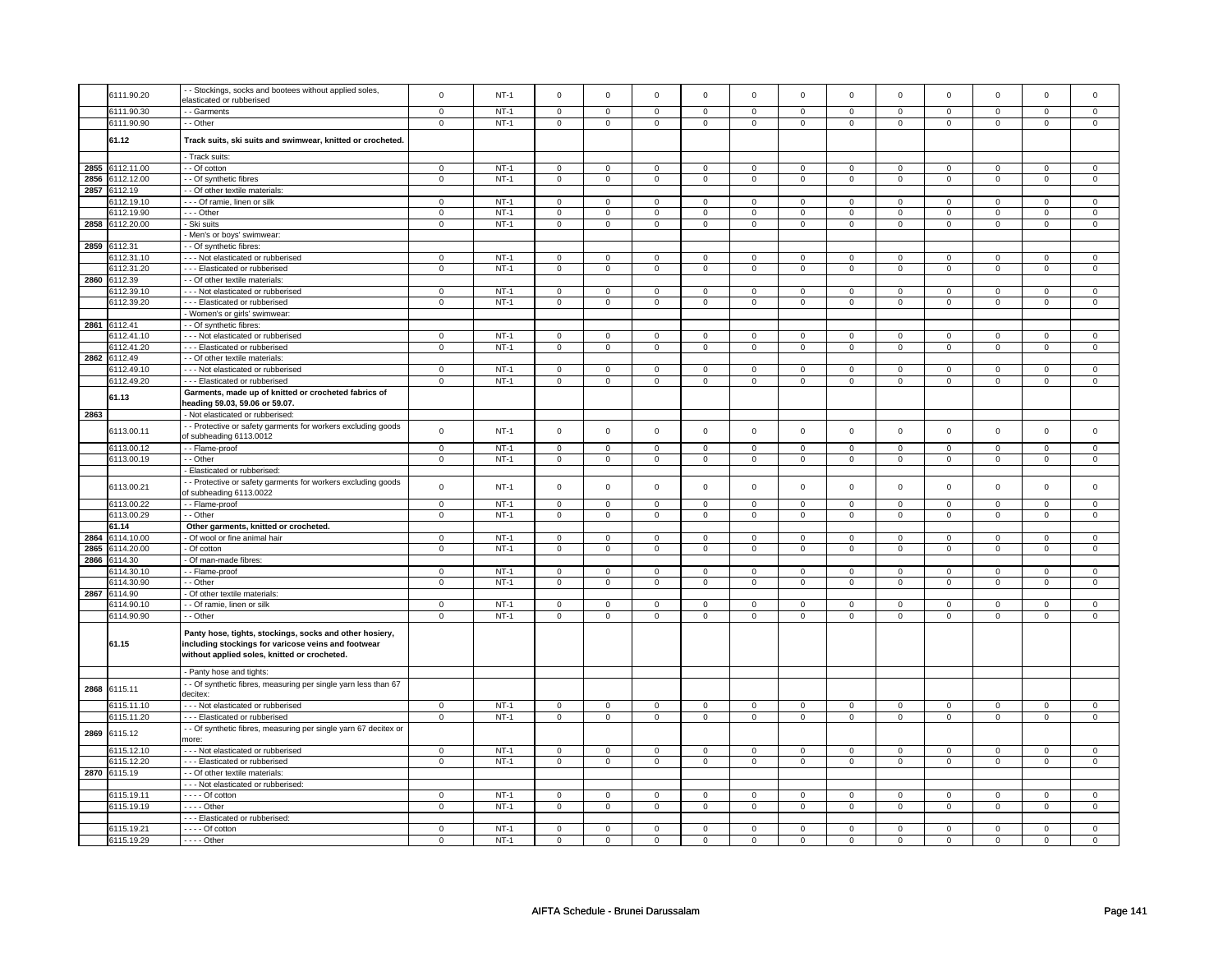|      | 6111.90.20      | - Stockings, socks and bootees without applied soles,                                               | $\mathbf 0$    | $NT-1$ | $\Omega$                | $\Omega$                | $\Omega$                | $\Omega$                | $\Omega$                | $\Omega$                | $\Omega$       | $\Omega$       | $\Omega$                | $\mathbf 0$         | $\Omega$       | $\Omega$       |
|------|-----------------|-----------------------------------------------------------------------------------------------------|----------------|--------|-------------------------|-------------------------|-------------------------|-------------------------|-------------------------|-------------------------|----------------|----------------|-------------------------|---------------------|----------------|----------------|
|      |                 | elasticated or rubberised                                                                           |                |        |                         |                         |                         |                         |                         |                         |                |                |                         |                     |                |                |
|      | 6111.90.30      | - - Garments                                                                                        | $\mathbf 0$    | $NT-1$ | $\mathbf 0$             | $\mathsf 0$             | $\mathbf 0$             | $\mathbf 0$             | $\mathbf 0$             | $\mathbf 0$             | $\mathbf 0$    | $\mathbf 0$    | $\mathsf 0$             | $\mathbf 0$         | $\mathbf 0$    | $\mathbf 0$    |
|      | 6111.90.90      | - - Other                                                                                           | 0              | $NT-1$ | $\mathbf 0$             | $\mathbf 0$             | $\mathbf 0$             | $\mathbf 0$             | $\mathbf 0$             | $\mathbf 0$             | $\mathbf 0$    | $\mathbf 0$    | $\mathbf 0$             | $\mathbf 0$         | 0              | 0              |
|      |                 |                                                                                                     |                |        |                         |                         |                         |                         |                         |                         |                |                |                         |                     |                |                |
|      | 61.12           | Track suits, ski suits and swimwear, knitted or crocheted.                                          |                |        |                         |                         |                         |                         |                         |                         |                |                |                         |                     |                |                |
|      |                 | - Track suits:                                                                                      |                |        |                         |                         |                         |                         |                         |                         |                |                |                         |                     |                |                |
|      | 2855 6112.11.00 | - - Of cotton                                                                                       | $\overline{0}$ | $NT-1$ | $\overline{0}$          | $\overline{0}$          | $\overline{0}$          | $\overline{0}$          | $\overline{0}$          | $\overline{0}$          | $\overline{0}$ | $\overline{0}$ | $\overline{0}$          | $\overline{0}$      | $\overline{0}$ | $\overline{0}$ |
|      | 2856 6112.12.00 | - - Of synthetic fibres                                                                             | $\mathbf 0$    | $NT-1$ | $\mathbf 0$             | $\mathsf 0$             | $\mathbf 0$             | $\mathbf 0$             | $\mathbf 0$             | $\mathbf 0$             | $\mathbf 0$    | $\mathbf 0$    | $\mathsf 0$             | $\mathbf 0$         | $\mathsf 0$    | $\mathbf{0}$   |
| 2857 | 6112.19         | - Of other textile materials                                                                        |                |        |                         |                         |                         |                         |                         |                         |                |                |                         |                     |                |                |
|      | 6112.19.10      | -- Of ramie, linen or silk                                                                          | $\mathsf 0$    | $NT-1$ | $\mathsf 0$             | $\mathsf 0$             | $\mathsf 0$             | $\mathbf 0$             | $\mathsf 0$             | $\mathbf 0$             | $\mathsf 0$    | $\mathbf 0$    | $\mathsf 0$             | $\mathbf 0$         | $\mathbf 0$    | $\mathbf 0$    |
|      | 6112.19.90      | --- Other                                                                                           | $\mathbf 0$    | $NT-1$ | $\Omega$                | $\mathbf 0$             | $\Omega$                | $\Omega$                | $\Omega$                | $\mathsf 0$             | $\Omega$       | $\Omega$       | $\Omega$                | $\mathsf 0$         | $\Omega$       | $\mathsf 0$    |
|      | 2858 6112.20.00 | Ski suits                                                                                           | $\mathsf 0$    | $NT-1$ | $\mathbf 0$             | $\mathsf 0$             | $\mathbf 0$             | $\mathsf 0$             | $\mathbf 0$             | $\mathsf 0$             | $\mathbf 0$    | $\mathbf 0$    | $\mathbf 0$             | $\mathsf 0$         | $\mathbf 0$    | $\mathbf 0$    |
|      |                 | - Men's or boys' swimwear:                                                                          |                |        |                         |                         |                         |                         |                         |                         |                |                |                         |                     |                |                |
|      | 2859 6112.31    | - - Of synthetic fibres                                                                             |                |        |                         |                         |                         |                         |                         |                         |                |                |                         |                     |                |                |
|      | 6112.31.10      |                                                                                                     | $\mathbf 0$    | $NT-1$ | $\mathsf 0$             | $\mathbf 0$             | $\mathbf 0$             | $\mathbf 0$             | $\mathbf 0$             | $\mathbf 0$             | $\mathbf 0$    | $\mathbf 0$    | $\mathbf 0$             | $\mathbf 0$         | $\mathbf 0$    | $\mathbf 0$    |
|      |                 | - - - Not elasticated or rubberised                                                                 | $\mathsf 0$    | $NT-1$ | $\overline{0}$          | $\overline{0}$          | $\overline{0}$          | $\overline{0}$          | $\overline{0}$          | $\overline{0}$          | $\overline{0}$ | $\overline{0}$ | $\overline{0}$          | $\overline{0}$      | $\overline{0}$ | $\overline{0}$ |
|      | 6112.31.20      | - - - Elasticated or rubberised                                                                     |                |        |                         |                         |                         |                         |                         |                         |                |                |                         |                     |                |                |
|      | 2860 6112.39    | - Of other textile materials                                                                        |                | $NT-1$ |                         |                         |                         |                         |                         |                         |                |                |                         |                     | $\Omega$       |                |
|      | 6112.39.10      | - - - Not elasticated or rubberised                                                                 | $\overline{0}$ |        | $\mathsf 0$             | $\overline{0}$          | $\mathbf 0$             | $\overline{0}$          | $\mathsf 0$             | $\overline{0}$          | $\mathbf 0$    | $\overline{0}$ | $\mathsf 0$             | $\overline{0}$      |                | $\mathsf 0$    |
|      | 6112.39.20      | - - - Elasticated or rubberised                                                                     | $\mathbf 0$    | $NT-1$ | $\mathbf 0$             | $\mathbf 0$             | $\mathbf 0$             | $\mathbf 0$             | $\mathbf 0$             | $\mathbf 0$             | $\mathbf 0$    | $\mathbf 0$    | $\mathbf 0$             | $\mathbf 0$         | $\mathbf 0$    | $\mathbf{0}$   |
|      |                 | - Women's or girls' swimwear:                                                                       |                |        |                         |                         |                         |                         |                         |                         |                |                |                         |                     |                |                |
|      | 2861 6112.41    | - Of synthetic fibres:                                                                              |                |        |                         |                         |                         |                         |                         |                         |                |                |                         |                     |                |                |
|      | 6112.41.10      | - - - Not elasticated or rubberised                                                                 | $\mathsf 0$    | $NT-1$ | $\mathbf 0$             | $\mathsf 0$             | $\mathbf 0$             | $\mathbf 0$             | $\mathbf 0$             | $\mathbf 0$             | $\mathsf 0$    | $\mathbf 0$    | $\mathsf 0$             | $\mathbf 0$         | $\mathsf 0$    | $\mathbf 0$    |
|      | 6112.41.20      | --- Elasticated or rubberised                                                                       | $\mathbf 0$    | $NT-1$ | $\mathsf 0$             | $\mathbf 0$             | $\mathbf 0$             | $\mathbf 0$             | $\mathsf 0$             | $\mathbf 0$             | $\mathsf 0$    | $\mathbf 0$    | $\mathsf 0$             | $\mathsf 0$         | $\mathsf 0$    | $\mathbf 0$    |
|      | 2862 6112.49    | - - Of other textile materials                                                                      |                |        |                         |                         |                         |                         |                         |                         |                |                |                         |                     |                |                |
|      | 6112.49.10      | --- Not elasticated or rubberised                                                                   | $\mathsf 0$    | $NT-1$ | $\mathsf 0$             | $\mathsf 0$             | $\mathsf 0$             | $\mathsf 0$             | $\mathsf 0$             | $\mathsf 0$             | $\mathsf 0$    | $\mathsf 0$    | $\mathsf 0$             | $\mathsf 0$         | $\mathsf 0$    | $\mathsf 0$    |
|      | 6112.49.20      | --- Elasticated or rubberised                                                                       | $\overline{0}$ | $NT-1$ | $\overline{0}$          | $\overline{0}$          | $\overline{0}$          | $\overline{0}$          | $\overline{0}$          | $\overline{0}$          | $\overline{0}$ | $\overline{0}$ | $\overline{0}$          | $\overline{0}$      | $\overline{0}$ | $\overline{0}$ |
|      | 61.13           | Garments, made up of knitted or crocheted fabrics of                                                |                |        |                         |                         |                         |                         |                         |                         |                |                |                         |                     |                |                |
|      |                 | heading 59.03, 59.06 or 59.07.                                                                      |                |        |                         |                         |                         |                         |                         |                         |                |                |                         |                     |                |                |
| 2863 |                 | - Not elasticated or rubberised:                                                                    |                |        |                         |                         |                         |                         |                         |                         |                |                |                         |                     |                |                |
|      | 6113.00.11      | - Protective or safety garments for workers excluding goods                                         | $\mathbf 0$    | $NT-1$ | $\mathsf 0$             | $\mathsf 0$             | $\mathsf 0$             | $\mathbf 0$             | $\mathsf 0$             | $\mathbf 0$             | $\mathsf 0$    | $\mathbf 0$    | $\mathsf 0$             | $\mathbf 0$         | $\mathsf 0$    | $\mathbf 0$    |
|      |                 | of subheading 6113.0012                                                                             |                |        |                         |                         |                         |                         |                         |                         |                |                |                         |                     |                |                |
|      | 6113.00.12      | -- Flame-proof                                                                                      | $\mathsf 0$    | $NT-1$ | $\overline{\mathbf{0}}$ | $\overline{\mathbf{0}}$ | $\overline{\mathbf{0}}$ | $\overline{\mathbf{0}}$ | $\overline{\mathbf{0}}$ | $\overline{\mathbf{0}}$ | $\mathsf 0$    | $\overline{0}$ | $\overline{\mathbf{0}}$ | $\overline{0}$      | $\mathsf 0$    | $\overline{0}$ |
|      | 6113.00.19      | - Other                                                                                             | $\mathbf 0$    | $NT-1$ | $\mathbf 0$             | $\mathsf 0$             | $\mathbf 0$             | $\mathbf 0$             | $\mathbf 0$             | $\mathbf 0$             | $\mathbf 0$    | $\mathbf 0$    | $\mathbf 0$             | $\mathbf 0$         | $\mathbf 0$    | $\mathbf 0$    |
|      |                 | - Elasticated or rubberised:                                                                        |                |        |                         |                         |                         |                         |                         |                         |                |                |                         |                     |                |                |
|      |                 | - Protective or safety garments for workers excluding goods                                         |                |        |                         |                         |                         |                         |                         |                         |                |                |                         |                     |                |                |
|      | 6113.00.21      | of subheading 6113.0022                                                                             | $\mathsf 0$    | $NT-1$ | $\mathsf 0$             | $\mathbf 0$             | $\mathsf 0$             | $\mathsf 0$             | $\mathsf 0$             | $\mathsf 0$             | $\mathsf 0$    | $\mathsf 0$    | $\mathsf 0$             | $\mathsf{O}\xspace$ | $\mathsf 0$    | $\mathsf 0$    |
|      | 6113.00.22      | -- Flame-proof                                                                                      | $\overline{0}$ | $NT-1$ | $\overline{0}$          | $\overline{0}$          | $\overline{0}$          | $\overline{0}$          | $\overline{0}$          | $\overline{0}$          | $\overline{0}$ | $\overline{0}$ | $\overline{0}$          | $\overline{0}$      | $\overline{0}$ | $\overline{0}$ |
|      | 6113.00.29      | - - Other                                                                                           | 0              | $NT-1$ | $\mathbf 0$             | $\mathbf 0$             | $\mathbf 0$             | $\mathbf 0$             | $\mathbf 0$             | $\mathbf 0$             | $\mathbf 0$    | $\mathbf 0$    | $\mathbf 0$             | $\mathsf 0$         | $\mathbf 0$    | $\mathbf 0$    |
|      | 61.14           | Other garments, knitted or crocheted.                                                               |                |        |                         |                         |                         |                         |                         |                         |                |                |                         |                     |                |                |
| 2864 | 6114.10.00      | - Of wool or fine animal hair                                                                       | $\mathsf 0$    | $NT-1$ | $\mathbf 0$             | $\mathsf 0$             | $\mathbf 0$             | $\mathbf 0$             | $\mathbf 0$             | $\mathbf 0$             | $\mathbf 0$    | $\mathbf 0$    | $\mathsf 0$             | $\mathbf 0$         | $\mathsf 0$    | $\mathbf 0$    |
|      | 2865 6114.20.00 | - Of cotton                                                                                         | $\mathsf 0$    | $NT-1$ | $\mathbf 0$             | $\mathsf 0$             | $\mathbf 0$             | $\mathbf 0$             | $\mathbf 0$             | $\mathbf 0$             | $\mathbf 0$    | $\mathbf 0$    | $\mathsf 0$             | $\mathbf 0$         | $\mathsf 0$    | $\mathbf 0$    |
|      | 2866 6114.30    | - Of man-made fibres:                                                                               |                |        |                         |                         |                         |                         |                         |                         |                |                |                         |                     |                |                |
|      | 6114.30.10      | - Flame-proof                                                                                       | $\overline{0}$ | $NT-1$ | $\mathbf 0$             | $\overline{0}$          | $\mathbf 0$             | $\mathbf 0$             | $\mathbf 0$             | $\overline{0}$          | $\mathbf 0$    | $\mathbf 0$    | $\mathbf 0$             | $\overline{0}$      | $\mathbf 0$    | $\mathbf 0$    |
|      | 6114.30.90      | - Other                                                                                             | $\mathsf 0$    | $NT-1$ | $\mathbf 0$             | $\mathsf 0$             | $\mathbf 0$             | $\mathbf 0$             | $\mathbf 0$             | $\mathsf 0$             | $\mathsf 0$    | $\mathbf 0$    | $\mathsf 0$             | $\mathsf 0$         | $\mathbf 0$    | $\mathbf 0$    |
|      | 2867 6114.90    | Of other textile materials:                                                                         |                |        |                         |                         |                         |                         |                         |                         |                |                |                         |                     |                |                |
|      | 6114.90.1       | - - Of ramie, linen or silk                                                                         | 0              | $NT-1$ | $\mathbf 0$             | 0                       | $\mathbf 0$             | 0                       | $\mathbf 0$             | 0                       | $\mathbf 0$    | 0              | $\mathbf 0$             | $\mathbf 0$         | $\mathbf 0$    | 0              |
|      | 6114.90.90      | - - Other                                                                                           | $\Omega$       | $NT-1$ | $\mathbf 0$             | $\mathbf 0$             | $\mathbf 0$             | $\overline{0}$          | $\mathbf 0$             | $\overline{0}$          | $\mathbf 0$    | $\overline{0}$ | $\mathbf 0$             | $\overline{0}$      | $\mathbf 0$    | $\overline{0}$ |
|      |                 |                                                                                                     |                |        |                         |                         |                         |                         |                         |                         |                |                |                         |                     |                |                |
|      |                 | Panty hose, tights, stockings, socks and other hosiery,                                             |                |        |                         |                         |                         |                         |                         |                         |                |                |                         |                     |                |                |
|      | 61.15           | including stockings for varicose veins and footwear<br>without applied soles, knitted or crocheted. |                |        |                         |                         |                         |                         |                         |                         |                |                |                         |                     |                |                |
|      |                 |                                                                                                     |                |        |                         |                         |                         |                         |                         |                         |                |                |                         |                     |                |                |
|      |                 | - Panty hose and tights:                                                                            |                |        |                         |                         |                         |                         |                         |                         |                |                |                         |                     |                |                |
|      |                 | - Of synthetic fibres, measuring per single yarn less than 67                                       |                |        |                         |                         |                         |                         |                         |                         |                |                |                         |                     |                |                |
|      | 2868 6115.11    | decitex:                                                                                            |                |        |                         |                         |                         |                         |                         |                         |                |                |                         |                     |                |                |
|      | 6115.11.10      | - - Not elasticated or rubberised                                                                   | $\mathsf 0$    | $NT-1$ | $\mathbf 0$             | $\mathsf 0$             | $\mathsf 0$             | $\mathbf 0$             | $\mathbf 0$             | $\mathbf 0$             | $\mathsf 0$    | $\mathbf 0$    | $\mathsf 0$             | $\mathbf 0$         | $\mathsf 0$    | $\mathbf 0$    |
|      | 6115.11.20      | --- Elasticated or rubberised                                                                       | $\mathsf 0$    | $NT-1$ | $\mathsf 0$             | $\mathbf 0$             | $\mathsf 0$             | $\mathbf 0$             | $\mathsf 0$             | $\overline{0}$          | $\mathsf 0$    | $\mathsf 0$    | $\mathsf 0$             | $\mathsf 0$         | $\mathsf 0$    | $\mathsf 0$    |
|      |                 | - - Of synthetic fibres, measuring per single yarn 67 decitex or                                    |                |        |                         |                         |                         |                         |                         |                         |                |                |                         |                     |                |                |
| 2869 | 6115.12         | more:                                                                                               |                |        |                         |                         |                         |                         |                         |                         |                |                |                         |                     |                |                |
|      | 6115.12.10      | --- Not elasticated or rubberised                                                                   | $\mathsf 0$    | $NT-1$ | $\mathsf 0$             | $\mathsf 0$             | $\mathsf 0$             | $\mathbf 0$             | $\mathsf 0$             | $\mathbf 0$             | $\mathsf 0$    | $\mathbf 0$    | $\mathsf 0$             | $\mathbf 0$         | $\mathsf 0$    | $\mathsf 0$    |
|      | 6115.12.20      | --- Elasticated or rubberised                                                                       | $\mathsf 0$    | $NT-1$ | $\mathbf 0$             | $\mathsf 0$             | $\mathbf 0$             | $\mathbf 0$             | $\mathbf 0$             | $\mathbf 0$             | $\mathbf 0$    | $\mathbf 0$    | $\mathsf 0$             | $\mathbf 0$         | $\mathsf 0$    | $\mathbf 0$    |
|      | 2870 6115.19    | - - Of other textile materials:                                                                     |                |        |                         |                         |                         |                         |                         |                         |                |                |                         |                     |                |                |
|      |                 | --- Not elasticated or rubberised:                                                                  |                |        |                         |                         |                         |                         |                         |                         |                |                |                         |                     |                |                |
|      | 6115.19.11      | $---$ Of cotton                                                                                     | 0              | $NT-1$ | $\mathbf 0$             | $\mathbf 0$             | $\mathbf 0$             | $\mathbf 0$             | $\mathbf 0$             | $\mathbf 0$             | $\mathbf 0$    | $\mathbf 0$    | $\mathbf 0$             | $\mathbf 0$         | $\mathbf 0$    | $\mathbf 0$    |
|      | 6115.19.19      | - - - - Other                                                                                       | $\mathsf 0$    | $NT-1$ | $\mathsf 0$             | $\overline{0}$          | $\mathbf 0$             | $\mathsf 0$             | $\mathsf 0$             | $\overline{0}$          | $\mathbf 0$    | $\mathsf 0$    | $\mathsf 0$             | $\overline{0}$      | $\mathbf 0$    | $\mathsf 0$    |
|      |                 | --- Elasticated or rubberised:                                                                      |                |        |                         |                         |                         |                         |                         |                         |                |                |                         |                     |                |                |
|      | 6115.19.21      | $---$ Of cotton                                                                                     | $\mathsf 0$    | $NT-1$ | $\mathsf 0$             | $\mathsf 0$             |                         | $\mathbf 0$             | $\mathsf 0$             | $\mathbf 0$             |                | $\mathbf 0$    | $\mathsf 0$             | $\mathbf 0$         | $\mathbf 0$    | $\mathbf 0$    |
|      |                 | $---$ Other                                                                                         |                |        |                         |                         | $\mathbf 0$             |                         |                         |                         | $\mathbf 0$    |                |                         |                     |                |                |
|      | 6115.19.29      |                                                                                                     | 0              | $NT-1$ | 0                       | 0                       | $\mathbf 0$             | $\mathbf 0$             | 0                       | $\mathbf 0$             | $\mathbf 0$    | $\mathbf 0$    | 0                       | $\mathbf 0$         | 0              | $\mathbf 0$    |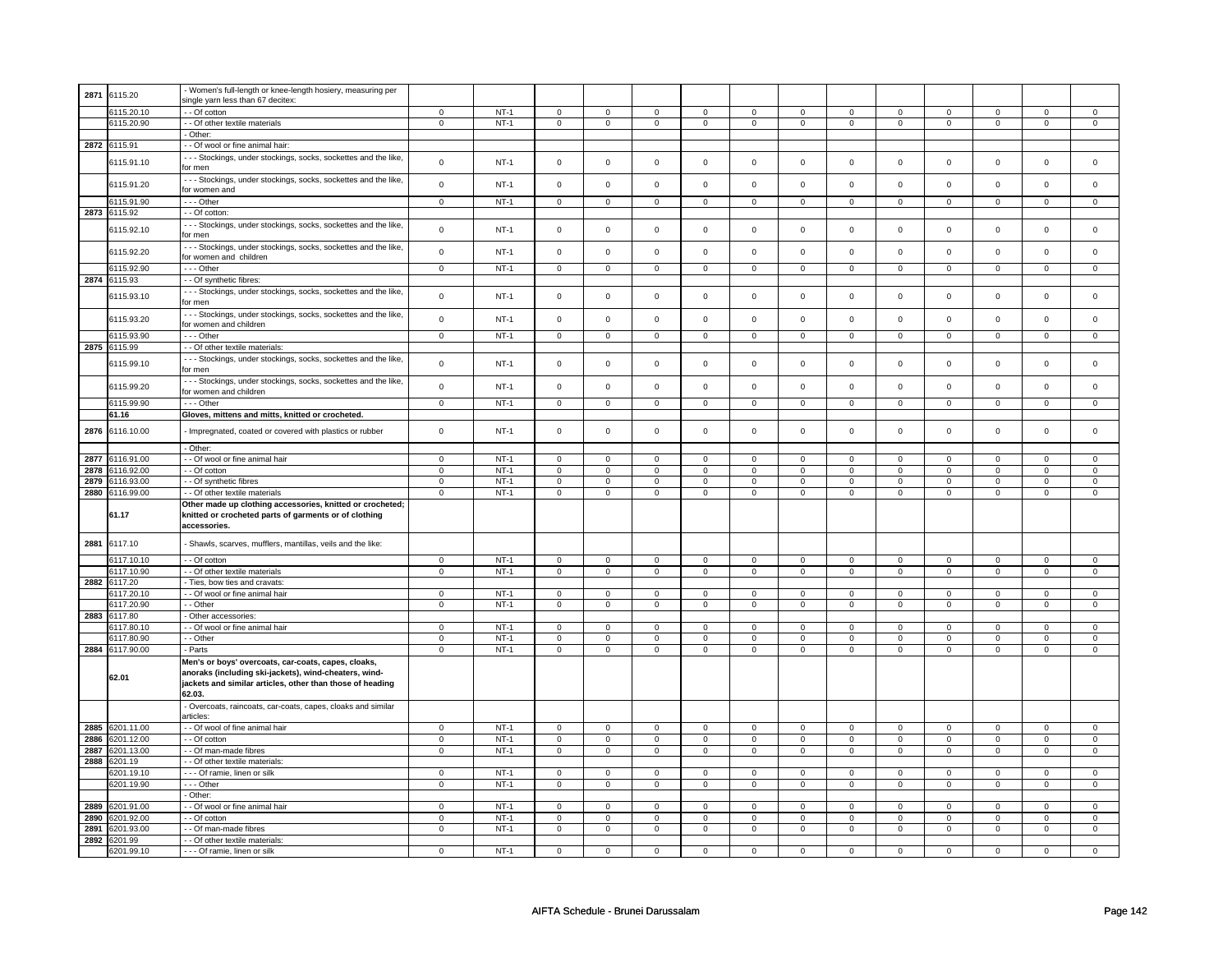| 2871 | 6115.20               | - Women's full-length or knee-length hosiery, measuring per      |                |        |             |                |                |                |             |                     |                     |                |                |                |                |                |
|------|-----------------------|------------------------------------------------------------------|----------------|--------|-------------|----------------|----------------|----------------|-------------|---------------------|---------------------|----------------|----------------|----------------|----------------|----------------|
|      |                       | single yarn less than 67 decitex:                                |                |        |             |                |                |                |             |                     |                     |                |                |                |                |                |
|      | 6115.20.10            | - - Of cotton                                                    | $\mathbf 0$    | $NT-1$ | $\mathbf 0$ | $\mathbf{0}$   | $\mathbf 0$    | $\mathbf 0$    | $\mathbf 0$ | $\mathbf 0$         | $^{\circ}$          | $\mathbf 0$    | 0              | $\mathbf 0$    | 0              | $\mathbf{0}$   |
|      | 6115.20.90            | - Of other textile materials                                     | $\mathbf 0$    | $NT-1$ | $\mathsf 0$ | $\mathbf 0$    | $\mathsf 0$    | $\mathsf 0$    | $\mathsf 0$ | $\mathbf 0$         | $\mathsf 0$         | $\mathbf 0$    | $\mathbf 0$    | $\mathsf 0$    | $\mathbf 0$    | $\mathbf 0$    |
|      |                       | Other:                                                           |                |        |             |                |                |                |             |                     |                     |                |                |                |                |                |
|      |                       |                                                                  |                |        |             |                |                |                |             |                     |                     |                |                |                |                |                |
| 2872 | 6115.91               | - Of wool or fine animal hair:                                   |                |        |             |                |                |                |             |                     |                     |                |                |                |                |                |
|      | 6115.91.10            | - - - Stockings, under stockings, socks, sockettes and the like, | $\mathsf 0$    | $NT-1$ | $\mathsf 0$ | $\mathbf 0$    | $\mathsf 0$    | $\mathsf 0$    | $\mathsf 0$ | $\mathbf 0$         | $\mathbf 0$         | $\mathbf 0$    | $\mathsf 0$    | $\mathsf 0$    | $\mathsf 0$    | $\mathsf 0$    |
|      |                       | for men                                                          |                |        |             |                |                |                |             |                     |                     |                |                |                |                |                |
|      |                       | --- Stockings, under stockings, socks, sockettes and the like,   |                |        |             |                |                |                |             |                     |                     |                |                |                |                |                |
|      | 6115.91.20            | for women and                                                    | $\mathbf 0$    | $NT-1$ | $\mathsf 0$ | $\mathbf 0$    | $\mathsf 0$    | $\mathsf 0$    | $\mathsf 0$ | $\mathbf 0$         | $\mathsf 0$         | $\mathsf 0$    | $\mathsf 0$    | $\mathsf 0$    | $\mathsf 0$    | $\mathbf 0$    |
|      |                       |                                                                  |                |        |             |                |                |                |             |                     |                     |                |                |                | $\mathbf 0$    | $\mathbf 0$    |
|      | 6115.91.90            | --- Other                                                        | $\mathsf 0$    | $NT-1$ | $\mathbf 0$ | $\mathbf 0$    | $\mathsf 0$    | $\mathsf 0$    | $\mathsf 0$ | $\mathbf 0$         | $\mathsf 0$         | $\mathsf 0$    | $\mathsf 0$    | $\mathsf 0$    |                |                |
| 2873 | 6115.92               | - - Of cotton:                                                   |                |        |             |                |                |                |             |                     |                     |                |                |                |                |                |
|      | 6115.92.10            | - - - Stockings, under stockings, socks, sockettes and the like, | $\pmb{0}$      | $NT-1$ | $\mathsf 0$ | $\mathsf 0$    | $\overline{0}$ | $\mathsf 0$    | $\mathbf 0$ | $\mathsf 0$         | $\mathbf 0$         | $\mathsf 0$    | $\mathbf 0$    | $\mathsf 0$    | $\mathbf 0$    | $\mathsf 0$    |
|      |                       | for men                                                          |                |        |             |                |                |                |             |                     |                     |                |                |                |                |                |
|      |                       | --- Stockings, under stockings, socks, sockettes and the like,   |                |        |             |                |                |                |             |                     |                     |                |                |                |                |                |
|      | 6115.92.20            | for women and children                                           | $\pmb{0}$      | $NT-1$ | $\mathbf 0$ | $\mathsf{o}$   | $\mathsf 0$    | $\mathbf 0$    | $\mathsf 0$ | $\mathsf{o}\xspace$ | $\mathbf 0$         | $\mathbf 0$    | $\mathsf 0$    | $\mathsf 0$    | $\mathsf 0$    | $\mathsf{o}\,$ |
|      | 6115.92.90            | $- -$ Other                                                      | $\overline{0}$ | $NT-1$ |             |                |                |                |             |                     |                     |                |                | $\overline{0}$ | $\mathbf 0$    | $\Omega$       |
|      |                       |                                                                  |                |        | $\mathbf 0$ | $\mathbf 0$    | $\mathbf 0$    | $\mathbf 0$    | $\mathbf 0$ | $\mathbf 0$         | $\mathbf 0$         | $\mathbf 0$    | $\mathbf 0$    |                |                |                |
| 2874 | 6115.93               | - - Of synthetic fibres:                                         |                |        |             |                |                |                |             |                     |                     |                |                |                |                |                |
|      | 6115.93.10            | - - - Stockings, under stockings, socks, sockettes and the like, | $\mathsf 0$    | $NT-1$ | $\mathsf 0$ | $\mathsf 0$    | $\mathsf 0$    | $\mathsf 0$    | $\mathsf 0$ | $\mathsf 0$         | $\mathbf 0$         | $\mathbf 0$    | $\mathbf 0$    | $\mathsf 0$    | $\mathbf 0$    | $\mathbf 0$    |
|      |                       | or men                                                           |                |        |             |                |                |                |             |                     |                     |                |                |                |                |                |
|      |                       | - - - Stockings, under stockings, socks, sockettes and the like, |                |        |             |                |                |                |             |                     |                     |                |                |                |                |                |
|      | 6115.93.20            | for women and children                                           | $\mathbf 0$    | $NT-1$ | $\mathsf 0$ | $\mathsf 0$    | $\mathsf 0$    | $\mathsf 0$    | $\mathsf 0$ | $\mathsf 0$         | $\mathsf 0$         | $\mathsf 0$    | $\mathsf 0$    | $\mathsf 0$    | $\mathsf 0$    | $\mathsf 0$    |
|      | 6115.93.90            | --- Other                                                        | $\mathbf 0$    | $NT-1$ | $\mathbf 0$ | $\mathbf{0}$   | $\mathsf 0$    | $\mathbf 0$    | $\mathbf 0$ | $\mathbf 0$         | $\mathsf 0$         | $\mathbf 0$    | $\mathsf 0$    | $\mathbf 0$    | $\mathsf 0$    | $\mathbf 0$    |
|      |                       |                                                                  |                |        |             |                |                |                |             |                     |                     |                |                |                |                |                |
| 2875 | 6115.99               | - - Of other textile materials:                                  |                |        |             |                |                |                |             |                     |                     |                |                |                |                |                |
|      | 6115.99.10            | - - - Stockings, under stockings, socks, sockettes and the like, | $\pmb{0}$      | $NT-1$ | $\mathsf 0$ | $\mathbf 0$    | $\mathsf 0$    | $\mathbf 0$    | $\mathsf 0$ | $\mathsf 0$         | $\mathsf{O}\xspace$ | $\mathbf 0$    | $\mathsf 0$    | $\mathbf 0$    | $\mathbf 0$    | $\mathsf 0$    |
|      |                       | for men                                                          |                |        |             |                |                |                |             |                     |                     |                |                |                |                |                |
|      |                       | - - - Stockings, under stockings, socks, sockettes and the like, |                |        |             |                |                |                |             |                     |                     |                |                |                |                |                |
|      | 6115.99.20            | for women and children                                           | $\mathbf 0$    | $NT-1$ | $\mathsf 0$ | $\mathbf 0$    | $\mathsf 0$    | $\mathbf 0$    | $\mathsf 0$ | $\mathsf 0$         | $\Omega$            | $\mathbf 0$    | $\mathsf 0$    | $\mathbf 0$    | $\mathsf 0$    | $\mathsf 0$    |
|      | 6115.99.90            | --- Other                                                        | $\overline{0}$ | $NT-1$ | 0           | $\mathsf 0$    | $\mathbf 0$    | $\mathbf 0$    | $\mathbf 0$ | $\mathbf 0$         | $\mathbf 0$         | $\mathbf 0$    | 0              | $\mathbf 0$    | 0              | $\mathbf 0$    |
|      |                       |                                                                  |                |        |             |                |                |                |             |                     |                     |                |                |                |                |                |
|      | 61.16                 | Gloves, mittens and mitts, knitted or crocheted.                 |                |        |             |                |                |                |             |                     |                     |                |                |                |                |                |
| 2876 | 6116.10.00            | - Impregnated, coated or covered with plastics or rubber         | $\mathbf 0$    | $NT-1$ | $\mathsf 0$ | $\mathbf 0$    | $\mathsf 0$    | $\mathbf 0$    | $\mathsf 0$ | $\mathsf 0$         | $\mathsf 0$         | $\mathbf 0$    | $\mathsf 0$    | $\mathbf 0$    | $\mathbf 0$    | $\mathsf 0$    |
|      |                       |                                                                  |                |        |             |                |                |                |             |                     |                     |                |                |                |                |                |
|      |                       | - Other:                                                         |                |        |             |                |                |                |             |                     |                     |                |                |                |                |                |
| 2877 | 6116.91.00            | - Of wool or fine animal hair                                    | $\mathsf 0$    | $NT-1$ | $\mathsf 0$ | $\mathsf 0$    | $\mathsf 0$    | $\mathbf 0$    | $\mathsf 0$ | $\mathbf 0$         | $\mathsf 0$         | $\mathbf 0$    | $\mathsf 0$    | $\mathsf 0$    | $\Omega$       | $\mathbf 0$    |
| 2878 | 6116.92.00            | - - Of cotton                                                    | $\mathsf 0$    | $NT-1$ | $\mathsf 0$ | $\mathbf 0$    | $\mathsf 0$    | $\mathsf 0$    | $\mathsf 0$ | $\mathbf 0$         | $\mathsf 0$         | $\mathbf 0$    | $\mathsf 0$    | $\mathbf 0$    | $\mathsf 0$    | $\mathsf 0$    |
|      |                       |                                                                  |                |        |             |                |                |                |             |                     |                     |                |                |                | $\mathbf 0$    | $\mathbf{0}$   |
| 2879 | 6116.93.00            | - - Of synthetic fibres                                          | $\mathbf 0$    | $NT-1$ | $\mathsf 0$ | $\mathbf 0$    | $\mathsf 0$    | $\mathbf 0$    | $\mathsf 0$ | $\mathbf 0$         | $\mathsf 0$         | $\mathbf 0$    | $\mathsf 0$    | $\mathsf 0$    |                |                |
| 2880 | 6116.99.00            | - Of other textile materials                                     | $\mathbf 0$    | $NT-1$ | $\mathbf 0$ | $\mathbf 0$    | $\mathbf 0$    | $\mathbf 0$    | $\mathbf 0$ | $\mathbf 0$         | $\mathbf 0$         | $\mathbf 0$    | $\mathbf 0$    | $\mathbf 0$    | $\Omega$       | $\mathbf 0$    |
|      |                       | Other made up clothing accessories, knitted or crocheted;        |                |        |             |                |                |                |             |                     |                     |                |                |                |                |                |
|      | 61.17                 | knitted or crocheted parts of garments or of clothing            |                |        |             |                |                |                |             |                     |                     |                |                |                |                |                |
|      |                       | accessories.                                                     |                |        |             |                |                |                |             |                     |                     |                |                |                |                |                |
|      |                       |                                                                  |                |        |             |                |                |                |             |                     |                     |                |                |                |                |                |
| 2881 | 6117.10               | - Shawls, scarves, mufflers, mantillas, veils and the like:      |                |        |             |                |                |                |             |                     |                     |                |                |                |                |                |
|      |                       |                                                                  |                |        |             |                | $\Omega$       |                |             |                     | $\Omega$            |                |                | $\mathbf 0$    | $\mathbf 0$    | $\mathbf 0$    |
|      | 6117.10.10            | - - Of cotton                                                    | $\mathsf 0$    | $NT-1$ | $\mathsf 0$ | $\mathbf 0$    |                | $\mathsf 0$    | $\mathsf 0$ | $\mathbf 0$         |                     | $\mathbf 0$    | $\mathbf 0$    |                |                |                |
|      | 6117.10.90            | - Of other textile materials                                     | $\overline{0}$ | $NT-1$ | $\mathsf 0$ | $\overline{0}$ | $\mathbf 0$    | $\mathbf 0$    | $\mathsf 0$ | $\mathbf 0$         | $\mathbf 0$         | $\mathbf 0$    | $\mathbf 0$    | $\overline{0}$ | $\mathbf 0$    | $\overline{0}$ |
|      | 2882 6117.20          | Ties, bow ties and cravats:                                      |                |        |             |                |                |                |             |                     |                     |                |                |                |                |                |
|      | 6117.20.10            | - - Of wool or fine animal hair                                  | $\mathsf 0$    | $NT-1$ | $\mathsf 0$ | $\mathsf 0$    | $\mathbf 0$    | $\mathbf 0$    | $\mathsf 0$ | $\mathbf 0$         | $\mathbf 0$         | $\mathsf 0$    | $\mathsf 0$    | $\mathsf 0$    | $\mathbf 0$    | $\mathbf 0$    |
|      | 6117.20.90            | - Other                                                          | $\mathbf 0$    | $NT-1$ | $\mathbf 0$ | $\circ$        | $\mathsf 0$    | $\circ$        | $\mathsf 0$ | $\mathbf{0}$        | $\mathsf 0$         | $\mathbf 0$    | $\mathsf 0$    | $\overline{0}$ | $\mathsf 0$    | $\mathbf 0$    |
|      | 2883 6117.80          | - Other accessories:                                             |                |        |             |                |                |                |             |                     |                     |                |                |                |                |                |
|      | 6117.80.10            | - - Of wool or fine animal hair                                  | $\mathbf{0}$   | $NT-1$ | $\mathbf 0$ | $\mathbf{0}$   | $\mathbf 0$    | $\mathbf{0}$   | $\mathbf 0$ | $\mathbf 0$         | $\mathbf 0$         | $\mathbf 0$    | 0              | $\mathbf{0}$   | 0              | $\mathbf{0}$   |
|      | 6117.80.90            | - Other                                                          | $\mathbf 0$    | $NT-1$ | $\mathbf 0$ | $\mathbf 0$    | $\mathbf 0$    | $\mathbf 0$    | $\mathbf 0$ | $\mathbf 0$         | $\Omega$            | $\mathbf 0$    | $\mathbf 0$    | $\mathbf 0$    | $\Omega$       | $\mathbf 0$    |
|      |                       |                                                                  |                |        |             |                |                |                |             |                     |                     |                |                |                |                |                |
|      | 2884 6117.90.00       | - Parts                                                          | $\mathbf 0$    | $NT-1$ | $\mathbf 0$ | $\mathbf 0$    | $\mathsf 0$    | $\mathsf 0$    | $\mathsf 0$ | $\mathbf 0$         | $\mathsf 0$         | $\mathsf 0$    | $\mathbf 0$    | $\mathsf 0$    | $\mathbf 0$    | $\mathsf 0$    |
|      |                       | Men's or boys' overcoats, car-coats, capes, cloaks,              |                |        |             |                |                |                |             |                     |                     |                |                |                |                |                |
|      | 62.01                 | anoraks (including ski-jackets), wind-cheaters, wind-            |                |        |             |                |                |                |             |                     |                     |                |                |                |                |                |
|      |                       | jackets and similar articles, other than those of heading        |                |        |             |                |                |                |             |                     |                     |                |                |                |                |                |
|      |                       | 62.03.                                                           |                |        |             |                |                |                |             |                     |                     |                |                |                |                |                |
|      |                       | - Overcoats, raincoats, car-coats, capes, cloaks and similar     |                |        |             |                |                |                |             |                     |                     |                |                |                |                |                |
|      |                       | articles:                                                        |                |        |             |                |                |                |             |                     |                     |                |                |                |                |                |
|      |                       |                                                                  |                |        |             |                |                |                |             |                     |                     |                |                |                |                |                |
|      | 2885 6201.11.00       | - - Of wool of fine animal hair                                  | $\overline{0}$ | $NT-1$ | $\mathbf 0$ | $\mathsf 0$    | $\mathsf 0$    | $\mathbf 0$    | $\mathsf 0$ | $\mathbf 0$         | $\mathsf 0$         | $\mathsf 0$    | $\mathsf 0$    | $\overline{0}$ | $\mathbf 0$    | $\mathbf 0$    |
|      |                       |                                                                  | $\mathbf 0$    | $NT-1$ | $\mathbf 0$ | $\mathbf 0$    | $\mathbf 0$    | $\mathbf 0$    | $\mathbf 0$ | $\mathbf 0$         | $\mathbf 0$         | $\mathbf 0$    | $\mathbf 0$    | 0              | $\mathbf 0$    | $\mathbf 0$    |
| 2886 | 6201.12.00            | - - Of cotton                                                    |                |        |             | $\mathsf 0$    | $\mathsf 0$    | $\mathbf 0$    | $\mathsf 0$ | $\mathbf 0$         | $\mathsf 0$         | $\mathsf 0$    | $\mathsf 0$    | $\overline{0}$ | $\mathsf 0$    | $\mathbf 0$    |
| 2887 | 6201.13.00            | - Of man-made fibres                                             | $\mathsf 0$    | $NT-1$ | $\mathsf 0$ |                |                |                |             |                     |                     |                |                |                |                |                |
|      |                       |                                                                  |                |        |             |                |                |                |             |                     |                     |                |                |                |                |                |
|      | 2888 6201.19          | - Of other textile materials:                                    |                |        |             |                |                |                |             |                     |                     |                |                |                |                |                |
|      | 6201.19.10            | --- Of ramie, linen or silk                                      | $\mathbf{0}$   | $NT-1$ | 0           | $\mathbf{0}$   | $\mathbf 0$    | $\mathbf 0$    | $\mathbf 0$ | $\mathbf 0$         | $\mathbf 0$         | $\mathbf 0$    | 0              | $\mathbf 0$    | 0              | $\mathbf{0}$   |
|      | 6201.19.90            | $- -$ Other                                                      | $\overline{0}$ | $NT-1$ | $\mathbf 0$ | $\mathbf 0$    | $\mathbf 0$    | $\mathbf 0$    | $\mathbf 0$ | $\mathbf 0$         | $\mathbf 0$         | $\mathbf 0$    | 0              | $\overline{0}$ | $\mathbf 0$    | 0              |
|      |                       | Other:                                                           |                |        |             |                |                |                |             |                     |                     |                |                |                |                |                |
| 2889 | 6201.91.00            | - Of wool or fine animal hair                                    | $\mathbf 0$    | $NT-1$ | $\mathbf 0$ | $\mathbf 0$    | $\mathbf 0$    | $\mathbf 0$    | $\mathbf 0$ | $\mathbf 0$         | $\mathbf 0$         | $\mathbf 0$    | $\mathbf 0$    | $\mathbf 0$    | $\mathbf 0$    | $\mathbf 0$    |
| 2890 | 6201.92.00            | - Of cotton                                                      | $\mathbf 0$    | $NT-1$ | $\mathbf 0$ | $\mathbf 0$    | $\mathbf 0$    | $\mathbf 0$    | $\mathbf 0$ | $\mathbf 0$         | $\mathbf 0$         | $\mathbf 0$    | $\mathbf 0$    | $\mathsf 0$    | $\mathbf 0$    | $\mathsf 0$    |
| 2891 | 6201.93.00            |                                                                  | $\overline{0}$ | $NT-1$ | 0           | $\overline{0}$ | $\mathbf 0$    | $\overline{0}$ | $\mathbf 0$ | $\overline{0}$      | $\overline{0}$      | $\overline{0}$ | $\overline{0}$ | $\overline{0}$ | $\overline{0}$ | $\overline{0}$ |
|      |                       | - Of man-made fibres                                             |                |        |             |                |                |                |             |                     |                     |                |                |                |                |                |
| 2892 | 6201.99<br>6201.99.10 | - - Of other textile materials:<br>- - - Of ramie, linen or silk | $\mathsf 0$    | $NT-1$ | $\mathsf 0$ | $\mathbf 0$    | $\mathsf 0$    | $\mathsf 0$    | $\mathsf 0$ | $\mathbf 0$         | $^{\circ}$          | $\mathbf 0$    | $\mathbf 0$    | $\mathsf 0$    | $\mathsf 0$    | $\mathbf 0$    |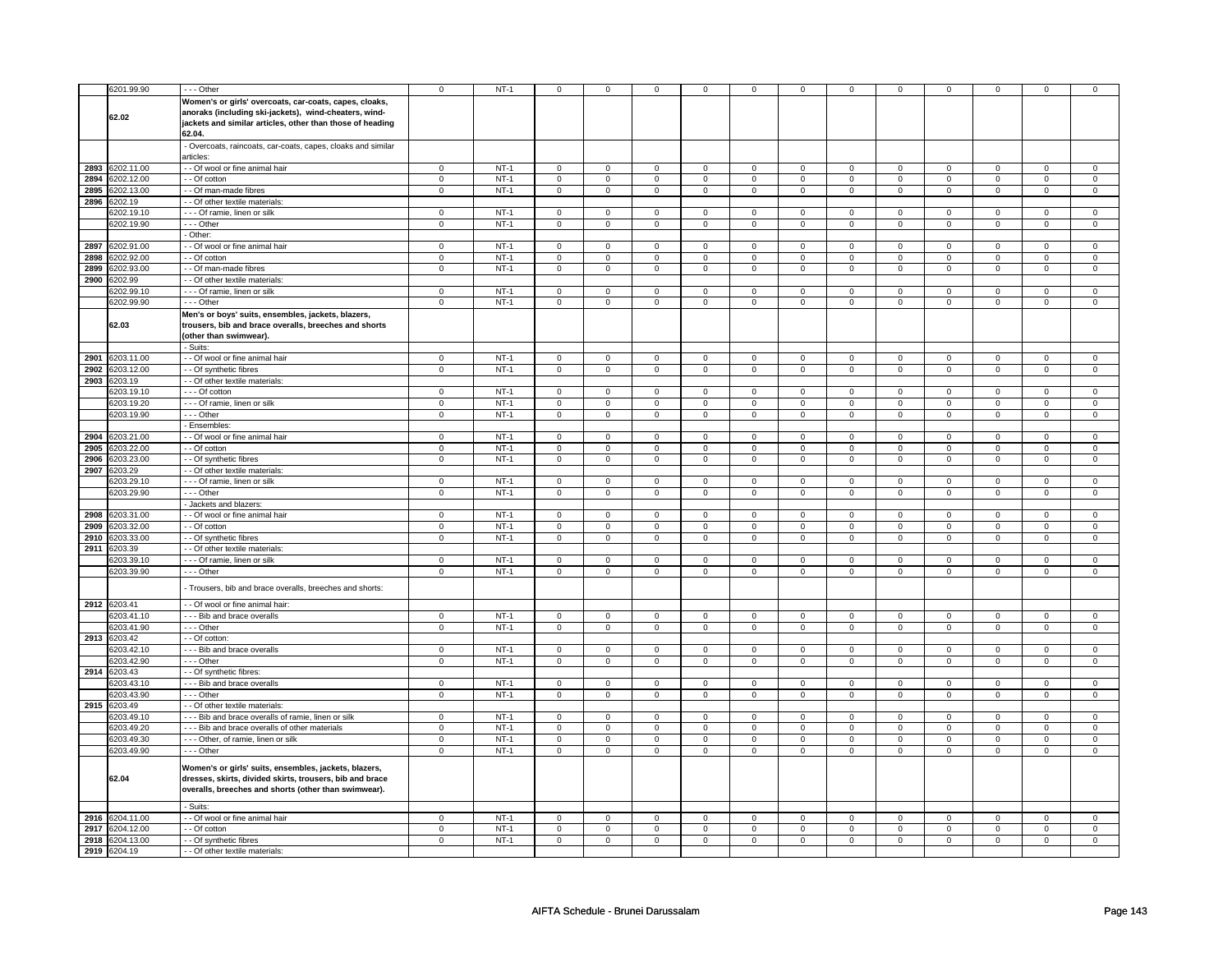|      | 6201.99.90      | $--$ Other                                                 | $\mathbf 0$    | $NT-1$ | $\mathsf{O}\xspace$     | $\mathbf 0$    | $\mathsf 0$    | $\mathsf 0$    | $\mathsf 0$    | $\mathsf 0$    | $\mathsf 0$         | $\mathsf 0$    | $\pmb{0}$           | 0              | $\Omega$            | 0              |
|------|-----------------|------------------------------------------------------------|----------------|--------|-------------------------|----------------|----------------|----------------|----------------|----------------|---------------------|----------------|---------------------|----------------|---------------------|----------------|
|      |                 | Women's or girls' overcoats, car-coats, capes, cloaks,     |                |        |                         |                |                |                |                |                |                     |                |                     |                |                     |                |
|      | 62.02           | anoraks (including ski-jackets), wind-cheaters, wind-      |                |        |                         |                |                |                |                |                |                     |                |                     |                |                     |                |
|      |                 | jackets and similar articles, other than those of heading  |                |        |                         |                |                |                |                |                |                     |                |                     |                |                     |                |
|      |                 | 62.04.                                                     |                |        |                         |                |                |                |                |                |                     |                |                     |                |                     |                |
|      |                 | Overcoats, raincoats, car-coats, capes, cloaks and similar |                |        |                         |                |                |                |                |                |                     |                |                     |                |                     |                |
|      |                 | articles:                                                  |                |        |                         |                |                |                |                |                |                     |                |                     |                |                     |                |
|      | 2893 6202.11.00 | - - Of wool or fine animal hair                            | $\overline{0}$ | $NT-1$ | $\overline{0}$          | $\overline{0}$ | $\overline{0}$ | $\overline{0}$ | $\overline{0}$ | $\overline{0}$ | $\overline{0}$      | $\overline{0}$ | $\overline{0}$      | $\overline{0}$ | $\Omega$            | $\overline{0}$ |
| 2894 | 6202.12.00      | - - Of cotton                                              | $\mathsf 0$    | $NT-1$ | $\mathsf{O}\xspace$     | $\mathsf 0$    | $\mathsf 0$    | $\mathsf 0$    | $\mathsf 0$    | $\mathsf 0$    | 0                   | $\mathsf 0$    | $\mathsf 0$         | $\mathsf 0$    | $\mathsf 0$         | $\mathbf 0$    |
| 2895 | 3202.13.00      | - Of man-made fibres                                       | $\mathsf 0$    | $NT-1$ | $\mathsf 0$             | $\mathsf 0$    | $\mathsf 0$    | $\mathsf 0$    | $\mathsf 0$    | $\mathsf{O}$   | $\mathbf 0$         | $\mathbf 0$    | $\mathsf 0$         | $\mathsf{O}$   | $\mathsf 0$         | $\mathsf 0$    |
|      | 2896 6202.19    | - - Of other textile materials:                            |                |        |                         |                |                |                |                |                |                     |                |                     |                |                     |                |
|      | 6202.19.1       | - - - Of ramie, linen or silk                              | $\mathbf 0$    | $NT-1$ | $\mathbf 0$             | $\mathbf 0$    | $\mathbf 0$    | $\mathbf 0$    | $\mathbf 0$    | $\mathbf{0}$   | $\Omega$            | $\mathbf{0}$   | $\mathbf 0$         | $\mathbf{0}$   | $\Omega$            | $\mathbf{0}$   |
|      | 6202.19.90      | --- Other                                                  | $\mathbf 0$    | $NT-1$ | $\mathbf 0$             | $\mathbf 0$    | $\mathbf 0$    | $\mathbf 0$    | $\mathbf 0$    | $\mathbf{0}$   | $\mathbf 0$         | $\mathbf{0}$   | $\mathbf 0$         | $\mathbf{0}$   | $\mathbf 0$         | $\mathbf 0$    |
|      |                 | - Other:                                                   |                |        |                         |                |                |                |                |                |                     |                |                     |                |                     |                |
| 2897 | 6202.91.00      | - Of wool or fine animal hair                              | $\mathbf 0$    | $NT-1$ | $\mathsf 0$             | $\mathbf 0$    | $\mathbf 0$    | $\mathbf 0$    | $\mathbf 0$    | $\mathbf 0$    | $\mathbf 0$         | $\mathbf 0$    | $\mathsf 0$         | $\mathbf 0$    | $\mathbf 0$         | $\mathbf 0$    |
| 2898 | 3202.92.00      | - Of cotton                                                | $\pmb{0}$      | $NT-1$ | $\mathsf{O}\xspace$     | $\mathbf 0$    | 0              | $\mathsf 0$    | 0              | $\mathsf 0$    | 0                   | $\mathsf 0$    | 0                   | $\mathsf 0$    | 0                   | 0              |
| 2899 | 6202.93.00      | - - Of man-made fibres                                     | $\mathsf 0$    | $NT-1$ | $\mathbf 0$             | $\mathbf 0$    | $\mathbf 0$    | $\mathbf 0$    | $\mathsf 0$    | $\mathbf 0$    | $\mathbf{0}$        | $\mathbf 0$    | $\mathsf{O}\xspace$ | $\mathbf 0$    | $\mathbf 0$         | $\mathbf 0$    |
| 2900 | 6202.99         | - - Of other textile materials:                            |                |        |                         |                |                |                |                |                |                     |                |                     |                |                     |                |
|      | 3202.99.10      | - - - Of ramie, linen or silk                              | $\mathsf 0$    | $NT-1$ | $\overline{0}$          | $\mathbf 0$    | $\mathbf 0$    | $\mathsf 0$    | $\mathbf 0$    | $\mathsf 0$    | $\mathbf 0$         | $\mathbf 0$    | $\mathsf 0$         | $\mathbf 0$    | $\mathbf 0$         | 0              |
|      | 6202.99.90      | $--$ Other                                                 | $\overline{0}$ | $NT-1$ | $\overline{\mathbf{0}}$ | $\overline{0}$ | $\mathsf 0$    | $\pmb{0}$      | $\overline{0}$ | $\pmb{0}$      | $\mathsf{O}\xspace$ | $\overline{0}$ | $\pmb{0}$           | $\overline{0}$ | $\mathsf{O}\xspace$ | $\pmb{0}$      |
|      |                 | Men's or boys' suits, ensembles, jackets, blazers,         |                |        |                         |                |                |                |                |                |                     |                |                     |                |                     |                |
|      | 62.03           | trousers, bib and brace overalls, breeches and shorts      |                |        |                         |                |                |                |                |                |                     |                |                     |                |                     |                |
|      |                 | (other than swimwear).                                     |                |        |                         |                |                |                |                |                |                     |                |                     |                |                     |                |
|      |                 | - Suits:                                                   |                |        |                         |                |                |                |                |                |                     |                |                     |                |                     |                |
| 2901 | 6203.11.00      | - Of wool or fine animal hair                              | $\mathbf 0$    | $NT-1$ | $\mathbf 0$             | $\mathbf 0$    | $\mathbf 0$    | $\mathbf{0}$   | $\mathbf 0$    | $\mathbf 0$    | $\mathbf 0$         | $\mathbf 0$    | $\mathbf 0$         | $\mathbf 0$    | $\mathbf 0$         | $\mathbf 0$    |
| 2902 | 6203.12.00      | - Of synthetic fibres                                      | $\overline{0}$ | $NT-1$ | $\overline{0}$          | $\overline{0}$ | $\mathbf 0$    | $\overline{0}$ | $\mathbf 0$    | $\overline{0}$ | $\mathbf 0$         | $\overline{0}$ | $\mathsf 0$         | $\overline{0}$ | $\mathbf 0$         | $\pmb{0}$      |
| 2903 | 6203.19         | - Of other textile materials:                              |                |        |                         |                |                |                |                |                |                     |                |                     |                |                     |                |
|      | 3203.19.10      | $-$ - Of cotton                                            | $\Omega$       | $NT-1$ | $\mathsf 0$             | $\overline{0}$ | $\mathbf 0$    | $\mathsf 0$    | $\mathbf 0$    | $\mathsf 0$    | $\mathbf 0$         | $\mathbf 0$    | $\mathsf 0$         | $\overline{0}$ | $\Omega$            | 0              |
|      | 6203.19.20      | --- Of ramie, linen or silk                                | $\overline{0}$ | $NT-1$ | $\mathsf 0$             | $\overline{0}$ | $\mathsf 0$    | $\mathbf 0$    | $\mathsf 0$    | $\mathbf 0$    | 0                   | $\mathbf 0$    | $\mathsf 0$         | $\mathbf 0$    | 0                   | $\overline{0}$ |
|      | 6203.19.90      | --- Other                                                  | $\mathbf 0$    | $NT-1$ | $\mathbf{0}$            | $\mathbf 0$    | $\mathbf{O}$   | $\mathbf{0}$   | $\mathbf 0$    | $\mathbf 0$    | $\mathbf 0$         | $\mathbf{0}$   | $\mathbf 0$         | $\mathbf 0$    | $\mathbf 0$         | $\mathbf{0}$   |
|      |                 | - Ensembles:                                               |                |        |                         |                |                |                |                |                |                     |                |                     |                |                     |                |
| 2904 | 6203.21.00      | - - Of wool or fine animal hair                            | $\overline{0}$ | $NT-1$ | $\overline{0}$          | $\overline{0}$ | $\mathbf 0$    | $\overline{0}$ | $\overline{0}$ | $\overline{0}$ | $\overline{0}$      | $\overline{0}$ | $\overline{0}$      | $\overline{0}$ | $\mathbf 0$         | $\mathbf 0$    |
| 2905 | 6203.22.00      | - - Of cotton                                              | 0              | $NT-1$ | 0                       | 0              | 0              | 0              | 0              | 0              | 0                   | 0              | 0                   | 0              | 0                   | 0              |
| 2906 | 3203.23.00      | - Of synthetic fibres                                      | $\mathbf 0$    | $NT-1$ | $\mathsf 0$             | $\mathsf 0$    | 0              | $\mathbf 0$    | $\mathbf 0$    | $\mathsf 0$    | 0                   | $\mathbf 0$    | $\mathsf 0$         | $\mathbf 0$    | $\mathbf 0$         | 0              |
|      | 2907 6203.29    | - Of other textile materials:                              |                |        |                         |                |                |                |                |                |                     |                |                     |                |                     |                |
|      | 6203.29.10      | --- Of ramie, linen or silk                                | $\mathbf 0$    | $NT-1$ | $\mathbf 0$             | $\mathbf 0$    | 0              | $\mathbf 0$    | 0              | $\mathbf 0$    | 0                   | $\mathbf 0$    | 0                   | $\mathbf 0$    | 0                   | 0              |
|      | 6203.29.90      | $--$ Other                                                 | $\Omega$       | $NT-1$ | $\mathsf 0$             | $\mathbf 0$    | $\mathbf 0$    | $\mathsf 0$    | $\mathbf 0$    | $\overline{0}$ | $\mathbf 0$         | $\mathbf 0$    | $\mathsf 0$         | $\overline{0}$ | $\Omega$            | $\overline{0}$ |
|      |                 | - Jackets and blazers:                                     |                |        |                         |                |                |                |                |                |                     |                |                     |                |                     |                |
|      | 2908 6203.31.00 | - Of wool or fine animal hair                              | $\mathbf 0$    | $NT-1$ | $\mathbf 0$             | $\mathbf 0$    | 0              | $\mathbf 0$    | 0              | $\mathbf 0$    | 0                   | $\mathbf 0$    | 0                   | $\mathbf 0$    | $\Omega$            | $\mathbf 0$    |
| 2909 | 6203.32.00      | - Of cotton                                                | $\mathsf 0$    | $NT-1$ | $\mathbf 0$             | $\mathbf 0$    | $\mathbf 0$    | $\mathbf 0$    | $\mathbf 0$    | $\mathbf 0$    | $\mathbf 0$         | $\mathbf 0$    | $\mathbf 0$         | $\mathbf 0$    | $\mathbf 0$         | $\mathbf{0}$   |
| 2910 | 6203.33.00      | - Of synthetic fibres                                      | $\mathsf 0$    | $NT-1$ | $\mathbf 0$             | $\mathsf 0$    | $\mathbf 0$    | $\mathbf 0$    | $\mathbf 0$    | $\mathbf 0$    | $\mathbf 0$         | $\mathbf 0$    | $\mathsf 0$         | $\mathbf 0$    | $\mathbf 0$         | $\mathbf 0$    |
|      | 2911 6203.39    | - - Of other textile materials:                            |                |        |                         |                |                |                |                |                |                     |                |                     |                |                     |                |
|      | 6203.39.10      | - - - Of ramie, linen or silk                              | $\mathbf 0$    | $NT-1$ | $\mathsf 0$             | $\mathbf 0$    | 0              | $\mathsf 0$    | $\mathbf 0$    | $\mathsf 0$    | 0                   | $\mathbf 0$    | $\mathsf 0$         | $\mathbf 0$    | $\Omega$            | 0              |
|      | 6203.39.90      | $--$ Other                                                 | $\overline{0}$ | $NT-1$ | $\overline{0}$          | $\overline{0}$ | $\overline{0}$ | $\overline{0}$ | $\overline{0}$ | $\overline{0}$ | $\overline{0}$      | $\overline{0}$ | $\overline{0}$      | $\overline{0}$ | $\overline{0}$      | $\overline{0}$ |
|      |                 | Trousers, bib and brace overalls, breeches and shorts:     |                |        |                         |                |                |                |                |                |                     |                |                     |                |                     |                |
|      |                 |                                                            |                |        |                         |                |                |                |                |                |                     |                |                     |                |                     |                |
|      | 2912 6203.41    | - - Of wool or fine animal hair:                           |                |        |                         |                |                |                |                |                |                     |                |                     |                |                     |                |
|      | 6203.41.10      | --- Bib and brace overalls                                 | $\mathbf 0$    | $NT-1$ | $\mathbf 0$             | $\mathbf 0$    | $\mathbf 0$    | $\mathbf 0$    | $\mathbf 0$    | $\mathbf 0$    | 0                   | $\mathbf 0$    | 0                   | $\mathbf 0$    | 0                   | 0              |
|      | 6203.41.90      | --- Other                                                  | $\mathbf 0$    | $NT-1$ | $\mathbf 0$             | $\mathbf 0$    | $\mathbf 0$    | $\mathbf 0$    | $\mathbf 0$    | $\mathbf 0$    | $\mathbf 0$         | $\mathbf 0$    | $\mathsf 0$         | $\mathbf 0$    | $\mathbf 0$         | $\mathbf{0}$   |
| 2913 | 6203.42         | - Of cotton:                                               |                |        |                         |                |                |                |                |                |                     |                |                     |                |                     |                |
|      | 6203.42.10      | --- Bib and brace overalls                                 | $\mathbf 0$    | $NT-1$ | $\mathsf 0$             | $\mathbf 0$    | 0              | $\mathbf 0$    | $\mathbf 0$    | $\mathbf 0$    | 0                   | $\mathbf 0$    | $\mathsf 0$         | $\mathbf 0$    | $\mathbf 0$         | $\mathbf 0$    |
|      | 6203.42.90      | - - Other                                                  | $\mathsf 0$    | $NT-1$ | $\mathsf 0$             | $\mathsf 0$    | 0              | $\mathbf 0$    | 0              | $\mathbf 0$    | 0                   | $\mathbf 0$    | 0                   | $\mathbf 0$    | 0                   | $\mathbf 0$    |
| 2914 | 6203.43         | - - Of synthetic fibres:                                   |                |        |                         |                |                |                |                |                |                     |                |                     |                |                     |                |
|      | 6203.43.10      | --- Bib and brace overalls                                 | $\mathbf 0$    | $NT-1$ | $\mathsf 0$             | $\mathbf 0$    | $^{\circ}$     | $\mathbf 0$    | $\mathbf 0$    | $\mathbf 0$    | $\mathbf 0$         | $\mathbf 0$    | $\mathsf 0$         | $\mathbf 0$    | 0                   | 0              |
|      | 6203.43.90      | --- Other                                                  | $\mathsf 0$    | $NT-1$ | $\mathsf{O}$            | $\mathsf 0$    | $\mathsf 0$    | $\mathbf 0$    | $\mathsf{O}$   | $\mathbf 0$    | $\mathbf 0$         | $\mathbf 0$    | $\mathsf 0$         | $\mathbf 0$    | $\mathbf 0$         | $\mathbf{O}$   |
| 2915 | 6203.49         | - - Of other textile materials                             |                |        |                         |                |                |                |                |                |                     |                |                     |                |                     |                |
|      | 6203.49.10      | --- Bib and brace overalls of ramie, linen or silk         | $\mathbf 0$    | $NT-1$ | $\mathsf 0$             | $\mathbf 0$    | $\mathbf 0$    | $\mathbf 0$    | $\mathbf 0$    | $\mathbf 0$    | $\mathbf 0$         | $\mathbf 0$    | $\mathsf 0$         | $\mathbf 0$    | $\Omega$            | $\mathbf 0$    |
|      | 6203.49.20      | - - - Bib and brace overalls of other materials            | $\mathbf 0$    | $NT-1$ | $\mathsf 0$             | $\mathbf 0$    | $\mathbf 0$    | $\mathbf 0$    | $\mathbf 0$    | $\mathbf 0$    | $\mathbf 0$         | $\mathbf 0$    | $\mathsf 0$         | $\mathbf 0$    | $\mathbf 0$         | $\mathbf 0$    |
|      | 6203.49.30      | - - - Other, of ramie, linen or silk                       | $\mathsf 0$    | $NT-1$ | $\mathsf 0$             | $\mathbf 0$    | $\mathbf 0$    | $\mathbf 0$    | $\mathbf 0$    | $\mathbf 0$    | $\mathbf 0$         | $\mathbf 0$    | $\mathsf 0$         | $\mathbf 0$    | $\mathbf 0$         | $\mathbf 0$    |
|      | 6203.49.90      | --- Other                                                  | $\mathbf 0$    | $NT-1$ | $\mathbf 0$             | $\mathbf 0$    | $\mathbf 0$    | $\mathbf 0$    | $\mathbf 0$    | $\mathbf 0$    | 0                   | $\mathbf{0}$   | $\mathbf 0$         | $\mathbf 0$    | 0                   | $\overline{0}$ |
|      |                 | Women's or girls' suits, ensembles, jackets, blazers,      |                |        |                         |                |                |                |                |                |                     |                |                     |                |                     |                |
|      | 62.04           | dresses, skirts, divided skirts, trousers, bib and brace   |                |        |                         |                |                |                |                |                |                     |                |                     |                |                     |                |
|      |                 | overalls, breeches and shorts (other than swimwear).       |                |        |                         |                |                |                |                |                |                     |                |                     |                |                     |                |
|      |                 |                                                            |                |        |                         |                |                |                |                |                |                     |                |                     |                |                     |                |
|      |                 | Suits:                                                     |                |        |                         |                |                |                |                |                |                     |                |                     |                |                     |                |
|      | 2916 6204.11.00 | - - Of wool or fine animal hair                            | $\mathbf 0$    | $NT-1$ | $\mathbf 0$             | $\mathbf 0$    | 0              | $\mathbf 0$    | $\mathbf 0$    | $\mathbf 0$    | 0                   | $\mathbf 0$    | $\mathbf 0$         | $\mathbf 0$    | 0                   | $\mathbf 0$    |
| 2917 | 6204.12.00      | - - Of cotton                                              | $\mathbf 0$    | $NT-1$ | $\mathsf 0$             | $\mathbf 0$    | $\mathbf 0$    | $\mathbf 0$    | $\mathbf 0$    | $\mathbf 0$    | $\mathbf 0$         | $\mathbf 0$    | $\mathsf 0$         | $\mathbf 0$    | $\mathbf 0$         | $\mathbf{0}$   |
| 2918 | 6204.13.00      | - Of synthetic fibres                                      | $\Omega$       | $NT-1$ | $\mathsf 0$             | $\mathbf 0$    | $\mathbf 0$    | $\mathbf 0$    | $\mathbf 0$    | $\mathbf 0$    | $\mathbf 0$         | $\mathbf 0$    | $\mathsf 0$         | $\mathbf 0$    | $\mathbf 0$         | $\mathbf{0}$   |
|      | 2919 6204.19    | - - Of other textile materials:                            |                |        |                         |                |                |                |                |                |                     |                |                     |                |                     |                |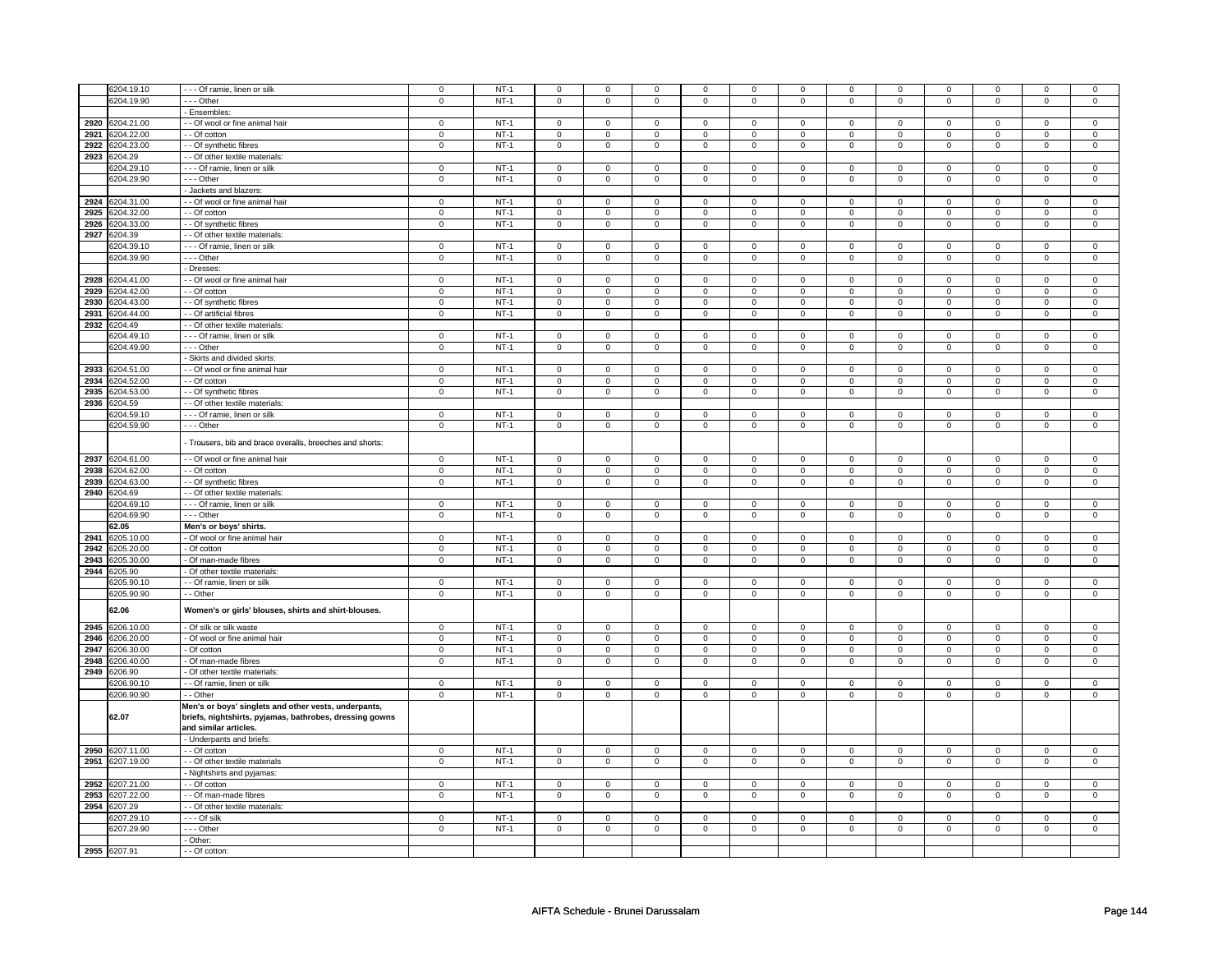|      | 6204.19.10      | --- Of ramie, linen or silk                                                      | $\mathbf 0$    | $NT-1$ | 0                   | $\mathbf 0$         | 0              | 0                   | 0                   | 0                   | $\mathbf 0$    | 0                   | 0                   | 0                   | $\mathbf 0$    | 0                   |
|------|-----------------|----------------------------------------------------------------------------------|----------------|--------|---------------------|---------------------|----------------|---------------------|---------------------|---------------------|----------------|---------------------|---------------------|---------------------|----------------|---------------------|
|      |                 |                                                                                  |                |        |                     |                     |                |                     |                     |                     |                |                     |                     |                     |                |                     |
|      | 6204.19.90      | $\cdots$ Other                                                                   | $\overline{0}$ | $NT-1$ | $\mathbf 0$         | $\mathbf 0$         | 0              | 0                   | 0                   | 0                   | 0              | 0                   | 0                   | 0                   | 0              | $\mathbf 0$         |
|      |                 | Ensembles:                                                                       |                |        |                     |                     |                |                     |                     |                     |                |                     |                     |                     |                |                     |
|      | 2920 6204.21.00 | - Of wool or fine animal hair                                                    | $\mathbf 0$    | $NT-1$ | 0                   | $\Omega$            | 0              | $\Omega$            | 0                   | $\Omega$            | 0              | $\Omega$            | 0                   | $\Omega$            | $\Omega$       | $\Omega$            |
| 2921 | 6204.22.00      | - Of cotton                                                                      | $\mathsf 0$    | $NT-1$ | $\mathsf{O}\xspace$ | $\mathbf 0$         | $\mathbf 0$    | $\mathbf 0$         | $\mathbf 0$         | $\mathsf 0$         | $\mathbf 0$    | $\mathbf 0$         | $\mathsf 0$         | $\mathbf 0$         | $\Omega$       | 0                   |
| 2922 | 6204.23.00      | - Of synthetic fibres                                                            | $\mathbf 0$    | $NT-1$ | $\mathsf 0$         | $\mathsf 0$         | $\mathsf 0$    | $\mathsf 0$         | $\mathsf 0$         | $\mathsf 0$         | $\mathbf{0}$   | $\mathsf{O}$        | $\mathsf{O}\xspace$ | $\mathsf{O}$        | $\mathbf{0}$   | $\mathsf{O}\xspace$ |
|      | 2923 6204.29    | - - Of other textile materials:                                                  |                |        |                     |                     |                |                     |                     |                     |                |                     |                     |                     |                |                     |
|      |                 |                                                                                  |                |        |                     |                     |                |                     |                     |                     |                |                     |                     |                     |                |                     |
|      | 204.29.10       | - - - Of ramie, linen or silk                                                    | $\mathsf 0$    | $NT-1$ | $\mathbf 0$         | $\mathbf 0$         | 0              | 0                   | 0                   | $\mathsf 0$         | $\mathbf 0$    | 0                   | 0                   | $\mathbf 0$         | $\mathbf 0$    | 0                   |
|      | 6204.29.90      | $- -$ Other                                                                      | $\mathsf 0$    | $NT-1$ | $\mathsf{O}\xspace$ | $\mathsf 0$         | $\mathsf 0$    | $\mathbf 0$         | $\mathsf 0$         | $\mathbf 0$         | $\mathbf 0$    | $\mathbf 0$         | $\mathsf 0$         | $\mathbf 0$         | $\mathbf 0$    | $\mathbf 0$         |
|      |                 | Jackets and blazers:                                                             |                |        |                     |                     |                |                     |                     |                     |                |                     |                     |                     |                |                     |
| 2924 | 6204.31.00      | - - Of wool or fine animal hair                                                  | $\mathbf 0$    | $NT-1$ | $\mathsf 0$         | $\mathbf 0$         | 0              | $\mathbf 0$         | $\mathbf 0$         | $\mathbf 0$         | 0              | $\mathbf 0$         | $\mathsf 0$         | $\mathbf 0$         | 0              | $\mathbf 0$         |
| 2925 | 6204.32.00      | - Of cotton                                                                      | $\mathbf 0$    | $NT-1$ | $\mathsf 0$         | $\mathbf 0$         | $\mathbf 0$    | $\mathbf 0$         | $\mathbf 0$         | $\mathsf 0$         | $\mathbf 0$    | $\mathbf 0$         | $\mathsf 0$         | $\mathbf 0$         | $\mathbf 0$    | 0                   |
| 2926 | 6204.33.00      | - - Of synthetic fibres                                                          | $\overline{0}$ | $NT-1$ | $\mathsf{O}\xspace$ | $\mathsf 0$         | $\mathsf 0$    | $\mathbf 0$         | $\mathsf 0$         | $\overline{0}$      | $\mathbf 0$    | $\mathbf 0$         | $\mathsf 0$         | $\overline{0}$      | $\mathbf 0$    | $\mathbf 0$         |
| 2927 | 3204.39         | - - Of other textile materials:                                                  |                |        |                     |                     |                |                     |                     |                     |                |                     |                     |                     |                |                     |
|      |                 |                                                                                  | $\mathsf 0$    | $NT-1$ | $\mathsf 0$         | $\mathbf 0$         |                | $\mathsf 0$         |                     | $\mathsf 0$         |                |                     |                     | $\mathbf 0$         | $\mathbf 0$    | 0                   |
|      | 3204.39.10      | --- Of ramie, linen or silk                                                      |                |        |                     |                     | 0              |                     | 0                   |                     | 0              | 0                   | 0                   |                     |                |                     |
|      | 6204.39.90      | --- Other                                                                        | $\mathsf 0$    | $NT-1$ | $\mathsf{O}\xspace$ | $\mathsf 0$         | 0              | $\mathsf{O}$        | $\mathsf{O}\xspace$ | $\mathsf{O}$        | 0              | $\mathsf{O}$        | 0                   | $\mathsf{O}$        | 0              | $\mathsf 0$         |
|      |                 | - Dresses                                                                        |                |        |                     |                     |                |                     |                     |                     |                |                     |                     |                     |                |                     |
| 2928 | 6204.41.00      | - Of wool or fine animal hair                                                    | $\Omega$       | $NT-1$ | $\overline{0}$      | $\mathbf 0$         | $\mathbf 0$    | $\mathsf 0$         | $\overline{0}$      | $\mathsf 0$         | $\mathbf 0$    | $\mathbf 0$         | $\mathsf 0$         | $\mathbf 0$         | $\Omega$       | 0                   |
| 2929 | 6204.42.00      | - - Of cotton                                                                    | $\overline{0}$ | $NT-1$ | $\overline{0}$      | $\overline{0}$      | $\overline{0}$ | $\overline{0}$      | $\overline{0}$      | $\overline{0}$      | $\overline{0}$ | $\overline{0}$      | $\overline{0}$      | $\overline{0}$      | $\overline{0}$ | $\overline{0}$      |
| 2930 | 3204.43.00      | - - Of synthetic fibres                                                          | $\mathsf 0$    | $NT-1$ | $\mathsf{O}\xspace$ | $\mathsf 0$         | $\mathsf 0$    | $\mathbf 0$         | $\mathsf 0$         | $\mathbf 0$         | $\mathbf 0$    | $\mathbf 0$         | $\mathsf 0$         | $\mathbf 0$         | $\Omega$       | 0                   |
| 2931 | 6204.44.00      | - Of artificial fibres                                                           | $\mathsf 0$    | $NT-1$ | $\mathsf 0$         | $\mathbf 0$         | $\mathbf 0$    | $\mathbf 0$         | $\mathbf 0$         | $\mathbf 0$         | $\mathbf 0$    | $\mathbf 0$         | $\mathsf 0$         | $\mathbf 0$         | $\mathbf 0$    | $\mathbf 0$         |
|      | 2932 6204.49    | - - Of other textile materials:                                                  |                |        |                     |                     |                |                     |                     |                     |                |                     |                     |                     |                |                     |
|      |                 |                                                                                  |                |        |                     |                     |                |                     |                     |                     |                |                     |                     |                     |                |                     |
|      | 6204.49.10      | - - - Of ramie, linen or silk                                                    | $\mathbf 0$    | $NT-1$ | $\mathbf 0$         | $\mathbf 0$         | 0              | $\mathbf{0}$        | 0                   | $\mathbf 0$         | 0              | $\mathbf 0$         | 0                   | $\mathbf 0$         | 0              | 0                   |
|      | 6204.49.90      | --- Other                                                                        | $\mathbf 0$    | $NT-1$ | $\mathsf 0$         | $\mathbf 0$         | $\mathbf 0$    | $\mathbf 0$         | $\mathbf 0$         | $\mathbf 0$         | 0              | $\mathbf 0$         | $\mathsf 0$         | $\mathbf 0$         | 0              | $\mathbf{0}$        |
|      |                 | Skirts and divided skirts:                                                       |                |        |                     |                     |                |                     |                     |                     |                |                     |                     |                     |                |                     |
| 2933 | 6204.51.00      | - Of wool or fine animal hair                                                    | $\mathsf 0$    | $NT-1$ | $\mathbf 0$         | $\mathbf 0$         | 0              | $\mathbf 0$         | 0                   | $\mathbf 0$         | 0              | $\mathbf 0$         | 0                   | $\mathbf 0$         | $\mathbf 0$    | $\mathbf 0$         |
| 2934 | 6204.52.00      | - Of cotton                                                                      | $\mathbf 0$    | $NT-1$ | $\mathbf 0$         | $\mathbf 0$         | 0              | 0                   | 0                   | $\mathsf 0$         | 0              | 0                   | 0                   | $\mathbf 0$         | 0              | 0                   |
| 2935 | 6204.53.00      | - Of synthetic fibres                                                            | $\mathbf 0$    | $NT-1$ | $\mathsf 0$         | $\mathsf 0$         | 0              | $\mathbf 0$         | $\mathsf 0$         | $\mathbf 0$         | 0              | $\mathbf 0$         | $\mathbf 0$         | $\mathbf 0$         | 0              | $\mathbf 0$         |
| 2936 | 6204.59         | - - Of other textile materials:                                                  |                |        |                     |                     |                |                     |                     |                     |                |                     |                     |                     |                |                     |
|      | 6204.59.10      | - - - Of ramie, linen or silk                                                    | $\mathsf 0$    | $NT-1$ | $\mathsf{O}\xspace$ | $\mathbf 0$         | 0              | $\mathbf 0$         | $\mathsf 0$         | 0                   | 0              | 0                   | 0                   | 0                   | $\mathbf 0$    | 0                   |
|      | 6204.59.90      | $--$ Other                                                                       | $\mathsf 0$    | $NT-1$ | $\mathsf 0$         | $\mathsf{O}\xspace$ | $\mathsf 0$    | $\mathsf 0$         | $\mathsf 0$         | $\mathsf 0$         | $\mathbf 0$    | $\mathsf 0$         | $\mathsf{O}\xspace$ | $\mathsf 0$         | $\mathbf 0$    | $\mathsf{O}\xspace$ |
|      |                 |                                                                                  |                |        |                     |                     |                |                     |                     |                     |                |                     |                     |                     |                |                     |
|      |                 | Trousers, bib and brace overalls, breeches and shorts:                           |                |        |                     |                     |                |                     |                     |                     |                |                     |                     |                     |                |                     |
|      | 2937 6204.61.00 | - Of wool or fine animal hair                                                    | $\mathbf 0$    | $NT-1$ | $\mathbf 0$         | $\mathbf 0$         | $\mathbf 0$    | $\mathbf 0$         | $\mathbf 0$         | $\mathbf 0$         | $\mathbf 0$    | $\mathbf{0}$        | $\mathbf 0$         | $\mathbf 0$         | $\mathbf 0$    | $\mathbf{0}$        |
|      |                 |                                                                                  |                | $NT-1$ |                     |                     |                |                     |                     |                     |                |                     |                     |                     |                |                     |
|      | 2938 6204.62.00 | - Of cotton                                                                      | $\mathsf 0$    |        | $\mathsf{O}\xspace$ | $\mathsf 0$         | $\mathsf 0$    | $\mathbf 0$         | $\mathsf 0$         | $\mathbf 0$         | $\mathbf 0$    | $\mathbf 0$         | $\mathbf 0$         | $\mathbf 0$         | 0              | $\mathsf 0$         |
| 2939 | 6204.63.00      | - - Of synthetic fibres                                                          | $\mathbf 0$    | $NT-1$ | $\mathbf 0$         | $\mathbf 0$         | $\mathbf 0$    | $\mathbf 0$         | $\mathbf 0$         | $\mathbf 0$         | $\mathbf 0$    | $\mathbf 0$         | $\mathsf 0$         | $\mathbf 0$         | $\mathbf 0$    | $\mathbf 0$         |
| 2940 | 6204.69         | - Of other textile materials:                                                    |                |        |                     |                     |                |                     |                     |                     |                |                     |                     |                     |                |                     |
|      | 6204.69.10      | --- Of ramie, linen or silk                                                      | $\overline{0}$ | $NT-1$ | $\mathsf 0$         | $\overline{0}$      | $\mathbf 0$    | $\mathbf 0$         | $\mathbf 0$         | $\mathbf 0$         | $\mathbf 0$    | $\overline{0}$      | $\mathsf 0$         | $\overline{0}$      | $\mathbf 0$    | $\mathbf 0$         |
|      | 6204.69.90      | --- Other                                                                        | $\mathsf 0$    | $NT-1$ | 0                   | $\mathsf 0$         | 0              | $\mathbf 0$         | 0                   | $\mathbf 0$         | 0              | $\mathbf 0$         | 0                   | $\mathbf 0$         | 0              | $\mathsf 0$         |
|      | 62.05           | Men's or boys' shirts.                                                           |                |        |                     |                     |                |                     |                     |                     |                |                     |                     |                     |                |                     |
| 2941 | 6205.10.00      | Of wool or fine animal hair                                                      | $\mathsf 0$    | $NT-1$ | $\mathsf 0$         | $\mathbf 0$         | 0              | $\mathbf 0$         | 0                   | $\mathsf 0$         | 0              | $\mathbf 0$         | 0                   | $\mathbf 0$         | 0              | 0                   |
| 2942 | 6205.20.00      | - Of cotton                                                                      | $\mathbf 0$    | $NT-1$ | 0                   | $\mathbf 0$         | 0              | $\mathbf 0$         | 0                   | $\mathbf 0$         | 0              | $\mathbf 0$         | 0                   | $\mathbf 0$         | 0              | 0                   |
| 2943 | 3205.30.00      | Of man-made fibres                                                               | $\overline{0}$ | $NT-1$ | $\overline{0}$      | $\overline{0}$      | 0              | $\overline{0}$      | $\overline{0}$      | $\overline{0}$      | 0              | $\overline{0}$      | $\overline{0}$      | $\overline{0}$      | 0              | $\overline{0}$      |
| 2944 | 6205.90         | - Of other textile materials:                                                    |                |        |                     |                     |                |                     |                     |                     |                |                     |                     |                     |                |                     |
|      |                 |                                                                                  | $\mathbf 0$    | $NT-1$ | $\mathsf 0$         |                     | $\mathbf 0$    |                     | $\mathbf 0$         |                     | $\mathbf 0$    |                     | $\mathsf 0$         |                     | $\mathbf 0$    | 0                   |
|      | 6205.90.10      | - Of ramie, linen or silk                                                        |                |        |                     | $\mathbf 0$         |                | $\mathbf 0$         |                     | $\mathsf 0$         |                | $\mathsf 0$         |                     | $\mathsf 0$         |                |                     |
|      | 6205.90.90      | - Other                                                                          | $\mathsf 0$    | $NT-1$ | $\mathsf 0$         | $\mathsf 0$         | $\mathbf 0$    | $\mathsf{O}\xspace$ | $\mathsf 0$         | $\mathsf{O}\xspace$ | $\mathbf 0$    | $\mathsf{O}\xspace$ | $\mathsf{O}\xspace$ | $\mathsf{O}\xspace$ | 0              | $\mathsf 0$         |
|      | 62.06           | Women's or girls' blouses, shirts and shirt-blouses.                             |                |        |                     |                     |                |                     |                     |                     |                |                     |                     |                     |                |                     |
|      |                 |                                                                                  |                |        |                     |                     |                |                     |                     |                     |                |                     |                     |                     |                |                     |
| 2945 | 6206.10.00      | - Of silk or silk waste                                                          | $\mathbf 0$    | $NT-1$ | $\mathsf 0$         | $\mathbf 0$         | 0              | $\mathbf 0$         | $\mathbf 0$         | $\mathbf 0$         | $\Omega$       | $\mathbf 0$         | $\mathsf 0$         | $\mathbf 0$         | $\Omega$       | $\Omega$            |
| 2946 | 3206.20.00      | Of wool or fine animal hair                                                      | $\mathsf 0$    | $NT-1$ | $\mathsf{O}\xspace$ | $\mathsf 0$         | $\mathbf 0$    | $\mathbf 0$         | $\mathsf 0$         | $\mathbf 0$         | $\mathbf{0}$   | $\mathbf 0$         | $\mathbf 0$         | $\mathbf 0$         | $\mathbf{0}$   | $\mathbf 0$         |
| 2947 | 6206.30.00      | Of cotton                                                                        | $\mathsf 0$    | $NT-1$ | $\mathsf 0$         | $\mathbf 0$         | 0              | $\mathbf 0$         | $\mathbf 0$         | $\mathbf 0$         | 0              | $\mathbf 0$         | $\mathsf 0$         | $\mathbf 0$         | $\mathbf 0$    | $\mathbf 0$         |
| 2948 | 3206.40.00      | Of man-made fibres                                                               | $\mathbf 0$    | $NT-1$ | $\mathsf 0$         | $\mathsf 0$         | 0              | $\mathsf 0$         | $\mathbf 0$         | $\mathsf 0$         | 0              | $\mathbf 0$         | $\mathsf 0$         | $\mathbf 0$         | 0              | 0                   |
| 2949 | 6206.90         | Of other textile materials:                                                      |                |        |                     |                     |                |                     |                     |                     |                |                     |                     |                     |                |                     |
|      | 6206.90.10      | - - Of ramie, linen or silk                                                      | $\mathbf 0$    | $NT-1$ | $\mathbf 0$         | $\mathbf 0$         | $^{\circ}$     | $\mathbf 0$         | $\mathbf 0$         | $\mathbf 0$         | 0              | $\mathbf 0$         | 0                   | $\mathbf 0$         | 0              | 0                   |
|      | 6206.90.90      | - Other                                                                          | $\mathbf 0$    | $NT-1$ | $\mathbf 0$         | $\mathbf 0$         | 0              | $\mathbf 0$         | $\mathbf 0$         | $\mathbf 0$         | 0              | $\mathbf 0$         | $\mathbf 0$         | $\mathbf 0$         | 0              | $\mathbf{0}$        |
|      |                 | Men's or boys' singlets and other vests, underpants,                             |                |        |                     |                     |                |                     |                     |                     |                |                     |                     |                     |                |                     |
|      | 62.07           | briefs, nightshirts, pyjamas, bathrobes, dressing gowns<br>and similar articles. |                |        |                     |                     |                |                     |                     |                     |                |                     |                     |                     |                |                     |
|      |                 | - Underpants and briefs:                                                         |                |        |                     |                     |                |                     |                     |                     |                |                     |                     |                     |                |                     |
|      | 2950 6207.11.00 | - Of cotton                                                                      | $\mathsf 0$    | $NT-1$ | $\mathsf 0$         | $\mathbf 0$         | $\circ$        | $\mathbf 0$         | $\mathsf 0$         | $\mathsf 0$         | $\mathbf 0$    | $\mathbf 0$         | $\mathsf 0$         | $\mathsf 0$         | $\mathsf 0$    | $\mathbf 0$         |
|      | 2951 6207.19.00 | - Of other textile materials                                                     | $\mathsf 0$    | $NT-1$ | $\mathsf 0$         | $\mathsf 0$         | $\mathsf 0$    | $\mathbf 0$         | $\mathsf 0$         | $\mathbf 0$         | $\mathbf 0$    | $\mathbf 0$         | $\mathsf 0$         | $\mathbf 0$         | $\mathbf 0$    | $\mathbf 0$         |
|      |                 | Nightshirts and pyjamas:                                                         |                |        |                     |                     |                |                     |                     |                     |                |                     |                     |                     |                |                     |
| 2952 | 6207.21.00      | - Of cotton                                                                      | $\mathsf 0$    | $NT-1$ | $\mathsf 0$         | $\mathbf 0$         | $\Omega$       | $\mathbf 0$         | $\mathbf 0$         | $\mathbf 0$         | $\mathbf 0$    | $\mathbf{0}$        | $\mathbf 0$         | $\mathbf 0$         | $\Omega$       | 0                   |
| 2953 | 6207.22.00      | - Of man-made fibres                                                             | $\mathbf 0$    | $NT-1$ | 0                   | $\mathsf 0$         | 0              | 0                   | 0                   | $\mathbf 0$         | 0              | $\mathbf 0$         | 0                   | $\mathbf 0$         | 0              | $\mathbf 0$         |
|      |                 |                                                                                  |                |        |                     |                     |                |                     |                     |                     |                |                     |                     |                     |                |                     |
| 2954 | 6207.29         | - Of other textile materials:                                                    |                |        |                     |                     |                |                     |                     |                     |                |                     |                     |                     |                |                     |
|      | 6207.29.10      | --- Of silk                                                                      | $\mathsf 0$    | $NT-1$ | $\mathbf 0$         | $\mathbf 0$         | 0              | $\mathbf 0$         | 0                   | 0                   | 0              | 0                   | 0                   | $\mathbf 0$         | 0              | $\mathbf{0}$        |
|      | 6207.29.90      | --- Other                                                                        | $\mathbf 0$    | $NT-1$ | $\mathbf 0$         | $\mathbf 0$         | $\mathbf 0$    | $\mathbf 0$         | $\mathbf 0$         | $\mathbf 0$         | 0              | $\mathbf 0$         | 0                   | $\mathbf 0$         | 0              | $\mathbf{0}$        |
|      |                 | Other:                                                                           |                |        |                     |                     |                |                     |                     |                     |                |                     |                     |                     |                |                     |
|      | 2955 6207.91    | - - Of cotton:                                                                   |                |        |                     |                     |                |                     |                     |                     |                |                     |                     |                     |                |                     |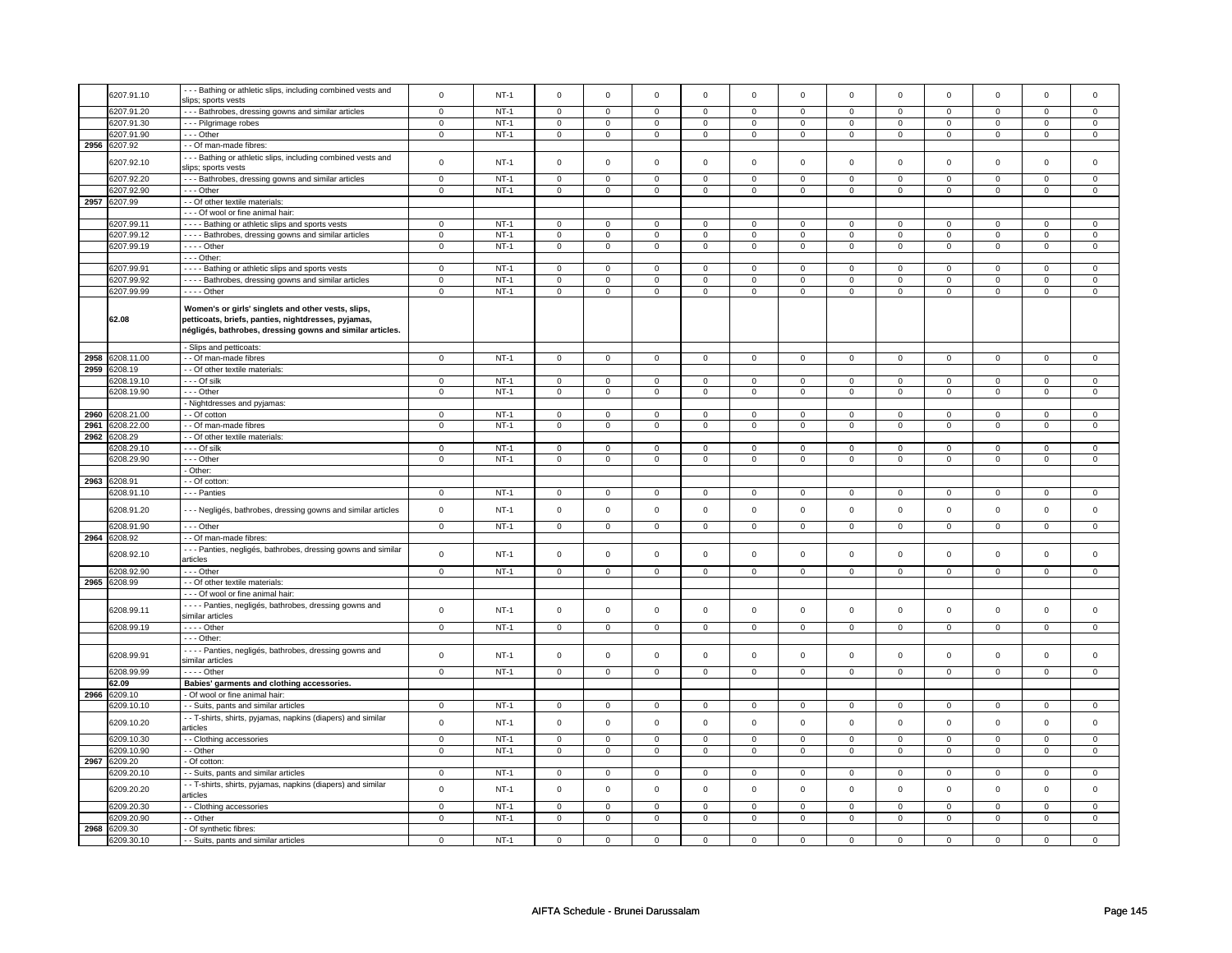|      | 6207.91.10 | --- Bathing or athletic slips, including combined vests and  | $\mathbf 0$    | $NT-1$ | $\mathbf 0$         | $\mathbf 0$    | $\mathbf 0$         | $\mathbf 0$    | $\mathsf 0$         | $\mathsf 0$    | $\mathbf 0$ | $\mathsf 0$    | $\mathbf 0$    | $\mathbf 0$    | $\Omega$    | $\mathbf{0}$   |
|------|------------|--------------------------------------------------------------|----------------|--------|---------------------|----------------|---------------------|----------------|---------------------|----------------|-------------|----------------|----------------|----------------|-------------|----------------|
|      |            | slips; sports vests                                          |                |        |                     |                |                     |                |                     |                |             |                |                |                |             |                |
|      | 6207.91.20 | --- Bathrobes, dressing gowns and similar articles           | $\mathsf 0$    | $NT-1$ | $\mathbf 0$         | $\mathbf 0$    | $\mathbf 0$         | $\mathbf 0$    | $\mathbf 0$         | $\mathbf 0$    | 0           | $\mathbf 0$    | 0              | $\mathbf 0$    | 0           | $\mathbf 0$    |
|      |            |                                                              |                |        |                     |                |                     |                |                     |                |             |                |                |                |             |                |
|      | 6207.91.30 | --- Pilgrimage robes                                         | 0              | $NT-1$ | 0                   | $\mathbf 0$    | $\mathbf 0$         | $\mathbf 0$    | $\mathbf 0$         | $\mathbf 0$    | 0           | 0              | 0              | 0              | 0           | 0              |
|      | 6207.91.90 | --- Other                                                    | $\mathbf 0$    | $NT-1$ | $\Omega$            | $\mathbf 0$    | $\mathbf 0$         | $\mathbf 0$    | $\mathbf 0$         | $\mathsf 0$    | $\mathbf 0$ | $\mathbf 0$    | $\mathbf 0$    | $\mathsf{O}$   | $\Omega$    | $\mathbf{0}$   |
| 2956 | 6207.92    | - - Of man-made fibres:                                      |                |        |                     |                |                     |                |                     |                |             |                |                |                |             |                |
|      |            |                                                              |                |        |                     |                |                     |                |                     |                |             |                |                |                |             |                |
|      | 6207.92.10 | --- Bathing or athletic slips, including combined vests and  | $\mathsf 0$    | $NT-1$ | $\mathsf{O}\xspace$ | $\mathsf 0$    | $\mathbf 0$         | $\mathbf 0$    | $\mathbf 0$         | 0              | 0           | 0              | 0              | $\mathbf 0$    | $\Omega$    | $\mathbf 0$    |
|      |            | slips; sports vests                                          |                |        |                     |                |                     |                |                     |                |             |                |                |                |             |                |
|      | 6207.92.20 | --- Bathrobes, dressing gowns and similar articles           | $\mathbf 0$    | $NT-1$ | $\mathbf 0$         | $\mathbf 0$    | $\mathbf 0$         | $\mathbf 0$    | $\mathbf 0$         | $\mathbf 0$    | 0           | $\mathbf 0$    | 0              | $\mathbf 0$    | 0           | 0              |
|      | 6207.92.90 | --- Other                                                    | $\mathbf 0$    | $NT-1$ | $\mathbf 0$         | $\mathbf 0$    | $\mathbf 0$         | $\mathbf 0$    | $\mathbf 0$         | $\mathbf{0}$   | $\mathbf 0$ | $\mathbf 0$    | $\mathbf 0$    | $\mathbf 0$    | $\mathbf 0$ | $\mathbf{0}$   |
|      |            |                                                              |                |        |                     |                |                     |                |                     |                |             |                |                |                |             |                |
| 2957 | 6207.99    | - - Of other textile materials:                              |                |        |                     |                |                     |                |                     |                |             |                |                |                |             |                |
|      |            | - - - Of wool or fine animal hair                            |                |        |                     |                |                     |                |                     |                |             |                |                |                |             |                |
|      | 6207.99.11 | - - - - Bathing or athletic slips and sports vests           | $\mathsf 0$    | $NT-1$ | $\mathbf 0$         | $\mathbf 0$    | $\mathsf 0$         | $\mathbf 0$    | $\mathsf 0$         | $\mathbf 0$    | $\mathbf 0$ | $\mathbf 0$    | $\mathsf 0$    | $\mathbf 0$    | $\Omega$    | $\mathbf 0$    |
|      | 6207.99.12 | ---- Bathrobes, dressing gowns and similar articles          | 0              | $NT-1$ | 0                   | $\mathbf 0$    | $\mathbf 0$         | $\mathbf 0$    | 0                   | $\mathbf 0$    | 0           | $\mathbf 0$    | 0              | $\mathbf 0$    | 0           | $\mathbf 0$    |
|      |            |                                                              |                |        |                     |                |                     |                |                     |                |             |                |                |                |             |                |
|      | 6207.99.19 | $---$ Other                                                  | $\mathsf 0$    | $NT-1$ | $\mathsf 0$         | $\mathsf 0$    | $\mathsf{O}\xspace$ | $\mathsf 0$    | $\mathsf{O}\xspace$ | $\mathbf 0$    | $\mathsf 0$ | $\mathbf 0$    | $\mathsf 0$    | $\mathbf 0$    | 0           | $\mathbf{O}$   |
|      |            | - - - Other:                                                 |                |        |                     |                |                     |                |                     |                |             |                |                |                |             |                |
|      | 6207.99.91 | - - - - Bathing or athletic slips and sports vests           | 0              | $NT-1$ | $\mathbf 0$         | $\mathbf 0$    | 0                   | $\mathbf 0$    | $\mathbf 0$         | 0              | 0           | 0              | 0              | 0              | 0           | 0              |
|      | 6207.99.92 | - - - - Bathrobes, dressing gowns and similar articles       | $\mathbf 0$    | $NT-1$ | $\mathbf 0$         | $\mathbf 0$    | $\mathbf 0$         | $\mathbf 0$    | 0                   | $\mathbf 0$    | 0           | 0              | 0              | $\mathbf 0$    | 0           | $\mathbf 0$    |
|      |            |                                                              |                |        |                     |                |                     |                |                     |                |             |                |                |                |             |                |
|      | 6207.99.99 | $---$ Other                                                  | $\overline{0}$ | $NT-1$ | $\overline{0}$      | $\overline{0}$ | $\overline{0}$      | $\overline{0}$ | $\mathsf 0$         | $\overline{0}$ | $\mathsf 0$ | $\mathsf 0$    | $\mathbf 0$    | $\overline{0}$ | $\mathsf 0$ | $\overline{0}$ |
|      |            |                                                              |                |        |                     |                |                     |                |                     |                |             |                |                |                |             |                |
|      |            | Women's or girls' singlets and other vests, slips,           |                |        |                     |                |                     |                |                     |                |             |                |                |                |             |                |
|      | 62.08      | petticoats, briefs, panties, nightdresses, pyjamas,          |                |        |                     |                |                     |                |                     |                |             |                |                |                |             |                |
|      |            | négligés, bathrobes, dressing gowns and similar articles.    |                |        |                     |                |                     |                |                     |                |             |                |                |                |             |                |
|      |            |                                                              |                |        |                     |                |                     |                |                     |                |             |                |                |                |             |                |
|      |            | - Slips and petticoats:                                      |                |        |                     |                |                     |                |                     |                |             |                |                |                |             |                |
| 2958 | 6208.11.00 | - Of man-made fibres                                         | $\mathbf 0$    | $NT-1$ | $\mathbf 0$         | $\mathbf 0$    | $\mathbf 0$         | $\overline{0}$ | $\mathbf 0$         | $\mathbf 0$    | $\mathbf 0$ | $\mathbf 0$    | $\mathbf{0}$   | $\mathbf 0$    | 0           | $\overline{0}$ |
|      |            |                                                              |                |        |                     |                |                     |                |                     |                |             |                |                |                |             |                |
| 2959 | 6208.19    | - Of other textile materials:                                |                |        |                     |                |                     |                |                     |                |             |                |                |                |             |                |
|      | 6208.19.10 | --- Of silk                                                  | $\mathbf 0$    | $NT-1$ | $\overline{0}$      | $\overline{0}$ | $\mathbf 0$         | $\mathbf 0$    | $\mathbf 0$         | $\mathbf 0$    | $\mathbf 0$ | $\mathbf{0}$   | $\mathbf 0$    | $\overline{0}$ | $\mathbf 0$ | $\overline{0}$ |
|      | 6208.19.90 | --- Other                                                    | 0              | $NT-1$ | 0                   | $\mathbf 0$    | 0                   | $\mathbf 0$    | 0                   | 0              | 0           | 0              | 0              | 0              | 0           | 0              |
|      |            | - Nightdresses and pyjamas:                                  |                |        |                     |                |                     |                |                     |                |             |                |                |                |             |                |
|      |            |                                                              |                |        |                     |                |                     |                |                     |                |             |                |                |                |             |                |
| 2960 | 6208.21.00 | - Of cotton                                                  | $\mathbf 0$    | $NT-1$ | $\mathsf 0$         | $\mathsf 0$    | 0                   | $\mathbf 0$    | 0                   | $\mathbf 0$    | 0           | $\mathbf 0$    | 0              | $\mathbf 0$    | 0           | $\mathbf 0$    |
| 2961 | 6208.22.00 | - Of man-made fibres                                         | $\mathsf 0$    | $NT-1$ | $\mathbf 0$         | $\mathbf 0$    | $\mathsf 0$         | $\mathbf 0$    | $\mathsf 0$         | $\mathbf 0$    | $\mathbf 0$ | $\mathbf 0$    | $\mathsf 0$    | $\mathbf 0$    | $\mathsf 0$ | $\mathbf{0}$   |
| 2962 | 6208.29    | - Of other textile materials:                                |                |        |                     |                |                     |                |                     |                |             |                |                |                |             |                |
|      | 6208.29.10 | - - - Of silk                                                | $\mathsf 0$    | $NT-1$ | $\mathsf{o}\,$      | $\mathsf 0$    | 0                   | $\mathsf 0$    | 0                   | $\mathsf 0$    | 0           | $\circ$        | $\mathsf 0$    | $\mathbf 0$    | $\Omega$    | $\mathsf 0$    |
|      |            |                                                              |                |        |                     |                |                     |                |                     |                |             |                |                |                |             |                |
|      | 3208.29.90 | - - - Other                                                  | $\mathbf 0$    | $NT-1$ | $\mathbf 0$         | $\mathsf 0$    | $\mathbf 0$         | $\mathbf 0$    | $\mathbf 0$         | $\mathsf 0$    | 0           | $\mathsf 0$    | 0              | $\mathbf 0$    | $\mathbf 0$ | 0              |
|      |            | - Other:                                                     |                |        |                     |                |                     |                |                     |                |             |                |                |                |             |                |
| 2963 | 6208.91    | - Of cotton:                                                 |                |        |                     |                |                     |                |                     |                |             |                |                |                |             |                |
|      | 6208.91.10 | - - - Panties                                                | $\Omega$       | $NT-1$ | $\mathbf 0$         | $\mathbf 0$    | $\mathbf 0$         | $\mathbf 0$    | $\mathbf 0$         | $\mathbf 0$    | $\mathbf 0$ | $\mathbf 0$    | $\mathbf 0$    | $\mathbf 0$    | $\Omega$    | $\mathbf{0}$   |
|      |            |                                                              |                |        |                     |                |                     |                |                     |                |             |                |                |                |             |                |
|      | 6208.91.20 | --- Negligés, bathrobes, dressing gowns and similar articles | $\mathbf 0$    | $NT-1$ | $\mathsf 0$         | $\mathsf 0$    | $\mathsf 0$         | $\mathbf 0$    | $\mathsf 0$         | $\mathsf 0$    | $\mathbf 0$ | $\mathsf 0$    | $\mathsf 0$    | $\mathbf 0$    | $\mathsf 0$ | $\mathsf 0$    |
|      |            |                                                              |                |        |                     |                |                     |                |                     |                |             |                |                |                |             |                |
|      | 3208.91.90 | - - - Other                                                  | $\mathbf 0$    | $NT-1$ | $\mathsf 0$         | $\mathsf 0$    | $\mathsf 0$         | $\mathsf 0$    | $\mathsf 0$         | $\mathsf{O}$   | $\mathsf 0$ | $\mathsf{O}$   | $\mathsf 0$    |                | $\mathsf 0$ | $\mathbf 0$    |
| 2964 | 3208.92    | - - Of man-made fibres:                                      |                |        |                     |                |                     |                |                     |                |             |                |                |                |             |                |
|      |            |                                                              |                |        |                     |                |                     |                |                     |                |             |                |                | $\mathsf{O}$   |             |                |
|      | 6208.92.10 |                                                              |                |        |                     |                |                     |                |                     |                |             |                |                |                |             |                |
|      |            | --- Panties, negligés, bathrobes, dressing gowns and similar |                |        |                     |                |                     |                |                     |                |             |                |                |                |             |                |
|      |            | articles                                                     | $\mathbf 0$    | $NT-1$ | $\mathsf 0$         | $\mathsf 0$    | $\mathsf 0$         | $\mathbf 0$    | $\mathsf 0$         | $\mathsf 0$    | $\mathbf 0$ | $\mathsf 0$    | $\mathsf 0$    | $\mathbf 0$    | $\mathbf 0$ | $\mathbf 0$    |
|      |            |                                                              |                |        |                     |                |                     |                |                     |                |             |                |                |                |             |                |
|      | 6208.92.90 | --- Other                                                    | $\overline{0}$ | $NT-1$ | $\overline{0}$      | $\overline{0}$ | $\mathsf{O}\xspace$ | $\overline{0}$ | $\mathsf{O}\xspace$ | $\overline{0}$ | $\mathsf 0$ | $\overline{0}$ | $\overline{0}$ | $\overline{0}$ | $\mathsf 0$ | $\overline{0}$ |
| 2965 | 6208.99    | - Of other textile materials:                                |                |        |                     |                |                     |                |                     |                |             |                |                |                |             |                |
|      |            | --- Of wool or fine animal hair:                             |                |        |                     |                |                     |                |                     |                |             |                |                |                |             |                |
|      |            | - - - - Panties, negligés, bathrobes, dressing gowns and     |                |        |                     |                |                     |                |                     |                |             |                |                |                |             |                |
|      | 6208.99.11 | similar articles                                             | $\mathbf 0$    | $NT-1$ | $\mathsf 0$         | $\mathsf 0$    | $\mathsf{O}\xspace$ | $\mathsf 0$    | $\mathsf 0$         | $\mathsf 0$    | $\mathsf 0$ | $\mathsf 0$    | $\mathsf 0$    | $\mathsf 0$    | $\mathsf 0$ | $\mathsf 0$    |
|      |            |                                                              |                |        |                     |                |                     |                |                     |                |             |                |                |                |             |                |
|      | 6208.99.19 | $---$ Other                                                  | $\overline{0}$ | $NT-1$ | $\overline{0}$      | $\overline{0}$ | $\overline{0}$      | $\overline{0}$ | $\overline{0}$      | $\overline{0}$ | $\mathbf 0$ | $\overline{0}$ | $\overline{0}$ | $\overline{0}$ | $\mathbf 0$ | $\overline{0}$ |
|      |            | --- Other:                                                   |                |        |                     |                |                     |                |                     |                |             |                |                |                |             |                |
|      |            | - - - - Panties, negligés, bathrobes, dressing gowns and     |                |        |                     |                |                     |                |                     |                |             |                |                |                |             |                |
|      | 6208.99.91 |                                                              | $\mathsf 0$    | $NT-1$ | $\mathsf 0$         | $\mathsf 0$    | $\mathsf 0$         | $\mathbf 0$    | $\mathsf 0$         | $\mathsf 0$    | $\mathbf 0$ | $\mathsf 0$    | $\mathsf 0$    | $\mathbf 0$    | $\Omega$    | $\mathsf 0$    |
|      |            | similar articles                                             |                |        |                     |                |                     |                |                     |                |             |                |                |                |             |                |
|      | 6208.99.99 | - - - - Other                                                | $\mathsf 0$    | $NT-1$ | $\mathbf 0$         | $\mathbf 0$    | $\mathsf 0$         | $\mathbf 0$    | $\mathsf 0$         | $\mathbf 0$    | $\mathbf 0$ | $\mathbf 0$    | $\mathsf 0$    | $\mathbf 0$    | 0           | 0              |
|      | 62.09      | Babies' garments and clothing accessories.                   |                |        |                     |                |                     |                |                     |                |             |                |                |                |             |                |
| 2966 | 3209.10    | - Of wool or fine animal hair:                               |                |        |                     |                |                     |                |                     |                |             |                |                |                |             |                |
|      |            |                                                              |                |        |                     |                |                     |                |                     |                |             |                |                |                | $\mathbf 0$ | $\mathbf 0$    |
|      | 6209.10.10 | - Suits, pants and similar articles                          | $\mathbf 0$    | $NT-1$ | $\mathsf 0$         | $\mathsf 0$    | 0                   | $\mathsf 0$    | 0                   | $\mathsf 0$    | 0           | 0              | 0              | $\mathsf 0$    |             |                |
|      | 6209.10.20 | - T-shirts, shirts, pyjamas, napkins (diapers) and similar   | $\mathsf 0$    | $NT-1$ | $\mathsf 0$         | $\mathbf 0$    | $\mathbf 0$         | $\mathbf 0$    | $\mathbf 0$         | $\mathbf 0$    | 0           | $\mathsf 0$    | $\mathsf 0$    | $\mathbf 0$    | $\mathsf 0$ | 0              |
|      |            | articles                                                     |                |        |                     |                |                     |                |                     |                |             |                |                |                |             |                |
|      | 6209.10.30 | - Clothing accessories                                       | $\mathbf 0$    | $NT-1$ | $\mathbf 0$         | $\mathbf 0$    | $\mathbf 0$         | $\mathbf 0$    | $\mathbf 0$         | $\mathbf 0$    | $\mathbf 0$ | $\mathbf 0$    | $\mathbf 0$    | $\mathbf 0$    | $\mathbf 0$ | $\mathbf 0$    |
|      |            |                                                              | $\mathbf 0$    |        |                     |                |                     |                |                     |                |             |                |                |                | $\mathbf 0$ |                |
|      | 6209.10.90 | - - Other                                                    |                | $NT-1$ | $\mathsf 0$         | $\mathbf 0$    | $\mathbf 0$         | $\mathbf 0$    | $\mathsf 0$         | $\mathsf 0$    | $\mathbf 0$ | $\mathsf 0$    | $\mathsf 0$    | $\mathbf 0$    |             | 0              |
| 2967 | 6209.20    | - Of cotton:                                                 |                |        |                     |                |                     |                |                     |                |             |                |                |                |             |                |
|      | 6209.20.10 | - Suits, pants and similar articles                          | $\mathbf 0$    | $NT-1$ | $\mathsf 0$         | $\mathbf 0$    | $\mathbf 0$         | $\mathbf 0$    | $\mathbf 0$         | $\mathbf{0}$   | $\mathbf 0$ | $\mathbf{0}$   | $\mathbf{0}$   | $\mathbf{0}$   | 0           | $\mathbf{0}$   |
|      |            |                                                              |                |        |                     |                |                     |                |                     |                |             |                |                |                |             |                |
|      | 6209.20.20 | - T-shirts, shirts, pyjamas, napkins (diapers) and similar   | $\mathsf 0$    | $NT-1$ | $\mathsf 0$         | $\mathsf 0$    | $\mathsf 0$         | $\mathbf 0$    | $\mathsf 0$         | $\mathsf 0$    | $\mathbf 0$ | $\mathsf 0$    | $\mathsf 0$    | $\mathbf 0$    | $\mathbf 0$ | 0              |
|      |            | articles                                                     |                |        |                     |                |                     |                |                     |                |             |                |                |                |             |                |
|      | 6209.20.30 | - Clothing accessories                                       | $\mathsf 0$    | $NT-1$ | $\overline{0}$      | $\mathsf 0$    | $\mathbf 0$         | $\mathsf 0$    | $\mathsf{O}\xspace$ | $\mathbf 0$    | $\mathsf 0$ | $\mathsf 0$    | $\mathsf 0$    | $\mathbf 0$    | $\mathbf 0$ | $\mathbf 0$    |
|      | 6209.20.90 | - Other                                                      | $\mathsf 0$    | $NT-1$ | $\mathsf 0$         | $\mathbf 0$    | $\mathsf 0$         | $\mathbf 0$    | $\mathsf 0$         | $\mathbf 0$    | $\mathbf 0$ | $\mathsf 0$    | $\mathsf 0$    | $\mathbf 0$    | $\mathsf 0$ | 0              |
| 2968 | 6209.30    | - Of synthetic fibres:                                       |                |        |                     |                |                     |                |                     |                |             |                |                |                |             |                |
|      | 6209.30.10 | - - Suits, pants and similar articles                        | 0              | $NT-1$ | 0                   | $\mathbf 0$    | $\mathbf 0$         | $\mathbf 0$    | $\mathbf 0$         | 0              | 0           | 0              | 0              | 0              | 0           | 0              |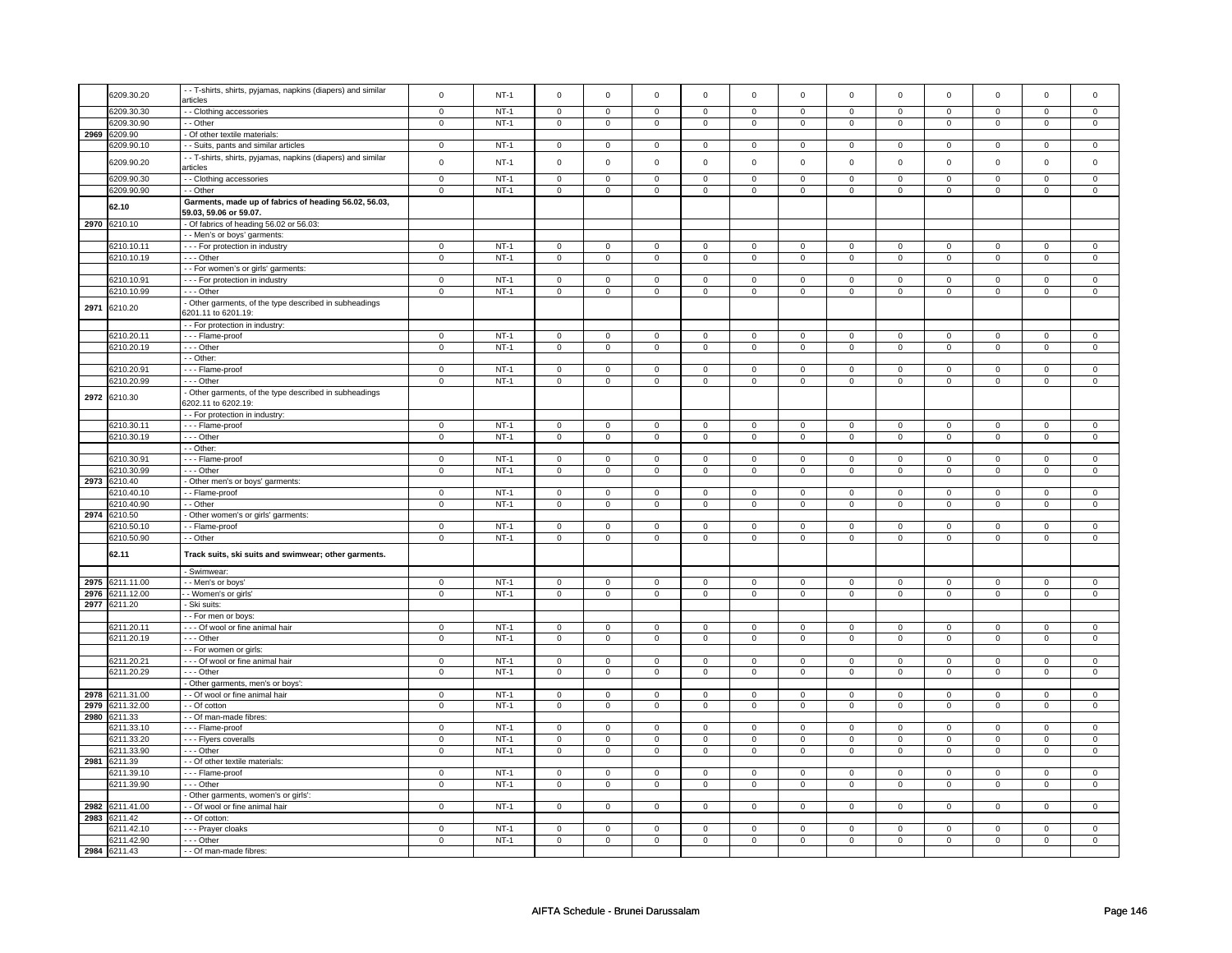|      | 6209.30.20      | - - T-shirts, shirts, pyjamas, napkins (diapers) and similar | $\mathbf 0$    | $NT-1$ | $\mathsf 0$    | $\mathsf 0$    | $\mathsf 0$         | $\mathbf 0$    | $\mathsf{O}\xspace$ | $\mathsf 0$    | $\mathsf 0$         | $\mathsf 0$         | $\mathsf 0$         | $\mathbf 0$    | $\mathsf 0$         | $\mathbf 0$         |
|------|-----------------|--------------------------------------------------------------|----------------|--------|----------------|----------------|---------------------|----------------|---------------------|----------------|---------------------|---------------------|---------------------|----------------|---------------------|---------------------|
|      |                 | articles                                                     |                |        |                |                |                     |                |                     |                |                     |                     |                     |                |                     |                     |
|      | 6209.30.30      | - Clothing accessories                                       | $\overline{0}$ | $NT-1$ | $\overline{0}$ | $\overline{0}$ | 0                   | $\overline{0}$ | $\overline{0}$      | $\overline{0}$ | 0                   | $\overline{0}$      | $\overline{0}$      | $\overline{0}$ | 0                   | $\overline{0}$      |
|      | 6209.30.90      | - - Other                                                    | $\mathbf 0$    | $NT-1$ | 0              | 0              | 0                   | $\mathbf 0$    | 0                   | $\mathbf 0$    | $\mathbf 0$         | $\mathbf{0}$        | $\mathbf 0$         | $\overline{0}$ | 0                   | $\overline{0}$      |
|      | 2969 6209.90    | - Of other textile materials:                                |                |        |                |                |                     |                |                     |                |                     |                     |                     |                |                     |                     |
|      | 3209.90.10      | - - Suits, pants and similar articles                        | $\mathbf 0$    | $NT-1$ | $\mathbf 0$    | $\mathbf 0$    | $\mathbf 0$         | $\mathbf 0$    | $\mathbf 0$         | $\mathbf 0$    | $\mathbf 0$         | $\mathsf 0$         | $\mathsf 0$         | $\mathbf 0$    | $\Omega$            | 0                   |
|      |                 | - - T-shirts, shirts, pyjamas, napkins (diapers) and similar |                |        |                |                |                     |                |                     |                |                     |                     |                     |                |                     |                     |
|      | 6209.90.20      | articles                                                     | $\mathbf 0$    | $NT-1$ | $\mathsf 0$    | $\mathbf 0$    | $\mathbf 0$         | $\mathsf 0$    | $\mathsf 0$         | $\mathbf 0$    | 0                   | $\mathsf 0$         | $\mathsf 0$         | $\mathbf 0$    | $\mathsf 0$         | 0                   |
|      |                 |                                                              |                |        |                |                |                     |                |                     |                |                     |                     |                     |                |                     |                     |
|      | 6209.90.30      | - Clothing accessories                                       | $\overline{0}$ | $NT-1$ | $\overline{0}$ | $\overline{0}$ | $\mathbf 0$         | $\mathbf 0$    | $\overline{0}$      | $\overline{0}$ | 0                   | $\mathbf 0$         | $\overline{0}$      | $\overline{0}$ | 0                   | $\overline{0}$      |
|      | 6209.90.90      | - - Other                                                    | $\mathsf 0$    | $NT-1$ | $\overline{0}$ | $\overline{0}$ | $\overline{0}$      | $\overline{0}$ | $\overline{0}$      | $\overline{0}$ | $\mathsf 0$         | $\mathsf{O}\xspace$ | $\mathsf 0$         | $\overline{0}$ | $\mathsf{O}\xspace$ | $\mathsf 0$         |
|      |                 | Garments, made up of fabrics of heading 56.02, 56.03,        |                |        |                |                |                     |                |                     |                |                     |                     |                     |                |                     |                     |
|      | 62.10           | 59.03, 59.06 or 59.07.                                       |                |        |                |                |                     |                |                     |                |                     |                     |                     |                |                     |                     |
| 2970 | 6210.10         | - Of fabrics of heading 56.02 or 56.03:                      |                |        |                |                |                     |                |                     |                |                     |                     |                     |                |                     |                     |
|      |                 | - - Men's or boys' garments:                                 |                |        |                |                |                     |                |                     |                |                     |                     |                     |                |                     |                     |
|      | 6210.10.11      |                                                              |                | $NT-1$ | $\mathsf 0$    | $\mathsf 0$    |                     | $\mathsf 0$    | $\mathsf{O}\xspace$ | $\mathsf 0$    |                     | $\mathsf 0$         | $\mathsf 0$         | $\mathbf 0$    |                     | $\mathsf 0$         |
|      |                 | - - - For protection in industry                             | $\mathbf 0$    |        |                |                | $\mathbf 0$         |                |                     |                | 0                   |                     |                     |                | 0                   |                     |
|      | 6210.10.19      | - - - Other                                                  | $\mathsf 0$    | $NT-1$ | $\mathsf 0$    | $\mathbf 0$    | $\mathsf 0$         | $\mathbf 0$    | $\mathsf 0$         | $\mathsf 0$    | 0                   | $\mathsf{O}$        | $\mathsf{O}\xspace$ | $\mathsf 0$    | 0                   | $\mathsf 0$         |
|      |                 | - - For women's or girls' garments:                          |                |        |                |                |                     |                |                     |                |                     |                     |                     |                |                     |                     |
|      | 6210.10.91      | --- For protection in industry                               | $\mathsf 0$    | $NT-1$ | $\mathbf 0$    | $\mathsf 0$    | $\mathsf 0$         | $\mathbf 0$    | $\mathsf 0$         | $\mathbf 0$    | $^{\circ}$          | $\mathsf 0$         | $\mathsf 0$         | $\mathbf 0$    | 0                   | 0                   |
|      | 6210.10.99      | --- Other                                                    | $\mathbf 0$    | $NT-1$ | $\mathsf 0$    | $\overline{0}$ | $\mathsf 0$         | $\mathsf 0$    | $\mathsf 0$         | $\overline{0}$ | $\mathbf 0$         | $\mathsf 0$         | $\mathsf 0$         | $\overline{0}$ | $\mathsf 0$         | $\overline{0}$      |
|      |                 | - Other garments, of the type described in subheadings       |                |        |                |                |                     |                |                     |                |                     |                     |                     |                |                     |                     |
| 2971 | 6210.20         | 6201.11 to 6201.19                                           |                |        |                |                |                     |                |                     |                |                     |                     |                     |                |                     |                     |
|      |                 | - - For protection in industry:                              |                |        |                |                |                     |                |                     |                |                     |                     |                     |                |                     |                     |
|      |                 |                                                              |                | $NT-1$ |                |                |                     |                |                     |                |                     |                     |                     |                |                     |                     |
|      | 6210.20.11      | - - - Flame-proof                                            | $\mathbf 0$    |        | $\overline{0}$ | $\overline{0}$ | $\mathsf 0$         | $\mathsf 0$    | $\overline{0}$      | $\overline{0}$ | $\mathsf 0$         | $\mathbf 0$         | $\overline{0}$      | $\overline{0}$ | $\mathsf 0$         | $\overline{0}$      |
|      | 6210.20.19      | $- -$ Other                                                  | $\mathbf 0$    | $NT-1$ | $\mathsf 0$    | $\mathbf 0$    | $\mathsf 0$         | $\mathsf 0$    | $\mathsf 0$         | $\mathsf 0$    | $\mathsf{O}\xspace$ | $\mathbf 0$         | $\mathsf 0$         | $\mathbf 0$    | $\mathsf 0$         | $\mathbf 0$         |
|      |                 | - - Other:                                                   |                |        |                |                |                     |                |                     |                |                     |                     |                     |                |                     |                     |
|      | 6210.20.91      | --- Flame-proof                                              | $\mathbf 0$    | $NT-1$ | $\mathsf 0$    | $\mathsf 0$    | $\mathsf 0$         | $\mathsf 0$    | $\mathsf{O}\xspace$ | $\mathsf 0$    | $\mathsf 0$         | $\mathsf 0$         | $\mathsf 0$         | $\mathbf 0$    | $\mathsf 0$         | $\mathsf{O}\xspace$ |
|      | 6210.20.99      | --- Other                                                    | $\mathbf 0$    | $NT-1$ | $\mathsf 0$    | $\overline{0}$ | $\mathsf 0$         | $\overline{0}$ | $\mathsf{O}\xspace$ | $\overline{0}$ | $\mathsf 0$         | $\mathbf 0$         | $\mathsf 0$         | $\overline{0}$ | $\mathsf 0$         | $\overline{0}$      |
|      |                 | - Other garments, of the type described in subheadings       |                |        |                |                |                     |                |                     |                |                     |                     |                     |                |                     |                     |
| 2972 | 6210.30         | 3202.11 to 6202.19:                                          |                |        |                |                |                     |                |                     |                |                     |                     |                     |                |                     |                     |
|      |                 | - - For protection in industry:                              |                |        |                |                |                     |                |                     |                |                     |                     |                     |                |                     |                     |
|      | 6210.30.11      | --- Flame-proof                                              | $\mathsf 0$    | $NT-1$ | $\mathsf 0$    | $\mathsf 0$    | $\mathbf 0$         | $\mathbf 0$    | $\mathsf 0$         | $\mathbf 0$    | $\mathbf 0$         | $\mathbf 0$         | 0                   | $\mathbf 0$    | $\mathsf 0$         | 0                   |
|      | 6210.30.19      | $- -$ Other                                                  | $\overline{0}$ | $NT-1$ | $\overline{0}$ | $\overline{0}$ |                     | $\overline{0}$ | $\overline{0}$      | $\overline{0}$ |                     | $\overline{0}$      | $\overline{0}$      | $\overline{0}$ |                     | $\overline{0}$      |
|      |                 |                                                              |                |        |                |                | $\mathsf 0$         |                |                     |                | $\mathbf 0$         |                     |                     |                | $\mathsf 0$         |                     |
|      |                 | - - Other:                                                   |                |        |                |                |                     |                |                     |                |                     |                     |                     |                |                     |                     |
|      | 6210.30.91      | --- Flame-proof                                              | $\,0\,$        | $NT-1$ | $\mathbf 0$    | $\overline{0}$ | $\mathsf 0$         | $\mathbf 0$    | $\mathsf 0$         | $\mathsf 0$    | $\mathbf 0$         | $\mathsf 0$         | $\mathsf 0$         | $\mathbf 0$    | $\mathsf 0$         | $\mathbf 0$         |
|      | 6210.30.99      | --- Other                                                    | $\mathsf 0$    | $NT-1$ | $\mathsf 0$    | $\mathsf 0$    | $\mathsf 0$         | $\mathsf 0$    | $\mathsf{O}\xspace$ | $\mathsf 0$    | $\mathsf 0$         | $\mathsf 0$         | $\mathsf 0$         | $\mathbf 0$    | $\mathsf 0$         | $\mathbf 0$         |
|      | 2973 6210.40    | - Other men's or boys' garments:                             |                |        |                |                |                     |                |                     |                |                     |                     |                     |                |                     |                     |
|      | 6210.40.10      | -- Flame-proof                                               | $\mathbf 0$    | $NT-1$ | 0              | 0              | 0                   | $\mathbf 0$    | 0                   | $\mathbf 0$    | $\mathbf 0$         | $\mathbf 0$         | 0                   | $\mathbf 0$    | $\mathbf 0$         | $\mathbf{0}$        |
|      | 6210.40.90      | - - Other                                                    | $\mathsf 0$    | $NT-1$ | $\mathbf 0$    | $\mathsf 0$    | $\mathbf 0$         | $\mathbf 0$    | $\mathbf 0$         | $\mathsf 0$    | $\mathbf 0$         | $\mathbf 0$         | $\mathbf 0$         | $\mathbf 0$    | $\mathsf 0$         | $\mathbf 0$         |
| 2974 | 6210.50         | - Other women's or girls' garments:                          |                |        |                |                |                     |                |                     |                |                     |                     |                     |                |                     |                     |
|      | 6210.50.10      | -- Flame-proof                                               | $\mathbf 0$    | $NT-1$ | $\mathsf 0$    | $\mathbf 0$    | $\mathsf 0$         | $\mathsf 0$    | $\mathsf{O}\xspace$ | $\mathsf 0$    | $\mathsf 0$         | $\mathbf 0$         | $\mathsf 0$         | $\mathsf{O}$   | $\mathsf 0$         | 0                   |
|      | 6210.50.90      | - - Other                                                    | $\mathbf 0$    | $NT-1$ | $\mathbf 0$    | $\mathsf 0$    | $\mathbf 0$         | $\mathsf 0$    | $\mathsf{O}\xspace$ | $\mathsf 0$    | $\mathsf 0$         | $\mathbf 0$         | $\mathsf 0$         | $\mathsf{O}$   | $\mathsf 0$         | $\mathsf{O}\xspace$ |
|      |                 |                                                              |                |        |                |                |                     |                |                     |                |                     |                     |                     |                |                     |                     |
|      | 62.11           | Track suits, ski suits and swimwear; other garments.         |                |        |                |                |                     |                |                     |                |                     |                     |                     |                |                     |                     |
|      |                 |                                                              |                |        |                |                |                     |                |                     |                |                     |                     |                     |                |                     |                     |
|      |                 | - Swimwear:                                                  |                |        |                |                |                     |                |                     |                |                     |                     |                     |                |                     |                     |
|      | 2975 6211.11.00 | - - Men's or boys'                                           | $\mathsf 0$    | $NT-1$ | $\mathsf 0$    | $\mathsf 0$    | $\mathbf 0$         | $\mathbf 0$    | $\mathsf{O}$        | $\mathsf 0$    | $\mathbf 0$         | $\mathbf 0$         | $\mathsf 0$         | $\mathbf 0$    | $\mathsf 0$         | 0                   |
| 2976 | 3211.12.00      | - Women's or girls'                                          | $\mathsf 0$    | $NT-1$ | $\mathsf 0$    | $\mathsf 0$    | $\mathsf 0$         | $\mathsf 0$    | $\mathsf{O}\xspace$ | $\mathsf 0$    | $\mathsf 0$         | $\mathsf 0$         | $\mathsf 0$         | $\mathbf 0$    | $\mathsf 0$         | $\mathbf 0$         |
|      | 2977 6211.20    | - Ski suits:                                                 |                |        |                |                |                     |                |                     |                |                     |                     |                     |                |                     |                     |
|      |                 | -- For men or boys:                                          |                |        |                |                |                     |                |                     |                |                     |                     |                     |                |                     |                     |
|      | 6211.20.11      | --- Of wool or fine animal hair                              | $\mathbf 0$    | $NT-1$ | $\mathsf 0$    | $\mathbf 0$    | $\mathsf 0$         | $\mathsf 0$    | $\mathsf{O}\xspace$ | $\mathbf 0$    | $\mathsf 0$         | $\mathbf 0$         | $\mathbf 0$         | $\mathbf 0$    | $\mathsf 0$         | 0                   |
|      | 6211.20.19      | - - - Other                                                  | $\mathbf 0$    | $NT-1$ | $\overline{0}$ | $\overline{0}$ | $\overline{0}$      | $\mathsf 0$    | $\overline{0}$      | $\overline{0}$ | $\mathsf 0$         | $\mathsf 0$         | $\mathsf 0$         | $\mathsf{O}^-$ | $\mathsf 0$         | $\mathbf{0}$        |
|      |                 |                                                              |                |        |                |                |                     |                |                     |                |                     |                     |                     |                |                     |                     |
|      |                 | -- For women or girls:                                       |                |        |                |                |                     |                |                     |                |                     |                     |                     |                |                     |                     |
|      | 6211.20.21      | - - - Of wool or fine animal hair                            | $\mathbf 0$    | $NT-1$ | $\mathbf 0$    | $\mathsf 0$    | $\mathsf 0$         | $\mathbf 0$    | $\mathsf 0$         | $\mathbf 0$    | $\mathbf 0$         | $\mathbf 0$         | $\mathsf 0$         | $\mathbf 0$    | $\mathsf 0$         | 0                   |
|      | 6211.20.29      | $- -$ Other                                                  | $\overline{0}$ | $NT-1$ | $\overline{0}$ | $\overline{0}$ | $\overline{0}$      | $\overline{0}$ | $\overline{0}$      | $\overline{0}$ | $\mathbf 0$         | $\mathbf{0}$        | $\overline{0}$      | $\overline{0}$ | $\mathbf 0$         | $\overline{0}$      |
|      |                 | - Other garments, men's or boys':                            |                |        |                |                |                     |                |                     |                |                     |                     |                     |                |                     |                     |
| 2978 | 6211.31.00      | - Of wool or fine animal hair                                | $\mathsf 0$    | $NT-1$ | $\mathsf 0$    | $\mathsf 0$    | $\mathsf 0$         | $\mathsf 0$    | $\mathsf 0$         | $\mathsf 0$    | $\mathbf 0$         | $\mathsf 0$         | $\mathsf 0$         | $\mathbf 0$    | $\Omega$            | 0                   |
| 2979 | 6211.32.00      | - - Of cotton                                                | $\,0\,$        | $NT-1$ | $\mathsf 0$    | $\mathbf 0$    | $\mathsf 0$         | $\mathbf 0$    | $\mathsf{O}\xspace$ | $\mathbf 0$    | 0                   | $\mathbf 0$         | $\mathsf 0$         | $\mathsf{O}$   | 0                   | $\mathbf 0$         |
| 2980 | 6211.33         | - - Of man-made fibres:                                      |                |        |                |                |                     |                |                     |                |                     |                     |                     |                |                     |                     |
|      | 6211.33.10      | --- Flame-proof                                              | $\mathbf 0$    | $NT-1$ | $\mathbf 0$    | $\mathbf 0$    | $\mathbf 0$         | $\mathbf 0$    | $\mathsf{O}\xspace$ | $\mathbf 0$    | $\Omega$            | $\mathbf{0}$        | $\mathsf 0$         | $\mathbf 0$    | $\Omega$            | $\mathbf{0}$        |
|      | 6211.33.20      | - - - Flyers coveralls                                       | $\mathbf 0$    | $NT-1$ | $\mathbf 0$    | $\mathbf 0$    | $\mathbf 0$         | $\mathbf 0$    | $\mathbf{0}$        | $\mathbf 0$    | $\mathbf 0$         | $\mathbf{0}$        | $\mathbf 0$         | $\mathbf{0}$   | $\mathbf 0$         | $\mathbf 0$         |
|      |                 |                                                              |                |        |                |                |                     |                |                     |                |                     |                     |                     |                |                     |                     |
|      | 6211.33.90      | --- Other                                                    | $\mathbf 0$    | $NT-1$ | $\mathsf 0$    | $\mathbf 0$    | $\mathsf 0$         | $\mathsf 0$    | $\mathsf 0$         | $\mathsf 0$    | $\mathsf 0$         | $\mathsf 0$         | $\mathsf{O}\xspace$ | $\overline{0}$ | $\mathsf{O}\xspace$ | $\pmb{0}$           |
| 2981 | 6211.39         | - - Of other textile materials:                              |                |        |                |                |                     |                |                     |                |                     |                     |                     |                |                     |                     |
|      | 3211.39.10      | --- Flame-proof                                              | $\mathbf 0$    | $NT-1$ | $\mathsf 0$    | $\mathbf 0$    | $\mathsf{O}\xspace$ | $\mathsf 0$    | $\mathsf 0$         | $\mathsf 0$    | $\mathsf 0$         | $\mathbf 0$         | $\mathsf 0$         | $\mathbf 0$    | $\mathbf 0$         | $\mathbf 0$         |
|      | 6211.39.90      | $- -$ Other                                                  | $\overline{0}$ | $NT-1$ | $\overline{0}$ | $\overline{0}$ | $\overline{0}$      | $\overline{0}$ | $\overline{0}$      | $\overline{0}$ | $\mathsf 0$         | $\mathbf 0$         | $\overline{0}$      | $\overline{0}$ | $\mathsf 0$         | $\mathbf 0$         |
|      |                 | - Other garments, women's or girls':                         |                |        |                |                |                     |                |                     |                |                     |                     |                     |                |                     |                     |
| 2982 | 6211.41.00      | - Of wool or fine animal hair                                | $\mathbf 0$    | $NT-1$ | $\mathbf 0$    | $\mathbf 0$    | $\Omega$            | $\Omega$       | $\mathbf 0$         | $\mathbf 0$    | $\mathbf 0$         | $\mathbf{0}$        | $\mathbf 0$         | $\mathbf{0}$   | $\Omega$            | $\Omega$            |
| 2983 | 3211.42         | - - Of cotton:                                               |                |        |                |                |                     |                |                     |                |                     |                     |                     |                |                     |                     |
|      | 6211.42.10      | --- Prayer cloaks                                            | $\mathbf 0$    | $NT-1$ | 0              | 0              | 0                   | $\mathbf 0$    | 0                   | $\mathbf 0$    | 0                   | $\mathbf 0$         | 0                   | $\mathbf 0$    | 0                   | $\mathbf 0$         |
|      | 6211.42.90      | --- Other                                                    | $\mathbf 0$    | $NT-1$ | $\mathbf 0$    | $\mathsf 0$    | $\mathbf 0$         | $\mathbf 0$    | $\mathbf 0$         | $\mathbf 0$    | 0                   | $\mathsf 0$         | 0                   | $\mathbf 0$    | 0                   | 0                   |
|      | 2984 6211.43    | - - Of man-made fibres:                                      |                |        |                |                |                     |                |                     |                |                     |                     |                     |                |                     |                     |
|      |                 |                                                              |                |        |                |                |                     |                |                     |                |                     |                     |                     |                |                     |                     |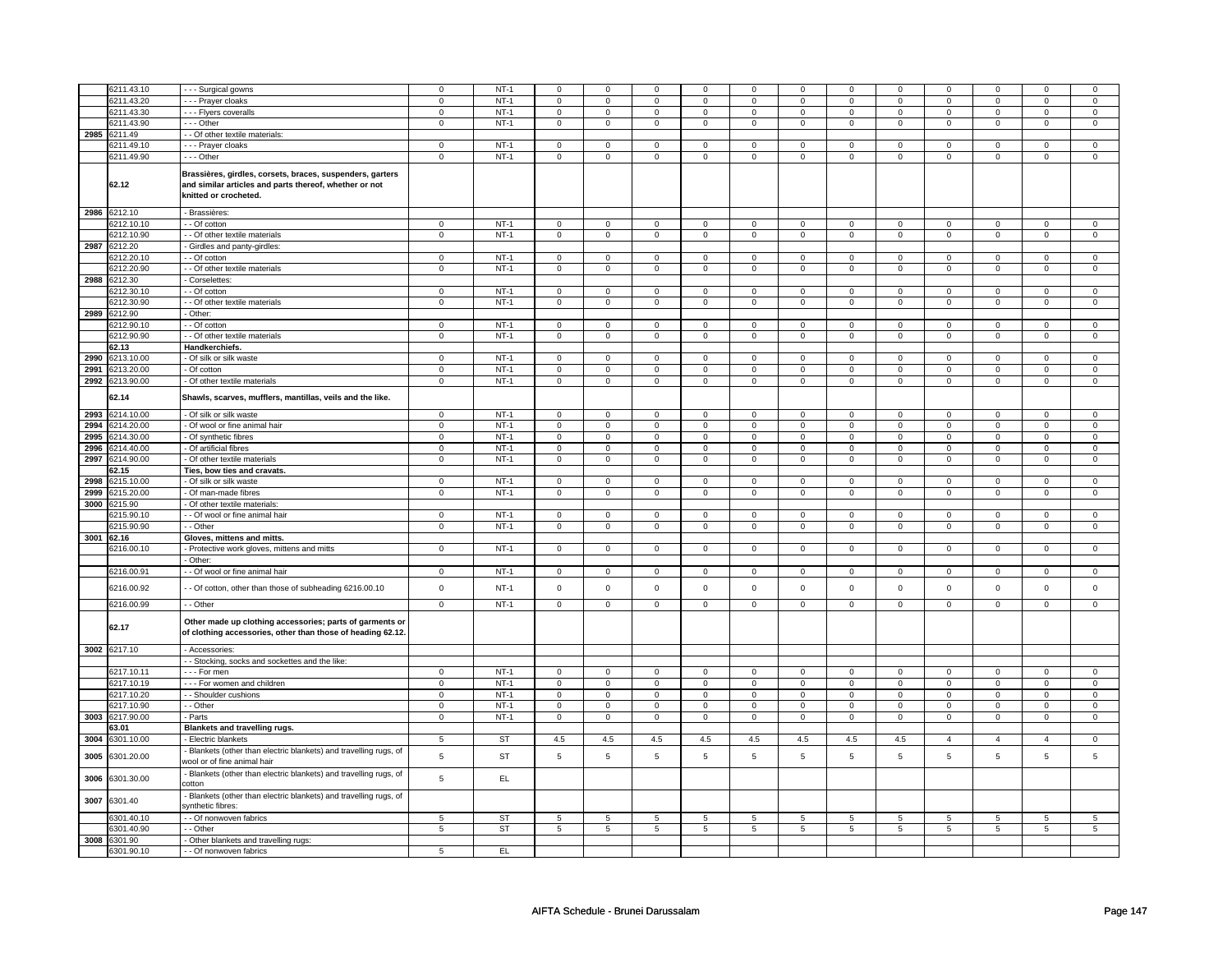|      | 6211.43.10   | - - - Surgical gowns                                                                                                                         | $\mathsf 0$             | $NT-1$    | $\mathsf 0$             | $\mathbf 0$    | $\Omega$                | 0              | $\mathbf 0$             | 0              | $\mathbf 0$             | 0              | $\mathbf 0$             | 0                       | $\Omega$       | $\Omega$        |
|------|--------------|----------------------------------------------------------------------------------------------------------------------------------------------|-------------------------|-----------|-------------------------|----------------|-------------------------|----------------|-------------------------|----------------|-------------------------|----------------|-------------------------|-------------------------|----------------|-----------------|
|      |              |                                                                                                                                              |                         |           |                         |                |                         |                |                         |                |                         |                |                         |                         |                |                 |
|      | 6211.43.20   | --- Prayer cloaks                                                                                                                            | $\mathsf 0$             | $NT-1$    | $\mathsf 0$             | $\mathsf 0$    | 0                       | $\mathbf 0$    | $\mathbf 0$             | $\mathsf 0$    | 0                       | $\mathsf 0$    | 0                       | $\mathbf 0$             | 0              | 0               |
|      | 6211.43.30   | - - - Flyers coveralls                                                                                                                       | $\mathbf 0$             | $NT-1$    | $\mathbf 0$             | $\mathbf 0$    | $\mathbf 0$             | $\mathbf 0$    | $\mathbf{0}$            | $\mathbf 0$    | $\mathbf{0}$            | $\mathbf{0}$   | $\mathbf{0}$            | $\mathbf 0$             | $\mathbf{0}$   | $\mathbf{0}$    |
|      | 6211.43.90   | --- Other                                                                                                                                    | $\mathbf 0$             | $NT-1$    | $\mathbf 0$             | $\mathbf 0$    | $\mathbf 0$             | $\mathbf 0$    | $\mathbf 0$             | $\mathbf 0$    | $\mathbf 0$             | $\mathbf 0$    | 0                       | $\mathbf 0$             | 0              | 0               |
| 2985 | 6211.49      | - Of other textile materials:                                                                                                                |                         |           |                         |                |                         |                |                         |                |                         |                |                         |                         |                |                 |
|      | 6211.49.10   | --- Prayer cloaks                                                                                                                            | $\mathbf 0$             | $NT-1$    | $\mathsf 0$             | $\mathbf 0$    | $\mathbf 0$             | $\mathbf 0$    | $\mathsf 0$             | $\mathsf 0$    | $\mathbf 0$             | $\mathsf 0$    | $\mathsf 0$             | $\mathbf 0$             | $\Omega$       | 0               |
|      | 6211.49.90   | --- Other                                                                                                                                    | 0                       | $NT-1$    | 0                       | $\mathbf 0$    | 0                       | $\mathbf 0$    | 0                       | $\mathbf 0$    | 0                       | $\mathbf 0$    | 0                       | $\mathbf 0$             | 0              | $\mathbf 0$     |
|      | 62.12        | Brassières, girdles, corsets, braces, suspenders, garters<br>and similar articles and parts thereof, whether or not<br>knitted or crocheted. |                         |           |                         |                |                         |                |                         |                |                         |                |                         |                         |                |                 |
| 2986 | 6212.10      | - Brassières:                                                                                                                                |                         |           |                         |                |                         |                |                         |                |                         |                |                         |                         |                |                 |
|      |              |                                                                                                                                              |                         |           |                         |                |                         |                |                         |                |                         |                |                         |                         | $\Omega$       |                 |
|      | 6212.10.10   | - - Of cotton                                                                                                                                | 0                       | $NT-1$    | $\mathbf 0$             | $\mathbf 0$    | $\mathbf 0$             | $\mathbf 0$    | $\mathsf 0$             | $\mathbf 0$    | $\mathbf 0$             | $\mathbf 0$    | $\mathsf 0$             | $\mathbf 0$             |                | $\mathbf 0$     |
|      | 6212.10.90   | - Of other textile materials                                                                                                                 | 0                       | $NT-1$    | 0                       | $\mathbf 0$    | 0                       | $\mathbf 0$    | 0                       | $\mathbf 0$    | 0                       | $\mathbf 0$    | 0                       | $\mathbf 0$             | 0              | 0               |
| 2987 | 6212.20      | Girdles and panty-girdles:                                                                                                                   |                         |           |                         |                |                         |                |                         |                |                         |                |                         |                         |                |                 |
|      | 6212.20.10   | - Of cotton                                                                                                                                  | $\mathsf 0$             | $NT-1$    | $\mathsf 0$             | $\mathbf 0$    | $\mathbf 0$             | $\mathbf 0$    | $\mathbf 0$             | $\mathbf 0$    | 0                       | $\mathbf 0$    | 0                       | $\mathbf 0$             | 0              | $\mathbf 0$     |
|      | 6212.20.90   | - - Of other textile materials                                                                                                               | 0                       | $NT-1$    | $\mathbf 0$             | $\mathbf 0$    | $\mathbf 0$             | $\mathbf 0$    | $\mathbf 0$             | $\mathbf 0$    | 0                       | $\mathbf 0$    | 0                       | $\mathbf 0$             | 0              | 0               |
| 2988 | 6212.30      | - Corselettes                                                                                                                                |                         |           |                         |                |                         |                |                         |                |                         |                |                         |                         |                |                 |
|      |              |                                                                                                                                              |                         |           |                         |                |                         |                |                         |                |                         |                |                         |                         |                |                 |
|      | 6212.30.10   | $-$ Of cotton                                                                                                                                | $\overline{0}$          | $NT-1$    | $\overline{0}$          | $\overline{0}$ | $\Omega$                | $\overline{0}$ | $\overline{0}$          | $\overline{0}$ | 0                       | $\overline{0}$ | $\overline{0}$          | $\overline{0}$          | $\Omega$       | $\overline{0}$  |
|      | 6212.30.90   | - - Of other textile materials                                                                                                               | $\mathbf 0$             | $NT-1$    | $\overline{0}$          | $\overline{0}$ | $\mathsf 0$             | $\overline{0}$ | $\mathsf 0$             | $\mathsf 0$    | $\mathbf 0$             | $\overline{0}$ | $\mathsf 0$             | $\overline{0}$          | $\mathsf 0$    | $\overline{0}$  |
| 2989 | 6212.90      | - Other:                                                                                                                                     |                         |           |                         |                |                         |                |                         |                |                         |                |                         |                         |                |                 |
|      | 6212.90.10   | $-$ Of cotton                                                                                                                                | $\overline{0}$          | $NT-1$    | $\overline{0}$          | $\overline{0}$ | 0                       | $\overline{0}$ | 0                       | $\overline{0}$ | 0                       | $\mathbf 0$    | 0                       | $\mathbf 0$             | 0              | $\overline{0}$  |
|      | 6212.90.90   | - - Of other textile materials                                                                                                               | 0                       | $NT-1$    | 0                       | $\mathbf 0$    | $\mathbf 0$             | $\mathbf 0$    | $\mathbf 0$             | $\mathbf 0$    | $\mathbf{0}$            | $\overline{0}$ | $\mathbf 0$             | $\mathbf 0$             | 0              | $\mathbf{0}$    |
|      |              |                                                                                                                                              |                         |           |                         |                |                         |                |                         |                |                         |                |                         |                         |                |                 |
|      | 62.13        | Handkerchiefs.                                                                                                                               |                         |           |                         |                |                         |                |                         |                |                         |                |                         |                         |                |                 |
| 2990 | 6213.10.00   | - Of silk or silk waste                                                                                                                      | $\mathbf 0$             | $NT-1$    | $\mathbf 0$             | $\mathbf 0$    | $\mathbf 0$             | $\mathbf 0$    | $\mathbf 0$             | $\mathbf 0$    | $\mathbf 0$             | $\mathbf 0$    | $\mathbf 0$             | $\mathbf{0}$            | $\mathbf 0$    | $\mathbf{0}$    |
| 2991 | 6213.20.00   | - Of cotton                                                                                                                                  | $\pmb{0}$               | $NT-1$    | $\overline{0}$          | $\overline{0}$ | $\mathsf{O}\xspace$     | $\overline{0}$ | $\mathsf{O}\xspace$     | $\mathsf 0$    | $\mathsf 0$             | $\mathsf 0$    | $\mathsf 0$             | $\overline{0}$          | $\mathsf 0$    | $\pmb{0}$       |
| 2992 | 6213.90.00   | - Of other textile materials                                                                                                                 | 0                       | NT-1      | 0                       | $\mathbf 0$    | 0                       | $\mathbf 0$    | 0                       | $\mathbf 0$    | 0                       | $\mathbf 0$    | 0                       | $\mathbf 0$             | 0              | $\mathbf 0$     |
|      | 62.14        | Shawls, scarves, mufflers, mantillas, veils and the like.                                                                                    |                         |           |                         |                |                         |                |                         |                |                         |                |                         |                         |                |                 |
| 2993 | 6214.10.00   | - Of silk or silk waste                                                                                                                      | $\mathbf 0$             | $NT-1$    | $\mathbf 0$             | $\mathbf 0$    | $\mathbf 0$             | $\mathbf 0$    | $\mathbf 0$             | $\mathbf 0$    | $\mathbf{0}$            | $\mathbf 0$    | $\mathbf{0}$            | $\mathbf 0$             | 0              | $\overline{0}$  |
| 2994 | 6214.20.00   | - Of wool or fine animal hair                                                                                                                | $\mathsf 0$             | $NT-1$    | $\mathsf 0$             | $\mathsf 0$    | $\mathsf{O}\xspace$     | $\mathsf 0$    | $\mathsf{O}\xspace$     | $\mathbf 0$    | $\mathsf 0$             | $\mathbf 0$    | $\mathsf 0$             | $\mathbf 0$             | 0              | $\mathbf{O}$    |
| 2995 | 6214.30.00   | - Of synthetic fibres                                                                                                                        | $\overline{0}$          | $NT-1$    | $\overline{0}$          | $\overline{0}$ | $\overline{0}$          | $\overline{0}$ | $\overline{0}$          | $\overline{0}$ | $\overline{0}$          | $\overline{0}$ | $\overline{0}$          | $\overline{0}$          | $\overline{0}$ | $\overline{0}$  |
| 2996 | 6214.40.00   | - Of artificial fibres                                                                                                                       | $\overline{\mathbf{0}}$ | $NT-1$    | $\overline{\mathbf{0}}$ | $\overline{0}$ | $\overline{\mathbf{0}}$ | $\overline{0}$ | $\overline{\mathbf{0}}$ | $\overline{0}$ | $\overline{\mathbf{0}}$ | $\overline{0}$ | $\overline{\mathbf{0}}$ | $\overline{\mathbf{0}}$ | $\overline{0}$ | $\overline{0}$  |
|      |              |                                                                                                                                              |                         |           |                         |                |                         |                |                         |                |                         |                |                         |                         |                |                 |
| 2997 | 6214.90.00   | - Of other textile materials                                                                                                                 | $\mathbf 0$             | $NT-1$    | $\mathsf 0$             | $\mathsf 0$    | $\mathsf{O}\xspace$     | $\mathsf 0$    | $\mathsf{O}\xspace$     | $\mathbf 0$    | $\mathsf 0$             | $\mathbf 0$    | $\mathsf 0$             | $\mathbf 0$             | $\mathsf 0$    | $\mathsf 0$     |
|      | 62.15        | Ties, bow ties and cravats.                                                                                                                  |                         |           |                         |                |                         |                |                         |                |                         |                |                         |                         |                |                 |
| 2998 | 6215.10.00   | - Of silk or silk waste                                                                                                                      | $\mathbf 0$             | $NT-1$    | 0                       | $\mathbf 0$    | 0                       | $\overline{0}$ | $\mathbf 0$             | $\mathbf 0$    | $\mathbf 0$             | $\mathbf{0}$   | 0                       | $\mathbf{0}$            | 0              | $\mathbf 0$     |
| 2999 | 6215.20.00   | - Of man-made fibres                                                                                                                         | $\mathsf 0$             | $NT-1$    | $\mathbf 0$             | $\mathbf 0$    | $\mathbf 0$             | $\mathbf 0$    | $\mathbf 0$             | $\mathbf 0$    | $\mathbf 0$             | $\mathbf 0$    | $\mathbf 0$             | $\mathbf 0$             | $\mathsf 0$    | $\mathbf{0}$    |
| 3000 | 6215.90      | - Of other textile materials:                                                                                                                |                         |           |                         |                |                         |                |                         |                |                         |                |                         |                         |                |                 |
|      | 6215.90.10   | - Of wool or fine animal hair                                                                                                                | $\mathbf 0$             | $NT-1$    | $\overline{0}$          | $\overline{0}$ | $\mathsf 0$             | $\overline{0}$ | $\mathsf 0$             | $\overline{0}$ | $\mathbf 0$             | $\overline{0}$ | $\mathsf 0$             | $\overline{0}$          | $\Omega$       | 0               |
|      |              |                                                                                                                                              | $\mathbf 0$             | $NT-1$    | $\mathsf 0$             | $\mathsf 0$    |                         |                |                         |                |                         | $\mathsf 0$    |                         |                         | $\mathbf 0$    | $\mathbf 0$     |
|      | 6215.90.90   | - - Other                                                                                                                                    |                         |           |                         |                | $\mathsf 0$             | $\mathsf 0$    | $\mathsf 0$             | $\mathsf 0$    | $\mathbf 0$             |                | $\mathsf 0$             | $\mathsf 0$             |                |                 |
| 3001 | 62.16        | Gloves, mittens and mitts.                                                                                                                   |                         |           |                         |                |                         |                |                         |                |                         |                |                         |                         |                |                 |
|      | 6216.00.10   | - Protective work gloves, mittens and mitts                                                                                                  | $\overline{0}$          | $NT-1$    | $\overline{0}$          | $\overline{0}$ | $\mathsf 0$             | $\overline{0}$ | $\overline{0}$          | $\overline{0}$ | $\mathsf 0$             | $\overline{0}$ | $\overline{0}$          | $\overline{0}$          | $\mathsf 0$    | $\overline{0}$  |
|      |              | - Other:                                                                                                                                     |                         |           |                         |                |                         |                |                         |                |                         |                |                         |                         |                |                 |
|      | 6216.00.91   | - - Of wool or fine animal hair                                                                                                              | $\mathsf 0$             | $NT-1$    | $\mathsf 0$             | $\mathbf 0$    | $\mathbf 0$             | $\mathbf 0$    | $\mathsf 0$             | $\mathbf 0$    | $\mathbf 0$             | $\mathbf 0$    | $\mathsf{O}\xspace$     | $\mathbf 0$             | $\mathbf 0$    | $\mathbf 0$     |
|      | 6216.00.92   | - Of cotton, other than those of subheading 6216.00.10                                                                                       | $\mathbf 0$             | $NT-1$    | $\mathsf 0$             | $\mathsf 0$    | $\mathsf{O}\xspace$     | $\mathsf 0$    | $\mathsf{O}\xspace$     | $\mathbf 0$    | $\mathsf 0$             | $\mathbf 0$    | $\mathsf 0$             | $\mathbf 0$             | $\mathsf 0$    | $\mathbf 0$     |
|      | 6216.00.99   | - - Other                                                                                                                                    | $\mathbf 0$             | $NT-1$    | $\mathsf 0$             | $\mathsf 0$    | $\mathsf{O}\xspace$     | $\mathsf 0$    | $\mathsf 0$             | $\mathbf 0$    | $\mathsf 0$             | $\mathbf 0$    | $\mathbf 0$             | $\mathbf 0$             | $\mathsf 0$    | $\mathbf 0$     |
|      | 62.17        | Other made up clothing accessories; parts of garments or<br>of clothing accessories, other than those of heading 62.12.                      |                         |           |                         |                |                         |                |                         |                |                         |                |                         |                         |                |                 |
|      | 3002 6217.10 | - Accessories:                                                                                                                               |                         |           |                         |                |                         |                |                         |                |                         |                |                         |                         |                |                 |
|      |              | - Stocking, socks and sockettes and the like:                                                                                                |                         |           |                         |                |                         |                |                         |                |                         |                |                         |                         |                |                 |
|      | 6217.10.11   |                                                                                                                                              | $\mathbf 0$             | $NT-1$    | $\mathsf 0$             | $\mathsf 0$    | $\Omega$                | $\mathsf 0$    | $\Omega$                | $\mathbf 0$    | $\Omega$                | $\mathsf 0$    | $\mathsf 0$             | $\mathsf 0$             | $\Omega$       | $\mathbf 0$     |
|      |              | - - - For men                                                                                                                                |                         |           |                         |                |                         |                |                         |                |                         |                |                         |                         |                |                 |
|      | 6217.10.19   | --- For women and children                                                                                                                   | $\mathbf 0$             | $NT-1$    | $\mathsf 0$             | $\mathsf 0$    | $\mathsf{O}\xspace$     | $\mathsf 0$    | $\mathsf{O}\xspace$     | $\mathsf 0$    | $\mathsf 0$             | $\mathsf 0$    | $\mathsf 0$             | $\mathsf 0$             | 0              | $\mathsf 0$     |
|      | 6217.10.20   | - - Shoulder cushions                                                                                                                        | $\mathbf 0$             | $NT-1$    | $\mathsf 0$             | $\mathsf 0$    | $\mathsf{O}\xspace$     | $\mathbf 0$    | $\mathsf{O}\xspace$     | $\mathsf 0$    | $\mathbf 0$             | $\mathsf 0$    | $\mathsf 0$             | $\mathbf 0$             | $\mathbf 0$    | $\mathbf 0$     |
|      | 6217.10.90   | - - Other                                                                                                                                    | $\mathbf 0$             | $NT-1$    | $\mathsf 0$             | $\mathsf 0$    | $\mathsf 0$             | $\mathsf 0$    | $\mathsf 0$             | $\mathbf 0$    | $\mathsf 0$             | $\mathbf 0$    | $\mathbf 0$             | $\mathbf 0$             | 0              | $\mathbf 0$     |
| 3003 | 6217.90.00   | - Parts                                                                                                                                      | $\mathsf 0$             | $NT-1$    | $\mathsf 0$             | $\mathbf 0$    | $\mathbf 0$             | $\mathbf 0$    | $\mathbf 0$             | $\mathbf 0$    | $\mathbf 0$             | $\mathbf 0$    | $\mathbf 0$             | $\mathbf 0$             | $\mathsf 0$    | $\mathbf{0}$    |
|      | 63.01        | Blankets and travelling rugs.                                                                                                                |                         |           |                         |                |                         |                |                         |                |                         |                |                         |                         |                |                 |
| 3004 | 6301.10.00   | - Electric blankets                                                                                                                          | $\overline{5}$          | <b>ST</b> | 4.5                     | 4.5            | 4.5                     | 4.5            | 4.5                     | 4.5            | 4.5                     | 4.5            | $\overline{4}$          | $\overline{4}$          | $\overline{A}$ | 0               |
|      |              |                                                                                                                                              |                         |           |                         |                |                         |                |                         |                |                         |                |                         |                         |                |                 |
| 3005 | 6301.20.00   | - Blankets (other than electric blankets) and travelling rugs, of<br>wool or of fine animal hair                                             | 5                       | <b>ST</b> | 5                       | 5              | 5                       | $\,$ 5 $\,$    | 5                       | 5              | 5                       | 5              | 5                       | 5                       | 5              | $\,$ 5 $\,$     |
| 3006 | 6301.30.00   | - Blankets (other than electric blankets) and travelling rugs, of<br>cotton                                                                  | 5                       | EL        |                         |                |                         |                |                         |                |                         |                |                         |                         |                |                 |
| 3007 | 6301.40      | Blankets (other than electric blankets) and travelling rugs, of<br>ynthetic fibres:                                                          |                         |           |                         |                |                         |                |                         |                |                         |                |                         |                         |                |                 |
|      | 6301.40.10   | - Of nonwoven fabrics                                                                                                                        | 5                       | <b>ST</b> | $\overline{5}$          | $\,$ 5 $\,$    | 5                       | $\,$ 5 $\,$    | $\mathbf 5$             | 5              | $\overline{5}$          | $\,$ 5 $\,$    | $\,$ 5 $\,$             | $\,$ 5 $\,$             | 5              | $\,$ 5 $\,$     |
|      | 3301.40.90   | - Other                                                                                                                                      | 5                       | <b>ST</b> | 5                       | 5              | 5                       | 5              | 5                       | 5              | 5                       | 5              | 5                       | 5                       | 5              | $5\overline{)}$ |
| 3008 | 6301.90      | Other blankets and travelling rugs:                                                                                                          |                         |           |                         |                |                         |                |                         |                |                         |                |                         |                         |                |                 |
|      | 6301.90.10   | - - Of nonwoven fabrics                                                                                                                      | 5                       | EL        |                         |                |                         |                |                         |                |                         |                |                         |                         |                |                 |
|      |              |                                                                                                                                              |                         |           |                         |                |                         |                |                         |                |                         |                |                         |                         |                |                 |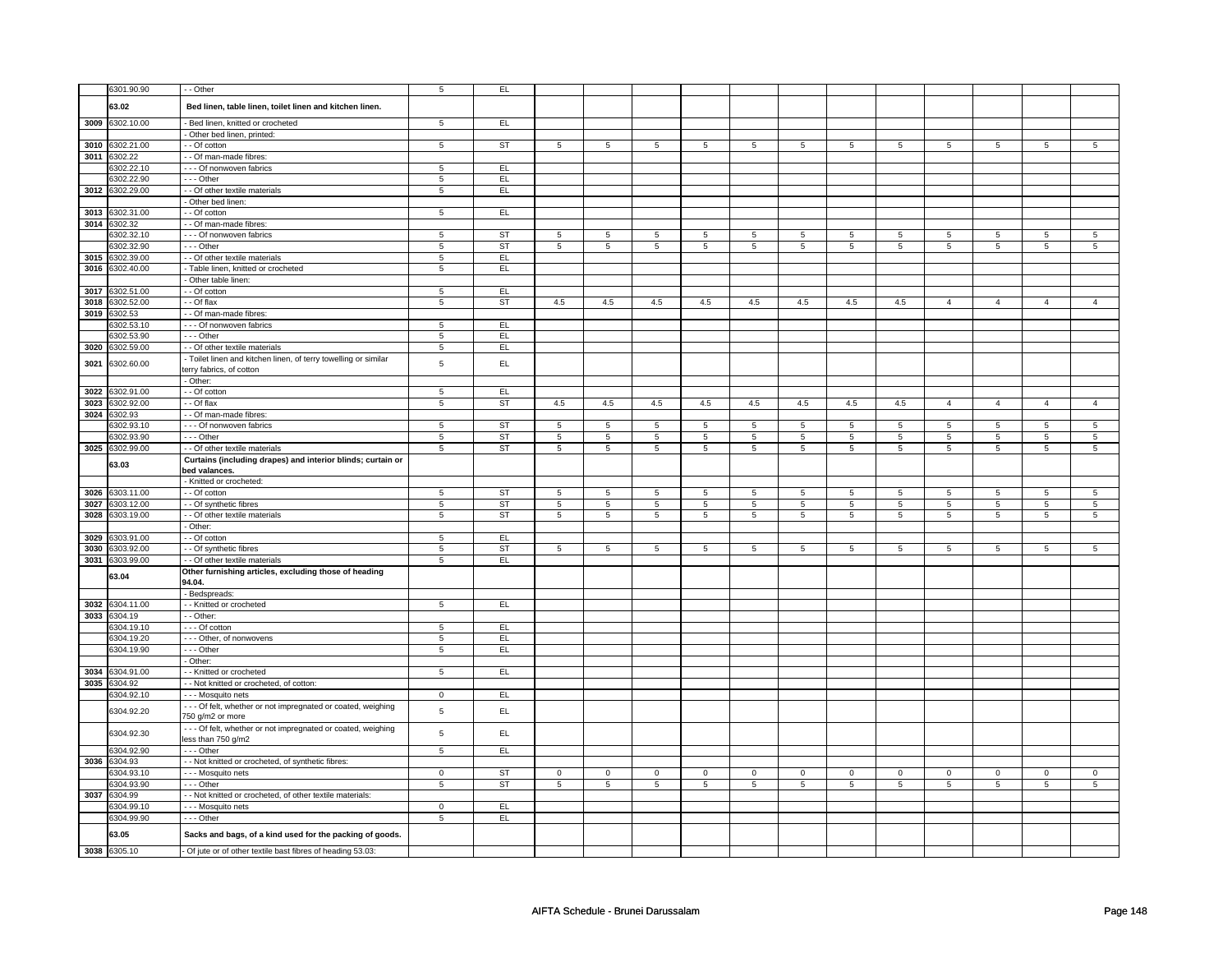|              | 6301.90.90                 | - Other                                                                            | $\overline{5}$  | E                      |                |                |             |                |             |                |                |                |                |                 |                |                 |
|--------------|----------------------------|------------------------------------------------------------------------------------|-----------------|------------------------|----------------|----------------|-------------|----------------|-------------|----------------|----------------|----------------|----------------|-----------------|----------------|-----------------|
|              | 63.02                      | Bed linen, table linen, toilet linen and kitchen linen.                            |                 |                        |                |                |             |                |             |                |                |                |                |                 |                |                 |
|              |                            |                                                                                    |                 |                        |                |                |             |                |             |                |                |                |                |                 |                |                 |
|              | 3009 6302.10.00            | Bed linen, knitted or crocheted                                                    | $\sqrt{5}$      | EL                     |                |                |             |                |             |                |                |                |                |                 |                |                 |
|              |                            | - Other bed linen, printed:                                                        |                 |                        |                |                |             |                |             |                |                |                |                |                 |                |                 |
| 3010<br>3011 | 6302.21.00<br>6302.22      | - Of cotton<br>- - Of man-made fibres:                                             | 5               | ST                     | 5              | 5              | 5           | 5              | 5           | 5              | 5              | 5              | 5              | 5               | 5              | 5               |
|              | 6302.22.10                 | - - - Of nonwoven fabrics                                                          | $\sqrt{5}$      | EL.                    |                |                |             |                |             |                |                |                |                |                 |                |                 |
|              | 6302.22.90                 | - - - Other                                                                        | 5               | EL.                    |                |                |             |                |             |                |                |                |                |                 |                |                 |
|              | 3012 6302.29.00            | - - Of other textile materials                                                     | $\overline{5}$  | EL                     |                |                |             |                |             |                |                |                |                |                 |                |                 |
|              |                            | Other bed linen:                                                                   |                 |                        |                |                |             |                |             |                |                |                |                |                 |                |                 |
| 3013         | 6302.31.00                 | - - Of cotton                                                                      | $\overline{5}$  | EL                     |                |                |             |                |             |                |                |                |                |                 |                |                 |
| 3014         | 6302.32                    | - Of man-made fibres:                                                              |                 |                        |                |                |             |                |             |                |                |                |                |                 |                |                 |
|              | 6302.32.10                 | - - - Of nonwoven fabrics                                                          | 5               | ST                     | 5              | 5              | 5           | 5              | 5           | 5              | 5              | 5              | 5              | 5               | 5              | $5\overline{5}$ |
|              | 6302.32.90                 | --- Other                                                                          | 5               | <b>ST</b>              | 5              | 5              | 5           | 5              | 5           | 5              | 5              | 5              | 5              | 5               | 5              | 5               |
| 3015         | 6302.39.00                 | - - Of other textile materials                                                     | $\sqrt{5}$      | EL                     |                |                |             |                |             |                |                |                |                |                 |                |                 |
|              | 3016 6302.40.00            | - Table linen, knitted or crocheted                                                | 5               | EL.                    |                |                |             |                |             |                |                |                |                |                 |                |                 |
|              |                            | - Other table linen:                                                               |                 |                        |                |                |             |                |             |                |                |                |                |                 |                |                 |
| 3017         | 6302.51.00                 | - - Of cotton                                                                      | $\sqrt{5}$      | EL                     |                |                |             |                |             |                |                |                |                |                 |                |                 |
| 3018         | 6302.52.00                 | - - Of flax                                                                        | $\overline{5}$  | <b>ST</b>              | 4.5            | 4.5            | 4.5         | 4.5            | 4.5         | 4.5            | 4.5            | 4.5            | $\overline{4}$ | $\overline{4}$  | $\overline{4}$ | $\overline{4}$  |
| 3019         | 6302.53<br>6302.53.10      | - Of man-made fibres:<br>--- Of nonwoven fabrics                                   | 5               | EL                     |                |                |             |                |             |                |                |                |                |                 |                |                 |
|              | 6302.53.90                 | --- Other                                                                          | 5               | EL.                    |                |                |             |                |             |                |                |                |                |                 |                |                 |
| 3020         | 6302.59.00                 | - - Of other textile materials                                                     | 5               | EL.                    |                |                |             |                |             |                |                |                |                |                 |                |                 |
|              |                            | - Toilet linen and kitchen linen, of terry towelling or similar                    |                 |                        |                |                |             |                |             |                |                |                |                |                 |                |                 |
| 3021         | 6302.60.00                 | terry fabrics, of cotton                                                           | $\,$ 5 $\,$     | EL.                    |                |                |             |                |             |                |                |                |                |                 |                |                 |
|              |                            | - Other:                                                                           |                 |                        |                |                |             |                |             |                |                |                |                |                 |                |                 |
| 3022         | 6302.91.00                 | $-$ Of cotton                                                                      | $\sqrt{5}$      | EL                     |                |                |             |                |             |                |                |                |                |                 |                |                 |
| 3023         | 6302.92.00                 | - - Of flax                                                                        | 5               | ST                     | 4.5            | 4.5            | 4.5         | 4.5            | 4.5         | 4.5            | 4.5            | 4.5            | $\overline{4}$ | $\overline{4}$  | $\overline{4}$ | $\overline{4}$  |
|              | 3024 6302.93               | - Of man-made fibres:                                                              |                 |                        |                |                |             |                |             |                |                |                |                |                 |                |                 |
|              | 6302.93.10                 | - - - Of nonwoven fabrics                                                          | $\,$ 5 $\,$     | <b>ST</b>              | 5              | $\overline{5}$ | 5           | $\overline{5}$ | 5           | $\overline{5}$ | 5              | $\overline{5}$ | 5              | 5               | 5              | 5               |
|              | 6302.93.90                 | --- Other                                                                          | $\sqrt{5}$      | ST                     | 5              | 5              | 5           | 5              | 5           | 5              | 5              | 5              | 5              | $\overline{5}$  | 5              | $\overline{5}$  |
|              | 3025 6302.99.00            | - - Of other textile materials                                                     | 5               | $\overline{\text{ST}}$ | 5              | $\overline{5}$ | 5           | 5              | 5           | $\overline{5}$ | 5              | $\overline{5}$ | 5              | $\overline{5}$  | 5              | $\overline{5}$  |
|              | 63.03                      | Curtains (including drapes) and interior blinds; curtain or                        |                 |                        |                |                |             |                |             |                |                |                |                |                 |                |                 |
|              |                            | bed valances.<br>- Knitted or crocheted:                                           |                 |                        |                |                |             |                |             |                |                |                |                |                 |                |                 |
| 3026         | 6303.11.00                 | - - Of cotton                                                                      | 5               | ST                     | 5              | 5              | 5           | 5              | 5           | 5              | 5              | 5              | 5              | $5\overline{)}$ | 5              | 5               |
| 3027         | 6303.12.00                 | - - Of synthetic fibres                                                            | $\sqrt{5}$      | <b>ST</b>              | 5              | $\overline{5}$ | 5           | 5              | 5           | $\overline{5}$ | 5              | 5              | 5              | $\overline{5}$  | 5              | $\overline{5}$  |
| 3028         | 6303.19.00                 | - - Of other textile materials                                                     | 5               | <b>ST</b>              | 5              | 5              | 5           | 5              | 5           | 5              | 5              | 5              | 5              | 5               | 5              | 5               |
|              |                            | Other:                                                                             |                 |                        |                |                |             |                |             |                |                |                |                |                 |                |                 |
|              | 3029 6303.91.00            | - Of cotton                                                                        | 5               | EL                     |                |                |             |                |             |                |                |                |                |                 |                |                 |
| 3030         | 6303.92.00                 | - - Of synthetic fibres                                                            | 5               | <b>ST</b>              | 5              | 5              | 5           | 5              | 5           | 5              | 5              | 5              | 5              | 5               | 5              | 5               |
| 3031         | 6303.99.00                 | - - Of other textile materials                                                     | $\overline{5}$  | EL                     |                |                |             |                |             |                |                |                |                |                 |                |                 |
|              | 63.04                      | Other furnishing articles, excluding those of heading                              |                 |                        |                |                |             |                |             |                |                |                |                |                 |                |                 |
|              |                            | 94.04.                                                                             |                 |                        |                |                |             |                |             |                |                |                |                |                 |                |                 |
|              |                            | Bedspreads:                                                                        |                 |                        |                |                |             |                |             |                |                |                |                |                 |                |                 |
|              | 3032 6304.11.00            | - - Knitted or crocheted                                                           | $5\overline{5}$ | E                      |                |                |             |                |             |                |                |                |                |                 |                |                 |
|              | 3033 6304.19<br>6304.19.10 | - - Other:<br>--- Of cotton                                                        | 5               | EL.                    |                |                |             |                |             |                |                |                |                |                 |                |                 |
|              | 6304.19.20                 | --- Other, of nonwovens                                                            | $\,$ 5 $\,$     | EL                     |                |                |             |                |             |                |                |                |                |                 |                |                 |
|              | 6304.19.90                 | - - - Other                                                                        | 5               | EL.                    |                |                |             |                |             |                |                |                |                |                 |                |                 |
|              |                            | - Other:                                                                           |                 |                        |                |                |             |                |             |                |                |                |                |                 |                |                 |
|              | 3034 6304.91.00            | - - Knitted or crocheted                                                           | $5\phantom{.0}$ | EL                     |                |                |             |                |             |                |                |                |                |                 |                |                 |
| 3035         | 6304.92                    | - - Not knitted or crocheted, of cotton:                                           |                 |                        |                |                |             |                |             |                |                |                |                |                 |                |                 |
|              | 6304.92.10                 | - - - Mosquito nets                                                                | $\mathbf 0$     | EL.                    |                |                |             |                |             |                |                |                |                |                 |                |                 |
|              | 6304.92.20                 | - - - Of felt, whether or not impregnated or coated, weighing<br>750 g/m2 or more  | $\,$ 5 $\,$     | $\mathsf{EL}$          |                |                |             |                |             |                |                |                |                |                 |                |                 |
|              | 6304.92.30                 | - - - Of felt, whether or not impregnated or coated, weighing<br>ess than 750 g/m2 | $\,$ 5 $\,$     | EL                     |                |                |             |                |             |                |                |                |                |                 |                |                 |
|              | 6304.92.90                 | --- Other                                                                          | $\overline{5}$  | EL                     |                |                |             |                |             |                |                |                |                |                 |                |                 |
| 3036         | 6304.93                    | - - Not knitted or crocheted, of synthetic fibres:                                 |                 |                        |                |                |             |                |             |                |                |                |                |                 |                |                 |
|              | 6304.93.10                 | - - - Mosquito nets                                                                | $\overline{0}$  | <b>ST</b>              | $\mathbf 0$    | 0              | $\mathbf 0$ | 0              | $\mathbf 0$ | 0              | $\mathbf 0$    | $\mathbf 0$    | $\mathbf 0$    | $\mathbf 0$     | $\mathbf 0$    | $\mathbf 0$     |
|              | 6304.93.90                 | --- Other                                                                          | $\overline{5}$  | ST                     | $\overline{5}$ | $\overline{5}$ | 5           | $\overline{5}$ | 5           | $\overline{5}$ | $\overline{5}$ | $\overline{5}$ | 5              | $\overline{5}$  | $\overline{5}$ | $\overline{5}$  |
| 3037         | 6304.99                    | - Not knitted or crocheted, of other textile materials:                            |                 |                        |                |                |             |                |             |                |                |                |                |                 |                |                 |
|              | 6304.99.10                 | - - - Mosquito nets                                                                | $\,0\,$         | EL                     |                |                |             |                |             |                |                |                |                |                 |                |                 |
|              | 6304.99.90                 | --- Other                                                                          | 5               | EL                     |                |                |             |                |             |                |                |                |                |                 |                |                 |
|              | 63.05                      | Sacks and bags, of a kind used for the packing of goods.                           |                 |                        |                |                |             |                |             |                |                |                |                |                 |                |                 |
|              | 3038 6305.10               | - Of jute or of other textile bast fibres of heading 53.03:                        |                 |                        |                |                |             |                |             |                |                |                |                |                 |                |                 |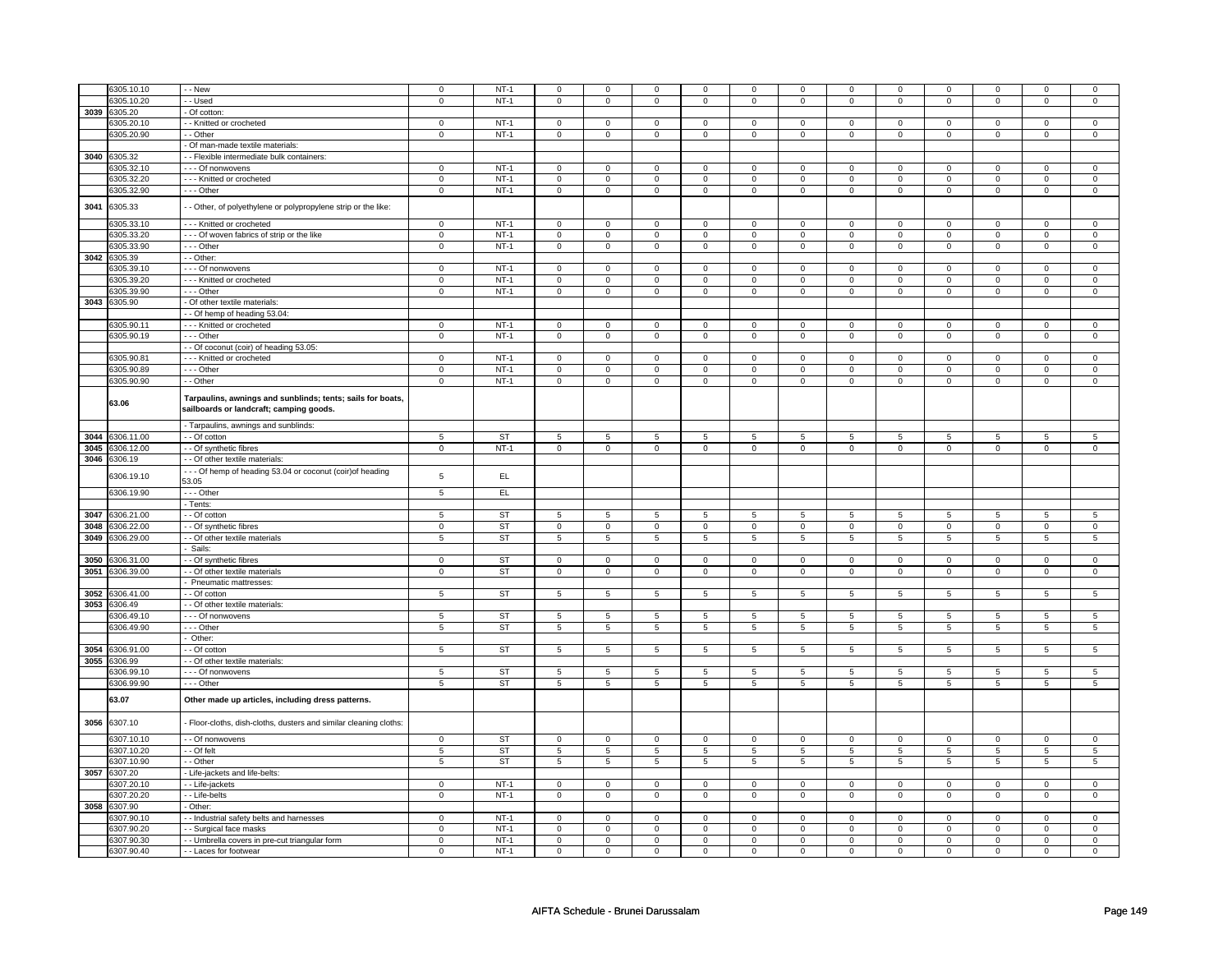|      | 6305.10.10          | - - New                                                                                               | $\mathbf 0$    | $NT-1$    | $\mathbf 0$             | $\mathbf 0$    | 0                   | $\mathbf 0$     | $\mathbf 0$               | $\mathbf 0$               | $\mathbf 0$    | $\mathbf 0$               | $\mathbf 0$             | $\mathbf 0$               | $\mathbf 0$             | $\mathsf 0$    |
|------|---------------------|-------------------------------------------------------------------------------------------------------|----------------|-----------|-------------------------|----------------|---------------------|-----------------|---------------------------|---------------------------|----------------|---------------------------|-------------------------|---------------------------|-------------------------|----------------|
|      |                     |                                                                                                       |                |           |                         |                |                     |                 |                           |                           |                |                           |                         |                           |                         |                |
|      | 305.10.20           | - - Used                                                                                              | $\mathbf 0$    | $NT-1$    | $\mathsf 0$             | $\mathbf 0$    | $\mathsf{O}\xspace$ | $\mathbf 0$     | $\mathsf 0$               | $\mathbf 0$               | $\mathsf 0$    | $\mathbf 0$               | $\mathsf 0$             | $\mathbf 0$               | $\mathsf 0$             | $\mathbf 0$    |
| 3039 | 6305.20             | - Of cotton:                                                                                          |                |           |                         |                |                     |                 |                           |                           |                |                           |                         |                           |                         |                |
|      | 6305.20.10          | - - Knitted or crocheted                                                                              | $\mathbf 0$    | $NT-1$    | $\mathbf 0$             | $\mathbf 0$    | $\Omega$            | $\mathbf{0}$    | $\mathbf 0$               | $\mathbf 0$               | $\Omega$       | $\mathbf 0$               | $\mathbf 0$             | $\mathbf 0$               | $\mathbf 0$             | $\mathbf 0$    |
|      | 6305.20.90          | - - Other                                                                                             | $\mathsf 0$    | $NT-1$    | $\mathsf 0$             | $\mathbf 0$    | $\mathsf 0$         | $\mathsf 0$     | $\mathsf 0$               | $\mathbf 0$               | $\mathbf 0$    | $\mathsf 0$               | $\mathsf 0$             | $\mathsf 0$               | $\mathsf 0$             | $\mathbf 0$    |
|      |                     | - Of man-made textile materials:                                                                      |                |           |                         |                |                     |                 |                           |                           |                |                           |                         |                           |                         |                |
| 3040 | 6305.32             | - - Flexible intermediate bulk containers:                                                            |                |           |                         |                |                     |                 |                           |                           |                |                           |                         |                           |                         |                |
|      | 6305.32.10          | - - - Of nonwovens                                                                                    |                | $NT-1$    |                         |                |                     |                 |                           | $\mathsf 0$               |                |                           |                         | $\mathsf 0$               |                         | $\mathbf 0$    |
|      |                     |                                                                                                       | $\mathbf 0$    |           | $\mathbf 0$             | $\mathbf 0$    | $\mathbf 0$         | $\mathbf 0$     | $\mathbf 0$               |                           | $\mathbf 0$    | $\mathbf 0$               | $\mathbf 0$             |                           | $\mathbf 0$             |                |
|      | 6305.32.20          | --- Knitted or crocheted                                                                              | $\mathbf 0$    | $NT-1$    | $\mathsf 0$             | $\mathsf 0$    | $\mathsf 0$         | $\mathbf 0$     | $\mathsf 0$               | $\mathsf 0$               | $\mathbf 0$    | $\mathsf 0$               | $\mathbf 0$             | $\mathsf 0$               | $\mathbf 0$             | $\mathbf 0$    |
|      | 6305.32.90          | --- Other                                                                                             | $\mathbf 0$    | $NT-1$    | $\mathsf 0$             | $\mathbf 0$    | $\mathsf 0$         | $\mathbf 0$     | $\mathsf 0$               | $\mathbf 0$               | $\mathsf 0$    | $\mathsf 0$               | $\mathsf 0$             | $\mathsf 0$               | $\mathsf 0$             | $\mathsf 0$    |
| 3041 | 6305.33             | - Other, of polyethylene or polypropylene strip or the like:                                          |                |           |                         |                |                     |                 |                           |                           |                |                           |                         |                           |                         |                |
|      | 6305.33.10          | --- Knitted or crocheted                                                                              | $\mathbf 0$    | $NT-1$    | $\mathsf 0$             | $\mathsf 0$    | $\mathsf 0$         | $\mathbf 0$     | $\mathsf 0$               | $\mathbf 0$               | $\mathbf 0$    | $\mathsf 0$               | $\mathsf 0$             | $\mathsf 0$               | $\mathbf 0$             | $\mathbf 0$    |
|      | 6305.33.20          | --- Of woven fabrics of strip or the like                                                             | $\mathbf 0$    | $NT-1$    | $\mathsf 0$             | $\mathbf 0$    | $\mathsf 0$         | $\mathsf 0$     | $\mathsf 0$               | $\mathsf 0$               | $\mathbf 0$    | $\mathsf 0$               | $\mathsf 0$             | $\overline{0}$            | $\mathsf 0$             | $\overline{0}$ |
|      |                     |                                                                                                       |                |           |                         |                |                     |                 |                           |                           |                |                           |                         |                           |                         |                |
|      | 6305.33.90          | - - - Other                                                                                           | $\mathbf 0$    | $NT-1$    | $\mathsf 0$             | $\mathbf 0$    | $\mathsf 0$         | $\mathsf 0$     | $\mathsf 0$               | $\mathsf 0$               | $\mathbf 0$    | $\mathsf 0$               | $\mathsf 0$             | $\mathsf 0$               | $\mathsf 0$             | $\mathbf 0$    |
|      | 3042 6305.39        | - - Other:                                                                                            |                |           |                         |                |                     |                 |                           |                           |                |                           |                         |                           |                         |                |
|      | 6305.39.10          | - - - Of nonwovens                                                                                    | 0              | $NT-1$    | $\mathbf 0$             | $\mathbf 0$    | $^{\circ}$          | $\mathbf{0}$    | $\mathbf 0$               | $\mathbf 0$               | $^{\circ}$     | 0                         | 0                       | $\mathbf 0$               | 0                       | $\mathbf 0$    |
|      | 6305.39.20          | --- Knitted or crocheted                                                                              | $\mathsf 0$    | $NT-1$    | $\mathsf{O}\xspace$     | $\mathbf 0$    | $\mathsf 0$         | $\mathbf 0$     | $\mathsf 0$               | $\mathsf 0$               | $\mathbf 0$    | $\mathsf 0$               | $\mathsf 0$             | $\mathsf 0$               | $\mathsf 0$             | $\mathbf 0$    |
|      | 6305.39.90          | $- -$ Other                                                                                           | $\mathbf 0$    | $NT-1$    | $\mathsf 0$             | $\mathsf 0$    | $\mathsf 0$         | $\mathbf 0$     | $\mathsf 0$               | $\overline{0}$            | $\mathsf 0$    | $\overline{0}$            | $\mathsf 0$             | $\overline{0}$            | $\mathbf 0$             | $\overline{0}$ |
| 3043 | 6305.90             | - Of other textile materials                                                                          |                |           |                         |                |                     |                 |                           |                           |                |                           |                         |                           |                         |                |
|      |                     | - - Of hemp of heading 53.04                                                                          |                |           |                         |                |                     |                 |                           |                           |                |                           |                         |                           |                         |                |
|      |                     |                                                                                                       |                |           |                         |                |                     |                 |                           |                           |                |                           |                         |                           |                         |                |
|      | 6305.90.11          | --- Knitted or crocheted                                                                              | $\mathbf 0$    | $NT-1$    | $\mathsf 0$             | $\mathbf 0$    | $\mathsf 0$         | $\mathbf 0$     | $\mathsf 0$               | $\mathbf 0$               | $\mathsf 0$    | $\mathbf 0$               | $\mathsf 0$             | $\mathbf 0$               | $\mathsf 0$             | $\mathsf 0$    |
|      | 6305.90.19          | $- -$ Other                                                                                           | $\overline{0}$ | $NT-1$    | $\overline{0}$          | $\overline{0}$ | $\overline{0}$      | $\overline{0}$  | $\overline{0}$            | $\overline{0}$            | $\overline{0}$ | $\overline{0}$            | $\overline{0}$          | $\overline{0}$            | $\overline{0}$          | $\overline{0}$ |
|      |                     | - - Of coconut (coir) of heading 53.05:                                                               |                |           |                         |                |                     |                 |                           |                           |                |                           |                         |                           |                         |                |
|      | 6305.90.8           | --- Knitted or crocheted                                                                              | $\mathbf 0$    | $NT-1$    | $\mathbf 0$             | $\mathbf 0$    | $\mathbf 0$         | $\mathbf 0$     | $\mathbf 0$               | $\mathbf 0$               | $\mathbf 0$    | $\mathbf 0$               | $\mathbf 0$             | $\mathbf 0$               | $\mathbf 0$             | $\mathbf 0$    |
|      | 6305.90.89          | --- Other                                                                                             | $\mathbf 0$    | $NT-1$    | $\mathsf 0$             | $\mathsf 0$    | $\mathsf 0$         | $\mathbf 0$     | $\mathsf{O}\xspace$       | $\mathsf 0$               | $\mathbf 0$    | $\mathsf 0$               | $\mathsf 0$             | $\mathsf 0$               | $\mathbf 0$             | $\mathsf 0$    |
|      | 6305.90.90          | - - Other                                                                                             | $\mathbf 0$    | $NT-1$    | $\mathbf 0$             | $\mathbf 0$    | 0                   | $\mathbf 0$     | 0                         | 0                         | 0              | $\mathbf 0$               | $\mathbf 0$             | $\mathsf 0$               | $\mathbf 0$             | $\mathbf 0$    |
|      |                     |                                                                                                       |                |           |                         |                |                     |                 |                           |                           |                |                           |                         |                           |                         |                |
|      | 63.06               | Tarpaulins, awnings and sunblinds; tents; sails for boats,<br>sailboards or landcraft; camping goods. |                |           |                         |                |                     |                 |                           |                           |                |                           |                         |                           |                         |                |
|      |                     | - Tarpaulins, awnings and sunblinds:                                                                  |                |           |                         |                |                     |                 |                           |                           |                |                           |                         |                           |                         |                |
| 3044 | 3306.11.00          | - - Of cotton                                                                                         | $\sqrt{5}$     | <b>ST</b> | 5                       | 5              | 5                   | $\overline{5}$  | 5                         | 5                         | 5              | 5                         | 5                       | 5                         | 5                       | 5              |
| 3045 | 6306.12.00          | - Of synthetic fibres                                                                                 | $\mathsf 0$    | $NT-1$    | $\mathsf{o}\,$          | $\mathsf{o}\,$ | $\mathsf 0$         | $\mathsf 0$     | $\overline{\mathfrak{o}}$ | $\overline{\mathfrak{o}}$ | $\overline{0}$ | $\overline{\mathfrak{o}}$ | $\overline{\mathbf{0}}$ | $\overline{\mathfrak{o}}$ | $\overline{\mathbf{0}}$ | $\overline{0}$ |
|      |                     |                                                                                                       |                |           |                         |                |                     |                 |                           |                           |                |                           |                         |                           |                         |                |
| 3046 | 306.19              | - - Of other textile materials                                                                        |                |           |                         |                |                     |                 |                           |                           |                |                           |                         |                           |                         |                |
|      | 6306.19.10          | --- Of hemp of heading 53.04 or coconut (coir) of heading                                             | $\,$ 5 $\,$    | EL        |                         |                |                     |                 |                           |                           |                |                           |                         |                           |                         |                |
|      |                     | 53.05                                                                                                 |                |           |                         |                |                     |                 |                           |                           |                |                           |                         |                           |                         |                |
|      | 6306.19.90          | --- Other                                                                                             | 5              | EL        |                         |                |                     |                 |                           |                           |                |                           |                         |                           |                         |                |
|      |                     | - Tents:                                                                                              |                |           |                         |                |                     |                 |                           |                           |                |                           |                         |                           |                         |                |
| 3047 | 3306.21.00          | - - Of cotton                                                                                         | $\sqrt{5}$     | <b>ST</b> | 5                       | 5              | 5                   | $\sqrt{5}$      | 5                         | 5                         | 5              | 5                         | 5                       | 5                         | 5                       | $\overline{5}$ |
|      |                     |                                                                                                       |                |           |                         |                |                     |                 |                           |                           |                |                           |                         |                           |                         |                |
| 3048 | 306.22.00           | - - Of synthetic fibres                                                                               | $\mathbf 0$    | <b>ST</b> | $\mathsf{O}\xspace$     | $\mathbf 0$    | $\mathsf{O}\xspace$ | $\mathbf 0$     | $\mathsf{O}\xspace$       | $\mathbf 0$               | $\mathsf 0$    | $\mathbf 0$               | $\mathsf 0$             | $\mathbf 0$               | $\mathbf 0$             | $\mathsf 0$    |
| 3049 | 306.29.00           | - Of other textile materials                                                                          | 5              | <b>ST</b> | $\overline{\mathbf{5}}$ | $\sqrt{5}$     | 5                   | 5               | $\mathbf 5$               | $\overline{5}$            | 5              | 5                         | 5                       | $\overline{5}$            | 5                       | 5              |
|      |                     | Sails:                                                                                                |                |           |                         |                |                     |                 |                           |                           |                |                           |                         |                           |                         |                |
| 3050 | 6306.31.00          | - - Of synthetic fibres                                                                               | $\mathbf{0}$   | <b>ST</b> | $\mathbf 0$             | $\mathbf 0$    | $\mathbf 0$         | $\mathbf 0$     | $\mathbf 0$               | $\mathbf 0$               | $\mathbf 0$    | $\mathbf 0$               | $\mathbf 0$             | $\mathbf 0$               | $\mathbf 0$             | $\mathbf{0}$   |
| 3051 | 6306.39.00          | - - Of other textile materials                                                                        | $\mathbf 0$    | <b>ST</b> | $\mathsf 0$             | $\mathsf 0$    | $\mathsf 0$         | $\mathbf 0$     | $\mathsf 0$               | $\mathsf 0$               | $\mathbf 0$    | $\mathsf 0$               | $\mathsf 0$             | $\mathsf 0$               | $\mathbf 0$             | $\mathbf 0$    |
|      |                     | Pneumatic mattresses:                                                                                 |                |           |                         |                |                     |                 |                           |                           |                |                           |                         |                           |                         |                |
| 3052 | 306.41.00           | - - Of cotton                                                                                         | $\overline{5}$ | ST        | 5                       | $\sqrt{5}$     | 5                   | 5               | 5                         | $\overline{5}$            | 5              | 5                         | 5                       | 5                         | 5                       | 5              |
|      |                     |                                                                                                       |                |           |                         |                |                     |                 |                           |                           |                |                           |                         |                           |                         |                |
| 3053 | 6306.49             | - - Of other textile materials:                                                                       |                |           |                         |                |                     |                 |                           |                           |                |                           |                         |                           |                         |                |
|      | 3306.49.10          | --- Of nonwovens                                                                                      | 5              | ST        | 5                       | 5              | 5                   | $5\phantom{.0}$ | 5                         | 5                         | 5              | $\sqrt{5}$                | 5                       | $\sqrt{5}$                | 5                       | $\sqrt{5}$     |
|      | 6306.49.90          | --- Other                                                                                             | $\sqrt{5}$     | ST        | 5                       | 5              | 5                   | $5\phantom{.0}$ | 5                         | $5\phantom{.0}$           | 5              | 5                         | $\overline{5}$          | $5\phantom{.0}$           | 5                       | 5              |
|      |                     | Other:                                                                                                |                |           |                         |                |                     |                 |                           |                           |                |                           |                         |                           |                         |                |
| 3054 | 3306.91.00          | $-$ Of cotton                                                                                         | $\,$ 5 $\,$    | <b>ST</b> | $\,$ 5 $\,$             | $\,$ 5 $\,$    | 5                   | 5               | $\,$ 5 $\,$               | $\overline{5}$            | 5              | 5                         | 5                       | $\overline{5}$            | 5                       | 5              |
| 3055 | 6306.99             | - - Of other textile materials:                                                                       |                |           |                         |                |                     |                 |                           |                           |                |                           |                         |                           |                         |                |
|      | 306.99.10           | - - - Of nonwovens                                                                                    | 5              | <b>ST</b> | 5                       | 5              | 5                   | 5               | 5                         | 5                         | 5              | 5                         | 5                       | 5                         | 5                       | 5              |
|      |                     |                                                                                                       |                |           |                         |                |                     |                 |                           |                           |                |                           |                         |                           |                         |                |
|      | 6306.99.90<br>63.07 | $- -$ Other<br>Other made up articles, including dress patterns.                                      | $\overline{5}$ | <b>ST</b> | 5                       | $\overline{5}$ | 5                   | $\overline{5}$  | 5                         | $\overline{5}$            | 5              | 5                         | 5                       | $\overline{5}$            | 5                       | $\overline{5}$ |
| 3056 | 6307.10             | - Floor-cloths, dish-cloths, dusters and similar cleaning cloths:                                     |                |           |                         |                |                     |                 |                           |                           |                |                           |                         |                           |                         |                |
|      |                     |                                                                                                       |                |           |                         |                |                     |                 |                           |                           |                |                           |                         |                           |                         |                |
|      | 6307.10.10          | - - Of nonwovens                                                                                      | $\mathbf 0$    | <b>ST</b> | $\mathbf 0$             | $\mathbf 0$    | $\mathbf 0$         | $\mathbf 0$     | $\mathbf 0$               | 0                         | $\mathbf 0$    | $\mathbf 0$               | $\mathbf 0$             | $\mathbf 0$               | $\mathbf 0$             | $\mathbf 0$    |
|      | 6307.10.20          | - Of felt                                                                                             | 5              | <b>ST</b> | 5                       | 5              | 5                   | 5               | 5                         | $\overline{5}$            | 5              | 5                         | 5                       | $\overline{5}$            | 5                       | 5              |
|      | 6307.10.90          | - - Other                                                                                             | $\,$ 5 $\,$    | ST        | 5                       | $\sqrt{5}$     | 5                   | 5               | 5                         | $\overline{5}$            | 5              | $5\phantom{.0}$           | 5                       | $\sqrt{5}$                | 5                       | 5              |
|      | 3057 6307.20        | - Life-jackets and life-belts:                                                                        |                |           |                         |                |                     |                 |                           |                           |                |                           |                         |                           |                         |                |
|      | 6307.20.10          | - - Life-jackets                                                                                      | $\mathbf 0$    | $NT-1$    | $\mathbf 0$             | $\mathsf 0$    | $\mathbf 0$         | $\mathbf 0$     | $\mathbf 0$               | $\mathbf 0$               | $\mathbf 0$    | $\mathbf 0$               | $\mathbf 0$             | $\mathsf 0$               | $\Omega$                | $\mathbf 0$    |
|      |                     |                                                                                                       |                |           |                         |                |                     |                 |                           |                           | $\mathbf 0$    | $\mathbf 0$               |                         | $\mathbf 0$               | $\mathbf 0$             | $\mathbf 0$    |
|      | 3307.20.20          | - - Life-belts                                                                                        | $\mathbf 0$    | $NT-1$    | $\mathsf 0$             | $\mathsf 0$    | $\mathsf 0$         | $\mathbf 0$     | $\mathsf 0$               | $\mathsf 0$               |                |                           | $\mathsf 0$             |                           |                         |                |
| 3058 | 6307.90             | - Other:                                                                                              |                |           |                         |                |                     |                 |                           |                           |                |                           |                         |                           |                         |                |
|      | 6307.90.10          | - Industrial safety belts and harnesses                                                               | $\mathbf 0$    | $NT-1$    | $\mathsf 0$             | $\mathsf 0$    | $\mathbf 0$         | $\mathbf 0$     | $\mathbf 0$               | $\mathsf 0$               | $\mathbf 0$    | $\mathbf 0$               | $\mathbf 0$             | $\mathsf 0$               | $\mathbf 0$             | $\mathbf 0$    |
|      | 6307.90.20          | - Surgical face masks                                                                                 | $\mathbf 0$    | $NT-1$    | $\mathbf 0$             | $\mathbf 0$    | $\mathbf 0$         | $\mathbf 0$     | $\mathbf 0$               | $\mathbf 0$               | 0              | $\mathbf 0$               | 0                       | $\mathsf 0$               | 0                       | $\mathsf 0$    |
|      | 6307.90.30          | - - Umbrella covers in pre-cut triangular form                                                        | $\mathbf 0$    | $NT-1$    | $\mathbf 0$             | $\mathbf 0$    | $\mathbf 0$         | $\mathbf 0$     | $\mathbf 0$               | $\mathbf 0$               | 0              | 0                         | 0                       | $\mathbf 0$               | $\mathbf 0$             | $\mathbf 0$    |
|      |                     | - - Laces for footwear                                                                                | $\mathbf 0$    | $NT-1$    | $\mathsf 0$             | $\mathsf 0$    | $\mathsf 0$         | $\mathbf 0$     | $\mathsf{O}\xspace$       | $\mathbf 0$               | $\mathbf 0$    | $\mathsf 0$               | $\mathsf 0$             | $\mathsf 0$               | $\mathsf 0$             | $\mathbf 0$    |
|      | 6307.90.40          |                                                                                                       |                |           |                         |                |                     |                 |                           |                           |                |                           |                         |                           |                         |                |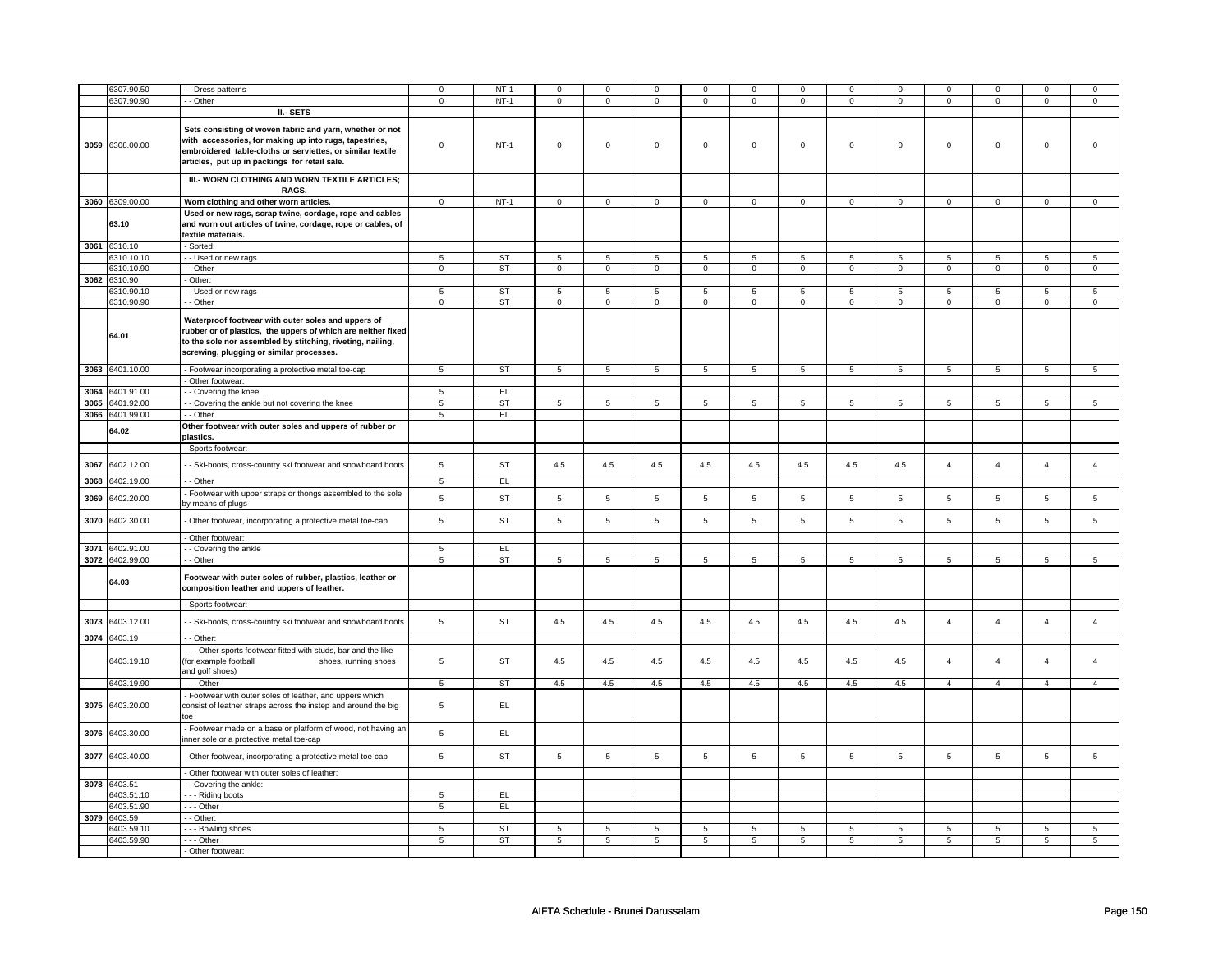|      | 6307.90.50          | - Dress patterns                                                                                                                                                                                                                          | $\mathbf 0$    | $NT-1$    | $\mathsf 0$    | $\mathsf 0$     | $\mathsf 0$         | $\mathbf 0$    | $\mathsf 0$         | $\mathsf 0$     | $\mathbf 0$    | $\mathsf 0$     | $\mathsf 0$    | $\mathsf 0$     | $\Omega$       | 0               |
|------|---------------------|-------------------------------------------------------------------------------------------------------------------------------------------------------------------------------------------------------------------------------------------|----------------|-----------|----------------|-----------------|---------------------|----------------|---------------------|-----------------|----------------|-----------------|----------------|-----------------|----------------|-----------------|
|      | 6307.90.90          | - - Other                                                                                                                                                                                                                                 | $\mathbf 0$    | $NT-1$    | $\mathsf 0$    | $\mathsf 0$     | $\mathsf{O}\xspace$ | $\mathsf 0$    | $\mathsf{O}\xspace$ | $\mathbf 0$     | $\mathsf 0$    | $\mathbf 0$     | $\mathsf 0$    | $\mathbf 0$     | $\mathsf 0$    | 0               |
|      |                     | II - SETS                                                                                                                                                                                                                                 |                |           |                |                 |                     |                |                     |                 |                |                 |                |                 |                |                 |
|      | 3059 6308.00.00     | Sets consisting of woven fabric and yarn, whether or not<br>with accessories, for making up into rugs, tapestries,<br>embroidered table-cloths or serviettes, or similar textile<br>articles, put up in packings for retail sale.         | $\mathsf 0$    | $NT-1$    | $\mathsf 0$    | $\mathbf 0$     | $\mathsf 0$         | $\mathbf 0$    | $\mathsf 0$         | $\mathbf 0$     | $\mathbf 0$    | $\mathsf 0$     | $\mathsf 0$    | $\mathbf 0$     | $\mathbf 0$    | $\mathbf{0}$    |
|      |                     | III.- WORN CLOTHING AND WORN TEXTILE ARTICLES;<br>RAGS.                                                                                                                                                                                   |                |           |                |                 |                     |                |                     |                 |                |                 |                |                 |                |                 |
|      | 3060 6309.00.00     | Worn clothing and other worn articles.                                                                                                                                                                                                    | $\mathbf{0}$   | $NT-1$    | $\mathbf 0$    | $\overline{0}$  | $\mathbf 0$         | $\overline{0}$ | $\mathbf 0$         | $\mathbf{0}$    | $\mathbf 0$    | $\mathbf 0$     | $\mathbf 0$    | $\overline{0}$  | $\mathbf{0}$   | $\overline{0}$  |
|      | 63.10               | Used or new rags, scrap twine, cordage, rope and cables<br>and worn out articles of twine, cordage, rope or cables, of<br>textile materials.                                                                                              |                |           |                |                 |                     |                |                     |                 |                |                 |                |                 |                |                 |
|      | 3061 6310.10        | - Sorted:                                                                                                                                                                                                                                 |                |           |                |                 |                     |                |                     |                 |                |                 |                |                 |                |                 |
|      | 6310.10.10          | - - Used or new rags                                                                                                                                                                                                                      | 5              | ST        | $\overline{5}$ | $\,$ 5 $\,$     | 5                   | $\,$ 5 $\,$    | 5                   | 5               | 5              | 5               | 5              | 5               | 5              | 5               |
|      | 6310.10.90          | - - Other                                                                                                                                                                                                                                 | $\mathbf 0$    | ST        | $\mathsf 0$    | $\mathbf{0}$    | $\mathbf{0}$        | $\mathbf 0$    | $\mathbf{0}$        | $\mathbf 0$     | $\mathbf{O}$   | $\mathbf{0}$    | $\mathbf 0$    | $\mathbf 0$     | $\mathbf 0$    | $\mathbf{0}$    |
| 3062 | 6310.90             | Other:                                                                                                                                                                                                                                    |                |           |                |                 |                     | 5              |                     |                 | $\overline{5}$ | 5               | 5              |                 |                |                 |
|      | 6310.90.10          | -- Used or new rags                                                                                                                                                                                                                       | $\overline{5}$ | ST        | $\overline{5}$ | $5\overline{)}$ | 5                   |                | $5\overline{)}$     | $5\overline{)}$ |                |                 |                | 5               | 5              | $5\overline{)}$ |
|      | 6310.90.90<br>64.01 | - - Other<br>Waterproof footwear with outer soles and uppers of<br>rubber or of plastics, the uppers of which are neither fixed<br>to the sole nor assembled by stitching, riveting, nailing,<br>screwing, plugging or similar processes. | $\mathsf 0$    | <b>ST</b> | $\mathbf 0$    | $\mathbf 0$     | $\mathbf 0$         | $\mathbf 0$    | $\mathbf 0$         | $\mathbf 0$     | $\mathbf 0$    | $\mathbf 0$     | $\mathbf 0$    | $\mathbf 0$     | $\mathsf 0$    | $\mathbf 0$     |
|      | 3063 6401.10.00     | - Footwear incorporating a protective metal toe-cap                                                                                                                                                                                       | 5              | <b>ST</b> | 5              | 5               | 5                   | 5              | 5                   | 5               | 5              | $5\overline{5}$ | 5              | $5\overline{5}$ | 5              | 5               |
|      |                     | - Other footwear:                                                                                                                                                                                                                         |                |           |                |                 |                     |                |                     |                 |                |                 |                |                 |                |                 |
| 3064 | 6401.91.00          | - - Covering the knee                                                                                                                                                                                                                     | 5              | EL        |                |                 |                     |                |                     |                 |                |                 |                |                 |                |                 |
| 3065 | 6401.92.00          | - - Covering the ankle but not covering the knee                                                                                                                                                                                          | 5              | ST        | 5              | 5               | 5                   | 5              | 5                   | 5               | 5              | 5               | 5              | 5               | 5              | 5               |
| 3066 | 6401.99.00          | - - Other                                                                                                                                                                                                                                 | 5              | EL        |                |                 |                     |                |                     |                 |                |                 |                |                 |                |                 |
|      | 64.02               | Other footwear with outer soles and uppers of rubber or<br>plastics.                                                                                                                                                                      |                |           |                |                 |                     |                |                     |                 |                |                 |                |                 |                |                 |
|      |                     | - Sports footwear:                                                                                                                                                                                                                        |                |           |                |                 |                     |                |                     |                 |                |                 |                |                 |                |                 |
| 3067 | 6402.12.00          | - - Ski-boots, cross-country ski footwear and snowboard boots                                                                                                                                                                             | 5              | <b>ST</b> | 4.5            | 4.5             | 4.5                 | 4.5            | 4.5                 | 4.5             | 4.5            | 4.5             | $\overline{4}$ | $\overline{4}$  | $\overline{4}$ | $\overline{4}$  |
| 3068 | 3402.19.00          | - - Other                                                                                                                                                                                                                                 | 5              | EL        |                |                 |                     |                |                     |                 |                |                 |                |                 |                |                 |
| 3069 | 6402.20.00          | - Footwear with upper straps or thongs assembled to the sole<br>by means of plugs                                                                                                                                                         | 5              | <b>ST</b> | $\,$ 5 $\,$    | $\,$ 5 $\,$     | 5                   | $\,$ 5 $\,$    | 5                   | 5               | 5              | 5               | 5              | 5               | 5              | 5               |
| 3070 | 6402.30.00          | - Other footwear, incorporating a protective metal toe-cap                                                                                                                                                                                | 5              | <b>ST</b> | 5              | 5               | 5                   | 5              | 5                   | 5               | 5              | 5               | 5              | 5               | 5              | 5               |
|      |                     | - Other footwear:                                                                                                                                                                                                                         |                |           |                |                 |                     |                |                     |                 |                |                 |                |                 |                |                 |
| 3071 | 6402.91.00          | - Covering the ankle                                                                                                                                                                                                                      | 5              | EL        |                |                 |                     |                |                     |                 |                |                 |                |                 |                |                 |
| 3072 | 6402.99.00          | - - Other                                                                                                                                                                                                                                 | 5              | <b>ST</b> | 5              | $\overline{5}$  | 5                   | $\overline{5}$ | $\overline{5}$      | $\overline{5}$  | $\overline{5}$ | $\overline{5}$  | $\overline{5}$ | $\overline{5}$  | 5              | $\overline{5}$  |
|      | 64.03               | Footwear with outer soles of rubber, plastics, leather or<br>composition leather and uppers of leather.                                                                                                                                   |                |           |                |                 |                     |                |                     |                 |                |                 |                |                 |                |                 |
|      |                     | - Sports footwear:                                                                                                                                                                                                                        |                |           |                |                 |                     |                |                     |                 |                |                 |                |                 |                |                 |
| 3073 | 6403.12.00          | - - Ski-boots, cross-country ski footwear and snowboard boots                                                                                                                                                                             | 5              | <b>ST</b> | 4.5            | $4.5\,$         | 4.5                 | 4.5            | 4.5                 | 4.5             | $4.5\,$        | 4.5             | $\overline{4}$ | $\overline{4}$  | $\overline{4}$ | $\overline{4}$  |
|      | 3074 6403.19        | - - Other:                                                                                                                                                                                                                                |                |           |                |                 |                     |                |                     |                 |                |                 |                |                 |                |                 |
|      | 6403.19.10          | --- Other sports footwear fitted with studs, bar and the like<br>(for example football<br>shoes, running shoes<br>and golf shoes)                                                                                                         | 5              | ST        | 4.5            | 4.5             | $4.5\,$             | 4.5            | 4.5                 | 4.5             | 4.5            | 4.5             | $\overline{4}$ | $\overline{4}$  | $\overline{4}$ | $\Delta$        |
|      | 6403.19.90          | --- Other                                                                                                                                                                                                                                 | $\overline{5}$ | ST        | 4.5            | 4.5             | 4.5                 | 4.5            | 4.5                 | 4.5             | 4.5            | 4.5             | $\overline{4}$ | $\overline{4}$  | $\overline{4}$ | $\overline{4}$  |
| 3075 | 6403.20.00          | - Footwear with outer soles of leather, and uppers which<br>consist of leather straps across the instep and around the big<br>oe:                                                                                                         | 5              | EL.       |                |                 |                     |                |                     |                 |                |                 |                |                 |                |                 |
| 3076 | 6403.30.00          | Footwear made on a base or platform of wood, not having an                                                                                                                                                                                | 5              | EL        |                |                 |                     |                |                     |                 |                |                 |                |                 |                |                 |
| 3077 | 6403.40.00          | nner sole or a protective metal toe-cap<br>- Other footwear, incorporating a protective metal toe-cap                                                                                                                                     | 5              | <b>ST</b> | 5              | $\,$ 5 $\,$     | 5                   | 5              | 5                   | 5               | 5              | 5               | 5              | 5               | 5              | 5               |
|      |                     | - Other footwear with outer soles of leather:                                                                                                                                                                                             |                |           |                |                 |                     |                |                     |                 |                |                 |                |                 |                |                 |
| 3078 | 6403.51             | - Covering the ankle:                                                                                                                                                                                                                     |                |           |                |                 |                     |                |                     |                 |                |                 |                |                 |                |                 |
|      | 6403.51.10          | - - - Riding boots                                                                                                                                                                                                                        | 5              | EL        |                |                 |                     |                |                     |                 |                |                 |                |                 |                |                 |
|      | 6403.51.90          | - - - Other                                                                                                                                                                                                                               | 5              | EL.       |                |                 |                     |                |                     |                 |                |                 |                |                 |                |                 |
| 3079 | 6403.59             | - - Other:                                                                                                                                                                                                                                |                |           |                |                 |                     |                |                     |                 |                |                 |                |                 |                |                 |
|      | 6403.59.10          | --- Bowling shoes                                                                                                                                                                                                                         | 5              | ST        | 5              | 5               | 5                   | 5              | 5                   | 5               | 5              | 5               | 5              | 5               | 5              | 5               |
|      | 6403.59.90          | --- Other                                                                                                                                                                                                                                 | 5              | <b>ST</b> | 5              | 5               | 5                   | 5              | 5                   | 5               | 5              | $\overline{5}$  | 5              | 5               | 5              | 5               |
|      |                     | - Other footwear:                                                                                                                                                                                                                         |                |           |                |                 |                     |                |                     |                 |                |                 |                |                 |                |                 |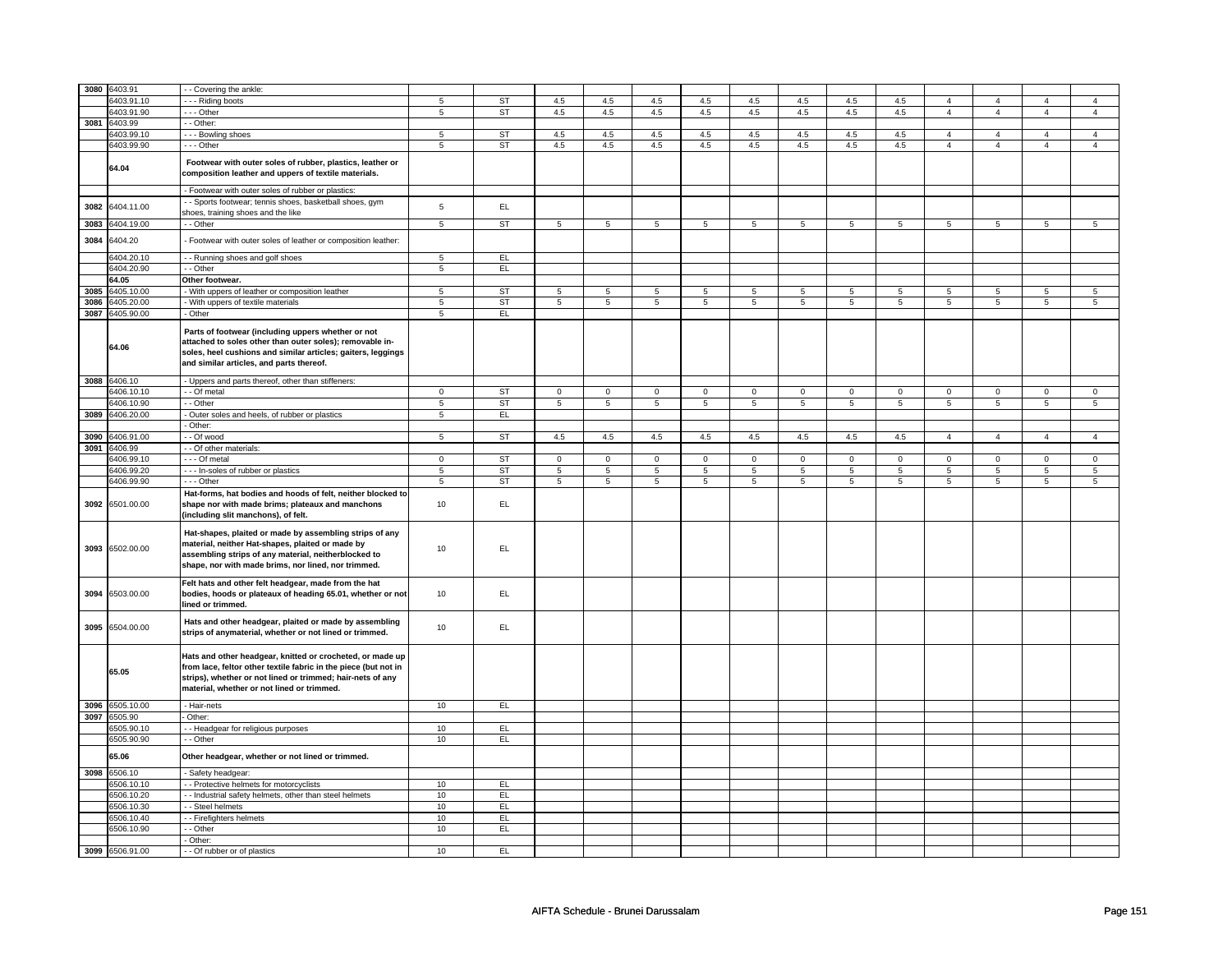|      | 3080 6403.91    | - - Covering the ankle:                                                                                                                                                                                                                  |                |           |                 |             |                 |                 |             |                |                 |                 |                 |                 |                |                 |
|------|-----------------|------------------------------------------------------------------------------------------------------------------------------------------------------------------------------------------------------------------------------------------|----------------|-----------|-----------------|-------------|-----------------|-----------------|-------------|----------------|-----------------|-----------------|-----------------|-----------------|----------------|-----------------|
|      |                 |                                                                                                                                                                                                                                          |                |           |                 |             |                 |                 |             |                |                 |                 |                 |                 |                |                 |
|      | 6403.91.10      | - - - Riding boots                                                                                                                                                                                                                       | 5              | <b>ST</b> | 4.5             | 4.5         | 4.5             | 4.5             | 4.5         | 4.5            | 4.5             | 4.5             | $\overline{4}$  | $\overline{4}$  | $\overline{4}$ | $\overline{a}$  |
|      | 6403.91.90      | $- -$ Other                                                                                                                                                                                                                              | 5              | ST        | 4.5             | 4.5         | 4.5             | 4.5             | 4.5         | 4.5            | 4.5             | 4.5             | $\overline{4}$  | $\overline{4}$  | $\overline{4}$ | $\overline{4}$  |
|      | 3081 6403.99    | - - Other:                                                                                                                                                                                                                               |                |           |                 |             |                 |                 |             |                |                 |                 |                 |                 |                |                 |
|      | 6403.99.10      | --- Bowling shoes                                                                                                                                                                                                                        | 5              | <b>ST</b> | 4.5             | 4.5         | 4.5             | 4.5             | 4.5         | 4.5            | 4.5             | 4.5             | $\Delta$        | $\overline{4}$  | $\overline{A}$ | $\mathbf{A}$    |
|      | 6403.99.90      | --- Other                                                                                                                                                                                                                                | 5              | <b>ST</b> | 4.5             | 4.5         | 4.5             | 4.5             | 4.5         | 4.5            | $4.5\,$         | 4.5             | $\overline{4}$  | $\overline{4}$  | $\overline{a}$ | $\overline{4}$  |
|      | 64.04           | Footwear with outer soles of rubber, plastics, leather or<br>composition leather and uppers of textile materials.                                                                                                                        |                |           |                 |             |                 |                 |             |                |                 |                 |                 |                 |                |                 |
|      |                 | - Footwear with outer soles of rubber or plastics:                                                                                                                                                                                       |                |           |                 |             |                 |                 |             |                |                 |                 |                 |                 |                |                 |
|      | 3082 6404.11.00 | - - Sports footwear; tennis shoes, basketball shoes, gym<br>shoes, training shoes and the like                                                                                                                                           | 5              | EL        |                 |             |                 |                 |             |                |                 |                 |                 |                 |                |                 |
| 3083 | 6404.19.00      | - - Other                                                                                                                                                                                                                                | $\overline{5}$ | ST        | $5\overline{5}$ | 5           | $5\overline{5}$ | $5\phantom{.0}$ | 5           | $\overline{5}$ | $5\overline{5}$ | $5\overline{5}$ | $5\overline{5}$ | $5\overline{5}$ | $\overline{5}$ | $5\phantom{.0}$ |
| 3084 | 6404.20         | - Footwear with outer soles of leather or composition leather:                                                                                                                                                                           |                |           |                 |             |                 |                 |             |                |                 |                 |                 |                 |                |                 |
|      | 6404.20.10      | - - Running shoes and golf shoes                                                                                                                                                                                                         | 5              | EL        |                 |             |                 |                 |             |                |                 |                 |                 |                 |                |                 |
|      | 6404.20.90      | - - Other                                                                                                                                                                                                                                | 5              | EL.       |                 |             |                 |                 |             |                |                 |                 |                 |                 |                |                 |
|      | 64.05           | Other footwear.                                                                                                                                                                                                                          |                |           |                 |             |                 |                 |             |                |                 |                 |                 |                 |                |                 |
| 3085 | 6405.10.00      | - With uppers of leather or composition leather                                                                                                                                                                                          | 5              | ST        | $5\overline{5}$ | 5           | $5^{\circ}$     | $\overline{5}$  | 5           | 5              | $5^{\circ}$     | $\overline{5}$  | 5               | $5^{\circ}$     | 5              | 5               |
| 3086 | 6405.20.00      | With uppers of textile materials                                                                                                                                                                                                         | 5              | <b>ST</b> | 5               | 5           | 5               | 5               | 5           | 5              | 5               | 5               | 5 <sup>5</sup>  | 5               | $\overline{5}$ | 5               |
|      | 3087 6405.90.00 | - Other                                                                                                                                                                                                                                  | 5              | EL        |                 |             |                 |                 |             |                |                 |                 |                 |                 |                |                 |
|      | 64.06           | Parts of footwear (including uppers whether or not<br>attached to soles other than outer soles); removable in-<br>soles, heel cushions and similar articles; gaiters, leggings<br>and similar articles, and parts thereof.               |                |           |                 |             |                 |                 |             |                |                 |                 |                 |                 |                |                 |
|      | 3088 6406.10    | - Uppers and parts thereof, other than stiffeners:                                                                                                                                                                                       |                |           |                 |             |                 |                 |             |                |                 |                 |                 |                 |                |                 |
|      | 6406.10.10      | - - Of metal                                                                                                                                                                                                                             | $\mathbf 0$    | <b>ST</b> | $\mathbf 0$     | $\mathbf 0$ | $\overline{0}$  | 0               | $\mathbf 0$ | $\mathbf 0$    | $\overline{0}$  | $\mathbf 0$     | $\mathbf 0$     | $\mathbf 0$     | $\mathbf 0$    | 0               |
|      | 6406.10.90      | - - Other                                                                                                                                                                                                                                | $\overline{5}$ | <b>ST</b> | 5               | 5           | 5               | $\sqrt{5}$      | 5           | 5              | 5               | 5               | 5               | 5               | 5              | 5               |
|      | 3089 6406.20.00 | - Outer soles and heels, of rubber or plastics                                                                                                                                                                                           | $\,$ 5 $\,$    | EL        |                 |             |                 |                 |             |                |                 |                 |                 |                 |                |                 |
|      |                 | -Other:                                                                                                                                                                                                                                  |                |           |                 |             |                 |                 |             |                |                 |                 |                 |                 |                |                 |
|      | 3090 6406.91.00 | - - Of wood                                                                                                                                                                                                                              | 5              | ST        | 4.5             | 4.5         | 4.5             | 4.5             | 4.5         | 4.5            | 4.5             | 4.5             | $\overline{4}$  | $\overline{4}$  | $\overline{4}$ | $\overline{4}$  |
|      | 3091 6406.99    | - Of other materials:                                                                                                                                                                                                                    |                |           |                 |             |                 |                 |             |                |                 |                 |                 |                 |                |                 |
|      | 6406.99.10      | - - Of metal                                                                                                                                                                                                                             | $\mathbf 0$    | ST        | $\mathbf 0$     | $\mathbf 0$ | $\mathbf{0}$    | $\mathbf 0$     | $\circ$     | $\mathbf 0$    | $\mathbf{0}$    | $\mathbf 0$     | $\mathbf 0$     | $\mathbf 0$     | $\Omega$       | $\mathbf 0$     |
|      | 6406.99.20      | --- In-soles of rubber or plastics                                                                                                                                                                                                       | 5              | ST        | 5               | 5           | 5               | 5               | 5           | 5              | 5               | 5               | 5               | $\overline{5}$  | 5              | 5               |
|      | 6406.99.90      | --- Other                                                                                                                                                                                                                                | 5              | <b>ST</b> | 5               | 5           | 5               | 5               | 5           | 5              | 5               | 5               | 5               | 5               | 5              | 5               |
|      |                 | Hat-forms, hat bodies and hoods of felt, neither blocked to                                                                                                                                                                              |                |           |                 |             |                 |                 |             |                |                 |                 |                 |                 |                |                 |
| 3092 | 6501.00.00      | shape nor with made brims; plateaux and manchons<br>(including slit manchons), of felt.                                                                                                                                                  | 10             | EL.       |                 |             |                 |                 |             |                |                 |                 |                 |                 |                |                 |
| 3093 | 6502.00.00      | Hat-shapes, plaited or made by assembling strips of any<br>material, neither Hat-shapes, plaited or made by<br>assembling strips of any material, neitherblocked to<br>shape, nor with made brims, nor lined, nor trimmed.               | 10             | EL.       |                 |             |                 |                 |             |                |                 |                 |                 |                 |                |                 |
| 3094 | 6503.00.00      | Felt hats and other felt headgear, made from the hat<br>bodies, hoods or plateaux of heading 65.01, whether or not<br>lined or trimmed.                                                                                                  | 10             | EL.       |                 |             |                 |                 |             |                |                 |                 |                 |                 |                |                 |
|      | 3095 6504.00.00 | Hats and other headgear, plaited or made by assembling<br>strips of anymaterial, whether or not lined or trimmed.                                                                                                                        | 10             | EL.       |                 |             |                 |                 |             |                |                 |                 |                 |                 |                |                 |
|      | 65.05           | Hats and other headgear, knitted or crocheted, or made up<br>from lace, feltor other textile fabric in the piece (but not in<br>strips), whether or not lined or trimmed; hair-nets of any<br>material, whether or not lined or trimmed. |                |           |                 |             |                 |                 |             |                |                 |                 |                 |                 |                |                 |
|      |                 |                                                                                                                                                                                                                                          |                |           |                 |             |                 |                 |             |                |                 |                 |                 |                 |                |                 |
|      | 3096 6505.10.00 | - Hair-nets                                                                                                                                                                                                                              | 10             | EL        |                 |             |                 |                 |             |                |                 |                 |                 |                 |                |                 |
|      | 3097 6505.90    | Other:                                                                                                                                                                                                                                   |                |           |                 |             |                 |                 |             |                |                 |                 |                 |                 |                |                 |
|      | 6505.90.10      | - Headgear for religious purposes                                                                                                                                                                                                        | 10             | EL        |                 |             |                 |                 |             |                |                 |                 |                 |                 |                |                 |
|      | 6505.90.90      | - - Other                                                                                                                                                                                                                                | 10             | EL.       |                 |             |                 |                 |             |                |                 |                 |                 |                 |                |                 |
|      | 65.06           | Other headgear, whether or not lined or trimmed.                                                                                                                                                                                         |                |           |                 |             |                 |                 |             |                |                 |                 |                 |                 |                |                 |
|      | 3098 6506.10    | - Safety headgear:                                                                                                                                                                                                                       |                |           |                 |             |                 |                 |             |                |                 |                 |                 |                 |                |                 |
|      | 6506.10.10      | - - Protective helmets for motorcyclists                                                                                                                                                                                                 | 10             | EL        |                 |             |                 |                 |             |                |                 |                 |                 |                 |                |                 |
|      | 6506.10.20      | - - Industrial safety helmets, other than steel helmets                                                                                                                                                                                  | 10             | EL.       |                 |             |                 |                 |             |                |                 |                 |                 |                 |                |                 |
|      |                 |                                                                                                                                                                                                                                          |                |           |                 |             |                 |                 |             |                |                 |                 |                 |                 |                |                 |
|      | 6506.10.30      | - - Steel helmets                                                                                                                                                                                                                        | 10             | EL        |                 |             |                 |                 |             |                |                 |                 |                 |                 |                |                 |
|      | 6506.10.40      | -- Firefighters helmets                                                                                                                                                                                                                  | 10             | EL.       |                 |             |                 |                 |             |                |                 |                 |                 |                 |                |                 |
|      | 6506.10.90      | - - Other<br>- Other:                                                                                                                                                                                                                    | 10             | EL        |                 |             |                 |                 |             |                |                 |                 |                 |                 |                |                 |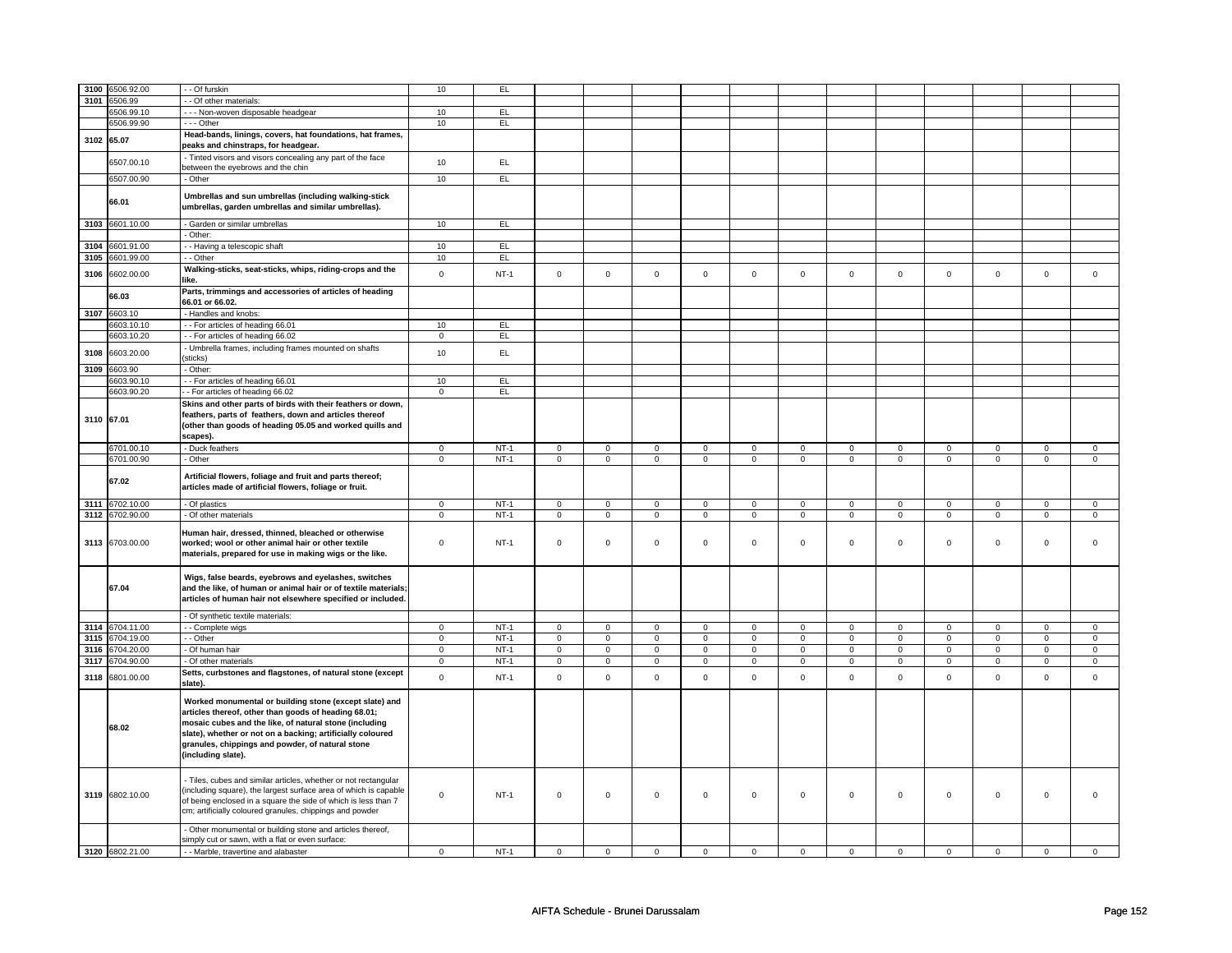|            | 3100 6506.92.00 | - Of furskin                                                                           | 10                  | EL     |             |             |             |                |                     |             |                     |             |             |             |             |              |
|------------|-----------------|----------------------------------------------------------------------------------------|---------------------|--------|-------------|-------------|-------------|----------------|---------------------|-------------|---------------------|-------------|-------------|-------------|-------------|--------------|
| 3101       | 6506.99         | - - Of other materials:                                                                |                     |        |             |             |             |                |                     |             |                     |             |             |             |             |              |
|            |                 |                                                                                        |                     |        |             |             |             |                |                     |             |                     |             |             |             |             |              |
|            | 6506.99.10      | --- Non-woven disposable headgear                                                      | 10                  | EL     |             |             |             |                |                     |             |                     |             |             |             |             |              |
|            | 6506.99.90      | --- Other                                                                              | 10                  | EL     |             |             |             |                |                     |             |                     |             |             |             |             |              |
|            |                 | Head-bands, linings, covers, hat foundations, hat frames,                              |                     |        |             |             |             |                |                     |             |                     |             |             |             |             |              |
| 3102 65.07 |                 | peaks and chinstraps, for headgear.                                                    |                     |        |             |             |             |                |                     |             |                     |             |             |             |             |              |
|            |                 |                                                                                        |                     |        |             |             |             |                |                     |             |                     |             |             |             |             |              |
|            | 6507.00.10      | - Tinted visors and visors concealing any part of the face                             | 10                  | EL     |             |             |             |                |                     |             |                     |             |             |             |             |              |
|            |                 | between the eyebrows and the chin                                                      |                     |        |             |             |             |                |                     |             |                     |             |             |             |             |              |
|            | 6507.00.90      | - Other                                                                                | 10                  | EL.    |             |             |             |                |                     |             |                     |             |             |             |             |              |
|            |                 |                                                                                        |                     |        |             |             |             |                |                     |             |                     |             |             |             |             |              |
|            |                 | Umbrellas and sun umbrellas (including walking-stick                                   |                     |        |             |             |             |                |                     |             |                     |             |             |             |             |              |
|            | 66.01           | umbrellas, garden umbrellas and similar umbrellas).                                    |                     |        |             |             |             |                |                     |             |                     |             |             |             |             |              |
|            |                 |                                                                                        |                     |        |             |             |             |                |                     |             |                     |             |             |             |             |              |
|            | 3103 6601.10.00 | Garden or similar umbrellas                                                            | 10                  | EL     |             |             |             |                |                     |             |                     |             |             |             |             |              |
|            |                 | - Other:                                                                               |                     |        |             |             |             |                |                     |             |                     |             |             |             |             |              |
|            |                 |                                                                                        |                     |        |             |             |             |                |                     |             |                     |             |             |             |             |              |
| 3104       | 6601.91.00      | - - Having a telescopic shaft                                                          | 10                  | EL.    |             |             |             |                |                     |             |                     |             |             |             |             |              |
| 3105       | 6601.99.00      | - - Other                                                                              | 10                  | EL     |             |             |             |                |                     |             |                     |             |             |             |             |              |
|            |                 | Walking-sticks, seat-sticks, whips, riding-crops and the                               |                     |        |             |             |             |                |                     |             |                     |             |             |             |             |              |
| 3106       | 6602.00.00      | like.                                                                                  | $\mathsf 0$         | $NT-1$ | $\mathsf 0$ | $\mathsf 0$ | $\mathsf 0$ | $\mathsf 0$    | $\mathsf 0$         | $\mathsf 0$ | $\mathsf{O}\xspace$ | $\mathsf 0$ | $\mathsf 0$ | $\mathsf 0$ | $\mathsf 0$ | $\mathsf 0$  |
|            |                 |                                                                                        |                     |        |             |             |             |                |                     |             |                     |             |             |             |             |              |
|            | 66.03           | Parts, trimmings and accessories of articles of heading                                |                     |        |             |             |             |                |                     |             |                     |             |             |             |             |              |
|            |                 | 66.01 or 66.02.                                                                        |                     |        |             |             |             |                |                     |             |                     |             |             |             |             |              |
|            | 3107 6603.10    | - Handles and knobs:                                                                   |                     |        |             |             |             |                |                     |             |                     |             |             |             |             |              |
|            | 6603.10.10      | -- For articles of heading 66.01                                                       | 10                  | EL     |             |             |             |                |                     |             |                     |             |             |             |             |              |
|            | 6603.10.20      | -- For articles of heading 66.02                                                       | $\mathbf 0$         | EL     |             |             |             |                |                     |             |                     |             |             |             |             |              |
|            |                 |                                                                                        |                     |        |             |             |             |                |                     |             |                     |             |             |             |             |              |
| 3108       | 6603.20.00      | - Umbrella frames, including frames mounted on shafts                                  | 10                  | EL     |             |             |             |                |                     |             |                     |             |             |             |             |              |
|            |                 | sticks)                                                                                |                     |        |             |             |             |                |                     |             |                     |             |             |             |             |              |
| 3109       | 6603.90         | - Other:                                                                               |                     |        |             |             |             |                |                     |             |                     |             |             |             |             |              |
|            | 6603.90.10      | -- For articles of heading 66.01                                                       | 10                  | EL     |             |             |             |                |                     |             |                     |             |             |             |             |              |
|            | 6603.90.20      | - For articles of heading 66.02                                                        | $\mathbf 0$         | EL.    |             |             |             |                |                     |             |                     |             |             |             |             |              |
|            |                 |                                                                                        |                     |        |             |             |             |                |                     |             |                     |             |             |             |             |              |
|            |                 | Skins and other parts of birds with their feathers or down,                            |                     |        |             |             |             |                |                     |             |                     |             |             |             |             |              |
| 3110 67.01 |                 | feathers, parts of feathers, down and articles thereof                                 |                     |        |             |             |             |                |                     |             |                     |             |             |             |             |              |
|            |                 | (other than goods of heading 05.05 and worked quills and                               |                     |        |             |             |             |                |                     |             |                     |             |             |             |             |              |
|            |                 | scapes).                                                                               |                     |        |             |             |             |                |                     |             |                     |             |             |             |             |              |
|            | 6701.00.10      |                                                                                        |                     | $NT-1$ |             |             |             |                |                     |             |                     |             |             |             |             |              |
|            |                 | Duck feathers                                                                          | $\circ$             |        | $\mathbf 0$ | $\mathbf 0$ | $\mathbf 0$ | 0              | 0                   | 0           | $\circ$             | $\mathbf 0$ | $\mathbf 0$ | $\circ$     | $\mathbf 0$ | $\circ$      |
|            | 6701.00.90      | - Other                                                                                | $\mathbf 0$         | $NT-1$ | $\mathbf 0$ | $\mathbf 0$ | $\mathbf 0$ | $\mathbf 0$    | $\mathbf 0$         | $\mathbf 0$ | $\mathbf 0$         | $\mathbf 0$ | $\mathbf 0$ | $\mathbf 0$ | $\mathbf 0$ | $\mathbf{0}$ |
|            |                 |                                                                                        |                     |        |             |             |             |                |                     |             |                     |             |             |             |             |              |
|            | 67.02           | Artificial flowers, foliage and fruit and parts thereof;                               |                     |        |             |             |             |                |                     |             |                     |             |             |             |             |              |
|            |                 | articles made of artificial flowers, foliage or fruit.                                 |                     |        |             |             |             |                |                     |             |                     |             |             |             |             |              |
|            |                 |                                                                                        |                     |        |             |             |             |                |                     |             |                     |             |             |             |             |              |
|            |                 |                                                                                        |                     |        |             |             |             |                |                     |             |                     |             |             |             |             |              |
|            | 3111 6702.10.00 | - Of plastics                                                                          | $\mathsf 0$         | $NT-1$ | $\mathbf 0$ | $\mathsf 0$ | $\mathbf 0$ | $\mathbf 0$    | $\mathbf 0$         | $\mathbf 0$ | $\mathbf{0}$        | $\mathbf 0$ | $\mathbf 0$ | $\mathbf 0$ | $\mathbf 0$ | $\mathbf{0}$ |
|            | 3112 6702.90.00 | - Of other materials                                                                   | 0                   | $NT-1$ | $\mathsf 0$ | $\mathbf 0$ | $\mathsf 0$ | $\mathsf 0$    | $\mathsf 0$         | $\mathsf 0$ | $\mathbf 0$         | $\mathsf 0$ | $\mathsf 0$ | $\mathsf 0$ | $\mathbf 0$ | $\mathbf 0$  |
|            |                 |                                                                                        |                     |        |             |             |             |                |                     |             |                     |             |             |             |             |              |
|            |                 | Human hair, dressed, thinned, bleached or otherwise                                    |                     |        |             |             |             |                |                     |             |                     |             |             |             |             |              |
|            | 3113 6703.00.00 | worked; wool or other animal hair or other textile                                     | $\mathbf 0$         | $NT-1$ | $\mathbf 0$ | $\mathsf 0$ | $\mathsf 0$ | $\mathbf 0$    | $\mathsf{O}\xspace$ | $\mathbf 0$ | $\mathsf 0$         | $\mathbf 0$ | $\mathsf 0$ | $\mathbf 0$ | $\mathbf 0$ | $\mathbf 0$  |
|            |                 | materials, prepared for use in making wigs or the like.                                |                     |        |             |             |             |                |                     |             |                     |             |             |             |             |              |
|            |                 |                                                                                        |                     |        |             |             |             |                |                     |             |                     |             |             |             |             |              |
|            |                 |                                                                                        |                     |        |             |             |             |                |                     |             |                     |             |             |             |             |              |
|            |                 | Wigs, false beards, eyebrows and eyelashes, switches                                   |                     |        |             |             |             |                |                     |             |                     |             |             |             |             |              |
|            | 67.04           | and the like, of human or animal hair or of textile materials;                         |                     |        |             |             |             |                |                     |             |                     |             |             |             |             |              |
|            |                 | articles of human hair not elsewhere specified or included.                            |                     |        |             |             |             |                |                     |             |                     |             |             |             |             |              |
|            |                 |                                                                                        |                     |        |             |             |             |                |                     |             |                     |             |             |             |             |              |
|            |                 | - Of synthetic textile materials:                                                      |                     |        |             |             |             |                |                     |             |                     |             |             |             |             |              |
|            | 3114 6704.11.00 | - - Complete wigs                                                                      | $\mathbf 0$         | $NT-1$ | $\mathbf 0$ | $\mathsf 0$ | $\mathbf 0$ | $\mathbf 0$    | $\mathbf 0$         | $\mathbf 0$ | $\mathbf 0$         | $\mathbf 0$ | $\mathbf 0$ | $\mathbf 0$ | $\mathbf 0$ | $\circ$      |
| 3115       | 6704.19.00      | - Other                                                                                | $\mathbf 0$         | $NT-1$ | $\mathbf 0$ | $\mathbf 0$ | $\mathbf 0$ | $\mathbf 0$    | $\mathbf 0$         | $\mathsf 0$ | $\mathbf 0$         | $\mathbf 0$ | $\mathbf 0$ | $\mathbf 0$ | $\mathbf 0$ | $\mathbf 0$  |
|            |                 |                                                                                        |                     |        |             |             |             |                |                     |             |                     |             |             |             |             |              |
| 3116       | 6704.20.00      | - Of human hair                                                                        | $\mathbf 0$         | $NT-1$ | $\mathbf 0$ | $\mathsf 0$ | $\mathbf 0$ | $\mathbf 0$    | $\mathsf 0$         | $\mathbf 0$ | $\mathbf 0$         | $\mathbf 0$ | $\mathsf 0$ | $\mathbf 0$ | $\mathbf 0$ | $\mathbf 0$  |
| 3117       | 6704.90.00      | - Of other materials                                                                   | $\mathbf 0$         | $NT-1$ | $\mathbf 0$ | $\mathbf 0$ | $\mathbf 0$ | $\mathbf 0$    | 0                   | $\mathbf 0$ | $\mathbf 0$         | $\mathbf 0$ | 0           | $\mathbf 0$ | $\mathbf 0$ | $\mathbf 0$  |
|            |                 | Setts, curbstones and flagstones, of natural stone (except                             |                     |        |             |             |             |                |                     |             |                     |             |             |             |             |              |
| 3118       | 6801.00.00      | slate).                                                                                | $\mathsf{o}\xspace$ | $NT-1$ | $\mathbf 0$ | $\mathsf 0$ | $\mathbf 0$ | $\mathsf{o}\,$ | $\mathbf 0$         | $\mathbf 0$ | $\mathsf 0$         | $\mathbf 0$ | $\mathsf 0$ | $\mathbf 0$ | $\mathbf 0$ | $\mathbf 0$  |
|            |                 |                                                                                        |                     |        |             |             |             |                |                     |             |                     |             |             |             |             |              |
|            |                 | Worked monumental or building stone (except slate) and                                 |                     |        |             |             |             |                |                     |             |                     |             |             |             |             |              |
|            |                 | articles thereof, other than goods of heading 68.01;                                   |                     |        |             |             |             |                |                     |             |                     |             |             |             |             |              |
|            |                 |                                                                                        |                     |        |             |             |             |                |                     |             |                     |             |             |             |             |              |
|            | 68.02           | mosaic cubes and the like, of natural stone (including                                 |                     |        |             |             |             |                |                     |             |                     |             |             |             |             |              |
|            |                 | slate), whether or not on a backing; artificially coloured                             |                     |        |             |             |             |                |                     |             |                     |             |             |             |             |              |
|            |                 | granules, chippings and powder, of natural stone                                       |                     |        |             |             |             |                |                     |             |                     |             |             |             |             |              |
|            |                 | (including slate).                                                                     |                     |        |             |             |             |                |                     |             |                     |             |             |             |             |              |
|            |                 |                                                                                        |                     |        |             |             |             |                |                     |             |                     |             |             |             |             |              |
|            |                 |                                                                                        |                     |        |             |             |             |                |                     |             |                     |             |             |             |             |              |
|            |                 | - Tiles, cubes and similar articles, whether or not rectangular                        |                     |        |             |             |             |                |                     |             |                     |             |             |             |             |              |
|            | 3119 6802.10.00 | (including square), the largest surface area of which is capable                       | $\mathbf 0$         | $NT-1$ | $\mathbf 0$ | $\mathbf 0$ | $\mathbf 0$ | $\mathbf 0$    | $\mathbf 0$         | $\mathbf 0$ | $\mathbf 0$         | $\mathbf 0$ | $\mathbf 0$ | $\mathbf 0$ | 0           | $\Omega$     |
|            |                 | of being enclosed in a square the side of which is less than 7                         |                     |        |             |             |             |                |                     |             |                     |             |             |             |             |              |
|            |                 | cm; artificially coloured granules, chippings and powder                               |                     |        |             |             |             |                |                     |             |                     |             |             |             |             |              |
|            |                 |                                                                                        |                     |        |             |             |             |                |                     |             |                     |             |             |             |             |              |
|            |                 | Other monumental or building stone and articles thereof,                               |                     |        |             |             |             |                |                     |             |                     |             |             |             |             |              |
|            | 3120 6802.21.00 | simply cut or sawn, with a flat or even surface:<br>- Marble, travertine and alabaster | $\mathbf 0$         | $NT-1$ | $\Omega$    | $\mathbf 0$ | $\Omega$    | $\mathbf 0$    | $\Omega$            | $\mathbf 0$ | $\Omega$            | $\Omega$    | $\Omega$    | $\mathbf 0$ | $\mathbf 0$ | $\mathsf 0$  |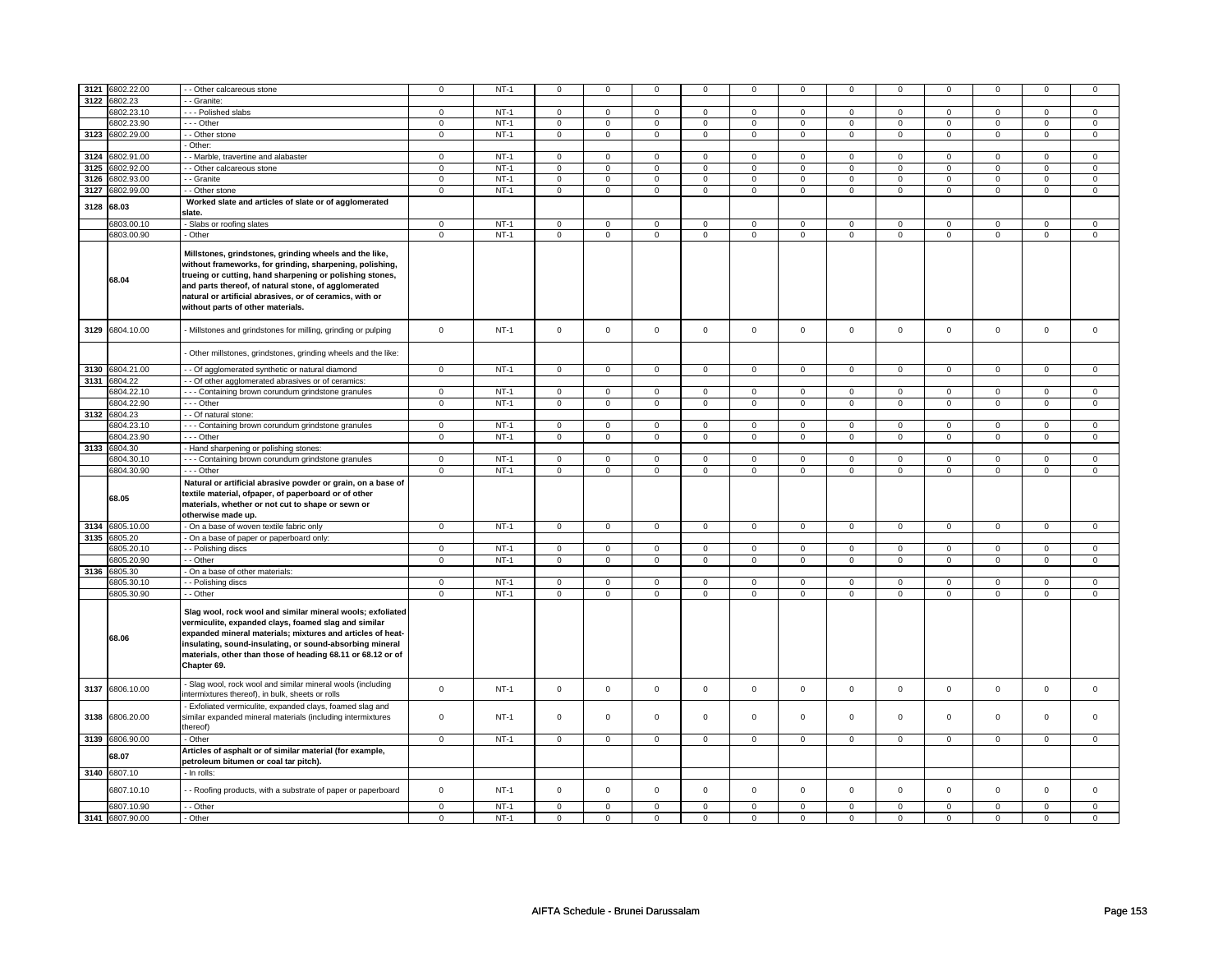| 3121            | 6802.22.00 | - Other calcareous stone                                                                                                                                                                                                                                                                                                                | $\mathsf 0$    | $NT-1$ | $\mathbf 0$    | $\mathbf 0$    | $\mathbf 0$         | $\mathbf 0$    | $\mathbf 0$         | 0              | 0              | 0              | 0            | 0              | 0           | 0              |
|-----------------|------------|-----------------------------------------------------------------------------------------------------------------------------------------------------------------------------------------------------------------------------------------------------------------------------------------------------------------------------------------|----------------|--------|----------------|----------------|---------------------|----------------|---------------------|----------------|----------------|----------------|--------------|----------------|-------------|----------------|
| 3122            | 6802.23    | - Granite:                                                                                                                                                                                                                                                                                                                              |                |        |                |                |                     |                |                     |                |                |                |              |                |             |                |
|                 | 6802.23.10 | --- Polished slabs                                                                                                                                                                                                                                                                                                                      | 0              | $NT-1$ | $\mathbf 0$    | $\mathbf 0$    | $\mathbf 0$         | $\mathbf 0$    | $\mathbf 0$         | $\mathbf 0$    | 0              | $\mathbf 0$    | 0            | $\mathbf 0$    | 0           | 0              |
|                 | 6802.23.90 | - - - Other                                                                                                                                                                                                                                                                                                                             | $\mathsf 0$    | $NT-1$ | $\mathbf 0$    | $\mathbf{0}$   | $\mathbf 0$         | $\mathbf 0$    | $\mathbf 0$         | $\mathbf 0$    | $\mathbf 0$    | $\mathbf 0$    | $\mathbf 0$  | $\mathbf 0$    | $\mathbf 0$ | 0              |
| 3123            | 6802.29.00 | - - Other stone                                                                                                                                                                                                                                                                                                                         | $\mathsf 0$    | $NT-1$ | $\mathsf 0$    | $\mathsf 0$    | $\mathsf 0$         | $\mathsf 0$    | $\mathsf 0$         | $\mathbf 0$    | $\mathbf 0$    | $\mathsf{O}$   | $\mathsf 0$  | $\mathsf{O}$   | $\mathsf 0$ | $\mathbf 0$    |
|                 |            | Other:                                                                                                                                                                                                                                                                                                                                  |                |        |                |                |                     |                |                     |                |                |                |              |                |             |                |
| 3124            | 6802.91.00 | - Marble, travertine and alabaster                                                                                                                                                                                                                                                                                                      | 0              | $NT-1$ | $\mathbf 0$    | $\mathbf 0$    | $\mathbf 0$         | $\mathbf 0$    | $\mathbf 0$         | $\mathbf 0$    | 0              | $\mathbf 0$    | 0            | $\mathbf 0$    | 0           | 0              |
| 3125            | 6802.92.00 | - Other calcareous stone                                                                                                                                                                                                                                                                                                                | $\mathsf 0$    | $NT-1$ | $\mathbf 0$    | $\mathbf 0$    | $\mathbf 0$         | $\mathbf 0$    | $\mathbf 0$         | $\mathbf 0$    | $\mathbf 0$    | $\mathbf 0$    | $\mathbf 0$  | $\mathbf 0$    | $\Omega$    | $\mathbf{0}$   |
| 3126            | 6802.93.00 | - - Granite                                                                                                                                                                                                                                                                                                                             | $\mathsf 0$    | $NT-1$ | $\mathsf 0$    | $\mathbf 0$    | 0                   | $\mathbf 0$    | 0                   | $\mathbf 0$    | 0              | $\mathbf 0$    | 0            | $\mathbf 0$    | 0           | $\mathbf 0$    |
| 3127            | 6802.99.00 | - - Other stone                                                                                                                                                                                                                                                                                                                         | $\mathsf 0$    | $NT-1$ | $\mathsf 0$    | $\mathbf 0$    | $\mathbf 0$         | $\mathbf 0$    | $\mathbf 0$         | $\mathbf 0$    | 0              | $\mathsf 0$    | $\mathsf 0$  | $\mathbf 0$    | 0           | 0              |
|                 |            | Worked slate and articles of slate or of agglomerated                                                                                                                                                                                                                                                                                   |                |        |                |                |                     |                |                     |                |                |                |              |                |             |                |
| 3128            | 68.03      | slate.                                                                                                                                                                                                                                                                                                                                  |                |        |                |                |                     |                |                     |                |                |                |              |                |             |                |
|                 | 6803.00.10 | - Slabs or roofing slates                                                                                                                                                                                                                                                                                                               | $\mathsf 0$    | $NT-1$ | $\mathbf 0$    | $\mathbf 0$    | $\mathbf 0$         | $\mathbf 0$    | $\mathbf 0$         | $\mathbf 0$    | 0              | $\mathbf 0$    | $\mathbf 0$  | $\mathbf 0$    | 0           | $\mathbf 0$    |
|                 | 6803.00.90 | - Other                                                                                                                                                                                                                                                                                                                                 | $\mathsf 0$    | $NT-1$ | $\mathbf 0$    | $\mathsf 0$    | $\mathsf 0$         | $\mathbf 0$    | $\mathsf 0$         | $\mathbf 0$    | $\mathbf 0$    | $\mathbf 0$    | $\mathsf 0$  | $\mathbf 0$    | $\mathsf 0$ | $\mathbf 0$    |
|                 | 68.04      | Millstones, grindstones, grinding wheels and the like,<br>without frameworks, for grinding, sharpening, polishing,<br>trueing or cutting, hand sharpening or polishing stones,<br>and parts thereof, of natural stone, of agglomerated<br>natural or artificial abrasives, or of ceramics, with or<br>without parts of other materials. |                |        |                |                |                     |                |                     |                |                |                |              |                |             |                |
| 3129            | 6804.10.00 | - Millstones and grindstones for milling, grinding or pulping                                                                                                                                                                                                                                                                           | $\mathsf 0$    | $NT-1$ | $\mathsf 0$    | $\mathsf 0$    | $\mathbf 0$         | $\mathsf 0$    | $\mathbf 0$         | $\mathbf 0$    | $\mathbf 0$    | $\mathbf 0$    | $\mathbf 0$  | $\mathbf 0$    | $\mathbf 0$ | $\mathbf 0$    |
|                 |            | Other millstones, grindstones, grinding wheels and the like:                                                                                                                                                                                                                                                                            |                |        |                |                |                     |                |                     |                |                |                |              |                |             |                |
| 3130 6804.21.00 |            | - Of agglomerated synthetic or natural diamond                                                                                                                                                                                                                                                                                          | $\mathsf 0$    | $NT-1$ | $\mathsf 0$    | $\mathsf 0$    | $\mathbf 0$         | $\mathsf 0$    | $\mathbf 0$         | $\mathbf 0$    | $\mathbf 0$    | $\mathbf 0$    | $\mathsf 0$  | $\mathbf 0$    | $\mathsf 0$ | $\mathbf 0$    |
| 3131            | 6804.22    | - Of other agglomerated abrasives or of ceramics:                                                                                                                                                                                                                                                                                       |                |        |                |                |                     |                |                     |                |                |                |              |                |             |                |
|                 | 6804.22.10 | --- Containing brown corundum grindstone granules                                                                                                                                                                                                                                                                                       | $\mathbf 0$    | $NT-1$ | $\mathbf 0$    | $\mathbf 0$    | $\mathbf 0$         | $\mathbf 0$    | $\mathbf 0$         | $\mathbf{0}$   | $\mathbf 0$    | $\mathbf{0}$   | $\mathbf 0$  | $\mathbf{0}$   | $\Omega$    | $\mathbf 0$    |
|                 | 6804.22.90 | --- Other                                                                                                                                                                                                                                                                                                                               | 0              | $NT-1$ | $\mathsf 0$    | $\mathsf 0$    | 0                   | $\mathsf 0$    | 0                   | 0              | 0              | $\mathsf 0$    | 0            | $\mathsf 0$    | 0           | 0              |
| 3132 6804.23    |            | - Of natural stone:                                                                                                                                                                                                                                                                                                                     |                |        |                |                |                     |                |                     |                |                |                |              |                |             |                |
|                 | 6804.23.10 | - - - Containing brown corundum grindstone granules                                                                                                                                                                                                                                                                                     | $\mathsf 0$    | $NT-1$ | $\mathsf 0$    | $\mathbf 0$    | $\mathsf 0$         | $\mathbf 0$    | $\mathsf 0$         | $\mathbf 0$    | $\mathbf 0$    | $\mathbf 0$    | $\mathsf 0$  | $\mathbf 0$    | $\Omega$    | $\mathbf 0$    |
|                 | 6804.23.90 | - - - Other                                                                                                                                                                                                                                                                                                                             | $\overline{0}$ | $NT-1$ | $\overline{0}$ | $\overline{0}$ | $\mathbf 0$         | $\overline{0}$ | $\mathsf 0$         | $\overline{0}$ | $\overline{0}$ | $\overline{0}$ | $\mathbf 0$  | $\overline{0}$ | $\Omega$    | $\overline{0}$ |
| 3133            | 6804.30    | - Hand sharpening or polishing stones:                                                                                                                                                                                                                                                                                                  |                |        |                |                |                     |                |                     |                |                |                |              |                |             |                |
|                 | 6804.30.10 | --- Containing brown corundum grindstone granules                                                                                                                                                                                                                                                                                       | $\mathbf 0$    | $NT-1$ | $\mathsf 0$    | $\mathbf 0$    | $\mathbf{0}$        | $\mathbf 0$    | $\mathbf{0}$        | $\mathbf{0}$   | $\mathbf 0$    | $\mathbf{0}$   | $\mathbf{0}$ | $\mathbf{0}$   | $\mathbf 0$ | $\mathbf{0}$   |
|                 | 6804.30.90 | - - - Other                                                                                                                                                                                                                                                                                                                             | $\mathsf 0$    | $NT-1$ | $\mathbf 0$    | $\mathbf 0$    | $\mathsf 0$         | $\mathbf 0$    | $\mathsf 0$         | $\mathbf 0$    | $\mathbf 0$    | $\mathsf 0$    | $\mathsf 0$  | $\mathbf 0$    | 0           | $\mathbf{0}$   |
|                 | 68.05      | Natural or artificial abrasive powder or grain, on a base of<br>textile material, ofpaper, of paperboard or of other<br>materials, whether or not cut to shape or sewn or<br>otherwise made up.                                                                                                                                         |                |        |                |                |                     |                |                     |                |                |                |              |                |             |                |
| 3134            | 6805.10.00 | - On a base of woven textile fabric only                                                                                                                                                                                                                                                                                                | $\mathsf 0$    | $NT-1$ | $\mathsf 0$    | $\mathsf 0$    | $\mathbf 0$         | $\mathsf 0$    | $\mathsf 0$         | $\mathsf{O}$   | $\mathbf 0$    | $\mathsf 0$    | $\mathbf 0$  | $\mathsf{O}$   | $\mathsf 0$ | $\mathsf 0$    |
| 3135            | 6805.20    | On a base of paper or paperboard only:                                                                                                                                                                                                                                                                                                  |                |        |                |                |                     |                |                     |                |                |                |              |                |             |                |
|                 | 6805.20.10 | - - Polishing discs                                                                                                                                                                                                                                                                                                                     | $\mathbf 0$    | $NT-1$ | $\mathsf 0$    | $\overline{0}$ | $\mathbf 0$         | $\mathbf 0$    | $\mathsf 0$         | $\mathbf 0$    | $\mathbf 0$    | $\mathbf 0$    | $\mathbf 0$  | $\mathbf{0}$   | $\mathbf 0$ | $\overline{0}$ |
|                 | 6805.20.90 | - - Other                                                                                                                                                                                                                                                                                                                               | $\mathsf 0$    | $NT-1$ | $\mathbf 0$    | $\mathbf 0$    | $\mathbf 0$         | $\mathbf 0$    | $\mathsf 0$         | $\mathbf 0$    | $\mathbf 0$    | $\mathbf 0$    | $\mathsf 0$  | $\mathbf 0$    | $\mathbf 0$ | $\mathbf 0$    |
| 3136            | 6805.30    | - On a base of other materials:                                                                                                                                                                                                                                                                                                         |                |        |                |                |                     |                |                     |                |                |                |              |                |             |                |
|                 | 6805.30.10 | - Polishing discs                                                                                                                                                                                                                                                                                                                       | $\mathbf{0}$   | $NT-1$ | $\mathbf 0$    | $\mathbf 0$    | $\mathbf 0$         | $\mathbf 0$    | $\mathbf 0$         | $\mathbf 0$    | $\mathbf 0$    | $\mathbf 0$    | $\mathbf 0$  | $\mathbf 0$    | 0           | $\mathbf{0}$   |
|                 | 6805.30.90 | - - Other                                                                                                                                                                                                                                                                                                                               | $\mathbf 0$    | $NT-1$ | $\mathsf 0$    | $\mathsf 0$    | $\mathsf 0$         | $\mathbf 0$    | $\mathsf 0$         | $\mathbf 0$    | $\mathsf 0$    | $\mathbf 0$    | $\mathbf 0$  | $\mathbf 0$    | $\mathsf 0$ | $\mathbf 0$    |
|                 | 68.06      | Slag wool, rock wool and similar mineral wools; exfoliated<br>vermiculite, expanded clays, foamed slag and similar<br>expanded mineral materials; mixtures and articles of heat-<br>insulating, sound-insulating, or sound-absorbing mineral<br>materials, other than those of heading 68.11 or 68.12 or of<br>Chapter 69.              |                |        |                |                |                     |                |                     |                |                |                |              |                |             |                |
| 3137            | 6806.10.00 | - Slag wool, rock wool and similar mineral wools (including<br>intermixtures thereof), in bulk, sheets or rolls                                                                                                                                                                                                                         | $\mathsf 0$    | $NT-1$ | $\mathsf 0$    | $\mathsf 0$    | $\mathbf 0$         | $\mathsf 0$    | $\mathbf 0$         | $\mathbf 0$    | 0              | $\mathbf 0$    | $\mathsf 0$  | $\mathbf 0$    | $\mathsf 0$ | $\mathbf 0$    |
| 3138            | 6806.20.00 | Exfoliated vermiculite, expanded clays, foamed slag and<br>similar expanded mineral materials (including intermixtures<br>thereof)                                                                                                                                                                                                      | $\mathbf 0$    | $NT-1$ | $\Omega$       | $\Omega$       | $\mathbf 0$         | $\mathbf 0$    | $\mathbf 0$         | $\mathbf 0$    | $\mathbf 0$    | $\mathbf 0$    | $\mathbf 0$  | $\mathbf 0$    | $\Omega$    | $\mathbf{0}$   |
| 3139 6806.90.00 |            | - Other                                                                                                                                                                                                                                                                                                                                 | $\mathsf 0$    | $NT-1$ | $\mathbf 0$    | $\mathbf 0$    | $\mathbf 0$         | $\mathbf 0$    | $\mathsf 0$         | $\mathbf 0$    | $\mathbf 0$    | $\mathbf 0$    | $\mathbf 0$  | $\mathbf 0$    | $\mathsf 0$ | $\mathbf 0$    |
|                 | 68.07      | Articles of asphalt or of similar material (for example,<br>petroleum bitumen or coal tar pitch).                                                                                                                                                                                                                                       |                |        |                |                |                     |                |                     |                |                |                |              |                |             |                |
| 3140 6807.10    |            | - In rolls:                                                                                                                                                                                                                                                                                                                             |                |        |                |                |                     |                |                     |                |                |                |              |                |             |                |
|                 |            |                                                                                                                                                                                                                                                                                                                                         |                |        |                |                |                     |                |                     |                |                |                |              |                |             |                |
|                 | 6807.10.10 | - Roofing products, with a substrate of paper or paperboard                                                                                                                                                                                                                                                                             | $\mathsf 0$    | $NT-1$ | $\mathsf 0$    | $\mathsf 0$    | $\mathsf{O}\xspace$ | $\mathsf 0$    | $\mathsf{O}\xspace$ | $\mathbf 0$    | $\mathsf 0$    | $\mathsf 0$    | $\mathsf 0$  | $\mathbf 0$    | $\mathbf 0$ | $\mathbf 0$    |
|                 | 6807.10.90 | - Other                                                                                                                                                                                                                                                                                                                                 | $\mathbf 0$    | $NT-1$ | $\mathbf 0$    | $\mathbf 0$    | $\mathbf 0$         | $\mathbf 0$    | $\mathbf 0$         | $\mathbf 0$    | $\mathbf 0$    | $\mathbf 0$    | $\mathbf 0$  | $\mathbf 0$    | $\mathbf 0$ | $\mathbf{0}$   |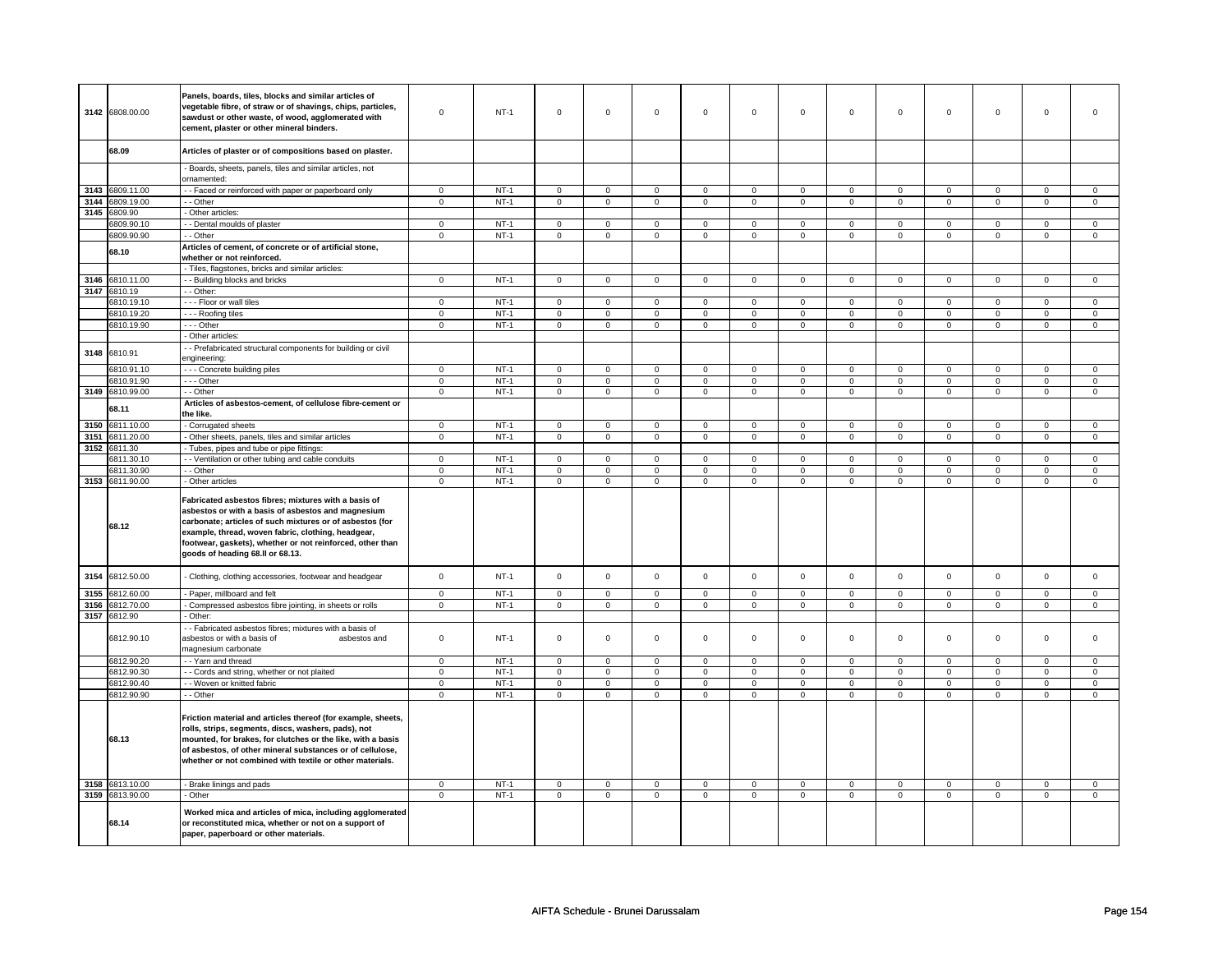|      |                       | Panels, boards, tiles, blocks and similar articles of                                                                                                                                                                                                                                                                         |             |             |                |                |                     |                |                     |                |                     |                |                |                |                |                |
|------|-----------------------|-------------------------------------------------------------------------------------------------------------------------------------------------------------------------------------------------------------------------------------------------------------------------------------------------------------------------------|-------------|-------------|----------------|----------------|---------------------|----------------|---------------------|----------------|---------------------|----------------|----------------|----------------|----------------|----------------|
|      | 3142 6808.00.00       | vegetable fibre, of straw or of shavings, chips, particles,<br>sawdust or other waste, of wood, agglomerated with<br>cement, plaster or other mineral binders.                                                                                                                                                                | $\Omega$    | $NT-1$      | $\mathsf 0$    | $\mathsf 0$    | $\mathsf 0$         | $\mathsf 0$    | $\mathsf 0$         | $\mathsf 0$    | $\mathsf{O}\xspace$ | $\mathsf 0$    | $\mathsf 0$    | $\mathsf 0$    | $\mathsf 0$    | $\Omega$       |
|      |                       |                                                                                                                                                                                                                                                                                                                               |             |             |                |                |                     |                |                     |                |                     |                |                |                |                |                |
|      | 68.09                 | Articles of plaster or of compositions based on plaster.                                                                                                                                                                                                                                                                      |             |             |                |                |                     |                |                     |                |                     |                |                |                |                |                |
|      |                       | Boards, sheets, panels, tiles and similar articles, not<br>ornamented:                                                                                                                                                                                                                                                        |             |             |                |                |                     |                |                     |                |                     |                |                |                |                |                |
| 3143 | 6809.11.00            | - Faced or reinforced with paper or paperboard only                                                                                                                                                                                                                                                                           | $\mathbf 0$ | $NT-1$      | $\mathbf 0$    | $\mathbf 0$    | $\mathbf 0$         | $\mathbf 0$    | $\mathbf 0$         | $\mathbf 0$    | $\mathbf 0$         | $\mathbf 0$    | $\mathbf 0$    | $\mathbf 0$    | $\mathbf 0$    | $\mathbf{0}$   |
| 3144 | 6809.19.00            | - - Other                                                                                                                                                                                                                                                                                                                     | $\mathbf 0$ | $NT-1$      | $\mathbf 0$    | $\overline{0}$ | $\mathbf 0$         | $\overline{0}$ | $\mathbf 0$         | $\overline{0}$ | $\mathsf 0$         | $\overline{0}$ | $\mathbf 0$    | $\overline{0}$ | $\mathbf 0$    | $\overline{0}$ |
| 3145 | 6809.90               | Other articles:                                                                                                                                                                                                                                                                                                               |             |             |                |                |                     |                |                     |                |                     |                |                |                |                |                |
|      | 6809.90.10            | - Dental moulds of plaster                                                                                                                                                                                                                                                                                                    | $\mathsf 0$ | $NT-1$      | $\mathbf 0$    | $\mathsf 0$    | $\mathbf 0$         | $\mathbf 0$    | $\mathbf 0$         | $\mathbf 0$    | $\mathbf 0$         | $\mathbf 0$    | $\mathbf 0$    | $\mathbf 0$    | 0              | $\mathbf 0$    |
|      | 6809.90.90            | - - Other                                                                                                                                                                                                                                                                                                                     | 0           | $NT-1$      | $\mathbf 0$    | $\mathbf 0$    | $\mathbf 0$         | $\mathsf 0$    | $\mathbf 0$         | $\mathsf 0$    | $\mathbf 0$         | $\mathsf 0$    | 0              | $\mathsf 0$    | 0              | $\mathbf 0$    |
|      | 68.10                 | Articles of cement, of concrete or of artificial stone,<br>whether or not reinforced.                                                                                                                                                                                                                                         |             |             |                |                |                     |                |                     |                |                     |                |                |                |                |                |
|      |                       | - Tiles, flagstones, bricks and similar articles:                                                                                                                                                                                                                                                                             |             |             |                |                |                     |                |                     |                |                     |                |                |                |                |                |
| 3146 | 6810.11.00            | - Building blocks and bricks                                                                                                                                                                                                                                                                                                  | $\mathbf 0$ | $NT-1$      | $\mathsf 0$    | $\mathbf 0$    | $\mathsf 0$         | $\mathsf 0$    | $\mathsf 0$         | $\mathsf 0$    | $\mathsf 0$         | $\mathbf 0$    | $\mathsf 0$    | $\mathsf 0$    | $\mathsf 0$    | $\mathbf 0$    |
| 3147 | 6810.19               | - Other:                                                                                                                                                                                                                                                                                                                      |             |             |                |                |                     |                |                     |                |                     |                |                |                |                |                |
|      | 6810.19.10            | --- Floor or wall tiles                                                                                                                                                                                                                                                                                                       | $\mathbf 0$ | $NT-1$      | $\mathbf 0$    | $\mathbf 0$    | $\mathbf 0$         | $\mathbf 0$    | $\mathbf 0$         | $\mathbf 0$    | $\mathbf 0$         | $\mathbf 0$    | $\mathbf 0$    | $\mathbf 0$    | $\mathbf 0$    | $\mathbf{0}$   |
|      | 6810.19.20            | - - - Roofing tiles                                                                                                                                                                                                                                                                                                           | $\mathbf 0$ | $NT-1$      | $\mathsf 0$    | $\mathsf 0$    | $\Omega$            | $\mathsf 0$    | $\mathsf 0$         | $\mathsf 0$    | $\mathbf 0$         | $\mathsf 0$    | $\mathbf 0$    | $\mathbf 0$    | $\mathbf 0$    | $\mathsf 0$    |
|      | 6810.19.90            | --- Other                                                                                                                                                                                                                                                                                                                     | $\mathbf 0$ | $NT-1$      | $\mathsf 0$    | $\mathbf 0$    | $\mathsf{O}\xspace$ | $\mathsf 0$    | $\mathsf{O}\xspace$ | $\mathsf 0$    | $\mathsf{O}\xspace$ | $\mathsf 0$    | $\mathbf 0$    | $\mathsf 0$    | $\mathsf 0$    | $\mathbf 0$    |
|      |                       | - Other articles:                                                                                                                                                                                                                                                                                                             |             |             |                |                |                     |                |                     |                |                     |                |                |                |                |                |
| 3148 | 6810.91               | - Prefabricated structural components for building or civil<br>engineering:                                                                                                                                                                                                                                                   |             |             |                |                |                     |                |                     |                |                     |                |                |                |                |                |
|      | 6810.91.10            | --- Concrete building piles                                                                                                                                                                                                                                                                                                   | $\mathsf 0$ | $NT-1$      | $\mathbf 0$    | $\mathbf 0$    | $\mathbf 0$         | $\mathbf 0$    | $\mathbf 0$         | $\mathbf 0$    | $\mathbf 0$         | $\mathbf 0$    | $\mathbf 0$    | $\mathbf 0$    | $\mathbf 0$    | $\mathbf 0$    |
|      | 6810.91.90            | $\overline{\cdots}$ - Other                                                                                                                                                                                                                                                                                                   | $\mathbf 0$ | $NT-1$      | 0              | 0              | $\mathbf 0$         | $\mathbf 0$    | $\mathbf 0$         | $\mathbf 0$    | 0                   | $\mathbf 0$    | 0              | $\mathbf 0$    | $\mathbf 0$    | $\mathbf 0$    |
| 3149 | 6810.99.00            | - Other                                                                                                                                                                                                                                                                                                                       | $\mathbf 0$ | $NT-1$      | $\overline{0}$ | $\overline{0}$ | $\overline{0}$      | $\overline{0}$ | $\overline{0}$      | $\overline{0}$ | $\mathsf 0$         | $\overline{0}$ | $\overline{0}$ | $\overline{0}$ | $\overline{0}$ | $\overline{0}$ |
|      | 68.11                 | Articles of asbestos-cement, of cellulose fibre-cement or<br>the like.                                                                                                                                                                                                                                                        |             |             |                |                |                     |                |                     |                |                     |                |                |                |                |                |
| 3150 | 6811.10.00            | - Corrugated sheets                                                                                                                                                                                                                                                                                                           | $\mathbf 0$ | $NT-1$      | $\mathbf 0$    | $\mathbf 0$    | $\mathbf 0$         | $\mathbf 0$    | $\mathbf 0$         | $\mathbf 0$    | $\mathbf 0$         | $\mathbf 0$    | $\mathbf 0$    | $\mathbf 0$    | $\mathbf 0$    | $\mathsf 0$    |
| 3151 | 6811.20.00            | - Other sheets, panels, tiles and similar articles                                                                                                                                                                                                                                                                            | $\mathbf 0$ | <b>NT-1</b> | 0              | $\mathbf 0$    | $\mathbf 0$         | $\mathbf 0$    | 0                   | $\mathbf 0$    | 0                   | $\mathbf 0$    | 0              | $\mathbf 0$    | $\mathbf 0$    | $\mathbf 0$    |
| 3152 | 6811.30               | Tubes, pipes and tube or pipe fittings:                                                                                                                                                                                                                                                                                       |             |             |                |                |                     |                |                     |                |                     |                |                |                |                |                |
|      | 6811.30.10            | - Ventilation or other tubing and cable conduits                                                                                                                                                                                                                                                                              | $\mathbf 0$ | $NT-1$      | $\mathbf 0$    | $\mathsf 0$    | $\mathbf 0$         | $\mathbf 0$    | $\mathbf 0$         | $\mathbf 0$    | $\mathbf 0$         | $\mathbf 0$    | $\mathbf 0$    | $\mathbf 0$    | $\mathbf 0$    | $\mathbf{0}$   |
|      | 6811.30.90            | - Other                                                                                                                                                                                                                                                                                                                       | $\mathbf 0$ | $NT-1$      | $\mathbf 0$    | $\mathsf 0$    | $\mathbf 0$         | $\mathbf 0$    | $\mathbf 0$         | $\mathbf 0$    | $\mathsf 0$         | $\mathbf 0$    | $\mathbf 0$    | $\mathbf 0$    | $\mathbf 0$    | $\mathbf 0$    |
|      | 3153 6811.90.00       | - Other articles                                                                                                                                                                                                                                                                                                              | $\mathsf 0$ | $NT-1$      | $\mathsf 0$    | $\mathsf 0$    | $\mathbf 0$         | $\mathbf 0$    | $\mathsf 0$         | $\mathsf 0$    | $\mathsf{O}\xspace$ | $\mathsf 0$    | $\mathsf 0$    | $\mathsf 0$    | $\mathsf 0$    | $\mathbf 0$    |
|      | 68.12                 | Fabricated asbestos fibres; mixtures with a basis of<br>asbestos or with a basis of asbestos and magnesium<br>carbonate; articles of such mixtures or of asbestos (for<br>example, thread, woven fabric, clothing, headgear,<br>footwear, gaskets), whether or not reinforced, other than<br>goods of heading 68.II or 68.13. |             |             |                |                |                     |                |                     |                |                     |                |                |                |                |                |
| 3154 |                       |                                                                                                                                                                                                                                                                                                                               |             |             |                |                |                     |                |                     |                |                     |                |                |                |                |                |
|      | 6812.50.00            | Clothing, clothing accessories, footwear and headgear                                                                                                                                                                                                                                                                         | $\mathsf 0$ | $NT-1$      | $\mathsf 0$    | $\mathsf 0$    | $\mathsf 0$         | $\mathsf 0$    | $\mathsf 0$         | $\mathsf 0$    | $\mathsf{O}\xspace$ | $\mathsf 0$    | $\mathsf 0$    | $\mathsf 0$    | $\mathsf 0$    | $\mathsf 0$    |
| 3155 | 6812.60.00            | - Paper, millboard and felt                                                                                                                                                                                                                                                                                                   | $\Omega$    | $NT-1$      | $\mathsf 0$    | $\mathsf 0$    | $\Omega$            | $\mathsf 0$    | $\Omega$            | $\mathsf 0$    | $\Omega$            | $\mathsf 0$    | $\Omega$       | $\mathsf 0$    | $\Omega$       | $\mathsf 0$    |
|      | 3156 6812.70.00       | - Compressed asbestos fibre jointing, in sheets or rolls                                                                                                                                                                                                                                                                      | $\mathbf 0$ | $NT-1$      | $\mathbf 0$    | $\mathsf 0$    | $\mathbf 0$         | $\mathbf 0$    | $\mathbf 0$         | $\mathbf 0$    | $\mathbf 0$         | $\mathbf 0$    | $\mathbf 0$    | $\mathbf 0$    | 0              | $\mathbf 0$    |
| 3157 | 6812.90<br>6812.90.10 | Other:<br>- Fabricated asbestos fibres; mixtures with a basis of<br>asbestos or with a basis of<br>asbestos and<br>magnesium carbonate                                                                                                                                                                                        | $\mathbf 0$ | $NT-1$      | $\mathsf 0$    | $\mathsf 0$    | $\mathbf 0$         | $\mathbf 0$    | $\mathsf 0$         | $\mathbf 0$    | $\mathsf 0$         | $\mathbf 0$    | $\mathsf 0$    | $\mathbf 0$    | $\mathbf 0$    | $\mathsf 0$    |
|      | 6812.90.20            | - - Yarn and thread                                                                                                                                                                                                                                                                                                           | $\mathsf 0$ | $NT-1$      | $\mathbf 0$    | $\mathsf 0$    | $\mathbf 0$         | $\mathbf 0$    | $\mathbf 0$         | $\mathbf 0$    | $\mathbf 0$         | $\mathbf 0$    | $\mathbf 0$    | $\mathbf 0$    | 0              | $\mathbf{0}$   |
|      | 6812.90.30            | - Cords and string, whether or not plaited                                                                                                                                                                                                                                                                                    | $\mathbf 0$ | $NT-1$      | $\mathbf 0$    | $\mathbf 0$    | $\mathbf 0$         | $\mathbf 0$    | $\mathbf 0$         | $\mathbf 0$    | $\mathbf 0$         | $\mathbf 0$    | $\mathbf 0$    | $\mathbf 0$    | 0              | $\mathsf 0$    |
|      | 6812.90.40            | - Woven or knitted fabric                                                                                                                                                                                                                                                                                                     | $\mathbf 0$ | $NT-1$      | $\overline{0}$ | $\overline{0}$ | $\mathsf 0$         | $\overline{0}$ | $\overline{0}$      | $\overline{0}$ | $\mathsf 0$         | $\overline{0}$ | $\overline{0}$ | $\overline{0}$ | $\mathsf 0$    | $\overline{0}$ |
|      | 6812.90.90            | - - Other                                                                                                                                                                                                                                                                                                                     | $\mathbf 0$ | $NT-1$      | $\mathbf 0$    | $\mathsf 0$    | $\mathbf 0$         | $\mathbf 0$    | $\mathbf 0$         | $\mathbf 0$    | $\mathbf 0$         | $\mathbf 0$    | $\mathbf 0$    | $\mathbf 0$    | $\mathbf 0$    | $\mathbf 0$    |
|      | 68.13                 | Friction material and articles thereof (for example, sheets,<br>rolls, strips, segments, discs, washers, pads), not<br>mounted, for brakes, for clutches or the like, with a basis<br>of asbestos, of other mineral substances or of cellulose,<br>whether or not combined with textile or other materials.                   |             |             |                |                |                     |                |                     |                |                     |                |                |                |                |                |
|      | 3158 6813.10.00       | - Brake linings and pads                                                                                                                                                                                                                                                                                                      | $\mathbf 0$ | $NT-1$      | $\mathbf 0$    | $\mathsf 0$    | $\mathbf 0$         | $\mathbf 0$    | $\mathsf 0$         | $\mathbf 0$    | $\mathbf 0$         | $\mathbf 0$    | $\mathsf 0$    | $\mathbf 0$    | 0              | 0              |
|      | 3159 6813.90.00       | - Other                                                                                                                                                                                                                                                                                                                       | $\mathsf 0$ | $NT-1$      | $\mathsf 0$    | $\mathbf 0$    | $\mathsf 0$         | $\mathsf 0$    | $\mathsf 0$         | $\mathsf 0$    | $\mathsf 0$         | $\mathsf 0$    | $\mathsf 0$    | $\mathsf 0$    | $\mathbf 0$    | $\mathbf 0$    |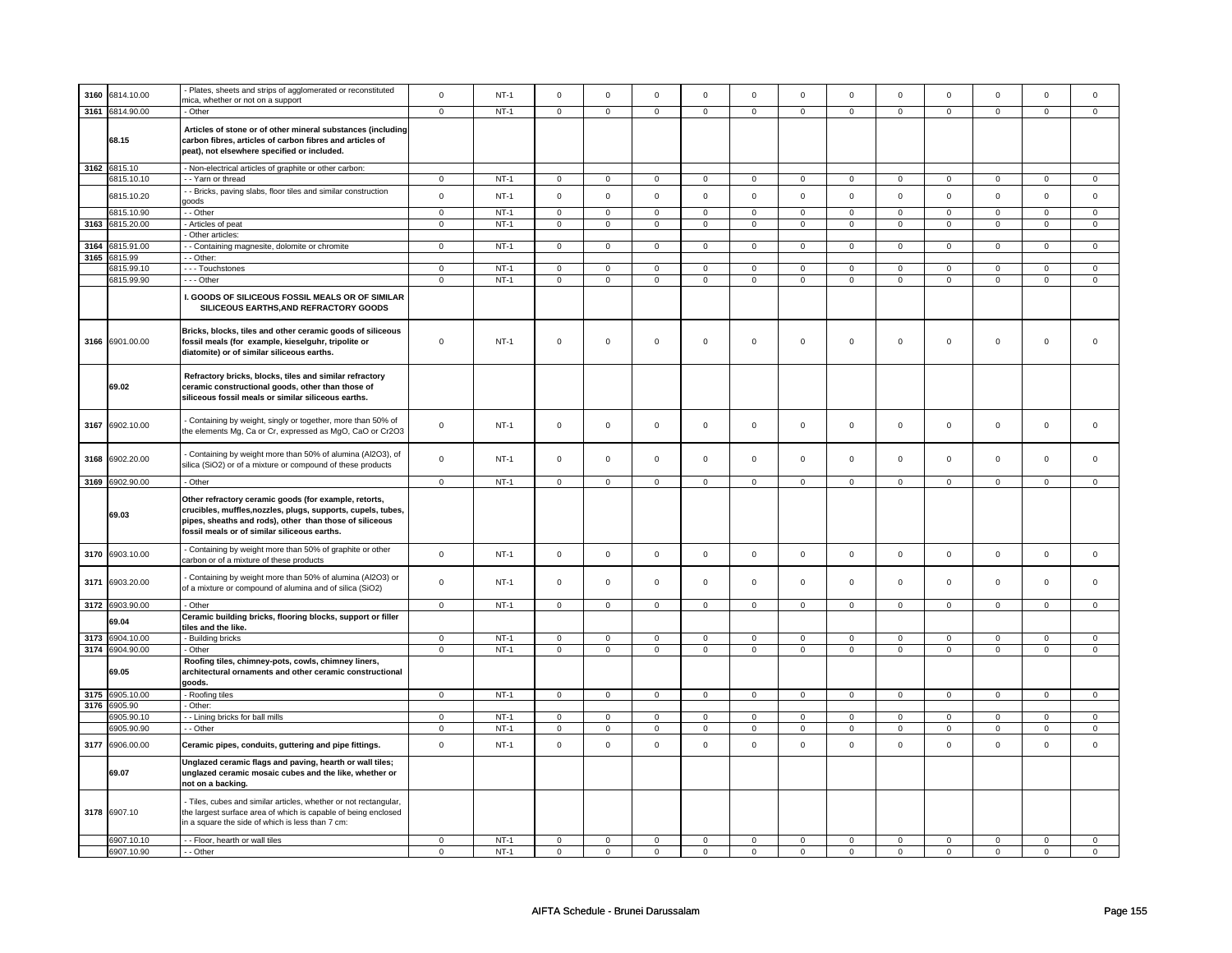| 3160 | 6814.10.00               | Plates, sheets and strips of agglomerated or reconstituted                                                                                                                                                                       | $\mathsf 0$      | $NT-1$           | $\mathsf 0$                | $\mathsf 0$      | $\mathbf 0$                | $\Omega$       | $\mathsf 0$         | $\mathsf{o}$               | $\mathsf 0$                | $\mathsf 0$             | $\mathsf 0$             | $\mathbf 0$                | $\Omega$                | $\mathsf 0$         |
|------|--------------------------|----------------------------------------------------------------------------------------------------------------------------------------------------------------------------------------------------------------------------------|------------------|------------------|----------------------------|------------------|----------------------------|----------------|---------------------|----------------------------|----------------------------|-------------------------|-------------------------|----------------------------|-------------------------|---------------------|
|      | 3161 6814.90.00          | mica, whether or not on a support<br>- Other                                                                                                                                                                                     | $\overline{0}$   | $NT-1$           | $\overline{0}$             | $\overline{0}$   | $\overline{0}$             |                | $\overline{0}$      | $\overline{0}$             | $\overline{0}$             | $\overline{0}$          | $\overline{0}$          | $\overline{0}$             |                         | $\overline{0}$      |
|      |                          |                                                                                                                                                                                                                                  |                  |                  |                            |                  |                            | $\mathbf 0$    |                     |                            |                            |                         |                         |                            | 0                       |                     |
|      | 68.15                    | Articles of stone or of other mineral substances (including<br>carbon fibres, articles of carbon fibres and articles of<br>peat), not elsewhere specified or included.                                                           |                  |                  |                            |                  |                            |                |                     |                            |                            |                         |                         |                            |                         |                     |
|      | 3162 6815.10             | - Non-electrical articles of graphite or other carbon:                                                                                                                                                                           |                  |                  |                            |                  |                            |                |                     |                            |                            |                         |                         |                            |                         |                     |
|      | 6815.10.10               | - - Yarn or thread                                                                                                                                                                                                               | 0                | $NT-1$           | $\mathbf 0$                | $\mathbf 0$      | $\mathbf{0}$               | $^{\circ}$     | 0                   | $\mathbf{0}$               | $\mathbf{0}$               | $\mathbf 0$             | 0                       | $\mathbf 0$                | 0                       | $\mathbf 0$         |
|      | 6815.10.20               | - Bricks, paving slabs, floor tiles and similar construction<br>goods                                                                                                                                                            | $\mathbf 0$      | $NT-1$           | $\mathbf 0$                | $\mathbf 0$      | $\mathbf 0$                | $\mathbf 0$    | $\mathbf 0$         | $\mathbf 0$                | $\mathbf 0$                | $\mathbf 0$             | $\Omega$                | $\mathbf 0$                | $\Omega$                | $\mathsf 0$         |
|      | 6815.10.90               | $-$ Other                                                                                                                                                                                                                        | $\mathbf 0$      | $NT-1$           | $\mathbf 0$                | $\mathbf 0$      | $\mathbf{0}$               | $\mathbf 0$    | $\mathbf 0$         | $\mathbf 0$                | $\mathbf 0$                | $\mathbf 0$             | 0                       | $\mathbf{0}$               | 0                       | $\mathbf 0$         |
| 3163 | 6815.20.00               | - Articles of peat                                                                                                                                                                                                               | $\mathbf{0}$     | $NT-1$           | $\mathbf 0$                | $\mathbf{0}$     | $\mathsf 0$                | $\mathbf 0$    | $\mathbf 0$         | $\mathbf{0}$               | $\mathbf{0}$               | $\Omega$                | $\mathbf 0$             | $\mathbf 0$                | $\mathbf 0$             | $\mathbf 0$         |
|      |                          | - Other articles:                                                                                                                                                                                                                |                  |                  |                            |                  |                            |                |                     |                            |                            |                         |                         |                            |                         |                     |
| 3164 | 6815.91.00               | - - Containing magnesite, dolomite or chromite                                                                                                                                                                                   | $\mathbf{0}$     | $NT-1$           | $\mathbf 0$                | $\mathbf{0}$     | $\mathsf 0$                | $\mathbf{0}$   | $\mathbf{0}$        | $\overline{0}$             | $\overline{0}$             | $\mathbf{0}$            | $\mathbf{0}$            | $\mathbf 0$                | $\mathbf 0$             | $\mathbf{0}$        |
|      | 3165 6815.99             | - - Other:                                                                                                                                                                                                                       |                  |                  |                            |                  |                            |                |                     |                            |                            |                         |                         |                            |                         |                     |
|      | 6815.99.10               | --- Touchstones                                                                                                                                                                                                                  | $\mathbf 0$      | $NT-1$           | $\mathbf 0$                | $\mathbf 0$      | $\mathsf 0$                | $\mathbf 0$    | $\mathbf{0}$        | $\mathbf 0$                | $\mathbf 0$                | $\mathbf 0$             | $\mathbf 0$             | $\mathsf 0$                | $\mathbf 0$             | $\mathbf{0}$        |
|      | 6815.99.90               | $--$ Other                                                                                                                                                                                                                       | $\mathbf 0$      | $NT-1$           | $\mathbf 0$                | $\mathbf{0}$     | $\overline{0}$             | $\overline{0}$ | $\overline{0}$      | $\mathbf{0}$               | $\mathbf{0}$               | $\mathbf 0$             | $\mathbf{0}$            | $\overline{0}$             | $\mathbf{0}$            | $\mathbf 0$         |
|      |                          | I. GOODS OF SILICEOUS FOSSIL MEALS OR OF SIMILAR<br>SILICEOUS EARTHS.AND REFRACTORY GOODS                                                                                                                                        |                  |                  |                            |                  |                            |                |                     |                            |                            |                         |                         |                            |                         |                     |
|      | 3166 6901.00.00          | Bricks, blocks, tiles and other ceramic goods of siliceous<br>fossil meals (for example, kieselguhr, tripolite or<br>diatomite) or of similar siliceous earths.                                                                  | $\mathsf 0$      | $NT-1$           | $\mathsf 0$                | $\mathbf 0$      | $\mathsf 0$                | $\mathbf 0$    | $\mathbf 0$         | $\mathsf 0$                | $\mathsf 0$                | $\mathsf 0$             | $\mathbf 0$             | $\mathsf 0$                | $\mathsf 0$             | $\mathsf 0$         |
|      | 69.02                    | Refractory bricks, blocks, tiles and similar refractory<br>ceramic constructional goods, other than those of<br>siliceous fossil meals or similar siliceous earths.                                                              |                  |                  |                            |                  |                            |                |                     |                            |                            |                         |                         |                            |                         |                     |
|      | 3167 6902.10.00          | - Containing by weight, singly or together, more than 50% of<br>the elements Mg, Ca or Cr, expressed as MgO, CaO or Cr2O3                                                                                                        | $\mathsf 0$      | $NT-1$           | $\mathbf 0$                | $\mathbf 0$      | $\mathsf 0$                | $\mathbf 0$    | $\mathsf 0$         | $\mathbf 0$                | $\mathbf 0$                | $\mathbf 0$             | $\mathbf{0}$            | $\mathsf 0$                | $\Omega$                | $\mathsf 0$         |
| 3168 | 6902.20.00               | - Containing by weight more than 50% of alumina (Al2O3), of<br>silica (SiO2) or of a mixture or compound of these products                                                                                                       | $\mathsf 0$      | $NT-1$           | $\mathbf 0$                | $\mathbf 0$      | $\mathbf 0$                | $\mathbf 0$    | $\mathsf 0$         | $\mathbf 0$                | $\mathbf 0$                | $\mathbf 0$             | $\mathbf 0$             | $\mathbf 0$                | $\mathbf 0$             | 0                   |
|      | 3169 6902.90.00          | - Other                                                                                                                                                                                                                          | $\mathbf 0$      | $NT-1$           | $\mathbf 0$                | $\mathbf 0$      | $\mathsf 0$                | $\mathbf 0$    | $\mathbf 0$         | $\mathbf 0$                | $\mathbf{0}$               | $\mathbf 0$             | 0                       | $\mathbf 0$                | $\mathbf 0$             | $\mathbf{0}$        |
|      | 69.03                    | Other refractory ceramic goods (for example, retorts,<br>crucibles, muffles, nozzles, plugs, supports, cupels, tubes,<br>pipes, sheaths and rods), other than those of siliceous<br>fossil meals or of similar siliceous earths. |                  |                  |                            |                  |                            |                |                     |                            |                            |                         |                         |                            |                         |                     |
| 3170 | 6903.10.00               | - Containing by weight more than 50% of graphite or other<br>carbon or of a mixture of these products                                                                                                                            | $\mathsf 0$      | $NT-1$           | $\mathsf 0$                | $\mathsf 0$      | $\mathsf 0$                | $\mathbf 0$    | $\mathbf 0$         | $\mathbf 0$                | $\mathsf 0$                | $\mathsf 0$             | $\mathbf 0$             | $\mathbf 0$                | $\mathbf 0$             | $\mathbf 0$         |
| 3171 | 6903.20.00               | - Containing by weight more than 50% of alumina (Al2O3) or<br>of a mixture or compound of alumina and of silica (SiO2)                                                                                                           | $\mathbf 0$      | $NT-1$           | $\Omega$                   | $\Omega$         | $\mathbf 0$                | $\Omega$       | $\mathbf 0$         | $\mathsf 0$                | $\Omega$                   | $\Omega$                | $\Omega$                | $\mathbf 0$                | $\Omega$                | $\Omega$            |
|      | 3172 6903.90.00          | - Other                                                                                                                                                                                                                          | $\mathbf{0}$     | $NT-1$           | $\mathbf 0$                | $\mathbf{0}$     | $\circ$                    | $\mathbf 0$    | $\mathbf{0}$        | $\mathbf{0}$               | $\mathbf{0}$               | $\mathbf 0$             | $\mathbf 0$             | $\mathbf{0}$               | $\mathbf 0$             | $\mathbf{0}$        |
|      | 69.04                    | Ceramic building bricks, flooring blocks, support or filler<br>tiles and the like.                                                                                                                                               |                  |                  |                            |                  |                            |                |                     |                            |                            |                         |                         |                            |                         |                     |
|      | 3173 6904.10.00          | - Building bricks                                                                                                                                                                                                                | $\mathbf 0$      | $NT-1$           | $\mathbf 0$                | $\mathsf 0$      | $\mathsf 0$                | $\mathbf 0$    | $\mathsf 0$         | $\mathbf 0$                | $\mathbf 0$                | $\mathbf 0$             | $\Omega$                | $\mathbf 0$                | $\mathbf 0$             | $\mathsf 0$         |
|      | 3174 6904.90.00          | - Other                                                                                                                                                                                                                          | $\mathbf{0}$     | $NT-1$           | $\mathbf 0$                | $\mathbf{0}$     | $\mathbf{0}$               | $\mathbf 0$    | $\mathsf{O}\xspace$ | $\mathsf{O}\xspace$        | $\mathbf{0}$               | $\mathbf 0$             | $\mathbf{0}$            | $\mathbf{0}$               | $\mathbf 0$             | $\mathsf{O}\xspace$ |
|      |                          |                                                                                                                                                                                                                                  |                  |                  |                            |                  |                            |                |                     |                            |                            |                         |                         |                            |                         |                     |
|      | 69.05                    | Roofing tiles, chimney-pots, cowls, chimney liners,<br>architectural ornaments and other ceramic constructional<br>goods.                                                                                                        |                  |                  |                            |                  |                            |                |                     |                            |                            |                         |                         |                            |                         |                     |
|      | 3175 6905.10.00          | - Roofing tiles                                                                                                                                                                                                                  | $\mathbf 0$      | $NT-1$           | $\mathsf 0$                | $\mathbf 0$      | $\mathsf{O}$               | $\mathsf 0$    | $\mathsf{O}$        | $\mathbf 0$                | $\mathsf{O}$               | $\Omega$                | $\mathsf{O}\xspace$     | $\mathsf 0$                | $\mathsf 0$             | $\mathbf 0$         |
| 3176 | 6905.90                  | - Other:                                                                                                                                                                                                                         |                  |                  |                            |                  |                            |                |                     |                            |                            |                         |                         |                            |                         |                     |
|      | 6905.90.10               | - - Lining bricks for ball mills                                                                                                                                                                                                 | $\mathbf 0$      | $NT-1$           | $\mathbf 0$                | $\mathbf 0$      | $\mathsf 0$                | $\mathbf 0$    | $\mathsf 0$         | $\mathbf{0}$               | $\mathbf 0$                | $\mathbf 0$             | $\mathbf 0$             | $\mathbf 0$                | $\mathsf 0$             | $\mathsf 0$         |
|      | 6905.90.90               | - - Other                                                                                                                                                                                                                        | $\mathsf 0$      | $NT-1$           | $\mathbf 0$                | $\mathbf 0$      | $\mathsf 0$                | $\mathbf 0$    | $\mathsf 0$         | $\mathsf 0$                | $\mathsf 0$                | $\mathsf 0$             | $\mathbf 0$             | $\mathbf 0$                | $\mathbf 0$             | $\mathbf 0$         |
| 3177 | 6906.00.00               | Ceramic pipes, conduits, guttering and pipe fittings.                                                                                                                                                                            | $\mathsf 0$      | $NT-1$           | $\mathsf 0$                | $\mathbf 0$      | $\mathbf 0$                | $\mathbf 0$    | $\mathsf 0$         | $\mathsf 0$                | $\mathsf 0$                | $\mathsf 0$             | $\mathsf 0$             | $\mathbf 0$                | $\mathbf 0$             | $\mathsf 0$         |
|      | 69.07                    | Unglazed ceramic flags and paving, hearth or wall tiles;<br>unglazed ceramic mosaic cubes and the like, whether or<br>not on a backing.                                                                                          |                  |                  |                            |                  |                            |                |                     |                            |                            |                         |                         |                            |                         |                     |
|      | 3178 6907.10             | - Tiles, cubes and similar articles, whether or not rectangular,<br>the largest surface area of which is capable of being enclosed<br>in a square the side of which is less than 7 cm:                                           |                  |                  |                            |                  |                            |                |                     |                            |                            |                         |                         |                            |                         |                     |
|      | 6907.10.10<br>6907.10.90 | - - Floor, hearth or wall tiles<br>- - Other                                                                                                                                                                                     | 0<br>$\mathbf 0$ | $NT-1$<br>$NT-1$ | $\mathbf 0$<br>$\mathbf 0$ | 0<br>$\mathbf 0$ | $\mathsf 0$<br>$\mathbf 0$ | $\mathbf 0$    | 0<br>$\mathbf 0$    | $\mathbf 0$<br>$\mathbf 0$ | $\mathbf 0$<br>$\mathbf 0$ | $\mathbf 0$<br>$\Omega$ | $\mathbf 0$<br>$\Omega$ | $\mathbf 0$<br>$\mathbf 0$ | $\mathbf 0$<br>$\Omega$ | 0<br>$\mathsf 0$    |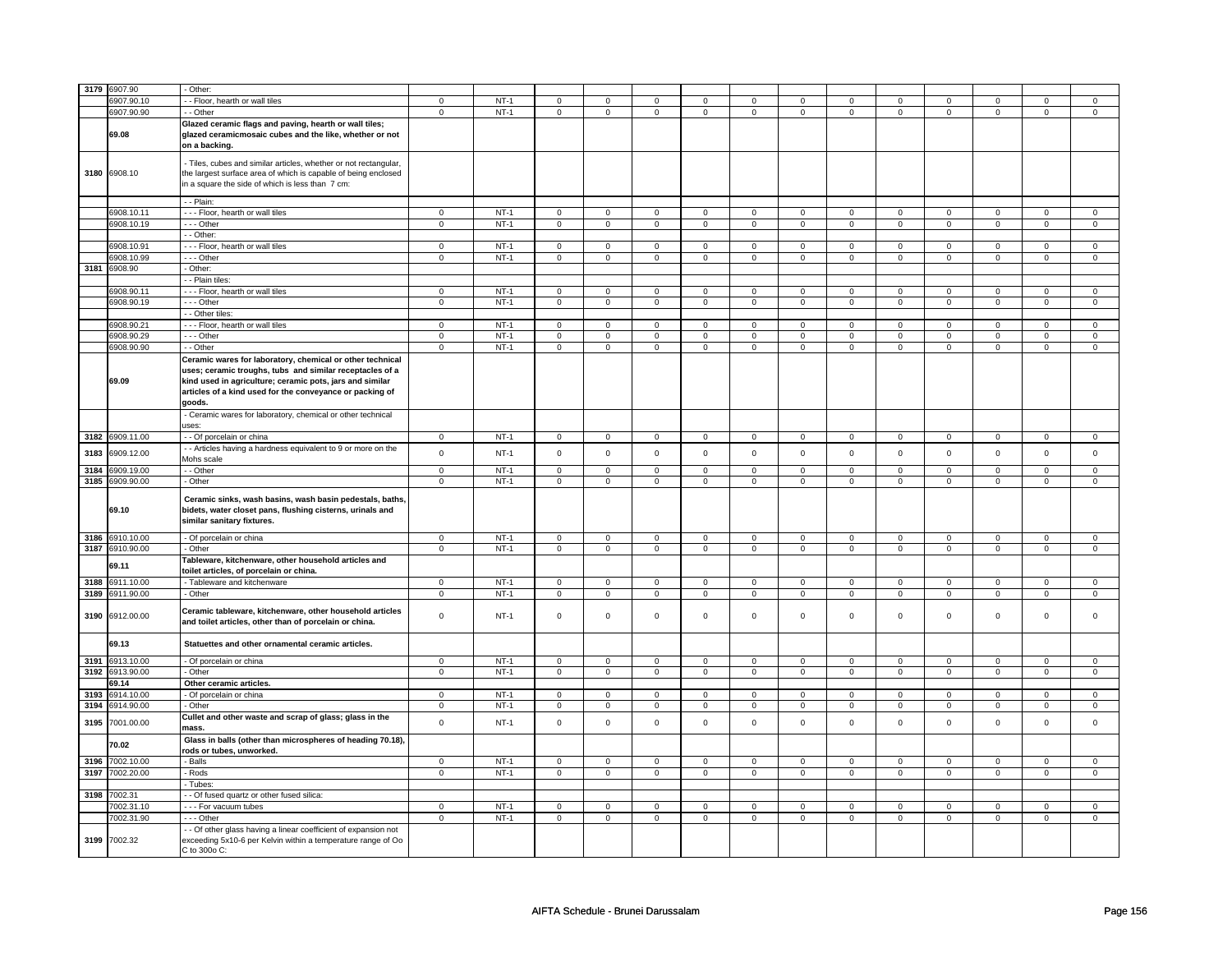| 3179         | 6907.90                  | - Other:                                                                                                                                                                                                                                                |                               |                  |                |                               |                            |                               |                            |                            |                            |                            |                            |                            |                         |                            |
|--------------|--------------------------|---------------------------------------------------------------------------------------------------------------------------------------------------------------------------------------------------------------------------------------------------------|-------------------------------|------------------|----------------|-------------------------------|----------------------------|-------------------------------|----------------------------|----------------------------|----------------------------|----------------------------|----------------------------|----------------------------|-------------------------|----------------------------|
|              | 3907.90.10               | - Floor, hearth or wall tiles                                                                                                                                                                                                                           |                               | $NT-1$           |                |                               |                            |                               |                            |                            |                            |                            |                            |                            | $\mathbf 0$             |                            |
|              |                          |                                                                                                                                                                                                                                                         | $\mathbf 0$                   |                  | $\mathbf 0$    | $\mathbf 0$                   | $\mathbf 0$                | $\mathbf 0$                   | $\mathbf 0$                | 0                          | 0                          | 0                          | 0                          | 0                          |                         | 0                          |
|              | 6907.90.90               | - Other                                                                                                                                                                                                                                                 | $\overline{0}$                | $NT-1$           | $\overline{0}$ | $\overline{0}$                | $\mathsf 0$                | $\overline{0}$                | $\mathsf 0$                | $\overline{0}$             | $\mathsf 0$                | $\overline{0}$             | $\mathbf 0$                | $\overline{0}$             | $\mathsf 0$             | $\overline{0}$             |
|              | 69.08                    | Glazed ceramic flags and paving, hearth or wall tiles;<br>glazed ceramicmosaic cubes and the like, whether or not<br>on a backing.                                                                                                                      |                               |                  |                |                               |                            |                               |                            |                            |                            |                            |                            |                            |                         |                            |
|              | 3180 6908.10             | - Tiles, cubes and similar articles, whether or not rectangular,<br>the largest surface area of which is capable of being enclosed<br>in a square the side of which is less than 7 cm:                                                                  |                               |                  |                |                               |                            |                               |                            |                            |                            |                            |                            |                            |                         |                            |
|              |                          | - - Plain:                                                                                                                                                                                                                                              |                               |                  |                |                               |                            |                               |                            |                            |                            |                            |                            |                            |                         |                            |
|              | 6908.10.11               | --- Floor, hearth or wall tiles                                                                                                                                                                                                                         | $\mathsf 0$                   | $NT-1$           | $\mathbf 0$    | $\mathbf 0$                   | $\mathbf{0}$               | $\mathbf 0$                   | $\mathbf{0}$               | $\mathbf 0$                | $\mathbf{O}$               | $\mathbf 0$                | $\mathbf{0}$               | $\mathbf{0}$               | $\mathbf 0$             | $\mathbf 0$                |
|              | 6908.10.19               | --- Other                                                                                                                                                                                                                                               | $\overline{0}$                | $NT-1$           | $\overline{0}$ | $\overline{0}$                | $\overline{0}$             | $\overline{0}$                | $\mathsf 0$                | $\overline{0}$             | $\mathbf 0$                | $\overline{0}$             | $\overline{0}$             | $\overline{0}$             | $\overline{0}$          | $\overline{0}$             |
|              |                          | - - Other:                                                                                                                                                                                                                                              |                               |                  |                |                               |                            |                               |                            |                            |                            |                            |                            |                            |                         |                            |
|              |                          |                                                                                                                                                                                                                                                         |                               |                  |                |                               |                            |                               |                            |                            |                            |                            |                            |                            |                         |                            |
|              | 6908.10.91               | --- Floor, hearth or wall tiles                                                                                                                                                                                                                         | $\mathsf 0$                   | $NT-1$           | $\mathsf 0$    | $\mathbf 0$                   | $\mathbf 0$                | $\mathbf 0$                   | $\mathsf 0$                | $\mathsf 0$                | $\mathbf 0$                | $\mathsf 0$                | $\mathbf 0$                | $\mathbf 0$                | $\mathbf 0$             | 0                          |
|              | 6908.10.99               | --- Other                                                                                                                                                                                                                                               | $\mathbf 0$                   | $NT-1$           | $\mathsf 0$    | $\mathsf 0$                   | 0                          | $\mathsf 0$                   | 0                          | $\mathbf 0$                | 0                          | $\mathbf 0$                | 0                          | $\mathbf 0$                | 0                       | $\mathbf 0$                |
|              | 3181 6908.90             | - Other:                                                                                                                                                                                                                                                |                               |                  |                |                               |                            |                               |                            |                            |                            |                            |                            |                            |                         |                            |
|              |                          | - - Plain tiles:                                                                                                                                                                                                                                        |                               |                  |                |                               |                            |                               |                            |                            |                            |                            |                            |                            |                         |                            |
|              | 6908.90.11               | --- Floor, hearth or wall tiles                                                                                                                                                                                                                         | $\overline{0}$                | $NT-1$           | $\overline{0}$ | $\overline{0}$                | $\overline{0}$             | $\overline{0}$                | $\overline{0}$             | $\overline{0}$             | $\overline{0}$             | $\overline{0}$             | $\overline{0}$             | $\overline{0}$             | $\Omega$                | $\overline{0}$             |
|              | 6908.90.19               | --- Other                                                                                                                                                                                                                                               | $\mathsf 0$                   | $NT-1$           | $\overline{0}$ | $\overline{0}$                | $\mathsf{O}\xspace$        | $\mathsf 0$                   | $\mathsf{O}\xspace$        | $\mathsf 0$                | $\mathsf 0$                | $\overline{0}$             | $\mathsf 0$                | $\overline{0}$             | $\mathsf 0$             | $\overline{0}$             |
|              |                          | - Other tiles:                                                                                                                                                                                                                                          |                               |                  |                |                               |                            |                               |                            |                            |                            |                            |                            |                            |                         |                            |
|              |                          |                                                                                                                                                                                                                                                         |                               |                  |                |                               |                            |                               |                            |                            |                            |                            |                            |                            |                         |                            |
|              | 6908.90.21               | --- Floor, hearth or wall tiles                                                                                                                                                                                                                         | $\mathbf 0$                   | $NT-1$           | $\mathsf 0$    | $\overline{0}$                | $\mathsf 0$                | $\mathbf 0$                   | $\mathbf 0$                | $\overline{0}$             | $\mathbf 0$                | $\mathbf 0$                | $\mathsf 0$                | $\mathbf 0$                | $\Omega$                | $\mathbf 0$                |
|              | 6908.90.29               | --- Other                                                                                                                                                                                                                                               | $\mathbf 0$                   | $NT-1$           | 0              | $\mathsf 0$                   | 0                          | $\mathsf 0$                   | 0                          | $\mathbf 0$                | 0                          | $\mathbf 0$                | 0                          | $\mathbf 0$                | $\Omega$                | $\mathbf 0$                |
|              | 6908.90.90               | - - Other                                                                                                                                                                                                                                               | $\mathbf 0$                   | $NT-1$           | $\mathbf 0$    | $\mathsf 0$                   | $\mathbf{0}$               | $\mathbf 0$                   | $\mathsf 0$                | $\mathbf 0$                | $\mathbf{0}$               | $\mathbf 0$                | $\mathbf 0$                | $\mathbf 0$                | $\mathbf 0$             | $\mathbf{0}$               |
|              | 69.09                    | Ceramic wares for laboratory, chemical or other technical<br>uses; ceramic troughs, tubs and similar receptacles of a<br>kind used in agriculture; ceramic pots, jars and similar<br>articles of a kind used for the conveyance or packing of<br>goods. |                               |                  |                |                               |                            |                               |                            |                            |                            |                            |                            |                            |                         |                            |
|              |                          | - Ceramic wares for laboratory, chemical or other technical<br>uses:                                                                                                                                                                                    |                               |                  |                |                               |                            |                               |                            |                            |                            |                            |                            |                            |                         |                            |
|              | 3182 6909.11.00          | - - Of porcelain or china                                                                                                                                                                                                                               | $\mathbf 0$                   | $NT-1$           | $\overline{0}$ | $\overline{0}$                | $\mathbf 0$                | $\overline{0}$                | $\mathsf 0$                | $\mathbf 0$                | $\mathbf 0$                | $\mathbf 0$                | $\mathbf 0$                | $\overline{0}$             | $\mathbf 0$             | 0                          |
|              |                          | - Articles having a hardness equivalent to 9 or more on the                                                                                                                                                                                             |                               |                  |                |                               |                            |                               |                            |                            |                            |                            |                            |                            |                         |                            |
| 3183<br>3184 | 6909.12.00<br>6909.19.00 | Mohs scale<br>$-$ Other                                                                                                                                                                                                                                 | $\mathsf 0$<br>$\overline{0}$ | $NT-1$<br>$NT-1$ | $\mathsf 0$    | $\mathbf 0$<br>$\overline{0}$ | $\mathsf 0$<br>$\mathbf 0$ | $\mathbf 0$<br>$\overline{0}$ | $\mathsf 0$<br>$\mathsf 0$ | $\mathsf 0$<br>$\mathbf 0$ | $\mathbf 0$<br>$\mathbf 0$ | $\mathsf 0$<br>$\mathbf 0$ | $\mathsf 0$<br>$\mathsf 0$ | $\mathbf 0$<br>$\mathbf 0$ | $\Omega$<br>$\mathsf 0$ | $\mathbf 0$<br>$\mathbf 0$ |
|              |                          |                                                                                                                                                                                                                                                         |                               |                  | $\mathsf 0$    |                               |                            |                               |                            |                            |                            |                            |                            |                            |                         |                            |
| 3185         | 6909.90.00<br>69.10      | - Other<br>Ceramic sinks, wash basins, wash basin pedestals, baths,<br>bidets, water closet pans, flushing cisterns, urinals and<br>similar sanitary fixtures.                                                                                          | $\mathbf 0$                   | $NT-1$           | $\mathbf 0$    | $\mathbf 0$                   | $\mathbf 0$                | $\mathbf 0$                   | $\mathbf 0$                | $\mathbf 0$                | 0                          | $\mathbf 0$                | 0                          | $\mathbf 0$                | 0                       | 0                          |
|              | 3186 6910.10.00          | - Of porcelain or china                                                                                                                                                                                                                                 | $\mathbf 0$                   | $NT-1$           | $\mathsf 0$    | $\mathsf 0$                   | $\mathsf{O}\xspace$        | $\mathsf 0$                   | $\mathsf{O}\xspace$        | $\mathsf{O}$               | $\mathsf 0$                | $\mathsf{O}$               | $\mathsf{O}\xspace$        | $\mathsf{O}$               | $\mathsf 0$             | $\mathsf 0$                |
|              | 3187 6910.90.00          | - Other                                                                                                                                                                                                                                                 | $\mathbf 0$                   | $NT-1$           | 0              | $\mathsf 0$                   | 0                          | $\mathsf 0$                   | 0                          | $\mathbf 0$                | 0                          | $\mathbf 0$                | 0                          | $\mathbf 0$                | 0                       | $\mathbf 0$                |
|              | 69.11                    | Tableware, kitchenware, other household articles and<br>toilet articles, of porcelain or china.                                                                                                                                                         |                               |                  |                |                               |                            |                               |                            |                            |                            |                            |                            |                            |                         |                            |
|              |                          |                                                                                                                                                                                                                                                         |                               |                  |                |                               |                            |                               |                            |                            |                            |                            |                            |                            |                         |                            |
| 3188         | 6911.10.00               | - Tableware and kitchenware                                                                                                                                                                                                                             | $\mathsf 0$                   | $NT-1$           | $\mathsf 0$    | $\mathsf 0$                   | $\mathsf 0$                | $\mathsf 0$                   | $\mathsf 0$                | $\mathbf 0$                | $\mathbf 0$                | $\mathbf 0$                | $\mathsf 0$                | $\mathbf 0$                | $\mathbf 0$             | $\mathbf 0$                |
| 3189         | 6911.90.00               | - Other                                                                                                                                                                                                                                                 | $\mathsf 0$                   | $NT-1$           | $\mathbf 0$    | $\mathbf 0$                   | $\mathsf 0$                | $\mathbf 0$                   | $\mathsf 0$                | $\mathsf 0$                | $\mathbf 0$                | $\mathsf 0$                | $\mathsf 0$                | $\mathbf 0$                | $\mathsf 0$             | 0                          |
|              | 3190 6912.00.00          | Ceramic tableware, kitchenware, other household articles<br>and toilet articles, other than of porcelain or china.                                                                                                                                      | $\mathsf 0$                   | $NT-1$           | $\mathsf 0$    | $\mathsf 0$                   | $\mathsf 0$                | $\mathbf 0$                   | $\mathsf 0$                | $\mathbf 0$                | $\mathbf 0$                | $\mathsf 0$                | $\mathsf 0$                | $\mathbf 0$                | $\mathsf 0$             | 0                          |
|              | 69.13                    | Statuettes and other ornamental ceramic articles.                                                                                                                                                                                                       |                               |                  |                |                               |                            |                               |                            |                            |                            |                            |                            |                            |                         |                            |
| 3191         | 6913.10.00               | - Of porcelain or china                                                                                                                                                                                                                                 | 0                             | $NT-1$           | $\mathbf 0$    | $\mathbf 0$                   | $\mathbf 0$                | $\mathbf 0$                   | 0                          | $\mathbf 0$                | 0                          | $\mathbf 0$                | 0                          | 0                          | 0                       | $\mathbf 0$                |
| 3192         | 6913.90.00               | Other                                                                                                                                                                                                                                                   | $\overline{0}$                | $NT-1$           | $\overline{0}$ | $\overline{0}$                | $\mathbf 0$                | $\overline{0}$                | $\mathbf 0$                | $\overline{0}$             | 0                          | $\overline{0}$             | 0                          | $\overline{0}$             | 0                       | $\overline{0}$             |
|              | 69.14                    | Other ceramic articles.                                                                                                                                                                                                                                 |                               |                  |                |                               |                            |                               |                            |                            |                            |                            |                            |                            |                         |                            |
| 3193         | 6914.10.00               | - Of porcelain or china                                                                                                                                                                                                                                 | $\mathsf 0$                   | $NT-1$           | $\mathbf 0$    | $\mathbf 0$                   | $\mathsf 0$                | $\mathbf 0$                   | $\mathsf 0$                | $\mathbf 0$                | $\mathbf 0$                | $\mathbf 0$                | $\mathsf 0$                | $\mathbf 0$                | $\mathsf 0$             | 0                          |
| 3194         | 6914.90.00               | - Other                                                                                                                                                                                                                                                 | $\mathsf 0$                   | $NT-1$           | $\mathsf 0$    | $\mathsf 0$                   | $\mathsf 0$                | $\mathsf 0$                   | $\mathsf 0$                | $\mathbf 0$                | $\mathbf 0$                | $\mathsf 0$                | $\mathsf 0$                | $\mathbf 0$                | $\mathsf 0$             | 0                          |
| 3195         | 7001.00.00               | Cullet and other waste and scrap of glass; glass in the<br>mass.                                                                                                                                                                                        | $\mathsf 0$                   | $NT-1$           | $\mathsf 0$    | $\mathsf 0$                   | $\mathsf 0$                | $\mathsf 0$                   | $\mathsf 0$                | $\mathsf{O}\xspace$        | $\mathsf 0$                | $\mathsf 0$                | $\mathsf{O}\xspace$        | $\mathsf{O}\xspace$        | $\mathsf{O}\xspace$     | $\mathsf 0$                |
|              | 70.02                    | Glass in balls (other than microspheres of heading 70.18),<br>rods or tubes, unworked.                                                                                                                                                                  |                               |                  |                |                               |                            |                               |                            |                            |                            |                            |                            |                            |                         |                            |
| 3196         | 7002.10.00               | - Balls                                                                                                                                                                                                                                                 | $\mathbf 0$                   | $NT-1$           | $\mathbf 0$    | $\mathbf 0$                   | $\mathbf 0$                | $\overline{0}$                | $\mathbf 0$                | $\mathbf 0$                | $\mathbf 0$                | $\mathbf{0}$               | 0                          | $\mathbf 0$                | 0                       | 0                          |
| 3197         | 7002.20.00               | - Rods                                                                                                                                                                                                                                                  | $\mathsf 0$                   | $NT-1$           | $\mathbf 0$    | $\mathbf 0$                   | $\mathbf 0$                | $\mathbf 0$                   | $\mathbf 0$                | $\mathbf 0$                | $\mathbf 0$                | $\mathbf 0$                | $\mathbf 0$                | $\mathbf 0$                | $\mathbf 0$             | $\mathbf{0}$               |
|              |                          | - Tubes:                                                                                                                                                                                                                                                |                               |                  |                |                               |                            |                               |                            |                            |                            |                            |                            |                            |                         |                            |
| 3198         | 7002.31                  | - Of fused quartz or other fused silica:                                                                                                                                                                                                                |                               |                  |                |                               |                            |                               |                            |                            |                            |                            |                            |                            |                         |                            |
|              |                          |                                                                                                                                                                                                                                                         |                               |                  |                |                               |                            |                               |                            |                            |                            |                            |                            |                            |                         |                            |
|              | 7002.31.10               | - - - For vacuum tubes                                                                                                                                                                                                                                  | $\mathsf 0$                   | $NT-1$           | $\mathbf 0$    | $\mathbf 0$                   | $\mathbf 0$                | $\mathbf 0$                   | $\mathbf 0$                | $\mathsf 0$                | 0                          | $\mathsf 0$                | 0                          | $\mathbf 0$                | $\mathbf 0$             | $\mathbf{0}$               |
| 3199         | 7002.31.90<br>7002.32    | --- Other<br>- Of other glass having a linear coefficient of expansion not<br>exceeding 5x10-6 per Kelvin within a temperature range of Oo                                                                                                              | $\mathbf 0$                   | $NT-1$           | $\mathbf 0$    | $\mathbf 0$                   | $\mathsf 0$                | $\mathbf 0$                   | $\mathbf 0$                | $\mathbf 0$                | 0                          | $\mathbf 0$                | $\mathsf 0$                | $\mathbf 0$                | $\mathsf 0$             | $\mathbf 0$                |
|              |                          | C to 300o C:                                                                                                                                                                                                                                            |                               |                  |                |                               |                            |                               |                            |                            |                            |                            |                            |                            |                         |                            |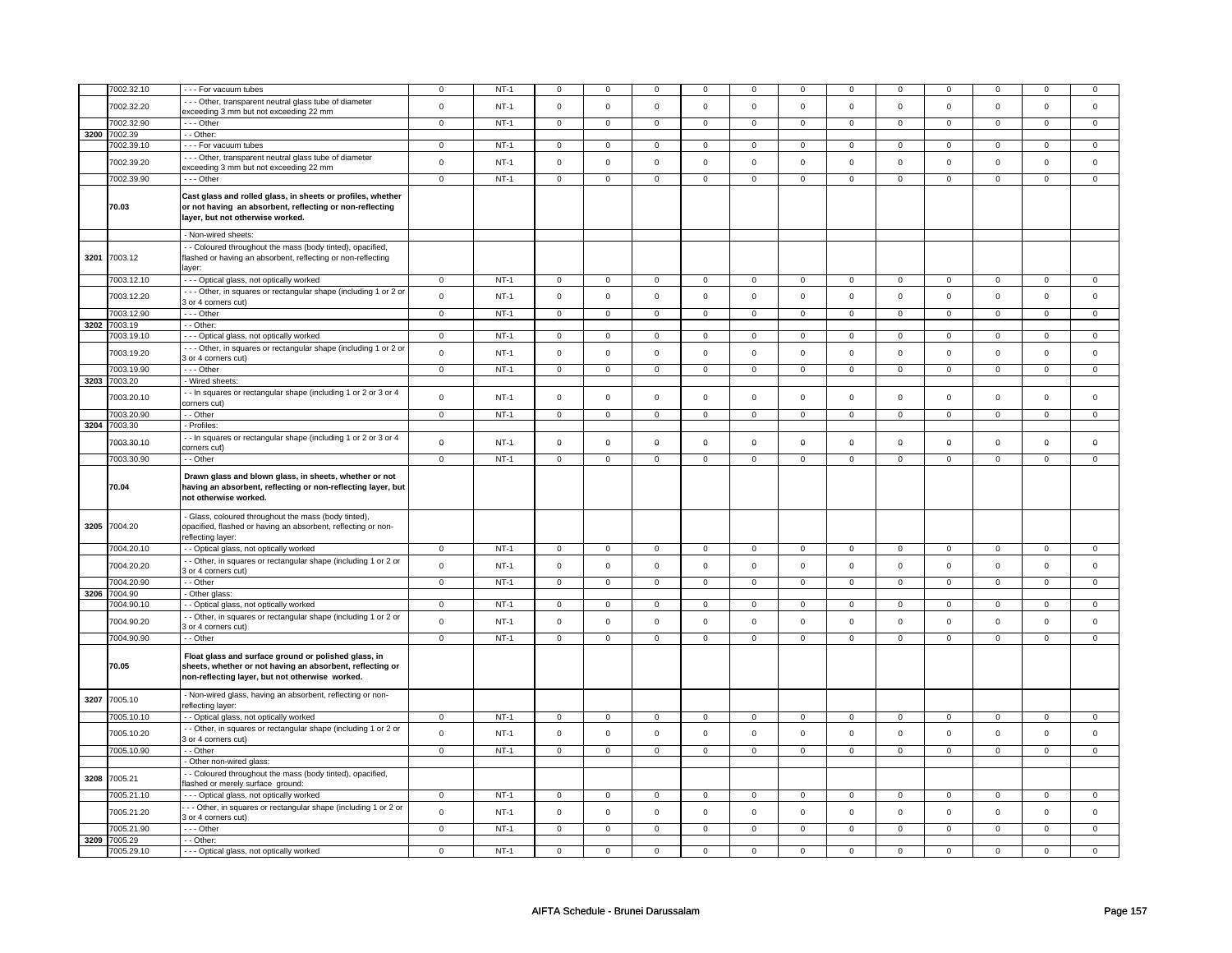|      | 7002.32.10                 | - - - For vacuum tubes                                                                                                                                               | $\mathbf 0$    | $NT-1$ | $\mathbf 0$    | $\mathbf 0$    | 0                   | 0              | 0              | 0              |              | 0                   | $\mathbf 0$         | $\mathbf 0$    |                | $\mathbf 0$    |
|------|----------------------------|----------------------------------------------------------------------------------------------------------------------------------------------------------------------|----------------|--------|----------------|----------------|---------------------|----------------|----------------|----------------|--------------|---------------------|---------------------|----------------|----------------|----------------|
|      |                            | --- Other, transparent neutral glass tube of diameter                                                                                                                |                |        |                |                |                     |                |                |                |              |                     |                     |                |                |                |
|      | 7002.32.20                 | exceeding 3 mm but not exceeding 22 mm                                                                                                                               | $\mathsf 0$    | $NT-1$ | $\mathsf 0$    | $\mathsf 0$    | $\mathsf{O}\xspace$ | $\mathsf 0$    | $\mathsf 0$    | $\mathsf 0$    | $\mathbf 0$  | $\mathbf 0$         | $\mathsf 0$         | $\mathsf 0$    | $\mathsf 0$    | $\mathbf 0$    |
|      | 7002.32.90                 | --- Other                                                                                                                                                            | $\mathbf 0$    | $NT-1$ | $\mathsf 0$    | $\mathsf 0$    | $\mathbf{0}$        | $\mathbf 0$    | $\mathsf 0$    | $\mathbf 0$    | $\mathbf 0$  | $\mathbf 0$         | $\mathsf{O}\xspace$ | $\mathbf 0$    | $\mathsf 0$    | $\overline{0}$ |
| 3200 | 7002.39                    | - - Other:                                                                                                                                                           |                |        |                |                |                     |                |                |                |              |                     |                     |                |                |                |
|      | 7002.39.10                 | - - - For vacuum tubes                                                                                                                                               | $\Omega$       | $NT-1$ | $\mathbf 0$    | $\Omega$       | $\Omega$            | $\mathsf 0$    | $\Omega$       | $\mathsf 0$    | $\Omega$     | $\mathbf{0}$        | $\Omega$            | $\mathbf 0$    | $\Omega$       | $\mathbf 0$    |
|      |                            | --- Other, transparent neutral glass tube of diameter                                                                                                                |                |        |                |                |                     |                |                |                |              |                     |                     |                |                |                |
|      | 7002.39.20                 | exceeding 3 mm but not exceeding 22 mm                                                                                                                               | $\mathbf 0$    | $NT-1$ | $\Omega$       | $\Omega$       | $\mathsf 0$         | $\mathsf 0$    | $\mathbf 0$    | $\mathsf 0$    | $\Omega$     | 0                   | $\Omega$            | $\mathbf 0$    | $\Omega$       | $\mathsf 0$    |
|      | 7002.39.90                 | $- -$ Other                                                                                                                                                          | $\overline{0}$ | $NT-1$ | $\overline{0}$ | $\overline{0}$ | $\mathsf{O}\xspace$ | $\mathsf 0$    | $\mathsf 0$    | $\mathbf 0$    | 0            | $\mathbf 0$         | $\mathsf 0$         | $\overline{0}$ | $\mathsf 0$    | $\overline{0}$ |
|      |                            |                                                                                                                                                                      |                |        |                |                |                     |                |                |                |              |                     |                     |                |                |                |
|      |                            | Cast glass and rolled glass, in sheets or profiles, whether                                                                                                          |                |        |                |                |                     |                |                |                |              |                     |                     |                |                |                |
|      | 70.03                      | or not having an absorbent, reflecting or non-reflecting                                                                                                             |                |        |                |                |                     |                |                |                |              |                     |                     |                |                |                |
|      |                            | layer, but not otherwise worked.                                                                                                                                     |                |        |                |                |                     |                |                |                |              |                     |                     |                |                |                |
|      |                            | - Non-wired sheets:                                                                                                                                                  |                |        |                |                |                     |                |                |                |              |                     |                     |                |                |                |
|      |                            | - - Coloured throughout the mass (body tinted), opacified,                                                                                                           |                |        |                |                |                     |                |                |                |              |                     |                     |                |                |                |
| 3201 | 7003.12                    | flashed or having an absorbent, reflecting or non-reflecting                                                                                                         |                |        |                |                |                     |                |                |                |              |                     |                     |                |                |                |
|      |                            | layer:                                                                                                                                                               |                |        |                |                |                     |                |                |                |              |                     |                     |                |                |                |
|      | 7003.12.10                 | --- Optical glass, not optically worked                                                                                                                              | $\Omega$       | $NT-1$ | $\mathbf 0$    | $\Omega$       | $\Omega$            | 0              | 0              | 0              | $\Omega$     | 0                   | $\Omega$            | $\Omega$       |                | $\Omega$       |
|      |                            |                                                                                                                                                                      |                |        |                |                |                     |                |                |                |              |                     |                     |                |                |                |
|      | 7003.12.20                 | --- Other, in squares or rectangular shape (including 1 or 2 o<br>3 or 4 corners cut)                                                                                | $\mathsf 0$    | $NT-1$ | $\mathsf 0$    | $\mathsf 0$    | $\mathsf{O}\xspace$ | $\mathsf 0$    | $\mathbf 0$    | $\mathsf 0$    | $\mathsf 0$  | $\mathsf 0$         | $\mathsf 0$         | $\mathbf 0$    | $\mathbf 0$    | $\mathbf 0$    |
|      | 7003.12.90                 | --- Other                                                                                                                                                            | $\mathbf 0$    | $NT-1$ | $\mathsf 0$    | $\mathbf 0$    | $\mathsf 0$         | $\mathbf 0$    | $\mathbf 0$    | $\mathsf 0$    | $\mathbf 0$  | 0                   | $\mathbf 0$         | $\mathbf 0$    | $\mathsf 0$    | $\mathbf 0$    |
| 3202 | 7003.19                    | - - Other:                                                                                                                                                           |                |        |                |                |                     |                |                |                |              |                     |                     |                |                |                |
|      | 7003.19.10                 | - - - Optical glass, not optically worked                                                                                                                            | $\overline{0}$ | $NT-1$ | 0              | $\mathbf 0$    | $^{\circ}$          | $\mathbf 0$    | $\mathbf{0}$   | $\mathbf{0}$   | $\mathbf{0}$ | $\overline{0}$      | $\mathbf 0$         | $\overline{0}$ | $^{\circ}$     | $\overline{0}$ |
|      |                            | --- Other, in squares or rectangular shape (including 1 or 2 or                                                                                                      |                |        |                |                |                     |                |                |                |              |                     |                     |                |                |                |
|      | 7003.19.20                 | 3 or 4 corners cut)                                                                                                                                                  | $\mathsf 0$    | $NT-1$ | $\mathsf 0$    | $\mathsf 0$    | $\mathsf{O}\xspace$ | $\mathsf 0$    | $\mathsf 0$    | $\mathsf 0$    | $\mathbf 0$  | $\mathbf 0$         | $\mathbf 0$         | $\mathsf 0$    | $\mathbf 0$    | $\mathsf 0$    |
|      | 7003.19.90                 | --- Other                                                                                                                                                            | $\mathsf 0$    | $NT-1$ | $\overline{0}$ | $\overline{0}$ | $\mathsf{O}\xspace$ | $\overline{0}$ | $\mathsf 0$    | $\overline{0}$ | $\mathbf 0$  | $\pmb{0}$           | $\overline{0}$      | $\overline{0}$ | $\overline{0}$ | $\overline{0}$ |
| 3203 | 7003.20                    | - Wired sheets:                                                                                                                                                      |                |        |                |                |                     |                |                |                |              |                     |                     |                |                |                |
|      |                            |                                                                                                                                                                      |                |        |                |                |                     |                |                |                |              |                     |                     |                |                |                |
|      | 7003.20.10                 | - - In squares or rectangular shape (including 1 or 2 or 3 or 4<br>corners cut)                                                                                      | $\mathsf 0$    | $NT-1$ | $\mathsf 0$    | $\mathsf 0$    | $\mathsf{O}\xspace$ | $\mathsf 0$    | $\mathsf 0$    | $\mathsf 0$    | $\mathbf 0$  | $\mathsf{O}\xspace$ | $\mathsf 0$         | $\mathsf 0$    | $\mathsf 0$    | $\mathsf 0$    |
|      | 7003.20.90                 | - - Other                                                                                                                                                            | $\mathsf 0$    | $NT-1$ | $\mathbf 0$    | $\mathbf 0$    | $\mathsf 0$         | $\mathbf 0$    | $\mathbf 0$    | $\mathbf 0$    | $\mathbf 0$  | $\mathbf 0$         | $\mathbf 0$         | $\mathbf 0$    | $\mathsf 0$    | $\circ$        |
|      | 3204 7003.30               | - Profiles:                                                                                                                                                          |                |        |                |                |                     |                |                |                |              |                     |                     |                |                |                |
|      |                            |                                                                                                                                                                      |                |        |                |                |                     |                |                |                |              |                     |                     |                |                |                |
|      | 7003.30.10                 | - - In squares or rectangular shape (including 1 or 2 or 3 or 4<br>corners cut)                                                                                      | $\mathbf 0$    | $NT-1$ | $\mathbf 0$    | $\mathbf 0$    | $\mathbf 0$         | $\mathbf 0$    | 0              | $\mathbf 0$    | 0            | 0                   | 0                   | $\mathbf 0$    | $\mathbf 0$    | $\mathbf 0$    |
|      | 7003.30.90                 | - - Other                                                                                                                                                            | $\mathbf 0$    | $NT-1$ | $\mathbf 0$    | $\mathbf 0$    | $\mathsf 0$         | $\mathbf 0$    | $\mathbf 0$    | $\mathbf 0$    | $\mathbf 0$  | $\mathbf{0}$        | $\mathbf 0$         | $\mathbf 0$    | $\mathbf 0$    | $\circ$        |
|      |                            |                                                                                                                                                                      |                |        |                |                |                     |                |                |                |              |                     |                     |                |                |                |
|      |                            |                                                                                                                                                                      |                |        |                |                |                     |                |                |                |              |                     |                     |                |                |                |
|      | 70.04                      | Drawn glass and blown glass, in sheets, whether or not<br>having an absorbent, reflecting or non-reflecting layer, but<br>not otherwise worked.                      |                |        |                |                |                     |                |                |                |              |                     |                     |                |                |                |
| 3205 | 7004.20                    | - Glass, coloured throughout the mass (body tinted),<br>opacified, flashed or having an absorbent, reflecting or non-<br>reflecting layer:                           |                |        |                |                |                     |                |                |                |              |                     |                     |                |                |                |
|      | 7004.20.10                 | - - Optical glass, not optically worked                                                                                                                              | $\mathbf 0$    | $NT-1$ | 0              | $\mathbf 0$    | $\mathbf 0$         | $\overline{0}$ | $\overline{0}$ | $\mathbf{0}$   | 0            | $\mathbf 0$         | $\overline{0}$      | $\mathbf{0}$   | $^{\circ}$     | $\mathbf{0}$   |
|      |                            |                                                                                                                                                                      |                |        |                |                |                     |                |                |                |              |                     |                     |                |                |                |
|      | 7004.20.20                 | - - Other, in squares or rectangular shape (including 1 or 2 or<br>3 or 4 corners cut)                                                                               | $\mathbf 0$    | $NT-1$ | $\mathsf 0$    | $\mathbf 0$    | $\mathsf 0$         | $\mathbf 0$    | $\mathbf 0$    | $\mathsf 0$    | $\mathbf 0$  | 0                   | $\mathbf 0$         | $\mathbf 0$    | $\mathsf 0$    | $\mathbf 0$    |
|      | 7004.20.90                 | - - Other                                                                                                                                                            | $\mathbf 0$    | $NT-1$ | $\overline{0}$ | $\overline{0}$ | $\overline{0}$      | $\overline{0}$ | $\overline{0}$ | $\overline{0}$ | $\mathbf 0$  | $\overline{0}$      | $\overline{0}$      | $\overline{0}$ | $\Omega$       | $\overline{0}$ |
| 3206 | 7004.90                    | - Other glass:                                                                                                                                                       |                |        |                |                |                     |                |                |                |              |                     |                     |                |                |                |
|      | 7004.90.10                 | - - Optical glass, not optically worked                                                                                                                              | $\mathbf 0$    | $NT-1$ | $\mathbf 0$    | $\overline{0}$ | $\mathbf 0$         | 0              | 0              | $\overline{0}$ | 0            | $\mathbf 0$         | 0                   | $\overline{0}$ | 0              | $\mathbf{0}$   |
|      |                            | - - Other, in squares or rectangular shape (including 1 or 2 or                                                                                                      |                |        |                |                |                     |                |                |                |              |                     |                     |                |                |                |
|      | 7004.90.20                 | 3 or 4 corners cut)                                                                                                                                                  | $\mathsf 0$    | $NT-1$ | $\mathsf 0$    | $\mathsf 0$    | $\mathsf{O}\xspace$ | $\mathsf 0$    | $\mathsf 0$    | $\mathsf 0$    | $\mathbf 0$  | $\mathsf{O}\xspace$ | $\mathsf 0$         | $\mathsf 0$    | $\mathsf 0$    | $\mathbf 0$    |
|      | 7004.90.90                 | - - Other                                                                                                                                                            | $\mathsf 0$    | $NT-1$ | $\mathsf 0$    | $\mathsf 0$    | $\mathsf{O}$        | $\mathbf 0$    | $\mathsf{O}$   | $\mathbf 0$    | $\mathbf 0$  | $\mathbf{O}$        | $\mathsf 0$         | $\mathsf 0$    | $\mathsf 0$    | $\mathbf 0$    |
|      | 70.05                      | Float glass and surface ground or polished glass, in<br>sheets, whether or not having an absorbent, reflecting or<br>non-reflecting layer, but not otherwise worked. |                |        |                |                |                     |                |                |                |              |                     |                     |                |                |                |
| 3207 | 7005.10                    | - Non-wired glass, having an absorbent, reflecting or non-<br>reflecting layer:                                                                                      |                |        |                |                |                     |                |                |                |              |                     |                     |                |                |                |
|      | 7005.10.10                 | - Optical glass, not optically worked                                                                                                                                | $\Omega$       | $NT-1$ | $\mathbf 0$    | $\mathbf 0$    | $\mathbf 0$         | $\mathbf 0$    | $\mathbf 0$    | $\mathbf 0$    | $\mathbf 0$  | $\mathbf{0}$        | $\mathbf 0$         | $\mathbf{0}$   | $\mathbf 0$    | $\mathbf 0$    |
|      |                            | - Other, in squares or rectangular shape (including 1 or 2 or                                                                                                        |                |        |                |                |                     |                |                |                |              |                     |                     |                |                |                |
|      | 7005.10.20                 | 3 or 4 corners cut)                                                                                                                                                  | $\mathsf 0$    | $NT-1$ | $\mathsf 0$    | $\mathsf 0$    | $\mathsf{O}\xspace$ | $\mathbf 0$    | $\mathbf 0$    | $\mathsf 0$    | $\mathbf 0$  | $\mathbf 0$         | $\mathsf 0$         | $\mathsf 0$    | $\mathsf 0$    | $\mathbf 0$    |
|      | 7005.10.90                 | - - Other                                                                                                                                                            | $\mathsf 0$    | $NT-1$ | $\mathbf 0$    | $\mathbf 0$    | $\mathbf 0$         | $\mathbf 0$    | $\mathbf 0$    | $\mathbf{0}$   | $\mathbf 0$  | $\mathbf 0$         | $\mathbf 0$         | $\mathbf 0$    | $\mathbf 0$    | $\mathbf 0$    |
|      |                            | - Other non-wired glass:                                                                                                                                             |                |        |                |                |                     |                |                |                |              |                     |                     |                |                |                |
| 3208 | 7005.21                    | - Coloured throughout the mass (body tinted), opacified,<br>flashed or merely surface ground:                                                                        |                |        |                |                |                     |                |                |                |              |                     |                     |                |                |                |
|      | 7005.21.10                 |                                                                                                                                                                      | $\mathbf 0$    | $NT-1$ | $\mathbf 0$    | $\mathbf 0$    | $\mathbf 0$         | $\mathbf 0$    | $\mathbf 0$    | $\mathbf 0$    | $\mathbf 0$  | $\mathbf 0$         | $\mathbf 0$         | $\mathbf 0$    | $\mathbf 0$    | $\mathbf 0$    |
|      |                            | - - - Optical glass, not optically worked<br>- - Other, in squares or rectangular shape (including 1 or 2 or                                                         |                |        |                |                |                     |                |                |                |              |                     |                     |                |                |                |
|      | 7005.21.20                 | 3 or 4 corners cut)                                                                                                                                                  | $\mathbf 0$    | $NT-1$ | $\mathsf 0$    | $\mathbf 0$    | $\mathbf 0$         | 0              | 0              | $\mathsf 0$    | 0            | 0                   | $\mathbf 0$         | $\mathbf 0$    | $\mathsf 0$    | $\mathbf 0$    |
|      | 7005.21.90                 | $- -$ Other                                                                                                                                                          | $\overline{0}$ | $NT-1$ | $\overline{0}$ | $\overline{0}$ | $\overline{0}$      | $\overline{0}$ | $\overline{0}$ | $\overline{0}$ | 0            | $\overline{0}$      | $\overline{0}$      | $\overline{0}$ | $\overline{0}$ | $\overline{0}$ |
|      | 3209 7005.29<br>7005.29.10 | - - Other:<br>- - - Optical glass, not optically worked                                                                                                              | $\mathbf 0$    | $NT-1$ | $\mathbf 0$    | $\mathbf 0$    |                     | $\mathsf 0$    | $\mathbf 0$    | $\mathsf 0$    |              |                     |                     |                |                |                |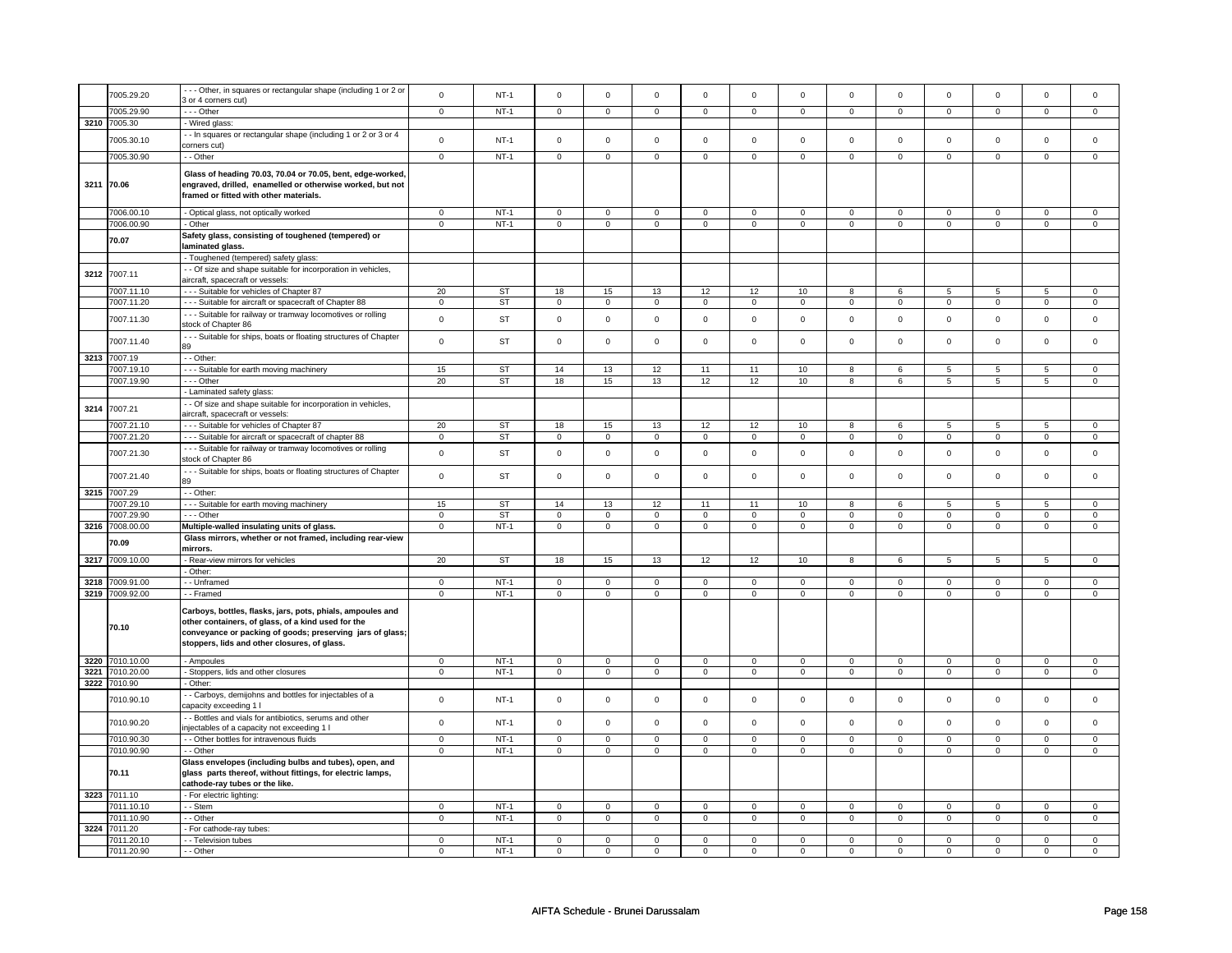|      | 7005.29.20      | --- Other, in squares or rectangular shape (including 1 or 2 or   | $\mathsf{o}$   | $NT-1$    | $\overline{0}$      | $\mathsf 0$    | $\mathbf 0$         | $\mathsf 0$    | $\mathbf 0$         | $\mathsf 0$    | $\mathbf 0$    | $\mathbf 0$    | $\mathbf 0$    | $\mathbf 0$    | $\mathbf 0$    | $\mathbf 0$    |
|------|-----------------|-------------------------------------------------------------------|----------------|-----------|---------------------|----------------|---------------------|----------------|---------------------|----------------|----------------|----------------|----------------|----------------|----------------|----------------|
|      |                 | 3 or 4 corners cut)                                               |                |           |                     |                |                     |                |                     |                |                |                |                |                |                |                |
|      | 7005.29.90      | $\cdots$ Other                                                    | $\overline{0}$ | $NT-1$    | $\mathsf 0$         | $\mathbf 0$    | $\mathsf 0$         | $\mathbf 0$    | $\mathsf 0$         | $\overline{0}$ | $\mathsf 0$    | $\overline{0}$ | $\mathsf 0$    | $\overline{0}$ | $\overline{0}$ | $\overline{0}$ |
|      | 3210 7005.30    | - Wired glass:                                                    |                |           |                     |                |                     |                |                     |                |                |                |                |                |                |                |
|      |                 |                                                                   |                |           |                     |                |                     |                |                     |                |                |                |                |                |                |                |
|      | 7005.30.10      | - In squares or rectangular shape (including 1 or 2 or 3 or 4     | $\mathbf 0$    | $NT-1$    | $\mathsf 0$         | $\mathsf 0$    | $\mathsf{O}\xspace$ | $\mathsf 0$    | $\mathsf{O}\xspace$ | $\mathsf 0$    | $\Omega$       | $\mathsf 0$    | $\Omega$       | $\mathsf 0$    | $\Omega$       | $\mathbf 0$    |
|      |                 | corners cut)                                                      |                |           |                     |                |                     |                |                     |                |                |                |                |                |                |                |
|      | 7005.30.90      | - - Other                                                         | $\overline{0}$ | $NT-1$    | $\overline{0}$      | $\overline{0}$ | $\overline{0}$      | $\overline{0}$ | $\overline{0}$      | $\overline{0}$ | $\overline{0}$ | $\overline{0}$ | $\overline{0}$ | $\overline{0}$ | $\overline{0}$ | $\overline{0}$ |
|      |                 |                                                                   |                |           |                     |                |                     |                |                     |                |                |                |                |                |                |                |
|      |                 | Glass of heading 70.03, 70.04 or 70.05, bent, edge-worked,        |                |           |                     |                |                     |                |                     |                |                |                |                |                |                |                |
|      | 3211 70.06      | engraved, drilled, enamelled or otherwise worked, but not         |                |           |                     |                |                     |                |                     |                |                |                |                |                |                |                |
|      |                 | framed or fitted with other materials.                            |                |           |                     |                |                     |                |                     |                |                |                |                |                |                |                |
|      |                 |                                                                   |                |           |                     |                |                     |                |                     |                |                |                |                |                |                |                |
|      | 7006.00.10      | - Optical glass, not optically worked                             | $\mathsf 0$    | $NT-1$    | $\mathbf 0$         | $\mathsf 0$    | $\mathbf 0$         | $\mathbf 0$    | $\mathbf 0$         | $\mathbf 0$    | $\Omega$       | $\mathbf 0$    | $\Omega$       | $\mathbf 0$    | $\Omega$       | $\mathbf 0$    |
|      |                 |                                                                   |                |           |                     |                |                     |                |                     |                |                |                |                |                |                |                |
|      | 7006.00.90      | - Other                                                           | $\overline{0}$ | $NT-1$    | $\mathbf 0$         | $\overline{0}$ | $\mathbf 0$         | $\mathbf 0$    | $\overline{0}$      | $\overline{0}$ | $\overline{0}$ | $\overline{0}$ | $\overline{0}$ | $\overline{0}$ | $\overline{0}$ | $\overline{0}$ |
|      |                 | Safety glass, consisting of toughened (tempered) or               |                |           |                     |                |                     |                |                     |                |                |                |                |                |                |                |
|      | 70.07           | laminated glass.                                                  |                |           |                     |                |                     |                |                     |                |                |                |                |                |                |                |
|      |                 | - Toughened (tempered) safety glass:                              |                |           |                     |                |                     |                |                     |                |                |                |                |                |                |                |
|      |                 |                                                                   |                |           |                     |                |                     |                |                     |                |                |                |                |                |                |                |
| 3212 | 7007.11         | - - Of size and shape suitable for incorporation in vehicles,     |                |           |                     |                |                     |                |                     |                |                |                |                |                |                |                |
|      |                 | aircraft, spacecraft or vessels:                                  |                |           |                     |                |                     |                |                     |                |                |                |                |                |                |                |
|      | 7007.11.10      | --- Suitable for vehicles of Chapter 87                           | 20             | <b>ST</b> | 18                  | 15             | 13                  | 12             | 12                  | 10             | 8              | 6              | 5              | 5              | 5              | $\mathbf 0$    |
|      | 7007.11.20      | --- Suitable for aircraft or spacecraft of Chapter 88             | $\mathbf 0$    | ST        | $\mathsf 0$         | $\mathsf 0$    | $\mathbf 0$         | $\mathbf 0$    | $\mathsf 0$         | $\mathsf 0$    | $\mathsf 0$    | $\mathsf 0$    | $\mathsf 0$    | $\mathbf 0$    | $\mathsf 0$    | $\mathsf 0$    |
|      |                 |                                                                   |                |           |                     |                |                     |                |                     |                |                |                |                |                |                |                |
|      | 7007.11.30      | --- Suitable for railway or tramway locomotives or rolling        | $\mathsf{o}$   | <b>ST</b> | $\mathsf 0$         | $\mathsf 0$    | $\mathbf 0$         | $\mathbf 0$    | $\mathbf 0$         | $\mathbf 0$    | $\mathbf 0$    | $\mathbf 0$    | $\mathbf 0$    | $\mathbf 0$    | $\mathbf 0$    | $\mathbf 0$    |
|      |                 | stock of Chapter 86                                               |                |           |                     |                |                     |                |                     |                |                |                |                |                |                |                |
|      |                 | --- Suitable for ships, boats or floating structures of Chapter   |                |           |                     |                |                     |                |                     |                |                |                |                |                |                |                |
|      | 7007.11.40      |                                                                   | $\mathsf{o}$   | <b>ST</b> | $\mathsf 0$         | $\mathsf 0$    | $\mathsf{O}\xspace$ | $\mathsf 0$    | $\mathsf 0$         | $\mathbf 0$    | $\mathsf 0$    | $\mathbf 0$    | $\mathsf 0$    | $\mathbf 0$    | $\mathsf 0$    | $\mathsf 0$    |
|      |                 |                                                                   |                |           |                     |                |                     |                |                     |                |                |                |                |                |                |                |
| 3213 | 7007.19         | - - Other:                                                        |                |           |                     |                |                     |                |                     |                |                |                |                |                |                |                |
|      | 7007.19.10      | --- Suitable for earth moving machinery                           | 15             | <b>ST</b> | 14                  | 13             | 12                  | 11             | 11                  | 10             | 8              | 6              | 5              | 5              | 5              | $\mathsf 0$    |
|      | 7007.19.90      | --- Other                                                         | 20             | ST        | 18                  | 15             | 13                  | 12             | 12                  | 10             | 8              | 6              | 5              | 5              | 5              | $\mathbf 0$    |
|      |                 | - Laminated safety glass:                                         |                |           |                     |                |                     |                |                     |                |                |                |                |                |                |                |
|      |                 |                                                                   |                |           |                     |                |                     |                |                     |                |                |                |                |                |                |                |
| 3214 | 7007.21         | - Of size and shape suitable for incorporation in vehicles,       |                |           |                     |                |                     |                |                     |                |                |                |                |                |                |                |
|      |                 | aircraft, spacecraft or vessels:                                  |                |           |                     |                |                     |                |                     |                |                |                |                |                |                |                |
|      | 7007.21.10      | --- Suitable for vehicles of Chapter 87                           | 20             | <b>ST</b> | 18                  | 15             | 13                  | 12             | 12                  | 10             | 8              | 6              | 5              | 5              | 5              | $\mathbf 0$    |
|      | 7007.21.20      | --- Suitable for aircraft or spacecraft of chapter 88             | $\mathbf 0$    | <b>ST</b> | $\overline{0}$      | $\overline{0}$ | $\overline{0}$      | $\mathbf 0$    | $\overline{0}$      | $\overline{0}$ | $\overline{0}$ | $\overline{0}$ | $\overline{0}$ | $\overline{0}$ | $\overline{0}$ | $\overline{0}$ |
|      |                 |                                                                   |                |           |                     |                |                     |                |                     |                |                |                |                |                |                |                |
|      | 7007.21.30      | --- Suitable for railway or tramway locomotives or rolling        | $\mathbf 0$    | <b>ST</b> | $\mathbf 0$         | $\mathbf 0$    | $\Omega$            | $\mathbf 0$    | $\Omega$            | $\mathbf 0$    | $\Omega$       | $\mathbf 0$    | $\Omega$       | $\mathbf 0$    | $\Omega$       | $\Omega$       |
|      |                 | stock of Chapter 86                                               |                |           |                     |                |                     |                |                     |                |                |                |                |                |                |                |
|      |                 | - - - Suitable for ships, boats or floating structures of Chapter |                |           |                     |                |                     |                |                     |                |                |                |                |                |                |                |
|      | 7007.21.40      |                                                                   | $\mathsf 0$    | <b>ST</b> | $\mathsf 0$         | $\mathbf 0$    | $\mathbf 0$         | $\mathbf 0$    | $\mathsf 0$         | $\mathsf 0$    | $\mathsf 0$    | $\mathsf 0$    | $\mathsf 0$    | $\mathsf 0$    | $\mathbf 0$    | $\mathsf 0$    |
|      |                 |                                                                   |                |           |                     |                |                     |                |                     |                |                |                |                |                |                |                |
|      | 3215 7007.29    | - - Other:                                                        |                |           |                     |                |                     |                |                     |                |                |                |                |                |                |                |
|      | 7007.29.10      | --- Suitable for earth moving machinery                           | 15             | ST        | 14                  | 13             | 12                  | 11             | 11                  | 10             | 8              | 6              | 5              | 5              | 5              | $\mathbf 0$    |
|      | 7007.29.90      | --- Other                                                         | $\mathbf 0$    | <b>ST</b> | $\mathsf 0$         | $\mathsf 0$    | $\mathsf 0$         | $\mathbf 0$    | $\overline{0}$      | $\overline{0}$ | $\mathbf 0$    | $\overline{0}$ | $\overline{0}$ | $\overline{0}$ | $\overline{0}$ | $\overline{0}$ |
|      | 3216 7008.00.00 | Multiple-walled insulating units of glass.                        | $\mathbf 0$    | $NT-1$    | $\mathsf 0$         | $\mathsf 0$    | $\mathsf 0$         | $\mathbf 0$    | $\mathsf 0$         | $\mathbf 0$    | $\mathbf 0$    | $\mathsf 0$    | $\mathbf 0$    | $\mathsf 0$    | $\mathsf 0$    | $\mathbf 0$    |
|      |                 |                                                                   |                |           |                     |                |                     |                |                     |                |                |                |                |                |                |                |
|      | 70.09           | Glass mirrors, whether or not framed, including rear-view         |                |           |                     |                |                     |                |                     |                |                |                |                |                |                |                |
|      |                 | mirrors.                                                          |                |           |                     |                |                     |                |                     |                |                |                |                |                |                |                |
|      | 3217 7009.10.00 | - Rear-view mirrors for vehicles                                  | 20             | ST        | 18                  | 15             | 13                  | 12             | 12                  | 10             | 8              | 6              | 5              | 5              | 5              | $\mathbf 0$    |
|      |                 | - Other:                                                          |                |           |                     |                |                     |                |                     |                |                |                |                |                |                |                |
|      |                 |                                                                   |                |           |                     |                |                     |                |                     |                |                |                |                |                |                |                |
| 3218 | 7009.91.00      | - Unframed                                                        | $\mathbf 0$    | $NT-1$    | $\mathbf 0$         | $\mathbf 0$    | 0                   | $\mathbf 0$    | $\mathsf{O}\xspace$ | $\mathbf 0$    | $\mathbf 0$    | $\mathsf 0$    | $\mathsf 0$    | $\mathbf 0$    | $\mathsf 0$    | $\mathbf 0$    |
|      | 3219 7009.92.00 | - - Framed                                                        | $\mathbf 0$    | $NT-1$    | $\mathbf 0$         | $\mathbf 0$    | $\mathbf 0$         | $\mathbf 0$    | $\mathsf{O}\xspace$ | $\mathsf 0$    | $\mathsf 0$    | $\mathbf 0$    | $\mathsf 0$    | $\mathbf 0$    | $\mathsf 0$    | $\mathsf 0$    |
|      |                 |                                                                   |                |           |                     |                |                     |                |                     |                |                |                |                |                |                |                |
|      |                 | Carboys, bottles, flasks, jars, pots, phials, ampoules and        |                |           |                     |                |                     |                |                     |                |                |                |                |                |                |                |
|      |                 | other containers, of glass, of a kind used for the                |                |           |                     |                |                     |                |                     |                |                |                |                |                |                |                |
|      | 70.10           | conveyance or packing of goods; preserving jars of glass;         |                |           |                     |                |                     |                |                     |                |                |                |                |                |                |                |
|      |                 | stoppers, lids and other closures, of glass.                      |                |           |                     |                |                     |                |                     |                |                |                |                |                |                |                |
|      |                 |                                                                   |                |           |                     |                |                     |                |                     |                |                |                |                |                |                |                |
|      | 3220 7010.10.00 | - Ampoules                                                        | $\mathbf 0$    | $NT-1$    | $\mathbf 0$         | $\mathbf 0$    | $\mathbf 0$         | $\mathbf 0$    | $\mathbf 0$         | 0              | 0              | $\mathbf 0$    | 0              | $\mathbf 0$    | 0              | $\mathsf 0$    |
|      |                 |                                                                   |                |           |                     |                |                     |                |                     |                |                |                |                |                |                |                |
| 3221 | 7010.20.00      | - Stoppers, lids and other closures                               | $\mathbf 0$    | $NT-1$    | $\mathsf{O}\xspace$ | $\mathbf 0$    | 0                   | $\mathbf 0$    | $\mathsf{O}\xspace$ | $\mathbf 0$    | $\mathsf 0$    | $\mathbf 0$    | $\mathsf 0$    | $\mathbf 0$    | $\mathsf 0$    | $\mathsf 0$    |
| 3222 | 7010.90         | Other:                                                            |                |           |                     |                |                     |                |                     |                |                |                |                |                |                |                |
|      | 7010.90.10      | - Carboys, demijohns and bottles for injectables of a             | $\mathsf{o}$   | $NT-1$    | $\mathsf 0$         | $\mathbf 0$    | $\mathbf 0$         | $\mathsf 0$    | $\mathsf{O}\xspace$ | $\mathsf 0$    | $\mathbf 0$    | $\mathbf 0$    | $\mathsf 0$    | $\mathbf 0$    | $\mathbf 0$    | $\mathsf 0$    |
|      |                 | capacity exceeding 1 I                                            |                |           |                     |                |                     |                |                     |                |                |                |                |                |                |                |
|      |                 |                                                                   |                |           |                     |                |                     |                |                     |                |                |                |                |                |                |                |
|      | 7010.90.20      | - - Bottles and vials for antibiotics, serums and other           | $\mathbf 0$    | $NT-1$    | $\mathbf 0$         | $\mathsf 0$    | $\mathbf 0$         | $\mathbf 0$    | $\mathsf 0$         | $\mathsf 0$    | $\mathsf 0$    | $\mathbf 0$    | $\mathsf 0$    | $\mathbf 0$    | $\mathsf 0$    | $\mathbf 0$    |
|      |                 | injectables of a capacity not exceeding 1 I                       |                |           |                     |                |                     |                |                     |                |                |                |                |                |                |                |
|      | 7010.90.30      | - - Other bottles for intravenous fluids                          | 0              | $NT-1$    | $\mathbf 0$         | $\mathbf 0$    | $\mathbf 0$         | $\mathbf 0$    | $\mathbf 0$         | $\mathbf 0$    | $\mathbf 0$    | 0              | $\mathbf 0$    | 0              | $\mathbf 0$    | $\mathbf 0$    |
|      | 7010.90.90      | - - Other                                                         | $\mathbf 0$    | $NT-1$    | $\mathsf 0$         | $\mathsf 0$    | $\mathsf 0$         | $\mathsf 0$    | $\mathsf 0$         | $\mathsf 0$    | $\mathbf 0$    | $\mathsf 0$    | $\mathsf 0$    | $\mathsf 0$    | $\mathbf 0$    | $\mathsf 0$    |
|      |                 |                                                                   |                |           |                     |                |                     |                |                     |                |                |                |                |                |                |                |
|      |                 | Glass envelopes (including bulbs and tubes), open, and            |                |           |                     |                |                     |                |                     |                |                |                |                |                |                |                |
|      | 70.11           | glass parts thereof, without fittings, for electric lamps,        |                |           |                     |                |                     |                |                     |                |                |                |                |                |                |                |
|      |                 | cathode-ray tubes or the like.                                    |                |           |                     |                |                     |                |                     |                |                |                |                |                |                |                |
|      | 3223 7011.10    | - For electric lighting:                                          |                |           |                     |                |                     |                |                     |                |                |                |                |                |                |                |
|      | 7011.10.10      | - - Stem                                                          | $\mathbf 0$    | $NT-1$    | $\mathbf 0$         | $\mathbf 0$    | $\mathbf 0$         | $\mathbf 0$    | $\mathbf 0$         | $\mathbf 0$    | $\mathbf 0$    | $\mathbf 0$    | $\mathbf 0$    | $\mathbf 0$    | $\mathbf 0$    | $\mathbf 0$    |
|      |                 |                                                                   |                |           |                     |                |                     |                |                     |                |                |                |                |                |                |                |
|      | 7011.10.90      | - - Other                                                         | $\mathbf 0$    | $NT-1$    | $\mathbf 0$         | $\mathsf 0$    | $\mathbf 0$         | $\mathbf 0$    | $\mathsf 0$         | $\mathbf 0$    | $\mathbf 0$    | $\mathsf 0$    | $\mathbf 0$    | $\mathsf 0$    | $\mathbf 0$    | $\mathbf 0$    |
|      | 3224 7011.20    | - For cathode-ray tubes:                                          |                |           |                     |                |                     |                |                     |                |                |                |                |                |                |                |
|      | 7011.20.10      | - - Television tubes                                              | $\mathbf 0$    | $NT-1$    | $\mathbf 0$         | $\mathbf 0$    | $^{\circ}$          | $\mathbf 0$    | $\mathbf 0$         | $\mathbf 0$    | 0              | 0              | 0              | 0              | 0              | $\mathbf 0$    |
|      | 7011.20.90      | - - Other                                                         | $\mathsf 0$    | $NT-1$    | $\mathsf 0$         | $\mathsf 0$    | $\mathsf 0$         | $\mathbf 0$    | $\mathsf 0$         | $\mathbf 0$    | $\mathbf 0$    | $\mathsf 0$    | $\mathbf 0$    | $\mathsf 0$    | $\mathsf 0$    | $\mathbf 0$    |
|      |                 |                                                                   |                |           |                     |                |                     |                |                     |                |                |                |                |                |                |                |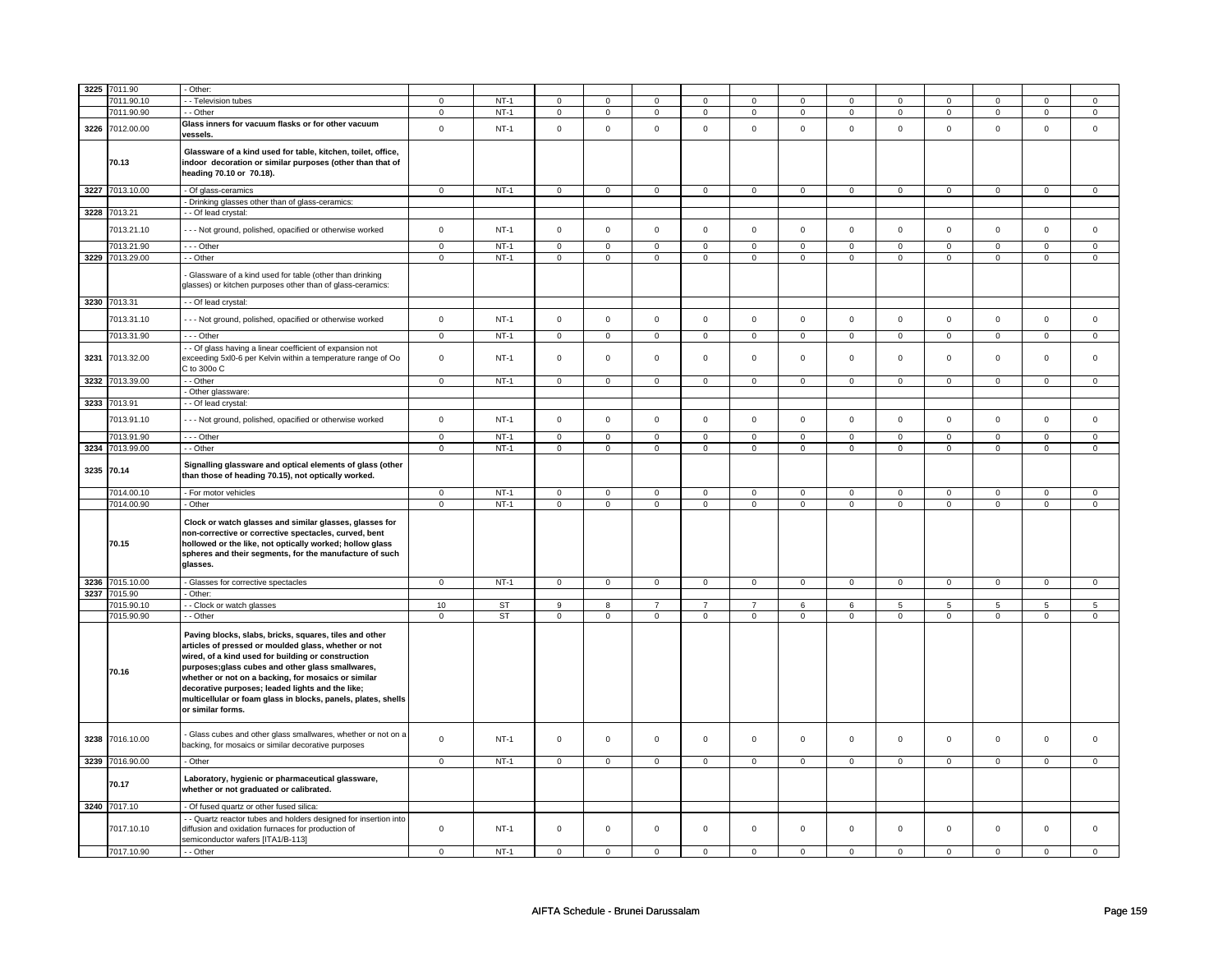|      | 3225 7011.90    | - Other:                                                                                                                                                                                                                                                                                                                                                                                                                   |                |             |                |                |                         |                |                         |                |                |                |                         |                |                |                |
|------|-----------------|----------------------------------------------------------------------------------------------------------------------------------------------------------------------------------------------------------------------------------------------------------------------------------------------------------------------------------------------------------------------------------------------------------------------------|----------------|-------------|----------------|----------------|-------------------------|----------------|-------------------------|----------------|----------------|----------------|-------------------------|----------------|----------------|----------------|
|      |                 |                                                                                                                                                                                                                                                                                                                                                                                                                            |                |             |                |                |                         |                |                         |                |                |                |                         |                |                |                |
|      | 7011.90.10      | - - Television tubes                                                                                                                                                                                                                                                                                                                                                                                                       | $\mathbf 0$    | $NT-1$      | $\mathbf 0$    | $\mathbf{0}$   | $\mathsf 0$             | $\mathbf 0$    | $\mathbf 0$             | $\mathbf 0$    | $\Omega$       | $\Omega$       | $\mathbf 0$             | $\mathsf 0$    | $\Omega$       | $\mathbf 0$    |
|      | 7011.90.90      | - - Other                                                                                                                                                                                                                                                                                                                                                                                                                  | $\mathbf{0}$   | $NT-1$      | 0              | $\mathbf 0$    | $\mathbf 0$             | $\mathbf 0$    | $\mathsf 0$             | $\overline{0}$ | $\mathbf{0}$   | $\mathbf 0$    | $\mathbf 0$             | $\mathbf 0$    | $\mathbf 0$    | $\mathsf 0$    |
| 3226 | 7012.00.00      | Glass inners for vacuum flasks or for other vacuum<br>vessels.                                                                                                                                                                                                                                                                                                                                                             | $\mathbf{0}$   | $NT-1$      | $\mathbf 0$    | $\mathbf 0$    | $\mathbf 0$             | $\mathbf 0$    | $\mathsf{O}$            | $\mathbf 0$    | $\mathbf 0$    | $\Omega$       | $\mathbf{0}$            | $\mathbf 0$    | $\Omega$       | $\mathbf 0$    |
|      | 70.13           | Glassware of a kind used for table, kitchen, toilet, office,<br>indoor decoration or similar purposes (other than that of<br>heading 70.10 or 70.18).                                                                                                                                                                                                                                                                      |                |             |                |                |                         |                |                         |                |                |                |                         |                |                |                |
|      | 3227 7013.10.00 | - Of glass-ceramics                                                                                                                                                                                                                                                                                                                                                                                                        | $\overline{0}$ | $NT-1$      | $\mathsf 0$    | $\mathbf{0}$   | $\overline{0}$          | $\mathsf 0$    | $\mathbf 0$             | $\overline{0}$ | $\mathsf 0$    | $\mathsf{O}^-$ | $\mathbf 0$             | $\overline{0}$ | $\mathsf 0$    | $\overline{0}$ |
|      |                 | - Drinking glasses other than of glass-ceramics:                                                                                                                                                                                                                                                                                                                                                                           |                |             |                |                |                         |                |                         |                |                |                |                         |                |                |                |
|      | 3228 7013.21    | - - Of lead crystal:                                                                                                                                                                                                                                                                                                                                                                                                       |                |             |                |                |                         |                |                         |                |                |                |                         |                |                |                |
|      |                 |                                                                                                                                                                                                                                                                                                                                                                                                                            |                |             |                |                |                         |                |                         |                |                |                |                         |                |                |                |
|      | 7013.21.10      | - - - Not ground, polished, opacified or otherwise worked                                                                                                                                                                                                                                                                                                                                                                  | $\mathsf{O}$   | $NT-1$      | $\mathsf 0$    | $\mathsf 0$    | $\mathsf 0$             | $\mathsf 0$    | $\mathsf{O}\xspace$     | $\mathbf 0$    | $\mathsf 0$    | $\mathsf 0$    | $\mathsf 0$             | $\mathbf 0$    | $\mathsf 0$    | $\mathsf 0$    |
|      | 7013.21.90      | --- Other                                                                                                                                                                                                                                                                                                                                                                                                                  | $\mathsf 0$    | $NT-1$      | $\mathbf 0$    | $\mathbf 0$    | $\mathsf 0$             | $\mathbf 0$    | $\mathbf 0$             | $\mathsf 0$    | $\mathbf 0$    | $\mathbf 0$    | $\mathbf 0$             | $\mathsf 0$    | $\mathbf 0$    | $\mathsf 0$    |
|      | 3229 7013.29.00 | - - Other                                                                                                                                                                                                                                                                                                                                                                                                                  | $\mathsf 0$    | $NT-1$      | $\mathbf 0$    | $\mathbf 0$    | $\mathsf 0$             | $\mathbf 0$    | $\mathsf 0$             | $\mathbf 0$    | $\mathsf 0$    | $\Omega$       | $\mathbf 0$             | $\mathsf 0$    | $\mathsf 0$    | $\mathbf 0$    |
|      |                 | Glassware of a kind used for table (other than drinking<br>glasses) or kitchen purposes other than of glass-ceramics:                                                                                                                                                                                                                                                                                                      |                |             |                |                |                         |                |                         |                |                |                |                         |                |                |                |
|      | 3230 7013.31    | - - Of lead crystal:                                                                                                                                                                                                                                                                                                                                                                                                       |                |             |                |                |                         |                |                         |                |                |                |                         |                |                |                |
|      | 7013.31.10      | --- Not ground, polished, opacified or otherwise worked                                                                                                                                                                                                                                                                                                                                                                    | $\mathbf 0$    | $NT-1$      | $\mathsf 0$    | $\mathbf 0$    | $\mathsf 0$             | $\mathsf 0$    | $\mathsf{O}\xspace$     | $\mathbf 0$    | $\mathbf 0$    | $\mathsf 0$    | $\mathsf 0$             | $\mathsf 0$    | $\mathsf 0$    | $\mathbf 0$    |
|      | 7013.31.90      | $- -$ Other                                                                                                                                                                                                                                                                                                                                                                                                                | $\mathbf 0$    | $NT-1$      | $\mathbf 0$    | $\mathbf 0$    | $\overline{0}$          | $\mathbf 0$    | $\mathbf 0$             | $\overline{0}$ | $\mathbf 0$    | $\mathbf 0$    | $\mathbf 0$             | $\mathbf{0}$   | $\mathsf 0$    | $\mathbf 0$    |
| 3231 | 7013.32.00      | - - Of glass having a linear coefficient of expansion not<br>exceeding 5xl0-6 per Kelvin within a temperature range of Oo<br>C to 300o C                                                                                                                                                                                                                                                                                   | $\mathbf{0}$   | $NT-1$      | $\mathbf 0$    | $\mathbf 0$    | $\mathbf 0$             | $\mathbf 0$    | $\mathsf 0$             | $\mathbf 0$    | $\mathbf 0$    | $\mathbf 0$    | $\mathbf 0$             | $\mathbf 0$    | $\mathbf{0}$   | $\mathbf{0}$   |
| 3232 | 7013.39.00      | - - Other                                                                                                                                                                                                                                                                                                                                                                                                                  | $\overline{0}$ | $NT-1$      | $\overline{0}$ | $\mathbf 0$    | $\overline{0}$          | $\mathbf 0$    | $\overline{0}$          | $\overline{0}$ | $\overline{0}$ | $\overline{0}$ | $\mathbf 0$             | $\overline{0}$ | $\overline{0}$ | $\overline{0}$ |
|      |                 | - Other glassware:                                                                                                                                                                                                                                                                                                                                                                                                         |                |             |                |                |                         |                |                         |                |                |                |                         |                |                |                |
|      | 3233 7013.91    | - - Of lead crystal:                                                                                                                                                                                                                                                                                                                                                                                                       |                |             |                |                |                         |                |                         |                |                |                |                         |                |                |                |
|      | 7013.91.10      | - - - Not ground, polished, opacified or otherwise worked                                                                                                                                                                                                                                                                                                                                                                  | $\mathsf 0$    | $NT-1$      | $\mathsf 0$    | $\mathsf 0$    | $\mathsf{O}$            | $\mathsf 0$    | $\mathsf{O}$            | $\mathbf 0$    | $\mathbf 0$    | $\mathsf 0$    | $\mathsf 0$             | $\mathsf 0$    | $\Omega$       | $\mathbf 0$    |
|      | 7013.91.90      | $--$ Other                                                                                                                                                                                                                                                                                                                                                                                                                 | $\mathbf 0$    | $NT-1$      | $\mathbf 0$    | $\mathbf{0}$   | $\mathbf{0}$            | $\mathbf 0$    | $\mathbf 0$             | $\mathbf{0}$   | $\mathbf 0$    | $\mathbf 0$    | 0                       | $\mathbf 0$    | $^{\circ}$     | $\mathbf 0$    |
|      | 3234 7013.99.00 | $-$ Other                                                                                                                                                                                                                                                                                                                                                                                                                  | $\overline{0}$ | $NT-1$      |                | $\overline{0}$ | $\overline{\mathbf{0}}$ |                | $\overline{\mathbf{0}}$ | $\overline{0}$ |                | $\Omega$       | $\overline{\mathbf{0}}$ | $\overline{0}$ |                | $\overline{0}$ |
|      |                 |                                                                                                                                                                                                                                                                                                                                                                                                                            |                |             | $\mathbf 0$    |                |                         | $\mathbf 0$    |                         |                | $\mathbf 0$    |                |                         |                | 0              |                |
|      | 3235 70.14      | Signalling glassware and optical elements of glass (other<br>than those of heading 70.15), not optically worked.                                                                                                                                                                                                                                                                                                           |                |             |                |                |                         |                |                         |                |                |                |                         |                |                |                |
|      | 7014.00.10      | - For motor vehicles                                                                                                                                                                                                                                                                                                                                                                                                       | $\mathbf 0$    | $NT-1$      | $\mathbf 0$    | $\mathbf 0$    | $\mathbf 0$             | $\mathbf 0$    | $\mathbf 0$             | $\mathbf{0}$   | $\mathbf 0$    | $\mathbf 0$    | $\mathbf 0$             | $\mathbf 0$    | $\mathsf 0$    | $\mathbf 0$    |
|      | 7014.00.90      | - Other                                                                                                                                                                                                                                                                                                                                                                                                                    | $\mathbf 0$    | $NT-1$      | $\mathbf 0$    | $\overline{0}$ | $\overline{0}$          | $\mathbf 0$    | $\overline{0}$          | $\overline{0}$ | $\mathbf{0}$   | $\overline{0}$ | $\overline{0}$          | $\overline{0}$ | $\overline{0}$ | $\overline{0}$ |
|      | 70.15           | Clock or watch glasses and similar glasses, glasses for<br>non-corrective or corrective spectacles, curved, bent<br>hollowed or the like, not optically worked; hollow glass<br>spheres and their segments, for the manufacture of such<br>glasses.                                                                                                                                                                        |                |             |                |                |                         |                |                         |                |                |                |                         |                |                |                |
|      | 3236 7015.10.00 | - Glasses for corrective spectacles                                                                                                                                                                                                                                                                                                                                                                                        | $\mathbf 0$    | $NT-1$      | $\mathsf 0$    | $\mathsf 0$    | $\mathbf 0$             | $\mathbf 0$    | $\mathsf 0$             | $\mathsf 0$    | $\mathbf{0}$   | $\mathsf 0$    | $\mathbf 0$             | $\mathsf 0$    | $\mathsf 0$    | $\overline{0}$ |
|      | 3237 7015.90    | - Other:                                                                                                                                                                                                                                                                                                                                                                                                                   |                |             |                |                |                         |                |                         |                |                |                |                         |                |                |                |
|      | 7015.90.10      | - - Clock or watch glasses                                                                                                                                                                                                                                                                                                                                                                                                 | 10             | <b>ST</b>   | 9              | $\overline{8}$ | $\overline{7}$          | $\overline{7}$ | $\overline{7}$          | 6              | 6              | 5              | $\overline{5}$          | $\overline{5}$ | 5              | $\overline{5}$ |
|      | 7015.90.90      | - - Other                                                                                                                                                                                                                                                                                                                                                                                                                  | $\overline{0}$ | <b>ST</b>   | $\overline{0}$ | $\overline{0}$ | $\overline{0}$          | $\overline{0}$ | $\overline{0}$          | $\overline{0}$ | $\overline{0}$ | $\overline{0}$ | $\overline{0}$          | $\overline{0}$ | $\overline{0}$ | $\overline{0}$ |
|      | 70.16           | Paving blocks, slabs, bricks, squares, tiles and other<br>articles of pressed or moulded glass, whether or not<br>wired, of a kind used for building or construction<br>purposes; glass cubes and other glass smallwares,<br>whether or not on a backing, for mosaics or similar<br>decorative purposes; leaded lights and the like;<br>multicellular or foam glass in blocks, panels, plates, shells<br>or similar forms. |                |             |                |                |                         |                |                         |                |                |                |                         |                |                |                |
| 3238 | 7016.10.00      | - Glass cubes and other glass smallwares, whether or not on a<br>backing, for mosaics or similar decorative purposes                                                                                                                                                                                                                                                                                                       | $\mathbf 0$    | $NT-1$      | $\mathbf 0$    | $\mathbf 0$    | $\mathbf{0}$            | $\mathbf 0$    | $\mathbf{0}$            | $\mathbf{0}$   | $\Omega$       | $\mathbf 0$    | $\mathbf 0$             | $\mathbf 0$    | $\mathbf 0$    | $\mathbf{0}$   |
|      | 3239 7016.90.00 | - Other                                                                                                                                                                                                                                                                                                                                                                                                                    | $\mathbf 0$    | $NT-1$      | $\mathsf 0$    | $\mathbf 0$    | $\mathsf{O}$            | $\mathbf 0$    | $\mathsf{O}$            | $\mathsf 0$    | $\mathbf 0$    | $\mathbf 0$    | $\mathbf 0$             | $\mathbf 0$    | $\mathsf 0$    | $\mathbf 0$    |
|      | 70.17           | Laboratory, hygienic or pharmaceutical glassware,<br>whether or not graduated or calibrated.                                                                                                                                                                                                                                                                                                                               |                |             |                |                |                         |                |                         |                |                |                |                         |                |                |                |
|      | 3240 7017.10    | - Of fused quartz or other fused silica:                                                                                                                                                                                                                                                                                                                                                                                   |                |             |                |                |                         |                |                         |                |                |                |                         |                |                |                |
|      | 7017.10.10      | - - Quartz reactor tubes and holders designed for insertion into<br>diffusion and oxidation furnaces for production of<br>semiconductor wafers [ITA1/B-113]                                                                                                                                                                                                                                                                | $\mathbf 0$    | <b>NT-1</b> | $\mathbf 0$    | 0              | $\mathsf 0$             | $\mathbf 0$    | $\mathbf 0$             | $\mathsf 0$    | $\mathbf 0$    | $\mathbf 0$    | 0                       | $\mathsf 0$    | $\mathbf 0$    | $\mathbf 0$    |
|      | 7017.10.90      | - - Other                                                                                                                                                                                                                                                                                                                                                                                                                  | $\mathbf 0$    | $NT-1$      | $\mathbf 0$    | $\mathbf 0$    | $\mathbf 0$             | $\Omega$       | $\mathbf 0$             | $\mathbf 0$    | $\mathbf 0$    | $\Omega$       | $\Omega$                | $\mathbf 0$    | $\Omega$       | $\mathbf 0$    |
|      |                 |                                                                                                                                                                                                                                                                                                                                                                                                                            |                |             |                |                |                         |                |                         |                |                |                |                         |                |                |                |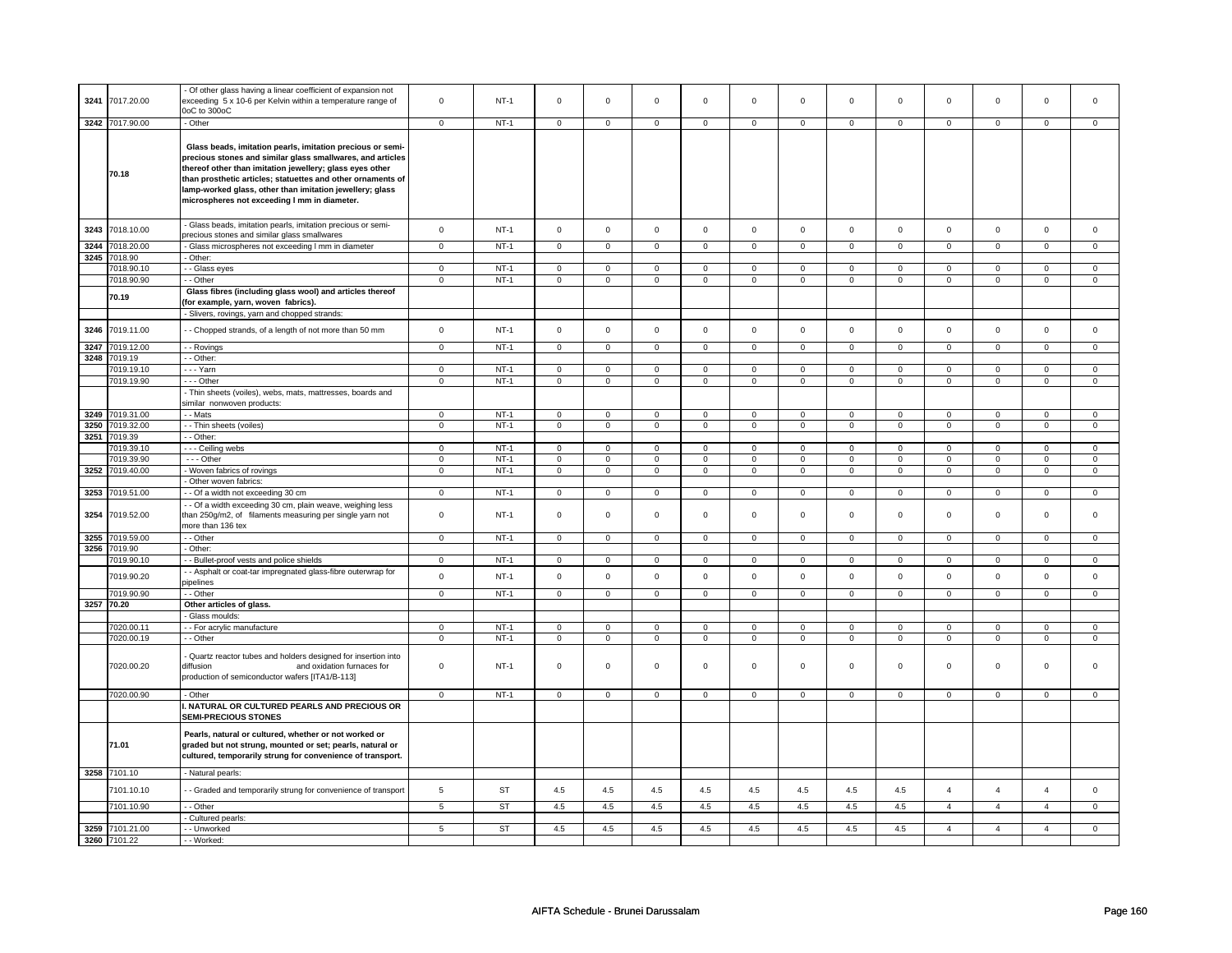| 3241 | 7017.20.00      | - Of other glass having a linear coefficient of expansion not<br>exceeding 5 x 10-6 per Kelvin within a temperature range of                                                                                                                                                                                                                                    | $\mathbf 0$    | $NT-1$      | $\Omega$       | $\mathbf 0$             | $\Omega$            | $\mathbf 0$             | $\Omega$                | $\mathbf 0$             | $\Omega$                | $\Omega$                | $\Omega$       | $\Omega$       | $\Omega$       | $\Omega$       |
|------|-----------------|-----------------------------------------------------------------------------------------------------------------------------------------------------------------------------------------------------------------------------------------------------------------------------------------------------------------------------------------------------------------|----------------|-------------|----------------|-------------------------|---------------------|-------------------------|-------------------------|-------------------------|-------------------------|-------------------------|----------------|----------------|----------------|----------------|
|      | 3242 7017.90.00 | OoC to 300oC<br>- Other                                                                                                                                                                                                                                                                                                                                         | $\mathbf 0$    | NT-1        | $\mathbf 0$    | $\mathbf 0$             | $\mathbf 0$         | $\mathbf 0$             | $\mathbf 0$             | $\mathbf 0$             | $\mathbf 0$             | $\mathbf 0$             | $\mathbf 0$    | $\mathbf 0$    | $\mathbf 0$    | $\mathbf 0$    |
|      |                 |                                                                                                                                                                                                                                                                                                                                                                 |                |             |                |                         |                     |                         |                         |                         |                         |                         |                |                |                |                |
|      | 70.18           | Glass beads, imitation pearls, imitation precious or semi-<br>precious stones and similar glass smallwares, and articles<br>thereof other than imitation jewellery; glass eyes other<br>than prosthetic articles; statuettes and other ornaments of<br>lamp-worked glass, other than imitation jewellery; glass<br>microspheres not exceeding I mm in diameter. |                |             |                |                         |                     |                         |                         |                         |                         |                         |                |                |                |                |
| 3243 | 7018.10.00      | - Glass beads, imitation pearls, imitation precious or semi-<br>precious stones and similar glass smallwares                                                                                                                                                                                                                                                    | $\mathsf 0$    | $NT-1$      | $\mathsf 0$    | $\mathsf 0$             | $\mathsf 0$         | $\mathbf 0$             | $\mathbf 0$             | $\mathsf 0$             | $\mathbf 0$             | $\mathbf 0$             | $\mathsf 0$    | $\mathsf 0$    | $\mathsf 0$    | $\mathsf 0$    |
| 3244 | 7018.20.00      | - Glass microspheres not exceeding I mm in diameter                                                                                                                                                                                                                                                                                                             | $\mathsf 0$    | $NT-1$      | $\mathsf 0$    | $\mathsf 0$             | $\mathbf 0$         | $\mathbf{0}$            | $\mathsf 0$             | $\mathsf 0$             | $\mathbf 0$             | $\mathbf 0$             | $\mathsf 0$    | $\mathsf 0$    | $\mathbf 0$    | $\mathbf{0}$   |
| 3245 | 7018.90         | - Other:                                                                                                                                                                                                                                                                                                                                                        |                |             |                |                         |                     |                         |                         |                         |                         |                         |                |                |                |                |
|      |                 |                                                                                                                                                                                                                                                                                                                                                                 |                | NT-1        | $\mathbf 0$    |                         | $\mathbf 0$         |                         | $\mathbf 0$             |                         | $\mathbf 0$             | $\mathbf 0$             | $\mathbf 0$    | $\mathbf 0$    | $\mathbf 0$    | $\mathbf 0$    |
|      | 7018.90.10      | - - Glass eyes                                                                                                                                                                                                                                                                                                                                                  | $\mathbf 0$    |             |                | $\mathbf 0$             |                     | 0                       |                         | 0                       |                         |                         |                |                |                |                |
|      | 7018.90.90      | - Other                                                                                                                                                                                                                                                                                                                                                         | $\mathbf 0$    | $NT-1$      | $\mathsf 0$    | $\mathbf 0$             | $\mathsf 0$         | $\mathsf 0$             | $\mathbf 0$             | $\mathsf 0$             | $\mathbf 0$             | $\mathsf 0$             | $\mathsf 0$    | $\mathbf 0$    | $\mathsf 0$    | $\mathbf 0$    |
|      | 70.19           | Glass fibres (including glass wool) and articles thereof<br>(for example, yarn, woven fabrics).                                                                                                                                                                                                                                                                 |                |             |                |                         |                     |                         |                         |                         |                         |                         |                |                |                |                |
|      |                 | - Slivers, rovings, yarn and chopped strands:                                                                                                                                                                                                                                                                                                                   |                |             |                |                         |                     |                         |                         |                         |                         |                         |                |                |                |                |
| 3246 | 7019.11.00      | - Chopped strands, of a length of not more than 50 mm                                                                                                                                                                                                                                                                                                           | $\mathbf 0$    | $NT-1$      | $\mathsf 0$    | $\mathbf 0$             | $\mathsf 0$         | $\mathbf 0$             | $\mathbf 0$             | $\mathbf 0$             | $\mathsf 0$             | $\mathbf 0$             | $\mathsf 0$    | $\mathsf 0$    | $\mathsf 0$    | $\mathsf 0$    |
| 3247 | 7019.12.00      | - Rovings                                                                                                                                                                                                                                                                                                                                                       | $\mathsf 0$    | $NT-1$      | $\mathsf 0$    | $\mathbf 0$             | $\mathsf{O}\xspace$ | $\mathsf 0$             | $\mathsf 0$             | $\mathbf 0$             | $\mathsf 0$             | $\mathsf 0$             | $\mathsf 0$    | $\mathsf 0$    | $\mathsf 0$    | $\mathbf 0$    |
| 3248 | 7019.19         | - - Other:                                                                                                                                                                                                                                                                                                                                                      |                |             |                |                         |                     |                         |                         |                         |                         |                         |                |                |                |                |
|      | 7019.19.10      | --- Yarn                                                                                                                                                                                                                                                                                                                                                        | $\mathsf 0$    | $NT-1$      | $\mathsf 0$    | $\mathsf 0$             | $\mathsf 0$         | $\mathsf 0$             | $\mathsf 0$             | $\mathsf 0$             | $\mathsf 0$             | $\mathsf 0$             | $\mathsf 0$    | $\mathsf 0$    | $\mathsf 0$    | $\mathsf 0$    |
|      | 7019.19.90      | --- Other                                                                                                                                                                                                                                                                                                                                                       | $\mathsf 0$    | $NT-1$      | $\overline{0}$ | $\overline{0}$          | $\overline{0}$      | $\overline{0}$          | $\overline{0}$          | $\overline{0}$          | $\overline{0}$          | $\overline{0}$          | $\overline{0}$ | $\overline{0}$ | $\overline{0}$ | $\overline{0}$ |
|      |                 | - Thin sheets (voiles), webs, mats, mattresses, boards and<br>similar nonwoven products:                                                                                                                                                                                                                                                                        |                |             |                |                         |                     |                         |                         |                         |                         |                         |                |                |                |                |
|      |                 |                                                                                                                                                                                                                                                                                                                                                                 |                |             |                |                         |                     |                         |                         |                         |                         |                         |                |                |                |                |
|      | 3249 7019.31.00 | - - Mats                                                                                                                                                                                                                                                                                                                                                        | $\mathsf 0$    | $NT-1$      | $\mathsf 0$    | $\mathsf 0$             | $\mathsf{O}\xspace$ | $\mathsf 0$             | $\mathsf 0$             | $\mathsf 0$             | $\mathsf 0$             | $\mathsf 0$             | $\mathsf 0$    | $\mathsf 0$    | $\mathsf 0$    | $\mathsf 0$    |
| 3250 | 7019.32.00      | - - Thin sheets (voiles)                                                                                                                                                                                                                                                                                                                                        | $\mathbf 0$    | $NT-1$      | $\mathsf 0$    | $\mathbf 0$             | $\mathsf 0$         | $\mathbf 0$             | $\mathbf 0$             | $\mathsf 0$             | $\mathbf 0$             | $\mathsf 0$             | $\mathsf 0$    | $\mathbf 0$    | $\mathsf 0$    | $\mathbf 0$    |
| 3251 | 7019.39         | - - Other:                                                                                                                                                                                                                                                                                                                                                      |                |             |                |                         |                     |                         |                         |                         |                         |                         |                |                |                |                |
|      | 7019.39.10      | - - - Ceiling webs                                                                                                                                                                                                                                                                                                                                              | $\mathsf{o}\,$ | $NT-1$      | $\mathsf 0$    | $\overline{\mathbf{0}}$ | $\mathsf 0$         | $\overline{\mathbf{0}}$ | $\overline{\mathbf{0}}$ | $\overline{\mathbf{0}}$ | $\overline{\mathbf{0}}$ | $\overline{\mathbf{0}}$ | $\mathsf 0$    | $\overline{0}$ | $\mathsf 0$    | $\overline{0}$ |
|      | 7019.39.90      | - - - Other                                                                                                                                                                                                                                                                                                                                                     | $\mathbf 0$    | $NT-1$      | $\mathsf 0$    | $\mathbf 0$             | $\mathsf 0$         | $\mathsf 0$             | $\mathbf 0$             | $\mathsf 0$             | $\mathbf 0$             | $\mathsf 0$             | $\mathsf 0$    | $\mathbf 0$    | $\mathsf 0$    | $\mathbf 0$    |
|      | 3252 7019.40.00 | - Woven fabrics of rovings                                                                                                                                                                                                                                                                                                                                      | $\mathbf 0$    | $NT-1$      | $\mathsf 0$    | $\mathbf 0$             | $\mathsf{O}\xspace$ | $\mathsf 0$             | $\mathsf 0$             | $\mathsf 0$             | $\mathsf 0$             | $\mathsf 0$             | $\mathsf 0$    | $\mathsf 0$    | $\mathsf 0$    | $\mathbf 0$    |
|      |                 | - Other woven fabrics:                                                                                                                                                                                                                                                                                                                                          |                |             |                |                         |                     |                         |                         |                         |                         |                         |                |                |                |                |
|      | 3253 7019.51.00 | - - Of a width not exceeding 30 cm                                                                                                                                                                                                                                                                                                                              | $\mathbf 0$    | $NT-1$      | $\mathbf 0$    | $\mathbf 0$             | $\mathbf 0$         | $\mathbf 0$             | $\mathbf 0$             | $\mathbf 0$             | $\mathbf 0$             | $\mathbf 0$             | $\mathbf 0$    | $\mathbf 0$    | $\mathbf 0$    | $\mathbf 0$    |
| 3254 | 7019.52.00      | - - Of a width exceeding 30 cm, plain weave, weighing less<br>than 250g/m2, of filaments measuring per single yarn not<br>more than 136 tex                                                                                                                                                                                                                     | $\mathbf 0$    | <b>NT-1</b> | $\mathbf 0$    | $\mathsf 0$             | $\mathbf 0$         | $\mathsf 0$             | $\mathbf 0$             | $\mathsf 0$             | $\mathbf 0$             | $\mathsf 0$             | $\mathbf 0$    | $\mathbf 0$    | $\mathbf 0$    | $\mathbf 0$    |
| 3255 | 7019.59.00      | - - Other                                                                                                                                                                                                                                                                                                                                                       | $\overline{0}$ | $NT-1$      | $\mathsf 0$    | $\overline{0}$          | $\mathbf 0$         | $\overline{0}$          | $\mathbf 0$             | $\overline{0}$          | $\mathbf 0$             | $\overline{0}$          | $\mathbf 0$    | $\mathbf{O}$   | $\mathsf 0$    | $\mathbf{0}$   |
| 3256 | 7019.90         | - Other:                                                                                                                                                                                                                                                                                                                                                        |                |             |                |                         |                     |                         |                         |                         |                         |                         |                |                |                |                |
|      | 7019.90.10      | - Bullet-proof vests and police shields                                                                                                                                                                                                                                                                                                                         | $\mathbf 0$    | $NT-1$      | $\mathsf 0$    | $\mathbf 0$             | $\mathsf 0$         | $\mathsf 0$             | $\mathbf 0$             | $\mathsf 0$             | $\mathbf 0$             | $\mathsf 0$             | $\mathsf 0$    | $\mathbf 0$    | $\mathbf 0$    | $\mathbf 0$    |
|      | 7019.90.20      | - Asphalt or coat-tar impregnated glass-fibre outerwrap for                                                                                                                                                                                                                                                                                                     | $\mathsf 0$    | $NT-1$      | $\mathbf 0$    | $\mathbf 0$             | $\mathbf 0$         | $\mathsf 0$             | $\mathbf 0$             | $\mathsf 0$             | $\mathbf 0$             | $\mathsf 0$             | $\mathbf 0$    | $\mathbf 0$    | $\Omega$       | $\mathbf 0$    |
|      | 7019.90.90      | ipelines<br>- - Other                                                                                                                                                                                                                                                                                                                                           | $\mathsf 0$    | $NT-1$      | $\mathsf 0$    | $\mathsf 0$             | $\mathsf 0$         | $\mathsf 0$             | $\mathbf 0$             | $\mathsf 0$             | $\mathbf 0$             | $\mathsf 0$             | $\mathsf 0$    | $\mathbf 0$    | $\mathsf 0$    | $\mathbf 0$    |
|      | 3257 70.20      |                                                                                                                                                                                                                                                                                                                                                                 |                |             |                |                         |                     |                         |                         |                         |                         |                         |                |                |                |                |
|      |                 | Other articles of glass.<br>Glass moulds:                                                                                                                                                                                                                                                                                                                       |                |             |                |                         |                     |                         |                         |                         |                         |                         |                |                |                |                |
|      | 7020.00.11      |                                                                                                                                                                                                                                                                                                                                                                 | $\mathbf 0$    | $NT-1$      | $\mathsf 0$    | $\mathbf 0$             | $\mathsf 0$         | $\mathsf 0$             | $\mathbf 0$             | $\mathsf 0$             | $\mathbf 0$             | $\mathsf 0$             | $\mathsf 0$    | $\overline{0}$ | $\mathsf 0$    | $\mathbf 0$    |
|      |                 | - - For acrylic manufacture                                                                                                                                                                                                                                                                                                                                     |                |             |                |                         |                     |                         |                         |                         |                         |                         |                |                |                |                |
|      | 7020.00.19      | - Other                                                                                                                                                                                                                                                                                                                                                         | $\mathbf 0$    | $NT-1$      | $\mathsf 0$    | $\mathsf 0$             | $\mathsf 0$         | $\mathsf 0$             | $\mathbf 0$             | $\mathsf 0$             | $\mathbf 0$             | $\mathsf 0$             | $\mathsf 0$    | $\mathbf 0$    | $\mathsf 0$    | $\mathbf 0$    |
|      | 7020.00.20      | Quartz reactor tubes and holders designed for insertion into<br>diffusion<br>and oxidation furnaces for<br>production of semiconductor wafers [ITA1/B-113]                                                                                                                                                                                                      | $\mathsf 0$    | $NT-1$      | $\mathbf 0$    | $\mathbf 0$             | $\mathbf 0$         | $\mathsf 0$             | $\mathsf 0$             | $\mathsf 0$             | $\mathsf 0$             | $\mathsf 0$             | $\mathsf 0$    | $\mathbf 0$    | $\mathsf 0$    | $\Omega$       |
|      | 7020.00.90      | - Other                                                                                                                                                                                                                                                                                                                                                         | $\mathbf 0$    | $NT-1$      | $\mathbf 0$    | $\mathsf 0$             | $\mathsf 0$         | $\mathsf 0$             | $\mathbf 0$             | $\mathsf 0$             | $\mathbf 0$             | $\mathbf 0$             | $\mathbf 0$    | $\mathbf 0$    | $\mathbf 0$    | $\mathbf 0$    |
|      |                 | NATURAL OR CULTURED PEARLS AND PRECIOUS OR<br><b>SEMI-PRECIOUS STONES</b>                                                                                                                                                                                                                                                                                       |                |             |                |                         |                     |                         |                         |                         |                         |                         |                |                |                |                |
|      | 71.01           | Pearls, natural or cultured, whether or not worked or<br>graded but not strung, mounted or set; pearls, natural or<br>cultured, temporarily strung for convenience of transport.                                                                                                                                                                                |                |             |                |                         |                     |                         |                         |                         |                         |                         |                |                |                |                |
|      | 3258 7101.10    | - Natural pearls:                                                                                                                                                                                                                                                                                                                                               |                |             |                |                         |                     |                         |                         |                         |                         |                         |                |                |                |                |
|      | 7101.10.10      | - - Graded and temporarily strung for convenience of transport                                                                                                                                                                                                                                                                                                  | 5              | ST          | 4.5            | 4.5                     | 4.5                 | 4.5                     | 4.5                     | 4.5                     | 4.5                     | 4.5                     | $\overline{4}$ | $\overline{4}$ | $\overline{4}$ | $\mathbf 0$    |
|      | 7101.10.90      | - - Other                                                                                                                                                                                                                                                                                                                                                       | $\overline{5}$ | <b>ST</b>   | 4.5            | 4.5                     | 4.5                 | 4.5                     | 4.5                     | 4.5                     | 4.5                     | 4.5                     | $\overline{4}$ | $\overline{4}$ | $\overline{4}$ | $\mathsf 0$    |
|      |                 | Cultured pearls:                                                                                                                                                                                                                                                                                                                                                |                |             |                |                         |                     |                         |                         |                         |                         |                         |                |                |                |                |
|      | 3259 7101.21.00 | - - Unworked                                                                                                                                                                                                                                                                                                                                                    | 5              | ST          | 4.5            | 4.5                     | 4.5                 | 4.5                     | 4.5                     | 4.5                     | 4.5                     | 4.5                     | $\overline{4}$ | $\overline{4}$ | $\overline{4}$ | $\mathbf 0$    |
|      | 3260 7101.22    | - - Worked:                                                                                                                                                                                                                                                                                                                                                     |                |             |                |                         |                     |                         |                         |                         |                         |                         |                |                |                |                |
|      |                 |                                                                                                                                                                                                                                                                                                                                                                 |                |             |                |                         |                     |                         |                         |                         |                         |                         |                |                |                |                |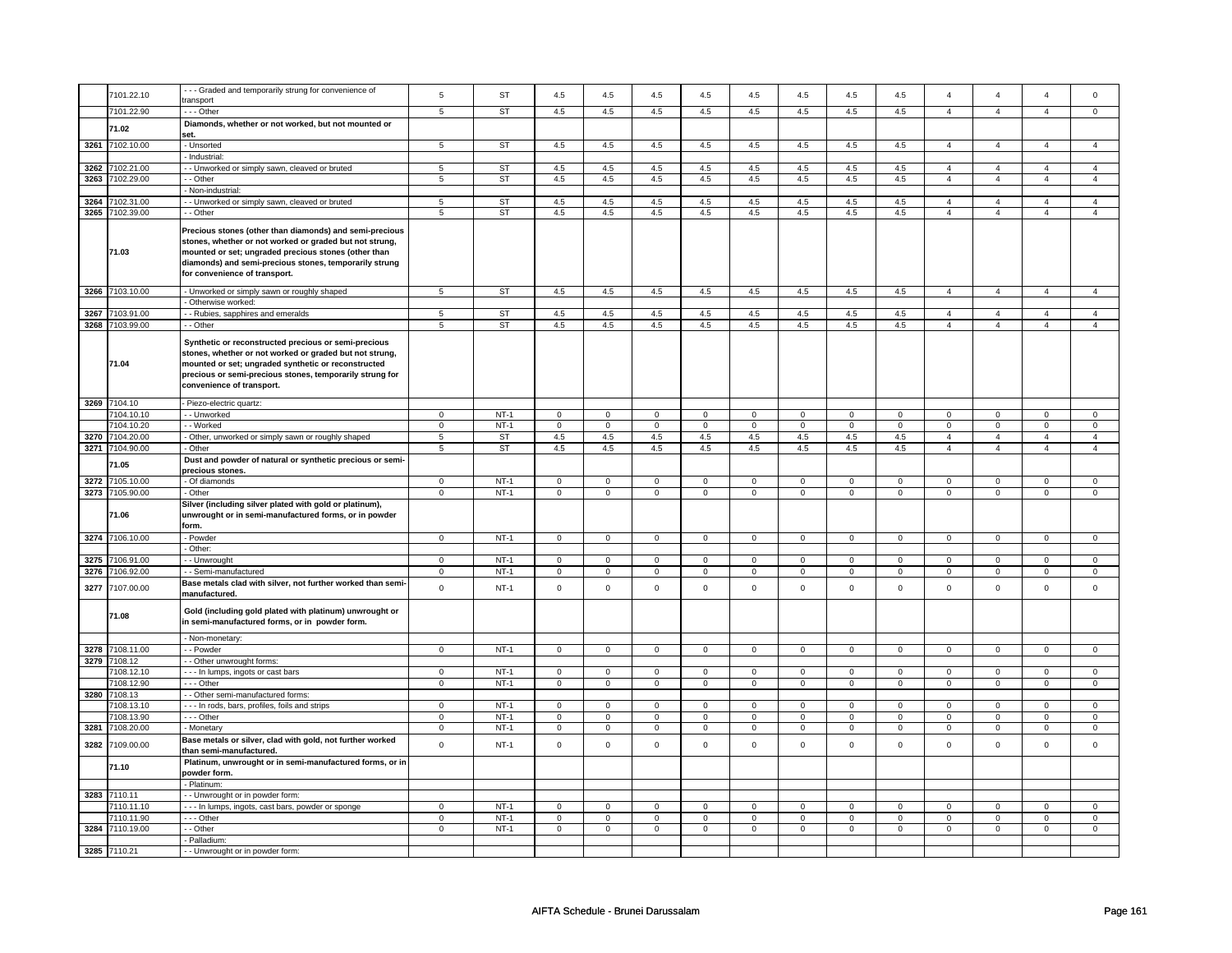|      | 7101.22.10      | --- Graded and temporarily strung for convenience of        | 5               | <b>ST</b> | 4.5                 | 4.5            | 4.5                 | 4.5            | 4.5                 | 4.5            | 4.5            | 4.5            | $\overline{4}$ | $\overline{4}$ | $\overline{4}$ | 0              |
|------|-----------------|-------------------------------------------------------------|-----------------|-----------|---------------------|----------------|---------------------|----------------|---------------------|----------------|----------------|----------------|----------------|----------------|----------------|----------------|
|      |                 | transport                                                   |                 |           |                     |                |                     |                |                     |                |                |                |                |                |                |                |
|      | 7101.22.90      | $--$ Other                                                  | $\overline{5}$  | ST        | 4.5                 | 4.5            | 4.5                 | 4.5            | 4.5                 | 4.5            | 4.5            | 4.5            | $\overline{4}$ | $\overline{4}$ | $\overline{4}$ | $\overline{0}$ |
|      | 71.02           | Diamonds, whether or not worked, but not mounted or         |                 |           |                     |                |                     |                |                     |                |                |                |                |                |                |                |
|      |                 | set.                                                        |                 |           |                     |                |                     |                |                     |                |                |                |                |                |                |                |
|      | 3261 7102.10.00 | - Unsorted                                                  | 5               | ST        | 4.5                 | 4.5            | 4.5                 | 4.5            | 4.5                 | 4.5            | 4.5            | 4.5            | $\overline{4}$ | $\overline{4}$ | $\overline{4}$ | $\overline{4}$ |
|      |                 | - Industrial:                                               |                 |           |                     |                |                     |                |                     |                |                |                |                |                |                |                |
|      | 3262 7102.21.00 | - Unworked or simply sawn, cleaved or bruted                | 5               | <b>ST</b> | 4.5                 | 4.5            | 4.5                 | 4.5            | 4.5                 | 4.5            | 4.5            | 4.5            | $\overline{4}$ | $\overline{4}$ | $\overline{4}$ | $\overline{4}$ |
|      | 3263 7102.29.00 | - Other                                                     | $\sqrt{5}$      | <b>ST</b> | 4.5                 | 4.5            | 4.5                 | 4.5            | 4.5                 | 4.5            | 4.5            | 4.5            | $\overline{4}$ | $\overline{4}$ | $\overline{4}$ | $\overline{4}$ |
|      |                 | Non-industrial:                                             |                 |           |                     |                |                     |                |                     |                |                |                |                |                |                |                |
| 3264 | 7102.31.00      | - Unworked or simply sawn, cleaved or bruted                | 5               | <b>ST</b> | 4.5                 | 4.5            | 4.5                 | 4.5            | 4.5                 | 4.5            | 4.5            | 4.5            | $\overline{4}$ | $\overline{4}$ | $\overline{4}$ | $\overline{4}$ |
|      | 3265 7102.39.00 | - Other                                                     | 5               | <b>ST</b> | 4.5                 | 4.5            | 4.5                 | 4.5            | 4.5                 | 4.5            | 4.5            | 4.5            | $\overline{4}$ | $\overline{4}$ | $\overline{4}$ | $\overline{4}$ |
|      |                 |                                                             |                 |           |                     |                |                     |                |                     |                |                |                |                |                |                |                |
|      |                 | Precious stones (other than diamonds) and semi-precious     |                 |           |                     |                |                     |                |                     |                |                |                |                |                |                |                |
|      |                 | stones, whether or not worked or graded but not strung,     |                 |           |                     |                |                     |                |                     |                |                |                |                |                |                |                |
|      | 71.03           | mounted or set; ungraded precious stones (other than        |                 |           |                     |                |                     |                |                     |                |                |                |                |                |                |                |
|      |                 | diamonds) and semi-precious stones, temporarily strung      |                 |           |                     |                |                     |                |                     |                |                |                |                |                |                |                |
|      |                 | for convenience of transport.                               |                 |           |                     |                |                     |                |                     |                |                |                |                |                |                |                |
|      | 3266 7103.10.00 | - Unworked or simply sawn or roughly shaped                 | 5               | ST        | 4.5                 | 4.5            | 4.5                 | 4.5            | 4.5                 | 4.5            | 4.5            | 4.5            | $\overline{4}$ | $\overline{4}$ | $\overline{4}$ | $\overline{4}$ |
|      |                 | Otherwise worked:                                           |                 |           |                     |                |                     |                |                     |                |                |                |                |                |                |                |
|      | 3267 7103.91.00 | - Rubies, sapphires and emeralds                            | 5               | <b>ST</b> | 4.5                 | 4.5            | 4.5                 | 4.5            | 4.5                 | 4.5            | 4.5            | 4.5            | 4              | $\overline{4}$ | $\overline{4}$ | $\overline{4}$ |
|      | 3268 7103.99.00 | - - Other                                                   | 5               | <b>ST</b> | 4.5                 | 4.5            | 4.5                 | 4.5            | 4.5                 | 4.5            | 4.5            | 4.5            | $\overline{4}$ | $\overline{4}$ | $\overline{4}$ | $\overline{4}$ |
|      |                 |                                                             |                 |           |                     |                |                     |                |                     |                |                |                |                |                |                |                |
|      |                 | Synthetic or reconstructed precious or semi-precious        |                 |           |                     |                |                     |                |                     |                |                |                |                |                |                |                |
|      |                 | stones, whether or not worked or graded but not strung,     |                 |           |                     |                |                     |                |                     |                |                |                |                |                |                |                |
|      | 71.04           | mounted or set; ungraded synthetic or reconstructed         |                 |           |                     |                |                     |                |                     |                |                |                |                |                |                |                |
|      |                 | precious or semi-precious stones, temporarily strung for    |                 |           |                     |                |                     |                |                     |                |                |                |                |                |                |                |
|      |                 | convenience of transport.                                   |                 |           |                     |                |                     |                |                     |                |                |                |                |                |                |                |
|      | 3269 7104.10    | Piezo-electric quartz:                                      |                 |           |                     |                |                     |                |                     |                |                |                |                |                |                |                |
|      |                 |                                                             |                 |           |                     |                |                     |                |                     |                |                |                |                |                |                |                |
|      | 7104.10.10      | - - Unworked                                                | $\mathbf 0$     | $NT-1$    | $\mathbf 0$         | $\mathbf 0$    | $\mathbf 0$         | $\mathbf 0$    | $\mathbf 0$         | $\mathbf 0$    | $\mathbf 0$    | $\mathbf 0$    | $\mathbf 0$    | $\mathbf 0$    | $\mathbf 0$    | $\mathbf 0$    |
|      | 7104.10.20      | - Worked                                                    | $\mathbf 0$     | $NT-1$    | $\mathbf 0$         | $\mathbf 0$    | $\mathbf 0$         | $\mathbf 0$    | $\mathbf 0$         | $\mathbf 0$    | $\mathbf 0$    | $\mathbf 0$    | $\mathbf 0$    | $\mathbf 0$    | $\mathbf 0$    | $\mathbf{0}$   |
|      | 3270 7104.20.00 | - Other, unworked or simply sawn or roughly shaped          | $\overline{5}$  | <b>ST</b> | 4.5                 | 4.5            | 4.5                 | 4.5            | 4.5                 | 4.5            | 4.5            | 4.5            | $\overline{4}$ | $\overline{4}$ | $\overline{4}$ | $\overline{4}$ |
|      | 3271 7104.90.00 | - Other                                                     | $5\overline{)}$ | ST        | 4.5                 | 4.5            | 4.5                 | 4.5            | 4.5                 | 4.5            | 4.5            | 4.5            | $\overline{4}$ | $\overline{4}$ | $\overline{4}$ | $\overline{4}$ |
|      | 71.05           | Dust and powder of natural or synthetic precious or semi-   |                 |           |                     |                |                     |                |                     |                |                |                |                |                |                |                |
|      |                 | precious stones.                                            |                 |           |                     |                |                     |                |                     |                |                |                |                |                |                |                |
|      | 3272 7105.10.00 | - Of diamonds                                               | $\mathbf 0$     | $NT-1$    | $\mathbf 0$         | $\mathbf 0$    | $\mathbf 0$         | $\mathbf{0}$   | $\mathbf 0$         | $\mathbf 0$    | $\mathbf 0$    | $\mathbf{0}$   | $\mathbf 0$    | $\mathbf 0$    | $\mathbf 0$    | $\mathbf{0}$   |
|      | 3273 7105.90.00 | - Other                                                     | $\mathbf 0$     | $NT-1$    | $\mathbf 0$         | $\mathbf 0$    | $\mathsf 0$         | $\mathbf 0$    | $\mathbf 0$         | $\mathbf 0$    | $\mathbf 0$    | $\mathbf 0$    | $\mathbf 0$    | $\mathbf 0$    | $\mathbf 0$    | $\mathbf 0$    |
|      |                 | Silver (including silver plated with gold or platinum),     |                 |           |                     |                |                     |                |                     |                |                |                |                |                |                |                |
|      | 71.06           | unwrought or in semi-manufactured forms, or in powder       |                 |           |                     |                |                     |                |                     |                |                |                |                |                |                |                |
|      |                 | form.                                                       |                 |           |                     |                |                     |                |                     |                |                |                |                |                |                |                |
|      | 3274 7106.10.00 | Powder                                                      | $\mathbf 0$     | $NT-1$    | $\mathsf 0$         | $\mathbf 0$    | $\mathsf 0$         | $\mathsf 0$    | $\mathsf 0$         | $\mathsf 0$    | $\mathbf 0$    | $\mathbf 0$    | $\mathbf 0$    | $\mathbf 0$    | $\mathbf 0$    | $\mathsf 0$    |
|      |                 | - Other:                                                    |                 |           |                     |                |                     |                |                     |                |                |                |                |                |                |                |
|      | 3275 7106.91.00 | - Unwrought                                                 | $\mathbf 0$     | $NT-1$    | $\mathbf 0$         | $\mathbf 0$    | $\mathbf 0$         | 0              | $\mathbf 0$         | 0              | 0              | $\mathbf 0$    | $\mathbf 0$    | $\mathbf 0$    | $^{\circ}$     | $\mathbf 0$    |
|      | 3276 7106.92.00 | - Semi-manufactured                                         | $\mathbf 0$     | $NT-1$    | $\mathbf 0$         | $\mathbf 0$    | $\mathbf 0$         | 0              | $\mathbf 0$         | 0              | 0              | 0              | 0              | 0              | 0              | 0              |
|      | 3277 7107.00.00 | Base metals clad with silver, not further worked than semi- | $\mathbf 0$     | $NT-1$    | $\mathsf{O}\xspace$ | $\mathsf 0$    | $\mathsf{O}\xspace$ | $\mathsf 0$    | $\mathsf{O}\xspace$ | $\mathsf 0$    | $\mathsf 0$    | $\mathsf 0$    | $\mathsf 0$    | $\mathsf 0$    | $\mathsf 0$    | $\mathsf 0$    |
|      |                 | manufactured.                                               |                 |           |                     |                |                     |                |                     |                |                |                |                |                |                |                |
|      |                 | Gold (including gold plated with platinum) unwrought or     |                 |           |                     |                |                     |                |                     |                |                |                |                |                |                |                |
|      | 71.08           | in semi-manufactured forms, or in powder form.              |                 |           |                     |                |                     |                |                     |                |                |                |                |                |                |                |
|      |                 |                                                             |                 |           |                     |                |                     |                |                     |                |                |                |                |                |                |                |
|      |                 | - Non-monetary:                                             |                 |           |                     |                |                     |                |                     |                |                |                |                |                |                |                |
|      | 3278 7108.11.00 | - - Powder                                                  | $\mathsf 0$     | $NT-1$    | $\mathsf{O}\xspace$ | $\mathsf 0$    | $\mathsf{O}\xspace$ | $\mathsf 0$    | $\mathsf{O}\xspace$ | $\mathbf 0$    | $\mathsf 0$    | $\mathsf{O}$   | $\mathsf 0$    | $\mathbf 0$    | $\mathsf 0$    | $\mathsf 0$    |
|      | 3279 7108.12    | - Other unwrought forms:                                    |                 |           |                     |                |                     |                |                     |                |                |                |                |                |                |                |
|      | 7108.12.10      | --- In lumps, ingots or cast bars                           | $\mathbf 0$     | $NT-1$    | $\mathsf{O}\xspace$ | $\mathbf 0$    | 0                   | $\mathsf 0$    | $\mathsf{O}\xspace$ | $\mathsf 0$    | $\mathsf 0$    | $\mathsf 0$    | $\mathsf 0$    | $\mathsf 0$    | $\Omega$       | $\mathsf 0$    |
|      | 7108.12.90      | --- Other                                                   | $\mathbf 0$     | $NT-1$    | $\mathsf 0$         | $\mathbf 0$    | $\mathsf 0$         | $\mathbf 0$    | $\mathsf 0$         | $\mathbf 0$    | $\mathbf 0$    | $\mathbf 0$    | $\mathbf 0$    | $\mathbf 0$    | $\mathbf 0$    | $\mathbf 0$    |
|      | 3280 7108.13    | - Other semi-manufactured forms:                            |                 |           |                     |                |                     |                |                     |                |                |                |                |                |                |                |
|      | 7108.13.10      | In rods, bars, profiles, foils and strips                   | $\mathsf 0$     | $NT-1$    | $\mathsf 0$         | $\mathbf 0$    | $\mathsf 0$         | $\mathbf 0$    | $\mathsf 0$         | $\mathbf 0$    | $\mathbf 0$    | $\mathsf 0$    | $\mathbf 0$    | $\mathsf 0$    | $\Omega$       | $\mathsf 0$    |
|      | 108.13.90       | --- Other                                                   | $\mathbf 0$     | $NT-1$    | $\mathbf 0$         | $\mathbf 0$    | $\mathbf 0$         | $\mathbf 0$    | $\mathbf 0$         | $\mathbf 0$    | $\mathbf 0$    | $\mathbf 0$    | $\mathbf 0$    | $\mathbf{0}$   | $\mathbf 0$    | $\mathbf{0}$   |
|      | 3281 7108.20.00 | - Monetary                                                  | $\overline{0}$  | $NT-1$    | $\overline{0}$      | $\overline{0}$ | $\overline{0}$      | $\overline{0}$ | $\overline{0}$      | $\overline{0}$ | $\overline{0}$ | $\overline{0}$ | $\overline{0}$ | $\overline{0}$ | $\mathbf 0$    | $\overline{0}$ |
| 3282 | 7109.00.00      | Base metals or silver, clad with gold, not further worked   | $\mathbf 0$     | $NT-1$    | $\mathbf 0$         | $\mathbf 0$    | $\mathbf 0$         | $\mathsf 0$    | $\mathbf 0$         | $\mathsf 0$    | $\mathbf 0$    | $\mathsf 0$    | $\mathbf 0$    | $\mathsf 0$    | $\mathbf 0$    | $\mathsf 0$    |
|      |                 | than semi-manufactured.                                     |                 |           |                     |                |                     |                |                     |                |                |                |                |                |                |                |
|      | 71.10           | Platinum, unwrought or in semi-manufactured forms, or in    |                 |           |                     |                |                     |                |                     |                |                |                |                |                |                |                |
|      |                 | powder form.                                                |                 |           |                     |                |                     |                |                     |                |                |                |                |                |                |                |
|      |                 | - Platinum:                                                 |                 |           |                     |                |                     |                |                     |                |                |                |                |                |                |                |
|      | 3283 7110.11    | - - Unwrought or in powder form:                            |                 |           |                     |                |                     |                |                     |                |                |                |                |                |                |                |
|      | 7110.11.10      | - - In lumps, ingots, cast bars, powder or sponge           | $\mathbf 0$     | $NT-1$    | $\mathbf 0$         | $\mathbf 0$    | $\mathbf 0$         | $\mathbf 0$    | $\mathbf 0$         | 0              | 0              | $\mathbf 0$    | $\mathbf 0$    | 0              | 0              | $\mathbf 0$    |
|      | 7110.11.90      | .-- Other                                                   | $\mathsf 0$     | $NT-1$    | $\mathbf 0$         | $\mathbf 0$    | $\mathbf 0$         | 0              | $\mathbf 0$         | 0              | 0              | 0              | 0              | 0              | 0              | $\mathsf 0$    |
|      | 3284 7110.19.00 | - - Other                                                   | $\overline{0}$  | $NT-1$    | 0                   | $\overline{0}$ | 0                   | $\overline{0}$ | 0                   | $\overline{0}$ | 0              | $\overline{0}$ | 0              | $\overline{0}$ | 0              | $\overline{0}$ |
|      |                 | - Palladium:                                                |                 |           |                     |                |                     |                |                     |                |                |                |                |                |                |                |
|      | 3285 7110.21    | - - Unwrought or in powder form:                            |                 |           |                     |                |                     |                |                     |                |                |                |                |                |                |                |
|      |                 |                                                             |                 |           |                     |                |                     |                |                     |                |                |                |                |                |                |                |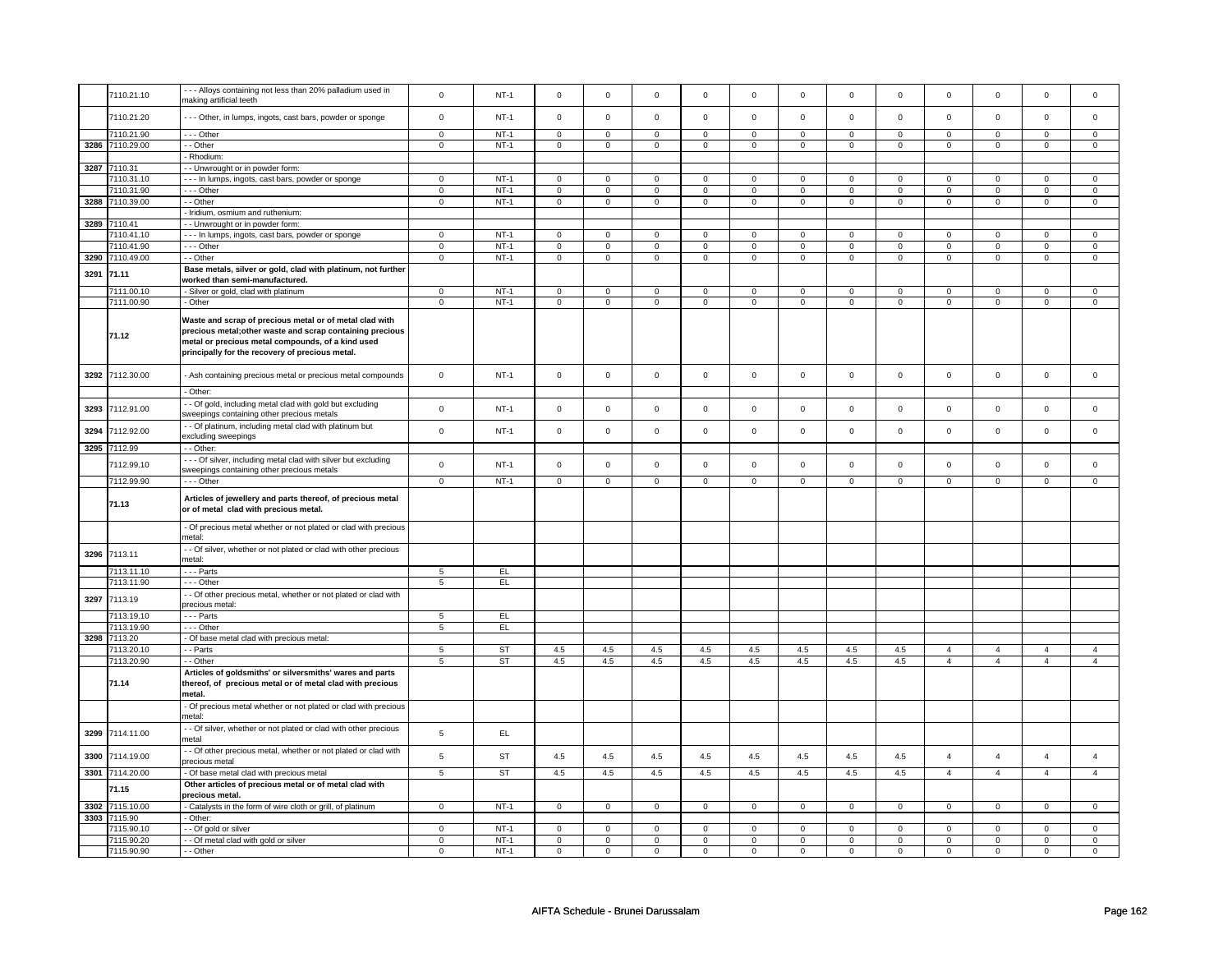|      | 7110.21.10               | --- Alloys containing not less than 20% palladium used in        | $\mathbf 0$                   | $NT-1$           | $\mathbf 0$                   | $\mathsf{o}\xspace$           | $\mathsf 0$                           | $\mathsf 0$                   | $\mathsf 0$                   | $\mathbf 0$                   | $\mathsf 0$                   | $\mathbf 0$                   | $\mathsf 0$                   | $\pmb{0}$                     | $\mathsf 0$                   | $\mathbf 0$                   |
|------|--------------------------|------------------------------------------------------------------|-------------------------------|------------------|-------------------------------|-------------------------------|---------------------------------------|-------------------------------|-------------------------------|-------------------------------|-------------------------------|-------------------------------|-------------------------------|-------------------------------|-------------------------------|-------------------------------|
|      |                          | making artificial teeth                                          |                               |                  |                               |                               |                                       |                               |                               |                               |                               |                               |                               |                               |                               |                               |
|      | 7110.21.20               | - - - Other, in lumps, ingots, cast bars, powder or sponge       | $\mathsf 0$                   | $NT-1$           | $\mathbf 0$                   | $\mathsf 0$                   | $\mathsf 0$                           | $\mathbf 0$                   | $\mathsf 0$                   | $\mathsf 0$                   | $\mathsf 0$                   | $\mathbf 0$                   | $\mathsf 0$                   | $\mathsf 0$                   | $\mathsf 0$                   | $\mathsf 0$                   |
|      |                          |                                                                  |                               |                  |                               |                               |                                       |                               |                               |                               |                               |                               |                               |                               |                               |                               |
|      | 7110.21.90               | --- Other                                                        | $\mathsf 0$                   | $NT-1$           | $\mathsf 0$                   | $\mathbf 0$                   | $\mathsf 0$                           | $\mathsf 0$                   | $\mathbf 0$                   | $\mathsf 0$                   | $\mathbf 0$                   | $\mathsf 0$                   | $\mathsf 0$                   | $\mathbf 0$                   | $\mathsf 0$                   | $\mathbf 0$                   |
|      | 3286 7110.29.00          | - - Other                                                        | $\mathsf 0$                   | $NT-1$           | $\mathsf{O}\xspace$           | $\mathsf 0$                   | $\mathsf 0$                           | $\mathsf 0$                   | $\mathsf 0$                   | $\mathsf 0$                   | $\mathsf 0$                   | $\mathsf 0$                   | $\mathsf 0$                   | $\mathsf 0$                   | $\mathsf 0$                   | $\mathsf 0$                   |
|      |                          | - Rhodium:                                                       |                               |                  |                               |                               |                                       |                               |                               |                               |                               |                               |                               |                               |                               |                               |
|      | 3287 7110.31             | - - Unwrought or in powder form:                                 |                               |                  |                               |                               |                                       |                               |                               |                               |                               |                               |                               |                               |                               |                               |
|      | 7110.31.10               | - - - In lumps, ingots, cast bars, powder or sponge              | $\mathsf 0$                   | $NT-1$           | $\mathsf 0$                   | $\mathsf 0$                   | $\mathsf 0$                           | $\mathsf 0$                   | $\mathbf 0$                   | $\mathsf 0$                   | $\mathbf 0$                   | $\mathsf 0$                   | $\mathsf 0$                   | $\mathbf 0$                   | $\mathbf 0$                   | $\mathbf 0$                   |
|      | 7110.31.90               | --- Other                                                        | $\mathbf 0$                   | $NT-1$           | $\mathsf 0$                   | $\mathbf{0}$                  | $\mathsf 0$                           | $\mathbf 0$                   | $\mathsf 0$                   | $\mathsf 0$                   | $\mathsf 0$                   | $\mathsf 0$                   | $\mathsf 0$                   | $\mathbf 0$                   | $\mathsf 0$                   | $\mathbf 0$                   |
| 3288 | 7110.39.00               | - - Other                                                        | $\mathbf 0$                   | $NT-1$           | $\mathsf 0$                   | $\mathbf{0}$                  | $\mathsf 0$                           | $\mathbf 0$                   | $\mathbf 0$                   | $\mathbf 0$                   | $\mathbf 0$                   | $\mathbf 0$                   | $\mathsf 0$                   | $\mathbf 0$                   | $\mathsf 0$                   | $\mathbf 0$                   |
|      |                          |                                                                  |                               |                  |                               |                               |                                       |                               |                               |                               |                               |                               |                               |                               |                               |                               |
|      |                          | - Iridium, osmium and ruthenium:                                 |                               |                  |                               |                               |                                       |                               |                               |                               |                               |                               |                               |                               |                               |                               |
| 3289 | 7110.41                  | - Unwrought or in powder form:                                   |                               |                  |                               |                               |                                       |                               |                               |                               |                               |                               |                               |                               |                               |                               |
|      | 7110.41.10               | --- In lumps, ingots, cast bars, powder or sponge                | $\mathbf 0$                   | $NT-1$           | $\overline{0}$                | $\overline{0}$                | $\overline{0}$                        | $\overline{0}$                | $\overline{0}$                | $\overline{0}$                | $\overline{0}$                | $\overline{0}$                | $\overline{0}$                | $\overline{0}$                | $\mathbf 0$                   | $\overline{0}$                |
|      | 7110.41.90               | - - - Other                                                      | $\mathsf 0$                   | $NT-1$           | $\mathsf 0$                   | $\mathsf 0$                   | $\mathsf 0$                           | $\mathsf 0$                   | $\mathbf 0$                   | $\mathsf 0$                   | $\mathbf 0$                   | $\mathsf 0$                   | $\mathsf 0$                   | $\mathbf 0$                   | $\mathsf 0$                   | $\mathbf 0$                   |
| 3290 | 7110.49.00               | - Other                                                          | $\mathsf 0$                   | $NT-1$           | $\mathsf{O}\xspace$           | $\mathbf 0$                   | $\mathsf{O}\xspace$                   | $\mathbf 0$                   | $\mathsf 0$                   | $\mathbf 0$                   | $\mathsf 0$                   | $\mathsf 0$                   | $\mathsf 0$                   | $\mathsf 0$                   | $\mathbf 0$                   | $\mathbf 0$                   |
| 3291 | 71.11                    | Base metals, silver or gold, clad with platinum, not further     |                               |                  |                               |                               |                                       |                               |                               |                               |                               |                               |                               |                               |                               |                               |
|      |                          | worked than semi-manufactured.                                   |                               |                  |                               |                               |                                       |                               |                               |                               |                               |                               |                               |                               |                               |                               |
|      | 7111.00.10               | - Silver or gold, clad with platinum                             | $\mathsf 0$                   | $NT-1$           | $\mathsf 0$                   | $\mathbf 0$                   | $\mathsf 0$                           | $\mathsf 0$                   | $\mathsf 0$                   | $\mathsf 0$                   | $\mathsf 0$                   | $\mathsf 0$                   | $\mathsf 0$                   | $\mathbf 0$                   | $\Omega$                      | $\mathbf 0$                   |
|      | 7111.00.90               | - Other                                                          | $\overline{0}$                | $NT-1$           | $\overline{0}$                | $\overline{0}$                | $\overline{0}$                        | $\overline{0}$                | $\overline{0}$                | $\overline{0}$                | $\overline{0}$                | $\overline{0}$                | $\overline{0}$                | $\overline{0}$                | $\overline{0}$                | $\overline{0}$                |
|      |                          |                                                                  |                               |                  |                               |                               |                                       |                               |                               |                               |                               |                               |                               |                               |                               |                               |
|      |                          | Waste and scrap of precious metal or of metal clad with          |                               |                  |                               |                               |                                       |                               |                               |                               |                               |                               |                               |                               |                               |                               |
|      |                          | precious metal; other waste and scrap containing precious        |                               |                  |                               |                               |                                       |                               |                               |                               |                               |                               |                               |                               |                               |                               |
|      | 71.12                    | metal or precious metal compounds, of a kind used                |                               |                  |                               |                               |                                       |                               |                               |                               |                               |                               |                               |                               |                               |                               |
|      |                          | principally for the recovery of precious metal.                  |                               |                  |                               |                               |                                       |                               |                               |                               |                               |                               |                               |                               |                               |                               |
|      |                          |                                                                  |                               |                  |                               |                               |                                       |                               |                               |                               |                               |                               |                               |                               |                               |                               |
| 3292 | 7112.30.00               |                                                                  | $\mathbf 0$                   | $NT-1$           | $\mathsf 0$                   | $\mathbf 0$                   | $\mathsf 0$                           | $\mathbf 0$                   | $\mathsf 0$                   | $\mathbf 0$                   | $\mathsf 0$                   | $\mathbf 0$                   | $\mathsf 0$                   | $\mathsf 0$                   | $\mathsf 0$                   | $\mathsf 0$                   |
|      |                          | - Ash containing precious metal or precious metal compounds      |                               |                  |                               |                               |                                       |                               |                               |                               |                               |                               |                               |                               |                               |                               |
|      |                          | - Other:                                                         |                               |                  |                               |                               |                                       |                               |                               |                               |                               |                               |                               |                               |                               |                               |
|      |                          | - Of gold, including metal clad with gold but excluding          |                               |                  |                               |                               |                                       |                               |                               |                               |                               |                               |                               |                               |                               |                               |
| 3293 | 7112.91.00               | sweepings containing other precious metals                       | $\mathbf 0$                   | $NT-1$           | $\mathsf 0$                   | $\mathsf 0$                   | $\Omega$                              | $\mathbf 0$                   | $\mathsf 0$                   | $\mathbf 0$                   | $\mathbf 0$                   | $\mathbf 0$                   | $\mathbf 0$                   | $\mathsf 0$                   | $\Omega$                      | $\mathsf 0$                   |
|      |                          |                                                                  |                               |                  |                               |                               |                                       |                               |                               |                               |                               |                               |                               |                               |                               |                               |
| 3294 | 7112.92.00               | - Of platinum, including metal clad with platinum but            | $\mathsf 0$                   | $NT-1$           | $\mathsf 0$                   | $\mathsf 0$                   | $\mathsf 0$                           | $\mathsf 0$                   | $\mathbf 0$                   | $\mathsf 0$                   | $\mathsf 0$                   | $\mathsf 0$                   | $\mathsf 0$                   | $\mathsf 0$                   | $\mathsf 0$                   | $\mathsf 0$                   |
|      |                          | excluding sweepings                                              |                               |                  |                               |                               |                                       |                               |                               |                               |                               |                               |                               |                               |                               |                               |
|      | 3295 7112.99             | - - Other:                                                       |                               |                  |                               |                               |                                       |                               |                               |                               |                               |                               |                               |                               |                               |                               |
|      | 7112.99.10               | --- Of silver, including metal clad with silver but excluding    | $\mathbf 0$                   | $NT-1$           | $\mathsf 0$                   | $\mathsf 0$                   | $\Omega$                              | $\mathsf 0$                   | $\mathbf 0$                   | $\mathsf 0$                   | $\mathbf 0$                   | $\mathsf 0$                   | $\mathsf 0$                   | $\mathsf 0$                   | $\mathbf 0$                   | $\mathbf 0$                   |
|      |                          | sweepings containing other precious metals                       |                               |                  |                               |                               |                                       |                               |                               |                               |                               |                               |                               |                               |                               |                               |
|      | 7112.99.90               | - - - Other                                                      | $\mathbf 0$                   | $NT-1$           | $\mathsf 0$                   | $\mathbf 0$                   | $\mathsf 0$                           | $\mathsf 0$                   | $\mathsf 0$                   | $\mathsf 0$                   | $\mathsf 0$                   | $\mathsf 0$                   | $\mathsf 0$                   | $\mathsf 0$                   | $\mathsf 0$                   | $\mathbf 0$                   |
|      |                          |                                                                  |                               |                  |                               |                               |                                       |                               |                               |                               |                               |                               |                               |                               |                               |                               |
|      | 71.13                    | Articles of jewellery and parts thereof, of precious metal       |                               |                  |                               |                               |                                       |                               |                               |                               |                               |                               |                               |                               |                               |                               |
|      |                          | or of metal clad with precious metal.                            |                               |                  |                               |                               |                                       |                               |                               |                               |                               |                               |                               |                               |                               |                               |
|      |                          | - Of precious metal whether or not plated or clad with precious  |                               |                  |                               |                               |                                       |                               |                               |                               |                               |                               |                               |                               |                               |                               |
|      |                          | metal:                                                           |                               |                  |                               |                               |                                       |                               |                               |                               |                               |                               |                               |                               |                               |                               |
|      |                          | - Of silver, whether or not plated or clad with other precious   |                               |                  |                               |                               |                                       |                               |                               |                               |                               |                               |                               |                               |                               |                               |
| 3296 | 7113.11                  | metal                                                            |                               |                  |                               |                               |                                       |                               |                               |                               |                               |                               |                               |                               |                               |                               |
|      | 7113.11.10               | - - - Parts                                                      | 5                             |                  |                               |                               |                                       |                               |                               |                               |                               |                               |                               |                               |                               |                               |
|      |                          |                                                                  |                               | EL               |                               |                               |                                       |                               |                               |                               |                               |                               |                               |                               |                               |                               |
|      | 7113.11.90               | $-$ - Other                                                      | 5                             | EL               |                               |                               |                                       |                               |                               |                               |                               |                               |                               |                               |                               |                               |
| 3297 | 7113.19                  | - - Of other precious metal, whether or not plated or clad with  |                               |                  |                               |                               |                                       |                               |                               |                               |                               |                               |                               |                               |                               |                               |
|      |                          | precious metal:                                                  |                               |                  |                               |                               |                                       |                               |                               |                               |                               |                               |                               |                               |                               |                               |
|      | 7113.19.10               | $\cdots$ Parts                                                   | 5                             | EL               |                               |                               |                                       |                               |                               |                               |                               |                               |                               |                               |                               |                               |
|      | 7113.19.90               | $- -$ Other                                                      | $\overline{5}$                | EL               |                               |                               |                                       |                               |                               |                               |                               |                               |                               |                               |                               |                               |
|      | 3298 7113.20             | - Of base metal clad with precious metal:                        |                               |                  |                               |                               |                                       |                               |                               |                               |                               |                               |                               |                               |                               |                               |
|      | 7113.20.10               | - - Parts                                                        | $\,$ 5 $\,$                   | <b>ST</b>        | 4.5                           | 4.5                           | 4.5                                   | 4.5                           | 4.5                           | 4.5                           | 4.5                           | 4.5                           | $\overline{4}$                | $\overline{4}$                | $\overline{4}$                | $\overline{4}$                |
|      | 7113.20.90               | - - Other                                                        | $\overline{5}$                | <b>ST</b>        | 4.5                           | 4.5                           | 4.5                                   | 4.5                           | 4.5                           | 4.5                           | 4.5                           | 4.5                           | $\overline{4}$                | $\overline{4}$                | $\overline{4}$                | $\overline{4}$                |
|      |                          | Articles of goldsmiths' or silversmiths' wares and parts         |                               |                  |                               |                               |                                       |                               |                               |                               |                               |                               |                               |                               |                               |                               |
|      | 71.14                    | thereof, of precious metal or of metal clad with precious        |                               |                  |                               |                               |                                       |                               |                               |                               |                               |                               |                               |                               |                               |                               |
|      |                          | metal.                                                           |                               |                  |                               |                               |                                       |                               |                               |                               |                               |                               |                               |                               |                               |                               |
|      |                          | Of precious metal whether or not plated or clad with precious    |                               |                  |                               |                               |                                       |                               |                               |                               |                               |                               |                               |                               |                               |                               |
|      |                          | metal:                                                           |                               |                  |                               |                               |                                       |                               |                               |                               |                               |                               |                               |                               |                               |                               |
|      |                          |                                                                  |                               |                  |                               |                               |                                       |                               |                               |                               |                               |                               |                               |                               |                               |                               |
| 3299 | 7114.11.00               | - - Of silver, whether or not plated or clad with other precious | $\,$ 5 $\,$                   | EL               |                               |                               |                                       |                               |                               |                               |                               |                               |                               |                               |                               |                               |
|      |                          | netal                                                            |                               |                  |                               |                               |                                       |                               |                               |                               |                               |                               |                               |                               |                               |                               |
| 3300 | 7114.19.00               | - Of other precious metal, whether or not plated or clad with    | $\sqrt{5}$                    | <b>ST</b>        | 4.5                           | 4.5                           | 4.5                                   | 4.5                           | 4.5                           | 4.5                           | 4.5                           | 4.5                           | $\overline{4}$                | $\overline{4}$                | $\overline{4}$                | $\overline{4}$                |
|      |                          | precious metal                                                   |                               |                  |                               |                               |                                       |                               |                               |                               |                               |                               |                               |                               |                               |                               |
| 3301 | 7114.20.00               | - Of base metal clad with precious metal                         | 5                             | <b>ST</b>        | 4.5                           | 4.5                           | 4.5                                   | 4.5                           | 4.5                           | 4.5                           | 4.5                           | 4.5                           | $\overline{4}$                | 4                             | $\overline{4}$                | 4                             |
|      |                          | Other articles of precious metal or of metal clad with           |                               |                  |                               |                               |                                       |                               |                               |                               |                               |                               |                               |                               |                               |                               |
|      | 71.15                    | precious metal.                                                  |                               |                  |                               |                               |                                       |                               |                               |                               |                               |                               |                               |                               |                               |                               |
| 3302 | 7115.10.00               | - Catalysts in the form of wire cloth or grill, of platinum      | $\mathbf 0$                   | $NT-1$           | $\overline{0}$                | $\overline{0}$                | $\overline{0}$                        | $\overline{0}$                | $\overline{0}$                | $\overline{0}$                | $\overline{0}$                | $\overline{0}$                | $\overline{0}$                | $\overline{0}$                | $\overline{0}$                | $\overline{0}$                |
| 3303 | 7115.90                  | - Other:                                                         |                               |                  |                               |                               |                                       |                               |                               |                               |                               |                               |                               |                               |                               |                               |
|      |                          | - Of gold or silver                                              | $\mathsf 0$                   | $NT-1$           | $\overline{0}$                | $\overline{0}$                | $\mathsf 0$                           | $\overline{0}$                | $\overline{0}$                | $\overline{0}$                | $\mathsf 0$                   | $\overline{0}$                | $\overline{0}$                | $\overline{0}$                | $\overline{0}$                | $\overline{0}$                |
|      |                          |                                                                  |                               |                  |                               |                               |                                       |                               |                               |                               |                               |                               |                               |                               |                               |                               |
|      | 7115.90.10               |                                                                  |                               |                  |                               |                               |                                       |                               |                               |                               |                               |                               |                               |                               |                               |                               |
|      | 7115.90.20<br>7115.90.90 | - - Of metal clad with gold or silver<br>- - Other               | $\overline{0}$<br>$\mathbf 0$ | $NT-1$<br>$NT-1$ | $\overline{0}$<br>$\mathsf 0$ | $\overline{0}$<br>$\mathbf 0$ | $\overline{0}$<br>$\mathsf{O}\xspace$ | $\overline{0}$<br>$\mathbf 0$ | $\overline{0}$<br>$\mathsf 0$ | $\overline{0}$<br>$\mathbf 0$ | $\overline{0}$<br>$\mathsf 0$ | $\overline{0}$<br>$\mathbf 0$ | $\overline{0}$<br>$\mathsf 0$ | $\overline{0}$<br>$\mathsf 0$ | $\overline{0}$<br>$\mathsf 0$ | $\overline{0}$<br>$\mathsf 0$ |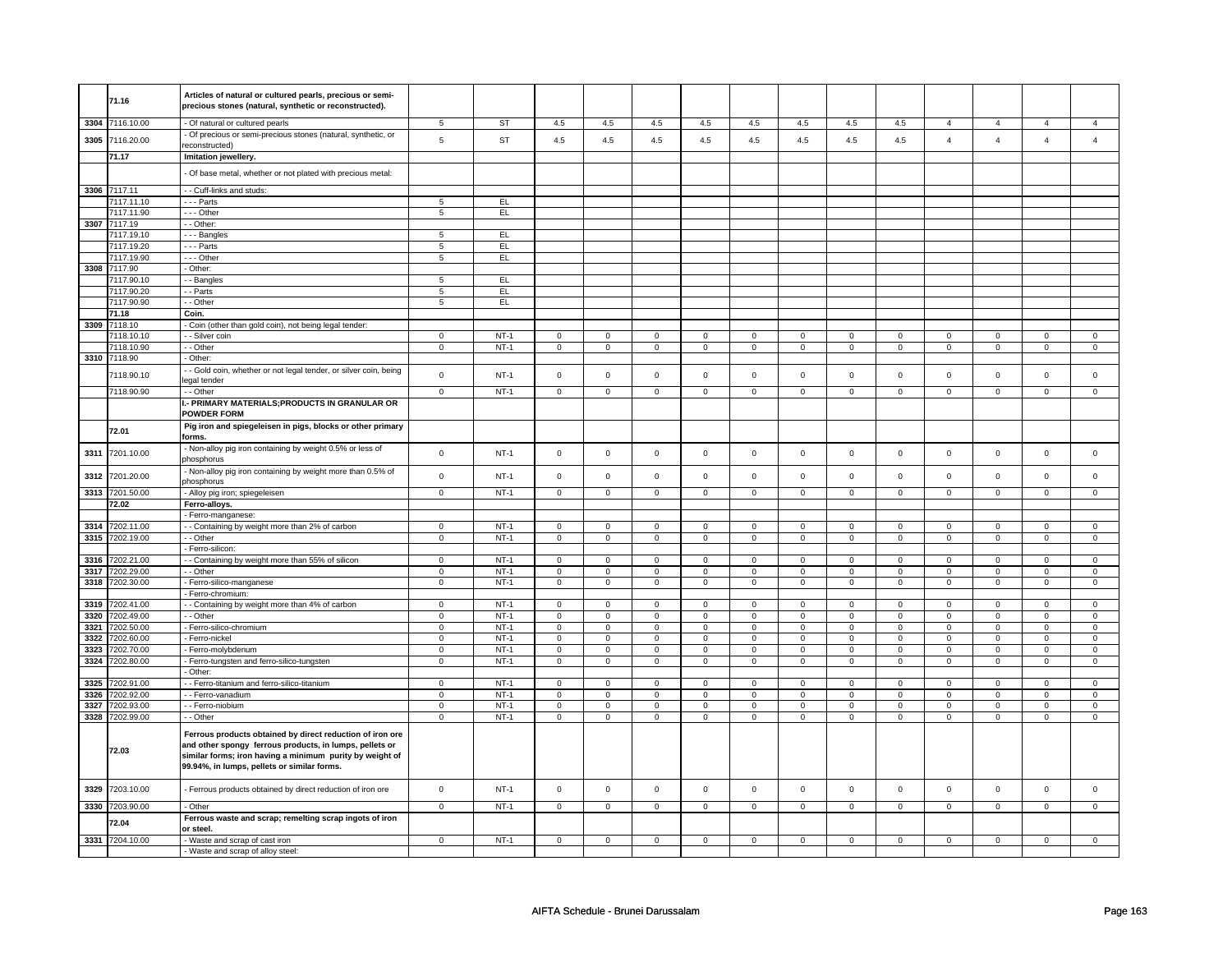|              | 71.16                      | Articles of natural or cultured pearls, precious or semi-<br>precious stones (natural, synthetic or reconstructed).                                                                                                             |                            |                       |                     |                  |                          |                  |                  |                            |                            |                     |                  |                               |                         |                               |
|--------------|----------------------------|---------------------------------------------------------------------------------------------------------------------------------------------------------------------------------------------------------------------------------|----------------------------|-----------------------|---------------------|------------------|--------------------------|------------------|------------------|----------------------------|----------------------------|---------------------|------------------|-------------------------------|-------------------------|-------------------------------|
|              | 3304 7116.10.00            | - Of natural or cultured pearls                                                                                                                                                                                                 | 5                          | <b>ST</b>             | 4.5                 | 4.5              | 4.5                      | 4.5              | 4.5              | 4.5                        | 4.5                        | 4.5                 | $\overline{4}$   | $\overline{a}$                | $\overline{4}$          | $\overline{4}$                |
| 3305         | 7116.20.00                 | - Of precious or semi-precious stones (natural, synthetic, or                                                                                                                                                                   | $\mathbf 5$                | <b>ST</b>             | $4.5\,$             | 4.5              | 4.5                      | $4.5\,$          | $4.5\,$          | $4.5\,$                    | 4.5                        | 4.5                 | $\overline{4}$   | $\overline{4}$                | $\overline{4}$          | $\overline{4}$                |
|              | 71.17                      | econstructed)<br>Imitation jewellery.                                                                                                                                                                                           |                            |                       |                     |                  |                          |                  |                  |                            |                            |                     |                  |                               |                         |                               |
|              |                            |                                                                                                                                                                                                                                 |                            |                       |                     |                  |                          |                  |                  |                            |                            |                     |                  |                               |                         |                               |
|              |                            | Of base metal, whether or not plated with precious metal:                                                                                                                                                                       |                            |                       |                     |                  |                          |                  |                  |                            |                            |                     |                  |                               |                         |                               |
|              | 3306 7117.11               | - - Cuff-links and studs:                                                                                                                                                                                                       |                            |                       |                     |                  |                          |                  |                  |                            |                            |                     |                  |                               |                         |                               |
|              | 7117.11.10                 | --- Parts                                                                                                                                                                                                                       | 5                          | EL                    |                     |                  |                          |                  |                  |                            |                            |                     |                  |                               |                         |                               |
| 3307         | 7117.11.90<br>7117.19      | - - - Other<br>- Other:                                                                                                                                                                                                         | 5                          | EL.                   |                     |                  |                          |                  |                  |                            |                            |                     |                  |                               |                         |                               |
|              | 7117.19.10                 | - - - Bangles                                                                                                                                                                                                                   | 5                          | EL.                   |                     |                  |                          |                  |                  |                            |                            |                     |                  |                               |                         |                               |
|              | 7117.19.20                 | - - - Parts                                                                                                                                                                                                                     | $5\phantom{.0}$            | EL.                   |                     |                  |                          |                  |                  |                            |                            |                     |                  |                               |                         |                               |
|              | 7117.19.90                 | - - - Other                                                                                                                                                                                                                     | 5                          | EL.                   |                     |                  |                          |                  |                  |                            |                            |                     |                  |                               |                         |                               |
| 3308         | 7117.90                    | - Other:                                                                                                                                                                                                                        |                            |                       |                     |                  |                          |                  |                  |                            |                            |                     |                  |                               |                         |                               |
|              | 7117.90.10                 | - Bangles                                                                                                                                                                                                                       | $\overline{5}$             | EL                    |                     |                  |                          |                  |                  |                            |                            |                     |                  |                               |                         |                               |
|              | 7117.90.20                 | - Parts                                                                                                                                                                                                                         | 5                          | EL.                   |                     |                  |                          |                  |                  |                            |                            |                     |                  |                               |                         |                               |
|              | 7117.90.90                 | - - Other                                                                                                                                                                                                                       | 5                          | EL                    |                     |                  |                          |                  |                  |                            |                            |                     |                  |                               |                         |                               |
|              | 71.18                      | Coin.                                                                                                                                                                                                                           |                            |                       |                     |                  |                          |                  |                  |                            |                            |                     |                  |                               |                         |                               |
|              | 3309 7118.10<br>7118.10.10 | - Coin (other than gold coin), not being legal tender:<br>- - Silver coin                                                                                                                                                       | $\mathbf 0$                | $NT-1$                | $\mathbf 0$         | $\mathbf 0$      | $\mathbf 0$              | 0                | $\mathbf 0$      | 0                          | $\Omega$                   | $\mathbf 0$         | $\mathbf 0$      | $\mathbf 0$                   | $\Omega$                | $\Omega$                      |
|              | 7118.10.90                 | $-$ Other                                                                                                                                                                                                                       | $\mathsf 0$                | $NT-1$                | $\mathsf 0$         | $\mathsf 0$      | $\mathsf 0$              | $\mathsf 0$      | $\mathbf 0$      | $\mathsf 0$                | $\mathbf 0$                | $\mathsf 0$         | $\mathsf 0$      | $\mathbf 0$                   | $\mathbf 0$             | $\mathbf 0$                   |
| 3310         | 7118.90                    | - Other:                                                                                                                                                                                                                        |                            |                       |                     |                  |                          |                  |                  |                            |                            |                     |                  |                               |                         |                               |
|              |                            | - Gold coin, whether or not legal tender, or silver coin, being                                                                                                                                                                 |                            |                       |                     |                  |                          |                  |                  |                            |                            |                     |                  |                               |                         |                               |
|              | 7118.90.10                 | egal tender                                                                                                                                                                                                                     | $\mathbf 0$                | $NT-1$                | 0                   | $\mathbf 0$      | $\mathbf 0$              | 0                | 0                | $\mathbf 0$                | $\mathbf 0$                | $\mathbf 0$         | 0                | $\mathsf 0$                   | $\mathbf 0$             | $\mathbf 0$                   |
|              | 7118.90.90                 | - - Other                                                                                                                                                                                                                       | $\overline{0}$             | $NT-1$                | $\mathbf 0$         | $\mathbf 0$      | $\mathbf 0$              | $\mathbf 0$      | 0                | $\mathbf 0$                | $\mathbf 0$                | $\overline{0}$      | 0                | $\overline{0}$                | $\mathbf 0$             | $\overline{0}$                |
|              |                            | - PRIMARY MATERIALS; PRODUCTS IN GRANULAR OR                                                                                                                                                                                    |                            |                       |                     |                  |                          |                  |                  |                            |                            |                     |                  |                               |                         |                               |
|              |                            | <b>POWDER FORM</b>                                                                                                                                                                                                              |                            |                       |                     |                  |                          |                  |                  |                            |                            |                     |                  |                               |                         |                               |
|              | 72.01                      | Pig iron and spiegeleisen in pigs, blocks or other primary<br>orms.                                                                                                                                                             |                            |                       |                     |                  |                          |                  |                  |                            |                            |                     |                  |                               |                         |                               |
| 3311         | 7201.10.00                 | - Non-alloy pig iron containing by weight 0.5% or less of<br>phosphorus                                                                                                                                                         | $\mathbf 0$                | $NT-1$                | $\mathsf 0$         | $\mathbf 0$      | $\mathsf{O}\xspace$      | $\mathbf 0$      | $\mathsf 0$      | $\mathbf 0$                | $\mathsf 0$                | $\mathbf 0$         | $\mathsf 0$      | $\mathsf 0$                   | $\mathsf 0$             | $\mathsf 0$                   |
| 3312         | 7201.20.00                 | - Non-alloy pig iron containing by weight more than 0.5% of<br>phosphorus                                                                                                                                                       | $\mathbf 0$                | $NT-1$                | $\mathsf 0$         | $\mathbf 0$      | $\mathsf{O}\xspace$      | $\mathbf 0$      | $\mathbf 0$      | $\mathbf 0$                | $\mathbf 0$                | $\mathbf 0$         | $\mathsf 0$      | $\mathsf 0$                   | $\mathbf 0$             | $\mathsf 0$                   |
| 3313         | 7201.50.00                 | - Alloy pig iron; spiegeleisen                                                                                                                                                                                                  | $\overline{0}$             | $NT-1$                | $\overline{0}$      | $\overline{0}$   | $\overline{0}$           | $\overline{0}$   | $\overline{0}$   | $\overline{0}$             | $\overline{0}$             | $\overline{0}$      | $\overline{0}$   | $\overline{0}$                | $\overline{0}$          | $\overline{0}$                |
|              | 72.02                      | Ferro-alloys.                                                                                                                                                                                                                   |                            |                       |                     |                  |                          |                  |                  |                            |                            |                     |                  |                               |                         |                               |
|              |                            | - Ferro-manganese:                                                                                                                                                                                                              |                            |                       |                     |                  |                          |                  |                  |                            |                            |                     |                  |                               |                         |                               |
|              | 3314 7202.11.00            | - Containing by weight more than 2% of carbon                                                                                                                                                                                   | $\mathbf 0$                | <b>NT-1</b><br>$NT-1$ | $\mathbf 0$         | $\mathbf 0$      | $\mathbf 0$              | $\mathbf 0$      | 0                | $\mathsf 0$<br>$\mathbf 0$ | 0                          | 0<br>$\mathbf 0$    | 0                | $\mathsf 0$<br>$\mathbf 0$    | 0                       | $\mathbf 0$<br>$\mathbf 0$    |
| 3315         | 7202.19.00                 | - - Other<br>- Ferro-silicon:                                                                                                                                                                                                   | $\mathbf 0$                |                       | $\mathbf 0$         | $\mathbf 0$      | $\mathbf 0$              | $\mathbf{0}$     | $\mathbf 0$      |                            | $\mathbf 0$                |                     | $\mathbf 0$      |                               | $\mathbf 0$             |                               |
| 3316         | 7202.21.00                 | - Containing by weight more than 55% of silicon                                                                                                                                                                                 | $\mathsf 0$                | $NT-1$                | $\mathsf 0$         | $\mathbf 0$      | $\mathbf 0$              | $\mathsf 0$      | $\mathbf 0$      | $\mathbf 0$                | $\mathbf 0$                | $\mathbf 0$         | $\mathbf 0$      | $\mathbf 0$                   | $\mathbf 0$             | $\mathbf 0$                   |
| 3317         | 7202.29.00                 | - - Other                                                                                                                                                                                                                       | $\mathbf 0$                | $NT-1$                | $\mathsf 0$         | $\mathbf 0$      | $\mathsf 0$              | $\mathsf 0$      | $\mathbf 0$      | $\mathsf 0$                | $\mathbf 0$                | $\mathsf 0$         | $\mathsf 0$      | $\mathbf 0$                   | $\mathsf 0$             | $\mathbf 0$                   |
| 3318         | 7202.30.00                 | - Ferro-silico-manganese                                                                                                                                                                                                        | $\mathsf 0$                | $NT-1$                | $\mathsf 0$         | $\mathbf 0$      | $\mathsf 0$              | $\mathsf 0$      | $\mathbf 0$      | $\mathsf 0$                | $\mathbf 0$                | $\mathsf 0$         | $\mathsf 0$      | $\mathbf 0$                   | $\mathsf 0$             | $\mathbf 0$                   |
|              |                            | Ferro-chromium:                                                                                                                                                                                                                 |                            |                       |                     |                  |                          |                  |                  |                            |                            |                     |                  |                               |                         |                               |
| 3319         | 7202.41.00                 | - - Containing by weight more than 4% of carbon                                                                                                                                                                                 | $\mathbf{0}$               | <b>NT-1</b>           | $\mathbf 0$         | $\overline{0}$   | $\mathbf 0$              | $\mathbf{0}$     | $\mathbf 0$      | $\overline{0}$             | $\mathbf 0$                | $\mathbf 0$         | 0                | $\mathbf 0$                   | $^{\circ}$              | $\mathbf{0}$                  |
| 3320         | 7202.49.00                 | - - Other                                                                                                                                                                                                                       | $\mathbf 0$                | <b>NT-1</b>           | $\mathbf 0$         | $\mathbf 0$      | $\mathbf 0$              | $\mathbf 0$      | 0                | $\mathbf 0$                | $\mathbf 0$                | $\mathbf 0$         | 0                | $\mathbf 0$                   | $\mathbf 0$             | $\mathbf{0}$                  |
| 3321         | 7202.50.00                 | - Ferro-silico-chromium                                                                                                                                                                                                         | $\mathbf 0$                | $NT-1$                | $\mathbf 0$         | $\mathbf 0$      | $\mathbf 0$              | 0                | $\mathbf 0$      | 0                          | $\mathbf 0$                | $\mathbf 0$         | $\mathbf 0$      | 0                             | $\mathbf 0$             | $\mathbf 0$                   |
| 3322         | 7202.60.00                 | Ferro-nickel                                                                                                                                                                                                                    | $\mathbf 0$                | $NT-1$                | $\mathbf 0$         | $\mathbf 0$      | $\mathbf 0$              | $\mathsf 0$      | $\mathbf 0$      | $\mathsf 0$                | $\mathbf 0$                | $\mathsf 0$         | $\mathbf 0$      | $\mathbf 0$                   | $\Omega$<br>$\mathbf 0$ | $\mathbf 0$                   |
| 3323<br>3324 | 7202.70.00<br>7202.80.00   | Ferro-molybdenum<br>- Ferro-tungsten and ferro-silico-tungsten                                                                                                                                                                  | $\mathbf 0$<br>$\mathbf 0$ | <b>NT-1</b><br>$NT-1$ | 0<br>$\mathsf 0$    | 0<br>$\mathbf 0$ | 0<br>$\mathsf{O}\xspace$ | 0<br>$\mathbf 0$ | 0<br>$\mathsf 0$ | 0<br>$\overline{0}$        | $\mathbf 0$<br>$\mathsf 0$ | 0<br>$\overline{0}$ | 0<br>$\mathsf 0$ | $\mathbf 0$<br>$\overline{0}$ | $\pmb{0}$               | $\mathbf 0$<br>$\overline{0}$ |
|              |                            | Other:                                                                                                                                                                                                                          |                            |                       |                     |                  |                          |                  |                  |                            |                            |                     |                  |                               |                         |                               |
| 3325         | 7202.91.00                 | - - Ferro-titanium and ferro-silico-titanium                                                                                                                                                                                    | $\mathbf 0$                | $NT-1$                | $\mathbf 0$         | $\mathbf 0$      | $\mathbf 0$              | 0                | 0                | 0                          | 0                          | 0                   | 0                | $\mathbf 0$                   | 0                       | $\Omega$                      |
| 3326         | 7202.92.00                 | - - Ferro-vanadium                                                                                                                                                                                                              | $\mathsf 0$                | $NT-1$                | $\mathsf 0$         | $\mathbf 0$      | $\mathsf 0$              | $\mathsf 0$      | $\mathsf 0$      | $\mathsf 0$                | $\mathsf 0$                | $\mathsf 0$         | $\mathsf 0$      | $\mathbf 0$                   | $\mathsf 0$             | $\mathbf 0$                   |
| 3327         | 7202.93.00                 | - - Ferro-niobium                                                                                                                                                                                                               | $\pmb{0}$                  | $NT-1$                | $\mathsf 0$         | $\mathbf 0$      | $\mathbf 0$              | $\mathsf 0$      | $\mathsf 0$      | $\mathbf 0$                | $\mathsf 0$                | $\mathbf 0$         | $\mathbf 0$      | $\mathsf 0$                   | $\mathsf 0$             | $\mathsf 0$                   |
|              | 3328 7202.99.00            | - - Other                                                                                                                                                                                                                       | $\mathbf 0$                | $NT-1$                | $\mathsf{O}\xspace$ | $\mathbf 0$      | $\mathsf{O}\xspace$      | $\mathbf 0$      | $\mathsf 0$      | $\mathbf 0$                | $\mathsf 0$                | $\mathbf 0$         | $\mathsf 0$      | $\mathsf 0$                   | $\mathsf 0$             | $\overline{0}$                |
|              | 72.03                      | Ferrous products obtained by direct reduction of iron ore<br>and other spongy ferrous products, in lumps, pellets or<br>similar forms; iron having a minimum purity by weight of<br>99.94%, in lumps, pellets or similar forms. |                            |                       |                     |                  |                          |                  |                  |                            |                            |                     |                  |                               |                         |                               |
| 3329         | 7203.10.00                 | Ferrous products obtained by direct reduction of iron ore                                                                                                                                                                       | $\mathbf 0$                | $NT-1$                | $\mathbf 0$         | $\mathbf 0$      | $\mathbf 0$              | $\mathbf 0$      | $\mathbf 0$      | $\mathbf 0$                | $\mathbf 0$                | $\mathbf 0$         | $\mathsf 0$      | $\mathbf 0$                   | $\mathsf 0$             | $\mathbf 0$                   |
| 3330         | 7203.90.00                 | Other                                                                                                                                                                                                                           | $\mathsf 0$                | $NT-1$                | $\mathsf 0$         | $\mathsf 0$      | $\mathsf 0$              | $\mathsf 0$      | $\mathbf 0$      | $\mathsf 0$                | $\mathbf 0$                | $\mathsf 0$         | $\mathsf 0$      | $\mathbf 0$                   | $\mathbf 0$             | $\mathbf 0$                   |
|              | 72.04                      | Ferrous waste and scrap; remelting scrap ingots of iron<br>or steel.                                                                                                                                                            |                            |                       |                     |                  |                          |                  |                  |                            |                            |                     |                  |                               |                         |                               |
|              | 3331 7204.10.00            | - Waste and scrap of cast iron                                                                                                                                                                                                  | $\Omega$                   | $NT-1$                | $\Omega$            | $\Omega$         | $\Omega$                 | $\Omega$         | $\Omega$         | $\Omega$                   | $\Omega$                   | $\Omega$            | $\Omega$         | $\Omega$                      | $\Omega$                | $\Omega$                      |
|              |                            | - Waste and scrap of alloy steel:                                                                                                                                                                                               |                            |                       |                     |                  |                          |                  |                  |                            |                            |                     |                  |                               |                         |                               |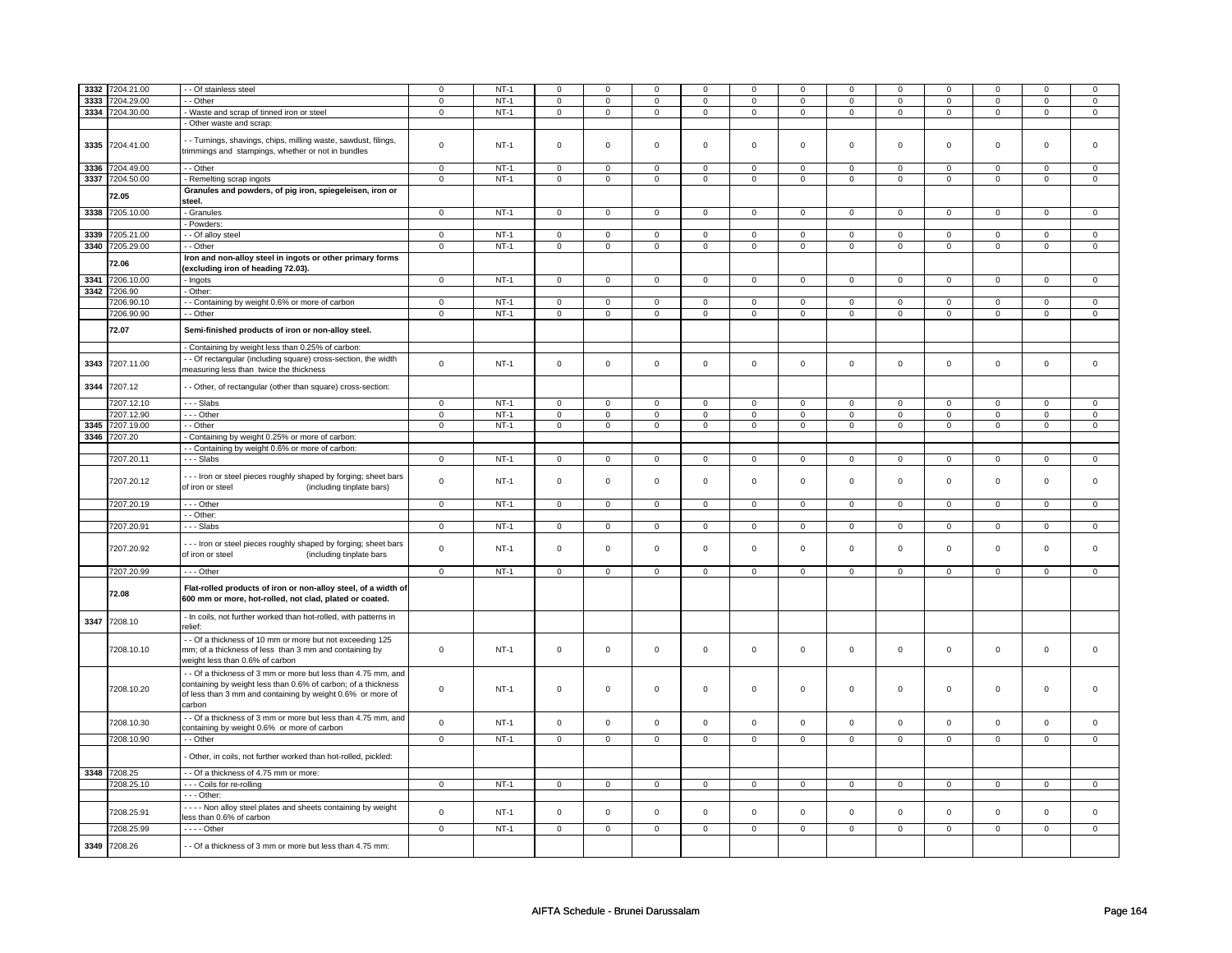| 3332 | 7204.21.00      | - Of stainless steel                                                                                                                                                                                 | $\mathbf 0$    | $NT-1$ | $\mathsf 0$         | $\mathbf 0$    | $\Omega$       | $\mathbf 0$    | $\Omega$       | $\mathbf 0$    | $\Omega$       | $\Omega$       | $\Omega$            | $\Omega$       | $\Omega$       | $\Omega$       |
|------|-----------------|------------------------------------------------------------------------------------------------------------------------------------------------------------------------------------------------------|----------------|--------|---------------------|----------------|----------------|----------------|----------------|----------------|----------------|----------------|---------------------|----------------|----------------|----------------|
|      |                 |                                                                                                                                                                                                      |                |        |                     |                |                |                |                |                |                |                |                     |                |                |                |
| 3333 | 7204.29.00      | $-$ Other                                                                                                                                                                                            | $\mathsf 0$    | $NT-1$ | $\mathbf 0$         | $\mathbf 0$    | $\mathbf{0}$   | $\mathbf 0$    | $\mathbf{0}$   | $\mathbf 0$    | $\mathbf 0$    | $\mathbf 0$    | $\mathbf 0$         | $\mathbf 0$    | $\mathbf 0$    | $\circ$        |
| 3334 | 7204.30.00      | - Waste and scrap of tinned iron or steel                                                                                                                                                            | $\mathbf 0$    | $NT-1$ | $\mathbf 0$         | $\mathbf 0$    | $\mathbf 0$    | $\mathbf 0$    | 0              | $\mathbf 0$    | $\mathbf 0$    | $\overline{0}$ | $\mathbf{0}$        | $\mathbf{0}$   | $\mathbf 0$    | $\mathbf{0}$   |
|      |                 | - Other waste and scrap:                                                                                                                                                                             |                |        |                     |                |                |                |                |                |                |                |                     |                |                |                |
| 3335 | 7204.41.00      | - Turnings, shavings, chips, milling waste, sawdust, filings,<br>trimmings and stampings, whether or not in bundles                                                                                  | $\mathsf 0$    | $NT-1$ | $\mathbf 0$         | $\mathbf 0$    | 0              | $\mathbf 0$    | 0              | $\mathbf 0$    | 0              | 0              | $\mathbf 0$         | $\mathsf 0$    | $\mathbf 0$    | $\mathbf 0$    |
| 3336 | 7204.49.00      | - - Other                                                                                                                                                                                            | $\overline{0}$ | $NT-1$ | $\overline{0}$      | $\overline{0}$ | $\overline{0}$ | $\overline{0}$ | $\overline{0}$ | $\overline{0}$ | $\overline{0}$ | $\overline{0}$ | $\overline{0}$      | $\overline{0}$ | $\overline{0}$ | $\overline{0}$ |
| 3337 | 7204.50.00      | - Remelting scrap ingots                                                                                                                                                                             | $\mathbf 0$    | $NT-1$ | $\mathbf 0$         | $\mathbf 0$    | $\mathbf 0$    | $\mathbf 0$    | $\mathbf{0}$   | $\mathbf 0$    | $\mathbf{0}$   | $\mathbf 0$    | $\mathbf{0}$        | $\overline{0}$ | $^{\circ}$     | $\overline{0}$ |
|      | 72.05           | Granules and powders, of pig iron, spiegeleisen, iron or<br>steel.                                                                                                                                   |                |        |                     |                |                |                |                |                |                |                |                     |                |                |                |
| 3338 | 7205.10.00      | - Granules                                                                                                                                                                                           | $\overline{0}$ | $NT-1$ | $\mathsf{O}\xspace$ | $\overline{0}$ | $\mathsf 0$    | $\overline{0}$ | $\mathbf 0$    | $\overline{0}$ | $\mathsf 0$    | $\overline{0}$ | $\mathbf 0$         | $\overline{0}$ | $\mathsf 0$    | $\overline{0}$ |
|      |                 | - Powders:                                                                                                                                                                                           |                |        |                     |                |                |                |                |                |                |                |                     |                |                |                |
| 3339 | 7205.21.00      | - Of alloy steel                                                                                                                                                                                     | $\overline{0}$ | $NT-1$ | $\mathbf 0$         | $\overline{0}$ | $\mathbf 0$    | $\mathbf{0}$   | $\mathbf 0$    | $\overline{0}$ | $\mathbf{0}$   | $\overline{0}$ | $\mathbf{0}$        | $\overline{0}$ | $\mathbf 0$    | $\mathbf{0}$   |
|      |                 |                                                                                                                                                                                                      |                |        |                     |                |                |                |                |                |                |                |                     |                |                |                |
|      | 3340 7205.29.00 | - Other                                                                                                                                                                                              | $\mathbf 0$    | $NT-1$ | $\mathsf 0$         | $\mathsf 0$    | $\mathsf 0$    | $\mathsf 0$    | $\mathbf 0$    | $\mathsf 0$    | $\mathbf 0$    | $\mathsf 0$    | $\mathsf 0$         | $\mathsf 0$    | $\mathsf 0$    | $\mathsf 0$    |
|      | 72.06           | Iron and non-alloy steel in ingots or other primary forms<br>(excluding iron of heading 72.03).                                                                                                      |                |        |                     |                |                |                |                |                |                |                |                     |                |                |                |
| 3341 | 7206.10.00      | - Ingots                                                                                                                                                                                             | $\overline{0}$ | $NT-1$ | $\overline{0}$      | $\overline{0}$ | $\overline{0}$ | $\overline{0}$ | $\overline{0}$ | $\overline{0}$ | $\overline{0}$ | $\overline{0}$ | $\overline{0}$      | $\overline{0}$ | $\overline{0}$ | $\overline{0}$ |
| 3342 | 7206.90         | - Other:                                                                                                                                                                                             |                |        |                     |                |                |                |                |                |                |                |                     |                |                |                |
|      | 7206.90.10      | - Containing by weight 0.6% or more of carbon                                                                                                                                                        | $\mathbf 0$    | $NT-1$ | $\mathbf 0$         | $\mathbf 0$    | $\mathbf 0$    | $\mathbf 0$    | $\mathbf 0$    | $\mathbf 0$    | $\Omega$       | 0              | $\Omega$            | $\mathbf{0}$   | $\Omega$       | $\mathbf 0$    |
|      | 7206.90.90      | - Other                                                                                                                                                                                              | $\mathsf 0$    | $NT-1$ | $\mathbf 0$         | $\mathsf 0$    | $\mathbf 0$    | $\mathbf 0$    | $\mathbf 0$    | $\mathbf 0$    | $\mathbf 0$    | $\mathbf 0$    | $\mathbf 0$         | $\mathbf 0$    | $\mathbf 0$    | $\overline{0}$ |
|      | 72.07           | Semi-finished products of iron or non-alloy steel.                                                                                                                                                   |                |        |                     |                |                |                |                |                |                |                |                     |                |                |                |
|      |                 | - Containing by weight less than 0.25% of carbon:                                                                                                                                                    |                |        |                     |                |                |                |                |                |                |                |                     |                |                |                |
| 3343 | 7207.11.00      | - - Of rectangular (including square) cross-section, the width<br>measuring less than twice the thickness                                                                                            | $\mathbf 0$    | $NT-1$ | $\mathsf 0$         | $\mathbf 0$    | $\mathbf 0$    | $\mathbf 0$    | $\mathbf 0$    | $\mathbf 0$    | $\mathbf 0$    | $\mathbf 0$    | $\mathsf 0$         | $\mathsf 0$    | $\mathsf 0$    | $\mathbf 0$    |
| 3344 | 7207.12         | - - Other, of rectangular (other than square) cross-section:                                                                                                                                         |                |        |                     |                |                |                |                |                |                |                |                     |                |                |                |
|      | 7207.12.10      | $--$ Slabs                                                                                                                                                                                           | $\mathsf 0$    | $NT-1$ | $\mathbf 0$         | $\mathbf 0$    | $\mathbf 0$    | $\mathbf 0$    | $\mathbf 0$    | $\mathbf 0$    | $\mathbf 0$    | 0              | $\mathbf 0$         | $\mathbf 0$    | $\mathbf 0$    | $\mathbf 0$    |
|      |                 |                                                                                                                                                                                                      |                |        |                     |                |                |                |                |                |                |                |                     |                |                |                |
|      | 7207.12.90      | --- Other                                                                                                                                                                                            | $\mathbf 0$    | $NT-1$ | $\mathbf 0$         | $\mathsf 0$    | $\mathsf 0$    | $\mathsf 0$    | $\mathbf{0}$   | $\mathbf 0$    | $\mathbf 0$    | $\mathbf 0$    | $\mathbf 0$         | $\mathsf 0$    | $\mathbf 0$    | $\mathbf 0$    |
| 3345 | 7207.19.00      | - - Other                                                                                                                                                                                            | $\overline{0}$ | $NT-1$ | $\overline{0}$      | $\overline{0}$ | $\overline{0}$ | $\overline{0}$ | $\overline{0}$ | $\overline{0}$ | $\overline{0}$ | $\overline{0}$ | $\overline{0}$      | $\overline{0}$ | $\overline{0}$ | $\overline{0}$ |
| 3346 | 7207.20         | - Containing by weight 0.25% or more of carbon:                                                                                                                                                      |                |        |                     |                |                |                |                |                |                |                |                     |                |                |                |
|      |                 | - Containing by weight 0.6% or more of carbon:                                                                                                                                                       |                |        |                     |                |                |                |                |                |                |                |                     |                |                |                |
|      | 7207.20.11      | $--$ Slabs                                                                                                                                                                                           | $\overline{0}$ | $NT-1$ | $\overline{0}$      | $\overline{0}$ | $\overline{0}$ | $\overline{0}$ | $\mathbf 0$    | $\overline{0}$ | $\overline{0}$ | $\overline{0}$ | $\overline{0}$      | $\overline{0}$ | $\mathbf 0$    | $\overline{0}$ |
|      | 7207.20.12      | - - - Iron or steel pieces roughly shaped by forging; sheet bars<br>of iron or steel<br>(including tinplate bars)                                                                                    | $\mathbf 0$    | $NT-1$ | $\mathbf 0$         | $\mathbf 0$    | $\mathbf 0$    | $\mathbf 0$    | $\mathbf 0$    | $\mathbf 0$    | $\mathbf{0}$   | $\mathbf 0$    | $\mathbf 0$         | $\mathbf{0}$   | $\mathbf 0$    | $\mathbf 0$    |
|      | 7207.20.19      | --- Other                                                                                                                                                                                            | $\overline{0}$ | $NT-1$ | $\mathsf 0$         | $\mathbf 0$    | $\mathbf 0$    | $\mathbf 0$    | $\mathbf 0$    | $\mathbf 0$    | $\mathbf 0$    | $\mathbf 0$    | $\mathbf 0$         | $\overline{0}$ | $\mathsf 0$    | $\circ$        |
|      |                 | - - Other:                                                                                                                                                                                           |                |        |                     |                |                |                |                |                |                |                |                     |                |                |                |
|      | 7207.20.91      | --- Slabs                                                                                                                                                                                            | $\mathsf 0$    | $NT-1$ | $\mathsf 0$         | $\mathsf 0$    | $\mathbf{0}$   | $\mathbf 0$    | $\mathbf 0$    | $\mathbf 0$    | $\mathbf 0$    | $\mathsf 0$    | $\mathsf{O}\xspace$ | $\mathbf{0}$   | $\mathbf 0$    | $\mathbf 0$    |
|      |                 |                                                                                                                                                                                                      |                |        |                     |                |                |                |                |                |                |                |                     |                |                |                |
|      | 7207.20.92      | --- Iron or steel pieces roughly shaped by forging; sheet bars<br>of iron or steel<br>(including tinplate bars                                                                                       | $\mathbf 0$    | $NT-1$ | $\mathsf 0$         | $\mathbf 0$    | $\mathbf 0$    | $\mathsf 0$    | $\mathbf 0$    | $\mathbf{0}$   | $\mathbf 0$    | $\mathbf{0}$   | 0                   | $\mathbf{0}$   | $\Omega$       | $\mathbf 0$    |
|      | 7207.20.99      | $- -$ Other                                                                                                                                                                                          | $\overline{0}$ | $NT-1$ | $\overline{0}$      | $\overline{0}$ | $\overline{0}$ | $\overline{0}$ | $\overline{0}$ | $\overline{0}$ | $\overline{0}$ | $\overline{0}$ | $\overline{0}$      | $\overline{0}$ | $\overline{0}$ | $\overline{0}$ |
|      | 72.08           | Flat-rolled products of iron or non-alloy steel, of a width of<br>600 mm or more, hot-rolled, not clad, plated or coated.                                                                            |                |        |                     |                |                |                |                |                |                |                |                     |                |                |                |
| 3347 | 7208.10         | - In coils, not further worked than hot-rolled, with patterns in<br>relief:                                                                                                                          |                |        |                     |                |                |                |                |                |                |                |                     |                |                |                |
|      | 7208.10.10      | - Of a thickness of 10 mm or more but not exceeding 125<br>mm; of a thickness of less than 3 mm and containing by<br>weight less than 0.6% of carbon                                                 | $\mathbf 0$    | $NT-1$ | $\mathbf 0$         | $\mathbf 0$    | 0              | $\mathbf 0$    | 0              | $\mathbf 0$    | 0              | 0              | $\mathbf 0$         | $\mathbf{0}$   | $\mathsf 0$    | $\mathbf 0$    |
|      | 7208.10.20      | - Of a thickness of 3 mm or more but less than 4.75 mm, and<br>containing by weight less than 0.6% of carbon; of a thickness<br>of less than 3 mm and containing by weight 0.6% or more of<br>carbon | $\mathsf 0$    | $NT-1$ | $\mathsf{O}\xspace$ | $\mathsf 0$    | $\mathbf 0$    | $\mathbf 0$    | 0              | $\mathbf 0$    | $\mathbf 0$    | 0              | 0                   | $\mathbf 0$    | $\mathbf 0$    | $\mathbf 0$    |
|      | 7208.10.30      | - - Of a thickness of 3 mm or more but less than 4.75 mm, and<br>containing by weight 0.6% or more of carbon                                                                                         | $\mathbf 0$    | $NT-1$ | $\mathbf 0$         | $\mathbf 0$    | $\mathbf 0$    | $\mathbf 0$    | $\mathbf 0$    | $\mathbf 0$    | $\mathbf{0}$   | $\mathbf{0}$   | $\mathbf 0$         | $\mathbf 0$    | $\mathbf 0$    | $\mathsf 0$    |
|      | 7208.10.90      | - Other                                                                                                                                                                                              | $\overline{0}$ | $NT-1$ | $\overline{0}$      | $\overline{0}$ | $\overline{0}$ | $\overline{0}$ | $\overline{0}$ | $\overline{0}$ | $\overline{0}$ | $\overline{0}$ | $\overline{0}$      | $\overline{0}$ | $\overline{0}$ | $\overline{0}$ |
|      |                 | Other, in coils, not further worked than hot-rolled, pickled:                                                                                                                                        |                |        |                     |                |                |                |                |                |                |                |                     |                |                |                |
| 3348 | 7208.25         | - - Of a thickness of 4.75 mm or more:                                                                                                                                                               |                |        |                     |                |                |                |                |                |                |                |                     |                |                |                |
|      | 7208.25.10      | --- Coils for re-rolling                                                                                                                                                                             | $\overline{0}$ | $NT-1$ | $\overline{0}$      | $\overline{0}$ | $\overline{0}$ | $\overline{0}$ | $\overline{0}$ | $\overline{0}$ | $\overline{0}$ | $\overline{0}$ | $\overline{0}$      | $\overline{0}$ | $\overline{0}$ | $\overline{0}$ |
|      |                 | - - - Other:                                                                                                                                                                                         |                |        |                     |                |                |                |                |                |                |                |                     |                |                |                |
|      | 7208.25.91      | Non alloy steel plates and sheets containing by weight<br>less than 0.6% of carbon                                                                                                                   | $\mathbf 0$    | $NT-1$ | $\mathsf 0$         | $\mathbf 0$    | $\mathbf 0$    | $\mathsf 0$    | $\mathbf 0$    | $\mathbf 0$    | $\Omega$       | $\mathbf 0$    | $\mathbf 0$         | $\mathsf 0$    | $\mathbf 0$    | $\mathbf 0$    |
|      | 7208.25.99      | - - - - Other                                                                                                                                                                                        | $\mathsf 0$    | $NT-1$ | $\mathbf 0$         | $\mathbf 0$    | $\mathbf 0$    | $\mathbf 0$    | 0              | $\mathbf 0$    | 0              | $\overline{0}$ | $\mathbf 0$         | $\mathbf{0}$   | $\mathbf{0}$   | $\mathbf{0}$   |
| 3349 | 7208.26         | - - Of a thickness of 3 mm or more but less than 4.75 mm:                                                                                                                                            |                |        |                     |                |                |                |                |                |                |                |                     |                |                |                |
|      |                 |                                                                                                                                                                                                      |                |        |                     |                |                |                |                |                |                |                |                     |                |                |                |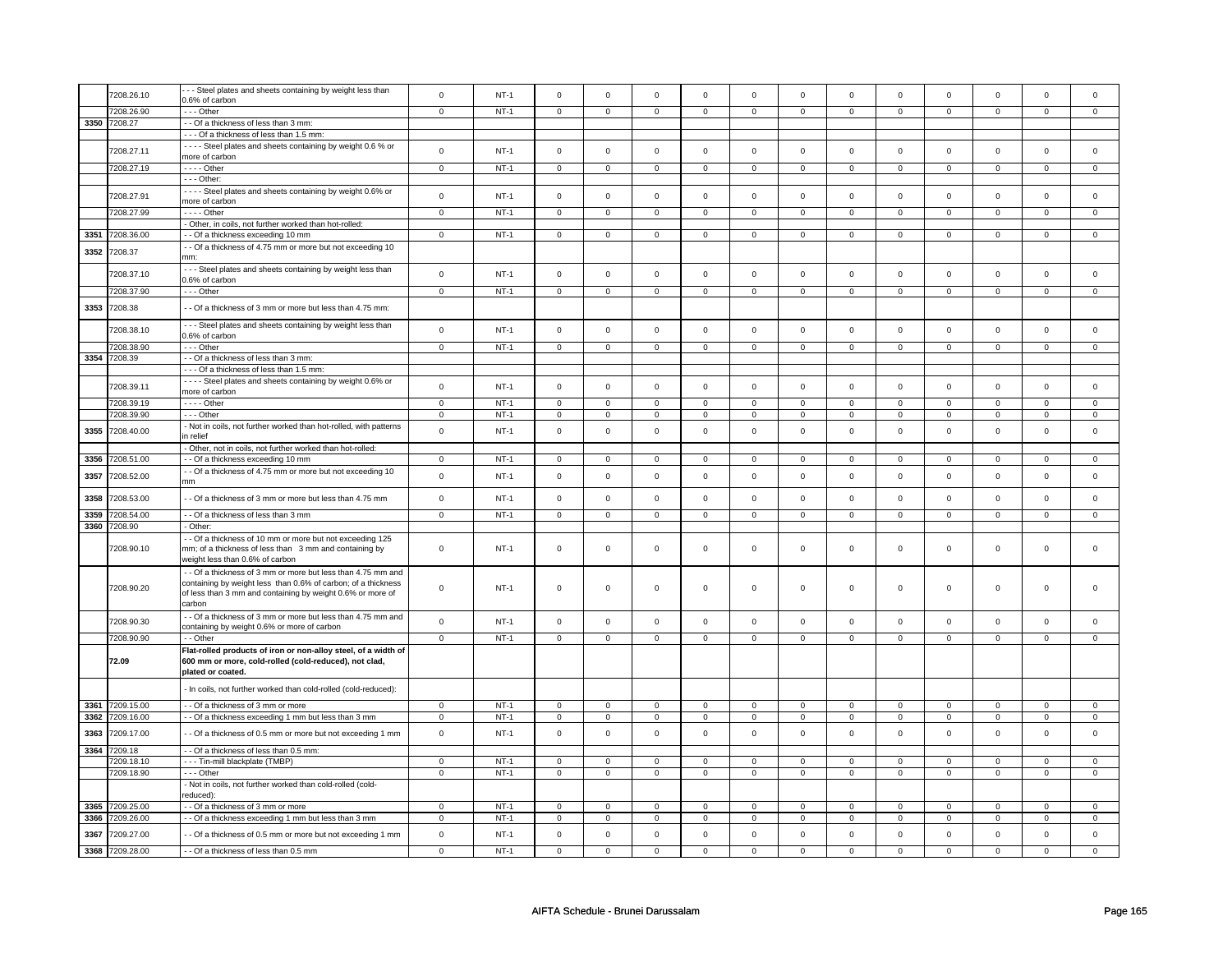|      | 7208.26.10      | - - Steel plates and sheets containing by weight less than                                                              | $\mathbf 0$    | $NT-1$ | $\mathbf 0$    | $\mathbf 0$    | $\mathsf 0$         | $\mathsf 0$    | $\mathsf 0$         | $\mathsf 0$    | $\mathbf 0$    | $\mathsf 0$    | $\mathsf 0$    | $\mathbf 0$    | $\mathbf 0$          | 0              |
|------|-----------------|-------------------------------------------------------------------------------------------------------------------------|----------------|--------|----------------|----------------|---------------------|----------------|---------------------|----------------|----------------|----------------|----------------|----------------|----------------------|----------------|
|      | 7208.26.90      | 0.6% of carbon<br>$\cdots$ Other                                                                                        | $\overline{0}$ | $NT-1$ | $\overline{0}$ | $\overline{0}$ | $\mathsf 0$         | $\overline{0}$ | $\mathsf{O}\xspace$ | $\overline{0}$ | $\mathbf 0$    | $\overline{0}$ | $\mathsf 0$    | $\overline{0}$ | $\mathsf 0$          | $\overline{0}$ |
|      | 3350 7208.27    | -- Of a thickness of less than 3 mm:                                                                                    |                |        |                |                |                     |                |                     |                |                |                |                |                |                      |                |
|      |                 | --- Of a thickness of less than 1.5 mm:                                                                                 |                |        |                |                |                     |                |                     |                |                |                |                |                |                      |                |
|      |                 | - - - - Steel plates and sheets containing by weight 0.6 % or                                                           |                |        |                |                |                     |                |                     |                |                |                |                |                |                      |                |
|      | 7208.27.11      | more of carbon                                                                                                          | $\mathbf 0$    | $NT-1$ | $\mathsf 0$    | $\mathbf 0$    | $\mathbf 0$         | $\mathbf 0$    | $\mathbf 0$         | $\mathbf 0$    | $\mathbf 0$    | $\mathbf 0$    | $\mathbf 0$    | $\mathbf 0$    | $\mathbf 0$          | $\mathbf{0}$   |
|      | 7208.27.19      | - - - - Other                                                                                                           | $\mathsf 0$    | $NT-1$ | $\mathsf 0$    | $\mathbf 0$    | $\mathsf 0$         | $\mathbf 0$    | $\mathsf 0$         | $\mathsf 0$    | $\mathbf 0$    | $\mathsf 0$    | $\mathsf 0$    | $\mathbf 0$    | $\Omega$             | 0              |
|      |                 | $- -$ Other:                                                                                                            |                |        |                |                |                     |                |                     |                |                |                |                |                |                      |                |
|      |                 | - - - - Steel plates and sheets containing by weight 0.6% or                                                            |                |        |                |                |                     |                |                     |                |                |                |                |                |                      |                |
|      | 7208.27.91      | more of carbon                                                                                                          | $\mathsf 0$    | $NT-1$ | $\mathsf 0$    | $\mathbf 0$    | $\mathsf 0$         | $\mathbf 0$    | $\mathbf 0$         | $\mathbf 0$    | $\mathbf 0$    | $\mathsf 0$    | 0              | $\mathbf 0$    | $\Omega$             | $\mathbf 0$    |
|      | 7208.27.99      | - - - - Other                                                                                                           | $\mathsf 0$    | $NT-1$ | $\mathbf 0$    | $\mathbf 0$    | $\mathbf 0$         | $\mathbf 0$    | $\mathsf 0$         | $\mathbf 0$    | $\mathbf 0$    | $\mathbf 0$    | $\mathbf 0$    | $\mathbf 0$    | $\Omega$             | $\mathbf{0}$   |
|      |                 | - Other, in coils, not further worked than hot-rolled:                                                                  |                |        |                |                |                     |                |                     |                |                |                |                |                |                      |                |
| 3351 | 7208.36.00      | - - Of a thickness exceeding 10 mm                                                                                      | $\mathsf 0$    | $NT-1$ | $\mathsf 0$    | $\mathsf 0$    | $\mathsf{O}\xspace$ | $\mathsf 0$    | $\mathsf{O}\xspace$ | $\mathsf 0$    | $\mathsf 0$    | $\mathsf 0$    | $\mathsf 0$    | $\mathbf 0$    | $\mathsf 0$          | $\mathbf 0$    |
|      |                 | - Of a thickness of 4.75 mm or more but not exceeding 10                                                                |                |        |                |                |                     |                |                     |                |                |                |                |                |                      |                |
| 3352 | 7208.37         | mm·                                                                                                                     |                |        |                |                |                     |                |                     |                |                |                |                |                |                      |                |
|      |                 | --- Steel plates and sheets containing by weight less than                                                              |                |        |                |                |                     |                |                     |                |                |                |                |                |                      |                |
|      | 7208.37.10      | 0.6% of carbon                                                                                                          | $\mathbf 0$    | $NT-1$ | $\Omega$       | $\mathbf 0$    | $\mathbf 0$         | $\mathbf 0$    | $\mathbf 0$         | $\mathbf{0}$   | $\mathbf 0$    | $\mathbf{0}$   | $\mathbf 0$    | $\mathbf{0}$   | $\mathbf 0$          | $\mathbf{0}$   |
|      | 7208.37.90      | $--$ Other                                                                                                              | $\overline{0}$ | $NT-1$ | $\overline{0}$ | $\overline{0}$ | $\overline{0}$      | $\overline{0}$ | $\overline{0}$      | $\overline{0}$ | $\overline{0}$ | $\overline{0}$ | $\overline{0}$ | $\overline{0}$ | $\overline{0}$       | $\overline{0}$ |
|      |                 |                                                                                                                         |                |        |                |                |                     |                |                     |                |                |                |                |                |                      |                |
| 3353 | 7208.38         | - Of a thickness of 3 mm or more but less than 4.75 mm:                                                                 |                |        |                |                |                     |                |                     |                |                |                |                |                |                      |                |
|      | 7208.38.10      | --- Steel plates and sheets containing by weight less than                                                              | $\mathsf 0$    | $NT-1$ | $\mathsf 0$    | $\mathbf 0$    | $\mathsf 0$         | $\mathbf 0$    | $\mathsf 0$         | $\mathbf 0$    | $\mathbf 0$    | $\mathbf 0$    | $\mathsf 0$    | $\mathbf 0$    | $\mathbf 0$          | $\mathsf 0$    |
|      |                 | 0.6% of carbon                                                                                                          |                |        |                |                |                     |                |                     |                |                |                |                |                |                      |                |
|      | 7208.38.90      | $--$ Other                                                                                                              | $\overline{0}$ | $NT-1$ | $\overline{0}$ | $\overline{0}$ | $\overline{0}$      | $\overline{0}$ | $\overline{0}$      | $\overline{0}$ | $\overline{0}$ | $\overline{0}$ | $\overline{0}$ | $\overline{0}$ | $\overline{0}$       | $\overline{0}$ |
| 3354 | 7208.39         | - - Of a thickness of less than 3 mm:                                                                                   |                |        |                |                |                     |                |                     |                |                |                |                |                |                      |                |
|      |                 | --- Of a thickness of less than 1.5 mm:                                                                                 |                |        |                |                |                     |                |                     |                |                |                |                |                |                      |                |
|      | 7208.39.11      | - - - - Steel plates and sheets containing by weight 0.6% or                                                            | $\mathsf 0$    | $NT-1$ | $\mathsf 0$    | $\mathsf 0$    | $\mathsf{O}\xspace$ | $\mathsf 0$    | $\mathsf{O}\xspace$ | $\mathsf 0$    | $\mathsf 0$    | $\mathsf 0$    | $\mathsf 0$    | $\mathbf 0$    | $\Omega$             | $\mathsf 0$    |
|      |                 | more of carbon                                                                                                          |                |        |                |                |                     |                |                     |                |                |                |                |                |                      |                |
|      | 7208.39.19      | $\cdots$ - Other                                                                                                        | $\mathbf 0$    | $NT-1$ | $\mathbf 0$    | $\mathbf 0$    | $\mathbf 0$         | $\mathbf 0$    | $\mathbf 0$         | $\mathbf{0}$   | 0              | $\mathbf 0$    | 0              | $\mathbf 0$    | $\Omega$<br>$\Omega$ | $\Omega$       |
|      | 7208.39.90      | --- Other                                                                                                               | $\mathbf 0$    | $NT-1$ | $\mathbf 0$    | $\mathbf 0$    | $\mathbf 0$         | $\mathbf 0$    | $\mathbf 0$         | $\mathbf 0$    | $\mathbf 0$    | $\mathbf 0$    | $\mathbf 0$    | $\mathbf 0$    |                      | $\mathbf{0}$   |
| 3355 | 7208.40.00      | - Not in coils, not further worked than hot-rolled, with patterns<br>n relief                                           | $\mathsf 0$    | $NT-1$ | $\mathsf 0$    | $\mathsf 0$    | $\mathsf{O}\xspace$ | $\mathsf 0$    | $\mathsf{O}\xspace$ | $\mathbf 0$    | $\mathbf 0$    | $\mathbf 0$    | $\mathsf 0$    | $\mathbf 0$    | $\mathbf 0$          | $\mathbf 0$    |
|      |                 | - Other, not in coils, not further worked than hot-rolled:                                                              |                |        |                |                |                     |                |                     |                |                |                |                |                |                      |                |
| 3356 | 7208.51.00      | - Of a thickness exceeding 10 mm                                                                                        | $\mathbf 0$    | $NT-1$ | $\mathsf 0$    | $\mathsf 0$    | $\mathsf 0$         | $\mathsf 0$    | $\mathsf 0$         | $\mathbf 0$    | 0              | $\mathbf 0$    | 0              | $\mathbf 0$    | 0                    | $\mathbf 0$    |
|      |                 | - Of a thickness of 4.75 mm or more but not exceeding 10                                                                |                |        |                |                |                     |                |                     |                |                |                |                |                |                      |                |
| 3357 | 7208.52.00      | mm                                                                                                                      | $\mathsf 0$    | $NT-1$ | $\mathsf 0$    | $\mathbf 0$    | $\mathbf 0$         | $\mathbf 0$    | $\mathbf 0$         | $\mathsf 0$    | 0              | $\mathsf 0$    | $\mathsf 0$    | $\mathbf 0$    | 0                    | 0              |
|      |                 |                                                                                                                         |                |        |                |                |                     |                |                     |                |                |                |                |                |                      |                |
| 3358 | 7208.53.00      | - - Of a thickness of 3 mm or more but less than 4.75 mm                                                                | $\mathsf 0$    | $NT-1$ | $\mathsf 0$    | $\mathsf 0$    | $\mathsf{O}\xspace$ | $\mathsf 0$    | $\mathsf{O}\xspace$ | $\mathsf 0$    | $\mathsf 0$    | $\mathsf 0$    | $\mathsf 0$    | $\mathsf 0$    | $\mathsf 0$          | $\mathsf 0$    |
| 3359 | 7208.54.00      | - - Of a thickness of less than 3 mm                                                                                    | $\mathbf 0$    | $NT-1$ | $\mathsf 0$    | $\mathsf 0$    | $\mathsf{O}\xspace$ | $\mathsf 0$    | $\mathsf{O}\xspace$ | $\mathbf 0$    | $\mathsf 0$    | $\mathbf 0$    | $\mathsf 0$    | $\mathbf 0$    | $\mathsf 0$          | $\mathbf 0$    |
| 3360 | 7208.90         | - Other:                                                                                                                |                |        |                |                |                     |                |                     |                |                |                |                |                |                      |                |
|      |                 | - Of a thickness of 10 mm or more but not exceeding 125                                                                 |                |        |                |                |                     |                |                     |                |                |                |                |                |                      |                |
|      | 7208.90.10      | mm; of a thickness of less than 3 mm and containing by                                                                  | $\mathbf 0$    | $NT-1$ | $\mathsf 0$    | $\mathbf 0$    | $\mathsf 0$         | $\mathbf 0$    | $\mathsf 0$         | $\mathbf 0$    | $\mathbf 0$    | $\mathbf 0$    | $\mathsf 0$    | $\mathbf 0$    | $\mathbf 0$          | $\mathbf{0}$   |
|      |                 | weight less than 0.6% of carbon                                                                                         |                |        |                |                |                     |                |                     |                |                |                |                |                |                      |                |
|      |                 | - - Of a thickness of 3 mm or more but less than 4.75 mm and                                                            |                |        |                |                |                     |                |                     |                |                |                |                |                |                      |                |
|      | 7208.90.20      | containing by weight less than 0.6% of carbon; of a thickness                                                           | $\mathbf 0$    | $NT-1$ | $\mathsf 0$    | $\mathsf 0$    | $\mathsf 0$         | $\mathbf 0$    | $\mathsf 0$         | $\mathsf 0$    | $\mathbf 0$    | $\mathsf 0$    | $\mathsf 0$    | $\mathbf 0$    | $\mathsf 0$          | $\Omega$       |
|      |                 | of less than 3 mm and containing by weight 0.6% or more of                                                              |                |        |                |                |                     |                |                     |                |                |                |                |                |                      |                |
|      |                 | carbon                                                                                                                  |                |        |                |                |                     |                |                     |                |                |                |                |                |                      |                |
|      | 7208.90.30      | - Of a thickness of 3 mm or more but less than 4.75 mm and                                                              | $\mathsf 0$    | $NT-1$ | $\mathbf 0$    | $\mathbf 0$    | $\mathsf{O}\xspace$ | $\mathsf 0$    | $\mathsf{O}\xspace$ | $\mathsf 0$    | $\mathsf 0$    | $\mathsf 0$    | $\mathsf 0$    | $\mathbf 0$    | $\mathbf 0$          | $\mathsf 0$    |
|      |                 | containing by weight 0.6% or more of carbon                                                                             |                |        |                |                |                     |                |                     |                |                |                |                |                |                      |                |
|      | 7208.90.90      | - - Other                                                                                                               | $\overline{0}$ | $NT-1$ | $\overline{0}$ | $\overline{0}$ | $\overline{0}$      | $\overline{0}$ | $\overline{0}$      | $\overline{0}$ | $\overline{0}$ | $\overline{0}$ | $\overline{0}$ | $\overline{0}$ | $\mathsf 0$          | $\overline{0}$ |
|      | 72.09           | Flat-rolled products of iron or non-alloy steel, of a width of<br>600 mm or more, cold-rolled (cold-reduced), not clad, |                |        |                |                |                     |                |                     |                |                |                |                |                |                      |                |
|      |                 | plated or coated.                                                                                                       |                |        |                |                |                     |                |                     |                |                |                |                |                |                      |                |
|      |                 |                                                                                                                         |                |        |                |                |                     |                |                     |                |                |                |                |                |                      |                |
|      |                 | - In coils, not further worked than cold-rolled (cold-reduced):                                                         |                |        |                |                |                     |                |                     |                |                |                |                |                |                      |                |
| 3361 | 7209.15.00      | - Of a thickness of 3 mm or more                                                                                        | $\mathsf 0$    | $NT-1$ | $\mathbf 0$    | $\mathbf 0$    | $\mathbf 0$         | $\mathbf 0$    | $\mathbf 0$         | $\mathbf 0$    | $\mathbf 0$    | $\mathbf 0$    | $\mathbf 0$    | $\mathbf{0}$   | $\Omega$             | $\mathbf 0$    |
| 3362 | 7209.16.00      | - - Of a thickness exceeding 1 mm but less than 3 mm                                                                    | $\mathbf 0$    | $NT-1$ | $\mathbf 0$    | $\mathsf 0$    | $\mathbf 0$         | $\mathbf 0$    | $\mathbf 0$         | 0              | 0              | 0              | 0              | 0              | 0                    | 0              |
|      |                 |                                                                                                                         |                |        |                |                |                     |                |                     |                |                |                |                |                |                      |                |
| 3363 | 7209.17.00      | - - Of a thickness of 0.5 mm or more but not exceeding 1 mm                                                             | $\mathsf 0$    | $NT-1$ | $\mathbf 0$    | $\mathsf 0$    | $\mathbf 0$         | $\mathbf 0$    | $\mathbf 0$         | $\mathsf 0$    | $\mathbf 0$    | $\mathbf 0$    | $\mathbf 0$    | $\mathbf 0$    | $\Omega$             | $\mathbf 0$    |
| 3364 | 7209.18         | - - Of a thickness of less than 0.5 mm:                                                                                 |                |        |                |                |                     |                |                     |                |                |                |                |                |                      |                |
|      | 7209.18.10      | --- Tin-mill blackplate (TMBP)                                                                                          | $\mathsf 0$    | $NT-1$ | $\mathsf 0$    | $\mathsf 0$    | $\mathsf{O}\xspace$ | $\mathsf 0$    | $\mathbf 0$         | $\mathbf 0$    | 0              | $\mathbf 0$    | 0              | 0              | 0                    | $\mathbf 0$    |
|      | 7209.18.90      | $- -$ Other                                                                                                             | $\overline{0}$ | $NT-1$ | $\overline{0}$ | $\overline{0}$ | $\overline{0}$      | $\overline{0}$ | $\overline{0}$      | $\overline{0}$ | $\overline{0}$ | $\overline{0}$ | $\overline{0}$ | $\overline{0}$ | $\overline{0}$       | $\overline{0}$ |
|      |                 | - Not in coils, not further worked than cold-rolled (cold-                                                              |                |        |                |                |                     |                |                     |                |                |                |                |                |                      |                |
|      |                 | educed):                                                                                                                |                |        |                |                |                     |                |                     |                |                |                |                |                |                      |                |
| 3365 | 7209.25.00      | - Of a thickness of 3 mm or more                                                                                        | $\mathbf 0$    | $NT-1$ | $\mathbf 0$    | $\mathbf 0$    | $\mathbf 0$         | $\mathbf 0$    | $\mathbf 0$         | $\mathbf 0$    | $\mathbf 0$    | $\mathbf 0$    | $\mathbf 0$    | $\mathbf{0}$   | $\Omega$             | $\mathbf{0}$   |
| 3366 | 7209.26.00      | - - Of a thickness exceeding 1 mm but less than 3 mm                                                                    | $\mathsf 0$    | $NT-1$ | $\mathbf 0$    | $\mathbf 0$    | $\mathbf 0$         | $\mathbf 0$    | $\mathbf 0$         | $\mathbf 0$    | 0              | $\mathbf 0$    | 0              | $\mathbf 0$    | 0                    | $\mathbf{0}$   |
| 3367 | 7209.27.00      | - Of a thickness of 0.5 mm or more but not exceeding 1 mm                                                               | $\mathsf 0$    | $NT-1$ | $\mathbf 0$    | $\mathbf 0$    | $\mathsf 0$         | $\mathbf 0$    | $\mathsf 0$         | $\mathsf 0$    | $\mathbf 0$    | $\mathbf 0$    | $\mathsf 0$    | $\mathbf 0$    | $\mathbf 0$          | $\mathbf 0$    |
|      | 3368 7209.28.00 | - - Of a thickness of less than 0.5 mm                                                                                  | $\overline{0}$ | $NT-1$ | $\overline{0}$ | $\overline{0}$ | $\overline{0}$      | $\overline{0}$ | $\overline{0}$      | $\Omega$       | $\overline{0}$ | $\overline{0}$ | $\overline{0}$ | $\overline{0}$ | $\overline{0}$       | $\overline{0}$ |
|      |                 |                                                                                                                         |                |        |                |                |                     |                |                     |                |                |                |                |                |                      |                |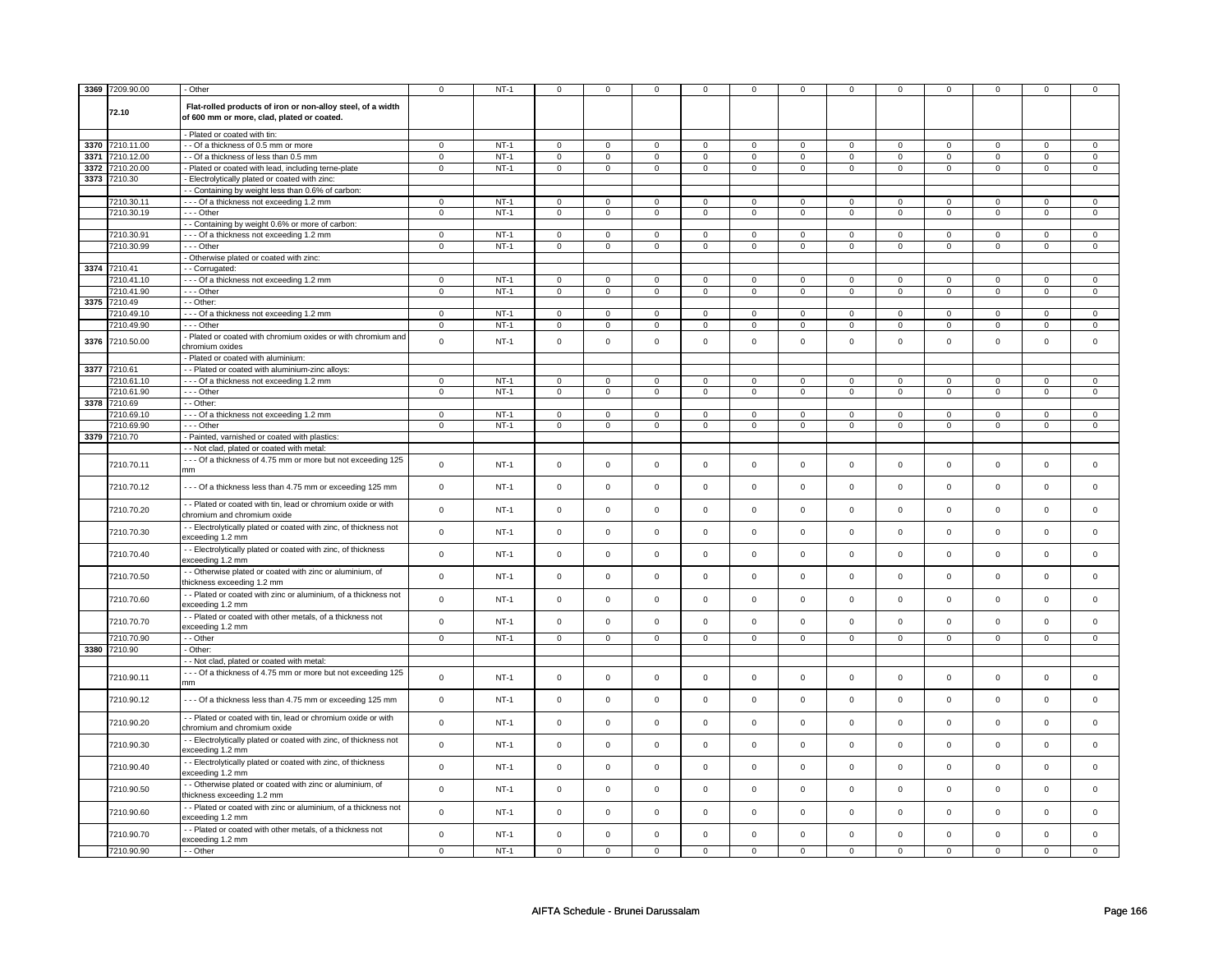|      | 3369 7209.90.00 | - Other                                                                                                   | $\mathbf 0$    | $NT-1$ | $\mathsf 0$         | $^{\circ}$     | $\mathbf 0$         | $\mathbf 0$    | $\mathsf 0$         | 0              | $\Omega$       | $\mathbf 0$    | $\mathbf 0$    | $\mathbf 0$    | $\mathbf 0$    | $\mathsf 0$    |
|------|-----------------|-----------------------------------------------------------------------------------------------------------|----------------|--------|---------------------|----------------|---------------------|----------------|---------------------|----------------|----------------|----------------|----------------|----------------|----------------|----------------|
|      | 72.10           | Flat-rolled products of iron or non-alloy steel, of a width<br>of 600 mm or more, clad, plated or coated. |                |        |                     |                |                     |                |                     |                |                |                |                |                |                |                |
|      |                 | - Plated or coated with tin:                                                                              |                |        |                     |                |                     |                |                     |                |                |                |                |                |                |                |
| 3370 | 7210.11.00      | - - Of a thickness of 0.5 mm or more                                                                      | 0              | $NT-1$ | $\mathbf 0$         | $\mathbf 0$    | $\mathbf 0$         | $\mathbf 0$    | 0                   | $\mathbf 0$    | 0              | 0              | $\mathbf 0$    | $\mathbf 0$    | $\mathbf{0}$   | $\mathbf{0}$   |
| 3371 | 7210.12.00      | - - Of a thickness of less than 0.5 mm                                                                    | 0              | $NT-1$ | $\mathbf 0$         | $\mathbf 0$    | $\mathbf 0$         | $\mathbf 0$    | $\overline{0}$      | $\mathbf 0$    | $\mathbf 0$    | 0              | $\overline{0}$ | $\mathbf 0$    | $\Omega$       | $\overline{0}$ |
| 3372 | 7210.20.00      | - Plated or coated with lead, including terne-plate                                                       | $\overline{0}$ | $NT-1$ | $\overline{0}$      | $\overline{0}$ | $\overline{0}$      | $\overline{0}$ | $\overline{0}$      | $\overline{0}$ | $\overline{0}$ | $\overline{0}$ | $\overline{0}$ | $\overline{0}$ | $\overline{0}$ | $\overline{0}$ |
| 3373 |                 |                                                                                                           |                |        |                     |                |                     |                |                     |                |                |                |                |                |                |                |
|      | 7210.30         | - Electrolytically plated or coated with zinc:                                                            |                |        |                     |                |                     |                |                     |                |                |                |                |                |                |                |
|      |                 | - - Containing by weight less than 0.6% of carbon:                                                        |                |        |                     |                |                     |                |                     |                |                |                |                |                |                |                |
|      | 7210.30.11      | - - - Of a thickness not exceeding 1.2 mm                                                                 | 0              | $NT-1$ | $\mathbf 0$         | $\mathbf{0}$   | $\mathbf 0$         | $\mathbf 0$    | $\mathbf 0$         | $\mathbf 0$    | 0              | 0              | $\mathbf 0$    | $\mathbf 0$    | 0              | $\mathbf 0$    |
|      | 7210.30.19      | $- -$ Other                                                                                               | $\mathbf{0}$   | $NT-1$ | $\mathbf{0}$        | $\mathbf{0}$   | $\mathbf{0}$        | $\mathbf 0$    | $\mathbf 0$         | $\overline{0}$ | $\mathbf 0$    | $\mathbf{0}$   | $\mathsf 0$    | 0              | 0              | $\overline{0}$ |
|      |                 | - - Containing by weight 0.6% or more of carbon:                                                          |                |        |                     |                |                     |                |                     |                |                |                |                |                |                |                |
|      | 7210.30.91      | --- Of a thickness not exceeding 1.2 mm                                                                   | 0              | $NT-1$ | $\mathbf 0$         | $\mathbf 0$    | $\mathbf 0$         | $\mathbf 0$    | 0                   | $\mathbf 0$    | $\mathbf 0$    | $\mathbf 0$    | $\mathbf 0$    | $\mathbf 0$    | $\Omega$       | $\mathbf 0$    |
|      | 7210.30.99      | --- Other                                                                                                 | $\mathbf 0$    | $NT-1$ | $\mathbf 0$         | $\mathbf 0$    | $\mathsf 0$         | $\mathbf 0$    | $\mathbf 0$         | $\mathbf 0$    | $\mathbf 0$    | $\Omega$       | $\mathsf 0$    | $\mathbf 0$    | $\mathbf 0$    | $\mathbf 0$    |
|      |                 | - Otherwise plated or coated with zinc:                                                                   |                |        |                     |                |                     |                |                     |                |                |                |                |                |                |                |
|      |                 |                                                                                                           |                |        |                     |                |                     |                |                     |                |                |                |                |                |                |                |
|      | 3374 7210.41    | - Corrugated:                                                                                             |                |        |                     |                |                     |                |                     |                |                |                |                |                |                |                |
|      | 7210.41.10      | - - - Of a thickness not exceeding 1.2 mm                                                                 | $\mathbf 0$    | $NT-1$ | $\mathbf 0$         | $\mathbf 0$    | $\mathsf 0$         | $\mathbf 0$    | $\mathbf 0$         | $\mathbf 0$    | $\Omega$       | $\Omega$       | $\mathbf 0$    | $\mathbf 0$    | $\Omega$       | $\mathbf 0$    |
|      | 7210.41.90      | $- -$ Other                                                                                               | $\mathbf{0}$   | $NT-1$ | $\mathbf 0$         | $\mathbf 0$    | $\mathbf 0$         | $\mathbf 0$    | $\mathbf 0$         | $\mathbf{0}$   | $\mathbf 0$    | $\mathbf{0}$   | $\mathbf 0$    | $\mathbf 0$    | 0              | $\overline{0}$ |
| 3375 | 7210.49         | - - Other:                                                                                                |                |        |                     |                |                     |                |                     |                |                |                |                |                |                |                |
|      | 7210.49.10      | - - - Of a thickness not exceeding 1.2 mm                                                                 | $\mathbf 0$    | $NT-1$ | $\mathbf 0$         | $\mathbf 0$    | $\mathbf 0$         | $\mathbf 0$    | $\Omega$            | $\mathbf 0$    | $\mathbf 0$    | $\Omega$       | $\mathbf 0$    | $\Omega$       | $\mathbf 0$    | $\mathbf 0$    |
|      | 7210.49.90      | $- -$ Other                                                                                               | $\mathbf 0$    | $NT-1$ | $\mathsf 0$         | $\mathbf 0$    | $\mathsf{O}\xspace$ | $\mathsf 0$    | 0                   | $\mathbf 0$    | $\mathbf 0$    | $\Omega$       | $\,0\,$        | $\mathbf 0$    | $\Omega$       | $\overline{0}$ |
|      |                 |                                                                                                           |                |        |                     |                |                     |                |                     |                |                |                |                |                |                |                |
| 3376 | 7210.50.00      | - Plated or coated with chromium oxides or with chromium and<br>chromium oxides                           | $\mathbf 0$    | $NT-1$ | $\mathsf 0$         | $\mathbf 0$    | $\mathsf 0$         | $\mathbf 0$    | $\mathbf 0$         | $\mathbf 0$    | $\mathbf 0$    | $\mathbf 0$    | $\mathsf 0$    | $\mathbf 0$    | $\mathbf 0$    | $\mathbf 0$    |
|      |                 | - Plated or coated with aluminium:                                                                        |                |        |                     |                |                     |                |                     |                |                |                |                |                |                |                |
| 3377 | 7210.61         | - - Plated or coated with aluminium-zinc alloys:                                                          |                |        |                     |                |                     |                |                     |                |                |                |                |                |                |                |
|      | 7210.61.10      | --- Of a thickness not exceeding 1.2 mm                                                                   | $\mathbf 0$    | $NT-1$ | $\mathbf 0$         | $\mathbf 0$    | $\mathbf 0$         | $\Omega$       | 0                   | $\Omega$       | $\Omega$       | 0              | $\mathbf 0$    | $\mathbf 0$    | $\Omega$       | $\mathbf 0$    |
|      | 7210.61.90      | $- -$ Other                                                                                               | $\overline{0}$ | $NT-1$ | $\mathbf{0}$        | $\overline{0}$ | $\mathbf 0$         | $\mathbf 0$    | $\mathbf{0}$        | $\mathbf{0}$   | $\mathbf 0$    | $\mathbf 0$    | $\mathbf 0$    | $\mathbf 0$    | $\mathbf 0$    | $\overline{0}$ |
| 3378 | 7210.69         | - - Other:                                                                                                |                |        |                     |                |                     |                |                     |                |                |                |                |                |                |                |
|      |                 |                                                                                                           |                |        |                     |                |                     |                |                     |                |                |                |                |                |                |                |
|      | 7210.69.10      | --- Of a thickness not exceeding 1.2 mm                                                                   | $\mathbf 0$    | $NT-1$ | $\mathbf 0$         | $\overline{0}$ | $\mathbf 0$         | $\mathbf 0$    | $\mathbf{0}$        | $\mathbf 0$    | $\mathbf 0$    | $\mathbf 0$    | $\mathsf 0$    | $\mathbf 0$    | $\Omega$       | $\mathbf 0$    |
|      | 7210.69.90      | $- -$ Other                                                                                               | $\mathbf 0$    | $NT-1$ | $\mathbf 0$         | $\mathsf 0$    | $\mathbf 0$         | $\mathbf 0$    | $\mathbf 0$         | $\mathbf 0$    | $\mathbf 0$    | $\mathbf 0$    | $\mathsf 0$    | $\mathsf 0$    | $\mathbf 0$    | $\mathbf 0$    |
|      | 3379 7210.70    | - Painted, varnished or coated with plastics:                                                             |                |        |                     |                |                     |                |                     |                |                |                |                |                |                |                |
|      |                 | - - Not clad, plated or coated with metal:                                                                |                |        |                     |                |                     |                |                     |                |                |                |                |                |                |                |
|      |                 | --- Of a thickness of 4.75 mm or more but not exceeding 125                                               |                |        |                     |                |                     |                |                     |                |                |                |                |                |                |                |
|      | 7210.70.11      | mm                                                                                                        | $\mathbf 0$    | $NT-1$ | $\mathsf 0$         | $\mathbf 0$    | $\mathsf 0$         | $\mathbf 0$    | $\mathbf 0$         | $\mathsf 0$    | $\mathbf 0$    | $\mathbf 0$    | $\mathsf 0$    | $\mathbf 0$    | $\mathbf 0$    | $\mathbf 0$    |
|      | 7210.70.12      | --- Of a thickness less than 4.75 mm or exceeding 125 mm                                                  | $\mathbf 0$    | $NT-1$ | $\mathsf 0$         | $\mathsf 0$    | $\mathsf 0$         | $\mathsf 0$    | $\mathsf{O}$        | $\mathbf 0$    | $\mathsf 0$    | $\mathbf 0$    | $\mathsf 0$    | $\mathsf 0$    | $\mathbf 0$    | $\mathbf 0$    |
|      | 7210.70.20      | - - Plated or coated with tin, lead or chromium oxide or with<br>chromium and chromium oxide              | $\mathbf 0$    | $NT-1$ | $\mathbf 0$         | $\mathsf 0$    | $\mathbf 0$         | $\mathbf 0$    | $\mathsf 0$         | $\mathbf 0$    | $\mathbf 0$    | $\mathbf 0$    | $\mathsf 0$    | $\mathbf 0$    | $\mathbf 0$    | $\mathsf 0$    |
|      | 7210.70.30      | - - Electrolytically plated or coated with zinc, of thickness not<br>exceeding 1.2 mm                     | $\mathbf 0$    | $NT-1$ | $\mathsf{O}\xspace$ | $\mathbf 0$    | $\mathbf 0$         | $\mathbf 0$    | 0                   | $\mathbf 0$    | $\mathbf 0$    | $\mathbf 0$    | $\,0\,$        | $\mathbf 0$    | $\mathbf 0$    | $\mathsf 0$    |
|      | 7210.70.40      | - - Electrolytically plated or coated with zinc, of thickness<br>exceeding 1.2 mm                         | $\mathsf 0$    | $NT-1$ | $\mathsf 0$         | $\mathsf 0$    | $\mathsf 0$         | $\mathsf 0$    | $\mathsf 0$         | $\mathbf 0$    | $\mathsf 0$    | $\mathsf 0$    | $\,0\,$        | $\mathbf 0$    | $\mathsf 0$    | $\,0\,$        |
|      | 7210.70.50      | - Otherwise plated or coated with zinc or aluminium, of<br>thickness exceeding 1.2 mm                     | $\mathbf 0$    | $NT-1$ | $\mathsf 0$         | $\mathbf 0$    | $\mathsf 0$         | $\mathsf 0$    | $\mathsf 0$         | $\mathsf 0$    | $\mathsf 0$    | $\mathbf 0$    | $\mathsf 0$    | $\mathsf 0$    | $\mathbf 0$    | $\mathbf 0$    |
|      | 7210.70.60      | - - Plated or coated with zinc or aluminium, of a thickness not<br>exceeding 1.2 mm                       | $\mathbf 0$    | $NT-1$ | $\mathsf{O}\xspace$ | $\mathbf 0$    | $\mathsf 0$         | $\mathsf 0$    | $\mathsf{O}\xspace$ | $\mathsf 0$    | $\mathsf 0$    | $\mathsf 0$    | $\mathsf 0$    | $\mathbf 0$    | $\mathbf 0$    | $\mathsf 0$    |
|      | 7210.70.70      | - - Plated or coated with other metals, of a thickness not<br>exceeding 1.2 mm                            | $\mathbf 0$    | $NT-1$ | $\mathsf{O}\xspace$ | $\mathbf 0$    | $\mathsf 0$         | $\mathsf 0$    | $\mathsf{O}\xspace$ | $\mathsf 0$    | $\mathsf 0$    | $\mathbf 0$    | $\mathsf 0$    | $\mathsf 0$    | $\mathsf 0$    | $\mathsf 0$    |
|      | 7210.70.90      | - - Other                                                                                                 | $\mathbf 0$    | $NT-1$ | $\mathbf{0}$        | $\mathbf{0}$   | $\mathsf 0$         | $\mathbf 0$    | $\mathbf 0$         | $\mathbf 0$    | $\mathbf 0$    | $\mathbf 0$    | $\mathbf 0$    | $\mathsf 0$    | $\mathsf 0$    | $\mathbf 0$    |
|      | 3380 7210.90    | - Other:                                                                                                  |                |        |                     |                |                     |                |                     |                |                |                |                |                |                |                |
|      |                 | - - Not clad, plated or coated with metal:                                                                |                |        |                     |                |                     |                |                     |                |                |                |                |                |                |                |
|      | 7210.90.11      | --- Of a thickness of 4.75 mm or more but not exceeding 125<br>mm                                         | $\mathbf 0$    | $NT-1$ | $\mathsf 0$         | $\mathbf 0$    | $\mathsf 0$         | $\mathsf 0$    | $\mathbf 0$         | $\mathsf 0$    | $\mathsf 0$    | $\mathbf 0$    | $\mathsf 0$    | $\mathbf 0$    | $\mathbf 0$    | $\mathsf 0$    |
|      | 7210.90.12      | --- Of a thickness less than 4.75 mm or exceeding 125 mm                                                  | $\mathbf 0$    | $NT-1$ | $\mathsf{O}\xspace$ | $\mathbf 0$    | $\mathsf 0$         | $\mathsf 0$    | $\mathsf{O}\xspace$ | $\mathbf 0$    | $\mathsf 0$    | $\mathbf 0$    | $\mathsf 0$    | $\mathsf 0$    | $\mathsf 0$    | $\mathsf 0$    |
|      | 7210.90.20      | - - Plated or coated with tin, lead or chromium oxide or with<br>chromium and chromium oxide              | 0              | $NT-1$ | $\mathbf 0$         | $\mathsf 0$    | $\mathsf 0$         | $\mathbf 0$    | $\mathbf 0$         | $\mathbf 0$    | $\mathbf 0$    | 0              | $\mathsf 0$    | $\mathsf 0$    | 0              | $\mathbf 0$    |
|      | 7210.90.30      | - - Electrolytically plated or coated with zinc, of thickness not<br>exceeding 1.2 mm                     | $\mathbf 0$    | $NT-1$ | $\mathbf 0$         | $\mathbf 0$    | $\mathsf 0$         | $\mathbf 0$    | $\mathsf 0$         | $\mathbf 0$    | $\mathbf 0$    | 0              | $\mathsf 0$    | $\mathbf 0$    | 0              | $\mathsf 0$    |
|      | 7210.90.40      | - - Electrolytically plated or coated with zinc, of thickness<br>exceeding 1.2 mm                         | $\mathbf 0$    | $NT-1$ | $\mathbf 0$         | $\mathbf 0$    | $\mathsf 0$         | $\mathbf 0$    | $\mathsf{O}\xspace$ | $\mathbf 0$    | $\mathbf 0$    | 0              | $\mathsf 0$    | $\mathsf 0$    | 0              | $\mathbf 0$    |
|      | 7210.90.50      | - - Otherwise plated or coated with zinc or aluminium, of<br>thickness exceeding 1.2 mm                   | 0              | $NT-1$ | $\mathbf 0$         | $\mathbf 0$    | $\mathsf 0$         | $\mathbf 0$    | $\mathbf 0$         | $\mathbf 0$    | $\mathbf 0$    | 0              | $\mathsf 0$    | $\mathbf 0$    | 0              | $\mathsf 0$    |
|      | 7210.90.60      | - - Plated or coated with zinc or aluminium, of a thickness not<br>exceeding 1.2 mm                       | $\mathbf 0$    | $NT-1$ | $\Omega$            | $\mathbf 0$    | $\mathsf 0$         | $\mathsf 0$    | $\mathbf 0$         | $\mathsf 0$    | $\Omega$       | $\mathbf 0$    | $\mathsf 0$    | $\mathsf 0$    | 0              | $\mathbf 0$    |
|      | 7210.90.70      | - - Plated or coated with other metals, of a thickness not<br>exceeding 1.2 mm                            | $\mathbf 0$    | $NT-1$ | $\mathsf 0$         | $\mathbf 0$    | $\mathsf 0$         | $\mathbf 0$    | $\mathbf 0$         | $\mathbf 0$    | $\Omega$       | $\mathbf 0$    | $\mathsf 0$    | $\mathbf 0$    | $\mathbf 0$    | $\mathsf 0$    |
|      | 7210.90.90      | - - Other                                                                                                 | $\mathbf 0$    | $NT-1$ | $\mathbf 0$         | $\mathbf 0$    | $\mathsf 0$         | $\Omega$       | $\mathbf 0$         | $\mathbf 0$    | $\mathbf 0$    | $\Omega$       | $\mathbf 0$    | $\mathbf 0$    | $\mathbf 0$    | $\mathbf 0$    |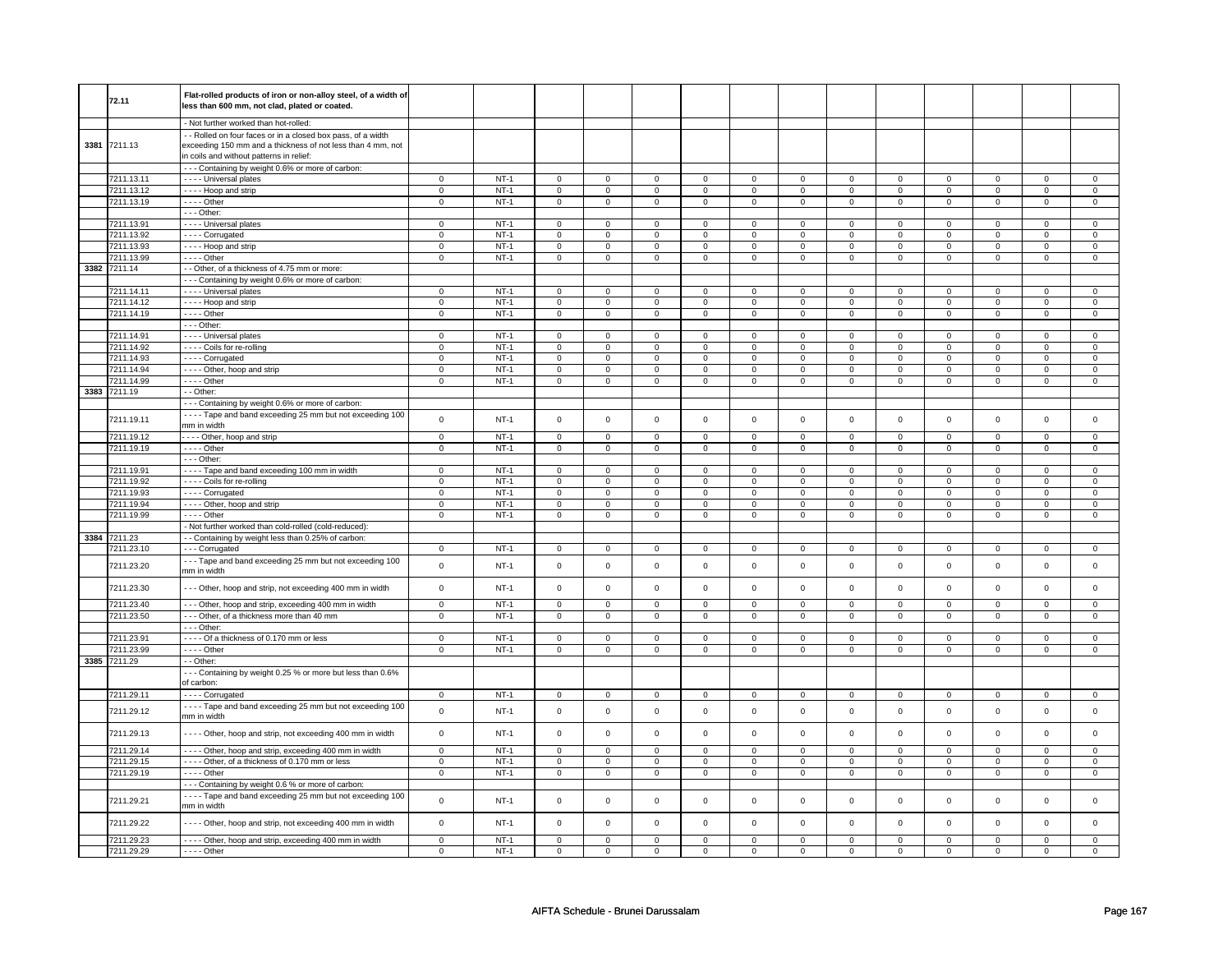|              | Flat-rolled products of iron or non-alloy steel, of a width of |                |        |                     |                |                |                     |                     |                |                     |                |                     |                     |                |                |
|--------------|----------------------------------------------------------------|----------------|--------|---------------------|----------------|----------------|---------------------|---------------------|----------------|---------------------|----------------|---------------------|---------------------|----------------|----------------|
| 72.11        | less than 600 mm, not clad, plated or coated.                  |                |        |                     |                |                |                     |                     |                |                     |                |                     |                     |                |                |
|              |                                                                |                |        |                     |                |                |                     |                     |                |                     |                |                     |                     |                |                |
|              | - Not further worked than hot-rolled:                          |                |        |                     |                |                |                     |                     |                |                     |                |                     |                     |                |                |
|              | - - Rolled on four faces or in a closed box pass, of a width   |                |        |                     |                |                |                     |                     |                |                     |                |                     |                     |                |                |
| 3381 7211.13 | exceeding 150 mm and a thickness of not less than 4 mm, not    |                |        |                     |                |                |                     |                     |                |                     |                |                     |                     |                |                |
|              | in coils and without patterns in relief:                       |                |        |                     |                |                |                     |                     |                |                     |                |                     |                     |                |                |
|              | --- Containing by weight 0.6% or more of carbon:               |                |        |                     |                |                |                     |                     |                |                     |                |                     |                     |                |                |
| 7211.13.11   |                                                                |                | $NT-1$ |                     |                |                |                     |                     |                |                     |                |                     |                     |                |                |
|              | - - - - Universal plates                                       | $\mathsf 0$    |        | $\mathbf 0$         | $\mathsf 0$    | 0              | $\mathbf 0$         | $\mathsf 0$         | $\mathbf 0$    | 0                   | $\mathbf 0$    | $\mathsf 0$         | $\mathbf 0$         | 0              | $\mathbf 0$    |
| 7211.13.12   | - - - - Hoop and strip                                         | $\mathbf 0$    | $NT-1$ | $\mathbf 0$         | $\mathbf{0}$   | $\mathbf 0$    | $\mathbf{0}$        | $\mathbf 0$         | $\mathbf{0}$   | $\mathbf 0$         | $\overline{0}$ | $\mathbf 0$         | $\mathbf 0$         | $\mathbf 0$    | $\overline{0}$ |
| 7211.13.19   | $---$ Other                                                    | $\mathbf 0$    | $NT-1$ | $\mathsf 0$         | $\mathbf 0$    | $\mathbf 0$    | $\mathbf 0$         | $\mathbf 0$         | $\mathbf 0$    | 0                   | $\mathbf 0$    | 0                   | $\mathbf 0$         | 0              | $\mathbf 0$    |
|              | $--$ Other:                                                    |                |        |                     |                |                |                     |                     |                |                     |                |                     |                     |                |                |
| 7211.13.91   | - - - - Universal plates                                       | $\mathbf 0$    | $NT-1$ | $\mathbf 0$         | $\mathbf 0$    | $\mathbf 0$    | $\mathbf 0$         | $\mathbf 0$         | $\mathbf 0$    | $\mathbf 0$         | $\mathbf 0$    | $\mathbf 0$         | $\overline{0}$      | $\mathbf 0$    | $\mathbf 0$    |
| 7211.13.92   | - - - - Corrugated                                             | $\mathbf 0$    | $NT-1$ | 0                   | $\mathbf 0$    | 0              | 0                   | 0                   | 0              | 0                   | 0              | 0                   | 0                   | 0              | 0              |
| 7211.13.93   | - - - - Hoop and strip                                         | $\mathsf 0$    | $NT-1$ | $\mathsf 0$         | $\mathbf 0$    | 0              | $\mathsf 0$         | $\mathbf 0$         | $\mathsf 0$    | 0                   | $\mathbf 0$    | $\mathsf 0$         | $\mathbf 0$         | 0              | $\mathbf 0$    |
| 7211.13.99   | $- - -$ Other                                                  | $\mathsf 0$    | $NT-1$ | $\mathsf{O}\xspace$ | $\mathsf 0$    | $\mathbf 0$    | $\mathsf{O}\xspace$ | $\mathsf{O}\xspace$ | $\mathbf 0$    | 0                   | $\mathbf 0$    | $\mathsf 0$         | $\mathsf{O}\xspace$ | 0              | $\mathbf 0$    |
| 3382 7211.14 | - - Other, of a thickness of 4.75 mm or more:                  |                |        |                     |                |                |                     |                     |                |                     |                |                     |                     |                |                |
|              | --- Containing by weight 0.6% or more of carbon:               |                |        |                     |                |                |                     |                     |                |                     |                |                     |                     |                |                |
| 7211.14.11   | - - - - Universal plates                                       | $\overline{0}$ | $NT-1$ | $\overline{0}$      | $\overline{0}$ | $\overline{0}$ | $\overline{0}$      | $\overline{0}$      | $\overline{0}$ | $\overline{0}$      | $\overline{0}$ | $\overline{0}$      | $\overline{0}$      | $\mathbf 0$    | $\overline{0}$ |
|              |                                                                |                |        |                     |                |                |                     |                     |                |                     |                |                     |                     |                |                |
| 7211.14.12   | - - - - Hoop and strip                                         | $\mathsf 0$    | $NT-1$ | $\mathsf{O}\xspace$ | $\mathsf 0$    | $\mathsf 0$    | $\mathbf 0$         | $\mathsf 0$         | $\mathsf{O}$   | 0                   | $\mathsf{O}$   | $\mathsf{O}\xspace$ | $\mathsf{O}$        | $\Omega$       | $\mathsf 0$    |
| 7211.14.19   | $---$ Other                                                    | $\mathsf 0$    | $NT-1$ | $\mathsf{O}\xspace$ | $\mathsf 0$    | $\mathbf 0$    | $\mathbf 0$         | $\mathbf 0$         | $\mathbf 0$    | $\mathbf 0$         | $\mathbf 0$    | $\mathsf 0$         | $\mathbf 0$         | $\mathbf 0$    | $\mathbf 0$    |
|              | $--$ Other:                                                    |                |        |                     |                |                |                     |                     |                |                     |                |                     |                     |                |                |
| 7211.14.91   | - - - - Universal plates                                       | $\mathbf 0$    | $NT-1$ | $\mathbf 0$         | $\overline{0}$ | $\mathbf 0$    | $\mathbf{0}$        | $\mathbf 0$         | $\mathbf 0$    | 0                   | $\mathbf 0$    | 0                   | $\mathbf 0$         | 0              | 0              |
| 7211.14.92   | - - - - Coils for re-rolling                                   | $\mathbf 0$    | $NT-1$ | $\mathsf 0$         | $\mathbf 0$    | 0              | $\mathbf 0$         | $\mathbf 0$         | $\mathbf 0$    | 0                   | $\mathbf 0$    | $\mathsf 0$         | $\mathbf 0$         | 0              | 0              |
| 7211.14.93   | - - - - Corrugated                                             | $\mathsf 0$    | $NT-1$ | $\mathbf 0$         | $\mathsf 0$    | $\mathbf 0$    | $\mathbf 0$         | $\mathbf 0$         | $\mathbf 0$    | $\mathbf{0}$        | $\mathbf{0}$   | $\mathbf 0$         | $\mathbf 0$         | $\Omega$       | $\mathbf 0$    |
| 7211.14.94   | - - - - Other, hoop and strip                                  | $\mathbf 0$    | $NT-1$ | $\mathsf 0$         | $\mathbf 0$    | 0              | $\mathbf 0$         | $\mathbf 0$         | $\mathbf 0$    | 0                   | $\mathbf 0$    | $\mathsf 0$         | $\mathbf 0$         | 0              | $\mathbf 0$    |
| 7211.14.99   | $\cdots$ - Other                                               | $\mathbf 0$    | $NT-1$ | $\mathbf 0$         | $\mathsf 0$    | 0              | $\mathbf 0$         | 0                   | $\mathbf 0$    | 0                   | $\mathbf 0$    | 0                   | $\mathbf 0$         | 0              | $\mathbf 0$    |
| 3383 7211.19 | - - Other:                                                     |                |        |                     |                |                |                     |                     |                |                     |                |                     |                     |                |                |
|              | --- Containing by weight 0.6% or more of carbon:               |                |        |                     |                |                |                     |                     |                |                     |                |                     |                     |                |                |
|              | - - - - Tape and band exceeding 25 mm but not exceeding 100    |                |        |                     |                |                |                     |                     |                |                     |                |                     |                     |                |                |
| 7211.19.11   |                                                                | $\mathbf 0$    | $NT-1$ | $\mathsf{O}\xspace$ | $\mathsf 0$    | $\mathsf 0$    | $\mathbf 0$         | $\mathsf 0$         | $\mathbf 0$    | $\mathsf{O}\xspace$ | $\mathbf 0$    | $\mathsf 0$         | $\mathbf 0$         | $\mathsf 0$    | $\mathbf 0$    |
|              | mm in width                                                    |                |        |                     |                |                |                     |                     |                |                     |                |                     |                     |                |                |
| 7211.19.12   | - - - - Other, hoop and strip                                  | $\overline{0}$ | $NT-1$ | $\pmb{0}$           | $\overline{0}$ | $\overline{0}$ | $\overline{0}$      | $\overline{0}$      | $\overline{0}$ | $\overline{0}$      | $\overline{0}$ | $\overline{0}$      | $\overline{0}$      | $\overline{0}$ | $\overline{0}$ |
| 7211.19.19   | $---$ Other                                                    | $\mathsf 0$    | NT-1   | $\mathsf{o}\,$      | $\mathsf 0$    | $\mathsf{o}\,$ | $\circ$             | $\mathsf{o}\,$      | $\circ$        | 0                   | $\circ$        | 0                   | $\circ$             | 0              | $\mathbf 0$    |
|              | $- -$ Other:                                                   |                |        |                     |                |                |                     |                     |                |                     |                |                     |                     |                |                |
| 7211.19.91   | - - - - Tape and band exceeding 100 mm in width                | $\mathsf 0$    | $NT-1$ | $\mathsf 0$         | $\mathbf 0$    | $\mathsf 0$    | $\mathbf 0$         | $\mathsf 0$         | $\mathbf 0$    | 0                   | $\mathbf 0$    | $\mathbf 0$         | $\mathbf 0$         | $\Omega$       | $\mathbf 0$    |
| 7211.19.92   | - - - - Coils for re-rolling                                   | $\mathbf 0$    | $NT-1$ | $\mathbf 0$         | $\mathbf 0$    | $\mathbf 0$    | $\mathbf 0$         | $\mathbf 0$         | $\mathbf 0$    | $\mathbf 0$         | $\mathbf 0$    | $\mathbf 0$         | $\mathbf 0$         | $\mathbf 0$    | $\mathbf{0}$   |
| 7211.19.93   | - - - - Corrugated                                             | $\mathbf 0$    | $NT-1$ | $\mathbf 0$         | $\mathbf 0$    | $\mathbf 0$    | $\mathbf 0$         | $\mathbf 0$         | $\mathsf 0$    | $\mathbf 0$         | $\mathbf 0$    | $\mathbf 0$         | $\mathbf 0$         | $\mathbf 0$    | $\mathbf 0$    |
| 7211.19.94   | - - - - Other, hoop and strip                                  | $\overline{0}$ | $NT-1$ | $\overline{0}$      | $\overline{0}$ | $\mathbf 0$    | $\overline{0}$      | $\overline{0}$      | $\overline{0}$ | $\mathbf 0$         | $\overline{0}$ | $\overline{0}$      | $\overline{0}$      | $\mathbf 0$    | $\overline{0}$ |
| 7211.19.99   | - - - - Other                                                  | $\overline{0}$ | $NT-1$ | $\mathbf 0$         | $\mathbf 0$    | 0              | $\mathbf 0$         | 0                   | $\mathbf 0$    | 0                   | $\mathbf 0$    | 0                   | $\mathbf 0$         | 0              | $\mathbf 0$    |
|              | Not further worked than cold-rolled (cold-reduced):            |                |        |                     |                |                |                     |                     |                |                     |                |                     |                     |                |                |
| 3384 7211.23 | - - Containing by weight less than 0.25% of carbon:            |                |        |                     |                |                |                     |                     |                |                     |                |                     |                     |                |                |
|              |                                                                |                |        |                     |                |                |                     |                     |                |                     |                |                     |                     |                |                |
| 7211.23.10   | --- Corrugated                                                 | $\mathbf 0$    | $NT-1$ | $\mathbf 0$         | $\mathbf 0$    | 0              | $\mathbf 0$         | $\mathbf 0$         | $\mathbf 0$    | 0                   | $\mathbf 0$    | 0                   | $\mathbf 0$         | 0              | 0              |
| 7211.23.20   | --- Tape and band exceeding 25 mm but not exceeding 100        | $\mathsf{o}\,$ | $NT-1$ | $\mathsf{O}\xspace$ | $\mathsf 0$    | $\mathsf 0$    | $\mathbf 0$         | $\mathsf 0$         | $\mathsf 0$    | $\mathbf 0$         | $\mathbf 0$    | $\mathsf 0$         | $\mathbf 0$         | $\mathbf 0$    | $\mathbf 0$    |
|              | mm in width                                                    |                |        |                     |                |                |                     |                     |                |                     |                |                     |                     |                |                |
| 7211.23.30   | - - Other, hoop and strip, not exceeding 400 mm in width       | $\mathsf 0$    | $NT-1$ | $\mathsf{O}\xspace$ | $\mathsf 0$    | $\mathbf 0$    | $\mathsf{O}$        | $\mathsf 0$         | $\mathsf 0$    | $\mathbf 0$         | $\mathsf 0$    | $\mathsf 0$         | $\mathsf 0$         | $\mathbf 0$    | $\mathsf 0$    |
|              |                                                                |                |        |                     |                |                |                     |                     |                |                     |                |                     |                     |                |                |
| 7211.23.40   | - - - Other, hoop and strip, exceeding 400 mm in width         | $\overline{0}$ | $NT-1$ | $\overline{0}$      | $\overline{0}$ | $\overline{0}$ | $\overline{0}$      | $\overline{0}$      | $\overline{0}$ | $\overline{0}$      | $\overline{0}$ | $\overline{0}$      | $\overline{0}$      | $\overline{0}$ | $\overline{0}$ |
| 7211.23.50   | --- Other, of a thickness more than 40 mm                      | $\mathsf 0$    | $NT-1$ | $\mathsf 0$         | $\mathbf 0$    | $\mathbf{O}$   | $\mathbf 0$         | $\mathsf 0$         | $\mathbf 0$    | $\mathbf 0$         | $\mathbf{0}$   | $\mathsf 0$         | $\mathbf{0}$        | 0              | $\overline{0}$ |
|              | - - - Other:                                                   |                |        |                     |                |                |                     |                     |                |                     |                |                     |                     |                |                |
| 7211.23.91   | ---- Of a thickness of 0.170 mm or less                        | $\mathsf 0$    | $NT-1$ | $\mathbf 0$         | $\mathsf 0$    | $\mathbf 0$    | $\mathbf 0$         | $\mathbf 0$         | $\mathbf 0$    | $\mathbf 0$         | $\mathbf 0$    | $\mathbf 0$         | $\mathbf 0$         | $\Omega$       | $\mathbf 0$    |
| 7211.23.99   | - - - - Other                                                  | $\mathsf 0$    | $NT-1$ | $\mathsf 0$         | $\mathsf 0$    | $\mathbf 0$    | $\mathbf 0$         | $\mathbf 0$         | $\mathbf 0$    | $\mathbf 0$         | $\mathbf 0$    | $\mathsf 0$         | $\mathbf 0$         | $\mathbf 0$    | $\mathbf 0$    |
| 3385 7211.29 | - Other:                                                       |                |        |                     |                |                |                     |                     |                |                     |                |                     |                     |                |                |
|              | --- Containing by weight 0.25 % or more but less than 0.6%     |                |        |                     |                |                |                     |                     |                |                     |                |                     |                     |                |                |
|              | of carbon:                                                     |                |        |                     |                |                |                     |                     |                |                     |                |                     |                     |                |                |
|              |                                                                | $\mathbf 0$    |        |                     |                |                |                     |                     |                |                     |                |                     |                     | $\Omega$       |                |
| 7211.29.11   | - - - - Corrugated                                             |                | $NT-1$ | $\mathbf 0$         | $\mathbf 0$    | $\mathbf 0$    | $\mathbf 0$         | $\mathbf 0$         | $\mathbf 0$    | $\mathbf 0$         | $\mathbf 0$    | $\mathsf 0$         | $\mathbf 0$         |                | 0              |
| 7211.29.12   | - - - - Tape and band exceeding 25 mm but not exceeding 100    | $\mathsf{o}\,$ | $NT-1$ | $\mathsf{O}\xspace$ | $\mathsf 0$    | $\mathsf 0$    | $\mathbf 0$         | $\mathsf 0$         | $\mathbf 0$    | $\mathbf 0$         | $\mathbf 0$    | $\mathsf 0$         | $\mathbf 0$         | $\mathsf 0$    | $\mathsf 0$    |
|              | mm in width                                                    |                |        |                     |                |                |                     |                     |                |                     |                |                     |                     |                |                |
| 7211.29.13   | --- Other, hoop and strip, not exceeding 400 mm in width       | $\mathbf 0$    | $NT-1$ | $\mathsf{O}\xspace$ | $\mathsf 0$    | $\mathsf 0$    | $\mathsf 0$         | $\mathsf 0$         | $\mathsf 0$    | $\mathbf 0$         | $\mathbf 0$    | $\mathsf 0$         | $\mathbf 0$         | $\mathsf 0$    | $\mathsf 0$    |
|              |                                                                |                |        |                     |                |                |                     |                     |                |                     |                |                     |                     |                |                |
| 7211.29.14   | ---- Other, hoop and strip, exceeding 400 mm in width          | $\overline{0}$ | $NT-1$ | $\mathsf{O}$        | $\overline{0}$ | $\mathsf 0$    | $\overline{0}$      | $\mathsf 0$         | $\overline{0}$ | $\mathsf{O}$        | $\mathbf 0$    | $\mathsf{O}\xspace$ | $\overline{0}$      | $\mathsf 0$    | $\mathbf 0$    |
| 7211.29.15   | ---- Other, of a thickness of 0.170 mm or less                 | $\mathsf 0$    | $NT-1$ | $\mathsf{O}\xspace$ | $\mathsf 0$    | $\mathsf 0$    | $\mathbf 0$         | $\mathsf 0$         | $\mathbf 0$    | 0                   | $\mathbf 0$    | $\mathsf 0$         | $\mathbf 0$         | $\mathbf 0$    | $\mathbf 0$    |
| 7211.29.19   | $- - -$ Other                                                  | $\overline{0}$ | $NT-1$ | $\mathbf 0$         | $\mathbf 0$    | $\mathbf 0$    | $\mathbf{0}$        | $\mathbf 0$         | $\mathbf{0}$   | $\mathbf 0$         | $\mathbf{0}$   | $\mathbf 0$         | $\mathbf{0}$        | $\mathbf 0$    | $\mathbf{0}$   |
|              | --- Containing by weight 0.6 % or more of carbon:              |                |        |                     |                |                |                     |                     |                |                     |                |                     |                     |                |                |
|              |                                                                |                |        |                     |                |                |                     |                     |                |                     |                |                     |                     |                |                |
| 7211.29.21   | - - - - Tape and band exceeding 25 mm but not exceeding 100    | $\mathbf 0$    | $NT-1$ | $\mathsf 0$         | $\mathbf 0$    | $\mathbf 0$    | $\mathsf 0$         | $\mathbf 0$         | $\mathsf 0$    | $\mathbf 0$         | $\mathbf 0$    | $\mathsf 0$         | $\mathbf 0$         | $\mathbf 0$    | 0              |
|              | mm in width                                                    |                |        |                     |                |                |                     |                     |                |                     |                |                     |                     |                |                |
| 7211.29.22   | - Other, hoop and strip, not exceeding 400 mm in width         | $\mathsf 0$    | $NT-1$ | $\mathsf{O}\xspace$ | $\mathbf 0$    | $\mathbf 0$    | $\mathbf 0$         | $\mathsf 0$         | $\mathbf 0$    | $\mathbf{0}$        | $\mathbf{0}$   | $\mathsf 0$         | $\mathbf{0}$        | $\mathbf{0}$   | $\mathbf 0$    |
|              |                                                                |                |        |                     |                |                |                     |                     |                |                     |                |                     |                     |                |                |
| 7211.29.23   | - - - - Other, hoop and strip, exceeding 400 mm in width       | $\Omega$       | $NT-1$ | $\mathsf 0$         | $\mathbf 0$    | $\mathbf 0$    | $\mathsf 0$         | $\mathbf 0$         | $\mathsf 0$    | $\mathbf 0$         | $\mathbf 0$    | $\mathsf 0$         | $\mathbf 0$         | $\Omega$       | $\Omega$       |
| 7211.29.29   | $---$ Other                                                    | $\Omega$       | $NT-1$ | $\mathbf 0$         | $\mathbf 0$    | $\mathbf 0$    | $\mathbf 0$         | $\mathbf 0$         | $\mathbf 0$    | $\mathbf 0$         | $\mathbf 0$    | $\mathbf 0$         | $\mathbf 0$         | $\mathbf 0$    | $\mathbf{0}$   |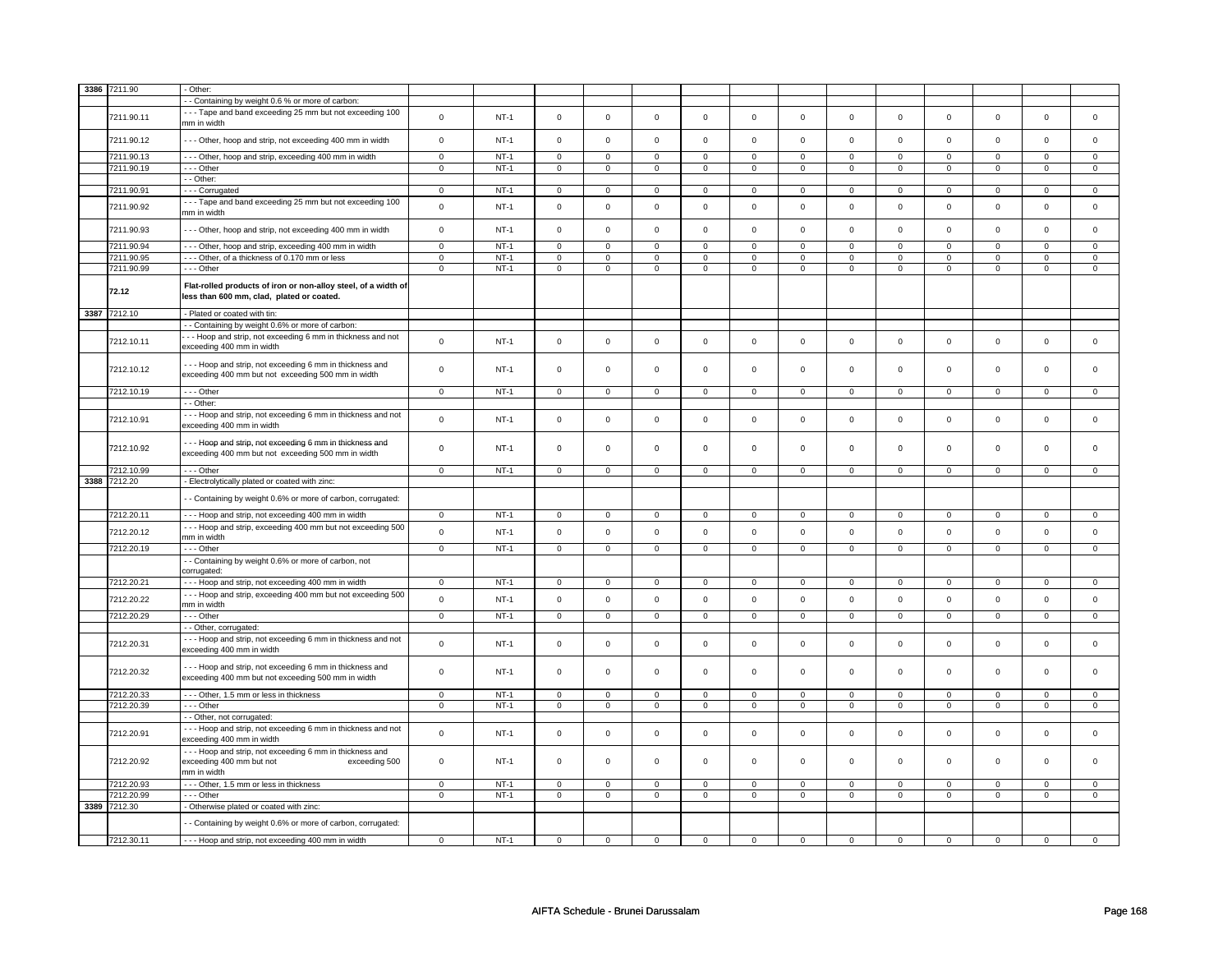|      | 3386 7211.90 | - Other:                                                                                                            |                |        |                |                |                     |                |                     |                |                |                |                |                |                |                     |
|------|--------------|---------------------------------------------------------------------------------------------------------------------|----------------|--------|----------------|----------------|---------------------|----------------|---------------------|----------------|----------------|----------------|----------------|----------------|----------------|---------------------|
|      |              | - Containing by weight 0.6 % or more of carbon:                                                                     |                |        |                |                |                     |                |                     |                |                |                |                |                |                |                     |
|      | 7211.90.11   | --- Tape and band exceeding 25 mm but not exceeding 100<br>mm in width                                              | $\mathsf 0$    | $NT-1$ | $\mathsf 0$    | $\mathbf 0$    | $\mathsf 0$         | $\mathbf 0$    | $\mathsf 0$         | $\mathbf 0$    | $\mathbf 0$    | $\mathbf 0$    | $\mathsf 0$    | $\mathbf 0$    | $\mathsf 0$    | $\mathbf 0$         |
|      | 7211.90.12   | --- Other, hoop and strip, not exceeding 400 mm in width                                                            | $\mathsf 0$    | $NT-1$ | $\mathsf 0$    | $\mathsf 0$    | $\mathsf{O}\xspace$ | $\mathsf 0$    | $\mathsf{O}\xspace$ | $\mathbf 0$    | $\mathbf 0$    | $\mathbf 0$    | $\mathsf 0$    | $\mathbf 0$    | $\mathsf 0$    | $\mathsf 0$         |
|      | 7211.90.13   | - - - Other, hoop and strip, exceeding 400 mm in width                                                              | $\mathbf 0$    | $NT-1$ | $\mathsf 0$    | $\mathsf 0$    | 0                   | $\mathsf 0$    | $\mathsf 0$         | $\mathbf 0$    | 0              | $\mathbf 0$    | $\mathbf 0$    | $\mathbf 0$    | 0              | $\mathbf 0$         |
|      | 7211.90.19   | --- Other                                                                                                           | $\overline{0}$ | $NT-1$ | $\mathsf 0$    | $\overline{0}$ | $\mathsf 0$         | $\mathsf 0$    | $\mathsf 0$         | $\overline{0}$ | $\mathsf 0$    | $\mathbf 0$    | $\mathbf 0$    | $\overline{0}$ | $\mathsf 0$    | $\mathbf 0$         |
|      |              | - - Other:                                                                                                          |                |        |                |                |                     |                |                     |                |                |                |                |                |                |                     |
|      |              |                                                                                                                     |                |        |                |                |                     |                |                     |                |                |                |                |                |                |                     |
|      | 7211.90.91   | --- Corrugated                                                                                                      | $\mathsf 0$    | $NT-1$ | $\mathbf 0$    | $\mathsf 0$    | $\mathsf 0$         | $\mathbf 0$    | $\mathsf 0$         | $\mathbf 0$    | $\mathbf 0$    | $\mathbf 0$    | $\mathsf 0$    | $\mathbf 0$    | $\mathbf 0$    | $\mathbf 0$         |
|      | 7211.90.92   | --- Tape and band exceeding 25 mm but not exceeding 100<br>mm in width                                              | $\mathbf 0$    | $NT-1$ | $\mathbf 0$    | $\mathsf 0$    | $\mathbf 0$         | $\mathsf 0$    | $\mathbf 0$         | $\mathsf 0$    | $\mathbf 0$    | $\mathsf 0$    | $\mathbf 0$    | $\mathsf 0$    | $\mathbf 0$    | $\mathsf{O}\xspace$ |
|      | 7211.90.93   | --- Other, hoop and strip, not exceeding 400 mm in width                                                            | $\mathsf 0$    | $NT-1$ | $\mathsf 0$    | $\mathsf{o}\,$ | $\mathsf 0$         | $\mathsf 0$    | $\mathsf 0$         | $\mathbf 0$    | $\mathbf 0$    | $\mathbf 0$    | $\mathsf 0$    | $\mathbf 0$    | $\mathbf 0$    | $\mathsf 0$         |
|      | 7211.90.94   | - - - Other, hoop and strip, exceeding 400 mm in width                                                              | $\mathsf 0$    | $NT-1$ | $\Omega$       | $\Omega$       | $\Omega$            | $\Omega$       | $\Omega$            | $\mathsf 0$    | $\Omega$       | $\Omega$       | $\Omega$       | $\Omega$       | $\Omega$       | $\Omega$            |
|      | 7211.90.95   | --- Other, of a thickness of 0.170 mm or less                                                                       | $\mathbf 0$    | $NT-1$ | $\mathsf 0$    | $\mathsf 0$    | $\mathsf 0$         | $\mathsf 0$    | $\mathsf 0$         | $\mathbf 0$    | $\mathbf 0$    | $\mathsf 0$    | $\mathsf 0$    | $\mathsf{O}$   | $\mathbf 0$    | $\mathbf 0$         |
|      | 7211.90.99   | --- Other                                                                                                           | $\mathsf 0$    | $NT-1$ | $\mathbf 0$    | $\mathbf 0$    | $\mathsf 0$         | $\mathbf 0$    | $\mathsf 0$         | $\mathbf 0$    | $\mathbf 0$    | $\mathbf 0$    | $\mathsf 0$    | $\mathbf 0$    | $\mathsf 0$    | $\mathbf 0$         |
|      | 72.12        | Flat-rolled products of iron or non-alloy steel, of a width of<br>less than 600 mm, clad, plated or coated.         |                |        |                |                |                     |                |                     |                |                |                |                |                |                |                     |
| 3387 | 7212.10      | - Plated or coated with tin:                                                                                        |                |        |                |                |                     |                |                     |                |                |                |                |                |                |                     |
|      |              | - - Containing by weight 0.6% or more of carbon:                                                                    |                |        |                |                |                     |                |                     |                |                |                |                |                |                |                     |
|      |              | - - Hoop and strip, not exceeding 6 mm in thickness and not                                                         |                |        |                |                |                     |                |                     |                |                |                |                |                |                |                     |
|      | 7212.10.11   | exceeding 400 mm in width                                                                                           | $\mathsf 0$    | $NT-1$ | $\mathsf 0$    | $\mathsf 0$    | $\mathsf 0$         | $\mathsf 0$    | $\mathsf 0$         | $\mathbf 0$    | $\mathbf 0$    | $\mathsf 0$    | $\mathsf 0$    | $\mathbf 0$    | $\mathsf 0$    | $\mathbf 0$         |
|      | 7212.10.12   | --- Hoop and strip, not exceeding 6 mm in thickness and<br>exceeding 400 mm but not exceeding 500 mm in width       | $\mathsf 0$    | $NT-1$ | $\mathsf 0$    | $\mathsf 0$    | $\mathsf 0$         | $\mathbf 0$    | $\mathsf 0$         | $\mathbf 0$    | $\mathbf 0$    | $\mathsf 0$    | $\mathsf 0$    | $\mathbf 0$    | $\mathbf 0$    | $\mathbf{0}$        |
|      | 7212.10.19   | $--$ Other                                                                                                          | $\overline{0}$ | $NT-1$ | $\overline{0}$ | $\overline{0}$ | $\mathbf 0$         | $\overline{0}$ | $\overline{0}$      | $\overline{0}$ | 0              | $\overline{0}$ | 0              | $\overline{0}$ | $\overline{0}$ | $\overline{0}$      |
|      |              | - - Other:                                                                                                          |                |        |                |                |                     |                |                     |                |                |                |                |                |                |                     |
|      | 7212.10.91   | --- Hoop and strip, not exceeding 6 mm in thickness and not<br>exceeding 400 mm in width                            | $\mathsf 0$    | $NT-1$ | $\mathsf 0$    | $\mathbf 0$    | $\mathsf 0$         | $\mathbf 0$    | $\mathsf 0$         | $\mathbf 0$    | $\mathbf 0$    | $\mathsf 0$    | $\mathsf 0$    | $\mathbf 0$    | $\mathsf 0$    | $\mathbf{0}$        |
|      | 7212.10.92   | -- Hoop and strip, not exceeding 6 mm in thickness and<br>exceeding 400 mm but not exceeding 500 mm in width        | $\mathbf 0$    | $NT-1$ | $\mathbf 0$    | $\circ$        | $\mathsf{o}\,$      | $\mathbf 0$    | $\mathsf{o}\,$      | $\mathsf{o}\,$ | $\circ$        | $\mathsf{o}\,$ | 0              | $\mathbf 0$    | $\Omega$       | $\mathbf{0}$        |
|      |              | --- Other                                                                                                           | $\mathbf 0$    | $NT-1$ | $\mathbf 0$    | $\mathbf 0$    | $\mathbf 0$         | $\mathbf 0$    | $\mathbf 0$         | $\mathbf 0$    | 0              | $\mathbf 0$    | 0              | $\mathbf 0$    | 0              | 0                   |
|      | 7212.10.99   |                                                                                                                     |                |        |                |                |                     |                |                     |                |                |                |                |                |                |                     |
|      |              |                                                                                                                     |                |        |                |                |                     |                |                     |                |                |                |                |                |                |                     |
| 3388 | 7212.20      | - Electrolytically plated or coated with zinc:                                                                      |                |        |                |                |                     |                |                     |                |                |                |                |                |                |                     |
|      |              | - Containing by weight 0.6% or more of carbon, corrugated:                                                          |                |        |                |                |                     |                |                     |                |                |                |                |                |                |                     |
|      | 7212.20.11   | --- Hoop and strip, not exceeding 400 mm in width                                                                   | $\overline{0}$ | $NT-1$ | $\overline{0}$ | $\overline{0}$ | $\mathbf 0$         | $\mathbf 0$    | $\overline{0}$      | $\overline{0}$ | $\mathbf 0$    | $\mathsf 0$    | $\mathsf 0$    | $\overline{0}$ | $\mathbf 0$    | 0                   |
|      |              | --- Hoop and strip, exceeding 400 mm but not exceeding 500                                                          |                |        |                |                |                     |                |                     |                |                |                |                |                |                |                     |
|      | 7212.20.12   |                                                                                                                     | $\mathbf 0$    | $NT-1$ | $\mathsf 0$    | $\mathsf 0$    | $\mathsf 0$         | $\mathbf 0$    | $\mathsf 0$         | $\mathbf 0$    | $\mathbf 0$    | $\mathbf 0$    | $\mathsf 0$    | $\mathbf 0$    | $\mathsf 0$    | $\mathbf 0$         |
|      |              | mm in width                                                                                                         |                |        |                |                |                     |                |                     |                |                |                |                |                |                |                     |
|      | 7212.20.19   | $\cdots$ Other                                                                                                      | $\overline{0}$ | $NT-1$ | $\overline{0}$ | $\overline{0}$ | $\overline{0}$      | $\overline{0}$ | $\overline{0}$      | $\overline{0}$ | $\overline{0}$ | $\overline{0}$ | $\overline{0}$ | $\overline{0}$ | $\overline{0}$ | $\overline{0}$      |
|      |              | - Containing by weight 0.6% or more of carbon, not                                                                  |                |        |                |                |                     |                |                     |                |                |                |                |                |                |                     |
|      |              | corrugated:                                                                                                         |                |        |                |                |                     |                |                     |                |                |                |                |                |                |                     |
|      | 7212.20.21   | --- Hoop and strip, not exceeding 400 mm in width                                                                   | $\mathbf 0$    | $NT-1$ | 0              | $\mathbf 0$    | 0                   | $\mathbf 0$    | 0                   | $\mathbf 0$    | 0              | $\mathbf 0$    | 0              | $\mathbf 0$    | 0              | $\mathbf 0$         |
|      | 7212.20.22   | --- Hoop and strip, exceeding 400 mm but not exceeding 500                                                          | $\mathsf 0$    | $NT-1$ | $\mathsf 0$    | $\mathsf 0$    | $\mathsf 0$         | $\mathbf 0$    | $\mathsf 0$         | $\mathbf 0$    | $\mathbf 0$    | $\mathbf 0$    | $\mathsf 0$    | $\mathbf 0$    | $\mathbf 0$    | $\mathbf 0$         |
|      |              | mm in width                                                                                                         |                |        |                |                |                     |                |                     |                |                |                |                |                |                |                     |
|      | 7212.20.29   | --- Other                                                                                                           | $\overline{0}$ | $NT-1$ | $\overline{0}$ | $\overline{0}$ | $\mathbf 0$         | $\overline{0}$ | $\mathbf 0$         | $\mathbf 0$    | $\mathbf 0$    | $\mathbf 0$    | $\mathbf 0$    | $\overline{0}$ | $\mathbf 0$    | $\overline{0}$      |
|      |              | - - Other, corrugated:                                                                                              |                |        |                |                |                     |                |                     |                |                |                |                |                |                |                     |
|      | 7212.20.31   | --- Hoop and strip, not exceeding 6 mm in thickness and not<br>exceeding 400 mm in width                            | $\mathsf 0$    | $NT-1$ | $\mathsf 0$    | $\mathsf 0$    | $\mathsf 0$         | $\mathsf 0$    | $\mathsf 0$         | $\mathbf 0$    | $\mathbf 0$    | $\mathsf 0$    | $\mathsf 0$    | $\mathbf 0$    | $\mathbf 0$    | $\mathsf 0$         |
|      | 7212.20.32   | --- Hoop and strip, not exceeding 6 mm in thickness and<br>exceeding 400 mm but not exceeding 500 mm in width       | $\mathsf 0$    | $NT-1$ | $\mathsf 0$    | $\mathsf 0$    | $\mathsf{O}\xspace$ | $\mathbf 0$    | $\mathsf{O}\xspace$ | $\mathbf{0}$   | $\mathbf 0$    | $\mathbf 0$    | $\mathbf 0$    | $\mathbf{0}$   | $\mathbf 0$    | $\mathbf 0$         |
|      |              |                                                                                                                     | $\mathsf 0$    | $NT-1$ | $\mathsf 0$    | $\mathbf 0$    | $\mathbf 0$         | $\mathbf 0$    | $\mathsf 0$         | $\mathsf 0$    | $\mathbf 0$    | $\mathbf{0}$   | $\mathbf 0$    | $\mathbf 0$    | $\mathbf 0$    | $\mathbf 0$         |
|      | 7212.20.33   | --- Other, 1.5 mm or less in thickness                                                                              |                |        |                |                |                     |                |                     |                |                |                |                |                |                |                     |
|      | 7212.20.39   | --- Other                                                                                                           | $\mathbf 0$    | $NT-1$ | $\mathsf 0$    | $\mathsf 0$    | $\mathsf 0$         | $\mathsf 0$    | $\mathsf 0$         | $\mathsf{O}$   | $\mathsf 0$    | $\mathbf 0$    | $\mathbf 0$    | $\mathsf{O}$   | 0              | $\mathbf 0$         |
|      |              | - - Other, not corrugated:                                                                                          |                |        |                |                |                     |                |                     |                |                |                |                |                |                |                     |
|      | 7212.20.91   | - - - Hoop and strip, not exceeding 6 mm in thickness and not<br>exceeding 400 mm in width                          | $\mathbf 0$    | $NT-1$ | $\mathsf 0$    | $\mathsf 0$    | $\mathsf{O}\xspace$ | $\mathsf 0$    | $\mathsf{O}\xspace$ | $\mathbf 0$    | $\mathsf 0$    | $\mathsf 0$    | $\mathsf 0$    | $\mathbf 0$    | $\mathsf 0$    | $\mathbf 0$         |
|      | 7212.20.92   | --- Hoop and strip, not exceeding 6 mm in thickness and<br>exceeding 400 mm but not<br>exceeding 500<br>mm in width | $\mathsf 0$    | $NT-1$ | $\mathsf 0$    | $\mathbf 0$    | $\mathsf 0$         | $\mathbf 0$    | $\mathsf 0$         | $\mathbf 0$    | $\mathbf 0$    | 0              | $\mathsf 0$    | $\mathbf 0$    | $\mathbf 0$    | 0                   |
|      |              |                                                                                                                     |                |        |                |                |                     |                |                     |                |                |                |                |                |                |                     |
|      | 7212.20.93   | --- Other, 1.5 mm or less in thickness                                                                              | $\mathbf 0$    | $NT-1$ | $\mathbf 0$    | $\overline{0}$ | $\mathbf 0$         | $\mathbf 0$    | $\mathbf 0$         | $\mathbf{0}$   | $\mathbf 0$    | $\mathbf{0}$   | $\mathbf 0$    | $\mathbf{0}$   | $\mathbf 0$    | $\mathbf 0$         |
|      | 7212.20.99   | $- -$ Other                                                                                                         | $\overline{0}$ | $NT-1$ | $\overline{0}$ | $\overline{0}$ | $\mathsf 0$         | $\overline{0}$ | $\mathsf 0$         | $\overline{0}$ | $\mathbf 0$    | $\overline{0}$ | $\mathsf 0$    | $\overline{0}$ | $\mathsf 0$    | $\overline{0}$      |
|      | 3389 7212.30 | - Otherwise plated or coated with zinc:                                                                             |                |        |                |                |                     |                |                     |                |                |                |                |                |                |                     |
|      | 7212.30.11   | - Containing by weight 0.6% or more of carbon, corrugated:<br>- - - Hoop and strip, not exceeding 400 mm in width   | $\mathsf 0$    | $NT-1$ | $\Omega$       | $\Omega$       | $\Omega$            | $\Omega$       | $\Omega$            | 0              | $\mathbf 0$    | $\mathsf 0$    | $\mathsf 0$    | 0              | $\Omega$       | $\mathbf{0}$        |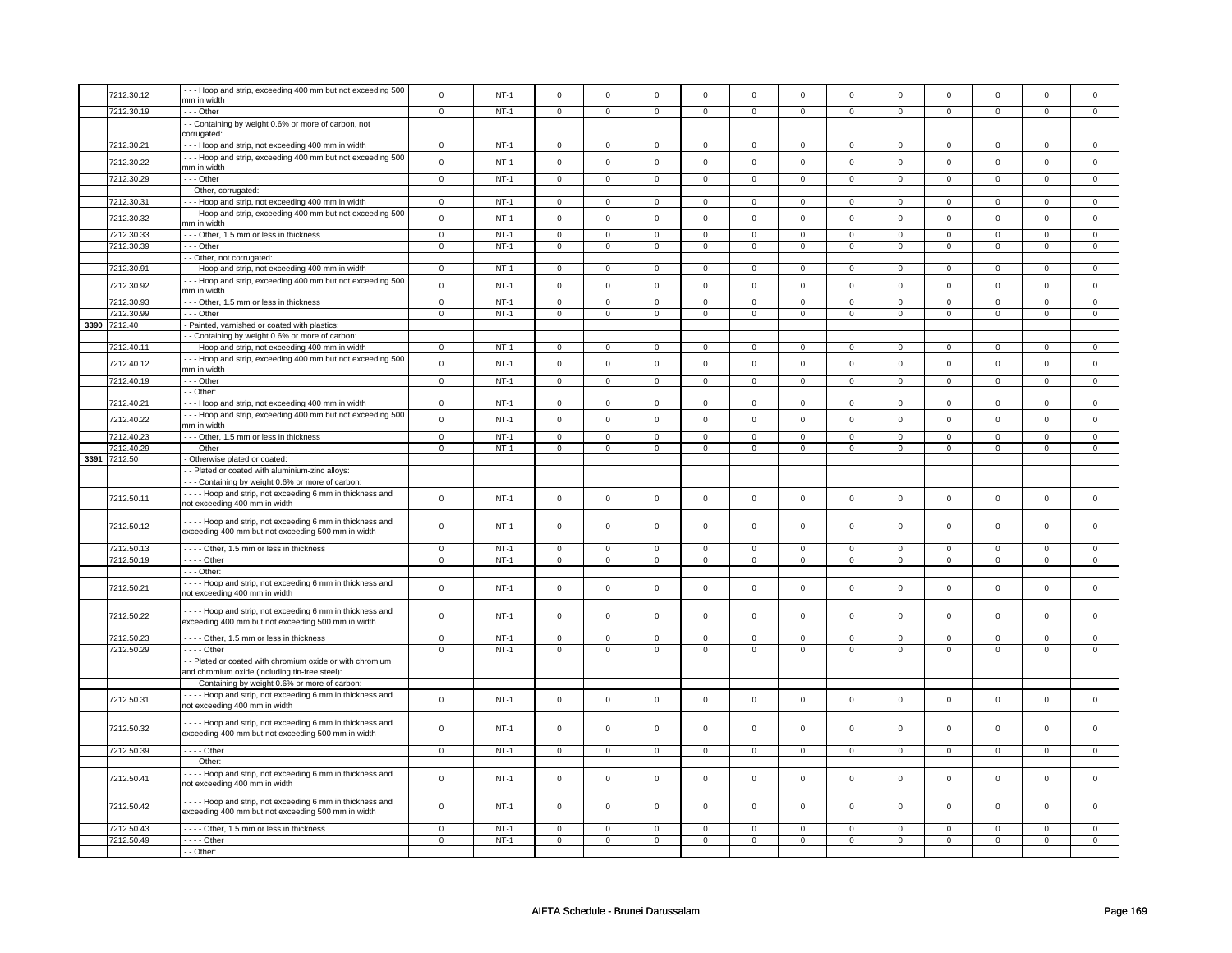|      | 7212.30.12   | --- Hoop and strip, exceeding 400 mm but not exceeding 500  | $\mathbf 0$    | $NT-1$      | $\mathbf 0$             | $\mathbf 0$    | $\mathbf 0$         | $\mathbf 0$             | $\mathbf 0$         | $\mathsf 0$         | $\mathsf 0$    | $\mathsf 0$             | $\mathsf 0$         | $\mathbf 0$    | $\mathbf 0$    | $\mathbf 0$    |
|------|--------------|-------------------------------------------------------------|----------------|-------------|-------------------------|----------------|---------------------|-------------------------|---------------------|---------------------|----------------|-------------------------|---------------------|----------------|----------------|----------------|
|      |              | mm in width                                                 |                |             |                         |                |                     |                         |                     |                     |                |                         |                     |                |                |                |
|      | 7212.30.19   | $- -$ Other                                                 | $\overline{0}$ | $NT-1$      | $\overline{0}$          | $\overline{0}$ | $\overline{0}$      | $\overline{0}$          | $\overline{0}$      | $\overline{0}$      | $\overline{0}$ | $\overline{0}$          | $\overline{0}$      | $\overline{0}$ | $\mathsf 0$    | $\overline{0}$ |
|      |              | - - Containing by weight 0.6% or more of carbon, not        |                |             |                         |                |                     |                         |                     |                     |                |                         |                     |                |                |                |
|      |              | corrugated:                                                 |                |             |                         |                |                     |                         |                     |                     |                |                         |                     |                |                |                |
|      | 7212.30.21   |                                                             | $\mathsf 0$    | $NT-1$      | $\mathbf 0$             | $\mathbf 0$    | $\Omega$            | $\mathsf 0$             | $\mathsf{O}\xspace$ | $\mathsf 0$         | $\Omega$       | $\mathsf 0$             | $\mathbf 0$         | $\mathbf 0$    | $\Omega$       | $\mathbf 0$    |
|      |              | - - - Hoop and strip, not exceeding 400 mm in width         |                |             |                         |                |                     |                         |                     |                     |                |                         |                     |                |                |                |
|      | 7212.30.22   | --- Hoop and strip, exceeding 400 mm but not exceeding 500  | $\Omega$       | $NT-1$      | $\mathsf 0$             | $\Omega$       | $\mathsf 0$         | $\mathsf 0$             | $\mathsf 0$         | $\mathsf 0$         | $\mathbf 0$    | $\mathsf 0$             | $\mathsf 0$         | $\mathbf 0$    | $\mathsf 0$    | $\mathbf 0$    |
|      |              | mm in width                                                 |                |             |                         |                |                     |                         |                     |                     |                |                         |                     |                |                |                |
|      | 7212.30.29   | $- -$ Other                                                 | $\overline{0}$ | $NT-1$      | $\overline{0}$          | $\overline{0}$ | $\mathsf{O}\xspace$ | $\overline{0}$          | $\mathsf{O}\xspace$ | $\mathbf 0$         | $\mathsf 0$    | $\mathbf 0$             | $\overline{0}$      | $\mathbf 0$    | $\mathsf 0$    | $\overline{0}$ |
|      |              | - - Other, corrugated:                                      |                |             |                         |                |                     |                         |                     |                     |                |                         |                     |                |                |                |
|      | 7212.30.31   | --- Hoop and strip, not exceeding 400 mm in width           | $\mathbf 0$    | $NT-1$      | $\mathbf 0$             | $\mathbf 0$    | $\mathbf 0$         | $\mathbf 0$             | $\mathbf 0$         | $\mathbf 0$         | $\mathbf 0$    | $\mathbf 0$             | $\mathbf 0$         | $\mathbf 0$    | $\mathbf 0$    | $\mathbf{0}$   |
|      |              |                                                             |                |             |                         |                |                     |                         |                     |                     |                |                         |                     |                |                |                |
|      | 7212.30.32   | --- Hoop and strip, exceeding 400 mm but not exceeding 500  | $\mathsf 0$    | $NT-1$      | $\mathsf 0$             | $\mathsf 0$    | $\mathbf 0$         | $\mathsf 0$             | $\mathsf{O}\xspace$ | $\mathsf 0$         | $\mathbf 0$    | $\mathsf 0$             | $\mathbf 0$         | $\mathbf 0$    | $\mathbf 0$    | $\mathsf 0$    |
|      |              | mm in width                                                 |                |             |                         |                |                     |                         |                     |                     |                |                         |                     |                |                |                |
|      | 7212.30.33   | --- Other, 1.5 mm or less in thickness                      | $\mathsf 0$    | $NT-1$      | $\mathsf 0$             | $\mathbf 0$    | $\mathbf 0$         | $\mathbf 0$             | $\mathbf 0$         | $\mathbf 0$         | 0              | 0                       | 0                   | $\mathbf 0$    | $\mathbf 0$    | 0              |
|      | 7212.30.39   | --- Other                                                   | $\mathsf 0$    | $NT-1$      | $\mathsf 0$             | $\mathsf 0$    | $\mathsf 0$         | $\mathsf 0$             | $\mathsf 0$         | $\mathbf 0$         | $\mathbf 0$    | $\mathsf 0$             | $\mathbf 0$         | $\mathbf 0$    | $\mathbf 0$    | $\mathsf 0$    |
|      |              | - - Other, not corrugated:                                  |                |             |                         |                |                     |                         |                     |                     |                |                         |                     |                |                |                |
|      | 7212.30.91   | --- Hoop and strip, not exceeding 400 mm in width           | $\mathbf 0$    | $NT-1$      | $\mathbf 0$             | $\mathbf 0$    | $\mathbf 0$         | $\mathbf 0$             | $\mathbf 0$         | $\mathbf 0$         | 0              | $\mathbf 0$             | 0                   | $\mathbf 0$    | 0              | 0              |
|      |              |                                                             |                |             |                         |                |                     |                         |                     |                     |                |                         |                     |                |                |                |
|      | 7212.30.92   | --- Hoop and strip, exceeding 400 mm but not exceeding 500  | $\mathsf 0$    | $NT-1$      | $\mathsf 0$             | $\mathsf 0$    | $\mathsf 0$         | $\mathbf 0$             | $\mathsf 0$         | $\mathsf 0$         | $\mathbf 0$    | $\mathsf 0$             | $\mathsf 0$         | $\mathbf 0$    | $\mathbf 0$    | $\mathbf 0$    |
|      |              | mm in width                                                 |                |             |                         |                |                     |                         |                     |                     |                |                         |                     |                |                |                |
|      | 7212.30.93   | --- Other, 1.5 mm or less in thickness                      | $\mathsf 0$    | $NT-1$      | $\mathsf 0$             | $\mathbf 0$    | $\mathsf 0$         | $\mathbf 0$             | $\mathsf 0$         | $\mathsf 0$         | $\mathbf 0$    | $\mathsf 0$             | $\mathsf 0$         | $\mathbf 0$    | $\mathbf 0$    | 0              |
|      | 7212.30.99   | --- Other                                                   | $\mathsf 0$    | $NT-1$      | $\mathsf 0$             | $\mathbf 0$    | $\mathsf 0$         | $\mathbf 0$             | $\mathsf 0$         | $\mathsf 0$         | $\mathbf 0$    | $\mathsf 0$             | $\mathsf 0$         | $\mathbf 0$    | 0              | 0              |
|      | 3390 7212.40 | - Painted, varnished or coated with plastics:               |                |             |                         |                |                     |                         |                     |                     |                |                         |                     |                |                |                |
|      |              | - - Containing by weight 0.6% or more of carbon:            |                |             |                         |                |                     |                         |                     |                     |                |                         |                     |                |                |                |
|      | 7212.40.11   |                                                             | $\mathbf{0}$   | $NT-1$      | $\mathbf 0$             | $\mathbf{0}$   | $\mathbf 0$         | $\overline{0}$          | $\mathbf 0$         | $\mathbf{0}$        | $\mathbf{0}$   | $\mathbf{0}$            | $\mathbf{0}$        | $\mathbf 0$    | 0              | $\overline{0}$ |
|      |              | --- Hoop and strip, not exceeding 400 mm in width           |                |             |                         |                |                     |                         |                     |                     |                |                         |                     |                |                |                |
|      | 7212.40.12   | --- Hoop and strip, exceeding 400 mm but not exceeding 500  | $\mathbf 0$    | $NT-1$      | $\mathsf 0$             | $\mathsf 0$    | $\mathsf{O}\xspace$ | $\mathsf 0$             | $\mathsf{O}\xspace$ | $\mathbf 0$         | $\mathsf 0$    | $\mathbf 0$             | $\mathsf 0$         | $\mathbf 0$    | $\mathbf 0$    | $\mathsf 0$    |
|      |              | mm in width                                                 |                |             |                         |                |                     |                         |                     |                     |                |                         |                     |                |                |                |
|      | 7212.40.19   | --- Other                                                   | $\mathbf 0$    | $NT-1$      | $\mathsf 0$             | $\mathsf 0$    | $\mathsf{O}\xspace$ | $\mathsf 0$             | $\mathsf{O}\xspace$ | $\mathbf 0$         | $\mathsf 0$    | $\mathsf 0$             | $\mathsf 0$         | $\mathbf 0$    | $\mathsf 0$    | $\mathbf 0$    |
|      |              | - - Other:                                                  |                |             |                         |                |                     |                         |                     |                     |                |                         |                     |                |                |                |
|      | 7212.40.21   | --- Hoop and strip, not exceeding 400 mm in width           | $\overline{0}$ | $NT-1$      | $\overline{0}$          | $\overline{0}$ | $\overline{0}$      | $\overline{0}$          | $\mathsf 0$         | $\overline{0}$      | $\mathsf 0$    | $\mathbf 0$             | $\overline{0}$      | $\overline{0}$ | $\mathsf 0$    | $\overline{0}$ |
|      |              |                                                             |                |             |                         |                |                     |                         |                     |                     |                |                         |                     |                |                |                |
|      | 7212.40.22   | --- Hoop and strip, exceeding 400 mm but not exceeding 500  | $\mathsf 0$    | $NT-1$      | $\mathsf 0$             | $\mathsf 0$    | $\mathsf{O}\xspace$ | $\mathsf 0$             | $\mathsf{O}\xspace$ | $\mathsf{O}$        | $\mathbf 0$    | $\mathbf 0$             | $\mathsf 0$         | $\mathbf{0}$   | $\mathbf 0$    | $\mathbf{0}$   |
|      |              | mm in width                                                 |                |             |                         |                |                     |                         |                     |                     |                |                         |                     |                |                |                |
|      | 7212.40.23   | --- Other, 1.5 mm or less in thickness                      | $\overline{0}$ | $NT-1$      | $\overline{0}$          | $\overline{0}$ | $\overline{0}$      | $\overline{0}$          | $\overline{0}$      | $\overline{0}$      | $\overline{0}$ | $\overline{0}$          | $\overline{0}$      | $\overline{0}$ | $\overline{0}$ | $\overline{0}$ |
|      | 7212.40.29   | --- Other                                                   | $\overline{0}$ | $NT-1$      | $\overline{\mathbf{0}}$ | $\overline{0}$ | $\mathsf{o}\,$      | $\overline{\mathbf{0}}$ | $\mathsf{o}\,$      | $\overline{0}$      | $\mathsf{o}$   | $\overline{\mathbf{0}}$ | $\overline{0}$      | $\overline{0}$ | 0              | $\overline{0}$ |
| 3391 | 7212.50      | - Otherwise plated or coated:                               |                |             |                         |                |                     |                         |                     |                     |                |                         |                     |                |                |                |
|      |              | - - Plated or coated with aluminium-zinc alloys:            |                |             |                         |                |                     |                         |                     |                     |                |                         |                     |                |                |                |
|      |              |                                                             |                |             |                         |                |                     |                         |                     |                     |                |                         |                     |                |                |                |
|      |              |                                                             |                |             |                         |                |                     |                         |                     |                     |                |                         |                     |                |                |                |
|      |              | --- Containing by weight 0.6% or more of carbon:            |                |             |                         |                |                     |                         |                     |                     |                |                         |                     |                |                |                |
|      |              | - - - - Hoop and strip, not exceeding 6 mm in thickness and |                |             |                         |                |                     |                         |                     |                     |                |                         |                     |                |                |                |
|      | 7212.50.11   | not exceeding 400 mm in width                               | $\mathbf 0$    | $NT-1$      | $\mathsf 0$             | $\mathsf 0$    | $\mathbf 0$         | $\mathbf 0$             | $\mathsf 0$         | $\mathsf 0$         | $\mathbf 0$    | $\mathsf 0$             | $\mathbf 0$         | $\mathbf 0$    | $\mathbf 0$    | $\mathsf 0$    |
|      |              |                                                             |                |             |                         |                |                     |                         |                     |                     |                |                         |                     |                |                |                |
|      |              | ---- Hoop and strip, not exceeding 6 mm in thickness and    | $\mathbf 0$    |             | $\mathbf 0$             | $\mathbf 0$    | $\mathbf 0$         | $\mathbf 0$             |                     |                     | $\mathbf 0$    |                         |                     | $\mathbf 0$    | $\Omega$       | $\mathbf{0}$   |
|      | 7212.50.12   | exceeding 400 mm but not exceeding 500 mm in width          |                | $NT-1$      |                         |                |                     |                         | $\mathsf 0$         | $\mathsf 0$         |                | $\mathsf 0$             | $\mathsf 0$         |                |                |                |
|      |              |                                                             |                |             |                         |                |                     |                         |                     |                     |                |                         |                     |                |                |                |
|      | 7212.50.13   | ---- Other, 1.5 mm or less in thickness                     | 0              | $NT-1$      | $\mathbf 0$             | $\mathbf 0$    | $\mathbf 0$         | $\mathbf 0$             | $\mathbf 0$         | $\mathbf 0$         | 0              | $\mathbf 0$             | 0                   | $\mathbf 0$    | 0              | 0              |
|      | 7212.50.19   | - - - - Other                                               | 0              | $NT-1$      | $\mathbf 0$             | $\mathbf 0$    | $\mathbf 0$         | $\mathbf 0$             | $\mathbf 0$         | $\mathbf 0$         | 0              | $\mathbf 0$             | 0                   | $\mathbf 0$    | 0              | 0              |
|      |              | $--$ Other:                                                 |                |             |                         |                |                     |                         |                     |                     |                |                         |                     |                |                |                |
|      |              | - - - - Hoop and strip, not exceeding 6 mm in thickness and |                |             |                         |                |                     |                         |                     |                     |                |                         |                     |                |                |                |
|      | 7212.50.21   | not exceeding 400 mm in width                               | $\mathsf 0$    | $NT-1$      | $\mathsf 0$             | $\mathsf{o}\,$ | $\mathsf{O}\xspace$ | $\mathsf 0$             | $\mathsf{O}\xspace$ | $\mathsf{O}\xspace$ | $\mathsf 0$    | $\mathsf 0$             | $\mathsf{O}\xspace$ | $\mathbf 0$    | $\mathsf 0$    | $\mathsf 0$    |
|      |              |                                                             |                |             |                         |                |                     |                         |                     |                     |                |                         |                     |                |                |                |
|      |              | - - - - Hoop and strip, not exceeding 6 mm in thickness and |                |             |                         |                |                     |                         |                     |                     |                |                         |                     |                |                |                |
|      | 7212.50.22   | exceeding 400 mm but not exceeding 500 mm in width          | $\mathsf 0$    | $NT-1$      | $\mathsf 0$             | $\mathsf 0$    | $\mathsf{O}\xspace$ | $\mathsf 0$             | $\mathsf{O}\xspace$ | $\mathbf 0$         | $\mathsf 0$    | $\mathsf 0$             | $\mathsf 0$         | $\mathbf 0$    | $\mathsf 0$    | $\mathbf 0$    |
|      |              |                                                             |                |             |                         |                |                     |                         |                     |                     |                |                         |                     |                |                |                |
|      | 7212.50.23   | - - - - Other, 1.5 mm or less in thickness                  | $\mathbf 0$    | $NT-1$      | $\mathsf 0$             | $\mathsf 0$    | $\mathsf 0$         | $\mathsf 0$             | $\mathsf{O}\xspace$ | $\mathbf 0$         | $\mathbf 0$    | $\mathbf 0$             | $\mathsf 0$         | $\mathbf 0$    | $\mathsf 0$    | 0              |
|      | 7212.50.29   | $- - -$ Other                                               | $\mathsf 0$    | $NT-1$      | $\mathsf 0$             | $\mathsf 0$    | $\mathsf{O}\xspace$ | $\mathsf 0$             | $\mathsf{O}\xspace$ | $\mathsf 0$         | $\mathsf 0$    | $\mathbf 0$             | $\mathsf 0$         | $\mathbf 0$    | $\mathsf 0$    | $\mathbf 0$    |
|      |              |                                                             |                |             |                         |                |                     |                         |                     |                     |                |                         |                     |                |                |                |
|      |              | - - Plated or coated with chromium oxide or with chromium   |                |             |                         |                |                     |                         |                     |                     |                |                         |                     |                |                |                |
|      |              | and chromium oxide (including tin-free steel)               |                |             |                         |                |                     |                         |                     |                     |                |                         |                     |                |                |                |
|      |              | --- Containing by weight 0.6% or more of carbon:            |                |             |                         |                |                     |                         |                     |                     |                |                         |                     |                |                |                |
|      |              | - - - - Hoop and strip, not exceeding 6 mm in thickness and |                |             |                         |                |                     |                         |                     |                     |                |                         |                     |                |                |                |
|      | 7212.50.31   | not exceeding 400 mm in width                               | $\mathbf 0$    | $NT-1$      | $\mathsf 0$             | $\mathsf 0$    | $\mathsf{O}\xspace$ | $\mathsf 0$             | $\mathsf{O}\xspace$ | $\mathbf 0$         | $\mathbf 0$    | $\mathsf 0$             | $\mathsf 0$         | $\mathbf 0$    | $\mathsf 0$    | $\mathbf 0$    |
|      |              |                                                             |                |             |                         |                |                     |                         |                     |                     |                |                         |                     |                |                |                |
|      | 7212.50.32   | ---- Hoop and strip, not exceeding 6 mm in thickness and    | $\mathbf 0$    | $NT-1$      | $\mathsf 0$             | $\mathsf 0$    | $\mathsf 0$         | $\mathbf 0$             | $\mathsf 0$         | $\mathsf 0$         | $\mathbf 0$    | $\mathsf 0$             | $\mathsf 0$         | $\mathbf 0$    | $\mathbf 0$    | $\mathbf 0$    |
|      |              | exceeding 400 mm but not exceeding 500 mm in width          |                |             |                         |                |                     |                         |                     |                     |                |                         |                     |                |                |                |
|      |              |                                                             |                |             |                         |                |                     |                         |                     |                     |                |                         |                     |                |                |                |
|      | 7212.50.39   | $--$ Other                                                  | $\mathbf 0$    | $NT-1$      | $\mathbf 0$             | $\mathbf 0$    | $\mathbf 0$         | $\mathbf 0$             | $\mathsf 0$         | $\mathbf{0}$        | $\mathbf 0$    | $\mathbf{0}$            | $\mathbf 0$         | $\mathbf 0$    | $\mathbf 0$    | $\mathbf 0$    |
|      |              | - - - Other:                                                |                |             |                         |                |                     |                         |                     |                     |                |                         |                     |                |                |                |
|      |              | Hoop and strip, not exceeding 6 mm in thickness and         |                |             |                         |                |                     |                         |                     |                     |                |                         |                     |                |                |                |
|      | 7212.50.41   | not exceeding 400 mm in width                               | $\mathsf 0$    | $NT-1$      | $\mathsf 0$             | $\mathbf 0$    | $\mathsf 0$         | $\mathbf 0$             | $\mathsf 0$         | $\mathbf 0$         | $\mathbf 0$    | $\mathsf 0$             | $\mathsf 0$         | $\mathbf 0$    | $\mathbf 0$    | $\mathbf{0}$   |
|      |              |                                                             |                |             |                         |                |                     |                         |                     |                     |                |                         |                     |                |                |                |
|      |              | ---- Hoop and strip, not exceeding 6 mm in thickness and    |                |             |                         |                |                     |                         |                     |                     |                |                         |                     |                |                |                |
|      | 7212.50.42   | exceeding 400 mm but not exceeding 500 mm in width          | $\mathsf 0$    | <b>NT-1</b> | $\mathbf 0$             | $\mathbf 0$    | $\mathbf 0$         | $\mathbf 0$             | $\mathbf 0$         | 0                   | 0              | 0                       | 0                   | 0              | 0              | 0              |
|      |              |                                                             |                |             |                         |                |                     |                         |                     |                     |                |                         |                     |                |                |                |
|      | 7212.50.43   | ---- Other, 1.5 mm or less in thickness                     | $\overline{0}$ | $NT-1$      | $\overline{0}$          | $\overline{0}$ | $\overline{0}$      | $\overline{0}$          | $\overline{0}$      | $\overline{0}$      | $\overline{0}$ | $\overline{0}$          | $\overline{0}$      | $\overline{0}$ | $\overline{0}$ | $\overline{0}$ |
|      | 7212.50.49   | $---$ Other<br>- - Other:                                   | 0              | $NT-1$      | 0                       | $\mathbf 0$    | $\mathbf 0$         | $\mathbf 0$             | $\mathbf 0$         | $\mathbf 0$         | $\mathbf 0$    | $\mathbf 0$             | 0                   | $\mathbf 0$    | 0              | $\overline{0}$ |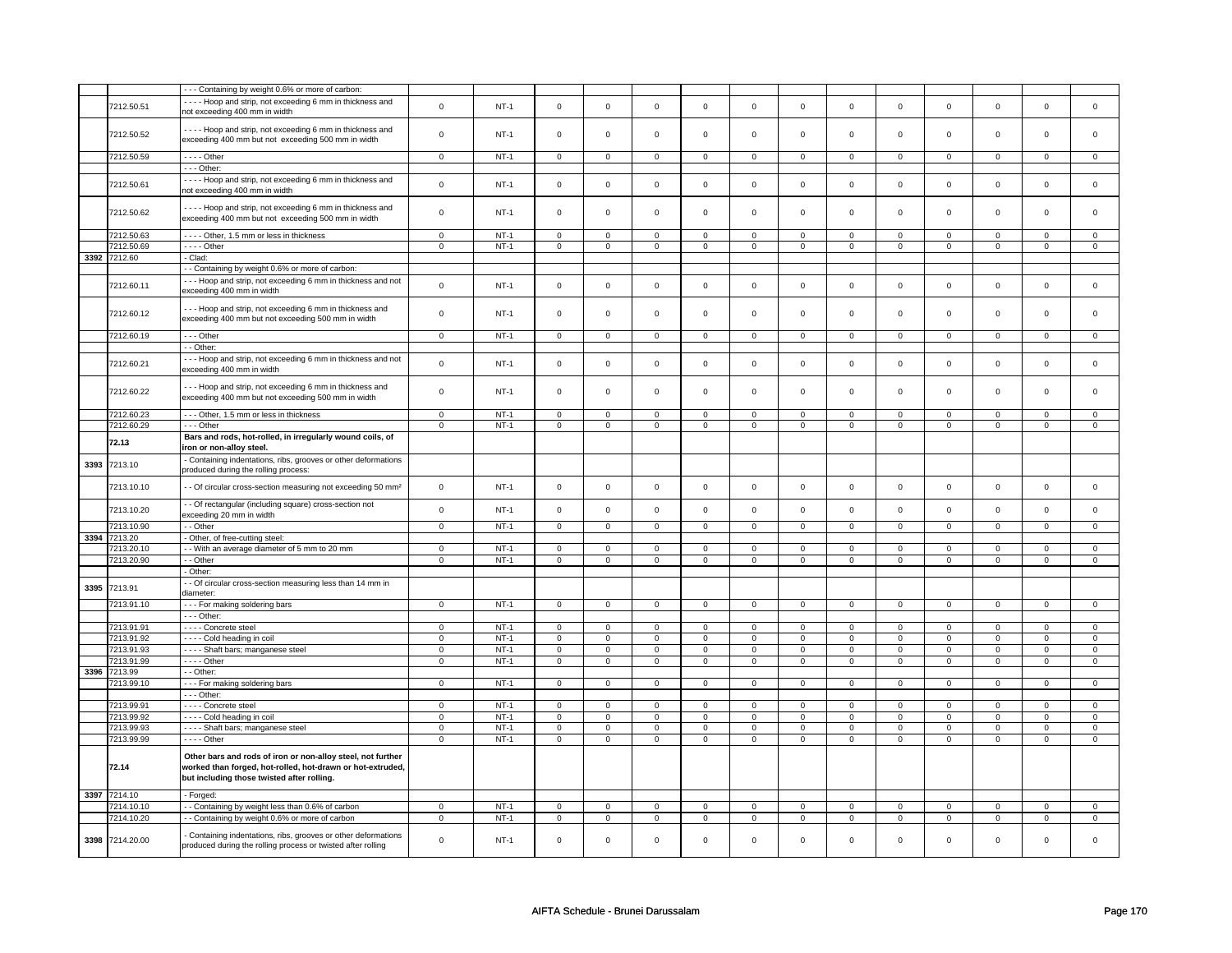|      |                 | --- Containing by weight 0.6% or more of carbon:                         |                |        |                     |                |                     |                |                     |                     |                |                |                     |                |                |                     |
|------|-----------------|--------------------------------------------------------------------------|----------------|--------|---------------------|----------------|---------------------|----------------|---------------------|---------------------|----------------|----------------|---------------------|----------------|----------------|---------------------|
|      |                 |                                                                          |                |        |                     |                |                     |                |                     |                     |                |                |                     |                |                |                     |
|      | 7212.50.51      | ---- Hoop and strip, not exceeding 6 mm in thickness and                 | $\mathbf 0$    | $NT-1$ | $\mathsf 0$         | $\mathsf 0$    | $\mathsf{O}\xspace$ | $\mathsf 0$    | $\mathsf{O}\xspace$ | $\mathsf 0$         | $\mathsf 0$    | $\mathsf 0$    | $\mathsf 0$         | $\mathbf 0$    | $\mathsf 0$    | $\mathsf 0$         |
|      |                 | not exceeding 400 mm in width                                            |                |        |                     |                |                     |                |                     |                     |                |                |                     |                |                |                     |
|      |                 |                                                                          |                |        |                     |                |                     |                |                     |                     |                |                |                     |                |                |                     |
|      |                 | - - - - Hoop and strip, not exceeding 6 mm in thickness and              |                |        |                     |                |                     |                |                     |                     |                |                |                     |                |                |                     |
|      | 7212.50.52      | exceeding 400 mm but not exceeding 500 mm in width                       | $\mathbf 0$    | $NT-1$ | $\mathbf 0$         | $\mathbf 0$    | $\mathsf 0$         | $\mathbf 0$    | $\mathsf 0$         | $\mathsf 0$         | $\mathbf 0$    | $\mathsf 0$    | $\mathsf 0$         | $\mathbf 0$    | $\mathsf 0$    | 0                   |
|      |                 |                                                                          |                |        |                     |                |                     |                |                     |                     |                |                |                     |                |                |                     |
|      | 7212.50.59      | $---$ Other                                                              | $\mathbf 0$    | $NT-1$ | $\mathsf 0$         | $\mathsf 0$    | $\mathsf 0$         | $\mathsf 0$    | $\mathsf 0$         | $\mathsf 0$         | $\mathsf 0$    | $\mathsf 0$    | $\mathsf 0$         | $\mathbf 0$    | $\mathsf 0$    | $\mathbf 0$         |
|      |                 |                                                                          |                |        |                     |                |                     |                |                     |                     |                |                |                     |                |                |                     |
|      |                 | - - - Other:                                                             |                |        |                     |                |                     |                |                     |                     |                |                |                     |                |                |                     |
|      |                 | - - - - Hoop and strip, not exceeding 6 mm in thickness and              |                |        |                     |                |                     |                |                     |                     |                |                |                     |                |                |                     |
|      | 7212.50.61      | not exceeding 400 mm in width                                            | $\mathbf 0$    | $NT-1$ | $\mathsf 0$         | $\mathsf 0$    | $\mathsf{O}\xspace$ | $\mathsf 0$    | $\mathsf{O}\xspace$ | $\mathsf 0$         | $\mathbf 0$    | $\mathsf 0$    | $\mathbf 0$         | $\mathsf 0$    | $\mathbf 0$    | $\mathsf 0$         |
|      |                 |                                                                          |                |        |                     |                |                     |                |                     |                     |                |                |                     |                |                |                     |
|      |                 | ---- Hoop and strip, not exceeding 6 mm in thickness and                 |                |        |                     |                |                     |                |                     |                     |                |                |                     |                |                |                     |
|      | 7212.50.62      |                                                                          | $\mathbf 0$    | $NT-1$ | $\mathbf 0$         | $\mathbf 0$    | $\mathbf 0$         | $\mathbf 0$    | $\mathbf 0$         | $\mathbf 0$         | $\mathbf 0$    | $\mathbf 0$    | $\mathbf 0$         | $\mathbf 0$    | $\mathbf 0$    | $\mathbf{0}$        |
|      |                 | exceeding 400 mm but not exceeding 500 mm in width                       |                |        |                     |                |                     |                |                     |                     |                |                |                     |                |                |                     |
|      |                 |                                                                          |                |        |                     |                |                     |                |                     |                     |                |                |                     |                |                |                     |
|      | 7212.50.63      | ---- Other, 1.5 mm or less in thickness                                  | $\mathbf 0$    | $NT-1$ | $\mathbf 0$         | $\mathbf 0$    | $\mathbf 0$         | $\mathbf 0$    | $\mathbf 0$         | $\mathbf 0$         | 0              | 0              | 0                   | 0              | $\mathbf 0$    | 0                   |
|      | 7212.50.69      | - - - - Other                                                            | $\mathbf 0$    | $NT-1$ | $\mathbf 0$         | $\mathbf 0$    | $\mathbf 0$         | $\mathbf 0$    | $\mathbf 0$         | $\mathbf 0$         | $\mathbf 0$    | $\mathbf{0}$   | $\mathbf 0$         | $\mathbf 0$    | $\mathbf 0$    | $\mathsf 0$         |
|      | 3392 7212.60    | Clad:                                                                    |                |        |                     |                |                     |                |                     |                     |                |                |                     |                |                |                     |
|      |                 |                                                                          |                |        |                     |                |                     |                |                     |                     |                |                |                     |                |                |                     |
|      |                 | - Containing by weight 0.6% or more of carbon:                           |                |        |                     |                |                     |                |                     |                     |                |                |                     |                |                |                     |
|      |                 | --- Hoop and strip, not exceeding 6 mm in thickness and not              |                |        |                     |                |                     |                |                     |                     |                |                |                     |                |                |                     |
|      | 7212.60.11      |                                                                          | $\mathsf 0$    | $NT-1$ | $\mathsf{O}\xspace$ | $\mathsf 0$    | $\mathsf 0$         | $\mathsf 0$    | $\mathsf 0$         | $\mathsf 0$         | $\mathbf 0$    | $\mathsf 0$    | $\mathsf 0$         | $\mathbf 0$    | $\mathsf 0$    | $\mathbf 0$         |
|      |                 | exceeding 400 mm in width                                                |                |        |                     |                |                     |                |                     |                     |                |                |                     |                |                |                     |
|      |                 |                                                                          |                |        |                     |                |                     |                |                     |                     |                |                |                     |                |                |                     |
|      | 7212.60.12      | --- Hoop and strip, not exceeding 6 mm in thickness and                  | $\mathbf 0$    | $NT-1$ | $\mathsf 0$         | $\mathbf 0$    | $\mathsf 0$         | $\mathbf 0$    | $\mathsf 0$         | $\mathsf 0$         | $\mathbf 0$    | $\mathsf 0$    | $\mathsf 0$         | $\mathbf 0$    | $\mathsf 0$    | 0                   |
|      |                 | exceeding 400 mm but not exceeding 500 mm in width                       |                |        |                     |                |                     |                |                     |                     |                |                |                     |                |                |                     |
|      |                 |                                                                          |                |        |                     |                |                     |                |                     |                     |                |                |                     |                |                |                     |
|      | 7212.60.19      | $--$ Other                                                               | $\overline{0}$ | $NT-1$ | $\overline{0}$      | $\overline{0}$ | $\mathbf 0$         | $\overline{0}$ | $\mathbf 0$         | $\overline{0}$      | $\mathbf{0}$   | $\mathbf{0}$   | $\mathbf{0}$        | $\overline{0}$ | 0              | $\mathbf{0}$        |
|      |                 |                                                                          |                |        |                     |                |                     |                |                     |                     |                |                |                     |                |                |                     |
|      |                 | - - Other:                                                               |                |        |                     |                |                     |                |                     |                     |                |                |                     |                |                |                     |
|      |                 | --- Hoop and strip, not exceeding 6 mm in thickness and not              |                |        |                     |                |                     |                |                     |                     |                |                |                     |                |                |                     |
|      | 7212.60.21      | exceeding 400 mm in width                                                | $\mathbf 0$    | $NT-1$ | $\mathsf 0$         | $\mathsf 0$    | $\mathsf 0$         | $\mathsf 0$    | $\mathsf 0$         | $\mathsf{O}\xspace$ | $\mathsf 0$    | $\mathsf 0$    | $\mathsf{O}\xspace$ | $\mathsf 0$    | $\mathsf 0$    | $\mathsf{O}\xspace$ |
|      |                 |                                                                          |                |        |                     |                |                     |                |                     |                     |                |                |                     |                |                |                     |
|      |                 | --- Hoop and strip, not exceeding 6 mm in thickness and                  |                |        |                     |                |                     |                |                     |                     |                |                |                     |                |                |                     |
|      | 7212.60.22      |                                                                          | $\Omega$       | $NT-1$ | $\mathsf 0$         | $\mathsf 0$    | $\mathsf 0$         | $\mathbf 0$    | $\mathsf 0$         | $\mathsf 0$         | $\Omega$       | $\mathsf 0$    | $\mathsf 0$         | $\mathbf 0$    | $\Omega$       | 0                   |
|      |                 | exceeding 400 mm but not exceeding 500 mm in width                       |                |        |                     |                |                     |                |                     |                     |                |                |                     |                |                |                     |
|      |                 |                                                                          |                |        |                     |                |                     |                |                     |                     |                |                |                     |                |                |                     |
|      | 7212.60.23      | --- Other, 1.5 mm or less in thickness                                   | $\mathsf 0$    | $NT-1$ | $\mathsf 0$         | $\mathbf 0$    | $\mathsf 0$         | $\mathbf 0$    | $\mathsf 0$         | $\mathsf 0$         | $\mathbf 0$    | $\mathsf 0$    | $\mathsf 0$         | $\mathbf 0$    | $\Omega$       | 0                   |
|      | 7212.60.29      | --- Other                                                                | $\mathbf 0$    | $NT-1$ | $\mathbf 0$         | $\mathbf 0$    | $\mathbf 0$         | $\mathbf 0$    | $\mathbf 0$         | $\mathbf 0$         | $\mathbf 0$    | $\mathbf 0$    | $\mathbf 0$         | $\mathbf 0$    | $\mathbf 0$    | $\mathbf{0}$        |
|      |                 |                                                                          |                |        |                     |                |                     |                |                     |                     |                |                |                     |                |                |                     |
|      |                 | Bars and rods, hot-rolled, in irregularly wound coils, of                |                |        |                     |                |                     |                |                     |                     |                |                |                     |                |                |                     |
|      | 72.13           | iron or non-alloy steel.                                                 |                |        |                     |                |                     |                |                     |                     |                |                |                     |                |                |                     |
|      |                 |                                                                          |                |        |                     |                |                     |                |                     |                     |                |                |                     |                |                |                     |
| 3393 | 7213.10         | Containing indentations, ribs, grooves or other deformations             |                |        |                     |                |                     |                |                     |                     |                |                |                     |                |                |                     |
|      |                 | produced during the rolling process:                                     |                |        |                     |                |                     |                |                     |                     |                |                |                     |                |                |                     |
|      |                 |                                                                          |                |        |                     |                |                     |                |                     |                     |                |                |                     |                |                |                     |
|      | 7213.10.10      | - - Of circular cross-section measuring not exceeding 50 mm <sup>2</sup> | $\mathsf 0$    | $NT-1$ | $\mathsf 0$         | $\mathbf 0$    | $\mathsf 0$         | $\mathbf 0$    | $\mathsf 0$         | $\mathsf 0$         | 0              | $\mathsf 0$    | $\mathsf 0$         | $\mathbf 0$    | $\mathsf 0$    | $\mathbf 0$         |
|      |                 |                                                                          |                |        |                     |                |                     |                |                     |                     |                |                |                     |                |                |                     |
|      |                 | - - Of rectangular (including square) cross-section not                  |                |        |                     |                |                     |                |                     |                     |                |                |                     |                |                |                     |
|      | 7213.10.20      | exceeding 20 mm in width                                                 | $\mathbf 0$    | $NT-1$ | $\mathsf 0$         | $\mathsf 0$    | $\mathsf 0$         | $\mathbf 0$    | $\mathsf 0$         | $\mathsf 0$         | $\mathbf 0$    | $\mathsf 0$    | $\mathsf 0$         | $\mathbf 0$    | $\mathsf 0$    | $\mathbf 0$         |
|      |                 |                                                                          |                |        |                     |                |                     |                |                     |                     |                |                |                     |                |                |                     |
|      | 7213.10.90      | - Other                                                                  | $\mathsf 0$    | $NT-1$ | $\mathbf 0$         | $\mathbf 0$    | $\mathsf 0$         | $\mathbf 0$    | $\mathsf 0$         | $\mathbf 0$         | $\mathbf 0$    | $\mathbf 0$    | $\mathsf 0$         | $\mathbf 0$    | $\mathsf 0$    | $\mathbf 0$         |
| 3394 | 7213.20         | Other, of free-cutting steel:                                            |                |        |                     |                |                     |                |                     |                     |                |                |                     |                |                |                     |
|      | 7213.20.10      | - With an average diameter of 5 mm to 20 mm                              | $\mathbf 0$    | $NT-1$ | $\mathbf 0$         | $\mathbf 0$    | $\mathbf 0$         | $\mathbf 0$    | $\mathbf 0$         | $\mathbf 0$         | 0              | $\mathbf 0$    | 0                   | $\mathbf 0$    | 0              | 0                   |
|      |                 |                                                                          |                |        |                     |                |                     |                |                     |                     |                |                |                     |                |                |                     |
|      | 7213.20.90      | - - Other                                                                | $\mathbf 0$    | $NT-1$ | $\mathbf 0$         | $\mathbf 0$    | $\mathbf 0$         | $\mathbf 0$    | $\mathbf 0$         | $\mathbf 0$         | 0              | $\mathbf 0$    | 0                   | $\mathbf 0$    | 0              | 0                   |
|      |                 | - Other:                                                                 |                |        |                     |                |                     |                |                     |                     |                |                |                     |                |                |                     |
|      |                 |                                                                          |                |        |                     |                |                     |                |                     |                     |                |                |                     |                |                |                     |
| 3395 | 7213.91         | - - Of circular cross-section measuring less than 14 mm in               |                |        |                     |                |                     |                |                     |                     |                |                |                     |                |                |                     |
|      |                 | diameter:                                                                |                |        |                     |                |                     |                |                     |                     |                |                |                     |                |                |                     |
|      | 7213.91.10      | --- For making soldering bars                                            | $\overline{0}$ | $NT-1$ | $\overline{0}$      | $\overline{0}$ | $\mathbf 0$         | $\overline{0}$ | $\overline{0}$      | $\overline{0}$      | $\overline{0}$ | $\overline{0}$ | $\overline{0}$      | $\overline{0}$ | 0              | $\overline{0}$      |
|      |                 |                                                                          |                |        |                     |                |                     |                |                     |                     |                |                |                     |                |                |                     |
|      |                 | $- -$ Other:                                                             |                |        |                     |                |                     |                |                     |                     |                |                |                     |                |                |                     |
|      | 7213.91.91      | - - - - Concrete steel                                                   | 0              | $NT-1$ | 0                   | $\mathsf 0$    | $\Omega$            | $\mathbf 0$    | $\Omega$            | $\mathbf 0$         | $\Omega$       | $\mathbf 0$    | $\Omega$            | $\mathbf 0$    | $\Omega$       | $\mathbf 0$         |
|      | 7213.91.92      | Cold heading in coil                                                     | $\mathsf 0$    | $NT-1$ | $\mathsf 0$         | $\mathsf 0$    | $\mathsf 0$         | $\mathsf 0$    | $\mathsf{O}\xspace$ | $\mathbf 0$         | $\mathbf 0$    | $\mathbf 0$    | $\mathsf 0$         | $\mathbf 0$    | $\Omega$       | $\mathbf 0$         |
|      |                 |                                                                          |                |        |                     |                |                     |                |                     |                     |                |                |                     |                |                |                     |
|      | 7213.91.93      | - - - - Shaft bars; manganese steel                                      | $\mathsf 0$    | $NT-1$ | $\mathsf 0$         | $\mathsf 0$    | $\mathsf 0$         | $\mathsf 0$    | $\mathsf{O}\xspace$ | $\mathsf 0$         | $\mathbf 0$    | $\mathsf 0$    | $\mathsf 0$         | $\mathsf{O}$   | $\Omega$       | $\mathsf{O}\xspace$ |
|      | 7213.91.99      | $--$ Other                                                               | $\mathbf 0$    | $NT-1$ | $\mathsf 0$         | $\mathsf 0$    | $\mathsf{O}\xspace$ | $\mathsf 0$    | 0                   | $\mathbf 0$         | $\mathsf 0$    | $\mathbf 0$    | $\mathsf 0$         | $\mathbf 0$    | $\mathsf 0$    | $\overline{0}$      |
| 3396 | 7213.99         | - - Other:                                                               |                |        |                     |                |                     |                |                     |                     |                |                |                     |                |                |                     |
|      |                 |                                                                          |                |        |                     |                |                     |                |                     |                     |                |                |                     |                |                |                     |
|      | 7213.99.10      | --- For making soldering bars                                            | $\mathsf 0$    | $NT-1$ | $\mathsf 0$         | $\mathbf 0$    | $\mathsf 0$         | $\mathbf 0$    | $\mathsf 0$         | $\mathsf 0$         | $\mathbf 0$    | $\mathsf 0$    | $\mathsf 0$         | $\mathbf 0$    | $\mathbf 0$    | $\mathbf 0$         |
|      |                 | - - - Other:                                                             |                |        |                     |                |                     |                |                     |                     |                |                |                     |                |                |                     |
|      | 7213.99.91      | - - - - Concrete steel                                                   | $\mathbf 0$    | $NT-1$ | $\mathbf 0$         | $\mathbf 0$    | $\mathbf 0$         | $\mathbf 0$    | $\mathsf 0$         | $\mathbf{0}$        | $\mathbf 0$    | $\mathbf{0}$   | $\mathsf 0$         | $\mathbf{0}$   | $\Omega$       | $\mathbf{0}$        |
|      |                 |                                                                          |                |        |                     |                |                     |                |                     |                     |                |                |                     |                |                |                     |
|      | 7213.99.92      | Cold heading in coil                                                     | $\mathsf 0$    | $NT-1$ | $\mathbf 0$         | $\mathbf 0$    | $\mathbf 0$         | $\mathbf 0$    | $\mathsf 0$         | $\mathsf 0$         | $\mathbf 0$    | $\mathsf 0$    | $\mathsf 0$         | $\mathbf 0$    | $\mathbf 0$    | 0                   |
|      | 7213.99.93      | - - - - Shaft bars; manganese steel                                      | $\overline{0}$ | $NT-1$ | $\overline{0}$      | $\overline{0}$ | $\overline{0}$      | $\overline{0}$ | $\overline{0}$      | $\overline{0}$      | $\overline{0}$ | $\overline{0}$ | $\overline{0}$      | $\overline{0}$ | $\overline{0}$ | $\overline{0}$      |
|      |                 | - - - - Other                                                            |                | $NT-1$ | $\mathbf 0$         | $\mathbf 0$    |                     | $\mathbf 0$    |                     |                     |                | $\mathbf 0$    |                     | $\mathbf 0$    |                | $\mathbf 0$         |
|      | 7213.99.99      |                                                                          | $\mathbf 0$    |        |                     |                | $\mathbf 0$         |                | $\mathbf 0$         | $\mathbf 0$         | 0              |                | 0                   |                | 0              |                     |
|      |                 |                                                                          |                |        |                     |                |                     |                |                     |                     |                |                |                     |                |                |                     |
|      |                 | Other bars and rods of iron or non-alloy steel, not further              |                |        |                     |                |                     |                |                     |                     |                |                |                     |                |                |                     |
|      | 72.14           | worked than forged, hot-rolled, hot-drawn or hot-extruded,               |                |        |                     |                |                     |                |                     |                     |                |                |                     |                |                |                     |
|      |                 | but including those twisted after rolling.                               |                |        |                     |                |                     |                |                     |                     |                |                |                     |                |                |                     |
|      |                 |                                                                          |                |        |                     |                |                     |                |                     |                     |                |                |                     |                |                |                     |
| 3397 | 7214.10         | - Forged:                                                                |                |        |                     |                |                     |                |                     |                     |                |                |                     |                |                |                     |
|      |                 |                                                                          |                |        |                     |                |                     |                |                     |                     |                |                |                     |                |                |                     |
|      | 7214.10.10      | - Containing by weight less than 0.6% of carbon                          | $\mathbf 0$    | $NT-1$ | $\mathbf 0$         | $\mathbf 0$    | $\mathbf 0$         | $\mathbf 0$    | $\mathbf 0$         | 0                   | 0              | $\mathbf 0$    | 0                   | 0              | $\mathbf 0$    | $\mathbf 0$         |
|      | 7214.10.20      | - Containing by weight 0.6% or more of carbon                            | $\mathsf 0$    | $NT-1$ | $\mathbf 0$         | $\mathbf 0$    | $\mathbf 0$         | $\mathbf 0$    | $\mathbf 0$         | $\mathbf 0$         | 0              | $\mathsf 0$    | 0                   | $\mathbf 0$    | 0              | 0                   |
|      |                 |                                                                          |                |        |                     |                |                     |                |                     |                     |                |                |                     |                |                |                     |
|      |                 | Containing indentations, ribs, grooves or other deformations             |                |        |                     |                |                     |                |                     |                     |                |                |                     |                |                |                     |
|      | 3398 7214.20.00 |                                                                          | $\mathsf 0$    | $NT-1$ | $\mathbf 0$         | $\mathsf 0$    | $\mathbf 0$         | $\mathbf 0$    | $\mathbf 0$         | 0                   | 0              | 0              | 0                   | 0              | $\mathbf 0$    | $\mathbf{0}$        |
|      |                 | produced during the rolling process or twisted after rolling             |                |        |                     |                |                     |                |                     |                     |                |                |                     |                |                |                     |
|      |                 |                                                                          |                |        |                     |                |                     |                |                     |                     |                |                |                     |                |                |                     |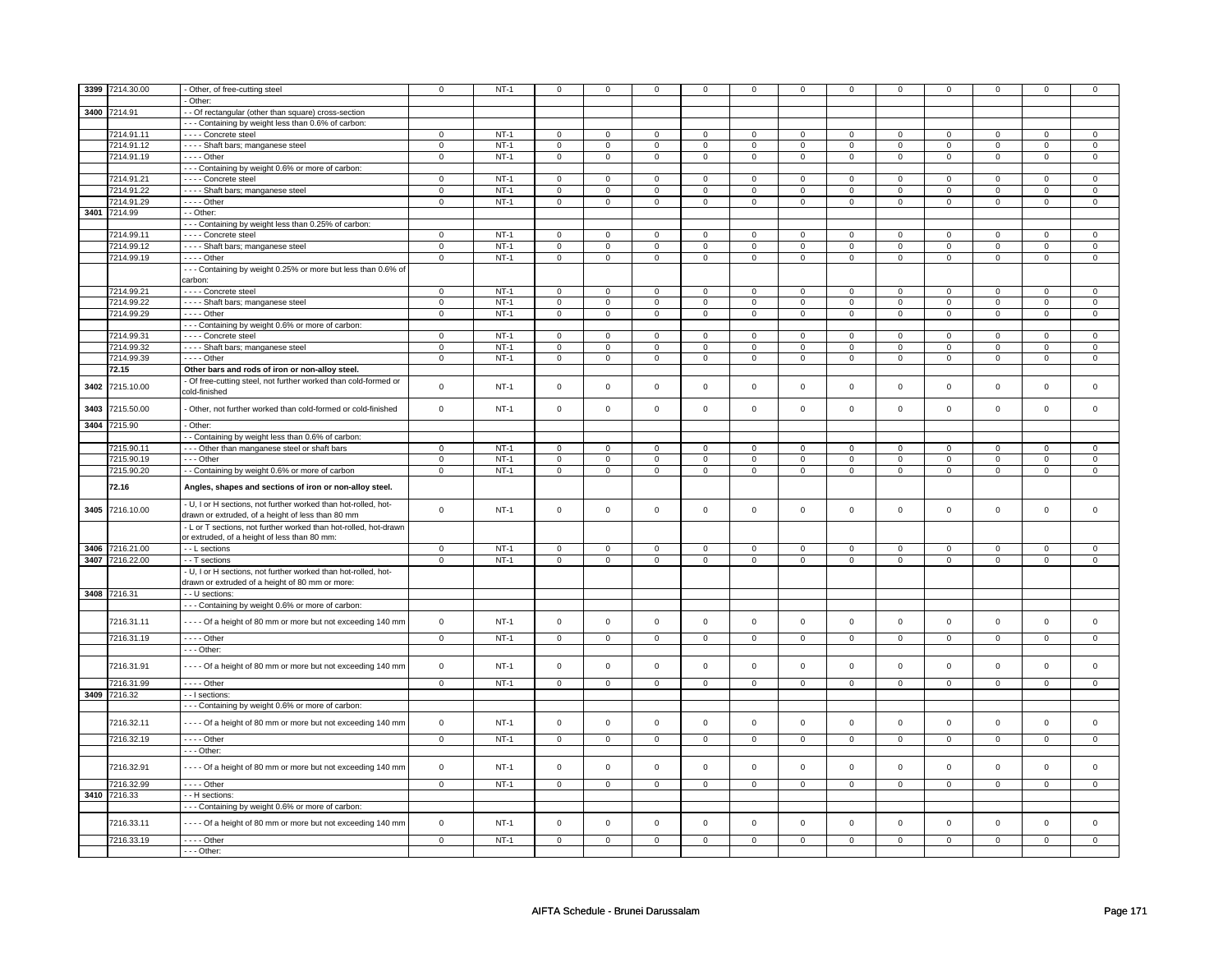| 3399 | 7214.30.00      | - Other, of free-cutting steel                                   | $\mathbf 0$    | $NT-1$      | 0                   | $^{\circ}$     | 0              | 0              | 0              | 0                   |                |                |                |                |                |                |
|------|-----------------|------------------------------------------------------------------|----------------|-------------|---------------------|----------------|----------------|----------------|----------------|---------------------|----------------|----------------|----------------|----------------|----------------|----------------|
|      |                 | Other:                                                           |                |             |                     |                |                |                |                |                     |                |                |                |                |                |                |
|      | 3400 7214.91    |                                                                  |                |             |                     |                |                |                |                |                     |                |                |                |                |                |                |
|      |                 | - Of rectangular (other than square) cross-section               |                |             |                     |                |                |                |                |                     |                |                |                |                |                |                |
|      |                 | - - - Containing by weight less than 0.6% of carbon:             |                |             |                     |                |                |                |                |                     |                |                |                |                |                |                |
|      | 7214.91.11      | - - - - Concrete steel                                           | $\Omega$       | $NT-1$      | $\mathsf 0$         | $\Omega$       | $\mathbf 0$    | $\mathsf 0$    | $\mathbf 0$    | $\Omega$            | $\Omega$       | $\Omega$       | $\Omega$       | $\Omega$       | $\Omega$       | $\Omega$       |
|      | 7214.91.12      | - - - - Shaft bars; manganese steel                              | $\mathbf 0$    | $NT-1$      | $\mathsf 0$         | $\mathbf 0$    | $\mathsf 0$    | $\mathsf 0$    | $\mathbf{0}$   | $\mathsf 0$         | $\mathbf 0$    | $\mathsf 0$    | $\mathbf 0$    | $\mathsf 0$    | $\mathbf 0$    | $\mathsf 0$    |
|      | 7214.91.19      | $---$ Other                                                      | $\mathsf 0$    | $NT-1$      | $\mathbf 0$         | $\mathbf 0$    | $\mathbf 0$    | $\overline{0}$ | $\mathbf 0$    | $\overline{0}$      | $\mathbf 0$    | $\overline{0}$ | $\overline{0}$ | $\overline{0}$ | $\overline{0}$ | $\overline{0}$ |
|      |                 | --- Containing by weight 0.6% or more of carbon:                 |                |             |                     |                |                |                |                |                     |                |                |                |                |                |                |
|      | 7214.91.21      | - - - - Concrete steel                                           | $\mathsf 0$    | $NT-1$      | $\mathbf 0$         | $\mathbf 0$    | $\mathbf 0$    | $\mathbf 0$    | $\mathbf 0$    | $\mathbf 0$         | $\mathbf 0$    | $\mathbf 0$    | $\mathbf 0$    | $\mathbf 0$    | $\Omega$       | $\mathbf 0$    |
|      | 7214.91.22      | - - - - Shaft bars; manganese steel                              | $\mathsf 0$    | $NT-1$      | $\mathbf 0$         | $\mathbf 0$    | $\mathbf{0}$   | $\mathbf{0}$   | 0              | $\mathbf 0$         | $\mathbf 0$    | $\mathbf{0}$   | $\mathbf 0$    | $\mathbf 0$    | $\mathbf 0$    | $\circ$        |
|      | 7214.91.29      | - - - - Other                                                    | $\mathsf 0$    | $NT-1$      | $\mathsf 0$         | $\mathbf 0$    | 0              | $\mathbf 0$    | 0              | $\mathbf 0$         | 0              | $\mathbf 0$    | 0              | $\mathbf 0$    | $\mathbf 0$    | $\mathbf{0}$   |
| 3401 | 7214.99         | - - Other:                                                       |                |             |                     |                |                |                |                |                     |                |                |                |                |                |                |
|      |                 | --- Containing by weight less than 0.25% of carbon:              |                |             |                     |                |                |                |                |                     |                |                |                |                |                |                |
|      | 7214.99.11      | - - - - Concrete steel                                           | $\mathbf 0$    | $NT-1$      | 0                   | $\mathbf 0$    | 0              | 0              | 0              | 0                   | 0              | 0              | 0              | 0              | 0              | $\mathbf 0$    |
|      | 7214.99.12      | - - - - Shaft bars; manganese steel                              | $\mathsf 0$    | $NT-1$      | $\mathsf 0$         | $\mathbf 0$    | 0              | $\mathsf 0$    | $\mathbf 0$    | $\mathbf 0$         | 0              | $\mathbf 0$    | 0              | $\mathbf 0$    | 0              | $\mathbf 0$    |
|      |                 | $---$ Other                                                      |                | $NT-1$      |                     |                |                |                |                |                     |                |                |                |                |                |                |
|      | 7214.99.19      |                                                                  | $\mathbf 0$    |             | $\mathsf{O}\xspace$ | $\mathsf 0$    | 0              | $\mathsf 0$    | $\mathbf 0$    | $\mathsf{O}\xspace$ | $\mathbf 0$    | $\mathsf 0$    | 0              | $\mathsf 0$    | $\mathbf 0$    | $\mathsf 0$    |
|      |                 | --- Containing by weight 0.25% or more but less than 0.6% of     |                |             |                     |                |                |                |                |                     |                |                |                |                |                |                |
|      |                 | carbon:                                                          |                |             |                     |                |                |                |                |                     |                |                |                |                |                |                |
|      | 7214.99.21      | - - - - Concrete steel                                           | $\overline{0}$ | $NT-1$      | $\overline{0}$      | $\overline{0}$ | $\overline{0}$ | $\mathbf{0}$   | $\overline{0}$ | $\mathbf{0}$        | $\mathbf{0}$   | $\mathbf{0}$   | $\overline{0}$ | $\overline{0}$ | $\Omega$       | $\overline{0}$ |
|      | 7214.99.22      | - - - - Shaft bars; manganese steel                              | $\mathbf 0$    | $NT-1$      | $\mathsf{O}\xspace$ | $\mathbf 0$    | $\mathsf 0$    | $\mathsf 0$    | 0              | $\mathsf 0$         | $\Omega$       | 0              | $\Omega$       | $\mathsf 0$    | $\Omega$       | $\mathsf 0$    |
|      | 7214.99.29      | $- - -$ Other                                                    | $\mathbf 0$    | $NT-1$      | $\mathbf 0$         | $\mathsf 0$    | $\mathbf 0$    | $\mathbf 0$    | $\mathbf 0$    | $\mathbf 0$         | $\mathbf 0$    | $\mathbf 0$    | $\mathbf 0$    | $\mathsf 0$    | $\mathsf 0$    | $\circ$        |
|      |                 | --- Containing by weight 0.6% or more of carbon:                 |                |             |                     |                |                |                |                |                     |                |                |                |                |                |                |
|      | 7214.99.31      | - - - - Concrete steel                                           | $\mathbf 0$    | $NT-1$      | $\mathbf 0$         | $\overline{0}$ | $\mathbf 0$    | $\mathbf{0}$   | 0              | $\mathbf 0$         | 0              | $\overline{0}$ | 0              | $\mathbf{0}$   | 0              | $\mathbf{0}$   |
|      | 7214.99.32      | - - - - Shaft bars; manganese steel                              | $\mathsf 0$    | $NT-1$      | $\mathbf 0$         | $\mathbf 0$    | $\Omega$       | $\mathbf 0$    | $\Omega$       | 0                   | $\Omega$       | 0              | $\Omega$       | $\Omega$       | $\Omega$       | $\mathbf{0}$   |
|      | 7214.99.39      | $- - -$ Other                                                    | $\mathsf 0$    | $NT-1$      | $\mathsf 0$         | $\mathsf 0$    | $\mathbf 0$    | $\mathbf 0$    | $\mathbf 0$    | $\mathbf 0$         | $\mathbf 0$    | $\mathbf 0$    | 0              | $\mathsf 0$    | $\mathbf{0}$   | $\mathbf 0$    |
|      | 72.15           | Other bars and rods of iron or non-alloy steel.                  |                |             |                     |                |                |                |                |                     |                |                |                |                |                |                |
|      |                 | Of free-cutting steel, not further worked than cold-formed or    |                |             |                     |                |                |                |                |                     |                |                |                |                |                |                |
| 3402 | 7215.10.00      | cold-finished                                                    | $\mathsf 0$    | $NT-1$      | $\mathsf 0$         | $\mathbf 0$    | $\mathbf 0$    | $\mathbf 0$    | $\mathbf 0$    | $\mathbf 0$         | $\mathbf 0$    | $\mathbf 0$    | $\mathbf 0$    | $\circ$        | $\mathsf 0$    | $\circ$        |
|      |                 |                                                                  |                |             |                     |                |                |                |                |                     |                |                |                |                |                |                |
| 3403 | 7215.50.00      | - Other, not further worked than cold-formed or cold-finished    | $\mathsf 0$    | <b>NT-1</b> | $\mathsf{O}\xspace$ | $\mathsf 0$    | $\mathbf 0$    | $\mathbf 0$    | 0              | $\mathbf 0$         | $\mathsf{O}$   | $\mathbf 0$    | $\mathsf 0$    | $\mathsf 0$    | $\mathsf 0$    | $\mathbf{0}$   |
|      |                 |                                                                  |                |             |                     |                |                |                |                |                     |                |                |                |                |                |                |
| 3404 | 7215.90         | - Other:                                                         |                |             |                     |                |                |                |                |                     |                |                |                |                |                |                |
|      |                 | - - Containing by weight less than 0.6% of carbon:               |                |             |                     |                |                |                |                |                     |                |                |                |                |                |                |
|      | 7215.90.11      | --- Other than manganese steel or shaft bars                     | $\mathsf 0$    | $NT-1$      | $\mathsf{o}\,$      | $\mathsf 0$    | $\mathsf{o}\,$ | $\mathsf{o}\,$ | 0              | $\mathsf{o}\,$      | 0              | 0              | $\mathsf{o}\,$ | $\circ$        | $\Omega$       | $\mathsf 0$    |
|      | 7215.90.19      | $- -$ Other                                                      | $\overline{0}$ | $NT-1$      | $\mathbf 0$         | $\mathbf 0$    | $\mathbf 0$    | $\mathbf 0$    | $\mathbf 0$    | $\mathbf 0$         | $\mathbf 0$    | $\mathbf 0$    | $\mathbf 0$    | $\mathbf 0$    | $\mathsf 0$    | $\mathbf 0$    |
|      | 7215.90.20      | - Containing by weight 0.6% or more of carbon                    | $\mathbf 0$    | $NT-1$      | $\mathsf{O}\xspace$ | $\mathsf 0$    | $\mathsf 0$    | $\overline{0}$ | $\mathbf 0$    | $\mathbf 0$         | $\mathsf 0$    | $\mathbf 0$    | $\mathsf 0$    | $\mathsf 0$    | $\mathsf 0$    | $\overline{0}$ |
|      |                 |                                                                  |                |             |                     |                |                |                |                |                     |                |                |                |                |                |                |
|      | 72.16           | Angles, shapes and sections of iron or non-alloy steel.          |                |             |                     |                |                |                |                |                     |                |                |                |                |                |                |
|      |                 | - U, I or H sections, not further worked than hot-rolled, hot-   |                |             |                     |                |                |                |                |                     |                |                |                |                |                |                |
| 3405 | 7216.10.00      | drawn or extruded, of a height of less than 80 mm                | $\mathsf 0$    | $NT-1$      | $\mathsf 0$         | $\mathbf 0$    | $\mathbf 0$    | $\mathsf 0$    | $\mathbf 0$    | $\mathbf 0$         | $\mathbf 0$    | $\mathbf 0$    | $\mathbf 0$    | $\mathbf 0$    | $\mathbf 0$    | $\mathbf 0$    |
|      |                 | - L or T sections, not further worked than hot-rolled, hot-drawn |                |             |                     |                |                |                |                |                     |                |                |                |                |                |                |
|      |                 | or extruded, of a height of less than 80 mm:                     |                |             |                     |                |                |                |                |                     |                |                |                |                |                |                |
|      |                 |                                                                  |                |             |                     |                |                |                |                |                     |                |                |                |                |                |                |
|      | 3406 7216.21.00 | - - L sections                                                   | $\mathbf 0$    | $NT-1$      | $\mathbf 0$         | $\mathbf 0$    | 0              | 0              | 0              | 0                   | 0              | 0              | 0              | 0              | 0              | 0              |
|      | 3407 7216.22.00 | - - T sections                                                   | $\mathbf 0$    | $NT-1$      | $\mathbf 0$         | $\overline{0}$ | 0              | $\overline{0}$ | 0              | $\overline{0}$      | 0              | $\overline{0}$ | 0              | $\overline{0}$ | $\mathbf 0$    | $\overline{0}$ |
|      |                 | - U, I or H sections, not further worked than hot-rolled, hot-   |                |             |                     |                |                |                |                |                     |                |                |                |                |                |                |
|      |                 | drawn or extruded of a height of 80 mm or more:                  |                |             |                     |                |                |                |                |                     |                |                |                |                |                |                |
|      | 3408 7216.31    | - - U sections:                                                  |                |             |                     |                |                |                |                |                     |                |                |                |                |                |                |
|      |                 | --- Containing by weight 0.6% or more of carbon:                 |                |             |                     |                |                |                |                |                     |                |                |                |                |                |                |
|      | 7216.31.11      | - - - - Of a height of 80 mm or more but not exceeding 140 mm    | $\Omega$       | $NT-1$      | $\mathbf 0$         | $\mathbf 0$    | $\mathbf 0$    | $\mathbf{0}$   | $\mathbf 0$    | $\mathbf 0$         | $\mathbf{0}$   | $\mathbf 0$    | $\mathbf 0$    | $\mathbf 0$    | $\mathbf 0$    | $\overline{0}$ |
|      |                 |                                                                  |                |             |                     |                |                |                |                |                     |                |                |                |                |                |                |
|      | 7216.31.19      | - - - - Other                                                    | $\mathbf 0$    | $NT-1$      | $\mathbf{0}$        | $\mathbf 0$    | $\mathbf 0$    | $\mathbf 0$    | $\mathbf 0$    | $\mathbf{0}$        | $\mathbf{0}$   | $\mathbf 0$    | $\mathbf 0$    | $\mathsf 0$    | $\mathbf{0}$   | $\mathbf 0$    |
|      |                 | $--$ Other:                                                      |                |             |                     |                |                |                |                |                     |                |                |                |                |                |                |
|      |                 |                                                                  |                |             |                     |                |                |                |                |                     |                |                |                |                |                |                |
|      | 7216.31.91      | ---- Of a height of 80 mm or more but not exceeding 140 mm       | $\mathsf 0$    | $NT-1$      | $\mathsf 0$         | $\mathbf 0$    | $\mathbf 0$    | $\mathbf 0$    | $\mathbf 0$    | $\mathbf 0$         | $\mathbf{0}$   | $\mathbf{0}$   | $\mathbf 0$    | $\mathbf 0$    | $\mathbf 0$    | $\mathbf 0$    |
|      | 7216.31.99      | $---$ Other                                                      | $\mathsf 0$    | $NT-1$      | $\mathbf 0$         | $\mathbf 0$    | $\mathbf{0}$   | $\circ$        | $\mathbf 0$    | $\mathbf 0$         | $\mathbf 0$    | $\mathbf{0}$   | $\mathbf 0$    | $\circ$        | $\mathbf{0}$   | $\overline{0}$ |
|      | 3409 7216.32    | - - I sections:                                                  |                |             |                     |                |                |                |                |                     |                |                |                |                |                |                |
|      |                 | --- Containing by weight 0.6% or more of carbon:                 |                |             |                     |                |                |                |                |                     |                |                |                |                |                |                |
|      |                 |                                                                  |                |             |                     |                |                |                |                |                     |                |                |                |                |                |                |
|      | 7216.32.11      | ---- Of a height of 80 mm or more but not exceeding 140 mm       | $\mathbf 0$    | $NT-1$      | $\mathbf 0$         | $\mathbf 0$    | 0              | $\mathbf 0$    | 0              | $\mathbf 0$         | $\mathbf 0$    | $\mathsf 0$    | $\mathbf 0$    | $\mathbf 0$    | $\mathbf 0$    | $\mathbf 0$    |
|      |                 |                                                                  |                |             |                     |                |                |                |                |                     |                |                |                |                |                |                |
|      | 7216.32.19      | $---$ Other                                                      | $\overline{0}$ | $NT-1$      | $\overline{0}$      | $\overline{0}$ | $\overline{0}$ | $\overline{0}$ | $\overline{0}$ | $\overline{0}$      | $\overline{0}$ | $\overline{0}$ | $\overline{0}$ | $\overline{0}$ | $\overline{0}$ | $\circ$        |
|      |                 | - - - Other:                                                     |                |             |                     |                |                |                |                |                     |                |                |                |                |                |                |
|      | 7216.32.91      | - - - - Of a height of 80 mm or more but not exceeding 140 mm    | $\mathbf 0$    | $NT-1$      | $\mathsf{O}\xspace$ | $\mathsf 0$    | $\mathbf 0$    | $\mathbf 0$    | $\mathbf 0$    | $\mathbf 0$         | $\mathbf{0}$   | $\mathsf 0$    | $\mathbf 0$    | $\mathbf{0}$   | $\mathbf 0$    | $\mathsf 0$    |
|      |                 |                                                                  |                |             |                     |                |                |                |                |                     |                |                |                |                |                |                |
|      | 7216.32.99      | $---$ Other                                                      | $\overline{0}$ | $NT-1$      | $\overline{0}$      | $\overline{0}$ | $\mathbf{O}$   | $\mathbf 0$    | $\mathbf{0}$   | $\overline{0}$      | $\mathbf{0}$   | $\overline{0}$ | $\overline{0}$ | $\overline{0}$ | $\overline{0}$ | $\overline{0}$ |
|      | 3410 7216.33    | - - H sections:                                                  |                |             |                     |                |                |                |                |                     |                |                |                |                |                |                |
|      |                 | --- Containing by weight 0.6% or more of carbon:                 |                |             |                     |                |                |                |                |                     |                |                |                |                |                |                |
|      |                 |                                                                  |                |             |                     |                |                |                |                |                     |                |                |                |                |                |                |
|      | 7216.33.11      | ---- Of a height of 80 mm or more but not exceeding 140 mm       | $\mathsf 0$    | $NT-1$      | $\mathsf 0$         | $\mathbf 0$    | $\mathbf 0$    | $\mathsf 0$    | $\mathbf 0$    | $\mathbf 0$         | $\mathbf 0$    | $\mathbf 0$    | $\mathbf 0$    | $\mathbf 0$    | $\mathbf 0$    | $\mathbf 0$    |
|      | 7216.33.19      | - - - - Other                                                    | $\mathbf 0$    | $NT-1$      | $\mathbf 0$         | $\mathbf 0$    | $\mathbf 0$    | $\mathbf{0}$   | $\Omega$       | $\mathbf 0$         | $\Omega$       | $\mathbf{0}$   | $\Omega$       | $\Omega$       | $\Omega$       | $\Omega$       |
|      |                 | $- -$ Other:                                                     |                |             |                     |                |                |                |                |                     |                |                |                |                |                |                |
|      |                 |                                                                  |                |             |                     |                |                |                |                |                     |                |                |                |                |                |                |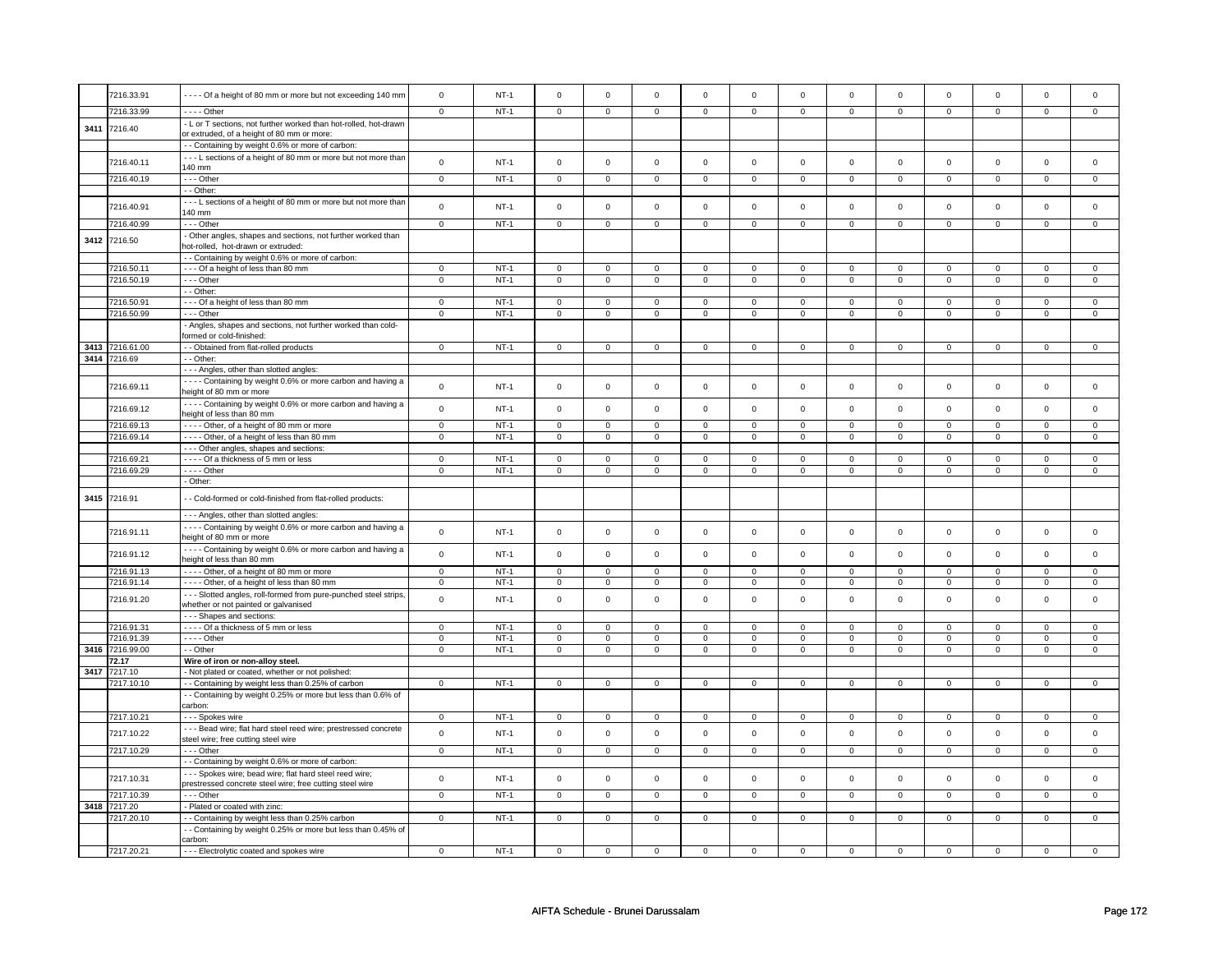|      | 7216.33.91      | ---- Of a height of 80 mm or more but not exceeding 140 mm                                                          | $\mathsf{O}\xspace$ | $NT-1$ | $\mathsf{O}\xspace$ | $\mathsf 0$    | $\,$ 0         | $\mathsf 0$    | $\mathsf 0$         | $\mathbf 0$    | $\mathsf 0$         | $\mathsf 0$    | $\mathsf 0$    | $\mathsf 0$    | $\mathsf 0$  | $\mathbf 0$    |
|------|-----------------|---------------------------------------------------------------------------------------------------------------------|---------------------|--------|---------------------|----------------|----------------|----------------|---------------------|----------------|---------------------|----------------|----------------|----------------|--------------|----------------|
|      | 7216.33.99      | $- - -$ Other                                                                                                       | $\overline{0}$      | $NT-1$ | $\mathbf 0$         | $\mathbf 0$    | $\overline{0}$ | $\mathbf 0$    | $\mathbf 0$         | 0              | $\mathbf 0$         | $\mathbf 0$    | 0              | $\overline{0}$ | $\mathbf 0$  | $\overline{0}$ |
| 3411 | 7216.40         | - L or T sections, not further worked than hot-rolled, hot-drawn                                                    |                     |        |                     |                |                |                |                     |                |                     |                |                |                |              |                |
|      |                 | or extruded, of a height of 80 mm or more:                                                                          |                     |        |                     |                |                |                |                     |                |                     |                |                |                |              |                |
|      |                 | - - Containing by weight 0.6% or more of carbon:                                                                    |                     |        |                     |                |                |                |                     |                |                     |                |                |                |              |                |
|      | 7216.40.11      | --- L sections of a height of 80 mm or more but not more than                                                       | $\mathsf 0$         | $NT-1$ | $\mathsf 0$         | $\mathbf 0$    | $\mathbf 0$    | $\mathsf 0$    | $\mathsf 0$         | $\mathsf 0$    | $\mathsf 0$         | $\mathsf 0$    | $\mathbf 0$    | $\mathbf 0$    | $\mathsf 0$  | $\mathsf 0$    |
|      |                 | 140 mm<br>--- Other                                                                                                 |                     | $NT-1$ |                     |                |                |                |                     |                |                     |                |                |                |              | $\mathbf 0$    |
|      | 7216.40.19      | - Other:                                                                                                            | $\mathbf 0$         |        | $\mathbf 0$         | $\mathbf 0$    | $\overline{0}$ | $\mathbf 0$    | 0                   | 0              | $\mathbf{0}$        | 0              | $\overline{0}$ | $\overline{0}$ | $\mathbf 0$  |                |
|      |                 | --- L sections of a height of 80 mm or more but not more than                                                       |                     |        |                     |                |                |                |                     |                |                     |                |                |                |              |                |
|      | 7216.40.91      | 140 mm                                                                                                              | $\mathsf 0$         | $NT-1$ | $\mathsf 0$         | $\mathbf 0$    | $\mathbf 0$    | $\mathbf 0$    | $\mathbf 0$         | $\mathbf 0$    | $\mathbf 0$         | $\mathsf 0$    | $\mathbf 0$    | $\mathbf 0$    | $\mathsf 0$  | $\mathsf 0$    |
|      | 7216.40.99      | --- Other                                                                                                           | $\mathbf 0$         | $NT-1$ | $\mathbf 0$         | $\mathbf 0$    | $\mathbf{0}$   | $\mathbf{0}$   | $\mathbf 0$         | $\mathbf 0$    | $\mathbf{0}$        | $\mathbf 0$    | $\mathbf 0$    | $\circ$        | $\mathsf 0$  | $\mathbf 0$    |
| 3412 | 7216.50         | - Other angles, shapes and sections, not further worked than                                                        |                     |        |                     |                |                |                |                     |                |                     |                |                |                |              |                |
|      |                 | hot-rolled, hot-drawn or extruded:                                                                                  |                     |        |                     |                |                |                |                     |                |                     |                |                |                |              |                |
|      |                 | - - Containing by weight 0.6% or more of carbon:                                                                    |                     |        |                     |                |                |                |                     |                |                     |                |                |                |              |                |
|      | 7216.50.11      | --- Of a height of less than 80 mm                                                                                  | $\mathbf 0$         | $NT-1$ | $\mathbf{0}$        | $\mathbf{0}$   | $\mathbf 0$    | $\mathbf 0$    | $\mathbf 0$         | $\mathbf 0$    | $\mathbf 0$         | $\mathbf{0}$   | $\mathbf{0}$   | $\circ$        | $\mathbf 0$  | $\mathbf 0$    |
|      | 7216.50.19      | $--$ Other<br>- - Other:                                                                                            | $\mathbf 0$         | $NT-1$ | $\mathbf{0}$        | $\mathbf 0$    | $\mathbf{0}$   | $\mathbf 0$    | $\mathbf 0$         | $\overline{0}$ | $\mathbf{0}$        | $\mathbf{0}$   | $\mathbf{0}$   | $\overline{0}$ | $\mathbf 0$  | $\mathbf 0$    |
|      | 7216.50.91      | --- Of a height of less than 80 mm                                                                                  | $\mathbf 0$         | $NT-1$ | $\Omega$            | $\mathbf 0$    | $\overline{0}$ | $\mathbf 0$    | $\Omega$            | $\Omega$       | $\mathbf 0$         | $\Omega$       | $\mathbf 0$    | $\mathbf 0$    | $\Omega$     | $\Omega$       |
|      | 7216.50.99      | --- Other                                                                                                           | $\mathsf{O}\xspace$ | $NT-1$ | $\mathbf 0$         | $\mathsf 0$    | $\,$ 0         | $\mathbf 0$    | $\mathsf{O}\xspace$ | $\mathsf 0$    | $\mathbf 0$         | $\mathbf 0$    | $\mathsf 0$    | $\mathbf 0$    | $\mathsf 0$  | $\mathsf 0$    |
|      |                 | - Angles, shapes and sections, not further worked than cold-                                                        |                     |        |                     |                |                |                |                     |                |                     |                |                |                |              |                |
|      |                 | formed or cold-finished:                                                                                            |                     |        |                     |                |                |                |                     |                |                     |                |                |                |              |                |
|      | 3413 7216.61.00 | - - Obtained from flat-rolled products                                                                              | $\mathbf 0$         | $NT-1$ | $\mathbf 0$         | $\mathbf{0}$   | $\overline{0}$ | $\mathsf 0$    | $\mathbf 0$         | $\mathbf 0$    | $\mathbf 0$         | $\mathsf 0$    | $\overline{0}$ | $\overline{0}$ | $\mathsf 0$  | $\mathsf 0$    |
|      | 3414 7216.69    | - - Other:                                                                                                          |                     |        |                     |                |                |                |                     |                |                     |                |                |                |              |                |
|      |                 | --- Angles, other than slotted angles:                                                                              |                     |        |                     |                |                |                |                     |                |                     |                |                |                |              |                |
|      | 7216.69.11      | ---- Containing by weight 0.6% or more carbon and having a                                                          | $\mathsf 0$         | $NT-1$ | $\mathsf 0$         | $\mathbf 0$    | $\,$ 0         | $\mathbf 0$    | $\mathsf{O}\xspace$ | $\mathbf 0$    | $\mathsf 0$         | $\mathsf 0$    | $\mathsf 0$    | $\mathbf 0$    | $\mathsf 0$  | $\mathsf 0$    |
|      |                 | height of 80 mm or more                                                                                             |                     |        |                     |                |                |                |                     |                |                     |                |                |                |              |                |
|      | 7216.69.12      | ---- Containing by weight 0.6% or more carbon and having a<br>height of less than 80 mm                             | $\mathbf 0$         | $NT-1$ | $\mathsf 0$         | $\mathsf 0$    | $\mathsf 0$    | $\mathbf 0$    | $\mathsf{O}\xspace$ | $\mathbf 0$    | $\mathbf 0$         | $\mathbf 0$    | $\mathsf 0$    | $\mathbf 0$    | $\mathsf 0$  | $\mathsf 0$    |
|      | 7216.69.13      | ---- Other, of a height of 80 mm or more                                                                            | $\mathsf 0$         | $NT-1$ | $\Omega$            | $\Omega$       | $\mathbf 0$    | $\mathbf 0$    | $\mathsf 0$         | $\mathbf 0$    | $\mathsf{O}\xspace$ | $\Omega$       | $\Omega$       | $\mathbf 0$    | $\mathbf 0$  | $\mathsf 0$    |
|      | 7216.69.14      | ---- Other, of a height of less than 80 mm                                                                          | $\mathbf 0$         | $NT-1$ | $\mathbf 0$         | $\mathbf{0}$   | $\overline{0}$ | $\mathbf{0}$   | $\mathbf 0$         | $\mathbf{0}$   | $\overline{0}$      | $\mathbf 0$    | $\mathbf{0}$   | $\overline{0}$ | $^{\circ}$   | $\mathbf 0$    |
|      |                 | - - - Other angles, shapes and sections:                                                                            |                     |        |                     |                |                |                |                     |                |                     |                |                |                |              |                |
|      | 7216.69.21      | ---- Of a thickness of 5 mm or less                                                                                 | $\mathbf 0$         | $NT-1$ | $\mathbf 0$         | $\mathbf 0$    | $\mathbf 0$    | $\mathbf 0$    | $\mathbf 0$         | $\mathbf 0$    | $\mathbf 0$         | $\Omega$       | 0              | $\mathbf 0$    | $\mathbf 0$  | $\mathbf 0$    |
|      | 7216.69.29      | - - - - Other                                                                                                       | $\overline{0}$      | $NT-1$ | $\mathsf 0$         | $\mathbf 0$    | $\overline{0}$ | $\mathbf 0$    | $\overline{0}$      | $\overline{0}$ | $\overline{0}$      | $\mathbf 0$    | $\mathbf 0$    | $\overline{0}$ | $\mathsf 0$  | $\overline{0}$ |
|      |                 | - Other:                                                                                                            |                     |        |                     |                |                |                |                     |                |                     |                |                |                |              |                |
| 3415 | 7216.91         | - Cold-formed or cold-finished from flat-rolled products:                                                           |                     |        |                     |                |                |                |                     |                |                     |                |                |                |              |                |
|      |                 | --- Angles, other than slotted angles:                                                                              |                     |        |                     |                |                |                |                     |                |                     |                |                |                |              |                |
|      | 7216.91.11      | ---- Containing by weight 0.6% or more carbon and having a<br>height of 80 mm or more                               | $\mathbf 0$         | $NT-1$ | $\mathbf 0$         | $\mathbf 0$    | $\,0\,$        | $\mathbf 0$    | $\mathbf 0$         | $\mathbf 0$    | $\mathbf 0$         | $\mathbf 0$    | $\mathbf 0$    | $\,0\,$        | $\mathsf 0$  | $\mathbf 0$    |
|      | 7216.91.12      | ---- Containing by weight 0.6% or more carbon and having a<br>height of less than 80 mm                             | $\mathbf 0$         | $NT-1$ | $\mathsf 0$         | $\mathsf 0$    | $\mathbf 0$    | $\mathbf 0$    | $\mathsf 0$         | $\mathbf 0$    | $\mathsf 0$         | $\mathsf 0$    | $\mathsf 0$    | $\mathbf 0$    | $\mathsf 0$  | $\mathbf 0$    |
|      | 7216.91.13      |                                                                                                                     |                     |        |                     |                |                |                |                     |                |                     |                |                |                |              |                |
|      |                 | ---- Other, of a height of 80 mm or more                                                                            | $\mathbf 0$         | $NT-1$ | $\Omega$            | $\mathbf 0$    | $\mathbf 0$    | $\mathbf 0$    | $\mathbf 0$         | $\mathbf 0$    | $\mathsf 0$         | $\Omega$       | 0              | $\mathsf 0$    | $\mathbf 0$  | $\mathbf 0$    |
|      | 7216.91.14      | ---- Other, of a height of less than 80 mm                                                                          | $\mathbf 0$         | $NT-1$ | $\mathbf 0$         | $\mathbf 0$    | $\overline{0}$ | $\mathbf 0$    | $\mathsf 0$         | 0              | $\mathbf 0$         | $\mathbf 0$    | $\mathbf 0$    | $\mathbf 0$    | $\mathbf 0$  | $\mathsf 0$    |
|      | 7216.91.20      | - - - Slotted angles, roll-formed from pure-punched steel strips,<br>whether or not painted or galvanised           | $\mathsf 0$         | $NT-1$ | $\mathsf 0$         | $\mathbf 0$    | $\mathbf 0$    | $\mathbf 0$    | $\mathsf 0$         | $\mathbf 0$    | $\mathsf 0$         | $\mathbf 0$    | $\mathbf 0$    | $\mathbf 0$    | $\mathbf 0$  | $\mathsf 0$    |
|      |                 | - - - Shapes and sections:                                                                                          |                     |        |                     |                |                |                |                     |                |                     |                |                |                |              |                |
|      | 7216.91.31      | ---- Of a thickness of 5 mm or less                                                                                 | $\mathbf 0$         | $NT-1$ | $\mathbf 0$         | $\mathbf 0$    | $\circ$        | $\mathbf 0$    | $\mathbf 0$         | $\mathbf 0$    | $\mathbf 0$         | $\mathbf 0$    | $\mathbf 0$    | $\circ$        | $\mathbf 0$  | $\mathbf 0$    |
|      | 7216.91.39      | $- - -$ Other                                                                                                       | $\mathbf 0$         | $NT-1$ | 0                   | $\mathbf 0$    | $\mathbf 0$    | $\mathbf 0$    | $\mathsf 0$         | $\mathsf 0$    | $\mathsf 0$         | $\Omega$       | $\mathsf 0$    | $\mathbf 0$    | $\mathbf 0$  | $\mathsf 0$    |
| 3416 | 7216.99.00      | - - Other                                                                                                           | $\mathsf 0$         | $NT-1$ | $\mathsf 0$         | $\mathsf 0$    | $\mathsf 0$    | $\mathbf 0$    | $\mathsf 0$         | $\mathsf 0$    | $\mathbf 0$         | $\mathbf 0$    | $\mathsf 0$    | $\mathsf 0$    | $\mathsf 0$  | $\mathsf 0$    |
|      | 72.17           | Wire of iron or non-alloy steel.                                                                                    |                     |        |                     |                |                |                |                     |                |                     |                |                |                |              |                |
| 3417 | 7217.10         | - Not plated or coated, whether or not polished:                                                                    | $\Omega$            |        | $\Omega$            | $\Omega$       |                | $\Omega$       |                     | $\Omega$       | $\Omega$            | $\Omega$       | $\Omega$       |                | $\Omega$     |                |
|      | 7217.10.10      | - - Containing by weight less than 0.25% of carbon<br>- - Containing by weight 0.25% or more but less than 0.6% of  |                     | $NT-1$ |                     |                | $\circ$        |                | $\mathbf{0}$        |                |                     |                |                | $\mathbf{0}$   |              | $\mathbf{0}$   |
|      |                 | carbon:                                                                                                             |                     |        |                     |                |                |                |                     |                |                     |                |                |                |              |                |
|      | 7217.10.21      | - - - Spokes wire                                                                                                   | $\mathsf 0$         | $NT-1$ | $\mathbf 0$         | $\mathsf 0$    | $\overline{0}$ | $\mathbf 0$    | $\mathsf 0$         | 0              | $\mathbf 0$         | 0              | $\mathbf 0$    | $\mathbf 0$    | $\mathbf 0$  | $\mathsf 0$    |
|      | 7217.10.22      | - - - Bead wire; flat hard steel reed wire; prestressed concrete<br>steel wire; free cutting steel wire             | $\mathsf 0$         | $NT-1$ | $\mathsf 0$         | $\mathsf 0$    | $\mathsf 0$    | $\mathbf 0$    | $\mathsf 0$         | $\mathsf 0$    | $\mathsf 0$         | $\mathbf 0$    | $\mathsf 0$    | $\mathsf 0$    | $\mathsf 0$  | $\mathsf 0$    |
|      | 7217.10.29      | --- Other                                                                                                           | $\mathbf 0$         | $NT-1$ | $\mathsf 0$         | $\mathbf 0$    | $\mathbf 0$    | $\mathbf 0$    | $\mathbf 0$         | $\mathbf 0$    | $\mathbf 0$         | $\mathsf 0$    | $\mathbf 0$    | $\mathbf 0$    | $\mathsf 0$  | $\mathbf 0$    |
|      |                 | - - Containing by weight 0.6% or more of carbon:                                                                    |                     |        |                     |                |                |                |                     |                |                     |                |                |                |              |                |
|      |                 | --- Spokes wire; bead wire; flat hard steel reed wire;                                                              |                     | $NT-1$ |                     |                |                | $\mathsf 0$    |                     |                |                     |                | $\mathbf 0$    |                | $\mathsf 0$  |                |
|      | 7217.10.31      | prestressed concrete steel wire; free cutting steel wire                                                            | $\mathsf 0$         |        | $\mathsf 0$         | $\mathbf 0$    | $\mathsf 0$    |                | $\mathsf 0$         | $\mathsf 0$    | $\mathsf 0$         | $\mathbf 0$    |                | $\mathbf 0$    |              | $\mathsf 0$    |
|      | 7217.10.39      | --- Other                                                                                                           | $\mathsf 0$         | $NT-1$ | $\mathsf 0$         | $\mathsf 0$    | $\overline{0}$ | $\mathbf 0$    | $\mathsf 0$         | $\mathsf 0$    | $\mathbf 0$         | $\mathbf 0$    | $\mathsf 0$    | $\mathbf 0$    | $\mathsf 0$  | $\mathbf 0$    |
|      | 3418 7217.20    | - Plated or coated with zinc:                                                                                       |                     |        |                     |                |                |                |                     |                |                     |                |                |                |              |                |
|      | 7217.20.10      | - - Containing by weight less than 0.25% carbon                                                                     | $\mathbf 0$         | $NT-1$ | $\mathbf{0}$        | $\overline{0}$ | $\overline{0}$ | $\overline{0}$ | $\mathbf 0$         | $\mathbf 0$    | $\overline{0}$      | $\overline{0}$ | $\overline{0}$ | $\overline{0}$ | $\mathbf{0}$ | $\mathbf 0$    |
|      | 7217.20.21      | - - Containing by weight 0.25% or more but less than 0.45% of<br>carbon:<br>--- Electrolytic coated and spokes wire | $\mathbf{0}$        | $NT-1$ |                     | $\mathbf 0$    | $\mathbf 0$    | $\mathbf 0$    | $\Omega$            | $\mathbf 0$    | $\mathbf 0$         |                | $\mathbf 0$    | $\mathbf{0}$   | $\mathbf 0$  | $\mathbf 0$    |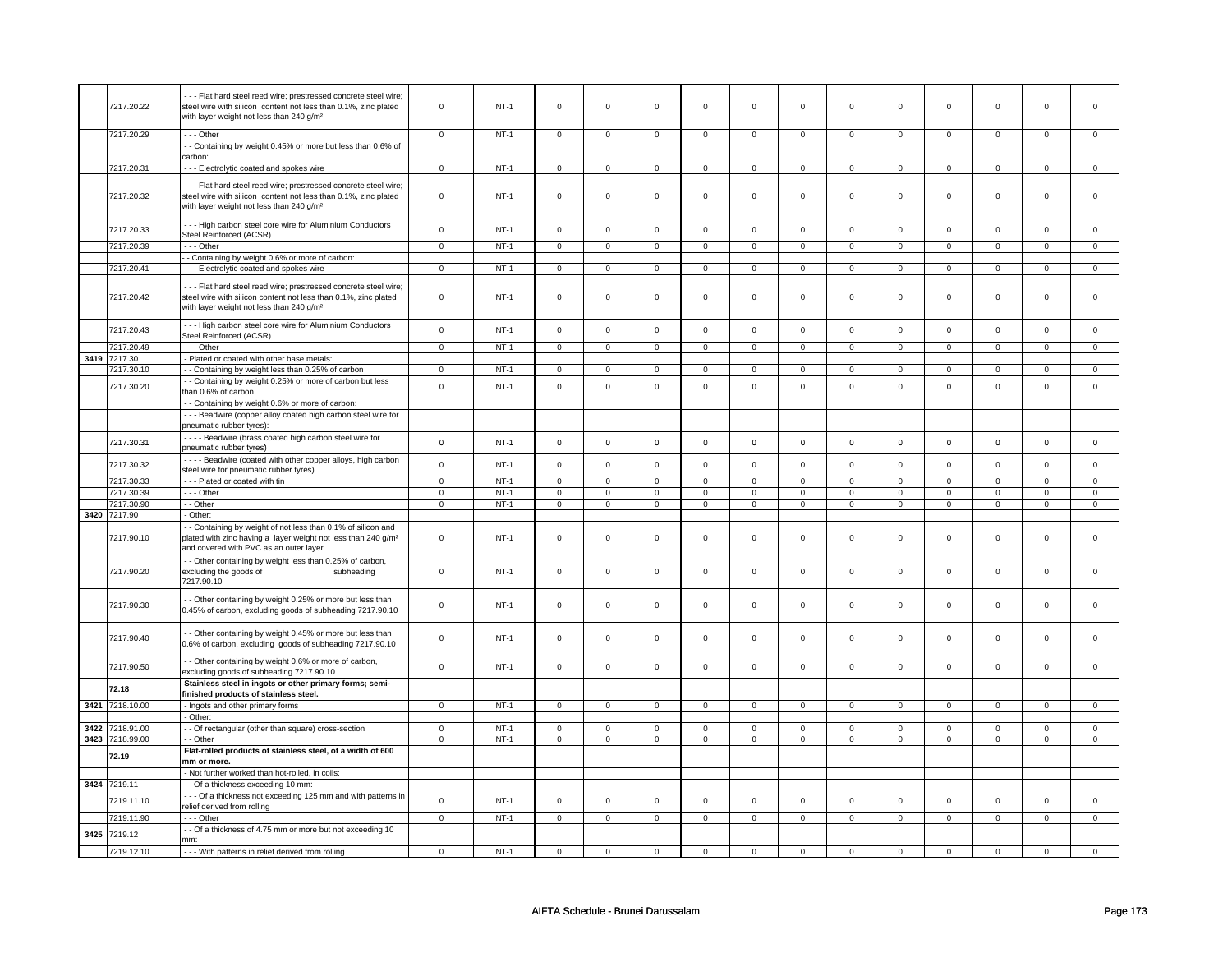|      | 7217.20.22   | --- Flat hard steel reed wire; prestressed concrete steel wire;<br>steel wire with silicon content not less than 0.1%, zinc plated<br>with layer weight not less than 240 g/m <sup>2</sup> | $\mathsf 0$    | $NT-1$      | $\mathsf 0$         | $\mathsf 0$         | $\mathsf 0$         | $\mathsf 0$         | $\mathsf 0$         | $\mathsf 0$    | $\mathsf{O}\xspace$ | $\mathbf 0$    | $\mathsf 0$    | $\mathbf 0$    | $\mathbf 0$    | $\mathbf 0$    |
|------|--------------|--------------------------------------------------------------------------------------------------------------------------------------------------------------------------------------------|----------------|-------------|---------------------|---------------------|---------------------|---------------------|---------------------|----------------|---------------------|----------------|----------------|----------------|----------------|----------------|
|      | 7217.20.29   | --- Other                                                                                                                                                                                  | $\mathbf{0}$   | $NT-1$      | $\mathbf 0$         | $\Omega$            | $\Omega$            | $\mathbf{0}$        | $\Omega$            | $\Omega$       | $\mathbf 0$         | $\mathbf{0}$   | $\mathbf 0$    | $\mathbf{0}$   | $\Omega$       | $\mathbf{0}$   |
|      |              | - - Containing by weight 0.45% or more but less than 0.6% of                                                                                                                               |                |             |                     |                     |                     |                     |                     |                |                     |                |                |                |                |                |
|      |              | carbon:                                                                                                                                                                                    |                |             |                     |                     |                     |                     |                     |                |                     |                |                |                |                |                |
|      | 7217.20.31   | --- Electrolytic coated and spokes wire                                                                                                                                                    | $\mathsf 0$    | $NT-1$      | $\mathsf 0$         | $\mathbf 0$         | $\mathsf 0$         | $\mathbf 0$         | $\mathsf 0$         | 0              | $\mathsf 0$         | $\mathsf 0$    | $\mathbf 0$    | $\mathbf 0$    | $\mathsf 0$    | 0              |
|      |              |                                                                                                                                                                                            |                |             |                     |                     |                     |                     |                     |                |                     |                |                |                |                |                |
|      | 7217.20.32   | --- Flat hard steel reed wire; prestressed concrete steel wire;<br>steel wire with silicon content not less than 0.1%, zinc plated<br>with layer weight not less than 240 g/m <sup>2</sup> | $\mathbf 0$    | $NT-1$      | $\mathbf 0$         | $\mathbf 0$         | $\mathbf 0$         | $\mathbf 0$         | $\mathbf 0$         | $\mathbf 0$    | $\mathbf 0$         | $\mathbf 0$    | 0              | 0              | 0              | 0              |
|      | 7217.20.33   | --- High carbon steel core wire for Aluminium Conductors<br>Steel Reinforced (ACSR)                                                                                                        | $\mathbf 0$    | $NT-1$      | $\Omega$            | $\mathsf 0$         | $\Omega$            | $\mathsf 0$         | $\Omega$            | $\Omega$       | $\mathsf 0$         | $\mathsf 0$    | $\mathbf 0$    | $\mathbf 0$    | $\mathsf 0$    | $\mathbf 0$    |
|      | 7217.20.39   | --- Other                                                                                                                                                                                  | $\mathbf 0$    | $NT-1$      | $\mathsf 0$         | $\mathbf 0$         | $\mathsf{O}\xspace$ | $\mathsf 0$         | $\mathsf{O}\xspace$ | $\mathsf 0$    | $\mathsf 0$         | $\mathsf{O}$   | $\mathsf 0$    | $\mathsf{O}$   | $\mathbf 0$    | $\mathsf 0$    |
|      |              | - Containing by weight 0.6% or more of carbon:                                                                                                                                             |                |             |                     |                     |                     |                     |                     |                |                     |                |                |                |                |                |
|      | 7217.20.41   | - - - Electrolytic coated and spokes wire                                                                                                                                                  | $\mathsf 0$    | $NT-1$      | $\mathsf 0$         | $\mathbf 0$         | $\mathbf 0$         | $\mathbf 0$         | $\mathbf 0$         | $\mathbf 0$    | $\mathbf 0$         | $\mathbf 0$    | $\mathbf 0$    | $\mathbf 0$    | $\mathbf 0$    | $\mathbf{0}$   |
|      | 7217.20.42   | --- Flat hard steel reed wire; prestressed concrete steel wire;<br>steel wire with silicon content not less than 0.1%, zinc plated<br>with layer weight not less than 240 g/m <sup>2</sup> | $\mathbf 0$    | $NT-1$      | $\mathbf 0$         | $\mathsf 0$         | $\mathbf 0$         | $\mathbf 0$         | $\mathbf 0$         | $\mathbf 0$    | $\mathbf 0$         | $\mathbf 0$    | 0              | 0              | 0              | 0              |
|      | 7217.20.43   | --- High carbon steel core wire for Aluminium Conductors<br>Steel Reinforced (ACSR)                                                                                                        | $\mathbf 0$    | <b>NT-1</b> | $\mathsf{O}\xspace$ | $\mathsf 0$         | $\mathbf 0$         | $\mathsf 0$         | $\mathbf 0$         | $\mathsf 0$    | $\mathbf 0$         | $\mathbf 0$    | 0              | $\mathbf 0$    | $\mathsf 0$    | $\mathbf 0$    |
|      | 7217.20.49   | $- -$ Other                                                                                                                                                                                | $\overline{0}$ | $NT-1$      | $\overline{0}$      | $\overline{0}$      | $\overline{0}$      | $\overline{0}$      | $\overline{0}$      | $\overline{0}$ | $\overline{0}$      | $\overline{0}$ | $\overline{0}$ | $\overline{0}$ | $\overline{0}$ | $\overline{0}$ |
| 3419 | 7217.30      | - Plated or coated with other base metals:                                                                                                                                                 |                |             |                     |                     |                     |                     |                     |                |                     |                |                |                |                |                |
|      | 7217.30.10   | - - Containing by weight less than 0.25% of carbon                                                                                                                                         | $\mathsf 0$    | $NT-1$      | $\mathsf 0$         | $\mathsf 0$         | $\mathbf 0$         | $\mathbf 0$         | $\mathsf 0$         | $\mathbf 0$    | $\mathbf 0$         | $\mathbf 0$    | $\mathsf 0$    | $\mathbf 0$    | $\mathbf 0$    | $\mathbf 0$    |
|      | 7217.30.20   | - - Containing by weight 0.25% or more of carbon but less<br>than 0.6% of carbon                                                                                                           | $\mathbf 0$    | $NT-1$      | $\Omega$            | $\mathbf 0$         | $\Omega$            | $\mathbf 0$         | $\Omega$            | $\mathbf 0$    | $\mathbf 0$         | $\mathbf{0}$   | $\mathbf 0$    | $\mathbf 0$    | $\Omega$       | $\mathbf 0$    |
|      |              | - - Containing by weight 0.6% or more of carbon:                                                                                                                                           |                |             |                     |                     |                     |                     |                     |                |                     |                |                |                |                |                |
|      |              | - - - Beadwire (copper alloy coated high carbon steel wire for<br>pneumatic rubber tyres):                                                                                                 |                |             |                     |                     |                     |                     |                     |                |                     |                |                |                |                |                |
|      | 7217.30.31   | - - - - Beadwire (brass coated high carbon steel wire for<br>pneumatic rubber tyres)                                                                                                       | $\mathbf 0$    | $NT-1$      | $\mathbf 0$         | $\mathbf 0$         | $\mathbf 0$         | $\mathbf 0$         | $\mathbf 0$         | 0              | $\mathbf 0$         | $\mathbf 0$    | $\mathbf 0$    | $\mathbf 0$    | 0              | 0              |
|      | 7217.30.32   | ---- Beadwire (coated with other copper alloys, high carbon<br>steel wire for pneumatic rubber tyres)                                                                                      | $\mathsf{o}$   | $NT-1$      | $\mathsf 0$         | $\mathsf{o}\xspace$ | $\mathsf 0$         | $\mathsf 0$         | $\mathsf 0$         | $\mathbf 0$    | $\mathsf{O}\xspace$ | $\mathsf 0$    | $\mathsf 0$    | $\mathsf{o}\,$ | $\Omega$       | $\mathsf 0$    |
|      | 7217.30.33   | --- Plated or coated with tin                                                                                                                                                              | $\mathbf 0$    | $NT-1$      | $\mathbf 0$         | $\mathbf 0$         | $\mathbf 0$         | $\mathbf 0$         | $\mathbf 0$         | $\mathbf 0$    | $\mathbf 0$         | $\mathbf{0}$   | $\mathbf 0$    | $\mathbf{0}$   | $\mathbf 0$    | $\mathbf{0}$   |
|      | 7217.30.39   | --- Other                                                                                                                                                                                  | $\mathbf 0$    | $NT-1$      | $\overline{0}$      | $\overline{0}$      | $\overline{0}$      | $\overline{0}$      | $\overline{0}$      | $\overline{0}$ | $\overline{0}$      | $\overline{0}$ | $\overline{0}$ | $\overline{0}$ | $\overline{0}$ | $\overline{0}$ |
|      | 7217.30.90   | - - Other                                                                                                                                                                                  | $\mathbf 0$    | $NT-1$      | $\mathsf{O}\xspace$ | $\mathsf 0$         | $\mathbf 0$         | $\mathbf 0$         | $\mathbf 0$         | $\mathbf 0$    | $\mathbf 0$         | $\mathbf 0$    | $\mathbf 0$    | $\mathbf 0$    | 0              | 0              |
|      | 3420 7217.90 | - Other:                                                                                                                                                                                   |                |             |                     |                     |                     |                     |                     |                |                     |                |                |                |                |                |
|      | 7217.90.10   | - - Containing by weight of not less than 0.1% of silicon and<br>plated with zinc having a layer weight not less than 240 g/m <sup>2</sup><br>and covered with PVC as an outer layer       | $\mathbf 0$    | <b>NT-1</b> | $\mathbf 0$         | $\mathbf 0$         | $\mathbf 0$         | $\mathbf 0$         | $\mathbf 0$         | $\mathbf 0$    | $\mathbf 0$         | $\mathbf 0$    | 0              | 0              | 0              | 0              |
|      | 7217.90.20   | - - Other containing by weight less than 0.25% of carbon,<br>excluding the goods of<br>subheading<br>7217.90.10                                                                            | $\mathbf 0$    | $NT-1$      | $\mathsf{O}\xspace$ | $\mathsf 0$         | $\mathsf 0$         | $\mathbf 0$         | $\mathsf 0$         | $\mathsf 0$    | $\mathsf 0$         | $\mathsf 0$    | $\mathsf 0$    | $\mathsf 0$    | $\mathsf 0$    | 0              |
|      | 7217.90.30   | - - Other containing by weight 0.25% or more but less than<br>0.45% of carbon, excluding goods of subheading 7217.90.10                                                                    | $\mathbf 0$    | <b>NT-1</b> | $\mathsf 0$         | $\mathbf 0$         | $\mathbf 0$         | $\mathbf 0$         | $\mathsf 0$         | $\mathbf 0$    | $\mathsf 0$         | $\mathbf 0$    | $\mathbf 0$    | $\mathbf 0$    | $\mathsf 0$    | 0              |
|      | 7217.90.40   | - - Other containing by weight 0.45% or more but less than<br>0.6% of carbon, excluding goods of subheading 7217.90.10                                                                     | $\mathbf 0$    | $NT-1$      | $\mathbf 0$         | $\mathbf 0$         | $\mathbf 0$         | $\mathbf 0$         | $\mathbf 0$         | 0              | $\mathbf 0$         | 0              | 0              | 0              | 0              | 0              |
|      | 7217.90.50   | - - Other containing by weight 0.6% or more of carbon,<br>excluding goods of subheading 7217.90.10                                                                                         | $\mathsf 0$    | $NT-1$      | $\mathsf 0$         | $\mathsf{o}\xspace$ | $\mathsf 0$         | $\mathbf 0$         | $\mathsf 0$         | $\mathsf{o}\,$ | $\mathsf 0$         | $\mathbf 0$    | $\mathbf 0$    | $\mathbf 0$    | $\mathsf 0$    | $\mathbf 0$    |
|      | 72.18        | Stainless steel in ingots or other primary forms; semi-<br>finished products of stainless steel.                                                                                           |                |             |                     |                     |                     |                     |                     |                |                     |                |                |                |                |                |
| 3421 | 7218.10.00   | - Ingots and other primary forms<br>- Other:                                                                                                                                               | $\mathbf 0$    | $NT-1$      | $\mathsf 0$         | $\mathsf{O}\xspace$ | $\mathbf 0$         | $\mathsf{O}\xspace$ | $\mathsf 0$         | $\overline{0}$ | $\mathbf 0$         | $\mathsf{O}$   | $\mathsf 0$    | $\mathsf{O}$   | $\mathbf 0$    | $\mathbf 0$    |
| 3422 | 7218.91.00   | - - Of rectangular (other than square) cross-section                                                                                                                                       | $\mathbf 0$    | $NT-1$      | $\mathsf 0$         | $\mathbf 0$         | $\mathbf 0$         | $\mathbf 0$         | $\mathbf 0$         | $\mathbf 0$    | $\mathbf 0$         | $\mathbf{0}$   | $\mathbf{0}$   | $\mathbf{0}$   | $\mathbf 0$    | $\mathbf{0}$   |
| 3423 | 7218.99.00   | - - Other                                                                                                                                                                                  | $\mathbf 0$    | $NT-1$      | $\mathbf 0$         | $\mathbf 0$         | $\mathbf 0$         | $\mathbf 0$         | $\mathsf 0$         | $\mathsf 0$    | $\mathbf 0$         | $\mathbf 0$    | $\mathbf 0$    | $\mathbf 0$    | $\mathbf 0$    | $\overline{0}$ |
|      | 72.19        | Flat-rolled products of stainless steel, of a width of 600<br>mm or more.                                                                                                                  |                |             |                     |                     |                     |                     |                     |                |                     |                |                |                |                |                |
|      |              | - Not further worked than hot-rolled, in coils:                                                                                                                                            |                |             |                     |                     |                     |                     |                     |                |                     |                |                |                |                |                |
|      | 3424 7219.11 | - - Of a thickness exceeding 10 mm:                                                                                                                                                        |                |             |                     |                     |                     |                     |                     |                |                     |                |                |                |                |                |
|      |              | - - - Of a thickness not exceeding 125 mm and with patterns in                                                                                                                             |                |             |                     |                     |                     |                     |                     |                |                     |                |                |                |                |                |
|      | 7219.11.10   | relief derived from rolling                                                                                                                                                                | $\mathsf 0$    | $NT-1$      | $\mathsf{O}\xspace$ | $\mathbf 0$         | $\mathsf 0$         | $\mathsf{O}\xspace$ | $\mathsf 0$         | $\mathsf 0$    | $\mathsf{O}\xspace$ | $\mathsf 0$    | $\mathsf 0$    | $\mathbf 0$    | $\mathsf 0$    | $\mathsf 0$    |
|      | 7219.11.90   | --- Other                                                                                                                                                                                  | $\mathbf 0$    | $NT-1$      | $\mathbf 0$         | $\mathbf 0$         | $\mathbf 0$         | $\mathbf{0}$        | $\mathbf 0$         | $\mathbf 0$    | $\mathbf 0$         | $\mathbf{0}$   | $\mathbf 0$    | $\mathbf{0}$   | $\mathbf 0$    | $\mathbf{0}$   |
| 3425 | 7219.12      | - - Of a thickness of 4.75 mm or more but not exceeding 10<br>mm:                                                                                                                          |                |             |                     |                     |                     |                     |                     |                |                     |                |                |                |                |                |
|      | 7219.12.10   | - - - With patterns in relief derived from rolling                                                                                                                                         | $\mathbf 0$    | $NT-1$      | $\mathbf 0$         | $\mathbf 0$         | $\mathbf 0$         | $\mathbf 0$         | $\mathbf 0$         | $\mathbf 0$    | $\mathbf 0$         | $\mathbf 0$    | 0              | $\mathbf 0$    | 0              | $\mathbf 0$    |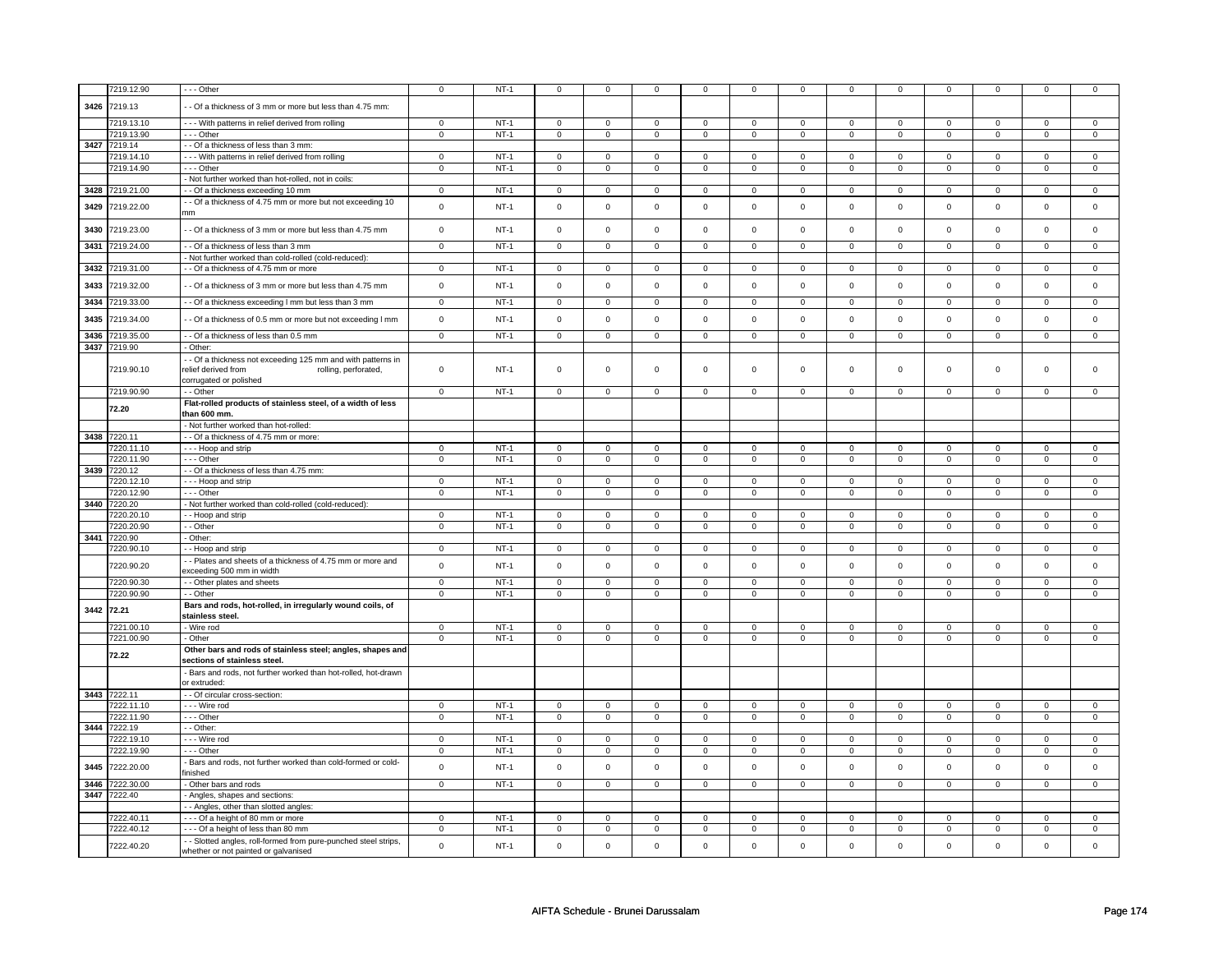|      | 7219.12.90      | --- Other                                                                                                 | $\mathbf 0$    | $NT-1$ | 0              | 0              | $\mathbf 0$         | $\mathbf 0$    | $\mathbf 0$         | 0              | $\mathbf 0$         | $\mathbf 0$    | 0              | $\mathbf 0$    | $\mathbf 0$    | $\mathbf 0$    |
|------|-----------------|-----------------------------------------------------------------------------------------------------------|----------------|--------|----------------|----------------|---------------------|----------------|---------------------|----------------|---------------------|----------------|----------------|----------------|----------------|----------------|
|      |                 |                                                                                                           |                |        |                |                |                     |                |                     |                |                     |                |                |                |                |                |
|      | 3426 7219.13    | - Of a thickness of 3 mm or more but less than 4.75 mm:                                                   |                |        |                |                |                     |                |                     |                |                     |                |                |                |                |                |
|      | 7219.13.10      | --- With patterns in relief derived from rolling                                                          | $\mathbf 0$    | $NT-1$ | 0              | $\Omega$       | $\Omega$            | $\Omega$       | $\Omega$            | $\Omega$       | $\Omega$            | $\Omega$       | $\Omega$       | $\Omega$       | $\overline{0}$ | $\mathbf 0$    |
|      | 7219.13.90      | --- Other                                                                                                 | $\Omega$       | $NT-1$ | $\mathsf{O}$   | $\mathbf 0$    | $\mathbf 0$         | $\mathbf 0$    | $\mathsf{O}\xspace$ | $\mathbf{O}$   | $\Omega$            | $\Omega$       | $\Omega$       | $\Omega$       | $\Omega$       | $\mathbf 0$    |
|      | 3427 7219.14    | - - Of a thickness of less than 3 mm:                                                                     |                |        |                |                |                     |                |                     |                |                     |                |                |                |                |                |
|      | 7219.14.10      | - - - With patterns in relief derived from rolling                                                        | $\mathbf 0$    | $NT-1$ | $\mathbf 0$    | $\mathbf 0$    | $\mathbf 0$         | $\mathbf 0$    | $\mathbf 0$         | $\overline{0}$ | $\mathbf 0$         | $\mathbf 0$    | $\mathbf 0$    | $\mathbf 0$    | $\Omega$       | $\mathbf{0}$   |
|      | 7219.14.90      | --- Other                                                                                                 | $\mathbf 0$    | $NT-1$ | $\mathbf 0$    | $\mathsf 0$    | $\mathbf 0$         | $\mathbf 0$    | $\mathbf 0$         | 0              | $\mathsf 0$         | $\mathbf 0$    | $\mathbf 0$    | $\mathbf 0$    | $\mathsf 0$    | $\mathbf 0$    |
|      |                 | Not further worked than hot-rolled, not in coils:                                                         |                |        |                |                |                     |                |                     |                |                     |                |                |                |                |                |
|      | 3428 7219.21.00 |                                                                                                           |                |        |                |                |                     |                |                     |                |                     |                |                |                |                |                |
|      |                 | - - Of a thickness exceeding 10 mm                                                                        | $\mathbf 0$    | $NT-1$ | $\mathbf 0$    | $\mathbf{0}$   | $\mathbf{0}$        | $\overline{0}$ | $\mathbf{0}$        | $\overline{0}$ | $\mathbf 0$         | $\mathbf{0}$   | $\mathbf{0}$   | $\mathbf{0}$   | $\mathbf 0$    | $\overline{0}$ |
| 3429 | 7219.22.00      | - Of a thickness of 4.75 mm or more but not exceeding 10<br>mm                                            | $\mathbf 0$    | $NT-1$ | $\mathbf 0$    | $\mathsf 0$    | $\mathbf 0$         | $\mathbf 0$    | $\mathbf 0$         | 0              | $\mathsf 0$         | $\mathbf 0$    | $\mathbf 0$    | $\mathsf 0$    | $\mathsf 0$    | $\mathbf 0$    |
| 3430 | 7219.23.00      | - Of a thickness of 3 mm or more but less than 4.75 mm                                                    | $\mathbf 0$    | $NT-1$ | $\mathbf 0$    | $\mathsf 0$    | $\mathbf 0$         | $\mathbf 0$    | $\mathbf 0$         | 0              | $\mathsf 0$         | $\mathbf 0$    | $\mathsf 0$    | $\mathsf 0$    | $\mathsf 0$    | $\mathbf 0$    |
|      | 3431 7219.24.00 | - Of a thickness of less than 3 mm                                                                        | $\mathbf 0$    | $NT-1$ | $\mathbf 0$    | $\mathsf 0$    | $\mathbf 0$         | $\mathbf 0$    | $\mathbf 0$         | $\mathbf 0$    | $\mathsf 0$         | $\mathbf 0$    | $\mathbf 0$    | $\mathbf 0$    | $\mathsf 0$    | $\mathbf 0$    |
|      |                 | Not further worked than cold-rolled (cold-reduced):                                                       |                |        |                |                |                     |                |                     |                |                     |                |                |                |                |                |
|      | 3432 7219.31.00 | - - Of a thickness of 4.75 mm or more                                                                     | $\mathbf 0$    | $NT-1$ | $\mathbf 0$    | $\mathbf 0$    | $\mathbf 0$         | $\mathbf 0$    | $\mathbf 0$         | 0              | $^{\circ}$          | $\mathbf 0$    | $\mathbf 0$    | 0              | $^{\circ}$     | $\mathbf 0$    |
| 3433 | 7219.32.00      | - Of a thickness of 3 mm or more but less than 4.75 mm                                                    | $\mathsf 0$    | $NT-1$ | $\mathsf 0$    | $\mathsf 0$    | $\mathbf 0$         | $\mathbf 0$    | $\mathsf 0$         | $\mathsf 0$    | $\mathsf 0$         | $\mathsf 0$    | $\mathsf 0$    | $\mathbf 0$    | $\mathsf 0$    | $\mathbf 0$    |
| 3434 | 7219.33.00      | - - Of a thickness exceeding I mm but less than 3 mm                                                      | $\mathsf 0$    | $NT-1$ | $\mathsf 0$    | $\mathsf 0$    | $\mathbf 0$         | $\mathbf{0}$   | $\mathbf 0$         | $\mathbf{0}$   | $\mathbf{0}$        | $\mathbf 0$    | $\mathbf 0$    | $\mathbf{0}$   | $\mathbf{0}$   | $\mathbf{0}$   |
| 3435 | 7219.34.00      | - Of a thickness of 0.5 mm or more but not exceeding I mm                                                 | $\mathbf 0$    | $NT-1$ | $\mathbf 0$    | $\mathbf 0$    | $\mathbf 0$         | $\mathbf 0$    | $\mathbf 0$         | $\mathbf{0}$   | $\mathbf 0$         | $\mathbf{0}$   | $\mathbf 0$    | $\mathbf 0$    | $\mathbf 0$    | $\mathbf 0$    |
|      | 3436 7219.35.00 | - - Of a thickness of less than 0.5 mm                                                                    | $\mathbf 0$    | $NT-1$ | $\mathbf 0$    | $\mathbf 0$    | 0                   | $\mathbf 0$    | 0                   | 0              | $\mathbf 0$         | $\mathbf{0}$   | $\mathbf 0$    | $\mathbf{0}$   | $\mathbf 0$    | $\mathbf{0}$   |
|      | 3437 7219.90    | Other:                                                                                                    |                |        |                |                |                     |                |                     |                |                     |                |                |                |                |                |
|      | 7219.90.10      | - Of a thickness not exceeding 125 mm and with patterns in<br>relief derived from<br>rolling, perforated, | $\mathbf 0$    | $NT-1$ | 0              | $\mathbf 0$    | 0                   | $\mathbf 0$    | 0                   | 0              | $\mathsf 0$         | $\mathbf 0$    | $\mathbf 0$    | $\mathbf 0$    | $\mathsf 0$    | $\mathbf 0$    |
|      | 7219.90.90      | corrugated or polished<br>- - Other                                                                       | $\mathsf 0$    | $NT-1$ | $\mathbf 0$    | $\mathsf 0$    | 0                   | $\mathsf 0$    | $\mathbf{0}$        | $\mathbf 0$    | $\overline{0}$      | $\overline{0}$ | $\mathbf 0$    | $\overline{0}$ | $\mathsf 0$    | $\mathbf 0$    |
|      | 72.20           | Flat-rolled products of stainless steel, of a width of less<br>than 600 mm.                               |                |        |                |                |                     |                |                     |                |                     |                |                |                |                |                |
|      |                 | - Not further worked than hot-rolled:                                                                     |                |        |                |                |                     |                |                     |                |                     |                |                |                |                |                |
|      | 3438 7220.11    | - - Of a thickness of 4.75 mm or more:                                                                    |                |        |                |                |                     |                |                     |                |                     |                |                |                |                |                |
|      | 7220.11.10      | - - - Hoop and strip                                                                                      | $\mathsf 0$    | $NT-1$ | $\mathsf{o}\,$ | $\circ$        | 0                   | $\circ$        | $\mathsf{O}\xspace$ | 0              | 0                   | $\mathbf 0$    | $\mathsf 0$    | $\mathsf 0$    | $\Omega$       | $\circ$        |
|      | 7220.11.90      | $- -$ Other                                                                                               | $\mathbf 0$    | $NT-1$ | $\mathbf 0$    | $\mathbf 0$    | $\mathbf 0$         | $\mathbf 0$    | $\mathbf 0$         | $\mathbf 0$    | $\mathbf 0$         | $\overline{0}$ | $\mathbf 0$    | $\circ$        | $\mathbf 0$    | $\circ$        |
|      | 3439 7220.12    | - - Of a thickness of less than 4.75 mm:                                                                  |                |        |                |                |                     |                |                     |                |                     |                |                |                |                |                |
|      | 7220.12.10      | - - - Hoop and strip                                                                                      | $\mathbf 0$    | $NT-1$ | $\mathbf 0$    | $\mathbf 0$    | $\Omega$            | $\mathbf 0$    | $\mathbf 0$         | $\mathbf 0$    | $\Omega$            | $\mathbf{0}$   | $\mathbf{0}$   | $\mathbf{0}$   | $\Omega$       | $\overline{0}$ |
|      | 7220.12.90      | --- Other                                                                                                 | $\mathbf 0$    | $NT-1$ | $\mathbf 0$    | $\mathbf 0$    | $\mathbf 0$         | $\mathbf 0$    | $\mathbf 0$         | 0              | $\mathbf 0$         | $\mathbf{0}$   | $\mathbf 0$    | $\mathbf 0$    | $\mathbf 0$    | $\mathbf{0}$   |
| 3440 | 7220.20         | Not further worked than cold-rolled (cold-reduced):                                                       |                |        |                |                |                     |                |                     |                |                     |                |                |                |                |                |
|      | 7220.20.10      | - Hoop and strip                                                                                          | $\mathbf 0$    | $NT-1$ | 0              | $\mathbf 0$    | 0                   | $\mathbf 0$    | 0                   | 0              | $\mathbf 0$         | $\mathbf 0$    | $\mathbf 0$    | $\mathbf 0$    | $\mathbf 0$    | $\circ$        |
|      | 7220.20.90      | - Other                                                                                                   | $\mathbf 0$    | $NT-1$ | $\mathbf 0$    | $\mathsf 0$    | $\mathbf 0$         | $\mathbf 0$    | $\mathbf 0$         | $\mathbf 0$    | $\mathsf 0$         | $\mathbf 0$    | $\mathbf 0$    | $\mathsf 0$    | $\mathbf 0$    | $\mathbf 0$    |
|      | 3441 7220.90    | Other:                                                                                                    |                |        |                |                |                     |                |                     |                |                     |                |                |                |                |                |
|      | 7220.90.10      | - - Hoop and strip                                                                                        | $\mathbf 0$    | $NT-1$ | $\mathbf 0$    | $\mathbf 0$    | 0                   | $\mathbf 0$    | 0                   | 0              | $\mathbf 0$         | 0              | $\mathbf 0$    | $\mathbf{0}$   | $\mathbf 0$    | $\mathbf{0}$   |
|      |                 | - Plates and sheets of a thickness of 4.75 mm or more and                                                 |                |        |                |                |                     |                |                     |                |                     |                |                |                |                |                |
|      | 7220.90.20      | exceeding 500 mm in width                                                                                 | $\mathsf 0$    | $NT-1$ | $\mathsf 0$    | $\mathsf 0$    | $\mathbf{0}$        | $\mathbf 0$    | $\mathsf 0$         | $\mathsf 0$    | $\mathbf 0$         | $\mathsf 0$    | $\mathsf 0$    | $\mathsf 0$    | $\mathbf 0$    | $\mathbf 0$    |
|      | 7220.90.30      | - - Other plates and sheets                                                                               | $\mathsf 0$    | $NT-1$ | $\mathbf 0$    | $\mathsf 0$    | $\mathbf 0$         | $\mathbf 0$    | $\mathsf 0$         | $\mathbf 0$    | $\mathsf{O}\xspace$ | $\mathbf 0$    | $\mathsf 0$    | $\mathsf 0$    | $\mathsf 0$    | $\mathbf 0$    |
|      | 7220.90.90      | - Other                                                                                                   | $\mathsf 0$    | $NT-1$ | $\mathbf 0$    | $\mathbf 0$    | $\mathbf 0$         | $\mathbf 0$    | $\mathbf 0$         | $\mathbf{O}$   | $\mathbf 0$         | $\mathbf 0$    | 0              | $\mathsf 0$    | $\mathsf 0$    | $\mathbf 0$    |
|      |                 | Bars and rods, hot-rolled, in irregularly wound coils, of                                                 |                |        |                |                |                     |                |                     |                |                     |                |                |                |                |                |
|      | 3442 72.21      | stainless steel.                                                                                          |                |        |                |                |                     |                |                     |                |                     |                |                |                |                |                |
|      | 7221.00.10      | - Wire rod                                                                                                | $\mathbf 0$    | $NT-1$ | $\mathbf 0$    | $\mathbf 0$    | $\Omega$            | $\mathbf 0$    | $\Omega$            | $\mathbf{0}$   | $\Omega$            | $\Omega$       | $\Omega$       | $\Omega$       | $\Omega$       | $\Omega$       |
|      | 7221.00.90      | - Other                                                                                                   | $\mathbf 0$    | $NT-1$ | $\mathbf 0$    | $\mathbf 0$    | $\mathbf{0}$        | $\mathbf 0$    | $\mathbf{0}$        | $\mathbf{O}$   | $\mathbf{0}$        | $\mathbf{0}$   | $\mathbf 0$    | $\mathbf 0$    | $\mathbf 0$    | $\mathbf 0$    |
|      | 72.22           | Other bars and rods of stainless steel; angles, shapes and<br>sections of stainless steel.                |                |        |                |                |                     |                |                     |                |                     |                |                |                |                |                |
|      |                 | Bars and rods, not further worked than hot-rolled, hot-drawn<br>or extruded:                              |                |        |                |                |                     |                |                     |                |                     |                |                |                |                |                |
|      | 3443 7222.11    | - - Of circular cross-section:                                                                            |                |        |                |                |                     |                |                     |                |                     |                |                |                |                |                |
|      | 7222.11.10      | --- Wire rod                                                                                              | $\mathbf 0$    | $NT-1$ | $\mathbf 0$    | $\mathbf 0$    | $\mathbf 0$         | $\mathbf 0$    | $\Omega$            | $\mathbf{0}$   | $\mathbf 0$         | $\mathbf 0$    | $\mathbf 0$    | $\mathbf 0$    | $\mathbf 0$    | $\mathbf 0$    |
|      | 7222.11.90      | $--$ Other                                                                                                | $\overline{0}$ | $NT-1$ | $\overline{0}$ | $\overline{0}$ | $\overline{0}$      | $\overline{0}$ | $\overline{0}$      | $\pmb{0}$      | $\overline{0}$      | $\overline{0}$ | $\overline{0}$ | $\overline{0}$ | $\overline{0}$ | $\overline{0}$ |
|      | 3444 7222.19    | - - Other:                                                                                                |                |        |                |                |                     |                |                     |                |                     |                |                |                |                |                |
|      | 7222.19.10      | --- Wire rod                                                                                              | $\mathbf 0$    | $NT-1$ | $\mathbf 0$    | $\mathbf 0$    | $\mathbf 0$         | $\mathbf 0$    | $\mathbf 0$         | 0              | $\mathsf 0$         | $\mathbf 0$    | $\mathsf 0$    | $\mathsf 0$    | $\mathsf 0$    | $\mathbf 0$    |
|      | 7222.19.90      | $\cdots$ Other                                                                                            | $\mathsf 0$    | $NT-1$ | $\mathsf 0$    | $\mathsf 0$    | $\mathsf{O}\xspace$ | $\mathsf{O}^-$ | $\mathsf 0$         | $\mathsf 0$    | $\mathsf 0$         | $\mathsf 0$    | $\mathsf 0$    | $\mathsf 0$    | $\mathsf 0$    | $\overline{0}$ |
| 3445 | 7222.20.00      | Bars and rods, not further worked than cold-formed or cold-<br>finished                                   | $\mathsf 0$    | $NT-1$ | $\mathbf 0$    | $\mathbf 0$    | $\mathbf 0$         | $\mathbf 0$    | $\mathbf 0$         | $\mathbf{0}$   | $\mathbf 0$         | $\mathbf{0}$   | $\mathbf 0$    | $\mathbf 0$    | $\mathbf 0$    | $\mathbf 0$    |
| 3446 | 7222.30.00      | - Other bars and rods                                                                                     | $\overline{0}$ | $NT-1$ | $\overline{0}$ | $\overline{0}$ | $\overline{0}$      | $\overline{0}$ | $\overline{0}$      | $\overline{0}$ | $\overline{0}$      | $\overline{0}$ | $\overline{0}$ | $\overline{0}$ | $\overline{0}$ | $\overline{0}$ |
|      | 3447 7222.40    | Angles, shapes and sections:                                                                              |                |        |                |                |                     |                |                     |                |                     |                |                |                |                |                |
|      |                 | - Angles, other than slotted angles:                                                                      |                |        |                |                |                     |                |                     |                |                     |                |                |                |                |                |
|      | 7222.40.11      | --- Of a height of 80 mm or more                                                                          | $\mathbf 0$    | $NT-1$ | $\mathbf 0$    | $\mathbf 0$    | 0                   | $\mathbf 0$    | 0                   | $\mathbf 0$    | $\mathbf 0$         | $\mathbf 0$    | $\mathbf 0$    | $\mathbf 0$    | 0              | $\mathbf 0$    |
|      | 7222.40.12      | --- Of a height of less than 80 mm                                                                        | $\mathbf 0$    | $NT-1$ | $\mathbf 0$    | $\mathbf 0$    | 0                   | $\mathbf 0$    | 0                   | 0              | $\mathbf 0$         | 0              | $\mathbf 0$    | $\mathbf{0}$   | $\mathbf 0$    | $\mathbf{0}$   |
|      | 7222.40.20      | - - Slotted angles, roll-formed from pure-punched steel strips,                                           | $\mathbf 0$    | $NT-1$ | $\mathbf 0$    | $\mathsf 0$    | $\mathbf 0$         | $\mathbf 0$    | $\mathbf 0$         | 0              | $\mathbf 0$         | $\mathbf 0$    | $\mathbf 0$    | $\mathsf 0$    | $\mathbf 0$    | $\Omega$       |
|      |                 | whether or not painted or galvanised                                                                      |                |        |                |                |                     |                |                     |                |                     |                |                |                |                |                |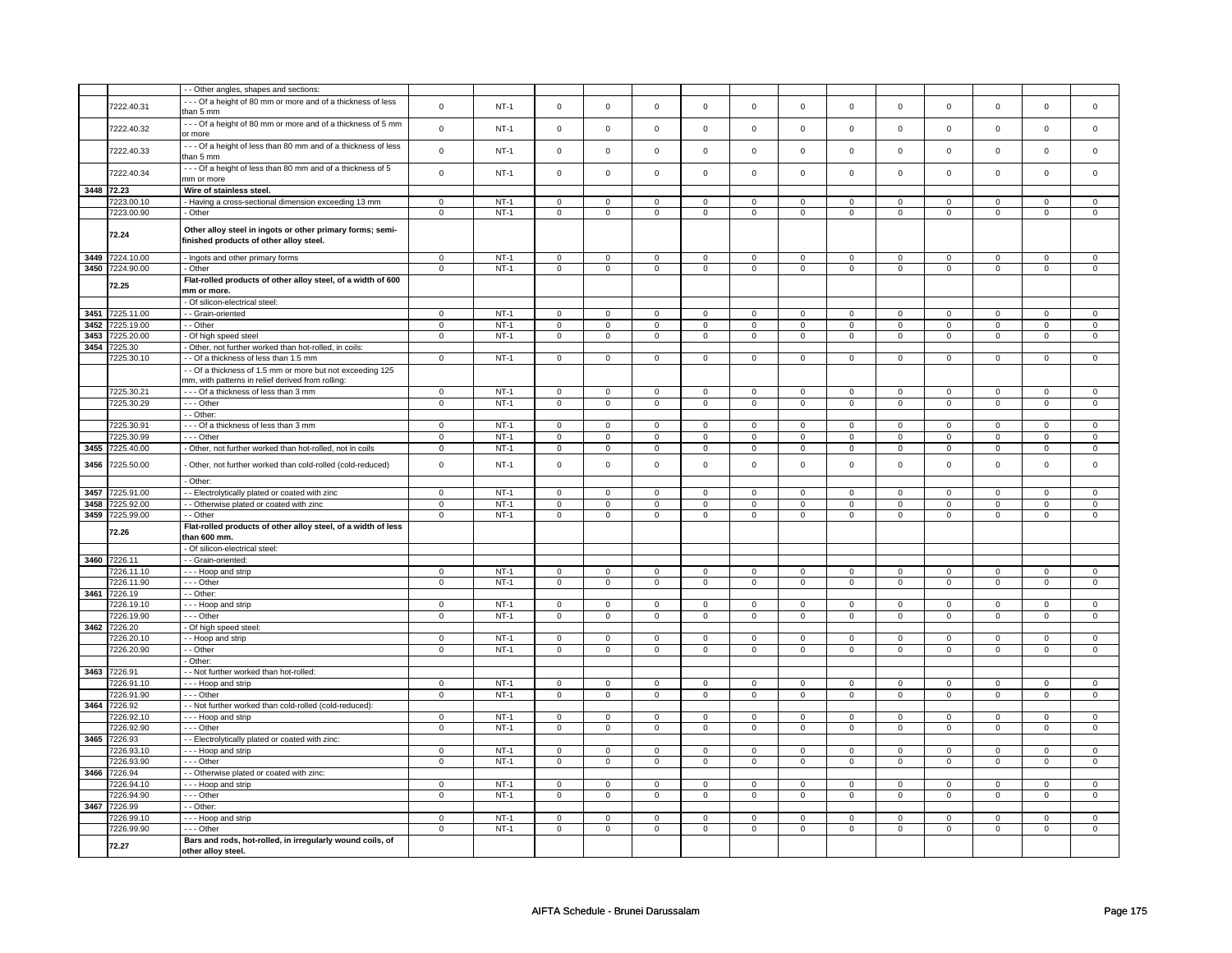| --- Of a height of 80 mm or more and of a thickness of less<br>7222.40.31<br>$\mathsf 0$<br>$NT-1$<br>$\mathsf 0$<br>$\mathsf 0$<br>$\mathsf 0$<br>$\mathsf 0$<br>$\mathsf{O}\xspace$<br>$\mathsf 0$<br>$\mathsf 0$<br>$\mathsf 0$<br>$\mathsf 0$<br>$\mathbf 0$<br>$\mathbf 0$<br>than 5 mm<br>--- Of a height of 80 mm or more and of a thickness of 5 mm<br>$\mathbf 0$<br>$\mathsf 0$<br>7222.40.32<br>$\mathsf 0$<br>$\mathsf 0$<br>$\mathsf 0$<br>$\mathbf 0$<br>$\mathbf 0$<br>$NT-1$<br>$\mathsf 0$<br>$\mathsf 0$<br>$\mathbf 0$<br>$\mathsf 0$<br>$\mathsf 0$<br>or more<br>--- Of a height of less than 80 mm and of a thickness of less<br>7222.40.33<br>$\mathsf 0$<br>$NT-1$<br>$\mathsf{O}\xspace$<br>$\mathbf 0$<br>$\mathsf 0$<br>$\mathsf 0$<br>$\mathsf 0$<br>$\mathsf 0$<br>$\mathsf 0$<br>$\mathbf 0$<br>$\mathsf 0$<br>$\mathbf 0$<br>$\mathsf 0$<br>than 5 mm<br>--- Of a height of less than 80 mm and of a thickness of 5<br>7222.40.34<br>$\mathsf 0$<br>$NT-1$<br>$\mathsf 0$<br>$\mathsf 0$<br>$\mathsf 0$<br>$\mathbf 0$<br>$\mathsf{O}\xspace$<br>$\mathsf 0$<br>$\mathsf 0$<br>$\mathsf 0$<br>$\mathsf 0$<br>$\mathbf 0$<br>$\mathsf 0$<br>mm or more<br>3448 72.23<br>Wire of stainless steel.<br>7223.00.10<br>- Having a cross-sectional dimension exceeding 13 mm<br>$\mathsf 0$<br>$NT-1$<br>$\mathsf 0$<br>$\mathbf 0$<br>$\mathbf 0$<br>$\mathsf 0$<br>$\mathsf 0$<br>$\mathsf 0$<br>$\mathbf 0$<br>$\mathbf 0$<br>$\mathbf 0$<br>$\mathbf 0$<br>$\mathsf 0$<br>7223.00.90<br>$NT-1$<br>- Other<br>$\mathbf 0$<br>$\mathbf 0$<br>$\mathbf 0$<br>$\mathbf 0$<br>$\mathbf 0$<br>$\mathbf{0}$<br>$\mathbf 0$<br>$\mathbf 0$<br>$\mathbf{0}$<br>$\mathbf 0$<br>$\mathbf{0}$<br>$\mathbf 0$<br>Other alloy steel in ingots or other primary forms; semi-<br>72.24<br>finished products of other alloy steel.<br>3449 7224.10.00<br>- Ingots and other primary forms<br>$\mathsf 0$<br>$NT-1$<br>$\mathsf 0$<br>$\mathsf 0$<br>$\mathsf 0$<br>$\mathsf{O}$<br>$\mathsf 0$<br>$\mathbf 0$<br>$\mathsf 0$<br>$\mathbf 0$<br>$\mathbf 0$<br>$\mathbf 0$<br>$\mathbf 0$<br>3450 7224.90.00<br>$NT-1$<br>$\mathbf 0$<br>- Other<br>$\mathbf 0$<br>$\mathbf 0$<br>$\mathbf 0$<br>$\mathbf 0$<br>$\mathbf 0$<br>$\mathbf 0$<br>$\mathbf 0$<br>$\mathbf 0$<br>0<br>$\mathbf 0$<br>0<br>Flat-rolled products of other alloy steel, of a width of 600<br>72.25<br>mm or more.<br>- Of silicon-electrical steel:<br>3451<br>7225.11.00<br>- - Grain-oriented<br>$\mathsf 0$<br>$NT-1$<br>$\mathsf 0$<br>$\mathsf 0$<br>$\mathsf 0$<br>$\mathbf 0$<br>$\mathsf 0$<br>$\mathbf 0$<br>$\mathbf 0$<br>$\mathsf 0$<br>$\mathsf 0$<br>$\mathbf 0$<br>$\mathsf 0$<br>$NT-1$<br>3452<br>7225.19.00<br>- Other<br>$\mathbf 0$<br>$\mathsf 0$<br>$\mathbf 0$<br>$\mathsf 0$<br>$\mathsf 0$<br>$\mathbf 0$<br>$\mathbf 0$<br>$\mathbf 0$<br>$\mathbf 0$<br>$\mathbf 0$<br>$\mathbf 0$<br>$\mathsf 0$<br>7225.20.00<br>$NT-1$<br>$\overline{0}$<br>$\overline{0}$<br>$\overline{0}$<br>3453<br>- Of high speed steel<br>$\circ$<br>$\mathbf 0$<br>$\mathbf 0$<br>$\mathbf 0$<br>$\mathbf{0}$<br>$\overline{0}$<br>$\mathbf 0$<br>$\overline{0}$<br>$\mathbf 0$<br>3454<br>7225.30<br>- Other, not further worked than hot-rolled, in coils:<br>7225.30.10<br>$NT-1$<br>- Of a thickness of less than 1.5 mm<br>$\mathbf 0$<br>$\mathbf 0$<br>$\mathbf 0$<br>$\mathbf 0$<br>$\mathbf 0$<br>$\mathbf{0}$<br>$\mathbf 0$<br>$\mathbf 0$<br>$\mathbf{0}$<br>$\mathbf 0$<br>$\mathbf{0}$<br>$\mathbf 0$<br>- Of a thickness of 1.5 mm or more but not exceeding 125<br>mm, with patterns in relief derived from rolling:<br>7225.30.21<br>--- Of a thickness of less than 3 mm<br>$\mathsf 0$<br>$NT-1$<br>$\mathsf 0$<br>$\mathsf 0$<br>$\mathbf 0$<br>$\mathbf 0$<br>$\mathsf 0$<br>$\mathbf 0$<br>$\mathbf 0$<br>$\mathbf 0$<br>0<br>0<br>$\mathbf 0$<br>7225.30.29<br>--- Other<br>$\,0\,$<br>$NT-1$<br>$\mathsf 0$<br>$\mathbf 0$<br>$\mathsf 0$<br>$\mathsf 0$<br>$\mathsf 0$<br>$\mathsf 0$<br>$\mathbf 0$<br>$\mathbf 0$<br>$\mathbf 0$<br>$\mathbf 0$<br>$\mathsf 0$<br>- - Other:<br>7225.30.91<br>--- Of a thickness of less than 3 mm<br>$\mathsf 0$<br>$NT-1$<br>$\mathbf 0$<br>$\mathsf 0$<br>$\mathbf 0$<br>$\mathsf 0$<br>$\mathbf 0$<br>$\mathsf 0$<br>$\mathsf 0$<br>$\mathbf 0$<br>$\mathbf 0$<br>0<br>0<br>7225.30.99<br>$- -$ Other<br>$\overline{0}$<br>$NT-1$<br>$\overline{0}$<br>$\overline{0}$<br>$\overline{0}$<br>$\overline{0}$<br>$\overline{0}$<br>$\overline{0}$<br>$\overline{0}$<br>$\overline{0}$<br>$\overline{0}$<br>$\overline{0}$<br>$\overline{0}$<br>$NT-1$<br>$\overline{0}$<br>$\overline{\mathbf{0}}$<br>$\overline{0}$<br>$\overline{0}$<br>$\overline{0}$<br>$\overline{0}$<br>$\overline{0}$<br>3455 7225.40.00<br>- Other, not further worked than hot-rolled, not in coils<br>$\overline{\mathbf{0}}$<br>$\overline{0}$<br>$\overline{\mathbf{0}}$<br>$\overline{0}$<br>0<br>7225.50.00<br>$\mathsf 0$<br>$NT-1$<br>$\mathbf 0$<br>$\mathsf 0$<br>$\mathbf 0$<br>$\mathbf 0$<br>$\mathbf 0$<br>$\mathsf 0$<br>$\mathsf 0$<br>$\mathbf 0$<br>$\mathsf 0$<br>3456<br>- Other, not further worked than cold-rolled (cold-reduced)<br>0<br>0<br>- Other:<br>3457<br>7225.91.00<br>- - Electrolytically plated or coated with zinc<br>$\mathbf 0$<br>$NT-1$<br>$\mathbf 0$<br>$\mathsf 0$<br>$\mathbf 0$<br>$\mathbf 0$<br>$\mathbf 0$<br>$\mathbf 0$<br>$\mathbf 0$<br>$\mathbf 0$<br>$\mathbf 0$<br>$\mathbf 0$<br>0<br>7225.92.00<br>$NT-1$<br>3458<br>- - Otherwise plated or coated with zinc<br>$\mathsf 0$<br>$\mathbf 0$<br>$\mathsf 0$<br>$\mathsf 0$<br>$\mathbf 0$<br>$\mathsf 0$<br>$\mathbf 0$<br>$\mathbf 0$<br>$\mathbf 0$<br>$\mathsf 0$<br>$\mathbf 0$<br>$\mathsf 0$<br>3459<br>7225.99.00<br>$NT-1$<br>$\overline{0}$<br>$\overline{0}$<br>$\overline{0}$<br>$\overline{0}$<br>$\overline{0}$<br>$\overline{0}$<br>$\overline{0}$<br>$\overline{0}$<br>$\overline{0}$<br>$\overline{0}$<br>- - Other<br>$\mathbf 0$<br>$\Omega$<br>Flat-rolled products of other alloy steel, of a width of less<br>72.26<br>than 600 mm.<br>- Of silicon-electrical steel:<br>3460 7226.11<br>- - Grain-oriented:<br>7226.11.10<br>--- Hoop and strip<br>$\mathbf 0$<br>$NT-1$<br>$\mathbf 0$<br>$\mathbf 0$<br>$\mathbf 0$<br>$\mathbf 0$<br>$\mathbf 0$<br>$\mathbf{0}$<br>$\mathbf 0$<br>$\mathbf{0}$<br>$\Omega$<br>$\Omega$<br>$\Omega$<br>7226.11.90<br>--- Other<br>$\mathbf 0$<br>$NT-1$<br>$\mathbf 0$<br>$\mathbf 0$<br>$\mathbf 0$<br>$\mathbf 0$<br>$\mathbf 0$<br>$\mathbf 0$<br>$\mathbf 0$<br>$\mathbf 0$<br>$\mathbf 0$<br>$\mathbf{0}$<br>$\Omega$<br>3461<br>7226.19<br>- - Other:<br>7226.19.10<br>--- Hoop and strip<br>$\mathsf 0$<br>$NT-1$<br>$\mathbf 0$<br>$\mathsf 0$<br>$\mathbf 0$<br>$\mathbf 0$<br>$\mathbf 0$<br>$\mathsf 0$<br>$\mathbf 0$<br>$\mathbf 0$<br>$\mathbf 0$<br>0<br>0<br>$- -$ Other<br>$NT-1$<br>$\overline{0}$<br>$\overline{0}$<br>7226.19.90<br>$\mathbf 0$<br>$\mathbf 0$<br>$\mathbf 0$<br>$\mathbf 0$<br>$\mathbf 0$<br>$\mathbf 0$<br>$\mathbf 0$<br>$\mathbf 0$<br>$\mathbf 0$<br>$\mathsf 0$<br>3462 7226.20<br>- Of high speed steel:<br>7226.20.10<br>- - Hoop and strip<br>$\mathbf 0$<br>$NT-1$<br>$\mathbf 0$<br>$\mathsf 0$<br>$\mathbf 0$<br>$\mathbf 0$<br>$\mathbf 0$<br>$\mathsf 0$<br>$\mathbf 0$<br>$\mathbf 0$<br>$\mathbf 0$<br>0<br>$\Omega$<br>7226.20.90<br>- - Other<br>$\mathbf 0$<br>$NT-1$<br>$\mathbf 0$<br>$\mathbf 0$<br>$\mathbf 0$<br>$\mathbf 0$<br>$\mathbf 0$<br>$\mathbf 0$<br>$\mathbf 0$<br>$\mathbf{0}$<br>$\mathbf 0$<br>$\mathbf{0}$<br>$\mathbf 0$<br>- Other:<br>3463 7226.91<br>- - Not further worked than hot-rolled:<br>7226.91.10<br>--- Hoop and strip<br>$\mathsf 0$<br>$NT-1$<br>$\mathbf 0$<br>$\mathsf 0$<br>$\mathbf 0$<br>$\mathbf 0$<br>$\mathbf 0$<br>$\mathbf 0$<br>$\mathbf 0$<br>0<br>0<br>0<br>0<br>7226.91.90<br>--- Other<br>$NT-1$<br>$\mathsf 0$<br>$\mathsf 0$<br>$\mathsf 0$<br>$\mathsf 0$<br>$\mathbf 0$<br>$\mathbf 0$<br>$\mathbf 0$<br>$\mathbf 0$<br>$\mathbf 0$<br>$\mathbf 0$<br>$\mathbf 0$<br>$\mathsf 0$<br>3464<br>7226.92<br>- Not further worked than cold-rolled (cold-reduced):<br>7226.92.10<br>$\mathsf 0$<br>$NT-1$<br>$\mathbf 0$<br>$\mathsf 0$<br>$\mathbf 0$<br>$\mathbf 0$<br>$\mathsf 0$<br>$\mathbf 0$<br>- - - Hoop and strip<br>$\mathbf 0$<br>0<br>$\mathbf 0$<br>0<br>$\Omega$<br>7226.92.90<br>- - - Other<br>$\mathsf 0$<br>$NT-1$<br>$\mathbf 0$<br>$\mathsf 0$<br>$\mathbf 0$<br>$\mathbf 0$<br>$\mathsf 0$<br>$\mathbf 0$<br>$\mathbf 0$<br>$\mathbf 0$<br>$\mathsf 0$<br>$\mathbf 0$<br>$\mathbf 0$<br>3465 7226.93<br>- - Electrolytically plated or coated with zinc:<br>7226.93.10<br>--- Hoop and strip<br>$\mathsf 0$<br>$NT-1$<br>$\mathsf 0$<br>$\mathsf 0$<br>$\mathsf 0$<br>$\mathbf 0$<br>$\mathsf 0$<br>$\mathbf 0$<br>$\mathbf 0$<br>$\mathsf 0$<br>$\mathbf 0$<br>0<br>0<br>7226.93.90<br>- - - Other<br>$\mathbf 0$<br>$NT-1$<br>$\mathsf 0$<br>$\mathbf 0$<br>$\mathsf 0$<br>$\mathsf 0$<br>$\mathsf 0$<br>$\mathsf 0$<br>$\mathsf 0$<br>$\mathbf 0$<br>$\mathsf 0$<br>$\mathbf 0$<br>$\mathsf 0$<br>3466 7226.94<br>- - Otherwise plated or coated with zinc:<br>7226.94.10<br>- - - Hoop and strip<br>$\mathbf 0$<br>$NT-1$<br>0<br>$\mathbf 0$<br>$\mathbf 0$<br>$\mathbf{0}$<br>$\mathbf 0$<br>$\mathbf 0$<br>$\mathbf 0$<br>$\mathbf{0}$<br>$\mathbf 0$<br>$\mathbf 0$<br>0<br>7226.94.90<br>$- -$ Other<br>$NT-1$<br>$\overline{0}$<br>$\overline{0}$<br>$\overline{0}$<br>$\mathbf 0$<br>$\mathbf 0$<br>0<br>$\mathbf 0$<br>$\mathbf 0$<br>0<br>0<br>0<br>0<br>3467<br>7226.99<br>- - Other:<br>7226.99.10<br>- - - Hoop and strip<br>$\mathbf 0$<br>$NT-1$<br>$\mathbf 0$<br>0<br>$\mathbf 0$<br>$\mathbf 0$<br>0<br>$\mathbf 0$<br>0<br>$\mathbf{0}$<br>$\mathbf 0$<br>$\mathbf 0$<br>0<br>7226.99.90<br>$NT-1$<br>$\overline{0}$<br>$\overline{0}$<br>$\overline{0}$<br>$\overline{0}$<br>$\overline{0}$<br>- - - Other<br>$\mathbf 0$<br>$\mathsf 0$<br>$\mathbf 0$<br>$\mathsf{O}\xspace$<br>$\mathbf 0$<br>$\mathsf 0$<br>$\mathsf 0$<br>Bars and rods, hot-rolled, in irregularly wound coils, of<br>72.27<br>other alloy steel. |  | - - Other angles, shapes and sections: |  |  |  |  |  |  |                |
|---------------------------------------------------------------------------------------------------------------------------------------------------------------------------------------------------------------------------------------------------------------------------------------------------------------------------------------------------------------------------------------------------------------------------------------------------------------------------------------------------------------------------------------------------------------------------------------------------------------------------------------------------------------------------------------------------------------------------------------------------------------------------------------------------------------------------------------------------------------------------------------------------------------------------------------------------------------------------------------------------------------------------------------------------------------------------------------------------------------------------------------------------------------------------------------------------------------------------------------------------------------------------------------------------------------------------------------------------------------------------------------------------------------------------------------------------------------------------------------------------------------------------------------------------------------------------------------------------------------------------------------------------------------------------------------------------------------------------------------------------------------------------------------------------------------------------------------------------------------------------------------------------------------------------------------------------------------------------------------------------------------------------------------------------------------------------------------------------------------------------------------------------------------------------------------------------------------------------------------------------------------------------------------------------------------------------------------------------------------------------------------------------------------------------------------------------------------------------------------------------------------------------------------------------------------------------------------------------------------------------------------------------------------------------------------------------------------------------------------------------------------------------------------------------------------------------------------------------------------------------------------------------------------------------------------------------------------------------------------------------------------------------------------------------------------------------------------------------------------------------------------------------------------------------------------------------------------------------------------------------------------------------------------------------------------------------------------------------------------------------------------------------------------------------------------------------------------------------------------------------------------------------------------------------------------------------------------------------------------------------------------------------------------------------------------------------------------------------------------------------------------------------------------------------------------------------------------------------------------------------------------------------------------------------------------------------------------------------------------------------------------------------------------------------------------------------------------------------------------------------------------------------------------------------------------------------------------------------------------------------------------------------------------------------------------------------------------------------------------------------------------------------------------------------------------------------------------------------------------------------------------------------------------------------------------------------------------------------------------------------------------------------------------------------------------------------------------------------------------------------------------------------------------------------------------------------------------------------------------------------------------------------------------------------------------------------------------------------------------------------------------------------------------------------------------------------------------------------------------------------------------------------------------------------------------------------------------------------------------------------------------------------------------------------------------------------------------------------------------------------------------------------------------------------------------------------------------------------------------------------------------------------------------------------------------------------------------------------------------------------------------------------------------------------------------------------------------------------------------------------------------------------------------------------------------------------------------------------------------------------------------------------------------------------------------------------------------------------------------------------------------------------------------------------------------------------------------------------------------------------------------------------------------------------------------------------------------------------------------------------------------------------------------------------------------------------------------------------------------------------------------------------------------------------------------------------------------------------------------------------------------------------------------------------------------------------------------------------------------------------------------------------------------------------------------------------------------------------------------------------------------------------------------------------------------------------------------------------------------------------------------------------------------------------------------------------------------------------------------------------------------------------------------------------------------------------------------------------------------------------------------------------------------------------------------------------------------------------------------------------------------------------------------------------------------------------------------------------------------------------------------------------------------------------------------------------------------------------------------------------------------------------------------------------------------------------------------------------------------------------------------------------------------------------------------------------------------------------------------------------------------------------------------------------------------------------------------------------------------------------------------------------------------------------------------------------------------------------------------------------------------------------------------------------------------------------------------------------------------------------------------------------------------------------------------------------------------------------------------------------------------------------------------------------------------------------------------------------------------------------------------------------------------------------------------------------------------------------------------------------------------------------------------------------------------------------------------------------------------------------------------------------------------------------------------------------------------------------------------------------------------------------------------------------------------------------------------------------------------------------------------------------------------------------------------------------------------------------------------------------------------------------------------------------------------------------------------------------------------------------------------------------------------------------------------------------------------------------------------------------------------------------------------------------------------------------------------------------------------------------------------------------------------------------------------------------------------------------------------------------------------------------------------------------------------------------------------------------------------------------------------------------------------------------------------------------------------------------------------------------------------------------------------------------------------------------------------------------------------------------------------------------------------------------------------------------------------------------------------------------------------------------------------------------------------------------------------------------------------------------------------------------------------------------|--|----------------------------------------|--|--|--|--|--|--|----------------|
|                                                                                                                                                                                                                                                                                                                                                                                                                                                                                                                                                                                                                                                                                                                                                                                                                                                                                                                                                                                                                                                                                                                                                                                                                                                                                                                                                                                                                                                                                                                                                                                                                                                                                                                                                                                                                                                                                                                                                                                                                                                                                                                                                                                                                                                                                                                                                                                                                                                                                                                                                                                                                                                                                                                                                                                                                                                                                                                                                                                                                                                                                                                                                                                                                                                                                                                                                                                                                                                                                                                                                                                                                                                                                                                                                                                                                                                                                                                                                                                                                                                                                                                                                                                                                                                                                                                                                                                                                                                                                                                                                                                                                                                                                                                                                                                                                                                                                                                                                                                                                                                                                                                                                                                                                                                                                                                                                                                                                                                                                                                                                                                                                                                                                                                                                                                                                                                                                                                                                                                                                                                                                                                                                                                                                                                                                                                                                                                                                                                                                                                                                                                                                                                                                                                                                                                                                                                                                                                                                                                                                                                                                                                                                                                                                                                                                                                                                                                                                                                                                                                                                                                                                                                                                                                                                                                                                                                                                                                                                                                                                                                                                                                                                                                                                                                                                                                                                                                                                                                                                                                                                                                                                                                                                                                                                                                                                                                                                                                                                                                                                                                                                                                                                                                                                                                                                                                                                                                                                                                                                                                                                                                                                                                                                                                                                                                                                                                                                                                                                                                                                                                                                                                                                                           |  |                                        |  |  |  |  |  |  |                |
|                                                                                                                                                                                                                                                                                                                                                                                                                                                                                                                                                                                                                                                                                                                                                                                                                                                                                                                                                                                                                                                                                                                                                                                                                                                                                                                                                                                                                                                                                                                                                                                                                                                                                                                                                                                                                                                                                                                                                                                                                                                                                                                                                                                                                                                                                                                                                                                                                                                                                                                                                                                                                                                                                                                                                                                                                                                                                                                                                                                                                                                                                                                                                                                                                                                                                                                                                                                                                                                                                                                                                                                                                                                                                                                                                                                                                                                                                                                                                                                                                                                                                                                                                                                                                                                                                                                                                                                                                                                                                                                                                                                                                                                                                                                                                                                                                                                                                                                                                                                                                                                                                                                                                                                                                                                                                                                                                                                                                                                                                                                                                                                                                                                                                                                                                                                                                                                                                                                                                                                                                                                                                                                                                                                                                                                                                                                                                                                                                                                                                                                                                                                                                                                                                                                                                                                                                                                                                                                                                                                                                                                                                                                                                                                                                                                                                                                                                                                                                                                                                                                                                                                                                                                                                                                                                                                                                                                                                                                                                                                                                                                                                                                                                                                                                                                                                                                                                                                                                                                                                                                                                                                                                                                                                                                                                                                                                                                                                                                                                                                                                                                                                                                                                                                                                                                                                                                                                                                                                                                                                                                                                                                                                                                                                                                                                                                                                                                                                                                                                                                                                                                                                                                                                                           |  |                                        |  |  |  |  |  |  | $\mathsf 0$    |
|                                                                                                                                                                                                                                                                                                                                                                                                                                                                                                                                                                                                                                                                                                                                                                                                                                                                                                                                                                                                                                                                                                                                                                                                                                                                                                                                                                                                                                                                                                                                                                                                                                                                                                                                                                                                                                                                                                                                                                                                                                                                                                                                                                                                                                                                                                                                                                                                                                                                                                                                                                                                                                                                                                                                                                                                                                                                                                                                                                                                                                                                                                                                                                                                                                                                                                                                                                                                                                                                                                                                                                                                                                                                                                                                                                                                                                                                                                                                                                                                                                                                                                                                                                                                                                                                                                                                                                                                                                                                                                                                                                                                                                                                                                                                                                                                                                                                                                                                                                                                                                                                                                                                                                                                                                                                                                                                                                                                                                                                                                                                                                                                                                                                                                                                                                                                                                                                                                                                                                                                                                                                                                                                                                                                                                                                                                                                                                                                                                                                                                                                                                                                                                                                                                                                                                                                                                                                                                                                                                                                                                                                                                                                                                                                                                                                                                                                                                                                                                                                                                                                                                                                                                                                                                                                                                                                                                                                                                                                                                                                                                                                                                                                                                                                                                                                                                                                                                                                                                                                                                                                                                                                                                                                                                                                                                                                                                                                                                                                                                                                                                                                                                                                                                                                                                                                                                                                                                                                                                                                                                                                                                                                                                                                                                                                                                                                                                                                                                                                                                                                                                                                                                                                                                           |  |                                        |  |  |  |  |  |  |                |
|                                                                                                                                                                                                                                                                                                                                                                                                                                                                                                                                                                                                                                                                                                                                                                                                                                                                                                                                                                                                                                                                                                                                                                                                                                                                                                                                                                                                                                                                                                                                                                                                                                                                                                                                                                                                                                                                                                                                                                                                                                                                                                                                                                                                                                                                                                                                                                                                                                                                                                                                                                                                                                                                                                                                                                                                                                                                                                                                                                                                                                                                                                                                                                                                                                                                                                                                                                                                                                                                                                                                                                                                                                                                                                                                                                                                                                                                                                                                                                                                                                                                                                                                                                                                                                                                                                                                                                                                                                                                                                                                                                                                                                                                                                                                                                                                                                                                                                                                                                                                                                                                                                                                                                                                                                                                                                                                                                                                                                                                                                                                                                                                                                                                                                                                                                                                                                                                                                                                                                                                                                                                                                                                                                                                                                                                                                                                                                                                                                                                                                                                                                                                                                                                                                                                                                                                                                                                                                                                                                                                                                                                                                                                                                                                                                                                                                                                                                                                                                                                                                                                                                                                                                                                                                                                                                                                                                                                                                                                                                                                                                                                                                                                                                                                                                                                                                                                                                                                                                                                                                                                                                                                                                                                                                                                                                                                                                                                                                                                                                                                                                                                                                                                                                                                                                                                                                                                                                                                                                                                                                                                                                                                                                                                                                                                                                                                                                                                                                                                                                                                                                                                                                                                                                           |  |                                        |  |  |  |  |  |  | $\mathbf 0$    |
|                                                                                                                                                                                                                                                                                                                                                                                                                                                                                                                                                                                                                                                                                                                                                                                                                                                                                                                                                                                                                                                                                                                                                                                                                                                                                                                                                                                                                                                                                                                                                                                                                                                                                                                                                                                                                                                                                                                                                                                                                                                                                                                                                                                                                                                                                                                                                                                                                                                                                                                                                                                                                                                                                                                                                                                                                                                                                                                                                                                                                                                                                                                                                                                                                                                                                                                                                                                                                                                                                                                                                                                                                                                                                                                                                                                                                                                                                                                                                                                                                                                                                                                                                                                                                                                                                                                                                                                                                                                                                                                                                                                                                                                                                                                                                                                                                                                                                                                                                                                                                                                                                                                                                                                                                                                                                                                                                                                                                                                                                                                                                                                                                                                                                                                                                                                                                                                                                                                                                                                                                                                                                                                                                                                                                                                                                                                                                                                                                                                                                                                                                                                                                                                                                                                                                                                                                                                                                                                                                                                                                                                                                                                                                                                                                                                                                                                                                                                                                                                                                                                                                                                                                                                                                                                                                                                                                                                                                                                                                                                                                                                                                                                                                                                                                                                                                                                                                                                                                                                                                                                                                                                                                                                                                                                                                                                                                                                                                                                                                                                                                                                                                                                                                                                                                                                                                                                                                                                                                                                                                                                                                                                                                                                                                                                                                                                                                                                                                                                                                                                                                                                                                                                                                                           |  |                                        |  |  |  |  |  |  |                |
|                                                                                                                                                                                                                                                                                                                                                                                                                                                                                                                                                                                                                                                                                                                                                                                                                                                                                                                                                                                                                                                                                                                                                                                                                                                                                                                                                                                                                                                                                                                                                                                                                                                                                                                                                                                                                                                                                                                                                                                                                                                                                                                                                                                                                                                                                                                                                                                                                                                                                                                                                                                                                                                                                                                                                                                                                                                                                                                                                                                                                                                                                                                                                                                                                                                                                                                                                                                                                                                                                                                                                                                                                                                                                                                                                                                                                                                                                                                                                                                                                                                                                                                                                                                                                                                                                                                                                                                                                                                                                                                                                                                                                                                                                                                                                                                                                                                                                                                                                                                                                                                                                                                                                                                                                                                                                                                                                                                                                                                                                                                                                                                                                                                                                                                                                                                                                                                                                                                                                                                                                                                                                                                                                                                                                                                                                                                                                                                                                                                                                                                                                                                                                                                                                                                                                                                                                                                                                                                                                                                                                                                                                                                                                                                                                                                                                                                                                                                                                                                                                                                                                                                                                                                                                                                                                                                                                                                                                                                                                                                                                                                                                                                                                                                                                                                                                                                                                                                                                                                                                                                                                                                                                                                                                                                                                                                                                                                                                                                                                                                                                                                                                                                                                                                                                                                                                                                                                                                                                                                                                                                                                                                                                                                                                                                                                                                                                                                                                                                                                                                                                                                                                                                                                                           |  |                                        |  |  |  |  |  |  | $\mathsf 0$    |
|                                                                                                                                                                                                                                                                                                                                                                                                                                                                                                                                                                                                                                                                                                                                                                                                                                                                                                                                                                                                                                                                                                                                                                                                                                                                                                                                                                                                                                                                                                                                                                                                                                                                                                                                                                                                                                                                                                                                                                                                                                                                                                                                                                                                                                                                                                                                                                                                                                                                                                                                                                                                                                                                                                                                                                                                                                                                                                                                                                                                                                                                                                                                                                                                                                                                                                                                                                                                                                                                                                                                                                                                                                                                                                                                                                                                                                                                                                                                                                                                                                                                                                                                                                                                                                                                                                                                                                                                                                                                                                                                                                                                                                                                                                                                                                                                                                                                                                                                                                                                                                                                                                                                                                                                                                                                                                                                                                                                                                                                                                                                                                                                                                                                                                                                                                                                                                                                                                                                                                                                                                                                                                                                                                                                                                                                                                                                                                                                                                                                                                                                                                                                                                                                                                                                                                                                                                                                                                                                                                                                                                                                                                                                                                                                                                                                                                                                                                                                                                                                                                                                                                                                                                                                                                                                                                                                                                                                                                                                                                                                                                                                                                                                                                                                                                                                                                                                                                                                                                                                                                                                                                                                                                                                                                                                                                                                                                                                                                                                                                                                                                                                                                                                                                                                                                                                                                                                                                                                                                                                                                                                                                                                                                                                                                                                                                                                                                                                                                                                                                                                                                                                                                                                                                           |  |                                        |  |  |  |  |  |  |                |
|                                                                                                                                                                                                                                                                                                                                                                                                                                                                                                                                                                                                                                                                                                                                                                                                                                                                                                                                                                                                                                                                                                                                                                                                                                                                                                                                                                                                                                                                                                                                                                                                                                                                                                                                                                                                                                                                                                                                                                                                                                                                                                                                                                                                                                                                                                                                                                                                                                                                                                                                                                                                                                                                                                                                                                                                                                                                                                                                                                                                                                                                                                                                                                                                                                                                                                                                                                                                                                                                                                                                                                                                                                                                                                                                                                                                                                                                                                                                                                                                                                                                                                                                                                                                                                                                                                                                                                                                                                                                                                                                                                                                                                                                                                                                                                                                                                                                                                                                                                                                                                                                                                                                                                                                                                                                                                                                                                                                                                                                                                                                                                                                                                                                                                                                                                                                                                                                                                                                                                                                                                                                                                                                                                                                                                                                                                                                                                                                                                                                                                                                                                                                                                                                                                                                                                                                                                                                                                                                                                                                                                                                                                                                                                                                                                                                                                                                                                                                                                                                                                                                                                                                                                                                                                                                                                                                                                                                                                                                                                                                                                                                                                                                                                                                                                                                                                                                                                                                                                                                                                                                                                                                                                                                                                                                                                                                                                                                                                                                                                                                                                                                                                                                                                                                                                                                                                                                                                                                                                                                                                                                                                                                                                                                                                                                                                                                                                                                                                                                                                                                                                                                                                                                                                           |  |                                        |  |  |  |  |  |  | $\mathsf 0$    |
|                                                                                                                                                                                                                                                                                                                                                                                                                                                                                                                                                                                                                                                                                                                                                                                                                                                                                                                                                                                                                                                                                                                                                                                                                                                                                                                                                                                                                                                                                                                                                                                                                                                                                                                                                                                                                                                                                                                                                                                                                                                                                                                                                                                                                                                                                                                                                                                                                                                                                                                                                                                                                                                                                                                                                                                                                                                                                                                                                                                                                                                                                                                                                                                                                                                                                                                                                                                                                                                                                                                                                                                                                                                                                                                                                                                                                                                                                                                                                                                                                                                                                                                                                                                                                                                                                                                                                                                                                                                                                                                                                                                                                                                                                                                                                                                                                                                                                                                                                                                                                                                                                                                                                                                                                                                                                                                                                                                                                                                                                                                                                                                                                                                                                                                                                                                                                                                                                                                                                                                                                                                                                                                                                                                                                                                                                                                                                                                                                                                                                                                                                                                                                                                                                                                                                                                                                                                                                                                                                                                                                                                                                                                                                                                                                                                                                                                                                                                                                                                                                                                                                                                                                                                                                                                                                                                                                                                                                                                                                                                                                                                                                                                                                                                                                                                                                                                                                                                                                                                                                                                                                                                                                                                                                                                                                                                                                                                                                                                                                                                                                                                                                                                                                                                                                                                                                                                                                                                                                                                                                                                                                                                                                                                                                                                                                                                                                                                                                                                                                                                                                                                                                                                                                                           |  |                                        |  |  |  |  |  |  |                |
|                                                                                                                                                                                                                                                                                                                                                                                                                                                                                                                                                                                                                                                                                                                                                                                                                                                                                                                                                                                                                                                                                                                                                                                                                                                                                                                                                                                                                                                                                                                                                                                                                                                                                                                                                                                                                                                                                                                                                                                                                                                                                                                                                                                                                                                                                                                                                                                                                                                                                                                                                                                                                                                                                                                                                                                                                                                                                                                                                                                                                                                                                                                                                                                                                                                                                                                                                                                                                                                                                                                                                                                                                                                                                                                                                                                                                                                                                                                                                                                                                                                                                                                                                                                                                                                                                                                                                                                                                                                                                                                                                                                                                                                                                                                                                                                                                                                                                                                                                                                                                                                                                                                                                                                                                                                                                                                                                                                                                                                                                                                                                                                                                                                                                                                                                                                                                                                                                                                                                                                                                                                                                                                                                                                                                                                                                                                                                                                                                                                                                                                                                                                                                                                                                                                                                                                                                                                                                                                                                                                                                                                                                                                                                                                                                                                                                                                                                                                                                                                                                                                                                                                                                                                                                                                                                                                                                                                                                                                                                                                                                                                                                                                                                                                                                                                                                                                                                                                                                                                                                                                                                                                                                                                                                                                                                                                                                                                                                                                                                                                                                                                                                                                                                                                                                                                                                                                                                                                                                                                                                                                                                                                                                                                                                                                                                                                                                                                                                                                                                                                                                                                                                                                                                                           |  |                                        |  |  |  |  |  |  |                |
|                                                                                                                                                                                                                                                                                                                                                                                                                                                                                                                                                                                                                                                                                                                                                                                                                                                                                                                                                                                                                                                                                                                                                                                                                                                                                                                                                                                                                                                                                                                                                                                                                                                                                                                                                                                                                                                                                                                                                                                                                                                                                                                                                                                                                                                                                                                                                                                                                                                                                                                                                                                                                                                                                                                                                                                                                                                                                                                                                                                                                                                                                                                                                                                                                                                                                                                                                                                                                                                                                                                                                                                                                                                                                                                                                                                                                                                                                                                                                                                                                                                                                                                                                                                                                                                                                                                                                                                                                                                                                                                                                                                                                                                                                                                                                                                                                                                                                                                                                                                                                                                                                                                                                                                                                                                                                                                                                                                                                                                                                                                                                                                                                                                                                                                                                                                                                                                                                                                                                                                                                                                                                                                                                                                                                                                                                                                                                                                                                                                                                                                                                                                                                                                                                                                                                                                                                                                                                                                                                                                                                                                                                                                                                                                                                                                                                                                                                                                                                                                                                                                                                                                                                                                                                                                                                                                                                                                                                                                                                                                                                                                                                                                                                                                                                                                                                                                                                                                                                                                                                                                                                                                                                                                                                                                                                                                                                                                                                                                                                                                                                                                                                                                                                                                                                                                                                                                                                                                                                                                                                                                                                                                                                                                                                                                                                                                                                                                                                                                                                                                                                                                                                                                                                                           |  |                                        |  |  |  |  |  |  | $\mathbf 0$    |
|                                                                                                                                                                                                                                                                                                                                                                                                                                                                                                                                                                                                                                                                                                                                                                                                                                                                                                                                                                                                                                                                                                                                                                                                                                                                                                                                                                                                                                                                                                                                                                                                                                                                                                                                                                                                                                                                                                                                                                                                                                                                                                                                                                                                                                                                                                                                                                                                                                                                                                                                                                                                                                                                                                                                                                                                                                                                                                                                                                                                                                                                                                                                                                                                                                                                                                                                                                                                                                                                                                                                                                                                                                                                                                                                                                                                                                                                                                                                                                                                                                                                                                                                                                                                                                                                                                                                                                                                                                                                                                                                                                                                                                                                                                                                                                                                                                                                                                                                                                                                                                                                                                                                                                                                                                                                                                                                                                                                                                                                                                                                                                                                                                                                                                                                                                                                                                                                                                                                                                                                                                                                                                                                                                                                                                                                                                                                                                                                                                                                                                                                                                                                                                                                                                                                                                                                                                                                                                                                                                                                                                                                                                                                                                                                                                                                                                                                                                                                                                                                                                                                                                                                                                                                                                                                                                                                                                                                                                                                                                                                                                                                                                                                                                                                                                                                                                                                                                                                                                                                                                                                                                                                                                                                                                                                                                                                                                                                                                                                                                                                                                                                                                                                                                                                                                                                                                                                                                                                                                                                                                                                                                                                                                                                                                                                                                                                                                                                                                                                                                                                                                                                                                                                                                           |  |                                        |  |  |  |  |  |  | $\mathbf{0}$   |
|                                                                                                                                                                                                                                                                                                                                                                                                                                                                                                                                                                                                                                                                                                                                                                                                                                                                                                                                                                                                                                                                                                                                                                                                                                                                                                                                                                                                                                                                                                                                                                                                                                                                                                                                                                                                                                                                                                                                                                                                                                                                                                                                                                                                                                                                                                                                                                                                                                                                                                                                                                                                                                                                                                                                                                                                                                                                                                                                                                                                                                                                                                                                                                                                                                                                                                                                                                                                                                                                                                                                                                                                                                                                                                                                                                                                                                                                                                                                                                                                                                                                                                                                                                                                                                                                                                                                                                                                                                                                                                                                                                                                                                                                                                                                                                                                                                                                                                                                                                                                                                                                                                                                                                                                                                                                                                                                                                                                                                                                                                                                                                                                                                                                                                                                                                                                                                                                                                                                                                                                                                                                                                                                                                                                                                                                                                                                                                                                                                                                                                                                                                                                                                                                                                                                                                                                                                                                                                                                                                                                                                                                                                                                                                                                                                                                                                                                                                                                                                                                                                                                                                                                                                                                                                                                                                                                                                                                                                                                                                                                                                                                                                                                                                                                                                                                                                                                                                                                                                                                                                                                                                                                                                                                                                                                                                                                                                                                                                                                                                                                                                                                                                                                                                                                                                                                                                                                                                                                                                                                                                                                                                                                                                                                                                                                                                                                                                                                                                                                                                                                                                                                                                                                                                           |  |                                        |  |  |  |  |  |  |                |
|                                                                                                                                                                                                                                                                                                                                                                                                                                                                                                                                                                                                                                                                                                                                                                                                                                                                                                                                                                                                                                                                                                                                                                                                                                                                                                                                                                                                                                                                                                                                                                                                                                                                                                                                                                                                                                                                                                                                                                                                                                                                                                                                                                                                                                                                                                                                                                                                                                                                                                                                                                                                                                                                                                                                                                                                                                                                                                                                                                                                                                                                                                                                                                                                                                                                                                                                                                                                                                                                                                                                                                                                                                                                                                                                                                                                                                                                                                                                                                                                                                                                                                                                                                                                                                                                                                                                                                                                                                                                                                                                                                                                                                                                                                                                                                                                                                                                                                                                                                                                                                                                                                                                                                                                                                                                                                                                                                                                                                                                                                                                                                                                                                                                                                                                                                                                                                                                                                                                                                                                                                                                                                                                                                                                                                                                                                                                                                                                                                                                                                                                                                                                                                                                                                                                                                                                                                                                                                                                                                                                                                                                                                                                                                                                                                                                                                                                                                                                                                                                                                                                                                                                                                                                                                                                                                                                                                                                                                                                                                                                                                                                                                                                                                                                                                                                                                                                                                                                                                                                                                                                                                                                                                                                                                                                                                                                                                                                                                                                                                                                                                                                                                                                                                                                                                                                                                                                                                                                                                                                                                                                                                                                                                                                                                                                                                                                                                                                                                                                                                                                                                                                                                                                                                           |  |                                        |  |  |  |  |  |  |                |
|                                                                                                                                                                                                                                                                                                                                                                                                                                                                                                                                                                                                                                                                                                                                                                                                                                                                                                                                                                                                                                                                                                                                                                                                                                                                                                                                                                                                                                                                                                                                                                                                                                                                                                                                                                                                                                                                                                                                                                                                                                                                                                                                                                                                                                                                                                                                                                                                                                                                                                                                                                                                                                                                                                                                                                                                                                                                                                                                                                                                                                                                                                                                                                                                                                                                                                                                                                                                                                                                                                                                                                                                                                                                                                                                                                                                                                                                                                                                                                                                                                                                                                                                                                                                                                                                                                                                                                                                                                                                                                                                                                                                                                                                                                                                                                                                                                                                                                                                                                                                                                                                                                                                                                                                                                                                                                                                                                                                                                                                                                                                                                                                                                                                                                                                                                                                                                                                                                                                                                                                                                                                                                                                                                                                                                                                                                                                                                                                                                                                                                                                                                                                                                                                                                                                                                                                                                                                                                                                                                                                                                                                                                                                                                                                                                                                                                                                                                                                                                                                                                                                                                                                                                                                                                                                                                                                                                                                                                                                                                                                                                                                                                                                                                                                                                                                                                                                                                                                                                                                                                                                                                                                                                                                                                                                                                                                                                                                                                                                                                                                                                                                                                                                                                                                                                                                                                                                                                                                                                                                                                                                                                                                                                                                                                                                                                                                                                                                                                                                                                                                                                                                                                                                                                           |  |                                        |  |  |  |  |  |  |                |
|                                                                                                                                                                                                                                                                                                                                                                                                                                                                                                                                                                                                                                                                                                                                                                                                                                                                                                                                                                                                                                                                                                                                                                                                                                                                                                                                                                                                                                                                                                                                                                                                                                                                                                                                                                                                                                                                                                                                                                                                                                                                                                                                                                                                                                                                                                                                                                                                                                                                                                                                                                                                                                                                                                                                                                                                                                                                                                                                                                                                                                                                                                                                                                                                                                                                                                                                                                                                                                                                                                                                                                                                                                                                                                                                                                                                                                                                                                                                                                                                                                                                                                                                                                                                                                                                                                                                                                                                                                                                                                                                                                                                                                                                                                                                                                                                                                                                                                                                                                                                                                                                                                                                                                                                                                                                                                                                                                                                                                                                                                                                                                                                                                                                                                                                                                                                                                                                                                                                                                                                                                                                                                                                                                                                                                                                                                                                                                                                                                                                                                                                                                                                                                                                                                                                                                                                                                                                                                                                                                                                                                                                                                                                                                                                                                                                                                                                                                                                                                                                                                                                                                                                                                                                                                                                                                                                                                                                                                                                                                                                                                                                                                                                                                                                                                                                                                                                                                                                                                                                                                                                                                                                                                                                                                                                                                                                                                                                                                                                                                                                                                                                                                                                                                                                                                                                                                                                                                                                                                                                                                                                                                                                                                                                                                                                                                                                                                                                                                                                                                                                                                                                                                                                                                           |  |                                        |  |  |  |  |  |  | $\mathbf 0$    |
|                                                                                                                                                                                                                                                                                                                                                                                                                                                                                                                                                                                                                                                                                                                                                                                                                                                                                                                                                                                                                                                                                                                                                                                                                                                                                                                                                                                                                                                                                                                                                                                                                                                                                                                                                                                                                                                                                                                                                                                                                                                                                                                                                                                                                                                                                                                                                                                                                                                                                                                                                                                                                                                                                                                                                                                                                                                                                                                                                                                                                                                                                                                                                                                                                                                                                                                                                                                                                                                                                                                                                                                                                                                                                                                                                                                                                                                                                                                                                                                                                                                                                                                                                                                                                                                                                                                                                                                                                                                                                                                                                                                                                                                                                                                                                                                                                                                                                                                                                                                                                                                                                                                                                                                                                                                                                                                                                                                                                                                                                                                                                                                                                                                                                                                                                                                                                                                                                                                                                                                                                                                                                                                                                                                                                                                                                                                                                                                                                                                                                                                                                                                                                                                                                                                                                                                                                                                                                                                                                                                                                                                                                                                                                                                                                                                                                                                                                                                                                                                                                                                                                                                                                                                                                                                                                                                                                                                                                                                                                                                                                                                                                                                                                                                                                                                                                                                                                                                                                                                                                                                                                                                                                                                                                                                                                                                                                                                                                                                                                                                                                                                                                                                                                                                                                                                                                                                                                                                                                                                                                                                                                                                                                                                                                                                                                                                                                                                                                                                                                                                                                                                                                                                                                                           |  |                                        |  |  |  |  |  |  | $\mathbf{0}$   |
|                                                                                                                                                                                                                                                                                                                                                                                                                                                                                                                                                                                                                                                                                                                                                                                                                                                                                                                                                                                                                                                                                                                                                                                                                                                                                                                                                                                                                                                                                                                                                                                                                                                                                                                                                                                                                                                                                                                                                                                                                                                                                                                                                                                                                                                                                                                                                                                                                                                                                                                                                                                                                                                                                                                                                                                                                                                                                                                                                                                                                                                                                                                                                                                                                                                                                                                                                                                                                                                                                                                                                                                                                                                                                                                                                                                                                                                                                                                                                                                                                                                                                                                                                                                                                                                                                                                                                                                                                                                                                                                                                                                                                                                                                                                                                                                                                                                                                                                                                                                                                                                                                                                                                                                                                                                                                                                                                                                                                                                                                                                                                                                                                                                                                                                                                                                                                                                                                                                                                                                                                                                                                                                                                                                                                                                                                                                                                                                                                                                                                                                                                                                                                                                                                                                                                                                                                                                                                                                                                                                                                                                                                                                                                                                                                                                                                                                                                                                                                                                                                                                                                                                                                                                                                                                                                                                                                                                                                                                                                                                                                                                                                                                                                                                                                                                                                                                                                                                                                                                                                                                                                                                                                                                                                                                                                                                                                                                                                                                                                                                                                                                                                                                                                                                                                                                                                                                                                                                                                                                                                                                                                                                                                                                                                                                                                                                                                                                                                                                                                                                                                                                                                                                                                                           |  |                                        |  |  |  |  |  |  |                |
|                                                                                                                                                                                                                                                                                                                                                                                                                                                                                                                                                                                                                                                                                                                                                                                                                                                                                                                                                                                                                                                                                                                                                                                                                                                                                                                                                                                                                                                                                                                                                                                                                                                                                                                                                                                                                                                                                                                                                                                                                                                                                                                                                                                                                                                                                                                                                                                                                                                                                                                                                                                                                                                                                                                                                                                                                                                                                                                                                                                                                                                                                                                                                                                                                                                                                                                                                                                                                                                                                                                                                                                                                                                                                                                                                                                                                                                                                                                                                                                                                                                                                                                                                                                                                                                                                                                                                                                                                                                                                                                                                                                                                                                                                                                                                                                                                                                                                                                                                                                                                                                                                                                                                                                                                                                                                                                                                                                                                                                                                                                                                                                                                                                                                                                                                                                                                                                                                                                                                                                                                                                                                                                                                                                                                                                                                                                                                                                                                                                                                                                                                                                                                                                                                                                                                                                                                                                                                                                                                                                                                                                                                                                                                                                                                                                                                                                                                                                                                                                                                                                                                                                                                                                                                                                                                                                                                                                                                                                                                                                                                                                                                                                                                                                                                                                                                                                                                                                                                                                                                                                                                                                                                                                                                                                                                                                                                                                                                                                                                                                                                                                                                                                                                                                                                                                                                                                                                                                                                                                                                                                                                                                                                                                                                                                                                                                                                                                                                                                                                                                                                                                                                                                                                                           |  |                                        |  |  |  |  |  |  |                |
|                                                                                                                                                                                                                                                                                                                                                                                                                                                                                                                                                                                                                                                                                                                                                                                                                                                                                                                                                                                                                                                                                                                                                                                                                                                                                                                                                                                                                                                                                                                                                                                                                                                                                                                                                                                                                                                                                                                                                                                                                                                                                                                                                                                                                                                                                                                                                                                                                                                                                                                                                                                                                                                                                                                                                                                                                                                                                                                                                                                                                                                                                                                                                                                                                                                                                                                                                                                                                                                                                                                                                                                                                                                                                                                                                                                                                                                                                                                                                                                                                                                                                                                                                                                                                                                                                                                                                                                                                                                                                                                                                                                                                                                                                                                                                                                                                                                                                                                                                                                                                                                                                                                                                                                                                                                                                                                                                                                                                                                                                                                                                                                                                                                                                                                                                                                                                                                                                                                                                                                                                                                                                                                                                                                                                                                                                                                                                                                                                                                                                                                                                                                                                                                                                                                                                                                                                                                                                                                                                                                                                                                                                                                                                                                                                                                                                                                                                                                                                                                                                                                                                                                                                                                                                                                                                                                                                                                                                                                                                                                                                                                                                                                                                                                                                                                                                                                                                                                                                                                                                                                                                                                                                                                                                                                                                                                                                                                                                                                                                                                                                                                                                                                                                                                                                                                                                                                                                                                                                                                                                                                                                                                                                                                                                                                                                                                                                                                                                                                                                                                                                                                                                                                                                                           |  |                                        |  |  |  |  |  |  |                |
|                                                                                                                                                                                                                                                                                                                                                                                                                                                                                                                                                                                                                                                                                                                                                                                                                                                                                                                                                                                                                                                                                                                                                                                                                                                                                                                                                                                                                                                                                                                                                                                                                                                                                                                                                                                                                                                                                                                                                                                                                                                                                                                                                                                                                                                                                                                                                                                                                                                                                                                                                                                                                                                                                                                                                                                                                                                                                                                                                                                                                                                                                                                                                                                                                                                                                                                                                                                                                                                                                                                                                                                                                                                                                                                                                                                                                                                                                                                                                                                                                                                                                                                                                                                                                                                                                                                                                                                                                                                                                                                                                                                                                                                                                                                                                                                                                                                                                                                                                                                                                                                                                                                                                                                                                                                                                                                                                                                                                                                                                                                                                                                                                                                                                                                                                                                                                                                                                                                                                                                                                                                                                                                                                                                                                                                                                                                                                                                                                                                                                                                                                                                                                                                                                                                                                                                                                                                                                                                                                                                                                                                                                                                                                                                                                                                                                                                                                                                                                                                                                                                                                                                                                                                                                                                                                                                                                                                                                                                                                                                                                                                                                                                                                                                                                                                                                                                                                                                                                                                                                                                                                                                                                                                                                                                                                                                                                                                                                                                                                                                                                                                                                                                                                                                                                                                                                                                                                                                                                                                                                                                                                                                                                                                                                                                                                                                                                                                                                                                                                                                                                                                                                                                                                                           |  |                                        |  |  |  |  |  |  |                |
|                                                                                                                                                                                                                                                                                                                                                                                                                                                                                                                                                                                                                                                                                                                                                                                                                                                                                                                                                                                                                                                                                                                                                                                                                                                                                                                                                                                                                                                                                                                                                                                                                                                                                                                                                                                                                                                                                                                                                                                                                                                                                                                                                                                                                                                                                                                                                                                                                                                                                                                                                                                                                                                                                                                                                                                                                                                                                                                                                                                                                                                                                                                                                                                                                                                                                                                                                                                                                                                                                                                                                                                                                                                                                                                                                                                                                                                                                                                                                                                                                                                                                                                                                                                                                                                                                                                                                                                                                                                                                                                                                                                                                                                                                                                                                                                                                                                                                                                                                                                                                                                                                                                                                                                                                                                                                                                                                                                                                                                                                                                                                                                                                                                                                                                                                                                                                                                                                                                                                                                                                                                                                                                                                                                                                                                                                                                                                                                                                                                                                                                                                                                                                                                                                                                                                                                                                                                                                                                                                                                                                                                                                                                                                                                                                                                                                                                                                                                                                                                                                                                                                                                                                                                                                                                                                                                                                                                                                                                                                                                                                                                                                                                                                                                                                                                                                                                                                                                                                                                                                                                                                                                                                                                                                                                                                                                                                                                                                                                                                                                                                                                                                                                                                                                                                                                                                                                                                                                                                                                                                                                                                                                                                                                                                                                                                                                                                                                                                                                                                                                                                                                                                                                                                                           |  |                                        |  |  |  |  |  |  | $\mathbf 0$    |
|                                                                                                                                                                                                                                                                                                                                                                                                                                                                                                                                                                                                                                                                                                                                                                                                                                                                                                                                                                                                                                                                                                                                                                                                                                                                                                                                                                                                                                                                                                                                                                                                                                                                                                                                                                                                                                                                                                                                                                                                                                                                                                                                                                                                                                                                                                                                                                                                                                                                                                                                                                                                                                                                                                                                                                                                                                                                                                                                                                                                                                                                                                                                                                                                                                                                                                                                                                                                                                                                                                                                                                                                                                                                                                                                                                                                                                                                                                                                                                                                                                                                                                                                                                                                                                                                                                                                                                                                                                                                                                                                                                                                                                                                                                                                                                                                                                                                                                                                                                                                                                                                                                                                                                                                                                                                                                                                                                                                                                                                                                                                                                                                                                                                                                                                                                                                                                                                                                                                                                                                                                                                                                                                                                                                                                                                                                                                                                                                                                                                                                                                                                                                                                                                                                                                                                                                                                                                                                                                                                                                                                                                                                                                                                                                                                                                                                                                                                                                                                                                                                                                                                                                                                                                                                                                                                                                                                                                                                                                                                                                                                                                                                                                                                                                                                                                                                                                                                                                                                                                                                                                                                                                                                                                                                                                                                                                                                                                                                                                                                                                                                                                                                                                                                                                                                                                                                                                                                                                                                                                                                                                                                                                                                                                                                                                                                                                                                                                                                                                                                                                                                                                                                                                                                           |  |                                        |  |  |  |  |  |  | $\mathbf 0$    |
|                                                                                                                                                                                                                                                                                                                                                                                                                                                                                                                                                                                                                                                                                                                                                                                                                                                                                                                                                                                                                                                                                                                                                                                                                                                                                                                                                                                                                                                                                                                                                                                                                                                                                                                                                                                                                                                                                                                                                                                                                                                                                                                                                                                                                                                                                                                                                                                                                                                                                                                                                                                                                                                                                                                                                                                                                                                                                                                                                                                                                                                                                                                                                                                                                                                                                                                                                                                                                                                                                                                                                                                                                                                                                                                                                                                                                                                                                                                                                                                                                                                                                                                                                                                                                                                                                                                                                                                                                                                                                                                                                                                                                                                                                                                                                                                                                                                                                                                                                                                                                                                                                                                                                                                                                                                                                                                                                                                                                                                                                                                                                                                                                                                                                                                                                                                                                                                                                                                                                                                                                                                                                                                                                                                                                                                                                                                                                                                                                                                                                                                                                                                                                                                                                                                                                                                                                                                                                                                                                                                                                                                                                                                                                                                                                                                                                                                                                                                                                                                                                                                                                                                                                                                                                                                                                                                                                                                                                                                                                                                                                                                                                                                                                                                                                                                                                                                                                                                                                                                                                                                                                                                                                                                                                                                                                                                                                                                                                                                                                                                                                                                                                                                                                                                                                                                                                                                                                                                                                                                                                                                                                                                                                                                                                                                                                                                                                                                                                                                                                                                                                                                                                                                                                                           |  |                                        |  |  |  |  |  |  | $\overline{0}$ |
|                                                                                                                                                                                                                                                                                                                                                                                                                                                                                                                                                                                                                                                                                                                                                                                                                                                                                                                                                                                                                                                                                                                                                                                                                                                                                                                                                                                                                                                                                                                                                                                                                                                                                                                                                                                                                                                                                                                                                                                                                                                                                                                                                                                                                                                                                                                                                                                                                                                                                                                                                                                                                                                                                                                                                                                                                                                                                                                                                                                                                                                                                                                                                                                                                                                                                                                                                                                                                                                                                                                                                                                                                                                                                                                                                                                                                                                                                                                                                                                                                                                                                                                                                                                                                                                                                                                                                                                                                                                                                                                                                                                                                                                                                                                                                                                                                                                                                                                                                                                                                                                                                                                                                                                                                                                                                                                                                                                                                                                                                                                                                                                                                                                                                                                                                                                                                                                                                                                                                                                                                                                                                                                                                                                                                                                                                                                                                                                                                                                                                                                                                                                                                                                                                                                                                                                                                                                                                                                                                                                                                                                                                                                                                                                                                                                                                                                                                                                                                                                                                                                                                                                                                                                                                                                                                                                                                                                                                                                                                                                                                                                                                                                                                                                                                                                                                                                                                                                                                                                                                                                                                                                                                                                                                                                                                                                                                                                                                                                                                                                                                                                                                                                                                                                                                                                                                                                                                                                                                                                                                                                                                                                                                                                                                                                                                                                                                                                                                                                                                                                                                                                                                                                                                                           |  |                                        |  |  |  |  |  |  |                |
|                                                                                                                                                                                                                                                                                                                                                                                                                                                                                                                                                                                                                                                                                                                                                                                                                                                                                                                                                                                                                                                                                                                                                                                                                                                                                                                                                                                                                                                                                                                                                                                                                                                                                                                                                                                                                                                                                                                                                                                                                                                                                                                                                                                                                                                                                                                                                                                                                                                                                                                                                                                                                                                                                                                                                                                                                                                                                                                                                                                                                                                                                                                                                                                                                                                                                                                                                                                                                                                                                                                                                                                                                                                                                                                                                                                                                                                                                                                                                                                                                                                                                                                                                                                                                                                                                                                                                                                                                                                                                                                                                                                                                                                                                                                                                                                                                                                                                                                                                                                                                                                                                                                                                                                                                                                                                                                                                                                                                                                                                                                                                                                                                                                                                                                                                                                                                                                                                                                                                                                                                                                                                                                                                                                                                                                                                                                                                                                                                                                                                                                                                                                                                                                                                                                                                                                                                                                                                                                                                                                                                                                                                                                                                                                                                                                                                                                                                                                                                                                                                                                                                                                                                                                                                                                                                                                                                                                                                                                                                                                                                                                                                                                                                                                                                                                                                                                                                                                                                                                                                                                                                                                                                                                                                                                                                                                                                                                                                                                                                                                                                                                                                                                                                                                                                                                                                                                                                                                                                                                                                                                                                                                                                                                                                                                                                                                                                                                                                                                                                                                                                                                                                                                                                                           |  |                                        |  |  |  |  |  |  | $\mathbf 0$    |
|                                                                                                                                                                                                                                                                                                                                                                                                                                                                                                                                                                                                                                                                                                                                                                                                                                                                                                                                                                                                                                                                                                                                                                                                                                                                                                                                                                                                                                                                                                                                                                                                                                                                                                                                                                                                                                                                                                                                                                                                                                                                                                                                                                                                                                                                                                                                                                                                                                                                                                                                                                                                                                                                                                                                                                                                                                                                                                                                                                                                                                                                                                                                                                                                                                                                                                                                                                                                                                                                                                                                                                                                                                                                                                                                                                                                                                                                                                                                                                                                                                                                                                                                                                                                                                                                                                                                                                                                                                                                                                                                                                                                                                                                                                                                                                                                                                                                                                                                                                                                                                                                                                                                                                                                                                                                                                                                                                                                                                                                                                                                                                                                                                                                                                                                                                                                                                                                                                                                                                                                                                                                                                                                                                                                                                                                                                                                                                                                                                                                                                                                                                                                                                                                                                                                                                                                                                                                                                                                                                                                                                                                                                                                                                                                                                                                                                                                                                                                                                                                                                                                                                                                                                                                                                                                                                                                                                                                                                                                                                                                                                                                                                                                                                                                                                                                                                                                                                                                                                                                                                                                                                                                                                                                                                                                                                                                                                                                                                                                                                                                                                                                                                                                                                                                                                                                                                                                                                                                                                                                                                                                                                                                                                                                                                                                                                                                                                                                                                                                                                                                                                                                                                                                                                           |  |                                        |  |  |  |  |  |  |                |
|                                                                                                                                                                                                                                                                                                                                                                                                                                                                                                                                                                                                                                                                                                                                                                                                                                                                                                                                                                                                                                                                                                                                                                                                                                                                                                                                                                                                                                                                                                                                                                                                                                                                                                                                                                                                                                                                                                                                                                                                                                                                                                                                                                                                                                                                                                                                                                                                                                                                                                                                                                                                                                                                                                                                                                                                                                                                                                                                                                                                                                                                                                                                                                                                                                                                                                                                                                                                                                                                                                                                                                                                                                                                                                                                                                                                                                                                                                                                                                                                                                                                                                                                                                                                                                                                                                                                                                                                                                                                                                                                                                                                                                                                                                                                                                                                                                                                                                                                                                                                                                                                                                                                                                                                                                                                                                                                                                                                                                                                                                                                                                                                                                                                                                                                                                                                                                                                                                                                                                                                                                                                                                                                                                                                                                                                                                                                                                                                                                                                                                                                                                                                                                                                                                                                                                                                                                                                                                                                                                                                                                                                                                                                                                                                                                                                                                                                                                                                                                                                                                                                                                                                                                                                                                                                                                                                                                                                                                                                                                                                                                                                                                                                                                                                                                                                                                                                                                                                                                                                                                                                                                                                                                                                                                                                                                                                                                                                                                                                                                                                                                                                                                                                                                                                                                                                                                                                                                                                                                                                                                                                                                                                                                                                                                                                                                                                                                                                                                                                                                                                                                                                                                                                                                           |  |                                        |  |  |  |  |  |  |                |
|                                                                                                                                                                                                                                                                                                                                                                                                                                                                                                                                                                                                                                                                                                                                                                                                                                                                                                                                                                                                                                                                                                                                                                                                                                                                                                                                                                                                                                                                                                                                                                                                                                                                                                                                                                                                                                                                                                                                                                                                                                                                                                                                                                                                                                                                                                                                                                                                                                                                                                                                                                                                                                                                                                                                                                                                                                                                                                                                                                                                                                                                                                                                                                                                                                                                                                                                                                                                                                                                                                                                                                                                                                                                                                                                                                                                                                                                                                                                                                                                                                                                                                                                                                                                                                                                                                                                                                                                                                                                                                                                                                                                                                                                                                                                                                                                                                                                                                                                                                                                                                                                                                                                                                                                                                                                                                                                                                                                                                                                                                                                                                                                                                                                                                                                                                                                                                                                                                                                                                                                                                                                                                                                                                                                                                                                                                                                                                                                                                                                                                                                                                                                                                                                                                                                                                                                                                                                                                                                                                                                                                                                                                                                                                                                                                                                                                                                                                                                                                                                                                                                                                                                                                                                                                                                                                                                                                                                                                                                                                                                                                                                                                                                                                                                                                                                                                                                                                                                                                                                                                                                                                                                                                                                                                                                                                                                                                                                                                                                                                                                                                                                                                                                                                                                                                                                                                                                                                                                                                                                                                                                                                                                                                                                                                                                                                                                                                                                                                                                                                                                                                                                                                                                                                           |  |                                        |  |  |  |  |  |  | 0              |
|                                                                                                                                                                                                                                                                                                                                                                                                                                                                                                                                                                                                                                                                                                                                                                                                                                                                                                                                                                                                                                                                                                                                                                                                                                                                                                                                                                                                                                                                                                                                                                                                                                                                                                                                                                                                                                                                                                                                                                                                                                                                                                                                                                                                                                                                                                                                                                                                                                                                                                                                                                                                                                                                                                                                                                                                                                                                                                                                                                                                                                                                                                                                                                                                                                                                                                                                                                                                                                                                                                                                                                                                                                                                                                                                                                                                                                                                                                                                                                                                                                                                                                                                                                                                                                                                                                                                                                                                                                                                                                                                                                                                                                                                                                                                                                                                                                                                                                                                                                                                                                                                                                                                                                                                                                                                                                                                                                                                                                                                                                                                                                                                                                                                                                                                                                                                                                                                                                                                                                                                                                                                                                                                                                                                                                                                                                                                                                                                                                                                                                                                                                                                                                                                                                                                                                                                                                                                                                                                                                                                                                                                                                                                                                                                                                                                                                                                                                                                                                                                                                                                                                                                                                                                                                                                                                                                                                                                                                                                                                                                                                                                                                                                                                                                                                                                                                                                                                                                                                                                                                                                                                                                                                                                                                                                                                                                                                                                                                                                                                                                                                                                                                                                                                                                                                                                                                                                                                                                                                                                                                                                                                                                                                                                                                                                                                                                                                                                                                                                                                                                                                                                                                                                                                           |  |                                        |  |  |  |  |  |  | $\mathbf 0$    |
|                                                                                                                                                                                                                                                                                                                                                                                                                                                                                                                                                                                                                                                                                                                                                                                                                                                                                                                                                                                                                                                                                                                                                                                                                                                                                                                                                                                                                                                                                                                                                                                                                                                                                                                                                                                                                                                                                                                                                                                                                                                                                                                                                                                                                                                                                                                                                                                                                                                                                                                                                                                                                                                                                                                                                                                                                                                                                                                                                                                                                                                                                                                                                                                                                                                                                                                                                                                                                                                                                                                                                                                                                                                                                                                                                                                                                                                                                                                                                                                                                                                                                                                                                                                                                                                                                                                                                                                                                                                                                                                                                                                                                                                                                                                                                                                                                                                                                                                                                                                                                                                                                                                                                                                                                                                                                                                                                                                                                                                                                                                                                                                                                                                                                                                                                                                                                                                                                                                                                                                                                                                                                                                                                                                                                                                                                                                                                                                                                                                                                                                                                                                                                                                                                                                                                                                                                                                                                                                                                                                                                                                                                                                                                                                                                                                                                                                                                                                                                                                                                                                                                                                                                                                                                                                                                                                                                                                                                                                                                                                                                                                                                                                                                                                                                                                                                                                                                                                                                                                                                                                                                                                                                                                                                                                                                                                                                                                                                                                                                                                                                                                                                                                                                                                                                                                                                                                                                                                                                                                                                                                                                                                                                                                                                                                                                                                                                                                                                                                                                                                                                                                                                                                                                                           |  |                                        |  |  |  |  |  |  |                |
|                                                                                                                                                                                                                                                                                                                                                                                                                                                                                                                                                                                                                                                                                                                                                                                                                                                                                                                                                                                                                                                                                                                                                                                                                                                                                                                                                                                                                                                                                                                                                                                                                                                                                                                                                                                                                                                                                                                                                                                                                                                                                                                                                                                                                                                                                                                                                                                                                                                                                                                                                                                                                                                                                                                                                                                                                                                                                                                                                                                                                                                                                                                                                                                                                                                                                                                                                                                                                                                                                                                                                                                                                                                                                                                                                                                                                                                                                                                                                                                                                                                                                                                                                                                                                                                                                                                                                                                                                                                                                                                                                                                                                                                                                                                                                                                                                                                                                                                                                                                                                                                                                                                                                                                                                                                                                                                                                                                                                                                                                                                                                                                                                                                                                                                                                                                                                                                                                                                                                                                                                                                                                                                                                                                                                                                                                                                                                                                                                                                                                                                                                                                                                                                                                                                                                                                                                                                                                                                                                                                                                                                                                                                                                                                                                                                                                                                                                                                                                                                                                                                                                                                                                                                                                                                                                                                                                                                                                                                                                                                                                                                                                                                                                                                                                                                                                                                                                                                                                                                                                                                                                                                                                                                                                                                                                                                                                                                                                                                                                                                                                                                                                                                                                                                                                                                                                                                                                                                                                                                                                                                                                                                                                                                                                                                                                                                                                                                                                                                                                                                                                                                                                                                                                                           |  |                                        |  |  |  |  |  |  | 0              |
|                                                                                                                                                                                                                                                                                                                                                                                                                                                                                                                                                                                                                                                                                                                                                                                                                                                                                                                                                                                                                                                                                                                                                                                                                                                                                                                                                                                                                                                                                                                                                                                                                                                                                                                                                                                                                                                                                                                                                                                                                                                                                                                                                                                                                                                                                                                                                                                                                                                                                                                                                                                                                                                                                                                                                                                                                                                                                                                                                                                                                                                                                                                                                                                                                                                                                                                                                                                                                                                                                                                                                                                                                                                                                                                                                                                                                                                                                                                                                                                                                                                                                                                                                                                                                                                                                                                                                                                                                                                                                                                                                                                                                                                                                                                                                                                                                                                                                                                                                                                                                                                                                                                                                                                                                                                                                                                                                                                                                                                                                                                                                                                                                                                                                                                                                                                                                                                                                                                                                                                                                                                                                                                                                                                                                                                                                                                                                                                                                                                                                                                                                                                                                                                                                                                                                                                                                                                                                                                                                                                                                                                                                                                                                                                                                                                                                                                                                                                                                                                                                                                                                                                                                                                                                                                                                                                                                                                                                                                                                                                                                                                                                                                                                                                                                                                                                                                                                                                                                                                                                                                                                                                                                                                                                                                                                                                                                                                                                                                                                                                                                                                                                                                                                                                                                                                                                                                                                                                                                                                                                                                                                                                                                                                                                                                                                                                                                                                                                                                                                                                                                                                                                                                                                                           |  |                                        |  |  |  |  |  |  | $\overline{0}$ |
|                                                                                                                                                                                                                                                                                                                                                                                                                                                                                                                                                                                                                                                                                                                                                                                                                                                                                                                                                                                                                                                                                                                                                                                                                                                                                                                                                                                                                                                                                                                                                                                                                                                                                                                                                                                                                                                                                                                                                                                                                                                                                                                                                                                                                                                                                                                                                                                                                                                                                                                                                                                                                                                                                                                                                                                                                                                                                                                                                                                                                                                                                                                                                                                                                                                                                                                                                                                                                                                                                                                                                                                                                                                                                                                                                                                                                                                                                                                                                                                                                                                                                                                                                                                                                                                                                                                                                                                                                                                                                                                                                                                                                                                                                                                                                                                                                                                                                                                                                                                                                                                                                                                                                                                                                                                                                                                                                                                                                                                                                                                                                                                                                                                                                                                                                                                                                                                                                                                                                                                                                                                                                                                                                                                                                                                                                                                                                                                                                                                                                                                                                                                                                                                                                                                                                                                                                                                                                                                                                                                                                                                                                                                                                                                                                                                                                                                                                                                                                                                                                                                                                                                                                                                                                                                                                                                                                                                                                                                                                                                                                                                                                                                                                                                                                                                                                                                                                                                                                                                                                                                                                                                                                                                                                                                                                                                                                                                                                                                                                                                                                                                                                                                                                                                                                                                                                                                                                                                                                                                                                                                                                                                                                                                                                                                                                                                                                                                                                                                                                                                                                                                                                                                                                                           |  |                                        |  |  |  |  |  |  | $\overline{0}$ |
|                                                                                                                                                                                                                                                                                                                                                                                                                                                                                                                                                                                                                                                                                                                                                                                                                                                                                                                                                                                                                                                                                                                                                                                                                                                                                                                                                                                                                                                                                                                                                                                                                                                                                                                                                                                                                                                                                                                                                                                                                                                                                                                                                                                                                                                                                                                                                                                                                                                                                                                                                                                                                                                                                                                                                                                                                                                                                                                                                                                                                                                                                                                                                                                                                                                                                                                                                                                                                                                                                                                                                                                                                                                                                                                                                                                                                                                                                                                                                                                                                                                                                                                                                                                                                                                                                                                                                                                                                                                                                                                                                                                                                                                                                                                                                                                                                                                                                                                                                                                                                                                                                                                                                                                                                                                                                                                                                                                                                                                                                                                                                                                                                                                                                                                                                                                                                                                                                                                                                                                                                                                                                                                                                                                                                                                                                                                                                                                                                                                                                                                                                                                                                                                                                                                                                                                                                                                                                                                                                                                                                                                                                                                                                                                                                                                                                                                                                                                                                                                                                                                                                                                                                                                                                                                                                                                                                                                                                                                                                                                                                                                                                                                                                                                                                                                                                                                                                                                                                                                                                                                                                                                                                                                                                                                                                                                                                                                                                                                                                                                                                                                                                                                                                                                                                                                                                                                                                                                                                                                                                                                                                                                                                                                                                                                                                                                                                                                                                                                                                                                                                                                                                                                                                                           |  |                                        |  |  |  |  |  |  | $\mathbf 0$    |
|                                                                                                                                                                                                                                                                                                                                                                                                                                                                                                                                                                                                                                                                                                                                                                                                                                                                                                                                                                                                                                                                                                                                                                                                                                                                                                                                                                                                                                                                                                                                                                                                                                                                                                                                                                                                                                                                                                                                                                                                                                                                                                                                                                                                                                                                                                                                                                                                                                                                                                                                                                                                                                                                                                                                                                                                                                                                                                                                                                                                                                                                                                                                                                                                                                                                                                                                                                                                                                                                                                                                                                                                                                                                                                                                                                                                                                                                                                                                                                                                                                                                                                                                                                                                                                                                                                                                                                                                                                                                                                                                                                                                                                                                                                                                                                                                                                                                                                                                                                                                                                                                                                                                                                                                                                                                                                                                                                                                                                                                                                                                                                                                                                                                                                                                                                                                                                                                                                                                                                                                                                                                                                                                                                                                                                                                                                                                                                                                                                                                                                                                                                                                                                                                                                                                                                                                                                                                                                                                                                                                                                                                                                                                                                                                                                                                                                                                                                                                                                                                                                                                                                                                                                                                                                                                                                                                                                                                                                                                                                                                                                                                                                                                                                                                                                                                                                                                                                                                                                                                                                                                                                                                                                                                                                                                                                                                                                                                                                                                                                                                                                                                                                                                                                                                                                                                                                                                                                                                                                                                                                                                                                                                                                                                                                                                                                                                                                                                                                                                                                                                                                                                                                                                                                           |  |                                        |  |  |  |  |  |  |                |
|                                                                                                                                                                                                                                                                                                                                                                                                                                                                                                                                                                                                                                                                                                                                                                                                                                                                                                                                                                                                                                                                                                                                                                                                                                                                                                                                                                                                                                                                                                                                                                                                                                                                                                                                                                                                                                                                                                                                                                                                                                                                                                                                                                                                                                                                                                                                                                                                                                                                                                                                                                                                                                                                                                                                                                                                                                                                                                                                                                                                                                                                                                                                                                                                                                                                                                                                                                                                                                                                                                                                                                                                                                                                                                                                                                                                                                                                                                                                                                                                                                                                                                                                                                                                                                                                                                                                                                                                                                                                                                                                                                                                                                                                                                                                                                                                                                                                                                                                                                                                                                                                                                                                                                                                                                                                                                                                                                                                                                                                                                                                                                                                                                                                                                                                                                                                                                                                                                                                                                                                                                                                                                                                                                                                                                                                                                                                                                                                                                                                                                                                                                                                                                                                                                                                                                                                                                                                                                                                                                                                                                                                                                                                                                                                                                                                                                                                                                                                                                                                                                                                                                                                                                                                                                                                                                                                                                                                                                                                                                                                                                                                                                                                                                                                                                                                                                                                                                                                                                                                                                                                                                                                                                                                                                                                                                                                                                                                                                                                                                                                                                                                                                                                                                                                                                                                                                                                                                                                                                                                                                                                                                                                                                                                                                                                                                                                                                                                                                                                                                                                                                                                                                                                                                           |  |                                        |  |  |  |  |  |  |                |
|                                                                                                                                                                                                                                                                                                                                                                                                                                                                                                                                                                                                                                                                                                                                                                                                                                                                                                                                                                                                                                                                                                                                                                                                                                                                                                                                                                                                                                                                                                                                                                                                                                                                                                                                                                                                                                                                                                                                                                                                                                                                                                                                                                                                                                                                                                                                                                                                                                                                                                                                                                                                                                                                                                                                                                                                                                                                                                                                                                                                                                                                                                                                                                                                                                                                                                                                                                                                                                                                                                                                                                                                                                                                                                                                                                                                                                                                                                                                                                                                                                                                                                                                                                                                                                                                                                                                                                                                                                                                                                                                                                                                                                                                                                                                                                                                                                                                                                                                                                                                                                                                                                                                                                                                                                                                                                                                                                                                                                                                                                                                                                                                                                                                                                                                                                                                                                                                                                                                                                                                                                                                                                                                                                                                                                                                                                                                                                                                                                                                                                                                                                                                                                                                                                                                                                                                                                                                                                                                                                                                                                                                                                                                                                                                                                                                                                                                                                                                                                                                                                                                                                                                                                                                                                                                                                                                                                                                                                                                                                                                                                                                                                                                                                                                                                                                                                                                                                                                                                                                                                                                                                                                                                                                                                                                                                                                                                                                                                                                                                                                                                                                                                                                                                                                                                                                                                                                                                                                                                                                                                                                                                                                                                                                                                                                                                                                                                                                                                                                                                                                                                                                                                                                                                           |  |                                        |  |  |  |  |  |  | $\mathbf{0}$   |
|                                                                                                                                                                                                                                                                                                                                                                                                                                                                                                                                                                                                                                                                                                                                                                                                                                                                                                                                                                                                                                                                                                                                                                                                                                                                                                                                                                                                                                                                                                                                                                                                                                                                                                                                                                                                                                                                                                                                                                                                                                                                                                                                                                                                                                                                                                                                                                                                                                                                                                                                                                                                                                                                                                                                                                                                                                                                                                                                                                                                                                                                                                                                                                                                                                                                                                                                                                                                                                                                                                                                                                                                                                                                                                                                                                                                                                                                                                                                                                                                                                                                                                                                                                                                                                                                                                                                                                                                                                                                                                                                                                                                                                                                                                                                                                                                                                                                                                                                                                                                                                                                                                                                                                                                                                                                                                                                                                                                                                                                                                                                                                                                                                                                                                                                                                                                                                                                                                                                                                                                                                                                                                                                                                                                                                                                                                                                                                                                                                                                                                                                                                                                                                                                                                                                                                                                                                                                                                                                                                                                                                                                                                                                                                                                                                                                                                                                                                                                                                                                                                                                                                                                                                                                                                                                                                                                                                                                                                                                                                                                                                                                                                                                                                                                                                                                                                                                                                                                                                                                                                                                                                                                                                                                                                                                                                                                                                                                                                                                                                                                                                                                                                                                                                                                                                                                                                                                                                                                                                                                                                                                                                                                                                                                                                                                                                                                                                                                                                                                                                                                                                                                                                                                                                           |  |                                        |  |  |  |  |  |  | $\mathbf{0}$   |
|                                                                                                                                                                                                                                                                                                                                                                                                                                                                                                                                                                                                                                                                                                                                                                                                                                                                                                                                                                                                                                                                                                                                                                                                                                                                                                                                                                                                                                                                                                                                                                                                                                                                                                                                                                                                                                                                                                                                                                                                                                                                                                                                                                                                                                                                                                                                                                                                                                                                                                                                                                                                                                                                                                                                                                                                                                                                                                                                                                                                                                                                                                                                                                                                                                                                                                                                                                                                                                                                                                                                                                                                                                                                                                                                                                                                                                                                                                                                                                                                                                                                                                                                                                                                                                                                                                                                                                                                                                                                                                                                                                                                                                                                                                                                                                                                                                                                                                                                                                                                                                                                                                                                                                                                                                                                                                                                                                                                                                                                                                                                                                                                                                                                                                                                                                                                                                                                                                                                                                                                                                                                                                                                                                                                                                                                                                                                                                                                                                                                                                                                                                                                                                                                                                                                                                                                                                                                                                                                                                                                                                                                                                                                                                                                                                                                                                                                                                                                                                                                                                                                                                                                                                                                                                                                                                                                                                                                                                                                                                                                                                                                                                                                                                                                                                                                                                                                                                                                                                                                                                                                                                                                                                                                                                                                                                                                                                                                                                                                                                                                                                                                                                                                                                                                                                                                                                                                                                                                                                                                                                                                                                                                                                                                                                                                                                                                                                                                                                                                                                                                                                                                                                                                                                           |  |                                        |  |  |  |  |  |  | $\overline{0}$ |
|                                                                                                                                                                                                                                                                                                                                                                                                                                                                                                                                                                                                                                                                                                                                                                                                                                                                                                                                                                                                                                                                                                                                                                                                                                                                                                                                                                                                                                                                                                                                                                                                                                                                                                                                                                                                                                                                                                                                                                                                                                                                                                                                                                                                                                                                                                                                                                                                                                                                                                                                                                                                                                                                                                                                                                                                                                                                                                                                                                                                                                                                                                                                                                                                                                                                                                                                                                                                                                                                                                                                                                                                                                                                                                                                                                                                                                                                                                                                                                                                                                                                                                                                                                                                                                                                                                                                                                                                                                                                                                                                                                                                                                                                                                                                                                                                                                                                                                                                                                                                                                                                                                                                                                                                                                                                                                                                                                                                                                                                                                                                                                                                                                                                                                                                                                                                                                                                                                                                                                                                                                                                                                                                                                                                                                                                                                                                                                                                                                                                                                                                                                                                                                                                                                                                                                                                                                                                                                                                                                                                                                                                                                                                                                                                                                                                                                                                                                                                                                                                                                                                                                                                                                                                                                                                                                                                                                                                                                                                                                                                                                                                                                                                                                                                                                                                                                                                                                                                                                                                                                                                                                                                                                                                                                                                                                                                                                                                                                                                                                                                                                                                                                                                                                                                                                                                                                                                                                                                                                                                                                                                                                                                                                                                                                                                                                                                                                                                                                                                                                                                                                                                                                                                                                           |  |                                        |  |  |  |  |  |  |                |
|                                                                                                                                                                                                                                                                                                                                                                                                                                                                                                                                                                                                                                                                                                                                                                                                                                                                                                                                                                                                                                                                                                                                                                                                                                                                                                                                                                                                                                                                                                                                                                                                                                                                                                                                                                                                                                                                                                                                                                                                                                                                                                                                                                                                                                                                                                                                                                                                                                                                                                                                                                                                                                                                                                                                                                                                                                                                                                                                                                                                                                                                                                                                                                                                                                                                                                                                                                                                                                                                                                                                                                                                                                                                                                                                                                                                                                                                                                                                                                                                                                                                                                                                                                                                                                                                                                                                                                                                                                                                                                                                                                                                                                                                                                                                                                                                                                                                                                                                                                                                                                                                                                                                                                                                                                                                                                                                                                                                                                                                                                                                                                                                                                                                                                                                                                                                                                                                                                                                                                                                                                                                                                                                                                                                                                                                                                                                                                                                                                                                                                                                                                                                                                                                                                                                                                                                                                                                                                                                                                                                                                                                                                                                                                                                                                                                                                                                                                                                                                                                                                                                                                                                                                                                                                                                                                                                                                                                                                                                                                                                                                                                                                                                                                                                                                                                                                                                                                                                                                                                                                                                                                                                                                                                                                                                                                                                                                                                                                                                                                                                                                                                                                                                                                                                                                                                                                                                                                                                                                                                                                                                                                                                                                                                                                                                                                                                                                                                                                                                                                                                                                                                                                                                                                           |  |                                        |  |  |  |  |  |  |                |
|                                                                                                                                                                                                                                                                                                                                                                                                                                                                                                                                                                                                                                                                                                                                                                                                                                                                                                                                                                                                                                                                                                                                                                                                                                                                                                                                                                                                                                                                                                                                                                                                                                                                                                                                                                                                                                                                                                                                                                                                                                                                                                                                                                                                                                                                                                                                                                                                                                                                                                                                                                                                                                                                                                                                                                                                                                                                                                                                                                                                                                                                                                                                                                                                                                                                                                                                                                                                                                                                                                                                                                                                                                                                                                                                                                                                                                                                                                                                                                                                                                                                                                                                                                                                                                                                                                                                                                                                                                                                                                                                                                                                                                                                                                                                                                                                                                                                                                                                                                                                                                                                                                                                                                                                                                                                                                                                                                                                                                                                                                                                                                                                                                                                                                                                                                                                                                                                                                                                                                                                                                                                                                                                                                                                                                                                                                                                                                                                                                                                                                                                                                                                                                                                                                                                                                                                                                                                                                                                                                                                                                                                                                                                                                                                                                                                                                                                                                                                                                                                                                                                                                                                                                                                                                                                                                                                                                                                                                                                                                                                                                                                                                                                                                                                                                                                                                                                                                                                                                                                                                                                                                                                                                                                                                                                                                                                                                                                                                                                                                                                                                                                                                                                                                                                                                                                                                                                                                                                                                                                                                                                                                                                                                                                                                                                                                                                                                                                                                                                                                                                                                                                                                                                                                           |  |                                        |  |  |  |  |  |  |                |
|                                                                                                                                                                                                                                                                                                                                                                                                                                                                                                                                                                                                                                                                                                                                                                                                                                                                                                                                                                                                                                                                                                                                                                                                                                                                                                                                                                                                                                                                                                                                                                                                                                                                                                                                                                                                                                                                                                                                                                                                                                                                                                                                                                                                                                                                                                                                                                                                                                                                                                                                                                                                                                                                                                                                                                                                                                                                                                                                                                                                                                                                                                                                                                                                                                                                                                                                                                                                                                                                                                                                                                                                                                                                                                                                                                                                                                                                                                                                                                                                                                                                                                                                                                                                                                                                                                                                                                                                                                                                                                                                                                                                                                                                                                                                                                                                                                                                                                                                                                                                                                                                                                                                                                                                                                                                                                                                                                                                                                                                                                                                                                                                                                                                                                                                                                                                                                                                                                                                                                                                                                                                                                                                                                                                                                                                                                                                                                                                                                                                                                                                                                                                                                                                                                                                                                                                                                                                                                                                                                                                                                                                                                                                                                                                                                                                                                                                                                                                                                                                                                                                                                                                                                                                                                                                                                                                                                                                                                                                                                                                                                                                                                                                                                                                                                                                                                                                                                                                                                                                                                                                                                                                                                                                                                                                                                                                                                                                                                                                                                                                                                                                                                                                                                                                                                                                                                                                                                                                                                                                                                                                                                                                                                                                                                                                                                                                                                                                                                                                                                                                                                                                                                                                                                           |  |                                        |  |  |  |  |  |  |                |
|                                                                                                                                                                                                                                                                                                                                                                                                                                                                                                                                                                                                                                                                                                                                                                                                                                                                                                                                                                                                                                                                                                                                                                                                                                                                                                                                                                                                                                                                                                                                                                                                                                                                                                                                                                                                                                                                                                                                                                                                                                                                                                                                                                                                                                                                                                                                                                                                                                                                                                                                                                                                                                                                                                                                                                                                                                                                                                                                                                                                                                                                                                                                                                                                                                                                                                                                                                                                                                                                                                                                                                                                                                                                                                                                                                                                                                                                                                                                                                                                                                                                                                                                                                                                                                                                                                                                                                                                                                                                                                                                                                                                                                                                                                                                                                                                                                                                                                                                                                                                                                                                                                                                                                                                                                                                                                                                                                                                                                                                                                                                                                                                                                                                                                                                                                                                                                                                                                                                                                                                                                                                                                                                                                                                                                                                                                                                                                                                                                                                                                                                                                                                                                                                                                                                                                                                                                                                                                                                                                                                                                                                                                                                                                                                                                                                                                                                                                                                                                                                                                                                                                                                                                                                                                                                                                                                                                                                                                                                                                                                                                                                                                                                                                                                                                                                                                                                                                                                                                                                                                                                                                                                                                                                                                                                                                                                                                                                                                                                                                                                                                                                                                                                                                                                                                                                                                                                                                                                                                                                                                                                                                                                                                                                                                                                                                                                                                                                                                                                                                                                                                                                                                                                                                           |  |                                        |  |  |  |  |  |  | $\Omega$       |
|                                                                                                                                                                                                                                                                                                                                                                                                                                                                                                                                                                                                                                                                                                                                                                                                                                                                                                                                                                                                                                                                                                                                                                                                                                                                                                                                                                                                                                                                                                                                                                                                                                                                                                                                                                                                                                                                                                                                                                                                                                                                                                                                                                                                                                                                                                                                                                                                                                                                                                                                                                                                                                                                                                                                                                                                                                                                                                                                                                                                                                                                                                                                                                                                                                                                                                                                                                                                                                                                                                                                                                                                                                                                                                                                                                                                                                                                                                                                                                                                                                                                                                                                                                                                                                                                                                                                                                                                                                                                                                                                                                                                                                                                                                                                                                                                                                                                                                                                                                                                                                                                                                                                                                                                                                                                                                                                                                                                                                                                                                                                                                                                                                                                                                                                                                                                                                                                                                                                                                                                                                                                                                                                                                                                                                                                                                                                                                                                                                                                                                                                                                                                                                                                                                                                                                                                                                                                                                                                                                                                                                                                                                                                                                                                                                                                                                                                                                                                                                                                                                                                                                                                                                                                                                                                                                                                                                                                                                                                                                                                                                                                                                                                                                                                                                                                                                                                                                                                                                                                                                                                                                                                                                                                                                                                                                                                                                                                                                                                                                                                                                                                                                                                                                                                                                                                                                                                                                                                                                                                                                                                                                                                                                                                                                                                                                                                                                                                                                                                                                                                                                                                                                                                                                           |  |                                        |  |  |  |  |  |  | $\mathbf{0}$   |
|                                                                                                                                                                                                                                                                                                                                                                                                                                                                                                                                                                                                                                                                                                                                                                                                                                                                                                                                                                                                                                                                                                                                                                                                                                                                                                                                                                                                                                                                                                                                                                                                                                                                                                                                                                                                                                                                                                                                                                                                                                                                                                                                                                                                                                                                                                                                                                                                                                                                                                                                                                                                                                                                                                                                                                                                                                                                                                                                                                                                                                                                                                                                                                                                                                                                                                                                                                                                                                                                                                                                                                                                                                                                                                                                                                                                                                                                                                                                                                                                                                                                                                                                                                                                                                                                                                                                                                                                                                                                                                                                                                                                                                                                                                                                                                                                                                                                                                                                                                                                                                                                                                                                                                                                                                                                                                                                                                                                                                                                                                                                                                                                                                                                                                                                                                                                                                                                                                                                                                                                                                                                                                                                                                                                                                                                                                                                                                                                                                                                                                                                                                                                                                                                                                                                                                                                                                                                                                                                                                                                                                                                                                                                                                                                                                                                                                                                                                                                                                                                                                                                                                                                                                                                                                                                                                                                                                                                                                                                                                                                                                                                                                                                                                                                                                                                                                                                                                                                                                                                                                                                                                                                                                                                                                                                                                                                                                                                                                                                                                                                                                                                                                                                                                                                                                                                                                                                                                                                                                                                                                                                                                                                                                                                                                                                                                                                                                                                                                                                                                                                                                                                                                                                                                           |  |                                        |  |  |  |  |  |  |                |
|                                                                                                                                                                                                                                                                                                                                                                                                                                                                                                                                                                                                                                                                                                                                                                                                                                                                                                                                                                                                                                                                                                                                                                                                                                                                                                                                                                                                                                                                                                                                                                                                                                                                                                                                                                                                                                                                                                                                                                                                                                                                                                                                                                                                                                                                                                                                                                                                                                                                                                                                                                                                                                                                                                                                                                                                                                                                                                                                                                                                                                                                                                                                                                                                                                                                                                                                                                                                                                                                                                                                                                                                                                                                                                                                                                                                                                                                                                                                                                                                                                                                                                                                                                                                                                                                                                                                                                                                                                                                                                                                                                                                                                                                                                                                                                                                                                                                                                                                                                                                                                                                                                                                                                                                                                                                                                                                                                                                                                                                                                                                                                                                                                                                                                                                                                                                                                                                                                                                                                                                                                                                                                                                                                                                                                                                                                                                                                                                                                                                                                                                                                                                                                                                                                                                                                                                                                                                                                                                                                                                                                                                                                                                                                                                                                                                                                                                                                                                                                                                                                                                                                                                                                                                                                                                                                                                                                                                                                                                                                                                                                                                                                                                                                                                                                                                                                                                                                                                                                                                                                                                                                                                                                                                                                                                                                                                                                                                                                                                                                                                                                                                                                                                                                                                                                                                                                                                                                                                                                                                                                                                                                                                                                                                                                                                                                                                                                                                                                                                                                                                                                                                                                                                                                           |  |                                        |  |  |  |  |  |  | 0              |
|                                                                                                                                                                                                                                                                                                                                                                                                                                                                                                                                                                                                                                                                                                                                                                                                                                                                                                                                                                                                                                                                                                                                                                                                                                                                                                                                                                                                                                                                                                                                                                                                                                                                                                                                                                                                                                                                                                                                                                                                                                                                                                                                                                                                                                                                                                                                                                                                                                                                                                                                                                                                                                                                                                                                                                                                                                                                                                                                                                                                                                                                                                                                                                                                                                                                                                                                                                                                                                                                                                                                                                                                                                                                                                                                                                                                                                                                                                                                                                                                                                                                                                                                                                                                                                                                                                                                                                                                                                                                                                                                                                                                                                                                                                                                                                                                                                                                                                                                                                                                                                                                                                                                                                                                                                                                                                                                                                                                                                                                                                                                                                                                                                                                                                                                                                                                                                                                                                                                                                                                                                                                                                                                                                                                                                                                                                                                                                                                                                                                                                                                                                                                                                                                                                                                                                                                                                                                                                                                                                                                                                                                                                                                                                                                                                                                                                                                                                                                                                                                                                                                                                                                                                                                                                                                                                                                                                                                                                                                                                                                                                                                                                                                                                                                                                                                                                                                                                                                                                                                                                                                                                                                                                                                                                                                                                                                                                                                                                                                                                                                                                                                                                                                                                                                                                                                                                                                                                                                                                                                                                                                                                                                                                                                                                                                                                                                                                                                                                                                                                                                                                                                                                                                                                           |  |                                        |  |  |  |  |  |  | $\mathbf 0$    |
|                                                                                                                                                                                                                                                                                                                                                                                                                                                                                                                                                                                                                                                                                                                                                                                                                                                                                                                                                                                                                                                                                                                                                                                                                                                                                                                                                                                                                                                                                                                                                                                                                                                                                                                                                                                                                                                                                                                                                                                                                                                                                                                                                                                                                                                                                                                                                                                                                                                                                                                                                                                                                                                                                                                                                                                                                                                                                                                                                                                                                                                                                                                                                                                                                                                                                                                                                                                                                                                                                                                                                                                                                                                                                                                                                                                                                                                                                                                                                                                                                                                                                                                                                                                                                                                                                                                                                                                                                                                                                                                                                                                                                                                                                                                                                                                                                                                                                                                                                                                                                                                                                                                                                                                                                                                                                                                                                                                                                                                                                                                                                                                                                                                                                                                                                                                                                                                                                                                                                                                                                                                                                                                                                                                                                                                                                                                                                                                                                                                                                                                                                                                                                                                                                                                                                                                                                                                                                                                                                                                                                                                                                                                                                                                                                                                                                                                                                                                                                                                                                                                                                                                                                                                                                                                                                                                                                                                                                                                                                                                                                                                                                                                                                                                                                                                                                                                                                                                                                                                                                                                                                                                                                                                                                                                                                                                                                                                                                                                                                                                                                                                                                                                                                                                                                                                                                                                                                                                                                                                                                                                                                                                                                                                                                                                                                                                                                                                                                                                                                                                                                                                                                                                                                                           |  |                                        |  |  |  |  |  |  |                |
|                                                                                                                                                                                                                                                                                                                                                                                                                                                                                                                                                                                                                                                                                                                                                                                                                                                                                                                                                                                                                                                                                                                                                                                                                                                                                                                                                                                                                                                                                                                                                                                                                                                                                                                                                                                                                                                                                                                                                                                                                                                                                                                                                                                                                                                                                                                                                                                                                                                                                                                                                                                                                                                                                                                                                                                                                                                                                                                                                                                                                                                                                                                                                                                                                                                                                                                                                                                                                                                                                                                                                                                                                                                                                                                                                                                                                                                                                                                                                                                                                                                                                                                                                                                                                                                                                                                                                                                                                                                                                                                                                                                                                                                                                                                                                                                                                                                                                                                                                                                                                                                                                                                                                                                                                                                                                                                                                                                                                                                                                                                                                                                                                                                                                                                                                                                                                                                                                                                                                                                                                                                                                                                                                                                                                                                                                                                                                                                                                                                                                                                                                                                                                                                                                                                                                                                                                                                                                                                                                                                                                                                                                                                                                                                                                                                                                                                                                                                                                                                                                                                                                                                                                                                                                                                                                                                                                                                                                                                                                                                                                                                                                                                                                                                                                                                                                                                                                                                                                                                                                                                                                                                                                                                                                                                                                                                                                                                                                                                                                                                                                                                                                                                                                                                                                                                                                                                                                                                                                                                                                                                                                                                                                                                                                                                                                                                                                                                                                                                                                                                                                                                                                                                                                                           |  |                                        |  |  |  |  |  |  |                |
|                                                                                                                                                                                                                                                                                                                                                                                                                                                                                                                                                                                                                                                                                                                                                                                                                                                                                                                                                                                                                                                                                                                                                                                                                                                                                                                                                                                                                                                                                                                                                                                                                                                                                                                                                                                                                                                                                                                                                                                                                                                                                                                                                                                                                                                                                                                                                                                                                                                                                                                                                                                                                                                                                                                                                                                                                                                                                                                                                                                                                                                                                                                                                                                                                                                                                                                                                                                                                                                                                                                                                                                                                                                                                                                                                                                                                                                                                                                                                                                                                                                                                                                                                                                                                                                                                                                                                                                                                                                                                                                                                                                                                                                                                                                                                                                                                                                                                                                                                                                                                                                                                                                                                                                                                                                                                                                                                                                                                                                                                                                                                                                                                                                                                                                                                                                                                                                                                                                                                                                                                                                                                                                                                                                                                                                                                                                                                                                                                                                                                                                                                                                                                                                                                                                                                                                                                                                                                                                                                                                                                                                                                                                                                                                                                                                                                                                                                                                                                                                                                                                                                                                                                                                                                                                                                                                                                                                                                                                                                                                                                                                                                                                                                                                                                                                                                                                                                                                                                                                                                                                                                                                                                                                                                                                                                                                                                                                                                                                                                                                                                                                                                                                                                                                                                                                                                                                                                                                                                                                                                                                                                                                                                                                                                                                                                                                                                                                                                                                                                                                                                                                                                                                                                                           |  |                                        |  |  |  |  |  |  | $\mathbf 0$    |
|                                                                                                                                                                                                                                                                                                                                                                                                                                                                                                                                                                                                                                                                                                                                                                                                                                                                                                                                                                                                                                                                                                                                                                                                                                                                                                                                                                                                                                                                                                                                                                                                                                                                                                                                                                                                                                                                                                                                                                                                                                                                                                                                                                                                                                                                                                                                                                                                                                                                                                                                                                                                                                                                                                                                                                                                                                                                                                                                                                                                                                                                                                                                                                                                                                                                                                                                                                                                                                                                                                                                                                                                                                                                                                                                                                                                                                                                                                                                                                                                                                                                                                                                                                                                                                                                                                                                                                                                                                                                                                                                                                                                                                                                                                                                                                                                                                                                                                                                                                                                                                                                                                                                                                                                                                                                                                                                                                                                                                                                                                                                                                                                                                                                                                                                                                                                                                                                                                                                                                                                                                                                                                                                                                                                                                                                                                                                                                                                                                                                                                                                                                                                                                                                                                                                                                                                                                                                                                                                                                                                                                                                                                                                                                                                                                                                                                                                                                                                                                                                                                                                                                                                                                                                                                                                                                                                                                                                                                                                                                                                                                                                                                                                                                                                                                                                                                                                                                                                                                                                                                                                                                                                                                                                                                                                                                                                                                                                                                                                                                                                                                                                                                                                                                                                                                                                                                                                                                                                                                                                                                                                                                                                                                                                                                                                                                                                                                                                                                                                                                                                                                                                                                                                                                           |  |                                        |  |  |  |  |  |  | $\mathbf{0}$   |
|                                                                                                                                                                                                                                                                                                                                                                                                                                                                                                                                                                                                                                                                                                                                                                                                                                                                                                                                                                                                                                                                                                                                                                                                                                                                                                                                                                                                                                                                                                                                                                                                                                                                                                                                                                                                                                                                                                                                                                                                                                                                                                                                                                                                                                                                                                                                                                                                                                                                                                                                                                                                                                                                                                                                                                                                                                                                                                                                                                                                                                                                                                                                                                                                                                                                                                                                                                                                                                                                                                                                                                                                                                                                                                                                                                                                                                                                                                                                                                                                                                                                                                                                                                                                                                                                                                                                                                                                                                                                                                                                                                                                                                                                                                                                                                                                                                                                                                                                                                                                                                                                                                                                                                                                                                                                                                                                                                                                                                                                                                                                                                                                                                                                                                                                                                                                                                                                                                                                                                                                                                                                                                                                                                                                                                                                                                                                                                                                                                                                                                                                                                                                                                                                                                                                                                                                                                                                                                                                                                                                                                                                                                                                                                                                                                                                                                                                                                                                                                                                                                                                                                                                                                                                                                                                                                                                                                                                                                                                                                                                                                                                                                                                                                                                                                                                                                                                                                                                                                                                                                                                                                                                                                                                                                                                                                                                                                                                                                                                                                                                                                                                                                                                                                                                                                                                                                                                                                                                                                                                                                                                                                                                                                                                                                                                                                                                                                                                                                                                                                                                                                                                                                                                                                           |  |                                        |  |  |  |  |  |  |                |
|                                                                                                                                                                                                                                                                                                                                                                                                                                                                                                                                                                                                                                                                                                                                                                                                                                                                                                                                                                                                                                                                                                                                                                                                                                                                                                                                                                                                                                                                                                                                                                                                                                                                                                                                                                                                                                                                                                                                                                                                                                                                                                                                                                                                                                                                                                                                                                                                                                                                                                                                                                                                                                                                                                                                                                                                                                                                                                                                                                                                                                                                                                                                                                                                                                                                                                                                                                                                                                                                                                                                                                                                                                                                                                                                                                                                                                                                                                                                                                                                                                                                                                                                                                                                                                                                                                                                                                                                                                                                                                                                                                                                                                                                                                                                                                                                                                                                                                                                                                                                                                                                                                                                                                                                                                                                                                                                                                                                                                                                                                                                                                                                                                                                                                                                                                                                                                                                                                                                                                                                                                                                                                                                                                                                                                                                                                                                                                                                                                                                                                                                                                                                                                                                                                                                                                                                                                                                                                                                                                                                                                                                                                                                                                                                                                                                                                                                                                                                                                                                                                                                                                                                                                                                                                                                                                                                                                                                                                                                                                                                                                                                                                                                                                                                                                                                                                                                                                                                                                                                                                                                                                                                                                                                                                                                                                                                                                                                                                                                                                                                                                                                                                                                                                                                                                                                                                                                                                                                                                                                                                                                                                                                                                                                                                                                                                                                                                                                                                                                                                                                                                                                                                                                                                           |  |                                        |  |  |  |  |  |  |                |
|                                                                                                                                                                                                                                                                                                                                                                                                                                                                                                                                                                                                                                                                                                                                                                                                                                                                                                                                                                                                                                                                                                                                                                                                                                                                                                                                                                                                                                                                                                                                                                                                                                                                                                                                                                                                                                                                                                                                                                                                                                                                                                                                                                                                                                                                                                                                                                                                                                                                                                                                                                                                                                                                                                                                                                                                                                                                                                                                                                                                                                                                                                                                                                                                                                                                                                                                                                                                                                                                                                                                                                                                                                                                                                                                                                                                                                                                                                                                                                                                                                                                                                                                                                                                                                                                                                                                                                                                                                                                                                                                                                                                                                                                                                                                                                                                                                                                                                                                                                                                                                                                                                                                                                                                                                                                                                                                                                                                                                                                                                                                                                                                                                                                                                                                                                                                                                                                                                                                                                                                                                                                                                                                                                                                                                                                                                                                                                                                                                                                                                                                                                                                                                                                                                                                                                                                                                                                                                                                                                                                                                                                                                                                                                                                                                                                                                                                                                                                                                                                                                                                                                                                                                                                                                                                                                                                                                                                                                                                                                                                                                                                                                                                                                                                                                                                                                                                                                                                                                                                                                                                                                                                                                                                                                                                                                                                                                                                                                                                                                                                                                                                                                                                                                                                                                                                                                                                                                                                                                                                                                                                                                                                                                                                                                                                                                                                                                                                                                                                                                                                                                                                                                                                                                           |  |                                        |  |  |  |  |  |  | $\mathbf 0$    |
|                                                                                                                                                                                                                                                                                                                                                                                                                                                                                                                                                                                                                                                                                                                                                                                                                                                                                                                                                                                                                                                                                                                                                                                                                                                                                                                                                                                                                                                                                                                                                                                                                                                                                                                                                                                                                                                                                                                                                                                                                                                                                                                                                                                                                                                                                                                                                                                                                                                                                                                                                                                                                                                                                                                                                                                                                                                                                                                                                                                                                                                                                                                                                                                                                                                                                                                                                                                                                                                                                                                                                                                                                                                                                                                                                                                                                                                                                                                                                                                                                                                                                                                                                                                                                                                                                                                                                                                                                                                                                                                                                                                                                                                                                                                                                                                                                                                                                                                                                                                                                                                                                                                                                                                                                                                                                                                                                                                                                                                                                                                                                                                                                                                                                                                                                                                                                                                                                                                                                                                                                                                                                                                                                                                                                                                                                                                                                                                                                                                                                                                                                                                                                                                                                                                                                                                                                                                                                                                                                                                                                                                                                                                                                                                                                                                                                                                                                                                                                                                                                                                                                                                                                                                                                                                                                                                                                                                                                                                                                                                                                                                                                                                                                                                                                                                                                                                                                                                                                                                                                                                                                                                                                                                                                                                                                                                                                                                                                                                                                                                                                                                                                                                                                                                                                                                                                                                                                                                                                                                                                                                                                                                                                                                                                                                                                                                                                                                                                                                                                                                                                                                                                                                                                                           |  |                                        |  |  |  |  |  |  | $\mathbf{0}$   |
|                                                                                                                                                                                                                                                                                                                                                                                                                                                                                                                                                                                                                                                                                                                                                                                                                                                                                                                                                                                                                                                                                                                                                                                                                                                                                                                                                                                                                                                                                                                                                                                                                                                                                                                                                                                                                                                                                                                                                                                                                                                                                                                                                                                                                                                                                                                                                                                                                                                                                                                                                                                                                                                                                                                                                                                                                                                                                                                                                                                                                                                                                                                                                                                                                                                                                                                                                                                                                                                                                                                                                                                                                                                                                                                                                                                                                                                                                                                                                                                                                                                                                                                                                                                                                                                                                                                                                                                                                                                                                                                                                                                                                                                                                                                                                                                                                                                                                                                                                                                                                                                                                                                                                                                                                                                                                                                                                                                                                                                                                                                                                                                                                                                                                                                                                                                                                                                                                                                                                                                                                                                                                                                                                                                                                                                                                                                                                                                                                                                                                                                                                                                                                                                                                                                                                                                                                                                                                                                                                                                                                                                                                                                                                                                                                                                                                                                                                                                                                                                                                                                                                                                                                                                                                                                                                                                                                                                                                                                                                                                                                                                                                                                                                                                                                                                                                                                                                                                                                                                                                                                                                                                                                                                                                                                                                                                                                                                                                                                                                                                                                                                                                                                                                                                                                                                                                                                                                                                                                                                                                                                                                                                                                                                                                                                                                                                                                                                                                                                                                                                                                                                                                                                                                                           |  |                                        |  |  |  |  |  |  |                |
|                                                                                                                                                                                                                                                                                                                                                                                                                                                                                                                                                                                                                                                                                                                                                                                                                                                                                                                                                                                                                                                                                                                                                                                                                                                                                                                                                                                                                                                                                                                                                                                                                                                                                                                                                                                                                                                                                                                                                                                                                                                                                                                                                                                                                                                                                                                                                                                                                                                                                                                                                                                                                                                                                                                                                                                                                                                                                                                                                                                                                                                                                                                                                                                                                                                                                                                                                                                                                                                                                                                                                                                                                                                                                                                                                                                                                                                                                                                                                                                                                                                                                                                                                                                                                                                                                                                                                                                                                                                                                                                                                                                                                                                                                                                                                                                                                                                                                                                                                                                                                                                                                                                                                                                                                                                                                                                                                                                                                                                                                                                                                                                                                                                                                                                                                                                                                                                                                                                                                                                                                                                                                                                                                                                                                                                                                                                                                                                                                                                                                                                                                                                                                                                                                                                                                                                                                                                                                                                                                                                                                                                                                                                                                                                                                                                                                                                                                                                                                                                                                                                                                                                                                                                                                                                                                                                                                                                                                                                                                                                                                                                                                                                                                                                                                                                                                                                                                                                                                                                                                                                                                                                                                                                                                                                                                                                                                                                                                                                                                                                                                                                                                                                                                                                                                                                                                                                                                                                                                                                                                                                                                                                                                                                                                                                                                                                                                                                                                                                                                                                                                                                                                                                                                                           |  |                                        |  |  |  |  |  |  | 0              |
|                                                                                                                                                                                                                                                                                                                                                                                                                                                                                                                                                                                                                                                                                                                                                                                                                                                                                                                                                                                                                                                                                                                                                                                                                                                                                                                                                                                                                                                                                                                                                                                                                                                                                                                                                                                                                                                                                                                                                                                                                                                                                                                                                                                                                                                                                                                                                                                                                                                                                                                                                                                                                                                                                                                                                                                                                                                                                                                                                                                                                                                                                                                                                                                                                                                                                                                                                                                                                                                                                                                                                                                                                                                                                                                                                                                                                                                                                                                                                                                                                                                                                                                                                                                                                                                                                                                                                                                                                                                                                                                                                                                                                                                                                                                                                                                                                                                                                                                                                                                                                                                                                                                                                                                                                                                                                                                                                                                                                                                                                                                                                                                                                                                                                                                                                                                                                                                                                                                                                                                                                                                                                                                                                                                                                                                                                                                                                                                                                                                                                                                                                                                                                                                                                                                                                                                                                                                                                                                                                                                                                                                                                                                                                                                                                                                                                                                                                                                                                                                                                                                                                                                                                                                                                                                                                                                                                                                                                                                                                                                                                                                                                                                                                                                                                                                                                                                                                                                                                                                                                                                                                                                                                                                                                                                                                                                                                                                                                                                                                                                                                                                                                                                                                                                                                                                                                                                                                                                                                                                                                                                                                                                                                                                                                                                                                                                                                                                                                                                                                                                                                                                                                                                                                                           |  |                                        |  |  |  |  |  |  | $\mathbf 0$    |
|                                                                                                                                                                                                                                                                                                                                                                                                                                                                                                                                                                                                                                                                                                                                                                                                                                                                                                                                                                                                                                                                                                                                                                                                                                                                                                                                                                                                                                                                                                                                                                                                                                                                                                                                                                                                                                                                                                                                                                                                                                                                                                                                                                                                                                                                                                                                                                                                                                                                                                                                                                                                                                                                                                                                                                                                                                                                                                                                                                                                                                                                                                                                                                                                                                                                                                                                                                                                                                                                                                                                                                                                                                                                                                                                                                                                                                                                                                                                                                                                                                                                                                                                                                                                                                                                                                                                                                                                                                                                                                                                                                                                                                                                                                                                                                                                                                                                                                                                                                                                                                                                                                                                                                                                                                                                                                                                                                                                                                                                                                                                                                                                                                                                                                                                                                                                                                                                                                                                                                                                                                                                                                                                                                                                                                                                                                                                                                                                                                                                                                                                                                                                                                                                                                                                                                                                                                                                                                                                                                                                                                                                                                                                                                                                                                                                                                                                                                                                                                                                                                                                                                                                                                                                                                                                                                                                                                                                                                                                                                                                                                                                                                                                                                                                                                                                                                                                                                                                                                                                                                                                                                                                                                                                                                                                                                                                                                                                                                                                                                                                                                                                                                                                                                                                                                                                                                                                                                                                                                                                                                                                                                                                                                                                                                                                                                                                                                                                                                                                                                                                                                                                                                                                                                           |  |                                        |  |  |  |  |  |  |                |
|                                                                                                                                                                                                                                                                                                                                                                                                                                                                                                                                                                                                                                                                                                                                                                                                                                                                                                                                                                                                                                                                                                                                                                                                                                                                                                                                                                                                                                                                                                                                                                                                                                                                                                                                                                                                                                                                                                                                                                                                                                                                                                                                                                                                                                                                                                                                                                                                                                                                                                                                                                                                                                                                                                                                                                                                                                                                                                                                                                                                                                                                                                                                                                                                                                                                                                                                                                                                                                                                                                                                                                                                                                                                                                                                                                                                                                                                                                                                                                                                                                                                                                                                                                                                                                                                                                                                                                                                                                                                                                                                                                                                                                                                                                                                                                                                                                                                                                                                                                                                                                                                                                                                                                                                                                                                                                                                                                                                                                                                                                                                                                                                                                                                                                                                                                                                                                                                                                                                                                                                                                                                                                                                                                                                                                                                                                                                                                                                                                                                                                                                                                                                                                                                                                                                                                                                                                                                                                                                                                                                                                                                                                                                                                                                                                                                                                                                                                                                                                                                                                                                                                                                                                                                                                                                                                                                                                                                                                                                                                                                                                                                                                                                                                                                                                                                                                                                                                                                                                                                                                                                                                                                                                                                                                                                                                                                                                                                                                                                                                                                                                                                                                                                                                                                                                                                                                                                                                                                                                                                                                                                                                                                                                                                                                                                                                                                                                                                                                                                                                                                                                                                                                                                                                           |  |                                        |  |  |  |  |  |  | $\mathbf 0$    |
|                                                                                                                                                                                                                                                                                                                                                                                                                                                                                                                                                                                                                                                                                                                                                                                                                                                                                                                                                                                                                                                                                                                                                                                                                                                                                                                                                                                                                                                                                                                                                                                                                                                                                                                                                                                                                                                                                                                                                                                                                                                                                                                                                                                                                                                                                                                                                                                                                                                                                                                                                                                                                                                                                                                                                                                                                                                                                                                                                                                                                                                                                                                                                                                                                                                                                                                                                                                                                                                                                                                                                                                                                                                                                                                                                                                                                                                                                                                                                                                                                                                                                                                                                                                                                                                                                                                                                                                                                                                                                                                                                                                                                                                                                                                                                                                                                                                                                                                                                                                                                                                                                                                                                                                                                                                                                                                                                                                                                                                                                                                                                                                                                                                                                                                                                                                                                                                                                                                                                                                                                                                                                                                                                                                                                                                                                                                                                                                                                                                                                                                                                                                                                                                                                                                                                                                                                                                                                                                                                                                                                                                                                                                                                                                                                                                                                                                                                                                                                                                                                                                                                                                                                                                                                                                                                                                                                                                                                                                                                                                                                                                                                                                                                                                                                                                                                                                                                                                                                                                                                                                                                                                                                                                                                                                                                                                                                                                                                                                                                                                                                                                                                                                                                                                                                                                                                                                                                                                                                                                                                                                                                                                                                                                                                                                                                                                                                                                                                                                                                                                                                                                                                                                                                                           |  |                                        |  |  |  |  |  |  | $\mathbf 0$    |
|                                                                                                                                                                                                                                                                                                                                                                                                                                                                                                                                                                                                                                                                                                                                                                                                                                                                                                                                                                                                                                                                                                                                                                                                                                                                                                                                                                                                                                                                                                                                                                                                                                                                                                                                                                                                                                                                                                                                                                                                                                                                                                                                                                                                                                                                                                                                                                                                                                                                                                                                                                                                                                                                                                                                                                                                                                                                                                                                                                                                                                                                                                                                                                                                                                                                                                                                                                                                                                                                                                                                                                                                                                                                                                                                                                                                                                                                                                                                                                                                                                                                                                                                                                                                                                                                                                                                                                                                                                                                                                                                                                                                                                                                                                                                                                                                                                                                                                                                                                                                                                                                                                                                                                                                                                                                                                                                                                                                                                                                                                                                                                                                                                                                                                                                                                                                                                                                                                                                                                                                                                                                                                                                                                                                                                                                                                                                                                                                                                                                                                                                                                                                                                                                                                                                                                                                                                                                                                                                                                                                                                                                                                                                                                                                                                                                                                                                                                                                                                                                                                                                                                                                                                                                                                                                                                                                                                                                                                                                                                                                                                                                                                                                                                                                                                                                                                                                                                                                                                                                                                                                                                                                                                                                                                                                                                                                                                                                                                                                                                                                                                                                                                                                                                                                                                                                                                                                                                                                                                                                                                                                                                                                                                                                                                                                                                                                                                                                                                                                                                                                                                                                                                                                                                           |  |                                        |  |  |  |  |  |  |                |
|                                                                                                                                                                                                                                                                                                                                                                                                                                                                                                                                                                                                                                                                                                                                                                                                                                                                                                                                                                                                                                                                                                                                                                                                                                                                                                                                                                                                                                                                                                                                                                                                                                                                                                                                                                                                                                                                                                                                                                                                                                                                                                                                                                                                                                                                                                                                                                                                                                                                                                                                                                                                                                                                                                                                                                                                                                                                                                                                                                                                                                                                                                                                                                                                                                                                                                                                                                                                                                                                                                                                                                                                                                                                                                                                                                                                                                                                                                                                                                                                                                                                                                                                                                                                                                                                                                                                                                                                                                                                                                                                                                                                                                                                                                                                                                                                                                                                                                                                                                                                                                                                                                                                                                                                                                                                                                                                                                                                                                                                                                                                                                                                                                                                                                                                                                                                                                                                                                                                                                                                                                                                                                                                                                                                                                                                                                                                                                                                                                                                                                                                                                                                                                                                                                                                                                                                                                                                                                                                                                                                                                                                                                                                                                                                                                                                                                                                                                                                                                                                                                                                                                                                                                                                                                                                                                                                                                                                                                                                                                                                                                                                                                                                                                                                                                                                                                                                                                                                                                                                                                                                                                                                                                                                                                                                                                                                                                                                                                                                                                                                                                                                                                                                                                                                                                                                                                                                                                                                                                                                                                                                                                                                                                                                                                                                                                                                                                                                                                                                                                                                                                                                                                                                                                           |  |                                        |  |  |  |  |  |  | $\overline{0}$ |
|                                                                                                                                                                                                                                                                                                                                                                                                                                                                                                                                                                                                                                                                                                                                                                                                                                                                                                                                                                                                                                                                                                                                                                                                                                                                                                                                                                                                                                                                                                                                                                                                                                                                                                                                                                                                                                                                                                                                                                                                                                                                                                                                                                                                                                                                                                                                                                                                                                                                                                                                                                                                                                                                                                                                                                                                                                                                                                                                                                                                                                                                                                                                                                                                                                                                                                                                                                                                                                                                                                                                                                                                                                                                                                                                                                                                                                                                                                                                                                                                                                                                                                                                                                                                                                                                                                                                                                                                                                                                                                                                                                                                                                                                                                                                                                                                                                                                                                                                                                                                                                                                                                                                                                                                                                                                                                                                                                                                                                                                                                                                                                                                                                                                                                                                                                                                                                                                                                                                                                                                                                                                                                                                                                                                                                                                                                                                                                                                                                                                                                                                                                                                                                                                                                                                                                                                                                                                                                                                                                                                                                                                                                                                                                                                                                                                                                                                                                                                                                                                                                                                                                                                                                                                                                                                                                                                                                                                                                                                                                                                                                                                                                                                                                                                                                                                                                                                                                                                                                                                                                                                                                                                                                                                                                                                                                                                                                                                                                                                                                                                                                                                                                                                                                                                                                                                                                                                                                                                                                                                                                                                                                                                                                                                                                                                                                                                                                                                                                                                                                                                                                                                                                                                                                           |  |                                        |  |  |  |  |  |  | 0              |
|                                                                                                                                                                                                                                                                                                                                                                                                                                                                                                                                                                                                                                                                                                                                                                                                                                                                                                                                                                                                                                                                                                                                                                                                                                                                                                                                                                                                                                                                                                                                                                                                                                                                                                                                                                                                                                                                                                                                                                                                                                                                                                                                                                                                                                                                                                                                                                                                                                                                                                                                                                                                                                                                                                                                                                                                                                                                                                                                                                                                                                                                                                                                                                                                                                                                                                                                                                                                                                                                                                                                                                                                                                                                                                                                                                                                                                                                                                                                                                                                                                                                                                                                                                                                                                                                                                                                                                                                                                                                                                                                                                                                                                                                                                                                                                                                                                                                                                                                                                                                                                                                                                                                                                                                                                                                                                                                                                                                                                                                                                                                                                                                                                                                                                                                                                                                                                                                                                                                                                                                                                                                                                                                                                                                                                                                                                                                                                                                                                                                                                                                                                                                                                                                                                                                                                                                                                                                                                                                                                                                                                                                                                                                                                                                                                                                                                                                                                                                                                                                                                                                                                                                                                                                                                                                                                                                                                                                                                                                                                                                                                                                                                                                                                                                                                                                                                                                                                                                                                                                                                                                                                                                                                                                                                                                                                                                                                                                                                                                                                                                                                                                                                                                                                                                                                                                                                                                                                                                                                                                                                                                                                                                                                                                                                                                                                                                                                                                                                                                                                                                                                                                                                                                                                           |  |                                        |  |  |  |  |  |  |                |
|                                                                                                                                                                                                                                                                                                                                                                                                                                                                                                                                                                                                                                                                                                                                                                                                                                                                                                                                                                                                                                                                                                                                                                                                                                                                                                                                                                                                                                                                                                                                                                                                                                                                                                                                                                                                                                                                                                                                                                                                                                                                                                                                                                                                                                                                                                                                                                                                                                                                                                                                                                                                                                                                                                                                                                                                                                                                                                                                                                                                                                                                                                                                                                                                                                                                                                                                                                                                                                                                                                                                                                                                                                                                                                                                                                                                                                                                                                                                                                                                                                                                                                                                                                                                                                                                                                                                                                                                                                                                                                                                                                                                                                                                                                                                                                                                                                                                                                                                                                                                                                                                                                                                                                                                                                                                                                                                                                                                                                                                                                                                                                                                                                                                                                                                                                                                                                                                                                                                                                                                                                                                                                                                                                                                                                                                                                                                                                                                                                                                                                                                                                                                                                                                                                                                                                                                                                                                                                                                                                                                                                                                                                                                                                                                                                                                                                                                                                                                                                                                                                                                                                                                                                                                                                                                                                                                                                                                                                                                                                                                                                                                                                                                                                                                                                                                                                                                                                                                                                                                                                                                                                                                                                                                                                                                                                                                                                                                                                                                                                                                                                                                                                                                                                                                                                                                                                                                                                                                                                                                                                                                                                                                                                                                                                                                                                                                                                                                                                                                                                                                                                                                                                                                                                           |  |                                        |  |  |  |  |  |  | $\mathbf 0$    |
|                                                                                                                                                                                                                                                                                                                                                                                                                                                                                                                                                                                                                                                                                                                                                                                                                                                                                                                                                                                                                                                                                                                                                                                                                                                                                                                                                                                                                                                                                                                                                                                                                                                                                                                                                                                                                                                                                                                                                                                                                                                                                                                                                                                                                                                                                                                                                                                                                                                                                                                                                                                                                                                                                                                                                                                                                                                                                                                                                                                                                                                                                                                                                                                                                                                                                                                                                                                                                                                                                                                                                                                                                                                                                                                                                                                                                                                                                                                                                                                                                                                                                                                                                                                                                                                                                                                                                                                                                                                                                                                                                                                                                                                                                                                                                                                                                                                                                                                                                                                                                                                                                                                                                                                                                                                                                                                                                                                                                                                                                                                                                                                                                                                                                                                                                                                                                                                                                                                                                                                                                                                                                                                                                                                                                                                                                                                                                                                                                                                                                                                                                                                                                                                                                                                                                                                                                                                                                                                                                                                                                                                                                                                                                                                                                                                                                                                                                                                                                                                                                                                                                                                                                                                                                                                                                                                                                                                                                                                                                                                                                                                                                                                                                                                                                                                                                                                                                                                                                                                                                                                                                                                                                                                                                                                                                                                                                                                                                                                                                                                                                                                                                                                                                                                                                                                                                                                                                                                                                                                                                                                                                                                                                                                                                                                                                                                                                                                                                                                                                                                                                                                                                                                                                                           |  |                                        |  |  |  |  |  |  | $\overline{0}$ |
|                                                                                                                                                                                                                                                                                                                                                                                                                                                                                                                                                                                                                                                                                                                                                                                                                                                                                                                                                                                                                                                                                                                                                                                                                                                                                                                                                                                                                                                                                                                                                                                                                                                                                                                                                                                                                                                                                                                                                                                                                                                                                                                                                                                                                                                                                                                                                                                                                                                                                                                                                                                                                                                                                                                                                                                                                                                                                                                                                                                                                                                                                                                                                                                                                                                                                                                                                                                                                                                                                                                                                                                                                                                                                                                                                                                                                                                                                                                                                                                                                                                                                                                                                                                                                                                                                                                                                                                                                                                                                                                                                                                                                                                                                                                                                                                                                                                                                                                                                                                                                                                                                                                                                                                                                                                                                                                                                                                                                                                                                                                                                                                                                                                                                                                                                                                                                                                                                                                                                                                                                                                                                                                                                                                                                                                                                                                                                                                                                                                                                                                                                                                                                                                                                                                                                                                                                                                                                                                                                                                                                                                                                                                                                                                                                                                                                                                                                                                                                                                                                                                                                                                                                                                                                                                                                                                                                                                                                                                                                                                                                                                                                                                                                                                                                                                                                                                                                                                                                                                                                                                                                                                                                                                                                                                                                                                                                                                                                                                                                                                                                                                                                                                                                                                                                                                                                                                                                                                                                                                                                                                                                                                                                                                                                                                                                                                                                                                                                                                                                                                                                                                                                                                                                                           |  |                                        |  |  |  |  |  |  |                |
|                                                                                                                                                                                                                                                                                                                                                                                                                                                                                                                                                                                                                                                                                                                                                                                                                                                                                                                                                                                                                                                                                                                                                                                                                                                                                                                                                                                                                                                                                                                                                                                                                                                                                                                                                                                                                                                                                                                                                                                                                                                                                                                                                                                                                                                                                                                                                                                                                                                                                                                                                                                                                                                                                                                                                                                                                                                                                                                                                                                                                                                                                                                                                                                                                                                                                                                                                                                                                                                                                                                                                                                                                                                                                                                                                                                                                                                                                                                                                                                                                                                                                                                                                                                                                                                                                                                                                                                                                                                                                                                                                                                                                                                                                                                                                                                                                                                                                                                                                                                                                                                                                                                                                                                                                                                                                                                                                                                                                                                                                                                                                                                                                                                                                                                                                                                                                                                                                                                                                                                                                                                                                                                                                                                                                                                                                                                                                                                                                                                                                                                                                                                                                                                                                                                                                                                                                                                                                                                                                                                                                                                                                                                                                                                                                                                                                                                                                                                                                                                                                                                                                                                                                                                                                                                                                                                                                                                                                                                                                                                                                                                                                                                                                                                                                                                                                                                                                                                                                                                                                                                                                                                                                                                                                                                                                                                                                                                                                                                                                                                                                                                                                                                                                                                                                                                                                                                                                                                                                                                                                                                                                                                                                                                                                                                                                                                                                                                                                                                                                                                                                                                                                                                                                                           |  |                                        |  |  |  |  |  |  |                |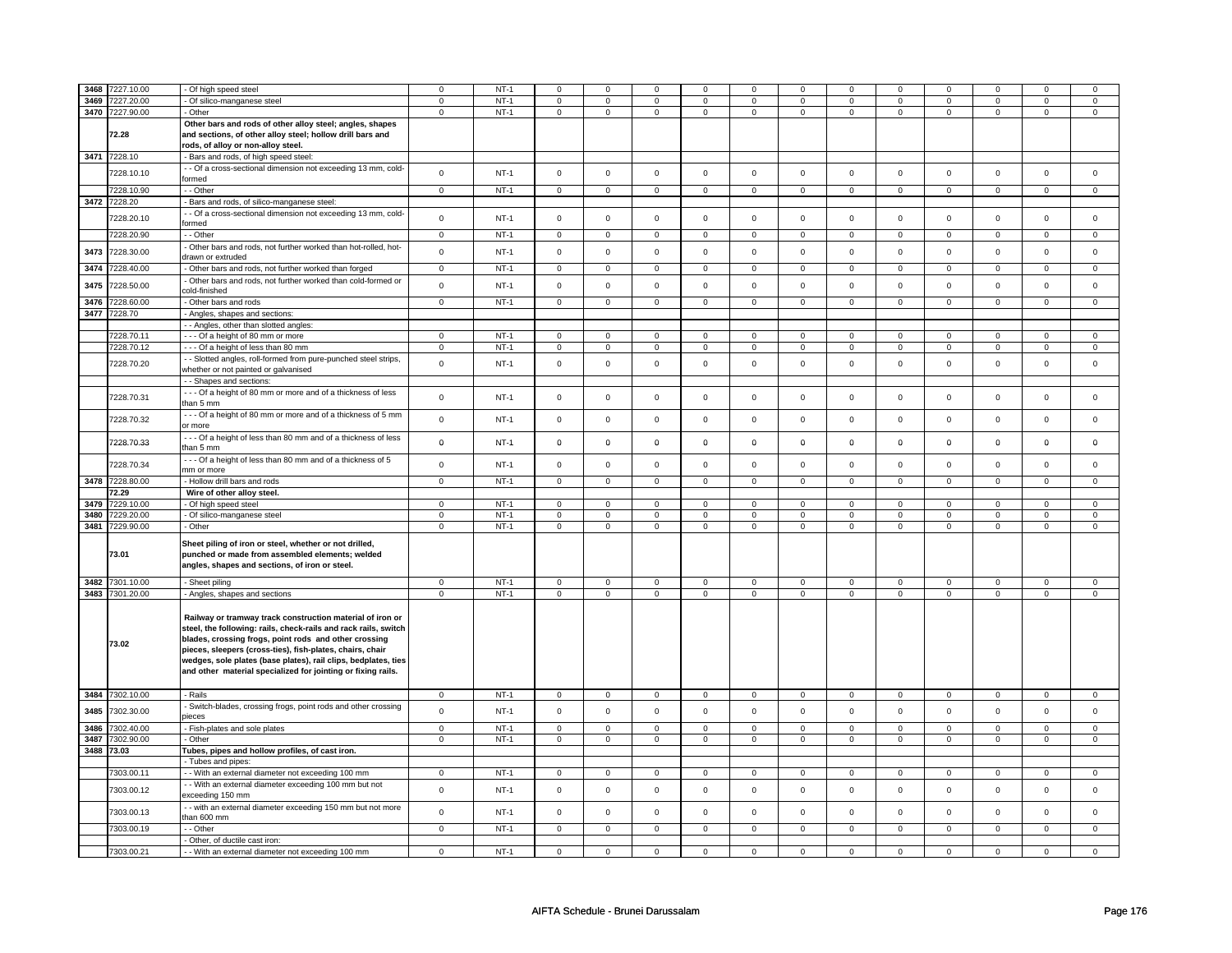| 3468 | 7227.10.00      | - Of high speed steel                                                                                                                                                                                                                                                                                                                                                                | $\mathbf 0$    | $NT-1$      | $\Omega$       | $\Omega$       | $\Omega$       | $\Omega$       | $\Omega$            | $\Omega$       | $\Omega$       | $\Omega$       | $\Omega$       | $\Omega$       | n              | $\Omega$       |
|------|-----------------|--------------------------------------------------------------------------------------------------------------------------------------------------------------------------------------------------------------------------------------------------------------------------------------------------------------------------------------------------------------------------------------|----------------|-------------|----------------|----------------|----------------|----------------|---------------------|----------------|----------------|----------------|----------------|----------------|----------------|----------------|
| 3469 | 7227.20.00      | - Of silico-manganese steel                                                                                                                                                                                                                                                                                                                                                          | $\mathbf{0}$   | $NT-1$      | $\mathbf 0$    | $\mathbf 0$    | $\mathbf 0$    | $\mathbf 0$    | $\mathbf 0$         | $\mathbf 0$    | $\mathbf 0$    | $\mathbf{0}$   | $\mathbf 0$    | $\mathbf 0$    | 0              | $\overline{0}$ |
|      | 3470 7227.90.00 | - Other                                                                                                                                                                                                                                                                                                                                                                              | $\mathbf 0$    | $NT-1$      | $\mathbf 0$    | $\mathbf 0$    | $\mathbf 0$    | $\mathbf 0$    | $\mathbf 0$         | $\mathbf 0$    | $\mathbf 0$    | $\mathbf 0$    | 0              | $\mathbf 0$    | 0              | 0              |
|      | 72.28           | Other bars and rods of other alloy steel; angles, shapes<br>and sections, of other alloy steel; hollow drill bars and<br>rods, of alloy or non-alloy steel.                                                                                                                                                                                                                          |                |             |                |                |                |                |                     |                |                |                |                |                |                |                |
|      | 3471 7228.10    | Bars and rods, of high speed steel:                                                                                                                                                                                                                                                                                                                                                  |                |             |                |                |                |                |                     |                |                |                |                |                |                |                |
|      | 7228.10.10      | - - Of a cross-sectional dimension not exceeding 13 mm, cold-<br>formed                                                                                                                                                                                                                                                                                                              | $\mathbf 0$    | $NT-1$      | $\mathbf 0$    | $\mathsf 0$    | $\mathsf 0$    | $\mathbf 0$    | $\mathsf 0$         | $\mathbf 0$    | 0              | $\mathbf 0$    | $\mathsf 0$    | $\mathbf 0$    | $\mathsf 0$    | $\mathbf 0$    |
|      | 7228.10.90      | - - Other                                                                                                                                                                                                                                                                                                                                                                            | $\mathbf 0$    | $NT-1$      | $\mathbf 0$    | $\mathsf 0$    | $\mathbf 0$    | $\mathbf 0$    | $\mathbf 0$         | $\mathbf 0$    | $\mathbf 0$    | $\mathbf 0$    | $\mathbf 0$    | $\mathbf 0$    | $\mathbf 0$    | $\mathbf{0}$   |
|      |                 |                                                                                                                                                                                                                                                                                                                                                                                      |                |             |                |                |                |                |                     |                |                |                |                |                |                |                |
| 3472 | 7228.20         | - Bars and rods, of silico-manganese steel:                                                                                                                                                                                                                                                                                                                                          |                |             |                |                |                |                |                     |                |                |                |                |                |                |                |
|      | 7228.20.10      | - - Of a cross-sectional dimension not exceeding 13 mm, cold-<br>formed                                                                                                                                                                                                                                                                                                              | $\mathsf 0$    | <b>NT-1</b> | $\mathsf 0$    | $\mathsf 0$    | $\mathsf 0$    | $\mathbf 0$    | $\mathbf 0$         | $\mathbf 0$    | 0              | $\mathbf 0$    | 0              | $\mathbf 0$    | 0              | 0              |
|      | 7228.20.90      | - - Other                                                                                                                                                                                                                                                                                                                                                                            | $\mathbf 0$    | $NT-1$      | $\mathbf 0$    | $\mathbf 0$    | $\mathbf 0$    | $\mathbf 0$    | $\mathbf 0$         | $\mathbf 0$    | $\mathbf 0$    | $\mathbf 0$    | $\mathbf 0$    | $\overline{0}$ | 0              | $\overline{0}$ |
| 3473 | 7228.30.00      | - Other bars and rods, not further worked than hot-rolled, hot-<br>drawn or extruded                                                                                                                                                                                                                                                                                                 | $\mathbf 0$    | $NT-1$      | $\mathsf 0$    | $\mathsf 0$    | $\mathsf 0$    | $\mathsf{o}\,$ | $\mathsf{O}\xspace$ | $\mathsf 0$    | $\mathsf 0$    | $\mathbf 0$    | $\mathsf 0$    | $\mathbf 0$    | $\mathbf 0$    | $\mathsf 0$    |
| 3474 | 7228.40.00      | - Other bars and rods, not further worked than forged                                                                                                                                                                                                                                                                                                                                | $\mathbf 0$    | $NT-1$      | $\overline{0}$ | $\overline{0}$ | $\mathbf 0$    | $\mathbf 0$    | $\mathbf 0$         | $\mathbf 0$    | 0              | 0              | 0              | 0              | 0              | 0              |
| 3475 | 7228.50.00      | Other bars and rods, not further worked than cold-formed or                                                                                                                                                                                                                                                                                                                          | $\mathbf 0$    | $NT-1$      | $\mathbf 0$    | $\mathbf 0$    | $\mathsf 0$    | $\mathsf{o}\,$ | $\mathsf{O}\xspace$ | $\mathsf 0$    | $\mathsf 0$    | $\mathsf 0$    | $\mathsf 0$    | $\mathsf 0$    | $\mathsf 0$    | $\mathsf 0$    |
|      |                 | cold-finished                                                                                                                                                                                                                                                                                                                                                                        |                |             |                |                |                |                |                     |                |                |                |                |                |                |                |
| 3476 | 228.60.00       | Other bars and rods                                                                                                                                                                                                                                                                                                                                                                  | $\mathsf 0$    | $NT-1$      | $\mathsf 0$    | $\mathsf 0$    | $\mathsf 0$    | $\mathsf 0$    | $\mathsf{O}\xspace$ | $\mathsf 0$    | $\mathsf 0$    | $\mathsf 0$    | $\mathsf 0$    | $\mathbf 0$    | $\mathsf 0$    | $\mathbf 0$    |
| 3477 | 7228.70         | - Angles, shapes and sections:                                                                                                                                                                                                                                                                                                                                                       |                |             |                |                |                |                |                     |                |                |                |                |                |                |                |
|      |                 | - - Angles, other than slotted angles:                                                                                                                                                                                                                                                                                                                                               |                |             |                |                |                |                |                     |                |                |                |                |                |                |                |
|      | 7228.70.1       | --- Of a height of 80 mm or more                                                                                                                                                                                                                                                                                                                                                     | $\mathsf 0$    | $NT-1$      | $\mathbf 0$    | $\mathsf 0$    | $\mathbf 0$    | $\mathbf 0$    | $\mathbf 0$         | $\mathbf 0$    | $\mathbf 0$    | $\mathbf 0$    | $\mathbf 0$    | $\mathbf 0$    | 0              | 0              |
|      | 7228.70.12      | --- Of a height of less than 80 mm                                                                                                                                                                                                                                                                                                                                                   | $\Omega$       | $NT-1$      | $\Omega$       | $\mathsf 0$    | $\mathsf 0$    | $\mathbf 0$    | $\mathsf 0$         | $\mathbf 0$    | $\mathbf 0$    | $\mathsf 0$    | $\mathsf 0$    | $\mathbf 0$    | $\mathsf 0$    | 0              |
|      |                 |                                                                                                                                                                                                                                                                                                                                                                                      |                |             |                |                |                |                |                     |                |                |                |                |                |                |                |
|      | 7228.70.20      | - Slotted angles, roll-formed from pure-punched steel strips,                                                                                                                                                                                                                                                                                                                        | $\mathbf 0$    | $NT-1$      | $\mathsf 0$    | $\mathbf 0$    | $\Omega$       | $\mathsf 0$    | $\mathsf 0$         | $\mathsf 0$    | $\mathbf 0$    | $\mathbf 0$    | $\mathsf 0$    | $\mathsf{O}$   | $\mathsf 0$    | $\mathsf 0$    |
|      |                 | whether or not painted or galvanised                                                                                                                                                                                                                                                                                                                                                 |                |             |                |                |                |                |                     |                |                |                |                |                |                |                |
|      |                 | - Shapes and sections:                                                                                                                                                                                                                                                                                                                                                               |                |             |                |                |                |                |                     |                |                |                |                |                |                |                |
|      | 7228.70.31      | --- Of a height of 80 mm or more and of a thickness of less<br>than 5 mm                                                                                                                                                                                                                                                                                                             | $\mathbf 0$    | $NT-1$      | $\mathsf 0$    | $\mathbf 0$    | $\mathsf 0$    | $\mathsf 0$    | $\mathsf 0$         | $\mathsf 0$    | $\mathbf 0$    | $\mathbf 0$    | $\mathsf 0$    | $\mathsf 0$    | $\mathsf 0$    | $\mathsf 0$    |
|      | 7228.70.32      | --- Of a height of 80 mm or more and of a thickness of 5 mm<br>or more                                                                                                                                                                                                                                                                                                               | $\mathbf 0$    | $NT-1$      | $\mathbf 0$    | $\mathbf 0$    | $\mathbf 0$    | $\mathsf 0$    | $\mathbf 0$         | $\mathbf 0$    | $\mathbf 0$    | $\mathbf{0}$   | $\mathbf 0$    | $\mathbf{0}$   | $\mathbf 0$    | $\mathbf 0$    |
|      | 7228.70.33      | --- Of a height of less than 80 mm and of a thickness of less<br>than 5 mm                                                                                                                                                                                                                                                                                                           | $\mathbf 0$    | $NT-1$      | $\mathbf 0$    | $\Omega$       | $\Omega$       | $\mathbf 0$    | $\mathbf 0$         | $\mathbf 0$    | $\mathbf 0$    | $\mathbf 0$    | 0              | 0              | 0              | 0              |
|      | 7228.70.34      | --- Of a height of less than 80 mm and of a thickness of 5<br>mm or more                                                                                                                                                                                                                                                                                                             | $\mathbf 0$    | $NT-1$      | $\mathsf 0$    | $\mathbf 0$    | $\mathsf 0$    | $\mathsf 0$    | $\mathsf 0$         | $\mathsf 0$    | $\mathbf 0$    | $\mathsf 0$    | $\mathsf 0$    | $\mathbf{0}$   | $\mathbf 0$    | $\mathsf 0$    |
| 3478 | 7228.80.00      | - Hollow drill bars and rods                                                                                                                                                                                                                                                                                                                                                         | $\mathbf 0$    | $NT-1$      | $\mathbf 0$    | $\mathbf{0}$   | $\mathbf 0$    | $\mathbf 0$    | $\mathbf{0}$        | $\mathbf 0$    | $\mathbf{O}$   | $\mathbf{0}$   | $\mathbf{0}$   | $\mathbf 0$    | $\mathbf 0$    | $\mathbf{0}$   |
|      |                 |                                                                                                                                                                                                                                                                                                                                                                                      |                |             |                |                |                |                |                     |                |                |                |                |                |                |                |
|      | 72.29           | Wire of other alloy steel.                                                                                                                                                                                                                                                                                                                                                           |                |             |                |                |                |                |                     |                |                |                |                |                |                |                |
| 3479 | 7229.10.00      | - Of high speed steel                                                                                                                                                                                                                                                                                                                                                                | $\mathsf 0$    | $NT-1$      | $\mathbf 0$    | $\overline{0}$ | $\overline{0}$ | $\overline{0}$ | $\mathbf 0$         | $\overline{0}$ | $\mathbf 0$    | $\mathbf 0$    | $\mathbf 0$    | $\overline{0}$ | $\mathbf 0$    | $\overline{0}$ |
|      | 3480 7229.20.00 | - Of silico-manganese steel                                                                                                                                                                                                                                                                                                                                                          | $\mathbf 0$    | $NT-1$      | $\mathbf 0$    | $\mathsf 0$    | $\mathbf 0$    | $\mathbf 0$    | $\mathbf 0$         | $\mathbf 0$    | 0              | $\mathbf 0$    | 0              | $\mathbf 0$    | 0              | $\mathbf 0$    |
|      | 3481 7229.90.00 | - Other                                                                                                                                                                                                                                                                                                                                                                              | $\mathbf 0$    | $NT-1$      | $\mathbf 0$    | $\mathbf 0$    | $\mathbf 0$    | $\mathbf 0$    | $\mathsf 0$         | $\mathbf 0$    | $\mathbf 0$    | $\mathbf 0$    | $\mathsf 0$    | $\mathbf 0$    | $\mathbf 0$    | $\mathbf{0}$   |
|      | 73.01           | Sheet piling of iron or steel, whether or not drilled,<br>punched or made from assembled elements; welded<br>angles, shapes and sections, of iron or steel.                                                                                                                                                                                                                          |                |             |                |                |                |                |                     |                |                |                |                |                |                |                |
|      | 3482 7301.10.00 | - Sheet piling                                                                                                                                                                                                                                                                                                                                                                       | $\mathsf 0$    | $NT-1$      | $\mathsf 0$    | $\mathsf 0$    | $\mathbf 0$    | $\mathbf 0$    | $\mathbf 0$         | $\mathbf 0$    | $\mathbf 0$    | $\mathbf 0$    | $\mathbf 0$    | $\mathbf 0$    | $\mathsf 0$    | $\mathbf 0$    |
|      | 3483 7301.20.00 | Angles, shapes and sections                                                                                                                                                                                                                                                                                                                                                          | $\mathsf 0$    | $NT-1$      | $\mathbf 0$    | $\mathsf 0$    | $\mathsf 0$    | $\mathbf 0$    | $\mathsf 0$         | $\mathbf 0$    | 0              | $\mathsf 0$    | $\mathsf 0$    | $\mathbf 0$    | $\mathsf 0$    | 0              |
|      | 73.02           | Railway or tramway track construction material of iron or<br>steel, the following: rails, check-rails and rack rails, switch<br>blades, crossing frogs, point rods and other crossing<br>pieces, sleepers (cross-ties), fish-plates, chairs, chair<br>wedges, sole plates (base plates), rail clips, bedplates, ties<br>and other material specialized for jointing or fixing rails. |                |             |                |                |                |                |                     |                |                |                |                |                |                |                |
|      | 3484 7302.10.00 | - Rails                                                                                                                                                                                                                                                                                                                                                                              | $\mathbf 0$    | $NT-1$      | $\mathbf 0$    | $\mathsf 0$    | $\mathbf 0$    | $\mathbf 0$    | $\mathbf 0$         | $\mathbf 0$    | $\mathbf{0}$   | $\mathbf{0}$   | $\mathbf 0$    | $\mathbf 0$    | 0              | $\overline{0}$ |
| 3485 | 7302.30.00      | - Switch-blades, crossing frogs, point rods and other crossing<br>vieces                                                                                                                                                                                                                                                                                                             | $\mathsf 0$    | $NT-1$      | $\mathbf 0$    | $\mathsf 0$    | $\mathbf 0$    | $\mathbf 0$    | $\mathsf 0$         | $\mathbf 0$    | $\mathbf 0$    | $\mathbf 0$    | $\mathsf 0$    | $\mathbf 0$    | $\mathsf 0$    | $\mathbf{0}$   |
| 3486 | 7302.40.00      | - Fish-plates and sole plates                                                                                                                                                                                                                                                                                                                                                        | $\mathsf 0$    | $NT-1$      | $\mathbf 0$    | $\overline{0}$ | $\mathbf 0$    | $\mathbf 0$    | $\mathbf 0$         | $\mathbf 0$    | $\mathbf 0$    | $\mathbf 0$    | $\mathbf 0$    | $\mathbf 0$    | $\mathbf 0$    | $\mathbf 0$    |
|      |                 |                                                                                                                                                                                                                                                                                                                                                                                      |                |             |                |                |                |                |                     |                |                |                |                |                |                |                |
| 3487 | 7302.90.00      | - Other                                                                                                                                                                                                                                                                                                                                                                              | $\mathbf 0$    | NT-1        | 0              | 0              | 0              | $\mathbf 0$    | 0                   | $\mathbf 0$    | 0              | 0              | 0              | 0              | 0              | 0              |
|      | 3488 73.03      | Tubes, pipes and hollow profiles, of cast iron.                                                                                                                                                                                                                                                                                                                                      |                |             |                |                |                |                |                     |                |                |                |                |                |                |                |
|      |                 | - Tubes and pipes:                                                                                                                                                                                                                                                                                                                                                                   |                |             |                |                |                |                |                     |                |                |                |                |                |                |                |
|      | 7303.00.11      | - - With an external diameter not exceeding 100 mm                                                                                                                                                                                                                                                                                                                                   | $\mathbf 0$    | $NT-1$      | $\mathbf 0$    | $\mathbf{0}$   | $\mathbf 0$    | $\mathbf{0}$   | $\mathbf 0$         | $\overline{0}$ | $\mathbf{0}$   | $\mathbf{0}$   | $\mathbf 0$    | $\mathbf 0$    | 0              | $\overline{0}$ |
|      | 7303.00.12      | - With an external diameter exceeding 100 mm but not<br>exceeding 150 mm                                                                                                                                                                                                                                                                                                             | $\mathsf 0$    | $NT-1$      | $\mathbf 0$    | $\mathsf 0$    | $\mathsf 0$    | $\mathsf 0$    | $\mathsf 0$         | $\mathsf 0$    | $\mathbf 0$    | $\mathbf 0$    | $\mathsf 0$    | $\mathbf 0$    | $\mathbf 0$    | $\mathbf 0$    |
|      | 7303.00.13      | - - with an external diameter exceeding 150 mm but not more<br>than 600 mm                                                                                                                                                                                                                                                                                                           | $\mathsf 0$    | <b>NT-1</b> | $\mathsf 0$    | $\mathbf 0$    | $\mathbf 0$    | $\mathbf 0$    | $\mathbf 0$         | $\mathbf 0$    | 0              | 0              | 0              | $\mathbf 0$    | 0              | 0              |
|      | 7303.00.19      | - - Other                                                                                                                                                                                                                                                                                                                                                                            | $\overline{0}$ | $NT-1$      | $\overline{0}$ | $\overline{0}$ | $\overline{0}$ | $\overline{0}$ | $\overline{0}$      | $\overline{0}$ | $\overline{0}$ | $\overline{0}$ | $\overline{0}$ | $\overline{0}$ | $\overline{0}$ | $\overline{0}$ |
|      |                 | - Other, of ductile cast iron:                                                                                                                                                                                                                                                                                                                                                       |                |             |                |                |                |                |                     |                |                |                |                |                |                |                |
|      | 7303.00.21      | - - With an external diameter not exceeding 100 mm                                                                                                                                                                                                                                                                                                                                   | $\mathsf 0$    | $NT-1$      | $\mathbf 0$    | $\mathsf 0$    | $\mathbf 0$    | $\mathbf 0$    | $\mathsf 0$         | $\mathbf 0$    | $\mathbf 0$    | $\mathbf 0$    | $\mathsf 0$    | $\mathbf 0$    | 0              | 0              |
|      |                 |                                                                                                                                                                                                                                                                                                                                                                                      |                |             |                |                |                |                |                     |                |                |                |                |                |                |                |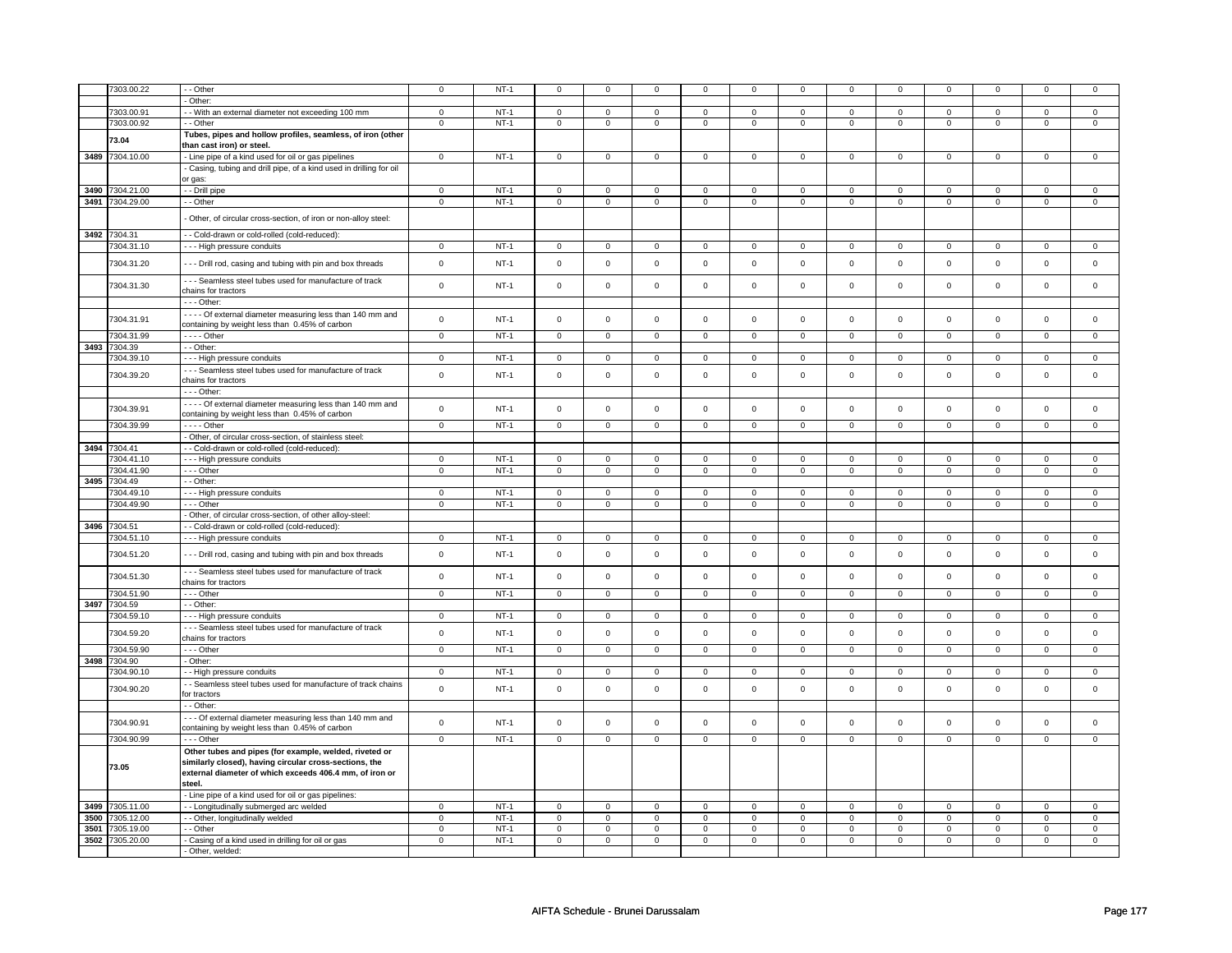|      | 7303.00.22      | - - Other                                                                                                                                                                             | $\mathbf 0$    | $NT-1$ | $^{\circ}$          | 0              | 0              | 0                           |                |                             |                | 0                           | $\mathbf 0$                   |                             |                | 0              |
|------|-----------------|---------------------------------------------------------------------------------------------------------------------------------------------------------------------------------------|----------------|--------|---------------------|----------------|----------------|-----------------------------|----------------|-----------------------------|----------------|-----------------------------|-------------------------------|-----------------------------|----------------|----------------|
|      |                 |                                                                                                                                                                                       |                |        |                     |                |                |                             |                |                             |                |                             |                               |                             |                |                |
|      |                 | Other:                                                                                                                                                                                |                |        |                     |                |                |                             |                |                             |                |                             |                               |                             |                |                |
|      | 7303.00.91      | - With an external diameter not exceeding 100 mm                                                                                                                                      | $\mathsf 0$    | $NT-1$ | $\overline{0}$      | $\overline{0}$ | $\mathbf 0$    | $\overline{0}$              | $\mathbf 0$    | $\overline{0}$              | $\mathbf 0$    | $\overline{0}$              | $\overline{0}$                | $\overline{0}$              | $\Omega$       | $\mathsf 0$    |
|      | 7303.00.92      | - Other                                                                                                                                                                               | $\mathbf 0$    | $NT-1$ | 0                   | $\mathbf 0$    | 0              | $\mathbf 0$                 | $\mathbf 0$    | $\mathbf 0$                 | $\overline{0}$ | $\mathbf 0$                 | $\mathbf{0}$                  | $\mathbf 0$                 | $\mathbf 0$    | $\mathbf{0}$   |
|      | 73.04           | Tubes, pipes and hollow profiles, seamless, of iron (other                                                                                                                            |                |        |                     |                |                |                             |                |                             |                |                             |                               |                             |                |                |
|      | 3489 7304.10.00 | than cast iron) or steel.<br>- Line pipe of a kind used for oil or gas pipelines                                                                                                      | $\overline{0}$ | $NT-1$ | $\mathsf 0$         | $\mathbf 0$    | $\mathsf 0$    | $\mathsf 0$                 | 0              | $\mathbf 0$                 | $\mathsf 0$    | $\overline{0}$              | $\overline{0}$                | $\mathbf{0}$                | $\mathbf{0}$   | $\overline{0}$ |
|      |                 | Casing, tubing and drill pipe, of a kind used in drilling for oil                                                                                                                     |                |        |                     |                |                |                             |                |                             |                |                             |                               |                             |                |                |
|      |                 | or gas:                                                                                                                                                                               |                |        |                     |                |                |                             |                |                             |                |                             |                               |                             |                |                |
|      | 3490 7304.21.00 | - - Drill pipe                                                                                                                                                                        | $\mathbf 0$    | $NT-1$ | $\mathbf 0$         | $\overline{0}$ | $\mathbf{0}$   | $\mathbf{0}$                | $\Omega$       | $\mathbf 0$                 | $\Omega$       | $\mathbf 0$                 | $\mathbf{0}$                  | $\mathbf 0$                 | $\Omega$       | $\overline{0}$ |
|      | 3491 7304.29.00 | - - Other                                                                                                                                                                             | $\mathsf 0$    | $NT-1$ | $\mathbf 0$         | $\mathbf 0$    | $\mathbf 0$    | $\mathbf 0$                 | $\mathbf 0$    | $\mathbf{0}$                | $\mathbf 0$    | $\mathbf 0$                 | $\mathsf 0$                   | $\mathbf 0$                 | $\mathbf 0$    | $\mathbf{0}$   |
|      |                 | Other, of circular cross-section, of iron or non-alloy steel:                                                                                                                         |                |        |                     |                |                |                             |                |                             |                |                             |                               |                             |                |                |
| 3492 | 7304.31         | - - Cold-drawn or cold-rolled (cold-reduced):                                                                                                                                         |                |        |                     |                |                |                             |                |                             |                |                             |                               |                             |                |                |
|      | 7304.31.10      | - - - High pressure conduits                                                                                                                                                          | $\mathsf 0$    | $NT-1$ | $\mathsf 0$         | $\mathbf 0$    | $\mathbf 0$    | $\mathbf 0$                 | $\mathbf 0$    | $\mathbf 0$                 | $\mathbf{0}$   | $\circ$                     | $\mathbf{0}$                  | $\mathbf 0$                 | $\mathbf 0$    | $\mathbf 0$    |
|      | 7304.31.20      | --- Drill rod, casing and tubing with pin and box threads                                                                                                                             | $\mathsf 0$    | $NT-1$ | $\mathsf 0$         | $\mathsf{o}\,$ | $\mathbf 0$    | $\mathbf 0$                 | $\mathbf 0$    | $\mathsf{o}\,$              | $\mathbf 0$    | $\mathsf 0$                 | $\mathsf 0$                   | $\mathsf{o}\,$              | $\mathsf 0$    | $\mathbf 0$    |
|      |                 | - - - Seamless steel tubes used for manufacture of track                                                                                                                              |                |        |                     |                |                |                             |                |                             |                |                             |                               |                             |                |                |
|      | 7304.31.30      | chains for tractors                                                                                                                                                                   | $\mathsf 0$    | $NT-1$ | $\mathsf 0$         | $\mathsf 0$    | $\mathsf 0$    | $\mathbf 0$                 | $\mathsf 0$    | $\mathsf 0$                 | $\mathbf 0$    | $\mathbf 0$                 | $\mathsf 0$                   | $\mathsf 0$                 | $\mathsf 0$    | $\mathsf 0$    |
|      |                 | $--$ Other:                                                                                                                                                                           |                |        |                     |                |                |                             |                |                             |                |                             |                               |                             |                |                |
|      | 7304.31.91      | - - - - Of external diameter measuring less than 140 mm and                                                                                                                           | $\mathsf 0$    | $NT-1$ | $\mathsf 0$         | $\mathsf 0$    | $\mathbf 0$    | $\mathbf 0$                 | $\mathbf 0$    | $\mathbf 0$                 | $\mathsf 0$    | $\mathsf 0$                 | $\mathsf 0$                   | $\Omega$                    | $\Omega$       | $\mathbf 0$    |
|      | 7304.31.99      | containing by weight less than 0.45% of carbon<br>$---$ Other                                                                                                                         | $\mathsf 0$    | $NT-1$ | 0                   | $\mathbf 0$    | $\mathbf 0$    | $\mathbf 0$                 | $\mathbf 0$    | $\mathbf 0$                 | $\circ$        | $\overline{0}$              | $\mathbf 0$                   | $\mathbf 0$                 | $\overline{0}$ | $\overline{0}$ |
|      | 3493 7304.39    | - - Other:                                                                                                                                                                            |                |        |                     |                |                |                             |                |                             |                |                             |                               |                             |                |                |
|      | 304.39.10       | - - - High pressure conduits                                                                                                                                                          | $\mathbf 0$    | $NT-1$ | $\mathbf 0$         | $\mathbf 0$    | $\Omega$       | $\mathbf{0}$                | $\Omega$       | $\mathbf{0}$                | $\Omega$       | $\mathbf{0}$                | $\Omega$                      | $\mathbf{0}$                | $\Omega$       | $\mathbf{0}$   |
|      | 7304.39.20      | --- Seamless steel tubes used for manufacture of track                                                                                                                                | $\mathbf 0$    | $NT-1$ | $\mathsf{O}\xspace$ | $\mathsf 0$    | $\mathsf 0$    | $\mathbf 0$                 | $\mathbf 0$    | $\mathsf 0$                 | $\mathsf 0$    | $\mathbf 0$                 | $\mathsf 0$                   | $\mathsf 0$                 | $\mathsf 0$    | $\mathsf 0$    |
|      |                 | chains for tractors<br>--- Other:                                                                                                                                                     |                |        |                     |                |                |                             |                |                             |                |                             |                               |                             |                |                |
|      |                 | - - - - Of external diameter measuring less than 140 mm and                                                                                                                           |                |        |                     |                |                |                             |                |                             |                |                             |                               |                             |                |                |
|      | 7304.39.91      | containing by weight less than 0.45% of carbon                                                                                                                                        | $\mathsf 0$    | $NT-1$ | $\mathsf{O}\xspace$ | $\mathsf 0$    | $\mathbf 0$    | $\mathbf 0$                 | $\mathbf 0$    | $\mathbf 0$                 | $\mathbf 0$    | $\mathbf 0$                 | $\mathsf 0$                   | $\mathsf 0$                 | $\mathsf 0$    | $\mathsf 0$    |
|      | 7304.39.99      | $---$ Other                                                                                                                                                                           | $\mathbf 0$    | $NT-1$ | $\mathbf 0$         | $\mathbf 0$    | $\mathbf 0$    | $\mathbf{0}$                | $\mathbf 0$    | $\mathbf{0}$                | $\mathbf 0$    | $\mathbf{0}$                | $\mathbf{0}$                  | $\mathbf 0$                 | $\mathbf 0$    | $\mathbf{0}$   |
|      |                 | - Other, of circular cross-section, of stainless steel:                                                                                                                               |                |        |                     |                |                |                             |                |                             |                |                             |                               |                             |                |                |
|      | 3494 7304.41    | - - Cold-drawn or cold-rolled (cold-reduced):                                                                                                                                         |                |        |                     |                |                |                             |                |                             |                |                             |                               |                             |                |                |
|      | 7304.41.10      | - - - High pressure conduits                                                                                                                                                          | $\mathsf 0$    | $NT-1$ | $\mathbf 0$         | $\mathbf 0$    | 0              | 0                           | 0              | 0                           | $\mathbf 0$    | $\mathbf 0$                 | $\mathbf 0$                   | $\mathbf 0$                 | $\mathbf 0$    | $\mathbf 0$    |
|      | 7304.41.90      | $\cdots$ Other                                                                                                                                                                        | $\overline{0}$ | $NT-1$ | $\overline{0}$      | $\overline{0}$ | $\overline{0}$ | $\mathbf 0$                 | $\mathbf 0$    | $\overline{0}$              | $\mathbf{0}$   | $\overline{0}$              | $\mathbf{0}$                  | $\overline{0}$              | $\mathbf 0$    | $\mathbf{0}$   |
| 3495 | 7304.49         | - - Other:                                                                                                                                                                            |                |        |                     |                |                |                             |                |                             |                |                             |                               |                             |                |                |
|      | 7304.49.10      | --- High pressure conduits                                                                                                                                                            | $\mathsf 0$    | $NT-1$ | $\mathsf 0$         | $\mathbf 0$    | $\mathbf 0$    | $\mathbf 0$                 | $\mathbf 0$    | 0                           | $\mathbf 0$    | $\mathbf 0$                 | $\mathsf 0$                   | $\mathbf 0$                 | $\mathbf 0$    | $\mathsf 0$    |
|      | 7304.49.90      | $- -$ Other                                                                                                                                                                           | $\overline{0}$ | $NT-1$ | $\overline{0}$      | $\overline{0}$ | $\overline{0}$ | $\overline{0}$              | $\overline{0}$ | $\overline{0}$              | $\overline{0}$ | $\overline{0}$              | $\overline{0}$                | $\overline{0}$              | $\overline{0}$ | $\overline{0}$ |
|      |                 | - Other, of circular cross-section, of other alloy-steel:                                                                                                                             |                |        |                     |                |                |                             |                |                             |                |                             |                               |                             |                |                |
|      | 3496 7304.51    | - Cold-drawn or cold-rolled (cold-reduced):                                                                                                                                           |                |        |                     |                |                |                             |                |                             |                |                             |                               |                             |                |                |
|      |                 |                                                                                                                                                                                       |                |        |                     |                |                |                             |                |                             |                |                             |                               |                             |                |                |
|      | 7304.51.10      | - - - High pressure conduits                                                                                                                                                          | $\mathbf 0$    | $NT-1$ | 0                   | $\mathsf 0$    | 0              | $\mathbf 0$<br>$\mathbf{0}$ | 0              | $\mathbf 0$<br>$\mathbf{0}$ | $\mathbf 0$    | $\mathbf 0$<br>$\mathbf{0}$ | $\overline{0}$<br>$\mathbf 0$ | $\mathbf 0$<br>$\mathbf{0}$ | $^{\circ}$     | $\mathbf 0$    |
|      | 7304.51.20      | - - - Drill rod, casing and tubing with pin and box threads                                                                                                                           | $\mathsf 0$    | $NT-1$ | $\mathbf 0$         | $\mathsf 0$    | $\mathbf 0$    |                             | $\mathbf 0$    |                             | $\mathbf 0$    |                             |                               |                             | $\mathbf 0$    | $\mathsf 0$    |
|      | 7304.51.30      | - - - Seamless steel tubes used for manufacture of track<br>chains for tractors                                                                                                       | $\mathsf 0$    | $NT-1$ | $\mathsf{O}\xspace$ | $\mathsf 0$    | $\mathbf 0$    | $\mathbf{0}$                | $\mathbf 0$    | $\mathsf 0$                 | $\mathbf 0$    | $\mathsf 0$                 | $\mathsf 0$                   | $\mathsf 0$                 | $\mathbf 0$    | $\mathbf 0$    |
|      | 7304.51.90      | --- Other                                                                                                                                                                             | $\mathsf 0$    | $NT-1$ | $\mathsf 0$         | $\mathbf 0$    | $\mathbf 0$    | $\mathbf 0$                 | $\mathbf 0$    | $\mathbf{0}$                | $\mathbf 0$    | $\circ$                     | $\mathsf 0$                   | $\mathbf 0$                 | $\mathsf 0$    | $\mathbf 0$    |
| 3497 | 7304.59         | - - Other:                                                                                                                                                                            |                |        |                     |                |                |                             |                |                             |                |                             |                               |                             |                |                |
|      | 7304.59.10      | --- High pressure conduits                                                                                                                                                            | $\mathsf 0$    | $NT-1$ | $\mathbf 0$         | $\mathbf 0$    | $\mathbf{0}$   | $\mathbf{0}$                | $\mathbf{0}$   | $\mathbf 0$                 | $\mathbf{0}$   | $\overline{0}$              | $\mathbf 0$                   | $\overline{0}$              | $\overline{0}$ | $\mathbf{0}$   |
|      | 7304.59.20      | - - - Seamless steel tubes used for manufacture of track<br>chains for tractors                                                                                                       | $\mathsf 0$    | $NT-1$ | $\mathsf 0$         | $\mathbf 0$    | $\mathbf 0$    | $\mathbf 0$                 | $\mathbf 0$    | 0                           | $\mathbf 0$    | $\mathsf 0$                 | $\mathsf 0$                   | $\mathbf 0$                 | $\mathbf 0$    | $\mathsf 0$    |
|      | 7304.59.90      | --- Other                                                                                                                                                                             | $\overline{0}$ | $NT-1$ | $\overline{0}$      | $\overline{0}$ | $\overline{0}$ | $\overline{0}$              | $\overline{0}$ | $\overline{0}$              | $\overline{0}$ | $\overline{0}$              | $\overline{0}$                | $\overline{0}$              | $\overline{0}$ | $\overline{0}$ |
| 3498 | 7304.90         | - Other:                                                                                                                                                                              |                |        |                     |                |                |                             |                |                             |                |                             |                               |                             |                |                |
|      | 7304.90.10      | - High pressure conduits                                                                                                                                                              | $\mathbf 0$    | $NT-1$ | $\mathbf 0$         | $\mathbf 0$    | $\mathbf 0$    | $\mathbf 0$                 | $\mathbf 0$    | $\overline{0}$              | $\mathbf 0$    | $\mathbf 0$                 | $\mathbf 0$                   | $\mathbf 0$                 | $\mathbf 0$    | $\mathbf{0}$   |
|      | 7304.90.20      | - Seamless steel tubes used for manufacture of track chains                                                                                                                           | $\mathsf 0$    | $NT-1$ | $\mathsf{O}\xspace$ | $\mathsf 0$    | $\mathsf 0$    | $\mathbf 0$                 | $\mathsf 0$    | $\mathsf{o}\,$              | $\mathsf 0$    | $\mathbf 0$                 | $\mathsf 0$                   | $\mathsf{o}\,$              | $\mathsf 0$    | $\mathsf 0$    |
|      |                 | for tractors                                                                                                                                                                          |                |        |                     |                |                |                             |                |                             |                |                             |                               |                             |                |                |
|      |                 | - - Other:                                                                                                                                                                            |                |        |                     |                |                |                             |                |                             |                |                             |                               |                             |                |                |
|      | 7304.90.91      | - - - Of external diameter measuring less than 140 mm and<br>containing by weight less than 0.45% of carbon                                                                           | $\mathbf 0$    | $NT-1$ | $\mathsf 0$         | $\mathsf 0$    | $\mathsf 0$    | $\mathsf 0$                 | $\mathsf 0$    | $\mathsf 0$                 | $\mathsf 0$    | $\mathsf 0$                 | $\mathbf 0$                   | $\mathsf 0$                 | $\mathsf 0$    | $\mathsf 0$    |
|      | 7304.90.99      | --- Other                                                                                                                                                                             | $\mathbf 0$    | $NT-1$ | $\mathsf 0$         | $\mathbf 0$    | $\mathbf 0$    | $\mathbf 0$                 | $\mathbf 0$    | 0                           | $\mathbf{0}$   | $\circ$                     | $\mathbf{0}$                  | $\circ$                     | $\mathbf 0$    | $\mathbf{0}$   |
|      | 73.05           | Other tubes and pipes (for example, welded, riveted or<br>similarly closed), having circular cross-sections, the<br>external diameter of which exceeds 406.4 mm, of iron or<br>steel. |                |        |                     |                |                |                             |                |                             |                |                             |                               |                             |                |                |
|      |                 |                                                                                                                                                                                       |                |        |                     |                |                |                             |                |                             |                |                             |                               |                             |                |                |
|      |                 | - Line pipe of a kind used for oil or gas pipelines:                                                                                                                                  |                |        |                     |                |                |                             |                |                             |                |                             |                               |                             |                |                |
| 3499 | 7305.11.00      | - Longitudinally submerged arc welded                                                                                                                                                 | $\mathbf 0$    | $NT-1$ | $\mathsf 0$         | $\mathbf 0$    | 0              | $\mathbf 0$                 | 0              | 0                           | $\mathbf 0$    | $\mathbf 0$                 | $\mathsf 0$                   | $\mathbf 0$                 | $\mathbf 0$    | $\mathbf 0$    |
| 3500 | 7305.12.00      | - Other, longitudinally welded                                                                                                                                                        | $\mathbf 0$    | $NT-1$ | $\mathbf 0$         | $\mathbf 0$    | 0              | $\mathbf 0$                 | 0              | 0                           | 0              | $\mathsf 0$                 | 0                             | $\mathbf 0$                 | $\Omega$       | $\mathbf 0$    |
| 3501 | 7305.19.00      | - - Other                                                                                                                                                                             | $\mathbf 0$    | $NT-1$ | 0                   | $\mathbf 0$    | 0              | $\mathbf 0$                 | $\mathbf 0$    | $\overline{0}$              | $\mathbf 0$    | $\mathbf{0}$                | $\mathbf 0$                   | $\mathbf 0$                 | $\mathbf 0$    | $\mathbf{0}$   |
|      | 3502 7305.20.00 | - Casing of a kind used in drilling for oil or gas                                                                                                                                    | 0              | $NT-1$ | $\mathbf 0$         | $\mathbf 0$    | $\mathbf 0$    | $\mathbf 0$                 | 0              | 0                           | $\mathbf 0$    | $\mathbf{0}$                | $\mathbf{0}$                  | $\mathbf{0}$                | $\mathbf 0$    | $\mathbf{0}$   |
|      |                 | - Other, welded:                                                                                                                                                                      |                |        |                     |                |                |                             |                |                             |                |                             |                               |                             |                |                |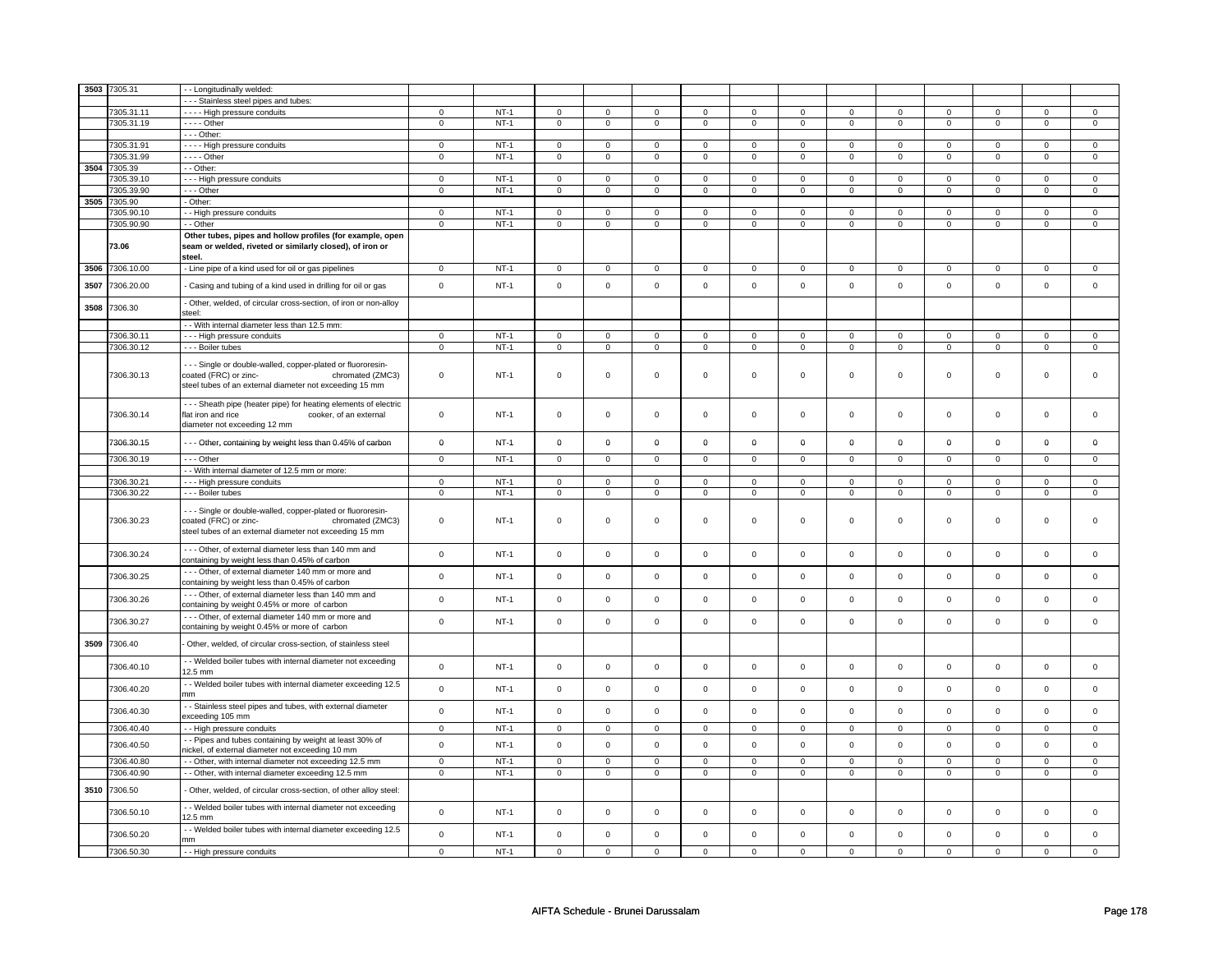|      | 3503 7305.31    | - Longitudinally welded:                                                                                                                                           |                     |        |                     |                     |                |                |                     |                |                |                |                     |                |                |                |
|------|-----------------|--------------------------------------------------------------------------------------------------------------------------------------------------------------------|---------------------|--------|---------------------|---------------------|----------------|----------------|---------------------|----------------|----------------|----------------|---------------------|----------------|----------------|----------------|
|      |                 |                                                                                                                                                                    |                     |        |                     |                     |                |                |                     |                |                |                |                     |                |                |                |
|      |                 | - - - Stainless steel pipes and tubes:                                                                                                                             |                     | $NT-1$ |                     |                     |                |                |                     |                |                |                |                     |                |                |                |
|      | 7305.31.11      | - - - - High pressure conduits                                                                                                                                     | $\mathbf 0$         |        | $\overline{0}$      | $\overline{0}$      | $\mathbf 0$    | $\overline{0}$ | $\mathbf 0$         | $\overline{0}$ | $\mathbf 0$    | $\overline{0}$ | $\mathbf 0$         | $\mathbf 0$    | 0              | $\overline{0}$ |
|      | 7305.31.19      | $--$ Other                                                                                                                                                         | $\mathbf 0$         | $NT-1$ | $\mathbf 0$         | $\mathbf 0$         | $\mathbf 0$    | $\mathbf 0$    | $\mathbf 0$         | $\mathbf 0$    | $\mathbf 0$    | $\mathbf 0$    | $\mathbf 0$         | $\mathbf 0$    | $\mathbf 0$    | $\mathbf 0$    |
|      |                 | $--$ Other:                                                                                                                                                        |                     |        |                     |                     |                |                |                     |                |                |                |                     |                |                |                |
|      | 7305.31.91      | - - - - High pressure conduits                                                                                                                                     | $\mathsf 0$         | $NT-1$ | $\mathsf 0$         | $\mathsf 0$         | $\mathbf 0$    | $\mathsf{O}$   | $\mathsf 0$         | $\mathsf{O}$   | $\mathbf{0}$   | $\mathsf{O}$   | $\mathbf 0$         | $\mathsf 0$    | $\Omega$       | $\mathsf 0$    |
|      | 7305.31.99      | - - - - Other                                                                                                                                                      | $\mathbf 0$         | $NT-1$ | $\mathsf 0$         | $\mathbf 0$         | $\mathbf 0$    | $\mathbf 0$    | $\mathbf 0$         | $\mathbf 0$    | $\mathbf 0$    | $\mathbf 0$    | $\mathsf 0$         | $\mathbf 0$    | $\mathbf 0$    | $\mathbf 0$    |
| 3504 | 7305.39         | - Other:                                                                                                                                                           |                     |        |                     |                     |                |                |                     |                |                |                |                     |                |                |                |
|      | 7305.39.10      | - - - High pressure conduits                                                                                                                                       | $\overline{0}$      | $NT-1$ | $\mathbf 0$         | $\mathbf{0}$        | $\mathbf{O}$   | $\overline{0}$ | $\mathbf 0$         | $\mathbf{0}$   | $\mathbf{0}$   | $\overline{0}$ | $\mathbf{0}$        | $\overline{0}$ | $\mathbf 0$    | $\overline{0}$ |
|      | 7305.39.90      | --- Other                                                                                                                                                          | $\mathbf 0$         | $NT-1$ | $\mathbf{0}$        | $\mathbf 0$         | $\mathbf{0}$   | $\mathbf 0$    | $\mathbf 0$         | $\mathbf 0$    | $\mathbf 0$    | $\mathbf 0$    | $\mathbf 0$         | $\mathbf 0$    | $\mathbf 0$    | $\mathbf 0$    |
| 3505 | 7305.90         | - Other:                                                                                                                                                           |                     |        |                     |                     |                |                |                     |                |                |                |                     |                |                |                |
|      | 7305.90.10      | - - High pressure conduits                                                                                                                                         | $\overline{0}$      | $NT-1$ | $\mathbf 0$         | $\overline{0}$      | $\mathbf{O}$   | $\overline{0}$ | $\mathbf{O}$        | $\overline{0}$ | $\mathbf{0}$   | $\overline{0}$ | $\mathbf{0}$        | $\overline{0}$ | $\mathbf 0$    | $\overline{0}$ |
|      |                 |                                                                                                                                                                    |                     |        |                     |                     |                |                |                     |                |                |                |                     |                |                |                |
|      | 7305.90.90      | - - Other                                                                                                                                                          | $\mathbf 0$         | $NT-1$ | $\mathbf 0$         | $\mathbf 0$         | 0              | $\mathbf 0$    | 0                   | $\mathbf 0$    | 0              | $\mathbf 0$    | 0                   | $\mathbf 0$    | 0              | $\mathbf 0$    |
|      | 73.06           | Other tubes, pipes and hollow profiles (for example, open<br>seam or welded, riveted or similarly closed), of iron or<br>steel.                                    |                     |        |                     |                     |                |                |                     |                |                |                |                     |                |                |                |
|      | 3506 7306.10.00 | - Line pipe of a kind used for oil or gas pipelines                                                                                                                | $\overline{0}$      | $NT-1$ | $\overline{0}$      | $\overline{0}$      | $\mathbf 0$    | $\overline{0}$ | $\overline{0}$      | $\overline{0}$ | $\mathbf 0$    | $\overline{0}$ | $\overline{0}$      | $\overline{0}$ | $\Omega$       | $\overline{0}$ |
| 3507 | 7306.20.00      | Casing and tubing of a kind used in drilling for oil or gas                                                                                                        | $\pmb{0}$           | $NT-1$ | $\mathbf 0$         | $\mathsf{O}\xspace$ | $\mathbf 0$    | $\mathsf{o}\,$ | $\mathsf{O}\xspace$ | $\mathsf{o}\,$ | $\mathbf 0$    | $\mathsf{o}\,$ | $\mathsf{O}\xspace$ | $\mathsf{o}\,$ | $\mathbf{0}$   | $\mathsf 0$    |
| 3508 | 7306.30         | Other, welded, of circular cross-section, of iron or non-alloy<br>steel:                                                                                           |                     |        |                     |                     |                |                |                     |                |                |                |                     |                |                |                |
|      |                 | - - With internal diameter less than 12.5 mm:                                                                                                                      |                     |        |                     |                     |                |                |                     |                |                |                |                     |                |                |                |
|      | 7306.30.11      | --- High pressure conduits                                                                                                                                         | $\mathbf 0$         | $NT-1$ | $\mathsf 0$         | $\mathbf 0$         | $\mathbf 0$    | $\mathbf 0$    | $\mathbf 0$         | $\mathbf 0$    | $\mathbf 0$    | $\mathbf 0$    | $\mathsf 0$         | $\mathbf 0$    | $\Omega$       | $\mathbf 0$    |
|      | 7306.30.12      | - - - Boiler tubes                                                                                                                                                 | $\mathbf 0$         | $NT-1$ | $\mathsf 0$         | $\mathbf 0$         | $\mathbf 0$    | $\mathbf 0$    | $\mathbf 0$         | $\mathbf 0$    | $\mathbf 0$    | $\mathbf 0$    | $\mathbf 0$         | $\mathbf 0$    | $\mathbf 0$    | $\mathbf 0$    |
|      |                 |                                                                                                                                                                    |                     |        |                     |                     |                |                |                     |                |                |                |                     |                |                |                |
|      | 7306.30.13      | - - Single or double-walled, copper-plated or fluororesin-<br>coated (FRC) or zinc-<br>chromated (ZMC3)<br>steel tubes of an external diameter not exceeding 15 mm | $\mathbf 0$         | $NT-1$ | $\mathsf{O}\xspace$ | $\mathsf 0$         | $\mathsf 0$    | $\mathsf 0$    | $\mathsf 0$         | $\mathsf 0$    | $\mathbf 0$    | $\mathbf 0$    | $\mathsf 0$         | $\mathbf 0$    | $\mathbf 0$    | $\mathbf 0$    |
|      | 7306.30.14      | - - - Sheath pipe (heater pipe) for heating elements of electric<br>flat iron and rice<br>cooker, of an external<br>diameter not exceeding 12 mm                   | $\mathbf 0$         | $NT-1$ | $\mathbf 0$         | $\mathbf 0$         | $\mathbf 0$    | $\mathbf{0}$   | $\mathbf 0$         | $\mathbf 0$    | $\mathbf{0}$   | $\mathbf{0}$   | $\mathbf 0$         | $\mathbf{0}$   | $\Omega$       | $\mathsf 0$    |
|      | 7306.30.15      | --- Other, containing by weight less than 0.45% of carbon                                                                                                          | $\mathbf 0$         | $NT-1$ | $\mathbf 0$         | $\mathbf 0$         | $\mathbf 0$    | $\mathbf 0$    | $\mathbf 0$         | $\mathbf 0$    | 0              | $\mathbf 0$    | 0                   | $\mathbf 0$    | 0              | $\mathbf 0$    |
|      | 7306.30.19      | $- -$ Other                                                                                                                                                        | $\overline{0}$      | $NT-1$ | $\overline{0}$      | $\overline{0}$      | $\overline{0}$ | $\overline{0}$ | $\overline{0}$      | $\overline{0}$ | $\overline{0}$ | $\overline{0}$ | $\overline{0}$      | $\overline{0}$ | $\mathbf 0$    | $\mathbf 0$    |
|      |                 | - - With internal diameter of 12.5 mm or more:                                                                                                                     |                     |        |                     |                     |                |                |                     |                |                |                |                     |                |                |                |
|      | 7306.30.21      | --- High pressure conduits                                                                                                                                         | $\mathbf 0$         | $NT-1$ | $\mathbf 0$         | $\mathbf 0$         | $\mathbf 0$    | $\mathbf 0$    | $\mathbf 0$         | $\mathbf 0$    | $\mathbf 0$    | $\mathbf 0$    | $\mathbf 0$         | $\mathbf 0$    | $\mathbf 0$    | $\mathbf 0$    |
|      | 7306.30.22      | --- Boiler tubes                                                                                                                                                   | $\overline{0}$      | $NT-1$ | $\mathsf 0$         | $\overline{0}$      | $\mathbf 0$    | $\mathbf 0$    | $\mathbf 0$         | $\overline{0}$ | $\mathbf 0$    | $\overline{0}$ | $\mathsf 0$         | $\overline{0}$ | $\mathbf 0$    | $\overline{0}$ |
|      | 7306.30.23      | - - Single or double-walled, copper-plated or fluororesin-<br>coated (FRC) or zinc-<br>chromated (ZMC3)<br>steel tubes of an external diameter not exceeding 15 mm | $\mathbf 0$         | $NT-1$ | $\mathsf{O}\xspace$ | $\mathsf 0$         | $\mathsf 0$    | $\mathbf 0$    | $\mathsf 0$         | $\mathsf 0$    | $\mathsf 0$    | $\mathbf 0$    | $\mathsf 0$         | $\mathbf 0$    | $\mathsf 0$    | $\mathbf 0$    |
|      | 7306.30.24      | --- Other, of external diameter less than 140 mm and<br>containing by weight less than 0.45% of carbon                                                             | $\mathsf 0$         | $NT-1$ | $\mathbf 0$         | $\mathsf 0$         | $\mathbf 0$    | $\mathsf{O}$   | $\mathsf 0$         | $\mathsf 0$    | $\mathbf{0}$   | $\mathbf{0}$   | $\mathbf 0$         | $\mathsf{O}$   | $\mathbf{0}$   | $\mathsf 0$    |
|      | 7306.30.25      | - - - Other, of external diameter 140 mm or more and<br>containing by weight less than 0.45% of carbon                                                             | $\mathbf 0$         | $NT-1$ | $\mathbf 0$         | $\mathsf 0$         | $\mathbf 0$    | $\mathbf 0$    | $\mathbf 0$         | $\mathsf 0$    | $\mathbf 0$    | $\mathbf{0}$   | $\mathbf 0$         | $\mathbf 0$    | $\mathbf{0}$   | $\mathsf 0$    |
|      | 7306.30.26      | - - - Other, of external diameter less than 140 mm and<br>containing by weight 0.45% or more of carbon                                                             | $\mathsf 0$         | $NT-1$ | $\mathsf{O}\xspace$ | $\mathsf 0$         | $\mathbf 0$    | $\mathsf 0$    | $\mathsf 0$         | $\mathsf 0$    | $\mathbf{0}$   | $\mathbf{0}$   | $\mathbf 0$         | $\mathbf 0$    | $\mathbf{0}$   | $\mathsf 0$    |
|      | 7306.30.27      | - - - Other, of external diameter 140 mm or more and<br>containing by weight 0.45% or more of carbon                                                               | $\mathbf 0$         | $NT-1$ | $\mathsf 0$         | $\mathbf 0$         | $\mathbf 0$    | $\mathsf 0$    | $\mathbf 0$         | $\mathsf 0$    | $\mathbf 0$    | $\mathbf 0$    | $\mathsf 0$         | $\mathbf 0$    | $\mathbf 0$    | $\mathbf 0$    |
| 3509 | 7306.40         | Other, welded, of circular cross-section, of stainless steel                                                                                                       |                     |        |                     |                     |                |                |                     |                |                |                |                     |                |                |                |
|      | 7306.40.10      | - - Welded boiler tubes with internal diameter not exceeding<br>$12.5 \text{ mm}$                                                                                  | $\mathsf{o}\,$      | $NT-1$ | $\mathsf 0$         | $\mathsf{o}\,$      | $\mathsf{o}\,$ | $\mathbf 0$    | $\mathsf{o}\,$      | $\mathsf 0$    | $\mathbf 0$    | $\mathbf 0$    | $\mathsf 0$         | $\mathbf 0$    | $\mathsf 0$    | $\mathbf 0$    |
|      | 7306.40.20      | - - Welded boiler tubes with internal diameter exceeding 12.5<br>mm                                                                                                | $\mathbf 0$         | $NT-1$ | $\mathbf 0$         | $\mathsf 0$         | $\mathbf 0$    | $\mathbf 0$    | $\mathsf 0$         | $\mathbf 0$    | $\mathbf{0}$   | $\mathbf 0$    | $\mathbf 0$         | $\mathbf 0$    | $\mathbf{0}$   | $\mathbf 0$    |
|      | 7306.40.30      | - - Stainless steel pipes and tubes, with external diameter<br>exceeding 105 mm                                                                                    | $\mathsf{o}\,$      | $NT-1$ | $\mathsf{O}\xspace$ | $\mathsf 0$         | $\mathbf 0$    | $\mathbf 0$    | $\mathsf 0$         | $\mathbf 0$    | $\mathbf{0}$   | $\mathbf 0$    | $\mathsf 0$         | $\mathbf 0$    | $\mathbf{0}$   | $\mathbf 0$    |
|      | 7306.40.40      | - - High pressure conduits                                                                                                                                         | $\overline{0}$      | $NT-1$ | $\mathsf 0$         | $\mathsf 0$         | $\mathbf 0$    | $\mathbf 0$    | $\mathsf 0$         | $\mathbf 0$    | $\mathbf 0$    | $\mathbf 0$    | $\mathsf 0$         | $\mathbf 0$    | $\mathbf 0$    | $\mathbf 0$    |
|      | 7306.40.50      | - Pipes and tubes containing by weight at least 30% of<br>nickel, of external diameter not exceeding 10 mm                                                         | $\mathsf{o}\xspace$ | $NT-1$ | $\mathsf{O}\xspace$ | $\mathsf 0$         | $\mathbf 0$    | $\mathbf 0$    | $\mathsf 0$         | $\mathbf 0$    | $\mathbf{0}$   | $\mathbf 0$    | $\mathsf 0$         | $\mathbf 0$    | $\mathbf{0}$   | $\mathsf 0$    |
|      | 7306.40.80      | - Other, with internal diameter not exceeding 12.5 mm                                                                                                              | $\mathsf 0$         | $NT-1$ | $\mathsf 0$         | $\mathbf 0$         | $\mathbf 0$    | $\mathbf 0$    | $\mathbf 0$         | $\mathsf 0$    | $\mathbf 0$    | $\mathbf 0$    | $\mathsf 0$         | $\mathsf 0$    | $\mathbf 0$    | 0              |
|      | 7306.40.90      | - - Other, with internal diameter exceeding 12.5 mm                                                                                                                | $\overline{0}$      | $NT-1$ | $\overline{0}$      | $\overline{0}$      | $\overline{0}$ | $\overline{0}$ | $\overline{0}$      | $\overline{0}$ | $\overline{0}$ | $\overline{0}$ | $\overline{0}$      | $\overline{0}$ | $\overline{0}$ | $\overline{0}$ |
|      | 3510 7306.50    | Other, welded, of circular cross-section, of other alloy steel:                                                                                                    |                     |        |                     |                     |                |                |                     |                |                |                |                     |                |                |                |
|      | 7306.50.10      | - - Welded boiler tubes with internal diameter not exceeding<br>12.5 mm                                                                                            | $\mathbf{0}$        | $NT-1$ | $\mathbf 0$         | $\mathbf{0}$        | $\mathbf 0$    | $\mathbf{0}$   | $\mathbf 0$         | $\mathbf{0}$   | $\mathbf{0}$   | $\mathbf{0}$   | $\mathbf 0$         | $\mathbf{0}$   | $\Omega$       | $\mathbf{0}$   |
|      | 7306.50.20      | - - Welded boiler tubes with internal diameter exceeding 12.5<br>mm                                                                                                | $\mathbf{0}$        | $NT-1$ | $\mathbf 0$         | $\mathbf 0$         | $\mathbf 0$    | $\mathbf{0}$   | $\mathbf 0$         | $\mathbf 0$    | $\mathbf{0}$   | $\mathbf{0}$   | $\mathbf 0$         | $\mathbf{0}$   | $\mathbf{0}$   | $\mathbf 0$    |
|      | 7306.50.30      | - - High pressure conduits                                                                                                                                         | $\overline{0}$      | $NT-1$ | $\mathsf 0$         | $\mathbf 0$         | $\mathbf 0$    | $\mathbf 0$    | $\mathbf 0$         | $\mathbf 0$    | $\mathbf 0$    | $\overline{0}$ | $\mathsf 0$         | $\mathbf 0$    | $\mathbf 0$    | $\mathbf{0}$   |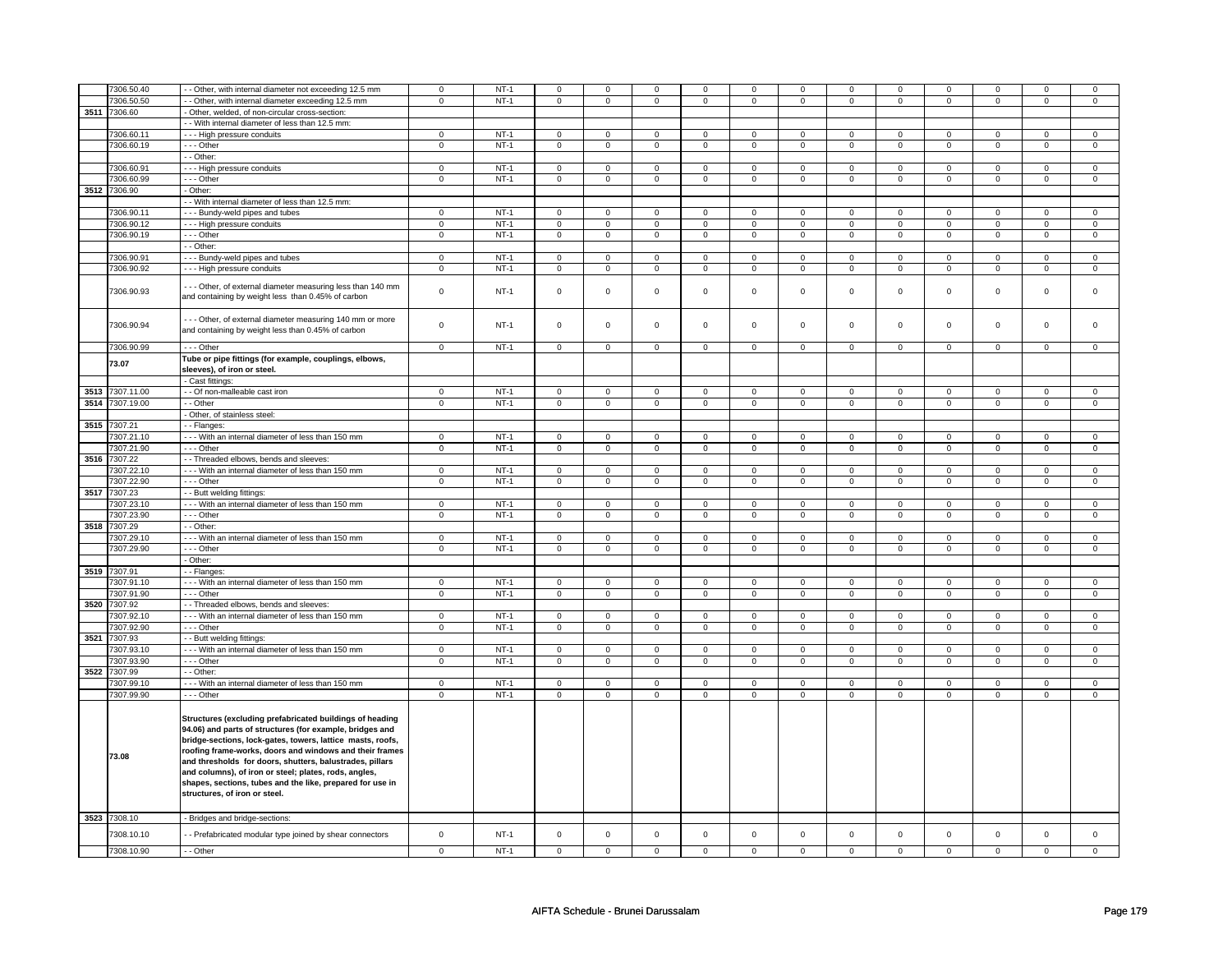|      | 7306.50.40      | - Other, with internal diameter not exceeding 12.5 mm                                                                                                                                                                                                                                                                                                                                                                                                            | $\mathsf 0$    | $NT-1$ | $\mathsf 0$    | $\mathbf 0$    | $\mathbf 0$         | $\mathbf 0$    | $\mathbf 0$         | 0              | $\mathbf 0$    | 0              | 0                   | 0              | $\mathbf 0$    | 0              |
|------|-----------------|------------------------------------------------------------------------------------------------------------------------------------------------------------------------------------------------------------------------------------------------------------------------------------------------------------------------------------------------------------------------------------------------------------------------------------------------------------------|----------------|--------|----------------|----------------|---------------------|----------------|---------------------|----------------|----------------|----------------|---------------------|----------------|----------------|----------------|
|      | 7306.50.50      | - Other, with internal diameter exceeding 12.5 mm                                                                                                                                                                                                                                                                                                                                                                                                                | $\overline{0}$ | $NT-1$ | $\overline{0}$ | $\overline{0}$ | 0                   | $\overline{0}$ | 0                   | $\overline{0}$ | 0              | $\overline{0}$ | 0                   | $\overline{0}$ | 0              | $\overline{0}$ |
| 3511 | 7306.60         | - Other, welded, of non-circular cross-section:                                                                                                                                                                                                                                                                                                                                                                                                                  |                |        |                |                |                     |                |                     |                |                |                |                     |                |                |                |
|      |                 | - With internal diameter of less than 12.5 mm:                                                                                                                                                                                                                                                                                                                                                                                                                   |                |        |                |                |                     |                |                     |                |                |                |                     |                |                |                |
|      | 7306.60.11      |                                                                                                                                                                                                                                                                                                                                                                                                                                                                  | $\Omega$       | $NT-1$ | $\Omega$       | $\Omega$       | $\Omega$            | $\Omega$       | $\Omega$            | $\Omega$       | $\Omega$       | $\Omega$       | $\Omega$            | $\Omega$       | $\Omega$       | $\Omega$       |
|      |                 | - - - High pressure conduits                                                                                                                                                                                                                                                                                                                                                                                                                                     |                |        |                |                |                     |                |                     |                |                |                |                     |                |                |                |
|      | 7306.60.19      | --- Other                                                                                                                                                                                                                                                                                                                                                                                                                                                        | $\mathsf 0$    | $NT-1$ | $\overline{0}$ | $\overline{0}$ | $\mathsf 0$         | $\overline{0}$ | $\mathsf 0$         | $\mathsf{O}$   | $\mathsf 0$    | $\mathsf{O}$   | $\mathsf{O}\xspace$ | $\mathsf{O}$   | $\mathbf 0$    | $\pmb{0}$      |
|      |                 | - - Other:                                                                                                                                                                                                                                                                                                                                                                                                                                                       |                |        |                |                |                     |                |                     |                |                |                |                     |                |                |                |
|      | 7306.60.91      | --- High pressure conduits                                                                                                                                                                                                                                                                                                                                                                                                                                       | $\mathsf 0$    | $NT-1$ | $\mathbf 0$    | $\mathbf 0$    | $\mathsf 0$         | $\mathbf 0$    | $\mathbf 0$         | $\mathbf 0$    | $\mathbf 0$    | $\mathbf 0$    | $\mathbf 0$         | $\mathbf 0$    | $\mathbf 0$    | $\mathbf 0$    |
|      | 7306.60.99      | - - - Other                                                                                                                                                                                                                                                                                                                                                                                                                                                      | $\overline{0}$ | $NT-1$ | $\overline{0}$ | $\overline{0}$ | $\mathbf 0$         | $\overline{0}$ | $\mathbf 0$         | $\overline{0}$ | $\mathbf{O}$   | $\overline{0}$ | $\mathbf 0$         | $\overline{0}$ | $\mathbf{0}$   | $\overline{0}$ |
| 3512 | 7306.90         | - Other:                                                                                                                                                                                                                                                                                                                                                                                                                                                         |                |        |                |                |                     |                |                     |                |                |                |                     |                |                |                |
|      |                 |                                                                                                                                                                                                                                                                                                                                                                                                                                                                  |                |        |                |                |                     |                |                     |                |                |                |                     |                |                |                |
|      |                 | - With internal diameter of less than 12.5 mm:                                                                                                                                                                                                                                                                                                                                                                                                                   |                |        |                |                |                     |                |                     |                |                |                |                     |                |                |                |
|      | 7306.90.11      | --- Bundy-weld pipes and tubes                                                                                                                                                                                                                                                                                                                                                                                                                                   | $\mathsf 0$    | $NT-1$ | $\mathbf 0$    | $\mathbf 0$    | $\mathbf 0$         | $\mathbf 0$    | $\Omega$            | $\mathbf 0$    | $\Omega$       | $\mathbf 0$    | $\Omega$            | $\mathbf 0$    | $\Omega$       | $\mathbf 0$    |
|      | 7306.90.12      | --- High pressure conduits                                                                                                                                                                                                                                                                                                                                                                                                                                       | 0              | $NT-1$ | $\mathbf 0$    | $\mathbf 0$    | $\mathbf 0$         | $\mathbf 0$    | 0                   | 0              | 0              | 0              | 0                   | 0              | 0              | 0              |
|      | 7306.90.19      | $- -$ Other                                                                                                                                                                                                                                                                                                                                                                                                                                                      | $\overline{0}$ | $NT-1$ | $\overline{0}$ | $\overline{0}$ | $\mathbf 0$         | $\overline{0}$ | $\mathbf 0$         | $\overline{0}$ | 0              | $\overline{0}$ | 0                   | $\overline{0}$ | 0              | $\overline{0}$ |
|      |                 | - - Other:                                                                                                                                                                                                                                                                                                                                                                                                                                                       |                |        |                |                |                     |                |                     |                |                |                |                     |                |                |                |
|      |                 |                                                                                                                                                                                                                                                                                                                                                                                                                                                                  |                |        |                |                |                     |                |                     |                |                |                |                     |                |                |                |
|      | 7306.90.91      | --- Bundy-weld pipes and tubes                                                                                                                                                                                                                                                                                                                                                                                                                                   | $\mathsf 0$    | $NT-1$ | $\mathsf 0$    | $\mathbf 0$    | $\mathbf 0$         | $\mathbf 0$    | $\mathsf 0$         | $\mathbf 0$    | $\mathbf 0$    | $\mathbf 0$    | $\mathbf 0$         | $\mathbf 0$    | $\mathsf 0$    | 0              |
|      | 7306.90.92      | --- High pressure conduits                                                                                                                                                                                                                                                                                                                                                                                                                                       | $\mathsf 0$    | $NT-1$ | $\overline{0}$ | $\overline{0}$ | $\mathsf 0$         | $\overline{0}$ | $\mathsf 0$         | $\mathsf 0$    | $\mathbf 0$    | $\overline{0}$ | $\mathsf 0$         | $\overline{0}$ | $\mathsf 0$    | 0              |
|      | 7306.90.93      | --- Other, of external diameter measuring less than 140 mm<br>and containing by weight less than 0.45% of carbon                                                                                                                                                                                                                                                                                                                                                 | $\mathsf 0$    | $NT-1$ | $\mathsf 0$    | $\mathbf 0$    | $\mathsf 0$         | $\mathbf 0$    | $\mathbf 0$         | $\mathbf 0$    | 0              | $\mathbf 0$    | 0                   | $\mathbf 0$    | $\mathsf 0$    | 0              |
|      | 7306.90.94      | - - - Other, of external diameter measuring 140 mm or more<br>and containing by weight less than 0.45% of carbon                                                                                                                                                                                                                                                                                                                                                 | $\mathsf 0$    | $NT-1$ | $\mathsf 0$    | $\mathbf 0$    | $\mathsf 0$         | $\mathbf 0$    | $\mathsf 0$         | $\mathbf 0$    | $\mathbf 0$    | $\mathbf 0$    | $\mathsf 0$         | $\mathbf 0$    | $\mathsf 0$    | $\mathbf{0}$   |
|      | 7306.90.99      | --- Other                                                                                                                                                                                                                                                                                                                                                                                                                                                        | $\mathbf 0$    | $NT-1$ | $\mathbf 0$    | $\mathbf 0$    | $\mathbf 0$         | $\mathbf 0$    | $\mathbf 0$         | $\mathbf 0$    | $\mathbf 0$    | $\mathbf 0$    | $\mathbf 0$         | $\mathbf 0$    | $\mathbf 0$    | $\mathbf 0$    |
|      | 73.07           | Tube or pipe fittings (for example, couplings, elbows,<br>sleeves), of iron or steel.<br>- Cast fittings:                                                                                                                                                                                                                                                                                                                                                        |                |        |                |                |                     |                |                     |                |                |                |                     |                |                |                |
|      |                 |                                                                                                                                                                                                                                                                                                                                                                                                                                                                  |                |        |                |                |                     |                |                     |                |                |                |                     |                |                |                |
| 3513 | 7307.11.00      | - - Of non-malleable cast iron                                                                                                                                                                                                                                                                                                                                                                                                                                   | $\Omega$       | $NT-1$ | $\mathsf 0$    | $\mathsf 0$    | 0                   | $\mathsf 0$    | 0                   | $\mathbf 0$    | 0              | $\mathbf 0$    | 0                   | $\Omega$       | $\Omega$       | $\mathbf 0$    |
|      | 3514 7307.19.00 | - - Other                                                                                                                                                                                                                                                                                                                                                                                                                                                        | $\mathbf 0$    | $NT-1$ | $\mathbf 0$    | $\mathbf 0$    | $\mathbf{0}$        | $\mathbf 0$    | $\mathbf{0}$        | $\mathbf{0}$   | $\mathbf{0}$   | $\mathbf{0}$   | $\mathbf 0$         | $\mathbf{0}$   | $\mathbf 0$    | $\mathbf{0}$   |
|      |                 | - Other, of stainless steel:                                                                                                                                                                                                                                                                                                                                                                                                                                     |                |        |                |                |                     |                |                     |                |                |                |                     |                |                |                |
| 3515 | 7307.21         | - - Flanges:                                                                                                                                                                                                                                                                                                                                                                                                                                                     |                |        |                |                |                     |                |                     |                |                |                |                     |                |                |                |
|      |                 |                                                                                                                                                                                                                                                                                                                                                                                                                                                                  |                |        |                |                |                     |                |                     |                |                |                |                     |                |                |                |
|      | 7307.21.10      | - - - With an internal diameter of less than 150 mm                                                                                                                                                                                                                                                                                                                                                                                                              | $\mathsf 0$    | $NT-1$ | $\mathsf 0$    | $\mathbf 0$    | $\mathbf 0$         | $\mathbf 0$    | $\mathbf 0$         | 0              | 0              | 0              | 0                   | $\mathbf 0$    | 0              | 0              |
|      | 7307.21.90      | --- Other                                                                                                                                                                                                                                                                                                                                                                                                                                                        | $\mathsf 0$    | $NT-1$ | $\mathsf 0$    | $\mathsf 0$    | $\mathbf 0$         | $\mathbf 0$    | $\circ$             | $\circ$        | $\mathsf{o}$   | $\mathbf 0$    | 0                   | $\circ$        | 0              | $\mathbf 0$    |
| 3516 | 7307.22         | - - Threaded elbows, bends and sleeves:                                                                                                                                                                                                                                                                                                                                                                                                                          |                |        |                |                |                     |                |                     |                |                |                |                     |                |                |                |
|      | 7307.22.10      | --- With an internal diameter of less than 150 mm                                                                                                                                                                                                                                                                                                                                                                                                                | $\mathsf 0$    | $NT-1$ | $\mathbf 0$    | $\mathbf 0$    | $\mathbf 0$         | $\mathbf 0$    | $\mathbf 0$         | $\mathbf 0$    | 0              | $\mathbf 0$    | $\mathsf 0$         | $\mathbf 0$    | $\Omega$       | $\mathbf 0$    |
|      | 7307.22.90      | --- Other                                                                                                                                                                                                                                                                                                                                                                                                                                                        | $\mathsf 0$    | $NT-1$ | $\mathbf 0$    | $\mathbf 0$    | $\mathbf 0$         | $\mathbf 0$    | $\mathsf 0$         | $\mathsf 0$    | $\mathbf 0$    | $\mathsf 0$    | $\mathsf 0$         | $\mathbf 0$    | $\mathbf 0$    | $\mathbf 0$    |
|      |                 |                                                                                                                                                                                                                                                                                                                                                                                                                                                                  |                |        |                |                |                     |                |                     |                |                |                |                     |                |                |                |
| 3517 | 7307.23         | - - Butt welding fittings:                                                                                                                                                                                                                                                                                                                                                                                                                                       |                |        |                |                |                     |                |                     |                |                |                |                     |                |                |                |
|      | 7307.23.10      | --- With an internal diameter of less than 150 mm                                                                                                                                                                                                                                                                                                                                                                                                                | 0              | $NT-1$ | $\mathbf 0$    | $\mathbf 0$    | $\mathbf 0$         | $\mathbf 0$    | 0                   | $\mathbf 0$    | 0              | $\mathbf 0$    | 0                   | $\mathbf 0$    | 0              | $\mathbf 0$    |
|      | 7307.23.90      | $- -$ Other                                                                                                                                                                                                                                                                                                                                                                                                                                                      | $\mathsf 0$    | $NT-1$ | $\mathbf 0$    | $\overline{0}$ | $\mathsf 0$         | $\overline{0}$ | $\mathsf{O}\xspace$ | $\mathsf 0$    | $\mathbf 0$    | $\mathsf 0$    | $\mathsf 0$         | $\mathsf 0$    | $\mathsf 0$    | $\overline{0}$ |
| 3518 | 7307.29         | - - Other:                                                                                                                                                                                                                                                                                                                                                                                                                                                       |                |        |                |                |                     |                |                     |                |                |                |                     |                |                |                |
|      | 7307.29.10      | --- With an internal diameter of less than 150 mm                                                                                                                                                                                                                                                                                                                                                                                                                | $\mathsf 0$    | $NT-1$ | $\mathsf 0$    | $\mathbf 0$    | $\mathsf 0$         | $\mathbf 0$    | $\mathsf 0$         | $\mathbf 0$    | $\mathbf 0$    | $\mathbf 0$    | $\mathsf 0$         | $\mathbf 0$    | $\mathsf 0$    | 0              |
|      | 7307.29.90      |                                                                                                                                                                                                                                                                                                                                                                                                                                                                  | $\mathbf 0$    | $NT-1$ | $\mathbf 0$    | $\mathbf 0$    | $\mathbf 0$         | $\mathbf 0$    | $\mathbf 0$         | $\mathbf 0$    | $\mathbf 0$    | $\mathbf 0$    | $\mathbf 0$         | $\mathbf 0$    | $\mathbf 0$    | $\mathbf{0}$   |
|      |                 | - - - Other                                                                                                                                                                                                                                                                                                                                                                                                                                                      |                |        |                |                |                     |                |                     |                |                |                |                     |                |                |                |
|      |                 | - Other:                                                                                                                                                                                                                                                                                                                                                                                                                                                         |                |        |                |                |                     |                |                     |                |                |                |                     |                |                |                |
|      | 3519 7307.91    | - - Flanges:                                                                                                                                                                                                                                                                                                                                                                                                                                                     |                |        |                |                |                     |                |                     |                |                |                |                     |                |                |                |
|      | 7307.91.10      | --- With an internal diameter of less than 150 mm                                                                                                                                                                                                                                                                                                                                                                                                                | $\mathbf 0$    | $NT-1$ | $\mathbf 0$    | $\mathbf 0$    | $\mathbf 0$         | $\mathbf 0$    | $\mathbf 0$         | $\mathbf{0}$   | $\mathbf 0$    | $\mathbf{0}$   | $\mathbf 0$         | $\mathbf 0$    | $\mathbf 0$    | $\mathbf 0$    |
|      | 7307.91.90      | --- Other                                                                                                                                                                                                                                                                                                                                                                                                                                                        | $\mathsf 0$    | $NT-1$ | $\mathsf 0$    | $\mathsf 0$    | $\mathbf 0$         | $\mathbf 0$    | $\mathbf 0$         | $\mathbf 0$    | $\mathbf 0$    | $\mathbf 0$    | $\mathsf 0$         | $\mathbf 0$    | $\mathsf 0$    | $\mathbf 0$    |
| 3520 | 7307.92         | - - Threaded elbows, bends and sleeves:                                                                                                                                                                                                                                                                                                                                                                                                                          |                |        |                |                |                     |                |                     |                |                |                |                     |                |                |                |
|      |                 |                                                                                                                                                                                                                                                                                                                                                                                                                                                                  |                |        |                |                |                     |                |                     |                |                |                |                     |                |                |                |
|      | 7307.92.10      | - - - With an internal diameter of less than 150 mm                                                                                                                                                                                                                                                                                                                                                                                                              | $\mathsf 0$    | $NT-1$ | $\mathbf 0$    | $\mathbf 0$    | $\mathbf 0$         | $\mathbf 0$    | $\mathbf 0$         | 0              | 0              | $\mathsf 0$    | 0                   | $\mathbf 0$    | $\Omega$       | 0              |
|      | 7307.92.90      | $--$ Other                                                                                                                                                                                                                                                                                                                                                                                                                                                       | $\overline{0}$ | $NT-1$ | $\overline{0}$ | $\overline{0}$ | $\overline{0}$      | $\overline{0}$ | $\overline{0}$      | $\overline{0}$ | $\overline{0}$ | $\overline{0}$ | $\overline{0}$      | $\overline{0}$ | $\overline{0}$ | $\overline{0}$ |
| 3521 | 7307.93         | - - Butt welding fittings:                                                                                                                                                                                                                                                                                                                                                                                                                                       |                |        |                |                |                     |                |                     |                |                |                |                     |                |                |                |
|      | 7307.93.10      | --- With an internal diameter of less than 150 mm                                                                                                                                                                                                                                                                                                                                                                                                                | $\mathsf 0$    | $NT-1$ | $\mathsf 0$    | $\mathsf 0$    | $\mathsf 0$         | $\mathsf 0$    | $\mathsf 0$         | $\mathsf 0$    | $\mathbf 0$    | $\mathsf 0$    | $\mathsf 0$         | $\mathbf 0$    | $\mathsf 0$    | $\mathbf 0$    |
|      | 7307.93.90      | $- -$ Other                                                                                                                                                                                                                                                                                                                                                                                                                                                      | $\overline{0}$ | $NT-1$ | $\overline{0}$ | $\overline{0}$ | $\mathsf 0$         | $\overline{0}$ | $\mathsf 0$         | $\overline{0}$ | $\mathsf 0$    | $\mathsf 0$    | $\mathsf 0$         | $\overline{0}$ | $\mathsf 0$    | $\mathbf 0$    |
| 3522 | 7307.99         | - - Other:                                                                                                                                                                                                                                                                                                                                                                                                                                                       |                |        |                |                |                     |                |                     |                |                |                |                     |                |                |                |
|      |                 |                                                                                                                                                                                                                                                                                                                                                                                                                                                                  |                |        |                |                |                     |                |                     |                |                |                |                     |                |                |                |
|      | 7307.99.10      | --- With an internal diameter of less than 150 mm                                                                                                                                                                                                                                                                                                                                                                                                                | $\mathbf 0$    | $NT-1$ | $\mathbf 0$    | $\mathbf 0$    | $\mathbf 0$         | $\mathbf 0$    | $\mathbf 0$         | $\mathbf{0}$   | $\mathbf 0$    | $\mathbf{0}$   | $\mathbf 0$         | $\mathbf 0$    | $\Omega$       | $\mathbf{0}$   |
|      | 7307.99.90      | --- Other                                                                                                                                                                                                                                                                                                                                                                                                                                                        | $\Omega$       | $NT-1$ | $\mathbf 0$    | $\mathbf 0$    | $\mathbf 0$         | $\mathbf 0$    | $\mathbf 0$         | $\mathbf 0$    | $\mathbf 0$    | $\mathbf{0}$   | $\mathbf 0$         | $\mathbf{0}$   | $\mathbf 0$    | $\mathbf{0}$   |
|      | 73.08           | Structures (excluding prefabricated buildings of heading<br>94.06) and parts of structures (for example, bridges and<br>bridge-sections, lock-gates, towers, lattice masts, roofs,<br>roofing frame-works, doors and windows and their frames<br>and thresholds for doors, shutters, balustrades, pillars<br>and columns), of iron or steel; plates, rods, angles,<br>shapes, sections, tubes and the like, prepared for use in<br>structures, of iron or steel. |                |        |                |                |                     |                |                     |                |                |                |                     |                |                |                |
|      | 3523 7308.10    | - Bridges and bridge-sections:                                                                                                                                                                                                                                                                                                                                                                                                                                   |                |        |                |                |                     |                |                     |                |                |                |                     |                |                |                |
|      | 7308.10.10      | - Prefabricated modular type joined by shear connectors                                                                                                                                                                                                                                                                                                                                                                                                          | $\mathsf 0$    | $NT-1$ | $\mathsf 0$    | $\mathsf 0$    | $\mathsf{O}\xspace$ | $\mathsf 0$    | $\mathbf 0$         | $\mathbf 0$    | $\mathsf 0$    | $\mathbf{0}$   | $\mathsf 0$         | $\mathbf 0$    | $\mathsf 0$    | $\mathbf 0$    |
|      | 7308.10.90      | - - Other                                                                                                                                                                                                                                                                                                                                                                                                                                                        | $\mathsf 0$    | $NT-1$ | $\mathbf 0$    | $\mathbf 0$    | $\mathbf 0$         | $\mathbf 0$    | $\mathbf 0$         | $\mathbf 0$    | $\mathbf 0$    | $\mathbf 0$    | $\mathbf 0$         | $\mathbf 0$    | $\mathbf 0$    | $\mathbf{0}$   |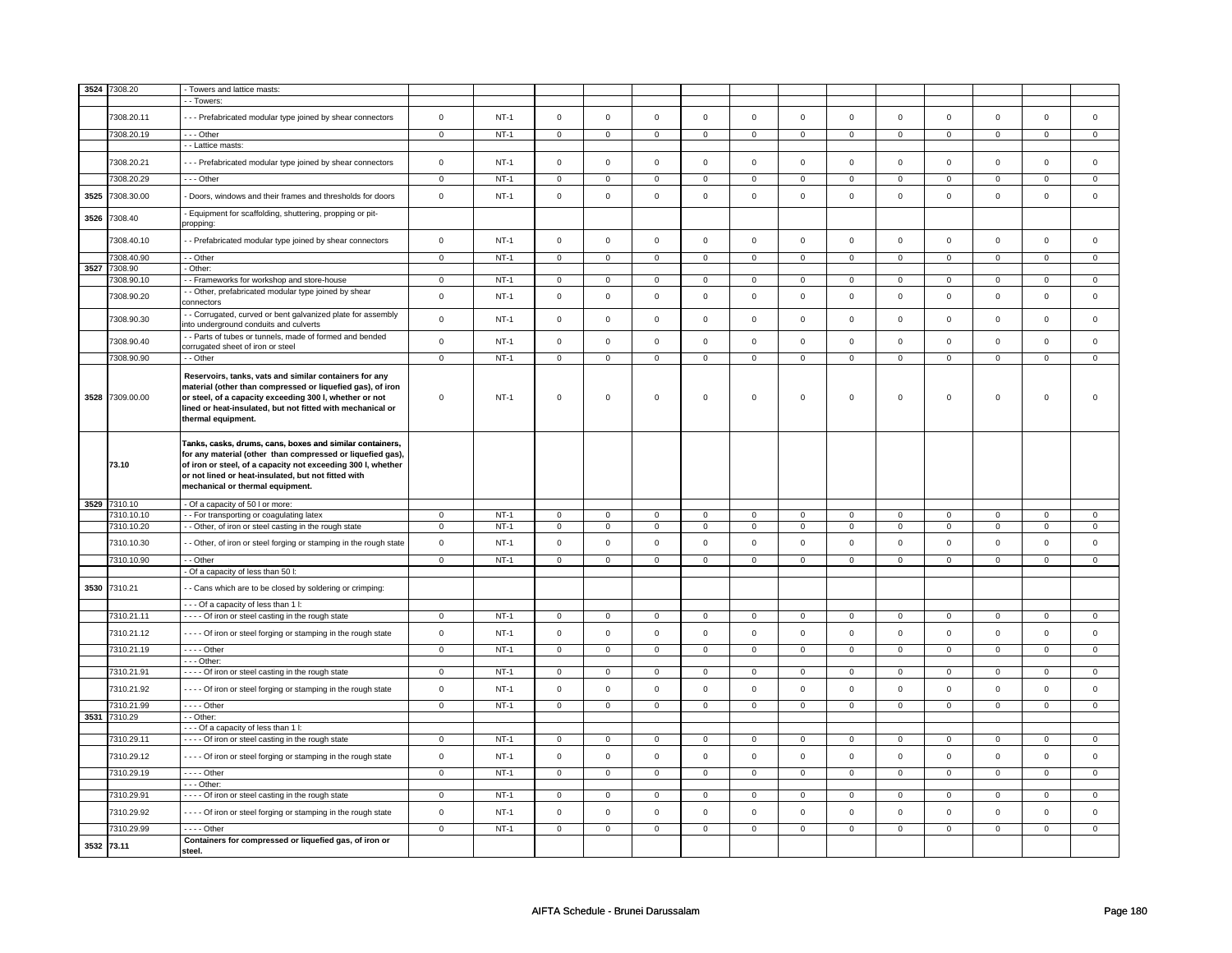| 3524 | 7308.20                  | - Towers and lattice masts:                                                                                                                                                                                                                                                       |                            |                  |                            |                             |                            |                            |                            |                            |                            |                            |                            |                            |                  |                            |
|------|--------------------------|-----------------------------------------------------------------------------------------------------------------------------------------------------------------------------------------------------------------------------------------------------------------------------------|----------------------------|------------------|----------------------------|-----------------------------|----------------------------|----------------------------|----------------------------|----------------------------|----------------------------|----------------------------|----------------------------|----------------------------|------------------|----------------------------|
|      |                          | - - Towers:                                                                                                                                                                                                                                                                       |                            |                  |                            |                             |                            |                            |                            |                            |                            |                            |                            |                            |                  |                            |
|      | 7308.20.11               | --- Prefabricated modular type joined by shear connectors                                                                                                                                                                                                                         | $\mathsf 0$                | $NT-1$           | $\mathsf 0$                | $\mathbf 0$                 | $\mathsf 0$                | $\mathbf 0$                | $\mathsf 0$                | $\mathbf 0$                | $\mathbf 0$                | $\mathbf 0$                | $\mathsf 0$                | $\mathbf 0$                | $\mathbf 0$      | $\mathbf{0}$               |
|      | 7308.20.19               | --- Other                                                                                                                                                                                                                                                                         | $\overline{0}$             | $NT-1$           | $\overline{0}$             | $\overline{0}$              | $\overline{0}$             | $\overline{0}$             | $\overline{0}$             | $\overline{0}$             | $\overline{0}$             | $\overline{0}$             | $\overline{0}$             | $\overline{0}$             | $\mathbf 0$      | $\overline{0}$             |
|      | 7308.20.21               | - - Lattice masts:<br>--- Prefabricated modular type joined by shear connectors                                                                                                                                                                                                   | $\mathbf 0$                | $NT-1$           | $\mathsf 0$                | $\mathsf 0$                 | $\mathsf{O}\xspace$        | $\mathsf 0$                | $\mathbf 0$                | $\mathbf 0$                | 0                          | $\mathbf 0$                | $\mathsf 0$                | $\mathbf 0$                | $\mathbf 0$      | $\mathbf 0$                |
|      |                          |                                                                                                                                                                                                                                                                                   |                            |                  |                            |                             |                            |                            |                            |                            |                            |                            |                            |                            |                  |                            |
|      | 7308.20.29               | --- Other                                                                                                                                                                                                                                                                         | $\mathbf 0$                | $NT-1$           | $\mathsf 0$                | $\mathsf 0$                 | $\mathsf 0$                | $\mathbf 0$                | $\mathbf 0$                | $\mathbf 0$                | $\mathbf 0$                | $\mathbf 0$                | $\mathsf 0$                | $\mathbf{0}$               | $\mathbf 0$      | $\mathbf 0$                |
| 3525 | 7308.30.00               | - Doors, windows and their frames and thresholds for doors                                                                                                                                                                                                                        | $\Omega$                   | $NT-1$           | $\Omega$                   | $\Omega$                    | $\mathsf{O}\xspace$        | $\mathsf 0$                | $\mathsf{O}\xspace$        | $\mathsf 0$                | $\mathsf 0$                | $\mathsf 0$                | $\mathsf 0$                | $\mathbf 0$                | $\mathsf 0$      | $\mathsf 0$                |
| 3526 | 7308.40                  | - Equipment for scaffolding, shuttering, propping or pit-<br>propping:                                                                                                                                                                                                            |                            |                  |                            |                             |                            |                            |                            |                            |                            |                            |                            |                            |                  |                            |
|      | 7308.40.10               | - - Prefabricated modular type joined by shear connectors                                                                                                                                                                                                                         | $\mathsf 0$                | $NT-1$           | $\mathsf 0$                | $\mathsf 0$                 | $\mathsf 0$                | $\mathsf 0$                | $\mathsf 0$                | $\mathbf{0}$               | $\mathbf 0$                | $\mathsf{O}$               | $\mathbf 0$                | $\mathbf{0}$               | $\mathbf 0$      | $\mathsf 0$                |
|      | 7308.40.90               | - - Other                                                                                                                                                                                                                                                                         | $\mathsf 0$                | $NT-1$           | $\mathbf 0$                | $\mathbf 0$                 | $\mathsf 0$                | $\mathbf 0$                | $\mathsf 0$                | $\mathbf 0$                | $\mathbf 0$                | $\mathbf 0$                | $\mathsf 0$                | $\mathbf 0$                | $\mathbf 0$      | $\mathbf{0}$               |
| 3527 | 7308.90                  | - Other:                                                                                                                                                                                                                                                                          |                            |                  | $\overline{0}$             |                             |                            |                            |                            |                            |                            |                            |                            |                            | $\Omega$         |                            |
|      | 7308.90.10               | - - Frameworks for workshop and store-house<br>- Other, prefabricated modular type joined by shear                                                                                                                                                                                | $\overline{0}$             | $NT-1$           |                            | $\overline{0}$              | $\mathbf 0$                | $\overline{0}$             | $\mathsf 0$                | $\mathbf 0$                | $\mathbf 0$                | $\overline{0}$             | $\mathbf 0$                | $\mathbf 0$                |                  | $\mathbf{0}$               |
|      | 7308.90.20               | connectors                                                                                                                                                                                                                                                                        | $\mathsf 0$                | $NT-1$           | $\mathbf 0$                | $\mathbf 0$                 | $\mathbf 0$                | $\mathbf 0$                | $\mathbf 0$                | $\mathsf 0$                | $\mathbf 0$                | $\mathsf 0$                | $\mathsf 0$                | $\mathbf 0$                | $\mathbf 0$      | 0                          |
|      | 7308.90.30               | - Corrugated, curved or bent galvanized plate for assembly<br>nto underground conduits and culverts                                                                                                                                                                               | $\mathsf 0$                | $NT-1$           | $\mathsf 0$                | $\mathsf 0$                 | $\mathsf{O}\xspace$        | $\mathsf 0$                | $\mathsf{O}\xspace$        | $\mathbf 0$                | $\mathbf 0$                | $\mathbf 0$                | $\mathsf 0$                | $\mathbf 0$                | $\mathbf 0$      | $\mathbf 0$                |
|      | 7308.90.40               | - Parts of tubes or tunnels, made of formed and bended<br>corrugated sheet of iron or steel                                                                                                                                                                                       | $\mathsf 0$                | $NT-1$           | $\mathsf 0$                | $\mathsf 0$                 | $\mathsf 0$                | $\mathbf 0$                | $\mathsf 0$                | $\mathsf 0$                | $\mathbf 0$                | $\mathsf 0$                | $\mathsf 0$                | $\mathbf 0$                | $\mathbf 0$      | $\mathbf 0$                |
|      | 7308.90.90               | - - Other                                                                                                                                                                                                                                                                         | $\mathsf 0$                | $NT-1$           | $\mathsf 0$                | $\mathsf 0$                 | $\mathsf 0$                | $\mathsf 0$                | $\mathsf 0$                | $\mathbf 0$                | $\mathbf 0$                | $\mathbf 0$                | $\mathbf 0$                | $\mathbf 0$                | $\mathsf 0$      | $\mathbf 0$                |
| 3528 | 7309.00.00               | Reservoirs, tanks, vats and similar containers for any<br>material (other than compressed or liquefied gas), of iron<br>or steel, of a capacity exceeding 300 l, whether or not<br>lined or heat-insulated, but not fitted with mechanical or<br>thermal equipment.               | $\mathbf 0$                | $NT-1$           | $\mathbf 0$                | $\mathsf 0$                 | $\mathbf 0$                | $\mathbf 0$                | $\mathbf 0$                | $\mathbf 0$                | 0                          | 0                          | 0                          | $\mathbf 0$                | $\mathsf 0$      | 0                          |
|      | 73.10                    | Tanks, casks, drums, cans, boxes and similar containers,<br>for any material (other than compressed or liquefied gas),<br>of iron or steel, of a capacity not exceeding 300 l, whether<br>or not lined or heat-insulated, but not fitted with<br>mechanical or thermal equipment. |                            |                  |                            |                             |                            |                            |                            |                            |                            |                            |                            |                            |                  |                            |
| 3529 | 7310.10                  | - Of a capacity of 50 I or more:                                                                                                                                                                                                                                                  |                            |                  |                            |                             |                            |                            |                            |                            |                            |                            |                            |                            |                  |                            |
|      | 7310.10.10               | - For transporting or coagulating latex                                                                                                                                                                                                                                           | $\mathsf 0$<br>$\mathsf 0$ | $NT-1$<br>$NT-1$ | $\mathbf 0$                | $\mathbf 0$                 | $\mathbf 0$                | $\mathbf 0$<br>$\mathsf 0$ | $\mathbf 0$                | $\mathbf 0$                | 0                          | $\mathbf 0$                | $\mathsf 0$                | $\mathbf 0$                | 0                | $\mathbf 0$<br>$\mathbf 0$ |
|      | 7310.10.20<br>7310.10.30 | - Other, of iron or steel casting in the rough state<br>- Other, of iron or steel forging or stamping in the rough state                                                                                                                                                          | $\mathsf 0$                | $NT-1$           | $\mathbf 0$<br>$\mathbf 0$ | $\mathsf 0$<br>$\mathbf{0}$ | $\mathbf 0$<br>$\mathbf 0$ | $\mathsf 0$                | $\mathsf 0$<br>$\mathbf 0$ | $\mathbf 0$<br>$\mathbf 0$ | $\mathbf 0$<br>$\mathbf 0$ | $\mathbf 0$<br>$\mathsf 0$ | $\mathbf 0$<br>$\mathbf 0$ | $\mathbf 0$<br>$\mathbf 0$ | 0<br>$\mathbf 0$ | $\mathbf{0}$               |
|      | 7310.10.90               | - - Other                                                                                                                                                                                                                                                                         | $\mathsf 0$                | $NT-1$           | $\mathbf 0$                | $\mathbf 0$                 | $\mathbf{0}$               | $\mathbf 0$                | $\mathbf{0}$               | $\mathbf{0}$               | $\mathbf 0$                | $\mathbf{0}$               | $\mathbf 0$                | $\mathbf{0}$               | $\mathbf 0$      | $\mathbf{0}$               |
|      |                          | - Of a capacity of less than 50 l:                                                                                                                                                                                                                                                |                            |                  |                            |                             |                            |                            |                            |                            |                            |                            |                            |                            |                  |                            |
| 3530 | 7310.21                  | - Cans which are to be closed by soldering or crimping:                                                                                                                                                                                                                           |                            |                  |                            |                             |                            |                            |                            |                            |                            |                            |                            |                            |                  |                            |
|      |                          | - - - Of a capacity of less than 1 I:                                                                                                                                                                                                                                             |                            |                  |                            |                             |                            |                            |                            |                            |                            |                            |                            |                            |                  |                            |
|      | 7310.21.11               | - - - - Of iron or steel casting in the rough state                                                                                                                                                                                                                               | $\mathbf{0}$               | $NT-1$           | $\mathbf{0}$               | $\mathbf{0}$                | $\mathbf 0$                | $\mathbf{0}$               | $\mathbf 0$                | $\mathbf{0}$               | $\mathbf{0}$               | $\mathbf{0}$               | $\mathbf{0}$               | $\mathbf{0}$               | 0                | $\overline{0}$             |
|      | 7310.21.12               | - - - - Of iron or steel forging or stamping in the rough state                                                                                                                                                                                                                   | $\mathbf 0$                | $NT-1$           | $\mathsf 0$                | $\mathsf 0$                 | $\mathsf{O}\xspace$        | $\mathsf 0$                | $\mathsf{O}\xspace$        | $\mathbf 0$                | $\mathsf 0$                | $\mathbf 0$                | $\mathsf 0$                | $\mathbf 0$                | $\mathbf 0$      | $\mathbf 0$                |
|      | 7310.21.19               | $- - -$ Other                                                                                                                                                                                                                                                                     | $\mathbf 0$                | $NT-1$           | $\mathsf 0$                | $\mathsf 0$                 | 0                          | $\mathsf 0$                | $\mathbf 0$                | $\mathsf 0$                | $\mathsf 0$                | $\mathsf 0$                | $\mathsf{O}\xspace$        | $\mathsf 0$                | 0                | $\mathsf 0$                |
|      | 7310.21.91               | $--$ Other:<br>- - - - Of iron or steel casting in the rough state                                                                                                                                                                                                                | $\overline{0}$             | $NT-1$           | $\overline{0}$             | $\overline{0}$              | $\overline{0}$             | $\overline{0}$             | $\overline{0}$             | $\overline{0}$             | $\overline{0}$             | $\mathbf 0$                | $\overline{0}$             | $\overline{0}$             | $\mathsf 0$      | $\overline{0}$             |
|      | 7310.21.92               | - - - - Of iron or steel forging or stamping in the rough state                                                                                                                                                                                                                   | $\mathsf 0$                | $NT-1$           | $\mathsf 0$                | $\mathsf 0$                 | $\mathsf 0$                | $\mathsf 0$                | $\mathsf 0$                | $\mathbf 0$                | $\mathbf 0$                | $\mathbf 0$                | $\mathsf 0$                | $\mathbf 0$                | $\mathsf 0$      | $\mathbf{O}$               |
|      | 7310.21.99               | $---$ Other                                                                                                                                                                                                                                                                       | $\mathbf 0$                | $NT-1$           | $\Omega$                   | $\Omega$                    | $\Omega$                   | $\mathsf 0$                | $\mathsf{O}\xspace$        | $\mathbf 0$                | $\mathsf 0$                | $\mathsf 0$                | $\mathsf 0$                | $\mathbf 0$                | $\Omega$         | $\Omega$                   |
|      | 3531 7310.29             | - - Other:                                                                                                                                                                                                                                                                        |                            |                  |                            |                             |                            |                            |                            |                            |                            |                            |                            |                            |                  |                            |
|      |                          | --- Of a capacity of less than 1 I:                                                                                                                                                                                                                                               |                            |                  |                            |                             |                            |                            |                            |                            |                            |                            |                            |                            |                  |                            |
|      | 7310.29.11               | - - - - Of iron or steel casting in the rough state                                                                                                                                                                                                                               | $\mathsf 0$                | $NT-1$           | $\mathbf 0$                | $\mathbf 0$                 | $\mathbf 0$                | $\mathbf 0$                | $\mathbf 0$                | $\mathbf 0$                | $\mathbf 0$                | $\mathbf 0$                | $\mathbf 0$                | $\mathbf 0$                | $\mathsf 0$      | $\mathbf 0$                |
|      | 7310.29.12               | - - - - Of iron or steel forging or stamping in the rough state                                                                                                                                                                                                                   | $\mathsf 0$                | $NT-1$           | $\mathsf 0$                | $\mathsf 0$                 | $\mathbf 0$                | $\mathsf 0$                | $\mathsf 0$                | $\mathbf 0$                | $\mathbf 0$                | $\mathsf 0$                | $\mathsf 0$                | $\mathbf 0$                | $\mathbf 0$      | $\mathbf 0$                |
|      | 7310.29.19               | $- - -$ Other                                                                                                                                                                                                                                                                     | $\overline{0}$             | $NT-1$           | $\mathbf 0$                | $\mathbf 0$                 | $\mathbf{0}$               | $\mathbf 0$                | $\mathbf{0}$               | $\mathbf{0}$               | $\mathbf{O}$               | $\mathbf{0}$               | $\mathbf{0}$               | $\mathbf{0}$               | $\mathbf 0$      | $\mathbf{0}$               |
|      |                          | - - - Other:                                                                                                                                                                                                                                                                      |                            |                  |                            |                             |                            |                            |                            |                            |                            |                            |                            |                            |                  |                            |
|      | 7310.29.91<br>7310.29.92 | - - - - Of iron or steel casting in the rough state<br>- - - - Of iron or steel forging or stamping in the rough state                                                                                                                                                            | 0<br>$\mathsf 0$           | $NT-1$<br>$NT-1$ | $\mathbf 0$<br>$\mathsf 0$ | $\mathbf 0$<br>$\mathbf 0$  | $\mathbf 0$<br>$\mathbf 0$ | $\mathbf 0$<br>$\mathbf 0$ | 0<br>$\mathsf 0$           | $\mathbf 0$<br>$\mathsf 0$ | 0<br>$\mathbf 0$           | $\mathbf 0$<br>$\mathsf 0$ | 0<br>$\mathbf 0$           | $\mathbf 0$<br>$\mathbf 0$ | 0<br>$\Omega$    | 0<br>$\mathbf 0$           |
|      |                          |                                                                                                                                                                                                                                                                                   |                            |                  |                            |                             |                            |                            |                            |                            |                            |                            |                            |                            |                  |                            |
|      |                          |                                                                                                                                                                                                                                                                                   |                            |                  |                            |                             |                            |                            |                            |                            |                            |                            |                            |                            |                  |                            |
|      | 7310.29.99<br>3532 73.11 | - - - - Other<br>Containers for compressed or liquefied gas, of iron or<br>steel.                                                                                                                                                                                                 | $\mathbf 0$                | $NT-1$           | $\mathbf 0$                | $\mathbf 0$                 | $\mathbf 0$                | $\mathbf 0$                | $\mathbf 0$                | $\mathbf 0$                | $\mathbf 0$                | $\mathbf 0$                | 0                          | $\mathbf 0$                | 0                | $\overline{0}$             |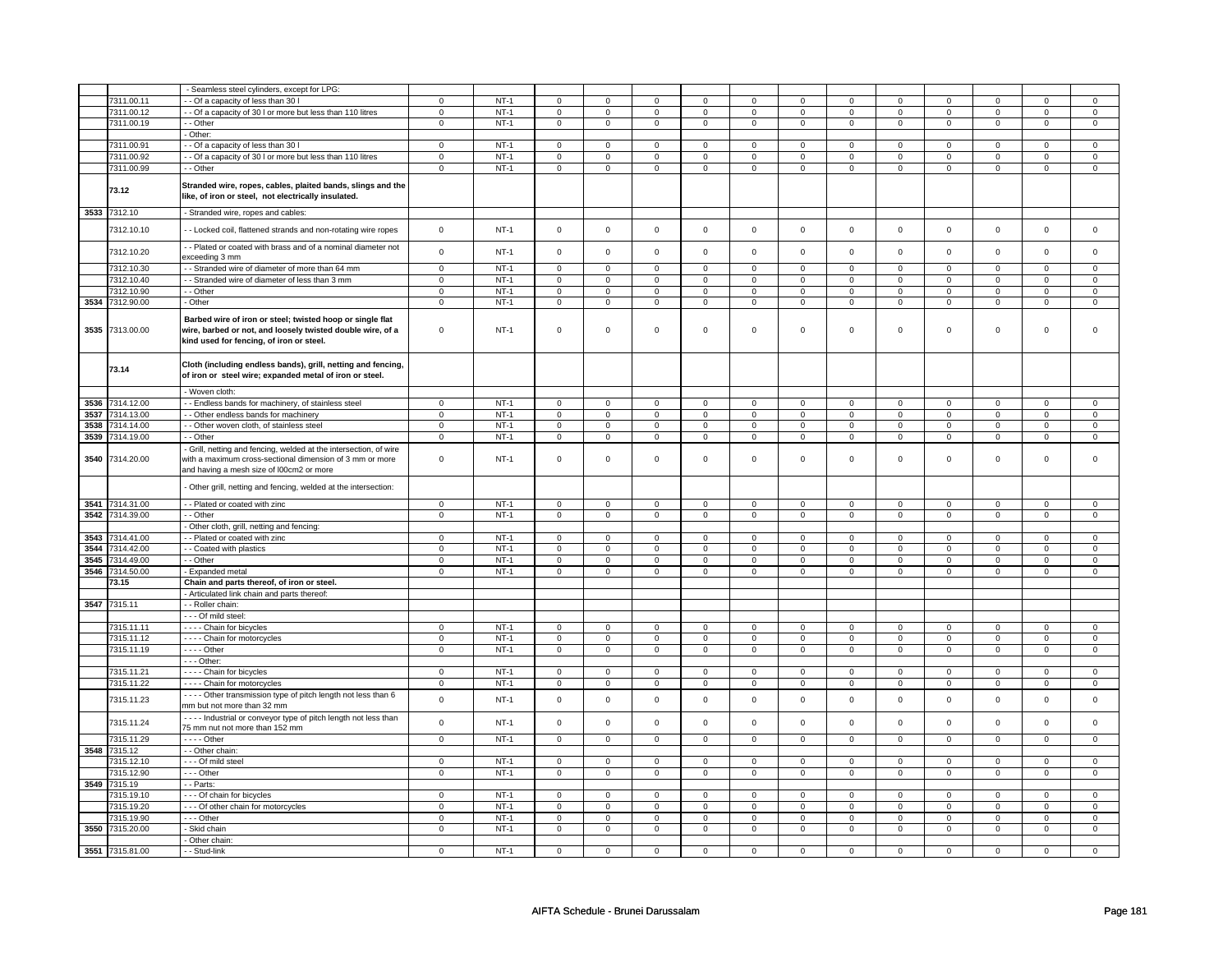|      |                 | - Seamless steel cylinders, except for LPG:                                                                                                                         |                |        |                |                |                     |                |                |                |                     |                |                     |                |                |                     |
|------|-----------------|---------------------------------------------------------------------------------------------------------------------------------------------------------------------|----------------|--------|----------------|----------------|---------------------|----------------|----------------|----------------|---------------------|----------------|---------------------|----------------|----------------|---------------------|
|      | 7311.00.11      | - Of a capacity of less than 30 I                                                                                                                                   | $\mathbf 0$    | $NT-1$ | $\mathbf 0$    | $\mathbf 0$    | $\mathbf 0$         | 0              | $\mathbf 0$    | 0              | $\mathbf 0$         | $\mathbf 0$    | $\mathbf 0$         | $\mathbf 0$    | 0              | 0                   |
|      | 7311.00.12      | - Of a capacity of 30 I or more but less than 110 litres                                                                                                            | $\mathbf 0$    | $NT-1$ | $\mathsf 0$    | $\mathsf 0$    | $\mathsf 0$         | $\mathsf 0$    | $\mathbf 0$    | $\mathbf 0$    | $\mathsf 0$         | $\mathbf 0$    | $\mathbf 0$         | $\mathsf 0$    | $\mathsf 0$    | $\mathbf 0$         |
|      | 7311.00.19      | - Other                                                                                                                                                             | $\overline{0}$ | $NT-1$ | $\mathsf 0$    | $\mathbf 0$    | $\mathbf 0$         | $\overline{0}$ | $\overline{0}$ | $\overline{0}$ | $\mathbf 0$         | $\overline{0}$ | $\mathbf 0$         | $\overline{0}$ | $\mathbf 0$    | $\overline{0}$      |
|      |                 | - Other:                                                                                                                                                            |                |        |                |                |                     |                |                |                |                     |                |                     |                |                |                     |
|      | 7311.00.91      | - - Of a capacity of less than 30 I                                                                                                                                 | $\mathsf 0$    | $NT-1$ | $\mathsf 0$    | $\mathsf 0$    | $\mathsf 0$         | $\mathsf 0$    | $\mathbf 0$    | $\mathbf 0$    | $\mathsf 0$         | $\mathbf 0$    | $\mathbf 0$         | $\mathbf 0$    | 0              | 0                   |
|      | 7311.00.92      | - Of a capacity of 30 I or more but less than 110 litres                                                                                                            | $\mathbf 0$    | $NT-1$ | $\mathsf 0$    | $\mathbf 0$    | $\mathsf 0$         | $\mathsf 0$    | $\mathbf 0$    | $\mathbf 0$    | $\mathbf 0$         | $\mathbf 0$    | $\mathbf 0$         | $\mathbf 0$    | $\mathbf 0$    | $\mathbf{0}$        |
|      |                 |                                                                                                                                                                     |                |        |                |                |                     |                |                |                |                     |                |                     |                |                |                     |
|      | 7311.00.99      | - - Other                                                                                                                                                           | $\mathbf 0$    | $NT-1$ | $\mathbf 0$    | $\mathbf 0$    | $\mathsf 0$         | $\mathsf 0$    | $\mathsf 0$    | $\mathsf 0$    | $\mathbf 0$         | $\mathsf 0$    | $\mathsf 0$         | $\mathbf 0$    | 0              | $\mathbf 0$         |
|      | 73.12           | Stranded wire, ropes, cables, plaited bands, slings and the<br>like, of iron or steel, not electrically insulated.                                                  |                |        |                |                |                     |                |                |                |                     |                |                     |                |                |                     |
| 3533 | 7312.10         | - Stranded wire, ropes and cables:                                                                                                                                  |                |        |                |                |                     |                |                |                |                     |                |                     |                |                |                     |
|      | 7312.10.10      | - - Locked coil, flattened strands and non-rotating wire ropes                                                                                                      | $\mathsf 0$    | $NT-1$ | $\mathbf 0$    | $\mathsf 0$    | $\mathbf 0$         | $\mathsf 0$    | $\mathsf 0$    | $\mathbf 0$    | $\mathsf 0$         | $\mathbf 0$    | $\mathbf 0$         | $\mathsf 0$    | $\mathbf 0$    | 0                   |
|      | 7312.10.20      | - - Plated or coated with brass and of a nominal diameter not<br>exceeding 3 mm                                                                                     | $\mathbf 0$    | $NT-1$ | $\mathsf 0$    | $\mathsf 0$    | $\mathbf 0$         | $\mathsf 0$    | $\mathsf 0$    | $\mathsf 0$    | $\mathsf 0$         | $\mathsf 0$    | $\mathbf 0$         | $\mathbf 0$    | $\mathsf 0$    | $\mathbf{O}$        |
|      | 7312.10.30      | - Stranded wire of diameter of more than 64 mm                                                                                                                      | $\mathbf 0$    | $NT-1$ | $\mathsf 0$    | $\mathbf 0$    | $\mathbf 0$         | $\mathbf 0$    | $\mathbf 0$    | $\mathbf 0$    | $\mathbf 0$         | $\mathbf 0$    | $\overline{0}$      | $\mathbf 0$    | $\mathbf 0$    | $\mathbf{0}$        |
|      | 7312.10.40      | - - Stranded wire of diameter of less than 3 mm                                                                                                                     | $\overline{0}$ | $NT-1$ | $\mathsf 0$    | $\mathsf 0$    | $\overline{0}$      | $\overline{0}$ | $\overline{0}$ | $\overline{0}$ | $\overline{0}$      | $\overline{0}$ | $\overline{0}$      | $\overline{0}$ | $\overline{0}$ | $\overline{0}$      |
|      | 7312.10.90      | - - Other                                                                                                                                                           | 0              | $NT-1$ | $\mathbf 0$    | $\mathbf 0$    | $\mathbf 0$         | 0              | 0              | $\mathbf 0$    | $\mathbf 0$         | $\mathbf 0$    | $\mathbf 0$         | 0              | 0              | 0                   |
| 3534 | 7312.90.00      | - Other                                                                                                                                                             | $\mathsf 0$    | $NT-1$ | $\mathsf 0$    | $\mathsf 0$    | $\mathsf 0$         | $\mathsf 0$    | $\mathsf 0$    | $\mathsf 0$    | $\mathsf 0$         | $\mathsf 0$    | $\mathbf 0$         | $\mathbf 0$    | $\mathsf 0$    | $\mathbf 0$         |
|      |                 |                                                                                                                                                                     |                |        |                |                |                     |                |                |                |                     |                |                     |                |                |                     |
| 3535 | 7313.00.00      | Barbed wire of iron or steel; twisted hoop or single flat<br>wire, barbed or not, and loosely twisted double wire, of a<br>kind used for fencing, of iron or steel. | $\mathbf 0$    | $NT-1$ | $\Omega$       | $\mathsf 0$    | $\Omega$            | $\mathsf 0$    | $\mathbf 0$    | $\mathbf 0$    | $\mathsf 0$         | $\mathbf 0$    | $\mathbf 0$         | $\mathsf 0$    | $\mathbf 0$    | $\mathbf{0}$        |
|      | 73.14           | Cloth (including endless bands), grill, netting and fencing,<br>of iron or steel wire; expanded metal of iron or steel.                                             |                |        |                |                |                     |                |                |                |                     |                |                     |                |                |                     |
|      |                 | - Woven cloth:                                                                                                                                                      |                |        |                |                |                     |                |                |                |                     |                |                     |                |                |                     |
| 3536 | 7314.12.00      | - - Endless bands for machinery, of stainless steel                                                                                                                 | $\mathbf 0$    | $NT-1$ | $\mathbf 0$    | $\mathbf 0$    | $\mathbf 0$         | $\mathbf 0$    | $\mathbf 0$    | $\mathbf 0$    | $\mathbf 0$         | $\mathbf 0$    | $\mathbf 0$         | $\mathbf 0$    | 0              | 0                   |
| 3537 | 7314.13.00      | - Other endless bands for machinery                                                                                                                                 | $\mathbf 0$    | $NT-1$ | $\mathbf 0$    | $\mathbf 0$    | $\mathbf 0$         | $\mathbf 0$    | $\mathbf 0$    | $\mathbf 0$    | $\mathbf 0$         | $\mathbf 0$    | $\mathbf 0$         | $\mathbf 0$    | $\mathbf 0$    | $\mathbf{0}$        |
| 3538 | 7314.14.00      | - - Other woven cloth, of stainless steel                                                                                                                           | $\pmb{0}$      | $NT-1$ | $\mathsf 0$    | $\mathbf 0$    | $\mathsf{O}\xspace$ | $\mathbf 0$    | $\mathsf 0$    | $\mathsf 0$    | $\mathbf 0$         | $\mathsf 0$    | $\mathsf 0$         | $\mathsf 0$    | $\mathbf 0$    | $\mathsf{O}\xspace$ |
| 3539 | 7314.19.00      | - - Other                                                                                                                                                           | $\mathbf 0$    | $NT-1$ | $\mathbf 0$    | $\mathbf 0$    | 0                   | 0              | 0              | $\mathbf 0$    | $\mathbf 0$         | $\mathbf 0$    | $\mathbf 0$         | $\mathbf 0$    | 0              | 0                   |
|      |                 | Grill, netting and fencing, welded at the intersection, of wire                                                                                                     |                |        |                |                |                     |                |                |                |                     |                |                     |                |                |                     |
| 3540 | 7314.20.00      | with a maximum cross-sectional dimension of 3 mm or more<br>and having a mesh size of I00cm2 or more                                                                | $\,0\,$        | $NT-1$ | $\mathsf 0$    | $\mathbf 0$    | $\Omega$            | $\mathsf 0$    | $\mathsf 0$    | $\mathbf 0$    | $\mathsf 0$         | $\mathbf 0$    | $\mathbf 0$         | $\mathsf 0$    | $\mathbf 0$    | 0                   |
|      |                 | - Other grill, netting and fencing, welded at the intersection:                                                                                                     |                |        |                |                |                     |                |                |                |                     |                |                     |                |                |                     |
| 3541 | 7314.31.00      | - - Plated or coated with zinc                                                                                                                                      | $\overline{0}$ | $NT-1$ | $\mathbf 0$    | $\mathbf 0$    | $\mathbf 0$         | $\mathbf 0$    | $\mathbf 0$    | $\mathbf 0$    | $\Omega$            | $\mathbf 0$    | $\mathbf 0$         | $\mathsf 0$    | $\Omega$       | 0                   |
| 3542 | 7314.39.00      | - - Other                                                                                                                                                           | $\,0\,$        | $NT-1$ | $\mathbf 0$    | $\mathbf 0$    | 0                   | 0              | $\mathbf 0$    | $\mathbf 0$    | 0                   | $\mathbf 0$    | $\mathbf 0$         | $\mathbf 0$    | 0              | 0                   |
|      |                 | Other cloth, grill, netting and fencing:                                                                                                                            |                |        |                |                |                     |                |                |                |                     |                |                     |                |                |                     |
| 3543 | 7314.41.00      | - - Plated or coated with zinc                                                                                                                                      | $\mathbf 0$    | $NT-1$ | $\mathbf 0$    | $\mathbf 0$    | $\mathbf 0$         | 0              | $\mathbf 0$    | $\mathbf 0$    | $\mathbf 0$         | $\mathbf 0$    | $\mathbf 0$         | $\mathbf 0$    | $\Omega$       | $\mathbf{0}$        |
| 3544 | 7314.42.00      | - - Coated with plastics                                                                                                                                            | $\mathbf 0$    | $NT-1$ | $\mathbf 0$    | $\mathbf 0$    | $\mathbf 0$         | 0              | $\mathbf 0$    | $\mathbf 0$    | $\mathbf 0$         | $\mathbf 0$    | $\mathbf 0$         | $\mathbf 0$    | 0              | 0                   |
| 3545 | 7314.49.00      | - - Other                                                                                                                                                           | $\mathbf 0$    | $NT-1$ | $\mathbf 0$    | $\mathbf 0$    | $\mathbf 0$         | 0              | $\mathbf 0$    | $\mathbf 0$    | $\mathbf 0$         | $\mathbf 0$    | 0                   | 0              | 0              | 0                   |
| 3546 | 7314.50.00      | - Expanded metal                                                                                                                                                    | $\overline{0}$ | $NT-1$ | $\overline{0}$ | $\overline{0}$ | $\overline{0}$      | $\overline{0}$ | $\overline{0}$ | $\overline{0}$ | $\overline{0}$      | $\overline{0}$ | $\overline{0}$      | $\overline{0}$ | $\overline{0}$ | $\overline{0}$      |
|      | 73.15           | Chain and parts thereof, of iron or steel.                                                                                                                          |                |        |                |                |                     |                |                |                |                     |                |                     |                |                |                     |
|      |                 | - Articulated link chain and parts thereof:                                                                                                                         |                |        |                |                |                     |                |                |                |                     |                |                     |                |                |                     |
| 3547 | 7315.11         | - - Roller chain:                                                                                                                                                   |                |        |                |                |                     |                |                |                |                     |                |                     |                |                |                     |
|      |                 | - - - Of mild steel:                                                                                                                                                |                |        |                |                |                     |                |                |                |                     |                |                     |                |                |                     |
|      | 7315.11.11      |                                                                                                                                                                     |                |        |                |                |                     |                |                |                |                     |                |                     |                |                |                     |
|      |                 | - - - - Chain for bicycles                                                                                                                                          | $\mathbf 0$    | $NT-1$ | $\mathbf 0$    | $\mathbf 0$    | $^{\circ}$          | $\mathbf 0$    | $\mathbf 0$    | $\mathbf 0$    | $^{\circ}$          | $\mathbf 0$    | $\mathbf 0$         | $\mathbf 0$    | 0              | 0                   |
|      | 7315.11.12      | - - - - Chain for motorcycles                                                                                                                                       | $\,0\,$        | $NT-1$ | $\mathsf 0$    | $\mathsf 0$    | $\mathbf 0$         | $\mathbf 0$    | $\Omega$       | $\mathbf 0$    | $\Omega$            | $\mathbf 0$    | $\mathbf 0$         | $\mathsf 0$    | $\mathbf 0$    | 0                   |
|      | 7315.11.19      | - - - - Other                                                                                                                                                       | $\overline{0}$ | $NT-1$ | $\mathsf 0$    | $\mathbf 0$    | $\mathbf 0$         | $\mathsf 0$    | $\overline{0}$ | $\overline{0}$ | $\mathbf 0$         | $\overline{0}$ | $\mathbf 0$         | $\overline{0}$ | $\mathbf 0$    | $\overline{0}$      |
|      |                 | $--$ Other:                                                                                                                                                         |                |        |                |                |                     |                |                |                |                     |                |                     |                |                |                     |
|      | 7315.11.21      | - - - - Chain for bicycles                                                                                                                                          | $\overline{0}$ | $NT-1$ | $\mathbf 0$    | $\overline{0}$ | $\mathbf 0$         | $\overline{0}$ | $\mathbf 0$    | $\overline{0}$ | $\mathbf 0$         | $\overline{0}$ | 0                   | $\overline{0}$ | 0              | 0                   |
|      | 7315.11.22      | - - - - Chain for motorcycles                                                                                                                                       | $\overline{0}$ | $NT-1$ | $\mathbf 0$    | $\overline{0}$ | $\mathbf 0$         | $\overline{0}$ | $\overline{0}$ | $\overline{0}$ | 0                   | $\overline{0}$ | 0                   | $\overline{0}$ | 0              | $\overline{0}$      |
|      | 7315.11.23      | ---- Other transmission type of pitch length not less than 6<br>mm but not more than 32 mm                                                                          | $\pmb{0}$      | $NT-1$ | $\mathsf 0$    | $\mathbf 0$    | $\mathbf 0$         | $\mathsf 0$    | $\mathsf 0$    | $\mathsf{o}\,$ | $\mathsf{O}\xspace$ | $\mathsf 0$    | $\mathsf 0$         | $\mathbf 0$    | $\mathsf 0$    | $\mathbf{O}$        |
|      | 7315.11.24      | - - - - Industrial or conveyor type of pitch length not less than<br>75 mm nut not more than 152 mm                                                                 | $\mathsf 0$    | $NT-1$ | $\mathsf 0$    | $\mathbf 0$    | $\mathsf 0$         | $\mathsf 0$    | $\mathbf 0$    | $\mathsf{o}\,$ | $\mathsf 0$         | $\mathsf{o}\,$ | $\mathsf{o}\xspace$ | $\mathsf 0$    | $\mathsf 0$    | $\mathsf 0$         |
|      | 7315.11.29      | - - - - Other                                                                                                                                                       | $\mathsf 0$    | $NT-1$ | $\mathsf 0$    | $\mathsf 0$    | $\mathsf 0$         | $\mathsf 0$    | $\mathsf 0$    | $\mathsf 0$    | $\mathsf 0$         | $\mathsf 0$    | $\mathsf 0$         | $\mathbf 0$    | $\mathsf 0$    | $\mathbf 0$         |
| 3548 | 7315.12         | - - Other chain:                                                                                                                                                    |                |        |                |                |                     |                |                |                |                     |                |                     |                |                |                     |
|      | 7315.12.10      | - - - Of mild steel                                                                                                                                                 | $\mathsf 0$    | $NT-1$ | 0              | $\mathbf 0$    | $\mathbf 0$         | $\mathbf 0$    | 0              | $\mathsf 0$    | 0                   | $\mathsf 0$    | 0                   | $\mathbf 0$    | 0              | $\mathbf{O}$        |
|      | 7315.12.90      | $--$ Other                                                                                                                                                          | $\mathbf{0}$   | $NT-1$ | $\mathbf 0$    | $\mathbf{0}$   | $\mathbf 0$         | $\mathbf{0}$   | $\mathbf 0$    | $\mathbf{0}$   | $\mathbf 0$         | $\overline{0}$ | $\mathbf 0$         | $\mathbf 0$    | 0              | 0                   |
| 3549 | 7315.19         | - - Parts:                                                                                                                                                          |                |        |                |                |                     |                |                |                |                     |                |                     |                |                |                     |
|      |                 |                                                                                                                                                                     |                |        |                |                |                     |                |                |                |                     |                |                     |                |                |                     |
|      | 7315.19.10      | --- Of chain for bicycles                                                                                                                                           | $\overline{0}$ | $NT-1$ | $\mathsf 0$    | $\overline{0}$ | $\mathsf 0$         | $\overline{0}$ | $\overline{0}$ | $\overline{0}$ | $\overline{0}$      | $\overline{0}$ | $\overline{0}$      | $\overline{0}$ | $\overline{0}$ | $\overline{0}$      |
|      | 7315.19.20      | --- Of other chain for motorcycles                                                                                                                                  | $\mathbf 0$    | $NT-1$ | $\mathbf 0$    | $\mathbf 0$    | $\mathbf 0$         | 0              | $\mathbf 0$    | $\mathbf 0$    | $\mathbf 0$         | $\mathbf 0$    | 0                   | 0              | 0              | $\mathbf 0$         |
|      | 7315.19.90      | --- Other                                                                                                                                                           | $\mathbf 0$    | $NT-1$ | $\mathbf 0$    | $\mathbf 0$    | $\mathbf 0$         | $\mathsf 0$    | $\mathsf 0$    | $\mathsf 0$    | $\mathbf 0$         | $\mathsf 0$    | 0                   | $\mathsf 0$    | 0              | $\mathbf 0$         |
|      | 3550 7315.20.00 | - Skid chain                                                                                                                                                        | $\overline{0}$ | $NT-1$ | $\mathsf 0$    | $\overline{0}$ | $\overline{0}$      | $\overline{0}$ | $\overline{0}$ | $\overline{0}$ | $\overline{0}$      | $\overline{0}$ | $\overline{0}$      | $\overline{0}$ | $\mathsf 0$    | $\overline{0}$      |
|      |                 | - Other chain                                                                                                                                                       |                |        |                |                |                     |                |                |                |                     |                |                     |                |                |                     |
|      | 3551 7315.81.00 | - - Stud-link                                                                                                                                                       | $\mathsf 0$    | $NT-1$ | $\mathsf 0$    | $\mathsf 0$    | $^{\circ}$          | 0              | 0              | $\mathbf 0$    | 0                   | 0              | 0                   | $\mathsf 0$    | 0              | $\Omega$            |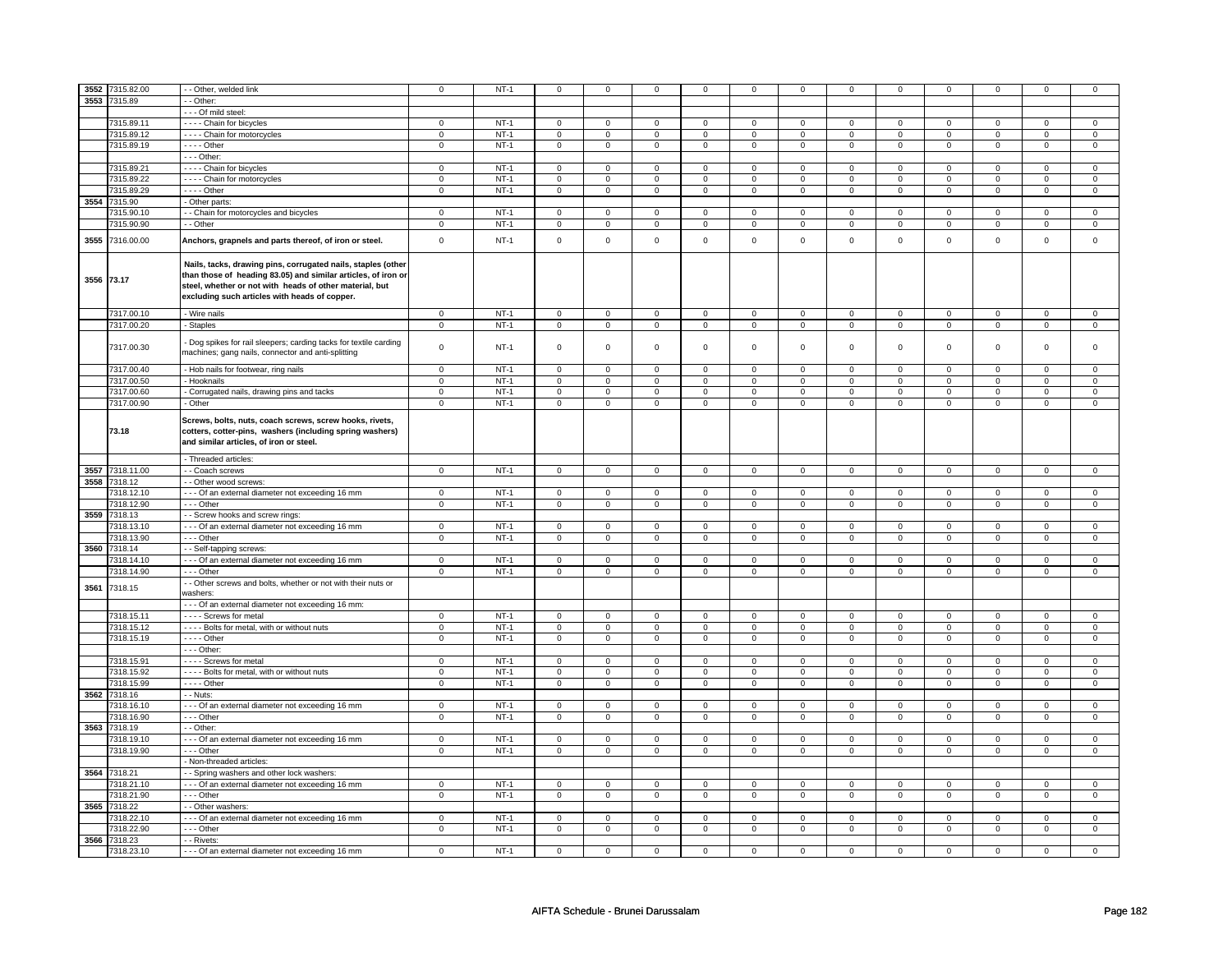| 3552       | 7315.82.00   | - Other, welded link                                                                                                                                                                                                                      | $\mathsf 0$    | $NT-1$ | $\mathbf 0$    | $\mathbf 0$    | $\mathbf 0$         | $\mathbf 0$    | $\mathbf 0$         | 0              | $\mathbf 0$    | 0              | 0              | 0              | $\mathbf 0$    | 0              |
|------------|--------------|-------------------------------------------------------------------------------------------------------------------------------------------------------------------------------------------------------------------------------------------|----------------|--------|----------------|----------------|---------------------|----------------|---------------------|----------------|----------------|----------------|----------------|----------------|----------------|----------------|
|            |              |                                                                                                                                                                                                                                           |                |        |                |                |                     |                |                     |                |                |                |                |                |                |                |
| 3553       | 7315.89      | - Other:                                                                                                                                                                                                                                  |                |        |                |                |                     |                |                     |                |                |                |                |                |                |                |
|            |              | - - - Of mild steel:                                                                                                                                                                                                                      |                |        |                |                |                     |                |                     |                |                |                |                |                |                |                |
|            | 7315.89.11   | - - - - Chain for bicycles                                                                                                                                                                                                                | 0              | $NT-1$ | $\mathbf 0$    | $\mathbf 0$    | $\mathbf 0$         | $\mathbf 0$    | $\mathbf 0$         | $\mathbf 0$    | 0              | $\mathbf 0$    | 0              | $\mathbf 0$    | 0              | 0              |
|            | 7315.89.12   | - - - - Chain for motorcycles                                                                                                                                                                                                             | $\mathbf 0$    | $NT-1$ | $\mathbf 0$    | $\mathbf 0$    | $\mathbf 0$         | $\mathbf 0$    | $\mathbf 0$         | $\mathbf 0$    | $\mathbf 0$    | $\mathsf 0$    | $\mathbf 0$    | $\mathbf 0$    | $\mathbf 0$    | 0              |
|            | 7315.89.19   | $---$ Other                                                                                                                                                                                                                               | $\pmb{0}$      | $NT-1$ | $\overline{0}$ | $\overline{0}$ | $\overline{0}$      | $\overline{0}$ | $\overline{0}$      | $\overline{0}$ | $\overline{0}$ | $\overline{0}$ | $\overline{0}$ | $\overline{0}$ | $\overline{0}$ | $\pmb{0}$      |
|            |              | $--$ Other:                                                                                                                                                                                                                               |                |        |                |                |                     |                |                     |                |                |                |                |                |                |                |
|            |              |                                                                                                                                                                                                                                           |                |        |                |                |                     |                |                     |                |                |                |                |                |                |                |
|            | 7315.89.21   | - - - - Chain for bicycles                                                                                                                                                                                                                | $\mathsf 0$    | $NT-1$ | $\mathsf 0$    | $\mathbf 0$    | $\mathsf 0$         | $\mathbf 0$    | $\mathsf 0$         | $\mathbf 0$    | $\mathbf 0$    | $\mathbf 0$    | $\mathsf 0$    | $\mathbf 0$    | $\mathbf 0$    | $\overline{0}$ |
|            | 7315.89.22   | - - - - Chain for motorcycles                                                                                                                                                                                                             | $\overline{0}$ | $NT-1$ | $\overline{0}$ | $\overline{0}$ | $\overline{0}$      | $\overline{0}$ | $\mathbf 0$         | $\overline{0}$ | $\mathbf 0$    | $\mathbf 0$    | $\mathsf 0$    | $\overline{0}$ | $\mathsf 0$    | $\overline{0}$ |
|            | 7315.89.29   | - - - - Other                                                                                                                                                                                                                             | $\mathbf 0$    | $NT-1$ | $\mathbf 0$    | $\mathbf 0$    | $\mathbf 0$         | $\mathbf 0$    | $\mathbf 0$         | $\mathbf 0$    | $\mathbf 0$    | $\mathbf 0$    | $\mathbf 0$    | $\mathbf{0}$   | $\mathsf 0$    | $\mathbf 0$    |
| 3554       | 7315.90      | - Other parts:                                                                                                                                                                                                                            |                |        |                |                |                     |                |                     |                |                |                |                |                |                |                |
|            | 7315.90.10   | - - Chain for motorcycles and bicycles                                                                                                                                                                                                    | $\overline{0}$ | $NT-1$ | $\overline{0}$ | $\overline{0}$ | $\overline{0}$      | $\overline{0}$ | $\overline{0}$      | $\overline{0}$ | $\overline{0}$ | $\overline{0}$ | $\overline{0}$ | $\overline{0}$ | $\Omega$       | $\overline{0}$ |
|            | 7315.90.90   | - - Other                                                                                                                                                                                                                                 | $\mathbf 0$    | $NT-1$ | $\mathsf 0$    | $\overline{0}$ | 0                   | $\mathsf 0$    | 0                   | $\mathbf 0$    | $\mathsf 0$    | $\mathbf 0$    | $\mathsf 0$    | $\overline{0}$ | $\mathsf 0$    | $\overline{0}$ |
|            |              |                                                                                                                                                                                                                                           |                |        |                |                |                     |                |                     |                |                |                |                |                |                |                |
| 3555       | 7316.00.00   | Anchors, grapnels and parts thereof, of iron or steel.                                                                                                                                                                                    | $\mathbf 0$    | $NT-1$ | $\Omega$       | $\mathbf 0$    | $\mathbf 0$         | $\mathbf 0$    | $\mathbf 0$         | $\mathbf 0$    | $\Omega$       | $\mathbf 0$    | $\mathbf 0$    | $\mathbf 0$    | $\Omega$       | $\mathbf 0$    |
| 3556 73.17 |              | Nails, tacks, drawing pins, corrugated nails, staples (other<br>than those of heading 83.05) and similar articles, of iron or<br>steel, whether or not with heads of other material, but<br>excluding such articles with heads of copper. |                |        |                |                |                     |                |                     |                |                |                |                |                |                |                |
|            | 7317.00.10   | - Wire nails                                                                                                                                                                                                                              | $\mathsf 0$    | $NT-1$ | $\mathbf 0$    | $\mathbf 0$    | $\mathsf 0$         | $\mathbf 0$    | $\mathsf 0$         | $\mathbf 0$    | $\mathbf 0$    | $\mathbf{0}$   | $\mathbf 0$    | $\mathbf{0}$   | $\mathbf 0$    | $\mathbf 0$    |
|            | 7317.00.20   | - Staples                                                                                                                                                                                                                                 | $\overline{0}$ | $NT-1$ | $\overline{0}$ | $\overline{0}$ | $\overline{0}$      | $\mathbf 0$    | $\overline{0}$      | $\mathbf 0$    | $\mathbf 0$    | $\mathbf 0$    | $\overline{0}$ | $\mathbf{0}$   | $\mathbf 0$    | $\overline{0}$ |
|            |              |                                                                                                                                                                                                                                           |                |        |                |                |                     |                |                     |                |                |                |                |                |                |                |
|            | 7317.00.30   | Dog spikes for rail sleepers; carding tacks for textile carding<br>machines; gang nails, connector and anti-splitting                                                                                                                     | $\mathbf 0$    | $NT-1$ | $\mathsf 0$    | $\mathbf 0$    | $\mathsf 0$         | $\mathbf 0$    | $\mathsf 0$         | $\mathbf 0$    | $\mathbf 0$    | $\mathsf 0$    | $\mathsf 0$    | $\mathbf 0$    | $\mathsf 0$    | 0              |
|            | 7317.00.40   | - Hob nails for footwear, ring nails                                                                                                                                                                                                      | $\mathsf 0$    | $NT-1$ | $\mathbf 0$    | $\mathsf 0$    | $\mathsf 0$         | $\mathbf 0$    | $\mathsf 0$         | $\mathbf 0$    | $\mathbf 0$    | $\mathbf 0$    | $\mathsf 0$    | $\mathbf 0$    | 0              | $\mathbf 0$    |
|            | 7317.00.50   | - Hooknails                                                                                                                                                                                                                               | $\mathsf 0$    | $NT-1$ | $\mathbf 0$    | $\mathbf 0$    | $\mathbf 0$         | $\mathbf 0$    | $\mathbf 0$         | 0              | $\mathbf 0$    | 0              | 0              | $\mathbf 0$    | 0              | 0              |
|            |              |                                                                                                                                                                                                                                           |                |        |                |                |                     |                |                     |                |                |                |                |                |                |                |
|            | 7317.00.60   | Corrugated nails, drawing pins and tacks                                                                                                                                                                                                  | $\mathbf 0$    | $NT-1$ | $\mathsf 0$    | $\mathsf 0$    | $\mathsf 0$         | $\mathsf 0$    | $\mathsf{O}\xspace$ | $\mathbf 0$    | 0              | $\mathsf 0$    | $\mathsf 0$    | $\mathbf 0$    | 0              | $\mathbf 0$    |
|            | 7317.00.90   | - Other                                                                                                                                                                                                                                   | $\mathsf 0$    | $NT-1$ | $\mathbf 0$    | $\mathsf 0$    | $\mathbf 0$         | $\mathbf 0$    | $\mathbf 0$         | $\mathbf 0$    | $\mathbf{0}$   | $\mathbf 0$    | $\mathbf 0$    | $\mathbf 0$    | $\mathbf{0}$   | $\mathbf{0}$   |
|            | 73.18        | Screws, bolts, nuts, coach screws, screw hooks, rivets,<br>cotters, cotter-pins, washers (including spring washers)<br>and similar articles, of iron or steel.                                                                            |                |        |                |                |                     |                |                     |                |                |                |                |                |                |                |
|            |              | - Threaded articles:                                                                                                                                                                                                                      |                |        |                |                |                     |                |                     |                |                |                |                |                |                |                |
| 3557       | 7318.11.00   | - Coach screws                                                                                                                                                                                                                            | $\mathsf 0$    | $NT-1$ | $\overline{0}$ | $\mathsf 0$    | $\mathsf 0$         | $\mathbf 0$    | $\overline{0}$      | $\mathbf 0$    | $\overline{0}$ | $\mathbf 0$    | $\mathbf 0$    | $\mathbf 0$    | $\mathbf 0$    | $\overline{0}$ |
| 3558       | 7318.12      | - Other wood screws:                                                                                                                                                                                                                      |                |        |                |                |                     |                |                     |                |                |                |                |                |                |                |
|            |              |                                                                                                                                                                                                                                           |                |        |                |                |                     |                |                     |                |                |                |                |                |                |                |
|            | 7318.12.10   | --- Of an external diameter not exceeding 16 mm                                                                                                                                                                                           | $\overline{0}$ | $NT-1$ | $\mathbf 0$    | $\mathbf 0$    | $\mathbf 0$         | $\mathbf 0$    | $\mathbf 0$         | $\mathbf 0$    | 0              | 0              | 0              | 0              | 0              | $\overline{0}$ |
|            | 7318.12.90   | $- -$ Other                                                                                                                                                                                                                               | $\overline{0}$ | $NT-1$ | $\overline{0}$ | $\overline{0}$ | $\overline{0}$      | $\overline{0}$ | $\overline{0}$      | $\overline{0}$ | $\overline{0}$ | $\overline{0}$ | $\overline{0}$ | $\overline{0}$ | $\overline{0}$ | $\overline{0}$ |
| 3559       | 7318.13      | - - Screw hooks and screw rings:                                                                                                                                                                                                          |                |        |                |                |                     |                |                     |                |                |                |                |                |                |                |
|            | 7318.13.10   | --- Of an external diameter not exceeding 16 mm                                                                                                                                                                                           | $\mathsf 0$    | $NT-1$ | $\mathsf 0$    | $\mathsf 0$    | $\mathsf 0$         | $\mathsf 0$    | $\mathsf{O}\xspace$ | $\mathbf 0$    | $\mathbf 0$    | $\mathsf 0$    | $\mathsf 0$    | $\mathbf 0$    | $\mathbf 0$    | $\mathbf 0$    |
|            | 7318.13.90   | --- Other                                                                                                                                                                                                                                 | $\mathbf 0$    | $NT-1$ | $\mathsf 0$    | $\mathbf 0$    | $\mathsf{O}\xspace$ | $\mathsf 0$    | $\mathsf{O}\xspace$ | $\mathsf{O}$   | $\mathsf 0$    | $\mathsf 0$    | $\mathsf 0$    | $\mathsf{O}$   | $\mathsf 0$    | $\mathsf 0$    |
| 3560       | 7318.14      | - - Self-tapping screws:                                                                                                                                                                                                                  |                |        |                |                |                     |                |                     |                |                |                |                |                |                |                |
|            | 7318.14.10   | - - - Of an external diameter not exceeding 16 mm                                                                                                                                                                                         | $\mathsf 0$    | $NT-1$ | $\mathbf 0$    | $\mathbf 0$    | $\mathsf 0$         | $\mathbf 0$    | $\mathsf 0$         | $\mathbf 0$    | $\mathbf 0$    | $\mathbf 0$    | $\mathsf 0$    | $\mathbf 0$    | $\Omega$       | $\mathbf 0$    |
|            | 7318.14.90   | --- Other                                                                                                                                                                                                                                 | $\mathbf 0$    | $NT-1$ | $\mathbf 0$    | $\mathbf 0$    | $\mathbf 0$         | $\mathbf 0$    | $\mathbf 0$         | $\mathbf{0}$   | $\mathbf 0$    | $\mathbf{0}$   | $\mathbf 0$    | $\mathbf{0}$   | $\mathbf 0$    | $\overline{0}$ |
|            |              |                                                                                                                                                                                                                                           |                |        |                |                |                     |                |                     |                |                |                |                |                |                |                |
| 3561       | 7318.15      | - - Other screws and bolts, whether or not with their nuts or<br>washers:                                                                                                                                                                 |                |        |                |                |                     |                |                     |                |                |                |                |                |                |                |
|            |              | - - - Of an external diameter not exceeding 16 mm:                                                                                                                                                                                        |                |        |                |                |                     |                |                     |                |                |                |                |                |                |                |
|            | 7318.15.11   | - - - - Screws for metal                                                                                                                                                                                                                  | $\mathsf 0$    | $NT-1$ | $\mathbf 0$    | $\mathbf 0$    | $\mathbf 0$         | $\mathbf 0$    | $\mathbf 0$         | $\mathbf 0$    | $\mathbf 0$    | $\mathbf 0$    | $\mathbf 0$    | $\mathbf 0$    | 0              | $\mathbf 0$    |
|            | 7318.15.12   | - - - - Bolts for metal, with or without nuts                                                                                                                                                                                             | $\mathbf 0$    | $NT-1$ | $\mathbf 0$    | $\mathbf{0}$   | $\mathbf 0$         | $\overline{0}$ | $\mathbf 0$         | $\mathbf{0}$   | $\mathbf 0$    | $\mathbf{0}$   | 0              | $\mathbf 0$    | 0              | $\overline{0}$ |
|            | 7318.15.19   | $- - -$ Other                                                                                                                                                                                                                             | $\mathbf 0$    | $NT-1$ | $\mathbf 0$    | $\mathbf 0$    | $\mathbf 0$         | $\mathbf 0$    | $\mathbf 0$         | $\mathbf{0}$   | $\mathbf 0$    | $\mathbf{0}$   | $\mathbf 0$    | $\mathbf{0}$   | $\Omega$       | $\mathbf{0}$   |
|            |              | - - - Other:                                                                                                                                                                                                                              |                |        |                |                |                     |                |                     |                |                |                |                |                |                |                |
|            | 7318.15.91   | - - - - Screws for metal                                                                                                                                                                                                                  | $\mathbf 0$    | $NT-1$ | $\mathbf 0$    | $\mathbf 0$    | $\mathbf 0$         | $\mathbf 0$    | $\mathbf 0$         | $\mathbf{0}$   | $\mathbf 0$    | $\mathbf 0$    | $\mathbf 0$    | $\mathbf 0$    | 0              | $\mathbf 0$    |
|            | 7318.15.92   | - - - - Bolts for metal, with or without nuts                                                                                                                                                                                             | $\mathsf 0$    | $NT-1$ | $\mathbf 0$    | $\mathbf 0$    | $\mathbf 0$         | $\mathbf 0$    | $\mathbf 0$         | 0              | 0              | 0              | $\mathbf 0$    | $\mathbf 0$    | 0              | 0              |
|            | 7318.15.99   | - - - - Other                                                                                                                                                                                                                             | $\mathbf 0$    | $NT-1$ | $\mathsf 0$    | $\mathsf 0$    | $\mathsf{O}\xspace$ | $\mathsf 0$    | $\mathsf{O}\xspace$ | $\mathbf 0$    | 0              | $\mathbf 0$    | $\mathsf 0$    | $\mathbf 0$    | 0              | $\mathsf 0$    |
| 3562       | 7318.16      | - - Nuts:                                                                                                                                                                                                                                 |                |        |                |                |                     |                |                     |                |                |                |                |                |                |                |
|            |              |                                                                                                                                                                                                                                           |                |        |                |                |                     |                |                     |                |                |                |                |                |                |                |
|            | 7318.16.10   | - - - Of an external diameter not exceeding 16 mm                                                                                                                                                                                         | $\mathsf 0$    | $NT-1$ | $\mathbf 0$    | $\mathbf 0$    | $\mathsf 0$         | $\mathbf 0$    | $\mathsf 0$         | $\mathbf 0$    | $\mathbf 0$    | $\mathsf 0$    | $\mathsf 0$    | $\mathbf 0$    | $\Omega$       | 0              |
|            | 7318.16.90   | - - - Other                                                                                                                                                                                                                               | $\mathsf 0$    | $NT-1$ | $\mathbf 0$    | $\mathbf 0$    | $\mathbf 0$         | $\mathbf 0$    | $\mathbf 0$         | $\mathbf 0$    | $\mathbf 0$    | $\mathsf 0$    | $\mathbf 0$    | $\mathbf 0$    | $\mathbf 0$    | $\mathbf 0$    |
| 3563       | 7318.19      | - - Other:                                                                                                                                                                                                                                |                |        |                |                |                     |                |                     |                |                |                |                |                |                |                |
|            | 7318.19.10   | - - - Of an external diameter not exceeding 16 mm                                                                                                                                                                                         | 0              | $NT-1$ | $\mathbf 0$    | $\mathbf 0$    | $\mathbf 0$         | $\mathbf 0$    | $\mathbf 0$         | $\mathbf 0$    | 0              | $\mathbf 0$    | 0              | $\mathbf 0$    | $\mathbf 0$    | 0              |
|            | 7318.19.90   | --- Other                                                                                                                                                                                                                                 | $\mathsf 0$    | $NT-1$ | $\mathbf 0$    | $\mathsf 0$    | $\mathsf 0$         | $\mathbf 0$    | $\mathsf 0$         | $\mathbf 0$    | $\mathbf 0$    | $\mathbf 0$    | $\mathsf 0$    | $\mathbf 0$    | $\mathbf 0$    | $\mathbf 0$    |
|            |              | Non-threaded articles:                                                                                                                                                                                                                    |                |        |                |                |                     |                |                     |                |                |                |                |                |                |                |
|            |              |                                                                                                                                                                                                                                           |                |        |                |                |                     |                |                     |                |                |                |                |                |                |                |
|            | 3564 7318.21 | - Spring washers and other lock washers:                                                                                                                                                                                                  |                |        |                |                |                     |                |                     |                |                |                |                |                |                |                |
|            | 7318.21.10   | - - - Of an external diameter not exceeding 16 mm                                                                                                                                                                                         | $\mathsf 0$    | $NT-1$ | $\mathbf 0$    | $\mathbf 0$    | $\mathbf 0$         | $\mathbf 0$    | $\mathbf 0$         | 0              | 0              | 0              | 0              | 0              | $\Omega$       | 0              |
|            | 7318.21.90   | --- Other                                                                                                                                                                                                                                 | $\mathsf 0$    | $NT-1$ | $\mathbf 0$    | $\mathbf 0$    | $\mathbf 0$         | $\mathbf 0$    | $\mathsf 0$         | $\mathbf 0$    | $\mathbf 0$    | $\mathbf 0$    | $\mathbf 0$    | $\mathbf 0$    | $\mathbf 0$    | $\mathbf{0}$   |
| 3565       | 7318.22      | - Other washers:                                                                                                                                                                                                                          |                |        |                |                |                     |                |                     |                |                |                |                |                |                |                |
|            | 7318.22.10   | - - - Of an external diameter not exceeding 16 mm                                                                                                                                                                                         | $\mathsf 0$    | $NT-1$ | $\mathsf 0$    | $\mathbf 0$    | $\mathbf 0$         | $\mathbf 0$    | $\mathbf 0$         | $\mathsf 0$    | 0              | $\mathsf 0$    | 0              | $\mathbf 0$    | 0              | 0              |
|            | 7318.22.90   | $- -$ Other                                                                                                                                                                                                                               | $\overline{0}$ | $NT-1$ | $\overline{0}$ | $\overline{0}$ | 0                   | $\overline{0}$ | 0                   | $\overline{0}$ | 0              | $\overline{0}$ | $\mathbf 0$    | $\overline{0}$ | 0              | $\overline{0}$ |
| 3566       | 7318.23      | - - Rivets:                                                                                                                                                                                                                               |                |        |                |                |                     |                |                     |                |                |                |                |                |                |                |
|            |              |                                                                                                                                                                                                                                           |                |        |                |                |                     |                |                     |                |                |                |                |                |                |                |
|            | 7318.23.10   | - - - Of an external diameter not exceeding 16 mm                                                                                                                                                                                         | $\mathsf 0$    | $NT-1$ | $\mathbf 0$    | $\mathbf 0$    | $\mathsf 0$         | $\mathbf 0$    | $\mathsf 0$         | $\mathbf 0$    | $\mathbf 0$    | $\mathsf 0$    | $\mathsf 0$    | $\mathbf 0$    | 0              | $\Omega$       |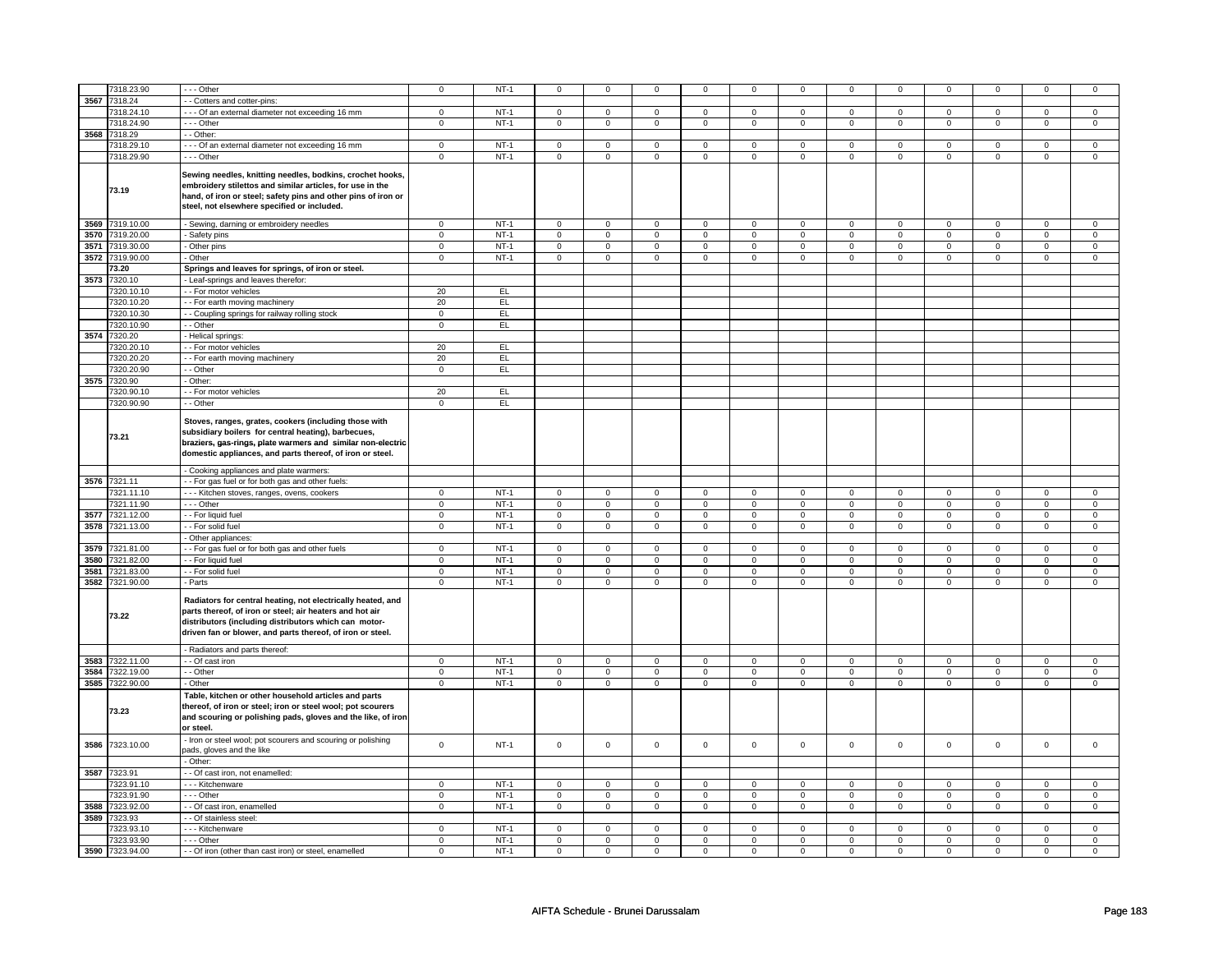|      | 7318.23.90      | -- Other                                                                                                                                                                                                                                                                          | $\mathbf 0$    | $NT-1$ | $\mathsf 0$         | $\mathbf 0$    | $\mathsf 0$    | $\mathbf 0$    | $\mathsf 0$         | $\mathbf 0$    | $\mathsf 0$         | $\mathbf 0$    | $\mathsf 0$    | $\mathsf 0$    | $\Omega$       | $\mathsf 0$    |
|------|-----------------|-----------------------------------------------------------------------------------------------------------------------------------------------------------------------------------------------------------------------------------------------------------------------------------|----------------|--------|---------------------|----------------|----------------|----------------|---------------------|----------------|---------------------|----------------|----------------|----------------|----------------|----------------|
| 3567 | 7318.24         | - - Cotters and cotter-pins:                                                                                                                                                                                                                                                      |                |        |                     |                |                |                |                     |                |                     |                |                |                |                |                |
|      | 7318.24.10      | --- Of an external diameter not exceeding 16 mm                                                                                                                                                                                                                                   | $\mathbf 0$    | $NT-1$ | $\mathbf 0$         | $\mathbf 0$    | $\mathbf 0$    | $\mathbf 0$    | $\mathbf 0$         | $\mathbf 0$    | $\mathbf 0$         | $\mathbf 0$    | $\mathbf 0$    | $\mathbf{0}$   | $\mathbf 0$    | $\mathbf{0}$   |
|      | 7318.24.90      | $\cdots$ Other                                                                                                                                                                                                                                                                    | $\overline{0}$ | $NT-1$ |                     | $\overline{0}$ |                | $\overline{0}$ |                     | $\overline{0}$ |                     | $\overline{0}$ |                | $\overline{0}$ |                |                |
|      |                 |                                                                                                                                                                                                                                                                                   |                |        | $\mathbf 0$         |                | $\mathbf 0$    |                | $\mathbf 0$         |                | $\mathbf 0$         |                | $\mathbf 0$    |                | $\mathbf 0$    | $\mathbf 0$    |
| 3568 | 7318.29         | - - Other:                                                                                                                                                                                                                                                                        |                |        |                     |                |                |                |                     |                |                     |                |                |                |                |                |
|      | 7318.29.10      | --- Of an external diameter not exceeding 16 mm                                                                                                                                                                                                                                   | $\mathbf 0$    | $NT-1$ | $\mathbf 0$         | $\mathbf 0$    | $\mathbf 0$    | $\mathbf 0$    | $\mathbf 0$         | $\mathbf 0$    | $\mathbf 0$         | $\mathbf 0$    | $\mathbf 0$    | $\mathbf 0$    | $\mathbf 0$    | $\mathbf 0$    |
|      | 7318.29.90      | --- Other                                                                                                                                                                                                                                                                         | $\overline{0}$ | $NT-1$ | $\overline{0}$      | $\overline{0}$ | $\overline{0}$ | $\overline{0}$ | $\overline{0}$      | $\overline{0}$ | $\overline{0}$      | $\overline{0}$ | $\overline{0}$ | $\overline{0}$ | $\overline{0}$ | $\overline{0}$ |
|      | 73.19           | Sewing needles, knitting needles, bodkins, crochet hooks,<br>embroidery stilettos and similar articles, for use in the<br>hand, of iron or steel; safety pins and other pins of iron or<br>steel, not elsewhere specified or included.                                            |                |        |                     |                |                |                |                     |                |                     |                |                |                |                |                |
| 3569 | 7319.10.00      | - Sewing, darning or embroidery needles                                                                                                                                                                                                                                           | $\mathbf 0$    | $NT-1$ | $\overline{0}$      | $\overline{0}$ | $\mathsf 0$    | $\overline{0}$ | $\overline{0}$      | $\overline{0}$ | $\mathsf 0$         | $\overline{0}$ | $\overline{0}$ | $\overline{0}$ | $\mathbf 0$    | $\mathsf 0$    |
|      | 3570 7319.20.00 | Safety pins                                                                                                                                                                                                                                                                       | $\overline{0}$ | $NT-1$ | $\overline{0}$      | $\overline{0}$ | $\mathsf 0$    | $\overline{0}$ | $\mathsf{O}\xspace$ | $\overline{0}$ | $\mathsf{O}\xspace$ | $\overline{0}$ | $\mathbf 0$    | $\overline{0}$ | $\mathbf 0$    | $\overline{0}$ |
| 3571 | 7319.30.00      | Other pins                                                                                                                                                                                                                                                                        | $\mathbf 0$    | $NT-1$ | $\mathsf 0$         | $\mathsf 0$    | $\mathsf 0$    | $\mathsf 0$    | $\mathsf 0$         | $\mathsf 0$    | $\mathsf 0$         | $\mathsf 0$    | $\mathsf 0$    | $\mathsf 0$    | $\mathbf 0$    | $\mathsf 0$    |
|      |                 |                                                                                                                                                                                                                                                                                   |                |        |                     |                |                |                |                     |                |                     |                |                |                |                |                |
|      | 3572 7319.90.00 | - Other                                                                                                                                                                                                                                                                           | $\mathbf 0$    | $NT-1$ | $\mathsf 0$         | $\mathbf 0$    | 0              | $\mathsf 0$    | 0                   | $\mathsf 0$    | 0                   | $\mathsf 0$    | 0              | $\mathbf 0$    | $\mathbf 0$    | $\mathbf 0$    |
|      | 73.20           | Springs and leaves for springs, of iron or steel.                                                                                                                                                                                                                                 |                |        |                     |                |                |                |                     |                |                     |                |                |                |                |                |
|      | 3573 7320.10    | - Leaf-springs and leaves therefor:                                                                                                                                                                                                                                               |                |        |                     |                |                |                |                     |                |                     |                |                |                |                |                |
|      | 7320.10.10      | - For motor vehicles                                                                                                                                                                                                                                                              | 20             | EL     |                     |                |                |                |                     |                |                     |                |                |                |                |                |
|      | 7320.10.20      | - For earth moving machinery                                                                                                                                                                                                                                                      | 20             | EL     |                     |                |                |                |                     |                |                     |                |                |                |                |                |
|      | 7320.10.30      | - Coupling springs for railway rolling stock                                                                                                                                                                                                                                      | $\mathsf 0$    | EL     |                     |                |                |                |                     |                |                     |                |                |                |                |                |
|      | 7320.10.90      | - Other                                                                                                                                                                                                                                                                           | $\mathbf 0$    | EL     |                     |                |                |                |                     |                |                     |                |                |                |                |                |
|      | 3574 7320.20    | Helical springs:                                                                                                                                                                                                                                                                  |                |        |                     |                |                |                |                     |                |                     |                |                |                |                |                |
|      | 7320.20.10      | - - For motor vehicles                                                                                                                                                                                                                                                            | 20             | EL     |                     |                |                |                |                     |                |                     |                |                |                |                |                |
|      |                 |                                                                                                                                                                                                                                                                                   |                |        |                     |                |                |                |                     |                |                     |                |                |                |                |                |
|      | 7320.20.20      | - For earth moving machinery                                                                                                                                                                                                                                                      | 20             | EL     |                     |                |                |                |                     |                |                     |                |                |                |                |                |
|      | 7320.20.90      | - Other                                                                                                                                                                                                                                                                           | $\mathbf 0$    | EL     |                     |                |                |                |                     |                |                     |                |                |                |                |                |
| 3575 | 7320.90         | Other:                                                                                                                                                                                                                                                                            |                |        |                     |                |                |                |                     |                |                     |                |                |                |                |                |
|      | 320.90.10       | - For motor vehicles                                                                                                                                                                                                                                                              | 20             | EL     |                     |                |                |                |                     |                |                     |                |                |                |                |                |
|      | 7320.90.90      | - - Other                                                                                                                                                                                                                                                                         | $\overline{0}$ | EL     |                     |                |                |                |                     |                |                     |                |                |                |                |                |
|      | 73.21           | Stoves, ranges, grates, cookers (including those with<br>subsidiary boilers for central heating), barbecues,<br>braziers, gas-rings, plate warmers and similar non-electric<br>domestic appliances, and parts thereof, of iron or steel.<br>Cooking appliances and plate warmers: |                |        |                     |                |                |                |                     |                |                     |                |                |                |                |                |
|      |                 |                                                                                                                                                                                                                                                                                   |                |        |                     |                |                |                |                     |                |                     |                |                |                |                |                |
|      | 3576 7321.11    | - For gas fuel or for both gas and other fuels:                                                                                                                                                                                                                                   |                |        |                     |                |                |                |                     |                |                     |                |                |                |                |                |
|      | 7321.11.10      | - - - Kitchen stoves, ranges, ovens, cookers                                                                                                                                                                                                                                      | $\mathbf 0$    | $NT-1$ | $\mathsf 0$         | $\mathbf 0$    | $\mathsf 0$    | $\mathbf 0$    | $\mathsf 0$         | $\mathbf 0$    | $\mathsf 0$         | $\overline{0}$ | $\mathsf 0$    | $\mathbf 0$    | $\mathbf 0$    | $\mathbf 0$    |
|      | 7321.11.90      | $- -$ Other                                                                                                                                                                                                                                                                       | $\overline{0}$ | $NT-1$ | $\overline{0}$      | $\overline{0}$ | $\overline{0}$ | $\overline{0}$ | $\overline{0}$      | $\overline{0}$ | $\overline{0}$      | $\overline{0}$ | $\overline{0}$ | $\overline{0}$ | $\overline{0}$ | $\overline{0}$ |
|      | 3577 7321.12.00 | - - For liquid fuel                                                                                                                                                                                                                                                               | $\mathbf 0$    | $NT-1$ | $\mathsf 0$         | $\mathsf 0$    | $\mathsf 0$    | $\mathsf 0$    | 0                   | $\mathsf 0$    | 0                   | $\mathbf 0$    | 0              | $\mathbf 0$    | $\mathbf 0$    | $\mathsf 0$    |
|      | 3578 7321.13.00 | - For solid fuel                                                                                                                                                                                                                                                                  | $\mathbf 0$    | $NT-1$ | $\mathsf{O}\xspace$ | $\mathsf 0$    | $\mathbf 0$    | $\mathsf 0$    | $\mathsf{O}\xspace$ | $\mathsf 0$    | $\mathbf 0$         | $\mathsf 0$    | $\mathbf 0$    | $\mathsf{O}$   | $\mathbf 0$    | $\mathbf 0$    |
|      |                 | Other appliances                                                                                                                                                                                                                                                                  |                |        |                     |                |                |                |                     |                |                     |                |                |                |                |                |
|      | 3579 7321.81.00 | - For gas fuel or for both gas and other fuels                                                                                                                                                                                                                                    | $\mathbf 0$    | $NT-1$ | $\mathbf 0$         | $\mathbf 0$    | 0              | $\mathbf 0$    | $\mathbf 0$         | $\mathbf 0$    | $\mathbf 0$         | $\mathbf 0$    | $\mathbf 0$    | $\mathbf 0$    | 0              | $\mathbf 0$    |
| 3580 | 7321.82.00      | - - For liquid fuel                                                                                                                                                                                                                                                               | $\mathsf 0$    | $NT-1$ | $\mathbf 0$         | $\mathbf 0$    | $\mathsf 0$    | $\mathbf 0$    | $\mathbf 0$         | $\mathbf 0$    | $\mathsf 0$         | $\mathbf 0$    | $\mathsf 0$    | $\mathbf 0$    | $\mathbf 0$    | $\mathbf 0$    |
| 3581 | 7321.83.00      | - - For solid fuel                                                                                                                                                                                                                                                                | $\mathsf 0$    | $NT-1$ | $\mathbf 0$         | $\overline{0}$ | $\mathbf 0$    | $\mathbf 0$    | $\mathbf 0$         | $\mathbf 0$    | $\mathbf 0$         | $\mathbf 0$    | $\mathbf 0$    | $\mathbf 0$    | $\mathbf 0$    | $\mathbf 0$    |
| 3582 | 7321.90.00      | - Parts                                                                                                                                                                                                                                                                           | $\mathbf 0$    | $NT-1$ | $\mathsf 0$         | $\mathsf 0$    | $\mathsf 0$    | $\mathsf 0$    | $\mathsf 0$         | $\mathsf 0$    | $\mathsf 0$         | $\mathsf 0$    | $\mathsf 0$    | $\mathsf 0$    | $\mathbf 0$    | $\mathsf 0$    |
|      | 73.22           | Radiators for central heating, not electrically heated, and<br>parts thereof, of iron or steel; air heaters and hot air<br>distributors (including distributors which can motor-<br>driven fan or blower, and parts thereof, of iron or steel.                                    |                |        |                     |                |                |                |                     |                |                     |                |                |                |                |                |
|      |                 | - Radiators and parts thereof:                                                                                                                                                                                                                                                    |                |        |                     |                |                |                |                     |                |                     |                |                |                |                |                |
| 3583 | 7322.11.00      | - Of cast iron                                                                                                                                                                                                                                                                    | $\mathsf 0$    | $NT-1$ | $\mathbf 0$         | $\mathbf 0$    | $\mathsf 0$    | $\mathbf 0$    | $\mathsf 0$         | $\mathbf 0$    | $\mathsf 0$         | $\mathbf 0$    | $\mathsf 0$    | $\mathbf 0$    | 0              | $\mathbf 0$    |
| 3584 | 7322.19.00      | - Other                                                                                                                                                                                                                                                                           | $\mathbf 0$    | $NT-1$ | $\mathbf 0$         | $\mathbf 0$    | $\mathbf 0$    | $\mathbf 0$    | $\mathbf 0$         | $\mathbf 0$    | $\mathsf 0$         | $\mathbf 0$    | $\mathbf 0$    | $\mathbf{0}$   | $\mathbf 0$    | $\mathbf{0}$   |
|      | 3585 7322.90.00 | - Other                                                                                                                                                                                                                                                                           | $\mathsf 0$    | $NT-1$ | $\mathsf 0$         | $\mathsf 0$    | $\mathbf 0$    | $\mathsf 0$    | $\mathsf 0$         | $\mathbf 0$    | $\mathbf 0$         | $\mathbf 0$    | $\mathsf 0$    | $\mathbf 0$    | $\mathbf 0$    | $\mathbf 0$    |
|      | 73.23           | Table, kitchen or other household articles and parts<br>thereof, of iron or steel; iron or steel wool; pot scourers<br>and scouring or polishing pads, gloves and the like, of iron<br>or steel.                                                                                  |                |        |                     |                |                |                |                     |                |                     |                |                |                |                |                |
| 3586 | 7323.10.00      | Iron or steel wool; pot scourers and scouring or polishing<br>pads, gloves and the like<br>- Other:                                                                                                                                                                               | $\mathsf 0$    | $NT-1$ | $\mathsf 0$         | $\mathsf 0$    | $\mathsf 0$    | $\mathsf 0$    | $\mathsf{O}\xspace$ | $\mathsf 0$    | $\mathsf{O}\xspace$ | $\mathsf 0$    | $\mathsf 0$    | $\mathbf 0$    | $\mathsf 0$    | $\mathbf 0$    |
|      | 7323.91         |                                                                                                                                                                                                                                                                                   |                |        |                     |                |                |                |                     |                |                     |                |                |                |                |                |
| 3587 |                 | - Of cast iron, not enamelled:                                                                                                                                                                                                                                                    |                |        |                     |                |                |                |                     |                |                     |                |                |                |                |                |
|      | 7323.91.10      | - - Kitchenware                                                                                                                                                                                                                                                                   | $\mathbf 0$    | $NT-1$ | $\overline{0}$      | $\overline{0}$ | $\mathbf 0$    | $\overline{0}$ | $\mathbf 0$         | $\overline{0}$ | $\mathbf 0$         | $\overline{0}$ | $\mathbf 0$    | $\mathbf 0$    | $\mathbf 0$    | $\mathbf 0$    |
|      | 7323.91.90      | --- Other                                                                                                                                                                                                                                                                         | $\mathsf 0$    | $NT-1$ | $\mathbf 0$         | $\mathbf 0$    | $\mathbf 0$    | $\mathbf 0$    | $\mathsf 0$         | $\mathbf 0$    | $\mathbf 0$         | $\mathbf 0$    | $\mathsf 0$    | $\mathbf 0$    | 0              | $\mathbf 0$    |
| 3588 | 7323.92.00      | - Of cast iron, enamelled                                                                                                                                                                                                                                                         | $\mathsf 0$    | $NT-1$ | $\mathbf 0$         | $\mathsf 0$    | $\mathbf 0$    | $\mathbf 0$    | $\mathsf 0$         | $\mathsf 0$    | $\mathbf 0$         | $\mathbf 0$    | $\mathsf 0$    | $\mathbf 0$    | $\mathbf 0$    | $\mathbf 0$    |
| 3589 | 7323.93         | - Of stainless steel:                                                                                                                                                                                                                                                             |                |        |                     |                |                |                |                     |                |                     |                |                |                |                |                |
|      | 7323.93.10      | - - - Kitchenware                                                                                                                                                                                                                                                                 | $\mathbf 0$    | $NT-1$ | $\mathbf 0$         | $\mathbf 0$    | 0              | $\mathbf 0$    | $\mathbf 0$         | $\mathbf 0$    | $\mathbf 0$         | $\mathbf 0$    | $\mathbf 0$    | $\mathbf 0$    | 0              | $\mathbf 0$    |
|      | 7323.93.90      | - - - Other                                                                                                                                                                                                                                                                       | $\mathbf 0$    | $NT-1$ | $\mathsf 0$         | $\mathbf 0$    | $\mathbf 0$    | $\mathbf 0$    | $\mathsf 0$         | $\mathbf 0$    | $\mathbf 0$         | $\mathbf 0$    | $\mathsf 0$    | 0              | 0              | 0              |
|      | 3590 7323.94.00 | - - Of iron (other than cast iron) or steel, enamelled                                                                                                                                                                                                                            | $\Omega$       | $NT-1$ | $\mathbf 0$         | $\mathbf 0$    | $\mathbf 0$    | $\mathbf 0$    | $\mathbf 0$         | $\mathbf 0$    | $\mathbf 0$         | $\mathbf 0$    | $\mathbf 0$    | $\mathbf 0$    | $\mathbf 0$    | $\mathbf 0$    |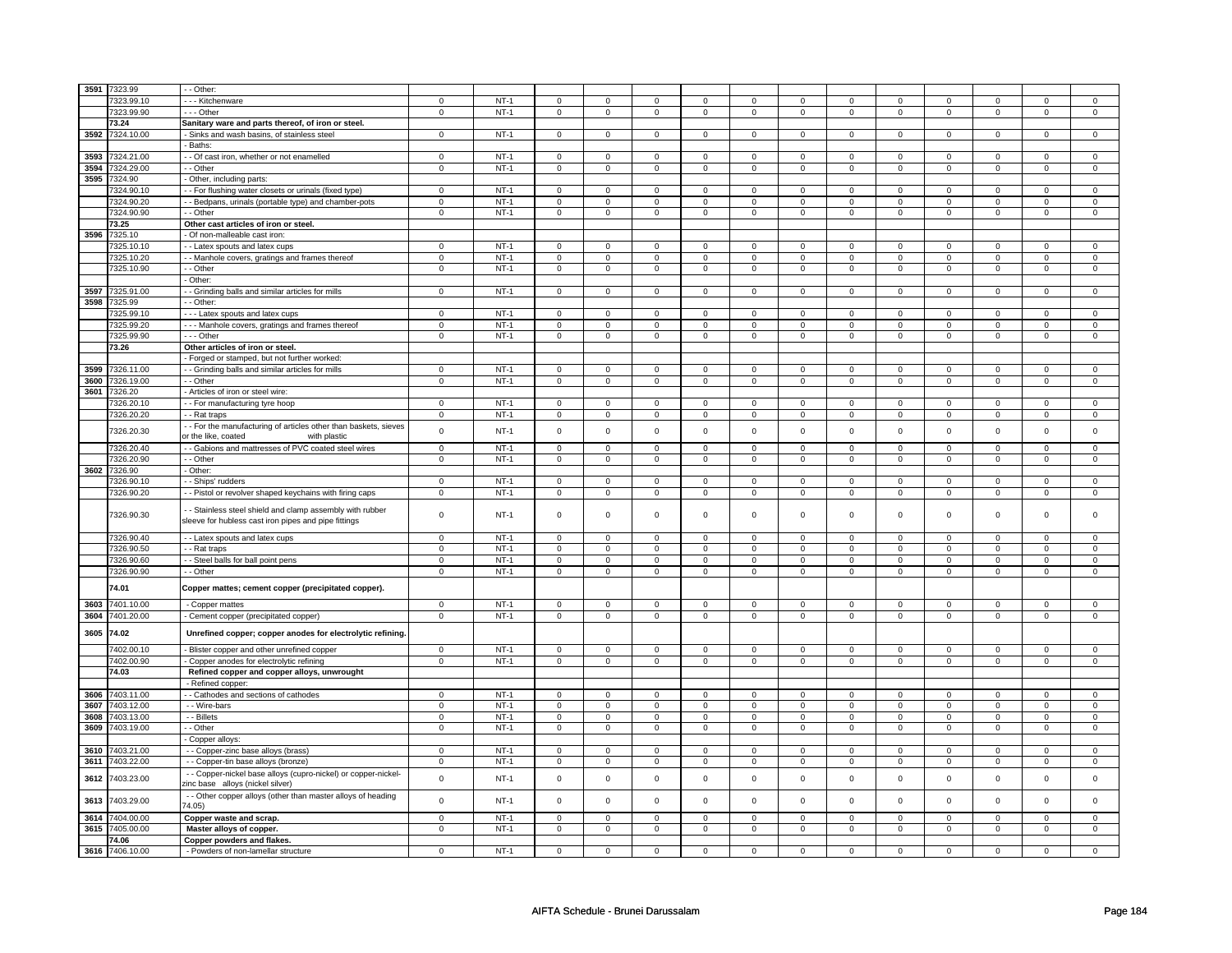| 3591 | 7323.99    | - - Other:                                                                                                      |                |        |                |                |                |                |                     |                |              |              |                     |              |             |                     |
|------|------------|-----------------------------------------------------------------------------------------------------------------|----------------|--------|----------------|----------------|----------------|----------------|---------------------|----------------|--------------|--------------|---------------------|--------------|-------------|---------------------|
|      | 7323.99.10 | - - - Kitchenware                                                                                               | $\mathbf 0$    | $NT-1$ | $\mathbf 0$    | $\mathbf 0$    | $\mathbf 0$    | $\mathbf 0$    | $\mathbf 0$         | 0              | 0            | 0            | 0                   | 0            | $\mathbf 0$ | $\mathbf 0$         |
|      | 7323.99.90 | --- Other                                                                                                       | $\mathbf 0$    | $NT-1$ | $\mathsf 0$    | $\mathsf 0$    | $\mathbf 0$    | $\mathsf 0$    | $\mathsf{O}\xspace$ | $\mathbf 0$    | 0            | $\mathbf 0$  | $\mathsf 0$         | $\mathsf 0$  | 0           | $\overline{0}$      |
|      |            |                                                                                                                 |                |        |                |                |                |                |                     |                |              |              |                     |              |             |                     |
|      | 73.24      | Sanitary ware and parts thereof, of iron or steel.                                                              |                |        |                |                |                |                |                     |                |              |              |                     |              |             |                     |
| 3592 | 7324.10.00 | - Sinks and wash basins, of stainless steel                                                                     | $\mathbf 0$    | $NT-1$ | $\mathbf 0$    | $\Omega$       | $\Omega$       | $\mathbf 0$    | $\mathsf 0$         | $\mathbf 0$    | $\mathbf 0$  | $\mathbf 0$  | $\mathsf 0$         | $\mathbf 0$  | $\Omega$    | $\Omega$            |
|      |            | - Baths:                                                                                                        |                |        |                |                |                |                |                     |                |              |              |                     |              |             |                     |
| 3593 | 7324.21.00 | - - Of cast iron, whether or not enamelled                                                                      | 0              | $NT-1$ | $\mathsf 0$    | $\mathbf 0$    | $\Omega$       | $\mathbf 0$    | 0                   | 0              | $\Omega$     | $\mathbf 0$  | 0                   | 0            | $\Omega$    | $\Omega$            |
| 3594 | 7324.29.00 | $-$ Other                                                                                                       | $\mathsf 0$    | $NT-1$ | $\mathsf 0$    | $\mathsf 0$    | 0              | $\mathsf 0$    | 0                   | $\mathsf 0$    | 0            | $\mathsf 0$  | $\mathsf 0$         | $\mathsf 0$  | 0           | $\mathsf 0$         |
| 3595 | 7324.90    | Other, including parts:                                                                                         |                |        |                |                |                |                |                     |                |              |              |                     |              |             |                     |
|      | 7324.90.10 | - For flushing water closets or urinals (fixed type)                                                            | 0              | $NT-1$ | 0              | $\mathbf 0$    | 0              | $\mathbf 0$    | 0                   | $\mathbf 0$    | 0            | $\mathbf 0$  | 0                   | $\mathbf 0$  | $\Omega$    | $\mathbf 0$         |
|      | 7324.90.20 | - Bedpans, urinals (portable type) and chamber-pots                                                             | $\mathsf 0$    | $NT-1$ | $\mathsf 0$    | $\mathbf 0$    | $\Omega$       | $\mathbf 0$    | $\Omega$            | $\mathbf 0$    | $\Omega$     | $\mathsf 0$  | $\Omega$            | $\mathbf 0$  | 0           | 0                   |
|      | 7324.90.90 | - Other                                                                                                         | $\mathbf 0$    | $NT-1$ | $\mathbf 0$    | $\mathbf 0$    | $\mathbf 0$    | $\mathbf 0$    | $\mathbf 0$         | $\mathbf 0$    | $\mathbf 0$  | $\mathbf{0}$ | $\mathbf 0$         | $\mathbf 0$  | $\mathbf 0$ | $\mathbf{0}$        |
|      | 73.25      | Other cast articles of iron or steel.                                                                           |                |        |                |                |                |                |                     |                |              |              |                     |              |             |                     |
| 3596 | 7325.10    | - Of non-malleable cast iron                                                                                    |                |        |                |                |                |                |                     |                |              |              |                     |              |             |                     |
|      | 7325.10.10 | - Latex spouts and latex cups                                                                                   | $\Omega$       | $NT-1$ | $\mathsf 0$    | $\mathsf 0$    | $\Omega$       | $\mathbf 0$    | $\mathbf 0$         | $\mathbf 0$    | $\Omega$     | $\mathsf 0$  | $\mathbf 0$         | $\mathbf 0$  | $\Omega$    | $\mathbf{0}$        |
|      | 7325.10.20 | - Manhole covers, gratings and frames thereof                                                                   | 0              | $NT-1$ | 0              | $\mathbf 0$    | $^{\circ}$     | $\mathbf 0$    | 0                   | $\mathbf 0$    | $^{\circ}$   | $\mathbf 0$  | 0                   | 0            | 0           | $\mathbf{0}$        |
|      | 7325.10.90 | - Other                                                                                                         | 0              | $NT-1$ | $\mathbf 0$    | $\mathbf 0$    | $\mathbf 0$    | $\mathbf 0$    | $\mathbf 0$         | $\mathbf 0$    | 0            | $\mathbf 0$  | 0                   | $\mathbf 0$  | 0           | 0                   |
|      |            |                                                                                                                 |                |        |                |                |                |                |                     |                |              |              |                     |              |             |                     |
|      |            | - Other:                                                                                                        |                |        |                |                |                |                |                     |                |              |              |                     |              |             |                     |
| 3597 | 7325.91.00 | - Grinding balls and similar articles for mills                                                                 | $\mathbf 0$    | $NT-1$ | $\mathbf 0$    | $\mathbf 0$    | $\mathbf 0$    | $\mathbf 0$    | $\mathbf 0$         | $\mathbf 0$    | $\mathbf 0$  | $\mathbf 0$  | $\mathbf 0$         | $\mathbf 0$  | $\Omega$    | $\mathbf{0}$        |
| 3598 | 7325.99    | - Other:                                                                                                        |                |        |                |                |                |                |                     |                |              |              |                     |              |             |                     |
|      | 7325.99.10 | --- Latex spouts and latex cups                                                                                 | 0              | $NT-1$ | $\mathbf 0$    | $\mathbf 0$    | 0              | $\mathbf 0$    | $\mathbf 0$         | 0              | $\mathbf 0$  | 0            | 0                   | 0            | 0           | 0                   |
|      | 7325.99.20 | --- Manhole covers, gratings and frames thereof                                                                 | $\mathbf 0$    | $NT-1$ | 0              | $\mathbf 0$    | $\mathbf 0$    | $\mathbf 0$    | 0                   | $\mathbf 0$    | 0            | $\mathbf 0$  | 0                   | $\mathbf 0$  | 0           | $\mathbf 0$         |
|      | 7325.99.90 | - - - Other                                                                                                     | 0              | $NT-1$ | $\mathbf 0$    | $\mathbf 0$    | $\mathbf 0$    | $\mathbf 0$    | $\mathbf 0$         | $\mathbf{0}$   | $\mathbf{0}$ | $\mathbf 0$  | 0                   | $\mathbf 0$  | 0           | $\overline{0}$      |
|      | 73.26      | Other articles of iron or steel.                                                                                |                |        |                |                |                |                |                     |                |              |              |                     |              |             |                     |
|      |            | - Forged or stamped, but not further worked                                                                     |                |        |                |                |                |                |                     |                |              |              |                     |              |             |                     |
| 3599 | 7326.11.00 | - Grinding balls and similar articles for mills                                                                 | $\pmb{0}$      | $NT-1$ | $\mathsf 0$    | $\mathbf 0$    | $^{\circ}$     | $\mathsf 0$    | $\mathsf 0$         | $\mathsf 0$    | $^{\circ}$   | $\mathsf 0$  | $\mathsf 0$         | $\mathsf 0$  | $\Omega$    | $\mathsf{O}\xspace$ |
| 3600 | 7326.19.00 | - - Other                                                                                                       | $\mathsf 0$    | $NT-1$ | $\mathsf 0$    | $\mathsf 0$    | 0              | $\mathsf 0$    | 0                   | $\mathbf 0$    | 0            | $\mathbf 0$  | $\mathsf 0$         | $\mathsf 0$  | 0           | $\mathbf 0$         |
| 3601 | 326.20     | Articles of iron or steel wire:                                                                                 |                |        |                |                |                |                |                     |                |              |              |                     |              |             |                     |
|      | 326.20.10  | - For manufacturing tyre hoop                                                                                   | $\mathsf 0$    | $NT-1$ | $\mathsf 0$    | $\mathsf 0$    | $\Omega$       | $\mathbf 0$    | 0                   | $\mathbf 0$    | $\Omega$     | $\mathsf 0$  | 0                   | $\mathbf 0$  | $\Omega$    | 0                   |
|      | 7326.20.20 | - - Rat traps                                                                                                   | $\mathsf 0$    | $NT-1$ | $\mathsf 0$    | $\mathsf 0$    | $\mathsf 0$    | $\mathsf 0$    | $\mathsf{O}\xspace$ | $\mathbf 0$    | $\mathbf 0$  | $\mathsf 0$  | $\mathsf 0$         | $\mathsf 0$  | $\mathsf 0$ | 0                   |
|      |            |                                                                                                                 |                |        |                |                |                |                |                     |                |              |              |                     |              |             |                     |
|      | 7326.20.30 | - - For the manufacturing of articles other than baskets, sieves<br>or the like, coated<br>with plastic         | $\mathsf 0$    | $NT-1$ | $\Omega$       | $\mathbf 0$    | $\mathbf 0$    | $\mathbf 0$    | $\mathbf 0$         | $\mathsf 0$    | $\mathbf 0$  | $\mathsf 0$  | $\mathbf 0$         | $\mathbf 0$  | $\Omega$    | $\mathbf{0}$        |
|      | 7326.20.40 | - - Gabions and mattresses of PVC coated steel wires                                                            | $\mathsf 0$    | $NT-1$ | $\mathbf 0$    | $\mathbf 0$    | 0              | $\mathbf 0$    | 0                   | 0              | 0            | 0            | $\mathbf 0$         | 0            | $\Omega$    | $\mathbf 0$         |
|      | 7326.20.90 | - Other                                                                                                         | $\mathbf 0$    | $NT-1$ | $\mathbf 0$    | $\mathbf 0$    | $\mathbf 0$    | $\mathbf 0$    | $\mathbf 0$         | 0              | 0            | 0            | 0                   | 0            | $\mathbf 0$ | 0                   |
| 3602 | 7326.90    | Other:                                                                                                          |                |        |                |                |                |                |                     |                |              |              |                     |              |             |                     |
|      | 7326.90.1  | - Ships' rudders                                                                                                | $\mathbf 0$    | $NT-1$ | $\mathbf 0$    | $\mathbf 0$    | $\mathbf 0$    | $\mathbf 0$    | $\mathbf 0$         | $\mathbf 0$    | 0            | $\mathbf 0$  | 0                   | $\mathbf 0$  | 0           | 0                   |
|      | 7326.90.20 | - - Pistol or revolver shaped keychains with firing caps                                                        | $\mathsf 0$    | $NT-1$ | $\mathbf 0$    | 0              | $\mathbf 0$    | $\mathbf 0$    | $\mathbf 0$         | 0              | 0            | 0            | 0                   | 0            | 0           | 0                   |
|      | 7326.90.30 | - Stainless steel shield and clamp assembly with rubber<br>sleeve for hubless cast iron pipes and pipe fittings | $\mathsf 0$    | $NT-1$ | $\mathsf 0$    | $\mathsf 0$    | $\mathbf 0$    | $\mathbf 0$    | $\mathbf 0$         | 0              | 0            | 0            | 0                   | 0            | 0           | 0                   |
|      | 7326.90.40 |                                                                                                                 | $\mathbf 0$    | $NT-1$ | $\mathbf 0$    | $\Omega$       | $\Omega$       | $\mathbf 0$    | $\mathsf 0$         | $\mathbf 0$    | $\Omega$     | $\Omega$     | $\mathbf 0$         | $\mathbf 0$  | $\Omega$    | $\Omega$            |
|      |            | - Latex spouts and latex cups                                                                                   |                |        |                |                |                |                |                     |                |              |              |                     |              |             |                     |
|      | 7326.90.50 | - - Rat traps                                                                                                   | 0              | $NT-1$ | $\mathbf 0$    | $\mathbf 0$    | $\mathbf 0$    | $\mathbf 0$    | 0                   | $\mathbf{0}$   | $^{\circ}$   | $\mathbf{0}$ | 0                   | $\mathbf{0}$ | 0           | 0                   |
|      | 7326.90.60 | - Steel balls for ball point pens                                                                               | 0              | $NT-1$ | $\mathbf 0$    | $\mathbf 0$    | $\mathbf 0$    | $\mathbf 0$    | $\mathbf 0$         | $\mathbf 0$    | 0            | 0            | 0                   | 0            | 0           | 0                   |
|      | 7326.90.90 | - - Other                                                                                                       | $\mathbf 0$    | $NT-1$ | $\mathbf 0$    | $\mathbf 0$    | $\mathbf 0$    | $\mathbf 0$    | $\mathbf 0$         | 0              | 0            | 0            | 0                   | 0            | 0           | 0                   |
|      | 74.01      | Copper mattes; cement copper (precipitated copper).                                                             |                |        |                |                |                |                |                     |                |              |              |                     |              |             |                     |
| 3603 | 7401.10.00 | - Copper mattes                                                                                                 | $\mathbf 0$    | $NT-1$ | $\mathbf 0$    | $\mathbf 0$    | $\mathbf 0$    | $\mathbf 0$    | $\mathbf 0$         | 0              | 0            | 0            | 0                   | 0            | 0           | $\mathbf 0$         |
| 3604 | 7401.20.00 | - Cement copper (precipitated copper)                                                                           | $\overline{0}$ | $NT-1$ | $\overline{0}$ | $\overline{0}$ | $\overline{0}$ | $\overline{0}$ | $\mathsf 0$         | $\mathbf 0$    | $\mathsf 0$  | $\mathbf 0$  | $\mathsf{O}\xspace$ | $\mathbf 0$  | $\mathsf 0$ | $\overline{0}$      |
| 3605 | 74.02      | Unrefined copper; copper anodes for electrolytic refining.                                                      |                |        |                |                |                |                |                     |                |              |              |                     |              |             |                     |
|      | 7402.00.10 | - Blister copper and other unrefined copper                                                                     | $\mathsf 0$    | $NT-1$ | $\mathsf 0$    | $\mathsf 0$    | $\mathsf 0$    | $\mathbf 0$    | $\mathsf 0$         | $\mathsf 0$    | $\mathbf 0$  | $\mathsf 0$  | $\mathsf 0$         | $\mathsf 0$  | $\Omega$    | $\mathsf{O}\xspace$ |
|      | 7402.00.90 | - Copper anodes for electrolytic refining                                                                       | $\mathbf 0$    | $NT-1$ | $\mathsf 0$    | $\mathsf 0$    | 0              | $\mathsf 0$    | 0                   | $\mathbf 0$    | $\Omega$     | $\mathbf 0$  | 0                   | $\mathbf 0$  | $\Omega$    | $\overline{0}$      |
|      | 74.03      | Refined copper and copper alloys, unwrought                                                                     |                |        |                |                |                |                |                     |                |              |              |                     |              |             |                     |
|      |            | Refined copper:                                                                                                 |                |        |                |                |                |                |                     |                |              |              |                     |              |             |                     |
| 3606 | 7403.11.00 | - Cathodes and sections of cathodes                                                                             | 0              | $NT-1$ | 0              | $\mathbf 0$    | 0              | $\mathbf 0$    | 0                   | $\mathbf 0$    | 0            | $\mathbf 0$  | 0                   | 0            | 0           | $\mathbf 0$         |
| 3607 | 7403.12.00 | - - Wire-bars                                                                                                   | $\mathbf 0$    | $NT-1$ | $\mathbf 0$    | $\mathbf 0$    | $\mathsf 0$    | $\mathbf 0$    | $\mathsf 0$         | $\mathsf 0$    | $\mathbf 0$  | $\mathsf 0$  | $\mathsf 0$         | $\mathbf 0$  | $\mathbf 0$ | $\mathbf{0}$        |
| 3608 | 7403.13.00 | - - Billets                                                                                                     | $\mathbf 0$    | $NT-1$ | $\mathbf 0$    | $\mathbf 0$    | $\mathbf 0$    | $\mathbf 0$    | $\mathbf 0$         | $\mathbf 0$    | $\mathbf 0$  | $\mathsf 0$  | $\mathbf 0$         | $\mathbf 0$  | $\Omega$    | 0                   |
| 3609 | 7403.19.00 | - - Other                                                                                                       | $\mathsf 0$    | $NT-1$ | $\overline{0}$ | $\mathbf 0$    | $\mathbf 0$    | $\mathbf 0$    | $\mathsf 0$         | $\mathbf 0$    | $\mathbf 0$  | $\mathbf 0$  | $\mathsf 0$         | $\mathbf 0$  | $\mathbf 0$ | $\overline{0}$      |
|      |            | Copper alloys:                                                                                                  |                |        |                |                |                |                |                     |                |              |              |                     |              |             |                     |
| 3610 | 403.21.00  | - - Copper-zinc base alloys (brass)                                                                             | $\mathsf 0$    | $NT-1$ | $\mathsf 0$    | $\mathbf 0$    | $\Omega$       | $\mathbf 0$    | $\Omega$            | $\mathbf 0$    | $\Omega$     | $\mathsf 0$  | $\Omega$            | $\mathbf 0$  | $\Omega$    | $\mathbf 0$         |
| 3611 | 7403.22.00 | - - Copper-tin base alloys (bronze)                                                                             | $\mathbf 0$    | $NT-1$ | 0              | $\mathbf 0$    | $^{\circ}$     | $\mathbf 0$    | 0                   | $\mathbf 0$    | $^{\circ}$   | $\mathbf 0$  | 0                   | $\mathbf 0$  | 0           | $\mathbf{0}$        |
| 3612 | 403.23.00  | - - Copper-nickel base alloys (cupro-nickel) or copper-nickel-                                                  | $\mathbf 0$    | $NT-1$ | $\mathbf 0$    | $\mathsf 0$    | $\mathbf 0$    | $\mathbf 0$    | $\mathsf 0$         | $\mathsf 0$    | 0            | $\mathsf 0$  | $\mathsf 0$         | $\mathbf 0$  | $\Omega$    | 0                   |
| 3613 | 7403.29.00 | zinc base alloys (nickel silver)<br>- - Other copper alloys (other than master alloys of heading                | $\pmb{0}$      | $NT-1$ | $\mathsf 0$    | $\mathbf 0$    | $\mathsf 0$    | $\mathbf 0$    | 0                   | 0              | 0            | 0            | 0                   | 0            | $\mathsf 0$ | $\mathsf 0$         |
|      |            | 74.05)                                                                                                          |                |        |                |                |                |                |                     |                |              |              |                     |              |             |                     |
| 3614 | 7404.00.00 | Copper waste and scrap.                                                                                         | $\mathsf 0$    | $NT-1$ | $\mathbf 0$    | $\mathsf 0$    | $\mathbf 0$    | $\mathbf 0$    | $\mathbf 0$         | 0              | 0            | 0            | 0                   | $\mathbf 0$  | $\mathbf 0$ | 0                   |
| 3615 | 7405.00.00 | Master alloys of copper.                                                                                        | $\overline{0}$ | $NT-1$ | 0              | $\overline{0}$ | 0              | $\overline{0}$ | 0                   | $\overline{0}$ | 0            | $\mathbf 0$  | 0                   | $\mathbf 0$  | 0           | $\overline{0}$      |
|      | 74.06      | Copper powders and flakes.                                                                                      |                |        |                |                |                |                |                     |                |              |              |                     |              |             |                     |
| 3616 | 7406.10.00 | - Powders of non-lamellar structure                                                                             | $\mathsf 0$    | $NT-1$ | $\mathbf 0$    | $\mathbf 0$    | 0              | $\mathbf 0$    | 0                   | $\mathsf 0$    | 0            | $\mathsf 0$  | $\mathsf 0$         | $\mathbf 0$  | 0           | 0                   |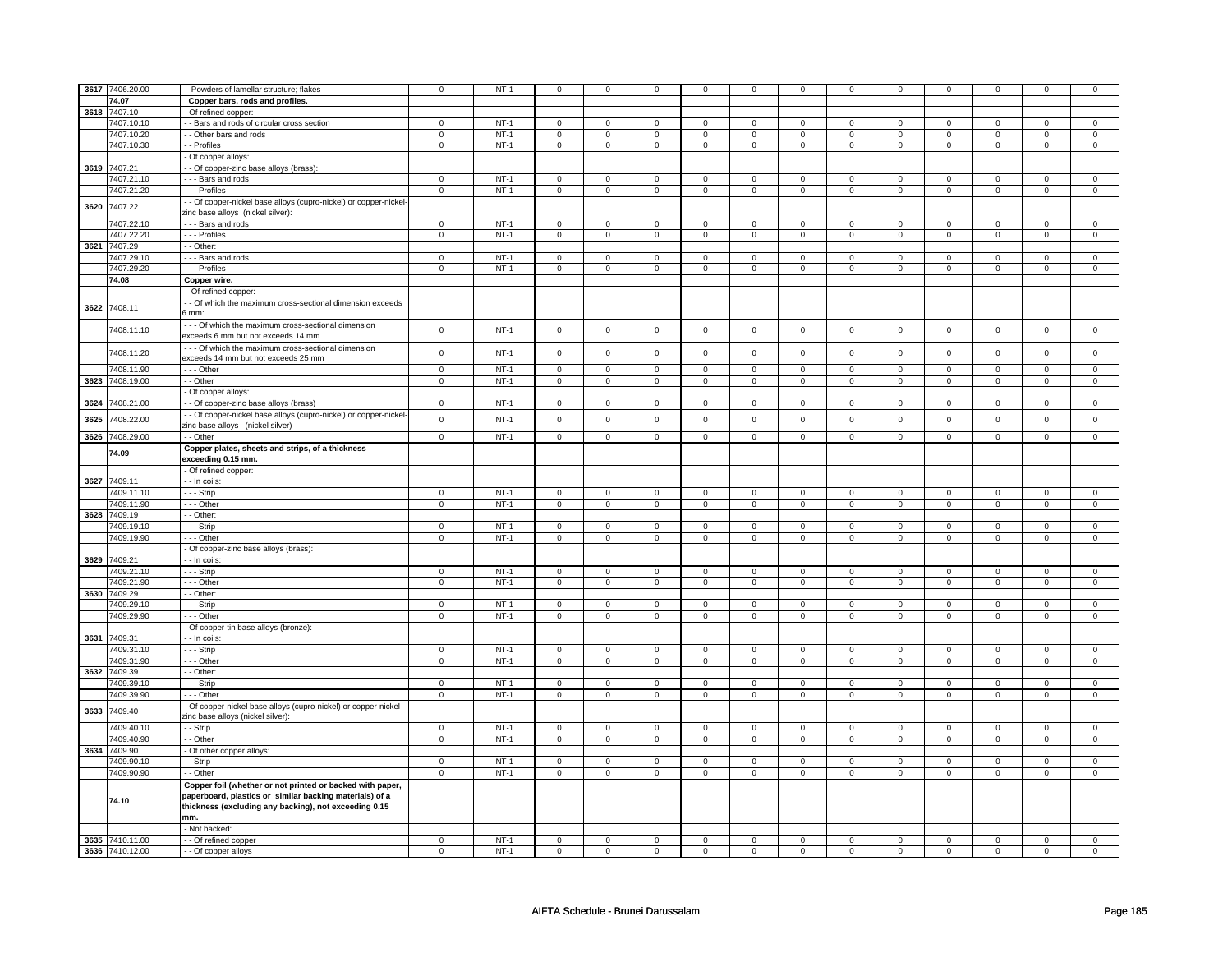|      | 3617 7406.20.00 | - Powders of lamellar structure; flakes                                                                                                                                       | $\mathbf 0$    | $NT-1$           | $\mathsf 0$         | $\mathsf{O}\xspace$ | $\mathbf 0$    | $\mathsf 0$    | $\mathbf 0$         | $\mathsf 0$    | $\mathbf 0$         | $\mathbf 0$    | $\mathsf 0$    | $\mathsf 0$    | $\mathbf 0$                   | $\mathbf 0$                 |
|------|-----------------|-------------------------------------------------------------------------------------------------------------------------------------------------------------------------------|----------------|------------------|---------------------|---------------------|----------------|----------------|---------------------|----------------|---------------------|----------------|----------------|----------------|-------------------------------|-----------------------------|
|      | 74.07           | Copper bars, rods and profiles.                                                                                                                                               |                |                  |                     |                     |                |                |                     |                |                     |                |                |                |                               |                             |
| 3618 | 7407.10         | Of refined copper:                                                                                                                                                            |                |                  |                     |                     |                |                |                     |                |                     |                |                |                |                               |                             |
|      | 7407.10.10      | - Bars and rods of circular cross section                                                                                                                                     | 0              | $NT-1$           | $\mathbf 0$         | $\mathbf 0$         | $^{\circ}$     | $\mathbf 0$    | 0                   | $\mathbf 0$    | $\mathbf 0$         | $\mathbf 0$    | 0              | $\mathbf 0$    | $\Omega$                      | $\mathbf{0}$                |
|      | 7407.10.20      | - - Other bars and rods                                                                                                                                                       | $\mathbf 0$    | $NT-1$           | $\mathsf 0$         | $\mathbf 0$         | $\Omega$       | $\mathbf 0$    | $\mathbf 0$         | $\mathsf 0$    | $\Omega$            | $\mathbf 0$    | $\mathsf 0$    | $\mathbf 0$    | 0                             | $\mathbf{0}$                |
|      | 7407.10.30      | - - Profiles                                                                                                                                                                  | $\mathbf 0$    | $NT-1$           | $\mathbf 0$         | $\mathbf 0$         | $\mathbf 0$    | $\mathbf 0$    | $\mathbf 0$         | $\mathbf 0$    | $\mathbf 0$         | $\mathbf 0$    | $\mathbf 0$    | $\mathbf 0$    | $\mathbf 0$                   | $\mathbf{0}$                |
|      |                 | - Of copper alloys:                                                                                                                                                           |                |                  |                     |                     |                |                |                     |                |                     |                |                |                |                               |                             |
|      | 3619 7407.21    | - Of copper-zinc base alloys (brass):                                                                                                                                         |                |                  |                     |                     |                |                |                     |                |                     |                |                |                |                               |                             |
|      | 407.21.10       | --- Bars and rods                                                                                                                                                             | $\mathbf 0$    | $NT-1$           | 0                   | $\mathbf 0$         | $^{\circ}$     | 0              | 0                   | 0              | 0                   | 0              | 0              | 0              | 0                             | 0                           |
|      | 7407.21.20      | --- Profiles                                                                                                                                                                  | $\mathsf 0$    | $NT-1$           | $\mathsf 0$         | $\mathbf 0$         | $\mathsf 0$    | $\mathbf 0$    | $\mathsf 0$         | $\mathsf 0$    | $\mathbf 0$         | $\mathbf 0$    | $\mathbf 0$    | $\mathbf 0$    | $\mathbf 0$                   | $\mathbf{0}$                |
|      |                 | - - Of copper-nickel base alloys (cupro-nickel) or copper-nickel                                                                                                              |                |                  |                     |                     |                |                |                     |                |                     |                |                |                |                               |                             |
| 3620 | 7407.22         | zinc base alloys (nickel silver):                                                                                                                                             |                |                  |                     |                     |                |                |                     |                |                     |                |                |                |                               |                             |
|      | 7407.22.10      | --- Bars and rods                                                                                                                                                             | $\pmb{0}$      | $NT-1$           | $\mathsf 0$         | $\overline{0}$      | $\mathbf 0$    | $\mathbf 0$    | $\mathbf 0$         | $\overline{0}$ | $\mathbf 0$         | $\mathbf 0$    | $\mathsf 0$    | $\overline{0}$ | 0                             | 0                           |
|      | 7407.22.20      | - - - Profiles                                                                                                                                                                | $\overline{0}$ | $NT-1$           | $\mathsf{O}\xspace$ | $\overline{0}$      | $\mathsf 0$    | $\mathsf 0$    | $\mathsf 0$         | $\overline{0}$ | $\mathbf 0$         | $\overline{0}$ | $\mathsf 0$    | $\overline{0}$ | $\mathbf 0$                   | $\overline{0}$              |
| 3621 | 7407.29         | - Other:                                                                                                                                                                      |                |                  |                     |                     |                |                |                     |                |                     |                |                |                |                               |                             |
|      | 7407.29.10      | --- Bars and rods                                                                                                                                                             | $\mathbf 0$    | $NT-1$           | 0                   | $\mathbf 0$         | $^{\circ}$     | $\mathbf 0$    | 0                   | 0              | 0                   | 0              | 0              | $\mathbf 0$    | 0                             | $\mathbf 0$                 |
|      | 7407.29.20      | --- Profiles                                                                                                                                                                  | $\mathbf 0$    | $NT-1$           | $\mathbf 0$         | $\mathbf 0$         | $\mathbf 0$    | $\mathbf 0$    | $\mathbf 0$         | $\mathbf 0$    | 0                   | $\mathbf 0$    | 0              | $\mathbf 0$    | 0                             | $\mathbf 0$                 |
|      | 74.08           | Copper wire                                                                                                                                                                   |                |                  |                     |                     |                |                |                     |                |                     |                |                |                |                               |                             |
|      |                 | - Of refined copper:                                                                                                                                                          |                |                  |                     |                     |                |                |                     |                |                     |                |                |                |                               |                             |
|      |                 | - - Of which the maximum cross-sectional dimension exceeds                                                                                                                    |                |                  |                     |                     |                |                |                     |                |                     |                |                |                |                               |                             |
| 3622 | 7408.11         | 6 mm:                                                                                                                                                                         |                |                  |                     |                     |                |                |                     |                |                     |                |                |                |                               |                             |
|      | 7408.11.10      | - - - Of which the maximum cross-sectional dimension                                                                                                                          | $\mathsf 0$    | $NT-1$           | $\mathsf{O}\xspace$ | $\mathbf 0$         | 0              | $\mathbf 0$    | 0                   | $\mathsf 0$    | 0                   | $\mathsf 0$    | $\mathsf 0$    | $\mathsf 0$    | $\mathbf 0$                   | $\mathbf 0$                 |
|      |                 | exceeds 6 mm but not exceeds 14 mm                                                                                                                                            |                |                  |                     |                     |                |                |                     |                |                     |                |                |                |                               |                             |
|      | 7408.11.20      | --- Of which the maximum cross-sectional dimension<br>exceeds 14 mm but not exceeds 25 mm                                                                                     | $\pmb{0}$      | $NT-1$           | $\mathsf{O}\xspace$ | $\mathsf 0$         | $\mathbf 0$    | $\mathsf 0$    | $\mathsf 0$         | $\mathsf 0$    | $\mathbf 0$         | $\mathbf 0$    | $\mathsf 0$    | $\mathsf 0$    | $\Omega$                      | $\mathsf 0$                 |
|      | 7408.11.90      | Other                                                                                                                                                                         | $\mathsf 0$    | $NT-1$           | $\mathsf{O}\xspace$ | $\mathsf 0$         | $\mathsf 0$    | $\mathsf 0$    | $\mathsf 0$         | $\mathsf 0$    | $\mathsf{O}\xspace$ | $\mathsf 0$    | $\mathsf 0$    | $\mathsf 0$    | $\Omega$                      | $\mathbf 0$                 |
| 3623 | 7408.19.00      | - Other                                                                                                                                                                       | $\mathsf 0$    | $NT-1$           | $\mathsf{O}\xspace$ | $\mathsf 0$         | 0              | $\mathbf 0$    | $\mathsf 0$         | $\mathbf 0$    | 0                   | $\mathbf 0$    | $\mathsf 0$    | $\mathbf 0$    | 0                             | $\mathsf 0$                 |
|      |                 | Of copper alloys:                                                                                                                                                             |                |                  |                     |                     |                |                |                     |                |                     |                |                |                |                               |                             |
|      | 3624 7408.21.00 | - Of copper-zinc base alloys (brass)                                                                                                                                          | $\mathsf 0$    | $NT-1$           | $\mathbf 0$         | $\mathbf 0$         | $\mathbf 0$    | $\mathbf 0$    | $\overline{0}$      | $\mathbf 0$    | $\mathbf 0$         | $\mathbf 0$    | $\mathbf 0$    | $\mathsf 0$    | $\mathbf 0$                   | $\mathbf 0$                 |
|      |                 | - Of copper-nickel base alloys (cupro-nickel) or copper-nickel                                                                                                                |                |                  |                     |                     |                |                |                     |                |                     |                |                |                |                               |                             |
| 3625 | 408.22.00       | zinc base alloys (nickel silver)                                                                                                                                              | $\pmb{0}$      | $NT-1$           | $\mathsf 0$         | $\mathbf 0$         | $\mathbf 0$    | $\mathbf 0$    | $\mathbf 0$         | $\mathbf 0$    | $\mathbf 0$         | $\mathbf 0$    | $\mathsf 0$    | $\mathbf 0$    | $\mathbf 0$                   | $\mathbf 0$                 |
| 3626 | 7408.29.00      | - - Other                                                                                                                                                                     | $\overline{0}$ | $NT-1$           | $\overline{0}$      | $\overline{0}$      | $\overline{0}$ | $\overline{0}$ | $\overline{0}$      | $\overline{0}$ | $\overline{0}$      | $\overline{0}$ | $\overline{0}$ | $\overline{0}$ | $\overline{0}$                | $\overline{0}$              |
|      | 74.09           | Copper plates, sheets and strips, of a thickness                                                                                                                              |                |                  |                     |                     |                |                |                     |                |                     |                |                |                |                               |                             |
|      |                 | exceeding 0.15 mm.                                                                                                                                                            |                |                  |                     |                     |                |                |                     |                |                     |                |                |                |                               |                             |
|      |                 | - Of refined copper:                                                                                                                                                          |                |                  |                     |                     |                |                |                     |                |                     |                |                |                |                               |                             |
|      | 3627 7409.11    | - - In coils                                                                                                                                                                  |                |                  |                     |                     |                |                |                     |                |                     |                |                |                |                               |                             |
|      | 7409.11.10      | --- Strip                                                                                                                                                                     | $\mathsf 0$    | $NT-1$           | $\mathsf 0$         | $\mathbf 0$         | $\mathbf 0$    | $\mathsf 0$    | $\mathbf 0$         | $\mathsf 0$    | $\mathbf 0$         | $\mathbf 0$    | $\mathsf 0$    | $\mathbf 0$    | $\mathbf 0$<br>$\overline{0}$ | 0                           |
|      | 7409.11.90      | $\cdots$ Other                                                                                                                                                                | $\overline{0}$ | $NT-1$           | $\overline{0}$      | $\overline{0}$      | $\mathbf 0$    | $\overline{0}$ | $\mathsf 0$         | $\overline{0}$ | $\mathbf 0$         | $\overline{0}$ | $\overline{0}$ | $\overline{0}$ |                               | $\overline{0}$              |
|      | 3628 7409.19    | - Other:                                                                                                                                                                      |                |                  |                     |                     |                |                |                     |                |                     |                |                |                |                               |                             |
|      | 409.19.10       | - - Strip                                                                                                                                                                     | $\mathbf 0$    | $NT-1$<br>$NT-1$ | $\mathbf 0$         | $\mathsf 0$         | $\Omega$       | $\mathsf 0$    | $\mathbf 0$         | $\mathsf 0$    | $\Omega$            | $\mathsf 0$    | $\mathbf 0$    | $\mathsf 0$    | $\Omega$                      | $\mathbf{0}$<br>$\mathbf 0$ |
|      | 409.19.90       | - - - Other                                                                                                                                                                   | $\mathbf 0$    |                  | $\mathbf 0$         | $\mathbf 0$         | $\mathbf 0$    | $\mathbf 0$    | $\mathbf 0$         | $\mathbf 0$    | $\mathbf 0$         | $\mathbf 0$    | 0              | $\mathbf 0$    | 0                             |                             |
| 3629 | 7409.21         | - Of copper-zinc base alloys (brass):<br>- - In coils:                                                                                                                        |                |                  |                     |                     |                |                |                     |                |                     |                |                |                |                               |                             |
|      | 409.21.10       | --- Strip                                                                                                                                                                     | $\mathbf 0$    | $NT-1$           | $\mathbf 0$         | $\mathbf 0$         | $\mathbf 0$    | $\mathsf 0$    | $\mathbf 0$         | $\mathsf 0$    | $\mathbf 0$         | $\mathbf 0$    | $\mathsf 0$    | $\mathbf 0$    | $\Omega$                      | $\mathbf 0$                 |
|      | 7409.21.90      | Other                                                                                                                                                                         | $\mathbf 0$    | $NT-1$           | $\mathsf 0$         | $\mathbf 0$         | $\mathbf 0$    | $\mathsf 0$    | $\mathbf 0$         | $\mathbf 0$    | $\mathbf 0$         | $\mathbf 0$    | $\mathsf 0$    | $\mathbf 0$    | $\mathbf 0$                   | $\mathsf 0$                 |
| 3630 | 7409.29         | - Other:                                                                                                                                                                      |                |                  |                     |                     |                |                |                     |                |                     |                |                |                |                               |                             |
|      | 7409.29.10      | $- -$ Strip                                                                                                                                                                   | $\mathbf 0$    | $NT-1$           | $\mathbf 0$         | $\mathbf 0$         | 0              | $\mathbf 0$    | 0                   | $\mathbf 0$    | 0                   | $\mathbf 0$    | 0              | $\mathbf 0$    | 0                             | $\overline{0}$              |
|      | 7409.29.90      | --- Other                                                                                                                                                                     | $\mathsf 0$    | $NT-1$           | $\mathbf 0$         | $\overline{0}$      | $\mathbf{0}$   | $\mathbf 0$    | $\mathbf 0$         | $\mathbf{0}$   | $\mathbf{0}$        | $\mathbf{0}$   | 0              | $\mathbf{0}$   | 0                             | $\mathbf 0$                 |
|      |                 | - Of copper-tin base alloys (bronze):                                                                                                                                         |                |                  |                     |                     |                |                |                     |                |                     |                |                |                |                               |                             |
| 3631 | 7409.31         | - In coils                                                                                                                                                                    |                |                  |                     |                     |                |                |                     |                |                     |                |                |                |                               |                             |
|      | 7409.31.10      | Strip                                                                                                                                                                         | $\mathsf 0$    | $NT-1$           | $\mathsf{O}\xspace$ | $\mathsf 0$         | 0              | $\mathsf 0$    | 0                   | $\mathbf 0$    | 0                   | $\mathsf 0$    | 0              | $\mathbf 0$    | $\Omega$                      | $\mathsf 0$                 |
|      | 409.31.90       | --- Other                                                                                                                                                                     | $\mathbf 0$    | $NT-1$           | $\mathbf 0$         | $\mathbf 0$         | 0              | $\mathbf 0$    | $\mathsf{O}\xspace$ | $\mathbf 0$    | 0                   | $\mathbf 0$    | 0              | $\mathbf 0$    | 0                             | $\mathbf 0$                 |
| 3632 | 7409.39         | - Other:                                                                                                                                                                      |                |                  |                     |                     |                |                |                     |                |                     |                |                |                |                               |                             |
|      | 7409.39.10      | - - - Strip                                                                                                                                                                   | $\mathbf 0$    | $NT-1$           | $\mathbf 0$         | $\mathbf 0$         | $\mathbf 0$    | $\mathbf 0$    | $\mathbf 0$         | $\mathbf 0$    | 0                   | $\mathbf 0$    | 0              | $\mathbf 0$    | 0                             | $\mathbf 0$                 |
|      | 7409.39.90      | --- Other                                                                                                                                                                     | $\mathbf 0$    | $NT-1$           | $\mathbf 0$         | $\mathbf 0$         | $\mathbf 0$    | $\mathbf 0$    | $\mathbf 0$         | $\mathbf 0$    | $\mathbf 0$         | $\mathbf 0$    | $\mathbf 0$    | $\mathbf 0$    | $\Omega$                      | $\mathbf{0}$                |
| 3633 | 7409.40         | Of copper-nickel base alloys (cupro-nickel) or copper-nickel-                                                                                                                 |                |                  |                     |                     |                |                |                     |                |                     |                |                |                |                               |                             |
|      |                 | zinc base alloys (nickel silver):                                                                                                                                             |                |                  |                     |                     |                |                |                     |                |                     |                |                |                |                               |                             |
|      | 409.40.10       | - - Strip                                                                                                                                                                     | $\mathbf 0$    | $NT-1$           | 0                   | $\mathbf 0$         | $^{\circ}$     | 0              | 0                   | 0              | 0                   | 0              | 0              | 0              | 0                             | 0                           |
|      | 7409.40.90      | - - Other                                                                                                                                                                     | $\overline{0}$ | $NT-1$           | $\overline{0}$      | $\overline{0}$      | 0              | $\mathbf 0$    | 0                   | $\overline{0}$ | 0                   | 0              | 0              | $\overline{0}$ | 0                             | $\overline{0}$              |
|      | 3634 7409.90    | - Of other copper alloys:                                                                                                                                                     |                |                  |                     |                     |                |                |                     |                |                     |                |                |                |                               |                             |
|      | 7409.90.1       | - - Strip                                                                                                                                                                     | $\mathsf 0$    | $NT-1$           | $\mathsf{O}\xspace$ | $\mathsf 0$         | $^{\circ}$     | $\mathbf 0$    | $\mathsf 0$         | $\mathbf 0$    | 0                   | $\mathsf 0$    | $\mathsf 0$    | $\mathsf 0$    | 0                             | 0                           |
|      | 7409.90.90      | - - Other                                                                                                                                                                     | $\Omega$       | $NT-1$           | $\mathsf 0$         | $\mathbf 0$         | $\mathbf 0$    | $\mathbf 0$    | $\mathbf 0$         | $\mathsf 0$    | $\mathbf 0$         | $\mathbf 0$    | $\mathsf 0$    | $\mathbf 0$    | $\mathbf 0$                   | $\mathbf{0}$                |
|      | 74.10           | Copper foil (whether or not printed or backed with paper,<br>paperboard, plastics or similar backing materials) of a<br>thickness (excluding any backing), not exceeding 0.15 |                |                  |                     |                     |                |                |                     |                |                     |                |                |                |                               |                             |
|      |                 | mm.                                                                                                                                                                           |                |                  |                     |                     |                |                |                     |                |                     |                |                |                |                               |                             |
|      |                 | - Not backed:                                                                                                                                                                 |                |                  |                     |                     |                |                |                     |                |                     |                |                |                |                               |                             |
|      | 3635 7410.11.00 | - - Of refined copper                                                                                                                                                         | $\Omega$       | $NT-1$           | $\mathbf 0$         | 0                   | 0              | 0              | 0                   | 0              | $\mathbf 0$         | 0              | 0              | 0              | $\mathbf 0$                   | 0                           |
|      | 3636 7410.12.00 | - - Of copper alloys                                                                                                                                                          | $\Omega$       | $NT-1$           | $\mathbf 0$         | $\mathbf 0$         | $\mathbf 0$    | $\mathbf 0$    | $\mathbf 0$         | $\mathbf 0$    | $\mathbf 0$         | $\mathbf 0$    | $\mathbf 0$    | $\mathbf 0$    | $\Omega$                      | 0                           |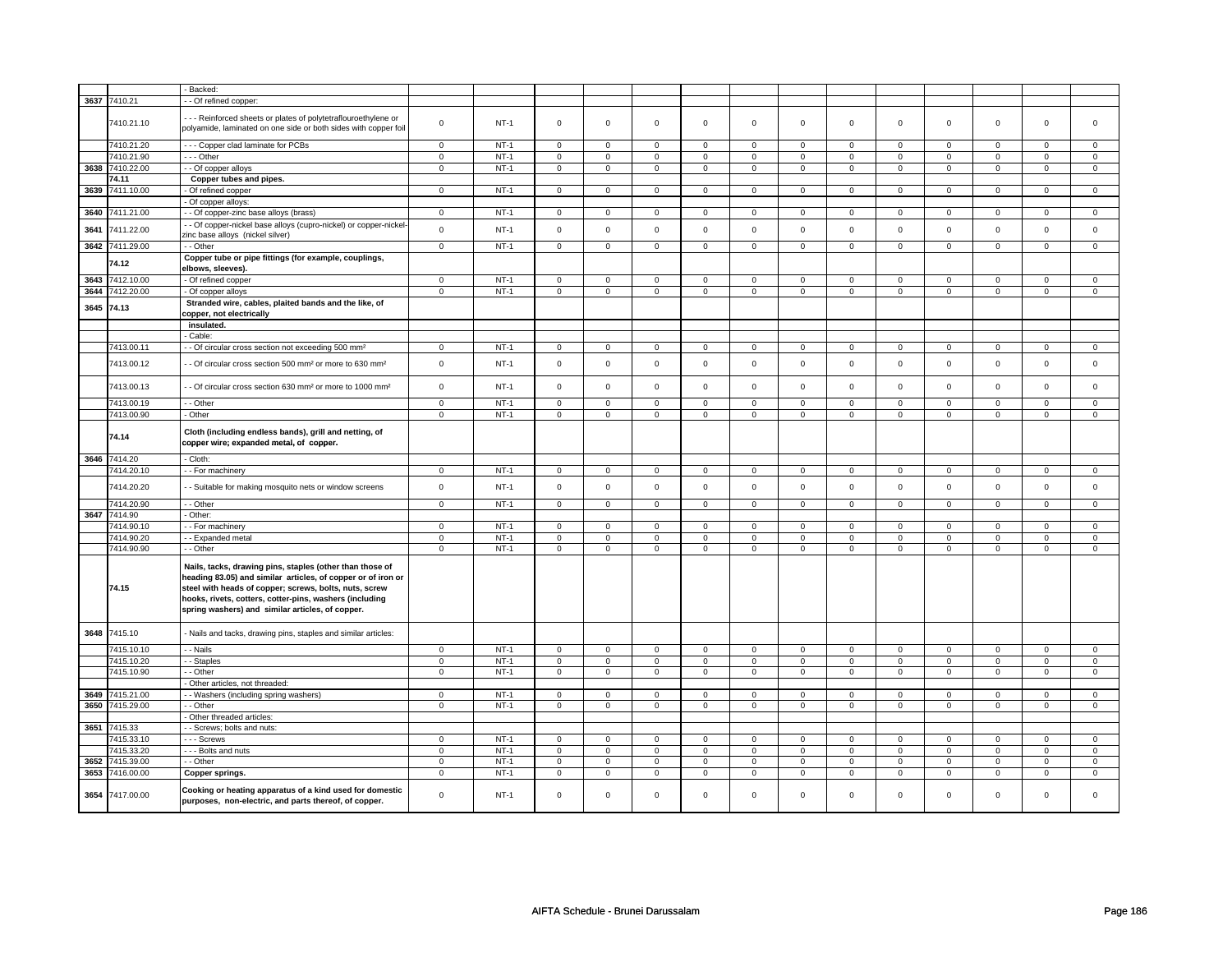|      |                 | Backed:                                                                                                                                                                                                                                                                                           |                |        |                |                |                     |                |                     |                |                |                |                |                |             |                |
|------|-----------------|---------------------------------------------------------------------------------------------------------------------------------------------------------------------------------------------------------------------------------------------------------------------------------------------------|----------------|--------|----------------|----------------|---------------------|----------------|---------------------|----------------|----------------|----------------|----------------|----------------|-------------|----------------|
|      | 3637 7410.21    | - - Of refined copper:                                                                                                                                                                                                                                                                            |                |        |                |                |                     |                |                     |                |                |                |                |                |             |                |
|      |                 |                                                                                                                                                                                                                                                                                                   |                |        |                |                |                     |                |                     |                |                |                |                |                |             |                |
|      | 7410.21.10      | --- Reinforced sheets or plates of polytetraflouroethylene or<br>polyamide, laminated on one side or both sides with copper foil                                                                                                                                                                  | $\mathbf 0$    | $NT-1$ | $\mathbf 0$    | $\mathbf 0$    | $\mathbf 0$         | $\mathbf 0$    | $\mathbf 0$         | $\mathbf{0}$   | $\mathbf 0$    | $\mathbf{0}$   | $\mathbf 0$    | $\mathbf 0$    | $\mathbf 0$ | $\mathbf{0}$   |
|      | 7410.21.20      | --- Copper clad laminate for PCBs                                                                                                                                                                                                                                                                 | $\mathsf 0$    | $NT-1$ | $\mathbf 0$    | $\mathbf 0$    | $\mathbf 0$         | $\mathbf 0$    | $\mathbf 0$         | $\mathsf 0$    | $\mathbf 0$    | $\mathbf{0}$   | $\mathbf 0$    | $\mathbf 0$    | $\Omega$    | $\mathbf{0}$   |
|      | 7410.21.90      | $\overline{\cdots}$ - Other                                                                                                                                                                                                                                                                       | 0              | $NT-1$ | $\mathbf 0$    | $\mathbf 0$    | $\mathbf 0$         | $\mathbf 0$    | $\mathbf 0$         | 0              | 0              | 0              | 0              | 0              | 0           | 0              |
|      | 3638 7410.22.00 | - Of copper alloys                                                                                                                                                                                                                                                                                | $\overline{0}$ | $NT-1$ | $\overline{0}$ | $\overline{0}$ | $\overline{0}$      | $\overline{0}$ | $\overline{0}$      | $\overline{0}$ | 0              | $\overline{0}$ | $\overline{0}$ | $\overline{0}$ | 0           | $\overline{0}$ |
|      | 74.11           | Copper tubes and pipes.                                                                                                                                                                                                                                                                           |                |        |                |                |                     |                |                     |                |                |                |                |                |             |                |
| 3639 | 7411.10.00      | Of refined copper                                                                                                                                                                                                                                                                                 | $\mathsf 0$    | $NT-1$ | $\mathsf 0$    | $\mathsf 0$    | $\mathsf{O}\xspace$ | $\mathsf 0$    | $\mathsf{O}\xspace$ | $\mathsf 0$    | $\mathbf 0$    | $\mathsf 0$    | $\mathsf 0$    | $\mathbf 0$    | $\mathbf 0$ | $\mathbf 0$    |
|      |                 | Of copper alloys:                                                                                                                                                                                                                                                                                 |                |        |                |                |                     |                |                     |                |                |                |                |                |             |                |
| 3640 | 7411.21.00      | - Of copper-zinc base alloys (brass)                                                                                                                                                                                                                                                              | $\mathbf 0$    | $NT-1$ | $\mathbf 0$    | $\mathbf 0$    | $\mathbf 0$         | $\mathbf 0$    | $\mathbf 0$         | $\mathbf 0$    | 0              | $\mathbf 0$    | 0              | $\mathbf 0$    | 0           | 0              |
| 3641 | 7411.22.00      | - Of copper-nickel base alloys (cupro-nickel) or copper-nickel-<br>zinc base alloys (nickel silver)                                                                                                                                                                                               | $\mathsf 0$    | $NT-1$ | $\mathsf 0$    | $\mathsf{o}\,$ | $\mathsf 0$         | $\mathbf 0$    | $\mathsf 0$         | $\mathbf 0$    | $\mathbf 0$    | $\mathbf 0$    | $\mathsf 0$    | $\mathbf 0$    | $\mathsf 0$ | 0              |
|      | 3642 7411.29.00 | - - Other                                                                                                                                                                                                                                                                                         | $\mathbf 0$    | $NT-1$ | $\mathsf 0$    | $\mathsf 0$    | $\mathbf 0$         | $\mathsf 0$    | $\mathsf 0$         | $\mathbf 0$    | 0              | $\mathbf 0$    | $\mathbf 0$    | $\mathbf 0$    | 0           | $\mathbf 0$    |
|      | 74.12           | Copper tube or pipe fittings (for example, couplings,<br>elbows, sleeves).                                                                                                                                                                                                                        |                |        |                |                |                     |                |                     |                |                |                |                |                |             |                |
| 3643 | 7412.10.00      | - Of refined copper                                                                                                                                                                                                                                                                               | $\mathsf 0$    | $NT-1$ | $\Omega$       | $\mathbf 0$    | $\mathbf 0$         | $\mathbf 0$    | $\mathbf 0$         | 0              | $\mathbf 0$    | 0              | $\mathbf 0$    | 0              | $\Omega$    | 0              |
| 3644 | 7412.20.00      | - Of copper alloys                                                                                                                                                                                                                                                                                | $\mathbf 0$    | $NT-1$ | $\mathbf 0$    | $\mathbf 0$    | $\mathbf 0$         | $\mathbf 0$    | $\mathbf 0$         | $\mathbf 0$    | 0              | $\mathbf 0$    | 0              | $\mathbf 0$    | 0           | 0              |
|      | 3645 74.13      | Stranded wire, cables, plaited bands and the like, of<br>copper, not electrically                                                                                                                                                                                                                 |                |        |                |                |                     |                |                     |                |                |                |                |                |             |                |
|      |                 | insulated.                                                                                                                                                                                                                                                                                        |                |        |                |                |                     |                |                     |                |                |                |                |                |             |                |
|      |                 | Cable:                                                                                                                                                                                                                                                                                            |                |        |                |                |                     |                |                     |                |                |                |                |                |             |                |
|      | 7413.00.11      | - Of circular cross section not exceeding 500 mm <sup>2</sup>                                                                                                                                                                                                                                     | $\mathbf 0$    | $NT-1$ | $\overline{0}$ | $\mathbf 0$    | $\mathsf 0$         | $\mathbf 0$    | $\mathsf 0$         | $\mathsf 0$    | $\mathbf 0$    | $\mathsf 0$    | $\mathsf 0$    | $\mathbf 0$    | $\Omega$    | 0              |
|      | 7413.00.12      | - Of circular cross section 500 mm <sup>2</sup> or more to 630 mm <sup>2</sup>                                                                                                                                                                                                                    | $\mathsf 0$    | $NT-1$ | $\mathsf 0$    | $\mathsf 0$    | $\mathbf 0$         | $\mathsf 0$    | $\mathbf 0$         | $\mathbf 0$    | $\mathbf 0$    | 0              | $\mathbf 0$    | $\mathbf 0$    | $\mathbf 0$ | $\mathbf 0$    |
|      | 7413.00.13      | - - Of circular cross section 630 mm <sup>2</sup> or more to 1000 mm <sup>2</sup>                                                                                                                                                                                                                 | $\mathsf 0$    | $NT-1$ | $\mathsf 0$    | $\mathsf{o}\,$ | $\mathsf{O}\xspace$ | $\mathsf 0$    | $\mathsf{O}\xspace$ | $\mathbf 0$    | $\mathsf 0$    | $\mathsf 0$    | $\mathsf 0$    | $\mathbf 0$    | $\mathsf 0$ | $\mathsf 0$    |
|      | 7413.00.19      | - Other                                                                                                                                                                                                                                                                                           | $\mathsf 0$    | $NT-1$ | $\mathbf 0$    | $\mathbf 0$    | $\mathbf 0$         | $\mathbf 0$    | $\mathbf 0$         | $\mathbf{0}$   | $\mathbf 0$    | $\mathbf{0}$   | $\mathbf 0$    | $\mathbf 0$    | $\mathbf 0$ | $\mathbf 0$    |
|      | 7413.00.90      | - Other                                                                                                                                                                                                                                                                                           | $\mathbf 0$    | $NT-1$ | $\mathbf 0$    | $\mathbf 0$    | $\mathbf 0$         | $\mathbf 0$    | $\mathbf 0$         | $\mathbf{0}$   | $\mathbf 0$    | $\mathbf{0}$   | $\mathbf 0$    | $\mathbf{0}$   | $\mathbf 0$ | $\mathbf{0}$   |
|      | 74.14           | Cloth (including endless bands), grill and netting, of<br>copper wire; expanded metal, of copper.                                                                                                                                                                                                 |                |        |                |                |                     |                |                     |                |                |                |                |                |             |                |
| 3646 | 7414.20         | - Cloth:                                                                                                                                                                                                                                                                                          |                |        |                |                |                     |                |                     |                |                |                |                |                |             |                |
|      | 7414.20.10      | - - For machinery                                                                                                                                                                                                                                                                                 | $\mathsf 0$    | $NT-1$ | $\mathbf 0$    | $\mathbf 0$    | $\mathsf 0$         | $\mathbf 0$    | $\mathsf 0$         | $\mathbf 0$    | $\mathbf 0$    | $\mathbf 0$    | $\mathsf 0$    | $\mathbf 0$    | $\mathsf 0$ | $\mathbf 0$    |
|      | 7414.20.20      | - Suitable for making mosquito nets or window screens                                                                                                                                                                                                                                             | $\mathsf 0$    | $NT-1$ | $\mathsf 0$    | $\mathsf{o}\,$ | $\mathsf 0$         | $\mathbf 0$    | $\mathsf 0$         | $\mathbf 0$    | 0              | $\mathbf 0$    | $\mathsf 0$    | $\mathbf 0$    | $\mathsf 0$ | $\mathbf 0$    |
|      | 7414.20.90      | - - Other                                                                                                                                                                                                                                                                                         | $\overline{0}$ | $NT-1$ | $\overline{0}$ | $\overline{0}$ | $\overline{0}$      | $\overline{0}$ | $\overline{0}$      | $\overline{0}$ | $\overline{0}$ | $\overline{0}$ | $\overline{0}$ | $\overline{0}$ | $\Omega$    | $\overline{0}$ |
| 3647 | 7414.90         | - Other:                                                                                                                                                                                                                                                                                          |                |        |                |                |                     |                |                     |                |                |                |                |                |             |                |
|      | 7414.90.10      | - For machinery                                                                                                                                                                                                                                                                                   | $\mathbf{0}$   | $NT-1$ | $\mathbf{0}$   | $\mathbf{0}$   | $\mathbf{0}$        | $\mathbf 0$    | $\mathbf{0}$        | $\mathbf{0}$   | $\mathbf 0$    | $\mathbf 0$    | $\mathbf{0}$   | $\mathbf 0$    | $\mathbf 0$ | $\mathbf{0}$   |
|      | 7414.90.20      | - - Expanded metal                                                                                                                                                                                                                                                                                | $\mathsf 0$    | $NT-1$ | $\mathbf 0$    | $\mathbf 0$    | $\mathbf 0$         | $\mathbf 0$    | $\mathbf 0$         | $\mathsf 0$    | $\mathbf 0$    | $\mathbf 0$    | $\mathbf 0$    | $\mathbf 0$    | $\mathbf 0$ | 0              |
|      | 7414.90.90      | - - Other                                                                                                                                                                                                                                                                                         | $\mathbf 0$    | $NT-1$ | $\mathbf 0$    | $\mathbf 0$    | $\mathbf 0$         | $\mathbf 0$    | $\mathbf 0$         | 0              | 0              | $\mathbf 0$    | 0              | 0              | 0           | 0              |
|      | 74.15           | Nails, tacks, drawing pins, staples (other than those of<br>heading 83.05) and similar articles, of copper or of iron or<br>steel with heads of copper; screws, bolts, nuts, screw<br>hooks, rivets, cotters, cotter-pins, washers (including<br>spring washers) and similar articles, of copper. |                |        |                |                |                     |                |                     |                |                |                |                |                |             |                |
| 3648 | 7415.10         | - Nails and tacks, drawing pins, staples and similar articles:                                                                                                                                                                                                                                    |                |        |                |                |                     |                |                     |                |                |                |                |                |             |                |
|      | 7415.10.10      | - - Nails                                                                                                                                                                                                                                                                                         | $\mathbf 0$    | $NT-1$ | $\mathbf 0$    | $\mathbf 0$    | $\mathbf 0$         | $\mathbf 0$    | $\mathbf 0$         | $\mathbf{0}$   | $\mathbf 0$    | $\mathbf{0}$   | $\mathbf{0}$   | $\mathbf{0}$   | $\mathbf 0$ | $\mathbf 0$    |
|      | 7415.10.20      | - - Staples                                                                                                                                                                                                                                                                                       | $\overline{0}$ | $NT-1$ | $\overline{0}$ | $\overline{0}$ | $\mathsf 0$         | $\overline{0}$ | $\mathsf 0$         | $\overline{0}$ | $\mathbf 0$    | $\overline{0}$ | $\mathsf 0$    | $\overline{0}$ | $\mathsf 0$ | $\overline{0}$ |
|      | 7415.10.90      | - Other                                                                                                                                                                                                                                                                                           | $\mathsf 0$    | $NT-1$ | $\mathbf 0$    | $\mathbf 0$    | $\mathbf 0$         | $\mathbf 0$    | $\mathsf 0$         | $\mathbf 0$    | 0              | $\mathbf 0$    | $\mathsf 0$    | $\mathbf 0$    | $\mathbf 0$ | $\mathbf 0$    |
|      |                 | Other articles, not threaded:                                                                                                                                                                                                                                                                     |                |        |                |                |                     |                |                     |                |                |                |                |                |             |                |
| 3649 | 7415.21.00      | - Washers (including spring washers)                                                                                                                                                                                                                                                              | $\mathsf 0$    | $NT-1$ | $\mathsf 0$    | $\mathsf 0$    | $\mathbf 0$         | $\mathsf 0$    | $\mathsf{O}\xspace$ | $\mathsf{O}$   | $\mathsf 0$    | $\mathbf 0$    | $\mathsf 0$    | $\mathbf 0$    | $\mathbf 0$ | $\mathbf 0$    |
| 3650 | 7415.29.00      | - - Other                                                                                                                                                                                                                                                                                         | $\mathsf 0$    | $NT-1$ | $\mathbf 0$    | $\mathsf 0$    | $\mathsf 0$         | $\mathbf 0$    | $\mathsf 0$         | $\mathsf 0$    | $\mathbf 0$    | $\mathsf 0$    | $\mathsf 0$    | $\mathbf 0$    | $\mathsf 0$ | $\mathbf 0$    |
|      |                 | Other threaded articles:                                                                                                                                                                                                                                                                          |                |        |                |                |                     |                |                     |                |                |                |                |                |             |                |
|      | 3651 7415.33    | - - Screws; bolts and nuts:                                                                                                                                                                                                                                                                       |                |        |                |                |                     |                |                     |                |                |                |                |                |             |                |
|      | 7415.33.10      | --- Screws                                                                                                                                                                                                                                                                                        | $\mathbf 0$    | $NT-1$ | $\overline{0}$ | $\overline{0}$ | $\mathsf 0$         | $\overline{0}$ | $\mathsf 0$         | $\mathbf 0$    | $\mathbf 0$    | $\mathbf 0$    | $\mathsf 0$    | $\mathbf 0$    | $\mathsf 0$ | 0              |
|      | 7415.33.20      | - - - Bolts and nuts                                                                                                                                                                                                                                                                              | $\mathsf 0$    | $NT-1$ | $\mathbf 0$    | $\mathsf 0$    | $\mathbf 0$         | $\mathbf 0$    | $\mathbf 0$         | $\mathbf 0$    | $\mathbf 0$    | $\mathbf 0$    | $\mathsf 0$    | $\mathbf{0}$   | $\mathbf 0$ | $\mathbf 0$    |
| 3652 | 7415.39.00      | - - Other                                                                                                                                                                                                                                                                                         | $\mathbf 0$    | $NT-1$ | 0              | $\mathsf 0$    | $\mathbf 0$         | $\mathbf 0$    | $\mathsf{O}\xspace$ | $\mathbf 0$    | 0              | $\mathbf 0$    | 0              | $\mathbf 0$    | 0           | 0              |
| 3653 | 7416.00.00      | Copper springs.                                                                                                                                                                                                                                                                                   | $\mathbf 0$    | $NT-1$ | $\mathbf 0$    | $\mathbf 0$    | $\mathbf 0$         | $\mathbf 0$    | $\mathbf 0$         | $\mathbf{0}$   | $\mathbf 0$    | $\mathbf 0$    | $\mathbf 0$    | $\mathbf 0$    | $\mathbf 0$ | $\mathbf{0}$   |
| 3654 | 7417.00.00      | Cooking or heating apparatus of a kind used for domestic<br>purposes, non-electric, and parts thereof, of copper.                                                                                                                                                                                 | $\mathbf 0$    | $NT-1$ | $\mathbf 0$    | $\mathbf 0$    | $\mathbf 0$         | $\mathbf 0$    | $\mathbf 0$         | $\Omega$       | $\mathbf 0$    | $\Omega$       | $\mathbf 0$    | $\Omega$       | $\Omega$    | $\Omega$       |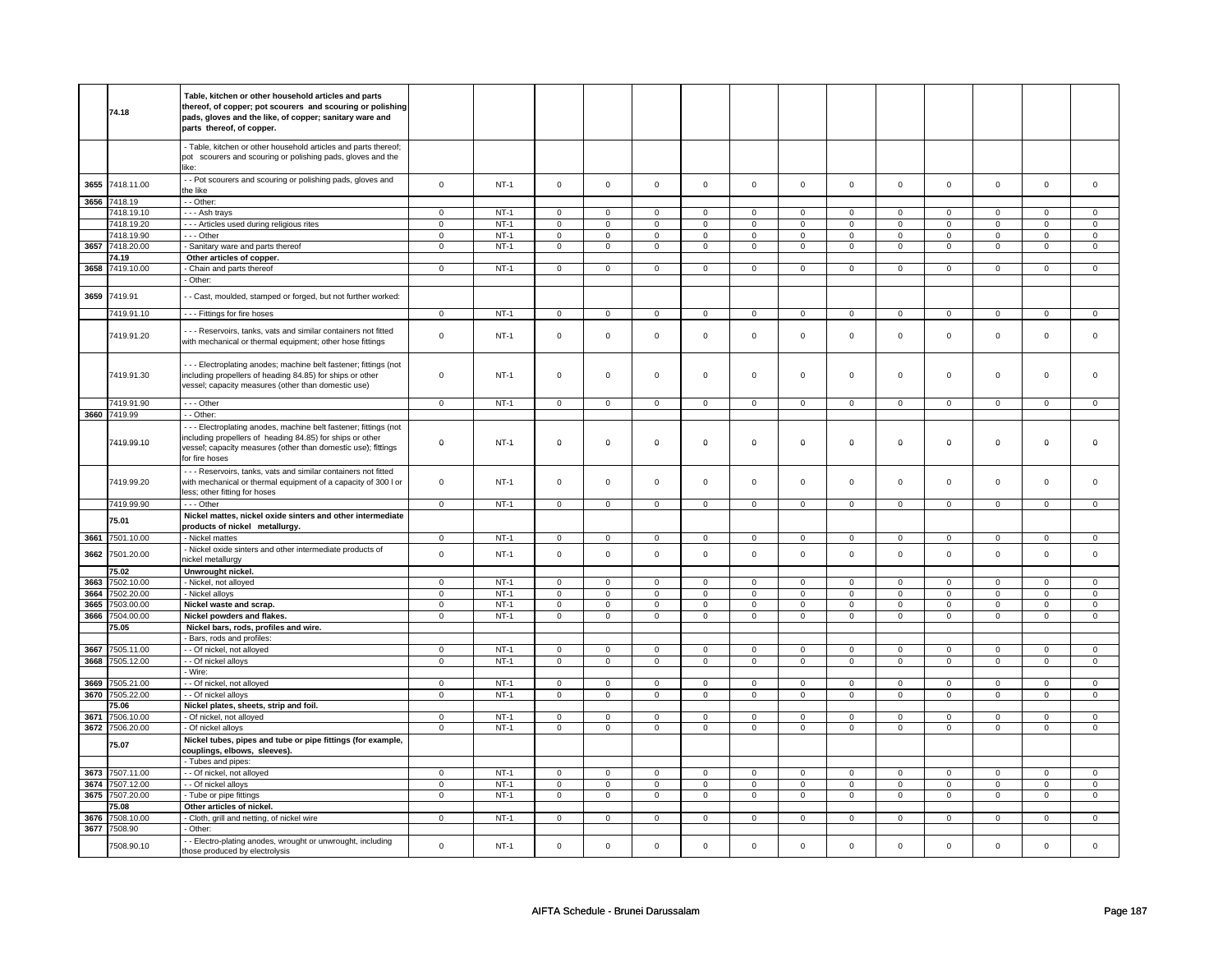| Table, kitchen or other household articles and parts<br>thereof, of copper; pot scourers and scouring or polishing<br>74.18<br>pads, gloves and the like, of copper; sanitary ware and<br>parts thereof, of copper.<br>- Table, kitchen or other household articles and parts thereof;<br>pot scourers and scouring or polishing pads, gloves and the<br>like:<br>- Pot scourers and scouring or polishing pads, gloves and<br>3655<br>7418.11.00<br>$\mathbf 0$<br>$\mathbf 0$<br>$\mathbf 0$<br>$\mathbf 0$<br>$\mathbf{0}$<br>$\mathbf{0}$<br>$NT-1$<br>$\mathbf 0$<br>$\mathbf 0$<br>$\mathbf 0$<br>$\mathbf 0$<br>$\mathbf{0}$<br>$\mathbf 0$<br>$\mathbf 0$<br>the like<br>3656 7418.19<br>- - Other:<br>7418.19.10<br>- - - Ash trays<br>$\mathsf 0$<br>$NT-1$<br>$\mathbf 0$<br>$\mathbf 0$<br>$\mathbf 0$<br>$\mathbf 0$<br>$\mathbf 0$<br>$\mathbf 0$<br>$\mathbf 0$<br>$\mathbf 0$<br>$\mathbf 0$<br>$\mathbf{0}$<br>$\mathbf 0$<br>$\mathbf{0}$<br>7418.19.20<br>--- Articles used during religious rites<br>$\mathbf 0$<br>$NT-1$<br>$\mathsf 0$<br>$\mathsf 0$<br>$\mathbf 0$<br>$\mathbf 0$<br>$\mathbf 0$<br>$\mathbf 0$<br>$\mathbf 0$<br>$\mathsf 0$<br>$\mathbf 0$<br>$\mathbf 0$<br>$\mathbf 0$<br>0<br>7418.19.90<br>- - - Other<br>$\mathbf 0$<br><b>NT-1</b><br>0<br>0<br>0<br>$\mathbf 0$<br>0<br>$\mathbf 0$<br>0<br>$\mathbf 0$<br>0<br>$\mathbf 0$<br>0<br>0<br>3657<br>7418.20.00<br>- Sanitary ware and parts thereof<br>$\mathbf 0$<br>$NT-1$<br>$\mathsf 0$<br>$\mathbf 0$<br>$\mathsf 0$<br>$\mathsf 0$<br>$\mathsf{O}\xspace$<br>$\mathsf 0$<br>$\mathsf 0$<br>$\mathbf 0$<br>$\mathsf 0$<br>$\mathbf 0$<br>$\mathsf 0$<br>$\mathbf 0$<br>74.19<br>Other articles of copper.<br>3658 7419.10.00<br>- Chain and parts thereof<br>$\mathsf 0$<br>$NT-1$<br>$\mathbf 0$<br>$\mathsf 0$<br>$\mathbf 0$<br>$\mathbf 0$<br>$\mathbf 0$<br>$\mathbf 0$<br>$\mathbf 0$<br>$\mathbf 0$<br>$\mathbf 0$<br>$\mathbf 0$<br>$\mathsf 0$<br>$\mathbf{0}$<br>- Other:<br>7419.91<br>3659<br>- - Cast, moulded, stamped or forged, but not further worked:<br>7419.91.10<br>--- Fittings for fire hoses<br>$NT-1$<br>$\mathsf 0$<br>$\mathsf 0$<br>$\mathsf 0$<br>$\mathsf 0$<br>$\mathbf{0}$<br>$\mathbf 0$<br>$\mathbf 0$<br>$\mathbf{0}$<br>$\mathbf 0$<br>$\mathbf 0$<br>$\mathbf 0$<br>$\mathbf 0$<br>$\mathbf 0$<br>--- Reservoirs, tanks, vats and similar containers not fitted<br>$\mathsf 0$<br>$\mathsf 0$<br>$\mathsf 0$<br>$\mathsf 0$<br>$\mathsf{O}\xspace$<br>$\mathsf 0$<br>$\mathsf 0$<br>$\mathbf 0$<br>$\mathsf 0$<br>7419.91.20<br>$NT-1$<br>$\mathbf 0$<br>$\mathbf 0$<br>$\mathbf 0$<br>0<br>with mechanical or thermal equipment; other hose fittings<br>--- Electroplating anodes; machine belt fastener; fittings (not<br>7419.91.30<br>$\mathsf 0$<br>$\mathsf 0$<br>$\mathsf 0$<br>$\mathsf 0$<br>$\mathbf 0$<br>$\mathbf 0$<br>$\mathsf 0$<br>including propellers of heading 84.85) for ships or other<br>$NT-1$<br>$\mathbf 0$<br>$\mathbf 0$<br>0<br>$\mathbf 0$<br>0<br>0<br>vessel; capacity measures (other than domestic use)<br>7419.91.90<br>$--$ Other<br>$\overline{0}$<br>$NT-1$<br>$\overline{0}$<br>$\overline{0}$<br>$\overline{0}$<br>$\mathbf 0$<br>$\mathbf 0$<br>$\mathbf{0}$<br>$\mathbf 0$<br>$\mathbf{0}$<br>$\mathbf{0}$<br>0<br>0<br>$\overline{0}$<br>3660 7419.99<br>- - Other:<br>--- Electroplating anodes, machine belt fastener; fittings (not<br>including propellers of heading 84.85) for ships or other<br>7419.99.10<br>$\mathbf 0$<br>$NT-1$<br>$\mathbf 0$<br>$\mathbf 0$<br>$\mathbf 0$<br>$\pmb{0}$<br>$\mathbf 0$<br>$\mathbf 0$<br>0<br>$\mathbf 0$<br>0<br>0<br>0<br>0<br>vessel; capacity measures (other than domestic use); fittings<br>for fire hoses<br>- - - Reservoirs, tanks, vats and similar containers not fitted<br>7419.99.20<br>with mechanical or thermal equipment of a capacity of 300 l or<br>$\mathbf 0$<br>$NT-1$<br>$\mathbf 0$<br>$\mathbf 0$<br>$\mathbf 0$<br>$\mathbf 0$<br>$\mathsf 0$<br>$\mathbf 0$<br>$\mathbf 0$<br>$\mathbf{0}$<br>$\mathbf 0$<br>$\mathbf 0$<br>$\mathbf 0$<br>$\mathbf{0}$<br>less; other fitting for hoses<br>7419.99.90<br>$--$ Other<br>$\overline{0}$<br>$NT-1$<br>$\overline{0}$<br>$\overline{0}$<br>$\overline{0}$<br>$\overline{0}$<br>$\overline{0}$<br>$\overline{0}$<br>$\overline{0}$<br>$\overline{0}$<br>$\overline{0}$<br>$\mathbf 0$<br>$\mathsf 0$<br>$\mathbf 0$<br>Nickel mattes, nickel oxide sinters and other intermediate<br>75.01<br>products of nickel metallurgy.<br>3661 7501.10.00<br>$NT-1$<br>- Nickel mattes<br>$\mathsf 0$<br>$\mathsf 0$<br>$\mathsf 0$<br>$\mathsf 0$<br>$\mathsf 0$<br>$\mathsf 0$<br>$\mathbf 0$<br>$\mathbf 0$<br>$\mathsf 0$<br>$\mathbf 0$<br>$\mathsf 0$<br>$\mathbf 0$<br>0<br>- Nickel oxide sinters and other intermediate products of<br>$\mathbf 0$<br>$\mathsf 0$<br>$\mathbf 0$<br>3662<br>7501.20.00<br>$NT-1$<br>$\mathbf 0$<br>$\mathbf 0$<br>$\mathbf 0$<br>$\mathsf 0$<br>$\mathbf 0$<br>$\mathbf 0$<br>$\mathbf 0$<br>$\mathsf 0$<br>$\mathsf 0$<br>$\mathbf{0}$<br>nickel metallurgy<br>75.02<br>Unwrought nickel.<br>3663<br>$NT-1$<br>$\mathsf 0$<br>$\mathsf 0$<br>$\mathsf 0$<br>$\mathsf 0$<br>$\mathsf 0$<br>$\mathbf 0$<br>$\mathbf 0$<br>7502.10.00<br>- Nickel, not alloyed<br>$\mathsf 0$<br>$\mathsf 0$<br>$\mathsf 0$<br>$\mathbf 0$<br>$\mathsf 0$<br>$\mathbf 0$<br>3664<br>7502.20.00<br>Nickel alloys<br>$NT-1$<br>$\mathsf 0$<br>$\mathsf 0$<br>$\mathsf 0$<br>$\mathsf 0$<br>$\mathsf{O}\xspace$<br>$\mathsf 0$<br>$\mathbf 0$<br>$\mathbf 0$<br>$\mathbf{O}$<br>$\mathsf 0$<br>$\mathbf 0$<br>$\mathsf 0$<br>$\mathsf 0$<br>3665<br>7503.00.00<br>Nickel waste and scrap.<br>$NT-1$<br>$\overline{0}$<br>$\overline{0}$<br>$\overline{0}$<br>$\overline{0}$<br>$\overline{0}$<br>$\overline{0}$<br>$\overline{0}$<br>$\overline{0}$<br>$\overline{0}$<br>$\overline{0}$<br>$\overline{0}$<br>$\mathsf 0$<br>$\mathsf 0$<br>3666<br>$NT-1$<br>7504.00.00<br>$\mathsf 0$<br>$\mathsf 0$<br>$\mathsf 0$<br>$\mathsf 0$<br>$\mathsf 0$<br>$\mathbf 0$<br>$\mathbf{0}$<br>$\overline{0}$<br>$\mathbf{0}$<br>$\mathbf 0$<br>Nickel powders and flakes.<br>0<br>0<br>$\Omega$<br>75.05<br>Nickel bars, rods, profiles and wire.<br>- Bars, rods and profiles:<br>$NT-1$<br>$\mathsf 0$<br>$\mathsf 0$<br>$\mathsf 0$<br>$\mathbf 0$<br>$\mathbf 0$<br>$\mathbf 0$<br>3667<br>7505.11.00<br>- - Of nickel, not alloyed<br>$\mathsf 0$<br>$\mathbf 0$<br>$\mathbf 0$<br>$\mathsf 0$<br>$\mathbf 0$<br>$\mathsf 0$<br>$\mathsf 0$<br>3668<br>7505.12.00<br>- - Of nickel alloys<br>$\mathsf 0$<br>$NT-1$<br>$\mathbf 0$<br>$\mathsf 0$<br>$\mathbf 0$<br>$\mathbf 0$<br>$\mathbf 0$<br>$\mathsf 0$<br>$\mathbf 0$<br>0<br>$\mathbf 0$<br>0<br>0<br>0<br>- Wire:<br>7505.21.00<br>3669<br>- - Of nickel, not alloyed<br>$NT-1$<br>$\mathbf 0$<br>$\mathsf 0$<br>$\mathbf 0$<br>$\mathbf 0$<br>$\mathbf{0}$<br>$\mathbf{0}$<br>$\mathbf 0$<br>$\mathbf 0$<br>$\mathbf 0$<br>$\mathbf 0$<br>$\mathbf 0$<br>$\mathbf 0$<br>$\Omega$<br>3670 7505.22.00<br>- - Of nickel alloys<br>$\mathsf 0$<br>$NT-1$<br>$\mathbf 0$<br>$\mathbf 0$<br>$\mathbf 0$<br>$\mathbf 0$<br>$\mathbf 0$<br>$\mathbf 0$<br>$\mathbf{0}$<br>$\mathbf 0$<br>$\mathbf 0$<br>$\mathbf 0$<br>$\mathbf 0$<br>$\mathbf 0$<br>75.06<br>Nickel plates, sheets, strip and foil.<br>$NT-1$<br>$\overline{0}$<br>$\overline{0}$<br>$\overline{0}$<br>$\overline{0}$<br>$\overline{0}$<br>$\overline{0}$<br>$\overline{0}$<br>$\overline{0}$<br>3671<br>7506.10.00<br>- Of nickel, not alloyed<br>$\mathbf 0$<br>$\mathbf 0$<br>0<br>0<br>0<br>3672 7506.20.00<br>- Of nickel alloys<br>$\mathbf 0$<br>$NT-1$<br>$\mathsf 0$<br>$\mathbf 0$<br>$\mathsf 0$<br>$\mathsf 0$<br>$\mathsf 0$<br>$\mathsf 0$<br>$\mathsf 0$<br>$\mathbf 0$<br>$\mathsf 0$<br>$\mathbf 0$<br>$\mathsf 0$<br>0<br>Nickel tubes, pipes and tube or pipe fittings (for example,<br>75.07<br>couplings, elbows, sleeves).<br>- Tubes and pipes:<br>7507.11.00<br>$NT-1$<br>3673<br>- - Of nickel, not alloyed<br>$\mathbf 0$<br>$\mathbf 0$<br>$\mathbf 0$<br>$\mathbf 0$<br>$\mathbf 0$<br>$\mathbf{0}$<br>$\mathbf 0$<br>$\mathbf 0$<br>$\mathbf{0}$<br>$\mathbf 0$<br>$\mathbf{0}$<br>$\mathbf 0$<br>$\mathbf{0}$<br>7507.12.00<br>$NT-1$<br>$\overline{0}$<br>$\overline{0}$<br>$\overline{0}$<br>$\overline{0}$<br>$\overline{0}$<br>$\overline{0}$<br>$\overline{0}$<br>$\overline{0}$<br>$\overline{0}$<br>$\overline{0}$<br>3674<br>- - Of nickel alloys<br>$\mathsf 0$<br>$\mathbf 0$<br>$\Omega$<br>$\overline{0}$<br>$\overline{0}$<br>3675<br>7507.20.00<br>$\mathsf 0$<br>$NT-1$<br>$\mathbf 0$<br>$\mathsf 0$<br>$\mathbf 0$<br>$\mathbf 0$<br>$\mathsf 0$<br>$\mathbf 0$<br>$\mathsf 0$<br>$\mathsf 0$<br>0<br>- Tube or pipe fittings<br>0<br>75.08<br>Other articles of nickel.<br>7508.10.00<br>$NT-1$<br>$\mathsf 0$<br>3676<br>- Cloth, grill and netting, of nickel wire<br>$\mathbf 0$<br>$\mathbf 0$<br>$\mathbf 0$<br>$\mathsf 0$<br>$\mathbf 0$<br>$\mathbf 0$<br>$\mathbf 0$<br>$\mathbf 0$<br>$\mathbf 0$<br>$\mathsf 0$<br>$\mathbf 0$<br>0<br>3677 7508.90<br>- Other:<br>- Electro-plating anodes, wrought or unwrought, including<br>$\mathsf 0$<br>7508.90.10<br>$NT-1$<br>$\mathbf 0$<br>$\mathsf 0$<br>$\mathbf 0$<br>$\mathbf 0$<br>$\mathsf 0$<br>$\mathbf 0$<br>$\mathbf 0$<br>$\mathsf 0$<br>$\mathsf 0$<br>$\mathbf 0$<br>$\mathbf 0$<br>$\mathbf{0}$<br>those produced by electrolysis |  |  |  |  |  |  |  |  |  |
|---------------------------------------------------------------------------------------------------------------------------------------------------------------------------------------------------------------------------------------------------------------------------------------------------------------------------------------------------------------------------------------------------------------------------------------------------------------------------------------------------------------------------------------------------------------------------------------------------------------------------------------------------------------------------------------------------------------------------------------------------------------------------------------------------------------------------------------------------------------------------------------------------------------------------------------------------------------------------------------------------------------------------------------------------------------------------------------------------------------------------------------------------------------------------------------------------------------------------------------------------------------------------------------------------------------------------------------------------------------------------------------------------------------------------------------------------------------------------------------------------------------------------------------------------------------------------------------------------------------------------------------------------------------------------------------------------------------------------------------------------------------------------------------------------------------------------------------------------------------------------------------------------------------------------------------------------------------------------------------------------------------------------------------------------------------------------------------------------------------------------------------------------------------------------------------------------------------------------------------------------------------------------------------------------------------------------------------------------------------------------------------------------------------------------------------------------------------------------------------------------------------------------------------------------------------------------------------------------------------------------------------------------------------------------------------------------------------------------------------------------------------------------------------------------------------------------------------------------------------------------------------------------------------------------------------------------------------------------------------------------------------------------------------------------------------------------------------------------------------------------------------------------------------------------------------------------------------------------------------------------------------------------------------------------------------------------------------------------------------------------------------------------------------------------------------------------------------------------------------------------------------------------------------------------------------------------------------------------------------------------------------------------------------------------------------------------------------------------------------------------------------------------------------------------------------------------------------------------------------------------------------------------------------------------------------------------------------------------------------------------------------------------------------------------------------------------------------------------------------------------------------------------------------------------------------------------------------------------------------------------------------------------------------------------------------------------------------------------------------------------------------------------------------------------------------------------------------------------------------------------------------------------------------------------------------------------------------------------------------------------------------------------------------------------------------------------------------------------------------------------------------------------------------------------------------------------------------------------------------------------------------------------------------------------------------------------------------------------------------------------------------------------------------------------------------------------------------------------------------------------------------------------------------------------------------------------------------------------------------------------------------------------------------------------------------------------------------------------------------------------------------------------------------------------------------------------------------------------------------------------------------------------------------------------------------------------------------------------------------------------------------------------------------------------------------------------------------------------------------------------------------------------------------------------------------------------------------------------------------------------------------------------------------------------------------------------------------------------------------------------------------------------------------------------------------------------------------------------------------------------------------------------------------------------------------------------------------------------------------------------------------------------------------------------------------------------------------------------------------------------------------------------------------------------------------------------------------------------------------------------------------------------------------------------------------------------------------------------------------------------------------------------------------------------------------------------------------------------------------------------------------------------------------------------------------------------------------------------------------------------------------------------------------------------------------------------------------------------------------------------------------------------------------------------------------------------------------------------------------------------------------------------------------------------------------------------------------------------------------------------------------------------------------------------------------------------------------------------------------------------------------------------------------------------------------------------------------------------------------------------------------------------------------------------------------------------------------------------------------------------------------------------------------------------------------------------------------------------------------------------------------------------------------------------------------------------------------------------------------------------------------------------------------------------------------------------------------------------------------------------------------------------------------------------------------------------------------------------------------------------------------------------------------------------------------------------------------------------------------------------------------------------------------------------------------------------------------------------------------------------------------------------------------------------------------------------------------------------------------------------------------------------------------------------------------------------------------------------------------------------------------------------------------------------------------------------------------------------------------------------------------------------------------------------------------------------------------------------------------------------------------------------------------------------------------------------------------------------------------------------------------------------------------------------------------------------------------------------------------------------------------------------------------------------------------------------------------------------------------------------------------------------------------------------------------------------------------------------------------------------------------------------------------------------------------------------------------------------------------|--|--|--|--|--|--|--|--|--|
|                                                                                                                                                                                                                                                                                                                                                                                                                                                                                                                                                                                                                                                                                                                                                                                                                                                                                                                                                                                                                                                                                                                                                                                                                                                                                                                                                                                                                                                                                                                                                                                                                                                                                                                                                                                                                                                                                                                                                                                                                                                                                                                                                                                                                                                                                                                                                                                                                                                                                                                                                                                                                                                                                                                                                                                                                                                                                                                                                                                                                                                                                                                                                                                                                                                                                                                                                                                                                                                                                                                                                                                                                                                                                                                                                                                                                                                                                                                                                                                                                                                                                                                                                                                                                                                                                                                                                                                                                                                                                                                                                                                                                                                                                                                                                                                                                                                                                                                                                                                                                                                                                                                                                                                                                                                                                                                                                                                                                                                                                                                                                                                                                                                                                                                                                                                                                                                                                                                                                                                                                                                                                                                                                                                                                                                                                                                                                                                                                                                                                                                                                                                                                                                                                                                                                                                                                                                                                                                                                                                                                                                                                                                                                                                                                                                                                                                                                                                                                                                                                                                                                                                                                                                                                                                                                                                                                                                                                                                                                                                                                                                                                                                                                                                                                                                                                                                                                                                                                                                                                                                                                                                                                                                                                                                                                                                                                                                                                                                                                                                                                                                                                                                                                                                                                                                                                                                                                                                                                                                                                       |  |  |  |  |  |  |  |  |  |
|                                                                                                                                                                                                                                                                                                                                                                                                                                                                                                                                                                                                                                                                                                                                                                                                                                                                                                                                                                                                                                                                                                                                                                                                                                                                                                                                                                                                                                                                                                                                                                                                                                                                                                                                                                                                                                                                                                                                                                                                                                                                                                                                                                                                                                                                                                                                                                                                                                                                                                                                                                                                                                                                                                                                                                                                                                                                                                                                                                                                                                                                                                                                                                                                                                                                                                                                                                                                                                                                                                                                                                                                                                                                                                                                                                                                                                                                                                                                                                                                                                                                                                                                                                                                                                                                                                                                                                                                                                                                                                                                                                                                                                                                                                                                                                                                                                                                                                                                                                                                                                                                                                                                                                                                                                                                                                                                                                                                                                                                                                                                                                                                                                                                                                                                                                                                                                                                                                                                                                                                                                                                                                                                                                                                                                                                                                                                                                                                                                                                                                                                                                                                                                                                                                                                                                                                                                                                                                                                                                                                                                                                                                                                                                                                                                                                                                                                                                                                                                                                                                                                                                                                                                                                                                                                                                                                                                                                                                                                                                                                                                                                                                                                                                                                                                                                                                                                                                                                                                                                                                                                                                                                                                                                                                                                                                                                                                                                                                                                                                                                                                                                                                                                                                                                                                                                                                                                                                                                                                                                                       |  |  |  |  |  |  |  |  |  |
|                                                                                                                                                                                                                                                                                                                                                                                                                                                                                                                                                                                                                                                                                                                                                                                                                                                                                                                                                                                                                                                                                                                                                                                                                                                                                                                                                                                                                                                                                                                                                                                                                                                                                                                                                                                                                                                                                                                                                                                                                                                                                                                                                                                                                                                                                                                                                                                                                                                                                                                                                                                                                                                                                                                                                                                                                                                                                                                                                                                                                                                                                                                                                                                                                                                                                                                                                                                                                                                                                                                                                                                                                                                                                                                                                                                                                                                                                                                                                                                                                                                                                                                                                                                                                                                                                                                                                                                                                                                                                                                                                                                                                                                                                                                                                                                                                                                                                                                                                                                                                                                                                                                                                                                                                                                                                                                                                                                                                                                                                                                                                                                                                                                                                                                                                                                                                                                                                                                                                                                                                                                                                                                                                                                                                                                                                                                                                                                                                                                                                                                                                                                                                                                                                                                                                                                                                                                                                                                                                                                                                                                                                                                                                                                                                                                                                                                                                                                                                                                                                                                                                                                                                                                                                                                                                                                                                                                                                                                                                                                                                                                                                                                                                                                                                                                                                                                                                                                                                                                                                                                                                                                                                                                                                                                                                                                                                                                                                                                                                                                                                                                                                                                                                                                                                                                                                                                                                                                                                                                                                       |  |  |  |  |  |  |  |  |  |
|                                                                                                                                                                                                                                                                                                                                                                                                                                                                                                                                                                                                                                                                                                                                                                                                                                                                                                                                                                                                                                                                                                                                                                                                                                                                                                                                                                                                                                                                                                                                                                                                                                                                                                                                                                                                                                                                                                                                                                                                                                                                                                                                                                                                                                                                                                                                                                                                                                                                                                                                                                                                                                                                                                                                                                                                                                                                                                                                                                                                                                                                                                                                                                                                                                                                                                                                                                                                                                                                                                                                                                                                                                                                                                                                                                                                                                                                                                                                                                                                                                                                                                                                                                                                                                                                                                                                                                                                                                                                                                                                                                                                                                                                                                                                                                                                                                                                                                                                                                                                                                                                                                                                                                                                                                                                                                                                                                                                                                                                                                                                                                                                                                                                                                                                                                                                                                                                                                                                                                                                                                                                                                                                                                                                                                                                                                                                                                                                                                                                                                                                                                                                                                                                                                                                                                                                                                                                                                                                                                                                                                                                                                                                                                                                                                                                                                                                                                                                                                                                                                                                                                                                                                                                                                                                                                                                                                                                                                                                                                                                                                                                                                                                                                                                                                                                                                                                                                                                                                                                                                                                                                                                                                                                                                                                                                                                                                                                                                                                                                                                                                                                                                                                                                                                                                                                                                                                                                                                                                                                                       |  |  |  |  |  |  |  |  |  |
|                                                                                                                                                                                                                                                                                                                                                                                                                                                                                                                                                                                                                                                                                                                                                                                                                                                                                                                                                                                                                                                                                                                                                                                                                                                                                                                                                                                                                                                                                                                                                                                                                                                                                                                                                                                                                                                                                                                                                                                                                                                                                                                                                                                                                                                                                                                                                                                                                                                                                                                                                                                                                                                                                                                                                                                                                                                                                                                                                                                                                                                                                                                                                                                                                                                                                                                                                                                                                                                                                                                                                                                                                                                                                                                                                                                                                                                                                                                                                                                                                                                                                                                                                                                                                                                                                                                                                                                                                                                                                                                                                                                                                                                                                                                                                                                                                                                                                                                                                                                                                                                                                                                                                                                                                                                                                                                                                                                                                                                                                                                                                                                                                                                                                                                                                                                                                                                                                                                                                                                                                                                                                                                                                                                                                                                                                                                                                                                                                                                                                                                                                                                                                                                                                                                                                                                                                                                                                                                                                                                                                                                                                                                                                                                                                                                                                                                                                                                                                                                                                                                                                                                                                                                                                                                                                                                                                                                                                                                                                                                                                                                                                                                                                                                                                                                                                                                                                                                                                                                                                                                                                                                                                                                                                                                                                                                                                                                                                                                                                                                                                                                                                                                                                                                                                                                                                                                                                                                                                                                                                       |  |  |  |  |  |  |  |  |  |
|                                                                                                                                                                                                                                                                                                                                                                                                                                                                                                                                                                                                                                                                                                                                                                                                                                                                                                                                                                                                                                                                                                                                                                                                                                                                                                                                                                                                                                                                                                                                                                                                                                                                                                                                                                                                                                                                                                                                                                                                                                                                                                                                                                                                                                                                                                                                                                                                                                                                                                                                                                                                                                                                                                                                                                                                                                                                                                                                                                                                                                                                                                                                                                                                                                                                                                                                                                                                                                                                                                                                                                                                                                                                                                                                                                                                                                                                                                                                                                                                                                                                                                                                                                                                                                                                                                                                                                                                                                                                                                                                                                                                                                                                                                                                                                                                                                                                                                                                                                                                                                                                                                                                                                                                                                                                                                                                                                                                                                                                                                                                                                                                                                                                                                                                                                                                                                                                                                                                                                                                                                                                                                                                                                                                                                                                                                                                                                                                                                                                                                                                                                                                                                                                                                                                                                                                                                                                                                                                                                                                                                                                                                                                                                                                                                                                                                                                                                                                                                                                                                                                                                                                                                                                                                                                                                                                                                                                                                                                                                                                                                                                                                                                                                                                                                                                                                                                                                                                                                                                                                                                                                                                                                                                                                                                                                                                                                                                                                                                                                                                                                                                                                                                                                                                                                                                                                                                                                                                                                                                                       |  |  |  |  |  |  |  |  |  |
|                                                                                                                                                                                                                                                                                                                                                                                                                                                                                                                                                                                                                                                                                                                                                                                                                                                                                                                                                                                                                                                                                                                                                                                                                                                                                                                                                                                                                                                                                                                                                                                                                                                                                                                                                                                                                                                                                                                                                                                                                                                                                                                                                                                                                                                                                                                                                                                                                                                                                                                                                                                                                                                                                                                                                                                                                                                                                                                                                                                                                                                                                                                                                                                                                                                                                                                                                                                                                                                                                                                                                                                                                                                                                                                                                                                                                                                                                                                                                                                                                                                                                                                                                                                                                                                                                                                                                                                                                                                                                                                                                                                                                                                                                                                                                                                                                                                                                                                                                                                                                                                                                                                                                                                                                                                                                                                                                                                                                                                                                                                                                                                                                                                                                                                                                                                                                                                                                                                                                                                                                                                                                                                                                                                                                                                                                                                                                                                                                                                                                                                                                                                                                                                                                                                                                                                                                                                                                                                                                                                                                                                                                                                                                                                                                                                                                                                                                                                                                                                                                                                                                                                                                                                                                                                                                                                                                                                                                                                                                                                                                                                                                                                                                                                                                                                                                                                                                                                                                                                                                                                                                                                                                                                                                                                                                                                                                                                                                                                                                                                                                                                                                                                                                                                                                                                                                                                                                                                                                                                                                       |  |  |  |  |  |  |  |  |  |
|                                                                                                                                                                                                                                                                                                                                                                                                                                                                                                                                                                                                                                                                                                                                                                                                                                                                                                                                                                                                                                                                                                                                                                                                                                                                                                                                                                                                                                                                                                                                                                                                                                                                                                                                                                                                                                                                                                                                                                                                                                                                                                                                                                                                                                                                                                                                                                                                                                                                                                                                                                                                                                                                                                                                                                                                                                                                                                                                                                                                                                                                                                                                                                                                                                                                                                                                                                                                                                                                                                                                                                                                                                                                                                                                                                                                                                                                                                                                                                                                                                                                                                                                                                                                                                                                                                                                                                                                                                                                                                                                                                                                                                                                                                                                                                                                                                                                                                                                                                                                                                                                                                                                                                                                                                                                                                                                                                                                                                                                                                                                                                                                                                                                                                                                                                                                                                                                                                                                                                                                                                                                                                                                                                                                                                                                                                                                                                                                                                                                                                                                                                                                                                                                                                                                                                                                                                                                                                                                                                                                                                                                                                                                                                                                                                                                                                                                                                                                                                                                                                                                                                                                                                                                                                                                                                                                                                                                                                                                                                                                                                                                                                                                                                                                                                                                                                                                                                                                                                                                                                                                                                                                                                                                                                                                                                                                                                                                                                                                                                                                                                                                                                                                                                                                                                                                                                                                                                                                                                                                                       |  |  |  |  |  |  |  |  |  |
|                                                                                                                                                                                                                                                                                                                                                                                                                                                                                                                                                                                                                                                                                                                                                                                                                                                                                                                                                                                                                                                                                                                                                                                                                                                                                                                                                                                                                                                                                                                                                                                                                                                                                                                                                                                                                                                                                                                                                                                                                                                                                                                                                                                                                                                                                                                                                                                                                                                                                                                                                                                                                                                                                                                                                                                                                                                                                                                                                                                                                                                                                                                                                                                                                                                                                                                                                                                                                                                                                                                                                                                                                                                                                                                                                                                                                                                                                                                                                                                                                                                                                                                                                                                                                                                                                                                                                                                                                                                                                                                                                                                                                                                                                                                                                                                                                                                                                                                                                                                                                                                                                                                                                                                                                                                                                                                                                                                                                                                                                                                                                                                                                                                                                                                                                                                                                                                                                                                                                                                                                                                                                                                                                                                                                                                                                                                                                                                                                                                                                                                                                                                                                                                                                                                                                                                                                                                                                                                                                                                                                                                                                                                                                                                                                                                                                                                                                                                                                                                                                                                                                                                                                                                                                                                                                                                                                                                                                                                                                                                                                                                                                                                                                                                                                                                                                                                                                                                                                                                                                                                                                                                                                                                                                                                                                                                                                                                                                                                                                                                                                                                                                                                                                                                                                                                                                                                                                                                                                                                                                       |  |  |  |  |  |  |  |  |  |
|                                                                                                                                                                                                                                                                                                                                                                                                                                                                                                                                                                                                                                                                                                                                                                                                                                                                                                                                                                                                                                                                                                                                                                                                                                                                                                                                                                                                                                                                                                                                                                                                                                                                                                                                                                                                                                                                                                                                                                                                                                                                                                                                                                                                                                                                                                                                                                                                                                                                                                                                                                                                                                                                                                                                                                                                                                                                                                                                                                                                                                                                                                                                                                                                                                                                                                                                                                                                                                                                                                                                                                                                                                                                                                                                                                                                                                                                                                                                                                                                                                                                                                                                                                                                                                                                                                                                                                                                                                                                                                                                                                                                                                                                                                                                                                                                                                                                                                                                                                                                                                                                                                                                                                                                                                                                                                                                                                                                                                                                                                                                                                                                                                                                                                                                                                                                                                                                                                                                                                                                                                                                                                                                                                                                                                                                                                                                                                                                                                                                                                                                                                                                                                                                                                                                                                                                                                                                                                                                                                                                                                                                                                                                                                                                                                                                                                                                                                                                                                                                                                                                                                                                                                                                                                                                                                                                                                                                                                                                                                                                                                                                                                                                                                                                                                                                                                                                                                                                                                                                                                                                                                                                                                                                                                                                                                                                                                                                                                                                                                                                                                                                                                                                                                                                                                                                                                                                                                                                                                                                                       |  |  |  |  |  |  |  |  |  |
|                                                                                                                                                                                                                                                                                                                                                                                                                                                                                                                                                                                                                                                                                                                                                                                                                                                                                                                                                                                                                                                                                                                                                                                                                                                                                                                                                                                                                                                                                                                                                                                                                                                                                                                                                                                                                                                                                                                                                                                                                                                                                                                                                                                                                                                                                                                                                                                                                                                                                                                                                                                                                                                                                                                                                                                                                                                                                                                                                                                                                                                                                                                                                                                                                                                                                                                                                                                                                                                                                                                                                                                                                                                                                                                                                                                                                                                                                                                                                                                                                                                                                                                                                                                                                                                                                                                                                                                                                                                                                                                                                                                                                                                                                                                                                                                                                                                                                                                                                                                                                                                                                                                                                                                                                                                                                                                                                                                                                                                                                                                                                                                                                                                                                                                                                                                                                                                                                                                                                                                                                                                                                                                                                                                                                                                                                                                                                                                                                                                                                                                                                                                                                                                                                                                                                                                                                                                                                                                                                                                                                                                                                                                                                                                                                                                                                                                                                                                                                                                                                                                                                                                                                                                                                                                                                                                                                                                                                                                                                                                                                                                                                                                                                                                                                                                                                                                                                                                                                                                                                                                                                                                                                                                                                                                                                                                                                                                                                                                                                                                                                                                                                                                                                                                                                                                                                                                                                                                                                                                                                       |  |  |  |  |  |  |  |  |  |
|                                                                                                                                                                                                                                                                                                                                                                                                                                                                                                                                                                                                                                                                                                                                                                                                                                                                                                                                                                                                                                                                                                                                                                                                                                                                                                                                                                                                                                                                                                                                                                                                                                                                                                                                                                                                                                                                                                                                                                                                                                                                                                                                                                                                                                                                                                                                                                                                                                                                                                                                                                                                                                                                                                                                                                                                                                                                                                                                                                                                                                                                                                                                                                                                                                                                                                                                                                                                                                                                                                                                                                                                                                                                                                                                                                                                                                                                                                                                                                                                                                                                                                                                                                                                                                                                                                                                                                                                                                                                                                                                                                                                                                                                                                                                                                                                                                                                                                                                                                                                                                                                                                                                                                                                                                                                                                                                                                                                                                                                                                                                                                                                                                                                                                                                                                                                                                                                                                                                                                                                                                                                                                                                                                                                                                                                                                                                                                                                                                                                                                                                                                                                                                                                                                                                                                                                                                                                                                                                                                                                                                                                                                                                                                                                                                                                                                                                                                                                                                                                                                                                                                                                                                                                                                                                                                                                                                                                                                                                                                                                                                                                                                                                                                                                                                                                                                                                                                                                                                                                                                                                                                                                                                                                                                                                                                                                                                                                                                                                                                                                                                                                                                                                                                                                                                                                                                                                                                                                                                                                                       |  |  |  |  |  |  |  |  |  |
|                                                                                                                                                                                                                                                                                                                                                                                                                                                                                                                                                                                                                                                                                                                                                                                                                                                                                                                                                                                                                                                                                                                                                                                                                                                                                                                                                                                                                                                                                                                                                                                                                                                                                                                                                                                                                                                                                                                                                                                                                                                                                                                                                                                                                                                                                                                                                                                                                                                                                                                                                                                                                                                                                                                                                                                                                                                                                                                                                                                                                                                                                                                                                                                                                                                                                                                                                                                                                                                                                                                                                                                                                                                                                                                                                                                                                                                                                                                                                                                                                                                                                                                                                                                                                                                                                                                                                                                                                                                                                                                                                                                                                                                                                                                                                                                                                                                                                                                                                                                                                                                                                                                                                                                                                                                                                                                                                                                                                                                                                                                                                                                                                                                                                                                                                                                                                                                                                                                                                                                                                                                                                                                                                                                                                                                                                                                                                                                                                                                                                                                                                                                                                                                                                                                                                                                                                                                                                                                                                                                                                                                                                                                                                                                                                                                                                                                                                                                                                                                                                                                                                                                                                                                                                                                                                                                                                                                                                                                                                                                                                                                                                                                                                                                                                                                                                                                                                                                                                                                                                                                                                                                                                                                                                                                                                                                                                                                                                                                                                                                                                                                                                                                                                                                                                                                                                                                                                                                                                                                                                       |  |  |  |  |  |  |  |  |  |
|                                                                                                                                                                                                                                                                                                                                                                                                                                                                                                                                                                                                                                                                                                                                                                                                                                                                                                                                                                                                                                                                                                                                                                                                                                                                                                                                                                                                                                                                                                                                                                                                                                                                                                                                                                                                                                                                                                                                                                                                                                                                                                                                                                                                                                                                                                                                                                                                                                                                                                                                                                                                                                                                                                                                                                                                                                                                                                                                                                                                                                                                                                                                                                                                                                                                                                                                                                                                                                                                                                                                                                                                                                                                                                                                                                                                                                                                                                                                                                                                                                                                                                                                                                                                                                                                                                                                                                                                                                                                                                                                                                                                                                                                                                                                                                                                                                                                                                                                                                                                                                                                                                                                                                                                                                                                                                                                                                                                                                                                                                                                                                                                                                                                                                                                                                                                                                                                                                                                                                                                                                                                                                                                                                                                                                                                                                                                                                                                                                                                                                                                                                                                                                                                                                                                                                                                                                                                                                                                                                                                                                                                                                                                                                                                                                                                                                                                                                                                                                                                                                                                                                                                                                                                                                                                                                                                                                                                                                                                                                                                                                                                                                                                                                                                                                                                                                                                                                                                                                                                                                                                                                                                                                                                                                                                                                                                                                                                                                                                                                                                                                                                                                                                                                                                                                                                                                                                                                                                                                                                                       |  |  |  |  |  |  |  |  |  |
|                                                                                                                                                                                                                                                                                                                                                                                                                                                                                                                                                                                                                                                                                                                                                                                                                                                                                                                                                                                                                                                                                                                                                                                                                                                                                                                                                                                                                                                                                                                                                                                                                                                                                                                                                                                                                                                                                                                                                                                                                                                                                                                                                                                                                                                                                                                                                                                                                                                                                                                                                                                                                                                                                                                                                                                                                                                                                                                                                                                                                                                                                                                                                                                                                                                                                                                                                                                                                                                                                                                                                                                                                                                                                                                                                                                                                                                                                                                                                                                                                                                                                                                                                                                                                                                                                                                                                                                                                                                                                                                                                                                                                                                                                                                                                                                                                                                                                                                                                                                                                                                                                                                                                                                                                                                                                                                                                                                                                                                                                                                                                                                                                                                                                                                                                                                                                                                                                                                                                                                                                                                                                                                                                                                                                                                                                                                                                                                                                                                                                                                                                                                                                                                                                                                                                                                                                                                                                                                                                                                                                                                                                                                                                                                                                                                                                                                                                                                                                                                                                                                                                                                                                                                                                                                                                                                                                                                                                                                                                                                                                                                                                                                                                                                                                                                                                                                                                                                                                                                                                                                                                                                                                                                                                                                                                                                                                                                                                                                                                                                                                                                                                                                                                                                                                                                                                                                                                                                                                                                                                       |  |  |  |  |  |  |  |  |  |
|                                                                                                                                                                                                                                                                                                                                                                                                                                                                                                                                                                                                                                                                                                                                                                                                                                                                                                                                                                                                                                                                                                                                                                                                                                                                                                                                                                                                                                                                                                                                                                                                                                                                                                                                                                                                                                                                                                                                                                                                                                                                                                                                                                                                                                                                                                                                                                                                                                                                                                                                                                                                                                                                                                                                                                                                                                                                                                                                                                                                                                                                                                                                                                                                                                                                                                                                                                                                                                                                                                                                                                                                                                                                                                                                                                                                                                                                                                                                                                                                                                                                                                                                                                                                                                                                                                                                                                                                                                                                                                                                                                                                                                                                                                                                                                                                                                                                                                                                                                                                                                                                                                                                                                                                                                                                                                                                                                                                                                                                                                                                                                                                                                                                                                                                                                                                                                                                                                                                                                                                                                                                                                                                                                                                                                                                                                                                                                                                                                                                                                                                                                                                                                                                                                                                                                                                                                                                                                                                                                                                                                                                                                                                                                                                                                                                                                                                                                                                                                                                                                                                                                                                                                                                                                                                                                                                                                                                                                                                                                                                                                                                                                                                                                                                                                                                                                                                                                                                                                                                                                                                                                                                                                                                                                                                                                                                                                                                                                                                                                                                                                                                                                                                                                                                                                                                                                                                                                                                                                                                                       |  |  |  |  |  |  |  |  |  |
|                                                                                                                                                                                                                                                                                                                                                                                                                                                                                                                                                                                                                                                                                                                                                                                                                                                                                                                                                                                                                                                                                                                                                                                                                                                                                                                                                                                                                                                                                                                                                                                                                                                                                                                                                                                                                                                                                                                                                                                                                                                                                                                                                                                                                                                                                                                                                                                                                                                                                                                                                                                                                                                                                                                                                                                                                                                                                                                                                                                                                                                                                                                                                                                                                                                                                                                                                                                                                                                                                                                                                                                                                                                                                                                                                                                                                                                                                                                                                                                                                                                                                                                                                                                                                                                                                                                                                                                                                                                                                                                                                                                                                                                                                                                                                                                                                                                                                                                                                                                                                                                                                                                                                                                                                                                                                                                                                                                                                                                                                                                                                                                                                                                                                                                                                                                                                                                                                                                                                                                                                                                                                                                                                                                                                                                                                                                                                                                                                                                                                                                                                                                                                                                                                                                                                                                                                                                                                                                                                                                                                                                                                                                                                                                                                                                                                                                                                                                                                                                                                                                                                                                                                                                                                                                                                                                                                                                                                                                                                                                                                                                                                                                                                                                                                                                                                                                                                                                                                                                                                                                                                                                                                                                                                                                                                                                                                                                                                                                                                                                                                                                                                                                                                                                                                                                                                                                                                                                                                                                                                       |  |  |  |  |  |  |  |  |  |
|                                                                                                                                                                                                                                                                                                                                                                                                                                                                                                                                                                                                                                                                                                                                                                                                                                                                                                                                                                                                                                                                                                                                                                                                                                                                                                                                                                                                                                                                                                                                                                                                                                                                                                                                                                                                                                                                                                                                                                                                                                                                                                                                                                                                                                                                                                                                                                                                                                                                                                                                                                                                                                                                                                                                                                                                                                                                                                                                                                                                                                                                                                                                                                                                                                                                                                                                                                                                                                                                                                                                                                                                                                                                                                                                                                                                                                                                                                                                                                                                                                                                                                                                                                                                                                                                                                                                                                                                                                                                                                                                                                                                                                                                                                                                                                                                                                                                                                                                                                                                                                                                                                                                                                                                                                                                                                                                                                                                                                                                                                                                                                                                                                                                                                                                                                                                                                                                                                                                                                                                                                                                                                                                                                                                                                                                                                                                                                                                                                                                                                                                                                                                                                                                                                                                                                                                                                                                                                                                                                                                                                                                                                                                                                                                                                                                                                                                                                                                                                                                                                                                                                                                                                                                                                                                                                                                                                                                                                                                                                                                                                                                                                                                                                                                                                                                                                                                                                                                                                                                                                                                                                                                                                                                                                                                                                                                                                                                                                                                                                                                                                                                                                                                                                                                                                                                                                                                                                                                                                                                                       |  |  |  |  |  |  |  |  |  |
|                                                                                                                                                                                                                                                                                                                                                                                                                                                                                                                                                                                                                                                                                                                                                                                                                                                                                                                                                                                                                                                                                                                                                                                                                                                                                                                                                                                                                                                                                                                                                                                                                                                                                                                                                                                                                                                                                                                                                                                                                                                                                                                                                                                                                                                                                                                                                                                                                                                                                                                                                                                                                                                                                                                                                                                                                                                                                                                                                                                                                                                                                                                                                                                                                                                                                                                                                                                                                                                                                                                                                                                                                                                                                                                                                                                                                                                                                                                                                                                                                                                                                                                                                                                                                                                                                                                                                                                                                                                                                                                                                                                                                                                                                                                                                                                                                                                                                                                                                                                                                                                                                                                                                                                                                                                                                                                                                                                                                                                                                                                                                                                                                                                                                                                                                                                                                                                                                                                                                                                                                                                                                                                                                                                                                                                                                                                                                                                                                                                                                                                                                                                                                                                                                                                                                                                                                                                                                                                                                                                                                                                                                                                                                                                                                                                                                                                                                                                                                                                                                                                                                                                                                                                                                                                                                                                                                                                                                                                                                                                                                                                                                                                                                                                                                                                                                                                                                                                                                                                                                                                                                                                                                                                                                                                                                                                                                                                                                                                                                                                                                                                                                                                                                                                                                                                                                                                                                                                                                                                                                       |  |  |  |  |  |  |  |  |  |
|                                                                                                                                                                                                                                                                                                                                                                                                                                                                                                                                                                                                                                                                                                                                                                                                                                                                                                                                                                                                                                                                                                                                                                                                                                                                                                                                                                                                                                                                                                                                                                                                                                                                                                                                                                                                                                                                                                                                                                                                                                                                                                                                                                                                                                                                                                                                                                                                                                                                                                                                                                                                                                                                                                                                                                                                                                                                                                                                                                                                                                                                                                                                                                                                                                                                                                                                                                                                                                                                                                                                                                                                                                                                                                                                                                                                                                                                                                                                                                                                                                                                                                                                                                                                                                                                                                                                                                                                                                                                                                                                                                                                                                                                                                                                                                                                                                                                                                                                                                                                                                                                                                                                                                                                                                                                                                                                                                                                                                                                                                                                                                                                                                                                                                                                                                                                                                                                                                                                                                                                                                                                                                                                                                                                                                                                                                                                                                                                                                                                                                                                                                                                                                                                                                                                                                                                                                                                                                                                                                                                                                                                                                                                                                                                                                                                                                                                                                                                                                                                                                                                                                                                                                                                                                                                                                                                                                                                                                                                                                                                                                                                                                                                                                                                                                                                                                                                                                                                                                                                                                                                                                                                                                                                                                                                                                                                                                                                                                                                                                                                                                                                                                                                                                                                                                                                                                                                                                                                                                                                                       |  |  |  |  |  |  |  |  |  |
|                                                                                                                                                                                                                                                                                                                                                                                                                                                                                                                                                                                                                                                                                                                                                                                                                                                                                                                                                                                                                                                                                                                                                                                                                                                                                                                                                                                                                                                                                                                                                                                                                                                                                                                                                                                                                                                                                                                                                                                                                                                                                                                                                                                                                                                                                                                                                                                                                                                                                                                                                                                                                                                                                                                                                                                                                                                                                                                                                                                                                                                                                                                                                                                                                                                                                                                                                                                                                                                                                                                                                                                                                                                                                                                                                                                                                                                                                                                                                                                                                                                                                                                                                                                                                                                                                                                                                                                                                                                                                                                                                                                                                                                                                                                                                                                                                                                                                                                                                                                                                                                                                                                                                                                                                                                                                                                                                                                                                                                                                                                                                                                                                                                                                                                                                                                                                                                                                                                                                                                                                                                                                                                                                                                                                                                                                                                                                                                                                                                                                                                                                                                                                                                                                                                                                                                                                                                                                                                                                                                                                                                                                                                                                                                                                                                                                                                                                                                                                                                                                                                                                                                                                                                                                                                                                                                                                                                                                                                                                                                                                                                                                                                                                                                                                                                                                                                                                                                                                                                                                                                                                                                                                                                                                                                                                                                                                                                                                                                                                                                                                                                                                                                                                                                                                                                                                                                                                                                                                                                                                       |  |  |  |  |  |  |  |  |  |
|                                                                                                                                                                                                                                                                                                                                                                                                                                                                                                                                                                                                                                                                                                                                                                                                                                                                                                                                                                                                                                                                                                                                                                                                                                                                                                                                                                                                                                                                                                                                                                                                                                                                                                                                                                                                                                                                                                                                                                                                                                                                                                                                                                                                                                                                                                                                                                                                                                                                                                                                                                                                                                                                                                                                                                                                                                                                                                                                                                                                                                                                                                                                                                                                                                                                                                                                                                                                                                                                                                                                                                                                                                                                                                                                                                                                                                                                                                                                                                                                                                                                                                                                                                                                                                                                                                                                                                                                                                                                                                                                                                                                                                                                                                                                                                                                                                                                                                                                                                                                                                                                                                                                                                                                                                                                                                                                                                                                                                                                                                                                                                                                                                                                                                                                                                                                                                                                                                                                                                                                                                                                                                                                                                                                                                                                                                                                                                                                                                                                                                                                                                                                                                                                                                                                                                                                                                                                                                                                                                                                                                                                                                                                                                                                                                                                                                                                                                                                                                                                                                                                                                                                                                                                                                                                                                                                                                                                                                                                                                                                                                                                                                                                                                                                                                                                                                                                                                                                                                                                                                                                                                                                                                                                                                                                                                                                                                                                                                                                                                                                                                                                                                                                                                                                                                                                                                                                                                                                                                                                                       |  |  |  |  |  |  |  |  |  |
|                                                                                                                                                                                                                                                                                                                                                                                                                                                                                                                                                                                                                                                                                                                                                                                                                                                                                                                                                                                                                                                                                                                                                                                                                                                                                                                                                                                                                                                                                                                                                                                                                                                                                                                                                                                                                                                                                                                                                                                                                                                                                                                                                                                                                                                                                                                                                                                                                                                                                                                                                                                                                                                                                                                                                                                                                                                                                                                                                                                                                                                                                                                                                                                                                                                                                                                                                                                                                                                                                                                                                                                                                                                                                                                                                                                                                                                                                                                                                                                                                                                                                                                                                                                                                                                                                                                                                                                                                                                                                                                                                                                                                                                                                                                                                                                                                                                                                                                                                                                                                                                                                                                                                                                                                                                                                                                                                                                                                                                                                                                                                                                                                                                                                                                                                                                                                                                                                                                                                                                                                                                                                                                                                                                                                                                                                                                                                                                                                                                                                                                                                                                                                                                                                                                                                                                                                                                                                                                                                                                                                                                                                                                                                                                                                                                                                                                                                                                                                                                                                                                                                                                                                                                                                                                                                                                                                                                                                                                                                                                                                                                                                                                                                                                                                                                                                                                                                                                                                                                                                                                                                                                                                                                                                                                                                                                                                                                                                                                                                                                                                                                                                                                                                                                                                                                                                                                                                                                                                                                                                       |  |  |  |  |  |  |  |  |  |
|                                                                                                                                                                                                                                                                                                                                                                                                                                                                                                                                                                                                                                                                                                                                                                                                                                                                                                                                                                                                                                                                                                                                                                                                                                                                                                                                                                                                                                                                                                                                                                                                                                                                                                                                                                                                                                                                                                                                                                                                                                                                                                                                                                                                                                                                                                                                                                                                                                                                                                                                                                                                                                                                                                                                                                                                                                                                                                                                                                                                                                                                                                                                                                                                                                                                                                                                                                                                                                                                                                                                                                                                                                                                                                                                                                                                                                                                                                                                                                                                                                                                                                                                                                                                                                                                                                                                                                                                                                                                                                                                                                                                                                                                                                                                                                                                                                                                                                                                                                                                                                                                                                                                                                                                                                                                                                                                                                                                                                                                                                                                                                                                                                                                                                                                                                                                                                                                                                                                                                                                                                                                                                                                                                                                                                                                                                                                                                                                                                                                                                                                                                                                                                                                                                                                                                                                                                                                                                                                                                                                                                                                                                                                                                                                                                                                                                                                                                                                                                                                                                                                                                                                                                                                                                                                                                                                                                                                                                                                                                                                                                                                                                                                                                                                                                                                                                                                                                                                                                                                                                                                                                                                                                                                                                                                                                                                                                                                                                                                                                                                                                                                                                                                                                                                                                                                                                                                                                                                                                                                                       |  |  |  |  |  |  |  |  |  |
|                                                                                                                                                                                                                                                                                                                                                                                                                                                                                                                                                                                                                                                                                                                                                                                                                                                                                                                                                                                                                                                                                                                                                                                                                                                                                                                                                                                                                                                                                                                                                                                                                                                                                                                                                                                                                                                                                                                                                                                                                                                                                                                                                                                                                                                                                                                                                                                                                                                                                                                                                                                                                                                                                                                                                                                                                                                                                                                                                                                                                                                                                                                                                                                                                                                                                                                                                                                                                                                                                                                                                                                                                                                                                                                                                                                                                                                                                                                                                                                                                                                                                                                                                                                                                                                                                                                                                                                                                                                                                                                                                                                                                                                                                                                                                                                                                                                                                                                                                                                                                                                                                                                                                                                                                                                                                                                                                                                                                                                                                                                                                                                                                                                                                                                                                                                                                                                                                                                                                                                                                                                                                                                                                                                                                                                                                                                                                                                                                                                                                                                                                                                                                                                                                                                                                                                                                                                                                                                                                                                                                                                                                                                                                                                                                                                                                                                                                                                                                                                                                                                                                                                                                                                                                                                                                                                                                                                                                                                                                                                                                                                                                                                                                                                                                                                                                                                                                                                                                                                                                                                                                                                                                                                                                                                                                                                                                                                                                                                                                                                                                                                                                                                                                                                                                                                                                                                                                                                                                                                                                       |  |  |  |  |  |  |  |  |  |
|                                                                                                                                                                                                                                                                                                                                                                                                                                                                                                                                                                                                                                                                                                                                                                                                                                                                                                                                                                                                                                                                                                                                                                                                                                                                                                                                                                                                                                                                                                                                                                                                                                                                                                                                                                                                                                                                                                                                                                                                                                                                                                                                                                                                                                                                                                                                                                                                                                                                                                                                                                                                                                                                                                                                                                                                                                                                                                                                                                                                                                                                                                                                                                                                                                                                                                                                                                                                                                                                                                                                                                                                                                                                                                                                                                                                                                                                                                                                                                                                                                                                                                                                                                                                                                                                                                                                                                                                                                                                                                                                                                                                                                                                                                                                                                                                                                                                                                                                                                                                                                                                                                                                                                                                                                                                                                                                                                                                                                                                                                                                                                                                                                                                                                                                                                                                                                                                                                                                                                                                                                                                                                                                                                                                                                                                                                                                                                                                                                                                                                                                                                                                                                                                                                                                                                                                                                                                                                                                                                                                                                                                                                                                                                                                                                                                                                                                                                                                                                                                                                                                                                                                                                                                                                                                                                                                                                                                                                                                                                                                                                                                                                                                                                                                                                                                                                                                                                                                                                                                                                                                                                                                                                                                                                                                                                                                                                                                                                                                                                                                                                                                                                                                                                                                                                                                                                                                                                                                                                                                                       |  |  |  |  |  |  |  |  |  |
|                                                                                                                                                                                                                                                                                                                                                                                                                                                                                                                                                                                                                                                                                                                                                                                                                                                                                                                                                                                                                                                                                                                                                                                                                                                                                                                                                                                                                                                                                                                                                                                                                                                                                                                                                                                                                                                                                                                                                                                                                                                                                                                                                                                                                                                                                                                                                                                                                                                                                                                                                                                                                                                                                                                                                                                                                                                                                                                                                                                                                                                                                                                                                                                                                                                                                                                                                                                                                                                                                                                                                                                                                                                                                                                                                                                                                                                                                                                                                                                                                                                                                                                                                                                                                                                                                                                                                                                                                                                                                                                                                                                                                                                                                                                                                                                                                                                                                                                                                                                                                                                                                                                                                                                                                                                                                                                                                                                                                                                                                                                                                                                                                                                                                                                                                                                                                                                                                                                                                                                                                                                                                                                                                                                                                                                                                                                                                                                                                                                                                                                                                                                                                                                                                                                                                                                                                                                                                                                                                                                                                                                                                                                                                                                                                                                                                                                                                                                                                                                                                                                                                                                                                                                                                                                                                                                                                                                                                                                                                                                                                                                                                                                                                                                                                                                                                                                                                                                                                                                                                                                                                                                                                                                                                                                                                                                                                                                                                                                                                                                                                                                                                                                                                                                                                                                                                                                                                                                                                                                                                       |  |  |  |  |  |  |  |  |  |
|                                                                                                                                                                                                                                                                                                                                                                                                                                                                                                                                                                                                                                                                                                                                                                                                                                                                                                                                                                                                                                                                                                                                                                                                                                                                                                                                                                                                                                                                                                                                                                                                                                                                                                                                                                                                                                                                                                                                                                                                                                                                                                                                                                                                                                                                                                                                                                                                                                                                                                                                                                                                                                                                                                                                                                                                                                                                                                                                                                                                                                                                                                                                                                                                                                                                                                                                                                                                                                                                                                                                                                                                                                                                                                                                                                                                                                                                                                                                                                                                                                                                                                                                                                                                                                                                                                                                                                                                                                                                                                                                                                                                                                                                                                                                                                                                                                                                                                                                                                                                                                                                                                                                                                                                                                                                                                                                                                                                                                                                                                                                                                                                                                                                                                                                                                                                                                                                                                                                                                                                                                                                                                                                                                                                                                                                                                                                                                                                                                                                                                                                                                                                                                                                                                                                                                                                                                                                                                                                                                                                                                                                                                                                                                                                                                                                                                                                                                                                                                                                                                                                                                                                                                                                                                                                                                                                                                                                                                                                                                                                                                                                                                                                                                                                                                                                                                                                                                                                                                                                                                                                                                                                                                                                                                                                                                                                                                                                                                                                                                                                                                                                                                                                                                                                                                                                                                                                                                                                                                                                                       |  |  |  |  |  |  |  |  |  |
|                                                                                                                                                                                                                                                                                                                                                                                                                                                                                                                                                                                                                                                                                                                                                                                                                                                                                                                                                                                                                                                                                                                                                                                                                                                                                                                                                                                                                                                                                                                                                                                                                                                                                                                                                                                                                                                                                                                                                                                                                                                                                                                                                                                                                                                                                                                                                                                                                                                                                                                                                                                                                                                                                                                                                                                                                                                                                                                                                                                                                                                                                                                                                                                                                                                                                                                                                                                                                                                                                                                                                                                                                                                                                                                                                                                                                                                                                                                                                                                                                                                                                                                                                                                                                                                                                                                                                                                                                                                                                                                                                                                                                                                                                                                                                                                                                                                                                                                                                                                                                                                                                                                                                                                                                                                                                                                                                                                                                                                                                                                                                                                                                                                                                                                                                                                                                                                                                                                                                                                                                                                                                                                                                                                                                                                                                                                                                                                                                                                                                                                                                                                                                                                                                                                                                                                                                                                                                                                                                                                                                                                                                                                                                                                                                                                                                                                                                                                                                                                                                                                                                                                                                                                                                                                                                                                                                                                                                                                                                                                                                                                                                                                                                                                                                                                                                                                                                                                                                                                                                                                                                                                                                                                                                                                                                                                                                                                                                                                                                                                                                                                                                                                                                                                                                                                                                                                                                                                                                                                                                       |  |  |  |  |  |  |  |  |  |
|                                                                                                                                                                                                                                                                                                                                                                                                                                                                                                                                                                                                                                                                                                                                                                                                                                                                                                                                                                                                                                                                                                                                                                                                                                                                                                                                                                                                                                                                                                                                                                                                                                                                                                                                                                                                                                                                                                                                                                                                                                                                                                                                                                                                                                                                                                                                                                                                                                                                                                                                                                                                                                                                                                                                                                                                                                                                                                                                                                                                                                                                                                                                                                                                                                                                                                                                                                                                                                                                                                                                                                                                                                                                                                                                                                                                                                                                                                                                                                                                                                                                                                                                                                                                                                                                                                                                                                                                                                                                                                                                                                                                                                                                                                                                                                                                                                                                                                                                                                                                                                                                                                                                                                                                                                                                                                                                                                                                                                                                                                                                                                                                                                                                                                                                                                                                                                                                                                                                                                                                                                                                                                                                                                                                                                                                                                                                                                                                                                                                                                                                                                                                                                                                                                                                                                                                                                                                                                                                                                                                                                                                                                                                                                                                                                                                                                                                                                                                                                                                                                                                                                                                                                                                                                                                                                                                                                                                                                                                                                                                                                                                                                                                                                                                                                                                                                                                                                                                                                                                                                                                                                                                                                                                                                                                                                                                                                                                                                                                                                                                                                                                                                                                                                                                                                                                                                                                                                                                                                                                                       |  |  |  |  |  |  |  |  |  |
|                                                                                                                                                                                                                                                                                                                                                                                                                                                                                                                                                                                                                                                                                                                                                                                                                                                                                                                                                                                                                                                                                                                                                                                                                                                                                                                                                                                                                                                                                                                                                                                                                                                                                                                                                                                                                                                                                                                                                                                                                                                                                                                                                                                                                                                                                                                                                                                                                                                                                                                                                                                                                                                                                                                                                                                                                                                                                                                                                                                                                                                                                                                                                                                                                                                                                                                                                                                                                                                                                                                                                                                                                                                                                                                                                                                                                                                                                                                                                                                                                                                                                                                                                                                                                                                                                                                                                                                                                                                                                                                                                                                                                                                                                                                                                                                                                                                                                                                                                                                                                                                                                                                                                                                                                                                                                                                                                                                                                                                                                                                                                                                                                                                                                                                                                                                                                                                                                                                                                                                                                                                                                                                                                                                                                                                                                                                                                                                                                                                                                                                                                                                                                                                                                                                                                                                                                                                                                                                                                                                                                                                                                                                                                                                                                                                                                                                                                                                                                                                                                                                                                                                                                                                                                                                                                                                                                                                                                                                                                                                                                                                                                                                                                                                                                                                                                                                                                                                                                                                                                                                                                                                                                                                                                                                                                                                                                                                                                                                                                                                                                                                                                                                                                                                                                                                                                                                                                                                                                                                                                       |  |  |  |  |  |  |  |  |  |
|                                                                                                                                                                                                                                                                                                                                                                                                                                                                                                                                                                                                                                                                                                                                                                                                                                                                                                                                                                                                                                                                                                                                                                                                                                                                                                                                                                                                                                                                                                                                                                                                                                                                                                                                                                                                                                                                                                                                                                                                                                                                                                                                                                                                                                                                                                                                                                                                                                                                                                                                                                                                                                                                                                                                                                                                                                                                                                                                                                                                                                                                                                                                                                                                                                                                                                                                                                                                                                                                                                                                                                                                                                                                                                                                                                                                                                                                                                                                                                                                                                                                                                                                                                                                                                                                                                                                                                                                                                                                                                                                                                                                                                                                                                                                                                                                                                                                                                                                                                                                                                                                                                                                                                                                                                                                                                                                                                                                                                                                                                                                                                                                                                                                                                                                                                                                                                                                                                                                                                                                                                                                                                                                                                                                                                                                                                                                                                                                                                                                                                                                                                                                                                                                                                                                                                                                                                                                                                                                                                                                                                                                                                                                                                                                                                                                                                                                                                                                                                                                                                                                                                                                                                                                                                                                                                                                                                                                                                                                                                                                                                                                                                                                                                                                                                                                                                                                                                                                                                                                                                                                                                                                                                                                                                                                                                                                                                                                                                                                                                                                                                                                                                                                                                                                                                                                                                                                                                                                                                                                                       |  |  |  |  |  |  |  |  |  |
|                                                                                                                                                                                                                                                                                                                                                                                                                                                                                                                                                                                                                                                                                                                                                                                                                                                                                                                                                                                                                                                                                                                                                                                                                                                                                                                                                                                                                                                                                                                                                                                                                                                                                                                                                                                                                                                                                                                                                                                                                                                                                                                                                                                                                                                                                                                                                                                                                                                                                                                                                                                                                                                                                                                                                                                                                                                                                                                                                                                                                                                                                                                                                                                                                                                                                                                                                                                                                                                                                                                                                                                                                                                                                                                                                                                                                                                                                                                                                                                                                                                                                                                                                                                                                                                                                                                                                                                                                                                                                                                                                                                                                                                                                                                                                                                                                                                                                                                                                                                                                                                                                                                                                                                                                                                                                                                                                                                                                                                                                                                                                                                                                                                                                                                                                                                                                                                                                                                                                                                                                                                                                                                                                                                                                                                                                                                                                                                                                                                                                                                                                                                                                                                                                                                                                                                                                                                                                                                                                                                                                                                                                                                                                                                                                                                                                                                                                                                                                                                                                                                                                                                                                                                                                                                                                                                                                                                                                                                                                                                                                                                                                                                                                                                                                                                                                                                                                                                                                                                                                                                                                                                                                                                                                                                                                                                                                                                                                                                                                                                                                                                                                                                                                                                                                                                                                                                                                                                                                                                                                       |  |  |  |  |  |  |  |  |  |
|                                                                                                                                                                                                                                                                                                                                                                                                                                                                                                                                                                                                                                                                                                                                                                                                                                                                                                                                                                                                                                                                                                                                                                                                                                                                                                                                                                                                                                                                                                                                                                                                                                                                                                                                                                                                                                                                                                                                                                                                                                                                                                                                                                                                                                                                                                                                                                                                                                                                                                                                                                                                                                                                                                                                                                                                                                                                                                                                                                                                                                                                                                                                                                                                                                                                                                                                                                                                                                                                                                                                                                                                                                                                                                                                                                                                                                                                                                                                                                                                                                                                                                                                                                                                                                                                                                                                                                                                                                                                                                                                                                                                                                                                                                                                                                                                                                                                                                                                                                                                                                                                                                                                                                                                                                                                                                                                                                                                                                                                                                                                                                                                                                                                                                                                                                                                                                                                                                                                                                                                                                                                                                                                                                                                                                                                                                                                                                                                                                                                                                                                                                                                                                                                                                                                                                                                                                                                                                                                                                                                                                                                                                                                                                                                                                                                                                                                                                                                                                                                                                                                                                                                                                                                                                                                                                                                                                                                                                                                                                                                                                                                                                                                                                                                                                                                                                                                                                                                                                                                                                                                                                                                                                                                                                                                                                                                                                                                                                                                                                                                                                                                                                                                                                                                                                                                                                                                                                                                                                                                                       |  |  |  |  |  |  |  |  |  |
|                                                                                                                                                                                                                                                                                                                                                                                                                                                                                                                                                                                                                                                                                                                                                                                                                                                                                                                                                                                                                                                                                                                                                                                                                                                                                                                                                                                                                                                                                                                                                                                                                                                                                                                                                                                                                                                                                                                                                                                                                                                                                                                                                                                                                                                                                                                                                                                                                                                                                                                                                                                                                                                                                                                                                                                                                                                                                                                                                                                                                                                                                                                                                                                                                                                                                                                                                                                                                                                                                                                                                                                                                                                                                                                                                                                                                                                                                                                                                                                                                                                                                                                                                                                                                                                                                                                                                                                                                                                                                                                                                                                                                                                                                                                                                                                                                                                                                                                                                                                                                                                                                                                                                                                                                                                                                                                                                                                                                                                                                                                                                                                                                                                                                                                                                                                                                                                                                                                                                                                                                                                                                                                                                                                                                                                                                                                                                                                                                                                                                                                                                                                                                                                                                                                                                                                                                                                                                                                                                                                                                                                                                                                                                                                                                                                                                                                                                                                                                                                                                                                                                                                                                                                                                                                                                                                                                                                                                                                                                                                                                                                                                                                                                                                                                                                                                                                                                                                                                                                                                                                                                                                                                                                                                                                                                                                                                                                                                                                                                                                                                                                                                                                                                                                                                                                                                                                                                                                                                                                                                       |  |  |  |  |  |  |  |  |  |
|                                                                                                                                                                                                                                                                                                                                                                                                                                                                                                                                                                                                                                                                                                                                                                                                                                                                                                                                                                                                                                                                                                                                                                                                                                                                                                                                                                                                                                                                                                                                                                                                                                                                                                                                                                                                                                                                                                                                                                                                                                                                                                                                                                                                                                                                                                                                                                                                                                                                                                                                                                                                                                                                                                                                                                                                                                                                                                                                                                                                                                                                                                                                                                                                                                                                                                                                                                                                                                                                                                                                                                                                                                                                                                                                                                                                                                                                                                                                                                                                                                                                                                                                                                                                                                                                                                                                                                                                                                                                                                                                                                                                                                                                                                                                                                                                                                                                                                                                                                                                                                                                                                                                                                                                                                                                                                                                                                                                                                                                                                                                                                                                                                                                                                                                                                                                                                                                                                                                                                                                                                                                                                                                                                                                                                                                                                                                                                                                                                                                                                                                                                                                                                                                                                                                                                                                                                                                                                                                                                                                                                                                                                                                                                                                                                                                                                                                                                                                                                                                                                                                                                                                                                                                                                                                                                                                                                                                                                                                                                                                                                                                                                                                                                                                                                                                                                                                                                                                                                                                                                                                                                                                                                                                                                                                                                                                                                                                                                                                                                                                                                                                                                                                                                                                                                                                                                                                                                                                                                                                                       |  |  |  |  |  |  |  |  |  |
|                                                                                                                                                                                                                                                                                                                                                                                                                                                                                                                                                                                                                                                                                                                                                                                                                                                                                                                                                                                                                                                                                                                                                                                                                                                                                                                                                                                                                                                                                                                                                                                                                                                                                                                                                                                                                                                                                                                                                                                                                                                                                                                                                                                                                                                                                                                                                                                                                                                                                                                                                                                                                                                                                                                                                                                                                                                                                                                                                                                                                                                                                                                                                                                                                                                                                                                                                                                                                                                                                                                                                                                                                                                                                                                                                                                                                                                                                                                                                                                                                                                                                                                                                                                                                                                                                                                                                                                                                                                                                                                                                                                                                                                                                                                                                                                                                                                                                                                                                                                                                                                                                                                                                                                                                                                                                                                                                                                                                                                                                                                                                                                                                                                                                                                                                                                                                                                                                                                                                                                                                                                                                                                                                                                                                                                                                                                                                                                                                                                                                                                                                                                                                                                                                                                                                                                                                                                                                                                                                                                                                                                                                                                                                                                                                                                                                                                                                                                                                                                                                                                                                                                                                                                                                                                                                                                                                                                                                                                                                                                                                                                                                                                                                                                                                                                                                                                                                                                                                                                                                                                                                                                                                                                                                                                                                                                                                                                                                                                                                                                                                                                                                                                                                                                                                                                                                                                                                                                                                                                                                       |  |  |  |  |  |  |  |  |  |
|                                                                                                                                                                                                                                                                                                                                                                                                                                                                                                                                                                                                                                                                                                                                                                                                                                                                                                                                                                                                                                                                                                                                                                                                                                                                                                                                                                                                                                                                                                                                                                                                                                                                                                                                                                                                                                                                                                                                                                                                                                                                                                                                                                                                                                                                                                                                                                                                                                                                                                                                                                                                                                                                                                                                                                                                                                                                                                                                                                                                                                                                                                                                                                                                                                                                                                                                                                                                                                                                                                                                                                                                                                                                                                                                                                                                                                                                                                                                                                                                                                                                                                                                                                                                                                                                                                                                                                                                                                                                                                                                                                                                                                                                                                                                                                                                                                                                                                                                                                                                                                                                                                                                                                                                                                                                                                                                                                                                                                                                                                                                                                                                                                                                                                                                                                                                                                                                                                                                                                                                                                                                                                                                                                                                                                                                                                                                                                                                                                                                                                                                                                                                                                                                                                                                                                                                                                                                                                                                                                                                                                                                                                                                                                                                                                                                                                                                                                                                                                                                                                                                                                                                                                                                                                                                                                                                                                                                                                                                                                                                                                                                                                                                                                                                                                                                                                                                                                                                                                                                                                                                                                                                                                                                                                                                                                                                                                                                                                                                                                                                                                                                                                                                                                                                                                                                                                                                                                                                                                                                                       |  |  |  |  |  |  |  |  |  |
|                                                                                                                                                                                                                                                                                                                                                                                                                                                                                                                                                                                                                                                                                                                                                                                                                                                                                                                                                                                                                                                                                                                                                                                                                                                                                                                                                                                                                                                                                                                                                                                                                                                                                                                                                                                                                                                                                                                                                                                                                                                                                                                                                                                                                                                                                                                                                                                                                                                                                                                                                                                                                                                                                                                                                                                                                                                                                                                                                                                                                                                                                                                                                                                                                                                                                                                                                                                                                                                                                                                                                                                                                                                                                                                                                                                                                                                                                                                                                                                                                                                                                                                                                                                                                                                                                                                                                                                                                                                                                                                                                                                                                                                                                                                                                                                                                                                                                                                                                                                                                                                                                                                                                                                                                                                                                                                                                                                                                                                                                                                                                                                                                                                                                                                                                                                                                                                                                                                                                                                                                                                                                                                                                                                                                                                                                                                                                                                                                                                                                                                                                                                                                                                                                                                                                                                                                                                                                                                                                                                                                                                                                                                                                                                                                                                                                                                                                                                                                                                                                                                                                                                                                                                                                                                                                                                                                                                                                                                                                                                                                                                                                                                                                                                                                                                                                                                                                                                                                                                                                                                                                                                                                                                                                                                                                                                                                                                                                                                                                                                                                                                                                                                                                                                                                                                                                                                                                                                                                                                                                       |  |  |  |  |  |  |  |  |  |
|                                                                                                                                                                                                                                                                                                                                                                                                                                                                                                                                                                                                                                                                                                                                                                                                                                                                                                                                                                                                                                                                                                                                                                                                                                                                                                                                                                                                                                                                                                                                                                                                                                                                                                                                                                                                                                                                                                                                                                                                                                                                                                                                                                                                                                                                                                                                                                                                                                                                                                                                                                                                                                                                                                                                                                                                                                                                                                                                                                                                                                                                                                                                                                                                                                                                                                                                                                                                                                                                                                                                                                                                                                                                                                                                                                                                                                                                                                                                                                                                                                                                                                                                                                                                                                                                                                                                                                                                                                                                                                                                                                                                                                                                                                                                                                                                                                                                                                                                                                                                                                                                                                                                                                                                                                                                                                                                                                                                                                                                                                                                                                                                                                                                                                                                                                                                                                                                                                                                                                                                                                                                                                                                                                                                                                                                                                                                                                                                                                                                                                                                                                                                                                                                                                                                                                                                                                                                                                                                                                                                                                                                                                                                                                                                                                                                                                                                                                                                                                                                                                                                                                                                                                                                                                                                                                                                                                                                                                                                                                                                                                                                                                                                                                                                                                                                                                                                                                                                                                                                                                                                                                                                                                                                                                                                                                                                                                                                                                                                                                                                                                                                                                                                                                                                                                                                                                                                                                                                                                                                                       |  |  |  |  |  |  |  |  |  |
|                                                                                                                                                                                                                                                                                                                                                                                                                                                                                                                                                                                                                                                                                                                                                                                                                                                                                                                                                                                                                                                                                                                                                                                                                                                                                                                                                                                                                                                                                                                                                                                                                                                                                                                                                                                                                                                                                                                                                                                                                                                                                                                                                                                                                                                                                                                                                                                                                                                                                                                                                                                                                                                                                                                                                                                                                                                                                                                                                                                                                                                                                                                                                                                                                                                                                                                                                                                                                                                                                                                                                                                                                                                                                                                                                                                                                                                                                                                                                                                                                                                                                                                                                                                                                                                                                                                                                                                                                                                                                                                                                                                                                                                                                                                                                                                                                                                                                                                                                                                                                                                                                                                                                                                                                                                                                                                                                                                                                                                                                                                                                                                                                                                                                                                                                                                                                                                                                                                                                                                                                                                                                                                                                                                                                                                                                                                                                                                                                                                                                                                                                                                                                                                                                                                                                                                                                                                                                                                                                                                                                                                                                                                                                                                                                                                                                                                                                                                                                                                                                                                                                                                                                                                                                                                                                                                                                                                                                                                                                                                                                                                                                                                                                                                                                                                                                                                                                                                                                                                                                                                                                                                                                                                                                                                                                                                                                                                                                                                                                                                                                                                                                                                                                                                                                                                                                                                                                                                                                                                                                       |  |  |  |  |  |  |  |  |  |
|                                                                                                                                                                                                                                                                                                                                                                                                                                                                                                                                                                                                                                                                                                                                                                                                                                                                                                                                                                                                                                                                                                                                                                                                                                                                                                                                                                                                                                                                                                                                                                                                                                                                                                                                                                                                                                                                                                                                                                                                                                                                                                                                                                                                                                                                                                                                                                                                                                                                                                                                                                                                                                                                                                                                                                                                                                                                                                                                                                                                                                                                                                                                                                                                                                                                                                                                                                                                                                                                                                                                                                                                                                                                                                                                                                                                                                                                                                                                                                                                                                                                                                                                                                                                                                                                                                                                                                                                                                                                                                                                                                                                                                                                                                                                                                                                                                                                                                                                                                                                                                                                                                                                                                                                                                                                                                                                                                                                                                                                                                                                                                                                                                                                                                                                                                                                                                                                                                                                                                                                                                                                                                                                                                                                                                                                                                                                                                                                                                                                                                                                                                                                                                                                                                                                                                                                                                                                                                                                                                                                                                                                                                                                                                                                                                                                                                                                                                                                                                                                                                                                                                                                                                                                                                                                                                                                                                                                                                                                                                                                                                                                                                                                                                                                                                                                                                                                                                                                                                                                                                                                                                                                                                                                                                                                                                                                                                                                                                                                                                                                                                                                                                                                                                                                                                                                                                                                                                                                                                                                                       |  |  |  |  |  |  |  |  |  |
|                                                                                                                                                                                                                                                                                                                                                                                                                                                                                                                                                                                                                                                                                                                                                                                                                                                                                                                                                                                                                                                                                                                                                                                                                                                                                                                                                                                                                                                                                                                                                                                                                                                                                                                                                                                                                                                                                                                                                                                                                                                                                                                                                                                                                                                                                                                                                                                                                                                                                                                                                                                                                                                                                                                                                                                                                                                                                                                                                                                                                                                                                                                                                                                                                                                                                                                                                                                                                                                                                                                                                                                                                                                                                                                                                                                                                                                                                                                                                                                                                                                                                                                                                                                                                                                                                                                                                                                                                                                                                                                                                                                                                                                                                                                                                                                                                                                                                                                                                                                                                                                                                                                                                                                                                                                                                                                                                                                                                                                                                                                                                                                                                                                                                                                                                                                                                                                                                                                                                                                                                                                                                                                                                                                                                                                                                                                                                                                                                                                                                                                                                                                                                                                                                                                                                                                                                                                                                                                                                                                                                                                                                                                                                                                                                                                                                                                                                                                                                                                                                                                                                                                                                                                                                                                                                                                                                                                                                                                                                                                                                                                                                                                                                                                                                                                                                                                                                                                                                                                                                                                                                                                                                                                                                                                                                                                                                                                                                                                                                                                                                                                                                                                                                                                                                                                                                                                                                                                                                                                                                       |  |  |  |  |  |  |  |  |  |
|                                                                                                                                                                                                                                                                                                                                                                                                                                                                                                                                                                                                                                                                                                                                                                                                                                                                                                                                                                                                                                                                                                                                                                                                                                                                                                                                                                                                                                                                                                                                                                                                                                                                                                                                                                                                                                                                                                                                                                                                                                                                                                                                                                                                                                                                                                                                                                                                                                                                                                                                                                                                                                                                                                                                                                                                                                                                                                                                                                                                                                                                                                                                                                                                                                                                                                                                                                                                                                                                                                                                                                                                                                                                                                                                                                                                                                                                                                                                                                                                                                                                                                                                                                                                                                                                                                                                                                                                                                                                                                                                                                                                                                                                                                                                                                                                                                                                                                                                                                                                                                                                                                                                                                                                                                                                                                                                                                                                                                                                                                                                                                                                                                                                                                                                                                                                                                                                                                                                                                                                                                                                                                                                                                                                                                                                                                                                                                                                                                                                                                                                                                                                                                                                                                                                                                                                                                                                                                                                                                                                                                                                                                                                                                                                                                                                                                                                                                                                                                                                                                                                                                                                                                                                                                                                                                                                                                                                                                                                                                                                                                                                                                                                                                                                                                                                                                                                                                                                                                                                                                                                                                                                                                                                                                                                                                                                                                                                                                                                                                                                                                                                                                                                                                                                                                                                                                                                                                                                                                                                                       |  |  |  |  |  |  |  |  |  |
|                                                                                                                                                                                                                                                                                                                                                                                                                                                                                                                                                                                                                                                                                                                                                                                                                                                                                                                                                                                                                                                                                                                                                                                                                                                                                                                                                                                                                                                                                                                                                                                                                                                                                                                                                                                                                                                                                                                                                                                                                                                                                                                                                                                                                                                                                                                                                                                                                                                                                                                                                                                                                                                                                                                                                                                                                                                                                                                                                                                                                                                                                                                                                                                                                                                                                                                                                                                                                                                                                                                                                                                                                                                                                                                                                                                                                                                                                                                                                                                                                                                                                                                                                                                                                                                                                                                                                                                                                                                                                                                                                                                                                                                                                                                                                                                                                                                                                                                                                                                                                                                                                                                                                                                                                                                                                                                                                                                                                                                                                                                                                                                                                                                                                                                                                                                                                                                                                                                                                                                                                                                                                                                                                                                                                                                                                                                                                                                                                                                                                                                                                                                                                                                                                                                                                                                                                                                                                                                                                                                                                                                                                                                                                                                                                                                                                                                                                                                                                                                                                                                                                                                                                                                                                                                                                                                                                                                                                                                                                                                                                                                                                                                                                                                                                                                                                                                                                                                                                                                                                                                                                                                                                                                                                                                                                                                                                                                                                                                                                                                                                                                                                                                                                                                                                                                                                                                                                                                                                                                                                       |  |  |  |  |  |  |  |  |  |
|                                                                                                                                                                                                                                                                                                                                                                                                                                                                                                                                                                                                                                                                                                                                                                                                                                                                                                                                                                                                                                                                                                                                                                                                                                                                                                                                                                                                                                                                                                                                                                                                                                                                                                                                                                                                                                                                                                                                                                                                                                                                                                                                                                                                                                                                                                                                                                                                                                                                                                                                                                                                                                                                                                                                                                                                                                                                                                                                                                                                                                                                                                                                                                                                                                                                                                                                                                                                                                                                                                                                                                                                                                                                                                                                                                                                                                                                                                                                                                                                                                                                                                                                                                                                                                                                                                                                                                                                                                                                                                                                                                                                                                                                                                                                                                                                                                                                                                                                                                                                                                                                                                                                                                                                                                                                                                                                                                                                                                                                                                                                                                                                                                                                                                                                                                                                                                                                                                                                                                                                                                                                                                                                                                                                                                                                                                                                                                                                                                                                                                                                                                                                                                                                                                                                                                                                                                                                                                                                                                                                                                                                                                                                                                                                                                                                                                                                                                                                                                                                                                                                                                                                                                                                                                                                                                                                                                                                                                                                                                                                                                                                                                                                                                                                                                                                                                                                                                                                                                                                                                                                                                                                                                                                                                                                                                                                                                                                                                                                                                                                                                                                                                                                                                                                                                                                                                                                                                                                                                                                                       |  |  |  |  |  |  |  |  |  |
|                                                                                                                                                                                                                                                                                                                                                                                                                                                                                                                                                                                                                                                                                                                                                                                                                                                                                                                                                                                                                                                                                                                                                                                                                                                                                                                                                                                                                                                                                                                                                                                                                                                                                                                                                                                                                                                                                                                                                                                                                                                                                                                                                                                                                                                                                                                                                                                                                                                                                                                                                                                                                                                                                                                                                                                                                                                                                                                                                                                                                                                                                                                                                                                                                                                                                                                                                                                                                                                                                                                                                                                                                                                                                                                                                                                                                                                                                                                                                                                                                                                                                                                                                                                                                                                                                                                                                                                                                                                                                                                                                                                                                                                                                                                                                                                                                                                                                                                                                                                                                                                                                                                                                                                                                                                                                                                                                                                                                                                                                                                                                                                                                                                                                                                                                                                                                                                                                                                                                                                                                                                                                                                                                                                                                                                                                                                                                                                                                                                                                                                                                                                                                                                                                                                                                                                                                                                                                                                                                                                                                                                                                                                                                                                                                                                                                                                                                                                                                                                                                                                                                                                                                                                                                                                                                                                                                                                                                                                                                                                                                                                                                                                                                                                                                                                                                                                                                                                                                                                                                                                                                                                                                                                                                                                                                                                                                                                                                                                                                                                                                                                                                                                                                                                                                                                                                                                                                                                                                                                                                       |  |  |  |  |  |  |  |  |  |
|                                                                                                                                                                                                                                                                                                                                                                                                                                                                                                                                                                                                                                                                                                                                                                                                                                                                                                                                                                                                                                                                                                                                                                                                                                                                                                                                                                                                                                                                                                                                                                                                                                                                                                                                                                                                                                                                                                                                                                                                                                                                                                                                                                                                                                                                                                                                                                                                                                                                                                                                                                                                                                                                                                                                                                                                                                                                                                                                                                                                                                                                                                                                                                                                                                                                                                                                                                                                                                                                                                                                                                                                                                                                                                                                                                                                                                                                                                                                                                                                                                                                                                                                                                                                                                                                                                                                                                                                                                                                                                                                                                                                                                                                                                                                                                                                                                                                                                                                                                                                                                                                                                                                                                                                                                                                                                                                                                                                                                                                                                                                                                                                                                                                                                                                                                                                                                                                                                                                                                                                                                                                                                                                                                                                                                                                                                                                                                                                                                                                                                                                                                                                                                                                                                                                                                                                                                                                                                                                                                                                                                                                                                                                                                                                                                                                                                                                                                                                                                                                                                                                                                                                                                                                                                                                                                                                                                                                                                                                                                                                                                                                                                                                                                                                                                                                                                                                                                                                                                                                                                                                                                                                                                                                                                                                                                                                                                                                                                                                                                                                                                                                                                                                                                                                                                                                                                                                                                                                                                                                                       |  |  |  |  |  |  |  |  |  |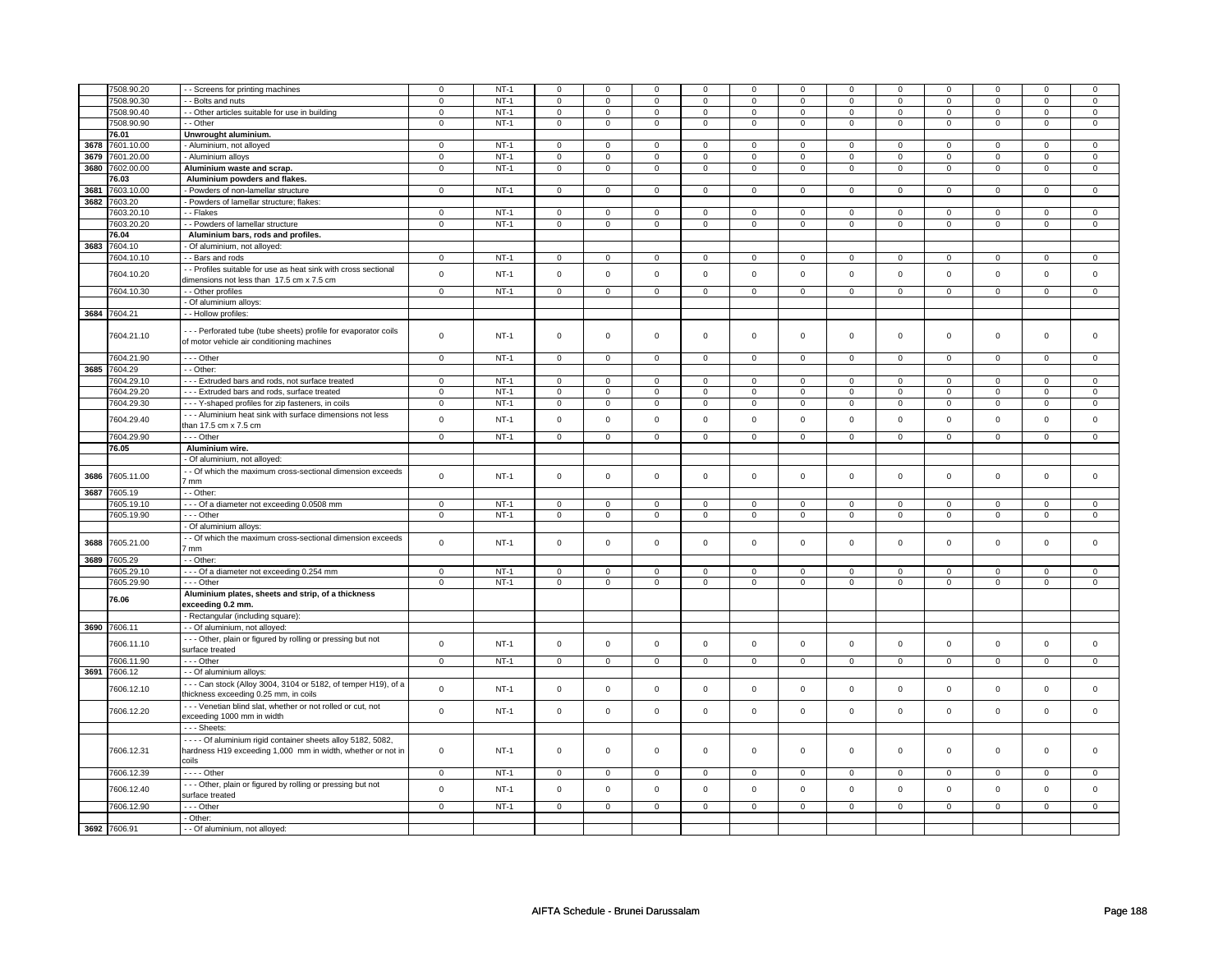|      | 7508.90.20               |                                                                                                              | $\mathbf 0$                | $NT-1$           | $\mathsf 0$                   | $\mathbf 0$                   | $\Omega$                      | $\Omega$                      | $\mathbf 0$                   | $\mathbf 0$                   | $\Omega$                   | $\mathbf 0$                 | $\mathbf 0$                   | $\mathbf 0$                    | $\Omega$                   | $\mathbf{0}$                   |
|------|--------------------------|--------------------------------------------------------------------------------------------------------------|----------------------------|------------------|-------------------------------|-------------------------------|-------------------------------|-------------------------------|-------------------------------|-------------------------------|----------------------------|-----------------------------|-------------------------------|--------------------------------|----------------------------|--------------------------------|
|      | 7508.90.30               | - - Screens for printing machines<br>- - Bolts and nuts                                                      | $\mathbf 0$                | $NT-1$           | $\mathbf 0$                   | $\mathbf 0$                   | $\mathbf 0$                   | $\mathbf 0$                   | $\mathbf 0$                   | $\mathbf 0$                   | 0                          | $\mathbf 0$                 | $\mathbf 0$                   | $\mathbf 0$                    | 0                          | 0                              |
|      |                          |                                                                                                              |                            |                  |                               |                               |                               |                               |                               |                               |                            |                             |                               |                                |                            |                                |
|      | 7508.90.40               | - Other articles suitable for use in building                                                                | $\mathbf 0$                | $NT-1$           | $\mathbf 0$                   | $\mathbf 0$                   | $\mathbf 0$                   | $\mathbf 0$                   | $\mathbf 0$                   | $\mathbf 0$                   | $\mathbf 0$                | $\overline{0}$              | $\mathbf 0$                   | $\mathbf 0$                    | $\mathbf 0$                | $\overline{0}$                 |
|      | 7508.90.90               | - - Other                                                                                                    | $\mathbf 0$                | $NT-1$           | $\overline{0}$                | $\overline{0}$                | $\overline{0}$                | $\overline{0}$                | $\overline{0}$                | $\overline{0}$                | $\overline{0}$             | $\overline{0}$              | $\overline{0}$                | $\overline{0}$                 | $\mathbf 0$                | $\overline{0}$                 |
|      | 76.01                    | Unwrought aluminium.                                                                                         |                            |                  |                               |                               |                               |                               |                               |                               |                            |                             |                               |                                |                            |                                |
| 3678 | 7601.10.00               | - Aluminium, not alloyed                                                                                     | $\mathbf 0$                | $NT-1$           | $\mathbf 0$                   | $\mathsf 0$                   | $\mathbf 0$                   | $\mathbf 0$                   | $\mathbf 0$                   | $\mathbf 0$                   | 0                          | $\mathbf 0$                 | 0                             | $\mathbf 0$                    | $\Omega$                   | $\mathbf 0$                    |
| 3679 | 7601.20.00               | - Aluminium alloys                                                                                           | $\mathsf 0$                | $NT-1$           | $\mathbf 0$                   | $\mathsf 0$                   | $\mathbf 0$                   | $\mathbf 0$                   | $\mathsf 0$                   | $\mathbf 0$                   | $\mathbf 0$                | $\mathbf 0$                 | $\mathsf 0$                   | $\mathbf 0$                    | $\Omega$                   | $\mathbf 0$                    |
| 3680 | 7602.00.00               | Aluminium waste and scrap.                                                                                   | $\mathsf 0$                | $NT-1$           | $\mathbf 0$                   | $\mathsf 0$                   | $\mathbf 0$                   | $\mathbf 0$                   | $\mathbf{0}$                  | $\mathbf 0$                   | $\mathbf 0$                | $\mathbf 0$                 | $\mathsf 0$                   | $\mathbf 0$                    | $\mathbf 0$                | $\mathbf 0$                    |
|      | 76.03                    | Aluminium powders and flakes.                                                                                |                            |                  |                               |                               |                               |                               |                               |                               |                            |                             |                               |                                |                            |                                |
| 3681 | 7603.10.00               | - Powders of non-lamellar structure                                                                          | $\mathsf 0$                | $NT-1$           | $\mathbf 0$                   | $\mathsf 0$                   | $\mathsf 0$                   | $\mathbf 0$                   | $\mathsf 0$                   | $\mathsf 0$                   | $\mathbf 0$                | $\mathbf 0$                 | $\mathsf 0$                   | $\mathbf 0$                    | $\mathbf 0$                | $\mathbf 0$                    |
| 3682 | 7603.20                  | - Powders of lamellar structure; flakes:                                                                     |                            |                  |                               |                               |                               |                               |                               |                               |                            |                             |                               |                                |                            |                                |
|      |                          |                                                                                                              |                            |                  |                               |                               |                               |                               |                               |                               |                            |                             |                               |                                |                            |                                |
|      | 7603.20.10               | - - Flakes                                                                                                   | $\mathsf 0$                | $NT-1$           | $\mathbf 0$                   | $\mathsf 0$                   | $\mathsf 0$                   | $\mathbf 0$                   | $\mathsf 0$                   | $\mathbf 0$                   | $\mathbf 0$                | $\mathbf 0$                 | $\mathsf 0$                   | $\mathbf 0$                    | $\mathsf 0$                | $\mathbf{0}$                   |
|      | 7603.20.20               | - - Powders of lamellar structure                                                                            | $\overline{0}$             | $NT-1$           | $\overline{0}$                | $\overline{0}$                | $\overline{0}$                | $\overline{0}$                | $\overline{0}$                | $\overline{0}$                | $\overline{0}$             | $\overline{0}$              | $\overline{0}$                | $\overline{0}$                 | $\overline{0}$             | $\overline{0}$                 |
|      | 76.04                    | Aluminium bars, rods and profiles.                                                                           |                            |                  |                               |                               |                               |                               |                               |                               |                            |                             |                               |                                |                            |                                |
| 3683 | 7604.10                  | - Of aluminium, not alloyed:                                                                                 |                            |                  |                               |                               |                               |                               |                               |                               |                            |                             |                               |                                |                            |                                |
|      | 7604.10.10               | - - Bars and rods                                                                                            | $\mathbf{0}$               | $NT-1$           | $\mathbf 0$                   | $\mathbf{0}$                  | $\mathbf 0$                   | $\mathbf{0}$                  | $\mathbf 0$                   | $\overline{0}$                | $\mathbf 0$                | $\mathbf{0}$                | $\mathbf 0$                   | $\mathbf 0$                    | 0                          | $\overline{0}$                 |
|      |                          | - - Profiles suitable for use as heat sink with cross sectional                                              |                            |                  |                               |                               |                               |                               |                               |                               |                            |                             |                               |                                |                            |                                |
|      | 7604.10.20               | dimensions not less than 17.5 cm x 7.5 cm                                                                    | $\mathsf 0$                | $NT-1$           | $\mathsf 0$                   | $\mathsf 0$                   | $\mathbf 0$                   | $\mathsf 0$                   | $\mathsf{O}\xspace$           | $\mathsf 0$                   | $\mathbf 0$                | $\mathbf 0$                 | $\mathsf 0$                   | $\mathbf 0$                    | $\mathbf 0$                | $\mathsf 0$                    |
|      | 7604.10.30               | - - Other profiles                                                                                           | $\mathsf 0$                | $NT-1$           | $\mathbf 0$                   | $\mathsf 0$                   | $\mathbf 0$                   | $\mathbf 0$                   | $\mathsf 0$                   | $\mathbf 0$                   | $\mathbf 0$                | $\mathbf 0$                 | $\mathsf 0$                   | $\mathbf 0$                    | $\mathbf 0$                | $\mathbf 0$                    |
|      |                          |                                                                                                              |                            |                  |                               |                               |                               |                               |                               |                               |                            |                             |                               |                                |                            |                                |
|      |                          | - Of aluminium alloys:                                                                                       |                            |                  |                               |                               |                               |                               |                               |                               |                            |                             |                               |                                |                            |                                |
|      | 3684 7604.21             | - - Hollow profiles:                                                                                         |                            |                  |                               |                               |                               |                               |                               |                               |                            |                             |                               |                                |                            |                                |
|      | 7604.21.10               | --- Perforated tube (tube sheets) profile for evaporator coils<br>of motor vehicle air conditioning machines | $\mathsf 0$                | $NT-1$           | $\mathbf 0$                   | $\mathsf 0$                   | $\mathsf 0$                   | $\mathbf 0$                   | $\mathsf 0$                   | $\mathsf 0$                   | $\mathbf 0$                | $\mathbf 0$                 | $\mathsf 0$                   | $\mathbf 0$                    | $\mathsf 0$                | $\mathbf{0}$                   |
|      |                          | $--$ Other                                                                                                   |                            |                  |                               |                               |                               |                               |                               |                               |                            |                             |                               |                                |                            |                                |
|      | 7604.21.90               |                                                                                                              | $\overline{0}$             | $NT-1$           | $\mathsf{O}\xspace$           | $\overline{0}$                | $\mathsf 0$                   | $\mathbf{O}$                  | $\mathbf 0$                   | $\mathbf{0}$                  | $\mathbf 0$                | $\overline{0}$              | $\mathsf 0$                   | $\mathbf{O}$                   | $\mathsf{O}\xspace$        | $\overline{0}$                 |
|      | 3685 7604.29             | - - Other:                                                                                                   |                            |                  |                               |                               |                               |                               |                               |                               |                            |                             |                               |                                |                            |                                |
|      | 7604.29.10               | --- Extruded bars and rods, not surface treated                                                              | $\mathsf 0$                | $NT-1$           | $\overline{0}$                | $\overline{0}$                | $\overline{0}$                | $\overline{0}$                | $\overline{0}$                | $\overline{0}$                | $\overline{0}$             | $\overline{0}$              | $\overline{0}$                | $\overline{0}$                 | $\overline{0}$             | $\overline{0}$                 |
|      | 7604.29.20               | --- Extruded bars and rods, surface treated                                                                  | $\mathbf 0$                | $NT-1$           | $\mathbf 0$                   | $\mathbf 0$                   | $\mathbf 0$                   | $\mathbf 0$                   | $\mathbf 0$                   | $\mathbf 0$                   | 0                          | 0                           | 0                             | 0                              | 0                          | $\mathbf 0$                    |
|      | 7604.29.30               | - - - Y-shaped profiles for zip fasteners, in coils                                                          | $\mathbf 0$                | $NT-1$           | $\mathsf 0$                   | $\mathbf 0$                   | $\mathsf 0$                   | $\mathsf 0$                   | $\mathsf{O}\xspace$           | $\mathsf 0$                   | 0                          | $\mathbf 0$                 | $\mathsf 0$                   | $\mathsf 0$                    | 0                          | 0                              |
|      |                          | --- Aluminium heat sink with surface dimensions not less                                                     |                            |                  |                               |                               |                               |                               |                               |                               |                            |                             |                               |                                |                            |                                |
|      | 7604.29.40<br>7604.29.90 | than 17.5 cm x 7.5 cm<br>--- Other                                                                           | $\mathsf 0$<br>$\mathsf 0$ | $NT-1$<br>$NT-1$ | $\mathbf 0$<br>$\overline{0}$ | $\mathsf 0$<br>$\overline{0}$ | $\mathbf 0$<br>$\overline{0}$ | $\mathsf 0$<br>$\overline{0}$ | $\mathsf 0$<br>$\overline{0}$ | $\mathsf 0$<br>$\overline{0}$ | $\mathbf 0$<br>$\mathbf 0$ | $\mathbf{0}$<br>$\mathbf 0$ | $\mathbf 0$<br>$\overline{0}$ | $\mathbf{0}$<br>$\overline{0}$ | $\mathbf 0$<br>$\mathbf 0$ | $\mathbf{0}$<br>$\overline{0}$ |
|      |                          |                                                                                                              |                            |                  |                               |                               |                               |                               |                               |                               |                            |                             |                               |                                |                            |                                |
|      | 76.05                    | Aluminium wire.                                                                                              |                            |                  |                               |                               |                               |                               |                               |                               |                            |                             |                               |                                |                            |                                |
|      |                          | - Of aluminium, not alloyed:                                                                                 |                            |                  |                               |                               |                               |                               |                               |                               |                            |                             |                               |                                |                            |                                |
| 3686 | 7605.11.00               | - Of which the maximum cross-sectional dimension exceeds<br>7 mm                                             | $\mathsf 0$                | $NT-1$           | $\mathbf 0$                   | $\mathsf 0$                   | $\mathbf 0$                   | $\mathbf 0$                   | $\mathsf 0$                   | $\mathbf 0$                   | $\mathbf 0$                | $\mathbf 0$                 | $\mathsf 0$                   | $\mathbf 0$                    | $\mathbf 0$                | $\mathbf 0$                    |
| 3687 | 7605.19                  | - - Other:                                                                                                   |                            |                  |                               |                               |                               |                               |                               |                               |                            |                             |                               |                                |                            |                                |
|      | 7605.19.10               | --- Of a diameter not exceeding 0.0508 mm                                                                    | $\mathsf 0$                | $NT-1$           | $\mathbf 0$                   | $\mathsf 0$                   | $\mathbf 0$                   | $\mathbf 0$                   | $\mathbf 0$                   | $\mathbf 0$                   | 0                          | 0                           | 0                             | $\mathbf 0$                    | 0                          | 0                              |
|      | 7605.19.90               | $- -$ Other                                                                                                  | $\mathbf 0$                | $NT-1$           | $\overline{0}$                | $\overline{0}$                | $\mathbf 0$                   | $\mathbf 0$                   | $\mathbf 0$                   | $\overline{0}$                | $\mathbf 0$                | $\mathbf 0$                 | $\mathbf 0$                   | $\mathbf 0$                    | $\mathbf 0$                | $\overline{0}$                 |
|      |                          | - Of aluminium alloys:                                                                                       |                            |                  |                               |                               |                               |                               |                               |                               |                            |                             |                               |                                |                            |                                |
| 3688 | 7605.21.00               | - Of which the maximum cross-sectional dimension exceeds                                                     | $\mathsf 0$                | $NT-1$           | $\mathsf 0$                   | $\mathsf 0$                   | $\mathsf 0$                   | $\mathbf 0$                   | $\mathsf{O}\xspace$           | $\mathsf 0$                   | $\mathbf 0$                | $\mathbf 0$                 | $\mathsf 0$                   | $\mathbf 0$                    | $\mathsf 0$                | $\mathbf 0$                    |
|      |                          | 7 mm                                                                                                         |                            |                  |                               |                               |                               |                               |                               |                               |                            |                             |                               |                                |                            |                                |
| 3689 | 7605.29                  | - Other:                                                                                                     |                            |                  |                               |                               |                               |                               |                               |                               |                            |                             |                               |                                |                            |                                |
|      | 7605.29.10               | --- Of a diameter not exceeding 0.254 mm                                                                     | $\mathbf 0$                | $NT-1$           | 0                             | 0                             | $\mathbf 0$                   | $\mathbf 0$                   | $\mathbf 0$                   | $\mathbf 0$                   | $\Omega$                   | $\mathbf 0$                 | $\mathbf 0$                   | $\mathbf{0}$                   | $\Omega$                   | $\Omega$                       |
|      | 7605.29.90               | --- Other                                                                                                    | $\mathbf 0$                | $NT-1$           | $\mathbf 0$                   | $\mathbf 0$                   | $\mathbf 0$                   | $\mathbf 0$                   | $\mathbf{0}$                  | $\mathbf 0$                   | $\mathbf 0$                | $\mathbf{0}$                | $\mathbf 0$                   | $\mathbf{0}$                   | $\mathbf 0$                | $\mathbf 0$                    |
|      | 76.06                    | Aluminium plates, sheets and strip, of a thickness<br>exceeding 0.2 mm.                                      |                            |                  |                               |                               |                               |                               |                               |                               |                            |                             |                               |                                |                            |                                |
|      |                          | - Rectangular (including square):                                                                            |                            |                  |                               |                               |                               |                               |                               |                               |                            |                             |                               |                                |                            |                                |
|      | 3690 7606.11             | - - Of aluminium, not alloyed:                                                                               |                            |                  |                               |                               |                               |                               |                               |                               |                            |                             |                               |                                |                            |                                |
|      | 7606.11.10               | - - - Other, plain or figured by rolling or pressing but not<br>surface treated                              | $\mathsf 0$                | $NT-1$           | $\mathsf 0$                   | $\mathsf 0$                   | $\mathsf 0$                   | $\mathsf 0$                   | $\mathsf{O}\xspace$           | $\mathsf 0$                   | $\mathbf 0$                | $\mathsf 0$                 | $\mathsf 0$                   | $\mathbf 0$                    | $\mathbf 0$                | $\mathbf 0$                    |
|      | 7606.11.90               | $- -$ Other                                                                                                  | $\overline{0}$             | $NT-1$           | $\overline{0}$                | $\overline{0}$                | $\overline{0}$                | $\overline{0}$                | $\overline{0}$                | $\overline{0}$                | $\overline{0}$             | $\overline{0}$              | $\overline{0}$                | $\overline{0}$                 | $\overline{0}$             | $\overline{0}$                 |
|      | 3691 7606.12             | - - Of aluminium alloys:                                                                                     |                            |                  |                               |                               |                               |                               |                               |                               |                            |                             |                               |                                |                            |                                |
|      |                          |                                                                                                              |                            |                  |                               |                               |                               |                               |                               |                               |                            |                             |                               |                                |                            |                                |
|      | 7606.12.10               | --- Can stock (Alloy 3004, 3104 or 5182, of temper H19), of a<br>thickness exceeding 0.25 mm, in coils       | $\mathsf 0$                | $NT-1$           | $\mathbf 0$                   | $\mathbf 0$                   | $\Omega$                      | $\mathsf 0$                   | $\mathbf 0$                   | $\mathbf{0}$                  | $\mathbf 0$                | $\mathbf 0$                 | $\mathbf 0$                   | $\mathbf{0}$                   | $\mathbf 0$                | $\mathbf 0$                    |
|      | 7606.12.20               | --- Venetian blind slat, whether or not rolled or cut, not<br>exceeding 1000 mm in width                     | $\mathsf 0$                | $NT-1$           | $\mathsf 0$                   | $\mathsf 0$                   | $\mathbf 0$                   | $\mathbf 0$                   | $\mathsf 0$                   | $\mathbf 0$                   | $\mathbf 0$                | $\mathsf 0$                 | $\mathsf 0$                   | $\mathbf 0$                    | $\mathsf 0$                | 0                              |
|      |                          | --- Sheets:                                                                                                  |                            |                  |                               |                               |                               |                               |                               |                               |                            |                             |                               |                                |                            |                                |
|      |                          | - - - - Of aluminium rigid container sheets alloy 5182, 5082,                                                |                            |                  |                               |                               |                               |                               |                               |                               |                            |                             |                               |                                |                            |                                |
|      | 7606.12.31               | hardness H19 exceeding 1,000 mm in width, whether or not in                                                  | $\mathsf 0$                | $NT-1$           | $\mathbf 0$                   | $\mathsf 0$                   | $\mathsf 0$                   | $\mathbf 0$                   | $\mathsf 0$                   | $\mathbf 0$                   | $\mathbf 0$                | $\mathbf 0$                 | $\mathsf 0$                   | $\mathbf 0$                    | $\mathbf 0$                | $\mathbf 0$                    |
|      |                          | coils                                                                                                        |                            |                  |                               |                               |                               |                               |                               |                               |                            |                             |                               |                                |                            |                                |
|      | 7606.12.39               | $---$ Other                                                                                                  | $\overline{0}$             | $NT-1$           | $\overline{0}$                | $\overline{0}$                | $\overline{0}$                | $\overline{0}$                | $\overline{0}$                | $\overline{0}$                | $\overline{0}$             | $\overline{0}$              | $\overline{0}$                | $\overline{0}$                 | $\mathbf 0$                | $\mathbf 0$                    |
|      |                          |                                                                                                              |                            |                  |                               |                               |                               |                               |                               |                               |                            |                             |                               |                                |                            |                                |
|      | 7606.12.40               | --- Other, plain or figured by rolling or pressing but not<br>surface treated                                | $\mathsf 0$                | $NT-1$           | $\mathsf 0$                   | $\mathsf 0$                   | $\mathbf 0$                   | $\mathbf 0$                   | $\mathsf 0$                   | $\mathbf 0$                   | $\mathbf 0$                | $\mathsf 0$                 | $\mathsf 0$                   | $\mathbf 0$                    | $\mathsf 0$                | $\mathbf 0$                    |
|      | 7606.12.90               | --- Other                                                                                                    | $\mathsf 0$                | $NT-1$           | $\mathsf 0$                   | $\mathsf 0$                   | $\mathsf 0$                   | $\mathsf 0$                   | $\mathsf{O}\xspace$           | $\mathsf 0$                   | $\mathsf 0$                | $\mathsf 0$                 | $\mathsf 0$                   | $\mathbf 0$                    | $\mathsf 0$                | $\mathsf 0$                    |
|      |                          | - Other:                                                                                                     |                            |                  |                               |                               |                               |                               |                               |                               |                            |                             |                               |                                |                            |                                |
|      | 3692 7606.91             | - - Of aluminium, not alloyed:                                                                               |                            |                  |                               |                               |                               |                               |                               |                               |                            |                             |                               |                                |                            |                                |
|      |                          |                                                                                                              |                            |                  |                               |                               |                               |                               |                               |                               |                            |                             |                               |                                |                            |                                |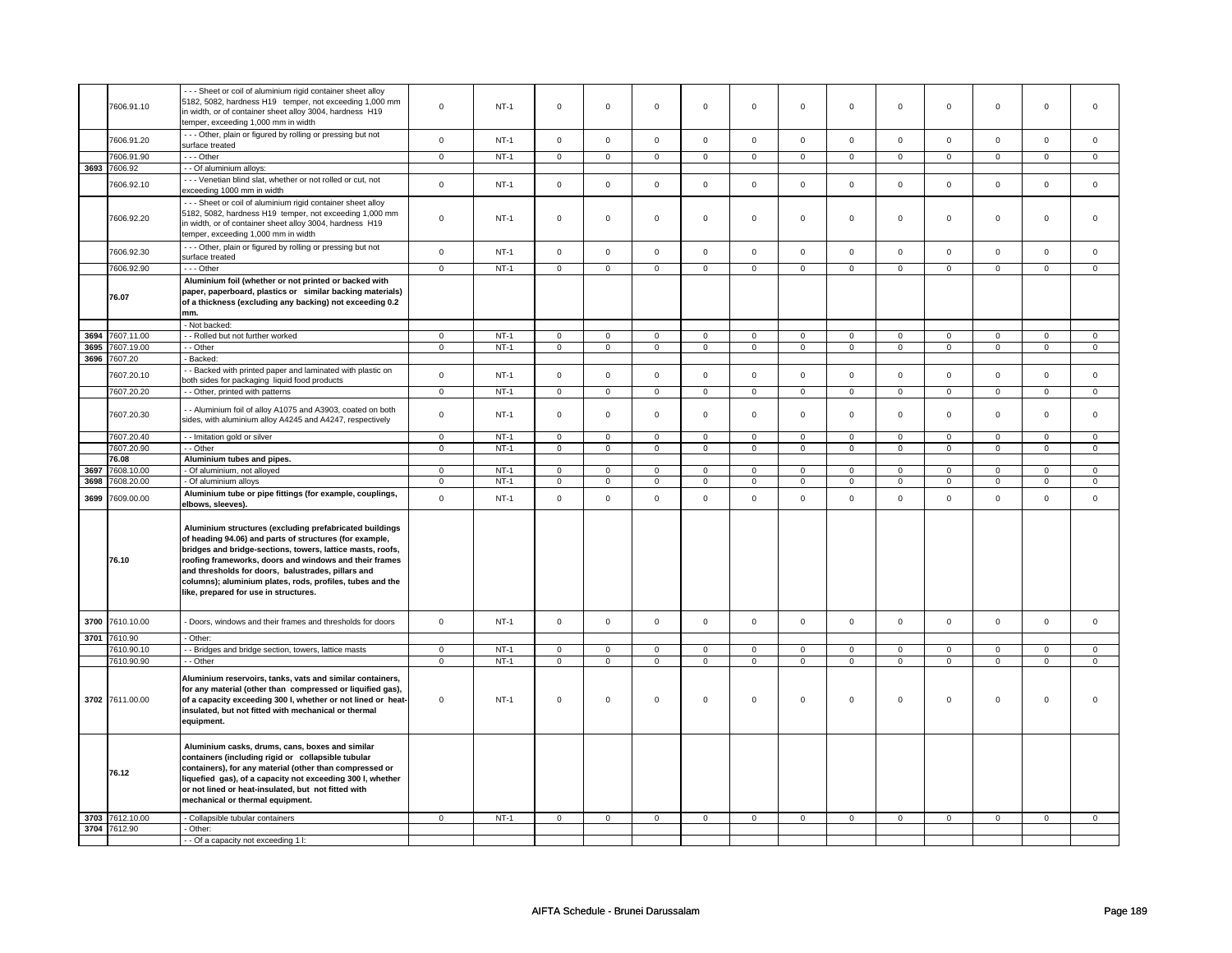|      | 7606.91.10      | --- Sheet or coil of aluminium rigid container sheet alloy<br>5182, 5082, hardness H19 temper, not exceeding 1,000 mm<br>in width, or of container sheet alloy 3004, hardness H19<br>temper, exceeding 1,000 mm in width                                                                                                                                                                               | $\mathbf 0$    | $NT-1$ | $\mathsf 0$         | $\mathsf 0$         | $\mathsf 0$    | $\mathsf 0$    | $\mathsf 0$    | $\mathsf 0$    | $\mathsf 0$    | $\mathsf 0$    | $\mathsf 0$    | $\mathsf 0$    | $\mathsf 0$    | $\mathsf 0$    |
|------|-----------------|--------------------------------------------------------------------------------------------------------------------------------------------------------------------------------------------------------------------------------------------------------------------------------------------------------------------------------------------------------------------------------------------------------|----------------|--------|---------------------|---------------------|----------------|----------------|----------------|----------------|----------------|----------------|----------------|----------------|----------------|----------------|
|      | 7606.91.20      | --- Other, plain or figured by rolling or pressing but not<br>surface treated                                                                                                                                                                                                                                                                                                                          | $\mathsf 0$    | $NT-1$ | $\mathsf{O}\xspace$ | $\mathsf 0$         | $\mathsf 0$    | $\mathsf 0$    | $\mathsf 0$    | $\mathbf 0$    | $\mathsf 0$    | $\mathbf 0$    | $\mathsf 0$    | $\mathsf 0$    | $\mathsf 0$    | $\mathbf 0$    |
|      | 7606.91.90      | --- Other                                                                                                                                                                                                                                                                                                                                                                                              | $\mathbf 0$    | $NT-1$ | $\mathsf 0$         | $\mathbf 0$         | $\mathbf 0$    | $\mathbf 0$    | $\mathbf 0$    | $\mathbf 0$    | $\mathsf 0$    | $\mathbf 0$    | $\mathbf 0$    | $\mathbf 0$    | $\mathsf 0$    | $\mathbf 0$    |
|      | 3693 7606.92    | - - Of aluminium alloys:                                                                                                                                                                                                                                                                                                                                                                               |                |        |                     |                     |                |                |                |                |                |                |                |                |                |                |
|      |                 | --- Venetian blind slat, whether or not rolled or cut, not                                                                                                                                                                                                                                                                                                                                             |                |        |                     |                     |                |                |                |                |                |                |                |                |                |                |
|      | 7606.92.10      | exceeding 1000 mm in width                                                                                                                                                                                                                                                                                                                                                                             | $\mathsf 0$    | $NT-1$ | $\mathsf 0$         | $\mathbf 0$         | $\mathbf 0$    | $\mathsf 0$    | $\mathbf 0$    | $\mathbf 0$    | $\mathbf 0$    | $\mathbf 0$    | $\mathbf 0$    | $\mathbf 0$    | $\mathsf 0$    | $\mathbf 0$    |
|      | 7606.92.20      | --- Sheet or coil of aluminium rigid container sheet alloy<br>5182, 5082, hardness H19 temper, not exceeding 1,000 mm<br>in width, or of container sheet alloy 3004, hardness H19<br>temper, exceeding 1,000 mm in width                                                                                                                                                                               | $\mathbf 0$    | $NT-1$ | $\mathbf 0$         | $\mathsf 0$         | $\mathbf 0$    | $\mathsf 0$    | $\mathsf 0$    | $\mathbf 0$    | $\mathsf 0$    | $\mathbf 0$    | $\mathsf 0$    | $\mathbf 0$    | $\mathbf 0$    | $\mathbf 0$    |
|      | 7606.92.30      | --- Other, plain or figured by rolling or pressing but not<br>surface treated                                                                                                                                                                                                                                                                                                                          | $\mathsf 0$    | $NT-1$ | $\mathbf 0$         | $\mathbf{0}$        | $\mathbf 0$    | $\mathbf 0$    | $\mathbf 0$    | $\mathbf 0$    | $\mathbf 0$    | $\mathbf 0$    | $\mathbf 0$    | $\mathbf 0$    | $\mathbf 0$    | $\mathbf{0}$   |
|      | 7606.92.90      | $- -$ Other                                                                                                                                                                                                                                                                                                                                                                                            | $\overline{0}$ | $NT-1$ | $\mathbf 0$         | 0                   | 0              | 0              | 0              | $\mathbf 0$    | 0              | $\overline{0}$ | $\mathbf 0$    | $\mathbf 0$    | $\mathbf 0$    | $\mathbf{0}$   |
|      | 76.07           | Aluminium foil (whether or not printed or backed with<br>paper, paperboard, plastics or similar backing materials)<br>of a thickness (excluding any backing) not exceeding 0.2<br>mm.                                                                                                                                                                                                                  |                |        |                     |                     |                |                |                |                |                |                |                |                |                |                |
|      |                 | - Not backed:                                                                                                                                                                                                                                                                                                                                                                                          |                |        |                     |                     |                |                |                |                |                |                |                |                |                |                |
| 3694 | 7607.11.00      | - - Rolled but not further worked                                                                                                                                                                                                                                                                                                                                                                      | $\mathsf 0$    | $NT-1$ | $\mathsf 0$         | $\mathsf 0$         | $\mathbf 0$    | $\mathsf 0$    | $\mathsf 0$    | $\mathbf 0$    | $\mathsf 0$    | $\mathbf 0$    | $\mathsf 0$    | $\mathbf 0$    | $\mathbf 0$    | $\mathbf 0$    |
| 3695 | 7607.19.00      | - - Other                                                                                                                                                                                                                                                                                                                                                                                              | $\overline{0}$ | $NT-1$ | $\overline{0}$      | $\overline{0}$      | $\overline{0}$ | $\overline{0}$ | $\overline{0}$ | $\overline{0}$ | $\overline{0}$ | $\overline{0}$ | $\overline{0}$ | $\overline{0}$ | $\overline{0}$ | $\overline{0}$ |
|      | 3696 7607.20    | - Backed:                                                                                                                                                                                                                                                                                                                                                                                              |                |        |                     |                     |                |                |                |                |                |                |                |                |                |                |
|      | 7607.20.10      | - Backed with printed paper and laminated with plastic on<br>both sides for packaging liquid food products                                                                                                                                                                                                                                                                                             | $\mathsf 0$    | $NT-1$ | $\mathsf 0$         | $\mathbf 0$         | $\mathsf 0$    | $\mathbf 0$    | $\mathsf 0$    | $\mathsf 0$    | $\mathsf 0$    | $\mathsf 0$    | $\mathsf 0$    | $\mathsf 0$    | $\mathsf 0$    | $\mathsf 0$    |
|      | 7607.20.20      | - - Other, printed with patterns                                                                                                                                                                                                                                                                                                                                                                       | $\mathbf 0$    | $NT-1$ | $\mathsf 0$         | $\mathbf 0$         | $\mathbf 0$    | $\mathsf 0$    | $\mathbf 0$    | $\mathbf 0$    | $\mathbf 0$    | $\mathbf 0$    | $\mathbf 0$    | $\mathbf 0$    | $\mathsf 0$    | $\mathbf 0$    |
|      |                 |                                                                                                                                                                                                                                                                                                                                                                                                        |                |        |                     |                     |                |                |                |                |                |                |                |                |                |                |
|      | 7607.20.30      | - - Aluminium foil of alloy A1075 and A3903, coated on both<br>sides, with aluminium alloy A4245 and A4247, respectively                                                                                                                                                                                                                                                                               | $\mathsf 0$    | $NT-1$ | $\mathbf 0$         | $\mathsf 0$         | $\mathbf 0$    | $\mathsf 0$    | $\mathbf 0$    | $\mathsf 0$    | $\mathbf 0$    | $\mathsf 0$    | $\mathbf 0$    | $\mathsf 0$    | $\mathbf 0$    | $\mathbf 0$    |
|      | 7607.20.40      | -- Imitation gold or silver                                                                                                                                                                                                                                                                                                                                                                            | $\overline{0}$ | $NT-1$ | $\overline{0}$      | $\overline{0}$      | $\overline{0}$ | $\overline{0}$ | $\overline{0}$ | $\overline{0}$ | $\overline{0}$ | $\overline{0}$ | $\overline{0}$ | $\overline{0}$ | $\overline{0}$ | $\mathbf 0$    |
|      | 7607.20.90      | - - Other                                                                                                                                                                                                                                                                                                                                                                                              | 0              | NT-1   | 0                   | $\mathbf 0$         | $\mathbf 0$    | 0              | 0              | $\mathsf 0$    | $\mathbf 0$    | 0              | 0              | 0              | 0              | 0              |
|      | 76.08           | Aluminium tubes and pipes.                                                                                                                                                                                                                                                                                                                                                                             |                |        |                     |                     |                |                |                |                |                |                |                |                |                |                |
|      |                 |                                                                                                                                                                                                                                                                                                                                                                                                        |                |        |                     |                     |                |                |                |                |                |                |                |                |                |                |
|      |                 |                                                                                                                                                                                                                                                                                                                                                                                                        |                |        |                     |                     |                |                |                |                |                |                |                |                |                |                |
| 3697 | 7608.10.00      | - Of aluminium, not alloyed                                                                                                                                                                                                                                                                                                                                                                            | $\mathbf{0}$   | $NT-1$ | $\mathbf 0$         | $\mathbf 0$         | $\mathbf 0$    | $\mathsf 0$    | $\mathbf 0$    | $\mathbf 0$    | $\mathbf 0$    | $\mathbf 0$    | $\mathbf 0$    | $\mathbf 0$    | $\mathbf 0$    | $\mathbf 0$    |
| 3698 | 7608.20.00      | - Of aluminium alloys                                                                                                                                                                                                                                                                                                                                                                                  | $\mathsf 0$    | $NT-1$ | $\mathsf 0$         | $\mathsf 0$         | $\mathbf 0$    | $\mathsf 0$    | $\mathbf 0$    | $\mathbf 0$    | $\mathsf 0$    | $\mathbf 0$    | $\mathbf 0$    | $\mathbf 0$    | $\mathsf 0$    | $\mathbf 0$    |
| 3699 | 7609.00.00      | Aluminium tube or pipe fittings (for example, couplings,<br>elbows, sleeves).                                                                                                                                                                                                                                                                                                                          | $\mathbf 0$    | $NT-1$ | $\mathsf{O}\xspace$ | $\mathsf{o}\xspace$ | $\Omega$       | $\mathsf 0$    | $\mathbf 0$    | $\mathsf{o}\,$ | $\Omega$       | $\mathsf{o}\,$ | $\Omega$       | $\mathsf{o}\,$ | $\mathbf 0$    | $\mathbf 0$    |
|      | 76.10           | Aluminium structures (excluding prefabricated buildings<br>of heading 94.06) and parts of structures (for example,<br>bridges and bridge-sections, towers, lattice masts, roofs,<br>roofing frameworks, doors and windows and their frames<br>and thresholds for doors, balustrades, pillars and<br>columns); aluminium plates, rods, profiles, tubes and the<br>like, prepared for use in structures. |                |        |                     |                     |                |                |                |                |                |                |                |                |                |                |
| 3700 | 7610.10.00      | - Doors, windows and their frames and thresholds for doors                                                                                                                                                                                                                                                                                                                                             | $\mathsf 0$    | $NT-1$ | $\mathsf{O}\xspace$ | $\mathsf 0$         | $\mathsf 0$    | $\mathsf 0$    | $\mathbf 0$    | $\mathbf 0$    | $\mathsf 0$    | $\mathbf 0$    | $\mathsf 0$    | $\mathsf 0$    | $\mathsf 0$    | $\mathbf 0$    |
|      | 3701 7610.90    | - Other:                                                                                                                                                                                                                                                                                                                                                                                               |                |        |                     |                     |                |                |                |                |                |                |                |                |                |                |
|      | 7610.90.10      | - Bridges and bridge section, towers, lattice masts                                                                                                                                                                                                                                                                                                                                                    | $\mathbf 0$    | $NT-1$ | $\mathbf 0$         | $\mathbf 0$         | $\mathbf 0$    | $\mathbf 0$    | $\mathbf 0$    | $\mathbf 0$    | $\mathbf 0$    | $\mathbf 0$    | $\mathbf 0$    | $\mathbf 0$    | $\mathbf 0$    | $\mathbf 0$    |
|      | 7610.90.90      | - - Other                                                                                                                                                                                                                                                                                                                                                                                              | $\mathbf 0$    | $NT-1$ | $\mathsf 0$         | $\mathbf 0$         | $\mathbf 0$    | $\mathsf 0$    | $\mathbf 0$    | $\mathbf 0$    | $\mathbf 0$    | $\mathbf 0$    | $\mathbf 0$    | $\mathbf 0$    | $\mathbf 0$    | $\mathbf 0$    |
|      | 3702 7611.00.00 | Aluminium reservoirs, tanks, vats and similar containers,<br>for any material (other than compressed or liquified gas),<br>of a capacity exceeding 300 l, whether or not lined or heat-<br>insulated, but not fitted with mechanical or thermal<br>equipment.                                                                                                                                          | $\mathsf 0$    | $NT-1$ | $\mathsf 0$         | $\mathsf 0$         | $\mathsf 0$    | $\mathsf 0$    | $\mathsf 0$    | $\mathbf 0$    | $\mathsf 0$    | $\mathbf 0$    | $\mathsf 0$    | $\mathbf 0$    | $\mathbf 0$    | $\mathbf 0$    |
|      | 76.12           | Aluminium casks, drums, cans, boxes and similar<br>containers (including rigid or collapsible tubular<br>containers), for any material (other than compressed or<br>liquefied gas), of a capacity not exceeding 300 l, whether<br>or not lined or heat-insulated, but not fitted with<br>mechanical or thermal equipment.                                                                              |                |        |                     |                     |                |                |                |                |                |                |                |                |                |                |
|      | 3703 7612.10.00 | - Collapsible tubular containers                                                                                                                                                                                                                                                                                                                                                                       | $\mathbf 0$    | $NT-1$ | $\mathsf 0$         | $\mathbf 0$         | $\mathsf 0$    | $\mathbf 0$    | $\mathsf 0$    | $\mathsf 0$    | $\mathsf 0$    | $\mathsf 0$    | $\mathsf 0$    | $\mathsf 0$    | $\mathsf 0$    | $\mathsf 0$    |
|      | 3704 7612.90    | - Other:<br>- - Of a capacity not exceeding 1 I:                                                                                                                                                                                                                                                                                                                                                       |                |        |                     |                     |                |                |                |                |                |                |                |                |                |                |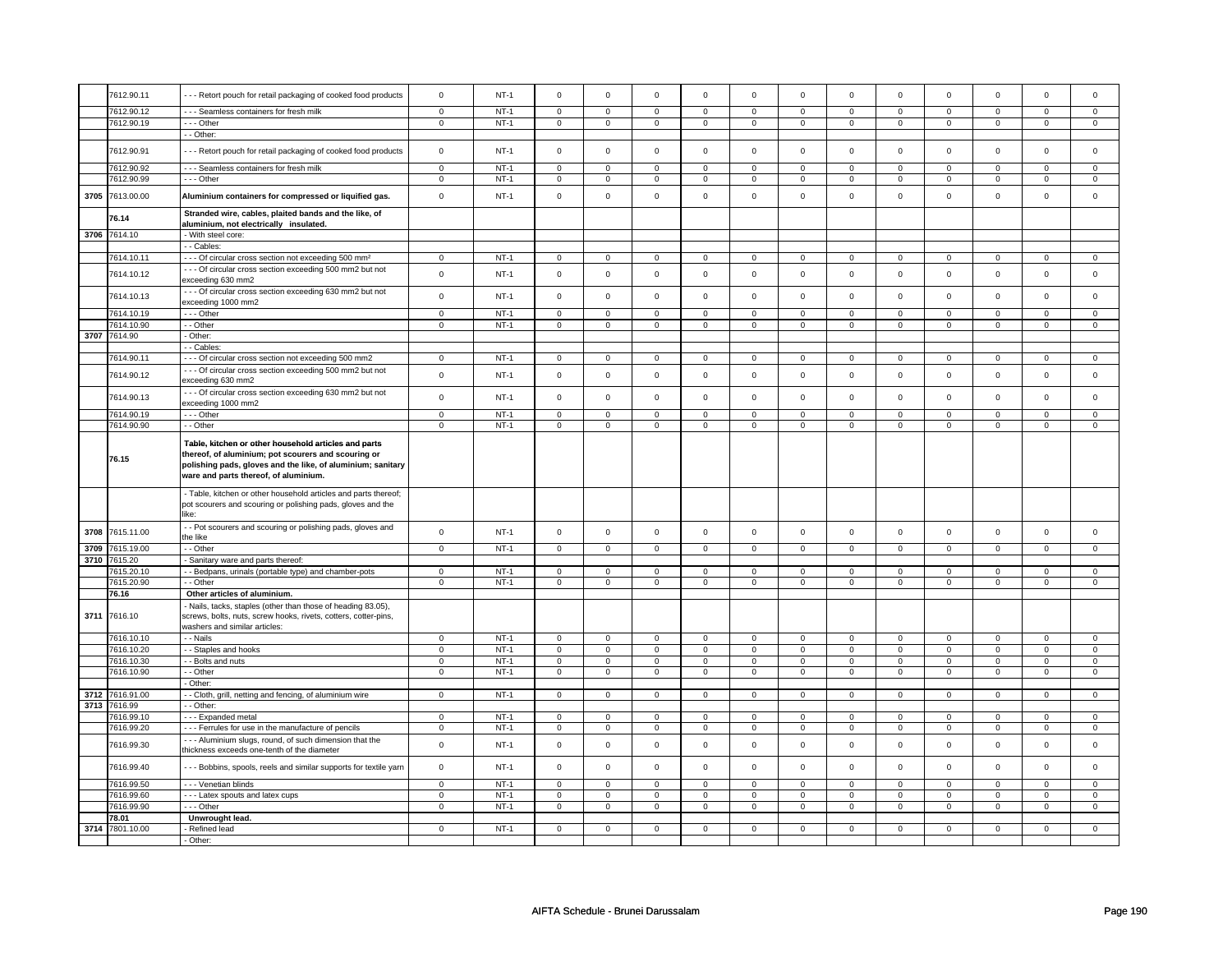|      | 7612.90.11                 | --- Retort pouch for retail packaging of cooked food products                                                                                                                                                       | $\mathsf 0$    | $NT-1$ | $\mathsf 0$    | $\mathbf 0$    | $\mathbf 0$    | $\mathbf 0$         | $\mathbf 0$    | $\mathbf 0$    | $\mathsf{O}\xspace$ | $\mathbf 0$         | $\mathsf 0$    | $\mathsf 0$    | $\mathsf 0$         | $\mathsf 0$    |
|------|----------------------------|---------------------------------------------------------------------------------------------------------------------------------------------------------------------------------------------------------------------|----------------|--------|----------------|----------------|----------------|---------------------|----------------|----------------|---------------------|---------------------|----------------|----------------|---------------------|----------------|
|      | 7612.90.12                 | - - - Seamless containers for fresh milk                                                                                                                                                                            | $\mathbf 0$    | $NT-1$ | $\mathbf 0$    | $\mathbf 0$    | $\mathbf 0$    | $\mathbf 0$         | $\mathbf 0$    | $\mathbf 0$    | $\mathbf 0$         | $\mathbf 0$         | $\mathbf 0$    | $\mathbf 0$    | $\mathbf 0$         | $\mathbf{0}$   |
|      | 7612.90.19                 | - - - Other                                                                                                                                                                                                         | $\mathbf 0$    | $NT-1$ | $\mathbf 0$    | $\mathsf 0$    | $\mathbf 0$    | $\mathbf 0$         | $\mathbf 0$    | $\mathbf 0$    | $\mathsf 0$         | $\mathbf 0$         | $\mathbf 0$    | $\mathbf 0$    | $\mathbf 0$         | $\mathsf 0$    |
|      |                            | - - Other:                                                                                                                                                                                                          |                |        |                |                |                |                     |                |                |                     |                     |                |                |                     |                |
|      | 7612.90.91                 | - - Retort pouch for retail packaging of cooked food products                                                                                                                                                       | $\mathbf{0}$   | $NT-1$ | $\mathbf 0$    | $\mathbf 0$    | $\Omega$       | $\mathbf 0$         | $\mathbf 0$    | $\mathbf 0$    | $\mathbf 0$         | $\mathbf{0}$        | $\mathbf 0$    | $\mathbf{0}$   | $\mathbf 0$         | $\mathbf 0$    |
|      | 7612.90.92                 | --- Seamless containers for fresh milk                                                                                                                                                                              | $\mathbf 0$    | $NT-1$ | $\mathbf 0$    | $\mathbf 0$    | $\mathbf 0$    | $\mathbf 0$         | $\mathbf 0$    | $\mathbf 0$    | $\mathbf 0$         | $\mathbf 0$         | $\mathbf 0$    | $\mathbf 0$    | 0                   | $\mathbf 0$    |
|      | 7612.90.99                 | --- Other                                                                                                                                                                                                           | $\mathbf 0$    | $NT-1$ | $\mathbf 0$    | $\mathsf 0$    | $\mathbf 0$    | $\mathbf 0$         | $\mathbf 0$    | $\mathbf 0$    | $\mathbf 0$         | $\mathbf 0$         | $\mathsf 0$    | $\mathbf 0$    | $\mathbf 0$         | $\mathbf 0$    |
| 3705 | 7613.00.00                 | Aluminium containers for compressed or liquified gas.                                                                                                                                                               | $\mathsf 0$    | $NT-1$ | $\mathbf 0$    | $\mathbf 0$    | $\mathbf 0$    | $\mathsf{o}\xspace$ | $\mathsf 0$    | $\pmb{0}$      | $\mathsf{O}\xspace$ | $\mathsf{o}\xspace$ | $\mathsf 0$    | $\mathsf 0$    | $\mathsf{o}\xspace$ | $\mathsf 0$    |
|      | 76.14                      | Stranded wire, cables, plaited bands and the like, of<br>aluminium, not electrically insulated.                                                                                                                     |                |        |                |                |                |                     |                |                |                     |                     |                |                |                     |                |
|      | 3706 7614.10               | - With steel core:                                                                                                                                                                                                  |                |        |                |                |                |                     |                |                |                     |                     |                |                |                     |                |
|      |                            | - - Cables:                                                                                                                                                                                                         |                |        |                |                |                |                     |                |                |                     |                     |                |                |                     |                |
|      | 7614.10.11                 | - - - Of circular cross section not exceeding 500 mm <sup>2</sup>                                                                                                                                                   | $\mathbf 0$    | $NT-1$ | $\mathsf 0$    | $\mathsf 0$    | $\Omega$       | $\mathbf 0$         | $\mathsf 0$    | $\mathbf 0$    | $\mathbf 0$         | $\mathbf 0$         | $\mathsf 0$    | $\mathbf 0$    | $\Omega$            | 0              |
|      | 7614.10.12                 | --- Of circular cross section exceeding 500 mm2 but not<br>exceeding 630 mm2                                                                                                                                        | $\mathbf 0$    | $NT-1$ | $\mathsf 0$    | $\mathbf 0$    | $\Omega$       | $\mathsf 0$         | $\mathsf 0$    | $\mathsf 0$    | $\mathbf 0$         | $\mathbf 0$         | $\mathbf 0$    | $\mathbf 0$    | $\mathbf 0$         | $\mathsf 0$    |
|      | 7614.10.13                 | --- Of circular cross section exceeding 630 mm2 but not<br>exceeding 1000 mm2                                                                                                                                       | $\mathsf 0$    | $NT-1$ | $\mathsf 0$    | $\mathsf 0$    | $\mathsf 0$    | $\mathsf 0$         | $\mathsf 0$    | $\mathsf 0$    | $\mathsf 0$         | $\mathsf 0$         | $\mathsf 0$    | $\mathsf 0$    | $\mathbf 0$         | $\mathsf 0$    |
|      | 7614.10.19                 | Other                                                                                                                                                                                                               | $\mathsf 0$    | $NT-1$ | $\mathsf 0$    | $\mathsf 0$    | $\mathbf 0$    | $\mathsf 0$         | $\mathsf 0$    | $\mathsf 0$    | $\mathbf 0$         | $\mathsf 0$         | $\mathsf 0$    | $\mathsf 0$    | $\mathsf 0$         | $\mathsf 0$    |
|      | 7614.10.90                 | - - Other                                                                                                                                                                                                           | $\mathbf 0$    | $NT-1$ | $\mathbf 0$    | $\mathsf 0$    | $\mathbf 0$    | $\mathbf 0$         | $\mathbf 0$    | $\mathbf 0$    | $\mathbf 0$         | $\mathbf 0$         | $\mathbf 0$    | $\mathbf 0$    | 0                   | $\mathbf 0$    |
| 3707 | 7614.90                    | Other:                                                                                                                                                                                                              |                |        |                |                |                |                     |                |                |                     |                     |                |                |                     |                |
|      |                            | - Cables                                                                                                                                                                                                            |                |        |                |                |                |                     |                |                |                     |                     |                |                |                     |                |
|      | 7614.90.11                 | --- Of circular cross section not exceeding 500 mm2                                                                                                                                                                 | $\mathbf 0$    | $NT-1$ | $\mathbf 0$    | $\mathsf 0$    | $\mathbf 0$    | $\mathbf 0$         | $\mathbf 0$    | $\mathbf 0$    | $\mathbf 0$         | $\mathbf 0$         | $\mathbf 0$    | $\mathbf 0$    | $\Omega$            | $\mathbf 0$    |
|      | 7614.90.12                 | --- Of circular cross section exceeding 500 mm2 but not<br>exceeding 630 mm2                                                                                                                                        | $\mathsf 0$    | $NT-1$ | $\mathsf 0$    | $\mathbf 0$    | $\mathsf 0$    | $\mathbf 0$         | $\mathsf 0$    | $\mathsf 0$    | $\mathsf 0$         | $\mathbf 0$         | $\mathsf 0$    | $\mathbf 0$    | $\mathbf 0$         | $\mathbf 0$    |
|      | 7614.90.13                 | --- Of circular cross section exceeding 630 mm2 but not<br>exceeding 1000 mm2                                                                                                                                       | $\mathsf 0$    | $NT-1$ | $\mathsf 0$    | $\mathbf 0$    | $\Omega$       | $\mathsf 0$         | $\mathsf 0$    | $\mathsf 0$    | $\mathsf{O}\xspace$ | $\mathsf 0$         | $\mathsf 0$    | $\mathsf 0$    | $\mathsf 0$         | $\mathsf 0$    |
|      | 7614.90.19                 | - - - Other                                                                                                                                                                                                         | $\mathsf 0$    | $NT-1$ | $\mathbf 0$    | $\mathbf 0$    | $\mathbf 0$    | $\mathbf 0$         | $\mathbf 0$    | $\mathsf 0$    | $\mathbf 0$         | $\mathbf 0$         | $\mathbf 0$    | $\mathsf 0$    | $\mathbf 0$         | $\mathbf 0$    |
|      | 7614.90.90                 | - - Other                                                                                                                                                                                                           | $\mathbf 0$    | $NT-1$ | $\mathbf 0$    | $\mathsf 0$    | $\mathbf 0$    | $\mathbf 0$         | $\mathbf 0$    | $\mathbf 0$    | $\mathbf 0$         | $\mathbf 0$         | $\mathbf 0$    | $\mathbf 0$    | $\mathbf 0$         | $\mathbf 0$    |
|      | 76.15                      | Table, kitchen or other household articles and parts<br>thereof, of aluminium; pot scourers and scouring or<br>polishing pads, gloves and the like, of aluminium; sanitary<br>ware and parts thereof, of aluminium. |                |        |                |                |                |                     |                |                |                     |                     |                |                |                     |                |
|      |                            | - Table, kitchen or other household articles and parts thereof;<br>pot scourers and scouring or polishing pads, gloves and the<br>like:                                                                             |                |        |                |                |                |                     |                |                |                     |                     |                |                |                     |                |
| 3708 | 7615.11.00                 | - Pot scourers and scouring or polishing pads, gloves and<br>the like                                                                                                                                               | $\mathbf 0$    | $NT-1$ | $\mathsf 0$    | $\mathsf 0$    | $\mathsf 0$    | $\mathsf 0$         | $\mathsf 0$    | $\mathbf 0$    | $\mathsf 0$         | $\mathbf 0$         | $\mathbf 0$    | $\mathbf 0$    | 0                   | 0              |
| 3709 | 7615.19.00<br>3710 7615.20 | - - Other                                                                                                                                                                                                           | $\mathbf 0$    | $NT-1$ | $\mathbf 0$    | $\mathbf 0$    | $\mathbf 0$    | $\mathbf 0$         | $\mathbf 0$    | $\mathbf 0$    | $\mathbf{0}$        | $\mathbf 0$         | $\mathbf 0$    | $\mathbf 0$    | $\mathbf 0$         | $\mathbf{0}$   |
|      | 7615.20.10                 | - Sanitary ware and parts thereof:<br>- Bedpans, urinals (portable type) and chamber-pots                                                                                                                           | $\mathbf 0$    | $NT-1$ | $\mathbf 0$    | $\mathsf 0$    | $\mathbf 0$    | $\mathbf 0$         | $\mathbf 0$    | $\mathbf 0$    | $\mathbf 0$         | $\mathbf 0$         | $\mathbf 0$    | $\mathbf 0$    | $\Omega$            | $\mathbf 0$    |
|      | 7615.20.90                 | - Other                                                                                                                                                                                                             | $\mathbf 0$    | $NT-1$ | $\mathbf 0$    | $\mathsf 0$    | $\mathbf 0$    | $\mathbf 0$         | $\mathbf 0$    | $\mathbf 0$    | $\mathbf 0$         | $\mathbf 0$         | $\mathbf 0$    | $\mathbf 0$    | 0                   | $\mathbf 0$    |
|      | 76.16                      | Other articles of aluminium.                                                                                                                                                                                        |                |        |                |                |                |                     |                |                |                     |                     |                |                |                     |                |
| 3711 | 7616.10                    | - Nails, tacks, staples (other than those of heading 83.05),<br>screws, bolts, nuts, screw hooks, rivets, cotters, cotter-pins,<br>washers and similar articles:                                                    |                |        |                |                |                |                     |                |                |                     |                     |                |                |                     |                |
|      | 7616.10.10                 | - - Nails                                                                                                                                                                                                           | $\mathbf 0$    | $NT-1$ | $\mathbf 0$    | $\mathbf 0$    | $\mathbf 0$    | $\mathbf 0$         | $\mathbf 0$    | $\mathbf 0$    | $\mathbf 0$         | $\mathbf 0$         | $\mathbf 0$    | $\mathbf 0$    | 0                   | $\mathbf{0}$   |
|      | 7616.10.20                 | - Staples and hooks                                                                                                                                                                                                 | $\mathbf 0$    | $NT-1$ | $\mathsf 0$    | $\mathsf 0$    | $\mathsf 0$    | $\mathbf 0$         | $\mathsf 0$    | $\mathsf 0$    | $\mathsf{O}\xspace$ | $\mathbf 0$         | $\mathsf 0$    | $\mathsf 0$    | $\mathbf 0$         | $\mathbf{0}$   |
|      | 7616.10.30                 | - Bolts and nuts                                                                                                                                                                                                    | $\mathbf 0$    | $NT-1$ | $\mathbf 0$    | $\overline{0}$ | $\mathbf 0$    | $\mathbf 0$         | $\mathsf 0$    | $\mathsf 0$    | $\mathbf 0$         | $\mathbf 0$         | $\mathbf 0$    | $\mathbf 0$    | $\mathbf 0$         | $\mathbf{0}$   |
|      | 7616.10.90                 | - Other                                                                                                                                                                                                             | $\mathbf 0$    | $NT-1$ | $\mathbf 0$    | $\mathbf 0$    | $\mathbf 0$    | $\mathbf 0$         | $\mathbf 0$    | $\mathbf 0$    | $\mathbf 0$         | $\mathbf 0$         | $\mathbf 0$    | $\mathbf 0$    | 0                   | $\mathbf{0}$   |
|      | 3712 7616.91.00            | - Other:                                                                                                                                                                                                            | $\mathsf 0$    | $NT-1$ | $\mathsf 0$    | $\overline{0}$ | $\mathsf 0$    | $\overline{0}$      | $\mathsf 0$    | $\overline{0}$ | $\mathsf{O}\xspace$ | $\overline{0}$      | $\mathsf 0$    | $\overline{0}$ | $\mathsf 0$         | $\mathbf 0$    |
| 3713 | 7616.99                    | - Cloth, grill, netting and fencing, of aluminium wire<br>- Other:                                                                                                                                                  |                |        |                |                |                |                     |                |                |                     |                     |                |                |                     |                |
|      | 7616.99.10                 | --- Expanded metal                                                                                                                                                                                                  | $\mathbf 0$    | $NT-1$ | $\mathbf 0$    | $\mathbf 0$    | $\mathsf 0$    | $\mathbf 0$         | $\mathbf 0$    | $\mathbf 0$    | $\mathbf 0$         | $\mathbf 0$         | $\mathsf 0$    | $\mathbf 0$    | $\mathbf 0$         | $\mathbf{0}$   |
|      | 7616.99.20                 | --- Ferrules for use in the manufacture of pencils                                                                                                                                                                  | $\mathbf 0$    | $NT-1$ | $\mathbf 0$    | 0              | $\mathbf 0$    | $\mathbf 0$         | $\mathbf 0$    | $\mathbf 0$    | $\mathbf 0$         | $\mathbf 0$         | 0              | $\mathbf 0$    | 0                   | $\mathbf 0$    |
|      | 7616.99.30                 | --- Aluminium slugs, round, of such dimension that the<br>thickness exceeds one-tenth of the diameter                                                                                                               | $\mathbf{0}$   | $NT-1$ | $\mathbf 0$    | $\mathbf 0$    | $\mathbf 0$    | $\mathsf 0$         | $\mathsf 0$    | $\mathsf 0$    | $\mathbf 0$         | $\mathsf 0$         | $\mathbf 0$    | $\mathsf 0$    | $\mathbf 0$         | $\mathbf{0}$   |
|      | 7616.99.40                 | --- Bobbins, spools, reels and similar supports for textile yarn                                                                                                                                                    | $\mathbf 0$    | $NT-1$ | $\mathsf 0$    | $\mathsf 0$    | $\mathsf 0$    | $\mathsf 0$         | $\mathsf 0$    | $\mathsf 0$    | $\mathsf{O}\xspace$ | $\mathsf 0$         | $\mathsf 0$    | $\mathsf 0$    | $\mathsf 0$         | $\mathsf 0$    |
|      | 7616.99.50                 | - - - Venetian blinds                                                                                                                                                                                               | $\overline{0}$ | $NT-1$ | $\overline{0}$ | $\overline{0}$ | $\overline{0}$ | $\overline{0}$      | $\overline{0}$ | $\overline{0}$ | $\overline{0}$      | $\overline{0}$      | $\overline{0}$ | $\overline{0}$ | $\overline{0}$      | $\overline{0}$ |
|      | 7616.99.60                 | - - - Latex spouts and latex cups                                                                                                                                                                                   | $\mathbf 0$    | $NT-1$ | $\mathbf 0$    | $\mathbf 0$    | $\mathbf 0$    | $\mathbf 0$         | $\mathbf 0$    | $\mathbf 0$    | $\mathbf 0$         | $\mathbf 0$         | $\mathbf 0$    | $\mathbf 0$    | $\mathbf 0$         | $\mathbf 0$    |
|      | 7616.99.90                 | - - - Other                                                                                                                                                                                                         | $\mathbf 0$    | $NT-1$ | $\mathbf 0$    | $\mathbf 0$    | $\mathbf 0$    | $\mathbf 0$         | $\mathbf 0$    | $\mathbf 0$    | $\mathbf 0$         | $\mathbf 0$         | $\mathbf 0$    | $\mathbf 0$    | $\mathbf 0$         | $\mathbf{0}$   |
|      | 78.01                      | Unwrought lead.                                                                                                                                                                                                     |                |        |                |                |                |                     |                |                |                     |                     |                |                |                     |                |
|      | 3714 7801.10.00            | Refined lead                                                                                                                                                                                                        | $\mathbf 0$    | $NT-1$ | $\mathbf 0$    | $\mathbf 0$    | $\mathbf 0$    | $\mathbf 0$         | $\mathbf 0$    | $\mathbf 0$    | $\mathbf 0$         | $\mathbf 0$         | $\mathbf 0$    | $\mathbf 0$    | 0                   | 0              |
|      |                            | - Other:                                                                                                                                                                                                            |                |        |                |                |                |                     |                |                |                     |                     |                |                |                     |                |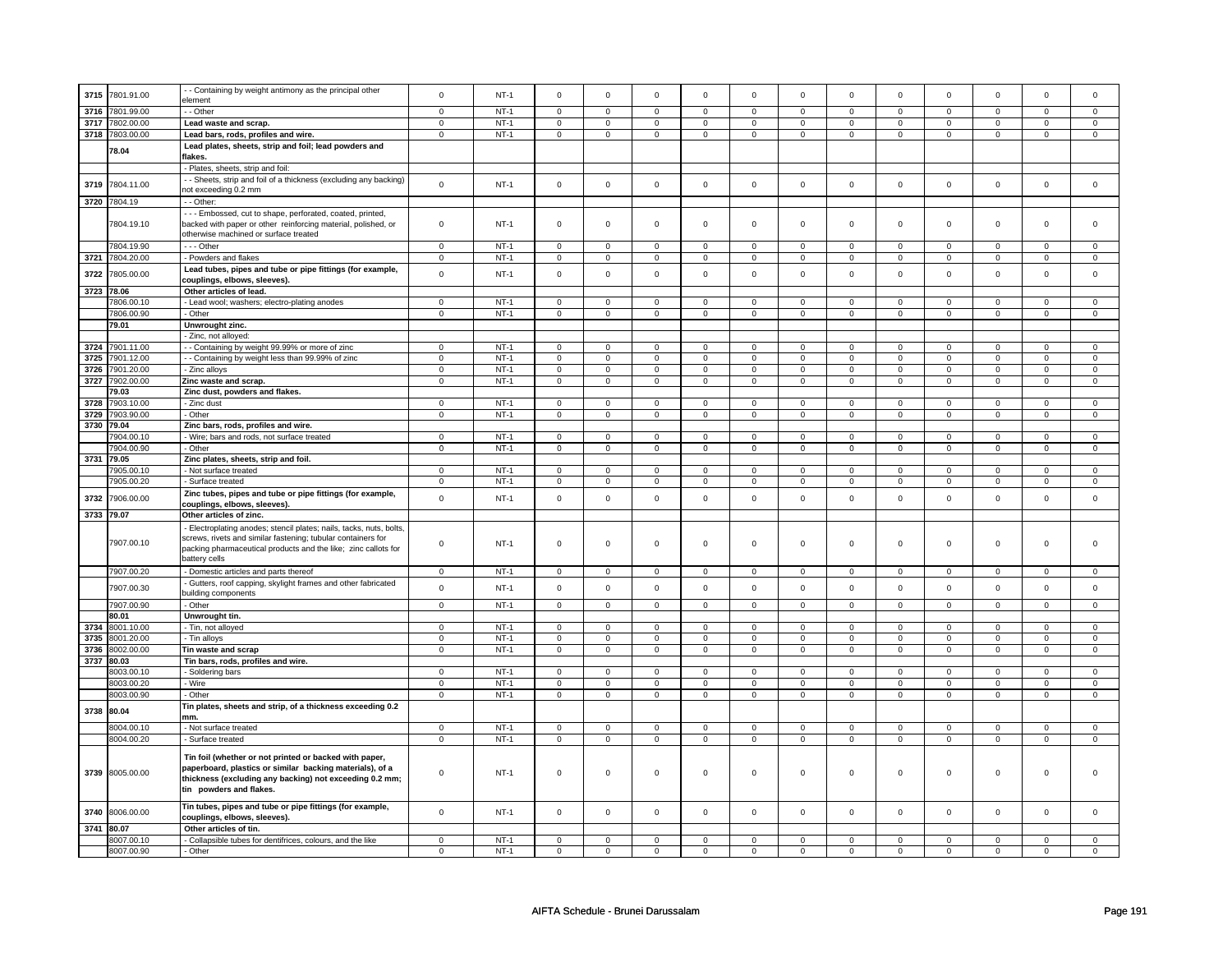|            | 3715 7801.91.00 | - - Containing by weight antimony as the principal other            | $\mathsf{o}\xspace$     | $NT-1$ | $\mathbf 0$             | $\mathbf 0$               | $\mathsf 0$    | $\mathbf 0$              | $\mathbf 0$             | $\mathsf 0$             | $\Omega$                | $\mathsf 0$             | $\Omega$       | $\mathbf 0$               | $\Omega$                | $\mathbf 0$             |
|------------|-----------------|---------------------------------------------------------------------|-------------------------|--------|-------------------------|---------------------------|----------------|--------------------------|-------------------------|-------------------------|-------------------------|-------------------------|----------------|---------------------------|-------------------------|-------------------------|
|            |                 | element                                                             |                         |        |                         |                           |                |                          |                         |                         |                         |                         |                |                           |                         |                         |
| 3716       | 7801.99.00      | - - Other                                                           | $\mathbf 0$             | $NT-1$ | $\overline{0}$          | $\overline{0}$            | $\mathbf 0$    | $\overline{0}$           | $\overline{0}$          | $\overline{0}$          | $\mathbf 0$             | $\mathbf 0$             | $\mathbf 0$    | $\overline{0}$            | $\mathbf 0$             | $\overline{0}$          |
|            |                 |                                                                     |                         |        |                         |                           |                |                          |                         |                         |                         |                         |                |                           |                         |                         |
| 3717       | 7802.00.00      | Lead waste and scrap.                                               | $\mathbf 0$             | $NT-1$ | $\mathsf 0$             | $\mathbf 0$               | $\mathsf 0$    | $\mathbf 0$              | $\mathbf 0$             | $\mathbf 0$             | $^{\circ}$              | $\mathbf{0}$            | $\mathbf 0$    | $\mathsf 0$               | $\mathbf 0$             | $\mathbf 0$             |
|            | 3718 7803.00.00 | Lead bars, rods, profiles and wire.                                 | $\Omega$                | $NT-1$ | $\mathsf 0$             | $\mathbf 0$               | $\mathsf 0$    | $\mathsf 0$              | $\mathsf 0$             | $\mathsf 0$             | $\mathsf 0$             | $\mathsf 0$             | $\mathsf 0$    | $\mathsf 0$               | $\mathbf 0$             | $\mathbf 0$             |
|            |                 | Lead plates, sheets, strip and foil; lead powders and               |                         |        |                         |                           |                |                          |                         |                         |                         |                         |                |                           |                         |                         |
|            | 78.04           |                                                                     |                         |        |                         |                           |                |                          |                         |                         |                         |                         |                |                           |                         |                         |
|            |                 | flakes.                                                             |                         |        |                         |                           |                |                          |                         |                         |                         |                         |                |                           |                         |                         |
|            |                 | - Plates, sheets, strip and foil:                                   |                         |        |                         |                           |                |                          |                         |                         |                         |                         |                |                           |                         |                         |
|            |                 | - - Sheets, strip and foil of a thickness (excluding any backing)   | $\mathsf 0$             |        | $\mathsf{O}$            | $\mathbf 0$               | $\mathsf 0$    | $\mathsf 0$              | $\mathsf 0$             | $\mathsf 0$             | $\mathsf 0$             | $\mathsf 0$             |                | $\mathsf 0$               | $\mathsf 0$             |                         |
| 3719       | 7804.11.00      | not exceeding 0.2 mm                                                |                         | $NT-1$ |                         |                           |                |                          |                         |                         |                         |                         | $\mathsf 0$    |                           |                         | $\mathsf 0$             |
|            | 3720 7804.19    | - - Other:                                                          |                         |        |                         |                           |                |                          |                         |                         |                         |                         |                |                           |                         |                         |
|            |                 |                                                                     |                         |        |                         |                           |                |                          |                         |                         |                         |                         |                |                           |                         |                         |
|            |                 | - - - Embossed, cut to shape, perforated, coated, printed,          |                         |        |                         |                           |                |                          |                         |                         |                         |                         |                |                           |                         |                         |
|            | 7804.19.10      | backed with paper or other reinforcing material, polished, or       | $\mathsf{O}\xspace$     | $NT-1$ | $\mathsf 0$             | $\mathsf 0$               | $\mathsf 0$    | $\mathbf 0$              | $\mathbf 0$             | $\mathbf 0$             | $\mathbf 0$             | $\mathbf 0$             | $\mathbf 0$    | $\mathbf 0$               | $\Omega$                | $\mathbf 0$             |
|            |                 | otherwise machined or surface treated                               |                         |        |                         |                           |                |                          |                         |                         |                         |                         |                |                           |                         |                         |
|            | 7804.19.90      | $- -$ Other                                                         | $\mathbf 0$             | $NT-1$ | $\mathbf 0$             | $\mathbf 0$               | $\mathbf 0$    | $\mathbf 0$              | $\mathbf 0$             | $\mathbf 0$             | $\mathbf 0$             | $\mathbf 0$             | $\mathbf 0$    | $\mathbf 0$               | $\Omega$                | $\mathbf 0$             |
|            |                 |                                                                     |                         |        |                         |                           |                |                          |                         |                         |                         |                         |                |                           |                         |                         |
|            | 3721 7804.20.00 | - Powders and flakes                                                | $\mathbf 0$             | $NT-1$ | $\mathsf{O}$            | $\mathbf 0$               | $\mathsf 0$    | $\mathbf 0$              | $\mathsf 0$             | $\mathbf 0$             | $\mathbf 0$             | $\mathbf 0$             | $\mathbf 0$    | $\mathsf 0$               | $\mathbf 0$             | $\mathbf 0$             |
| 3722       | 7805.00.00      | Lead tubes, pipes and tube or pipe fittings (for example,           | $\mathbf 0$             | $NT-1$ | $\mathbf 0$             | $\mathbf{0}$              | $\mathbf 0$    | $\mathbf 0$              | $\mathbf 0$             | $\mathbf 0$             | $\mathbf 0$             | $\mathbf 0$             | $\mathbf 0$    | $\mathbf 0$               | $\Omega$                | $\mathbf{0}$            |
|            |                 | couplings, elbows, sleeves).                                        |                         |        |                         |                           |                |                          |                         |                         |                         |                         |                |                           |                         |                         |
| 3723 78.06 |                 | Other articles of lead.                                             |                         |        |                         |                           |                |                          |                         |                         |                         |                         |                |                           |                         |                         |
|            |                 |                                                                     |                         |        |                         |                           |                |                          |                         |                         |                         |                         |                |                           |                         | $\mathbf 0$             |
|            | 7806.00.10      | - Lead wool; washers; electro-plating anodes                        | $\mathsf 0$             | $NT-1$ | $\mathsf 0$             | $\mathsf 0$               | $\mathsf 0$    | $\mathbf 0$              | $\mathsf 0$             | $\mathsf 0$             | $\mathsf 0$             | $\mathbf 0$             | $\mathsf 0$    | $\mathsf 0$               | $\mathsf 0$             |                         |
|            | 7806.00.90      | - Other                                                             | $\mathsf 0$             | $NT-1$ | $\mathbf 0$             | $\mathsf 0$               | $\mathsf 0$    | $\mathsf 0$              | $\mathsf 0$             | $\mathsf 0$             | $\mathsf 0$             | $\mathbf 0$             | $\mathsf 0$    | $\mathsf 0$               | $\mathbf 0$             | $\mathsf 0$             |
|            | 79.01           | Unwrought zinc.                                                     |                         |        |                         |                           |                |                          |                         |                         |                         |                         |                |                           |                         |                         |
|            |                 | - Zinc, not alloyed:                                                |                         |        |                         |                           |                |                          |                         |                         |                         |                         |                |                           |                         |                         |
|            | 3724 7901.11.00 | - - Containing by weight 99.99% or more of zinc                     | $\mathbf 0$             | $NT-1$ | $\mathbf{0}$            | $\mathbf 0$               | $\mathbf 0$    | $\mathbf{0}$             | $\mathbf{0}$            | $\mathbf{0}$            | $\mathbf 0$             | $\overline{0}$          | $\mathbf 0$    | 0                         | $^{\circ}$              | $\mathbf{0}$            |
|            |                 |                                                                     |                         |        |                         |                           |                |                          |                         |                         |                         |                         |                |                           |                         |                         |
| 3725       | 7901.12.00      | - Containing by weight less than 99.99% of zinc                     | $\mathbf 0$             | $NT-1$ | $\mathbf 0$             | $\mathbf 0$               | $\mathbf 0$    | $\mathbf 0$              | $\mathbf 0$             | $\mathbf 0$             | $\Omega$                | $\mathbf 0$             | $\Omega$       | $\mathbf 0$               | $\Omega$                | $\mathbf 0$             |
| 3726       | 7901.20.00      | - Zinc alloys                                                       | $\mathbf 0$             | $NT-1$ | $\mathbf 0$             | $\mathsf 0$               | $\mathsf 0$    | $\mathbf 0$              | $\mathbf 0$             | $\mathsf 0$             | $\mathsf 0$             | $\mathbf 0$             | $\mathsf 0$    | $\mathsf 0$               | $\Omega$                | $\mathbf 0$             |
|            | 3727 7902.00.00 | Zinc waste and scrap.                                               | $\mathbf 0$             | $NT-1$ | $\mathbf 0$             | $\mathbf 0$               | $\mathbf 0$    | 0                        | $\,0\,$                 | $\mathbf 0$             | $\mathbf 0$             | $\mathbf 0$             | 0              | 0                         | $\mathbf 0$             | $\mathbf 0$             |
|            | 79.03           | Zinc dust, powders and flakes.                                      |                         |        |                         |                           |                |                          |                         |                         |                         |                         |                |                           |                         |                         |
| 3728       | 7903.10.00      |                                                                     | $\mathbf 0$             | $NT-1$ |                         | $\mathsf 0$               | $\mathsf 0$    | $\mathsf 0$              |                         | $\mathsf 0$             | $\mathsf 0$             | $\mathbf 0$             | $\mathsf 0$    | $\mathsf 0$               | $\mathbf 0$             | $\mathbf 0$             |
|            |                 | - Zinc dust                                                         |                         |        | $\mathsf 0$             |                           |                |                          | $\mathbf 0$             |                         |                         |                         |                |                           |                         |                         |
|            | 3729 7903.90.00 | - Other                                                             | $\mathbf 0$             | $NT-1$ | $\mathsf 0$             | $\circ$                   | $\mathbf 0$    | $\mathbf{0}$             | $\mathbf 0$             | $\mathbf 0$             | $\mathbf 0$             | $\mathbf 0$             | $\mathbf 0$    | $\mathbf 0$               | $\mathbf 0$             | $\mathbf 0$             |
|            | 3730 79.04      | Zinc bars, rods, profiles and wire.                                 |                         |        |                         |                           |                |                          |                         |                         |                         |                         |                |                           |                         |                         |
|            | 7904.00.10      | - Wire; bars and rods, not surface treated                          | $\overline{0}$          | $NT-1$ | $\overline{0}$          | $\overline{0}$            | $\overline{0}$ | $\overline{0}$           | $\overline{0}$          | $\overline{0}$          | $\mathbf 0$             | $\overline{0}$          | $\mathbf 0$    | $\overline{0}$            | $\Omega$                | $\overline{0}$          |
|            | 7904.00.90      | - Other                                                             | $\overline{\mathbf{0}}$ | $NT-1$ | $\overline{\mathbf{0}}$ | $\overline{\mathfrak{o}}$ | $\overline{0}$ | $\overline{\phantom{0}}$ | $\overline{\mathbf{0}}$ | $\overline{\mathbf{0}}$ | $\overline{\mathbf{0}}$ | $\overline{\mathbf{0}}$ | $\overline{0}$ | $\overline{\mathfrak{o}}$ | $\overline{\mathbf{0}}$ | $\overline{\mathbf{0}}$ |
|            |                 |                                                                     |                         |        |                         |                           |                |                          |                         |                         |                         |                         |                |                           |                         |                         |
| 3731 79.05 |                 | Zinc plates, sheets, strip and foil.                                |                         |        |                         |                           |                |                          |                         |                         |                         |                         |                |                           |                         |                         |
|            | 7905.00.10      | - Not surface treated                                               | $\mathsf 0$             | $NT-1$ | $\mathsf 0$             | $\mathsf 0$               | $\mathbf 0$    | 0                        | $\,0\,$                 | $\mathsf 0$             | $\mathbf 0$             | $\mathbf 0$             | 0              | $\mathsf 0$               | $\mathbf 0$             | $\mathsf 0$             |
|            | 7905.00.20      | - Surface treated                                                   | $\overline{0}$          | $NT-1$ | $\mathsf 0$             | $\mathsf 0$               | $\mathsf 0$    | $\mathbf 0$              | $\mathsf{O}\xspace$     | $\mathsf 0$             | $\mathbf 0$             | $\mathbf 0$             | $\mathsf 0$    | $\mathsf 0$               | $\mathsf 0$             | $\mathsf 0$             |
|            |                 | Zinc tubes, pipes and tube or pipe fittings (for example,           |                         |        |                         |                           |                |                          |                         |                         |                         |                         |                |                           |                         |                         |
| 3732       | 7906.00.00      | couplings, elbows, sleeves).                                        | $\mathsf 0$             | $NT-1$ | $\pmb{0}$               | $\mathbf 0$               | $\mathsf 0$    | $\mathbf 0$              | $\mathsf 0$             | $\mathsf 0$             | $\mathsf 0$             | $\mathsf 0$             | $\mathsf 0$    | $\mathsf 0$               | $\mathbf 0$             | $\mathsf 0$             |
|            |                 |                                                                     |                         |        |                         |                           |                |                          |                         |                         |                         |                         |                |                           |                         |                         |
| 3733       | 79.07           | Other articles of zinc.                                             |                         |        |                         |                           |                |                          |                         |                         |                         |                         |                |                           |                         |                         |
|            |                 | - Electroplating anodes; stencil plates; nails, tacks, nuts, bolts, |                         |        |                         |                           |                |                          |                         |                         |                         |                         |                |                           |                         |                         |
|            |                 | screws, rivets and similar fastening; tubular containers for        |                         |        |                         |                           |                |                          |                         |                         |                         |                         |                |                           |                         |                         |
|            | 7907.00.10      | packing pharmaceutical products and the like; zinc callots for      | $\Omega$                | $NT-1$ | $\mathbf 0$             | $\Omega$                  | $\mathbf 0$    | $\mathbf 0$              | $\mathbf 0$             | $\mathbf 0$             | $\Omega$                | $\mathbf 0$             | $\mathbf 0$    | $\mathbf 0$               | $\Omega$                | $\Omega$                |
|            |                 | battery cells                                                       |                         |        |                         |                           |                |                          |                         |                         |                         |                         |                |                           |                         |                         |
|            |                 |                                                                     |                         |        |                         |                           |                |                          |                         |                         |                         |                         |                |                           |                         |                         |
|            | 7907.00.20      | - Domestic articles and parts thereof                               | $\mathbf{0}$            | $NT-1$ | $\mathbf 0$             | $\mathbf{0}$              | $\Omega$       | $\mathbf{0}$             | $\mathbf 0$             | $\mathbf{0}$            | $\Omega$                | $\Omega$                | $\Omega$       | $\mathbf{0}$              | $\Omega$                | $\Omega$                |
|            |                 | - Gutters, roof capping, skylight frames and other fabricated       |                         |        |                         |                           |                |                          |                         |                         |                         |                         |                |                           |                         |                         |
|            | 7907.00.30      | building components                                                 | $\mathsf 0$             | $NT-1$ | $\mathsf 0$             | $\mathbf 0$               | $\mathsf 0$    | $\mathsf 0$              | $\mathbf 0$             | $\mathbf 0$             | $\mathbf 0$             | $\mathsf 0$             | $\mathbf 0$    | $\mathsf 0$               | $\mathbf 0$             | $\mathbf 0$             |
|            | 7907.00.90      | - Other                                                             | $\mathbf 0$             | $NT-1$ | $\mathsf 0$             | $\mathbf 0$               | $\mathsf 0$    | $\mathsf 0$              | $\mathsf 0$             | $\mathbf 0$             | $\mathsf 0$             | $\mathbf 0$             | $\mathsf 0$    | $\mathsf 0$               | $\mathbf 0$             | $\mathbf 0$             |
|            |                 |                                                                     |                         |        |                         |                           |                |                          |                         |                         |                         |                         |                |                           |                         |                         |
|            | 80.01           | Unwrought tin.                                                      |                         |        |                         |                           |                |                          |                         |                         |                         |                         |                |                           |                         |                         |
| 3734       | 8001.10.00      | - Tin, not alloyed                                                  | $\mathbf{0}$            | $NT-1$ | $\mathsf 0$             | $\circ$                   | $\mathbf 0$    | $\overline{0}$           | $\mathbf 0$             | $\mathbf 0$             | $\Omega$                | $\overline{0}$          | $\Omega$       | $\mathbf{0}$              | $\Omega$                | $\mathbf 0$             |
| 3735       | 8001.20.00      | - Tin alloys                                                        | $\mathbf 0$             | $NT-1$ | $\mathsf 0$             | $\circ$                   | $\mathsf 0$    | $\mathbf 0$              | $\mathsf 0$             | $\mathbf 0$             | $\mathbf 0$             | $\mathbf 0$             | $\mathsf 0$    | $\mathsf 0$               | $\mathbf 0$             | $\mathbf 0$             |
| 3736       | 8002.00.00      | Tin waste and scrap                                                 | $\mathbf 0$             | $NT-1$ | $\circ$                 | $\overline{0}$            | $\mathbf 0$    | $\mathbf 0$              | $\mathsf 0$             | $\mathbf 0$             | $\mathbf 0$             | $\mathbf 0$             | $\mathbf 0$    | $\mathbf 0$               | $\mathbf 0$             | $\mathbf 0$             |
|            |                 |                                                                     |                         |        |                         |                           |                |                          |                         |                         |                         |                         |                |                           |                         |                         |
| 3737 80.03 |                 | Tin bars, rods, profiles and wire.                                  |                         |        |                         |                           |                |                          |                         |                         |                         |                         |                |                           |                         |                         |
|            | 8003.00.10      | - Soldering bars                                                    | $\mathbf 0$             | $NT-1$ | $\mathbf 0$             | $\mathsf 0$               | $\mathbf 0$    | $\mathbf 0$              | $\mathbf 0$             | $\mathbf 0$             | $\mathbf 0$             | $\mathbf 0$             | $\mathbf 0$    | 0                         | $\mathbf 0$             | 0                       |
|            | 8003.00.20      | - Wire                                                              | $\mathsf 0$             | $NT-1$ | $\mathbf 0$             | $\mathsf 0$               | $\mathbf 0$    | $\mathbf 0$              | $\mathbf 0$             | $\mathsf 0$             | $\mathbf 0$             | $\mathbf 0$             | $\mathbf 0$    | $\mathsf 0$               | $\mathbf 0$             | $\mathbf 0$             |
|            | 8003.00.90      | - Other                                                             | $\mathbf 0$             | $NT-1$ | $\mathsf 0$             | $\mathbf 0$               | $\mathbf 0$    | $\mathbf{0}$             | $\mathbf 0$             | $\mathbf 0$             | $\mathbf 0$             | $\mathbf{0}$            | $\mathbf 0$    | $\mathsf 0$               | $\mathsf 0$             | $\mathsf 0$             |
|            |                 | Tin plates, sheets and strip, of a thickness exceeding 0.2          |                         |        |                         |                           |                |                          |                         |                         |                         |                         |                |                           |                         |                         |
| 3738       | 80.04           |                                                                     |                         |        |                         |                           |                |                          |                         |                         |                         |                         |                |                           |                         |                         |
|            |                 | mm.                                                                 |                         |        |                         |                           |                |                          |                         |                         |                         |                         |                |                           |                         |                         |
|            | 8004.00.10      | - Not surface treated                                               | $\mathbf 0$             | $NT-1$ | $\mathbf 0$             | $\mathsf 0$               | $\mathsf 0$    | $\,0\,$                  | $\mathbf 0$             | $\mathbf 0$             | $\mathsf 0$             | $\mathbf 0$             | $\mathsf 0$    | $\mathsf 0$               | $\Omega$                | $\mathbf 0$             |
|            | 8004.00.20      | - Surface treated                                                   | $\overline{0}$          | $NT-1$ | $\overline{0}$          | $\overline{0}$            | $\overline{0}$ | $\overline{0}$           | $\overline{0}$          | $\overline{0}$          | $\mathsf 0$             | $\mathbf 0$             | $\mathsf 0$    | $\overline{0}$            | $\overline{0}$          | $\overline{0}$          |
|            |                 |                                                                     |                         |        |                         |                           |                |                          |                         |                         |                         |                         |                |                           |                         |                         |
|            |                 | Tin foil (whether or not printed or backed with paper,              |                         |        |                         |                           |                |                          |                         |                         |                         |                         |                |                           |                         |                         |
|            |                 | paperboard, plastics or similar backing materials), of a            |                         |        |                         |                           |                |                          |                         |                         |                         |                         |                |                           |                         |                         |
| 3739       | 8005.00.00      | thickness (excluding any backing) not exceeding 0.2 mm;             | $\mathbf 0$             | $NT-1$ | $\mathbf 0$             | $\mathbf 0$               | $\mathsf 0$    | $\mathsf 0$              | $\mathsf 0$             | $\mathsf 0$             | $\mathsf 0$             | $\mathbf 0$             | $\mathbf 0$    | $\mathsf 0$               | $\mathbf 0$             | $\Omega$                |
|            |                 | tin powders and flakes.                                             |                         |        |                         |                           |                |                          |                         |                         |                         |                         |                |                           |                         |                         |
|            |                 |                                                                     |                         |        |                         |                           |                |                          |                         |                         |                         |                         |                |                           |                         |                         |
|            |                 | Tin tubes, pipes and tube or pipe fittings (for example,            |                         |        |                         |                           |                |                          |                         |                         |                         |                         |                |                           |                         |                         |
| 3740       | 8006.00.00      |                                                                     | $\mathsf 0$             | $NT-1$ | $\pmb{0}$               | $\mathsf 0$               | $\mathsf 0$    | $\mathbf 0$              | $\mathbf 0$             | $\mathsf 0$             | $\mathsf 0$             | $\mathsf 0$             | $\mathsf 0$    | $\mathsf 0$               | $\mathbf 0$             | $\mathsf 0$             |
|            |                 | couplings, elbows, sleeves).                                        |                         |        |                         |                           |                |                          |                         |                         |                         |                         |                |                           |                         |                         |
| 3741 80.07 |                 | Other articles of tin.                                              |                         |        |                         |                           |                |                          |                         |                         |                         |                         |                |                           |                         |                         |
|            | 8007.00.10      | - Collapsible tubes for dentifrices, colours, and the like          | $\mathbf 0$             | $NT-1$ | $\overline{0}$          | $\overline{0}$            | $\mathsf 0$    | $\mathsf 0$              | $\mathbf 0$             | $\mathbf 0$             | $\mathsf 0$             | $\mathbf 0$             | $\mathsf 0$    | $\mathsf 0$               | $\mathbf 0$             | $\overline{0}$          |
|            | 8007.00.90      | - Other                                                             | $\Omega$                | $NT-1$ | $\mathsf 0$             | $\mathbf 0$               | $\mathsf 0$    | $\mathsf 0$              | $\mathsf 0$             | $\mathbf 0$             | $\mathbf 0$             | $\mathbf 0$             | 0              | 0                         | $\mathbf 0$             | $\mathbf 0$             |
|            |                 |                                                                     |                         |        |                         |                           |                |                          |                         |                         |                         |                         |                |                           |                         |                         |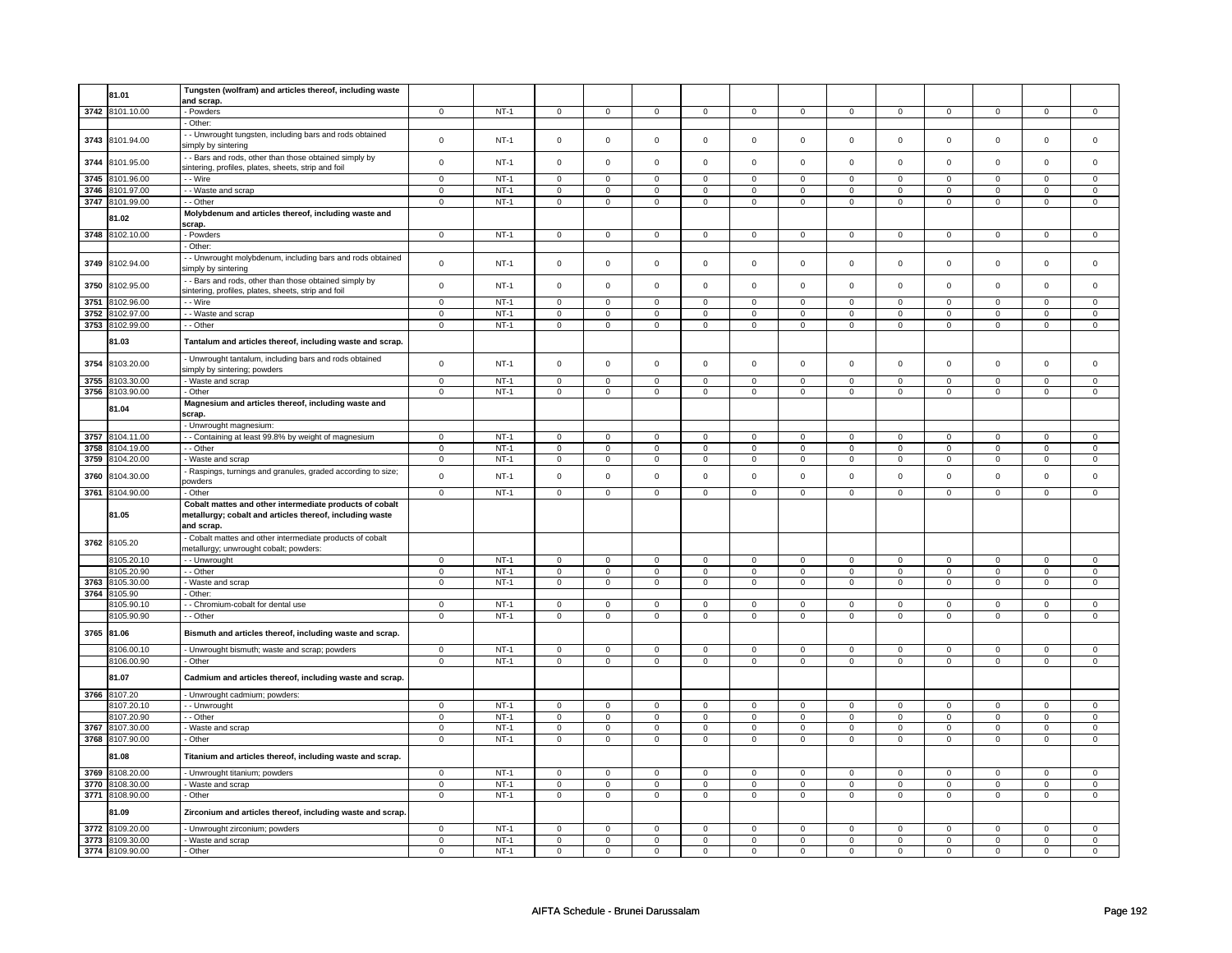|      | 81.01           | Tungsten (wolfram) and articles thereof, including waste   |                |        |                |                         |                     |                |                |                |                     |                |                |                |                |                |
|------|-----------------|------------------------------------------------------------|----------------|--------|----------------|-------------------------|---------------------|----------------|----------------|----------------|---------------------|----------------|----------------|----------------|----------------|----------------|
|      |                 | and scrap.                                                 |                |        |                |                         |                     |                |                |                |                     |                |                |                |                |                |
|      | 3742 8101.10.00 | - Powders                                                  | $\mathbf 0$    | $NT-1$ | $\mathsf 0$    | $\overline{0}$          | $\mathsf{O}\xspace$ | $\mathsf 0$    | $\mathsf 0$    | $\overline{0}$ | $\mathsf{O}\xspace$ | $\mathsf 0$    | $\mathsf 0$    | $\overline{0}$ | $\mathbf 0$    | $\overline{0}$ |
|      |                 | · Other:                                                   |                |        |                |                         |                     |                |                |                |                     |                |                |                |                |                |
|      |                 | - Unwrought tungsten, including bars and rods obtained     |                |        |                |                         |                     |                |                |                |                     |                |                |                |                |                |
| 3743 | 8101.94.00      |                                                            | $\mathsf 0$    | $NT-1$ | $\mathsf 0$    | $\mathsf 0$             | $\mathsf 0$         | $\mathsf 0$    | $\mathsf 0$    | $\mathsf 0$    | $\mathsf 0$         | $\mathsf 0$    | $\mathsf 0$    | $\mathsf 0$    | $\mathbf 0$    | $\mathbf 0$    |
|      |                 | simply by sintering                                        |                |        |                |                         |                     |                |                |                |                     |                |                |                |                |                |
| 3744 | 8101.95.00      | - Bars and rods, other than those obtained simply by       | $\mathsf 0$    | $NT-1$ | $\Omega$       | $\mathbf 0$             | $\Omega$            | $\Omega$       | $\mathsf 0$    | $\pmb{0}$      | $\mathsf 0$         | $\mathbf 0$    | $\mathbf 0$    | $\mathbf 0$    | $\mathbf 0$    | $\mathsf 0$    |
|      |                 | sintering, profiles, plates, sheets, strip and foil        |                |        |                |                         |                     |                |                |                |                     |                |                |                |                |                |
| 3745 | 8101.96.00      | - Wire                                                     | $\overline{0}$ | $NT-1$ | $\mathsf 0$    | $\mathbf 0$             | $\mathbf 0$         | $\mathsf 0$    | $\mathbf 0$    | $\mathsf 0$    | $\mathbf 0$         | $\mathbf 0$    | $\mathbf 0$    | $\mathsf 0$    | $\mathbf 0$    | $\mathbf{0}$   |
| 3746 | 8101.97.00      | - Waste and scrap                                          | $\mathbf 0$    | $NT-1$ | $\mathsf 0$    | $\mathbf 0$             | $\mathsf 0$         | $\mathsf 0$    | $\mathsf 0$    | $\mathsf 0$    | $\mathsf{O}\xspace$ | $\mathsf 0$    | $\mathsf 0$    | $\mathsf 0$    | $\mathsf 0$    | $\mathsf 0$    |
| 3747 | 8101.99.00      | - Other                                                    | $\mathbf 0$    | $NT-1$ | $\mathbf 0$    | $\mathsf 0$             | $\mathbf 0$         | $\mathbf 0$    | $\mathbf 0$    | $\mathbf 0$    | $\mathbf{0}$        | $\mathbf 0$    | $\mathbf 0$    | $\mathbf 0$    | $\mathbf 0$    | $\mathbf 0$    |
|      |                 |                                                            |                |        |                |                         |                     |                |                |                |                     |                |                |                |                |                |
|      | 81.02           | Molybdenum and articles thereof, including waste and       |                |        |                |                         |                     |                |                |                |                     |                |                |                |                |                |
|      |                 | scrap.                                                     |                |        |                |                         |                     |                |                |                |                     |                |                |                |                |                |
| 3748 | 8102.10.00      | - Powders                                                  | $\mathsf 0$    | $NT-1$ | $\mathbf 0$    | $\mathsf 0$             | $\mathbf 0$         | $\mathbf 0$    | $\mathbf 0$    | $\mathbf 0$    | $\mathbf 0$         | $\mathbf 0$    | $\mathbf 0$    | $\mathbf 0$    | 0              | $\mathbf{0}$   |
|      |                 | Other:                                                     |                |        |                |                         |                     |                |                |                |                     |                |                |                |                |                |
|      |                 | - Unwrought molybdenum, including bars and rods obtained   |                |        |                |                         |                     |                |                |                |                     |                |                |                |                |                |
| 3749 | 8102.94.00      | simply by sintering                                        | $\mathsf 0$    | $NT-1$ | $\mathsf 0$    | $\mathsf 0$             | $\mathsf 0$         | $\mathsf 0$    | $\mathsf 0$    | $\mathsf 0$    | $\mathsf{O}\xspace$ | $\mathsf 0$    | $\mathsf 0$    | $\mathsf 0$    | $\mathsf 0$    | $\mathbf 0$    |
|      |                 | - Bars and rods, other than those obtained simply by       |                |        |                |                         |                     |                |                |                |                     |                |                |                |                |                |
| 3750 | 8102.95.00      |                                                            | $\mathbf 0$    | $NT-1$ | $\mathsf 0$    | $\mathsf 0$             | $\mathsf 0$         | $\mathbf 0$    | $\mathsf 0$    | $\mathbf 0$    | $\mathsf 0$         | $\mathbf 0$    | $\mathsf 0$    | $\mathbf 0$    | $\mathbf 0$    | $\mathsf 0$    |
|      |                 | sintering, profiles, plates, sheets, strip and foil        |                |        |                |                         |                     |                |                |                |                     |                |                |                |                |                |
| 3751 | 8102.96.00      | - - Wire                                                   | $\mathbf 0$    | $NT-1$ | $\mathbf 0$    | $\mathsf 0$             | $\mathsf 0$         | $\mathbf 0$    | $\mathsf 0$    | $\mathsf 0$    | $\mathsf 0$         | $\mathbf 0$    | $\mathsf 0$    | $\mathbf 0$    | $\mathbf 0$    | $\mathsf 0$    |
| 3752 | 8102.97.00      | - Waste and scrap                                          | $\mathsf 0$    | $NT-1$ | $\mathbf 0$    | $\mathsf 0$             | $\mathbf 0$         | $\mathbf 0$    | $\mathbf 0$    | $\mathbf 0$    | $\mathsf 0$         | $\mathbf 0$    | $\mathsf 0$    | $\mathbf 0$    | 0              | $\mathsf 0$    |
| 3753 | 8102.99.00      | - - Other                                                  | $\mathsf 0$    | $NT-1$ | $\mathsf 0$    | $\mathbf 0$             | $\mathsf 0$         | $\mathsf 0$    | $\mathsf 0$    | $\mathsf 0$    | $\mathsf 0$         | $\mathsf 0$    | $\mathsf 0$    | $\mathsf 0$    | $\mathbf 0$    | $\mathbf 0$    |
|      |                 |                                                            |                |        |                |                         |                     |                |                |                |                     |                |                |                |                |                |
|      | 81.03           | Tantalum and articles thereof, including waste and scrap.  |                |        |                |                         |                     |                |                |                |                     |                |                |                |                |                |
|      |                 | - Unwrought tantalum, including bars and rods obtained     |                |        |                |                         |                     |                |                |                |                     |                |                |                |                |                |
| 3754 | 8103.20.00      |                                                            | $\mathsf 0$    | $NT-1$ | $\mathsf 0$    | $\mathsf 0$             | $\mathsf 0$         | $\mathsf 0$    | $\mathsf 0$    | $\mathsf 0$    | $\mathsf{O}\xspace$ | $\mathsf 0$    | $\mathsf 0$    | $\mathsf 0$    | $\mathsf 0$    | $\mathsf 0$    |
|      |                 | simply by sintering; powders                               |                |        |                |                         |                     |                |                |                |                     |                |                |                |                |                |
| 3755 | 8103.30.00      | Waste and scrap                                            | $\mathbf 0$    | $NT-1$ | $\mathbf 0$    | $\mathsf 0$             | $\mathsf 0$         | $\mathbf 0$    | $\mathsf 0$    | $\mathsf 0$    | $\mathsf 0$         | $\mathsf 0$    | $\mathbf 0$    | $\mathsf 0$    | $\mathbf 0$    | $\mathsf 0$    |
| 3756 | 8103.90.00      | - Other                                                    | $\mathsf 0$    | $NT-1$ | $\Omega$       | $\overline{0}$          | $\mathsf 0$         | $\overline{0}$ | $\mathsf 0$    | $\overline{0}$ | $\mathsf 0$         | $\overline{0}$ | $\mathsf 0$    | $\overline{0}$ | $\mathbf 0$    | $\mathsf 0$    |
|      |                 | Magnesium and articles thereof, including waste and        |                |        |                |                         |                     |                |                |                |                     |                |                |                |                |                |
|      | 81.04           | scrap.                                                     |                |        |                |                         |                     |                |                |                |                     |                |                |                |                |                |
|      |                 | - Unwrought magnesium:                                     |                |        |                |                         |                     |                |                |                |                     |                |                |                |                |                |
| 3757 | 8104.11.00      | - Containing at least 99.8% by weight of magnesium         | $\mathbf 0$    | $NT-1$ | $\Omega$       | $\mathbf 0$             | $\Omega$            | $\Omega$       | $\overline{0}$ | $\overline{0}$ | $\Omega$            | $\mathbf 0$    | $\overline{0}$ | $\mathbf 0$    | $\Omega$       | $\mathbf 0$    |
| 3758 | 8104.19.00      | - - Other                                                  | $\mathsf 0$    | $NT-1$ | $\mathbf 0$    | $\overline{\mathbf{0}}$ | $\mathsf 0$         | $\mathbf 0$    | $\mathsf 0$    | $\overline{0}$ | $\mathsf{o}\,$      | $\mathbf 0$    | $\mathsf{o}\,$ | $\overline{0}$ | $\mathbf 0$    | $\overline{0}$ |
|      |                 |                                                            |                |        |                |                         |                     |                |                |                |                     |                |                |                |                |                |
| 3759 | 8104.20.00      | Waste and scrap                                            | $\mathbf 0$    | $NT-1$ | $\mathbf 0$    | $\mathsf 0$             | $\mathbf 0$         | $\mathbf 0$    | $\mathbf 0$    | $\mathbf 0$    | $\mathsf 0$         | $\mathbf 0$    | $\mathsf 0$    | $\mathbf 0$    | $\mathbf 0$    | $\mathsf 0$    |
| 3760 | 8104.30.00      | Raspings, turnings and granules, graded according to size; | $\mathsf 0$    | $NT-1$ | $\mathsf 0$    | $\mathsf 0$             | $\mathsf 0$         | $\mathsf 0$    | $\mathsf 0$    | $\mathsf 0$    | $\mathsf 0$         | $\mathbf 0$    | $\mathsf 0$    | $\mathsf 0$    | $\mathbf 0$    | $\mathbf 0$    |
|      |                 | powders                                                    |                |        |                |                         |                     |                |                |                |                     |                |                |                |                |                |
| 3761 | 8104.90.00      | - Other                                                    | $\mathbf 0$    | $NT-1$ | $\mathbf 0$    | $\mathbf 0$             | $\mathbf 0$         | $\mathbf{0}$   | $\mathbf 0$    | $\mathbf 0$    | $\mathbf{0}$        | $\mathbf 0$    | $\mathbf 0$    | $\mathbf 0$    | $\mathbf 0$    | $\mathbf{0}$   |
|      |                 | Cobalt mattes and other intermediate products of cobalt    |                |        |                |                         |                     |                |                |                |                     |                |                |                |                |                |
|      | 81.05           | metallurgy; cobalt and articles thereof, including waste   |                |        |                |                         |                     |                |                |                |                     |                |                |                |                |                |
|      |                 | and scrap.                                                 |                |        |                |                         |                     |                |                |                |                     |                |                |                |                |                |
|      |                 | Cobalt mattes and other intermediate products of cobalt    |                |        |                |                         |                     |                |                |                |                     |                |                |                |                |                |
| 3762 | 8105.20         | metallurgy; unwrought cobalt; powders:                     |                |        |                |                         |                     |                |                |                |                     |                |                |                |                |                |
|      |                 |                                                            |                |        |                |                         |                     |                |                |                |                     |                |                |                |                |                |
|      | 8105.20.10      | - - Unwrought                                              | $\mathbf 0$    | $NT-1$ | $\mathbf 0$    | $\mathbf 0$             | $\mathbf 0$         | $\mathbf 0$    | $\mathbf 0$    | $\mathbf 0$    | $\mathbf 0$         | $\mathbf 0$    | $\mathbf 0$    | $\mathbf 0$    | 0              | $\mathbf 0$    |
|      | 8105.20.90      | - Other                                                    | $\mathbf 0$    | $NT-1$ | $\mathsf 0$    | $\mathbf 0$             | $\mathbf 0$         | $\mathsf 0$    | $\mathsf 0$    | $\mathbf 0$    | $\mathbf 0$         | $\mathbf 0$    | $\mathsf 0$    | $\mathbf 0$    | 0              | $\mathsf 0$    |
| 3763 | 8105.30.00      | Waste and scrap                                            | $\mathbf 0$    | $NT-1$ | $\overline{0}$ | $\overline{0}$          | $\mathsf 0$         | $\overline{0}$ | $\overline{0}$ | $\overline{0}$ | $\mathsf 0$         | $\overline{0}$ | $\overline{0}$ | $\overline{0}$ | $\mathbf 0$    | $\mathsf 0$    |
| 3764 | 8105.90         | - Other:                                                   |                |        |                |                         |                     |                |                |                |                     |                |                |                |                |                |
|      | 3105.90.10      | - Chromium-cobalt for dental use                           | $\mathbf 0$    | $NT-1$ | $\mathbf 0$    | $\overline{0}$          | $\mathbf 0$         | $\mathbf 0$    | $\mathbf 0$    | $\overline{0}$ | $\mathbf 0$         | $\overline{0}$ | $\mathbf 0$    | $\overline{0}$ | 0              | 0              |
|      | 8105.90.90      | - Other                                                    | $\overline{0}$ | $NT-1$ | $\overline{0}$ | $\overline{0}$          | $\overline{0}$      | $\overline{0}$ | $\overline{0}$ | $\overline{0}$ | $\overline{0}$      | $\overline{0}$ | $\overline{0}$ | $\overline{0}$ | $\overline{0}$ | $\overline{0}$ |
|      |                 |                                                            |                |        |                |                         |                     |                |                |                |                     |                |                |                |                |                |
|      | 3765 81.06      | Bismuth and articles thereof, including waste and scrap.   |                |        |                |                         |                     |                |                |                |                     |                |                |                |                |                |
|      | 8106.00.10      |                                                            | $\mathsf 0$    | $NT-1$ | $\mathsf 0$    | $\mathsf 0$             | $\mathsf 0$         | $\mathsf 0$    | $\mathsf 0$    | $\mathsf 0$    | $\mathsf{O}\xspace$ | $\mathsf 0$    | $\mathsf 0$    | $\mathsf 0$    | $\mathbf 0$    | $\mathsf 0$    |
|      |                 | - Unwrought bismuth; waste and scrap; powders              |                |        |                |                         |                     |                |                |                |                     |                |                |                |                |                |
|      | 8106.00.90      | - Other                                                    | $\mathbf 0$    | $NT-1$ | $\mathsf 0$    | $\overline{0}$          | $\mathsf 0$         | $\overline{0}$ | $\mathsf 0$    | $\overline{0}$ | $\mathsf{O}\xspace$ | $\mathsf 0$    | $\mathbf 0$    | $\mathsf 0$    | $\mathbf 0$    | $\mathsf 0$    |
|      | 81.07           | Cadmium and articles thereof, including waste and scrap.   |                |        |                |                         |                     |                |                |                |                     |                |                |                |                |                |
|      |                 |                                                            |                |        |                |                         |                     |                |                |                |                     |                |                |                |                |                |
|      | 3766 8107.20    | - Unwrought cadmium; powders:                              |                |        |                |                         |                     |                |                |                |                     |                |                |                |                |                |
|      | 8107.20.10      | - Unwrought                                                | $\mathbf 0$    | $NT-1$ | $\mathbf 0$    | $\mathsf 0$             | $\mathbf 0$         | $\mathbf 0$    | $\mathbf 0$    | $\mathbf 0$    | $\mathsf 0$         | $\mathbf 0$    | $\mathbf 0$    | $\mathbf 0$    | 0              | $\mathbf 0$    |
|      | 8107.20.90      | - Other                                                    | $\mathsf 0$    | $NT-1$ | $\mathbf 0$    | $\mathbf 0$             | $\mathbf 0$         | $\mathbf 0$    | $\mathbf 0$    | $\mathbf 0$    | $\mathbf 0$         | $\mathbf 0$    | $\mathbf 0$    | $\mathbf 0$    | $\mathbf 0$    | $\mathsf 0$    |
| 3767 | 8107.30.00      | - Waste and scrap                                          | $\mathsf 0$    | $NT-1$ | $\overline{0}$ | $\overline{0}$          | $\overline{0}$      | $\overline{0}$ | $\overline{0}$ | $\overline{0}$ | $\overline{0}$      | $\overline{0}$ | $\overline{0}$ | $\mathbf 0$    | $\mathbf 0$    | $\overline{0}$ |
|      | 3768 8107.90.00 | - Other                                                    | $\mathbf 0$    | $NT-1$ | $\mathbf 0$    | $\mathbf 0$             | $\mathbf 0$         | $\mathbf 0$    | $\mathbf 0$    | $\mathbf 0$    | $\mathbf 0$         | $\mathbf 0$    | $\mathbf 0$    | $\mathbf 0$    | 0              | 0              |
|      |                 |                                                            |                |        |                |                         |                     |                |                |                |                     |                |                |                |                |                |
|      | 81.08           | Titanium and articles thereof, including waste and scrap.  |                |        |                |                         |                     |                |                |                |                     |                |                |                |                |                |
|      |                 |                                                            |                |        |                |                         |                     |                |                |                |                     |                |                |                |                |                |
| 3769 | 8108.20.00      | - Unwrought titanium; powders                              | $\mathbf 0$    | $NT-1$ | $\mathbf 0$    | $\mathbf 0$             | $\mathbf 0$         | $\mathbf 0$    | $\mathbf 0$    | $\mathbf 0$    | $\mathbf 0$         | $\mathbf 0$    | $\mathbf 0$    | $\overline{0}$ | 0              | $\mathbf 0$    |
| 3770 | 8108.30.00      | Waste and scrap                                            | $\mathbf 0$    | $NT-1$ | $\mathbf 0$    | $\mathsf 0$             | $\mathbf 0$         | $\mathbf 0$    | $\mathsf 0$    | $\mathbf 0$    | $\mathsf 0$         | $\mathbf 0$    | $\mathsf 0$    | $\mathbf 0$    | $\mathbf 0$    | $\mathbf 0$    |
| 3771 | 8108.90.00      | - Other                                                    | $\mathbf 0$    | $NT-1$ | $\mathbf 0$    | $\mathsf 0$             | $\mathbf 0$         | $\mathbf 0$    | $\mathbf 0$    | $\mathbf 0$    | $\mathbf 0$         | $\mathbf 0$    | $\mathbf 0$    | $\mathbf 0$    | $\mathbf 0$    | $\mathbf 0$    |
|      | 81.09           | Zirconium and articles thereof, including waste and scrap. |                |        |                |                         |                     |                |                |                |                     |                |                |                |                |                |
|      |                 |                                                            |                |        |                |                         |                     |                |                |                |                     |                |                |                |                |                |
| 3772 | 8109.20.00      | - Unwrought zirconium; powders                             | $\mathbf 0$    | $NT-1$ | $\overline{0}$ | $\overline{0}$          | $\mathbf 0$         | $\overline{0}$ | $\overline{0}$ | $\overline{0}$ | $\mathbf 0$         | $\overline{0}$ | $\overline{0}$ | $\overline{0}$ | 0              | $\overline{0}$ |
| 3773 | 8109.30.00      | Waste and scrap                                            | $\mathbf 0$    | $NT-1$ | 0              | $\mathbf 0$             | $\mathbf{0}$        | $\mathbf 0$    | 0              | $\mathbf 0$    | $\mathbf 0$         | $\mathbf 0$    | $\mathbf 0$    | $\mathbf 0$    | 0              | $\mathbf 0$    |
|      | 3774 8109.90.00 | - Other                                                    | $\mathbf 0$    | $NT-1$ | $\mathbf 0$    | $\mathsf 0$             | $\mathbf 0$         | $\mathbf 0$    | $\mathbf 0$    | $\mathbf 0$    | $\mathbf 0$         | $\mathbf 0$    | $\mathbf 0$    | $\mathbf 0$    | $\mathbf 0$    | $\mathbf 0$    |
|      |                 |                                                            |                |        |                |                         |                     |                |                |                |                     |                |                |                |                |                |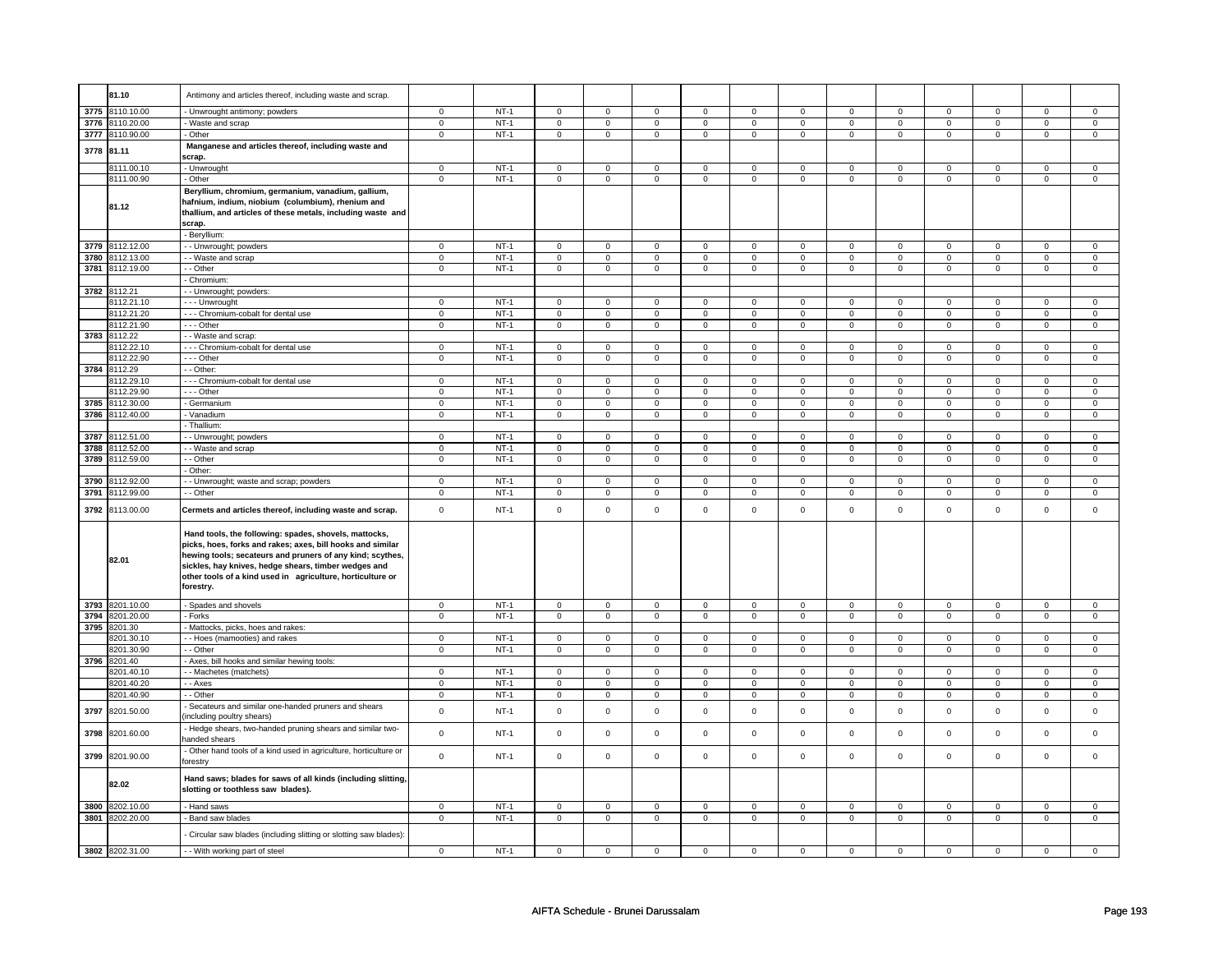|      | 81.10                    | Antimony and articles thereof, including waste and scrap.                                                                                                                        |                            |             |                     |                            |                  |                            |                  |                            |                  |                            |                     |                            |                  |                            |
|------|--------------------------|----------------------------------------------------------------------------------------------------------------------------------------------------------------------------------|----------------------------|-------------|---------------------|----------------------------|------------------|----------------------------|------------------|----------------------------|------------------|----------------------------|---------------------|----------------------------|------------------|----------------------------|
|      | 3775 8110.10.00          | Unwrought antimony; powders                                                                                                                                                      | $\mathbf 0$                | $NT-1$      | $\mathsf 0$         | $\mathbf 0$                | $\mathbf 0$      | $\mathsf 0$                | $\mathbf 0$      | $\mathsf 0$                | $\mathbf 0$      | $\mathbf 0$                | $\mathsf 0$         | $\mathbf 0$                | $\mathbf 0$      | $\mathbf 0$                |
| 3776 | 8110.20.00               | Waste and scrap                                                                                                                                                                  | $\overline{0}$             | $NT-1$      | $\mathsf 0$         | $\overline{0}$             | $\mathsf 0$      | $\overline{0}$             | $\mathsf 0$      | $\overline{0}$             | 0                | $\mathbf 0$                | $\mathsf 0$         | $\overline{0}$             | 0                | $\overline{0}$             |
|      | 3777 8110.90.00          | - Other                                                                                                                                                                          | $\mathbf 0$                | $NT-1$      | $\mathbf 0$         | $\mathsf 0$                | $\mathbf 0$      | $\mathbf 0$                | $\mathsf 0$      | $\mathbf 0$                | $\mathbf 0$      | $\mathbf 0$                | $\mathbf 0$         | $\mathbf 0$                | $\mathbf 0$      | $\mathbf 0$                |
|      | 3778 81.11               | Manganese and articles thereof, including waste and<br>scrap.                                                                                                                    |                            |             |                     |                            |                  |                            |                  |                            |                  |                            |                     |                            |                  |                            |
|      | 8111.00.10               | - Unwrought                                                                                                                                                                      | $\overline{0}$             | $NT-1$      | $\mathbf 0$         | $\mathbf 0$                | $\mathbf 0$      | $\mathbf 0$                | $\mathbf 0$      | $\mathbf 0$                | $\mathbf 0$      | $\mathbf 0$                | $\mathsf 0$         | $\mathbf 0$                | 0                | $\mathbf 0$                |
|      | 8111.00.90               | Other                                                                                                                                                                            | $\mathbf 0$                | $NT-1$      | $\mathsf 0$         | $\mathbf 0$                | $\mathbf 0$      | $\mathbf 0$                | $\mathbf 0$      | $\mathbf 0$                | $\mathbf 0$      | $\mathbf 0$                | $\mathsf 0$         | $\mathbf 0$                | $\mathbf 0$      | $\mathbf 0$                |
|      | 81.12                    | Beryllium, chromium, germanium, vanadium, gallium,<br>hafnium, indium, niobium (columbium), rhenium and<br>thallium, and articles of these metals, including waste and<br>scrap. |                            |             |                     |                            |                  |                            |                  |                            |                  |                            |                     |                            |                  |                            |
|      |                          | - Beryllium:                                                                                                                                                                     |                            |             |                     |                            |                  |                            |                  |                            |                  |                            |                     |                            |                  |                            |
|      | 3779 8112.12.00          | - Unwrought; powders                                                                                                                                                             | $\mathbf 0$                | $NT-1$      | $\mathsf 0$         | $\mathbf 0$                | 0                | $\mathbf 0$                | $\mathbf 0$      | $\mathsf 0$                | $\mathbf 0$      | $\mathbf 0$                | $\mathsf 0$         | $\mathbf 0$                | 0                | $\mathbf 0$                |
| 3780 | 8112.13.00               | - Waste and scrap                                                                                                                                                                | $\pmb{0}$                  | $NT-1$      | 0                   | $\mathsf 0$                | 0                | $\mathsf 0$                | 0                | $\mathsf 0$                | 0                | $\mathsf 0$                | 0                   | $\mathsf 0$                | 0                | $\mathbf 0$                |
|      | 3781 8112.19.00          | - - Other                                                                                                                                                                        | $\mathsf 0$                | $NT-1$      | $\mathbf 0$         | $\mathbf 0$                | $\mathbf{0}$     | $\overline{0}$             | $\mathbf 0$      | $\mathbf 0$                | $\mathbf{0}$     | $\overline{0}$             | $\mathbf 0$         | $\overline{0}$             | $\mathbf{0}$     | $\overline{0}$             |
|      |                          | - Chromium                                                                                                                                                                       |                            |             |                     |                            |                  |                            |                  |                            |                  |                            |                     |                            |                  |                            |
|      | 3782 8112.21             | - Unwrought; powders:                                                                                                                                                            |                            |             |                     |                            |                  |                            |                  |                            |                  |                            |                     |                            |                  |                            |
|      | 8112.21.10               | - - - Unwrought                                                                                                                                                                  | $\mathbf 0$                | $NT-1$      | $\overline{0}$      | $\mathbf 0$                | $\mathbf 0$      | $\mathsf 0$                | $\mathbf 0$      | $\mathsf 0$                | $\mathbf 0$      | $\mathbf 0$                | $\mathsf 0$         | $\mathbf 0$                | $\Omega$         | 0                          |
|      | 8112.21.20               | --- Chromium-cobalt for dental use                                                                                                                                               | $\mathbf 0$                | $NT-1$      | 0                   | $\mathbf 0$                | 0                | $\mathbf 0$                | 0                | $\mathbf 0$                | 0                | $\mathsf 0$                | 0                   | $\mathbf 0$                | 0                | $\mathsf 0$                |
|      | 8112.21.90               | $\cdots$ Other                                                                                                                                                                   | $\overline{0}$             | $NT-1$      | $\overline{0}$      | $\overline{0}$             | 0                | $\overline{0}$             | $\overline{0}$   | $\overline{0}$             | 0                | $\overline{0}$             | $\overline{0}$      | $\overline{0}$             | $\overline{0}$   | $\overline{0}$             |
|      | 3783 8112.22             |                                                                                                                                                                                  |                            |             |                     |                            |                  |                            |                  |                            |                  |                            |                     |                            |                  |                            |
|      |                          | - - Waste and scrap:                                                                                                                                                             |                            |             |                     |                            |                  |                            |                  |                            |                  |                            |                     |                            |                  |                            |
|      | 8112.22.10               | --- Chromium-cobalt for dental use                                                                                                                                               | $\mathbf 0$                | $NT-1$      | $\mathbf 0$         | $\mathbf{0}$               | $\mathbf{0}$     | $\mathbf{0}$               | $\mathbf 0$      | $\mathbf{0}$               | $\mathbf 0$      | $\mathbf{0}$               | $\mathbf{0}$        | $\mathbf{0}$               | 0                | $^{\circ}$                 |
|      | 8112.22.90               | --- Other                                                                                                                                                                        | $\mathsf 0$                | $NT-1$      | $\mathsf{O}$        | $\mathsf 0$                | $\mathsf{O}$     | $\mathbf 0$                | $\mathsf{O}$     | $\mathbf 0$                | $\mathbf 0$      | $\mathbf 0$                | $\mathbf 0$         | $\mathbf 0$                | $\mathbf 0$      | $\mathbf{O}$               |
| 3784 | 8112.29                  | - - Other:                                                                                                                                                                       |                            |             |                     |                            |                  |                            |                  |                            |                  |                            |                     |                            |                  |                            |
|      | 8112.29.10               | --- Chromium-cobalt for dental use                                                                                                                                               | $\mathsf 0$                | $NT-1$      | $\mathbf 0$         | $\mathbf 0$                | $\Omega$         | $\mathsf 0$                | $\Omega$         | $\mathsf 0$                | $\Omega$         | $\mathsf 0$                | $\Omega$            | $\mathbf 0$                | $\Omega$         | $\Omega$                   |
|      | 8112.29.90               | Other                                                                                                                                                                            | $\mathbf 0$                | $NT-1$      | $\mathsf{O}\xspace$ | $\mathbf 0$                | 0                | $\mathsf 0$                | $\mathsf 0$      | $\mathsf 0$                | 0                | $\mathsf 0$                | $\mathsf 0$         | $\mathsf 0$                | 0                | 0                          |
| 3785 | 8112.30.00               | Germanium                                                                                                                                                                        | $\mathsf 0$                | $NT-1$      | $\mathsf{O}\xspace$ | $\mathsf 0$                | $\mathsf 0$      | $\mathbf 0$                | $\mathsf 0$      | $\mathbf 0$                | 0                | $\mathbf 0$                | $\mathsf 0$         | $\mathbf 0$                | 0                | $\mathsf 0$                |
|      | 3786 8112.40.00          | Vanadium                                                                                                                                                                         | $\mathsf 0$                | $NT-1$      | $\mathsf 0$         | $\mathsf 0$                | $\mathsf 0$      | $\mathsf 0$                | $\mathsf 0$      | $\mathsf 0$                | $\mathbf 0$      | $\mathsf{O}^-$             | $\mathsf{O}\xspace$ | $\overline{0}$             | $\mathsf 0$      | $\mathsf 0$                |
|      |                          | - Thallium                                                                                                                                                                       |                            |             |                     |                            |                  |                            |                  |                            |                  |                            |                     |                            |                  |                            |
| 3787 | 8112.51.00               | - - Unwrought; powders                                                                                                                                                           | $\mathbf 0$                | $NT-1$      | $\mathbf 0$         | $\mathbf 0$                | $\mathbf 0$      | $\mathbf{0}$               | $\mathbf 0$      | $\mathbf{0}$               | $\mathbf 0$      | $\mathbf{0}$               | $\mathbf 0$         | $\mathbf{0}$               | $\mathbf 0$      | $\mathbf{0}$               |
| 3788 | 8112.52.00               | - - Waste and scrap                                                                                                                                                              | $\overline{0}$             | $NT-1$      | $\overline{0}$      | $\overline{0}$             | $\overline{0}$   | $\overline{0}$             | $\overline{0}$   | $\overline{0}$             | $\overline{0}$   | $\overline{0}$             | $\overline{0}$      | $\overline{0}$             | $\overline{0}$   | $\overline{0}$             |
|      | 3789 8112.59.00          | - Other                                                                                                                                                                          | $\mathsf 0$                | $NT-1$      | $\mathsf{O}\xspace$ | $\mathsf 0$                | $\mathbf 0$      | $\mathbf 0$                | $\mathsf 0$      | $\mathbf 0$                | 0                | $\mathbf 0$                | $\mathsf 0$         | $\mathbf 0$                | 0                | 0                          |
|      |                          | Other:                                                                                                                                                                           |                            |             |                     |                            |                  |                            |                  |                            |                  |                            |                     |                            |                  |                            |
| 3790 | 3112.92.00               | - Unwrought; waste and scrap; powders                                                                                                                                            | $\mathsf 0$                | $NT-1$      | $\mathbf 0$         | $\mathbf 0$                | $\mathbf 0$      | $\mathbf 0$                | $\mathbf 0$      | $\mathbf 0$                | 0                | $\mathbf 0$                | 0                   | $\mathbf 0$                | 0                | $\mathbf 0$                |
|      | 3791 8112.99.00          | - Other                                                                                                                                                                          | $\mathbf 0$                | $NT-1$      | $\mathbf 0$         | $\mathbf{0}$               | $\mathbf{0}$     | $\mathbf 0$                | $\mathbf 0$      | $\mathbf 0$                | 0                | $\mathbf 0$                | 0                   | $\mathbf 0$                | 0                | $\mathbf{0}$               |
|      |                          |                                                                                                                                                                                  |                            |             |                     |                            |                  |                            |                  |                            |                  |                            |                     |                            |                  |                            |
|      | 3792 8113.00.00          | Cermets and articles thereof, including waste and scrap.                                                                                                                         | $\mathbf 0$                | $NT-1$      | $\mathsf 0$         | $\mathbf 0$                | $\mathbf 0$      | $\mathbf 0$                | $\mathbf 0$      | $\mathsf 0$                | $\mathbf 0$      | $\mathbf 0$                | $\mathsf 0$         | $\mathbf 0$                | $\mathbf 0$      | $\mathbf 0$                |
|      | 82.01                    | Hand tools, the following: spades, shovels, mattocks,<br>picks, hoes, forks and rakes; axes, bill hooks and similar<br>hewing tools; secateurs and pruners of any kind; scythes, |                            |             |                     |                            |                  |                            |                  |                            |                  |                            |                     |                            |                  |                            |
|      |                          | sickles, hay knives, hedge shears, timber wedges and<br>other tools of a kind used in agriculture, horticulture or<br>forestry.                                                  |                            |             |                     |                            |                  |                            |                  |                            |                  |                            |                     |                            |                  |                            |
|      | 3793 8201.10.00          | - Spades and shovels                                                                                                                                                             | $\mathsf 0$                | $NT-1$      | $\mathsf{O}\xspace$ | $\mathsf 0$                | $\mathsf 0$      | $\mathbf 0$                | $\mathsf 0$      | $\mathsf 0$                | 0                | $\mathbf 0$                | $\mathsf 0$         | $\mathbf 0$                | 0                | $\mathbf 0$                |
| 3794 | 8201.20.00               | Forks                                                                                                                                                                            | $\mathsf 0$                | $NT-1$      | $\mathsf{O}\xspace$ | $\overline{0}$             | $\mathsf 0$      | $\mathbf 0$                | $\mathsf 0$      | $\overline{0}$             | 0                | $\mathbf 0$                | $\mathsf 0$         | $\overline{0}$             | 0                | $\overline{0}$             |
| 3795 | 8201.30                  | Mattocks, picks, hoes and rakes:                                                                                                                                                 |                            |             |                     |                            |                  |                            |                  |                            |                  |                            |                     |                            |                  |                            |
|      | 8201.30.10               | - Hoes (mamooties) and rakes                                                                                                                                                     | $\mathsf 0$                | $NT-1$      | $\mathsf{O}\xspace$ | $\mathsf 0$                | $\mathbf 0$      | $\mathbf 0$                | $\mathsf 0$      | $\mathbf 0$                | $\mathbf 0$      | $\mathbf 0$                | $\mathsf 0$         | $\mathbf 0$                | $\Omega$         | $\mathbf 0$                |
|      | 3201.30.90               | - Other                                                                                                                                                                          | $\mathbf 0$                | $NT-1$      | $\mathbf 0$         | $\mathbf 0$                | $\mathbf 0$      | $\mathbf{0}$               | $\mathbf 0$      | $\mathbf{0}$               | $\mathbf 0$      | $\mathbf{0}$               | $\mathbf 0$         | $\mathbf{0}$               | $\mathbf 0$      | $\mathbf{0}$               |
| 3796 | 8201.40                  | Axes, bill hooks and similar hewing tools:                                                                                                                                       |                            |             |                     |                            |                  |                            |                  |                            |                  |                            |                     |                            |                  |                            |
|      | 8201.40.10               | - Machetes (matchets)                                                                                                                                                            | $\mathbf 0$                | $NT-1$      | $\mathbf 0$         | $\mathbf 0$                | $\mathbf 0$      | $\mathbf 0$                | $\mathbf 0$      | $\mathbf 0$                | 0                | $\mathbf 0$                | 0                   | $\mathbf 0$                | $\Omega$         | $\mathbf{0}$               |
|      | 3201.40.20               | - Axes                                                                                                                                                                           | $\mathbf 0$                | $NT-1$      | $\mathbf 0$         | $\mathbf 0$                | 0                | 0                          | $\mathbf 0$      | $\mathsf 0$                | 0                | 0                          | $\mathbf 0$         | 0                          | 0                | 0                          |
|      |                          |                                                                                                                                                                                  |                            | $NT-1$      |                     |                            |                  |                            |                  |                            |                  |                            |                     |                            |                  |                            |
| 3797 | 8201.40.90<br>8201.50.00 | - - Other<br>Secateurs and similar one-handed pruners and shears<br>including poultry shears)                                                                                    | $\mathbf 0$<br>$\mathsf 0$ | $NT-1$      | 0<br>$\mathsf 0$    | $\mathbf 0$<br>$\mathbf 0$ | 0<br>$\mathbf 0$ | $\mathbf 0$<br>$\mathbf 0$ | 0<br>$\mathbf 0$ | $\mathbf 0$<br>$\mathbf 0$ | 0<br>$\mathbf 0$ | $\mathbf 0$<br>$\mathbf 0$ | 0<br>$\mathsf 0$    | $\mathbf 0$<br>$\mathbf 0$ | 0<br>$\mathbf 0$ | $\mathbf 0$<br>$\mathbf 0$ |
| 3798 | 8201.60.00               | Hedge shears, two-handed pruning shears and similar two-                                                                                                                         | $\mathsf 0$                | $NT-1$      | $\mathsf{O}\xspace$ | $\mathsf 0$                | $\mathbf 0$      | $\mathbf 0$                | $\mathsf 0$      | $\mathbf 0$                | $\mathbf 0$      | $\mathbf 0$                | $\mathsf 0$         | $\mathsf{O}$               | $\mathbf 0$      | $\mathsf 0$                |
| 3799 | 8201.90.00               | anded shears<br>Other hand tools of a kind used in agriculture, horticulture or                                                                                                  | $\mathsf 0$                | $NT-1$      | $\mathsf 0$         | $\mathbf 0$                | $\mathbf 0$      | $\mathbf 0$                | $\mathbf 0$      | $\mathsf 0$                | $\mathbf 0$      | $\mathbf 0$                | $\mathsf 0$         | $\mathbf 0$                | $\mathbf 0$      | $\mathbf{0}$               |
|      | 82.02                    | forestry<br>Hand saws; blades for saws of all kinds (including slitting,<br>slotting or toothless saw blades).                                                                   |                            |             |                     |                            |                  |                            |                  |                            |                  |                            |                     |                            |                  |                            |
|      |                          |                                                                                                                                                                                  |                            |             |                     |                            |                  |                            |                  |                            |                  |                            |                     |                            |                  |                            |
|      | 3800 8202.10.00          | - Hand saws                                                                                                                                                                      | $\mathsf 0$                | $NT-1$      | $\mathsf 0$         | $\mathsf 0$                | $\mathbf 0$      | $\mathbf 0$                | $\mathsf 0$      | $\mathbf 0$                | $\mathbf 0$      | $\mathbf 0$                | $\mathsf 0$         | $\mathbf 0$                | $\mathbf 0$      | $\mathbf 0$                |
|      | 3801 8202.20.00          | Band saw blades<br>Circular saw blades (including slitting or slotting saw blades):                                                                                              | $\mathsf 0$                | <b>NT-1</b> | 0                   | $\mathsf 0$                | 0                | $\mathsf 0$                | 0                | $\mathsf{O}$               | 0                | $\mathsf{O}$               | 0                   | $\mathsf{O}$               | 0                | $\mathbf 0$                |
|      | 3802 8202.31.00          | - - With working part of steel                                                                                                                                                   | $\mathsf 0$                | $NT-1$      | $\mathbf 0$         | $\mathbf 0$                | $\mathbf 0$      | $\mathbf 0$                | $\mathsf 0$      | $\mathbf 0$                | $\Omega$         | $\mathbf 0$                | $\mathbf 0$         | $\mathbf 0$                | $\Omega$         | 0                          |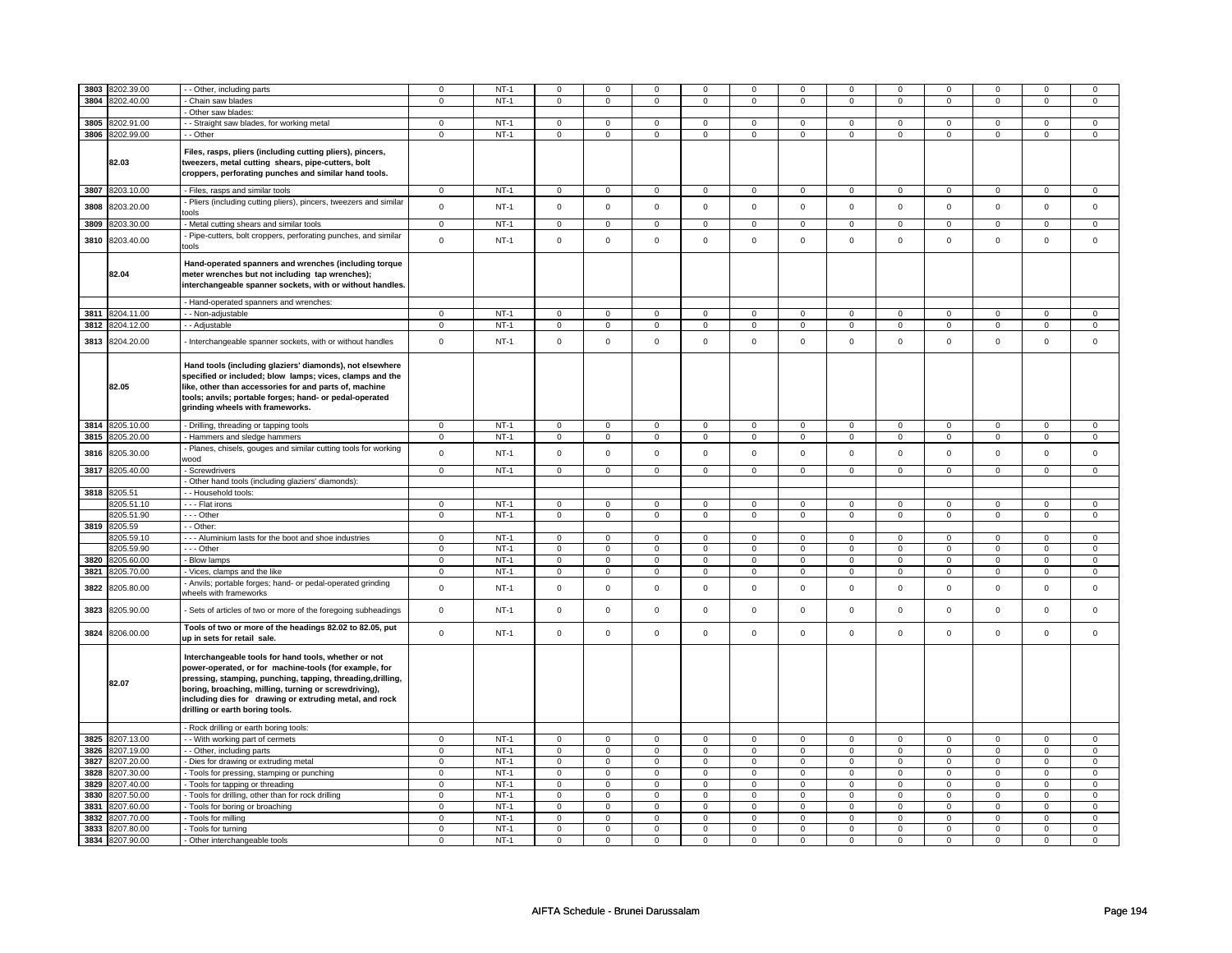| 3803 | 8202.39.00      | - Other, including parts                                                                                                                                                                                                                                                                                                             | $\mathsf 0$    | $NT-1$ | $\mathsf 0$    | $\mathsf 0$    | $\mathbf 0$         | $\mathsf 0$    | $\mathbf 0$         | $\mathsf 0$    | $\mathbf 0$         | $\mathbf 0$    | $\mathbf 0$    | $\mathsf 0$         | 0              | 0                   |
|------|-----------------|--------------------------------------------------------------------------------------------------------------------------------------------------------------------------------------------------------------------------------------------------------------------------------------------------------------------------------------|----------------|--------|----------------|----------------|---------------------|----------------|---------------------|----------------|---------------------|----------------|----------------|---------------------|----------------|---------------------|
| 3804 | 8202.40.00      | Chain saw blades                                                                                                                                                                                                                                                                                                                     | $\overline{0}$ | $NT-1$ | $\mathbf 0$    | $\overline{0}$ | $\mathbf 0$         | $\overline{0}$ | $\mathbf 0$         | $\overline{0}$ | $\mathsf 0$         | $\overline{0}$ | $\mathbf 0$    | $\overline{0}$      | $\mathbf 0$    | $\mathbf 0$         |
|      |                 | Other saw blades:                                                                                                                                                                                                                                                                                                                    |                |        |                |                |                     |                |                     |                |                     |                |                |                     |                |                     |
| 3805 | 3202.91.00      | - Straight saw blades, for working metal                                                                                                                                                                                                                                                                                             | $\mathbf 0$    | $NT-1$ | $\mathbf 0$    | 0              | $\mathbf 0$         | $\mathbf 0$    | $\mathbf 0$         | $\mathbf 0$    | $\mathbf 0$         | $\mathbf 0$    | $\mathbf 0$    | 0                   | 0              | 0                   |
|      | 3806 8202.99.00 | - Other                                                                                                                                                                                                                                                                                                                              | $\Omega$       | $NT-1$ | $\overline{0}$ | $\overline{0}$ | $\mathbf 0$         | $\overline{0}$ | $\mathsf{O}\xspace$ | $\overline{0}$ | $\mathsf{O}\xspace$ | $\overline{0}$ | $\mathsf 0$    | $\mathbf 0$         | $\mathbf 0$    | $\mathsf 0$         |
|      | 82.03           | Files, rasps, pliers (including cutting pliers), pincers,<br>tweezers, metal cutting shears, pipe-cutters, bolt                                                                                                                                                                                                                      |                |        |                |                |                     |                |                     |                |                     |                |                |                     |                |                     |
|      |                 | croppers, perforating punches and similar hand tools.                                                                                                                                                                                                                                                                                |                |        |                |                |                     |                |                     |                |                     |                |                |                     |                |                     |
| 3807 | 8203.10.00      | - Files, rasps and similar tools                                                                                                                                                                                                                                                                                                     | $\mathsf 0$    | $NT-1$ | $\mathsf 0$    | $\mathsf 0$    | $\mathsf{O}\xspace$ | $\mathsf 0$    | $\mathsf{O}\xspace$ | $\mathsf 0$    | $\mathsf{O}\xspace$ | $\mathsf 0$    | $\mathsf 0$    | $\mathbf 0$         | $\mathsf 0$    | $\mathsf{O}$        |
|      |                 | Pliers (including cutting pliers), pincers, tweezers and similar                                                                                                                                                                                                                                                                     |                |        |                |                |                     |                |                     |                |                     |                |                |                     |                |                     |
| 3808 | 8203.20.00      | tools                                                                                                                                                                                                                                                                                                                                | $\mathbf 0$    | $NT-1$ | $\mathbf 0$    | $\mathsf 0$    | $\mathbf 0$         | $\mathsf 0$    | $\mathsf 0$         | $\mathsf 0$    | $\mathbf 0$         | $\mathbf 0$    | $\mathsf 0$    | $\mathbf 0$         | $\mathbf 0$    | $\mathsf 0$         |
|      | 3809 8203.30.00 | - Metal cutting shears and similar tools                                                                                                                                                                                                                                                                                             | $\mathsf 0$    | $NT-1$ | 0              | $\mathsf 0$    | 0                   | $\mathbf 0$    | 0                   | $\mathbf 0$    | $\mathbf 0$         | $\mathbf{0}$   | 0              | $\mathbf{0}$        | $\mathbf 0$    | $\mathbf{0}$        |
|      |                 | - Pipe-cutters, bolt croppers, perforating punches, and similar                                                                                                                                                                                                                                                                      |                |        |                |                |                     |                |                     |                |                     |                |                |                     |                |                     |
| 3810 | 8203.40.00      | tools                                                                                                                                                                                                                                                                                                                                | $\mathbf 0$    | $NT-1$ | $\Omega$       | $\mathsf 0$    | $\Omega$            | $\mathsf 0$    | $\mathbf 0$         | $\mathbf 0$    | $\mathbf 0$         | $\mathsf 0$    | $\mathbf 0$    | $\mathbf{0}$        | $\mathbf 0$    | $\mathbf{0}$        |
|      | 82.04           | Hand-operated spanners and wrenches (including torque<br>meter wrenches but not including tap wrenches);<br>interchangeable spanner sockets, with or without handles.                                                                                                                                                                |                |        |                |                |                     |                |                     |                |                     |                |                |                     |                |                     |
|      |                 | - Hand-operated spanners and wrenches:                                                                                                                                                                                                                                                                                               |                |        |                |                |                     |                |                     |                |                     |                |                |                     |                |                     |
| 3811 | 8204.11.00      | - Non-adjustable                                                                                                                                                                                                                                                                                                                     | $\mathbf 0$    | $NT-1$ | $\mathsf 0$    | $\mathsf 0$    | $\mathsf{O}\xspace$ | $\mathsf 0$    | $\mathbf 0$         | $\mathsf 0$    | $\mathbf 0$         | $\mathsf 0$    | $\mathbf 0$    | $\mathsf 0$         | $\mathbf 0$    | $\mathsf 0$         |
| 3812 | 3204.12.00      | - Adjustable                                                                                                                                                                                                                                                                                                                         | $\mathsf 0$    | $NT-1$ | $\mathsf 0$    | $\mathbf 0$    | $\mathbf 0$         | $\mathbf 0$    | $\mathbf 0$         | $\mathbf 0$    | $\mathbf 0$         | $\mathbf 0$    | $\mathbf 0$    | $\mathbf 0$         | 0              | $\mathbf 0$         |
| 3813 | 8204.20.00      | Interchangeable spanner sockets, with or without handles                                                                                                                                                                                                                                                                             | $\mathsf 0$    | $NT-1$ | $\mathbf 0$    | $\mathsf{o}\,$ | $\mathsf 0$         | $\mathsf{o}\,$ | $\mathsf 0$         | $\mathsf{o}\,$ | $\mathsf 0$         | $\mathsf{o}\,$ | $\mathsf 0$    | $\mathbf 0$         | $\mathbf 0$    | $\mathbf 0$         |
|      | 82.05           | Hand tools (including glaziers' diamonds), not elsewhere<br>specified or included; blow lamps; vices, clamps and the<br>like, other than accessories for and parts of, machine<br>tools; anvils; portable forges; hand- or pedal-operated<br>grinding wheels with frameworks.                                                        |                |        |                |                |                     |                |                     |                |                     |                |                |                     |                |                     |
| 3814 | 8205.10.00      | - Drilling, threading or tapping tools                                                                                                                                                                                                                                                                                               | $\mathbf 0$    | $NT-1$ | $\mathbf 0$    | $\mathbf 0$    | $\mathbf 0$         | $\mathbf 0$    | $\mathbf 0$         | $\mathbf 0$    | $\mathbf 0$         | $\mathsf 0$    | $\mathbf 0$    | $\mathbf{0}$        | $\mathbf 0$    | $\mathsf 0$         |
| 3815 | 8205.20.00      | Hammers and sledge hammers                                                                                                                                                                                                                                                                                                           | $\mathbf 0$    | $NT-1$ | $\mathbf 0$    | $\mathbf 0$    | $\mathbf 0$         | $\mathsf 0$    | 0                   | $\mathbf 0$    | $\mathbf 0$         | $\mathbf 0$    | 0              | $\mathbf 0$         | 0              | $\mathbf 0$         |
| 3816 | 8205.30.00      | Planes, chisels, gouges and similar cutting tools for working                                                                                                                                                                                                                                                                        | $\mathbf 0$    | $NT-1$ | $\mathbf 0$    | $\mathsf 0$    | $\mathbf 0$         | $\mathsf 0$    | $\mathsf{O}\xspace$ | $\mathsf 0$    | $\mathsf{O}\xspace$ | $\mathsf 0$    | $\mathsf 0$    | $\mathsf 0$         | $\mathsf 0$    | $\mathbf 0$         |
|      |                 | wood                                                                                                                                                                                                                                                                                                                                 |                |        |                |                |                     |                |                     |                |                     |                |                |                     |                |                     |
|      | 3817 8205.40.00 | - Screwdrivers                                                                                                                                                                                                                                                                                                                       | $\mathbf 0$    | $NT-1$ | $\mathbf 0$    | $\mathbf 0$    | $\mathbf 0$         | $\mathbf 0$    | $\mathbf{0}$        | $\mathbf 0$    | $\mathbf{0}$        | $\mathbf 0$    | $\mathbf 0$    | $\mathbf{0}$        | $\mathbf 0$    | $\mathbf{0}$        |
|      |                 | Other hand tools (including glaziers' diamonds):                                                                                                                                                                                                                                                                                     |                |        |                |                |                     |                |                     |                |                     |                |                |                     |                |                     |
|      | 3818 8205.51    | - Household tools:                                                                                                                                                                                                                                                                                                                   |                |        |                |                |                     |                |                     |                |                     |                |                |                     |                |                     |
|      | 3205.51.10      | --- Flat irons                                                                                                                                                                                                                                                                                                                       | $\mathsf 0$    | $NT-1$ | $\mathbf 0$    | $\mathbf 0$    | $\mathbf 0$         | 0              | $\mathbf 0$         | $\mathbf 0$    | $\mathbf 0$         | $\mathbf 0$    | $\mathbf 0$    | $\mathsf 0$         | 0              | $\mathsf 0$         |
|      | 8205.51.90      | --- Other                                                                                                                                                                                                                                                                                                                            | $\mathsf 0$    | $NT-1$ | $\mathsf 0$    | $\mathsf 0$    | $\mathsf 0$         | $\mathsf 0$    | $\mathsf 0$         | $\mathsf 0$    | $\mathsf{O}\xspace$ | $\mathsf 0$    | $\mathsf 0$    | $\mathbf 0$         | $\mathbf 0$    | $\mathbf 0$         |
|      | 3819 8205.59    | - - Other:                                                                                                                                                                                                                                                                                                                           |                |        |                |                |                     |                |                     |                |                     |                |                |                     |                |                     |
|      | 3205.59.10      | -- Aluminium lasts for the boot and shoe industries                                                                                                                                                                                                                                                                                  | $\mathbf 0$    | $NT-1$ | $\mathbf 0$    | $\mathbf 0$    | $\mathbf 0$         | $\mathbf 0$    | $\mathbf 0$         | $\mathbf 0$    | $\mathbf 0$         | $\mathbf 0$    | $\mathbf 0$    | $\mathbf{0}$        | $\mathbf 0$    | $\mathbf{0}$        |
|      | 8205.59.90      | - - - Other                                                                                                                                                                                                                                                                                                                          | $\mathsf 0$    | $NT-1$ | $\mathbf 0$    | $\mathbf 0$    | $\mathbf 0$         | $\mathbf 0$    | $\mathbf 0$         | $\mathbf 0$    | $\mathbf 0$         | $\mathbf 0$    | $\mathbf 0$    | $\mathbf 0$         | $\mathbf 0$    | $\mathbf 0$         |
| 3820 | 8205.60.00      | - Blow lamps                                                                                                                                                                                                                                                                                                                         | $\mathbf 0$    | $NT-1$ | $\mathbf 0$    | $\mathbf 0$    | $\mathbf 0$         | $\mathbf 0$    | 0                   | $\mathbf 0$    | $\mathbf 0$         | $\mathbf 0$    | 0              | $\mathbf 0$         | 0              | 0                   |
| 3821 | 3205.70.00      | Vices, clamps and the like                                                                                                                                                                                                                                                                                                           | $\mathsf 0$    | $NT-1$ | $\mathsf 0$    | $\mathbf 0$    | $\mathsf 0$         | $\mathbf 0$    | $\mathsf 0$         | $\mathbf 0$    | $\mathsf 0$         | $\mathbf 0$    | $\mathsf 0$    | $\mathbf 0$         | $\mathbf 0$    | $\mathsf 0$         |
|      |                 | Anvils; portable forges; hand- or pedal-operated grinding                                                                                                                                                                                                                                                                            |                |        |                |                |                     |                |                     |                |                     |                |                |                     |                |                     |
| 3822 | 3205.80.00      | wheels with frameworks                                                                                                                                                                                                                                                                                                               | $\mathsf 0$    | $NT-1$ | $\mathsf 0$    | $\mathsf 0$    | $\mathsf 0$         | $\mathsf 0$    | $\mathsf 0$         | $\mathsf 0$    | $\mathsf 0$         | $\mathbf 0$    | $\mathsf 0$    | $\mathbf 0$         | $\mathbf 0$    | $\mathbf 0$         |
| 3823 | 8205.90.00      | Sets of articles of two or more of the foregoing subheadings                                                                                                                                                                                                                                                                         | $\mathsf 0$    | $NT-1$ | $\mathsf 0$    | $\mathsf 0$    | $\mathsf{O}\xspace$ | $\mathsf 0$    | $\mathsf{O}\xspace$ | $\mathsf 0$    | $\mathsf{O}\xspace$ | $\mathsf 0$    | $\mathsf 0$    | $\mathbf 0$         | $\mathbf 0$    | $\mathbf 0$         |
| 3824 | 8206.00.00      | Tools of two or more of the headings 82.02 to 82.05, put<br>up in sets for retail sale.                                                                                                                                                                                                                                              | $\mathbf 0$    | $NT-1$ | $\mathsf 0$    | $\mathbf 0$    | $\mathsf 0$         | $\mathbf 0$    | $\mathsf 0$         | $\mathbf 0$    | $\mathsf 0$         | $\mathbf 0$    | $\mathsf 0$    | $\mathsf 0$         | $\mathbf 0$    | $\mathsf 0$         |
|      | 82.07           | Interchangeable tools for hand tools, whether or not<br>power-operated, or for machine-tools (for example, for<br>pressing, stamping, punching, tapping, threading, drilling,<br>boring, broaching, milling, turning or screwdriving),<br>including dies for drawing or extruding metal, and rock<br>drilling or earth boring tools. |                |        |                |                |                     |                |                     |                |                     |                |                |                     |                |                     |
|      |                 | - Rock drilling or earth boring tools:                                                                                                                                                                                                                                                                                               |                |        |                |                |                     |                |                     |                |                     |                |                |                     |                |                     |
| 3825 | 8207.13.00      | - With working part of cermets                                                                                                                                                                                                                                                                                                       | 0              | $NT-1$ | $\mathbf 0$    | 0              | 0                   | $\mathbf 0$    | 0                   | $\mathbf 0$    | $^{\circ}$          | $\mathbf 0$    | 0              | $\mathbf 0$         | $^{\circ}$     | 0                   |
| 3826 | 3207.19.00      | - - Other, including parts                                                                                                                                                                                                                                                                                                           | $\mathbf 0$    | $NT-1$ | $\mathsf 0$    | $\mathsf 0$    | $\mathsf 0$         | $\mathsf 0$    | $\mathsf{O}\xspace$ | $\mathsf 0$    | $\mathsf{O}\xspace$ | $\mathsf 0$    | $\mathbf 0$    | $\mathsf{O}\xspace$ | $\mathsf 0$    | $\mathsf{O}\xspace$ |
| 3827 | 8207.20.00      | Dies for drawing or extruding metal                                                                                                                                                                                                                                                                                                  | $\mathsf 0$    | $NT-1$ | $\mathbf 0$    | $\mathbf 0$    | 0                   | $\mathbf 0$    | $\mathbf 0$         | $\mathbf 0$    | $\mathbf 0$         | $\mathbf 0$    | $\mathbf 0$    | $\mathbf 0$         | $\mathbf 0$    | $\mathbf{0}$        |
|      |                 |                                                                                                                                                                                                                                                                                                                                      |                | $NT-1$ | $\mathsf 0$    | $\mathbf 0$    | $\mathbf 0$         | $\mathbf 0$    | $\mathbf 0$         | $\mathbf 0$    | $\mathbf 0$         | $\mathbf 0$    | $\mathbf 0$    | $\mathsf 0$         | 0              | $\mathbf 0$         |
| 3828 | 8207.30.00      | - Tools for pressing, stamping or punching                                                                                                                                                                                                                                                                                           | 0              |        |                |                |                     |                |                     |                |                     |                |                |                     |                |                     |
| 3829 | 8207.40.00      | Tools for tapping or threading                                                                                                                                                                                                                                                                                                       | $\overline{0}$ | $NT-1$ | $\overline{0}$ | $\overline{0}$ | $\overline{0}$      | $\overline{0}$ | $\overline{0}$      | $\overline{0}$ | $\overline{0}$      | $\overline{0}$ | $\overline{0}$ | $\overline{0}$      | $\overline{0}$ | $\overline{0}$      |
|      | 3830 8207.50.00 | - Tools for drilling, other than for rock drilling                                                                                                                                                                                                                                                                                   | $\mathsf 0$    | $NT-1$ | $\mathbf 0$    | $\mathbf 0$    | $\mathbf 0$         | $\mathbf 0$    | $\mathbf 0$         | $\mathbf 0$    | $\mathbf 0$         | $\mathbf 0$    | $\mathbf 0$    | $\mathbf 0$         | 0              | $\mathbf 0$         |
| 3831 | 8207.60.00      | Tools for boring or broaching                                                                                                                                                                                                                                                                                                        | $\mathbf 0$    | $NT-1$ | $\mathbf 0$    | $\mathbf 0$    | $\mathbf 0$         | $\mathbf 0$    | $\mathbf 0$         | $\mathbf 0$    | $\mathbf 0$         | $\mathbf 0$    | $\mathbf 0$    | $\mathbf 0$         | $\mathbf 0$    | $\mathbf 0$         |
| 3832 | 8207.70.00      | Tools for milling                                                                                                                                                                                                                                                                                                                    | 0              | $NT-1$ | $\mathsf 0$    | $\mathsf 0$    | 0                   | $\mathsf 0$    | $\mathsf{O}\xspace$ | $\mathsf 0$    | $\mathbf 0$         | $\mathsf 0$    | $\mathsf 0$    | $\mathbf 0$         | 0              | $\mathbf 0$         |
| 3833 | 8207.80.00      | - Tools for turning                                                                                                                                                                                                                                                                                                                  | $\mathbf 0$    | $NT-1$ | $\mathbf 0$    | $\mathbf 0$    | $\mathbf 0$         | $\mathbf 0$    | $\mathbf 0$         | $\mathbf 0$    | $\mathbf 0$         | $\mathbf 0$    | $\mathbf 0$    | $\mathbf 0$         | $\mathbf 0$    | $\mathbf 0$         |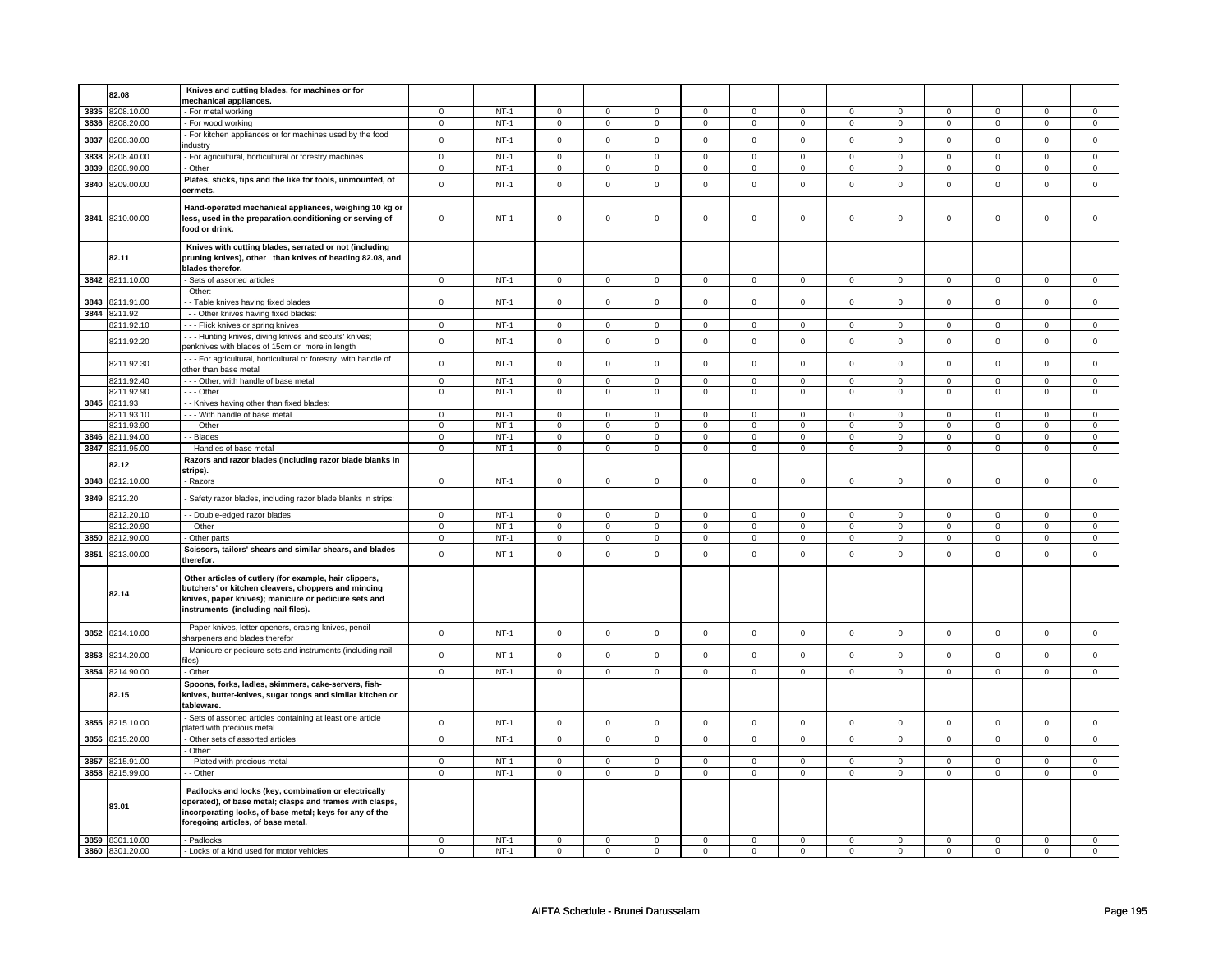|      | 82.08           | Knives and cutting blades, for machines or for                    |                |        |                |                |                     |                |                                    |                             |                |                     |                     |                |                     |                     |
|------|-----------------|-------------------------------------------------------------------|----------------|--------|----------------|----------------|---------------------|----------------|------------------------------------|-----------------------------|----------------|---------------------|---------------------|----------------|---------------------|---------------------|
|      |                 | mechanical appliances.                                            |                |        |                |                |                     |                |                                    |                             |                |                     |                     |                |                     |                     |
| 3835 | 8208.10.00      | - For metal working                                               | $\mathbf 0$    | $NT-1$ | $\mathbf 0$    | $\mathbf 0$    | $\mathbf 0$         | $\mathbf 0$    | $\mathbf 0$                        | $\mathbf 0$                 | 0              | $\mathbf 0$         | 0                   | $\mathbf 0$    | 0                   | 0                   |
| 3836 | 8208.20.00      | - For wood working                                                | $\Omega$       | $NT-1$ | $\mathsf 0$    | $\mathsf 0$    | $\mathsf 0$         | $\mathbf 0$    | $\mathsf 0$                        | $\mathsf 0$                 | $\mathbf 0$    | $\mathsf 0$         | $\mathsf 0$         | $\mathbf 0$    | $\mathsf 0$         | $\overline{0}$      |
|      |                 | - For kitchen appliances or for machines used by the food         |                |        |                |                |                     |                |                                    |                             |                |                     |                     |                |                     |                     |
| 3837 | 8208.30.00      |                                                                   | $\mathsf 0$    | $NT-1$ | $\mathsf 0$    | $\mathsf 0$    | $\mathsf 0$         | $\mathsf 0$    | $\mathsf{O}\xspace$                | $\mathsf 0$                 | $\mathsf 0$    | $\mathsf{O}\xspace$ | $\mathsf 0$         | $\mathsf 0$    | $\mathsf{O}\xspace$ | $\mathsf{O}\xspace$ |
|      |                 | ndustry                                                           |                |        |                |                |                     |                |                                    |                             |                |                     |                     |                |                     |                     |
| 3838 | 3208.40.00      | - For agricultural, horticultural or forestry machines            | $\mathsf 0$    | $NT-1$ | $\mathsf 0$    | $\mathbf 0$    | $\mathsf 0$         | $\mathbf 0$    | $\mathsf 0$                        | $\mathbf 0$                 | $\mathbf 0$    | $\mathbf 0$         | $\mathsf 0$         | $\mathbf 0$    | $\mathsf 0$         | 0                   |
| 3839 | 8208.90.00      | Other                                                             | $\mathbf 0$    | $NT-1$ | $\mathbf 0$    | $\overline{0}$ | $\mathbf 0$         | $\mathbf 0$    | $\mathbf{0}$                       | $\overline{0}$              | $\mathbf{0}$   | $\overline{0}$      | $\mathbf{0}$        | $\overline{0}$ | $\mathbf 0$         | $\overline{0}$      |
|      |                 | Plates, sticks, tips and the like for tools, unmounted, of        |                |        |                |                |                     |                |                                    |                             |                |                     |                     |                |                     |                     |
| 3840 | 8209.00.00      | cermets.                                                          | $\mathsf 0$    | $NT-1$ | $\mathbf 0$    | $\mathsf 0$    | $\mathsf 0$         | $\mathbf 0$    | $\mathsf 0$                        | $\mathsf 0$                 | $\mathbf 0$    | $\mathsf 0$         | $\mathsf 0$         | $\mathbf 0$    | $\mathsf 0$         | $\mathbf 0$         |
|      |                 |                                                                   |                |        |                |                |                     |                |                                    |                             |                |                     |                     |                |                     |                     |
|      |                 | Hand-operated mechanical appliances, weighing 10 kg or            |                |        |                |                |                     |                |                                    |                             |                |                     |                     |                |                     |                     |
| 3841 | 8210.00.00      | less, used in the preparation, conditioning or serving of         | $\mathbf 0$    | $NT-1$ | $\mathsf 0$    | $\mathsf 0$    | $\mathsf{O}\xspace$ | $\mathsf 0$    | $\mathsf{O}\xspace$                | $\mathsf 0$                 | $\mathsf 0$    | $\mathsf 0$         | $\mathsf 0$         | $\mathbf 0$    | $\mathsf 0$         | $\mathbf 0$         |
|      |                 | food or drink.                                                    |                |        |                |                |                     |                |                                    |                             |                |                     |                     |                |                     |                     |
|      |                 |                                                                   |                |        |                |                |                     |                |                                    |                             |                |                     |                     |                |                     |                     |
|      |                 | Knives with cutting blades, serrated or not (including            |                |        |                |                |                     |                |                                    |                             |                |                     |                     |                |                     |                     |
|      | 82.11           | pruning knives), other than knives of heading 82.08, and          |                |        |                |                |                     |                |                                    |                             |                |                     |                     |                |                     |                     |
|      |                 | blades therefor.                                                  |                |        |                |                |                     |                |                                    |                             |                |                     |                     |                |                     |                     |
|      | 3842 8211.10.00 |                                                                   |                | $NT-1$ |                |                |                     |                |                                    |                             |                |                     |                     |                | 0                   |                     |
|      |                 | - Sets of assorted articles                                       | 0              |        | 0              | $\mathbf 0$    | 0                   | $\mathbf 0$    | $\mathbf 0$                        | $\mathbf 0$                 | 0              | $\mathbf 0$         | 0                   | $\mathbf 0$    |                     | $\mathbf 0$         |
|      |                 | Other:                                                            |                |        |                |                |                     |                |                                    |                             |                |                     |                     |                |                     |                     |
| 3843 | 8211.91.00      | - - Table knives having fixed blades                              | $\mathbf 0$    | $NT-1$ | $\mathsf 0$    | $\mathsf 0$    | $\mathsf 0$         | $\mathbf 0$    | $\mathbf 0$                        | $\mathbf 0$                 | $\overline{0}$ | $\mathbf 0$         | $\mathbf 0$         | $\mathbf 0$    | $\mathbf 0$         | $\overline{0}$      |
| 3844 | 8211.92         | - - Other knives having fixed blades:                             |                |        |                |                |                     |                |                                    |                             |                |                     |                     |                |                     |                     |
|      | 8211.92.10      | --- Flick knives or spring knives                                 | $\overline{0}$ | $NT-1$ | $\mathbf 0$    | $\overline{0}$ | $\mathsf 0$         | $\mathbf 0$    | $\mathsf 0$                        | $\mathbf 0$                 | $\mathbf 0$    | $\mathbf 0$         | $\mathsf 0$         | $\overline{0}$ | $\mathsf 0$         | $\mathbf 0$         |
|      |                 | - - - Hunting knives, diving knives and scouts' knives;           |                |        |                |                |                     |                |                                    |                             |                |                     |                     |                |                     |                     |
|      | 8211.92.20      |                                                                   | $\mathbf 0$    | $NT-1$ | $\mathsf 0$    | $\mathsf 0$    | $\mathsf 0$         | $\mathsf 0$    | $\mathsf 0$                        | $\mathbf 0$                 | $\mathsf 0$    | $\mathsf 0$         | $\mathsf 0$         | $\mathsf 0$    | $\mathsf{O}\xspace$ | $\mathsf 0$         |
|      |                 | penknives with blades of 15cm or more in length                   |                |        |                |                |                     |                |                                    |                             |                |                     |                     |                |                     |                     |
|      | 8211.92.30      | - - - For agricultural, horticultural or forestry, with handle of | $\mathsf 0$    | $NT-1$ | $\mathbf 0$    | $\mathbf 0$    | $\mathbf 0$         | $\mathbf 0$    | $\mathbf 0$                        | $\mathbf 0$                 | $\mathbf 0$    | $\mathbf 0$         | $\mathbf 0$         | $\mathbf 0$    | $\Omega$            | $\mathbf 0$         |
|      |                 | other than base metal                                             |                |        |                |                |                     |                |                                    |                             |                |                     |                     |                |                     |                     |
|      | 8211.92.40      | --- Other, with handle of base metal                              | 0              | $NT-1$ | $\mathbf 0$    | $\mathbf 0$    | $\mathbf 0$         | $\mathbf 0$    | $\mathbf 0$                        | $\mathbf 0$                 | 0              | $\mathbf 0$         | 0                   | $\mathbf 0$    | 0                   | 0                   |
|      | 8211.92.90      | --- Other                                                         | $\mathsf 0$    | $NT-1$ | $\mathbf 0$    | $\mathbf 0$    | $\mathsf 0$         | $\mathbf 0$    | $\mathsf 0$                        | $\mathbf 0$                 | $\mathbf 0$    | $\mathbf 0$         | $\mathsf 0$         | $\mathbf 0$    | $\mathsf 0$         | $\mathbf{0}$        |
|      | 3845 8211.93    | - - Knives having other than fixed blades:                        |                |        |                |                |                     |                |                                    |                             |                |                     |                     |                |                     |                     |
|      | 8211.93.10      | --- With handle of base metal                                     | $\mathbf 0$    | $NT-1$ | $\mathbf 0$    | $\mathbf 0$    | $\mathbf 0$         | $\mathbf 0$    | $\mathbf 0$                        | 0                           | 0              | 0                   | 0                   | 0              | $\Omega$            | $\mathbf 0$         |
|      |                 |                                                                   |                |        |                |                |                     |                |                                    |                             |                |                     |                     |                |                     |                     |
|      | 8211.93.90      | --- Other                                                         | $\mathbf 0$    | $NT-1$ | $\mathsf 0$    | $\mathsf 0$    | $\mathsf 0$         | $\mathsf 0$    | $\mathsf 0$                        | $\mathbf 0$                 | $\mathbf 0$    | $\mathsf 0$         | $\mathsf 0$         | $\mathbf 0$    | $\mathsf 0$         | $\mathbf 0$         |
|      | 3846 8211.94.00 | - Blades                                                          | $\overline{0}$ | $NT-1$ | $\mathsf 0$    | $\overline{0}$ | $\mathsf 0$         | $\mathbf 0$    | $\mathsf 0$                        | $\mathsf 0$                 | $\mathsf 0$    | $\mathsf 0$         | $\mathbf 0$         | $\mathsf 0$    | $\mathsf 0$         | $\overline{0}$      |
| 3847 | 8211.95.00      | - - Handles of base metal                                         | $\mathbf 0$    | $NT-1$ | $\mathbf 0$    | $\mathbf 0$    | $\mathbf 0$         | $\mathbf 0$    | $\mathbf 0$                        | $\mathbf 0$                 | $\mathbf 0$    | $\mathbf 0$         | 0                   | $\mathbf 0$    | 0                   | $\mathbf 0$         |
|      |                 | Razors and razor blades (including razor blade blanks in          |                |        |                |                |                     |                |                                    |                             |                |                     |                     |                |                     |                     |
|      | 82.12           | strips).                                                          |                |        |                |                |                     |                |                                    |                             |                |                     |                     |                |                     |                     |
| 3848 | 8212.10.00      | - Razors                                                          | $\mathsf 0$    | $NT-1$ | $\mathsf 0$    | $\mathsf 0$    | $\mathsf 0$         | $\mathsf 0$    | $\mathsf 0$                        | $\mathbf 0$                 | $\mathbf 0$    | $\mathbf 0$         | $\mathsf 0$         | $\mathbf 0$    | $\mathsf 0$         | $\mathsf 0$         |
|      |                 |                                                                   |                |        |                |                |                     |                |                                    |                             |                |                     |                     |                |                     |                     |
| 3849 | 8212.20         | Safety razor blades, including razor blade blanks in strips:      |                |        |                |                |                     |                |                                    |                             |                |                     |                     |                |                     |                     |
|      |                 |                                                                   |                |        |                |                |                     |                |                                    |                             |                |                     |                     |                |                     |                     |
|      | 8212.20.10      | - - Double-edged razor blades                                     | 0              | $NT-1$ | $\mathbf 0$    | $\mathbf 0$    | $\mathbf{0}$        | $\mathbf 0$    | $\mathbf 0$                        | $\mathbf 0$                 | $^{\circ}$     | $\mathbf 0$         | 0                   | $\mathbf 0$    | 0                   | 0                   |
|      | 8212.20.90      | - Other                                                           | $\mathsf 0$    | $NT-1$ | $\mathsf 0$    | $\mathsf 0$    | $\mathsf{O}\xspace$ | $\mathsf 0$    | $\mathsf{O}\xspace$                | $\mathbf 0$                 | $\mathsf 0$    | $\mathsf 0$         | $\mathsf 0$         | $\mathbf 0$    | $\Omega$            | 0                   |
| 3850 | 8212.90.00      | - Other parts                                                     | $\mathsf 0$    | $NT-1$ | $\mathsf 0$    | $\mathsf 0$    | $\mathsf{O}\xspace$ | $\mathsf 0$    | $\mathsf 0$                        | $\mathsf{O}$                | $\mathsf 0$    | $\mathsf 0$         | $\mathsf{O}\xspace$ | $\mathsf{O}$   | $\Omega$            | $\mathsf{O}\xspace$ |
|      |                 | Scissors, tailors' shears and similar shears, and blades          |                |        |                |                |                     |                |                                    |                             |                |                     |                     |                |                     |                     |
| 3851 | 8213.00.00      | therefor.                                                         | $\Omega$       | $NT-1$ | $\Omega$       | $\mathbf 0$    | $\Omega$            | $\mathbf 0$    | $\mathbf 0$                        | $\mathsf 0$                 | $\Omega$       | $\mathsf 0$         | $\mathsf 0$         | $\mathsf 0$    | $\Omega$            | $\mathsf{O}\xspace$ |
|      |                 |                                                                   |                |        |                |                |                     |                |                                    |                             |                |                     |                     |                |                     |                     |
|      |                 | Other articles of cutlery (for example, hair clippers,            |                |        |                |                |                     |                |                                    |                             |                |                     |                     |                |                     |                     |
|      |                 | butchers' or kitchen cleavers, choppers and mincing               |                |        |                |                |                     |                |                                    |                             |                |                     |                     |                |                     |                     |
|      | 82.14           | knives, paper knives); manicure or pedicure sets and              |                |        |                |                |                     |                |                                    |                             |                |                     |                     |                |                     |                     |
|      |                 | instruments (including nail files).                               |                |        |                |                |                     |                |                                    |                             |                |                     |                     |                |                     |                     |
|      |                 |                                                                   |                |        |                |                |                     |                |                                    |                             |                |                     |                     |                |                     |                     |
|      | 8214.10.00      | - Paper knives, letter openers, erasing knives, pencil            |                | $NT-1$ | $\mathsf 0$    | $\mathsf 0$    | $\mathsf 0$         | $\mathbf 0$    | $\mathsf 0$                        | $\mathsf 0$                 | $\mathbf 0$    | $\mathbf 0$         | $\mathsf 0$         | $\mathbf 0$    | $\Omega$            |                     |
| 3852 |                 | sharpeners and blades therefor                                    | $\mathbf 0$    |        |                |                |                     |                |                                    |                             |                |                     |                     |                |                     | $\mathsf 0$         |
|      |                 | - Manicure or pedicure sets and instruments (including nail       |                |        |                |                |                     |                |                                    |                             |                |                     |                     |                |                     |                     |
| 3853 | 8214.20.00      | iles)                                                             | $\mathsf 0$    | $NT-1$ | $\mathsf 0$    | $\mathsf 0$    | $\mathbf 0$         | $\mathsf 0$    | $\mathbf 0$                        | $\mathbf 0$                 | $\mathbf 0$    | $\mathbf 0$         | $\mathbf 0$         | $\mathbf{0}$   | $\mathbf 0$         | $\mathsf 0$         |
| 3854 | 8214.90.00      |                                                                   | $\mathbf 0$    |        | $\mathbf 0$    | $\mathbf 0$    | $\mathbf 0$         | $\mathbf 0$    | $\mathbf 0$                        | $\mathbf{0}$                | $\mathbf 0$    | $\mathbf{0}$        | $\mathbf 0$         | $\mathbf 0$    | $\mathbf 0$         | $\mathbf{0}$        |
|      |                 | - Other                                                           |                | $NT-1$ |                |                |                     |                |                                    |                             |                |                     |                     |                |                     |                     |
|      |                 | Spoons, forks, ladles, skimmers, cake-servers, fish-              |                |        |                |                |                     |                |                                    |                             |                |                     |                     |                |                     |                     |
|      | 82.15           | knives, butter-knives, sugar tongs and similar kitchen or         |                |        |                |                |                     |                |                                    |                             |                |                     |                     |                |                     |                     |
|      |                 | tableware.                                                        |                |        |                |                |                     |                |                                    |                             |                |                     |                     |                |                     |                     |
|      |                 | Sets of assorted articles containing at least one article         |                |        |                |                |                     |                |                                    |                             |                |                     |                     |                |                     |                     |
| 3855 | 8215.10.00      | plated with precious metal                                        | $\mathbf 0$    | $NT-1$ | $\mathsf 0$    | $\mathsf 0$    | $\mathbf 0$         | $\mathbf 0$    | $\mathbf 0$                        | $\mathsf 0$                 | 0              | $\mathsf 0$         | 0                   | $\mathbf 0$    | $\mathsf 0$         | $\mathsf 0$         |
| 3856 | 8215.20.00      | - Other sets of assorted articles                                 | $\overline{0}$ | $NT-1$ | $\overline{0}$ | $\overline{0}$ | $\overline{0}$      | $\overline{0}$ | $\overline{0}$                     | $\overline{0}$              | $\overline{0}$ | $\overline{0}$      | $\overline{0}$      | $\overline{0}$ | $\overline{0}$      | $\overline{0}$      |
|      |                 |                                                                   |                |        |                |                |                     |                |                                    |                             |                |                     |                     |                |                     |                     |
|      |                 | Other:                                                            |                |        |                |                |                     |                |                                    |                             |                |                     |                     |                |                     |                     |
| 3857 | 8215.91.00      | - - Plated with precious metal                                    | $\mathsf 0$    | $NT-1$ | $\mathsf 0$    | $\mathbf 0$    | $\mathsf 0$         | $\mathbf 0$    | $\mathsf 0$                        | $\mathsf 0$                 | $\mathbf 0$    | $\mathbf 0$         | $\mathsf 0$         | $\mathbf 0$    | $\mathsf 0$         | $\mathbf 0$         |
| 3858 | 8215.99.00      | - Other                                                           | $\mathsf 0$    | $NT-1$ | $\mathbf 0$    | $\mathbf 0$    | $\mathsf 0$         | $\mathbf 0$    | 0                                  | $\mathbf 0$                 | 0              | $\mathbf 0$         | 0                   | $\mathbf 0$    | 0                   | $\mathbf 0$         |
|      |                 |                                                                   |                |        |                |                |                     |                |                                    |                             |                |                     |                     |                |                     |                     |
|      |                 | Padlocks and locks (key, combination or electrically              |                |        |                |                |                     |                |                                    |                             |                |                     |                     |                |                     |                     |
|      | 83.01           | operated), of base metal; clasps and frames with clasps,          |                |        |                |                |                     |                |                                    |                             |                |                     |                     |                |                     |                     |
|      |                 | incorporating locks, of base metal; keys for any of the           |                |        |                |                |                     |                |                                    |                             |                |                     |                     |                |                     |                     |
|      |                 | foregoing articles, of base metal.                                |                |        |                |                |                     |                |                                    |                             |                |                     |                     |                |                     |                     |
|      | 3859 8301.10.00 |                                                                   |                |        |                |                |                     |                |                                    |                             |                |                     |                     |                |                     |                     |
|      |                 | - Padlocks                                                        | $\mathsf 0$    | $NT-1$ | $\mathsf 0$    | $\mathsf 0$    | $\mathsf 0$         | $\mathsf 0$    | $\mathsf{O}\xspace$<br>$\mathbf 0$ | $\mathbf 0$<br>$\mathbf{0}$ | $\mathbf 0$    | $\mathbf 0$         | $\mathsf 0$         | $\mathbf 0$    | $\mathsf 0$         | $\mathsf 0$         |
|      | 3860 8301.20.00 | - Locks of a kind used for motor vehicles                         | $\mathbf 0$    | $NT-1$ | $\mathbf 0$    | $\mathbf 0$    | $\mathbf 0$         | $\mathbf 0$    |                                    |                             | $\mathbf 0$    | $\mathbf 0$         | $\mathbf 0$         | $\mathbf 0$    | $\mathbf 0$         | $\mathbf 0$         |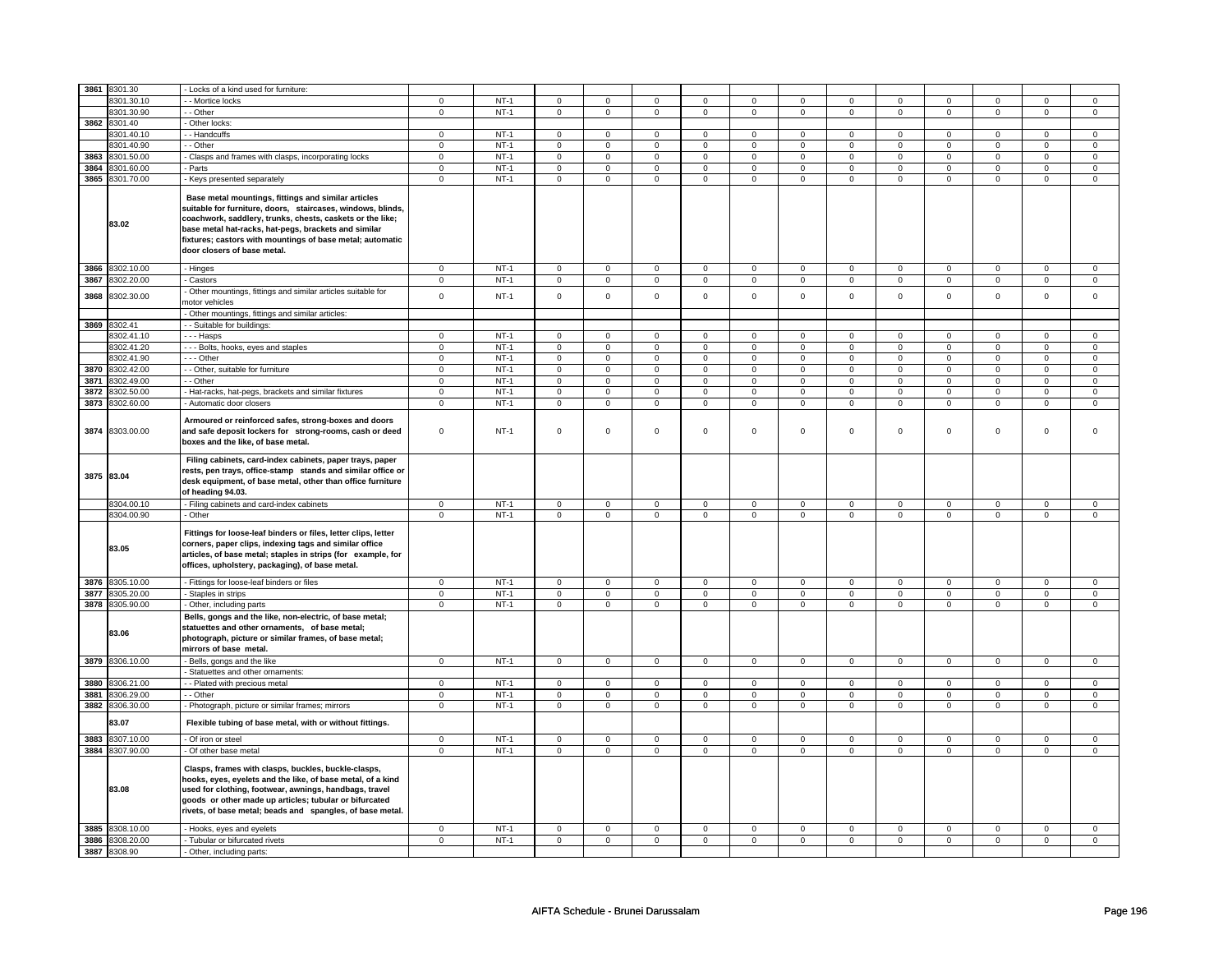| 3861       | 8301.30         | - Locks of a kind used for furniture:                                                                                                                                                                                                                                                                                               |                |        |                     |                |                     |                |                     |                |                |                |                     |                |                |                |
|------------|-----------------|-------------------------------------------------------------------------------------------------------------------------------------------------------------------------------------------------------------------------------------------------------------------------------------------------------------------------------------|----------------|--------|---------------------|----------------|---------------------|----------------|---------------------|----------------|----------------|----------------|---------------------|----------------|----------------|----------------|
|            | 8301.30.10      | - Mortice locks                                                                                                                                                                                                                                                                                                                     | 0              | $NT-1$ | 0                   | 0              | 0                   | $\mathbf 0$    | 0                   | 0              | 0              | 0              | 0                   | 0              | 0              | 0              |
|            | 8301.30.90      | - - Other                                                                                                                                                                                                                                                                                                                           | 0              | $NT-1$ | 0                   | $\mathbf 0$    | $\mathbf 0$         | $\mathsf 0$    | $\mathbf 0$         | $\mathbf{0}$   | $\mathbf{0}$   | $\mathbf 0$    | $\mathbf{0}$        | $\mathbf 0$    | 0              | $\overline{0}$ |
|            | 3862 8301.40    | - Other locks:                                                                                                                                                                                                                                                                                                                      |                |        |                     |                |                     |                |                     |                |                |                |                     |                |                |                |
|            | 8301.40.10      | -- Handcuffs                                                                                                                                                                                                                                                                                                                        | $\Omega$       | $NT-1$ | $\mathbf 0$         | $\mathbf 0$    | $\mathbf 0$         | $\mathbf 0$    | $\mathbf 0$         | $\mathbf 0$    | $\mathbf 0$    | $\mathbf 0$    | $\mathbf 0$         | $\mathbf 0$    | $\Omega$       | $\mathbf{0}$   |
|            | 8301.40.90      | - - Other                                                                                                                                                                                                                                                                                                                           | $\pmb{0}$      | $NT-1$ | $\overline{0}$      | $\overline{0}$ | $\overline{0}$      | $\overline{0}$ | $\overline{0}$      | $\pmb{0}$      | $\overline{0}$ | $\overline{0}$ | $\overline{0}$      | $\overline{0}$ | $\overline{0}$ | $\pmb{0}$      |
| 3863       | 8301.50.00      | - Clasps and frames with clasps, incorporating locks                                                                                                                                                                                                                                                                                | 0              | $NT-1$ | $\mathbf 0$         | $\mathbf 0$    | 0                   | $\mathbf 0$    | 0                   | $\mathbf 0$    | 0              | $\mathbf 0$    | 0                   | $\mathbf 0$    | 0              | $\mathbf 0$    |
| 3864       | 8301.60.00      | Parts                                                                                                                                                                                                                                                                                                                               | $\overline{0}$ | $NT-1$ | $\overline{0}$      | $\overline{0}$ | $\overline{0}$      | $\overline{0}$ | $\mathsf 0$         | $\overline{0}$ | $\mathbf 0$    | $\overline{0}$ | $\mathsf 0$         | $\overline{0}$ | $\mathsf 0$    | $\overline{0}$ |
| 3865       | 8301.70.00      | - Keys presented separately                                                                                                                                                                                                                                                                                                         | $\overline{0}$ | $NT-1$ | $\overline{0}$      | $\overline{0}$ | $\overline{0}$      | $\overline{0}$ | $\overline{0}$      | $\overline{0}$ | $\overline{0}$ | $\overline{0}$ | $\overline{0}$      | $\overline{0}$ | $\overline{0}$ | $\overline{0}$ |
|            | 83.02           | Base metal mountings, fittings and similar articles<br>suitable for furniture, doors, staircases, windows, blinds,<br>coachwork, saddlery, trunks, chests, caskets or the like;<br>base metal hat-racks, hat-pegs, brackets and similar<br>fixtures; castors with mountings of base metal; automatic<br>door closers of base metal. |                |        |                     |                |                     |                |                     |                |                |                |                     |                |                |                |
| 3866       | 8302.10.00      | - Hinges                                                                                                                                                                                                                                                                                                                            | $\mathbf 0$    | $NT-1$ | $\mathbf 0$         | $\mathbf 0$    | $\Omega$            | $\mathbf 0$    | $\mathbf 0$         | $\mathbf{0}$   | $\mathbf 0$    | $\mathbf{0}$   | $\mathbf 0$         | $\mathbf{0}$   | $\Omega$       | $\Omega$       |
| 3867       | 8302.20.00      | - Castors                                                                                                                                                                                                                                                                                                                           | $\mathbf 0$    | $NT-1$ | $\mathbf 0$         | $\mathbf 0$    | $\mathbf 0$         | $\mathbf 0$    | $\mathbf 0$         | $\mathbf{0}$   | $\mathbf 0$    | $\mathbf{0}$   | $\mathbf 0$         | $\mathbf{0}$   | $\mathbf 0$    | $\mathbf 0$    |
| 3868       | 8302.30.00      | Other mountings, fittings and similar articles suitable for<br>notor vehicles                                                                                                                                                                                                                                                       | $\mathsf 0$    | $NT-1$ | $\mathbf 0$         | $\mathsf 0$    | $\mathbf 0$         | $\mathsf 0$    | $\mathsf 0$         | $\mathsf 0$    | $\mathbf 0$    | $\mathbf 0$    | $\mathsf 0$         | $\mathbf 0$    | $\mathsf 0$    | $\mathbf 0$    |
|            |                 | Other mountings, fittings and similar articles:                                                                                                                                                                                                                                                                                     |                |        |                     |                |                     |                |                     |                |                |                |                     |                |                |                |
|            | 3869 8302.41    | - Suitable for buildings:                                                                                                                                                                                                                                                                                                           |                |        |                     |                |                     |                |                     |                |                |                |                     |                |                |                |
|            | 8302.41.10      | - - - Hasps                                                                                                                                                                                                                                                                                                                         | $\mathbf 0$    | $NT-1$ | $\mathbf 0$         | $\mathbf 0$    | $\mathbf 0$         | $\overline{0}$ | $\mathbf 0$         | $\mathbf{0}$   | $\mathbf 0$    | $\mathbf 0$    | 0                   | $\mathbf 0$    | 0              | 0              |
|            | 8302.41.20      | --- Bolts, hooks, eyes and staples                                                                                                                                                                                                                                                                                                  | 0              | $NT-1$ | $\Omega$            | $\mathbf 0$    | $\Omega$            | $\mathbf 0$    | $\Omega$            | $\mathbf 0$    | $\Omega$       | $\mathbf 0$    | $\Omega$            | $\mathbf 0$    | $\Omega$       | 0              |
|            | 8302.41.90      | --- Other                                                                                                                                                                                                                                                                                                                           | $\mathsf 0$    | $NT-1$ | $\mathbf 0$         | $\mathsf 0$    | $\mathbf 0$         | $\mathsf 0$    | $\mathbf 0$         | $\mathbf 0$    | $\mathbf 0$    | $\mathbf 0$    | $\mathbf 0$         | $\mathbf 0$    | $\Omega$       | $\mathbf 0$    |
| 3870       | 8302.42.00      | - - Other, suitable for furniture                                                                                                                                                                                                                                                                                                   | $\mathsf 0$    | $NT-1$ | $\mathsf 0$         | $\mathsf 0$    | $\mathsf 0$         | $\mathbf 0$    | $\mathsf 0$         | $\mathbf 0$    | $\mathbf 0$    | $\mathbf 0$    | $\mathsf 0$         | $\mathbf 0$    | $\mathsf 0$    | $\mathbf 0$    |
| 3871       | 8302.49.00      | - Other                                                                                                                                                                                                                                                                                                                             | $\mathsf 0$    | $NT-1$ | $\mathbf 0$         | $\mathbf 0$    | $\mathbf 0$         | $\mathbf 0$    | $\mathbf 0$         | $\mathsf 0$    | 0              | $\mathsf 0$    | 0                   | $\mathbf 0$    | 0              | 0              |
| 3872       | 8302.50.00      | Hat-racks, hat-pegs, brackets and similar fixtures                                                                                                                                                                                                                                                                                  | $\mathsf 0$    | $NT-1$ | 0                   | $\mathsf 0$    | $\mathsf{O}\xspace$ | $\mathbf 0$    | $\mathsf{O}\xspace$ | $\mathbf 0$    | 0              | $\mathsf 0$    | $\mathsf 0$         | $\mathsf 0$    | 0              | 0              |
| 3873       | 8302.60.00      | - Automatic door closers                                                                                                                                                                                                                                                                                                            | $\mathsf 0$    | $NT-1$ | $\mathbf 0$         | $\mathsf 0$    | $\mathbf 0$         | $\mathbf 0$    | $\mathbf 0$         | $\mathbf 0$    | $\mathbf 0$    | $\mathbf 0$    | $\mathbf 0$         | $\mathbf 0$    | $\mathbf{0}$   | $\mathbf{0}$   |
|            | 3874 8303.00.00 | Armoured or reinforced safes, strong-boxes and doors<br>and safe deposit lockers for strong-rooms, cash or deed<br>boxes and the like, of base metal.                                                                                                                                                                               | $\mathsf 0$    | $NT-1$ | $\mathsf 0$         | $\mathbf 0$    | $\mathsf 0$         | $\mathbf 0$    | $\mathsf 0$         | $\mathbf 0$    | $\mathbf 0$    | $\mathbf 0$    | $\mathsf 0$         | $\mathbf 0$    | $\mathbf 0$    | 0              |
| 3875 83.04 |                 | Filing cabinets, card-index cabinets, paper trays, paper<br>rests, pen trays, office-stamp stands and similar office or<br>desk equipment, of base metal, other than office furniture<br>of heading 94.03.                                                                                                                          |                |        |                     |                |                     |                |                     |                |                |                |                     |                |                |                |
|            | 8304.00.10      | - Filing cabinets and card-index cabinets                                                                                                                                                                                                                                                                                           | $\overline{0}$ | $NT-1$ | $\overline{0}$      | $\overline{0}$ | $\overline{0}$      | $\overline{0}$ | $\overline{0}$      | $\overline{0}$ | $\overline{0}$ | $\overline{0}$ | $\overline{0}$      | $\overline{0}$ | $\mathsf 0$    | $\overline{0}$ |
|            | 8304.00.90      | - Other                                                                                                                                                                                                                                                                                                                             | $\overline{0}$ | $NT-1$ | $\overline{0}$      | $\overline{0}$ | $\mathsf 0$         | $\overline{0}$ | $\mathsf 0$         | $\overline{0}$ | $\mathbf 0$    | $\overline{0}$ | $\mathsf 0$         | $\overline{0}$ | $\mathsf 0$    | $\overline{0}$ |
|            | 83.05           | Fittings for loose-leaf binders or files, letter clips, letter<br>corners, paper clips, indexing tags and similar office<br>articles, of base metal; staples in strips (for example, for<br>offices, upholstery, packaging), of base metal.                                                                                         |                |        |                     |                |                     |                |                     |                |                |                |                     |                |                |                |
| 3876       | 8305.10.00      | - Fittings for loose-leaf binders or files                                                                                                                                                                                                                                                                                          | $\mathsf 0$    | $NT-1$ | $\overline{0}$      | $\overline{0}$ | $\mathsf{O}$        | $\mathsf 0$    | $\mathsf 0$         | $\mathbf 0$    | $\mathsf 0$    | $\mathbf 0$    | $\mathsf{O}\xspace$ | $\mathbf 0$    | $\mathsf 0$    | $\mathbf 0$    |
| 3877       | 8305.20.00      | - Staples in strips                                                                                                                                                                                                                                                                                                                 | $\mathbf 0$    | $NT-1$ | $\mathsf{O}\xspace$ | $\mathsf 0$    | $\mathsf{O}\xspace$ | $\mathsf 0$    | $\mathsf{O}\xspace$ | $\mathbf 0$    | $\mathsf 0$    | $\mathsf{O}$   | $\mathsf 0$         | $\mathsf{O}$   | $\mathsf 0$    | $\mathsf 0$    |
| 3878       | 8305.90.00      | - Other, including parts                                                                                                                                                                                                                                                                                                            | $\mathbf 0$    | $NT-1$ | $\mathsf 0$         | $\overline{0}$ | $\mathbf{0}$        | $\overline{0}$ | $\mathsf 0$         | $\mathsf 0$    | $\mathbf 0$    | $\mathsf 0$    | $\mathbf 0$         | $\mathsf 0$    | $\mathbf 0$    | $\mathbf 0$    |
|            | 83.06           | Bells, gongs and the like, non-electric, of base metal;<br>statuettes and other ornaments, of base metal;<br>photograph, picture or similar frames, of base metal;<br>mirrors of base metal.                                                                                                                                        |                |        |                     |                |                     |                |                     |                |                |                |                     |                |                |                |
|            | 3879 8306.10.00 | Bells, gongs and the like                                                                                                                                                                                                                                                                                                           | $\mathsf 0$    | $NT-1$ | $\mathbf 0$         | $\overline{0}$ | $\mathbf 0$         | $\mathbf 0$    | $\mathbf 0$         | $\circ$        | $\mathbf{0}$   | $\mathbf 0$    | $\mathbf 0$         | $\circ$        | $\mathbf 0$    | $\mathbf{0}$   |
|            |                 | Statuettes and other ornaments:                                                                                                                                                                                                                                                                                                     |                |        |                     |                |                     |                |                     |                |                |                |                     |                |                |                |
| 3880       | 3306.21.00      | - Plated with precious metal                                                                                                                                                                                                                                                                                                        | $\mathsf 0$    | $NT-1$ | $\mathbf 0$         | $\mathbf 0$    | $\mathsf 0$         | $\mathbf 0$    | $\mathsf 0$         | $\mathbf 0$    | 0              | $\mathbf 0$    | $\mathsf 0$         | $\mathbf 0$    | $\Omega$       | $\mathbf{0}$   |
| 3881       | 8306.29.00      | - - Other                                                                                                                                                                                                                                                                                                                           | $\mathsf 0$    | $NT-1$ | $\mathbf 0$         | $\mathbf 0$    | $\mathbf 0$         | $\mathbf 0$    | $\mathbf 0$         | $\mathbf 0$    | $\mathbf 0$    | $\mathbf 0$    | $\mathbf 0$         | $\mathbf 0$    | 0              | $\mathbf 0$    |
| 3882       | 8306.30.00      | - Photograph, picture or similar frames; mirrors                                                                                                                                                                                                                                                                                    | $\mathsf 0$    | $NT-1$ | $\mathbf 0$         | $\mathbf 0$    | $\mathbf 0$         | $\mathbf 0$    | $\mathsf 0$         | $\mathbf 0$    | $\mathbf 0$    | $\mathbf 0$    | $\mathbf 0$         | $\mathbf 0$    | $\mathsf 0$    | 0              |
|            | 83.07           | Flexible tubing of base metal, with or without fittings.                                                                                                                                                                                                                                                                            |                |        |                     |                |                     |                |                     |                |                |                |                     |                |                |                |
| 3883       | 3307.10.00      | - Of iron or steel                                                                                                                                                                                                                                                                                                                  | 0              | $NT-1$ | $\mathbf 0$         | $\mathbf 0$    | $\mathbf 0$         | $\mathbf 0$    | $\mathbf 0$         | $\mathbf 0$    | 0              | $\mathbf 0$    | 0                   | $\mathbf 0$    | 0              | 0              |
| 3884       | 8307.90.00      | - Of other base metal                                                                                                                                                                                                                                                                                                               | $\mathbf 0$    | $NT-1$ | $\mathsf 0$         | $\mathsf 0$    | $\mathbf 0$         | $\mathsf 0$    | $\mathsf 0$         | $\mathbf 0$    | $\mathbf 0$    | $\mathbf 0$    | $\mathsf 0$         | $\mathbf 0$    | $\mathbf 0$    | $\mathbf 0$    |
|            | 83.08           | Clasps, frames with clasps, buckles, buckle-clasps,<br>hooks, eyes, eyelets and the like, of base metal, of a kind<br>used for clothing, footwear, awnings, handbags, travel<br>goods or other made up articles; tubular or bifurcated<br>rivets, of base metal; beads and spangles, of base metal.                                 |                |        |                     |                |                     |                |                     |                |                |                |                     |                |                |                |
| 3885       | 8308.10.00      | - Hooks, eyes and eyelets                                                                                                                                                                                                                                                                                                           | 0              | $NT-1$ | 0                   | $\mathbf 0$    | 0                   | $\mathbf 0$    | 0                   | $\overline{0}$ | 0              | $\mathbf 0$    | 0                   | $\overline{0}$ | 0              | $\overline{0}$ |
| 3886       | 8308.20.00      | - Tubular or bifurcated rivets                                                                                                                                                                                                                                                                                                      | $\mathbf 0$    | $NT-1$ | 0                   | $\mathbf 0$    | $\mathbf 0$         | $\mathbf 0$    | $\mathbf 0$         | $\mathbf 0$    | $\mathbf 0$    | $\mathbf{0}$   | 0                   | $\mathbf 0$    | 0              | $\overline{0}$ |
| 3887       | 8308.90         | - Other, including parts:                                                                                                                                                                                                                                                                                                           |                |        |                     |                |                     |                |                     |                |                |                |                     |                |                |                |
|            |                 |                                                                                                                                                                                                                                                                                                                                     |                |        |                     |                |                     |                |                     |                |                |                |                     |                |                |                |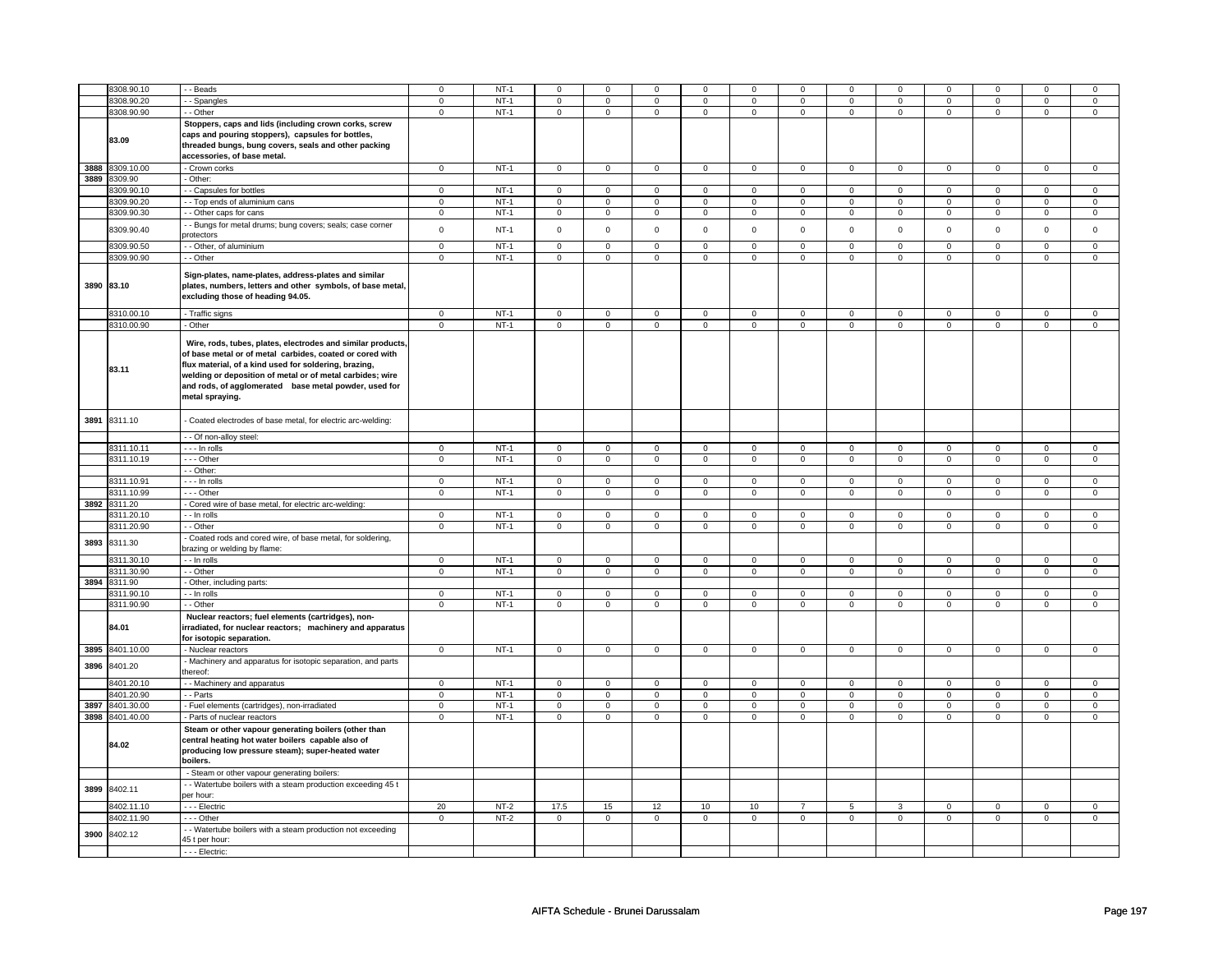|      | 8308.90.10                 | - Beads                                                                                                                                                                                                                                                                                                                   | $\mathbf 0$    | $NT-1$ | $\Omega$            | $\mathbf 0$                | $\mathbf 0$                   | $\mathbf 0$                | 0                       | $\Omega$                   | $\Omega$       | $\Omega$    | $\mathbf 0$         | $\mathbf 0$                   | $\Omega$       | 0                             |
|------|----------------------------|---------------------------------------------------------------------------------------------------------------------------------------------------------------------------------------------------------------------------------------------------------------------------------------------------------------------------|----------------|--------|---------------------|----------------------------|-------------------------------|----------------------------|-------------------------|----------------------------|----------------|-------------|---------------------|-------------------------------|----------------|-------------------------------|
|      |                            |                                                                                                                                                                                                                                                                                                                           |                |        |                     |                            |                               |                            |                         |                            |                |             |                     |                               |                |                               |
|      | 8308.90.20                 | - - Spangles                                                                                                                                                                                                                                                                                                              | $\mathbf 0$    | $NT-1$ | $\mathbf 0$         | $\mathbf{0}$               | $\mathsf 0$                   | $\mathbf 0$                | $\mathbf 0$             | $\mathbf 0$                | $\Omega$       | $\Omega$    | $\mathbf{0}$        | $\mathsf 0$                   | $\mathbf 0$    | $\mathbf 0$                   |
|      | 8308.90.90                 | - - Other                                                                                                                                                                                                                                                                                                                 | $\mathbf 0$    | $NT-1$ | $\mathbf 0$         | $\circ$                    | $\mathbf{0}$                  | $\mathbf{0}$               | $\mathbf 0$             | $\mathbf{0}$               | $\mathbf{0}$   | $\mathbf 0$ | $\mathbf{0}$        | $\mathbf{0}$                  | $\mathbf 0$    | $\mathbf 0$                   |
|      | 83.09                      | Stoppers, caps and lids (including crown corks, screw<br>caps and pouring stoppers), capsules for bottles,<br>threaded bungs, bung covers, seals and other packing<br>accessories, of base metal.                                                                                                                         |                |        |                     |                            |                               |                            |                         |                            |                |             |                     |                               |                |                               |
|      | 3888 8309.10.00            | - Crown corks                                                                                                                                                                                                                                                                                                             | $\mathbf 0$    | $NT-1$ | $\mathsf 0$         | $\mathsf 0$                | $\mathbf 0$                   | $\mathbf 0$                | $\mathsf 0$             | $\overline{0}$             | $\mathbf 0$    | $\mathsf 0$ | $\mathsf{O}\xspace$ | $\mathbf 0$                   | $\mathbf 0$    | $\mathbf 0$                   |
|      | 3889 8309.90               | - Other:                                                                                                                                                                                                                                                                                                                  |                |        |                     |                            |                               |                            |                         |                            |                |             |                     |                               |                |                               |
|      | 8309.90.10                 | - - Capsules for bottles                                                                                                                                                                                                                                                                                                  | $\mathbf 0$    | $NT-1$ | $\mathsf 0$         | $\mathbf 0$                | $\mathsf 0$                   | $\mathbf 0$                | $\mathbf 0$             | $\mathsf 0$                | $\mathbf 0$    | $\mathbf 0$ | 0                   | $\mathbf 0$                   | $\mathbf 0$    | $\overline{0}$                |
|      | 8309.90.20                 | - - Top ends of aluminium cans                                                                                                                                                                                                                                                                                            | $\mathbf 0$    | $NT-1$ | $\mathbf 0$         | $\mathbf 0$                | $\mathsf 0$                   | $\mathbf 0$                | $\mathsf 0$             | $\mathsf 0$                | $\mathsf 0$    | $\mathbf 0$ | $\mathbf 0$         | $\mathbf 0$                   | $\mathsf 0$    | $\mathbf 0$                   |
|      | 8309.90.30                 | - - Other caps for cans                                                                                                                                                                                                                                                                                                   | $\mathsf 0$    | $NT-1$ | $\mathbf 0$         | $\mathbf 0$                | $\overline{0}$                | $\mathbf 0$                | $\mathbf 0$             | $\mathbf{0}$               | $\mathbf 0$    | $\mathbf 0$ | $\mathbf 0$         | $\mathsf 0$                   | $\mathbf 0$    | $\mathbf 0$                   |
|      | 8309.90.40                 | - - Bungs for metal drums; bung covers; seals; case corner<br>protectors                                                                                                                                                                                                                                                  | $\mathsf 0$    | $NT-1$ | $\mathsf{O}\xspace$ | $\mathbf 0$                | $\mathsf 0$                   | $\mathbf 0$                | $\mathsf{O}\xspace$     | $\mathsf 0$                | $\mathsf 0$    | $\mathsf 0$ | $\mathbf 0$         | $\mathbf 0$                   | $\mathsf 0$    | $\mathbf 0$                   |
|      | 8309.90.50                 | - - Other, of aluminium                                                                                                                                                                                                                                                                                                   | $\mathsf 0$    | $NT-1$ | $\mathbf 0$         | $\mathbf 0$                | $\mathsf 0$                   | $\mathbf 0$                | $\mathbf 0$             | $\mathsf 0$                | $\mathbf 0$    | $\mathsf 0$ | $\mathbf 0$         | $\mathsf 0$                   | 0              | $\mathsf 0$                   |
|      | 8309.90.90                 | - - Other                                                                                                                                                                                                                                                                                                                 | $\mathsf 0$    | $NT-1$ | $\mathbf 0$         | $\mathbf 0$                | $\mathsf 0$                   | $\mathbf 0$                | $\mathsf 0$             | $\mathbf 0$                | $\mathbf 0$    | $\mathbf 0$ | $\mathbf 0$         | $\mathbf 0$                   | $\mathbf 0$    | $\mathbf 0$                   |
|      | 3890 83.10                 | Sign-plates, name-plates, address-plates and similar<br>plates, numbers, letters and other symbols, of base metal,<br>excluding those of heading 94.05.                                                                                                                                                                   |                |        |                     |                            |                               |                            |                         |                            |                |             |                     |                               |                |                               |
|      | 8310.00.10                 | - Traffic signs                                                                                                                                                                                                                                                                                                           | $\mathbf 0$    | $NT-1$ | $\mathbf 0$         | $\mathbf{0}$               | $\mathbf 0$                   | $\mathbf 0$                | $\mathbf 0$             | $\mathbf{0}$               | $\mathbf{0}$   | $\mathbf 0$ | $\mathbf{0}$        | $\overline{0}$                | $\mathbf 0$    | $\mathbf{0}$                  |
|      | 8310.00.90                 | - Other                                                                                                                                                                                                                                                                                                                   | $\mathsf 0$    | $NT-1$ | $\mathbf 0$         | $\circ$                    | $\mathbf{0}$                  | $\mathbf 0$                | $\mathbf 0$             | $\mathbf 0$                | $\mathbf 0$    | $\mathbf 0$ | $\mathbf{0}$        | $\mathbf 0$                   | $\mathsf 0$    | $\mathbf 0$                   |
|      | 83.11                      | Wire, rods, tubes, plates, electrodes and similar products,<br>of base metal or of metal carbides, coated or cored with<br>flux material, of a kind used for soldering, brazing,<br>welding or deposition of metal or of metal carbides; wire<br>and rods, of agglomerated base metal powder, used for<br>metal spraying. |                |        |                     |                            |                               |                            |                         |                            |                |             |                     |                               |                |                               |
| 3891 | 8311.10                    | - Coated electrodes of base metal, for electric arc-welding:                                                                                                                                                                                                                                                              |                |        |                     |                            |                               |                            |                         |                            |                |             |                     |                               |                |                               |
|      |                            | - - Of non-alloy steel:                                                                                                                                                                                                                                                                                                   |                |        |                     |                            |                               |                            |                         |                            |                |             |                     |                               |                |                               |
|      | 8311.10.11                 | $--$ In rolls                                                                                                                                                                                                                                                                                                             | $\overline{0}$ | $NT-1$ | $\mathbf 0$         | 0                          | $\circ$                       | $\mathbf 0$                | $\overline{\mathbf{0}}$ | $\mathbf 0$                | $\Omega$       | $\mathbf 0$ | 0                   | $\mathbf 0$                   | $\circ$        | $\overline{0}$                |
|      | 8311.10.19                 | --- Other                                                                                                                                                                                                                                                                                                                 | $\mathsf 0$    | $NT-1$ | $\mathbf 0$         | $\mathbf 0$                | $\mathsf 0$                   | $\mathbf 0$                | $\mathbf 0$             | $\mathbf 0$                | $\mathbf 0$    | $\mathbf 0$ | $\mathbf 0$         | $\mathbf 0$                   | $\mathsf 0$    | $\mathbf 0$                   |
|      |                            | - - Other:                                                                                                                                                                                                                                                                                                                |                |        |                     |                            |                               |                            |                         |                            |                |             |                     |                               |                |                               |
|      | 8311.10.91                 | - - - In rolls                                                                                                                                                                                                                                                                                                            | $\mathsf 0$    | $NT-1$ | $\mathbf 0$         | $\mathbf 0$                | $\mathsf 0$                   | $\mathbf 0$                | $\mathbf 0$             | $\mathsf 0$                | $\mathbf 0$    | $\mathsf 0$ | $\mathbf 0$         | $\mathsf 0$                   | $\mathsf 0$    | $\mathsf 0$                   |
|      | 8311.10.99                 | --- Other                                                                                                                                                                                                                                                                                                                 | $\mathbf 0$    | $NT-1$ | $\mathbf 0$         | $\mathbf 0$                | $\mathbf 0$                   | $\mathbf 0$                | $\mathbf 0$             | $\overline{0}$             | $\mathbf 0$    | $\mathbf 0$ | $\mathbf 0$         | $\mathbf 0$                   | $\mathbf 0$    | $\mathbf 0$                   |
|      | 3892 8311.20               | - Cored wire of base metal, for electric arc-welding:                                                                                                                                                                                                                                                                     |                |        |                     |                            |                               |                            |                         |                            |                |             |                     |                               |                |                               |
|      |                            | - - In rolls                                                                                                                                                                                                                                                                                                              | $\mathbf{0}$   | $NT-1$ | $\mathbf 0$         | $\mathbf{0}$               | $\mathbf{0}$                  | $\mathbf 0$                | $\mathbf{0}$            | $\overline{0}$             | $\mathbf{0}$   | $\mathbf 0$ | $\mathbf{0}$        | $\mathbf{0}$                  | $\mathbf 0$    | $\overline{0}$                |
|      | 8311.20.10<br>8311.20.90   | - - Other                                                                                                                                                                                                                                                                                                                 |                | $NT-1$ |                     |                            |                               |                            |                         |                            |                |             |                     |                               |                |                               |
| 3893 | 8311.30                    | - Coated rods and cored wire, of base metal, for soldering,<br>brazing or welding by flame:                                                                                                                                                                                                                               | $\mathbf{0}$   |        | $\mathbf 0$         | $\mathbf 0$                | $\mathbf 0$                   | $\mathbf 0$                | $\mathbf{0}$            | $\mathbf 0$                | $\mathbf 0$    | $\mathbf 0$ | $\mathbf 0$         | $\mathbf 0$                   | $\mathbf 0$    | $\mathbf{0}$                  |
|      | 8311.30.10                 | - - In rolls                                                                                                                                                                                                                                                                                                              | $\mathsf 0$    | $NT-1$ | $\mathsf 0$         | $\mathbf 0$                | $\mathsf 0$                   | $\mathbf 0$                | $\mathsf 0$             | $\mathbf 0$                | $\mathsf 0$    | $\mathbf 0$ | $\mathsf 0$         | $\mathbf 0$                   | $\mathbf 0$    | $\mathsf 0$                   |
|      | 8311.30.90                 | - - Other                                                                                                                                                                                                                                                                                                                 | $\mathbf 0$    | $NT-1$ | $\mathbf 0$         | $\mathbf{0}$               | $\mathsf 0$                   | $\mathbf 0$                | $\mathsf 0$             | $\overline{0}$             | $\mathbf{0}$   | $\mathbf 0$ | $\mathbf{0}$        | $\mathbf 0$                   | $\mathbf 0$    | $\mathsf 0$                   |
|      | 3894 8311.90               | - Other, including parts:                                                                                                                                                                                                                                                                                                 |                |        |                     |                            |                               |                            |                         |                            |                |             |                     |                               |                |                               |
|      |                            |                                                                                                                                                                                                                                                                                                                           | $\mathbf 0$    | $NT-1$ | $\mathbf 0$         |                            |                               |                            | $\mathbf 0$             |                            | $\mathbf 0$    | $\mathbf 0$ |                     |                               | $\mathbf 0$    | $\mathbf 0$                   |
|      | 8311.90.10<br>8311.90.90   | - - In rolls<br>- - Other                                                                                                                                                                                                                                                                                                 | $\overline{0}$ | $NT-1$ | $\mathbf 0$         | $\mathbf 0$<br>$\mathbf 0$ | $\mathsf 0$<br>$\overline{0}$ | $\mathbf 0$<br>$\mathbf 0$ | $\overline{0}$          | $\mathsf 0$<br>$\mathbf 0$ | $\mathbf 0$    | $\mathbf 0$ | 0<br>$\mathbf 0$    | $\mathbf 0$<br>$\overline{0}$ | $\mathbf 0$    | $\mathsf 0$                   |
|      | 84.01                      | Nuclear reactors; fuel elements (cartridges), non-<br>irradiated, for nuclear reactors; machinery and apparatus<br>for isotopic separation.                                                                                                                                                                               |                |        |                     |                            |                               |                            |                         |                            |                |             |                     |                               |                |                               |
| 3895 | 8401.10.00                 | - Nuclear reactors                                                                                                                                                                                                                                                                                                        | $\mathbf 0$    | $NT-1$ | $\mathsf 0$         | $\mathbf 0$                | $\mathbf 0$                   | $\mathbf 0$                | $\mathsf 0$             | $\overline{0}$             | $\mathsf 0$    | $\mathsf 0$ | $\mathsf{O}\xspace$ | $\mathbf 0$                   | $\mathbf 0$    | $\mathsf 0$                   |
| 3896 | 8401.20                    | - Machinery and apparatus for isotopic separation, and parts<br>thereof:                                                                                                                                                                                                                                                  |                |        |                     |                            |                               |                            |                         |                            |                |             |                     |                               |                |                               |
|      | 8401.20.10                 | - - Machinery and apparatus                                                                                                                                                                                                                                                                                               | $\mathbf 0$    | $NT-1$ | $\mathbf 0$         | 0                          | $\mathsf 0$                   | $\mathbf 0$                | $\mathbf 0$             | $\mathbf 0$                | $\mathbf{0}$   | $\mathbf 0$ | 0                   | $\mathbf 0$                   | $\Omega$       | 0                             |
|      | 8401.20.90                 | - - Parts                                                                                                                                                                                                                                                                                                                 | $\mathbf 0$    | $NT-1$ | $\mathbf 0$         | $\mathbf 0$                | $\mathsf 0$                   | $\mathbf 0$                | $\mathsf{O}$            | $\mathbf{0}$               | $\mathbf 0$    | $\mathbf 0$ | $\mathbf 0$         | $\mathsf 0$                   | $\Omega$       | $\mathbf 0$                   |
| 3897 | 8401.30.00                 | - Fuel elements (cartridges), non-irradiated                                                                                                                                                                                                                                                                              | $\mathbf 0$    | $NT-1$ | $\mathbf 0$         | $\mathsf 0$                | $\mathsf 0$                   | $\mathbf 0$                | $\mathsf 0$             | $\mathsf 0$                | $\mathbf 0$    | $\mathbf 0$ | $\mathbf 0$         | $\mathbf 0$                   | $\mathbf 0$    | $\mathsf 0$                   |
| 3898 | 8401.40.00                 | Parts of nuclear reactors                                                                                                                                                                                                                                                                                                 | 0              | $NT-1$ | $\mathbf 0$         | $\mathbf 0$                | $\mathsf 0$                   | $\mathbf 0$                | $\mathbf 0$             | $\mathbf 0$                | $\mathbf 0$    | $\Omega$    | $\mathbf 0$         | $\mathsf 0$                   | 0              | $\mathbf 0$                   |
|      |                            |                                                                                                                                                                                                                                                                                                                           |                |        |                     |                            |                               |                            |                         |                            |                |             |                     |                               |                |                               |
|      | 84.02                      | Steam or other vapour generating boilers (other than<br>central heating hot water boilers capable also of<br>producing low pressure steam); super-heated water<br>boilers.<br>- Steam or other vapour generating boilers:                                                                                                 |                |        |                     |                            |                               |                            |                         |                            |                |             |                     |                               |                |                               |
| 3899 | 8402.11                    | - - Watertube boilers with a steam production exceeding 45 t<br>per hour:                                                                                                                                                                                                                                                 |                |        |                     |                            |                               |                            |                         |                            |                |             |                     |                               |                |                               |
|      |                            |                                                                                                                                                                                                                                                                                                                           |                | $NT-2$ | 17.5                |                            |                               |                            |                         | $\overline{7}$             |                |             |                     |                               |                |                               |
|      | 8402.11.10                 | - - - Electric                                                                                                                                                                                                                                                                                                            | 20             | $NT-2$ |                     | 15                         | 12                            | 10                         | 10                      |                            | 5              | 3           | 0<br>$\overline{0}$ | $\mathbf 0$<br>$\mathbf{0}$   | $\mathbf{0}$   | $\mathbf 0$<br>$\overline{0}$ |
|      | 8402.11.90<br>3900 8402.12 | --- Other<br>- - Watertube boilers with a steam production not exceeding                                                                                                                                                                                                                                                  | $\overline{0}$ |        | $\mathbf 0$         | $\overline{0}$             | $\mathbf 0$                   | $\overline{0}$             | $\mathbf 0$             | $\mathsf 0$                | $\overline{0}$ | $\mathbf 0$ |                     |                               | $\overline{0}$ |                               |
|      |                            | 45 t per hour:<br>- - - Electric:                                                                                                                                                                                                                                                                                         |                |        |                     |                            |                               |                            |                         |                            |                |             |                     |                               |                |                               |
|      |                            |                                                                                                                                                                                                                                                                                                                           |                |        |                     |                            |                               |                            |                         |                            |                |             |                     |                               |                |                               |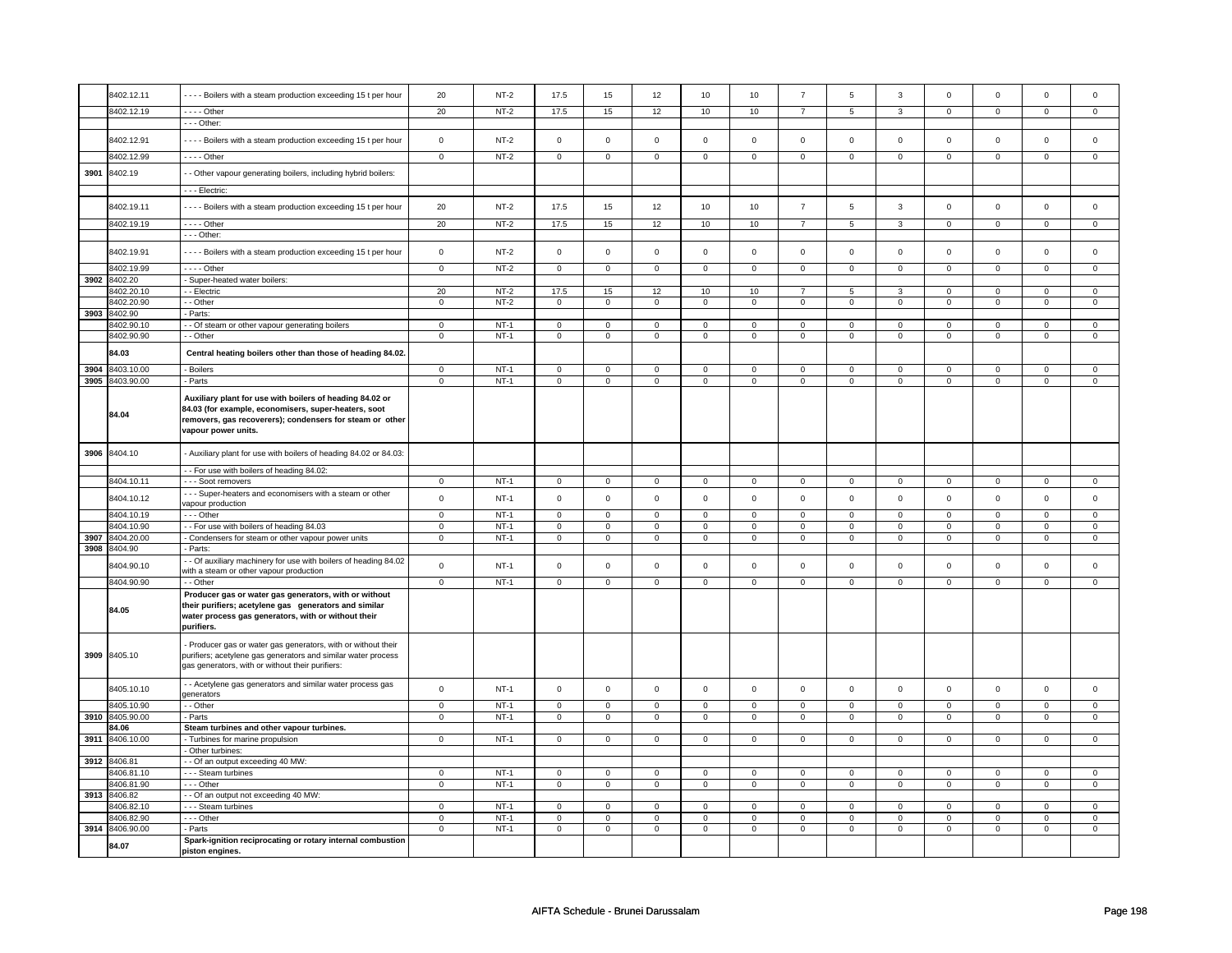|      | 8402.12.11      | - - - - Boilers with a steam production exceeding 15 t per hour                                                                                                                                     | 20             | $NT-2$ | 17.5           | 15             | 12                  | 10             | 10                  | $\overline{7}$ | 5              | $\mathbf 3$    | $\mathsf 0$    | $\mathbf 0$    | $\mathsf 0$    | $\mathbf 0$    |
|------|-----------------|-----------------------------------------------------------------------------------------------------------------------------------------------------------------------------------------------------|----------------|--------|----------------|----------------|---------------------|----------------|---------------------|----------------|----------------|----------------|----------------|----------------|----------------|----------------|
|      | 8402.12.19      | $- - -$ Other                                                                                                                                                                                       | 20             | $NT-2$ | 17.5           | 15             | 12                  | 10             | 10                  | $\overline{7}$ | 5              | $\overline{3}$ | $\mathsf 0$    | $\overline{0}$ | $\mathbf 0$    | $\overline{0}$ |
|      |                 | - - - Other:                                                                                                                                                                                        |                |        |                |                |                     |                |                     |                |                |                |                |                |                |                |
|      | 8402.12.91      | ---- Boilers with a steam production exceeding 15 t per hour                                                                                                                                        | $\mathsf 0$    | $NT-2$ | $\mathsf 0$    | $\mathsf 0$    | $\mathsf{O}\xspace$ | $\mathsf 0$    | $\mathsf{O}\xspace$ | $\mathbf 0$    | $\mathsf 0$    | $\mathbf 0$    | $\mathsf 0$    | $\mathbf 0$    | $\mathsf 0$    | $\mathsf 0$    |
|      | 8402.12.99      | $--$ Other                                                                                                                                                                                          | $\overline{0}$ | $NT-2$ | $\overline{0}$ | $\overline{0}$ | $\mathsf 0$         | $\overline{0}$ | $\mathsf 0$         | $\overline{0}$ | $\mathbf 0$    | $\overline{0}$ | $\overline{0}$ | $\mathbf 0$    | $\mathsf 0$    | $\overline{0}$ |
| 3901 | 8402.19         | - Other vapour generating boilers, including hybrid boilers:                                                                                                                                        |                |        |                |                |                     |                |                     |                |                |                |                |                |                |                |
|      |                 | - - - Electric:                                                                                                                                                                                     |                |        |                |                |                     |                |                     |                |                |                |                |                |                |                |
|      |                 |                                                                                                                                                                                                     |                |        |                |                |                     |                |                     |                |                |                |                |                |                |                |
|      | 8402.19.11      | - - - - Boilers with a steam production exceeding 15 t per hour                                                                                                                                     | 20             | $NT-2$ | 17.5           | 15             | 12                  | 10             | 10                  | $\overline{7}$ | 5              | 3              | $\mathsf 0$    | $\mathbf 0$    | $\mathbf 0$    | $\mathbf 0$    |
|      | 8402.19.19      | - - - - Other                                                                                                                                                                                       | 20             | $NT-2$ | 17.5           | 15             | 12                  | 10             | 10                  | $\overline{7}$ | 5              | $\overline{3}$ | $\overline{0}$ | $\overline{0}$ | $\overline{0}$ | $\overline{0}$ |
|      |                 | - - - Other:                                                                                                                                                                                        |                |        |                |                |                     |                |                     |                |                |                |                |                |                |                |
|      | 8402.19.91      | ---- Boilers with a steam production exceeding 15 t per hour                                                                                                                                        | $\mathsf 0$    | $NT-2$ | $\mathsf 0$    | $\mathsf 0$    | $\mathbf 0$         | $\mathbf 0$    | $\mathbf 0$         | $\mathbf 0$    | $\mathbf 0$    | $\mathbf 0$    | $\mathbf 0$    | $\mathbf 0$    | $\Omega$       | $\mathbf 0$    |
|      | 8402.19.99      | - - - - Other                                                                                                                                                                                       | $\mathbf 0$    | $NT-2$ | $\mathbf 0$    | $\mathbf{0}$   | $\mathbf 0$         | $\mathbf{0}$   | $\mathbf 0$         | $\mathbf 0$    | $\mathbf 0$    | $\mathbf 0$    | 0              | $\mathbf 0$    | 0              | 0              |
| 3902 | 8402.20         | - Super-heated water boilers:                                                                                                                                                                       |                |        |                |                |                     |                |                     |                |                |                |                |                |                |                |
|      | 8402.20.10      | - - Electric                                                                                                                                                                                        | 20             | $NT-2$ | 17.5           | 15             | 12                  | 10             | 10                  | $\overline{7}$ | 5              | 3              | $\mathbf 0$    | $\mathbf 0$    | $\mathbf 0$    | $\mathbf{0}$   |
|      | 8402.20.90      | - Other                                                                                                                                                                                             | $\mathsf 0$    | $NT-2$ | $\mathsf 0$    | $\mathsf 0$    | $\mathsf 0$         | $\mathsf 0$    | $\mathsf 0$         | $\mathsf 0$    | $\mathbf 0$    | $\mathbf 0$    | $\mathsf 0$    | $\mathbf 0$    | $\mathsf 0$    | $\mathbf 0$    |
| 3903 | 8402.90         | Parts:                                                                                                                                                                                              |                |        |                |                |                     |                |                     |                |                |                |                |                |                |                |
|      | 8402.90.10      | - Of steam or other vapour generating boilers                                                                                                                                                       | $\mathsf 0$    | $NT-1$ | 0              | $\mathsf 0$    | 0                   | $\mathbf 0$    | 0                   | $\mathbf 0$    | 0              | $\mathbf 0$    | 0              | $\mathbf 0$    | 0              | $\mathbf 0$    |
|      | 8402.90.90      | $\overline{\cdot}$ - Other                                                                                                                                                                          | $\mathbf 0$    | $NT-1$ | 0              | $\mathbf 0$    | $\mathbf 0$         | $\mathbf 0$    | $\mathbf 0$         | $\mathbf 0$    | $\mathbf 0$    | $\mathbf 0$    | 0              | $\overline{0}$ | 0              | $\mathbf 0$    |
|      | 84.03           | Central heating boilers other than those of heading 84.02.                                                                                                                                          |                |        |                |                |                     |                |                     |                |                |                |                |                |                |                |
| 3904 | 8403.10.00      | - Boilers                                                                                                                                                                                           | $\mathbf 0$    | $NT-1$ | $\mathsf 0$    | $\mathsf 0$    | $\mathsf 0$         | $\mathsf 0$    | $\mathsf{O}\xspace$ | $\mathsf{O}$   | $\mathbf 0$    | $\mathsf{O}$   | $\mathsf 0$    | $\mathsf{O}$   | $\mathsf 0$    | 0              |
| 3905 | 8403.90.00      | - Parts                                                                                                                                                                                             | $\mathsf 0$    | $NT-1$ | $\mathsf 0$    | $\mathsf 0$    | $\mathsf 0$         | $\mathsf 0$    | $\mathsf 0$         | $\mathbf 0$    | $\mathsf 0$    | $\mathbf 0$    | $\mathbf 0$    | $\mathbf 0$    | $\mathsf 0$    | $\mathbf 0$    |
|      | 84.04           | Auxiliary plant for use with boilers of heading 84.02 or<br>84.03 (for example, economisers, super-heaters, soot<br>removers, gas recoverers); condensers for steam or other<br>vapour power units. |                |        |                |                |                     |                |                     |                |                |                |                |                |                |                |
| 3906 | 8404.10         | - Auxiliary plant for use with boilers of heading 84.02 or 84.03:                                                                                                                                   |                |        |                |                |                     |                |                     |                |                |                |                |                |                |                |
|      |                 | - - For use with boilers of heading 84.02:                                                                                                                                                          |                |        |                |                |                     |                |                     |                |                |                |                |                |                |                |
|      | 8404.10.11      | - - - Soot removers                                                                                                                                                                                 | $\mathbf 0$    | $NT-1$ | $\mathbf 0$    | $\mathbf 0$    | $\mathbf 0$         | $\overline{0}$ | $\mathbf 0$         | $\mathbf 0$    | $\mathbf 0$    | $\mathbf 0$    | $\mathbf 0$    | $\mathbf{0}$   | 0              | $\overline{0}$ |
|      | 8404.10.12      | - - - Super-heaters and economisers with a steam or other<br>vapour production                                                                                                                      | $\mathbf 0$    | $NT-1$ | $\mathbf 0$    | $\mathbf 0$    | $\mathbf 0$         | $\mathbf 0$    | $\mathbf 0$         | $\mathbf 0$    | $\mathbf 0$    | $\mathbf 0$    | $\mathbf 0$    | $\mathbf 0$    | $\mathbf 0$    | $\mathbf 0$    |
|      | 8404.10.19      | --- Other                                                                                                                                                                                           | $\overline{0}$ | $NT-1$ | $\overline{0}$ | $\overline{0}$ | $\overline{0}$      | $\overline{0}$ | $\overline{0}$      | $\overline{0}$ | $\overline{0}$ | $\overline{0}$ | $\overline{0}$ | $\overline{0}$ | $\overline{0}$ | $\mathbf 0$    |
|      | 8404.10.90      | -- For use with boilers of heading 84.03                                                                                                                                                            | $\mathsf 0$    | $NT-1$ | $\mathsf 0$    | $\mathbf 0$    | $\mathbf 0$         | $\mathbf 0$    | $\mathbf 0$         | 0              | 0              | $\mathsf 0$    | 0              | $\mathbf 0$    | 0              | 0              |
| 3907 | 8404.20.00      | - Condensers for steam or other vapour power units                                                                                                                                                  | $\mathsf 0$    | $NT-1$ | $\mathbf 0$    | $\mathsf 0$    | $\mathsf 0$         | $\mathsf 0$    | $\mathsf{O}\xspace$ | $\mathbf 0$    | $\mathbf 0$    | $\mathbf 0$    | $\mathsf 0$    | $\mathbf 0$    | $\mathsf 0$    | $\mathbf 0$    |
| 3908 | 8404.90         | - Parts:                                                                                                                                                                                            |                |        |                |                |                     |                |                     |                |                |                |                |                |                |                |
|      | 8404.90.10      | - Of auxiliary machinery for use with boilers of heading 84.02                                                                                                                                      | $\mathsf 0$    | $NT-1$ | $\mathsf 0$    | $\mathbf 0$    | $\mathsf 0$         | $\mathbf 0$    | $\mathsf 0$         | $\mathbf 0$    | $\mathbf 0$    | $\mathbf 0$    | $\mathsf 0$    | $\mathbf 0$    | $\mathsf 0$    | $\mathbf 0$    |
|      | 8404.90.90      | with a steam or other vapour production<br>- - Other                                                                                                                                                | $\overline{0}$ | $NT-1$ | $\overline{0}$ | $\overline{0}$ | $\overline{0}$      | $\overline{0}$ | $\overline{0}$      | $\overline{0}$ | $\overline{0}$ | $\overline{0}$ | $\overline{0}$ | $\overline{0}$ | $\overline{0}$ | $\overline{0}$ |
|      | 84.05           | Producer gas or water gas generators, with or without<br>their purifiers; acetylene gas generators and similar<br>water process gas generators, with or without their<br>purifiers.                 |                |        |                |                |                     |                |                     |                |                |                |                |                |                |                |
|      | 3909 8405.10    | Producer gas or water gas generators, with or without their<br>purifiers; acetylene gas generators and similar water process<br>gas generators, with or without their purifiers:                    |                |        |                |                |                     |                |                     |                |                |                |                |                |                |                |
|      | 8405.10.10      | - - Acetylene gas generators and similar water process gas<br>generators                                                                                                                            | $\mathsf 0$    | $NT-1$ | $\mathsf 0$    | $\mathsf 0$    | $\mathsf{O}\xspace$ | $\mathsf 0$    | $\mathsf{O}\xspace$ | $\mathbf{0}$   | $\mathbf 0$    | $\mathbf{0}$   | $\mathbf 0$    | $\mathbf{0}$   | $\mathbf 0$    | $\mathbf 0$    |
|      | 8405.10.90      | - - Other                                                                                                                                                                                           | $\mathbf 0$    | $NT-1$ | $\mathbf 0$    | $\mathbf 0$    | $\mathbf 0$         | $\mathbf 0$    | $\mathsf 0$         | $\mathbf{0}$   | $\mathbf 0$    | $\mathbf 0$    | $\mathsf 0$    | $\mathbf{0}$   | $\Omega$       | $\mathbf{0}$   |
| 3910 | 8405.90.00      | - Parts                                                                                                                                                                                             | $\mathbf 0$    | $NT-1$ | $\mathbf 0$    | $\mathbf 0$    | $\mathbf 0$         | $\mathbf 0$    | $\mathbf 0$         | $\mathsf 0$    | $\mathbf 0$    | $\mathsf 0$    | $\mathbf 0$    | $\mathbf 0$    | $\mathbf 0$    | $\mathbf{0}$   |
|      | 84.06           | Steam turbines and other vapour turbines.                                                                                                                                                           |                |        |                |                |                     |                |                     |                |                |                |                |                |                |                |
| 3911 | 8406.10.00      | - Turbines for marine propulsion                                                                                                                                                                    | $\mathbf 0$    | $NT-1$ | $\mathbf 0$    | $\mathbf 0$    | $\mathbf 0$         | $\mathbf 0$    | $\mathbf 0$         | $\mathbf 0$    | 0              | $\mathbf 0$    | 0              | $\mathbf 0$    | 0              | $\overline{0}$ |
|      |                 | Other turbines:                                                                                                                                                                                     |                |        |                |                |                     |                |                     |                |                |                |                |                |                |                |
| 3912 | 8406.81         | - Of an output exceeding 40 MW:                                                                                                                                                                     |                |        |                |                |                     |                |                     |                |                |                |                |                |                |                |
|      | 8406.81.10      | - - - Steam turbines                                                                                                                                                                                | 0              | $NT-1$ | $\mathbf 0$    | $\mathbf 0$    | $\mathbf 0$         | $\mathbf 0$    | $\mathbf 0$         | $\mathbf 0$    | $\mathbf 0$    | $\mathbf 0$    | 0              | $\mathbf 0$    | 0              | 0              |
|      | 8406.81.90      | --- Other                                                                                                                                                                                           | $\mathsf 0$    | $NT-1$ | $\mathbf 0$    | $\mathbf 0$    | $\mathbf 0$         | $\mathbf 0$    | $\mathsf 0$         | $\mathbf 0$    | 0              | $\mathbf 0$    | 0              | $\mathbf 0$    | 0              | 0              |
| 3913 | 8406.82         | - - Of an output not exceeding 40 MW:                                                                                                                                                               |                |        |                |                |                     |                |                     |                |                |                |                |                |                |                |
|      | 8406.82.10      | - - - Steam turbines                                                                                                                                                                                | $\mathbf 0$    | $NT-1$ | $\mathbf 0$    | $\mathbf 0$    | $\mathbf 0$         | $\mathbf 0$    | $\mathbf 0$         | 0              | 0              | 0              | 0              | 0              | $\Omega$       | 0              |
|      | 8406.82.90      | --- Other                                                                                                                                                                                           | $\mathsf 0$    | $NT-1$ | $\mathbf 0$    | $\mathbf 0$    | $\mathbf 0$         | $\mathbf 0$    | $\mathbf 0$         | 0              | 0              | 0              | 0              | $\mathbf 0$    | 0              | 0              |
|      | 3914 8406.90.00 | - Parts                                                                                                                                                                                             | $\overline{0}$ | $NT-1$ | $\overline{0}$ | $\overline{0}$ | $\overline{0}$      | $\overline{0}$ | 0                   | $\overline{0}$ | 0              | $\overline{0}$ | 0              | $\overline{0}$ | 0              | $\overline{0}$ |
|      | 84.07           | Spark-ignition reciprocating or rotary internal combustion<br>piston engines.                                                                                                                       |                |        |                |                |                     |                |                     |                |                |                |                |                |                |                |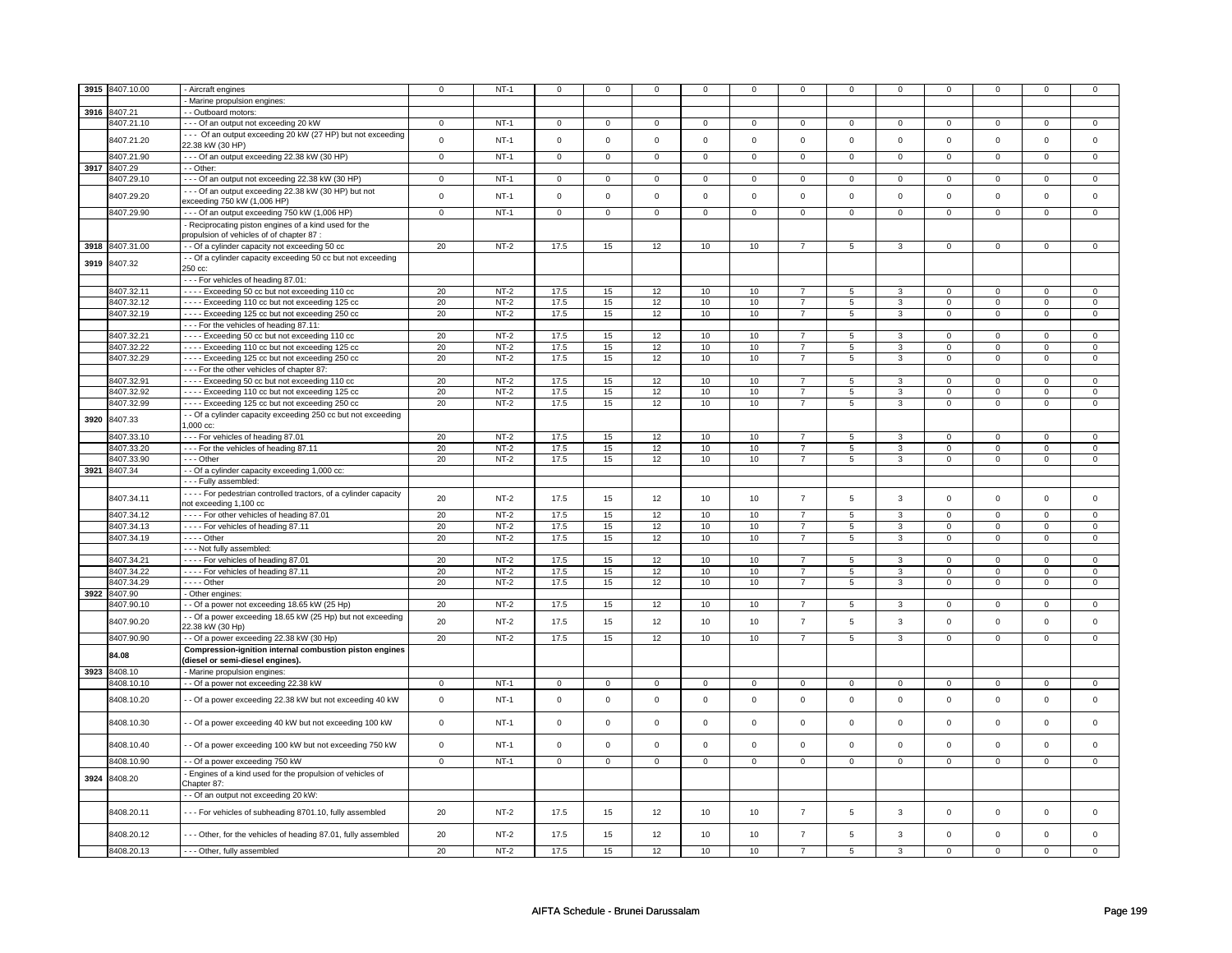| 3915 | 8407.10.00      | - Aircraft engines                                                                  | $\mathbf 0$  | $NT-1$ | $^{\circ}$          | $^{\circ}$   | 0           | $\mathbf 0$ | $\mathbf 0$ | 0              | 0                   | 0              | 0              | $\mathbf 0$    |             |                |
|------|-----------------|-------------------------------------------------------------------------------------|--------------|--------|---------------------|--------------|-------------|-------------|-------------|----------------|---------------------|----------------|----------------|----------------|-------------|----------------|
|      |                 | - Marine propulsion engines:                                                        |              |        |                     |              |             |             |             |                |                     |                |                |                |             |                |
| 3916 | 8407.21         | - Outboard motors:                                                                  |              |        |                     |              |             |             |             |                |                     |                |                |                |             |                |
|      | 8407.21.10      | --- Of an output not exceeding 20 kW                                                | 0            | $NT-1$ | 0                   | $\mathbf 0$  | $\mathbf 0$ | 0           | 0           | $\mathbf 0$    | 0                   | $\mathbf 0$    | 0              | $\Omega$       | 0           | $\Omega$       |
|      | 8407.21.20      | --- Of an output exceeding 20 kW (27 HP) but not exceeding                          | $\mathsf 0$  | $NT-1$ | $\Omega$            | $\mathsf 0$  | $\Omega$    | $\mathsf 0$ | $\Omega$    | $\Omega$       | $\Omega$            | $\mathsf 0$    | $\mathsf 0$    | $\mathbf 0$    | $\Omega$    | $\mathbf 0$    |
|      |                 | 22.38 kW (30 HP)                                                                    |              |        |                     |              |             |             |             |                |                     |                |                |                |             |                |
|      | 8407.21.90      | --- Of an output exceeding 22.38 kW (30 HP)                                         | $\mathbf 0$  | $NT-1$ | $\mathsf 0$         | $\mathbf 0$  | $\mathsf 0$ | $\mathbf 0$ | $\mathbf 0$ | $\mathbf 0$    | $\Omega$            | $\mathsf 0$    | $\mathbf{0}$   | $\mathbf{0}$   | $\Omega$    | $\mathbf 0$    |
| 3917 | 8407.29         | - - Other:                                                                          |              |        |                     |              |             |             |             |                |                     |                |                |                |             |                |
|      | 8407.29.10      | --- Of an output not exceeding 22.38 kW (30 HP)                                     | $\mathsf 0$  | $NT-1$ | $\mathsf 0$         | $\mathbf 0$  | $\mathsf 0$ | $\mathsf 0$ | $\mathbf 0$ | $\mathbf 0$    | $\mathbf 0$         | $\mathbf 0$    | $\mathbf 0$    | $\mathbf 0$    | $\mathbf 0$ | $\mathbf{0}$   |
|      | 8407.29.20      | --- Of an output exceeding 22.38 kW (30 HP) but not                                 | $\mathsf 0$  | $NT-1$ | $\Omega$            | $\mathbf 0$  | $\Omega$    | $\mathbf 0$ | $\Omega$    | $\Omega$       | $\mathbf 0$         | $\mathbf 0$    | $\mathbf 0$    | $\mathbf 0$    | $\Omega$    | $\mathbf 0$    |
|      |                 | exceeding 750 kW (1,006 HP)                                                         |              |        |                     |              |             |             |             |                |                     |                |                |                |             |                |
|      | 8407.29.90      | --- Of an output exceeding 750 kW (1,006 HP)                                        | $\mathbf 0$  | $NT-1$ | $\mathbf 0$         | $\mathbf 0$  | $\mathbf 0$ | $\mathbf 0$ | $\mathbf 0$ | $\mathbf 0$    | $\mathbf 0$         | $\mathbf{0}$   | $\mathbf 0$    | $\mathbf{0}$   | $\mathbf 0$ | $\mathbf 0$    |
|      |                 | - Reciprocating piston engines of a kind used for the                               |              |        |                     |              |             |             |             |                |                     |                |                |                |             |                |
|      |                 | oropulsion of vehicles of of chapter 87 :                                           |              |        |                     |              |             |             |             |                |                     |                |                |                |             |                |
|      | 3918 8407.31.00 | - Of a cylinder capacity not exceeding 50 cc                                        | 20           | $NT-2$ | 17.5                | 15           | 12          | 10          | 10          | $\overline{7}$ | 5                   | 3              | $\mathbf 0$    | $\mathbf 0$    | $\mathsf 0$ | $\mathbf 0$    |
| 3919 | 8407.32         | - - Of a cylinder capacity exceeding 50 cc but not exceeding                        |              |        |                     |              |             |             |             |                |                     |                |                |                |             |                |
|      |                 | 250 cc:                                                                             |              |        |                     |              |             |             |             |                |                     |                |                |                |             |                |
|      | 8407.32.11      | --- For vehicles of heading 87.01:<br>---- Exceeding 50 cc but not exceeding 110 cc | 20           | $NT-2$ | 17.5                | 15           | 12          | 10          | 10          | $\overline{7}$ | 5                   | 3              | $\overline{0}$ | $\overline{0}$ | $\Omega$    | 0              |
|      | 8407.32.12      | ---- Exceeding 110 cc but not exceeding 125 cc                                      | 20           | $NT-2$ | 17.5                | 15           | 12          | 10          | 10          | $\overline{7}$ | 5                   | $\overline{3}$ | $\mathsf 0$    | $\mathbf 0$    | 0           | $\overline{0}$ |
|      | 8407.32.19      | - - - - Exceeding 125 cc but not exceeding 250 cc                                   | 20           | $NT-2$ | 17.5                | 15           | 12          | 10          | 10          | $\overline{7}$ | 5                   | $\mathbf{3}$   | $\mathbf 0$    | $\mathbf 0$    | $\mathsf 0$ | 0              |
|      |                 | --- For the vehicles of heading 87.11:                                              |              |        |                     |              |             |             |             |                |                     |                |                |                |             |                |
|      | 8407.32.21      | ---- Exceeding 50 cc but not exceeding 110 cc                                       | 20           | $NT-2$ | 17.5                | 15           | 12          | 10          | 10          | $\overline{7}$ | 5                   | 3              | $\Omega$       | $\Omega$       | $\Omega$    | $\Omega$       |
|      | 8407.32.22      | ---- Exceeding 110 cc but not exceeding 125 cc                                      | 20           | $NT-2$ | 17.5                | 15           | 12          | 10          | 10          | $\overline{7}$ | 5                   | 3              | $\Omega$       | $\mathbf 0$    | $\Omega$    | $\Omega$       |
|      | 8407.32.29      | ---- Exceeding 125 cc but not exceeding 250 cc                                      | 20           | $NT-2$ | 17.5                | 15           | 12          | $10$        | $10$        | $\overline{7}$ | 5                   | $\overline{3}$ | $\mathbf 0$    | $\mathbf 0$    | $\Omega$    | $\mathbf{0}$   |
|      |                 | --- For the other vehicles of chapter 87:                                           |              |        |                     |              |             |             |             |                |                     |                |                |                |             |                |
|      | 8407.32.91      | ---- Exceeding 50 cc but not exceeding 110 cc                                       | 20           | $NT-2$ | 17.5                | 15           | 12          | 10          | 10          | $\overline{7}$ | 5                   | 3              | 0              | $\mathbf 0$    | $\Omega$    | 0              |
|      | 8407.32.92      | - - - - Exceeding 110 cc but not exceeding 125 cc                                   | 20           | $NT-2$ | 17.5                | 15           | 12          | 10          | 10          | $\overline{7}$ | 5                   | 3              | $\mathbf 0$    | $\mathbf 0$    | $\Omega$    | $\mathbf 0$    |
|      | 8407.32.99      | ---- Exceeding 125 cc but not exceeding 250 cc                                      | 20           | $NT-2$ | 17.5                | 15           | 12          | 10          | 10          | $\overline{7}$ | 5                   | 3              | $\mathbf 0$    | $\mathbf 0$    | 0           | $\mathbf 0$    |
| 3920 | 8407.33         | - - Of a cylinder capacity exceeding 250 cc but not exceeding                       |              |        |                     |              |             |             |             |                |                     |                |                |                |             |                |
|      |                 | 1,000 cc:                                                                           |              |        |                     |              |             |             |             |                |                     |                |                |                |             |                |
|      | 8407.33.10      | --- For vehicles of heading 87.01                                                   | 20           | $NT-2$ | 17.5                | 15           | 12          | 10          | 10          | $\overline{7}$ | 5                   | 3              | $\mathbf 0$    | $\mathbf 0$    | $\Omega$    | $\mathbf{0}$   |
|      | 8407.33.20      | - - - For the vehicles of heading 87.11                                             | 20           | $NT-2$ | 17.5                | 15           | 12          | 10          | 10          | $\overline{7}$ | 5                   | 3              | 0              | $\mathsf{o}\,$ | 0           | 0              |
|      | 8407.33.90      | --- Other                                                                           | 20           | $NT-2$ | 17.5                | 15           | 12          | 10          | 10          | $\overline{7}$ | 5                   | 3              | 0              | $\mathbf 0$    | 0           | 0              |
|      | 3921 8407.34    | - - Of a cylinder capacity exceeding 1,000 cc:                                      |              |        |                     |              |             |             |             |                |                     |                |                |                |             |                |
|      |                 | --- Fully assembled:                                                                |              |        |                     |              |             |             |             |                |                     |                |                |                |             |                |
|      | 8407.34.11      | - - - - For pedestrian controlled tractors, of a cylinder capacity                  | 20           | $NT-2$ | 17.5                | 15           | 12          | 10          | 10          | $\overline{7}$ | 5                   | 3              | $\mathbf 0$    | $\mathbf{0}$   | $\Omega$    | $\mathsf 0$    |
|      |                 | not exceeding 1,100 cc                                                              |              |        |                     |              |             |             |             |                |                     |                |                |                |             |                |
|      | 8407.34.12      | - - - - For other vehicles of heading 87.01                                         | 20           | $NT-2$ | 17.5                | 15           | 12          | 10          | 10          | $\overline{7}$ | $\overline{5}$      | $\overline{3}$ | $\overline{0}$ | $\overline{0}$ | $\Omega$    | $\overline{0}$ |
|      | 8407.34.13      | ---- For vehicles of heading 87.11                                                  | 20           | $NT-2$ | 17.5                | 15           | 12          | 10          | 10          | $\overline{7}$ | 5                   | 3              | $\mathbf 0$    | $\mathbf 0$    | $\Omega$    | 0              |
|      | 8407.34.19      | - - - - Other                                                                       | 20           | $NT-2$ | 17.5                | 15           | 12          | 10          | 10          | $\overline{7}$ | 5                   | 3              | $\mathbf 0$    | $\mathsf 0$    | 0           | 0              |
|      | 8407.34.21      | --- Not fully assembled:<br>- - - - For vehicles of heading 87.01                   | 20           | $NT-2$ | 17.5                | 15           | 12          | 10          | 10          | $\overline{7}$ | 5                   | 3              | $\mathbf 0$    | $\mathbf 0$    | $\Omega$    | $\Omega$       |
|      | 8407.34.22      | ---- For vehicles of heading 87.11                                                  | 20           | $NT-2$ | 17.5                | 15           | 12          | 10          | 10          | $\overline{7}$ | 5                   | 3              | $\mathbf 0$    | $\mathbf 0$    | $\mathbf 0$ | $\mathbf{0}$   |
|      | 8407.34.29      | $---$ Other                                                                         | 20           | $NT-2$ | 17.5                | 15           | 12          | 10          | 10          | $\overline{7}$ | 5                   | $\overline{3}$ | $\mathsf 0$    | $\mathbf 0$    | $\mathbf 0$ | $\overline{0}$ |
| 3922 | 8407.90         | - Other engines:                                                                    |              |        |                     |              |             |             |             |                |                     |                |                |                |             |                |
|      | 8407.90.10      | - Of a power not exceeding 18.65 kW (25 Hp)                                         | 20           | $NT-2$ | 17.5                | 15           | 12          | 10          | 10          | $\overline{7}$ | 5                   | 3              | $\mathbf 0$    | $\mathbf 0$    | $\mathbf 0$ | $\mathbf 0$    |
|      |                 | - Of a power exceeding 18.65 kW (25 Hp) but not exceeding                           |              |        |                     |              |             |             |             |                |                     |                |                |                |             |                |
|      | 8407.90.20      | 22.38 kW (30 Hp)                                                                    | 20           | $NT-2$ | 17.5                | 15           | 12          | 10          | 10          | $\overline{7}$ | 5                   | $\mathbf{3}$   | $\mathbf 0$    | $\mathbf 0$    | $\mathbf 0$ | $\mathbf 0$    |
|      | 8407.90.90      | - Of a power exceeding 22.38 kW (30 Hp)                                             | 20           | $NT-2$ | 17.5                | 15           | 12          | 10          | 10          | $\overline{7}$ | 5                   | 3              | $\mathbf 0$    | $\mathbf 0$    | $\mathbf 0$ | $\mathbf{0}$   |
|      | 84.08           | Compression-ignition internal combustion piston engines                             |              |        |                     |              |             |             |             |                |                     |                |                |                |             |                |
|      |                 | diesel or semi-diesel engines).                                                     |              |        |                     |              |             |             |             |                |                     |                |                |                |             |                |
| 3923 | 8408.10         | - Marine propulsion engines:                                                        |              |        |                     |              |             |             |             |                |                     |                |                |                |             |                |
|      | 8408.10.10      | - - Of a power not exceeding 22.38 kW                                               | $\mathbf 0$  | $NT-1$ | $\mathsf 0$         | $\mathbf 0$  | $\mathsf 0$ | $\mathbf 0$ | $\mathsf 0$ | $\mathsf 0$    | $\mathsf{O}\xspace$ | $\mathbf 0$    | $\mathsf 0$    | $\mathbf 0$    | 0           | $\mathbf 0$    |
|      | 8408.10.20      | - - Of a power exceeding 22.38 kW but not exceeding 40 kW                           | $\mathbf 0$  | $NT-1$ | $\mathsf 0$         | $\mathsf 0$  | $\mathbf 0$ | $\mathsf 0$ | $\mathbf 0$ | $\mathbf 0$    | $\mathsf 0$         | $\mathbf 0$    | $\mathbf 0$    | $\mathbf 0$    | $\mathsf 0$ | $\mathbf 0$    |
|      |                 |                                                                                     |              |        |                     |              |             |             |             |                |                     |                |                |                |             |                |
|      | 8408.10.30      | - - Of a power exceeding 40 kW but not exceeding 100 kW                             | $\mathbf 0$  | $NT-1$ | $\mathsf{O}\xspace$ | $\mathsf 0$  | $\Omega$    | $\mathsf 0$ | $\mathsf 0$ | $\Omega$       | $\mathsf{O}\xspace$ | $\mathsf 0$    | $\mathsf 0$    | $\mathsf 0$    | $\mathsf 0$ | $\mathsf 0$    |
|      |                 |                                                                                     |              |        |                     |              |             |             |             |                |                     |                |                |                |             |                |
|      | 8408.10.40      | - Of a power exceeding 100 kW but not exceeding 750 kW                              | $\mathbf 0$  | $NT-1$ | $\Omega$            | $\mathbf{0}$ | $\Omega$    | $\mathbf 0$ | $\Omega$    | $\Omega$       | $\mathbf 0$         | $\mathbf 0$    | $\mathbf 0$    | $\mathbf{0}$   | $\Omega$    | $\mathbf{0}$   |
|      |                 |                                                                                     | $\mathbf{0}$ |        |                     |              |             |             |             |                |                     |                | $\mathbf 0$    |                |             |                |
|      | 8408.10.90      | -- Of a power exceeding 750 kW                                                      |              | $NT-1$ | $\mathsf{O}\xspace$ | $\mathsf 0$  | $\mathbf 0$ | $\mathbf 0$ | $\mathsf 0$ | $\mathbf 0$    | $\mathbf 0$         | $\mathbf 0$    |                | $\mathbf{0}$   | $\mathsf 0$ | $\mathbf{0}$   |
|      | 3924 8408.20    | - Engines of a kind used for the propulsion of vehicles of<br>Chapter 87:           |              |        |                     |              |             |             |             |                |                     |                |                |                |             |                |
|      |                 | - Of an output not exceeding 20 kW:                                                 |              |        |                     |              |             |             |             |                |                     |                |                |                |             |                |
|      |                 |                                                                                     |              |        |                     |              |             |             |             |                |                     |                |                |                |             |                |
|      | 8408.20.11      | --- For vehicles of subheading 8701.10, fully assembled                             | 20           | $NT-2$ | 17.5                | 15           | 12          | 10          | 10          | $\overline{7}$ | 5                   | 3              | $\mathbf 0$    | $\mathbf 0$    | $\mathbf 0$ | 0              |
|      |                 |                                                                                     |              |        |                     |              |             |             |             |                |                     |                |                |                |             |                |
|      | 8408.20.12      | --- Other, for the vehicles of heading 87.01, fully assembled                       | 20           | $NT-2$ | 17.5                | 15           | 12          | 10          | 10          | $\overline{7}$ | 5                   | $\mathbf{3}$   | $\mathbf 0$    | $\mathbf{0}$   | $\mathbf 0$ | $\mathbf{0}$   |
|      | 8408.20.13      | --- Other, fully assembled                                                          | 20           | $NT-2$ | 17.5                | 15           | 12          | 10          | 10          |                | 5                   | 3              | $\Omega$       | $\Omega$       | $\Omega$    | $\Omega$       |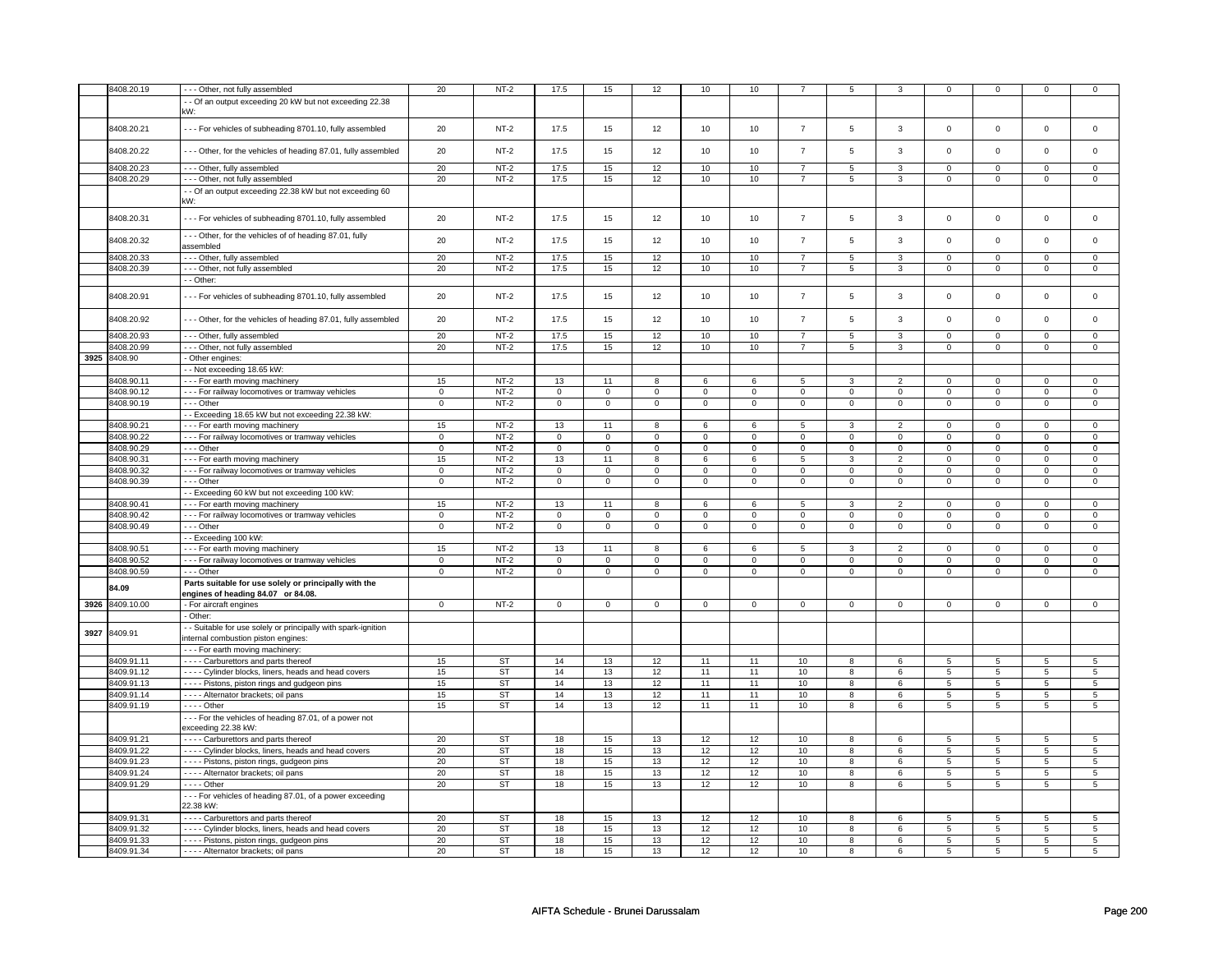|      | 8408.20.19 | --- Other, not fully assembled                                | 20             | $NT-2$      | 17.5                | 15             | 12                  | 10           | 10                  |                | 5              | 3              | $\mathsf 0$    | $\mathbf 0$    | $\mathbf 0$ | 0               |
|------|------------|---------------------------------------------------------------|----------------|-------------|---------------------|----------------|---------------------|--------------|---------------------|----------------|----------------|----------------|----------------|----------------|-------------|-----------------|
|      |            | - Of an output exceeding 20 kW but not exceeding 22.38        |                |             |                     |                |                     |              |                     |                |                |                |                |                |             |                 |
|      |            |                                                               |                |             |                     |                |                     |              |                     |                |                |                |                |                |             |                 |
|      |            | κW:                                                           |                |             |                     |                |                     |              |                     |                |                |                |                |                |             |                 |
|      |            |                                                               |                |             |                     |                |                     |              |                     |                |                |                |                |                |             |                 |
|      | 8408.20.21 | --- For vehicles of subheading 8701.10, fully assembled       | 20             | $NT-2$      | 17.5                | 15             | 12                  | 10           | 10                  | $\overline{7}$ | 5              | 3              | $\mathsf 0$    | $\mathbf 0$    | $\mathbf 0$ | $\mathbf 0$     |
|      |            |                                                               |                |             |                     |                |                     |              |                     |                |                |                |                |                |             |                 |
|      |            |                                                               |                |             |                     |                |                     |              |                     |                |                |                |                |                |             |                 |
|      | 8408.20.22 | --- Other, for the vehicles of heading 87.01, fully assembled | 20             | $NT-2$      | 17.5                | 15             | 12                  | 10           | 10                  | $\overline{7}$ | 5              | 3              | $\mathsf 0$    | $\mathbf 0$    | $\mathsf 0$ | $\mathbf 0$     |
|      |            |                                                               |                |             |                     |                |                     |              |                     |                |                |                |                |                |             |                 |
|      | 8408.20.23 | - - - Other, fully assembled                                  | 20             | $NT-2$      | 17.5                | 15             | 12                  | 10           | 10                  | $\overline{7}$ | 5              | 3              | $\mathsf 0$    | $\mathbf 0$    | 0           | $\mathbf 0$     |
|      | 8408.20.29 | --- Other, not fully assembled                                | 20             | $NT-2$      | 17.5                | 15             | 12                  | 10           | 10                  | $\overline{7}$ | 5              | 3              | 0              | $\mathbf 0$    | 0           | $\overline{0}$  |
|      |            |                                                               |                |             |                     |                |                     |              |                     |                |                |                |                |                |             |                 |
|      |            | - Of an output exceeding 22.38 kW but not exceeding 60        |                |             |                     |                |                     |              |                     |                |                |                |                |                |             |                 |
|      |            | κW:                                                           |                |             |                     |                |                     |              |                     |                |                |                |                |                |             |                 |
|      |            |                                                               |                |             |                     |                |                     |              |                     |                |                |                |                |                |             |                 |
|      | 8408.20.31 | --- For vehicles of subheading 8701.10, fully assembled       | 20             | $NT-2$      | 17.5                | 15             | 12                  | 10           | 10                  | $\overline{7}$ | 5              | 3              | $\mathsf 0$    | $\mathbf 0$    | $\mathsf 0$ | $\mathbf 0$     |
|      |            |                                                               |                |             |                     |                |                     |              |                     |                |                |                |                |                |             |                 |
|      |            | --- Other, for the vehicles of of heading 87.01, fully        |                |             |                     |                |                     |              |                     |                |                |                |                |                |             |                 |
|      | 8408.20.32 | assembled                                                     | 20             | $NT-2$      | 17.5                | 15             | 12                  | 10           | 10                  | $\overline{7}$ | 5              | $\mathbf 3$    | $\mathsf 0$    | $\mathbf 0$    | $\Omega$    | $\mathsf 0$     |
|      |            |                                                               |                |             |                     |                |                     |              |                     |                |                |                |                |                |             |                 |
|      | 8408.20.33 | --- Other, fully assembled                                    | 20             | $NT-2$      | 17.5                | 15             | 12                  | 10           | 10                  | 7              | 5              | 3              | 0              | 0              | 0           | 0               |
|      | 8408.20.39 | --- Other, not fully assembled                                | 20             | $NT-2$      | 17.5                | 15             | 12                  | 10           | 10                  | $\overline{7}$ | 5              | 3              | 0              | 0              | 0           | 0               |
|      |            |                                                               |                |             |                     |                |                     |              |                     |                |                |                |                |                |             |                 |
|      |            | - - Other:                                                    |                |             |                     |                |                     |              |                     |                |                |                |                |                |             |                 |
|      |            |                                                               |                |             |                     |                |                     |              |                     | $\overline{7}$ |                | 3              |                |                | $\mathbf 0$ |                 |
|      | 8408.20.91 | --- For vehicles of subheading 8701.10, fully assembled       | 20             | $NT-2$      | 17.5                | 15             | 12                  | 10           | 10                  |                | 5              |                | $\mathsf 0$    | $\mathbf 0$    |             | $\mathbf 0$     |
|      |            |                                                               |                |             |                     |                |                     |              |                     |                |                |                |                |                |             |                 |
|      | 8408.20.92 | --- Other, for the vehicles of heading 87.01, fully assembled | 20             | $NT-2$      | 17.5                | 15             | 12                  | 10           | 10                  | $\overline{7}$ | 5              | 3              | $\mathsf 0$    | $\mathbf 0$    | $\Omega$    | $\mathbf 0$     |
|      |            |                                                               |                |             |                     |                |                     |              |                     |                |                |                |                |                |             |                 |
|      | 8408.20.93 | --- Other, fully assembled                                    | 20             | $NT-2$      | 17.5                | 15             | 12                  | 10           | 10                  | $\overline{7}$ | 5              | 3              | $\mathsf 0$    | $\mathbf 0$    | 0           | 0               |
|      |            |                                                               |                |             |                     |                |                     |              |                     |                |                |                |                |                |             |                 |
|      | 8408.20.99 | --- Other, not fully assembled                                | 20             | $NT-2$      | 17.5                | 15             | 12                  | 10           | 10                  | $\overline{7}$ | 5              | 3              | $\mathsf 0$    | $\mathbf 0$    | $\Omega$    | 0               |
| 3925 | 8408.90    | - Other engines:                                              |                |             |                     |                |                     |              |                     |                |                |                |                |                |             |                 |
|      |            |                                                               |                |             |                     |                |                     |              |                     |                |                |                |                |                |             |                 |
|      |            | -- Not exceeding 18.65 kW:                                    |                |             |                     |                |                     |              |                     |                |                |                |                |                |             |                 |
|      | 8408.90.11 | --- For earth moving machinery                                | 15             | $NT-2$      | 13                  | 11             | 8                   | 6            | 6                   | 5              | 3              | $\overline{2}$ | $\mathsf 0$    | $\mathbf 0$    | $\mathsf 0$ | 0               |
|      | 8408.90.12 | - - - For railway locomotives or tramway vehicles             | $\overline{0}$ | $NT-2$      | $\mathsf 0$         | $\overline{0}$ | $\mathsf 0$         | $\mathbf 0$  | $\mathsf 0$         | $\overline{0}$ | $\mathsf 0$    | $\mathbf 0$    | $\mathsf 0$    | $\mathbf 0$    | $\Omega$    | $\mathbf 0$     |
|      |            |                                                               |                |             |                     |                |                     |              |                     |                |                |                |                |                |             |                 |
|      | 8408.90.19 | - - - Other                                                   | 0              | $NT-2$      | 0                   | $\mathbf 0$    | 0                   | $\mathbf 0$  | 0                   | $\mathbf 0$    | 0              | $\mathbf 0$    | 0              | $\mathbf 0$    | 0           | $\mathbf 0$     |
|      |            | - Exceeding 18.65 kW but not exceeding 22.38 kW:              |                |             |                     |                |                     |              |                     |                |                |                |                |                |             |                 |
|      | 8408.90.21 | --- For earth moving machinery                                | 15             | $NT-2$      | 13                  | 11             | 8                   | 6            | 6                   | 5              | $\overline{3}$ | $\overline{2}$ | $\mathbf 0$    | $\mathbf{0}$   | $\Omega$    | $\mathbf{0}$    |
|      |            |                                                               |                |             |                     |                |                     |              |                     |                |                |                |                |                |             |                 |
|      | 8408.90.22 | - - - For railway locomotives or tramway vehicles             | $\mathbf 0$    | $NT-2$      | $\mathsf 0$         | $\mathsf 0$    | $\mathsf{O}\xspace$ | $\mathsf 0$  | $\mathsf{O}\xspace$ | $\mathsf 0$    | $\mathsf 0$    | $\overline{0}$ | $\mathsf 0$    | $\mathsf 0$    | $\Omega$    | $\overline{0}$  |
|      | 8408.90.29 | --- Other                                                     | $\mathsf 0$    | <b>NT-2</b> | $\mathsf{O}\xspace$ | $\mathsf 0$    | $\mathsf{o}\,$      | $\mathsf 0$  | $\mathsf{o}\,$      | $\mathsf{o}\,$ | $\mathsf{o}\,$ | $\mathsf{o}\,$ | 0              | $\mathbf 0$    | 0           | $\mathsf 0$     |
|      | 8408.90.31 | --- For earth moving machinery                                | 15             | $NT-2$      | 13                  | 11             | 8                   | 6            | 6                   | 5              | 3              | $\overline{2}$ | $\mathbf 0$    | $\mathbf{0}$   | $\Omega$    | $\mathbf 0$     |
|      |            |                                                               |                |             |                     |                |                     |              |                     |                |                |                |                |                |             |                 |
|      | 8408.90.32 | - - - For railway locomotives or tramway vehicles             | $\mathbf 0$    | $NT-2$      | $\mathsf 0$         | $\mathsf 0$    | $\mathsf 0$         | $\mathsf 0$  | $\mathsf 0$         | $\mathbf 0$    | $\mathsf 0$    | $\mathbf 0$    | 0              | $\mathbf 0$    | 0           | $\mathbf 0$     |
|      | 8408.90.39 | - - - Other                                                   | $\mathsf 0$    | $NT-2$      | $\mathbf 0$         | $\mathbf 0$    | $\mathbf 0$         | $\mathbf 0$  | $\mathbf 0$         | $\mathbf{0}$   | $\mathbf 0$    | $\mathbf{0}$   | $\mathbf 0$    | $\mathbf{0}$   | $\mathbf 0$ | $\mathbf{0}$    |
|      |            |                                                               |                |             |                     |                |                     |              |                     |                |                |                |                |                |             |                 |
|      |            | - - Exceeding 60 kW but not exceeding 100 kW:                 |                |             |                     |                |                     |              |                     |                |                |                |                |                |             |                 |
|      | 8408.90.41 | --- For earth moving machinery                                | 15             | $NT-2$      | 13                  | 11             | 8                   | 6            | 6                   | $\overline{5}$ | 3              | $\overline{2}$ | $\mathbf 0$    | $\overline{0}$ | $\Omega$    | $\mathbf 0$     |
|      | 8408.90.42 | - - - For railway locomotives or tramway vehicles             | $\mathsf 0$    | $NT-2$      | $\mathbf 0$         | $\mathbf 0$    | $\mathbf 0$         | $\mathbf 0$  | $\mathbf 0$         | $\mathbf 0$    | 0              | $\mathbf 0$    | 0              | $\mathbf 0$    | 0           | $\mathbf 0$     |
|      |            |                                                               |                |             |                     |                |                     |              |                     |                |                |                |                |                |             |                 |
|      | 8408.90.49 | --- Other                                                     | $\mathbf 0$    | $NT-2$      | $\Omega$            | $\mathbf 0$    | $\mathbf 0$         | $\mathbf 0$  | $\mathbf 0$         | $\mathbf 0$    | $\mathbf 0$    | $\mathbf 0$    | $\mathbf 0$    | $\mathbf 0$    | $\mathbf 0$ | $\mathbf 0$     |
|      |            | -- Exceeding 100 kW:                                          |                |             |                     |                |                     |              |                     |                |                |                |                |                |             |                 |
|      | 8408.90.51 | --- For earth moving machinery                                | 15             | $NT-2$      | 13                  | 11             | 8                   | 6            | 6                   | 5              | 3              | $\overline{2}$ | 0              | $\mathbf 0$    | 0           | 0               |
|      |            |                                                               |                |             |                     |                |                     |              |                     |                |                |                |                |                |             |                 |
|      | 8408.90.52 | --- For railway locomotives or tramway vehicles               | $\Omega$       | $NT-2$      | $\mathbf 0$         | $\Omega$       | $\mathbf 0$         | $\mathbf 0$  | $\mathsf 0$         | $\mathsf 0$    | $\mathbf 0$    | $\mathsf 0$    | $\mathsf 0$    | $\mathbf 0$    | $\Omega$    | 0               |
|      | 8408.90.59 | --- Other                                                     | $\Omega$       | $NT-2$      | $\mathbf 0$         | $\mathbf 0$    | $\mathbf 0$         | $\mathbf 0$  | $\mathbf 0$         | $\mathbf 0$    | $\mathbf 0$    | $\mathbf{0}$   | $\mathbf 0$    | $\mathbf{0}$   | $\mathbf 0$ | $\mathbf{0}$    |
|      |            |                                                               |                |             |                     |                |                     |              |                     |                |                |                |                |                |             |                 |
|      | 84.09      | Parts suitable for use solely or principally with the         |                |             |                     |                |                     |              |                     |                |                |                |                |                |             |                 |
|      |            | engines of heading 84.07 or 84.08.                            |                |             |                     |                |                     |              |                     |                |                |                |                |                |             |                 |
| 3926 | 8409.10.00 | For aircraft engines                                          | $\mathbf{0}$   | $NT-2$      | $\mathbf 0$         | $\mathbf 0$    | $\mathbf 0$         | $\mathbf{0}$ | $\mathbf 0$         | $\mathbf{0}$   | $\mathbf{0}$   | $\mathbf 0$    | $\mathbf 0$    | $\overline{0}$ | $\mathbf 0$ | $\mathbf{0}$    |
|      |            | - Other:                                                      |                |             |                     |                |                     |              |                     |                |                |                |                |                |             |                 |
|      |            |                                                               |                |             |                     |                |                     |              |                     |                |                |                |                |                |             |                 |
| 3927 | 8409.91    | - Suitable for use solely or principally with spark-ignition  |                |             |                     |                |                     |              |                     |                |                |                |                |                |             |                 |
|      |            | internal combustion piston engines:                           |                |             |                     |                |                     |              |                     |                |                |                |                |                |             |                 |
|      |            | --- For earth moving machinery:                               |                |             |                     |                |                     |              |                     |                |                |                |                |                |             |                 |
|      |            |                                                               |                |             |                     |                |                     |              |                     |                |                |                |                |                |             |                 |
|      | 8409.91.11 | - - - - Carburettors and parts thereof                        | 15             | <b>ST</b>   | 14                  | 13             | 12                  | 11           | 11                  | 10             | 8              | 6              | 5              | 5              | 5           | $5\phantom{.0}$ |
|      | 8409.91.12 | - - - - Cylinder blocks, liners, heads and head covers        | 15             | ST          | 14                  | 13             | 12                  | 11           | 11                  | 10             | 8              | 6              | 5              | 5              | 5           | 5               |
|      | 8409.91.13 |                                                               |                | <b>ST</b>   |                     |                |                     | 11           |                     |                |                |                |                |                |             |                 |
|      |            | - - - - Pistons, piston rings and gudgeon pins                | 15             |             | 14                  | 13             | 12                  |              | 11                  | 10             | 8              | 6              | 5              | 5              | 5           | 5               |
|      | 8409.91.14 | - - - - Alternator brackets; oil pans                         | 15             | <b>ST</b>   | 14                  | 13             | 12                  | 11           | 11                  | 10             | 8              | 6              | 5              | 5              | 5           | $5\overline{5}$ |
|      | 8409.91.19 | - - - - Other                                                 | 15             | <b>ST</b>   | 14                  | 13             | 12                  | 11           | 11                  | 10             | 8              | 6              | 5              | 5              | 5           | 5               |
|      |            |                                                               |                |             |                     |                |                     |              |                     |                |                |                |                |                |             |                 |
|      |            | --- For the vehicles of heading 87.01, of a power not         |                |             |                     |                |                     |              |                     |                |                |                |                |                |             |                 |
|      |            | exceeding 22.38 kW:                                           |                |             |                     |                |                     |              |                     |                |                |                |                |                |             |                 |
|      | 8409.91.21 | - - - - Carburettors and parts thereof                        | 20             | ST          | 18                  | 15             | 13                  | 12           | 12                  | 10             | 8              | 6              | 5              | 5              | 5           | 5               |
|      |            |                                                               |                |             |                     |                |                     |              |                     |                |                |                |                |                |             |                 |
|      | 8409.91.22 | - - - - Cylinder blocks, liners, heads and head covers        | 20             | <b>ST</b>   | 18                  | 15             | 13                  | 12           | 12                  | 10             | 8              | 6              | 5              | 5              | 5           | 5               |
|      | 8409.91.23 | - - - - Pistons, piston rings, gudgeon pins                   | 20             | <b>ST</b>   | 18                  | 15             | 13                  | 12           | 12                  | 10             | 8              | 6              | 5              | 5              | 5           | 5               |
|      |            |                                                               |                |             |                     |                |                     |              |                     |                |                |                |                |                |             |                 |
|      | 8409.91.24 | - - - - Alternator brackets; oil pans                         | 20             | ST          | 18                  | 15             | 13                  | 12           | 12                  | 10             | 8              | 6              | 5              | 5              | 5           | $5\overline{5}$ |
|      | 8409.91.29 | - - - - Other                                                 | 20             | <b>ST</b>   | 18                  | 15             | 13                  | 12           | 12                  | 10             | 8              | 6              | $\overline{5}$ | $\overline{5}$ | 5           | $5\overline{)}$ |
|      |            | --- For vehicles of heading 87.01, of a power exceeding       |                |             |                     |                |                     |              |                     |                |                |                |                |                |             |                 |
|      |            |                                                               |                |             |                     |                |                     |              |                     |                |                |                |                |                |             |                 |
|      |            | 22.38 kW:                                                     |                |             |                     |                |                     |              |                     |                |                |                |                |                |             |                 |
|      | 8409.91.31 | Carburettors and parts thereof                                | 20             | <b>ST</b>   | 18                  | 15             | 13                  | 12           | 12                  | 10             | 8              | 6              | 5              | 5              | 5           | 5               |
|      | 8409.91.32 | - - - - Cylinder blocks, liners, heads and head covers        | 20             | <b>ST</b>   | 18                  | 15             | 13                  | 12           | 12                  | 10             | 8              | 6              | 5              | $\overline{5}$ | 5           | $5\overline{)}$ |
|      |            |                                                               |                |             |                     |                |                     |              |                     |                |                |                |                |                |             |                 |
|      | 8409.91.33 | - - - - Pistons, piston rings, gudgeon pins                   | 20             | <b>ST</b>   | 18                  | 15             | 13                  | 12           | 12                  | 10             | 8              | 6              | 5              | 5              | 5           | $5\overline{)}$ |
|      |            |                                                               | 20             | <b>ST</b>   | 18                  | 15             | 13                  | 12           | 12                  | 10             | 8              | 6              | 5              | 5              | 5           | 5               |
|      | 8409.91.34 | - - - - Alternator brackets; oil pans                         |                |             |                     |                |                     |              |                     |                |                |                |                |                |             |                 |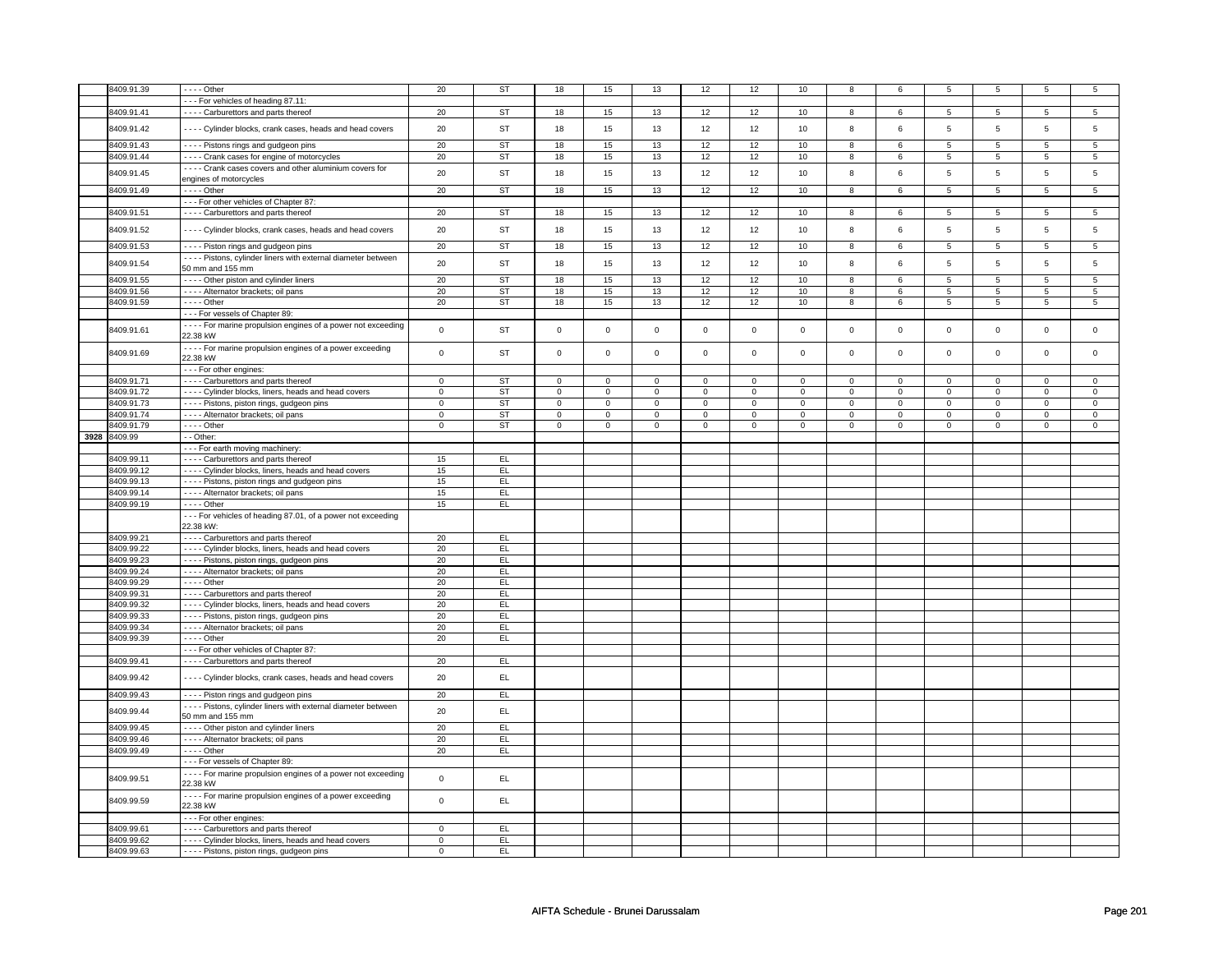| 8409.91.39   | $- - -$ Other                                                   | 20          | <b>ST</b> | 18          | 15             | 13          | 12          | 12          | 10             | 8           | 6               | 5              | 5              | 5              | 5               |
|--------------|-----------------------------------------------------------------|-------------|-----------|-------------|----------------|-------------|-------------|-------------|----------------|-------------|-----------------|----------------|----------------|----------------|-----------------|
|              | --- For vehicles of heading 87.11:                              |             |           |             |                |             |             |             |                |             |                 |                |                |                |                 |
|              |                                                                 |             |           |             |                |             |             |             |                |             |                 |                |                |                |                 |
| 8409.91.41   | - - - - Carburettors and parts thereof                          | 20          | ST        | 18          | 15             | 13          | 12          | 12          | 10             | 8           | 6               | 5              | 5              | 5              | 5               |
|              |                                                                 |             |           |             |                |             |             |             |                |             |                 |                |                |                |                 |
| 8409.91.42   | - Cylinder blocks, crank cases, heads and head covers           | 20          | <b>ST</b> | 18          | 15             | 13          | 12          | 12          | 10             | 8           | 6               | 5              | 5              | 5              | 5               |
|              |                                                                 |             |           |             |                |             |             |             |                |             |                 |                |                |                |                 |
| 8409.91.43   | - - - - Pistons rings and gudgeon pins                          | 20          | <b>ST</b> | 18          | 15             | 13          | 12          | 12          | 10             | 8           | 6               | 5              | 5              | 5              | 5               |
| 8409.91.44   | - - - - Crank cases for engine of motorcycles                   | 20          | <b>ST</b> | 18          | 15             | 13          | 12          | 12          | 10             | 8           | 6               | 5              | 5              | 5              | 5               |
|              |                                                                 |             |           |             |                |             |             |             |                |             |                 |                |                |                |                 |
| 8409.91.45   | - - - - Crank cases covers and other aluminium covers for       | 20          | <b>ST</b> | 18          | 15             | 13          | 12          | 12          | 10             | 8           | 6               | 5              | 5              | 5              | 5               |
|              | engines of motorcycles                                          |             |           |             |                |             |             |             |                |             |                 |                |                |                |                 |
| 8409.91.49   |                                                                 | 20          | <b>ST</b> | 18          |                | 13          |             | 12          | 10             |             |                 |                |                |                |                 |
|              | - - - - Other                                                   |             |           |             | 15             |             | 12          |             |                | 8           | 6               | 5              | 5              | 5              | $5\phantom{.0}$ |
|              | - - - For other vehicles of Chapter 87:                         |             |           |             |                |             |             |             |                |             |                 |                |                |                |                 |
| 8409.91.51   | - - - - Carburettors and parts thereof                          | 20          | ST        | 18          | 15             | 13          | 12          | 12          | 10             | 8           | 6               | 5              | $\overline{5}$ | 5              | $\overline{5}$  |
|              |                                                                 |             |           |             |                |             |             |             |                |             |                 |                |                |                |                 |
| 8409.91.52   | ---- Cylinder blocks, crank cases, heads and head covers        | 20          | ST        | 18          | 15             | 13          | 12          | 12          | 10             | 8           | 6               | 5              | 5              | 5              | 5               |
|              |                                                                 |             |           |             |                |             |             |             |                |             |                 |                |                |                |                 |
| 8409.91.53   | - - - - Piston rings and gudgeon pins                           | 20          | <b>ST</b> | 18          | 15             | 13          | 12          | 12          | 10             | 8           | 6               | 5              | 5              | 5              | 5               |
|              |                                                                 |             |           |             |                |             |             |             |                |             |                 |                |                |                |                 |
| 8409.91.54   | - - - - Pistons, cylinder liners with external diameter between | 20          | ST        | 18          | 15             | 13          | 12          | 12          | 10             | 8           | 6               | 5              | 5              | 5              | 5               |
|              | 50 mm and 155 mm                                                |             |           |             |                |             |             |             |                |             |                 |                |                |                |                 |
|              |                                                                 |             |           |             |                |             |             |             |                |             |                 |                |                |                |                 |
| 8409.91.55   | - - - - Other piston and cylinder liners                        | 20          | <b>ST</b> | 18          | 15             | 13          | 12          | 12          | 10             | 8           | 6               | 5              | 5              | 5              | 5               |
| 8409.91.56   | - - - - Alternator brackets; oil pans                           | 20          | ST        | 18          | 15             | 13          | 12          | 12          | 10             | $\bf 8$     | $6\overline{6}$ | $\overline{5}$ | $\overline{5}$ | $\overline{5}$ | $\overline{5}$  |
| 8409.91.59   | $---$ Other                                                     | 20          | ST        | 18          | 15             | 13          | 12          | 12          | 10             | 8           | 6               | 5              | 5              | 5              | 5               |
|              |                                                                 |             |           |             |                |             |             |             |                |             |                 |                |                |                |                 |
|              | --- For vessels of Chapter 89                                   |             |           |             |                |             |             |             |                |             |                 |                |                |                |                 |
|              | - - - - For marine propulsion engines of a power not exceeding  |             |           |             |                |             |             |             |                |             |                 |                |                |                |                 |
| 8409.91.61   |                                                                 | $\mathbf 0$ | ST        | $\mathbf 0$ | $\mathsf 0$    | $\mathsf 0$ | $\mathbf 0$ | $\mathsf 0$ | $\mathbf 0$    | $\mathbf 0$ | $\mathbf 0$     | $\mathsf 0$    | $\mathbf 0$    | 0              | $\mathbf 0$     |
|              | 22.38 kW                                                        |             |           |             |                |             |             |             |                |             |                 |                |                |                |                 |
|              | - - - - For marine propulsion engines of a power exceeding      |             |           |             |                |             |             |             |                |             |                 |                |                |                |                 |
| 8409.91.69   | 22.38 kW                                                        | $\mathbf 0$ | ST        | $\mathsf 0$ | $\mathbf 0$    | $\mathsf 0$ | $\mathsf 0$ | $\mathsf 0$ | $\mathbf 0$    | $\mathsf 0$ | $\mathsf 0$     | $\mathbf 0$    | $\mathbf 0$    | $\mathbf 0$    | $\mathsf 0$     |
|              |                                                                 |             |           |             |                |             |             |             |                |             |                 |                |                |                |                 |
|              | - - - For other engines:                                        |             |           |             |                |             |             |             |                |             |                 |                |                |                |                 |
| 8409.91.71   | - - - - Carburettors and parts thereof                          | $\mathbf 0$ | <b>ST</b> | $\mathsf 0$ | $\mathbf 0$    | $\mathbf 0$ | $\mathsf 0$ | $\mathsf 0$ | $\mathbf 0$    | $\mathbf 0$ | $\mathbf 0$     | $\mathbf 0$    | $\mathbf 0$    | 0              | 0               |
|              |                                                                 |             |           |             |                |             |             |             |                |             |                 |                |                |                |                 |
| 8409.91.72   | - - - - Cylinder blocks, liners, heads and head covers          | $\mathbf 0$ | ST        | $\mathsf 0$ | $\mathsf 0$    | $\mathbf 0$ | $\mathsf 0$ | $\mathsf 0$ | $\mathsf 0$    | 0           | $\mathsf 0$     | 0              | $\mathbf 0$    | $\mathbf 0$    | $\mathbf 0$     |
| 8409.91.73   | - - - - Pistons, piston rings, gudgeon pins                     | $\mathbf 0$ | ST        | 0           | $\overline{0}$ | 0           | $\mathbf 0$ | 0           | $\overline{0}$ | 0           | $\mathbf 0$     | 0              | $\overline{0}$ | $\mathbf 0$    | $\mathbf{0}$    |
|              |                                                                 |             |           |             |                |             |             |             |                |             |                 |                |                |                |                 |
| 8409.91.74   | - - - - Alternator brackets; oil pans                           | $\mathbf 0$ | ST        | $\mathbf 0$ | $\mathsf 0$    | $\mathbf 0$ | $\mathbf 0$ | $\mathbf 0$ | $\mathbf 0$    | $\mathsf 0$ | $\mathbf 0$     | $\mathbf 0$    | $\mathbf 0$    | $\Omega$       | $\mathbf 0$     |
| 8409.91.79   | $- - -$ Other                                                   | $\mathbf 0$ | <b>ST</b> | $\Omega$    | $\mathsf 0$    | $\Omega$    | $\mathbf 0$ | $\Omega$    | $\mathbf 0$    | $\Omega$    | $\mathbf 0$     | $\Omega$       | $\mathbf 0$    | $\Omega$       | $\mathsf 0$     |
| 3928 8409.99 | - - Other:                                                      |             |           |             |                |             |             |             |                |             |                 |                |                |                |                 |
|              |                                                                 |             |           |             |                |             |             |             |                |             |                 |                |                |                |                 |
|              | --- For earth moving machinery:                                 |             |           |             |                |             |             |             |                |             |                 |                |                |                |                 |
| 8409.99.11   | - - - - Carburettors and parts thereof                          | 15          | EL        |             |                |             |             |             |                |             |                 |                |                |                |                 |
|              |                                                                 |             |           |             |                |             |             |             |                |             |                 |                |                |                |                 |
| 8409.99.12   | - - - - Cylinder blocks, liners, heads and head covers          | 15          | EL        |             |                |             |             |             |                |             |                 |                |                |                |                 |
|              |                                                                 |             |           |             |                |             |             |             |                |             |                 |                |                |                |                 |
|              |                                                                 |             |           |             |                |             |             |             |                |             |                 |                |                |                |                 |
| 8409.99.13   | - - - - Pistons, piston rings and gudgeon pins                  | 15          | EL        |             |                |             |             |             |                |             |                 |                |                |                |                 |
| 8409.99.14   | - - - - Alternator brackets; oil pans                           | 15          | EL        |             |                |             |             |             |                |             |                 |                |                |                |                 |
| 8409.99.19   | $---$ Other                                                     | 15          | EL        |             |                |             |             |             |                |             |                 |                |                |                |                 |
|              |                                                                 |             |           |             |                |             |             |             |                |             |                 |                |                |                |                 |
|              | --- For vehicles of heading 87.01, of a power not exceeding     |             |           |             |                |             |             |             |                |             |                 |                |                |                |                 |
|              | 22.38 kW:                                                       |             |           |             |                |             |             |             |                |             |                 |                |                |                |                 |
|              |                                                                 |             |           |             |                |             |             |             |                |             |                 |                |                |                |                 |
| 8409.99.21   | - - - - Carburettors and parts thereof                          | 20          | EL        |             |                |             |             |             |                |             |                 |                |                |                |                 |
| 8409.99.22   | - - - - Cylinder blocks, liners, heads and head covers          | 20          | EL        |             |                |             |             |             |                |             |                 |                |                |                |                 |
| 8409.99.23   | - - - - Pistons, piston rings, gudgeon pins                     | 20          | E         |             |                |             |             |             |                |             |                 |                |                |                |                 |
|              |                                                                 |             |           |             |                |             |             |             |                |             |                 |                |                |                |                 |
| 8409.99.24   | - - - - Alternator brackets; oil pans                           | 20          | EL        |             |                |             |             |             |                |             |                 |                |                |                |                 |
| 8409.99.29   | $---$ Other                                                     | 20          | EL        |             |                |             |             |             |                |             |                 |                |                |                |                 |
| 8409.99.31   | - - - - Carburettors and parts thereof                          | 20          | EL        |             |                |             |             |             |                |             |                 |                |                |                |                 |
|              |                                                                 |             |           |             |                |             |             |             |                |             |                 |                |                |                |                 |
| 8409.99.32   | - - - - Cylinder blocks, liners, heads and head covers          | 20          | EL        |             |                |             |             |             |                |             |                 |                |                |                |                 |
| 8409.99.33   | - - - - Pistons, piston rings, gudgeon pins                     | 20          | E         |             |                |             |             |             |                |             |                 |                |                |                |                 |
|              |                                                                 |             |           |             |                |             |             |             |                |             |                 |                |                |                |                 |
| 8409.99.34   | - - - - Alternator brackets; oil pans                           | 20          | EL        |             |                |             |             |             |                |             |                 |                |                |                |                 |
| 8409.99.39   | $---$ Other                                                     | 20          | EL        |             |                |             |             |             |                |             |                 |                |                |                |                 |
|              | - - - For other vehicles of Chapter 87:                         |             |           |             |                |             |             |             |                |             |                 |                |                |                |                 |
|              |                                                                 |             |           |             |                |             |             |             |                |             |                 |                |                |                |                 |
| 8409.99.41   | - - - - Carburettors and parts thereof                          | 20          | EL        |             |                |             |             |             |                |             |                 |                |                |                |                 |
|              |                                                                 |             |           |             |                |             |             |             |                |             |                 |                |                |                |                 |
| 8409.99.42   | - - - - Cylinder blocks, crank cases, heads and head covers     | 20          | EL        |             |                |             |             |             |                |             |                 |                |                |                |                 |
|              |                                                                 |             |           |             |                |             |             |             |                |             |                 |                |                |                |                 |
| 8409.99.43   | - - - - Piston rings and gudgeon pins                           | 20          | EL        |             |                |             |             |             |                |             |                 |                |                |                |                 |
|              |                                                                 |             |           |             |                |             |             |             |                |             |                 |                |                |                |                 |
| 8409.99.44   | - - - - Pistons, cylinder liners with external diameter between | 20          | EL        |             |                |             |             |             |                |             |                 |                |                |                |                 |
|              | 50 mm and 155 mm                                                |             |           |             |                |             |             |             |                |             |                 |                |                |                |                 |
| 8409.99.45   |                                                                 |             | EL        |             |                |             |             |             |                |             |                 |                |                |                |                 |
|              | - - - - Other piston and cylinder liners                        | 20          |           |             |                |             |             |             |                |             |                 |                |                |                |                 |
| 8409.99.46   | - - - - Alternator brackets; oil pans                           | 20          | E         |             |                |             |             |             |                |             |                 |                |                |                |                 |
| 8409.99.49   | $---$ Other                                                     | 20          | EL        |             |                |             |             |             |                |             |                 |                |                |                |                 |
|              |                                                                 |             |           |             |                |             |             |             |                |             |                 |                |                |                |                 |
|              | --- For vessels of Chapter 89:                                  |             |           |             |                |             |             |             |                |             |                 |                |                |                |                 |
|              | - - - - For marine propulsion engines of a power not exceeding  |             |           |             |                |             |             |             |                |             |                 |                |                |                |                 |
| 8409.99.51   |                                                                 | $\mathsf 0$ | EL.       |             |                |             |             |             |                |             |                 |                |                |                |                 |
|              | 22.38 kW                                                        |             |           |             |                |             |             |             |                |             |                 |                |                |                |                 |
|              | - - - - For marine propulsion engines of a power exceeding      |             |           |             |                |             |             |             |                |             |                 |                |                |                |                 |
| 8409.99.59   |                                                                 | $\mathsf 0$ | EL.       |             |                |             |             |             |                |             |                 |                |                |                |                 |
|              | 22.38 kW                                                        |             |           |             |                |             |             |             |                |             |                 |                |                |                |                 |
|              | --- For other engines:                                          |             |           |             |                |             |             |             |                |             |                 |                |                |                |                 |
| 8409.99.61   | - - - - Carburettors and parts thereof                          | $\mathbf 0$ | EL        |             |                |             |             |             |                |             |                 |                |                |                |                 |
|              |                                                                 |             |           |             |                |             |             |             |                |             |                 |                |                |                |                 |
| 8409.99.62   | - - - - Cylinder blocks, liners, heads and head covers          | $\mathbf 0$ | EL        |             |                |             |             |             |                |             |                 |                |                |                |                 |
| 8409.99.63   | - - - - Pistons, piston rings, gudgeon pins                     | $\mathbf 0$ | EL        |             |                |             |             |             |                |             |                 |                |                |                |                 |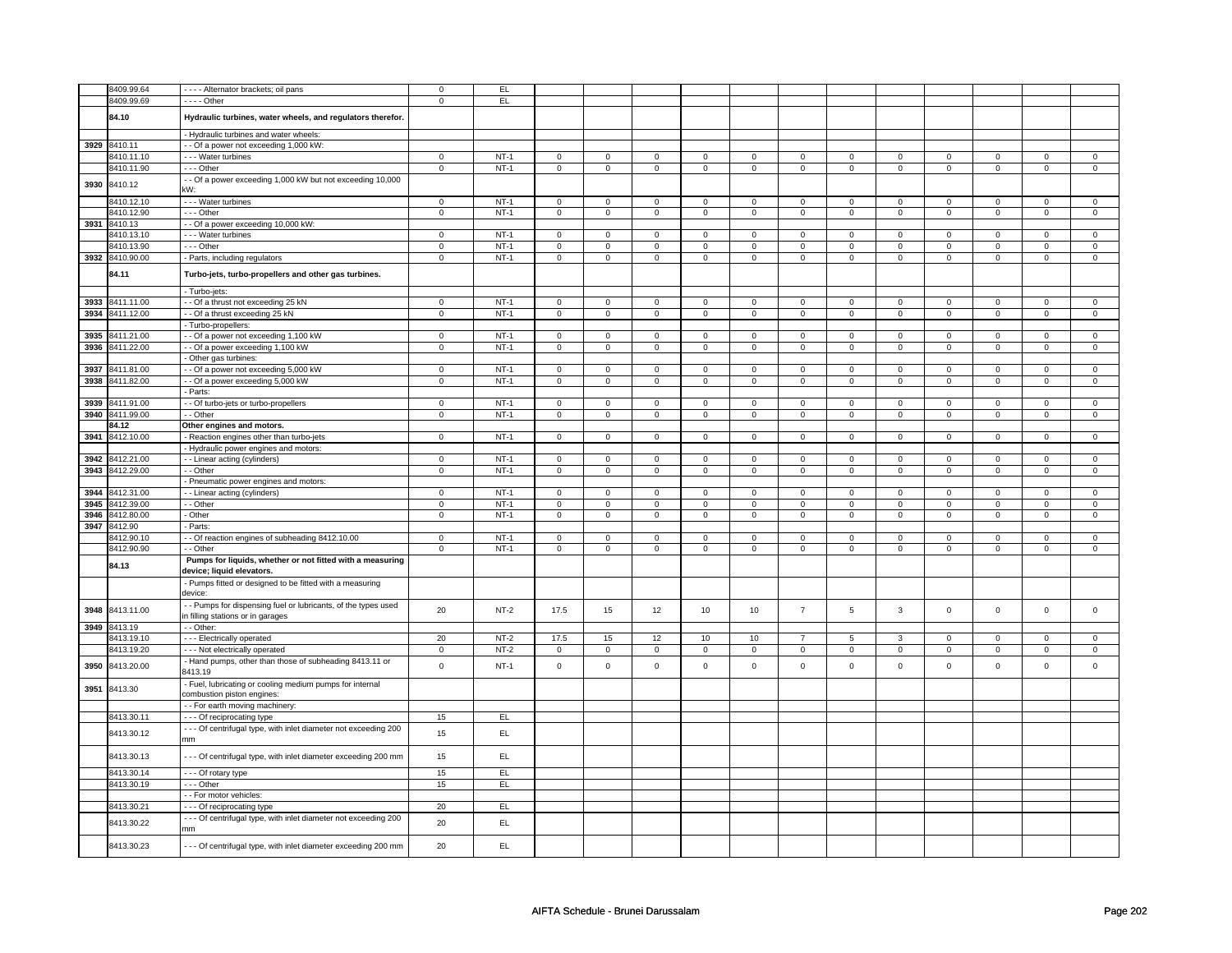|      | 8409.99.64               | - - - - Alternator brackets; oil pans                           | $\mathbf 0$    | EL.    |                |                |                               |                |                               |                |                               |                |                     |                |                               |                     |
|------|--------------------------|-----------------------------------------------------------------|----------------|--------|----------------|----------------|-------------------------------|----------------|-------------------------------|----------------|-------------------------------|----------------|---------------------|----------------|-------------------------------|---------------------|
|      | 8409.99.69               | - - - - Other                                                   | $\mathsf 0$    | EL.    |                |                |                               |                |                               |                |                               |                |                     |                |                               |                     |
|      |                          |                                                                 |                |        |                |                |                               |                |                               |                |                               |                |                     |                |                               |                     |
|      | 84.10                    | Hydraulic turbines, water wheels, and regulators therefor.      |                |        |                |                |                               |                |                               |                |                               |                |                     |                |                               |                     |
|      |                          | - Hydraulic turbines and water wheels:                          |                |        |                |                |                               |                |                               |                |                               |                |                     |                |                               |                     |
| 3929 | 8410.11                  | - - Of a power not exceeding 1,000 kW:                          |                |        |                |                |                               |                |                               |                |                               |                |                     |                |                               |                     |
|      | 3410.11.10               | - - - Water turbines                                            | $\overline{0}$ | $NT-1$ | $\mathsf 0$    | $\mathsf 0$    | $\mathsf{O}\xspace$           | $\mathsf 0$    | $\mathsf{O}\xspace$           | $\mathbf 0$    | $\mathbf 0$                   | $\mathbf{0}$   | $\mathsf 0$         | $\mathbf 0$    | $\mathbf 0$                   | $\mathbf 0$         |
|      | 8410.11.90               | $- -$ Other                                                     | $\overline{0}$ | $NT-1$ | $\overline{0}$ | $\overline{0}$ | $\overline{0}$                | $\overline{0}$ | $\overline{0}$                | $\overline{0}$ | $\overline{0}$                | $\overline{0}$ | $\overline{0}$      | $\overline{0}$ | $\overline{0}$                | $\overline{0}$      |
| 3930 | 8410.12                  | - Of a power exceeding 1,000 kW but not exceeding 10,000        |                |        |                |                |                               |                |                               |                |                               |                |                     |                |                               |                     |
|      |                          | kW:                                                             |                |        |                |                |                               |                |                               |                |                               |                |                     |                |                               |                     |
|      | 8410.12.10               | --- Water turbines                                              | $\mathsf 0$    | $NT-1$ | $\mathbf 0$    | $\mathbf 0$    | $\mathbf 0$                   | $\mathsf 0$    | $\mathsf{O}\xspace$           | $\mathbf 0$    | $\mathbf 0$                   | $\mathbf 0$    | $\mathbf 0$         | $\mathbf 0$    | $\mathbf 0$                   | $\mathbf{O}$        |
|      | 8410.12.90               | --- Other                                                       | 0              | $NT-1$ | $\mathbf 0$    | $\mathbf 0$    | $\mathbf 0$                   | $\mathbf 0$    | 0                             | $\mathbf 0$    | 0                             | $\mathbf 0$    | 0                   | 0              | 0                             | 0                   |
| 3931 | 8410.13                  | - Of a power exceeding 10,000 kW:                               |                |        |                |                |                               |                |                               |                |                               |                |                     |                |                               |                     |
|      | 8410.13.10               | - - - Water turbines                                            | $\mathsf 0$    | $NT-1$ | $\mathsf 0$    | $\mathbf 0$    | $\mathsf 0$                   | $\mathbf 0$    | $\mathsf 0$                   | $\mathbf 0$    | 0                             | $\mathsf 0$    | $\mathsf 0$         | $\mathbf 0$    | 0                             | $\mathbf{0}$        |
|      | 8410.13.90               | --- Other                                                       | $\mathbf 0$    | $NT-1$ | $\mathbf 0$    | $\mathbf 0$    | $\mathbf 0$                   | $\mathbf 0$    | $\mathbf 0$                   | $\mathbf 0$    | $\mathbf 0$                   | $\mathbf 0$    | 0                   | $\mathbf 0$    | 0                             | $\overline{0}$      |
| 3932 | 8410.90.00               | - Parts, including regulators                                   | $\mathsf 0$    | $NT-1$ | $\mathsf 0$    | $\mathsf 0$    | $\mathsf{O}\xspace$           | $\mathsf 0$    | $\mathsf{O}\xspace$           | $\mathbf 0$    | 0                             | $\mathbf 0$    | $\mathsf 0$         | $\mathbf 0$    | 0                             | $\mathbf{O}$        |
|      | 84.11                    | Turbo-jets, turbo-propellers and other gas turbines.            |                |        |                |                |                               |                |                               |                |                               |                |                     |                |                               |                     |
|      |                          | - Turbo-jets:                                                   |                |        |                |                |                               |                |                               |                |                               |                |                     |                |                               |                     |
| 3933 | 8411.11.00               | - - Of a thrust not exceeding 25 kN                             | $\mathbf 0$    | $NT-1$ | $\mathsf 0$    | $\mathsf 0$    | $\mathsf 0$                   | $\mathsf 0$    | $\mathsf 0$                   | $\mathbf 0$    | $\mathsf 0$                   | $\mathbf 0$    | $\mathsf{O}\xspace$ | $\mathbf{0}$   | $\Omega$                      | $\mathbf 0$         |
| 3934 | 8411.12.00               | - Of a thrust exceeding 25 kN                                   | $\mathbf 0$    | $NT-1$ | $\mathbf 0$    | $\mathbf 0$    | $\mathbf 0$                   | $\mathbf 0$    | $\mathbf 0$                   | $\mathbf 0$    | $\mathbf 0$                   | $\mathbf 0$    | $\mathbf 0$         | $\mathbf 0$    | $\mathsf 0$                   | $\mathbf 0$         |
|      |                          | - Turbo-propellers:                                             |                |        |                |                |                               |                |                               |                |                               |                |                     |                |                               |                     |
| 3935 | 8411.21.00               | - Of a power not exceeding 1,100 kW                             | $\mathsf 0$    | $NT-1$ | $\mathbf 0$    | $\mathbf 0$    | $\mathbf{0}$                  | $\mathbf 0$    | $\mathbf 0$                   | $\mathbf 0$    | $\mathbf 0$                   | $\mathbf{0}$   | $\mathbf 0$         | $\mathbf{0}$   | $\mathbf 0$                   | $\mathbf{0}$        |
| 3936 | 8411.22.00               | - - Of a power exceeding 1,100 kW                               | $\overline{0}$ | $NT-1$ | $\overline{0}$ | $\overline{0}$ | $\mathsf 0$                   | $\overline{0}$ | $\mathsf 0$                   | $\overline{0}$ | $\mathbf 0$                   | $\overline{0}$ | $\mathsf 0$         | $\overline{0}$ | $\mathsf 0$                   | $\overline{0}$      |
|      |                          | Other gas turbines:                                             |                |        |                |                |                               |                |                               |                |                               |                |                     |                |                               |                     |
| 3937 | 8411.81.00               | - Of a power not exceeding 5,000 kW                             | $\mathsf 0$    | $NT-1$ | $\mathsf 0$    | $\mathsf 0$    | $\mathsf 0$                   | $\mathbf 0$    | $\mathsf 0$                   | $\mathsf 0$    | $\mathbf 0$                   | $\mathsf 0$    | $\mathsf 0$         | $\mathbf 0$    | $\mathbf 0$                   | 0                   |
|      | 3938 8411.82.00          | - Of a power exceeding 5,000 kW                                 | $\overline{0}$ | $NT-1$ | $\overline{0}$ | $\overline{0}$ | $\mathbf 0$                   | $\overline{0}$ | $\mathbf 0$                   | $\overline{0}$ | $\mathbf{0}$                  | $\overline{0}$ | $\mathbf{0}$        | $\overline{0}$ | 0                             | $\overline{0}$      |
|      |                          | - Parts:                                                        |                |        |                |                |                               |                |                               |                |                               |                |                     |                |                               |                     |
| 3939 | 8411.91.00               | - - Of turbo-jets or turbo-propellers                           | $\overline{0}$ | $NT-1$ | $\overline{0}$ | $\mathbf 0$    | $\mathsf 0$                   | $\mathbf 0$    | $\mathsf 0$                   | $\mathbf 0$    | $\mathbf 0$                   | $\mathbf 0$    | $\overline{0}$      | $\overline{0}$ | $\mathsf 0$                   | 0                   |
| 3940 | 8411.99.00               | - - Other                                                       | $\pmb{0}$      | $NT-1$ | $\overline{0}$ | $\overline{0}$ | $\mathsf{O}\xspace$           | $\overline{0}$ | $\overline{\mathbf{0}}$       | $\mathsf 0$    | $\mathsf 0$                   | $\pmb{0}$      | $\pmb{0}$           | $\overline{0}$ | $\mathsf 0$                   | $\pmb{0}$           |
|      | 84.12                    | Other engines and motors.                                       |                |        |                |                |                               |                |                               |                |                               |                |                     |                |                               |                     |
| 3941 | 8412.10.00               | Reaction engines other than turbo-jets                          | $\overline{0}$ | $NT-1$ | $\mathbf 0$    | $\overline{0}$ | $\mathbf 0$                   | $\mathbf 0$    | $\mathsf 0$                   | $\overline{0}$ | $\mathbf 0$                   | $\mathbf 0$    | $\mathsf 0$         | $\overline{0}$ | $\mathbf 0$                   | $\mathbf 0$         |
|      |                          | Hydraulic power engines and motors:                             |                |        |                |                |                               |                |                               |                |                               |                |                     |                |                               |                     |
| 3942 | 8412.21.00               | - - Linear acting (cylinders)                                   | $\mathbf 0$    | $NT-1$ | $\mathbf 0$    | $\mathbf{0}$   | $\mathbf 0$                   | $\overline{0}$ | $\mathbf 0$                   | $\mathbf{0}$   | $\mathbf 0$                   | $\mathbf{0}$   | 0                   | $\mathbf{0}$   | 0                             | $\overline{0}$      |
| 3943 | 8412.29.00               | - Other                                                         | $\mathbf 0$    | $NT-1$ | $\mathbf 0$    | $\mathbf 0$    | $\mathbf 0$                   | $\mathbf 0$    | $\mathbf 0$                   | $\mathbf{0}$   | $\mathbf 0$                   | $\mathbf 0$    | $\mathbf 0$         | $\mathbf 0$    | $\mathbf 0$                   | $\mathbf 0$         |
|      |                          | - Pneumatic power engines and motors:                           |                |        |                |                |                               |                |                               |                |                               |                |                     |                |                               |                     |
| 3944 | 8412.31.00               | - - Linear acting (cylinders)                                   | 0              | $NT-1$ | $\mathbf 0$    | $\mathbf 0$    | $\mathbf 0$                   | $\mathbf 0$    | $\mathbf 0$                   | $\mathbf 0$    | 0                             | $\mathbf 0$    | 0                   | $\mathbf 0$    | 0                             | 0                   |
| 3945 | 8412.39.00               | - Other                                                         | $\mathbf 0$    | $NT-1$ | $\mathbf 0$    | $\mathbf 0$    | $\mathbf 0$                   | $\mathbf 0$    | $\mathbf 0$                   | $\mathsf 0$    | 0                             | 0              | 0                   | $\mathbf 0$    | $\mathbf 0$                   | 0                   |
| 3946 | 8412.80.00               | - Other                                                         | $\overline{0}$ | $NT-1$ | $\overline{0}$ | $\overline{0}$ | $\overline{0}$                | $\overline{0}$ | $\overline{0}$                | $\overline{0}$ | $\overline{0}$                | $\overline{0}$ | $\overline{0}$      | $\overline{0}$ | 0                             | $\overline{0}$      |
| 3947 | 8412.90                  | - Parts:                                                        | $\mathsf 0$    | $NT-1$ | $\mathsf 0$    | $\mathsf 0$    |                               | $\mathsf 0$    |                               | $\mathbf 0$    |                               | $\mathsf 0$    | $\mathsf 0$         | $\mathbf 0$    |                               |                     |
|      | 8412.90.10<br>8412.90.90 | - Of reaction engines of subheading 8412.10.00<br>- - Other     | $\overline{0}$ | $NT-1$ | $\overline{0}$ | $\overline{0}$ | $\mathsf 0$<br>$\overline{0}$ | $\overline{0}$ | $\mathsf 0$<br>$\overline{0}$ | $\overline{0}$ | $\mathbf 0$<br>$\overline{0}$ | $\overline{0}$ | $\overline{0}$      | $\overline{0}$ | $\mathsf 0$<br>$\overline{0}$ | 0<br>$\overline{0}$ |
|      |                          | Pumps for liquids, whether or not fitted with a measuring       |                |        |                |                |                               |                |                               |                |                               |                |                     |                |                               |                     |
|      | 84.13                    | device; liquid elevators.                                       |                |        |                |                |                               |                |                               |                |                               |                |                     |                |                               |                     |
|      |                          | - Pumps fitted or designed to be fitted with a measuring        |                |        |                |                |                               |                |                               |                |                               |                |                     |                |                               |                     |
|      |                          | device:                                                         |                |        |                |                |                               |                |                               |                |                               |                |                     |                |                               |                     |
|      |                          | - Pumps for dispensing fuel or lubricants, of the types used    |                |        |                |                |                               |                |                               |                |                               |                |                     |                |                               |                     |
| 3948 | 8413.11.00               | n filling stations or in garages                                | 20             | $NT-2$ | 17.5           | 15             | 12                            | 10             | 10                            | $\overline{7}$ | 5                             | 3              | $\mathbf 0$         | $\mathbf 0$    | $\mathbf 0$                   | $\mathbf 0$         |
| 3949 | 8413.19                  | - Other:                                                        |                |        |                |                |                               |                |                               |                |                               |                |                     |                |                               |                     |
|      | 8413.19.10               | --- Electrically operated                                       | 20             | $NT-2$ | 17.5           | 15             | 12                            | 10             | 10                            | $\overline{7}$ | 5                             | 3              | 0                   | $\mathbf 0$    | $\mathbf 0$                   | 0                   |
|      | 8413.19.20               | - - - Not electrically operated                                 | $\mathbf 0$    | $NT-2$ | 0              | $\mathbf 0$    | 0                             | $\mathbf 0$    | 0                             | $\mathsf{O}$   | 0                             | 0              | 0                   | $\mathsf 0$    | 0                             | $\mathbf 0$         |
| 3950 | 8413.20.00               | - Hand pumps, other than those of subheading 8413.11 or         | $\mathsf 0$    | $NT-1$ | $\mathbf 0$    | $\mathsf 0$    | $\mathsf 0$                   | $\mathsf 0$    | $\mathsf 0$                   | $\mathbf 0$    | $\mathbf 0$                   | $\mathbf 0$    | $\mathsf 0$         | $\mathbf 0$    | $\mathsf 0$                   | $\mathbf{O}$        |
|      |                          | 3413.19                                                         |                |        |                |                |                               |                |                               |                |                               |                |                     |                |                               |                     |
| 3951 | 8413.30                  | - Fuel, lubricating or cooling medium pumps for internal        |                |        |                |                |                               |                |                               |                |                               |                |                     |                |                               |                     |
|      |                          | combustion piston engines:                                      |                |        |                |                |                               |                |                               |                |                               |                |                     |                |                               |                     |
|      |                          | - - For earth moving machinery:                                 |                |        |                |                |                               |                |                               |                |                               |                |                     |                |                               |                     |
|      | 8413.30.11               | --- Of reciprocating type                                       | 15             | EL     |                |                |                               |                |                               |                |                               |                |                     |                |                               |                     |
|      | 8413.30.12               | --- Of centrifugal type, with inlet diameter not exceeding 200  | 15             | EL     |                |                |                               |                |                               |                |                               |                |                     |                |                               |                     |
|      |                          | mm                                                              |                |        |                |                |                               |                |                               |                |                               |                |                     |                |                               |                     |
|      | 8413.30.13               | - - - Of centrifugal type, with inlet diameter exceeding 200 mm | 15             | EL     |                |                |                               |                |                               |                |                               |                |                     |                |                               |                     |
|      | 8413.30.14               |                                                                 | 15             | EL     |                |                |                               |                |                               |                |                               |                |                     |                |                               |                     |
|      | 8413.30.19               | - - - Of rotary type<br>$- -$ Other                             | 15             | EL     |                |                |                               |                |                               |                |                               |                |                     |                |                               |                     |
|      |                          | - - For motor vehicles:                                         |                |        |                |                |                               |                |                               |                |                               |                |                     |                |                               |                     |
|      | 8413.30.21               | --- Of reciprocating type                                       | 20             | EL     |                |                |                               |                |                               |                |                               |                |                     |                |                               |                     |
|      |                          | --- Of centrifugal type, with inlet diameter not exceeding 200  |                |        |                |                |                               |                |                               |                |                               |                |                     |                |                               |                     |
|      | 8413.30.22               | mm                                                              | 20             | EL.    |                |                |                               |                |                               |                |                               |                |                     |                |                               |                     |
|      |                          |                                                                 |                |        |                |                |                               |                |                               |                |                               |                |                     |                |                               |                     |
|      | 8413.30.23               | --- Of centrifugal type, with inlet diameter exceeding 200 mm   | 20             | EL     |                |                |                               |                |                               |                |                               |                |                     |                |                               |                     |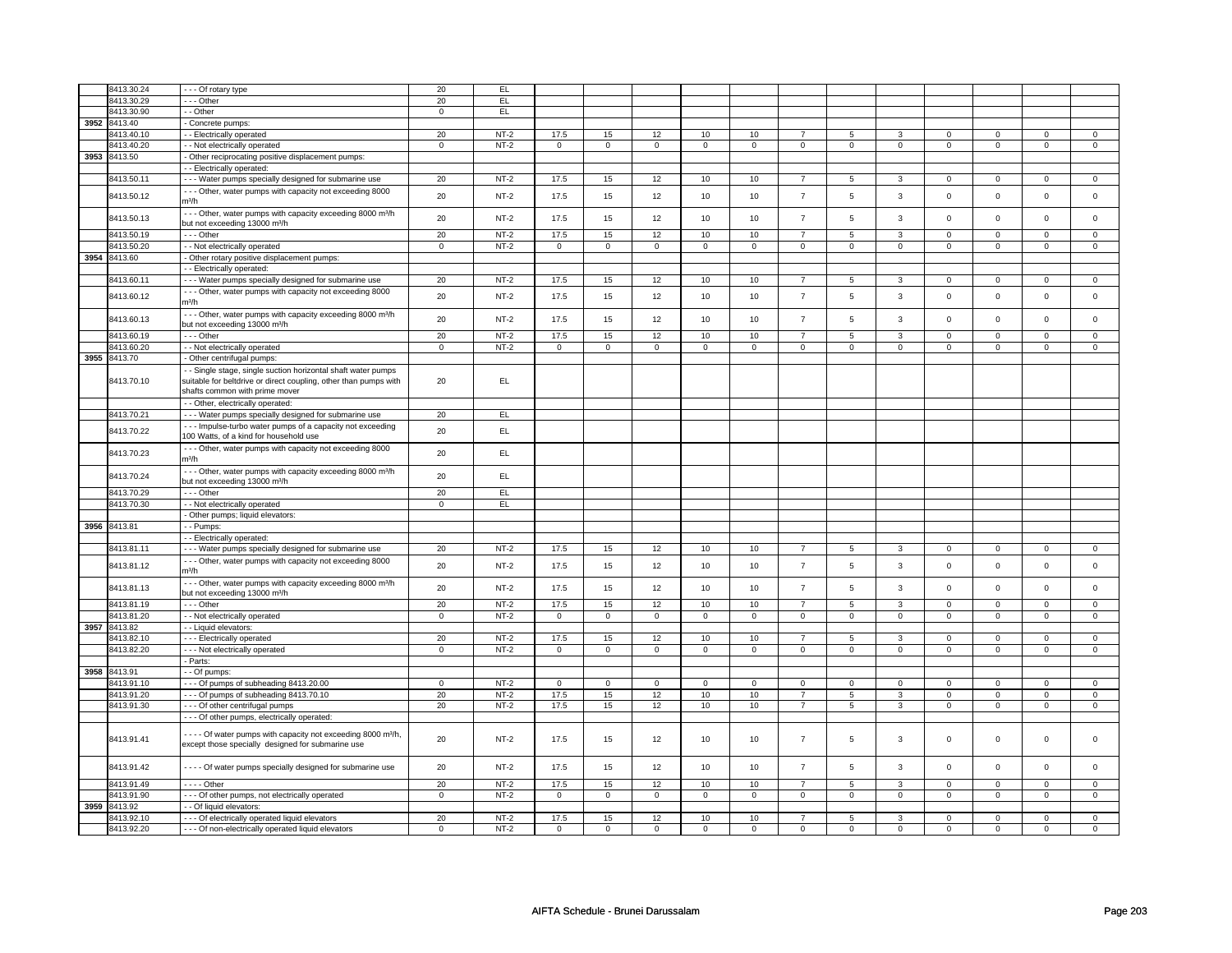|      | 8413.30.24   | --- Of rotary type                                                      | 20          | EL          |             |             |                     |             |                     |                |                |                |                |                |                |                |
|------|--------------|-------------------------------------------------------------------------|-------------|-------------|-------------|-------------|---------------------|-------------|---------------------|----------------|----------------|----------------|----------------|----------------|----------------|----------------|
|      | 8413.30.29   | --- Other                                                               | 20          | EL          |             |             |                     |             |                     |                |                |                |                |                |                |                |
|      | 8413.30.90   |                                                                         |             | EL          |             |             |                     |             |                     |                |                |                |                |                |                |                |
|      |              | - - Other                                                               | 0           |             |             |             |                     |             |                     |                |                |                |                |                |                |                |
| 3952 | 8413.40      | - Concrete pumps:                                                       |             |             |             |             |                     |             |                     |                |                |                |                |                |                |                |
|      | 8413.40.10   | - Electrically operated                                                 | 20          | $NT-2$      | 17.5        | 15          | 12                  | 10          | 10                  | $\overline{7}$ | 5              | 3              | 0              | 0              | 0              | 0              |
|      | 8413.40.20   | - Not electrically operated                                             | $\mathbf 0$ | $NT-2$      | $\mathsf 0$ | $\mathsf 0$ | 0                   | $\mathbf 0$ | $\mathsf 0$         | $\mathbf 0$    | $\mathbf 0$    | $\mathbf 0$    | $\mathbf 0$    | $\mathbf 0$    | $\mathsf 0$    | $\overline{0}$ |
|      | 3953 8413.50 | - Other reciprocating positive displacement pumps:                      |             |             |             |             |                     |             |                     |                |                |                |                |                |                |                |
|      |              | - Electrically operated:                                                |             |             |             |             |                     |             |                     |                |                |                |                |                |                |                |
|      | 8413.50.11   | - - - Water pumps specially designed for submarine use                  | 20          | $NT-2$      | 17.5        | 15          | 12                  | 10          | 10                  | $\overline{7}$ | 5              | $\mathbf{3}$   | $\mathbf 0$    | $\mathbf 0$    | 0              | $\mathsf 0$    |
|      |              | --- Other, water pumps with capacity not exceeding 8000                 |             |             |             |             |                     |             |                     |                |                |                |                |                |                |                |
|      | 8413.50.12   | m3/h                                                                    | 20          | $NT-2$      | 17.5        | 15          | 12                  | 10          | 10                  | $\overline{7}$ | 5              | 3              | $\mathbf 0$    | $\mathbf 0$    | $\Omega$       | $\mathbf 0$    |
|      |              |                                                                         |             |             |             |             |                     |             |                     |                |                |                |                |                |                |                |
|      | 8413.50.13   | --- Other, water pumps with capacity exceeding 8000 m <sup>3/h</sup>    | 20          | $NT-2$      | 17.5        | 15          | 12                  | 10          | 10                  | $\overline{7}$ | 5              | $\mathbf{3}$   | $\mathsf 0$    | $\mathbf{0}$   | $\mathbf 0$    | $\mathbf{0}$   |
|      |              | but not exceeding 13000 m <sup>3</sup> /h                               |             |             |             |             |                     |             |                     |                |                |                |                |                |                |                |
|      | 8413.50.19   | --- Other                                                               | 20          | $NT-2$      | 17.5        | 15          | 12                  | 10          | 10                  | $\overline{7}$ | $\overline{5}$ | 3              | $\overline{0}$ | $\overline{0}$ | $\overline{0}$ | $\overline{0}$ |
|      | 8413.50.20   | - - Not electrically operated                                           | $\mathsf 0$ | $NT-2$      | $\mathbf 0$ | $\mathbf 0$ | $\mathbf 0$         | $\mathbf 0$ | $\mathbf 0$         | $\mathbf 0$    | $\mathbf 0$    | $\mathbf 0$    | $\mathsf 0$    | $\mathbf 0$    | $\mathbf 0$    | $\mathbf{0}$   |
| 3954 | 8413.60      | Other rotary positive displacement pumps:                               |             |             |             |             |                     |             |                     |                |                |                |                |                |                |                |
|      |              | - Electrically operated:                                                |             |             |             |             |                     |             |                     |                |                |                |                |                |                |                |
|      | 8413.60.11   | --- Water pumps specially designed for submarine use                    | 20          | $NT-2$      | 17.5        | 15          | 12                  | 10          | 10                  | $\overline{7}$ | 5              | $\overline{3}$ | $\mathbf{0}$   | $\overline{0}$ | $\Omega$       | $\overline{0}$ |
|      |              |                                                                         |             |             |             |             |                     |             |                     |                |                |                |                |                |                |                |
|      | 8413.60.12   | --- Other, water pumps with capacity not exceeding 8000                 | 20          | $NT-2$      | 17.5        | 15          | 12                  | 10          | 10                  | $\overline{7}$ | 5              | 3              | $\mathsf 0$    | $\mathbf 0$    | $\mathsf 0$    | $\mathbf 0$    |
|      |              | m <sup>3</sup> /h                                                       |             |             |             |             |                     |             |                     |                |                |                |                |                |                |                |
|      | 8413.60.13   | - - - Other, water pumps with capacity exceeding 8000 m <sup>3/h</sup>  | 20          | $NT-2$      | 17.5        | 15          | 12                  | 10          | 10                  | $\overline{7}$ | 5              | $\mathbf{3}$   | $\mathsf 0$    | $\mathbf 0$    | $\mathsf 0$    | $\mathbf 0$    |
|      |              | but not exceeding 13000 m <sup>3</sup> /h                               |             |             |             |             |                     |             |                     |                |                |                |                |                |                |                |
|      | 8413.60.19   | --- Other                                                               | 20          | $NT-2$      | 17.5        | 15          | 12                  | 10          | 10                  | $\overline{7}$ | $\overline{5}$ | $\overline{3}$ | $\overline{0}$ | $\overline{0}$ | $\overline{0}$ | $\overline{0}$ |
|      | 8413.60.20   | - - Not electrically operated                                           | 0           | NT-2        | 0           | $\mathbf 0$ | 0                   | $\mathbf 0$ | 0                   | $\mathbf 0$    | 0              | $\mathbf 0$    | 0              | 0              | 0              | $\mathbf 0$    |
| 3955 | 8413.70      | - Other centrifugal pumps:                                              |             |             |             |             |                     |             |                     |                |                |                |                |                |                |                |
|      |              | - Single stage, single suction horizontal shaft water pumps             |             |             |             |             |                     |             |                     |                |                |                |                |                |                |                |
|      | 8413.70.10   | suitable for beltdrive or direct coupling, other than pumps with        | 20          | EL.         |             |             |                     |             |                     |                |                |                |                |                |                |                |
|      |              | shafts common with prime mover                                          |             |             |             |             |                     |             |                     |                |                |                |                |                |                |                |
|      |              |                                                                         |             |             |             |             |                     |             |                     |                |                |                |                |                |                |                |
|      |              | - - Other, electrically operated:                                       |             |             |             |             |                     |             |                     |                |                |                |                |                |                |                |
|      | 8413.70.21   | - - - Water pumps specially designed for submarine use                  | 20          | EL          |             |             |                     |             |                     |                |                |                |                |                |                |                |
|      | 8413.70.22   | --- Impulse-turbo water pumps of a capacity not exceeding               | 20          | EL.         |             |             |                     |             |                     |                |                |                |                |                |                |                |
|      |              | 100 Watts, of a kind for household use                                  |             |             |             |             |                     |             |                     |                |                |                |                |                |                |                |
|      |              | - - - Other, water pumps with capacity not exceeding 8000               |             |             |             |             |                     |             |                     |                |                |                |                |                |                |                |
|      | 8413.70.23   | m <sup>3</sup> /h                                                       | 20          | EL          |             |             |                     |             |                     |                |                |                |                |                |                |                |
|      |              | --- Other, water pumps with capacity exceeding 8000 m <sup>3/h</sup>    |             |             |             |             |                     |             |                     |                |                |                |                |                |                |                |
|      | 8413.70.24   |                                                                         | 20          | EL          |             |             |                     |             |                     |                |                |                |                |                |                |                |
|      |              | but not exceeding 13000 m <sup>3</sup> /h                               |             |             |             |             |                     |             |                     |                |                |                |                |                |                |                |
|      | 8413.70.29   | --- Other                                                               | 20          | <b>EL</b>   |             |             |                     |             |                     |                |                |                |                |                |                |                |
|      | 8413.70.30   | - - Not electrically operated                                           | $\mathsf 0$ | EL          |             |             |                     |             |                     |                |                |                |                |                |                |                |
|      |              | Other pumps; liquid elevators:                                          |             |             |             |             |                     |             |                     |                |                |                |                |                |                |                |
|      | 3956 8413.81 | - - Pumps:                                                              |             |             |             |             |                     |             |                     |                |                |                |                |                |                |                |
|      |              | - - Electrically operated:                                              |             |             |             |             |                     |             |                     |                |                |                |                |                |                |                |
|      | 8413.81.11   | - - - Water pumps specially designed for submarine use                  | 20          | $NT-2$      | 17.5        | 15          | 12                  | 10          | 10                  | $\overline{7}$ | 5              | 3              | $\mathbf 0$    | $\mathbf 0$    | $\Omega$       | $\mathbf 0$    |
|      |              | --- Other, water pumps with capacity not exceeding 8000                 |             |             |             |             |                     |             |                     |                |                |                |                |                |                |                |
|      | 8413.81.12   | m <sup>3</sup> /h                                                       | 20          | $NT-2$      | 17.5        | 15          | 12                  | 10          | 10                  | $\overline{7}$ | 5              | 3              | 0              | $\mathbf 0$    | $\Omega$       | $\mathbf 0$    |
|      |              |                                                                         |             |             |             |             |                     |             |                     |                |                |                |                |                |                |                |
|      | 8413.81.13   | --- Other, water pumps with capacity exceeding 8000 m <sup>3/h</sup>    | 20          | <b>NT-2</b> | 17.5        | 15          | 12                  | 10          | 10                  | $\overline{7}$ | 5              | 3              | $\mathsf 0$    | $\mathbf 0$    | $\mathbf 0$    | $\mathbf 0$    |
|      |              | but not exceeding 13000 m <sup>3</sup> /h                               |             |             |             |             |                     |             |                     |                |                |                |                |                |                |                |
|      | 8413.81.19   | --- Other                                                               | 20          | $NT-2$      | 17.5        | 15          | 12                  | 10          | 10                  | $\overline{7}$ | $\overline{5}$ | $\overline{3}$ | $\overline{0}$ | $\overline{0}$ | $\mathbf 0$    | $\overline{0}$ |
|      | 8413.81.20   | - - Not electrically operated                                           | $\mathsf 0$ | $NT-2$      | $\mathsf 0$ | $\mathsf 0$ | $\mathsf{O}\xspace$ | $\mathsf 0$ | $\mathsf{O}\xspace$ | $\mathbf 0$    | $\mathsf 0$    | $\mathsf 0$    | $\mathsf 0$    | $\mathbf 0$    | 0              | 0              |
| 3957 | 8413.82      | - - Liquid elevators:                                                   |             |             |             |             |                     |             |                     |                |                |                |                |                |                |                |
|      | 8413.82.10   | --- Electrically operated                                               | 20          | $NT-2$      | 17.5        | 15          | 12                  | 10          | 10                  | $\overline{7}$ | 5              | 3              | 0              | $\mathbf 0$    | 0              | 0              |
|      | 8413.82.20   | - - - Not electrically operated                                         | $\mathsf 0$ | $NT-2$      | $\mathbf 0$ | $\mathbf 0$ | $\mathbf 0$         | $\mathbf 0$ | $\mathbf 0$         | $\mathbf 0$    | $\mathbf 0$    | $\mathbf 0$    | $\mathbf 0$    | $\mathbf 0$    | $\mathbf 0$    | $\mathbf{0}$   |
|      |              | - Parts:                                                                |             |             |             |             |                     |             |                     |                |                |                |                |                |                |                |
| 3958 | 8413.91      | - - Of pumps:                                                           |             |             |             |             |                     |             |                     |                |                |                |                |                |                |                |
|      | 8413.91.10   | --- Of pumps of subheading 8413.20.00                                   | $\mathsf 0$ | $NT-2$      | 0           | $\mathbf 0$ | 0                   | $\mathbf 0$ | 0                   | $\mathbf 0$    | 0              | $\mathbf 0$    | 0              | $\mathbf 0$    | 0              | $\mathbf 0$    |
|      | 8413.91.20   | --- Of pumps of subheading 8413.70.10                                   | 20          | $NT-2$      | 17.5        | 15          | 12                  | 10          | 10                  | $\overline{7}$ | 5              | 3              | $\mathsf 0$    | $\mathbf 0$    | $\Omega$       | $\mathbf 0$    |
|      |              |                                                                         |             |             |             |             |                     |             |                     |                |                |                |                |                | 0              |                |
|      | 8413.91.30   | - - - Of other centrifugal pumps                                        | 20          | $NT-2$      | 17.5        | 15          | 12                  | 10          | $10$                | $\overline{7}$ | 5              | 3              | $\mathsf 0$    | $\mathbf 0$    |                | $\mathbf 0$    |
|      |              | - - - Of other pumps, electrically operated:                            |             |             |             |             |                     |             |                     |                |                |                |                |                |                |                |
|      |              | ---- Of water pumps with capacity not exceeding 8000 m <sup>3</sup> /h, |             |             |             |             |                     |             |                     |                |                |                |                |                |                |                |
|      | 8413.91.41   | except those specially designed for submarine use                       | 20          | $NT-2$      | 17.5        | 15          | 12                  | 10          | 10                  | $\overline{7}$ | 5              | 3              | $\mathsf 0$    | $\mathbf 0$    | $\mathbf 0$    | $\mathbf{0}$   |
|      |              |                                                                         |             |             |             |             |                     |             |                     |                |                |                |                |                |                |                |
|      |              |                                                                         |             |             |             |             |                     |             |                     |                |                |                |                |                |                |                |
|      | 8413.91.42   | - - - - Of water pumps specially designed for submarine use             | 20          | $NT-2$      | 17.5        | 15          | 12                  | 10          | 10                  | $\overline{7}$ | $\overline{5}$ | $\mathbf{3}$   | $\mathsf 0$    | $\mathbf 0$    | $\mathsf 0$    | $\mathbf{0}$   |
|      | 8413.91.49   | $- - -$ Other                                                           | 20          | $NT-2$      | 17.5        | 15          | 12                  | 10          | 10                  | $\overline{7}$ | 5              | 3              | $\mathbf 0$    | $\mathbf{0}$   | $\mathbf 0$    | $\mathbf 0$    |
|      | 8413.91.90   | --- Of other pumps, not electrically operated                           | $\mathbf 0$ | $NT-2$      | $\mathbf 0$ | $\mathsf 0$ | $\mathsf 0$         | $\mathbf 0$ | $\mathsf 0$         | $\mathsf 0$    | $\mathbf 0$    | $\mathbf 0$    | $\mathbf 0$    | $\mathbf{0}$   | 0              | $\mathbf{0}$   |
|      |              |                                                                         |             |             |             |             |                     |             |                     |                |                |                |                |                |                |                |
| 3959 | 8413.92      | - Of liquid elevators:                                                  |             |             |             |             |                     |             |                     |                |                |                |                |                |                |                |
|      | 8413.92.10   | - - Of electrically operated liquid elevators                           | 20          | $NT-2$      | 17.5        | 15          | 12                  | 10          | 10                  | $\overline{7}$ | 5              | 3              | $\mathsf 0$    | $\mathbf 0$    | $\mathbf 0$    | $\mathbf 0$    |
|      | 8413.92.20   | - - - Of non-electrically operated liquid elevators                     | 0           | NT-2        | $\Omega$    | $\mathbf 0$ | $\Omega$            | $\mathbf 0$ | $\Omega$            | 0              | 0              | 0              | $\Omega$       | 0              | 0              | 0              |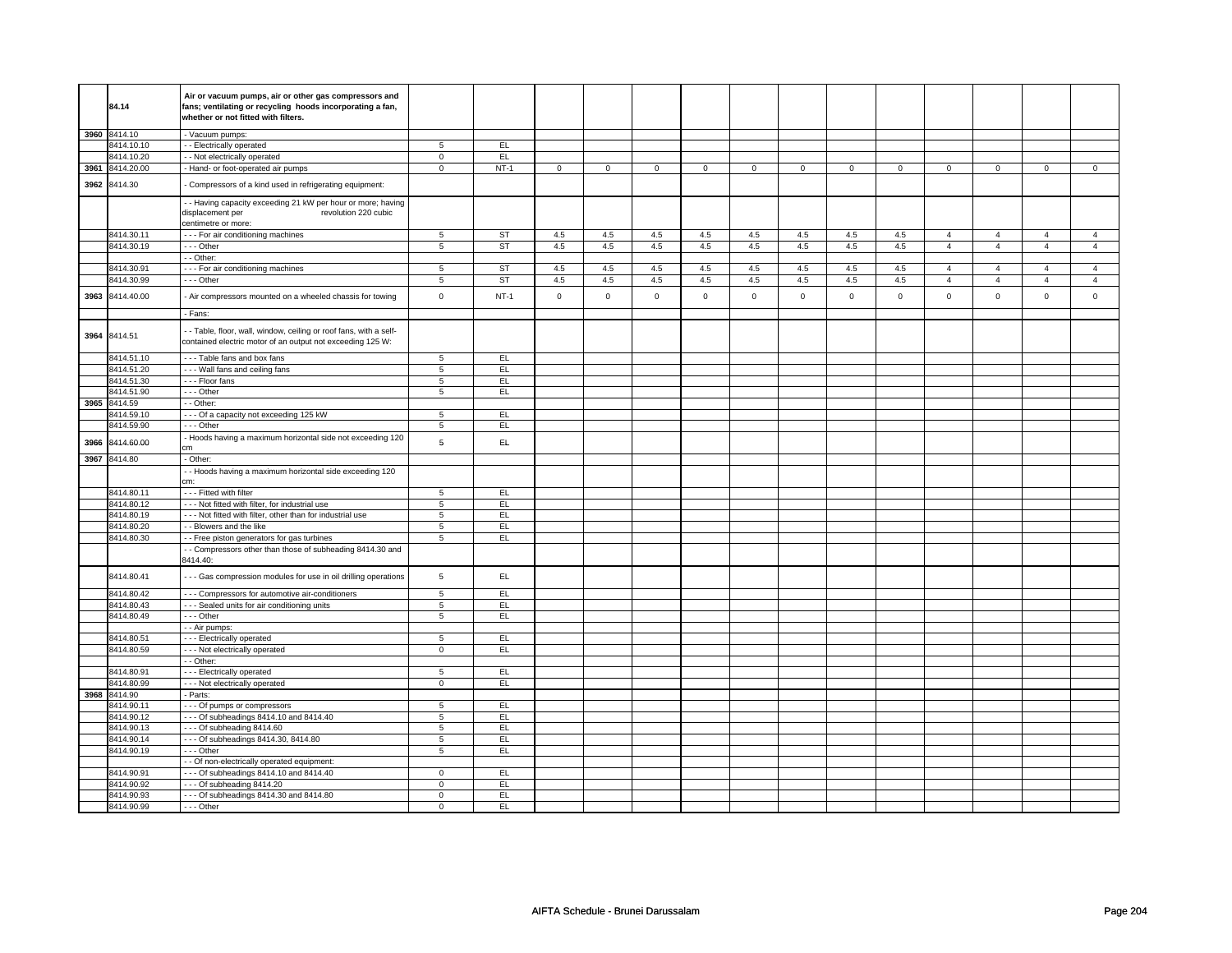|      |              | Air or vacuum pumps, air or other gas compressors and              |                            |           |                     |                |             |                |             |                |             |                |                |                |                |                |
|------|--------------|--------------------------------------------------------------------|----------------------------|-----------|---------------------|----------------|-------------|----------------|-------------|----------------|-------------|----------------|----------------|----------------|----------------|----------------|
|      | 84.14        | fans; ventilating or recycling hoods incorporating a fan,          |                            |           |                     |                |             |                |             |                |             |                |                |                |                |                |
|      |              | whether or not fitted with filters.                                |                            |           |                     |                |             |                |             |                |             |                |                |                |                |                |
|      | 3960 8414.10 |                                                                    |                            |           |                     |                |             |                |             |                |             |                |                |                |                |                |
|      | 8414.10.10   | - Vacuum pumps:                                                    | $5\overline{5}$            | EL.       |                     |                |             |                |             |                |             |                |                |                |                |                |
|      | 8414.10.20   | - - Electrically operated                                          |                            | EL.       |                     |                |             |                |             |                |             |                |                |                |                |                |
| 3961 | 8414.20.00   | - - Not electrically operated                                      | $\mathbf 0$<br>$\mathsf 0$ | $NT-1$    |                     | $\overline{0}$ | $\mathsf 0$ | $\overline{0}$ |             | $\overline{0}$ | $\mathsf 0$ | $\overline{0}$ | $\mathsf 0$    | $\overline{0}$ | $\mathsf 0$    | $\overline{0}$ |
|      |              | - Hand- or foot-operated air pumps                                 |                            |           | $\mathsf{O}\xspace$ |                |             |                | $\mathsf 0$ |                |             |                |                |                |                |                |
| 3962 | 8414.30      | Compressors of a kind used in refrigerating equipment:             |                            |           |                     |                |             |                |             |                |             |                |                |                |                |                |
|      |              | - Having capacity exceeding 21 kW per hour or more; having         |                            |           |                     |                |             |                |             |                |             |                |                |                |                |                |
|      |              | displacement per<br>revolution 220 cubic                           |                            |           |                     |                |             |                |             |                |             |                |                |                |                |                |
|      |              | centimetre or more:                                                |                            |           |                     |                |             |                |             |                |             |                |                |                |                |                |
|      | 8414.30.11   | --- For air conditioning machines                                  | 5                          | ST        | 4.5                 | 4.5            | 4.5         | 4.5            | 4.5         | 4.5            | 4.5         | 4.5            | $\overline{4}$ | $\overline{4}$ | $\overline{4}$ | $\overline{4}$ |
|      | 8414.30.19   | --- Other                                                          | 5                          | <b>ST</b> | $4.5\,$             | 4.5            | $4.5\,$     | 4.5            | 4.5         | 4.5            | 4.5         | 4.5            | $\overline{4}$ | $\overline{4}$ | $\overline{4}$ | $\overline{4}$ |
|      |              | - - Other:                                                         |                            |           |                     |                |             |                |             |                |             |                |                |                |                |                |
|      | 8414.30.91   | --- For air conditioning machines                                  | 5                          | ST        | 4.5                 | 4.5            | 4.5         | 4.5            | 4.5         | 4.5            | 4.5         | 4.5            | $\overline{4}$ | $\overline{4}$ | $\Delta$       | $\overline{4}$ |
|      | 8414.30.99   | --- Other                                                          | 5                          | <b>ST</b> | 4.5                 | 4.5            | 4.5         | 4.5            | 4.5         | 4.5            | 4.5         | 4.5            | $\overline{4}$ | $\overline{4}$ | $\overline{4}$ | $\overline{4}$ |
| 3963 | 8414.40.00   | - Air compressors mounted on a wheeled chassis for towing          | $\mathsf 0$                | $NT-1$    | $\mathsf 0$         | $\mathsf 0$    | $\mathsf 0$ | $\mathsf 0$    | $\mathsf 0$ | $\mathsf 0$    | $\mathsf 0$ | $\mathsf 0$    | $\mathsf 0$    | $\mathsf 0$    | $\mathsf 0$    | $\mathsf 0$    |
|      |              |                                                                    |                            |           |                     |                |             |                |             |                |             |                |                |                |                |                |
|      |              | - Fans:                                                            |                            |           |                     |                |             |                |             |                |             |                |                |                |                |                |
|      |              | - - Table, floor, wall, window, ceiling or roof fans, with a self- |                            |           |                     |                |             |                |             |                |             |                |                |                |                |                |
|      | 3964 8414.51 | contained electric motor of an output not exceeding 125 W:         |                            |           |                     |                |             |                |             |                |             |                |                |                |                |                |
|      |              |                                                                    |                            |           |                     |                |             |                |             |                |             |                |                |                |                |                |
|      | 8414.51.10   | - - - Table fans and box fans                                      | 5                          | EL.       |                     |                |             |                |             |                |             |                |                |                |                |                |
|      | 8414.51.20   | --- Wall fans and ceiling fans                                     | 5                          | EL        |                     |                |             |                |             |                |             |                |                |                |                |                |
|      | 8414.51.30   | --- Floor fans                                                     | 5                          | EL.       |                     |                |             |                |             |                |             |                |                |                |                |                |
|      | 8414.51.90   | --- Other                                                          | 5                          | EL        |                     |                |             |                |             |                |             |                |                |                |                |                |
| 3965 | 8414.59      | - Other:                                                           |                            |           |                     |                |             |                |             |                |             |                |                |                |                |                |
|      | 8414.59.10   | - - - Of a capacity not exceeding 125 kW                           | 5                          | EL.       |                     |                |             |                |             |                |             |                |                |                |                |                |
|      | 8414.59.90   | --- Other                                                          | $\,$ 5 $\,$                | EL        |                     |                |             |                |             |                |             |                |                |                |                |                |
| 3966 | 8414.60.00   | - Hoods having a maximum horizontal side not exceeding 120<br>m:   | 5                          | EL.       |                     |                |             |                |             |                |             |                |                |                |                |                |
|      | 3967 8414.80 | - Other:                                                           |                            |           |                     |                |             |                |             |                |             |                |                |                |                |                |
|      |              | - Hoods having a maximum horizontal side exceeding 120             |                            |           |                     |                |             |                |             |                |             |                |                |                |                |                |
|      |              | cm:                                                                |                            |           |                     |                |             |                |             |                |             |                |                |                |                |                |
|      | 8414.80.11   | - - - Fitted with filter                                           | 5                          | EL        |                     |                |             |                |             |                |             |                |                |                |                |                |
|      | 8414.80.12   | - - - Not fitted with filter, for industrial use                   | $\overline{5}$             | EL        |                     |                |             |                |             |                |             |                |                |                |                |                |
|      | 8414.80.19   | - - - Not fitted with filter, other than for industrial use        | $\overline{5}$             | EL        |                     |                |             |                |             |                |             |                |                |                |                |                |
|      | 8414.80.20   | - - Blowers and the like                                           | 5                          | EL        |                     |                |             |                |             |                |             |                |                |                |                |                |
|      | 8414.80.30   | - - Free piston generators for gas turbines                        | 5                          | EL.       |                     |                |             |                |             |                |             |                |                |                |                |                |
|      |              | - Compressors other than those of subheading 8414.30 and           |                            |           |                     |                |             |                |             |                |             |                |                |                |                |                |
|      |              | 8414.40:                                                           |                            |           |                     |                |             |                |             |                |             |                |                |                |                |                |
|      | 8414.80.41   | - - - Gas compression modules for use in oil drilling operations   | $\,$ 5 $\,$                | EL.       |                     |                |             |                |             |                |             |                |                |                |                |                |
|      | 8414.80.42   | - - - Compressors for automotive air-conditioners                  | 5                          | EL        |                     |                |             |                |             |                |             |                |                |                |                |                |
|      | 8414.80.43   | --- Sealed units for air conditioning units                        | $\overline{5}$             | EL        |                     |                |             |                |             |                |             |                |                |                |                |                |
|      | 8414.80.49   | --- Other                                                          | 5                          | EL.       |                     |                |             |                |             |                |             |                |                |                |                |                |
|      |              | - - Air pumps:                                                     |                            |           |                     |                |             |                |             |                |             |                |                |                |                |                |
|      | 8414.80.51   | - - - Electrically operated                                        | 5                          | EL        |                     |                |             |                |             |                |             |                |                |                |                |                |
|      | 8414.80.59   | --- Not electrically operated                                      | $\mathbf 0$                | EL        |                     |                |             |                |             |                |             |                |                |                |                |                |
|      |              | - - Other:                                                         |                            |           |                     |                |             |                |             |                |             |                |                |                |                |                |
|      | 8414.80.91   | --- Electrically operated                                          | 5                          | EL        |                     |                |             |                |             |                |             |                |                |                |                |                |
|      | 8414.80.99   | - - - Not electrically operated                                    | $\overline{0}$             | EL        |                     |                |             |                |             |                |             |                |                |                |                |                |
| 3968 | 8414.90      | Parts:                                                             |                            |           |                     |                |             |                |             |                |             |                |                |                |                |                |
|      | 8414.90.11   | - - - Of pumps or compressors                                      | $\,$ 5 $\,$                | EL        |                     |                |             |                |             |                |             |                |                |                |                |                |
|      | 8414.90.12   | --- Of subheadings 8414.10 and 8414.40                             | 5                          | EL        |                     |                |             |                |             |                |             |                |                |                |                |                |
|      | 8414.90.13   | $- -$ Of subheading 8414.60                                        | 5                          | EL        |                     |                |             |                |             |                |             |                |                |                |                |                |
|      | 8414.90.14   | --- Of subheadings 8414.30, 8414.80                                | $\overline{5}$             | EL        |                     |                |             |                |             |                |             |                |                |                |                |                |
|      | 8414.90.19   | --- Other                                                          | $\overline{5}$             | EL        |                     |                |             |                |             |                |             |                |                |                |                |                |
|      |              | - Of non-electrically operated equipment:                          |                            |           |                     |                |             |                |             |                |             |                |                |                |                |                |
|      | 8414.90.91   | - - - Of subheadings 8414.10 and 8414.40                           | $\mathbf 0$                | EL.       |                     |                |             |                |             |                |             |                |                |                |                |                |
|      | 8414.90.92   | $- -$ Of subheading 8414.20                                        | $\mathbf 0$                | EL        |                     |                |             |                |             |                |             |                |                |                |                |                |
|      | 8414.90.93   | --- Of subheadings 8414.30 and 8414.80                             | $\mathbf 0$                | EL.       |                     |                |             |                |             |                |             |                |                |                |                |                |
|      | 8414.90.99   | $- -$ Other                                                        | $\mathbf 0$                | EL        |                     |                |             |                |             |                |             |                |                |                |                |                |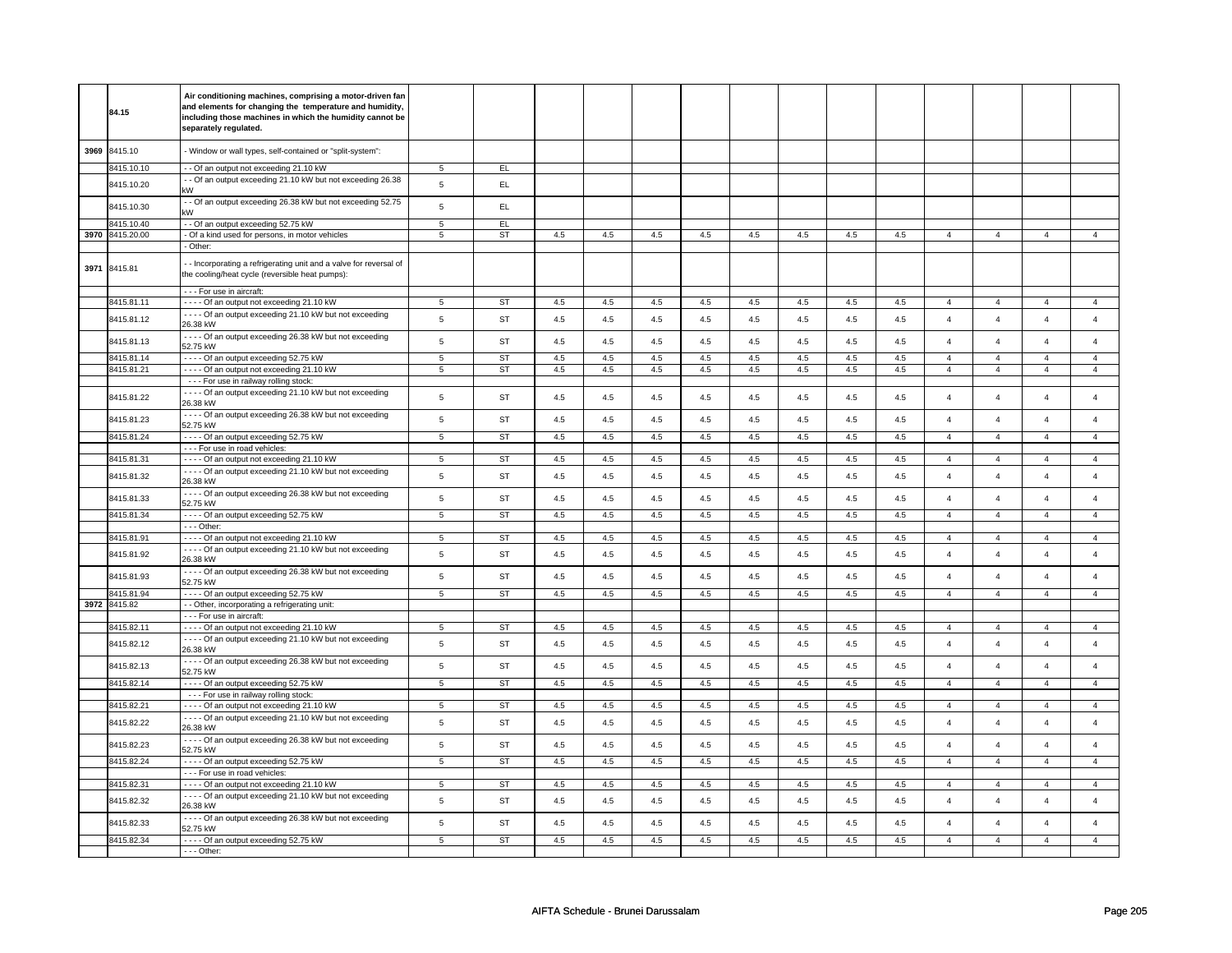|      |                 | Air conditioning machines, comprising a motor-driven fan              |                |           |         |         |     |     |         |     |         |     |                |                |                |                         |
|------|-----------------|-----------------------------------------------------------------------|----------------|-----------|---------|---------|-----|-----|---------|-----|---------|-----|----------------|----------------|----------------|-------------------------|
|      | 84.15           | and elements for changing the temperature and humidity,               |                |           |         |         |     |     |         |     |         |     |                |                |                |                         |
|      |                 | including those machines in which the humidity cannot be              |                |           |         |         |     |     |         |     |         |     |                |                |                |                         |
|      |                 | separately regulated.                                                 |                |           |         |         |     |     |         |     |         |     |                |                |                |                         |
|      |                 |                                                                       |                |           |         |         |     |     |         |     |         |     |                |                |                |                         |
| 3969 | 8415.10         | - Window or wall types, self-contained or "split-system":             |                |           |         |         |     |     |         |     |         |     |                |                |                |                         |
|      |                 |                                                                       |                |           |         |         |     |     |         |     |         |     |                |                |                |                         |
|      | 8415.10.10      | - - Of an output not exceeding 21.10 kW                               | 5              | EL.       |         |         |     |     |         |     |         |     |                |                |                |                         |
|      | 8415.10.20      | - Of an output exceeding 21.10 kW but not exceeding 26.38             | 5              | EL.       |         |         |     |     |         |     |         |     |                |                |                |                         |
|      |                 | kW                                                                    |                |           |         |         |     |     |         |     |         |     |                |                |                |                         |
|      | 8415.10.30      | - Of an output exceeding 26.38 kW but not exceeding 52.75             | $\,$ 5 $\,$    | EL        |         |         |     |     |         |     |         |     |                |                |                |                         |
|      |                 | kW                                                                    |                |           |         |         |     |     |         |     |         |     |                |                |                |                         |
|      | 8415.10.40      | - - Of an output exceeding 52.75 kW                                   | $\overline{5}$ | EL        |         |         |     |     |         |     |         |     |                |                |                |                         |
|      | 3970 8415.20.00 | - Of a kind used for persons, in motor vehicles                       | 5              | <b>ST</b> | 4.5     | 4.5     | 4.5 | 4.5 | 4.5     | 4.5 | 4.5     | 4.5 | $\overline{4}$ | $\overline{4}$ | $\overline{4}$ | $\overline{4}$          |
|      |                 | - Other:                                                              |                |           |         |         |     |     |         |     |         |     |                |                |                |                         |
|      |                 | - Incorporating a refrigerating unit and a valve for reversal of      |                |           |         |         |     |     |         |     |         |     |                |                |                |                         |
|      | 3971 8415.81    | the cooling/heat cycle (reversible heat pumps):                       |                |           |         |         |     |     |         |     |         |     |                |                |                |                         |
|      |                 |                                                                       |                |           |         |         |     |     |         |     |         |     |                |                |                |                         |
|      |                 | - - - For use in aircraft:                                            |                |           |         |         |     |     |         |     |         |     |                |                |                |                         |
|      | 8415.81.11      | - - - - Of an output not exceeding 21.10 kW                           | 5              | <b>ST</b> | 4.5     | 4.5     | 4.5 | 4.5 | 4.5     | 4.5 | 4.5     | 4.5 | $\overline{4}$ | $\overline{4}$ | $\overline{4}$ | $\overline{4}$          |
|      |                 | - - - - Of an output exceeding 21.10 kW but not exceeding             | 5              | <b>ST</b> | 4.5     |         |     |     |         | 4.5 |         |     | $\overline{4}$ | $\overline{4}$ | $\overline{4}$ |                         |
|      | 8415.81.12      | 26.38 kW                                                              |                |           |         | 4.5     | 4.5 | 4.5 | 4.5     |     | 4.5     | 4.5 |                |                |                | $\overline{4}$          |
|      |                 | - - - - Of an output exceeding 26.38 kW but not exceeding             |                |           |         |         |     |     |         |     |         |     |                |                |                |                         |
|      | 8415.81.13      | 52.75 kW                                                              | 5              | <b>ST</b> | 4.5     | 4.5     | 4.5 | 4.5 | 4.5     | 4.5 | 4.5     | 4.5 | $\overline{4}$ | $\overline{4}$ | $\overline{4}$ | $\overline{\mathbf{4}}$ |
|      | 8415.81.14      | - - - - Of an output exceeding 52.75 kW                               | $\,$ 5 $\,$    | <b>ST</b> | 4.5     | 4.5     | 4.5 | 4.5 | 4.5     | 4.5 | 4.5     | 4.5 | $\overline{4}$ | $\overline{4}$ | $\overline{4}$ | $\overline{4}$          |
|      | 8415.81.21      | - - - - Of an output not exceeding 21.10 kW                           | 5              | <b>ST</b> | 4.5     | 4.5     | 4.5 | 4.5 | 4.5     | 4.5 | 4.5     | 4.5 | $\overline{4}$ | $\overline{4}$ | $\overline{4}$ | $\overline{4}$          |
|      |                 | - - - For use in railway rolling stock:                               |                |           |         |         |     |     |         |     |         |     |                |                |                |                         |
|      |                 | ---- Of an output exceeding 21.10 kW but not exceeding                |                |           |         |         |     |     |         |     |         |     |                |                |                |                         |
|      | 8415.81.22      | 26.38 kW                                                              | $\sqrt{5}$     | <b>ST</b> | 4.5     | 4.5     | 4.5 | 4.5 | 4.5     | 4.5 | 4.5     | 4.5 | $\overline{4}$ | $\overline{4}$ | $\overline{4}$ | $\overline{4}$          |
|      |                 | - - - - Of an output exceeding 26.38 kW but not exceeding             |                |           |         |         |     |     |         |     |         |     |                |                |                |                         |
|      | 8415.81.23      | 52.75 kW                                                              | $\sqrt{5}$     | <b>ST</b> | 4.5     | 4.5     | 4.5 | 4.5 | 4.5     | 4.5 | 4.5     | 4.5 | $\overline{4}$ | $\overline{4}$ | $\overline{a}$ | $\overline{4}$          |
|      |                 |                                                                       |                |           |         |         |     |     |         |     |         | 4.5 | $\overline{4}$ | $\overline{4}$ | $\overline{4}$ | $\overline{4}$          |
|      | 8415.81.24      | - - - - Of an output exceeding 52.75 kW                               | $\overline{5}$ | <b>ST</b> | 4.5     | 4.5     | 4.5 | 4.5 | 4.5     | 4.5 | 4.5     |     |                |                |                |                         |
|      |                 | - - - For use in road vehicles:                                       |                |           |         |         |     |     |         |     |         |     |                |                |                |                         |
|      | 3415.81.31      | ---- Of an output not exceeding 21.10 kW                              | 5              | <b>ST</b> | 4.5     | 4.5     | 4.5 | 4.5 | 4.5     | 4.5 | 4.5     | 4.5 | $\overline{4}$ | $\overline{4}$ | $\overline{4}$ | $\overline{4}$          |
|      | 8415.81.32      | - - - - Of an output exceeding 21.10 kW but not exceeding             | $\,$ 5 $\,$    | <b>ST</b> | 4.5     | 4.5     | 4.5 | 4.5 | 4.5     | 4.5 | 4.5     | 4.5 | $\overline{4}$ | $\overline{4}$ | $\overline{4}$ | $\overline{4}$          |
|      |                 | 26.38 kW                                                              |                |           |         |         |     |     |         |     |         |     |                |                |                |                         |
|      | 8415.81.33      | - - - - Of an output exceeding 26.38 kW but not exceeding             | $\,$ 5 $\,$    | <b>ST</b> | 4.5     | 4.5     | 4.5 | 4.5 | 4.5     | 4.5 | 4.5     | 4.5 | $\overline{4}$ | $\overline{4}$ | $\overline{a}$ | $\overline{4}$          |
|      |                 | 52.75 kW                                                              |                |           |         |         |     |     |         |     |         |     |                |                |                |                         |
|      | 8415.81.34      | ---- Of an output exceeding 52.75 kW                                  | 5              | <b>ST</b> | 4.5     | 4.5     | 4.5 | 4.5 | 4.5     | 4.5 | 4.5     | 4.5 | $\overline{4}$ | $\overline{4}$ | $\overline{4}$ | $\overline{4}$          |
|      |                 | --- Other:                                                            |                |           |         |         |     |     |         |     |         |     |                |                |                |                         |
|      | 8415.81.91      | ---- Of an output not exceeding 21.10 kW                              | 5              | ST        | $4.5\,$ | 4.5     | 4.5 | 4.5 | $4.5\,$ | 4.5 | $4.5\,$ | 4.5 | $\overline{4}$ | $\overline{4}$ | $\overline{4}$ | $\overline{4}$          |
|      | 8415.81.92      | ---- Of an output exceeding 21.10 kW but not exceeding                | $\sqrt{5}$     | <b>ST</b> | 4.5     | 4.5     | 4.5 | 4.5 | 4.5     | 4.5 | 4.5     | 4.5 | $\overline{4}$ | $\overline{4}$ | $\overline{4}$ | $\overline{4}$          |
|      |                 | 26.38 kW                                                              |                |           |         |         |     |     |         |     |         |     |                |                |                |                         |
|      | 8415.81.93      | - - - - Of an output exceeding 26.38 kW but not exceeding             | $\sqrt{5}$     | <b>ST</b> | $4.5\,$ | 4.5     | 4.5 | 4.5 | 4.5     | 4.5 | 4.5     | 4.5 | $\overline{4}$ | $\overline{4}$ | $\overline{4}$ | $\overline{4}$          |
|      |                 | 52.75 kW                                                              |                |           |         |         |     |     |         |     |         |     |                |                |                |                         |
|      | 8415.81.94      | - - - - Of an output exceeding 52.75 kW                               | $\,$ 5 $\,$    | <b>ST</b> | 4.5     | 4.5     | 4.5 | 4.5 | 4.5     | 4.5 | 4.5     | 4.5 | $\overline{4}$ | $\overline{4}$ | $\overline{4}$ | $\overline{4}$          |
|      | 3972 8415.82    | - - Other, incorporating a refrigerating unit:                        |                |           |         |         |     |     |         |     |         |     |                |                |                |                         |
|      |                 | - - - For use in aircraft:                                            |                |           |         |         |     |     |         |     |         |     |                |                |                |                         |
|      | 8415.82.11      | - - - - Of an output not exceeding 21.10 kW                           | 5              | ST        | 4.5     | 4.5     | 4.5 | 4.5 | 4.5     | 4.5 | 4.5     | 4.5 | $\overline{4}$ | $\overline{4}$ | $\overline{4}$ | $\overline{4}$          |
|      | 8415.82.12      | - - - - Of an output exceeding 21.10 kW but not exceeding             | $\,$ 5 $\,$    | <b>ST</b> | 4.5     | 4.5     | 4.5 | 4.5 | 4.5     | 4.5 | 4.5     | 4.5 | $\overline{4}$ | $\overline{4}$ | $\overline{4}$ | $\overline{4}$          |
|      |                 | 26.38 kW                                                              |                |           |         |         |     |     |         |     |         |     |                |                |                |                         |
|      |                 | - - - - Of an output exceeding 26.38 kW but not exceeding             |                |           |         |         |     |     |         |     |         |     |                |                |                |                         |
|      | 8415.82.13      | 52.75 kW                                                              | $\,$ 5 $\,$    | <b>ST</b> | 4.5     | 4.5     | 4.5 | 4.5 | 4.5     | 4.5 | 4.5     | 4.5 | $\overline{4}$ | $\overline{4}$ | $\overline{4}$ | $\overline{4}$          |
|      | 8415.82.14      | - - - - Of an output exceeding 52.75 kW                               | 5              | ST        | 4.5     | 4.5     | 4.5 | 4.5 | 4.5     | 4.5 | 4.5     | 4.5 | $\overline{4}$ | $\overline{4}$ | $\overline{4}$ | $\overline{4}$          |
|      |                 | --- For use in railway rolling stock:                                 |                |           |         |         |     |     |         |     |         |     |                |                |                |                         |
|      | 8415.82.21      | ---- Of an output not exceeding 21.10 kW                              | 5              | <b>ST</b> | 4.5     | 4.5     | 4.5 | 4.5 | 4.5     | 4.5 | 4.5     | 4.5 | $\overline{4}$ | $\overline{4}$ | $\overline{4}$ | $\overline{4}$          |
|      |                 | - - - - Of an output exceeding 21.10 kW but not exceeding             |                |           |         |         |     |     |         |     |         |     |                |                |                |                         |
|      | 8415.82.22      | 26.38 kW                                                              | $\sqrt{5}$     | ST        | 4.5     | 4.5     | 4.5 | 4.5 | 4.5     | 4.5 | 4.5     | 4.5 | $\overline{4}$ | $\overline{4}$ | $\overline{4}$ | $\overline{4}$          |
|      |                 | - - - - Of an output exceeding 26.38 kW but not exceeding             |                |           |         |         |     |     |         |     |         |     |                |                |                |                         |
|      | 8415.82.23      | 52.75 kW                                                              | $\,$ 5 $\,$    | <b>ST</b> | $4.5\,$ | $4.5\,$ | 4.5 | 4.5 | 4.5     | 4.5 | 4.5     | 4.5 | $\overline{4}$ | $\overline{4}$ | $\overline{a}$ | $\overline{4}$          |
|      | 8415.82.24      | - - - - Of an output exceeding 52.75 kW                               | 5              | <b>ST</b> | 4.5     | 4.5     | 4.5 | 4.5 | 4.5     | 4.5 | 4.5     | 4.5 | $\overline{4}$ | $\overline{4}$ | $\overline{4}$ | $\overline{4}$          |
|      |                 | --- For use in road vehicles:                                         |                |           |         |         |     |     |         |     |         |     |                |                |                |                         |
|      | 8415.82.31      | - - - - Of an output not exceeding 21.10 kW                           | $\overline{5}$ | ST        | 4.5     | 4.5     | 4.5 | 4.5 | 4.5     | 4.5 | 4.5     | 4.5 | $\overline{4}$ | $\overline{4}$ | $\overline{4}$ | $\overline{4}$          |
|      |                 | - - - - Of an output exceeding 21.10 kW but not exceeding             |                |           |         |         |     |     |         |     |         |     |                |                |                |                         |
|      | 8415.82.32      | 26.38 kW                                                              | $\,$ 5 $\,$    | <b>ST</b> | 4.5     | 4.5     | 4.5 | 4.5 | 4.5     | 4.5 | 4.5     | 4.5 | $\overline{4}$ | $\overline{4}$ | $\overline{4}$ | $\overline{4}$          |
|      |                 |                                                                       |                |           |         |         |     |     |         |     |         |     |                |                |                |                         |
|      | 8415.82.33      | - - - - Of an output exceeding 26.38 kW but not exceeding<br>52.75 kW | $\,$ 5 $\,$    | <b>ST</b> | 4.5     | $4.5\,$ | 4.5 | 4.5 | 4.5     | 4.5 | 4.5     | 4.5 | $\overline{4}$ | $\overline{4}$ | $\overline{4}$ | $\overline{4}$          |
|      |                 |                                                                       | 5              |           |         |         |     |     |         |     |         |     | $\overline{4}$ | $\overline{4}$ | $\overline{4}$ | $\overline{4}$          |
|      | 8415.82.34      | - - - - Of an output exceeding 52.75 kW                               |                | <b>ST</b> | 4.5     | 4.5     | 4.5 | 4.5 | 4.5     | 4.5 | 4.5     | 4.5 |                |                |                |                         |
|      |                 | - - - Other:                                                          |                |           |         |         |     |     |         |     |         |     |                |                |                |                         |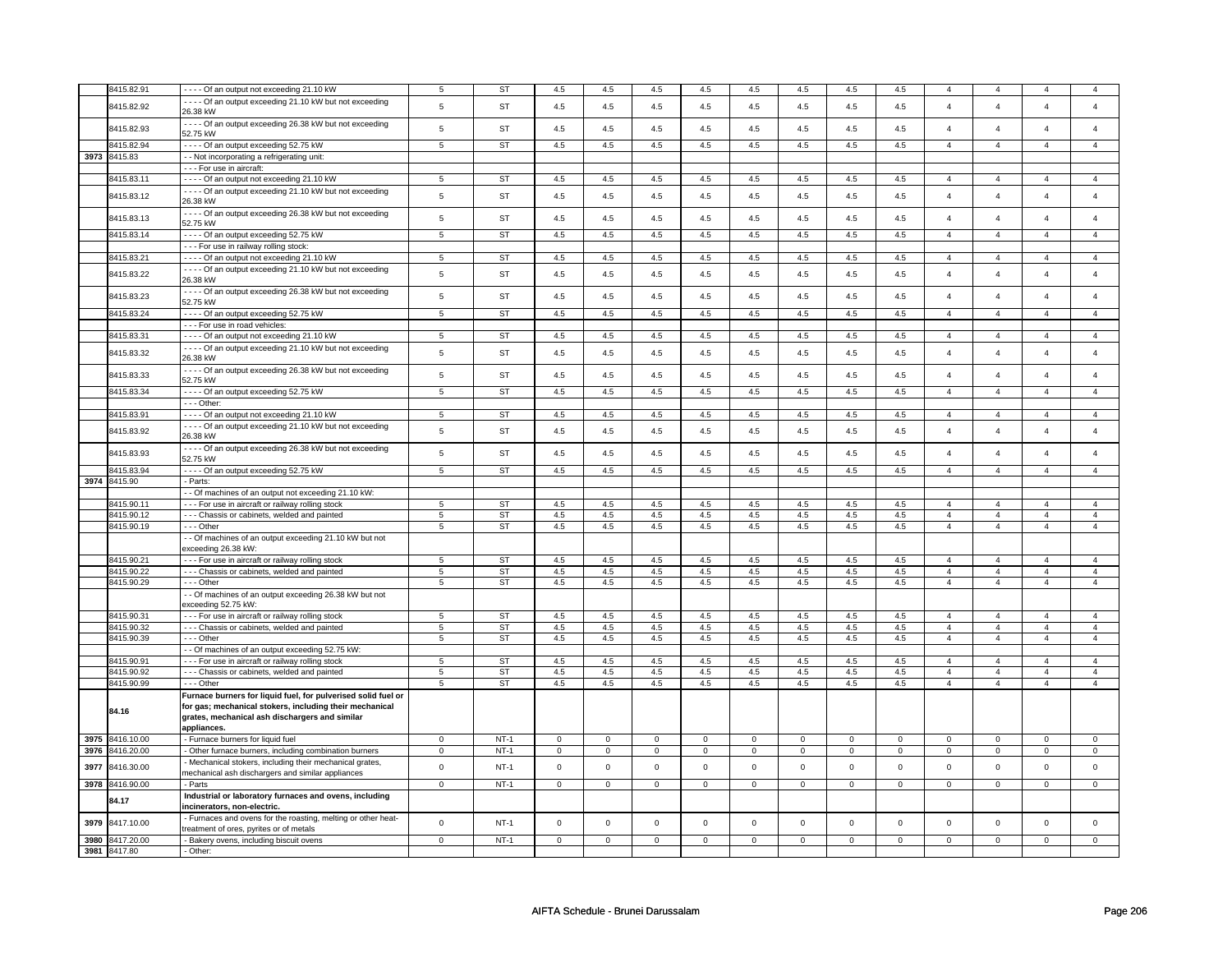|      | 3415.82.91      | ---- Of an output not exceeding 21.10 kW                                                                 | 5              | <b>ST</b> | 4.5         | 4.5            | 4.5         | 4.5            | 4.5                 | 4.5            | 4.5          | 4.5            | $\overline{4}$ | $\overline{4}$ |                | $\overline{4}$          |
|------|-----------------|----------------------------------------------------------------------------------------------------------|----------------|-----------|-------------|----------------|-------------|----------------|---------------------|----------------|--------------|----------------|----------------|----------------|----------------|-------------------------|
|      |                 | - - - - Of an output exceeding 21.10 kW but not exceeding                                                |                |           |             |                |             |                |                     |                |              |                |                |                |                |                         |
|      | 8415.82.92      | 26.38 kW                                                                                                 | $\,$ 5 $\,$    | <b>ST</b> | 4.5         | $4.5\,$        | 4.5         | 4.5            | 4.5                 | 4.5            | 4.5          | 4.5            | $\overline{4}$ | $\overline{4}$ | $\overline{4}$ | $\overline{4}$          |
|      |                 | - - - - Of an output exceeding 26.38 kW but not exceeding                                                |                |           |             |                |             |                |                     |                |              |                |                |                |                |                         |
|      | 8415.82.93      | 52.75 kW                                                                                                 | $\sqrt{5}$     | <b>ST</b> | 4.5         | $4.5\,$        | 4.5         | 4.5            | 4.5                 | 4.5            | 4.5          | 4.5            | $\overline{4}$ | $\overline{4}$ | $\Delta$       | $\overline{4}$          |
|      | 8415.82.94      | - - - - Of an output exceeding 52.75 kW                                                                  | $\,$ 5 $\,$    | <b>ST</b> | $4.5\,$     | $4.5\,$        | 4.5         | 4.5            | 4.5                 | 4.5            | $4.5\,$      | 4.5            | $\overline{4}$ | $\overline{4}$ | $\overline{a}$ | $\overline{4}$          |
|      |                 |                                                                                                          |                |           |             |                |             |                |                     |                |              |                |                |                |                |                         |
|      | 3973 8415.83    | - - Not incorporating a refrigerating unit:                                                              |                |           |             |                |             |                |                     |                |              |                |                |                |                |                         |
|      |                 | - - - For use in aircraft:                                                                               |                |           |             |                |             |                |                     |                |              |                |                |                |                |                         |
|      | 3415.83.11      | ---- Of an output not exceeding 21.10 kW                                                                 | 5              | <b>ST</b> | 4.5         | 4.5            | 4.5         | 4.5            | 4.5                 | 4.5            | 4.5          | 4.5            | $\overline{4}$ | $\overline{4}$ | $\overline{4}$ | $\overline{4}$          |
|      | 8415.83.12      | - - - - Of an output exceeding 21.10 kW but not exceeding                                                | $\,$ 5 $\,$    | <b>ST</b> | 4.5         | 4.5            | 4.5         | 4.5            | 4.5                 | 4.5            | 4.5          | 4.5            | $\overline{4}$ | $\overline{4}$ | $\Delta$       | $\overline{4}$          |
|      |                 | 26.38 kW                                                                                                 |                |           |             |                |             |                |                     |                |              |                |                |                |                |                         |
|      | 8415.83.13      | - - - - Of an output exceeding 26.38 kW but not exceeding                                                | $\,$ 5 $\,$    | <b>ST</b> | 4.5         | 4.5            | 4.5         | 4.5            | 4.5                 | 4.5            | 4.5          | 4.5            | $\overline{4}$ | $\overline{4}$ | $\overline{a}$ | $\overline{4}$          |
|      |                 | 52.75 kW                                                                                                 |                |           |             |                |             |                |                     |                |              |                |                |                |                |                         |
|      | 8415.83.14      | ---- Of an output exceeding 52.75 kW                                                                     | 5              | ST        | 4.5         | 4.5            | 4.5         | 4.5            | 4.5                 | 4.5            | 4.5          | 4.5            | $\overline{4}$ | $\overline{4}$ | $\overline{4}$ | $\overline{4}$          |
|      |                 | - - - For use in railway rolling stock:                                                                  |                |           |             |                |             |                |                     |                |              |                |                |                |                |                         |
|      | 8415.83.21      | - - - - Of an output not exceeding 21.10 kW                                                              | 5              | <b>ST</b> | $4.5\,$     | 4.5            | 4.5         | 4.5            | 4.5                 | 4.5            | 4.5          | 4.5            | $\overline{4}$ | $\overline{4}$ | $\overline{4}$ | $\overline{4}$          |
|      |                 | - - - - Of an output exceeding 21.10 kW but not exceeding                                                |                |           |             |                |             |                |                     |                |              |                |                |                |                |                         |
|      | 8415.83.22      | 26.38 kW                                                                                                 | $\,$ 5 $\,$    | ST        | 4.5         | 4.5            | 4.5         | 4.5            | 4.5                 | 4.5            | 4.5          | 4.5            | $\overline{4}$ | $\overline{4}$ | $\overline{4}$ | $\overline{4}$          |
|      |                 | ---- Of an output exceeding 26.38 kW but not exceeding                                                   |                |           |             |                |             |                |                     |                |              |                |                |                |                |                         |
|      | 8415.83.23      | 52.75 kW                                                                                                 | $\,$ 5 $\,$    | <b>ST</b> | 4.5         | 4.5            | 4.5         | 4.5            | 4.5                 | 4.5            | 4.5          | 4.5            | $\overline{4}$ | $\overline{4}$ | $\overline{4}$ | $\overline{4}$          |
|      | 8415.83.24      | - - - - Of an output exceeding 52.75 kW                                                                  | 5              | <b>ST</b> | 4.5         | 4.5            | 4.5         | 4.5            | 4.5                 | 4.5            | 4.5          | 4.5            | $\overline{4}$ | $\overline{4}$ | $\overline{4}$ | $\overline{4}$          |
|      |                 | --- For use in road vehicles:                                                                            |                |           |             |                |             |                |                     |                |              |                |                |                |                |                         |
|      | 8415.83.31      | - - - - Of an output not exceeding 21.10 kW                                                              | $\overline{5}$ | ST        | 4.5         | 4.5            | 4.5         | 4.5            | 4.5                 | 4.5            | 4.5          | 4.5            | $\overline{4}$ | $\overline{4}$ | $\overline{4}$ | $\overline{4}$          |
|      |                 | ---- Of an output exceeding 21.10 kW but not exceeding                                                   |                |           |             |                |             |                |                     |                |              |                |                |                |                |                         |
|      | 8415.83.32      | 26.38 kW                                                                                                 | $\,$ 5 $\,$    | <b>ST</b> | $4.5\,$     | 4.5            | 4.5         | 4.5            | 4.5                 | 4.5            | 4.5          | 4.5            | $\overline{4}$ | $\overline{4}$ | $\overline{4}$ | $\overline{4}$          |
|      |                 |                                                                                                          |                |           |             |                |             |                |                     |                |              |                |                |                |                |                         |
|      | 8415.83.33      | - - - - Of an output exceeding 26.38 kW but not exceeding                                                | $\,$ 5 $\,$    | <b>ST</b> | $4.5\,$     | $4.5\,$        | 4.5         | $4.5\,$        | $4.5\,$             | 4.5            | 4.5          | 4.5            | $\overline{4}$ | $\overline{4}$ | $\overline{a}$ | $\overline{4}$          |
|      |                 | 52.75 kW                                                                                                 |                |           |             |                |             |                |                     |                |              |                |                |                |                |                         |
|      | 8415.83.34      | ---- Of an output exceeding 52.75 kW                                                                     | $\overline{5}$ | <b>ST</b> | 4.5         | 4.5            | 4.5         | 4.5            | 4.5                 | 4.5            | 4.5          | 4.5            | $\overline{4}$ | $\overline{4}$ | $\overline{4}$ | $\overline{4}$          |
|      |                 | $- -$ Other:                                                                                             |                |           |             |                |             |                |                     |                |              |                |                |                |                |                         |
|      | 8415.83.91      | - - - - Of an output not exceeding 21.10 kW                                                              | 5              | <b>ST</b> | 4.5         | 4.5            | 4.5         | 4.5            | 4.5                 | 4.5            | 4.5          | 4.5            | $\overline{4}$ | $\overline{4}$ | $\overline{4}$ | $\overline{4}$          |
|      | 8415.83.92      | - - - - Of an output exceeding 21.10 kW but not exceeding                                                | $\,$ 5 $\,$    | <b>ST</b> | 4.5         | 4.5            | 4.5         | 4.5            | 4.5                 | 4.5            | 4.5          | 4.5            | $\overline{4}$ | $\overline{4}$ | $\overline{4}$ | $\overline{4}$          |
|      |                 | 26.38 kW                                                                                                 |                |           |             |                |             |                |                     |                |              |                |                |                |                |                         |
|      | 8415.83.93      | ---- Of an output exceeding 26.38 kW but not exceeding                                                   | $\,$ 5 $\,$    | <b>ST</b> | 4.5         | 4.5            | 4.5         | 4.5            | 4.5                 | 4.5            | 4.5          | 4.5            | $\overline{4}$ | $\overline{4}$ | $\overline{4}$ | $\overline{\mathbf{4}}$ |
|      |                 | 52.75 kW                                                                                                 |                |           |             |                |             |                |                     |                |              |                |                |                |                |                         |
|      | 8415.83.94      | - - - - Of an output exceeding 52.75 kW                                                                  | $\,$ 5 $\,$    | <b>ST</b> | 4.5         | $4.5\,$        | 4.5         | 4.5            | $4.5\,$             | 4.5            | $4.5\,$      | $4.5\,$        | $\overline{4}$ | $\overline{4}$ | $\overline{4}$ | $\overline{4}$          |
|      | 3974 8415.90    | - Parts:                                                                                                 |                |           |             |                |             |                |                     |                |              |                |                |                |                |                         |
|      |                 | - Of machines of an output not exceeding 21.10 kW:                                                       |                |           |             |                |             |                |                     |                |              |                |                |                |                |                         |
|      | 8415.90.11      | -- For use in aircraft or railway rolling stock                                                          | 5              | ST        | 4.5         | 4.5            | 4.5         | 4.5            | 4.5                 | 4.5            | 4.5          | 4.5            | $\overline{4}$ | $\overline{4}$ | $\overline{4}$ | $\overline{4}$          |
|      | 8415.90.12      | - - - Chassis or cabinets, welded and painted                                                            | $\overline{5}$ | <b>ST</b> | 4.5         | 4.5            | 4.5         | 4.5            | 4.5                 | 4.5            | 4.5          | 4.5            | $\overline{4}$ | $\overline{4}$ | $\overline{4}$ | $\overline{4}$          |
|      | 8415.90.19      | - - - Other                                                                                              | 5              | <b>ST</b> | 4.5         | 4.5            | 4.5         | 4.5            | 4.5                 | 4.5            | 4.5          | 4.5            | $\overline{4}$ | $\overline{4}$ | $\overline{4}$ | $\overline{4}$          |
|      |                 | - - Of machines of an output exceeding 21.10 kW but not                                                  |                |           |             |                |             |                |                     |                |              |                |                |                |                |                         |
|      |                 | exceeding 26.38 kW:                                                                                      |                |           |             |                |             |                |                     |                |              |                |                |                |                |                         |
|      | 8415.90.21      | - - - For use in aircraft or railway rolling stock                                                       | 5              | ST        | 4.5         | 4.5            | 4.5         | 4.5            | 4.5                 | 4.5            | 4.5          | 4.5            | $\overline{4}$ | $\overline{4}$ | $\overline{4}$ | $\overline{4}$          |
|      | 8415.90.22      | - - - Chassis or cabinets, welded and painted                                                            | 5              | <b>ST</b> | 4.5         | 4.5            | 4.5         | 4.5            | 4.5                 | 4.5            | 4.5          | 4.5            | $\overline{4}$ | $\overline{4}$ | $\overline{4}$ | $\overline{4}$          |
|      | 8415.90.29      |                                                                                                          | $\overline{5}$ | <b>ST</b> | 4.5         | 4.5            | 4.5         | 4.5            | 4.5                 | 4.5            | 4.5          | 4.5            | $\overline{4}$ | $\overline{4}$ | $\overline{4}$ | $\overline{4}$          |
|      |                 | --- Other                                                                                                |                |           |             |                |             |                |                     |                |              |                |                |                |                |                         |
|      |                 | - - Of machines of an output exceeding 26.38 kW but not                                                  |                |           |             |                |             |                |                     |                |              |                |                |                |                |                         |
|      |                 | exceeding 52.75 kW:                                                                                      |                |           |             |                |             |                |                     |                |              |                |                |                |                |                         |
|      | 8415.90.31      | - - - For use in aircraft or railway rolling stock                                                       | 5              | <b>ST</b> | 4.5         | 4.5            | 4.5         | 4.5            | 4.5                 | 4.5            | 4.5          | 4.5            | $\overline{4}$ | $\overline{4}$ | $\overline{4}$ | $\overline{4}$          |
|      | 8415.90.32      | - - - Chassis or cabinets, welded and painted                                                            | 5              | ST        | 4.5         | 4.5            | 4.5         | 4.5            | 4.5                 | 4.5            | 4.5          | 4.5            | $\overline{4}$ | $\overline{4}$ | $\overline{4}$ | $\overline{4}$          |
|      | 8415.90.39      | --- Other                                                                                                | 5              | <b>ST</b> | 4.5         | 4.5            | 4.5         | 4.5            | 4.5                 | 4.5            | 4.5          | 4.5            | $\overline{4}$ | $\overline{4}$ | $\mathbf{A}$   | $\overline{4}$          |
|      |                 | - - Of machines of an output exceeding 52.75 kW:                                                         |                |           |             |                |             |                |                     |                |              |                |                |                |                |                         |
|      | 8415.90.91      | --- For use in aircraft or railway rolling stock                                                         | 5              | ST        | 4.5         | 4.5            | 4.5         | 4.5            | 4.5                 | 4.5            | 4.5          | 4.5            | $\overline{4}$ | $\overline{4}$ | $\mathbf{A}$   | $\overline{4}$          |
|      | 8415.90.92      | --- Chassis or cabinets, welded and painted                                                              | 5              | ST        | 4.5         | 4.5            | 4.5         | 4.5            | 4.5                 | 4.5            | 4.5          | 4.5            | $\overline{4}$ | $\overline{4}$ | $\overline{4}$ | $\overline{4}$          |
|      | 8415.90.99      | --- Other                                                                                                | 5              | <b>ST</b> | 4.5         | 4.5            | 4.5         | 4.5            | 4.5                 | 4.5            | 4.5          | 4.5            | $\overline{4}$ | $\overline{4}$ | $\overline{4}$ | $\overline{4}$          |
|      |                 | Furnace burners for liquid fuel, for pulverised solid fuel or                                            |                |           |             |                |             |                |                     |                |              |                |                |                |                |                         |
|      |                 | for gas; mechanical stokers, including their mechanical                                                  |                |           |             |                |             |                |                     |                |              |                |                |                |                |                         |
|      | 84.16           | grates, mechanical ash dischargers and similar                                                           |                |           |             |                |             |                |                     |                |              |                |                |                |                |                         |
|      |                 | appliances.                                                                                              |                |           |             |                |             |                |                     |                |              |                |                |                |                |                         |
|      | 3975 8416.10.00 | - Furnace burners for liquid fuel                                                                        | $\mathbf 0$    | $NT-1$    | $\mathbf 0$ | $\mathbf 0$    | $\mathbf 0$ | $\mathbf 0$    | $\mathbf 0$         | $\mathbf 0$    | 0            | $\mathbf 0$    | 0              | $\mathbf 0$    | 0              | 0                       |
| 3976 | 8416.20.00      | - Other furnace burners, including combination burners                                                   | $\mathbf 0$    | $NT-1$    | $\mathsf 0$ | $\mathsf 0$    | $\mathbf 0$ | $\mathbf 0$    | $\mathsf 0$         | $\mathsf 0$    | $\mathbf 0$  | $\mathbf 0$    | $\mathsf 0$    | $\mathbf 0$    | $\mathbf 0$    | $\mathbf 0$             |
|      |                 | - Mechanical stokers, including their mechanical grates,                                                 |                |           |             |                |             |                |                     |                |              |                |                |                |                |                         |
| 3977 | 8416.30.00      | mechanical ash dischargers and similar appliances                                                        | $\mathsf 0$    | $NT-1$    | $\mathbf 0$ | $\mathsf 0$    | $\mathsf 0$ | $\mathbf 0$    | $\mathsf 0$         | $\mathbf 0$    | $\mathbf 0$  | $\mathsf 0$    | $\mathsf 0$    | $\mathbf 0$    | $\mathsf 0$    | $\mathbf 0$             |
|      | 3978 8416.90.00 | - Parts                                                                                                  | $\mathsf 0$    | $NT-1$    | $\mathbf 0$ | $\mathsf 0$    | $\mathsf 0$ | $\mathbf 0$    | $\mathsf 0$         | $\mathbf 0$    | $\mathbf 0$  | $\mathbf 0$    | $\mathsf 0$    | $\mathbf 0$    | $\mathbf 0$    | $\mathbf{0}$            |
|      |                 |                                                                                                          |                |           |             |                |             |                |                     |                |              |                |                |                |                |                         |
|      | 84.17           | Industrial or laboratory furnaces and ovens, including<br>incinerators, non-electric.                    |                |           |             |                |             |                |                     |                |              |                |                |                |                |                         |
|      |                 |                                                                                                          |                |           |             |                |             |                |                     |                |              |                |                |                |                |                         |
| 3979 | 8417.10.00      | - Furnaces and ovens for the roasting, melting or other heat-<br>treatment of ores, pyrites or of metals | $\mathsf 0$    | $NT-1$    | $\mathbf 0$ | $\mathsf 0$    | $\mathbf 0$ | $\mathbf 0$    | $\mathsf{O}\xspace$ | $\mathsf 0$    | $\mathsf 0$  | $\mathsf 0$    | $\mathsf 0$    | $\mathbf 0$    | $\mathsf 0$    | $\mathbf 0$             |
|      | 3980 8417.20.00 |                                                                                                          |                |           |             |                |             |                |                     |                |              |                |                |                |                |                         |
|      |                 | - Bakery ovens, including biscuit ovens                                                                  | $\overline{0}$ | $NT-1$    | $\mathbf 0$ | $\overline{0}$ | $\mathbf 0$ | $\overline{0}$ | $\overline{0}$      | $\overline{0}$ | $\mathbf{0}$ | $\overline{0}$ | $\mathbf 0$    | $\overline{0}$ | 0              | $\overline{0}$          |
|      | 3981 8417.80    | - Other:                                                                                                 |                |           |             |                |             |                |                     |                |              |                |                |                |                |                         |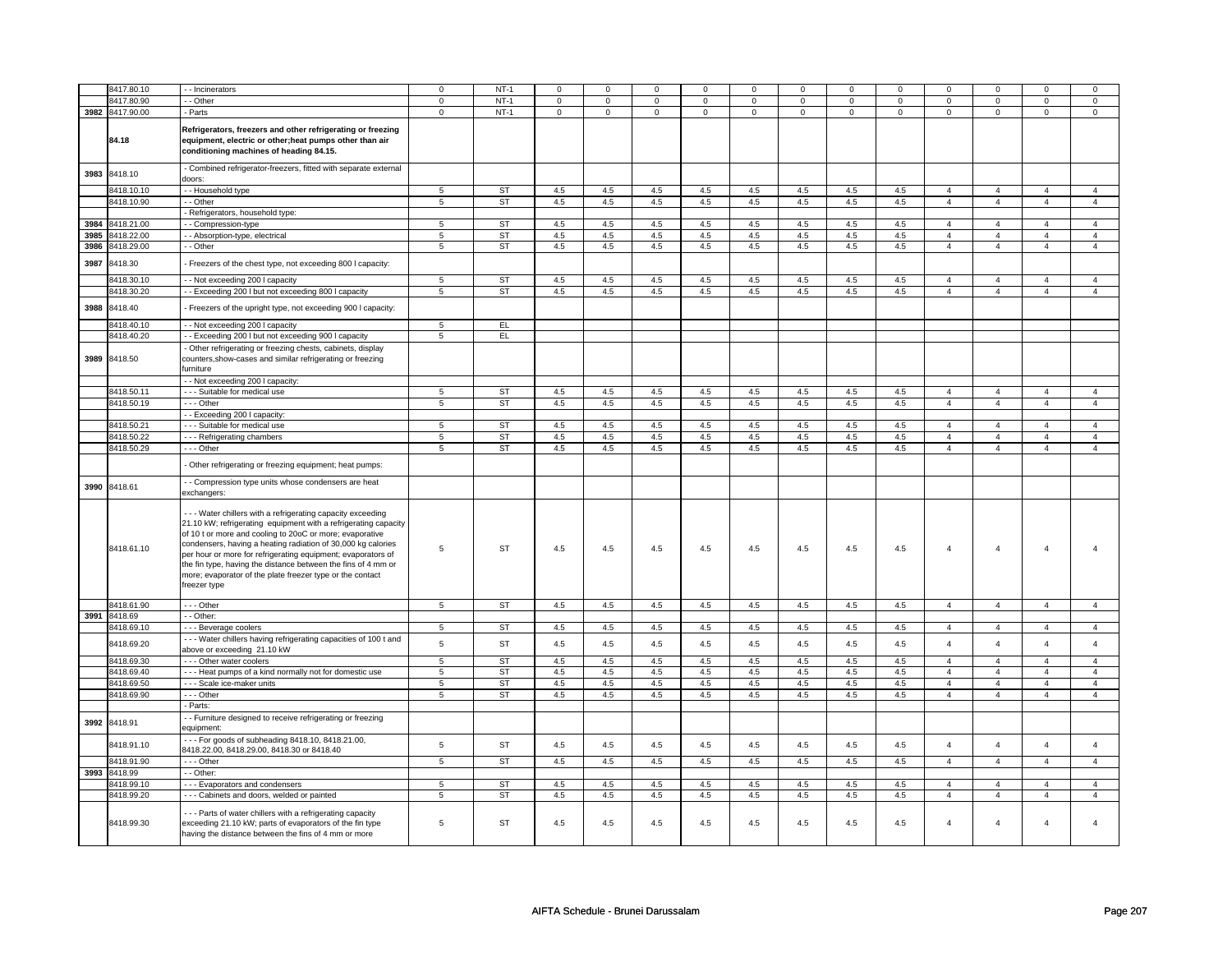|      | 8417.80.10                 | - - Incinerators                                                                                                                                                                                                                                                                                                                                                                                                                                                        | $\Omega$       | $NT-1$          | $\Omega$    | $\Omega$    | 0              | $\Omega$    | $\Omega$    | $\Omega$    | 0           | $\Omega$    | $\Omega$       | $\Omega$                         |                     | $\Omega$       |
|------|----------------------------|-------------------------------------------------------------------------------------------------------------------------------------------------------------------------------------------------------------------------------------------------------------------------------------------------------------------------------------------------------------------------------------------------------------------------------------------------------------------------|----------------|-----------------|-------------|-------------|----------------|-------------|-------------|-------------|-------------|-------------|----------------|----------------------------------|---------------------|----------------|
|      | 8417.80.90                 | - Other                                                                                                                                                                                                                                                                                                                                                                                                                                                                 | $\mathsf 0$    | $NT-1$          |             | $\mathbf 0$ |                | $\mathbf 0$ |             |             |             |             |                |                                  |                     | $\mathbf 0$    |
|      |                            |                                                                                                                                                                                                                                                                                                                                                                                                                                                                         |                |                 | 0           |             | 0              |             | 0           | $\mathbf 0$ | 0           | $\mathbf 0$ | 0              | $\mathbf 0$                      | 0                   |                |
|      | 3982 8417.90.00<br>84.18   | - Parts<br>Refrigerators, freezers and other refrigerating or freezing<br>equipment, electric or other;heat pumps other than air<br>conditioning machines of heading 84.15.                                                                                                                                                                                                                                                                                             | $\mathbf 0$    | $NT-1$          | $\mathbf 0$ | $\mathbf 0$ | $\mathbf 0$    | $\mathbf 0$ | $\mathbf 0$ | $\mathbf 0$ | $\mathbf 0$ | $\mathbf 0$ | $\mathbf 0$    | $\mathbf 0$                      | $\mathbf 0$         | $\mathbf 0$    |
|      | 3983 8418.10               | - Combined refrigerator-freezers, fitted with separate external<br>doors:                                                                                                                                                                                                                                                                                                                                                                                               |                |                 |             |             |                |             |             |             |             |             |                |                                  |                     |                |
|      | 8418.10.10                 | - Household type                                                                                                                                                                                                                                                                                                                                                                                                                                                        | 5              | ST              | 4.5         | 4.5         | 4.5            | 4.5         | 4.5         | 4.5         | 4.5         | 4.5         | $\overline{4}$ | $\overline{4}$                   | $\overline{4}$      | $\overline{4}$ |
|      | 8418.10.90                 | - Other                                                                                                                                                                                                                                                                                                                                                                                                                                                                 | 5              | <b>ST</b>       | 4.5         | 4.5         | 4.5            | 4.5         | 4.5         | 4.5         | 4.5         | 4.5         | $\overline{4}$ | $\overline{4}$                   | $\overline{4}$      | $\overline{4}$ |
|      |                            | Refrigerators, household type:                                                                                                                                                                                                                                                                                                                                                                                                                                          |                |                 |             |             |                |             |             |             |             |             |                |                                  |                     |                |
|      | 3984 8418.21.00            | - Compression-type                                                                                                                                                                                                                                                                                                                                                                                                                                                      | 5              | ST              | 4.5         | 4.5         | 4.5            | 4.5         | 4.5         | 4.5         | 4.5         | 4.5         | $\overline{4}$ | $\overline{4}$                   | $\overline{4}$      | $\overline{4}$ |
|      | 3985 8418.22.00            | - Absorption-type, electrical                                                                                                                                                                                                                                                                                                                                                                                                                                           | 5              | <b>ST</b>       | 4.5         | 4.5         | 4.5            | 4.5         | 4.5         | 4.5         | 4.5         | 4.5         | $\overline{4}$ | $\overline{4}$                   | $\overline{a}$      | $\overline{4}$ |
|      | 3986 8418.29.00            | - Other                                                                                                                                                                                                                                                                                                                                                                                                                                                                 | $\,$ 5 $\,$    | <b>ST</b>       | 4.5         | 4.5         | 4.5            | 4.5         | 4.5         | $4.5\,$     | 4.5         | $4.5\,$     | $\overline{4}$ | $\overline{4}$                   | $\overline{4}$      | $\overline{4}$ |
| 3987 | 8418.30                    | Freezers of the chest type, not exceeding 800 I capacity:                                                                                                                                                                                                                                                                                                                                                                                                               |                |                 |             |             |                |             |             |             |             |             |                |                                  |                     |                |
|      | 8418.30.10                 | - - Not exceeding 200 I capacity                                                                                                                                                                                                                                                                                                                                                                                                                                        | 5              | ST              | 4.5         | 4.5         | 4.5            | 4.5         | 4.5         | 4.5         | 4.5         | 4.5         | $\overline{4}$ | 4                                | $\overline{4}$      | 4              |
|      | 8418.30.20                 | -- Exceeding 200 I but not exceeding 800 I capacity                                                                                                                                                                                                                                                                                                                                                                                                                     | 5              | ST              | 4.5         | 4.5         | 4.5            | 4.5         | 4.5         | 4.5         | 4.5         | 4.5         | $\overline{4}$ | $\overline{4}$                   | $\overline{4}$      | $\overline{4}$ |
| 3988 | 8418.40                    | - Freezers of the upright type, not exceeding 900 I capacity:                                                                                                                                                                                                                                                                                                                                                                                                           |                |                 |             |             |                |             |             |             |             |             |                |                                  |                     |                |
|      | 8418.40.10                 | - Not exceeding 200 I capacity                                                                                                                                                                                                                                                                                                                                                                                                                                          | 5              | EL.             |             |             |                |             |             |             |             |             |                |                                  |                     |                |
|      | 8418.40.20                 | - - Exceeding 200 I but not exceeding 900 I capacity                                                                                                                                                                                                                                                                                                                                                                                                                    | $\overline{5}$ | EL              |             |             |                |             |             |             |             |             |                |                                  |                     |                |
|      | 3989 8418.50               | Other refrigerating or freezing chests, cabinets, display<br>counters, show-cases and similar refrigerating or freezing<br>iurniture                                                                                                                                                                                                                                                                                                                                    |                |                 |             |             |                |             |             |             |             |             |                |                                  |                     |                |
|      |                            | - - Not exceeding 200 I capacity:                                                                                                                                                                                                                                                                                                                                                                                                                                       |                |                 |             |             |                |             |             |             |             |             |                |                                  |                     |                |
|      | 3418.50.11                 | - - Suitable for medical use                                                                                                                                                                                                                                                                                                                                                                                                                                            | 5              | <b>ST</b>       | 4.5         | 4.5         | 4.5            | 4.5         | 4.5         | 4.5         | 4.5         | 4.5         | $\overline{4}$ | $\overline{4}$                   | $\overline{4}$      | $\overline{4}$ |
|      | 8418.50.19                 | - - - Other                                                                                                                                                                                                                                                                                                                                                                                                                                                             | 5              | ST              | 4.5         | 4.5         | 4.5            | 4.5         | 4.5         | 4.5         | 4.5         | 4.5         | $\overline{4}$ | $\overline{4}$                   | $\overline{4}$      | $\overline{4}$ |
|      |                            | - Exceeding 200 I capacity:                                                                                                                                                                                                                                                                                                                                                                                                                                             |                |                 |             |             |                |             |             |             |             |             | $\overline{4}$ |                                  | $\overline{4}$      | $\overline{4}$ |
|      | 8418.50.21<br>8418.50.22   | - - - Suitable for medical use                                                                                                                                                                                                                                                                                                                                                                                                                                          | 5              | <b>ST</b><br>ST | 4.5<br>4.5  | 4.5<br>4.5  | $4.5\,$<br>4.5 | 4.5<br>4.5  | 4.5<br>4.5  | 4.5<br>4.5  | 4.5<br>4.5  | 4.5<br>4.5  | $\overline{4}$ | $\overline{4}$<br>$\overline{4}$ |                     | $\overline{4}$ |
|      | 8418.50.29                 | --- Refrigerating chambers<br>- - - Other                                                                                                                                                                                                                                                                                                                                                                                                                               | 5<br>5         | ST              | 4.5         | 4.5         | 4.5            | 4.5         | 4.5         | 4.5         | 4.5         | 4.5         | $\overline{4}$ | $\overline{4}$                   | $\overline{4}$<br>4 | $\overline{4}$ |
|      |                            | Other refrigerating or freezing equipment; heat pumps:                                                                                                                                                                                                                                                                                                                                                                                                                  |                |                 |             |             |                |             |             |             |             |             |                |                                  |                     |                |
| 3990 | 8418.61                    | - - Compression type units whose condensers are heat<br>exchangers:                                                                                                                                                                                                                                                                                                                                                                                                     |                |                 |             |             |                |             |             |             |             |             |                |                                  |                     |                |
|      | 8418.61.10                 | --- Water chillers with a refrigerating capacity exceeding<br>21.10 kW; refrigerating equipment with a refrigerating capacity<br>of 10 t or more and cooling to 20oC or more; evaporative<br>condensers, having a heating radiation of 30,000 kg calories<br>per hour or more for refrigerating equipment; evaporators of<br>the fin type, having the distance between the fins of 4 mm or<br>more; evaporator of the plate freezer type or the contact<br>freezer type | 5              | <b>ST</b>       | 4.5         | 4.5         | $4.5\,$        | 4.5         | 4.5         | 4.5         | 4.5         | 4.5         | $\overline{4}$ | $\overline{4}$                   | $\overline{4}$      | $\Delta$       |
|      | 8418.61.90                 | --- Other                                                                                                                                                                                                                                                                                                                                                                                                                                                               | 5              | ST              | 4.5         | 4.5         | 4.5            | 4.5         | 4.5         | 4.5         | 4.5         | 4.5         | $\overline{4}$ | $\overline{4}$                   | $\overline{4}$      | $\overline{4}$ |
|      | 3991 8418.69<br>8418.69.10 | - - Other:<br>--- Beverage coolers                                                                                                                                                                                                                                                                                                                                                                                                                                      | 5              | ST              | 4.5         | 4.5         | 4.5            | 4.5         | 4.5         | 4.5         | 4.5         | 4.5         | $\overline{4}$ | $\overline{4}$                   | $\overline{4}$      | $\overline{4}$ |
|      | 8418.69.20                 | --- Water chillers having refrigerating capacities of 100 t and                                                                                                                                                                                                                                                                                                                                                                                                         | 5              | <b>ST</b>       | 4.5         | 4.5         | $4.5\,$        | 4.5         | 4.5         | 4.5         | 4.5         | 4.5         | $\overline{4}$ | $\overline{4}$                   | $\overline{4}$      | $\overline{4}$ |
|      | 8418.69.30                 | above or exceeding 21.10 kW<br>- - - Other water coolers                                                                                                                                                                                                                                                                                                                                                                                                                | $\overline{5}$ | ST              | 4.5         | 4.5         | 4.5            | 4.5         | 4.5         | 4.5         | 4.5         | 4.5         | $\overline{4}$ | $\overline{4}$                   | $\overline{4}$      | $\overline{4}$ |
|      | 8418.69.40                 | --- Heat pumps of a kind normally not for domestic use                                                                                                                                                                                                                                                                                                                                                                                                                  | $\overline{5}$ | ST              | 4.5         | 4.5         | 4.5            | 4.5         | 4.5         | 4.5         | 4.5         | 4.5         | $\overline{4}$ | $\overline{4}$                   | $\overline{4}$      | $\overline{4}$ |
|      | 8418.69.50                 | - - - Scale ice-maker units                                                                                                                                                                                                                                                                                                                                                                                                                                             | 5              | <b>ST</b>       | 4.5         | 4.5         | $4.5\,$        | 4.5         | 4.5         | 4.5         | 4.5         | 4.5         | $\overline{4}$ | $\overline{4}$                   | $\overline{4}$      | $\overline{4}$ |
|      | 3418.69.90                 | --- Other                                                                                                                                                                                                                                                                                                                                                                                                                                                               | $\,$ 5 $\,$    | <b>ST</b>       | $4.5\,$     | $4.5\,$     | $4.5\,$        | $4.5\,$     | 4.5         | $4.5\,$     | 4.5         | $4.5\,$     | $\overline{4}$ | $\overline{4}$                   | $\overline{4}$      | $\overline{4}$ |
|      |                            | - Parts:                                                                                                                                                                                                                                                                                                                                                                                                                                                                |                |                 |             |             |                |             |             |             |             |             |                |                                  |                     |                |
| 3992 | 8418.91                    | - - Furniture designed to receive refrigerating or freezing<br>equipment:                                                                                                                                                                                                                                                                                                                                                                                               |                |                 |             |             |                |             |             |             |             |             |                |                                  |                     |                |
|      | 8418.91.10                 | --- For goods of subheading 8418.10, 8418.21.00,<br>8418.22.00, 8418.29.00, 8418.30 or 8418.40                                                                                                                                                                                                                                                                                                                                                                          | 5              | <b>ST</b>       | 4.5         | 4.5         | 4.5            | 4.5         | 4.5         | 4.5         | 4.5         | 4.5         | $\overline{4}$ | $\overline{4}$                   | $\overline{4}$      | $\overline{4}$ |
|      | 8418.91.90                 | $--$ Other                                                                                                                                                                                                                                                                                                                                                                                                                                                              | 5              | ST              | 4.5         | 4.5         | 4.5            | 4.5         | 4.5         | 4.5         | 4.5         | 4.5         | $\overline{4}$ | $\overline{4}$                   | $\overline{4}$      | $\overline{4}$ |
|      | 3993 8418.99               | - - Other:                                                                                                                                                                                                                                                                                                                                                                                                                                                              |                |                 |             |             |                |             |             |             |             |             |                |                                  |                     |                |
|      | 8418.99.10                 | - - - Evaporators and condensers                                                                                                                                                                                                                                                                                                                                                                                                                                        | 5              | ST              | 4.5         | 4.5         | 4.5            | 4.5         | 4.5         | 4.5         | 4.5         | 4.5         | $\overline{4}$ | $\overline{4}$                   | $\overline{4}$      | $\overline{4}$ |
|      | 8418.99.20                 | --- Cabinets and doors, welded or painted<br>--- Parts of water chillers with a refrigerating capacity                                                                                                                                                                                                                                                                                                                                                                  | $\overline{5}$ | ST              | 4.5         | 4.5         | 4.5            | 4.5         | 4.5         | 4.5         | 4.5         | 4.5         | $\overline{4}$ | $\overline{4}$                   | $\overline{4}$      | $\overline{4}$ |
|      | 8418.99.30                 | exceeding 21.10 kW; parts of evaporators of the fin type<br>having the distance between the fins of 4 mm or more                                                                                                                                                                                                                                                                                                                                                        | 5              | <b>ST</b>       | 4.5         | 4.5         | 4.5            | 4.5         | 4.5         | 4.5         | 4.5         | 4.5         | $\overline{4}$ | $\overline{\mathbf{4}}$          | $\overline{4}$      | $\overline{a}$ |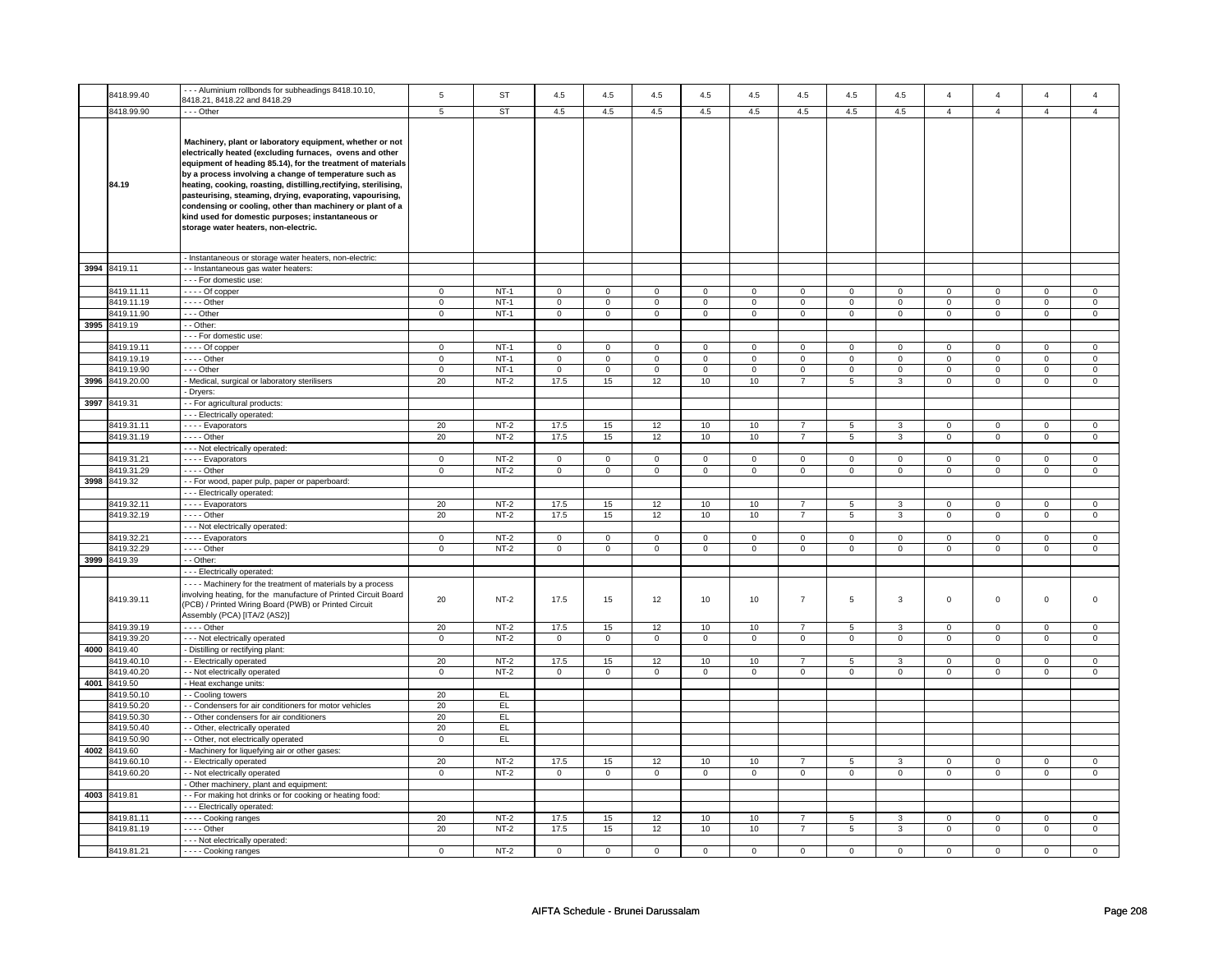|      |                 | --- Aluminium rollbonds for subheadings 8418.10.10,                                                                                                                                                                                                                                                                                                                                                                                                                                                                                     |              |                |                     |              |                     |                     |                     |                     |                |              |                |                |                |                |
|------|-----------------|-----------------------------------------------------------------------------------------------------------------------------------------------------------------------------------------------------------------------------------------------------------------------------------------------------------------------------------------------------------------------------------------------------------------------------------------------------------------------------------------------------------------------------------------|--------------|----------------|---------------------|--------------|---------------------|---------------------|---------------------|---------------------|----------------|--------------|----------------|----------------|----------------|----------------|
|      | 8418.99.40      | 8418.21, 8418.22 and 8418.29                                                                                                                                                                                                                                                                                                                                                                                                                                                                                                            | $\,$ 5 $\,$  | ST             | 4.5                 | 4.5          | 4.5                 | 4.5                 | 4.5                 | 4.5                 | 4.5            | $4.5\,$      | $\overline{a}$ | $\overline{4}$ | $\overline{a}$ | $\overline{4}$ |
|      | 8418.99.90      | $- -$ Other                                                                                                                                                                                                                                                                                                                                                                                                                                                                                                                             | 5            | <b>ST</b>      | 4.5                 | 4.5          | 4.5                 | 4.5                 | 4.5                 | 4.5                 | 4.5            | 4.5          | $\overline{4}$ | $\overline{4}$ | $\overline{4}$ | $\overline{4}$ |
|      |                 |                                                                                                                                                                                                                                                                                                                                                                                                                                                                                                                                         |              |                |                     |              |                     |                     |                     |                     |                |              |                |                |                |                |
|      | 84.19           | Machinery, plant or laboratory equipment, whether or not<br>electrically heated (excluding furnaces, ovens and other<br>equipment of heading 85.14), for the treatment of materials<br>by a process involving a change of temperature such as<br>heating, cooking, roasting, distilling,rectifying, sterilising,<br>pasteurising, steaming, drying, evaporating, vapourising,<br>condensing or cooling, other than machinery or plant of a<br>kind used for domestic purposes; instantaneous or<br>storage water heaters, non-electric. |              |                |                     |              |                     |                     |                     |                     |                |              |                |                |                |                |
|      |                 | - Instantaneous or storage water heaters, non-electric:                                                                                                                                                                                                                                                                                                                                                                                                                                                                                 |              |                |                     |              |                     |                     |                     |                     |                |              |                |                |                |                |
|      | 3994 8419.11    | - - Instantaneous gas water heaters:                                                                                                                                                                                                                                                                                                                                                                                                                                                                                                    |              |                |                     |              |                     |                     |                     |                     |                |              |                |                |                |                |
|      |                 | - - - For domestic use:                                                                                                                                                                                                                                                                                                                                                                                                                                                                                                                 |              |                |                     |              |                     |                     |                     |                     |                |              |                |                |                |                |
|      | 8419.11.11      | $- - -$ Of copper                                                                                                                                                                                                                                                                                                                                                                                                                                                                                                                       | $\mathbf 0$  | $NT-1$         | $\mathsf 0$         | $\mathsf 0$  | $\mathbf 0$         | $\mathbf 0$         | $\mathbf 0$         | $\mathbf 0$         | $\mathbf 0$    | $\mathsf 0$  | $\mathbf 0$    | $\mathsf 0$    | $\Omega$       | $\mathbf 0$    |
|      | 8419.11.19      | - - - - Other                                                                                                                                                                                                                                                                                                                                                                                                                                                                                                                           | $\mathbf 0$  | $NT-1$         | $\mathsf 0$         | $\mathbf 0$  | $\mathsf 0$         | $\mathsf{O}\xspace$ | $\mathsf 0$         | $\mathbf 0$         | $\mathsf 0$    | $\mathbf 0$  | $\mathsf 0$    | $\overline{0}$ | $\mathsf 0$    | $\overline{0}$ |
|      | 8419.11.90      | --- Other                                                                                                                                                                                                                                                                                                                                                                                                                                                                                                                               | $\mathbf 0$  | $NT-1$         | $\mathsf{O}\xspace$ | $\mathbf 0$  | $\mathsf{O}\xspace$ | $\mathbf 0$         | $\mathsf 0$         | $\mathbf 0$         | $\mathsf 0$    | $\mathbf 0$  | $\mathsf 0$    | $\mathbf 0$    | $\mathsf 0$    | $\mathsf 0$    |
|      | 3995 8419.19    | - - Other:                                                                                                                                                                                                                                                                                                                                                                                                                                                                                                                              |              |                |                     |              |                     |                     |                     |                     |                |              |                |                |                |                |
|      |                 | --- For domestic use:                                                                                                                                                                                                                                                                                                                                                                                                                                                                                                                   |              |                |                     |              |                     |                     |                     |                     |                |              |                |                |                |                |
|      | 8419.19.11      | - - - - Of copper                                                                                                                                                                                                                                                                                                                                                                                                                                                                                                                       | $\mathbf{0}$ | NT-1           | $\mathbf 0$         | $\mathbf{0}$ | $\mathbf 0$         | $\overline{0}$      | $\mathbf 0$         | $\mathbf 0$         | $\mathbf 0$    | $\mathbf{0}$ | $\mathbf 0$    | $\mathbf{0}$   | 0              | $\mathbf{0}$   |
|      | 8419.19.19      | $- - -$ Other                                                                                                                                                                                                                                                                                                                                                                                                                                                                                                                           | $\mathbf 0$  | $NT-1$         | $\mathbf 0$         | $\mathbf 0$  | $\mathbf 0$         | $\mathbf 0$         | $\Omega$            | $\mathbf 0$         | $\Omega$       | $\mathbf 0$  | $\Omega$       | $\mathbf 0$    | $\Omega$       | $\mathbf 0$    |
|      | 8419.19.90      |                                                                                                                                                                                                                                                                                                                                                                                                                                                                                                                                         | $\mathbf 0$  | $NT-1$         | $\mathbf 0$         | $\mathbf 0$  | $\mathbf 0$         | $\mathbf 0$         | $\mathbf 0$         | $\mathsf 0$         | $\mathbf 0$    | $\mathbf 0$  | $\mathbf 0$    | $\mathbf 0$    | $\Omega$       | $\mathbf 0$    |
|      |                 | --- Other                                                                                                                                                                                                                                                                                                                                                                                                                                                                                                                               |              |                |                     |              |                     |                     |                     |                     |                |              |                |                |                |                |
|      | 3996 8419.20.00 | - Medical, surgical or laboratory sterilisers                                                                                                                                                                                                                                                                                                                                                                                                                                                                                           | 20           | $NT-2$         | 17.5                | 15           | 12                  | 10                  | 10                  | $\overline{7}$      | 5              | 3            | $\mathbf 0$    | $\mathbf 0$    | $\mathbf 0$    | $\mathbf 0$    |
|      |                 | - Dryers:                                                                                                                                                                                                                                                                                                                                                                                                                                                                                                                               |              |                |                     |              |                     |                     |                     |                     |                |              |                |                |                |                |
|      | 3997 8419.31    | - - For agricultural products:                                                                                                                                                                                                                                                                                                                                                                                                                                                                                                          |              |                |                     |              |                     |                     |                     |                     |                |              |                |                |                |                |
|      |                 | --- Electrically operated:                                                                                                                                                                                                                                                                                                                                                                                                                                                                                                              |              |                |                     |              |                     |                     |                     |                     |                |              |                |                |                |                |
|      | 8419.31.1       | - - - - Evaporators                                                                                                                                                                                                                                                                                                                                                                                                                                                                                                                     | 20           | $NT-2$         | 17.5                | 15           | 12                  | 10                  | 10                  | $\overline{7}$      | 5              | 3            | $\mathsf 0$    | $\mathsf 0$    | $\mathbf 0$    | $\mathbf 0$    |
|      | 8419.31.19      | - - - - Other                                                                                                                                                                                                                                                                                                                                                                                                                                                                                                                           | 20           | $NT-2$         | 17.5                | 15           | 12                  | 10                  | 10                  | $\overline{7}$      | 5              | 3            | $\mathsf 0$    | $\mathsf 0$    | $\mathsf 0$    | $\mathbf 0$    |
|      |                 | --- Not electrically operated:                                                                                                                                                                                                                                                                                                                                                                                                                                                                                                          |              |                |                     |              |                     |                     |                     |                     |                |              |                |                |                |                |
|      | 8419.31.21      | - - - Evaporators                                                                                                                                                                                                                                                                                                                                                                                                                                                                                                                       | 0            | $NT-2$         | $\mathbf 0$         | $\mathbf 0$  | 0                   | $\mathbf 0$         | $\mathbf 0$         | 0                   | $\mathbf 0$    | 0            | $\mathbf 0$    | 0              | $\mathbf 0$    | $\mathbf 0$    |
|      | 3419.31.29      | - - - - Other                                                                                                                                                                                                                                                                                                                                                                                                                                                                                                                           | $\mathbf 0$  | $NT-2$         | $\mathsf 0$         | $\mathsf 0$  | $\mathsf 0$         | $\mathsf 0$         | $\mathsf 0$         | $\mathsf{O}\xspace$ | $\mathsf 0$    | $\mathsf 0$  | $\mathsf 0$    | $\mathsf 0$    | $\mathsf 0$    | $\mathsf 0$    |
|      | 3998 8419.32    | - - For wood, paper pulp, paper or paperboard:                                                                                                                                                                                                                                                                                                                                                                                                                                                                                          |              |                |                     |              |                     |                     |                     |                     |                |              |                |                |                |                |
|      |                 | --- Electrically operated:                                                                                                                                                                                                                                                                                                                                                                                                                                                                                                              |              |                |                     |              |                     |                     |                     |                     |                |              |                |                |                |                |
|      | 8419.32.1       | - - - - Evaporators                                                                                                                                                                                                                                                                                                                                                                                                                                                                                                                     | 20           | $NT-2$         | 17.5                | 15           | 12                  | 10                  | 10                  | $\overline{7}$      | 5              | 3            | $\mathsf 0$    | $\mathsf 0$    | $\Omega$       | $\mathbf 0$    |
|      | 8419.32.19      | $\cdots$ - Other                                                                                                                                                                                                                                                                                                                                                                                                                                                                                                                        | 20           | $NT-2$         | 17.5                | 15           | 12                  | 10                  | 10                  | $\overline{7}$      | $\overline{5}$ | 3            | $\mathbf 0$    | $\overline{0}$ | $\Omega$       | $\overline{0}$ |
|      |                 |                                                                                                                                                                                                                                                                                                                                                                                                                                                                                                                                         |              |                |                     |              |                     |                     |                     |                     |                |              |                |                |                |                |
|      |                 | --- Not electrically operated:                                                                                                                                                                                                                                                                                                                                                                                                                                                                                                          |              |                |                     |              |                     |                     |                     |                     |                |              |                |                |                |                |
|      | 8419.32.21      | - - - Evaporators                                                                                                                                                                                                                                                                                                                                                                                                                                                                                                                       | $\mathbf 0$  | $NT-2$         | $\mathbf 0$         | $\mathbf 0$  | $\mathbf 0$         | $\mathbf{0}$        | $\mathbf 0$         | $\mathbf 0$         | $\mathbf 0$    | $\mathbf 0$  | $\mathbf 0$    | $\mathbf 0$    | $\Omega$       | $\mathbf 0$    |
|      | 8419.32.29      | - - - - Other                                                                                                                                                                                                                                                                                                                                                                                                                                                                                                                           | $\mathbf 0$  | $NT-2$         | $\mathbf 0$         | $\mathbf 0$  | $\mathbf 0$         | $\overline{0}$      | $\mathsf 0$         | $\mathbf 0$         | $\mathbf 0$    | $\mathbf 0$  | $\mathsf 0$    | $\mathsf 0$    | $\mathbf 0$    | $\mathbf 0$    |
|      | 3999 8419.39    | - - Other:                                                                                                                                                                                                                                                                                                                                                                                                                                                                                                                              |              |                |                     |              |                     |                     |                     |                     |                |              |                |                |                |                |
|      |                 | --- Electrically operated:                                                                                                                                                                                                                                                                                                                                                                                                                                                                                                              |              |                |                     |              |                     |                     |                     |                     |                |              |                |                |                |                |
|      | 8419.39.11      | - - - - Machinery for the treatment of materials by a process<br>involving heating, for the manufacture of Printed Circuit Board<br>(PCB) / Printed Wiring Board (PWB) or Printed Circuit<br>Assembly (PCA) [ITA/2 (AS2)]                                                                                                                                                                                                                                                                                                               | 20           | $NT-2$         | 17.5                | 15           | 12                  | 10                  | 10                  | $\overline{7}$      | 5              | 3            | $\mathsf 0$    | $\mathsf 0$    | $\mathsf 0$    | $\mathbf 0$    |
|      | 8419.39.19      | - - - - Other                                                                                                                                                                                                                                                                                                                                                                                                                                                                                                                           | 20           | $NT-2$         | 17.5                | 15           | 12                  | 10                  | 10                  | $\overline{7}$      | 5              | 3            | $\mathbf 0$    | $\mathbf{0}$   | $\mathbf 0$    | $\mathbf{0}$   |
|      | 8419.39.20      | - - - Not electrically operated                                                                                                                                                                                                                                                                                                                                                                                                                                                                                                         | $\mathbf{0}$ | $NT-2$         | $\mathbf 0$         | $\mathbf 0$  | $\mathbf 0$         | $\mathbf 0$         | $\mathbf 0$         | $\mathbf{0}$        | $\mathbf 0$    | $\mathbf 0$  | $\mathbf 0$    | $\mathbf 0$    | $\mathbf 0$    | $\mathbf{0}$   |
| 4000 | 8419.40         | - Distilling or rectifying plant:                                                                                                                                                                                                                                                                                                                                                                                                                                                                                                       |              |                |                     |              |                     |                     |                     |                     |                |              |                |                |                |                |
|      | 8419.40.10      | - - Electrically operated                                                                                                                                                                                                                                                                                                                                                                                                                                                                                                               | 20           | $NT-2$         | 17.5                | 15           | 12                  | 10                  | 10                  | $\overline{7}$      | 5              | 3            | $\mathbf 0$    | 0              | $\mathbf 0$    | $\mathbf 0$    |
|      | 3419.40.20      | - - Not electrically operated                                                                                                                                                                                                                                                                                                                                                                                                                                                                                                           | $\mathsf 0$  | $NT-2$         | 0                   | $\mathbf 0$  | 0                   | $\mathbf 0$         | $\mathsf{O}\xspace$ | $\mathbf 0$         | $\mathsf 0$    | $\mathsf 0$  | $\mathsf 0$    | $\mathbf 0$    | $\mathsf 0$    | $\mathbf 0$    |
| 4001 | 8419.50         | - Heat exchange units:                                                                                                                                                                                                                                                                                                                                                                                                                                                                                                                  |              |                |                     |              |                     |                     |                     |                     |                |              |                |                |                |                |
|      | 8419.50.10      | - Cooling towers                                                                                                                                                                                                                                                                                                                                                                                                                                                                                                                        | 20           | EL             |                     |              |                     |                     |                     |                     |                |              |                |                |                |                |
|      | 8419.50.20      | - Condensers for air conditioners for motor vehicles                                                                                                                                                                                                                                                                                                                                                                                                                                                                                    | 20           | EL.            |                     |              |                     |                     |                     |                     |                |              |                |                |                |                |
|      | 8419.50.30      | - Other condensers for air conditioners                                                                                                                                                                                                                                                                                                                                                                                                                                                                                                 | 20           | EL <sub></sub> |                     |              |                     |                     |                     |                     |                |              |                |                |                |                |
|      | 8419.50.40      | - - Other, electrically operated                                                                                                                                                                                                                                                                                                                                                                                                                                                                                                        | 20           | EL             |                     |              |                     |                     |                     |                     |                |              |                |                |                |                |
|      | 8419.50.90      | - - Other, not electrically operated                                                                                                                                                                                                                                                                                                                                                                                                                                                                                                    | $\mathbf 0$  | EL             |                     |              |                     |                     |                     |                     |                |              |                |                |                |                |
|      | 4002 8419.60    |                                                                                                                                                                                                                                                                                                                                                                                                                                                                                                                                         |              |                |                     |              |                     |                     |                     |                     |                |              |                |                |                |                |
|      |                 | - Machinery for liquefying air or other gases:                                                                                                                                                                                                                                                                                                                                                                                                                                                                                          |              |                |                     |              |                     |                     |                     |                     |                |              |                |                |                |                |
|      | 8419.60.10      | - - Electrically operated                                                                                                                                                                                                                                                                                                                                                                                                                                                                                                               | 20           | $NT-2$         | 17.5                | 15           | 12                  | 10                  | 10                  | $\overline{7}$      | 5              | 3            | $\mathbf 0$    | $\mathbf 0$    | $\mathbf 0$    | $\mathbf 0$    |
|      | 8419.60.20      | - - Not electrically operated                                                                                                                                                                                                                                                                                                                                                                                                                                                                                                           | $\mathbf{0}$ | $NT-2$         | $\mathbf{0}$        | $\mathbf{0}$ | $\mathbf 0$         | $\mathbf{0}$        | $\mathbf 0$         | $\mathbf 0$         | $\mathbf 0$    | $\mathbf{0}$ | $\mathbf 0$    | $\mathbf{0}$   | $\mathbf 0$    | $\mathbf{0}$   |
|      |                 | - Other machinery, plant and equipment:                                                                                                                                                                                                                                                                                                                                                                                                                                                                                                 |              |                |                     |              |                     |                     |                     |                     |                |              |                |                |                |                |
|      | 4003 8419.81    | - - For making hot drinks or for cooking or heating food:                                                                                                                                                                                                                                                                                                                                                                                                                                                                               |              |                |                     |              |                     |                     |                     |                     |                |              |                |                |                |                |
|      |                 | --- Electrically operated:                                                                                                                                                                                                                                                                                                                                                                                                                                                                                                              |              |                |                     |              |                     |                     |                     |                     |                |              |                |                |                |                |
|      | 8419.81.11      | ---- Cooking ranges                                                                                                                                                                                                                                                                                                                                                                                                                                                                                                                     | 20           | $NT-2$         | 17.5                | 15           | 12                  | 10                  | 10                  | $\overline{7}$      | 5              | 3            | $\mathbf 0$    | $\mathsf 0$    | $\mathbf 0$    | $\mathbf 0$    |
|      | 8419.81.19      | - - - - Other                                                                                                                                                                                                                                                                                                                                                                                                                                                                                                                           | 20           | $NT-2$         | 17.5                | 15           | 12                  | 10                  | 10                  | $\overline{7}$      | 5              | 3            | 0              | $\mathsf 0$    | 0              | $\mathsf 0$    |
|      |                 | - - - Not electrically operated:                                                                                                                                                                                                                                                                                                                                                                                                                                                                                                        |              |                |                     |              |                     |                     |                     |                     |                |              |                |                |                |                |
|      | 8419.81.21      | - - - - Cooking ranges                                                                                                                                                                                                                                                                                                                                                                                                                                                                                                                  | $\mathsf 0$  | $NT-2$         | $\mathsf 0$         | $\mathsf 0$  | $^{\circ}$          | $\mathbf 0$         | $^{\circ}$          | $\mathbf 0$         | $^{\circ}$     | $\mathsf 0$  | $\mathbf 0$    | $\mathsf 0$    | $\mathsf 0$    | $\mathbf 0$    |
|      |                 |                                                                                                                                                                                                                                                                                                                                                                                                                                                                                                                                         |              |                |                     |              |                     |                     |                     |                     |                |              |                |                |                |                |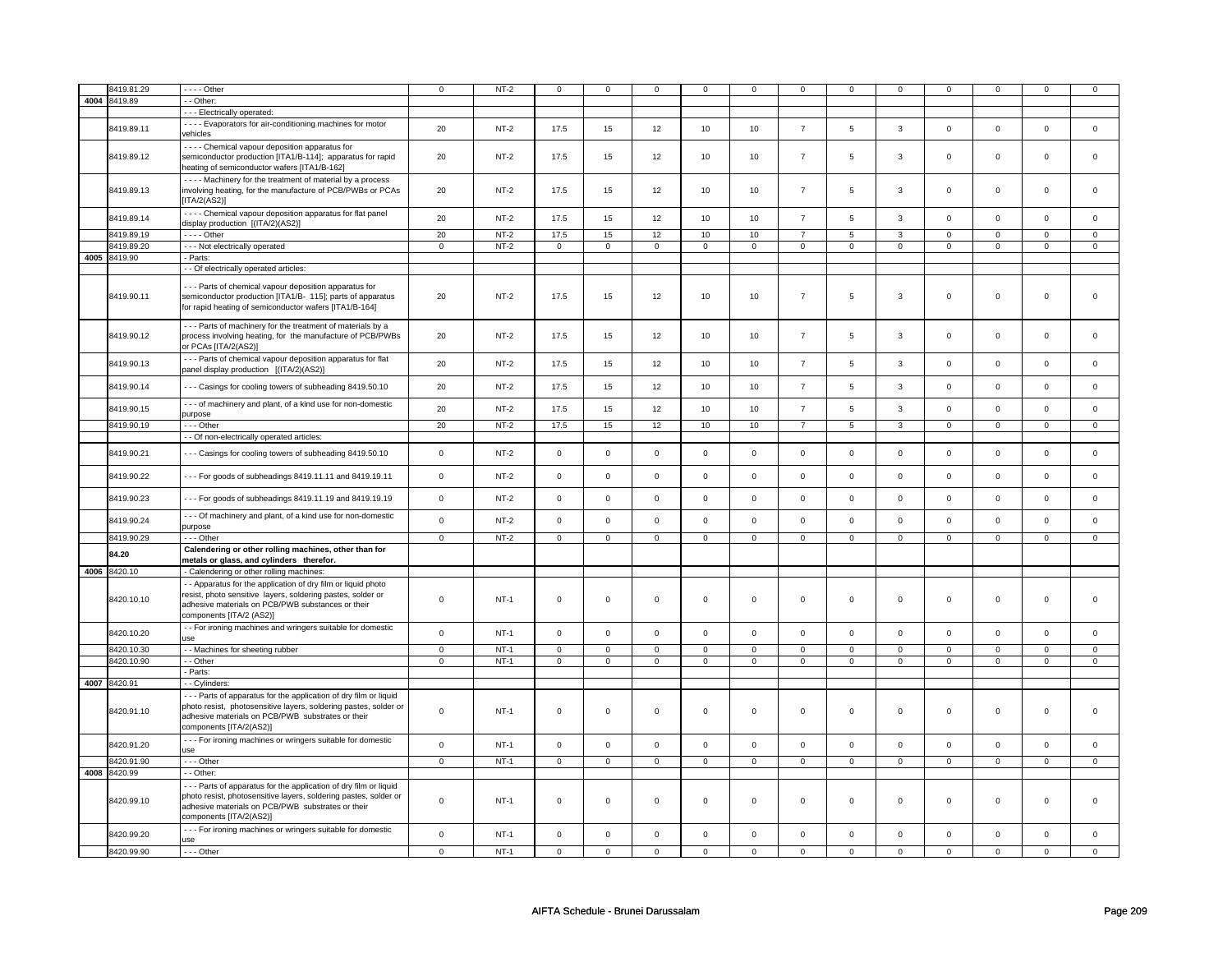|      | 8419.81.29   | - - - - Other                                                                                                                                                                                                          | $\mathbf 0$ | $NT-2$ | $\mathbf 0$         | $\mathbf 0$ | 0           | 0            | $\mathbf 0$         | 0              | 0                   | 0              | 0              | $\mathbf 0$    | 0              | $\mathbf 0$    |
|------|--------------|------------------------------------------------------------------------------------------------------------------------------------------------------------------------------------------------------------------------|-------------|--------|---------------------|-------------|-------------|--------------|---------------------|----------------|---------------------|----------------|----------------|----------------|----------------|----------------|
| 4004 | 8419.89      | $-$ Other:                                                                                                                                                                                                             |             |        |                     |             |             |              |                     |                |                     |                |                |                |                |                |
|      |              |                                                                                                                                                                                                                        |             |        |                     |             |             |              |                     |                |                     |                |                |                |                |                |
|      |              | - - - Electrically operated:                                                                                                                                                                                           |             |        |                     |             |             |              |                     |                |                     |                |                |                |                |                |
|      | 8419.89.11   | - - - - Evaporators for air-conditioning machines for motor<br>vehicles                                                                                                                                                | 20          | $NT-2$ | 17.5                | 15          | 12          | 10           | 10                  | $\overline{7}$ | 5                   | $\overline{3}$ | $\mathbf 0$    | $\mathbf{0}$   | $\mathbf{0}$   | $\mathbf{0}$   |
|      | 8419.89.12   | - - - - Chemical vapour deposition apparatus for<br>semiconductor production [ITA1/B-114]; apparatus for rapid<br>heating of semiconductor wafers [ITA1/B-162]                                                         | 20          | $NT-2$ | 17.5                | 15          | 12          | 10           | 10                  | $\overline{7}$ | 5                   | 3              | $\mathbf 0$    | $\mathbf 0$    | $\mathsf 0$    | $\mathbf 0$    |
|      | 8419.89.13   | - - - - Machinery for the treatment of material by a process<br>involving heating, for the manufacture of PCB/PWBs or PCAs<br>[ITA/2(AS2)]                                                                             | 20          | NT-2   | 17.5                | 15          | 12          | 10           | 10                  | $\overline{7}$ | 5                   | 3              | 0              | $\mathbf 0$    | $\mathsf 0$    | $\mathbf 0$    |
|      | 8419.89.14   | - - - - Chemical vapour deposition apparatus for flat panel<br>display production [(ITA/2)(AS2)]                                                                                                                       | 20          | $NT-2$ | 17.5                | 15          | 12          | 10           | $10$                | $\overline{7}$ | 5                   | $\mathbf{3}$   | $\mathsf 0$    | $\mathsf 0$    | $\mathsf 0$    | $\mathbf 0$    |
|      | 8419.89.19   | $- - -$ Other                                                                                                                                                                                                          | 20          | $NT-2$ | 17.5                | 15          | 12          | 10           | 10                  | $\overline{7}$ | 5                   | 3              | $\mathbf 0$    | $\mathsf 0$    | $\Omega$       | $\mathbf 0$    |
|      | 8419.89.20   | - - - Not electrically operated                                                                                                                                                                                        | $\mathsf 0$ | $NT-2$ | $\mathbf 0$         | $\mathsf 0$ | $\mathbf 0$ | $\mathbf 0$  | $\mathbf 0$         | $\mathbf 0$    | $\mathbf 0$         | $\mathbf 0$    | $\mathbf 0$    | $\mathsf 0$    | $\mathbf 0$    | $\mathbf 0$    |
|      | 4005 8419.90 | - Parts:                                                                                                                                                                                                               |             |        |                     |             |             |              |                     |                |                     |                |                |                |                |                |
|      |              | - - Of electrically operated articles:                                                                                                                                                                                 |             |        |                     |             |             |              |                     |                |                     |                |                |                |                |                |
|      | 8419.90.11   | - - - Parts of chemical vapour deposition apparatus for<br>semiconductor production [ITA1/B- 115]; parts of apparatus<br>for rapid heating of semiconductor wafers [ITA1/B-164]                                        | 20          | $NT-2$ | 17.5                | 15          | 12          | 10           | $10$                | $\overline{7}$ | 5                   | 3              | $\mathsf 0$    | $\mathbf 0$    | $\mathsf 0$    | $\mathbf 0$    |
|      | 8419.90.12   | - - - Parts of machinery for the treatment of materials by a<br>process involving heating, for the manufacture of PCB/PWBs<br>or PCAs [ITA/2(AS2)]                                                                     | 20          | $NT-2$ | 17.5                | 15          | 12          | 10           | 10                  | $\overline{7}$ | 5                   | 3              | $\mathbf 0$    | $\mathbf{0}$   | $\mathbf 0$    | $\mathbf 0$    |
|      | 8419.90.13   | - - - Parts of chemical vapour deposition apparatus for flat<br>panel display production [(ITA/2)(AS2)]                                                                                                                | 20          | $NT-2$ | 17.5                | 15          | 12          | 10           | 10                  | $\overline{7}$ | 5                   | $\mathbf{3}$   | $\mathsf 0$    | $\mathsf 0$    | $\mathsf 0$    | $\mathbf 0$    |
|      | 8419.90.14   | --- Casings for cooling towers of subheading 8419.50.10                                                                                                                                                                | 20          | $NT-2$ | 17.5                | 15          | 12          | 10           | 10                  | $\overline{7}$ | 5                   | $\mathbf{3}$   | $\mathsf 0$    | $\mathsf 0$    | $\mathsf 0$    | $\mathsf 0$    |
|      | 8419.90.15   | - - - of machinery and plant, of a kind use for non-domestic<br>purpose                                                                                                                                                | 20          | $NT-2$ | 17.5                | 15          | 12          | 10           | 10                  | $\overline{7}$ | 5                   | $\mathbf{3}$   | $\mathsf 0$    | $\mathsf 0$    | $\mathsf 0$    | $\mathbf 0$    |
|      | 8419.90.19   | --- Other                                                                                                                                                                                                              | 20          | $NT-2$ | 17.5                | 15          | 12          | 10           | 10                  | $\overline{7}$ | $\overline{5}$      | $\overline{3}$ | $\overline{0}$ | $\overline{0}$ | $\overline{0}$ | $\overline{0}$ |
|      |              | - - Of non-electrically operated articles:                                                                                                                                                                             |             |        |                     |             |             |              |                     |                |                     |                |                |                |                |                |
|      | 8419.90.21   | --- Casings for cooling towers of subheading 8419.50.10                                                                                                                                                                | $\mathsf 0$ | $NT-2$ | $\mathsf{O}\xspace$ | $\mathsf 0$ | $\mathbf 0$ | $\mathsf 0$  | $\mathbf 0$         | $\mathbf 0$    | $\mathbf{0}$        | $\mathsf 0$    | $\mathbf 0$    | $\mathbf{0}$   | $\mathbf 0$    | $\mathbf 0$    |
|      | 8419.90.22   | - - - For goods of subheadings 8419.11.11 and 8419.19.11                                                                                                                                                               | $\mathsf 0$ | $NT-2$ | $\mathsf 0$         | $\mathbf 0$ | $\mathbf 0$ | $\mathsf 0$  | $\mathbf 0$         | $\mathbf 0$    | $\mathbf{0}$        | 0              | $\mathbf 0$    | $\mathsf 0$    | $\mathsf 0$    | $\mathbf 0$    |
|      | 8419.90.23   | --- For goods of subheadings 8419.11.19 and 8419.19.19                                                                                                                                                                 | $\mathbf 0$ | $NT-2$ | $\mathsf{O}\xspace$ | $\mathsf 0$ | $\mathsf 0$ | $\mathsf 0$  | $\mathsf{O}\xspace$ | $\mathbf 0$    | $\mathbf 0$         | $\mathbf 0$    | $\mathsf 0$    | $\mathsf 0$    | $\mathsf 0$    | $\mathbf 0$    |
|      | 8419.90.24   | --- Of machinery and plant, of a kind use for non-domestic<br>purpose                                                                                                                                                  | $\mathbf 0$ | $NT-2$ | $\mathbf 0$         | $\mathbf 0$ | $\mathbf 0$ | $\mathbf 0$  | $\mathbf{0}$        | $\mathbf 0$    | $\mathbf{0}$        | $\mathbf 0$    | $\mathbf 0$    | $\mathbf{0}$   | $\mathbf 0$    | $\mathbf{0}$   |
|      | 8419.90.29   | --- Other                                                                                                                                                                                                              | $\mathbf 0$ | $NT-2$ | $\mathbf 0$         | $\mathbf 0$ | $\mathbf 0$ | $\mathbf{0}$ | $\mathbf 0$         | $\mathbf{0}$   | $\mathbf{0}$        | $\mathbf{0}$   | 0              | $\mathbf{0}$   | $\mathbf{0}$   | $\mathbf{0}$   |
|      | 84.20        | Calendering or other rolling machines, other than for<br>metals or glass, and cylinders therefor.                                                                                                                      |             |        |                     |             |             |              |                     |                |                     |                |                |                |                |                |
|      | 4006 8420.10 | - Calendering or other rolling machines:                                                                                                                                                                               |             |        |                     |             |             |              |                     |                |                     |                |                |                |                |                |
|      | 8420.10.10   | - - Apparatus for the application of dry film or liquid photo<br>resist, photo sensitive layers, soldering pastes, solder or<br>adhesive materials on PCB/PWB substances or their<br>components [ITA/2 (AS2)]          | $\mathbf 0$ | $NT-1$ | 0                   | $\mathsf 0$ | 0           | 0            | 0                   | 0              | 0                   | 0              | 0              | $\mathsf 0$    | $\mathbf 0$    | $\mathbf 0$    |
|      | 8420.10.20   | - - For ironing machines and wringers suitable for domestic<br>use                                                                                                                                                     | $\mathsf 0$ | $NT-1$ | $\mathsf{O}\xspace$ | $\mathsf 0$ | $\mathsf 0$ | $\mathsf 0$  | $\mathbf 0$         | $\mathbf 0$    | $\mathbf{0}$        | $\mathsf 0$    | $\mathsf 0$    | $\mathsf 0$    | $\mathbf 0$    | $\mathbf 0$    |
|      | 8420.10.30   | - - Machines for sheeting rubber                                                                                                                                                                                       | $\mathbf 0$ | $NT-1$ | $\mathbf 0$         | $\mathbf 0$ | $\mathbf 0$ | $\mathbf 0$  | $\mathbf 0$         | $\mathbf 0$    | $\Omega$            | $\mathbf{0}$   | $\mathbf 0$    | $\mathbf 0$    | $\Omega$       | $\mathbf 0$    |
|      | 8420.10.90   | - - Other                                                                                                                                                                                                              | $\mathsf 0$ | $NT-1$ | $\mathbf 0$         | $\mathbf 0$ | $\mathbf 0$ | $\mathbf 0$  | 0                   | $\mathbf 0$    | $\mathbf 0$         | $\mathbf 0$    | $\mathbf 0$    | $\mathbf 0$    | $\mathbf 0$    | $\circ$        |
|      |              | - Parts:                                                                                                                                                                                                               |             |        |                     |             |             |              |                     |                |                     |                |                |                |                |                |
|      | 4007 8420.91 | - - Cylinders:                                                                                                                                                                                                         |             |        |                     |             |             |              |                     |                |                     |                |                |                |                |                |
|      | 8420.91.10   | - - - Parts of apparatus for the application of dry film or liquid<br>photo resist, photosensitive layers, soldering pastes, solder or<br>adhesive materials on PCB/PWB substrates or their<br>components [ITA/2(AS2)] | $\mathsf 0$ | $NT-1$ | $\mathsf{O}\xspace$ | $\mathbf 0$ | $\mathbf 0$ | $\mathsf 0$  | $\mathbf 0$         | $\mathbf 0$    | $\mathbf 0$         | 0              | $\mathsf 0$    | $\mathbf 0$    | $\mathsf 0$    | $\mathbf 0$    |
|      | 8420.91.20   | - - - For ironing machines or wringers suitable for domestic<br>use                                                                                                                                                    | $\mathbf 0$ | $NT-1$ | $\mathbf 0$         | $\mathbf 0$ | $\mathbf 0$ | $\mathbf{0}$ | $\mathbf 0$         | $\mathbf 0$    | $\mathbf{0}$        | $\mathbf{0}$   | 0              | $\mathbf{0}$   | $\mathbf 0$    | $\overline{0}$ |
|      | 8420.91.90   | --- Other                                                                                                                                                                                                              | $\mathsf 0$ | $NT-1$ | $\mathsf{O}$        | $\mathsf 0$ | $\mathsf 0$ | $\mathsf 0$  | $\mathbf 0$         | $\mathbf 0$    | $\mathsf{O}$        | $\mathbf 0$    | $\mathsf 0$    | $\mathbf 0$    | $\mathbf 0$    | $\mathbf 0$    |
| 4008 | 8420.99      | - - Other:                                                                                                                                                                                                             |             |        |                     |             |             |              |                     |                |                     |                |                |                |                |                |
|      | 8420.99.10   | --- Parts of apparatus for the application of dry film or liquid<br>photo resist, photosensitive layers, soldering pastes, solder or<br>adhesive materials on PCB/PWB substrates or their<br>components [ITA/2(AS2)]   | $\mathsf 0$ | $NT-1$ | $\mathsf 0$         | $\mathsf 0$ | 0           | 0            | $\mathsf{O}\xspace$ | $\mathbf 0$    | 0                   | 0              | $\mathsf 0$    | $\mathsf 0$    | $\mathsf 0$    | $\mathsf 0$    |
|      | 8420.99.20   | - - - For ironing machines or wringers suitable for domestic<br>use                                                                                                                                                    | $\mathbf 0$ | $NT-1$ | $\mathsf 0$         | $\mathbf 0$ | $\mathsf 0$ | $\mathsf 0$  | $\mathbf 0$         | $\mathsf 0$    | $\mathsf{O}\xspace$ | $\mathsf 0$    | $\mathsf 0$    | $\mathbf 0$    | $\mathsf 0$    | $\mathbf 0$    |
|      | 8420.99.90   | --- Other                                                                                                                                                                                                              | $\mathbf 0$ | $NT-1$ | $\mathsf 0$         | $\mathbf 0$ | $\mathbf 0$ | $\mathsf 0$  | $\mathbf 0$         | $\mathbf 0$    | $\mathbf 0$         | 0              | 0              | $\mathsf 0$    | $\mathbf 0$    | $\mathbf 0$    |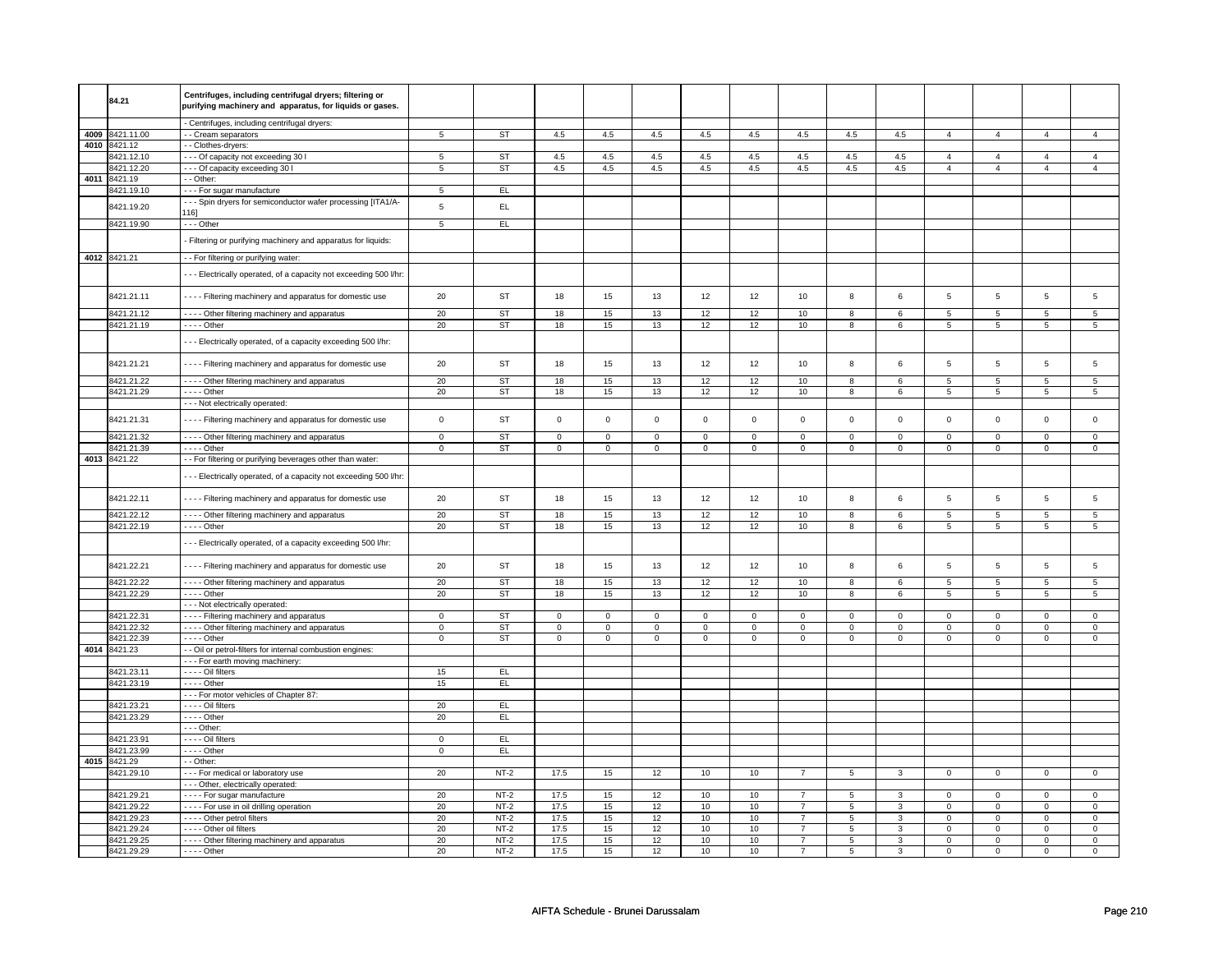|      | 84.21                    | Centrifuges, including centrifugal dryers; filtering or             |                         |                  |                         |                |                         |                |                         |                                  |                         |                                |                               |                               |                            |                               |
|------|--------------------------|---------------------------------------------------------------------|-------------------------|------------------|-------------------------|----------------|-------------------------|----------------|-------------------------|----------------------------------|-------------------------|--------------------------------|-------------------------------|-------------------------------|----------------------------|-------------------------------|
|      |                          | purifying machinery and apparatus, for liquids or gases.            |                         |                  |                         |                |                         |                |                         |                                  |                         |                                |                               |                               |                            |                               |
|      |                          | - Centrifuges, including centrifugal dryers:                        |                         |                  |                         |                |                         |                |                         |                                  |                         |                                |                               |                               |                            |                               |
| 4009 | 8421.11.00               | - Cream separators                                                  | $\overline{5}$          | ST               | 4.5                     | 4.5            | 4.5                     | 4.5            | 4.5                     | 4.5                              | 4.5                     | 4.5                            | $\overline{4}$                | $\overline{4}$                | $\overline{a}$             | $\overline{4}$                |
|      | 4010 8421.12             | - Clothes-dryers:                                                   |                         |                  |                         |                |                         |                |                         |                                  |                         |                                |                               |                               |                            |                               |
|      | 3421.12.10               | - - - Of capacity not exceeding 30 I                                | 5                       | <b>ST</b>        | 4.5                     | 4.5            | 4.5                     | 4.5            | 4.5                     | 4.5                              | 4.5                     | 4.5                            | $\overline{4}$                | $\overline{4}$                | 4                          | $\overline{4}$                |
|      | 3421.12.20               | --- Of capacity exceeding 30 I                                      | $\overline{5}$          | <b>ST</b>        | 4.5                     | 4.5            | 4.5                     | 4.5            | 4.5                     | 4.5                              | 4.5                     | 4.5                            | $\overline{4}$                | $\overline{4}$                | $\overline{4}$             | $\overline{4}$                |
|      | 4011 8421.19             | $-$ Other:                                                          |                         |                  |                         |                |                         |                |                         |                                  |                         |                                |                               |                               |                            |                               |
|      |                          |                                                                     |                         |                  |                         |                |                         |                |                         |                                  |                         |                                |                               |                               |                            |                               |
|      | 8421.19.10               | --- For sugar manufacture                                           | 5                       | EL               |                         |                |                         |                |                         |                                  |                         |                                |                               |                               |                            |                               |
|      | 8421.19.20               | --- Spin dryers for semiconductor wafer processing [ITA1/A-<br>116] | 5                       | EL               |                         |                |                         |                |                         |                                  |                         |                                |                               |                               |                            |                               |
|      | 8421.19.90               | --- Other                                                           | $\overline{5}$          | EL               |                         |                |                         |                |                         |                                  |                         |                                |                               |                               |                            |                               |
|      |                          |                                                                     |                         |                  |                         |                |                         |                |                         |                                  |                         |                                |                               |                               |                            |                               |
|      |                          | Filtering or purifying machinery and apparatus for liquids:         |                         |                  |                         |                |                         |                |                         |                                  |                         |                                |                               |                               |                            |                               |
|      | 4012 8421.21             |                                                                     |                         |                  |                         |                |                         |                |                         |                                  |                         |                                |                               |                               |                            |                               |
|      |                          | - - For filtering or purifying water:                               |                         |                  |                         |                |                         |                |                         |                                  |                         |                                |                               |                               |                            |                               |
|      |                          | --- Electrically operated, of a capacity not exceeding 500 l/hr:    |                         |                  |                         |                |                         |                |                         |                                  |                         |                                |                               |                               |                            |                               |
|      |                          |                                                                     |                         |                  |                         |                |                         |                |                         |                                  |                         |                                |                               |                               |                            |                               |
|      | 8421.21.11               | - Filtering machinery and apparatus for domestic use                | 20                      | ST               | 18                      | 15             | 13                      | 12             | 12                      | 10                               | 8                       | 6                              | $\mathbf 5$                   | 5                             | 5                          | 5                             |
|      | 8421.21.12               | - - - - Other filtering machinery and apparatus                     | 20                      | <b>ST</b>        | 18                      | 15             | 13                      | 12             | 12                      | 10                               | 8                       | 6                              | 5                             | 5                             | 5                          | 5                             |
|      |                          |                                                                     |                         |                  |                         |                |                         |                |                         |                                  |                         |                                |                               |                               |                            |                               |
|      | 8421.21.19               | $---$ Other                                                         | 20                      | <b>ST</b>        | 18                      | 15             | 13                      | 12             | 12                      | 10                               | $\overline{8}$          | $6\overline{6}$                | $\overline{5}$                | $5\overline{)}$               | $\overline{5}$             | $\overline{5}$                |
|      |                          | --- Electrically operated, of a capacity exceeding 500 l/hr:        |                         |                  |                         |                |                         |                |                         |                                  |                         |                                |                               |                               |                            |                               |
|      |                          |                                                                     |                         |                  |                         |                |                         |                |                         |                                  |                         |                                |                               |                               |                            |                               |
|      | 8421.21.21               | Filtering machinery and apparatus for domestic use                  | 20                      | <b>ST</b>        | 18                      | 15             | 13                      | 12             | 12                      | 10                               | 8                       | 6                              | $\,$ 5 $\,$                   | 5                             | 5                          | 5                             |
|      |                          |                                                                     |                         |                  |                         |                |                         |                |                         |                                  |                         |                                |                               |                               |                            |                               |
|      | 8421.21.22               | - - - - Other filtering machinery and apparatus                     | 20                      | ST               | 18                      | 15             | 13                      | 12             | 12                      | 10                               | 8                       | 6                              | 5                             | 5                             | 5                          | $5\phantom{.0}$               |
|      | 8421.21.29               | $- - -$ Other                                                       | 20                      | <b>ST</b>        | 18                      | 15             | 13                      | 12             | 12                      | 10                               | 8                       | 6                              | $\,$ 5 $\,$                   | 5                             | $\overline{5}$             | 5                             |
|      |                          | - - - Not electrically operated:                                    |                         |                  |                         |                |                         |                |                         |                                  |                         |                                |                               |                               |                            |                               |
|      | 8421.21.31               | - Filtering machinery and apparatus for domestic use                | $\mathbf 0$             | <b>ST</b>        | $\mathbf 0$             | $\mathsf 0$    | $\mathsf 0$             | $\mathbf 0$    | $\mathbf 0$             | $\mathsf 0$                      | $\mathsf 0$             | $\mathbf 0$                    | $\mathsf 0$                   | $\mathbf 0$                   | $\mathbf 0$                | $\mathbf 0$                   |
|      |                          |                                                                     |                         |                  |                         |                |                         |                |                         |                                  |                         |                                |                               |                               |                            |                               |
|      | 8421.21.32               | - - - - Other filtering machinery and apparatus                     | $\overline{0}$          | ST               | $\overline{0}$          | $\overline{0}$ | $\overline{0}$          | $\overline{0}$ | $\overline{0}$          | $\overline{0}$                   | $\overline{0}$          | $\overline{0}$                 | $\overline{0}$                | $\overline{0}$                | $\overline{0}$             | $\overline{0}$                |
|      | 8421.21.39               | $---$ Other                                                         | $\overline{\mathbf{0}}$ | ST               | $\overline{\mathbf{0}}$ | $\overline{0}$ | $\overline{\mathbf{0}}$ | $\overline{0}$ | $\overline{\mathbf{0}}$ | $\overline{\mathbf{0}}$          | $\overline{\mathbf{0}}$ | $\overline{\mathbf{0}}$        | $\overline{0}$                | $\overline{0}$                | $\overline{0}$             | $\overline{0}$                |
|      | 4013 8421.22             | - For filtering or purifying beverages other than water:            |                         |                  |                         |                |                         |                |                         |                                  |                         |                                |                               |                               |                            |                               |
|      |                          | -- Electrically operated, of a capacity not exceeding 500 l/hr:     |                         |                  |                         |                |                         |                |                         |                                  |                         |                                |                               |                               |                            |                               |
|      |                          |                                                                     |                         |                  |                         |                |                         |                |                         |                                  |                         |                                |                               |                               |                            |                               |
|      | 8421.22.11               | Filtering machinery and apparatus for domestic use                  | 20                      | <b>ST</b>        | 18                      | 15             | 13                      | 12             | 12                      | 10                               | 8                       | 6                              | 5                             | 5                             | 5                          | 5                             |
|      |                          |                                                                     |                         |                  |                         |                |                         |                |                         |                                  |                         |                                |                               |                               |                            |                               |
|      | 8421.22.12               | - - - - Other filtering machinery and apparatus                     | 20                      | ST               | 18                      | 15             | 13                      | 12             | 12                      | 10                               | $\overline{8}$          | 6                              | $\overline{5}$                | $\overline{5}$                | $\overline{5}$             | $5\overline{)}$               |
|      | 8421.22.19               | $\cdots$ - Other                                                    | 20                      | <b>ST</b>        | 18                      | 15             | 13                      | 12             | 12                      | 10                               | 8                       | 6                              | 5                             | 5                             | 5                          | 5                             |
|      |                          | -- Electrically operated, of a capacity exceeding 500 l/hr:         |                         |                  |                         |                |                         |                |                         |                                  |                         |                                |                               |                               |                            |                               |
|      |                          |                                                                     |                         |                  |                         |                |                         |                |                         |                                  |                         |                                |                               |                               |                            |                               |
|      | 8421.22.21               | Filtering machinery and apparatus for domestic use                  | 20                      | <b>ST</b>        | 18                      | 15             | 13                      | 12             | 12                      | 10                               | 8                       | 6                              | 5                             | 5                             | 5                          | 5                             |
|      |                          |                                                                     |                         |                  |                         |                |                         |                |                         |                                  |                         |                                |                               |                               |                            |                               |
|      | 8421.22.22               | - - - - Other filtering machinery and apparatus                     | 20                      | ST               | 18                      | 15             | 13                      | 12             | 12                      | 10                               | 8                       | 6                              | 5                             | 5                             | 5                          | 5                             |
|      | 8421.22.29               | $- - -$ Other                                                       | 20                      | ST               | 18                      | 15             | 13                      | 12             | 12                      | 10                               | 8                       | 6                              | 5                             | 5                             | 5                          | 5                             |
|      |                          | - - - Not electrically operated:                                    |                         |                  |                         |                |                         |                |                         |                                  |                         |                                |                               |                               |                            |                               |
|      | 8421.22.31               | - - - - Filtering machinery and apparatus                           | $\mathsf 0$             | ST               | $\mathsf 0$             | $\mathsf 0$    | 0                       | $\mathbf 0$    | $\mathsf 0$             | $\mathsf 0$                      | $\mathbf 0$             | $\mathbf 0$                    | $\mathbf 0$                   | $\mathbf 0$                   | 0                          | $\mathbf 0$                   |
|      | 8421.22.32               | - - - - Other filtering machinery and apparatus                     | $\mathsf 0$             | <b>ST</b>        | $\mathbf 0$             | $\mathbf 0$    | 0                       | $\mathbf 0$    | $\mathbf 0$             | $\mathsf 0$                      | $\mathbf 0$             | $\mathbf 0$                    | $\mathbf 0$                   | $\mathbf 0$                   | $\mathbf 0$                | $\mathbf{0}$                  |
|      | 8421.22.39               | $---$ Other                                                         | $\mathsf 0$             | ST               | $\mathbf 0$             | $\mathbf 0$    | $\mathbf 0$             | $\mathbf 0$    | $\mathbf 0$             | $\mathbf 0$                      | $\mathbf{0}$            | $\mathbf 0$                    | $\Omega$                      | $\mathbf 0$                   | $\Omega$                   | $\mathbf 0$                   |
| 4014 | 8421.23                  | - Oil or petrol-filters for internal combustion engines:            |                         |                  |                         |                |                         |                |                         |                                  |                         |                                |                               |                               |                            |                               |
|      | 8421.23.11               | --- For earth moving machinery:<br>- - - - Oil filters              | 15                      | EL               |                         |                |                         |                |                         |                                  |                         |                                |                               |                               |                            |                               |
|      | 8421.23.19               | . - - - Other                                                       | 15                      | EL.              |                         |                |                         |                |                         |                                  |                         |                                |                               |                               |                            |                               |
|      |                          | --- For motor vehicles of Chapter 87:                               |                         |                  |                         |                |                         |                |                         |                                  |                         |                                |                               |                               |                            |                               |
|      |                          |                                                                     |                         |                  |                         |                |                         |                |                         |                                  |                         |                                |                               |                               |                            |                               |
|      | 8421.23.21<br>8421.23.29 | - - - - Oil filters<br>- - - - Other                                | 20<br>20                | EL<br>EL.        |                         |                |                         |                |                         |                                  |                         |                                |                               |                               |                            |                               |
|      |                          |                                                                     |                         |                  |                         |                |                         |                |                         |                                  |                         |                                |                               |                               |                            |                               |
|      | 8421.23.91               | $\cdots$ Other:<br>- - - - Oil filters                              | $\overline{0}$          | EL               |                         |                |                         |                |                         |                                  |                         |                                |                               |                               |                            |                               |
|      | 3421.23.99               | $\cdots$ - Other                                                    | $\mathsf 0$             | EL               |                         |                |                         |                |                         |                                  |                         |                                |                               |                               |                            |                               |
|      |                          |                                                                     |                         |                  |                         |                |                         |                |                         |                                  |                         |                                |                               |                               |                            |                               |
|      | 4015 8421.29             | - Other:                                                            |                         |                  |                         |                |                         |                |                         |                                  |                         |                                |                               |                               |                            |                               |
|      | 8421.29.10               | --- For medical or laboratory use                                   | 20                      | $NT-2$           | 17.5                    | 15             | 12                      | 10             | 10                      | $\overline{7}$                   | 5                       | 3                              | $\mathbf 0$                   | $\mathbf 0$                   | $^{\circ}$                 | $\mathbf{0}$                  |
|      | 8421.29.21               | - - - Other, electrically operated:                                 | 20                      | $NT-2$           | 17.5                    |                | 12                      | 10             |                         | $\overline{7}$                   |                         |                                |                               | $\overline{0}$                | $\mathbf 0$                |                               |
|      |                          | ---- For sugar manufacture                                          |                         |                  |                         | 15             |                         |                | 10                      |                                  | 5                       | 3                              | $\mathsf 0$                   |                               | $\Omega$                   | $\mathsf 0$                   |
|      | 8421.29.22               | - - - - For use in oil drilling operation                           | 20                      | $NT-2$           | 17.5                    | 15             | 12                      | 10             | 10                      | $\overline{7}$                   | 5                       | $\mathbf{3}$                   | $\mathsf 0$                   | $\mathbf 0$                   |                            | $\mathbf 0$                   |
|      | 8421.29.23<br>3421.29.24 | - Other petrol filters<br>--- Other oil filters                     | 20<br>20                | $NT-2$<br>$NT-2$ | 17.5<br>17.5            | 15<br>15       | 12                      | 10<br>10       | $10$<br>10              | $\overline{7}$                   | 5                       | $\mathbf{3}$<br>$\overline{3}$ | $\mathbf 0$                   | $\mathbf 0$<br>$\overline{0}$ | $\mathbf 0$                | $\mathbf 0$                   |
|      | 8421.29.25               |                                                                     | 20                      | $NT-2$           | 17.5                    | 15             | 12<br>12                | 10             | 10                      | $\overline{7}$<br>$\overline{7}$ | 5<br>5                  | 3                              | $\mathsf 0$<br>$\overline{0}$ | $\overline{0}$                | $\mathbf 0$<br>$\mathbf 0$ | $\mathsf 0$<br>$\overline{0}$ |
|      |                          | - - - - Other filtering machinery and apparatus                     |                         |                  |                         |                |                         |                |                         |                                  |                         |                                |                               |                               |                            |                               |
|      | 8421.29.29               | $---$ Other                                                         | 20                      | $NT-2$           | 17.5                    | 15             | 12                      | 10             | 10                      | $\overline{7}$                   | 5                       | $\mathbf{3}$                   | 0                             | $\mathbf 0$                   | $\mathbf 0$                | $\mathbf 0$                   |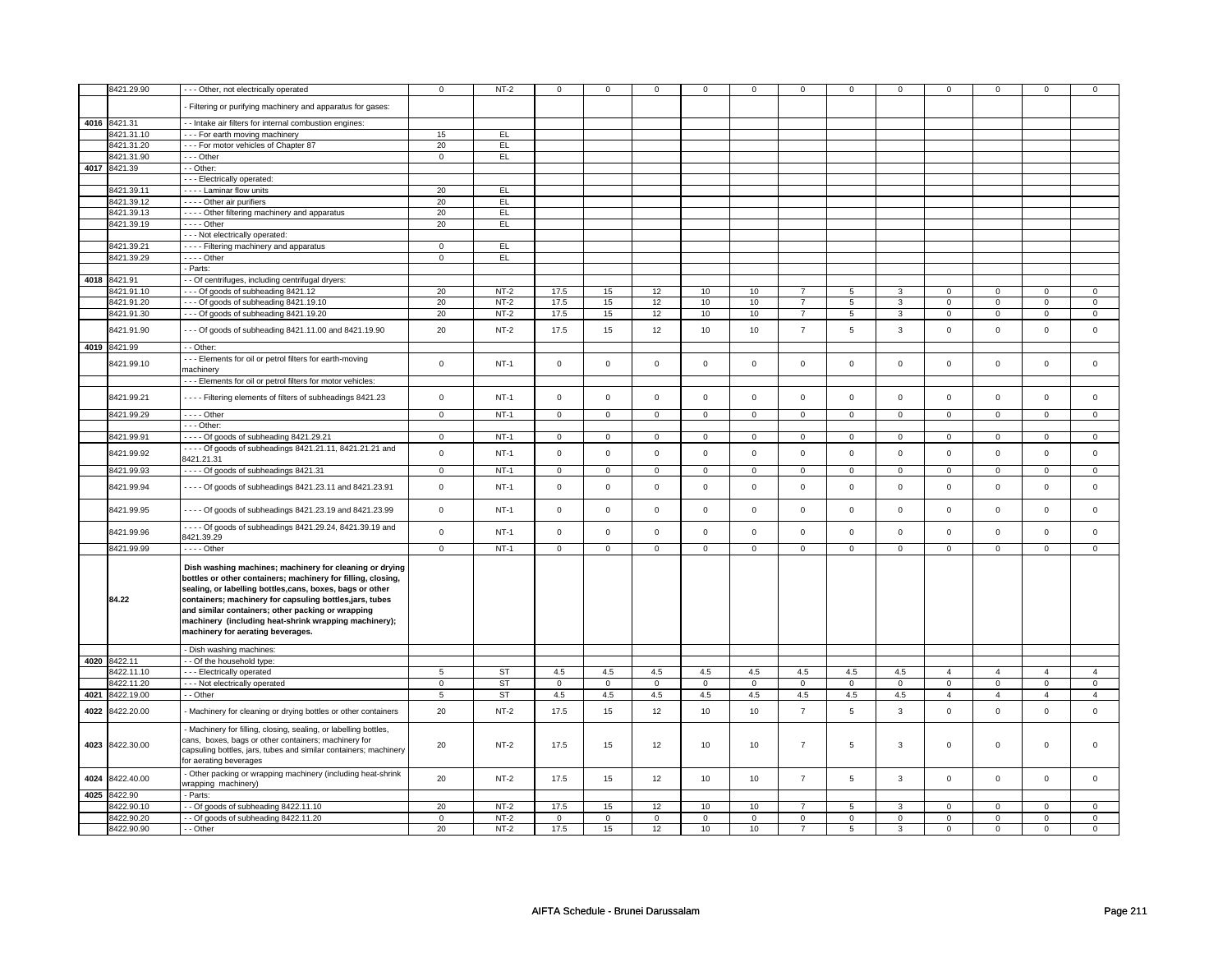|      | 8421.29.90                 | - - - Other, not electrically operated                                                                                                                                                                                                                                                                                                                                                             | $\mathsf 0$       | $NT-2$           | $\mathbf 0$         | $\Omega$          | $\mathbf 0$         | $\mathbf 0$       | $\mathsf 0$         | $\mathsf 0$                   | $\mathbf 0$      | $\mathsf 0$      | $\mathsf 0$                | $\mathbf 0$                | $\mathbf 0$                | 0                |
|------|----------------------------|----------------------------------------------------------------------------------------------------------------------------------------------------------------------------------------------------------------------------------------------------------------------------------------------------------------------------------------------------------------------------------------------------|-------------------|------------------|---------------------|-------------------|---------------------|-------------------|---------------------|-------------------------------|------------------|------------------|----------------------------|----------------------------|----------------------------|------------------|
|      |                            | Filtering or purifying machinery and apparatus for gases:                                                                                                                                                                                                                                                                                                                                          |                   |                  |                     |                   |                     |                   |                     |                               |                  |                  |                            |                            |                            |                  |
|      | 4016 8421.31               | - Intake air filters for internal combustion engines:                                                                                                                                                                                                                                                                                                                                              |                   |                  |                     |                   |                     |                   |                     |                               |                  |                  |                            |                            |                            |                  |
|      | 8421.31.10                 | For earth moving machinery                                                                                                                                                                                                                                                                                                                                                                         | 15                | EL.              |                     |                   |                     |                   |                     |                               |                  |                  |                            |                            |                            |                  |
|      | 8421.31.20                 | - - - For motor vehicles of Chapter 87                                                                                                                                                                                                                                                                                                                                                             | 20                | EL               |                     |                   |                     |                   |                     |                               |                  |                  |                            |                            |                            |                  |
|      | 8421.31.90                 | --- Other                                                                                                                                                                                                                                                                                                                                                                                          | $\mathbf 0$       | <b>EL</b>        |                     |                   |                     |                   |                     |                               |                  |                  |                            |                            |                            |                  |
|      | 4017 8421.39               | - - Other:                                                                                                                                                                                                                                                                                                                                                                                         |                   |                  |                     |                   |                     |                   |                     |                               |                  |                  |                            |                            |                            |                  |
|      |                            | - - - Electrically operated:                                                                                                                                                                                                                                                                                                                                                                       |                   |                  |                     |                   |                     |                   |                     |                               |                  |                  |                            |                            |                            |                  |
|      | 8421.39.11                 | - - - - Laminar flow units                                                                                                                                                                                                                                                                                                                                                                         | 20                | EL               |                     |                   |                     |                   |                     |                               |                  |                  |                            |                            |                            |                  |
|      | 8421.39.12                 | - - - - Other air purifiers                                                                                                                                                                                                                                                                                                                                                                        | 20                | EL               |                     |                   |                     |                   |                     |                               |                  |                  |                            |                            |                            |                  |
|      | 8421.39.13<br>8421.39.19   | - - - - Other filtering machinery and apparatus<br>$---$ Other                                                                                                                                                                                                                                                                                                                                     | 20<br>20          | EL.<br>EL        |                     |                   |                     |                   |                     |                               |                  |                  |                            |                            |                            |                  |
|      |                            | - - - Not electrically operated:                                                                                                                                                                                                                                                                                                                                                                   |                   |                  |                     |                   |                     |                   |                     |                               |                  |                  |                            |                            |                            |                  |
|      | 8421.39.21                 | - - - - Filtering machinery and apparatus                                                                                                                                                                                                                                                                                                                                                          | $\mathbf 0$       | EL               |                     |                   |                     |                   |                     |                               |                  |                  |                            |                            |                            |                  |
|      | 8421.39.29                 | $- - -$ Other                                                                                                                                                                                                                                                                                                                                                                                      | $\mathbf 0$       | EL               |                     |                   |                     |                   |                     |                               |                  |                  |                            |                            |                            |                  |
|      |                            | Parts:                                                                                                                                                                                                                                                                                                                                                                                             |                   |                  |                     |                   |                     |                   |                     |                               |                  |                  |                            |                            |                            |                  |
|      | 4018 8421.91               | - Of centrifuges, including centrifugal dryers:                                                                                                                                                                                                                                                                                                                                                    |                   |                  |                     |                   |                     |                   |                     |                               |                  |                  |                            |                            |                            |                  |
|      | 8421.91.10                 | --- Of goods of subheading 8421.12                                                                                                                                                                                                                                                                                                                                                                 | 20                | $NT-2$           | 17.5                | 15                | 12                  | 10                | 10                  | $\overline{7}$                | 5                | 3                | $\mathsf 0$                | $\mathbf 0$                | $\Omega$                   | 0                |
|      | 8421.91.20                 | --- Of goods of subheading 8421.19.10                                                                                                                                                                                                                                                                                                                                                              | 20                | $NT-2$           | 17.5                | 15                | 12                  | 10                | 10                  | $\overline{7}$                | $\overline{5}$   | 3                | $\Omega$                   | $\mathbf 0$                | $\Omega$                   | $\mathbf 0$      |
|      | 8421.91.30                 | --- Of goods of subheading 8421.19.20                                                                                                                                                                                                                                                                                                                                                              | 20                | $NT-2$           | 17.5                | 15                | 12                  | 10                | 10                  | $\overline{7}$                | 5                | 3                | 0                          | $\mathbf 0$                | 0                          | $\mathbf 0$      |
|      | 8421.91.90                 | --- Of goods of subheading 8421.11.00 and 8421.19.90                                                                                                                                                                                                                                                                                                                                               | 20                | $NT-2$           | 17.5                | 15                | 12                  | 10                | 10                  | $\overline{7}$                | 5                | $\mathbf{3}$     | $\mathsf 0$                | $\mathbf 0$                | $\mathbf 0$                | $\mathbf 0$      |
|      | 4019 8421.99               | - - Other:                                                                                                                                                                                                                                                                                                                                                                                         |                   |                  |                     |                   |                     |                   |                     |                               |                  |                  |                            |                            |                            |                  |
|      | 8421.99.10                 | --- Elements for oil or petrol filters for earth-moving<br>machinery                                                                                                                                                                                                                                                                                                                               | $\mathbf 0$       | $NT-1$           | $\mathsf 0$         | $\mathbf 0$       | $\mathbf 0$         | $\mathbf 0$       | $\mathbf 0$         | 0                             | $\mathbf 0$      | $\mathsf 0$      | $\mathbf 0$                | $\mathbf 0$                | $\mathbf 0$                | 0                |
|      |                            | --- Elements for oil or petrol filters for motor vehicles:                                                                                                                                                                                                                                                                                                                                         |                   |                  |                     |                   |                     |                   |                     |                               |                  |                  |                            |                            |                            |                  |
|      | 8421.99.21                 | - - - - Filtering elements of filters of subheadings 8421.23                                                                                                                                                                                                                                                                                                                                       | $\mathsf 0$       | $NT-1$           | $\mathsf 0$         | $\mathsf 0$       | $\mathbf 0$         | $\mathbf 0$       | $\mathsf 0$         | $\mathsf 0$                   | $\mathbf 0$      | $\mathsf 0$      | $\mathsf 0$                | $\mathbf 0$                | $\mathbf 0$                | $\mathbf 0$      |
|      | 8421.99.29                 | - - - - Other                                                                                                                                                                                                                                                                                                                                                                                      | $\mathsf 0$       | $NT-1$           | $\mathbf 0$         | $\mathsf 0$       | $\mathsf 0$         | $\mathbf 0$       | $\mathsf 0$         | $\mathbf 0$                   | $\mathbf 0$      | $\mathbf 0$      | $\mathsf 0$                | $\mathbf 0$                | $\mathsf 0$                | $\mathbf 0$      |
|      |                            | - - - Other:                                                                                                                                                                                                                                                                                                                                                                                       |                   |                  |                     |                   |                     |                   |                     |                               |                  |                  |                            |                            |                            |                  |
|      | 8421.99.91                 | - - - - Of goods of subheading 8421.29.21<br>- - - - Of goods of subheadings 8421.21.11, 8421.21.21 and                                                                                                                                                                                                                                                                                            | 0                 | $NT-1$           | $\mathbf 0$         | $\mathbf 0$       | $\mathbf 0$         | $\mathbf 0$       | $\mathbf 0$         | $\mathbf 0$                   | 0                | $\mathbf 0$      | 0                          | $\mathbf 0$                | 0                          | 0                |
|      | 8421.99.92                 | 8421.21.31                                                                                                                                                                                                                                                                                                                                                                                         | $\mathbf 0$       | $NT-1$           | $\mathsf 0$         | $\mathsf 0$       | $\mathsf{O}\xspace$ | $\mathsf 0$       | $\mathsf{O}\xspace$ | $\mathbf 0$                   | $\mathsf 0$      | $\mathbf 0$      | $\mathsf 0$                | $\mathbf 0$                | $\mathbf 0$                | $\mathbf 0$      |
|      | 8421.99.93                 | - - - - Of goods of subheadings 8421.31                                                                                                                                                                                                                                                                                                                                                            | $\mathbf 0$       | $NT-1$           | $\mathbf 0$         | $\mathbf 0$       | $\mathbf 0$         | $\mathbf 0$       | $\mathbf 0$         | $\mathbf{0}$                  | $\mathbf 0$      | $\mathbf 0$      | $\mathbf 0$                | $\mathbf{0}$               | $\Omega$                   | $\mathbf{0}$     |
|      | 8421.99.94                 | - - - - Of goods of subheadings 8421.23.11 and 8421.23.91                                                                                                                                                                                                                                                                                                                                          | $\mathsf 0$       | <b>NT-1</b>      | $\mathbf 0$         | $\mathsf 0$       | $\mathbf 0$         | $\mathsf 0$       | $\mathbf 0$         | $\mathbf 0$                   | $\mathbf 0$      | 0                | 0                          | $\mathsf 0$                | $\mathbf 0$                | $\mathbf 0$      |
|      | 8421.99.95                 | - - - - Of goods of subheadings 8421.23.19 and 8421.23.99                                                                                                                                                                                                                                                                                                                                          | $\mathbf 0$       | $NT-1$           | $\mathsf 0$         | $\mathsf 0$       | $\mathbf 0$         | $\mathsf 0$       | $\mathsf{O}\xspace$ | $\mathsf 0$                   | $\mathbf 0$      | $\mathsf 0$      | $\mathsf 0$                | $\mathbf 0$                | $\mathbf 0$                | $\mathsf 0$      |
|      | 8421.99.96                 | - - - - Of goods of subheadings 8421.29.24, 8421.39.19 and<br>8421.39.29                                                                                                                                                                                                                                                                                                                           | $\mathsf 0$       | $NT-1$           | $\mathsf 0$         | $\mathsf 0$       | $\mathsf{O}\xspace$ | $\mathsf 0$       | $\mathsf{O}\xspace$ | $\mathbf 0$                   | $\mathbf 0$      | $\mathbf 0$      | $\mathbf 0$                | $\mathbf{0}$               | $\mathbf 0$                | $\mathbf 0$      |
|      | 8421.99.99                 | $---$ Other                                                                                                                                                                                                                                                                                                                                                                                        | $\overline{0}$    | $NT-1$           | $\overline{0}$      | $\overline{0}$    | $\overline{0}$      | $\overline{0}$    | $\overline{0}$      | $\overline{0}$                | $\mathbf 0$      | $\overline{0}$   | $\overline{0}$             | $\overline{0}$             | $\mathbf 0$                | $\overline{0}$   |
|      | 84.22                      | Dish washing machines; machinery for cleaning or drying<br>bottles or other containers; machinery for filling, closing,<br>sealing, or labelling bottles,cans, boxes, bags or other<br>containers; machinery for capsuling bottles, jars, tubes<br>and similar containers; other packing or wrapping<br>machinery (including heat-shrink wrapping machinery);<br>machinery for aerating beverages. |                   |                  |                     |                   |                     |                   |                     |                               |                  |                  |                            |                            |                            |                  |
|      |                            | - Dish washing machines:                                                                                                                                                                                                                                                                                                                                                                           |                   |                  |                     |                   |                     |                   |                     |                               |                  |                  |                            |                            |                            |                  |
|      | 4020 8422.11<br>8422.11.10 | - - Of the household type:<br>--- Electrically operated                                                                                                                                                                                                                                                                                                                                            | 5                 | <b>ST</b>        | 4.5                 | 4.5               | 4.5                 | 4.5               | 4.5                 | 4.5                           | 4.5              | 4.5              | $\overline{4}$             | $\overline{4}$             | $\overline{4}$             | $\overline{4}$   |
|      | 3422.11.20                 | - - - Not electrically operated                                                                                                                                                                                                                                                                                                                                                                    | $\mathbf 0$       | <b>ST</b>        | $\mathsf 0$         | $\mathsf 0$       | $\mathbf 0$         | $\mathbf 0$       | $\mathbf 0$         | $\mathbf 0$                   | $\mathbf 0$      | $\mathbf 0$      | $\mathbf 0$                | $\mathbf 0$                | $\mathsf 0$                | $\mathbf 0$      |
| 4021 | 8422.19.00                 | - - Other                                                                                                                                                                                                                                                                                                                                                                                          | 5                 | <b>ST</b>        | 4.5                 | 4.5               | 4.5                 | 4.5               | 4.5                 | 4.5                           | 4.5              | 4.5              | $\overline{4}$             | $\overline{4}$             | $\overline{4}$             | $\overline{4}$   |
| 4022 | 8422.20.00                 | - Machinery for cleaning or drying bottles or other containers                                                                                                                                                                                                                                                                                                                                     | 20                | $NT-2$           | 17.5                | 15                | 12                  | 10                | 10                  | $\overline{7}$                | 5                | $\mathbf{3}$     | $\mathsf 0$                | $\mathbf 0$                | $\mathbf 0$                | $\mathbf{0}$     |
| 4023 | 8422.30.00                 | Machinery for filling, closing, sealing, or labelling bottles,<br>cans, boxes, bags or other containers; machinery for<br>capsuling bottles, jars, tubes and similar containers; machinery<br>for aerating beverages                                                                                                                                                                               | 20                | NT-2             | 17.5                | 15                | 12                  | 10                | 10                  | $\overline{7}$                | 5                | 3                | 0                          | $\mathbf 0$                | $\mathsf 0$                | 0                |
| 4024 | 8422.40.00                 | - Other packing or wrapping machinery (including heat-shrink<br>wrapping machinery)                                                                                                                                                                                                                                                                                                                | 20                | $NT-2$           | 17.5                | 15                | 12                  | 10                | 10                  | $\overline{7}$                | 5                | 3                | $\mathbf 0$                | $\mathbf 0$                | $\mathbf 0$                | $\mathbf 0$      |
| 4025 | 8422.90                    | Parts:                                                                                                                                                                                                                                                                                                                                                                                             |                   |                  |                     |                   |                     |                   |                     |                               |                  |                  |                            |                            |                            |                  |
|      | 8422.90.10<br>8422.90.20   | -- Of goods of subheading 8422.11.10<br>- - Of goods of subheading 8422.11.20                                                                                                                                                                                                                                                                                                                      | 20<br>$\mathsf 0$ | $NT-2$<br>$NT-2$ | 17.5<br>$\mathsf 0$ | 15<br>$\mathsf 0$ | 12<br>$\mathsf 0$   | 10<br>$\mathbf 0$ | 10<br>$\mathsf 0$   | $\overline{7}$<br>$\mathbf 0$ | 5<br>$\mathbf 0$ | 3<br>$\mathsf 0$ | $\mathbf 0$<br>$\mathsf 0$ | $\mathbf 0$<br>$\mathbf 0$ | $\mathbf 0$<br>$\mathsf 0$ | 0<br>$\mathbf 0$ |
|      | 8422.90.90                 | - - Other                                                                                                                                                                                                                                                                                                                                                                                          | 20                | $NT-2$           | 17.5                | 15                | 12                  | 10                | 10                  | $\overline{7}$                | 5                | 3                | 0                          | $\mathbf 0$                | 0                          | 0                |
|      |                            |                                                                                                                                                                                                                                                                                                                                                                                                    |                   |                  |                     |                   |                     |                   |                     |                               |                  |                  |                            |                            |                            |                  |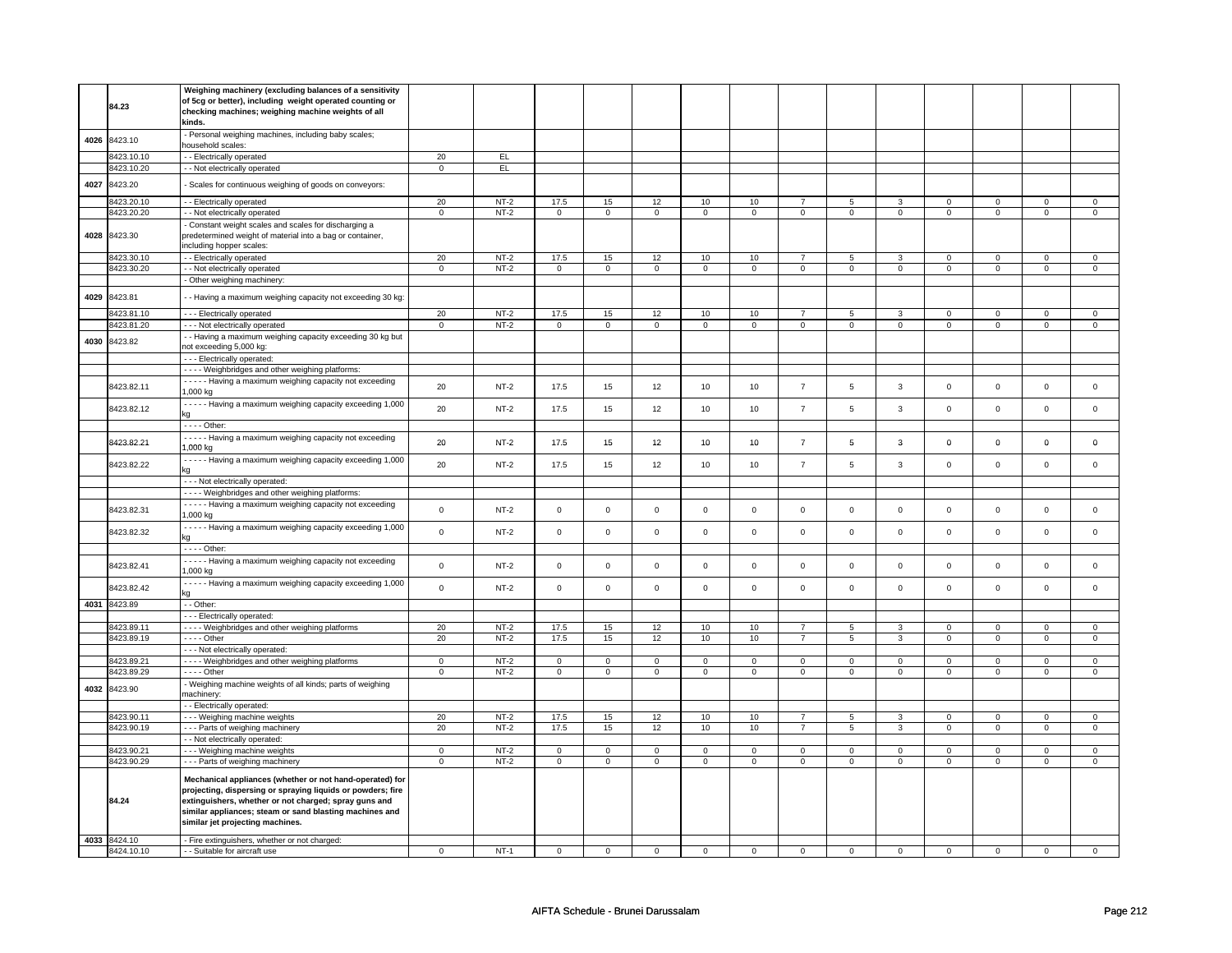|      | 84.23        | Weighing machinery (excluding balances of a sensitivity<br>of 5cg or better), including weight operated counting or<br>checking machines; weighing machine weights of all<br>kinds.                                                                                             |                |        |                     |                |                |                |                |                |                |                |                |                |                |                |
|------|--------------|---------------------------------------------------------------------------------------------------------------------------------------------------------------------------------------------------------------------------------------------------------------------------------|----------------|--------|---------------------|----------------|----------------|----------------|----------------|----------------|----------------|----------------|----------------|----------------|----------------|----------------|
| 4026 | 8423.10      | - Personal weighing machines, including baby scales;<br>household scales:                                                                                                                                                                                                       |                |        |                     |                |                |                |                |                |                |                |                |                |                |                |
|      | 3423.10.10   | - - Electrically operated                                                                                                                                                                                                                                                       | 20             | EL     |                     |                |                |                |                |                |                |                |                |                |                |                |
|      | 8423.10.20   | - - Not electrically operated                                                                                                                                                                                                                                                   | $\mathbf 0$    | EL.    |                     |                |                |                |                |                |                |                |                |                |                |                |
|      |              |                                                                                                                                                                                                                                                                                 |                |        |                     |                |                |                |                |                |                |                |                |                |                |                |
| 4027 | 8423.20      | - Scales for continuous weighing of goods on conveyors:                                                                                                                                                                                                                         |                |        |                     |                |                |                |                |                |                |                |                |                |                |                |
|      | 8423.20.10   | - - Electrically operated                                                                                                                                                                                                                                                       | 20             | $NT-2$ | 17.5                | 15             | 12             | $10\,$         | 10             | $\overline{7}$ | 5              | $\mathbf{3}$   | $\mathbf 0$    | $\mathbf 0$    | $\mathbf 0$    | $\mathsf 0$    |
|      | 8423.20.20   | - - Not electrically operated                                                                                                                                                                                                                                                   | $\overline{0}$ | $NT-2$ | $\overline{0}$      | $\overline{0}$ | $\overline{0}$ | $\overline{0}$ | $\overline{0}$ | $\overline{0}$ | $\overline{0}$ | $\overline{0}$ | $\overline{0}$ | $\overline{0}$ | $\overline{0}$ | $\overline{0}$ |
|      | 4028 8423.30 | - Constant weight scales and scales for discharging a<br>predetermined weight of material into a bag or container,<br>including hopper scales:                                                                                                                                  |                |        |                     |                |                |                |                |                |                |                |                |                |                |                |
|      | 8423.30.10   | - - Electrically operated                                                                                                                                                                                                                                                       | 20             | $NT-2$ | 17.5                | 15             | 12             | 10             | 10             | $\overline{7}$ | 5              | 3              | 0              | $\mathbf 0$    | 0              | $\mathbf{0}$   |
|      | 8423.30.20   | - - Not electrically operated                                                                                                                                                                                                                                                   | $\overline{0}$ | $NT-2$ | $\overline{0}$      | $\overline{0}$ | $\overline{0}$ | $\overline{0}$ | $\overline{0}$ | $\overline{0}$ | $\overline{0}$ | $\overline{0}$ | $\overline{0}$ | $\overline{0}$ | $\overline{0}$ | $\overline{0}$ |
|      |              | - Other weighing machinery:                                                                                                                                                                                                                                                     |                |        |                     |                |                |                |                |                |                |                |                |                |                |                |
|      |              |                                                                                                                                                                                                                                                                                 |                |        |                     |                |                |                |                |                |                |                |                |                |                |                |
| 4029 | 8423.81      | - Having a maximum weighing capacity not exceeding 30 kg                                                                                                                                                                                                                        |                |        |                     |                |                |                |                |                |                |                |                |                |                |                |
|      | 8423.81.10   | --- Electrically operated                                                                                                                                                                                                                                                       | 20             | $NT-2$ | 17.5                | 15             | 12             | 10             | 10             | $\overline{7}$ | 5              | 3              | $\mathbf 0$    | $\mathbf 0$    | $\mathbf 0$    | $\mathbf 0$    |
|      | 8423.81.20   | --- Not electrically operated                                                                                                                                                                                                                                                   | $\mathbf 0$    | $NT-2$ | $\mathbf 0$         | $\mathbf{0}$   | $\mathbf 0$    | $\mathbf 0$    | $\mathbf 0$    | $\mathbf 0$    | 0              | $\mathbf 0$    | 0              | $\mathbf{0}$   | $\mathbf 0$    | $\mathbf{0}$   |
| 4030 | 8423.82      | - - Having a maximum weighing capacity exceeding 30 kg but<br>not exceeding 5,000 kg:                                                                                                                                                                                           |                |        |                     |                |                |                |                |                |                |                |                |                |                |                |
|      |              | --- Electrically operated:                                                                                                                                                                                                                                                      |                |        |                     |                |                |                |                |                |                |                |                |                |                |                |
|      |              | - - - - Weighbridges and other weighing platforms:                                                                                                                                                                                                                              |                |        |                     |                |                |                |                |                |                |                |                |                |                |                |
|      | 8423.82.11   | - - - - - Having a maximum weighing capacity not exceeding                                                                                                                                                                                                                      | 20             | $NT-2$ | 17.5                | 15             | 12             | 10             | 10             | $\overline{7}$ | $\overline{5}$ | $\mathbf{3}$   | $\mathsf 0$    | $\mathsf 0$    | $\mathsf 0$    | $\mathsf 0$    |
|      | 8423.82.12   | 1,000 kg<br>- - - - - Having a maximum weighing capacity exceeding 1,000                                                                                                                                                                                                        | 20             | $NT-2$ | 17.5                | 15             | 12             | 10             | 10             | $\overline{7}$ | 5              | $\mathbf{3}$   | $\mathbf 0$    | $\mathbf 0$    | $\mathbf 0$    | $\mathbf 0$    |
|      |              | kα                                                                                                                                                                                                                                                                              |                |        |                     |                |                |                |                |                |                |                |                |                |                |                |
|      |              | - - - - Other:                                                                                                                                                                                                                                                                  |                |        |                     |                |                |                |                |                |                |                |                |                |                |                |
|      | 8423.82.21   | - - - - - Having a maximum weighing capacity not exceeding<br>1,000 kg                                                                                                                                                                                                          | 20             | $NT-2$ | 17.5                | 15             | 12             | 10             | 10             | $\overline{7}$ | 5              | $\mathbf{3}$   | 0              | $\mathbf 0$    | $\mathbf 0$    | $\mathbf 0$    |
|      | 8423.82.22   | - - - - - Having a maximum weighing capacity exceeding 1,000<br>kα                                                                                                                                                                                                              | 20             | $NT-2$ | 17.5                | 15             | 12             | 10             | 10             | $\overline{7}$ | 5              | $\mathbf{3}$   | $\mathsf 0$    | $\mathsf 0$    | $\mathsf 0$    | $\mathbf 0$    |
|      |              |                                                                                                                                                                                                                                                                                 |                |        |                     |                |                |                |                |                |                |                |                |                |                |                |
|      |              | - - - Not electrically operated:                                                                                                                                                                                                                                                |                |        |                     |                |                |                |                |                |                |                |                |                |                |                |
|      |              | - - - - Weighbridges and other weighing platforms:                                                                                                                                                                                                                              |                |        |                     |                |                |                |                |                |                |                |                |                |                |                |
|      | 8423.82.31   | - - - - - Having a maximum weighing capacity not exceeding<br>1,000 kg                                                                                                                                                                                                          | $\mathbf 0$    | $NT-2$ | $\mathsf 0$         | $\mathbf 0$    | $\mathsf 0$    | $\mathbf 0$    | $\mathbf 0$    | $\mathsf 0$    | $\mathbf 0$    | $\mathbf 0$    | $\mathbf 0$    | $\mathbf 0$    | $\mathsf 0$    | $\mathbf 0$    |
|      | 8423.82.32   | - - - - - Having a maximum weighing capacity exceeding 1,000<br>ka                                                                                                                                                                                                              | $\mathbf 0$    | $NT-2$ | $\mathsf 0$         | $\mathsf 0$    | $\mathbf 0$    | $\mathsf 0$    | 0              | $\mathbf 0$    | 0              | $\mathbf 0$    | $\mathbf 0$    | $\mathsf 0$    | $\mathbf 0$    | $\circ$        |
|      |              | $\overline{\cdots}$ - Other                                                                                                                                                                                                                                                     |                |        |                     |                |                |                |                |                |                |                |                |                |                |                |
|      |              | - - - - - Having a maximum weighing capacity not exceeding                                                                                                                                                                                                                      |                |        |                     |                |                |                |                |                |                |                |                |                |                |                |
|      | 8423.82.41   | 1,000 kg                                                                                                                                                                                                                                                                        | $\mathbf 0$    | $NT-2$ | $\mathsf{O}\xspace$ | $\Omega$       | $\mathsf 0$    | $\mathsf 0$    | $\mathbf 0$    | $\mathsf 0$    | $\mathbf 0$    | 0              | $\mathbf 0$    | $\mathsf{O}$   | $\mathsf 0$    | $\mathbf 0$    |
|      | 8423.82.42   | - - - - - Having a maximum weighing capacity exceeding 1,000<br>ka                                                                                                                                                                                                              | $\mathsf 0$    | $NT-2$ | $\mathsf 0$         | $\mathsf 0$    | $\mathsf 0$    | $\mathbf 0$    | $\mathbf 0$    | $\mathsf 0$    | $\mathbf 0$    | $\mathbf 0$    | $\mathsf 0$    | $\mathsf 0$    | $\mathbf 0$    | $\mathbf 0$    |
|      | 4031 8423.89 | - - Other:                                                                                                                                                                                                                                                                      |                |        |                     |                |                |                |                |                |                |                |                |                |                |                |
|      |              | --- Electrically operated:                                                                                                                                                                                                                                                      |                |        |                     |                |                |                |                |                |                |                |                |                |                |                |
|      | 8423.89.11   | - - - - Weighbridges and other weighing platforms                                                                                                                                                                                                                               | 20             | $NT-2$ | 17.5                | 15             | 12             | 10             | 10             | $\overline{7}$ | 5              | 3              | $\mathbf 0$    | $\mathbf 0$    | $\Omega$       | $\overline{0}$ |
|      | 8423.89.19   | - - - - Other                                                                                                                                                                                                                                                                   | 20             | $NT-2$ | 17.5                | 15             | 12             | $10$           | 10             | $\overline{7}$ | 5              | 3              | 0              | $\mathsf 0$    | 0              | $\mathbf 0$    |
|      |              | - - - Not electrically operated:                                                                                                                                                                                                                                                |                |        |                     |                |                |                |                |                |                |                |                |                |                |                |
|      | 8423.89.21   | - - - - Weighbridges and other weighing platforms                                                                                                                                                                                                                               | $\mathbf 0$    | $NT-2$ | 0                   | $\mathbf 0$    | 0              | 0              | 0              | $\mathbf 0$    | 0              | $\mathbf 0$    | 0              | 0              | $\mathbf 0$    | $\mathsf 0$    |
|      | 8423.89.29   | - - - - Other                                                                                                                                                                                                                                                                   | $\mathbf 0$    | $NT-2$ | $\mathbf 0$         | $\mathbf 0$    | $\mathsf 0$    | $\mathbf 0$    | $\mathbf 0$    | $\mathbf 0$    | $\mathbf 0$    | $\mathbf 0$    | $\mathbf 0$    | $\mathbf{0}$   | $\mathbf 0$    | $\mathbf{0}$   |
| 4032 | 8423.90      | - Weighing machine weights of all kinds; parts of weighing<br>machinery:                                                                                                                                                                                                        |                |        |                     |                |                |                |                |                |                |                |                |                |                |                |
|      |              | - - Electrically operated:                                                                                                                                                                                                                                                      |                |        |                     |                |                |                |                |                |                |                |                |                |                |                |
|      | 8423.90.11   | - - - Weighing machine weights                                                                                                                                                                                                                                                  | 20             | $NT-2$ | 17.5                | 15             | 12             | 10             | 10             | $\overline{7}$ | 5              | 3              | 0              | $\mathsf 0$    | $\mathbf 0$    | $\mathsf 0$    |
|      | 8423.90.19   | - - - Parts of weighing machinery                                                                                                                                                                                                                                               | 20             | $NT-2$ | 17.5                | 15             | 12             | 10             | 10             | $\overline{7}$ | 5              | $\overline{3}$ | $\overline{0}$ | $\overline{0}$ | $\overline{0}$ | $\overline{0}$ |
|      |              | - - Not electrically operated:                                                                                                                                                                                                                                                  |                |        |                     |                |                |                |                |                |                |                |                |                |                |                |
|      | 8423.90.21   | - - - Weighing machine weights                                                                                                                                                                                                                                                  | $\mathbf 0$    | $NT-2$ | $\mathbf 0$         | $\mathbf 0$    | $\Omega$       | $\mathsf 0$    | $\mathbf 0$    | $\mathbf 0$    | $\Omega$       | $\mathbf{0}$   | $\mathbf 0$    | $\mathsf{O}$   | $\Omega$       | $\mathbf{0}$   |
|      | 8423.90.29   | - - - Parts of weighing machinery                                                                                                                                                                                                                                               | $\mathbf 0$    | $NT-2$ | $\mathsf 0$         | $\mathsf 0$    | $\mathsf 0$    | $\mathbf 0$    | $\mathbf 0$    | $\mathsf 0$    | $\mathbf 0$    | $\mathbf 0$    | $\mathbf 0$    | $\mathbf 0$    | $\mathsf 0$    | $\overline{0}$ |
|      | 84.24        | Mechanical appliances (whether or not hand-operated) for<br>projecting, dispersing or spraying liquids or powders; fire<br>extinguishers, whether or not charged; spray guns and<br>similar appliances; steam or sand blasting machines and<br>similar jet projecting machines. |                |        |                     |                |                |                |                |                |                |                |                |                |                |                |
|      | 4033 8424.10 | - Fire extinguishers, whether or not charged:                                                                                                                                                                                                                                   |                |        |                     |                |                |                |                |                |                |                |                |                |                |                |
|      | 8424.10.10   | - Suitable for aircraft use                                                                                                                                                                                                                                                     | $\mathbf 0$    | $NT-1$ | $\mathsf 0$         | $\pmb{0}$      | $\mathsf 0$    | $\mathsf 0$    | $\mathbf 0$    | $\mathsf 0$    | $\mathbf 0$    | 0              | $\mathbf 0$    | $\mathsf 0$    | $\mathbf 0$    | $\mathbf 0$    |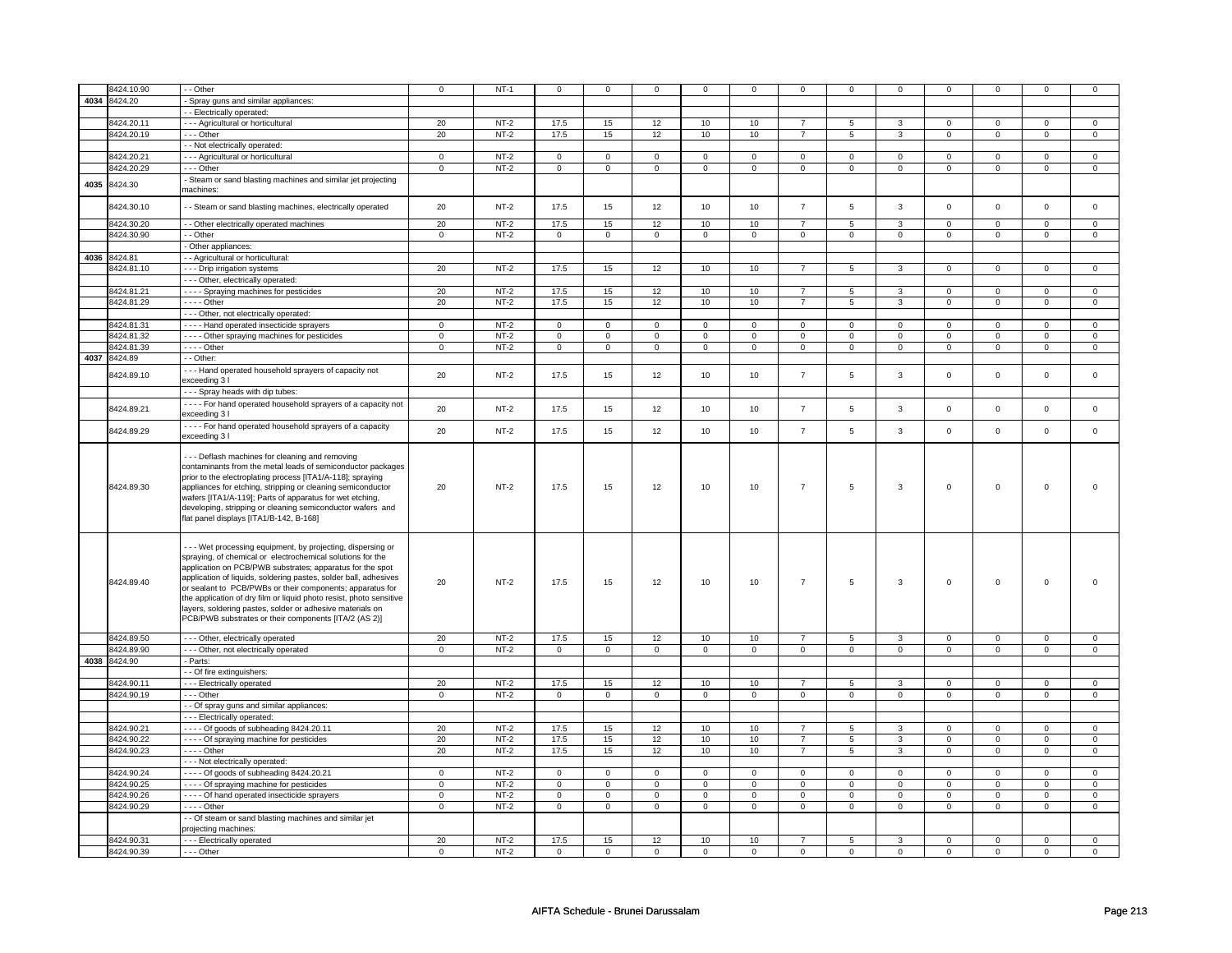|      | 8424.10.90   | - - Other                                                                                                                                                                                                                                                                                                                                                                                                                                                                                                             | $\mathsf 0$    | $NT-1$ | $\mathbf 0$ | $\mathbf 0$    | $\mathbf 0$ | $\mathbf 0$     | $\mathbf 0$    | $\mathbf 0$    | $\mathbf 0$ | $\mathbf 0$    | $\mathbf 0$    | 0              | $\mathbf 0$         | 0                 |
|------|--------------|-----------------------------------------------------------------------------------------------------------------------------------------------------------------------------------------------------------------------------------------------------------------------------------------------------------------------------------------------------------------------------------------------------------------------------------------------------------------------------------------------------------------------|----------------|--------|-------------|----------------|-------------|-----------------|----------------|----------------|-------------|----------------|----------------|----------------|---------------------|-------------------|
|      | 4034 8424.20 | Spray guns and similar appliances:                                                                                                                                                                                                                                                                                                                                                                                                                                                                                    |                |        |             |                |             |                 |                |                |             |                |                |                |                     |                   |
|      |              | - - Electrically operated:                                                                                                                                                                                                                                                                                                                                                                                                                                                                                            |                |        |             |                |             |                 |                |                |             |                |                |                |                     |                   |
|      | 8424.20.11   | - - - Agricultural or horticultural                                                                                                                                                                                                                                                                                                                                                                                                                                                                                   | 20             | $NT-2$ | 17.5        | 15             | 12          | 10              | 10             | $\overline{7}$ | 5           | 3              | $\mathbf 0$    | $\mathbf 0$    | 0                   | $\mathbf{0}$      |
|      | 8424.20.19   | --- Other                                                                                                                                                                                                                                                                                                                                                                                                                                                                                                             | 20             | $NT-2$ | 17.5        | 15             | 12          | 10              | 10             | $\overline{7}$ | 5           | $\mathbf{3}$   | $\mathbf 0$    | $\mathsf 0$    | $\mathbf 0$         | $\mathbf{0}$      |
|      |              | - Not electrically operated:                                                                                                                                                                                                                                                                                                                                                                                                                                                                                          |                |        |             |                |             |                 |                |                |             |                |                |                |                     |                   |
|      | 8424.20.21   | - - - Agricultural or horticultural                                                                                                                                                                                                                                                                                                                                                                                                                                                                                   | $\,0\,$        | $NT-2$ | $\mathbf 0$ | $\mathbf 0$    | $\mathbf 0$ | $\mathbf 0$     | $\mathbf 0$    | $\mathsf 0$    | $\Omega$    | 0              | 0              | $\mathsf 0$    | $\Omega$            |                   |
|      | 3424.20.29   | --- Other                                                                                                                                                                                                                                                                                                                                                                                                                                                                                                             | $\mathsf 0$    | $NT-2$ | $\mathbf 0$ | $\overline{0}$ | $\mathsf 0$ | $\mathbf 0$     | $\mathbf 0$    | $\overline{0}$ | $\mathbf 0$ | $\mathbf 0$    | $\mathsf 0$    | $\mathbf 0$    | $\mathbf 0$         | 0<br>$\mathbf{0}$ |
|      |              |                                                                                                                                                                                                                                                                                                                                                                                                                                                                                                                       |                |        |             |                |             |                 |                |                |             |                |                |                |                     |                   |
| 4035 | 8424.30      | Steam or sand blasting machines and similar jet projecting                                                                                                                                                                                                                                                                                                                                                                                                                                                            |                |        |             |                |             |                 |                |                |             |                |                |                |                     |                   |
|      |              | machines:                                                                                                                                                                                                                                                                                                                                                                                                                                                                                                             |                |        |             |                |             |                 |                |                |             |                |                |                |                     |                   |
|      | 8424.30.10   | - - Steam or sand blasting machines, electrically operated                                                                                                                                                                                                                                                                                                                                                                                                                                                            | 20             | $NT-2$ | 17.5        | 15             | 12          | 10              | 10             | $\overline{7}$ | 5           | 3              | $\mathsf 0$    | $\mathbf 0$    | $\mathbf 0$         | $\mathbf 0$       |
|      |              |                                                                                                                                                                                                                                                                                                                                                                                                                                                                                                                       |                |        |             |                |             |                 |                |                |             |                |                |                |                     |                   |
|      | 8424.30.20   | - - Other electrically operated machines                                                                                                                                                                                                                                                                                                                                                                                                                                                                              | 20             | $NT-2$ | 17.5        | 15             | 12          | 10              | 10             | $\overline{7}$ | 5           | 3              | $\mathbf 0$    | $\mathbf 0$    | 0                   | 0                 |
|      | 8424.30.90   | - Other                                                                                                                                                                                                                                                                                                                                                                                                                                                                                                               | $\mathsf 0$    | $NT-2$ | $\mathbf 0$ | $\mathbf 0$    | $\mathbf 0$ | $\mathbf 0$     | 0              | $\mathsf 0$    | $\mathbf 0$ | $\mathbf 0$    | $\mathbf 0$    | $\mathsf 0$    | 0                   | $\mathbf 0$       |
|      |              | Other appliances:                                                                                                                                                                                                                                                                                                                                                                                                                                                                                                     |                |        |             |                |             |                 |                |                |             |                |                |                |                     |                   |
| 4036 | 8424.81      | - - Agricultural or horticultural:                                                                                                                                                                                                                                                                                                                                                                                                                                                                                    |                |        |             |                |             |                 |                |                |             |                |                |                |                     |                   |
|      | 3424.81.10   | --- Drip irrigation systems                                                                                                                                                                                                                                                                                                                                                                                                                                                                                           | 20             | $NT-2$ | 17.5        | 15             | 12          | 10              | 10             | $\overline{7}$ | 5           | 3              | $\mathbf 0$    | $\mathbf 0$    | 0                   | 0                 |
|      |              | - - - Other, electrically operated:                                                                                                                                                                                                                                                                                                                                                                                                                                                                                   |                |        |             |                |             |                 |                |                |             |                |                |                |                     |                   |
|      | 8424.81.21   | - - - - Spraying machines for pesticides                                                                                                                                                                                                                                                                                                                                                                                                                                                                              | 20             | $NT-2$ | 17.5        | 15             | 12          | 10              | 10             | $\overline{7}$ | 5           | $\overline{3}$ | $\mathsf 0$    | $\mathbf 0$    | $\Omega$            | $\overline{0}$    |
|      | 8424.81.29   | $---$ Other                                                                                                                                                                                                                                                                                                                                                                                                                                                                                                           | 20             | $NT-2$ | 17.5        | 15             | 12          | 10              | 10             | $\overline{7}$ | 5           | $\mathbf{3}$   | $\mathsf 0$    | $\mathbf 0$    | $\mathsf 0$         | $\mathbf 0$       |
|      |              | - - - Other, not electrically operated:                                                                                                                                                                                                                                                                                                                                                                                                                                                                               |                |        |             |                |             |                 |                |                |             |                |                |                |                     |                   |
|      | 8424.81.31   | - - - - Hand operated insecticide sprayers                                                                                                                                                                                                                                                                                                                                                                                                                                                                            | $\mathbf{0}$   | $NT-2$ | $\mathbf 0$ | $\mathbf{0}$   | $\mathbf 0$ | $\mathbf{0}$    | $\mathbf 0$    | $\mathbf{0}$   | $\mathbf 0$ | $\mathbf{0}$   | $\mathbf 0$    | $\mathbf{0}$   | $\Omega$            | 0                 |
|      | 8424.81.32   | - - - - Other spraying machines for pesticides                                                                                                                                                                                                                                                                                                                                                                                                                                                                        | $\mathbf 0$    | $NT-2$ | $\mathbf 0$ | $\mathbf 0$    | $\mathbf 0$ | $\mathbf 0$     | $\Omega$       | $\mathbf 0$    | $\Omega$    | $\mathbf 0$    | $\Omega$       | $\mathsf 0$    | $\Omega$            | 0                 |
|      | 3424.81.39   | - - - - Other                                                                                                                                                                                                                                                                                                                                                                                                                                                                                                         | $\mathbf{0}$   | $NT-2$ | $\mathbf 0$ | $\mathbf 0$    | $\mathbf 0$ | $\mathbf 0$     | $\mathbf 0$    | $\mathbf 0$    | $\mathbf 0$ | $\mathbf 0$    | $\mathbf 0$    | $\mathbf{0}$   | $\mathbf 0$         | $\mathbf{0}$      |
| 4037 | 8424.89      | - - Other:                                                                                                                                                                                                                                                                                                                                                                                                                                                                                                            |                |        |             |                |             |                 |                |                |             |                |                |                |                     |                   |
|      | 8424.89.10   | --- Hand operated household sprayers of capacity not                                                                                                                                                                                                                                                                                                                                                                                                                                                                  | 20             | $NT-2$ | 17.5        | 15             | 12          | 10              | 10             | $\overline{7}$ | 5           | 3              | $\mathsf 0$    | $\mathsf 0$    | $\mathsf 0$         | 0                 |
|      |              | exceeding 3 l                                                                                                                                                                                                                                                                                                                                                                                                                                                                                                         |                |        |             |                |             |                 |                |                |             |                |                |                |                     |                   |
|      |              | --- Spray heads with dip tubes:                                                                                                                                                                                                                                                                                                                                                                                                                                                                                       |                |        |             |                |             |                 |                |                |             |                |                |                |                     |                   |
|      | 8424.89.21   | - - - - For hand operated household sprayers of a capacity not                                                                                                                                                                                                                                                                                                                                                                                                                                                        | 20             | $NT-2$ | 17.5        | 15             | 12          | 10              | 10             | $\overline{7}$ | 5           | 3              | $\mathsf 0$    | $\mathbf 0$    | $\mathsf 0$         | $\mathbf 0$       |
|      |              | exceeding 3 l                                                                                                                                                                                                                                                                                                                                                                                                                                                                                                         |                |        |             |                |             |                 |                |                |             |                |                |                |                     |                   |
|      | 8424.89.29   | ---- For hand operated household sprayers of a capacity                                                                                                                                                                                                                                                                                                                                                                                                                                                               | 20             | $NT-2$ | 17.5        | 15             | 12          | 10 <sub>1</sub> | 10             | $\overline{7}$ | 5           | $\mathbf{3}$   | $\mathsf 0$    | $\mathsf 0$    | $\mathsf{O}\xspace$ | $\mathsf 0$       |
|      |              | exceeding 3 I                                                                                                                                                                                                                                                                                                                                                                                                                                                                                                         |                |        |             |                |             |                 |                |                |             |                |                |                |                     |                   |
|      | 8424.89.30   | --- Deflash machines for cleaning and removing<br>contaminants from the metal leads of semiconductor packages<br>prior to the electroplating process [ITA1/A-118]; spraying<br>appliances for etching, stripping or cleaning semiconductor<br>wafers [ITA1/A-119]; Parts of apparatus for wet etching,<br>developing, stripping or cleaning semiconductor wafers and<br>flat panel displays [ITA1/B-142, B-168]                                                                                                       | 20             | $NT-2$ | 17.5        | 15             | 12          | 10              | 10             | $\overline{7}$ | 5           | 3              | $\mathsf 0$    | $\mathbf 0$    | $\mathbf 0$         | $\Omega$          |
|      | 8424.89.40   | - - - Wet processing equipment, by projecting, dispersing or<br>spraying, of chemical or electrochemical solutions for the<br>application on PCB/PWB substrates; apparatus for the spot<br>application of liquids, soldering pastes, solder ball, adhesives<br>or sealant to PCB/PWBs or their components; apparatus for<br>the application of dry film or liquid photo resist, photo sensitive<br>layers, soldering pastes, solder or adhesive materials on<br>PCB/PWB substrates or their components [ITA/2 (AS 2)] | 20             | $NT-2$ | 17.5        | 15             | 12          | 10              | 10             | $\overline{7}$ | 5           | $\mathbf{3}$   | $\mathsf 0$    | $\mathsf 0$    | $\mathsf 0$         | $\Omega$          |
|      | 8424.89.50   | - - - Other, electrically operated                                                                                                                                                                                                                                                                                                                                                                                                                                                                                    | 20             | $NT-2$ | 17.5        | 15             | 12          | 10 <sub>1</sub> | 10             | $\overline{7}$ | 5           | $\mathbf{3}$   | $\mathbf 0$    | $\mathsf 0$    | $\mathbf 0$         | 0                 |
|      | 8424.89.90   | - - - Other, not electrically operated                                                                                                                                                                                                                                                                                                                                                                                                                                                                                | $\mathbf{0}$   | $NT-2$ | $\mathsf 0$ | $\mathbf 0$    | $\mathsf 0$ | $\mathbf 0$     | $\mathbf 0$    | $\mathbf 0$    | $\Omega$    | $\mathbf 0$    | $\mathsf 0$    | $\mathbf 0$    | $\mathbf 0$         | $\mathbf{0}$      |
|      | 4038 8424.90 | - Parts:                                                                                                                                                                                                                                                                                                                                                                                                                                                                                                              |                |        |             |                |             |                 |                |                |             |                |                |                |                     |                   |
|      |              | - - Of fire extinguishers:                                                                                                                                                                                                                                                                                                                                                                                                                                                                                            |                |        |             |                |             |                 |                |                |             |                |                |                |                     |                   |
|      | 8424.90.11   | --- Electrically operated                                                                                                                                                                                                                                                                                                                                                                                                                                                                                             | 20             | $NT-2$ | 17.5        | 15             | 12          | 10              | 10             | $\overline{7}$ | 5           | 3              | $\mathbf 0$    | $\mathbf 0$    | 0                   | 0                 |
|      | 8424.90.19   | --- Other                                                                                                                                                                                                                                                                                                                                                                                                                                                                                                             | $\mathbf 0$    | $NT-2$ | $\mathbf 0$ | $\mathbf 0$    | $\mathbf 0$ | $\mathbf 0$     | $\mathbf 0$    | $\mathbf 0$    | $\mathbf 0$ | $\mathbf 0$    | $\mathbf 0$    | $\mathbf 0$    | $\mathbf 0$         | $\mathbf{0}$      |
|      |              | - - Of spray guns and similar appliances:                                                                                                                                                                                                                                                                                                                                                                                                                                                                             |                |        |             |                |             |                 |                |                |             |                |                |                |                     |                   |
|      |              | --- Electrically operated:                                                                                                                                                                                                                                                                                                                                                                                                                                                                                            |                |        |             |                |             |                 |                |                |             |                |                |                |                     |                   |
|      | 8424.90.21   | $--$ Of goods of subheading 8424.20.11                                                                                                                                                                                                                                                                                                                                                                                                                                                                                | 20             | $NT-2$ | 17.5        | 15             | 12          | 10              | 10             | $\overline{7}$ | 5           | 3              | $\mathbf 0$    | 0              | 0                   | 0                 |
|      | 8424.90.22   | - - - - Of spraying machine for pesticides                                                                                                                                                                                                                                                                                                                                                                                                                                                                            | 20             | $NT-2$ | 17.5        | 15             | 12          | 10              | 10             | $\overline{7}$ | 5           | 3              | $\overline{0}$ | $\overline{0}$ | 0                   | $\overline{0}$    |
|      | 8424.90.23   | $---$ Other                                                                                                                                                                                                                                                                                                                                                                                                                                                                                                           | 20             | $NT-2$ | 17.5        | 15             | 12          | 10              | 10             | $\overline{7}$ | 5           | 3              | $\mathbf 0$    | $\mathbf 0$    | 0                   | $\mathbf{0}$      |
|      |              | - - - Not electrically operated:                                                                                                                                                                                                                                                                                                                                                                                                                                                                                      |                |        |             |                |             |                 |                |                |             |                |                |                |                     |                   |
|      | 8424.90.24   | - - - - Of goods of subheading 8424.20.21                                                                                                                                                                                                                                                                                                                                                                                                                                                                             | $\overline{0}$ | $NT-2$ | $\mathsf 0$ | $\mathbf 0$    | $\mathsf 0$ | $\mathbf 0$     | $\mathbf 0$    | $\overline{0}$ | $\Omega$    | $\overline{0}$ | $\Omega$       | $\mathbf 0$    | $\Omega$            | 0                 |
|      | 8424.90.25   | - - - - Of spraying machine for pesticides                                                                                                                                                                                                                                                                                                                                                                                                                                                                            | $\overline{0}$ | $NT-2$ | $\,0\,$     | $\mathbf 0$    | $\mathbf 0$ | $\mathbf 0$     | $\mathbf 0$    | $\mathbf 0$    | $\Omega$    | $\mathsf 0$    | 0              | $\mathsf 0$    | $\Omega$            | 0                 |
|      | 8424.90.26   | - - - - Of hand operated insecticide sprayers                                                                                                                                                                                                                                                                                                                                                                                                                                                                         | $\mathbf 0$    | $NT-2$ | $\mathsf 0$ | $\mathbf 0$    | $\mathbf 0$ | $\mathbf 0$     | $\mathbf 0$    | $\mathsf 0$    | $\mathsf 0$ | $\mathbf 0$    | $\mathsf 0$    | $\mathbf 0$    | 0                   | $\mathbf{0}$      |
|      | 8424.90.29   | - - - - Other                                                                                                                                                                                                                                                                                                                                                                                                                                                                                                         | $\mathbf 0$    | $NT-2$ | $\mathbf 0$ | $\mathsf 0$    | $\mathsf 0$ | $\mathbf 0$     | $\mathbf 0$    | $\mathsf 0$    | $\mathbf 0$ | $\mathsf 0$    | $\mathbf 0$    | $\mathbf 0$    | $\mathsf 0$         | $\mathbf 0$       |
|      |              | - - Of steam or sand blasting machines and similar jet<br>projecting machines:                                                                                                                                                                                                                                                                                                                                                                                                                                        |                |        |             |                |             |                 |                |                |             |                |                |                |                     |                   |
|      | 8424.90.31   | --- Electrically operated                                                                                                                                                                                                                                                                                                                                                                                                                                                                                             | 20             | $NT-2$ | 17.5        | 15             | 12          | 10              | 10             | $\overline{7}$ | 5           | 3              | $\Omega$       | $\mathsf 0$    | $\Omega$            | 0                 |
|      | 8424.90.39   | --- Other                                                                                                                                                                                                                                                                                                                                                                                                                                                                                                             | $\mathbf 0$    | $NT-2$ | $\mathbf 0$ | $\mathbf 0$    | $\mathbf 0$ | $\Omega$        | $\overline{0}$ | $\overline{0}$ | $\mathbf 0$ | $\overline{0}$ | $\mathbf 0$    | $\mathbf 0$    | $\Omega$            | $\overline{0}$    |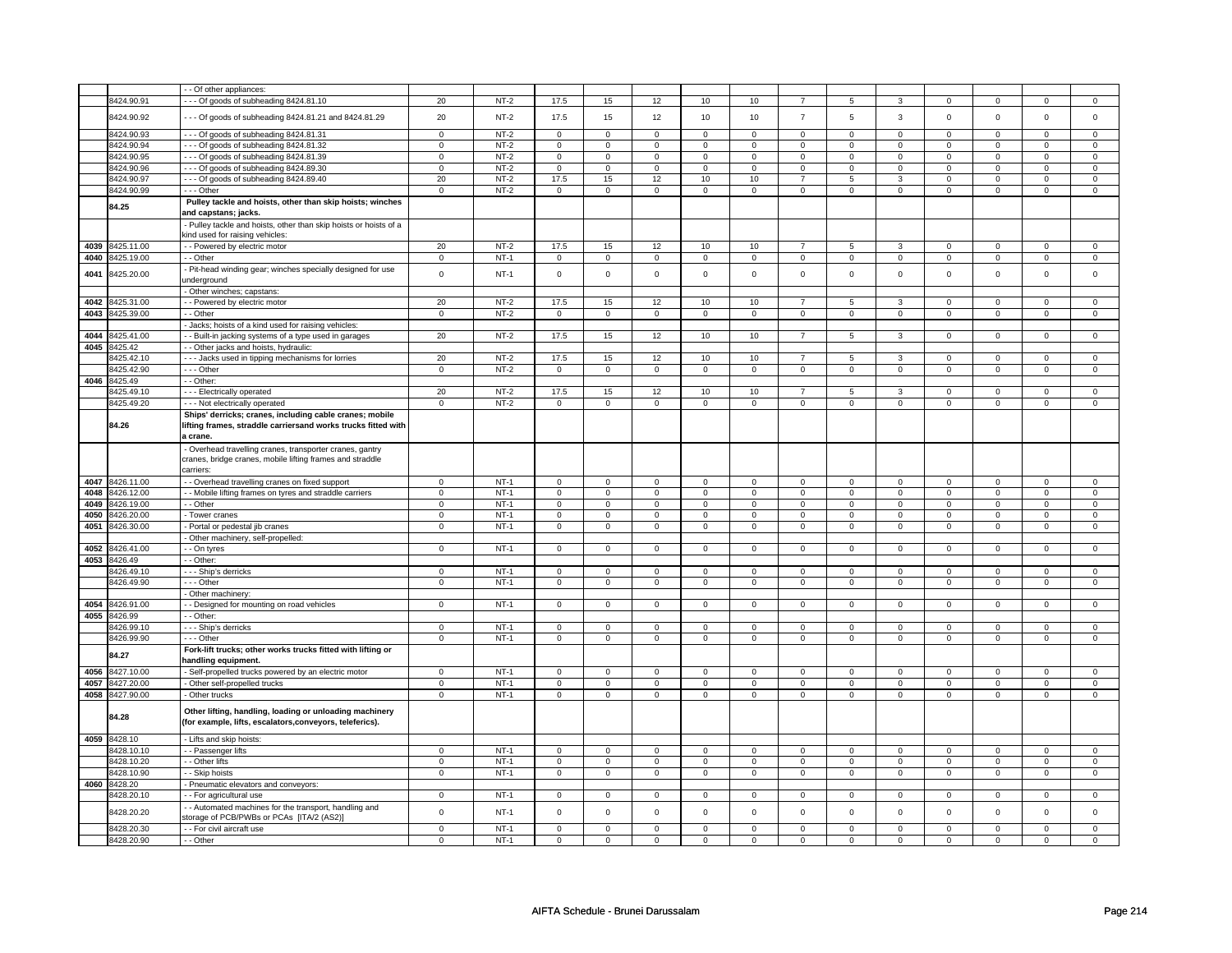|      |                          | - - Of other appliances:                                                  |                            |                  |                  |                  |                  |                  |                     |                            |                           |                  |                     |                  |                  |                   |
|------|--------------------------|---------------------------------------------------------------------------|----------------------------|------------------|------------------|------------------|------------------|------------------|---------------------|----------------------------|---------------------------|------------------|---------------------|------------------|------------------|-------------------|
|      | 8424.90.91               | --- Of goods of subheading 8424.81.10                                     | 20                         | $NT-2$           | 17.5             | 15               | 12               | 10               | 10                  | $\overline{7}$             | 5                         | 3                | $\mathsf 0$         | $\mathbf 0$      | 0                | $\mathbf{0}$      |
|      |                          |                                                                           |                            |                  |                  |                  |                  |                  |                     |                            |                           |                  |                     |                  |                  |                   |
|      | 8424.90.92               | --- Of goods of subheading 8424.81.21 and 8424.81.29                      | 20                         | $NT-2$           | 17.5             | 15               | 12               | 10               | 10                  | $\overline{7}$             | 5                         | 3                | $\mathsf 0$         | $\mathbf 0$      | $\mathsf 0$      | $\mathbf 0$       |
|      | 8424.90.93               | --- Of goods of subheading 8424.81.31                                     | $\mathbf 0$                | $NT-2$           | $\,0\,$          | $\mathbf 0$      | $\mathbf 0$      | $\mathbf 0$      | $\mathsf{O}\xspace$ | $\mathsf 0$                | 0                         | 0                | 0                   | $\mathbf 0$      | $\Omega$         | $\mathbf{0}$      |
|      | 8424.90.94               | --- Of goods of subheading 8424.81.32                                     | $\mathsf 0$                | $NT-2$           | $\mathsf 0$      | $\mathsf 0$      | $\mathbf 0$      | $\mathbf 0$      | $\mathsf 0$         | $\mathbf 0$                | 0                         | $\mathsf 0$      | $\mathsf 0$         | $\mathbf 0$      | $\Omega$         | $\mathbf{0}$      |
|      | 8424.90.95               |                                                                           |                            |                  |                  |                  |                  |                  |                     |                            |                           |                  |                     |                  |                  |                   |
|      |                          | --- Of goods of subheading 8424.81.39                                     | $\mathbf 0$                | $NT-2$           | 0                | $\mathbf 0$      | 0                | $\mathbf 0$      | 0                   | $\mathbf 0$                | 0                         | $\mathbf 0$      | 0                   | $\mathbf 0$      | 0                | $\mathbf 0$       |
|      | 8424.90.96               | --- Of goods of subheading 8424.89.30                                     | $\mathbf 0$                | NT-2             | $\mathbf 0$      | 0                | $\mathbf 0$      | $\mathbf 0$      | $\mathbf 0$         | $\mathbf 0$                | $^{\circ}$                | $\mathbf 0$      | 0                   | $\mathbf 0$      | 0                | $\mathbf{0}$      |
|      | 8424.90.97               | --- Of goods of subheading 8424.89.40                                     | 20                         | $NT-2$           | 17.5             | 15               | 12               | 10               | 10                  | $\overline{7}$             | 5                         | 3                | $\mathbf 0$         | $\mathsf 0$      | $\Omega$         | $\mathbf{0}$      |
|      | 8424.90.99               | --- Other                                                                 | $\mathbf 0$                | $NT-2$           | $\mathbf 0$      | $\mathsf 0$      | $\Omega$         | $\mathbf 0$      | $\mathbf 0$         | $\mathsf 0$                | $\mathbf 0$               | $\mathsf 0$      | $\mathsf 0$         | $\mathbf 0$      | $\Omega$         | $\mathbf{0}$      |
|      | 84.25                    | Pulley tackle and hoists, other than skip hoists; winches                 |                            |                  |                  |                  |                  |                  |                     |                            |                           |                  |                     |                  |                  |                   |
|      |                          | and capstans; jacks.                                                      |                            |                  |                  |                  |                  |                  |                     |                            |                           |                  |                     |                  |                  |                   |
|      |                          | - Pulley tackle and hoists, other than skip hoists or hoists of a         |                            |                  |                  |                  |                  |                  |                     |                            |                           |                  |                     |                  |                  |                   |
|      |                          | kind used for raising vehicles:                                           |                            |                  |                  |                  |                  |                  |                     |                            |                           |                  |                     |                  |                  |                   |
| 4039 | 3425.11.00               | - - Powered by electric motor                                             | 20                         | $NT-2$           | 17.5             | 15               | 12               | 10               | 10                  | $\overline{7}$             | 5                         | 3                | $\mathbf 0$         | $\mathbf 0$      | $\Omega$         | $\mathbf{0}$      |
| 4040 | 3425.19.00               | - - Other                                                                 | $\mathbf 0$                | $NT-1$           | $\mathsf 0$      | $\mathbf 0$      | $\mathsf 0$      | $\mathsf 0$      | $\mathsf{O}\xspace$ | $\mathsf 0$                | 0                         | $\mathsf 0$      | $\mathsf{O}\xspace$ | $\mathsf 0$      | $\Omega$         | $\pmb{0}$         |
| 4041 | 3425.20.00               | - Pit-head winding gear; winches specially designed for use               | $\mathsf 0$                | $NT-1$           | $\mathbf 0$      | $\mathbf 0$      | $\Omega$         | $\mathbf 0$      | $\Omega$            | $\mathbf 0$                | $\mathbf 0$               | $\mathsf 0$      | $\mathbf 0$         | $\mathbf 0$      | $\Omega$         | $\mathbf{0}$      |
|      |                          | inderground                                                               |                            |                  |                  |                  |                  |                  |                     |                            |                           |                  |                     |                  |                  |                   |
|      |                          | - Other winches; capstans:                                                |                            |                  |                  |                  |                  |                  |                     |                            |                           |                  |                     |                  |                  |                   |
| 4042 | 425.31.00                | - - Powered by electric motor                                             | 20                         | $NT-2$           | 17.5             | 15               | 12               | 10               | 10                  | $\overline{7}$             | 5                         | 3                | 0                   | 0                | $\Omega$         | 0                 |
| 4043 | 3425.39.00               | - Other                                                                   | $\mathbf 0$                | $NT-2$           | $\mathsf 0$      | $\mathsf 0$      | $\mathsf 0$      | $\mathbf 0$      | $\mathsf{O}\xspace$ | $\mathsf 0$                | $\mathbf 0$               | $\mathsf 0$      | $\mathsf 0$         | $\mathbf 0$      | $\mathbf 0$      | $\mathbf 0$       |
|      |                          | Jacks; hoists of a kind used for raising vehicles:                        |                            |                  |                  |                  |                  |                  |                     |                            |                           |                  |                     |                  |                  |                   |
| 4044 | 425.41.00                | - Built-in jacking systems of a type used in garages                      | 20                         | $NT-2$           | 17.5             | 15               | 12               | 10               | 10                  | $\overline{7}$             | 5                         | 3                | 0                   | 0                | $\mathbf 0$      | 0                 |
| 4045 | 3425.42                  | - - Other jacks and hoists, hydraulic:                                    |                            |                  |                  |                  |                  |                  |                     |                            |                           |                  |                     |                  |                  |                   |
|      | 3425.42.10               | - - - Jacks used in tipping mechanisms for lorries                        | 20                         | $NT-2$           | 17.5             | 15               | 12               | 10               | 10                  | $\overline{7}$             | 5                         | 3                | $\mathsf 0$         | $\mathbf 0$      | $\Omega$         | $\mathbf{0}$      |
|      | 3425.42.90               | - - - Other                                                               | $\mathbf 0$                | $NT-2$           | $\mathbf 0$      | $\mathsf 0$      | $\mathsf 0$      | $\mathbf 0$      | $\mathsf 0$         | $\mathbf 0$                | $\mathbf 0$               | $\mathsf 0$      | $\mathsf 0$         | $\mathbf 0$      | $\mathbf 0$      | 0                 |
| 4046 | 8425.49                  | - - Other:                                                                |                            |                  |                  |                  |                  |                  |                     |                            |                           |                  |                     |                  |                  |                   |
|      | 3425.49.10               | --- Electrically operated                                                 | 20                         | $NT-2$           | 17.5             | 15               | 12               | 10               | 10                  | $\overline{7}$             | 5                         | 3                | 0                   | $\mathbf 0$      | $\Omega$         | 0                 |
|      | 3425.49.20               | --- Not electrically operated                                             | $\mathbf 0$                | $NT-2$           | $\mathbf 0$      | $\mathbf 0$      | $\mathsf 0$      | $\mathsf 0$      | $\mathsf 0$         | $\mathsf 0$                | $\mathbf 0$               | $\mathbf 0$      | 0                   | $\mathbf 0$      | $\mathsf 0$      | $\mathbf 0$       |
|      |                          | Ships' derricks; cranes, including cable cranes; mobile                   |                            |                  |                  |                  |                  |                  |                     |                            |                           |                  |                     |                  |                  |                   |
|      |                          |                                                                           |                            |                  |                  |                  |                  |                  |                     |                            |                           |                  |                     |                  |                  |                   |
|      | 84.26                    | lifting frames, straddle carriersand works trucks fitted with<br>a crane. |                            |                  |                  |                  |                  |                  |                     |                            |                           |                  |                     |                  |                  |                   |
|      |                          |                                                                           |                            |                  |                  |                  |                  |                  |                     |                            |                           |                  |                     |                  |                  |                   |
|      |                          | - Overhead travelling cranes, transporter cranes, gantry                  |                            |                  |                  |                  |                  |                  |                     |                            |                           |                  |                     |                  |                  |                   |
|      |                          | cranes, bridge cranes, mobile lifting frames and straddle                 |                            |                  |                  |                  |                  |                  |                     |                            |                           |                  |                     |                  |                  |                   |
|      |                          | carriers:                                                                 |                            |                  |                  |                  |                  |                  |                     |                            |                           |                  |                     |                  |                  |                   |
| 4047 | 8426.11.00               | - - Overhead travelling cranes on fixed support                           | $\Omega$                   | $NT-1$           | $\mathbf 0$      | $\mathbf 0$      | $\Omega$         | $\Omega$         | $\Omega$            | $\mathbf 0$                | 0                         | $\mathbf 0$      | 0                   | $\mathbf 0$      | $\Omega$         | $\Omega$          |
| 4048 | 3426.12.00               | - - Mobile lifting frames on tyres and straddle carriers                  | $\mathbf 0$                | $NT-1$           | $\mathsf 0$      | $\mathsf 0$      | $\mathbf 0$      | $\mathbf 0$      | $\mathsf 0$         | $\mathbf 0$                | $\mathbf 0$               | $\mathsf 0$      | $\mathsf 0$         | $\mathbf 0$      | $\mathbf 0$      | $\mathbf 0$       |
| 4049 | 8426.19.00               | - - Other                                                                 | $\mathbf 0$                | $NT-1$           | $\mathbf 0$      | $\mathbf 0$      | $\mathsf 0$      | $\mathsf 0$      | $\mathsf 0$         | $\mathsf 0$                | 0                         | $\mathbf 0$      | $\mathsf 0$         | $\mathbf 0$      | $\mathsf 0$      | $\overline{0}$    |
| 4050 | 3426.20.00               | - Tower cranes                                                            | $\mathbf 0$                | $NT-1$           | $\mathbf 0$      | $\mathbf 0$      | $\mathbf 0$      | $\mathsf 0$      | 0                   | $\mathsf 0$                | 0                         | $\mathsf 0$      | 0                   | $\mathsf 0$      | 0                | 0                 |
| 4051 | 3426.30.00               | - Portal or pedestal jib cranes                                           | $\mathsf 0$                | $NT-1$           | $\mathsf 0$      | $\mathsf 0$      | $\mathsf 0$      | $\mathsf 0$      | $\mathbf 0$         | $\mathsf 0$                | $\mathbf 0$               | $\mathbf 0$      | $\mathsf 0$         | $\mathbf 0$      | $\mathsf 0$      | $\mathbf 0$       |
|      |                          | - Other machinery, self-propelled:                                        |                            |                  |                  |                  |                  |                  |                     |                            |                           |                  |                     |                  |                  |                   |
| 4052 | 3426.41.00               | - - On tyres                                                              | $\mathbf 0$                | $NT-1$           | $\overline{0}$   | $\overline{0}$   | $\mathbf 0$      | $\overline{0}$   | $\mathbf 0$         | $\mathbf 0$                | 0                         | $\mathbf 0$      | $\mathbf 0$         | $\mathbf 0$      | 0                | $\overline{0}$    |
| 4053 | 3426.49                  | - Other:                                                                  |                            |                  |                  |                  |                  |                  |                     |                            |                           |                  |                     |                  |                  |                   |
|      | 3426.49.10               | - - - Ship's derricks                                                     | $\mathbf 0$                | $NT-1$           | $\mathbf 0$      | $\mathbf 0$      | $\mathbf 0$      | $\mathbf 0$      | $\mathbf 0$         | $\mathbf 0$                | 0                         | $\mathbf 0$      | 0                   | $\mathbf 0$      | 0                | 0                 |
|      | 426.49.90                | - - - Other                                                               | $\mathbf 0$                | $NT-1$           | $\mathbf 0$      | $\mathbf 0$      | $\mathsf 0$      | $\mathsf 0$      | $\mathsf{O}\xspace$ | $\mathsf 0$                | 0                         | $\mathbf 0$      | 0                   | $\mathbf 0$      | 0                | $\mathbf 0$       |
|      |                          | - Other machinery:                                                        |                            |                  |                  |                  |                  |                  |                     |                            |                           |                  |                     |                  |                  |                   |
| 4054 | 8426.91.00               | - - Designed for mounting on road vehicles                                | $\mathsf 0$                | $NT-1$           | $\mathbf 0$      | $\mathbf 0$      | $\mathbf 0$      | $\mathbf 0$      | $\mathbf 0$         | $\mathbf 0$                | $\mathbf 0$               | $\mathbf{0}$     | $\mathsf 0$         | $\mathbf 0$      | $\Omega$         | $\mathbf{0}$      |
| 4055 | 8426.99                  | - - Other                                                                 |                            |                  |                  |                  |                  |                  |                     |                            |                           |                  |                     |                  |                  |                   |
|      | 8426.99.10               | - - - Ship's derricks                                                     | $\mathbf 0$                | $NT-1$           | $\mathsf 0$      | $\mathbf 0$      | $\mathbf 0$      | $\mathbf 0$      | $\mathbf 0$         | $\mathsf 0$                | 0                         | 0                | $\mathbf 0$         | $\mathsf 0$      | 0                | 0                 |
|      | 3426.99.90               | --- Other                                                                 | $\mathbf 0$                | $NT-1$           | $\mathsf 0$      | $\mathsf 0$      | $\mathsf 0$      | $\mathsf 0$      | $\mathsf 0$         | $\mathsf 0$                | $\mathbf 0$               | $\mathsf 0$      | $\mathsf 0$         | $\mathsf 0$      | $\mathsf 0$      | $\mathbf 0$       |
|      |                          | Fork-lift trucks; other works trucks fitted with lifting or               |                            |                  |                  |                  |                  |                  |                     |                            |                           |                  |                     |                  |                  |                   |
|      | 84.27                    | handling equipment.                                                       |                            |                  |                  |                  |                  |                  |                     |                            |                           |                  |                     |                  |                  |                   |
| 4056 | 8427.10.00               | - Self-propelled trucks powered by an electric motor                      | $\mathbf 0$                | $NT-1$           | $\mathbf 0$      | $\mathsf 0$      | $\mathbf 0$      | $\mathbf 0$      | $\mathbf 0$         | $\mathbf 0$                | 0                         | $\mathbf 0$      | $\mathbf 0$         | $\mathbf 0$      | 0                | 0                 |
| 4057 | 8427.20.00               | - Other self-propelled trucks                                             | $\mathbf 0$                | $NT-1$           | $\overline{0}$   | $\overline{0}$   | $\overline{0}$   | $\overline{0}$   | $\overline{0}$      | $\overline{0}$             | $\mathbf 0$               | $\overline{0}$   | $\overline{0}$      | $\overline{0}$   | $\overline{0}$   | $\overline{0}$    |
| 4058 | 3427.90.00               | - Other trucks                                                            | $\mathsf 0$                | $NT-1$           | $\mathbf 0$      | $\mathsf 0$      | $\mathbf 0$      | $\mathbf 0$      | $\mathsf 0$         | $\mathbf 0$                | 0                         | $\mathbf 0$      | $\mathsf 0$         | $\mathbf 0$      | $\mathsf 0$      | $\mathbf 0$       |
|      |                          |                                                                           |                            |                  |                  |                  |                  |                  |                     |                            |                           |                  |                     |                  |                  |                   |
|      | 84.28                    | Other lifting, handling, loading or unloading machinery                   |                            |                  |                  |                  |                  |                  |                     |                            |                           |                  |                     |                  |                  |                   |
|      |                          | (for example, lifts, escalators, conveyors, teleferics).                  |                            |                  |                  |                  |                  |                  |                     |                            |                           |                  |                     |                  |                  |                   |
| 4059 |                          |                                                                           |                            |                  |                  |                  |                  |                  |                     |                            |                           |                  |                     |                  |                  |                   |
|      |                          |                                                                           |                            |                  |                  |                  |                  |                  |                     |                            |                           |                  |                     |                  |                  |                   |
|      | 8428.10                  | - Lifts and skip hoists:                                                  |                            |                  |                  |                  |                  |                  |                     |                            |                           |                  |                     |                  |                  |                   |
|      | 3428.10.10               | - - Passenger lifts                                                       | $^{\circ}$                 | $NT-1$           | $\mathbf 0$      | $\mathbf 0$      | $\mathbf 0$      | $\mathbf 0$      | $\mathbf 0$         | $\mathbf 0$                | 0                         | 0                | 0                   | 0                | $\mathbf 0$      | $\mathbf 0$       |
|      | 3428.10.20               | - - Other lifts                                                           | $\mathbf 0$                | $NT-1$           | 0                | 0                | 0                | $\mathbf 0$      | 0                   | $\mathbf 0$                | 0                         | $\mathbf 0$      | 0                   | $\mathbf 0$      | 0                | $\mathbf 0$       |
|      | 8428.10.90               | - - Skip hoists                                                           | $\overline{0}$             | $NT-1$           | $\overline{0}$   | $\overline{0}$   | $\mathsf 0$      | $\mathbf 0$      | $\mathsf 0$         | $\overline{0}$             | $\mathsf 0$               | $\mathbf 0$      | $\mathsf 0$         | $\mathbf 0$      | $\mathsf 0$      | $\overline{0}$    |
| 4060 | 8428.20                  | - Pneumatic elevators and conveyors:                                      |                            |                  |                  |                  |                  |                  |                     |                            |                           |                  |                     |                  |                  |                   |
|      | 8428.20.10               | - - For agricultural use                                                  | $\mathbf 0$                | <b>NT-1</b>      | $\mathbf 0$      | $\mathsf 0$      | $\mathbf 0$      | $\mathbf 0$      | $\mathbf 0$         | $\mathbf 0$                | 0                         | $\mathbf 0$      | 0                   | $\mathbf 0$      | 0                | 0                 |
|      |                          | - - Automated machines for the transport, handling and                    |                            |                  |                  |                  |                  |                  |                     |                            |                           |                  |                     |                  |                  |                   |
|      | 8428.20.20               | storage of PCB/PWBs or PCAs [ITA/2 (AS2)]                                 | $\mathsf 0$                | $NT-1$           | $\mathsf 0$      | $\mathsf 0$      | $\mathbf 0$      | $\mathsf 0$      | $\mathsf{O}\xspace$ | $\mathsf 0$                | $\mathbf 0$               | $\mathsf 0$      | $\mathsf 0$         | $\mathbf 0$      | $\mathsf 0$      | $\mathsf 0$       |
|      | 3428.20.30<br>8428.20.90 | - - For civil aircraft use<br>- - Other                                   | $\mathsf 0$<br>$\mathbf 0$ | $NT-1$<br>$NT-1$ | $\mathbf 0$<br>0 | $\mathsf 0$<br>0 | $\mathsf 0$<br>0 | $\mathbf 0$<br>0 | $\mathsf 0$<br>0    | $\mathbf 0$<br>$\mathbf 0$ | $\mathbf 0$<br>$^{\circ}$ | $\mathbf 0$<br>0 | $\mathsf 0$<br>0    | $\mathbf 0$<br>0 | $\mathbf 0$<br>0 | $\mathbf{0}$<br>0 |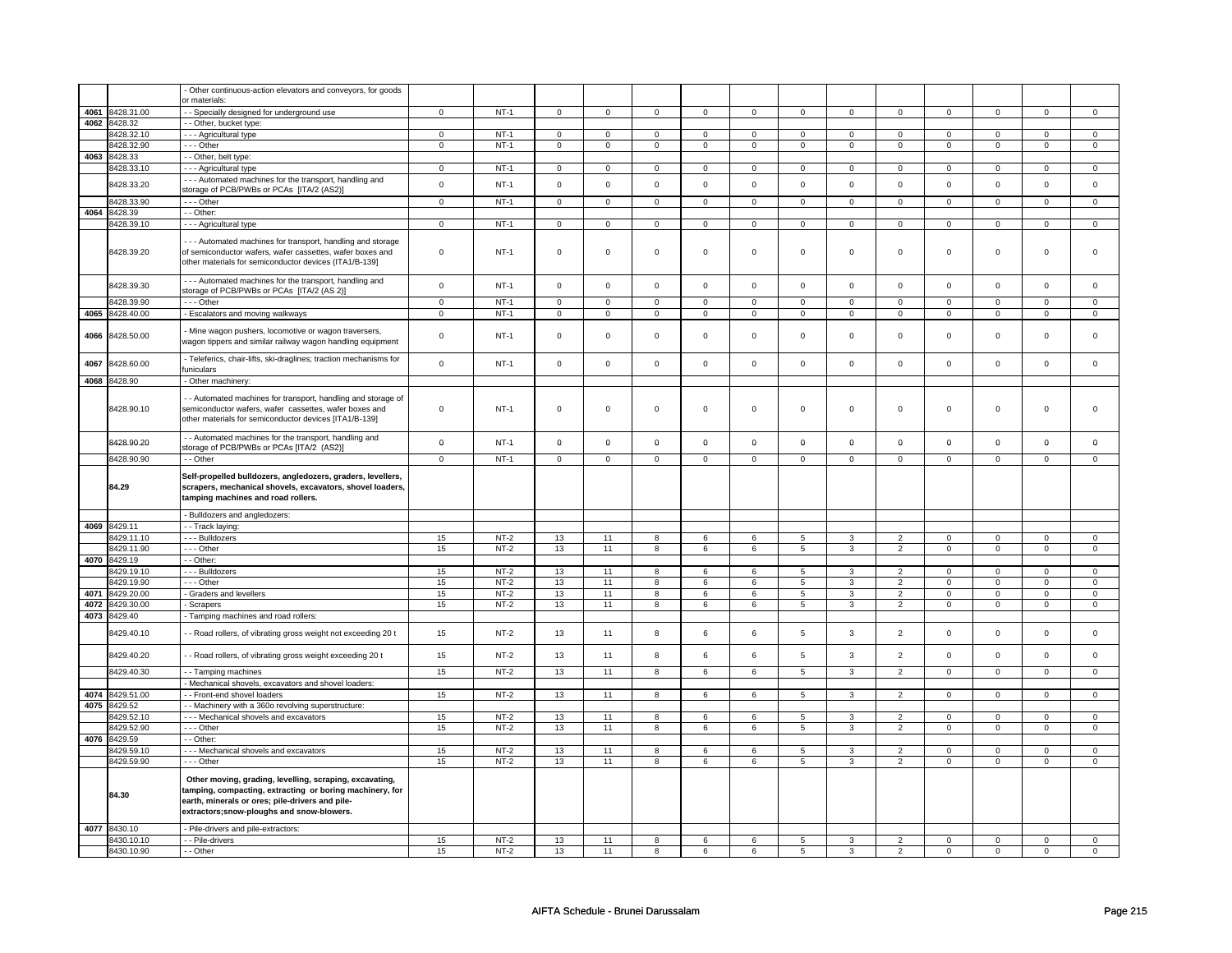|      |                          | Other continuous-action elevators and conveyors, for goods      |                |                  |             |             |                     |                 |                     |                     |                |                                  |                            |                      |                      |                            |
|------|--------------------------|-----------------------------------------------------------------|----------------|------------------|-------------|-------------|---------------------|-----------------|---------------------|---------------------|----------------|----------------------------------|----------------------------|----------------------|----------------------|----------------------------|
|      |                          | or materials                                                    |                |                  |             |             |                     |                 |                     |                     |                |                                  |                            |                      |                      |                            |
| 4061 | 8428.31.00               | - Specially designed for underground use                        | $\overline{0}$ | $NT-1$           | $\mathsf 0$ | $\mathbf 0$ | $\mathsf 0$         | $\mathsf 0$     | $\mathsf 0$         | $\mathsf 0$         | $\mathsf 0$    | $\mathbf 0$                      | $\mathsf 0$                | $\overline{0}$       | $\mathsf 0$          | $\overline{0}$             |
| 4062 | 8428.32                  | - - Other, bucket type:                                         |                |                  |             |             |                     |                 |                     |                     |                |                                  |                            |                      |                      |                            |
|      |                          |                                                                 |                |                  |             |             |                     |                 |                     |                     |                |                                  |                            |                      |                      |                            |
|      | 8428.32.10               | - - - Agricultural type                                         | $\mathsf 0$    | $NT-1$           | $\mathsf 0$ | $\mathsf 0$ | $\mathsf 0$         | $\mathsf 0$     | $\mathsf 0$         | $\mathbf 0$         | $\Omega$       | $\mathsf 0$                      | $\mathsf 0$                | $\mathsf 0$          | $\Omega$             | $\mathbf 0$                |
|      | 8428.32.90               | --- Other                                                       | $\pmb{0}$      | $NT-1$           | $\mathsf 0$ | $\mathbf 0$ | $\mathsf 0$         | $\mathbf 0$     | $\mathsf 0$         | $\mathbf 0$         | $\mathsf 0$    | $\mathbf 0$                      | $\mathsf 0$                | $\mathbf 0$          | $\mathbf 0$          | $\mathbf 0$                |
|      | 4063 8428.33             | - - Other, belt type:                                           |                |                  |             |             |                     |                 |                     |                     |                |                                  |                            |                      |                      |                            |
|      | 8428.33.10               | - - - Agricultural type                                         | $\mathsf 0$    | $NT-1$           | $\mathsf 0$ | $\mathbf 0$ | $\mathbf 0$         | $\mathsf 0$     | $\mathbf 0$         | $\mathbf 0$         | $\mathbf 0$    | $\mathbf 0$                      | 0                          | $\mathsf 0$          | $\mathbf 0$          | $\mathbf 0$                |
|      |                          |                                                                 |                |                  |             |             |                     |                 |                     |                     |                |                                  |                            |                      |                      |                            |
|      | 8428.33.20               | --- Automated machines for the transport, handling and          | $\mathsf 0$    | $NT-1$           | $\mathbf 0$ | $\mathbf 0$ | $\mathbf 0$         | $\mathbf 0$     | $\mathsf 0$         | $\mathbf 0$         | $\Omega$       | $\mathbf 0$                      | $\mathbf 0$                | $\mathsf 0$          | $\Omega$             | $\mathbf 0$                |
|      |                          | storage of PCB/PWBs or PCAs [ITA/2 (AS2)]                       |                |                  |             |             |                     |                 |                     |                     |                |                                  |                            |                      |                      |                            |
|      | 8428.33.90               | --- Other                                                       | $\mathbf 0$    | $NT-1$           | $\mathsf 0$ | $\mathsf 0$ | $\mathsf 0$         | $\mathbf 0$     | $\mathsf 0$         | $\mathbf 0$         | $\mathsf 0$    | $\mathbf 0$                      | $\mathsf 0$                | $\mathsf 0$          | $\mathsf 0$          | $\mathbf 0$                |
| 4064 | 8428.39                  | - Other:                                                        |                |                  |             |             |                     |                 |                     |                     |                |                                  |                            |                      |                      |                            |
|      |                          |                                                                 |                |                  |             |             |                     |                 |                     |                     |                |                                  |                            |                      |                      |                            |
|      | 8428.39.10               | - - - Agricultural type                                         | $\mathsf 0$    | $NT-1$           | $\mathbf 0$ | $\mathbf 0$ | $\mathsf 0$         | $\mathbf 0$     | $\mathsf 0$         | $\mathbf 0$         | $\mathsf 0$    | $\mathbf 0$                      | $\mathsf 0$                | $\overline{0}$       | $\mathsf 0$          | $\overline{0}$             |
|      |                          |                                                                 |                |                  |             |             |                     |                 |                     |                     |                |                                  |                            |                      |                      |                            |
|      |                          | --- Automated machines for transport, handling and storage      |                |                  |             |             |                     |                 |                     |                     |                |                                  |                            |                      |                      |                            |
|      | 8428.39.20               | of semiconductor wafers, wafer cassettes, wafer boxes and       | $\pmb{0}$      | $NT-1$           | $\mathsf 0$ | $\mathbf 0$ | $\mathsf 0$         | $\mathsf 0$     | $\mathsf 0$         | $\mathsf 0$         | $\mathsf 0$    | $\mathsf 0$                      | $\mathsf 0$                | $\mathsf 0$          | $\mathsf 0$          | $\mathbf 0$                |
|      |                          | other materials for semiconductor devices (ITA1/B-139]          |                |                  |             |             |                     |                 |                     |                     |                |                                  |                            |                      |                      |                            |
|      |                          |                                                                 |                |                  |             |             |                     |                 |                     |                     |                |                                  |                            |                      |                      |                            |
|      | 8428.39.30               | - - - Automated machines for the transport, handling and        | $\mathsf 0$    | $NT-1$           | $\mathsf 0$ | $\mathbf 0$ | $\mathsf 0$         | $\mathsf 0$     | $\mathsf 0$         | $\mathsf 0$         | $\mathsf 0$    | $\mathsf 0$                      | $\mathsf 0$                | $\mathbf 0$          | $\mathsf 0$          | $\mathsf 0$                |
|      |                          | storage of PCB/PWBs or PCAs [ITA/2 (AS 2)]                      |                |                  |             |             |                     |                 |                     |                     |                |                                  |                            |                      |                      |                            |
|      | 8428.39.90               | --- Other                                                       | $\mathbf 0$    | $NT-1$           | $\mathbf 0$ | $\mathbf 0$ | $\mathsf{O}\xspace$ | $\mathbf 0$     | $\mathsf{O}\xspace$ | $\mathbf 0$         | $\mathsf 0$    | $\mathbf 0$                      | $\mathsf 0$                | $\mathbf 0$          | $\mathbf 0$          | $\mathbf 0$                |
| 4065 | 8428.40.00               | - Escalators and moving walkways                                | $\mathsf 0$    | $NT-1$           | $\mathsf 0$ | $\mathsf 0$ | $\mathsf 0$         | $\mathbf 0$     | $\mathsf 0$         | $\mathbf 0$         | $\mathsf 0$    | $\mathsf 0$                      | $\mathsf 0$                | $\mathsf 0$          | $\mathsf 0$          | $\mathbf 0$                |
|      |                          |                                                                 |                |                  |             |             |                     |                 |                     |                     |                |                                  |                            |                      |                      |                            |
|      |                          | Mine wagon pushers, locomotive or wagon traversers,             |                |                  |             |             |                     |                 |                     |                     |                |                                  |                            |                      |                      |                            |
| 4066 | 8428.50.00               | wagon tippers and similar railway wagon handling equipment      | $\mathbf 0$    | $NT-1$           | $\mathsf 0$ | $\mathbf 0$ | $\mathsf 0$         | $\mathsf 0$     | $\mathsf 0$         | $\mathsf 0$         | $\mathsf 0$    | $\mathsf 0$                      | $\mathsf 0$                | $\mathsf 0$          | $\mathsf 0$          | $\mathbf 0$                |
|      |                          |                                                                 |                |                  |             |             |                     |                 |                     |                     |                |                                  |                            |                      |                      |                            |
|      |                          | Teleferics, chair-lifts, ski-draglines; traction mechanisms for |                |                  |             |             |                     |                 |                     |                     |                |                                  |                            |                      |                      |                            |
| 4067 | 8428.60.00               | funiculars                                                      | $\mathbf 0$    | $NT-1$           | $\mathsf 0$ | $\mathbf 0$ | $\mathsf 0$         | $\mathsf 0$     | $\mathsf 0$         | $\mathsf 0$         | $\mathsf 0$    | $\mathbf 0$                      | $\mathbf 0$                | $\mathbf 0$          | $\mathsf 0$          | $\mathsf 0$                |
|      |                          |                                                                 |                |                  |             |             |                     |                 |                     |                     |                |                                  |                            |                      |                      |                            |
| 4068 | 8428.90                  | - Other machinery:                                              |                |                  |             |             |                     |                 |                     |                     |                |                                  |                            |                      |                      |                            |
|      |                          |                                                                 |                |                  |             |             |                     |                 |                     |                     |                |                                  |                            |                      |                      |                            |
|      |                          | - Automated machines for transport, handling and storage of     |                |                  |             |             |                     |                 |                     |                     |                |                                  |                            |                      |                      |                            |
|      | 8428.90.10               | semiconductor wafers, wafer cassettes, wafer boxes and          | $\mathbf 0$    | $NT-1$           | $\mathsf 0$ | $\mathsf 0$ | $\mathsf 0$         | $\mathbf 0$     | $\mathbf 0$         | $\mathsf 0$         | $\mathbf 0$    | $\mathbf 0$                      | $\mathbf 0$                | $\mathsf 0$          | $\mathsf 0$          | 0                          |
|      |                          | other materials for semiconductor devices [ITA1/B-139]          |                |                  |             |             |                     |                 |                     |                     |                |                                  |                            |                      |                      |                            |
|      |                          |                                                                 |                |                  |             |             |                     |                 |                     |                     |                |                                  |                            |                      |                      |                            |
|      | 8428.90.20               | - - Automated machines for the transport, handling and          | $\mathbf 0$    | $NT-1$           | $\mathbf 0$ | $\mathbf 0$ | $\mathbf 0$         | $\mathbf 0$     | $\mathbf 0$         | $\mathbf 0$         | $\Omega$       | $\mathbf 0$                      | $\Omega$                   | $\mathbf 0$          | $\Omega$             | 0                          |
|      |                          | storage of PCB/PWBs or PCAs [ITA/2 (AS2)]                       |                |                  |             |             |                     |                 |                     |                     |                |                                  |                            |                      |                      |                            |
|      | 8428.90.90               | - - Other                                                       | $\overline{0}$ | $NT-1$           | $\mathbf 0$ | $\mathsf 0$ | $\mathsf 0$         | $\mathbf 0$     | $\mathsf 0$         | $\mathbf{0}$        | $\mathsf 0$    | $\mathbf 0$                      | $\mathsf 0$                | $\mathsf 0$          | $\mathsf 0$          | $\mathbf 0$                |
|      |                          |                                                                 |                |                  |             |             |                     |                 |                     |                     |                |                                  |                            |                      |                      |                            |
|      |                          | Self-propelled bulldozers, angledozers, graders, levellers,     |                |                  |             |             |                     |                 |                     |                     |                |                                  |                            |                      |                      |                            |
|      |                          |                                                                 |                |                  |             |             |                     |                 |                     |                     |                |                                  |                            |                      |                      |                            |
|      |                          |                                                                 |                |                  |             |             |                     |                 |                     |                     |                |                                  |                            |                      |                      |                            |
|      | 84.29                    | scrapers, mechanical shovels, excavators, shovel loaders,       |                |                  |             |             |                     |                 |                     |                     |                |                                  |                            |                      |                      |                            |
|      |                          | tamping machines and road rollers.                              |                |                  |             |             |                     |                 |                     |                     |                |                                  |                            |                      |                      |                            |
|      |                          |                                                                 |                |                  |             |             |                     |                 |                     |                     |                |                                  |                            |                      |                      |                            |
|      |                          | - Bulldozers and angledozers:                                   |                |                  |             |             |                     |                 |                     |                     |                |                                  |                            |                      |                      |                            |
|      | 4069 8429.11             | - - Track laying:                                               |                |                  |             |             |                     |                 |                     |                     |                |                                  |                            |                      |                      |                            |
|      | 8429.11.10               | - - - Bulldozers                                                | 15             | $NT-2$           | 13          | 11          | 8                   | 6               | 6                   | 5                   | 3              | $\overline{2}$                   | $\mathbf 0$                | 0                    | $\mathbf 0$          | $\mathbf 0$                |
|      | 8429.11.90               | --- Other                                                       | 15             | $NT-2$           | 13          | 11          | 8                   | 6               | 6                   | 5                   | 3              | $\overline{2}$                   | $\mathbf 0$                | $\mathbf 0$          | $\mathbf 0$          | $\mathbf 0$                |
|      | 4070 8429.19             | - - Other:                                                      |                |                  |             |             |                     |                 |                     |                     |                |                                  |                            |                      |                      |                            |
|      |                          |                                                                 |                |                  |             |             |                     |                 |                     |                     | $\mathcal{R}$  |                                  |                            |                      | $\Omega$             |                            |
|      | 8429.19.10               | - - - Bulldozers                                                | 15             | $NT-2$           | 13          | 11          | 8                   | $6\overline{6}$ | 6                   | $\overline{5}$      |                | $\overline{2}$                   | $\overline{0}$             | $\overline{0}$       |                      | $\overline{0}$             |
|      | 8429.19.90               | --- Other                                                       | 15             | $NT-2$           | 13          | 11          | 8                   | 6               | 6                   | $\,$ 5 $\,$         | 3              | $\overline{2}$                   | $\mathbf 0$                | $\mathsf 0$          | $\mathbf 0$          | $\mathsf 0$                |
| 4071 | 8429.20.00               | Graders and levellers                                           | 15             | $NT-2$           | 13          | 11          | 8                   | 6               | 6                   | $\,$ 5 $\,$         | $\mathbf{3}$   | $\overline{2}$                   | $\mathsf 0$                | $\mathbf 0$          | $\mathsf 0$          | $\mathsf 0$                |
| 4072 | 8429.30.00               | Scrapers                                                        | 15             | $NT-2$           | 13          | 11          | $\boldsymbol{8}$    | 6               | 6                   | $\overline{5}$      | $\overline{3}$ | $\overline{2}$                   | $\overline{0}$             | $\overline{0}$       | $\overline{0}$       | $\overline{0}$             |
|      |                          |                                                                 |                |                  |             |             |                     |                 |                     |                     |                |                                  |                            |                      |                      |                            |
| 4073 | 8429.40                  | - Tamping machines and road rollers:                            |                |                  |             |             |                     |                 |                     |                     |                |                                  |                            |                      |                      |                            |
|      | 8429.40.10               | - Road rollers, of vibrating gross weight not exceeding 20 t    | 15             | $NT-2$           | 13          | 11          | 8                   | 6               | 6                   | 5                   | 3              | $\overline{2}$                   | $\mathbf 0$                | $\mathsf 0$          | $\mathbf 0$          | $\mathbf 0$                |
|      |                          |                                                                 |                |                  |             |             |                     |                 |                     |                     |                |                                  |                            |                      |                      |                            |
|      |                          |                                                                 |                |                  |             |             |                     |                 |                     |                     |                |                                  |                            |                      |                      |                            |
|      | 8429.40.20               | - Road rollers, of vibrating gross weight exceeding 20 t        | 15             | $NT-2$           | 13          | 11          | 8                   | 6               | 6                   | 5                   | 3              | $\overline{2}$                   | $\mathbf 0$                | $\mathsf 0$          | $\mathbf 0$          | $\mathbf 0$                |
|      |                          |                                                                 |                |                  |             |             |                     |                 |                     |                     |                |                                  |                            |                      |                      |                            |
|      | 8429.40.30               | - - Tamping machines                                            | 15             | $NT-2$           | 13          | 11          | 8                   | 6               | 6                   | $\overline{5}$      | 3              | $\overline{2}$                   | $\mathsf 0$                | $\mathsf 0$          | $\mathsf 0$          | $\mathbf 0$                |
|      |                          | - Mechanical shovels, excavators and shovel loaders:            |                |                  |             |             |                     |                 |                     |                     |                |                                  |                            |                      |                      |                            |
| 4074 | 8429.51.00               | - - Front-end shovel loaders                                    | 15             | $NT-2$           | 13          | 11          | 8                   | 6               | 6                   | 5                   | 3              | 2                                | $\mathsf 0$                | $\mathbf 0$          | $\mathsf 0$          | $\mathbf 0$                |
| 4075 | 8429.52                  | - Machinery with a 360o revolving superstructure:               |                |                  |             |             |                     |                 |                     |                     |                |                                  |                            |                      |                      |                            |
|      | 8429.52.10               | --- Mechanical shovels and excavators                           | 15             | $NT-2$           | 13          | 11          | 8                   | 6               | 6                   | 5                   | 3              | $\overline{2}$                   | $\mathbf 0$                | $\mathbf 0$          | $\mathbf 0$          | $\mathbf 0$                |
|      |                          |                                                                 |                |                  |             |             |                     |                 |                     |                     | 3              |                                  |                            |                      |                      |                            |
|      | 8429.52.90               | --- Other                                                       | 15             | $NT-2$           | 13          | 11          | 8                   | 6               | 6                   | $\overline{5}$      |                | $\overline{2}$                   | $\mathsf 0$                | $\mathbf 0$          | $\mathsf 0$          | $\mathsf 0$                |
| 4076 | 8429.59                  | $-$ Other:                                                      |                |                  |             |             |                     |                 |                     |                     |                |                                  |                            |                      |                      |                            |
|      | 8429.59.10               | --- Mechanical shovels and excavators                           | 15             | $NT-2$           | 13          | 11          | 8                   | 6               | 6                   | 5                   | 3              | $\overline{2}$                   | $\mathsf 0$                | $\mathsf 0$          | $\mathsf 0$          | $\overline{0}$             |
|      | 8429.59.90               | --- Other                                                       | 15             | $NT-2$           | 13          | 11          | 8                   | 6               | 6                   | $\overline{5}$      | 3              | $\overline{2}$                   | $\mathsf 0$                | $\mathsf 0$          | $\mathsf 0$          | $\mathbf 0$                |
|      |                          |                                                                 |                |                  |             |             |                     |                 |                     |                     |                |                                  |                            |                      |                      |                            |
|      |                          | Other moving, grading, levelling, scraping, excavating,         |                |                  |             |             |                     |                 |                     |                     |                |                                  |                            |                      |                      |                            |
|      |                          | tamping, compacting, extracting or boring machinery, for        |                |                  |             |             |                     |                 |                     |                     |                |                                  |                            |                      |                      |                            |
|      | 84.30                    | earth, minerals or ores; pile-drivers and pile-                 |                |                  |             |             |                     |                 |                     |                     |                |                                  |                            |                      |                      |                            |
|      |                          |                                                                 |                |                  |             |             |                     |                 |                     |                     |                |                                  |                            |                      |                      |                            |
|      |                          | extractors;snow-ploughs and snow-blowers.                       |                |                  |             |             |                     |                 |                     |                     |                |                                  |                            |                      |                      |                            |
|      | 4077 8430.10             | - Pile-drivers and pile-extractors:                             |                |                  |             |             |                     |                 |                     |                     |                |                                  |                            |                      |                      |                            |
|      |                          |                                                                 |                |                  |             |             |                     |                 |                     |                     |                |                                  |                            |                      |                      |                            |
|      | 8430.10.10<br>8430.10.90 | - - Pile-drivers<br>- - Other                                   | 15<br>15       | $NT-2$<br>$NT-2$ | 13<br>13    | 11<br>11    | 8<br>8              | 6<br>6          | 6<br>6              | $\overline{5}$<br>5 | 3<br>3         | $\overline{2}$<br>$\overline{2}$ | $\mathbf 0$<br>$\mathbf 0$ | $\Omega$<br>$\Omega$ | $\Omega$<br>$\Omega$ | $\mathbf 0$<br>$\mathbf 0$ |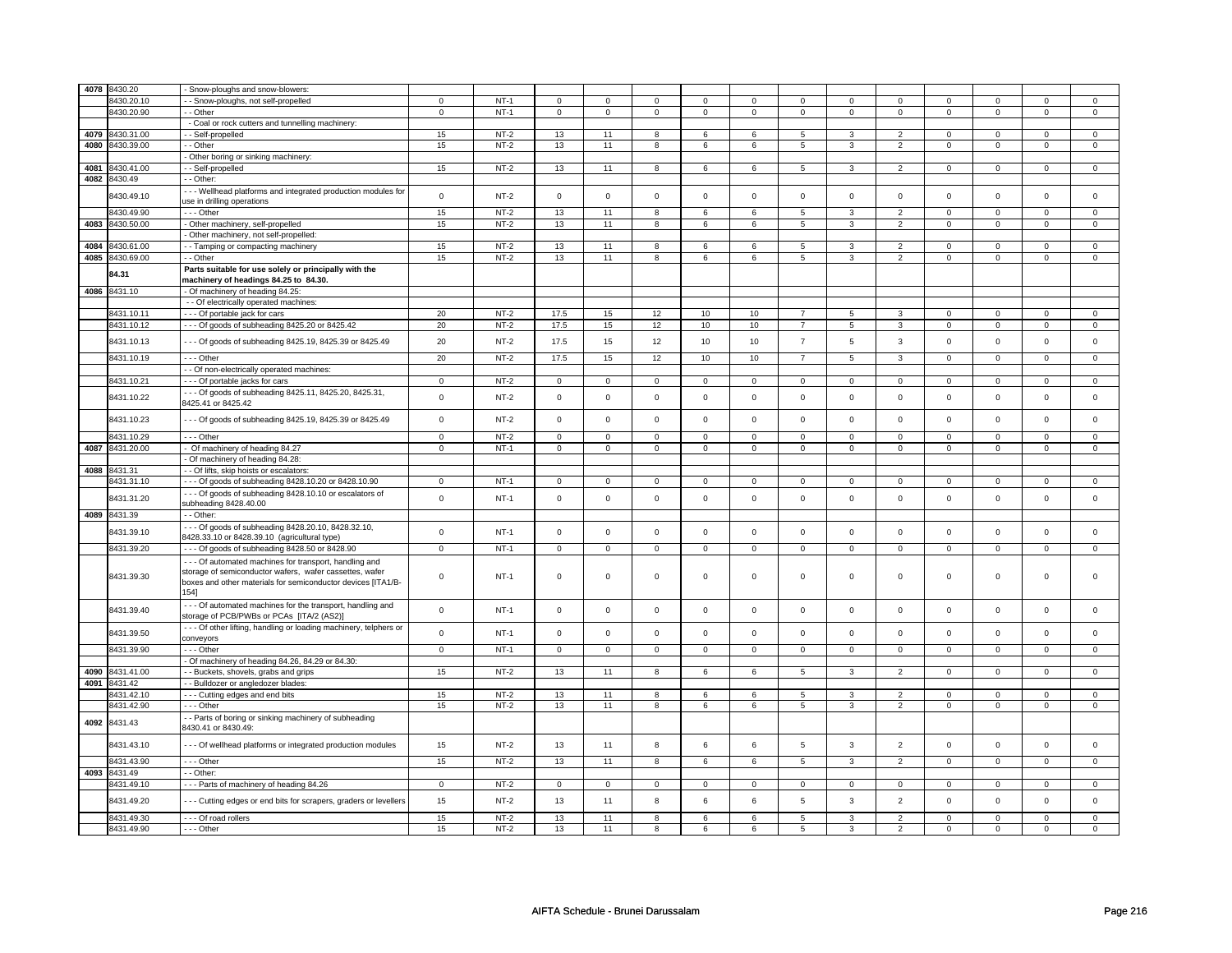| 4078 | 8430.20                  | Snow-ploughs and snow-blowers:                                                                                   |                |                  |                |                |                |                |                     |                |                |                                  |                  |                  |                  |                   |
|------|--------------------------|------------------------------------------------------------------------------------------------------------------|----------------|------------------|----------------|----------------|----------------|----------------|---------------------|----------------|----------------|----------------------------------|------------------|------------------|------------------|-------------------|
|      | 8430.20.10               | - Snow-ploughs, not self-propelled                                                                               | 0              | $NT-1$           | $\mathbf 0$    | 0              | $\mathbf 0$    | $\mathbf 0$    | $\mathbf 0$         | $\mathbf 0$    | $^{\circ}$     | $\mathbf 0$                      | 0                | 0                | 0                | $\mathbf{0}$      |
|      | 8430.20.90               | - Other                                                                                                          | $\mathbf 0$    | $NT-1$           | $\mathbf 0$    | $\mathbf 0$    | $\mathbf{0}$   | $\mathbf 0$    | $\mathbf 0$         | $\mathbf{0}$   | $\mathbf 0$    | $\mathbf 0$                      | $\mathbf 0$      | $\mathbf{0}$     | $\mathbf 0$      | $\mathbf{0}$      |
|      |                          | - Coal or rock cutters and tunnelling machinery:                                                                 |                |                  |                |                |                |                |                     |                |                |                                  |                  |                  |                  |                   |
| 4079 | 3430.31.00               | - - Self-propelled                                                                                               | 15             | $NT-2$           | 13             | 11             | 8              | 6              | 6                   | 5              |                | $\overline{2}$                   | $\Omega$         | $\mathbf 0$      |                  | $\mathbf{0}$      |
| 4080 | 8430.39.00               | - Other                                                                                                          | 15             | $NT-2$           | 13             | 11             | 8              | 6              | 6                   | 5              | 3              | $\overline{2}$                   | $\mathsf 0$      | $\mathbf 0$      | $\mathsf 0$      | $\mathbf 0$       |
|      |                          | - Other boring or sinking machinery:                                                                             |                |                  |                |                |                |                |                     |                |                |                                  |                  |                  |                  |                   |
| 4081 | 8430.41.00               | - - Self-propelled                                                                                               | 15             | $NT-2$           | 13             | 11             | 8              | 6              | 6                   | 5              | $\mathbf{3}$   | $\overline{2}$                   | $\mathsf 0$      | $\mathbf 0$      | 0                | $\mathbf 0$       |
| 4082 | 8430.49                  | - - Other:                                                                                                       |                |                  |                |                |                |                |                     |                |                |                                  |                  |                  |                  |                   |
|      |                          |                                                                                                                  |                |                  |                |                |                |                |                     |                |                |                                  |                  |                  |                  |                   |
|      | 8430.49.10               | -- Wellhead platforms and integrated production modules for<br>use in drilling operations                        | $\mathbf 0$    | $NT-2$           | $\Omega$       | $\mathbf 0$    | $\mathbf 0$    | $\mathbf 0$    | $\mathbf 0$         | $\mathbf{0}$   | $\mathbf 0$    | $\mathbf 0$                      | $\mathbf 0$      | $\mathbf{0}$     | $\mathbf 0$      | $\mathbf{0}$      |
|      |                          |                                                                                                                  |                |                  |                |                |                |                |                     |                |                |                                  |                  |                  |                  |                   |
| 4083 | 8430.49.90<br>8430.50.00 | - - - Other<br>- Other machinery, self-propelled                                                                 | 15<br>15       | $NT-2$<br>$NT-2$ | 13<br>13       | 11<br>11       | 8<br>8         | 6<br>6         | 6<br>6              | 5<br>5         | 3<br>3         | $\overline{2}$<br>$\overline{2}$ | 0<br>$\mathbf 0$ | 0<br>$\mathbf 0$ | 0<br>$\mathbf 0$ | 0<br>$\mathbf{0}$ |
|      |                          |                                                                                                                  |                |                  |                |                |                |                |                     |                |                |                                  |                  |                  |                  |                   |
| 4084 | 3430.61.00               | - Other machinery, not self-propelled:                                                                           | 15             | $NT-2$           | 13             | 11             | 8              | 6              | 6                   | 5              | 3              | $\overline{2}$                   | $\mathbf 0$      | $\mathbf 0$      | $\Omega$         | $\mathbf{0}$      |
| 4085 | 8430.69.00               | - Tamping or compacting machinery<br>- - Other                                                                   | 15             | $NT-2$           | 13             | 11             | 8              | 6              | 6                   | 5              | 3              | $\overline{2}$                   | $\mathbf 0$      | $\mathbf 0$      | $\mathsf 0$      | $\mathbf 0$       |
|      |                          | Parts suitable for use solely or principally with the                                                            |                |                  |                |                |                |                |                     |                |                |                                  |                  |                  |                  |                   |
|      | 84.31                    | machinery of headings 84.25 to 84.30.                                                                            |                |                  |                |                |                |                |                     |                |                |                                  |                  |                  |                  |                   |
| 4086 | 8431.10                  | - Of machinery of heading 84.25:                                                                                 |                |                  |                |                |                |                |                     |                |                |                                  |                  |                  |                  |                   |
|      |                          | - - Of electrically operated machines:                                                                           |                |                  |                |                |                |                |                     |                |                |                                  |                  |                  |                  |                   |
|      | 8431.10.11               | - - - Of portable jack for cars                                                                                  | 20             | $NT-2$           | 17.5           | 15             | 12             | 10             | 10                  | $\overline{7}$ | 5              | 3                                | 0                | 0                | 0                | 0                 |
|      | 8431.10.12               | --- Of goods of subheading 8425.20 or 8425.42                                                                    | 20             | $NT-2$           | 17.5           | 15             | 12             | 10             | 10                  | $\overline{7}$ | 5              | 3                                | 0                | $\mathbf 0$      | 0                | 0                 |
|      |                          |                                                                                                                  |                |                  |                |                |                |                |                     |                |                |                                  |                  |                  |                  |                   |
|      | 8431.10.13               | --- Of goods of subheading 8425.19, 8425.39 or 8425.49                                                           | 20             | $NT-2$           | 17.5           | 15             | 12             | 10             | 10                  | $\overline{7}$ | 5              | 3                                | $\mathsf 0$      | $\mathbf 0$      | $\mathsf 0$      | $\mathsf 0$       |
|      | 8431.10.19               | --- Other                                                                                                        | 20             | $NT-2$           | 17.5           | 15             | 12             | 10             | 10                  | $\overline{7}$ | $\overline{5}$ | $\mathbf{3}$                     | $\mathbf 0$      | $\mathbf 0$      | $\mathsf 0$      | $\mathbf 0$       |
|      |                          | - - Of non-electrically operated machines:                                                                       |                |                  |                |                |                |                |                     |                |                |                                  |                  |                  |                  |                   |
|      | 8431.10.21               | - - - Of portable jacks for cars                                                                                 | $\mathsf 0$    | $NT-2$           | $\mathbf 0$    | $\mathbf 0$    | $\mathbf 0$    | $\mathbf 0$    | $\mathbf 0$         | $\mathbf{0}$   | $\mathbf 0$    | $\mathbf{0}$                     | $\mathbf 0$      | $\mathbf{0}$     | $\mathbf 0$      | $\mathbf{0}$      |
|      | 8431.10.22               | --- Of goods of subheading 8425.11, 8425.20, 8425.31,<br>8425.41 or 8425.42                                      | $\Omega$       | $NT-2$           | $\Omega$       | $\mathbf 0$    | $\mathbf 0$    | $\mathbf 0$    | $\mathbf 0$         | $\mathsf 0$    | $\mathbf 0$    | $\mathsf 0$                      | $\mathbf 0$      | $\mathbf 0$      | $\mathbf 0$      | $\mathbf{0}$      |
|      | 8431.10.23               | - - - Of goods of subheading 8425.19, 8425.39 or 8425.49                                                         | $\mathsf 0$    | $NT-2$           | $\mathsf 0$    | $\mathbf{0}$   | $\mathbf 0$    | $\mathbf 0$    | $\mathbf 0$         | $\mathbf{0}$   | $\mathbf 0$    | $\mathbf{0}$                     | $\mathsf 0$      | $\mathbf 0$      | $\mathbf 0$      | $\mathbf{0}$      |
|      | 8431.10.29               | --- Other                                                                                                        | $\mathsf 0$    | $NT-2$           | $\mathsf 0$    | $\mathbf 0$    | $\Omega$       | $\mathbf 0$    | $\mathsf 0$         | $\mathsf 0$    | $\mathbf 0$    | $\mathsf 0$                      | $\mathsf 0$      | $\mathbf 0$      | $\Omega$         | $\mathbf 0$       |
|      | 4087 8431.20.00          | - Of machinery of heading 84.27                                                                                  | $\mathsf 0$    | $NT-1$           | $\mathbf 0$    | $\mathbf 0$    | 0              | $\mathbf 0$    | $\mathsf{o}\,$      | $\circ$        | 0              | $\mathsf{o}\,$                   | 0                | $\mathbf 0$      | 0                | $\mathbf 0$       |
|      |                          | Of machinery of heading 84.28:                                                                                   |                |                  |                |                |                |                |                     |                |                |                                  |                  |                  |                  |                   |
| 4088 | 8431.31                  | - - Of lifts, skip hoists or escalators:                                                                         |                |                  |                |                |                |                |                     |                |                |                                  |                  |                  |                  |                   |
|      | 8431.31.10               | --- Of goods of subheading 8428.10.20 or 8428.10.90                                                              | $\mathsf 0$    | $NT-1$           | $\mathbf 0$    | $\mathbf 0$    | $\mathbf 0$    | $\mathbf 0$    | $\mathbf 0$         | $\mathbf 0$    | $\mathbf 0$    | $\mathbf 0$                      | $\mathbf{0}$     | $\mathbf 0$      | 0                | $\mathbf 0$       |
|      | 8431.31.20               | - - - Of goods of subheading 8428.10.10 or escalators of<br>subheading 8428.40.00                                | $\mathsf 0$    | $NT-1$           | $\mathsf 0$    | $\mathsf 0$    | $\mathsf 0$    | $\mathbf 0$    | $\mathsf 0$         | $\mathbf 0$    | $\mathbf 0$    | $\mathbf 0$                      | $\mathsf 0$      | $\mathbf 0$      | $\mathsf 0$      | $\mathsf 0$       |
|      | 4089 8431.39             | - Other:                                                                                                         |                |                  |                |                |                |                |                     |                |                |                                  |                  |                  |                  |                   |
|      | 8431.39.10               | --- Of goods of subheading 8428.20.10, 8428.32.10,<br>8428.33.10 or 8428.39.10 (agricultural type)               | $\mathsf 0$    | $NT-1$           | $\mathsf 0$    | $\mathsf 0$    | $\mathbf 0$    | $\mathbf 0$    | $\mathbf 0$         | $\mathbf 0$    | $\mathbf 0$    | $\mathbf{0}$                     | $\mathbf 0$      | $\mathbf{0}$     | $\mathbf 0$      | $\mathbf{0}$      |
|      | 8431.39.20               | --- Of goods of subheading 8428.50 or 8428.90                                                                    | $\overline{0}$ | $NT-1$           | $\overline{0}$ | $\overline{0}$ | $\overline{0}$ | $\overline{0}$ | $\overline{0}$      | $\overline{0}$ | $\overline{0}$ | $\overline{0}$                   | $\overline{0}$   | $\overline{0}$   | $\Omega$         | $\overline{0}$    |
|      |                          |                                                                                                                  |                |                  |                |                |                |                |                     |                |                |                                  |                  |                  |                  |                   |
|      |                          | --- Of automated machines for transport, handling and<br>storage of semiconductor wafers, wafer cassettes, wafer |                |                  |                |                |                |                |                     |                |                |                                  |                  |                  |                  |                   |
|      | 8431.39.30               | boxes and other materials for semiconductor devices [ITA1/B-                                                     | $\mathbf 0$    | $NT-1$           | $\mathsf 0$    | $\mathbf 0$    | $\mathsf 0$    | $\mathbf 0$    | $\mathsf 0$         | $\mathbf 0$    | 0              | $\mathsf 0$                      | 0                | $\mathbf 0$      | $\mathbf 0$      | $\mathbf{0}$      |
|      |                          | 154]                                                                                                             |                |                  |                |                |                |                |                     |                |                |                                  |                  |                  |                  |                   |
|      | 8431.39.40               | Of automated machines for the transport, handling and<br>storage of PCB/PWBs or PCAs [ITA/2 (AS2)]               | $\mathsf 0$    | $NT-1$           | $\mathbf 0$    | $\mathbf 0$    | $\mathsf 0$    | $\mathbf 0$    | $\mathsf 0$         | $\mathsf 0$    | $\mathbf 0$    | $\mathsf 0$                      | $\mathsf 0$      | $\mathbf 0$      | $\mathsf 0$      | 0                 |
|      | 8431.39.50               | - - - Of other lifting, handling or loading machinery, telphers or<br>conveyors                                  | $\mathsf 0$    | $NT-1$           | $\mathsf 0$    | $\mathbf 0$    | $\mathbf 0$    | $\mathbf 0$    | $\mathsf 0$         | $\mathbf 0$    | $\mathbf 0$    | $\mathbf 0$                      | $\mathsf 0$      | $\mathbf 0$      | $\mathbf 0$      | $\mathbf 0$       |
|      | 8431.39.90               | - - - Other                                                                                                      | $\mathsf 0$    | $NT-1$           | $\mathsf 0$    | $\mathbf 0$    | $\mathbf 0$    | $\mathsf 0$    | $\mathsf{O}\xspace$ | $\mathbf 0$    | $\mathsf 0$    | $\mathbf 0$                      | $\mathsf 0$      | $\mathbf 0$      | $\mathbf 0$      | $\mathbf{0}$      |
|      |                          | - Of machinery of heading 84.26, 84.29 or 84.30:                                                                 |                |                  |                |                |                |                |                     |                |                |                                  |                  |                  |                  |                   |
| 4090 | 3431.41.00               | - Buckets, shovels, grabs and grips                                                                              | 15             | $NT-2$           | 13             | 11             | 8              | 6              | 6                   | 5              | 3              | $\overline{2}$                   | $\mathsf 0$      | $\mathbf 0$      | 0                | $\mathbf 0$       |
| 4091 | 8431.42                  | - Bulldozer or angledozer blades:                                                                                |                |                  |                |                |                |                |                     |                |                |                                  |                  |                  |                  |                   |
|      | 8431.42.10               | --- Cutting edges and end bits                                                                                   | 15             | $NT-2$           | 13             | 11             | 8              | 6              | 6                   | 5              | 3              | $\overline{2}$                   | $\mathbf 0$      | $\mathbf 0$      | $\mathbf 0$      | $\mathbf 0$       |
|      | 8431.42.90               | $- -$ Other                                                                                                      | 15             | $NT-2$           | 13             | 11             | 8              | 6              | 6                   | $\overline{5}$ | 3              | $\overline{2}$                   | $\mathsf 0$      | $\mathbf 0$      | $\mathsf 0$      | $\mathbf 0$       |
| 4092 | 8431.43                  | - - Parts of boring or sinking machinery of subheading<br>8430.41 or 8430.49:                                    |                |                  |                |                |                |                |                     |                |                |                                  |                  |                  |                  |                   |
|      | 8431.43.10               | - - - Of wellhead platforms or integrated production modules                                                     | 15             | $NT-2$           | 13             | 11             | 8              | 6              | 6                   | 5              | $\mathbf{3}$   | $\overline{2}$                   | $\mathsf 0$      | $\mathbf 0$      | $\mathsf 0$      | $\mathbf 0$       |
|      | 8431.43.90               | --- Other                                                                                                        | 15             | $NT-2$           | 13             | 11             | 8              | 6              | 6                   | $\sqrt{5}$     | $\mathbf{3}$   | $\overline{2}$                   | $\mathsf 0$      | $\mathsf{O}$     | $\mathsf 0$      | $\mathbf 0$       |
| 4093 | 8431.49                  | $-$ Other:                                                                                                       |                |                  |                |                |                |                |                     |                |                |                                  |                  |                  |                  |                   |
|      | 8431.49.10               | --- Parts of machinery of heading 84.26                                                                          | $\mathbf 0$    | $NT-2$           | $\mathsf 0$    | $\mathsf 0$    | $\mathbf 0$    | $\mathbf 0$    | $\mathbf 0$         | $\mathbf{0}$   | $\mathbf 0$    | $\mathbf{0}$                     | $\mathbf{0}$     | $\mathbf{0}$     | 0                | $\mathbf{0}$      |
|      | 8431.49.20               | --- Cutting edges or end bits for scrapers, graders or levellers                                                 | 15             | $NT-2$           | 13             | 11             | 8              | 6              | 6                   | 5              | 3              | $\overline{2}$                   | $\mathbf 0$      | $\mathbf 0$      | $\Omega$         | $\mathbf 0$       |
|      | 8431.49.30               | - - - Of road rollers                                                                                            | 15             | $NT-2$           | 13             | 11             | 8              | 6              | 6                   | 5              | 3              | $\overline{2}$                   | $\mathbf 0$      | $\mathbf{0}$     | $\mathbf 0$      | $\mathbf{0}$      |
|      | 8431.49.90               | --- Other                                                                                                        | 15             | $NT-2$           | 13             | 11             | 8              | 6              | 6                   | 5              | 3              | $\overline{c}$                   | $\mathsf 0$      | $\mathbf 0$      | 0                | 0                 |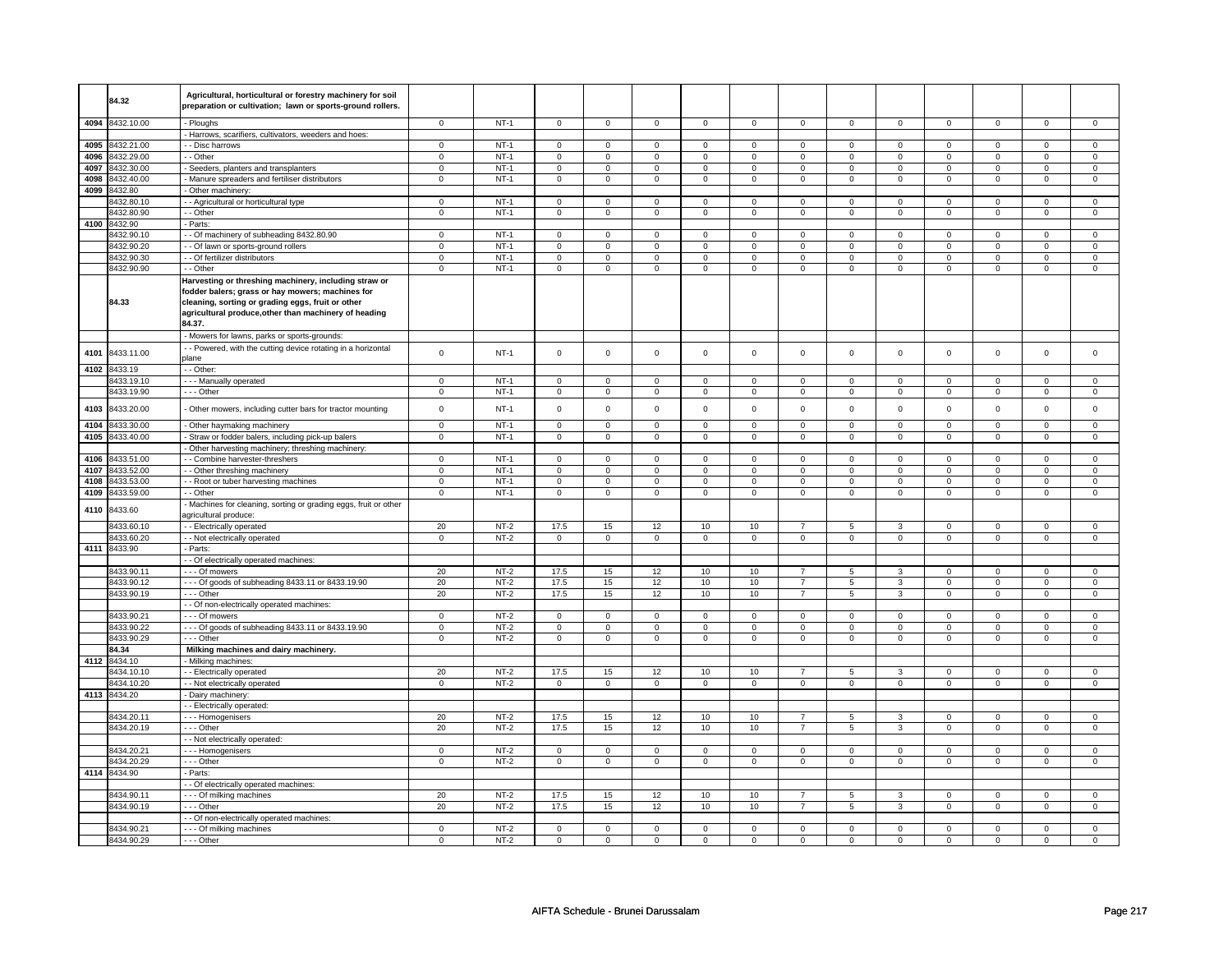|      | 84.32           | Agricultural, horticultural or forestry machinery for soil     |                |        |                |                |                     |                 |                     |                |                     |                |                |                |                |                |
|------|-----------------|----------------------------------------------------------------|----------------|--------|----------------|----------------|---------------------|-----------------|---------------------|----------------|---------------------|----------------|----------------|----------------|----------------|----------------|
|      |                 | preparation or cultivation; lawn or sports-ground rollers.     |                |        |                |                |                     |                 |                     |                |                     |                |                |                |                |                |
|      |                 |                                                                |                | $NT-1$ |                |                |                     |                 |                     |                |                     |                |                |                |                |                |
|      | 4094 8432.10.00 | - Ploughs                                                      | 0              |        | $\mathbf 0$    | $\mathbf 0$    | 0                   | $\mathbf 0$     | $\mathbf 0$         | $\mathbf 0$    | $\mathbf 0$         | $\mathbf 0$    | $\mathbf 0$    | $\mathbf 0$    | 0              | $\mathbf 0$    |
|      |                 | Harrows, scarifiers, cultivators, weeders and hoes:            |                |        |                |                |                     |                 |                     |                |                     |                |                |                |                |                |
|      | 4095 8432.21.00 | - Disc harrows                                                 | $\mathsf 0$    | $NT-1$ | $\mathbf 0$    | $\mathbf 0$    | $\mathbf 0$         | $\mathbf 0$     | $\mathsf 0$         | $\mathbf 0$    | $\mathbf 0$         | $\mathbf 0$    | $\mathbf 0$    | $\mathbf 0$    | 0              | $\mathbf 0$    |
| 4096 | 8432.29.00      | - Other                                                        | $\mathsf 0$    | $NT-1$ | $\mathbf 0$    | $\mathbf 0$    | $\mathsf 0$         | $\mathbf 0$     | $\mathbf 0$         | $\mathbf 0$    | $\mathbf 0$         | $\mathbf 0$    | $\mathsf 0$    | $\mathbf 0$    | 0              | $\mathbf 0$    |
|      | 4097 8432,30.00 | Seeders, planters and transplanters                            | $\overline{0}$ | $NT-1$ | $\overline{0}$ | $\overline{0}$ | $\overline{0}$      | $\overline{0}$  | $\overline{0}$      | $\overline{0}$ | $\mathsf 0$         | $\overline{0}$ | $\overline{0}$ | $\overline{0}$ | $\mathsf 0$    | $\overline{0}$ |
| 4098 | 8432.40.00      | Manure spreaders and fertiliser distributors                   | $\mathbf 0$    | $NT-1$ | $\mathbf 0$    | $\mathbf 0$    | 0                   | $\mathbf 0$     | $\mathbf 0$         | $\mathbf 0$    | $\mathbf 0$         | $\mathbf 0$    | $\mathbf 0$    | $\mathbf 0$    | 0              | $\mathbf{0}$   |
| 4099 | 3432.80         | Other machinery:                                               |                |        |                |                |                     |                 |                     |                |                     |                |                |                |                |                |
|      | 8432.80.10      | - Agricultural or horticultural type                           | $\mathbf 0$    | $NT-1$ | $\mathsf 0$    | $\mathsf 0$    | $\mathsf{O}\xspace$ | $\mathsf 0$     | $\mathsf{O}\xspace$ | $\mathsf 0$    | $\mathbf 0$         | $\mathsf 0$    | $\mathsf 0$    | $\mathsf{O}$   | 0              | $\mathsf 0$    |
|      | 8432.80.90      | - Other                                                        | $\mathsf 0$    | $NT-1$ | $\mathbf 0$    | $\mathbf 0$    | $\mathbf 0$         | $\mathbf 0$     | $\mathsf 0$         | $\mathbf 0$    | $\mathbf 0$         | $\mathbf 0$    | $\mathsf 0$    | $\mathsf 0$    | $\mathbf 0$    | $\mathbf 0$    |
| 4100 | 8432.90         | Parts:                                                         |                |        |                |                |                     |                 |                     |                |                     |                |                |                |                |                |
|      | 8432.90.10      | - Of machinery of subheading 8432.80.90                        | 0              | $NT-1$ | 0              | $\mathbf 0$    | 0                   | $\mathbf 0$     | 0                   | $\mathbf 0$    | $\mathbf 0$         | $\mathbf 0$    | 0              | $\mathbf 0$    | 0              | $\mathbf 0$    |
|      | 8432.90.20      | - Of lawn or sports-ground rollers                             | $\mathbf 0$    | $NT-1$ | $\mathbf 0$    | $\mathbf 0$    | $\mathbf 0$         | $\mathbf 0$     | $\mathbf 0$         | $\mathbf 0$    | $\mathbf 0$         | $\mathbf 0$    | $\mathbf 0$    | $\mathbf 0$    | $\mathbf 0$    | $\mathbf{0}$   |
|      | 8432.90.30      | - Of fertilizer distributors                                   | $\mathbf 0$    | $NT-1$ | $\mathsf 0$    | $\mathsf 0$    | $\mathsf{O}\xspace$ | $\mathsf 0$     | $\mathsf{O}\xspace$ | $\mathsf 0$    | $\mathsf{O}\xspace$ | $\mathsf 0$    | $\mathsf 0$    | $\mathbf 0$    | $\mathbf 0$    | $\mathsf 0$    |
|      | 8432.90.90      | - - Other                                                      | $\mathbf 0$    | $NT-1$ | 0              | $\mathbf 0$    | 0                   | $\mathbf 0$     | 0                   | $\mathbf 0$    | 0                   | $\mathbf 0$    | 0              | $\mathbf 0$    | $\mathbf 0$    | 0              |
|      |                 | Harvesting or threshing machinery, including straw or          |                |        |                |                |                     |                 |                     |                |                     |                |                |                |                |                |
|      |                 | fodder balers; grass or hay mowers; machines for               |                |        |                |                |                     |                 |                     |                |                     |                |                |                |                |                |
|      | 84.33           | cleaning, sorting or grading eggs, fruit or other              |                |        |                |                |                     |                 |                     |                |                     |                |                |                |                |                |
|      |                 | agricultural produce, other than machinery of heading          |                |        |                |                |                     |                 |                     |                |                     |                |                |                |                |                |
|      |                 | 84.37.                                                         |                |        |                |                |                     |                 |                     |                |                     |                |                |                |                |                |
|      |                 | Mowers for lawns, parks or sports-grounds:                     |                |        |                |                |                     |                 |                     |                |                     |                |                |                |                |                |
|      | 8433.11.00      | - - Powered, with the cutting device rotating in a horizontal  | $\mathbf 0$    | $NT-1$ | $\mathsf 0$    | $\mathsf{o}\,$ | $\mathsf{O}\xspace$ | $\mathsf 0$     | $\mathsf{O}\xspace$ | $\mathsf{o}\,$ | $\mathsf{O}\xspace$ | $\mathsf 0$    | $\mathsf 0$    | $\mathbf 0$    | $\mathsf 0$    | $\mathbf 0$    |
| 4101 |                 | plane                                                          |                |        |                |                |                     |                 |                     |                |                     |                |                |                |                |                |
|      | 4102 8433.19    | - Other:                                                       |                |        |                |                |                     |                 |                     |                |                     |                |                |                |                |                |
|      | 8433.19.10      | --- Manually operated                                          | $\mathsf 0$    | $NT-1$ | $\mathbf 0$    | $\mathbf 0$    | $\mathbf 0$         | $\mathbf 0$     | $\mathsf 0$         | $\mathbf 0$    | $\mathsf 0$         | $\mathbf 0$    | $\mathsf 0$    | $\mathbf 0$    | $\mathsf 0$    | $\mathsf 0$    |
|      | 8433.19.90      | --- Other                                                      | $\mathbf 0$    | $NT-1$ | $\mathsf 0$    | $\mathsf 0$    | $\mathsf{O}\xspace$ | $\mathsf 0$     | $\mathsf{O}\xspace$ | $\mathsf 0$    | $\mathsf{O}\xspace$ | $\mathbf 0$    | $\mathbf 0$    | $\mathsf 0$    | $\mathsf 0$    | $\mathsf 0$    |
| 4103 | 8433.20.00      |                                                                | $\mathsf 0$    | $NT-1$ | $\mathsf 0$    | $\mathsf 0$    | $\mathsf 0$         | $\mathsf 0$     | $\mathsf 0$         | $\mathsf 0$    | $\mathbf 0$         | $\mathbf 0$    | $\mathsf 0$    | $\mathsf 0$    | $\mathbf 0$    | $\mathsf 0$    |
|      |                 | Other mowers, including cutter bars for tractor mounting       |                |        |                |                |                     |                 |                     |                |                     |                |                |                |                |                |
| 4104 | 8433.30.00      | Other haymaking machinery                                      | $\mathsf 0$    | $NT-1$ | $\mathsf 0$    | $\mathbf 0$    | $\mathsf 0$         | $\mathbf 0$     | $\mathsf 0$         | $\mathbf 0$    | $\mathsf 0$         | $\mathbf 0$    | $\mathsf 0$    | $\mathbf 0$    | $\mathbf 0$    | $\mathsf 0$    |
| 4105 | 8433.40.00      | Straw or fodder balers, including pick-up balers               | $\overline{0}$ | $NT-1$ | $\overline{0}$ | $\overline{0}$ | $\overline{0}$      | $\overline{0}$  | $\overline{0}$      | $\overline{0}$ | $\overline{0}$      | $\overline{0}$ | $\overline{0}$ | $\overline{0}$ | $\overline{0}$ | $\overline{0}$ |
|      |                 | Other harvesting machinery; threshing machinery:               |                |        |                |                |                     |                 |                     |                |                     |                |                |                |                |                |
| 4106 | 8433.51.00      | - Combine harvester-threshers                                  | $\mathsf 0$    | $NT-1$ | $\mathsf 0$    | $\mathbf 0$    | $\mathbf 0$         | $\mathbf 0$     | $\mathbf 0$         | $\mathbf 0$    | $\mathbf 0$         | $\mathbf 0$    | $\mathbf 0$    | $\mathsf 0$    | 0              | 0              |
| 4107 | 8433.52.00      | - Other threshing machinery                                    | $\mathsf 0$    | $NT-1$ | $\mathsf 0$    | $\mathsf 0$    | $\mathsf 0$         | $\mathsf 0$     | $\mathsf{O}\xspace$ | $\mathsf 0$    | $\mathbf 0$         | $\mathsf 0$    | $\mathsf 0$    | $\mathbf 0$    | $\mathbf 0$    | $\mathsf 0$    |
| 4108 | 8433.53.00      | - Root or tuber harvesting machines                            | $\mathsf 0$    | $NT-1$ | $\mathsf 0$    | $\mathbf 0$    | $\mathsf 0$         | $\mathbf 0$     | $\mathsf 0$         | $\mathbf 0$    | $\mathsf 0$         | $\mathbf 0$    | $\mathsf 0$    | $\mathsf 0$    | $\mathbf 0$    | $\mathsf 0$    |
| 4109 | 3433.59.00      | - - Other                                                      | $\mathsf 0$    | $NT-1$ | $\mathbf 0$    | $\mathbf 0$    | $\mathbf 0$         | $\mathbf 0$     | $\mathsf 0$         | $\mathbf 0$    | $\mathsf 0$         | $\mathbf 0$    | $\mathsf 0$    | $\mathbf 0$    | $\mathbf 0$    | $\mathsf 0$    |
| 4110 | 8433.60         | Machines for cleaning, sorting or grading eggs, fruit or other |                |        |                |                |                     |                 |                     |                |                     |                |                |                |                |                |
|      |                 | agricultural produce:                                          |                |        |                |                |                     |                 |                     |                |                     |                |                |                |                |                |
|      | 8433.60.10      | - Electrically operated                                        | 20             | $NT-2$ | 17.5           | 15             | 12                  | 10              | 10                  | $\overline{7}$ | 5                   | 3              | $\mathbf 0$    | $\mathbf 0$    | $\mathbf 0$    | $\mathbf 0$    |
|      | 8433.60.20      | - Not electrically operated                                    | $\mathbf 0$    | $NT-2$ | $\mathbf 0$    | $\mathbf 0$    | 0                   | $\mathbf 0$     | $\mathbf 0$         | $\mathbf 0$    | $\mathbf 0$         | $\mathbf 0$    | $\mathbf 0$    | $\mathbf 0$    | $\mathbf 0$    | $\mathbf 0$    |
| 4111 | 8433.90         | - Parts:                                                       |                |        |                |                |                     |                 |                     |                |                     |                |                |                |                |                |
|      |                 | - Of electrically operated machines:                           |                |        |                |                |                     |                 |                     |                |                     |                |                |                |                |                |
|      | 8433.90.11      | Of mowers                                                      | 20             | $NT-2$ | 17.5           | 15             | 12                  | 10              | 10                  | $\overline{7}$ | 5                   | 3              | 0              | $\mathbf 0$    | $^{\circ}$     | $\mathbf 0$    |
|      | 8433.90.12      | --- Of goods of subheading 8433.11 or 8433.19.90               | 20             | $NT-2$ | 17.5           | 15             | 12                  | 10 <sub>1</sub> | 10                  | $\overline{7}$ | 5                   | $\mathbf{3}$   | 0              | $\mathsf{O}$   | $\mathbf 0$    | $\mathbf 0$    |
|      | 8433.90.19      | --- Other                                                      | 20             | $NT-2$ | 17.5           | 15             | 12                  | 10              | 10                  | $\overline{7}$ | 5                   | 3              | $\mathbf 0$    | $\mathbf 0$    | $\mathbf 0$    | $\mathbf 0$    |
|      |                 | - - Of non-electrically operated machines:                     |                |        |                |                |                     |                 |                     |                |                     |                |                |                |                |                |
|      | 8433.90.21      | --- Of mowers                                                  | $\mathsf 0$    | $NT-2$ | $\mathbf 0$    | $\mathbf 0$    | $\mathbf 0$         | $\mathbf 0$     | $\mathbf 0$         | $\mathbf 0$    | $\mathbf 0$         | $\mathbf 0$    | $\mathbf 0$    | $\mathsf 0$    | $\mathbf 0$    | $\mathsf 0$    |
|      | 8433.90.22      | --- Of goods of subheading 8433.11 or 8433.19.90               | $\mathsf 0$    | $NT-2$ | $\mathbf 0$    | $\overline{0}$ | $\mathsf 0$         | $\mathbf 0$     | $\mathsf 0$         | $\mathbf 0$    | $\mathsf 0$         | $\mathbf 0$    | $\mathsf 0$    | $\mathbf 0$    | $\mathbf 0$    | $\mathsf 0$    |
|      | 8433.90.29      | -- Other                                                       | $\mathsf 0$    | $NT-2$ | $\mathbf 0$    | $\mathsf 0$    | $\mathbf 0$         | $\mathbf 0$     | $\mathbf 0$         | $\mathsf 0$    | $\mathbf 0$         | $\mathsf 0$    | $\mathbf 0$    | $\mathbf 0$    | $\mathbf 0$    | $\mathbf{0}$   |
|      | 84.34           | Milking machines and dairy machinery.                          |                |        |                |                |                     |                 |                     |                |                     |                |                |                |                |                |
|      | 4112 8434.10    | - Milking machines                                             |                |        |                |                |                     |                 |                     |                |                     |                |                |                |                |                |
|      | 3434.10.10      | - Electrically operated                                        | 20             | $NT-2$ | 17.5           | 15             | 12                  | 10              | 10                  | $\overline{7}$ | 5                   | 3              | $\mathbf 0$    | $\mathsf 0$    | $\mathbf 0$    | $\mathsf 0$    |
|      | 8434.10.20      | - Not electrically operated                                    | $\mathsf 0$    | $NT-2$ | $\mathbf 0$    | $\overline{0}$ | $\mathbf 0$         | $\mathbf 0$     | $\mathsf 0$         | $\overline{0}$ | $\mathsf 0$         | $\mathbf 0$    | $\mathsf 0$    | $\overline{0}$ | $\mathbf 0$    | $\mathbf 0$    |
|      | 4113 8434.20    | Dairy machinery:                                               |                |        |                |                |                     |                 |                     |                |                     |                |                |                |                |                |
|      |                 | - Electrically operated:                                       |                |        |                |                |                     |                 |                     |                |                     |                |                |                |                |                |
|      | 8434.20.11      | - - - Homogenisers                                             | 20             | $NT-2$ | 17.5           | 15             | 12                  | 10              | 10                  | $\overline{7}$ | 5                   | 3              | $\mathbf 0$    | $\mathbf 0$    | 0              | $\mathbf 0$    |
|      | 8434.20.19      | --- Other                                                      | 20             | $NT-2$ | 17.5           | 15             | 12                  | 10              | 10                  | $\overline{7}$ | 5                   | 3              | $\mathsf 0$    | $\mathsf 0$    | $\Omega$       | $\mathsf 0$    |
|      |                 | - Not electrically operated:                                   |                |        |                |                |                     |                 |                     |                |                     |                |                |                |                |                |
|      | 8434.20.21      | --- Homogenisers                                               | $\mathsf 0$    | $NT-2$ | $\mathsf 0$    | $\mathbf 0$    | $\mathsf 0$         | $\mathbf 0$     | $\mathsf 0$         | $\mathbf 0$    | $\mathsf 0$         | $\mathbf 0$    | $\mathsf 0$    | $\mathsf 0$    | $\mathbf 0$    | $\mathsf 0$    |
|      | 3434.20.29      | --- Other                                                      | $\mathbf 0$    | $NT-2$ | $\mathsf 0$    | $\mathsf 0$    | $\mathsf 0$         | $\mathsf 0$     | $\mathsf 0$         | $\mathsf 0$    | $\mathsf{O}\xspace$ | $\mathsf 0$    | $\mathbf 0$    | $\mathbf 0$    | $\mathsf 0$    | $\mathbf 0$    |
|      | 4114 8434.90    | - Parts:                                                       |                |        |                |                |                     |                 |                     |                |                     |                |                |                |                |                |
|      |                 | - - Of electrically operated machines:                         |                |        |                |                |                     |                 |                     |                |                     |                |                |                |                |                |
|      | 8434.90.11      | --- Of milking machines                                        | 20             | $NT-2$ | 17.5           | 15             | 12                  | 10              | 10                  | $\overline{7}$ | 5                   | 3              | $\mathbf 0$    | $\mathbf 0$    | $\mathbf 0$    | $\mathbf 0$    |
|      | 8434.90.19      | . - - Other                                                    | 20             | $NT-2$ | 17.5           | 15             | 12                  | 10              | 10                  | $\overline{7}$ | 5                   | $\overline{3}$ | $\mathbf 0$    | $\mathsf 0$    | $\mathbf 0$    | $\mathsf 0$    |
|      |                 | - Of non-electrically operated machines:                       |                |        |                |                |                     |                 |                     |                |                     |                |                |                |                |                |
|      | 8434.90.21      | - - - Of milking machines                                      | $\mathsf 0$    | $NT-2$ | $\mathbf 0$    | $\mathbf 0$    | $\mathbf 0$         | $\mathbf 0$     | $\mathbf 0$         | $\mathbf 0$    | $\mathbf 0$         | $\mathbf 0$    | $\mathbf 0$    | $\mathbf 0$    | $\Omega$       | $\mathbf{0}$   |
|      | 8434.90.29      | --- Other                                                      | 0              | $NT-2$ | $\mathbf 0$    | $\mathbf 0$    | 0                   | $\mathbf 0$     | $\mathbf 0$         | $\mathbf 0$    | $\mathbf 0$         | $\mathbf 0$    | $\mathbf 0$    | $\mathbf 0$    | 0              | $\mathbf 0$    |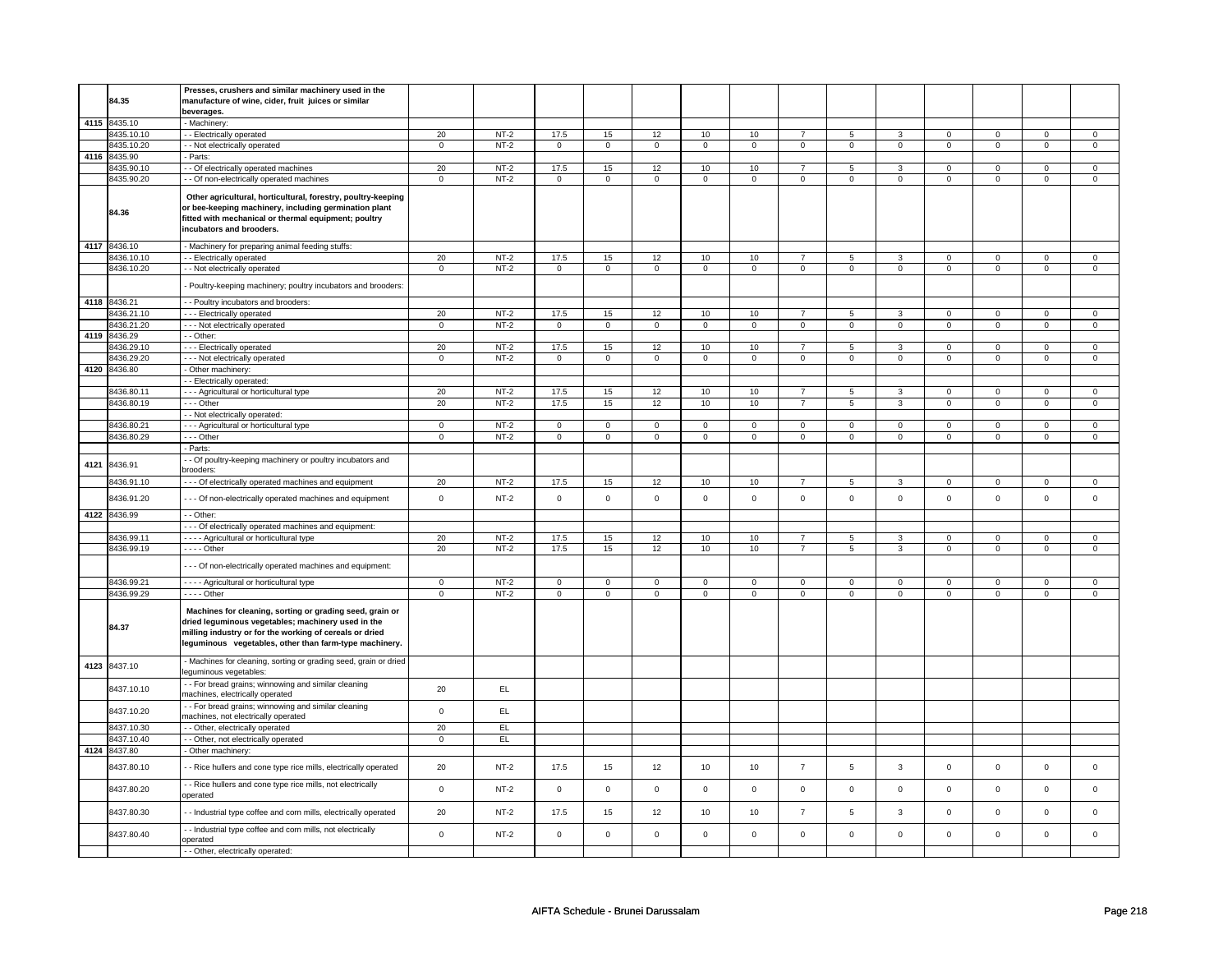|      | 84.35                      | Presses, crushers and similar machinery used in the<br>manufacture of wine, cider, fruit juices or similar<br>beverages.                                                                                                            |                   |        |                |                   |                   |                   |                     |                |                   |              |                |                |                |                |
|------|----------------------------|-------------------------------------------------------------------------------------------------------------------------------------------------------------------------------------------------------------------------------------|-------------------|--------|----------------|-------------------|-------------------|-------------------|---------------------|----------------|-------------------|--------------|----------------|----------------|----------------|----------------|
|      | 4115 8435.10               | - Machinery                                                                                                                                                                                                                         |                   |        |                |                   |                   |                   |                     |                |                   |              |                |                |                |                |
|      | 8435.10.10                 | - - Electrically operated                                                                                                                                                                                                           | 20                | $NT-2$ | 17.5           | 15                | 12                | 10                | 10                  | $\overline{7}$ | $\overline{5}$    | $\mathbf{R}$ | $\Omega$       | $\mathbf 0$    | $\mathbf 0$    | $\mathbf{0}$   |
|      | 8435.10.20                 | - - Not electrically operated                                                                                                                                                                                                       | $\mathsf{O}$      | $NT-2$ | $\mathbf 0$    | $\mathsf 0$       | $\mathsf 0$       | $\mathbf 0$       | $\mathsf{O}\xspace$ | $\overline{0}$ | $\mathsf 0$       | $\mathsf 0$  | $\mathbf 0$    | $\mathbf 0$    | $\mathsf 0$    | $\mathsf{O}$   |
|      | 4116 8435.90               | - Parts:                                                                                                                                                                                                                            |                   |        |                |                   |                   |                   |                     |                |                   |              |                |                |                |                |
|      | 8435.90.10                 | - - Of electrically operated machines                                                                                                                                                                                               | 20                | $NT-2$ | 17.5           | 15                | 12                | 10                | 10                  | $\overline{7}$ | 5                 | 3            | $\mathbf 0$    | $\mathbf 0$    | $\mathsf 0$    | $\mathbf 0$    |
|      | 8435.90.20                 | - - Of non-electrically operated machines                                                                                                                                                                                           | $\overline{0}$    | $NT-2$ | $\overline{0}$ | $\overline{0}$    | $\overline{0}$    | $\overline{0}$    | $\overline{0}$      | $\overline{0}$ | $\overline{0}$    | $\mathbf 0$  | $\overline{0}$ | $\overline{0}$ | $\overline{0}$ | $\overline{0}$ |
|      | 84.36                      | Other agricultural, horticultural, forestry, poultry-keeping<br>or bee-keeping machinery, including germination plant<br>fitted with mechanical or thermal equipment; poultry<br>incubators and brooders.                           |                   |        |                |                   |                   |                   |                     |                |                   |              |                |                |                |                |
|      | 4117 8436.10               | - Machinery for preparing animal feeding stuffs:                                                                                                                                                                                    |                   |        |                |                   |                   |                   |                     |                |                   |              |                |                |                |                |
|      | 8436.10.10                 | - - Electrically operated                                                                                                                                                                                                           | 20                | $NT-2$ | 17.5           | 15                | 12                | 10                | 10                  | $\overline{7}$ | 5                 | 3            | $\mathbf{0}$   | $\mathbf{0}$   | $\mathbf 0$    | $\mathbf{0}$   |
|      | 8436.10.20                 | - - Not electrically operated                                                                                                                                                                                                       | $\mathbf 0$       | $NT-2$ | $\mathbf 0$    | $\mathbf 0$       | $\mathbf{0}$      | $\mathbf{0}$      | $\mathbf 0$         | $\mathbf{0}$   | $\overline{0}$    | $\mathbf 0$  | 0              | $\mathbf{0}$   | $\mathbf 0$    | $\mathbf 0$    |
|      |                            | - Poultry-keeping machinery; poultry incubators and brooders:                                                                                                                                                                       |                   |        |                |                   |                   |                   |                     |                |                   |              |                |                |                |                |
|      | 4118 8436.21               | - - Poultry incubators and brooders:                                                                                                                                                                                                |                   |        |                |                   |                   |                   |                     |                |                   |              |                |                |                |                |
|      | 8436.21.10                 | - - - Electrically operated                                                                                                                                                                                                         | 20                | $NT-2$ | 17.5           | 15                | 12                | 10                | 10                  | $\overline{7}$ | 5                 | 3            | $\mathsf 0$    | $\mathsf 0$    | $\mathbf 0$    | $\mathsf 0$    |
|      | 8436.21.20<br>4119 8436.29 | - - - Not electrically operated<br>$-$ Other:                                                                                                                                                                                       | $\mathbf 0$       | $NT-2$ | $\mathbf 0$    | $\mathbf 0$       | $\mathbf 0$       | $\mathbf 0$       | $\mathsf 0$         | $\overline{0}$ | $\mathbf 0$       | $\mathbf 0$  | $\mathbf 0$    | $\mathbf 0$    | $\mathsf 0$    | $\mathbf 0$    |
|      | 8436.29.10                 | - - - Electrically operated                                                                                                                                                                                                         |                   | $NT-2$ | 17.5           |                   |                   |                   | 10                  | $\overline{7}$ |                   | 3            | $\mathbf{0}$   | $^{\circ}$     | $\mathbf{0}$   | $^{\circ}$     |
|      | 8436.29.20                 | --- Not electrically operated                                                                                                                                                                                                       | 20<br>$\mathbf 0$ | $NT-2$ | $\mathsf 0$    | 15<br>$\mathbf 0$ | 12<br>$\mathsf 0$ | 10<br>$\mathsf 0$ | $\mathsf{O}\xspace$ | $\mathsf 0$    | 5<br>$\mathbf{0}$ | $\Omega$     | $\mathbf 0$    | $\mathbf 0$    | $\mathsf 0$    | $\mathbf 0$    |
| 4120 | 8436.80                    | - Other machinery:                                                                                                                                                                                                                  |                   |        |                |                   |                   |                   |                     |                |                   |              |                |                |                |                |
|      |                            | - - Electrically operated:                                                                                                                                                                                                          |                   |        |                |                   |                   |                   |                     |                |                   |              |                |                |                |                |
|      | 8436.80.11                 | --- Agricultural or horticultural type                                                                                                                                                                                              | 20                | $NT-2$ | 17.5           | 15                | 12                | 10                | 10                  | $\overline{7}$ | 5                 | 3            | 0              | $\mathbf 0$    | 0              | $\mathbf 0$    |
|      | 8436.80.19                 | - - - Other                                                                                                                                                                                                                         | 20                | $NT-2$ | 17.5           | 15                | 12                | 10                | 10                  | $\overline{7}$ | 5                 | 3            | $\mathbf 0$    | $\mathbf 0$    | 0              | $\mathsf 0$    |
|      |                            | - - Not electrically operated:                                                                                                                                                                                                      |                   |        |                |                   |                   |                   |                     |                |                   |              |                |                |                |                |
|      | 8436.80.21                 | - - - Agricultural or horticultural type                                                                                                                                                                                            | $\mathbf 0$       | $NT-2$ | $\mathbf 0$    | 0                 | $\mathbf{0}$      | $\mathbf 0$       | $\mathbf 0$         | $\mathbf{0}$   | $\mathbf 0$       | $\mathbf 0$  | 0              | $\mathbf 0$    | 0              | $\mathbf 0$    |
|      | 8436.80.29                 | --- Other                                                                                                                                                                                                                           | $\mathbf{0}$      | $NT-2$ | $\mathbf 0$    | $\mathbf{0}$      | $\mathbf{0}$      | $\mathbf 0$       | $\mathbf 0$         | $\mathbf{0}$   | $\mathbf{0}$      | $\mathbf{0}$ | $\mathbf 0$    | $\mathbf 0$    | $\mathbf 0$    | $\mathbf 0$    |
|      |                            | - Parts:                                                                                                                                                                                                                            |                   |        |                |                   |                   |                   |                     |                |                   |              |                |                |                |                |
| 4121 | 8436.91                    | - - Of poultry-keeping machinery or poultry incubators and<br>brooders:                                                                                                                                                             |                   |        |                |                   |                   |                   |                     |                |                   |              |                |                |                |                |
|      | 8436.91.10                 | - - - Of electrically operated machines and equipment                                                                                                                                                                               | 20                | $NT-2$ | 17.5           | 15                | 12                | 10                | 10                  | $\overline{7}$ | 5                 | 3            | $\mathbf 0$    | $\mathsf 0$    | $\mathsf 0$    | $\mathbf 0$    |
|      | 8436.91.20                 | - - - Of non-electrically operated machines and equipment                                                                                                                                                                           | $\mathbf 0$       | $NT-2$ | $\mathsf 0$    | $\mathsf 0$       | $\mathsf 0$       | $\mathsf 0$       | $\mathsf{O}\xspace$ | $\mathsf 0$    | $\mathsf 0$       | $\mathsf 0$  | $\mathsf 0$    | $\mathsf 0$    | $\mathsf 0$    | $\mathsf 0$    |
|      | 4122 8436.99               | - - Other:                                                                                                                                                                                                                          |                   |        |                |                   |                   |                   |                     |                |                   |              |                |                |                |                |
|      |                            | - - - Of electrically operated machines and equipment:                                                                                                                                                                              |                   |        |                |                   |                   |                   |                     |                |                   |              |                |                |                |                |
|      | 8436.99.11                 | - - - - Agricultural or horticultural type                                                                                                                                                                                          | 20                | $NT-2$ | 17.5           | 15                | 12                | 10                | 10                  | $\overline{7}$ | 5                 | 3            | $\mathbf 0$    | $\mathbf 0$    | $\mathbf 0$    | $\mathbf 0$    |
|      | 8436.99.19                 | - - - - Other<br>- - - Of non-electrically operated machines and equipment:                                                                                                                                                         | 20                | $NT-2$ | 17.5           | 15                | 12                | 10                | 10                  | $\overline{7}$ | 5                 | 3            | 0              | $\mathbf 0$    | 0              | $\mathbf 0$    |
|      | 8436.99.21                 |                                                                                                                                                                                                                                     | $\overline{0}$    | $NT-2$ | $\mathbf 0$    | $\mathbf{0}$      | $\mathbf{0}$      | $\mathbf 0$       | $\mathbf 0$         | $\mathbf{0}$   | $\mathbf{0}$      | $\mathbf 0$  | $\mathbf{0}$   | $\mathbf{0}$   | $\Omega$       | $\mathbf{0}$   |
|      | 8436.99.29                 | - - - - Agricultural or horticultural type<br>$---$ Other                                                                                                                                                                           | $\mathbf{0}$      | $NT-2$ | $\mathbf 0$    | $\mathbf 0$       | $\mathsf 0$       | $\mathbf 0$       | $\mathbf 0$         | $\mathbf 0$    | $\mathbf 0$       | $\mathbf 0$  | $\mathbf 0$    | $\mathsf 0$    | $\mathbf 0$    | $\mathbf 0$    |
|      | 84.37                      | Machines for cleaning, sorting or grading seed, grain or<br>dried leguminous vegetables; machinery used in the<br>milling industry or for the working of cereals or dried<br>leguminous vegetables, other than farm-type machinery. |                   |        |                |                   |                   |                   |                     |                |                   |              |                |                |                |                |
| 4123 | 8437.10                    | - Machines for cleaning, sorting or grading seed, grain or dried<br>leguminous vegetables:                                                                                                                                          |                   |        |                |                   |                   |                   |                     |                |                   |              |                |                |                |                |
|      | 8437.10.10                 | - - For bread grains; winnowing and similar cleaning<br>machines, electrically operated                                                                                                                                             | 20                | EL.    |                |                   |                   |                   |                     |                |                   |              |                |                |                |                |
|      | 8437.10.20                 | - - For bread grains; winnowing and similar cleaning<br>machines, not electrically operated                                                                                                                                         | $\mathsf 0$       | EL     |                |                   |                   |                   |                     |                |                   |              |                |                |                |                |
|      | 8437.10.30                 | - Other, electrically operated                                                                                                                                                                                                      | 20                | EL     |                |                   |                   |                   |                     |                |                   |              |                |                |                |                |
|      | 8437.10.40                 | - - Other, not electrically operated                                                                                                                                                                                                | $\mathbf{0}$      | EL.    |                |                   |                   |                   |                     |                |                   |              |                |                |                |                |
|      | 4124 8437.80               | - Other machinery                                                                                                                                                                                                                   |                   |        |                |                   |                   |                   |                     |                |                   |              |                |                |                |                |
|      | 8437.80.10                 | - - Rice hullers and cone type rice mills, electrically operated                                                                                                                                                                    | 20                | $NT-2$ | 17.5           | 15                | 12                | 10                | 10                  | $\overline{7}$ | 5                 | 3            | $\mathbf{0}$   | $\mathsf 0$    | $\Omega$       | $\mathsf 0$    |
|      | 8437.80.20                 | - - Rice hullers and cone type rice mills, not electrically<br>operated                                                                                                                                                             | $\mathsf 0$       | $NT-2$ | $\mathsf 0$    | $\mathbf 0$       | $\mathsf 0$       | $\mathbf 0$       | $\mathsf 0$         | $\mathsf 0$    | $\mathsf 0$       | $\mathsf 0$  | $\mathsf 0$    | $\mathbf 0$    | $\Omega$       | $\mathbf 0$    |
|      | 8437.80.30                 | - Industrial type coffee and corn mills, electrically operated                                                                                                                                                                      | 20                | $NT-2$ | 17.5           | 15                | 12                | 10                | 10                  | $\overline{7}$ | 5                 | 3            | $\mathbf 0$    | $\mathbf 0$    | $\mathsf 0$    | $\mathsf 0$    |
|      | 8437.80.40                 | - - Industrial type coffee and corn mills, not electrically<br>operated                                                                                                                                                             | $\mathsf 0$       | $NT-2$ | $\mathbf 0$    | $\mathbf 0$       | $\overline{0}$    | $\mathsf 0$       | $\mathsf 0$         | $\mathsf 0$    | $\mathbf 0$       | $\mathbf 0$  | $\mathsf 0$    | $\mathbf 0$    | $\mathbf 0$    | $\mathbf 0$    |
|      |                            | - - Other, electrically operated:                                                                                                                                                                                                   |                   |        |                |                   |                   |                   |                     |                |                   |              |                |                |                |                |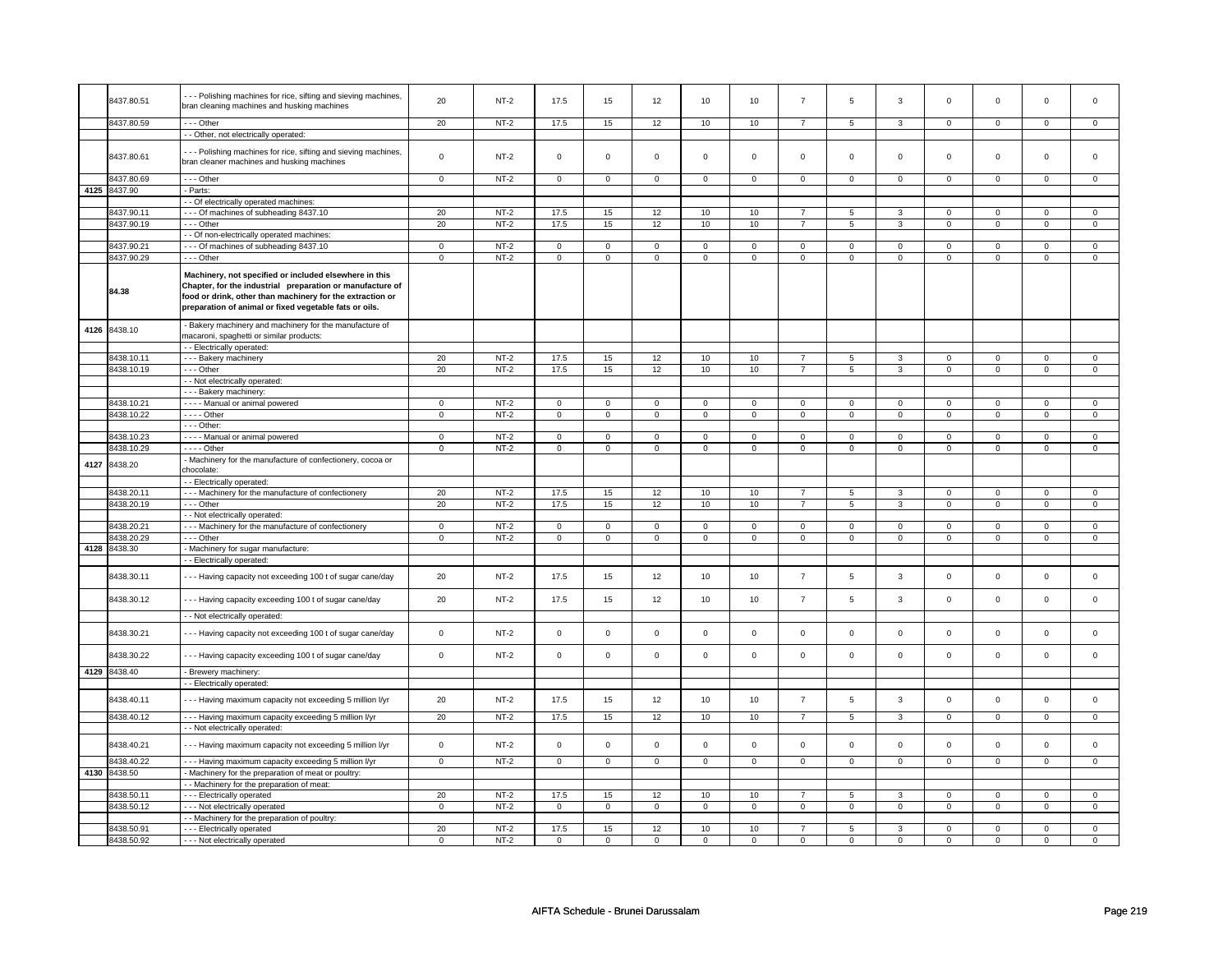|      |              | --- Polishing machines for rice, sifting and sieving machines, |                     |        |                     |                |                         |                |                         |                     |                         |                |                     |                |                         |                |
|------|--------------|----------------------------------------------------------------|---------------------|--------|---------------------|----------------|-------------------------|----------------|-------------------------|---------------------|-------------------------|----------------|---------------------|----------------|-------------------------|----------------|
|      | 8437.80.51   | bran cleaning machines and husking machines                    | 20                  | $NT-2$ | 17.5                | 15             | 12                      | 10             | 10                      | $\overline{7}$      | 5                       | 3              | $\mathbf 0$         | $\mathbf 0$    | $\Omega$                | 0              |
|      |              |                                                                |                     |        |                     |                |                         |                |                         |                     |                         |                |                     |                |                         |                |
|      | 8437.80.59   | $- -$ Other                                                    | 20                  | $NT-2$ | 17.5                | 15             | 12                      | 10             | 10                      | $\overline{7}$      | 5                       | 3              | 0                   | $\mathbf 0$    | 0                       | $\mathbf 0$    |
|      |              | - - Other, not electrically operated:                          |                     |        |                     |                |                         |                |                         |                     |                         |                |                     |                |                         |                |
|      |              | -- Polishing machines for rice, sifting and sieving machines,  |                     |        |                     |                |                         |                |                         |                     |                         |                |                     |                |                         |                |
|      | 8437.80.61   | bran cleaner machines and husking machines                     | $\mathsf 0$         | $NT-2$ | $\mathbf 0$         | $\mathsf 0$    | 0                       | $\mathbf 0$    | 0                       | $\mathbf 0$         | 0                       | $\mathbf 0$    | 0                   | $\mathbf 0$    | 0                       | 0              |
|      |              |                                                                |                     |        |                     |                |                         |                |                         |                     |                         |                |                     |                |                         |                |
|      | 8437.80.69   | $--$ Other                                                     | $\mathbf 0$         | $NT-2$ | $\mathbf 0$         | $\overline{0}$ | $\circ$                 | $\overline{0}$ | $\mathbf 0$             | $\overline{0}$      | $\mathbf{0}$            | $\overline{0}$ | $\mathbf 0$         | $\overline{0}$ | $\mathbf 0$             | $\overline{0}$ |
|      | 4125 8437.90 | - Parts:                                                       |                     |        |                     |                |                         |                |                         |                     |                         |                |                     |                |                         |                |
|      |              | - Of electrically operated machines:                           |                     |        |                     |                |                         |                |                         |                     |                         |                |                     |                |                         |                |
|      | 8437.90.11   | --- Of machines of subheading 8437.10                          | 20                  | $NT-2$ | 17.5                | 15             | 12                      | 10             | 10                      | $\overline{7}$      | 5                       | 3              | 0                   | 0              | 0                       | 0              |
|      | 8437.90.19   | - - Other                                                      | 20                  | $NT-2$ | 17.5                | 15             | 12                      | 10             | 10                      | $\overline{7}$      | 5                       | 3              | 0                   | $\mathbf 0$    | 0                       | 0              |
|      |              | - - Of non-electrically operated machines:                     |                     |        |                     |                |                         |                |                         |                     |                         |                |                     |                |                         |                |
|      | 8437.90.21   | --- Of machines of subheading 8437.10                          | $\mathbf 0$         | $NT-2$ | $\mathbf 0$         | $\mathbf 0$    | $\mathbf 0$             | $\mathbf 0$    | $\mathbf 0$             | $\mathbf 0$         | $\mathbf 0$             | $\mathbf 0$    | $\mathbf 0$         | $\mathbf 0$    | $\Omega$                | $\mathbf{0}$   |
|      | 8437.90.29   | --- Other                                                      | $\Omega$            | $NT-2$ | $\mathsf 0$         | $\mathbf 0$    | $\mathbf 0$             | $\mathsf 0$    | $\mathbf 0$             | $\mathsf 0$         | $\mathbf 0$             | $\mathbf 0$    | $\mathsf 0$         | $\mathbf 0$    | $\mathbf 0$             | 0              |
|      |              |                                                                |                     |        |                     |                |                         |                |                         |                     |                         |                |                     |                |                         |                |
|      |              | Machinery, not specified or included elsewhere in this         |                     |        |                     |                |                         |                |                         |                     |                         |                |                     |                |                         |                |
|      | 84.38        | Chapter, for the industrial preparation or manufacture of      |                     |        |                     |                |                         |                |                         |                     |                         |                |                     |                |                         |                |
|      |              | food or drink, other than machinery for the extraction or      |                     |        |                     |                |                         |                |                         |                     |                         |                |                     |                |                         |                |
|      |              | preparation of animal or fixed vegetable fats or oils.         |                     |        |                     |                |                         |                |                         |                     |                         |                |                     |                |                         |                |
|      |              |                                                                |                     |        |                     |                |                         |                |                         |                     |                         |                |                     |                |                         |                |
| 4126 | 8438.10      | Bakery machinery and machinery for the manufacture of          |                     |        |                     |                |                         |                |                         |                     |                         |                |                     |                |                         |                |
|      |              | macaroni, spaghetti or similar products:                       |                     |        |                     |                |                         |                |                         |                     |                         |                |                     |                |                         |                |
|      |              | - Electrically operated:                                       |                     |        |                     |                |                         |                |                         |                     |                         |                |                     |                |                         |                |
|      | 8438.10.11   | - - - Bakery machinery                                         | 20                  | $NT-2$ | 17.5                | 15             | 12                      | 10             | 10                      | $\overline{7}$      | 5                       | 3              | 0                   | $\mathbf 0$    | 0                       | $\mathbf{0}$   |
|      | 8438.10.19   | --- Other                                                      | 20                  | $NT-2$ | 17.5                | 15             | 12                      | 10             | 10                      | $\overline{7}$      | 5                       | 3              | $\mathsf 0$         | $\mathbf 0$    | $\mathbf 0$             | $\mathbf 0$    |
|      |              | - Not electrically operated:                                   |                     |        |                     |                |                         |                |                         |                     |                         |                |                     |                |                         |                |
|      |              | - - - Bakery machinery:                                        |                     |        |                     |                |                         |                |                         |                     |                         |                |                     |                |                         |                |
|      | 8438.10.21   | - - - - Manual or animal powered                               | $\mathbf 0$         | $NT-2$ | $\mathbf 0$         | $\mathbf 0$    | 0                       | $\mathbf 0$    | 0                       | 0                   | 0                       | 0              | 0                   | $\mathbf 0$    | 0                       | 0              |
|      | 8438.10.22   | $---$ Other                                                    | $\overline{0}$      | $NT-2$ | $\overline{0}$      | $\mathsf 0$    | $\mathsf 0$             | $\mathsf 0$    | $\mathsf 0$             | $\mathsf{O}\xspace$ | $\mathsf 0$             | $\mathsf{O}^-$ | $\mathsf{O}\xspace$ | $\mathsf 0$    | $\mathsf 0$             | $\mathbf{0}$   |
|      |              | - - - Other:                                                   |                     |        |                     |                |                         |                |                         |                     |                         |                |                     |                |                         |                |
|      | 8438.10.23   | ---- Manual or animal powered                                  | $\mathsf 0$         | $NT-2$ | $\mathsf 0$         | $\mathsf 0$    | $\mathbf 0$             | $\mathbf 0$    | $\mathbf 0$             | $\mathbf 0$         | $\mathbf 0$             | $\mathbf 0$    | $\mathsf 0$         | $\mathbf 0$    | $\Omega$                | $\mathbf 0$    |
|      | 8438.10.29   | - - - - Other                                                  | $\overline{0}$      | $NT-2$ | $\overline{0}$      | $\overline{0}$ | $\overline{\mathbf{0}}$ | $\overline{0}$ | $\overline{\mathbf{0}}$ | $\overline{0}$      | $\overline{\mathbf{0}}$ | $\overline{0}$ | $\overline{0}$      | $\overline{0}$ | $\overline{\mathbf{0}}$ | $\overline{0}$ |
|      | 4127 8438.20 | Machinery for the manufacture of confectionery, cocoa or       |                     |        |                     |                |                         |                |                         |                     |                         |                |                     |                |                         |                |
|      |              | chocolate:                                                     |                     |        |                     |                |                         |                |                         |                     |                         |                |                     |                |                         |                |
|      |              | - - Electrically operated:                                     |                     |        |                     |                |                         |                |                         |                     |                         |                |                     |                |                         |                |
|      | 8438.20.11   | - - - Machinery for the manufacture of confectionery           | 20                  | $NT-2$ | 17.5                | 15             | 12                      | 10             | 10                      | $\overline{7}$      | 5                       | $\overline{3}$ | $\mathbf 0$         | $\mathbf 0$    | $\mathbf 0$             | $\mathbf 0$    |
|      | 8438.20.19   | --- Other                                                      | 20                  | $NT-2$ | 17.5                | 15             | 12                      | 10             | 10                      | $\overline{7}$      | $\overline{5}$          | $\overline{3}$ | $\overline{0}$      | $\overline{0}$ | $\overline{0}$          | $\overline{0}$ |
|      |              | - - Not electrically operated:                                 |                     |        |                     |                |                         |                |                         |                     |                         |                |                     |                |                         |                |
|      | 3438.20.21   | - - - Machinery for the manufacture of confectionery           | $\mathsf 0$         | $NT-2$ | $\mathsf{O}\xspace$ | $\mathsf 0$    | $\mathsf 0$             | $\mathsf{O}$   | $\mathsf 0$             | $\mathsf{O}$        | 0                       | $\mathsf{O}$   | $\mathsf{O}\xspace$ | $\mathsf{O}$   | $\mathbf 0$             | $\mathsf 0$    |
|      | 8438.20.29   | --- Other                                                      | $\mathbf 0$         | $NT-2$ | $\mathbf 0$         | $\mathbf 0$    | $\mathbf 0$             | $\mathbf 0$    | $\mathbf 0$             | $\mathbf 0$         | $\mathbf 0$             | $\mathbf{0}$   | $\mathbf 0$         | $\mathbf{0}$   | 0                       | $\overline{0}$ |
| 4128 | 8438.30      | - Machinery for sugar manufacture:                             |                     |        |                     |                |                         |                |                         |                     |                         |                |                     |                |                         |                |
|      |              | - Electrically operated:                                       |                     |        |                     |                |                         |                |                         |                     |                         |                |                     |                |                         |                |
|      |              |                                                                |                     |        |                     |                |                         |                |                         |                     |                         |                |                     |                |                         |                |
|      | 8438.30.11   | --- Having capacity not exceeding 100 t of sugar cane/day      | 20                  | $NT-2$ | 17.5                | 15             | 12                      | 10             | 10                      | $\overline{7}$      | 5                       | 3              | $\mathsf 0$         | $\mathbf 0$    | $\mathbf 0$             | 0              |
|      |              |                                                                |                     |        |                     |                |                         |                |                         |                     |                         |                |                     |                |                         |                |
|      | 8438.30.12   | --- Having capacity exceeding 100 t of sugar cane/day          | 20                  | $NT-2$ | 17.5                | 15             | 12                      | 10             | 10                      | $\overline{7}$      | 5                       | $\mathbf{3}$   | $\mathbf 0$         | $\mathbf{0}$   | $\mathbf{0}$            | $\mathbf{0}$   |
|      |              | - - Not electrically operated:                                 |                     |        |                     |                |                         |                |                         |                     |                         |                |                     |                |                         |                |
|      |              |                                                                |                     |        |                     |                |                         |                |                         |                     |                         |                |                     |                |                         |                |
|      | 8438.30.21   | --- Having capacity not exceeding 100 t of sugar cane/day      | $\Omega$            | $NT-2$ | $\mathsf 0$         | $\mathbf 0$    | $\mathbf 0$             | $\mathsf 0$    | $\mathbf 0$             | $\mathsf 0$         | $\mathbf 0$             | $\mathbf 0$    | $\mathsf 0$         | $\mathbf 0$    | $\mathbf 0$             | 0              |
|      |              |                                                                |                     |        |                     |                |                         |                |                         |                     |                         |                |                     |                |                         |                |
|      | 8438.30.22   | --- Having capacity exceeding 100 t of sugar cane/day          | $\mathsf 0$         | $NT-2$ | $\mathsf 0$         | $\mathbf 0$    | $\mathbf 0$             | $\mathsf 0$    | $\mathbf 0$             | $\mathsf 0$         | $\mathbf 0$             | $\mathbf 0$    | $\mathsf 0$         | $\mathbf 0$    | $\mathbf 0$             | $\mathbf 0$    |
| 4129 | 8438.40      | - Brewery machinery:                                           |                     |        |                     |                |                         |                |                         |                     |                         |                |                     |                |                         |                |
|      |              |                                                                |                     |        |                     |                |                         |                |                         |                     |                         |                |                     |                |                         |                |
|      |              | - Electrically operated:                                       |                     |        |                     |                |                         |                |                         |                     |                         |                |                     |                |                         |                |
|      | 8438.40.11   | --- Having maximum capacity not exceeding 5 million I/yr       | 20                  | $NT-2$ | 17.5                | 15             | 12                      | 10             | 10                      | $\overline{7}$      | 5                       | 3              | $\mathsf 0$         | $\mathbf 0$    | $\mathsf 0$             | $\mathbf 0$    |
|      |              |                                                                |                     |        |                     |                |                         |                |                         |                     |                         |                |                     |                |                         |                |
|      | 8438.40.12   | --- Having maximum capacity exceeding 5 million I/yr           | 20                  | $NT-2$ | 17.5                | 15             | 12                      | 10             | 10                      | $\overline{7}$      | 5                       | 3              | 0                   | $\mathbf 0$    | 0                       | $\overline{0}$ |
|      |              | - - Not electrically operated:                                 |                     |        |                     |                |                         |                |                         |                     |                         |                |                     |                |                         |                |
|      | 8438.40.21   | --- Having maximum capacity not exceeding 5 million I/yr       | $\mathsf{O}\xspace$ | $NT-2$ | $\mathsf 0$         | $\mathsf 0$    | $\mathbf 0$             | $\mathsf{O}$   | $\mathsf 0$             | $\mathsf{O}$        | $\mathsf{O}\xspace$     | $\mathsf{O}$   | $\mathsf{O}\xspace$ | $\mathsf{O}$   | $\mathbf{0}$            | $\mathsf 0$    |
|      |              |                                                                |                     |        |                     |                |                         |                |                         |                     |                         |                |                     |                |                         |                |
|      | 3438.40.22   | --- Having maximum capacity exceeding 5 million l/yr           | $\mathsf 0$         | $NT-2$ | $\mathsf{O}\xspace$ | $\mathsf 0$    | $\mathsf 0$             | $\mathbf 0$    | $\mathsf 0$             | $\mathbf 0$         | $\mathbf 0$             | $\mathbf 0$    | $\mathsf 0$         | $\mathbf 0$    | $\mathbf 0$             | $\mathbf 0$    |
|      | 4130 8438.50 | - Machinery for the preparation of meat or poultry:            |                     |        |                     |                |                         |                |                         |                     |                         |                |                     |                |                         |                |
|      |              | - - Machinery for the preparation of meat:                     |                     |        |                     |                |                         |                |                         |                     |                         |                |                     |                |                         |                |
|      | 8438.50.11   | --- Electrically operated                                      | 20                  | $NT-2$ | 17.5                | 15             | 12                      | 10             | 10                      | $\overline{7}$      | 5                       | 3              | $\mathbf 0$         | $\mathbf 0$    | $\mathbf 0$             | $\mathbf 0$    |
|      | 8438.50.12   | --- Not electrically operated                                  | $\mathbf 0$         | $NT-2$ | $\mathsf 0$         | $\mathbf 0$    | 0                       | $\mathsf 0$    | $\mathbf 0$             | $\mathsf 0$         | $\mathbf 0$             | $\mathbf 0$    | $\mathsf 0$         | $\mathbf 0$    | 0                       | $\mathbf 0$    |
|      |              | - Machinery for the preparation of poultry:                    |                     |        |                     |                |                         |                |                         |                     |                         |                |                     |                |                         |                |
|      | 8438.50.91   | --- Electrically operated                                      | 20                  | $NT-2$ | 17.5                | 15             | 12                      | 10             | 10                      | $\overline{7}$      | 5                       | 3              | $\Omega$            | $\mathbf 0$    | $\Omega$                | $\mathbf{0}$   |
|      | 8438.50.92   | - - - Not electrically operated                                | $\mathbf 0$         | $NT-2$ | $\mathbf 0$         | $\mathbf 0$    | $\mathbf 0$             | $\mathbf 0$    | $\mathbf 0$             | 0                   | 0                       | 0              | 0                   | 0              | 0                       | 0              |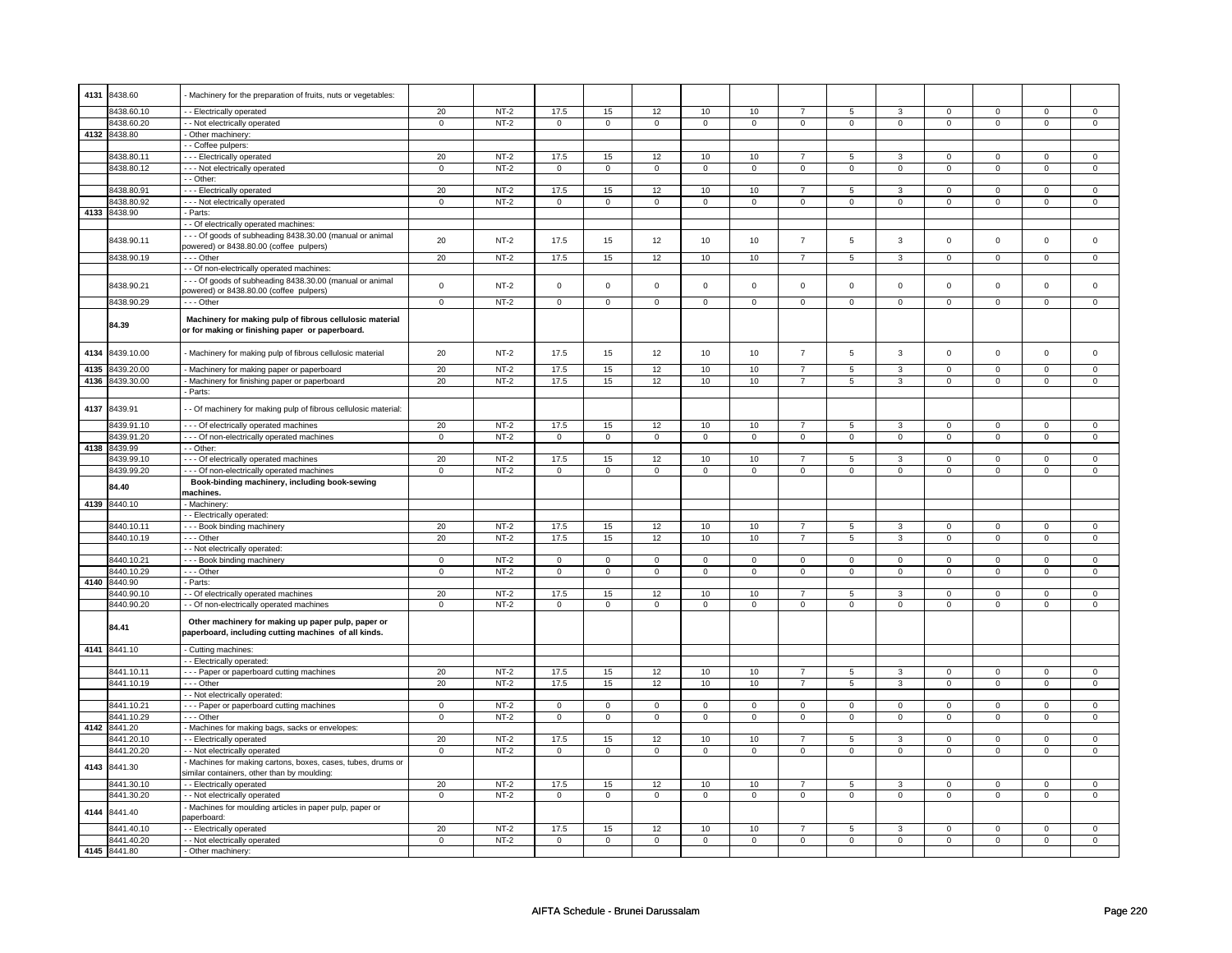| 4131 | 8438.60      | Machinery for the preparation of fruits, nuts or vegetables:                                                |                |        |                |                |                |                |                |                |                |                |                |                |                |                |
|------|--------------|-------------------------------------------------------------------------------------------------------------|----------------|--------|----------------|----------------|----------------|----------------|----------------|----------------|----------------|----------------|----------------|----------------|----------------|----------------|
|      |              |                                                                                                             |                |        |                |                |                |                |                |                |                |                |                |                |                |                |
|      | 8438.60.10   | - Electrically operated                                                                                     | 20             | $NT-2$ | 17.5           | 15             | 12             | 10             | 10             | $\overline{7}$ | 5              | 3              | $\mathsf 0$    | $\overline{0}$ | $\mathbf 0$    | $\overline{0}$ |
|      |              |                                                                                                             | $\mathsf 0$    | $NT-2$ |                |                |                |                |                | $\overline{0}$ |                |                |                |                |                |                |
|      | 8438.60.20   | - - Not electrically operated                                                                               |                |        | $\mathsf 0$    | $\mathbf 0$    | $\mathsf 0$    | $\mathbf 0$    | $\mathsf 0$    |                | $\mathsf 0$    | $\mathsf 0$    | $\mathsf 0$    | $\mathsf 0$    | 0              | $\mathsf 0$    |
|      | 4132 8438.80 | - Other machinery:                                                                                          |                |        |                |                |                |                |                |                |                |                |                |                |                |                |
|      |              | - Coffee pulpers:                                                                                           |                |        |                |                |                |                |                |                |                |                |                |                |                |                |
|      | 8438.80.11   | --- Electrically operated                                                                                   | 20             | $NT-2$ | 17.5           | 15             | 12             | 10             | 10             | $\overline{7}$ | 5              | 3              | $\mathsf 0$    | $\mathsf 0$    | $\Omega$       | $\mathbf 0$    |
|      |              |                                                                                                             |                |        |                |                |                |                |                |                |                |                |                |                |                |                |
|      | 8438.80.12   | --- Not electrically operated                                                                               | $\mathbf 0$    | $NT-2$ | $\mathsf 0$    | $\mathbf 0$    | $\mathsf 0$    | $\mathbf 0$    | $\mathsf 0$    | $\mathbf 0$    | $\mathsf 0$    | $\mathsf 0$    | $\mathsf 0$    | $\mathsf 0$    | $\mathsf 0$    | $\mathsf 0$    |
|      |              | - Other:                                                                                                    |                |        |                |                |                |                |                |                |                |                |                |                |                |                |
|      | 8438.80.91   | - - - Electrically operated                                                                                 | 20             | $NT-2$ | 17.5           | 15             | 12             | 10             | 10             | $\overline{7}$ | 5              | 3              | 0              | $\mathsf 0$    | 0              | $\mathsf 0$    |
|      | 8438.80.92   | - - - Not electrically operated                                                                             | $\mathbf 0$    | $NT-2$ | $\mathbf 0$    | $\mathbf{0}$   | $\mathbf 0$    | $\mathbf{0}$   | $\mathbf 0$    | $\mathbf 0$    | $\mathbf 0$    | $\mathbf 0$    | $\mathbf 0$    | $\mathbf{0}$   | $\mathbf 0$    | $\mathbf{0}$   |
|      |              |                                                                                                             |                |        |                |                |                |                |                |                |                |                |                |                |                |                |
| 4133 | 8438.90      | - Parts:                                                                                                    |                |        |                |                |                |                |                |                |                |                |                |                |                |                |
|      |              | - Of electrically operated machines:                                                                        |                |        |                |                |                |                |                |                |                |                |                |                |                |                |
|      |              | -- Of goods of subheading 8438.30.00 (manual or animal                                                      |                |        |                |                |                |                |                |                |                |                |                |                |                |                |
|      | 8438.90.11   | powered) or 8438.80.00 (coffee pulpers)                                                                     | 20             | $NT-2$ | 17.5           | 15             | 12             | 10             | 10             | $\overline{7}$ | 5              | 3              | $\mathbf 0$    | $\mathbf 0$    | $\mathbf 0$    | $\mathbf 0$    |
|      |              |                                                                                                             |                |        |                |                |                |                |                |                |                |                |                |                |                |                |
|      | 8438.90.19   | --- Other                                                                                                   | 20             | $NT-2$ | 17.5           | 15             | 12             | 10             | 10             | $\overline{7}$ | 5              | 3              | $\mathsf 0$    | $\mathbf 0$    | $\mathsf 0$    | $\mathbf{0}$   |
|      |              | - - Of non-electrically operated machines:                                                                  |                |        |                |                |                |                |                |                |                |                |                |                |                |                |
|      |              | --- Of goods of subheading 8438.30.00 (manual or animal                                                     |                |        |                |                |                |                |                |                |                |                |                |                |                |                |
|      | 8438.90.21   |                                                                                                             | $\mathsf 0$    | $NT-2$ | $\mathbf 0$    | $\mathbf 0$    | $\mathsf 0$    | $\mathbf 0$    | $\mathbf 0$    | $\mathsf 0$    | $\mathsf 0$    | $\mathbf 0$    | $\mathsf 0$    | $\mathsf 0$    | $\mathsf 0$    | $\mathbf 0$    |
|      |              | powered) or 8438.80.00 (coffee pulpers)                                                                     |                |        |                |                |                |                |                |                |                |                |                |                |                |                |
|      | 8438.90.29   | --- Other                                                                                                   | $\mathbf 0$    | $NT-2$ | $\mathsf 0$    | $\mathbf 0$    | $\mathsf 0$    | $\mathsf 0$    | $\mathsf 0$    | $\mathsf 0$    | $\mathsf 0$    | $\mathsf 0$    | $\mathsf 0$    | $\overline{0}$ | $\mathsf 0$    | $\mathsf 0$    |
|      | 84.39        | Machinery for making pulp of fibrous cellulosic material<br>or for making or finishing paper or paperboard. |                |        |                |                |                |                |                |                |                |                |                |                |                |                |
|      |              |                                                                                                             |                |        |                |                |                |                |                |                |                |                |                |                |                |                |
| 4134 | 8439.10.00   | - Machinery for making pulp of fibrous cellulosic material                                                  | 20             | $NT-2$ | 17.5           | 15             | 12             | 10             | 10             | $\overline{7}$ | 5              | $\mathbf{3}$   | $\mathsf 0$    | $\mathsf 0$    | $\mathbf 0$    | $\mathbf 0$    |
|      |              |                                                                                                             |                |        |                |                |                |                |                |                |                |                |                |                |                |                |
| 4135 | 8439.20.00   | - Machinery for making paper or paperboard                                                                  | 20             | $NT-2$ | 17.5           | 15             | 12             | 10             | 10             | $\overline{7}$ | $\overline{5}$ | $\overline{3}$ | $\overline{0}$ | $\overline{0}$ | $\overline{0}$ | $\overline{0}$ |
| 4136 | 8439.30.00   | Machinery for finishing paper or paperboard                                                                 | 20             | $NT-2$ | 17.5           | 15             | 12             | 10             | 10             | $\overline{7}$ | 5              | $\mathbf{3}$   | $\mathsf 0$    | $\mathsf 0$    | $\mathsf 0$    | $\mathsf 0$    |
|      |              | Parts:                                                                                                      |                |        |                |                |                |                |                |                |                |                |                |                |                |                |
|      |              |                                                                                                             |                |        |                |                |                |                |                |                |                |                |                |                |                |                |
| 4137 | 8439.91      | - Of machinery for making pulp of fibrous cellulosic material                                               |                |        |                |                |                |                |                |                |                |                |                |                |                |                |
|      |              |                                                                                                             |                |        |                |                |                |                |                |                |                |                |                |                |                |                |
|      | 8439.91.10   | - - - Of electrically operated machines                                                                     | 20             | $NT-2$ | 17.5           | 15             | 12             | $10$           | 10             | $\overline{7}$ | 5              | 3              | $\mathbf 0$    | $\mathbf 0$    | $\mathbf 0$    | $\mathbf 0$    |
|      | 8439.91.20   | - - - Of non-electrically operated machines                                                                 | $\overline{0}$ | $NT-2$ | $\overline{0}$ | $\overline{0}$ | $\overline{0}$ | $\overline{0}$ | $\overline{0}$ | $\overline{0}$ | $\overline{0}$ | $\overline{0}$ | $\overline{0}$ | $\overline{0}$ | $\overline{0}$ | $\overline{0}$ |
|      | 4138 8439.99 | - - Other:                                                                                                  |                |        |                |                |                |                |                |                |                |                |                |                |                |                |
|      |              |                                                                                                             |                |        |                |                |                |                |                |                |                |                |                |                |                |                |
|      | 439.99.10    | - - Of electrically operated machines                                                                       | 20             | $NT-2$ | 17.5           | 15             | 12             | 10             | 10             | $\overline{7}$ | 5              | 3              | $\mathbf 0$    | $\mathbf 0$    | $\mathbf 0$    | $\mathbf 0$    |
|      | 8439.99.20   | --- Of non-electrically operated machines                                                                   | $\mathsf 0$    | $NT-2$ | $\mathsf 0$    | $\mathsf 0$    | $\mathsf 0$    | $\mathsf 0$    | $\mathsf 0$    | $\mathsf 0$    | $\mathsf 0$    | $\mathsf 0$    | $\mathsf 0$    | $\mathsf 0$    | $\mathsf 0$    | $\mathbf 0$    |
|      |              | Book-binding machinery, including book-sewing                                                               |                |        |                |                |                |                |                |                |                |                |                |                |                |                |
|      | 84.40        |                                                                                                             |                |        |                |                |                |                |                |                |                |                |                |                |                |                |
|      |              | machines.                                                                                                   |                |        |                |                |                |                |                |                |                |                |                |                |                |                |
| 4139 | 8440.10      | Machinery                                                                                                   |                |        |                |                |                |                |                |                |                |                |                |                |                |                |
|      |              | - - Electrically operated:                                                                                  |                |        |                |                |                |                |                |                |                |                |                |                |                |                |
|      | 8440.10.11   | - - Book binding machinery                                                                                  | 20             | $NT-2$ | 17.5           | 15             | 12             | 10             | 10             | $\overline{7}$ | 5              | 3              | $\mathsf 0$    | $\mathbf 0$    | 0              | $\mathbf 0$    |
|      |              |                                                                                                             |                |        |                |                |                |                |                |                |                |                |                |                |                |                |
|      | 8440.10.19   | --- Other                                                                                                   | 20             | $NT-2$ | 17.5           | 15             | 12             | 10             | 10             | $\overline{7}$ | 5              | 3              | $\mathsf 0$    | $\mathsf 0$    | $\mathbf 0$    | $\mathsf 0$    |
|      |              | - - Not electrically operated:                                                                              |                |        |                |                |                |                |                |                |                |                |                |                |                |                |
|      | 8440.10.21   | --- Book binding machinery                                                                                  | 0              | $NT-2$ | 0              | $\mathbf 0$    | $\mathbf 0$    | $\mathbf 0$    | $\mathbf 0$    | $\mathbf 0$    | $\mathbf 0$    | $\mathbf 0$    | $\mathbf 0$    | $\mathbf 0$    | $\mathbf 0$    | $\mathbf{0}$   |
|      | 8440.10.29   | - - - Other                                                                                                 | $\mathsf 0$    | $NT-2$ | $\mathbf 0$    | $\mathsf 0$    | $\mathsf 0$    | $\mathbf 0$    | $\mathbf 0$    | $\mathbf 0$    | $\mathbf 0$    | $\mathbf 0$    | $\mathsf 0$    | $\mathbf 0$    | $\mathbf 0$    | $\mathbf 0$    |
|      |              |                                                                                                             |                |        |                |                |                |                |                |                |                |                |                |                |                |                |
| 4140 | 8440.90      | - Parts:                                                                                                    |                |        |                |                |                |                |                |                |                |                |                |                |                |                |
|      | 8440.90.10   | - Of electrically operated machines                                                                         | 20             | $NT-2$ | 17.5           | 15             | 12             | 10             | 10             | $\overline{7}$ | 5              | 3              | $\mathbf 0$    | $\mathbf 0$    | $\mathbf 0$    | $\mathbf 0$    |
|      | 3440.90.20   | - Of non-electrically operated machines                                                                     | $\overline{0}$ | $NT-2$ | $\overline{0}$ | $\overline{0}$ | $\overline{0}$ | $\overline{0}$ | $\overline{0}$ | $\overline{0}$ | $\overline{0}$ | $\overline{0}$ | $\overline{0}$ | $\overline{0}$ | $\overline{0}$ | $\overline{0}$ |
|      | 84.41        | Other machinery for making up paper pulp, paper or<br>paperboard, including cutting machines of all kinds.  |                |        |                |                |                |                |                |                |                |                |                |                |                |                |
|      | 4141 8441.10 | Cutting machines:                                                                                           |                |        |                |                |                |                |                |                |                |                |                |                |                |                |
|      |              |                                                                                                             |                |        |                |                |                |                |                |                |                |                |                |                |                |                |
|      |              | - Electrically operated:                                                                                    |                |        |                |                |                |                |                |                |                |                |                |                |                |                |
|      | 8441.10.11   | -- Paper or paperboard cutting machines                                                                     | 20             | $NT-2$ | 17.5           | 15             | 12             | 10             | 10             | $\overline{7}$ | 5              | 3              | $\mathsf 0$    | $\mathsf 0$    | $\mathbf 0$    | $\mathsf 0$    |
|      | 8441.10.19   | --- Other                                                                                                   | 20             | $NT-2$ | 17.5           | 15             | 12             | 10             | 10             | $\overline{7}$ | 5              | 3              | $\mathsf 0$    | $\overline{0}$ | $\mathsf 0$    | $\mathbf 0$    |
|      |              | - Not electrically operated:                                                                                |                |        |                |                |                |                |                |                |                |                |                |                |                |                |
|      | 8441.10.21   |                                                                                                             | $\mathsf 0$    | $NT-2$ | $\mathbf 0$    | $\mathsf 0$    | $\mathbf 0$    | $\mathsf 0$    | $\mathbf 0$    | $\mathbf 0$    | $\mathbf 0$    | $\mathbf 0$    | $\mathsf 0$    | $\mathbf 0$    | $\Omega$       | $\mathbf 0$    |
|      |              | --- Paper or paperboard cutting machines                                                                    |                |        |                |                |                |                |                |                |                |                |                |                |                |                |
|      | 8441.10.29   | --- Other                                                                                                   | $\mathsf 0$    | $NT-2$ | $\overline{0}$ | $\overline{0}$ | $\mathbf 0$    | $\mathbf 0$    | $\mathbf 0$    | $\overline{0}$ | $\mathbf 0$    | $\mathbf 0$    | $\mathbf 0$    | $\overline{0}$ | $\mathbf 0$    | $\mathbf 0$    |
| 4142 | 8441.20      | - Machines for making bags, sacks or envelopes:                                                             |                |        |                |                |                |                |                |                |                |                |                |                |                |                |
|      | 8441.20.10   | - Electrically operated                                                                                     | 20             | $NT-2$ | 17.5           | 15             | 12             | 10             | 10             | $\overline{7}$ | 5              | 3              | 0              | $\mathbf 0$    | $\mathbf 0$    | $\mathbf 0$    |
|      |              |                                                                                                             |                |        |                |                |                |                |                |                |                |                |                |                |                |                |
|      | 8441.20.20   | - Not electrically operated                                                                                 | $\mathsf 0$    | $NT-2$ | $\mathsf 0$    | $\mathsf 0$    | $\mathsf 0$    | $\mathsf 0$    | $\mathsf 0$    | $\mathsf 0$    | $\mathsf 0$    | $\mathsf 0$    | $\mathsf 0$    | $\mathsf 0$    | $\mathsf 0$    | $\mathsf 0$    |
| 4143 | 8441.30      | Machines for making cartons, boxes, cases, tubes, drums or                                                  |                |        |                |                |                |                |                |                |                |                |                |                |                |                |
|      |              | similar containers, other than by moulding:                                                                 |                |        |                |                |                |                |                |                |                |                |                |                |                |                |
|      | 8441.30.10   | -- Electrically operated                                                                                    | 20             | $NT-2$ | 17.5           | 15             | 12             | 10             | 10             | $\overline{7}$ | 5              | 3              | $\mathsf 0$    | $\mathbf 0$    | $\mathsf 0$    | $\mathbf 0$    |
|      |              |                                                                                                             |                |        |                |                |                |                |                |                |                |                |                |                |                |                |
|      | 8441.30.20   | - - Not electrically operated                                                                               | $\mathsf 0$    | $NT-2$ | $\mathbf 0$    | $\mathsf 0$    | $\mathbf 0$    | $\mathbf 0$    | $\mathbf 0$    | $\mathbf 0$    | $\mathbf 0$    | $\mathbf 0$    | $\mathsf 0$    | $\mathbf 0$    | $\mathbf 0$    | $\mathbf 0$    |
| 4144 | 8441.40      | Machines for moulding articles in paper pulp, paper or<br>aperboard:                                        |                |        |                |                |                |                |                |                |                |                |                |                |                |                |
|      | 8441.40.10   | - Electrically operated                                                                                     | 20             | $NT-2$ | 17.5           | 15             | 12             | 10             | 10             | $\overline{7}$ | 5              | 3              | $\overline{0}$ | $\overline{0}$ | 0              | $\overline{0}$ |
|      | 8441.40.20   | - - Not electrically operated                                                                               | 0              | $NT-2$ | $\mathbf 0$    | $\mathbf 0$    | 0              | $\mathbf 0$    | 0              | $\overline{0}$ | 0              | $\overline{0}$ | 0              | $\mathbf 0$    | $\mathbf 0$    | $\overline{0}$ |
|      |              |                                                                                                             |                |        |                |                |                |                |                |                |                |                |                |                |                |                |
|      | 4145 8441.80 | - Other machinery:                                                                                          |                |        |                |                |                |                |                |                |                |                |                |                |                |                |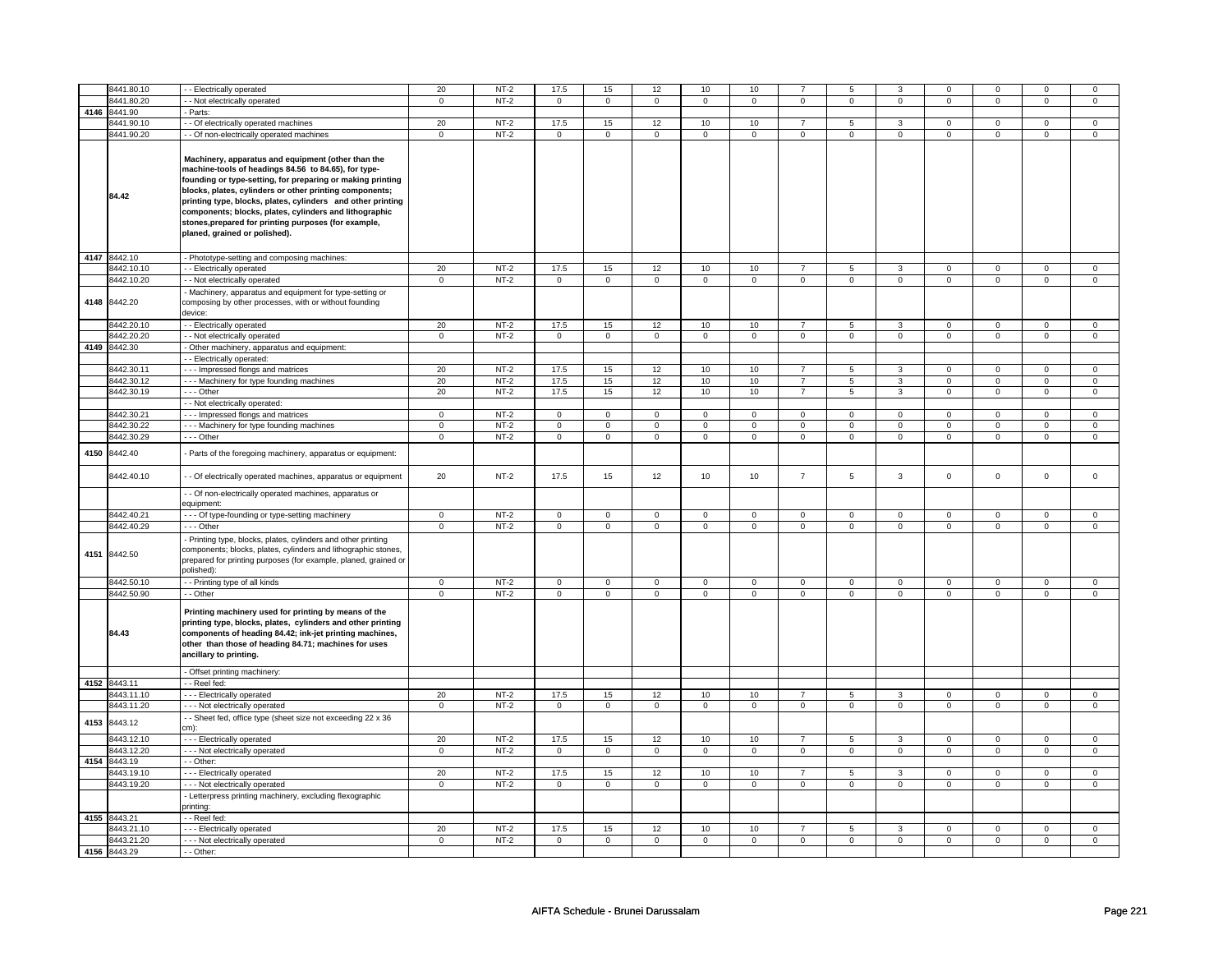|      | 8441.80.10   | - - Electrically operated                                                                                                                                                                                                                                                                                                                                                                                                                             | 20             | $NT-2$      | 17.5                | 15             | 12                  | 10             | 10                  |                | 5              | 3              | $\mathbf 0$ | $\mathbf 0$    | $\Omega$    | $\mathbf 0$    |
|------|--------------|-------------------------------------------------------------------------------------------------------------------------------------------------------------------------------------------------------------------------------------------------------------------------------------------------------------------------------------------------------------------------------------------------------------------------------------------------------|----------------|-------------|---------------------|----------------|---------------------|----------------|---------------------|----------------|----------------|----------------|-------------|----------------|-------------|----------------|
|      |              |                                                                                                                                                                                                                                                                                                                                                                                                                                                       |                |             |                     |                |                     |                |                     |                |                |                |             |                |             |                |
|      | 3441.80.20   | - Not electrically operated                                                                                                                                                                                                                                                                                                                                                                                                                           | $\mathbf 0$    | $NT-2$      | $\mathsf 0$         | $\mathsf 0$    | $\mathsf 0$         | $\mathbf 0$    | $\mathsf 0$         | $\mathbf 0$    | 0              | $\mathbf 0$    | $\mathsf 0$ | $\mathbf 0$    | $\pmb{0}$   | $\mathsf 0$    |
|      | 4146 8441.90 | - Parts:                                                                                                                                                                                                                                                                                                                                                                                                                                              |                |             |                     |                |                     |                |                     |                |                |                |             |                |             |                |
|      | 8441.90.10   | - - Of electrically operated machines                                                                                                                                                                                                                                                                                                                                                                                                                 | 20             | $NT-2$      | 17.5                | 15             | 12                  | 10             | 10                  | $\overline{7}$ | 5              | 3              | $\mathsf 0$ | $\mathbf 0$    | $\mathsf 0$ | $\mathbf 0$    |
|      | 3441.90.20   | - - Of non-electrically operated machines                                                                                                                                                                                                                                                                                                                                                                                                             | $\mathbf 0$    | $NT-2$      | $\mathsf 0$         | $\mathsf 0$    | $\mathsf{O}\xspace$ | $\mathsf 0$    | $\mathsf{O}\xspace$ | $\mathsf 0$    | $\mathsf 0$    | $\mathbf 0$    | $\mathsf 0$ | $\mathbf 0$    | $\mathbf 0$ | $\mathbf 0$    |
|      | 84.42        | Machinery, apparatus and equipment (other than the<br>machine-tools of headings 84.56 to 84.65), for type-<br>founding or type-setting, for preparing or making printing<br>blocks, plates, cylinders or other printing components;<br>printing type, blocks, plates, cylinders and other printing<br>components; blocks, plates, cylinders and lithographic<br>stones, prepared for printing purposes (for example,<br>planed, grained or polished). |                |             |                     |                |                     |                |                     |                |                |                |             |                |             |                |
|      | 4147 8442.10 | - Phototype-setting and composing machines:                                                                                                                                                                                                                                                                                                                                                                                                           |                |             |                     |                |                     |                |                     |                |                |                |             |                |             |                |
|      | 8442.10.10   | - - Electrically operated                                                                                                                                                                                                                                                                                                                                                                                                                             | 20             | $NT-2$      | 17.5                | 15             | 12                  | 10             | 10                  | $\overline{7}$ | 5              | 3              | 0           | $\mathsf 0$    | $\mathbf 0$ | $\mathbf 0$    |
|      | 8442.10.20   | - - Not electrically operated                                                                                                                                                                                                                                                                                                                                                                                                                         | $\mathbf 0$    | $NT-2$      | $\mathsf{O}\xspace$ | $\mathsf 0$    | $\mathsf 0$         | $\mathbf 0$    | $\mathsf 0$         | $\mathsf 0$    | $\mathbf 0$    | $\mathsf 0$    | $\mathbf 0$ | $\mathsf 0$    | $\mathsf 0$ | $\mathbf 0$    |
|      | 4148 8442.20 | Machinery, apparatus and equipment for type-setting or<br>composing by other processes, with or without founding<br>device:                                                                                                                                                                                                                                                                                                                           |                |             |                     |                |                     |                |                     |                |                |                |             |                |             |                |
|      | 8442.20.10   | - - Electrically operated                                                                                                                                                                                                                                                                                                                                                                                                                             | 20             | $NT-2$      | 17.5                | 15             | 12                  | 10             | 10                  | $\overline{7}$ | 5              | 3              | 0           | $\mathsf 0$    | $^{\circ}$  | $\mathbf{0}$   |
|      | 8442.20.20   | - - Not electrically operated                                                                                                                                                                                                                                                                                                                                                                                                                         | $\mathbf 0$    | $NT-2$      | $\mathbf 0$         | $\mathbf 0$    | $\mathbf 0$         | $\mathbf{0}$   | $\mathbf 0$         | $\mathbf 0$    | $\mathbf 0$    | $\mathbf{0}$   | $\mathsf 0$ | $\mathbf 0$    | $\mathsf 0$ | $\mathbf 0$    |
| 4149 | 8442.30      | - Other machinery, apparatus and equipment:                                                                                                                                                                                                                                                                                                                                                                                                           |                |             |                     |                |                     |                |                     |                |                |                |             |                |             |                |
|      |              | - Electrically operated:                                                                                                                                                                                                                                                                                                                                                                                                                              |                |             |                     |                |                     |                |                     |                |                |                |             |                |             |                |
|      | 8442.30.11   | --- Impressed flongs and matrices                                                                                                                                                                                                                                                                                                                                                                                                                     | 20             | $NT-2$      | 17.5                | 15             | 12                  | 10             | 10                  | $\overline{7}$ | 5              | 3              | $\mathsf 0$ | $\mathbf 0$    | $\mathbf 0$ | $\mathsf 0$    |
|      | 3442.30.12   | --- Machinery for type founding machines                                                                                                                                                                                                                                                                                                                                                                                                              | 20             | $NT-2$      | 17.5                | 15             | 12                  | 10             | 10                  | $\overline{7}$ | 5              | 3              | $\mathsf 0$ | $\mathsf 0$    | $\mathsf 0$ | $\mathbf 0$    |
|      | 8442.30.19   | --- Other                                                                                                                                                                                                                                                                                                                                                                                                                                             | 20             | $NT-2$      | 17.5                | 15             | 12                  | 10             | 10                  | $\overline{7}$ | $\overline{5}$ | 3              | $\mathsf 0$ | $\mathsf 0$    | $\mathsf 0$ | $\mathbf 0$    |
|      |              |                                                                                                                                                                                                                                                                                                                                                                                                                                                       |                |             |                     |                |                     |                |                     |                |                |                |             |                |             |                |
|      |              | - - Not electrically operated:                                                                                                                                                                                                                                                                                                                                                                                                                        |                |             |                     |                |                     |                |                     |                |                |                |             |                |             |                |
|      | 8442.30.21   | - - Impressed flongs and matrices                                                                                                                                                                                                                                                                                                                                                                                                                     | $\mathbf 0$    | $NT-2$      | $\mathbf 0$         | $\mathbf 0$    | $\mathbf 0$         | $\mathbf 0$    | $\mathbf 0$         | $\mathbf 0$    | $\Omega$       | $\mathbf 0$    | $\mathbf 0$ | $\mathbf 0$    | $\Omega$    | $\Omega$       |
|      | 8442.30.22   | --- Machinery for type founding machines                                                                                                                                                                                                                                                                                                                                                                                                              | $\mathbf 0$    | $NT-2$      | $\mathsf{O}\xspace$ | $\mathbf 0$    | $\mathsf{O}\xspace$ | $\mathbf 0$    | $\mathsf{O}\xspace$ | $\mathbf 0$    | $\mathbf 0$    | $\mathsf 0$    | $\mathsf 0$ | $\mathbf 0$    | $\mathsf 0$ | $\mathsf 0$    |
|      | 8442.30.29   | - - - Other                                                                                                                                                                                                                                                                                                                                                                                                                                           | $\mathbf 0$    | $NT-2$      | $\mathbf 0$         | $\mathbf 0$    | 0                   | $\mathbf 0$    | $\mathsf 0$         | $\mathbf 0$    | $\mathbf 0$    | $\mathsf 0$    | $\mathsf 0$ | $\mathsf 0$    | $\mathsf 0$ | $\overline{0}$ |
| 4150 | 8442.40      | - Parts of the foregoing machinery, apparatus or equipment:                                                                                                                                                                                                                                                                                                                                                                                           |                |             |                     |                |                     |                |                     |                |                |                |             |                |             |                |
|      | 8442.40.10   | - - Of electrically operated machines, apparatus or equipment                                                                                                                                                                                                                                                                                                                                                                                         | 20             | <b>NT-2</b> | 17.5                | 15             | 12                  | 10             | 10                  | $\overline{7}$ | 5              | 3              | $\mathsf 0$ | $\mathsf 0$    | $\mathsf 0$ | $\mathbf 0$    |
|      |              | - Of non-electrically operated machines, apparatus or<br>equipment:                                                                                                                                                                                                                                                                                                                                                                                   |                |             |                     |                |                     |                |                     |                |                |                |             |                |             |                |
|      | 8442.40.21   | - - - Of type-founding or type-setting machinery                                                                                                                                                                                                                                                                                                                                                                                                      | $\mathsf 0$    | $NT-2$      | $\mathsf 0$         | $\mathsf 0$    | $\mathsf 0$         | $\mathbf 0$    | $\mathsf 0$         | $\mathbf 0$    | $\mathsf 0$    | $\mathbf 0$    | $\mathsf 0$ | $\mathbf 0$    | $\mathsf 0$ | $\mathsf 0$    |
|      | 3442.40.29   | - - - Other                                                                                                                                                                                                                                                                                                                                                                                                                                           | $\mathbf 0$    | $NT-2$      | $\mathsf 0$         | $\mathsf 0$    | $\mathsf 0$         | $\mathbf 0$    | $\mathsf 0$         | $\mathbf 0$    | $\mathsf 0$    | $\mathbf 0$    | $\mathsf 0$ | $\mathbf 0$    | $\mathsf 0$ | $\mathsf 0$    |
|      | 4151 8442.50 | - Printing type, blocks, plates, cylinders and other printing<br>components; blocks, plates, cylinders and lithographic stones,<br>prepared for printing purposes (for example, planed, grained or<br>polished):                                                                                                                                                                                                                                      |                |             |                     |                |                     |                |                     |                |                |                |             |                |             |                |
|      | 8442.50.10   | - - Printing type of all kinds                                                                                                                                                                                                                                                                                                                                                                                                                        | $\mathsf 0$    | $NT-2$      | $\mathsf 0$         | $\mathbf 0$    | $\mathsf 0$         | $\mathbf 0$    | $\mathsf 0$         | $\mathsf 0$    | $\mathbf 0$    | $\mathsf 0$    | $\mathsf 0$ | $\mathsf 0$    | $\mathbf 0$ | $\mathbf 0$    |
|      | 8442.50.90   | - - Other                                                                                                                                                                                                                                                                                                                                                                                                                                             | $\mathbf 0$    | $NT-2$      | $\mathsf 0$         | $\mathbf 0$    | $\mathsf 0$         | $\mathbf 0$    | $\mathsf 0$         | $\mathsf 0$    | $\mathbf 0$    | $\mathsf 0$    | $\mathbf 0$ | $\mathsf 0$    | $\mathsf 0$ | $\mathsf 0$    |
|      | 84.43        | Printing machinery used for printing by means of the<br>printing type, blocks, plates, cylinders and other printing<br>components of heading 84.42; ink-jet printing machines,<br>other than those of heading 84.71; machines for uses<br>ancillary to printing.                                                                                                                                                                                      |                |             |                     |                |                     |                |                     |                |                |                |             |                |             |                |
|      |              | - Offset printing machinery:                                                                                                                                                                                                                                                                                                                                                                                                                          |                |             |                     |                |                     |                |                     |                |                |                |             |                |             |                |
|      | 4152 8443.11 | - - Reel fed:                                                                                                                                                                                                                                                                                                                                                                                                                                         |                |             |                     |                |                     |                |                     |                |                |                |             |                |             |                |
|      | 8443.11.10   | --- Electrically operated                                                                                                                                                                                                                                                                                                                                                                                                                             | 20             | $NT-2$      | 17.5                | 15             | 12                  | 10             | 10                  | $\overline{7}$ | 5              | 3              | 0           | 0              | $\mathbf 0$ | 0              |
|      | 8443.11.20   | - - - Not electrically operated                                                                                                                                                                                                                                                                                                                                                                                                                       | $\mathbf 0$    | $NT-2$      | $\mathsf 0$         | $\mathbf 0$    | $\mathsf 0$         | $\mathsf 0$    | $\mathsf 0$         | $\mathbf 0$    | $\mathsf 0$    | $\mathbf 0$    | $\mathsf 0$ | $\mathbf 0$    | $\mathsf 0$ | $\mathsf 0$    |
| 4153 | 8443.12      | - Sheet fed, office type (sheet size not exceeding 22 x 36<br>cm):                                                                                                                                                                                                                                                                                                                                                                                    |                |             |                     |                |                     |                |                     |                |                |                |             |                |             |                |
|      | 3443.12.10   | - - - Electrically operated                                                                                                                                                                                                                                                                                                                                                                                                                           | 20             | $NT-2$      | 17.5                | 15             | 12                  | 10             | 10                  | $\overline{7}$ | 5              | 3              | $\mathsf 0$ | $\mathbf 0$    | $\mathsf 0$ | $\mathsf 0$    |
|      | 8443.12.20   | - - - Not electrically operated                                                                                                                                                                                                                                                                                                                                                                                                                       | $\overline{0}$ | $NT-2$      | $\mathsf 0$         | $\overline{0}$ | $\mathsf{O}$        | $\overline{0}$ | $\mathsf{O}$        | $\mathsf 0$    | $\mathsf 0$    | $\mathbf{0}$   | $\mathsf 0$ | $\mathsf 0$    | $\mathsf 0$ | $\mathbf{0}$   |
|      | 4154 8443.19 | - - Other:                                                                                                                                                                                                                                                                                                                                                                                                                                            |                |             |                     |                |                     |                |                     |                |                |                |             |                |             |                |
|      | 8443.19.10   | --- Electrically operated                                                                                                                                                                                                                                                                                                                                                                                                                             | 20             | $NT-2$      | 17.5                | 15             | 12                  | 10             | 10                  | $\overline{7}$ | 5              | 3              | $\mathbf 0$ | $\mathbf 0$    | $\mathbf 0$ | $\mathbf 0$    |
|      | 8443.19.20   | --- Not electrically operated                                                                                                                                                                                                                                                                                                                                                                                                                         | $\mathbf 0$    | $NT-2$      | $\mathsf 0$         | $\mathsf 0$    | $\mathsf 0$         | $\mathbf 0$    | $\mathsf 0$         | $\overline{0}$ | $\mathbf 0$    | $\overline{0}$ | $\mathbf 0$ | $\overline{0}$ | $\mathsf 0$ | $\overline{0}$ |
|      |              | - Letterpress printing machinery, excluding flexographic                                                                                                                                                                                                                                                                                                                                                                                              |                |             |                     |                |                     |                |                     |                |                |                |             |                |             |                |
|      |              | printing:                                                                                                                                                                                                                                                                                                                                                                                                                                             |                |             |                     |                |                     |                |                     |                |                |                |             |                |             |                |
|      | 4155 8443.21 | - - Reel fed:                                                                                                                                                                                                                                                                                                                                                                                                                                         |                |             |                     |                |                     |                |                     |                |                |                |             |                |             |                |
|      | 8443.21.10   | --- Electrically operated                                                                                                                                                                                                                                                                                                                                                                                                                             | 20             | $NT-2$      | 17.5                | 15             | 12                  | 10             | 10                  | $\overline{7}$ | 5              | 3              | $\mathbf 0$ | $\mathbf 0$    | $\mathbf 0$ | $\mathbf 0$    |
|      | 8443.21.20   | - - - Not electrically operated                                                                                                                                                                                                                                                                                                                                                                                                                       | $\mathbf 0$    | $NT-2$      | $\mathbf 0$         | $\mathbf 0$    | $\mathbf 0$         | $\mathbf 0$    | $\mathsf 0$         | $\mathbf 0$    | $\mathbf 0$    | $\mathsf 0$    | $\mathbf 0$ | $\mathsf 0$    | $\mathsf 0$ | $\mathbf 0$    |
|      | 4156 8443.29 | - - Other:                                                                                                                                                                                                                                                                                                                                                                                                                                            |                |             |                     |                |                     |                |                     |                |                |                |             |                |             |                |
|      |              |                                                                                                                                                                                                                                                                                                                                                                                                                                                       |                |             |                     |                |                     |                |                     |                |                |                |             |                |             |                |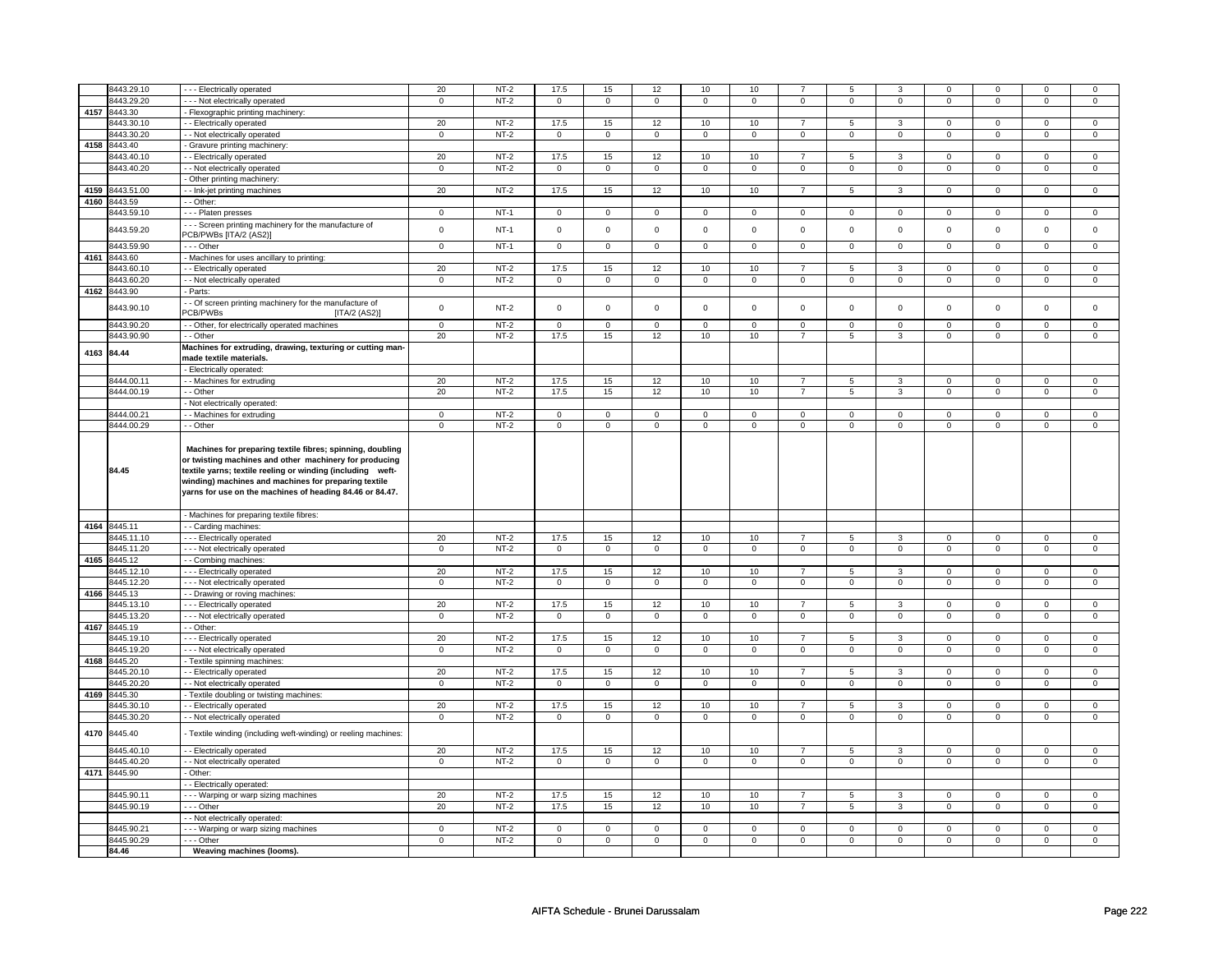|      | 8443.29.10   | --- Electrically operated                                                                                                                                                         | 20             | $NT-2$ | 17.5                | 15             | 12             | 10             | 10             | $\overline{7}$ | 5                   | 3              | 0              | $\mathbf 0$         | $\Omega$       | $\mathbf{0}$   |
|------|--------------|-----------------------------------------------------------------------------------------------------------------------------------------------------------------------------------|----------------|--------|---------------------|----------------|----------------|----------------|----------------|----------------|---------------------|----------------|----------------|---------------------|----------------|----------------|
|      | 8443.29.20   | --- Not electrically operated                                                                                                                                                     | $\mathbf 0$    | $NT-2$ | $\mathbf 0$         | $\mathbf 0$    | $\mathbf 0$    | $\mathbf 0$    | $\mathbf 0$    | $\mathbf 0$    | $\mathbf 0$         | $\mathbf 0$    | $\mathbf 0$    | $\mathbf 0$         | 0              | 0              |
| 4157 | 8443.30      | - Flexographic printing machinery:                                                                                                                                                |                |        |                     |                |                |                |                |                |                     |                |                |                     |                |                |
|      | 8443.30.10   | - Electrically operated                                                                                                                                                           | 20             | $NT-2$ | 17.5                | 15             | 12             | 10             | 10             | $\overline{7}$ | 5                   | 3              | $\mathbf 0$    | $\mathbf 0$         | $\mathbf 0$    | $\mathbf{0}$   |
|      |              |                                                                                                                                                                                   |                |        |                     |                |                |                |                |                |                     |                |                |                     |                |                |
|      | 8443.30.20   | - Not electrically operated                                                                                                                                                       | $\mathbf 0$    | $NT-2$ | $\mathsf 0$         | $\mathsf 0$    | $\mathsf 0$    | $\mathsf 0$    | $\mathsf 0$    | $\mathsf 0$    | $\mathsf 0$         | $\mathbf 0$    | $\mathbf 0$    | $\mathbf 0$         | $\mathsf 0$    | $\mathbf 0$    |
| 4158 | 8443.40      | Gravure printing machinery                                                                                                                                                        |                |        |                     |                |                |                |                |                |                     |                |                |                     |                |                |
|      | 8443.40.10   | - Electrically operated                                                                                                                                                           | 20             | $NT-2$ | 17.5                | 15             | 12             | 10             | 10             | $\overline{7}$ | 5                   | 3              | $\mathbf 0$    | $\mathbf 0$         | 0              | $\mathbf 0$    |
|      | 8443.40.20   | - - Not electrically operated                                                                                                                                                     | $\mathsf 0$    | $NT-2$ | $\mathbf 0$         | $\mathbf 0$    | $\mathsf 0$    | $\mathsf 0$    | $\mathsf 0$    | $\mathsf 0$    | $\mathbf 0$         | $\mathbf 0$    | $\mathbf 0$    | $\mathbf 0$         | 0              | $\mathbf{0}$   |
|      |              |                                                                                                                                                                                   |                |        |                     |                |                |                |                |                |                     |                |                |                     |                |                |
|      |              | - Other printing machinery:                                                                                                                                                       |                |        |                     |                |                |                |                |                |                     |                |                |                     |                |                |
| 4159 | 8443.51.00   | - Ink-jet printing machines                                                                                                                                                       | 20             | $NT-2$ | 17.5                | 15             | 12             | 10             | 10             | $\overline{7}$ | 5                   | 3              | $\mathbf 0$    | $\mathbf{0}$        | $\mathbf 0$    | $\mathbf{0}$   |
|      | 4160 8443.59 | - Other:                                                                                                                                                                          |                |        |                     |                |                |                |                |                |                     |                |                |                     |                |                |
|      | 8443.59.10   | - - - Platen presses                                                                                                                                                              | $\mathbf 0$    | $NT-1$ | $\mathbf 0$         | $\mathbf 0$    | $\mathbf 0$    | $\mathbf 0$    | $\mathbf 0$    | $\mathbf 0$    | $\mathbf 0$         | $\mathbf 0$    | $\mathbf 0$    | $\mathbf 0$         | 0              | $\mathbf 0$    |
|      |              | --- Screen printing machinery for the manufacture of                                                                                                                              |                |        |                     |                |                |                |                |                |                     |                |                |                     |                |                |
|      | 8443.59.20   | PCB/PWBs [ITA/2 (AS2)]                                                                                                                                                            | $\mathbf 0$    | $NT-1$ | $\mathsf 0$         | $\mathsf 0$    | $\mathsf 0$    | $\mathbf 0$    | $\mathsf 0$    | $\mathbf 0$    | $\mathsf 0$         | $\mathbf 0$    | $\mathbf 0$    | $\mathbf 0$         | $\mathbf 0$    | $\mathbf 0$    |
|      |              |                                                                                                                                                                                   |                |        |                     |                |                |                |                |                |                     |                |                |                     |                |                |
|      | 8443.59.90   | --- Other                                                                                                                                                                         | $\mathbf 0$    | $NT-1$ | $\mathsf 0$         | $\mathbf 0$    | $\mathbf 0$    | $\mathbf 0$    | $\mathbf 0$    | $\mathbf 0$    | $\mathbf 0$         | $\mathbf{0}$   | $\mathbf 0$    | $\mathbf 0$         | 0              | $\mathbf 0$    |
|      | 4161 8443.60 | - Machines for uses ancillary to printing:                                                                                                                                        |                |        |                     |                |                |                |                |                |                     |                |                |                     |                |                |
|      | 8443.60.10   | - Electrically operated                                                                                                                                                           | 20             | $NT-2$ | 17.5                | 15             | 12             | 10             | 10             | $\overline{7}$ | 5                   | 3              | $\mathbf 0$    | $\mathbf 0$         | $\mathbf 0$    | 0              |
|      | 8443.60.20   | - - Not electrically operated                                                                                                                                                     | $\mathbf 0$    | $NT-2$ | $\mathsf 0$         | $\overline{0}$ | $\overline{0}$ | $\overline{0}$ | $\overline{0}$ | $\overline{0}$ | $\mathsf 0$         | $\overline{0}$ | $\mathbf 0$    | $\overline{0}$      | $\mathsf 0$    | $\overline{0}$ |
|      | 4162 8443.90 | - Parts:                                                                                                                                                                          |                |        |                     |                |                |                |                |                |                     |                |                |                     |                |                |
|      |              |                                                                                                                                                                                   |                |        |                     |                |                |                |                |                |                     |                |                |                     |                |                |
|      | 8443.90.10   | - Of screen printing machinery for the manufacture of                                                                                                                             | $\mathsf 0$    | $NT-2$ | $\mathbf 0$         | $\mathsf 0$    | $\mathbf 0$    | $\mathbf 0$    | $\mathsf 0$    | $\mathbf 0$    | $\mathbf 0$         | $\mathbf 0$    | $\mathbf 0$    | $\mathbf 0$         | $\mathbf 0$    | $\mathbf 0$    |
|      |              | <b>PCB/PWBs</b><br>[ITA/2 (AS2)]                                                                                                                                                  |                |        |                     |                |                |                |                |                |                     |                |                |                     |                |                |
|      | 8443.90.20   | - - Other, for electrically operated machines                                                                                                                                     | $\mathbf 0$    | $NT-2$ | $\mathbf 0$         | $\mathbf 0$    | $\mathbf 0$    | $\mathbf 0$    | $\mathbf 0$    | $\mathbf 0$    | $\mathbf 0$         | $\mathbf 0$    | $\mathbf 0$    | $\mathbf 0$         | 0              | 0              |
|      | 8443.90.90   | - - Other                                                                                                                                                                         | 20             | $NT-2$ | 17.5                | 15             | 12             | 10             | 10             | $\overline{7}$ | 5                   | 3              | $\mathbf 0$    | $\mathbf 0$         | 0              | $\mathbf{0}$   |
|      |              | Machines for extruding, drawing, texturing or cutting man-                                                                                                                        |                |        |                     |                |                |                |                |                |                     |                |                |                     |                |                |
|      | 4163 84.44   | made textile materials.                                                                                                                                                           |                |        |                     |                |                |                |                |                |                     |                |                |                     |                |                |
|      |              |                                                                                                                                                                                   |                |        |                     |                |                |                |                |                |                     |                |                |                     |                |                |
|      |              | - Electrically operated:                                                                                                                                                          |                |        |                     |                |                |                |                |                |                     |                |                |                     |                |                |
|      | 8444.00.11   | - Machines for extruding                                                                                                                                                          | 20             | $NT-2$ | 17.5                | 15             | 12             | 10             | 10             | $\overline{7}$ | 5                   | 3              | $\mathsf 0$    | $\mathbf 0$         | 0              | $\mathbf 0$    |
|      | 8444.00.19   | - - Other                                                                                                                                                                         | 20             | $NT-2$ | 17.5                | 15             | 12             | 10             | 10             | $\overline{7}$ | 5                   | 3              | $\mathbf{0}$   | $\mathbf 0$         | $\mathbf 0$    | $\overline{0}$ |
|      |              | - Not electrically operated:                                                                                                                                                      |                |        |                     |                |                |                |                |                |                     |                |                |                     |                |                |
|      | 8444.00.21   | - Machines for extruding                                                                                                                                                          | $\mathbf 0$    | $NT-2$ | $\mathbf 0$         | $\mathbf 0$    | $\mathbf 0$    | $\mathbf 0$    | $\mathbf 0$    | $\mathbf 0$    | $\mathbf 0$         | $\mathbf 0$    | $\mathbf 0$    | $\mathbf 0$         | $\mathbf 0$    | $\mathbf 0$    |
|      | 8444.00.29   | - - Other                                                                                                                                                                         | $\mathbf 0$    | $NT-2$ | $\mathsf{O}\xspace$ | $\mathsf 0$    | $\mathbf 0$    | $\mathsf 0$    | $\mathsf 0$    | $\mathsf 0$    | $\mathsf 0$         | $\mathsf 0$    | $\mathsf 0$    | $\mathbf 0$         | $\mathsf 0$    | $\mathbf 0$    |
|      |              |                                                                                                                                                                                   |                |        |                     |                |                |                |                |                |                     |                |                |                     |                |                |
|      | 84.45        | Machines for preparing textile fibres; spinning, doubling<br>or twisting machines and other machinery for producing<br>textile yarns; textile reeling or winding (including weft- |                |        |                     |                |                |                |                |                |                     |                |                |                     |                |                |
|      |              | winding) machines and machines for preparing textile<br>yarns for use on the machines of heading 84.46 or 84.47.                                                                  |                |        |                     |                |                |                |                |                |                     |                |                |                     |                |                |
|      |              |                                                                                                                                                                                   |                |        |                     |                |                |                |                |                |                     |                |                |                     |                |                |
|      |              | - Machines for preparing textile fibres:                                                                                                                                          |                |        |                     |                |                |                |                |                |                     |                |                |                     |                |                |
|      | 4164 8445.11 | - Carding machines:                                                                                                                                                               |                |        |                     |                |                |                |                |                |                     |                |                |                     |                |                |
|      | 8445.11.10   | --- Electrically operated                                                                                                                                                         | 20             | $NT-2$ | 17.5                | 15             | 12             | 10             | 10             | $\overline{7}$ | 5                   | 3              | $\mathbf 0$    | $\mathbf 0$         | 0              | $\mathbf 0$    |
|      | 8445.11.20   | --- Not electrically operated                                                                                                                                                     | $\mathbf 0$    | $NT-2$ | $\mathbf 0$         | $\mathbf 0$    | $\mathbf 0$    | $\mathbf 0$    | $\mathbf 0$    | $\mathbf 0$    | $\mathbf 0$         | $\mathbf 0$    | $\mathbf 0$    | $\mathbf 0$         | 0              | 0              |
| 4165 | 8445.12      | -- Combing machines:                                                                                                                                                              |                |        |                     |                |                |                |                |                |                     |                |                |                     |                |                |
|      | 8445.12.10   | --- Electrically operated                                                                                                                                                         | 20             | $NT-2$ | 17.5                | 15             | 12             | 10             | 10             | $\overline{7}$ | 5                   | $\overline{3}$ | $\overline{0}$ | $\overline{0}$      | $\Omega$       | $\overline{0}$ |
|      | 8445.12.20   | --- Not electrically operated                                                                                                                                                     | $\mathbf 0$    | $NT-2$ | $\mathsf 0$         | $\mathsf 0$    | $\mathbf 0$    | $\overline{0}$ | $\overline{0}$ | $\overline{0}$ | $\mathsf 0$         | $\mathbf 0$    | $\mathbf 0$    | $\overline{0}$      | $\mathsf 0$    | $\overline{0}$ |
|      | 4166 8445.13 |                                                                                                                                                                                   |                |        |                     |                |                |                |                |                |                     |                |                |                     |                |                |
|      |              | - - Drawing or roving machines:                                                                                                                                                   |                |        |                     |                |                |                |                |                |                     |                |                |                     |                |                |
|      | 8445.13.10   | --- Electrically operated                                                                                                                                                         | 20             | $NT-2$ | 17.5                | 15             | 12             | 10             | 10             | $\overline{7}$ | 5                   | 3              | 0              | $\mathbf 0$         | 0              | $\mathbf 0$    |
|      | 8445.13.20   | --- Not electrically operated                                                                                                                                                     | $\overline{0}$ | $NT-2$ | $\mathbf 0$         | $\mathbf 0$    | 0              | $\mathbf 0$    | 0              | $\mathbf 0$    | $\mathbf 0$         | $\mathbf{0}$   | $\mathbf 0$    | $\mathbf 0$         | 0              | $\mathbf{0}$   |
|      | 4167 8445.19 | - - Other:                                                                                                                                                                        |                |        |                     |                |                |                |                |                |                     |                |                |                     |                |                |
|      | 8445.19.10   | --- Electrically operated                                                                                                                                                         | 20             | $NT-2$ | 17.5                | 15             | 12             | 10             | 10             | $\overline{7}$ | 5                   | 3              | $\mathbf 0$    | $\mathbf 0$         | $\mathbf 0$    | $\mathbf{0}$   |
|      | 8445.19.20   | --- Not electrically operated                                                                                                                                                     | $\mathbf 0$    | $NT-2$ | $\mathsf{O}\xspace$ | $\mathbf 0$    | $\mathbf 0$    | $\mathsf 0$    | $\mathsf 0$    | $\mathbf 0$    | $\mathsf 0$         | $\mathsf 0$    | $\mathbf 0$    | $\overline{0}$      | $\Omega$       | $\overline{0}$ |
| 4168 | 8445.20      | Textile spinning machines:                                                                                                                                                        |                |        |                     |                |                |                |                |                |                     |                |                |                     |                |                |
|      | 8445.20.10   |                                                                                                                                                                                   | 20             | $NT-2$ | 17.5                | 15             | 12             | 10             |                | $\overline{7}$ | 5                   | 3              | 0              | $\overline{0}$      | 0              | $\overline{0}$ |
|      |              | - Electrically operated                                                                                                                                                           |                |        |                     |                |                |                | 10             |                |                     |                |                |                     |                |                |
|      | 8445.20.20   | - - Not electrically operated                                                                                                                                                     | $\overline{0}$ | $NT-2$ | $\mathbf 0$         | $\overline{0}$ | $\overline{0}$ | $\overline{0}$ | $\overline{0}$ | $\overline{0}$ | 0                   | $\overline{0}$ | $\mathbf 0$    | $\overline{0}$      | 0              | $\overline{0}$ |
| 4169 | 8445.30      | Textile doubling or twisting machines:                                                                                                                                            |                |        |                     |                |                |                |                |                |                     |                |                |                     |                |                |
|      | 8445.30.10   | - Electrically operated                                                                                                                                                           | 20             | $NT-2$ | 17.5                | 15             | 12             | 10             | 10             | $\overline{7}$ | 5                   | 3              | 0              | $\mathbf 0$         | 0              | 0              |
|      | 8445.30.20   | - - Not electrically operated                                                                                                                                                     | $\overline{0}$ | $NT-2$ | $\overline{0}$      | $\overline{0}$ | $\overline{0}$ | $\overline{0}$ | $\overline{0}$ | $\overline{0}$ | $\overline{0}$      | $\overline{0}$ | $\overline{0}$ | $\overline{0}$      | $\overline{0}$ | $\overline{0}$ |
| 4170 | 8445.40      | Textile winding (including weft-winding) or reeling machines:                                                                                                                     |                |        |                     |                |                |                |                |                |                     |                |                |                     |                |                |
|      | 8445.40.10   | - Electrically operated                                                                                                                                                           | 20             | $NT-2$ | 17.5                | 15             | 12             | 10             | 10             | $\overline{7}$ | 5                   | $\mathbf{3}$   | $\mathsf 0$    | $\mathbf 0$         | $\mathsf 0$    | $\mathbf 0$    |
|      | 8445.40.20   | - - Not electrically operated                                                                                                                                                     | $\mathsf 0$    | $NT-2$ | $\mathsf 0$         | $\mathsf 0$    | $\mathsf 0$    | $\mathsf 0$    | $\mathsf 0$    | $\mathsf 0$    | $\mathsf{O}\xspace$ | $\mathsf{O}$   | $\mathsf 0$    | $\mathsf{O}\xspace$ | $\mathsf 0$    | $\mathbf 0$    |
|      | 4171 8445.90 | - Other:                                                                                                                                                                          |                |        |                     |                |                |                |                |                |                     |                |                |                     |                |                |
|      |              |                                                                                                                                                                                   |                |        |                     |                |                |                |                |                |                     |                |                |                     |                |                |
|      |              | - Electrically operated:                                                                                                                                                          |                |        |                     |                |                |                |                |                |                     |                |                |                     |                |                |
|      | 8445.90.11   | Warping or warp sizing machines                                                                                                                                                   | 20             | $NT-2$ | 17.5                | 15             | 12             | 10             | 10             | $\overline{7}$ | $\overline{5}$      | $\overline{3}$ | $\overline{0}$ | $\overline{0}$      | $\overline{0}$ | $\overline{0}$ |
|      | 8445.90.19   | - - - Other                                                                                                                                                                       | 20             | $NT-2$ | 17.5                | 15             | 12             | $10$           | 10             | $\overline{7}$ | 5                   | 3              | 0              | $\mathbf 0$         | 0              | $\mathbf 0$    |
|      |              | - Not electrically operated:                                                                                                                                                      |                |        |                     |                |                |                |                |                |                     |                |                |                     |                |                |
|      | 8445.90.21   | - - - Warping or warp sizing machines                                                                                                                                             | $\mathsf 0$    | $NT-2$ | $\mathsf 0$         | $\mathsf 0$    | $\mathbf 0$    | $\mathbf 0$    | $\mathsf 0$    | $\mathbf 0$    | $\mathsf 0$         | $\mathbf 0$    | $\mathbf 0$    | $\mathbf 0$         | $\mathsf 0$    | $\overline{0}$ |
|      | 8445.90.29   | $\overline{\cdots}$ Other                                                                                                                                                         | $\mathbf 0$    | $NT-2$ | $\mathbf 0$         | 0              | $\mathbf 0$    | $\mathbf 0$    | $\mathbf 0$    | $\mathsf 0$    | $\mathbf{0}$        | $\mathbf 0$    | $\mathbf{0}$   | $\mathbf 0$         | 0              | $\mathbf{0}$   |
|      | 84.46        | Weaving machines (looms).                                                                                                                                                         |                |        |                     |                |                |                |                |                |                     |                |                |                     |                |                |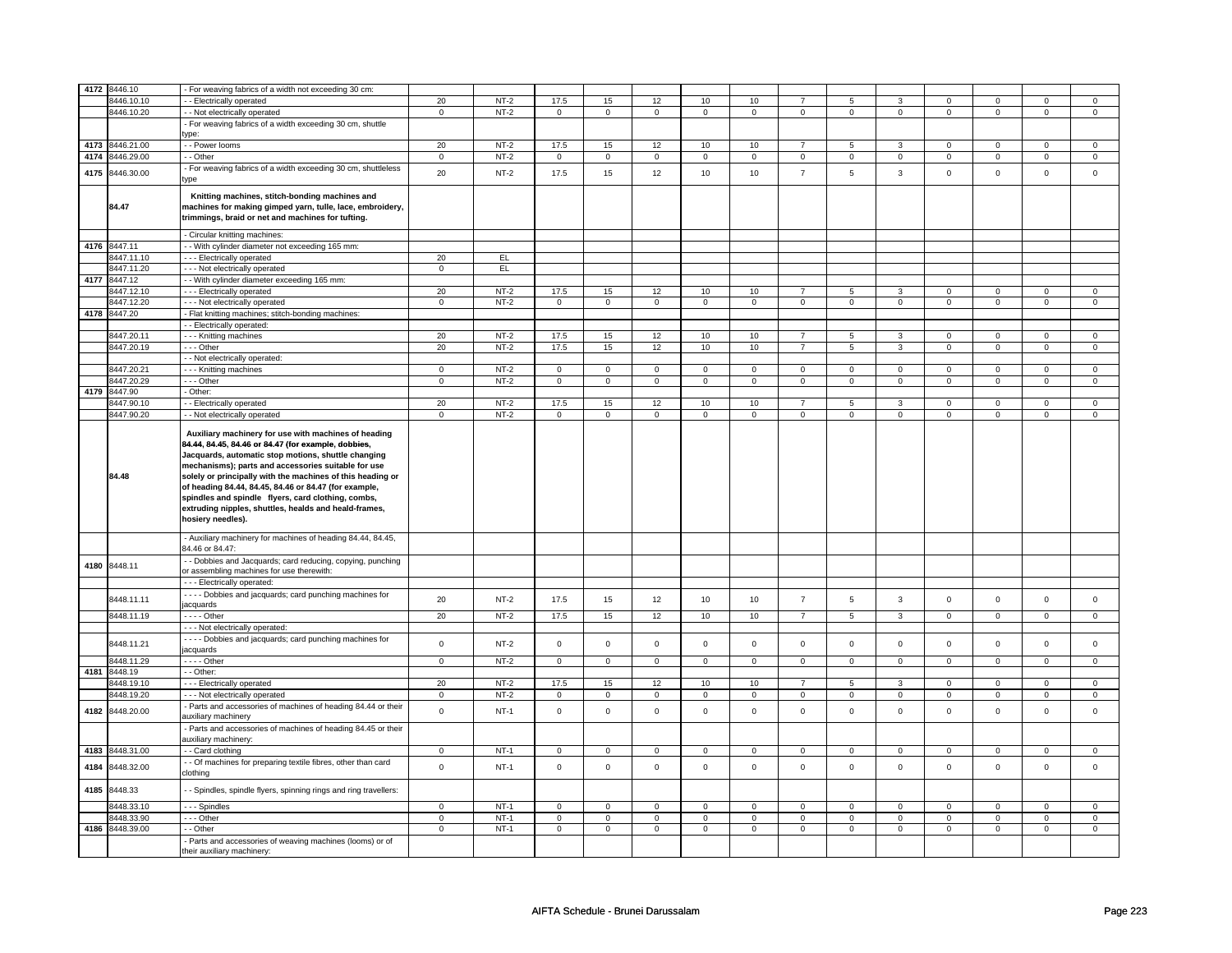|      | 4172 8446.10    |                                                                                                                                                                                                                                                                                                                                                                       |                |        |                |                |                     |                |                     |                |                |                |                |                |             |                |
|------|-----------------|-----------------------------------------------------------------------------------------------------------------------------------------------------------------------------------------------------------------------------------------------------------------------------------------------------------------------------------------------------------------------|----------------|--------|----------------|----------------|---------------------|----------------|---------------------|----------------|----------------|----------------|----------------|----------------|-------------|----------------|
|      |                 | For weaving fabrics of a width not exceeding 30 cm:                                                                                                                                                                                                                                                                                                                   |                |        |                |                |                     |                |                     |                |                |                |                |                |             |                |
|      | 8446.10.10      | - Electrically operated                                                                                                                                                                                                                                                                                                                                               | 20             | $NT-2$ | 17.5           | 15             | 12                  | 10             | 10                  | $\overline{7}$ | 5              | 3              | $\Omega$       | $\Omega$       | $\Omega$    | 0              |
|      | 8446.10.20      | - - Not electrically operated                                                                                                                                                                                                                                                                                                                                         | $\mathbf 0$    | $NT-2$ | $\mathbf 0$    | $\mathbf 0$    | $\mathbf 0$         | $\overline{0}$ | $\mathbf 0$         | $\mathbf 0$    | $\mathbf 0$    | $\mathbf 0$    | 0              | $\mathbf 0$    | 0           | 0              |
|      |                 | - For weaving fabrics of a width exceeding 30 cm, shuttle                                                                                                                                                                                                                                                                                                             |                |        |                |                |                     |                |                     |                |                |                |                |                |             |                |
|      |                 | vne:                                                                                                                                                                                                                                                                                                                                                                  |                |        |                |                |                     |                |                     |                |                |                |                |                |             |                |
| 4173 | 8446.21.00      | - - Power looms                                                                                                                                                                                                                                                                                                                                                       | 20             | $NT-2$ | 17.5           | 15             | 12                  | 10             | 10                  | $\overline{7}$ | 5              | 3              | 0              | $\mathbf 0$    | 0           | 0              |
| 4174 | 8446.29.00      | - Other                                                                                                                                                                                                                                                                                                                                                               | $\mathsf 0$    | $NT-2$ | $\mathbf 0$    | $\mathbf 0$    | $\mathsf 0$         | $\mathbf 0$    | $\mathsf 0$         | $\mathbf 0$    | $\mathbf 0$    | $\mathsf 0$    | $\mathsf 0$    | $\mathbf 0$    | 0           | 0              |
|      |                 |                                                                                                                                                                                                                                                                                                                                                                       |                |        |                |                |                     |                |                     |                |                |                |                |                |             |                |
| 4175 | 8446.30.00      | For weaving fabrics of a width exceeding 30 cm, shuttleless<br>ype                                                                                                                                                                                                                                                                                                    | 20             | $NT-2$ | 17.5           | 15             | 12                  | 10             | 10                  | $\overline{7}$ | 5              | 3              | $\mathsf 0$    | $\mathsf{o}\,$ | $\mathsf 0$ | $\mathbf 0$    |
|      | 84.47           | Knitting machines, stitch-bonding machines and<br>machines for making gimped yarn, tulle, lace, embroidery,<br>trimmings, braid or net and machines for tufting.                                                                                                                                                                                                      |                |        |                |                |                     |                |                     |                |                |                |                |                |             |                |
|      |                 | - Circular knitting machines:                                                                                                                                                                                                                                                                                                                                         |                |        |                |                |                     |                |                     |                |                |                |                |                |             |                |
|      | 4176 8447.11    | - With cylinder diameter not exceeding 165 mm:                                                                                                                                                                                                                                                                                                                        |                |        |                |                |                     |                |                     |                |                |                |                |                |             |                |
|      |                 |                                                                                                                                                                                                                                                                                                                                                                       | 20             | EL     |                |                |                     |                |                     |                |                |                |                |                |             |                |
|      | 8447.11.10      | --- Electrically operated                                                                                                                                                                                                                                                                                                                                             |                |        |                |                |                     |                |                     |                |                |                |                |                |             |                |
|      | 8447.11.20      | - - - Not electrically operated                                                                                                                                                                                                                                                                                                                                       | 0              | EL     |                |                |                     |                |                     |                |                |                |                |                |             |                |
| 4177 | 8447.12         | - With cylinder diameter exceeding 165 mm:                                                                                                                                                                                                                                                                                                                            |                |        |                |                |                     |                |                     |                |                |                |                |                |             |                |
|      | 8447.12.10      | - - - Electrically operated                                                                                                                                                                                                                                                                                                                                           | 20             | $NT-2$ | 17.5           | 15             | 12                  | 10             | 10                  | $\overline{7}$ | $\overline{5}$ | $\overline{3}$ | $\overline{0}$ | $\overline{0}$ | $\mathsf 0$ | $\overline{0}$ |
|      | 8447.12.20      | - - - Not electrically operated                                                                                                                                                                                                                                                                                                                                       | $\mathsf 0$    | $NT-2$ | $\mathsf 0$    | $\mathsf 0$    | $\mathsf{O}$        | $\mathsf 0$    | $\mathsf{O}$        | $\mathsf 0$    | $\mathsf 0$    | $\mathbf 0$    | $\mathsf 0$    | $\mathbf 0$    | $\mathsf 0$ | $\mathbf 0$    |
| 4178 | 8447.20         | - Flat knitting machines; stitch-bonding machines:                                                                                                                                                                                                                                                                                                                    |                |        |                |                |                     |                |                     |                |                |                |                |                |             |                |
|      |                 | - - Electrically operated:                                                                                                                                                                                                                                                                                                                                            |                |        |                |                |                     |                |                     |                |                |                |                |                |             |                |
|      | 8447.20.11      | --- Knitting machines                                                                                                                                                                                                                                                                                                                                                 | 20             | $NT-2$ | 17.5           | 15             | 12                  | 10             | 10                  | $\overline{7}$ | 5              | 3              | $\mathsf 0$    | $\mathbf 0$    | 0           | 0              |
|      |                 |                                                                                                                                                                                                                                                                                                                                                                       |                |        |                |                |                     |                |                     |                |                |                |                |                |             |                |
|      | 8447.20.19      | $- -$ Other                                                                                                                                                                                                                                                                                                                                                           | 20             | $NT-2$ | 17.5           | 15             | 12                  | 10             | 10                  | $\overline{7}$ | 5              | $\overline{3}$ | $\mathsf 0$    | $\mathbf 0$    | $\Omega$    | 0              |
|      |                 | - - Not electrically operated:                                                                                                                                                                                                                                                                                                                                        |                |        |                |                |                     |                |                     |                |                |                |                |                |             |                |
|      | 8447.20.21      | --- Knitting machines                                                                                                                                                                                                                                                                                                                                                 | $\mathbf 0$    | $NT-2$ | $\mathbf 0$    | $\mathsf 0$    | $\mathbf 0$         | $\mathsf 0$    | $\mathsf 0$         | $\mathsf 0$    | $\mathbf 0$    | $\mathsf 0$    | $\mathsf 0$    | $\mathbf 0$    | $\mathsf 0$ | $\mathbf 0$    |
|      | 8447.20.29      | $\cdots$ Other                                                                                                                                                                                                                                                                                                                                                        | $\overline{0}$ | $NT-2$ | $\mathsf 0$    | $\overline{0}$ | $\mathsf 0$         | $\overline{0}$ | $\mathsf{O}\xspace$ | $\overline{0}$ | $\mathbf 0$    | $\mathbf 0$    | $\mathsf 0$    | $\overline{0}$ | $\mathsf 0$ | $\mathbf 0$    |
| 4179 | 8447.90         | - Other:                                                                                                                                                                                                                                                                                                                                                              |                |        |                |                |                     |                |                     |                |                |                |                |                |             |                |
|      | 8447.90.10      | - Electrically operated                                                                                                                                                                                                                                                                                                                                               | 20             | $NT-2$ | 17.5           | 15             | 12                  | 10             | 10                  | $\overline{7}$ | 5              | 3              | 0              | $\mathbf 0$    | 0           | $\mathbf 0$    |
|      | 8447.90.20      |                                                                                                                                                                                                                                                                                                                                                                       | $\mathsf 0$    | $NT-2$ | $\mathbf 0$    | $\mathsf 0$    | $\mathsf{O}\xspace$ | $\mathsf 0$    | $\mathbf 0$         | $\mathbf 0$    | $\mathsf 0$    | $\mathbf 0$    | $\mathbf 0$    | $\mathbf 0$    | $\mathsf 0$ | $\mathbf 0$    |
|      |                 | - Not electrically operated<br>Auxiliary machinery for use with machines of heading<br>84.44, 84.45, 84.46 or 84.47 (for example, dobbies,                                                                                                                                                                                                                            |                |        |                |                |                     |                |                     |                |                |                |                |                |             |                |
|      | 84.48           | Jacquards, automatic stop motions, shuttle changing<br>mechanisms); parts and accessories suitable for use<br>solely or principally with the machines of this heading or<br>of heading 84.44, 84.45, 84.46 or 84.47 (for example,<br>spindles and spindle flyers, card clothing, combs,<br>extruding nipples, shuttles, healds and heald-frames,<br>hosiery needles). |                |        |                |                |                     |                |                     |                |                |                |                |                |             |                |
|      |                 | Auxiliary machinery for machines of heading 84.44, 84.45,<br>34.46 or 84.47:<br>- - Dobbies and Jacquards; card reducing, copying, punching                                                                                                                                                                                                                           |                |        |                |                |                     |                |                     |                |                |                |                |                |             |                |
| 4180 | 8448.11         | or assembling machines for use therewith:<br>--- Electrically operated:                                                                                                                                                                                                                                                                                               |                |        |                |                |                     |                |                     |                |                |                |                |                |             |                |
|      |                 | - - - - Dobbies and jacquards; card punching machines for                                                                                                                                                                                                                                                                                                             |                |        |                |                |                     |                |                     |                |                |                |                |                |             |                |
|      | 8448.11.11      | acquards                                                                                                                                                                                                                                                                                                                                                              | 20             | $NT-2$ | 17.5           | 15             | 12                  | 10             | 10                  | $\overline{7}$ | 5              | $\mathbf{3}$   | $\mathsf 0$    | $\mathbf 0$    | $\mathbf 0$ | $\mathbf 0$    |
|      | 8448.11.19      | $---$ Other                                                                                                                                                                                                                                                                                                                                                           | 20             | $NT-2$ | 17.5           | 15             | 12                  | 10             | 10                  | $\overline{7}$ | 5              | $\mathbf{3}$   | $\mathbf 0$    | $\mathbf{0}$   | $\mathsf 0$ | $\overline{0}$ |
|      |                 | - - - Not electrically operated:                                                                                                                                                                                                                                                                                                                                      |                |        |                |                |                     |                |                     |                |                |                |                |                |             |                |
|      | 8448.11.21      | - - - - Dobbies and jacquards; card punching machines for<br>jacquards                                                                                                                                                                                                                                                                                                | $\mathsf 0$    | $NT-2$ | $\mathsf 0$    | $\mathsf 0$    | $\mathbf 0$         | $\mathbf 0$    | $\mathsf 0$         | $\mathsf 0$    | $\mathbf 0$    | $\mathsf 0$    | $\mathsf 0$    | $\mathbf 0$    | $\mathbf 0$ | $\mathbf 0$    |
|      | 8448.11.29      | - - - - Other                                                                                                                                                                                                                                                                                                                                                         | $\mathsf 0$    | $NT-2$ | $\mathbf 0$    | $\overline{0}$ | $\mathsf 0$         | $\mathbf 0$    | $\mathbf 0$         | $\mathbf 0$    | $\mathbf 0$    | $\mathbf 0$    | $\mathsf 0$    | $\mathbf 0$    | 0           | $\mathbf 0$    |
| 4181 | 8448.19         | - Other:                                                                                                                                                                                                                                                                                                                                                              |                |        |                |                |                     |                |                     |                |                |                |                |                |             |                |
|      |                 |                                                                                                                                                                                                                                                                                                                                                                       |                |        |                |                |                     |                |                     |                |                |                |                |                |             |                |
|      | 3448.19.10      | --- Electrically operated                                                                                                                                                                                                                                                                                                                                             | 20             | $NT-2$ | 17.5           | 15             | 12                  | 10             | 10                  | $\overline{7}$ | 5              | 3              | 0              | $\mathbf 0$    | $\Omega$    | $\mathbf 0$    |
|      | 8448.19.20      | - - - Not electrically operated                                                                                                                                                                                                                                                                                                                                       | $\mathbf 0$    | $NT-2$ | $\mathbf 0$    | $\mathbf 0$    | $\mathbf 0$         | $\mathbf 0$    | $\mathbf 0$         | $\mathbf 0$    | $\mathbf 0$    | $\mathbf 0$    | 0              | $\mathbf 0$    | 0           | $\overline{0}$ |
| 4182 | 8448.20.00      | Parts and accessories of machines of heading 84.44 or their<br>auxiliary machinery                                                                                                                                                                                                                                                                                    | $\mathsf 0$    | $NT-1$ | $\mathbf 0$    | $\mathbf 0$    | $\mathbf 0$         | $\mathbf 0$    | $\mathsf 0$         | $\mathbf 0$    | $\mathbf 0$    | $\mathbf 0$    | $\mathsf 0$    | $\mathbf 0$    | $\mathsf 0$ | $\mathbf 0$    |
|      |                 | - Parts and accessories of machines of heading 84.45 or their<br>uxiliary machinery:                                                                                                                                                                                                                                                                                  |                |        |                |                |                     |                |                     |                |                |                |                |                |             |                |
| 4183 | 8448.31.00      | - Card clothing                                                                                                                                                                                                                                                                                                                                                       | $\mathsf 0$    | $NT-1$ | $\mathsf 0$    | $\mathbf 0$    | $\mathsf 0$         | $\mathbf 0$    | $\mathsf 0$         | $\mathbf 0$    | $\mathbf 0$    | $\mathbf 0$    | $\mathsf 0$    | $\mathbf 0$    | $\mathbf 0$ | $\mathbf 0$    |
|      |                 | - Of machines for preparing textile fibres, other than card                                                                                                                                                                                                                                                                                                           |                |        |                |                |                     |                |                     |                |                |                |                |                |             |                |
| 4184 | 8448.32.00      | clothing                                                                                                                                                                                                                                                                                                                                                              | $\mathsf 0$    | $NT-1$ | $\mathsf 0$    | $\mathsf{o}\,$ | $\mathsf 0$         | $\mathsf{o}\,$ | $\mathsf{O}\xspace$ | $\mathsf 0$    | $\mathsf 0$    | $\mathsf 0$    | $\mathsf 0$    | $\mathbf 0$    | $\mathsf 0$ | $\mathbf 0$    |
| 4185 | 8448.33         | - Spindles, spindle flyers, spinning rings and ring travellers:                                                                                                                                                                                                                                                                                                       |                |        |                |                |                     |                |                     |                |                |                |                |                |             |                |
|      | 8448.33.10      | - - - Spindles                                                                                                                                                                                                                                                                                                                                                        | $\mathbf 0$    | $NT-1$ | $\mathbf 0$    | $\mathbf 0$    | $\mathbf 0$         | $\mathbf 0$    | $\mathbf 0$         | 0              | 0              | 0              | 0              | 0              | $\Omega$    | $\mathbf 0$    |
|      | 8448.33.90      | --- Other                                                                                                                                                                                                                                                                                                                                                             | $\mathsf 0$    | $NT-1$ | $\mathbf 0$    | $\mathsf 0$    | $\mathbf 0$         | $\mathsf 0$    | $\mathbf 0$         | $\mathsf 0$    | 0              | $\mathsf 0$    | 0              | $\mathbf 0$    | 0           | $\mathbf{O}$   |
|      | 4186 8448.39.00 | - - Other                                                                                                                                                                                                                                                                                                                                                             | $\overline{0}$ | $NT-1$ | $\overline{0}$ | $\overline{0}$ | $\overline{0}$      | $\overline{0}$ | 0                   | $\overline{0}$ | 0              | $\overline{0}$ | 0              | $\overline{0}$ | 0           | $\overline{0}$ |
|      |                 | - Parts and accessories of weaving machines (looms) or of<br>their auxiliary machinery:                                                                                                                                                                                                                                                                               |                |        |                |                |                     |                |                     |                |                |                |                |                |             |                |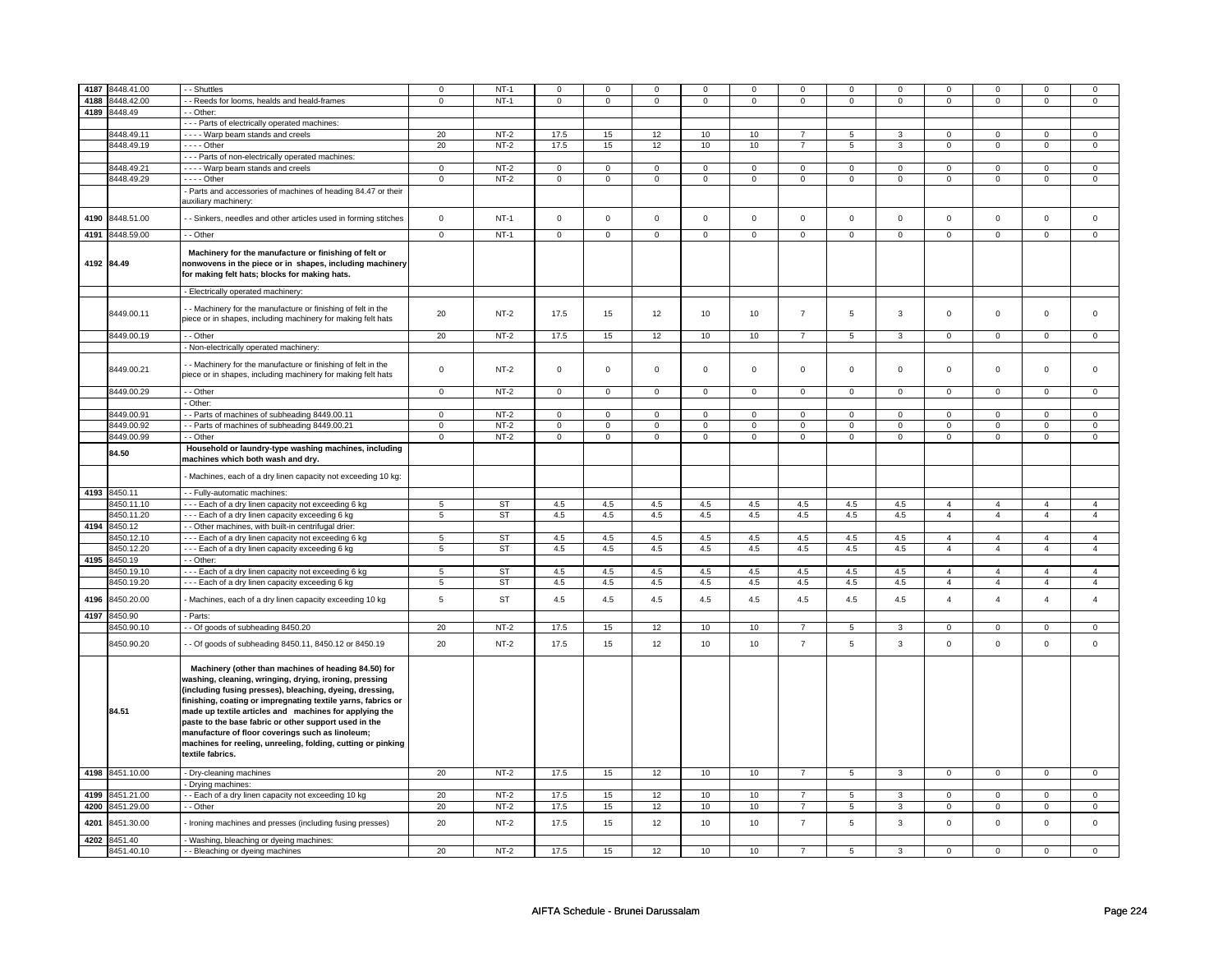| 4187 | 3448.41.00      | - Shuttles                                                                                                                                                                                                                                                                                                                                                                                                                                                                                            | $\pmb{0}$      | $NT-1$    | $\mathsf 0$    | $\Omega$       | $\mathsf 0$    | $\mathbf 0$     | $\mathsf 0$         | $\mathsf 0$    | $\Omega$       | $\mathsf 0$             | $\Omega$            | $\mathsf 0$    | $\Omega$       | 0                   |
|------|-----------------|-------------------------------------------------------------------------------------------------------------------------------------------------------------------------------------------------------------------------------------------------------------------------------------------------------------------------------------------------------------------------------------------------------------------------------------------------------------------------------------------------------|----------------|-----------|----------------|----------------|----------------|-----------------|---------------------|----------------|----------------|-------------------------|---------------------|----------------|----------------|---------------------|
| 4188 | 8448.42.00      | - Reeds for looms, healds and heald-frames                                                                                                                                                                                                                                                                                                                                                                                                                                                            | $\mathbf 0$    | $NT-1$    | $\mathsf 0$    | $\mathsf 0$    | $\mathsf 0$    | $\mathbf 0$     | $\mathbf 0$         | $\mathsf 0$    | $\mathbf 0$    | $\mathsf 0$             | $\Omega$            | $\mathbf 0$    | $\Omega$       | 0                   |
| 4189 | 8448.49         | - Other:                                                                                                                                                                                                                                                                                                                                                                                                                                                                                              |                |           |                |                |                |                 |                     |                |                |                         |                     |                |                |                     |
|      |                 | - - - Parts of electrically operated machines:                                                                                                                                                                                                                                                                                                                                                                                                                                                        |                |           |                |                |                |                 |                     |                |                |                         |                     |                |                |                     |
|      | 8448.49.11      | - - - - Warp beam stands and creels                                                                                                                                                                                                                                                                                                                                                                                                                                                                   | 20             | $NT-2$    | 17.5           | 15             | 12             | 10              | 10                  | $\overline{7}$ | 5              | 3                       | 0                   | $\mathbf 0$    | 0              | 0                   |
|      | 8448.49.19      | - - - - Other                                                                                                                                                                                                                                                                                                                                                                                                                                                                                         | 20             | $NT-2$    | 17.5           | 15             | 12             | 10              | 10                  | $\overline{7}$ | 5              | 3                       | $\mathsf 0$         | $\mathbf 0$    | 0              | $\mathbf{0}$        |
|      |                 | - - - Parts of non-electrically operated machines:                                                                                                                                                                                                                                                                                                                                                                                                                                                    |                |           |                |                |                |                 |                     |                |                |                         |                     |                |                |                     |
|      | 8448.49.21      | - - - - Warp beam stands and creels                                                                                                                                                                                                                                                                                                                                                                                                                                                                   | $\overline{0}$ | $NT-2$    | $\overline{0}$ | $\overline{0}$ | $\mathsf 0$    | $\overline{0}$  | $\mathsf{O}\xspace$ | $\overline{0}$ | $\mathbf 0$    | $\overline{0}$          | $\overline{0}$      | $\overline{0}$ | $\mathsf 0$    | $\overline{0}$      |
|      | 8448.49.29      | $--$ Other                                                                                                                                                                                                                                                                                                                                                                                                                                                                                            | $\mathsf 0$    | $NT-2$    | $\mathbf 0$    | $\mathbf 0$    | $\mathbf 0$    | $\mathbf 0$     | $\mathsf 0$         | $\mathbf 0$    | $\mathbf 0$    | $\mathbf 0$             | $\mathsf 0$         | $\mathbf 0$    | $\mathsf 0$    | $\mathbf 0$         |
|      |                 |                                                                                                                                                                                                                                                                                                                                                                                                                                                                                                       |                |           |                |                |                |                 |                     |                |                |                         |                     |                |                |                     |
|      |                 | - Parts and accessories of machines of heading 84.47 or their<br>auxiliary machinery:                                                                                                                                                                                                                                                                                                                                                                                                                 |                |           |                |                |                |                 |                     |                |                |                         |                     |                |                |                     |
| 4190 | 8448.51.00      | - Sinkers, needles and other articles used in forming stitches                                                                                                                                                                                                                                                                                                                                                                                                                                        | $\mathsf 0$    | $NT-1$    | $\mathbf 0$    | $\mathbf 0$    | $\mathbf 0$    | $\mathbf 0$     | $\mathsf 0$         | $\mathsf 0$    | $\mathbf 0$    | $\mathsf 0$             | $\mathbf 0$         | $\mathbf 0$    | $\Omega$       | $\mathbf 0$         |
| 4191 | 8448.59.00      | - - Other                                                                                                                                                                                                                                                                                                                                                                                                                                                                                             | $\overline{0}$ | $NT-1$    | $\overline{0}$ | $\overline{0}$ | $\overline{0}$ | $\overline{0}$  | $\overline{0}$      | $\overline{0}$ | $\overline{0}$ | $\overline{0}$          | $\overline{0}$      | $\overline{0}$ | $\overline{0}$ | $\overline{0}$      |
|      | 4192 84.49      | Machinery for the manufacture or finishing of felt or<br>nonwovens in the piece or in shapes, including machinery<br>for making felt hats; blocks for making hats.                                                                                                                                                                                                                                                                                                                                    |                |           |                |                |                |                 |                     |                |                |                         |                     |                |                |                     |
|      |                 | - Electrically operated machinery:                                                                                                                                                                                                                                                                                                                                                                                                                                                                    |                |           |                |                |                |                 |                     |                |                |                         |                     |                |                |                     |
|      | 8449.00.11      | - Machinery for the manufacture or finishing of felt in the<br>piece or in shapes, including machinery for making felt hats                                                                                                                                                                                                                                                                                                                                                                           | 20             | $NT-2$    | 17.5           | 15             | 12             | 10              | 10                  | $\overline{7}$ | 5              | 3                       | $\mathsf 0$         | $\mathbf 0$    | $\mathsf 0$    | 0                   |
|      | 8449.00.19      | - - Other                                                                                                                                                                                                                                                                                                                                                                                                                                                                                             | 20             | $NT-2$    | 17.5           | 15             | 12             | 10 <sup>1</sup> | 10                  | $\overline{7}$ | 5              | $\mathbf{3}$            | $\mathbf 0$         | $\mathbf 0$    | 0              | $\overline{0}$      |
|      |                 | - Non-electrically operated machinery:                                                                                                                                                                                                                                                                                                                                                                                                                                                                |                |           |                |                |                |                 |                     |                |                |                         |                     |                |                |                     |
|      | 8449.00.21      | - Machinery for the manufacture or finishing of felt in the<br>piece or in shapes, including machinery for making felt hats                                                                                                                                                                                                                                                                                                                                                                           | $\mathsf 0$    | $NT-2$    | $\mathsf 0$    | $\mathbf 0$    | $\mathsf 0$    | $\mathbf 0$     | $\mathbf 0$         | $\mathbf 0$    | 0              | 0                       | 0                   | 0              | 0              | 0                   |
|      | 8449.00.29      | - Other                                                                                                                                                                                                                                                                                                                                                                                                                                                                                               | $\mathbf 0$    | $NT-2$    | $\mathsf 0$    | $\mathbf 0$    | $\mathsf 0$    | $\mathbf 0$     | $\mathsf 0$         | $\mathbf 0$    | $\mathbf 0$    | $\mathbf 0$             | $\mathsf 0$         | $\mathbf 0$    | $\mathsf 0$    | $\mathbf 0$         |
|      |                 | - Other:                                                                                                                                                                                                                                                                                                                                                                                                                                                                                              |                |           |                |                |                |                 |                     |                |                |                         |                     |                |                |                     |
|      | 8449.00.91      | - Parts of machines of subheading 8449.00.11                                                                                                                                                                                                                                                                                                                                                                                                                                                          | $\mathsf 0$    | $NT-2$    | $\mathsf 0$    | $\mathbf 0$    | $\mathsf 0$    | $\mathsf 0$     | $\mathsf 0$         | $\mathbf 0$    | $\mathbf 0$    | $\mathbf 0$             | $\mathsf 0$         | $\mathbf 0$    | $\Omega$       | 0                   |
|      | 8449.00.92      | - - Parts of machines of subheading 8449.00.21                                                                                                                                                                                                                                                                                                                                                                                                                                                        | $\mathbf 0$    | $NT-2$    | $\mathsf 0$    | $\mathsf 0$    | $\mathbf 0$    | $\mathsf 0$     | $\mathsf 0$         | $\mathsf 0$    | $\mathbf 0$    | $\mathsf 0$             | $\mathsf{O}\xspace$ | $\mathsf 0$    | $\mathbf 0$    | $\mathsf{O}\xspace$ |
|      | 8449.00.99      | - - Other                                                                                                                                                                                                                                                                                                                                                                                                                                                                                             | $\mathsf 0$    | $NT-2$    | $\mathbf 0$    | $\overline{0}$ | $\mathsf 0$    | $\overline{0}$  | $\mathsf 0$         | $\mathbf 0$    | $\mathbf 0$    | $\overline{0}$          | $\mathsf 0$         | $\mathbf 0$    | $\mathsf 0$    | $\overline{0}$      |
|      | 84.50           | Household or laundry-type washing machines, including<br>machines which both wash and dry.                                                                                                                                                                                                                                                                                                                                                                                                            |                |           |                |                |                |                 |                     |                |                |                         |                     |                |                |                     |
|      |                 | Machines, each of a dry linen capacity not exceeding 10 kg:                                                                                                                                                                                                                                                                                                                                                                                                                                           |                |           |                |                |                |                 |                     |                |                |                         |                     |                |                |                     |
| 4193 | 8450.11         | - - Fully-automatic machines:                                                                                                                                                                                                                                                                                                                                                                                                                                                                         |                |           |                |                |                |                 |                     |                |                |                         |                     |                |                |                     |
|      | 8450.11.10      | --- Each of a dry linen capacity not exceeding 6 kg                                                                                                                                                                                                                                                                                                                                                                                                                                                   | 5              | ST        | 4.5            | 4.5            | 4.5            | 4.5             | 4.5                 | 4.5            | 4.5            | 4.5                     | $\overline{4}$      | $\overline{4}$ | $\overline{4}$ | $\overline{4}$      |
|      | 8450.11.20      | --- Each of a dry linen capacity exceeding 6 kg                                                                                                                                                                                                                                                                                                                                                                                                                                                       | 5              | <b>ST</b> | 4.5            | 4.5            | 4.5            | 4.5             | 4.5                 | 4.5            | 4.5            | 4.5                     | $\overline{4}$      | $\overline{4}$ | $\overline{4}$ | $\overline{4}$      |
| 4194 | 8450.12         | - - Other machines, with built-in centrifugal drier:                                                                                                                                                                                                                                                                                                                                                                                                                                                  |                |           |                |                |                |                 |                     |                |                |                         |                     |                |                |                     |
|      | 8450.12.10      | --- Each of a dry linen capacity not exceeding 6 kg                                                                                                                                                                                                                                                                                                                                                                                                                                                   | 5              | ST        | 4.5            | 4.5            | 4.5            | 4.5             | 4.5                 | 4.5            | 4.5            | 4.5                     | $\overline{4}$      | $\overline{4}$ | $\overline{4}$ | $\overline{4}$      |
|      | 8450.12.20      | --- Each of a dry linen capacity exceeding 6 kg                                                                                                                                                                                                                                                                                                                                                                                                                                                       | 5              | ST        | 4.5            | 4.5            | 4.5            | 4.5             | 4.5                 | 4.5            | 4.5            | 4.5                     | $\overline{4}$      | $\overline{4}$ | $\overline{4}$ | $\overline{4}$      |
| 4195 | 8450.19         | - - Other:                                                                                                                                                                                                                                                                                                                                                                                                                                                                                            |                |           |                |                |                |                 |                     |                |                |                         |                     |                |                |                     |
|      | 8450.19.10      | --- Each of a dry linen capacity not exceeding 6 kg                                                                                                                                                                                                                                                                                                                                                                                                                                                   | $\overline{5}$ | <b>ST</b> | 4.5            | 4.5            | 4.5            | 4.5             | 4.5                 | 4.5            | 4.5            | 4.5                     | $\overline{4}$      | $\overline{4}$ | $\overline{4}$ | $\overline{4}$      |
|      | 8450.19.20      | --- Each of a dry linen capacity exceeding 6 kg                                                                                                                                                                                                                                                                                                                                                                                                                                                       | 5              | ST        | 4.5            | 4.5            | 4.5            | 4.5             | 4.5                 | 4.5            | 4.5            | 4.5                     | $\overline{4}$      | $\overline{4}$ | $\overline{4}$ | $\overline{4}$      |
| 4196 | 8450.20.00      | Machines, each of a dry linen capacity exceeding 10 kg                                                                                                                                                                                                                                                                                                                                                                                                                                                | 5              | <b>ST</b> | 4.5            | 4.5            | 4.5            | 4.5             | 4.5                 | 4.5            | 4.5            | 4.5                     | $\overline{4}$      | $\overline{4}$ | $\overline{A}$ | $\overline{4}$      |
| 4197 | 8450.90         | - Parts:                                                                                                                                                                                                                                                                                                                                                                                                                                                                                              |                |           |                |                |                |                 |                     |                |                |                         |                     |                |                |                     |
|      | 3450.90.10      | -- Of goods of subheading 8450.20                                                                                                                                                                                                                                                                                                                                                                                                                                                                     | 20             | $NT-2$    | 17.5           | 15             | 12             | 10              | 10                  | $\overline{7}$ | 5              | 3                       | $\mathsf 0$         | $\mathbf 0$    | $\Omega$       | $\mathbf 0$         |
|      | 8450.90.20      | - Of goods of subheading 8450.11, 8450.12 or 8450.19                                                                                                                                                                                                                                                                                                                                                                                                                                                  | 20             | $NT-2$    | 17.5           | 15             | 12             | 10              | 10                  | $\overline{7}$ | 5              | 3                       | $\mathsf 0$         | $\mathbf 0$    | $\mathsf 0$    | $\mathsf 0$         |
|      | 84.51           | Machinery (other than machines of heading 84.50) for<br>washing, cleaning, wringing, drying, ironing, pressing<br>(including fusing presses), bleaching, dyeing, dressing,<br>finishing, coating or impregnating textile yarns, fabrics or<br>made up textile articles and machines for applying the<br>paste to the base fabric or other support used in the<br>manufacture of floor coverings such as linoleum;<br>machines for reeling, unreeling, folding, cutting or pinking<br>textile fabrics. |                |           |                |                |                |                 |                     |                |                |                         |                     |                |                |                     |
|      | 4198 8451.10.00 | - Dry-cleaning machines                                                                                                                                                                                                                                                                                                                                                                                                                                                                               | 20             | $NT-2$    | 17.5           | 15             | 12             | 10              | 10                  | $\overline{7}$ | 5              | $\overline{\mathbf{3}}$ | $\mathbf 0$         | $\mathbf 0$    | 0              | $\mathbf{0}$        |
|      |                 | Drying machines:                                                                                                                                                                                                                                                                                                                                                                                                                                                                                      |                |           |                |                |                |                 |                     |                |                |                         |                     |                |                |                     |
| 4199 | 8451.21.00      | - Each of a dry linen capacity not exceeding 10 kg                                                                                                                                                                                                                                                                                                                                                                                                                                                    | 20             | $NT-2$    | 17.5           | 15             | 12             | 10              | 10                  | $\overline{7}$ | 5              | 3                       | 0                   | $\mathbf 0$    | 0              | $\mathbf 0$         |
| 4200 | 8451.29.00      | - - Other                                                                                                                                                                                                                                                                                                                                                                                                                                                                                             | 20             | $NT-2$    | 17.5           | 15             | 12             | 10              | 10                  | $\overline{7}$ | 5              | 3                       | 0                   | $\mathbf 0$    | 0              | $\overline{0}$      |
| 4201 | 8451.30.00      | Ironing machines and presses (including fusing presses)                                                                                                                                                                                                                                                                                                                                                                                                                                               | 20             | $NT-2$    | 17.5           | 15             | 12             | 10              | 10                  | $\overline{7}$ | 5              | 3                       | $\mathsf 0$         | $\mathbf 0$    | $\mathsf 0$    | $\mathbf 0$         |
| 4202 | 8451.40         | - Washing, bleaching or dyeing machines:                                                                                                                                                                                                                                                                                                                                                                                                                                                              |                |           |                |                |                |                 |                     |                |                |                         |                     |                |                |                     |
|      | 8451.40.10      | - - Bleaching or dyeing machines                                                                                                                                                                                                                                                                                                                                                                                                                                                                      | 20             | $NT-2$    | 17.5           | 15             | 12             | 10              | 10                  |                | 5              | 3                       | $\mathsf 0$         | 0              | $\Omega$       | $\Omega$            |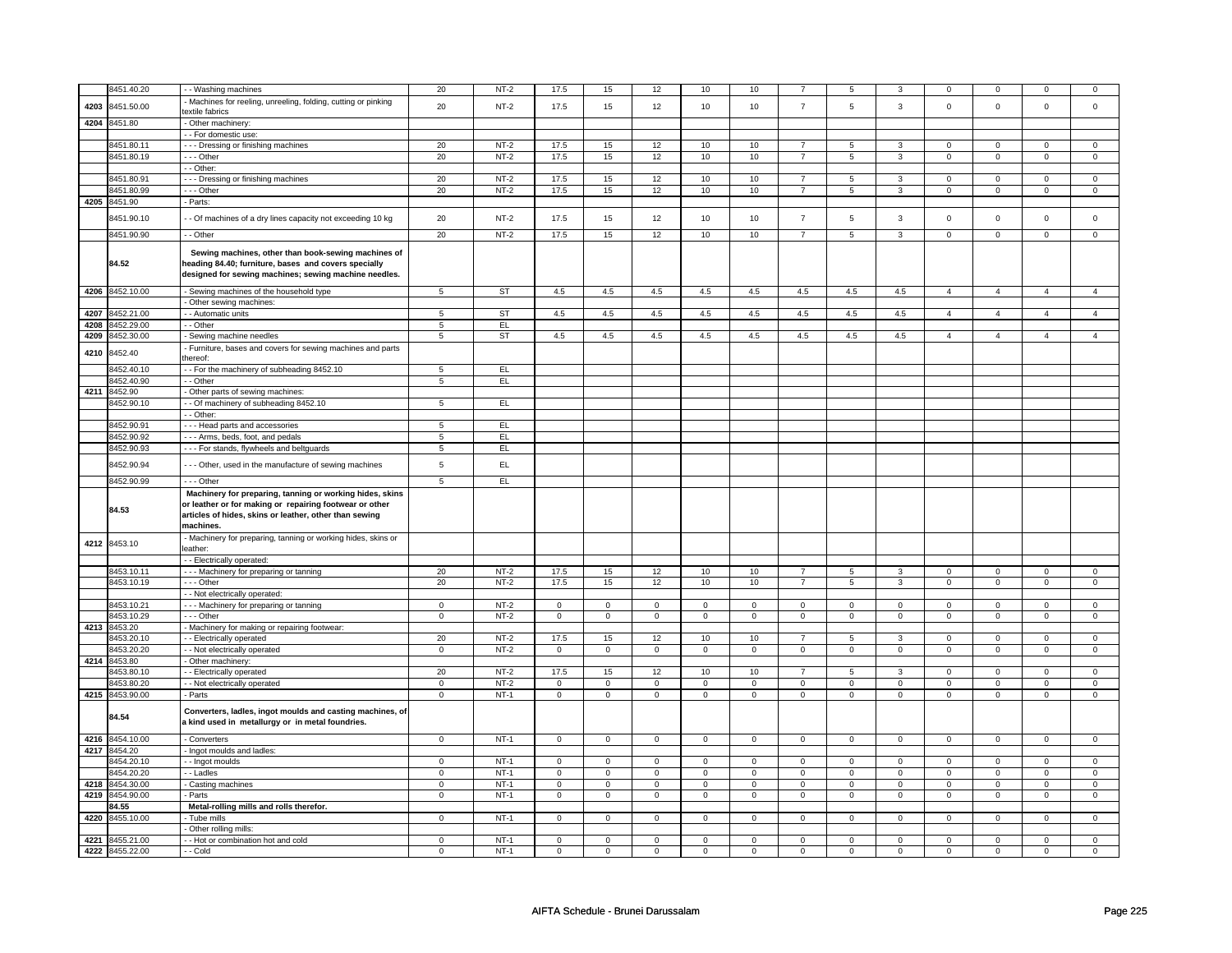|      | 8451.40.20                    | - - Washing machines                                                                                                                                                                       | 20             | $NT-2$      | 17.5           | 15             | 12             | 10           | 10             |                |                     |                |                |                |                |                |
|------|-------------------------------|--------------------------------------------------------------------------------------------------------------------------------------------------------------------------------------------|----------------|-------------|----------------|----------------|----------------|--------------|----------------|----------------|---------------------|----------------|----------------|----------------|----------------|----------------|
|      |                               | Machines for reeling, unreeling, folding, cutting or pinking                                                                                                                               |                |             |                |                |                |              |                |                |                     |                |                |                |                |                |
| 4203 | 8451.50.00                    | textile fabrics                                                                                                                                                                            | 20             | $NT-2$      | 17.5           | 15             | 12             | 10           | 10             | $\overline{7}$ | 5                   | $\mathbf{3}$   | $\mathbf 0$    | $\mathbf 0$    | $\mathsf 0$    | $\mathsf 0$    |
| 4204 | 8451.80                       | - Other machinery:                                                                                                                                                                         |                |             |                |                |                |              |                |                |                     |                |                |                |                |                |
|      |                               | - - For domestic use:                                                                                                                                                                      |                |             |                |                |                |              |                |                |                     |                |                |                |                |                |
|      | 8451.80.11                    | --- Dressing or finishing machines                                                                                                                                                         | 20             | $NT-2$      | 17.5           | 15             | 12             | 10           | 10             | $\overline{7}$ | 5                   | 3              | $\mathbf 0$    | $\mathbf 0$    | $\Omega$       | $\mathbf 0$    |
|      | 8451.80.19                    | --- Other                                                                                                                                                                                  | 20             | $NT-2$      | 17.5           | 15             | 12             | 10           | 10             | $\overline{7}$ | $5\overline{)}$     | 3              | $\overline{0}$ | $\overline{0}$ | $\overline{0}$ | $\mathsf 0$    |
|      |                               | $-$ Other:                                                                                                                                                                                 |                |             |                |                |                |              |                |                |                     |                |                |                |                |                |
|      | 8451.80.91                    | --- Dressing or finishing machines                                                                                                                                                         | 20             | $NT-2$      | 17.5           | 15             | 12             | 10           | 10             | $\overline{7}$ | 5                   | 3              | $\mathbf 0$    | $\mathbf 0$    | $\mathbf 0$    | $\mathbf 0$    |
|      | 8451.80.99                    | --- Other                                                                                                                                                                                  | 20             | $NT-2$      | 17.5           | 15             | 12             | 10           | 10             | $\overline{7}$ | $\overline{5}$      | 3              | $\mathsf 0$    | $\mathbf 0$    | $\mathsf 0$    | $\mathsf 0$    |
|      | 4205 8451.90                  | - Parts:                                                                                                                                                                                   |                |             |                |                |                |              |                |                |                     |                |                |                |                |                |
|      |                               |                                                                                                                                                                                            |                |             |                |                |                |              |                |                |                     |                |                |                |                |                |
|      | 8451.90.10                    | - - Of machines of a dry lines capacity not exceeding 10 kg                                                                                                                                | 20             | $NT-2$      | 17.5           | 15             | 12             | 10           | 10             | $\overline{7}$ | 5                   | 3              | $\mathbf 0$    | $\mathbf 0$    | $\mathbf 0$    | $\mathbf 0$    |
|      | 8451.90.90                    | - - Other                                                                                                                                                                                  | 20             | $NT-2$      | 17.5           | 15             | 12             | 10           | 10             | $\overline{7}$ | $5\overline{)}$     | 3              | $\overline{0}$ | $\overline{0}$ | $\overline{0}$ | $\overline{0}$ |
|      | 84.52                         | Sewing machines, other than book-sewing machines of<br>heading 84.40; furniture, bases and covers specially<br>designed for sewing machines; sewing machine needles.                       |                |             |                |                |                |              |                |                |                     |                |                |                |                |                |
|      | 4206 8452.10.00               | - Sewing machines of the household type                                                                                                                                                    | 5              | ST          | 4.5            | 4.5            | 4.5            | 4.5          | 4.5            | 4.5            | 4.5                 | 4.5            | $\overline{4}$ | $\overline{4}$ | $\overline{4}$ | 4              |
|      |                               | - Other sewing machines:                                                                                                                                                                   |                |             |                |                |                |              |                |                |                     |                |                |                |                |                |
| 4207 | 8452.21.00                    | - - Automatic units                                                                                                                                                                        | $\overline{5}$ | ST          | 4.5            | 4.5            | 4.5            | 4.5          | 4.5            | 4.5            | 4.5                 | 4.5            | $\overline{4}$ | $\overline{4}$ | $\overline{4}$ | $\overline{a}$ |
| 4208 | 8452.29.00                    | - - Other                                                                                                                                                                                  | $\overline{5}$ | EL          |                |                |                |              |                |                |                     |                |                |                |                |                |
| 4209 | 8452.30.00                    | - Sewing machine needles                                                                                                                                                                   | $\overline{5}$ | <b>ST</b>   | 4.5            | 4.5            | 4.5            | 4.5          | 4.5            | 4.5            | 4.5                 | 4.5            | $\overline{4}$ | $\overline{4}$ | $\overline{4}$ | $\overline{4}$ |
| 4210 | 8452.40                       | - Furniture, bases and covers for sewing machines and parts<br>thereof:                                                                                                                    |                |             |                |                |                |              |                |                |                     |                |                |                |                |                |
|      | 8452.40.10                    | - - For the machinery of subheading 8452.10                                                                                                                                                | 5              | EL.         |                |                |                |              |                |                |                     |                |                |                |                |                |
|      | 3452.40.90                    | - - Other                                                                                                                                                                                  | 5              | <b>EL</b>   |                |                |                |              |                |                |                     |                |                |                |                |                |
| 4211 | 8452.90                       | - Other parts of sewing machines:                                                                                                                                                          |                |             |                |                |                |              |                |                |                     |                |                |                |                |                |
|      | 8452.90.10                    | -- Of machinery of subheading 8452.10                                                                                                                                                      | 5              | EL.         |                |                |                |              |                |                |                     |                |                |                |                |                |
|      |                               | - Other:                                                                                                                                                                                   |                |             |                |                |                |              |                |                |                     |                |                |                |                |                |
|      | 8452.90.91                    | --- Head parts and accessories                                                                                                                                                             | 5              | EL.         |                |                |                |              |                |                |                     |                |                |                |                |                |
|      | 8452.90.92                    | - - - Arms, beds, foot, and pedals                                                                                                                                                         | 5              | EL          |                |                |                |              |                |                |                     |                |                |                |                |                |
|      | 8452.90.93                    | --- For stands, flywheels and beltguards                                                                                                                                                   | 5              | EL.         |                |                |                |              |                |                |                     |                |                |                |                |                |
|      |                               |                                                                                                                                                                                            |                |             |                |                |                |              |                |                |                     |                |                |                |                |                |
|      | 8452.90.94                    | - - - Other, used in the manufacture of sewing machines                                                                                                                                    | 5              | EL          |                |                |                |              |                |                |                     |                |                |                |                |                |
|      | 8452.90.99                    | $- -$ Other                                                                                                                                                                                | 5              | EL          |                |                |                |              |                |                |                     |                |                |                |                |                |
|      | 84.53                         | Machinery for preparing, tanning or working hides, skins<br>or leather or for making or repairing footwear or other<br>articles of hides, skins or leather, other than sewing<br>machines. |                |             |                |                |                |              |                |                |                     |                |                |                |                |                |
|      | 4212 8453.10                  | - Machinery for preparing, tanning or working hides, skins or<br>leather:                                                                                                                  |                |             |                |                |                |              |                |                |                     |                |                |                |                |                |
|      |                               | - - Electrically operated:                                                                                                                                                                 |                |             |                |                |                |              |                |                |                     |                |                |                |                |                |
|      | 8453.10.11                    | - - - Machinery for preparing or tanning                                                                                                                                                   | 20             | $NT-2$      | 17.5           | 15             | 12             | 10           | 10             | $\overline{7}$ | 5                   | 3              | $\mathbf 0$    | $\mathbf 0$    | $\mathbf 0$    | $\overline{0}$ |
|      | 8453.10.19                    | $--$ Other                                                                                                                                                                                 | 20             | $NT-2$      | 17.5           | 15             | 12             | 10           | 10             | $\overline{7}$ | 5                   | 3              | $\mathsf 0$    | $\mathbf 0$    | $\mathbf 0$    | $\mathsf 0$    |
|      |                               | - - Not electrically operated:                                                                                                                                                             |                |             |                |                |                |              |                |                |                     |                |                |                |                |                |
|      | 8453.10.21                    | --- Machinery for preparing or tanning                                                                                                                                                     | 0              | $NT-2$      | $\mathbf 0$    | 0              | $\mathbf 0$    | $\mathbf 0$  | 0              | 0              | $\mathbf{0}$        | $\Omega$       | $\mathbf 0$    | 0              | $\Omega$       | $\mathbf 0$    |
|      | 8453.10.29                    | --- Other                                                                                                                                                                                  | $\mathbf 0$    | $NT-2$      | $\mathbf 0$    | $\mathbf 0$    | $\mathbf 0$    | $\mathsf 0$  | $\mathbf 0$    | $\mathbf 0$    | $\mathbf 0$         | $\mathbf 0$    | $\mathbf 0$    | $\mathbf 0$    | $\mathsf 0$    | $\mathsf 0$    |
| 4213 | 8453.20                       | - Machinery for making or repairing footwear:                                                                                                                                              |                |             |                |                |                |              |                |                |                     |                |                |                |                |                |
|      | 3453.20.10                    | - - Electrically operated                                                                                                                                                                  | 20             | $NT-2$      | 17.5           | 15             | 12             | 10           | 10             | $\overline{7}$ | 5                   | 3              | $\mathbf 0$    | $\mathbf 0$    | $\mathbf 0$    | $\mathsf 0$    |
|      | 3453.20.20                    | - - Not electrically operated                                                                                                                                                              | $\mathbf 0$    | $NT-2$      | $\mathbf 0$    | $\mathbf 0$    | $\overline{0}$ | $\mathsf 0$  | $\mathbf 0$    | $\mathbf 0$    | $\mathbf 0$         | $\mathbf 0$    | $\mathbf 0$    | $\mathbf 0$    | $\mathsf 0$    | $\mathsf 0$    |
|      | 4214 8453.80                  | - Other machinery:                                                                                                                                                                         |                |             |                |                |                |              |                |                |                     |                |                |                |                |                |
|      |                               |                                                                                                                                                                                            |                |             |                |                |                |              |                | $\overline{7}$ |                     |                |                |                |                |                |
|      | 8453.80.10                    | - - Electrically operated                                                                                                                                                                  | 20             | $NT-2$      | 17.5           | 15             | 12             | 10           | 10             |                | 5                   | 3              | $\mathbf 0$    | $\mathbf{0}$   | $\mathbf 0$    | $\mathbf{0}$   |
|      | 8453.80.20                    | - - Not electrically operated                                                                                                                                                              | $\mathbf 0$    | $NT-2$      | $\mathbf 0$    | 0              | $\mathbf 0$    | $\mathbf 0$  | $\mathbf 0$    | $\Omega$       | $\mathbf 0$         | $\Omega$       | $\Omega$       | 0              | $\Omega$       | $\mathbf 0$    |
| 4215 | 8453.90.00                    | - Parts                                                                                                                                                                                    | $\mathbf{0}$   | $NT-1$      | $\Omega$       | $\mathbf{0}$   | $\mathbf 0$    | $\mathbf 0$  | $\mathbf 0$    | $\mathbf{0}$   | $\mathsf{O}\xspace$ | $\mathbf 0$    | $\mathbf 0$    | $\Omega$       | $\mathbf 0$    | $\mathbf{0}$   |
|      | 84.54                         | Converters, ladles, ingot moulds and casting machines, of<br>a kind used in metallurgy or in metal foundries.                                                                              |                |             |                |                |                |              |                |                |                     |                |                |                |                |                |
|      | 4216 8454.10.00               | - Converters                                                                                                                                                                               | $\mathbf{0}$   | $NT-1$      | $\mathsf 0$    | $\mathsf 0$    | $\overline{0}$ | $\mathsf 0$  | $\mathsf 0$    | $\mathsf 0$    | $\mathbf 0$         | $\mathbf 0$    | $\mathsf 0$    | $\mathbf 0$    | $\mathsf 0$    | $\mathbf 0$    |
|      | 4217 8454.20                  | - Ingot moulds and ladles:                                                                                                                                                                 |                |             |                |                |                |              |                |                |                     |                |                |                |                |                |
|      | 8454.20.10                    | - - Ingot moulds                                                                                                                                                                           | $\mathbf 0$    | $NT-1$      | $\mathbf 0$    | $\mathbf 0$    | $\mathsf 0$    | $\mathsf 0$  | $\mathbf 0$    | $\mathbf 0$    | $\mathbf 0$         | $\mathbf 0$    | $\mathbf 0$    | $\mathbf 0$    | $\mathsf 0$    | $\mathsf 0$    |
|      | 8454.20.20                    | - - Ladles                                                                                                                                                                                 | $\overline{0}$ | $NT-1$      | $\overline{0}$ | $\mathsf 0$    | $\overline{0}$ | $\mathbf 0$  | $\overline{0}$ | $\overline{0}$ | $\overline{0}$      | $\mathbf 0$    | $\mathbf 0$    | $\mathsf 0$    | $\,0\,$        | $\mathbf 0$    |
| 4218 | 8454.30.00                    | - Casting machines                                                                                                                                                                         | $\overline{0}$ | $NT-1$      | $\mathsf 0$    | $\overline{0}$ | $\overline{0}$ | $\mathbf 0$  | $\overline{0}$ | $\overline{0}$ | $\overline{0}$      | $\mathbf 0$    | $\overline{0}$ | $\overline{0}$ | $\overline{0}$ | $\mathbf 0$    |
| 4219 | 8454.90.00                    | - Parts                                                                                                                                                                                    | $\mathsf 0$    | $NT-1$      | $\mathsf 0$    | $\mathbf 0$    | $\mathbf 0$    | $\mathbf 0$  | $\mathsf 0$    | $\mathsf 0$    | $\mathbf 0$         | 0              | $\mathsf 0$    | $\mathsf 0$    | $\,0\,$        | $\mathbf 0$    |
|      | 34.55                         | Metal-rolling mills and rolls therefor.                                                                                                                                                    |                |             |                |                |                |              |                |                |                     |                |                |                |                |                |
| 4220 | 8455.10.00                    | - Tube mills                                                                                                                                                                               | $\mathbf{0}$   | <b>NT-1</b> | $\mathbf 0$    | $\overline{0}$ | $\mathbf 0$    | $\mathbf{0}$ | $\mathbf 0$    | $\mathbf 0$    | $\mathbf{0}$        | $\overline{0}$ | 0              | $\mathbf{0}$   | $\mathbf 0$    | $\overline{0}$ |
|      |                               | - Other rolling mills:                                                                                                                                                                     |                |             |                |                |                |              |                |                |                     |                |                |                |                |                |
|      |                               | - - Hot or combination hot and cold                                                                                                                                                        | 0              | $NT-1$      | $\mathbf 0$    | 0              | $\overline{0}$ | $\mathbf 0$  | $\mathbf 0$    | $\mathbf 0$    | $\mathbf 0$         | $\mathbf 0$    | $\mathbf 0$    | 0              | $\mathbf 0$    | $\mathbf 0$    |
|      |                               |                                                                                                                                                                                            |                |             |                |                |                |              |                |                |                     |                |                |                |                |                |
| 4221 | 8455.21.00<br>4222 8455.22.00 | - - Cold                                                                                                                                                                                   | $\mathbf 0$    | $NT-1$      | $\Omega$       | $\mathbf 0$    | $\mathbf{0}$   | $\mathbf 0$  | $\Omega$       | $\Omega$       | $\mathbf 0$         | $\Omega$       | $\mathbf 0$    | $\Omega$       | $\mathsf 0$    | $\Omega$       |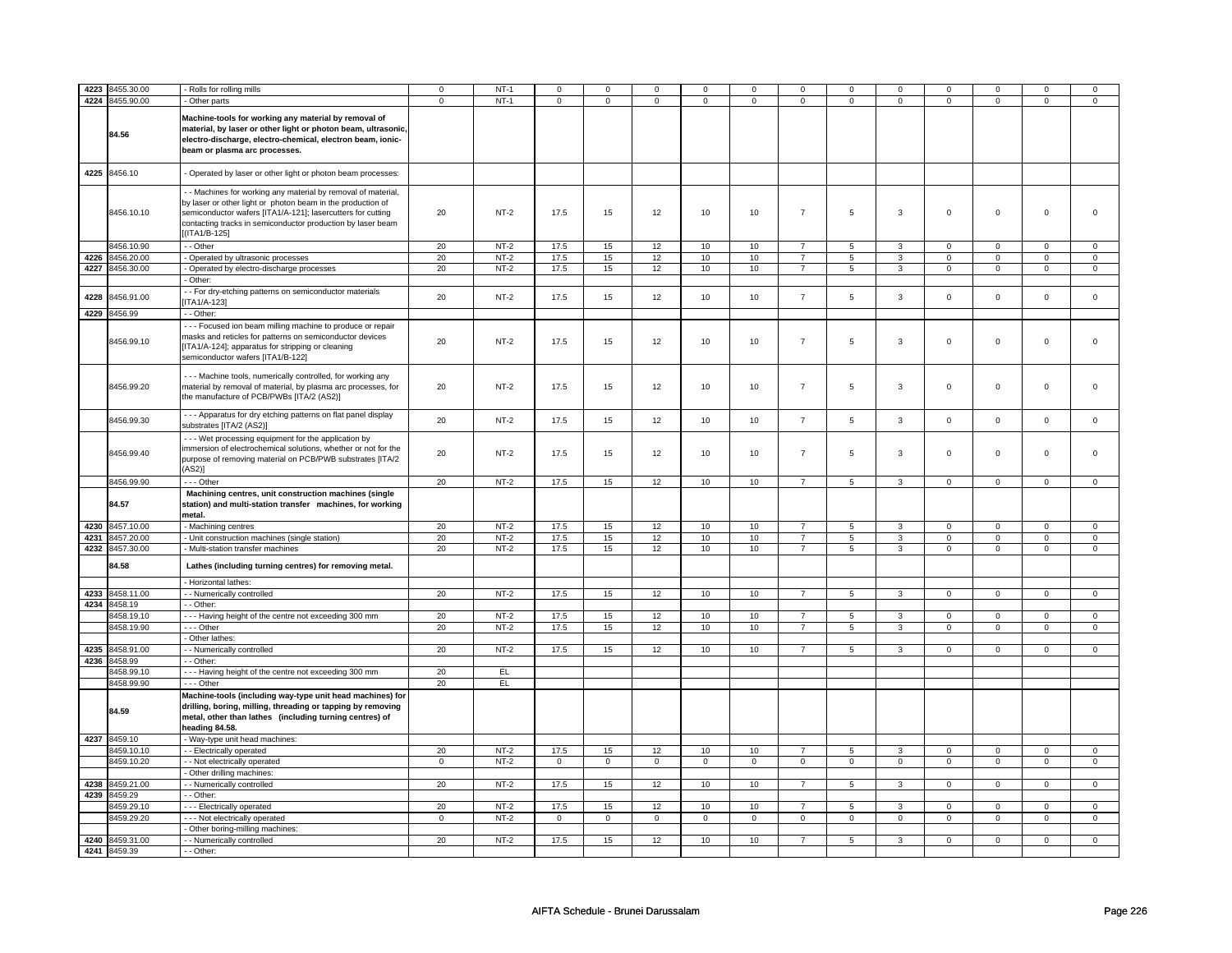| 4223 | 8455.30.00      | - Rolls for rolling mills                                                                                                                                                                                                                                                    | $\mathbf 0$ | $NT-1$ | $\mathbf 0$ | $\mathbf 0$ | $\mathbf 0$ | $\mathbf 0$ | $\mathbf 0$ | $\mathbf 0$              | $^{\circ}$  | 0              | $\mathbf 0$         | 0              | 0                   | 0            |
|------|-----------------|------------------------------------------------------------------------------------------------------------------------------------------------------------------------------------------------------------------------------------------------------------------------------|-------------|--------|-------------|-------------|-------------|-------------|-------------|--------------------------|-------------|----------------|---------------------|----------------|---------------------|--------------|
|      | 4224 8455.90.00 | - Other parts                                                                                                                                                                                                                                                                | $\mathbf 0$ | $NT-1$ | $\mathbf 0$ | $\mathbf 0$ | $\mathbf 0$ | $\mathbf 0$ | $\mathbf 0$ | $\overline{0}$           | $\mathbf 0$ | 0              | 0                   | $\overline{0}$ | 0                   | $\mathbf 0$  |
|      | 84.56           | Machine-tools for working any material by removal of<br>material, by laser or other light or photon beam, ultrasonic,<br>electro-discharge, electro-chemical, electron beam, ionic-<br>beam or plasma arc processes.                                                         |             |        |             |             |             |             |             |                          |             |                |                     |                |                     |              |
| 4225 | 8456.10         | - Operated by laser or other light or photon beam processes:                                                                                                                                                                                                                 |             |        |             |             |             |             |             |                          |             |                |                     |                |                     |              |
|      | 8456.10.10      | - - Machines for working any material by removal of material,<br>by laser or other light or photon beam in the production of<br>semiconductor wafers [ITA1/A-121]; lasercutters for cutting<br>contacting tracks in semiconductor production by laser beam<br>$(ITA1/B-125]$ | 20          | $NT-2$ | 17.5        | 15          | 12          | 10          | 10          | $\overline{7}$           | 5           | 3              | $\mathsf 0$         | $\mathbf 0$    | $\mathbf 0$         | 0            |
|      | 8456.10.90      | - - Other                                                                                                                                                                                                                                                                    | 20          | $NT-2$ | 17.5        | 15          | 12          | 10          | 10          | $\overline{7}$           | 5           | 3              | $\mathbf 0$         | $\mathbf 0$    | $\mathsf 0$         | 0            |
| 4226 | 8456.20.00      | - Operated by ultrasonic processes                                                                                                                                                                                                                                           | 20          | $NT-2$ | 17.5        | 15          | 12          | 10          | 10          | $\overline{7}$           | 5           | $\mathbf{3}$   | $\mathsf 0$         | $\mathbf 0$    | 0                   | $\mathbf 0$  |
|      | 4227 8456.30.00 | - Operated by electro-discharge processes                                                                                                                                                                                                                                    | 20          | $NT-2$ | 17.5        | 15          | 12          | 10          | 10          | $\overline{7}$           | 5           | 3              | $\mathbf 0$         | $\mathbf 0$    | $\mathsf 0$         | $\mathbf{0}$ |
|      |                 | Other:                                                                                                                                                                                                                                                                       |             |        |             |             |             |             |             |                          |             |                |                     |                |                     |              |
| 4228 | 8456.91.00      | - For dry-etching patterns on semiconductor materials<br>ITA1/A-123]                                                                                                                                                                                                         | 20          | $NT-2$ | 17.5        | 15          | 12          | 10          | 10          | $\overline{\mathcal{I}}$ | $\mathbf 5$ | $\mathbf{3}$   | $\mathsf 0$         | $\mathsf{O}$   | $\mathsf{O}\xspace$ | $\mathsf 0$  |
| 4229 | 8456.99         | - - Other:                                                                                                                                                                                                                                                                   |             |        |             |             |             |             |             |                          |             |                |                     |                |                     |              |
|      | 8456.99.10      | --- Focused ion beam milling machine to produce or repair<br>masks and reticles for patterns on semiconductor devices<br>[ITA1/A-124]; apparatus for stripping or cleaning<br>semiconductor wafers [ITA1/B-122]                                                              | 20          | $NT-2$ | 17.5        | 15          | 12          | 10          | 10          | $\overline{7}$           | 5           | 3              | $\mathbf 0$         | $\mathbf 0$    | $\mathbf 0$         | $\mathbf{0}$ |
|      | 8456.99.20      | --- Machine tools, numerically controlled, for working any<br>material by removal of material, by plasma arc processes, for<br>the manufacture of PCB/PWBs [ITA/2 (AS2)]                                                                                                     | 20          | $NT-2$ | 17.5        | 15          | 12          | 10          | 10          | $\overline{7}$           | 5           | 3              | $\mathbf 0$         | $\mathbf 0$    | $\mathbf 0$         | $\mathbf{0}$ |
|      | 8456.99.30      | - - - Apparatus for dry etching patterns on flat panel display<br>substrates [ITA/2 (AS2)]                                                                                                                                                                                   | 20          | $NT-2$ | 17.5        | 15          | 12          | 10          | 10          | $\overline{7}$           | 5           | 3              | $\mathsf 0$         | $\mathbf 0$    | $\mathsf 0$         | $\mathbf 0$  |
|      | 8456.99.40      | - - - Wet processing equipment for the application by<br>immersion of electrochemical solutions, whether or not for the<br>purpose of removing material on PCB/PWB substrates [ITA/2<br>$(AS2)$ ]                                                                            | 20          | $NT-2$ | 17.5        | 15          | 12          | 10          | 10          | $\overline{7}$           | 5           | 3              | $\mathbf 0$         | $\mathbf 0$    | $\mathbf 0$         | $\mathbf{0}$ |
|      | 8456.99.90      | --- Other                                                                                                                                                                                                                                                                    | 20          | $NT-2$ | 17.5        | 15          | 12          | 10          | 10          | $\overline{7}$           | 5           | $\mathbf{3}$   | $\mathbf 0$         | $\mathbf 0$    | $\mathsf 0$         | $\mathbf{0}$ |
|      | 84.57           | Machining centres, unit construction machines (single<br>station) and multi-station transfer machines, for working<br>metal.                                                                                                                                                 |             |        |             |             |             |             |             |                          |             |                |                     |                |                     |              |
|      | 4230 8457.10.00 | - Machining centres                                                                                                                                                                                                                                                          | 20          | $NT-2$ | 17.5        | 15          | 12          | 10          | 10          | $\overline{7}$           | 5           | 3              | $\mathbf 0$         | $\mathbf 0$    | $\mathsf 0$         | 0            |
|      | 4231 8457.20.00 | - Unit construction machines (single station)                                                                                                                                                                                                                                | 20          | $NT-2$ | 17.5        | 15          | 12          | 10          | 10          | $\overline{7}$           | 5           | 3              | $\mathsf{O}\xspace$ | $\mathbf 0$    | 0                   | $\mathbf 0$  |
|      | 4232 8457.30.00 | - Multi-station transfer machines                                                                                                                                                                                                                                            | 20          | $NT-2$ | 17.5        | 15          | 12          | 10          | 10          | $\overline{7}$           | 5           | 3              | $\mathbf 0$         | $\mathbf 0$    | 0                   | 0            |
|      | 84.58           | Lathes (including turning centres) for removing metal.                                                                                                                                                                                                                       |             |        |             |             |             |             |             |                          |             |                |                     |                |                     |              |
|      |                 | - Horizontal lathes:                                                                                                                                                                                                                                                         |             |        |             |             |             |             |             |                          |             |                |                     |                |                     |              |
| 4233 | 8458.11.00      | - - Numerically controlled                                                                                                                                                                                                                                                   | 20          | $NT-2$ | 17.5        | 15          | 12          | 10          | 10          | $\overline{7}$           | 5           | $\mathbf{3}$   | $\mathsf 0$         | $\mathbf 0$    | $\mathsf 0$         | $\mathbf 0$  |
| 4234 | 8458.19         | $-$ Other:                                                                                                                                                                                                                                                                   |             |        |             |             |             |             |             |                          |             |                |                     |                |                     |              |
|      | 8458.19.10      | --- Having height of the centre not exceeding 300 mm                                                                                                                                                                                                                         | 20          | $NT-2$ | 17.5        | 15          | 12          | 10          | 10          | $\overline{7}$           | 5           | 3              | 0                   | $\mathbf 0$    | $\Omega$            | $\Omega$     |
|      | 8458.19.90      | --- Other                                                                                                                                                                                                                                                                    | 20          | $NT-2$ | 17.5        | 15          | 12          | 10          | 10          | $\overline{7}$           | 5           | 3              | $\mathbf 0$         | $\mathbf{0}$   | $\Omega$            | $\mathbf{0}$ |
|      |                 | Other lathes:                                                                                                                                                                                                                                                                |             |        |             |             |             |             |             |                          |             |                |                     |                |                     |              |
| 4235 | 8458.91.00      | - - Numerically controlled                                                                                                                                                                                                                                                   | 20          | $NT-2$ | 17.5        | 15          | 12          | 10          | 10          | $\overline{7}$           | 5           | $\mathbf{3}$   | $\mathbf 0$         | $\mathbf 0$    | $\mathbf 0$         | $\mathbf{0}$ |
|      | 4236 8458.99    | - Other:                                                                                                                                                                                                                                                                     |             |        |             |             |             |             |             |                          |             |                |                     |                |                     |              |
|      | 8458.99.10      | --- Having height of the centre not exceeding 300 mm                                                                                                                                                                                                                         | 20          | EL.    |             |             |             |             |             |                          |             |                |                     |                |                     |              |
|      | 8458.99.90      | --- Other                                                                                                                                                                                                                                                                    | 20          | EL.    |             |             |             |             |             |                          |             |                |                     |                |                     |              |
|      | 84.59           | Machine-tools (including way-type unit head machines) for<br>drilling, boring, milling, threading or tapping by removing<br>metal, other than lathes (including turning centres) of<br>heading 84.58.                                                                        |             |        |             |             |             |             |             |                          |             |                |                     |                |                     |              |
|      | 4237 8459.10    | - Way-type unit head machines:                                                                                                                                                                                                                                               |             |        |             |             |             |             |             |                          |             |                |                     |                |                     |              |
|      | 8459.10.10      | - - Electrically operated                                                                                                                                                                                                                                                    | 20          | $NT-2$ | 17.5        | 15          | 12          | 10          | 10          | $\overline{7}$           | 5           | 3              | $\mathsf 0$         | $\mathsf 0$    | $\mathsf{O}\xspace$ | $\mathbf 0$  |
|      | 8459.10.20      | - - Not electrically operated                                                                                                                                                                                                                                                | $\mathbf 0$ | $NT-2$ | $\mathsf 0$ | $\mathbf 0$ | $\mathbf 0$ | $\mathsf 0$ | $\mathsf 0$ | $\mathsf 0$              | $\mathbf 0$ | $\mathbf 0$    | $\mathbf 0$         | $\mathbf 0$    | $\mathsf 0$         | $\mathbf{0}$ |
|      |                 | Other drilling machines:                                                                                                                                                                                                                                                     |             |        |             |             |             |             |             |                          |             |                |                     |                |                     |              |
| 4238 | 8459.21.00      | - Numerically controlled                                                                                                                                                                                                                                                     | 20          | $NT-2$ | 17.5        | 15          | 12          | 10          | 10          | $\overline{7}$           | 5           | $\overline{3}$ | $\mathbf 0$         | $\overline{0}$ | $\Omega$            | $\mathbf{0}$ |
| 4239 | 8459.29         | - Other:                                                                                                                                                                                                                                                                     |             |        |             |             |             |             |             |                          |             |                |                     |                |                     |              |
|      | 8459.29.10      | --- Electrically operated                                                                                                                                                                                                                                                    | 20          | $NT-2$ | 17.5        | 15          | 12          | 10          | 10          | $\overline{7}$           | 5           | 3              | $\mathbf 0$         | $\mathbf 0$    | $\Omega$            | $\mathbf{0}$ |
|      | 8459.29.20      | - - - Not electrically operated                                                                                                                                                                                                                                              | $\mathsf 0$ | $NT-2$ | $\mathbf 0$ | $\mathbf 0$ | $\mathbf 0$ | $\mathbf 0$ | $\mathsf 0$ | $\mathsf 0$              | $\mathbf 0$ | $\mathbf 0$    | 0                   | $\mathbf 0$    | 0                   | $\mathbf 0$  |
|      |                 | - Other boring-milling machines:                                                                                                                                                                                                                                             |             |        |             |             |             |             |             |                          |             |                |                     |                |                     |              |
|      | 4240 8459.31.00 | - - Numerically controlled                                                                                                                                                                                                                                                   | 20          | $NT-2$ | 17.5        | 15          | 12          | 10          | 10          | $\overline{7}$           | 5           | 3              | $\Omega$            | $\Omega$       | $\Omega$            | $\Omega$     |
|      | 4241 8459.39    | - - Other:                                                                                                                                                                                                                                                                   |             |        |             |             |             |             |             |                          |             |                |                     |                |                     |              |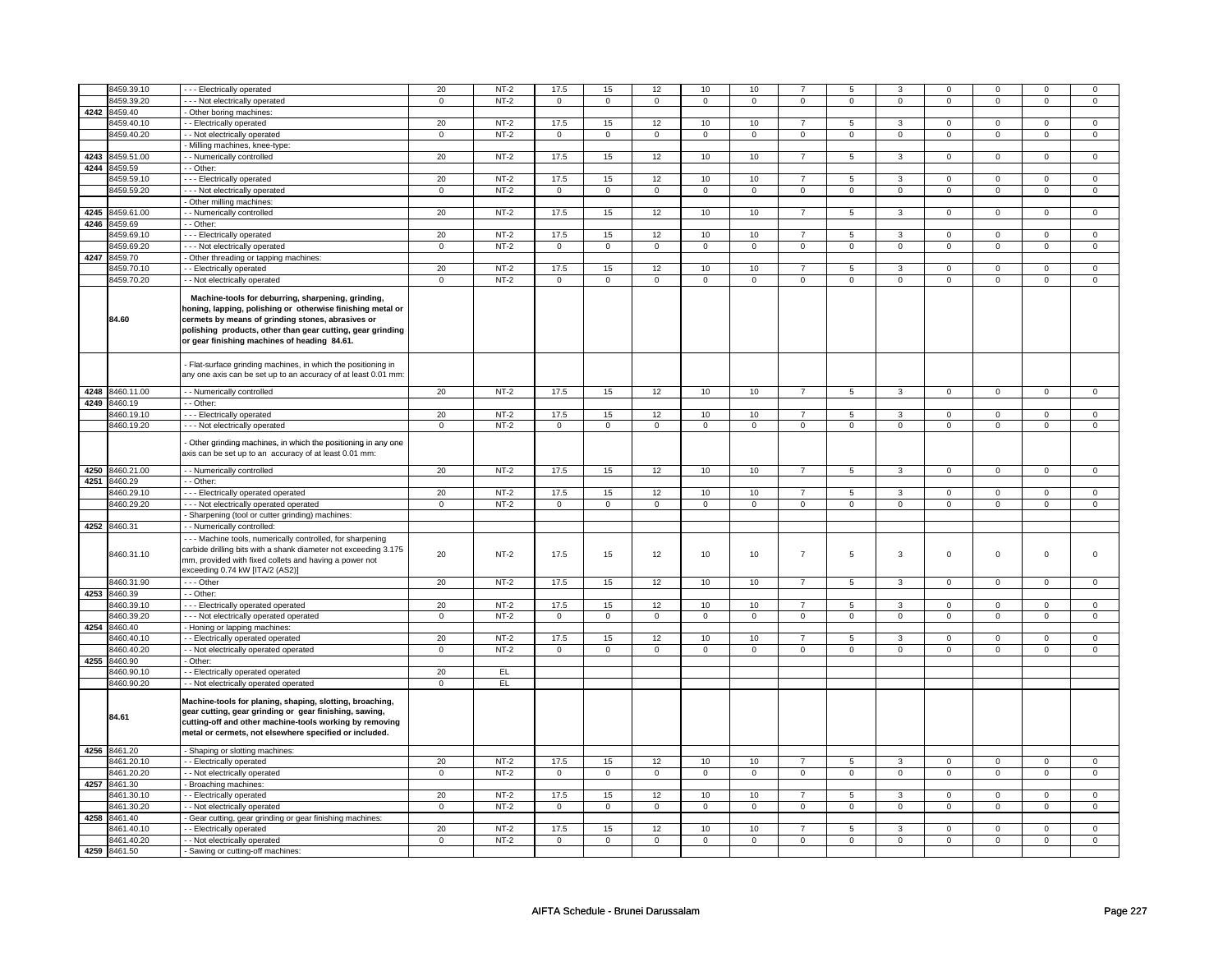|      | 8459.39.10               | --- Electrically operated                                                                                                                                                                                                                                                           | 20                | $NT-2$           | 17.5                | 15                | 12                  | 10                | 10                | $\overline{7}$                | 5                | 3                | $\mathbf 0$                | $\mathbf 0$                   | $\mathbf 0$                | $\mathbf 0$                   |
|------|--------------------------|-------------------------------------------------------------------------------------------------------------------------------------------------------------------------------------------------------------------------------------------------------------------------------------|-------------------|------------------|---------------------|-------------------|---------------------|-------------------|-------------------|-------------------------------|------------------|------------------|----------------------------|-------------------------------|----------------------------|-------------------------------|
|      | 8459.39.20               | --- Not electrically operated                                                                                                                                                                                                                                                       | $\mathbf 0$       | $NT-2$           | $\mathbf 0$         | $\mathbf{0}$      | $\mathsf 0$         | $\mathbf 0$       | $\mathbf 0$       | $\mathsf 0$                   | $\mathbf 0$      | $\mathsf 0$      | $\mathsf 0$                | $\mathbf 0$                   | $\mathsf 0$                | $\mathbf 0$                   |
|      | 4242 8459.40             | - Other boring machines:                                                                                                                                                                                                                                                            |                   |                  |                     |                   |                     |                   |                   |                               |                  |                  |                            |                               |                            |                               |
|      | 8459.40.10               | - - Electrically operated                                                                                                                                                                                                                                                           | 20                | $NT-2$           | 17.5                | 15                | 12                  | 10                | 10                | $\overline{7}$                | 5                | 3                | $\mathsf 0$                | $\mathbf 0$                   | $\mathbf 0$                | $\mathbf 0$                   |
|      | 8459.40.20               | - - Not electrically operated                                                                                                                                                                                                                                                       | $\mathbf 0$       | $NT-2$           | $\mathsf{O}\xspace$ | $\overline{0}$    | $\overline{0}$      | $\mathsf 0$       | $\overline{0}$    | $\pmb{0}$                     | $\mathsf 0$      | $\mathsf 0$      | $\overline{0}$             | $\overline{0}$                | $\mathbf 0$                | $\overline{0}$                |
|      |                          | - Milling machines, knee-type:                                                                                                                                                                                                                                                      |                   |                  |                     |                   |                     |                   |                   |                               |                  |                  |                            |                               |                            |                               |
| 4243 | 8459.51.00               | - Numerically controlled                                                                                                                                                                                                                                                            | 20                | $NT-2$           | 17.5                | 15                | 12                  | 10                | 10                | $\overline{7}$                | 5                | 3                | $\mathsf 0$                | $\mathsf 0$                   | $\mathsf 0$                | $\mathsf 0$                   |
| 4244 | 8459.59                  | - Other:                                                                                                                                                                                                                                                                            |                   |                  |                     |                   |                     |                   |                   |                               |                  |                  |                            |                               |                            |                               |
|      | 8459.59.10               | --- Electrically operated                                                                                                                                                                                                                                                           | 20                | $NT-2$           | 17.5                | 15                | 12                  | 10                | 10                | $\overline{7}$                | 5                | 3                | $\mathbf 0$                | $\mathbf{0}$                  | $\mathbf 0$                | $\mathbf{0}$                  |
|      | 8459.59.20               | - - - Not electrically operated                                                                                                                                                                                                                                                     | $\mathbf 0$       | $NT-2$           | $\mathbf 0$         | $\mathbf 0$       | $\mathbf 0$         | $\mathbf 0$       | $\mathbf 0$       | $\mathbf 0$                   | $\mathbf 0$      | $\mathbf 0$      | $\mathbf 0$                | $\mathbf 0$                   | $\Omega$                   | $\mathbf 0$                   |
| 4245 | 8459.61.00               | - Other milling machines:                                                                                                                                                                                                                                                           | 20                | $NT-2$           | 17.5                | 15                | 12                  | 10                |                   | $\overline{7}$                |                  | 3                |                            |                               | $\mathbf 0$                | $\mathbf 0$                   |
| 4246 | 8459.69                  | - Numerically controlled<br>- Other:                                                                                                                                                                                                                                                |                   |                  |                     |                   |                     |                   | 10                |                               | 5                |                  | 0                          | $\mathbf 0$                   |                            |                               |
|      | 3459.69.10               | - - - Electrically operated                                                                                                                                                                                                                                                         | 20                | $NT-2$           | 17.5                | 15                | 12                  | 10                | 10                | $\overline{7}$                | 5                | 3                | $\mathsf 0$                | $\mathbf 0$                   | $\mathbf 0$                | $\mathbf 0$                   |
|      | 8459.69.20               | --- Not electrically operated                                                                                                                                                                                                                                                       | $\mathbf 0$       | $NT-2$           | $\mathbf 0$         | $\mathbf 0$       | $\mathbf 0$         | $\mathbf 0$       | $\mathbf 0$       | $\mathsf 0$                   | $\mathbf 0$      | $\mathbf 0$      | $\mathbf 0$                | $\mathbf 0$                   | $\mathbf 0$                | $\mathbf 0$                   |
| 4247 | 8459.70                  | - Other threading or tapping machines:                                                                                                                                                                                                                                              |                   |                  |                     |                   |                     |                   |                   |                               |                  |                  |                            |                               |                            |                               |
|      | 8459.70.10               | - - Electrically operated                                                                                                                                                                                                                                                           | 20                | $NT-2$           | 17.5                | 15                | 12                  | 10                | 10                | $\overline{7}$                | $\overline{5}$   | $\mathbf{R}$     | $\overline{0}$             | $\overline{0}$                | $\Omega$                   | $\overline{0}$                |
|      | 8459.70.20               | - - Not electrically operated                                                                                                                                                                                                                                                       | $\mathbf 0$       | $NT-2$           | $\mathsf 0$         | $\mathbf 0$       | $\mathsf 0$         | $\mathbf 0$       | $\mathsf 0$       | $\mathbf 0$                   | $\mathsf 0$      | $\mathbf 0$      | $\mathsf 0$                | $\overline{0}$                | $\mathsf 0$                | $\overline{0}$                |
|      | 84.60                    | Machine-tools for deburring, sharpening, grinding,<br>honing, lapping, polishing or otherwise finishing metal or<br>cermets by means of grinding stones, abrasives or<br>polishing products, other than gear cutting, gear grinding<br>or gear finishing machines of heading 84.61. |                   |                  |                     |                   |                     |                   |                   |                               |                  |                  |                            |                               |                            |                               |
|      |                          | Flat-surface grinding machines, in which the positioning in<br>any one axis can be set up to an accuracy of at least 0.01 mm                                                                                                                                                        |                   |                  |                     |                   |                     |                   |                   |                               |                  |                  |                            |                               |                            |                               |
|      | 4248 8460.11.00          | - - Numerically controlled                                                                                                                                                                                                                                                          | 20                | $NT-2$           | 17.5                | 15                | 12                  | 10                | 10                | $\overline{7}$                | 5                | 3                | $\mathsf 0$                | $\mathbf 0$                   | $\Omega$                   | $\mathbf 0$                   |
| 4249 | 8460.19                  | - - Other:                                                                                                                                                                                                                                                                          |                   |                  |                     |                   |                     |                   |                   | $\overline{7}$                |                  |                  |                            |                               |                            |                               |
|      | 8460.19.10               | --- Electrically operated                                                                                                                                                                                                                                                           | 20                | $NT-2$           | 17.5                | 15                | 12                  | 10                | 10                |                               | 5                | 3                | $\mathsf 0$                | $\mathsf 0$                   | $\Omega$                   | $\mathsf 0$                   |
|      | 8460.19.20               | - - - Not electrically operated                                                                                                                                                                                                                                                     | $\mathbf 0$       | $NT-2$           | $\mathsf{O}\xspace$ | $\mathbf 0$       | $\mathsf{O}\xspace$ | $\mathbf 0$       | $\mathsf 0$       | $\mathbf 0$                   | $\mathsf 0$      | $\mathbf 0$      | $\mathsf 0$                | $\mathsf 0$                   | $\mathsf 0$                | $\mathsf 0$                   |
|      |                          | Other grinding machines, in which the positioning in any one<br>axis can be set up to an accuracy of at least 0.01 mm:                                                                                                                                                              |                   |                  |                     |                   |                     |                   |                   |                               |                  |                  |                            |                               |                            |                               |
| 4250 | 8460.21.00               | - - Numerically controlled                                                                                                                                                                                                                                                          | 20                | $NT-2$           | 17.5                | 15                | 12                  | 10                | 10                | $\overline{7}$                | 5                | 3                | $\mathbf 0$                | $\mathbf 0$                   | $\mathbf 0$                | $\mathbf 0$                   |
| 4251 | 8460.29                  | - Other:                                                                                                                                                                                                                                                                            |                   |                  |                     |                   |                     |                   |                   |                               |                  |                  |                            |                               |                            |                               |
|      | 3460.29.10               | --- Electrically operated operated                                                                                                                                                                                                                                                  | 20                | $NT-2$           | 17.5                | 15                | 12                  | 10                | 10                | $\overline{7}$                | 5                | 3                | 0                          | $\mathbf 0$                   | $\mathbf 0$                | $\mathbf 0$                   |
|      | 3460.29.20               | --- Not electrically operated operated                                                                                                                                                                                                                                              | $\mathsf 0$       | $NT-2$           | $\mathbf 0$         | $\mathbf 0$       | $\mathbf 0$         | $\mathsf 0$       | 0                 | $\mathsf 0$                   | $\mathbf 0$      | $\mathsf 0$      | 0                          | $\mathbf 0$                   | $\mathbf 0$                | $\mathbf 0$                   |
| 4252 |                          | - Sharpening (tool or cutter grinding) machines:                                                                                                                                                                                                                                    |                   |                  |                     |                   |                     |                   |                   |                               |                  |                  |                            |                               |                            |                               |
|      | 8460.31<br>8460.31.10    | - - Numerically controlled:<br>--- Machine tools, numerically controlled, for sharpening<br>carbide drilling bits with a shank diameter not exceeding 3.175<br>mm, provided with fixed collets and having a power not<br>exceeding 0.74 kW [ITA/2 (AS2)]                            | 20                | $NT-2$           | 17.5                | 15                | 12                  | 10                | 10                | $\overline{7}$                | $\,$ 5 $\,$      | $\mathbf{3}$     | $\mathsf 0$                | $\mathsf 0$                   | $\mathsf 0$                | $\Omega$                      |
|      | 3460.31.90               | --- Other                                                                                                                                                                                                                                                                           | 20                | $NT-2$           | 17.5                | $15\,$            | 12                  | 10                | 10                | $\overline{7}$                | $\overline{5}$   | 3                | $\mathsf 0$                | $\mathbf 0$                   | $\mathsf 0$                | $\mathbf 0$                   |
| 4253 | 8460.39                  | - - Other:                                                                                                                                                                                                                                                                          |                   |                  |                     |                   |                     |                   |                   |                               |                  |                  |                            |                               |                            |                               |
|      | 8460.39.1                | --- Electrically operated operated                                                                                                                                                                                                                                                  | 20                | $NT-2$           | 17.5                | 15                | 12                  | 10                | 10                | $\overline{7}$                | $5^{\circ}$      | 3                | $\mathbf 0$                | $\mathbf 0$                   | $\Omega$                   | $\mathbf 0$                   |
|      | 3460.39.20               | - - - Not electrically operated operated                                                                                                                                                                                                                                            | $\mathbf 0$       | $NT-2$           | $\mathsf 0$         | $\mathbf 0$       | $\mathsf 0$         | $\mathbf 0$       | $\mathbf 0$       | $\mathbf 0$                   | $\mathbf 0$      | $\mathsf 0$      | $\mathsf 0$                | $\mathbf 0$                   | $\Omega$                   | $\mathbf 0$                   |
| 4254 | 8460.40                  | - Honing or lapping machines:                                                                                                                                                                                                                                                       |                   |                  |                     |                   |                     |                   |                   |                               |                  |                  |                            |                               |                            |                               |
|      | 8460.40.10<br>3460.40.20 | - Electrically operated operated                                                                                                                                                                                                                                                    | 20<br>$\mathbf 0$ | $NT-2$<br>$NT-2$ | 17.5                | 15<br>$\mathsf 0$ | 12<br>$\mathbf 0$   | 10<br>$\mathsf 0$ | 10<br>$\mathbf 0$ | $\overline{7}$<br>$\mathsf 0$ | 5<br>$\mathbf 0$ | 3<br>$\mathsf 0$ | $\mathsf 0$<br>0           | $\mathbf 0$<br>$\mathsf 0$    | $\mathbf 0$<br>0           | $\mathbf 0$<br>$\mathsf 0$    |
| 4255 | 8460.90                  | - Not electrically operated operated<br>· Other:                                                                                                                                                                                                                                    |                   |                  | 0                   |                   |                     |                   |                   |                               |                  |                  |                            |                               |                            |                               |
|      | 8460.90.10               | - - Electrically operated operated                                                                                                                                                                                                                                                  | 20                | EL.              |                     |                   |                     |                   |                   |                               |                  |                  |                            |                               |                            |                               |
|      | 8460.90.20               | - - Not electrically operated operated                                                                                                                                                                                                                                              | $\Omega$          | EL               |                     |                   |                     |                   |                   |                               |                  |                  |                            |                               |                            |                               |
|      | 84.61                    | Machine-tools for planing, shaping, slotting, broaching,<br>gear cutting, gear grinding or gear finishing, sawing,<br>cutting-off and other machine-tools working by removing<br>metal or cermets, not elsewhere specified or included.                                             |                   |                  |                     |                   |                     |                   |                   |                               |                  |                  |                            |                               |                            |                               |
|      | 4256 8461.20             | - Shaping or slotting machines:                                                                                                                                                                                                                                                     |                   |                  |                     |                   |                     |                   |                   |                               |                  |                  |                            |                               |                            |                               |
|      | 8461.20.10               | - Electrically operated                                                                                                                                                                                                                                                             | 20                | $NT-2$           | 17.5                | 15                | 12                  | 10                | 10                | $\overline{7}$                | 5                | 3                | $\mathsf 0$                | $\mathbf 0$                   | $\mathsf 0$                | $\mathbf 0$                   |
|      | 8461.20.20               | - - Not electrically operated                                                                                                                                                                                                                                                       | $\mathbf 0$       | $NT-2$           | $\mathbf 0$         | 0                 | 0                   | 0                 | 0                 | 0                             | 0                | 0                | 0                          | $\mathbf 0$                   | 0                          | $\mathbf 0$                   |
| 4257 | 8461.30                  | Broaching machines:                                                                                                                                                                                                                                                                 |                   |                  |                     |                   |                     |                   |                   | $\overline{7}$                |                  |                  |                            |                               |                            |                               |
|      | 8461.30.10               | - Electrically operated                                                                                                                                                                                                                                                             | 20                | $NT-2$           | 17.5<br>$\mathsf 0$ | 15                | 12<br>$\mathsf 0$   | 10<br>$\mathbf 0$ | 10<br>$\mathbf 0$ | $\mathsf 0$                   | 5<br>$\mathbf 0$ | 3<br>$\mathsf 0$ | $\mathsf 0$<br>$\mathsf 0$ | $\overline{0}$<br>$\mathbf 0$ | $\mathbf 0$<br>$\mathsf 0$ | $\overline{0}$<br>$\mathbf 0$ |
| 4258 | 8461.30.20<br>8461.40    | - - Not electrically operated<br>Gear cutting, gear grinding or gear finishing machines:                                                                                                                                                                                            | $\mathbf 0$       | $NT-2$           |                     | $\mathbf 0$       |                     |                   |                   |                               |                  |                  |                            |                               |                            |                               |
|      | 8461.40.10               | - - Electrically operated                                                                                                                                                                                                                                                           | 20                | $NT-2$           | 17.5                | 15                | 12                  | 10                | 10                | $\overline{7}$                | 5                | 3                | $\mathbf 0$                | $\mathbf 0$                   | $\mathbf 0$                | $\overline{0}$                |
|      |                          |                                                                                                                                                                                                                                                                                     | $\mathsf 0$       | $NT-2$           | $\mathsf 0$         | $\overline{0}$    | $\mathsf 0$         | $\overline{0}$    | $\overline{0}$    | $\overline{0}$                | $\mathbf 0$      | $\overline{0}$   | $\mathsf 0$                | $\overline{0}$                | $\mathsf 0$                | $\overline{0}$                |
|      | 8461.40.20               | - - Not electrically operated                                                                                                                                                                                                                                                       |                   |                  |                     |                   |                     |                   |                   |                               |                  |                  |                            |                               |                            |                               |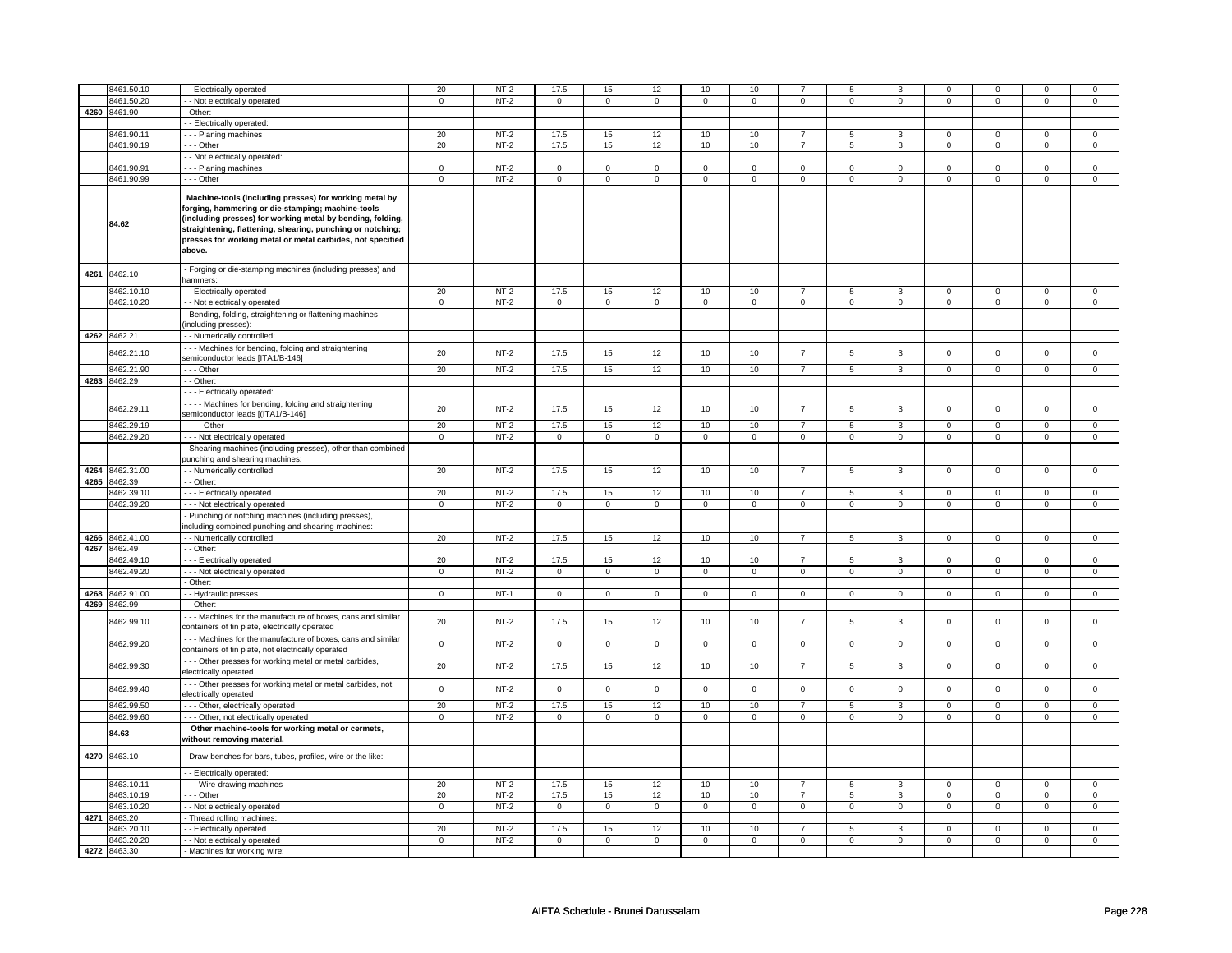|      | 8461.50.10   | - Electrically operated                                                                                                                                                                                                                                                                                         | 20             | $NT-2$ | 17.5                | 15             | 12          | $10$            | 10          | $\overline{7}$ | 5                   | 3              | $\mathbf 0$      | 0              | $\Omega$         | 0              |
|------|--------------|-----------------------------------------------------------------------------------------------------------------------------------------------------------------------------------------------------------------------------------------------------------------------------------------------------------------|----------------|--------|---------------------|----------------|-------------|-----------------|-------------|----------------|---------------------|----------------|------------------|----------------|------------------|----------------|
|      | 3461.50.20   | - Not electrically operated                                                                                                                                                                                                                                                                                     | $\mathsf 0$    | $NT-2$ | $\mathsf{O}\xspace$ | $\mathsf 0$    | $\mathsf 0$ | $\mathbf 0$     | $\mathsf 0$ | $\mathsf 0$    | $\mathbf 0$         | $\mathsf 0$    | $\mathsf 0$      | $\mathsf 0$    | 0                | 0              |
| 4260 | 8461.90      | Other:                                                                                                                                                                                                                                                                                                          |                |        |                     |                |             |                 |             |                |                     |                |                  |                |                  |                |
|      |              | - Electrically operated:                                                                                                                                                                                                                                                                                        |                |        |                     |                |             |                 |             |                |                     |                |                  |                |                  |                |
|      | 8461.90.11   | --- Planing machines                                                                                                                                                                                                                                                                                            | 20             | $NT-2$ | 17.5                | 15             | 12          | 10              | 10          |                | 5                   | 3              | $\Omega$         | $\mathbf 0$    | $\Omega$         | 0              |
|      | 8461.90.19   | --- Other                                                                                                                                                                                                                                                                                                       | 20             | $NT-2$ | 17.5                | 15             | 12          | 10              | 10          | $\overline{7}$ | 5                   | $\overline{3}$ | $\mathbf 0$      | $\mathbf{0}$   | $\mathbf 0$      | $\mathbf{0}$   |
|      |              | - - Not electrically operated:                                                                                                                                                                                                                                                                                  |                |        |                     |                |             |                 |             |                |                     |                |                  |                |                  |                |
|      | 8461.90.91   | --- Planing machines                                                                                                                                                                                                                                                                                            | $\mathbf 0$    | $NT-2$ | $\mathbf 0$         | $\mathbf 0$    | 0           | $\mathbf{0}$    | 0           | $\mathbf{0}$   | 0                   | $\mathbf 0$    | 0                | $\mathbf 0$    | 0                | $\mathbf 0$    |
|      | 8461.90.99   | --- Other                                                                                                                                                                                                                                                                                                       | $\mathbf 0$    | $NT-2$ | $\mathbf 0$         | $\mathbf 0$    | 0           | $\mathsf 0$     | 0           | $\mathsf 0$    | 0                   | $\mathbf 0$    | 0                | $\mathbf 0$    | 0                | 0              |
|      | 84.62        | Machine-tools (including presses) for working metal by<br>forging, hammering or die-stamping; machine-tools<br>(including presses) for working metal by bending, folding,<br>straightening, flattening, shearing, punching or notching;<br>presses for working metal or metal carbides, not specified<br>above. |                |        |                     |                |             |                 |             |                |                     |                |                  |                |                  |                |
| 4261 | 8462.10      | - Forging or die-stamping machines (including presses) and<br>hammers:                                                                                                                                                                                                                                          |                |        |                     |                |             |                 |             |                |                     |                |                  |                |                  |                |
|      | 8462.10.10   | - Electrically operated                                                                                                                                                                                                                                                                                         | 20             | $NT-2$ | 17.5                | 15             | 12          | 10              | 10          | $\overline{7}$ | 5                   | 3              | $\mathsf 0$      | $\mathbf 0$    | $\mathbf 0$      | $\overline{0}$ |
|      | 8462.10.20   | - - Not electrically operated                                                                                                                                                                                                                                                                                   | $\overline{0}$ | $NT-2$ | $\mathsf{O}\xspace$ | $\overline{0}$ | $\mathsf 0$ | $\overline{0}$  | $\mathsf 0$ | $\overline{0}$ | $\mathsf{O}\xspace$ | $\overline{0}$ | $\overline{0}$   | $\overline{0}$ | $\mathbf 0$      | $\overline{0}$ |
|      |              |                                                                                                                                                                                                                                                                                                                 |                |        |                     |                |             |                 |             |                |                     |                |                  |                |                  |                |
|      |              | Bending, folding, straightening or flattening machines<br>including presses):                                                                                                                                                                                                                                   |                |        |                     |                |             |                 |             |                |                     |                |                  |                |                  |                |
|      | 4262 8462.21 | - - Numerically controlled:                                                                                                                                                                                                                                                                                     |                |        |                     |                |             |                 |             |                |                     |                |                  |                |                  |                |
|      |              | --- Machines for bending, folding and straightening                                                                                                                                                                                                                                                             |                |        |                     |                |             |                 |             |                |                     |                |                  |                |                  |                |
|      | 3462.21.10   | semiconductor leads [ITA1/B-146]                                                                                                                                                                                                                                                                                | 20             | $NT-2$ | 17.5                | 15             | 12          | 10              | 10          | $\overline{7}$ | 5                   | 3              | $\mathbf 0$      | $\mathbf 0$    | $\mathbf 0$      | $\mathbf 0$    |
|      | 8462.21.90   | --- Other                                                                                                                                                                                                                                                                                                       | 20             | $NT-2$ | 17.5                | 15             | 12          | 10              | 10          | $\overline{7}$ | 5                   | $\mathbf{3}$   | $\mathbf 0$      | $\mathbf 0$    | $\mathbf{0}$     | $\mathbf 0$    |
|      | 4263 8462.29 | - - Other:                                                                                                                                                                                                                                                                                                      |                |        |                     |                |             |                 |             |                |                     |                |                  |                |                  |                |
|      |              | - - Electrically operated:                                                                                                                                                                                                                                                                                      |                |        |                     |                |             |                 |             |                |                     |                |                  |                |                  |                |
|      | 8462.29.11   | · - - - Machines for bending, folding and straightening                                                                                                                                                                                                                                                         | 20             | $NT-2$ | 17.5                | 15             | 12          | 10              | 10          | $\overline{7}$ | 5                   | $\mathbf{3}$   | $\mathsf 0$      | $\mathbf 0$    | $\mathbf 0$      | $\mathbf 0$    |
|      |              | semiconductor leads [(ITA1/B-146]                                                                                                                                                                                                                                                                               |                |        |                     |                |             |                 |             |                |                     |                |                  |                |                  |                |
|      | 8462.29.19   | - - - - Other                                                                                                                                                                                                                                                                                                   | 20             | $NT-2$ | 17.5                | 15             | 12          | 10              | 10          | $\overline{7}$ | 5                   | 3              | $\mathsf 0$      | $\mathbf 0$    | $\mathbf 0$      | 0              |
|      | 8462.29.20   | - - - Not electrically operated                                                                                                                                                                                                                                                                                 | $\mathsf 0$    | $NT-2$ | $\mathsf 0$         | $\mathbf 0$    | $\mathbf 0$ | $\mathsf 0$     | $\mathbf 0$ | $\mathsf 0$    | $\mathbf 0$         | $\mathbf 0$    | $\mathsf 0$      | $\mathsf 0$    | $\mathbf 0$      | 0              |
|      |              | Shearing machines (including presses), other than combined<br>unching and shearing machines:                                                                                                                                                                                                                    |                |        |                     |                |             |                 |             |                |                     |                |                  |                |                  |                |
| 4264 | 8462.31.00   | - Numerically controlled                                                                                                                                                                                                                                                                                        | 20             | $NT-2$ | 17.5                | 15             | 12          | 10              | 10          | $\overline{7}$ | $\overline{5}$      | 3              | $\mathsf 0$      | $\mathsf 0$    | $\mathsf 0$      | $\mathsf 0$    |
|      | 4265 8462.39 | - - Other:                                                                                                                                                                                                                                                                                                      |                |        |                     |                |             |                 |             |                |                     |                |                  |                |                  |                |
|      | 3462.39.10   | - - - Electrically operated                                                                                                                                                                                                                                                                                     | 20             | $NT-2$ | 17.5                | 15             | 12          | 10              | 10          | $\overline{7}$ | 5                   | 3              | $\mathsf 0$      | $\mathbf 0$    | $\mathbf 0$      | $\mathbf 0$    |
|      | 3462.39.20   | - - - Not electrically operated                                                                                                                                                                                                                                                                                 | $\mathsf 0$    | $NT-2$ | $\mathsf 0$         | $\mathbf 0$    | $\mathbf 0$ | $\mathbf 0$     | $\mathbf 0$ | $\mathbf 0$    | $\mathbf 0$         | $\mathbf 0$    | $\mathsf 0$      | $\mathbf 0$    | $\mathbf 0$      | $\mathbf{0}$   |
|      |              | - Punching or notching machines (including presses),<br>including combined punching and shearing machines:                                                                                                                                                                                                      |                |        |                     |                |             |                 |             |                |                     |                |                  |                |                  |                |
| 4266 | 8462.41.00   | - Numerically controlled                                                                                                                                                                                                                                                                                        | 20             | $NT-2$ | 17.5                | 15             | 12          | 10              | 10          | $\overline{7}$ | 5                   | 3              | $\mathsf 0$      | $\mathbf 0$    | $\mathbf 0$      | $\mathbf 0$    |
|      | 4267 8462.49 | $-$ Other:                                                                                                                                                                                                                                                                                                      |                |        |                     |                |             |                 |             |                |                     |                |                  |                |                  |                |
|      | 8462.49.10   | --- Electrically operated                                                                                                                                                                                                                                                                                       | 20             | $NT-2$ | 17.5                | 15             | 12          | 10              | 10          | $\overline{7}$ | 5                   | 3              | 0                | $\mathbf 0$    | 0                | $\overline{0}$ |
|      | 8462.49.20   | - - - Not electrically operated                                                                                                                                                                                                                                                                                 | $\mathbf 0$    | $NT-2$ | $\mathbf 0$         | $\mathbf 0$    | 0           | $\mathbf 0$     | $\mathbf 0$ | $\mathbf 0$    | $\mathbf 0$         | $\mathbf 0$    | $\mathsf 0$      | $\mathbf 0$    | $\Omega$         | $\mathbf{0}$   |
|      |              | - Other:                                                                                                                                                                                                                                                                                                        |                |        |                     |                |             |                 |             |                |                     |                |                  |                |                  |                |
| 4268 | 8462.91.00   | - Hydraulic presses                                                                                                                                                                                                                                                                                             | $\mathbf 0$    | $NT-1$ | $\mathsf 0$         | $\mathbf 0$    | $\mathbf 0$ | $\mathbf 0$     | $\mathbf 0$ | $\mathbf 0$    | $\mathbf 0$         | $\mathbf 0$    | $\mathsf 0$      | $\mathbf 0$    | 0                | $\mathbf 0$    |
| 4269 | 8462.99      | - Other:                                                                                                                                                                                                                                                                                                        |                |        |                     |                |             |                 |             |                |                     |                |                  |                |                  |                |
|      |              | --- Machines for the manufacture of boxes, cans and similar                                                                                                                                                                                                                                                     |                |        |                     |                |             |                 |             |                |                     |                |                  |                |                  |                |
|      | 3462.99.10   | containers of tin plate, electrically operated                                                                                                                                                                                                                                                                  | 20             | $NT-2$ | 17.5                | 15             | 12          | 10              | 10          | $\overline{7}$ | 5                   | $\mathbf{3}$   | $\mathsf 0$      | $\mathbf 0$    | $\mathbf 0$      | $\mathbf 0$    |
|      | 8462.99.20   | - - - Machines for the manufacture of boxes, cans and similar<br>containers of tin plate, not electrically operated                                                                                                                                                                                             | $\mathbf 0$    | $NT-2$ | $\mathsf{O}\xspace$ | $\mathbf 0$    | 0           | 0               | $\mathsf 0$ | $\mathsf 0$    | 0                   | $\mathbf 0$    | $\mathsf 0$      | $\mathbf 0$    | 0                | $\mathsf 0$    |
|      | 8462.99.30   | --- Other presses for working metal or metal carbides,<br>electrically operated                                                                                                                                                                                                                                 | 20             | NT-2   | 17.5                | 15             | 12          | 10              | 10          | $\overline{7}$ | 5                   | 3              | 0                | 0              | 0                | $\mathbf 0$    |
|      | 8462.99.40   | - - - Other presses for working metal or metal carbides, not<br>electrically operated                                                                                                                                                                                                                           | $\mathsf 0$    | $NT-2$ | $\mathsf 0$         | $\mathsf 0$    | $\mathbf 0$ | $\mathbf 0$     | $\mathsf 0$ | $\mathsf 0$    | $\mathbf 0$         | $\mathbf 0$    | $\mathsf 0$      | $\mathsf{O}$   | $\mathsf 0$      | $\mathsf 0$    |
|      | 8462.99.50   | - - - Other, electrically operated                                                                                                                                                                                                                                                                              | 20             | $NT-2$ | 17.5                | 15             | 12          | 10              | 10          | $\overline{7}$ | 5                   | 3              | $\mathsf 0$      | $\mathbf 0$    | $\Omega$         | 0              |
|      | 8462.99.60   | - - - Other, not electrically operated                                                                                                                                                                                                                                                                          | $\Omega$       | $NT-2$ | $\mathbf 0$         | $\mathbf 0$    | $\mathbf 0$ | $\mathbf{0}$    | $\mathbf 0$ | $\mathbf 0$    | $\mathbf 0$         | $\mathbf{0}$   | $\mathbf 0$      | $\mathsf 0$    | $\Omega$         | $\mathbf{0}$   |
|      | 84.63        | Other machine-tools for working metal or cermets,                                                                                                                                                                                                                                                               |                |        |                     |                |             |                 |             |                |                     |                |                  |                |                  |                |
|      |              | without removing material.                                                                                                                                                                                                                                                                                      |                |        |                     |                |             |                 |             |                |                     |                |                  |                |                  |                |
| 4270 | 8463.10      | Draw-benches for bars, tubes, profiles, wire or the like:                                                                                                                                                                                                                                                       |                |        |                     |                |             |                 |             |                |                     |                |                  |                |                  |                |
|      |              | - - Electrically operated:                                                                                                                                                                                                                                                                                      |                |        |                     |                |             |                 |             | $\overline{7}$ |                     |                |                  |                |                  |                |
|      | 8463.10.11   | --- Wire-drawing machines                                                                                                                                                                                                                                                                                       | 20             | $NT-2$ | 17.5                | 15             | 12          | 10              | 10          | $\overline{7}$ | 5<br>5              | 3              | 0<br>$\mathbf 0$ | $\mathbf 0$    | 0<br>$\mathbf 0$ | 0              |
|      | 8463.10.19   | --- Other                                                                                                                                                                                                                                                                                                       | 20             | $NT-2$ | 17.5                | 15             | 12          | 10              | 10          |                |                     | 3              |                  | $\mathbf 0$    |                  | $\mathbf 0$    |
|      | 8463.10.20   | - Not electrically operated                                                                                                                                                                                                                                                                                     | $\mathbf 0$    | $NT-2$ | $\mathbf 0$         | $\mathbf 0$    | 0           | $\mathsf 0$     | 0           | $\mathsf 0$    | 0                   | $\mathbf 0$    | 0                | $\mathbf 0$    | $\Omega$         | $\mathbf 0$    |
| 4271 | 8463.20      | Thread rolling machines:                                                                                                                                                                                                                                                                                        |                |        |                     |                |             |                 |             |                |                     |                |                  |                |                  |                |
|      | 3463.20.10   | - Electrically operated                                                                                                                                                                                                                                                                                         | 20             | $NT-2$ | 17.5                | 15             | 12          | 10 <sub>1</sub> | 10          | $\overline{7}$ | 5                   | 3              | 0                | 0              | 0                | $\mathbf 0$    |
|      | 8463.20.20   | - - Not electrically operated                                                                                                                                                                                                                                                                                   | $\mathbf 0$    | $NT-2$ | $^{\circ}$          | $\mathbf 0$    | $\mathbf 0$ | $\mathbf 0$     | $\mathbf 0$ | $\mathbf 0$    | 0                   | $\mathbf 0$    | 0                | $\mathbf 0$    | 0                | $\overline{0}$ |
|      | 4272 8463.30 | - Machines for working wire:                                                                                                                                                                                                                                                                                    |                |        |                     |                |             |                 |             |                |                     |                |                  |                |                  |                |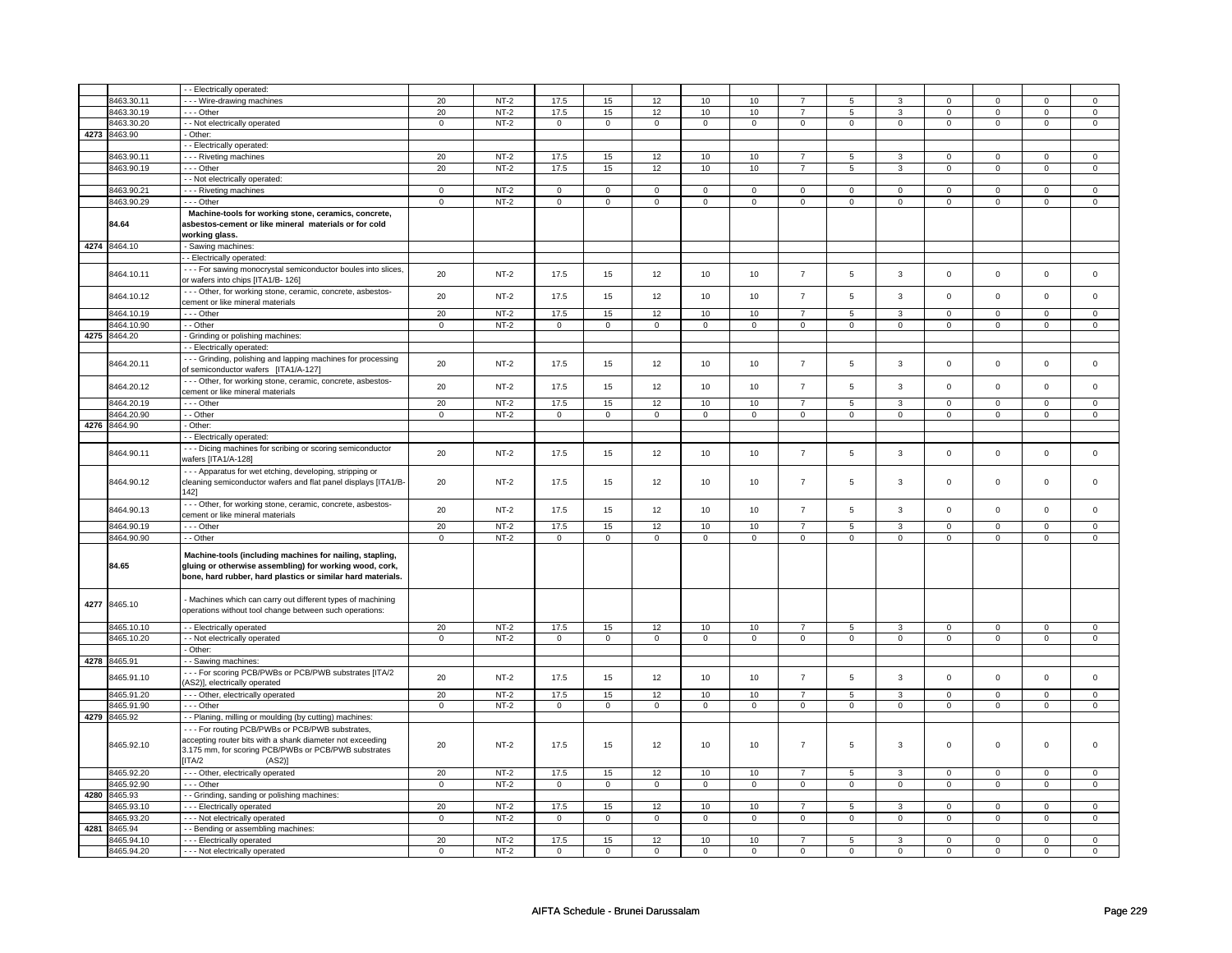|      |              | - - Electrically operated:                                                                                                                                                                  |                |        |             |                |             |             |              |                |                |                |             |                |             |                |
|------|--------------|---------------------------------------------------------------------------------------------------------------------------------------------------------------------------------------------|----------------|--------|-------------|----------------|-------------|-------------|--------------|----------------|----------------|----------------|-------------|----------------|-------------|----------------|
|      | 8463.30.11   | --- Wire-drawing machines                                                                                                                                                                   | 20             | $NT-2$ | 17.5        | 15             | 12          | 10          | 10           | $\overline{7}$ | 5              | 3              | $\mathbf 0$ | $\Omega$       | $\Omega$    | $\mathbf{0}$   |
|      | 8463.30.19   | --- Other                                                                                                                                                                                   | 20             | $NT-2$ | 17.5        | 15             | 12          | 10          | 10           | $\overline{7}$ | 5              | 3              | 0           | $\mathbf 0$    | 0           | 0              |
|      | 8463.30.20   | - - Not electrically operated                                                                                                                                                               | $\mathsf 0$    | $NT-2$ | $\mathbf 0$ | $\mathsf 0$    | $\mathbf 0$ | $\mathbf 0$ | $\mathbf 0$  | $\mathbf 0$    | 0              | $\mathbf 0$    | $\mathsf 0$ | $\mathbf 0$    | $\mathsf 0$ | 0              |
| 4273 | 8463.90      | - Other:                                                                                                                                                                                    |                |        |             |                |             |             |              |                |                |                |             |                |             |                |
|      |              |                                                                                                                                                                                             |                |        |             |                |             |             |              |                |                |                |             |                |             |                |
|      |              | - - Electrically operated:                                                                                                                                                                  |                |        |             |                |             |             |              |                |                |                |             |                |             |                |
|      | 8463.90.11   | - - - Riveting machines                                                                                                                                                                     | 20             | $NT-2$ | 17.5        | 15             | 12          | 10          | 10           | $\overline{7}$ | 5              | 3              | 0           | 0              | 0           | 0              |
|      | 8463.90.19   | --- Other                                                                                                                                                                                   | 20             | $NT-2$ | 17.5        | 15             | 12          | 10          | 10           | $\overline{7}$ | 5              | 3              | $\mathbf 0$ | $\mathbf 0$    | $\mathsf 0$ | $\mathbf 0$    |
|      |              | - - Not electrically operated:                                                                                                                                                              |                |        |             |                |             |             |              |                |                |                |             |                |             |                |
|      | 8463.90.21   | --- Riveting machines                                                                                                                                                                       | $\mathsf 0$    | $NT-2$ | $\mathbf 0$ | $\mathsf 0$    | $\mathbf 0$ | $\mathbf 0$ | $\mathbf 0$  | $\mathbf 0$    | 0              | $\mathbf 0$    | 0           | $\mathbf 0$    | $\Omega$    | 0              |
|      | 8463.90.29   | --- Other                                                                                                                                                                                   | $\mathbf 0$    | $NT-2$ | $\mathbf 0$ | $\mathsf 0$    | $\Omega$    | $\mathbf 0$ | $\mathbf 0$  | $\mathbf 0$    | $\mathbf 0$    | $\mathsf 0$    | $\mathsf 0$ | $\mathbf 0$    | $\mathbf 0$ | 0              |
|      |              |                                                                                                                                                                                             |                |        |             |                |             |             |              |                |                |                |             |                |             |                |
|      | 84.64        | Machine-tools for working stone, ceramics, concrete,<br>asbestos-cement or like mineral materials or for cold                                                                               |                |        |             |                |             |             |              |                |                |                |             |                |             |                |
|      |              | working glass.                                                                                                                                                                              |                |        |             |                |             |             |              |                |                |                |             |                |             |                |
|      | 4274 8464.10 | - Sawing machines:                                                                                                                                                                          |                |        |             |                |             |             |              |                |                |                |             |                |             |                |
|      |              | - Electrically operated:                                                                                                                                                                    |                |        |             |                |             |             |              |                |                |                |             |                |             |                |
|      |              | - - - For sawing monocrystal semiconductor boules into slices,                                                                                                                              |                |        |             |                |             |             |              |                |                |                |             |                |             |                |
|      | 8464.10.11   | or wafers into chips [ITA1/B- 126]                                                                                                                                                          | 20             | $NT-2$ | 17.5        | 15             | 12          | 10          | 10           | $\overline{7}$ | 5              | $\mathbf{3}$   | $\mathsf 0$ | $\mathbf 0$    | $\mathsf 0$ | $\mathsf 0$    |
|      |              | --- Other, for working stone, ceramic, concrete, asbestos-                                                                                                                                  |                |        |             |                |             |             |              |                |                |                |             |                |             |                |
|      | 8464.10.12   | cement or like mineral materials                                                                                                                                                            | 20             | $NT-2$ | 17.5        | 15             | 12          | 10          | $10$         | $\overline{7}$ | 5              | 3              | $\mathsf 0$ | $\mathbf 0$    | $\mathsf 0$ | $\mathbf 0$    |
|      | 3464.10.19   | --- Other                                                                                                                                                                                   | 20             | $NT-2$ | 17.5        | 15             | 12          | 10          | $10$         | $\overline{7}$ | 5              | $\mathbf{3}$   | $\mathsf 0$ | $\mathbf 0$    | $\mathsf 0$ | $\mathbf 0$    |
|      | 8464.10.90   | - - Other                                                                                                                                                                                   | $\overline{0}$ | $NT-2$ | $\mathsf 0$ | $\mathsf 0$    | $\mathsf 0$ | $\mathsf 0$ | $\mathbf 0$  | $\mathbf 0$    | $\mathbf 0$    | $\mathbf 0$    | $\mathsf 0$ | $\mathbf{0}$   | 0           | $\overline{0}$ |
|      |              |                                                                                                                                                                                             |                |        |             |                |             |             |              |                |                |                |             |                |             |                |
|      | 4275 8464.20 | - Grinding or polishing machines:                                                                                                                                                           |                |        |             |                |             |             |              |                |                |                |             |                |             |                |
|      |              | - Electrically operated:                                                                                                                                                                    |                |        |             |                |             |             |              |                |                |                |             |                |             |                |
|      | 8464.20.11   | --- Grinding, polishing and lapping machines for processing<br>of semiconductor wafers [ITA1/A-127]                                                                                         | 20             | $NT-2$ | 17.5        | 15             | 12          | 10          | 10           | $\overline{7}$ | 5              | 3              | $\mathsf 0$ | $\mathsf 0$    | $\mathsf 0$ | $\mathsf 0$    |
|      | 8464.20.12   | --- Other, for working stone, ceramic, concrete, asbestos-<br>cement or like mineral materials                                                                                              | 20             | $NT-2$ | 17.5        | 15             | 12          | 10          | 10           | $\overline{7}$ | 5              | $\mathbf{3}$   | $\mathsf 0$ | $\mathbf 0$    | $\mathsf 0$ | $\mathbf 0$    |
|      | 8464.20.19   | --- Other                                                                                                                                                                                   | 20             | $NT-2$ | 17.5        | 15             | 12          | 10          | 10           | $\overline{7}$ | 5              | 3              | 0           | $\mathbf 0$    | $\Omega$    | $\mathbf{0}$   |
|      | 3464.20.90   | - - Other                                                                                                                                                                                   | $\mathsf 0$    | $NT-2$ | $\mathbf 0$ | $\mathsf 0$    | $\mathbf 0$ | $\mathbf 0$ | $\mathbf 0$  | $\mathsf 0$    | $\mathbf 0$    | $\mathbf 0$    | $\mathsf 0$ | $\mathbf 0$    | $\mathsf 0$ | $\mathbf 0$    |
|      |              |                                                                                                                                                                                             |                |        |             |                |             |             |              |                |                |                |             |                |             |                |
| 4276 | 8464.90      | - Other:                                                                                                                                                                                    |                |        |             |                |             |             |              |                |                |                |             |                |             |                |
|      |              | - - Electrically operated:                                                                                                                                                                  |                |        |             |                |             |             |              |                |                |                |             |                |             |                |
|      | 8464.90.11   | --- Dicing machines for scribing or scoring semiconductor<br>wafers [ITA1/A-128]                                                                                                            | 20             | $NT-2$ | 17.5        | 15             | 12          | 10          | 10           | $\overline{7}$ | 5              | 3              | $\mathbf 0$ | $\mathbf 0$    | $\mathbf 0$ | $\mathsf 0$    |
|      | 8464.90.12   | - - - Apparatus for wet etching, developing, stripping or<br>cleaning semiconductor wafers and flat panel displays [ITA1/B-<br>142]                                                         | 20             | $NT-2$ | 17.5        | 15             | 12          | 10          | 10           | $\overline{7}$ | 5              | 3              | $\mathsf 0$ | $\mathbf 0$    | $\mathbf 0$ | $\mathbf{0}$   |
|      | 8464.90.13   | - - - Other, for working stone, ceramic, concrete, asbestos-<br>cement or like mineral materials                                                                                            | 20             | $NT-2$ | 17.5        | 15             | 12          | 10          | 10           | $\overline{7}$ | 5              | $\mathbf{3}$   | $\mathsf 0$ | $\mathbf 0$    | $\mathbf 0$ | $\mathbf 0$    |
|      | 8464.90.19   | -- Other                                                                                                                                                                                    | 20             | $NT-2$ | 17.5        | 15             | 12          | 10          | 10           | $\overline{7}$ | $\overline{5}$ | 3              | $\mathbf 0$ | $\mathbf 0$    | $\mathbf 0$ | $\mathbf{0}$   |
|      | 8464.90.90   | - - Other                                                                                                                                                                                   | $\mathsf 0$    | $NT-2$ | $\mathbf 0$ | $\mathsf 0$    | $\mathbf 0$ | $\mathbf 0$ | $\mathbf 0$  | $\mathbf 0$    | 0              | $\mathbf 0$    | 0           | $\mathbf 0$    | 0           | $\mathbf 0$    |
|      | 84.65        | Machine-tools (including machines for nailing, stapling,<br>gluing or otherwise assembling) for working wood, cork,<br>bone, hard rubber, hard plastics or similar hard materials.          |                |        |             |                |             |             |              |                |                |                |             |                |             |                |
| 4277 | 8465.10      | - Machines which can carry out different types of machining<br>operations without tool change between such operations:                                                                      |                |        |             |                |             |             |              |                |                |                |             |                |             |                |
|      | 8465.10.10   | - - Electrically operated                                                                                                                                                                   | 20             | $NT-2$ | 17.5        | 15             | 12          | 10          | 10           | $\overline{7}$ | 5              | 3              | 0           | $\mathbf 0$    | 0           | 0              |
|      | 8465.10.20   | - - Not electrically operated                                                                                                                                                               | $\mathbf 0$    | $NT-2$ | $\mathbf 0$ | $\mathbf 0$    | $\mathbf 0$ | $\mathbf 0$ | $\mathbf{0}$ | $\mathbf 0$    | $\mathbf 0$    | $\mathbf{0}$   | $\mathbf 0$ | $\mathbf{0}$   | $\mathbf 0$ | $\mathbf{0}$   |
|      |              | - Other:                                                                                                                                                                                    |                |        |             |                |             |             |              |                |                |                |             |                |             |                |
|      | 4278 8465.91 | - - Sawing machines:                                                                                                                                                                        |                |        |             |                |             |             |              |                |                |                |             |                |             |                |
|      | 3465.91.10   | --- For scoring PCB/PWBs or PCB/PWB substrates [ITA/2<br>AS2)], electrically operated                                                                                                       | 20             | $NT-2$ | 17.5        | 15             | 12          | 10          | 10           | $\overline{7}$ | 5              | 3              | $\mathsf 0$ | $\mathbf 0$    | $\mathbf 0$ | $\mathbf 0$    |
|      | 8465.91.20   | - - - Other, electrically operated                                                                                                                                                          | 20             | $NT-2$ | 17.5        | 15             | 12          | 10          | 10           | $\overline{7}$ | 5              | 3              | $\mathbf 0$ | $\mathbf 0$    | 0           | $\mathbf 0$    |
|      | 8465.91.90   | --- Other                                                                                                                                                                                   | $\mathsf 0$    | $NT-2$ | $\mathbf 0$ | $\mathsf 0$    | $\mathbf 0$ | $\mathbf 0$ | $\mathsf 0$  | $\mathbf 0$    | $\mathbf 0$    | $\mathbf 0$    | $\mathsf 0$ | $\mathbf 0$    | 0           | $\mathbf{0}$   |
|      |              |                                                                                                                                                                                             |                |        |             |                |             |             |              |                |                |                |             |                |             |                |
| 4279 | 8465.92      | - - Planing, milling or moulding (by cutting) machines:                                                                                                                                     |                |        |             |                |             |             |              |                |                |                |             |                |             |                |
|      | 8465.92.10   | --- For routing PCB/PWBs or PCB/PWB substrates,<br>accepting router bits with a shank diameter not exceeding<br>3.175 mm, for scoring PCB/PWBs or PCB/PWB substrates<br>[ITA/2<br>$(AS2)$ ] | 20             | $NT-2$ | 17.5        | 15             | 12          | 10          | 10           | $\overline{7}$ | 5              | 3              | $\mathsf 0$ | $\mathbf 0$    | $\mathsf 0$ | 0              |
|      | 8465.92.20   | - - - Other, electrically operated                                                                                                                                                          | 20             | $NT-2$ | 17.5        | 15             | 12          | 10          | 10           | $\overline{7}$ | 5              | 3              | 0           | $\mathbf 0$    | 0           | 0              |
|      | 8465.92.90   | $- -$ Other                                                                                                                                                                                 | $\mathbf 0$    | $NT-2$ | $\mathbf 0$ | $\overline{0}$ | $\mathbf 0$ | 0           | $\mathbf 0$  | $\overline{0}$ | 0              | $\overline{0}$ | 0           | $\overline{0}$ | 0           | $\overline{0}$ |
| 4280 | 3465.93      | - - Grinding, sanding or polishing machines:                                                                                                                                                |                |        |             |                |             |             |              |                |                |                |             |                |             |                |
|      | 3465.93.10   | --- Electrically operated                                                                                                                                                                   | 20             | $NT-2$ | 17.5        | 15             | 12          | 10          | 10           | $\overline{7}$ | 5              | 3              | 0           | $\mathbf 0$    | $\mathbf 0$ | 0              |
|      | 3465.93.20   | - - - Not electrically operated                                                                                                                                                             | $\mathsf 0$    | $NT-2$ | $\mathbf 0$ | $\mathbf 0$    | $\mathbf 0$ | $\mathsf 0$ | $\mathbf 0$  | $\mathsf 0$    | 0              | 0              | 0           | $\mathbf 0$    | 0           | $\mathbf 0$    |
|      |              |                                                                                                                                                                                             |                |        |             |                |             |             |              |                |                |                |             |                |             |                |
| 4281 | 8465.94      | - - Bending or assembling machines:                                                                                                                                                         |                |        |             |                |             |             |              |                |                |                |             |                |             |                |
|      | 8465.94.10   | --- Electrically operated                                                                                                                                                                   | 20             | $NT-2$ | 17.5        | 15             | 12          | 10          | 10           | $\overline{7}$ | 5              | 3              | $\mathbf 0$ | $\mathbf 0$    | 0           | 0              |
|      | 8465.94.20   | - - - Not electrically operated                                                                                                                                                             | $\mathsf 0$    | $NT-2$ | $\mathbf 0$ | $\mathsf 0$    | $\mathbf 0$ | $\mathbf 0$ | $\mathbf 0$  | $\mathbf 0$    | $\mathbf 0$    | $\mathbf 0$    | $\mathsf 0$ | $\mathbf 0$    | $\mathsf 0$ | 0              |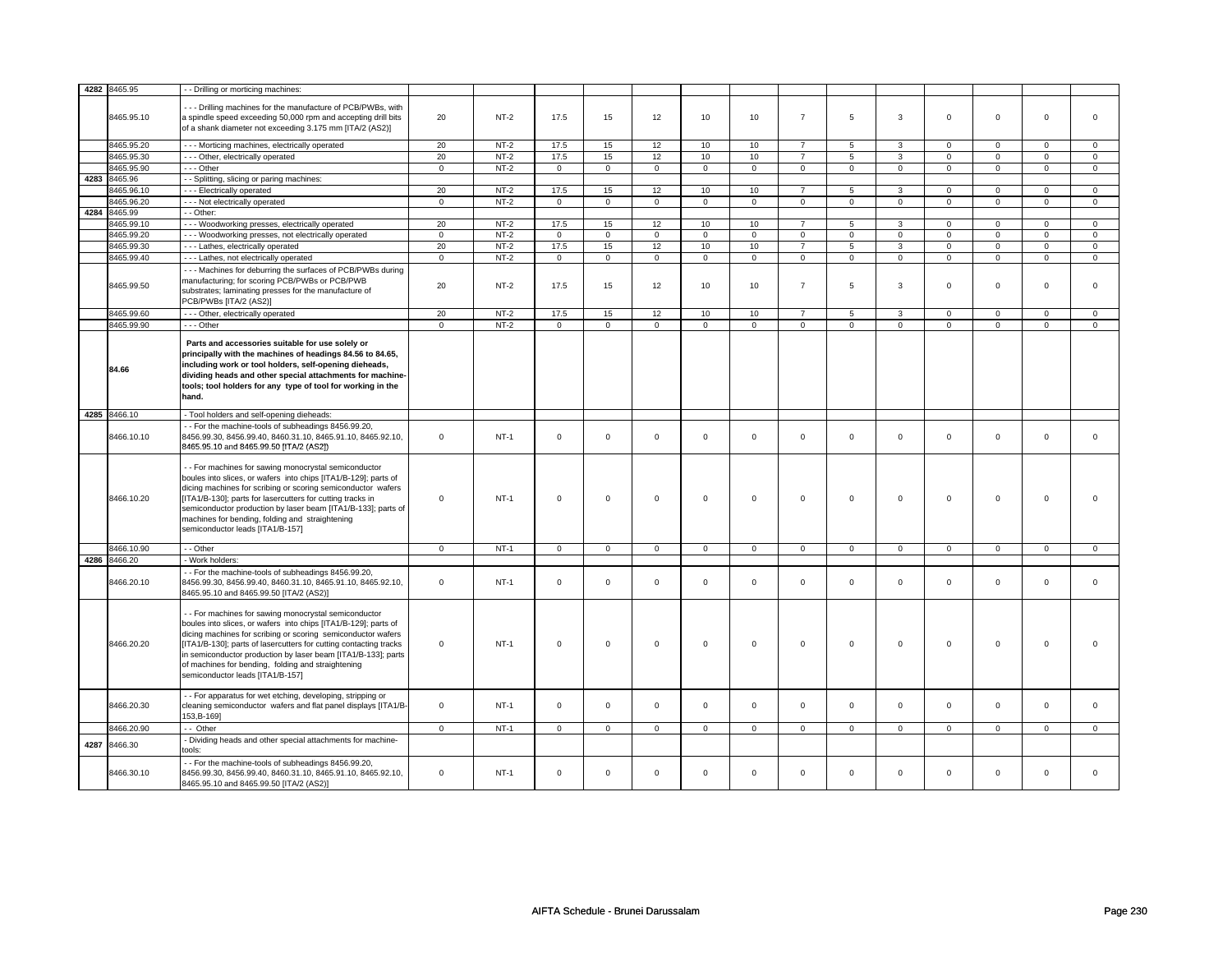| 4282 | 8465.95      | - - Drilling or morticing machines:                                                                    |             |             |                |                |             |             |                     |                |              |                |             |              |             |                |
|------|--------------|--------------------------------------------------------------------------------------------------------|-------------|-------------|----------------|----------------|-------------|-------------|---------------------|----------------|--------------|----------------|-------------|--------------|-------------|----------------|
|      |              |                                                                                                        |             |             |                |                |             |             |                     |                |              |                |             |              |             |                |
|      |              | --- Drilling machines for the manufacture of PCB/PWBs, with                                            |             |             |                |                |             |             |                     |                |              |                |             |              |             |                |
|      | 8465.95.10   | a spindle speed exceeding 50,000 rpm and accepting drill bits                                          | 20          | $NT-2$      | 17.5           | 15             | 12          | 10          | 10                  | $\overline{7}$ | 5            | $\overline{3}$ | $\mathbf 0$ | $\mathbf 0$  | $\mathbf 0$ | $\mathbf{0}$   |
|      |              | of a shank diameter not exceeding 3.175 mm [ITA/2 (AS2)]                                               |             |             |                |                |             |             |                     |                |              |                |             |              |             |                |
|      |              |                                                                                                        |             |             |                |                |             |             |                     |                |              |                |             |              |             |                |
|      | 8465.95.20   | - - - Morticing machines, electrically operated                                                        | 20          | $NT-2$      | 17.5           | 15             | 12          | 10          | 10                  | $\overline{7}$ | 5            | 3              | $\mathsf 0$ | $\mathbf 0$  | $\mathbf 0$ | $\mathbf 0$    |
|      | 8465.95.30   | --- Other, electrically operated                                                                       | 20          | $NT-2$      | 17.5           | 15             | 12          | 10          | 10                  | $\overline{7}$ | 5            | 3              | $\mathbf 0$ | $\mathbf{0}$ | $\mathbf 0$ | $\mathbf{0}$   |
|      | 8465.95.90   | --- Other                                                                                              | $\mathbf 0$ | $NT-2$      | $\mathbf 0$    | $\mathbf 0$    | $\mathbf 0$ | $\mathbf 0$ | $\mathbf{0}$        | $\mathbf 0$    | $\mathbf{0}$ | $\mathbf{0}$   | $\mathbf 0$ | $\mathbf{0}$ | $\mathbf 0$ | $\mathbf{0}$   |
|      |              |                                                                                                        |             |             |                |                |             |             |                     |                |              |                |             |              |             |                |
|      | 4283 8465.96 | - - Splitting, slicing or paring machines:                                                             |             |             |                |                |             |             |                     |                |              |                |             |              |             |                |
|      | 3465.96.10   | --- Electrically operated                                                                              | 20          | $NT-2$      | 17.5           | 15             | 12          | 10          | 10                  | $\overline{7}$ | 5            | 3              | 0           | $\mathbf 0$  | 0           | $\mathbf{0}$   |
|      | 8465.96.20   | --- Not electrically operated                                                                          | $\mathsf 0$ | $NT-2$      | $\mathbf 0$    | $\mathbf 0$    | $\Omega$    | $\mathbf 0$ | $\mathbf 0$         | $\mathbf 0$    | $\mathbf 0$  | $\mathbf{0}$   | $\mathbf 0$ | $\mathbf 0$  | $\Omega$    | $\mathbf{0}$   |
|      | 4284 8465.99 | - - Other:                                                                                             |             |             |                |                |             |             |                     |                |              |                |             |              |             |                |
|      | 8465.99.10   | - - - Woodworking presses, electrically operated                                                       | 20          | $NT-2$      | 17.5           | 15             | 12          | 10          | 10                  | $\overline{7}$ | 5            | 3              | $\mathsf 0$ | $\mathbf 0$  | 0           | 0              |
|      | 8465.99.20   | - - - Woodworking presses, not electrically operated                                                   | $\mathbf 0$ | $NT-2$      | $\mathbf 0$    | $\mathsf 0$    | $\mathbf 0$ | $\mathbf 0$ | $\mathsf 0$         | $\mathbf 0$    | $\mathbf 0$  | $\mathbf 0$    | $\mathsf 0$ | $\mathbf 0$  | $\mathbf 0$ | $\mathbf{0}$   |
|      | 8465.99.30   | --- Lathes, electrically operated                                                                      | 20          | $NT-2$      | 17.5           | 15             | 12          | 10          | 10                  | $\overline{7}$ | 5            | 3              | $\mathbf 0$ | $\mathbf{0}$ | $\mathbf 0$ | $\mathbf{0}$   |
|      |              |                                                                                                        |             |             |                |                |             |             |                     |                |              |                |             |              |             |                |
|      | 8465.99.40   | - - - Lathes, not electrically operated                                                                | $\mathbf 0$ | $NT-2$      | $\mathbf 0$    | $\mathbf 0$    | $\mathbf 0$ | $\mathbf 0$ | $\mathbf{0}$        | $\mathbf 0$    | $\mathbf 0$  | $\mathbf{0}$   | $\mathbf 0$ | $\mathbf{0}$ | $\mathbf 0$ | $\mathbf 0$    |
|      |              | --- Machines for deburring the surfaces of PCB/PWBs during                                             |             |             |                |                |             |             |                     |                |              |                |             |              |             |                |
|      |              | manufacturing; for scoring PCB/PWBs or PCB/PWB                                                         |             |             |                |                |             |             |                     |                |              |                |             |              |             |                |
|      | 8465.99.50   | substrates; laminating presses for the manufacture of                                                  | 20          | $NT-2$      | 17.5           | 15             | 12          | 10          | 10                  | $\overline{7}$ | 5            | $\overline{3}$ | $\mathbf 0$ | $\mathbf{0}$ | $\mathbf 0$ | $\mathbf{0}$   |
|      |              | PCB/PWBs [ITA/2 (AS2)]                                                                                 |             |             |                |                |             |             |                     |                |              |                |             |              |             |                |
|      | 8465.99.60   | --- Other, electrically operated                                                                       | 20          | $NT-2$      | 17.5           | 15             | 12          | 10          | $10$                |                | 5            |                | $\mathbf 0$ | $\mathbf 0$  | $\mathsf 0$ |                |
|      |              |                                                                                                        |             |             |                |                |             |             |                     | $\overline{7}$ |              | 3              |             |              |             | 0              |
|      | 8465.99.90   | --- Other                                                                                              | $\mathbf 0$ | $NT-2$      | $\Omega$       | $\mathsf 0$    | $\Omega$    | $\mathbf 0$ | $\Omega$            | $\mathbf 0$    | $\mathbf 0$  | $\mathbf 0$    | $\mathbf 0$ | $\mathbf 0$  | $\Omega$    | $\mathbf{0}$   |
|      |              |                                                                                                        |             |             |                |                |             |             |                     |                |              |                |             |              |             |                |
|      |              | Parts and accessories suitable for use solely or                                                       |             |             |                |                |             |             |                     |                |              |                |             |              |             |                |
|      |              | principally with the machines of headings 84.56 to 84.65,                                              |             |             |                |                |             |             |                     |                |              |                |             |              |             |                |
|      | 84.66        | including work or tool holders, self-opening dieheads,                                                 |             |             |                |                |             |             |                     |                |              |                |             |              |             |                |
|      |              | dividing heads and other special attachments for machine-                                              |             |             |                |                |             |             |                     |                |              |                |             |              |             |                |
|      |              | tools; tool holders for any type of tool for working in the                                            |             |             |                |                |             |             |                     |                |              |                |             |              |             |                |
|      |              | hand.                                                                                                  |             |             |                |                |             |             |                     |                |              |                |             |              |             |                |
|      |              |                                                                                                        |             |             |                |                |             |             |                     |                |              |                |             |              |             |                |
|      | 4285 8466.10 | - Tool holders and self-opening dieheads:                                                              |             |             |                |                |             |             |                     |                |              |                |             |              |             |                |
|      |              | - - For the machine-tools of subheadings 8456.99.20,                                                   |             |             |                |                |             |             |                     |                |              |                |             |              |             |                |
|      | 8466.10.10   | 8456.99.30, 8456.99.40, 8460.31.10, 8465.91.10, 8465.92.10,                                            | $\mathbf 0$ | $NT-1$      | $\mathbf 0$    | $\mathbf 0$    | $\Omega$    | $\mathbf 0$ | $\mathbf 0$         | $\mathbf 0$    |              | $\mathbf{0}$   | $\mathbf 0$ | $\mathbf{0}$ | $\mathbf 0$ | $\mathbf{0}$   |
|      |              |                                                                                                        |             |             |                |                |             |             |                     |                |              |                |             |              |             |                |
|      |              |                                                                                                        |             |             |                |                |             |             |                     |                | $\mathbf 0$  |                |             |              |             |                |
|      |              | 8465.95.10 and 8465.99.50 [ITA/2 (AS2])                                                                |             |             |                |                |             |             |                     |                |              |                |             |              |             |                |
|      |              |                                                                                                        |             |             |                |                |             |             |                     |                |              |                |             |              |             |                |
|      |              | - - For machines for sawing monocrystal semiconductor                                                  |             |             |                |                |             |             |                     |                |              |                |             |              |             |                |
|      |              | boules into slices, or wafers into chips [ITA1/B-129]; parts of                                        |             |             |                |                |             |             |                     |                |              |                |             |              |             |                |
|      |              | dicing machines for scribing or scoring semiconductor wafers                                           |             |             |                |                |             |             |                     |                |              |                |             |              |             |                |
|      | 8466.10.20   | IITA1/B-1301: parts for lasercutters for cutting tracks in                                             | $\Omega$    | $NT-1$      | $\mathbf 0$    | $\mathbf 0$    | $\Omega$    | $\Omega$    | $\mathbf 0$         | $\mathbf 0$    | $\mathbf 0$  | $\mathbf 0$    | $\mathbf 0$ | $\mathbf 0$  | $\Omega$    | $\Omega$       |
|      |              |                                                                                                        |             |             |                |                |             |             |                     |                |              |                |             |              |             |                |
|      |              | semiconductor production by laser beam [ITA1/B-133]; parts of                                          |             |             |                |                |             |             |                     |                |              |                |             |              |             |                |
|      |              | machines for bending, folding and straightening                                                        |             |             |                |                |             |             |                     |                |              |                |             |              |             |                |
|      |              | semiconductor leads [ITA1/B-157]                                                                       |             |             |                |                |             |             |                     |                |              |                |             |              |             |                |
|      |              | - - Other                                                                                              |             | $NT-1$      |                |                | $\mathbf 0$ |             |                     |                | $\mathbf 0$  | $\mathbf{0}$   | $\mathbf 0$ | $\mathbf{0}$ | $\mathbf 0$ | $\overline{0}$ |
|      | 8466.10.90   |                                                                                                        | $\mathsf 0$ |             | $\overline{0}$ | $\overline{0}$ |             | $\mathsf 0$ | $\mathsf 0$         | $\mathsf 0$    |              |                |             |              |             |                |
|      | 4286 8466.20 | - Work holders:                                                                                        |             |             |                |                |             |             |                     |                |              |                |             |              |             |                |
|      |              | -- For the machine-tools of subheadings 8456.99.20,                                                    |             |             |                |                |             |             |                     |                |              |                |             |              |             |                |
|      | 8466.20.10   | 8456.99.30, 8456.99.40, 8460.31.10, 8465.91.10, 8465.92.10,                                            | $\mathbf 0$ | $NT-1$      | $\mathbf 0$    | $\mathbf 0$    | $\Omega$    | $\mathbf 0$ | $\mathbf 0$         | $\mathbf 0$    | $\mathbf 0$  | $\mathbf{0}$   | $\mathbf 0$ | $\mathbf{0}$ | $\mathbf 0$ | $\mathbf{0}$   |
|      |              | 8465.95.10 and 8465.99.50 [ITA/2 (AS2)]                                                                |             |             |                |                |             |             |                     |                |              |                |             |              |             |                |
|      |              |                                                                                                        |             |             |                |                |             |             |                     |                |              |                |             |              |             |                |
|      |              | - - For machines for sawing monocrystal semiconductor                                                  |             |             |                |                |             |             |                     |                |              |                |             |              |             |                |
|      |              | boules into slices, or wafers into chips [ITA1/B-129]; parts of                                        |             |             |                |                |             |             |                     |                |              |                |             |              |             |                |
|      |              |                                                                                                        |             |             |                |                |             |             |                     |                |              |                |             |              |             |                |
|      |              | dicing machines for scribing or scoring semiconductor wafers                                           |             |             |                |                |             |             |                     |                |              |                |             |              |             |                |
|      | 8466.20.20   | [ITA1/B-130]; parts of lasercutters for cutting contacting tracks                                      | $\Omega$    | $NT-1$      | $\mathsf 0$    | $\mathbf 0$    | $\Omega$    | $\mathsf 0$ | $\mathsf{O}\xspace$ | $\mathsf 0$    | $\Omega$     | $\mathsf 0$    | $\mathsf 0$ | $\mathbf 0$  | $\Omega$    | $\Omega$       |
|      |              | in semiconductor production by laser beam [ITA1/B-133]; parts                                          |             |             |                |                |             |             |                     |                |              |                |             |              |             |                |
|      |              | of machines for bending, folding and straightening                                                     |             |             |                |                |             |             |                     |                |              |                |             |              |             |                |
|      |              | semiconductor leads [ITA1/B-157]                                                                       |             |             |                |                |             |             |                     |                |              |                |             |              |             |                |
|      |              |                                                                                                        |             |             |                |                |             |             |                     |                |              |                |             |              |             |                |
|      |              | - - For apparatus for wet etching, developing, stripping or                                            |             |             |                |                |             |             |                     |                |              |                |             |              |             |                |
|      | 8466.20.30   | cleaning semiconductor wafers and flat panel displays [ITA1/B-                                         | $\mathbf 0$ | <b>NT-1</b> | $\Omega$       | $\mathbf 0$    | $\Omega$    | $\mathbf 0$ | $\mathbf 0$         | $\mathbf 0$    | $\mathbf 0$  | $\mathbf{0}$   | $\mathbf 0$ | $\mathbf{0}$ | $\mathbf 0$ | $\mathbf{0}$   |
|      |              | 153, B-169]                                                                                            |             |             |                |                |             |             |                     |                |              |                |             |              |             |                |
|      | 3466.20.90   | -- Other                                                                                               | $\mathsf 0$ | $NT-1$      | $\mathbf 0$    | $\mathbf 0$    | $\Omega$    | $\mathbf 0$ | $\mathsf 0$         | $\mathbf 0$    | $\mathbf 0$  | $\mathbf 0$    | $\mathsf 0$ | $\mathbf 0$  | $\mathbf 0$ | $\mathbf{0}$   |
|      |              |                                                                                                        |             |             |                |                |             |             |                     |                |              |                |             |              |             |                |
| 4287 | 8466.30      | - Dividing heads and other special attachments for machine-                                            |             |             |                |                |             |             |                     |                |              |                |             |              |             |                |
|      |              | tools:                                                                                                 |             |             |                |                |             |             |                     |                |              |                |             |              |             |                |
|      |              | -- For the machine-tools of subheadings 8456.99.20,                                                    |             |             |                |                |             |             |                     |                |              |                |             |              |             |                |
|      | 8466.30.10   | 8456.99.30, 8456.99.40, 8460.31.10, 8465.91.10, 8465.92.10,<br>8465.95.10 and 8465.99.50 [ITA/2 (AS2)] | $\mathbf 0$ | $NT-1$      | $\Omega$       | $\mathbf 0$    | $\Omega$    | $\Omega$    | $\Omega$            | $\Omega$       | $\mathbf 0$  | $\mathbf 0$    | $\mathbf 0$ | $\mathbf 0$  | $\Omega$    | $\Omega$       |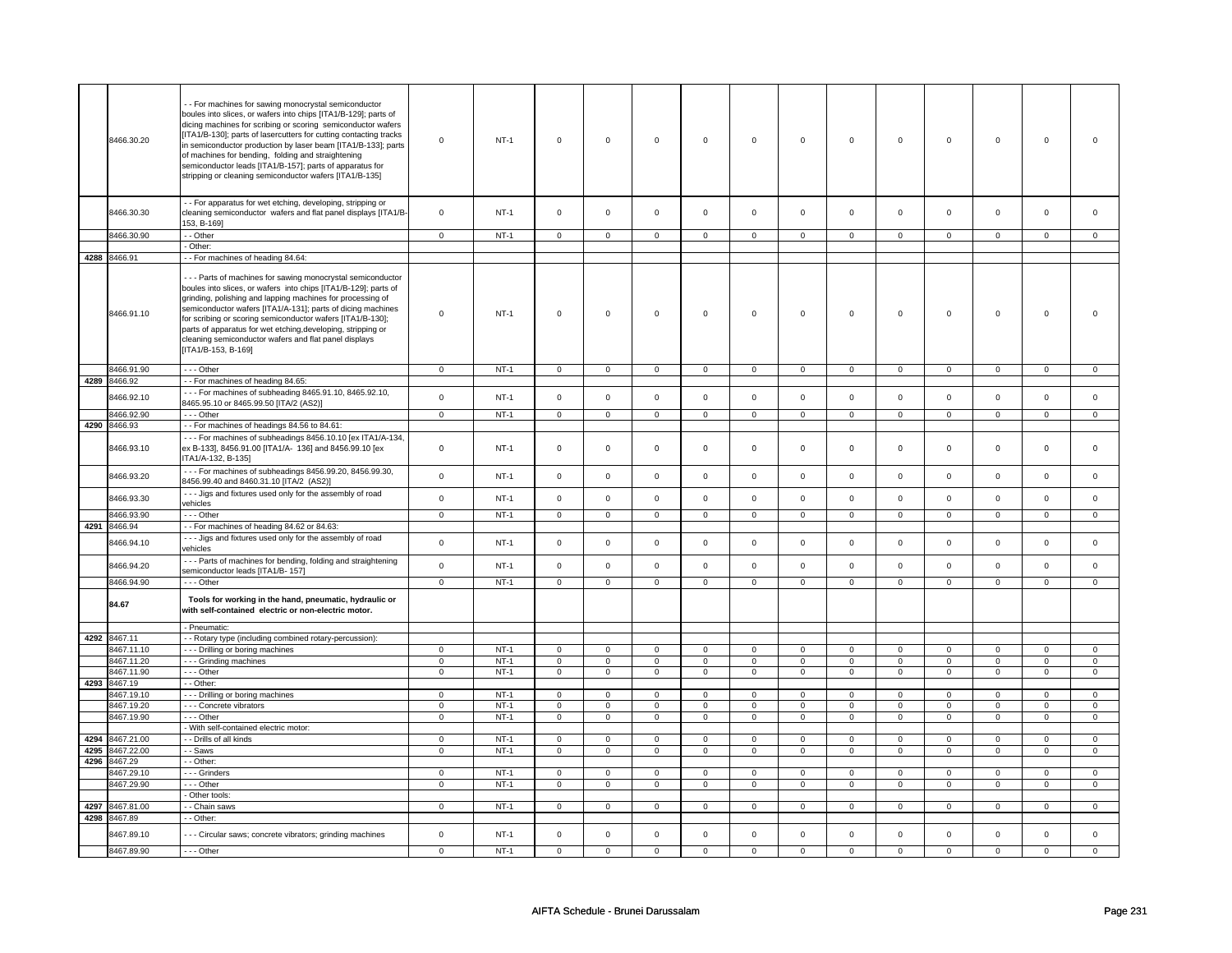|      | 8466.30.20               | - - For machines for sawing monocrystal semiconductor<br>boules into slices, or wafers into chips [ITA1/B-129]; parts of<br>dicing machines for scribing or scoring semiconductor wafers<br>[ITA1/B-130]; parts of lasercutters for cutting contacting tracks<br>in semiconductor production by laser beam [ITA1/B-133]; parts<br>of machines for bending, folding and straightening<br>semiconductor leads [ITA1/B-157]; parts of apparatus for<br>stripping or cleaning semiconductor wafers [ITA1/B-135] | $\mathsf 0$                | $NT-1$           | $\mathsf 0$                | $\mathsf 0$                | $\mathsf 0$                                | $\mathsf 0$                | $\mathsf 0$                        | $\mathsf 0$                 | $\mathsf 0$                | $\mathbf 0$                 | $\mathsf 0$                | $\mathbf 0$                 | $\mathsf 0$                | 0                          |
|------|--------------------------|-------------------------------------------------------------------------------------------------------------------------------------------------------------------------------------------------------------------------------------------------------------------------------------------------------------------------------------------------------------------------------------------------------------------------------------------------------------------------------------------------------------|----------------------------|------------------|----------------------------|----------------------------|--------------------------------------------|----------------------------|------------------------------------|-----------------------------|----------------------------|-----------------------------|----------------------------|-----------------------------|----------------------------|----------------------------|
|      | 8466.30.30               | - - For apparatus for wet etching, developing, stripping or<br>cleaning semiconductor wafers and flat panel displays [ITA1/B-<br>153, B-169]                                                                                                                                                                                                                                                                                                                                                                | $\mathbf 0$                | $NT-1$           | $\mathbf 0$                | $\mathbf 0$                | $\mathbf{0}$                               | $\mathbf 0$                | $\mathbf 0$                        | $\mathbf{0}$                | $\mathbf 0$                | $\mathbf{0}$                | $\mathbf 0$                | $\mathbf{0}$                | $\Omega$                   | $\mathbf{0}$               |
|      | 8466.30.90               | - - Other                                                                                                                                                                                                                                                                                                                                                                                                                                                                                                   | $\mathsf 0$                | $NT-1$           | $\mathsf 0$                | $\mathbf 0$                | $\mathbf 0$                                | $\mathbf 0$                | $\mathbf 0$                        | $\mathbf 0$                 | $\mathbf 0$                | $\mathbf 0$                 | $\mathsf 0$                | $\mathbf 0$                 | $\Omega$                   | 0                          |
|      |                          | - Other:                                                                                                                                                                                                                                                                                                                                                                                                                                                                                                    |                            |                  |                            |                            |                                            |                            |                                    |                             |                            |                             |                            |                             |                            |                            |
|      | 4288 8466.91             | - For machines of heading 84.64:                                                                                                                                                                                                                                                                                                                                                                                                                                                                            |                            |                  |                            |                            |                                            |                            |                                    |                             |                            |                             |                            |                             |                            |                            |
|      | 8466.91.10               | --- Parts of machines for sawing monocrystal semiconductor<br>boules into slices, or wafers into chips [ITA1/B-129]; parts of<br>grinding, polishing and lapping machines for processing of<br>semiconductor wafers [ITA1/A-131]; parts of dicing machines<br>for scribing or scoring semiconductor wafers [ITA1/B-130];<br>parts of apparatus for wet etching, developing, stripping or<br>cleaning semiconductor wafers and flat panel displays<br>[ITA1/B-153, B-169]                                    | $\mathbf 0$                | $NT-1$           | $\mathsf 0$                | $\mathbf 0$                | $\mathsf 0$                                | $\mathbf 0$                | $\mathsf 0$                        | $\mathsf 0$                 | $\mathbf 0$                | $\mathsf 0$                 | $\mathsf 0$                | $\mathbf 0$                 | $\mathbf 0$                | $\mathbf{0}$               |
|      | 8466.91.90               | $- -$ Other                                                                                                                                                                                                                                                                                                                                                                                                                                                                                                 | $\mathbf 0$                | $NT-1$           | $\mathsf 0$                | $\mathsf 0$                | $\mathbf 0$                                | $\mathbf 0$                | $\mathbf 0$                        | $\mathbf 0$                 | $\mathbf 0$                | $\mathsf 0$                 | $\mathbf 0$                | $\mathsf 0$                 | 0                          | $\mathsf 0$                |
| 4289 | 8466.92                  | - - For machines of heading 84.65:                                                                                                                                                                                                                                                                                                                                                                                                                                                                          |                            |                  |                            |                            |                                            |                            |                                    |                             |                            |                             |                            |                             |                            |                            |
|      | 8466.92.10               | --- For machines of subheading 8465.91.10, 8465.92.10,<br>8465.95.10 or 8465.99.50 [ITA/2 (AS2)]                                                                                                                                                                                                                                                                                                                                                                                                            | $\mathsf 0$                | $NT-1$           | $\mathsf 0$                | $\mathsf{o}\,$             | $\mathsf{O}\xspace$                        | $\mathsf{o}\,$             | $\mathsf{O}\xspace$                | $\mathbf 0$                 | $\mathsf 0$                | $\mathbf 0$                 | $\mathsf 0$                | $\mathbf 0$                 | $\mathsf 0$                | $\mathbf 0$                |
|      | 8466.92.90               | --- Other                                                                                                                                                                                                                                                                                                                                                                                                                                                                                                   | $\mathbf{0}$               | $NT-1$           | $\mathsf 0$                | $\mathbf 0$                | $\mathsf{O}$                               | $\mathsf 0$                | $\mathsf{O}$                       | $\mathbf 0$                 | $\mathsf{O}$               | $\mathbf 0$                 | $\mathbf 0$                | $\mathbf 0$                 | $\Omega$                   | $\mathbf 0$                |
| 4290 | 8466.93                  | - - For machines of headings 84.56 to 84.61:                                                                                                                                                                                                                                                                                                                                                                                                                                                                |                            |                  |                            |                            |                                            |                            |                                    |                             |                            |                             |                            |                             |                            |                            |
|      | 8466.93.10               | --- For machines of subheadings 8456.10.10 [ex ITA1/A-134,<br>ex B-133], 8456.91.00 [ITA1/A- 136] and 8456.99.10 [ex<br>ITA1/A-132, B-135]                                                                                                                                                                                                                                                                                                                                                                  | $\mathbf 0$                | $NT-1$           | $\mathsf{o}\,$             | $\mathsf 0$                | $\mathsf{o}\,$                             | $\mathsf 0$                | $\mathsf{o}\,$                     | $\circ$                     | $\mathbf 0$                | $\mathsf{o}\,$              | 0                          | $\mathbf{0}$                | $\mathbf{0}$               | $\mathbf{0}$               |
|      | 8466.93.20               | --- For machines of subheadings 8456.99.20, 8456.99.30,<br>8456.99.40 and 8460.31.10 [ITA/2 (AS2)]                                                                                                                                                                                                                                                                                                                                                                                                          | $\mathsf 0$                | $NT-1$           | $\mathsf 0$                | $\mathsf 0$                | $\mathbf 0$                                | $\mathsf 0$                | $\mathbf 0$                        | $\mathbf 0$                 | $\mathbf 0$                | $\mathsf 0$                 | $\mathbf 0$                | $\mathbf 0$                 | $\mathbf 0$                | $\mathbf{0}$               |
|      | 8466.93.30               | - - - Jigs and fixtures used only for the assembly of road<br>vehicles                                                                                                                                                                                                                                                                                                                                                                                                                                      | $\mathbf 0$                | $NT-1$           | $\mathsf 0$                | $\mathsf 0$                | $\mathbf 0$                                | $\mathsf 0$                | $\mathsf{O}\xspace$                | $\mathsf 0$                 | $\mathbf 0$                | $\mathsf 0$                 | $\mathsf 0$                | $\mathbf 0$                 | $\mathbf 0$                | $\mathsf 0$                |
|      | 8466.93.90               | --- Other                                                                                                                                                                                                                                                                                                                                                                                                                                                                                                   | $\mathsf 0$                | $NT-1$           | $\mathbf 0$                | $\mathbf 0$                | $\mathbf 0$                                | $\mathbf 0$                | $\mathbf 0$                        | $\mathbf 0$                 | 0                          | $\mathbf 0$                 | 0                          | $\mathbf 0$                 | 0                          | $\mathbf 0$                |
| 4291 | 8466.94                  | - - For machines of heading 84.62 or 84.63:                                                                                                                                                                                                                                                                                                                                                                                                                                                                 |                            |                  |                            |                            |                                            |                            |                                    |                             |                            |                             |                            |                             |                            |                            |
|      | 8466.94.10               | --- Jigs and fixtures used only for the assembly of road<br>vehicles                                                                                                                                                                                                                                                                                                                                                                                                                                        | $\mathbf 0$                | $NT-1$           | $\mathsf 0$                | $\mathsf 0$                | $\mathsf{O}\xspace$                        | $\mathsf 0$                | $\mathsf 0$                        | $\mathbf 0$                 | $\mathbf 0$                | $\mathbf 0$                 | $\mathsf 0$                | $\mathbf 0$                 | $\mathbf 0$                | $\mathbf 0$                |
|      | 8466.94.20               | --- Parts of machines for bending, folding and straightening<br>semiconductor leads [ITA1/B- 157]                                                                                                                                                                                                                                                                                                                                                                                                           | $\mathsf 0$                | $NT-1$           | $\mathsf 0$                | $\mathbf 0$                | $\mathsf 0$                                | $\mathbf 0$                | $\mathsf 0$                        | $\mathbf 0$                 | $\mathbf 0$                | $\mathbf 0$                 | $\mathsf 0$                | $\mathbf 0$                 | $\mathbf 0$                | $\mathbf 0$                |
|      | 8466.94.90               | --- Other                                                                                                                                                                                                                                                                                                                                                                                                                                                                                                   | $\mathbf 0$                | $NT-1$           | $\mathsf 0$                | $\mathsf 0$                | $\mathsf 0$                                | $\mathsf 0$                | $\mathsf{O}\xspace$                | $\mathsf 0$                 | $\mathsf 0$                | $\mathbf 0$                 | $\mathsf 0$                | $\mathbf 0$                 | $\mathsf 0$                | $\mathbf 0$                |
|      | 84.67                    | Tools for working in the hand, pneumatic, hydraulic or<br>with self-contained electric or non-electric motor.                                                                                                                                                                                                                                                                                                                                                                                               |                            |                  |                            |                            |                                            |                            |                                    |                             |                            |                             |                            |                             |                            |                            |
|      |                          | - Pneumatic:                                                                                                                                                                                                                                                                                                                                                                                                                                                                                                |                            |                  |                            |                            |                                            |                            |                                    |                             |                            |                             |                            |                             |                            |                            |
| 4292 | 8467.11                  | - - Rotary type (including combined rotary-percussion):                                                                                                                                                                                                                                                                                                                                                                                                                                                     |                            |                  |                            |                            |                                            |                            |                                    |                             |                            |                             |                            |                             |                            |                            |
|      | 8467.11.10<br>8467.11.20 | --- Drilling or boring machines<br>--- Grinding machines                                                                                                                                                                                                                                                                                                                                                                                                                                                    | $\mathbf 0$<br>$\mathbf 0$ | $NT-1$<br>$NT-1$ | $\mathsf 0$<br>$\mathsf 0$ | $\mathsf 0$<br>$\mathsf 0$ | $\mathsf{O}\xspace$<br>$\mathsf{O}\xspace$ | $\mathsf 0$<br>$\mathsf 0$ | $\mathsf 0$<br>$\mathsf{O}\xspace$ | $\mathsf{O}$<br>$\mathbf 0$ | $\mathsf 0$<br>$\mathsf 0$ | $\mathsf{O}$<br>$\mathbf 0$ | $\mathsf 0$<br>$\mathsf 0$ | $\mathsf{O}$<br>$\mathbf 0$ | $\mathsf 0$<br>$\mathsf 0$ | $\mathsf 0$<br>$\mathbf 0$ |
|      | 3467.11.90               | $- -$ Other                                                                                                                                                                                                                                                                                                                                                                                                                                                                                                 | $\mathbf 0$                | $NT-1$           | $\mathsf 0$                | $\overline{0}$             | $\mathsf 0$                                | $\overline{0}$             | $\mathsf{O}\xspace$                | $\overline{0}$              | $\mathbf 0$                | $\mathsf 0$                 | $\mathsf 0$                | $\mathsf 0$                 | $\mathsf 0$                | $\mathsf 0$                |
| 4293 | 8467.19                  | - - Other:                                                                                                                                                                                                                                                                                                                                                                                                                                                                                                  |                            |                  |                            |                            |                                            |                            |                                    |                             |                            |                             |                            |                             |                            |                            |
|      | 8467.19.10               | --- Drilling or boring machines                                                                                                                                                                                                                                                                                                                                                                                                                                                                             | $\mathsf 0$                | $NT-1$           | $\mathbf 0$                | $\mathbf 0$                | $\mathbf 0$                                | $\mathbf 0$                | $\mathbf 0$                        | $\mathbf 0$                 | $\mathbf 0$                | $\mathbf 0$                 | $\mathbf 0$                | $\mathbf 0$                 | $\mathsf 0$                | $\mathbf{0}$               |
|      | 8467.19.20               | - - - Concrete vibrators                                                                                                                                                                                                                                                                                                                                                                                                                                                                                    | $\mathbf 0$                | $NT-1$           | $\mathbf 0$                | $\mathbf 0$                | $\mathbf 0$                                | $\mathbf 0$                | $\mathbf 0$                        | $\mathbf 0$                 | $\mathbf 0$                | $\mathbf 0$                 | $\mathbf 0$                | $\mathbf{0}$                | $\mathbf 0$                | $\mathbf{0}$               |
|      | 8467.19.90               | --- Other                                                                                                                                                                                                                                                                                                                                                                                                                                                                                                   | $\overline{0}$             | $NT-1$           | $\overline{0}$             | $\overline{0}$             | $\overline{0}$                             | $\overline{0}$             | $\overline{0}$                     | $\overline{0}$              | $\overline{0}$             | $\overline{0}$              | $\overline{0}$             | $\overline{0}$              | $\overline{0}$             | $\overline{0}$             |
|      |                          | - With self-contained electric motor:                                                                                                                                                                                                                                                                                                                                                                                                                                                                       |                            |                  |                            |                            |                                            |                            |                                    |                             |                            |                             |                            |                             |                            |                            |
| 4294 | 8467.21.00               | - - Drills of all kinds                                                                                                                                                                                                                                                                                                                                                                                                                                                                                     | $\mathsf 0$                | $NT-1$           | $\mathbf 0$                | $\mathbf 0$                | $\mathbf 0$                                | $\mathbf 0$                | $\mathbf 0$                        | $\mathsf 0$                 | 0                          | $\mathsf 0$                 | $\mathsf 0$                | $\mathbf 0$                 | $\mathbf 0$                | 0                          |
| 4295 | 8467.22.00               | - - Saws                                                                                                                                                                                                                                                                                                                                                                                                                                                                                                    | $\mathbf 0$                | $NT-1$           | $\mathsf 0$                | $\mathsf 0$                | $\mathsf{O}$                               | $\mathbf 0$                | $\mathsf{O}$                       | $\mathbf 0$                 | $\mathsf 0$                | $\mathbf 0$                 | $\mathbf 0$                | $\mathbf 0$                 | $\mathbf 0$                | $\mathbf 0$                |
| 4296 | 8467.29                  | - Other:                                                                                                                                                                                                                                                                                                                                                                                                                                                                                                    |                            |                  |                            |                            |                                            |                            |                                    |                             |                            |                             |                            |                             |                            |                            |
|      | 8467.29.10               | --- Grinders                                                                                                                                                                                                                                                                                                                                                                                                                                                                                                | $\mathsf 0$                | $NT-1$           | $\mathbf 0$                | $\mathbf 0$                | $\mathsf 0$                                | $\mathbf 0$                | $\mathsf 0$                        | $\mathbf 0$                 | $\mathbf 0$                | $\mathbf 0$                 | $\mathsf 0$                | $\mathbf 0$                 | $\Omega$                   | $\mathbf 0$                |
|      | 8467.29.90               | --- Other                                                                                                                                                                                                                                                                                                                                                                                                                                                                                                   | $\mathsf 0$                | $NT-1$           | $\mathbf 0$                | $\mathbf 0$                | $\mathbf{0}$                               | $\mathbf 0$                | $\mathbf{0}$                       | $\mathbf{0}$                | $\mathbf{0}$               | $\mathbf{0}$                | $\mathbf 0$                | $\mathbf{0}$                | $\mathbf 0$                | $\mathbf 0$                |
|      |                          | - Other tools:                                                                                                                                                                                                                                                                                                                                                                                                                                                                                              |                            |                  |                            |                            |                                            |                            |                                    |                             |                            |                             |                            |                             |                            |                            |
| 4297 | 8467.81.00               | - Chain saws                                                                                                                                                                                                                                                                                                                                                                                                                                                                                                | $\mathsf 0$                | $NT-1$           | $\mathbf 0$                | $\mathbf 0$                | $\mathsf 0$                                | $\mathbf 0$                | $\mathbf 0$                        | $\mathbf 0$                 | $\mathbf 0$                | $\mathbf 0$                 | $\mathsf 0$                | $\mathbf 0$                 | 0                          | $\mathbf 0$                |
| 4298 | 8467.89                  | - Other:                                                                                                                                                                                                                                                                                                                                                                                                                                                                                                    |                            |                  |                            |                            |                                            |                            |                                    |                             |                            |                             |                            |                             |                            |                            |
|      | 8467.89.10               | --- Circular saws; concrete vibrators; grinding machines                                                                                                                                                                                                                                                                                                                                                                                                                                                    | $\mathsf 0$                | $NT-1$           | $\mathsf 0$                | $\mathsf 0$                | $\mathbf 0$                                | $\mathsf 0$                | $\mathsf 0$                        | $\mathbf 0$                 | $\mathbf 0$                | $\mathbf 0$                 | $\mathsf 0$                | $\mathbf 0$                 | $\mathbf 0$                | $\mathbf{0}$               |
|      | 8467.89.90               | $- -$ Other                                                                                                                                                                                                                                                                                                                                                                                                                                                                                                 | $\overline{0}$             | $NT-1$           | $\overline{0}$             | $\overline{0}$             | $\Omega$                                   | $\overline{0}$             | $\overline{0}$                     | $\overline{0}$              | $\overline{0}$             | $\overline{0}$              | $\overline{0}$             | $\overline{0}$              | $\Omega$                   | $\overline{0}$             |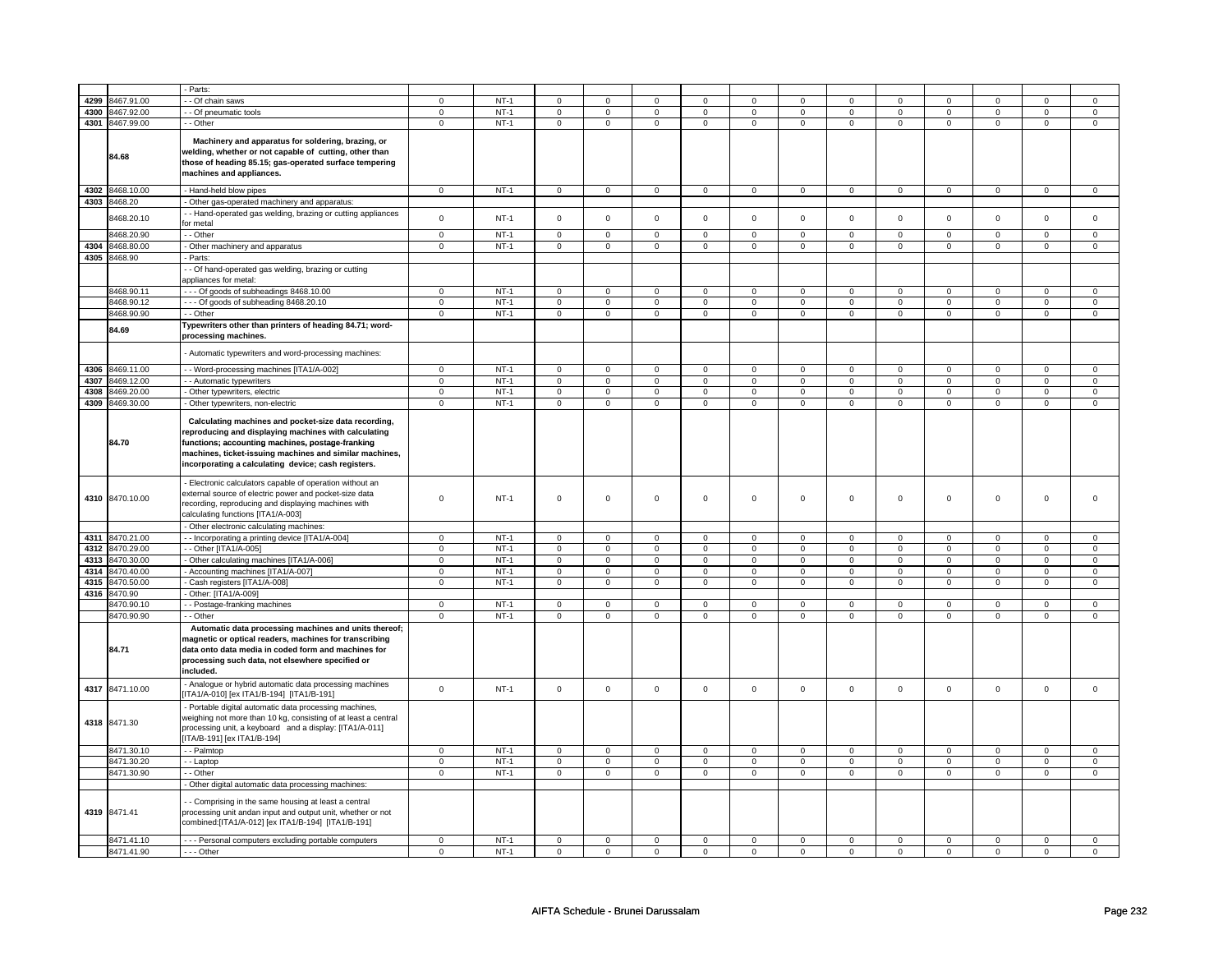|      |                 | - Parts:                                                                                                                                                                                                                                                                           |             |        |                     |                |                     |                |                     |              |             |                |                     |                |             |                |
|------|-----------------|------------------------------------------------------------------------------------------------------------------------------------------------------------------------------------------------------------------------------------------------------------------------------------|-------------|--------|---------------------|----------------|---------------------|----------------|---------------------|--------------|-------------|----------------|---------------------|----------------|-------------|----------------|
| 4299 | 8467.91.00      | - Of chain saws                                                                                                                                                                                                                                                                    | 0           | $NT-1$ | $\mathbf 0$         | $\mathbf 0$    | $\mathbf 0$         | $\mathbf 0$    | $^{\circ}$          | 0            | $^{\circ}$  | 0              | 0                   | 0              | 0           | 0              |
| 4300 | 8467.92.00      | - Of pneumatic tools                                                                                                                                                                                                                                                               | 0           | $NT-1$ | $\mathsf 0$         | $\mathsf 0$    | 0                   | $\mathsf 0$    | 0                   | $\mathbf 0$  | 0           | $\mathbf 0$    | 0                   | $\mathbf 0$    | 0           | $\mathbf 0$    |
| 4301 | 8467.99.00      | - - Other                                                                                                                                                                                                                                                                          | $\mathbf 0$ | $NT-1$ | $\mathbf 0$         | $\mathbf 0$    | $\mathbf{0}$        | $\mathbf 0$    | $\mathbf{0}$        | $\mathbf{0}$ | $\mathbf 0$ | $\mathbf{0}$   | $\mathbf 0$         | $\mathbf{0}$   | $\mathbf 0$ | $\mathbf{0}$   |
|      | 84.68           | Machinery and apparatus for soldering, brazing, or<br>welding, whether or not capable of cutting, other than<br>those of heading 85.15; gas-operated surface tempering<br>machines and appliances.                                                                                 |             |        |                     |                |                     |                |                     |              |             |                |                     |                |             |                |
| 4302 | 8468.10.00      |                                                                                                                                                                                                                                                                                    | $\mathbf 0$ | $NT-1$ | $\mathsf 0$         | $\mathbf{0}$   | $\mathsf 0$         | $\mathbf{0}$   | $\mathsf 0$         | $\mathbf{0}$ | $\mathsf 0$ | $\mathbf{0}$   | $\mathsf{O}\xspace$ | $\mathbf{0}$   | $\mathsf 0$ | $\mathbf{0}$   |
|      |                 | - Hand-held blow pipes                                                                                                                                                                                                                                                             |             |        |                     |                |                     |                |                     |              |             |                |                     |                |             |                |
| 4303 | 8468.20         | Other gas-operated machinery and apparatus:                                                                                                                                                                                                                                        |             |        |                     |                |                     |                |                     |              |             |                |                     |                |             |                |
|      | 8468.20.10      | - Hand-operated gas welding, brazing or cutting appliances<br>for metal                                                                                                                                                                                                            | $\mathbf 0$ | $NT-1$ | $\mathbf 0$         | $\mathsf 0$    | $\mathbf 0$         | $\mathsf 0$    | $\mathsf{O}\xspace$ | $\mathsf 0$  | $\mathbf 0$ | $\mathsf 0$    | $\mathbf 0$         | $\mathsf 0$    | $\mathbf 0$ | 0              |
|      | 3468.20.90      | - Other                                                                                                                                                                                                                                                                            | $\mathsf 0$ | $NT-1$ | $\mathbf 0$         | $\mathbf 0$    | $\mathsf 0$         | $\mathbf 0$    | $\mathsf 0$         | $\mathbf 0$  | $\mathbf 0$ | $\mathbf 0$    | $\mathsf 0$         | $\mathbf 0$    | $\mathbf 0$ | $\mathbf 0$    |
| 4304 | 8468.80.00      | - Other machinery and apparatus                                                                                                                                                                                                                                                    | $\mathsf 0$ | $NT-1$ | $\mathbf 0$         | $\mathbf 0$    | $\mathbf 0$         | $\mathbf 0$    | $\mathbf 0$         | $\mathbf 0$  | $\mathbf 0$ | $\mathbf 0$    | $\mathbf{0}$        | $\mathbf 0$    | 0           | $\mathbf{0}$   |
| 4305 | 8468.90         | - Parts:                                                                                                                                                                                                                                                                           |             |        |                     |                |                     |                |                     |              |             |                |                     |                |             |                |
|      |                 | - Of hand-operated gas welding, brazing or cutting<br>appliances for metal:                                                                                                                                                                                                        |             |        |                     |                |                     |                |                     |              |             |                |                     |                |             |                |
|      | 8468.90.11      | --- Of goods of subheadings 8468.10.00                                                                                                                                                                                                                                             | $\mathsf 0$ | $NT-1$ | $\mathsf 0$         | $\mathsf 0$    | 0                   | $\mathsf 0$    | $\mathsf{O}\xspace$ | $\mathbf 0$  | $\mathsf 0$ | $\mathsf 0$    | $\mathsf 0$         | $\mathsf 0$    | $\Omega$    | 0              |
|      | 8468.90.12      | --- Of goods of subheading 8468.20.10                                                                                                                                                                                                                                              | $\mathbf 0$ | $NT-1$ | $\mathsf 0$         | $\mathsf 0$    | $\mathsf{O}\xspace$ | $\mathsf 0$    | $\mathsf{O}\xspace$ | $\mathsf{O}$ | $\mathsf 0$ | $\mathsf{O}$   | $\mathsf 0$         | $\mathsf{O}$   | $\mathsf 0$ | $\mathsf 0$    |
|      | 8468.90.90      | - Other                                                                                                                                                                                                                                                                            | $\mathsf 0$ | $NT-1$ | $\mathbf 0$         | $\mathbf 0$    | $\mathbf 0$         | $\mathbf 0$    | $\mathbf 0$         | $\mathbf 0$  | $\mathbf 0$ | $\mathbf 0$    | $\mathbf 0$         | $\mathbf 0$    | 0           | $\overline{0}$ |
|      | 84.69           | Typewriters other than printers of heading 84.71; word-<br>processing machines.                                                                                                                                                                                                    |             |        |                     |                |                     |                |                     |              |             |                |                     |                |             |                |
|      |                 | Automatic typewriters and word-processing machines:                                                                                                                                                                                                                                |             |        |                     |                |                     |                |                     |              |             |                |                     |                |             |                |
| 4306 | 3469.11.00      | - Word-processing machines [ITA1/A-002]                                                                                                                                                                                                                                            | $\mathbf 0$ | $NT-1$ | $\mathsf 0$         | $\mathsf 0$    | $\mathbf 0$         | $\mathsf 0$    | $\mathbf 0$         | $\mathsf 0$  | 0           | $\mathsf 0$    | 0                   | $\mathbf 0$    | $\mathbf 0$ | $\mathsf 0$    |
| 4307 | 8469.12.00      | - - Automatic typewriters                                                                                                                                                                                                                                                          | $\mathsf 0$ | $NT-1$ | $\mathsf 0$         | $\mathsf 0$    | $\mathbf 0$         | $\mathsf 0$    | $\mathbf 0$         | $\mathbf 0$  | $\mathbf 0$ | $\mathbf 0$    | 0                   | $\mathbf 0$    | 0           | $\mathbf 0$    |
| 4308 | 8469.20.00      | - Other typewriters, electric                                                                                                                                                                                                                                                      | $\mathbf 0$ | $NT-1$ | $\mathsf 0$         | $\mathbf 0$    | $\mathbf 0$         | $\mathsf 0$    | $\mathsf{O}\xspace$ | $\mathbf 0$  | $\mathbf 0$ | $\mathsf 0$    | $\mathsf 0$         | $\mathbf 0$    | $\mathbf 0$ | $\mathbf 0$    |
| 4309 | 8469.30.00      | - Other typewriters, non-electric                                                                                                                                                                                                                                                  | $\Omega$    | $NT-1$ | $\mathbf 0$         | $\mathbf 0$    | $\mathbf 0$         | $\mathbf 0$    | $\mathbf 0$         | $\mathbf 0$  | $\mathbf 0$ | $\mathbf{0}$   | $\mathbf 0$         | $\mathbf 0$    | $\mathbf 0$ | $\mathbf{0}$   |
|      | 84.70           | Calculating machines and pocket-size data recording,<br>reproducing and displaying machines with calculating<br>functions; accounting machines, postage-franking<br>machines, ticket-issuing machines and similar machines,<br>incorporating a calculating device; cash registers. |             |        |                     |                |                     |                |                     |              |             |                |                     |                |             |                |
|      | 4310 8470.10.00 | - Electronic calculators capable of operation without an<br>external source of electric power and pocket-size data<br>recording, reproducing and displaying machines with<br>calculating functions [ITA1/A-003]                                                                    | $\Omega$    | $NT-1$ | $\mathbf 0$         | $\mathbf 0$    | $\mathbf 0$         | $\mathbf 0$    | $\mathbf 0$         | $\mathbf 0$  | $\mathbf 0$ | $\mathbf 0$    | $\mathbf 0$         | $\mathbf 0$    | $\mathbf 0$ | $\mathbf{0}$   |
|      |                 | - Other electronic calculating machines:                                                                                                                                                                                                                                           |             |        |                     |                |                     |                |                     |              |             |                |                     |                |             |                |
| 4311 | 8470.21.00      | - - Incorporating a printing device [ITA1/A-004]                                                                                                                                                                                                                                   | $\mathbf 0$ | $NT-1$ | $\mathbf 0$         | $\Omega$       | $\mathbf 0$         | $\mathbf 0$    | $\mathsf 0$         | $\mathsf 0$  | $\mathbf 0$ | $\mathsf 0$    | $\mathsf 0$         | $\mathbf 0$    | $\Omega$    | 0              |
| 4312 | 8470.29.00      | - - Other [ITA1/A-005]                                                                                                                                                                                                                                                             | $\mathbf 0$ | $NT-1$ | $\mathsf 0$         | $\mathsf 0$    | $\mathsf 0$         | $\mathsf 0$    | $\mathsf{O}\xspace$ | $\mathsf 0$  | $\mathbf 0$ | $\mathbf 0$    | $\mathsf 0$         | $\mathbf 0$    | $\mathsf 0$ | $\overline{0}$ |
| 4313 | 8470.30.00      | - Other calculating machines [ITA1/A-006]                                                                                                                                                                                                                                          | $\mathbf 0$ | $NT-1$ | $\mathsf{O}\xspace$ | $\mathsf 0$    | $\mathsf{O}\xspace$ | $\mathsf 0$    | $\mathsf{O}\xspace$ | $\mathsf 0$  | $\mathsf 0$ | $\mathsf 0$    | $\mathsf 0$         | $\mathsf 0$    | 0           | 0              |
| 4314 | 8470.40.00      | - Accounting machines [ITA1/A-007]                                                                                                                                                                                                                                                 | $\mathbf 0$ | $NT-1$ | $\mathsf{O}\xspace$ | $\mathsf 0$    | $\mathbf 0$         | $\mathsf 0$    | $\mathsf{O}\xspace$ | $\mathbf 0$  | $\mathbf 0$ | $\mathbf 0$    | $\mathsf 0$         | $\mathbf{0}$   | $\mathbf 0$ | $\mathbf{0}$   |
| 4315 | 8470.50.00      | Cash registers [ITA1/A-008]                                                                                                                                                                                                                                                        | $\mathsf 0$ | $NT-1$ | $\mathsf 0$         | $\mathsf 0$    | $\mathsf 0$         | $\mathsf 0$    | $\mathsf 0$         | $\mathbf 0$  | $\mathsf 0$ | $\mathbf 0$    | $\mathbf 0$         | $\mathbf 0$    | $\mathsf 0$ | $\mathbf 0$    |
| 4316 | 8470.90         | Other: [ITA1/A-009]                                                                                                                                                                                                                                                                |             |        |                     |                |                     |                |                     |              |             |                |                     |                |             |                |
|      | 8470.90.10      | - Postage-franking machines                                                                                                                                                                                                                                                        | $\mathsf 0$ | $NT-1$ | $\mathbf 0$         | $\mathbf 0$    | $\mathbf 0$         | $\mathbf 0$    | $\mathbf 0$         | $\mathbf 0$  | $\mathbf 0$ | $\mathbf 0$    | $\mathsf 0$         | $\mathbf 0$    | $\mathbf 0$ | $\mathbf 0$    |
|      | 8470.90.90      | - - Other                                                                                                                                                                                                                                                                          | $\mathsf 0$ | $NT-1$ | $\mathbf 0$         | $\overline{0}$ | $\mathbf 0$         | $\overline{0}$ | $\mathsf 0$         | $\mathbf 0$  | $\mathbf 0$ | $\overline{0}$ | $\mathsf 0$         | $\overline{0}$ | $\mathsf 0$ | $\overline{0}$ |
|      | 84.71           | Automatic data processing machines and units thereof;<br>magnetic or optical readers, machines for transcribing<br>data onto data media in coded form and machines for<br>processing such data, not elsewhere specified or<br>included.                                            |             |        |                     |                |                     |                |                     |              |             |                |                     |                |             |                |
| 4317 | 8471.10.00      | - Analogue or hybrid automatic data processing machines<br>[ITA1/A-010] [ex ITA1/B-194] [ITA1/B-191]                                                                                                                                                                               | $\mathsf 0$ | $NT-1$ | $\mathsf 0$         | $\mathsf 0$    | $\mathsf 0$         | $\mathbf 0$    | $\mathsf 0$         | $\mathsf 0$  | $\mathbf 0$ | $\mathsf 0$    | $\mathsf 0$         | $\mathbf 0$    | $\mathsf 0$ | $\mathbf 0$    |
|      | 4318 8471.30    | - Portable digital automatic data processing machines,<br>weighing not more than 10 kg, consisting of at least a central<br>processing unit, a keyboard and a display: [ITA1/A-011]<br>[ITA/B-191] [ex ITA1/B-194]                                                                 |             |        |                     |                |                     |                |                     |              |             |                |                     |                |             |                |
|      | 8471.30.10      | - Palmtop                                                                                                                                                                                                                                                                          | $\mathsf 0$ | $NT-1$ | $\mathsf 0$         | $\mathsf 0$    | $\mathsf{O}\xspace$ | $\mathsf 0$    | $\mathsf 0$         | $\mathsf{O}$ | $\mathsf 0$ | $\mathsf 0$    | $\mathsf 0$         | $\mathsf 0$    | $\mathsf 0$ | $\mathsf 0$    |
|      | 8471.30.20      | - Laptop                                                                                                                                                                                                                                                                           | $\mathbf 0$ | $NT-1$ | $\mathsf 0$         | $\mathsf 0$    | $\mathsf{O}\xspace$ | $\mathsf 0$    | $\mathsf{O}\xspace$ | $\mathsf 0$  | $\mathsf 0$ | $\mathbf 0$    | $\mathsf 0$         | $\mathsf 0$    | $\mathsf 0$ | $\mathsf 0$    |
|      | 8471.30.90      | - Other                                                                                                                                                                                                                                                                            | $\mathsf 0$ | $NT-1$ | $\mathbf 0$         | $\mathbf 0$    | $\mathsf 0$         | $\mathbf 0$    | $\mathbf 0$         | $\mathbf 0$  | 0           | $\mathbf 0$    | $\mathsf 0$         | $\mathbf 0$    | 0           | $\mathbf 0$    |
|      |                 | - Other digital automatic data processing machines:                                                                                                                                                                                                                                |             |        |                     |                |                     |                |                     |              |             |                |                     |                |             |                |
|      | 4319 8471.41    | - Comprising in the same housing at least a central<br>processing unit andan input and output unit, whether or not<br>combined:[ITA1/A-012] [ex ITA1/B-194] [ITA1/B-191]                                                                                                           |             |        |                     |                |                     |                |                     |              |             |                |                     |                |             |                |
|      | 8471.41.10      | --- Personal computers excluding portable computers                                                                                                                                                                                                                                | $\mathsf 0$ | $NT-1$ | $\Omega$            | $\mathsf 0$    | $\mathsf 0$         | $\mathbf 0$    | $\mathsf 0$         | $\mathsf 0$  | $\mathbf 0$ | $\mathsf 0$    | $\mathsf 0$         | $\mathbf 0$    | $\mathsf 0$ | 0              |
|      | 8471.41.90      | $-$ - Other                                                                                                                                                                                                                                                                        | $\mathbf 0$ | $NT-1$ | $\mathbf 0$         | $\mathbf 0$    | $\mathbf 0$         | $\mathbf 0$    | $\mathbf 0$         | $\mathbf 0$  | $\mathbf 0$ | $\mathbf 0$    | $\mathbf 0$         | $\mathbf 0$    | $\mathbf 0$ | $\mathbf{0}$   |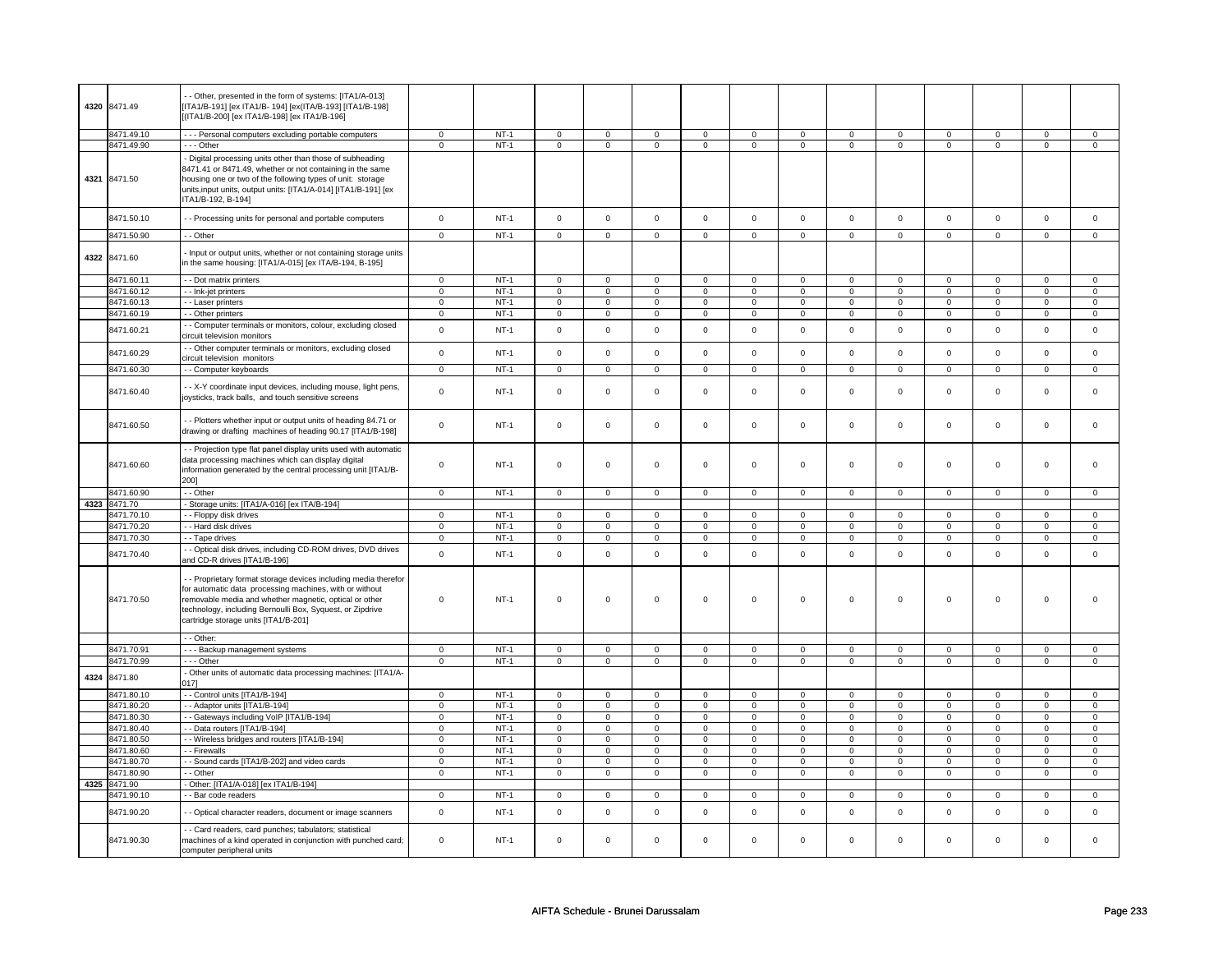| 4320 | 8471.49                  | - Other, presented in the form of systems: [ITA1/A-013]<br>[ITA1/B-191] [ex ITA1/B- 194] [ex(ITA/B-193] [ITA1/B-198]<br>[ITA1/B-200] [ex ITA1/B-198] [ex ITA1/B-196]                                                                                                                                    |                            |                  |                         |                            |                         |                            |                            |                            |                  |                            |                  |                            |                  |                        |
|------|--------------------------|---------------------------------------------------------------------------------------------------------------------------------------------------------------------------------------------------------------------------------------------------------------------------------------------------------|----------------------------|------------------|-------------------------|----------------------------|-------------------------|----------------------------|----------------------------|----------------------------|------------------|----------------------------|------------------|----------------------------|------------------|------------------------|
|      | 8471.49.10               | - - - Personal computers excluding portable computers                                                                                                                                                                                                                                                   | $\mathbf 0$                | $NT-1$           | $\mathbf 0$             | $\mathsf 0$                | $\Omega$                | $\mathbf 0$                | $\mathbf 0$                | $\mathbf 0$                | $\mathbf 0$      | $\mathbf 0$                | $\mathbf 0$      | $\mathbf 0$                | $\Omega$         | $\mathbf 0$            |
| 4321 | 8471.49.90<br>8471.50    | --- Other<br>- Digital processing units other than those of subheading<br>8471.41 or 8471.49, whether or not containing in the same<br>housing one or two of the following types of unit: storage<br>units, input units, output units: [ITA1/A-014] [ITA1/B-191] [ex<br>ITA1/B-192, B-194]              | $\mathbf 0$                | $NT-1$           | $\mathsf 0$             | $\overline{0}$             | $\mathsf 0$             | $\overline{0}$             | $\overline{0}$             | $\overline{0}$             | $\mathsf 0$      | $\overline{0}$             | $\pmb{0}$        | $\overline{0}$             | $\overline{0}$   | $\overline{0}$         |
|      | 8471.50.10               | - - Processing units for personal and portable computers                                                                                                                                                                                                                                                | $\mathbf 0$                | $NT-1$           | $\mathsf{O}\xspace$     | $\mathsf 0$                | $\mathsf 0$             | $\mathsf 0$                | $\mathsf{O}\xspace$        | $\mathsf 0$                | $\mathbf 0$      | $\mathbf 0$                | $\mathsf 0$      | $\mathsf 0$                | $\mathbf 0$      | $\mathbf 0$            |
|      | 8471.50.90               | - - Other                                                                                                                                                                                                                                                                                               | $\mathsf 0$                | $NT-1$           | $\mathsf 0$             | $\mathsf 0$                | $\mathbf 0$             | $\mathbf 0$                | $\mathsf 0$                | $\mathbf 0$                | $\mathbf 0$      | $\mathbf 0$                | $\mathsf 0$      | $\mathbf 0$                | $\mathbf 0$      | $\circ$                |
| 4322 | 8471.60                  | - Input or output units, whether or not containing storage units<br>in the same housing: [ITA1/A-015] [ex ITA/B-194, B-195]                                                                                                                                                                             |                            |                  |                         |                            |                         |                            |                            |                            |                  |                            |                  |                            |                  |                        |
|      | 8471.60.11               | - - Dot matrix printers                                                                                                                                                                                                                                                                                 | $\mathbf 0$                | $NT-1$           | $\mathsf 0$             | $\mathbf 0$                | $\Omega$                | $\Omega$                   | $\mathbf 0$                | $\mathbf 0$                | $\mathbf 0$      | $\mathbf 0$                | $\mathbf 0$      | 0                          | $\mathbf 0$      | $\mathbf 0$            |
|      | 8471.60.12               | - - Ink-jet printers                                                                                                                                                                                                                                                                                    | $\mathbf 0$                | $NT-1$           | $\overline{0}$          | $\overline{0}$             | $\overline{0}$          | $\overline{0}$             | $\overline{0}$             | $\overline{0}$             | $\overline{0}$   | $\overline{0}$             | $\overline{0}$   | $\overline{0}$             | $\overline{0}$   | $\overline{0}$         |
|      | 8471.60.13               | - - Laser printers                                                                                                                                                                                                                                                                                      | $\mathsf 0$                | $NT-1$           | $\mathsf 0$             | $\mathsf 0$                | $\mathsf 0$             | $\mathbf 0$                | $\mathsf 0$                | $\mathbf 0$                | 0                | $\mathbf 0$                | $\mathsf 0$      | $\mathbf 0$                | 0                | $\circ$                |
|      | 8471.60.19               | - - Other printers                                                                                                                                                                                                                                                                                      | $\mathbf 0$                | $NT-1$           | $\mathsf 0$             | $\mathbf 0$                | $\mathsf 0$             | $\mathsf 0$                | $\mathsf 0$                | $\mathsf 0$                | $\mathsf 0$      | $\mathsf{O}$               | $\mathsf 0$      | $\mathsf 0$                | 0                | $\mathsf 0$            |
|      | 8471.60.21               | - Computer terminals or monitors, colour, excluding closed<br>circuit television monitors                                                                                                                                                                                                               | $\mathbf 0$                | $NT-1$           | $\mathsf{O}\xspace$     | $\mathsf 0$                | $\mathsf 0$             | $\mathsf 0$                | $\mathsf{O}\xspace$        | $\mathsf 0$                | $\mathbf 0$      | $\mathbf 0$                | $\mathsf 0$      | $\mathbf 0$                | $\mathsf 0$      | $\mathbf 0$            |
|      | 8471.60.29               | - Other computer terminals or monitors, excluding closed<br>circuit television monitors                                                                                                                                                                                                                 | $\pmb{0}$                  | $NT-1$           | $\Omega$                | $\mathsf 0$                | $\mathsf 0$             | $\mathsf 0$                | $\mathsf{O}\xspace$        | $\mathsf 0$                | $\mathsf 0$      | $\mathbf 0$                | $\mathsf 0$      | $\mathsf 0$                | $\Omega$         | $\mathbf 0$            |
|      | 8471.60.30               | -- Computer keyboards                                                                                                                                                                                                                                                                                   | $\mathbf 0$                | $NT-1$           | $\mathsf 0$             | $\mathbf 0$                | $\mathsf 0$             | $\mathsf 0$                | $\mathsf{O}\xspace$        | $\mathsf 0$                | $\mathsf 0$      | $\mathsf{O}$               | $\mathsf 0$      | $\mathsf 0$                | $\mathsf 0$      | $\mathbf{0}$           |
|      | 8471.60.40               | - - X-Y coordinate input devices, including mouse, light pens,<br>joysticks, track balls, and touch sensitive screens                                                                                                                                                                                   | $\mathbf 0$                | $NT-1$           | $\mathbf 0$             | $\mathsf 0$                | $\mathsf 0$             | $\mathbf 0$                | $\mathsf 0$                | $\mathbf 0$                | $\mathbf 0$      | $\mathbf 0$                | $\mathsf 0$      | $\mathbf 0$                | $\mathbf 0$      | $\mathbf{0}$           |
|      | 8471.60.50               | - - Plotters whether input or output units of heading 84.71 or<br>drawing or drafting machines of heading 90.17 [ITA1/B-198]                                                                                                                                                                            | $\mathbf 0$                | $NT-1$           | $\mathsf 0$             | $\mathsf 0$                | $\mathsf 0$             | $\mathbf 0$                | $\mathsf 0$                | $\mathbf 0$                | $\mathbf 0$      | $\mathbf 0$                | $\mathsf 0$      | $\mathbf 0$                | $\mathbf{0}$     | $\circ$                |
|      | 8471.60.60               | - - Projection type flat panel display units used with automatic<br>data processing machines which can display digital<br>information generated by the central processing unit [ITA1/B-<br>200]                                                                                                         | $\mathsf 0$                | $NT-1$           | $\mathsf 0$             | $\mathbf 0$                | $\mathsf 0$             | $\mathbf 0$                | $\mathsf 0$                | $\mathbf 0$                | 0                | 0                          | $\mathsf 0$      | 0                          | $\mathbf 0$      | $\mathbf 0$            |
|      | 8471.60.90               | - - Other                                                                                                                                                                                                                                                                                               | $\overline{0}$             | $NT-1$           | $\overline{0}$          | $\overline{0}$             | $\overline{0}$          | $\overline{0}$             | $\overline{0}$             | $\overline{0}$             | $\overline{0}$   | $\overline{0}$             | $\overline{0}$   | $\overline{0}$             | $\overline{0}$   | $\overline{0}$         |
| 4323 | 8471.70                  | - Storage units: [ITA1/A-016] [ex ITA/B-194]                                                                                                                                                                                                                                                            |                            |                  |                         |                            |                         |                            |                            |                            |                  |                            |                  |                            |                  |                        |
|      | 8471.70.10               | - - Floppy disk drives                                                                                                                                                                                                                                                                                  | $\mathbf 0$                | $NT-1$           | $\mathsf 0$             | $\mathbf 0$                | $\mathbf 0$             | $\mathbf 0$                | $\mathsf{O}\xspace$        | $\mathsf 0$                | $\mathbf 0$      | $\mathbf 0$                | $\mathsf 0$      | $\mathbf 0$                | $\mathbf 0$      | $\overline{0}$         |
|      | 8471.70.20               | - Hard disk drives                                                                                                                                                                                                                                                                                      | $\mathbf 0$                | $NT-1$           | $\mathsf{O}\xspace$     | $\mathsf 0$                | $\mathsf 0$             | $\mathsf 0$                | $\mathsf 0$                | $\mathsf 0$                | $^{\circ}$       | $\mathbf 0$                | $\mathsf 0$      | $\mathsf 0$                | $\mathbf 0$      | $\mathsf 0$            |
|      | 8471.70.30               | - - Tape drives                                                                                                                                                                                                                                                                                         | $\mathsf 0$                | $NT-1$           | $\mathsf 0$             | $\mathsf 0$                | $\mathsf 0$             | $\mathsf 0$                | $\mathsf 0$                | $\mathsf 0$                | $\mathsf 0$      | $\mathbf 0$                | $\mathsf 0$      | $\mathsf 0$                | $\mathsf 0$      | $\mathsf 0$            |
|      | 8471.70.40               | - - Optical disk drives, including CD-ROM drives, DVD drives<br>and CD-R drives [ITA1/B-196]                                                                                                                                                                                                            | $\mathsf 0$                | $NT-1$           | $\mathsf{O}\xspace$     | $\mathsf 0$                | $\Omega$                | $\mathsf 0$                | $\mathsf{O}\xspace$        | $\mathsf 0$                | $\mathsf 0$      | $\mathbf 0$                | $\mathsf 0$      | $\mathsf 0$                | $\mathbf 0$      | $\mathsf 0$            |
|      | 8471.70.50               | - - Proprietary format storage devices including media therefor<br>for automatic data processing machines, with or without<br>removable media and whether magnetic, optical or other<br>technology, including Bernoulli Box, Syquest, or Zipdrive<br>cartridge storage units [ITA1/B-201]<br>- - Other: | $\mathbf 0$                | $NT-1$           | $\Omega$                | $\mathbf 0$                | $\mathbf 0$             | $\mathbf 0$                | $\mathbf 0$                | $\mathbf 0$                | $\mathbf 0$      | $\mathbf 0$                | $\mathbf 0$      | $\mathbf 0$                | $\mathbf 0$      | $\mathbf 0$            |
|      | 8471.70.91               | - - - Backup management systems                                                                                                                                                                                                                                                                         | $\mathbf 0$                | $NT-1$           | $\mathbf 0$             | 0                          | $\mathbf 0$             | $\mathsf 0$                | $\mathbf 0$                | $\mathbf 0$                | $\mathbf 0$      | $\mathsf 0$                | 0                | $\mathsf 0$                | $\mathbf 0$      | $\circ$                |
|      | 8471.70.99               | --- Other                                                                                                                                                                                                                                                                                               | $\mathsf 0$                | $NT-1$           | $\mathsf 0$             | $\mathbf 0$                | $\mathbf 0$             | $\mathbf 0$                | $\mathbf 0$                | $\mathbf 0$                | 0                | $\mathbf 0$                | 0                | $\mathbf 0$                | $\mathbf 0$      | $\mathbf 0$            |
| 4324 | 8471.80                  | - Other units of automatic data processing machines: [ITA1/A-<br>0171                                                                                                                                                                                                                                   |                            |                  |                         |                            |                         |                            |                            |                            |                  |                            |                  |                            |                  |                        |
|      | 8471.80.10               | -- Control units [ITA1/B-194]                                                                                                                                                                                                                                                                           | $\mathsf 0$                | $NT-1$           | $\mathsf 0$             | $\mathbf 0$                | $\mathsf 0$             | $\mathbf 0$                | $\mathsf{O}$               | $\mathbf 0$                | $\mathsf 0$      | $\mathbf 0$                | $\mathsf 0$      | $\Omega$                   | $\Omega$         | $\mathbf{0}$           |
|      | 8471.80.20               | - - Adaptor units [ITA1/B-194]                                                                                                                                                                                                                                                                          | $\pmb{0}$                  | $NT-1$           | $\mathsf 0$             | $\mathbf 0$                | $\mathsf 0$             | $\mathsf 0$                | $\mathsf{O}\xspace$        | $\mathsf 0$                | $\mathsf 0$      | $\mathsf{O}$               | $\mathsf 0$      | $\mathsf 0$                | $\mathsf 0$      | $\mathsf 0$            |
|      | 8471.80.30               | -- Gateways including VoIP [ITA1/B-194]                                                                                                                                                                                                                                                                 | $\overline{0}$             | $NT-1$           | $\overline{0}$          | $\overline{0}$             | $\overline{0}$          | $\overline{0}$             | $\overline{0}$             | $\overline{0}$             | $\overline{0}$   | $\overline{0}$             | $\overline{0}$   | $\overline{0}$             | $\overline{0}$   | $\overline{0}$         |
|      |                          |                                                                                                                                                                                                                                                                                                         |                            | $NT-1$           |                         |                            |                         |                            |                            |                            |                  |                            | $\mathsf 0$      |                            | $\Omega$         | $\circ$                |
|      | 8471.80.40<br>8471.80.50 | -- Data routers [ITA1/B-194]                                                                                                                                                                                                                                                                            | $\mathbf 0$                |                  | $\mathsf{O}\xspace$     | $\mathbf 0$                | $\mathsf 0$             | $\mathsf 0$                | $\mathsf{O}\xspace$        | $\mathsf 0$                | $\mathsf 0$      | $\mathsf 0$                |                  | $\mathsf 0$                | $\Omega$         |                        |
|      |                          | - Wireless bridges and routers [ITA1/B-194]                                                                                                                                                                                                                                                             | $\mathbf 0$                | $NT-1$           | $\mathsf{O}\xspace$     | $\mathbf 0$                | $\mathbf 0$             | $\mathsf 0$                | $\mathsf{O}\xspace$        | $\mathsf 0$                | $\mathbf 0$      | $\mathsf 0$                | $\mathbf 0$      | 0                          |                  | $\mathsf 0$            |
|      | 8471.80.60               | - - Firewalls                                                                                                                                                                                                                                                                                           | $\mathsf 0$                | $NT-1$           | $\mathsf 0$             | $\mathsf 0$                | $\mathsf 0$             | $\mathsf 0$                | $\mathsf 0$                | $\mathsf 0$                | $\mathsf 0$      | $\mathsf{O}\xspace$        | $\mathsf 0$      | $\mathsf 0$                | $\mathbf 0$      | $\mathsf 0$            |
|      | 8471.80.70               | - - Sound cards [ITA1/B-202] and video cards                                                                                                                                                                                                                                                            | $\mathsf 0$                | $NT-1$           | $\mathsf{O}\xspace$     | $\mathbf 0$                | $\mathbf 0$             | $\mathsf 0$                | $\mathsf 0$                | $\mathsf 0$                | $\mathbf 0$      | $\mathbf 0$                | $\mathsf 0$      | $\mathsf 0$                | $\mathbf 0$      | $\mathbf 0$            |
|      | 8471.80.90               | - - Other                                                                                                                                                                                                                                                                                               | $\mathbf 0$                | $NT-1$           | $\mathbf 0$             | $\mathbf 0$                | $\Omega$                | $\mathbf 0$                | $\mathbf 0$                | $\mathbf 0$                | $\mathbf 0$      | $\mathbf{0}$               | $\mathbf 0$      | $\mathbf 0$                | $\mathbf 0$      | $\mathbf{0}$           |
| 4325 | 8471.90                  | - Other: [ITA1/A-018] [ex ITA1/B-194]                                                                                                                                                                                                                                                                   |                            |                  |                         |                            |                         |                            |                            |                            |                  |                            |                  |                            |                  |                        |
|      | 8471.90.10<br>8471.90.20 | - - Bar code readers<br>- - Optical character readers, document or image scanners                                                                                                                                                                                                                       | $\mathbf 0$<br>$\mathsf 0$ | $NT-1$<br>$NT-1$ | $\mathbf 0$<br>$\Omega$ | $\mathbf 0$<br>$\mathsf 0$ | $\mathbf 0$<br>$\Omega$ | $\mathbf 0$<br>$\mathbf 0$ | $\mathbf 0$<br>$\mathbf 0$ | $\mathbf 0$<br>$\mathbf 0$ | 0<br>$\mathbf 0$ | $\mathbf 0$<br>$\mathbf 0$ | 0<br>$\mathbf 0$ | $\mathbf 0$<br>$\mathbf 0$ | 0<br>$\mathbf 0$ | $\circ$<br>$\mathbf 0$ |
|      | 8471.90.30               | - Card readers, card punches; tabulators; statistical<br>machines of a kind operated in conjunction with punched card;<br>computer peripheral units                                                                                                                                                     | $\mathbf 0$                | $NT-1$           | $\Omega$                | $\mathbf 0$                | $\Omega$                | $\Omega$                   | $\mathbf 0$                | $\Omega$                   | $\mathbf 0$      | $\Omega$                   | $\Omega$         | $\mathbf{0}$               | $\Omega$         | $\mathbf 0$            |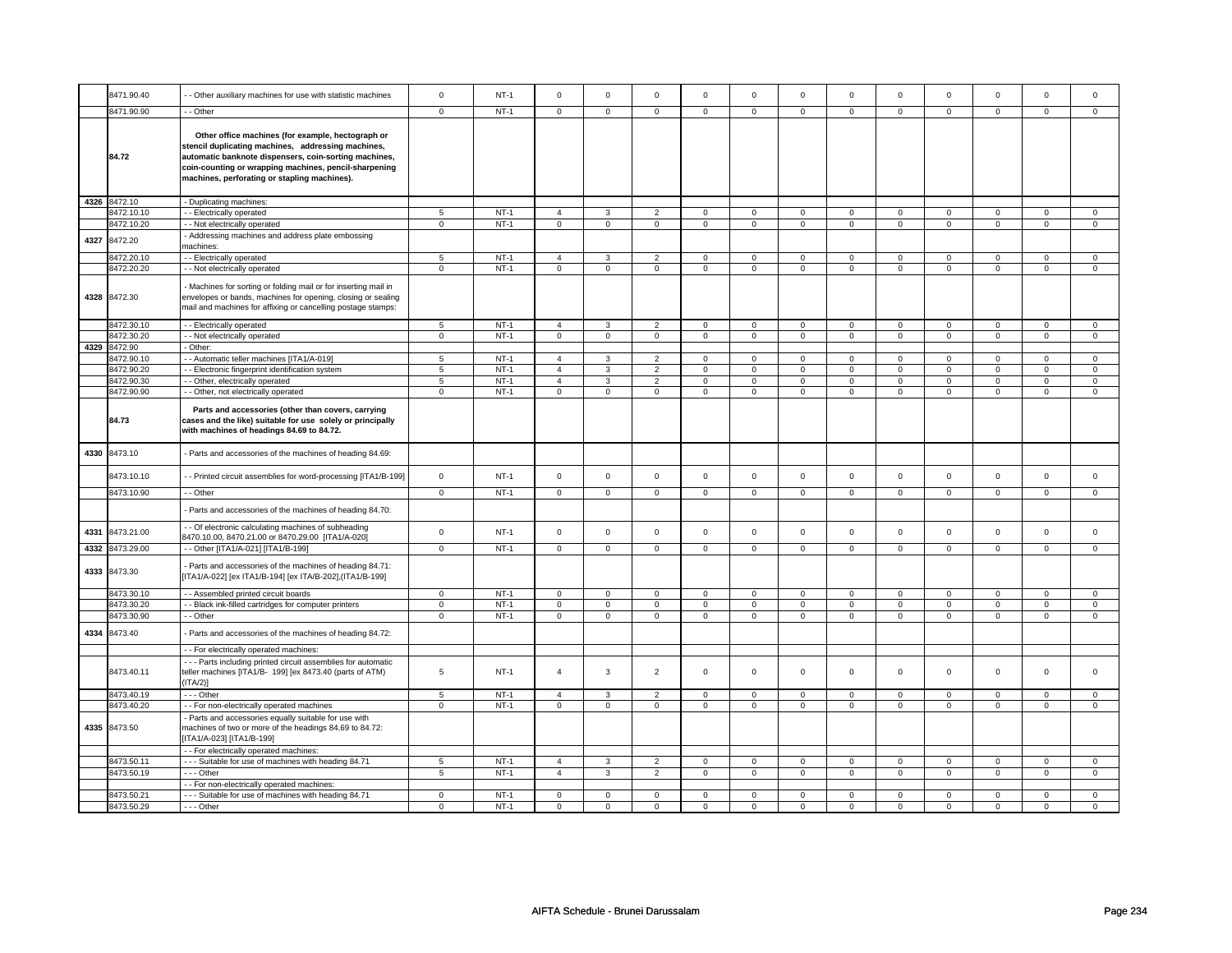|      | 8471.90.40               | - Other auxiliary machines for use with statistic machines                                                                                                                                                                                                                | $\mathsf 0$         | $NT-1$           | $\mathbf 0$                      | $\mathsf 0$         | $\Omega$                         | $\mathbf 0$                   | $\Omega$                      | $\mathbf 0$                   | $\mathbf 0$                   | $\mathbf 0$                   | $\mathbf 0$                   | $\mathsf 0$                   | $\mathbf 0$             | $\mathbf 0$                   |
|------|--------------------------|---------------------------------------------------------------------------------------------------------------------------------------------------------------------------------------------------------------------------------------------------------------------------|---------------------|------------------|----------------------------------|---------------------|----------------------------------|-------------------------------|-------------------------------|-------------------------------|-------------------------------|-------------------------------|-------------------------------|-------------------------------|-------------------------|-------------------------------|
|      |                          |                                                                                                                                                                                                                                                                           |                     |                  |                                  |                     |                                  |                               |                               |                               |                               |                               |                               |                               |                         |                               |
|      | 8471.90.90               | - Other                                                                                                                                                                                                                                                                   | $^{\circ}$          | $NT-1$           | $\mathbf 0$                      | $\mathbf{0}$        | $\mathbf{0}$                     | $\mathbf{0}$                  | $\mathbf 0$                   | $\mathbf{0}$                  | $\mathbf{0}$                  | $\mathbf{0}$                  | $\mathbf{0}$                  | $\mathbf{0}$                  | $\mathbf 0$             | $\mathbf 0$                   |
|      | 84.72                    | Other office machines (for example, hectograph or<br>stencil duplicating machines, addressing machines,<br>automatic banknote dispensers, coin-sorting machines,<br>coin-counting or wrapping machines, pencil-sharpening<br>machines, perforating or stapling machines). |                     |                  |                                  |                     |                                  |                               |                               |                               |                               |                               |                               |                               |                         |                               |
|      | 4326 8472.10             | - Duplicating machines:                                                                                                                                                                                                                                                   |                     |                  |                                  |                     |                                  |                               |                               |                               |                               |                               |                               |                               |                         |                               |
|      | 8472.10.10               | - Electrically operated                                                                                                                                                                                                                                                   | 5                   | $NT-1$           | $\overline{4}$                   | 3                   | $\overline{2}$                   | 0                             | $\mathbf 0$                   | 0                             | $\mathbf 0$                   | $\mathbf 0$                   | $\mathbf 0$                   | $\mathbf 0$                   | 0                       | 0                             |
|      | 8472.10.20               | - Not electrically operated                                                                                                                                                                                                                                               | $\mathbf 0$         | $NT-1$           | $\overline{0}$                   | $\mathsf 0$         | $\mathbf 0$                      | $\mathbf 0$                   | $\mathbf 0$                   | $\mathbf 0$                   | $\mathbf 0$                   | $\mathbf 0$                   | $\mathbf 0$                   | $\mathbf 0$                   | $\mathbf 0$             | $\mathbf 0$                   |
| 4327 | 8472.20                  | Addressing machines and address plate embossing<br>nachines:                                                                                                                                                                                                              |                     |                  |                                  |                     |                                  |                               |                               |                               |                               |                               |                               |                               |                         |                               |
|      | 8472.20.10               | - Electrically operated                                                                                                                                                                                                                                                   | 5                   | $NT-1$           | $\overline{4}$                   | 3                   | $\overline{2}$                   | $\mathsf 0$                   | 0                             | $\mathsf 0$                   | 0                             | $\mathsf 0$                   | 0                             | $\mathsf 0$                   | 0                       | $\mathbf 0$                   |
|      | 8472.20.20               | - - Not electrically operated                                                                                                                                                                                                                                             | $\mathbf 0$         | $NT-1$           | $\mathbf 0$                      | $\mathbf 0$         | $\mathbf 0$                      | $\mathbf 0$                   | $\mathbf 0$                   | $\mathbf 0$                   | $\mathbf{0}$                  | $\mathbf 0$                   | $\mathbf 0$                   | $\mathbf 0$                   | $\mathbf 0$             | $\mathbf{0}$                  |
|      | 4328 8472.30             | Machines for sorting or folding mail or for inserting mail in<br>envelopes or bands, machines for opening, closing or sealing<br>mail and machines for affixing or cancelling postage stamps:                                                                             |                     |                  |                                  |                     |                                  |                               |                               |                               |                               |                               |                               |                               |                         |                               |
|      | 8472.30.10               | - - Electrically operated                                                                                                                                                                                                                                                 | 5                   | $NT-1$           | $\overline{4}$                   | 3                   | $\overline{2}$                   | $\mathbf 0$                   | $\mathsf 0$                   | $\mathbf 0$                   | $\mathsf 0$                   | $\mathbf 0$                   | $\mathsf 0$                   | $\mathbf 0$                   | $\mathbf 0$             | $\mathbf 0$                   |
|      | 8472.30.20               | - - Not electrically operated                                                                                                                                                                                                                                             | $\mathsf 0$         | $NT-1$           | $\overline{0}$                   | $\overline{0}$      | $\mathsf 0$                      | $\overline{0}$                | $\overline{0}$                | $\overline{0}$                | $\mathsf 0$                   | $\overline{0}$                | $\mathsf 0$                   | $\overline{0}$                | $\mathbf 0$             | $\overline{0}$                |
|      | 4329 8472.90             | - Other:                                                                                                                                                                                                                                                                  |                     |                  |                                  |                     |                                  |                               |                               |                               |                               |                               |                               |                               |                         |                               |
|      | 8472.90.10               | - - Automatic teller machines [ITA1/A-019]                                                                                                                                                                                                                                | 5                   | $NT-1$           | $\overline{4}$                   | 3                   | $\overline{2}$                   | $\mathbf 0$                   | $\mathbf 0$                   | $\mathbf 0$                   | $\mathbf 0$                   | $\mathbf{0}$                  | $\mathbf 0$                   | $\mathbf 0$                   | $\Omega$                | $\mathbf 0$                   |
|      | 8472.90.20               | - Electronic fingerprint identification system                                                                                                                                                                                                                            | 5                   | $NT-1$           | $\overline{4}$                   | 3                   | $\overline{2}$                   | $\mathbf 0$                   | $\mathbf 0$                   | $\mathbf 0$                   | $\mathsf 0$                   | $\mathbf 0$                   | $\mathsf 0$                   | $\mathbf 0$                   | $\mathbf 0$             | $\mathbf{0}$                  |
|      | 8472.90.30<br>8472.90.90 | - Other, electrically operated<br>- Other, not electrically operated                                                                                                                                                                                                      | 5<br>$\overline{0}$ | $NT-1$<br>$NT-1$ | $\overline{4}$<br>$\overline{0}$ | 3<br>$\overline{0}$ | $\overline{2}$<br>$\overline{0}$ | $\mathbf 0$<br>$\overline{0}$ | $\mathbf 0$<br>$\overline{0}$ | $\mathbf 0$<br>$\overline{0}$ | $\mathbf 0$<br>$\overline{0}$ | $\mathbf 0$<br>$\overline{0}$ | $\mathbf 0$<br>$\overline{0}$ | $\mathbf 0$<br>$\overline{0}$ | 0<br>$\overline{0}$     | $\mathbf 0$<br>$\overline{0}$ |
|      | 84.73                    | Parts and accessories (other than covers, carrying<br>cases and the like) suitable for use solely or principally<br>with machines of headings 84.69 to 84.72.                                                                                                             |                     |                  |                                  |                     |                                  |                               |                               |                               |                               |                               |                               |                               |                         |                               |
| 4330 | 8473.10                  | Parts and accessories of the machines of heading 84.69:                                                                                                                                                                                                                   |                     |                  |                                  |                     |                                  |                               |                               |                               |                               |                               |                               |                               |                         |                               |
|      | 8473.10.10               | - Printed circuit assemblies for word-processing [ITA1/B-199]                                                                                                                                                                                                             | $\mathsf{O}\xspace$ | $NT-1$           | $\mathsf 0$                      | $\mathbf 0$         | $\mathsf 0$                      | $\mathsf 0$                   | $\mathsf{O}\xspace$           | $\mathsf 0$                   | $\mathsf 0$                   | $\mathsf 0$                   | $\mathsf 0$                   | $\mathsf 0$                   | $\mathbf 0$             | $\mathbf 0$                   |
|      | 8473.10.90               | - - Other                                                                                                                                                                                                                                                                 | $\mathbf 0$         | $NT-1$           | $\mathbf 0$                      | $\mathsf 0$         | $\mathbf 0$                      | $\mathbf 0$                   | $\mathbf 0$                   | $\mathbf 0$                   | $\mathbf 0$                   | $\mathbf 0$                   | $\mathbf 0$                   | $\mathbf 0$                   | 0                       | $\mathbf 0$                   |
|      |                          | Parts and accessories of the machines of heading 84.70:                                                                                                                                                                                                                   |                     |                  |                                  |                     |                                  |                               |                               |                               |                               |                               |                               |                               |                         |                               |
| 4331 | 8473.21.00               | - Of electronic calculating machines of subheading<br>8470.10.00, 8470.21.00 or 8470.29.00 [ITA1/A-020]                                                                                                                                                                   | $\mathsf 0$         | $NT-1$           | $\mathsf 0$                      | $\mathsf 0$         | $\mathbf 0$                      | $\mathsf 0$                   | $\mathsf 0$                   | $\mathsf 0$                   | $\mathsf 0$                   | $\mathsf 0$                   | $\mathsf 0$                   | $\mathsf 0$                   | $\mathsf 0$             | $\mathbf 0$                   |
| 4332 | 8473.29.00               | -- Other [ITA1/A-021] [ITA1/B-199]                                                                                                                                                                                                                                        | $\mathbf 0$         | $NT-1$           | $\mathbf 0$                      | $\mathsf 0$         | $\mathbf 0$                      | $\overline{0}$                | $\overline{0}$                | $\overline{0}$                | $\mathbf 0$                   | $\overline{0}$                | $\mathbf 0$                   | $\mathbf 0$                   | $\mathbf 0$             | $\mathbf 0$                   |
|      | 4333 8473.30             | Parts and accessories of the machines of heading 84.71:<br>[ITA1/A-022] [ex ITA1/B-194] [ex ITA/B-202],(ITA1/B-199]                                                                                                                                                       |                     |                  |                                  |                     |                                  |                               |                               |                               |                               |                               |                               |                               |                         |                               |
|      | 8473.30.10               | - - Assembled printed circuit boards                                                                                                                                                                                                                                      | $\mathbf 0$         | $NT-1$           | $\mathsf 0$                      | $\mathsf 0$         | $\mathbf 0$                      | $\mathbf 0$                   | $\mathsf 0$                   | $\mathbf 0$                   | $\mathsf 0$                   | $\mathbf 0$                   | $\mathsf 0$                   | $\mathbf 0$                   | $\mathbf 0$             | $\mathsf 0$                   |
|      | 8473.30.20               | - Black ink-filled cartridges for computer printers                                                                                                                                                                                                                       | $\overline{0}$      | $NT-1$           | $\overline{0}$                   | $\overline{0}$      | $\overline{0}$                   | $\overline{0}$                | $\overline{0}$                | $\overline{0}$                | $\overline{0}$                | $\overline{0}$                | $\overline{0}$                | $\overline{0}$                | $\overline{0}$          | $\overline{0}$                |
|      | 8473.30.90               | - Other                                                                                                                                                                                                                                                                   | $\mathbf 0$         | $NT-1$           | $\mathbf 0$                      | $\mathbf 0$         | $\mathbf 0$                      | $\mathbf 0$                   | $\mathbf 0$                   | $\mathbf 0$                   | $\mathbf{0}$                  | $\mathbf 0$                   | $\mathbf 0$                   | $\mathbf 0$                   | $\mathbf 0$             | $\mathbf{0}$                  |
| 4334 | 8473.40                  | Parts and accessories of the machines of heading 84.72:                                                                                                                                                                                                                   |                     |                  |                                  |                     |                                  |                               |                               |                               |                               |                               |                               |                               |                         |                               |
|      |                          | - - For electrically operated machines:                                                                                                                                                                                                                                   |                     |                  |                                  |                     |                                  |                               |                               |                               |                               |                               |                               |                               |                         |                               |
|      | 8473.40.11               | --- Parts including printed circuit assemblies for automatic<br>teller machines [ITA1/B- 199] [ex 8473.40 (parts of ATM)<br>(ITA/2)]                                                                                                                                      | 5                   | $NT-1$           | $\overline{4}$                   | 3                   | $\overline{2}$                   | $\mathbf 0$                   | $\mathsf 0$                   | $\mathbf 0$                   | $\mathsf 0$                   | 0                             | $\mathsf 0$                   | $\mathbf 0$                   | $\mathbf 0$             | $\mathbf 0$                   |
|      | 8473.40.19               | --- Other                                                                                                                                                                                                                                                                 | $\,$ 5 $\,$         | $NT-1$           | $\overline{4}$                   | $\mathbf{3}$        | $\overline{2}$                   | $\mathbf 0$                   | $\Omega$                      | $\mathsf 0$                   | $\Omega$                      | $\mathbf 0$                   | $\Omega$                      | $\mathsf 0$                   | $\Omega$                | $\mathbf 0$                   |
|      | 8473.40.20               | - - For non-electrically operated machines                                                                                                                                                                                                                                | $\mathbf 0$         | $NT-1$           | $\mathbf 0$                      | $\mathsf 0$         | $\Omega$                         | $\mathsf 0$                   | $\Omega$                      | $\mathsf 0$                   | $\mathbf 0$                   | $\mathbf 0$                   | $\Omega$                      | $\mathbf 0$                   | $\mathbf 0$             | $\mathbf 0$                   |
|      | 4335 8473.50             | - Parts and accessories equally suitable for use with<br>machines of two or more of the headings 84.69 to 84.72:<br>[ITA1/A-023] [ITA1/B-199]                                                                                                                             |                     |                  |                                  |                     |                                  |                               |                               |                               |                               |                               |                               |                               |                         |                               |
|      |                          | - - For electrically operated machines:                                                                                                                                                                                                                                   |                     |                  |                                  |                     |                                  |                               |                               |                               |                               |                               |                               |                               |                         |                               |
|      | 8473.50.11               | - - - Suitable for use of machines with heading 84.71                                                                                                                                                                                                                     | 5                   | $NT-1$           | $\overline{4}$                   | 3                   | $\overline{2}$                   | $\mathbf 0$                   | $\mathbf 0$                   | $\mathbf 0$                   | $\mathbf 0$                   | $\mathbf 0$                   | $\mathbf 0$                   | $\mathbf 0$                   | 0                       | $\mathbf 0$                   |
|      | 8473.50.19               | - - - Other                                                                                                                                                                                                                                                               | $\overline{5}$      | $NT-1$           | $\overline{4}$                   | 3                   | $\overline{2}$                   | $\mathbf 0$                   | $\mathbf 0$                   | $\mathbf 0$                   | $\mathbf 0$                   | $\mathbf 0$                   | $\mathsf 0$                   | $\mathbf 0$                   | $\mathbf 0$             | $\mathbf 0$                   |
|      |                          | - For non-electrically operated machines:                                                                                                                                                                                                                                 | $\mathbf 0$         | $NT-1$           | $\mathbf 0$                      | $\mathbf 0$         | $\mathbf 0$                      | $\mathbf 0$                   | $\mathbf 0$                   | $\mathbf 0$                   |                               | $\mathbf 0$                   |                               | $\mathbf 0$                   |                         | $\mathbf{0}$                  |
|      | 8473.50.21<br>8473.50.29 | --- Suitable for use of machines with heading 84.71                                                                                                                                                                                                                       | $\mathbf 0$         | $NT-1$           | $\mathbf 0$                      | $\mathbf 0$         | $\Omega$                         | $\mathbf 0$                   | $\Omega$                      | $\mathbf 0$                   | $\mathbf 0$<br>$\Omega$       | $\mathbf 0$                   | $\mathbf 0$<br>$\Omega$       | $\mathbf 0$                   | $\mathbf 0$<br>$\Omega$ | $\mathbf 0$                   |
|      |                          | --- Other                                                                                                                                                                                                                                                                 |                     |                  |                                  |                     |                                  |                               |                               |                               |                               |                               |                               |                               |                         |                               |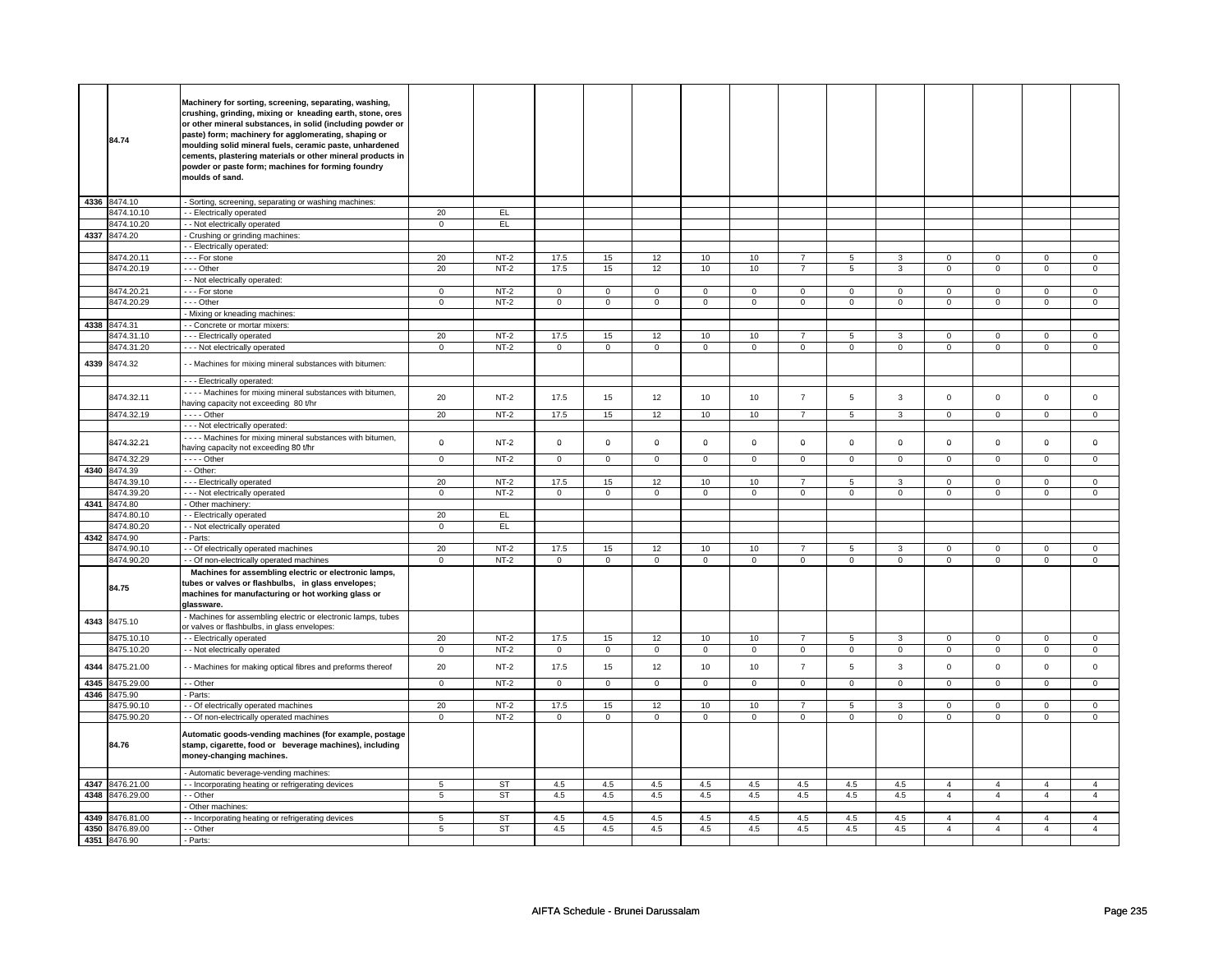|              | 84.74                    | Machinery for sorting, screening, separating, washing,<br>crushing, grinding, mixing or kneading earth, stone, ores<br>or other mineral substances, in solid (including powder or<br>paste) form; machinery for agglomerating, shaping or<br>moulding solid mineral fuels, ceramic paste, unhardened<br>cements, plastering materials or other mineral products in<br>powder or paste form; machines for forming foundry<br>moulds of sand. |                   |                  |                     |                   |                   |                      |                   |                               |                  |                     |                            |                            |                                  |                     |
|--------------|--------------------------|---------------------------------------------------------------------------------------------------------------------------------------------------------------------------------------------------------------------------------------------------------------------------------------------------------------------------------------------------------------------------------------------------------------------------------------------|-------------------|------------------|---------------------|-------------------|-------------------|----------------------|-------------------|-------------------------------|------------------|---------------------|----------------------------|----------------------------|----------------------------------|---------------------|
|              | 4336 8474.10             | - Sorting, screening, separating or washing machines:                                                                                                                                                                                                                                                                                                                                                                                       |                   |                  |                     |                   |                   |                      |                   |                               |                  |                     |                            |                            |                                  |                     |
|              | 8474.10.10               | - Electrically operated                                                                                                                                                                                                                                                                                                                                                                                                                     | 20                | EL.              |                     |                   |                   |                      |                   |                               |                  |                     |                            |                            |                                  |                     |
|              | 8474.10.20               | - - Not electrically operated                                                                                                                                                                                                                                                                                                                                                                                                               | $\overline{0}$    | EL               |                     |                   |                   |                      |                   |                               |                  |                     |                            |                            |                                  |                     |
|              | 4337 8474.20             | - Crushing or grinding machines:                                                                                                                                                                                                                                                                                                                                                                                                            |                   |                  |                     |                   |                   |                      |                   |                               |                  |                     |                            |                            |                                  |                     |
|              | 8474.20.11               | - Electrically operated:<br>- - - For stone                                                                                                                                                                                                                                                                                                                                                                                                 | 20                | $NT-2$           | 17.5                | 15                | 12                | 10                   | 10                | $\overline{7}$                | 5                | 3                   | $\mathbf 0$                | $\mathbf 0$                | $\Omega$                         | $\Omega$            |
|              | 8474.20.19               | - - - Other                                                                                                                                                                                                                                                                                                                                                                                                                                 | 20                | NT-2             | 17.5                | 15                | 12                | 10                   | 10                | $\overline{7}$                | 5                | 3                   | 0                          | $\mathbf 0$                | $\mathbf 0$                      | $\mathbf 0$         |
|              |                          | - Not electrically operated:                                                                                                                                                                                                                                                                                                                                                                                                                |                   |                  |                     |                   |                   |                      |                   |                               |                  |                     |                            |                            |                                  |                     |
|              | 8474.20.21               | - - - For stone                                                                                                                                                                                                                                                                                                                                                                                                                             | $\overline{0}$    | $NT-2$           | 0                   | $\mathbf 0$       | 0                 | $\overline{0}$       | 0                 | $\mathbf 0$                   | $\mathbf{0}$     | $\overline{0}$      | 0                          | $\mathbf 0$                | $^{\circ}$                       | $\mathbf{0}$        |
|              | 8474.20.29               | - - - Other                                                                                                                                                                                                                                                                                                                                                                                                                                 | $\Omega$          | $NT-2$           | $\mathbf 0$         | $\mathbf 0$       | $\mathbf 0$       | $\mathbf 0$          | $\mathbf 0$       | $\mathbf 0$                   | $\mathbf 0$      | $\mathbf 0$         | $\mathbf 0$                | $\mathbf 0$                | $\Omega$                         | $\mathbf 0$         |
|              |                          | - Mixing or kneading machines:                                                                                                                                                                                                                                                                                                                                                                                                              |                   |                  |                     |                   |                   |                      |                   |                               |                  |                     |                            |                            |                                  |                     |
| 4338         | 8474.31                  | - Concrete or mortar mixers:                                                                                                                                                                                                                                                                                                                                                                                                                |                   |                  |                     |                   |                   |                      |                   |                               |                  |                     |                            |                            |                                  |                     |
|              | 8474.31.10               | --- Electrically operated                                                                                                                                                                                                                                                                                                                                                                                                                   | 20                | $NT-2$           | 17.5                | 15                | 12                | 10                   | 10                | $\overline{7}$                | 5                | 3                   | $\mathbf 0$                | $\mathbf 0$                | 0                                | 0                   |
|              | 3474.31.20               | - - - Not electrically operated                                                                                                                                                                                                                                                                                                                                                                                                             | $\mathbf 0$       | $NT-2$           | 0                   | $\mathbf 0$       | 0                 | $\mathsf 0$          | $\mathsf 0$       | $\mathsf 0$                   | 0                | $\mathsf 0$         | 0                          | $\mathsf 0$                | 0                                | $\mathbf 0$         |
| 4339         | 8474.32                  | - - Machines for mixing mineral substances with bitumen:                                                                                                                                                                                                                                                                                                                                                                                    |                   |                  |                     |                   |                   |                      |                   |                               |                  |                     |                            |                            |                                  |                     |
|              |                          | - - - Electrically operated:                                                                                                                                                                                                                                                                                                                                                                                                                |                   |                  |                     |                   |                   |                      |                   |                               |                  |                     |                            |                            |                                  |                     |
|              | 8474.32.11               | Machines for mixing mineral substances with bitumen,                                                                                                                                                                                                                                                                                                                                                                                        | 20                | $NT-2$           | 17.5                | 15                | 12                | 10                   | 10                | $\overline{7}$                | 5                | 3                   | $\mathsf 0$                | $\mathbf 0$                | $\mathbf 0$                      | $\mathbf 0$         |
|              |                          | having capacity not exceeding 80 t/hr                                                                                                                                                                                                                                                                                                                                                                                                       |                   |                  |                     |                   |                   |                      |                   |                               |                  |                     |                            |                            |                                  |                     |
|              | 8474.32.19               | - - - - Other                                                                                                                                                                                                                                                                                                                                                                                                                               | 20                | $NT-2$           | 17.5                | 15                | 12                | 10                   | 10                | $7^{\circ}$                   | 5                | $\mathbf{3}$        | $\mathbf 0$                | $\overline{0}$             | $\mathbf 0$                      | $\overline{0}$      |
|              |                          | - - - Not electrically operated:                                                                                                                                                                                                                                                                                                                                                                                                            |                   |                  |                     |                   |                   |                      |                   |                               |                  |                     |                            |                            |                                  |                     |
|              | 8474.32.21               | - - - - Machines for mixing mineral substances with bitumen,<br>having capacity not exceeding 80 t/hr                                                                                                                                                                                                                                                                                                                                       | $\mathbf 0$       | $NT-2$           | $\mathbf 0$         | $\mathbf 0$       | $\mathbf 0$       | $\mathbf 0$          | $\mathbf 0$       | $\mathbf 0$                   | $\mathbf 0$      | $\mathbf 0$         | $\mathbf 0$                | $\mathbf 0$                | $\mathbf 0$                      | 0                   |
|              | 8474.32.29               | . - - - Other                                                                                                                                                                                                                                                                                                                                                                                                                               | $\mathbf 0$       | $NT-2$           | $\mathbf 0$         | $\mathsf 0$       | $\mathsf 0$       | $\mathbf 0$          | $\mathsf 0$       | $\mathbf 0$                   | $\mathsf 0$      | $\mathbf 0$         | $\mathsf 0$                | $\mathbf 0$                | 0                                | $\mathbf 0$         |
| 4340         | 8474.39                  | - - Other:                                                                                                                                                                                                                                                                                                                                                                                                                                  |                   |                  |                     |                   |                   |                      |                   |                               |                  |                     |                            |                            |                                  |                     |
|              | 8474.39.10               | --- Electrically operated                                                                                                                                                                                                                                                                                                                                                                                                                   | 20                | $NT-2$           | 17.5                | 15                | 12                | 10                   | 10                | $\overline{7}$                | 5                | 3                   | $\mathbf 0$                | $\mathbf 0$                | 0                                | $\mathbf 0$         |
|              | 8474.39.20               | - - - Not electrically operated                                                                                                                                                                                                                                                                                                                                                                                                             | $\mathbf 0$       | $NT-2$           | $\Omega$            | $\overline{0}$    | $\mathbf 0$       | $\overline{0}$       | $\mathbf 0$       | $\overline{0}$                | $\mathsf 0$      | $\overline{0}$      | $\mathsf 0$                | $\overline{0}$             | $\mathbf 0$                      | $\overline{0}$      |
| 4341         | 8474.80                  | - Other machinery:                                                                                                                                                                                                                                                                                                                                                                                                                          |                   |                  |                     |                   |                   |                      |                   |                               |                  |                     |                            |                            |                                  |                     |
|              | 3474.80.10<br>3474.80.20 | - - Electrically operated                                                                                                                                                                                                                                                                                                                                                                                                                   | 20<br>$\mathbf 0$ | EL<br>EL         |                     |                   |                   |                      |                   |                               |                  |                     |                            |                            |                                  |                     |
| 4342         | 8474.90                  | - - Not electrically operated<br>Parts:                                                                                                                                                                                                                                                                                                                                                                                                     |                   |                  |                     |                   |                   |                      |                   |                               |                  |                     |                            |                            |                                  |                     |
|              | 8474.90.10               | - Of electrically operated machines                                                                                                                                                                                                                                                                                                                                                                                                         | 20                | $NT-2$           | 17.5                | 15                | 12                | 10                   | 10                | $\overline{7}$                | 5                | 3                   | $\mathbf 0$                | $\mathbf 0$                | $\Omega$                         | $\mathbf 0$         |
|              | 8474.90.20               | - Of non-electrically operated machines                                                                                                                                                                                                                                                                                                                                                                                                     | $\mathbf 0$       | $NT-2$           | $\mathbf 0$         | $\mathsf 0$       | $\mathbf 0$       | $\mathbf 0$          | $\mathbf 0$       | $\mathbf 0$                   | $\mathsf 0$      | $\mathbf 0$         | $\mathsf 0$                | $\mathbf 0$                | $\mathbf 0$                      | $\mathbf 0$         |
|              | 84.75                    | Machines for assembling electric or electronic lamps,<br>tubes or valves or flashbulbs, in glass envelopes;<br>machines for manufacturing or hot working glass or<br>glassware.                                                                                                                                                                                                                                                             |                   |                  |                     |                   |                   |                      |                   |                               |                  |                     |                            |                            |                                  |                     |
| 4343         | 8475.10                  | - Machines for assembling electric or electronic lamps, tubes<br>or valves or flashbulbs, in glass envelopes:                                                                                                                                                                                                                                                                                                                               |                   |                  |                     |                   |                   |                      |                   |                               |                  |                     |                            |                            |                                  |                     |
|              | 8475.10.10               | - - Electrically operated                                                                                                                                                                                                                                                                                                                                                                                                                   | 20                | $NT-2$           | 17.5                | 15                | 12                | 10                   | 10                | $\overline{7}$                | 5                | 3                   | $\mathbf 0$                | $\mathbf 0$                | $\Omega$                         | 0                   |
|              | 8475.10.20               | - Not electrically operated                                                                                                                                                                                                                                                                                                                                                                                                                 | $\mathbf 0$       | $NT-2$           | $\mathsf 0$         | $\mathbf 0$       | $\mathsf 0$       | $\mathbf 0$          | $\mathsf 0$       | $\mathbf 0$                   | 0                | $\mathbf 0$         | $\mathsf 0$                | $\mathsf 0$                | $\mathbf 0$                      | $\mathbf 0$         |
| 4344         | 8475.21.00               | - Machines for making optical fibres and preforms thereof                                                                                                                                                                                                                                                                                                                                                                                   | 20                | NT-2             | 17.5                | 15                | 12                | 10                   | 10                | $\overline{7}$                | 5                | $\mathbf{3}$        | $\mathbf 0$                | $\mathbf 0$                | 0                                | $\mathbf 0$         |
| 4345         | 8475.29.00               | - - Other                                                                                                                                                                                                                                                                                                                                                                                                                                   | $\mathbf 0$       | $NT-2$           | $\mathbf 0$         | $\mathbf 0$       | $\mathbf 0$       | $\mathbf 0$          | $\mathbf 0$       | $\mathbf 0$                   | $\mathbf{0}$     | $\mathbf 0$         | $\mathbf 0$                | $\mathbf 0$                | $\mathbf 0$                      | $\mathbf{0}$        |
| 4346         | 8475.90                  | Parts:                                                                                                                                                                                                                                                                                                                                                                                                                                      |                   |                  |                     |                   |                   |                      |                   |                               |                  |                     |                            |                            |                                  |                     |
|              | 8475.90.10<br>8475.90.20 | - Of electrically operated machines<br>- - Of non-electrically operated machines                                                                                                                                                                                                                                                                                                                                                            | 20<br>$\mathbf 0$ | $NT-2$<br>$NT-2$ | 17.5<br>$\mathsf 0$ | 15<br>$\mathbf 0$ | 12<br>$\mathsf 0$ | 10<br>$\overline{0}$ | 10<br>$\mathsf 0$ | $\overline{7}$<br>$\mathsf 0$ | 5<br>$\mathsf 0$ | 3<br>$\overline{0}$ | $\mathbf 0$<br>$\mathsf 0$ | $\mathbf 0$<br>$\mathsf 0$ | 0<br>$\mathsf 0$                 | 0<br>$\mathbf 0$    |
|              | 84.76                    | Automatic goods-vending machines (for example, postage<br>stamp, cigarette, food or beverage machines), including<br>money-changing machines.                                                                                                                                                                                                                                                                                               |                   |                  |                     |                   |                   |                      |                   |                               |                  |                     |                            |                            |                                  |                     |
|              |                          | - Automatic beverage-vending machines:                                                                                                                                                                                                                                                                                                                                                                                                      |                   |                  |                     |                   |                   |                      |                   |                               |                  |                     |                            |                            |                                  |                     |
| 4347<br>4348 | 8476.21.00<br>8476.29.00 | - Incorporating heating or refrigerating devices<br>- - Other                                                                                                                                                                                                                                                                                                                                                                               | 5<br>5            | ST<br>ST         | 4.5<br>4.5          | 4.5<br>4.5        | 4.5<br>4.5        | 4.5<br>4.5           | 4.5<br>4.5        | 4.5<br>4.5                    | 4.5<br>4.5       | 4.5<br>4.5          | 4<br>$\overline{4}$        | $\overline{4}$<br>4        | $\overline{4}$<br>$\overline{4}$ | $\overline{4}$<br>4 |
|              |                          | Other machines:                                                                                                                                                                                                                                                                                                                                                                                                                             |                   |                  |                     |                   |                   |                      |                   |                               |                  |                     |                            |                            |                                  |                     |
| 4349         | 8476.81.00               | - Incorporating heating or refrigerating devices                                                                                                                                                                                                                                                                                                                                                                                            | 5                 | <b>ST</b>        | 4.5                 | 4.5               | 4.5               | 4.5                  | 4.5               | 4.5                           | 4.5              | 4.5                 | $\overline{4}$             | $\overline{4}$             | 4                                | $\overline{4}$      |
| 4350         | 8476.89.00               | - Other                                                                                                                                                                                                                                                                                                                                                                                                                                     | 5                 | ST               | 4.5                 | 4.5               | 4.5               | 4.5                  | 4.5               | 4.5                           | 4.5              | 4.5                 | $\overline{4}$             | $\overline{4}$             | 4                                | $\overline{4}$      |
|              | 4351 8476.90             | - Parts:                                                                                                                                                                                                                                                                                                                                                                                                                                    |                   |                  |                     |                   |                   |                      |                   |                               |                  |                     |                            |                            |                                  |                     |
|              |                          |                                                                                                                                                                                                                                                                                                                                                                                                                                             |                   |                  |                     |                   |                   |                      |                   |                               |                  |                     |                            |                            |                                  |                     |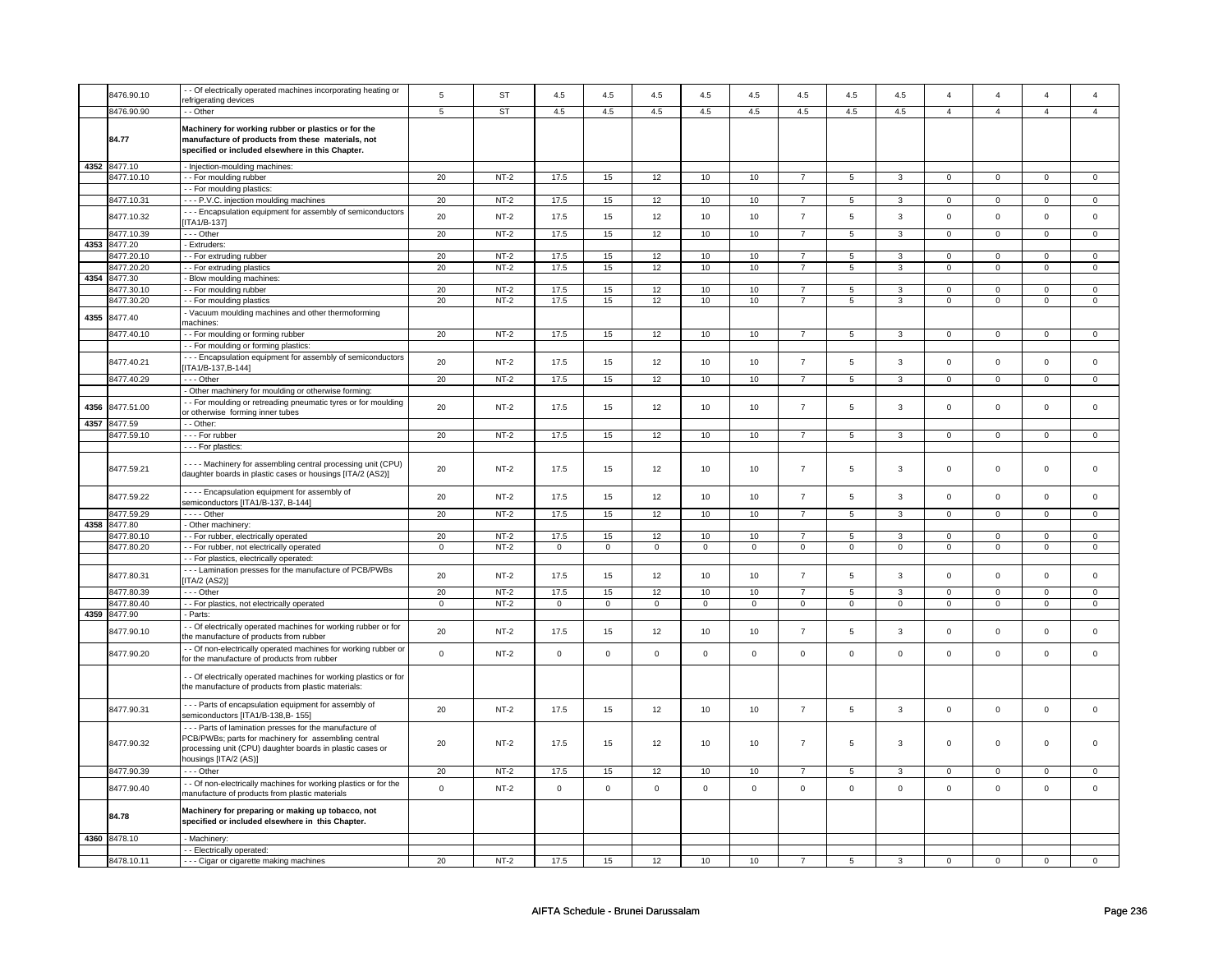|      | 8476.90.10   | - Of electrically operated machines incorporating heating or                                                                 | 5           | <b>ST</b> | 4.5         | 4.5         | 4.5         | 4.5         | 4.5         | 4.5            | 4.5             | 4.5                 | $\overline{\mathbf{4}}$ | $\overline{4}$ | $\Delta$       | $\overline{4}$ |
|------|--------------|------------------------------------------------------------------------------------------------------------------------------|-------------|-----------|-------------|-------------|-------------|-------------|-------------|----------------|-----------------|---------------------|-------------------------|----------------|----------------|----------------|
|      |              | efrigerating devices                                                                                                         |             |           |             |             |             |             |             |                |                 |                     |                         |                |                |                |
|      | 8476.90.90   | - Other                                                                                                                      | 5           | <b>ST</b> | 4.5         | 4.5         | 4.5         | 4.5         | 4.5         | 4.5            | 4.5             | 4.5                 | $\overline{4}$          | $\overline{4}$ | $\overline{4}$ | $\overline{4}$ |
|      |              |                                                                                                                              |             |           |             |             |             |             |             |                |                 |                     |                         |                |                |                |
|      |              | Machinery for working rubber or plastics or for the                                                                          |             |           |             |             |             |             |             |                |                 |                     |                         |                |                |                |
|      | 84.77        | manufacture of products from these materials, not                                                                            |             |           |             |             |             |             |             |                |                 |                     |                         |                |                |                |
|      |              | specified or included elsewhere in this Chapter.                                                                             |             |           |             |             |             |             |             |                |                 |                     |                         |                |                |                |
|      | 4352 8477.10 | - Injection-moulding machines:                                                                                               |             |           |             |             |             |             |             |                |                 |                     |                         |                |                |                |
|      |              |                                                                                                                              |             |           |             |             |             |             |             |                |                 |                     |                         |                |                |                |
|      | 8477.10.10   | -- For moulding rubber                                                                                                       | 20          | $NT-2$    | 17.5        | 15          | 12          | 10          | 10          | $\overline{7}$ | 5               | 3                   | $\mathbf{0}$            | $\mathbf{0}$   | $\mathbf{0}$   | $\mathbf{0}$   |
|      |              | - - For moulding plastics:                                                                                                   |             |           |             |             |             |             |             |                |                 |                     |                         |                |                |                |
|      | 8477.10.31   | --- P.V.C. injection moulding machines                                                                                       | 20          | $NT-2$    | 17.5        | 15          | 12          | 10          | 10          | $\overline{7}$ | 5               | 3                   | 0                       | 0              | $\Omega$       | $\mathbf 0$    |
|      |              | - - Encapsulation equipment for assembly of semiconductors                                                                   |             |           |             |             |             |             |             |                |                 |                     |                         |                |                |                |
|      | 8477.10.32   | $[ITA1/B-137]$                                                                                                               | 20          | $NT-2$    | 17.5        | 15          | 12          | 10          | 10          | $\overline{7}$ | 5               | $\mathbf{3}$        | $\mathsf 0$             | $\mathsf 0$    | $\mathsf 0$    | $\mathbf 0$    |
|      | 8477.10.39   | $--$ Other                                                                                                                   | 20          | $NT-2$    | 17.5        | 15          | 12          | 10          | 10          | $\overline{7}$ | $5\overline{)}$ | $\overline{3}$      | $\overline{0}$          | $\overline{0}$ | $\overline{0}$ | $\overline{0}$ |
|      |              |                                                                                                                              |             |           |             |             |             |             |             |                |                 |                     |                         |                |                |                |
|      | 4353 8477.20 | - Extruders:                                                                                                                 |             |           |             |             |             |             |             |                |                 |                     |                         |                |                |                |
|      | 8477.20.10   | -- For extruding rubber                                                                                                      | 20          | $NT-2$    | 17.5        | 15          | 12          | 10          | 10          | $\overline{7}$ | 5               | 3                   | $\Omega$                | $\Omega$       | $\Omega$       | $\Omega$       |
|      | 8477.20.20   | - For extruding plastics                                                                                                     | 20          | $NT-2$    | 17.5        | 15          | 12          | 10          | 10          | $\overline{7}$ | 5               | 3                   | $\mathbf{0}$            | $\mathbf{0}$   | $\mathbf 0$    | $\mathbf{0}$   |
| 4354 | 8477.30      | Blow moulding machines:                                                                                                      |             |           |             |             |             |             |             |                |                 |                     |                         |                |                |                |
|      | 3477.30.10   | - For moulding rubber                                                                                                        | 20          | $NT-2$    | 17.5        | 15          | 12          | 10          | 10          | $\overline{7}$ | 5               | 3                   | $\mathsf 0$             | $\mathsf 0$    | $\mathsf 0$    | $\mathbf 0$    |
|      |              |                                                                                                                              |             |           |             |             |             |             |             |                |                 | 3                   |                         |                |                |                |
|      | 8477.30.20   | - For moulding plastics                                                                                                      | 20          | $NT-2$    | 17.5        | 15          | 12          | 10          | 10          | $\overline{7}$ | 5               |                     | $\mathbf 0$             | $\overline{0}$ | $\mathbf 0$    | $\overline{0}$ |
| 4355 | 8477.40      | Vacuum moulding machines and other thermoforming                                                                             |             |           |             |             |             |             |             |                |                 |                     |                         |                |                |                |
|      |              | machines:                                                                                                                    |             |           |             |             |             |             |             |                |                 |                     |                         |                |                |                |
|      | 8477.40.10   | -- For moulding or forming rubber                                                                                            | 20          | $NT-2$    | 17.5        | 15          | 12          | 10          | 10          | $\overline{7}$ | 5               | 3                   | $\mathbf 0$             | $\Omega$       | $\Omega$       | $\overline{0}$ |
|      |              | - - For moulding or forming plastics:                                                                                        |             |           |             |             |             |             |             |                |                 |                     |                         |                |                |                |
|      |              |                                                                                                                              |             |           |             |             |             |             |             |                |                 |                     |                         |                |                |                |
|      | 8477.40.21   | - - - Encapsulation equipment for assembly of semiconductors                                                                 | 20          | $NT-2$    | 17.5        | 15          | 12          | 10          | $10$        | $\overline{7}$ | 5               | $\mathbf{3}$        | $\mathbf 0$             | $\mathsf 0$    | $\mathsf 0$    | $\mathbf 0$    |
|      |              | $[ITA1/B-137,B-144]$                                                                                                         |             |           |             |             |             |             |             |                |                 |                     |                         |                |                |                |
|      | 8477.40.29   | $- -$ Other                                                                                                                  | 20          | NT-2      | 17.5        | 15          | 12          | 10          | 10          | $\overline{7}$ | 5               | 3                   | $\mathbf 0$             | $\mathbf{0}$   | $\mathbf 0$    | $\mathbf{0}$   |
|      |              | Other machinery for moulding or otherwise forming                                                                            |             |           |             |             |             |             |             |                |                 |                     |                         |                |                |                |
|      |              | - For moulding or retreading pneumatic tyres or for moulding                                                                 |             |           |             |             |             |             |             |                |                 |                     |                         |                |                |                |
| 4356 | 8477.51.00   | or otherwise forming inner tubes                                                                                             | 20          | $NT-2$    | 17.5        | 15          | 12          | 10          | 10          | $\overline{7}$ | 5               | $\mathbf{3}$        | $\mathsf 0$             | $\mathbf 0$    | $\mathbf 0$    | $\mathbf{0}$   |
|      |              |                                                                                                                              |             |           |             |             |             |             |             |                |                 |                     |                         |                |                |                |
|      | 4357 8477.59 | - - Other:                                                                                                                   |             |           |             |             |             |             |             |                |                 |                     |                         |                |                |                |
|      | 8477.59.10   | - - - For rubber                                                                                                             | 20          | $NT-2$    | 17.5        | 15          | 12          | 10          | 10          | $\overline{7}$ | 5               | $\overline{3}$      | $\mathbf 0$             | $\mathbf 0$    | $\mathsf 0$    | $\circ$        |
|      |              | - - - For plastics:                                                                                                          |             |           |             |             |             |             |             |                |                 |                     |                         |                |                |                |
|      |              |                                                                                                                              |             |           |             |             |             |             |             |                |                 |                     |                         |                |                |                |
|      | 8477.59.21   | - - - - Machinery for assembling central processing unit (CPU)<br>daughter boards in plastic cases or housings [ITA/2 (AS2)] | 20          | $NT-2$    | 17.5        | 15          | 12          | 10          | 10          | $\overline{7}$ | 5               | 3                   | $\mathbf 0$             | $\mathsf 0$    | $\mathsf 0$    | $\mathbf 0$    |
|      |              |                                                                                                                              |             |           |             |             |             |             |             |                |                 |                     |                         |                |                |                |
|      | 8477.59.22   | - - - - Encapsulation equipment for assembly of                                                                              | 20          | $NT-2$    | 17.5        | 15          | 12          | 10          | 10          | $\overline{7}$ | 5               | $\mathbf{3}$        | $\mathbf 0$             | $\mathsf 0$    | $\mathsf 0$    | $\mathsf 0$    |
|      |              | semiconductors [ITA1/B-137, B-144]                                                                                           |             |           |             |             |             |             |             |                |                 |                     |                         |                |                |                |
|      | 8477.59.29   | - - - - Other                                                                                                                | 20          | $NT-2$    | 17.5        | 15          | 12          | 10          | 10          | $\overline{7}$ | $5\overline{)}$ | $\overline{3}$      | $\overline{0}$          | $\overline{0}$ | $\overline{0}$ | $\overline{0}$ |
| 4358 | 8477.80      | Other machinery:                                                                                                             |             |           |             |             |             |             |             |                |                 |                     |                         |                |                |                |
|      | 8477.80.10   | - - For rubber, electrically operated                                                                                        | 20          | $NT-2$    | 17.5        | 15          | 12          | 10          | 10          | $\overline{7}$ | 5               | $\overline{3}$      | $\overline{0}$          | $\overline{0}$ | $\mathbf{0}$   | $\overline{0}$ |
|      | 8477.80.20   | - - For rubber, not electrically operated                                                                                    | $\mathbf 0$ | $NT-2$    | 0           | 0           | 0           | 0           | 0           | 0              | $\mathbf 0$     | $\mathbf 0$         | $\mathbf 0$             | 0              | $\mathbf 0$    | $\circ$        |
|      |              |                                                                                                                              |             |           |             |             |             |             |             |                |                 |                     |                         |                |                |                |
|      |              | - For plastics, electrically operated:                                                                                       |             |           |             |             |             |             |             |                |                 |                     |                         |                |                |                |
|      | 8477.80.31   | --- Lamination presses for the manufacture of PCB/PWBs                                                                       | 20          | $NT-2$    | 17.5        | 15          | 12          | $10$        | $10$        | $\overline{7}$ | 5               | $\mathbf{3}$        | $\mathbf 0$             | $\mathbf 0$    | $\mathsf 0$    | $\mathbf 0$    |
|      |              | [ITA/2 (AS2)]                                                                                                                |             |           |             |             |             |             |             |                |                 |                     |                         |                |                |                |
|      | 8477.80.39   | $--$ Other                                                                                                                   | 20          | $NT-2$    | 17.5        | 15          | 12          | 10          | 10          | $\overline{7}$ | 5               | 3                   | 0                       | 0              | $^{\circ}$     | $\mathbf{0}$   |
|      | 8477.80.40   | - - For plastics, not electrically operated                                                                                  | 0           | $NT-2$    | 0           | $\mathbf 0$ | 0           | $\mathbf 0$ | 0           | 0              | 0               | $\mathbf 0$         | 0                       | $\mathbf 0$    | $\Omega$       | $\circ$        |
| 4359 | 8477.90      | Parts:                                                                                                                       |             |           |             |             |             |             |             |                |                 |                     |                         |                |                |                |
|      |              |                                                                                                                              |             |           |             |             |             |             |             |                |                 |                     |                         |                |                |                |
|      | 8477.90.10   | - Of electrically operated machines for working rubber or for                                                                | 20          | $NT-2$    | 17.5        | 15          | 12          | 10          | 10          | $\overline{7}$ | 5               | $\mathbf{3}$        | $\mathsf 0$             | $\mathbf 0$    | $\mathbf 0$    | $\mathbf 0$    |
|      |              | the manufacture of products from rubber                                                                                      |             |           |             |             |             |             |             |                |                 |                     |                         |                |                |                |
|      | 8477.90.20   | - Of non-electrically operated machines for working rubber or                                                                | $\mathsf 0$ | $NT-2$    | $\mathsf 0$ | $\mathsf 0$ | $\mathbf 0$ | $\mathbf 0$ | $\mathsf 0$ | $\mathbf 0$    | $\mathsf 0$     | $\mathbf{0}$        | $\mathsf 0$             | $\mathbf 0$    | $\mathsf 0$    | $\mathbf 0$    |
|      |              | for the manufacture of products from rubber                                                                                  |             |           |             |             |             |             |             |                |                 |                     |                         |                |                |                |
|      |              |                                                                                                                              |             |           |             |             |             |             |             |                |                 |                     |                         |                |                |                |
|      |              | - Of electrically operated machines for working plastics or for                                                              |             |           |             |             |             |             |             |                |                 |                     |                         |                |                |                |
|      |              | the manufacture of products from plastic materials:                                                                          |             |           |             |             |             |             |             |                |                 |                     |                         |                |                |                |
|      |              |                                                                                                                              |             |           |             |             |             |             |             |                |                 |                     |                         |                |                |                |
|      | 8477.90.31   | - - - Parts of encapsulation equipment for assembly of                                                                       | 20          | $NT-2$    | 17.5        | 15          | 12          | 10          | 10          | $\overline{7}$ | $\mathbf 5$     | $\mathbf{3}$        | $\mathbf 0$             | $\mathbf 0$    | $\mathbf 0$    | $\mathbf 0$    |
|      |              | semiconductors [ITA1/B-138,B- 155]                                                                                           |             |           |             |             |             |             |             |                |                 |                     |                         |                |                |                |
|      |              | --- Parts of lamination presses for the manufacture of                                                                       |             |           |             |             |             |             |             |                |                 |                     |                         |                |                |                |
|      |              | PCB/PWBs; parts for machinery for assembling central                                                                         |             |           |             |             |             |             |             |                |                 |                     |                         |                |                |                |
|      | 8477.90.32   | processing unit (CPU) daughter boards in plastic cases or                                                                    | 20          | $NT-2$    | 17.5        | 15          | 12          | 10          | 10          | $\overline{7}$ | 5               | 3                   | $\mathbf 0$             | $\mathbf 0$    | $\mathsf 0$    | $\Omega$       |
|      |              | housings [ITA/2 (AS)]                                                                                                        |             |           |             |             |             |             |             |                |                 |                     |                         |                |                |                |
|      |              |                                                                                                                              |             |           |             |             |             |             |             |                |                 |                     |                         |                |                |                |
|      | 8477.90.39   | --- Other                                                                                                                    | 20          | $NT-2$    | 17.5        | 15          | 12          | 10          | 10          | $\overline{7}$ | 5               | $\mathbf{3}$        | $\mathbf{0}$            | $\mathbf{0}$   | $\mathbf{0}$   | $\mathbf{0}$   |
|      |              | - Of non-electrically machines for working plastics or for the                                                               | $\mathbf 0$ | $NT-2$    |             | $\mathsf 0$ | $\mathbf 0$ | $\mathbf 0$ |             | $\mathsf 0$    | $\mathsf 0$     |                     | $\mathsf 0$             | $\mathbf 0$    | $\mathsf 0$    |                |
|      | 8477.90.40   | manufacture of products from plastic materials                                                                               |             |           | $\mathsf 0$ |             |             |             | $\mathsf 0$ |                |                 | $\mathsf{O}\xspace$ |                         |                |                | $\mathsf 0$    |
|      |              |                                                                                                                              |             |           |             |             |             |             |             |                |                 |                     |                         |                |                |                |
|      | 84.78        | Machinery for preparing or making up tobacco, not                                                                            |             |           |             |             |             |             |             |                |                 |                     |                         |                |                |                |
|      |              | specified or included elsewhere in this Chapter.                                                                             |             |           |             |             |             |             |             |                |                 |                     |                         |                |                |                |
|      |              |                                                                                                                              |             |           |             |             |             |             |             |                |                 |                     |                         |                |                |                |
|      | 4360 8478.10 | Machinery:                                                                                                                   |             |           |             |             |             |             |             |                |                 |                     |                         |                |                |                |
|      |              | - - Electrically operated:                                                                                                   |             |           |             |             |             |             |             |                |                 |                     |                         |                |                |                |
|      | 8478.10.11   | - - - Cigar or cigarette making machines                                                                                     | 20          | $NT-2$    | 17.5        | 15          | 12          | 10          | 10          | $\overline{7}$ | 5               | 3                   | $\mathbf 0$             | $\mathbf 0$    | $\mathsf 0$    | $\Omega$       |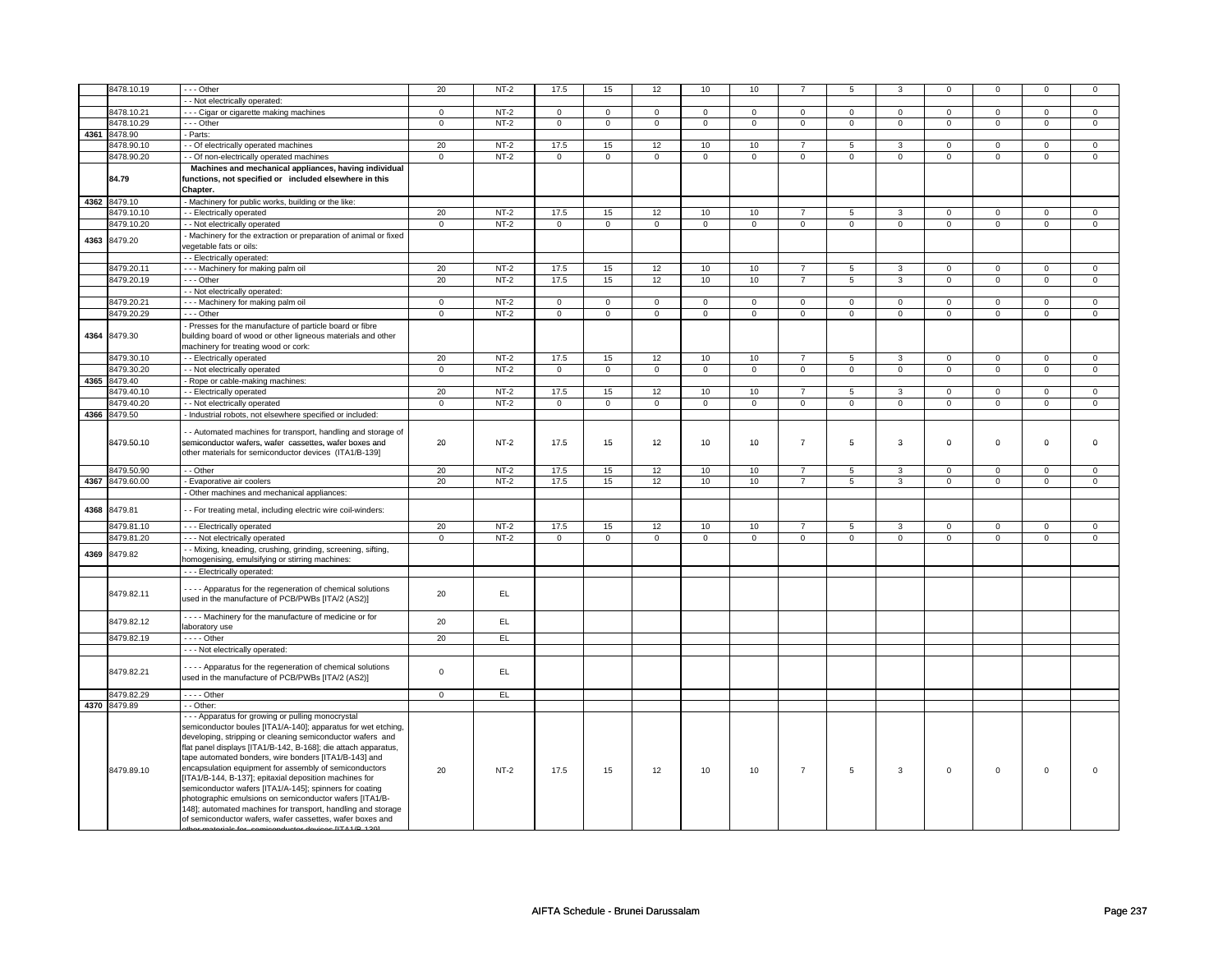|      | 8478.10.19      | --- Other                                                                                                        | 20             | $NT-2$ | 17.5           | 15             | 12                | 10             | 10             |                | 5              | 3              | $\mathbf 0$    | 0              | $\Omega$                | $\mathbf{0}$   |
|------|-----------------|------------------------------------------------------------------------------------------------------------------|----------------|--------|----------------|----------------|-------------------|----------------|----------------|----------------|----------------|----------------|----------------|----------------|-------------------------|----------------|
|      |                 | - - Not electrically operated:                                                                                   |                |        |                |                |                   |                |                |                |                |                |                |                |                         |                |
|      | 8478.10.21      | - - Cigar or cigarette making machines                                                                           | $\mathbf 0$    | $NT-2$ | 0              | $\mathbf 0$    | 0                 | $\mathbf 0$    | 0              | 0              | 0              | $\mathbf 0$    | 0              | 0              | 0                       | 0              |
|      | 8478.10.29      | --- Other                                                                                                        | $\overline{0}$ | $NT-2$ | $\overline{0}$ | $\overline{0}$ | $\overline{0}$    | $\overline{0}$ | $\overline{0}$ | $\overline{0}$ | $\overline{0}$ | $\overline{0}$ | $\overline{0}$ | $\overline{0}$ | $\mathbf 0$             | $\overline{0}$ |
|      | 4361 8478.90    | - Parts:                                                                                                         |                |        |                |                |                   |                |                |                |                |                |                |                |                         |                |
|      | 8478.90.10      | - Of electrically operated machines                                                                              | 20             | $NT-2$ | 17.5           | 15             | 12                | 10             | 10             | $\overline{7}$ | 5              | 3              | $\mathbf 0$    | $\mathbf 0$    | $\mathbf 0$             | $\mathbf 0$    |
|      | 8478.90.20      | - Of non-electrically operated machines                                                                          | $\overline{0}$ | $NT-2$ | $\mathbf{0}$   | $\overline{0}$ | $\overline{0}$    | $\overline{0}$ | $\overline{0}$ | $\overline{0}$ | $\overline{0}$ | $\overline{0}$ | $\mathbf{0}$   | $\overline{0}$ | $\mathbf 0$             | $\overline{0}$ |
|      |                 | Machines and mechanical appliances, having individual                                                            |                |        |                |                |                   |                |                |                |                |                |                |                |                         |                |
|      | 84.79           | functions, not specified or included elsewhere in this                                                           |                |        |                |                |                   |                |                |                |                |                |                |                |                         |                |
|      |                 | Chapter.                                                                                                         |                |        |                |                |                   |                |                |                |                |                |                |                |                         |                |
|      | 4362 8479.10    | - Machinery for public works, building or the like:                                                              |                |        |                |                |                   |                |                |                |                |                |                |                |                         |                |
|      |                 |                                                                                                                  | 20             | $NT-2$ | 17.5           |                |                   |                |                | 7              |                |                | $\mathbf 0$    | $\mathbf{0}$   |                         | $\mathbf{0}$   |
|      | 8479.10.10      | - - Electrically operated                                                                                        |                |        |                | 15             | 12<br>$\mathbf 0$ | 10             | 10             |                | 5              | 3              |                |                | $\Omega$<br>$\mathbf 0$ |                |
|      | 8479.10.20      | - - Not electrically operated                                                                                    | $\mathbf 0$    | $NT-2$ | $\mathbf 0$    | $\mathbf 0$    |                   | $\mathbf 0$    | $\mathbf 0$    | $\mathbf 0$    | $\mathbf 0$    | $\mathbf 0$    | $\mathsf 0$    | $\mathbf 0$    |                         | $\mathbf 0$    |
| 4363 | 8479.20         | - Machinery for the extraction or preparation of animal or fixed                                                 |                |        |                |                |                   |                |                |                |                |                |                |                |                         |                |
|      |                 | egetable fats or oils:                                                                                           |                |        |                |                |                   |                |                |                |                |                |                |                |                         |                |
|      |                 | - - Electrically operated:                                                                                       |                |        |                |                |                   |                |                |                |                |                |                |                |                         |                |
|      | 8479.20.11      | --- Machinery for making palm oil                                                                                | 20             | $NT-2$ | 17.5           | 15             | 12                | 10             | 10             | $\overline{7}$ | 5              | $\overline{3}$ | $\mathbf 0$    | $\overline{0}$ | $\mathbf 0$             | $\overline{0}$ |
|      | 8479.20.19      | --- Other                                                                                                        | 20             | $NT-2$ | 17.5           | 15             | 12                | 10             | 10             | $\overline{7}$ | $\overline{5}$ | $\overline{3}$ | $\mathsf 0$    | $\overline{0}$ | $\mathbf 0$             | $\overline{0}$ |
|      |                 | - - Not electrically operated:                                                                                   |                |        |                |                |                   |                |                |                |                |                |                |                |                         |                |
|      | 8479.20.21      | --- Machinery for making palm oil                                                                                | $\mathbf 0$    | $NT-2$ | $\mathbf{0}$   | $\mathbf{0}$   | 0                 | $\mathbf 0$    | 0              | $\mathbf 0$    | 0              | $\mathbf 0$    | 0              | 0              | $\mathbf 0$             | $\overline{0}$ |
|      | 8479.20.29      | - - - Other                                                                                                      | $\mathbf 0$    | $NT-2$ | $\mathbf 0$    | $\mathbf 0$    | $\mathbf 0$       | $\mathbf 0$    | $\mathbf 0$    | $\mathbf 0$    | $\mathbf 0$    | $\mathbf 0$    | $\mathsf 0$    | $\mathbf 0$    | $\mathbf 0$             | $\mathbf 0$    |
|      |                 | Presses for the manufacture of particle board or fibre                                                           |                |        |                |                |                   |                |                |                |                |                |                |                |                         |                |
| 4364 | 8479.30         | building board of wood or other ligneous materials and other                                                     |                |        |                |                |                   |                |                |                |                |                |                |                |                         |                |
|      |                 | nachinery for treating wood or cork:                                                                             |                |        |                |                |                   |                |                |                |                |                |                |                |                         |                |
|      | 8479.30.10      | - - Electrically operated                                                                                        | 20             | $NT-2$ | 17.5           | 15             | 12                | 10             | 10             | $\overline{7}$ | 5              | 3              | $\mathbf 0$    | $\mathbf{0}$   | $\mathbf 0$             | $\mathbf{0}$   |
|      | 8479.30.20      | - Not electrically operated                                                                                      | $\mathsf 0$    | $NT-2$ | $\mathbf 0$    | $\mathbf 0$    | $\mathbf 0$       | $\mathbf 0$    | $\mathbf 0$    | $\mathbf 0$    | $\mathbf 0$    | $\mathbf 0$    | $\mathsf 0$    | 0              | $\mathbf 0$             | $\mathbf 0$    |
|      | 4365 8479.40    | Rope or cable-making machines:                                                                                   |                |        |                |                |                   |                |                |                |                |                |                |                |                         |                |
|      | 8479.40.10      | - Electrically operated                                                                                          | 20             | $NT-2$ | 17.5           | 15             | 12                | 10             | 10             | $\overline{7}$ | 5              | 3              | $\mathbf 0$    | $\overline{0}$ | $\Omega$                | $\overline{0}$ |
|      | 8479.40.20      | - - Not electrically operated                                                                                    | $\mathbf 0$    | $NT-2$ | $\mathbf 0$    | $\mathbf 0$    | 0                 | $\mathbf 0$    | $\mathbf 0$    | $\mathbf 0$    | $\mathbf 0$    | $\mathbf 0$    | $\mathbf 0$    | $\mathbf 0$    | 0                       | $\mathbf 0$    |
|      | 4366 8479.50    | Industrial robots, not elsewhere specified or included:                                                          |                |        |                |                |                   |                |                |                |                |                |                |                |                         |                |
|      |                 | - Automated machines for transport, handling and storage of                                                      |                |        |                |                |                   |                |                |                |                |                |                |                |                         |                |
|      | 8479.50.10      | semiconductor wafers, wafer cassettes, wafer boxes and                                                           | 20             | $NT-2$ | 17.5           | 15             | 12                | 10             | 10             | $\overline{7}$ | 5              | 3              | 0              | 0              | 0                       | 0              |
|      |                 | other materials for semiconductor devices (ITA1/B-139]                                                           |                |        |                |                |                   |                |                |                |                |                |                |                |                         |                |
|      |                 |                                                                                                                  |                |        |                |                |                   |                |                |                |                |                |                |                |                         |                |
|      | 8479.50.90      | - - Other                                                                                                        | 20             | $NT-2$ | 17.5           | 15             | 12                | 10             | 10             | $\overline{7}$ | 5              | 3              | $\mathbf 0$    | $\mathbf{O}$   | $\mathbf{0}$            | $\mathsf 0$    |
|      | 4367 8479.60.00 | - Evaporative air coolers                                                                                        | 20             | $NT-2$ | 17.5           | 15             | 12                | 10             | 10             | $\overline{7}$ | $\overline{5}$ | $\overline{3}$ | $\mathsf 0$    | $\overline{0}$ | $\mathbf 0$             | $\mathsf 0$    |
|      |                 | - Other machines and mechanical appliances:                                                                      |                |        |                |                |                   |                |                |                |                |                |                |                |                         |                |
| 4368 | 8479.81         | - - For treating metal, including electric wire coil-winders:                                                    |                |        |                |                |                   |                |                |                |                |                |                |                |                         |                |
|      | 8479.81.10      |                                                                                                                  | 20             | $NT-2$ | 17.5           | 15             | 12                | 10             | 10             | $\overline{7}$ | 5              | 3              | $\mathsf 0$    | $\mathbf{O}$   | $\mathbf 0$             | $\mathsf 0$    |
|      | 8479.81.20      | - - - Electrically operated<br>- - - Not electrically operated                                                   | $\mathbf 0$    | $NT-2$ | $\mathbf 0$    | $\mathbf{0}$   | $\mathbf{0}$      | $\mathbf{0}$   | $\mathbf{0}$   | $\mathbf{0}$   | $\mathbf{0}$   | $\mathbf 0$    | $\mathbf 0$    | $\mathbf{O}$   | $\mathbf{0}$            | $\mathbf 0$    |
|      |                 |                                                                                                                  |                |        |                |                |                   |                |                |                |                |                |                |                |                         |                |
| 4369 | 8479.82         | - Mixing, kneading, crushing, grinding, screening, sifting,<br>homogenising, emulsifying or stirring machines:   |                |        |                |                |                   |                |                |                |                |                |                |                |                         |                |
|      |                 | --- Electrically operated:                                                                                       |                |        |                |                |                   |                |                |                |                |                |                |                |                         |                |
|      |                 |                                                                                                                  |                |        |                |                |                   |                |                |                |                |                |                |                |                         |                |
|      | 8479.82.11      | - - - - Apparatus for the regeneration of chemical solutions                                                     | 20             | EL.    |                |                |                   |                |                |                |                |                |                |                |                         |                |
|      |                 | used in the manufacture of PCB/PWBs [ITA/2 (AS2)]                                                                |                |        |                |                |                   |                |                |                |                |                |                |                |                         |                |
|      |                 | - - - - Machinery for the manufacture of medicine or for                                                         |                |        |                |                |                   |                |                |                |                |                |                |                |                         |                |
|      | 8479.82.12      | laboratory use                                                                                                   | 20             | EL.    |                |                |                   |                |                |                |                |                |                |                |                         |                |
|      | 8479.82.19      | - - - - Other                                                                                                    | 20             | EL     |                |                |                   |                |                |                |                |                |                |                |                         |                |
|      |                 | - - - Not electrically operated:                                                                                 |                |        |                |                |                   |                |                |                |                |                |                |                |                         |                |
|      |                 |                                                                                                                  |                |        |                |                |                   |                |                |                |                |                |                |                |                         |                |
|      | 8479.82.21      | - - - - Apparatus for the regeneration of chemical solutions                                                     | $\mathsf 0$    | EL     |                |                |                   |                |                |                |                |                |                |                |                         |                |
|      |                 | used in the manufacture of PCB/PWBs [ITA/2 (AS2)]                                                                |                |        |                |                |                   |                |                |                |                |                |                |                |                         |                |
|      | 8479.82.29      | $- - -$ Other                                                                                                    | $\mathbf 0$    | EL     |                |                |                   |                |                |                |                |                |                |                |                         |                |
|      | 4370 8479.89    | - - Other:                                                                                                       |                |        |                |                |                   |                |                |                |                |                |                |                |                         |                |
|      |                 | --- Apparatus for growing or pulling monocrystal                                                                 |                |        |                |                |                   |                |                |                |                |                |                |                |                         |                |
|      |                 | semiconductor boules [ITA1/A-140]; apparatus for wet etching,                                                    |                |        |                |                |                   |                |                |                |                |                |                |                |                         |                |
|      |                 | developing, stripping or cleaning semiconductor wafers and                                                       |                |        |                |                |                   |                |                |                |                |                |                |                |                         |                |
|      |                 | flat panel displays [ITA1/B-142, B-168]; die attach apparatus,                                                   |                |        |                |                |                   |                |                |                |                |                |                |                |                         |                |
|      |                 | tape automated bonders, wire bonders [ITA1/B-143] and                                                            |                |        |                |                |                   |                |                |                |                |                |                |                |                         |                |
|      | 8479.89.10      | encapsulation equipment for assembly of semiconductors                                                           | 20             | $NT-2$ | 17.5           | 15             | 12                | 10             | 10             | $\overline{7}$ | 5              | 3              | $\mathsf 0$    | 0              | $\mathbf 0$             | $\mathbf{0}$   |
|      |                 | ITA1/B-144, B-137]; epitaxial deposition machines for<br>semiconductor wafers [ITA1/A-145]; spinners for coating |                |        |                |                |                   |                |                |                |                |                |                |                |                         |                |
|      |                 | photographic emulsions on semiconductor wafers [ITA1/B-                                                          |                |        |                |                |                   |                |                |                |                |                |                |                |                         |                |
|      |                 | 148]; automated machines for transport, handling and storage                                                     |                |        |                |                |                   |                |                |                |                |                |                |                |                         |                |
|      |                 | of semiconductor wafers, wafer cassettes, wafer boxes and                                                        |                |        |                |                |                   |                |                |                |                |                |                |                |                         |                |
|      |                 | an decises UTAA/D 400                                                                                            |                |        |                |                |                   |                |                |                |                |                |                |                |                         |                |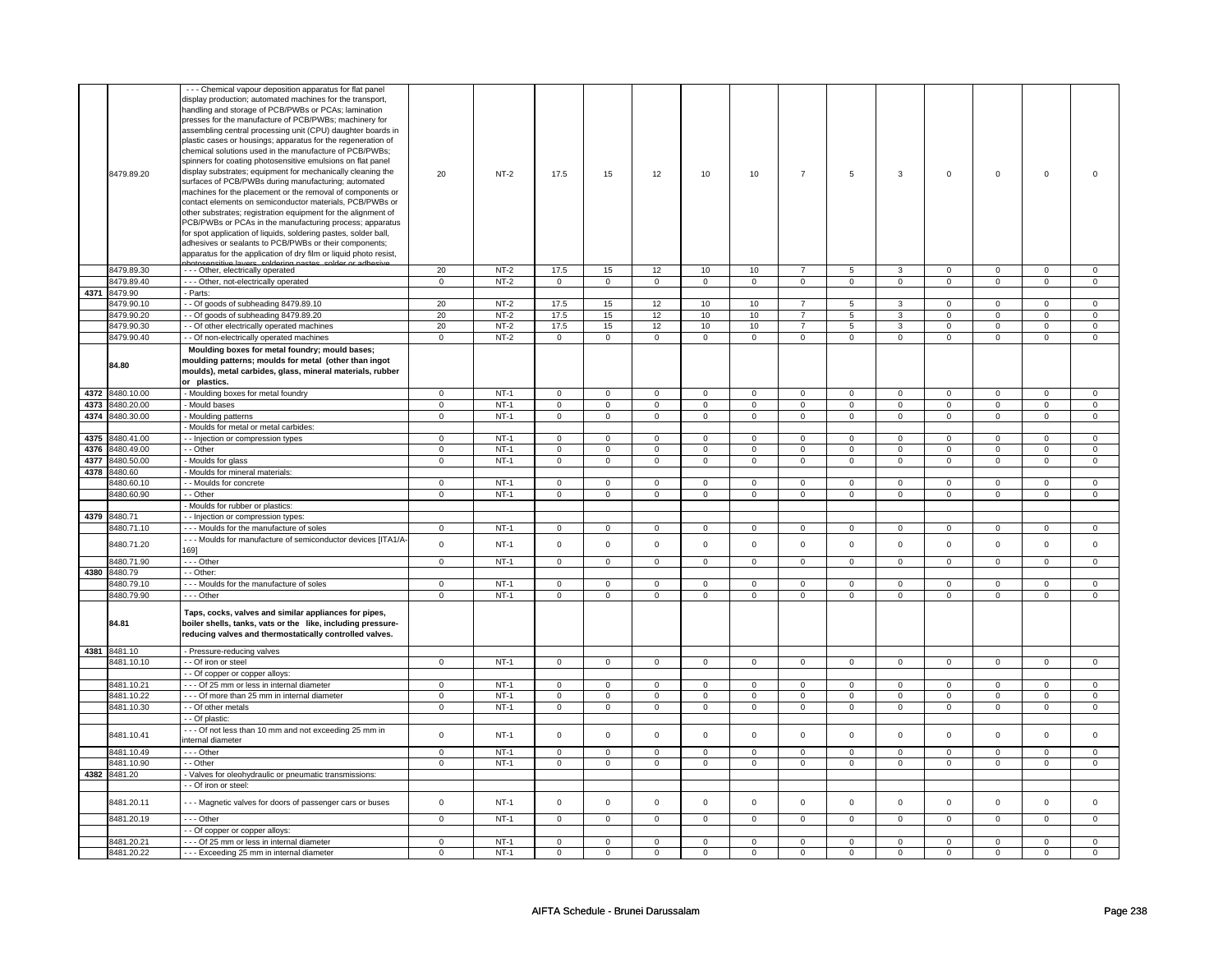|      | 8479.89.20               | - - - Chemical vapour deposition apparatus for flat panel<br>display production; automated machines for the transport,<br>handling and storage of PCB/PWBs or PCAs; lamination<br>presses for the manufacture of PCB/PWBs; machinery for<br>assembling central processing unit (CPU) daughter boards in<br>plastic cases or housings; apparatus for the regeneration of<br>chemical solutions used in the manufacture of PCB/PWBs;<br>spinners for coating photosensitive emulsions on flat panel<br>display substrates; equipment for mechanically cleaning the<br>surfaces of PCB/PWBs during manufacturing; automated<br>machines for the placement or the removal of components or<br>contact elements on semiconductor materials, PCB/PWBs or<br>other substrates; registration equipment for the alignment of<br>PCB/PWBs or PCAs in the manufacturing process; apparatus<br>for spot application of liquids, soldering pastes, solder ball,<br>adhesives or sealants to PCB/PWBs or their components;<br>apparatus for the application of dry film or liquid photo resist,<br>coldering | 20                         | $NT-2$           | 17.5                       | 15                         | 12                         | 10                         | 10                         | $\overline{7}$             | 5                          | 3                          | $\mathbf 0$                | $\mathbf 0$                | $\mathbf 0$                | $\Omega$                   |
|------|--------------------------|------------------------------------------------------------------------------------------------------------------------------------------------------------------------------------------------------------------------------------------------------------------------------------------------------------------------------------------------------------------------------------------------------------------------------------------------------------------------------------------------------------------------------------------------------------------------------------------------------------------------------------------------------------------------------------------------------------------------------------------------------------------------------------------------------------------------------------------------------------------------------------------------------------------------------------------------------------------------------------------------------------------------------------------------------------------------------------------------|----------------------------|------------------|----------------------------|----------------------------|----------------------------|----------------------------|----------------------------|----------------------------|----------------------------|----------------------------|----------------------------|----------------------------|----------------------------|----------------------------|
|      | 8479.89.30               | - - - Other, electrically operated                                                                                                                                                                                                                                                                                                                                                                                                                                                                                                                                                                                                                                                                                                                                                                                                                                                                                                                                                                                                                                                             | 20                         | $NT-2$           | 17.5                       | 15                         | 12                         | 10                         | 10                         | $\overline{7}$             | 5                          | 3                          | $\mathsf 0$                | $\overline{0}$             | $\Omega$                   | $\mathbf 0$                |
|      | 8479.89.40               | - - - Other, not-electrically operated                                                                                                                                                                                                                                                                                                                                                                                                                                                                                                                                                                                                                                                                                                                                                                                                                                                                                                                                                                                                                                                         | $\mathbf 0$                | $NT-2$           | $\mathbf 0$                | $\mathbf 0$                | $\mathsf 0$                | $\mathsf 0$                | $\mathsf 0$                | $\mathsf 0$                | $\mathsf 0$                | $\mathsf 0$                | $\mathsf 0$                | $\mathsf 0$                | $\mathsf 0$                | $\mathsf 0$                |
|      | 4371 8479.90             | - Parts:                                                                                                                                                                                                                                                                                                                                                                                                                                                                                                                                                                                                                                                                                                                                                                                                                                                                                                                                                                                                                                                                                       |                            |                  |                            |                            |                            |                            |                            |                            |                            |                            |                            |                            |                            |                            |
|      | 8479.90.10               | - Of goods of subheading 8479.89.10                                                                                                                                                                                                                                                                                                                                                                                                                                                                                                                                                                                                                                                                                                                                                                                                                                                                                                                                                                                                                                                            | 20                         | $NT-2$           | 17.5                       | 15                         | 12                         | 10                         | 10                         | $\overline{7}$             | 5                          | 3                          | $\mathsf 0$                | $\overline{0}$             | $\mathbf 0$                | $\mathbf 0$                |
|      | 8479.90.20               | - Of goods of subheading 8479.89.20                                                                                                                                                                                                                                                                                                                                                                                                                                                                                                                                                                                                                                                                                                                                                                                                                                                                                                                                                                                                                                                            | 20                         | $NT-2$           | 17.5                       | 15                         | 12                         | 10                         | 10                         | $\overline{7}$             | 5                          | 3                          | $^{\circ}$                 | $\mathsf 0$                | $^{\circ}$                 | $\mathbf{0}$               |
|      | 8479.90.30               | - - Of other electrically operated machines                                                                                                                                                                                                                                                                                                                                                                                                                                                                                                                                                                                                                                                                                                                                                                                                                                                                                                                                                                                                                                                    | 20                         | $NT-2$           | 17.5                       | 15                         | 12                         | 10                         | 10                         | $\overline{7}$             | 5                          | 3                          | $\mathsf 0$                | $\mathbf 0$                | $\mathsf 0$                | $\mathbf 0$                |
|      | 8479.90.40               | - Of non-electrically operated machines                                                                                                                                                                                                                                                                                                                                                                                                                                                                                                                                                                                                                                                                                                                                                                                                                                                                                                                                                                                                                                                        | $\mathsf 0$                | $NT-2$           | $\mathsf 0$                | $\mathbf 0$                | $\mathsf 0$                | $\mathsf 0$                | $\mathbf 0$                | $\mathsf 0$                | $\mathbf 0$                | $\mathsf 0$                | $\mathsf 0$                | $\mathbf 0$                | $\mathbf 0$                | $\mathsf 0$                |
|      | 84.80                    | Moulding boxes for metal foundry; mould bases;<br>moulding patterns; moulds for metal (other than ingot<br>moulds), metal carbides, glass, mineral materials, rubber<br>or plastics.                                                                                                                                                                                                                                                                                                                                                                                                                                                                                                                                                                                                                                                                                                                                                                                                                                                                                                           |                            |                  |                            |                            |                            |                            |                            |                            |                            |                            |                            |                            |                            |                            |
|      | 4372 8480.10.00          | - Moulding boxes for metal foundry                                                                                                                                                                                                                                                                                                                                                                                                                                                                                                                                                                                                                                                                                                                                                                                                                                                                                                                                                                                                                                                             | 0                          | $NT-1$           | $\mathbf 0$                | $\mathbf 0$                | $\mathbf 0$                | $\mathbf 0$                | $\mathbf 0$                | $\mathbf 0$                | $\mathbf 0$                | $\mathbf 0$                | 0                          | $\mathbf 0$                | $\mathbf 0$                | $\mathbf 0$                |
| 4373 | 8480.20.00               | - Mould bases                                                                                                                                                                                                                                                                                                                                                                                                                                                                                                                                                                                                                                                                                                                                                                                                                                                                                                                                                                                                                                                                                  | $\mathsf 0$                | $NT-1$           | $\mathbf 0$                | $\mathsf 0$                | $\mathsf 0$                | $\mathbf 0$                | $\mathbf 0$                | $\mathbf 0$                | $\mathsf 0$                | $\mathbf 0$                | $\mathsf 0$                | $\mathbf 0$                | $\mathsf 0$                | $\mathbf 0$                |
| 4374 | 8480.30.00               | - Moulding patterns                                                                                                                                                                                                                                                                                                                                                                                                                                                                                                                                                                                                                                                                                                                                                                                                                                                                                                                                                                                                                                                                            | $\mathsf 0$                | $NT-1$           | $\mathbf 0$                | $\mathsf 0$                | $\mathbf 0$                | $\mathbf 0$                | $\mathbf 0$                | $\mathbf 0$                | $\mathbf 0$                | $\mathbf 0$                | $\mathsf 0$                | $\mathbf 0$                | $\mathbf 0$                | $\mathbf 0$                |
|      |                          | - Moulds for metal or metal carbides:                                                                                                                                                                                                                                                                                                                                                                                                                                                                                                                                                                                                                                                                                                                                                                                                                                                                                                                                                                                                                                                          |                            |                  |                            |                            |                            |                            |                            |                            |                            |                            |                            |                            |                            |                            |
| 4375 | 8480.41.00               | - - Injection or compression types                                                                                                                                                                                                                                                                                                                                                                                                                                                                                                                                                                                                                                                                                                                                                                                                                                                                                                                                                                                                                                                             | 0                          | $NT-1$           | $\mathbf 0$                | 0                          | $\mathbf 0$                | $\mathbf 0$                | $\mathbf 0$                | $\mathbf 0$                | $\mathbf 0$                | $\mathbf 0$                | $\mathbf 0$                | $\mathbf 0$                | $\mathbf 0$                | $\mathbf 0$                |
| 4376 | 8480.49.00               | - Other                                                                                                                                                                                                                                                                                                                                                                                                                                                                                                                                                                                                                                                                                                                                                                                                                                                                                                                                                                                                                                                                                        | $\mathsf 0$                | $NT-1$           | $\mathbf 0$                | $\mathsf 0$                | $\mathbf 0$                | $\mathbf 0$                | $\mathbf 0$                | $\mathbf 0$                | $\mathsf 0$                | $\mathbf 0$                | $\mathsf 0$                | $\mathbf 0$                | $\mathsf 0$                | $\mathbf 0$                |
|      | 4377 8480.50.00          | - Moulds for glass                                                                                                                                                                                                                                                                                                                                                                                                                                                                                                                                                                                                                                                                                                                                                                                                                                                                                                                                                                                                                                                                             | $\overline{0}$             | $NT-1$           | $\mathsf 0$                | $\mathsf 0$                | 0                          | $\mathbf 0$                | 0                          | $\mathsf 0$                | 0                          | $\mathbf 0$                | 0                          | $\mathsf 0$                | 0                          | $\mathbf 0$                |
|      | 4378 8480.60             | - Moulds for mineral materials:                                                                                                                                                                                                                                                                                                                                                                                                                                                                                                                                                                                                                                                                                                                                                                                                                                                                                                                                                                                                                                                                |                            |                  |                            |                            |                            |                            |                            |                            |                            |                            |                            |                            |                            |                            |
|      | 8480.60.1                | - - Moulds for concrete                                                                                                                                                                                                                                                                                                                                                                                                                                                                                                                                                                                                                                                                                                                                                                                                                                                                                                                                                                                                                                                                        | $\mathsf 0$                | $NT-1$           | $\Omega$                   | $\mathsf 0$                | $\mathbf 0$                | $\mathbf 0$                | $\mathbf 0$                | $\mathsf 0$                | $\mathbf 0$                | $\mathbf 0$                | $\mathbf 0$                | $\mathbf 0$                | $\Omega$                   | $\mathbf 0$                |
|      | 3480.60.90               | - - Other                                                                                                                                                                                                                                                                                                                                                                                                                                                                                                                                                                                                                                                                                                                                                                                                                                                                                                                                                                                                                                                                                      | $\mathsf 0$                | $NT-1$           | $\mathbf 0$                | $\mathbf 0$                | $\mathbf 0$                | $\mathbf 0$                | $\mathbf 0$                | $\mathbf 0$                | $\mathbf 0$                | $\mathbf 0$                | $\mathbf 0$                | $\mathbf 0$                | $\Omega$                   | $\mathbf 0$                |
|      |                          | - Moulds for rubber or plastics:                                                                                                                                                                                                                                                                                                                                                                                                                                                                                                                                                                                                                                                                                                                                                                                                                                                                                                                                                                                                                                                               |                            |                  |                            |                            |                            |                            |                            |                            |                            |                            |                            |                            |                            |                            |
|      | 4379 8480.71             |                                                                                                                                                                                                                                                                                                                                                                                                                                                                                                                                                                                                                                                                                                                                                                                                                                                                                                                                                                                                                                                                                                |                            |                  |                            |                            |                            |                            |                            |                            |                            |                            |                            |                            |                            |                            |
|      |                          | - Injection or compression types:                                                                                                                                                                                                                                                                                                                                                                                                                                                                                                                                                                                                                                                                                                                                                                                                                                                                                                                                                                                                                                                              |                            |                  |                            |                            |                            |                            |                            |                            |                            |                            |                            |                            |                            |                            |
|      | 8480.71.10               | --- Moulds for the manufacture of soles                                                                                                                                                                                                                                                                                                                                                                                                                                                                                                                                                                                                                                                                                                                                                                                                                                                                                                                                                                                                                                                        | 0                          | $NT-1$           | $\mathsf 0$                | $\mathbf 0$                | $\mathsf 0$                | $\mathsf 0$                | $\mathsf 0$                | $\mathbf 0$                | 0                          | $\mathsf 0$                | $\mathsf 0$                | $\mathsf 0$                | $\mathsf 0$                | $\mathsf 0$                |
|      | 8480.71.20               | -- Moulds for manufacture of semiconductor devices [ITA1/A-                                                                                                                                                                                                                                                                                                                                                                                                                                                                                                                                                                                                                                                                                                                                                                                                                                                                                                                                                                                                                                    | $\mathsf 0$                | $NT-1$           | $\Omega$                   | $\mathsf 0$                | $\mathbf 0$                | $\mathsf 0$                | $\mathsf 0$                | $\mathsf 0$                | $\mathbf 0$                | $\mathsf 0$                | $\mathsf 0$                | $\mathsf 0$                | $\mathbf 0$                | $\mathbf 0$                |
|      |                          | 169]                                                                                                                                                                                                                                                                                                                                                                                                                                                                                                                                                                                                                                                                                                                                                                                                                                                                                                                                                                                                                                                                                           |                            |                  |                            |                            |                            |                            |                            |                            |                            |                            |                            |                            |                            |                            |
|      | 8480.71.90               | --- Other                                                                                                                                                                                                                                                                                                                                                                                                                                                                                                                                                                                                                                                                                                                                                                                                                                                                                                                                                                                                                                                                                      | $\mathbf 0$                | $NT-1$           | $\mathbf 0$                | $\mathbf 0$                | $\mathbf 0$                | $\mathbf 0$                | $\mathbf 0$                | $\mathbf 0$                | $\mathbf 0$                | $\mathbf 0$                | $\mathbf 0$                | $\mathbf 0$                | $\mathbf 0$                | $\mathbf 0$                |
|      | 4380 8480.79             | - - Other:                                                                                                                                                                                                                                                                                                                                                                                                                                                                                                                                                                                                                                                                                                                                                                                                                                                                                                                                                                                                                                                                                     |                            |                  |                            |                            |                            |                            |                            |                            |                            |                            |                            |                            |                            |                            |
|      | 8480.79.10               | --- Moulds for the manufacture of soles                                                                                                                                                                                                                                                                                                                                                                                                                                                                                                                                                                                                                                                                                                                                                                                                                                                                                                                                                                                                                                                        | $\mathbf 0$                | $NT-1$           | $\mathbf 0$                | $\mathsf 0$                | $\mathbf 0$                | $\mathbf 0$                | $\mathbf 0$                | $\mathbf 0$                | $\mathbf 0$                | $\mathbf 0$                | $\mathbf 0$                | $\mathbf 0$                | $\mathbf 0$                | $\mathbf 0$                |
|      | 8480.79.90               | --- Other                                                                                                                                                                                                                                                                                                                                                                                                                                                                                                                                                                                                                                                                                                                                                                                                                                                                                                                                                                                                                                                                                      | $\mathsf 0$                | $NT-1$           | $\mathbf 0$                | $\mathsf 0$                | $\mathbf 0$                | $\mathbf 0$                | $\mathbf 0$                | $\mathbf 0$                | $\mathbf 0$                | $\mathbf 0$                | $\mathsf 0$                | $\mathbf 0$                | $\mathsf 0$                | $\mathbf 0$                |
|      | 84.81                    | Taps, cocks, valves and similar appliances for pipes,<br>boiler shells, tanks, vats or the like, including pressure-<br>reducing valves and thermostatically controlled valves.                                                                                                                                                                                                                                                                                                                                                                                                                                                                                                                                                                                                                                                                                                                                                                                                                                                                                                                |                            |                  |                            |                            |                            |                            |                            |                            |                            |                            |                            |                            |                            |                            |
|      | 4381 8481.10             | - Pressure-reducing valves                                                                                                                                                                                                                                                                                                                                                                                                                                                                                                                                                                                                                                                                                                                                                                                                                                                                                                                                                                                                                                                                     |                            |                  |                            |                            |                            |                            |                            |                            |                            |                            |                            |                            |                            |                            |
|      | 8481.10.10               | - Of iron or steel                                                                                                                                                                                                                                                                                                                                                                                                                                                                                                                                                                                                                                                                                                                                                                                                                                                                                                                                                                                                                                                                             | $\mathsf 0$                | $NT-1$           | $\mathbf 0$                | $\mathsf 0$                | $\mathbf 0$                | $\mathbf 0$                | $\mathbf 0$                | $\mathbf 0$                | $\mathbf 0$                | $\mathbf 0$                | $\mathsf 0$                | $\mathbf 0$                | $\mathsf 0$                | $\overline{0}$             |
|      |                          | - Of copper or copper alloys:                                                                                                                                                                                                                                                                                                                                                                                                                                                                                                                                                                                                                                                                                                                                                                                                                                                                                                                                                                                                                                                                  |                            |                  |                            |                            |                            |                            |                            |                            |                            |                            |                            |                            |                            |                            |
|      | 8481.10.21               | --- Of 25 mm or less in internal diameter                                                                                                                                                                                                                                                                                                                                                                                                                                                                                                                                                                                                                                                                                                                                                                                                                                                                                                                                                                                                                                                      | $\mathbf 0$                | $NT-1$           | $\mathbf 0$                | $\mathbf 0$                | $\mathbf 0$                | $\mathbf 0$                | $\mathbf 0$                | $\mathbf 0$                | $\mathbf 0$                | $\mathbf 0$                | $\mathsf 0$                | $\mathbf 0$                | $\mathbf 0$                | $\mathbf 0$                |
|      | 8481.10.22               | - - - Of more than 25 mm in internal diameter                                                                                                                                                                                                                                                                                                                                                                                                                                                                                                                                                                                                                                                                                                                                                                                                                                                                                                                                                                                                                                                  | $\mathbf 0$                | $NT-1$           | $\mathbf 0$                | $\mathbf 0$                | $\mathbf 0$                | $\mathbf 0$                | $\mathbf 0$                | $\mathbf 0$                | $\mathbf 0$                | $\mathbf{0}$               | $\mathbf 0$                | $\mathbf 0$                | $\mathbf 0$                | $\mathbf{0}$               |
|      | 8481.10.30               | - - Of other metals                                                                                                                                                                                                                                                                                                                                                                                                                                                                                                                                                                                                                                                                                                                                                                                                                                                                                                                                                                                                                                                                            | $\mathbf 0$                | $NT-1$           | $\mathbf 0$                | $\mathbf 0$                | $\mathbf 0$                | $\mathbf 0$                | $\mathbf 0$                | $\mathbf 0$                | $\mathbf 0$                | $\mathbf 0$                | $\mathbf 0$                | $\mathbf 0$                | $\mathbf 0$                | $\mathbf 0$                |
|      |                          | - Of plastic:                                                                                                                                                                                                                                                                                                                                                                                                                                                                                                                                                                                                                                                                                                                                                                                                                                                                                                                                                                                                                                                                                  |                            |                  |                            |                            |                            |                            |                            |                            |                            |                            |                            |                            |                            |                            |
|      | 8481.10.41               | --- Of not less than 10 mm and not exceeding 25 mm in<br>internal diameter                                                                                                                                                                                                                                                                                                                                                                                                                                                                                                                                                                                                                                                                                                                                                                                                                                                                                                                                                                                                                     | $\mathsf 0$                | $NT-1$           | $\mathsf 0$                | $\mathsf 0$                | $\mathbf 0$                | $\mathsf 0$                | $\mathbf 0$                | $\mathsf 0$                | $\mathbf 0$                | $\mathsf 0$                | $\mathsf 0$                | $\mathsf 0$                | $\mathbf 0$                | $\mathsf 0$                |
|      | 8481.10.49               | $- -$ Other                                                                                                                                                                                                                                                                                                                                                                                                                                                                                                                                                                                                                                                                                                                                                                                                                                                                                                                                                                                                                                                                                    | $\overline{0}$             | $NT-1$           | $\mathbf 0$                | $\mathbf 0$                | $\mathsf 0$                | $\mathbf 0$                | $\mathsf 0$                | $\mathbf 0$                | $\mathbf 0$                | $\mathsf 0$                | $\mathsf 0$                | $\mathsf 0$                | $\mathbf 0$                | $\mathbf 0$                |
|      | 8481.10.90               | - - Other                                                                                                                                                                                                                                                                                                                                                                                                                                                                                                                                                                                                                                                                                                                                                                                                                                                                                                                                                                                                                                                                                      | $\overline{0}$             | $NT-1$           | $\overline{0}$             | $\overline{0}$             | $\overline{0}$             | $\overline{0}$             | $\overline{0}$             | $\overline{0}$             | $\overline{0}$             | $\overline{0}$             | $\overline{0}$             | $\overline{0}$             | $\overline{0}$             | $\overline{0}$             |
|      | 4382 8481.20             | - Valves for oleohydraulic or pneumatic transmissions:                                                                                                                                                                                                                                                                                                                                                                                                                                                                                                                                                                                                                                                                                                                                                                                                                                                                                                                                                                                                                                         |                            |                  |                            |                            |                            |                            |                            |                            |                            |                            |                            |                            |                            |                            |
|      |                          | - - Of iron or steel:                                                                                                                                                                                                                                                                                                                                                                                                                                                                                                                                                                                                                                                                                                                                                                                                                                                                                                                                                                                                                                                                          |                            |                  |                            |                            |                            |                            |                            |                            |                            |                            |                            |                            |                            |                            |
|      |                          |                                                                                                                                                                                                                                                                                                                                                                                                                                                                                                                                                                                                                                                                                                                                                                                                                                                                                                                                                                                                                                                                                                |                            |                  |                            |                            |                            |                            |                            |                            |                            |                            |                            |                            |                            |                            |
|      | 8481.20.11<br>8481.20.19 | --- Magnetic valves for doors of passenger cars or buses<br>--- Other                                                                                                                                                                                                                                                                                                                                                                                                                                                                                                                                                                                                                                                                                                                                                                                                                                                                                                                                                                                                                          | $\mathsf 0$<br>$\mathbf 0$ | $NT-1$<br>$NT-1$ | $\mathsf 0$<br>$\mathsf 0$ | $\mathbf 0$<br>$\mathbf 0$ | $\mathsf 0$<br>$\mathsf 0$ | $\mathsf 0$<br>$\mathbf 0$ | $\mathsf 0$<br>$\mathsf 0$ | $\mathsf 0$<br>$\mathbf 0$ | $\mathsf 0$<br>$\mathsf 0$ | $\mathsf 0$<br>$\mathsf 0$ | $\mathsf 0$<br>$\mathsf 0$ | $\mathsf 0$<br>$\mathsf 0$ | $\mathsf 0$<br>$\mathsf 0$ | $\mathsf 0$<br>$\mathbf 0$ |
|      |                          | - Of copper or copper alloys:                                                                                                                                                                                                                                                                                                                                                                                                                                                                                                                                                                                                                                                                                                                                                                                                                                                                                                                                                                                                                                                                  |                            |                  |                            |                            |                            |                            |                            |                            |                            |                            |                            |                            |                            |                            |
|      | 8481.20.21               | --- Of 25 mm or less in internal diameter                                                                                                                                                                                                                                                                                                                                                                                                                                                                                                                                                                                                                                                                                                                                                                                                                                                                                                                                                                                                                                                      | $\mathsf 0$                | $NT-1$           | $\mathsf 0$                | $\mathsf 0$                | $\mathbf 0$                | $\mathbf 0$                | $\mathsf 0$                | $\mathsf 0$                | $\mathbf 0$                | $\mathsf 0$                | $\mathsf 0$                | $\mathsf 0$                | $\mathsf 0$                | $\mathsf 0$                |
|      | 8481.20.22               | --- Exceeding 25 mm in internal diameter                                                                                                                                                                                                                                                                                                                                                                                                                                                                                                                                                                                                                                                                                                                                                                                                                                                                                                                                                                                                                                                       | $\mathsf 0$                | $NT-1$           | $\mathbf 0$                | $\mathsf 0$                | $\mathbf 0$                | $\mathbf 0$                | $\mathbf 0$                | $\mathbf 0$                | $\mathbf 0$                | $\mathbf 0$                | $\mathsf 0$                | $\mathbf 0$                | $\mathsf 0$                | $\mathbf 0$                |
|      |                          |                                                                                                                                                                                                                                                                                                                                                                                                                                                                                                                                                                                                                                                                                                                                                                                                                                                                                                                                                                                                                                                                                                |                            |                  |                            |                            |                            |                            |                            |                            |                            |                            |                            |                            |                            |                            |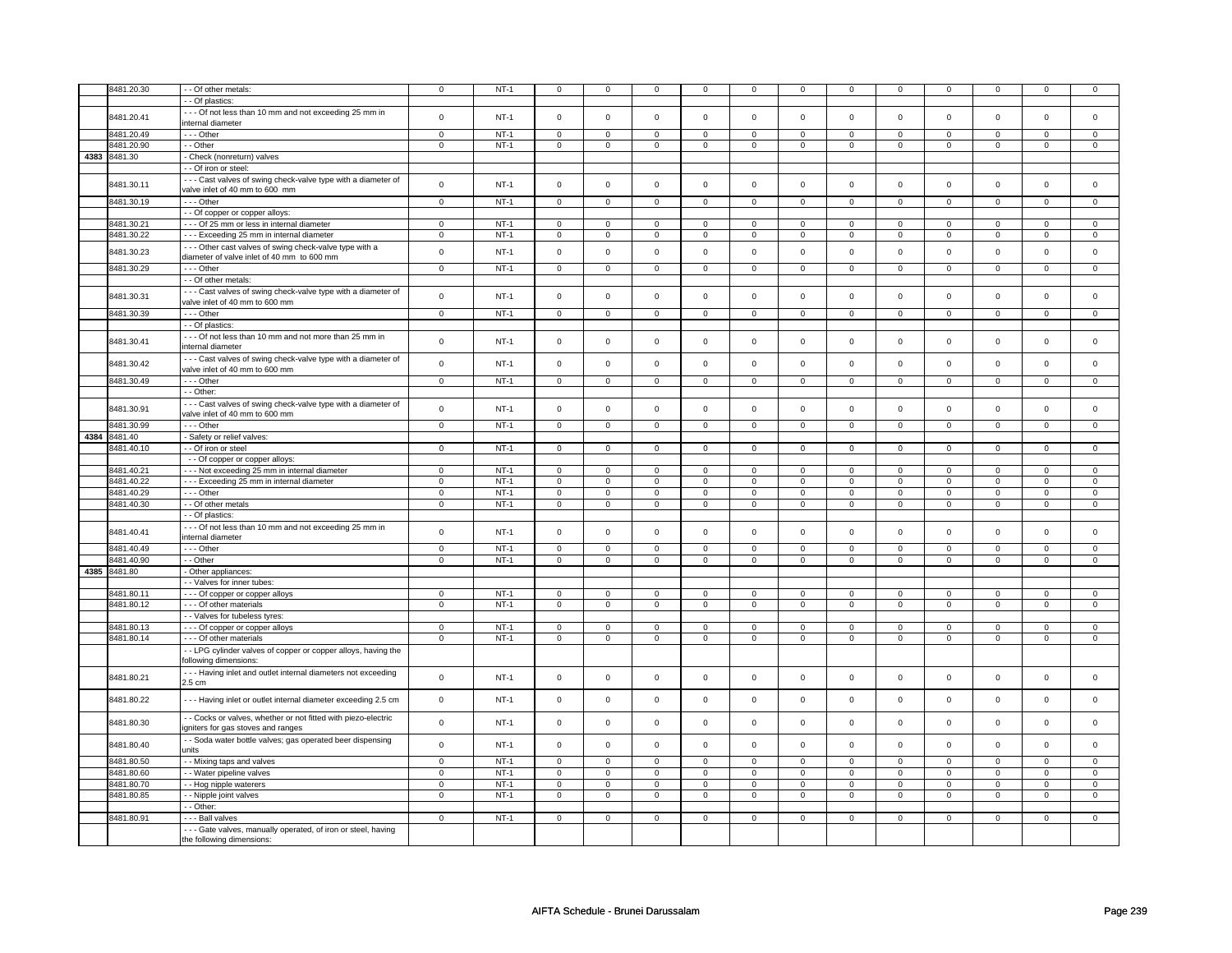|      | 8481.20.30 | - - Of other metals:                                                                        | $\mathsf 0$             | $NT-1$ | $\mathsf{O}\xspace$ | $\mathsf 0$    | $\Omega$            | $\Omega$       | $\mathsf 0$         | $\mathsf 0$         | $\mathsf 0$         | $\mathbf 0$             | $\mathbf 0$         | $\mathsf 0$    | $\Omega$       | 0              |
|------|------------|---------------------------------------------------------------------------------------------|-------------------------|--------|---------------------|----------------|---------------------|----------------|---------------------|---------------------|---------------------|-------------------------|---------------------|----------------|----------------|----------------|
|      |            |                                                                                             |                         |        |                     |                |                     |                |                     |                     |                     |                         |                     |                |                |                |
|      |            | - Of plastics:                                                                              |                         |        |                     |                |                     |                |                     |                     |                     |                         |                     |                |                |                |
|      |            | --- Of not less than 10 mm and not exceeding 25 mm in                                       |                         |        |                     |                |                     |                |                     |                     |                     |                         |                     |                |                |                |
|      | 8481.20.41 | internal diameter                                                                           | $\mathsf{o}\xspace$     | $NT-1$ | $\mathbf 0$         | $\pmb{0}$      | $\Omega$            | $\mathsf 0$    | $\mathsf 0$         | $\mathsf{o}\xspace$ | $\mathsf 0$         | $\mathsf 0$             | $\mathsf 0$         | $\mathbf 0$    | $\mathbf 0$    | $\mathbf{O}$   |
|      |            |                                                                                             |                         |        |                     |                |                     |                |                     |                     |                     |                         |                     |                |                |                |
|      | 8481.20.49 | --- Other                                                                                   | $\mathbf 0$             | $NT-1$ | $\mathbf 0$         | $\mathbf 0$    | $\mathbf 0$         | $\mathbf 0$    | $\Omega$            | $\Omega$            | $\Omega$            | $\mathbf 0$             | $\mathbf 0$         | $\mathbf 0$    | $\Omega$       | $\mathbf{0}$   |
|      | 8481.20.90 | - - Other                                                                                   | $\mathbf 0$             | $NT-1$ | $\mathsf 0$         | $\mathsf 0$    | $\mathbf 0$         | $\mathsf 0$    | $\mathsf 0$         | $\mathsf 0$         | $\mathsf 0$         | $\mathsf 0$             | $\mathsf 0$         | $\mathsf 0$    | $\mathsf 0$    | $\mathbf 0$    |
| 4383 | 8481.30    | - Check (nonreturn) valves                                                                  |                         |        |                     |                |                     |                |                     |                     |                     |                         |                     |                |                |                |
|      |            | -- Of iron or steel:                                                                        |                         |        |                     |                |                     |                |                     |                     |                     |                         |                     |                |                |                |
|      |            |                                                                                             |                         |        |                     |                |                     |                |                     |                     |                     |                         |                     |                |                |                |
|      | 8481.30.11 | --- Cast valves of swing check-valve type with a diameter of                                | $\mathbf 0$             | $NT-1$ | $\mathsf 0$         | $\mathsf 0$    | $\mathsf 0$         | $\mathsf 0$    | $\mathsf 0$         | $\mathbf 0$         | $\mathsf 0$         | $\mathbf 0$             | $\mathbf 0$         | $\mathbf 0$    | $\mathbf 0$    | $\mathbf 0$    |
|      |            | valve inlet of 40 mm to 600 mm                                                              |                         |        |                     |                |                     |                |                     |                     |                     |                         |                     |                |                |                |
|      | 8481.30.19 | --- Other                                                                                   | $\overline{0}$          | $NT-1$ | $\mathsf 0$         | $\mathbf 0$    | $\mathsf 0$         | $\overline{0}$ | $\overline{0}$      | $\overline{0}$      | $\mathsf{O}\xspace$ | $\overline{0}$          | $\overline{0}$      | $\overline{0}$ | $\mathsf 0$    | $\overline{0}$ |
|      |            |                                                                                             |                         |        |                     |                |                     |                |                     |                     |                     |                         |                     |                |                |                |
|      |            | - - Of copper or copper alloys:                                                             |                         |        |                     |                |                     |                |                     |                     |                     |                         |                     |                |                |                |
|      | 8481.30.21 | - - - Of 25 mm or less in internal diameter                                                 | $\mathsf 0$             | $NT-1$ | $\mathsf{O}\xspace$ | $\mathbf 0$    | $\mathbf 0$         | $\mathsf 0$    | $\mathsf 0$         | $\mathsf 0$         | $\mathbf 0$         | $\mathbf 0$             | $\mathbf 0$         | $\mathbf 0$    | 0              | $\mathbf{0}$   |
|      | 8481.30.22 | --- Exceeding 25 mm in internal diameter                                                    | $\mathsf 0$             | $NT-1$ | $\mathbf 0$         | $\mathbf 0$    | $\mathbf 0$         | 0              | 0                   | $\mathbf 0$         | 0                   | $\mathbf 0$             | 0                   | $\mathbf 0$    | 0              | $\mathbf 0$    |
|      |            |                                                                                             |                         |        |                     |                |                     |                |                     |                     |                     |                         |                     |                |                |                |
|      | 8481.30.23 | --- Other cast valves of swing check-valve type with a                                      | $\mathbf 0$             | $NT-1$ | $\mathsf 0$         | $\mathsf 0$    | $\Omega$            | $\mathbf 0$    | $\mathsf 0$         | $\mathsf 0$         | $\mathbf 0$         | $\mathsf 0$             | $\mathsf 0$         | $\mathsf 0$    | $\mathbf 0$    | $\mathbf 0$    |
|      |            | diameter of valve inlet of 40 mm to 600 mm                                                  |                         |        |                     |                |                     |                |                     |                     |                     |                         |                     |                |                |                |
|      | 8481.30.29 | --- Other                                                                                   | $\overline{0}$          | $NT-1$ | $\mathbf 0$         | $\mathbf 0$    | $\mathbf 0$         | $\mathbf 0$    | $\mathsf 0$         | $\mathbf 0$         | $\mathsf 0$         | $\mathbf 0$             | $\mathsf{O}\xspace$ | $\mathbf 0$    | 0              | $\mathbf 0$    |
|      |            | - - Of other metals:                                                                        |                         |        |                     |                |                     |                |                     |                     |                     |                         |                     |                |                |                |
|      |            |                                                                                             |                         |        |                     |                |                     |                |                     |                     |                     |                         |                     |                |                |                |
|      | 8481.30.31 | --- Cast valves of swing check-valve type with a diameter of                                | $\mathbf 0$             | $NT-1$ | $\mathsf 0$         | $\mathbf 0$    | $\mathbf 0$         | $\mathbf 0$    | $\mathsf 0$         | $\mathsf{o}\,$      | $\mathbf 0$         | $\mathsf 0$             | $\mathbf 0$         | $\mathbf 0$    | $\mathbf 0$    | $\mathsf 0$    |
|      |            | valve inlet of 40 mm to 600 mm                                                              |                         |        |                     |                |                     |                |                     |                     |                     |                         |                     |                |                |                |
|      | 8481.30.39 | --- Other                                                                                   | $\mathbf 0$             | $NT-1$ | $\mathsf{O}\xspace$ | $\mathsf 0$    | $\mathsf 0$         | $\mathsf 0$    | $\mathbf 0$         | $\mathbf 0$         | $\mathsf 0$         | $\mathbf 0$             | $\mathbf 0$         | $\mathsf 0$    | $\mathsf 0$    | 0              |
|      |            |                                                                                             |                         |        |                     |                |                     |                |                     |                     |                     |                         |                     |                |                |                |
|      |            | - - Of plastics:                                                                            |                         |        |                     |                |                     |                |                     |                     |                     |                         |                     |                |                |                |
|      |            | --- Of not less than 10 mm and not more than 25 mm in                                       |                         |        |                     |                |                     |                |                     |                     |                     |                         |                     |                |                |                |
|      | 8481.30.41 | internal diameter                                                                           | $\mathbf 0$             | $NT-1$ | $\mathsf 0$         | $\mathsf 0$    | $\mathbf 0$         | $\mathbf 0$    | $\mathbf 0$         | $\mathsf 0$         | $\mathsf 0$         | $\mathbf 0$             | $\mathbf 0$         | $\mathsf 0$    | $\mathsf 0$    | 0              |
|      |            |                                                                                             |                         |        |                     |                |                     |                |                     |                     |                     |                         |                     |                |                |                |
|      | 8481.30.42 | --- Cast valves of swing check-valve type with a diameter of                                | $\mathsf 0$             | $NT-1$ | $\mathsf 0$         | $\mathbf 0$    | $\mathbf 0$         | $\mathsf 0$    | $\mathbf 0$         | $\mathsf 0$         | $\mathsf 0$         | $\mathbf 0$             | $\mathbf 0$         | $\mathbf{0}$   | $\mathbf 0$    | $\mathbf{0}$   |
|      |            | valve inlet of 40 mm to 600 mm                                                              |                         |        |                     |                |                     |                |                     |                     |                     |                         |                     |                |                |                |
|      | 8481.30.49 | $--$ Other                                                                                  | $\overline{0}$          | $NT-1$ | $\mathsf 0$         | $\mathsf 0$    | $\mathsf 0$         | $\overline{0}$ | $\overline{0}$      | $\overline{0}$      | $\overline{0}$      | $\overline{0}$          | $\overline{0}$      | $\overline{0}$ | $\mathbf 0$    | $\overline{0}$ |
|      |            | - - Other:                                                                                  |                         |        |                     |                |                     |                |                     |                     |                     |                         |                     |                |                |                |
|      |            |                                                                                             |                         |        |                     |                |                     |                |                     |                     |                     |                         |                     |                |                |                |
|      | 8481.30.91 | --- Cast valves of swing check-valve type with a diameter of                                | $\mathsf 0$             | $NT-1$ | $\mathsf 0$         | $\mathsf 0$    | $\mathbf 0$         | $\mathsf 0$    | $\mathsf 0$         | $\mathsf 0$         | $\mathsf 0$         | $\mathsf 0$             | $\mathbf 0$         | $\mathsf 0$    | $\mathbf 0$    | 0              |
|      |            | valve inlet of 40 mm to 600 mm                                                              |                         |        |                     |                |                     |                |                     |                     |                     |                         |                     |                |                |                |
|      | 8481.30.99 | --- Other                                                                                   | $\mathbf 0$             | $NT-1$ | $\mathsf 0$         | $\mathbf 0$    | $\mathsf 0$         | $\mathbf 0$    | $\mathbf 0$         | $\mathbf 0$         | $\mathbf 0$         | $\mathbf 0$             | $\mathbf 0$         | $\mathbf 0$    | $\mathsf 0$    | $\mathbf 0$    |
|      |            |                                                                                             |                         |        |                     |                |                     |                |                     |                     |                     |                         |                     |                |                |                |
| 4384 | 8481.40    | - Safety or relief valves:                                                                  |                         |        |                     |                |                     |                |                     |                     |                     |                         |                     |                |                |                |
|      | 8481.40.10 | - - Of iron or steel                                                                        | $\overline{\mathbf{0}}$ | $NT-1$ | $\mathsf 0$         | $\mathbf 0$    | $\mathsf 0$         | $\mathsf 0$    | $\mathbf 0$         | $\overline{0}$      | $\mathbf 0$         | $\overline{\mathbf{0}}$ | $\mathbf 0$         | $\overline{0}$ | 0              | $\overline{0}$ |
|      |            | - - Of copper or copper alloys:                                                             |                         |        |                     |                |                     |                |                     |                     |                     |                         |                     |                |                |                |
|      |            |                                                                                             |                         | $NT-1$ |                     |                |                     |                |                     |                     |                     |                         |                     |                |                |                |
|      | 8481.40.21 | --- Not exceeding 25 mm in internal diameter                                                | $\mathsf 0$             |        | $\mathsf{O}\xspace$ | $\mathbf 0$    | $\mathsf 0$         | $\mathsf 0$    | $\mathsf{O}\xspace$ | $\mathsf 0$         | $\mathsf{O}$        | $\mathbf 0$             | $\mathsf 0$         | $\mathbf 0$    | $\mathsf 0$    | $\mathbf 0$    |
|      | 8481.40.22 | --- Exceeding 25 mm in internal diameter                                                    | $\mathsf 0$             | $NT-1$ | $\mathsf 0$         | $\mathsf 0$    | $\mathsf 0$         | $\mathsf 0$    | $\mathbf 0$         | $\mathbf 0$         | $\mathsf 0$         | $\mathbf 0$             | $\mathbf 0$         | $\mathsf 0$    | $\mathbf 0$    | 0              |
|      | 8481.40.29 | --- Other                                                                                   | $\mathbf 0$             | $NT-1$ | $\mathsf{O}\xspace$ | $\mathbf 0$    | $\mathsf 0$         | $\mathbf 0$    | $\mathsf 0$         | $\mathsf 0$         | $\mathsf 0$         | $\mathbf 0$             | $\mathsf 0$         | $\mathbf 0$    | $\mathsf 0$    | $\mathbf 0$    |
|      | 8481.40.30 | - - Of other metals                                                                         | $\overline{0}$          | $NT-1$ | $\overline{0}$      | $\overline{0}$ | $\overline{0}$      | $\overline{0}$ | $\overline{0}$      | $\overline{0}$      | $\overline{0}$      | $\overline{0}$          | $\overline{0}$      | $\overline{0}$ | $\overline{0}$ | $\overline{0}$ |
|      |            |                                                                                             |                         |        |                     |                |                     |                |                     |                     |                     |                         |                     |                |                |                |
|      |            | - - Of plastics:                                                                            |                         |        |                     |                |                     |                |                     |                     |                     |                         |                     |                |                |                |
|      |            | --- Of not less than 10 mm and not exceeding 25 mm in                                       |                         |        |                     |                |                     |                |                     |                     |                     |                         |                     |                |                |                |
|      | 8481.40.41 | internal diameter                                                                           | $\mathsf 0$             | $NT-1$ | $\mathsf 0$         | $\mathsf 0$    | $\mathsf 0$         | $\mathsf 0$    | $\mathsf 0$         | $\mathsf 0$         | $\mathbf 0$         | $\mathbf 0$             | $\mathbf 0$         | $\mathsf 0$    | $\mathbf 0$    | $\mathbf 0$    |
|      |            |                                                                                             |                         |        |                     |                |                     |                |                     |                     |                     |                         |                     |                |                |                |
|      | 8481.40.49 | $- -$ Other                                                                                 | $\overline{0}$          | $NT-1$ | $\mathbf 0$         | $\mathbf 0$    | $\mathbf 0$         | $\mathbf 0$    | $\overline{0}$      | $\overline{0}$      | $\mathbf 0$         | $\overline{0}$          | $\overline{0}$      | $\overline{0}$ | $\mathbf 0$    | $\overline{0}$ |
|      | 8481.40.90 | - - Other                                                                                   | $\overline{0}$          | $NT-1$ | $\mathsf 0$         | $\mathsf 0$    | $\mathbf 0$         | $\mathsf 0$    | $\overline{0}$      | $\overline{0}$      | $\mathbf 0$         | $\overline{0}$          | $\overline{0}$      | $\overline{0}$ | $\mathbf 0$    | $\overline{0}$ |
| 4385 | 8481.80    | - Other appliances:                                                                         |                         |        |                     |                |                     |                |                     |                     |                     |                         |                     |                |                |                |
|      |            | - - Valves for inner tubes:                                                                 |                         |        |                     |                |                     |                |                     |                     |                     |                         |                     |                |                |                |
|      |            |                                                                                             |                         |        |                     |                |                     |                |                     |                     |                     |                         |                     |                |                |                |
|      | 8481.80.11 | - - - Of copper or copper alloys                                                            | $\mathbf 0$             | $NT-1$ | $\mathsf 0$         | $\mathbf 0$    | $\mathbf 0$         | $\mathbf 0$    | $\mathbf 0$         | $\mathbf 0$         | $\mathbf 0$         | $\mathbf 0$             | $\mathbf 0$         | $\mathbf 0$    | 0              | $\mathbf 0$    |
|      | 8481.80.12 | - - - Of other materials                                                                    | $\mathbf 0$             | $NT-1$ | $\mathsf 0$         | $\mathbf 0$    | $\mathsf 0$         | $\mathsf 0$    | $\mathbf 0$         | $\mathbf 0$         | $\mathbf 0$         | $\mathbf 0$             | $\mathbf 0$         | $\mathbf 0$    | $\mathsf 0$    | $\mathbf 0$    |
|      |            | - - Valves for tubeless tyres:                                                              |                         |        |                     |                |                     |                |                     |                     |                     |                         |                     |                |                |                |
|      |            |                                                                                             | $\overline{0}$          | $NT-1$ |                     |                |                     |                | $\overline{0}$      | $\overline{0}$      |                     | $\overline{0}$          |                     | $\overline{0}$ | $\Omega$       |                |
|      | 8481.80.13 | - - - Of copper or copper alloys                                                            |                         |        | $\mathsf 0$         | $\mathsf 0$    | $\mathsf 0$         | $\mathsf 0$    |                     |                     | $\mathsf 0$         |                         | $\mathbf 0$         |                |                | $\mathbf 0$    |
|      | 8481.80.14 | - - - Of other materials                                                                    | $\mathsf 0$             | $NT-1$ | $\mathsf 0$         | $\mathbf 0$    | $\mathsf 0$         | $\mathbf 0$    | $\mathsf 0$         | $\mathsf 0$         | $\mathsf 0$         | $\mathsf 0$             | $\mathbf 0$         | $\mathbf 0$    | $\mathbf 0$    | $\mathbf 0$    |
|      |            | - - LPG cylinder valves of copper or copper alloys, having the                              |                         |        |                     |                |                     |                |                     |                     |                     |                         |                     |                |                |                |
|      |            | following dimensions:                                                                       |                         |        |                     |                |                     |                |                     |                     |                     |                         |                     |                |                |                |
|      |            |                                                                                             |                         |        |                     |                |                     |                |                     |                     |                     |                         |                     |                |                |                |
|      | 8481.80.21 | --- Having inlet and outlet internal diameters not exceeding                                | $\mathbf 0$             | $NT-1$ | $\mathsf 0$         | $\mathsf 0$    | $\mathsf{O}\xspace$ | $\mathbf 0$    | $\mathsf 0$         | $\mathsf 0$         | $\mathsf{O}\xspace$ | $\mathsf 0$             | $\mathsf 0$         | $\mathsf 0$    | $\mathsf 0$    | $\mathsf 0$    |
|      |            | 2.5 cm                                                                                      |                         |        |                     |                |                     |                |                     |                     |                     |                         |                     |                |                |                |
|      |            |                                                                                             |                         |        |                     |                |                     |                |                     |                     |                     |                         |                     |                |                |                |
|      | 8481.80.22 | --- Having inlet or outlet internal diameter exceeding 2.5 cm                               | $\mathbf 0$             | $NT-1$ | $\mathbf 0$         | $\mathbf 0$    | $\Omega$            | $\mathsf 0$    | $\mathbf 0$         | $\mathbf 0$         | $\mathbf 0$         | $\mathbf 0$             | $\mathbf 0$         | $\mathbf 0$    | $\mathbf 0$    | $\mathbf{0}$   |
|      |            |                                                                                             |                         |        |                     |                |                     |                |                     |                     |                     |                         |                     |                |                |                |
|      |            | - - Cocks or valves, whether or not fitted with piezo-electric                              |                         |        |                     |                |                     |                |                     |                     |                     |                         |                     |                |                |                |
|      | 8481.80.30 | igniters for gas stoves and ranges                                                          | $\mathbf 0$             | $NT-1$ | $\mathsf 0$         | $\mathsf 0$    | $\mathsf 0$         | $\mathbf 0$    | $\mathbf 0$         | $\mathsf 0$         | $\mathsf 0$         | $\mathbf 0$             | $\mathbf 0$         | $\mathbf 0$    | $\mathbf 0$    | $\mathbf 0$    |
|      |            |                                                                                             |                         |        |                     |                |                     |                |                     |                     |                     |                         |                     |                |                |                |
|      | 8481.80.40 | - - Soda water bottle valves; gas operated beer dispensing                                  | $\mathsf 0$             | $NT-1$ | $\mathsf 0$         | $\mathbf 0$    | $\mathsf 0$         | $\mathsf 0$    | $\mathsf 0$         | $\mathsf{o}\,$      | $\mathsf{O}\xspace$ | $\mathsf 0$             | $\mathsf 0$         | $\mathbf 0$    | $\mathsf 0$    | $\mathbf 0$    |
|      |            | units                                                                                       |                         |        |                     |                |                     |                |                     |                     |                     |                         |                     |                |                |                |
|      | 8481.80.50 |                                                                                             | $\mathbf 0$             | $NT-1$ | $\mathsf{O}\xspace$ | $\mathbf 0$    | $\mathsf 0$         | $\mathbf 0$    | $\mathbf 0$         | $\mathsf 0$         | $\mathsf 0$         | $\mathbf 0$             | $\mathbf 0$         | $\mathsf 0$    | $\mathsf 0$    | 0              |
|      |            | - Mixing taps and valves                                                                    |                         |        |                     |                |                     |                |                     |                     |                     |                         |                     |                |                |                |
|      | 8481.80.60 | - - Water pipeline valves                                                                   | $\overline{0}$          | $NT-1$ | $\mathbf 0$         | $\overline{0}$ | $\mathbf 0$         | 0              | 0                   | $\overline{0}$      | 0                   | $\mathbf 0$             | 0                   | $\overline{0}$ | 0              | $\mathbf 0$    |
|      | 8481.80.70 | - - Hog nipple waterers                                                                     | $\mathbf 0$             | $NT-1$ | $\mathsf 0$         | $\mathsf 0$    | $\mathsf 0$         | $\mathsf 0$    | $\mathbf 0$         | $\mathbf 0$         | $\mathbf 0$         | $\mathbf 0$             | $\mathbf 0$         | $\mathbf 0$    | $\Omega$       | 0              |
|      | 8481.80.85 | - - Nipple joint valves                                                                     | $\mathbf 0$             | $NT-1$ | $\mathsf 0$         | $\mathsf 0$    | $\mathbf 0$         | $\mathsf 0$    | $\mathbf 0$         | $\mathbf 0$         | $\mathbf 0$         | $\mathbf 0$             | $\mathbf 0$         | $\mathbf 0$    | $\mathbf 0$    | 0              |
|      |            |                                                                                             |                         |        |                     |                |                     |                |                     |                     |                     |                         |                     |                |                |                |
|      |            | - - Other:                                                                                  |                         |        |                     |                |                     |                |                     |                     |                     |                         |                     |                |                |                |
|      |            |                                                                                             | $\mathbf 0$             | $NT-1$ | $\mathsf{O}\xspace$ | $\mathbf 0$    | $\mathbf 0$         | $\mathbf 0$    | $\mathsf 0$         | $\mathsf 0$         | $\mathbf 0$         | $\mathbf 0$             | $\mathsf 0$         | $\mathbf{0}$   | $\mathbf 0$    | $\mathbf{0}$   |
|      | 8481.80.91 | - - - Ball valves                                                                           |                         |        |                     |                |                     |                |                     |                     |                     |                         |                     |                |                |                |
|      |            |                                                                                             |                         |        |                     |                |                     |                |                     |                     |                     |                         |                     |                |                |                |
|      |            | - - - Gate valves, manually operated, of iron or steel, having<br>the following dimensions: |                         |        |                     |                |                     |                |                     |                     |                     |                         |                     |                |                |                |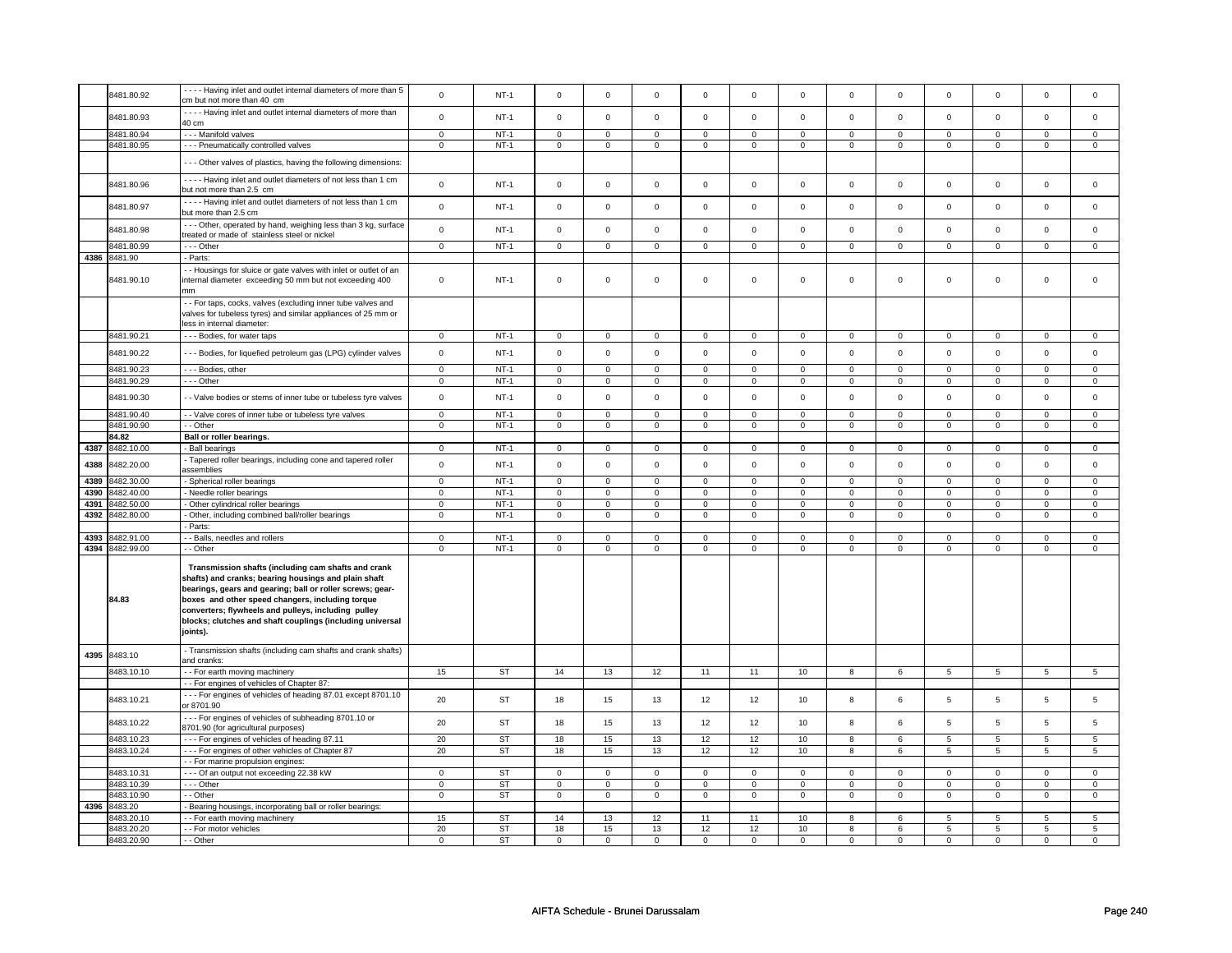|              | 8481.80.92               | ---- Having inlet and outlet internal diameters of more than 5<br>cm but not more than 40 cm                                                                                                                                                                                                                                                                 | $\mathbf 0$                   | $NT-1$                | $\Omega$                      | $\mathbf 0$                   | $\mathbf 0$                   | $\mathbf 0$                   | $\Omega$                      | $\mathbf 0$                   | $\mathbf 0$                   | $\mathbf 0$                   | $\Omega$                      | $\mathbf 0$                   | $\mathbf 0$         | $\mathsf 0$                   |
|--------------|--------------------------|--------------------------------------------------------------------------------------------------------------------------------------------------------------------------------------------------------------------------------------------------------------------------------------------------------------------------------------------------------------|-------------------------------|-----------------------|-------------------------------|-------------------------------|-------------------------------|-------------------------------|-------------------------------|-------------------------------|-------------------------------|-------------------------------|-------------------------------|-------------------------------|---------------------|-------------------------------|
|              |                          |                                                                                                                                                                                                                                                                                                                                                              |                               |                       |                               |                               |                               |                               |                               |                               |                               |                               |                               |                               |                     |                               |
|              | 8481.80.93               | - - - - Having inlet and outlet internal diameters of more than                                                                                                                                                                                                                                                                                              | $\mathsf 0$                   | <b>NT-1</b>           | $\mathbf 0$                   | $\mathsf 0$                   | $\mathsf 0$                   | $\mathsf 0$                   | $\mathsf 0$                   | $\mathsf 0$                   | $\mathsf 0$                   | $\mathbf 0$                   | $\mathsf 0$                   | $\mathsf 0$                   | $\mathsf 0$         | $\mathbf 0$                   |
|              |                          | 40 cm                                                                                                                                                                                                                                                                                                                                                        |                               | $NT-1$                | $\mathbf 0$                   | $\mathbf 0$                   | $\Omega$                      | $\Omega$                      | $\Omega$                      | $\Omega$                      | $\Omega$                      | $\Omega$                      | $\Omega$                      | $\Omega$                      | $\Omega$            | $\mathbf 0$                   |
|              | 3481.80.94               | --- Manifold valves                                                                                                                                                                                                                                                                                                                                          | $\mathsf 0$                   |                       |                               |                               | $\mathbf 0$                   |                               |                               | $\mathsf 0$                   |                               | $\mathsf 0$                   | $\mathsf{O}\xspace$           |                               |                     |                               |
|              | 8481.80.95               | --- Pneumatically controlled valves                                                                                                                                                                                                                                                                                                                          | $\mathsf 0$                   | $NT-1$                | $\mathsf 0$                   | $\mathbf 0$                   |                               | $\mathsf 0$                   | $\mathbf 0$                   |                               | $\mathsf 0$                   |                               |                               | $\mathbf 0$                   | $\mathsf 0$         | $\mathsf 0$                   |
|              |                          | --- Other valves of plastics, having the following dimensions:                                                                                                                                                                                                                                                                                               |                               |                       |                               |                               |                               |                               |                               |                               |                               |                               |                               |                               |                     |                               |
|              | 8481.80.96               | - - - - Having inlet and outlet diameters of not less than 1 cm<br>but not more than 2.5 cm                                                                                                                                                                                                                                                                  | $\mathsf 0$                   | $NT-1$                | $\mathsf 0$                   | $\mathbf 0$                   | $\mathbf 0$                   | $\mathsf 0$                   | $\mathsf 0$                   | $\mathbf 0$                   | $\mathbf 0$                   | $\mathbf 0$                   | $\mathsf 0$                   | $\mathbf 0$                   | $\mathbf 0$         | $\mathbf 0$                   |
|              | 8481.80.97               | ---- Having inlet and outlet diameters of not less than 1 cm<br>but more than 2.5 cm                                                                                                                                                                                                                                                                         | $\mathsf 0$                   | $NT-1$                | $\mathbf 0$                   | $\mathsf 0$                   | $\mathsf 0$                   | $\mathbf 0$                   | $\mathsf 0$                   | $\mathsf 0$                   | $\mathbf 0$                   | $\mathsf 0$                   | $\mathsf{O}\xspace$           | $\mathsf 0$                   | $\mathbf 0$         | $\mathsf 0$                   |
|              | 8481.80.98               | --- Other, operated by hand, weighing less than 3 kg, surface<br>treated or made of stainless steel or nickel                                                                                                                                                                                                                                                | $\mathsf 0$                   | $NT-1$                | $\mathsf 0$                   | $\mathbf 0$                   | $\mathsf 0$                   | $\mathbf 0$                   | $\mathsf 0$                   | $\mathsf 0$                   | $\mathsf 0$                   | $\mathsf 0$                   | $\mathsf{O}\xspace$           | $\mathsf 0$                   | $\mathsf{O}\xspace$ | $\mathbf 0$                   |
|              | 8481.80.99               | --- Other                                                                                                                                                                                                                                                                                                                                                    | $\mathbf 0$                   | $NT-1$                | $\mathbf 0$                   | $\mathbf 0$                   | $\mathbf 0$                   | $\mathbf 0$                   | $\mathbf 0$                   | $\mathbf 0$                   | $\mathbf 0$                   | $\mathbf 0$                   | $\mathbf 0$                   | $\mathbf 0$                   | $\mathbf 0$         | $\mathbf{0}$                  |
| 4386         | 8481.90                  | - Parts:                                                                                                                                                                                                                                                                                                                                                     |                               |                       |                               |                               |                               |                               |                               |                               |                               |                               |                               |                               |                     |                               |
|              | 8481.90.10               | - Housings for sluice or gate valves with inlet or outlet of an<br>internal diameter exceeding 50 mm but not exceeding 400<br>mm                                                                                                                                                                                                                             | $\mathsf 0$                   | $NT-1$                | $\Omega$                      | $\mathsf 0$                   | $\Omega$                      | $\mathsf 0$                   | $\Omega$                      | $\mathbf 0$                   | $\Omega$                      | $\Omega$                      | $\Omega$                      | $\mathsf 0$                   | $\mathsf 0$         | $\mathsf 0$                   |
|              |                          | - - For taps, cocks, valves (excluding inner tube valves and<br>valves for tubeless tyres) and similar appliances of 25 mm or<br>less in internal diameter:                                                                                                                                                                                                  |                               |                       |                               |                               |                               |                               |                               |                               |                               |                               |                               |                               |                     |                               |
|              | 8481.90.21               | --- Bodies, for water taps                                                                                                                                                                                                                                                                                                                                   | $\mathsf 0$                   | $NT-1$                | $\mathsf 0$                   | $\mathsf 0$                   | $\mathbf 0$                   | $\mathsf 0$                   | $\mathsf 0$                   | $\mathbf 0$                   | $\mathbf 0$                   | $\mathbf 0$                   | $\mathbf 0$                   | $\mathbf 0$                   | $\mathbf 0$         | $\mathsf 0$                   |
|              | 8481.90.22               | --- Bodies, for liquefied petroleum gas (LPG) cylinder valves                                                                                                                                                                                                                                                                                                | $\mathsf 0$                   | $NT-1$                | $\mathsf{O}\xspace$           | $\mathsf 0$                   | $\mathsf 0$                   | $\mathbf 0$                   | $\mathsf 0$                   | $\mathsf 0$                   | $\mathsf 0$                   | $\mathsf 0$                   | $\mathsf 0$                   | $\mathsf{o}\,$                | $\mathsf 0$         | $\mathbf 0$                   |
|              | 8481.90.23               | --- Bodies, other                                                                                                                                                                                                                                                                                                                                            | $\mathbf 0$                   | $NT-1$                | $\mathbf 0$                   | $\mathbf 0$                   | $\mathbf 0$                   | $\mathbf 0$                   | $\mathbf 0$                   | $\mathbf 0$                   | $\mathbf 0$                   | $\mathbf 0$                   | $\mathbf 0$                   | $\mathbf 0$                   | $\mathbf 0$         | $\mathbf 0$                   |
|              | 8481.90.29               | --- Other                                                                                                                                                                                                                                                                                                                                                    | $\mathbf 0$                   | $NT-1$                | $\mathsf{O}\xspace$           | $\mathbf 0$                   | $\mathsf 0$                   | $\mathsf 0$                   | $\mathbf 0$                   | $\overline{0}$                | $\mathsf 0$                   | $\mathbf 0$                   | $\mathsf 0$                   | $\mathsf 0$                   | $\mathsf 0$         | $\mathsf 0$                   |
|              | 8481.90.30               | - Valve bodies or stems of inner tube or tubeless tyre valves                                                                                                                                                                                                                                                                                                | $\mathbf 0$                   | $NT-1$                | $\Omega$                      | $\mathbf{0}$                  | $\Omega$                      | $\mathbf 0$                   | $\Omega$                      | $\mathbf 0$                   | $\Omega$                      | $\Omega$                      | $\Omega$                      | $\mathbf{0}$                  | $\Omega$            | $\mathbf 0$                   |
|              | 8481.90.40               | - Valve cores of inner tube or tubeless tyre valves                                                                                                                                                                                                                                                                                                          | $\mathbf 0$                   | $NT-1$                | $\mathbf 0$                   | $\mathbf 0$                   | $\mathbf 0$                   | $\mathbf 0$                   | $\mathbf 0$                   | $\mathbf 0$                   | $\mathbf 0$                   | $\mathbf 0$                   | $\mathbf 0$                   | $\mathbf 0$                   | $\mathbf 0$         | $\mathbf{0}$                  |
|              | 8481.90.90               | - - Other                                                                                                                                                                                                                                                                                                                                                    | $\mathbf 0$                   | $NT-1$                | $\mathsf 0$                   | $\mathsf 0$                   | $\mathbf 0$                   | $\mathsf 0$                   | $\mathbf 0$                   | $\mathbf 0$                   | $\mathbf 0$                   | $\mathbf 0$                   | $\mathbf 0$                   | $\mathbf 0$                   | $\mathsf 0$         | $\mathbf 0$                   |
|              | 84.82                    | Ball or roller bearings.                                                                                                                                                                                                                                                                                                                                     |                               |                       |                               |                               |                               |                               |                               |                               |                               |                               |                               |                               |                     |                               |
| 4387         | 8482.10.00               | - Ball bearings                                                                                                                                                                                                                                                                                                                                              | $\mathbf 0$                   | $NT-1$                | $\mathbf 0$                   | 0                             | $\mathbf 0$                   | $\mathbf 0$                   | $\mathbf 0$                   | $\mathbf 0$                   | $\mathbf 0$                   | $\mathbf 0$                   | $\mathbf 0$                   | $\mathbf 0$                   | 0                   | $\circ$                       |
| 4388         | 3482.20.00               | - Tapered roller bearings, including cone and tapered roller<br>assemblies                                                                                                                                                                                                                                                                                   | $\mathsf 0$                   | $NT-1$                | $\mathbf 0$                   | $\mathbf 0$                   | $\mathbf 0$                   | $\mathsf 0$                   | $\mathbf 0$                   | $\mathbf 0$                   | $\mathbf 0$                   | $\mathbf 0$                   | $\mathsf 0$                   | $\mathbf 0$                   | $\Omega$            | $\mathsf 0$                   |
|              |                          |                                                                                                                                                                                                                                                                                                                                                              |                               |                       |                               |                               |                               |                               |                               |                               |                               |                               |                               |                               |                     |                               |
|              |                          |                                                                                                                                                                                                                                                                                                                                                              |                               |                       |                               |                               |                               | $\mathbf 0$                   |                               | $\mathbf 0$                   |                               | $\mathbf 0$                   |                               | $\mathbf 0$                   | $\mathbf 0$         | $\mathbf{0}$                  |
| 4389         | 8482.30.00               | - Spherical roller bearings                                                                                                                                                                                                                                                                                                                                  | $\mathsf 0$                   | $NT-1$                | $\mathsf 0$                   | $\mathbf 0$                   | $\mathbf 0$                   |                               | $\mathbf 0$                   |                               | $\mathsf 0$<br>$\mathbf 0$    |                               | $\mathsf 0$                   |                               | $\mathbf 0$         |                               |
| 4390         | 3482.40.00               | - Needle roller bearings                                                                                                                                                                                                                                                                                                                                     | $\mathbf 0$                   | $NT-1$                | $\mathsf 0$                   | $\mathbf 0$                   | $\mathsf 0$                   | $\mathsf 0$                   | $\mathsf 0$                   | $\mathbf 0$                   |                               | $\mathbf 0$                   | $\mathsf 0$                   | $\mathbf 0$                   | $\overline{0}$      | $\mathsf 0$                   |
| 4391<br>4392 | 8482.50.00<br>3482.80.00 | - Other cylindrical roller bearings<br>- Other, including combined ball/roller bearings                                                                                                                                                                                                                                                                      | $\overline{0}$<br>$\mathsf 0$ | <b>NT-1</b><br>$NT-1$ | $\overline{0}$<br>$\mathsf 0$ | $\overline{0}$<br>$\mathbf 0$ | $\overline{0}$<br>$\mathbf 0$ | $\overline{0}$<br>$\mathsf 0$ | $\overline{0}$<br>$\mathbf 0$ | $\overline{0}$<br>$\mathbf 0$ | $\overline{0}$<br>$\mathbf 0$ | $\overline{0}$<br>$\mathbf 0$ | $\overline{0}$<br>$\mathbf 0$ | $\overline{0}$<br>$\mathbf 0$ | 0                   | $\overline{0}$<br>$\mathsf 0$ |
|              |                          |                                                                                                                                                                                                                                                                                                                                                              |                               |                       |                               |                               |                               |                               |                               |                               |                               |                               |                               |                               |                     |                               |
| 4393         | 482.91.00                | - Parts:<br>- - Balls, needles and rollers                                                                                                                                                                                                                                                                                                                   | $\mathbf 0$                   | $NT-1$                | $\mathbf 0$                   | $\mathbf 0$                   | $\mathbf 0$                   | $\mathbf 0$                   | $\mathbf 0$                   | $\mathbf 0$                   | $\mathbf 0$                   | $\mathbf 0$                   | $\mathbf 0$                   | $\mathbf 0$                   | $\mathbf 0$         | $\mathbf 0$                   |
| 4394         | 8482.99.00               | - Other                                                                                                                                                                                                                                                                                                                                                      | $\mathbf 0$                   | $NT-1$                | $\mathbf 0$                   | $\mathbf 0$                   | $\Omega$                      | $\mathbf 0$                   | $\Omega$                      | $\mathbf 0$                   | $\Omega$                      | $\mathbf 0$                   | $\Omega$                      | $\mathbf{0}$                  | $\Omega$            | $\mathbf{0}$                  |
|              | 84.83                    | Transmission shafts (including cam shafts and crank<br>shafts) and cranks; bearing housings and plain shaft<br>bearings, gears and gearing; ball or roller screws; gear-<br>boxes and other speed changers, including torque<br>converters; flywheels and pulleys, including pulley<br>blocks; clutches and shaft couplings (including universal<br>joints). |                               |                       |                               |                               |                               |                               |                               |                               |                               |                               |                               |                               |                     |                               |
| 4395         | 8483.10                  | - Transmission shafts (including cam shafts and crank shafts)<br>and cranks:                                                                                                                                                                                                                                                                                 |                               |                       |                               |                               |                               |                               |                               |                               |                               |                               |                               |                               |                     |                               |
|              | 8483.10.10               | - - For earth moving machinery                                                                                                                                                                                                                                                                                                                               | 15                            | <b>ST</b>             | 14                            | 13                            | 12                            | 11                            | 11                            | 10                            | 8                             | 6                             | 5                             | 5 <sup>5</sup>                | 5                   | 5                             |
|              | 8483.10.21               | - - For engines of vehicles of Chapter 87:<br>--- For engines of vehicles of heading 87.01 except 8701.10<br>or 8701.90                                                                                                                                                                                                                                      | 20                            | <b>ST</b>             | 18                            | 15                            | 13                            | 12                            | 12                            | 10                            | 8                             | 6                             | 5                             | 5                             | 5                   | 5                             |
|              | 8483.10.22               | --- For engines of vehicles of subheading 8701.10 or<br>8701.90 (for agricultural purposes)                                                                                                                                                                                                                                                                  | 20                            | <b>ST</b>             | 18                            | 15                            | 13                            | 12                            | 12                            | 10                            | 8                             | 6                             | 5                             | 5                             | 5                   | 5                             |
|              | 8483.10.23               | --- For engines of vehicles of heading 87.11                                                                                                                                                                                                                                                                                                                 | 20                            | <b>ST</b>             | 18                            | 15                            | 13                            | 12                            | 12                            | 10                            | $\overline{8}$                | 6                             | $\overline{5}$                | $\overline{5}$                | $\overline{5}$      | 5                             |
|              | 8483.10.24               | --- For engines of other vehicles of Chapter 87                                                                                                                                                                                                                                                                                                              | 20                            | <b>ST</b>             | 18                            | 15                            | 13                            | 12                            | 12                            | 10                            | 8                             | 6                             | 5                             | 5                             | 5                   | 5                             |
|              |                          | - - For marine propulsion engines:                                                                                                                                                                                                                                                                                                                           |                               |                       |                               |                               |                               |                               |                               |                               |                               |                               |                               |                               |                     |                               |
|              | 8483.10.31               | --- Of an output not exceeding 22.38 kW                                                                                                                                                                                                                                                                                                                      | $\mathbf 0$                   | <b>ST</b>             | 0                             | $\mathbf 0$                   | $\Omega$                      | 0                             | $\mathbf 0$                   | $\mathbf 0$                   | $\Omega$                      | $\mathbf 0$                   | $\Omega$                      | $\mathbf 0$                   | $\Omega$            | $\mathbf 0$                   |
|              | 8483.10.39               | --- Other                                                                                                                                                                                                                                                                                                                                                    | $\mathbf 0$                   | ST                    | $\mathbf 0$                   | $\mathbf 0$                   | $\mathbf 0$                   | $\mathsf 0$                   | $\mathbf 0$                   | $\mathbf 0$                   | $\mathbf 0$                   | $\mathbf 0$                   | $\mathbf 0$                   | $\mathbf 0$                   | $\Omega$            | $\mathbf{0}$                  |
|              | 3483.10.90               | - - Other                                                                                                                                                                                                                                                                                                                                                    | $\mathbf 0$                   | ST                    | $\mathsf{O}\xspace$           | $\mathbf 0$                   | $\mathbf 0$                   | $\mathsf 0$                   | $\mathbf 0$                   | $\mathbf 0$                   | $\mathbf 0$                   | $\mathbf 0$                   | $\mathbf 0$                   | $\mathbf 0$                   | $\mathbf 0$         | $\mathbf{0}$                  |
| 4396         | 3483.20                  | Bearing housings, incorporating ball or roller bearings:                                                                                                                                                                                                                                                                                                     |                               |                       |                               |                               |                               |                               |                               |                               |                               |                               |                               |                               |                     |                               |
|              | 3483.20.10               | - For earth moving machinery                                                                                                                                                                                                                                                                                                                                 | 15                            | <b>ST</b>             | 14                            | 13                            | 12                            | 11                            | 11                            | 10                            | 8                             | 6                             | 5                             | 5                             | 5                   | 5                             |
|              | 8483.20.20<br>8483.20.90 | - - For motor vehicles<br>- - Other                                                                                                                                                                                                                                                                                                                          | 20<br>$\mathbf 0$             | <b>ST</b><br>ST       | 18<br>$\mathbf 0$             | 15<br>$\mathbf 0$             | 13<br>0                       | 12<br>$\mathbf 0$             | 12<br>$\mathbf 0$             | 10<br>$\mathbf 0$             | 8<br>$\mathbf 0$              | 6<br>$\mathbf 0$              | 5<br>$\mathbf 0$              | 5<br>$\mathbf 0$              | 5<br>$\mathbf 0$    | 5<br>$\mathbf 0$              |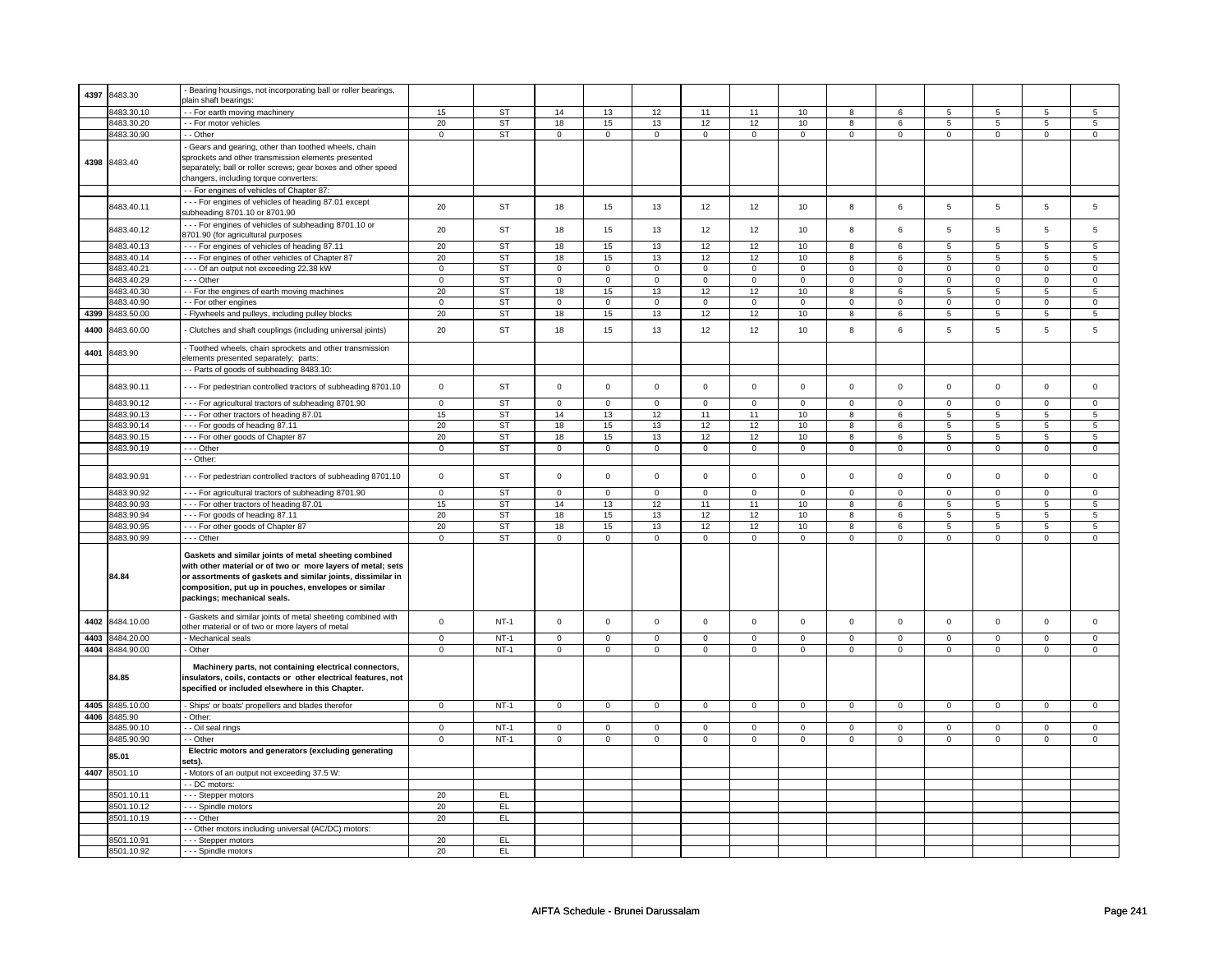| 4397 | 8483.30         | Bearing housings, not incorporating ball or roller bearings,                                                                                                                                                                                                               |                         |           |                         |                |                     |                |                     |                |                     |                |                |                |                |                         |
|------|-----------------|----------------------------------------------------------------------------------------------------------------------------------------------------------------------------------------------------------------------------------------------------------------------------|-------------------------|-----------|-------------------------|----------------|---------------------|----------------|---------------------|----------------|---------------------|----------------|----------------|----------------|----------------|-------------------------|
|      |                 | <b>plain shaft bearings:</b>                                                                                                                                                                                                                                               |                         |           |                         |                |                     |                |                     |                |                     |                |                |                |                |                         |
|      | 8483.30.10      | - For earth moving machinery                                                                                                                                                                                                                                               | 15                      | <b>ST</b> | 14                      | 13             | 12                  | 11             | 11                  | 10             | 8                   | 6              | 5              | $\overline{5}$ | 5              | 5                       |
|      | 8483.30.20      | - - For motor vehicles                                                                                                                                                                                                                                                     | 20                      | <b>ST</b> | 18                      | 15             | 13                  | 12             | 12                  | 10             | 8                   | 6              | 5              | $\overline{5}$ | 5              | $\overline{5}$          |
|      | 8483.30.90      | - - Other                                                                                                                                                                                                                                                                  | $\mathsf 0$             | ST        | $\mathsf 0$             | $\mathsf 0$    | $\mathsf 0$         | $\mathsf 0$    | $\mathsf{O}$        | $\mathsf 0$    | $\mathsf{O}$        | $\mathsf 0$    | $\mathsf 0$    | $\mathbf 0$    | $\mathsf 0$    | $\mathbf 0$             |
|      |                 | Gears and gearing, other than toothed wheels, chain                                                                                                                                                                                                                        |                         |           |                         |                |                     |                |                     |                |                     |                |                |                |                |                         |
|      |                 | sprockets and other transmission elements presented                                                                                                                                                                                                                        |                         |           |                         |                |                     |                |                     |                |                     |                |                |                |                |                         |
|      | 4398 8483.40    | separately; ball or roller screws; gear boxes and other speed                                                                                                                                                                                                              |                         |           |                         |                |                     |                |                     |                |                     |                |                |                |                |                         |
|      |                 | changers, including torque converters:                                                                                                                                                                                                                                     |                         |           |                         |                |                     |                |                     |                |                     |                |                |                |                |                         |
|      |                 |                                                                                                                                                                                                                                                                            |                         |           |                         |                |                     |                |                     |                |                     |                |                |                |                |                         |
|      |                 | - - For engines of vehicles of Chapter 87:                                                                                                                                                                                                                                 |                         |           |                         |                |                     |                |                     |                |                     |                |                |                |                |                         |
|      | 8483.40.11      | --- For engines of vehicles of heading 87.01 except                                                                                                                                                                                                                        | 20                      | ST        | 18                      | 15             | 13                  | 12             | 12                  | 10             | 8                   | 6              | 5              | 5              | 5              | 5                       |
|      |                 | subheading 8701.10 or 8701.90                                                                                                                                                                                                                                              |                         |           |                         |                |                     |                |                     |                |                     |                |                |                |                |                         |
|      |                 | --- For engines of vehicles of subheading 8701.10 or                                                                                                                                                                                                                       |                         | <b>ST</b> | 18                      | 15             | 13                  | 12             | 12                  | 10             | 8                   | 6              | 5              | 5              | 5              | 5                       |
|      | 8483.40.12      | 8701.90 (for agricultural purposes                                                                                                                                                                                                                                         | 20                      |           |                         |                |                     |                |                     |                |                     |                |                |                |                |                         |
|      | 8483.40.13      | -- For engines of vehicles of heading 87.11                                                                                                                                                                                                                                | 20                      | <b>ST</b> | 18                      | 15             | 13                  | 12             | 12                  | 10             | 8                   | 6              | 5              | 5              | 5              | 5                       |
|      | 8483.40.14      | - - - For engines of other vehicles of Chapter 87                                                                                                                                                                                                                          | 20                      | <b>ST</b> | 18                      | 15             | 13                  | 12             | 12                  | 10             | 8                   | 6              | 5              | 5              | 5              | 5                       |
|      | 8483.40.21      | - - - Of an output not exceeding 22.38 kW                                                                                                                                                                                                                                  | $\mathbf 0$             | ST        | $\mathbf 0$             | $\mathbf 0$    | 0                   | $\mathbf 0$    | $\mathbf 0$         | $\mathbf 0$    | $\mathbf 0$         | $\mathbf 0$    | $\mathbf 0$    | $\mathbf 0$    | $\mathbf 0$    | $\mathbf 0$             |
|      | 8483.40.29      | --- Other                                                                                                                                                                                                                                                                  | $\mathsf 0$             | <b>ST</b> | $\mathsf 0$             | $\mathbf 0$    | $\mathsf 0$         | 0              | $\mathsf 0$         | $\mathbf 0$    | $\mathsf 0$         | $\mathbf 0$    | $\mathsf 0$    | $\mathsf 0$    | 0              | $\mathsf 0$             |
|      | 8483.40.30      | - For the engines of earth moving machines                                                                                                                                                                                                                                 | 20                      | <b>ST</b> | 18                      | 15             | 13                  | 12             | 12                  | 10             | 8                   | 6              | 5              | 5              | 5              | 5                       |
|      |                 |                                                                                                                                                                                                                                                                            |                         |           |                         |                |                     |                |                     |                |                     |                |                |                |                |                         |
|      | 8483.40.90      | - For other engines                                                                                                                                                                                                                                                        | $\mathsf 0$             | <b>ST</b> | $\mathsf 0$             | $\mathsf 0$    | $\mathsf 0$         | $\mathsf 0$    | $\mathsf 0$         | $\mathsf 0$    | $\mathsf 0$         | $\mathsf 0$    | $\mathsf 0$    | $\mathbf 0$    | $\mathbf 0$    | $\mathsf 0$             |
| 4399 | 8483.50.00      | - Flywheels and pulleys, including pulley blocks                                                                                                                                                                                                                           | 20                      | <b>ST</b> | 18                      | 15             | 13                  | 12             | 12                  | 10             | 8                   | 6              | 5              | 5              | 5              | 5                       |
| 4400 | 3483.60.00      | Clutches and shaft couplings (including universal joints)                                                                                                                                                                                                                  | 20                      | <b>ST</b> | 18                      | 15             | 13                  | 12             | 12                  | 10             | 8                   | 6              | 5              | 5              | 5              | 5                       |
| 4401 | 8483.90         | - Toothed wheels, chain sprockets and other transmission                                                                                                                                                                                                                   |                         |           |                         |                |                     |                |                     |                |                     |                |                |                |                |                         |
|      |                 | elements presented separately; parts:                                                                                                                                                                                                                                      |                         |           |                         |                |                     |                |                     |                |                     |                |                |                |                |                         |
|      |                 | - Parts of goods of subheading 8483.10:                                                                                                                                                                                                                                    |                         |           |                         |                |                     |                |                     |                |                     |                |                |                |                |                         |
|      | 8483.90.11      | --- For pedestrian controlled tractors of subheading 8701.10                                                                                                                                                                                                               | $\mathsf 0$             | ST        | $\mathbf 0$             | $\mathbf 0$    | $\mathsf{O}\xspace$ | $\mathsf 0$    | $\mathsf{O}\xspace$ | $\mathsf 0$    | $\mathsf{O}\xspace$ | $\mathsf 0$    | $\mathsf 0$    | $\mathsf 0$    | $\mathsf 0$    | $\mathsf 0$             |
|      | 8483.90.12      | - - - For agricultural tractors of subheading 8701.90                                                                                                                                                                                                                      | $\overline{0}$          | ST        | $\overline{0}$          | $\overline{0}$ | $\overline{0}$      | $\overline{0}$ | $\overline{0}$      | $\overline{0}$ | $\overline{0}$      | $\overline{0}$ | $\overline{0}$ | $\overline{0}$ | $\overline{0}$ | $\overline{0}$          |
|      |                 |                                                                                                                                                                                                                                                                            |                         |           |                         |                |                     |                |                     |                |                     |                |                |                |                |                         |
|      | 8483.90.13      | --- For other tractors of heading 87.01                                                                                                                                                                                                                                    | 15                      | <b>ST</b> | 14                      | 13             | 12                  | 11             | 11                  | 10             | 8                   | 6              | 5              | 5              | 5              | 5                       |
|      | 8483.90.14      | --- For goods of heading 87.11                                                                                                                                                                                                                                             | 20                      | <b>ST</b> | 18                      | 15             | 13                  | 12             | 12                  | 10             | 8                   | 6              | 5              | 5              | 5              | 5                       |
|      | 8483.90.15      | --- For other goods of Chapter 87                                                                                                                                                                                                                                          | 20                      | <b>ST</b> | 18                      | 15             | 13                  | 12             | 12                  | 10             | $\boldsymbol{8}$    | 6              | $\overline{5}$ | $\overline{5}$ | $\overline{5}$ | $\overline{5}$          |
|      | 8483.90.19      | --- Other                                                                                                                                                                                                                                                                  | $\overline{\mathbf{0}}$ | ST        | $\overline{\mathbf{0}}$ | $\overline{0}$ | $\overline{0}$      | $\overline{0}$ | $\overline{0}$      | $\overline{0}$ | $\overline{0}$      | $\overline{0}$ | $\overline{0}$ | $\overline{0}$ | $\overline{0}$ | $\overline{\mathbf{0}}$ |
|      |                 | - Other:                                                                                                                                                                                                                                                                   |                         |           |                         |                |                     |                |                     |                |                     |                |                |                |                |                         |
|      | 8483.90.91      | --- For pedestrian controlled tractors of subheading 8701.10                                                                                                                                                                                                               | $\mathsf 0$             | <b>ST</b> | $\mathsf 0$             | $\mathsf 0$    | $\mathsf{O}\xspace$ | $\mathsf 0$    | $\mathsf 0$         | $\mathsf 0$    | $\mathbf 0$         | $\mathsf 0$    | $\mathsf 0$    | $\mathbf 0$    | $\mathbf 0$    | $\mathbf 0$             |
|      |                 |                                                                                                                                                                                                                                                                            |                         |           |                         |                |                     |                |                     |                |                     |                |                |                |                |                         |
|      | 8483.90.92      | --- For agricultural tractors of subheading 8701.90                                                                                                                                                                                                                        | $\mathbf 0$             | ST        | $\mathbf 0$             | $\mathbf 0$    | $\mathbf 0$         | $\mathbf 0$    | $\mathbf 0$         | $\mathbf 0$    | $\mathbf 0$         | $\mathbf 0$    | $\mathbf 0$    | $\mathbf{0}$   | $\Omega$       | $\Omega$                |
|      | 8483.90.93      | --- For other tractors of heading 87.01                                                                                                                                                                                                                                    | 15                      | <b>ST</b> | 14                      | 13             | 12                  | 11             | 11                  | 10             | 8                   | 6              | 5              | 5              | 5              | 5                       |
|      | 8483.90.94      | --- For goods of heading 87.11                                                                                                                                                                                                                                             | 20                      | <b>ST</b> | 18                      | 15             | 13                  | 12             | 12                  | 10             | 8                   | 6              | $\overline{5}$ | $\overline{5}$ | $\overline{5}$ | $5\overline{)}$         |
|      | 8483.90.95      | --- For other goods of Chapter 87                                                                                                                                                                                                                                          | 20                      | ST        | 18                      | 15             | 13                  | 12             | 12                  | 10             | 8                   | 6              | 5              | 5              | 5              | 5                       |
|      | 8483.90.99      | --- Other                                                                                                                                                                                                                                                                  | $\mathsf 0$             | <b>ST</b> | $\mathsf 0$             | $\mathsf 0$    | 0                   | $\mathsf 0$    | 0                   | $\mathsf 0$    | 0                   | $\mathbf 0$    | $\mathbf 0$    | $\mathsf 0$    | $\mathbf 0$    | $\mathsf 0$             |
|      | 84.84           | Gaskets and similar joints of metal sheeting combined<br>with other material or of two or more layers of metal; sets<br>or assortments of gaskets and similar joints, dissimilar in<br>composition, put up in pouches, envelopes or similar<br>packings; mechanical seals. |                         |           |                         |                |                     |                |                     |                |                     |                |                |                |                |                         |
| 4402 | 8484.10.00      | Gaskets and similar joints of metal sheeting combined with                                                                                                                                                                                                                 | $\mathsf 0$             | $NT-1$    | $\mathsf 0$             | $\mathsf 0$    | $\mathsf{O}\xspace$ | $\mathsf 0$    | $\mathsf{O}\xspace$ | $\mathsf 0$    | $\mathsf{O}\xspace$ | $\mathsf 0$    | $\mathsf 0$    | $\mathbf 0$    | $\mathsf 0$    | $\mathsf 0$             |
| 4403 | 8484.20.00      | other material or of two or more layers of metal<br>- Mechanical seals                                                                                                                                                                                                     | $\mathsf 0$             | $NT-1$    | $\mathsf 0$             | $\mathsf 0$    | $\mathsf{O}\xspace$ | $\mathsf 0$    | $\mathsf{O}\xspace$ | $\mathsf 0$    | $\mathsf{O}\xspace$ | $\mathsf 0$    | $\mathsf 0$    | $\mathbf 0$    | $\mathsf 0$    | $\mathbf 0$             |
| 4404 | 8484.90.00      | - Other                                                                                                                                                                                                                                                                    | $\Omega$                | $NT-1$    | $\Omega$                | $\Omega$       | $\Omega$            | $\mathsf 0$    | $\Omega$            | $\mathsf 0$    | $\mathsf 0$         | $\mathsf 0$    | $\Omega$       | $\mathsf 0$    | $\Omega$       | $\mathsf 0$             |
|      |                 |                                                                                                                                                                                                                                                                            |                         |           |                         |                |                     |                |                     |                |                     |                |                |                |                |                         |
|      | 84.85           | Machinery parts, not containing electrical connectors,<br>insulators, coils, contacts or other electrical features, not<br>specified or included elsewhere in this Chapter.                                                                                                |                         |           |                         |                |                     |                |                     |                |                     |                |                |                |                |                         |
|      | 4405 8485.10.00 | - Ships' or boats' propellers and blades therefor                                                                                                                                                                                                                          | $\mathbf 0$             | $NT-1$    | $\mathbf 0$             | $\mathbf 0$    | $\mathbf 0$         | $\mathbf 0$    | $\mathbf{0}$        | $\mathbf 0$    | $\mathbf 0$         | $\mathbf 0$    | $\mathbf 0$    | $\mathbf{0}$   | $\mathbf 0$    | $\mathbf 0$             |
|      | 4406 8485.90    | Other:                                                                                                                                                                                                                                                                     |                         |           |                         |                |                     |                |                     |                |                     |                |                |                |                |                         |
|      | 8485.90.10      | - Oil seal rings                                                                                                                                                                                                                                                           | $\overline{0}$          | $NT-1$    | $\overline{0}$          | $\overline{0}$ | $\mathbf 0$         | $\overline{0}$ | $\mathbf{0}$        | $\overline{0}$ | $\mathbf 0$         | $\overline{0}$ | $\mathbf 0$    | $\mathbf 0$    | $\mathbf 0$    | $\mathbf 0$             |
|      | 8485.90.90      | - Other                                                                                                                                                                                                                                                                    | $\mathbf 0$             | $NT-1$    | $\mathbf 0$             | $\mathbf 0$    | 0                   | $\mathbf 0$    | $\mathbf 0$         | $\mathbf 0$    | $\mathbf 0$         | $\mathbf 0$    | $\mathbf 0$    | 0              | 0              | 0                       |
|      | 85.01           | Electric motors and generators (excluding generating<br>sets).                                                                                                                                                                                                             |                         |           |                         |                |                     |                |                     |                |                     |                |                |                |                |                         |
|      | 4407 8501.10    | - Motors of an output not exceeding 37.5 W:                                                                                                                                                                                                                                |                         |           |                         |                |                     |                |                     |                |                     |                |                |                |                |                         |
|      |                 | - DC motors:                                                                                                                                                                                                                                                               |                         |           |                         |                |                     |                |                     |                |                     |                |                |                |                |                         |
|      | 8501.10.11      | --- Stepper motors                                                                                                                                                                                                                                                         | 20                      | EL        |                         |                |                     |                |                     |                |                     |                |                |                |                |                         |
|      | 8501.10.12      | - - - Spindle motors                                                                                                                                                                                                                                                       | 20                      | EL        |                         |                |                     |                |                     |                |                     |                |                |                |                |                         |
|      | 8501.10.19      | . - - Other                                                                                                                                                                                                                                                                | 20                      | EL        |                         |                |                     |                |                     |                |                     |                |                |                |                |                         |
|      |                 | - Other motors including universal (AC/DC) motors:                                                                                                                                                                                                                         |                         |           |                         |                |                     |                |                     |                |                     |                |                |                |                |                         |
|      | 8501.10.91      | --- Stepper motors                                                                                                                                                                                                                                                         | 20                      | EL        |                         |                |                     |                |                     |                |                     |                |                |                |                |                         |
|      | 8501.10.92      | - - - Spindle motors                                                                                                                                                                                                                                                       | 20                      | EL.       |                         |                |                     |                |                     |                |                     |                |                |                |                |                         |
|      |                 |                                                                                                                                                                                                                                                                            |                         |           |                         |                |                     |                |                     |                |                     |                |                |                |                |                         |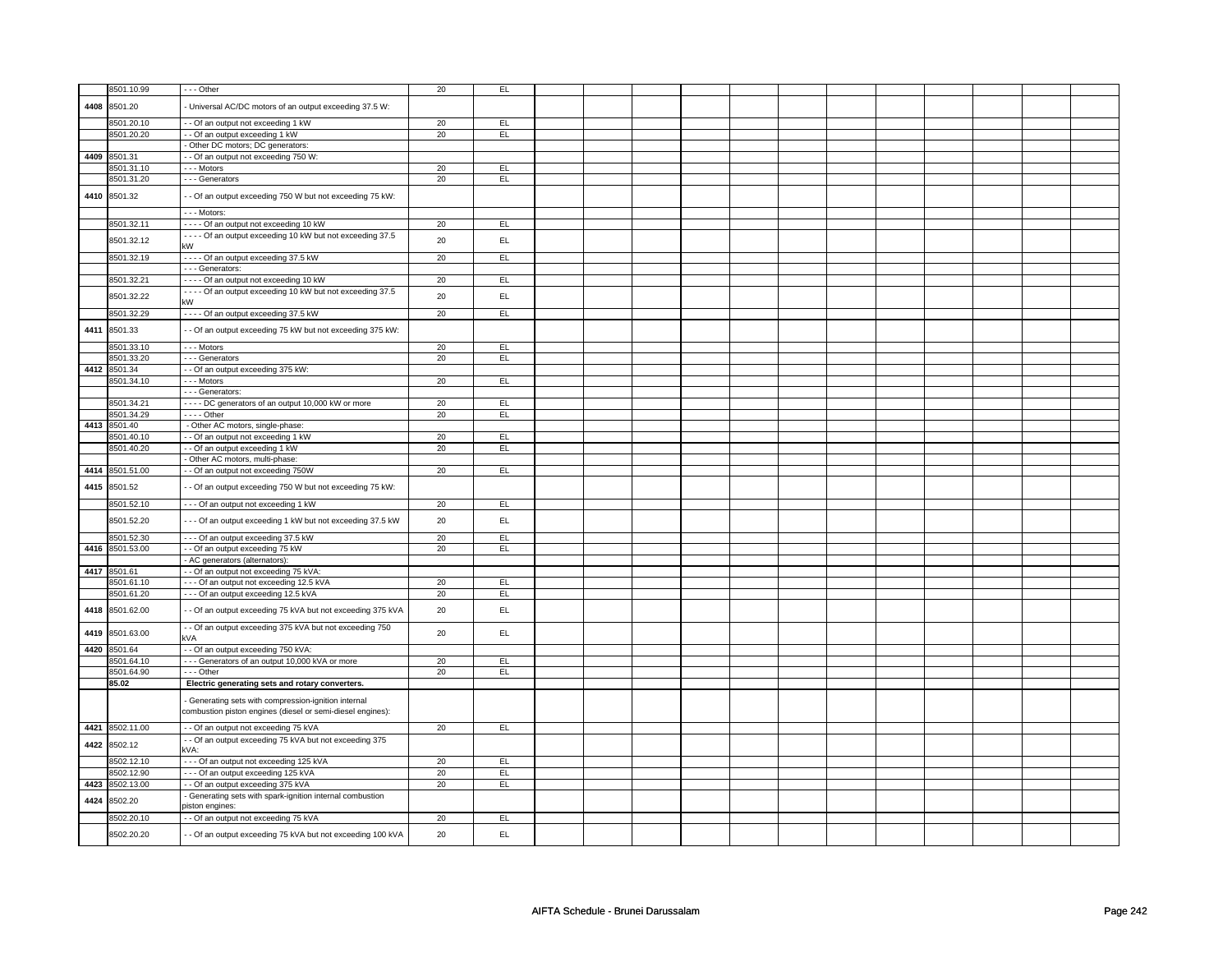|      | 8501.10.99      | --- Other                                                               | 20 | EL            |  |  |  |  |  |  |
|------|-----------------|-------------------------------------------------------------------------|----|---------------|--|--|--|--|--|--|
|      |                 |                                                                         |    |               |  |  |  |  |  |  |
| 4408 | 8501.20         | - Universal AC/DC motors of an output exceeding 37.5 W:                 |    |               |  |  |  |  |  |  |
|      | 8501.20.10      | - Of an output not exceeding 1 kW                                       | 20 | EL            |  |  |  |  |  |  |
|      | 8501.20.20      | - - Of an output exceeding 1 kW                                         | 20 | EL            |  |  |  |  |  |  |
|      |                 |                                                                         |    |               |  |  |  |  |  |  |
|      |                 | - Other DC motors; DC generators:                                       |    |               |  |  |  |  |  |  |
| 4409 | 8501.31         | -- Of an output not exceeding 750 W:                                    |    |               |  |  |  |  |  |  |
|      | 3501.31.10      | --- Motors                                                              | 20 | EL            |  |  |  |  |  |  |
|      | 3501.31.20      | - - - Generators                                                        | 20 | EL            |  |  |  |  |  |  |
|      | 4410 8501.32    | - - Of an output exceeding 750 W but not exceeding 75 kW:               |    |               |  |  |  |  |  |  |
|      |                 |                                                                         |    |               |  |  |  |  |  |  |
|      |                 | - - - Motors:                                                           |    |               |  |  |  |  |  |  |
|      | 8501.32.11      | ---- Of an output not exceeding 10 kW                                   | 20 | EL            |  |  |  |  |  |  |
|      |                 | - - - - Of an output exceeding 10 kW but not exceeding 37.5             |    |               |  |  |  |  |  |  |
|      | 8501.32.12      | kW                                                                      | 20 | EL            |  |  |  |  |  |  |
|      | 8501.32.19      | - - - - Of an output exceeding 37.5 kW                                  | 20 | EL            |  |  |  |  |  |  |
|      |                 | - - - Generators:                                                       |    |               |  |  |  |  |  |  |
|      | 8501.32.21      | - - - - Of an output not exceeding 10 kW                                | 20 | EL            |  |  |  |  |  |  |
|      |                 | - - - - Of an output exceeding 10 kW but not exceeding 37.5             |    |               |  |  |  |  |  |  |
|      | 8501.32.22      | kW                                                                      | 20 | EL.           |  |  |  |  |  |  |
|      | 8501.32.29      | - - - - Of an output exceeding 37.5 kW                                  | 20 | EL            |  |  |  |  |  |  |
|      |                 |                                                                         |    |               |  |  |  |  |  |  |
| 4411 | 8501.33         | - - Of an output exceeding 75 kW but not exceeding 375 kW:              |    |               |  |  |  |  |  |  |
|      |                 |                                                                         |    |               |  |  |  |  |  |  |
|      | 8501.33.10      | --- Motors                                                              | 20 | EL            |  |  |  |  |  |  |
|      | 8501.33.20      | - - - Generators                                                        | 20 | EL            |  |  |  |  |  |  |
|      | 4412 8501.34    | -- Of an output exceeding 375 kW:                                       |    |               |  |  |  |  |  |  |
|      | 8501.34.10      | --- Motors                                                              | 20 | EL            |  |  |  |  |  |  |
|      |                 | - - - Generators:                                                       |    |               |  |  |  |  |  |  |
|      | 8501.34.21      | - - - - DC generators of an output 10,000 kW or more                    | 20 | EL            |  |  |  |  |  |  |
|      | 3501.34.29      | $\cdots$ - Other                                                        | 20 | EL            |  |  |  |  |  |  |
|      | 4413 8501.40    | - Other AC motors, single-phase:                                        |    |               |  |  |  |  |  |  |
|      | 8501.40.10      | - - Of an output not exceeding 1 kW                                     | 20 | EL            |  |  |  |  |  |  |
|      | 8501.40.20      | -- Of an output exceeding 1 kW                                          | 20 | E             |  |  |  |  |  |  |
|      |                 | Other AC motors, multi-phase:                                           |    |               |  |  |  |  |  |  |
|      | 4414 8501.51.00 | - - Of an output not exceeding 750W                                     | 20 | EL            |  |  |  |  |  |  |
|      |                 |                                                                         |    |               |  |  |  |  |  |  |
| 4415 | 8501.52         | - - Of an output exceeding 750 W but not exceeding 75 kW:               |    |               |  |  |  |  |  |  |
|      |                 |                                                                         |    |               |  |  |  |  |  |  |
|      |                 |                                                                         |    |               |  |  |  |  |  |  |
|      | 8501.52.10      | --- Of an output not exceeding 1 kW                                     | 20 | EL            |  |  |  |  |  |  |
|      | 8501.52.20      | --- Of an output exceeding 1 kW but not exceeding 37.5 kW               | 20 | EL            |  |  |  |  |  |  |
|      |                 |                                                                         |    |               |  |  |  |  |  |  |
|      | 8501.52.30      | --- Of an output exceeding 37.5 kW                                      | 20 | EL            |  |  |  |  |  |  |
|      | 4416 8501.53.00 | - - Of an output exceeding 75 kW                                        | 20 | EL            |  |  |  |  |  |  |
|      |                 | - AC generators (alternators):                                          |    |               |  |  |  |  |  |  |
|      | 4417 8501.61    | -- Of an output not exceeding 75 kVA:                                   |    |               |  |  |  |  |  |  |
|      | 3501.61.10      | --- Of an output not exceeding 12.5 kVA                                 | 20 | EL            |  |  |  |  |  |  |
|      | 8501.61.20      | --- Of an output exceeding 12.5 kVA                                     | 20 | EL            |  |  |  |  |  |  |
|      | 8501.62.00      |                                                                         |    |               |  |  |  |  |  |  |
| 4418 |                 | - - Of an output exceeding 75 kVA but not exceeding 375 kVA             | 20 | $\mathsf{EL}$ |  |  |  |  |  |  |
| 4419 |                 | - Of an output exceeding 375 kVA but not exceeding 750                  | 20 | EL            |  |  |  |  |  |  |
|      | 8501.63.00      | kVA                                                                     |    |               |  |  |  |  |  |  |
|      | 4420 8501.64    | - - Of an output exceeding 750 kVA:                                     |    |               |  |  |  |  |  |  |
|      | 8501.64.10      | --- Generators of an output 10,000 kVA or more                          | 20 | EL            |  |  |  |  |  |  |
|      | 8501.64.90      | --- Other                                                               | 20 | EL.           |  |  |  |  |  |  |
|      | 85.02           | Electric generating sets and rotary converters.                         |    |               |  |  |  |  |  |  |
|      |                 |                                                                         |    |               |  |  |  |  |  |  |
|      |                 | Generating sets with compression-ignition internal                      |    |               |  |  |  |  |  |  |
|      |                 | combustion piston engines (diesel or semi-diesel engines):              |    |               |  |  |  |  |  |  |
|      | 4421 8502.11.00 | - - Of an output not exceeding 75 kVA                                   | 20 | EL            |  |  |  |  |  |  |
|      |                 | - - Of an output exceeding 75 kVA but not exceeding 375                 |    |               |  |  |  |  |  |  |
|      | 4422 8502.12    | kVA:                                                                    |    |               |  |  |  |  |  |  |
|      | 8502.12.10      | --- Of an output not exceeding 125 kVA                                  | 20 | EL            |  |  |  |  |  |  |
|      | 8502.12.90      |                                                                         | 20 | EL            |  |  |  |  |  |  |
|      | 4423 8502.13.00 | --- Of an output exceeding 125 kVA<br>-- Of an output exceeding 375 kVA | 20 | EL            |  |  |  |  |  |  |
|      |                 |                                                                         |    |               |  |  |  |  |  |  |
| 4424 | 8502.20         | Generating sets with spark-ignition internal combustion                 |    |               |  |  |  |  |  |  |
|      |                 | viston engines:                                                         |    |               |  |  |  |  |  |  |
|      | 8502.20.10      | - - Of an output not exceeding 75 kVA                                   | 20 | EL            |  |  |  |  |  |  |
|      | 8502.20.20      | - - Of an output exceeding 75 kVA but not exceeding 100 kVA             | 20 | EL            |  |  |  |  |  |  |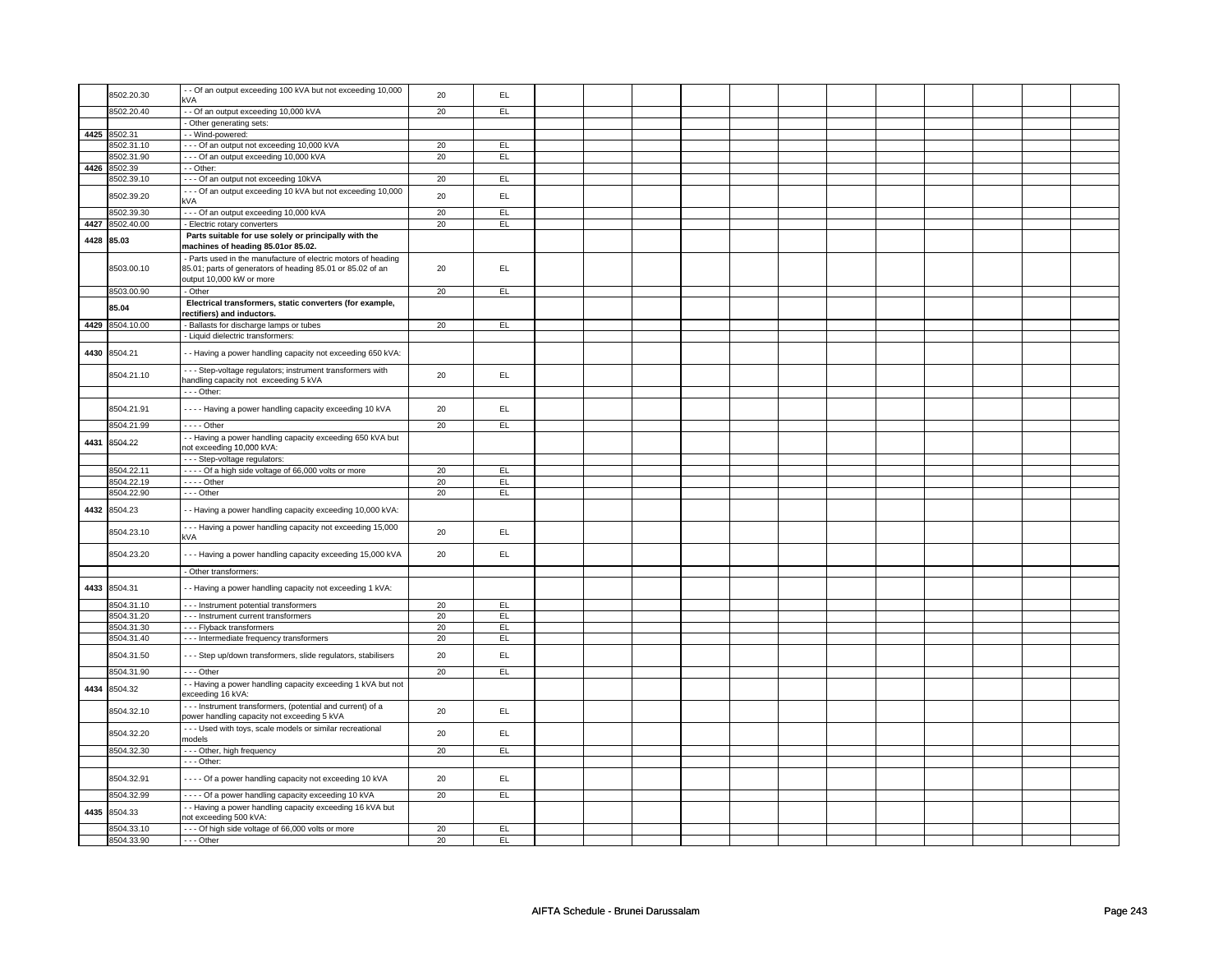|      | 8502.20.30      | - Of an output exceeding 100 kVA but not exceeding 10,000<br>kVA                                          | 20 | EL        |  |  |  |  |  |  |
|------|-----------------|-----------------------------------------------------------------------------------------------------------|----|-----------|--|--|--|--|--|--|
|      |                 |                                                                                                           |    |           |  |  |  |  |  |  |
|      | 8502.20.40      | - - Of an output exceeding 10,000 kVA                                                                     | 20 | EL.       |  |  |  |  |  |  |
|      |                 | - Other generating sets:                                                                                  |    |           |  |  |  |  |  |  |
|      | 4425 8502.31    | - - Wind-powered:                                                                                         |    |           |  |  |  |  |  |  |
|      | 8502.31.10      | --- Of an output not exceeding 10,000 kVA                                                                 | 20 | EL.       |  |  |  |  |  |  |
|      | 8502.31.90      | --- Of an output exceeding 10,000 kVA                                                                     | 20 | EL        |  |  |  |  |  |  |
|      | 4426 8502.39    | - - Other:                                                                                                |    |           |  |  |  |  |  |  |
|      | 8502.39.10      | --- Of an output not exceeding 10kVA                                                                      | 20 | EL        |  |  |  |  |  |  |
|      | 8502.39.20      | --- Of an output exceeding 10 kVA but not exceeding 10,000<br>kVA                                         | 20 | EL        |  |  |  |  |  |  |
|      | 8502.39.30      | --- Of an output exceeding 10,000 kVA                                                                     | 20 | EL        |  |  |  |  |  |  |
|      | 4427 8502.40.00 | - Electric rotary converters                                                                              | 20 | EL        |  |  |  |  |  |  |
|      | 4428 85.03      | Parts suitable for use solely or principally with the<br>machines of heading 85.01or 85.02.               |    |           |  |  |  |  |  |  |
|      |                 | Parts used in the manufacture of electric motors of heading                                               |    |           |  |  |  |  |  |  |
|      | 8503.00.10      | 85.01; parts of generators of heading 85.01 or 85.02 of an<br>output 10,000 kW or more                    | 20 | EL.       |  |  |  |  |  |  |
|      | 8503.00.90      | - Other                                                                                                   | 20 | EL        |  |  |  |  |  |  |
|      |                 | Electrical transformers, static converters (for example,                                                  |    |           |  |  |  |  |  |  |
|      | 85.04           | ectifiers) and inductors.                                                                                 |    |           |  |  |  |  |  |  |
|      | 4429 8504.10.00 | - Ballasts for discharge lamps or tubes                                                                   | 20 | EL        |  |  |  |  |  |  |
|      |                 | - Liquid dielectric transformers:                                                                         |    |           |  |  |  |  |  |  |
| 4430 | 8504.21         | - Having a power handling capacity not exceeding 650 kVA:                                                 |    |           |  |  |  |  |  |  |
|      |                 |                                                                                                           |    |           |  |  |  |  |  |  |
|      | 8504.21.10      | - - - Step-voltage regulators; instrument transformers with<br>handling capacity not exceeding 5 kVA      | 20 | EL.       |  |  |  |  |  |  |
|      |                 |                                                                                                           |    |           |  |  |  |  |  |  |
|      |                 | - - - Other:                                                                                              |    |           |  |  |  |  |  |  |
|      | 8504.21.91      | ---- Having a power handling capacity exceeding 10 kVA                                                    | 20 | EL        |  |  |  |  |  |  |
|      | 8504.21.99      | $- - -$ Other                                                                                             | 20 | EL        |  |  |  |  |  |  |
| 4431 | 8504.22         | - Having a power handling capacity exceeding 650 kVA but<br>not exceeding 10,000 kVA:                     |    |           |  |  |  |  |  |  |
|      |                 | - - - Step-voltage regulators:                                                                            |    |           |  |  |  |  |  |  |
|      | 8504.22.11      | - - - - Of a high side voltage of 66,000 volts or more                                                    | 20 | EL.       |  |  |  |  |  |  |
|      | 8504.22.19      | - - - - Other                                                                                             | 20 | EL        |  |  |  |  |  |  |
|      | 8504.22.90      | $--$ Other                                                                                                | 20 | EL        |  |  |  |  |  |  |
| 4432 | 8504.23         | - Having a power handling capacity exceeding 10,000 kVA:                                                  |    |           |  |  |  |  |  |  |
|      | 8504.23.10      | --- Having a power handling capacity not exceeding 15,000                                                 | 20 | EL        |  |  |  |  |  |  |
|      |                 | kVA                                                                                                       |    |           |  |  |  |  |  |  |
|      | 8504.23.20      | --- Having a power handling capacity exceeding 15,000 kVA                                                 | 20 | EL        |  |  |  |  |  |  |
|      |                 | - Other transformers:                                                                                     |    |           |  |  |  |  |  |  |
|      | 4433 8504.31    | - Having a power handling capacity not exceeding 1 kVA:                                                   |    |           |  |  |  |  |  |  |
|      | 8504.31.10      | - - - Instrument potential transformers                                                                   | 20 | EL        |  |  |  |  |  |  |
|      | 8504.31.20      | --- Instrument current transformers                                                                       | 20 | EL        |  |  |  |  |  |  |
|      | 8504.31.30      | --- Flyback transformers                                                                                  | 20 | EL        |  |  |  |  |  |  |
|      | 8504.31.40      | - - - Intermediate frequency transformers                                                                 | 20 | EL        |  |  |  |  |  |  |
|      | 8504.31.50      | - - - Step up/down transformers, slide regulators, stabilisers                                            | 20 | EL        |  |  |  |  |  |  |
|      | 8504.31.90      | --- Other                                                                                                 | 20 | EL        |  |  |  |  |  |  |
| 4434 | 8504.32         | - Having a power handling capacity exceeding 1 kVA but not<br>exceeding 16 kVA:                           |    |           |  |  |  |  |  |  |
|      | 8504.32.10      | --- Instrument transformers, (potential and current) of a                                                 | 20 | EL        |  |  |  |  |  |  |
|      |                 | power handling capacity not exceeding 5 kVA<br>- - - Used with toys, scale models or similar recreational |    |           |  |  |  |  |  |  |
|      | 8504.32.20      | nodels                                                                                                    | 20 | EL        |  |  |  |  |  |  |
|      | 8504.32.30      | --- Other, high frequency                                                                                 | 20 | EL        |  |  |  |  |  |  |
|      |                 | - - - Other:                                                                                              |    |           |  |  |  |  |  |  |
|      | 8504.32.91      | - - - - Of a power handling capacity not exceeding 10 kVA                                                 | 20 | EL        |  |  |  |  |  |  |
|      | 8504.32.99      | - - - - Of a power handling capacity exceeding 10 kVA                                                     | 20 | EL        |  |  |  |  |  |  |
| 4435 | 8504.33         | - Having a power handling capacity exceeding 16 kVA but<br>not exceeding 500 kVA:                         |    |           |  |  |  |  |  |  |
|      | 8504.33.10      | --- Of high side voltage of 66,000 volts or more                                                          | 20 | <b>EL</b> |  |  |  |  |  |  |
|      | 8504.33.90      | --- Other                                                                                                 | 20 | EL        |  |  |  |  |  |  |
|      |                 |                                                                                                           |    |           |  |  |  |  |  |  |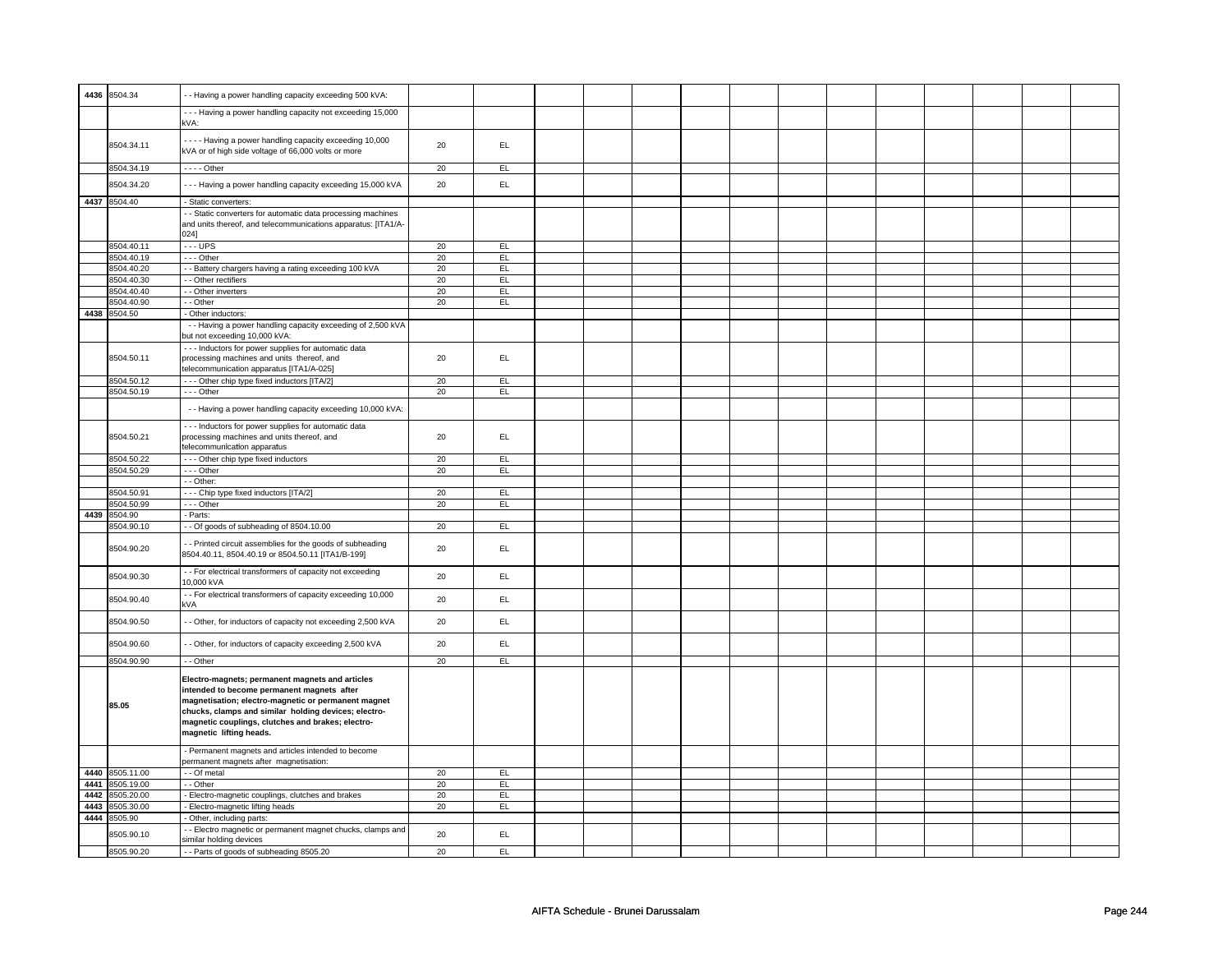|      | 4436 8504.34    | - - Having a power handling capacity exceeding 500 kVA:                                                                                                                                                                                                                                      |    |           |  |  |  |  |  |  |
|------|-----------------|----------------------------------------------------------------------------------------------------------------------------------------------------------------------------------------------------------------------------------------------------------------------------------------------|----|-----------|--|--|--|--|--|--|
|      |                 | --- Having a power handling capacity not exceeding 15,000                                                                                                                                                                                                                                    |    |           |  |  |  |  |  |  |
|      |                 | kVA:                                                                                                                                                                                                                                                                                         |    |           |  |  |  |  |  |  |
|      | 8504.34.11      | - - - - Having a power handling capacity exceeding 10,000                                                                                                                                                                                                                                    | 20 | EL        |  |  |  |  |  |  |
|      |                 | kVA or of high side voltage of 66,000 volts or more                                                                                                                                                                                                                                          |    |           |  |  |  |  |  |  |
|      | 8504.34.19      | $---$ Other                                                                                                                                                                                                                                                                                  | 20 | EL.       |  |  |  |  |  |  |
|      | 8504.34.20      | --- Having a power handling capacity exceeding 15,000 kVA                                                                                                                                                                                                                                    | 20 | EL        |  |  |  |  |  |  |
|      | 4437 8504.40    | - Static converters:                                                                                                                                                                                                                                                                         |    |           |  |  |  |  |  |  |
|      |                 | - Static converters for automatic data processing machines<br>and units thereof, and telecommunications apparatus: [ITA1/A-                                                                                                                                                                  |    |           |  |  |  |  |  |  |
|      |                 | 0241                                                                                                                                                                                                                                                                                         |    |           |  |  |  |  |  |  |
|      | 8504.40.11      | $\cdots$ UPS                                                                                                                                                                                                                                                                                 | 20 | EL        |  |  |  |  |  |  |
|      | 8504.40.19      | --- Other                                                                                                                                                                                                                                                                                    | 20 | EL        |  |  |  |  |  |  |
|      | 8504.40.20      | - Battery chargers having a rating exceeding 100 kVA                                                                                                                                                                                                                                         | 20 | EL.       |  |  |  |  |  |  |
|      | 3504.40.30      | - Other rectifiers                                                                                                                                                                                                                                                                           | 20 | EL        |  |  |  |  |  |  |
|      | 8504.40.40      | - - Other inverters                                                                                                                                                                                                                                                                          | 20 | EL        |  |  |  |  |  |  |
|      | 8504.40.90      | - - Other                                                                                                                                                                                                                                                                                    | 20 | EL        |  |  |  |  |  |  |
|      | 4438 8504.50    | - Other inductors:                                                                                                                                                                                                                                                                           |    |           |  |  |  |  |  |  |
|      |                 | - - Having a power handling capacity exceeding of 2,500 kVA<br>but not exceeding 10,000 kVA:                                                                                                                                                                                                 |    |           |  |  |  |  |  |  |
|      |                 | --- Inductors for power supplies for automatic data                                                                                                                                                                                                                                          |    |           |  |  |  |  |  |  |
|      | 8504.50.11      | processing machines and units thereof, and<br>telecommunication apparatus [ITA1/A-025]                                                                                                                                                                                                       | 20 | EL        |  |  |  |  |  |  |
|      | 8504.50.12      | --- Other chip type fixed inductors [ITA/2]                                                                                                                                                                                                                                                  | 20 | EL        |  |  |  |  |  |  |
|      | 8504.50.19      | --- Other                                                                                                                                                                                                                                                                                    | 20 | EL        |  |  |  |  |  |  |
|      |                 | - - Having a power handling capacity exceeding 10,000 kVA:                                                                                                                                                                                                                                   |    |           |  |  |  |  |  |  |
|      |                 | --- Inductors for power supplies for automatic data                                                                                                                                                                                                                                          |    |           |  |  |  |  |  |  |
|      | 8504.50.21      | processing machines and units thereof, and                                                                                                                                                                                                                                                   | 20 | EL.       |  |  |  |  |  |  |
|      |                 | elecommunication apparatus                                                                                                                                                                                                                                                                   |    |           |  |  |  |  |  |  |
|      | 8504.50.22      |                                                                                                                                                                                                                                                                                              | 20 | EL        |  |  |  |  |  |  |
|      |                 | - - - Other chip type fixed inductors                                                                                                                                                                                                                                                        |    |           |  |  |  |  |  |  |
|      | 8504.50.29      | --- Other                                                                                                                                                                                                                                                                                    | 20 | EL        |  |  |  |  |  |  |
|      |                 | - - Other:                                                                                                                                                                                                                                                                                   |    |           |  |  |  |  |  |  |
|      | 8504.50.91      | --- Chip type fixed inductors [ITA/2]                                                                                                                                                                                                                                                        | 20 | EL        |  |  |  |  |  |  |
|      | 8504.50.99      | --- Other                                                                                                                                                                                                                                                                                    | 20 | EL        |  |  |  |  |  |  |
| 4439 | 8504.90         | Parts:                                                                                                                                                                                                                                                                                       |    |           |  |  |  |  |  |  |
|      | 8504.90.10      | - - Of goods of subheading of 8504.10.00                                                                                                                                                                                                                                                     | 20 | EL        |  |  |  |  |  |  |
|      | 8504.90.20      | - Printed circuit assemblies for the goods of subheading<br>8504.40.11, 8504.40.19 or 8504.50.11 [ITA1/B-199]                                                                                                                                                                                | 20 | EL        |  |  |  |  |  |  |
|      | 8504.90.30      | - - For electrical transformers of capacity not exceeding<br>10,000 kVA                                                                                                                                                                                                                      | 20 | EL.       |  |  |  |  |  |  |
|      | 8504.90.40      | - For electrical transformers of capacity exceeding 10,000                                                                                                                                                                                                                                   | 20 | EL        |  |  |  |  |  |  |
|      |                 | ٢VA                                                                                                                                                                                                                                                                                          |    |           |  |  |  |  |  |  |
|      | 8504.90.50      | - Other, for inductors of capacity not exceeding 2,500 kVA                                                                                                                                                                                                                                   | 20 | <b>EL</b> |  |  |  |  |  |  |
|      | 8504.90.60      | - Other, for inductors of capacity exceeding 2,500 kVA                                                                                                                                                                                                                                       | 20 | EL        |  |  |  |  |  |  |
|      | 8504.90.90      | - - Other                                                                                                                                                                                                                                                                                    | 20 | EL        |  |  |  |  |  |  |
|      | 85.05           | Electro-magnets; permanent magnets and articles<br>intended to become permanent magnets after<br>magnetisation; electro-magnetic or permanent magnet<br>chucks, clamps and similar holding devices; electro-<br>magnetic couplings, clutches and brakes; electro-<br>magnetic lifting heads. |    |           |  |  |  |  |  |  |
|      |                 | - Permanent magnets and articles intended to become<br>permanent magnets after magnetisation:                                                                                                                                                                                                |    |           |  |  |  |  |  |  |
|      | 4440 8505.11.00 | - - Of metal                                                                                                                                                                                                                                                                                 | 20 | EL        |  |  |  |  |  |  |
| 4441 | 8505.19.00      | - - Other                                                                                                                                                                                                                                                                                    | 20 | EL.       |  |  |  |  |  |  |
| 4442 | 8505.20.00      | - Electro-magnetic couplings, clutches and brakes                                                                                                                                                                                                                                            | 20 | EL        |  |  |  |  |  |  |
| 4443 | 8505.30.00      | - Electro-magnetic lifting heads                                                                                                                                                                                                                                                             | 20 | <b>EL</b> |  |  |  |  |  |  |
|      | 4444 8505.90    | - Other, including parts:                                                                                                                                                                                                                                                                    |    |           |  |  |  |  |  |  |
|      |                 | - Electro magnetic or permanent magnet chucks, clamps and                                                                                                                                                                                                                                    |    |           |  |  |  |  |  |  |
|      | 8505.90.10      | similar holding devices                                                                                                                                                                                                                                                                      | 20 | <b>EL</b> |  |  |  |  |  |  |
|      | 8505.90.20      | -- Parts of goods of subheading 8505.20                                                                                                                                                                                                                                                      | 20 | EL        |  |  |  |  |  |  |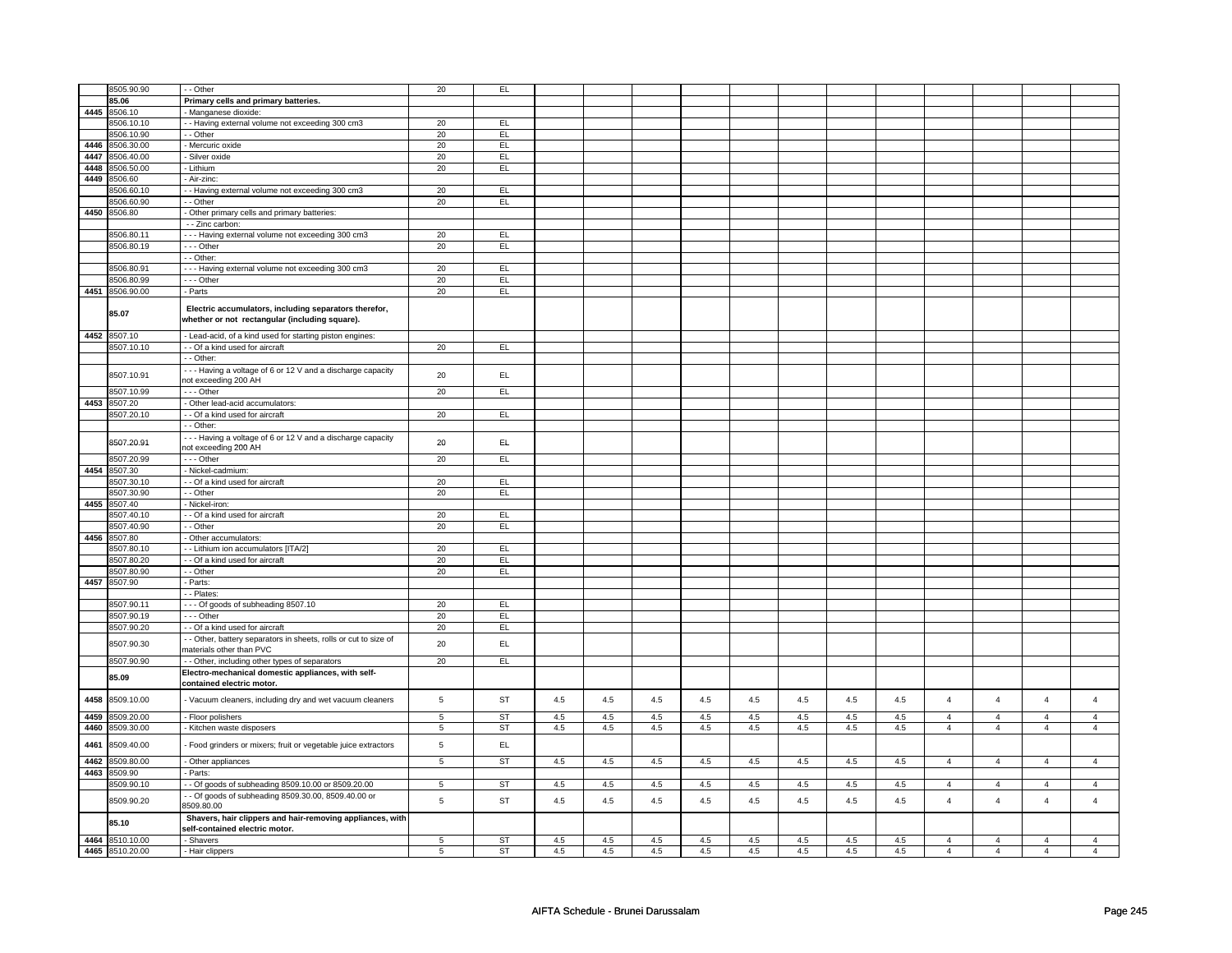|      | 8505.90.90      | - - Other                                                                                               | 20             | EL        |     |     |     |         |     |     |     |     |                |                |                |                |
|------|-----------------|---------------------------------------------------------------------------------------------------------|----------------|-----------|-----|-----|-----|---------|-----|-----|-----|-----|----------------|----------------|----------------|----------------|
|      | 85.06           | Primary cells and primary batteries.                                                                    |                |           |     |     |     |         |     |     |     |     |                |                |                |                |
|      |                 |                                                                                                         |                |           |     |     |     |         |     |     |     |     |                |                |                |                |
|      | 4445 8506.10    | - Manganese dioxide:                                                                                    |                |           |     |     |     |         |     |     |     |     |                |                |                |                |
|      | 8506.10.10      | - - Having external volume not exceeding 300 cm3                                                        | 20             | EL        |     |     |     |         |     |     |     |     |                |                |                |                |
|      | 8506.10.90      | - - Other                                                                                               | 20             | EL        |     |     |     |         |     |     |     |     |                |                |                |                |
| 4446 | 8506.30.00      | - Mercuric oxide                                                                                        | 20             | EL        |     |     |     |         |     |     |     |     |                |                |                |                |
| 4447 | 8506.40.00      | Silver oxide                                                                                            | 20             | EL        |     |     |     |         |     |     |     |     |                |                |                |                |
| 4448 |                 | - Lithium                                                                                               |                |           |     |     |     |         |     |     |     |     |                |                |                |                |
|      | 8506.50.00      |                                                                                                         | 20             | EL        |     |     |     |         |     |     |     |     |                |                |                |                |
|      | 4449 8506.60    | - Air-zinc:                                                                                             |                |           |     |     |     |         |     |     |     |     |                |                |                |                |
|      | 3506.60.10      | - - Having external volume not exceeding 300 cm3                                                        | 20             | <b>EL</b> |     |     |     |         |     |     |     |     |                |                |                |                |
|      | 8506.60.90      | - - Other                                                                                               | 20             | EL        |     |     |     |         |     |     |     |     |                |                |                |                |
|      | 4450 8506.80    | - Other primary cells and primary batteries:                                                            |                |           |     |     |     |         |     |     |     |     |                |                |                |                |
|      |                 | - - Zinc carbon:                                                                                        |                |           |     |     |     |         |     |     |     |     |                |                |                |                |
|      |                 |                                                                                                         |                |           |     |     |     |         |     |     |     |     |                |                |                |                |
|      | 8506.80.11      | --- Having external volume not exceeding 300 cm3                                                        | 20             | EL.       |     |     |     |         |     |     |     |     |                |                |                |                |
|      | 8506.80.19      | --- Other                                                                                               | 20             | EL        |     |     |     |         |     |     |     |     |                |                |                |                |
|      |                 | - - Other:                                                                                              |                |           |     |     |     |         |     |     |     |     |                |                |                |                |
|      | 8506.80.91      | --- Having external volume not exceeding 300 cm3                                                        | 20             | EL        |     |     |     |         |     |     |     |     |                |                |                |                |
|      |                 |                                                                                                         | 20             | EL        |     |     |     |         |     |     |     |     |                |                |                |                |
|      | 8506.80.99      | --- Other                                                                                               |                |           |     |     |     |         |     |     |     |     |                |                |                |                |
|      | 4451 8506.90.00 | - Parts                                                                                                 | 20             | EL        |     |     |     |         |     |     |     |     |                |                |                |                |
|      | 85.07           | Electric accumulators, including separators therefor,<br>whether or not rectangular (including square). |                |           |     |     |     |         |     |     |     |     |                |                |                |                |
|      | 4452 8507.10    | - Lead-acid, of a kind used for starting piston engines:                                                |                |           |     |     |     |         |     |     |     |     |                |                |                |                |
|      | 8507.10.10      | - - Of a kind used for aircraft                                                                         | 20             | EL        |     |     |     |         |     |     |     |     |                |                |                |                |
|      |                 |                                                                                                         |                |           |     |     |     |         |     |     |     |     |                |                |                |                |
|      |                 | - - Other:                                                                                              |                |           |     |     |     |         |     |     |     |     |                |                |                |                |
|      | 8507.10.91      | --- Having a voltage of 6 or 12 V and a discharge capacity                                              | 20             | EL        |     |     |     |         |     |     |     |     |                |                |                |                |
|      |                 | not exceeding 200 AH                                                                                    |                |           |     |     |     |         |     |     |     |     |                |                |                |                |
|      | 8507.10.99      | $- -$ Other                                                                                             | 20             | EL        |     |     |     |         |     |     |     |     |                |                |                |                |
| 4453 | 8507.20         | - Other lead-acid accumulators:                                                                         |                |           |     |     |     |         |     |     |     |     |                |                |                |                |
|      |                 |                                                                                                         |                |           |     |     |     |         |     |     |     |     |                |                |                |                |
|      | 8507.20.10      | - - Of a kind used for aircraft                                                                         | 20             | EL        |     |     |     |         |     |     |     |     |                |                |                |                |
|      |                 | - - Other:                                                                                              |                |           |     |     |     |         |     |     |     |     |                |                |                |                |
|      | 8507.20.91      | --- Having a voltage of 6 or 12 V and a discharge capacity<br>not exceeding 200 AH                      | 20             | EL.       |     |     |     |         |     |     |     |     |                |                |                |                |
|      | 8507.20.99      | --- Other                                                                                               | 20             | EL        |     |     |     |         |     |     |     |     |                |                |                |                |
|      | 4454 8507.30    | - Nickel-cadmium:                                                                                       |                |           |     |     |     |         |     |     |     |     |                |                |                |                |
|      | 8507.30.10      | - - Of a kind used for aircraft                                                                         | $20\,$         | EL        |     |     |     |         |     |     |     |     |                |                |                |                |
|      |                 |                                                                                                         |                |           |     |     |     |         |     |     |     |     |                |                |                |                |
|      | 8507.30.90      | - - Other                                                                                               | 20             | EL        |     |     |     |         |     |     |     |     |                |                |                |                |
|      | 4455 8507.40    | Nickel-iron:                                                                                            |                |           |     |     |     |         |     |     |     |     |                |                |                |                |
|      | 8507.40.10      | - Of a kind used for aircraft                                                                           | 20             | EL        |     |     |     |         |     |     |     |     |                |                |                |                |
|      | 8507.40.90      | - - Other                                                                                               | 20             | EL        |     |     |     |         |     |     |     |     |                |                |                |                |
| 4456 | 8507.80         | - Other accumulators:                                                                                   |                |           |     |     |     |         |     |     |     |     |                |                |                |                |
|      |                 |                                                                                                         |                |           |     |     |     |         |     |     |     |     |                |                |                |                |
|      | 8507.80.10      | - Lithium ion accumulators [ITA/2]                                                                      | 20             | EL        |     |     |     |         |     |     |     |     |                |                |                |                |
|      | 8507.80.20      | - - Of a kind used for aircraft                                                                         | 20             | EL        |     |     |     |         |     |     |     |     |                |                |                |                |
|      | 8507.80.90      | - - Other                                                                                               | 20             | EL.       |     |     |     |         |     |     |     |     |                |                |                |                |
|      | 4457 8507.90    | Parts:                                                                                                  |                |           |     |     |     |         |     |     |     |     |                |                |                |                |
|      |                 |                                                                                                         |                |           |     |     |     |         |     |     |     |     |                |                |                |                |
|      |                 | - Plates:                                                                                               |                |           |     |     |     |         |     |     |     |     |                |                |                |                |
|      | 8507.90.11      | --- Of goods of subheading 8507.10                                                                      | 20             | EL        |     |     |     |         |     |     |     |     |                |                |                |                |
|      | 8507.90.19      | $--$ Other                                                                                              | 20             | EL        |     |     |     |         |     |     |     |     |                |                |                |                |
|      | 8507.90.20      | - - Of a kind used for aircraft                                                                         | 20             | EL        |     |     |     |         |     |     |     |     |                |                |                |                |
|      | 8507.90.30      | - Other, battery separators in sheets, rolls or cut to size of<br>materials other than PVC              | 20             | EL        |     |     |     |         |     |     |     |     |                |                |                |                |
|      | 8507.90.90      | - - Other, including other types of separators                                                          | 20             | EL        |     |     |     |         |     |     |     |     |                |                |                |                |
|      |                 |                                                                                                         |                |           |     |     |     |         |     |     |     |     |                |                |                |                |
|      | 85.09           | Electro-mechanical domestic appliances, with self-<br>contained electric motor.                         |                |           |     |     |     |         |     |     |     |     |                |                |                |                |
| 4458 | 8509.10.00      | - Vacuum cleaners, including dry and wet vacuum cleaners                                                | $\,$ 5 $\,$    | <b>ST</b> | 4.5 | 4.5 | 4.5 | 4.5     | 4.5 | 4.5 | 4.5 | 4.5 | $\overline{4}$ | $\overline{4}$ | $\overline{4}$ | $\overline{4}$ |
| 4459 | 8509.20.00      | - Floor polishers                                                                                       | 5              | <b>ST</b> | 4.5 | 4.5 | 4.5 | 4.5     | 4.5 | 4.5 | 4.5 | 4.5 | $\overline{4}$ | $\overline{4}$ | $\overline{4}$ | $\overline{4}$ |
| 4460 | 8509.30.00      | - Kitchen waste disposers                                                                               | $\sqrt{5}$     | ST        | 4.5 | 4.5 | 4.5 | $4.5\,$ | 4.5 | 4.5 | 4.5 | 4.5 | $\overline{4}$ | $\overline{4}$ | $\overline{4}$ | $\overline{4}$ |
| 4461 | 8509.40.00      | Food grinders or mixers; fruit or vegetable juice extractors                                            | $\mathbf 5$    | EL        |     |     |     |         |     |     |     |     |                |                |                |                |
| 4462 | 8509.80.00      | - Other appliances                                                                                      | $\overline{5}$ | <b>ST</b> | 4.5 | 4.5 | 4.5 | $4.5\,$ | 4.5 | 4.5 | 4.5 | 4.5 | $\overline{4}$ | $\overline{4}$ | $\overline{4}$ | $\overline{4}$ |
|      |                 |                                                                                                         |                |           |     |     |     |         |     |     |     |     |                |                |                |                |
|      | 4463 8509.90    | - Parts:                                                                                                |                |           |     |     |     |         |     |     |     |     |                |                |                |                |
|      | 8509.90.10      | - Of goods of subheading 8509.10.00 or 8509.20.00                                                       | 5              | <b>ST</b> | 4.5 | 4.5 | 4.5 | 4.5     | 4.5 | 4.5 | 4.5 | 4.5 | $\overline{4}$ | $\overline{4}$ | $\overline{4}$ | $\overline{4}$ |
|      |                 | - Of goods of subheading 8509.30.00, 8509.40.00 or                                                      |                |           |     |     |     |         |     |     |     |     |                |                |                |                |
|      | 8509.90.20      | 8509.80.00                                                                                              | $\,$ 5 $\,$    | <b>ST</b> | 4.5 | 4.5 | 4.5 | 4.5     | 4.5 | 4.5 | 4.5 | 4.5 | $\overline{4}$ | $\overline{4}$ | $\overline{4}$ | $\overline{4}$ |
|      | 85.10           | Shavers, hair clippers and hair-removing appliances, with<br>self-contained electric motor.             |                |           |     |     |     |         |     |     |     |     |                |                |                |                |
|      | 4464 8510.10.00 | - Shavers                                                                                               | $\overline{5}$ | <b>ST</b> | 4.5 | 4.5 | 4.5 | 4.5     | 4.5 | 4.5 | 4.5 | 4.5 | $\overline{4}$ | $\overline{4}$ | $\overline{4}$ | $\overline{4}$ |
|      |                 |                                                                                                         |                |           |     |     |     |         |     |     |     |     |                |                |                |                |
|      | 4465 8510.20.00 | - Hair clippers                                                                                         | 5              | <b>ST</b> | 4.5 | 4.5 | 4.5 | 4.5     | 4.5 | 4.5 | 4.5 | 4.5 | $\overline{4}$ | $\overline{4}$ | $\overline{4}$ | $\overline{4}$ |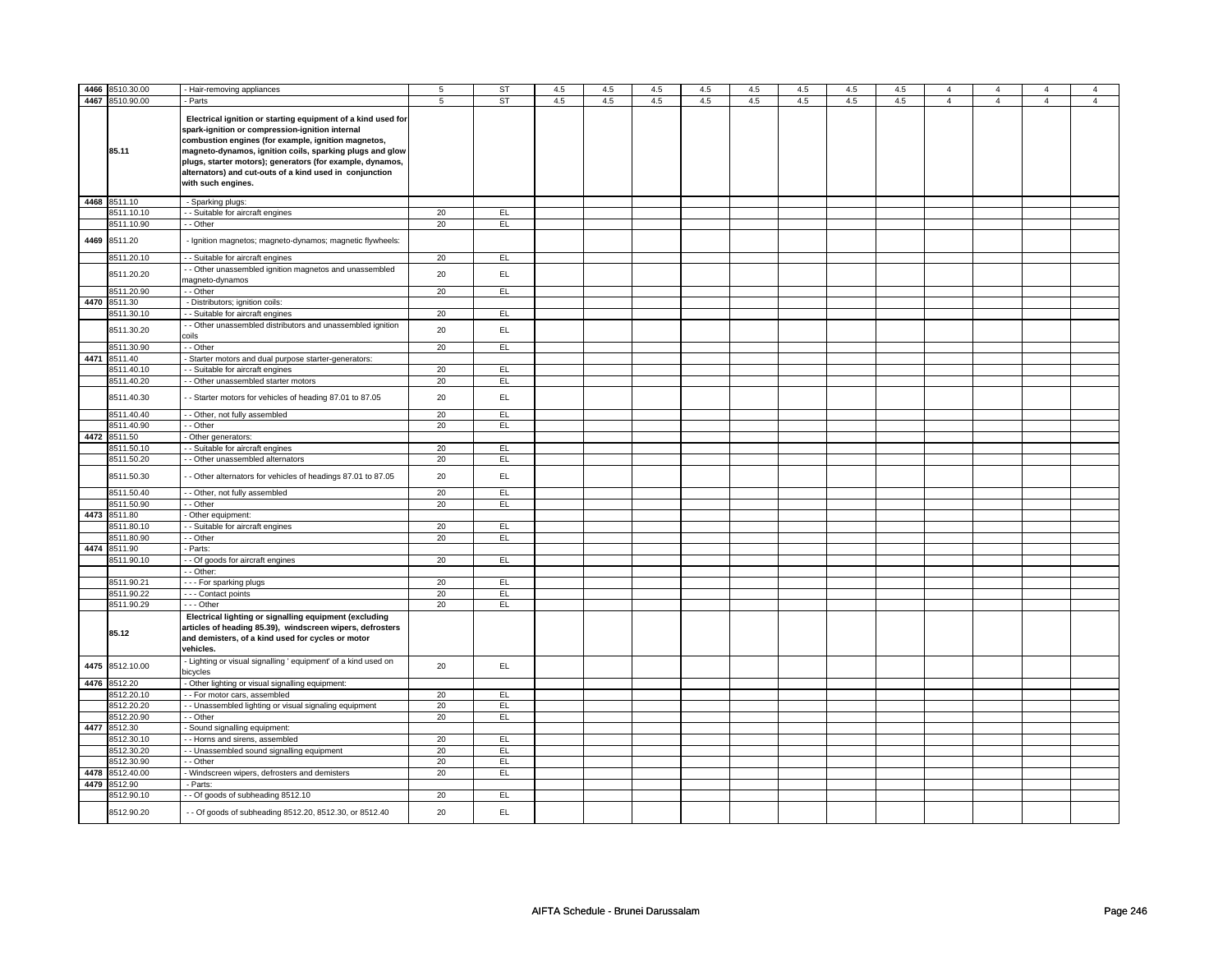| 4466 | 8510.30.00      | - Hair-removing appliances                                                                                                                                                                                                                                                                                                                                                       | $5\phantom{.0}$ | ST        | 4.5 | 4.5 | 4.5 | 4.5 | 4.5 | 4.5 | 4.5 | 4.5 | 4              | $\overline{4}$ | 4              | $\overline{4}$ |
|------|-----------------|----------------------------------------------------------------------------------------------------------------------------------------------------------------------------------------------------------------------------------------------------------------------------------------------------------------------------------------------------------------------------------|-----------------|-----------|-----|-----|-----|-----|-----|-----|-----|-----|----------------|----------------|----------------|----------------|
| 4467 | 8510.90.00      | - Parts                                                                                                                                                                                                                                                                                                                                                                          | 5               | ST        | 4.5 | 4.5 | 4.5 | 4.5 | 4.5 | 4.5 | 4.5 | 4.5 | $\overline{4}$ | $\overline{4}$ | $\overline{4}$ | $\overline{4}$ |
|      | 85.11           | Electrical ignition or starting equipment of a kind used for<br>spark-ignition or compression-ignition internal<br>combustion engines (for example, ignition magnetos,<br>magneto-dynamos, ignition coils, sparking plugs and glow<br>plugs, starter motors); generators (for example, dynamos,<br>alternators) and cut-outs of a kind used in conjunction<br>with such engines. |                 |           |     |     |     |     |     |     |     |     |                |                |                |                |
| 4468 | 8511.10         | - Sparking plugs:                                                                                                                                                                                                                                                                                                                                                                |                 |           |     |     |     |     |     |     |     |     |                |                |                |                |
|      | 3511.10.10      | - Suitable for aircraft engines                                                                                                                                                                                                                                                                                                                                                  | 20              | EL        |     |     |     |     |     |     |     |     |                |                |                |                |
|      | 8511.10.90      | - - Other                                                                                                                                                                                                                                                                                                                                                                        | 20              | EL        |     |     |     |     |     |     |     |     |                |                |                |                |
| 4469 | 8511.20         | - Ignition magnetos; magneto-dynamos; magnetic flywheels:                                                                                                                                                                                                                                                                                                                        |                 |           |     |     |     |     |     |     |     |     |                |                |                |                |
|      | 8511.20.10      | - - Suitable for aircraft engines                                                                                                                                                                                                                                                                                                                                                | 20              | EL        |     |     |     |     |     |     |     |     |                |                |                |                |
|      |                 | - Other unassembled ignition magnetos and unassembled                                                                                                                                                                                                                                                                                                                            |                 |           |     |     |     |     |     |     |     |     |                |                |                |                |
|      | 8511.20.20      | magneto-dynamos                                                                                                                                                                                                                                                                                                                                                                  | 20              | EL        |     |     |     |     |     |     |     |     |                |                |                |                |
|      | 8511.20.90      | - - Other                                                                                                                                                                                                                                                                                                                                                                        | 20              | E         |     |     |     |     |     |     |     |     |                |                |                |                |
|      | 4470 8511.30    | - Distributors; ignition coils:                                                                                                                                                                                                                                                                                                                                                  |                 |           |     |     |     |     |     |     |     |     |                |                |                |                |
|      | 8511.30.10      | - - Suitable for aircraft engines                                                                                                                                                                                                                                                                                                                                                | 20              | EL        |     |     |     |     |     |     |     |     |                |                |                |                |
|      | 8511.30.20      | - Other unassembled distributors and unassembled ignition<br>coils                                                                                                                                                                                                                                                                                                               | 20              | <b>EL</b> |     |     |     |     |     |     |     |     |                |                |                |                |
|      | 8511.30.90      | - - Other                                                                                                                                                                                                                                                                                                                                                                        | 20              | EL        |     |     |     |     |     |     |     |     |                |                |                |                |
|      | 4471 8511.40    | - Starter motors and dual purpose starter-generators:                                                                                                                                                                                                                                                                                                                            |                 |           |     |     |     |     |     |     |     |     |                |                |                |                |
|      | 8511.40.10      | - Suitable for aircraft engines                                                                                                                                                                                                                                                                                                                                                  | 20              | EL        |     |     |     |     |     |     |     |     |                |                |                |                |
|      | 8511.40.20      | - Other unassembled starter motors                                                                                                                                                                                                                                                                                                                                               | 20              | EL        |     |     |     |     |     |     |     |     |                |                |                |                |
|      | 8511.40.30      | - Starter motors for vehicles of heading 87.01 to 87.05                                                                                                                                                                                                                                                                                                                          | 20              | EL        |     |     |     |     |     |     |     |     |                |                |                |                |
|      | 8511.40.40      | - - Other, not fully assembled                                                                                                                                                                                                                                                                                                                                                   | 20              | EL        |     |     |     |     |     |     |     |     |                |                |                |                |
|      | 8511.40.90      | - - Other                                                                                                                                                                                                                                                                                                                                                                        | 20              | EL        |     |     |     |     |     |     |     |     |                |                |                |                |
|      | 4472 8511.50    | - Other generators:                                                                                                                                                                                                                                                                                                                                                              |                 |           |     |     |     |     |     |     |     |     |                |                |                |                |
|      | 8511.50.10      | - Suitable for aircraft engines                                                                                                                                                                                                                                                                                                                                                  | 20              | EL        |     |     |     |     |     |     |     |     |                |                |                |                |
|      | 8511.50.20      | - - Other unassembled alternators                                                                                                                                                                                                                                                                                                                                                | 20              | EL        |     |     |     |     |     |     |     |     |                |                |                |                |
|      | 8511.50.30      | - Other alternators for vehicles of headings 87.01 to 87.05                                                                                                                                                                                                                                                                                                                      | 20              | EL        |     |     |     |     |     |     |     |     |                |                |                |                |
|      | 8511.50.40      | - - Other, not fully assembled                                                                                                                                                                                                                                                                                                                                                   | 20              | EL        |     |     |     |     |     |     |     |     |                |                |                |                |
|      | 8511.50.90      | - - Other                                                                                                                                                                                                                                                                                                                                                                        | 20              | E         |     |     |     |     |     |     |     |     |                |                |                |                |
|      | 4473 8511.80    | - Other equipment:                                                                                                                                                                                                                                                                                                                                                               |                 |           |     |     |     |     |     |     |     |     |                |                |                |                |
|      | 8511.80.10      | - Suitable for aircraft engines                                                                                                                                                                                                                                                                                                                                                  | 20              | EL.       |     |     |     |     |     |     |     |     |                |                |                |                |
|      | 8511.80.90      | $-$ Other                                                                                                                                                                                                                                                                                                                                                                        | 20              | EL        |     |     |     |     |     |     |     |     |                |                |                |                |
|      | 4474 8511.90    | - Parts:                                                                                                                                                                                                                                                                                                                                                                         |                 |           |     |     |     |     |     |     |     |     |                |                |                |                |
|      | 8511.90.10      | - - Of goods for aircraft engines                                                                                                                                                                                                                                                                                                                                                | 20              | EL        |     |     |     |     |     |     |     |     |                |                |                |                |
|      |                 | - - Other:                                                                                                                                                                                                                                                                                                                                                                       |                 |           |     |     |     |     |     |     |     |     |                |                |                |                |
|      | 8511.90.21      | - - - For sparking plugs                                                                                                                                                                                                                                                                                                                                                         | 20              | <b>EL</b> |     |     |     |     |     |     |     |     |                |                |                |                |
|      | 8511.90.22      | - - - Contact points                                                                                                                                                                                                                                                                                                                                                             | 20              | EL        |     |     |     |     |     |     |     |     |                |                |                |                |
|      | 8511.90.29      | - - - Other                                                                                                                                                                                                                                                                                                                                                                      | 20              | EL        |     |     |     |     |     |     |     |     |                |                |                |                |
|      | 85.12           | Electrical lighting or signalling equipment (excluding<br>articles of heading 85.39), windscreen wipers, defrosters<br>and demisters, of a kind used for cycles or motor<br>vehicles.                                                                                                                                                                                            |                 |           |     |     |     |     |     |     |     |     |                |                |                |                |
|      | 4475 8512.10.00 | - Lighting or visual signalling ' equipment' of a kind used on<br>bicycles                                                                                                                                                                                                                                                                                                       | 20              | EL.       |     |     |     |     |     |     |     |     |                |                |                |                |
|      | 4476 8512.20    | - Other lighting or visual signalling equipment:                                                                                                                                                                                                                                                                                                                                 |                 |           |     |     |     |     |     |     |     |     |                |                |                |                |
|      | 8512.20.10      | - - For motor cars, assembled                                                                                                                                                                                                                                                                                                                                                    | 20              | EL        |     |     |     |     |     |     |     |     |                |                |                |                |
|      | 8512.20.20      | - - Unassembled lighting or visual signaling equipment                                                                                                                                                                                                                                                                                                                           | 20              | EL        |     |     |     |     |     |     |     |     |                |                |                |                |
|      | 8512.20.90      | - - Other                                                                                                                                                                                                                                                                                                                                                                        | 20              | E         |     |     |     |     |     |     |     |     |                |                |                |                |
| 4477 | 8512.30         | Sound signalling equipment:                                                                                                                                                                                                                                                                                                                                                      |                 |           |     |     |     |     |     |     |     |     |                |                |                |                |
|      | 8512.30.10      | - - Horns and sirens, assembled                                                                                                                                                                                                                                                                                                                                                  | 20              | EL        |     |     |     |     |     |     |     |     |                |                |                |                |
|      | 8512.30.20      | - - Unassembled sound signalling equipment                                                                                                                                                                                                                                                                                                                                       | 20              | EL        |     |     |     |     |     |     |     |     |                |                |                |                |
|      | 8512.30.90      | - - Other                                                                                                                                                                                                                                                                                                                                                                        | 20              | EL        |     |     |     |     |     |     |     |     |                |                |                |                |
|      | 4478 8512.40.00 | - Windscreen wipers, defrosters and demisters                                                                                                                                                                                                                                                                                                                                    | 20              | E         |     |     |     |     |     |     |     |     |                |                |                |                |
|      | 4479 8512.90    | - Parts:                                                                                                                                                                                                                                                                                                                                                                         |                 |           |     |     |     |     |     |     |     |     |                |                |                |                |
|      | 3512.90.10      | - Of goods of subheading 8512.10                                                                                                                                                                                                                                                                                                                                                 | 20              | EL        |     |     |     |     |     |     |     |     |                |                |                |                |
|      | 8512.90.20      | - - Of goods of subheading 8512.20, 8512.30, or 8512.40                                                                                                                                                                                                                                                                                                                          | 20              | EL.       |     |     |     |     |     |     |     |     |                |                |                |                |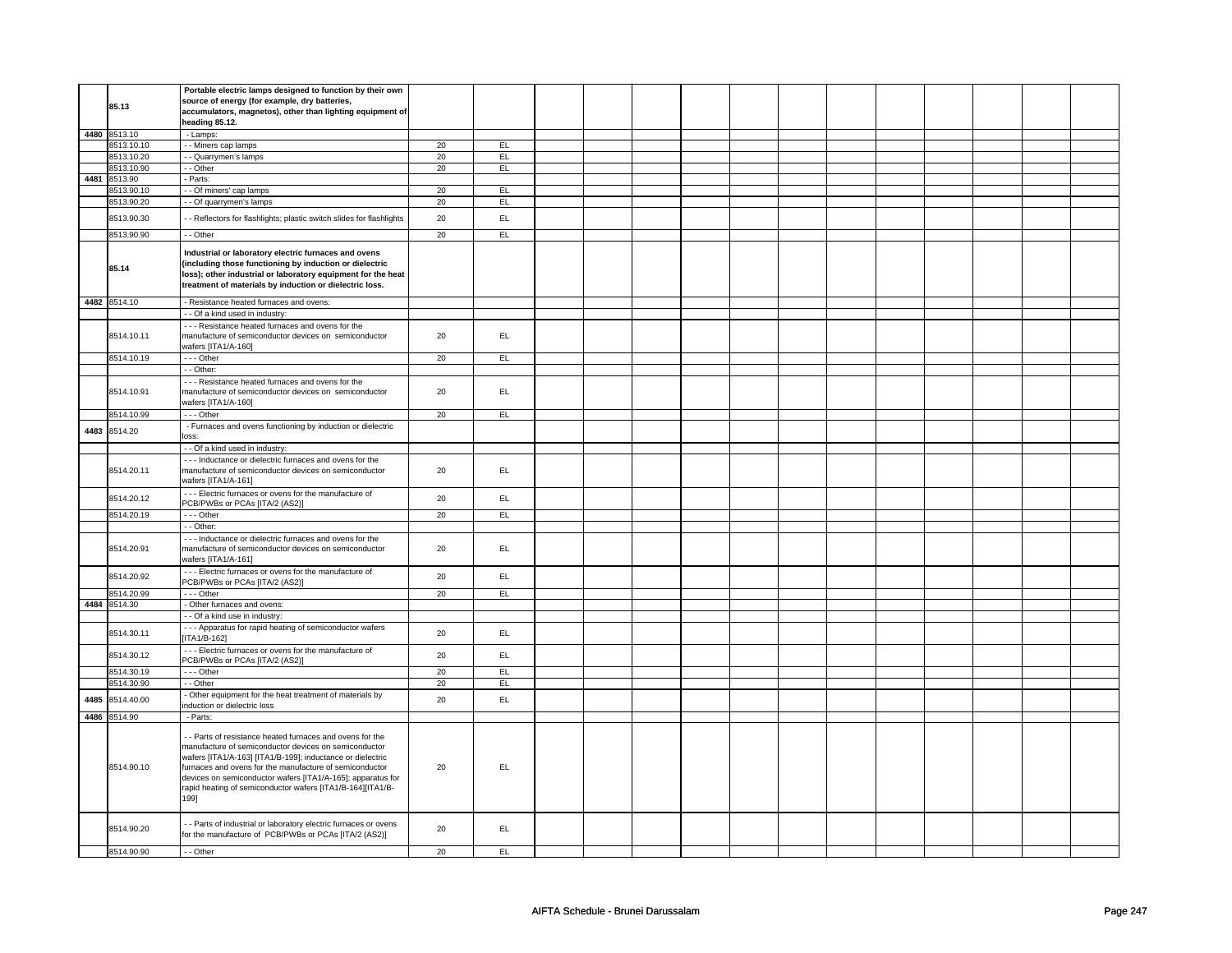|      | 85.13                    | Portable electric lamps designed to function by their own<br>source of energy (for example, dry batteries,                                                                                                                                                                                                                                                                     |          |          |  |  |  |  |  |  |
|------|--------------------------|--------------------------------------------------------------------------------------------------------------------------------------------------------------------------------------------------------------------------------------------------------------------------------------------------------------------------------------------------------------------------------|----------|----------|--|--|--|--|--|--|
|      |                          | accumulators, magnetos), other than lighting equipment of<br>heading 85.12.                                                                                                                                                                                                                                                                                                    |          |          |  |  |  |  |  |  |
|      | 4480 8513.10             | - Lamps:                                                                                                                                                                                                                                                                                                                                                                       |          |          |  |  |  |  |  |  |
|      | 8513.10.10               | - - Miners cap lamps                                                                                                                                                                                                                                                                                                                                                           | 20       | EL       |  |  |  |  |  |  |
|      | 8513.10.20               | - - Quarrymen's lamps                                                                                                                                                                                                                                                                                                                                                          | 20       | EL       |  |  |  |  |  |  |
|      | 8513.10.90               | - Other                                                                                                                                                                                                                                                                                                                                                                        | 20       | EL       |  |  |  |  |  |  |
|      | 4481 8513.90             | - Parts:                                                                                                                                                                                                                                                                                                                                                                       |          |          |  |  |  |  |  |  |
|      | 8513.90.10               | - - Of miners' cap lamps                                                                                                                                                                                                                                                                                                                                                       | 20       | EL.      |  |  |  |  |  |  |
|      | 3513.90.20               | - Of quarrymen's lamps                                                                                                                                                                                                                                                                                                                                                         | 20       | EL       |  |  |  |  |  |  |
|      | 8513.90.30               | - - Reflectors for flashlights; plastic switch slides for flashlights                                                                                                                                                                                                                                                                                                          | 20       | EL       |  |  |  |  |  |  |
|      | 8513.90.90               | - - Other                                                                                                                                                                                                                                                                                                                                                                      | 20       | EL       |  |  |  |  |  |  |
|      | 85.14                    | Industrial or laboratory electric furnaces and ovens<br>(including those functioning by induction or dielectric<br>loss); other industrial or laboratory equipment for the heat<br>treatment of materials by induction or dielectric loss.                                                                                                                                     |          |          |  |  |  |  |  |  |
|      | 4482 8514.10             | - Resistance heated furnaces and ovens:                                                                                                                                                                                                                                                                                                                                        |          |          |  |  |  |  |  |  |
|      |                          | - - Of a kind used in industry:                                                                                                                                                                                                                                                                                                                                                |          |          |  |  |  |  |  |  |
|      | 8514.10.11               | - - - Resistance heated furnaces and ovens for the<br>manufacture of semiconductor devices on semiconductor<br>wafers [ITA1/A-160]                                                                                                                                                                                                                                             | 20       | EL       |  |  |  |  |  |  |
|      | 8514.10.19               | --- Other                                                                                                                                                                                                                                                                                                                                                                      | 20       | EL.      |  |  |  |  |  |  |
|      |                          | - - Other:                                                                                                                                                                                                                                                                                                                                                                     |          |          |  |  |  |  |  |  |
|      | 8514.10.91               | - - - Resistance heated furnaces and ovens for the<br>manufacture of semiconductor devices on semiconductor<br>wafers [ITA1/A-160]                                                                                                                                                                                                                                             | 20       | EL.      |  |  |  |  |  |  |
|      | 8514.10.99               | --- Other                                                                                                                                                                                                                                                                                                                                                                      | 20       | EL       |  |  |  |  |  |  |
| 4483 | 8514.20                  | - Furnaces and ovens functioning by induction or dielectric<br>oss:                                                                                                                                                                                                                                                                                                            |          |          |  |  |  |  |  |  |
|      |                          | - - Of a kind used in industry:                                                                                                                                                                                                                                                                                                                                                |          |          |  |  |  |  |  |  |
|      | 8514.20.11               | --- Inductance or dielectric furnaces and ovens for the<br>manufacture of semiconductor devices on semiconductor<br>wafers [ITA1/A-161]                                                                                                                                                                                                                                        | 20       | EL       |  |  |  |  |  |  |
|      | 8514.20.12               | --- Electric furnaces or ovens for the manufacture of<br>PCB/PWBs or PCAs [ITA/2 (AS2)]                                                                                                                                                                                                                                                                                        | 20       | EL       |  |  |  |  |  |  |
|      | 8514.20.19               | $- -$ Other                                                                                                                                                                                                                                                                                                                                                                    | 20       | EL       |  |  |  |  |  |  |
|      |                          | - - Other:                                                                                                                                                                                                                                                                                                                                                                     |          |          |  |  |  |  |  |  |
|      | 8514.20.91               | --- Inductance or dielectric furnaces and ovens for the<br>manufacture of semiconductor devices on semiconductor<br>wafers [ITA1/A-161]                                                                                                                                                                                                                                        | 20       | EL.      |  |  |  |  |  |  |
|      | 8514.20.92               | --- Electric furnaces or ovens for the manufacture of<br>PCB/PWBs or PCAs [ITA/2 (AS2)]                                                                                                                                                                                                                                                                                        | 20       | EL       |  |  |  |  |  |  |
|      | 8514.20.99               | --- Other                                                                                                                                                                                                                                                                                                                                                                      | 20       | EL       |  |  |  |  |  |  |
|      | 4484 8514.30             | - Other furnaces and ovens:<br>- Of a kind use in industry:                                                                                                                                                                                                                                                                                                                    |          |          |  |  |  |  |  |  |
|      |                          | --- Apparatus for rapid heating of semiconductor wafers                                                                                                                                                                                                                                                                                                                        |          |          |  |  |  |  |  |  |
|      | 8514.30.11               | ITA1/B-162]                                                                                                                                                                                                                                                                                                                                                                    | 20       | EL       |  |  |  |  |  |  |
|      | 8514.30.12<br>8514.30.19 | --- Electric furnaces or ovens for the manufacture of<br>PCB/PWBs or PCAs [ITA/2 (AS2)]<br>$--$ Other                                                                                                                                                                                                                                                                          | 20<br>20 | EL<br>EL |  |  |  |  |  |  |
|      | 8514.30.90               | - - Other                                                                                                                                                                                                                                                                                                                                                                      | 20       | EL       |  |  |  |  |  |  |
| 4485 | 8514.40.00               | - Other equipment for the heat treatment of materials by<br>nduction or dielectric loss                                                                                                                                                                                                                                                                                        | 20       | EL       |  |  |  |  |  |  |
| 4486 | 8514.90                  | - Parts:                                                                                                                                                                                                                                                                                                                                                                       |          |          |  |  |  |  |  |  |
|      | 8514.90.10               | - Parts of resistance heated furnaces and ovens for the<br>manufacture of semiconductor devices on semiconductor<br>wafers [ITA1/A-163] [ITA1/B-199]; inductance or dielectric<br>furnaces and ovens for the manufacture of semiconductor<br>devices on semiconductor wafers [ITA1/A-165]; apparatus for<br>rapid heating of semiconductor wafers [ITA1/B-164][ITA1/B-<br>199] | 20       | EL.      |  |  |  |  |  |  |
|      | 8514.90.20               | - - Parts of industrial or laboratory electric furnaces or ovens<br>for the manufacture of PCB/PWBs or PCAs [ITA/2 (AS2)]                                                                                                                                                                                                                                                      | 20       | EL.      |  |  |  |  |  |  |
|      | 8514.90.90               | - - Other                                                                                                                                                                                                                                                                                                                                                                      | 20       | EL.      |  |  |  |  |  |  |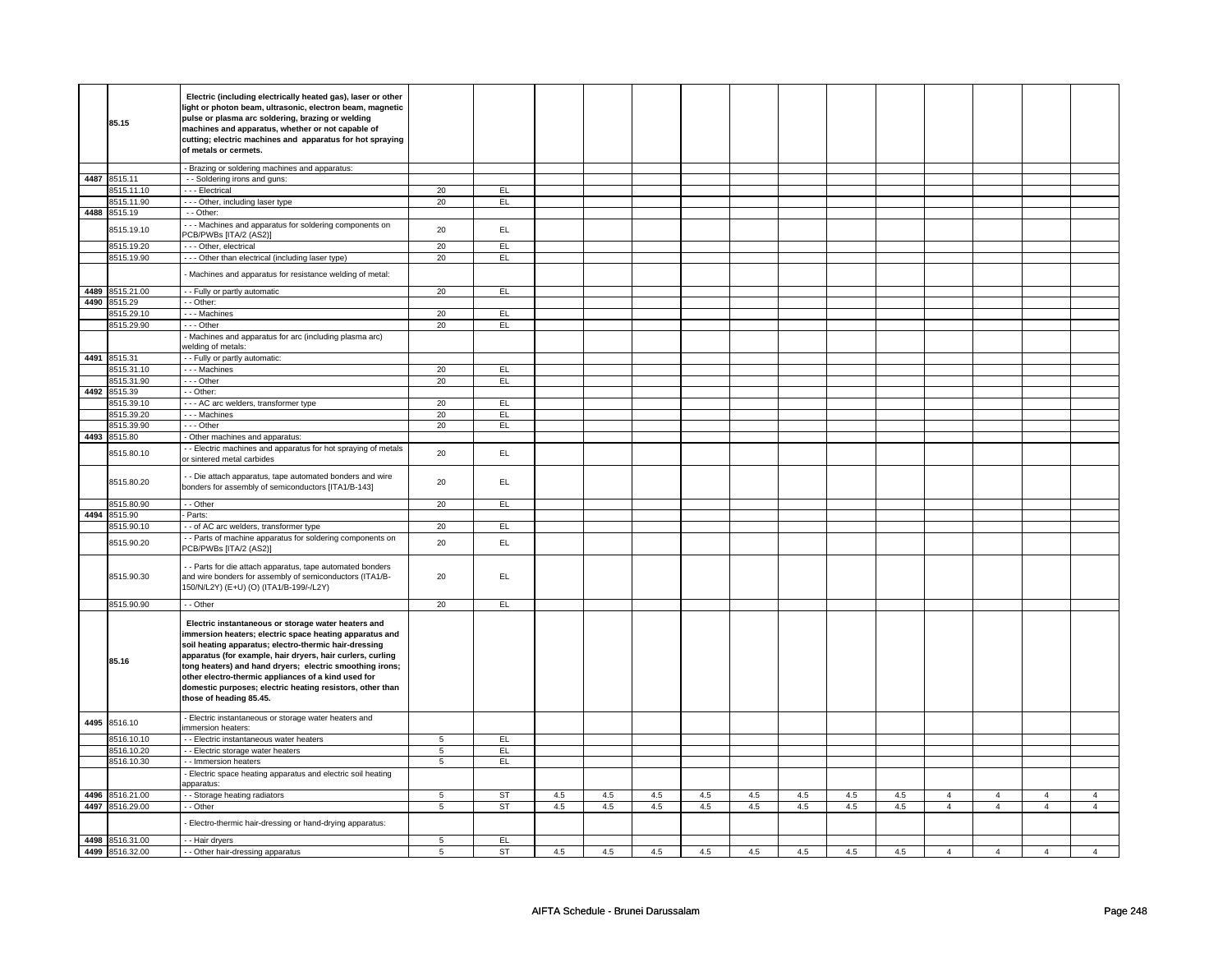|      | 85.15<br>4487 8515.11<br>8515.11.10<br>8515.11.90 | Electric (including electrically heated gas), laser or other<br>light or photon beam, ultrasonic, electron beam, magnetic<br>pulse or plasma arc soldering, brazing or welding<br>machines and apparatus, whether or not capable of<br>cutting; electric machines and apparatus for hot spraying<br>of metals or cermets.<br>- Brazing or soldering machines and apparatus:<br>- - Soldering irons and guns: |                 |                  |     |     |     |     |     |     |     |     |                |                |                |                |
|------|---------------------------------------------------|--------------------------------------------------------------------------------------------------------------------------------------------------------------------------------------------------------------------------------------------------------------------------------------------------------------------------------------------------------------------------------------------------------------|-----------------|------------------|-----|-----|-----|-----|-----|-----|-----|-----|----------------|----------------|----------------|----------------|
|      |                                                   |                                                                                                                                                                                                                                                                                                                                                                                                              |                 |                  |     |     |     |     |     |     |     |     |                |                |                |                |
|      |                                                   |                                                                                                                                                                                                                                                                                                                                                                                                              |                 |                  |     |     |     |     |     |     |     |     |                |                |                |                |
|      |                                                   |                                                                                                                                                                                                                                                                                                                                                                                                              |                 |                  |     |     |     |     |     |     |     |     |                |                |                |                |
|      |                                                   |                                                                                                                                                                                                                                                                                                                                                                                                              |                 |                  |     |     |     |     |     |     |     |     |                |                |                |                |
|      |                                                   |                                                                                                                                                                                                                                                                                                                                                                                                              |                 |                  |     |     |     |     |     |     |     |     |                |                |                |                |
|      |                                                   |                                                                                                                                                                                                                                                                                                                                                                                                              |                 |                  |     |     |     |     |     |     |     |     |                |                |                |                |
|      |                                                   |                                                                                                                                                                                                                                                                                                                                                                                                              |                 |                  |     |     |     |     |     |     |     |     |                |                |                |                |
|      |                                                   |                                                                                                                                                                                                                                                                                                                                                                                                              |                 |                  |     |     |     |     |     |     |     |     |                |                |                |                |
|      |                                                   |                                                                                                                                                                                                                                                                                                                                                                                                              |                 |                  |     |     |     |     |     |     |     |     |                |                |                |                |
|      |                                                   | - - - Electrical                                                                                                                                                                                                                                                                                                                                                                                             | 20              | EL.              |     |     |     |     |     |     |     |     |                |                |                |                |
|      |                                                   | - - - Other, including laser type                                                                                                                                                                                                                                                                                                                                                                            | 20              | EL               |     |     |     |     |     |     |     |     |                |                |                |                |
|      | 4488 8515.19                                      | - - Other:                                                                                                                                                                                                                                                                                                                                                                                                   |                 |                  |     |     |     |     |     |     |     |     |                |                |                |                |
|      | 8515.19.10                                        | --- Machines and apparatus for soldering components on                                                                                                                                                                                                                                                                                                                                                       | 20              | EL.              |     |     |     |     |     |     |     |     |                |                |                |                |
|      |                                                   | PCB/PWBs [ITA/2 (AS2)]                                                                                                                                                                                                                                                                                                                                                                                       |                 |                  |     |     |     |     |     |     |     |     |                |                |                |                |
|      | 8515.19.20                                        | - - - Other, electrical                                                                                                                                                                                                                                                                                                                                                                                      | 20              | EL               |     |     |     |     |     |     |     |     |                |                |                |                |
|      | 8515.19.90                                        | - - - Other than electrical (including laser type)                                                                                                                                                                                                                                                                                                                                                           | 20              | EL               |     |     |     |     |     |     |     |     |                |                |                |                |
|      |                                                   | Machines and apparatus for resistance welding of metal:                                                                                                                                                                                                                                                                                                                                                      |                 |                  |     |     |     |     |     |     |     |     |                |                |                |                |
|      | 4489 8515.21.00                                   | - - Fully or partly automatic                                                                                                                                                                                                                                                                                                                                                                                | 20              | EL               |     |     |     |     |     |     |     |     |                |                |                |                |
|      | 4490 8515.29                                      | - - Other:                                                                                                                                                                                                                                                                                                                                                                                                   |                 |                  |     |     |     |     |     |     |     |     |                |                |                |                |
|      | 8515.29.10                                        | --- Machines                                                                                                                                                                                                                                                                                                                                                                                                 | 20              | EL               |     |     |     |     |     |     |     |     |                |                |                |                |
|      | 8515.29.90                                        | --- Other                                                                                                                                                                                                                                                                                                                                                                                                    | 20              | EL.              |     |     |     |     |     |     |     |     |                |                |                |                |
|      |                                                   | - Machines and apparatus for arc (including plasma arc)                                                                                                                                                                                                                                                                                                                                                      |                 |                  |     |     |     |     |     |     |     |     |                |                |                |                |
|      |                                                   | welding of metals:                                                                                                                                                                                                                                                                                                                                                                                           |                 |                  |     |     |     |     |     |     |     |     |                |                |                |                |
|      | 4491 8515.31                                      | - - Fully or partly automatic:                                                                                                                                                                                                                                                                                                                                                                               |                 |                  |     |     |     |     |     |     |     |     |                |                |                |                |
|      | 8515.31.10                                        | --- Machines                                                                                                                                                                                                                                                                                                                                                                                                 | 20              | EL.              |     |     |     |     |     |     |     |     |                |                |                |                |
|      | 8515.31.90                                        | $--$ Other                                                                                                                                                                                                                                                                                                                                                                                                   | 20              | EL.              |     |     |     |     |     |     |     |     |                |                |                |                |
| 4492 | 8515.39                                           | - - Other:                                                                                                                                                                                                                                                                                                                                                                                                   |                 |                  |     |     |     |     |     |     |     |     |                |                |                |                |
|      | 8515.39.10                                        | - - - AC arc welders, transformer type                                                                                                                                                                                                                                                                                                                                                                       | 20              | EL               |     |     |     |     |     |     |     |     |                |                |                |                |
|      | 8515.39.20                                        | - - - Machines                                                                                                                                                                                                                                                                                                                                                                                               | 20              | EL.              |     |     |     |     |     |     |     |     |                |                |                |                |
|      | 8515.39.90                                        | --- Other                                                                                                                                                                                                                                                                                                                                                                                                    | 20              | EL               |     |     |     |     |     |     |     |     |                |                |                |                |
|      | 4493 8515.80                                      | - Other machines and apparatus:                                                                                                                                                                                                                                                                                                                                                                              |                 |                  |     |     |     |     |     |     |     |     |                |                |                |                |
|      |                                                   | - - Electric machines and apparatus for hot spraying of metals                                                                                                                                                                                                                                                                                                                                               |                 |                  |     |     |     |     |     |     |     |     |                |                |                |                |
|      | 8515.80.10                                        | or sintered metal carbides                                                                                                                                                                                                                                                                                                                                                                                   | 20              | EL               |     |     |     |     |     |     |     |     |                |                |                |                |
|      |                                                   | - - Die attach apparatus, tape automated bonders and wire                                                                                                                                                                                                                                                                                                                                                    |                 |                  |     |     |     |     |     |     |     |     |                |                |                |                |
|      | 8515.80.20                                        | bonders for assembly of semiconductors [ITA1/B-143]                                                                                                                                                                                                                                                                                                                                                          | 20              | EL               |     |     |     |     |     |     |     |     |                |                |                |                |
|      |                                                   |                                                                                                                                                                                                                                                                                                                                                                                                              |                 |                  |     |     |     |     |     |     |     |     |                |                |                |                |
|      | 3515.80.90                                        | $-$ Other                                                                                                                                                                                                                                                                                                                                                                                                    | 20              | EL               |     |     |     |     |     |     |     |     |                |                |                |                |
|      | 4494 8515.90                                      | - Parts:                                                                                                                                                                                                                                                                                                                                                                                                     |                 |                  |     |     |     |     |     |     |     |     |                |                |                |                |
|      | 8515.90.10                                        | - - of AC arc welders, transformer type                                                                                                                                                                                                                                                                                                                                                                      | 20              | EL.              |     |     |     |     |     |     |     |     |                |                |                |                |
|      | 8515.90.20                                        | - - Parts of machine apparatus for soldering components on<br>PCB/PWBs [ITA/2 (AS2)]                                                                                                                                                                                                                                                                                                                         | 20              | EL.              |     |     |     |     |     |     |     |     |                |                |                |                |
|      |                                                   | - - Parts for die attach apparatus, tape automated bonders                                                                                                                                                                                                                                                                                                                                                   |                 |                  |     |     |     |     |     |     |     |     |                |                |                |                |
|      | 8515.90.30                                        | and wire bonders for assembly of semiconductors (ITA1/B-                                                                                                                                                                                                                                                                                                                                                     | 20              | EL.              |     |     |     |     |     |     |     |     |                |                |                |                |
|      |                                                   | 150/N/L2Y) (E+U) (O) (ITA1/B-199/-/L2Y)                                                                                                                                                                                                                                                                                                                                                                      |                 |                  |     |     |     |     |     |     |     |     |                |                |                |                |
|      |                                                   |                                                                                                                                                                                                                                                                                                                                                                                                              |                 |                  |     |     |     |     |     |     |     |     |                |                |                |                |
|      | 8515.90.90                                        | - - Other                                                                                                                                                                                                                                                                                                                                                                                                    | 20              | EL.              |     |     |     |     |     |     |     |     |                |                |                |                |
|      |                                                   | Electric instantaneous or storage water heaters and                                                                                                                                                                                                                                                                                                                                                          |                 |                  |     |     |     |     |     |     |     |     |                |                |                |                |
|      |                                                   | immersion heaters; electric space heating apparatus and                                                                                                                                                                                                                                                                                                                                                      |                 |                  |     |     |     |     |     |     |     |     |                |                |                |                |
|      |                                                   | soil heating apparatus; electro-thermic hair-dressing                                                                                                                                                                                                                                                                                                                                                        |                 |                  |     |     |     |     |     |     |     |     |                |                |                |                |
|      |                                                   | apparatus (for example, hair dryers, hair curlers, curling                                                                                                                                                                                                                                                                                                                                                   |                 |                  |     |     |     |     |     |     |     |     |                |                |                |                |
|      | 85.16                                             | tong heaters) and hand dryers; electric smoothing irons;                                                                                                                                                                                                                                                                                                                                                     |                 |                  |     |     |     |     |     |     |     |     |                |                |                |                |
|      |                                                   | other electro-thermic appliances of a kind used for                                                                                                                                                                                                                                                                                                                                                          |                 |                  |     |     |     |     |     |     |     |     |                |                |                |                |
|      |                                                   | domestic purposes; electric heating resistors, other than                                                                                                                                                                                                                                                                                                                                                    |                 |                  |     |     |     |     |     |     |     |     |                |                |                |                |
|      |                                                   | those of heading 85.45.                                                                                                                                                                                                                                                                                                                                                                                      |                 |                  |     |     |     |     |     |     |     |     |                |                |                |                |
|      |                                                   |                                                                                                                                                                                                                                                                                                                                                                                                              |                 |                  |     |     |     |     |     |     |     |     |                |                |                |                |
|      | 8516.10                                           | - Electric instantaneous or storage water heaters and<br>mmersion heaters:                                                                                                                                                                                                                                                                                                                                   |                 |                  |     |     |     |     |     |     |     |     |                |                |                |                |
| 4495 |                                                   | - - Electric instantaneous water heaters                                                                                                                                                                                                                                                                                                                                                                     | 5               | EL.              |     |     |     |     |     |     |     |     |                |                |                |                |
|      |                                                   |                                                                                                                                                                                                                                                                                                                                                                                                              | $5\phantom{.0}$ | EL.              |     |     |     |     |     |     |     |     |                |                |                |                |
|      | 8516.10.10                                        |                                                                                                                                                                                                                                                                                                                                                                                                              |                 |                  |     |     |     |     |     |     |     |     |                |                |                |                |
|      | 8516.10.20                                        | - - Electric storage water heaters                                                                                                                                                                                                                                                                                                                                                                           |                 |                  |     |     |     |     |     |     |     |     |                |                |                |                |
|      | 8516.10.30                                        | - - Immersion heaters                                                                                                                                                                                                                                                                                                                                                                                        | 5               | EL               |     |     |     |     |     |     |     |     |                |                |                |                |
|      |                                                   | - Electric space heating apparatus and electric soil heating<br>apparatus:                                                                                                                                                                                                                                                                                                                                   |                 |                  |     |     |     |     |     |     |     |     |                |                |                |                |
|      | 4496 8516.21.00                                   | - - Storage heating radiators                                                                                                                                                                                                                                                                                                                                                                                | 5               | ST               | 4.5 | 4.5 | 4.5 | 4.5 | 4.5 | 4.5 | 4.5 | 4.5 | $\overline{4}$ | $\overline{4}$ | 4              | $\overline{4}$ |
|      | 4497 8516.29.00                                   | - - Other                                                                                                                                                                                                                                                                                                                                                                                                    | 5               | <b>ST</b>        | 4.5 | 4.5 | 4.5 | 4.5 | 4.5 | 4.5 | 4.5 | 4.5 | $\overline{4}$ | $\overline{4}$ | $\overline{4}$ | $\overline{4}$ |
|      |                                                   |                                                                                                                                                                                                                                                                                                                                                                                                              |                 |                  |     |     |     |     |     |     |     |     |                |                |                |                |
|      |                                                   | Electro-thermic hair-dressing or hand-drying apparatus:                                                                                                                                                                                                                                                                                                                                                      |                 |                  |     |     |     |     |     |     |     |     |                |                |                |                |
|      | 4498 8516.31.00<br>4499 8516.32.00                | - - Hair dryers<br>- - Other hair-dressing apparatus                                                                                                                                                                                                                                                                                                                                                         | 5<br>5          | EL.<br><b>ST</b> | 4.5 | 4.5 | 4.5 | 4.5 | 4.5 | 4.5 | 4.5 | 4.5 | $\overline{4}$ | $\overline{4}$ | $\overline{a}$ | $\overline{4}$ |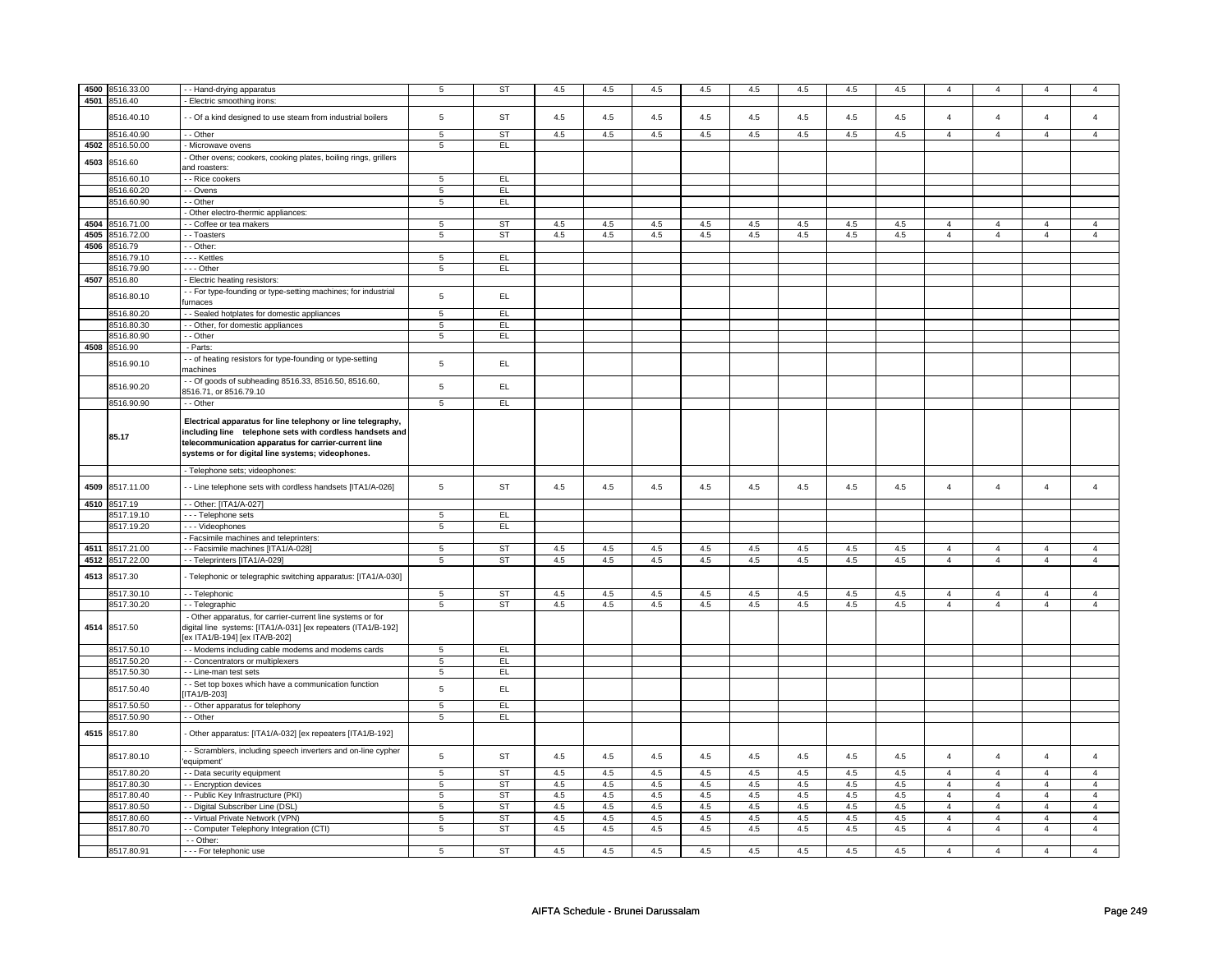| 4500 | 8516.33.00      | - Hand-drying apparatus                                                               | $\,$ 5 $\,$     | ST        | $4.5\,$ | 4.5 | $4.5\,$ | $4.5\,$ | $4.5\,$ | 4.5     | 4.5     | $4.5\,$ | $\overline{4}$ | $\overline{4}$ | $\overline{4}$ | $\overline{4}$ |
|------|-----------------|---------------------------------------------------------------------------------------|-----------------|-----------|---------|-----|---------|---------|---------|---------|---------|---------|----------------|----------------|----------------|----------------|
| 4501 | 8516.40         | Electric smoothing irons:                                                             |                 |           |         |     |         |         |         |         |         |         |                |                |                |                |
|      |                 |                                                                                       |                 |           |         |     |         |         |         |         |         |         |                |                |                |                |
|      | 8516.40.10      | - Of a kind designed to use steam from industrial boilers                             | $\,$ 5 $\,$     | <b>ST</b> | 4.5     | 4.5 | 4.5     | $4.5\,$ | $4.5\,$ | $4.5\,$ | $4.5\,$ | $4.5\,$ | $\overline{4}$ | $\overline{4}$ | $\Delta$       | $\overline{4}$ |
|      |                 |                                                                                       |                 |           |         |     |         |         |         |         |         |         |                |                |                |                |
|      | 8516.40.90      | - - Other                                                                             | 5               | <b>ST</b> | 4.5     | 4.5 | 4.5     | 4.5     | 4.5     | 4.5     | 4.5     | 4.5     | $\overline{4}$ | $\overline{4}$ | $\overline{4}$ | $\overline{4}$ |
| 4502 | 8516.50.00      | - Microwave ovens                                                                     | $\,$ 5 $\,$     | EL        |         |     |         |         |         |         |         |         |                |                |                |                |
| 4503 | 8516.60         | Other ovens; cookers, cooking plates, boiling rings, grillers                         |                 |           |         |     |         |         |         |         |         |         |                |                |                |                |
|      |                 | and roasters:                                                                         |                 |           |         |     |         |         |         |         |         |         |                |                |                |                |
|      | 8516.60.10      | - - Rice cookers                                                                      | 5               | EL.       |         |     |         |         |         |         |         |         |                |                |                |                |
|      | 8516.60.20      | - - Ovens                                                                             | $\sqrt{5}$      | EL        |         |     |         |         |         |         |         |         |                |                |                |                |
|      | 8516.60.90      | - - Other                                                                             | 5               | EL        |         |     |         |         |         |         |         |         |                |                |                |                |
|      |                 | - Other electro-thermic appliances:                                                   |                 |           |         |     |         |         |         |         |         |         |                |                |                |                |
| 4504 | 8516.71.00      | - Coffee or tea makers                                                                | 5               | <b>ST</b> | 4.5     | 4.5 | 4.5     | 4.5     | 4.5     | 4.5     | 4.5     | 4.5     | $\overline{4}$ | $\overline{4}$ | $\overline{4}$ | $\overline{4}$ |
| 4505 | 8516.72.00      | - - Toasters                                                                          | $\overline{5}$  | <b>ST</b> | 4.5     | 4.5 | 4.5     | 4.5     | 4.5     | 4.5     | 4.5     | 4.5     | $\overline{4}$ | $\overline{4}$ | $\overline{4}$ | $\overline{4}$ |
| 4506 | 8516.79         | - Other:                                                                              |                 |           |         |     |         |         |         |         |         |         |                |                |                |                |
|      | 8516.79.10      | - - - Kettles                                                                         | 5               | EL        |         |     |         |         |         |         |         |         |                |                |                |                |
|      | 8516.79.90      | --- Other                                                                             |                 | EL        |         |     |         |         |         |         |         |         |                |                |                |                |
|      |                 |                                                                                       | $5\phantom{.0}$ |           |         |     |         |         |         |         |         |         |                |                |                |                |
|      | 4507 8516.80    | - Electric heating resistors:                                                         |                 |           |         |     |         |         |         |         |         |         |                |                |                |                |
|      | 8516.80.10      | - - For type-founding or type-setting machines; for industrial                        | $\sqrt{5}$      | EL        |         |     |         |         |         |         |         |         |                |                |                |                |
|      |                 | urnaces                                                                               |                 |           |         |     |         |         |         |         |         |         |                |                |                |                |
|      | 8516.80.20      | - Sealed hotplates for domestic appliances                                            | 5               | E         |         |     |         |         |         |         |         |         |                |                |                |                |
|      | 8516.80.30      | - Other, for domestic appliances                                                      | $\overline{5}$  | EL        |         |     |         |         |         |         |         |         |                |                |                |                |
|      | 8516.80.90      | - - Other                                                                             | $\overline{5}$  | EL        |         |     |         |         |         |         |         |         |                |                |                |                |
|      | 4508 8516.90    | - Parts:                                                                              |                 |           |         |     |         |         |         |         |         |         |                |                |                |                |
|      |                 | - of heating resistors for type-founding or type-setting                              | $\,$ 5 $\,$     | EL        |         |     |         |         |         |         |         |         |                |                |                |                |
|      | 8516.90.10      | machines                                                                              |                 |           |         |     |         |         |         |         |         |         |                |                |                |                |
|      |                 | - Of goods of subheading 8516.33, 8516.50, 8516.60,                                   |                 | EL        |         |     |         |         |         |         |         |         |                |                |                |                |
|      | 8516.90.20      | 8516.71, or 8516.79.10                                                                | $\,$ 5 $\,$     |           |         |     |         |         |         |         |         |         |                |                |                |                |
|      | 8516.90.90      | - Other                                                                               | $\overline{5}$  | EL        |         |     |         |         |         |         |         |         |                |                |                |                |
|      |                 | Electrical apparatus for line telephony or line telegraphy,                           |                 |           |         |     |         |         |         |         |         |         |                |                |                |                |
|      |                 | including line telephone sets with cordless handsets and                              |                 |           |         |     |         |         |         |         |         |         |                |                |                |                |
|      | 85.17           | telecommunication apparatus for carrier-current line                                  |                 |           |         |     |         |         |         |         |         |         |                |                |                |                |
|      |                 |                                                                                       |                 |           |         |     |         |         |         |         |         |         |                |                |                |                |
|      |                 | systems or for digital line systems; videophones.                                     |                 |           |         |     |         |         |         |         |         |         |                |                |                |                |
|      |                 | - Telephone sets; videophones:                                                        |                 |           |         |     |         |         |         |         |         |         |                |                |                |                |
|      |                 |                                                                                       |                 |           |         |     |         |         |         |         |         |         |                |                |                |                |
| 4509 | 8517.11.00      | - Line telephone sets with cordless handsets [ITA1/A-026]                             | $\,$ 5 $\,$     | <b>ST</b> | 4.5     | 4.5 | 4.5     | 4.5     | 4.5     | 4.5     | 4.5     | 4.5     | $\overline{4}$ | $\overline{4}$ | $\overline{4}$ | $\overline{4}$ |
|      | 4510 8517.19    | -- Other: [ITA1/A-027]                                                                |                 |           |         |     |         |         |         |         |         |         |                |                |                |                |
|      | 8517.19.10      | - - - Telephone sets                                                                  | 5               | EL.       |         |     |         |         |         |         |         |         |                |                |                |                |
|      | 8517.19.20      |                                                                                       |                 | EL        |         |     |         |         |         |         |         |         |                |                |                |                |
|      |                 | - - - Videophones                                                                     | 5               |           |         |     |         |         |         |         |         |         |                |                |                |                |
|      |                 | - Facsimile machines and teleprinters:                                                |                 |           |         |     |         |         |         |         |         |         |                |                |                |                |
| 4511 | 8517.21.00      | - Facsimile machines [ITA1/A-028]                                                     | 5               | ST        | 4.5     | 4.5 | 4.5     | 4.5     | $4.5\,$ | 4.5     | 4.5     | 4.5     | $\overline{4}$ | $\overline{4}$ | 4              | $\overline{4}$ |
|      | 4512 8517.22.00 | - - Teleprinters [ITA1/A-029]                                                         | 5               | ST        | 4.5     | 4.5 | 4.5     | 4.5     | 4.5     | 4.5     | 4.5     | 4.5     | $\overline{4}$ | $\overline{4}$ | $\overline{4}$ | $\overline{4}$ |
| 4513 | 8517.30         | - Telephonic or telegraphic switching apparatus: [ITA1/A-030]                         |                 |           |         |     |         |         |         |         |         |         |                |                |                |                |
|      |                 |                                                                                       |                 |           |         |     |         |         |         |         |         |         |                |                |                |                |
|      | 8517.30.10      | - - Telephonic                                                                        | $\overline{5}$  | ST        | 4.5     | 4.5 | $4.5\,$ | 4.5     | 4.5     | 4.5     | 4.5     | 4.5     | $\overline{4}$ | $\overline{4}$ | $\Delta$       | $\overline{4}$ |
|      | 8517.30.20      | - - Telegraphic                                                                       | 5               | ST        | 4.5     | 4.5 | 4.5     | 4.5     | 4.5     | 4.5     | 4.5     | 4.5     | $\overline{4}$ | $\overline{4}$ | $\overline{4}$ | $\overline{4}$ |
|      |                 | - Other apparatus, for carrier-current line systems or for                            |                 |           |         |     |         |         |         |         |         |         |                |                |                |                |
|      | 4514 8517.50    | digital line systems: [ITA1/A-031] [ex repeaters (ITA1/B-192]                         |                 |           |         |     |         |         |         |         |         |         |                |                |                |                |
|      |                 |                                                                                       |                 |           |         |     |         |         |         |         |         |         |                |                |                |                |
|      |                 | ex ITA1/B-194] [ex ITA/B-202]                                                         |                 |           |         |     |         |         |         |         |         |         |                |                |                |                |
|      | 8517.50.10      | - Modems including cable modems and modems cards                                      | $\,$ 5 $\,$     | EL.       |         |     |         |         |         |         |         |         |                |                |                |                |
|      | 8517.50.20      | - - Concentrators or multiplexers                                                     | $\overline{5}$  | EL        |         |     |         |         |         |         |         |         |                |                |                |                |
|      | 8517.50.30      | - Line-man test sets                                                                  | 5               | EL        |         |     |         |         |         |         |         |         |                |                |                |                |
|      |                 |                                                                                       |                 |           |         |     |         |         |         |         |         |         |                |                |                |                |
|      | 8517.50.40      | - Set top boxes which have a communication function<br>TA1/B-203]                     | $\,$ 5 $\,$     | EL.       |         |     |         |         |         |         |         |         |                |                |                |                |
|      |                 |                                                                                       |                 |           |         |     |         |         |         |         |         |         |                |                |                |                |
|      | 8517.50.50      | - - Other apparatus for telephony                                                     | 5               | EL        |         |     |         |         |         |         |         |         |                |                |                |                |
|      | 8517.50.90      | - - Other                                                                             | 5               | EL        |         |     |         |         |         |         |         |         |                |                |                |                |
|      | 4515 8517.80    | Other apparatus: [ITA1/A-032] [ex repeaters [ITA1/B-192]                              |                 |           |         |     |         |         |         |         |         |         |                |                |                |                |
|      |                 |                                                                                       |                 |           |         |     |         |         |         |         |         |         |                |                |                |                |
|      | 8517.80.10      | - Scramblers, including speech inverters and on-line cypher<br>equipment <sup>'</sup> | $\sqrt{5}$      | <b>ST</b> | 4.5     | 4.5 | 4.5     | 4.5     | 4.5     | 4.5     | 4.5     | 4.5     | $\overline{4}$ | $\overline{4}$ | $\overline{4}$ | $\overline{4}$ |
|      |                 |                                                                                       |                 |           |         |     |         |         |         |         |         |         |                |                |                |                |
|      | 8517.80.20      | - Data security equipment                                                             | 5               | <b>ST</b> | 4.5     | 4.5 | 4.5     | 4.5     | 4.5     | 4.5     | 4.5     | 4.5     | $\overline{4}$ | $\overline{4}$ | $\overline{4}$ | $\overline{4}$ |
|      | 8517.80.30      | - Encryption devices                                                                  | 5               | <b>ST</b> | 4.5     | 4.5 | 4.5     | 4.5     | 4.5     | 4.5     | 4.5     | 4.5     | $\overline{4}$ | $\overline{4}$ | $\overline{4}$ | 4              |
|      | 8517.80.40      | - Public Key Infrastructure (PKI)                                                     | $\overline{5}$  | <b>ST</b> | 4.5     | 4.5 | 4.5     | 4.5     | 4.5     | 4.5     | 4.5     | 4.5     | $\overline{4}$ | $\overline{4}$ | $\overline{4}$ | $\overline{4}$ |
|      | 8517.80.50      | - Digital Subscriber Line (DSL)                                                       | $\overline{5}$  | <b>ST</b> | 4.5     | 4.5 | 4.5     | 4.5     | 4.5     | 4.5     | 4.5     | 4.5     | $\overline{4}$ | $\overline{4}$ | $\Delta$       | $\overline{4}$ |
|      | 8517.80.60      | - - Virtual Private Network (VPN)                                                     | 5               | <b>ST</b> | $4.5\,$ | 4.5 | 4.5     | 4.5     | $4.5\,$ | 4.5     | 4.5     | 4.5     | $\overline{4}$ | $\overline{4}$ | $\overline{4}$ | $\overline{4}$ |
|      | 8517.80.70      | - Computer Telephony Integration (CTI)                                                | $\overline{5}$  | <b>ST</b> | 4.5     | 4.5 | 4.5     | 4.5     | 4.5     | 4.5     | 4.5     | 4.5     | $\overline{4}$ | $\overline{4}$ | $\overline{4}$ | $\overline{4}$ |
|      | 8517.80.91      | - - Other:<br>- - - For telephonic use                                                | 5               | <b>ST</b> | 4.5     | 4.5 | 4.5     | 4.5     | 4.5     | 4.5     | 4.5     | 4.5     | $\overline{4}$ | $\overline{4}$ | $\mathbf{4}$   | $\overline{4}$ |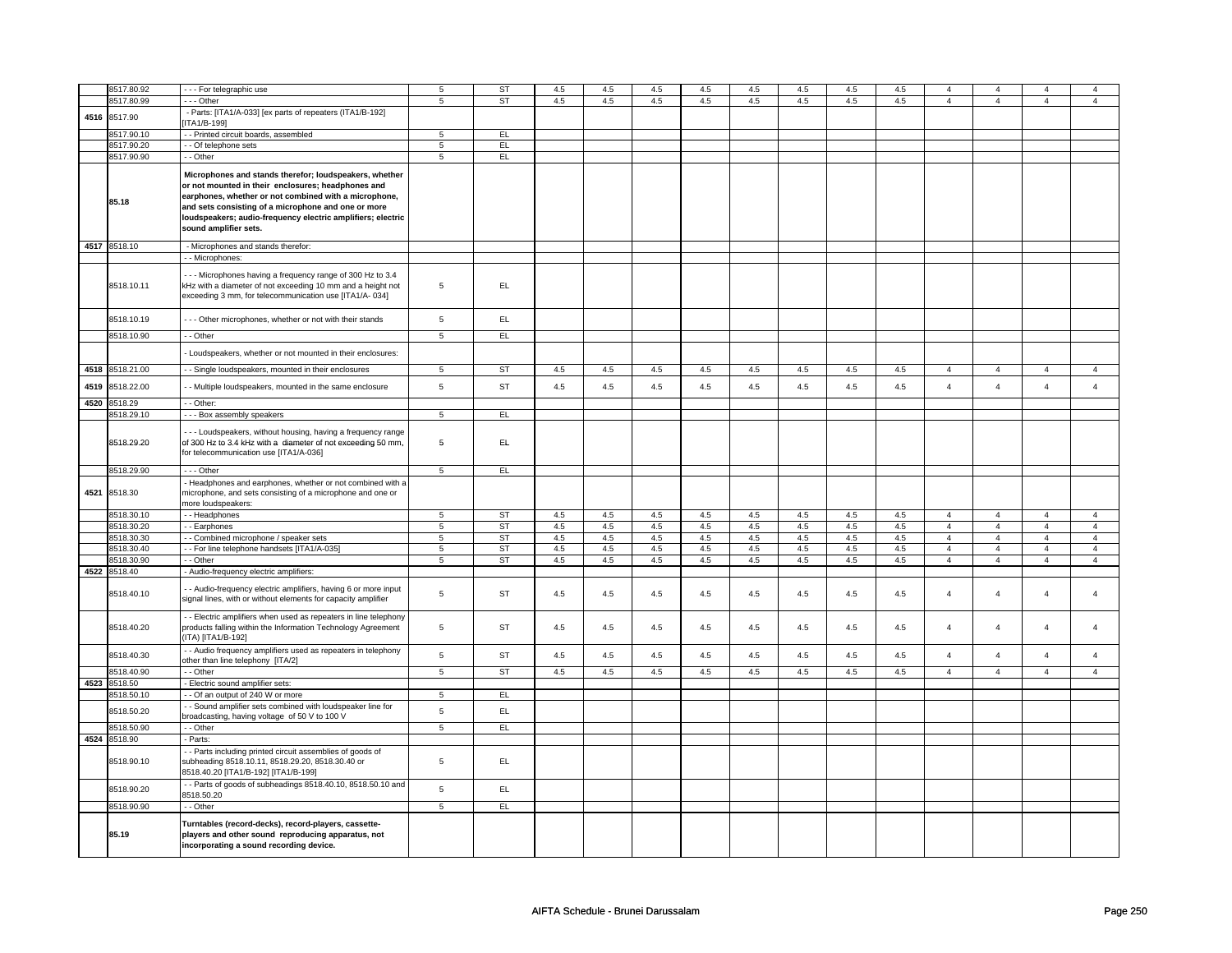|      | 8517.80.92                 | - - - For telegraphic use                                                                                                                                                                                                                                                                                            | 5               | ST        | 4.5 | 4.5 | 4.5 | 4.5 | 4.5 | 4.5 | 4.5 | 4.5 | $\overline{4}$ | $\overline{4}$ | 4              | $\overline{4}$ |
|------|----------------------------|----------------------------------------------------------------------------------------------------------------------------------------------------------------------------------------------------------------------------------------------------------------------------------------------------------------------|-----------------|-----------|-----|-----|-----|-----|-----|-----|-----|-----|----------------|----------------|----------------|----------------|
|      |                            |                                                                                                                                                                                                                                                                                                                      |                 |           |     |     |     |     |     |     |     |     |                |                |                |                |
|      | 8517.80.99                 | $\cdots$ Other                                                                                                                                                                                                                                                                                                       | 5               | <b>ST</b> | 4.5 | 4.5 | 4.5 | 4.5 | 4.5 | 4.5 | 4.5 | 4.5 | $\overline{4}$ | $\overline{4}$ | $\overline{4}$ | $\overline{4}$ |
|      | 4516 8517.90               | - Parts: [ITA1/A-033] [ex parts of repeaters (ITA1/B-192]                                                                                                                                                                                                                                                            |                 |           |     |     |     |     |     |     |     |     |                |                |                |                |
|      |                            | ITA1/B-199]                                                                                                                                                                                                                                                                                                          |                 |           |     |     |     |     |     |     |     |     |                |                |                |                |
|      | 8517.90.10                 | - - Printed circuit boards, assembled                                                                                                                                                                                                                                                                                | 5               | EL.       |     |     |     |     |     |     |     |     |                |                |                |                |
|      | 8517.90.20                 | - Of telephone sets                                                                                                                                                                                                                                                                                                  | $\overline{5}$  | EL        |     |     |     |     |     |     |     |     |                |                |                |                |
|      | 8517.90.90                 | - - Other                                                                                                                                                                                                                                                                                                            | $\overline{5}$  | EL        |     |     |     |     |     |     |     |     |                |                |                |                |
|      |                            |                                                                                                                                                                                                                                                                                                                      |                 |           |     |     |     |     |     |     |     |     |                |                |                |                |
|      | 85.18                      | Microphones and stands therefor; loudspeakers, whether<br>or not mounted in their enclosures; headphones and<br>earphones, whether or not combined with a microphone,<br>and sets consisting of a microphone and one or more<br>loudspeakers; audio-frequency electric amplifiers; electric<br>sound amplifier sets. |                 |           |     |     |     |     |     |     |     |     |                |                |                |                |
|      | 4517 8518.10               | - Microphones and stands therefor:                                                                                                                                                                                                                                                                                   |                 |           |     |     |     |     |     |     |     |     |                |                |                |                |
|      |                            | - Microphones:                                                                                                                                                                                                                                                                                                       |                 |           |     |     |     |     |     |     |     |     |                |                |                |                |
|      | 8518.10.11                 | - - Microphones having a frequency range of 300 Hz to 3.4<br>kHz with a diameter of not exceeding 10 mm and a height not                                                                                                                                                                                             | 5               | EL        |     |     |     |     |     |     |     |     |                |                |                |                |
|      |                            | exceeding 3 mm, for telecommunication use [ITA1/A- 034]                                                                                                                                                                                                                                                              |                 |           |     |     |     |     |     |     |     |     |                |                |                |                |
|      | 8518.10.19                 | --- Other microphones, whether or not with their stands                                                                                                                                                                                                                                                              | $\,$ 5 $\,$     | EL.       |     |     |     |     |     |     |     |     |                |                |                |                |
|      | 8518.10.90                 | - - Other                                                                                                                                                                                                                                                                                                            | 5               | EL        |     |     |     |     |     |     |     |     |                |                |                |                |
|      |                            | Loudspeakers, whether or not mounted in their enclosures:                                                                                                                                                                                                                                                            |                 |           |     |     |     |     |     |     |     |     |                |                |                |                |
|      | 4518 8518.21.00            | - Single loudspeakers, mounted in their enclosures                                                                                                                                                                                                                                                                   | 5               | ST        | 4.5 | 4.5 | 4.5 | 4.5 | 4.5 | 4.5 | 4.5 | 4.5 | $\overline{4}$ | $\overline{4}$ | 4              | $\overline{4}$ |
| 4519 | 8518.22.00                 | - Multiple loudspeakers, mounted in the same enclosure                                                                                                                                                                                                                                                               | 5               | ST        | 4.5 | 4.5 | 4.5 | 4.5 | 4.5 | 4.5 | 4.5 | 4.5 | $\overline{4}$ | $\overline{4}$ | $\overline{4}$ | $\overline{4}$ |
|      | 4520 8518.29               | - - Other:                                                                                                                                                                                                                                                                                                           |                 |           |     |     |     |     |     |     |     |     |                |                |                |                |
|      | 3518.29.10                 | --- Box assembly speakers                                                                                                                                                                                                                                                                                            | $\overline{5}$  | EL        |     |     |     |     |     |     |     |     |                |                |                |                |
|      | 8518.29.20                 | -- Loudspeakers, without housing, having a frequency range<br>of 300 Hz to 3.4 kHz with a diameter of not exceeding 50 mm,<br>for telecommunication use [ITA1/A-036]                                                                                                                                                 | 5               | EL.       |     |     |     |     |     |     |     |     |                |                |                |                |
|      | 8518.29.90                 | $- -$ Other                                                                                                                                                                                                                                                                                                          | $5\overline{5}$ | EL        |     |     |     |     |     |     |     |     |                |                |                |                |
|      | 4521 8518.30               | - Headphones and earphones, whether or not combined with a<br>microphone, and sets consisting of a microphone and one or                                                                                                                                                                                             |                 |           |     |     |     |     |     |     |     |     |                |                |                |                |
|      |                            | more loudspeakers:                                                                                                                                                                                                                                                                                                   |                 |           |     |     |     |     |     |     |     |     |                |                |                |                |
|      | 8518.30.10                 | - Headphones                                                                                                                                                                                                                                                                                                         | 5               | ST        | 4.5 | 4.5 | 4.5 | 4.5 | 4.5 | 4.5 | 4.5 | 4.5 | $\overline{4}$ | $\overline{4}$ | $\overline{4}$ | $\overline{4}$ |
|      | 8518.30.20                 | - Earphones                                                                                                                                                                                                                                                                                                          | $\,$ 5 $\,$     | ST        | 4.5 | 4.5 | 4.5 | 4.5 | 4.5 | 4.5 | 4.5 | 4.5 | $\overline{4}$ | $\overline{4}$ | $\overline{4}$ | $\overline{4}$ |
|      | 8518.30.30                 | - Combined microphone / speaker sets                                                                                                                                                                                                                                                                                 | 5               | <b>ST</b> | 4.5 | 4.5 | 4.5 | 4.5 | 4.5 | 4.5 | 4.5 | 4.5 | $\overline{4}$ | $\overline{4}$ | $\overline{4}$ | $\overline{4}$ |
|      | 8518.30.40                 | - For line telephone handsets [ITA1/A-035]                                                                                                                                                                                                                                                                           | 5               | <b>ST</b> | 4.5 | 4.5 | 4.5 | 4.5 | 4.5 | 4.5 | 4.5 | 4.5 | $\overline{4}$ | $\overline{4}$ | $\overline{4}$ | $\overline{4}$ |
|      | 8518.30.90                 | - Other                                                                                                                                                                                                                                                                                                              | $\overline{5}$  | <b>ST</b> | 4.5 | 4.5 | 4.5 | 4.5 | 4.5 | 4.5 | 4.5 | 4.5 | $\overline{4}$ | $\overline{4}$ | $\overline{4}$ | $\overline{4}$ |
|      |                            |                                                                                                                                                                                                                                                                                                                      |                 |           |     |     |     |     |     |     |     |     |                |                |                |                |
|      | 4522 8518.40<br>8518.40.10 | - Audio-frequency electric amplifiers:<br>- Audio-frequency electric amplifiers, having 6 or more input<br>signal lines, with or without elements for capacity amplifier                                                                                                                                             | 5               | ST        | 4.5 | 4.5 | 4.5 | 4.5 | 4.5 | 4.5 | 4.5 | 4.5 | $\overline{4}$ | $\overline{4}$ | $\overline{4}$ | $\overline{4}$ |
|      | 8518.40.20                 | - Electric amplifiers when used as repeaters in line telephony<br>products falling within the Information Technology Agreement                                                                                                                                                                                       | 5               | <b>ST</b> | 4.5 | 4.5 | 4.5 | 4.5 | 4.5 | 4.5 | 4.5 | 4.5 | $\overline{4}$ | $\overline{4}$ | $\overline{4}$ | $\overline{4}$ |
|      | 8518.40.30                 | (ITA) [ITA1/B-192]<br>- Audio frequency amplifiers used as repeaters in telephony                                                                                                                                                                                                                                    | 5               | <b>ST</b> | 4.5 | 4.5 | 4.5 | 4.5 | 4.5 | 4.5 | 4.5 | 4.5 | $\overline{4}$ | $\overline{4}$ | $\overline{4}$ | $\overline{4}$ |
|      | 8518.40.90                 | other than line telephony [ITA/2]<br>- - Other                                                                                                                                                                                                                                                                       | 5               | ST        | 4.5 | 4.5 | 4.5 | 4.5 | 4.5 | 4.5 | 4.5 | 4.5 | $\overline{4}$ | $\overline{4}$ | $\overline{4}$ | $\overline{4}$ |
| 4523 | 8518.50                    | - Electric sound amplifier sets:                                                                                                                                                                                                                                                                                     |                 |           |     |     |     |     |     |     |     |     |                |                |                |                |
|      | 8518.50.10                 | - Of an output of 240 W or more                                                                                                                                                                                                                                                                                      | 5               | E         |     |     |     |     |     |     |     |     |                |                |                |                |
|      | 8518.50.20                 | - Sound amplifier sets combined with loudspeaker line for                                                                                                                                                                                                                                                            | 5               | EL        |     |     |     |     |     |     |     |     |                |                |                |                |
|      | 8518.50.90                 | broadcasting, having voltage of 50 V to 100 V<br>$-$ Other                                                                                                                                                                                                                                                           | $\overline{5}$  | E         |     |     |     |     |     |     |     |     |                |                |                |                |
|      |                            |                                                                                                                                                                                                                                                                                                                      |                 |           |     |     |     |     |     |     |     |     |                |                |                |                |
|      | 4524 8518.90               | - Parts:                                                                                                                                                                                                                                                                                                             |                 |           |     |     |     |     |     |     |     |     |                |                |                |                |
|      | 8518.90.10                 | - Parts including printed circuit assemblies of goods of<br>subheading 8518.10.11, 8518.29.20, 8518.30.40 or<br>8518.40.20 [ITA1/B-192] [ITA1/B-199]                                                                                                                                                                 | 5               | EL        |     |     |     |     |     |     |     |     |                |                |                |                |
|      | 8518.90.20                 | - Parts of goods of subheadings 8518.40.10, 8518.50.10 and<br>3518.50.20                                                                                                                                                                                                                                             | 5               | EL.       |     |     |     |     |     |     |     |     |                |                |                |                |
|      | 8518.90.90                 | - - Other                                                                                                                                                                                                                                                                                                            | 5               | E         |     |     |     |     |     |     |     |     |                |                |                |                |
|      | 85.19                      | Turntables (record-decks), record-players, cassette-<br>players and other sound reproducing apparatus, not<br>incorporating a sound recording device.                                                                                                                                                                |                 |           |     |     |     |     |     |     |     |     |                |                |                |                |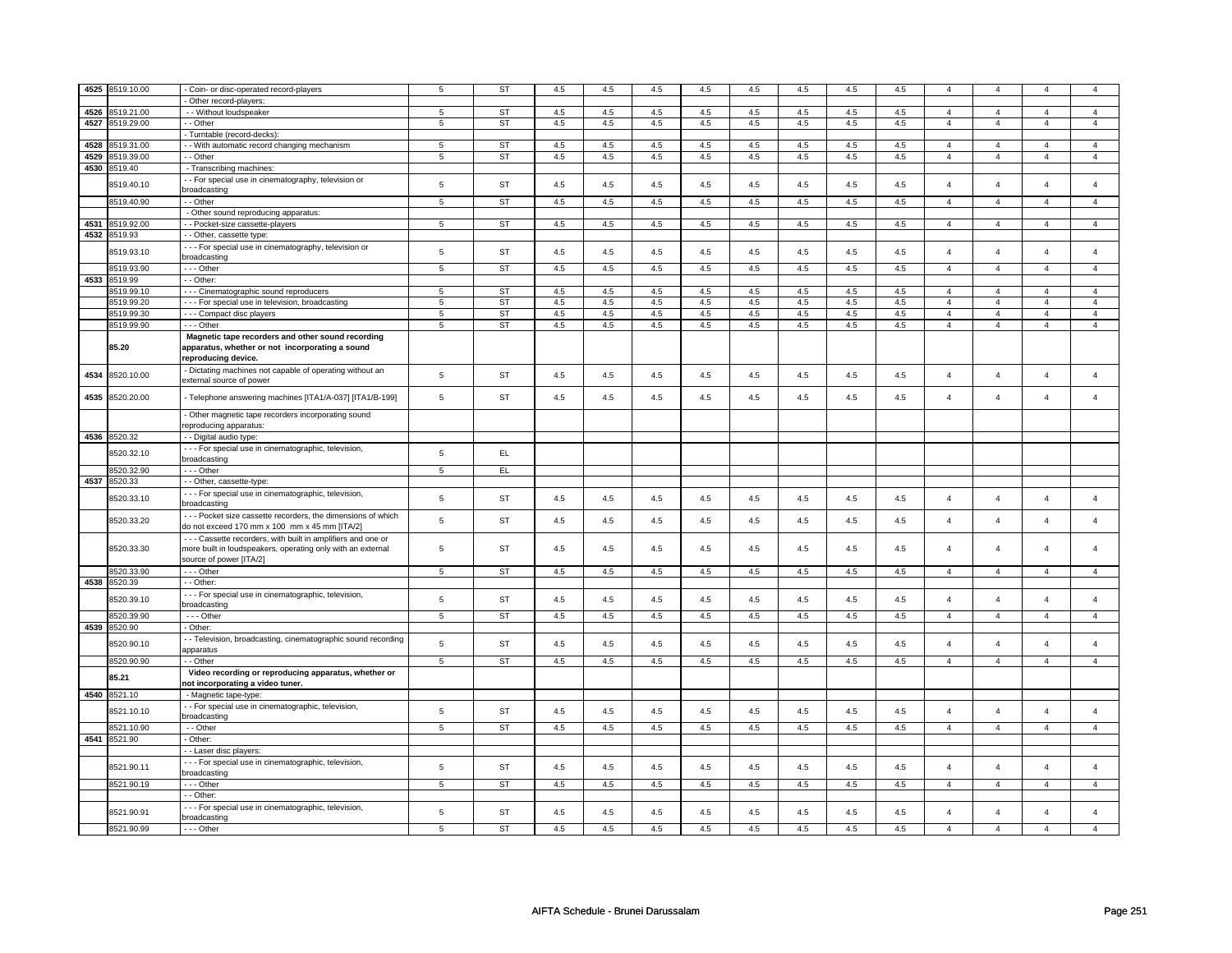|      | 4525 8519.10.00 | - Coin- or disc-operated record-players                       | 5               | <b>ST</b> | 4.5 | 4.5 | 4.5 | 4.5 | 4.5     | 4.5 | 4.5 | 4.5 | $\overline{4}$ | $\overline{4}$ |                |                         |
|------|-----------------|---------------------------------------------------------------|-----------------|-----------|-----|-----|-----|-----|---------|-----|-----|-----|----------------|----------------|----------------|-------------------------|
|      |                 |                                                               |                 |           |     |     |     |     |         |     |     |     |                |                |                |                         |
|      |                 | - Other record-players:                                       |                 |           |     |     |     |     |         |     |     |     |                |                |                |                         |
| 4526 | 1519.21.00      | - - Without loudspeaker                                       | 5               | <b>ST</b> | 4.5 | 4.5 | 4.5 | 4.5 | 4.5     | 4.5 | 4.5 | 4.5 | $\overline{4}$ | $\overline{4}$ | $\overline{4}$ | $\overline{4}$          |
| 4527 | 3519.29.00      | - - Other                                                     | 5               | <b>ST</b> | 4.5 | 4.5 | 4.5 | 4.5 | 4.5     | 4.5 | 4.5 | 4.5 | $\overline{4}$ | $\overline{4}$ | $\overline{4}$ | $\overline{4}$          |
|      |                 | Turntable (record-decks)                                      |                 |           |     |     |     |     |         |     |     |     |                |                |                |                         |
| 4528 | 519.31.00       | - With automatic record changing mechanism                    | 5               | <b>ST</b> | 4.5 | 4.5 | 4.5 | 4.5 | 4.5     | 4.5 | 4.5 | 4.5 | $\overline{4}$ | $\overline{4}$ | $\overline{4}$ | $\overline{4}$          |
| 4529 | 8519.39.00      |                                                               |                 | ST        |     |     |     |     |         |     |     |     |                |                |                | $\overline{4}$          |
|      |                 | - - Other                                                     | 5               |           | 4.5 | 4.5 | 4.5 | 4.5 | 4.5     | 4.5 | 4.5 | 4.5 | $\overline{4}$ | $\overline{4}$ | $\overline{4}$ |                         |
| 4530 | 3519.40         | - Transcribing machines:                                      |                 |           |     |     |     |     |         |     |     |     |                |                |                |                         |
|      | 8519.40.10      | - - For special use in cinematography, television or          | $\,$ 5 $\,$     | <b>ST</b> | 4.5 | 4.5 | 4.5 | 4.5 | 4.5     | 4.5 | 4.5 | 4.5 | $\overline{4}$ | $\overline{4}$ | $\overline{4}$ | $\overline{4}$          |
|      |                 | broadcasting                                                  |                 |           |     |     |     |     |         |     |     |     |                |                |                |                         |
|      | 3519.40.90      | -- Other                                                      | 5               | ST        | 4.5 | 4.5 | 4.5 | 4.5 | 4.5     | 4.5 | 4.5 | 4.5 | $\overline{4}$ | $\overline{4}$ | $\overline{4}$ | $\overline{4}$          |
|      |                 | - Other sound reproducing apparatus:                          |                 |           |     |     |     |     |         |     |     |     |                |                |                |                         |
| 4531 |                 |                                                               | $\overline{5}$  | ST        | 4.5 | 4.5 | 4.5 | 4.5 | 4.5     | 4.5 | 4.5 | 4.5 | $\overline{4}$ | $\overline{4}$ | $\Delta$       | $\overline{4}$          |
|      | 8519.92.00      | - - Pocket-size cassette-players                              |                 |           |     |     |     |     |         |     |     |     |                |                |                |                         |
| 4532 | 8519.93         | - - Other, cassette type:                                     |                 |           |     |     |     |     |         |     |     |     |                |                |                |                         |
|      | 3519.93.10      | - - - For special use in cinematography, television or        | 5               | <b>ST</b> | 4.5 | 4.5 | 4.5 | 4.5 | 4.5     | 4.5 | 4.5 | 4.5 | $\overline{4}$ | $\overline{4}$ | $\overline{a}$ | $\overline{\mathbf{4}}$ |
|      |                 | broadcasting                                                  |                 |           |     |     |     |     |         |     |     |     |                |                |                |                         |
|      | 8519.93.90      | --- Other                                                     | 5               | ST        | 4.5 | 4.5 | 4.5 | 4.5 | 4.5     | 4.5 | 4.5 | 4.5 | $\overline{4}$ | $\overline{4}$ | $\overline{4}$ | $\overline{4}$          |
| 4533 | 3519.99         | - - Other                                                     |                 |           |     |     |     |     |         |     |     |     |                |                |                |                         |
|      | 8519.99.10      |                                                               | 5               | ST        | 4.5 | 4.5 | 4.5 | 4.5 | 4.5     | 4.5 | 4.5 | 4.5 | $\overline{4}$ | $\overline{4}$ | $\overline{4}$ | $\overline{4}$          |
|      |                 | --- Cinematographic sound reproducers                         |                 |           |     |     |     |     |         |     |     |     |                |                |                |                         |
|      | 3519.99.20      | - - - For special use in television, broadcasting             | 5               | ST        | 4.5 | 4.5 | 4.5 | 4.5 | 4.5     | 4.5 | 4.5 | 4.5 | $\overline{4}$ | $\overline{4}$ | $\overline{4}$ | $\overline{4}$          |
|      | 8519.99.30      | - - - Compact disc players                                    | 5               | ST        | 4.5 | 4.5 | 4.5 | 4.5 | 4.5     | 4.5 | 4.5 | 4.5 | $\overline{4}$ | $\overline{4}$ | $\overline{4}$ | $\overline{4}$          |
|      | 8519.99.90      | --- Other                                                     | 5               | <b>ST</b> | 4.5 | 4.5 | 4.5 | 4.5 | 4.5     | 4.5 | 4.5 | 4.5 | $\overline{4}$ | $\overline{4}$ | $\overline{4}$ | $\overline{4}$          |
|      |                 | Magnetic tape recorders and other sound recording             |                 |           |     |     |     |     |         |     |     |     |                |                |                |                         |
|      | 85.20           | apparatus, whether or not incorporating a sound               |                 |           |     |     |     |     |         |     |     |     |                |                |                |                         |
|      |                 | reproducing device.                                           |                 |           |     |     |     |     |         |     |     |     |                |                |                |                         |
|      |                 | - Dictating machines not capable of operating without an      |                 |           |     |     |     |     |         |     |     |     |                |                |                |                         |
| 4534 | 8520.10.00      |                                                               | $\,$ 5 $\,$     | ST        | 4.5 | 4.5 | 4.5 | 4.5 | 4.5     | 4.5 | 4.5 | 4.5 | $\overline{4}$ | $\overline{4}$ | $\overline{4}$ | $\overline{4}$          |
|      |                 | external source of power                                      |                 |           |     |     |     |     |         |     |     |     |                |                |                |                         |
| 4535 | 3520.20.00      | - Telephone answering machines [ITA1/A-037] [ITA1/B-199]      | $\,$ 5 $\,$     | ST        | 4.5 | 4.5 | 4.5 | 4.5 | $4.5\,$ | 4.5 | 4.5 | 4.5 | $\overline{4}$ | $\overline{4}$ | $\overline{4}$ | $\overline{4}$          |
|      |                 |                                                               |                 |           |     |     |     |     |         |     |     |     |                |                |                |                         |
|      |                 | - Other magnetic tape recorders incorporating sound           |                 |           |     |     |     |     |         |     |     |     |                |                |                |                         |
|      |                 | reproducing apparatus:                                        |                 |           |     |     |     |     |         |     |     |     |                |                |                |                         |
| 4536 | 8520.32         | - - Digital audio type:                                       |                 |           |     |     |     |     |         |     |     |     |                |                |                |                         |
|      |                 |                                                               |                 |           |     |     |     |     |         |     |     |     |                |                |                |                         |
|      | 3520.32.10      | - - - For special use in cinematographic, television,         | 5               | EL.       |     |     |     |     |         |     |     |     |                |                |                |                         |
|      |                 | broadcasting                                                  |                 |           |     |     |     |     |         |     |     |     |                |                |                |                         |
|      | 8520.32.90      | --- Other                                                     | 5               | EL.       |     |     |     |     |         |     |     |     |                |                |                |                         |
| 4537 | 8520.33         | - - Other, cassette-type:                                     |                 |           |     |     |     |     |         |     |     |     |                |                |                |                         |
|      |                 | - - - For special use in cinematographic, television,         |                 |           |     |     |     |     |         |     |     |     |                |                | $\overline{4}$ | $\overline{4}$          |
|      | 3520.33.10      | broadcasting                                                  | 5               | <b>ST</b> | 4.5 | 4.5 | 4.5 | 4.5 | 4.5     | 4.5 | 4.5 | 4.5 | $\overline{4}$ | $\overline{4}$ |                |                         |
|      |                 | --- Pocket size cassette recorders, the dimensions of which   |                 |           |     |     |     |     |         |     |     |     |                |                |                |                         |
|      | 8520.33.20      | do not exceed 170 mm x 100 mm x 45 mm [ITA/2]                 | $\mathbf 5$     | <b>ST</b> | 4.5 | 4.5 | 4.5 | 4.5 | 4.5     | 4.5 | 4.5 | 4.5 | $\overline{4}$ | $\overline{4}$ | $\overline{4}$ | $\overline{4}$          |
|      |                 |                                                               |                 |           |     |     |     |     |         |     |     |     |                |                |                |                         |
|      |                 | - - - Cassette recorders, with built in amplifiers and one or |                 |           |     |     |     |     |         |     |     |     |                |                |                |                         |
|      | 8520.33.30      | more built in loudspeakers, operating only with an external   | 5               | ST        | 4.5 | 4.5 | 4.5 | 4.5 | 4.5     | 4.5 | 4.5 | 4.5 | $\overline{4}$ | $\overline{4}$ | $\overline{4}$ | $\overline{\mathbf{4}}$ |
|      |                 | source of power [ITA/2]                                       |                 |           |     |     |     |     |         |     |     |     |                |                |                |                         |
|      | 3520.33.90      | --- Other                                                     | $5\overline{5}$ | ST        | 4.5 | 4.5 | 4.5 | 4.5 | 4.5     | 4.5 | 4.5 | 4.5 | $\overline{4}$ | $\overline{4}$ | $\overline{4}$ | $\overline{4}$          |
| 4538 | 3520.39         | - - Other                                                     |                 |           |     |     |     |     |         |     |     |     |                |                |                |                         |
|      |                 | - - - For special use in cinematographic, television,         |                 |           |     |     |     |     |         |     |     |     |                |                |                |                         |
|      | 3520.39.10      | broadcasting                                                  | 5               | <b>ST</b> | 4.5 | 4.5 | 4.5 | 4.5 | 4.5     | 4.5 | 4.5 | 4.5 | $\overline{4}$ | $\overline{4}$ | $\overline{4}$ | $\overline{4}$          |
|      | 8520.39.90      | - - - Other                                                   | 5               | <b>ST</b> | 4.5 | 4.5 | 4.5 | 4.5 | 4.5     | 4.5 | 4.5 | 4.5 | $\overline{4}$ | $\overline{4}$ | $\overline{4}$ | $\overline{4}$          |
|      | 4539 8520.90    |                                                               |                 |           |     |     |     |     |         |     |     |     |                |                |                |                         |
|      |                 | - Other:                                                      |                 |           |     |     |     |     |         |     |     |     |                |                |                |                         |
|      | 8520.90.10      | - - Television, broadcasting, cinematographic sound recording | $\,$ 5 $\,$     | ST        | 4.5 | 4.5 | 4.5 | 4.5 | 4.5     | 4.5 | 4.5 | 4.5 | $\overline{4}$ | $\overline{4}$ | $\overline{4}$ | $\overline{4}$          |
|      |                 | apparatus                                                     |                 |           |     |     |     |     |         |     |     |     |                |                |                |                         |
|      | 8520.90.90      | - - Other                                                     | $\overline{5}$  | ST        | 4.5 | 4.5 | 4.5 | 4.5 | 4.5     | 4.5 | 4.5 | 4.5 | $\overline{4}$ | $\overline{4}$ | $\overline{4}$ | $\overline{4}$          |
|      |                 | Video recording or reproducing apparatus, whether or          |                 |           |     |     |     |     |         |     |     |     |                |                |                |                         |
|      | 85.21           | not incorporating a video tuner.                              |                 |           |     |     |     |     |         |     |     |     |                |                |                |                         |
| 4540 | 3521.10         | - Magnetic tape-type:                                         |                 |           |     |     |     |     |         |     |     |     |                |                |                |                         |
|      |                 |                                                               |                 |           |     |     |     |     |         |     |     |     |                |                |                |                         |
|      | 3521.10.10      | - - For special use in cinematographic, television,           | 5               | <b>ST</b> | 4.5 | 4.5 | 4.5 | 4.5 | $4.5\,$ | 4.5 | 4.5 | 4.5 | $\overline{4}$ | $\overline{4}$ | $\overline{4}$ | $\overline{4}$          |
|      |                 | broadcasting                                                  |                 |           |     |     |     |     |         |     |     |     |                |                |                |                         |
|      | 8521.10.90      | - - Other                                                     | 5               | ST        | 4.5 | 4.5 | 4.5 | 4.5 | 4.5     | 4.5 | 4.5 | 4.5 | $\overline{4}$ | $\overline{4}$ | $\overline{4}$ | $\overline{a}$          |
|      | 4541 8521.90    | - Other:                                                      |                 |           |     |     |     |     |         |     |     |     |                |                |                |                         |
|      |                 | - Laser disc players:                                         |                 |           |     |     |     |     |         |     |     |     |                |                |                |                         |
|      |                 | - - - For special use in cinematographic, television,         |                 |           |     |     |     |     |         |     |     |     |                |                |                |                         |
|      | 8521.90.11      | broadcasting                                                  | 5               | <b>ST</b> | 4.5 | 4.5 | 4.5 | 4.5 | 4.5     | 4.5 | 4.5 | 4.5 | $\overline{4}$ | $\overline{4}$ | $\overline{a}$ | $\overline{\mathbf{4}}$ |
|      | 8521.90.19      | - - - Other                                                   | $\overline{5}$  | <b>ST</b> | 4.5 | 4.5 | 4.5 | 4.5 | 4.5     | 4.5 | 4.5 | 4.5 | $\overline{4}$ | $\overline{4}$ | $\overline{4}$ | $\mathbf{A}$            |
|      |                 |                                                               |                 |           |     |     |     |     |         |     |     |     |                |                |                |                         |
|      |                 | - - Other:                                                    |                 |           |     |     |     |     |         |     |     |     |                |                |                |                         |
|      | 8521.90.91      | - - - For special use in cinematographic, television,         | 5               | <b>ST</b> | 4.5 | 4.5 | 4.5 | 4.5 | $4.5\,$ | 4.5 | 4.5 | 4.5 | $\overline{4}$ | $\overline{4}$ | $\overline{4}$ | $\overline{\mathbf{4}}$ |
|      |                 | broadcasting                                                  |                 |           |     |     |     |     |         |     |     |     |                |                |                |                         |
|      | 8521.90.99      | $- -$ Other                                                   | 5               | ST        | 4.5 | 4.5 | 4.5 | 4.5 | 4.5     | 4.5 | 4.5 | 4.5 | $\overline{4}$ | $\overline{a}$ | $\overline{4}$ | $\overline{4}$          |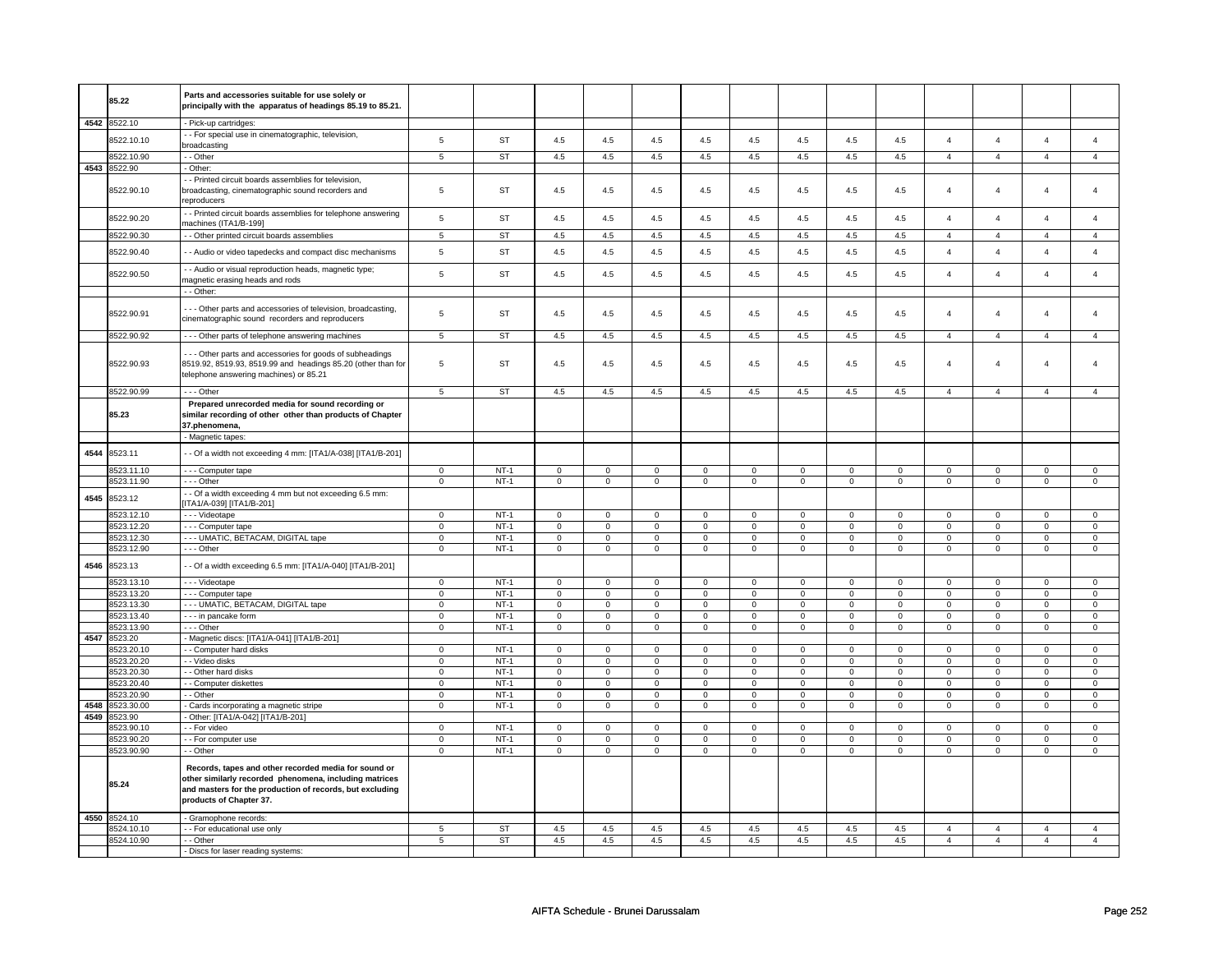|      |                          | Parts and accessories suitable for use solely or                                                                                                                                                      |                            |                  |                            |                            |                            |                            |                            |                            |                            |                            |                            |                            |                  |                            |
|------|--------------------------|-------------------------------------------------------------------------------------------------------------------------------------------------------------------------------------------------------|----------------------------|------------------|----------------------------|----------------------------|----------------------------|----------------------------|----------------------------|----------------------------|----------------------------|----------------------------|----------------------------|----------------------------|------------------|----------------------------|
|      | 85.22                    | principally with the apparatus of headings 85.19 to 85.21.                                                                                                                                            |                            |                  |                            |                            |                            |                            |                            |                            |                            |                            |                            |                            |                  |                            |
|      | 4542 8522.10             | - Pick-up cartridges:                                                                                                                                                                                 |                            |                  |                            |                            |                            |                            |                            |                            |                            |                            |                            |                            |                  |                            |
|      | 8522.10.10               | - - For special use in cinematographic, television,<br>broadcasting                                                                                                                                   | $\overline{5}$             | ST               | 4.5                        | 4.5                        | 4.5                        | 4.5                        | 4.5                        | 4.5                        | 4.5                        | 4.5                        | $\overline{4}$             | $\overline{4}$             | $\overline{4}$   | $\overline{4}$             |
|      | 3522.10.90               | - - Other                                                                                                                                                                                             | 5                          | <b>ST</b>        | 4.5                        | 4.5                        | 4.5                        | 4.5                        | 4.5                        | 4.5                        | 4.5                        | 4.5                        | $\overline{4}$             | $\overline{4}$             | $\overline{4}$   | $\overline{4}$             |
|      | 4543 8522.90             | - Other:                                                                                                                                                                                              |                            |                  |                            |                            |                            |                            |                            |                            |                            |                            |                            |                            |                  |                            |
|      | 8522.90.10               | - Printed circuit boards assemblies for television,<br>broadcasting, cinematographic sound recorders and<br>reproducers                                                                               | 5                          | <b>ST</b>        | 4.5                        | 4.5                        | 4.5                        | 4.5                        | 4.5                        | 4.5                        | 4.5                        | 4.5                        | $\overline{4}$             | $\overline{4}$             | $\overline{4}$   | 4                          |
|      | 8522.90.20               | - Printed circuit boards assemblies for telephone answering<br>nachines (ITA1/B-199]                                                                                                                  | $\,$ 5 $\,$                | ST               | 4.5                        | 4.5                        | 4.5                        | 4.5                        | 4.5                        | 4.5                        | 4.5                        | $4.5\,$                    | $\overline{4}$             | $\overline{4}$             | $\overline{4}$   | $\overline{4}$             |
|      | 8522.90.30               | - - Other printed circuit boards assemblies                                                                                                                                                           | $\sqrt{5}$                 | ST               | 4.5                        | 4.5                        | 4.5                        | 4.5                        | 4.5                        | 4.5                        | 4.5                        | 4.5                        | $\overline{4}$             | $\overline{4}$             | $\overline{4}$   | $\overline{4}$             |
|      | 8522.90.40               | - - Audio or video tapedecks and compact disc mechanisms                                                                                                                                              | $\,$ 5 $\,$                | <b>ST</b>        | 4.5                        | 4.5                        | 4.5                        | 4.5                        | 4.5                        | 4.5                        | 4.5                        | 4.5                        | $\overline{4}$             | $\overline{4}$             | $\overline{4}$   | $\overline{4}$             |
|      | 8522.90.50               | - - Audio or visual reproduction heads, magnetic type;<br>magnetic erasing heads and rods                                                                                                             | $\,$ 5 $\,$                | ST               | 4.5                        | 4.5                        | 4.5                        | 4.5                        | 4.5                        | 4.5                        | 4.5                        | 4.5                        | $\overline{4}$             | $\overline{4}$             | $\overline{4}$   | $\overline{4}$             |
|      |                          | - - Other:                                                                                                                                                                                            |                            |                  |                            |                            |                            |                            |                            |                            |                            |                            |                            |                            |                  |                            |
|      | 8522.90.91               | --- Other parts and accessories of television, broadcasting,<br>cinematographic sound recorders and reproducers                                                                                       | 5                          | <b>ST</b>        | 4.5                        | 4.5                        | 4.5                        | 4.5                        | 4.5                        | 4.5                        | 4.5                        | 4.5                        | $\overline{4}$             | $\overline{4}$             | $\overline{4}$   | $\overline{4}$             |
|      | 8522.90.92               | --- Other parts of telephone answering machines                                                                                                                                                       | $5\overline{5}$            | ST               | 4.5                        | 4.5                        | 4.5                        | 4.5                        | 4.5                        | 4.5                        | 4.5                        | 4.5                        | $\overline{4}$             | $\overline{4}$             | $\overline{4}$   | $\overline{4}$             |
|      | 8522.90.93               | - - Other parts and accessories for goods of subheadings<br>8519.92, 8519.93, 8519.99 and headings 85.20 (other than for<br>telephone answering machines) or 85.21                                    | $\overline{5}$             | <b>ST</b>        | 4.5                        | 4.5                        | 4.5                        | 4.5                        | 4.5                        | 4.5                        | 4.5                        | 4.5                        | $\overline{4}$             | $\overline{4}$             | $\overline{4}$   | $\overline{4}$             |
|      | 8522.90.99               | --- Other                                                                                                                                                                                             | 5                          | ST               | 4.5                        | 4.5                        | 4.5                        | 4.5                        | 4.5                        | 4.5                        | 4.5                        | 4.5                        | $\overline{4}$             | $\overline{4}$             | $\overline{4}$   | $\overline{4}$             |
|      | 85.23                    | Prepared unrecorded media for sound recording or<br>similar recording of other other than products of Chapter<br>37.phenomena,                                                                        |                            |                  |                            |                            |                            |                            |                            |                            |                            |                            |                            |                            |                  |                            |
|      |                          | - Magnetic tapes:                                                                                                                                                                                     |                            |                  |                            |                            |                            |                            |                            |                            |                            |                            |                            |                            |                  |                            |
| 4544 | 8523.11                  | - - Of a width not exceeding 4 mm: [ITA1/A-038] [ITA1/B-201]                                                                                                                                          |                            |                  |                            |                            |                            |                            |                            |                            |                            |                            |                            |                            |                  |                            |
|      | 8523.11.10               | - - - Computer tape                                                                                                                                                                                   | $\mathbf 0$                | $NT-1$           | $\mathbf 0$                | $\mathbf 0$                | $\mathbf 0$                | $\mathbf 0$                | $\mathbf 0$                | $\mathbf 0$                | 0                          | $\mathbf 0$                | 0                          | $\mathbf 0$                | 0                | $\mathsf 0$                |
|      | 8523.11.90               | --- Other                                                                                                                                                                                             | $\mathbf 0$                | $NT-1$           | $\mathbf 0$                | $\mathbf 0$                | $\mathbf 0$                | $\mathbf 0$                | $\mathbf 0$                | 0                          | $\mathbf 0$                | 0                          | $\mathbf 0$                | 0                          | $\mathbf 0$      | $\mathbf 0$                |
| 4545 | 8523.12                  | -- Of a width exceeding 4 mm but not exceeding 6.5 mm:<br>TA1/A-039] [ITA1/B-201]                                                                                                                     |                            |                  |                            |                            |                            |                            |                            |                            |                            |                            |                            |                            |                  |                            |
|      | 8523.12.10               | - - - Videotape                                                                                                                                                                                       | $\mathbf 0$                | $NT-1$           | 0                          | $\mathbf 0$                | $\mathbf 0$                | $\mathbf 0$                | $\mathsf 0$                | $\mathbf 0$                | $^{\circ}$                 | $\mathsf 0$                | $\mathbf 0$                | $\mathsf 0$                | $\mathbf 0$      | $\mathbf 0$                |
|      | 8523.12.20               | --- Computer tape                                                                                                                                                                                     | $\mathsf 0$                | $NT-1$           | $\mathsf 0$                | $\mathsf 0$                | $\mathsf 0$                | $\mathsf 0$                | $\mathsf{O}\xspace$        | $\mathsf 0$                | $\mathsf 0$                | $\mathsf 0$                | $\mathsf 0$                | $\mathsf 0$                | $\mathbf 0$      | $\mathsf 0$                |
|      | 8523.12.30               | --- UMATIC, BETACAM, DIGITAL tape                                                                                                                                                                     | $\mathbf 0$                | $NT-1$<br>$NT-1$ | $\mathsf 0$                | $\mathbf 0$                | $\mathsf{O}\xspace$        | $\mathbf 0$                | $\mathsf 0$                | $\mathbf 0$                | $\mathbf 0$                | $\mathbf 0$                | $\mathsf 0$                | $\mathbf 0$                | $\mathsf 0$      | $\mathsf 0$                |
| 4546 | 8523.12.90<br>8523.13    | --- Other<br>- - Of a width exceeding 6.5 mm: [ITA1/A-040] [ITA1/B-201]                                                                                                                               | $\mathbf 0$                |                  | $\mathsf 0$                | $\mathsf 0$                | 0                          | $\mathsf 0$                | $\mathsf{O}\xspace$        | $\mathbf 0$                | 0                          | $\mathbf 0$                | $\mathsf 0$                | $\mathbf 0$                | 0                | $\mathsf 0$                |
|      | 8523.13.10               | - - - Videotape                                                                                                                                                                                       | $\mathbf 0$                | $NT-1$           | $\mathsf 0$                | $\mathsf 0$                | $\mathsf 0$                | $\mathsf 0$                | $\mathsf 0$                | $\mathsf 0$                | $\mathsf 0$                | $\mathsf 0$                | $\mathsf 0$                | $\mathsf 0$                | $\mathsf 0$      | $\mathsf 0$                |
|      | 8523.13.20               | - - - Computer tape                                                                                                                                                                                   | $\mathbf 0$                | $NT-1$           | $\mathsf 0$                | $\mathbf 0$                | $\mathsf{O}\xspace$        | $\mathbf 0$                | $\mathsf 0$                | $\mathbf 0$                | $\mathsf 0$                | $\mathbf 0$                | $\mathsf 0$                | $\mathbf 0$                | $\mathsf 0$      | $\mathsf 0$                |
|      | 8523.13.30               | --- UMATIC, BETACAM, DIGITAL tape                                                                                                                                                                     | $\mathbf 0$                | $NT-1$           | $\mathsf 0$                | $\overline{0}$             | $\mathsf 0$                | $\mathbf{0}$               | $\mathsf 0$                | $\mathbf{0}$               | $\mathsf 0$                | $\mathbf 0$                | $\mathbf 0$                | $\overline{0}$             | $\mathbf 0$      | $\mathbf 0$                |
|      | 8523.13.40               | - - - in pancake form                                                                                                                                                                                 | $\mathbf 0$                | $NT-1$           | $\mathbf 0$                | $\circ$                    | $\mathsf 0$                | $\mathbf{0}$               | $\mathsf 0$                | $\mathbf 0$                | $\mathbf 0$                | $\mathbf 0$                | $\mathsf 0$                | $\overline{0}$             | $\mathsf 0$      | $\mathbf 0$                |
|      | 8523.13.90               | --- Other                                                                                                                                                                                             | $\mathbf{0}$               | $NT-1$           | $\mathbf 0$                | $\mathbf{0}$               | $\mathbf 0$                | $\overline{0}$             | $\mathbf 0$                | $\mathbf 0$                | $\mathbf 0$                | $\mathbf{0}$               | $\mathbf 0$                | $\mathbf{0}$               | $\mathbf 0$      | $\mathbf{0}$               |
| 4547 | 8523.20                  | Magnetic discs: [ITA1/A-041] [ITA1/B-201]                                                                                                                                                             |                            |                  |                            |                            |                            |                            |                            |                            |                            |                            |                            |                            |                  |                            |
|      | 8523.20.10<br>8523.20.20 | - - Computer hard disks<br>- - Video disks                                                                                                                                                            | $\mathbf 0$<br>$\mathsf 0$ | $NT-1$<br>$NT-1$ | $\mathsf 0$<br>$\mathbf 0$ | $\mathsf 0$<br>$\mathbf 0$ | $\mathsf 0$<br>$\mathbf 0$ | $\mathbf 0$<br>$\mathbf 0$ | $\mathsf 0$<br>$\mathbf 0$ | $\mathsf 0$<br>$\mathsf 0$ | $\mathbf 0$<br>$\mathbf 0$ | $\mathsf 0$<br>$\mathsf 0$ | $\mathsf 0$<br>$\mathbf 0$ | $\mathsf 0$<br>$\mathsf 0$ | $\mathbf 0$<br>0 | $\mathbf 0$<br>$\mathbf 0$ |
|      | 8523.20.30               | - - Other hard disks                                                                                                                                                                                  | $\mathbf 0$                | $NT-1$           | $\mathbf 0$                | $\mathsf 0$                | $\mathbf 0$                | $\mathbf 0$                | $\mathsf 0$                | $\mathbf 0$                | $\mathbf 0$                | $\mathsf 0$                | $\mathbf 0$                | $\mathsf 0$                | $\mathbf 0$      | $\mathbf 0$                |
|      | 3523.20.40               | - Computer diskettes                                                                                                                                                                                  | $\mathbf 0$                | $NT-1$           | $\mathbf 0$                | $\mathsf 0$                | 0                          | $\mathbf 0$                | $\mathsf{O}\xspace$        | $\mathbf 0$                | $\mathsf 0$                | $\mathsf 0$                | $\mathsf 0$                | $\mathsf 0$                | $\mathbf 0$      | $\mathbf 0$                |
|      | 8523.20.90               | - - Other                                                                                                                                                                                             | $\circ$                    | $NT-1$           | $\mathsf 0$                | $\mathbf 0$                | $\mathsf 0$                | $\mathbf 0$                | $\mathsf 0$                | $\mathsf 0$                | $\mathbf 0$                | $\mathsf 0$                | $\mathsf 0$                | $\mathsf 0$                | $\mathsf 0$      | $\mathbf 0$                |
| 4548 | 8523.30.00               | - Cards incorporating a magnetic stripe                                                                                                                                                               | $\mathbf 0$                | $NT-1$           | $\mathsf 0$                | $\mathsf 0$                | $\mathsf 0$                | $\mathbf 0$                | $\mathsf 0$                | $\mathbf 0$                | $\mathbf 0$                | $\mathsf 0$                | $\mathsf 0$                | $\mathsf 0$                | $\mathsf 0$      | $\mathbf 0$                |
| 4549 | 8523.90                  | Other: [ITA1/A-042] [ITA1/B-201]                                                                                                                                                                      |                            |                  |                            |                            |                            |                            |                            |                            |                            |                            |                            |                            |                  |                            |
|      | 8523.90.10               | - - For video                                                                                                                                                                                         | $\mathsf 0$                | $NT-1$           | $\mathsf 0$                | $\mathbf 0$                | $\mathsf 0$                | $\mathbf{0}$               | $\overline{0}$             | $\overline{0}$             | $\overline{0}$             | $\overline{0}$             | $\overline{0}$             | $\overline{0}$             | $\mathbf 0$      | $\overline{0}$             |
|      | 8523.90.20               | -- For computer use                                                                                                                                                                                   | $\mathbf 0$                | $NT-1$           | $\mathbf 0$                | $\mathbf 0$                | 0                          | $\mathbf 0$                | 0                          | $\mathbf 0$                | $\mathbf 0$                | 0                          | $\mathbf 0$                | 0                          | $\mathbf 0$      | $\mathbf 0$                |
|      | 8523.90.90               | - - Other                                                                                                                                                                                             | $\mathbf 0$                | $NT-1$           | $\mathsf 0$                | $\mathsf 0$                | $\mathsf 0$                | $\mathsf 0$                | $\mathsf 0$                | $\mathsf 0$                | $\mathbf 0$                | $\mathsf 0$                | $\mathbf 0$                | $\mathsf 0$                | $\mathsf 0$      | $\mathsf 0$                |
|      | 85.24                    | Records, tapes and other recorded media for sound or<br>other similarly recorded phenomena, including matrices<br>and masters for the production of records, but excluding<br>products of Chapter 37. |                            |                  |                            |                            |                            |                            |                            |                            |                            |                            |                            |                            |                  |                            |
|      | 4550 8524.10             | - Gramophone records:                                                                                                                                                                                 |                            |                  |                            |                            |                            |                            |                            |                            |                            |                            |                            |                            |                  |                            |
|      | 8524.10.10               | - - For educational use only                                                                                                                                                                          | 5                          | <b>ST</b>        | 4.5                        | 4.5                        | 4.5                        | 4.5                        | 4.5                        | 4.5                        | 4.5                        | 4.5                        | $\overline{4}$             | $\overline{4}$             | $\overline{4}$   | $\overline{4}$             |
|      | 8524.10.90               | - - Other                                                                                                                                                                                             | 5                          | <b>ST</b>        | 4.5                        | 4.5                        | 4.5                        | 4.5                        | 4.5                        | 4.5                        | 4.5                        | 4.5                        | $\overline{4}$             | $\overline{4}$             | $\overline{4}$   | $\overline{4}$             |
|      |                          | - Discs for laser reading systems:                                                                                                                                                                    |                            |                  |                            |                            |                            |                            |                            |                            |                            |                            |                            |                            |                  |                            |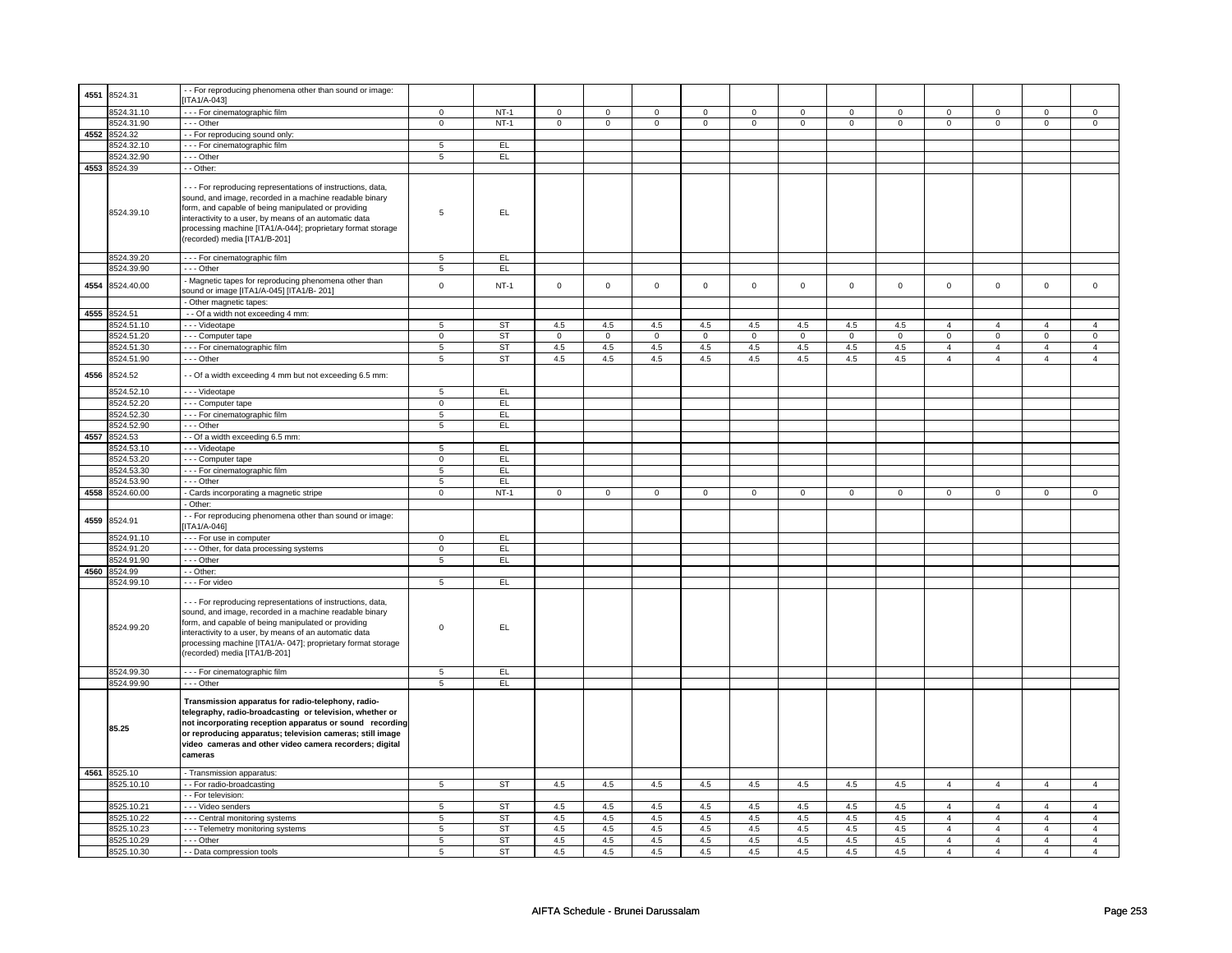| 4551 | 8524.31         | - For reproducing phenomena other than sound or image:                                                                                                                                                                                                                                                                                    |                     |           |              |                |                |                |                |                |                |              |                                  |                                  |                                  |                     |
|------|-----------------|-------------------------------------------------------------------------------------------------------------------------------------------------------------------------------------------------------------------------------------------------------------------------------------------------------------------------------------------|---------------------|-----------|--------------|----------------|----------------|----------------|----------------|----------------|----------------|--------------|----------------------------------|----------------------------------|----------------------------------|---------------------|
|      |                 | ITA1/A-043]                                                                                                                                                                                                                                                                                                                               |                     |           |              |                |                |                |                |                |                |              |                                  |                                  |                                  |                     |
|      | 8524.31.10      | --- For cinematographic film                                                                                                                                                                                                                                                                                                              | $\mathbf 0$         | $NT-1$    | $\mathbf 0$  | $\mathbf 0$    | $\mathbf{0}$   | $\mathbf 0$    | $\mathsf 0$    | $\mathbf 0$    | $\mathbf 0$    | $\mathbf 0$  | $\mathbf 0$                      | $\circ$                          | $\mathbf 0$                      | $\mathsf 0$         |
|      | 8524.31.90      | --- Other                                                                                                                                                                                                                                                                                                                                 | $\mathbf 0$         | $NT-1$    | $\mathbf{0}$ | $\mathbf{0}$   | $\overline{0}$ | $\mathbf 0$    | $\mathbf 0$    | $\overline{0}$ | $\mathbf{0}$   | $\mathbf{0}$ | $\overline{0}$                   | $\overline{0}$                   | $\mathbf{0}$                     | $\mathbf 0$         |
|      | 4552 8524.32    | - - For reproducing sound only:                                                                                                                                                                                                                                                                                                           |                     |           |              |                |                |                |                |                |                |              |                                  |                                  |                                  |                     |
|      | 8524.32.10      | --- For cinematographic film                                                                                                                                                                                                                                                                                                              | 5                   | EL        |              |                |                |                |                |                |                |              |                                  |                                  |                                  |                     |
|      | 8524.32.90      | --- Other                                                                                                                                                                                                                                                                                                                                 | $\overline{5}$      | EL        |              |                |                |                |                |                |                |              |                                  |                                  |                                  |                     |
|      | 4553 8524.39    | - - Other:                                                                                                                                                                                                                                                                                                                                |                     |           |              |                |                |                |                |                |                |              |                                  |                                  |                                  |                     |
|      | 8524.39.10      | - - - For reproducing representations of instructions, data,<br>sound, and image, recorded in a machine readable binary<br>form, and capable of being manipulated or providing<br>interactivity to a user, by means of an automatic data<br>processing machine [ITA1/A-044]; proprietary format storage<br>(recorded) media [ITA1/B-201]  | 5                   | EL.       |              |                |                |                |                |                |                |              |                                  |                                  |                                  |                     |
|      | 8524.39.20      | - - - For cinematographic film                                                                                                                                                                                                                                                                                                            | 5                   | EL        |              |                |                |                |                |                |                |              |                                  |                                  |                                  |                     |
|      | 8524.39.90      | --- Other                                                                                                                                                                                                                                                                                                                                 | 5                   | EL        |              |                |                |                |                |                |                |              |                                  |                                  |                                  |                     |
| 4554 | 8524.40.00      | - Magnetic tapes for reproducing phenomena other than<br>sound or image [ITA1/A-045] [ITA1/B- 201]<br>- Other magnetic tapes:                                                                                                                                                                                                             | $\mathsf 0$         | $NT-1$    | $\mathsf 0$  | $\mathbf 0$    | $\mathbf 0$    | $\mathsf 0$    | $\mathsf 0$    | $\mathbf 0$    | $\mathsf 0$    | $\mathbf 0$  | $\mathbf 0$                      | $\mathbf 0$                      | $\mathsf 0$                      | $\mathsf 0$         |
|      | 4555 8524.51    | - - Of a width not exceeding 4 mm:                                                                                                                                                                                                                                                                                                        |                     |           |              |                |                |                |                |                |                |              |                                  |                                  |                                  |                     |
|      | 8524.51.10      | - - - Videotape                                                                                                                                                                                                                                                                                                                           |                     | <b>ST</b> | 4.5          | 4.5            | 4.5            | 4.5            | 4.5            | 4.5            | 4.5            |              |                                  |                                  |                                  |                     |
|      | 8524.51.20      | - - - Computer tape                                                                                                                                                                                                                                                                                                                       | 5<br>$\overline{0}$ | <b>ST</b> |              | $\overline{0}$ | $\overline{0}$ | $\overline{0}$ | $\overline{0}$ | $\overline{0}$ | $\overline{0}$ | 4.5          | $\overline{4}$<br>$\overline{0}$ | $\overline{4}$<br>$\overline{0}$ | $\overline{4}$<br>$\overline{0}$ | 4<br>$\overline{0}$ |
|      | 8524.51.30      |                                                                                                                                                                                                                                                                                                                                           |                     |           | $\mathbf 0$  |                |                |                |                |                |                | $\mathbf 0$  |                                  |                                  |                                  |                     |
|      |                 | --- For cinematographic film                                                                                                                                                                                                                                                                                                              | 5                   | <b>ST</b> | 4.5          | 4.5            | 4.5            | 4.5            | 4.5            | 4.5            | 4.5            | 4.5          | $\overline{4}$                   | $\overline{4}$                   | $\overline{4}$                   | $\overline{4}$      |
|      | 8524.51.90      | --- Other                                                                                                                                                                                                                                                                                                                                 | 5                   | <b>ST</b> | 4.5          | 4.5            | 4.5            | 4.5            | 4.5            | 4.5            | 4.5            | 4.5          | $\overline{4}$                   | $\overline{4}$                   | $\overline{4}$                   | $\overline{4}$      |
|      | 4556 8524.52    | - - Of a width exceeding 4 mm but not exceeding 6.5 mm:                                                                                                                                                                                                                                                                                   |                     |           |              |                |                |                |                |                |                |              |                                  |                                  |                                  |                     |
|      | 8524.52.10      | - - - Videotape                                                                                                                                                                                                                                                                                                                           | $5\overline{)}$     | EL.       |              |                |                |                |                |                |                |              |                                  |                                  |                                  |                     |
|      | 8524.52.20      | - - - Computer tape                                                                                                                                                                                                                                                                                                                       | $\mathbf 0$         | EL.       |              |                |                |                |                |                |                |              |                                  |                                  |                                  |                     |
|      | 8524.52.30      | - - For cinematographic film                                                                                                                                                                                                                                                                                                              | 5                   | EL.       |              |                |                |                |                |                |                |              |                                  |                                  |                                  |                     |
|      | 8524.52.90      | --- Other                                                                                                                                                                                                                                                                                                                                 | 5                   | EL.       |              |                |                |                |                |                |                |              |                                  |                                  |                                  |                     |
|      | 4557 8524.53    | -- Of a width exceeding 6.5 mm:                                                                                                                                                                                                                                                                                                           |                     |           |              |                |                |                |                |                |                |              |                                  |                                  |                                  |                     |
|      | 8524.53.10      | - - - Videotape                                                                                                                                                                                                                                                                                                                           | 5                   | EL.       |              |                |                |                |                |                |                |              |                                  |                                  |                                  |                     |
|      | 8524.53.20      | - - Computer tape                                                                                                                                                                                                                                                                                                                         | $\mathbf 0$         | EL.       |              |                |                |                |                |                |                |              |                                  |                                  |                                  |                     |
|      | 8524.53.30      | - - - For cinematographic film                                                                                                                                                                                                                                                                                                            | $\overline{5}$      | EL        |              |                |                |                |                |                |                |              |                                  |                                  |                                  |                     |
|      | 8524.53.90      | --- Other                                                                                                                                                                                                                                                                                                                                 | 5                   | EL        |              |                |                |                |                |                |                |              |                                  |                                  |                                  |                     |
|      | 4558 8524.60.00 | - Cards incorporating a magnetic stripe                                                                                                                                                                                                                                                                                                   | $\overline{0}$      | $NT-1$    | $\mathbf 0$  | $\overline{0}$ | $\overline{0}$ | $\overline{0}$ | $\mathbf 0$    | $\mathbf 0$    | $\overline{0}$ | $\mathbf 0$  | $\overline{0}$                   | $\overline{0}$                   | $\mathbf 0$                      | $\mathbf 0$         |
|      |                 | - Other:                                                                                                                                                                                                                                                                                                                                  |                     |           |              |                |                |                |                |                |                |              |                                  |                                  |                                  |                     |
| 4559 | 8524.91         | - - For reproducing phenomena other than sound or image:<br>$[ITA1/A-046]$                                                                                                                                                                                                                                                                |                     |           |              |                |                |                |                |                |                |              |                                  |                                  |                                  |                     |
|      | 8524.91.10      | --- For use in computer                                                                                                                                                                                                                                                                                                                   | $\mathsf 0$         | EL.       |              |                |                |                |                |                |                |              |                                  |                                  |                                  |                     |
|      | 8524.91.20      | --- Other, for data processing systems                                                                                                                                                                                                                                                                                                    | $\overline{0}$      | EL        |              |                |                |                |                |                |                |              |                                  |                                  |                                  |                     |
|      | 8524.91.90      | --- Other                                                                                                                                                                                                                                                                                                                                 | 5                   | EL.       |              |                |                |                |                |                |                |              |                                  |                                  |                                  |                     |
| 4560 | 8524.99         | - - Other:                                                                                                                                                                                                                                                                                                                                |                     |           |              |                |                |                |                |                |                |              |                                  |                                  |                                  |                     |
|      | 8524.99.10      | - - - For video                                                                                                                                                                                                                                                                                                                           | 5                   | EL.       |              |                |                |                |                |                |                |              |                                  |                                  |                                  |                     |
|      | 8524.99.20      | - - - For reproducing representations of instructions, data,<br>sound, and image, recorded in a machine readable binary<br>form, and capable of being manipulated or providing<br>interactivity to a user, by means of an automatic data<br>processing machine [ITA1/A- 047]; proprietary format storage<br>(recorded) media [ITA1/B-201] | $\mathbf 0$         | EL.       |              |                |                |                |                |                |                |              |                                  |                                  |                                  |                     |
|      | 8524.99.30      | --- For cinematographic film                                                                                                                                                                                                                                                                                                              | 5                   | EL        |              |                |                |                |                |                |                |              |                                  |                                  |                                  |                     |
|      | 8524.99.90      | --- Other                                                                                                                                                                                                                                                                                                                                 | 5                   | EL.       |              |                |                |                |                |                |                |              |                                  |                                  |                                  |                     |
|      | 85.25           | Transmission apparatus for radio-telephony, radio-<br>telegraphy, radio-broadcasting or television, whether or<br>not incorporating reception apparatus or sound recording<br>or reproducing apparatus; television cameras; still image<br>video cameras and other video camera recorders; digital<br>cameras                             |                     |           |              |                |                |                |                |                |                |              |                                  |                                  |                                  |                     |
|      | 4561 8525.10    | - Transmission apparatus:                                                                                                                                                                                                                                                                                                                 |                     |           |              |                |                |                |                |                |                |              |                                  |                                  |                                  |                     |
|      | 8525.10.10      | -- For radio-broadcasting                                                                                                                                                                                                                                                                                                                 | $\overline{5}$      | <b>ST</b> | 4.5          | 4.5            | 4.5            | 4.5            | 4.5            | 4.5            | 4.5            | 4.5          | $\overline{4}$                   | $\overline{4}$                   | $\overline{4}$                   | $\overline{4}$      |
|      |                 | - - For television:                                                                                                                                                                                                                                                                                                                       |                     |           |              |                |                |                |                |                |                |              |                                  |                                  |                                  |                     |
|      | 8525.10.21      | - - - Video senders                                                                                                                                                                                                                                                                                                                       | 5                   | <b>ST</b> | 4.5          | 4.5            | 4.5            | 4.5            | 4.5            | 4.5            | 4.5            | 4.5          | $\overline{4}$                   | $\overline{4}$                   | $\overline{4}$                   | $\overline{4}$      |
|      | 8525.10.22      | --- Central monitoring systems                                                                                                                                                                                                                                                                                                            | 5                   | ST        | 4.5          | 4.5            | 4.5            | 4.5            | 4.5            | 4.5            | 4.5            | 4.5          | $\overline{4}$                   | $\overline{4}$                   | $\overline{4}$                   | 4                   |
|      | 8525.10.23      | --- Telemetry monitoring systems                                                                                                                                                                                                                                                                                                          | 5                   | ST        | 4.5          | 4.5            | 4.5            | 4.5            | 4.5            | 4.5            | 4.5            | 4.5          | $\overline{4}$                   | $\overline{4}$                   | $\overline{4}$                   | $\overline{4}$      |
|      | 8525.10.29      | $- -$ Other                                                                                                                                                                                                                                                                                                                               | 5                   | <b>ST</b> | 4.5          | 4.5            | 4.5            | 4.5            | 4.5            | 4.5            | 4.5            | 4.5          | 4                                | $\overline{4}$                   | $\overline{4}$                   | $\overline{4}$      |
|      | 8525.10.30      | - - Data compression tools                                                                                                                                                                                                                                                                                                                | 5                   | <b>ST</b> | 4.5          | 4.5            | 4.5            | 4.5            | 4.5            | 4.5            | 4.5            | 4.5          | $\overline{4}$                   | $\overline{4}$                   | $\overline{4}$                   | $\overline{4}$      |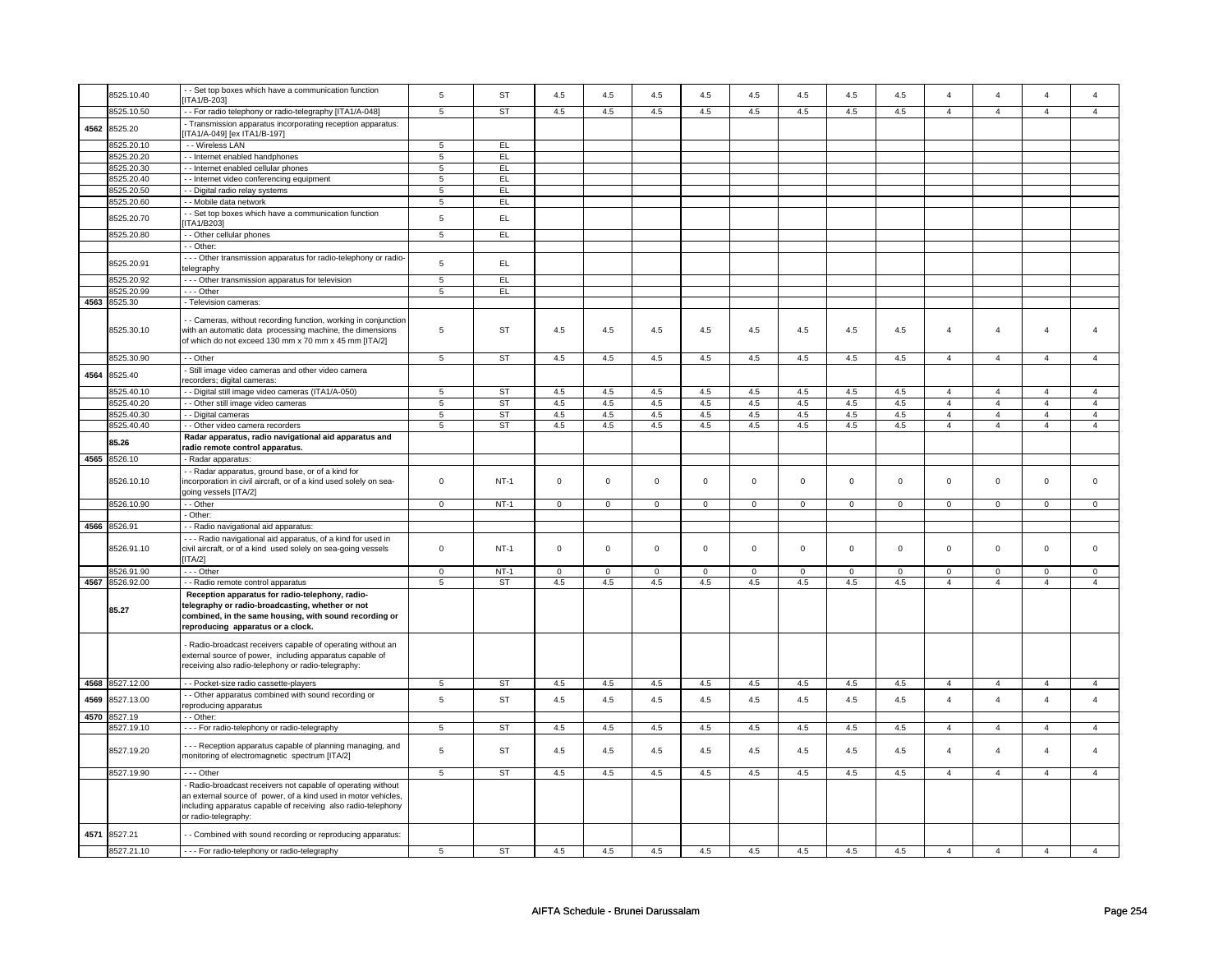|      | 8525.10.40            | - Set top boxes which have a communication function                                                                                                                                                                   | 5              | <b>ST</b> | $4.5\,$        | $4.5\,$        | $4.5\,$     | $4.5\,$        | $4.5\,$        | $4.5\,$        | 4.5         | $4.5\,$        | $\Delta$       | $\overline{4}$ | $\overline{a}$ | $\Delta$       |
|------|-----------------------|-----------------------------------------------------------------------------------------------------------------------------------------------------------------------------------------------------------------------|----------------|-----------|----------------|----------------|-------------|----------------|----------------|----------------|-------------|----------------|----------------|----------------|----------------|----------------|
|      | 8525.10.50            | ITA1/B-203]<br>- For radio telephony or radio-telegraphy [ITA1/A-048]                                                                                                                                                 | 5              | <b>ST</b> | 4.5            | 4.5            | 4.5         | 4.5            | 4.5            | 4.5            | 4.5         | 4.5            | $\overline{4}$ | $\overline{4}$ | $\overline{4}$ | $\overline{4}$ |
|      |                       | - Transmission apparatus incorporating reception apparatus:                                                                                                                                                           |                |           |                |                |             |                |                |                |             |                |                |                |                |                |
| 4562 | 8525.20               | ITA1/A-049] [ex ITA1/B-197]                                                                                                                                                                                           |                |           |                |                |             |                |                |                |             |                |                |                |                |                |
|      | 8525.20.10            | - - Wireless LAN                                                                                                                                                                                                      | 5              | EL.       |                |                |             |                |                |                |             |                |                |                |                |                |
|      | 8525.20.20            | - - Internet enabled handphones                                                                                                                                                                                       | $\,$ 5 $\,$    | EL        |                |                |             |                |                |                |             |                |                |                |                |                |
|      | 8525.20.30            | - - Internet enabled cellular phones                                                                                                                                                                                  | 5              | EL        |                |                |             |                |                |                |             |                |                |                |                |                |
|      | 8525.20.40            | - Internet video conferencing equipment                                                                                                                                                                               | 5              | EL        |                |                |             |                |                |                |             |                |                |                |                |                |
|      | 8525.20.50            | - Digital radio relay systems                                                                                                                                                                                         | ${\bf 5}$      | EL        |                |                |             |                |                |                |             |                |                |                |                |                |
|      | 8525.20.60            | - Mobile data network                                                                                                                                                                                                 | 5              | EL.       |                |                |             |                |                |                |             |                |                |                |                |                |
|      | 8525.20.70            | - Set top boxes which have a communication function<br><b>ITA1/B2031</b>                                                                                                                                              | 5              | EL        |                |                |             |                |                |                |             |                |                |                |                |                |
|      | 8525.20.80            | - - Other cellular phones                                                                                                                                                                                             | $\overline{5}$ | E         |                |                |             |                |                |                |             |                |                |                |                |                |
|      |                       | - Other:                                                                                                                                                                                                              |                |           |                |                |             |                |                |                |             |                |                |                |                |                |
|      | 8525.20.91            | - - Other transmission apparatus for radio-telephony or radio-<br>telegraphy                                                                                                                                          | 5              | EL.       |                |                |             |                |                |                |             |                |                |                |                |                |
|      | 8525.20.92            | - - - Other transmission apparatus for television                                                                                                                                                                     | 5              | EL        |                |                |             |                |                |                |             |                |                |                |                |                |
|      | 3525.20.99            | --- Other                                                                                                                                                                                                             | 5              | EL        |                |                |             |                |                |                |             |                |                |                |                |                |
|      | 4563 8525.30          | - Television cameras:                                                                                                                                                                                                 |                |           |                |                |             |                |                |                |             |                |                |                |                |                |
|      | 8525.30.10            | - Cameras, without recording function, working in conjunction<br>with an automatic data processing machine, the dimensions<br>of which do not exceed 130 mm x 70 mm x 45 mm [ITA/2]                                   | 5              | <b>ST</b> | 4.5            | 4.5            | $4.5\,$     | 4.5            | 4.5            | 4.5            | 4.5         | 4.5            | $\overline{4}$ | $\overline{4}$ | $\overline{4}$ |                |
|      | 8525.30.90            | - - Other                                                                                                                                                                                                             | 5              | <b>ST</b> | 4.5            | 4.5            | 4.5         | 4.5            | 4.5            | 4.5            | 4.5         | 4.5            | $\overline{4}$ | $\overline{4}$ | $\overline{4}$ | $\overline{4}$ |
| 4564 | 8525.40               | Still image video cameras and other video camera<br>ecorders; digital cameras:                                                                                                                                        |                |           |                |                |             |                |                |                |             |                |                |                |                |                |
|      | 8525.40.10            | - Digital still image video cameras (ITA1/A-050)                                                                                                                                                                      | 5              | ST        | 4.5            | 4.5            | $4.5\,$     | 4.5            | $4.5\,$        | 4.5            | $4.5\,$     | 4.5            | $\overline{4}$ | $\overline{4}$ | $\overline{4}$ | $\overline{4}$ |
|      | 8525.40.20            | - - Other still image video cameras                                                                                                                                                                                   | 5              | ST        | 4.5            | 4.5            | 4.5         | 4.5            | 4.5            | 4.5            | 4.5         | 4.5            | $\overline{4}$ | $\overline{4}$ | $\overline{4}$ | $\overline{4}$ |
|      | 8525.40.30            | - - Digital cameras                                                                                                                                                                                                   | 5              | <b>ST</b> | 4.5            | 4.5            | 4.5         | 4.5            | 4.5            | 4.5            | 4.5         | 4.5            | $\overline{4}$ | $\overline{4}$ | $\overline{4}$ | $\overline{4}$ |
|      | 8525.40.40            | - - Other video camera recorders                                                                                                                                                                                      | 5              | <b>ST</b> | 4.5            | 4.5            | 4.5         | 4.5            | 4.5            | 4.5            | 4.5         | 4.5            | $\overline{4}$ | $\overline{4}$ | $\overline{4}$ | $\overline{4}$ |
|      | 85.26                 | Radar apparatus, radio navigational aid apparatus and                                                                                                                                                                 |                |           |                |                |             |                |                |                |             |                |                |                |                |                |
|      |                       | radio remote control apparatus.                                                                                                                                                                                       |                |           |                |                |             |                |                |                |             |                |                |                |                |                |
| 4565 | 8526.10               | - Radar apparatus:                                                                                                                                                                                                    |                |           |                |                |             |                |                |                |             |                |                |                |                |                |
|      | 8526.10.10            | - - Radar apparatus, ground base, or of a kind for<br>incorporation in civil aircraft, or of a kind used solely on sea-<br>going vessels [ITA/2]                                                                      | $\mathbf 0$    | NT-1      | $\mathbf 0$    | $\mathsf 0$    | $\mathbf 0$ | $\mathbf 0$    | $\mathbf 0$    | $\mathsf 0$    | $\mathbf 0$ | $\mathbf 0$    | $\mathsf 0$    | $\mathsf 0$    | $\mathsf 0$    | 0              |
|      | 8526.10.90            | - - Other                                                                                                                                                                                                             | $\overline{0}$ | $NT-1$    | $\overline{0}$ | $\overline{0}$ | $\mathbf 0$ | $\overline{0}$ | $\overline{0}$ | $\overline{0}$ | $\mathbf 0$ | $\overline{0}$ | $\overline{0}$ | $\overline{0}$ | $\overline{0}$ | $\Omega$       |
|      |                       | - Other:                                                                                                                                                                                                              |                |           |                |                |             |                |                |                |             |                |                |                |                |                |
|      | 4566 8526.91          | - Radio navigational aid apparatus:                                                                                                                                                                                   |                |           |                |                |             |                |                |                |             |                |                |                |                |                |
|      | 8526.91.10            | -- Radio navigational aid apparatus, of a kind for used in<br>civil aircraft, or of a kind used solely on sea-going vessels<br>[ITA/2]                                                                                | 0              | NT-1      | $\mathbf 0$    | $\mathsf 0$    | $\mathbf 0$ | 0              | $\mathbf 0$    | $\mathbf 0$    | $\mathbf 0$ | 0              | $\mathbf 0$    | $\mathbf 0$    | $\Omega$       | $\Omega$       |
|      | 3526.91.90            | $- -$ Other                                                                                                                                                                                                           | $\overline{0}$ | $NT-1$    | $\overline{0}$ | $\overline{0}$ | $\Omega$    | $\Omega$       | $\overline{0}$ | $\overline{0}$ | $\Omega$    | $\Omega$       | $\overline{0}$ | $\overline{0}$ | $\Omega$       | 0              |
|      | 4567 8526.92.00       | - - Radio remote control apparatus                                                                                                                                                                                    | 5              | <b>ST</b> | 4.5            | 4.5            | 4.5         | 4.5            | 4.5            | 4.5            | 4.5         | 4.5            | $\overline{4}$ | $\overline{4}$ | $\overline{4}$ | $\overline{4}$ |
|      | 85.27                 | Reception apparatus for radio-telephony, radio-<br>telegraphy or radio-broadcasting, whether or not<br>combined, in the same housing, with sound recording or<br>reproducing apparatus or a clock.                    |                |           |                |                |             |                |                |                |             |                |                |                |                |                |
|      |                       | Radio-broadcast receivers capable of operating without an<br>external source of power, including apparatus capable of<br>receiving also radio-telephony or radio-telegraphy:                                          |                |           |                |                |             |                |                |                |             |                |                |                |                |                |
|      | 4568 8527.12.00       | - - Pocket-size radio cassette-players                                                                                                                                                                                | $\sqrt{5}$     | ST        | 4.5            | 4.5            | 4.5         | 4.5            | 4.5            | 4.5            | 4.5         | 4.5            | $\overline{4}$ | $\overline{4}$ | $\overline{4}$ | 4              |
| 4569 | 8527.13.00            | - Other apparatus combined with sound recording or                                                                                                                                                                    | 5              | <b>ST</b> | $4.5\,$        | $4.5\,$        | $4.5\,$     | $4.5\,$        | $4.5\,$        | $4.5\,$        | 4.5         | $4.5\,$        | $\overline{4}$ | $\overline{4}$ | $\overline{4}$ | $\overline{4}$ |
|      |                       | reproducing apparatus                                                                                                                                                                                                 |                |           |                |                |             |                |                |                |             |                |                |                |                |                |
|      |                       |                                                                                                                                                                                                                       |                |           |                |                |             |                |                |                |             |                |                |                |                |                |
|      | 4570 8527.19          | - - Other:                                                                                                                                                                                                            |                |           |                |                |             |                |                |                |             |                |                |                |                |                |
|      | 8527.19.10            | - - - For radio-telephony or radio-telegraphy                                                                                                                                                                         | 5              | ST        | 4.5            | 4.5            | $4.5\,$     | 4.5            | $4.5\,$        | 4.5            | $4.5\,$     | 4.5            | $\overline{4}$ | $\overline{4}$ | $\overline{4}$ | $\overline{4}$ |
|      | 8527.19.20            | - - Reception apparatus capable of planning managing, and<br>monitoring of electromagnetic spectrum [ITA/2]                                                                                                           | 5              | ST        | 4.5            | 4.5            | 4.5         | 4.5            | 4.5            | 4.5            | 4.5         | 4.5            | $\overline{4}$ | $\overline{4}$ | $\overline{4}$ | $\overline{4}$ |
|      | 8527.19.90            | --- Other                                                                                                                                                                                                             | 5              | <b>ST</b> | 4.5            | 4.5            | 4.5         | 4.5            | 4.5            | 4.5            | 4.5         | 4.5            | $\overline{4}$ | $\overline{4}$ | $\overline{4}$ | $\overline{4}$ |
|      |                       | Radio-broadcast receivers not capable of operating without<br>an external source of power, of a kind used in motor vehicles,<br>including apparatus capable of receiving also radio-telephony<br>or radio-telegraphy: |                |           |                |                |             |                |                |                |             |                |                |                |                |                |
| 4571 | 8527.21<br>8527.21.10 | - Combined with sound recording or reproducing apparatus:<br>--- For radio-telephony or radio-telegraphy                                                                                                              | 5              | ST        | 4.5            | 4.5            | 4.5         | 4.5            | 4.5            | 4.5            | 4.5         | 4.5            | $\mathbf{A}$   | $\mathbf{A}$   | $\mathbf{A}$   | $\mathbf{A}$   |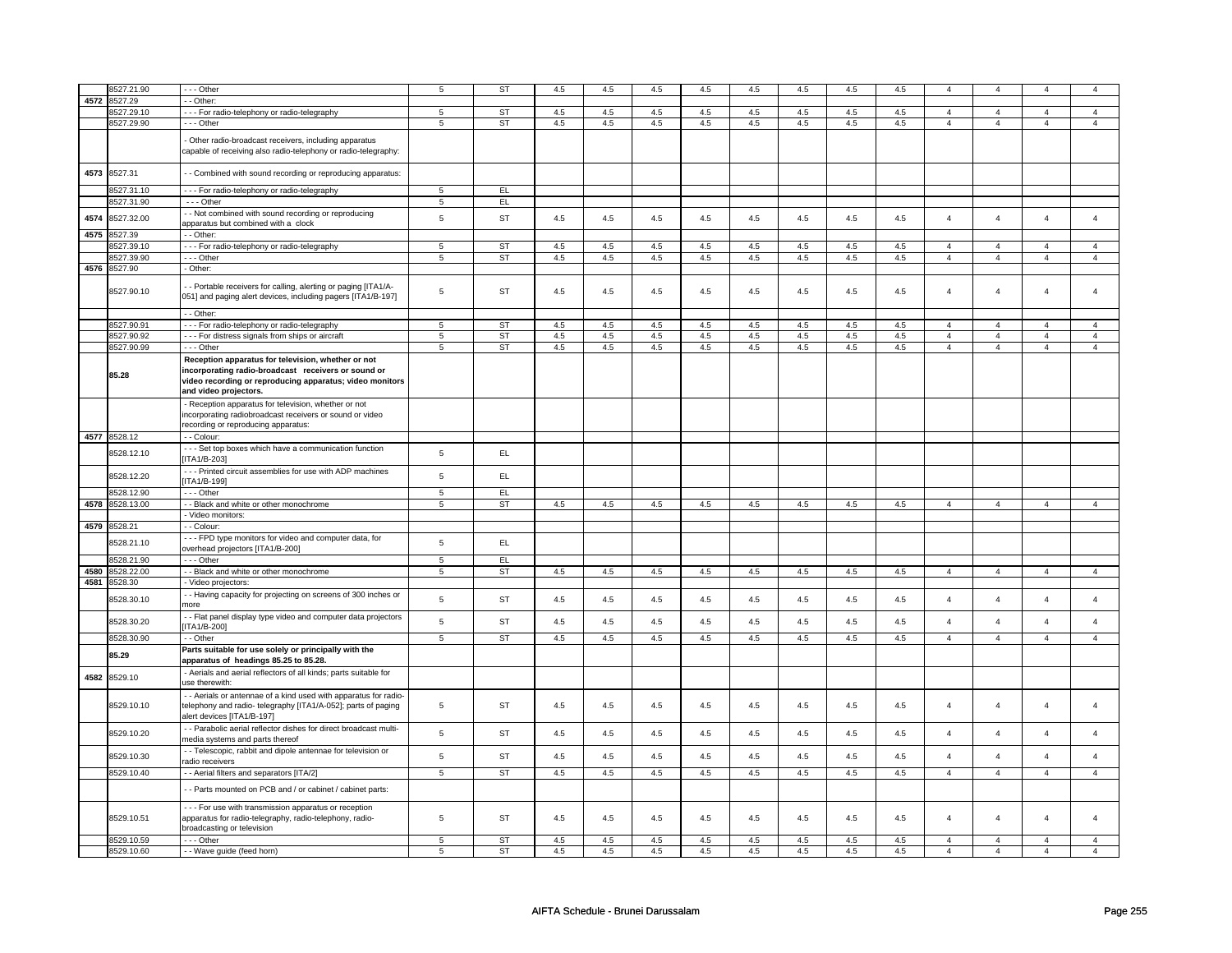|      | 8527.21.90   | $\cdots$ Other                                                                                                                                                                                 | $\,$ 5 $\,$    | ST        | 4.5     | 4.5     | 4.5     | 4.5     | 4.5     | 4.5 | 4.5 | 4.5     | $\overline{4}$          | $\Delta$       | $\boldsymbol{\Lambda}$ | $\overline{a}$          |
|------|--------------|------------------------------------------------------------------------------------------------------------------------------------------------------------------------------------------------|----------------|-----------|---------|---------|---------|---------|---------|-----|-----|---------|-------------------------|----------------|------------------------|-------------------------|
| 4572 | 3527.29      | - - Other:                                                                                                                                                                                     |                |           |         |         |         |         |         |     |     |         |                         |                |                        |                         |
|      | 3527.29.10   |                                                                                                                                                                                                |                | <b>ST</b> | 4.5     | 4.5     | 4.5     | 4.5     | 4.5     | 4.5 | 4.5 | 4.5     |                         | $\overline{4}$ | $\overline{4}$         |                         |
|      |              | - - - For radio-telephony or radio-telegraphy                                                                                                                                                  | 5              |           |         |         |         |         |         |     |     |         | $\overline{4}$          |                |                        | $\overline{4}$          |
|      | 8527.29.90   | $- -$ Other                                                                                                                                                                                    | 5              | <b>ST</b> | 4.5     | 4.5     | 4.5     | 4.5     | 4.5     | 4.5 | 4.5 | 4.5     | $\overline{4}$          | $\overline{4}$ | $\overline{4}$         | $\overline{4}$          |
|      |              | - Other radio-broadcast receivers, including apparatus<br>capable of receiving also radio-telephony or radio-telegraphy:                                                                       |                |           |         |         |         |         |         |     |     |         |                         |                |                        |                         |
| 4573 | 8527.31      | - Combined with sound recording or reproducing apparatus:                                                                                                                                      |                |           |         |         |         |         |         |     |     |         |                         |                |                        |                         |
|      | 8527.31.10   | - - - For radio-telephony or radio-telegraphy                                                                                                                                                  | 5              | EL        |         |         |         |         |         |     |     |         |                         |                |                        |                         |
|      | 8527.31.90   | - - - Other                                                                                                                                                                                    | 5              | EL.       |         |         |         |         |         |     |     |         |                         |                |                        |                         |
|      |              | - Not combined with sound recording or reproducing                                                                                                                                             |                |           |         |         |         |         |         |     |     |         |                         |                |                        |                         |
| 4574 | 8527.32.00   | apparatus but combined with a clock                                                                                                                                                            | $\sqrt{5}$     | <b>ST</b> | 4.5     | 4.5     | 4.5     | 4.5     | 4.5     | 4.5 | 4.5 | 4.5     | $\overline{4}$          | $\overline{4}$ | $\overline{4}$         | $\overline{4}$          |
| 4575 | 8527.39      | - - Other:                                                                                                                                                                                     |                |           |         |         |         |         |         |     |     |         |                         |                |                        |                         |
|      | 3527.39.10   | -- For radio-telephony or radio-telegraphy                                                                                                                                                     | $\,$ 5 $\,$    | <b>ST</b> | 4.5     | 4.5     | 4.5     | 4.5     | 4.5     | 4.5 | 4.5 | 4.5     | $\overline{4}$          | $\overline{4}$ | $\overline{A}$         | $\Delta$                |
|      | 8527.39.90   | - - - Other                                                                                                                                                                                    | 5              | <b>ST</b> | $4.5\,$ | $4.5\,$ | $4.5\,$ | 4.5     | $4.5\,$ | 4.5 | 4.5 | $4.5\,$ | $\overline{\mathbf{4}}$ | $\overline{4}$ | $\overline{4}$         | $\overline{4}$          |
|      | 4576 8527.90 | - Other:                                                                                                                                                                                       |                |           |         |         |         |         |         |     |     |         |                         |                |                        |                         |
|      |              |                                                                                                                                                                                                |                |           |         |         |         |         |         |     |     |         |                         |                |                        |                         |
|      | 8527.90.10   | - - Portable receivers for calling, alerting or paging [ITA1/A-<br>051] and paging alert devices, including pagers [ITA1/B-197]                                                                | 5              | ST        | 4.5     | 4.5     | 4.5     | 4.5     | 4.5     | 4.5 | 4.5 | 4.5     | $\overline{4}$          | $\overline{4}$ | $\overline{4}$         | $\overline{\mathbf{4}}$ |
|      |              | - - Other:                                                                                                                                                                                     |                |           |         |         |         |         |         |     |     |         |                         |                |                        |                         |
|      | 8527.90.91   | - - - For radio-telephony or radio-telegraphy                                                                                                                                                  | 5              | <b>ST</b> | 4.5     | 4.5     | 4.5     | 4.5     | 4.5     | 4.5 | 4.5 | 4.5     | $\overline{4}$          | $\overline{4}$ | $\overline{4}$         | $\overline{4}$          |
|      | 8527.90.92   | - - - For distress signals from ships or aircraft                                                                                                                                              | 5              | <b>ST</b> | 4.5     | 4.5     | 4.5     | 4.5     | 4.5     | 4.5 | 4.5 | 4.5     | $\overline{4}$          | $\overline{4}$ | $\overline{4}$         | $\overline{4}$          |
|      | 8527.90.99   | --- Other                                                                                                                                                                                      | 5              | ST        | 4.5     | 4.5     | 4.5     | 4.5     | 4.5     | 4.5 | 4.5 | 4.5     | $\overline{4}$          | $\overline{4}$ | $\overline{4}$         | $\overline{4}$          |
|      | 85.28        | Reception apparatus for television, whether or not<br>incorporating radio-broadcast receivers or sound or<br>video recording or reproducing apparatus; video monitors<br>and video projectors. |                |           |         |         |         |         |         |     |     |         |                         |                |                        |                         |
|      |              | - Reception apparatus for television, whether or not<br>incorporating radiobroadcast receivers or sound or video<br>recording or reproducing apparatus:                                        |                |           |         |         |         |         |         |     |     |         |                         |                |                        |                         |
|      | 4577 8528.12 | - - Colour:                                                                                                                                                                                    |                |           |         |         |         |         |         |     |     |         |                         |                |                        |                         |
|      | 8528.12.10   | --- Set top boxes which have a communication function<br>ITA1/B-203]                                                                                                                           | $\,$ 5 $\,$    | EL.       |         |         |         |         |         |     |     |         |                         |                |                        |                         |
|      | 8528.12.20   | --- Printed circuit assemblies for use with ADP machines<br>[ITA1/B-199]                                                                                                                       | $\sqrt{5}$     | EL        |         |         |         |         |         |     |     |         |                         |                |                        |                         |
|      | 8528.12.90   | $- -$ Other                                                                                                                                                                                    | $\overline{5}$ | EL        |         |         |         |         |         |     |     |         |                         |                |                        |                         |
| 4578 | 8528.13.00   | - - Black and white or other monochrome                                                                                                                                                        | $\overline{5}$ | <b>ST</b> | 4.5     | 4.5     | 4.5     | 4.5     | 4.5     | 4.5 | 4.5 | 4.5     | $\overline{4}$          | $\overline{4}$ | $\overline{4}$         | $\overline{4}$          |
|      |              | - Video monitors:                                                                                                                                                                              |                |           |         |         |         |         |         |     |     |         |                         |                |                        |                         |
|      |              | - Colour:                                                                                                                                                                                      |                |           |         |         |         |         |         |     |     |         |                         |                |                        |                         |
|      | 4579 8528.21 |                                                                                                                                                                                                |                |           |         |         |         |         |         |     |     |         |                         |                |                        |                         |
|      | 8528.21.10   | --- FPD type monitors for video and computer data, for<br>overhead projectors [ITA1/B-200]                                                                                                     | $\,$ 5 $\,$    | EL.       |         |         |         |         |         |     |     |         |                         |                |                        |                         |
|      | 8528.21.90   | --- Other                                                                                                                                                                                      | 5              | EL.       |         |         |         |         |         |     |     |         |                         |                |                        |                         |
|      |              |                                                                                                                                                                                                |                |           |         |         |         |         |         |     |     |         |                         |                |                        |                         |
| 4580 | 3528.22.00   | - - Black and white or other monochrome                                                                                                                                                        | 5              | <b>ST</b> | 4.5     | 4.5     | 4.5     | 4.5     | 4.5     | 4.5 | 4.5 | 4.5     | $\overline{4}$          | $\overline{4}$ | $\overline{4}$         | $\overline{4}$          |
| 4581 | 3528.30      | - Video projectors:                                                                                                                                                                            |                |           |         |         |         |         |         |     |     |         |                         |                |                        |                         |
|      | 3528.30.10   | - Having capacity for projecting on screens of 300 inches or<br>more                                                                                                                           | 5              | <b>ST</b> | 4.5     | 4.5     | 4.5     | 4.5     | 4.5     | 4.5 | 4.5 | 4.5     | $\overline{4}$          | $\overline{4}$ | $\overline{4}$         | $\overline{\mathbf{4}}$ |
|      | 8528.30.20   | - Flat panel display type video and computer data projectors<br>ITA1/B-200]                                                                                                                    | $\sqrt{5}$     | <b>ST</b> | 4.5     | 4.5     | 4.5     | 4.5     | 4.5     | 4.5 | 4.5 | 4.5     | $\overline{4}$          | $\overline{4}$ | $\Delta$               | $\overline{a}$          |
|      | 8528.30.90   | - - Other                                                                                                                                                                                      | $\overline{5}$ | <b>ST</b> | 4.5     | 4.5     | 4.5     | 4.5     | 4.5     | 4.5 | 4.5 | 4.5     | $\overline{4}$          | $\overline{4}$ | $\overline{4}$         | $\overline{4}$          |
|      | 85.29        | Parts suitable for use solely or principally with the                                                                                                                                          |                |           |         |         |         |         |         |     |     |         |                         |                |                        |                         |
| 4582 | 8529.10      | apparatus of headings 85.25 to 85.28.<br>- Aerials and aerial reflectors of all kinds; parts suitable for<br>use therewith:                                                                    |                |           |         |         |         |         |         |     |     |         |                         |                |                        |                         |
|      | 8529.10.10   | - - Aerials or antennae of a kind used with apparatus for radio-<br>telephony and radio- telegraphy [ITA1/A-052]; parts of paging<br>alert devices [ITA1/B-197]                                | 5              | ST        | 4.5     | 4.5     | 4.5     | 4.5     | 4.5     | 4.5 | 4.5 | 4.5     | $\overline{4}$          | $\overline{4}$ | $\overline{4}$         | $\overline{\mathbf{4}}$ |
|      | 8529.10.20   | - Parabolic aerial reflector dishes for direct broadcast multi-                                                                                                                                | $\sqrt{5}$     | <b>ST</b> | 4.5     | 4.5     | 4.5     | 4.5     | 4.5     | 4.5 | 4.5 | 4.5     | $\overline{4}$          | $\overline{4}$ | $\overline{4}$         | $\overline{\mathbf{4}}$ |
|      | 8529.10.30   | media systems and parts thereof<br>- Telescopic, rabbit and dipole antennae for television or                                                                                                  | $\mathbf 5$    | <b>ST</b> | $4.5\,$ | $4.5\,$ | 4.5     | $4.5\,$ | $4.5\,$ | 4.5 | 4.5 | 4.5     | $\overline{4}$          | $\overline{a}$ | $\overline{a}$         | $\overline{a}$          |
|      |              | radio receivers                                                                                                                                                                                |                |           |         |         |         |         |         |     |     |         |                         |                |                        |                         |
|      | 8529.10.40   | - - Aerial filters and separators [ITA/2]                                                                                                                                                      | $\overline{5}$ | <b>ST</b> | 4.5     | 4.5     | 4.5     | 4.5     | 4.5     | 4.5 | 4.5 | 4.5     | $\overline{4}$          | $\overline{4}$ | $\overline{4}$         | $\overline{4}$          |
|      |              | - - Parts mounted on PCB and / or cabinet / cabinet parts:                                                                                                                                     |                |           |         |         |         |         |         |     |     |         |                         |                |                        |                         |
|      | 8529.10.51   | - - - For use with transmission apparatus or reception<br>apparatus for radio-telegraphy, radio-telephony, radio-<br>broadcasting or television                                                | 5              | <b>ST</b> | 4.5     | 4.5     | 4.5     | 4.5     | 4.5     | 4.5 | 4.5 | 4.5     | $\overline{4}$          | $\overline{a}$ | $\overline{a}$         | 4                       |
|      | 8529.10.59   | --- Other                                                                                                                                                                                      | $\overline{5}$ | ST        | 4.5     | 4.5     | 4.5     | 4.5     | 4.5     | 4.5 | 4.5 | 4.5     | $\overline{4}$          | $\overline{4}$ | $\overline{4}$         | $\overline{\mathbf{4}}$ |
|      | 8529.10.60   | - - Wave guide (feed horn)                                                                                                                                                                     | 5              | <b>ST</b> | 4.5     | 4.5     | 4.5     | 4.5     | 4.5     | 4.5 | 4.5 | 4.5     | $\overline{4}$          | $\overline{4}$ | $\overline{4}$         | $\overline{4}$          |
|      |              |                                                                                                                                                                                                |                |           |         |         |         |         |         |     |     |         |                         |                |                        |                         |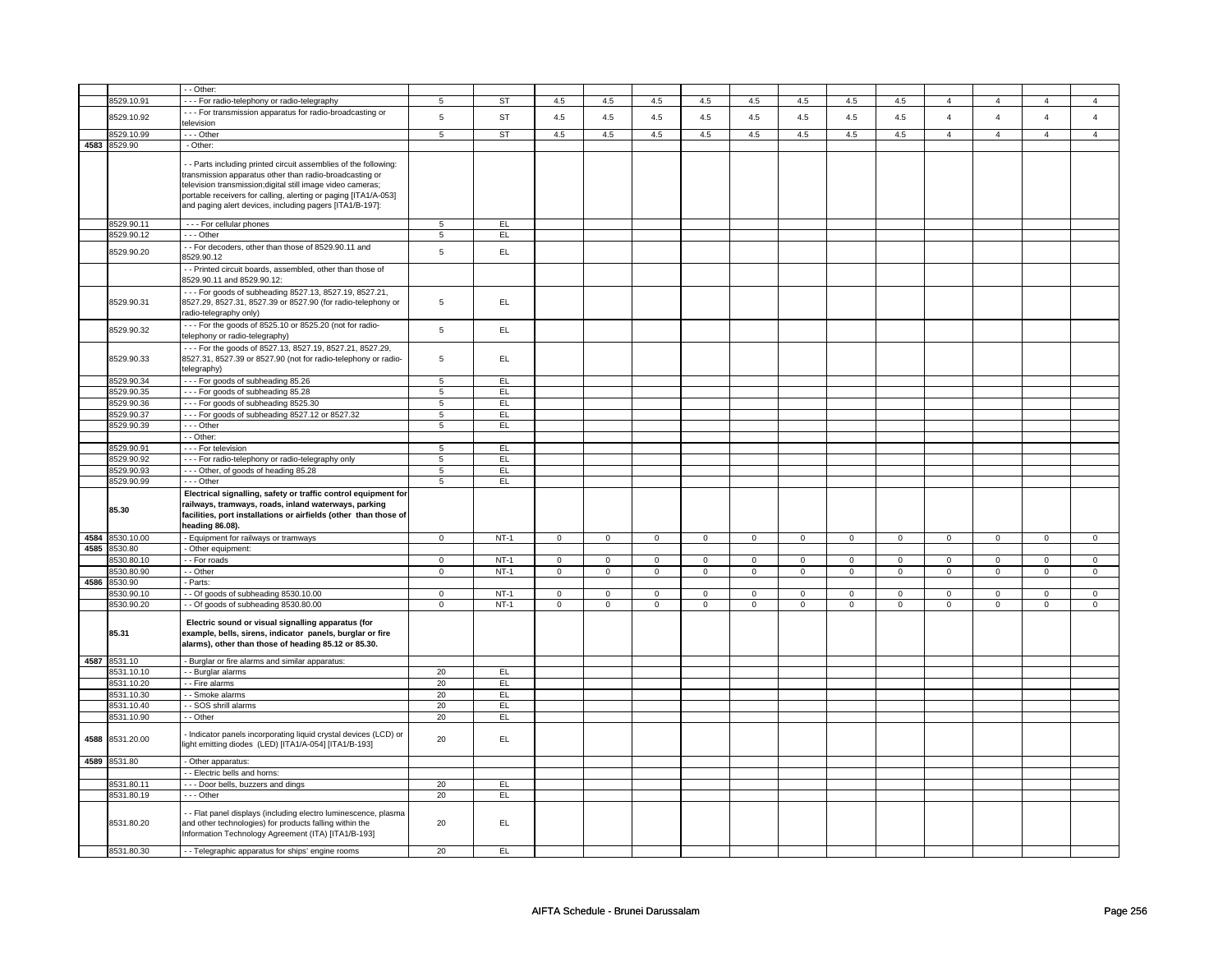|      |                     | - Other:                                                                                                                                                                                                                                                                                                               |                |           |                     |                |                     |                |                     |                |                     |                |                |                |                |                |
|------|---------------------|------------------------------------------------------------------------------------------------------------------------------------------------------------------------------------------------------------------------------------------------------------------------------------------------------------------------|----------------|-----------|---------------------|----------------|---------------------|----------------|---------------------|----------------|---------------------|----------------|----------------|----------------|----------------|----------------|
|      | 8529.10.91          |                                                                                                                                                                                                                                                                                                                        |                | <b>ST</b> | 4.5                 | 4.5            | 4.5                 | 4.5            |                     | 4.5            | 4.5                 | 4.5            |                |                | $\overline{4}$ |                |
|      |                     | - - - For radio-telephony or radio-telegraphy                                                                                                                                                                                                                                                                          | 5              |           |                     |                |                     |                | 4.5                 |                |                     |                | 4              | $\overline{4}$ |                | $\overline{4}$ |
|      | 8529.10.92          | --- For transmission apparatus for radio-broadcasting or                                                                                                                                                                                                                                                               | $\sqrt{5}$     | <b>ST</b> | 4.5                 | 4.5            | 4.5                 | 4.5            | 4.5                 | 4.5            | 4.5                 | 4.5            | $\overline{4}$ | $\overline{4}$ | $\overline{4}$ | $\overline{4}$ |
|      |                     | television                                                                                                                                                                                                                                                                                                             |                |           |                     |                |                     |                |                     |                |                     |                |                |                |                |                |
|      | 8529.10.99          | --- Other                                                                                                                                                                                                                                                                                                              | $\,$ 5 $\,$    | ST        | 4.5                 | 4.5            | $4.5\,$             | 4.5            | $4.5\,$             | 4.5            | $4.5\,$             | 4.5            | $\overline{4}$ | $\overline{4}$ | $\overline{4}$ | $\overline{4}$ |
|      | 4583 8529.90        | - Other:                                                                                                                                                                                                                                                                                                               |                |           |                     |                |                     |                |                     |                |                     |                |                |                |                |                |
|      |                     | - Parts including printed circuit assemblies of the following:<br>transmission apparatus other than radio-broadcasting or<br>television transmission;digital still image video cameras;<br>portable receivers for calling, alerting or paging [ITA1/A-053]<br>and paging alert devices, including pagers [ITA1/B-197]: |                |           |                     |                |                     |                |                     |                |                     |                |                |                |                |                |
|      | 8529.90.11          | - - - For cellular phones                                                                                                                                                                                                                                                                                              | $\overline{5}$ | EL.       |                     |                |                     |                |                     |                |                     |                |                |                |                |                |
|      | 8529.90.12          | $- -$ Other                                                                                                                                                                                                                                                                                                            | $\sqrt{5}$     | EL        |                     |                |                     |                |                     |                |                     |                |                |                |                |                |
|      | 8529.90.20          | - - For decoders, other than those of 8529.90.11 and<br>8529.90.12                                                                                                                                                                                                                                                     | $\mathbf 5$    | EL        |                     |                |                     |                |                     |                |                     |                |                |                |                |                |
|      |                     | - - Printed circuit boards, assembled, other than those of<br>8529.90.11 and 8529.90.12:                                                                                                                                                                                                                               |                |           |                     |                |                     |                |                     |                |                     |                |                |                |                |                |
|      | 8529.90.31          | --- For goods of subheading 8527.13, 8527.19, 8527.21,<br>8527.29, 8527.31, 8527.39 or 8527.90 (for radio-telephony or<br>radio-telegraphy only)                                                                                                                                                                       | 5              | EL.       |                     |                |                     |                |                     |                |                     |                |                |                |                |                |
|      | 8529.90.32          | --- For the goods of 8525.10 or 8525.20 (not for radio-<br>telephony or radio-telegraphy)                                                                                                                                                                                                                              | 5              | EL.       |                     |                |                     |                |                     |                |                     |                |                |                |                |                |
|      | 8529.90.33          | --- For the goods of 8527.13, 8527.19, 8527.21, 8527.29,<br>8527.31, 8527.39 or 8527.90 (not for radio-telephony or radio-<br>telegraphy)                                                                                                                                                                              | 5              | EL.       |                     |                |                     |                |                     |                |                     |                |                |                |                |                |
|      | 8529.90.34          | --- For goods of subheading 85.26                                                                                                                                                                                                                                                                                      | 5              | EL        |                     |                |                     |                |                     |                |                     |                |                |                |                |                |
|      | 8529.90.35          | --- For goods of subheading 85.28                                                                                                                                                                                                                                                                                      | 5              | EL.       |                     |                |                     |                |                     |                |                     |                |                |                |                |                |
|      | 8529.90.36          | --- For goods of subheading 8525.30                                                                                                                                                                                                                                                                                    | 5              | EL.       |                     |                |                     |                |                     |                |                     |                |                |                |                |                |
|      | 8529.90.37          | - - - For goods of subheading 8527.12 or 8527.32                                                                                                                                                                                                                                                                       | $\,$ 5 $\,$    | EL        |                     |                |                     |                |                     |                |                     |                |                |                |                |                |
|      | 8529.90.39          | $- -$ Other                                                                                                                                                                                                                                                                                                            | 5              | EL        |                     |                |                     |                |                     |                |                     |                |                |                |                |                |
|      |                     | - - Other:                                                                                                                                                                                                                                                                                                             |                |           |                     |                |                     |                |                     |                |                     |                |                |                |                |                |
|      | 8529.90.91          | - - - For television                                                                                                                                                                                                                                                                                                   | $\overline{5}$ | EL        |                     |                |                     |                |                     |                |                     |                |                |                |                |                |
|      | 8529.90.92          | - - - For radio-telephony or radio-telegraphy only                                                                                                                                                                                                                                                                     | 5              | EL        |                     |                |                     |                |                     |                |                     |                |                |                |                |                |
|      | 8529.90.93          | --- Other, of goods of heading 85.28                                                                                                                                                                                                                                                                                   | 5              | EL        |                     |                |                     |                |                     |                |                     |                |                |                |                |                |
|      | 8529.90.99          | --- Other                                                                                                                                                                                                                                                                                                              | $\,$ 5 $\,$    | EL        |                     |                |                     |                |                     |                |                     |                |                |                |                |                |
|      | 85.30               | Electrical signalling, safety or traffic control equipment for<br>railways, tramways, roads, inland waterways, parking<br>facilities, port installations or airfields (other than those of<br>heading 86.08).                                                                                                          |                |           |                     |                |                     |                |                     |                |                     |                |                |                |                |                |
|      | 4584 8530.10.00     | - Equipment for railways or tramways                                                                                                                                                                                                                                                                                   | $\mathbf 0$    | $NT-1$    | $\mathbf 0$         | $\mathbf 0$    | $\mathsf 0$         | $\mathbf 0$    | $\mathsf 0$         | $\mathbf 0$    | $\mathsf 0$         | $\mathbf 0$    | $\mathbf 0$    | $\mathbf 0$    | $\mathsf 0$    | $\mathbf{0}$   |
| 4585 | 8530.80             | - Other equipment:                                                                                                                                                                                                                                                                                                     |                |           |                     |                |                     |                |                     |                |                     |                |                |                |                |                |
|      | 8530.80.10          | - - For roads                                                                                                                                                                                                                                                                                                          | $\overline{0}$ | $NT-1$    | $\overline{0}$      | $\overline{0}$ | $\mathbf 0$         | $\overline{0}$ | $\overline{0}$      | $\overline{0}$ | $\mathbf 0$         | $\overline{0}$ | $\mathbf 0$    | $\overline{0}$ | 0              | $\overline{0}$ |
|      | 8530.80.90          | - - Other                                                                                                                                                                                                                                                                                                              | $\mathbf 0$    | $NT-1$    | $\mathsf{O}\xspace$ | $\mathbf 0$    | $\mathsf{O}\xspace$ | $\mathbf 0$    | $\mathsf{O}\xspace$ | $\mathbf 0$    | $\mathsf{O}\xspace$ | $\mathbf 0$    | $\mathbf 0$    | $\mathbf 0$    | $\mathbf 0$    | $\mathbf 0$    |
| 4586 | 8530.90             | - Parts:                                                                                                                                                                                                                                                                                                               |                |           |                     |                |                     |                |                     |                |                     |                |                |                |                |                |
|      | 8530.90.10          | - Of goods of subheading 8530.10.00                                                                                                                                                                                                                                                                                    | $\mathbf 0$    | $NT-1$    | $\mathsf 0$         | $\mathbf 0$    | $\mathbf 0$         | $\mathbf 0$    | $\mathsf 0$         | $\mathbf 0$    | 0                   | $\mathbf 0$    | $\mathsf 0$    | $\mathbf 0$    | 0              | $\overline{0}$ |
|      | 8530.90.20<br>85.31 | - - Of goods of subheading 8530.80.00<br>Electric sound or visual signalling apparatus (for<br>example, bells, sirens, indicator panels, burglar or fire<br>alarms), other than those of heading 85.12 or 85.30.                                                                                                       | $\mathbf 0$    | $NT-1$    | $\mathbf 0$         | $\mathbf 0$    | $\mathbf 0$         | $\mathbf 0$    | $\mathsf 0$         | $\mathbf 0$    | $\mathbf 0$         | $\mathbf 0$    | $\mathbf 0$    | $\mathbf 0$    | $\mathbf 0$    | $\mathbf 0$    |
|      | 4587 8531.10        | - Burglar or fire alarms and similar apparatus:                                                                                                                                                                                                                                                                        |                |           |                     |                |                     |                |                     |                |                     |                |                |                |                |                |
|      | 8531.10.10          | - - Burglar alarms                                                                                                                                                                                                                                                                                                     | 20             | EL        |                     |                |                     |                |                     |                |                     |                |                |                |                |                |
|      | 8531.10.20          | - - Fire alarms                                                                                                                                                                                                                                                                                                        | 20             | EL        |                     |                |                     |                |                     |                |                     |                |                |                |                |                |
|      | 8531.10.30          | - - Smoke alarms                                                                                                                                                                                                                                                                                                       | 20             | EL        |                     |                |                     |                |                     |                |                     |                |                |                |                |                |
|      | 8531.10.40          | - - SOS shrill alarms                                                                                                                                                                                                                                                                                                  | 20             | EL        |                     |                |                     |                |                     |                |                     |                |                |                |                |                |
|      | 8531.10.90          | - Other                                                                                                                                                                                                                                                                                                                | 20             | EL        |                     |                |                     |                |                     |                |                     |                |                |                |                |                |
|      |                     |                                                                                                                                                                                                                                                                                                                        |                |           |                     |                |                     |                |                     |                |                     |                |                |                |                |                |
| 4588 | 8531.20.00          | Indicator panels incorporating liquid crystal devices (LCD) or<br>light emitting diodes (LED) [ITA1/A-054] [ITA1/B-193]                                                                                                                                                                                                | 20             | EL.       |                     |                |                     |                |                     |                |                     |                |                |                |                |                |
| 4589 | 8531.80             | - Other apparatus:                                                                                                                                                                                                                                                                                                     |                |           |                     |                |                     |                |                     |                |                     |                |                |                |                |                |
|      |                     | - - Electric bells and horns:                                                                                                                                                                                                                                                                                          |                |           |                     |                |                     |                |                     |                |                     |                |                |                |                |                |
|      | 8531.80.11          | - - Door bells, buzzers and dings                                                                                                                                                                                                                                                                                      | 20             | EL.       |                     |                |                     |                |                     |                |                     |                |                |                |                |                |
|      | 8531.80.19          | $- -$ Other<br>- Flat panel displays (including electro luminescence, plasma                                                                                                                                                                                                                                           | 20             | EL        |                     |                |                     |                |                     |                |                     |                |                |                |                |                |
|      | 8531.80.20          | and other technologies) for products falling within the<br>Information Technology Agreement (ITA) [ITA1/B-193]                                                                                                                                                                                                         | 20             | EL.       |                     |                |                     |                |                     |                |                     |                |                |                |                |                |
|      | 8531.80.30          | - - Telegraphic apparatus for ships' engine rooms                                                                                                                                                                                                                                                                      | 20             | EL.       |                     |                |                     |                |                     |                |                     |                |                |                |                |                |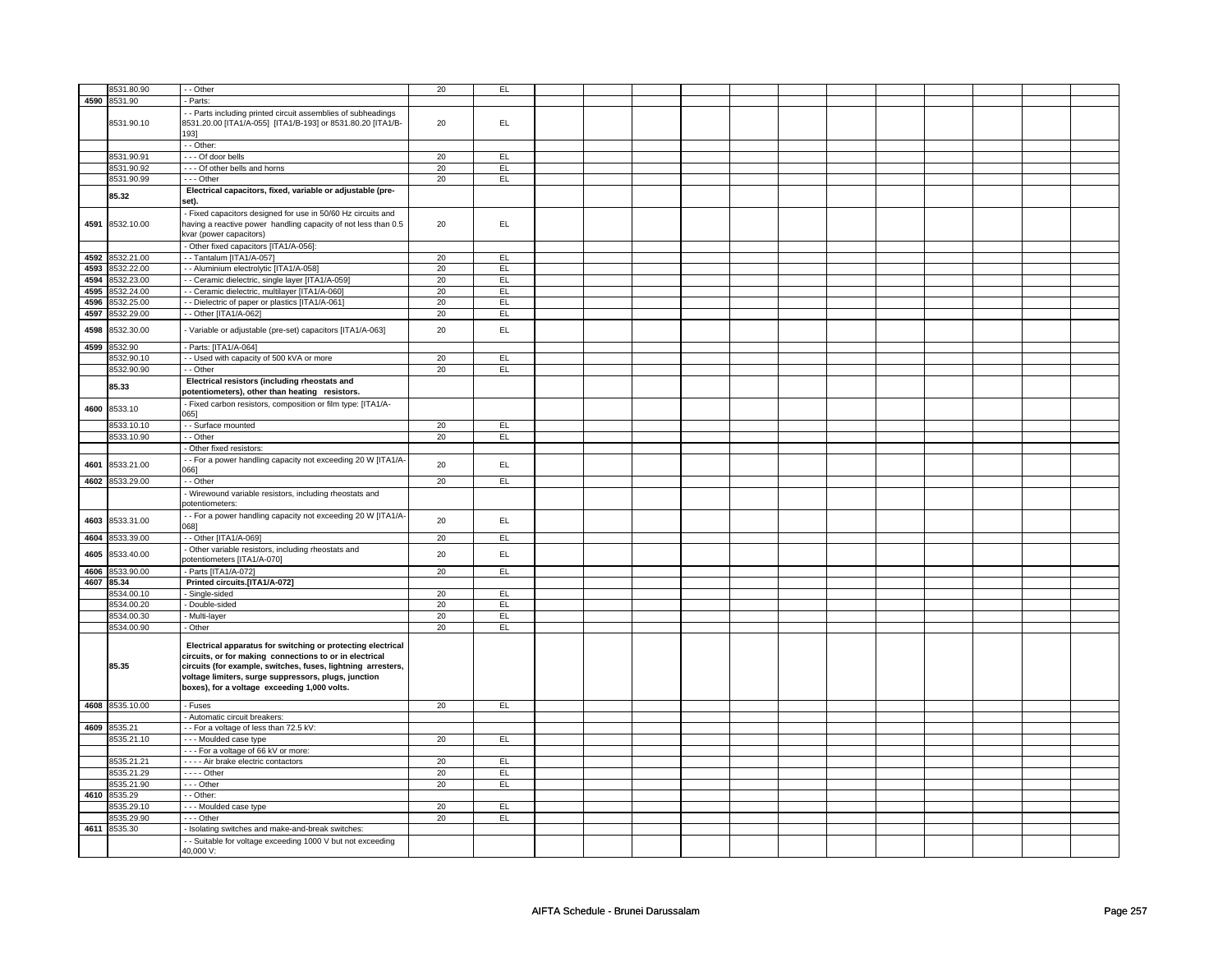|      | 8531.80.90      | - - Other                                                      | 20 | EL        |  |  |  |  |  |  |
|------|-----------------|----------------------------------------------------------------|----|-----------|--|--|--|--|--|--|
|      | 4590 8531.90    | - Parts:                                                       |    |           |  |  |  |  |  |  |
|      |                 |                                                                |    |           |  |  |  |  |  |  |
|      |                 | - Parts including printed circuit assemblies of subheadings    |    |           |  |  |  |  |  |  |
|      | 8531.90.10      | 8531.20.00 [ITA1/A-055] [ITA1/B-193] or 8531.80.20 [ITA1/B-    | 20 | EL.       |  |  |  |  |  |  |
|      |                 | 1931                                                           |    |           |  |  |  |  |  |  |
|      |                 |                                                                |    |           |  |  |  |  |  |  |
|      |                 | - Other:                                                       |    |           |  |  |  |  |  |  |
|      | 8531.90.91      | --- Of door bells                                              | 20 | EL.       |  |  |  |  |  |  |
|      | 8531.90.92      | --- Of other bells and horns                                   | 20 | EL.       |  |  |  |  |  |  |
|      | 8531.90.99      | --- Other                                                      | 20 | EL        |  |  |  |  |  |  |
|      |                 |                                                                |    |           |  |  |  |  |  |  |
|      | 85.32           | Electrical capacitors, fixed, variable or adjustable (pre-     |    |           |  |  |  |  |  |  |
|      |                 | set).                                                          |    |           |  |  |  |  |  |  |
|      |                 |                                                                |    |           |  |  |  |  |  |  |
|      |                 | Fixed capacitors designed for use in 50/60 Hz circuits and     |    |           |  |  |  |  |  |  |
| 4591 | 8532.10.00      | having a reactive power handling capacity of not less than 0.5 | 20 | EL.       |  |  |  |  |  |  |
|      |                 | kvar (power capacitors)                                        |    |           |  |  |  |  |  |  |
|      |                 | - Other fixed capacitors [ITA1/A-056]:                         |    |           |  |  |  |  |  |  |
|      |                 |                                                                |    |           |  |  |  |  |  |  |
| 4592 | 8532.21.00      | -- Tantalum [ITA1/A-057]                                       | 20 | EL.       |  |  |  |  |  |  |
| 4593 | 8532.22.00      | - - Aluminium electrolytic [ITA1/A-058]                        | 20 | EL.       |  |  |  |  |  |  |
| 4594 | 8532.23.00      | - Ceramic dielectric, single layer [ITA1/A-059]                | 20 | EL        |  |  |  |  |  |  |
|      |                 |                                                                |    |           |  |  |  |  |  |  |
| 4595 | 8532.24.00      | - Ceramic dielectric, multilayer [ITA1/A-060]                  | 20 | EL        |  |  |  |  |  |  |
| 4596 | 8532.25.00      | - Dielectric of paper or plastics [ITA1/A-061]                 | 20 | EL        |  |  |  |  |  |  |
| 4597 | 8532.29.00      | - Other [ITA1/A-062]                                           | 20 | EL        |  |  |  |  |  |  |
|      |                 |                                                                |    |           |  |  |  |  |  |  |
| 4598 | 8532.30.00      | Variable or adjustable (pre-set) capacitors [ITA1/A-063]       | 20 | EL.       |  |  |  |  |  |  |
|      |                 |                                                                |    |           |  |  |  |  |  |  |
| 4599 | 8532.90         | - Parts: [ITA1/A-064]                                          |    |           |  |  |  |  |  |  |
|      | 8532.90.10      | - Used with capacity of 500 kVA or more                        | 20 | EL        |  |  |  |  |  |  |
|      |                 |                                                                |    |           |  |  |  |  |  |  |
|      | 8532.90.90      | · - Other                                                      | 20 | EL        |  |  |  |  |  |  |
|      |                 | Electrical resistors (including rheostats and                  |    |           |  |  |  |  |  |  |
|      | 85.33           | potentiometers), other than heating resistors.                 |    |           |  |  |  |  |  |  |
|      |                 |                                                                |    |           |  |  |  |  |  |  |
| 4600 | 8533.10         | - Fixed carbon resistors, composition or film type: [ITA1/A-   |    |           |  |  |  |  |  |  |
|      |                 | 0651                                                           |    |           |  |  |  |  |  |  |
|      | 8533.10.10      | - - Surface mounted                                            | 20 | EL        |  |  |  |  |  |  |
|      | 8533.10.90      | - - Other                                                      | 20 | EL        |  |  |  |  |  |  |
|      |                 |                                                                |    |           |  |  |  |  |  |  |
|      |                 | Other fixed resistors:                                         |    |           |  |  |  |  |  |  |
|      |                 | - For a power handling capacity not exceeding 20 W [ITA1/A-    |    |           |  |  |  |  |  |  |
| 4601 | 8533.21.00      | 066]                                                           | 20 | EL.       |  |  |  |  |  |  |
|      |                 |                                                                |    | EL        |  |  |  |  |  |  |
| 4602 | 8533.29.00      | - - Other                                                      | 20 |           |  |  |  |  |  |  |
|      |                 | - Wirewound variable resistors, including rheostats and        |    |           |  |  |  |  |  |  |
|      |                 | potentiometers:                                                |    |           |  |  |  |  |  |  |
|      |                 |                                                                |    |           |  |  |  |  |  |  |
| 4603 | 8533.31.00      | - For a power handling capacity not exceeding 20 W [ITA1/A-    | 20 | EL        |  |  |  |  |  |  |
|      |                 | 0681                                                           |    |           |  |  |  |  |  |  |
| 4604 | 8533.39.00      | -- Other [ITA1/A-069]                                          | 20 | EL        |  |  |  |  |  |  |
|      |                 | - Other variable resistors, including rheostats and            |    |           |  |  |  |  |  |  |
| 4605 | 8533.40.00      | potentiometers [ITA1/A-070]                                    | 20 | EL        |  |  |  |  |  |  |
|      |                 |                                                                |    |           |  |  |  |  |  |  |
| 4606 | 8533.90.00      | - Parts [ITA1/A-072]                                           | 20 | EL        |  |  |  |  |  |  |
|      | 4607 85.34      | Printed circuits.[ITA1/A-072]                                  |    |           |  |  |  |  |  |  |
|      | 8534.00.10      | Single-sided                                                   | 20 | <b>EL</b> |  |  |  |  |  |  |
|      |                 |                                                                |    |           |  |  |  |  |  |  |
|      | 8534.00.20      | - Double-sided                                                 | 20 | EL        |  |  |  |  |  |  |
|      | 8534.00.30      | - Multi-layer                                                  | 20 | EL        |  |  |  |  |  |  |
|      | 8534.00.90      | - Other                                                        | 20 | EL        |  |  |  |  |  |  |
|      |                 |                                                                |    |           |  |  |  |  |  |  |
|      |                 | Electrical apparatus for switching or protecting electrical    |    |           |  |  |  |  |  |  |
|      |                 | circuits, or for making connections to or in electrical        |    |           |  |  |  |  |  |  |
|      |                 |                                                                |    |           |  |  |  |  |  |  |
|      | 85.35           | circuits (for example, switches, fuses, lightning arresters,   |    |           |  |  |  |  |  |  |
|      |                 | voltage limiters, surge suppressors, plugs, junction           |    |           |  |  |  |  |  |  |
|      |                 | boxes), for a voltage exceeding 1,000 volts.                   |    |           |  |  |  |  |  |  |
|      |                 |                                                                |    |           |  |  |  |  |  |  |
|      | 4608 8535.10.00 | - Fuses                                                        | 20 | EL.       |  |  |  |  |  |  |
|      |                 | - Automatic circuit breakers:                                  |    |           |  |  |  |  |  |  |
|      |                 |                                                                |    |           |  |  |  |  |  |  |
| 4609 | 8535.21         | - For a voltage of less than 72.5 kV:                          |    |           |  |  |  |  |  |  |
|      | 8535.21.10      | --- Moulded case type                                          | 20 | EL        |  |  |  |  |  |  |
|      |                 | --- For a voltage of 66 kV or more:                            |    |           |  |  |  |  |  |  |
|      | 8535.21.21      | - - - - Air brake electric contactors                          | 20 | EL        |  |  |  |  |  |  |
|      |                 |                                                                |    |           |  |  |  |  |  |  |
|      | 8535.21.29      | $---$ Other                                                    | 20 | EL        |  |  |  |  |  |  |
|      | 8535.21.90      | --- Other                                                      | 20 | EL        |  |  |  |  |  |  |
| 4610 | 8535.29         | - - Other:                                                     |    |           |  |  |  |  |  |  |
|      |                 |                                                                |    |           |  |  |  |  |  |  |
|      | 8535.29.10      | --- Moulded case type                                          | 20 | EL        |  |  |  |  |  |  |
|      | 8535.29.90      | --- Other                                                      | 20 | EL.       |  |  |  |  |  |  |
|      | 4611 8535.30    | - Isolating switches and make-and-break switches:              |    |           |  |  |  |  |  |  |
|      |                 | - Suitable for voltage exceeding 1000 V but not exceeding      |    |           |  |  |  |  |  |  |
|      |                 |                                                                |    |           |  |  |  |  |  |  |
|      |                 | 40,000 V:                                                      |    |           |  |  |  |  |  |  |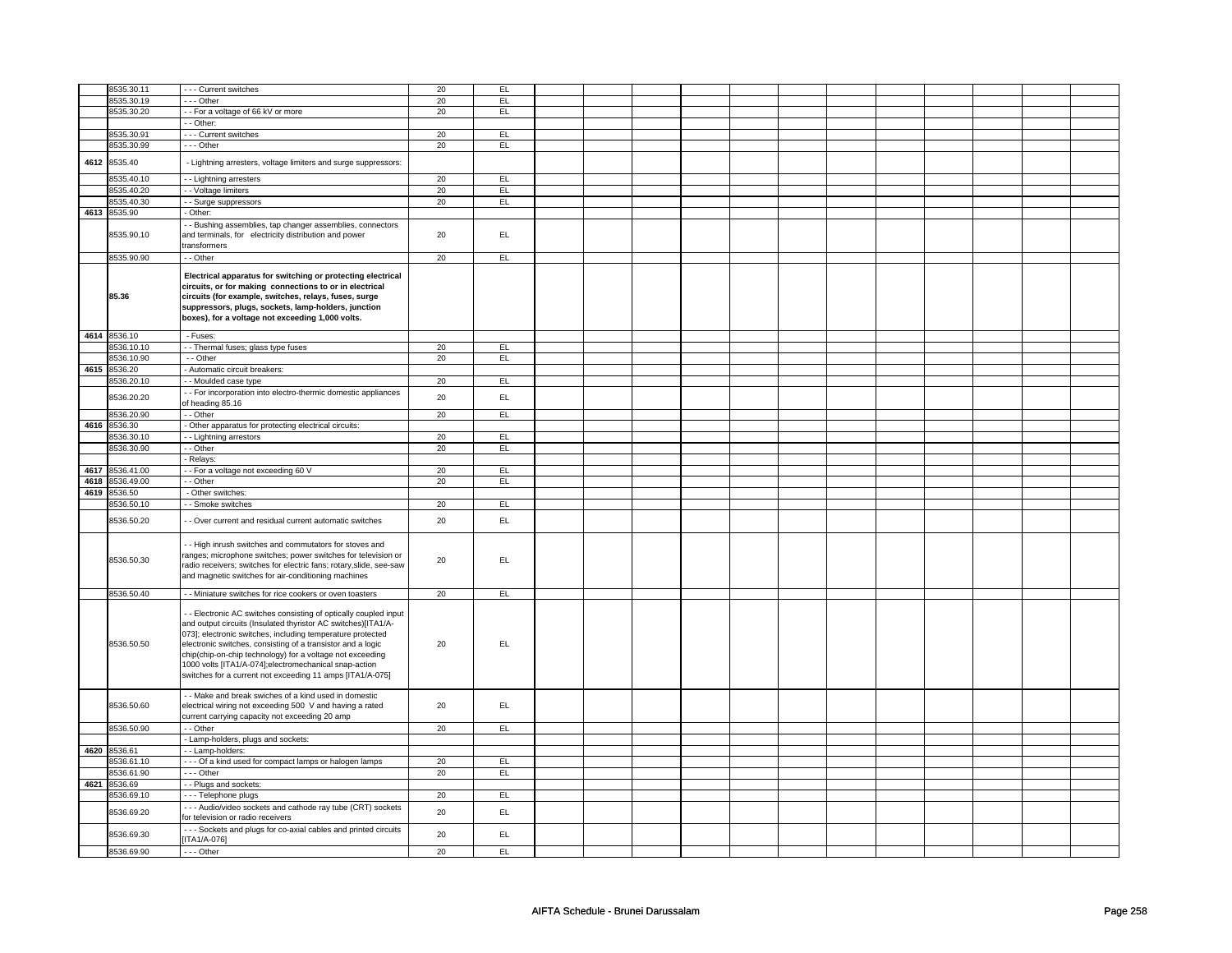|      | 8535.30.11   | - - - Current switches                                              | 20 | EL        |  |  |  |  |  |  |
|------|--------------|---------------------------------------------------------------------|----|-----------|--|--|--|--|--|--|
|      | 8535.30.19   | --- Other                                                           | 20 | EL        |  |  |  |  |  |  |
|      | 8535.30.20   | - - For a voltage of 66 kV or more                                  | 20 | EL        |  |  |  |  |  |  |
|      |              | - - Other:                                                          |    |           |  |  |  |  |  |  |
|      |              |                                                                     |    |           |  |  |  |  |  |  |
|      | 8535.30.91   | - - - Current switches                                              | 20 | EL.       |  |  |  |  |  |  |
|      | 8535.30.99   | --- Other                                                           | 20 | EL.       |  |  |  |  |  |  |
|      |              |                                                                     |    |           |  |  |  |  |  |  |
| 4612 | 8535.40      | - Lightning arresters, voltage limiters and surge suppressors:      |    |           |  |  |  |  |  |  |
|      |              |                                                                     |    |           |  |  |  |  |  |  |
|      | 8535.40.10   | - - Lightning arresters                                             | 20 | EL.       |  |  |  |  |  |  |
|      | 8535.40.20   | - - Voltage limiters                                                | 20 | EL.       |  |  |  |  |  |  |
|      | 8535.40.30   | - - Surge suppressors                                               | 20 | EL.       |  |  |  |  |  |  |
|      |              |                                                                     |    |           |  |  |  |  |  |  |
| 4613 | 8535.90      | - Other:                                                            |    |           |  |  |  |  |  |  |
|      |              | - Bushing assemblies, tap changer assemblies, connectors            |    |           |  |  |  |  |  |  |
|      | 8535.90.10   | and terminals, for electricity distribution and power               | 20 | EL.       |  |  |  |  |  |  |
|      |              | transformers                                                        |    |           |  |  |  |  |  |  |
|      |              |                                                                     |    |           |  |  |  |  |  |  |
|      | 8535.90.90   | - - Other                                                           | 20 | EL.       |  |  |  |  |  |  |
|      |              |                                                                     |    |           |  |  |  |  |  |  |
|      |              | Electrical apparatus for switching or protecting electrical         |    |           |  |  |  |  |  |  |
|      |              | circuits, or for making connections to or in electrical             |    |           |  |  |  |  |  |  |
|      | 85.36        | circuits (for example, switches, relays, fuses, surge               |    |           |  |  |  |  |  |  |
|      |              | suppressors, plugs, sockets, lamp-holders, junction                 |    |           |  |  |  |  |  |  |
|      |              |                                                                     |    |           |  |  |  |  |  |  |
|      |              | boxes), for a voltage not exceeding 1,000 volts.                    |    |           |  |  |  |  |  |  |
|      | 4614 8536.10 | - Fuses:                                                            |    |           |  |  |  |  |  |  |
|      |              |                                                                     |    |           |  |  |  |  |  |  |
|      | 8536.10.10   | - - Thermal fuses; glass type fuses                                 | 20 | EL.       |  |  |  |  |  |  |
|      | 8536.10.90   | - - Other                                                           | 20 | EL        |  |  |  |  |  |  |
| 4615 | 8536.20      | - Automatic circuit breakers:                                       |    |           |  |  |  |  |  |  |
|      | 3536.20.10   | - - Moulded case type                                               | 20 | E         |  |  |  |  |  |  |
|      |              |                                                                     |    |           |  |  |  |  |  |  |
|      | 8536.20.20   | - - For incorporation into electro-thermic domestic appliances      | 20 | EL.       |  |  |  |  |  |  |
|      |              | of heading 85.16                                                    |    |           |  |  |  |  |  |  |
|      | 8536.20.90   | - - Other                                                           | 20 | EL.       |  |  |  |  |  |  |
| 4616 | 8536.30      | - Other apparatus for protecting electrical circuits:               |    |           |  |  |  |  |  |  |
|      |              |                                                                     |    |           |  |  |  |  |  |  |
|      | 8536.30.10   | - - Lightning arrestors                                             | 20 | EL        |  |  |  |  |  |  |
|      | 8536.30.90   | - - Other                                                           | 20 | E         |  |  |  |  |  |  |
|      |              | - Relays:                                                           |    |           |  |  |  |  |  |  |
| 4617 | 8536.41.00   | - For a voltage not exceeding 60 V                                  | 20 | EL        |  |  |  |  |  |  |
|      |              |                                                                     |    |           |  |  |  |  |  |  |
| 4618 | 8536.49.00   | - - Other                                                           | 20 | <b>EL</b> |  |  |  |  |  |  |
| 4619 | 8536.50      | - Other switches:                                                   |    |           |  |  |  |  |  |  |
|      | 8536.50.10   | - Smoke switches                                                    | 20 | E         |  |  |  |  |  |  |
|      |              |                                                                     |    |           |  |  |  |  |  |  |
|      | 8536.50.20   | - Over current and residual current automatic switches              | 20 | EL.       |  |  |  |  |  |  |
|      |              |                                                                     |    |           |  |  |  |  |  |  |
|      |              |                                                                     |    |           |  |  |  |  |  |  |
|      |              | - High inrush switches and commutators for stoves and               |    |           |  |  |  |  |  |  |
|      | 8536.50.30   |                                                                     |    |           |  |  |  |  |  |  |
|      |              | ranges; microphone switches; power switches for television or       |    |           |  |  |  |  |  |  |
|      |              | radio receivers; switches for electric fans; rotary, slide, see-saw | 20 | EL.       |  |  |  |  |  |  |
|      |              |                                                                     |    |           |  |  |  |  |  |  |
|      |              | and magnetic switches for air-conditioning machines                 |    |           |  |  |  |  |  |  |
|      | 8536.50.40   | - - Miniature switches for rice cookers or oven toasters            | 20 | EL.       |  |  |  |  |  |  |
|      |              |                                                                     |    |           |  |  |  |  |  |  |
|      |              |                                                                     |    |           |  |  |  |  |  |  |
|      |              | - Electronic AC switches consisting of optically coupled input      |    |           |  |  |  |  |  |  |
|      |              | and output circuits (Insulated thyristor AC switches)[ITA1/A-       |    |           |  |  |  |  |  |  |
|      |              | 073]; electronic switches, including temperature protected          |    |           |  |  |  |  |  |  |
|      | 8536.50.50   | electronic switches, consisting of a transistor and a logic         | 20 | <b>EL</b> |  |  |  |  |  |  |
|      |              | chip(chip-on-chip technology) for a voltage not exceeding           |    |           |  |  |  |  |  |  |
|      |              | 1000 volts [ITA1/A-074];electromechanical snap-action               |    |           |  |  |  |  |  |  |
|      |              |                                                                     |    |           |  |  |  |  |  |  |
|      |              | switches for a current not exceeding 11 amps [ITA1/A-075]           |    |           |  |  |  |  |  |  |
|      |              |                                                                     |    |           |  |  |  |  |  |  |
|      |              | - - Make and break swiches of a kind used in domestic               |    |           |  |  |  |  |  |  |
|      | 8536.50.60   | electrical wiring not exceeding 500 V and having a rated            | 20 | EL.       |  |  |  |  |  |  |
|      |              | current carrying capacity not exceeding 20 amp                      |    |           |  |  |  |  |  |  |
|      | 8536.50.90   | - - Other                                                           | 20 | EL        |  |  |  |  |  |  |
|      |              |                                                                     |    |           |  |  |  |  |  |  |
|      |              | - Lamp-holders, plugs and sockets:                                  |    |           |  |  |  |  |  |  |
|      | 4620 8536.61 | - - Lamp-holders:                                                   |    |           |  |  |  |  |  |  |
|      | 8536.61.10   | --- Of a kind used for compact lamps or halogen lamps               | 20 | EL        |  |  |  |  |  |  |
|      | 8536.61.90   | $--$ Other                                                          | 20 | EL        |  |  |  |  |  |  |
|      |              |                                                                     |    |           |  |  |  |  |  |  |
| 4621 | 8536.69      | - - Plugs and sockets:                                              |    |           |  |  |  |  |  |  |
|      | 8536.69.10   | - - - Telephone plugs                                               | 20 | EL        |  |  |  |  |  |  |
|      |              | --- Audio/video sockets and cathode ray tube (CRT) sockets          |    |           |  |  |  |  |  |  |
|      | 8536.69.20   | for television or radio receivers                                   | 20 | EL.       |  |  |  |  |  |  |
|      |              |                                                                     |    |           |  |  |  |  |  |  |
|      | 8536.69.30   | - - - Sockets and plugs for co-axial cables and printed circuits    | 20 | EL.       |  |  |  |  |  |  |
|      | 8536.69.90   | [ITA1/A-076]<br>$--$ Other                                          | 20 | EL        |  |  |  |  |  |  |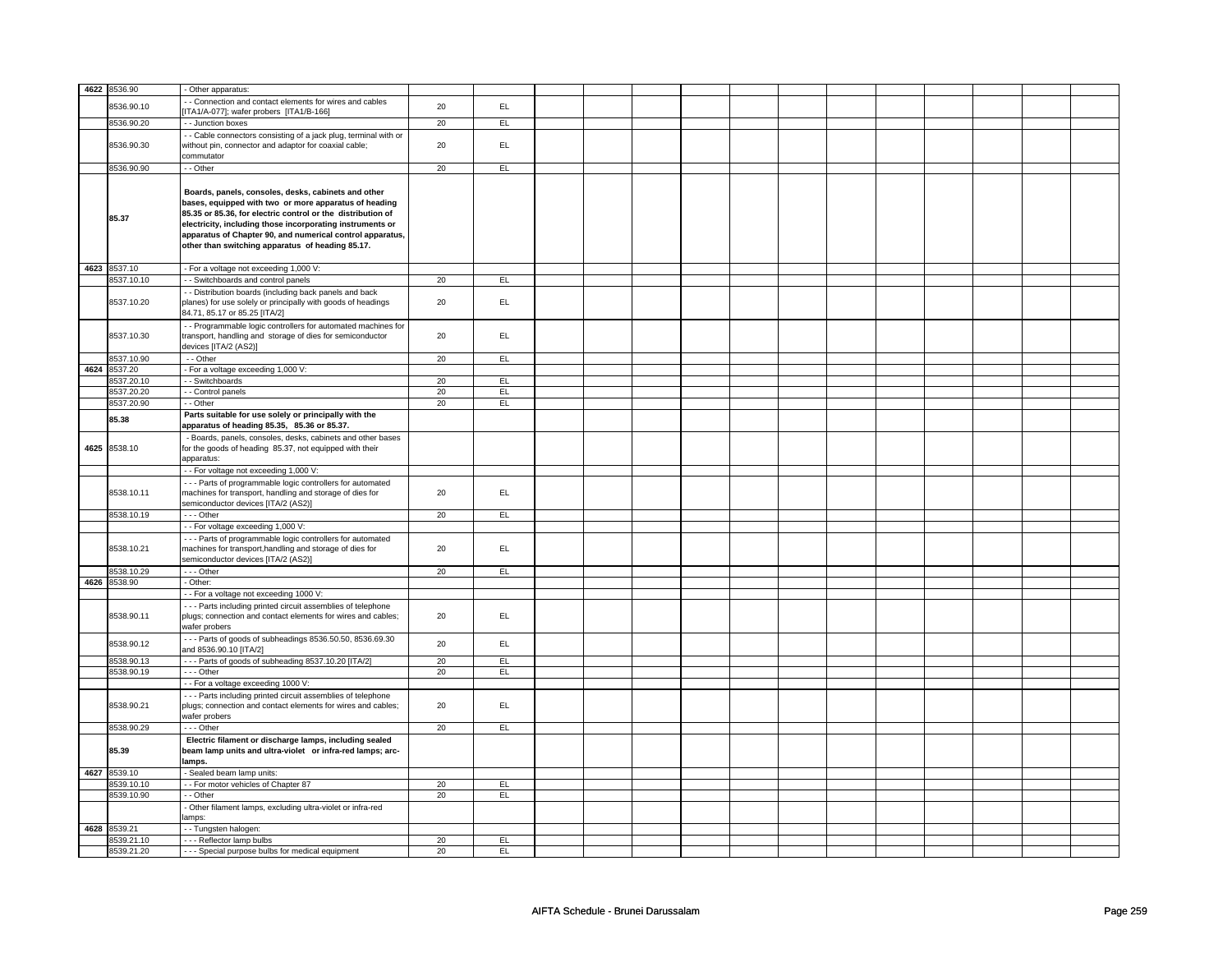|      | 4622 8536.90 |                                                                  |    |     |  |  |  |  |  |  |
|------|--------------|------------------------------------------------------------------|----|-----|--|--|--|--|--|--|
|      |              | - Other apparatus:                                               |    |     |  |  |  |  |  |  |
|      | 8536.90.10   | - Connection and contact elements for wires and cables           | 20 | EL  |  |  |  |  |  |  |
|      |              | ITA1/A-077]; wafer probers [ITA1/B-166]                          |    |     |  |  |  |  |  |  |
|      | 8536.90.20   | - - Junction boxes                                               | 20 | EL  |  |  |  |  |  |  |
|      |              | - - Cable connectors consisting of a jack plug, terminal with or |    |     |  |  |  |  |  |  |
|      | 8536.90.30   | without pin, connector and adaptor for coaxial cable;            | 20 | EL. |  |  |  |  |  |  |
|      |              |                                                                  |    |     |  |  |  |  |  |  |
|      |              | commutator                                                       |    |     |  |  |  |  |  |  |
|      | 8536.90.90   | - - Other                                                        | 20 | EL  |  |  |  |  |  |  |
|      |              |                                                                  |    |     |  |  |  |  |  |  |
|      |              | Boards, panels, consoles, desks, cabinets and other              |    |     |  |  |  |  |  |  |
|      |              |                                                                  |    |     |  |  |  |  |  |  |
|      |              | bases, equipped with two or more apparatus of heading            |    |     |  |  |  |  |  |  |
|      | 85.37        | 85.35 or 85.36, for electric control or the distribution of      |    |     |  |  |  |  |  |  |
|      |              | electricity, including those incorporating instruments or        |    |     |  |  |  |  |  |  |
|      |              | apparatus of Chapter 90, and numerical control apparatus,        |    |     |  |  |  |  |  |  |
|      |              | other than switching apparatus of heading 85.17.                 |    |     |  |  |  |  |  |  |
|      |              |                                                                  |    |     |  |  |  |  |  |  |
|      |              |                                                                  |    |     |  |  |  |  |  |  |
|      | 4623 8537.10 | - For a voltage not exceeding 1,000 V:                           |    |     |  |  |  |  |  |  |
|      | 8537.10.10   | - - Switchboards and control panels                              | 20 | E   |  |  |  |  |  |  |
|      |              | - Distribution boards (including back panels and back            |    |     |  |  |  |  |  |  |
|      | 8537.10.20   | planes) for use solely or principally with goods of headings     | 20 | EL. |  |  |  |  |  |  |
|      |              | 84.71, 85.17 or 85.25 [ITA/2]                                    |    |     |  |  |  |  |  |  |
|      |              |                                                                  |    |     |  |  |  |  |  |  |
|      |              | - - Programmable logic controllers for automated machines for    |    |     |  |  |  |  |  |  |
|      | 8537.10.30   | transport, handling and storage of dies for semiconductor        | 20 | EL. |  |  |  |  |  |  |
|      |              | devices [ITA/2 (AS2)]                                            |    |     |  |  |  |  |  |  |
|      | 8537.10.90   | $-$ Other                                                        | 20 | EL  |  |  |  |  |  |  |
| 4624 | 8537.20      | - For a voltage exceeding 1,000 V:                               |    |     |  |  |  |  |  |  |
|      | 8537.20.10   | - Switchboards                                                   | 20 | EL  |  |  |  |  |  |  |
|      | 8537.20.20   | - - Control panels                                               | 20 | EL  |  |  |  |  |  |  |
|      |              |                                                                  |    |     |  |  |  |  |  |  |
|      | 8537.20.90   | - - Other                                                        | 20 | EL  |  |  |  |  |  |  |
|      | 85.38        | Parts suitable for use solely or principally with the            |    |     |  |  |  |  |  |  |
|      |              | apparatus of heading 85.35, 85.36 or 85.37.                      |    |     |  |  |  |  |  |  |
|      |              | - Boards, panels, consoles, desks, cabinets and other bases      |    |     |  |  |  |  |  |  |
| 4625 | 8538.10      | for the goods of heading 85.37, not equipped with their          |    |     |  |  |  |  |  |  |
|      |              | apparatus:                                                       |    |     |  |  |  |  |  |  |
|      |              |                                                                  |    |     |  |  |  |  |  |  |
|      |              | - - For voltage not exceeding 1,000 V:                           |    |     |  |  |  |  |  |  |
|      |              | --- Parts of programmable logic controllers for automated        |    |     |  |  |  |  |  |  |
|      | 8538.10.11   | machines for transport, handling and storage of dies for         | 20 | EL  |  |  |  |  |  |  |
|      |              | semiconductor devices [ITA/2 (AS2)]                              |    |     |  |  |  |  |  |  |
|      | 8538.10.19   | $- -$ Other                                                      | 20 | EL  |  |  |  |  |  |  |
|      |              |                                                                  |    |     |  |  |  |  |  |  |
|      |              | - - For voltage exceeding 1,000 V:                               |    |     |  |  |  |  |  |  |
|      |              | --- Parts of programmable logic controllers for automated        |    |     |  |  |  |  |  |  |
|      | 8538.10.21   | machines for transport, handling and storage of dies for         | 20 | EL. |  |  |  |  |  |  |
|      |              | semiconductor devices [ITA/2 (AS2)]                              |    |     |  |  |  |  |  |  |
|      | 8538.10.29   | $--$ Other                                                       | 20 | EL  |  |  |  |  |  |  |
|      | 4626 8538.90 | - Other:                                                         |    |     |  |  |  |  |  |  |
|      |              |                                                                  |    |     |  |  |  |  |  |  |
|      |              | - For a voltage not exceeding 1000 V:                            |    |     |  |  |  |  |  |  |
|      |              | --- Parts including printed circuit assemblies of telephone      |    |     |  |  |  |  |  |  |
|      | 8538.90.11   | plugs; connection and contact elements for wires and cables;     | 20 | EL. |  |  |  |  |  |  |
|      |              | wafer probers                                                    |    |     |  |  |  |  |  |  |
|      |              | --- Parts of goods of subheadings 8536.50.50, 8536.69.30         |    |     |  |  |  |  |  |  |
|      | 8538.90.12   | and 8536.90.10 [ITA/2]                                           | 20 | EL  |  |  |  |  |  |  |
|      | 8538.90.13   | --- Parts of goods of subheading 8537.10.20 [ITA/2]              | 20 | EL  |  |  |  |  |  |  |
|      |              |                                                                  |    |     |  |  |  |  |  |  |
|      | 8538.90.19   | --- Other                                                        | 20 | EL  |  |  |  |  |  |  |
|      |              | - - For a voltage exceeding 1000 V:                              |    |     |  |  |  |  |  |  |
|      |              | - - - Parts including printed circuit assemblies of telephone    |    |     |  |  |  |  |  |  |
|      | 8538.90.21   | plugs; connection and contact elements for wires and cables;     | 20 | EL  |  |  |  |  |  |  |
|      |              | wafer probers                                                    |    |     |  |  |  |  |  |  |
|      | 8538.90.29   | $--$ Other                                                       |    | EL  |  |  |  |  |  |  |
|      |              |                                                                  | 20 |     |  |  |  |  |  |  |
|      |              | Electric filament or discharge lamps, including sealed           |    |     |  |  |  |  |  |  |
|      | 85.39        | beam lamp units and ultra-violet or infra-red lamps; arc-        |    |     |  |  |  |  |  |  |
|      |              | lamps.                                                           |    |     |  |  |  |  |  |  |
|      | 4627 8539.10 | - Sealed beam lamp units:                                        |    |     |  |  |  |  |  |  |
|      | 8539.10.10   | -- For motor vehicles of Chapter 87                              | 20 | E   |  |  |  |  |  |  |
|      |              |                                                                  |    |     |  |  |  |  |  |  |
|      | 8539.10.90   | - Other                                                          | 20 | EL  |  |  |  |  |  |  |
|      |              | - Other filament lamps, excluding ultra-violet or infra-red      |    |     |  |  |  |  |  |  |
|      |              | amps:                                                            |    |     |  |  |  |  |  |  |
|      | 4628 8539.21 | - Tungsten halogen:                                              |    |     |  |  |  |  |  |  |
|      | 8539.21.10   | --- Reflector lamp bulbs                                         | 20 | EL  |  |  |  |  |  |  |
|      | 8539.21.20   | - - - Special purpose bulbs for medical equipment                | 20 | EL  |  |  |  |  |  |  |
|      |              |                                                                  |    |     |  |  |  |  |  |  |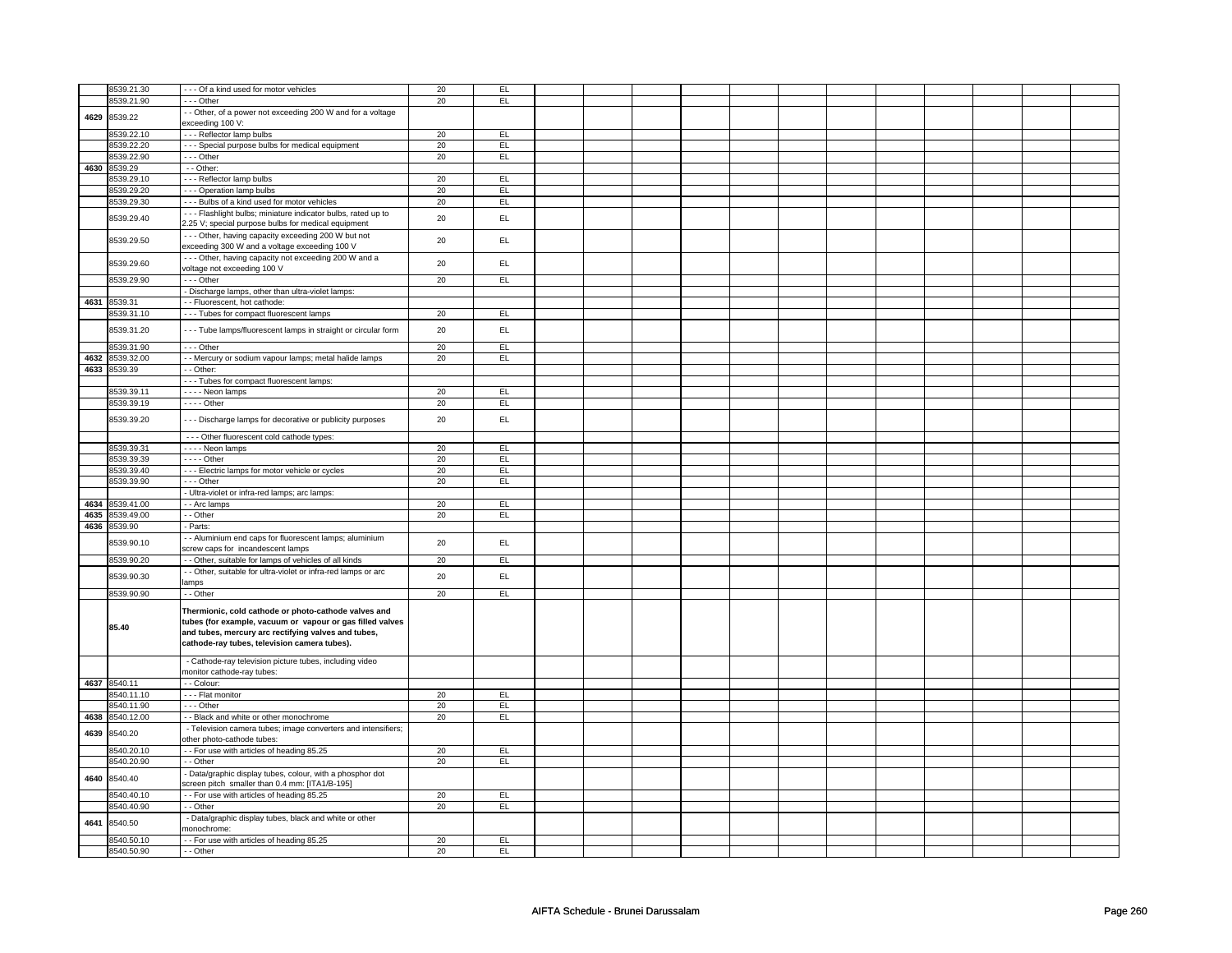|              | 8539.21.30               | --- Of a kind used for motor vehicles                                                                                                                                                                                    | 20       | EL.        |  |  |  |  |  |  |
|--------------|--------------------------|--------------------------------------------------------------------------------------------------------------------------------------------------------------------------------------------------------------------------|----------|------------|--|--|--|--|--|--|
|              | 8539.21.90               | --- Other                                                                                                                                                                                                                | 20       | EL         |  |  |  |  |  |  |
| 4629         | 8539.22                  | - - Other, of a power not exceeding 200 W and for a voltage<br>exceeding 100 V:                                                                                                                                          |          |            |  |  |  |  |  |  |
|              |                          |                                                                                                                                                                                                                          |          | EL.        |  |  |  |  |  |  |
|              | 8539.22.10<br>8539.22.20 | --- Reflector lamp bulbs<br>- - - Special purpose bulbs for medical equipment                                                                                                                                            | 20<br>20 | EL         |  |  |  |  |  |  |
|              | 8539.22.90               | --- Other                                                                                                                                                                                                                | 20       | EL         |  |  |  |  |  |  |
| 4630         | 8539.29                  | $-$ Other:                                                                                                                                                                                                               |          |            |  |  |  |  |  |  |
|              | 8539.29.10               | --- Reflector lamp bulbs                                                                                                                                                                                                 | 20       | EL         |  |  |  |  |  |  |
|              | 8539.29.20               | - - - Operation lamp bulbs                                                                                                                                                                                               | 20       | EL         |  |  |  |  |  |  |
|              | 8539.29.30               | --- Bulbs of a kind used for motor vehicles                                                                                                                                                                              | 20       | EL         |  |  |  |  |  |  |
|              | 8539.29.40               | --- Flashlight bulbs; miniature indicator bulbs, rated up to<br>2.25 V; special purpose bulbs for medical equipment                                                                                                      | 20       | EL         |  |  |  |  |  |  |
|              | 8539.29.50               | --- Other, having capacity exceeding 200 W but not<br>exceeding 300 W and a voltage exceeding 100 V                                                                                                                      | 20       | EL         |  |  |  |  |  |  |
|              | 8539.29.60               | --- Other, having capacity not exceeding 200 W and a<br>voltage not exceeding 100 V                                                                                                                                      | 20       | EL         |  |  |  |  |  |  |
|              | 8539.29.90               | --- Other                                                                                                                                                                                                                | 20       | EL         |  |  |  |  |  |  |
|              |                          | - Discharge lamps, other than ultra-violet lamps:                                                                                                                                                                        |          |            |  |  |  |  |  |  |
|              | 4631 8539.31             | - - Fluorescent, hot cathode:                                                                                                                                                                                            |          |            |  |  |  |  |  |  |
|              | 8539.31.10               | - - - Tubes for compact fluorescent lamps                                                                                                                                                                                | 20       | EL         |  |  |  |  |  |  |
|              | 8539.31.20               | --- Tube lamps/fluorescent lamps in straight or circular form                                                                                                                                                            | 20       | EL.        |  |  |  |  |  |  |
|              | 8539.31.90               | $--$ Other                                                                                                                                                                                                               | 20       | EL         |  |  |  |  |  |  |
| 4632<br>4633 | 8539.32.00<br>8539.39    | - - Mercury or sodium vapour lamps; metal halide lamps<br>- - Other:                                                                                                                                                     | 20       | EL         |  |  |  |  |  |  |
|              |                          | --- Tubes for compact fluorescent lamps:                                                                                                                                                                                 |          |            |  |  |  |  |  |  |
|              | 8539.39.11               | - - - - Neon lamps                                                                                                                                                                                                       | 20       | EL         |  |  |  |  |  |  |
|              | 8539.39.19               | $- - -$ Other                                                                                                                                                                                                            | 20       | EL         |  |  |  |  |  |  |
|              | 8539.39.20               | --- Discharge lamps for decorative or publicity purposes                                                                                                                                                                 | 20       | EL         |  |  |  |  |  |  |
|              |                          | - - - Other fluorescent cold cathode types:                                                                                                                                                                              |          |            |  |  |  |  |  |  |
|              | 8539.39.31               | - - - - Neon lamps                                                                                                                                                                                                       | 20       | EL         |  |  |  |  |  |  |
|              | 8539.39.39               | $---$ Other                                                                                                                                                                                                              | 20       | EL         |  |  |  |  |  |  |
|              | 8539.39.40               | --- Electric lamps for motor vehicle or cycles                                                                                                                                                                           | 20       | EL         |  |  |  |  |  |  |
|              | 8539.39.90               | --- Other                                                                                                                                                                                                                | 20       | EL         |  |  |  |  |  |  |
|              |                          | - Ultra-violet or infra-red lamps; arc lamps:                                                                                                                                                                            |          |            |  |  |  |  |  |  |
| 4634         | 8539.41.00               | - - Arc lamps                                                                                                                                                                                                            | 20       | EL         |  |  |  |  |  |  |
| 4635<br>4636 | 8539.49.00<br>8539.90    | - - Other<br>- Parts:                                                                                                                                                                                                    | 20       | EL.        |  |  |  |  |  |  |
|              |                          | - - Aluminium end caps for fluorescent lamps; aluminium                                                                                                                                                                  |          |            |  |  |  |  |  |  |
|              | 8539.90.10               | screw caps for incandescent lamps                                                                                                                                                                                        | 20       | EL         |  |  |  |  |  |  |
|              | 8539.90.20               | - Other, suitable for lamps of vehicles of all kinds                                                                                                                                                                     | 20       | EL         |  |  |  |  |  |  |
|              | 8539.90.30               | - Other, suitable for ultra-violet or infra-red lamps or arc<br>lamps                                                                                                                                                    | 20       | EL         |  |  |  |  |  |  |
|              | 8539.90.90               | - - Other                                                                                                                                                                                                                | 20       | EL         |  |  |  |  |  |  |
|              | 85.40                    | Thermionic, cold cathode or photo-cathode valves and<br>tubes (for example, vacuum or vapour or gas filled valves<br>and tubes, mercury arc rectifying valves and tubes,<br>cathode-ray tubes, television camera tubes). |          |            |  |  |  |  |  |  |
|              |                          | - Cathode-ray television picture tubes, including video<br>nonitor cathode-ray tubes:                                                                                                                                    |          |            |  |  |  |  |  |  |
| 4637         | 8540.11                  | - - Colour:                                                                                                                                                                                                              |          |            |  |  |  |  |  |  |
|              | 8540.11.10               | - - - Flat monitor                                                                                                                                                                                                       | 20       | EL         |  |  |  |  |  |  |
|              | 8540.11.90               | --- Other                                                                                                                                                                                                                | 20       | EL         |  |  |  |  |  |  |
| 4638         | 8540.12.00               | - Black and white or other monochrome                                                                                                                                                                                    | 20       | EL         |  |  |  |  |  |  |
| 4639         | 8540.20                  | - Television camera tubes; image converters and intensifiers;<br>other photo-cathode tubes:                                                                                                                              |          |            |  |  |  |  |  |  |
|              | 8540.20.10               | - - For use with articles of heading 85.25                                                                                                                                                                               | 20<br>20 | EL.<br>EL. |  |  |  |  |  |  |
| 4640         | 8540.20.90<br>8540.40    | - - Other<br>- Data/graphic display tubes, colour, with a phosphor dot<br>screen pitch smaller than 0.4 mm: [ITA1/B-195]                                                                                                 |          |            |  |  |  |  |  |  |
|              | 3540.40.10               | - - For use with articles of heading 85.25                                                                                                                                                                               | 20       | EL         |  |  |  |  |  |  |
|              | 8540.40.90               | - - Other                                                                                                                                                                                                                | 20       | EL         |  |  |  |  |  |  |
|              | 8540.50                  | - Data/graphic display tubes, black and white or other<br>nonochrome:                                                                                                                                                    |          |            |  |  |  |  |  |  |
| 4641         |                          |                                                                                                                                                                                                                          |          |            |  |  |  |  |  |  |
|              | 8540.50.10               | - - For use with articles of heading 85.25                                                                                                                                                                               | 20       | EL         |  |  |  |  |  |  |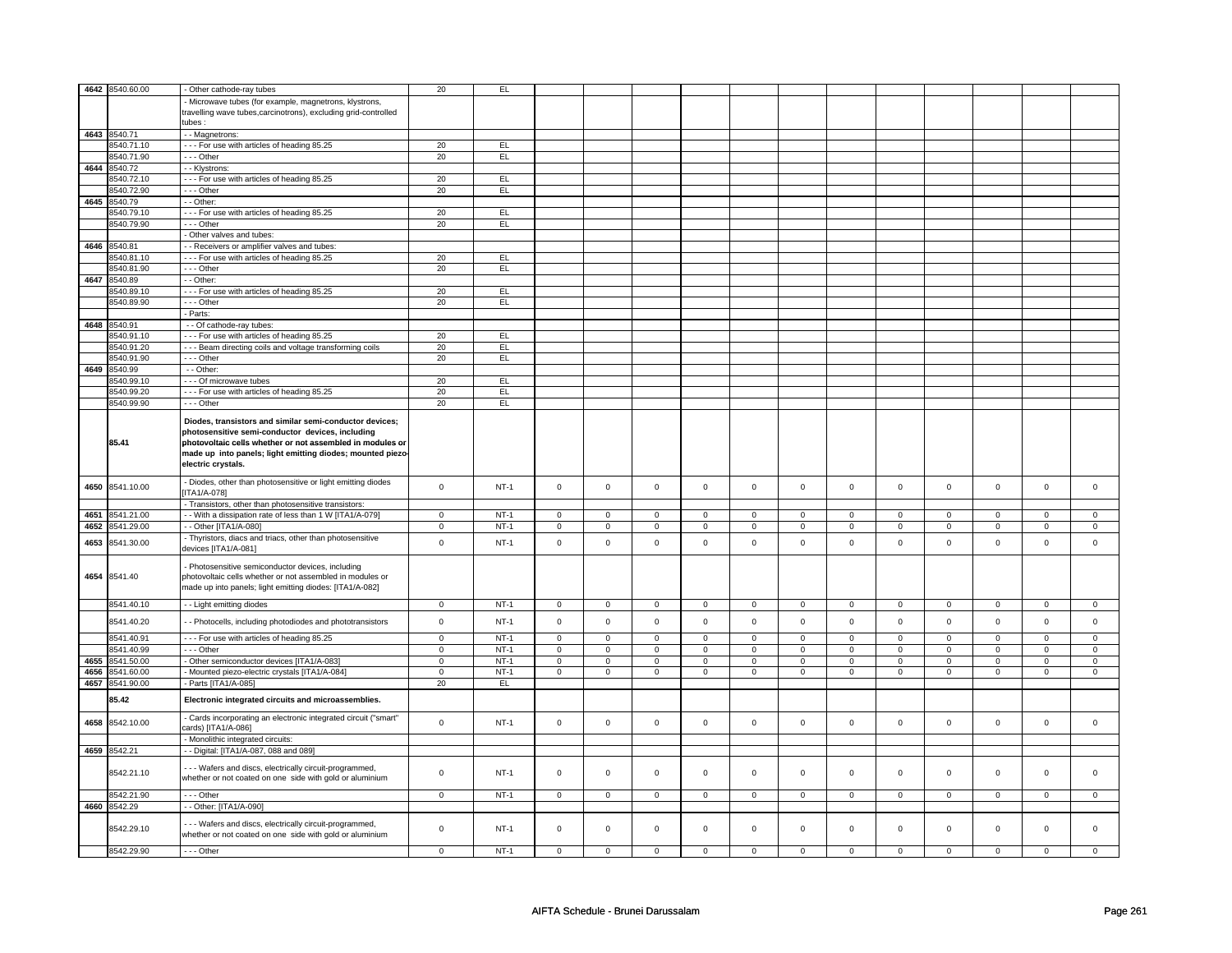|      | 4642 8540.60.00 |                                                                                                                                                                                                                                                             | 20          | EL          |                     |                |             |             |                |                |             |             |                |                |             |             |
|------|-----------------|-------------------------------------------------------------------------------------------------------------------------------------------------------------------------------------------------------------------------------------------------------------|-------------|-------------|---------------------|----------------|-------------|-------------|----------------|----------------|-------------|-------------|----------------|----------------|-------------|-------------|
|      |                 | - Other cathode-ray tubes                                                                                                                                                                                                                                   |             |             |                     |                |             |             |                |                |             |             |                |                |             |             |
|      |                 | Microwave tubes (for example, magnetrons, klystrons,                                                                                                                                                                                                        |             |             |                     |                |             |             |                |                |             |             |                |                |             |             |
|      |                 | travelling wave tubes,carcinotrons), excluding grid-controlled                                                                                                                                                                                              |             |             |                     |                |             |             |                |                |             |             |                |                |             |             |
|      |                 | : ubes:                                                                                                                                                                                                                                                     |             |             |                     |                |             |             |                |                |             |             |                |                |             |             |
|      | 4643 8540.71    | - - Magnetrons:                                                                                                                                                                                                                                             |             |             |                     |                |             |             |                |                |             |             |                |                |             |             |
|      | 8540.71.10      | - - - For use with articles of heading 85.25                                                                                                                                                                                                                | 20          | EL          |                     |                |             |             |                |                |             |             |                |                |             |             |
|      | 8540.71.90      |                                                                                                                                                                                                                                                             | 20          | EL          |                     |                |             |             |                |                |             |             |                |                |             |             |
|      |                 | --- Other                                                                                                                                                                                                                                                   |             |             |                     |                |             |             |                |                |             |             |                |                |             |             |
|      | 4644 8540.72    | - - Klystrons:                                                                                                                                                                                                                                              |             |             |                     |                |             |             |                |                |             |             |                |                |             |             |
|      | 3540.72.10      | --- For use with articles of heading 85.25                                                                                                                                                                                                                  | 20          | EL          |                     |                |             |             |                |                |             |             |                |                |             |             |
|      | 8540.72.90      | - - - Other                                                                                                                                                                                                                                                 | 20          | EL          |                     |                |             |             |                |                |             |             |                |                |             |             |
| 4645 | 8540.79         | - - Other:                                                                                                                                                                                                                                                  |             |             |                     |                |             |             |                |                |             |             |                |                |             |             |
|      | 8540.79.10      | --- For use with articles of heading 85.25                                                                                                                                                                                                                  | 20          | EL          |                     |                |             |             |                |                |             |             |                |                |             |             |
|      | 8540.79.90      |                                                                                                                                                                                                                                                             | 20          | EL          |                     |                |             |             |                |                |             |             |                |                |             |             |
|      |                 | - - - Other                                                                                                                                                                                                                                                 |             |             |                     |                |             |             |                |                |             |             |                |                |             |             |
|      |                 | - Other valves and tubes:                                                                                                                                                                                                                                   |             |             |                     |                |             |             |                |                |             |             |                |                |             |             |
| 4646 | 8540.81         | - Receivers or amplifier valves and tubes:                                                                                                                                                                                                                  |             |             |                     |                |             |             |                |                |             |             |                |                |             |             |
|      | 8540.81.10      | --- For use with articles of heading 85.25                                                                                                                                                                                                                  | 20          | EL          |                     |                |             |             |                |                |             |             |                |                |             |             |
|      | 8540.81.90      | - - - Other                                                                                                                                                                                                                                                 | 20          | EL.         |                     |                |             |             |                |                |             |             |                |                |             |             |
| 4647 | 8540.89         | - - Other:                                                                                                                                                                                                                                                  |             |             |                     |                |             |             |                |                |             |             |                |                |             |             |
|      | 8540.89.10      | --- For use with articles of heading 85.25                                                                                                                                                                                                                  | 20          | EL          |                     |                |             |             |                |                |             |             |                |                |             |             |
|      |                 |                                                                                                                                                                                                                                                             |             |             |                     |                |             |             |                |                |             |             |                |                |             |             |
|      | 8540.89.90      | $- -$ Other                                                                                                                                                                                                                                                 | 20          | EL          |                     |                |             |             |                |                |             |             |                |                |             |             |
|      |                 | - Parts:                                                                                                                                                                                                                                                    |             |             |                     |                |             |             |                |                |             |             |                |                |             |             |
|      | 4648 8540.91    | - - Of cathode-ray tubes:                                                                                                                                                                                                                                   |             |             |                     |                |             |             |                |                |             |             |                |                |             |             |
|      | 8540.91.10      | --- For use with articles of heading 85.25                                                                                                                                                                                                                  | 20          | EL          |                     |                |             |             |                |                |             |             |                |                |             |             |
|      | 8540.91.20      | --- Beam directing coils and voltage transforming coils                                                                                                                                                                                                     | 20          | EL          |                     |                |             |             |                |                |             |             |                |                |             |             |
|      | 8540.91.90      | --- Other                                                                                                                                                                                                                                                   | 20          | EL          |                     |                |             |             |                |                |             |             |                |                |             |             |
| 4649 | 8540.99         |                                                                                                                                                                                                                                                             |             |             |                     |                |             |             |                |                |             |             |                |                |             |             |
|      |                 | - - Other:                                                                                                                                                                                                                                                  |             |             |                     |                |             |             |                |                |             |             |                |                |             |             |
|      | 8540.99.10      | - - - Of microwave tubes                                                                                                                                                                                                                                    | 20          | EL          |                     |                |             |             |                |                |             |             |                |                |             |             |
|      | 8540.99.20      | --- For use with articles of heading 85.25                                                                                                                                                                                                                  | 20          | EL          |                     |                |             |             |                |                |             |             |                |                |             |             |
|      | 8540.99.90      | --- Other                                                                                                                                                                                                                                                   | 20          | EL          |                     |                |             |             |                |                |             |             |                |                |             |             |
|      | 85.41           | Diodes, transistors and similar semi-conductor devices;<br>photosensitive semi-conductor devices, including<br>photovoltaic cells whether or not assembled in modules or<br>made up into panels; light emitting diodes; mounted piezo<br>electric crystals. |             |             |                     |                |             |             |                |                |             |             |                |                |             |             |
| 4650 | 8541.10.00      | - Diodes, other than photosensitive or light emitting diodes<br>ITA1/A-078]                                                                                                                                                                                 | $\mathsf 0$ | $NT-1$      | $\mathbf 0$         | $\mathsf 0$    | $\mathsf 0$ | $\mathsf 0$ | $\mathbf 0$    | $\mathsf 0$    | $\mathbf 0$ | $\mathsf 0$ | $\mathsf 0$    | $\mathbf 0$    | $\mathbf 0$ | $\mathsf 0$ |
|      |                 | - Transistors, other than photosensitive transistors:                                                                                                                                                                                                       |             |             |                     |                |             |             |                |                |             |             |                |                |             |             |
| 4651 | 8541.21.00      | - With a dissipation rate of less than 1 W [ITA1/A-079]                                                                                                                                                                                                     | $\mathbf 0$ | $NT-1$      | $\mathsf 0$         | $\mathsf 0$    | $\mathsf 0$ | $\mathsf 0$ | $\mathbf 0$    | $\mathsf 0$    | $\mathbf 0$ | $\mathsf 0$ | $\mathsf 0$    | $\mathbf 0$    | $\mathbf 0$ | $\mathbf 0$ |
| 4652 | 8541.29.00      | - Other [ITA1/A-080]                                                                                                                                                                                                                                        | $\mathsf 0$ | $NT-1$      | $\mathsf 0$         | $\mathsf 0$    | $\mathbf 0$ | $\mathbf 0$ | $\mathbf 0$    | $\mathsf 0$    | $\mathbf 0$ | $\mathbf 0$ | $\mathsf 0$    | $\mathbf 0$    | $\mathsf 0$ | $\mathbf 0$ |
|      |                 | - Thyristors, diacs and triacs, other than photosensitive                                                                                                                                                                                                   |             |             |                     |                |             |             |                |                |             |             |                |                |             |             |
| 4653 | 8541.30.00      | devices [ITA1/A-081]                                                                                                                                                                                                                                        | $\mathsf 0$ | $NT-1$      | $\mathbf 0$         | $\mathsf 0$    | $\mathbf 0$ | $\mathbf 0$ | $\mathbf 0$    | $\mathsf 0$    | $\mathbf 0$ | $\mathbf 0$ | $\mathbf 0$    | $\mathbf 0$    | $\mathbf 0$ | $\mathsf 0$ |
|      | 4654 8541.40    | Photosensitive semiconductor devices, including<br>photovoltaic cells whether or not assembled in modules or<br>made up into panels; light emitting diodes: [ITA1/A-082]                                                                                    |             |             |                     |                |             |             |                |                |             |             |                |                |             |             |
|      | 8541.40.10      | - - Light emitting diodes                                                                                                                                                                                                                                   | $\mathbf 0$ | $NT-1$      | $\overline{0}$      | $\overline{0}$ | $\mathbf 0$ | 0           | $\overline{0}$ | $\overline{0}$ | $\mathbf 0$ | 0           | $\overline{0}$ | $\overline{0}$ | $\mathbf 0$ | $\mathbf 0$ |
|      | 8541.40.20      | - - Photocells, including photodiodes and phototransistors                                                                                                                                                                                                  | $\mathbf 0$ | $NT-1$      | $\mathsf 0$         | $\mathbf 0$    | $\mathsf 0$ | $\mathbf 0$ | $\mathsf 0$    | $\mathbf 0$    | $\mathsf 0$ | $\mathbf 0$ | $\mathsf 0$    | $\mathsf 0$    | $\mathsf 0$ | $\mathsf 0$ |
|      | 8541.40.91      | --- For use with articles of heading 85.25                                                                                                                                                                                                                  | $\mathsf 0$ | $NT-1$      | $\mathsf 0$         | $\mathsf 0$    | $\mathsf 0$ | $\mathsf 0$ | $\mathsf 0$    | $\mathsf 0$    | $\mathsf 0$ | $\mathsf 0$ | $\mathsf 0$    | $\mathsf 0$    | $\Omega$    | $\Omega$    |
|      | 8541.40.99      | - - - Other                                                                                                                                                                                                                                                 | $\mathbf 0$ | $NT-1$      | $\mathbf 0$         | $\mathbf 0$    | $\Omega$    | $\mathsf 0$ | $\mathsf 0$    | $\mathsf 0$    | $\Omega$    | $\Omega$    | $\mathsf 0$    | $\mathsf 0$    | $\Omega$    | $\mathsf 0$ |
| 4655 | 8541.50.00      | - Other semiconductor devices [ITA1/A-083]                                                                                                                                                                                                                  | $\mathbf 0$ | $NT-1$      | $\mathbf 0$         | $\mathbf 0$    | $\mathbf 0$ | 0           | 0              | $\mathbf 0$    | 0           | 0           | 0              | $\mathsf 0$    | $\mathbf 0$ | $\mathsf 0$ |
| 4656 | 8541.60.00      | Mounted piezo-electric crystals [ITA1/A-084]                                                                                                                                                                                                                | $\mathbf 0$ | $NT-1$      | $\mathsf{O}\xspace$ | $\mathbf 0$    | 0           | $\mathsf 0$ | $\mathsf 0$    | $\mathbf 0$    | $\mathsf 0$ | $\mathbf 0$ | $\mathsf 0$    | $\mathsf 0$    | $\mathbf 0$ | $\mathsf 0$ |
| 4657 | 8541.90.00      | - Parts [ITA1/A-085]                                                                                                                                                                                                                                        | 20          | EL          |                     |                |             |             |                |                |             |             |                |                |             |             |
|      |                 |                                                                                                                                                                                                                                                             |             |             |                     |                |             |             |                |                |             |             |                |                |             |             |
|      | 85.42           | Electronic integrated circuits and microassemblies.                                                                                                                                                                                                         |             |             |                     |                |             |             |                |                |             |             |                |                |             |             |
| 4658 | 8542.10.00      | - Cards incorporating an electronic integrated circuit ("smart"<br>cards) [ITA1/A-086]                                                                                                                                                                      | $\mathsf 0$ | $NT-1$      | $\mathsf 0$         | $\mathsf 0$    | $\mathsf 0$ | $\mathsf 0$ | $\mathsf 0$    | $\mathsf 0$    | $\mathsf 0$ | $\mathsf 0$ | $\mathsf 0$    | $\mathsf 0$    | $\mathsf 0$ | $\mathsf 0$ |
|      |                 | - Monolithic integrated circuits:                                                                                                                                                                                                                           |             |             |                     |                |             |             |                |                |             |             |                |                |             |             |
| 4659 | 8542.21         | - - Digital: [ITA1/A-087, 088 and 089]                                                                                                                                                                                                                      |             |             |                     |                |             |             |                |                |             |             |                |                |             |             |
|      | 8542.21.10      | -- Wafers and discs, electrically circuit-programmed,<br>whether or not coated on one side with gold or aluminium                                                                                                                                           | $\mathbf 0$ | <b>NT-1</b> | $\mathbf 0$         | $\mathbf 0$    | $\mathbf 0$ | $\mathbf 0$ | $\mathbf 0$    | $\mathbf 0$    | $\mathbf 0$ | $\mathbf 0$ | $\mathbf 0$    | $\mathbf 0$    | $\mathbf 0$ | 0           |
|      | 8542.21.90      | --- Other                                                                                                                                                                                                                                                   | $\mathbf 0$ | $NT-1$      | $\mathsf 0$         | $\mathbf 0$    | $\mathsf 0$ | $\mathbf 0$ | $\mathbf 0$    | $\mathsf 0$    | $\mathbf 0$ | $\mathsf 0$ | $\mathsf 0$    | $\mathbf 0$    | $\mathbf 0$ | $\mathbf 0$ |
| 4660 | 8542.29         | - - Other: [ITA1/A-090]                                                                                                                                                                                                                                     |             |             |                     |                |             |             |                |                |             |             |                |                |             |             |
|      | 8542.29.10      | -- Wafers and discs, electrically circuit-programmed,<br>whether or not coated on one side with gold or aluminium                                                                                                                                           | $\mathbf 0$ | <b>NT-1</b> | $\mathbf 0$         | $\mathbf 0$    | $\mathbf 0$ | $\mathbf 0$ | $\mathbf 0$    | $\mathbf 0$    | $\mathbf 0$ | $\mathsf 0$ | 0              | $\mathsf 0$    | $\mathsf 0$ | $\mathbf 0$ |
|      | 8542.29.90      | --- Other                                                                                                                                                                                                                                                   | $\mathsf 0$ | $NT-1$      | $\mathsf 0$         | $\mathbf 0$    | $\mathsf 0$ | $\mathsf 0$ | $\mathbf 0$    | $\mathsf 0$    | $\mathbf 0$ | $\mathsf 0$ | $\mathsf 0$    | $\mathbf 0$    | $\mathsf 0$ | $\mathbf 0$ |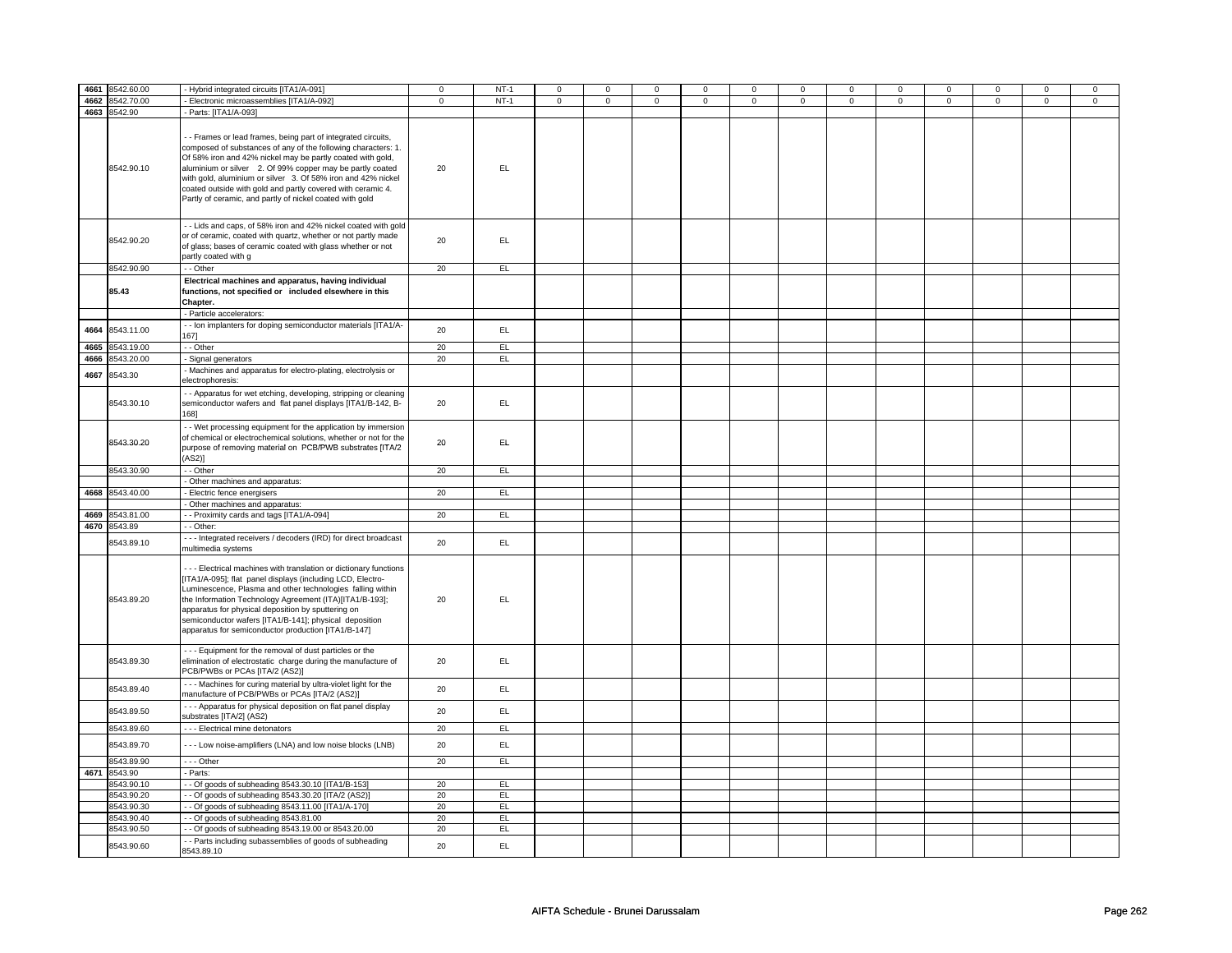| 4661 | 8542.60.00   | - Hybrid integrated circuits [ITA1/A-091]                                                                                                                                                                                                                                                                                                                                                                                                          | $\mathbf 0$ | $NT-1$ | $\mathsf 0$ | $\mathbf 0$ | $\mathsf 0$         | $\mathbf 0$ | $\mathsf 0$ | $\mathsf 0$ | $\mathsf 0$ | $\mathsf 0$ | $\mathsf 0$ | $\mathbf 0$ | $\mathsf 0$ | $\mathsf 0$ |
|------|--------------|----------------------------------------------------------------------------------------------------------------------------------------------------------------------------------------------------------------------------------------------------------------------------------------------------------------------------------------------------------------------------------------------------------------------------------------------------|-------------|--------|-------------|-------------|---------------------|-------------|-------------|-------------|-------------|-------------|-------------|-------------|-------------|-------------|
| 4662 | 8542.70.00   | - Electronic microassemblies [ITA1/A-092]                                                                                                                                                                                                                                                                                                                                                                                                          | $\mathsf 0$ | $NT-1$ | $\mathsf 0$ | $\mathbf 0$ | $\mathsf{O}\xspace$ | $\mathsf 0$ | $\mathsf 0$ | $\mathbf 0$ | $\mathbf 0$ | $\mathbf 0$ | $\mathsf 0$ | $\mathsf 0$ | $\mathsf 0$ | $\mathbf 0$ |
|      |              |                                                                                                                                                                                                                                                                                                                                                                                                                                                    |             |        |             |             |                     |             |             |             |             |             |             |             |             |             |
|      | 4663 8542.90 | Parts: [ITA1/A-093]                                                                                                                                                                                                                                                                                                                                                                                                                                |             |        |             |             |                     |             |             |             |             |             |             |             |             |             |
|      | 8542.90.10   | - Frames or lead frames, being part of integrated circuits,<br>composed of substances of any of the following characters: 1.<br>Of 58% iron and 42% nickel may be partly coated with gold,<br>aluminium or silver 2. Of 99% copper may be partly coated<br>with gold, aluminium or silver 3. Of 58% iron and 42% nickel<br>coated outside with gold and partly covered with ceramic 4.<br>Partly of ceramic, and partly of nickel coated with gold | 20          | EL.    |             |             |                     |             |             |             |             |             |             |             |             |             |
|      | 8542.90.20   | - Lids and caps, of 58% iron and 42% nickel coated with gold<br>or of ceramic, coated with quartz, whether or not partly made<br>of glass; bases of ceramic coated with glass whether or not<br>partly coated with g                                                                                                                                                                                                                               | 20          | EL.    |             |             |                     |             |             |             |             |             |             |             |             |             |
|      | 8542.90.90   | - - Other                                                                                                                                                                                                                                                                                                                                                                                                                                          | 20          | EL     |             |             |                     |             |             |             |             |             |             |             |             |             |
|      | 85.43        | Electrical machines and apparatus, having individual<br>functions, not specified or included elsewhere in this<br>Chapter.                                                                                                                                                                                                                                                                                                                         |             |        |             |             |                     |             |             |             |             |             |             |             |             |             |
|      |              | Particle accelerators:                                                                                                                                                                                                                                                                                                                                                                                                                             |             |        |             |             |                     |             |             |             |             |             |             |             |             |             |
| 4664 | 8543.11.00   | - - Ion implanters for doping semiconductor materials [ITA1/A-                                                                                                                                                                                                                                                                                                                                                                                     | 20          | EL     |             |             |                     |             |             |             |             |             |             |             |             |             |
|      |              | 1671                                                                                                                                                                                                                                                                                                                                                                                                                                               |             |        |             |             |                     |             |             |             |             |             |             |             |             |             |
| 4665 | 8543.19.00   | - - Other                                                                                                                                                                                                                                                                                                                                                                                                                                          | 20          | EL.    |             |             |                     |             |             |             |             |             |             |             |             |             |
| 4666 | 3543.20.00   | - Signal generators                                                                                                                                                                                                                                                                                                                                                                                                                                | 20          | EL     |             |             |                     |             |             |             |             |             |             |             |             |             |
| 4667 | 3543.30      | - Machines and apparatus for electro-plating, electrolysis or<br>electrophoresis:                                                                                                                                                                                                                                                                                                                                                                  |             |        |             |             |                     |             |             |             |             |             |             |             |             |             |
|      | 8543.30.10   | - - Apparatus for wet etching, developing, stripping or cleaning<br>semiconductor wafers and flat panel displays [ITA1/B-142, B-<br>1681                                                                                                                                                                                                                                                                                                           | 20          | EL.    |             |             |                     |             |             |             |             |             |             |             |             |             |
|      | 8543.30.20   | - Wet processing equipment for the application by immersion<br>of chemical or electrochemical solutions, whether or not for the<br>purpose of removing material on PCB/PWB substrates [ITA/2<br>(AS2)]                                                                                                                                                                                                                                             | 20          | EL.    |             |             |                     |             |             |             |             |             |             |             |             |             |
|      | 8543.30.90   | - - Other                                                                                                                                                                                                                                                                                                                                                                                                                                          | 20          | EL     |             |             |                     |             |             |             |             |             |             |             |             |             |
|      |              | - Other machines and apparatus:                                                                                                                                                                                                                                                                                                                                                                                                                    |             |        |             |             |                     |             |             |             |             |             |             |             |             |             |
| 4668 | 8543.40.00   | - Electric fence energisers                                                                                                                                                                                                                                                                                                                                                                                                                        | 20          | EL     |             |             |                     |             |             |             |             |             |             |             |             |             |
|      |              | - Other machines and apparatus:                                                                                                                                                                                                                                                                                                                                                                                                                    |             |        |             |             |                     |             |             |             |             |             |             |             |             |             |
| 4669 | 8543.81.00   | - - Proximity cards and tags [ITA1/A-094]                                                                                                                                                                                                                                                                                                                                                                                                          | 20          | EL     |             |             |                     |             |             |             |             |             |             |             |             |             |
|      | 4670 8543.89 | - - Other:                                                                                                                                                                                                                                                                                                                                                                                                                                         |             |        |             |             |                     |             |             |             |             |             |             |             |             |             |
|      |              |                                                                                                                                                                                                                                                                                                                                                                                                                                                    |             |        |             |             |                     |             |             |             |             |             |             |             |             |             |
|      | 8543.89.10   | --- Integrated receivers / decoders (IRD) for direct broadcast<br>multimedia systems                                                                                                                                                                                                                                                                                                                                                               | 20          | EL     |             |             |                     |             |             |             |             |             |             |             |             |             |
|      | 8543.89.20   | - - - Electrical machines with translation or dictionary functions<br>[ITA1/A-095]; flat panel displays (including LCD, Electro-<br>Luminescence, Plasma and other technologies falling within<br>the Information Technology Agreement (ITA)[ITA1/B-193];<br>apparatus for physical deposition by sputtering on<br>semiconductor wafers [ITA1/B-141]; physical deposition<br>apparatus for semiconductor production [ITA1/B-147]                   | 20          | EL     |             |             |                     |             |             |             |             |             |             |             |             |             |
|      | 8543.89.30   | --- Equipment for the removal of dust particles or the<br>elimination of electrostatic charge during the manufacture of<br>PCB/PWBs or PCAs [ITA/2 (AS2)]                                                                                                                                                                                                                                                                                          | 20          | EL.    |             |             |                     |             |             |             |             |             |             |             |             |             |
|      | 8543.89.40   | - - - Machines for curing material by ultra-violet light for the<br>manufacture of PCB/PWBs or PCAs [ITA/2 (AS2)]                                                                                                                                                                                                                                                                                                                                  | 20          | EL     |             |             |                     |             |             |             |             |             |             |             |             |             |
|      | 8543.89.50   | --- Apparatus for physical deposition on flat panel display<br>substrates [ITA/2] (AS2)                                                                                                                                                                                                                                                                                                                                                            | 20          | EL     |             |             |                     |             |             |             |             |             |             |             |             |             |
|      | 8543.89.60   | - - - Electrical mine detonators                                                                                                                                                                                                                                                                                                                                                                                                                   | 20          | EL     |             |             |                     |             |             |             |             |             |             |             |             |             |
|      | 8543.89.70   | --- Low noise-amplifiers (LNA) and low noise blocks (LNB)                                                                                                                                                                                                                                                                                                                                                                                          | 20          | EL     |             |             |                     |             |             |             |             |             |             |             |             |             |
|      | 3543.89.90   | --- Other                                                                                                                                                                                                                                                                                                                                                                                                                                          | 20          | EL     |             |             |                     |             |             |             |             |             |             |             |             |             |
| 4671 | 8543.90      | - Parts:                                                                                                                                                                                                                                                                                                                                                                                                                                           |             |        |             |             |                     |             |             |             |             |             |             |             |             |             |
|      | 8543.90.10   | - Of goods of subheading 8543.30.10 [ITA1/B-153]                                                                                                                                                                                                                                                                                                                                                                                                   | 20          | EL.    |             |             |                     |             |             |             |             |             |             |             |             |             |
|      | 3543.90.20   | - Of goods of subheading 8543.30.20 [ITA/2 (AS2)]                                                                                                                                                                                                                                                                                                                                                                                                  | 20          | EL     |             |             |                     |             |             |             |             |             |             |             |             |             |
|      |              |                                                                                                                                                                                                                                                                                                                                                                                                                                                    |             |        |             |             |                     |             |             |             |             |             |             |             |             |             |
|      | 8543.90.30   | - Of goods of subheading 8543.11.00 [ITA1/A-170]                                                                                                                                                                                                                                                                                                                                                                                                   | 20          | EL     |             |             |                     |             |             |             |             |             |             |             |             |             |
|      | 8543.90.40   | - - Of goods of subheading 8543.81.00                                                                                                                                                                                                                                                                                                                                                                                                              | 20          | EL.    |             |             |                     |             |             |             |             |             |             |             |             |             |
|      | 3543.90.50   | - Of goods of subheading 8543.19.00 or 8543.20.00                                                                                                                                                                                                                                                                                                                                                                                                  | 20          | EL     |             |             |                     |             |             |             |             |             |             |             |             |             |
|      | 8543.90.60   | - - Parts including subassemblies of goods of subheading<br>8543.89.10                                                                                                                                                                                                                                                                                                                                                                             | 20          | EL     |             |             |                     |             |             |             |             |             |             |             |             |             |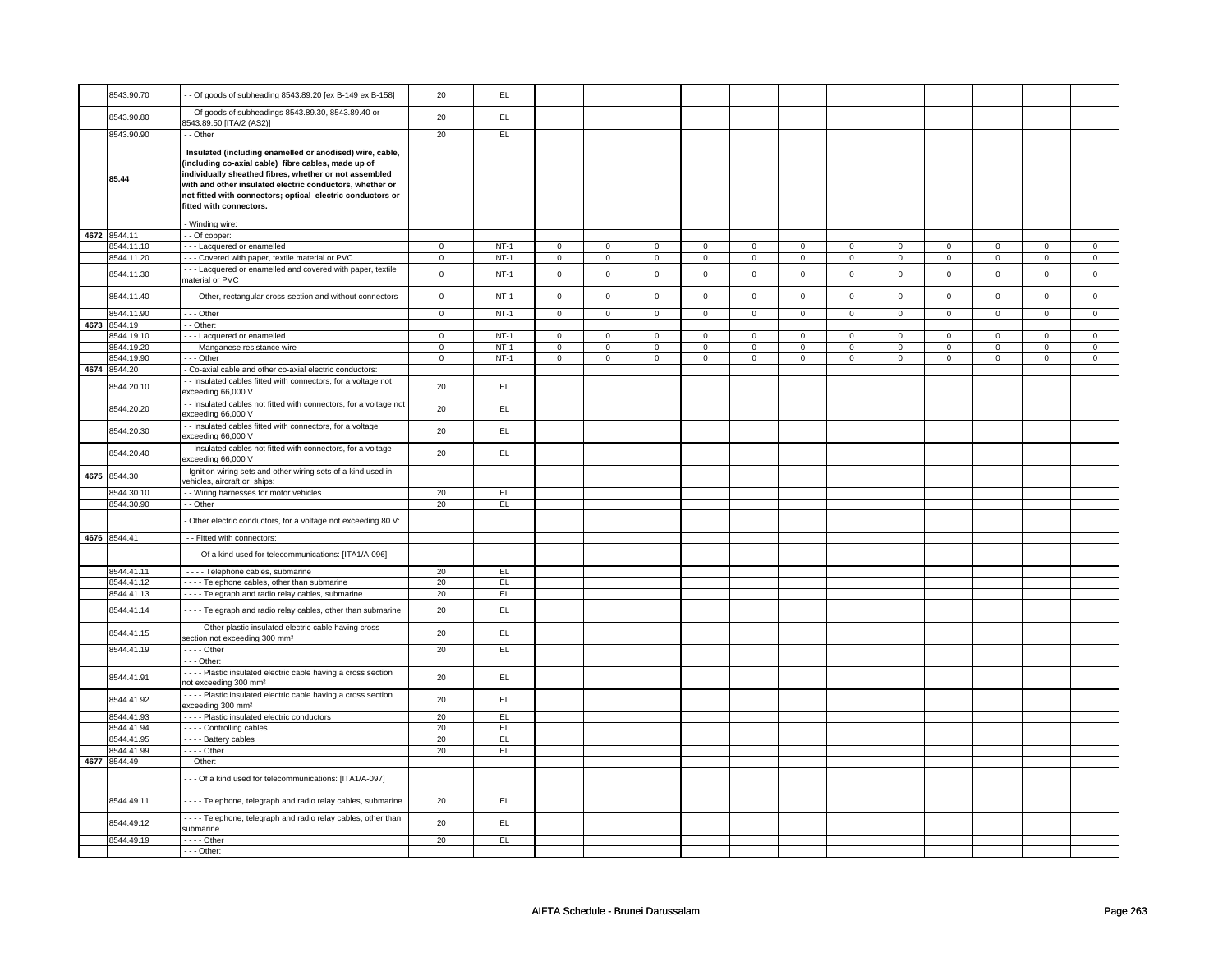|      | 8543.90.70   | - - Of goods of subheading 8543.89.20 [ex B-149 ex B-158]                                                                                                                                                                                                                                                                      | 20           | EL            |             |              |             |              |             |             |             |             |             |             |             |              |
|------|--------------|--------------------------------------------------------------------------------------------------------------------------------------------------------------------------------------------------------------------------------------------------------------------------------------------------------------------------------|--------------|---------------|-------------|--------------|-------------|--------------|-------------|-------------|-------------|-------------|-------------|-------------|-------------|--------------|
|      | 8543.90.80   | - Of goods of subheadings 8543.89.30, 8543.89.40 or<br>8543.89.50 [ITA/2 (AS2)]                                                                                                                                                                                                                                                | 20           | EL            |             |              |             |              |             |             |             |             |             |             |             |              |
|      | 8543.90.90   | - - Other                                                                                                                                                                                                                                                                                                                      | 20           | EL            |             |              |             |              |             |             |             |             |             |             |             |              |
|      |              |                                                                                                                                                                                                                                                                                                                                |              |               |             |              |             |              |             |             |             |             |             |             |             |              |
|      | 85.44        | Insulated (including enamelled or anodised) wire, cable,<br>(including co-axial cable) fibre cables, made up of<br>individually sheathed fibres, whether or not assembled<br>with and other insulated electric conductors, whether or<br>not fitted with connectors; optical electric conductors or<br>fitted with connectors. |              |               |             |              |             |              |             |             |             |             |             |             |             |              |
|      |              | - Winding wire:                                                                                                                                                                                                                                                                                                                |              |               |             |              |             |              |             |             |             |             |             |             |             |              |
|      |              |                                                                                                                                                                                                                                                                                                                                |              |               |             |              |             |              |             |             |             |             |             |             |             |              |
|      | 4672 8544.11 | - - Of copper:                                                                                                                                                                                                                                                                                                                 |              |               |             |              |             |              |             |             |             |             |             |             |             |              |
|      | 8544.11.10   | --- Lacquered or enamelled                                                                                                                                                                                                                                                                                                     | $\mathbf 0$  | $NT-1$        | $\mathbf 0$ | $\mathbf 0$  | $\mathbf 0$ | $\mathbf 0$  | $\mathbf 0$ | $\mathbf 0$ | $\mathbf 0$ | $\mathbf 0$ | $\mathbf 0$ | $\mathbf 0$ | $\mathbf 0$ | $\mathbf 0$  |
|      | 8544.11.20   | - - - Covered with paper, textile material or PVC                                                                                                                                                                                                                                                                              | $\mathbf 0$  | $NT-1$        | $\mathsf 0$ | $\mathbf 0$  | $\mathsf 0$ | $\mathsf 0$  | $\mathsf 0$ | $\mathbf 0$ | $\mathsf 0$ | $\mathsf 0$ | $\mathsf 0$ | $\mathsf 0$ | $\mathsf 0$ | $\mathsf 0$  |
|      | 8544.11.30   | --- Lacquered or enamelled and covered with paper, textile<br>material or PVC                                                                                                                                                                                                                                                  | $\mathsf 0$  | $NT-1$        | $\mathsf 0$ | $\mathsf 0$  | $\mathsf 0$ | $\mathsf 0$  | $\mathbf 0$ | $\mathsf 0$ | $\mathbf 0$ | $\mathsf 0$ | $\mathsf 0$ | $\mathsf 0$ | $\mathbf 0$ | $\mathbf 0$  |
|      | 8544.11.40   | - - - Other, rectangular cross-section and without connectors                                                                                                                                                                                                                                                                  | $\mathbf 0$  | $NT-1$        | $\mathsf 0$ | $\mathsf 0$  | $\mathsf 0$ | $\mathbf 0$  | $\mathsf 0$ | $\mathsf 0$ | $\mathsf 0$ | $\mathbf 0$ | $\mathsf 0$ | $\mathsf 0$ | $\mathsf 0$ | $\mathsf 0$  |
|      | 8544.11.90   | $\overline{\cdots}$ - Other                                                                                                                                                                                                                                                                                                    | $\mathbf 0$  | $NT-1$        | $\mathsf 0$ | $\mathbf 0$  | $\mathsf 0$ | $\mathbf 0$  | $\mathbf 0$ | $\mathsf 0$ | $\mathbf 0$ | $\mathsf 0$ | $\mathsf 0$ | $\mathbf 0$ | $\mathsf 0$ | $\mathbf 0$  |
|      | 4673 8544.19 | - - Other:                                                                                                                                                                                                                                                                                                                     |              |               |             |              |             |              |             |             |             |             |             |             |             |              |
|      |              |                                                                                                                                                                                                                                                                                                                                |              |               |             |              |             |              |             |             |             |             |             |             |             |              |
|      | 8544.19.10   | --- Lacquered or enamelled                                                                                                                                                                                                                                                                                                     | $\mathbf{0}$ | $NT-1$        | $\mathbf 0$ | $\mathbf{0}$ | $\mathbf 0$ | $\mathbf{0}$ | $^{\circ}$  | $\mathbf 0$ | $\mathbf 0$ | $\mathbf 0$ | $\mathbf 0$ | $\mathbf 0$ | $\mathbf 0$ | $\mathbf{0}$ |
|      | 8544.19.20   | - - - Manganese resistance wire                                                                                                                                                                                                                                                                                                | $\mathbf 0$  | NT-1          | $\mathbf 0$ | $\mathbf 0$  | $\mathbf 0$ | $\mathbf 0$  | 0           | $\mathbf 0$ | $\mathbf 0$ | $\mathbf 0$ | 0           | $\mathbf 0$ | $\mathbf 0$ | $\mathbf{0}$ |
|      | 8544.19.90   | --- Other                                                                                                                                                                                                                                                                                                                      | $\mathsf 0$  | $NT-1$        | $\mathsf 0$ | $\mathsf 0$  | $\mathsf 0$ | $\mathsf 0$  | $\mathbf 0$ | $\mathsf 0$ | $\mathbf 0$ | $\mathbf 0$ | $\mathbf 0$ | $\mathbf 0$ | $\mathbf 0$ | $\mathbf 0$  |
| 4674 | 8544.20      | - Co-axial cable and other co-axial electric conductors:                                                                                                                                                                                                                                                                       |              |               |             |              |             |              |             |             |             |             |             |             |             |              |
|      | 8544.20.10   | - Insulated cables fitted with connectors, for a voltage not                                                                                                                                                                                                                                                                   | 20           | EL            |             |              |             |              |             |             |             |             |             |             |             |              |
|      | 8544.20.20   | exceeding 66,000 V<br>- Insulated cables not fitted with connectors, for a voltage not                                                                                                                                                                                                                                         | 20           | $\mathsf{EL}$ |             |              |             |              |             |             |             |             |             |             |             |              |
|      | 8544.20.30   | exceeding 66,000 V<br>- - Insulated cables fitted with connectors, for a voltage                                                                                                                                                                                                                                               | 20           | EL            |             |              |             |              |             |             |             |             |             |             |             |              |
|      | 8544.20.40   | exceeding 66,000 V<br>- Insulated cables not fitted with connectors, for a voltage                                                                                                                                                                                                                                             | 20           | EL            |             |              |             |              |             |             |             |             |             |             |             |              |
|      |              | exceeding 66,000 V<br>Ignition wiring sets and other wiring sets of a kind used in                                                                                                                                                                                                                                             |              |               |             |              |             |              |             |             |             |             |             |             |             |              |
| 4675 | 8544.30      | vehicles, aircraft or ships:                                                                                                                                                                                                                                                                                                   |              |               |             |              |             |              |             |             |             |             |             |             |             |              |
|      | 8544.30.10   | - - Wiring harnesses for motor vehicles                                                                                                                                                                                                                                                                                        | 20           | EL.           |             |              |             |              |             |             |             |             |             |             |             |              |
|      | 8544.30.90   | - - Other                                                                                                                                                                                                                                                                                                                      | 20           | EL.           |             |              |             |              |             |             |             |             |             |             |             |              |
|      |              |                                                                                                                                                                                                                                                                                                                                |              |               |             |              |             |              |             |             |             |             |             |             |             |              |
|      |              | Other electric conductors, for a voltage not exceeding 80 V:                                                                                                                                                                                                                                                                   |              |               |             |              |             |              |             |             |             |             |             |             |             |              |
|      | 4676 8544.41 | - - Fitted with connectors:                                                                                                                                                                                                                                                                                                    |              |               |             |              |             |              |             |             |             |             |             |             |             |              |
|      |              |                                                                                                                                                                                                                                                                                                                                |              |               |             |              |             |              |             |             |             |             |             |             |             |              |
|      |              | - - - Of a kind used for telecommunications: [ITA1/A-096]                                                                                                                                                                                                                                                                      |              |               |             |              |             |              |             |             |             |             |             |             |             |              |
|      | 8544.41.11   | - - - - Telephone cables, submarine                                                                                                                                                                                                                                                                                            | 20           | EL.           |             |              |             |              |             |             |             |             |             |             |             |              |
|      |              |                                                                                                                                                                                                                                                                                                                                |              |               |             |              |             |              |             |             |             |             |             |             |             |              |
|      | 8544.41.12   | - - - - Telephone cables, other than submarine                                                                                                                                                                                                                                                                                 | 20           | EL            |             |              |             |              |             |             |             |             |             |             |             |              |
|      | 8544.41.13   | - - - - Telegraph and radio relay cables, submarine                                                                                                                                                                                                                                                                            | 20           | EL            |             |              |             |              |             |             |             |             |             |             |             |              |
|      | 8544.41.14   | - - - - Telegraph and radio relay cables, other than submarine                                                                                                                                                                                                                                                                 | 20           | EL            |             |              |             |              |             |             |             |             |             |             |             |              |
|      | 8544.41.15   | - - - - Other plastic insulated electric cable having cross<br>section not exceeding 300 mm <sup>2</sup>                                                                                                                                                                                                                       | 20           | $\mathsf{EL}$ |             |              |             |              |             |             |             |             |             |             |             |              |
|      | 8544.41.19   | $- - -$ Other                                                                                                                                                                                                                                                                                                                  | 20           | EL            |             |              |             |              |             |             |             |             |             |             |             |              |
|      |              | $- -$ Other:                                                                                                                                                                                                                                                                                                                   |              |               |             |              |             |              |             |             |             |             |             |             |             |              |
|      | 8544.41.91   | - Plastic insulated electric cable having a cross section<br>not exceeding 300 mm <sup>2</sup>                                                                                                                                                                                                                                 | 20           | EL.           |             |              |             |              |             |             |             |             |             |             |             |              |
|      | 8544.41.92   | - - - - Plastic insulated electric cable having a cross section                                                                                                                                                                                                                                                                | 20           | EL            |             |              |             |              |             |             |             |             |             |             |             |              |
|      |              | exceeding 300 mm <sup>2</sup>                                                                                                                                                                                                                                                                                                  |              |               |             |              |             |              |             |             |             |             |             |             |             |              |
|      | 8544.41.93   | - - - - Plastic insulated electric conductors                                                                                                                                                                                                                                                                                  | 20           | EL            |             |              |             |              |             |             |             |             |             |             |             |              |
|      | 8544.41.94   | - - - - Controlling cables                                                                                                                                                                                                                                                                                                     | 20           | EL            |             |              |             |              |             |             |             |             |             |             |             |              |
|      | 8544.41.95   | - - - - Battery cables                                                                                                                                                                                                                                                                                                         | 20           | EL.           |             |              |             |              |             |             |             |             |             |             |             |              |
|      | 8544.41.99   | $---$ Other                                                                                                                                                                                                                                                                                                                    | 20           | EL            |             |              |             |              |             |             |             |             |             |             |             |              |
|      | 4677 8544.49 | - - Other:                                                                                                                                                                                                                                                                                                                     |              |               |             |              |             |              |             |             |             |             |             |             |             |              |
|      |              | --- Of a kind used for telecommunications: [ITA1/A-097]                                                                                                                                                                                                                                                                        |              |               |             |              |             |              |             |             |             |             |             |             |             |              |
|      | 8544.49.11   | - - - - Telephone, telegraph and radio relay cables, submarine                                                                                                                                                                                                                                                                 | 20           | EL.           |             |              |             |              |             |             |             |             |             |             |             |              |
|      | 8544.49.12   | ---- Telephone, telegraph and radio relay cables, other than                                                                                                                                                                                                                                                                   | 20           | EL            |             |              |             |              |             |             |             |             |             |             |             |              |
|      |              | submarine                                                                                                                                                                                                                                                                                                                      |              |               |             |              |             |              |             |             |             |             |             |             |             |              |
|      | 8544.49.19   | $---$ Other                                                                                                                                                                                                                                                                                                                    | 20           | EL            |             |              |             |              |             |             |             |             |             |             |             |              |
|      |              | $--$ Other:                                                                                                                                                                                                                                                                                                                    |              |               |             |              |             |              |             |             |             |             |             |             |             |              |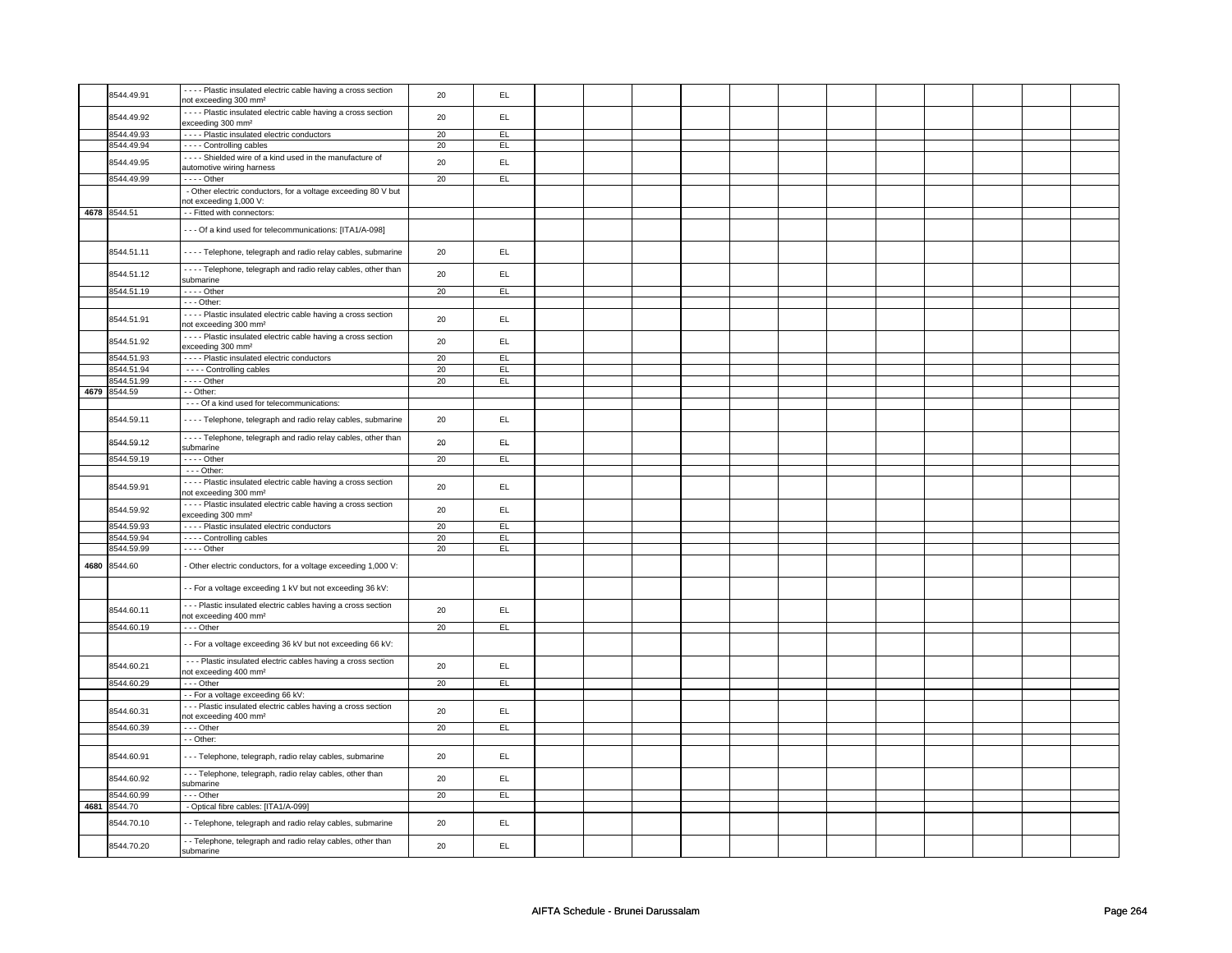|      | 8544.49.91   | - - - - Plastic insulated electric cable having a cross section<br>not exceeding 300 mm <sup>2</sup>           | 20 | EL. |  |  |  |  |  |  |
|------|--------------|----------------------------------------------------------------------------------------------------------------|----|-----|--|--|--|--|--|--|
|      | 8544.49.92   | ---- Plastic insulated electric cable having a cross section<br>exceeding 300 mm <sup>2</sup>                  | 20 | EL. |  |  |  |  |  |  |
|      | 8544.49.93   | - - - - Plastic insulated electric conductors                                                                  | 20 | EL. |  |  |  |  |  |  |
|      | 8544.49.94   |                                                                                                                |    |     |  |  |  |  |  |  |
|      |              | - - - - Controlling cables                                                                                     | 20 | EL  |  |  |  |  |  |  |
|      | 8544.49.95   | - - - - Shielded wire of a kind used in the manufacture of<br>automotive wiring harness                        | 20 | EL  |  |  |  |  |  |  |
|      | 8544.49.99   | $---$ Other                                                                                                    | 20 | EL  |  |  |  |  |  |  |
|      |              | - Other electric conductors, for a voltage exceeding 80 V but<br>not exceeding 1,000 V:                        |    |     |  |  |  |  |  |  |
|      | 4678 8544.51 | - Fitted with connectors:                                                                                      |    |     |  |  |  |  |  |  |
|      |              | --- Of a kind used for telecommunications: [ITA1/A-098]                                                        |    |     |  |  |  |  |  |  |
|      | 8544.51.11   | ---- Telephone, telegraph and radio relay cables, submarine                                                    | 20 | EL  |  |  |  |  |  |  |
|      | 8544.51.12   | - - - - Telephone, telegraph and radio relay cables, other than<br>submarine                                   | 20 | EL  |  |  |  |  |  |  |
|      |              |                                                                                                                |    |     |  |  |  |  |  |  |
|      | 8544.51.19   | $---$ Other                                                                                                    | 20 | EL  |  |  |  |  |  |  |
|      |              | - - - Other:                                                                                                   |    |     |  |  |  |  |  |  |
|      | 8544.51.91   | - - - - Plastic insulated electric cable having a cross section<br>not exceeding 300 mm <sup>2</sup>           | 20 | EL  |  |  |  |  |  |  |
|      | 8544.51.92   | - - - - Plastic insulated electric cable having a cross section                                                | 20 | EL  |  |  |  |  |  |  |
|      |              | exceeding 300 mm <sup>2</sup>                                                                                  |    |     |  |  |  |  |  |  |
|      | 8544.51.93   | - - - - Plastic insulated electric conductors                                                                  | 20 | EL  |  |  |  |  |  |  |
|      | 8544.51.94   | - - - - Controlling cables                                                                                     | 20 | EL  |  |  |  |  |  |  |
|      | 8544.51.99   | $---$ Other                                                                                                    | 20 | EL  |  |  |  |  |  |  |
|      | 4679 8544.59 | - - Other:                                                                                                     |    |     |  |  |  |  |  |  |
|      |              |                                                                                                                |    |     |  |  |  |  |  |  |
|      | 8544.59.11   | - - - Of a kind used for telecommunications:<br>- - - - Telephone, telegraph and radio relay cables, submarine | 20 | EL. |  |  |  |  |  |  |
|      |              |                                                                                                                |    |     |  |  |  |  |  |  |
|      | 8544.59.12   | ---- Telephone, telegraph and radio relay cables, other than<br>submarine                                      | 20 | EL. |  |  |  |  |  |  |
|      | 8544.59.19   | $---$ Other                                                                                                    | 20 | EL  |  |  |  |  |  |  |
|      |              | $- -$ Other:                                                                                                   |    |     |  |  |  |  |  |  |
|      | 8544.59.91   | - - - - Plastic insulated electric cable having a cross section<br>not exceeding 300 mm <sup>2</sup>           | 20 | EL. |  |  |  |  |  |  |
|      | 8544.59.92   | - - - - Plastic insulated electric cable having a cross section<br>exceeding 300 mm <sup>2</sup>               | 20 | EL  |  |  |  |  |  |  |
|      | 8544.59.93   | - - - - Plastic insulated electric conductors                                                                  | 20 | EL  |  |  |  |  |  |  |
|      | 8544.59.94   | ---- Controlling cables                                                                                        | 20 | EL  |  |  |  |  |  |  |
|      | 8544.59.99   |                                                                                                                | 20 | EL  |  |  |  |  |  |  |
|      |              | $---$ Other                                                                                                    |    |     |  |  |  |  |  |  |
| 4680 | 8544.60      | Other electric conductors, for a voltage exceeding 1,000 V:                                                    |    |     |  |  |  |  |  |  |
|      |              | - For a voltage exceeding 1 kV but not exceeding 36 kV:                                                        |    |     |  |  |  |  |  |  |
|      | 8544.60.11   | --- Plastic insulated electric cables having a cross section<br>not exceeding 400 mm <sup>2</sup>              | 20 | EL  |  |  |  |  |  |  |
|      | 8544.60.19   | $\cdots$ Other                                                                                                 | 20 | EL  |  |  |  |  |  |  |
|      |              | - For a voltage exceeding 36 kV but not exceeding 66 kV:                                                       |    |     |  |  |  |  |  |  |
|      | 8544.60.21   | - - - Plastic insulated electric cables having a cross section<br>not exceeding 400 mm <sup>2</sup>            | 20 | EL  |  |  |  |  |  |  |
|      | 8544.60.29   | $--$ Other                                                                                                     | 20 | EL  |  |  |  |  |  |  |
|      |              | - - For a voltage exceeding 66 kV:                                                                             |    |     |  |  |  |  |  |  |
|      |              |                                                                                                                |    |     |  |  |  |  |  |  |
|      | 8544.60.31   | --- Plastic insulated electric cables having a cross section<br>not exceeding 400 mm <sup>2</sup>              | 20 | EL  |  |  |  |  |  |  |
|      | 8544.60.39   | $- -$ Other                                                                                                    | 20 | EL  |  |  |  |  |  |  |
|      |              | - - Other:                                                                                                     |    |     |  |  |  |  |  |  |
|      | 8544.60.91   | --- Telephone, telegraph, radio relay cables, submarine                                                        | 20 | EL. |  |  |  |  |  |  |
|      | 8544.60.92   | --- Telephone, telegraph, radio relay cables, other than<br>submarine                                          | 20 | EL. |  |  |  |  |  |  |
|      | 8544.60.99   | $- -$ Other                                                                                                    | 20 | EL  |  |  |  |  |  |  |
|      | 4681 8544.70 | - Optical fibre cables: [ITA1/A-099]                                                                           |    |     |  |  |  |  |  |  |
|      | 8544.70.10   | - Telephone, telegraph and radio relay cables, submarine                                                       | 20 | EL. |  |  |  |  |  |  |
|      | 8544.70.20   | - - Telephone, telegraph and radio relay cables, other than<br>submarine                                       | 20 | EL  |  |  |  |  |  |  |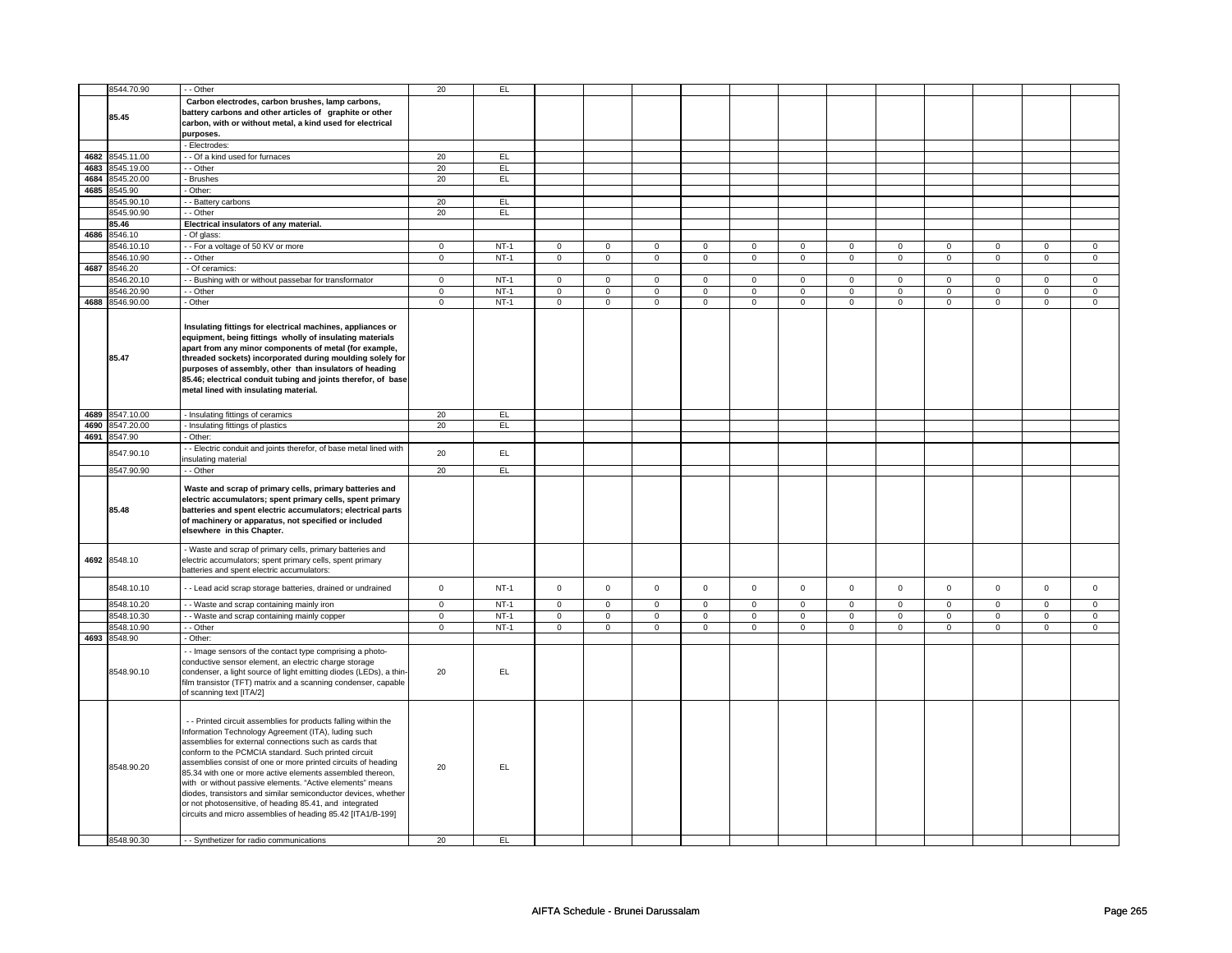|      | 8544.70.90                         | - - Other                                                                                                                                                                                                                                                                                                                                                                                                                                                                                                                                                                                                                                                                | 20             | EL              |                     |                |                |                |                |                |                |                |                |                |                |                     |
|------|------------------------------------|--------------------------------------------------------------------------------------------------------------------------------------------------------------------------------------------------------------------------------------------------------------------------------------------------------------------------------------------------------------------------------------------------------------------------------------------------------------------------------------------------------------------------------------------------------------------------------------------------------------------------------------------------------------------------|----------------|-----------------|---------------------|----------------|----------------|----------------|----------------|----------------|----------------|----------------|----------------|----------------|----------------|---------------------|
|      |                                    | Carbon electrodes, carbon brushes, lamp carbons,                                                                                                                                                                                                                                                                                                                                                                                                                                                                                                                                                                                                                         |                |                 |                     |                |                |                |                |                |                |                |                |                |                |                     |
|      |                                    |                                                                                                                                                                                                                                                                                                                                                                                                                                                                                                                                                                                                                                                                          |                |                 |                     |                |                |                |                |                |                |                |                |                |                |                     |
|      | 85.45                              | battery carbons and other articles of graphite or other                                                                                                                                                                                                                                                                                                                                                                                                                                                                                                                                                                                                                  |                |                 |                     |                |                |                |                |                |                |                |                |                |                |                     |
|      |                                    | carbon, with or without metal, a kind used for electrical                                                                                                                                                                                                                                                                                                                                                                                                                                                                                                                                                                                                                |                |                 |                     |                |                |                |                |                |                |                |                |                |                |                     |
|      |                                    | purposes.                                                                                                                                                                                                                                                                                                                                                                                                                                                                                                                                                                                                                                                                |                |                 |                     |                |                |                |                |                |                |                |                |                |                |                     |
|      |                                    |                                                                                                                                                                                                                                                                                                                                                                                                                                                                                                                                                                                                                                                                          |                |                 |                     |                |                |                |                |                |                |                |                |                |                |                     |
|      |                                    | Electrodes:                                                                                                                                                                                                                                                                                                                                                                                                                                                                                                                                                                                                                                                              |                |                 |                     |                |                |                |                |                |                |                |                |                |                |                     |
|      | 4682 8545.11.00                    | - - Of a kind used for furnaces                                                                                                                                                                                                                                                                                                                                                                                                                                                                                                                                                                                                                                          | 20             | EL              |                     |                |                |                |                |                |                |                |                |                |                |                     |
|      | 4683 8545.19.00                    | - Other                                                                                                                                                                                                                                                                                                                                                                                                                                                                                                                                                                                                                                                                  | 20             | EL.             |                     |                |                |                |                |                |                |                |                |                |                |                     |
|      |                                    |                                                                                                                                                                                                                                                                                                                                                                                                                                                                                                                                                                                                                                                                          |                |                 |                     |                |                |                |                |                |                |                |                |                |                |                     |
|      | 4684 8545.20.00                    | - Brushes                                                                                                                                                                                                                                                                                                                                                                                                                                                                                                                                                                                                                                                                | 20             | EL.             |                     |                |                |                |                |                |                |                |                |                |                |                     |
|      | 4685 8545.90                       | Other:                                                                                                                                                                                                                                                                                                                                                                                                                                                                                                                                                                                                                                                                   |                |                 |                     |                |                |                |                |                |                |                |                |                |                |                     |
|      |                                    |                                                                                                                                                                                                                                                                                                                                                                                                                                                                                                                                                                                                                                                                          |                |                 |                     |                |                |                |                |                |                |                |                |                |                |                     |
|      | 8545.90.10                         | - Battery carbons                                                                                                                                                                                                                                                                                                                                                                                                                                                                                                                                                                                                                                                        | 20             | EL              |                     |                |                |                |                |                |                |                |                |                |                |                     |
|      | 8545.90.90                         | $-$ Other                                                                                                                                                                                                                                                                                                                                                                                                                                                                                                                                                                                                                                                                | 20             | E               |                     |                |                |                |                |                |                |                |                |                |                |                     |
|      | 85.46                              | Electrical insulators of any material.                                                                                                                                                                                                                                                                                                                                                                                                                                                                                                                                                                                                                                   |                |                 |                     |                |                |                |                |                |                |                |                |                |                |                     |
|      |                                    |                                                                                                                                                                                                                                                                                                                                                                                                                                                                                                                                                                                                                                                                          |                |                 |                     |                |                |                |                |                |                |                |                |                |                |                     |
| 4686 | 8546.10                            | - Of glass:                                                                                                                                                                                                                                                                                                                                                                                                                                                                                                                                                                                                                                                              |                |                 |                     |                |                |                |                |                |                |                |                |                |                |                     |
|      | 8546.10.10                         | - For a voltage of 50 KV or more                                                                                                                                                                                                                                                                                                                                                                                                                                                                                                                                                                                                                                         | $\mathsf 0$    | $NT-1$          | $\mathsf{O}\xspace$ | $\mathsf 0$    | $\mathsf 0$    | $\mathsf 0$    | $\mathsf 0$    | $\mathsf 0$    | $\mathbf 0$    | $\mathsf 0$    | $\mathsf 0$    | $\mathsf 0$    | $\Omega$       | $\mathsf{O}\xspace$ |
|      |                                    |                                                                                                                                                                                                                                                                                                                                                                                                                                                                                                                                                                                                                                                                          | $\mathsf 0$    | $NT-1$          |                     |                |                |                |                | $\mathsf 0$    |                | $\mathbf 0$    |                | $\mathbf 0$    |                | $\mathbf 0$         |
|      | 8546.10.90                         | - Other                                                                                                                                                                                                                                                                                                                                                                                                                                                                                                                                                                                                                                                                  |                |                 | $\mathsf 0$         | $\mathbf 0$    | $\mathbf 0$    | $\mathbf 0$    | $\mathbf 0$    |                | $\mathbf 0$    |                | $\mathsf 0$    |                | $\mathbf 0$    |                     |
|      | 4687 8546.20                       | - Of ceramics:                                                                                                                                                                                                                                                                                                                                                                                                                                                                                                                                                                                                                                                           |                |                 |                     |                |                |                |                |                |                |                |                |                |                |                     |
|      | 8546.20.10                         | - Bushing with or without passebar for transformator                                                                                                                                                                                                                                                                                                                                                                                                                                                                                                                                                                                                                     | $\mathbf 0$    | $NT-1$          | $\mathbf 0$         | $\mathbf 0$    | $\mathbf 0$    | $\mathbf 0$    | $\mathbf 0$    | $\mathbf 0$    | 0              | $\mathbf 0$    | 0              | $\mathbf 0$    | $\Omega$       | 0                   |
|      |                                    |                                                                                                                                                                                                                                                                                                                                                                                                                                                                                                                                                                                                                                                                          |                |                 |                     |                |                |                |                |                |                |                |                |                |                |                     |
|      | 8546.20.90                         | - Other                                                                                                                                                                                                                                                                                                                                                                                                                                                                                                                                                                                                                                                                  | $\mathbf 0$    | $NT-1$          | $\mathbf 0$         | $\mathbf 0$    | $\mathbf 0$    | $\mathbf 0$    | $\mathbf 0$    | $\mathbf 0$    | $\mathbf 0$    | $\mathbf 0$    | $\mathsf 0$    | $\mathbf 0$    | $\Omega$       | $\mathbf 0$         |
|      | 4688 8546.90.00                    | Other                                                                                                                                                                                                                                                                                                                                                                                                                                                                                                                                                                                                                                                                    | $\mathsf 0$    | $NT-1$          | $\mathsf{O}\xspace$ | $\mathsf 0$    | $\mathbf 0$    | $\mathbf 0$    | $\mathbf 0$    | $\mathbf 0$    | $\mathbf 0$    | $\mathbf 0$    | $\mathsf 0$    | $\mathsf{O}$   | $\mathbf 0$    | $\mathbf 0$         |
|      | 85.47                              | Insulating fittings for electrical machines, appliances or<br>equipment, being fittings wholly of insulating materials<br>apart from any minor components of metal (for example,<br>threaded sockets) incorporated during moulding solely for<br>purposes of assembly, other than insulators of heading<br>85.46; electrical conduit tubing and joints therefor, of base<br>metal lined with insulating material.                                                                                                                                                                                                                                                        |                |                 |                     |                |                |                |                |                |                |                |                |                |                |                     |
|      | 4689 8547.10.00<br>4690 8547.20.00 | - Insulating fittings of ceramics<br>- Insulating fittings of plastics                                                                                                                                                                                                                                                                                                                                                                                                                                                                                                                                                                                                   | 20<br>20       | EL<br><b>EL</b> |                     |                |                |                |                |                |                |                |                |                |                |                     |
|      |                                    |                                                                                                                                                                                                                                                                                                                                                                                                                                                                                                                                                                                                                                                                          |                |                 |                     |                |                |                |                |                |                |                |                |                |                |                     |
|      | 4691 8547.90                       | Other:                                                                                                                                                                                                                                                                                                                                                                                                                                                                                                                                                                                                                                                                   |                |                 |                     |                |                |                |                |                |                |                |                |                |                |                     |
|      |                                    | - Electric conduit and joints therefor, of base metal lined with                                                                                                                                                                                                                                                                                                                                                                                                                                                                                                                                                                                                         |                |                 |                     |                |                |                |                |                |                |                |                |                |                |                     |
|      | 8547.90.10                         | nsulating material                                                                                                                                                                                                                                                                                                                                                                                                                                                                                                                                                                                                                                                       | 20             | EL.             |                     |                |                |                |                |                |                |                |                |                |                |                     |
|      |                                    |                                                                                                                                                                                                                                                                                                                                                                                                                                                                                                                                                                                                                                                                          |                |                 |                     |                |                |                |                |                |                |                |                |                |                |                     |
|      |                                    |                                                                                                                                                                                                                                                                                                                                                                                                                                                                                                                                                                                                                                                                          |                |                 |                     |                |                |                |                |                |                |                |                |                |                |                     |
|      | 8547.90.90                         | - - Other                                                                                                                                                                                                                                                                                                                                                                                                                                                                                                                                                                                                                                                                | 20             | EL              |                     |                |                |                |                |                |                |                |                |                |                |                     |
|      | 85.48                              | Waste and scrap of primary cells, primary batteries and<br>electric accumulators; spent primary cells, spent primary<br>batteries and spent electric accumulators; electrical parts<br>of machinery or apparatus, not specified or included<br>elsewhere in this Chapter.                                                                                                                                                                                                                                                                                                                                                                                                |                |                 |                     |                |                |                |                |                |                |                |                |                |                |                     |
|      | 4692 8548.10                       | Waste and scrap of primary cells, primary batteries and<br>electric accumulators; spent primary cells, spent primary<br>batteries and spent electric accumulators:                                                                                                                                                                                                                                                                                                                                                                                                                                                                                                       |                |                 |                     |                |                |                |                |                |                |                |                |                |                |                     |
|      | 8548.10.10                         | - - Lead acid scrap storage batteries, drained or undrained                                                                                                                                                                                                                                                                                                                                                                                                                                                                                                                                                                                                              | $\mathsf 0$    | $NT-1$          | $\mathsf 0$         | $\mathbf 0$    | $\mathbf 0$    | $\mathsf{O}$   | $\mathbf 0$    | $\mathbf 0$    | $\mathbf{0}$   | $\mathbf{0}$   | $\mathbf 0$    | $\mathbf{0}$   | $\mathbf{0}$   | $\mathbf{0}$        |
|      | 8548.10.20                         | - - Waste and scrap containing mainly iron                                                                                                                                                                                                                                                                                                                                                                                                                                                                                                                                                                                                                               | $\mathbf 0$    | $NT-1$          | $\mathsf 0$         | $\mathbf 0$    | $\mathbf 0$    | $\mathbf 0$    | $\mathbf 0$    | $\mathbf 0$    | $\mathbf 0$    | $\mathbf 0$    | $\mathsf 0$    | $\mathbf 0$    | $\mathbf 0$    | 0                   |
|      | 8548.10.30                         | - - Waste and scrap containing mainly copper                                                                                                                                                                                                                                                                                                                                                                                                                                                                                                                                                                                                                             | $\overline{0}$ | $NT-1$          | $\overline{0}$      | $\overline{0}$ | $\overline{0}$ | $\overline{0}$ | $\overline{0}$ | $\overline{0}$ | $\overline{0}$ | $\overline{0}$ | $\overline{0}$ | $\overline{0}$ | $\overline{0}$ | $\overline{0}$      |
|      | 8548.10.90                         | - - Other                                                                                                                                                                                                                                                                                                                                                                                                                                                                                                                                                                                                                                                                | $\mathbf 0$    | $NT-1$          | $\mathbf 0$         | $\mathbf{0}$   | $\mathbf 0$    | $\mathbf 0$    | $\mathbf 0$    | $\mathbf{0}$   | 0              | $\mathbf{0}$   | 0              | $\mathbf{0}$   | 0              | $\mathbf{0}$        |
| 4693 |                                    | Other:                                                                                                                                                                                                                                                                                                                                                                                                                                                                                                                                                                                                                                                                   |                |                 |                     |                |                |                |                |                |                |                |                |                |                |                     |
|      | 8548.90<br>8548.90.10              | - Image sensors of the contact type comprising a photo-<br>conductive sensor element, an electric charge storage<br>condenser, a light source of light emitting diodes (LEDs), a thin<br>film transistor (TFT) matrix and a scanning condenser, capable<br>of scanning text [ITA/2]                                                                                                                                                                                                                                                                                                                                                                                      | 20             | EL.             |                     |                |                |                |                |                |                |                |                |                |                |                     |
|      | 8548.90.20<br>8548.90.30           | - - Printed circuit assemblies for products falling within the<br>Information Technology Agreement (ITA), luding such<br>assemblies for external connections such as cards that<br>conform to the PCMCIA standard. Such printed circuit<br>assemblies consist of one or more printed circuits of heading<br>85.34 with one or more active elements assembled thereon,<br>with or without passive elements. "Active elements" means<br>diodes, transistors and similar semiconductor devices, whether<br>or not photosensitive, of heading 85.41, and integrated<br>circuits and micro assemblies of heading 85.42 [ITA1/B-199]<br>- Synthetizer for radio communications | 20<br>20       | EL<br>EL        |                     |                |                |                |                |                |                |                |                |                |                |                     |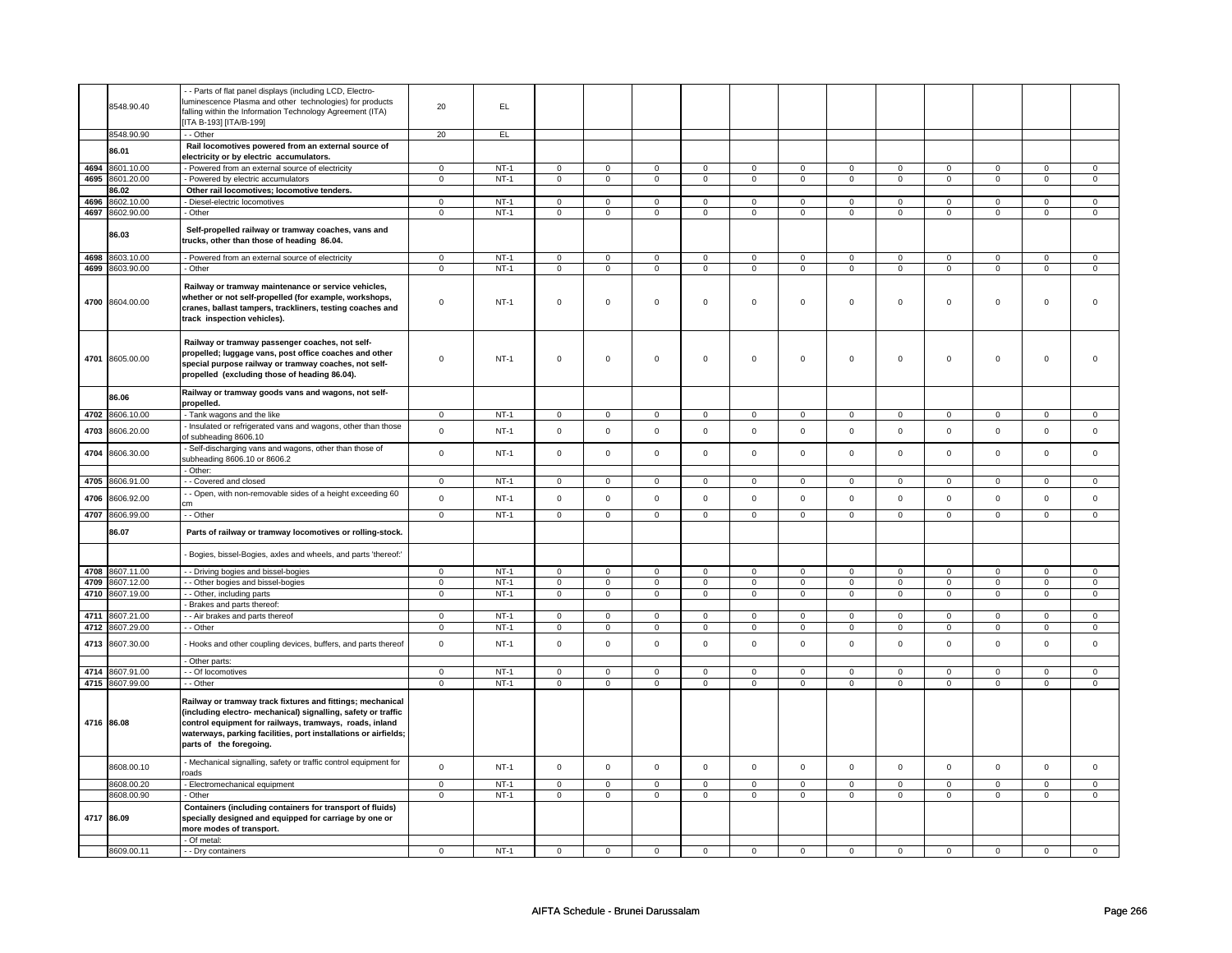|      | 8548.90.40<br>8548.90.90 | - - Parts of flat panel displays (including LCD, Electro-<br>luminescence Plasma and other technologies) for products<br>falling within the Information Technology Agreement (ITA)<br>[ITA B-193] [ITA/B-199]<br>- - Other                                                           | 20<br>20       | EL<br>EL |                |                |                     |                |                     |                |                |                |                |                |                |                     |
|------|--------------------------|--------------------------------------------------------------------------------------------------------------------------------------------------------------------------------------------------------------------------------------------------------------------------------------|----------------|----------|----------------|----------------|---------------------|----------------|---------------------|----------------|----------------|----------------|----------------|----------------|----------------|---------------------|
|      |                          | Rail locomotives powered from an external source of                                                                                                                                                                                                                                  |                |          |                |                |                     |                |                     |                |                |                |                |                |                |                     |
|      | 86.01                    | electricity or by electric accumulators.                                                                                                                                                                                                                                             |                |          |                |                |                     |                |                     |                |                |                |                |                |                |                     |
| 4694 | 8601.10.00               | - Powered from an external source of electricity                                                                                                                                                                                                                                     | $\mathbf 0$    | $NT-1$   | $\mathbf 0$    | $\mathbf 0$    | $\mathbf 0$         | $\mathsf 0$    | $\mathbf 0$         | $\mathbf 0$    | $\mathbf 0$    | $\mathbf 0$    | $\mathbf 0$    | $\mathbf 0$    | $\mathsf 0$    | $\mathbf 0$         |
| 4695 | 8601.20.00               | - Powered by electric accumulators                                                                                                                                                                                                                                                   | $\overline{0}$ | $NT-1$   | $\mathbf 0$    | $\mathbf 0$    | $\mathsf 0$         | $\mathsf 0$    | $\mathbf 0$         | $\mathbf{0}$   | $\mathbf{0}$   | $\overline{0}$ | $\mathbf 0$    | $\overline{0}$ | $\mathbf 0$    | $\overline{0}$      |
|      | 86.02                    | Other rail locomotives; locomotive tenders.                                                                                                                                                                                                                                          |                |          |                |                |                     |                |                     |                |                |                |                |                |                |                     |
| 4696 | 3602.10.00               | - Diesel-electric locomotives                                                                                                                                                                                                                                                        | $\mathbf 0$    | $NT-1$   | $\mathsf 0$    | $\mathsf 0$    | $\mathbf 0$         | $\mathsf 0$    | $\mathsf{O}\xspace$ | $\mathsf 0$    | $\mathsf 0$    | $\mathsf 0$    | $\mathsf 0$    | $\mathbf 0$    | $\mathbf 0$    | $\mathbf 0$         |
|      | 4697 8602.90.00          | - Other                                                                                                                                                                                                                                                                              | $\mathbf 0$    | $NT-1$   | $\mathsf 0$    | $\overline{0}$ | $\mathsf 0$         | $\overline{0}$ | $\mathsf{O}\xspace$ | $\overline{0}$ | $\mathsf 0$    | $\overline{0}$ | $\mathsf 0$    | $\overline{0}$ | $\mathsf 0$    | $\overline{0}$      |
|      | 86.03                    | Self-propelled railway or tramway coaches, vans and<br>trucks, other than those of heading 86.04.                                                                                                                                                                                    |                |          |                |                |                     |                |                     |                |                |                |                |                |                |                     |
| 4698 | 8603.10.00               | - Powered from an external source of electricity                                                                                                                                                                                                                                     | $\mathsf 0$    | $NT-1$   | $\mathbf 0$    | $\mathsf 0$    | $\mathbf 0$         | $\mathbf 0$    | $\mathsf 0$         | $\mathbf 0$    | $\mathbf 0$    | $\mathbf 0$    | $\mathsf 0$    | $\mathbf 0$    | $\Omega$       | 0                   |
| 4699 | 3603.90.00               | - Other                                                                                                                                                                                                                                                                              | $\mathbf 0$    | $NT-1$   | $\overline{0}$ | $\overline{0}$ | $\mathbf 0$         | $\overline{0}$ | $\mathbf{0}$        | $\overline{0}$ | $\mathbf 0$    | $\mathbf 0$    | $\mathbf 0$    | $\overline{0}$ | $\mathbf 0$    | $\mathbf 0$         |
|      | 4700 8604.00.00          | Railway or tramway maintenance or service vehicles,<br>whether or not self-propelled (for example, workshops,<br>cranes, ballast tampers, trackliners, testing coaches and<br>track inspection vehicles).                                                                            | $\mathsf 0$    | $NT-1$   | $\mathsf 0$    | $\mathsf 0$    | $\mathsf{O}\xspace$ | $\mathbf 0$    | $\mathsf{O}\xspace$ | $\mathbf 0$    | $\mathbf 0$    | $\mathsf 0$    | $\mathsf 0$    | $\mathbf 0$    | $\mathsf 0$    | 0                   |
|      | 4701 8605.00.00          | Railway or tramway passenger coaches, not self-<br>propelled; luggage vans, post office coaches and other<br>special purpose railway or tramway coaches, not self-<br>propelled (excluding those of heading 86.04).                                                                  | $\mathbf 0$    | $NT-1$   | $\mathsf 0$    | $\mathsf 0$    | $\mathsf 0$         | $\mathbf 0$    | $\mathsf 0$         | $\mathbf 0$    | $\mathbf 0$    | $\mathsf 0$    | $\mathsf 0$    | $\mathbf 0$    | $\mathbf 0$    | $\mathbf{0}$        |
|      | 86.06                    | Railway or tramway goods vans and wagons, not self-<br>propelled.                                                                                                                                                                                                                    |                |          |                |                |                     |                |                     |                |                |                |                |                |                |                     |
| 4702 | 8606.10.00               | - Tank wagons and the like                                                                                                                                                                                                                                                           | $^{\circ}$     | $NT-1$   | $\mathbf 0$    | $\mathsf 0$    | $\Omega$            | $\mathbf 0$    | $\mathsf{O}\xspace$ | $\mathsf 0$    | 0              | $\mathsf 0$    | $\mathsf 0$    | $\mathbf 0$    | $\Omega$       | $\mathbf 0$         |
|      |                          | Insulated or refrigerated vans and wagons, other than those                                                                                                                                                                                                                          |                |          |                |                |                     |                |                     |                |                |                |                |                |                |                     |
| 4703 | 8606.20.00               | of subheading 8606.10                                                                                                                                                                                                                                                                | $\mathbf 0$    | $NT-1$   | $\mathbf 0$    | $\mathbf 0$    | $\Omega$            | $\mathbf 0$    | $\mathsf{O}\xspace$ | $\mathbf 0$    | $\mathbf 0$    | $\mathsf 0$    | $\mathsf 0$    | $\mathsf 0$    | $\mathbf 0$    | $\mathsf{O}\xspace$ |
| 4704 | 8606.30.00               | - Self-discharging vans and wagons, other than those of<br>subheading 8606.10 or 8606.2<br>- Other:                                                                                                                                                                                  | $\mathsf 0$    | $NT-1$   | $\mathsf 0$    | $\mathsf 0$    | $\mathsf 0$         | $\mathsf 0$    | $\mathsf{O}\xspace$ | $\mathsf 0$    | $\mathbf 0$    | $\mathsf 0$    | $\mathsf 0$    | $\mathbf 0$    | $\mathbf 0$    | $\mathbf 0$         |
| 4705 | 8606.91.00               | - - Covered and closed                                                                                                                                                                                                                                                               | $\mathsf 0$    | $NT-1$   | $\mathsf 0$    | $\mathsf 0$    | $\mathbf 0$         | $\mathsf 0$    | $\mathsf{O}\xspace$ | $\mathsf 0$    | $\mathbf 0$    | $\mathbf 0$    | $\mathsf 0$    | $\mathbf 0$    | $\mathbf 0$    | $\mathbf 0$         |
| 4706 | 8606.92.00               | - Open, with non-removable sides of a height exceeding 60                                                                                                                                                                                                                            | $\mathsf 0$    | $NT-1$   | $\mathsf 0$    | $\mathsf 0$    | $\mathbf 0$         | $\mathbf 0$    | $\mathsf 0$         | $\mathbf 0$    | $\mathbf 0$    | $\mathsf 0$    | $\mathsf 0$    | $\mathbf 0$    | $\mathsf 0$    | $\mathbf 0$         |
|      |                          |                                                                                                                                                                                                                                                                                      | $\overline{0}$ | $NT-1$   | $\overline{0}$ | $\overline{0}$ |                     |                |                     |                | $\overline{0}$ |                |                | $\overline{0}$ | $\overline{0}$ |                     |
|      | 4707 8606.99.00          | - - Other                                                                                                                                                                                                                                                                            |                |          |                |                | $\overline{0}$      | $\overline{0}$ | $\overline{0}$      | $\overline{0}$ |                | $\overline{0}$ | $\overline{0}$ |                |                | $\overline{0}$      |
|      | 86.07                    | Parts of railway or tramway locomotives or rolling-stock.                                                                                                                                                                                                                            |                |          |                |                |                     |                |                     |                |                |                |                |                |                |                     |
|      |                          | Bogies, bissel-Bogies, axles and wheels, and parts 'thereof:'                                                                                                                                                                                                                        |                |          |                |                |                     |                |                     |                |                |                |                |                |                |                     |
|      | 4708 8607.11.00          | - Driving bogies and bissel-bogies                                                                                                                                                                                                                                                   | $\mathbf 0$    | $NT-1$   | $\mathbf 0$    | $\mathsf 0$    | $\mathsf 0$         | $\mathbf 0$    | $\mathbf 0$         | $\mathbf 0$    | 0              | $\mathsf 0$    | $\mathsf 0$    | $\mathbf 0$    | 0              | 0                   |
| 4709 | 8607.12.00               | - Other bogies and bissel-bogies                                                                                                                                                                                                                                                     | $\mathbf 0$    | $NT-1$   | $\mathsf 0$    | $\mathsf 0$    | $\mathsf 0$         | $\mathsf 0$    | $\mathbf 0$         | $\mathbf 0$    | $\mathbf 0$    | $\mathbf 0$    | $\mathsf 0$    | $\mathbf 0$    | $\mathsf 0$    | $\mathbf 0$         |
| 4710 | 8607.19.00               | - - Other, including parts                                                                                                                                                                                                                                                           | $\mathbf 0$    | $NT-1$   | $\mathbf 0$    | $\mathbf{0}$   | $\mathbf 0$         | $\mathbf 0$    | $\mathbf 0$         | $\mathbf 0$    | $\mathbf 0$    | $\mathbf 0$    | 0              | $\mathbf 0$    | 0              | $\overline{0}$      |
|      |                          | - Brakes and parts thereof.                                                                                                                                                                                                                                                          |                |          |                |                |                     |                |                     |                |                |                |                |                |                |                     |
| 4711 | 8607.21.00               | - - Air brakes and parts thereof                                                                                                                                                                                                                                                     | $\mathbf 0$    | $NT-1$   | $\mathbf 0$    | $\overline{0}$ | $\mathbf 0$         | $\overline{0}$ | $\mathsf 0$         | $\overline{0}$ | $\mathbf 0$    | $\overline{0}$ | $\mathsf 0$    | $\mathbf 0$    | $\Omega$       | $\mathbf 0$         |
| 4712 | 8607.29.00               | - - Other                                                                                                                                                                                                                                                                            | $\mathbf 0$    | $NT-1$   | $\mathbf 0$    | $\overline{0}$ | $\mathsf 0$         | $\overline{0}$ | $\mathsf{O}\xspace$ | $\mathsf 0$    | $\mathsf 0$    | $\mathbf 0$    | $\mathsf 0$    | $\overline{0}$ | $\mathsf 0$    | $\overline{0}$      |
| 4713 | 8607.30.00               | - Hooks and other coupling devices, buffers, and parts thereof                                                                                                                                                                                                                       | $\mathsf 0$    | $NT-1$   | $\Omega$       | $\mathbf 0$    | $\Omega$            | $\mathbf 0$    | $\mathbf 0$         | $\mathbf 0$    | $\mathbf 0$    | $\mathbf 0$    | $\mathbf 0$    | $\mathbf 0$    | $\Omega$       | $\mathbf 0$         |
|      | 4714 8607.91.00          | - Other parts:<br>- - Of locomotives                                                                                                                                                                                                                                                 | $\mathsf 0$    | $NT-1$   | $\mathbf 0$    | $\mathbf 0$    | $\Omega$            | $\Omega$       | $\Omega$            | $\Omega$       | $\Omega$       | $\mathbf 0$    | 0              | $\mathbf{0}$   | $\Omega$       | $\Omega$            |
|      | 4715 8607.99.00          | - - Other                                                                                                                                                                                                                                                                            | $\mathsf 0$    | $NT-1$   | $\mathsf 0$    | $\mathsf 0$    | $\mathbf 0$         | $\mathbf 0$    | $\mathbf 0$         | $\mathbf 0$    | $\mathbf 0$    | $\mathsf 0$    | $\mathsf 0$    | $\mathbf 0$    | $\mathsf 0$    | 0                   |
|      | 4716 86.08               | Railway or tramway track fixtures and fittings; mechanical<br>(including electro- mechanical) signalling, safety or traffic<br>control equipment for railways, tramways, roads, inland<br>waterways, parking facilities, port installations or airfields;<br>parts of the foregoing. |                |          |                |                |                     |                |                     |                |                |                |                |                |                |                     |
|      | 8608.00.10               | - Mechanical signalling, safety or traffic control equipment for                                                                                                                                                                                                                     | $\mathsf 0$    | $NT-1$   | $\mathsf 0$    | $\mathbf 0$    | $\mathsf 0$         | $\mathbf 0$    | $\mathsf 0$         | $\mathsf 0$    | $\mathbf 0$    | $\mathsf 0$    | $\mathsf 0$    | $\mathbf 0$    | $\mathsf 0$    | $\mathbf 0$         |
|      | 8608.00.20               | oads<br>- Electromechanical equipment                                                                                                                                                                                                                                                | $\mathsf 0$    | $NT-1$   | $\mathsf 0$    | $\mathsf 0$    | $\mathbf 0$         | $\mathbf 0$    | $\mathbf 0$         | $\mathbf 0$    | $\mathbf 0$    | $\mathbf 0$    | $\mathsf 0$    | $\mathbf 0$    | $\mathbf 0$    | $\mathbf 0$         |
|      | 8608.00.90               | - Other                                                                                                                                                                                                                                                                              | $\mathbf 0$    | $NT-1$   | 0              | $\mathbf 0$    | 0                   | $\mathbf 0$    | 0                   | $\mathbf 0$    | $\mathbf{0}$   | $\mathbf{0}$   | $\mathbf 0$    | $\mathbf{0}$   | 0              | $\overline{0}$      |
|      | 4717 86.09               | Containers (including containers for transport of fluids)<br>specially designed and equipped for carriage by one or<br>more modes of transport.                                                                                                                                      |                |          |                |                |                     |                |                     |                |                |                |                |                |                |                     |
|      |                          | - Of metal:                                                                                                                                                                                                                                                                          |                |          |                |                |                     |                |                     |                |                |                |                |                |                |                     |
|      | 8609.00.11               | - - Drv containers                                                                                                                                                                                                                                                                   | $\mathbf 0$    | $NT-1$   | $\mathbf 0$    | $\pmb{0}$      | $\mathbf 0$         | $\pmb{0}$      | $\mathbf 0$         | $\mathbf 0$    | $\mathbf 0$    | $\mathsf 0$    | $\mathsf 0$    | $\mathbf 0$    | $\mathsf 0$    | 0                   |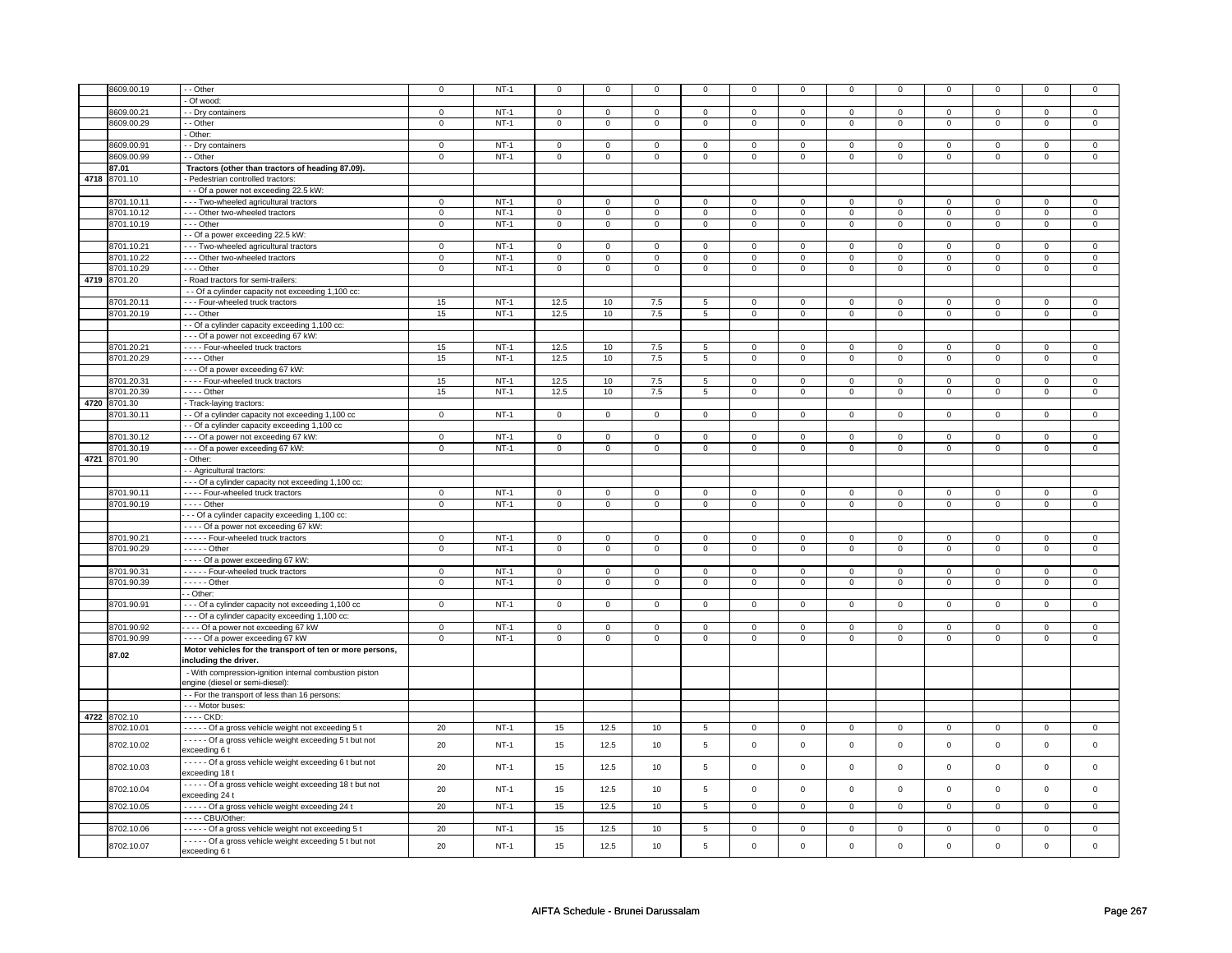|      | 8609.00.19   | - - Other                                                              | $\Omega$       | $NT-1$ | $\mathbf 0$    | 0              | $\mathbf 0$    |                | 0                   | 0              | $^{\circ}$     | $\Omega$       |                | $\mathbf 0$    |                | 0              |
|------|--------------|------------------------------------------------------------------------|----------------|--------|----------------|----------------|----------------|----------------|---------------------|----------------|----------------|----------------|----------------|----------------|----------------|----------------|
|      |              | - Of wood:                                                             |                |        |                |                |                |                |                     |                |                |                |                |                |                |                |
|      | 8609.00.21   | - Dry containers                                                       | $\mathbf 0$    | $NT-1$ | $\mathbf 0$    | $\mathbf 0$    | $\mathsf 0$    | $\mathbf 0$    | $\mathbf 0$         | $\mathbf 0$    | $\mathbf 0$    | $\mathbf 0$    | $\mathbf 0$    | $\mathbf 0$    | $\mathsf 0$    | $\mathbf 0$    |
|      | 8609.00.29   | $-$ Other                                                              | $\mathbf 0$    | $NT-1$ | $\mathbf 0$    | $\mathbf{0}$   | $\overline{0}$ | $\mathbf 0$    | $\mathbf 0$         | $\mathbf{0}$   | $\mathbf{0}$   | $\circ$        | $\mathbf{0}$   | $\overline{0}$ | $\mathsf 0$    | $\mathbf 0$    |
|      |              | - Other:                                                               |                |        |                |                |                |                |                     |                |                |                |                |                |                |                |
|      | 8609.00.91   | - - Dry containers                                                     | $\mathbf 0$    | $NT-1$ | $\mathbf 0$    | $\mathbf 0$    | $\mathbf 0$    | $\mathbf 0$    | $\mathbf 0$         | $\mathbf 0$    | $\mathbf 0$    | $\mathbf 0$    | $\mathbf 0$    | $\mathbf 0$    | $\Omega$       | $\mathbf 0$    |
|      | 8609.00.99   | - - Other                                                              | $\overline{0}$ | $NT-1$ | $\overline{0}$ | $\overline{0}$ | $\overline{0}$ | $\mathbf 0$    | $\overline{0}$      | $\overline{0}$ | $\overline{0}$ | $\overline{0}$ | $\overline{0}$ | $\overline{0}$ | $\overline{0}$ | $\overline{0}$ |
|      | 87.01        | Tractors (other than tractors of heading 87.09).                       |                |        |                |                |                |                |                     |                |                |                |                |                |                |                |
|      | 4718 8701.10 | - Pedestrian controlled tractors:                                      |                |        |                |                |                |                |                     |                |                |                |                |                |                |                |
|      |              | - - Of a power not exceeding 22.5 kW:                                  |                |        |                |                |                |                |                     |                |                |                |                |                |                |                |
|      | 8701.10.11   | - - - Two-wheeled agricultural tractors                                | $\mathbf 0$    | $NT-1$ | $\mathbf 0$    | $\mathbf 0$    | $\mathbf{0}$   | $\mathbf 0$    | $\mathbf{0}$        | $\mathbf{0}$   | $\mathbf{0}$   | $\mathbf 0$    | 0              | $\mathbf{0}$   | 0              | $\mathbf 0$    |
|      | 8701.10.12   | - - - Other two-wheeled tractors                                       | $\mathbf 0$    | $NT-1$ | $\Omega$       | $\mathbf 0$    | $\mathsf 0$    | $\Omega$       | $\mathsf 0$         | $\Omega$       | $\mathbf 0$    | $\Omega$       | 0              | $\mathbf 0$    | $\Omega$       | $\mathbf 0$    |
|      | 8701.10.19   | $- -$ Other                                                            | $\mathbf{0}$   | $NT-1$ | $\mathbf 0$    | $\mathbf{0}$   | $\circ$        | $\mathbf 0$    | $\mathbf{0}$        | $\mathbf{0}$   | $\mathbf{0}$   | $\mathbf 0$    | $\mathbf{0}$   | $\mathbf{0}$   | $\mathbf 0$    | $\mathbf{0}$   |
|      |              | - - Of a power exceeding 22.5 kW:                                      |                |        |                |                |                |                |                     |                |                |                |                |                |                |                |
|      | 8701.10.21   | - - - Two-wheeled agricultural tractors                                | $\mathbf 0$    | $NT-1$ | $\mathbf 0$    | $\mathbf 0$    | $\mathsf 0$    | $\mathbf 0$    | $\mathbf 0$         | $\mathbf{0}$   | $\mathbf 0$    | $\mathbf 0$    | $\mathbf 0$    | $\mathbf 0$    | $\mathsf 0$    | $\mathbf 0$    |
|      | 8701.10.22   | --- Other two-wheeled tractors                                         | $\mathsf 0$    | $NT-1$ | $\mathbf 0$    | $\mathbf 0$    | $\mathbf 0$    | $\mathbf 0$    | $\mathbf 0$         | $\mathsf 0$    | $\mathsf 0$    | $\mathbf 0$    | $\mathbf 0$    | $\mathbf 0$    | $\mathbf 0$    | $\mathsf 0$    |
|      | 8701.10.29   | $--$ Other                                                             | $\mathbf 0$    | $NT-1$ | $\mathbf 0$    | $\overline{0}$ | $\overline{0}$ | $\mathbf 0$    | $\overline{0}$      | $\overline{0}$ | $\mathbf 0$    | $\mathbf 0$    | $\mathbf 0$    | $\overline{0}$ | $\mathsf 0$    | $\overline{0}$ |
|      | 4719 8701.20 | - Road tractors for semi-trailers:                                     |                |        |                |                |                |                |                     |                |                |                |                |                |                |                |
|      |              | - - Of a cylinder capacity not exceeding 1,100 cc:                     |                |        |                |                |                |                |                     |                |                |                |                |                |                |                |
|      | 8701.20.11   | --- Four-wheeled truck tractors                                        | 15             | $NT-1$ | 12.5           | 10             | 7.5            | 5              | $\mathbf 0$         | $\mathbf 0$    | $\mathbf 0$    | $\mathbf 0$    | $\Omega$       | $\mathbf 0$    | $\Omega$       | $\mathbf 0$    |
|      | 8701.20.19   | --- Other                                                              | 15             | $NT-1$ | 12.5           | 10             | 7.5            | 5              | $\overline{0}$      | $\overline{0}$ | $\mathsf 0$    | $\mathsf 0$    | $\mathbf 0$    | $\overline{0}$ | $\mathbf 0$    | $\pmb{0}$      |
|      |              | - - Of a cylinder capacity exceeding 1,100 cc:                         |                |        |                |                |                |                |                     |                |                |                |                |                |                |                |
|      |              | --- Of a power not exceeding 67 kW:                                    |                |        |                |                |                |                |                     |                |                |                |                |                |                |                |
|      | 8701.20.21   | - - - - Four-wheeled truck tractors                                    | 15             | $NT-1$ | 12.5           | 10             | 7.5            | $\overline{5}$ | $\mathbf 0$         | $\overline{0}$ | $\mathbf{0}$   | $\mathbf 0$    | $\mathbf{0}$   | $\mathbf 0$    | $\mathbf 0$    | $\mathbf 0$    |
|      | 8701.20.29   | $---$ Other                                                            | 15             | $NT-1$ | 12.5           | 10             | 7.5            | 5              | $\mathbf{0}$        | $\overline{0}$ | $\overline{0}$ | $\mathbf 0$    | $\mathbf{0}$   | $\overline{0}$ | $\mathbf 0$    | $\overline{0}$ |
|      |              | - - - Of a power exceeding 67 kW:                                      |                |        |                |                |                |                |                     |                |                |                |                |                |                |                |
|      | 8701.20.31   | - - - - Four-wheeled truck tractors                                    | 15             | $NT-1$ | 12.5           | 10             | $7.5\,$        | $\sqrt{5}$     | $\mathbf 0$         | $\mathbf{0}$   | $\mathbf 0$    | $\Omega$       | 0              | $\mathbf 0$    | 0              | $\mathbf 0$    |
|      | 8701.20.39   | $---$ Other                                                            | 15             | $NT-1$ | 12.5           | 10             | 7.5            | $\overline{5}$ | $\overline{0}$      | $\overline{0}$ | $\mathbf{0}$   | $\overline{0}$ | $\mathbf 0$    | $\overline{0}$ | $\mathsf 0$    | $\overline{0}$ |
| 4720 | 8701.30      | - Track-laying tractors:                                               |                |        |                |                |                |                |                     |                |                |                |                |                |                |                |
|      | 8701.30.11   | - Of a cylinder capacity not exceeding 1,100 cc                        | $\mathbf{0}$   | $NT-1$ | $\mathbf 0$    | $\mathbf{0}$   | $\mathbf 0$    | $\mathbf 0$    | $\mathbf{0}$        | $\mathbf 0$    | $\mathbf 0$    | $\mathbf 0$    | $\mathbf 0$    | $\mathbf 0$    | $\mathbf 0$    | $\mathbf 0$    |
|      |              | - - Of a cylinder capacity exceeding 1,100 cc                          |                |        |                |                |                |                |                     |                |                |                |                |                |                |                |
|      | 8701.30.12   | - - - Of a power not exceeding 67 kW:                                  | $\mathbf 0$    | $NT-1$ | $\mathbf 0$    | $\mathbf 0$    | $\mathbf{0}$   | $\mathbf 0$    | $\mathbf 0$         | $\mathbf{0}$   | $\mathbf 0$    | $\mathbf 0$    | 0              | $\mathbf 0$    | 0              | $\mathbf 0$    |
|      | 8701.30.19   | - - - Of a power exceeding 67 kW:                                      | $\mathbf{0}$   | $NT-1$ | $\circ$        | $\circ$        | $\circ$        | $\mathbf 0$    | $\circ$             | $\circ$        | $\circ$        | $\circ$        | $\circ$        | $\circ$        | $\mathbf 0$    | $\mathbf 0$    |
|      | 4721 8701.90 | - Other:                                                               |                |        |                |                |                |                |                     |                |                |                |                |                |                |                |
|      |              | - - Agricultural tractors:                                             |                |        |                |                |                |                |                     |                |                |                |                |                |                |                |
|      |              | - - - Of a cylinder capacity not exceeding 1,100 cc:                   |                |        |                |                |                |                |                     |                |                |                |                |                |                |                |
|      | 8701.90.11   | - - - - Four-wheeled truck tractors                                    | $\mathbf 0$    | $NT-1$ | $\mathbf 0$    | $\overline{0}$ | $\mathbf 0$    | $\mathbf 0$    | $\mathsf 0$         | $\overline{0}$ | $\mathbf 0$    | $\mathbf 0$    | $\mathbf 0$    | $\mathbf 0$    | $\mathbf 0$    | $\mathbf 0$    |
|      | 8701.90.19   | $---$ Other                                                            | $\overline{0}$ | $NT-1$ | $\overline{0}$ | $\overline{0}$ | $\overline{0}$ | $\overline{0}$ | $\overline{0}$      | $\overline{0}$ | $\overline{0}$ | $\overline{0}$ | $\overline{0}$ | $\overline{0}$ | $\overline{0}$ | $\overline{0}$ |
|      |              | - - - Of a cylinder capacity exceeding 1,100 cc:                       |                |        |                |                |                |                |                     |                |                |                |                |                |                |                |
|      |              | - - - - Of a power not exceeding 67 kW:                                |                |        |                |                |                |                |                     |                |                |                |                |                |                |                |
|      | 8701.90.21   | ----- Four-wheeled truck tractors                                      | $\mathsf 0$    | $NT-1$ | $\mathbf 0$    | $\mathsf 0$    | $\mathsf 0$    | $\mathbf 0$    | $\mathsf{O}$        | $\mathsf 0$    | $\mathsf 0$    | $\mathbf 0$    | $\mathbf 0$    | $\mathsf 0$    | $\mathsf 0$    | $\mathbf 0$    |
|      | 8701.90.29   | $---$ Other                                                            | $\mathsf 0$    | $NT-1$ | $\mathbf 0$    | $\mathbf 0$    | $\overline{0}$ | 0              | $\mathbf 0$         | $\overline{0}$ | $\mathsf 0$    | $\mathbf 0$    | $\mathbf 0$    | $\overline{0}$ | $\mathsf 0$    | $\mathbf 0$    |
|      |              | - - - - Of a power exceeding 67 kW:                                    |                |        |                |                |                |                |                     |                |                |                |                |                |                |                |
|      | 8701.90.31   | - - - - - Four-wheeled truck tractors                                  | 0              | $NT-1$ | $\mathbf 0$    | $\mathbf 0$    | $\overline{0}$ | $\mathbf 0$    | $\overline{0}$      | $\mathbf 0$    | $\mathbf 0$    | $\mathbf 0$    | $\mathbf 0$    | $\overline{0}$ | 0              | 0              |
|      | 8701.90.39   | $---$ Other                                                            | $\mathbf 0$    | $NT-1$ | $\mathbf 0$    | $\mathbf 0$    | $\mathbf 0$    | $\mathbf 0$    | $\overline{0}$      | $\mathsf 0$    | $\mathbf 0$    | $\mathbf 0$    | $\mathbf{0}$   | $\mathbf 0$    | $\mathsf 0$    | $\mathbf 0$    |
|      |              | - Other:                                                               |                |        |                |                |                |                |                     |                |                |                |                |                |                |                |
|      | 8701.90.91   | - - - Of a cylinder capacity not exceeding 1,100 cc                    | $\mathbf{0}$   | $NT-1$ | $\Omega$       | 0              | $\mathsf 0$    | $\Omega$       | $\mathbf{0}$        | $\mathbf 0$    | $\Omega$       | $\Omega$       | $\Omega$       | $\mathsf 0$    | $\Omega$       | $\mathbf 0$    |
|      |              | --- Of a cylinder capacity exceeding 1,100 cc:                         |                |        |                |                |                |                |                     |                |                |                |                |                |                |                |
|      | 8701.90.92   | ---- Of a power not exceeding 67 kW                                    | $\mathbf 0$    | $NT-1$ | $\mathbf 0$    | $\mathbf 0$    | $\overline{0}$ | $\mathbf 0$    | $\mathbf 0$         | $\mathbf 0$    | $\mathbf 0$    | $\mathbf 0$    | $\mathbf 0$    | $\mathbf 0$    | $\mathbf 0$    | $\mathbf 0$    |
|      | 8701.90.99   | - - - - Of a power exceeding 67 kW                                     | $\mathsf 0$    | $NT-1$ | $\mathbf 0$    | $\mathbf 0$    | $\mathsf 0$    | $\mathbf 0$    | $\mathbf 0$         | $\mathsf 0$    | $\mathbf 0$    | $\mathbf 0$    | $\mathbf 0$    | $\mathsf 0$    | $\mathbf 0$    | $\mathbf 0$    |
|      | 87.02        | Motor vehicles for the transport of ten or more persons,               |                |        |                |                |                |                |                     |                |                |                |                |                |                |                |
|      |              | including the driver.                                                  |                |        |                |                |                |                |                     |                |                |                |                |                |                |                |
|      |              | - With compression-ignition internal combustion piston                 |                |        |                |                |                |                |                     |                |                |                |                |                |                |                |
|      |              | engine (diesel or semi-diesel):                                        |                |        |                |                |                |                |                     |                |                |                |                |                |                |                |
|      |              | - - For the transport of less than 16 persons:                         |                |        |                |                |                |                |                     |                |                |                |                |                |                |                |
|      |              | - - - Motor buses:                                                     |                |        |                |                |                |                |                     |                |                |                |                |                |                |                |
|      |              |                                                                        |                |        |                |                |                |                |                     |                |                |                |                |                |                |                |
|      | 4722 8702.10 | - - - - CKD:                                                           |                |        |                |                |                |                |                     |                |                |                |                |                |                |                |
|      | 8702.10.01   | ----- Of a gross vehicle weight not exceeding 5 t                      | 20             | $NT-1$ | 15             | 12.5           | 10             | 5              | $\mathsf 0$         | $\mathsf 0$    | $\mathsf 0$    | $\mathbf 0$    | 0              | $\mathbf 0$    | $\mathbf 0$    | $\mathbf 0$    |
|      |              | - - - - - Of a gross vehicle weight exceeding 5 t but not              |                |        |                |                |                |                |                     |                |                |                |                |                | $\Omega$       |                |
|      | 8702.10.02   | exceeding 6 t                                                          | 20             | $NT-1$ | 15             | 12.5           | 10             | $\,$ 5 $\,$    | $\mathsf{O}\xspace$ | $\mathbf 0$    | $\mathsf 0$    | $\mathsf 0$    | $\mathsf 0$    | $\mathbf 0$    |                | $\mathsf 0$    |
|      | 8702.10.03   | ----- Of a gross vehicle weight exceeding 6 t but not                  | 20             | $NT-1$ |                | 12.5           | 10             | 5              | $\mathsf{O}\xspace$ | $\mathsf 0$    | $\mathsf 0$    | $\mathsf 0$    | $\mathsf 0$    | $\mathbf 0$    | $\Omega$       | $\mathsf 0$    |
|      |              | exceeding 18 t                                                         |                |        | 15             |                |                |                |                     |                |                |                |                |                |                |                |
|      |              | ----- Of a gross vehicle weight exceeding 18 t but not                 |                |        |                |                |                |                |                     |                |                |                |                |                |                |                |
|      | 8702.10.04   | exceeding 24 t                                                         | 20             | $NT-1$ | 15             | 12.5           | 10             | 5              | $\mathbf 0$         | $\mathbf 0$    | $\mathsf 0$    | $\mathsf 0$    | $\mathbf 0$    | $\mathbf 0$    | $\mathbf 0$    | $\mathsf 0$    |
|      | 8702.10.05   | ----- Of a gross vehicle weight exceeding 24 t                         | 20             | $NT-1$ | 15             | 12.5           | 10             | $\,$ 5 $\,$    | $\mathsf{O}\xspace$ | $\mathbf 0$    | $\mathsf 0$    | $\mathsf 0$    | $\mathbf 0$    | $\mathsf 0$    | $\mathbf 0$    | $\mathbf 0$    |
|      |              | ---- CBU/Other:                                                        |                |        |                |                |                |                |                     |                |                |                |                |                |                |                |
|      | 8702.10.06   | ----- Of a gross vehicle weight not exceeding 5 t                      | 20             | $NT-1$ | 15             | 12.5           | 10             | 5              | $\overline{0}$      | $\overline{0}$ | $\overline{0}$ | $\mathbf{0}$   | $\mathbf{0}$   | $\overline{0}$ | $\mathbf 0$    | $\overline{0}$ |
|      | 8702.10.07   | ----- Of a gross vehicle weight exceeding 5 t but not<br>exceeding 6 t | 20             | $NT-1$ | 15             | 12.5           | 10             | 5              | $\mathbf 0$         | $\mathsf 0$    | $\mathsf 0$    | $\mathbf 0$    | $\mathbf 0$    | $\mathsf 0$    | $\mathbf 0$    | $\mathsf 0$    |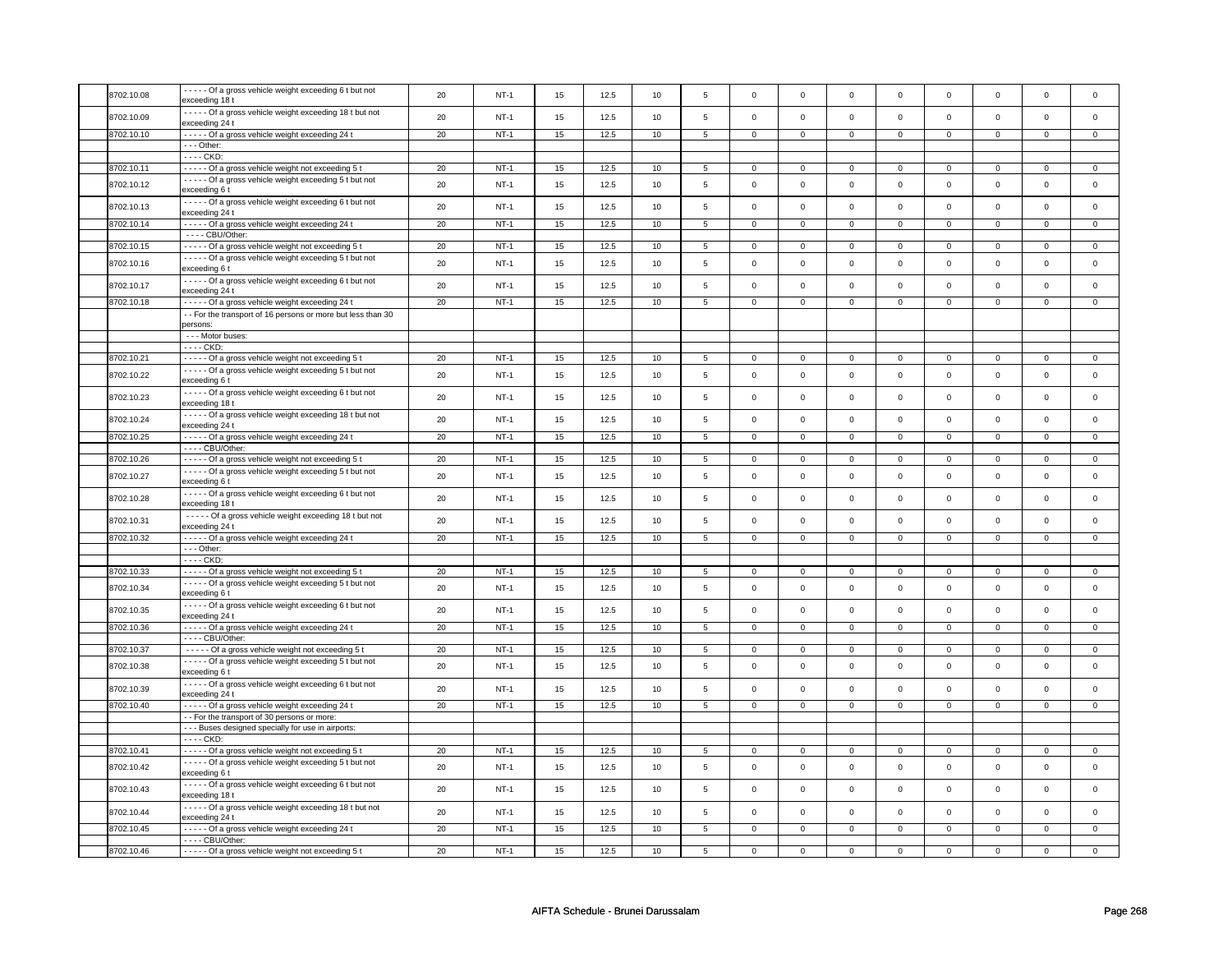| 8702.10.08 | ----- Of a gross vehicle weight exceeding 6 t but not                      | 20 | $NT-1$ | 15 | 12.5 | 10 | 5              | $\mathbf 0$    | $\mathsf 0$         | $\mathbf 0$    | $\mathbf 0$    | $\mathbf 0$         | $\mathbf 0$         | $\mathsf 0$         | $\mathsf 0$    |
|------------|----------------------------------------------------------------------------|----|--------|----|------|----|----------------|----------------|---------------------|----------------|----------------|---------------------|---------------------|---------------------|----------------|
|            | exceeding 18 t                                                             |    |        |    |      |    |                |                |                     |                |                |                     |                     |                     |                |
| 8702.10.09 | - - - - - Of a gross vehicle weight exceeding 18 t but not                 | 20 | $NT-1$ | 15 | 12.5 | 10 | 5              | $\mathbf 0$    | $\mathsf 0$         | $\mathsf 0$    | $\mathsf{o}\,$ | $\mathsf 0$         | $\mathsf{o}\,$      | $\mathsf 0$         | $\mathbf 0$    |
|            | exceeding 24 t                                                             |    |        |    |      |    |                |                |                     |                |                |                     |                     |                     |                |
| 8702.10.10 | ----- Of a gross vehicle weight exceeding 24 t                             | 20 | $NT-1$ | 15 | 12.5 | 10 | $\overline{5}$ | $\mathbf 0$    | $\overline{0}$      | $\mathbf 0$    | $\mathbf 0$    | $\mathbf 0$         | $\mathbf 0$         | $\mathbf 0$         | $\mathbf{0}$   |
|            | $- -$ Other:                                                               |    |        |    |      |    |                |                |                     |                |                |                     |                     |                     |                |
|            | - - - - CKD:                                                               |    |        |    |      |    |                |                |                     |                |                |                     |                     |                     |                |
|            |                                                                            |    |        |    |      |    |                |                |                     |                |                |                     |                     |                     |                |
| 8702.10.11 | - - - - - Of a gross vehicle weight not exceeding 5 t                      | 20 | $NT-1$ | 15 | 12.5 | 10 | $\overline{5}$ | $\overline{0}$ | $\overline{0}$      | $\mathsf 0$    | $\overline{0}$ | $\mathsf 0$         | $\overline{0}$      | $\mathsf 0$         | $\overline{0}$ |
| 8702.10.12 | ----- Of a gross vehicle weight exceeding 5 t but not                      | 20 | $NT-1$ | 15 | 12.5 | 10 | $\,$ 5 $\,$    | $\mathsf 0$    | $\mathsf 0$         | $\mathbf 0$    | $\mathsf{o}\,$ | $\mathsf 0$         | $\mathsf{o}\,$      | $\mathbf 0$         | $\mathsf 0$    |
|            | exceeding 6 t                                                              |    |        |    |      |    |                |                |                     |                |                |                     |                     |                     |                |
|            | - - - - - Of a gross vehicle weight exceeding 6 t but not                  | 20 | $NT-1$ | 15 | 12.5 | 10 | 5              | $\Omega$       | $\mathsf 0$         | $\Omega$       | $\Omega$       | $\Omega$            | $\Omega$            | $\Omega$            | $\mathsf 0$    |
| 8702.10.13 | exceeding 24 t                                                             |    |        |    |      |    |                |                |                     |                |                |                     |                     |                     |                |
| 8702.10.14 | - - - - - Of a gross vehicle weight exceeding 24 t                         | 20 | $NT-1$ | 15 | 12.5 | 10 | $\overline{5}$ | $\overline{0}$ | $\overline{0}$      | $\overline{0}$ | $\overline{0}$ | $\overline{0}$      | $\overline{0}$      | $\Omega$            | $\overline{0}$ |
|            | - - - - CBU/Other:                                                         |    |        |    |      |    |                |                |                     |                |                |                     |                     |                     |                |
|            |                                                                            |    |        |    |      |    |                |                |                     |                |                |                     |                     |                     |                |
| 8702.10.15 | - - - - - Of a gross vehicle weight not exceeding 5 t                      | 20 | $NT-1$ | 15 | 12.5 | 10 | $\,$ 5 $\,$    | $\mathsf 0$    | $\mathbf 0$         | $\mathsf 0$    | $\mathsf 0$    | $\mathsf 0$         | $\mathsf 0$         | $\mathbf 0$         | $\mathsf 0$    |
| 8702.10.16 | - - - - - Of a gross vehicle weight exceeding 5 t but not                  | 20 | $NT-1$ | 15 | 12.5 | 10 | $\overline{5}$ | $\Omega$       | $\mathsf 0$         | $\Omega$       | $\mathbf{0}$   | $\mathbf 0$         | $\mathbf{0}$        | $\Omega$            | $\mathbf{0}$   |
|            | exceeding 6 t                                                              |    |        |    |      |    |                |                |                     |                |                |                     |                     |                     |                |
| 8702.10.17 | - - - - - Of a gross vehicle weight exceeding 6 t but not                  | 20 | $NT-1$ | 15 | 12.5 | 10 | 5              | $\mathbf 0$    | $\mathsf 0$         | $\mathbf 0$    | $\mathbf 0$    | $\mathsf 0$         | $\mathsf 0$         | $\mathbf 0$         | $\mathbf{0}$   |
|            | exceeding 24 t                                                             |    |        |    |      |    |                |                |                     |                |                |                     |                     |                     |                |
| 8702.10.18 | - - - - - Of a gross vehicle weight exceeding 24 t                         | 20 | $NT-1$ | 15 | 12.5 | 10 | 5              | $\mathbf 0$    | $\mathbf{0}$        | $\mathbf 0$    | $\overline{0}$ | $\mathbf 0$         | $\mathbf 0$         | $\mathbf 0$         | $\mathbf{0}$   |
|            | - - For the transport of 16 persons or more but less than 30               |    |        |    |      |    |                |                |                     |                |                |                     |                     |                     |                |
|            | persons:                                                                   |    |        |    |      |    |                |                |                     |                |                |                     |                     |                     |                |
|            | --- Motor buses:                                                           |    |        |    |      |    |                |                |                     |                |                |                     |                     |                     |                |
|            | - - - - CKD:                                                               |    |        |    |      |    |                |                |                     |                |                |                     |                     |                     |                |
| 8702.10.21 | ----- Of a gross vehicle weight not exceeding 5 t                          | 20 | $NT-1$ | 15 | 12.5 | 10 | 5              | $\mathbf 0$    | $\mathbf 0$         | $\Omega$       | $\mathbf 0$    | $\mathbf 0$         | $\mathsf 0$         | $\Omega$            | $\mathsf 0$    |
|            |                                                                            |    |        |    |      |    |                |                |                     |                |                |                     |                     |                     |                |
| 8702.10.22 | - - - - - Of a gross vehicle weight exceeding 5 t but not<br>exceeding 6 t | 20 | $NT-1$ | 15 | 12.5 | 10 | 5              | $\mathbf 0$    | $\mathbf 0$         | $\mathbf 0$    | $\mathsf 0$    | $\mathbf 0$         | $\mathsf 0$         | $\mathbf 0$         | $\mathsf 0$    |
|            |                                                                            |    |        |    |      |    |                |                |                     |                |                |                     |                     |                     |                |
| 8702.10.23 | ----- Of a gross vehicle weight exceeding 6 t but not                      | 20 | $NT-1$ | 15 | 12.5 | 10 | $\,$ 5 $\,$    | $\mathsf 0$    | $\mathbf 0$         | $\mathsf 0$    | $\mathsf 0$    | $\mathsf 0$         | $\mathsf 0$         | $\mathbf 0$         | $\mathbf 0$    |
|            | exceeding 18 t                                                             |    |        |    |      |    |                |                |                     |                |                |                     |                     |                     |                |
| 8702.10.24 | - - - - - Of a gross vehicle weight exceeding 18 t but not                 | 20 | $NT-1$ | 15 | 12.5 | 10 | 5              | $\mathsf 0$    | $\mathsf{o}\xspace$ | $\mathsf 0$    | $\mathbf 0$    | $\mathsf 0$         | $\mathsf 0$         | $\mathbf 0$         | $\mathbf 0$    |
|            | exceeding 24 t                                                             |    |        |    |      |    |                |                |                     |                |                |                     |                     |                     |                |
| 8702.10.25 | ----- Of a gross vehicle weight exceeding 24 t                             | 20 | $NT-1$ | 15 | 12.5 | 10 | $\overline{5}$ | $\overline{0}$ | $\overline{0}$      | $\overline{0}$ | $\overline{0}$ | $\overline{0}$      | $\overline{0}$      | $\Omega$            | $\overline{0}$ |
|            | $---$ CBU/Other:                                                           |    |        |    |      |    |                |                |                     |                |                |                     |                     |                     |                |
| 8702.10.26 | ----- Of a gross vehicle weight not exceeding 5 t                          | 20 | $NT-1$ | 15 | 12.5 | 10 | $\overline{5}$ | $\overline{0}$ | $\overline{0}$      | $\mathbf 0$    | $\overline{0}$ | $\overline{0}$      | $\overline{0}$      | $\mathbf 0$         | $\overline{0}$ |
|            | ----- Of a gross vehicle weight exceeding 5 t but not                      |    |        |    |      |    |                |                |                     |                |                |                     |                     |                     |                |
| 8702.10.27 | exceeding 6 t                                                              | 20 | $NT-1$ | 15 | 12.5 | 10 | $\overline{5}$ | $\mathbf 0$    | $\mathsf 0$         | $\mathsf 0$    | $\mathsf{o}\,$ | $\mathsf 0$         | $\mathsf{o}\xspace$ | $\mathbf 0$         | $\mathsf 0$    |
|            |                                                                            |    |        |    |      |    |                |                |                     |                |                |                     |                     |                     |                |
| 8702.10.28 | ----- Of a gross vehicle weight exceeding 6 t but not                      | 20 | $NT-1$ | 15 | 12.5 | 10 | 5              | $\mathbf 0$    | $\mathsf 0$         | $\Omega$       | $\mathbf 0$    | $\mathbf 0$         | $\mathsf 0$         | $\Omega$            | $\mathsf 0$    |
|            | exceeding 18 t                                                             |    |        |    |      |    |                |                |                     |                |                |                     |                     |                     |                |
| 8702.10.31 | - - - - - Of a gross vehicle weight exceeding 18 t but not                 | 20 | $NT-1$ | 15 | 12.5 | 10 | 5              | $\mathsf 0$    | $\mathsf 0$         | $\mathbf 0$    | $\mathsf 0$    | $\mathsf{O}\xspace$ | $\mathsf 0$         | $\mathsf{O}\xspace$ | $\mathsf 0$    |
|            | exceeding 24 t                                                             |    |        |    |      |    |                |                |                     |                |                |                     |                     |                     |                |
| 8702.10.32 | - - - - - Of a gross vehicle weight exceeding 24 t                         | 20 | $NT-1$ | 15 | 12.5 | 10 | 5              | $\mathsf 0$    | $\mathsf 0$         | $\mathsf 0$    | $\mathsf 0$    | $\mathbf 0$         | $\mathsf 0$         | $\mathbf 0$         | $\mathbf 0$    |
|            | $--$ Other:                                                                |    |        |    |      |    |                |                |                     |                |                |                     |                     |                     |                |
|            | - - - - CKD:                                                               |    |        |    |      |    |                |                |                     |                |                |                     |                     |                     |                |
| 8702.10.33 | ----- Of a gross vehicle weight not exceeding 5 t                          | 20 | $NT-1$ | 15 | 12.5 | 10 | 5              | $\mathbf 0$    | $\mathbf 0$         | $\Omega$       | $\mathbf 0$    | $\mathbf 0$         | $\mathbf 0$         | $\Omega$            | $\mathbf 0$    |
|            | ----- Of a gross vehicle weight exceeding 5 t but not                      |    |        |    |      |    |                |                |                     |                |                |                     |                     |                     |                |
| 8702.10.34 | exceeding 6 t                                                              | 20 | $NT-1$ | 15 | 12.5 | 10 | $\,$ 5 $\,$    | $\mathbf 0$    | $\mathsf 0$         | $\Omega$       | $\mathsf 0$    | $\Omega$            | $\mathsf 0$         | $\Omega$            | $\mathbf{0}$   |
|            | ----- Of a gross vehicle weight exceeding 6 t but not                      |    |        |    |      |    |                |                |                     |                |                |                     |                     |                     |                |
| 8702.10.35 | exceeding 24 t                                                             | 20 | $NT-1$ | 15 | 12.5 | 10 | $\,$ 5 $\,$    | $\mathsf 0$    | $\mathbf 0$         | $\mathbf 0$    | $\mathbf 0$    | $\mathbf 0$         | $\mathbf 0$         | $\mathbf 0$         | $\mathbf{0}$   |
| 8702.10.36 | ----- Of a gross vehicle weight exceeding 24 t                             | 20 | $NT-1$ | 15 | 12.5 | 10 | 5              | $\mathbf 0$    | $\mathsf 0$         | $\mathbf 0$    | $\mathbf 0$    | $\mathbf 0$         | $\mathbf 0$         | $\mathbf 0$         | $\mathbf{0}$   |
|            | - - - - CBU/Other:                                                         |    |        |    |      |    |                |                |                     |                |                |                     |                     |                     |                |
|            |                                                                            |    |        |    |      |    |                |                |                     |                |                |                     |                     |                     |                |
| 8702.10.37 | - - - - - Of a gross vehicle weight not exceeding 5 t                      | 20 | $NT-1$ | 15 | 12.5 | 10 | 5              | $\mathbf 0$    | $\mathsf 0$         | $\mathbf 0$    | $\mathbf 0$    | $\mathbf 0$         | $\mathsf 0$         | $\mathbf 0$         | $\mathsf 0$    |
| 8702.10.38 | - - - - - Of a gross vehicle weight exceeding 5 t but not                  | 20 | $NT-1$ | 15 | 12.5 | 10 | 5              | $\Omega$       | $\mathsf 0$         | $\Omega$       | $\mathsf 0$    | $\Omega$            | $\mathsf 0$         | $\mathbf 0$         | $\mathsf 0$    |
|            | exceeding 6 t                                                              |    |        |    |      |    |                |                |                     |                |                |                     |                     |                     |                |
| 8702.10.39 | ----- Of a gross vehicle weight exceeding 6 t but not                      | 20 | $NT-1$ | 15 | 12.5 | 10 | 5              | $\mathsf 0$    | $\mathsf 0$         | $\mathbf 0$    | $\mathbf{0}$   | $\mathsf 0$         | $\mathsf 0$         | $\mathbf 0$         | $\mathbf{0}$   |
|            | exceeding 24 t                                                             |    |        |    |      |    |                |                |                     |                |                |                     |                     |                     |                |
| 8702.10.40 | - - - - - Of a gross vehicle weight exceeding 24 t                         | 20 | $NT-1$ | 15 | 12.5 | 10 | 5              | $\mathbf 0$    | $\mathbf 0$         | $\mathbf 0$    | $\mathbf 0$    | $\mathbf 0$         | $\mathbf 0$         | $\mathbf 0$         | $\mathbf{0}$   |
|            | - For the transport of 30 persons or more:                                 |    |        |    |      |    |                |                |                     |                |                |                     |                     |                     |                |
|            | - - - Buses designed specially for use in airports:                        |    |        |    |      |    |                |                |                     |                |                |                     |                     |                     |                |
|            | ---- CKD:                                                                  |    |        |    |      |    |                |                |                     |                |                |                     |                     |                     |                |
| 8702.10.41 | - - - - - Of a gross vehicle weight not exceeding 5 t                      | 20 | $NT-1$ | 15 | 12.5 | 10 | 5              | $\mathbf 0$    | $\mathsf 0$         | $\mathbf 0$    | $\mathbf 0$    | $\mathbf 0$         | $\mathbf 0$         | $\mathbf 0$         | $\mathbf{0}$   |
|            | - - - - - Of a gross vehicle weight exceeding 5 t but not                  |    |        |    |      |    |                |                |                     |                |                |                     |                     |                     |                |
| 8702.10.42 | exceeding 6 t                                                              | 20 | $NT-1$ | 15 | 12.5 | 10 | $\mathbf 5$    | $\mathbf 0$    | $\mathsf 0$         | $\mathsf 0$    | $\mathsf{o}\,$ | $\mathsf 0$         | $\mathsf{o}\,$      | $\mathbf 0$         | $\mathbf 0$    |
|            |                                                                            |    |        |    |      |    |                |                |                     |                |                |                     |                     |                     |                |
| 8702.10.43 | ----- Of a gross vehicle weight exceeding 6 t but not                      | 20 | $NT-1$ | 15 | 12.5 | 10 | 5              | $\mathbf 0$    | $\mathsf 0$         | $\Omega$       | $\mathsf 0$    | $\mathbf 0$         | $\mathbf 0$         | $\Omega$            | $\mathsf 0$    |
|            | exceeding 18 t                                                             |    |        |    |      |    |                |                |                     |                |                |                     |                     |                     |                |
| 8702.10.44 | ----- Of a gross vehicle weight exceeding 18 t but not                     | 20 | $NT-1$ | 15 | 12.5 | 10 | $\overline{5}$ | $\mathsf 0$    | $\mathsf 0$         | $\mathbf 0$    | $\mathsf 0$    | $\mathsf 0$         | $\mathsf 0$         | $\mathsf 0$         | $\mathsf 0$    |
|            | exceeding 24 t                                                             |    |        |    |      |    |                |                |                     |                |                |                     |                     |                     |                |
| 8702.10.45 | - - - - - Of a gross vehicle weight exceeding 24 t                         | 20 | $NT-1$ | 15 | 12.5 | 10 | $\overline{5}$ | $\overline{0}$ | $\overline{0}$      | $\overline{0}$ | $\overline{0}$ | $\overline{0}$      | $\overline{0}$      | $\overline{0}$      | $\overline{0}$ |
|            | $---$ CBU/Other:                                                           |    |        |    |      |    |                |                |                     |                |                |                     |                     |                     |                |
| 8702.10.46 | ----- Of a gross vehicle weight not exceeding 5 t                          | 20 | $NT-1$ | 15 | 12.5 | 10 | 5              | $\mathbf 0$    | $\mathsf 0$         | $\mathbf 0$    | $\mathbf 0$    | $\mathsf 0$         | $\mathbf 0$         | 0                   | $\mathbf 0$    |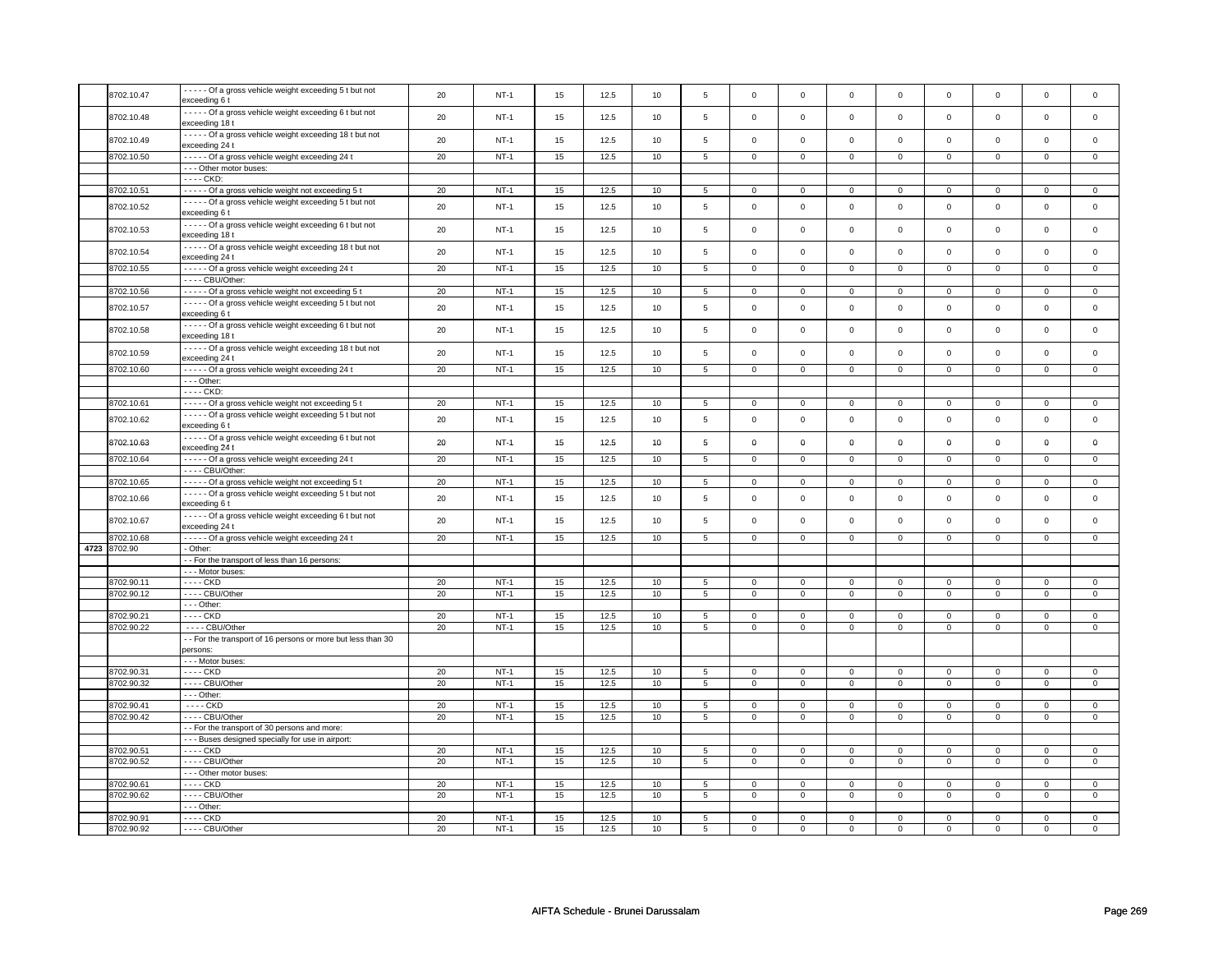| 8702.10.47   | - - - - - Of a gross vehicle weight exceeding 5 t but not<br>exceeding 6 t  | 20 | $NT-1$ | 15 | 12.5 | 10 | 5               | $\mathsf 0$         | $\mathsf 0$    | $\mathbf 0$    | $\mathsf 0$    | $\mathsf 0$    | $\mathbf 0$    | $\mathsf 0$    | 0              |
|--------------|-----------------------------------------------------------------------------|----|--------|----|------|----|-----------------|---------------------|----------------|----------------|----------------|----------------|----------------|----------------|----------------|
| 8702.10.48   | - - - - - Of a gross vehicle weight exceeding 6 t but not                   | 20 | $NT-1$ | 15 | 12.5 | 10 | 5               | $\mathsf 0$         | $\mathsf 0$    | $\mathbf 0$    | $\mathbf 0$    | $\mathsf 0$    | $\mathbf 0$    | $\mathbf 0$    | $\mathbf 0$    |
|              | exceeding 18 t                                                              |    |        |    |      |    |                 |                     |                |                |                |                |                |                |                |
| 8702.10.49   | ----- Of a gross vehicle weight exceeding 18 t but not<br>exceeding 24 t    | 20 | $NT-1$ | 15 | 12.5 | 10 | 5               | $\mathsf{O}\xspace$ | $\mathsf 0$    | $\mathbf 0$    | $\mathbf 0$    | $\mathsf 0$    | $\mathbf 0$    | $\mathsf 0$    | $\mathbf 0$    |
| 8702.10.50   | ----- Of a gross vehicle weight exceeding 24 t                              | 20 | $NT-1$ | 15 | 12.5 | 10 | $5\overline{)}$ | $\overline{0}$      | $\overline{0}$ | $\overline{0}$ | $\overline{0}$ | $\overline{0}$ | $\overline{0}$ | $\overline{0}$ | $\overline{0}$ |
|              | - - - Other motor buses:                                                    |    |        |    |      |    |                 |                     |                |                |                |                |                |                |                |
|              | - - - - CKD:                                                                |    |        |    |      |    |                 |                     |                |                |                |                |                |                |                |
| 8702.10.51   | ----- Of a gross vehicle weight not exceeding 5 t                           | 20 | $NT-1$ | 15 | 12.5 | 10 | $\,$ 5 $\,$     | 0                   | $\mathsf 0$    | $\mathbf{0}$   | $\mathbf 0$    | 0              | $\mathsf{O}$   | $\Omega$       | $\mathbf{0}$   |
|              |                                                                             |    |        |    |      |    |                 |                     |                |                |                |                |                |                |                |
| 8702.10.52   | ----- Of a gross vehicle weight exceeding 5 t but not<br>exceeding 6 t      | 20 | $NT-1$ | 15 | 12.5 | 10 | 5               | $\mathsf 0$         | $\mathbf 0$    | $\mathbf 0$    | $\mathsf 0$    | $\mathsf 0$    | $\mathbf 0$    | $\Omega$       | $\mathbf 0$    |
| 8702.10.53   | - - - - - Of a gross vehicle weight exceeding 6 t but not<br>exceeding 18 t | 20 | $NT-1$ | 15 | 12.5 | 10 | 5               | $\mathsf{O}\xspace$ | $\mathbf 0$    | $\mathbf 0$    | $\mathbf 0$    | $\mathsf 0$    | $\mathsf{o}\,$ | $\mathsf 0$    | $\mathbf 0$    |
| 8702.10.54   | ----- Of a gross vehicle weight exceeding 18 t but not<br>exceeding 24 t    | 20 | $NT-1$ | 15 | 12.5 | 10 | 5               | $\mathbf 0$         | $\mathbf{0}$   | $\mathbf 0$    | $\mathbf 0$    | $\mathbf 0$    | $\mathbf{0}$   | $\mathbf 0$    | $\mathbf{0}$   |
| 8702.10.55   | ----- Of a gross vehicle weight exceeding 24 t                              | 20 | $NT-1$ | 15 | 12.5 | 10 | 5               | $\mathbf 0$         | $\mathbf 0$    | 0              | $\mathbf{0}$   | 0              | $\mathbf 0$    | 0              | 0              |
|              | ---- CBU/Other:                                                             |    |        |    |      |    |                 |                     |                |                |                |                |                |                |                |
| 8702.10.56   | ----- Of a gross vehicle weight not exceeding 5 t                           | 20 | $NT-1$ | 15 | 12.5 | 10 | $\overline{5}$  | $\mathsf{O}\xspace$ | $\mathsf 0$    | $\mathbf 0$    | $\mathsf 0$    | 0              | $\mathbf 0$    | $\Omega$       | $\mathsf 0$    |
| 8702.10.57   | - - - - - Of a gross vehicle weight exceeding 5 t but not<br>exceeding 6 t  | 20 | $NT-1$ | 15 | 12.5 | 10 | $\,$ 5 $\,$     | $\mathsf 0$         | $\mathbf 0$    | $\mathbf 0$    | $\mathsf 0$    | $\mathsf 0$    | $\mathbf 0$    | $\Omega$       | $\mathbf 0$    |
| 8702.10.58   | - - - - - Of a gross vehicle weight exceeding 6 t but not<br>exceeding 18 t | 20 | $NT-1$ | 15 | 12.5 | 10 | 5               | $\mathsf 0$         | $\mathsf 0$    | $\mathbf 0$    | $\mathbf 0$    | $\mathsf 0$    | $\mathbf 0$    | $\mathbf 0$    | $\mathbf{0}$   |
| 8702.10.59   | ----- Of a gross vehicle weight exceeding 18 t but not                      | 20 | $NT-1$ | 15 | 12.5 | 10 | 5               | $\mathsf 0$         | $\mathsf 0$    | $\mathbf 0$    | $\mathsf 0$    | $\mathsf 0$    | $\mathbf 0$    | $\mathsf 0$    | 0              |
|              | exceeding 24 t                                                              |    |        |    |      |    |                 |                     |                |                |                |                |                |                |                |
| 8702.10.60   | - - - - - Of a gross vehicle weight exceeding 24 t                          | 20 | $NT-1$ | 15 | 12.5 | 10 | 5               | $\mathbf 0$         | $\mathbf 0$    | $\mathbf 0$    | $\mathbf 0$    | $\mathbf 0$    | $\mathbf 0$    | $\mathsf 0$    | $\mathbf{0}$   |
|              | $- -$ Other:                                                                |    |        |    |      |    |                 |                     |                |                |                |                |                |                |                |
|              | - - - - CKD:                                                                |    |        |    |      |    |                 |                     |                |                |                |                |                |                |                |
| 8702.10.61   | ----- Of a gross vehicle weight not exceeding 5 t                           | 20 | $NT-1$ | 15 | 12.5 | 10 | 5               | $\mathsf 0$         | $\mathbf 0$    | $\mathbf 0$    | $\mathbf 0$    | $\mathsf 0$    | $\mathbf 0$    | 0              | $\mathbf 0$    |
| 8702.10.62   | - - - - - Of a gross vehicle weight exceeding 5 t but not<br>exceeding 6 t  | 20 | $NT-1$ | 15 | 12.5 | 10 | 5               | $\mathbf 0$         | $\mathsf{o}\,$ | $\mathbf 0$    | $\mathbf{0}$   | $\mathbf 0$    | $\mathbf 0$    | $\mathbf 0$    | $\mathbf{0}$   |
| 8702.10.63   | - - - - - Of a gross vehicle weight exceeding 6 t but not<br>exceeding 24 t | 20 | $NT-1$ | 15 | 12.5 | 10 | 5               | $\mathbf 0$         | $\mathbf 0$    | $\mathbf 0$    | $\mathbf 0$    | 0              | $\mathbf 0$    | 0              | $\mathbf 0$    |
| 8702.10.64   | ----- Of a gross vehicle weight exceeding 24 t                              | 20 | $NT-1$ | 15 | 12.5 | 10 | 5               | $\mathbf 0$         | $\mathsf 0$    | $\mathbf 0$    | $\mathbf 0$    | $\mathbf 0$    | $\mathbf 0$    | $\mathbf 0$    | $\mathbf{0}$   |
|              | ---- CBU/Other:                                                             |    |        |    |      |    |                 |                     |                |                |                |                |                |                |                |
| 8702.10.65   | ----- Of a gross vehicle weight not exceeding 5 t                           | 20 | $NT-1$ | 15 | 12.5 | 10 | 5               | $\mathbf{0}$        | $\mathbf 0$    | $\mathbf 0$    | $\mathbf{0}$   | $\mathbf{0}$   | $\mathbf{0}$   | $\mathbf 0$    | $\mathbf{0}$   |
|              | ----- Of a gross vehicle weight exceeding 5 t but not                       |    |        |    |      |    |                 |                     |                |                |                |                |                |                |                |
| 8702.10.66   | exceeding 6 t                                                               | 20 | $NT-1$ | 15 | 12.5 | 10 | $\,$ 5 $\,$     | $\mathsf 0$         | $\mathsf 0$    | $\mathbf 0$    | $\mathbf 0$    | $\mathsf 0$    | $\mathbf 0$    | $\mathsf 0$    | $\mathsf 0$    |
| 8702.10.67   | - - - - - Of a gross vehicle weight exceeding 6 t but not<br>exceeding 24 t | 20 | $NT-1$ | 15 | 12.5 | 10 | $\,$ 5 $\,$     | $\mathsf{O}\xspace$ | $\mathsf 0$    | $\mathbf 0$    | $\mathbf 0$    | $\mathsf 0$    | $\mathbf 0$    | $\mathsf 0$    | $\mathbf 0$    |
| 8702.10.68   | - - - - - Of a gross vehicle weight exceeding 24 t                          | 20 | $NT-1$ | 15 | 12.5 | 10 | 5               | $\mathbf 0$         | $\mathbf 0$    | $\mathbf 0$    | $\mathbf{0}$   | $\mathbf 0$    | $\mathbf 0$    | $\Omega$       | $\mathbf{0}$   |
| 4723 8702.90 | - Other:                                                                    |    |        |    |      |    |                 |                     |                |                |                |                |                |                |                |
|              | - - For the transport of less than 16 persons:                              |    |        |    |      |    |                 |                     |                |                |                |                |                |                |                |
|              | --- Motor buses:                                                            |    |        |    |      |    |                 |                     |                |                |                |                |                |                |                |
| 8702.90.11   | - - - - CKD                                                                 | 20 | $NT-1$ | 15 | 12.5 | 10 | 5               | $\mathbf 0$         | $\mathbf 0$    | 0              | $\mathbf 0$    | $\mathbf 0$    | $\mathbf 0$    | 0              | $\mathbf{0}$   |
| 8702.90.12   | ---- CBU/Other                                                              | 20 | $NT-1$ | 15 | 12.5 | 10 | 5               | $\mathsf{O}\xspace$ | $\mathsf 0$    | $\mathbf 0$    | $\mathsf 0$    | $\mathsf 0$    | $\mathbf 0$    | $\mathbf 0$    | $\mathbf 0$    |
|              | $--$ Other:                                                                 |    |        |    |      |    |                 |                     |                |                |                |                |                |                |                |
| 8702.90.21   | - - - - CKD                                                                 | 20 | $NT-1$ | 15 | 12.5 | 10 | 5               | $\mathbf 0$         | $\mathbf 0$    | $\mathbf 0$    | $\mathsf 0$    | $\mathsf 0$    | $\mathbf 0$    | $\Omega$       | 0              |
| 8702.90.22   | ---- CBU/Other                                                              | 20 | $NT-1$ | 15 | 12.5 | 10 | $\overline{5}$  | 0                   | $\overline{0}$ | 0              | $\overline{0}$ | 0              | $\overline{0}$ | 0              | $\overline{0}$ |
|              | - - For the transport of 16 persons or more but less than 30                |    |        |    |      |    |                 |                     |                |                |                |                |                |                |                |
|              | persons:                                                                    |    |        |    |      |    |                 |                     |                |                |                |                |                |                |                |
|              | --- Motor buses:                                                            |    |        |    |      |    |                 |                     |                |                |                |                |                |                |                |
| 8702.90.31   | - - - - CKD                                                                 | 20 | $NT-1$ | 15 | 12.5 | 10 | 5               | $\overline{0}$      | $\overline{0}$ | $\mathbf 0$    | $\overline{0}$ | $\mathbf 0$    | $\overline{0}$ | $\mathsf 0$    | $\overline{0}$ |
| 8702.90.32   | $---$ CBU/Other                                                             | 20 | $NT-1$ | 15 | 12.5 | 10 | 5               | $\mathbf 0$         | $\mathbf 0$    | 0              | $\mathbf 0$    | 0              | $\mathbf 0$    | 0              | 0              |
|              | $- -$ Other:                                                                |    |        |    |      |    |                 |                     |                |                |                |                |                |                |                |
| 8702.90.41   | - - - - CKD                                                                 | 20 | $NT-1$ | 15 | 12.5 | 10 | $\,$ 5 $\,$     | 0                   | $\mathsf 0$    | $\mathbf 0$    | $\mathsf 0$    | 0              | $\mathsf 0$    | 0              | $\mathbf 0$    |
| 8702.90.42   | - - - - CBU/Other                                                           | 20 | $NT-1$ | 15 | 12.5 | 10 | $\overline{5}$  | $\mathbf 0$         | $\overline{0}$ | $\mathbf 0$    | $\overline{0}$ | $\mathsf 0$    | $\overline{0}$ | $\mathsf 0$    | $\overline{0}$ |
|              | - - For the transport of 30 persons and more:                               |    |        |    |      |    |                 |                     |                |                |                |                |                |                |                |
|              | --- Buses designed specially for use in airport:                            |    |        |    |      |    |                 |                     |                |                |                |                |                |                |                |
| 3702.90.51   | - - - - CKD                                                                 | 20 | $NT-1$ | 15 | 12.5 | 10 | 5               | $\mathsf 0$         | $\mathbf 0$    | 0              | $\mathsf 0$    | $\mathsf 0$    | $\mathsf 0$    | $\mathbf 0$    | 0              |
| 8702.90.52   | ---- CBU/Other                                                              | 20 | $NT-1$ | 15 | 12.5 | 10 | 5               | $\mathsf 0$         | $\mathsf 0$    | $\mathbf 0$    | $\mathbf 0$    | $\mathsf 0$    | $\mathbf 0$    | $\mathsf 0$    | $\mathsf 0$    |
|              | - - - Other motor buses:                                                    |    |        |    |      |    |                 |                     |                |                |                |                |                |                |                |
| 8702.90.61   | $\cdots$ CKD                                                                | 20 | $NT-1$ | 15 | 12.5 | 10 | 5               | $\mathbf 0$         | $\mathbf 0$    | 0              | $\mathbf 0$    | 0              | $\mathbf 0$    | 0              | $\overline{0}$ |
| 8702.90.62   | ---- CBU/Other                                                              | 20 | $NT-1$ | 15 | 12.5 | 10 | 5               | $\mathbf 0$         | $\mathbf 0$    | $\mathbf 0$    | $\mathbf{0}$   | $\mathbf 0$    | $\mathbf{0}$   | $\mathbf 0$    | $\mathbf{0}$   |
|              | --- Other:                                                                  |    |        |    |      |    |                 |                     |                |                |                |                |                |                |                |
|              |                                                                             |    |        |    |      |    |                 |                     |                |                |                |                |                |                |                |
| 8702.90.91   | - - - - CKD                                                                 | 20 | $NT-1$ | 15 | 12.5 | 10 | 5               | $\mathbf 0$         | $\mathbf 0$    | $\mathbf 0$    | $\mathbf 0$    | $\mathbf 0$    | $\mathbf{0}$   | $\mathbf 0$    | $\mathbf{0}$   |
| 8702.90.92   | $---$ CBU/Other                                                             | 20 | $NT-1$ | 15 | 12.5 | 10 | 5               | $\mathsf 0$         | $\mathsf 0$    | 0              | $\mathbf 0$    | 0              | $\mathbf 0$    | 0              | $\mathbf 0$    |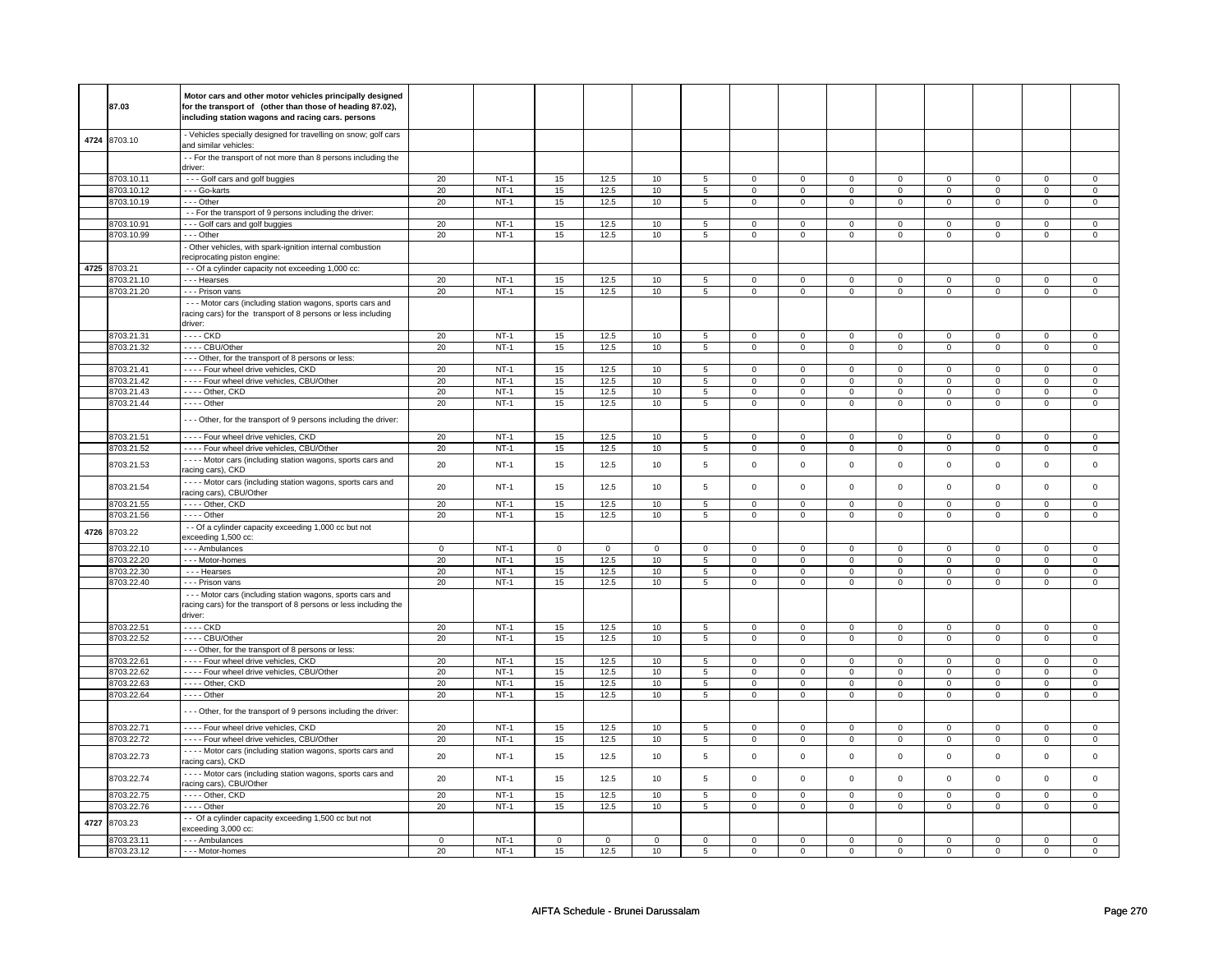|      |              | Motor cars and other motor vehicles principally designed          |          |        |             |             |             |                |                     |                |                |                |                     |                |                |                |
|------|--------------|-------------------------------------------------------------------|----------|--------|-------------|-------------|-------------|----------------|---------------------|----------------|----------------|----------------|---------------------|----------------|----------------|----------------|
|      | 87.03        | for the transport of (other than those of heading 87.02),         |          |        |             |             |             |                |                     |                |                |                |                     |                |                |                |
|      |              | including station wagons and racing cars. persons                 |          |        |             |             |             |                |                     |                |                |                |                     |                |                |                |
|      |              |                                                                   |          |        |             |             |             |                |                     |                |                |                |                     |                |                |                |
|      | 8703.10      | - Vehicles specially designed for travelling on snow; golf cars   |          |        |             |             |             |                |                     |                |                |                |                     |                |                |                |
| 4724 |              | and similar vehicles:                                             |          |        |             |             |             |                |                     |                |                |                |                     |                |                |                |
|      |              | - - For the transport of not more than 8 persons including the    |          |        |             |             |             |                |                     |                |                |                |                     |                |                |                |
|      |              | driver:                                                           |          |        |             |             |             |                |                     |                |                |                |                     |                |                |                |
|      | 8703.10.11   | --- Golf cars and golf buggies                                    | 20       | $NT-1$ | 15          | 12.5        | 10          | 5              | $\mathbf 0$         | $\mathbf 0$    | 0              | $\mathbf 0$    | $\mathsf 0$         | $\mathbf 0$    | 0              | $\mathbf 0$    |
|      | 8703.10.12   |                                                                   | 20       | $NT-1$ | 15          | 12.5        | 10          | 5              | $\mathbf 0$         | $\mathbf{0}$   |                | $\mathbf 0$    |                     | $\mathbf 0$    |                | $\mathbf{0}$   |
|      |              | - - - Go-karts                                                    |          |        |             |             |             |                |                     |                | $\mathbf 0$    |                | $\mathbf{0}$        |                | 0              |                |
|      | 8703.10.19   | --- Other                                                         | 20       | $NT-1$ | 15          | 12.5        | 10          | 5              | $\mathsf 0$         | $\mathbf 0$    | 0              | $\mathbf 0$    | $\mathsf 0$         | $\mathbf 0$    | 0              | $\mathbf 0$    |
|      |              | - - For the transport of 9 persons including the driver:          |          |        |             |             |             |                |                     |                |                |                |                     |                |                |                |
|      | 8703.10.91   | --- Golf cars and golf buggies                                    | 20       | $NT-1$ | 15          | 12.5        | 10          | 5              | $\mathsf 0$         | $\mathbf 0$    | $\mathbf 0$    | $\mathbf 0$    | $\mathsf 0$         | $\mathbf 0$    | 0              | $\mathbf 0$    |
|      | 8703.10.99   | - - - Other                                                       | 20       | NT-1   | 15          | 12.5        | 10          | 5              | 0                   | 0              | 0              | 0              | 0                   | 0              | 0              | 0              |
|      |              | Other vehicles, with spark-ignition internal combustion           |          |        |             |             |             |                |                     |                |                |                |                     |                |                |                |
|      |              | reciprocating piston engine:                                      |          |        |             |             |             |                |                     |                |                |                |                     |                |                |                |
|      | 4725 8703.21 | - - Of a cylinder capacity not exceeding 1,000 cc:                |          |        |             |             |             |                |                     |                |                |                |                     |                |                |                |
|      | 8703.21.10   | - - - Hearses                                                     | 20       | $NT-1$ | 15          | 12.5        | 10          | 5              | $\mathsf 0$         | $\mathsf 0$    | $\mathbf 0$    | $\mathsf 0$    | $\mathsf 0$         | $\mathbf 0$    | $\Omega$       | 0              |
|      |              |                                                                   |          |        |             |             |             |                |                     |                |                |                |                     |                | $\overline{0}$ |                |
|      | 8703.21.20   | - - - Prison vans                                                 | 20       | $NT-1$ | 15          | 12.5        | 10          | $\overline{5}$ | $\overline{0}$      | $\overline{0}$ | $\overline{0}$ | $\overline{0}$ | $\overline{0}$      | $\overline{0}$ |                | $\overline{0}$ |
|      |              | - - - Motor cars (including station wagons, sports cars and       |          |        |             |             |             |                |                     |                |                |                |                     |                |                |                |
|      |              | racing cars) for the transport of 8 persons or less including     |          |        |             |             |             |                |                     |                |                |                |                     |                |                |                |
|      |              | driver:                                                           |          |        |             |             |             |                |                     |                |                |                |                     |                |                |                |
|      | 8703.21.31   | - - - - CKD                                                       | 20       | $NT-1$ | 15          | 12.5        | 10          | 5              | $\mathbf 0$         | $\mathbf 0$    | 0              | $\mathbf 0$    | 0                   | $\mathbf 0$    | 0              | 0              |
|      | 8703.21.32   | ---- CBU/Other                                                    | 20       | $NT-1$ | 15          | 12.5        | 10          | 5              | $\mathsf 0$         | $\mathbf 0$    | $\mathbf 0$    | $\mathbf 0$    | $\mathsf 0$         | $\mathbf 0$    | 0              | $\mathbf 0$    |
|      |              | - - - Other, for the transport of 8 persons or less:              |          |        |             |             |             |                |                     |                |                |                |                     |                |                |                |
|      | 8703.21.41   | - - - - Four wheel drive vehicles, CKD                            | 20       | $NT-1$ | 15          | 12.5        | 10          | 5              | $\mathbf 0$         | $\mathbf 0$    | 0              | $\mathbf 0$    | 0                   | $\mathbf 0$    | $\mathbf 0$    | $\mathbf 0$    |
|      |              |                                                                   |          |        |             |             |             |                |                     |                |                |                |                     |                |                |                |
|      | 8703.21.42   | ---- Four wheel drive vehicles, CBU/Other                         | 20       | $NT-1$ | 15          | 12.5        | 10          | 5              | $\mathbf 0$         | $\mathsf 0$    | 0              | 0              | 0                   | $\mathbf 0$    | 0              | 0              |
|      | 8703.21.43   | ---- Other, CKD                                                   | 20       | $NT-1$ | 15          | 12.5        | 10          | 5              | 0                   | $\mathbf 0$    | 0              | $\mathbf 0$    | 0                   | $\mathbf 0$    | 0              | $\mathbf 0$    |
|      | 8703.21.44   | $---$ Other                                                       | 20       | $NT-1$ | 15          | 12.5        | 10          | $\overline{5}$ | 0                   | $\mathbf 0$    | 0              | $\mathbf 0$    | 0                   | $\mathbf 0$    | 0              | $\overline{0}$ |
|      |              |                                                                   |          |        |             |             |             |                |                     |                |                |                |                     |                |                |                |
|      |              | - - - Other, for the transport of 9 persons including the driver: |          |        |             |             |             |                |                     |                |                |                |                     |                |                |                |
|      | 8703.21.51   | - - - - Four wheel drive vehicles, CKD                            | 20       | $NT-1$ | 15          | 12.5        | 10          | $\overline{5}$ | $\mathsf 0$         | $\mathsf 0$    | $\mathbf 0$    | $\mathsf 0$    | $\mathsf 0$         | $\mathsf 0$    | $\Omega$       | $\overline{0}$ |
|      | 8703.21.52   | - - - - Four wheel drive vehicles, CBU/Other                      | 20       | NT-1   | 15          | 12.5        | 10          | 5              | $\mathsf{o}\,$      | $\circ$        | $\mathsf{o}\,$ | $\mathsf{o}\,$ | 0                   | $\circ$        | 0              | $\mathsf 0$    |
|      |              | - - - - Motor cars (including station wagons, sports cars and     |          |        |             |             |             |                |                     |                |                |                |                     |                |                |                |
|      | 8703.21.53   |                                                                   | 20       | $NT-1$ | 15          | 12.5        | 10          | 5              | $\mathsf{O}\xspace$ | $\mathsf 0$    | $\mathbf 0$    | $\mathsf 0$    | $\mathsf 0$         | $\mathsf 0$    | $\mathbf 0$    | $\mathbf 0$    |
|      |              | racing cars), CKD                                                 |          |        |             |             |             |                |                     |                |                |                |                     |                |                |                |
|      | 8703.21.54   | - - - - Motor cars (including station wagons, sports cars and     | 20       | $NT-1$ | 15          | 12.5        | 10          | 5              | $\mathsf 0$         | $\mathsf 0$    | $\mathbf 0$    | $\mathsf 0$    | $\mathsf 0$         | $\mathbf 0$    | $\mathbf 0$    | $\mathbf 0$    |
|      |              | racing cars), CBU/Other                                           |          |        |             |             |             |                |                     |                |                |                |                     |                |                |                |
|      | 8703.21.55   | - - - - Other, CKD                                                | 20       | $NT-1$ | 15          | 12.5        | 10          | $\overline{5}$ | $\overline{0}$      | $\overline{0}$ | $\overline{0}$ | $\overline{0}$ | $\overline{0}$      | $\overline{0}$ | $\overline{0}$ | $\overline{0}$ |
|      | 8703.21.56   | - - - - Other                                                     | 20       | $NT-1$ | 15          | 12.5        | 10          | 5              | $\mathbf 0$         | 0              | 0              | 0              | 0                   | $\mathbf 0$    | 0              | 0              |
|      |              | - - Of a cylinder capacity exceeding 1,000 cc but not             |          |        |             |             |             |                |                     |                |                |                |                     |                |                |                |
| 4726 | 8703.22      | exceeding 1,500 cc:                                               |          |        |             |             |             |                |                     |                |                |                |                     |                |                |                |
|      | 8703.22.10   | - - - Ambulances                                                  | 0        | $NT-1$ | $\mathbf 0$ | $\mathbf 0$ | $\mathbf 0$ | $\mathbf 0$    | $\mathbf 0$         | $\mathbf 0$    | 0              | $\mathbf 0$    | 0                   | $\mathbf 0$    | 0              | 0              |
|      | 8703.22.20   | --- Motor-homes                                                   | 20       | $NT-1$ | 15          | 12.5        | 10          | $\overline{5}$ | $\overline{0}$      | $\overline{0}$ |                | $\overline{0}$ | $\overline{0}$      | $\overline{0}$ |                | $\overline{0}$ |
|      |              |                                                                   |          |        |             |             |             |                |                     |                | 0              |                |                     |                | 0              |                |
|      | 8703.22.30   | --- Hearses                                                       | 20       | $NT-1$ | 15          | 12.5        | 10          | $\overline{5}$ | $\overline{0}$      | $\overline{0}$ | $\overline{0}$ | $\overline{0}$ | $\overline{0}$      | $\overline{0}$ | $\overline{0}$ | $\overline{0}$ |
|      | 8703.22.40   | - - - Prison vans                                                 | 20       | $NT-1$ | 15          | 12.5        | 10          | $\overline{5}$ | $\mathsf 0$         | $\mathsf 0$    | $\mathbf 0$    | $\mathsf{O}$   | $\mathsf 0$         | $\mathsf 0$    | $\mathsf 0$    | $\mathbf 0$    |
|      |              | - - - Motor cars (including station wagons, sports cars and       |          |        |             |             |             |                |                     |                |                |                |                     |                |                |                |
|      |              | racing cars) for the transport of 8 persons or less including the |          |        |             |             |             |                |                     |                |                |                |                     |                |                |                |
|      |              | driver:                                                           |          |        |             |             |             |                |                     |                |                |                |                     |                |                |                |
|      | 8703.22.51   | - - - - CKD                                                       | 20       | $NT-1$ | 15          | 12.5        | 10          | 5              | $\mathbf 0$         | $\mathbf 0$    | $\mathbf 0$    | $\mathbf 0$    | $\mathbf 0$         | $\mathbf 0$    | $\mathbf 0$    | $\mathbf{0}$   |
|      | 8703.22.52   | ---- CBU/Other                                                    | 20       | $NT-1$ | 15          | 12.5        | $10$        | $\,$ 5 $\,$    | $\mathsf{O}\xspace$ | $\mathbf 0$    | $\mathsf 0$    | $\mathbf 0$    | $\mathsf 0$         | $\mathbf 0$    | $\mathbf 0$    | $\mathbf 0$    |
|      |              | - - - Other, for the transport of 8 persons or less:              |          |        |             |             |             |                |                     |                |                |                |                     |                |                |                |
|      | 8703.22.61   | Four wheel drive vehicles, CKD                                    | 20       | $NT-1$ | 15          | 12.5        | 10          | 5              |                     | $\mathsf 0$    | $\mathbf 0$    | $\mathsf 0$    | $\mathsf 0$         | $\mathbf 0$    | $\mathbf 0$    | 0              |
|      |              |                                                                   |          |        |             |             |             |                | $\mathbf 0$         |                |                |                |                     |                |                |                |
|      | 8703.22.62   | ---- Four wheel drive vehicles, CBU/Other                         | 20       | $NT-1$ | 15          | 12.5        | 10          | 5              | $\mathsf 0$         | $\mathsf 0$    | 0              | $\mathsf 0$    | $\mathsf 0$         | $\mathbf 0$    | 0              | $\mathbf 0$    |
|      | 8703.22.63   | - - - - Other, CKD                                                | 20       | $NT-1$ | 15          | 12.5        | 10          | 5              | 0                   | $\mathbf 0$    | $\mathbf 0$    | $\mathbf 0$    | 0                   | $\mathbf 0$    | 0              | $\overline{0}$ |
|      | 8703.22.64   | - - - - Other                                                     | 20       | $NT-1$ | 15          | 12.5        | 10          | 5              | $\mathsf 0$         | $\mathbf 0$    | $\mathbf 0$    | $\mathbf 0$    | $\mathsf 0$         | $\mathbf 0$    | $\Omega$       | $\mathbf 0$    |
|      |              |                                                                   |          |        |             |             |             |                |                     |                |                |                |                     |                |                |                |
|      |              | --- Other, for the transport of 9 persons including the driver:   |          |        |             |             |             |                |                     |                |                |                |                     |                |                |                |
|      | 8703.22.71   | - - - - Four wheel drive vehicles, CKD                            | 20       | $NT-1$ | 15          | 12.5        | 10          | 5              | $\mathsf{O}\xspace$ | $\mathbf 0$    | $\mathsf 0$    | $\mathsf 0$    | $\mathsf 0$         | $\mathsf 0$    | 0              | 0              |
|      | 8703.22.72   | - - - - Four wheel drive vehicles, CBU/Other                      | 20       | $NT-1$ | 15          | 12.5        | 10          | $\overline{5}$ | $\mathsf{O}\xspace$ | $\overline{0}$ | $\mathsf 0$    | $\mathbf 0$    | $\mathsf 0$         | $\overline{0}$ | $\mathsf 0$    | $\overline{0}$ |
|      |              |                                                                   |          |        |             |             |             |                |                     |                |                |                |                     |                |                |                |
|      | 8703.22.73   | - - - - Motor cars (including station wagons, sports cars and     | 20       | $NT-1$ | 15          | 12.5        | 10          | $\,$ 5 $\,$    | $\mathsf 0$         | $\mathsf 0$    | $\mathbf 0$    | $\mathsf 0$    | $\mathsf 0$         | $\mathsf 0$    | $\mathsf 0$    | $\mathsf 0$    |
|      |              | acing cars), CKD                                                  |          |        |             |             |             |                |                     |                |                |                |                     |                |                |                |
|      | 8703.22.74   | - - - - Motor cars (including station wagons, sports cars and     | 20       | $NT-1$ | 15          | 12.5        | 10          | 5              | $\mathsf 0$         | $\mathsf 0$    | $\mathbf 0$    | $\mathsf 0$    | $\mathsf{O}\xspace$ | $\mathsf 0$    | $\mathbf 0$    | $\mathsf 0$    |
|      |              | racing cars), CBU/Other                                           |          |        |             |             |             |                |                     |                |                |                |                     |                |                |                |
|      | 8703.22.75   | ---- Other, CKD                                                   | 20       | $NT-1$ | 15          | 12.5        | 10          | 5              | $\mathbf 0$         | $\mathbf 0$    | 0              | $\mathbf 0$    | $\mathsf 0$         | $\mathbf 0$    | 0              | $\mathbf 0$    |
|      | 8703.22.76   | - - - - Other                                                     | 20       | $NT-1$ | 15          | 12.5        | 10          | 5              | $\mathsf 0$         | $\mathbf 0$    | $\mathbf 0$    | $\mathsf 0$    | $\mathbf 0$         | $\mathbf 0$    | $\mathbf 0$    | 0              |
|      |              | - Of a cylinder capacity exceeding 1,500 cc but not               |          |        |             |             |             |                |                     |                |                |                |                     |                |                |                |
| 4727 | 8703.23      | exceeding 3,000 cc:                                               |          |        |             |             |             |                |                     |                |                |                |                     |                |                |                |
|      | 8703.23.11   | - - - Ambulances                                                  | $\Omega$ | $NT-1$ | $\mathbf 0$ | $\Omega$    | $\Omega$    | $\Omega$       | $\mathbf 0$         | 0              | $\Omega$       | $\Omega$       | 0                   | $\Omega$       | $\Omega$       | $\Omega$       |
|      |              |                                                                   |          |        |             |             |             |                |                     |                |                |                |                     |                |                |                |
|      | 8703.23.12   | --- Motor-homes                                                   | 20       | $NT-1$ | 15          | 12.5        | 10          | 5              | $\mathbf 0$         | $\mathbf 0$    | $\mathbf 0$    | $\mathbf 0$    | $\mathbf 0$         | $\mathbf 0$    | $\Omega$       | $\mathbf{0}$   |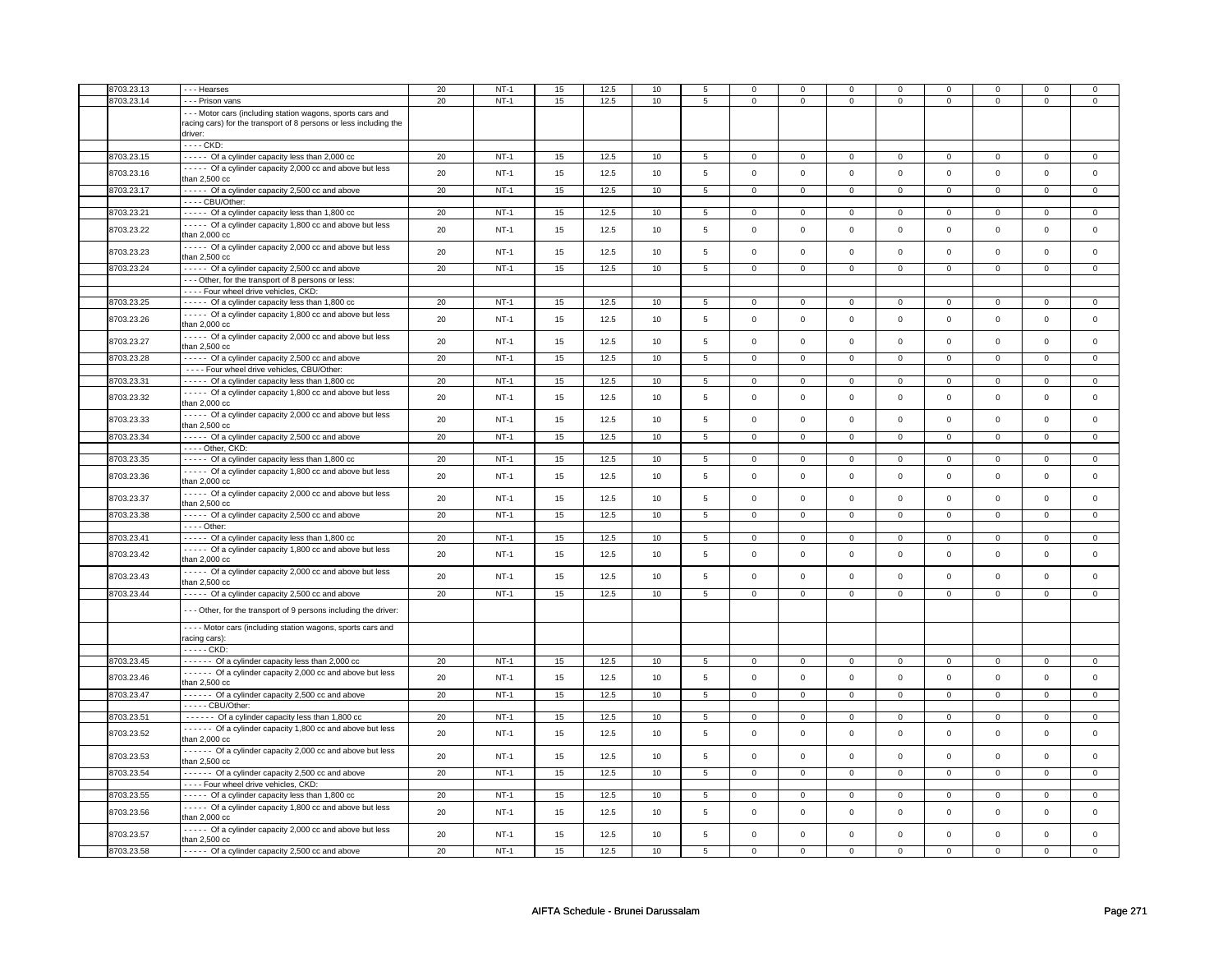| 8703.23.13 | - - - Hearses                                                     | 20 | $NT-1$ | 15 | 12.5 | 10 | 5               | $\mathbf 0$         | 0              | 0                   | $\mathbf 0$    | $\mathbf 0$    | $\mathbf 0$    | $^{\circ}$          | 0              |
|------------|-------------------------------------------------------------------|----|--------|----|------|----|-----------------|---------------------|----------------|---------------------|----------------|----------------|----------------|---------------------|----------------|
|            |                                                                   | 20 | $NT-1$ | 15 |      |    |                 |                     |                |                     |                |                |                |                     |                |
| 8703.23.14 | - - - Prison vans                                                 |    |        |    | 12.5 | 10 | 5               | $\mathbf 0$         | $\mathbf 0$    | $\mathsf 0$         | $\mathbf 0$    | $\mathsf 0$    | $\mathbf 0$    | $\mathsf 0$         | $\mathsf 0$    |
|            | --- Motor cars (including station wagons, sports cars and         |    |        |    |      |    |                 |                     |                |                     |                |                |                |                     |                |
|            | racing cars) for the transport of 8 persons or less including the |    |        |    |      |    |                 |                     |                |                     |                |                |                |                     |                |
|            | driver:                                                           |    |        |    |      |    |                 |                     |                |                     |                |                |                |                     |                |
|            | - - - - CKD:                                                      |    |        |    |      |    |                 |                     |                |                     |                |                |                |                     |                |
| 8703.23.15 | ----- Of a cylinder capacity less than 2,000 cc                   | 20 | $NT-1$ | 15 | 12.5 | 10 | 5               | 0                   | 0              | $\mathbf 0$         | $\mathbf{0}$   | $\mathbf 0$    | $\mathbf{0}$   | $\mathbf 0$         | $\mathbf{0}$   |
|            | - - - - Of a cylinder capacity 2,000 cc and above but less        |    |        |    |      |    |                 |                     |                |                     |                |                |                |                     |                |
| 8703.23.16 | than 2,500 cc                                                     | 20 | $NT-1$ | 15 | 12.5 | 10 | 5               | $\mathbf 0$         | $\mathbf 0$    | $\mathbf 0$         | $\mathbf{0}$   | $\mathbf 0$    | $\mathbf 0$    | $\mathbf 0$         | $\mathbf 0$    |
| 8703.23.17 |                                                                   |    |        |    | 12.5 | 10 |                 |                     |                |                     |                |                |                |                     |                |
|            | ----- Of a cylinder capacity 2,500 cc and above                   | 20 | $NT-1$ | 15 |      |    | $5\overline{5}$ | $\mathbf 0$         | $\mathbf 0$    | $\mathbf 0$         | $\mathbf{0}$   | $\mathbf 0$    | $\mathbf 0$    | $\mathbf 0$         | $\mathbf{0}$   |
|            | ---- CBU/Other:                                                   |    |        |    |      |    |                 |                     |                |                     |                |                |                |                     |                |
| 8703.23.21 | ----- Of a cylinder capacity less than 1,800 cc                   | 20 | $NT-1$ | 15 | 12.5 | 10 | $\overline{5}$  | 0                   | $\overline{0}$ | $\mathbf 0$         | $\overline{0}$ | $\overline{0}$ | $\overline{0}$ | $\mathbf 0$         | $\overline{0}$ |
| 8703.23.22 | - - - - Of a cylinder capacity 1,800 cc and above but less        | 20 | $NT-1$ | 15 | 12.5 | 10 | 5               | $\mathbf 0$         | $\mathsf 0$    | $\mathsf{O}\xspace$ | $\mathsf 0$    | $\mathsf 0$    | $\mathsf 0$    | $\mathsf 0$         | $\mathsf 0$    |
|            | than $2.000cc$                                                    |    |        |    |      |    |                 |                     |                |                     |                |                |                |                     |                |
|            | - - - - Of a cylinder capacity 2,000 cc and above but less        |    |        |    |      |    |                 |                     |                |                     |                |                |                |                     |                |
| 8703.23.23 | than 2,500 cc                                                     | 20 | $NT-1$ | 15 | 12.5 | 10 | 5               | $\mathbf{0}$        | $\mathbf 0$    | $\mathbf{0}$        | $\mathbf{0}$   | $\mathsf 0$    | $\mathsf 0$    | $\mathbf 0$         | $\mathbf 0$    |
| 8703.23.24 | - - - - Of a cylinder capacity 2,500 cc and above                 | 20 | $NT-1$ | 15 | 12.5 | 10 | 5               | $\mathbf 0$         | $\mathbf{0}$   | $\mathbf{0}$        | $\mathbf{0}$   | $\mathbf{0}$   | $\mathbf{0}$   | $\Omega$            | $\mathbf{0}$   |
|            | --- Other, for the transport of 8 persons or less:                |    |        |    |      |    |                 |                     |                |                     |                |                |                |                     |                |
|            |                                                                   |    |        |    |      |    |                 |                     |                |                     |                |                |                |                     |                |
|            | - - - - Four wheel drive vehicles, CKD:                           |    |        |    |      |    |                 |                     |                |                     |                |                |                |                     |                |
| 8703.23.25 | ----- Of a cylinder capacity less than 1,800 cc                   | 20 | $NT-1$ | 15 | 12.5 | 10 | 5               | $\mathbf 0$         | $\mathbf 0$    | $\mathbf 0$         | $\mathbf 0$    | $\mathsf 0$    | $\mathbf 0$    | $\mathbf 0$         | $\mathbf{0}$   |
| 8703.23.26 | - - - - Of a cylinder capacity 1,800 cc and above but less        | 20 | $NT-1$ | 15 | 12.5 | 10 | 5               | $\mathsf 0$         | $\mathbf 0$    | $\mathsf 0$         | $\mathsf 0$    | $\mathsf 0$    | $\mathbf 0$    | $\mathsf{O}\xspace$ | $\mathsf 0$    |
|            | than 2,000 cc                                                     |    |        |    |      |    |                 |                     |                |                     |                |                |                |                     |                |
|            | - - - - Of a cylinder capacity 2,000 cc and above but less        | 20 | $NT-1$ |    | 12.5 |    | 5               | $\mathsf 0$         | $\mathbf 0$    | $\mathsf{O}\xspace$ | $\mathsf 0$    | $\mathsf 0$    | $\mathbf 0$    | $\Omega$            |                |
| 8703.23.27 | than 2,500 cc                                                     |    |        | 15 |      | 10 |                 |                     |                |                     |                |                |                |                     | $\mathsf 0$    |
| 8703.23.28 | - - - - Of a cylinder capacity 2,500 cc and above                 | 20 | $NT-1$ | 15 | 12.5 | 10 | $\overline{5}$  | $\mathsf{O}\xspace$ | $\mathsf{O}$   | $\overline{0}$      | $\overline{0}$ | $\overline{0}$ | $\overline{0}$ | $\overline{0}$      | $\mathsf 0$    |
|            | - - - - Four wheel drive vehicles, CBU/Other:                     |    |        |    |      |    |                 |                     |                |                     |                |                |                |                     |                |
| 8703.23.31 | ----- Of a cylinder capacity less than 1,800 cc                   | 20 | $NT-1$ | 15 | 12.5 | 10 | 5               | $\mathbf 0$         | $\mathbf 0$    | $\mathbf 0$         | $\circ$        | $\mathbf 0$    | $\mathbf 0$    | $\mathsf 0$         | $\mathbf 0$    |
|            |                                                                   |    |        |    |      |    |                 |                     |                |                     |                |                |                |                     |                |
| 8703.23.32 | - - - - Of a cylinder capacity 1,800 cc and above but less        | 20 | $NT-1$ | 15 | 12.5 | 10 | 5               | $\mathbf 0$         | $\mathbf 0$    | $\mathsf{O}$        | $\mathsf 0$    | $\mathsf 0$    | $\mathsf 0$    | $\mathbf 0$         | $\mathsf 0$    |
|            | than 2,000 cc                                                     |    |        |    |      |    |                 |                     |                |                     |                |                |                |                     |                |
| 8703.23.33 | ----- Of a cylinder capacity 2,000 cc and above but less          | 20 | $NT-1$ | 15 | 12.5 | 10 | 5               | $\mathbf 0$         | $\mathbf 0$    | $\mathsf 0$         | $\mathbf 0$    | $\mathsf 0$    | $\mathsf 0$    | $\mathsf 0$         | $\mathbf 0$    |
|            | than 2,500 cc                                                     |    |        |    |      |    |                 |                     |                |                     |                |                |                |                     |                |
| 8703.23.34 | ----- Of a cylinder capacity 2,500 cc and above                   | 20 | $NT-1$ | 15 | 12.5 | 10 | $\overline{5}$  | 0                   | $\mathbf 0$    | $\overline{0}$      | $\overline{0}$ | $\overline{0}$ | $\overline{0}$ | $\mathbf 0$         | $\mathbf{0}$   |
|            | ---- Other, CKD:                                                  |    |        |    |      |    |                 |                     |                |                     |                |                |                |                     |                |
| 8703.23.35 | ----- Of a cylinder capacity less than 1,800 cc                   | 20 | $NT-1$ | 15 | 12.5 | 10 | $5\overline{)}$ | $\mathbf 0$         | $\overline{0}$ | $\overline{0}$      | $\overline{0}$ | $\overline{0}$ | $\overline{0}$ | $\mathsf 0$         | $\mathbf 0$    |
|            | - - - - Of a cylinder capacity 1,800 cc and above but less        |    |        |    |      |    |                 |                     |                |                     |                |                |                |                     |                |
| 8703.23.36 | than 2,000 cc                                                     | 20 | $NT-1$ | 15 | 12.5 | 10 | 5               | $\mathbf 0$         | $\mathbf 0$    | $\mathbf{0}$        | $\mathbf 0$    | $\mathsf 0$    | $\mathbf 0$    | $\Omega$            | $\mathsf 0$    |
|            |                                                                   |    |        |    |      |    |                 |                     |                |                     |                |                |                |                     |                |
| 8703.23.37 | - - - - Of a cylinder capacity 2,000 cc and above but less        | 20 | $NT-1$ | 15 | 12.5 | 10 | 5               | $\mathbf 0$         | $\mathbf 0$    | $\mathsf{O}\xspace$ | $\mathsf 0$    | $\mathsf 0$    | $\mathsf 0$    | $\mathbf 0$         | $\mathsf 0$    |
|            | than 2,500 cc                                                     |    |        |    |      |    |                 |                     |                |                     |                |                |                |                     |                |
| 8703.23.38 | - - - - Of a cylinder capacity 2,500 cc and above                 | 20 | $NT-1$ | 15 | 12.5 | 10 | 5               | $\mathbf 0$         | $\mathbf 0$    | $\mathsf 0$         | $\mathsf 0$    | $\mathsf 0$    | $\mathbf 0$    | $\mathbf 0$         | $\mathbf 0$    |
|            | $---$ Other:                                                      |    |        |    |      |    |                 |                     |                |                     |                |                |                |                     |                |
| 8703.23.41 | ----- Of a cylinder capacity less than 1,800 cc                   | 20 | $NT-1$ | 15 | 12.5 | 10 | 5               | 0                   | 0              | $\mathbf 0$         | 0              | $\mathbf 0$    | 0              | $\mathbf 0$         | $\mathbf{0}$   |
|            | - - - - - Of a cylinder capacity 1,800 cc and above but less      |    |        |    |      |    |                 |                     |                |                     |                |                |                |                     |                |
| 8703.23.42 | than 2,000 cc                                                     | 20 | $NT-1$ | 15 | 12.5 | 10 | 5               | $\mathbf 0$         | $\mathsf 0$    | $\mathsf 0$         | $\mathsf 0$    | $\mathbf 0$    | $\mathsf 0$    | $\mathbf 0$         | $\mathsf 0$    |
|            | - - - - Of a cylinder capacity 2,000 cc and above but less        |    |        |    |      |    |                 |                     |                |                     |                |                |                |                     |                |
| 8703.23.43 |                                                                   | 20 | $NT-1$ | 15 | 12.5 | 10 | 5               | $\mathbf 0$         | $\mathbf 0$    | $\mathsf 0$         | $\mathsf 0$    | $\mathsf 0$    | $\mathbf 0$    | $\Omega$            | $\mathsf 0$    |
|            | than 2,500 cc                                                     |    |        |    |      |    |                 |                     |                |                     |                |                |                |                     |                |
| 8703.23.44 | - - - - Of a cylinder capacity 2,500 cc and above                 | 20 | $NT-1$ | 15 | 12.5 | 10 | 5               | $\mathbf 0$         | $\mathsf{O}$   | $\mathsf 0$         | $\mathsf 0$    | $\mathsf 0$    | $\mathsf 0$    | $\mathsf 0$         | $\mathbf{0}$   |
|            | --- Other, for the transport of 9 persons including the driver:   |    |        |    |      |    |                 |                     |                |                     |                |                |                |                     |                |
|            |                                                                   |    |        |    |      |    |                 |                     |                |                     |                |                |                |                     |                |
|            | - - - - Motor cars (including station wagons, sports cars and     |    |        |    |      |    |                 |                     |                |                     |                |                |                |                     |                |
|            | racing cars):                                                     |    |        |    |      |    |                 |                     |                |                     |                |                |                |                     |                |
|            | - - - - - CKD:                                                    |    |        |    |      |    |                 |                     |                |                     |                |                |                |                     |                |
| 8703.23.45 | ------ Of a cylinder capacity less than 2,000 cc                  | 20 | $NT-1$ | 15 | 12.5 | 10 | 5               | 0                   | 0              | $\mathbf 0$         | $\mathbf 0$    | $\mathsf 0$    | 0              | 0                   | $\mathbf{0}$   |
|            | Of a cylinder capacity 2,000 cc and above but less                |    |        |    |      |    |                 |                     |                |                     |                |                |                |                     |                |
| 8703.23.46 | than 2,500 cc                                                     | 20 | $NT-1$ | 15 | 12.5 | 10 | 5               | $\mathbf 0$         | $\mathbf 0$    | $\mathsf{O}$        | $\mathsf 0$    | $\mathsf 0$    | $\mathsf 0$    | $\mathsf 0$         | $\mathsf 0$    |
|            |                                                                   |    |        |    |      |    |                 |                     |                | $\Omega$            |                |                |                | $\Omega$            |                |
| 8703.23.47 | Of a cylinder capacity 2,500 cc and above                         | 20 | $NT-1$ | 15 | 12.5 | 10 | $5^{\circ}$     | $\Omega$            | $\Omega$       |                     | $\Omega$       | $\Omega$       | $\Omega$       |                     | $\mathsf 0$    |
|            | - - - - - CBU/Other:                                              |    |        |    |      |    |                 |                     |                |                     |                |                |                |                     |                |
| 8703.23.51 | ------ Of a cylinder capacity less than 1,800 cc                  | 20 | $NT-1$ | 15 | 12.5 | 10 | 5               | $\mathbf 0$         | $\mathbf 0$    | $\mathbf 0$         | $\mathsf 0$    | $\mathsf 0$    | $\mathbf 0$    | $\Omega$            | $\mathbf 0$    |
| 8703.23.52 | Of a cylinder capacity 1,800 cc and above but less                | 20 | $NT-1$ | 15 | 12.5 | 10 | 5               | $\mathbf 0$         | $\mathbf 0$    | $\mathbf 0$         | $\mathbf 0$    | $\mathsf 0$    | $\mathsf 0$    | $\mathsf 0$         | $\mathbf 0$    |
|            | than 2,000 cc                                                     |    |        |    |      |    |                 |                     |                |                     |                |                |                |                     |                |
|            | Of a cylinder capacity 2,000 cc and above but less                |    |        |    |      |    |                 |                     |                |                     |                |                |                |                     |                |
| 8703.23.53 | than 2,500 cc                                                     | 20 | $NT-1$ | 15 | 12.5 | 10 | 5               | $\mathbf 0$         | $\mathbf 0$    | $\mathsf 0$         | $\mathbf 0$    | $\mathsf 0$    | $\mathbf 0$    | $\mathbf 0$         | $\mathsf 0$    |
| 8703.23.54 | ------ Of a cylinder capacity 2,500 cc and above                  | 20 | $NT-1$ | 15 | 12.5 | 10 | $\overline{5}$  | $\mathbf 0$         | $\mathbf 0$    | $\overline{0}$      | $\overline{0}$ | $\overline{0}$ | $\overline{0}$ | $\mathsf 0$         | $\circ$        |
|            |                                                                   |    |        |    |      |    |                 |                     |                |                     |                |                |                |                     |                |
|            | - - - - Four wheel drive vehicles, CKD:                           |    |        |    |      |    |                 |                     |                |                     |                |                |                |                     |                |
| 8703.23.55 | Of a cylinder capacity less than 1,800 cc                         | 20 | $NT-1$ | 15 | 12.5 | 10 | 5               | $\mathbf 0$         | $\mathbf 0$    | $\mathsf 0$         | $\mathsf 0$    | $\mathsf 0$    | $\mathbf 0$    | $\Omega$            | $\mathsf 0$    |
| 8703.23.56 | - - - - Of a cylinder capacity 1,800 cc and above but less        | 20 | $NT-1$ | 15 | 12.5 | 10 | 5               | $\mathbf{0}$        | $\mathbf 0$    | $\mathbf 0$         | $\mathbf{0}$   | $\mathbf 0$    | $\mathbf{0}$   | $\mathbf 0$         | $\mathbf 0$    |
|            | han 2,000 cc                                                      |    |        |    |      |    |                 |                     |                |                     |                |                |                |                     |                |
|            | - - - - Of a cylinder capacity 2,000 cc and above but less        |    |        |    |      |    |                 |                     |                |                     |                |                |                |                     |                |
| 8703.23.57 | than 2,500 cc                                                     | 20 | $NT-1$ | 15 | 12.5 | 10 | 5               | $\mathbf{0}$        | $\mathbf 0$    | $\mathsf 0$         | $\mathsf 0$    | $\mathsf 0$    | $\mathsf 0$    | $\mathsf 0$         | $\mathbf 0$    |
| 8703.23.58 | ----- Of a cylinder capacity 2,500 cc and above                   | 20 | $NT-1$ | 15 | 12.5 | 10 | 5               | $\mathbf 0$         | $\mathbf 0$    | $\overline{0}$      | $\overline{0}$ | $\overline{0}$ | $\overline{0}$ | $\overline{0}$      | $\mathbf 0$    |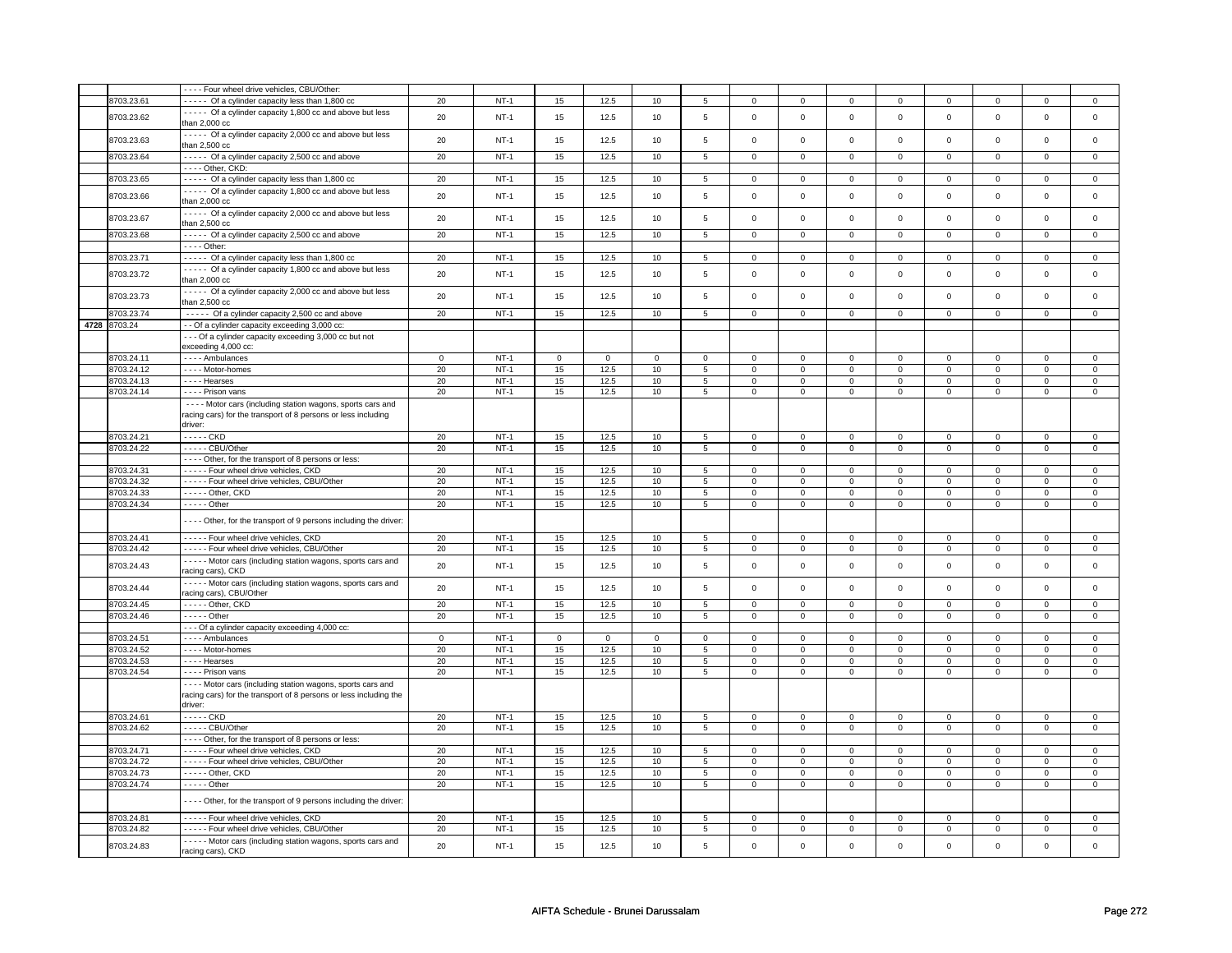|              | ---- Four wheel drive vehicles, CBU/Other:                          |             |        |             |             |             |                 |                         |                     |                         |                |                         |                         |                         |                         |
|--------------|---------------------------------------------------------------------|-------------|--------|-------------|-------------|-------------|-----------------|-------------------------|---------------------|-------------------------|----------------|-------------------------|-------------------------|-------------------------|-------------------------|
| 8703.23.61   | ----- Of a cylinder capacity less than 1,800 cc                     | 20          | $NT-1$ | 15          | 12.5        | 10          | 5               | $\mathbf 0$             | $\mathbf 0$         | $^{\circ}$              | $\mathbf{0}$   | $\mathbf 0$             | $\mathbf 0$             | 0                       | $\overline{0}$          |
|              | ----- Of a cylinder capacity 1,800 cc and above but less            |             |        |             |             |             |                 |                         |                     |                         |                |                         |                         |                         |                         |
| 8703.23.62   | than 2,000 cc                                                       | 20          | $NT-1$ | 15          | 12.5        | 10          | 5               | $\mathbf 0$             | $\mathbf 0$         | $\mathbf 0$             | $\mathbf 0$    | $\mathsf 0$             | $\mathbf 0$             | $\mathbf 0$             | $\mathbf 0$             |
|              | ----- Of a cylinder capacity 2,000 cc and above but less            |             |        |             |             |             |                 |                         |                     |                         |                |                         |                         |                         |                         |
| 8703.23.63   |                                                                     | 20          | $NT-1$ | 15          | 12.5        | 10          | 5               | $\mathsf 0$             | $\mathsf{o}\xspace$ | $\mathsf 0$             | $\mathbf 0$    | $\mathsf 0$             | $\mathsf{o}\,$          | $\mathsf 0$             | $\mathbf 0$             |
|              | than 2,500 cc                                                       |             |        |             |             |             |                 |                         |                     |                         |                |                         |                         |                         |                         |
| 8703.23.64   | ----- Of a cylinder capacity 2,500 cc and above                     | 20          | $NT-1$ | 15          | 12.5        | 10          | $\overline{5}$  | $\overline{0}$          | $\overline{0}$      | $\overline{0}$          | $\overline{0}$ | $\overline{0}$          | $\overline{0}$          | $\overline{0}$          | $\overline{0}$          |
|              | $---$ Other, CKD:                                                   |             |        |             |             |             |                 |                         |                     |                         |                |                         |                         |                         |                         |
| 8703.23.65   | ----- Of a cylinder capacity less than 1,800 cc                     | 20          | $NT-1$ | 15          | 12.5        | 10          | 5               | $\mathbf 0$             | $\mathbf 0$         | $^{\circ}$              | $\overline{0}$ | $^{\circ}$              | $\mathbf{0}$            | 0                       | $^{\circ}$              |
|              |                                                                     |             |        |             |             |             |                 |                         |                     |                         |                |                         |                         |                         |                         |
| 8703.23.66   | ----- Of a cylinder capacity 1,800 cc and above but less            | 20          | $NT-1$ | 15          | 12.5        | 10          | 5               | $\Omega$                | $\mathsf 0$         | $\mathbf 0$             | $\mathsf 0$    | $\mathsf 0$             | $\mathbf 0$             | $\Omega$                | $\mathsf 0$             |
|              | than 2,000 cc                                                       |             |        |             |             |             |                 |                         |                     |                         |                |                         |                         |                         |                         |
|              | - - - - Of a cylinder capacity 2,000 cc and above but less          |             |        |             |             |             |                 |                         |                     |                         |                |                         |                         |                         |                         |
| 8703.23.67   | than 2,500 cc                                                       | 20          | $NT-1$ | 15          | 12.5        | 10          | 5               | $\mathsf 0$             | $\mathbf 0$         | $\mathbf 0$             | $\mathsf 0$    | $\mathsf 0$             | $\mathbf 0$             | $\mathsf 0$             | $\mathbf 0$             |
| 8703.23.68   | ----- Of a cylinder capacity 2,500 cc and above                     | 20          | $NT-1$ | 15          | 12.5        | 10          | $\overline{5}$  | $\mathbf 0$             | $\overline{0}$      | $\mathbf 0$             | $\overline{0}$ | $\mathbf 0$             | $\overline{0}$          | $\mathbf 0$             | $\mathbf{0}$            |
|              |                                                                     |             |        |             |             |             |                 |                         |                     |                         |                |                         |                         |                         |                         |
|              | $- - -$ Other:                                                      |             |        |             |             |             |                 |                         |                     |                         |                |                         |                         |                         |                         |
| 8703.23.71   | ----- Of a cylinder capacity less than 1,800 cc                     | 20          | $NT-1$ | 15          | 12.5        | 10          | 5               | $\mathsf 0$             | $\mathbf 0$         | $\Omega$                | $\mathbf 0$    | $\mathsf 0$             | $\mathbf 0$             | $\Omega$                | 0                       |
|              | - - - - - Of a cylinder capacity 1,800 cc and above but less        |             |        |             |             |             |                 |                         |                     |                         |                |                         |                         |                         |                         |
| 8703.23.72   | than 2,000 cc                                                       | 20          | $NT-1$ | 15          | 12.5        | 10          | 5               | $\mathsf{O}\xspace$     | $\mathsf 0$         | $\mathbf 0$             | $\mathbf 0$    | $\mathsf 0$             | $\mathbf 0$             | $\mathbf 0$             | $\mathsf 0$             |
|              | Of a cylinder capacity 2,000 cc and above but less                  |             |        |             |             |             |                 |                         |                     |                         |                |                         |                         |                         |                         |
| 8703.23.73   |                                                                     | 20          | $NT-1$ | 15          | 12.5        | 10          | 5               | $\mathbf 0$             | $\mathsf 0$         | $\mathbf 0$             | $\mathbf 0$    | $\mathbf 0$             | $\mathbf 0$             | $\mathbf 0$             | 0                       |
|              | than $2,500$ cc                                                     |             |        |             |             |             |                 |                         |                     |                         |                |                         |                         |                         |                         |
| 8703.23.74   | ----- Of a cylinder capacity 2,500 cc and above                     | 20          | $NT-1$ | 15          | 12.5        | 10          | $5\phantom{.0}$ | $\mathsf{O}$            | $\mathbf 0$         | $\mathsf 0$             | $\overline{0}$ | $\mathsf 0$             | $\mathbf{0}$            | $\mathbf 0$             | $\mathbf 0$             |
| 4728 8703.24 | - - Of a cylinder capacity exceeding 3,000 cc:                      |             |        |             |             |             |                 |                         |                     |                         |                |                         |                         |                         |                         |
|              |                                                                     |             |        |             |             |             |                 |                         |                     |                         |                |                         |                         |                         |                         |
|              | --- Of a cylinder capacity exceeding 3,000 cc but not               |             |        |             |             |             |                 |                         |                     |                         |                |                         |                         |                         |                         |
|              | exceeding 4,000 cc:                                                 |             |        |             |             |             |                 |                         |                     |                         |                |                         |                         |                         |                         |
| 8703.24.11   | - - - - Ambulances                                                  | $\mathbf 0$ | $NT-1$ | $\mathbf 0$ | $\mathsf 0$ | $\mathsf 0$ | $\mathbf 0$     | $\mathbf 0$             | $\mathbf 0$         | 0                       | $\mathbf 0$    | $\mathsf 0$             | $\mathbf 0$             | $\Omega$                | $\mathbf 0$             |
| 8703.24.12   | - - - - Motor-homes                                                 | 20          | $NT-1$ | 15          | 12.5        | 10          | 5               | $\mathsf 0$             | $\mathbf 0$         | 0                       | $\mathsf 0$    | $\mathsf 0$             | $\mathbf 0$             | 0                       | $\mathbf 0$             |
| 3703.24.13   | - - - - Hearses                                                     | 20          | $NT-1$ | 15          | 12.5        | 10          | 5               | $\mathsf{O}\xspace$     | $\mathbf 0$         | 0                       | $\mathbf 0$    | $\mathsf 0$             | $\mathbf 0$             | 0                       | $\mathbf 0$             |
|              |                                                                     |             | $NT-1$ |             |             |             |                 |                         |                     |                         | $\overline{0}$ |                         |                         |                         |                         |
| 8703.24.14   | - - - - Prison vans                                                 | 20          |        | 15          | 12.5        | 10          | $\overline{5}$  | 0                       | $\mathbf 0$         | $\mathbf 0$             |                | 0                       | $\mathbf 0$             | 0                       | $\overline{0}$          |
|              | - - - - Motor cars (including station wagons, sports cars and       |             |        |             |             |             |                 |                         |                     |                         |                |                         |                         |                         |                         |
|              | racing cars) for the transport of 8 persons or less including       |             |        |             |             |             |                 |                         |                     |                         |                |                         |                         |                         |                         |
|              | driver:                                                             |             |        |             |             |             |                 |                         |                     |                         |                |                         |                         |                         |                         |
| 8703.24.21   | $---CKD$                                                            | 20          | $NT-1$ | 15          | 12.5        | 10          | 5               | $\mathsf{O}\xspace$     | $\mathsf 0$         | $\mathsf 0$             | $\mathbf 0$    | $\mathsf 0$             | $\mathbf 0$             | $\mathsf 0$             | 0                       |
|              |                                                                     |             |        |             |             |             |                 |                         |                     |                         |                |                         |                         |                         |                         |
| 8703.24.22   | ----- CBU/Other                                                     | 20          | $NT-1$ | 15          | 12.5        | 10          | $\overline{5}$  | $\overline{\mathbf{0}}$ | $\overline{0}$      | $\overline{\mathbf{0}}$ | $\overline{0}$ | $\overline{\mathbf{0}}$ | $\overline{\mathbf{0}}$ | $\overline{\mathbf{0}}$ | $\overline{\mathbf{0}}$ |
|              | - - - - Other, for the transport of 8 persons or less:              |             |        |             |             |             |                 |                         |                     |                         |                |                         |                         |                         |                         |
| 8703.24.31   | ----- Four wheel drive vehicles, CKD                                | 20          | $NT-1$ | 15          | 12.5        | 10          | 5               | $\mathbf 0$             | $\mathbf 0$         | $\mathbf 0$             | $\mathbf 0$    | $\mathbf 0$             | $\mathbf 0$             | $\mathsf 0$             | $\mathbf 0$             |
| 8703.24.32   | ----- Four wheel drive vehicles, CBU/Other                          | 20          | $NT-1$ | 15          | 12.5        | 10          | 5               | $\mathbf 0$             | $\mathbf 0$         | $\mathbf 0$             | $\mathbf{0}$   | $\mathbf 0$             | $\mathbf 0$             | $\mathbf 0$             | 0                       |
|              |                                                                     |             |        |             |             |             |                 | $\overline{0}$          | $\overline{0}$      |                         |                | $\overline{0}$          | $\overline{0}$          |                         |                         |
| 3703.24.33   | $\cdots$ - Other, CKD                                               | 20          | $NT-1$ | 15          | 12.5        | 10          | $\overline{5}$  |                         |                     | $\mathbf 0$             | $\overline{0}$ |                         |                         | $\mathbf 0$             | $\overline{0}$          |
| 8703.24.34   | - - - - - Other                                                     | 20          | $NT-1$ | 15          | 12.5        | 10          | $\overline{5}$  | $\mathsf 0$             | $\mathbf 0$         | 0                       | $\mathsf 0$    | $\mathsf 0$             | $\mathbf 0$             | 0                       | $\overline{0}$          |
|              |                                                                     |             |        |             |             |             |                 |                         |                     |                         |                |                         |                         |                         |                         |
|              | - - - - Other, for the transport of 9 persons including the driver: |             |        |             |             |             |                 |                         |                     |                         |                |                         |                         |                         |                         |
| 8703.24.41   | - - - - - Four wheel drive vehicles, CKD                            | 20          | $NT-1$ | 15          | 12.5        | 10          | 5               | $\mathbf 0$             | $\mathbf 0$         | 0                       | $\mathbf 0$    | 0                       | $\mathbf 0$             | 0                       | 0                       |
|              |                                                                     |             |        |             |             |             |                 |                         |                     |                         |                |                         |                         |                         |                         |
| 8703.24.42   | - - - - - Four wheel drive vehicles, CBU/Other                      | 20          | $NT-1$ | 15          | 12.5        | 10          | 5               | $\mathbf 0$             | $\mathbf 0$         | $\mathbf 0$             | $\mathbf 0$    | $\mathbf 0$             | $\mathbf 0$             | $\Omega$                | $\mathbf 0$             |
| 8703.24.43   | - - - - - Motor cars (including station wagons, sports cars and     | 20          | $NT-1$ | 15          | 12.5        | 10          | 5               | $\mathsf{O}\xspace$     | $\mathsf 0$         | $\mathbf 0$             | $\mathbf 0$    | $\mathsf 0$             | $\mathbf 0$             | $\mathbf 0$             | $\mathbf 0$             |
|              | racing cars), CKD                                                   |             |        |             |             |             |                 |                         |                     |                         |                |                         |                         |                         |                         |
|              | - - - - - Motor cars (including station wagons, sports cars and     |             |        |             |             |             |                 |                         |                     |                         |                |                         |                         |                         |                         |
| 8703.24.44   |                                                                     | 20          | $NT-1$ | 15          | 12.5        | 10          | 5               | $\mathsf 0$             | $\mathbf 0$         | $\mathbf 0$             | $\mathbf 0$    | $\mathsf 0$             | $\mathbf 0$             | $\mathsf 0$             | 0                       |
|              | racing cars), CBU/Other                                             |             |        |             |             |             |                 |                         |                     |                         |                |                         |                         |                         |                         |
| 8703.24.45   | - - - - - Other, CKD                                                | 20          | $NT-1$ | 15          | 12.5        | 10          | 5               | $\mathbf 0$             | $\mathbf 0$         | $\mathbf{0}$            | $\mathbf 0$    | $\mathbf{0}$            | $\overline{0}$          | $\mathbf 0$             | $\mathbf{0}$            |
| 8703.24.46   | $---$ Other                                                         | 20          | $NT-1$ | 15          | 12.5        | 10          | 5               | $\mathbf 0$             | $\mathbf 0$         | $\mathbf 0$             | $\mathbf 0$    | 0                       | $\mathbf 0$             | 0                       | 0                       |
|              | - - - Of a cylinder capacity exceeding 4,000 cc:                    |             |        |             |             |             |                 |                         |                     |                         |                |                         |                         |                         |                         |
| 8703.24.51   | - - - - Ambulances                                                  | $\mathbf 0$ | $NT-1$ | $\mathsf 0$ | $\mathsf 0$ | $\mathbf 0$ | $\mathbf 0$     | $\mathsf 0$             | $\mathbf 0$         | $\Omega$                | $\mathsf 0$    | 0                       | $\mathbf 0$             | $\Omega$                | 0                       |
|              |                                                                     |             |        |             |             |             |                 |                         |                     |                         |                |                         |                         |                         |                         |
| 8703.24.52   | - - - - Motor-homes                                                 | 20          | $NT-1$ | 15          | 12.5        | $10$        | 5               | $\mathbf 0$             | $\mathsf 0$         | 0                       | 0              | 0                       | $\mathbf 0$             | $\mathbf 0$             | $\mathsf 0$             |
| 3703.24.53   | - - - - Hearses                                                     | 20          | $NT-1$ | 15          | 12.5        | 10          | $\overline{5}$  | $\mathbf 0$             | $\overline{0}$      | $\mathbf 0$             | $\mathsf 0$    | $\mathsf 0$             | $\overline{0}$          | $\mathsf 0$             | $\overline{0}$          |
| 3703.24.54   | - - - - Prison vans                                                 | 20          | $NT-1$ | 15          | 12.5        | 10          | $\overline{5}$  | $\overline{0}$          | $\overline{0}$      | $\mathbf 0$             | $\overline{0}$ | $\overline{0}$          | $\overline{0}$          | $\mathsf 0$             | $\overline{0}$          |
|              | - - - - Motor cars (including station wagons, sports cars and       |             |        |             |             |             |                 |                         |                     |                         |                |                         |                         |                         |                         |
|              |                                                                     |             |        |             |             |             |                 |                         |                     |                         |                |                         |                         |                         |                         |
|              | racing cars) for the transport of 8 persons or less including the   |             |        |             |             |             |                 |                         |                     |                         |                |                         |                         |                         |                         |
|              | driver:                                                             |             |        |             |             |             |                 |                         |                     |                         |                |                         |                         |                         |                         |
| 8703.24.61   | - - - - - CKD                                                       | 20          | $NT-1$ | 15          | 12.5        | 10          | 5               | $\mathsf 0$             | $\mathsf 0$         | 0                       | $\mathsf 0$    | $\mathsf 0$             | $\mathbf 0$             | 0                       | $\mathbf 0$             |
| 8703.24.62   | $- - - -$ CBU/Other                                                 | 20          | $NT-1$ | 15          | 12.5        | 10          | 5               | $\mathsf{O}\xspace$     | $\mathsf 0$         | $\mathsf 0$             | $\mathsf 0$    | $\mathsf 0$             | $\mathsf 0$             | $\mathsf 0$             | $\mathsf 0$             |
|              | - - - - Other, for the transport of 8 persons or less:              |             |        |             |             |             |                 |                         |                     |                         |                |                         |                         |                         |                         |
|              |                                                                     |             |        |             |             |             |                 |                         |                     |                         |                |                         |                         |                         |                         |
| 8703.24.71   | - - - - - Four wheel drive vehicles, CKD                            | 20          | $NT-1$ | 15          | 12.5        | 10          | 5               | $\mathbf 0$             | $\mathbf 0$         | $\mathbf{O}$            | $\overline{0}$ | $\mathbf 0$             | $\mathbf{0}$            | $\Omega$                | $\mathbf{0}$            |
| 8703.24.72   | - - - - - Four wheel drive vehicles, CBU/Other                      | 20          | $NT-1$ | 15          | 12.5        | 10          | 5               | $\mathsf 0$             | $\mathbf 0$         | $\mathbf 0$             | $\mathbf 0$    | $\mathsf 0$             | $\mathbf 0$             | 0                       | $\mathbf 0$             |
| 8703.24.73   | ----- Other, CKD                                                    | 20          | $NT-1$ | 15          | 12.5        | 10          | 5               | $\mathbf{0}$            | $\mathbf 0$         | $\mathbf 0$             | $\mathbf{0}$   | $\mathbf 0$             | $\mathbf{0}$            | $\mathbf 0$             | $\mathbf 0$             |
| 8703.24.74   | $- - - -$ Other                                                     | 20          | $NT-1$ | 15          | 12.5        | 10          | $\overline{5}$  | $\mathsf 0$             | $\overline{0}$      | $\mathbf 0$             | $\mathbf 0$    | $\mathsf 0$             | $\overline{0}$          | $\mathbf 0$             | 0                       |
|              |                                                                     |             |        |             |             |             |                 |                         |                     |                         |                |                         |                         |                         |                         |
|              | - - - - Other, for the transport of 9 persons including the driver: |             |        |             |             |             |                 |                         |                     |                         |                |                         |                         |                         |                         |
|              |                                                                     |             |        |             |             |             |                 |                         |                     |                         |                |                         |                         |                         |                         |
| 8703.24.81   | - - - - - Four wheel drive vehicles, CKD                            | 20          | $NT-1$ | 15          | 12.5        | 10          | 5               | $\mathbf 0$             | $\mathbf 0$         | 0                       | $\mathbf 0$    | 0                       | $\mathbf 0$             | $\Omega$                | $\mathbf 0$             |
| 8703.24.82   | - - - - - Four wheel drive vehicles, CBU/Other                      | 20          | $NT-1$ | 15          | 12.5        | 10          | 5               | $\mathbf 0$             | $\mathbf 0$         | 0                       | $\mathbf 0$    | 0                       | $\mathbf 0$             | 0                       | 0                       |
|              |                                                                     |             |        |             |             |             |                 |                         |                     |                         |                |                         |                         |                         |                         |
| 8703.24.83   | - - - - - Motor cars (including station wagons, sports cars and     | 20          | $NT-1$ | 15          | 12.5        | 10          | 5               | $\mathbf 0$             | $\mathbf 0$         | $\mathbf 0$             | $\mathsf 0$    | $\mathsf 0$             | $\mathbf 0$             | $\mathsf 0$             | 0                       |
|              | racing cars), CKD                                                   |             |        |             |             |             |                 |                         |                     |                         |                |                         |                         |                         |                         |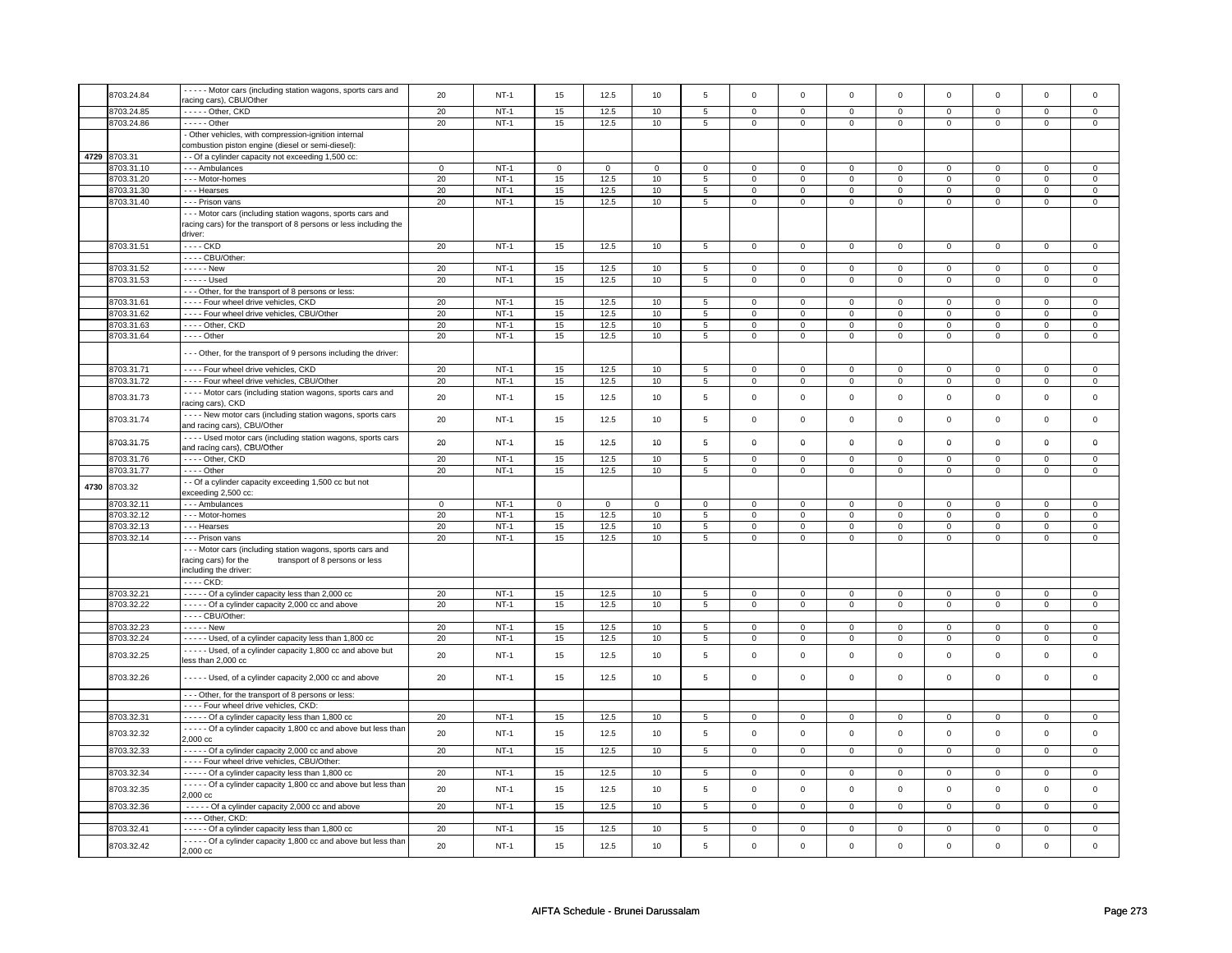|      |              | - - - - - Motor cars (including station wagons, sports cars and                                                                                |             |        |             |             |             |                |                     |                     |                |                |                     |                |             |                     |
|------|--------------|------------------------------------------------------------------------------------------------------------------------------------------------|-------------|--------|-------------|-------------|-------------|----------------|---------------------|---------------------|----------------|----------------|---------------------|----------------|-------------|---------------------|
|      | 8703.24.84   | racing cars), CBU/Other                                                                                                                        | 20          | $NT-1$ | 15          | 12.5        | 10          | 5              | $\mathsf{O}\xspace$ | $\mathsf{o}\xspace$ | $\mathsf 0$    | $\mathsf 0$    | $\mathsf 0$         | $\mathbf 0$    | $\mathbf 0$ | $\mathsf 0$         |
|      | 3703.24.85   | -Other, CKD                                                                                                                                    | 20          | $NT-1$ | 15          | 12.5        | 10          | 5              | $\mathsf 0$         | $\mathbf 0$         | $\mathbf 0$    | $\mathsf 0$    | $\mathsf 0$         | $\mathbf 0$    | $\mathsf 0$ | $\mathbf 0$         |
|      | 3703.24.86   | $---$ Other                                                                                                                                    | 20          | $NT-1$ | 15          | 12.5        | 10          | $\overline{5}$ | $\mathsf 0$         | $\overline{0}$      | $\mathbf 0$    | $\overline{0}$ | $\mathsf 0$         | $\overline{0}$ | $\mathsf 0$ | $\overline{0}$      |
|      |              | - Other vehicles, with compression-ignition internal                                                                                           |             |        |             |             |             |                |                     |                     |                |                |                     |                |             |                     |
|      |              | combustion piston engine (diesel or semi-diesel):                                                                                              |             |        |             |             |             |                |                     |                     |                |                |                     |                |             |                     |
|      |              |                                                                                                                                                |             |        |             |             |             |                |                     |                     |                |                |                     |                |             |                     |
|      | 4729 8703.31 | - - Of a cylinder capacity not exceeding 1,500 cc:                                                                                             |             |        |             |             |             |                |                     |                     |                |                |                     |                |             |                     |
|      | 8703.31.10   | - - - Ambulances                                                                                                                               | $\mathbf 0$ | $NT-1$ | $\mathbf 0$ | $\mathsf 0$ | $\mathbf 0$ | $\mathbf 0$    | $\mathbf 0$         | $\mathbf 0$         | $\mathbf 0$    | $\mathbf{0}$   | $\mathsf 0$         | $\mathbf 0$    | $\Omega$    | $\mathbf 0$         |
|      | 8703.31.20   | --- Motor-homes                                                                                                                                | 20          | $NT-1$ | 15          | 12.5        | 10          | 5              | $\mathsf 0$         | $\mathbf 0$         | 0              | $\mathsf 0$    | $\mathsf 0$         | $\mathbf 0$    | 0           | 0                   |
|      | 8703.31.30   | --- Hearses                                                                                                                                    | 20          | $NT-1$ | 15          | 12.5        | 10          | $\sqrt{5}$     | $\mathbf 0$         | $\mathbf 0$         | $\mathbf 0$    | $\mathbf 0$    | $\mathsf 0$         | $\mathbf 0$    | $\mathsf 0$ | $\mathbf 0$         |
|      | 8703.31.40   | - - - Prison vans                                                                                                                              | 20          | $NT-1$ | 15          | 12.5        | 10          | 5              | $\mathbf 0$         | $\mathbf 0$         | $\mathbf 0$    | $\mathbf 0$    | $\mathbf 0$         | $\mathbf 0$    | $\mathsf 0$ | $\overline{0}$      |
|      |              | - - - Motor cars (including station wagons, sports cars and<br>racing cars) for the transport of 8 persons or less including the<br>driver:    |             |        |             |             |             |                |                     |                     |                |                |                     |                |             |                     |
|      | 8703.31.51   | - - - - CKD                                                                                                                                    | 20          | $NT-1$ | 15          | 12.5        | 10          | 5              | $\mathbf 0$         | $\mathbf 0$         | $\mathbf 0$    | $\mathbf 0$    | $\mathbf 0$         | $\mathbf 0$    | 0           | $\mathbf 0$         |
|      |              | ---- CBU/Other:                                                                                                                                |             |        |             |             |             |                |                     |                     |                |                |                     |                |             |                     |
|      | 8703.31.52   | - - - - - New                                                                                                                                  | 20          | $NT-1$ | 15          | 12.5        | 10          |                | $\mathbf 0$         | $\mathbf 0$         | 0              | $\mathbf 0$    | 0                   | $\mathbf 0$    | 0           | 0                   |
|      |              |                                                                                                                                                |             |        |             |             |             | 5              |                     |                     |                |                |                     |                |             |                     |
|      | 8703.31.53   | - - - - - Used                                                                                                                                 | 20          | $NT-1$ | 15          | 12.5        | 10          | 5              | $\mathbf 0$         | $\mathbf 0$         | 0              | $\mathbf 0$    | 0                   | $\mathbf 0$    | 0           | 0                   |
|      |              | - - - Other, for the transport of 8 persons or less:                                                                                           |             |        |             |             |             |                |                     |                     |                |                |                     |                |             |                     |
|      | 8703.31.61   | - - - - Four wheel drive vehicles, CKD                                                                                                         | 20          | $NT-1$ | 15          | 12.5        | 10          | $\overline{5}$ | $\overline{0}$      | $\overline{0}$      | $\mathbf 0$    | $\mathbf 0$    | $\mathsf 0$         | $\overline{0}$ | $\mathbf 0$ | 0                   |
|      | 8703.31.62   | - - - - Four wheel drive vehicles, CBU/Other                                                                                                   | 20          | $NT-1$ | 15          | 12.5        | 10          | 5              | 0                   | $\mathsf 0$         | $\mathbf 0$    | $\mathbf 0$    | $\mathsf 0$         | $\overline{0}$ | $\mathsf 0$ | $\mathsf 0$         |
|      | 8703.31.63   | ---- Other, CKD                                                                                                                                | 20          | $NT-1$ | 15          | 12.5        | 10          | $\overline{5}$ | $\overline{0}$      | $\overline{0}$      | 0              | $\overline{0}$ | $\overline{0}$      | $\overline{0}$ | 0           | $\overline{0}$      |
|      | 8703.31.64   | $---$ Other                                                                                                                                    | 20          | $NT-1$ | 15          | 12.5        | 10          | $\overline{5}$ | $\overline{0}$      | $\overline{0}$      | $\overline{0}$ | $\overline{0}$ | $\overline{0}$      | $\overline{0}$ | $\mathsf 0$ | $\overline{0}$      |
|      |              | - - - Other, for the transport of 9 persons including the driver:                                                                              |             |        |             |             |             |                |                     |                     |                |                |                     |                |             |                     |
|      | 8703.31.71   | - - - - Four wheel drive vehicles, CKD                                                                                                         | $20\,$      | $NT-1$ | 15          | 12.5        | $10\,$      | $\,$ 5 $\,$    | $\mathsf{O}\xspace$ | $\mathsf 0$         | $\mathsf 0$    | $\mathsf{O}$   | $\mathsf{O}\xspace$ | $\mathsf{O}$   | $\Omega$    | $\mathsf{O}\xspace$ |
|      | 8703.31.72   | - - - - Four wheel drive vehicles, CBU/Other                                                                                                   | 20          | $NT-1$ | 15          | 12.5        | 10          | $\overline{5}$ | $\mathsf{O}\xspace$ | $\overline{0}$      | $\mathbf 0$    | $\overline{0}$ | $\mathsf 0$         | $\overline{0}$ | $\mathsf 0$ | $\overline{0}$      |
|      |              | - - - - Motor cars (including station wagons, sports cars and                                                                                  |             |        |             |             |             |                |                     |                     |                |                |                     |                |             |                     |
|      | 8703.31.73   | racing cars), CKD                                                                                                                              | 20          | $NT-1$ | 15          | 12.5        | 10          | 5              | $\mathbf 0$         | $\mathbf{0}$        | $\Omega$       | $\mathsf 0$    | $\mathbf 0$         | $\mathsf 0$    | $\Omega$    | $\mathsf 0$         |
|      | 8703.31.74   | - - - - New motor cars (including station wagons, sports cars<br>and racing cars), CBU/Other                                                   | 20          | $NT-1$ | 15          | 12.5        | 10          | 5              | $\mathsf{O}\xspace$ | $\mathbf 0$         | $\mathbf 0$    | $\mathbf 0$    | $\mathbf 0$         | $\mathbf{0}$   | $\mathbf 0$ | $\mathbf 0$         |
|      | 8703.31.75   | - - - - Used motor cars (including station wagons, sports cars<br>and racing cars), CBU/Other                                                  | 20          | $NT-1$ | 15          | 12.5        | 10          | 5              | $\mathbf 0$         | $\mathbf 0$         | $\mathbf 0$    | $\mathbf 0$    | $\mathbf 0$         | $\mathbf 0$    | $\mathbf 0$ | $\mathbf 0$         |
|      | 8703.31.76   | $---$ Other, $CKD$                                                                                                                             | 20          | $NT-1$ | 15          | 12.5        | 10          | 5              | $\mathsf 0$         | $\mathbf 0$         | 0              | $\mathbf 0$    | $\mathsf 0$         | $\mathbf 0$    | $\mathsf 0$ | $\mathbf 0$         |
|      | 3703.31.77   | $- - -$ Other                                                                                                                                  | 20          | $NT-1$ | 15          | 12.5        | 10          | 5              | $\mathbf 0$         | $\mathsf 0$         | $\mathbf 0$    | $\mathbf{0}$   | $\mathsf 0$         | $\mathbf 0$    | $\mathbf 0$ | $\mathbf 0$         |
| 4730 | 8703.32      | - - Of a cylinder capacity exceeding 1,500 cc but not<br>exceeding 2,500 cc:                                                                   |             |        |             |             |             |                |                     |                     |                |                |                     |                |             |                     |
|      | 8703.32.11   | --- Ambulances                                                                                                                                 | $\mathsf 0$ | $NT-1$ | $\mathbf 0$ | $\mathbf 0$ | $\Omega$    | $\Omega$       | $\Omega$            | $\mathbf 0$         | $\Omega$       | 0              | $\mathsf 0$         | $\mathbf 0$    | $\Omega$    | $\Omega$            |
|      | 3703.32.12   | --- Motor-homes                                                                                                                                | 20          | $NT-1$ | 15          | 12.5        | 10          | 5              | $\mathbf 0$         | $\mathbf 0$         | $\mathbf 0$    | $\mathbf 0$    | $\mathsf 0$         | $\mathbf 0$    | $\mathbf 0$ | $\mathbf 0$         |
|      | 8703.32.13   | - - - Hearses                                                                                                                                  | 20          | $NT-1$ | 15          | 12.5        | 10          | 5              | $\mathsf 0$         | $\mathbf 0$         | 0              | $\mathbf 0$    | $\mathsf 0$         | $\mathbf 0$    | $\mathsf 0$ | $\mathsf 0$         |
|      | 8703.32.14   | - - - Prison vans                                                                                                                              | 20          | $NT-1$ | 15          | 12.5        | 10          | 5              | $\mathsf 0$         | $\mathbf 0$         | 0              | $\mathbf 0$    | $\mathsf 0$         | $\mathbf 0$    | 0           | $\mathbf{0}$        |
|      |              | - - - Motor cars (including station wagons, sports cars and<br>racing cars) for the<br>transport of 8 persons or less<br>including the driver: |             |        |             |             |             |                |                     |                     |                |                |                     |                |             |                     |
|      |              | - - - - CKD:                                                                                                                                   |             |        |             |             |             |                |                     |                     |                |                |                     |                |             |                     |
|      | 8703.32.21   | ----- Of a cylinder capacity less than 2,000 cc                                                                                                | 20          | $NT-1$ | 15          | 12.5        | 10          | 5              | $\mathsf{O}\xspace$ | $\mathsf 0$         | $\mathsf 0$    | $\mathsf{O}$   | $\mathsf 0$         | $\mathsf{O}$   | $\mathsf 0$ | $\mathbf 0$         |
|      | 8703.32.22   | - - - - - Of a cylinder capacity 2,000 cc and above                                                                                            | 20          | $NT-1$ | 15          | 12.5        | 10          | 5              | $\mathsf{O}\xspace$ | $\mathsf 0$         | $\mathsf 0$    | $\mathbf 0$    | $\mathsf 0$         | $\mathbf 0$    | $\mathsf 0$ | $\mathsf 0$         |
|      |              | ---- CBU/Other:                                                                                                                                |             |        |             |             |             |                |                     |                     |                |                |                     |                |             |                     |
|      | 3703.32.23   | $---New$                                                                                                                                       | 20          | $NT-1$ | 15          | 12.5        | 10          | 5              | $\mathsf 0$         | $\overline{0}$      | $\mathbf 0$    | $\mathbf 0$    | 0                   | $\overline{0}$ | $\Omega$    | $\mathbf{0}$        |
|      | 8703.32.24   | ----- Used, of a cylinder capacity less than 1,800 cc                                                                                          | 20          | $NT-1$ | 15          | 12.5        | 10          | 5              | $\mathbf 0$         | $\mathbf 0$         | $\mathbf 0$    | $\mathbf 0$    | $\mathbf 0$         | $\mathbf 0$    | $\mathsf 0$ | $\mathbf 0$         |
|      | 8703.32.25   | - - - - Used, of a cylinder capacity 1,800 cc and above but<br>less than 2,000 cc                                                              | 20          | $NT-1$ | 15          | 12.5        | 10          | 5              | $\mathbf 0$         | $\mathbf 0$         | $\mathbf 0$    | $\mathbf 0$    | $\mathbf 0$         | $\mathbf 0$    | $\mathbf 0$ | $\mathbf 0$         |
|      | 8703.32.26   | - - - - - Used, of a cylinder capacity 2,000 cc and above                                                                                      | 20          | $NT-1$ | 15          | 12.5        | 10          | 5              | $\mathsf 0$         | $\mathbf 0$         | $\mathbf 0$    | $\mathsf 0$    | $\mathbf 0$         | $\mathbf 0$    | $\mathbf 0$ | $\mathbf 0$         |
|      |              | - - - Other, for the transport of 8 persons or less:                                                                                           |             |        |             |             |             |                |                     |                     |                |                |                     |                |             |                     |
|      |              | - - - - Four wheel drive vehicles, CKD:                                                                                                        |             |        |             |             |             |                |                     |                     |                |                |                     |                |             |                     |
|      | 8703.32.31   | - - - - - Of a cylinder capacity less than 1,800 cc                                                                                            | 20          | $NT-1$ | 15          | 12.5        | 10          | 5              | $\mathsf 0$         | $\mathbf 0$         | $\Omega$       | $\mathbf 0$    | $\mathsf 0$         | $\mathbf 0$    | $\Omega$    | $\Omega$            |
|      |              | - - - - - Of a cylinder capacity 1,800 cc and above but less than                                                                              |             |        |             |             |             |                |                     |                     |                |                |                     |                |             |                     |
|      | 8703.32.32   | 2,000 cc                                                                                                                                       | 20          | $NT-1$ | 15          | 12.5        | 10          | 5              | $\mathsf{O}\xspace$ | $\mathsf 0$         | $\mathbf 0$    | $\mathsf 0$    | $\mathsf 0$         | $\mathbf 0$    | $\mathbf 0$ | $\mathbf 0$         |
|      | 8703.32.33   | - - - - - Of a cylinder capacity 2,000 cc and above<br>- - - - Four wheel drive vehicles, CBU/Other:                                           | 20          | $NT-1$ | 15          | 12.5        | 10          | 5              | $\mathbf 0$         | $\mathbf 0$         | $\mathbf 0$    | $\mathbf 0$    | $\mathsf 0$         | $\mathbf 0$    | $\mathsf 0$ | $\mathbf 0$         |
|      | 8703.32.34   | ----- Of a cylinder capacity less than 1,800 cc                                                                                                | 20          | $NT-1$ | 15          | 12.5        | 10          | 5              | $\mathbf 0$         | $\overline{0}$      | $\mathbf{0}$   | $\overline{0}$ | $\mathbf 0$         | $\mathbf{0}$   | 0           | $\overline{0}$      |
|      |              | - - - - Of a cylinder capacity 1,800 cc and above but less than                                                                                |             |        |             |             |             |                |                     |                     |                |                |                     |                |             |                     |
|      | 8703.32.35   | 2,000 cc                                                                                                                                       | 20          | $NT-1$ | 15          | 12.5        | 10          | 5              | $\mathsf 0$         | $\mathbf 0$         | $\mathbf 0$    | $\mathbf 0$    | $\mathsf 0$         | $\mathbf 0$    | $\mathbf 0$ | 0                   |
|      | 3703.32.36   | - - - - - Of a cylinder capacity 2,000 cc and above<br>- - - - Other, CKD:                                                                     | 20          | $NT-1$ | 15          | 12.5        | 10          | $\overline{5}$ | $\overline{0}$      | $\overline{0}$      | $\overline{0}$ | $\overline{0}$ | $\overline{0}$      | $\overline{0}$ | $\Omega$    | $\overline{0}$      |
|      | 8703.32.41   | ----- Of a cylinder capacity less than 1,800 cc                                                                                                | 20          | $NT-1$ | 15          | 12.5        | 10          | 5              | $\mathsf 0$         | $\mathbf 0$         | $\mathbf 0$    | $\mathsf 0$    | $\mathsf 0$         | $\mathbf 0$    | $\mathsf 0$ | 0                   |
|      | 8703.32.42   | - - - - Of a cylinder capacity 1,800 cc and above but less than                                                                                | 20          | $NT-1$ | 15          | 12.5        | 10          | 5              | $\Omega$            | $\mathsf{o}\xspace$ | $\mathbf 0$    | $\mathsf 0$    | $\mathbf 0$         | $\mathbf 0$    | $\mathsf 0$ | $\mathbf 0$         |
|      |              | 2,000 cc                                                                                                                                       |             |        |             |             |             |                |                     |                     |                |                |                     |                |             |                     |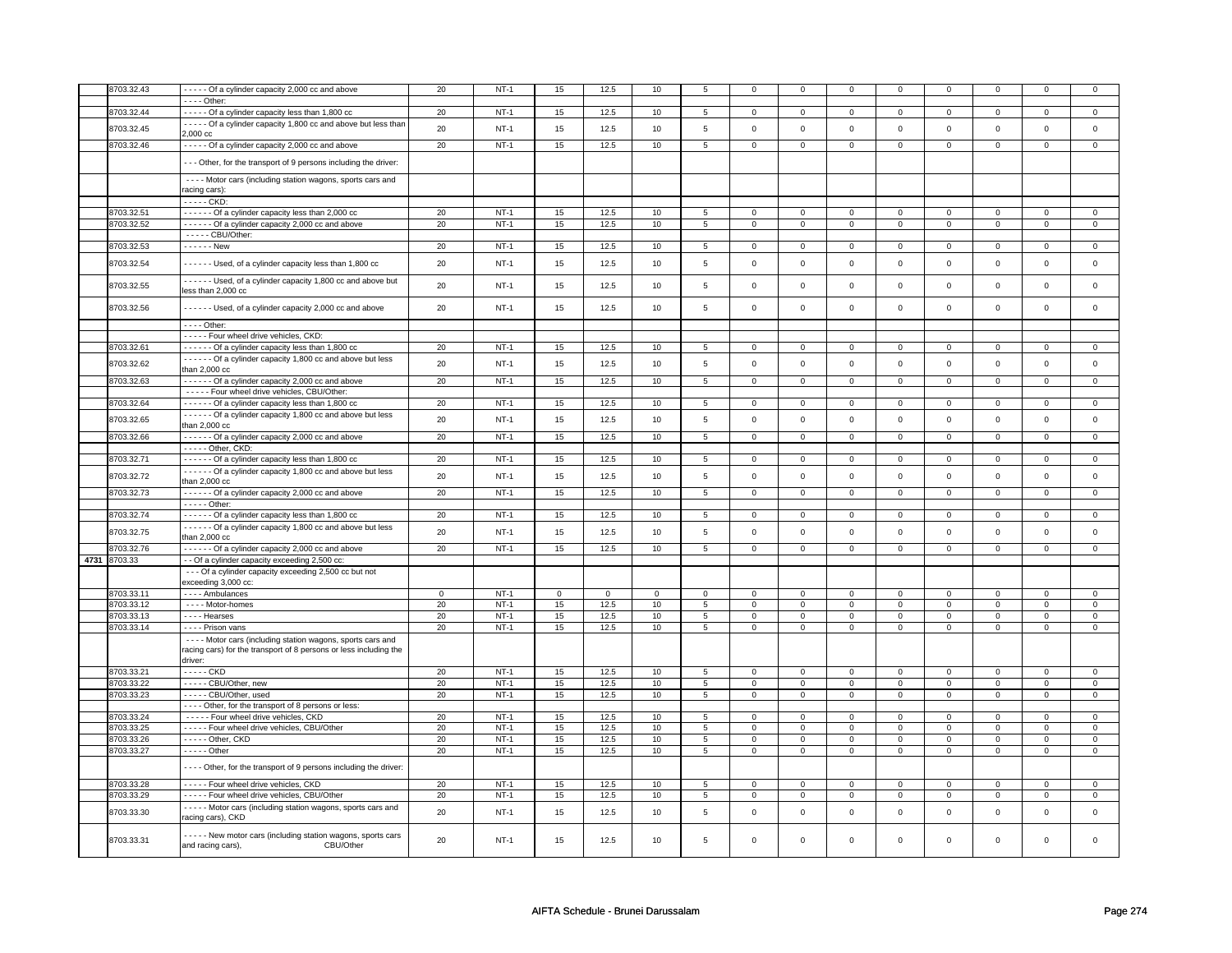|      | 8703.32.43 | - - - - - Of a cylinder capacity 2,000 cc and above                 | 20          | $NT-1$ | 15          | 12.5        | $10$        | 5               | $\mathbf 0$         | 0              | $\mathbf 0$    | 0              | 0              | 0              |                | 0              |
|------|------------|---------------------------------------------------------------------|-------------|--------|-------------|-------------|-------------|-----------------|---------------------|----------------|----------------|----------------|----------------|----------------|----------------|----------------|
|      |            |                                                                     |             |        |             |             |             |                 |                     |                |                |                |                |                |                |                |
|      |            | - - - - Other:                                                      |             |        |             |             |             |                 |                     |                |                |                |                |                |                |                |
|      | 8703.32.44 | ----- Of a cylinder capacity less than 1,800 cc                     | 20          | $NT-1$ | 15          | 12.5        | 10          | 5               | $\mathsf 0$         | $\overline{0}$ | $\mathsf 0$    | $\mathbf 0$    | $\mathsf 0$    | $\overline{0}$ | $\Omega$       | $\overline{0}$ |
|      |            | - - - - Of a cylinder capacity 1,800 cc and above but less than     |             |        |             |             |             |                 |                     |                |                |                |                |                |                |                |
|      | 8703.32.45 | 2.000 cc                                                            | 20          | $NT-1$ | 15          | 12.5        | 10          | $\,$ 5 $\,$     | $\mathbf 0$         | $\mathbf{0}$   | $\mathbf 0$    | $\mathbf{0}$   | $\mathbf 0$    | $\mathbf{0}$   | $\mathbf 0$    | $\mathbf{0}$   |
|      |            |                                                                     |             |        |             |             |             |                 |                     |                |                |                |                |                |                |                |
|      | 8703.32.46 | - - - - - Of a cylinder capacity 2,000 cc and above                 | 20          | $NT-1$ | 15          | 12.5        | 10          | 5               | $\mathsf{O}\xspace$ | $\mathbf 0$    | $\mathbf 0$    | $\mathbf{0}$   | $\mathbf 0$    | $\mathbf{0}$   | $\mathbf 0$    | $\mathbf{0}$   |
|      |            |                                                                     |             |        |             |             |             |                 |                     |                |                |                |                |                |                |                |
|      |            | --- Other, for the transport of 9 persons including the driver:     |             |        |             |             |             |                 |                     |                |                |                |                |                |                |                |
|      |            | - - - - Motor cars (including station wagons, sports cars and       |             |        |             |             |             |                 |                     |                |                |                |                |                |                |                |
|      |            |                                                                     |             |        |             |             |             |                 |                     |                |                |                |                |                |                |                |
|      |            | racing cars):                                                       |             |        |             |             |             |                 |                     |                |                |                |                |                |                |                |
|      |            | - - - - - CKD:                                                      |             |        |             |             |             |                 |                     |                |                |                |                |                |                |                |
|      | 8703.32.51 | - - - - - - Of a cylinder capacity less than 2,000 cc               | 20          | $NT-1$ | 15          | 12.5        | 10          | 5               | $\mathsf 0$         | $\mathbf 0$    | $\mathbf 0$    | $\mathbf 0$    | $\mathsf 0$    | $\mathbf 0$    | $\Omega$       | $\mathbf 0$    |
|      | 8703.32.52 | ------ Of a cylinder capacity 2,000 cc and above                    | 20          | $NT-1$ | 15          | 12.5        | 10          | $\overline{5}$  | $\overline{0}$      | $\overline{0}$ | $\overline{0}$ | $\overline{0}$ | $\overline{0}$ | $\overline{0}$ | $\overline{0}$ | $\overline{0}$ |
|      |            |                                                                     |             |        |             |             |             |                 |                     |                |                |                |                |                |                |                |
|      |            | - - - - - CBU/Other:                                                |             |        |             |             |             |                 |                     |                |                |                |                |                |                |                |
|      | 8703.32.53 | - - - - - - New                                                     | 20          | $NT-1$ | 15          | 12.5        | 10          | 5               | $\mathsf{O}\xspace$ | $\mathbf 0$    | $\mathsf 0$    | $\mathbf 0$    | $\mathsf 0$    | $\mathsf{O}$   | $\mathsf 0$    | $\mathbf 0$    |
|      |            |                                                                     |             |        |             |             | 10          |                 | $\mathbf 0$         |                | $\mathbf 0$    | $\mathbf{0}$   | $\mathbf 0$    |                | $\mathbf 0$    | $\mathbf{0}$   |
|      | 8703.32.54 | ------ Used, of a cylinder capacity less than 1,800 cc              | 20          | $NT-1$ | 15          | 12.5        |             | $\,$ 5 $\,$     |                     | $\mathsf{O}$   |                |                |                | $\mathsf{O}$   |                |                |
|      |            | - - - - - - Used, of a cylinder capacity 1,800 cc and above but     |             |        |             |             |             |                 |                     |                |                |                |                |                |                |                |
|      | 8703.32.55 |                                                                     | 20          | $NT-1$ | 15          | 12.5        | 10          | 5               | $\mathsf 0$         | $\mathbf 0$    | $\mathbf 0$    | $\mathbf 0$    | $\mathsf 0$    | $\mathbf 0$    | $\mathbf 0$    | $\mathsf 0$    |
|      |            | less than 2,000 cc                                                  |             |        |             |             |             |                 |                     |                |                |                |                |                |                |                |
|      | 8703.32.56 | Used, of a cylinder capacity 2,000 cc and above                     | 20          | $NT-1$ | 15          | 12.5        | 10          | 5               | $\mathsf 0$         | $\mathbf 0$    | $\mathbf 0$    | $\mathbf 0$    | $\mathsf 0$    | $\mathbf 0$    | $\mathbf 0$    | $\mathbf 0$    |
|      |            |                                                                     |             |        |             |             |             |                 |                     |                |                |                |                |                |                |                |
|      |            | - - - - Other:                                                      |             |        |             |             |             |                 |                     |                |                |                |                |                |                |                |
|      |            |                                                                     |             |        |             |             |             |                 |                     |                |                |                |                |                |                |                |
|      |            | ----- Four wheel drive vehicles, CKD:                               |             |        |             |             |             |                 |                     |                |                |                |                |                |                |                |
|      | 8703.32.61 | ------ Of a cylinder capacity less than 1,800 cc                    | 20          | $NT-1$ | 15          | 12.5        | 10          | $5\overline{)}$ | $\mathbf 0$         | $\overline{0}$ | 0              | $\overline{0}$ | 0              | $\overline{0}$ | 0              | $\overline{0}$ |
|      | 8703.32.62 | ------ Of a cylinder capacity 1,800 cc and above but less           | 20          | $NT-1$ | 15          | 12.5        | 10          | $\,$ 5 $\,$     | $\mathsf 0$         | $\mathsf 0$    | $\mathsf 0$    | $\mathsf 0$    | $\mathsf 0$    | $\mathsf{O}$   | $\mathsf 0$    | $\mathsf 0$    |
|      |            | than 2,000 cc                                                       |             |        |             |             |             |                 |                     |                |                |                |                |                |                |                |
|      | 8703.32.63 | Of a cylinder capacity 2,000 cc and above                           | 20          | $NT-1$ | 15          | 12.5        | 10          | $\overline{5}$  | $\mathsf 0$         | $\overline{0}$ | $\mathbf 0$    | $\overline{0}$ | $\mathsf 0$    | $\overline{0}$ | $\mathsf 0$    | $\overline{0}$ |
|      |            | - - - - - Four wheel drive vehicles, CBU/Other:                     |             |        |             |             |             |                 |                     |                |                |                |                |                |                |                |
|      |            |                                                                     |             |        |             |             |             |                 |                     |                |                |                |                |                |                |                |
|      | 8703.32.64 | - - - - - - Of a cylinder capacity less than 1,800 cc               | 20          | $NT-1$ | 15          | 12.5        | 10          | 5               | $\mathbf 0$         | $\mathbf 0$    | 0              | $\mathbf 0$    | $\mathbf{0}$   | $\mathbf 0$    | 0              | $\overline{0}$ |
|      | 8703.32.65 | - - - - - - Of a cylinder capacity 1,800 cc and above but less      | 20          | $NT-1$ | 15          | 12.5        | 10          | 5               | $\mathbf 0$         | $\mathsf 0$    | $\mathbf 0$    | $\mathbf 0$    | $\mathbf 0$    | $\mathbf 0$    | $\mathbf 0$    | $\mathbf{0}$   |
|      |            | than 2,000 cc                                                       |             |        |             |             |             |                 |                     |                |                |                |                |                |                |                |
|      | 8703.32.66 | ------ Of a cylinder capacity 2,000 cc and above                    | 20          | $NT-1$ | 15          | 12.5        | 10          | $5\overline{)}$ | $\mathbf 0$         | $\mathbf 0$    | $\mathbf 0$    | $\overline{0}$ | $\mathbf 0$    | $\overline{0}$ | $\mathsf 0$    | $\mathbf 0$    |
|      |            | - - - - - Other, CKD:                                               |             |        |             |             |             |                 |                     |                |                |                |                |                |                |                |
|      |            |                                                                     |             |        |             |             |             |                 |                     |                |                |                |                |                |                |                |
|      | 8703.32.71 | ------ Of a cylinder capacity less than 1,800 cc                    | 20          | $NT-1$ | 15          | 12.5        | 10          | $5\phantom{.0}$ | $\mathsf 0$         | $\mathbf 0$    | $\mathsf 0$    | $\mathbf 0$    | $\mathsf 0$    | $\mathbf{0}$   | 0              | $\mathbf 0$    |
|      | 8703.32.72 | Of a cylinder capacity 1,800 cc and above but less                  | 20          | $NT-1$ | 15          | 12.5        | 10          | 5               | $\mathsf 0$         | $\mathbf 0$    | $\mathbf 0$    | $\mathbf 0$    | $\mathsf 0$    | $\mathbf 0$    | $\mathbf 0$    | $\mathbf 0$    |
|      |            | than 2,000 cc                                                       |             |        |             |             |             |                 |                     |                |                |                |                |                |                |                |
|      | 8703.32.73 | - - - - - Of a cylinder capacity 2,000 cc and above                 | 20          | $NT-1$ | 15          | 12.5        | 10          | $\overline{5}$  | $\overline{0}$      | $\overline{0}$ | $\overline{0}$ | $\overline{0}$ | $\overline{0}$ | $\overline{0}$ | $\overline{0}$ | $\overline{0}$ |
|      |            | - - - - - Other:                                                    |             |        |             |             |             |                 |                     |                |                |                |                |                |                |                |
|      |            |                                                                     |             |        |             |             |             |                 |                     |                |                |                |                |                |                |                |
|      | 8703.32.74 | ------ Of a cylinder capacity less than 1,800 cc                    | 20          | $NT-1$ | 15          | 12.5        | 10          | 5               | $\mathsf 0$         | $\mathbf 0$    | $\mathsf 0$    | $\mathsf 0$    | $\mathsf 0$    | $\mathbf 0$    | $\Omega$       | $\mathbf 0$    |
|      | 8703.32.75 | Of a cylinder capacity 1,800 cc and above but less                  | 20          | $NT-1$ | 15          | 12.5        | 10          | $\,$ 5 $\,$     | $\mathbf 0$         | $\mathbf 0$    | $\mathbf 0$    | $\mathbf 0$    | $\mathbf 0$    | $\mathbf 0$    | $\Omega$       | $\mathbf 0$    |
|      |            | than $2,000$ $cc$                                                   |             |        |             |             |             |                 |                     |                |                |                |                |                |                |                |
|      | 8703.32.76 | $\cdots$ $\cdots$ Of a cylinder capacity 2,000 cc and above         | 20          | $NT-1$ | 15          | 12.5        | 10          | 5               | $\mathbf 0$         | $\mathbf{0}$   | $\mathbf 0$    | $\mathbf{0}$   | $\mathbf 0$    | $\mathbf{0}$   | $\Omega$       | $\mathbf{0}$   |
| 4731 | 8703.33    | - - Of a cylinder capacity exceeding 2,500 cc:                      |             |        |             |             |             |                 |                     |                |                |                |                |                |                |                |
|      |            |                                                                     |             |        |             |             |             |                 |                     |                |                |                |                |                |                |                |
|      |            | - - - Of a cylinder capacity exceeding 2,500 cc but not             |             |        |             |             |             |                 |                     |                |                |                |                |                |                |                |
|      |            | exceeding 3,000 cc:                                                 |             |        |             |             |             |                 |                     |                |                |                |                |                |                |                |
|      | 8703.33.11 | - - - - Ambulances                                                  | $\mathbf 0$ | $NT-1$ | $\mathbf 0$ | $\mathbf 0$ | $\mathsf 0$ | $\mathbf 0$     | $\mathsf 0$         | $\mathbf 0$    | $\mathbf 0$    | $\mathbf 0$    | $\mathsf 0$    | $\mathbf 0$    | $\mathsf 0$    | $\mathbf 0$    |
|      | 8703.33.12 | - - - - Motor-homes                                                 | 20          | $NT-1$ | 15          | 12.5        | 10          | 5               | $\mathbf 0$         | $\overline{0}$ | $\mathbf 0$    | $\mathbf 0$    | $\mathbf 0$    | $\overline{0}$ | $\mathsf 0$    | $\overline{0}$ |
|      | 8703.33.13 | - - - - Hearses                                                     | 20          | $NT-1$ | 15          | 12.5        | 10          | $5\phantom{.0}$ | $\mathbf 0$         | $\mathbf 0$    | $\mathbf 0$    | $\mathbf 0$    | 0              | $\mathbf 0$    | 0              | $\mathbf 0$    |
|      | 8703.33.14 |                                                                     | 20          | $NT-1$ |             |             |             | $\overline{5}$  |                     | $\overline{0}$ |                | $\overline{0}$ |                | $\overline{0}$ | 0              | $\overline{0}$ |
|      |            | - - - - Prison vans                                                 |             |        | 15          | 12.5        | 10          |                 | $\mathsf 0$         |                | $\mathbf 0$    |                | $\mathsf 0$    |                |                |                |
|      |            | ---- Motor cars (including station wagons, sports cars and          |             |        |             |             |             |                 |                     |                |                |                |                |                |                |                |
|      |            | racing cars) for the transport of 8 persons or less including the   |             |        |             |             |             |                 |                     |                |                |                |                |                |                |                |
|      |            | driver:                                                             |             |        |             |             |             |                 |                     |                |                |                |                |                |                |                |
|      | 8703.33.21 | $\cdots$ CKD                                                        | 20          | $NT-1$ | 15          | 12.5        | 10          | 5               | $\overline{0}$      | $\overline{0}$ | $\mathbf{0}$   | $\mathbf{0}$   | $\overline{0}$ | $\overline{0}$ | $\mathbf 0$    | $\overline{0}$ |
|      |            |                                                                     |             |        |             |             |             |                 |                     |                |                |                |                |                |                |                |
|      | 8703.33.22 | ----- CBU/Other, new                                                | 20          | $NT-1$ | 15          | 12.5        | 10          | $5\phantom{.0}$ | $\mathbf 0$         | $\mathbf 0$    | $\mathbf 0$    | $\mathbf 0$    | 0              | $\mathbf 0$    | 0              | 0              |
|      | 8703.33.23 | - - - - - CBU/Other, used                                           | 20          | $NT-1$ | 15          | 12.5        | 10          | 5               | $\mathbf 0$         | $\mathbf{0}$   | $\mathbf 0$    | $\mathbf{0}$   | $\mathbf 0$    | $\mathbf{0}$   | $\mathbf 0$    | $\mathbf{0}$   |
|      |            | - - - - Other, for the transport of 8 persons or less:              |             |        |             |             |             |                 |                     |                |                |                |                |                |                |                |
|      | 8703.33.24 | - - - - - Four wheel drive vehicles, CKD                            | 20          | $NT-1$ | 15          | 12.5        | 10          | 5               | $\mathbf 0$         | $\mathbf 0$    | 0              | $\mathbf 0$    | 0              | $\mathbf 0$    | 0              | 0              |
|      | 8703.33.25 | - - - - - Four wheel drive vehicles, CBU/Other                      | 20          | $NT-1$ | 15          | 12.5        | 10          | 5               | $\mathbf 0$         | $\mathbf 0$    | 0              | $\mathbf 0$    | 0              | $\mathbf 0$    | 0              | $\mathbf 0$    |
|      |            |                                                                     |             | $NT-1$ |             |             |             |                 |                     |                |                |                |                |                |                |                |
|      | 8703.33.26 | - - - - - Other, CKD                                                | 20          |        | 15          | 12.5        | 10          | $5\phantom{.0}$ | $\mathsf 0$         | $\mathbf 0$    | $\mathsf 0$    | $\mathbf 0$    | $\mathbf 0$    | $\mathbf 0$    | $\mathsf 0$    | $\mathbf 0$    |
|      | 8703.33.27 | $- - - -$ Other                                                     | 20          | $NT-1$ | 15          | 12.5        | 10          | 5               | $\mathbf 0$         | $\mathbf 0$    | $\mathbf 0$    | $\mathbf 0$    | 0              | $\mathbf 0$    | 0              | $\mathbf{0}$   |
|      |            |                                                                     |             |        |             |             |             |                 |                     |                |                |                |                |                |                |                |
|      |            | - - - - Other, for the transport of 9 persons including the driver: |             |        |             |             |             |                 |                     |                |                |                |                |                |                |                |
|      | 8703.33.28 | ----- Four wheel drive vehicles, CKD                                | 20          | $NT-1$ | 15          | 12.5        | 10          | $\overline{5}$  | $\mathsf 0$         | $\mathsf 0$    | $\mathbf 0$    | $\mathsf 0$    | $\mathsf 0$    | $\mathbf 0$    | $\Omega$       | $\mathbf 0$    |
|      | 8703.33.29 | ----- Four wheel drive vehicles, CBU/Other                          | 20          | $NT-1$ | 15          | 12.5        | 10          | 5               | $\mathsf{O}\xspace$ | $\mathbf 0$    | 0              | $\mathbf 0$    | $\mathsf 0$    | $\mathbf 0$    | 0              | $\mathbf 0$    |
|      |            |                                                                     |             |        |             |             |             |                 |                     |                |                |                |                |                |                |                |
|      | 8703.33.30 | - - - - - Motor cars (including station wagons, sports cars and     | 20          | $NT-1$ | 15          | 12.5        | 10          | 5               | $\mathsf 0$         | $\mathbf 0$    | $\mathbf 0$    | $\mathbf 0$    | $\mathbf 0$    | $\mathbf 0$    | $\mathbf 0$    | $\mathbf 0$    |
|      |            | racing cars), CKD                                                   |             |        |             |             |             |                 |                     |                |                |                |                |                |                |                |
|      |            |                                                                     |             |        |             |             |             |                 |                     |                |                |                |                |                |                |                |
|      | 8703.33.31 | ----- New motor cars (including station wagons, sports cars         | 20          | $NT-1$ | 15          | 12.5        | 10          | 5               | $\mathbf 0$         | $\mathbf 0$    | $\mathbf 0$    | $\mathbf 0$    | $\mathbf 0$    | $\mathbf 0$    | $\mathbf 0$    | $\mathbf{0}$   |
|      |            | CBU/Other<br>and racing cars),                                      |             |        |             |             |             |                 |                     |                |                |                |                |                |                |                |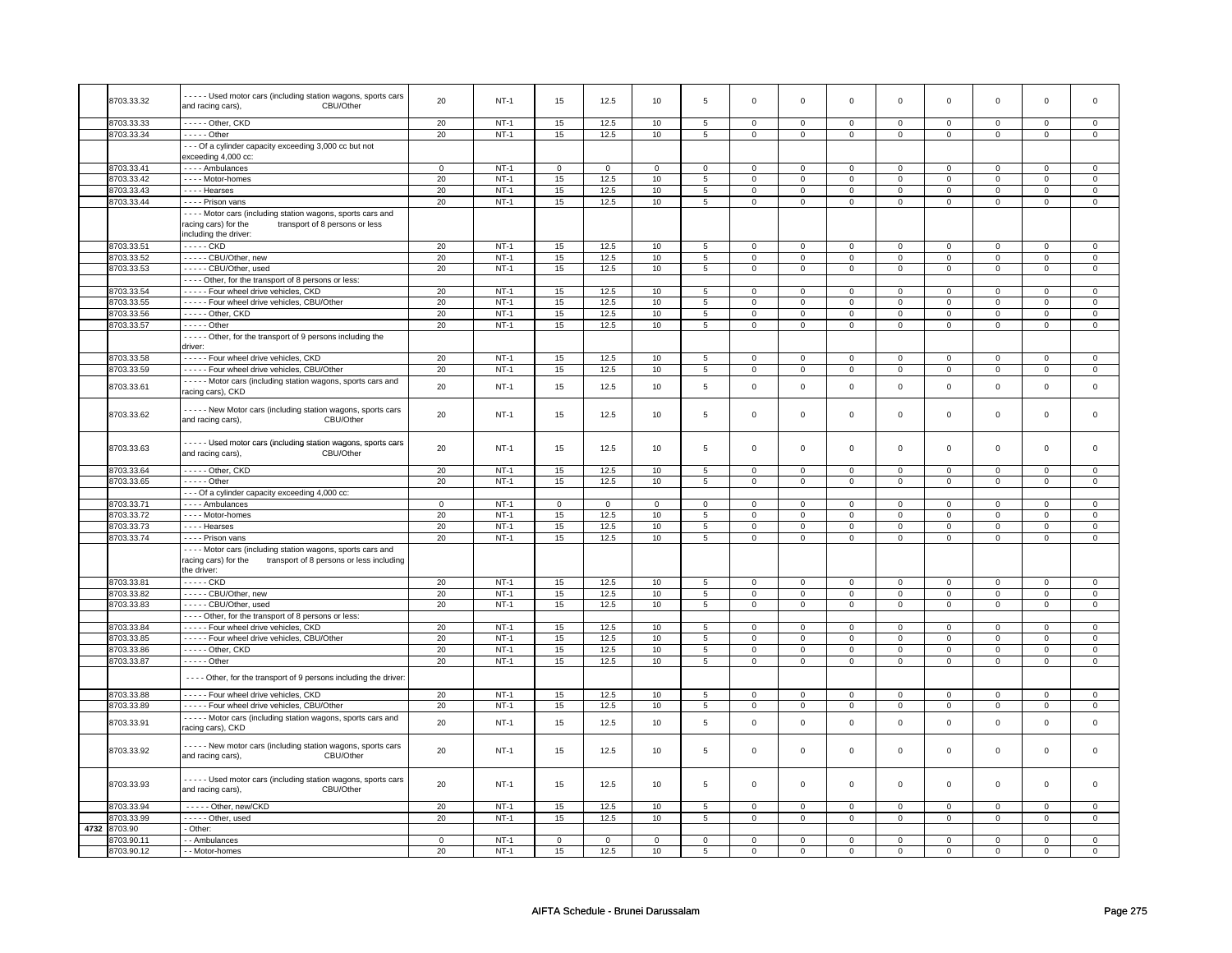|      | 8703.33.32 | - - - - Used motor cars (including station wagons, sports cars<br>CBU/Other<br>and racing cars),                                                 | 20          | $NT-1$      | 15             | 12.5           | 10             | 5              | $\mathsf{O}\xspace$ | $\mathsf 0$    | $\mathbf 0$    | $\mathsf 0$         | $\mathsf 0$         | $\mathsf 0$         | $\mathsf 0$ | 0              |
|------|------------|--------------------------------------------------------------------------------------------------------------------------------------------------|-------------|-------------|----------------|----------------|----------------|----------------|---------------------|----------------|----------------|---------------------|---------------------|---------------------|-------------|----------------|
|      | 3703.33.33 | - - - - - Other, CKD                                                                                                                             | 20          | $NT-1$      | 15             | 12.5           | 10             | 5              | $\mathbf{0}$        | $\mathbf 0$    | $\mathbf 0$    | $\mathbf{0}$        | $\mathbf{0}$        | $\mathbf{0}$        | $\mathbf 0$ | $\mathbf{0}$   |
|      | 8703.33.34 | - - - - - Other                                                                                                                                  | 20          | $NT-1$      | 15             | 12.5           | 10             | 5              | $\mathsf 0$         | $\mathsf 0$    | 0              | $\mathbf 0$         | 0                   | $\mathbf 0$         | 0           | $\mathsf{O}^-$ |
|      |            | --- Of a cylinder capacity exceeding 3,000 cc but not<br>exceeding 4,000 cc:                                                                     |             |             |                |                |                |                |                     |                |                |                     |                     |                     |             |                |
|      | 3703.33.41 | - - - - Ambulances                                                                                                                               | $\mathsf 0$ | $NT-1$      | $\overline{0}$ | $\overline{0}$ | $\overline{0}$ | $\overline{0}$ | $\overline{0}$      | $\overline{0}$ | $\mathbf 0$    | $\mathsf 0$         | $\overline{0}$      | $\overline{0}$      | $\Omega$    | $\overline{0}$ |
|      | 8703.33.42 | - - - - Motor-homes                                                                                                                              | 20          | $NT-1$      | 15             | 12.5           | 10             | 5              | $\mathbf 0$         | $\mathbf 0$    | 0              | $\mathbf 0$         | $\mathsf 0$         | $\mathbf 0$         | 0           | $\mathbf 0$    |
|      | 3703.33.43 | - - - - Hearses                                                                                                                                  | 20          | $NT-1$      | 15             | 12.5           | 10             | 5              | $\mathsf 0$         | $\mathbf 0$    | 0              | $\mathbf 0$         | $\mathsf 0$         | $\mathbf 0$         | $\Omega$    | $\mathbf 0$    |
|      | 8703.33.44 | - - - - Prison vans                                                                                                                              | 20          | $NT-1$      | 15             | 12.5           | 10             | 5              | $\mathsf 0$         | $\mathbf 0$    | 0              | $\mathbf 0$         | $\mathbf 0$         | $\mathbf{0}$        | 0           | $\mathbf 0$    |
|      |            |                                                                                                                                                  |             |             |                |                |                |                |                     |                |                |                     |                     |                     |             |                |
|      |            | - - - - Motor cars (including station wagons, sports cars and<br>transport of 8 persons or less<br>racing cars) for the<br>including the driver: |             |             |                |                |                |                |                     |                |                |                     |                     |                     |             |                |
|      | 8703.33.51 | - - - - - CKD                                                                                                                                    | 20          | $NT-1$      | 15             | 12.5           | 10             | 5              | $\mathbf 0$         | $\mathbf 0$    | 0              | $\mathbf 0$         | $\mathbf 0$         | $\mathbf 0$         | $\mathbf 0$ | $\mathbf 0$    |
|      | 8703.33.52 | - - - - - CBU/Other, new                                                                                                                         | 20          | $NT-1$      | 15             | 12.5           | 10             | $\,$ 5 $\,$    | $\mathbf 0$         | $\mathsf 0$    | 0              | $\mathbf 0$         | 0                   | $\mathbf 0$         | 0           | $\mathbf 0$    |
|      | 3703.33.53 | ----- CBU/Other, used                                                                                                                            | 20          | $NT-1$      | 15             | 12.5           | 10             | $\overline{5}$ | $\overline{0}$      | $\overline{0}$ | $\mathsf 0$    | $\overline{0}$      | $\overline{0}$      | $\overline{0}$      | $\mathsf 0$ | $\overline{0}$ |
|      |            | - - - - Other, for the transport of 8 persons or less:                                                                                           |             |             |                |                |                |                |                     |                |                |                     |                     |                     |             |                |
|      | 3703.33.54 | ----- Four wheel drive vehicles, CKD                                                                                                             | 20          | $NT-1$      | 15             | 12.5           | 10             | 5              | $\mathsf 0$         | $\mathbf 0$    | $\Omega$       | $\mathbf 0$         | $\mathsf 0$         | $\mathbf 0$         | $\Omega$    | 0              |
|      |            |                                                                                                                                                  |             |             |                |                |                |                |                     |                |                |                     |                     |                     | $\Omega$    |                |
|      | 3703.33.55 | ----- Four wheel drive vehicles, CBU/Other                                                                                                       | $20\,$      | $NT-1$      | 15             | 12.5           | 10             | $\,$ 5 $\,$    | $\mathsf{O}\xspace$ | $\mathsf 0$    | $\mathsf 0$    | $\mathsf 0$         | $\mathsf 0$         | $\mathsf 0$         |             | $\mathbf 0$    |
|      | 3703.33.56 | - - - - - Other, CKD                                                                                                                             | 20          | $NT-1$      | 15             | 12.5           | $10\,$         | $\,$ 5 $\,$    | $\mathsf 0$         | $\mathsf 0$    | $\mathsf 0$    | $\mathsf{O}\xspace$ | $\mathsf{O}\xspace$ | $\mathsf{O}\xspace$ | $\mathsf 0$ | $\overline{0}$ |
|      | 8703.33.57 | $- - - -$ Other                                                                                                                                  | 20          | $NT-1$      | 15             | 12.5           | 10             | $\sqrt{5}$     | $\mathsf 0$         | $\mathbf 0$    | 0              | $\mathbf 0$         | $\mathsf 0$         | $\mathbf 0$         | 0           | $\mathbf 0$    |
|      |            | - - - - - Other, for the transport of 9 persons including the<br>driver:                                                                         |             |             |                |                |                |                |                     |                |                |                     |                     |                     |             |                |
|      | 8703.33.58 | - - - - - Four wheel drive vehicles, CKD                                                                                                         | 20          | $NT-1$      | 15             | 12.5           | 10             | 5              | $\Omega$            | $\mathbf 0$    | $\Omega$       | $\mathbf 0$         | $\mathbf 0$         | $\mathbf 0$         | $\Omega$    | $\mathbf{0}$   |
|      | 8703.33.59 | ----- Four wheel drive vehicles, CBU/Other                                                                                                       | 20          | $NT-1$      | 15             | 12.5           | 10             | 5              | $\mathbf 0$         | $\mathbf 0$    | $\mathbf 0$    | $\mathbf 0$         | $\mathbf 0$         | $\mathbf 0$         | $\mathbf 0$ | $\mathbf{0}$   |
|      | 8703.33.61 | - - - - - Motor cars (including station wagons, sports cars and<br>racing cars), CKD                                                             | 20          | $NT-1$      | 15             | 12.5           | 10             | $\,$ 5 $\,$    | $\mathsf 0$         | $\mathbf 0$    | $\mathbf 0$    | $\mathbf 0$         | $\mathsf 0$         | $\mathbf 0$         | $\mathsf 0$ | $\mathbf 0$    |
|      | 8703.33.62 | - - - - - New Motor cars (including station wagons, sports cars<br>and racing cars),<br>CBU/Other                                                | 20          | $NT-1$      | 15             | 12.5           | 10             | 5              | $\mathsf{O}\xspace$ | $\mathbf 0$    | 0              | $\mathbf 0$         | 0                   | $\mathbf 0$         | 0           | $\mathbf{0}$   |
|      | 8703.33.63 | - - - - - Used motor cars (including station wagons, sports cars<br>CBU/Other<br>and racing cars),                                               | 20          | $NT-1$      | 15             | 12.5           | 10             | $\,$ 5 $\,$    | $\mathsf{o}\,$      | $\mathsf 0$    | $\mathsf{o}\,$ | $\mathbf 0$         | $\mathsf{o}\,$      | $\mathsf 0$         | $\mathbf 0$ | $\mathbf 0$    |
|      | 8703.33.64 | - - - - - Other, CKD                                                                                                                             | 20          | $NT-1$      | 15             | 12.5           | 10             | 5              | $\mathsf 0$         | $\mathbf 0$    | $\mathbf 0$    | $\mathsf 0$         | $\mathsf 0$         | $\mathbf 0$         | $\mathsf 0$ | $\mathbf{O}$   |
|      | 8703.33.65 | - - - - - Other                                                                                                                                  | 20          | $NT-1$      | 15             | 12.5           | 10             | $\sqrt{5}$     | $\mathsf 0$         | $\mathbf 0$    | $\mathsf 0$    | $\mathbf 0$         | 0                   | $\mathbf 0$         | $\mathsf 0$ | $\mathbf 0$    |
|      |            |                                                                                                                                                  |             |             |                |                |                |                |                     |                |                |                     |                     |                     |             |                |
|      |            | --- Of a cylinder capacity exceeding 4,000 cc:                                                                                                   |             |             |                |                |                |                |                     |                |                |                     |                     |                     |             |                |
|      | 8703.33.71 | - - - - Ambulances                                                                                                                               | $\mathbf 0$ | $NT-1$      | $\mathsf 0$    | $\mathsf 0$    | $\Omega$       | $\Omega$       | $\Omega$            | $\mathsf 0$    | $\Omega$       | $\mathbf 0$         | $\mathbf 0$         | $\mathbf 0$         | $\Omega$    | $\Omega$       |
|      | 8703.33.72 | - - - - Motor-homes                                                                                                                              | 20          | $NT-1$      | 15             | 12.5           | 10             | 5              | $\mathbf 0$         | $\mathbf 0$    | $\mathbf 0$    | $\mathsf 0$         | $\mathbf 0$         | $\mathbf 0$         | $\mathbf 0$ | $\mathbf{0}$   |
|      | 8703.33.73 | - - - - Hearses                                                                                                                                  | 20          | $NT-1$      | 15             | 12.5           | 10             | 5              | $\mathsf{O}\xspace$ | $\mathsf 0$    | $\mathbf 0$    | $\mathbf 0$         | $\mathsf 0$         | $\mathbf 0$         | $\mathsf 0$ | $\mathbf{O}$   |
|      | 8703.33.74 | - - - - Prison vans                                                                                                                              | 20          | $NT-1$      | 15             | 12.5           | 10             | 5              | $\mathbf 0$         | $\mathbf 0$    | 0              | $\mathbf 0$         | $\mathsf 0$         | $\mathbf 0$         | $\mathsf 0$ | $\mathbf 0$    |
|      |            | - - - - Motor cars (including station wagons, sports cars and<br>racing cars) for the<br>transport of 8 persons or less including<br>the driver: |             |             |                |                |                |                |                     |                |                |                     |                     |                     |             |                |
|      | 3703.33.81 | - - - - - CKD                                                                                                                                    | 20          | $NT-1$      | 15             | 12.5           | 10             | 5              | $\mathbf 0$         | $\mathbf 0$    | $\mathbf 0$    | $\mathsf 0$         | $\mathbf 0$         | $\mathbf 0$         | $\mathbf 0$ | 0              |
|      | 3703.33.82 | - - - - - CBU/Other, new                                                                                                                         | 20          | $NT-1$      | 15             | 12.5           | 10             | 5              | $\mathsf{O}\xspace$ | $\mathsf 0$    | $\mathbf 0$    | $\mathsf 0$         | $\mathsf 0$         | $\mathsf{O}$        | $\mathsf 0$ | $\mathbf 0$    |
|      | 8703.33.83 | - - - - - CBU/Other, used                                                                                                                        | 20          | $NT-1$      | 15             | 12.5           | 10             | 5              | 0                   | $\mathbf 0$    | 0              | $\mathbf 0$         | 0                   | $\mathbf 0$         | 0           | 0              |
|      |            | - - - - Other, for the transport of 8 persons or less:                                                                                           |             |             |                |                |                |                |                     |                |                |                     |                     |                     |             |                |
|      | 3703.33.84 | ----- Four wheel drive vehicles, CKD                                                                                                             | 20          | $NT-1$      |                | 12.5           | 10             |                | 0                   | $\mathbf 0$    |                | $\mathbf 0$         | $\mathbf 0$         | $\mathbf 0$         | 0           | $\overline{0}$ |
|      |            |                                                                                                                                                  |             |             | 15             |                |                | 5              |                     |                | 0              |                     |                     |                     |             |                |
|      | 8703.33.85 | - - - - - Four wheel drive vehicles, CBU/Other                                                                                                   | 20          | $NT-1$      | 15             | 12.5           | 10             | 5              | $\mathbf 0$         | $\mathbf 0$    | 0              | $\mathbf 0$         | 0                   | $\mathbf 0$         | 0           | 0              |
|      | 8703.33.86 | - - - - - Other, CKD                                                                                                                             | 20          | $NT-1$      | 15             | 12.5           | 10             | 5              | $\mathsf 0$         | $\mathsf 0$    | $\mathbf 0$    | $\mathbf 0$         | $\mathsf 0$         | $\mathbf 0$         | $\mathsf 0$ | $\mathbf 0$    |
|      | 8703.33.87 | $- - - -$ Other<br>- - - - Other, for the transport of 9 persons including the driver                                                            | 20          | $NT-1$      | 15             | 12.5           | 10             | $\overline{5}$ | $\mathsf{O}\xspace$ | $\overline{0}$ | $\mathsf 0$    | $\overline{0}$      | $\overline{0}$      | $\overline{0}$      | $\mathsf 0$ | $\overline{0}$ |
|      | 3703.33.88 | - - - - - Four wheel drive vehicles, CKD                                                                                                         | 20          | $NT-1$      | 15             | 12.5           | 10             | 5              | 0                   | $\mathsf 0$    | 0              | $\mathbf 0$         | $\mathsf 0$         | $\mathbf 0$         | $\Omega$    | $\mathbf 0$    |
|      | 8703.33.89 | - - - - - Four wheel drive vehicles, CBU/Other                                                                                                   | $20\,$      | $NT-1$      | 15             | 12.5           | 10             | $\sqrt{5}$     | $\mathsf 0$         | $\mathsf 0$    | 0              | $\mathbf 0$         | 0                   | $\mathbf 0$         | 0           | $\mathbf 0$    |
|      | 8703.33.91 | - - - - - Motor cars (including station wagons, sports cars and<br>racing cars), CKD                                                             | 20          | $NT-1$      | 15             | 12.5           | 10             | $\,$ 5 $\,$    | $\mathsf 0$         | $\mathsf 0$    | $\mathbf 0$    | $\mathbf 0$         | $\mathsf 0$         | $\mathbf 0$         | $\mathbf 0$ | $\mathbf 0$    |
|      | 8703.33.92 | ---- New motor cars (including station wagons, sports cars<br>CBU/Other<br>and racing cars),                                                     | 20          | $NT-1$      | 15             | 12.5           | 10             | 5              | $\mathsf 0$         | $\mathbf 0$    | $\mathbf 0$    | $\mathsf 0$         | $\mathsf 0$         | $\mathbf 0$         | $\mathsf 0$ | 0              |
|      | 8703.33.93 | - - - - Used motor cars (including station wagons, sports cars<br>CBU/Other<br>and racing cars),                                                 | 20          | $NT-1$      | 15             | 12.5           | 10             | 5              | $\mathsf 0$         | $\mathbf 0$    | $\mathbf 0$    | $\mathbf 0$         | $\mathsf 0$         | $\mathbf 0$         | $\mathsf 0$ | $\mathbf{0}$   |
|      | 3703.33.94 | - - - - - Other, new/CKD                                                                                                                         | 20          | $NT-1$      | 15             | 12.5           | 10             | 5              | $\mathsf 0$         | $\mathbf 0$    | 0              | $\mathbf 0$         | 0                   | $\mathbf 0$         | $\Omega$    | $\mathbf{0}$   |
|      | 3703.33.99 | - Other, used                                                                                                                                    | 20          | <b>NT-1</b> | 15             | 12.5           | 10             | 5              | 0                   | $\mathbf 0$    | 0              | 0                   | 0                   | $\mathbf 0$         | 0           | $\mathbf 0$    |
| 4732 | 8703.90    | Other:                                                                                                                                           |             |             |                |                |                |                |                     |                |                |                     |                     |                     |             |                |
|      | 3703.90.11 | - - Ambulances                                                                                                                                   | $\mathbf 0$ | $NT-1$      | $\mathbf 0$    | $\overline{0}$ | $\mathsf 0$    | $\overline{0}$ | $\mathbf 0$         | $\overline{0}$ | $\mathbf 0$    | $\mathbf 0$         | $\mathsf 0$         | $\mathbf 0$         | $\mathsf 0$ | $\overline{0}$ |
|      | 8703.90.12 | - - Motor-homes                                                                                                                                  | 20          | $NT-1$      | 15             | 12.5           | 10             | 5              | 0                   | $\mathsf 0$    | $\Omega$       | $\mathbf 0$         | 0                   | $\mathbf 0$         | $\Omega$    | $\mathbf 0$    |
|      |            |                                                                                                                                                  |             |             |                |                |                |                |                     |                |                |                     |                     |                     |             |                |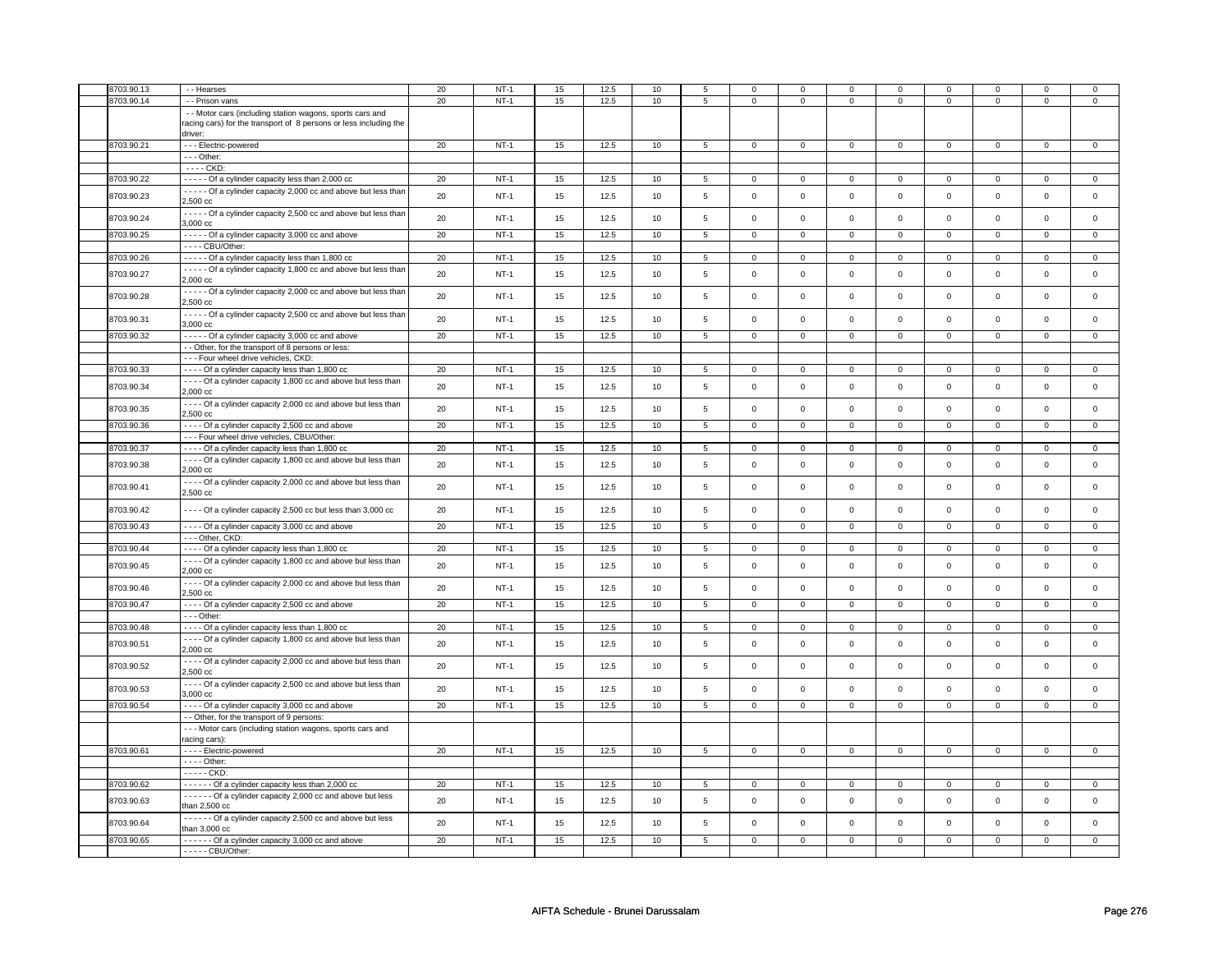| 8703.90.13 | - - Hearses                                                                                                                               | 20 | $NT-1$ | 15 | 12.5 | 10   | 5              | $\mathbf 0$         | $\mathbf 0$    | $\mathbf 0$ | $\mathbf 0$  | $\mathbf 0$    | $\mathbf 0$         | $\mathbf 0$    | $\mathbf 0$    |
|------------|-------------------------------------------------------------------------------------------------------------------------------------------|----|--------|----|------|------|----------------|---------------------|----------------|-------------|--------------|----------------|---------------------|----------------|----------------|
| 8703.90.14 | - - Prison vans                                                                                                                           | 20 | $NT-1$ | 15 | 12.5 | 10   | 5              | $\mathbf 0$         | $\mathbf 0$    | $\mathbf 0$ | $\mathbf 0$  | $\mathsf 0$    | $\mathsf 0$         | 0              | $\mathbf 0$    |
|            | - - Motor cars (including station wagons, sports cars and<br>racing cars) for the transport of 8 persons or less including the<br>driver: |    |        |    |      |      |                |                     |                |             |              |                |                     |                |                |
| 8703.90.21 | - - - Electric-powered                                                                                                                    | 20 | $NT-1$ | 15 | 12.5 | 10   | 5              | $\mathsf{O}$        | $\mathsf 0$    | $\mathbf 0$ | $\mathbf 0$  | $\mathsf 0$    | $\mathbf 0$         | $\mathsf 0$    | $\mathbf 0$    |
|            | $- -$ Other:                                                                                                                              |    |        |    |      |      |                |                     |                |             |              |                |                     |                |                |
|            | $--$ CKD:                                                                                                                                 |    |        |    |      |      |                |                     |                |             |              |                |                     |                |                |
| 8703.90.22 | ----- Of a cylinder capacity less than 2,000 cc                                                                                           | 20 | $NT-1$ | 15 | 12.5 | 10   | 5              | $\mathbf 0$         | $\mathbf{0}$   | $\mathbf 0$ | $\Omega$     | $\mathsf 0$    | $\mathbf 0$         | $\Omega$       | $\mathsf 0$    |
| 8703.90.23 | - - - - - Of a cylinder capacity 2,000 cc and above but less than<br>2,500 cc                                                             | 20 | $NT-1$ | 15 | 12.5 | 10   | 5              | $\mathsf 0$         | $\mathsf 0$    | $\Omega$    | $\Omega$     | $\mathsf 0$    | $\mathsf 0$         | $\Omega$       | $\mathbf 0$    |
| 8703.90.24 | - - - - - Of a cylinder capacity 2,500 cc and above but less than<br>3,000 cc                                                             | 20 | $NT-1$ | 15 | 12.5 | 10   | 5              | $\mathsf{O}$        | $\mathsf 0$    | $\mathsf 0$ | $\mathbf 0$  | $\mathsf 0$    | $\mathsf 0$         | $\mathbf 0$    | $\mathbf 0$    |
| 8703.90.25 | - - - - - Of a cylinder capacity 3,000 cc and above                                                                                       | 20 | $NT-1$ | 15 | 12.5 | 10   | 5              | $\overline{0}$      | $\mathsf 0$    | $\mathbf 0$ | $\mathbf{0}$ | $\overline{0}$ | $\mathbf 0$         | $\mathbf 0$    | $\overline{0}$ |
|            | ---- CBU/Other:                                                                                                                           |    |        |    |      |      |                |                     |                |             |              |                |                     |                |                |
| 8703.90.26 | - - - - - Of a cylinder capacity less than 1,800 cc                                                                                       | 20 | $NT-1$ | 15 | 12.5 | 10   | 5              | $\mathbf 0$         | $\mathbf 0$    | $\mathbf 0$ | $\mathbf 0$  | $\mathsf 0$    | $\mathsf 0$         | 0              | $\mathbf 0$    |
| 8703.90.27 | - - - - - Of a cylinder capacity 1,800 cc and above but less than<br>2,000 cc                                                             | 20 | $NT-1$ | 15 | 12.5 | 10   | 5              | $\mathbf 0$         | $\mathsf 0$    | $\mathbf 0$ | 0            | $\mathsf 0$    | $\mathsf 0$         | $\mathbf 0$    | $\mathbf 0$    |
| 8703.90.28 | - - - - - Of a cylinder capacity 2,000 cc and above but less than<br>2,500 cc                                                             | 20 | $NT-1$ | 15 | 12.5 | 10   | 5              | $\mathbf 0$         | $\mathbf 0$    | $\mathsf 0$ | $\mathbf 0$  | $\mathsf 0$    | $\mathsf 0$         | $\mathbf 0$    | $\mathbf 0$    |
| 8703.90.31 | - - - - - Of a cylinder capacity 2,500 cc and above but less than<br>3,000 cc                                                             | 20 | $NT-1$ | 15 | 12.5 | 10   | 5              | $\mathsf{O}$        | $\mathsf 0$    | $\mathbf 0$ | $\mathbf 0$  | $\mathsf 0$    | $\mathsf 0$         | $\mathbf 0$    | $\mathbf 0$    |
| 8703.90.32 | - - - - - Of a cylinder capacity 3,000 cc and above                                                                                       | 20 | $NT-1$ | 15 | 12.5 | 10   | 5              | $\mathbf{0}$        | $\mathbf{0}$   | $\mathbf 0$ | $\mathbf{0}$ | $\mathbf 0$    | $\mathbf 0$         | $\mathbf{0}$   | $\circ$        |
|            | - - Other, for the transport of 8 persons or less:                                                                                        |    |        |    |      |      |                |                     |                |             |              |                |                     |                |                |
|            | - - - Four wheel drive vehicles, CKD:                                                                                                     |    |        |    |      |      |                |                     |                |             |              |                |                     |                |                |
| 8703.90.33 | - - - - Of a cylinder capacity less than 1,800 cc                                                                                         | 20 | $NT-1$ | 15 | 12.5 | 10   | 5              | $\mathbf{0}$        | $\mathbf 0$    | $\mathbf 0$ | $\mathbf 0$  | $\mathbf 0$    | $\mathsf 0$         | $\mathbf 0$    | $\mathbf 0$    |
| 8703.90.34 | - - - - Of a cylinder capacity 1,800 cc and above but less than<br>$2,000$ $cc$                                                           | 20 | $NT-1$ | 15 | 12.5 | 10   | 5              | $\mathsf{O}\xspace$ | $\mathbf 0$    | $\mathsf 0$ | $\mathsf 0$  | $\mathsf 0$    | $\mathsf 0$         | $\mathbf 0$    | $\mathbf 0$    |
| 8703.90.35 | - - - - Of a cylinder capacity 2,000 cc and above but less than<br>2,500 cc                                                               | 20 | $NT-1$ | 15 | 12.5 | 10   | 5              | $\mathbf 0$         | $\mathsf 0$    | $\mathsf 0$ | $\mathbf 0$  | $\mathsf 0$    | $\mathsf 0$         | $\mathbf 0$    | $\mathbf 0$    |
| 8703.90.36 | - - - - Of a cylinder capacity 2,500 cc and above<br>--- Four wheel drive vehicles, CBU/Other:                                            | 20 | $NT-1$ | 15 | 12.5 | 10   | 5              | $\mathbf 0$         | $\mathbf 0$    | $\mathbf 0$ | $\mathbf{0}$ | $\mathsf 0$    | 0                   | 0              | $\mathsf 0$    |
| 8703.90.37 | - - - - Of a cylinder capacity less than 1,800 cc                                                                                         | 20 | $NT-1$ | 15 | 12.5 | 10   | 5              | 0                   | $\mathbf 0$    | $\Omega$    | 0            | $\mathbf 0$    | $\overline{0}$      | $\Omega$       | $\mathbf 0$    |
| 8703.90.38 | - - - - Of a cylinder capacity 1,800 cc and above but less than<br>2,000 cc                                                               | 20 | $NT-1$ | 15 | 12.5 | $10$ | 5              | $\mathsf 0$         | $\mathbf 0$    | $\mathsf 0$ | $\mathbf 0$  | $\,0\,$        | $\mathsf{o}\xspace$ | $\mathbf 0$    | $\mathbf 0$    |
| 8703.90.41 | - - - - Of a cylinder capacity 2,000 cc and above but less than<br>2,500 cc                                                               | 20 | $NT-1$ | 15 | 12.5 | 10   | 5              | $\mathbf 0$         | $\mathsf 0$    | $\mathsf 0$ | $\mathbf 0$  | $\mathsf 0$    | $\mathbf 0$         | $\mathbf 0$    | $\mathsf 0$    |
| 8703.90.42 | - - - - Of a cylinder capacity 2,500 cc but less than 3,000 cc                                                                            | 20 | $NT-1$ | 15 | 12.5 | 10   | 5              | $\mathbf 0$         | $\mathsf 0$    | $\mathbf 0$ | $\mathbf 0$  | $\mathsf 0$    | $\mathsf 0$         | $\mathbf 0$    | $\mathsf 0$    |
| 8703.90.43 | - - - - Of a cylinder capacity 3,000 cc and above                                                                                         | 20 | $NT-1$ | 15 | 12.5 | 10   | 5              | $\mathbf 0$         | $\mathbf 0$    | $\mathbf 0$ | $\mathbf 0$  | $\mathbf 0$    | $\mathbf 0$         | $\mathbf 0$    | $\mathbf{0}$   |
|            | --- Other, CKD:                                                                                                                           |    |        |    |      |      |                |                     |                |             |              |                |                     |                |                |
| 8703.90.44 | - - - - Of a cylinder capacity less than 1,800 cc                                                                                         | 20 | $NT-1$ | 15 | 12.5 | 10   | 5              | $\mathsf 0$         | 0              | 0           | $\mathbf 0$  | $\mathsf 0$    | $\mathbf 0$         | $\mathbf 0$    | $\overline{0}$ |
| 8703.90.45 | ---- Of a cylinder capacity 1,800 cc and above but less than<br>2.000 <sub>cc</sub>                                                       | 20 | $NT-1$ | 15 | 12.5 | 10   | 5              | $\mathbf 0$         | $\mathsf 0$    | $\mathsf 0$ | $\mathbf 0$  | $\mathsf 0$    | $\mathsf 0$         | $\mathbf 0$    | $\mathbf 0$    |
| 8703.90.46 | - - - - Of a cylinder capacity 2,000 cc and above but less than<br>2,500 cc                                                               | 20 | $NT-1$ | 15 | 12.5 | 10   | 5              | $\mathsf 0$         | $\mathbf 0$    | $\mathsf 0$ | $\mathbf 0$  | $\mathsf 0$    | $\mathsf{o}\xspace$ | $\mathsf 0$    | $\mathbf 0$    |
| 8703.90.47 | - - - - Of a cylinder capacity 2,500 cc and above                                                                                         | 20 | $NT-1$ | 15 | 12.5 | 10   | 5              | $\overline{0}$      | $\mathsf 0$    | $\mathbf 0$ | $\mathbf 0$  | $\overline{0}$ | $\overline{0}$      | $\mathbf 0$    | $\overline{0}$ |
|            | $--$ Other:                                                                                                                               |    |        |    |      |      |                |                     |                |             |              |                |                     |                |                |
| 8703.90.48 | - - - - Of a cylinder capacity less than 1,800 cc                                                                                         | 20 | $NT-1$ | 15 | 12.5 | 10   | $\overline{5}$ | $\overline{0}$      | $\overline{0}$ | $\Omega$    | $\Omega$     | $\overline{0}$ | $\overline{0}$      | $\Omega$       | $\overline{0}$ |
| 8703.90.51 | - - - - Of a cylinder capacity 1,800 cc and above but less than<br>2,000 cc                                                               | 20 | $NT-1$ | 15 | 12.5 | 10   | 5              | $\mathbf 0$         | $\mathbf 0$    | $\mathbf 0$ | 0            | $\mathsf 0$    | $\mathsf 0$         | 0              | $\mathsf 0$    |
| 8703.90.52 | - - - - Of a cylinder capacity 2,000 cc and above but less than<br>2,500 cc                                                               | 20 | $NT-1$ | 15 | 12.5 | 10   | 5              | $\mathbf 0$         | $\mathsf 0$    | $\mathbf 0$ | 0            | $\mathsf 0$    | $\mathbf 0$         | 0              | $\mathbf 0$    |
| 8703.90.53 | - - - - Of a cylinder capacity 2,500 cc and above but less than<br>3,000 cc                                                               | 20 | $NT-1$ | 15 | 12.5 | 10   | 5              | $\mathbf 0$         | $\mathsf 0$    | $\mathbf 0$ | $\mathbf 0$  | $\mathsf 0$    | $\mathbf 0$         | $\mathbf 0$    | $\mathbf 0$    |
| 8703.90.54 | - - - - Of a cylinder capacity 3,000 cc and above                                                                                         | 20 | $NT-1$ | 15 | 12.5 | 10   | 5              | $\mathbf 0$         | $\mathbf 0$    | $\mathbf 0$ | $\mathbf{0}$ | $\mathsf 0$    | $\mathsf 0$         | 0              | $\mathbf 0$    |
|            | - - Other, for the transport of 9 persons:                                                                                                |    |        |    |      |      |                |                     |                |             |              |                |                     |                |                |
|            | - - - Motor cars (including station wagons, sports cars and<br>racing cars):                                                              |    |        |    |      |      |                |                     |                |             |              |                |                     |                |                |
| 8703.90.61 | - - - - Electric-powered                                                                                                                  | 20 | $NT-1$ | 15 | 12.5 | 10   | $\overline{5}$ | $\mathbf{0}$        | $\mathbf{0}$   | $\mathbf 0$ | $\mathbf 0$  | $\mathbf 0$    | $\mathbf 0$         | $\mathbf 0$    | $\mathbf{0}$   |
|            | - - - - Other:                                                                                                                            |    |        |    |      |      |                |                     |                |             |              |                |                     |                |                |
|            | $---CKD$                                                                                                                                  |    |        |    |      |      |                |                     |                |             |              |                |                     |                |                |
| 8703.90.62 | ------ Of a cylinder capacity less than 2,000 cc                                                                                          | 20 | $NT-1$ | 15 | 12.5 | 10   | $\overline{5}$ | 0                   | $\mathsf 0$    | $\Omega$    | $\Omega$     | $\mathsf 0$    | 0                   | $\Omega$       | $\overline{0}$ |
| 8703.90.63 | - - - - - Of a cylinder capacity 2,000 cc and above but less<br>than $2,500$ $cc$                                                         | 20 | $NT-1$ | 15 | 12.5 | 10   | 5              | $\mathbf 0$         | $\mathsf 0$    | $\mathbf 0$ | $\mathbf 0$  | $\mathsf 0$    | $\mathbf 0$         | $\mathbf 0$    | $\mathsf 0$    |
| 8703.90.64 | ------ Of a cylinder capacity 2,500 cc and above but less<br>than $3,000$ $cc$                                                            | 20 | $NT-1$ | 15 | 12.5 | 10   | 5              | $\mathsf{O}$        | $\mathsf 0$    | $\mathsf 0$ | $\mathbf 0$  | $\mathsf 0$    | $\mathsf 0$         | $\mathsf 0$    | $\mathbf 0$    |
| 8703.90.65 | ------ Of a cylinder capacity 3,000 cc and above                                                                                          | 20 | $NT-1$ | 15 | 12.5 | 10   | $\overline{5}$ | $\overline{0}$      | $\mathbf 0$    | $\mathbf 0$ | 0            | $\mathbf 0$    | $\overline{0}$      | $\overline{0}$ | $\overline{0}$ |
|            | $---$ CBU/Other:                                                                                                                          |    |        |    |      |      |                |                     |                |             |              |                |                     |                |                |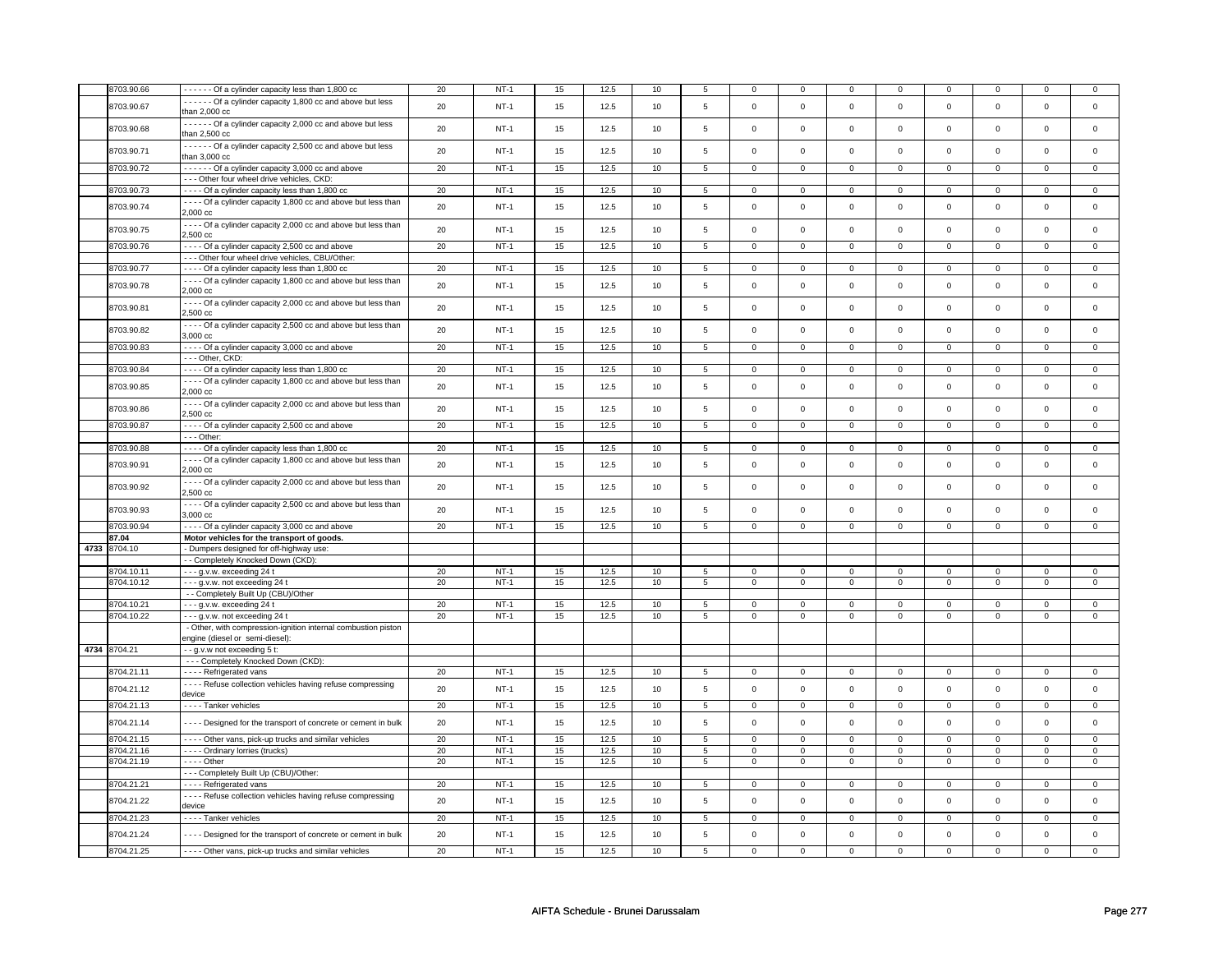| 8703.90.66   | Of a cylinder capacity less than 1,800 cc                        | 20 | $NT-1$ | 15 | 12.5 | 10   | 5                       | $\mathbf 0$         | $\mathbf 0$         | 0                   | 0              | 0              | 0                   | $\mathbf 0$ | 0              |
|--------------|------------------------------------------------------------------|----|--------|----|------|------|-------------------------|---------------------|---------------------|---------------------|----------------|----------------|---------------------|-------------|----------------|
|              | - - - - - Of a cylinder capacity 1,800 cc and above but less     |    |        |    |      |      |                         |                     |                     |                     |                |                |                     |             |                |
| 8703.90.67   | than 2,000 cc                                                    | 20 | $NT-1$ | 15 | 12.5 | 10   | $\overline{\mathbf{5}}$ | $\mathsf 0$         | $\mathsf{o}\xspace$ | $\mathbf 0$         | $\mathbf 0$    | $\mathsf 0$    | $\mathsf{o}\,$      | $\mathsf 0$ | $\mathbf 0$    |
|              |                                                                  |    |        |    |      |      |                         |                     |                     |                     |                |                |                     |             |                |
|              | - - - - - Of a cylinder capacity 2,000 cc and above but less     |    |        |    |      |      |                         |                     |                     |                     |                |                |                     |             |                |
| 8703.90.68   | than 2,500 cc                                                    | 20 | $NT-1$ | 15 | 12.5 | 10   | 5                       | $\mathsf{O}\xspace$ | $\mathsf 0$         | $\mathsf 0$         | $\mathbf 0$    | $\mathsf 0$    | $\mathbf 0$         | $\mathsf 0$ | $\mathbf 0$    |
|              |                                                                  |    |        |    |      |      |                         |                     |                     |                     |                |                |                     |             |                |
|              | - - - - - - Of a cylinder capacity 2,500 cc and above but less   |    |        |    |      |      |                         |                     | $\mathsf 0$         | $\mathsf 0$         | $\mathbf 0$    |                |                     | $\mathsf 0$ | $\mathbf 0$    |
| 8703.90.71   | than 3,000 cc                                                    | 20 | $NT-1$ | 15 | 12.5 | 10   | 5                       | $\mathsf 0$         |                     |                     |                | $\mathsf 0$    | $\mathsf 0$         |             |                |
|              |                                                                  |    |        |    |      |      |                         |                     |                     |                     |                |                |                     |             |                |
| 8703.90.72   | ------ Of a cylinder capacity 3,000 cc and above                 | 20 | $NT-1$ | 15 | 12.5 | 10   | $\overline{5}$          | $\overline{0}$      | $\overline{0}$      | $\mathbf 0$         | $\overline{0}$ | $\overline{0}$ | $\overline{0}$      | $\mathbf 0$ | $\mathbf{0}$   |
|              | --- Other four wheel drive vehicles, CKD:                        |    |        |    |      |      |                         |                     |                     |                     |                |                |                     |             |                |
|              |                                                                  |    |        |    |      |      |                         |                     |                     |                     |                |                |                     |             |                |
| 8703.90.73   | - - - - Of a cylinder capacity less than 1,800 cc                | 20 | $NT-1$ | 15 | 12.5 | 10   | $5\overline{5}$         | $\mathbf{0}$        | $\overline{0}$      | $\mathbf{O}$        | $\overline{0}$ | $\mathbf{0}$   | $\mathbf{0}$        | $\mathbf 0$ | $\overline{0}$ |
|              | - - - - Of a cylinder capacity 1,800 cc and above but less than  |    |        |    |      |      |                         |                     |                     |                     |                |                |                     |             |                |
| 8703.90.74   | $2,000$ $cc$                                                     | 20 | $NT-1$ | 15 | 12.5 | 10   | 5                       | $\Omega$            | $\mathbf 0$         | $\mathbf 0$         | $\mathbf 0$    | $\mathbf 0$    | $\mathbf 0$         | $\Omega$    | $\mathsf 0$    |
|              |                                                                  |    |        |    |      |      |                         |                     |                     |                     |                |                |                     |             |                |
|              | - - - - Of a cylinder capacity 2,000 cc and above but less than  | 20 |        |    |      |      | 5                       |                     |                     |                     |                |                | $\mathbf 0$         | $\mathbf 0$ |                |
| 8703.90.75   | 2,500 cc                                                         |    | $NT-1$ | 15 | 12.5 | 10   |                         | $\mathsf 0$         | $\mathbf 0$         | $\mathbf 0$         | $\mathbf 0$    | $\mathsf 0$    |                     |             | $\mathbf 0$    |
|              |                                                                  |    |        |    |      |      |                         |                     |                     |                     |                |                |                     |             |                |
| 8703.90.76   | - - - - Of a cylinder capacity 2,500 cc and above                | 20 | $NT-1$ | 15 | 12.5 | 10   | 5                       | $\mathsf{O}\xspace$ | $\mathsf 0$         | $\mathbf 0$         | $\mathsf 0$    | $\mathbf 0$    | $\mathbf 0$         | $\mathsf 0$ | $\mathbf{0}$   |
|              | - - - Other four wheel drive vehicles, CBU/Other:                |    |        |    |      |      |                         |                     |                     |                     |                |                |                     |             |                |
|              |                                                                  |    |        |    |      |      |                         |                     |                     | $\Omega$            |                |                |                     | $\Omega$    |                |
| 8703.90.77   | - - - - Of a cylinder capacity less than 1,800 cc                | 20 | $NT-1$ | 15 | 12.5 | 10   | 5                       | $\mathbf 0$         | 0                   |                     | $\mathbf 0$    | 0              | $\mathbf 0$         |             | 0              |
|              | - - - - Of a cylinder capacity 1,800 cc and above but less than  |    |        |    |      |      |                         |                     |                     |                     |                |                |                     |             |                |
| 8703.90.78   | 2,000 cc                                                         | 20 | $NT-1$ | 15 | 12.5 | 10   | $\overline{\mathbf{5}}$ | $\mathsf 0$         | $\mathsf 0$         | $\mathbf 0$         | $\mathsf 0$    | $\mathsf 0$    | $\mathsf{o}\xspace$ | $\mathsf 0$ | $\mathsf 0$    |
|              |                                                                  |    |        |    |      |      |                         |                     |                     |                     |                |                |                     |             |                |
|              | - - - - Of a cylinder capacity 2,000 cc and above but less than  | 20 | $NT-1$ |    | 12.5 |      | 5                       | $\mathsf{O}\xspace$ | $\mathsf 0$         |                     | $\mathsf 0$    |                | $\mathbf 0$         |             |                |
| 8703.90.81   | 2,500 cc                                                         |    |        | 15 |      | 10   |                         |                     |                     | 0                   |                | 0              |                     | $\mathbf 0$ | 0              |
|              |                                                                  |    |        |    |      |      |                         |                     |                     |                     |                |                |                     |             |                |
| 8703.90.82   | - - - - Of a cylinder capacity 2,500 cc and above but less than  | 20 | $NT-1$ | 15 | 12.5 | 10   | 5                       | $\mathsf 0$         | $\mathbf 0$         | $\mathbf 0$         | $\mathsf 0$    | $\mathsf 0$    | $\mathbf 0$         | $\mathsf 0$ | $\mathbf 0$    |
|              | 3,000 cc                                                         |    |        |    |      |      |                         |                     |                     |                     |                |                |                     |             |                |
| 8703.90.83   |                                                                  | 20 | $NT-1$ | 15 | 12.5 | 10   | $\overline{5}$          | $\overline{0}$      | $\overline{0}$      | $\mathbf 0$         | $\overline{0}$ | $\overline{0}$ | $\overline{0}$      | $\mathsf 0$ | $\overline{0}$ |
|              | - - - - Of a cylinder capacity 3,000 cc and above                |    |        |    |      |      |                         |                     |                     |                     |                |                |                     |             |                |
|              | --- Other, CKD:                                                  |    |        |    |      |      |                         |                     |                     |                     |                |                |                     |             |                |
| 8703.90.84   | - - - - Of a cylinder capacity less than 1,800 cc                | 20 | $NT-1$ | 15 | 12.5 | 10   | 5                       | $\mathsf{O}\xspace$ | $\mathsf 0$         | 0                   | $\mathsf 0$    | $\mathsf 0$    | $\mathbf 0$         | $\Omega$    | $\mathbf 0$    |
|              |                                                                  |    |        |    |      |      |                         |                     |                     |                     |                |                |                     |             |                |
|              | - - - - Of a cylinder capacity 1,800 cc and above but less than  |    |        |    |      |      |                         |                     |                     |                     |                |                |                     | $\Omega$    |                |
| 8703.90.85   | 2,000 cc                                                         | 20 | $NT-1$ | 15 | 12.5 | 10   | 5                       | $\mathbf 0$         | $\mathsf{O}\xspace$ | $\mathbf 0$         | $\mathbf{0}$   | $\mathbf 0$    | $\mathbf 0$         |             | $\mathsf 0$    |
|              |                                                                  |    |        |    |      |      |                         |                     |                     |                     |                |                |                     |             |                |
| 8703.90.86   | - - - - Of a cylinder capacity 2,000 cc and above but less than  | 20 | $NT-1$ | 15 | 12.5 | 10   | 5                       | $\mathsf 0$         | $\mathbf 0$         | $\mathbf 0$         | $\mathbf 0$    | $\mathsf 0$    | $\mathbf 0$         | $\mathbf 0$ | $\mathbf 0$    |
|              | 2,500 cc                                                         |    |        |    |      |      |                         |                     |                     |                     |                |                |                     |             |                |
|              |                                                                  |    |        |    |      |      |                         |                     |                     |                     |                |                |                     |             |                |
| 8703.90.87   | - - - - Of a cylinder capacity 2,500 cc and above                | 20 | $NT-1$ | 15 | 12.5 | 10   | 5                       | $\mathbf 0$         | $\mathbf 0$         | $\mathbf 0$         | $\mathbf{0}$   | $\mathbf 0$    | $\mathbf{0}$        | $\mathbf 0$ | $\mathbf{0}$   |
|              | $- -$ Other:                                                     |    |        |    |      |      |                         |                     |                     |                     |                |                |                     |             |                |
| 8703.90.88   | - - - - Of a cylinder capacity less than 1,800 cc                | 20 | $NT-1$ | 15 | 12.5 | 10   | 5                       | $\mathsf{o}\,$      | $\mathbf 0$         | 0                   | $\mathsf{o}\,$ | 0              | $\mathsf{o}\,$      | $\circ$     | 0              |
|              |                                                                  |    |        |    |      |      |                         |                     |                     |                     |                |                |                     |             |                |
|              | - - - - Of a cylinder capacity 1,800 cc and above but less than  | 20 | $NT-1$ |    |      |      |                         | $\mathsf 0$         | $\mathbf 0$         |                     |                |                | $\mathbf 0$         | $\mathsf 0$ | $\mathbf 0$    |
| 8703.90.91   | 2,000 cc                                                         |    |        | 15 | 12.5 | 10   | 5                       |                     |                     | 0                   | 0              | 0              |                     |             |                |
|              |                                                                  |    |        |    |      |      |                         |                     |                     |                     |                |                |                     |             |                |
| 8703.90.92   | - - - - Of a cylinder capacity 2,000 cc and above but less than  | 20 | $NT-1$ | 15 | 12.5 | 10   | 5                       | $\mathsf{O}\xspace$ | $\mathsf 0$         | $\mathsf 0$         | $\mathsf 0$    | $\mathsf 0$    | $\mathbf 0$         | $\mathbf 0$ | $\mathbf 0$    |
|              | 2,500 cc                                                         |    |        |    |      |      |                         |                     |                     |                     |                |                |                     |             |                |
|              |                                                                  |    |        |    |      |      |                         |                     |                     |                     |                |                |                     |             |                |
| 8703.90.93   | - - - - Of a cylinder capacity 2,500 cc and above but less than  | 20 | $NT-1$ | 15 | 12.5 | 10   | $\,$ 5 $\,$             | $\mathsf{O}\xspace$ | $\mathsf 0$         | $\mathsf 0$         | $\mathsf 0$    | $\mathsf 0$    | $\mathbf 0$         | $\mathsf 0$ | $\mathsf 0$    |
|              | 3,000 cc                                                         |    |        |    |      |      |                         |                     |                     |                     |                |                |                     |             |                |
| 8703.90.94   | - - - - Of a cylinder capacity 3,000 cc and above                | 20 | $NT-1$ | 15 | 12.5 | 10   | 5                       | $\mathsf{O}\xspace$ | $\mathsf 0$         | $\mathsf 0$         | $\mathbf 0$    | $\mathsf 0$    | $\mathbf 0$         | $\mathsf 0$ | $\mathbf 0$    |
|              |                                                                  |    |        |    |      |      |                         |                     |                     |                     |                |                |                     |             |                |
| 87.04        | Motor vehicles for the transport of goods.                       |    |        |    |      |      |                         |                     |                     |                     |                |                |                     |             |                |
| 4733 8704.10 | - Dumpers designed for off-highway use:                          |    |        |    |      |      |                         |                     |                     |                     |                |                |                     |             |                |
|              |                                                                  |    |        |    |      |      |                         |                     |                     |                     |                |                |                     |             |                |
|              | - - Completely Knocked Down (CKD):                               |    |        |    |      |      |                         |                     |                     |                     |                |                |                     |             |                |
| 8704.10.11   | --- g.v.w. exceeding 24 t                                        | 20 | $NT-1$ | 15 | 12.5 | $10$ | 5                       | $\mathbf 0$         | $\mathbf 0$         | $\mathbf 0$         | $\mathsf 0$    | $\mathbf 0$    | $\mathbf 0$         | $\Omega$    | 0              |
| 8704.10.12   | --- g.v.w. not exceeding 24 t                                    | 20 | $NT-1$ | 15 | 12.5 | 10   | 5                       | $\mathsf 0$         | $\mathbf 0$         | $\mathbf 0$         | $\mathbf 0$    | $\mathsf 0$    | $\mathbf 0$         | $\mathbf 0$ | $\mathbf 0$    |
|              |                                                                  |    |        |    |      |      |                         |                     |                     |                     |                |                |                     |             |                |
|              | - - Completely Built Up (CBU)/Other                              |    |        |    |      |      |                         |                     |                     |                     |                |                |                     |             |                |
| 8704.10.21   | --- g.v.w. exceeding 24 t                                        | 20 | $NT-1$ | 15 | 12.5 | 10   | 5                       | $\mathbf 0$         | $\mathbf 0$         | 0                   | $\mathbf 0$    | 0              | $\mathbf 0$         | $\Omega$    | $\overline{0}$ |
|              |                                                                  |    |        |    |      |      |                         |                     |                     |                     |                |                |                     |             |                |
| 8704.10.22   | --- g.v.w. not exceeding 24 t                                    | 20 | $NT-1$ | 15 | 12.5 | 10   | 5                       | $\mathbf 0$         | $\overline{0}$      | $\mathbf 0$         | $\mathbf{0}$   | 0              | $\mathbf{0}$        | $\Omega$    | $\overline{0}$ |
|              | - Other, with compression-ignition internal combustion piston    |    |        |    |      |      |                         |                     |                     |                     |                |                |                     |             |                |
|              |                                                                  |    |        |    |      |      |                         |                     |                     |                     |                |                |                     |             |                |
|              | engine (diesel or semi-diesel):                                  |    |        |    |      |      |                         |                     |                     |                     |                |                |                     |             |                |
| 4734 8704.21 | - - g.v.w not exceeding 5 t:                                     |    |        |    |      |      |                         |                     |                     |                     |                |                |                     |             |                |
|              | --- Completely Knocked Down (CKD):                               |    |        |    |      |      |                         |                     |                     |                     |                |                |                     |             |                |
|              |                                                                  |    |        |    |      |      |                         |                     |                     |                     |                |                |                     |             |                |
| 8704.21.11   | ---- Refrigerated vans                                           | 20 | $NT-1$ | 15 | 12.5 | 10   | 5                       | 0                   | $\mathsf 0$         | 0                   | $\mathbf 0$    | 0              | 0                   | 0           | $\mathbf 0$    |
|              | ---- Refuse collection vehicles having refuse compressing        |    |        |    |      |      |                         |                     |                     |                     |                |                |                     |             |                |
| 8704.21.12   |                                                                  | 20 | $NT-1$ | 15 | 12.5 | 10   | 5                       | $\mathsf{O}\xspace$ | $\mathsf{o}\,$      | $\mathsf 0$         | $\mathbf 0$    | $\mathsf 0$    | $\mathsf{o}\,$      | $\mathsf 0$ | $\mathbf{O}$   |
|              | device                                                           |    |        |    |      |      |                         |                     |                     |                     |                |                |                     |             |                |
| 8704.21.13   | - - - - Tanker vehicles                                          | 20 | $NT-1$ | 15 | 12.5 | 10   | 5                       | $\mathbf 0$         | $\mathsf 0$         | $\mathbf 0$         | $\mathsf 0$    | $\mathsf 0$    | $\mathbf 0$         | $\Omega$    | $\Omega$       |
|              |                                                                  |    |        |    |      |      |                         |                     |                     |                     |                |                |                     |             |                |
| 8704.21.14   | - - - - Designed for the transport of concrete or cement in bulk | 20 | $NT-1$ | 15 | 12.5 | 10   | 5                       | $\mathsf{O}\xspace$ | $\mathsf 0$         | $\mathsf 0$         | $\mathsf 0$    | $\mathsf 0$    | $\mathbf 0$         | $\mathbf 0$ | $\mathbf 0$    |
|              |                                                                  |    |        |    |      |      |                         |                     |                     |                     |                |                |                     |             |                |
| 8704.21.15   | - - - - Other vans, pick-up trucks and similar vehicles          | 20 | $NT-1$ | 15 | 12.5 | 10   | $\overline{5}$          | $\overline{0}$      | $\overline{0}$      | $\mathbf 0$         | $\overline{0}$ | $\overline{0}$ | $\overline{0}$      | $\mathbf 0$ | $\mathbf{0}$   |
|              |                                                                  |    |        |    |      |      |                         |                     |                     |                     |                |                |                     |             |                |
| 8704.21.16   | - - - - Ordinary lorries (trucks)                                | 20 | $NT-1$ | 15 | 12.5 | 10   | $\overline{5}$          | $\mathsf{O}$        | $\mathbf 0$         | $\mathsf{O}\xspace$ | $\mathsf 0$    | $\mathsf 0$    | $\mathsf{O}$        | $\mathsf 0$ | $\mathsf 0$    |
|              |                                                                  |    | $NT-1$ | 15 | 12.5 | 10   | 5                       | $\mathsf 0$         | $\mathsf 0$         | $\mathsf 0$         | $\mathbf 0$    | $\mathsf 0$    | $\mathbf 0$         | $\Omega$    | $\mathbf 0$    |
|              |                                                                  |    |        |    |      |      |                         |                     |                     |                     |                |                |                     |             |                |
| 8704.21.19   | $- - -$ Other                                                    | 20 |        |    |      |      |                         |                     |                     |                     |                |                |                     |             |                |
|              | --- Completely Built Up (CBU)/Other:                             |    |        |    |      |      |                         |                     |                     |                     |                |                |                     |             |                |
|              | - - - - Refrigerated vans                                        |    | $NT-1$ |    | 12.5 |      | $5\overline{)}$         | $\mathbf 0$         | $\overline{0}$      | $\mathbf 0$         | $\mathbf 0$    | $\mathbf 0$    | $\overline{0}$      | $\Omega$    | $\mathbf 0$    |
| 8704.21.21   |                                                                  | 20 |        | 15 |      | 10   |                         |                     |                     |                     |                |                |                     |             |                |
|              | - - - - Refuse collection vehicles having refuse compressing     |    |        |    |      |      |                         |                     |                     |                     |                |                |                     | $\Omega$    |                |
| 8704.21.22   | device                                                           | 20 | $NT-1$ | 15 | 12.5 | 10   | 5                       | $\mathsf 0$         | $\mathbf 0$         | $\mathbf 0$         | $\mathsf 0$    | $\mathsf 0$    | $\mathbf 0$         |             | $\mathbf 0$    |
|              |                                                                  |    |        |    |      |      |                         |                     |                     |                     |                |                |                     |             |                |
| 8704.21.23   | - - - - Tanker vehicles                                          | 20 | $NT-1$ | 15 | 12.5 | 10   | 5                       | $\mathsf 0$         | $\mathbf 0$         | 0                   | $\mathbf 0$    | $\mathsf 0$    | $\mathbf 0$         | 0           | $\mathbf 0$    |
|              |                                                                  |    |        |    |      |      |                         |                     |                     |                     |                |                |                     |             |                |
| 8704.21.24   | ---- Designed for the transport of concrete or cement in bulk    | 20 | $NT-1$ | 15 | 12.5 | 10   | 5                       | $\mathbf 0$         | $\mathbf 0$         | $\mathbf 0$         | $\mathbf 0$    | $\mathsf 0$    | $\mathbf 0$         | $\mathbf 0$ | $\mathbf{O}$   |
| 8704.21.25   | ---- Other vans, pick-up trucks and similar vehicles             | 20 | $NT-1$ | 15 | 12.5 | 10   | 5                       | $\mathbf 0$         | $\mathbf 0$         | $\mathbf 0$         | $\mathbf{0}$   | $\mathbf 0$    | $\mathbf 0$         | $\mathbf 0$ | $\mathbf{0}$   |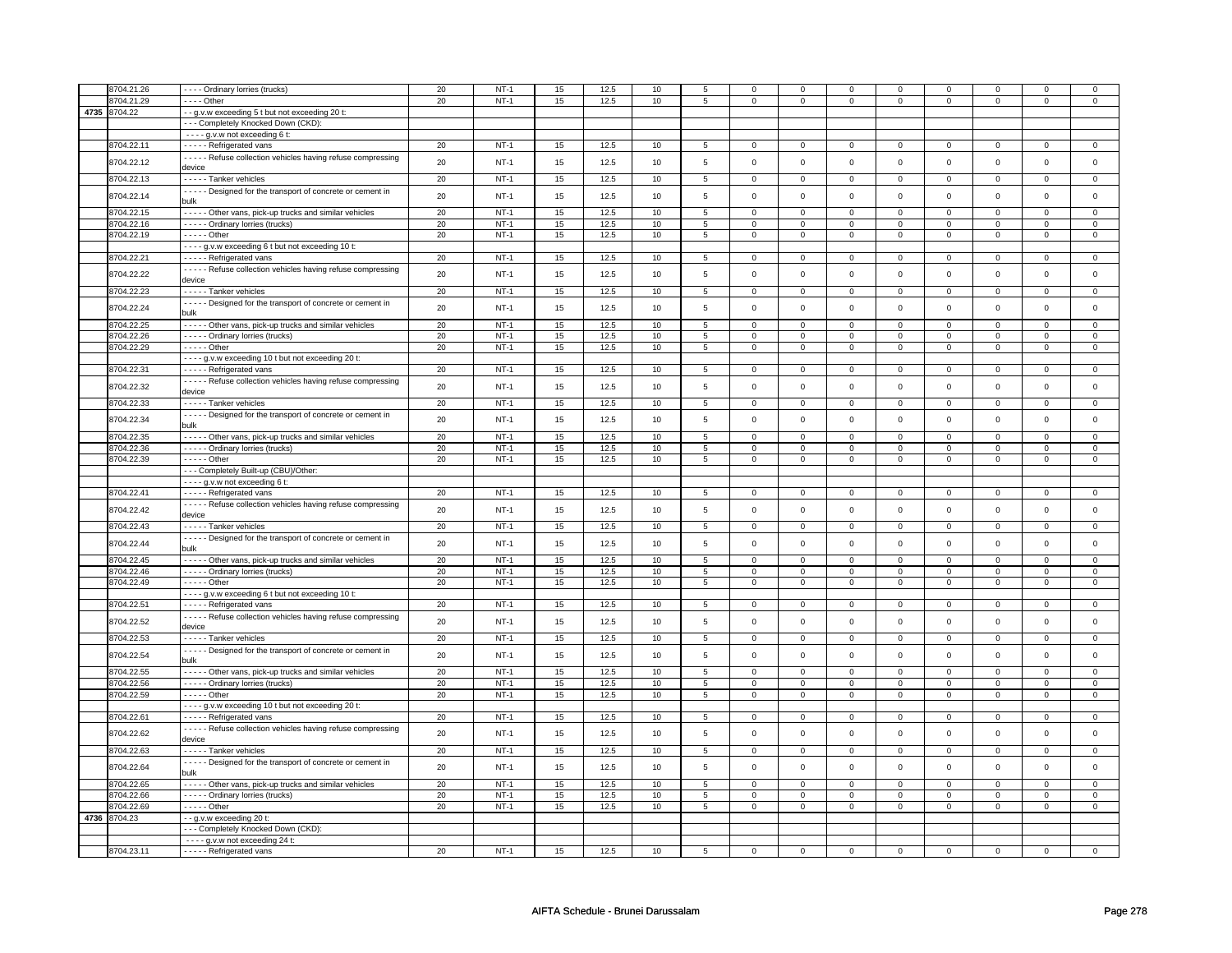| 8704.21.26   |                                                                | 20 | $NT-1$      | 15 | 12.5 | 10   | 5               |                     |                     | $\mathbf 0$    | $\mathbf 0$    | $\mathbf 0$         | $\mathbf 0$    | $\Omega$       | $\Omega$       |
|--------------|----------------------------------------------------------------|----|-------------|----|------|------|-----------------|---------------------|---------------------|----------------|----------------|---------------------|----------------|----------------|----------------|
|              | - - - - Ordinary lorries (trucks)                              |    |             |    |      |      |                 | $\mathbf 0$         | $\mathbf 0$         |                |                |                     |                |                |                |
| 3704.21.29   | - - - - Other                                                  | 20 | $NT-1$      | 15 | 12.5 | 10   | 5               | 0                   | $\mathsf 0$         | 0              | $\mathbf 0$    | 0                   | $\mathsf 0$    | 0              | $\mathbf 0$    |
| 4735 8704.22 | - - g.v.w exceeding 5 t but not exceeding 20 t:                |    |             |    |      |      |                 |                     |                     |                |                |                     |                |                |                |
|              | --- Completely Knocked Down (CKD):                             |    |             |    |      |      |                 |                     |                     |                |                |                     |                |                |                |
|              | - - - - g.v.w not exceeding 6 t:                               |    |             |    |      |      |                 |                     |                     |                |                |                     |                |                |                |
|              |                                                                |    |             |    |      |      |                 |                     |                     |                |                |                     |                |                |                |
| 8704.22.11   | - - - - - Refrigerated vans                                    | 20 | $NT-1$      | 15 | 12.5 | $10$ | 5               | $\mathsf 0$         | $\mathbf 0$         | 0              | $\mathsf 0$    | $\mathsf 0$         | $\mathsf 0$    | $\Omega$       | 0              |
| 8704.22.12   | - - - - - Refuse collection vehicles having refuse compressing | 20 | $NT-1$      | 15 | 12.5 | 10   | 5               | $\mathsf 0$         | $\mathsf 0$         | $\Omega$       | $\mathsf 0$    | $\mathsf 0$         | $\mathbf 0$    | $\Omega$       | $\mathsf 0$    |
|              | device                                                         |    |             |    |      |      |                 |                     |                     |                |                |                     |                |                |                |
| 8704.22.13   | - - - - - Tanker vehicles                                      | 20 | $NT-1$      | 15 | 12.5 | 10   | $5\phantom{.0}$ | $\overline{0}$      | $\overline{0}$      | $\overline{0}$ | $\overline{0}$ | $\overline{0}$      | $\overline{0}$ | $\overline{0}$ | $\overline{0}$ |
|              |                                                                |    |             |    |      |      |                 |                     |                     |                |                |                     |                |                |                |
| 8704.22.14   | - - - - - Designed for the transport of concrete or cement in  | 20 | $NT-1$      | 15 | 12.5 | 10   | 5               | $\mathsf 0$         | $\mathbf 0$         | $\mathbf 0$    | $\mathsf 0$    | $\mathsf 0$         | $\mathbf 0$    | $\mathbf 0$    | 0              |
|              | bulk                                                           |    |             |    |      |      |                 |                     |                     |                |                |                     |                |                |                |
| 8704.22.15   | - - - - - Other vans, pick-up trucks and similar vehicles      | 20 | $NT-1$      | 15 | 12.5 | 10   | $\overline{5}$  | $\overline{0}$      | $\overline{0}$      | $\overline{0}$ | $\overline{0}$ | $\overline{0}$      | $\overline{0}$ | $\Omega$       | $\mathbf 0$    |
| 3704.22.16   | - - - - - Ordinary lorries (trucks)                            | 20 | $NT-1$      | 15 | 12.5 | 10   | 5               | $\mathbf 0$         | $\mathbf 0$         | 0              | 0              | 0                   | 0              | 0              | 0              |
| 8704.22.19   | - - - - - Other                                                | 20 | $NT-1$      | 15 | 12.5 | 10   | 5               | $\mathsf 0$         | $\mathbf 0$         | 0              | $\mathsf 0$    | $\mathsf 0$         | $\mathbf 0$    | 0              | 0              |
|              |                                                                |    |             |    |      |      |                 |                     |                     |                |                |                     |                |                |                |
|              | - - - - g.v.w exceeding 6 t but not exceeding 10 t:            |    |             |    |      |      |                 |                     |                     |                |                |                     |                |                |                |
| 8704.22.21   | - - - - - Refrigerated vans                                    | 20 | $NT-1$      | 15 | 12.5 | 10   | 5               | $\mathbf 0$         | $\mathbf 0$         | 0              | $\mathbf 0$    | 0                   | $\mathbf 0$    | $\mathbf 0$    | 0              |
|              | - - - - - Refuse collection vehicles having refuse compressing |    |             |    |      |      |                 |                     |                     |                |                |                     |                |                |                |
| 8704.22.22   | device                                                         | 20 | $NT-1$      | 15 | 12.5 | 10   | 5               | $\mathsf 0$         | $\mathbf 0$         | $\mathbf 0$    | $\mathsf 0$    | $\mathsf 0$         | $\mathbf 0$    | $\mathsf 0$    | $\mathbf 0$    |
| 8704.22.23   | - - - - - Tanker vehicles                                      | 20 | $NT-1$      | 15 | 12.5 | 10   | $\overline{5}$  | $\overline{0}$      | $\overline{0}$      | $\mathbf 0$    | $\mathsf 0$    | $\overline{0}$      | $\overline{0}$ | $\mathbf 0$    | 0              |
|              |                                                                |    |             |    |      |      |                 |                     |                     |                |                |                     |                |                |                |
| 8704.22.24   | - - - - - Designed for the transport of concrete or cement in  | 20 | $NT-1$      | 15 | 12.5 | 10   | 5               | $\mathsf{O}\xspace$ | $\mathsf 0$         | $\mathbf 0$    | 0              | 0                   | $\mathbf 0$    | $\mathbf 0$    | 0              |
|              | bulk                                                           |    |             |    |      |      |                 |                     |                     |                |                |                     |                |                |                |
| 8704.22.25   | - - - - - Other vans, pick-up trucks and similar vehicles      | 20 | $NT-1$      | 15 | 12.5 | 10   | 5               | $\mathbf 0$         | $\mathbf 0$         | $\mathbf 0$    | $\mathbf 0$    | $\mathsf 0$         | $\mathbf 0$    | $\mathsf 0$    | 0              |
| 8704.22.26   | ----- Ordinary lorries (trucks)                                | 20 | $NT-1$      | 15 | 12.5 | 10   | 5               | $\mathbf 0$         | $\mathsf 0$         | $\mathbf 0$    | $\mathbf 0$    | $\mathsf 0$         | $\mathbf 0$    | $\mathsf 0$    | $\mathbf 0$    |
| 3704.22.29   | - - - - - Other                                                | 20 |             |    | 12.5 |      | 5               | $\mathsf 0$         | $\mathbf 0$         | $\mathbf 0$    | $\mathsf 0$    | $\mathsf 0$         | $\mathbf 0$    | $\mathsf 0$    | $\mathbf 0$    |
|              |                                                                |    | $NT-1$      | 15 |      | 10   |                 |                     |                     |                |                |                     |                |                |                |
|              | - - - - g.v.w exceeding 10 t but not exceeding 20 t:           |    |             |    |      |      |                 |                     |                     |                |                |                     |                |                |                |
| 8704.22.31   | ----- Refrigerated vans                                        | 20 | $NT-1$      | 15 | 12.5 | 10   | 5               | $\mathsf{O}\xspace$ | $\mathsf 0$         | 0              | $\mathsf 0$    | $\mathsf 0$         | $\mathbf 0$    | $\Omega$       | $\mathbf 0$    |
|              | - - - - - Refuse collection vehicles having refuse compressing |    |             |    |      |      |                 |                     |                     |                |                |                     |                |                |                |
| 8704.22.32   | device                                                         | 20 | $NT-1$      | 15 | 12.5 | 10   | 5               | $\mathsf 0$         | $\mathbf 0$         | $\mathbf 0$    | $\mathbf 0$    | $\mathsf 0$         | $\mathbf 0$    | $\Omega$       | $\mathbf 0$    |
|              |                                                                |    |             |    |      |      |                 |                     |                     |                |                |                     |                |                |                |
| 8704.22.33   | - - - - - Tanker vehicles                                      | 20 | $NT-1$      | 15 | 12.5 | 10   | 5               | $\mathbf 0$         | $\overline{0}$      | $\mathbf{0}$   | $\mathbf{0}$   | $\mathbf 0$         | $\mathbf 0$    | 0              | $\overline{0}$ |
| 8704.22.34   | - - - - - Designed for the transport of concrete or cement in  | 20 | $NT-1$      | 15 | 12.5 | 10   | 5               | $\mathsf{O}\xspace$ | $\mathbf 0$         | $\mathbf 0$    | $\mathsf 0$    | $\mathsf 0$         | $\mathbf{0}$   | $\mathbf 0$    | $\mathbf 0$    |
|              | bulk                                                           |    |             |    |      |      |                 |                     |                     |                |                |                     |                |                |                |
| 3704.22.35   | - - - - - Other vans, pick-up trucks and similar vehicles      | 20 | $NT-1$      | 15 | 12.5 | 10   | 5               | $\mathbf 0$         | $\mathbf 0$         | 0              | $\mathbf 0$    | 0                   | $\mathbf 0$    | $\mathbf 0$    | 0              |
|              |                                                                |    |             |    |      |      |                 |                     |                     |                |                |                     |                |                |                |
| 8704.22.36   | - - - - - Ordinary lorries (trucks)                            | 20 | $NT-1$      | 15 | 12.5 | 10   | 5               | $\mathsf{o}\,$      | $\mathbf 0$         | 0              | $\mathsf{o}\,$ | 0                   | $\mathbf 0$    | 0              | 0              |
| 3704.22.39   | - - - - - Other                                                | 20 | $NT-1$      | 15 | 12.5 | 10   | 5               | $\mathsf 0$         | $\mathsf 0$         | $\mathsf 0$    | $\mathsf 0$    | 0                   | $\mathbf 0$    | $\mathsf 0$    | $\mathbf 0$    |
|              | --- Completely Built-up (CBU)/Other:                           |    |             |    |      |      |                 |                     |                     |                |                |                     |                |                |                |
|              | ---- g.v.w not exceeding 6 t:                                  |    |             |    |      |      |                 |                     |                     |                |                |                     |                |                |                |
| 8704.22.41   | ----- Refrigerated vans                                        | 20 | $NT-1$      | 15 | 12.5 | 10   | $\overline{5}$  | $\overline{0}$      | $\overline{0}$      | 0              | $\overline{0}$ | $\overline{0}$      | $\overline{0}$ | $\Omega$       | $\overline{0}$ |
|              |                                                                |    |             |    |      |      |                 |                     |                     |                |                |                     |                |                |                |
| 8704.22.42   | - - - - - Refuse collection vehicles having refuse compressing | 20 | <b>NT-1</b> | 15 | 12.5 | 10   | $\,$ 5 $\,$     | $\mathsf{O}\xspace$ | $\mathsf{O}\xspace$ | 0              | 0              | 0                   | $\mathbf 0$    | 0              | $\mathsf 0$    |
|              | device                                                         |    |             |    |      |      |                 |                     |                     |                |                |                     |                |                |                |
| 8704.22.43   | - - - - - Tanker vehicles                                      | 20 | $NT-1$      | 15 | 12.5 | 10   | $\,$ 5 $\,$     | $\mathsf 0$         | $\mathsf 0$         | $\mathsf 0$    | $\mathsf 0$    | $\mathsf{O}\xspace$ | $\mathsf 0$    | $\mathsf 0$    | $\mathsf 0$    |
|              | - - - - - Designed for the transport of concrete or cement in  |    |             |    |      |      |                 |                     |                     |                |                |                     |                |                |                |
| 8704.22.44   | bulk                                                           | 20 | $NT-1$      | 15 | 12.5 | 10   | $\,$ 5 $\,$     | $\mathsf{O}\xspace$ | $\mathsf{o}\xspace$ | $\mathsf 0$    | $\mathsf 0$    | $\mathsf 0$         | $\mathsf{o}\,$ | $\mathsf 0$    | $\mathsf 0$    |
|              |                                                                |    |             |    |      |      |                 |                     |                     |                |                |                     |                |                |                |
| 8704.22.45   | - - - - - Other vans, pick-up trucks and similar vehicles      | 20 | $NT-1$      | 15 | 12.5 | 10   | 5               | $\mathbf 0$         | $\mathbf 0$         | $\mathbf 0$    | $\mathbf 0$    | $\mathbf 0$         | $\mathbf 0$    | $\mathbf 0$    | $\mathbf 0$    |
| 3704.22.46   | - - - - - Ordinary lorries (trucks)                            | 20 | $NT-1$      | 15 | 12.5 | 10   | $\overline{5}$  | $\overline{0}$      | $\overline{0}$      | $\mathbf 0$    | $\mathsf 0$    | $\overline{0}$      | $\overline{0}$ | $\Omega$       | $\overline{0}$ |
| 8704.22.49   | $- - - -$ Other                                                | 20 | $NT-1$      | 15 | 12.5 | 10   | 5               | $\mathsf 0$         | $\mathbf 0$         | $\mathbf 0$    | $\mathbf 0$    | $\mathsf 0$         | $\mathbf 0$    | $\mathbf 0$    | 0              |
|              | - - - - g.v.w exceeding 6 t but not exceeding 10 t:            |    |             |    |      |      |                 |                     |                     |                |                |                     |                |                |                |
|              |                                                                |    |             |    |      |      |                 |                     |                     |                |                |                     |                |                |                |
| 8704.22.51   | ----- Refrigerated vans                                        | 20 | $NT-1$      | 15 | 12.5 | 10   | 5               | $\mathbf 0$         | $\mathbf 0$         | $\mathbf 0$    | $\mathbf 0$    | $\mathbf 0$         | $\mathbf{0}$   | 0              | $\overline{0}$ |
| 8704.22.52   | - - - - - Refuse collection vehicles having refuse compressing | 20 | $NT-1$      | 15 | 12.5 | 10   | 5               | $\mathsf 0$         | $\mathbf 0$         | $\mathbf 0$    | $\mathsf 0$    | $\mathsf 0$         | $\mathbf 0$    | $\mathbf 0$    | 0              |
|              | device                                                         |    |             |    |      |      |                 |                     |                     |                |                |                     |                |                |                |
| 8704.22.53   | - - - - - Tanker vehicles                                      | 20 | $NT-1$      | 15 | 12.5 | 10   | 5               | $\mathsf{O}\xspace$ | $\mathsf 0$         | $\mathbf 0$    | $\mathbf 0$    | $\mathsf 0$         | $\mathbf 0$    | $\mathbf 0$    | $\mathbf 0$    |
|              |                                                                |    |             |    |      |      |                 |                     |                     |                |                |                     |                |                |                |
| 8704.22.54   | - - - - - Designed for the transport of concrete or cement in  | 20 | <b>NT-1</b> | 15 | 12.5 | 10   | 5               | $\mathsf 0$         | $\mathbf 0$         | $\mathbf 0$    | $\mathsf 0$    | $\mathsf 0$         | $\mathsf 0$    | $\mathsf 0$    | $\mathbf 0$    |
|              | bulk                                                           |    |             |    |      |      |                 |                     |                     |                |                |                     |                |                |                |
| 3704.22.55   | - - - - - Other vans, pick-up trucks and similar vehicles      | 20 | $NT-1$      | 15 | 12.5 | 10   | 5               | $\mathsf 0$         | $\mathbf 0$         | 0              | $\mathsf 0$    | $\mathsf 0$         | $\mathbf 0$    | $\Omega$       | 0              |
| 8704.22.56   | - - - - - Ordinary lorries (trucks)                            | 20 | $NT-1$      | 15 | 12.5 | 10   | 5               | 0                   | $\mathbf 0$         | $\mathbf 0$    | $\mathbf 0$    | 0                   | $\mathbf 0$    | 0              | $\overline{0}$ |
| 8704.22.59   | - - - - - Other                                                | 20 | $NT-1$      | 15 | 12.5 | 10   | 5               | $\mathsf{O}$        | $\mathsf 0$         | 0              | $\mathbf 0$    | $\mathsf 0$         | $\mathbf 0$    | $\Omega$       | 0              |
|              |                                                                |    |             |    |      |      |                 |                     |                     |                |                |                     |                |                |                |
|              | - - - - g.v.w exceeding 10 t but not exceeding 20 t:           |    |             |    |      |      |                 |                     |                     |                |                |                     |                |                |                |
| 8704.22.61   | - - - - - Refrigerated vans                                    | 20 | $NT-1$      | 15 | 12.5 | 10   | 5               | 0                   | $\mathsf 0$         | 0              | $\mathbf{0}$   | 0                   | 0              | 0              | $\mathbf{0}$   |
|              | - - - - - Refuse collection vehicles having refuse compressing | 20 |             |    |      |      |                 |                     | $\mathsf 0$         | $\Omega$       |                |                     | $\mathbf 0$    | $\Omega$       | $\mathsf 0$    |
| 8704.22.62   | device                                                         |    | $NT-1$      | 15 | 12.5 | 10   | 5               | $\mathsf 0$         |                     |                | $\mathsf 0$    | $\mathsf 0$         |                |                |                |
| 8704.22.63   | - - - - - Tanker vehicles                                      | 20 | $NT-1$      | 15 | 12.5 | 10   | $5\phantom{.0}$ | $\mathsf 0$         | $\mathsf 0$         | $\mathsf 0$    | $\overline{0}$ | $\mathsf 0$         | $\mathsf{O}^-$ | $\mathsf 0$    | $\mathbf 0$    |
|              |                                                                |    |             |    |      |      |                 |                     |                     |                |                |                     |                |                |                |
| 8704.22.64   | - - - - - Designed for the transport of concrete or cement in  | 20 | $NT-1$      | 15 | 12.5 | 10   | 5               | $\mathsf 0$         | $\mathbf 0$         | $\mathbf 0$    | $\mathsf 0$    | $\mathsf 0$         | $\mathbf 0$    | $\mathbf 0$    | $\mathbf{0}$   |
|              | bulk                                                           |    |             |    |      |      |                 |                     |                     |                |                |                     |                |                |                |
| 8704.22.65   | - - - - - Other vans, pick-up trucks and similar vehicles      | 20 | $NT-1$      | 15 | 12.5 | 10   | $\overline{5}$  | $\overline{0}$      | $\overline{0}$      | $\mathbf 0$    | $\mathbf{0}$   | $\overline{0}$      | $\overline{0}$ | $\Omega$       | $\mathbf{0}$   |
| 8704.22.66   | - - - - - Ordinary lorries (trucks)                            | 20 | $NT-1$      | 15 | 12.5 | 10   | 5               | $\mathbf 0$         | $\mathbf 0$         | 0              | 0              | 0                   | 0              | 0              | 0              |
|              |                                                                | 20 | $NT-1$      |    |      |      |                 |                     |                     |                |                |                     |                | $\mathbf 0$    |                |
| 3704.22.69   | - - - - - Other                                                |    |             | 15 | 12.5 | 10   | 5               | $\mathsf 0$         | $\mathbf 0$         | $\mathbf 0$    | $\mathbf 0$    | $\mathsf 0$         | $\mathbf 0$    |                | 0              |
| 4736 8704.23 | --g.v.w exceeding 20 t:                                        |    |             |    |      |      |                 |                     |                     |                |                |                     |                |                |                |
|              | --- Completely Knocked Down (CKD):                             |    |             |    |      |      |                 |                     |                     |                |                |                     |                |                |                |
|              | $- - - g.v.w$ not exceeding 24 t:                              |    |             |    |      |      |                 |                     |                     |                |                |                     |                |                |                |
| 8704.23.11   | - - - - - Refrigerated vans                                    | 20 | $NT-1$      | 15 | 12.5 | 10   | 5               | $\Omega$            | $\Omega$            | $\Omega$       | $\Omega$       | $\Omega$            | $\Omega$       | $\Omega$       | $\Omega$       |
|              |                                                                |    |             |    |      |      |                 |                     |                     |                |                |                     |                |                |                |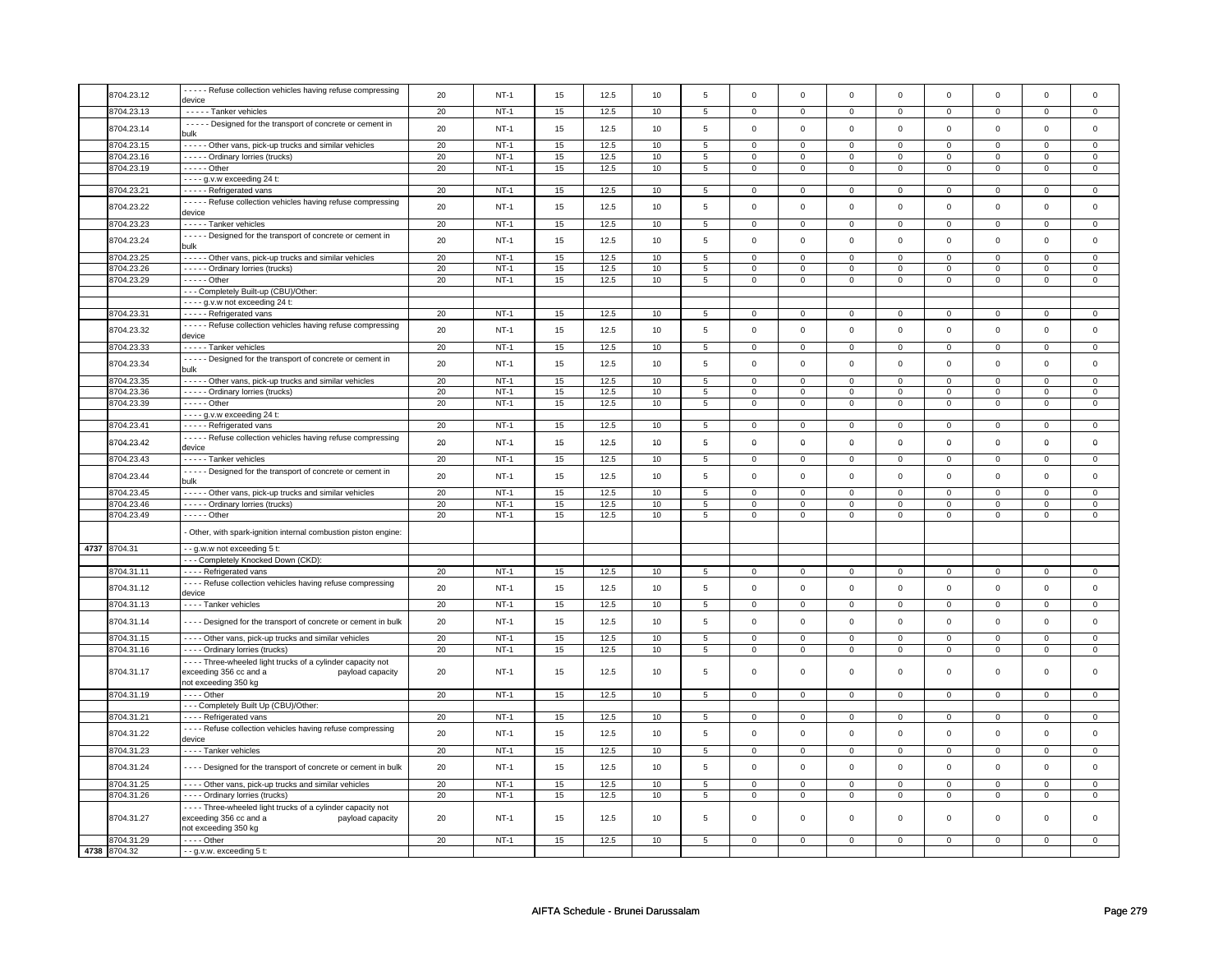| 8704.23.12   | - - - - - Refuse collection vehicles having refuse compressing           | 20 | $NT-1$      | 15 | 12.5         | 10 | $\overline{5}$ | $\mathsf 0$         | $\mathsf 0$    | $\mathsf 0$  | $\mathsf 0$  | $\mathsf 0$    | $\mathbf 0$    | $\mathsf 0$ | $\mathbf 0$    |
|--------------|--------------------------------------------------------------------------|----|-------------|----|--------------|----|----------------|---------------------|----------------|--------------|--------------|----------------|----------------|-------------|----------------|
| 8704.23.13   | device                                                                   | 20 | $NT-1$      |    | 12.5         |    |                |                     |                |              |              |                | $\mathbf 0$    |             | $\overline{0}$ |
|              | - - - - - Tanker vehicles                                                |    |             | 15 |              | 10 | $\sqrt{5}$     | $\mathsf{O}\xspace$ | $\mathsf 0$    | $\mathsf 0$  | $\mathbf 0$  | $\mathsf 0$    |                | 0           |                |
| 8704.23.14   | - - - - - Designed for the transport of concrete or cement in<br>bulk    | 20 | $NT-1$      | 15 | 12.5         | 10 | 5              | $\mathsf{O}\xspace$ | $\mathsf 0$    | $\mathbf 0$  | $\mathbf 0$  | $\mathbf 0$    | $\mathbf 0$    | $\mathbf 0$ | $\mathbf{0}$   |
| 3704.23.15   | - - - - - Other vans, pick-up trucks and similar vehicles                | 20 | $NT-1$      | 15 | 12.5         | 10 | 5              | $\mathbf 0$         | $\mathbf 0$    | $\mathbf 0$  | $\mathsf 0$  | $\mathsf 0$    | $\mathbf 0$    | $\Omega$    | $\mathbf{0}$   |
| 8704.23.16   | - - - - - Ordinary lorries (trucks)                                      | 20 | $NT-1$      | 15 | 12.5         | 10 | 5              | $\mathsf 0$         | $\mathbf 0$    | 0            | $\mathbf 0$  | $\mathsf 0$    | $\mathbf 0$    | 0           | $\mathbf 0$    |
| 8704.23.19   | - - - - - Other                                                          | 20 | $NT-1$      | 15 | 12.5         | 10 | 5              | $\mathbf 0$         | $\mathsf 0$    | 0            | 0            | 0              | 0              | $\mathbf 0$ | 0              |
|              | - - - - g.v.w exceeding 24 t:                                            |    |             |    |              |    |                |                     |                |              |              |                |                |             |                |
| 8704.23.21   | - - - - - Refrigerated vans                                              | 20 | <b>NT-1</b> | 15 | 12.5         | 10 | 5              | $\mathbf 0$         | $\overline{0}$ | $\mathbf{0}$ | $\mathbf{0}$ | $\mathbf 0$    | $\mathbf{0}$   | 0           | $\overline{0}$ |
|              | - - - - - Refuse collection vehicles having refuse compressing           |    | $NT-1$      |    |              |    |                | $\mathbf 0$         | $\mathsf 0$    |              | $\mathsf 0$  | $\mathsf 0$    | $\mathbf 0$    |             | $\mathbf 0$    |
| 8704.23.22   | device                                                                   | 20 |             | 15 | 12.5         | 10 | $\,$ 5 $\,$    |                     |                | 0            |              |                |                | 0           |                |
| 8704.23.23   | - - - - - Tanker vehicles                                                | 20 | $NT-1$      | 15 | 12.5         | 10 | 5              | $\mathsf{O}\xspace$ | $\mathsf 0$    | 0            | $\mathsf 0$  | $\mathsf 0$    | $\mathbf 0$    | $\Omega$    | $\mathsf 0$    |
| 8704.23.24   | - - - - - Designed for the transport of concrete or cement in            | 20 | $NT-1$      | 15 | 12.5         | 10 | 5              | $\mathbf 0$         | $\mathbf 0$    | $\mathbf 0$  | $\mathsf 0$  | $\mathbf 0$    | $\mathsf 0$    | $\Omega$    | $\mathbf 0$    |
|              | bulk                                                                     |    |             |    |              |    |                |                     |                |              |              |                |                |             |                |
| 8704.23.25   | - - - - - Other vans, pick-up trucks and similar vehicles                | 20 | $NT-1$      | 15 | 12.5         | 10 | 5              | $\mathbf 0$         | $\mathbf 0$    | 0            | $\mathbf 0$  | 0              | $\mathbf 0$    | 0           | $\mathbf 0$    |
| 8704.23.26   | - - - - - Ordinary lorries (trucks)                                      | 20 | $NT-1$      | 15 | 12.5         | 10 | 5              | $\mathsf 0$         | $\mathbf 0$    | 0            | 0            | $\mathsf 0$    | $\mathbf 0$    | $\Omega$    | 0              |
| 3704.23.29   | $\overline{\cdots}$ - - Other                                            | 20 | $NT-1$      | 15 | 12.5         | 10 | 5              | $\mathbf 0$         | $\mathbf 0$    | $\mathbf 0$  | $\mathsf 0$  | $\mathbf 0$    | $\mathbf 0$    | $\mathbf 0$ | $\mathbf{0}$   |
|              | - - - Completely Built-up (CBU)/Other:                                   |    |             |    |              |    |                |                     |                |              |              |                |                |             |                |
|              | - - - - g.v.w not exceeding 24 t:                                        |    |             |    |              |    |                |                     |                |              |              |                |                |             |                |
| 3704.23.31   | - - - - - Refrigerated vans                                              | 20 | $NT-1$      | 15 | 12.5         | 10 | 5              | $\mathsf{O}\xspace$ | $\mathsf 0$    | 0            | $\mathbf 0$  | $\mathsf 0$    | $\mathbf 0$    | 0           | $\mathbf 0$    |
| 8704.23.32   | - - - - - Refuse collection vehicles having refuse compressing           | 20 | <b>NT-1</b> | 15 | 12.5         | 10 | 5              | $\mathbf 0$         | $\mathbf 0$    | 0            | 0            | 0              | 0              | 0           | $\mathbf 0$    |
|              | device                                                                   |    |             |    |              |    |                |                     |                |              |              |                |                |             |                |
| 8704.23.33   | - - - - - Tanker vehicles                                                | 20 | $NT-1$      | 15 | 12.5         | 10 | $\overline{5}$ | $\overline{0}$      | $\mathbf 0$    | $\mathbf 0$  | $\mathbf{0}$ | $\overline{0}$ | $\overline{0}$ | $\mathbf 0$ | $\overline{0}$ |
| 8704.23.34   | - - - - - Designed for the transport of concrete or cement in            | 20 | $NT-1$      | 15 | 12.5         | 10 | 5              | $\mathsf{O}\xspace$ | $\mathsf 0$    | $\mathbf 0$  | $\mathsf 0$  | $\mathsf 0$    | $\mathbf 0$    | $\mathsf 0$ | $\mathsf 0$    |
|              | bulk                                                                     |    |             |    |              |    |                |                     |                |              |              |                |                |             |                |
| 3704.23.35   | - - - - - Other vans, pick-up trucks and similar vehicles                | 20 | $NT-1$      | 15 | 12.5         | 10 | 5              | $\mathsf 0$         | $\mathbf 0$    | $\mathbf 0$  | $\mathbf 0$  | $\mathsf 0$    | $\mathbf 0$    | $\Omega$    | $\mathbf{0}$   |
| 3704.23.36   | - - - - - Ordinary lorries (trucks)                                      | 20 | $NT-1$      | 15 | 12.5<br>12.5 | 10 | 5              | 0                   | $\mathbf 0$    | $^{\circ}$   | $\mathbf 0$  | 0              | $\mathbf 0$    | 0           | 0              |
| 8704.23.39   | $- - - -$ Other                                                          | 20 | $NT-1$      | 15 |              | 10 | 5              | $\mathbf 0$         | $\mathbf 0$    | 0            | $\mathbf 0$  | 0              | $\mathbf 0$    | 0           | 0              |
| 8704.23.41   | - - - - g.v.w exceeding 24 t:                                            | 20 | $NT-1$      | 15 | 12.5         | 10 | 5              | $\mathsf 0$         | $\mathbf 0$    | 0            |              | $\mathsf 0$    | $\mathbf 0$    | 0           | 0              |
|              | - - - - - Refrigerated vans                                              |    |             |    |              |    |                |                     |                |              | 0            |                |                |             |                |
| 8704.23.42   | - - - - - Refuse collection vehicles having refuse compressing<br>device | 20 | $NT-1$      | 15 | 12.5         | 10 | 5              | 0                   | $\mathbf 0$    | 0            | 0            | 0              | $\mathbf 0$    | 0           | 0              |
| 8704.23.43   | - - - - - Tanker vehicles                                                | 20 | $NT-1$      | 15 | 12.5         | 10 | $\sqrt{5}$     | $\overline{0}$      | $\overline{0}$ | $\mathbf 0$  | $\mathbf 0$  | $\overline{0}$ | $\overline{0}$ | $\mathsf 0$ | $\overline{0}$ |
|              | - - - - - Designed for the transport of concrete or cement in            |    |             |    |              |    |                |                     |                |              |              |                |                |             |                |
| 8704.23.44   | bulk                                                                     | 20 | $NT-1$      | 15 | 12.5         | 10 | 5              | $\mathsf 0$         | $\mathbf 0$    | $\mathbf 0$  | $\mathsf 0$  | $\mathsf 0$    | $\mathbf 0$    | $\mathbf 0$ | 0              |
| 3704.23.45   | - - - - - Other vans, pick-up trucks and similar vehicles                | 20 | $NT-1$      | 15 | 12.5         | 10 | $\overline{5}$ | $\overline{0}$      | $\mathbf 0$    | $\mathbf 0$  | $\mathsf 0$  | $\overline{0}$ | $\mathbf 0$    | $\mathbf 0$ | $\overline{0}$ |
| 8704.23.46   | ----- Ordinary lorries (trucks)                                          | 20 | $NT-1$      | 15 | 12.5         | 10 | 5              | $\mathbf 0$         | $\mathbf 0$    | 0            | 0            | 0              | 0              | 0           | $\mathbf 0$    |
| 8704.23.49   | - - - - - Other                                                          | 20 | $NT-1$      | 15 | 12.5         | 10 | 5              | $\mathbf 0$         | $\mathbf 0$    | 0            | 0            | 0              | 0              | $\mathbf 0$ | 0              |
|              |                                                                          |    |             |    |              |    |                |                     |                |              |              |                |                |             |                |
|              | - Other, with spark-ignition internal combustion piston engine:          |    |             |    |              |    |                |                     |                |              |              |                |                |             |                |
| 4737 8704.31 | - - g.w.w not exceeding 5 t:                                             |    |             |    |              |    |                |                     |                |              |              |                |                |             |                |
|              | --- Completely Knocked Down (CKD)                                        |    |             |    |              |    |                |                     |                |              |              |                |                |             |                |
| 8704.31.11   | - - - - Refrigerated vans                                                | 20 | $NT-1$      | 15 | 12.5         | 10 | 5              | 0                   | $\mathbf 0$    | 0            | 0            | 0              | 0              | $\Omega$    | $\Omega$       |
| 8704.31.12   | - - - - Refuse collection vehicles having refuse compressing             | 20 | $NT-1$      | 15 | 12.5         | 10 | 5              | $\Omega$            | $\mathbf 0$    | $\mathbf 0$  | $\mathsf 0$  | $\mathbf 0$    | $\mathbf 0$    | $\Omega$    | $\mathbf{0}$   |
|              | device                                                                   |    |             |    |              |    |                |                     |                |              |              |                |                |             |                |
| 8704.31.13   | - - - - Tanker vehicles                                                  | 20 | $NT-1$      | 15 | 12.5         | 10 | 5              | $\mathbf 0$         | $\overline{0}$ | 0            | $\mathbf{0}$ | 0              | $\mathbf 0$    | 0           | 0              |
| 8704.31.14   | - - - - Designed for the transport of concrete or cement in bulk         | 20 | $NT-1$      | 15 | 12.5         | 10 | 5              | $\mathsf 0$         | $\mathbf 0$    | $\mathbf 0$  | $\mathsf 0$  | $\mathsf 0$    | $\mathbf 0$    | $\mathbf 0$ | $\mathbf 0$    |
|              |                                                                          |    |             |    |              |    |                |                     |                |              |              |                |                |             |                |
| 8704.31.15   | ---- Other vans, pick-up trucks and similar vehicles                     | 20 | $NT-1$      | 15 | 12.5         | 10 | 5              | $\mathsf 0$         | $\mathbf 0$    | 0            | 0            | $\mathsf 0$    | $\mathbf 0$    | $\Omega$    | 0              |
| 8704.31.16   | - - - - Ordinary lorries (trucks)                                        | 20 | $NT-1$      | 15 | 12.5         | 10 | 5              | $\mathbf 0$         | $\mathbf 0$    | 0            | 0            | 0              | 0              | 0           | 0              |
|              | ---- Three-wheeled light trucks of a cylinder capacity not               |    |             |    |              |    |                |                     | $\mathsf 0$    |              |              |                |                |             | $\mathbf 0$    |
| 8704.31.17   | exceeding 356 cc and a<br>payload capacity<br>not exceeding 350 kg       | 20 | $NT-1$      | 15 | 12.5         | 10 | 5              | $\mathsf{O}\xspace$ |                | $\mathbf 0$  | $\mathsf 0$  | $\mathsf 0$    | $\mathbf 0$    | $\mathsf 0$ |                |
| 3704.31.19   |                                                                          | 20 | $NT-1$      | 15 | 12.5         | 10 | 5              | $\mathsf{O}\xspace$ | $\mathsf 0$    | $\mathsf 0$  | $\mathsf 0$  | $\mathsf 0$    | $\mathbf 0$    | $\Omega$    | $\Omega$       |
|              | - - - - Othe                                                             |    |             |    |              |    |                |                     |                |              |              |                |                |             |                |
| 8704.31.21   | --- Completely Built Up (CBU)/Other:<br>- - - - Refrigerated vans        | 20 | $NT-1$      | 15 | 12.5         | 10 | 5              | $\mathsf 0$         | $\mathbf 0$    | 0            | $\mathbf 0$  | $\mathsf 0$    | $\mathbf 0$    | 0           | 0              |
|              | - - - - Refuse collection vehicles having refuse compressing             |    |             |    |              |    |                |                     |                |              |              |                |                |             |                |
| 8704.31.22   | device                                                                   | 20 | $NT-1$      | 15 | 12.5         | 10 | 5              | $\mathsf 0$         | $\mathbf 0$    | 0            | $\mathsf 0$  | $\mathsf 0$    | $\mathbf 0$    | $\Omega$    | $\mathbf 0$    |
| 8704.31.23   | - - - - Tanker vehicles                                                  | 20 | $NT-1$      | 15 | 12.5         | 10 | 5              | $\mathsf 0$         | $\mathbf 0$    | $\mathbf 0$  | $\mathbf 0$  | $\mathsf 0$    | $\mathbf 0$    | $\Omega$    | $\mathbf{0}$   |
|              |                                                                          |    |             |    |              |    |                |                     |                |              |              |                |                |             |                |
| 8704.31.24   | - - - - Designed for the transport of concrete or cement in bulk         | 20 | $NT-1$      | 15 | 12.5         | 10 | $\sqrt{5}$     | $\mathsf{O}\xspace$ | $\mathbf 0$    | $\mathbf 0$  | $\mathsf 0$  | $\mathsf 0$    | $\mathsf 0$    | $\mathbf 0$ | $\mathbf 0$    |
| 8704.31.25   | - - - - Other vans, pick-up trucks and similar vehicles                  | 20 | $NT-1$      | 15 | 12.5         | 10 | 5              | 0                   | $\mathbf 0$    | 0            | 0            | 0              | $\mathbf 0$    | 0           | 0              |
| 8704.31.26   | - - - - Ordinary lorries (trucks)                                        | 20 | $NT-1$      | 15 | 12.5         | 10 | 5              | $\mathsf{O}\xspace$ | $\mathsf 0$    | $\mathsf 0$  | $\mathsf 0$  | $\mathsf 0$    | $\mathsf 0$    | $\mathsf 0$ | 0              |
|              | - - - - Three-wheeled light trucks of a cylinder capacity not            |    |             |    |              |    |                |                     |                |              |              |                |                |             |                |
| 8704.31.27   | exceeding 356 cc and a<br>payload capacity                               | 20 | $NT-1$      | 15 | 12.5         | 10 | 5              | $\mathsf{O}\xspace$ | $\mathbf 0$    | $\mathbf 0$  | $\mathbf 0$  | $\mathsf 0$    | $\Omega$       | $\Omega$    | $\mathbf{0}$   |
|              | not exceeding 350 kg                                                     |    |             |    |              |    |                |                     |                |              |              |                |                |             |                |
| 8704.31.29   | - - - - Other                                                            | 20 | $NT-1$      | 15 | 12.5         | 10 | $\overline{5}$ | $\overline{0}$      | $\Omega$       | $\mathbf 0$  | $\Omega$     | $\overline{0}$ | $\Omega$       | $\Omega$    | $\overline{0}$ |
| 4738 8704.32 |                                                                          |    |             |    |              |    |                |                     |                |              |              |                |                |             |                |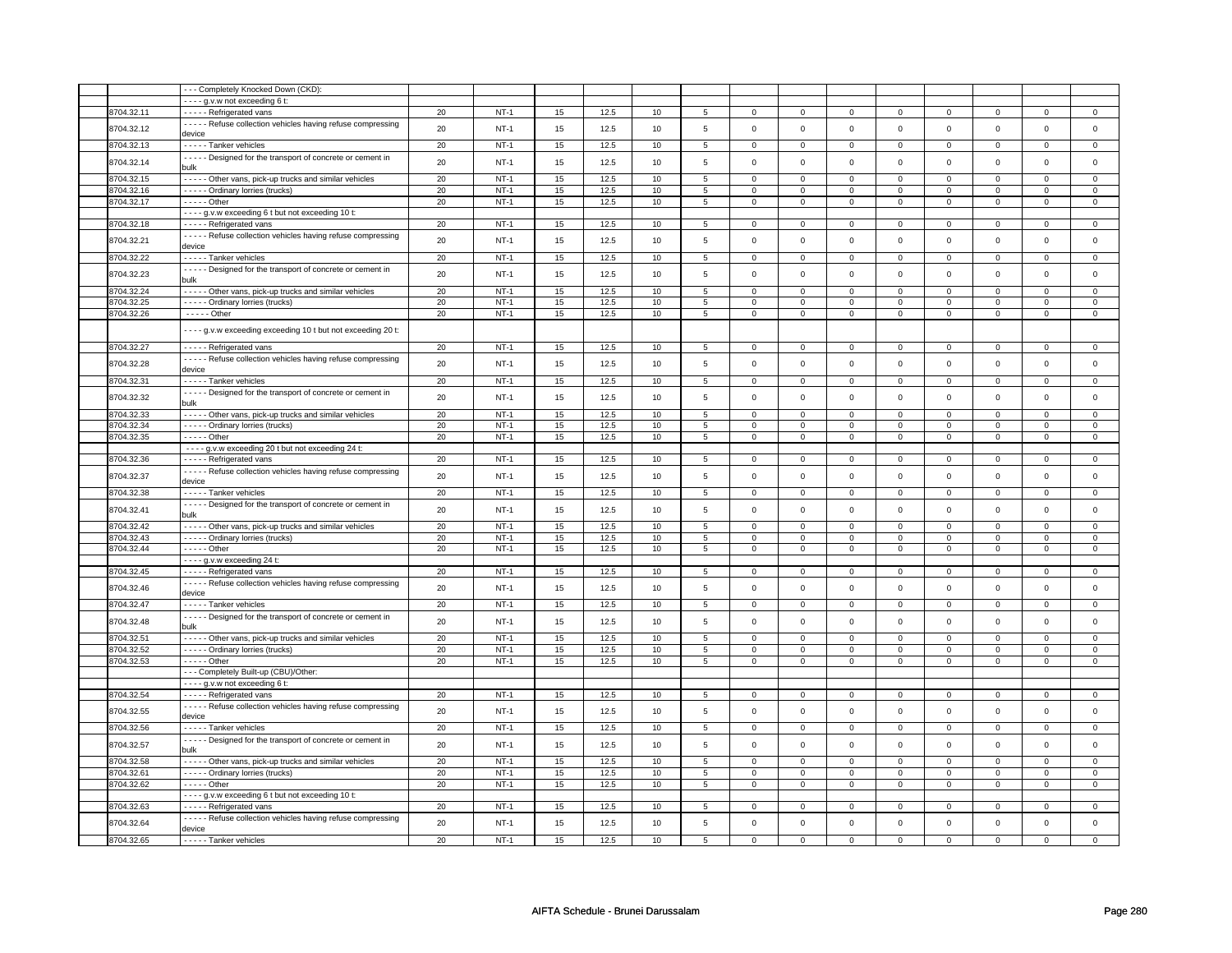|            | --- Completely Knocked Down (CKD):                                       |    |             |        |      |      |                |                     |                |             |                |                |                |             |                |
|------------|--------------------------------------------------------------------------|----|-------------|--------|------|------|----------------|---------------------|----------------|-------------|----------------|----------------|----------------|-------------|----------------|
|            | - - - - g.v.w not exceeding 6 t:                                         |    |             |        |      |      |                |                     |                |             |                |                |                |             |                |
| 8704.32.11 | - - - - - Refrigerated vans                                              | 20 | $NT-1$      | 15     | 12.5 | 10   | 5              | $\mathbf 0$         | $\mathbf 0$    | 0           | 0              | $\mathbf{0}$   | $\mathbf 0$    | 0           | $\overline{0}$ |
| 8704.32.12 | - - - - - Refuse collection vehicles having refuse compressing           | 20 | $NT-1$      | 15     | 12.5 | 10   | $\,$ 5 $\,$    | $\mathbf 0$         | $\mathsf 0$    | $\mathbf 0$ | $\mathbf 0$    | $\mathbf 0$    | $\mathbf{0}$   | $\mathbf 0$ | $\mathbf{0}$   |
|            | device                                                                   |    |             |        |      |      |                |                     |                |             |                |                |                |             |                |
| 3704.32.13 | - - - - - Tanker vehicles                                                | 20 | $NT-1$      | 15     | 12.5 | 10   | 5              | $\mathsf 0$         | $\mathbf 0$    | $\mathbf 0$ | $\mathbf 0$    | $\mathsf 0$    | $\mathbf 0$    | $\Omega$    | $\mathbf{0}$   |
| 8704.32.14 | - - - - - Designed for the transport of concrete or cement in<br>bulk    | 20 | $NT-1$      | 15     | 12.5 | 10   | 5              | $\mathbf 0$         | $\mathbf 0$    | $\Omega$    | 0              | 0              | 0              | $\Omega$    | 0              |
| 8704.32.15 | - - - - - Other vans, pick-up trucks and similar vehicles                | 20 | $NT-1$      | 15     | 12.5 | 10   | 5              | $\mathbf 0$         | $\mathbf 0$    | $^{\circ}$  | $\mathbf 0$    | 0              | $\mathbf 0$    | $\Omega$    | 0              |
| 3704.32.16 | - - - - - Ordinary lorries (trucks)                                      | 20 | $NT-1$      | 15     | 12.5 | 10   | 5              | $\Omega$            | $\mathbf 0$    | $\Omega$    | $\mathsf 0$    | $\mathbf 0$    | $\mathbf 0$    | $\Omega$    | $\mathbf{0}$   |
| 8704.32.17 | - - - - - Other                                                          | 20 | $NT-1$      | $15\,$ | 12.5 | 10   | $\,$ 5 $\,$    | 0                   | $\mathsf 0$    | $^{\circ}$  | 0              | 0              | $\mathsf{O}$   | 0           | $\mathsf 0$    |
|            | - - - - g.v.w exceeding 6 t but not exceeding 10 t:                      |    |             |        |      |      |                |                     |                |             |                |                |                |             |                |
| 8704.32.18 | - - - - - Refrigerated vans                                              | 20 | $NT-1$      | 15     | 12.5 | 10   | 5              | 0                   | $\mathbf 0$    | $\mathbf 0$ | $\mathbf 0$    | $\mathbf 0$    | $\mathbf 0$    | 0           | $\mathbf 0$    |
| 8704.32.21 | - - - - - Refuse collection vehicles having refuse compressing<br>device | 20 | $NT-1$      | 15     | 12.5 | 10   | 5              | $\mathsf 0$         | $\mathbf 0$    | $\mathbf 0$ | $\mathbf 0$    | $\mathsf 0$    | $\mathbf 0$    | $\Omega$    | $\mathbf{O}$   |
| 8704.32.22 | - - - - - Tanker vehicles                                                | 20 | $NT-1$      | 15     | 12.5 | 10   | 5              | $\mathsf{O}\xspace$ | $\mathbf 0$    | 0           | $\mathsf 0$    | $\mathsf 0$    | $\mathbf 0$    | $\Omega$    | 0              |
|            | - - - - - Designed for the transport of concrete or cement in            |    |             |        |      |      |                |                     |                |             |                |                |                |             |                |
| 3704.32.23 | bulk                                                                     | 20 | <b>NT-1</b> | 15     | 12.5 | 10   | 5              | $\mathbf 0$         | $\mathbf 0$    | 0           | 0              | 0              | $\mathbf 0$    | $\Omega$    | $\mathbf 0$    |
| 8704.32.24 | - - - - - Other vans, pick-up trucks and similar vehicles                | 20 | $NT-1$      | 15     | 12.5 | 10   | 5              | $\mathbf 0$         | $\overline{0}$ | $\Omega$    | $\mathbf 0$    | $\mathbf 0$    | $\Omega$       | $\Omega$    | $\mathbf{0}$   |
| 8704.32.25 | - - - - - Ordinary lorries (trucks)                                      | 20 | $NT-1$      | 15     | 12.5 | 10   | 5              | $\mathbf 0$         | $\mathbf 0$    | 0           | $\mathbf 0$    | 0              | $\mathbf 0$    | $\Omega$    | 0              |
| 3704.32.26 | $---$ Other                                                              | 20 | $NT-1$      | 15     | 12.5 | $10$ | 5              | $\mathsf 0$         | $\mathbf 0$    | 0           | $\mathsf 0$    | $\mathsf 0$    | $\mathsf 0$    | 0           | 0              |
|            | - - - - g.v.w exceeding exceeding 10 t but not exceeding 20 t:           |    |             |        |      |      |                |                     |                |             |                |                |                |             |                |
| 8704.32.27 | - - - - - Refrigerated vans                                              | 20 | $NT-1$      | 15     | 12.5 | 10   | 5              | 0                   | $\mathbf 0$    | 0           | $\mathbf 0$    | 0              | $\mathbf 0$    | $^{\circ}$  | $\mathbf 0$    |
| 8704.32.28 | - - - - - Refuse collection vehicles having refuse compressing           | 20 | $NT-1$      | 15     | 12.5 | 10   | 5              | $\mathsf 0$         | $\mathbf 0$    | $\mathbf 0$ | $\mathbf 0$    | $\mathsf 0$    | $\mathbf 0$    | $\mathbf 0$ | $\mathbf{0}$   |
| 8704.32.31 | device<br>- - - - - Tanker vehicles                                      | 20 | $NT-1$      | 15     | 12.5 | 10   | 5              | $\mathsf 0$         | $\mathbf 0$    | $\mathbf 0$ | $\mathbf 0$    | $\mathsf 0$    | $\mathbf 0$    | $\Omega$    | 0              |
|            | - - - - - Designed for the transport of concrete or cement in            |    |             |        |      |      |                |                     |                |             |                |                |                |             |                |
| 3704.32.32 | bulk                                                                     | 20 | $NT-1$      | 15     | 12.5 | 10   | 5              | $\Omega$            | $\mathbf 0$    | $\mathbf 0$ | $\mathsf 0$    | $\mathbf 0$    | $\mathbf 0$    | $\Omega$    | $\mathbf 0$    |
| 8704.32.33 | - - - - - Other vans, pick-up trucks and similar vehicles                | 20 | $NT-1$      | 15     | 12.5 | 10   | 5              | $\mathbf 0$         | $\overline{0}$ | 0           | $\mathbf{0}$   | $\mathbf 0$    | $\mathbf{0}$   | $\Omega$    | 0              |
| 8704.32.34 | - - - - - Ordinary lorries (trucks)                                      | 20 | $NT-1$      | 15     | 12.5 | 10   | 5              | $\mathbf 0$         | $\mathbf 0$    | 0           | 0              | 0              | $\mathbf 0$    | 0           | 0              |
| 8704.32.35 | $- - - -$ Other                                                          | 20 | $NT-1$      | 15     | 12.5 | 10   | $\overline{5}$ | $\overline{0}$      | $\overline{0}$ | $\mathbf 0$ | $\overline{0}$ | $\overline{0}$ | $\overline{0}$ | $\mathbf 0$ | $\overline{0}$ |
|            | - - - - g.v.w exceeding 20 t but not exceeding 24 t:                     |    |             |        |      |      |                |                     |                |             |                |                |                |             |                |
| 8704.32.36 | - - - - - Refrigerated vans                                              | 20 | $NT-1$      | 15     | 12.5 | 10   | 5              | 0                   | $\mathbf 0$    | 0           | 0              | 0              | 0              | 0           | 0              |
| 8704.32.37 | - - - - - Refuse collection vehicles having refuse compressing<br>device | 20 | $NT-1$      | 15     | 12.5 | 10   | 5              | $\mathsf 0$         | $\mathsf 0$    | $\Omega$    | $\mathbf 0$    | $\mathsf 0$    | $\mathbf 0$    | $\mathbf 0$ | $\mathbf{0}$   |
| 3704.32.38 | - - - - - Tanker vehicles                                                | 20 | $NT-1$      | 15     | 12.5 | 10   | 5              | $\mathbf 0$         | $\mathbf 0$    | $\Omega$    | $\mathsf 0$    | $\mathsf 0$    | $\mathbf 0$    | $\Omega$    | $\mathbf{0}$   |
| 3704.32.41 | - - - - - Designed for the transport of concrete or cement in            | 20 | $NT-1$      | 15     | 12.5 | 10   | 5              | $\mathsf 0$         | $\mathbf 0$    | $\mathbf 0$ | $\mathsf 0$    | $\mathsf 0$    | $\mathbf 0$    | $\Omega$    | $\mathbf 0$    |
| 8704.32.42 | bulk<br>- - - - - Other vans, pick-up trucks and similar vehicles        | 20 | $NT-1$      | 15     | 12.5 | 10   | 5              | $\mathbf 0$         | $\mathbf 0$    | $^{\circ}$  | $\mathbf 0$    | $\mathbf 0$    | $\mathbf 0$    | 0           | $\mathbf{0}$   |
| 8704.32.43 | - - - - - Ordinary lorries (trucks)                                      | 20 | $NT-1$      | 15     | 12.5 | 10   | 5              | $\mathbf 0$         | $\mathbf 0$    | 0           | $\mathbf 0$    | 0              | $\mathbf 0$    | 0           | 0              |
| 8704.32.44 | - - - - - Other                                                          | 20 | $NT-1$      | 15     | 12.5 | 10   | 5              | $\Omega$            | $\mathbf 0$    | $\mathbf 0$ | $\mathbf 0$    | $\mathbf 0$    | $\mathbf 0$    | $\Omega$    | $\mathbf{0}$   |
|            | - - - - g.v.w exceeding 24 t:                                            |    |             |        |      |      |                |                     |                |             |                |                |                |             |                |
| 8704.32.45 | - - - - - Refrigerated vans                                              | 20 | NT-1        | 15     | 12.5 | 10   | 5              | 0                   | $\mathbf 0$    | $^{\circ}$  | $\mathbf 0$    | 0              | $\mathbf 0$    | 0           | $\mathbf 0$    |
|            | - - - - - Refuse collection vehicles having refuse compressing           |    |             |        |      |      |                |                     |                |             |                |                |                |             |                |
| 8704.32.46 | device                                                                   | 20 | $NT-1$      | 15     | 12.5 | 10   | 5              | $\mathsf 0$         | $\mathbf 0$    | $\mathbf 0$ | $\mathsf 0$    | $\mathsf 0$    | $\mathbf 0$    | $\Omega$    | $\mathbf 0$    |
| 8704.32.47 | - - - - - Tanker vehicles                                                | 20 | $NT-1$      | 15     | 12.5 | 10   | 5              | $\mathbf 0$         | $\mathbf 0$    | 0           | 0              | 0              | 0              | $\Omega$    | $\Omega$       |
| 8704.32.48 | - - - - - Designed for the transport of concrete or cement in<br>bulk    | 20 | $NT-1$      | 15     | 12.5 | 10   | $\,$ 5 $\,$    | $\mathsf{O}\xspace$ | $\mathsf 0$    | $\mathbf 0$ | $\mathbf 0$    | $\mathsf 0$    | $\mathsf{O}$   | $\mathsf 0$ | $\mathsf 0$    |
| 8704.32.51 | - - - - - Other vans, pick-up trucks and similar vehicles                | 20 | $NT-1$      | 15     | 12.5 | 10   | 5              | $\mathbf 0$         | $\mathbf 0$    | $\Omega$    | $\mathsf 0$    | $\mathbf 0$    | $\mathbf 0$    | $\Omega$    | $\mathbf{0}$   |
| 8704.32.52 | - - - - - Ordinary lorries (trucks)                                      | 20 | $NT-1$      | 15     | 12.5 | 10   | 5              | 0                   | $\mathbf 0$    | 0           | $\mathbf 0$    | 0              | $\mathbf 0$    | 0           | $\mathbf 0$    |
| 8704.32.53 | $- - - -$ Other                                                          | 20 | $NT-1$      | 15     | 12.5 | 10   | 5              | $\mathbf 0$         | $\mathbf 0$    | $\mathbf 0$ | $\mathbf 0$    | $\mathbf 0$    | $\mathbf 0$    | $\Omega$    | $\mathbf 0$    |
|            | - - - Completely Built-up (CBU)/Other:                                   |    |             |        |      |      |                |                     |                |             |                |                |                |             |                |
|            | - - - - g.v.w not exceeding 6 t:                                         |    |             |        |      |      |                |                     |                |             |                |                |                |             |                |
| 8704.32.54 | - - - - - Refrigerated vans                                              | 20 | $NT-1$      | 15     | 12.5 | 10   | 5              | $\mathbf 0$         | $\mathbf 0$    | $^{\circ}$  | 0              | 0              | $\mathbf 0$    | 0           | 0              |
| 8704.32.55 | - - - - - Refuse collection vehicles having refuse compressing           | 20 | $NT-1$      | 15     | 12.5 | 10   | 5              | $\mathsf 0$         | $\mathbf 0$    | 0           | 0              | $\mathsf 0$    | $\mathbf 0$    | $\Omega$    | $\mathbf 0$    |
| 8704.32.56 | device                                                                   | 20 | $NT-1$      | 15     | 12.5 |      | 5              | $\mathbf 0$         | $\mathbf 0$    | 0           | 0              | 0              | 0              | $\Omega$    | 0              |
|            | - - - - - Tanker vehicles                                                |    |             |        |      | 10   |                |                     |                |             |                |                |                |             |                |
| 8704.32.57 | - - - - - Designed for the transport of concrete or cement in<br>bulk    | 20 | $NT-1$      | 15     | 12.5 | 10   | 5              | $\mathsf{O}\xspace$ | $\mathbf 0$    | $\mathbf 0$ | $\mathsf 0$    | $\mathsf 0$    | $\mathbf 0$    | $\mathbf 0$ | $\mathsf 0$    |
| 3704.32.58 | - - - - - Other vans, pick-up trucks and similar vehicles                | 20 | $NT-1$      | 15     | 12.5 | 10   | 5              | 0                   | $\mathbf 0$    | 0           | 0              | 0              | 0              | 0           | 0              |
| 8704.32.61 | - - - - - Ordinary lorries (trucks)                                      | 20 | <b>NT-1</b> | 15     | 12.5 | 10   | 5              | $\mathbf 0$         | $\mathbf 0$    | $\mathbf 0$ | 0              | 0              | $\mathbf 0$    | 0           | $\mathbf 0$    |
| 8704.32.62 | $- - - -$ Other                                                          | 20 | $NT-1$      | 15     | 12.5 | 10   | 5              | $\mathbf 0$         | $\mathbf 0$    | $\Omega$    | $\mathbf 0$    | 0              | $\mathbf 0$    | $\Omega$    | $\Omega$       |
|            | - - - - g.v.w exceeding 6 t but not exceeding 10 t:                      |    |             |        |      |      |                |                     |                |             |                |                |                |             |                |
| 3704.32.63 | - - - - - Refrigerated vans                                              | 20 | $NT-1$      | 15     | 12.5 | 10   | 5              | $\mathbf 0$         | $\mathbf 0$    | 0           | 0              | $\mathbf 0$    | 0              |             | 0              |
| 8704.32.64 | - - - - - Refuse collection vehicles having refuse compressing<br>device | 20 | $NT-1$      | 15     | 12.5 | 10   | 5              | $\Omega$            | $\mathbf 0$    | $\mathbf 0$ | $\mathbf 0$    | $\mathbf 0$    | $\mathbf 0$    | $\Omega$    | $\mathbf{0}$   |
| 8704.32.65 | ----- Tanker vehicles                                                    | 20 | $NT-1$      | 15     | 12.5 | 10   | 5              | $\Omega$            | 0              | 0           | $\Omega$       | $\Omega$       | 0              | $\Omega$    | $\Omega$       |
|            |                                                                          |    |             |        |      |      |                |                     |                |             |                |                |                |             |                |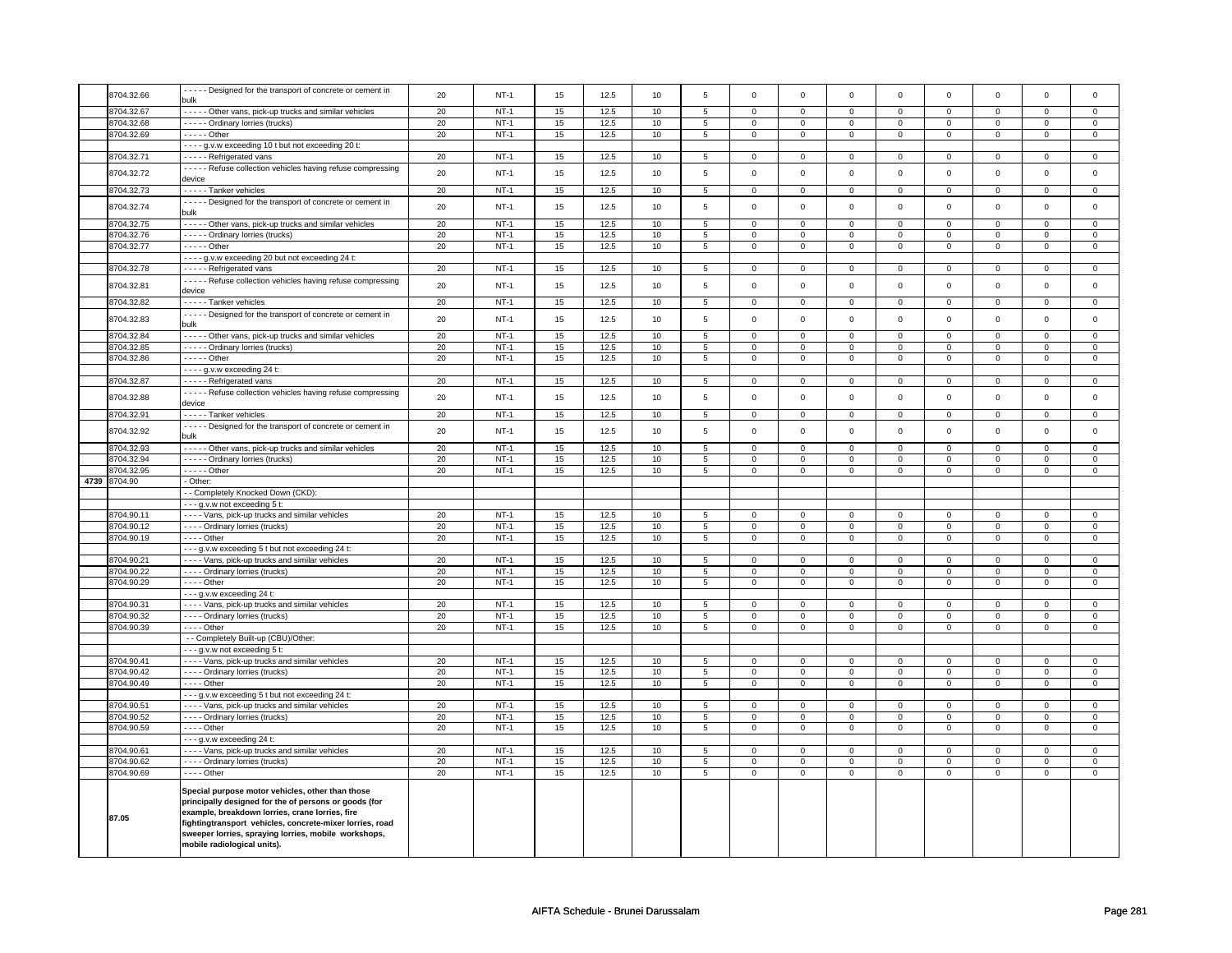| 8704.32.66               | - - - - Designed for the transport of concrete or cement in<br>bulk                                                                                                                                                                                                              | 20       | $NT-1$ | 15 | 12.5 | 10 | $\overline{5}$ | $\mathbf 0$             | $\mathbf 0$              | $\mathbf 0$  | $\Omega$       | $\mathbf 0$  | $\mathbf 0$         | $\Omega$       | $\mathsf 0$    |
|--------------------------|----------------------------------------------------------------------------------------------------------------------------------------------------------------------------------------------------------------------------------------------------------------------------------|----------|--------|----|------|----|----------------|-------------------------|--------------------------|--------------|----------------|--------------|---------------------|----------------|----------------|
| 8704.32.67               | - - - - - Other vans, pick-up trucks and similar vehicles                                                                                                                                                                                                                        | 20       | $NT-1$ | 15 | 12.5 | 10 | 5              | $\mathbf{0}$            | $\mathbf 0$              | $\Omega$     | $\Omega$       | $\Omega$     | $\mathbf 0$         | $\Omega$       | $\mathbf{0}$   |
|                          |                                                                                                                                                                                                                                                                                  |          | $NT-1$ |    | 12.5 |    |                |                         |                          |              |                |              |                     |                |                |
| 8704.32.68<br>8704.32.69 | - - - - - Ordinary lorries (trucks)                                                                                                                                                                                                                                              | 20<br>20 | $NT-1$ | 15 | 12.5 | 10 | 5              | $\mathbf 0$             | $\mathbf{0}$<br>$\Omega$ | $\mathbf 0$  | $\mathbf 0$    | 0            | $\mathbf 0$         | 0<br>$\Omega$  | $\mathbf 0$    |
|                          | $- - - -$ Other                                                                                                                                                                                                                                                                  |          |        | 15 |      | 10 | 5              | $\mathbf 0$             |                          | $\mathbf 0$  | $\mathbf 0$    | $\mathbf 0$  | $\mathbf 0$         |                | $\mathbf{0}$   |
|                          | - - - - g.v.w exceeding 10 t but not exceeding 20 t:                                                                                                                                                                                                                             |          |        |    |      |    |                |                         |                          |              |                |              |                     |                |                |
| 8704.32.71               | - - - - - Refrigerated vans                                                                                                                                                                                                                                                      | 20       | $NT-1$ | 15 | 12.5 | 10 | 5              | $\mathbf 0$             | $\mathsf 0$              | $\mathbf 0$  | $\mathbf 0$    | $\mathbf 0$  | $\mathbf 0$         | $\mathbf 0$    | $\mathbf 0$    |
| 8704.32.72               | - - - - - Refuse collection vehicles having refuse compressing<br>device                                                                                                                                                                                                         | 20       | $NT-1$ | 15 | 12.5 | 10 | 5              | $\mathbf 0$             | $\mathsf 0$              | $\mathsf 0$  | $\mathsf 0$    | $\mathbf 0$  | $\mathsf 0$         | $\Omega$       | $\mathsf 0$    |
| 8704.32.73               | - - - - - Tanker vehicles                                                                                                                                                                                                                                                        | 20       | $NT-1$ | 15 | 12.5 | 10 | $\overline{5}$ | $\mathsf{O}\xspace$     | $\mathsf 0$              | $\mathbf 0$  | $\mathsf 0$    | $\mathbf 0$  | $\mathsf 0$         | $\mathsf 0$    | $\mathbf 0$    |
| 8704.32.74               | - - - - - Designed for the transport of concrete or cement in<br>bulk                                                                                                                                                                                                            | 20       | $NT-1$ | 15 | 12.5 | 10 | 5              | $\mathbf 0$             | $\mathsf 0$              | $\mathsf 0$  | $\mathbf 0$    | $\mathbf 0$  | $\mathbf 0$         | $\mathbf 0$    | $\mathbf 0$    |
| 8704.32.75               | - - - - - Other vans, pick-up trucks and similar vehicles                                                                                                                                                                                                                        | 20       | $NT-1$ | 15 | 12.5 | 10 | $\overline{5}$ | $\overline{0}$          | $\overline{0}$           | $\mathsf 0$  | $\Omega$       | $\Omega$     | $\overline{0}$      | $\Omega$       | $\overline{0}$ |
| 8704.32.76               | ----- Ordinary lorries (trucks)                                                                                                                                                                                                                                                  | 20       | $NT-1$ | 15 | 12.5 | 10 | 5              | $\mathbf 0$             | $\overline{0}$           | $\mathsf 0$  | $\Omega$       | $\mathbf 0$  | $\mathbf 0$         | 0              | $\mathsf 0$    |
| 8704.32.77               | - - - - - Other                                                                                                                                                                                                                                                                  | 20       | $NT-1$ | 15 | 12.5 | 10 | 5              | $\mathbf 0$             | $\mathbf 0$              | $\mathbf 0$  | $\mathbf 0$    | 0            | $\mathsf 0$         | $\mathbf 0$    | $\mathsf 0$    |
|                          | - - - - g.v.w exceeding 20 but not exceeding 24 t:                                                                                                                                                                                                                               |          |        |    |      |    |                |                         |                          |              |                |              |                     |                |                |
| 8704.32.78               | - - - - - Refrigerated vans                                                                                                                                                                                                                                                      | 20       | $NT-1$ | 15 | 12.5 | 10 | 5              | $\mathbf 0$             | $\mathbf 0$              | $^{\circ}$   | $\mathbf 0$    | 0            | $\mathbf 0$         | $\mathbf{0}$   | $\mathbf{0}$   |
|                          | - - - - - Refuse collection vehicles having refuse compressing                                                                                                                                                                                                                   |          |        |    |      |    |                |                         |                          |              |                |              |                     |                |                |
| 8704.32.81               | device                                                                                                                                                                                                                                                                           | 20       | $NT-1$ | 15 | 12.5 | 10 | 5              | $\mathbf 0$             | $\mathsf 0$              | $\mathsf 0$  | $\mathsf 0$    | $\mathbf 0$  | $\mathbf 0$         | $\Omega$       | $\mathsf 0$    |
| 8704.32.82               | - - - - - Tanker vehicles                                                                                                                                                                                                                                                        | 20       | $NT-1$ | 15 | 12.5 | 10 | 5              | $\mathbf 0$             | $\mathbf 0$              | $\mathsf 0$  | $\Omega$       | $\Omega$     | $\mathbf 0$         | $\Omega$       | $\mathbf 0$    |
| 8704.32.83               | Designed for the transport of concrete or cement in<br>bulk                                                                                                                                                                                                                      | 20       | $NT-1$ | 15 | 12.5 | 10 | 5              | $\mathbf 0$             | $\mathsf 0$              | $\mathsf 0$  | $\mathsf 0$    | $\mathbf 0$  | $\mathbf 0$         | $\mathbf 0$    | $\mathsf 0$    |
| 8704.32.84               | - - - - - Other vans, pick-up trucks and similar vehicles                                                                                                                                                                                                                        | 20       | $NT-1$ | 15 | 12.5 | 10 | $\,$ 5 $\,$    | $\mathbf{0}$            | $\mathsf 0$              | $\mathbf 0$  | $\mathbf 0$    | $\mathbf 0$  | $\mathbf 0$         | $\mathsf 0$    | $\mathbf{0}$   |
| 8704.32.85               | - - - - - Ordinary lorries (trucks)                                                                                                                                                                                                                                              | 20       | $NT-1$ | 15 | 12.5 | 10 | 5              | $\mathbf 0$             | $\mathbf{0}$             | $\Omega$     | $\mathbf{0}$   | $\mathbf{0}$ | $\mathbf{0}$        | $\mathbf{0}$   | $\mathbf{0}$   |
| 8704.32.86               | $---$ Other                                                                                                                                                                                                                                                                      | 20       | $NT-1$ | 15 | 12.5 | 10 | 5              | $\mathsf 0$             | $\mathsf 0$              | $\mathbf 0$  | $\mathbf 0$    | $\mathbf 0$  | $\mathbf 0$         | $\mathbf 0$    | $\mathbf 0$    |
|                          | $- - - g.v.w$ exceeding 24 t:                                                                                                                                                                                                                                                    |          |        |    |      |    |                |                         |                          |              |                |              |                     |                |                |
| 8704.32.87               | - - - - - Refrigerated vans                                                                                                                                                                                                                                                      | 20       | $NT-1$ | 15 | 12.5 | 10 | 5              | $\overline{0}$          | $\overline{0}$           | $\mathsf 0$  | $\Omega$       | $\mathbf 0$  | $\overline{0}$      | $\mathbf 0$    | $\overline{0}$ |
|                          | - - - - - Refuse collection vehicles having refuse compressing                                                                                                                                                                                                                   |          |        |    |      |    |                |                         |                          |              |                |              |                     |                |                |
| 8704.32.88               | device                                                                                                                                                                                                                                                                           | 20       | $NT-1$ | 15 | 12.5 | 10 | 5              | $\mathsf 0$             | $\mathsf 0$              | $\mathsf 0$  | $\mathsf 0$    | $\mathbf 0$  | $\mathbf 0$         | $\mathbf 0$    | $\mathsf 0$    |
| 8704.32.91               | - - - - - Tanker vehicles                                                                                                                                                                                                                                                        | 20       | $NT-1$ | 15 | 12.5 | 10 | $\overline{5}$ | $\mathbf 0$             | $\mathbf 0$              | $\mathsf 0$  | $\mathsf 0$    | $\mathbf 0$  | $\mathbf 0$         | $\mathsf 0$    | $\mathsf 0$    |
| 8704.32.92               | - - - - - Designed for the transport of concrete or cement in<br>bulk                                                                                                                                                                                                            | 20       | $NT-1$ | 15 | 12.5 | 10 | 5              | $\mathsf{O}$            | $\mathsf 0$              | $\mathsf 0$  | $\mathsf 0$    | $\mathsf 0$  | $\mathsf 0$         | $\mathbf 0$    | $\mathsf 0$    |
| 8704.32.93               | - - - - - Other vans, pick-up trucks and similar vehicles                                                                                                                                                                                                                        | 20       | $NT-1$ | 15 | 12.5 | 10 | $\overline{5}$ | $\overline{\mathbf{0}}$ | $\overline{0}$           | $\Omega$     | $\mathbf 0$    | 0            | $\overline{0}$      | $\circ$        | $\overline{0}$ |
| 8704.32.94               | ----- Ordinary lorries (trucks)                                                                                                                                                                                                                                                  | 20       | $NT-1$ | 15 | 12.5 | 10 | $\overline{5}$ | $\mathbf 0$             | $\mathbf 0$              | $\mathsf 0$  | $\mathbf 0$    | $\mathbf 0$  | $\mathbf 0$         | $\mathbf 0$    | $\mathsf 0$    |
| 8704.32.95               | $---$ Other                                                                                                                                                                                                                                                                      | 20       | $NT-1$ | 15 | 12.5 | 10 | 5              | $\mathsf 0$             | $\mathsf 0$              | $\mathbf 0$  | $\mathbf 0$    | $\mathbf 0$  | $\mathbf 0$         | $\mathbf 0$    | $\mathsf 0$    |
| 4739 8704.90             | - Other:                                                                                                                                                                                                                                                                         |          |        |    |      |    |                |                         |                          |              |                |              |                     |                |                |
|                          | - - Completely Knocked Down (CKD):                                                                                                                                                                                                                                               |          |        |    |      |    |                |                         |                          |              |                |              |                     |                |                |
|                          | - - - g.v.w not exceeding 5 t:                                                                                                                                                                                                                                                   |          |        |    |      |    |                |                         |                          |              |                |              |                     |                |                |
| 8704.90.11               | - - - - Vans, pick-up trucks and similar vehicles                                                                                                                                                                                                                                | 20       | $NT-1$ | 15 | 12.5 | 10 | 5              | $\mathbf{0}$            | $\mathbf{0}$             | $\mathbf{0}$ | $\mathbf 0$    | 0            | $\mathbf{0}$        | $\mathbf 0$    | $\mathbf 0$    |
| 8704.90.12               | - - - - Ordinary lorries (trucks)                                                                                                                                                                                                                                                | 20       | $NT-1$ | 15 | 12.5 | 10 | 5              | $\mathbf 0$             | $\Omega$                 | $\Omega$     | $\mathbf 0$    | $\mathbf 0$  | $\mathbf 0$         | $\Omega$       | $\mathbf{0}$   |
| 8704.90.19               | $- - -$ Other                                                                                                                                                                                                                                                                    | 20       | $NT-1$ | 15 | 12.5 | 10 | 5              | $\mathsf 0$             | $\mathbf{0}$             | $\mathsf 0$  | $\mathbf 0$    | $\mathbf{0}$ | $\mathsf 0$         | $\Omega$       | $\mathsf 0$    |
|                          | - - - g.v.w exceeding 5 t but not exceeding 24 t:                                                                                                                                                                                                                                |          |        |    |      |    |                |                         |                          |              |                |              |                     |                |                |
| 8704.90.21               | - - - - Vans, pick-up trucks and similar vehicles                                                                                                                                                                                                                                | 20       | $NT-1$ | 15 | 12.5 | 10 | $\overline{5}$ | $\mathsf 0$             | $\mathbf 0$              | $\mathbf 0$  | $\mathbf 0$    | $\mathbf 0$  | $\mathbf 0$         | $\mathbf 0$    | $\mathsf 0$    |
| 8704.90.22               | - - - - Ordinary lorries (trucks)                                                                                                                                                                                                                                                | 20       | $NT-1$ | 15 | 12.5 | 10 | $\overline{5}$ | $\mathbf 0$             | $\mathbf 0$              | $\mathbf 0$  | $\mathbf 0$    | $\mathbf 0$  | $\mathbf 0$         | $\mathbf 0$    | $\mathbf 0$    |
| 8704.90.29               | $---$ Other                                                                                                                                                                                                                                                                      | 20       | $NT-1$ | 15 | 12.5 | 10 | $\overline{5}$ | $\mathsf{O}\xspace$     | $\mathsf 0$              | $\mathbf 0$  | $\mathbf 0$    | $\mathsf 0$  | $\mathsf{O}\xspace$ | $\mathsf 0$    | $\mathbf 0$    |
|                          | $- - g.v.w$ exceeding 24 t:                                                                                                                                                                                                                                                      |          |        |    |      |    |                |                         |                          |              |                |              |                     |                |                |
| 8704.90.31               | - - - - Vans, pick-up trucks and similar vehicles                                                                                                                                                                                                                                | 20       | $NT-1$ | 15 | 12.5 | 10 | 5              | $\mathbf 0$             | $\mathsf 0$              | $\Omega$     | $\mathsf 0$    | $\mathbf 0$  | $\mathbf 0$         | $\Omega$       | $\mathsf 0$    |
| 8704.90.32               | - - - - Ordinary lorries (trucks)                                                                                                                                                                                                                                                | 20       | $NT-1$ | 15 | 12.5 | 10 | $\overline{5}$ | $\overline{0}$          | $\overline{0}$           | $\mathsf 0$  | $\overline{0}$ | $\mathbf 0$  | $\overline{0}$      | $\mathbf 0$    | $\overline{0}$ |
| 8704.90.39               | $---$ Other                                                                                                                                                                                                                                                                      | 20       | $NT-1$ | 15 | 12.5 | 10 | 5              | $\overline{0}$          | $\overline{0}$           | $\mathbf 0$  | $\mathsf 0$    | $\mathbf 0$  | $\overline{0}$      | $\mathbf 0$    | $\overline{0}$ |
|                          | - - Completely Built-up (CBU)/Other:                                                                                                                                                                                                                                             |          |        |    |      |    |                |                         |                          |              |                |              |                     |                |                |
|                          | --- g.v.w not exceeding 5 t:                                                                                                                                                                                                                                                     |          |        |    |      |    |                |                         |                          |              |                |              |                     |                |                |
| 8704.90.41               | - - - - Vans, pick-up trucks and similar vehicles                                                                                                                                                                                                                                | 20       | $NT-1$ | 15 | 12.5 | 10 | 5              | $\mathbf 0$             | $\mathbf{0}$             | $^{\circ}$   | $\mathbf 0$    | $\mathbf{0}$ | $\mathbf{0}$        | $^{\circ}$     | $\mathbf 0$    |
| 8704.90.42               | - - - - Ordinary lorries (trucks)                                                                                                                                                                                                                                                | 20       | $NT-1$ | 15 | 12.5 | 10 | 5              | $\mathbf 0$             | $\mathbf 0$              | 0            | $\mathbf 0$    | 0            | $\mathbf{0}$        | 0              | $\mathbf 0$    |
| 8704.90.49               | $- - -$ Other                                                                                                                                                                                                                                                                    | 20       | $NT-1$ | 15 | 12.5 | 10 | 5              | $\mathbf 0$             | $\Omega$                 | $\Omega$     | $\Omega$       | 0            | $\mathbf 0$         | $\Omega$       | $\mathbf 0$    |
|                          | - - - g.v.w exceeding 5 t but not exceeding 24 t:                                                                                                                                                                                                                                |          |        |    |      |    |                |                         |                          |              |                |              |                     |                |                |
| 8704.90.51               | - - - - Vans, pick-up trucks and similar vehicles                                                                                                                                                                                                                                | 20       | $NT-1$ | 15 | 12.5 | 10 | 5              | $\mathbf 0$             | $\mathsf 0$              | $\mathbf 0$  | $\mathbf 0$    | $\mathbf 0$  | $\mathbf 0$         | $\mathbf 0$    | $\mathbf{0}$   |
| 8704.90.52               | ---- Ordinary lorries (trucks)                                                                                                                                                                                                                                                   | 20       | $NT-1$ | 15 | 12.5 | 10 | $\overline{5}$ | 0                       | $\Omega$                 | $\mathbf 0$  | $\Omega$       | $\Omega$     | $\mathbf 0$         | $\Omega$       | 0              |
| 8704.90.59               | $- - -$ Other                                                                                                                                                                                                                                                                    | 20       | $NT-1$ | 15 | 12.5 | 10 | 5              | $\mathbf 0$             | 0                        | $\mathbf 0$  | $\Omega$       | $\mathbf 0$  | $\mathsf 0$         | $\mathbf 0$    | $\mathbf 0$    |
|                          | - - - g.v.w exceeding 24 t:                                                                                                                                                                                                                                                      |          |        |    |      |    |                |                         |                          |              |                |              |                     |                |                |
| 8704.90.61               | - - - - Vans, pick-up trucks and similar vehicles                                                                                                                                                                                                                                | 20       | $NT-1$ | 15 | 12.5 | 10 | $\overline{5}$ | $\mathbf 0$             | $\mathbf 0$              | $\Omega$     | $\Omega$       | $\Omega$     | $\mathbf 0$         | $\Omega$       | $\mathbf 0$    |
| 8704.90.62               | - - - - Ordinary lorries (trucks)                                                                                                                                                                                                                                                | 20       | $NT-1$ | 15 | 12.5 | 10 | 5              | $\mathbf 0$             | $\mathsf 0$              | $\mathbf 0$  | $\mathsf 0$    | $\mathbf 0$  | $\mathbf 0$         | $\Omega$       | $\mathsf 0$    |
| 8704.90.69               | $- - -$ Other                                                                                                                                                                                                                                                                    | 20       | $NT-1$ | 15 | 12.5 | 10 | $\overline{5}$ | $\overline{0}$          | $\overline{0}$           | $\mathbf 0$  | $\overline{0}$ | $\mathbf 0$  | $\overline{0}$      | $\overline{0}$ | $\overline{0}$ |
| 87.05                    | Special purpose motor vehicles, other than those<br>principally designed for the of persons or goods (for<br>example, breakdown lorries, crane lorries, fire<br>fightingtransport vehicles, concrete-mixer lorries, road<br>sweeper lorries, spraying lorries, mobile workshops, |          |        |    |      |    |                |                         |                          |              |                |              |                     |                |                |
|                          | mobile radiological units).                                                                                                                                                                                                                                                      |          |        |    |      |    |                |                         |                          |              |                |              |                     |                |                |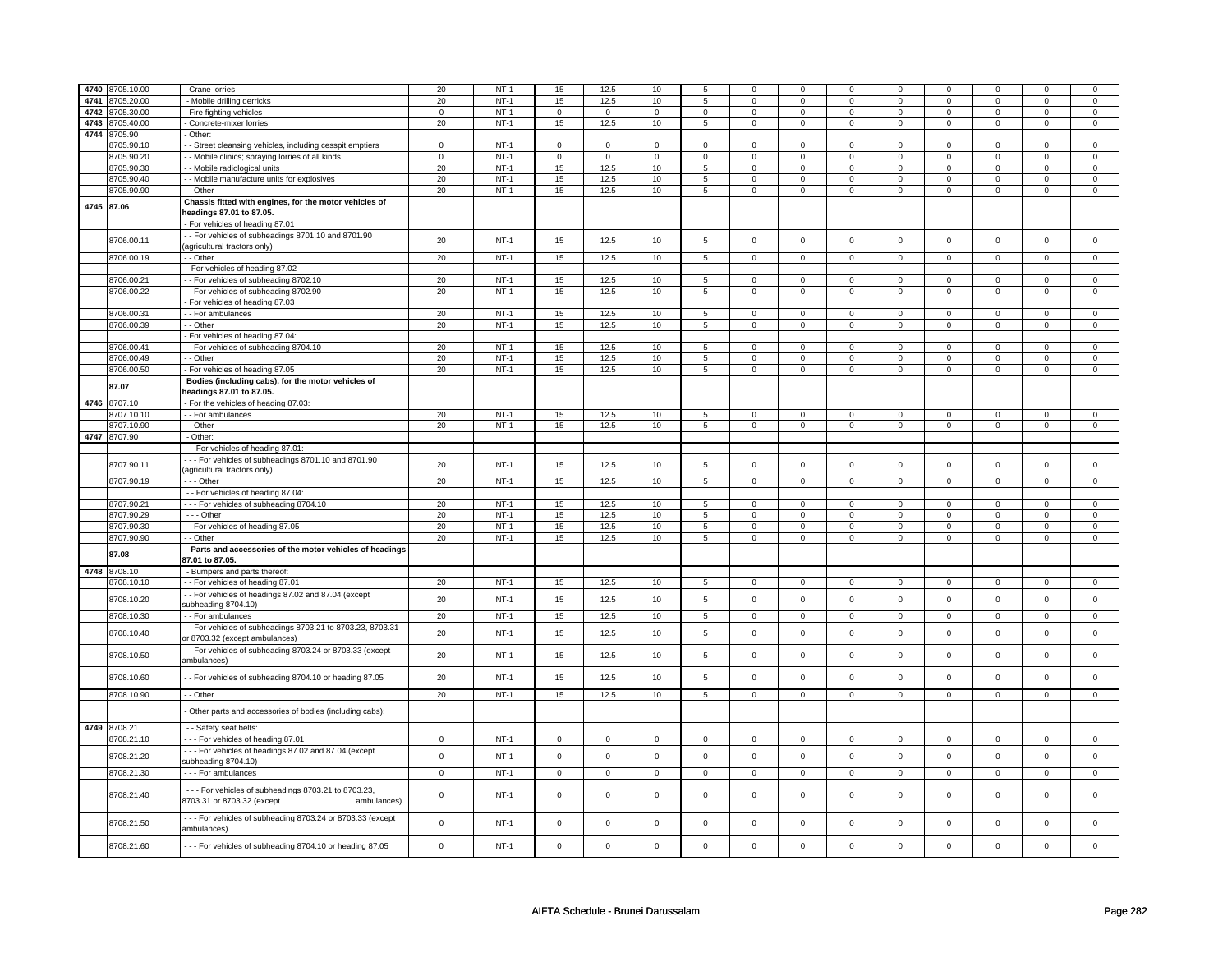|            | 4740 8705.10.00 | Crane lorries                                               | 20             | $NT-1$      | 15                  | 12.5        | 10           | 5                   | 0              | 0              | $\Omega$       | $\mathbf 0$    | $\mathbf 0$         | 0              | $\Omega$     | $\Omega$            |
|------------|-----------------|-------------------------------------------------------------|----------------|-------------|---------------------|-------------|--------------|---------------------|----------------|----------------|----------------|----------------|---------------------|----------------|--------------|---------------------|
| 4741       | 8705.20.00      |                                                             |                | $NT-1$      |                     | 12.5        |              |                     |                | $\mathsf 0$    |                | $\mathbf 0$    |                     | $\mathbf 0$    |              |                     |
| 4742       |                 | - Mobile drilling derricks                                  | 20             | $NT-1$      | 15                  |             | 10           | 5<br>$\overline{0}$ | 0              |                | 0              |                | 0                   |                | 0            | 0                   |
|            | 8705.30.00      | - Fire fighting vehicles                                    | $\mathbf 0$    |             | $\mathbf 0$         | $\mathbf 0$ | $\mathbf{0}$ |                     | $\mathbf 0$    | $\mathbf 0$    | $\mathbf 0$    | $\mathbf 0$    | 0                   | $\mathbf 0$    | 0            | $\overline{0}$      |
| 4743       | 8705.40.00      | - Concrete-mixer lorries                                    | 20             | $NT-1$      | 15                  | 12.5        | 10           | 5                   | $\mathbf 0$    | $\mathbf 0$    | $\mathbf 0$    | $\mathbf 0$    | $\mathbf 0$         | $\mathbf 0$    | $\mathbf 0$  | $\mathbf 0$         |
| 4744       | 8705.90         | Other:                                                      |                |             |                     |             |              |                     |                |                |                |                |                     |                |              |                     |
|            | 8705.90.10      | - Street cleansing vehicles, including cesspit emptiers     | $\mathsf 0$    | $NT-1$      | $\mathsf{O}\xspace$ | $\mathsf 0$ | $\mathsf 0$  | $\mathsf 0$         | $\mathsf 0$    | $\mathsf 0$    | $\mathbf 0$    | $\mathbf 0$    | $\mathsf 0$         | $\mathsf 0$    | $\Omega$     | $\mathbf 0$         |
|            | 8705.90.20      | - Mobile clinics; spraying lorries of all kinds             | $\mathsf 0$    | $NT-1$      | $\mathsf{O}\xspace$ | $\mathsf 0$ | $\mathsf 0$  | $\mathsf 0$         | $\mathsf 0$    | $\mathsf 0$    | 0              | $\mathsf 0$    | $\mathsf 0$         | $\mathbf 0$    | $\Omega$     | $\mathsf 0$         |
|            | 8705.90.30      | - Mobile radiological units                                 | 20             | $NT-1$      | 15                  | 12.5        | 10           | 5                   | $\mathbf 0$    | $\mathbf 0$    | $\mathbf 0$    | $\mathbf 0$    | $\mathbf 0$         | $\overline{0}$ | $\mathbf 0$  | $\overline{0}$      |
|            | 8705.90.40      | - Mobile manufacture units for explosives                   | 20             | $NT-1$      | 15                  | 12.5        | 10           | $\overline{5}$      | $\mathsf 0$    | $\overline{0}$ | 0              | $\mathsf 0$    | $\mathsf 0$         | $\overline{0}$ | 0            | $\overline{0}$      |
|            | 8705.90.90      | - - Other                                                   | 20             | $NT-1$      | 15                  | 12.5        | 10           | $5\phantom{.0}$     | $\mathsf 0$    | $\mathbf 0$    | $\mathbf 0$    | $\mathbf 0$    | $\mathbf 0$         | $\mathbf 0$    | $\mathbf 0$  | $\mathbf{0}$        |
| 4745 87.06 |                 | Chassis fitted with engines, for the motor vehicles of      |                |             |                     |             |              |                     |                |                |                |                |                     |                |              |                     |
|            |                 | headings 87.01 to 87.05.                                    |                |             |                     |             |              |                     |                |                |                |                |                     |                |              |                     |
|            |                 | - For vehicles of heading 87.01                             |                |             |                     |             |              |                     |                |                |                |                |                     |                |              |                     |
|            |                 | - For vehicles of subheadings 8701.10 and 8701.90           | 20             | $NT-1$      |                     | 12.5        | 10           |                     | $\mathbf 0$    |                | $\Omega$       |                | $\mathbf 0$         |                | $\Omega$     |                     |
|            | 8706.00.11      | agricultural tractors only)                                 |                |             | 15                  |             |              | 5                   |                | $\mathsf 0$    |                | $\mathbf 0$    |                     | $\mathbf 0$    |              | $\mathbf 0$         |
|            | 8706.00.19      | - - Other                                                   | 20             | $NT-1$      | 15                  | 12.5        | 10           | 5                   | $\mathbf 0$    | $\mathbf 0$    | 0              | $\mathbf 0$    | 0                   | $\mathbf 0$    | 0            | $\overline{0}$      |
|            |                 | - For vehicles of heading 87.02                             |                |             |                     |             |              |                     |                |                |                |                |                     |                |              |                     |
|            | 3706.00.21      | -- For vehicles of subheading 8702.10                       | 20             | $NT-1$      | 15                  | 12.5        | 10           | 5                   | $\mathbf 0$    | $\mathsf 0$    | $\mathbf 0$    | $\mathbf 0$    | $\mathbf 0$         | $\mathbf 0$    | $\Omega$     | 0                   |
|            | 8706.00.22      | -- For vehicles of subheading 8702.90                       | 20             | $NT-1$      | 15                  | 12.5        | 10           | $\overline{5}$      | $\mathbf 0$    | $\mathsf 0$    | $\mathbf 0$    | $\overline{0}$ | $\mathsf 0$         | $\overline{0}$ | $\mathbf 0$  | $\overline{0}$      |
|            |                 | For vehicles of heading 87.03                               |                |             |                     |             |              |                     |                |                |                |                |                     |                |              |                     |
|            | 8706.00.31      | - For ambulances                                            | 20             | $NT-1$      | 15                  | 12.5        | 10           | 5                   | 0              | $\mathsf 0$    | 0              | $\mathbf 0$    | 0                   | $\mathbf 0$    | 0            | $\mathsf 0$         |
|            | 8706.00.39      | $-$ Other                                                   | 20             | $NT-1$      | 15                  | 12.5        | 10           | $\overline{5}$      | $\mathbf 0$    | $\mathbf 0$    | $\mathbf 0$    | $\mathbf 0$    | $\mathbf 0$         | $\mathbf 0$    | $\mathbf 0$  | $\mathbf 0$         |
|            |                 | - For vehicles of heading 87.04:                            |                |             |                     |             |              |                     |                |                |                |                |                     |                |              |                     |
|            | 8706.00.41      | - For vehicles of subheading 8704.10                        | 20             | $NT-1$      | 15                  | 12.5        | 10           | 5                   | $\mathbf 0$    | $\mathsf 0$    | $\mathbf 0$    | $\mathbf 0$    | $\mathsf 0$         | $\mathbf 0$    | $\mathbf 0$  | $\mathbf 0$         |
|            | 8706.00.49      | - Other                                                     | 20             | $NT-1$      | 15                  | 12.5        | 10           | 5                   | $\mathsf 0$    | $\mathbf 0$    | $\mathbf 0$    | $\mathbf 0$    | $\mathsf 0$         | $\mathsf{O}$   | $\mathsf 0$  | $\mathbf 0$         |
|            |                 | For vehicles of heading 87.05                               | 20             | $NT-1$      | 15                  | 12.5        |              | 5                   |                | $\mathsf 0$    |                | $\mathsf 0$    |                     | $\mathsf 0$    |              | $\mathsf{O}\xspace$ |
|            | 8706.00.50      |                                                             |                |             |                     |             | 10           |                     | $\mathsf 0$    |                | 0              |                | $\mathsf 0$         |                | 0            |                     |
|            | 87.07           | Bodies (including cabs), for the motor vehicles of          |                |             |                     |             |              |                     |                |                |                |                |                     |                |              |                     |
|            |                 | headings 87.01 to 87.05.                                    |                |             |                     |             |              |                     |                |                |                |                |                     |                |              |                     |
|            | 4746 8707.10    | - For the vehicles of heading 87.03:                        |                |             |                     |             |              |                     |                |                |                |                |                     |                |              |                     |
|            | 8707.10.10      | - For ambulances                                            | 20             | $NT-1$      | 15                  | 12.5        | 10           | 5                   | $\mathbf 0$    | $\mathbf 0$    | $\mathbf 0$    | $\mathbf 0$    | $\mathbf 0$         | $\mathbf 0$    | $\Omega$     | $\mathbf{0}$        |
|            | 8707.10.90      | - Other                                                     | 20             | $NT-1$      | 15                  | 12.5        | 10           | 5                   | $\mathsf 0$    | $\mathsf 0$    | $\mathbf 0$    | $\mathbf 0$    | $\mathsf 0$         | $\mathbf 0$    | $\mathbf{0}$ | $\mathsf 0$         |
|            | 4747 8707.90    | - Other:                                                    |                |             |                     |             |              |                     |                |                |                |                |                     |                |              |                     |
|            |                 | - - For vehicles of heading 87.01:                          |                |             |                     |             |              |                     |                |                |                |                |                     |                |              |                     |
|            | 8707.90.11      | --- For vehicles of subheadings 8701.10 and 8701.90         | 20             | $NT-1$      | 15                  | 12.5        | 10           | 5                   | $\mathbf 0$    | $\mathsf 0$    | $\mathbf 0$    | $\mathbf 0$    | $\mathsf 0$         | $\mathbf 0$    | $\mathbf 0$  | $\mathbf 0$         |
|            |                 | (agricultural tractors only)                                |                |             |                     |             |              |                     |                |                |                |                |                     |                |              |                     |
|            | 8707.90.19      | $- -$ Other                                                 | 20             | $NT-1$      | 15                  | 12.5        | 10           | 5                   | $\mathbf 0$    | $\mathbf 0$    | $\mathbf 0$    | $\mathbf 0$    | $\mathsf 0$         | $\mathbf 0$    | $\mathbf 0$  | $\mathbf 0$         |
|            |                 | - - For vehicles of heading 87.04:                          |                |             |                     |             |              |                     |                |                |                |                |                     |                |              |                     |
|            | 8707.90.21      | --- For vehicles of subheading 8704.10                      | 20             | $NT-1$      | 15                  | 12.5        | 10           | $\overline{5}$      | $\overline{0}$ | $\overline{0}$ | $\overline{0}$ | $\overline{0}$ | $\overline{0}$      | $\overline{0}$ | $\Omega$     | $\overline{0}$      |
|            | 8707.90.29      | - - - Other                                                 | 20             | $NT-1$      | 15                  | 12.5        | 10           | 5                   | $\mathsf 0$    | $\mathsf 0$    | 0              | $\mathsf 0$    | $\mathsf 0$         | $\mathsf 0$    | 0            | 0                   |
|            | 8707.90.30      | - For vehicles of heading 87.05                             | 20             | $NT-1$      | 15                  | 12.5        | 10           | 5                   | $\mathbf 0$    | $\mathsf 0$    | $\mathbf 0$    | $\mathbf 0$    | $\mathsf 0$         | $\mathbf 0$    | $\mathbf 0$  | $\mathsf 0$         |
|            | 8707.90.90      | - - Other                                                   | 20             | $NT-1$      | 15                  | 12.5        | 10           | 5                   | $\mathsf 0$    | $\mathbf 0$    | $\mathbf 0$    | $\mathbf 0$    | $\mathsf 0$         | $\mathbf 0$    | 0            | $\mathsf 0$         |
|            |                 | Parts and accessories of the motor vehicles of headings     |                |             |                     |             |              |                     |                |                |                |                |                     |                |              |                     |
|            | 87.08           | 87.01 to 87.05.                                             |                |             |                     |             |              |                     |                |                |                |                |                     |                |              |                     |
|            | 4748 8708.10    | - Bumpers and parts thereof:                                |                |             |                     |             |              |                     |                |                |                |                |                     |                |              |                     |
|            | 8708.10.10      | -- For vehicles of heading 87.01                            | 20             | $NT-1$      | 15                  | 12.5        | 10           | 5                   | $\mathbf 0$    | $\mathbf 0$    | $\mathbf 0$    | $\mathbf 0$    | $\mathsf 0$         | $\mathbf 0$    | $\mathbf 0$  | $\mathbf 0$         |
|            |                 | - For vehicles of headings 87.02 and 87.04 (except          |                |             |                     |             |              |                     |                |                |                |                |                     |                |              |                     |
|            | 8708.10.20      | subheading 8704.10)                                         | 20             | $NT-1$      | 15                  | 12.5        | 10           | 5                   | $\mathbf 0$    | $\mathbf 0$    | $\Omega$       | $\mathbf 0$    | $\mathbf 0$         | $\mathbf 0$    | $\Omega$     | $\mathbf 0$         |
|            | 8708.10.30      | - - For ambulances                                          | 20             | <b>NT-1</b> | 15                  | 12.5        | 10           | 5                   | $\mathbf 0$    | $\mathbf 0$    | 0              | $\mathbf{0}$   | 0                   | $\mathbf 0$    | 0            | $\overline{0}$      |
|            |                 | - - For vehicles of subheadings 8703.21 to 8703.23, 8703.31 |                |             |                     |             |              |                     |                |                |                |                |                     |                |              |                     |
|            | 8708.10.40      | or 8703.32 (except ambulances)                              | 20             | $NT-1$      | 15                  | 12.5        | 10           | 5                   | $\mathbf 0$    | $\mathsf 0$    | $\mathbf 0$    | $\mathbf 0$    | $\mathbf 0$         | $\mathbf 0$    | $\mathbf 0$  | $\mathbf 0$         |
|            |                 | - For vehicles of subheading 8703.24 or 8703.33 (except     |                |             |                     |             |              |                     |                |                |                |                |                     |                |              |                     |
|            | 8708.10.50      | ambulances)                                                 | 20             | $NT-1$      | 15                  | 12.5        | 10           | 5                   | $\mathbf 0$    | $\mathsf 0$    | $\mathbf 0$    | $\mathbf 0$    | $\mathsf 0$         | $\mathbf 0$    | $\mathbf 0$  | $\mathbf 0$         |
|            |                 |                                                             |                |             |                     |             |              |                     |                |                |                |                |                     |                |              |                     |
|            | 8708.10.60      | - - For vehicles of subheading 8704.10 or heading 87.05     | 20             | $NT-1$      | 15                  | 12.5        | 10           | 5                   | $\mathbf 0$    | $\mathsf 0$    | $\mathbf 0$    | $\mathbf 0$    | $\mathsf 0$         | $\mathsf{o}\,$ | $\mathbf 0$  | $\mathbf 0$         |
|            | 8708.10.90      | - - Other                                                   | 20             | $NT-1$      | 15                  | 12.5        | 10           | 5                   | $\mathsf 0$    | $\mathbf 0$    | $\mathbf 0$    | $\mathbf 0$    | $\mathsf 0$         | $\mathbf 0$    | $\Omega$     | $\mathbf 0$         |
|            |                 |                                                             |                |             |                     |             |              |                     |                |                |                |                |                     |                |              |                     |
|            |                 | Other parts and accessories of bodies (including cabs):     |                |             |                     |             |              |                     |                |                |                |                |                     |                |              |                     |
|            |                 |                                                             |                |             |                     |             |              |                     |                |                |                |                |                     |                |              |                     |
|            | 4749 8708.21    | - - Safety seat belts:                                      |                |             |                     |             |              |                     |                |                |                |                |                     |                |              |                     |
|            | 8708.21.10      | --- For vehicles of heading 87.01                           | $\mathsf 0$    | $NT-1$      | $\mathsf{O}\xspace$ | $\mathsf 0$ | $\mathsf 0$  | $\mathbf 0$         | $\mathsf 0$    | $\mathbf 0$    | $\mathsf 0$    | $\mathbf 0$    | $\mathsf 0$         | $\mathbf 0$    | 0            | $\mathbf 0$         |
|            | 8708.21.20      | -- For vehicles of headings 87.02 and 87.04 (except         | $\mathbf 0$    | $NT-1$      | $\mathsf 0$         | $\mathsf 0$ | $\mathbf 0$  | $\mathbf 0$         | $\mathsf 0$    | $\mathsf 0$    | $\mathbf{0}$   | $\mathbf{0}$   | $\mathsf{O}\xspace$ | $\mathsf 0$    | $\mathbf{0}$ | $\mathsf 0$         |
|            |                 | subheading 8704.10)                                         |                |             |                     |             |              |                     |                |                |                |                |                     |                |              |                     |
|            | 8708.21.30      | - - - For ambulances                                        | $\overline{0}$ | $NT-1$      | $\mathbf{0}$        | $\mathbf 0$ | $\mathbf 0$  | $\mathbf{0}$        | $\mathbf{0}$   | $\mathbf{0}$   | $\mathbf 0$    | $\mathbf{0}$   | $\mathbf 0$         | $\mathbf{0}$   | $\mathbf 0$  | $\mathbf 0$         |
|            |                 | --- For vehicles of subheadings 8703.21 to 8703.23,         |                |             |                     |             |              |                     |                |                |                |                |                     |                |              |                     |
|            | 8708.21.40      | 8703.31 or 8703.32 (except<br>ambulances)                   | $\mathsf 0$    | $NT-1$      | $\mathsf 0$         | $\mathbf 0$ | 0            | $\mathbf 0$         | $\mathbf 0$    | $\mathsf 0$    | $\mathbf 0$    | $\mathbf 0$    | $\mathsf 0$         | $\mathbf 0$    | $\mathbf 0$  | 0                   |
|            |                 |                                                             |                |             |                     |             |              |                     |                |                |                |                |                     |                |              |                     |
|            | 8708.21.50      | --- For vehicles of subheading 8703.24 or 8703.33 (except   | $\mathsf 0$    | $NT-1$      | $\mathsf{O}\xspace$ | $\mathsf 0$ | $\mathbf 0$  | $\mathbf 0$         | $\mathbf 0$    | $\mathsf 0$    | $\mathbf 0$    | $\mathbf 0$    | $\mathsf 0$         | $\mathbf 0$    | $\mathbf 0$  | $\mathbf 0$         |
|            |                 | ambulances)                                                 |                |             |                     |             |              |                     |                |                |                |                |                     |                |              |                     |
|            |                 |                                                             |                |             |                     |             |              |                     |                |                |                |                |                     |                |              |                     |
|            | 8708.21.60      | --- For vehicles of subheading 8704.10 or heading 87.05     | $\mathbf 0$    | $NT-1$      | $\mathsf 0$         | $\mathbf 0$ | $\mathbf 0$  | $\mathsf 0$         | $\mathbf 0$    | $\mathsf 0$    | $\mathbf 0$    | $\mathbf 0$    | $\mathbf 0$         | $\mathbf 0$    | $\mathbf 0$  | $\mathbf 0$         |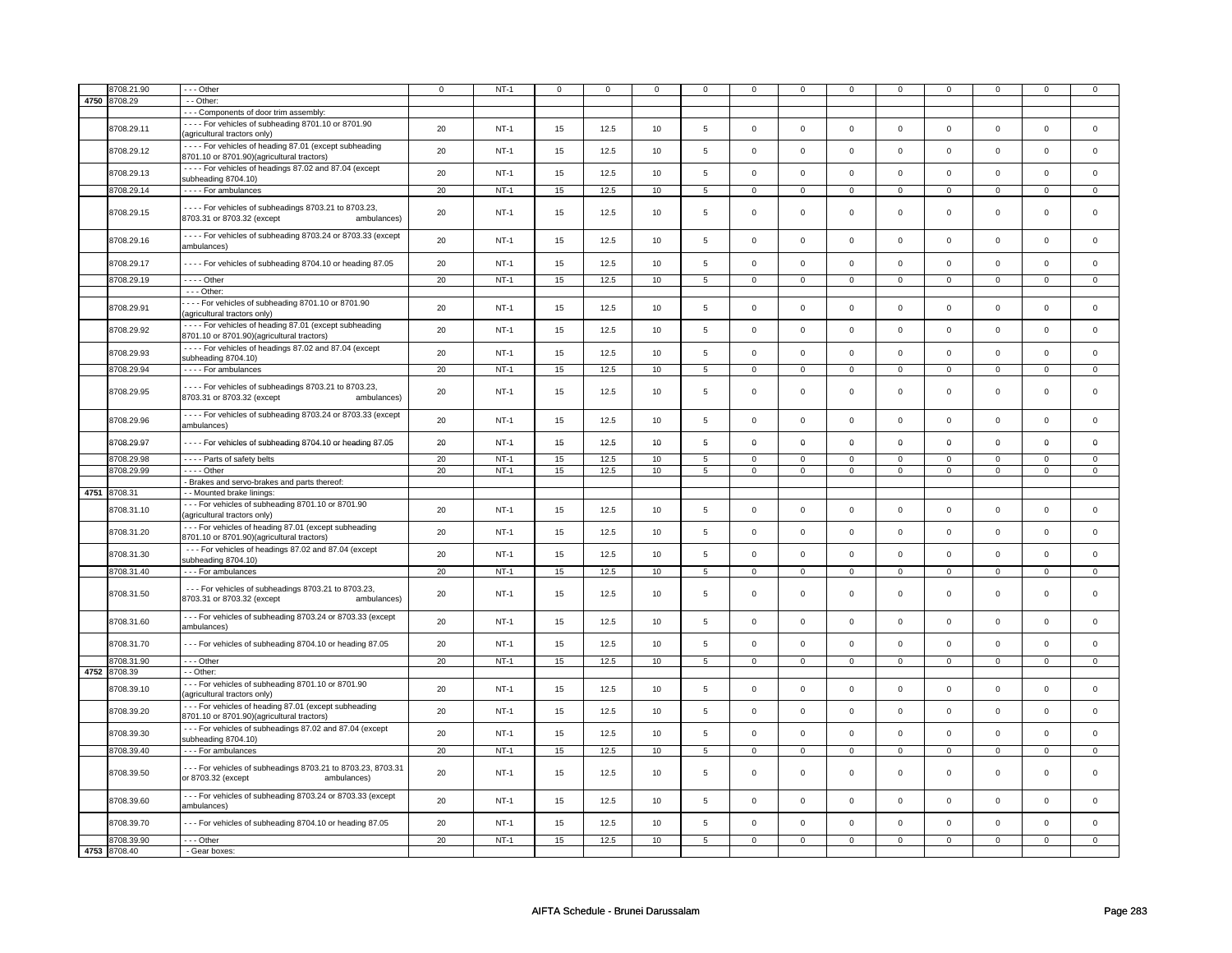|      | 3708.21.90   | --- Other                                                                                              | $\mathbf 0$ | $NT-1$ | $\mathbf 0$ | $\mathbf 0$ | $\mathbf 0$ | 0               | 0              | 0              | $\mathbf 0$         | 0              | $\mathbf 0$    | $\mathbf 0$    | $\mathbf 0$    | $\mathbf 0$    |
|------|--------------|--------------------------------------------------------------------------------------------------------|-------------|--------|-------------|-------------|-------------|-----------------|----------------|----------------|---------------------|----------------|----------------|----------------|----------------|----------------|
| 4750 | 8708.29      | - - Other:                                                                                             |             |        |             |             |             |                 |                |                |                     |                |                |                |                |                |
|      |              | - - - Components of door trim assembly:                                                                |             |        |             |             |             |                 |                |                |                     |                |                |                |                |                |
|      |              | - - - - For vehicles of subheading 8701.10 or 8701.90                                                  |             |        |             |             |             |                 |                |                |                     |                |                |                |                |                |
|      | 8708.29.11   | (agricultural tractors only)                                                                           | 20          | $NT-1$ | 15          | 12.5        | 10          | 5               | $\mathbf 0$    | $\mathsf 0$    | $\mathbf 0$         | 0              | $\mathbf 0$    | $\mathsf 0$    | $\mathsf 0$    | $\circ$        |
|      |              |                                                                                                        |             |        |             |             |             |                 |                |                |                     |                |                |                |                |                |
|      | 8708.29.12   | - - - - For vehicles of heading 87.01 (except subheading                                               | 20          | $NT-1$ | 15          | 12.5        | 10          | 5               | $\mathsf 0$    | $\mathsf 0$    | $\mathbf{0}$        | $\mathbf 0$    | $\mathsf 0$    | $\mathsf 0$    | $\mathbf 0$    | $\mathbf 0$    |
|      |              | 8701.10 or 8701.90)(agricultural tractors)                                                             |             |        |             |             |             |                 |                |                |                     |                |                |                |                |                |
|      | 8708.29.13   | - - - - For vehicles of headings 87.02 and 87.04 (except                                               | 20          | $NT-1$ | 15          | 12.5        | 10          | 5               | $\mathbf 0$    | $\mathbf 0$    | $\mathbf 0$         | $\mathbf{0}$   | $\mathbf 0$    | $\mathbf{0}$   | $\mathbf 0$    | $\mathbf 0$    |
|      |              | subheading 8704.10)                                                                                    |             |        |             |             |             |                 |                |                |                     |                |                |                |                |                |
|      | 8708.29.14   | - - - - For ambulances                                                                                 | 20          | $NT-1$ | 15          | 12.5        | 10          | $5\phantom{.0}$ | $\mathbf 0$    | $\mathbf 0$    | $\mathbf 0$         | $\overline{0}$ | $\mathbf 0$    | $\mathbf 0$    | $\mathsf 0$    | $\mathbf 0$    |
|      |              | - - - - For vehicles of subheadings 8703.21 to 8703.23,                                                |             |        |             |             |             |                 |                |                |                     |                |                |                |                |                |
|      | 8708.29.15   | 8703.31 or 8703.32 (except<br>ambulances)                                                              | 20          | $NT-1$ | 15          | 12.5        | 10          | 5               | $\mathbf 0$    | $\mathbf 0$    | $\mathbf 0$         | $\mathbf{0}$   | $\mathbf 0$    | $\mathbf{0}$   | $\mathbf 0$    | $\mathbf 0$    |
|      |              |                                                                                                        |             |        |             |             |             |                 |                |                |                     |                |                |                |                |                |
|      | 8708.29.16   | ---- For vehicles of subheading 8703.24 or 8703.33 (except                                             | 20          | $NT-1$ | 15          | 12.5        | 10          | 5               | $\mathbf 0$    | $\mathsf 0$    | $\mathbf 0$         | 0              | $\mathbf 0$    | $\mathbf 0$    | $\mathsf 0$    | $\mathbf 0$    |
|      |              | ambulances)                                                                                            |             |        |             |             |             |                 |                |                |                     |                |                |                |                |                |
|      |              |                                                                                                        |             |        |             |             |             |                 |                |                |                     |                |                |                |                |                |
|      | 8708.29.17   | - - - - For vehicles of subheading 8704.10 or heading 87.05                                            | 20          | $NT-1$ | 15          | 12.5        | 10          | 5               | $\mathsf 0$    | $\mathsf 0$    | $\mathbf 0$         | $\mathbf 0$    | $\mathsf 0$    | $\mathsf 0$    | $\mathsf 0$    | $\mathbf 0$    |
|      | 8708.29.19   | - - - - Other                                                                                          | 20          | $NT-1$ | 15          | 12.5        | 10          | $\overline{5}$  | $\overline{0}$ | $\overline{0}$ | $\mathbf 0$         | $\overline{0}$ | $\overline{0}$ | $\overline{0}$ | $\mathsf 0$    | $\overline{0}$ |
|      |              | $- -$ Other:                                                                                           |             |        |             |             |             |                 |                |                |                     |                |                |                |                |                |
|      |              | - - - - For vehicles of subheading 8701.10 or 8701.90                                                  |             |        |             |             |             |                 |                |                |                     |                |                |                |                |                |
|      | 8708.29.91   | (agricultural tractors only)                                                                           | 20          | $NT-1$ | 15          | 12.5        | 10          | 5               | $\mathbf 0$    | $\mathsf 0$    | $\mathbf 0$         | 0              | $\mathbf 0$    | $\mathbf 0$    | $\mathbf 0$    | $\mathbf 0$    |
|      |              |                                                                                                        |             |        |             |             |             |                 |                |                |                     |                |                |                |                |                |
|      | 8708.29.92   | - - - - For vehicles of heading 87.01 (except subheading<br>8701.10 or 8701.90)(agricultural tractors) | 20          | $NT-1$ | 15          | 12.5        | 10          | 5               | $\mathbf 0$    | $\mathsf 0$    | $\mathbf 0$         | $\mathbf{0}$   | $\mathbf 0$    | $\mathbf{0}$   | $\mathbf 0$    | $\mathbf{0}$   |
|      |              |                                                                                                        |             |        |             |             |             |                 |                |                |                     |                |                |                |                |                |
|      | 8708.29.93   | - - - - For vehicles of headings 87.02 and 87.04 (except                                               | 20          | $NT-1$ | 15          | 12.5        | 10          | 5               | $\mathbf 0$    | $\mathsf 0$    | $\mathbf 0$         | 0              | $\mathbf 0$    | $\mathsf 0$    | $\mathbf 0$    | $\mathbf 0$    |
|      |              | subheading 8704.10)                                                                                    |             |        |             |             |             |                 |                |                |                     |                |                |                |                |                |
|      | 8708.29.94   | - - - - For ambulances                                                                                 | 20          | $NT-1$ | 15          | 12.5        | 10          | 5               | $\mathsf 0$    | $\mathbf 0$    | $\mathbf 0$         | $\mathbf 0$    | $\mathsf 0$    | $\mathsf 0$    | $\mathsf 0$    | $\mathbf 0$    |
|      |              | - - - - For vehicles of subheadings 8703.21 to 8703.23,                                                |             |        |             |             |             |                 |                |                |                     |                |                |                |                |                |
|      | 8708.29.95   | 8703.31 or 8703.32 (except<br>ambulances)                                                              | 20          | $NT-1$ | 15          | 12.5        | 10          | 5               | $\mathbf 0$    | $\mathsf 0$    | $\mathbf 0$         | 0              | $\mathbf 0$    | $\mathbf 0$    | $\mathsf 0$    | $\mathbf 0$    |
|      |              |                                                                                                        |             |        |             |             |             |                 |                |                |                     |                |                |                |                |                |
|      | 8708.29.96   | - - - - For vehicles of subheading 8703.24 or 8703.33 (except                                          | 20          | $NT-1$ | 15          | 12.5        | 10          | 5               | $\mathsf 0$    | $\mathsf 0$    | $\mathsf 0$         | $\mathbf 0$    | $\mathsf 0$    | $\mathsf 0$    | $\mathsf 0$    | $\mathsf 0$    |
|      |              | ambulances)                                                                                            |             |        |             |             |             |                 |                |                |                     |                |                |                |                |                |
|      | 8708.29.97   | - - - - For vehicles of subheading 8704.10 or heading 87.05                                            | 20          | $NT-1$ | 15          | 12.5        | 10          | 5               | 0              | $\mathbf 0$    | 0                   | 0              | 0              | $\mathbf 0$    | $\mathbf 0$    | $\mathbf 0$    |
|      |              |                                                                                                        |             |        |             |             |             |                 |                |                |                     |                |                |                |                |                |
|      | 8708.29.98   | ---- Parts of safety belts                                                                             | 20          | $NT-1$ | 15          | 12.5        | 10          | 5               | $\mathbf 0$    | $\mathbf 0$    | $\mathbf 0$         | 0              | $\mathbf 0$    | $\mathbf 0$    | $\Omega$       | $\mathbf 0$    |
|      | 8708.29.99   | $- - -$ Other                                                                                          | 20          | $NT-1$ | 15          | 12.5        | 10          | $5\phantom{.0}$ | $\mathsf 0$    | $\mathsf 0$    | $\mathbf 0$         | $\mathbf 0$    | $\mathsf 0$    | $\mathsf 0$    | $\mathsf 0$    | $\overline{0}$ |
|      |              | - Brakes and servo-brakes and parts thereof:                                                           |             |        |             |             |             |                 |                |                |                     |                |                |                |                |                |
|      | 4751 8708.31 | - - Mounted brake linings:                                                                             |             |        |             |             |             |                 |                |                |                     |                |                |                |                |                |
|      |              | --- For vehicles of subheading 8701.10 or 8701.90                                                      |             |        |             |             |             |                 |                |                |                     |                |                |                |                |                |
|      | 8708.31.10   | (agricultural tractors only)                                                                           | 20          | $NT-1$ | 15          | 12.5        | 10          | 5               | $\mathbf 0$    | $\mathsf 0$    | $\mathbf 0$         | 0              | $\mathbf 0$    | $\mathsf 0$    | $\mathsf 0$    | $\mathbf 0$    |
|      |              | --- For vehicles of heading 87.01 (except subheading                                                   |             |        |             |             |             |                 |                |                |                     |                |                |                |                |                |
|      | 8708.31.20   | 8701.10 or 8701.90)(agricultural tractors)                                                             | 20          | $NT-1$ | 15          | 12.5        | 10          | 5               | $\mathbf 0$    | $\mathsf 0$    | $\mathbf 0$         | 0              | $\mathbf 0$    | $\mathbf 0$    | $\mathsf 0$    | $\mathbf 0$    |
|      |              |                                                                                                        |             |        |             |             |             |                 |                |                |                     |                |                |                |                |                |
|      | 8708.31.30   | --- For vehicles of headings 87.02 and 87.04 (except                                                   | 20          | $NT-1$ | 15          | 12.5        | 10          | 5               | $\mathbf 0$    | $\mathbf 0$    | $\mathbf 0$         | $\mathbf{0}$   | $\mathbf 0$    | $\mathbf 0$    | $\mathsf 0$    | $\mathbf 0$    |
|      |              | subheading 8704.10)                                                                                    |             |        |             |             |             |                 |                |                |                     |                |                |                |                |                |
|      | 8708.31.40   | - - - For ambulances                                                                                   | 20          | $NT-1$ | 15          | 12.5        | 10          | $\overline{5}$  | $\overline{0}$ | $\overline{0}$ | $\overline{0}$      | $\overline{0}$ | $\overline{0}$ | $\overline{0}$ | $\overline{0}$ | $\overline{0}$ |
|      |              | - - - For vehicles of subheadings 8703.21 to 8703.23,                                                  |             |        |             |             |             |                 |                |                |                     |                |                |                |                |                |
|      | 8708.31.50   | 8703.31 or 8703.32 (except<br>ambulances)                                                              | 20          | $NT-1$ | 15          | 12.5        | 10          | 5               | $\mathsf 0$    | $\mathsf 0$    | $\Omega$            | 0              | $\Omega$       | $\mathbf 0$    | $\mathsf 0$    | $\mathbf 0$    |
|      |              |                                                                                                        |             |        |             |             |             |                 |                |                |                     |                |                |                |                |                |
|      | 8708.31.60   | - - - For vehicles of subheading 8703.24 or 8703.33 (except                                            | 20          | $NT-1$ | 15          | 12.5        | 10          | 5               | $\mathbf 0$    | $\mathbf 0$    | $\mathbf 0$         | $\mathbf{0}$   | $\mathbf 0$    | $\mathbf{0}$   | $\mathbf 0$    | $\mathbf 0$    |
|      |              | ambulances)                                                                                            |             |        |             |             |             |                 |                |                |                     |                |                |                |                |                |
|      | 8708.31.70   | --- For vehicles of subheading 8704.10 or heading 87.05                                                | 20          | $NT-1$ | 15          | 12.5        | 10          | 5               | $\mathsf 0$    | $\mathsf 0$    | $\mathbf{0}$        | $\mathsf 0$    | $\mathsf 0$    | $\mathsf 0$    | $\mathbf 0$    | $\mathbf 0$    |
|      |              |                                                                                                        |             |        |             |             |             |                 |                |                |                     |                |                |                |                |                |
|      | 8708.31.90   | --- Other                                                                                              | 20          | $NT-1$ | 15          | 12.5        | 10          | 5               | $\mathbf 0$    | $\mathsf 0$    | $\mathbf 0$         | 0              | $\mathbf 0$    | $\mathbf 0$    | $\mathsf 0$    | $\mathbf 0$    |
|      | 4752 8708.39 | - - Other:                                                                                             |             |        |             |             |             |                 |                |                |                     |                |                |                |                |                |
|      |              | --- For vehicles of subheading 8701.10 or 8701.90                                                      |             |        |             |             |             |                 |                |                |                     |                |                |                |                |                |
|      | 8708.39.10   | (agricultural tractors only)                                                                           | 20          | $NT-1$ | 15          | 12.5        | 10          | 5               | $\mathbf 0$    | $\mathsf 0$    | $\mathbf 0$         | $\mathbf 0$    | $\mathbf 0$    | $\mathbf 0$    | $\mathsf 0$    | $\circ$        |
|      |              | --- For vehicles of heading 87.01 (except subheading                                                   |             |        |             |             |             |                 |                |                |                     |                |                |                |                |                |
|      | 8708.39.20   | 8701.10 or 8701.90)(agricultural tractors)                                                             | 20          | $NT-1$ | 15          | 12.5        | 10          | 5               | $\mathsf 0$    | $\mathsf 0$    | $\mathsf{O}\xspace$ | $\mathbf 0$    | $\mathsf 0$    | $\mathsf 0$    | $\mathsf 0$    | $\mathbf 0$    |
|      |              | --- For vehicles of subheadings 87.02 and 87.04 (except                                                |             |        |             |             |             |                 |                |                |                     |                |                |                |                |                |
|      | 8708.39.30   | subheading 8704.10)                                                                                    | 20          | $NT-1$ | 15          | 12.5        | 10          | 5               | $\mathsf 0$    | $\mathsf 0$    | $\mathbf 0$         | $\mathbf 0$    | $\mathbf 0$    | $\mathsf 0$    | $\mathsf 0$    | $\mathbf 0$    |
|      | 8708.39.40   | - - - For ambulances                                                                                   | 20          | $NT-1$ | 15          | 12.5        | 10          | $5\overline{5}$ | $\mathsf 0$    | $\overline{0}$ | $\overline{0}$      | $\mathsf{O}^-$ | $\overline{0}$ | $\overline{0}$ | $\overline{0}$ | $\mathsf 0$    |
|      |              |                                                                                                        |             |        |             |             |             |                 |                |                |                     |                |                |                |                |                |
|      |              | --- For vehicles of subheadings 8703.21 to 8703.23, 8703.31                                            |             |        |             |             |             |                 |                |                |                     |                |                |                |                |                |
|      | 8708.39.50   | or 8703.32 (except<br>ambulances)                                                                      | 20          | $NT-1$ | 15          | 12.5        | 10          | 5               | $\mathbf 0$    | $\mathbf 0$    | $\mathbf 0$         | $\mathbf{0}$   | $\mathbf 0$    | $\mathbf{0}$   | $\mathbf 0$    | $\mathbf 0$    |
|      |              |                                                                                                        |             |        |             |             |             |                 |                |                |                     |                |                |                |                |                |
|      | 8708.39.60   | --- For vehicles of subheading 8703.24 or 8703.33 (except                                              | 20          | $NT-1$ | 15          | 12.5        | 10          | 5               | $\mathbf 0$    | $\mathsf 0$    | $\mathbf 0$         | 0              | $\mathbf 0$    | $\mathbf 0$    | $\mathsf 0$    | $\mathbf 0$    |
|      |              | ambulances)                                                                                            |             |        |             |             |             |                 |                |                |                     |                |                |                |                |                |
|      | 8708.39.70   | --- For vehicles of subheading 8704.10 or heading 87.05                                                | 20          | $NT-1$ | 15          | 12.5        | 10          | 5               | $\mathbf 0$    | $\mathsf 0$    | $\mathsf{O}\xspace$ | $\mathbf 0$    | $\mathsf 0$    | $\mathsf 0$    | $\mathsf 0$    | $\mathbf 0$    |
|      |              |                                                                                                        |             |        |             |             |             |                 |                |                |                     |                |                |                |                |                |
|      | 8708.39.90   | --- Other                                                                                              | 20          | $NT-1$ | 15          | 12.5        | 10          | 5               | $\mathbf 0$    | $\mathbf{0}$   | $\mathbf 0$         | $\mathbf{0}$   | $\mathbf 0$    | $\mathbf{0}$   | $\mathbf 0$    | $\mathbf{0}$   |
|      | 4753 8708.40 | - Gear boxes:                                                                                          |             |        |             |             |             |                 |                |                |                     |                |                |                |                |                |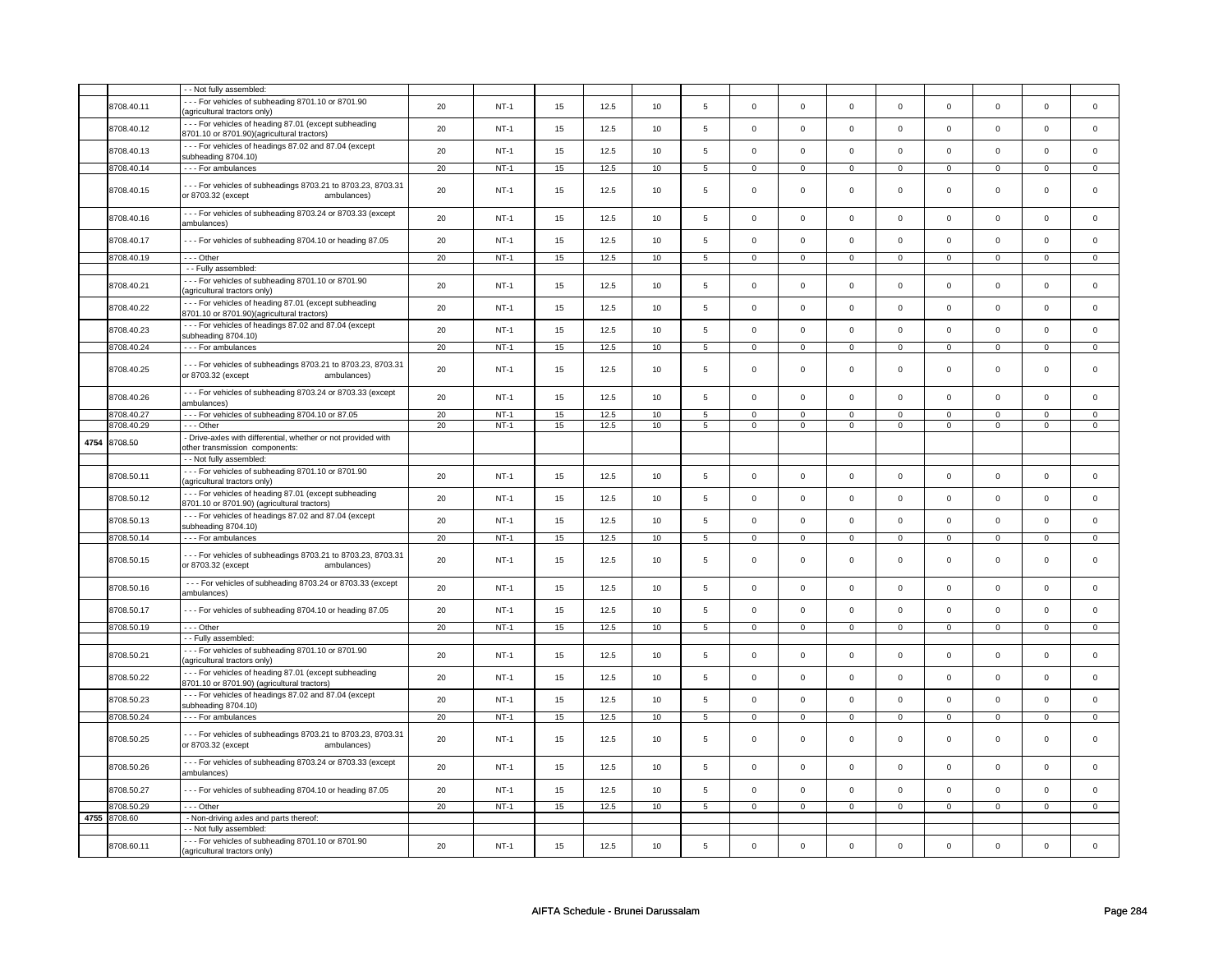|      |              | - - Not fully assembled:                                                                            |    |        |    |      |    |                 |                |                |                     |                |                |                |                |                     |
|------|--------------|-----------------------------------------------------------------------------------------------------|----|--------|----|------|----|-----------------|----------------|----------------|---------------------|----------------|----------------|----------------|----------------|---------------------|
|      | 8708.40.11   | --- For vehicles of subheading 8701.10 or 8701.90<br>(agricultural tractors only)                   | 20 | $NT-1$ | 15 | 12.5 | 10 | 5               | $\mathsf 0$    | $\mathbf 0$    | $\mathsf 0$         | $\mathbf 0$    | 0              | $\mathsf 0$    | $\mathsf 0$    | $\mathbf 0$         |
|      | 8708.40.12   | --- For vehicles of heading 87.01 (except subheading<br>8701.10 or 8701.90)(agricultural tractors)  | 20 | $NT-1$ | 15 | 12.5 | 10 | $\,$ 5 $\,$     | $\mathsf 0$    | $\mathsf 0$    | $\mathsf{O}\xspace$ | $\mathsf 0$    | $\mathsf 0$    | $\mathsf 0$    | $\mathsf 0$    | $\mathbf 0$         |
|      | 8708.40.13   | --- For vehicles of headings 87.02 and 87.04 (except<br>subheading 8704.10)                         | 20 | $NT-1$ | 15 | 12.5 | 10 | 5               | $\mathsf 0$    | $\mathsf 0$    | $\mathsf 0$         | $\mathsf 0$    | $\mathbf 0$    | $\mathsf 0$    | $\mathsf 0$    | $\mathsf 0$         |
|      | 8708.40.14   | - - - For ambulances                                                                                | 20 | $NT-1$ | 15 | 12.5 | 10 | $5\overline{)}$ | $\overline{0}$ | $\overline{0}$ | $\overline{0}$      | $\overline{0}$ | $\overline{0}$ | $\overline{0}$ | $\overline{0}$ | $\overline{0}$      |
|      | 8708.40.15   | --- For vehicles of subheadings 8703.21 to 8703.23, 8703.31<br>or 8703.32 (except<br>ambulances)    | 20 | $NT-1$ | 15 | 12.5 | 10 | 5               | $\mathbf 0$    | $\mathbf 0$    | $\mathbf 0$         | $\mathbf 0$    | $\mathbf 0$    | $\mathbf 0$    | $\mathbf 0$    | $\mathbf{0}$        |
|      | 8708.40.16   | - - - For vehicles of subheading 8703.24 or 8703.33 (except<br>ambulances)                          | 20 | $NT-1$ | 15 | 12.5 | 10 | 5               | $\mathbf 0$    | $\mathbf 0$    | $\mathsf 0$         | $\mathbf 0$    | $\mathbf 0$    | $\mathsf 0$    | $\mathbf 0$    | 0                   |
|      | 8708.40.17   | --- For vehicles of subheading 8704.10 or heading 87.05                                             | 20 | $NT-1$ | 15 | 12.5 | 10 | 5               | $\mathsf 0$    | $\mathsf 0$    | $\mathsf 0$         | $\mathbf 0$    | $\mathbf 0$    | $\mathsf 0$    | $\mathbf 0$    | $\mathbf 0$         |
|      | 8708.40.19   | $- -$ Other                                                                                         | 20 | $NT-1$ | 15 | 12.5 | 10 | 5               | $\mathbf 0$    | $\mathbf 0$    | $\mathsf 0$         | $\mathbf 0$    | $\mathbf 0$    | $\mathsf 0$    | $\mathsf 0$    | $\mathbf 0$         |
|      |              | - - Fully assembled:                                                                                |    |        |    |      |    |                 |                |                |                     |                |                |                |                |                     |
|      | 8708.40.21   | --- For vehicles of subheading 8701.10 or 8701.90<br>(agricultural tractors only)                   | 20 | $NT-1$ | 15 | 12.5 | 10 | 5               | $\mathbf 0$    | $\mathbf 0$    | $\mathbf 0$         | $\mathbf 0$    | 0              | $\mathsf 0$    | 0              | $\mathbf 0$         |
|      | 8708.40.22   | --- For vehicles of heading 87.01 (except subheading<br>8701.10 or 8701.90)(agricultural tractors)  | 20 | $NT-1$ | 15 | 12.5 | 10 | 5               | $\mathsf 0$    | $\mathsf 0$    | $\mathsf{O}\xspace$ | $\mathbf 0$    | $\mathsf 0$    | $\mathsf 0$    | $\mathsf 0$    | $\mathbf 0$         |
|      | 8708.40.23   | --- For vehicles of headings 87.02 and 87.04 (except<br>subheading 8704.10)                         | 20 | $NT-1$ | 15 | 12.5 | 10 | 5               | $\mathbf 0$    | $\mathbf 0$    | $\mathbf 0$         | $\mathbf 0$    | $\mathbf 0$    | $\mathbf 0$    | $\mathbf 0$    | $\mathbf 0$         |
|      | 8708.40.24   | - - - For ambulances                                                                                | 20 | $NT-1$ | 15 | 12.5 | 10 | $5\overline{)}$ | $\overline{0}$ | $\overline{0}$ | $\overline{0}$      | $\overline{0}$ | $\overline{0}$ | $\overline{0}$ | $\overline{0}$ | $\overline{0}$      |
|      | 8708.40.25   | --- For vehicles of subheadings 8703.21 to 8703.23, 8703.31<br>or 8703.32 (except<br>ambulances)    | 20 | $NT-1$ | 15 | 12.5 | 10 | 5               | $\mathbf 0$    | $\mathbf 0$    | $\mathbf 0$         | $\mathbf 0$    | $\mathbf 0$    | $\mathbf 0$    | $\Omega$       | $\mathbf{0}$        |
|      | 8708.40.26   | - - - For vehicles of subheading 8703.24 or 8703.33 (except<br>ambulances)                          | 20 | $NT-1$ | 15 | 12.5 | 10 | 5               | $\mathsf 0$    | $\mathbf 0$    | $\mathbf 0$         | $\mathbf 0$    | $\mathsf 0$    | $\mathbf{0}$   | $\mathbf 0$    | $\mathbf 0$         |
|      | 8708.40.27   | --- For vehicles of subheading 8704.10 or 87.05                                                     | 20 | $NT-1$ | 15 | 12.5 | 10 | 5               | $\mathsf 0$    | $\mathsf 0$    | $\mathsf{O}\xspace$ | $\mathbf 0$    | $\mathbf 0$    | $\mathbf 0$    | $\mathbf 0$    | $\mathbf 0$         |
|      | 8708.40.29   | --- Other                                                                                           | 20 | $NT-1$ | 15 | 12.5 | 10 | 5               | $\mathbf 0$    | $\overline{0}$ | $\mathsf 0$         | $\mathbf 0$    | $\mathbf 0$    | $\mathsf 0$    | $\mathsf 0$    | $\overline{0}$      |
| 4754 | 8708.50      | - Drive-axles with differential, whether or not provided with<br>other transmission components:     |    |        |    |      |    |                 |                |                |                     |                |                |                |                |                     |
|      |              | - - Not fully assembled:                                                                            |    |        |    |      |    |                 |                |                |                     |                |                |                |                |                     |
|      | 8708.50.11   | --- For vehicles of subheading 8701.10 or 8701.90<br>(agricultural tractors only)                   | 20 | $NT-1$ | 15 | 12.5 | 10 | 5               | $\Omega$       | $\mathsf 0$    | $\mathsf 0$         | $\mathbf 0$    | $\mathbf 0$    | $\mathsf 0$    | $\mathsf 0$    | $\mathsf 0$         |
|      | 8708.50.12   | --- For vehicles of heading 87.01 (except subheading<br>8701.10 or 8701.90) (agricultural tractors) | 20 | $NT-1$ | 15 | 12.5 | 10 | 5               | $\Omega$       | $\mathsf 0$    | $\mathbf 0$         | $\mathbf 0$    | $\mathsf 0$    | $\mathsf 0$    | $\mathbf 0$    | 0                   |
|      | 8708.50.13   | --- For vehicles of headings 87.02 and 87.04 (except<br>subheading 8704.10)                         | 20 | $NT-1$ | 15 | 12.5 | 10 | 5               | $\mathsf 0$    | $\mathsf 0$    | $\mathsf 0$         | $\mathsf 0$    | $\mathbf 0$    | $\mathbf 0$    | $\mathbf 0$    | $\mathbf 0$         |
|      | 8708.50.14   | - - - For ambulances                                                                                | 20 | $NT-1$ | 15 | 12.5 | 10 | 5               | $\mathbf 0$    | $\mathbf 0$    | $\mathsf 0$         | $\mathbf 0$    | 0              | $\mathsf 0$    | 0              | 0                   |
|      | 8708.50.15   | --- For vehicles of subheadings 8703.21 to 8703.23, 8703.31<br>or 8703.32 (except<br>ambulances)    | 20 | $NT-1$ | 15 | 12.5 | 10 | 5               | $\,0\,$        | $\mathsf 0$    | $\mathbf 0$         | $\mathbf 0$    | $\mathbf 0$    | 0              | 0              | $\mathbf 0$         |
|      | 8708.50.16   | --- For vehicles of subheading 8703.24 or 8703.33 (except<br>ambulances)                            | 20 | $NT-1$ | 15 | 12.5 | 10 | 5               | $\mathsf 0$    | $\mathsf 0$    | $\mathsf{O}\xspace$ | $\mathbf 0$    | 0              | $\mathsf 0$    | 0              | $\mathsf 0$         |
|      | 8708.50.17   | --- For vehicles of subheading 8704.10 or heading 87.05                                             | 20 | $NT-1$ | 15 | 12.5 | 10 | 5               | $\mathsf 0$    | $\mathsf 0$    | $\mathsf{O}\xspace$ | $\mathsf 0$    | $\mathsf 0$    | $\mathsf 0$    | $\mathsf 0$    | $\mathbf 0$         |
|      | 8708.50.19   | $--$ Other                                                                                          | 20 | $NT-1$ | 15 | 12.5 | 10 | $\overline{5}$  | $\overline{0}$ | $\overline{0}$ | $\overline{0}$      | $\overline{0}$ | $\overline{0}$ | $\overline{0}$ | $\overline{0}$ | $\overline{0}$      |
|      |              | - - Fully assembled:                                                                                |    |        |    |      |    |                 |                |                |                     |                |                |                |                |                     |
|      | 8708.50.21   | --- For vehicles of subheading 8701.10 or 8701.90<br>(agricultural tractors only)                   | 20 | $NT-1$ | 15 | 12.5 | 10 | 5               | $\Omega$       | $\mathbf 0$    | $\mathbf 0$         | $\mathbf 0$    | $\mathbf 0$    | $\mathbf 0$    | $\Omega$       | $\mathbf 0$         |
|      | 8708.50.22   | --- For vehicles of heading 87.01 (except subheading<br>8701.10 or 8701.90) (agricultural tractors) | 20 | $NT-1$ | 15 | 12.5 | 10 | 5               | $\mathsf 0$    | $\mathbf 0$    | $\mathsf 0$         | $\mathbf 0$    | $\mathbf 0$    | $\mathbf 0$    | $\mathbf 0$    | $\mathbf 0$         |
|      | 8708.50.23   | --- For vehicles of headings 87.02 and 87.04 (except<br>subheading 8704.10)                         | 20 | $NT-1$ | 15 | 12.5 | 10 | 5               | $\mathsf 0$    | $\mathsf 0$    | $\mathsf{O}\xspace$ | $\mathsf 0$    | $\mathbf 0$    | $\mathsf 0$    | $\mathsf 0$    | $\mathbf 0$         |
|      | 8708.50.24   | --- For ambulances                                                                                  | 20 | $NT-1$ | 15 | 12.5 | 10 | 5               | $\mathbf 0$    | $\mathbf 0$    | $\mathsf 0$         | $\mathbf 0$    | $\mathbf 0$    | $\mathsf 0$    | $\mathsf 0$    | 0                   |
|      | 8708.50.25   | --- For vehicles of subheadings 8703.21 to 8703.23, 8703.31<br>or 8703.32 (except<br>ambulances)    | 20 | $NT-1$ | 15 | 12.5 | 10 | 5               | $\,0\,$        | $\mathsf 0$    | $\mathsf 0$         | $\mathbf 0$    | $\mathbf 0$    | $\mathsf 0$    | 0              | 0                   |
|      | 8708.50.26   | --- For vehicles of subheading 8703.24 or 8703.33 (except<br>ambulances)                            | 20 | $NT-1$ | 15 | 12.5 | 10 | 5               | $\mathsf 0$    | $\mathsf 0$    | $\mathsf{O}\xspace$ | $\mathsf 0$    | $\mathsf 0$    | $\mathsf 0$    | $\mathsf 0$    | $\mathsf{O}\xspace$ |
|      | 8708.50.27   | --- For vehicles of subheading 8704.10 or heading 87.05                                             | 20 | $NT-1$ | 15 | 12.5 | 10 | $\,$ 5 $\,$     | $\mathsf 0$    | $\mathsf 0$    | $\mathsf 0$         | $\mathbf 0$    | $\mathbf 0$    | $\mathsf 0$    | $\Omega$       | $\mathsf 0$         |
|      | 8708.50.29   | --- Other                                                                                           | 20 | $NT-1$ | 15 | 12.5 | 10 | $5\phantom{.0}$ | $\mathsf 0$    | $\mathsf 0$    | $\mathsf 0$         | $\mathsf 0$    | $\mathsf 0$    | $\mathbf 0$    | $\mathsf 0$    | $\mathsf 0$         |
|      | 4755 8708.60 | - Non-driving axles and parts thereof:                                                              |    |        |    |      |    |                 |                |                |                     |                |                |                |                |                     |
|      |              | - Not fully assembled:                                                                              |    |        |    |      |    |                 |                |                |                     |                |                |                |                |                     |
|      | 8708.60.11   | --- For vehicles of subheading 8701.10 or 8701.90<br>(agricultural tractors only)                   | 20 | $NT-1$ | 15 | 12.5 | 10 | 5               | $\mathbf 0$    | $\mathbf 0$    | $\mathsf 0$         | $\mathbf 0$    | $\mathbf 0$    | $\mathsf 0$    | $\mathsf 0$    | 0                   |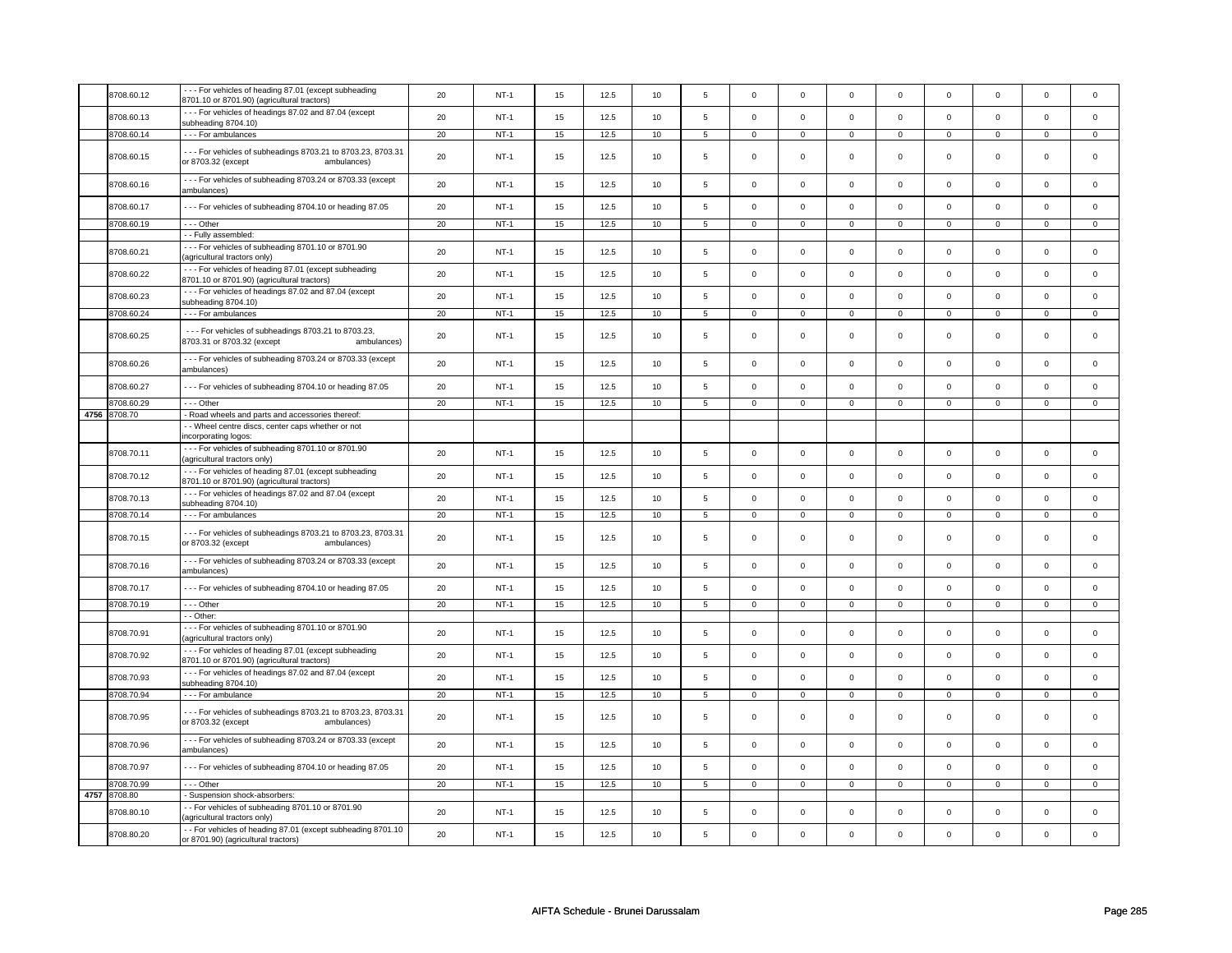|      | 8708.60.12   | --- For vehicles of heading 87.01 (except subheading                                                | 20 | $NT-1$ | 15 | 12.5 | 10 | $\,$ 5 $\,$    | $\mathsf 0$    | $\mathbf 0$    | $\mathsf{O}\xspace$ | $\mathsf 0$    | $\mathsf 0$    | $\mathbf 0$    | $\Omega$       | $\mathsf{O}\xspace$ |
|------|--------------|-----------------------------------------------------------------------------------------------------|----|--------|----|------|----|----------------|----------------|----------------|---------------------|----------------|----------------|----------------|----------------|---------------------|
|      |              | 8701.10 or 8701.90) (agricultural tractors)<br>--- For vehicles of headings 87.02 and 87.04 (except |    |        |    |      |    |                |                |                |                     |                |                |                |                |                     |
|      | 8708.60.13   | subheading 8704.10)                                                                                 | 20 | $NT-1$ | 15 | 12.5 | 10 | 5              | $\mathsf 0$    | $\mathbf 0$    | $\mathsf 0$         | $\mathbf 0$    | $\mathbf 0$    | $\mathbf 0$    | $\mathbf 0$    | $\mathbf{0}$        |
|      | 8708.60.14   | - - - For ambulances                                                                                | 20 | $NT-1$ | 15 | 12.5 | 10 | 5              | $\mathsf 0$    | $\mathsf 0$    | $\mathsf 0$         | $\mathbf 0$    | $\mathsf 0$    | $\mathbf 0$    | $\mathsf 0$    | $\mathbf 0$         |
|      | 8708.60.15   | --- For vehicles of subheadings 8703.21 to 8703.23, 8703.31<br>or 8703.32 (except<br>ambulances)    | 20 | $NT-1$ | 15 | 12.5 | 10 | 5              | $\mathsf 0$    | $\mathbf 0$    | $\mathsf 0$         | $\mathbf 0$    | $\mathbf 0$    | $\mathbf 0$    | $\mathsf 0$    | 0                   |
|      | 8708.60.16   | --- For vehicles of subheading 8703.24 or 8703.33 (except<br>ambulances)                            | 20 | $NT-1$ | 15 | 12.5 | 10 | 5              | $\mathsf 0$    | $\mathsf 0$    | $\mathbf 0$         | $\mathsf 0$    | $\mathsf 0$    | $\mathbf 0$    | $\mathbf 0$    | $\mathsf 0$         |
|      | 8708.60.17   | --- For vehicles of subheading 8704.10 or heading 87.05                                             | 20 | $NT-1$ | 15 | 12.5 | 10 | $\,$ 5 $\,$    | $\Omega$       | $\mathsf 0$    | $\mathsf{O}\xspace$ | $\mathsf 0$    | $\mathsf 0$    | $\mathbf 0$    | $\mathsf 0$    | $\mathsf 0$         |
|      | 8708.60.19   | --- Other                                                                                           | 20 | $NT-1$ | 15 | 12.5 | 10 | 5              | $\mathbf 0$    | $\mathbf 0$    | $\mathbf 0$         | $\mathbf{0}$   | $\mathbf 0$    | $\mathbf 0$    | 0              | $\overline{0}$      |
|      |              | -- Fully assembled:                                                                                 |    |        |    |      |    |                |                |                |                     |                |                |                |                |                     |
|      | 8708.60.21   | - - - For vehicles of subheading 8701.10 or 8701.90<br>agricultural tractors only)                  | 20 | $NT-1$ | 15 | 12.5 | 10 | 5              | $\mathsf 0$    | $\mathbf 0$    | $\mathbf 0$         | $\mathsf{O}$   | $\mathsf 0$    | $\mathsf 0$    | $\mathbf 0$    | $\mathsf{O}\xspace$ |
|      | 8708.60.22   | --- For vehicles of heading 87.01 (except subheading<br>8701.10 or 8701.90) (agricultural tractors) | 20 | $NT-1$ | 15 | 12.5 | 10 | 5              | $\mathsf 0$    | $\mathsf 0$    | $\mathsf 0$         | $\mathbf 0$    | $\mathsf 0$    | $\mathbf 0$    | $\mathbf 0$    | $\mathbf 0$         |
|      | 8708.60.23   | --- For vehicles of headings 87.02 and 87.04 (except<br>subheading 8704.10)                         | 20 | $NT-1$ | 15 | 12.5 | 10 | 5              | $\mathbf 0$    | $\mathsf 0$    | $\mathbf 0$         | $\mathsf 0$    | $\mathbf 0$    | $\mathbf 0$    | $\mathbf 0$    | $\mathbf 0$         |
|      | 8708.60.24   | - - - For ambulances                                                                                | 20 | $NT-1$ | 15 | 12.5 | 10 | 5              | $\mathbf 0$    | $\mathsf 0$    | $\mathsf 0$         | $\mathbf 0$    | $\mathsf 0$    | $\mathbf 0$    | $\mathsf 0$    | $\mathbf 0$         |
|      | 8708.60.25   | --- For vehicles of subheadings 8703.21 to 8703.23,<br>8703.31 or 8703.32 (except<br>ambulances)    | 20 | $NT-1$ | 15 | 12.5 | 10 | 5              | $\mathsf 0$    | $\mathsf 0$    | $\mathsf 0$         | $\mathbf 0$    | $\mathbf 0$    | $\mathbf 0$    | $\mathbf 0$    | $\mathbf{0}$        |
|      | 8708.60.26   | --- For vehicles of subheading 8703.24 or 8703.33 (except<br>ambulances)                            | 20 | $NT-1$ | 15 | 12.5 | 10 | $\,$ 5 $\,$    | $\mathsf 0$    | $\mathsf 0$    | $\mathbf 0$         | $\mathsf{O}$   | $\mathsf 0$    | $\mathbf 0$    | $\mathbf 0$    | $\mathsf 0$         |
|      | 8708.60.27   | --- For vehicles of subheading 8704.10 or heading 87.05                                             | 20 | $NT-1$ | 15 | 12.5 | 10 | 5              | $\mathsf 0$    | $\mathsf 0$    | $\mathbf 0$         | $\mathbf 0$    | $\mathbf 0$    | $\mathbf 0$    | $\mathbf 0$    | $\mathbf 0$         |
|      | 8708.60.29   | --- Other                                                                                           | 20 | $NT-1$ | 15 | 12.5 | 10 | $\overline{5}$ | $\overline{0}$ | $\overline{0}$ | $\overline{0}$      | $\overline{0}$ | $\mathsf 0$    | $\mathbf{0}$   | $\mathbf 0$    | $\overline{0}$      |
|      | 4756 8708.70 | - Road wheels and parts and accessories thereof:                                                    |    |        |    |      |    |                |                |                |                     |                |                |                |                |                     |
|      |              | - - Wheel centre discs, center caps whether or not                                                  |    |        |    |      |    |                |                |                |                     |                |                |                |                |                     |
|      |              | incorporating logos:                                                                                |    |        |    |      |    |                |                |                |                     |                |                |                |                |                     |
|      | 8708.70.11   | --- For vehicles of subheading 8701.10 or 8701.90<br>(agricultural tractors only)                   | 20 | $NT-1$ | 15 | 12.5 | 10 | $\,$ 5 $\,$    | $\mathsf 0$    | $\mathsf 0$    | $\mathsf{O}\xspace$ | $\mathbf 0$    | $\mathsf 0$    | $\mathbf 0$    | $\mathbf 0$    | $\mathsf 0$         |
|      | 8708.70.12   | --- For vehicles of heading 87.01 (except subheading<br>8701.10 or 8701.90) (agricultural tractors) | 20 | $NT-1$ | 15 | 12.5 | 10 | 5              | $\mathsf 0$    | $\mathbf 0$    | $\mathsf{O}\xspace$ | $\mathbf 0$    | $\mathsf 0$    | $\mathbf 0$    | $\mathsf 0$    | $\mathbf 0$         |
|      | 8708.70.13   | --- For vehicles of headings 87.02 and 87.04 (except<br>subheading 8704.10)                         | 20 | $NT-1$ | 15 | 12.5 | 10 | 5              | $\mathsf 0$    | $\mathbf 0$    | $\mathsf 0$         | $\mathsf 0$    | $\mathbf 0$    | $\mathbf 0$    | $\mathsf 0$    | 0                   |
|      | 8708.70.14   | --- For ambulances                                                                                  | 20 | $NT-1$ | 15 | 12.5 | 10 | $\overline{5}$ | $\overline{0}$ | $\overline{0}$ | $\overline{0}$      | $\overline{0}$ | $\overline{0}$ | $\overline{0}$ | $\overline{0}$ | $\overline{0}$      |
|      | 8708.70.15   | --- For vehicles of subheadings 8703.21 to 8703.23, 8703.31<br>or 8703.32 (except<br>ambulances)    | 20 | $NT-1$ | 15 | 12.5 | 10 | 5              | $\mathsf 0$    | $\mathbf 0$    | $\mathbf 0$         | $\mathbf 0$    | $\mathbf 0$    | $\mathbf 0$    | $\mathbf 0$    | $\mathbf 0$         |
|      | 8708.70.16   | --- For vehicles of subheading 8703.24 or 8703.33 (except<br>ambulances)                            | 20 | $NT-1$ | 15 | 12.5 | 10 | $\overline{5}$ | $\mathsf 0$    | $\mathsf 0$    | $\mathbf 0$         | $\mathsf 0$    | $\mathbf 0$    | $\mathbf 0$    | $\Omega$       | $\mathbf 0$         |
|      | 8708.70.17   | --- For vehicles of subheading 8704.10 or heading 87.05                                             | 20 | $NT-1$ | 15 | 12.5 | 10 | $\,$ 5 $\,$    | $\mathsf 0$    | $\mathsf 0$    | $\mathbf 0$         | $\mathbf 0$    | 0              | $\mathbf 0$    | $\mathsf 0$    | $\overline{0}$      |
|      | 8708.70.19   | $- -$ Other                                                                                         | 20 | $NT-1$ | 15 | 12.5 | 10 | $\overline{5}$ | $\overline{0}$ | $\overline{0}$ | $\overline{0}$      | $\overline{0}$ | $\overline{0}$ | $\overline{0}$ | $\overline{0}$ | $\overline{0}$      |
|      |              | - - Other:                                                                                          |    |        |    |      |    |                |                |                |                     |                |                |                |                |                     |
|      | 8708.70.91   | --- For vehicles of subheading 8701.10 or 8701.90<br>(agricultural tractors only)                   | 20 | $NT-1$ | 15 | 12.5 | 10 | $\,$ 5 $\,$    | $\mathsf 0$    | $\mathbf 0$    | $\mathbf 0$         | $\mathsf 0$    | $\mathsf 0$    | $\mathbf{0}$   | $\mathbf 0$    | $\mathsf 0$         |
|      | 8708.70.92   | --- For vehicles of heading 87.01 (except subheading<br>8701.10 or 8701.90) (agricultural tractors) | 20 | NT-1   | 15 | 12.5 | 10 | 5              | $\mathbf 0$    | $\mathbf 0$    | $\mathsf 0$         | $\mathsf 0$    | $\mathbf 0$    | $\mathbf 0$    | $\mathsf 0$    | $\mathbf 0$         |
|      | 8708.70.93   | --- For vehicles of headings 87.02 and 87.04 (except<br>subheading 8704.10)                         | 20 | $NT-1$ | 15 | 12.5 | 10 | 5              | $\mathsf 0$    | $\mathbf 0$    | $\mathbf 0$         | $\mathsf 0$    | $\mathbf 0$    | $\mathbf 0$    | $\mathbf 0$    | $\mathbf 0$         |
|      | 8708.70.94   | - - - For ambulance                                                                                 | 20 | $NT-1$ | 15 | 12.5 | 10 | 5              | $\mathsf 0$    | $\mathsf 0$    | $\mathsf 0$         | $\mathbf 0$    | $\mathsf 0$    | $\mathbf 0$    | 0              | $\mathbf 0$         |
|      | 8708.70.95   | --- For vehicles of subheadings 8703.21 to 8703.23, 8703.31<br>or 8703.32 (except<br>ambulances)    | 20 | $NT-1$ | 15 | 12.5 | 10 | 5              | $\mathsf 0$    | $\mathbf 0$    | $\mathbf 0$         | $\mathbf 0$    | $\mathbf 0$    | $\mathbf 0$    | $\mathbf 0$    | $\mathbf{0}$        |
|      | 8708.70.96   | --- For vehicles of subheading 8703.24 or 8703.33 (except<br>ambulances)                            | 20 | $NT-1$ | 15 | 12.5 | 10 | 5              | $\mathbf 0$    | $\mathbf 0$    | $\mathbf 0$         | $\mathbf 0$    | $\mathbf 0$    | $\mathbf 0$    | $\Omega$       | $\mathbf 0$         |
|      | 8708.70.97   | --- For vehicles of subheading 8704.10 or heading 87.05                                             | 20 | $NT-1$ | 15 | 12.5 | 10 | 5              | $\mathsf 0$    | $\mathsf 0$    | $\mathsf 0$         | $\mathbf 0$    | $\mathbf 0$    | $\mathbf 0$    | $\mathbf 0$    | $\mathbf 0$         |
|      | 8708.70.99   | $- -$ Other                                                                                         | 20 | $NT-1$ | 15 | 12.5 | 10 | $\overline{5}$ | $\overline{0}$ | $\overline{0}$ | $\overline{0}$      | $\overline{0}$ | $\overline{0}$ | $\overline{0}$ | $\overline{0}$ | $\overline{0}$      |
| 4757 | 8708.80      | - Suspension shock-absorbers:                                                                       |    |        |    |      |    |                |                |                |                     |                |                |                |                |                     |
|      | 8708.80.10   | - For vehicles of subheading 8701.10 or 8701.90<br>agricultural tractors only)                      | 20 | $NT-1$ | 15 | 12.5 | 10 | 5              | $\mathsf 0$    | $\mathbf 0$    | $\mathsf 0$         | $\mathsf 0$    | $\mathbf 0$    | $\mathbf 0$    | $\Omega$       | $\mathbf 0$         |
|      | 8708.80.20   | - - For vehicles of heading 87.01 (except subheading 8701.10<br>or 8701.90) (agricultural tractors) | 20 | $NT-1$ | 15 | 12.5 | 10 | 5              | $\mathbf 0$    | $\mathbf 0$    | $\mathbf 0$         | $\mathbf 0$    | $\mathbf 0$    | $\mathbf 0$    | $\mathbf 0$    | $\mathbf{0}$        |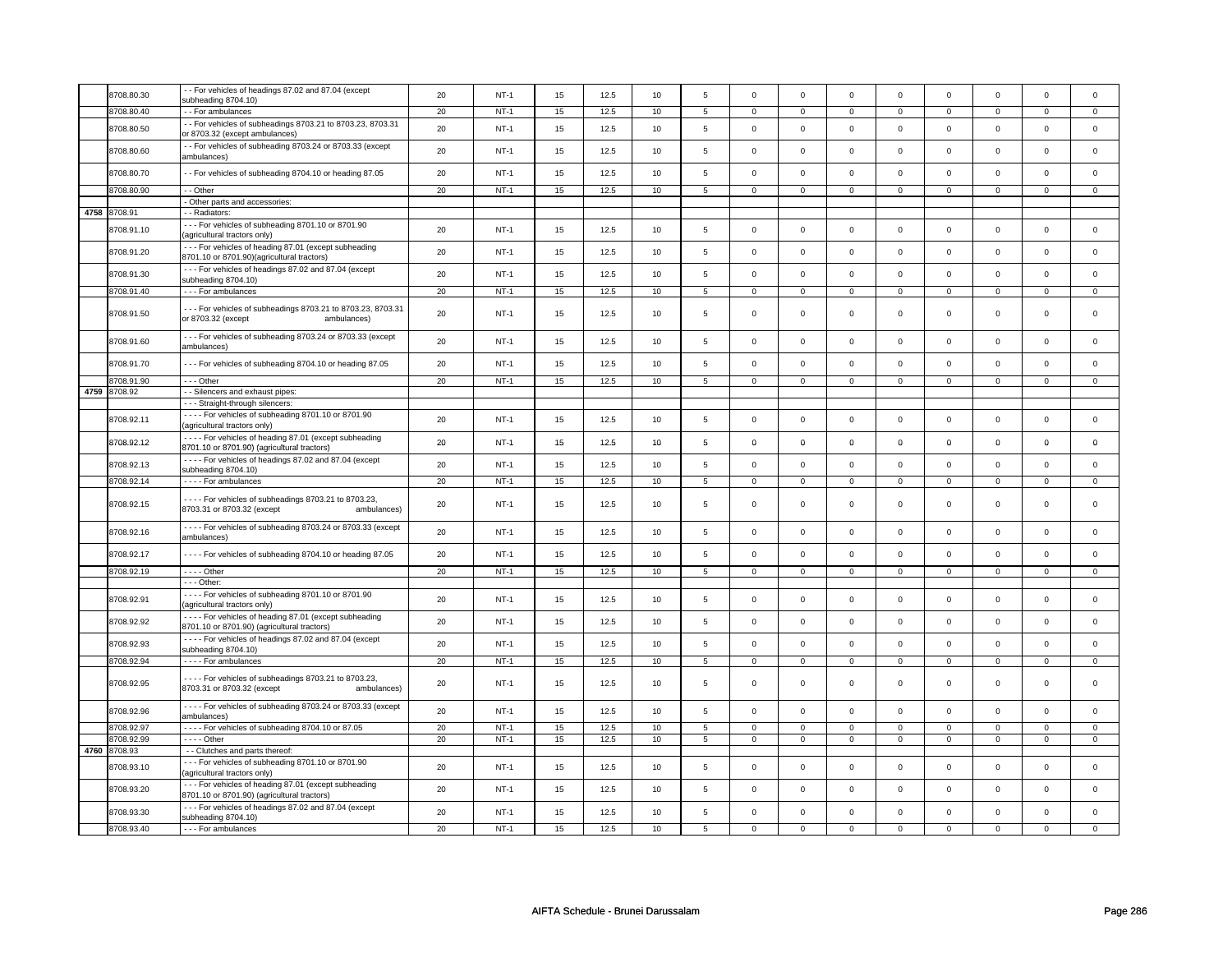| 8708.80.30                 | - - For vehicles of headings 87.02 and 87.04 (except<br>subheading 8704.10)                                          | 20 | $NT-1$ | 15 | 12.5 | 10 | 5              | $\mathsf 0$         | $\mathbf 0$    | $\mathbf 0$         | $\mathsf 0$    | $\mathsf 0$    | $\mathbf 0$    | $\Omega$       | 0              |
|----------------------------|----------------------------------------------------------------------------------------------------------------------|----|--------|----|------|----|----------------|---------------------|----------------|---------------------|----------------|----------------|----------------|----------------|----------------|
| 8708.80.40                 | - - For ambulances                                                                                                   | 20 | $NT-1$ | 15 | 12.5 | 10 | 5              | $\mathbf 0$         | $\mathbf 0$    | $\mathbf 0$         | $\mathbf 0$    | $\mathbf 0$    | $\mathbf 0$    | $\mathbf 0$    | $\mathbf 0$    |
| 8708.80.50                 | - - For vehicles of subheadings 8703.21 to 8703.23, 8703.31<br>or 8703.32 (except ambulances)                        | 20 | $NT-1$ | 15 | 12.5 | 10 | 5              | $\Omega$            | $\Omega$       | $\mathbf 0$         | $\mathsf 0$    | 0              | $\mathbf 0$    | $\mathsf 0$    | $\mathbf 0$    |
| 8708.80.60                 | - - For vehicles of subheading 8703.24 or 8703.33 (except<br>ambulances)                                             | 20 | $NT-1$ | 15 | 12.5 | 10 | 5              | $\mathsf 0$         | $\mathbf 0$    | $\mathbf 0$         | $\mathbf{0}$   | $\mathbf 0$    | $\mathbf 0$    | $\mathbf 0$    | $\mathbf 0$    |
| 8708.80.70                 | - - For vehicles of subheading 8704.10 or heading 87.05                                                              | 20 | $NT-1$ | 15 | 12.5 | 10 | 5              | $\mathsf 0$         | $\mathsf 0$    | $\mathbf 0$         | $\mathsf 0$    | $\mathsf 0$    | $\mathbf 0$    | $\mathbf 0$    | $\mathsf 0$    |
| 8708.80.90                 | - - Other                                                                                                            | 20 | $NT-1$ | 15 | 12.5 | 10 | 5              | $\mathsf{O}\xspace$ | $\mathsf 0$    | $\mathsf 0$         | $\mathbf 0$    | $\mathsf 0$    | $\mathsf 0$    | $\mathsf 0$    | $\mathsf 0$    |
|                            | - Other parts and accessories:                                                                                       |    |        |    |      |    |                |                     |                |                     |                |                |                |                |                |
| 4758 8708.91               | - Radiators:                                                                                                         |    |        |    |      |    |                |                     |                |                     |                |                |                |                |                |
| 8708.91.10                 | --- For vehicles of subheading 8701.10 or 8701.90<br>agricultural tractors only)                                     | 20 | $NT-1$ | 15 | 12.5 | 10 | 5              | $\mathbf 0$         | $\mathbf 0$    | $\mathsf 0$         | 0              | 0              | $\mathbf 0$    | $\mathsf 0$    | $\mathbf 0$    |
| 8708.91.20                 | --- For vehicles of heading 87.01 (except subheading<br>8701.10 or 8701.90)(agricultural tractors)                   | 20 | $NT-1$ | 15 | 12.5 | 10 | 5              | $\mathsf 0$         | $\mathsf 0$    | $\mathsf 0$         | $\mathbf 0$    | $\mathbf 0$    | $\mathbf 0$    | $\mathsf 0$    | $\mathbf 0$    |
| 8708.91.30                 | --- For vehicles of headings 87.02 and 87.04 (except<br>subheading 8704.10)                                          | 20 | $NT-1$ | 15 | 12.5 | 10 | $\mathbf 5$    | $\mathsf 0$         | $\mathsf 0$    | $\mathsf 0$         | $\mathbf 0$    | $\mathsf 0$    | $\mathsf{o}\,$ | $\mathsf 0$    | $\mathbf 0$    |
| 8708.91.40                 | --- For ambulances                                                                                                   | 20 | $NT-1$ | 15 | 12.5 | 10 | 5              | $\mathsf 0$         | $\mathbf 0$    | $\mathsf 0$         | $\mathsf 0$    | $\mathbf 0$    | $\mathbf 0$    | 0              | $\mathbf 0$    |
| 8708.91.50                 | --- For vehicles of subheadings 8703.21 to 8703.23, 8703.31<br>or 8703.32 (except<br>ambulances)                     | 20 | $NT-1$ | 15 | 12.5 | 10 | 5              | $\mathbf 0$         | $\mathbf 0$    | $\mathsf 0$         | $\mathsf 0$    | $\mathbf 0$    | $\mathbf 0$    | $\mathsf 0$    | 0              |
| 8708.91.60                 | --- For vehicles of subheading 8703.24 or 8703.33 (except<br>ambulances)                                             | 20 | $NT-1$ | 15 | 12.5 | 10 | $\overline{5}$ | $\Omega$            | $\Omega$       | $\mathbf 0$         | $\mathbf 0$    | $\mathbf 0$    | $\mathbf{0}$   | $\Omega$       | $\mathbf 0$    |
| 8708.91.70                 | --- For vehicles of subheading 8704.10 or heading 87.05                                                              | 20 | $NT-1$ | 15 | 12.5 | 10 | 5              | $\mathbf 0$         | $\Omega$       | $\mathbf 0$         | $\mathbf 0$    | $\mathbf 0$    | $\mathbf{0}$   | $\mathbf 0$    | $\mathbf{0}$   |
| 8708.91.90                 | $--$ Other                                                                                                           | 20 | $NT-1$ | 15 | 12.5 | 10 | $\overline{5}$ | $\overline{0}$      | $\overline{0}$ | $\mathbf{0}$        | $\overline{0}$ | 0              | $\overline{0}$ | $\mathbf 0$    | $\overline{0}$ |
| 4759 8708.92               | - - Silencers and exhaust pipes:                                                                                     |    |        |    |      |    |                |                     |                |                     |                |                |                |                |                |
|                            | - - - Straight-through silencers:                                                                                    |    |        |    |      |    |                |                     |                |                     |                |                |                |                |                |
| 8708.92.11                 | - - - - For vehicles of subheading 8701.10 or 8701.90<br>(agricultural tractors only)                                | 20 | $NT-1$ | 15 | 12.5 | 10 | 5              | $\Omega$            | $\mathbf 0$    | $\mathsf 0$         | $\mathbf 0$    | $\mathbf 0$    | $\mathbf 0$    | $\mathsf 0$    | $\mathbf 0$    |
| 8708.92.12                 | - - - - For vehicles of heading 87.01 (except subheading<br>8701.10 or 8701.90) (agricultural tractors)              | 20 | $NT-1$ | 15 | 12.5 | 10 | 5              | $\mathbf 0$         | $\Omega$       | $\mathbf 0$         | 0              | $\mathbf 0$    | 0              | $\Omega$       | 0              |
| 8708.92.13                 | - - - - For vehicles of headings 87.02 and 87.04 (except<br>subheading 8704.10)                                      | 20 | $NT-1$ | 15 | 12.5 | 10 | 5              | $\mathbf 0$         | $\mathbf 0$    | $\mathbf 0$         | $\mathbf 0$    | $\mathbf 0$    | $\mathbf{0}$   | $\mathbf 0$    | $\mathbf 0$    |
| 8708.92.14                 | - - - - For ambulances                                                                                               | 20 | $NT-1$ | 15 | 12.5 | 10 | $\,$ 5 $\,$    | $\mathsf 0$         | $\mathsf 0$    | $\mathsf 0$         | $\mathbf 0$    | $\mathsf 0$    | $\mathsf 0$    | $\mathsf 0$    | 0              |
| 8708.92.15                 | - - - - For vehicles of subheadings 8703.21 to 8703.23,<br>8703.31 or 8703.32 (except<br>ambulances)                 | 20 | $NT-1$ | 15 | 12.5 | 10 | 5              | $\mathbf 0$         | $\mathsf 0$    | $\mathbf 0$         | 0              | $\mathbf 0$    | 0              | $\Omega$       | 0              |
| 8708.92.16                 | - - - - For vehicles of subheading 8703.24 or 8703.33 (except<br>ambulances)                                         | 20 | $NT-1$ | 15 | 12.5 | 10 | 5              | $\mathsf 0$         | $\mathsf 0$    | $\mathsf{O}\xspace$ | $\mathsf 0$    | $\mathsf 0$    | $\mathbf 0$    | $\mathbf 0$    | $\mathbf{0}$   |
| 8708.92.17                 | - - - - For vehicles of subheading 8704.10 or heading 87.05                                                          | 20 | $NT-1$ | 15 | 12.5 | 10 | 5              | $\mathsf 0$         | $\mathsf 0$    | $\mathsf 0$         | $\mathbf 0$    | $\mathbf 0$    | $\mathbf 0$    | $\mathbf 0$    | $\mathbf 0$    |
| 8708.92.19                 | $---$ Other                                                                                                          | 20 | $NT-1$ | 15 | 12.5 | 10 | 5              | $\mathbf 0$         | $\mathbf 0$    | $\mathbf 0$         | $\mathbf 0$    | $\mathbf 0$    | $\mathbf{0}$   | $\mathbf 0$    | $\mathbf{0}$   |
|                            | - - - Other:                                                                                                         |    |        |    |      |    |                |                     |                |                     |                |                |                |                |                |
| 8708.92.91                 | - - - - For vehicles of subheading 8701.10 or 8701.90<br>(agricultural tractors only)                                | 20 | $NT-1$ | 15 | 12.5 | 10 | 5              | $\mathbf 0$         | $\mathbf 0$    | $\mathsf 0$         | $\mathsf 0$    | $\mathbf 0$    | $\mathbf 0$    | $\mathsf 0$    | 0              |
| 8708.92.92                 | - - - - For vehicles of heading 87.01 (except subheading<br>8701.10 or 8701.90) (agricultural tractors)              | 20 | $NT-1$ | 15 | 12.5 | 10 | 5              | $\mathsf 0$         | $\mathbf 0$    | $\mathsf 0$         | $\mathbf 0$    | $\mathbf 0$    | $\mathbf 0$    | $\mathsf 0$    | $\mathbf 0$    |
| 8708.92.93                 | - - - - For vehicles of headings 87.02 and 87.04 (except<br>subheading 8704.10)                                      | 20 | $NT-1$ | 15 | 12.5 | 10 | 5              | $\mathsf 0$         | $\mathsf 0$    | $\mathsf 0$         | $\mathbf 0$    | $\mathbf 0$    | $\mathbf 0$    | $\mathsf 0$    | $\mathbf 0$    |
| 8708.92.94                 | - - - - For ambulances                                                                                               | 20 | $NT-1$ | 15 | 12.5 | 10 | 5              | $\overline{0}$      | $\overline{0}$ | $\overline{0}$      | $\mathbf 0$    | $\overline{0}$ | $\mathbf 0$    | $\overline{0}$ | $\mathbf 0$    |
| 8708.92.95                 | - - - - For vehicles of subheadings 8703.21 to 8703.23,<br>8703.31 or 8703.32 (except<br>ambulances)                 | 20 | $NT-1$ | 15 | 12.5 | 10 | 5              | $\mathsf 0$         | $\mathbf 0$    | $\mathsf 0$         | $\mathsf 0$    | $\mathbf 0$    | $\mathbf 0$    | $\mathbf 0$    | $\mathbf 0$    |
| 8708.92.96                 | - - - - For vehicles of subheading 8703.24 or 8703.33 (except<br>ambulances)                                         | 20 | $NT-1$ | 15 | 12.5 | 10 | 5              | $\mathsf 0$         | $\mathsf 0$    | $\mathsf 0$         | $\mathsf 0$    | $\mathbf 0$    | $\mathbf 0$    | $\Omega$       | $\mathbf 0$    |
| 8708.92.97                 | - - - - For vehicles of subheading 8704.10 or 87.05                                                                  | 20 | $NT-1$ | 15 | 12.5 | 10 | 5              | $\mathsf 0$         | $\mathbf 0$    | $\mathsf 0$         | $\mathbf 0$    | $\mathbf 0$    | $\mathbf 0$    | $\Omega$       | 0              |
| 8708.92.99                 | $---$ Other                                                                                                          | 20 | $NT-1$ | 15 | 12.5 | 10 | $\overline{5}$ | $\overline{0}$      | $\overline{0}$ | $\overline{0}$      | $\overline{0}$ | $\overline{0}$ | $\overline{0}$ | $\overline{0}$ | $\overline{0}$ |
| 4760 8708.93<br>8708.93.10 | - - Clutches and parts thereof:<br>--- For vehicles of subheading 8701.10 or 8701.90<br>(agricultural tractors only) | 20 | $NT-1$ | 15 | 12.5 | 10 | 5              | $\mathsf 0$         | $\mathsf 0$    | $\mathsf 0$         | $\mathsf 0$    | $\mathbf 0$    | $\mathbf 0$    | $\mathbf 0$    | $\mathbf 0$    |
| 8708.93.20                 | --- For vehicles of heading 87.01 (except subheading<br>8701.10 or 8701.90) (agricultural tractors)                  | 20 | $NT-1$ | 15 | 12.5 | 10 | 5              | $\mathsf 0$         | $\mathsf 0$    | $\mathsf 0$         | $\mathsf 0$    | $\mathsf 0$    | $\mathbf 0$    | $\mathbf 0$    | $\mathbf 0$    |
| 8708.93.30                 | --- For vehicles of headings 87.02 and 87.04 (except                                                                 | 20 | $NT-1$ | 15 | 12.5 | 10 | 5              | $\mathsf 0$         | $\mathsf 0$    | $\mathbf 0$         | $\mathsf 0$    | $\mathbf 0$    | $\mathbf 0$    | $\Omega$       | $\mathbf 0$    |
|                            | subheading 8704.10)                                                                                                  |    |        |    |      |    |                |                     |                |                     |                |                |                |                |                |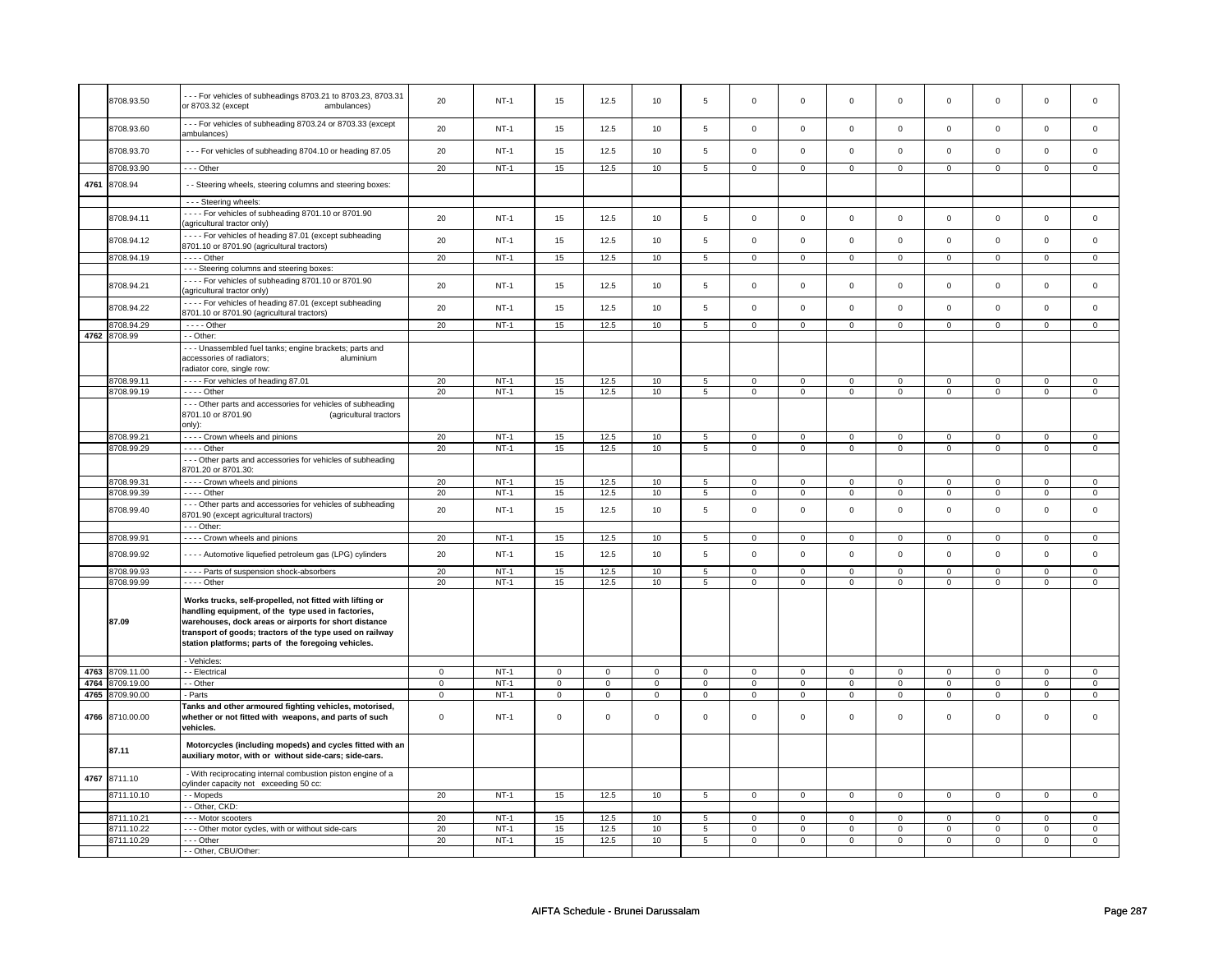|      | 8708.93.50                         | --- For vehicles of subheadings 8703.21 to 8703.23, 8703.31<br>or 8703.32 (except<br>ambulances)                                                                                                                                                                                           | 20                         | $NT-1$           | 15                         | 12.5             | 10               | 5                | $\mathbf 0$             | $\mathbf 0$                | $\mathbf 0$      | $\mathbf 0$                | $\mathbf 0$         | $\mathsf 0$                | 0                | 0                          |
|------|------------------------------------|--------------------------------------------------------------------------------------------------------------------------------------------------------------------------------------------------------------------------------------------------------------------------------------------|----------------------------|------------------|----------------------------|------------------|------------------|------------------|-------------------------|----------------------------|------------------|----------------------------|---------------------|----------------------------|------------------|----------------------------|
|      | 8708.93.60                         | --- For vehicles of subheading 8703.24 or 8703.33 (except<br>ambulances)                                                                                                                                                                                                                   | 20                         | $NT-1$           | 15                         | 12.5             | 10               | 5                | $\mathsf 0$             | $\mathsf 0$                | $\mathsf 0$      | $\mathbf 0$                | $\mathsf 0$         | $\mathbf 0$                | $\mathsf 0$      | $\mathbf 0$                |
|      | 8708.93.70                         | - - - For vehicles of subheading 8704.10 or heading 87.05                                                                                                                                                                                                                                  | 20                         | $NT-1$           | 15                         | 12.5             | 10               | 5                | $\mathsf 0$             | $\mathsf 0$                | $\mathsf 0$      | $\mathsf 0$                | $\mathsf 0$         | $\mathsf 0$                | $\mathbf 0$      | $\mathbf{0}$               |
|      | 8708.93.90                         | --- Other                                                                                                                                                                                                                                                                                  | 20                         | $NT-1$           | 15                         | 12.5             | 10               | 5                | $\mathbf 0$             | $\mathbf 0$                | $\mathsf 0$      | $\mathbf 0$                | $\mathbf 0$         | $\mathbf 0$                | $\mathsf 0$      | $\mathbf 0$                |
| 4761 | 8708.94                            | - - Steering wheels, steering columns and steering boxes:                                                                                                                                                                                                                                  |                            |                  |                            |                  |                  |                  |                         |                            |                  |                            |                     |                            |                  |                            |
|      |                                    | - - - Steering wheels:                                                                                                                                                                                                                                                                     |                            |                  |                            |                  |                  |                  |                         |                            |                  |                            |                     |                            |                  |                            |
|      | 8708.94.11                         | - - - - For vehicles of subheading 8701.10 or 8701.90<br>(agricultural tractor only)                                                                                                                                                                                                       | 20                         | $NT-1$           | 15                         | 12.5             | 10               | $\,$ 5 $\,$      | $\mathsf 0$             | $\mathsf 0$                | $\mathsf 0$      | $\mathsf 0$                | $\mathsf 0$         | $\mathsf 0$                | $\mathsf 0$      | $\mathsf 0$                |
|      | 8708.94.12                         | - - - - For vehicles of heading 87.01 (except subheading<br>8701.10 or 8701.90 (agricultural tractors)                                                                                                                                                                                     | 20                         | $NT-1$           | 15                         | 12.5             | 10               | 5                | $\mathsf 0$             | $\mathbf 0$                | $\mathsf 0$      | $\mathbf 0$                | $\mathsf 0$         | $\mathbf 0$                | $\mathsf 0$      | $\mathbf 0$                |
|      | 8708.94.19                         | $---$ Other                                                                                                                                                                                                                                                                                | 20                         | $NT-1$           | 15                         | 12.5             | 10               | 5                | $\mathsf 0$             | $\mathsf 0$                | $\mathsf 0$      | $\mathsf 0$                | $\mathsf 0$         | $\mathsf 0$                | $\mathsf 0$      | $\mathsf 0$                |
|      |                                    | - - - Steering columns and steering boxes:                                                                                                                                                                                                                                                 |                            |                  |                            |                  |                  |                  |                         |                            |                  |                            |                     |                            |                  |                            |
|      | 8708.94.21                         | - - - - For vehicles of subheading 8701.10 or 8701.90<br>(agricultural tractor only)                                                                                                                                                                                                       | 20                         | $NT-1$           | 15                         | 12.5             | 10               | $\,$ 5 $\,$      | $\mathsf 0$             | $\mathsf 0$                | $\mathsf 0$      | $\mathsf 0$                | $\mathsf 0$         | $\mathsf 0$                | $\mathsf 0$      | $\mathsf 0$                |
|      | 8708.94.22                         | - - - - For vehicles of heading 87.01 (except subheading<br>8701.10 or 8701.90 (agricultural tractors)                                                                                                                                                                                     | 20                         | $NT-1$           | 15                         | 12.5             | 10               | 5                | $\mathbf 0$             | $\mathbf 0$                | $\Omega$         | $\mathbf 0$                | $\mathbf 0$         | $\mathsf 0$                | $\mathbf 0$      | $\mathsf 0$                |
|      | 8708.94.29                         | $- - -$ Other                                                                                                                                                                                                                                                                              | 20                         | $NT-1$           | 15                         | 12.5             | 10               | $5\overline{5}$  | $\overline{0}$          | $\overline{0}$             | $\overline{0}$   | $\overline{0}$             | $\overline{0}$      | $\overline{0}$             | $\overline{0}$   | $\overline{0}$             |
|      | 4762 8708.99                       | - - Other:                                                                                                                                                                                                                                                                                 |                            |                  |                            |                  |                  |                  |                         |                            |                  |                            |                     |                            |                  |                            |
|      |                                    | - - - Unassembled fuel tanks; engine brackets; parts and<br>accessories of radiators;<br>aluminium<br>radiator core, single row:                                                                                                                                                           |                            |                  |                            |                  |                  |                  |                         |                            |                  |                            |                     |                            |                  |                            |
|      | 8708.99.11                         | - - - - For vehicles of heading 87.01                                                                                                                                                                                                                                                      | 20                         | $NT-1$           | 15                         | 12.5             | 10               | 5                | $\mathbf 0$             | $\mathbf 0$                | $\mathbf 0$      | $\mathbf 0$                | $\mathbf 0$         | $\mathbf 0$                | $\mathbf 0$      | $\mathbf 0$                |
|      | 8708.99.19                         | - - - - Other                                                                                                                                                                                                                                                                              | 20                         | $NT-1$           | 15                         | 12.5             | 10               | $5\phantom{.0}$  | $\mathsf 0$             | $\mathsf 0$                | $\mathsf 0$      | $\mathsf 0$                | $\mathsf{O}\xspace$ | $\mathsf 0$                | $\mathsf 0$      | $\mathsf 0$                |
|      |                                    | - - - Other parts and accessories for vehicles of subheading<br>8701.10 or 8701.90<br>(agricultural tractors<br>only):                                                                                                                                                                     |                            |                  |                            |                  |                  |                  |                         |                            |                  |                            |                     |                            |                  |                            |
|      | 8708.99.21                         | - - - - Crown wheels and pinions                                                                                                                                                                                                                                                           | 20                         | $NT-1$           | 15                         | 12.5             | 10               | 5                | $\overline{0}$          | $\overline{0}$             | $\mathsf 0$      | $\mathsf 0$                | $\overline{0}$      | $\overline{0}$             | $\mathbf 0$      | $\overline{0}$             |
|      | 8708.99.29                         | $- - -$ Other                                                                                                                                                                                                                                                                              | 20                         | <b>NT-1</b>      | 15                         | 12.5             | 10               | 5                | $\overline{\mathbf{0}}$ | $\overline{0}$             | $\mathsf 0$      | $\mathsf 0$                | $\mathsf 0$         | $\mathsf 0$                | $\mathsf 0$      | $\mathsf 0$                |
|      |                                    | - - - Other parts and accessories for vehicles of subheading<br>8701.20 or 8701.30:                                                                                                                                                                                                        |                            |                  |                            |                  |                  |                  |                         |                            |                  |                            |                     |                            |                  |                            |
|      | 8708.99.31                         | - - - - Crown wheels and pinions                                                                                                                                                                                                                                                           | 20                         | $NT-1$           | 15                         | 12.5             | 10               | 5                | $\mathbf 0$             | $\mathbf 0$                | $\mathbf 0$      | $\mathbf 0$                | $\mathbf 0$         | $\mathbf 0$                | $\mathbf 0$      | $\mathbf{0}$               |
|      | 8708.99.39                         | $- - -$ Other                                                                                                                                                                                                                                                                              | 20                         | $NT-1$           | 15                         | 12.5             | 10               | 5                | $\mathbf 0$             | $\mathbf 0$                | $\mathbf 0$      | $\mathbf 0$                | $\mathbf 0$         | $\mathbf 0$                | $\mathbf 0$      | $\mathbf 0$                |
|      | 8708.99.40                         | --- Other parts and accessories for vehicles of subheading<br>8701.90 (except agricultural tractors)                                                                                                                                                                                       | 20                         | $NT-1$           | 15                         | 12.5             | 10               | $\overline{5}$   | $\mathsf 0$             | $\mathsf 0$                | $\mathsf 0$      | $\mathsf 0$                | $\mathsf 0$         | $\mathsf 0$                | $\mathsf 0$      | $\mathbf 0$                |
|      |                                    | - - - Other:                                                                                                                                                                                                                                                                               |                            |                  |                            |                  |                  |                  |                         |                            |                  |                            |                     |                            |                  |                            |
|      | 8708.99.91                         | - - - - Crown wheels and pinions                                                                                                                                                                                                                                                           | 20                         | $NT-1$           | 15                         | 12.5             | 10               | 5                | 0                       | $\mathsf 0$                | 0                | $\mathsf 0$                | 0                   | $\mathsf 0$                | 0                | $\mathbf 0$                |
|      | 8708.99.92                         | - - - - Automotive liquefied petroleum gas (LPG) cylinders                                                                                                                                                                                                                                 | 20                         | $NT-1$           | 15                         | 12.5             | 10               | 5                | $\mathsf 0$             | $\mathsf{o}\,$             | $\mathbf 0$      | $\mathbf 0$                | $\mathsf 0$         | $\mathbf 0$                | $\mathsf 0$      | $\mathbf 0$                |
|      | 3708.99.93                         | - - - - Parts of suspension shock-absorbers                                                                                                                                                                                                                                                | 20                         | $NT-1$           | 15                         | 12.5             | 10               | $\overline{5}$   | $\overline{0}$          | $\overline{0}$             | $\overline{0}$   | $\overline{0}$             | $\overline{0}$      | $\overline{0}$             | $\overline{0}$   | $\overline{0}$             |
|      | 8708.99.99                         | $---$ Other                                                                                                                                                                                                                                                                                | 20                         | $NT-1$           | 15                         | 12.5             | 10               | $\overline{5}$   | $\mathsf 0$             | $\mathsf 0$                | $\mathsf 0$      | $\mathsf 0$                | $\mathsf 0$         | $\mathsf 0$                | $\mathsf 0$      | $\mathsf 0$                |
|      | 87.09                              | Works trucks, self-propelled, not fitted with lifting or<br>handling equipment, of the type used in factories,<br>warehouses, dock areas or airports for short distance<br>transport of goods; tractors of the type used on railway<br>station platforms; parts of the foregoing vehicles. |                            |                  |                            |                  |                  |                  |                         |                            |                  |                            |                     |                            |                  |                            |
|      |                                    | - Vehicles:                                                                                                                                                                                                                                                                                |                            |                  |                            |                  |                  |                  |                         |                            |                  |                            |                     |                            |                  |                            |
|      | 4763 8709.11.00                    | - - Electrical                                                                                                                                                                                                                                                                             | $\mathsf 0$                | $NT-1$           | $\mathsf 0$                | $\mathsf 0$      | $\mathbf 0$      | $\mathsf 0$      | $\mathbf 0$             | $\mathbf 0$                | $\mathbf 0$      | $\mathbf 0$                | $\mathbf 0$         | $\mathbf 0$                | $\mathsf 0$      | $\mathbf 0$                |
|      | 4764 8709.19.00<br>4765 8709.90.00 | - - Other<br>- Parts                                                                                                                                                                                                                                                                       | $\mathbf 0$<br>$\mathsf 0$ | $NT-1$<br>$NT-1$ | $\mathbf 0$<br>$\mathsf 0$ | 0<br>$\mathsf 0$ | 0<br>$\mathbf 0$ | 0<br>$\mathsf 0$ | 0<br>$\mathbf 0$        | $\mathsf 0$<br>$\mathbf 0$ | 0<br>$\mathbf 0$ | $\mathbf 0$<br>$\mathbf 0$ | 0<br>$\mathbf 0$    | $\mathbf 0$<br>$\mathbf 0$ | 0<br>$\mathsf 0$ | $\mathbf 0$<br>$\mathbf 0$ |
|      | 4766 8710.00.00                    | Tanks and other armoured fighting vehicles, motorised,<br>whether or not fitted with weapons, and parts of such                                                                                                                                                                            | $\mathbf 0$                | <b>NT-1</b>      | 0                          | $\mathbf 0$      | $\,0\,$          | $\mathbf 0$      | $\,0\,$                 | $\mathsf 0$                | $\mathbf 0$      | $\mathsf 0$                | 0                   | $\mathsf 0$                | $\mathsf 0$      | $\mathbf 0$                |
|      |                                    | vehicles.                                                                                                                                                                                                                                                                                  |                            |                  |                            |                  |                  |                  |                         |                            |                  |                            |                     |                            |                  |                            |
|      | 87.11                              | Motorcycles (including mopeds) and cycles fitted with an<br>auxiliary motor, with or without side-cars; side-cars.                                                                                                                                                                         |                            |                  |                            |                  |                  |                  |                         |                            |                  |                            |                     |                            |                  |                            |
| 4767 | 8711.10<br>8711.10.10              | - With reciprocating internal combustion piston engine of a<br>cylinder capacity not exceeding 50 cc:                                                                                                                                                                                      | 20                         | $NT-1$           |                            | 12.5             |                  |                  |                         |                            |                  |                            |                     |                            |                  |                            |
|      |                                    | - - Mopeds<br>- Other, CKD                                                                                                                                                                                                                                                                 |                            |                  | 15                         |                  | 10               | 5                | $\mathbf 0$             | $\mathbf 0$                | $\mathbf 0$      | $\mathbf 0$                | $\mathbf 0$         | $\mathbf 0$                | $\mathbf 0$      | $\mathbf 0$                |
|      | 8711.10.21                         | --- Motor scooters                                                                                                                                                                                                                                                                         | 20                         | $NT-1$           | 15                         | 12.5             | 10               |                  | $\mathsf 0$             | $\mathbf 0$                | $\mathbf 0$      | $\mathbf 0$                | $\mathsf 0$         | $\mathbf 0$                | $\mathbf 0$      | $\mathbf 0$                |
|      | 8711.10.22                         | --- Other motor cycles, with or without side-cars                                                                                                                                                                                                                                          | 20                         | <b>NT-1</b>      | 15                         | 12.5             | 10               | 5<br>5           | $\mathbf 0$             | $\mathbf 0$                | $\mathbf 0$      | $\mathbf 0$                | $\mathbf 0$         | $\mathbf 0$                | $\mathbf 0$      | $\mathbf 0$                |
|      | 8711.10.29                         | --- Other                                                                                                                                                                                                                                                                                  | 20                         | $NT-1$           | 15                         | 12.5             | 10               | 5                | $\mathbf 0$             | $\mathbf 0$                | $\mathbf 0$      | $\mathbf 0$                | $\mathbf 0$         | $\mathbf 0$                | $\mathbf 0$      | $\mathbf 0$                |
|      |                                    | - - Other, CBU/Other:                                                                                                                                                                                                                                                                      |                            |                  |                            |                  |                  |                  |                         |                            |                  |                            |                     |                            |                  |                            |
|      |                                    |                                                                                                                                                                                                                                                                                            |                            |                  |                            |                  |                  |                  |                         |                            |                  |                            |                     |                            |                  |                            |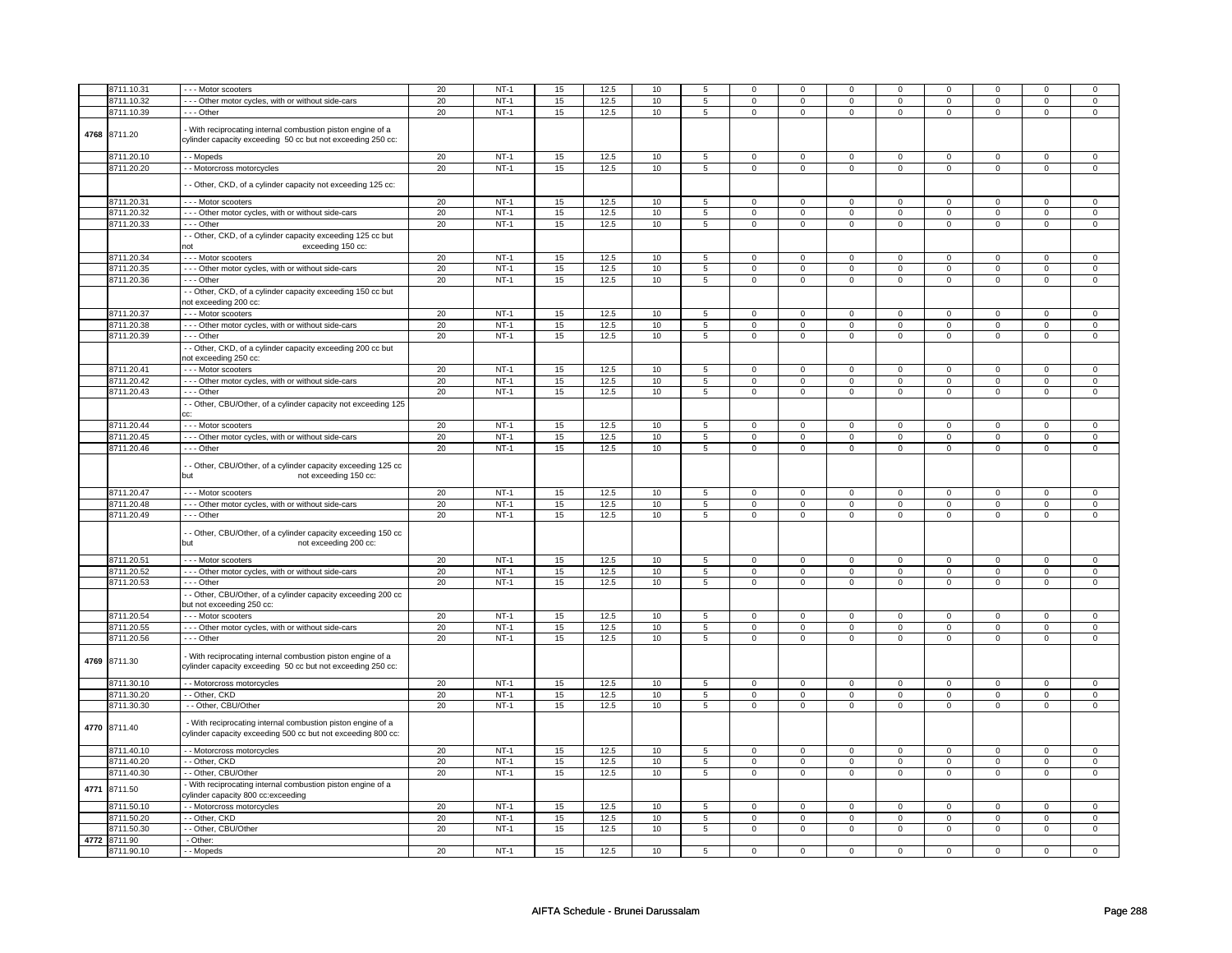|      | 8711.10.31   | --- Motor scooters                                                                                                          | 20     | $NT-1$ | 15 | 12.5 | 10   | 5               | $\Omega$                | $\Omega$                | 0              | $\Omega$       | $\Omega$                | 0                       | 0                       | 0                       |
|------|--------------|-----------------------------------------------------------------------------------------------------------------------------|--------|--------|----|------|------|-----------------|-------------------------|-------------------------|----------------|----------------|-------------------------|-------------------------|-------------------------|-------------------------|
|      | 8711.10.32   | --- Other motor cycles, with or without side-cars                                                                           | 20     | $NT-1$ | 15 | 12.5 | 10   | 5               | $\mathbf 0$             | $\mathbf 0$             | $\mathbf{0}$   | 0              | $\mathbf 0$             | $\mathbf 0$             | $\mathbf 0$             | $\mathbf 0$             |
|      | 8711.10.39   | --- Other                                                                                                                   | 20     | $NT-1$ | 15 | 12.5 | 10   | $\overline{5}$  | $\mathbf 0$             | $\mathbf{0}$            | $\mathbf{0}$   | $\overline{0}$ | $\mathbf{0}$            | $\mathbf{0}$            | $\mathbf 0$             | $\mathbf{0}$            |
| 4768 | 8711.20      | - With reciprocating internal combustion piston engine of a<br>cylinder capacity exceeding 50 cc but not exceeding 250 cc:  |        |        |    |      |      |                 |                         |                         |                |                |                         |                         |                         |                         |
|      | 8711.20.10   | - Mopeds                                                                                                                    | 20     | $NT-1$ | 15 | 12.5 | 10   | $\overline{5}$  | $\mathsf 0$             | $\overline{0}$          | $\mathsf 0$    | $\overline{0}$ | $\overline{0}$          | $\overline{0}$          | $\mathsf 0$             | $\overline{0}$          |
|      | 8711.20.20   | - - Motorcross motorcycles                                                                                                  | 20     | $NT-1$ | 15 | 12.5 | 10   | $\overline{5}$  | $\overline{0}$          | $\overline{0}$          | $\mathbf 0$    | $\overline{0}$ | $\overline{0}$          | $\overline{0}$          | $\mathbf 0$             | $\overline{0}$          |
|      |              | - Other, CKD, of a cylinder capacity not exceeding 125 cc:                                                                  |        |        |    |      |      |                 |                         |                         |                |                |                         |                         |                         |                         |
|      | 8711.20.31   | --- Motor scooters                                                                                                          | 20     | $NT-1$ | 15 | 12.5 | $10$ | 5               | $\mathsf 0$             | $\mathbf 0$             | $\mathbf{0}$   | $\mathbf 0$    | $\mathsf 0$             | $\mathsf 0$             | $\mathbf 0$             | $\mathsf 0$             |
|      | 8711.20.32   | - - - Other motor cycles, with or without side-cars                                                                         | 20     | $NT-1$ | 15 | 12.5 | 10   | 5               | $\mathsf 0$             | $\mathbf 0$             | $\mathbf 0$    | $\mathsf 0$    | $\mathsf 0$             | $\mathsf 0$             | $\mathbf 0$             | $\mathbf 0$             |
|      | 8711.20.33   | --- Other                                                                                                                   | 20     | $NT-1$ | 15 | 12.5 | 10   | $\overline{5}$  | $\mathbf 0$             | $\mathbf 0$             | $\mathbf 0$    | $\mathbf 0$    | $\mathbf 0$             | $\circ$                 | $\mathsf 0$             | $\mathbf 0$             |
|      |              | - Other, CKD, of a cylinder capacity exceeding 125 cc but<br>exceeding 150 cc:<br><b>not</b>                                |        |        |    |      |      |                 |                         |                         |                |                |                         |                         |                         |                         |
|      | 8711.20.34   | --- Motor scooters                                                                                                          | 20     | $NT-1$ | 15 | 12.5 | 10   | 5               | $\mathsf 0$             | $\mathbf 0$             | $\mathbf{0}$   | $\mathsf 0$    | $\mathbf 0$             | $\mathsf 0$             | $\Omega$                | $\mathsf 0$             |
|      | 8711.20.35   | - - - Other motor cycles, with or without side-cars                                                                         | 20     | $NT-1$ | 15 | 12.5 | 10   | 5               | $\mathbf 0$             | $\overline{0}$          | $\mathbf{0}$   | $\overline{0}$ | $\mathbf{0}$            | $\overline{0}$          | $\mathbf 0$             | $\mathbf 0$             |
|      | 8711.20.36   | --- Other                                                                                                                   | 20     | $NT-1$ | 15 | 12.5 | 10   | $\overline{5}$  | $\overline{0}$          | $\overline{0}$          | $\overline{0}$ | $\overline{0}$ | $\overline{0}$          | $\overline{0}$          | $\overline{0}$          | $\overline{0}$          |
|      |              | - Other, CKD, of a cylinder capacity exceeding 150 cc but<br>ot exceeding 200 cc:                                           |        |        |    |      |      |                 |                         |                         |                |                |                         |                         |                         |                         |
|      | 8711.20.37   | - - - Motor scooters                                                                                                        | 20     | $NT-1$ | 15 | 12.5 | 10   | 5               | $\mathsf 0$             | $\mathbf 0$             | $\mathbf 0$    | $\mathbf 0$    | $\mathsf 0$             | 0                       | 0                       | $\mathsf 0$             |
|      | 8711.20.38   | - - - Other motor cycles, with or without side-cars                                                                         | 20     | $NT-1$ | 15 | 12.5 | 10   | 5               | 0                       | $\mathbf 0$             | 0              | $\mathbf 0$    | $\mathbf 0$             | $\mathbf 0$             | 0                       | $\mathbf{0}$            |
|      | 8711.20.39   | --- Other                                                                                                                   | 20     | NT-1   | 15 | 12.5 | 10   | 5               | $\mathbf 0$             | $\mathbf 0$             | 0              | $\mathbf 0$    | $\mathbf 0$             | $\mathbf{0}$            | $\mathbf 0$             | $\mathbf{0}$            |
|      |              | - Other, CKD, of a cylinder capacity exceeding 200 cc but<br>not exceeding 250 cc:                                          |        |        |    |      |      |                 |                         |                         |                |                |                         |                         |                         |                         |
|      | 8711.20.41   | --- Motor scooters                                                                                                          | 20     | $NT-1$ | 15 | 12.5 | 10   | 5               | $\mathbf 0$             | $\mathbf 0$             | $\mathbf 0$    | $\mathsf 0$    | $\mathsf 0$             | $\mathbf 0$             | $\mathbf 0$             | $\mathsf 0$             |
|      | 8711.20.42   | - - - Other motor cycles, with or without side-cars                                                                         | 20     | $NT-1$ | 15 | 12.5 | 10   | 5               | $\mathbf 0$             | $\mathbf 0$             | $\mathbf 0$    | $\mathbf 0$    | $\mathsf 0$             | $\mathbf 0$             | $\mathbf 0$             | $\mathbf 0$             |
|      | 8711.20.43   | - - - Other                                                                                                                 | 20     | $NT-1$ | 15 | 12.5 | 10   | $\overline{5}$  | $\mathsf 0$             | $\mathbf 0$             | $\mathbf 0$    | $\mathbf 0$    | $\mathsf 0$             | $\mathsf 0$             | $\mathbf 0$             | $\mathbf 0$             |
|      |              | - Other, CBU/Other, of a cylinder capacity not exceeding 125                                                                |        |        |    |      |      |                 |                         |                         |                |                |                         |                         |                         |                         |
|      | 8711.20.44   | --- Motor scooters                                                                                                          | 20     | $NT-1$ | 15 | 12.5 | $10$ | 5               | $\mathbf 0$             | $\mathbf{0}$            | $\mathbf{0}$   | $\mathbf 0$    | $\mathbf{0}$            | $\mathbf{0}$            | $\mathbf 0$             | $\mathsf 0$             |
|      | 8711.20.45   | - - - Other motor cycles, with or without side-cars                                                                         | 20     | $NT-1$ | 15 | 12.5 | 10   | $\overline{5}$  | $\overline{0}$          | $\overline{0}$          | $\overline{0}$ | $\overline{0}$ | $\overline{0}$          | $\overline{0}$          | $\overline{0}$          | $\overline{0}$          |
|      | 8711.20.46   | --- Other                                                                                                                   | 20     | $NT-1$ | 15 | 12.5 | 10   | $\overline{5}$  | $\overline{\mathbf{0}}$ | $\overline{\mathbf{0}}$ | 0              | $\overline{0}$ | $\overline{\mathbf{0}}$ | $\overline{\mathbf{0}}$ | $\overline{\mathbf{0}}$ | $\overline{\mathbf{0}}$ |
|      |              | - Other, CBU/Other, of a cylinder capacity exceeding 125 cc<br>but<br>not exceeding 150 cc:                                 |        |        |    |      |      |                 |                         |                         |                |                |                         |                         |                         |                         |
|      | 8711.20.47   | --- Motor scooters                                                                                                          | 20     | $NT-1$ | 15 | 12.5 | 10   | 5               | $\mathbf 0$             | $\mathbf 0$             | 0              | $\mathbf 0$    | $\mathbf 0$             | $\mathbf 0$             | $\mathbf 0$             | $\mathbf{0}$            |
|      | 8711.20.48   | --- Other motor cycles, with or without side-cars                                                                           | 20     | $NT-1$ | 15 | 12.5 | 10   | 5               | $\mathbf 0$             | $\mathbf 0$             | 0              | $\mathbf 0$    | $\mathsf 0$             | $\mathbf 0$             | $\mathbf 0$             | $\mathbf 0$             |
|      | 8711.20.49   | - - - Other                                                                                                                 | 20     | $NT-1$ | 15 | 12.5 | 10   | 5               | $\mathbf 0$             | $\mathsf 0$             | $\mathbf 0$    | $\mathsf 0$    | $\mathsf{O}\xspace$     | $\mathbf 0$             | $\mathbf 0$             | $\mathsf 0$             |
|      |              | - Other, CBU/Other, of a cylinder capacity exceeding 150 cc<br>but<br>not exceeding 200 cc:                                 |        |        |    |      |      |                 |                         |                         |                |                |                         |                         |                         |                         |
|      | 8711.20.51   | --- Motor scooters                                                                                                          | 20     | $NT-1$ | 15 | 12.5 | 10   | $5\overline{5}$ | $\mathbf 0$             | $\mathbf 0$             | $\mathbf 0$    | $\mathbf 0$    | $\mathbf 0$             | $\mathbf 0$             | $\mathbf 0$             | $\mathbf{0}$            |
|      | 8711.20.52   | - - - Other motor cycles, with or without side-cars                                                                         | 20     | $NT-1$ | 15 | 12.5 | 10   | 5               | $\mathbf 0$             | $\mathbf 0$             | 0              | $\mathbf 0$    | $\mathbf 0$             | $\mathbf 0$             | $\mathbf 0$             | $\mathbf{0}$            |
|      | 8711.20.53   | --- Other                                                                                                                   | 20     | $NT-1$ | 15 | 12.5 | $10$ | 5               | $\mathbf 0$             | $\mathbf{0}$            | $\mathbf{0}$   | $\mathbf 0$    | $\mathbf 0$             | $\mathbf{0}$            | $\mathbf 0$             | $\mathbf{0}$            |
|      |              | - Other, CBU/Other, of a cylinder capacity exceeding 200 cc<br>but not exceeding 250 cc:                                    |        |        |    |      |      |                 |                         |                         |                |                |                         |                         |                         |                         |
|      | 8711.20.54   | --- Motor scooters                                                                                                          | 20     | $NT-1$ | 15 | 12.5 | 10   | 5               | $\mathsf 0$             | $\mathbf 0$             | 0              | $\mathsf 0$    | $\mathbf 0$             | $\circ$                 | $\mathbf 0$             | $\mathbf 0$             |
|      | 8711.20.55   | --- Other motor cycles, with or without side-cars                                                                           | 20     | $NT-1$ | 15 | 12.5 | 10   | $\overline{5}$  | $\mathbf 0$             | $\overline{0}$          | $\mathbf 0$    | $\overline{0}$ | $\mathsf 0$             | $\mathsf 0$             | 0                       | $\overline{0}$          |
|      | 8711.20.56   | $- -$ Other                                                                                                                 | 20     | $NT-1$ | 15 | 12.5 | 10   | $\overline{5}$  | $\mathsf{O}\xspace$     | $\overline{0}$          | $\mathsf 0$    | $\overline{0}$ | $\mathsf 0$             | $\overline{0}$          | $\mathsf 0$             | $\mathbf 0$             |
| 4769 | 8711.30      | - With reciprocating internal combustion piston engine of a<br>cylinder capacity exceeding 50 cc but not exceeding 250 cc:  |        |        |    |      |      |                 |                         |                         |                |                |                         |                         |                         |                         |
|      | 8711.30.10   | - - Motorcross motorcycles                                                                                                  | 20     | $NT-1$ | 15 | 12.5 | 10   | 5               | $\mathbf 0$             | $\mathbf 0$             | $\mathbf 0$    | $\mathbf 0$    | $\overline{0}$          | $\overline{0}$          | $\mathbf 0$             | $\mathsf 0$             |
|      | 8711.30.20   | -- Other, CKD                                                                                                               | 20     | $NT-1$ | 15 | 12.5 | 10   | 5               | $\mathbf 0$             | $\mathbf 0$             | $\mathbf 0$    | $\mathbf 0$    | $\mathbf 0$             | $\mathbf 0$             | $\mathbf 0$             | $\mathbf{0}$            |
|      | 8711.30.30   | - - Other, CBU/Other                                                                                                        | 20     | $NT-1$ | 15 | 12.5 | 10   | 5               | $\mathbf 0$             | $\mathbf 0$             | $\mathbf 0$    | $\mathsf 0$    | $\mathbf 0$             | $\mathbf 0$             | $\mathbf 0$             | $\mathbf 0$             |
| 4770 | 8711.40      | - With reciprocating internal combustion piston engine of a<br>cylinder capacity exceeding 500 cc but not exceeding 800 cc: |        |        |    |      |      |                 |                         |                         |                |                |                         |                         |                         |                         |
|      | 8711.40.10   | - - Motorcross motorcycles                                                                                                  | $20\,$ | $NT-1$ | 15 | 12.5 | $10$ | $\,$ 5 $\,$     | $\mathsf 0$             | $\mathsf{O}$            | $\mathbf 0$    | $\mathsf 0$    | $\mathsf 0$             | $\mathsf 0$             | $\mathbf 0$             | $\mathbf 0$             |
|      | 8711.40.20   | - Other, CKD                                                                                                                | 20     | $NT-1$ | 15 | 12.5 | $10$ | $\overline{5}$  | $\mathsf 0$             | $\overline{0}$          | $\mathsf 0$    | $\overline{0}$ | $\overline{0}$          | $\overline{0}$          | $\mathsf 0$             | $\overline{0}$          |
|      | 8711.40.30   | -- Other, CBU/Other                                                                                                         | 20     | $NT-1$ | 15 | 12.5 | 10   | 5               | $\mathsf 0$             | $\mathbf 0$             | 0              | $\mathbf 0$    | $\mathsf 0$             | $\overline{0}$          | $\mathbf 0$             | $\overline{0}$          |
| 4771 | 8711.50      | With reciprocating internal combustion piston engine of a<br>cylinder capacity 800 cc:exceeding                             |        |        |    |      |      |                 |                         |                         |                |                |                         |                         |                         |                         |
|      | 8711.50.10   | - - Motorcross motorcycles                                                                                                  | 20     | $NT-1$ | 15 | 12.5 | 10   | 5               | $\mathbf 0$             | $\mathbf 0$             | 0              | $\mathbf 0$    | $\mathbf 0$             | $\mathbf 0$             | $\mathbf 0$             | $\mathbf{0}$            |
|      | 8711.50.20   | - - Other, CKD                                                                                                              | 20     | $NT-1$ | 15 | 12.5 | 10   | 5               | $\mathbf 0$             | $\mathbf 0$             | 0              | $\mathbf 0$    | $\mathsf 0$             | $\mathbf 0$             | $\mathbf 0$             | $\mathbf 0$             |
|      | 8711.50.30   | - Other, CBU/Other                                                                                                          | 20     | $NT-1$ | 15 | 12.5 | 10   | 5               | $\mathsf 0$             | $\mathbf 0$             | $\mathbf 0$    | $\mathsf 0$    | $\mathsf 0$             | $\mathsf 0$             | $\mathbf 0$             | $\mathbf 0$             |
|      | 4772 8711.90 | - Other:                                                                                                                    |        |        |    |      |      |                 |                         |                         |                |                |                         |                         |                         |                         |
|      | 8711.90.10   | - - Mopeds                                                                                                                  | 20     | $NT-1$ | 15 | 12.5 | 10   | 5               | 0                       | 0                       | $\mathbf 0$    | $\mathbf 0$    | $\mathbf 0$             | $\mathbf 0$             | $\mathbf 0$             | 0                       |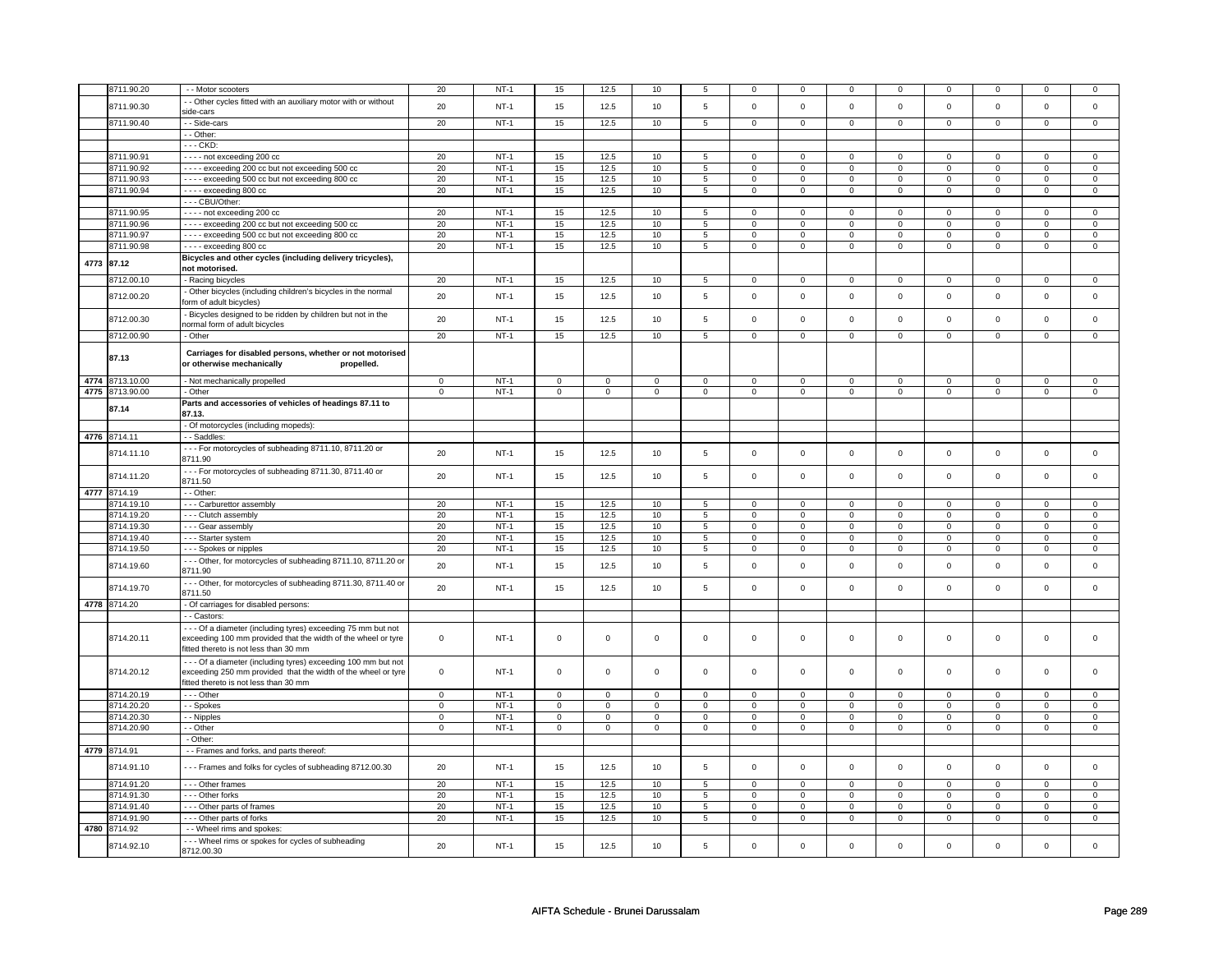|      | 8711.90.20      | - - Motor scooters                                                                                                                                                     | 20             | $NT-1$ | 15                  | 12.5           | 10          | 5              | 0              | 0              |                | 0              | 0              | $\mathbf 0$    |                | $\mathbf 0$    |
|------|-----------------|------------------------------------------------------------------------------------------------------------------------------------------------------------------------|----------------|--------|---------------------|----------------|-------------|----------------|----------------|----------------|----------------|----------------|----------------|----------------|----------------|----------------|
|      |                 | - Other cycles fitted with an auxiliary motor with or without                                                                                                          |                |        |                     |                |             |                |                |                |                |                |                |                |                |                |
|      | 8711.90.30      | side-cars                                                                                                                                                              | 20             | $NT-1$ | 15                  | 12.5           | 10          | 5              | $\mathbf 0$    | $\mathbf 0$    | $\mathbf 0$    | $\mathsf 0$    | $\mathsf 0$    | $\mathsf 0$    | $\mathsf 0$    | $\mathsf 0$    |
|      | 8711.90.40      | - - Side-cars                                                                                                                                                          | 20             | $NT-1$ | 15                  | 12.5           | 10          | $\overline{5}$ | $\mathbf 0$    | $\overline{0}$ | $\mathbf 0$    | $\overline{0}$ | $\mathbf 0$    | $\overline{0}$ | $\mathsf 0$    | $\overline{0}$ |
|      |                 | - - Other:                                                                                                                                                             |                |        |                     |                |             |                |                |                |                |                |                |                |                |                |
|      |                 | - - - CKD:                                                                                                                                                             |                |        |                     |                |             |                |                |                |                |                |                |                |                |                |
|      | 8711.90.91      | ---- not exceeding 200 cc                                                                                                                                              | 20             | $NT-1$ | 15                  | 12.5           | 10          | 5              | 0              | 0              | $\Omega$       | $\mathsf 0$    | $\Omega$       | $\mathsf 0$    | $\Omega$       | $\mathbf 0$    |
|      | 8711.90.92      | ---- exceeding 200 cc but not exceeding 500 cc                                                                                                                         | 20             | $NT-1$ | 15                  | 12.5           | 10          | 5              | $\mathbf 0$    | $\mathsf 0$    | $\mathbf 0$    | 0              | $\mathbf 0$    | $\mathsf 0$    | $\mathbf 0$    | $\overline{0}$ |
|      | 8711.90.93      | ---- exceeding 500 cc but not exceeding 800 cc                                                                                                                         | 20             | $NT-1$ | 15                  | 12.5           | 10          | $\overline{5}$ | $\mathbf 0$    | $\mathsf 0$    | 0              | 0              | 0              | $\mathbf 0$    | $\mathbf 0$    | $\mathsf 0$    |
|      | 8711.90.94      | ---- exceeding 800 cc                                                                                                                                                  | 20             | $NT-1$ | 15                  | 12.5           | 10          | $\sqrt{5}$     | $\mathbf 0$    | $\mathsf 0$    | $\mathsf 0$    | $\mathsf 0$    | $\mathsf 0$    | $\mathsf 0$    | $\mathsf 0$    | $\overline{0}$ |
|      |                 | --- CBU/Other:                                                                                                                                                         |                |        |                     |                |             |                |                |                |                |                |                |                |                |                |
|      | 8711.90.95      | ---- not exceeding 200 cc                                                                                                                                              | 20             | $NT-1$ | 15                  | 12.5           | 10          | 5              | $\mathbf 0$    | $\mathbf{0}$   | $\mathbf{0}$   | $\mathbf 0$    | $\mathbf{0}$   | $\mathbf{0}$   | $\mathbf 0$    | $\mathbf{0}$   |
|      | 8711.90.96      | ---- exceeding 200 cc but not exceeding 500 cc                                                                                                                         | 20             | $NT-1$ | 15                  | 12.5           | 10          | 5              | $\mathbf 0$    | $\overline{0}$ | $\mathbf 0$    | $\overline{0}$ | $\overline{0}$ | $\overline{0}$ | $\overline{0}$ | $\overline{0}$ |
|      | 8711.90.97      | ---- exceeding 500 cc but not exceeding 800 cc                                                                                                                         | 20             | $NT-1$ | 15                  | 12.5           | 10          | 5              | 0              | 0              | $\mathbf 0$    | 0              | $\mathbf 0$    | $\mathbf 0$    | $\mathbf 0$    | $\circ$        |
|      | 8711.90.98      | $\cdots$ exceeding 800 cc                                                                                                                                              | 20             | $NT-1$ | 15                  | 12.5           | 10          | 5              | $\mathbf 0$    | $\mathbf 0$    | $\mathbf 0$    | $\mathsf 0$    | 0              | $\mathsf 0$    | $\mathbf 0$    | $\mathsf 0$    |
| 4773 | 87.12           | Bicycles and other cycles (including delivery tricycles),<br>not motorised.                                                                                            |                |        |                     |                |             |                |                |                |                |                |                |                |                |                |
|      | 8712.00.10      | - Racing bicycles                                                                                                                                                      | 20             | $NT-1$ | 15                  | 12.5           | 10          | 5              | 0              | 0              | $\Omega$       | $\Omega$       | $\mathbf 0$    | $\Omega$       | $\Omega$       | $\Omega$       |
|      |                 | - Other bicycles (including children's bicycles in the normal                                                                                                          |                |        |                     |                |             |                |                |                |                |                |                |                |                |                |
|      | 8712.00.20      | form of adult bicycles)                                                                                                                                                | 20             | $NT-1$ | 15                  | 12.5           | 10          | 5              | $\mathbf 0$    | $\mathsf 0$    | $\mathsf 0$    | $\mathbf 0$    | $\mathsf 0$    | $\mathbf 0$    | $\mathsf 0$    | $\mathbf 0$    |
|      | 8712.00.30      | Bicycles designed to be ridden by children but not in the<br>normal form of adult bicycles                                                                             | 20             | $NT-1$ | 15                  | 12.5           | 10          | 5              | $\mathbf 0$    | $\mathbf 0$    | $\mathbf 0$    | 0              | $\mathbf 0$    | $\mathsf 0$    | $\mathsf 0$    | $\mathbf 0$    |
|      | 8712.00.90      | - Other                                                                                                                                                                | 20             | $NT-1$ | 15                  | 12.5           | 10          | $\overline{5}$ | $\overline{0}$ | $\overline{0}$ | $\overline{0}$ | $\overline{0}$ | $\overline{0}$ | $\overline{0}$ | $\overline{0}$ | $\overline{0}$ |
|      | 87.13           | Carriages for disabled persons, whether or not motorised<br>or otherwise mechanically<br>propelled.                                                                    |                |        |                     |                |             |                |                |                |                |                |                |                |                |                |
|      | 4774 8713.10.00 | - Not mechanically propelled                                                                                                                                           | $\mathsf 0$    | $NT-1$ | $\mathsf{O}\xspace$ | $\mathsf 0$    | $\mathsf 0$ | $\mathsf 0$    | 0              | $\mathsf 0$    | $\mathsf 0$    | $\mathsf 0$    | $\mathsf 0$    | $\mathsf 0$    | $\mathbf 0$    | $\mathbf 0$    |
|      | 4775 8713.90.00 | - Other                                                                                                                                                                | $\mathsf 0$    | $NT-1$ | $\mathsf 0$         | $\mathsf 0$    | $\mathbf 0$ | $\mathbf 0$    | $\mathbf 0$    | $\mathbf 0$    | $\mathbf 0$    | $\mathbf 0$    | $\mathsf 0$    | $\mathsf 0$    | $\mathsf 0$    | $\overline{0}$ |
|      | 87.14           | Parts and accessories of vehicles of headings 87.11 to<br>87.13.                                                                                                       |                |        |                     |                |             |                |                |                |                |                |                |                |                |                |
|      |                 | - Of motorcycles (including mopeds):                                                                                                                                   |                |        |                     |                |             |                |                |                |                |                |                |                |                |                |
| 4776 | 8714.11         | - - Saddles:                                                                                                                                                           |                |        |                     |                |             |                |                |                |                |                |                |                |                |                |
|      | 8714.11.10      | --- For motorcycles of subheading 8711.10, 8711.20 or                                                                                                                  | 20             | $NT-1$ | 15                  | 12.5           | 10          | 5              | $\mathbf 0$    | $\mathbf 0$    | $\Omega$       | 0              | $\mathbf 0$    | $\mathsf 0$    | $\mathsf 0$    | $\mathbf 0$    |
|      | 8714.11.20      | 8711.90<br>--- For motorcycles of subheading 8711.30, 8711.40 or                                                                                                       | 20             | $NT-1$ | 15                  | 12.5           | 10          | 5              | $\mathbf 0$    | $\mathbf 0$    | $\mathbf{0}$   | $\mathbf 0$    | $\mathbf 0$    | $\mathbf 0$    | $\mathbf 0$    | $\mathbf{0}$   |
|      |                 | 8711.50                                                                                                                                                                |                |        |                     |                |             |                |                |                |                |                |                |                |                |                |
|      | 4777 8714.19    | - - Other:                                                                                                                                                             |                |        |                     |                |             |                |                |                |                |                |                |                |                |                |
|      | 8714.19.10      | --- Carburettor assembly                                                                                                                                               | 20             | $NT-1$ | 15                  | 12.5           | 10          | 5              | $\mathbf 0$    | $\mathbf{0}$   | $\mathbf{0}$   | $\mathbf{0}$   | $\mathbf{0}$   | $\mathbf{0}$   | $\mathbf{0}$   | $\mathbf{0}$   |
|      | 8714.19.20      | - - - Clutch assembly                                                                                                                                                  | 20             | $NT-1$ | 15                  | 12.5           | 10          | $\overline{5}$ | $\mathbf 0$    | $\mathbf 0$    | $\mathbf 0$    | 0              | 0              | $\overline{0}$ | $\mathbf 0$    | $\overline{0}$ |
|      | 8714.19.30      | --- Gear assembly                                                                                                                                                      | 20             | $NT-1$ | 15                  | 12.5           | 10          | 5              | 0              | $\mathbf 0$    | 0              | 0              | 0              | $\mathbf 0$    | 0              | $\mathbf 0$    |
|      | 8714.19.40      | - - - Starter system                                                                                                                                                   | 20             | $NT-1$ | 15                  | 12.5           | 10          | 5              | $\Omega$       | $\mathbf 0$    | 0              | 0              | 0              | $\mathsf 0$    | $\Omega$       | $\Omega$       |
|      | 8714.19.50      | --- Spokes or nipples                                                                                                                                                  | 20             | $NT-1$ | 15                  | 12.5           | 10          | 5              | $\mathbf 0$    | $\mathbf 0$    | $\mathbf 0$    | $\mathbf 0$    | 0              | $\mathbf 0$    | 0              | $\overline{0}$ |
|      | 8714.19.60      | --- Other, for motorcycles of subheading 8711.10, 8711.20 or<br>8711.90                                                                                                | 20             | $NT-1$ | 15                  | 12.5           | 10          | 5              | $\mathbf 0$    | $\mathbf 0$    | $\mathbf 0$    | 0              | $\mathbf 0$    | $\mathbf 0$    | $\mathsf 0$    | $\mathbf 0$    |
|      | 8714.19.70      | --- Other, for motorcycles of subheading 8711.30, 8711.40 or<br>8711.50                                                                                                | 20             | $NT-1$ | 15                  | 12.5           | 10          | 5              | $\mathsf 0$    | $\mathbf 0$    | $\mathsf{O}$   | $\mathsf 0$    | $\mathsf 0$    | $\mathsf 0$    | $\mathsf 0$    | $\mathbf 0$    |
|      | 4778 8714.20    | - Of carriages for disabled persons:                                                                                                                                   |                |        |                     |                |             |                |                |                |                |                |                |                |                |                |
|      |                 | - Castors:                                                                                                                                                             |                |        |                     |                |             |                |                |                |                |                |                |                |                |                |
|      | 8714.20.11      | --- Of a diameter (including tyres) exceeding 75 mm but not<br>exceeding 100 mm provided that the width of the wheel or tyre<br>fitted thereto is not less than 30 mm  | $\mathsf 0$    | $NT-1$ | $\mathsf{O}\xspace$ | $\mathbf 0$    | $\mathsf 0$ | $\mathsf 0$    | $\mathsf 0$    | $\mathbf 0$    | $\mathsf{O}$   | $\mathbf 0$    | $\mathsf 0$    | $\mathsf 0$    | $\mathsf 0$    | $\mathbf 0$    |
|      | 8714.20.12      | --- Of a diameter (including tyres) exceeding 100 mm but not<br>exceeding 250 mm provided that the width of the wheel or tyre<br>fitted thereto is not less than 30 mm | $\mathbf 0$    | $NT-1$ | $\mathsf{O}\xspace$ | $\mathbf 0$    | $\mathbf 0$ | $\mathbf 0$    | $\mathbf 0$    | $\mathbf 0$    | $\Omega$       | $\mathbf{0}$   | $\Omega$       | $\mathbf{0}$   | $\Omega$       | $\mathbf 0$    |
|      | 8714.20.19      | - - - Other                                                                                                                                                            | $\mathbf 0$    | $NT-1$ | $\mathsf 0$         | $\mathbf 0$    | $\mathsf 0$ | $\mathbf 0$    | $\mathbf 0$    | $\mathbf 0$    | $\mathsf 0$    | $\mathbf{0}$   | $\mathsf 0$    | $\mathbf{0}$   | $\mathsf 0$    | $\mathbf 0$    |
|      | 8714.20.20      | - - Spokes                                                                                                                                                             | $\mathbf 0$    | $NT-1$ | $\mathbf 0$         | $\mathbf 0$    | $\mathbf 0$ | $\mathbf 0$    | $\mathbf 0$    | $\mathbf 0$    | $\mathbf 0$    | 0              | $\mathbf 0$    | $\mathbf{0}$   | $\mathbf 0$    | $\circ$        |
|      | 8714.20.30      | - Nipples                                                                                                                                                              | $\mathbf 0$    | $NT-1$ | $\mathbf 0$         | $\mathbf 0$    | $\mathbf 0$ | $\mathsf 0$    | $\mathbf 0$    | $\mathbf 0$    | $\mathbf 0$    | 0              | 0              | $\mathbf 0$    | $\mathbf 0$    | $\mathbf 0$    |
|      | 8714.20.90      | - - Other                                                                                                                                                              | $\overline{0}$ | $NT-1$ | $\overline{0}$      | $\overline{0}$ | $\mathbf 0$ | $\overline{0}$ | $\overline{0}$ | $\overline{0}$ | $\overline{0}$ | $\overline{0}$ | $\overline{0}$ | $\overline{0}$ | $\overline{0}$ | $\overline{0}$ |
|      |                 | - Other:                                                                                                                                                               |                |        |                     |                |             |                |                |                |                |                |                |                |                |                |
|      | 4779 8714.91    | - - Frames and forks, and parts thereof:                                                                                                                               |                |        |                     |                |             |                |                |                |                |                |                |                |                |                |
|      | 8714.91.10      | --- Frames and folks for cycles of subheading 8712.00.30                                                                                                               | 20             | $NT-1$ | 15                  | 12.5           | 10          | 5              | $\mathbf 0$    | $\mathbf 0$    | $\mathbf 0$    | $\mathbf 0$    | $\mathbf 0$    | $\mathsf 0$    | $\mathbf 0$    | $\mathbf 0$    |
|      | 8714.91.20      | --- Other frames                                                                                                                                                       | 20             | $NT-1$ | 15                  | 12.5           | 10          | 5              | $\mathbf 0$    | $\mathbf 0$    | $\Omega$       | 0              | $\mathsf 0$    | $\mathsf 0$    | $\Omega$       | $\mathbf 0$    |
|      | 8714.91.30      | --- Other forks                                                                                                                                                        | 20             | $NT-1$ | 15                  | 12.5           | 10          | 5              | $\mathbf 0$    | $\mathbf 0$    | $\Omega$       | $\mathbf 0$    | 0              | $\mathbf 0$    | $\mathbf 0$    | $\circ$        |
|      | 8714.91.40      | --- Other parts of frames                                                                                                                                              | 20             | $NT-1$ | 15                  | 12.5           | 10          | 5              | 0              | $\mathbf 0$    | $\mathbf 0$    | 0              | $\mathbf 0$    | $\mathsf 0$    | $\Omega$       | $\mathbf 0$    |
|      | 8714.91.90      | --- Other parts of forks                                                                                                                                               | 20             | $NT-1$ | 15                  | 12.5           | 10          | 5              | 0              | $\mathbf 0$    | 0              | 0              | 0              | $\mathbf 0$    | 0              | $\mathbf 0$    |
|      | 4780 8714.92    | - - Wheel rims and spokes:                                                                                                                                             |                |        |                     |                |             |                |                |                |                |                |                |                |                |                |
|      |                 | --- Wheel rims or spokes for cycles of subheading                                                                                                                      |                |        |                     |                |             |                |                |                |                |                |                |                |                |                |
|      | 8714.92.10      | 8712.00.30                                                                                                                                                             | 20             | $NT-1$ | 15                  | 12.5           | 10          | 5              | $\mathsf 0$    | $\mathbf 0$    | $\mathbf 0$    | $\mathbf 0$    | $\mathbf 0$    | $\mathbf 0$    | $\mathsf 0$    | $\mathbf 0$    |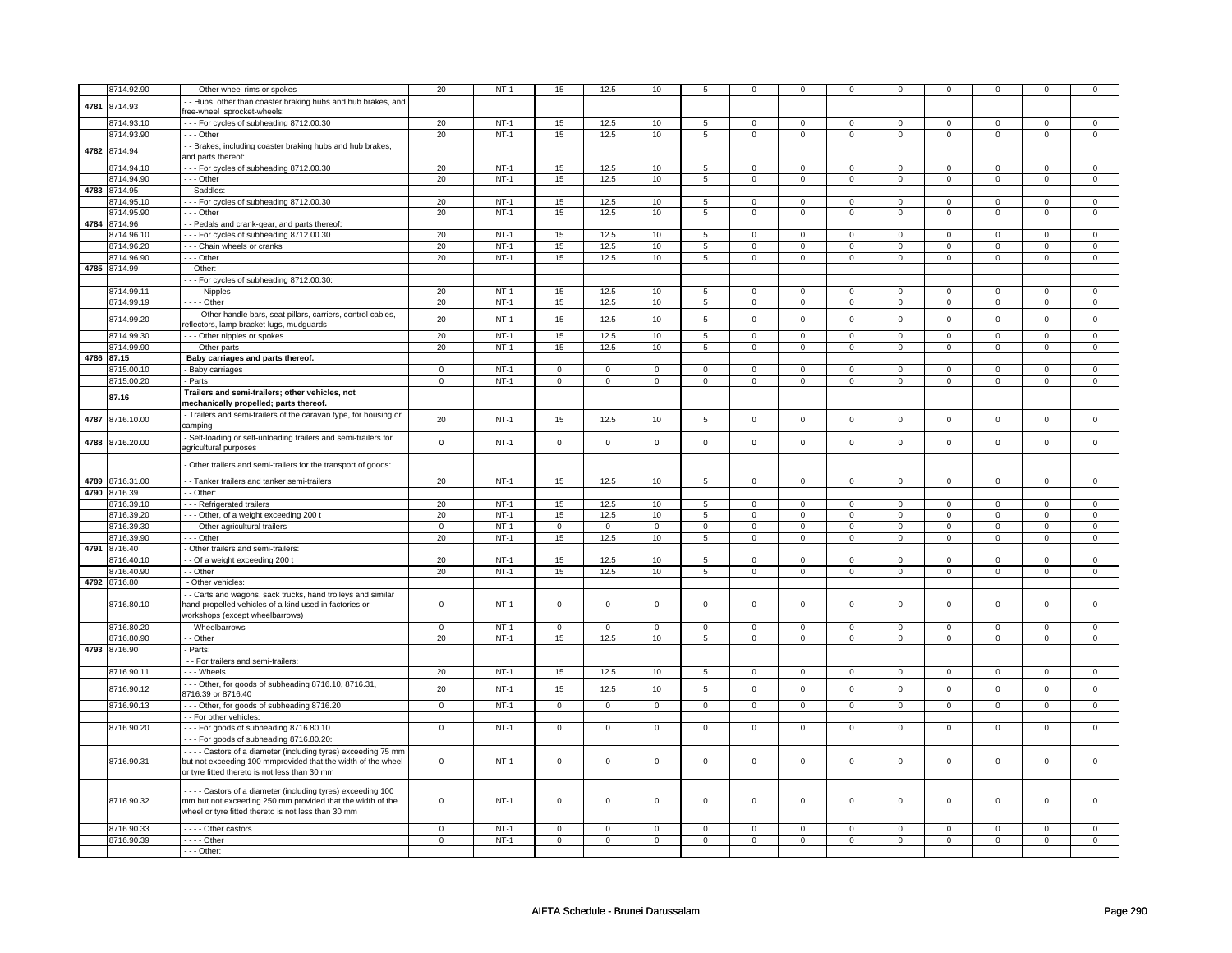|            | 8714.92.90      | --- Other wheel rims or spokes                                                            | 20             | $NT-1$ | 15                  | 12.5           | 10             | 5               | $\mathbf 0$    | $\mathbf 0$    | $\mathbf 0$  | $\mathbf 0$    | $\mathbf 0$    | $\mathbf 0$    | $^{\circ}$   | $\mathbf 0$    |
|------------|-----------------|-------------------------------------------------------------------------------------------|----------------|--------|---------------------|----------------|----------------|-----------------|----------------|----------------|--------------|----------------|----------------|----------------|--------------|----------------|
|            |                 |                                                                                           |                |        |                     |                |                |                 |                |                |              |                |                |                |              |                |
| 4781       | 8714.93         | - Hubs, other than coaster braking hubs and hub brakes, and<br>ree-wheel sprocket-wheels: |                |        |                     |                |                |                 |                |                |              |                |                |                |              |                |
|            | 8714.93.10      |                                                                                           |                | $NT-1$ |                     |                |                |                 |                |                |              |                |                |                |              |                |
|            |                 | --- For cycles of subheading 8712.00.30                                                   | 20             |        | 15                  | 12.5           | 10             | $5\phantom{.0}$ | $\mathsf 0$    | $\mathbf 0$    | $^{\circ}$   | $\mathbf 0$    | $\mathsf 0$    | $\mathbf 0$    | $^{\circ}$   | $\mathbf{0}$   |
|            | 8714.93.90      | --- Other                                                                                 | 20             | $NT-1$ | 15                  | 12.5           | 10             | 5               | $\mathsf 0$    | $\mathbf 0$    | $\mathbf 0$  | $\mathbf 0$    | $\mathsf 0$    | $\mathbf 0$    | $\Omega$     | $\mathbf 0$    |
| 4782       | 8714.94         | - - Brakes, including coaster braking hubs and hub brakes,                                |                |        |                     |                |                |                 |                |                |              |                |                |                |              |                |
|            |                 | and parts thereof:                                                                        |                |        |                     |                |                |                 |                |                |              |                |                |                |              |                |
|            | 3714.94.10      | --- For cycles of subheading 8712.00.30                                                   | 20             | $NT-1$ | 15                  | 12.5           | 10             | $5\phantom{.0}$ | $\circ$        | $\mathbf 0$    | $\Omega$     | $\mathbf 0$    | $\mathbf 0$    | $\mathbf{0}$   | $\Omega$     | $\mathbf{0}$   |
|            | 8714.94.90      | --- Other                                                                                 | 20             | $NT-1$ | 15                  | 12.5           | 10             | $\overline{5}$  | $\mathsf 0$    | $\mathsf 0$    | $\mathsf 0$  | 0              | $\mathsf 0$    | $\mathsf 0$    | $\mathbf 0$  | $\mathsf 0$    |
|            | 4783 8714.95    | - - Saddles:                                                                              |                |        |                     |                |                |                 |                |                |              |                |                |                |              |                |
|            | 8714.95.10      | --- For cycles of subheading 8712.00.30                                                   | 20             | $NT-1$ | 15                  | 12.5           | 10             | $5\overline{5}$ | $\mathsf 0$    | $\mathbf 0$    | $\Omega$     | $\mathbf 0$    | $\mathbf 0$    | $\mathbf 0$    | $\Omega$     | $\mathbf 0$    |
|            | 8714.95.90      | --- Other                                                                                 | 20             | $NT-1$ | 15                  | 12.5           | 10             | $5\overline{)}$ | $\mathbf{O}$   | $\mathbf{0}$   | $\mathbf 0$  | $\mathbf{0}$   | $\mathbf{0}$   | $\mathbf{0}$   | $\mathbf 0$  | $\mathbf{0}$   |
|            | 4784 8714.96    | - - Pedals and crank-gear, and parts thereof:                                             |                |        |                     |                |                |                 |                |                |              |                |                |                |              |                |
|            | 8714.96.10      | --- For cycles of subheading 8712.00.30                                                   | 20             | $NT-1$ | 15                  | 12.5           | 10             | 5               | $\mathbf 0$    | $\mathbf 0$    | $\mathbf 0$  | $\mathbf 0$    | $\mathbf 0$    | $\mathbf 0$    | $\mathbf 0$  | $\mathbf{0}$   |
|            | 8714.96.20      | - - - Chain wheels or cranks                                                              | 20             | $NT-1$ | 15                  | 12.5           | 10             | 5               | $\Omega$       | $\mathbf 0$    | $\Omega$     | 0              | $\mathbf 0$    | $\mathbf 0$    | $\Omega$     | $\mathsf 0$    |
|            | 8714.96.90      | --- Other                                                                                 | 20             | $NT-1$ | 15                  | 12.5           | 10             | $5\phantom{.0}$ | $\mathbf 0$    | $\mathbf 0$    | $\mathbf 0$  | $\mathbf 0$    | $\mathbf 0$    | $\mathbf{0}$   | $\mathbf 0$  | $\mathbf 0$    |
|            | 4785 8714.99    | - - Other:                                                                                |                |        |                     |                |                |                 |                |                |              |                |                |                |              |                |
|            |                 | --- For cycles of subheading 8712.00.30:                                                  |                |        |                     |                |                |                 |                |                |              |                |                |                |              |                |
|            |                 |                                                                                           |                |        |                     |                |                |                 | $\mathbf 0$    | $\mathbf 0$    | $\mathbf 0$  | $\mathbf 0$    | $\mathbf 0$    |                | $\mathbf 0$  |                |
|            | 8714.99.11      | - - - - Nipples                                                                           | 20             | $NT-1$ | 15                  | 12.5           | 10             | 5               |                |                |              |                |                | $\mathbf 0$    |              | $\mathsf 0$    |
|            | 8714.99.19      | $---$ Other                                                                               | 20             | $NT-1$ | 15                  | 12.5           | 10             | 5               | $\mathsf 0$    | $\mathsf 0$    | $\mathbf 0$  | $\mathsf 0$    | $\mathsf 0$    | $\mathsf 0$    | $\mathbf 0$  | $\mathsf 0$    |
|            | 8714.99.20      | - - - Other handle bars, seat pillars, carriers, control cables,                          | 20             | $NT-1$ | 15                  | 12.5           | 10             | 5               | $\mathsf 0$    | $\mathsf 0$    | $\mathbf 0$  | $\mathsf 0$    | $\mathsf 0$    | $\mathbf 0$    | $\mathbf 0$  | $\mathbf 0$    |
|            |                 | reflectors, lamp bracket lugs, mudguards                                                  |                |        |                     |                |                |                 |                |                |              |                |                |                |              |                |
|            | 8714.99.30      | --- Other nipples or spokes                                                               | 20             | $NT-1$ | 15                  | 12.5           | 10             | $\overline{5}$  | $\mathbf 0$    | $\overline{0}$ | $\mathbf 0$  | $\mathbf{0}$   | $\mathbf 0$    | $\overline{0}$ | $^{\circ}$   | $\mathbf{0}$   |
|            | 8714.99.90      | - - - Other parts                                                                         | 20             | $NT-1$ | 15                  | 12.5           | 10             | 5               | $\mathbf{0}$   | $\mathbf{0}$   | $\mathbf{0}$ | $\mathbf{0}$   | $\mathbf{0}$   | $\mathbf{0}$   | $\mathbf 0$  | $\mathbf{0}$   |
| 4786 87.15 |                 | Baby carriages and parts thereof.                                                         |                |        |                     |                |                |                 |                |                |              |                |                |                |              |                |
|            | 8715.00.10      | - Baby carriages                                                                          | $\mathsf 0$    | $NT-1$ | $\mathsf{O}\xspace$ | $\mathsf 0$    | $\mathsf 0$    | $\mathsf 0$     | $\mathsf{O}$   | $\mathbf 0$    | $\mathsf 0$  | $\mathsf 0$    | $\mathsf 0$    | $\mathsf 0$    | $\mathsf 0$  | $\mathsf 0$    |
|            | 8715.00.20      | - Parts                                                                                   | $\mathsf 0$    | $NT-1$ | 0                   | $\mathsf 0$    | $\mathsf 0$    | $\mathbf 0$     | $\mathsf 0$    | $\mathbf 0$    | $\mathsf 0$  | $\mathsf 0$    | $\mathsf 0$    | $\mathbf 0$    | $\mathbf 0$  | $\overline{0}$ |
|            |                 | Trailers and semi-trailers; other vehicles, not                                           |                |        |                     |                |                |                 |                |                |              |                |                |                |              |                |
|            | 87.16           | mechanically propelled; parts thereof.                                                    |                |        |                     |                |                |                 |                |                |              |                |                |                |              |                |
|            |                 | - Trailers and semi-trailers of the caravan type, for housing or                          |                |        |                     |                |                |                 |                |                |              |                |                |                |              |                |
| 4787       | 8716.10.00      | camping                                                                                   | 20             | $NT-1$ | 15                  | 12.5           | 10             | $5\phantom{.0}$ | $\mathsf 0$    | $\mathsf 0$    | $\mathsf 0$  | $\mathsf 0$    | $\mathsf 0$    | $\mathsf 0$    | $\mathsf 0$  | $\mathsf 0$    |
|            |                 | - Self-loading or self-unloading trailers and semi-trailers for                           |                |        |                     |                |                |                 |                |                |              |                |                |                |              |                |
| 4788       | 8716.20.00      | agricultural purposes                                                                     | $\mathbf 0$    | $NT-1$ | $\mathbf 0$         | $\mathbf 0$    | $\mathbf 0$    | $\mathbf 0$     | $\mathbf 0$    | $\mathbf 0$    | $\mathbf 0$  | $\mathbf 0$    | $\mathbf 0$    | $\mathbf 0$    | $\mathbf 0$  | $\mathbf 0$    |
|            |                 |                                                                                           |                |        |                     |                |                |                 |                |                |              |                |                |                |              |                |
|            |                 | Other trailers and semi-trailers for the transport of goods:                              |                |        |                     |                |                |                 |                |                |              |                |                |                |              |                |
|            |                 |                                                                                           |                |        |                     |                |                |                 |                |                |              |                |                |                |              |                |
|            | 4789 8716.31.00 | - Tanker trailers and tanker semi-trailers                                                | 20             | $NT-1$ | 15                  | 12.5           | 10             | $5\phantom{.0}$ | $\mathbf 0$    | $\mathbf{0}$   | $\mathbf{0}$ | $\overline{0}$ | $\mathbf{0}$   | $\overline{0}$ | $\mathbf 0$  | $\overline{0}$ |
|            | 4790 8716.39    | - - Other:                                                                                |                |        |                     |                |                |                 |                |                |              |                |                |                |              |                |
|            | 8716.39.10      | - - - Refrigerated trailers                                                               | 20             | $NT-1$ | 15                  | 12.5           | 10             | $5\overline{5}$ | $\mathbf{0}$   | $\mathbf{0}$   | $\circ$      | $\mathbf{0}$   | $\mathbf{0}$   | $\mathbf{0}$   | $\mathbf{0}$ | $\mathbf 0$    |
|            | 8716.39.20      | --- Other, of a weight exceeding 200 t                                                    | 20             | $NT-1$ | 15                  | 12.5           | 10             | $\overline{5}$  | $\overline{0}$ | $\overline{0}$ | $\mathsf 0$  | $\mathbf 0$    | $\mathbf 0$    | $\mathbf 0$    | $\mathsf 0$  | $\mathsf 0$    |
|            | 8716.39.30      | - - - Other agricultural trailers                                                         | $\mathbf 0$    | $NT-1$ | $\mathbf 0$         | $\mathbf 0$    | 0              | $\mathbf 0$     | $\mathbf 0$    | $\mathbf 0$    | $\mathbf 0$  | $\mathbf 0$    | $\mathbf 0$    | $\mathbf 0$    | $\mathbf 0$  | $\mathbf 0$    |
|            | 8716.39.90      | --- Other                                                                                 | 20             | $NT-1$ | 15                  | 12.5           | 10             | 5               | $\mathbf 0$    | $\mathbf 0$    | $\mathbf 0$  | $\mathbf 0$    | $\mathsf 0$    | $\mathbf 0$    | $\mathbf 0$  | $\mathsf 0$    |
|            | 4791 8716.40    | - Other trailers and semi-trailers:                                                       |                |        |                     |                |                |                 |                |                |              |                |                |                |              |                |
|            | 8716.40.10      | - - Of a weight exceeding 200 t                                                           | 20             | $NT-1$ | 15                  | 12.5           | 10             | 5               | $\mathbf 0$    | $\mathbf 0$    | $\mathbf 0$  | $\mathbf 0$    | $\mathbf 0$    | $\mathbf 0$    | $^{\circ}$   | $\mathbf{0}$   |
|            | 8716.40.90      | - - Other                                                                                 | 20             | $NT-1$ | 15                  | 12.5           | 10             | 5               | $\mathbf 0$    | $\mathbf 0$    | $\mathbf 0$  | $\mathbf 0$    | $\mathbf 0$    | $\mathbf 0$    | 0            | $\mathbf 0$    |
|            | 4792 8716.80    | - Other vehicles:                                                                         |                |        |                     |                |                |                 |                |                |              |                |                |                |              |                |
|            |                 | - Carts and wagons, sack trucks, hand trolleys and similar                                |                |        |                     |                |                |                 |                |                |              |                |                |                |              |                |
|            | 8716.80.10      | hand-propelled vehicles of a kind used in factories or                                    | 0              | $NT-1$ | $\mathbf 0$         | $\mathbf 0$    | $\mathbf 0$    | $\mathbf{0}$    | $\mathsf 0$    | $\mathsf 0$    | $\mathsf 0$  | $\mathbf 0$    | $\mathsf 0$    | $\mathsf 0$    | $\mathbf 0$  | $\mathbf 0$    |
|            |                 | workshops (except wheelbarrows)                                                           |                |        |                     |                |                |                 |                |                |              |                |                |                |              |                |
|            | 8716.80.20      | - - Wheelbarrows                                                                          | $\mathbf 0$    | $NT-1$ | $\mathsf 0$         | $\mathsf 0$    | $\Omega$       | $\mathsf 0$     | $\mathsf 0$    | $\mathsf 0$    | $\Omega$     | $\mathsf 0$    | $\mathsf 0$    | $\mathbf 0$    | $\Omega$     | $\mathbf{0}$   |
|            | 8716.80.90      | - - Other                                                                                 | 20             | $NT-1$ | 15                  | 12.5           | 10             | 5               |                | $\mathbf 0$    |              |                |                | $\mathbf 0$    | $\Omega$     | $\mathbf 0$    |
|            |                 |                                                                                           |                |        |                     |                |                |                 | $\mathbf 0$    |                | $\mathbf 0$  | $\mathbf 0$    | $\mathbf 0$    |                |              |                |
|            | 4793 8716.90    | - Parts:                                                                                  |                |        |                     |                |                |                 |                |                |              |                |                |                |              |                |
|            |                 | - - For trailers and semi-trailers:                                                       |                |        |                     |                |                |                 |                |                |              |                |                |                |              |                |
|            | 8716.90.11      | - - - Wheels                                                                              | 20             | $NT-1$ | 15                  | 12.5           | 10             | $5\phantom{.0}$ | $\mathsf 0$    | $\mathsf 0$    | $\mathbf 0$  | $\mathbf 0$    | $\mathbf 0$    | $\mathbf 0$    | $\Omega$     | $\mathsf 0$    |
|            | 8716.90.12      | --- Other, for goods of subheading 8716.10, 8716.31,                                      | 20             | $NT-1$ | 15                  | 12.5           | 10             | 5               | $\mathsf{O}$   | $\mathsf 0$    | $\mathsf 0$  | $\mathsf 0$    | $\mathsf 0$    | $\mathsf 0$    | $\mathbf 0$  | $\mathbf 0$    |
|            |                 | 8716.39 or 8716.40                                                                        |                |        |                     |                |                |                 |                |                |              |                |                |                |              |                |
|            | 8716.90.13      | --- Other, for goods of subheading 8716.20                                                | $\mathbf{0}$   | $NT-1$ | $\mathbf{0}$        | $\mathbf 0$    | $\mathbf{0}$   | $\mathbf{0}$    | $\circ$        | $\overline{0}$ | $\circ$      | $\mathbf 0$    | $\mathbf{0}$   | $\mathbf{0}$   | $\Omega$     | $\mathbf{0}$   |
|            |                 | - - For other vehicles:                                                                   |                |        |                     |                |                |                 |                |                |              |                |                |                |              |                |
|            | 8716.90.20      | --- For goods of subheading 8716.80.10                                                    | $\overline{0}$ | $NT-1$ | $\overline{0}$      | $\overline{0}$ | $\overline{0}$ | $\overline{0}$  | $\overline{0}$ | $\overline{0}$ | $\mathsf 0$  | $\overline{0}$ | $\overline{0}$ | $\mathbf{0}$   | $\mathbf 0$  | $\overline{0}$ |
|            |                 | --- For goods of subheading 8716.80.20:                                                   |                |        |                     |                |                |                 |                |                |              |                |                |                |              |                |
|            |                 | - - - - Castors of a diameter (including tyres) exceeding 75 mm                           |                |        |                     |                |                |                 |                |                |              |                |                |                |              |                |
|            | 8716.90.31      | but not exceeding 100 mmprovided that the width of the wheel                              | $\mathbf 0$    | $NT-1$ | $\mathbf 0$         | $\mathbf 0$    | $\mathbf{0}$   | $\circ$         | $\mathsf 0$    | $\mathbf 0$    | $\mathsf 0$  | $\mathbf 0$    | $\mathbf 0$    | $\mathbf 0$    | $\mathsf 0$  | $\mathsf 0$    |
|            |                 | or tyre fitted thereto is not less than 30 mm                                             |                |        |                     |                |                |                 |                |                |              |                |                |                |              |                |
|            |                 |                                                                                           |                |        |                     |                |                |                 |                |                |              |                |                |                |              |                |
|            |                 | - - - - Castors of a diameter (including tyres) exceeding 100                             |                |        |                     |                |                |                 |                |                |              |                |                |                |              |                |
|            | 8716.90.32      | mm but not exceeding 250 mm provided that the width of the                                | 0              | $NT-1$ | $\mathbf 0$         | $\mathbf 0$    | $\mathbf 0$    | $\mathbf{0}$    | $\mathbf 0$    | $\mathbf 0$    | $\mathbf 0$  | 0              | $\mathsf 0$    | $\mathbf 0$    | $\mathbf 0$  | $\Omega$       |
|            |                 | wheel or tyre fitted thereto is not less than 30 mm                                       |                |        |                     |                |                |                 |                |                |              |                |                |                |              |                |
|            | 8716.90.33      | - - - - Other castors                                                                     | 0              | $NT-1$ | $\overline{0}$      | $\overline{0}$ | $\mathbf 0$    | $\overline{0}$  | $\overline{0}$ | $\overline{0}$ | $\mathbf 0$  | $\mathbf 0$    | $\overline{0}$ | $\mathbf 0$    | $\mathbf 0$  | $\overline{0}$ |
|            | 8716.90.39      |                                                                                           |                | $NT-1$ |                     |                |                |                 |                |                |              |                |                |                |              |                |
|            |                 | - - - - Other                                                                             | $\mathbf 0$    |        | $\mathbf 0$         | $\mathbf 0$    | $\mathbf 0$    | $\mathbf{0}$    | $\mathbf 0$    | $\mathbf{0}$   | $\mathbf{0}$ | $\mathbf{0}$   | $\mathbf{0}$   | $\overline{0}$ | $^{\circ}$   | $\mathbf{0}$   |
|            |                 | $--$ Other:                                                                               |                |        |                     |                |                |                 |                |                |              |                |                |                |              |                |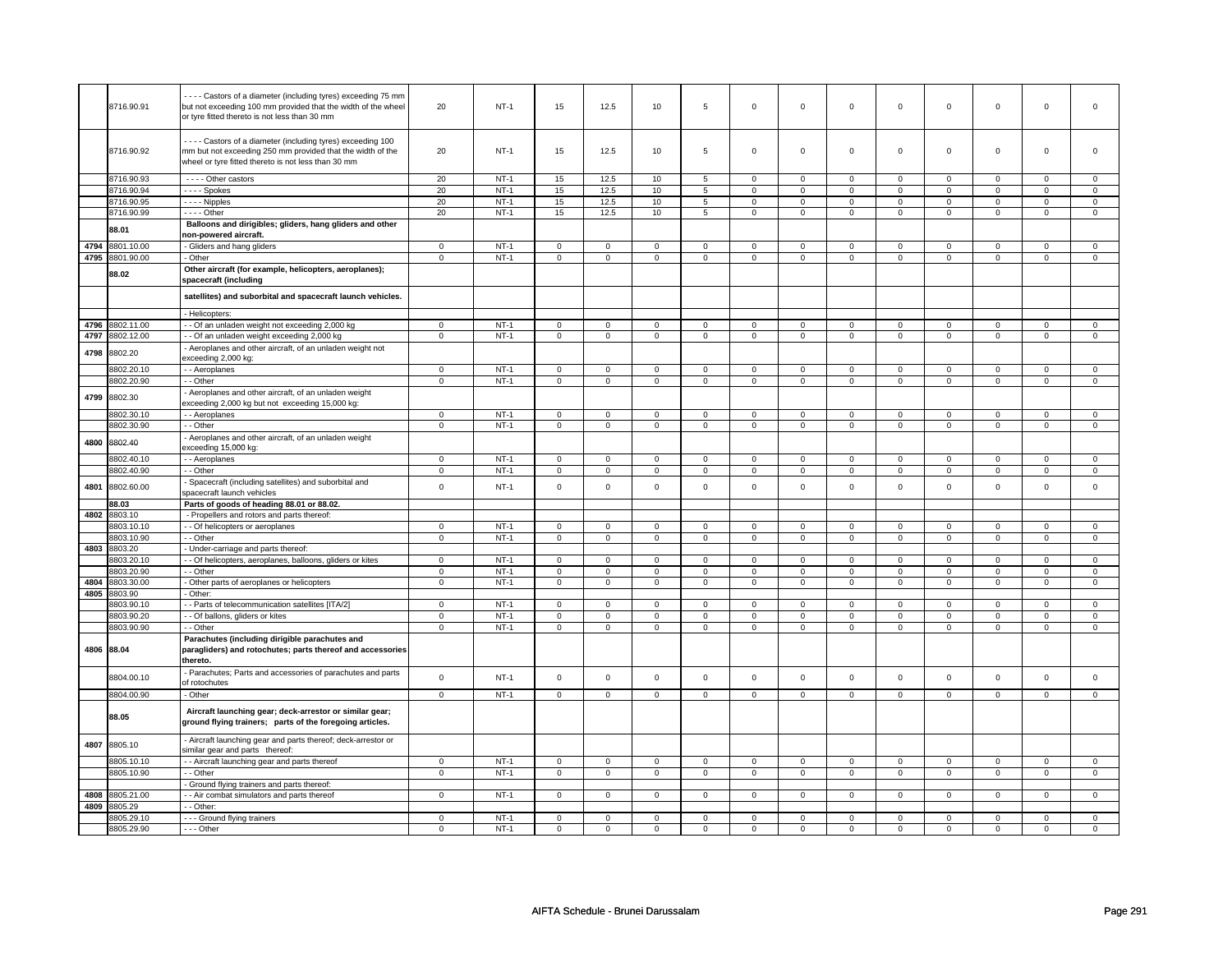|      |                 | --- Castors of a diameter (including tyres) exceeding 75 mm   |                |             |                     |                |                     |                |                     |                |                |                |                |                |                |                     |
|------|-----------------|---------------------------------------------------------------|----------------|-------------|---------------------|----------------|---------------------|----------------|---------------------|----------------|----------------|----------------|----------------|----------------|----------------|---------------------|
|      | 8716.90.91      | but not exceeding 100 mm provided that the width of the wheel | 20             | $NT-1$      | 15                  | 12.5           | 10                  | 5              | $\mathbf 0$         | $\mathbf 0$    | $\mathbf 0$    | $\mathbf 0$    | $\mathbf 0$    | $\mathsf 0$    | $\mathbf 0$    | $\Omega$            |
|      |                 | or tyre fitted thereto is not less than 30 mm                 |                |             |                     |                |                     |                |                     |                |                |                |                |                |                |                     |
|      |                 |                                                               |                |             |                     |                |                     |                |                     |                |                |                |                |                |                |                     |
|      |                 |                                                               |                |             |                     |                |                     |                |                     |                |                |                |                |                |                |                     |
|      |                 | - - - - Castors of a diameter (including tyres) exceeding 100 |                |             |                     |                |                     |                |                     |                |                |                |                |                |                |                     |
|      | 8716.90.92      | mm but not exceeding 250 mm provided that the width of the    | 20             | <b>NT-1</b> | 15                  | 12.5           | 10                  | 5              | $\Omega$            | $\mathbf 0$    | $\mathbf 0$    | 0              | 0              | $\mathbf 0$    | $\mathbf 0$    | $\mathbf 0$         |
|      |                 | wheel or tyre fitted thereto is not less than 30 mm           |                |             |                     |                |                     |                |                     |                |                |                |                |                |                |                     |
|      |                 |                                                               |                |             |                     |                |                     |                |                     |                |                |                |                |                |                |                     |
|      | 8716.90.93      | - - - - Other castors                                         | 20             | $NT-1$      | 15                  | 12.5           | 10                  | 5              | $\mathsf 0$         | $\mathbf 0$    | $\mathbf 0$    | $\mathsf 0$    | $\mathsf 0$    | $\mathsf 0$    | $\mathsf 0$    | 0                   |
|      |                 |                                                               |                |             |                     |                |                     |                |                     |                |                |                |                |                |                |                     |
|      | 8716.90.94      | ---- Spokes                                                   | 20             | $NT-1$      | 15                  | 12.5           | 10                  | 5              | $\mathsf{O}\xspace$ | $\overline{0}$ | $\Omega$       | $\mathbf 0$    | $\mathbf 0$    | $\overline{0}$ | $\Omega$       | $\overline{0}$      |
|      | 8716.90.95      | - - - - Nipples                                               | 20             | $NT-1$      | 15                  | 12.5           | 10                  | 5              | $\mathsf 0$         | $\mathsf 0$    | $\mathbf 0$    | $\mathsf 0$    | $\mathsf 0$    | $\mathsf 0$    | $\mathsf 0$    | $\mathbf 0$         |
|      | 8716.90.99      | $---$ Other                                                   | 20             | $NT-1$      | 15                  | 12.5           | 10                  | 5              | $\overline{0}$      | $\overline{0}$ | $\mathbf 0$    | $\mathbf 0$    | $\overline{0}$ | $\overline{0}$ | $\overline{0}$ | $\overline{0}$      |
|      |                 |                                                               |                |             |                     |                |                     |                |                     |                |                |                |                |                |                |                     |
|      | 88.01           | Balloons and dirigibles; gliders, hang gliders and other      |                |             |                     |                |                     |                |                     |                |                |                |                |                |                |                     |
|      |                 | non-powered aircraft.                                         |                |             |                     |                |                     |                |                     |                |                |                |                |                |                |                     |
| 4794 | 801.10.00       | - Gliders and hang gliders                                    | $\mathsf 0$    | $NT-1$      | $\mathsf 0$         | $\mathsf 0$    | $\mathsf 0$         | $\mathbf 0$    | $\mathsf 0$         | $\mathsf 0$    | $\mathsf 0$    | $\mathsf 0$    | $\mathsf 0$    | $\mathsf 0$    | $\mathbf 0$    | $\mathbf 0$         |
| 4795 | 8801.90.00      | - Other                                                       | $\mathbf 0$    | $NT-1$      | $\mathsf{O}\xspace$ | $\mathbf 0$    | $\mathsf{O}\xspace$ | $\mathsf 0$    | $\mathsf{O}\xspace$ | $\mathbf 0$    | $\mathsf 0$    | $\mathbf 0$    | $\mathsf 0$    | $\mathbf 0$    | $\mathsf 0$    | $\mathsf 0$         |
|      |                 |                                                               |                |             |                     |                |                     |                |                     |                |                |                |                |                |                |                     |
|      | 88.02           | Other aircraft (for example, helicopters, aeroplanes);        |                |             |                     |                |                     |                |                     |                |                |                |                |                |                |                     |
|      |                 | spacecraft (including                                         |                |             |                     |                |                     |                |                     |                |                |                |                |                |                |                     |
|      |                 |                                                               |                |             |                     |                |                     |                |                     |                |                |                |                |                |                |                     |
|      |                 | satellites) and suborbital and spacecraft launch vehicles.    |                |             |                     |                |                     |                |                     |                |                |                |                |                |                |                     |
|      |                 |                                                               |                |             |                     |                |                     |                |                     |                |                |                |                |                |                |                     |
|      |                 | - Helicopters:                                                |                |             |                     |                |                     |                |                     |                |                |                |                |                |                |                     |
|      | 4796 8802.11.00 | - - Of an unladen weight not exceeding 2,000 kg               | $\mathbf 0$    | $NT-1$      | $\mathbf 0$         | $\mathsf 0$    | $\mathbf 0$         | $\mathbf 0$    | $\mathbf 0$         | $\mathbf 0$    | $\mathbf 0$    | $\mathsf 0$    | $\mathsf 0$    | $\mathsf 0$    | $\mathsf 0$    | $\mathbf 0$         |
| 4797 | 8802.12.00      | - - Of an unladen weight exceeding 2,000 kg                   | $\overline{0}$ | $NT-1$      | $\overline{0}$      | $\overline{0}$ | $\overline{0}$      | $\overline{0}$ | $\overline{0}$      | $\overline{0}$ | $\overline{0}$ | $\overline{0}$ | $\overline{0}$ | $\overline{0}$ | $\overline{0}$ | $\overline{0}$      |
|      |                 |                                                               |                |             |                     |                |                     |                |                     |                |                |                |                |                |                |                     |
| 4798 | 8802.20         | Aeroplanes and other aircraft, of an unladen weight not       |                |             |                     |                |                     |                |                     |                |                |                |                |                |                |                     |
|      |                 | exceeding 2,000 kg:                                           |                |             |                     |                |                     |                |                     |                |                |                |                |                |                |                     |
|      | 8802.20.10      | - - Aeroplanes                                                | $\mathsf 0$    | $NT-1$      | $\mathsf 0$         | $\mathbf 0$    | $\mathsf 0$         | $\mathbf 0$    | $\mathsf 0$         | $\mathbf 0$    | $\mathbf 0$    | $\mathsf 0$    | $\mathbf 0$    | $\mathsf 0$    | $\mathsf 0$    | $\mathbf 0$         |
|      |                 |                                                               |                |             |                     |                |                     |                | $\Omega$            |                | $\Omega$       |                | $\Omega$       |                | $\Omega$       |                     |
|      | 8802.20.90      | - - Other                                                     | $\mathbf 0$    | $NT-1$      | $\mathsf 0$         | $\mathsf 0$    | $\mathsf 0$         | $\mathbf 0$    |                     | $\mathbf 0$    |                | $\mathsf 0$    |                | $\mathsf 0$    |                | $\mathbf 0$         |
| 4799 |                 | - Aeroplanes and other aircraft, of an unladen weight         |                |             |                     |                |                     |                |                     |                |                |                |                |                |                |                     |
|      | 8802.30         | exceeding 2,000 kg but not exceeding 15,000 kg:               |                |             |                     |                |                     |                |                     |                |                |                |                |                |                |                     |
|      |                 |                                                               | $\mathbf 0$    | $NT-1$      |                     |                |                     |                |                     |                |                |                |                | $\mathsf 0$    |                |                     |
|      | 8802.30.10      | - - Aeroplanes                                                |                |             | $\mathbf 0$         | $\mathbf{0}$   | $\mathbf 0$         | $\mathbf 0$    | $\mathbf 0$         | $\mathbf 0$    | 0              | 0              | $\mathbf 0$    |                | 0              | $\mathbf 0$         |
|      | 8802.30.90      | - - Other                                                     | $\mathbf 0$    | $NT-1$      | $\mathsf 0$         | $\mathsf 0$    | $\mathsf 0$         | $\mathsf 0$    | $\mathsf 0$         | $\mathsf 0$    | $\mathbf 0$    | $\mathsf 0$    | $\mathsf 0$    | $\mathsf 0$    | $\mathsf 0$    | $\mathsf 0$         |
|      |                 | - Aeroplanes and other aircraft, of an unladen weight         |                |             |                     |                |                     |                |                     |                |                |                |                |                |                |                     |
| 4800 | 8802.40         | exceeding 15,000 kg:                                          |                |             |                     |                |                     |                |                     |                |                |                |                |                |                |                     |
|      |                 |                                                               |                |             |                     |                |                     |                |                     |                |                |                |                |                |                |                     |
|      | 8802.40.10      | - - Aeroplanes                                                | $\mathbf{0}$   | $NT-1$      | $\mathbf 0$         | $\mathbf 0$    | $\mathbf 0$         | $\mathbf 0$    | $\mathsf 0$         | $\mathbf 0$    | $\mathbf 0$    | $\mathbf 0$    | $\mathsf 0$    | $\mathsf 0$    | $\mathsf 0$    | $\mathbf 0$         |
|      | 8802.40.90      | - - Other                                                     | $\mathbf{0}$   | $NT-1$      | $\mathbf 0$         | $\overline{0}$ | $\mathbf 0$         | $\mathbf{0}$   | $\mathbf 0$         | $\mathbf{0}$   | $\mathbf 0$    | $\mathbf{0}$   | $\mathbf 0$    | $\mathbf 0$    | $\mathbf 0$    | $\mathbf 0$         |
|      |                 | Spacecraft (including satellites) and suborbital and          |                |             |                     |                |                     |                |                     |                |                |                |                |                |                |                     |
| 4801 | 8802.60.00      | spacecraft launch vehicles                                    | $\pmb{0}$      | $NT-1$      | $\mathsf{O}\xspace$ | $\pmb{0}$      | $\mathsf{O}\xspace$ | $\mathbf 0$    | $\mathsf{O}\xspace$ | $\mathbf 0$    | $\mathsf 0$    | $\mathbf 0$    | $\mathsf 0$    | $\mathbf 0$    | $\mathbf 0$    | $\mathsf{o}\xspace$ |
|      |                 |                                                               |                |             |                     |                |                     |                |                     |                |                |                |                |                |                |                     |
|      | 88.03           | Parts of goods of heading 88.01 or 88.02.                     |                |             |                     |                |                     |                |                     |                |                |                |                |                |                |                     |
|      | 4802 8803.10    | - Propellers and rotors and parts thereof:                    |                |             |                     |                |                     |                |                     |                |                |                |                |                |                |                     |
|      | 3803.10.10      | - Of helicopters or aeroplanes                                | $\mathsf 0$    | $NT-1$      | $\overline{0}$      | $\mathsf 0$    | $\mathbf 0$         | $\mathsf 0$    | $\Omega$            | $\mathsf 0$    | $\mathbf 0$    | $\mathbf 0$    | $\mathbf 0$    | $\mathbf 0$    | $\Omega$       | $\mathbf 0$         |
|      |                 |                                                               |                |             |                     |                |                     |                |                     |                |                |                |                |                |                |                     |
|      | 8803.10.90      | - - Other                                                     | $\mathbf 0$    | $NT-1$      | $\mathsf 0$         | $\mathbf 0$    | $\mathsf 0$         | $\mathbf 0$    | $\mathsf 0$         | $\mathbf 0$    | $\mathbf 0$    | $\mathsf 0$    | $\mathbf 0$    | $\mathsf 0$    | $\mathbf 0$    | $\mathsf 0$         |
| 4803 | 8803.20         | - Under-carriage and parts thereof                            |                |             |                     |                |                     |                |                     |                |                |                |                |                |                |                     |
|      | 8803.20.10      | - - Of helicopters, aeroplanes, balloons, gliders or kites    | $\mathbf{0}$   | $NT-1$      | 0                   | $\mathbf 0$    | 0                   | $\mathbf 0$    | 0                   | $\mathbf 0$    | $\mathbf 0$    | $\mathbf 0$    | $\mathbf 0$    | $\mathbf 0$    | 0              | $\mathbf 0$         |
|      | 8803.20.90      | - - Other                                                     | $\mathbf 0$    | $NT-1$      | $\mathsf 0$         | $\mathsf 0$    | $\mathsf 0$         | $\mathbf 0$    | $\mathsf 0$         | $\mathbf 0$    | $\mathbf 0$    | $\mathsf 0$    | $\mathbf 0$    | $\mathsf 0$    | $\mathsf 0$    | $\mathbf 0$         |
|      |                 |                                                               |                |             |                     |                |                     |                |                     |                |                |                |                |                |                |                     |
| 4804 | 8803.30.00      | - Other parts of aeroplanes or helicopters                    | $\mathsf 0$    | $NT-1$      | $\mathsf 0$         | $\mathsf 0$    | $\mathsf 0$         | $\mathsf 0$    | $\mathsf{O}\xspace$ | $\mathsf 0$    | $\mathsf 0$    | $\mathsf 0$    | $\mathsf 0$    | $\overline{0}$ | $\mathbf 0$    | $\mathbf 0$         |
| 4805 | 8803.90         | Other:                                                        |                |             |                     |                |                     |                |                     |                |                |                |                |                |                |                     |
|      | 8803.90.10      | - - Parts of telecommunication satellites [ITA/2]             | $\mathbf 0$    | $NT-1$      | $\mathbf 0$         | $\mathbf 0$    | $\mathbf 0$         | $\mathbf 0$    | $\mathsf 0$         | $\mathbf 0$    | $\mathbf 0$    | $\mathsf 0$    | $\mathsf 0$    | $\mathsf 0$    | $\mathsf 0$    | $\mathbf 0$         |
|      | 8803.90.20      | - - Of ballons, gliders or kites                              | $\mathbf 0$    | $NT-1$      | $\mathsf 0$         | $\mathsf 0$    | $\mathsf 0$         | $\mathbf 0$    | $\mathsf 0$         | $\mathbf 0$    | $\mathbf 0$    | $\mathsf 0$    | $\mathsf 0$    | $\mathsf 0$    | $\mathsf 0$    | $\mathbf 0$         |
|      |                 |                                                               |                |             |                     |                |                     |                |                     |                |                |                |                |                |                |                     |
|      | 8803.90.90      | - - Other                                                     | $\mathbf 0$    | $NT-1$      | $\mathsf 0$         | $\mathbf 0$    | $\mathsf{O}\xspace$ | $\mathbf 0$    | $\mathsf 0$         | $\mathbf 0$    | $\mathbf 0$    | $\mathbf 0$    | $\mathsf 0$    | $\mathsf 0$    | $\mathsf 0$    | $\mathbf 0$         |
|      |                 | Parachutes (including dirigible parachutes and                |                |             |                     |                |                     |                |                     |                |                |                |                |                |                |                     |
|      | 4806 88.04      | paragliders) and rotochutes; parts thereof and accessories    |                |             |                     |                |                     |                |                     |                |                |                |                |                |                |                     |
|      |                 |                                                               |                |             |                     |                |                     |                |                     |                |                |                |                |                |                |                     |
|      |                 | thereto.                                                      |                |             |                     |                |                     |                |                     |                |                |                |                |                |                |                     |
|      | 8804.00.10      | - Parachutes; Parts and accessories of parachutes and parts   | $\mathbf 0$    | $NT-1$      | $\mathsf 0$         | $\mathbf 0$    | $\mathsf 0$         | $\mathbf 0$    | $\mathsf 0$         | $\mathbf 0$    | $\mathbf 0$    | $\mathbf 0$    | $\mathsf 0$    | $\mathbf 0$    | $\mathsf 0$    | $\mathsf 0$         |
|      |                 | of rotochutes                                                 |                |             |                     |                |                     |                |                     |                |                |                |                |                |                |                     |
|      | 8804.00.90      | - Other                                                       | $\mathbf 0$    | $NT-1$      | $\mathsf 0$         | $\mathsf 0$    | $\mathsf 0$         | $\mathbf 0$    | $\mathsf 0$         | $\mathsf 0$    | $\mathbf 0$    | $\mathsf 0$    | $\mathsf 0$    | $\mathsf 0$    | $\mathsf 0$    | $\mathsf 0$         |
|      |                 |                                                               |                |             |                     |                |                     |                |                     |                |                |                |                |                |                |                     |
|      |                 | Aircraft launching gear; deck-arrestor or similar gear;       |                |             |                     |                |                     |                |                     |                |                |                |                |                |                |                     |
|      | 88.05           |                                                               |                |             |                     |                |                     |                |                     |                |                |                |                |                |                |                     |
|      |                 | ground flying trainers; parts of the foregoing articles.      |                |             |                     |                |                     |                |                     |                |                |                |                |                |                |                     |
|      |                 |                                                               |                |             |                     |                |                     |                |                     |                |                |                |                |                |                |                     |
| 4807 | 8805.10         | - Aircraft launching gear and parts thereof; deck-arrestor or |                |             |                     |                |                     |                |                     |                |                |                |                |                |                |                     |
|      |                 | similar gear and parts thereof:                               |                |             |                     |                |                     |                |                     |                |                |                |                |                |                |                     |
|      | 8805.10.10      | - - Aircraft launching gear and parts thereof                 | $\mathsf 0$    | $NT-1$      | $\mathsf 0$         | $\mathbf 0$    | $\mathsf 0$         | $\mathbf 0$    | $\mathsf 0$         | $\mathsf 0$    | $\mathbf 0$    | $\mathsf 0$    | $\mathsf 0$    | $\mathsf 0$    | $\mathsf 0$    | $\mathbf 0$         |
|      | 8805.10.90      | - - Other                                                     | $\overline{0}$ | $NT-1$      | $\overline{0}$      | $\overline{0}$ | $\mathbf 0$         | $\overline{0}$ | $\overline{0}$      | $\overline{0}$ | $\overline{0}$ | $\overline{0}$ | $\overline{0}$ | $\overline{0}$ | $\overline{0}$ | $\overline{0}$      |
|      |                 |                                                               |                |             |                     |                |                     |                |                     |                |                |                |                |                |                |                     |
|      |                 | Ground flying trainers and parts thereof:                     |                |             |                     |                |                     |                |                     |                |                |                |                |                |                |                     |
| 4808 | 8805.21.00      | - Air combat simulators and parts thereof                     | $\mathbf 0$    | $NT-1$      | $\mathsf 0$         | $\mathsf 0$    | $\mathsf 0$         | $\mathsf 0$    | $\mathsf 0$         | $\overline{0}$ | $\mathsf 0$    | $\mathsf 0$    | $\mathsf 0$    | $\mathsf 0$    | $\Omega$       | $\mathbf 0$         |
| 4809 | 8805.29         | - - Other:                                                    |                |             |                     |                |                     |                |                     |                |                |                |                |                |                |                     |
|      |                 |                                                               |                | $NT-1$      | $\mathbf 0$         |                | $\mathbf 0$         |                | $\mathbf 0$         | $\mathbf 0$    | $\Omega$       | $\mathbf 0$    | $\mathbf 0$    | $\mathbf 0$    | $\Omega$       | $\Omega$            |
|      | 8805.29.10      | --- Ground flying trainers                                    | $\mathbf 0$    |             |                     | $\mathsf 0$    |                     | $\mathbf 0$    |                     |                |                |                |                |                |                |                     |
|      | 8805.29.90      | --- Other                                                     | $\mathbf 0$    | $NT-1$      | $\mathbf 0$         | $\mathsf 0$    | $\mathbf 0$         | $\mathbf 0$    | $\mathbf 0$         | $\mathbf 0$    | $\Omega$       | $\Omega$       | $\Omega$       | $\Omega$       | $\Omega$       | $\Omega$            |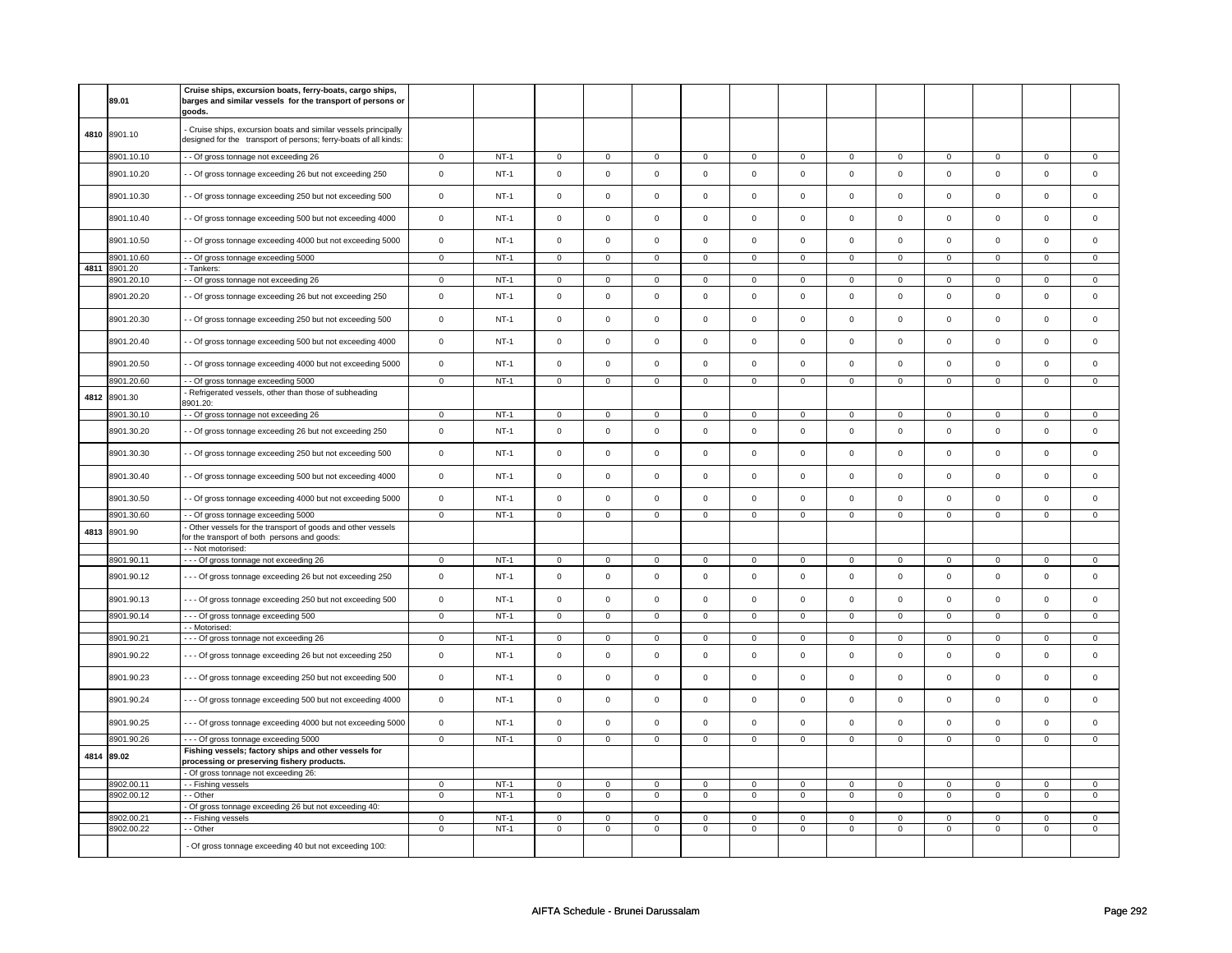|      | 89.01                    | Cruise ships, excursion boats, ferry-boats, cargo ships,<br>barges and similar vessels for the transport of persons or<br>goods.    |                            |                  |                            |                            |                             |                            |                             |                             |                            |                             |                             |                                |                            |                             |
|------|--------------------------|-------------------------------------------------------------------------------------------------------------------------------------|----------------------------|------------------|----------------------------|----------------------------|-----------------------------|----------------------------|-----------------------------|-----------------------------|----------------------------|-----------------------------|-----------------------------|--------------------------------|----------------------------|-----------------------------|
|      | 4810 8901.10             | - Cruise ships, excursion boats and similar vessels principally<br>designed for the transport of persons; ferry-boats of all kinds: |                            |                  |                            |                            |                             |                            |                             |                             |                            |                             |                             |                                |                            |                             |
|      | 8901.10.10               | - - Of gross tonnage not exceeding 26                                                                                               | $\mathsf 0$                | $NT-1$           | $\mathsf 0$                | $\mathbf 0$                | $\mathbf 0$                 | $\mathbf 0$                | $\mathbf 0$                 | $\mathbf 0$                 | $\mathbf 0$                | $\mathbf 0$                 | $\mathbf 0$                 | $\mathbf 0$                    | 0                          | 0                           |
|      | 8901.10.20               | - - Of gross tonnage exceeding 26 but not exceeding 250                                                                             | $\mathsf 0$                | $NT-1$           | $\mathsf 0$                | $\mathsf{o}\,$             | $\mathsf{O}\xspace$         | $\mathsf 0$                | $\mathsf{O}\xspace$         | $\mathbf 0$                 | $\mathsf 0$                | $\mathbf 0$                 | $\mathsf 0$                 | $\mathbf 0$                    | $\mathsf 0$                | $\mathbf 0$                 |
|      | 8901.10.30               | - Of gross tonnage exceeding 250 but not exceeding 500                                                                              | $\mathsf 0$                | $NT-1$           | $\mathsf 0$                | $\mathbf 0$                | $\mathsf{O}\xspace$         | $\mathsf 0$                | $\mathsf{O}\xspace$         | $\mathsf 0$                 | $\mathsf 0$                | $\mathsf 0$                 | $\mathsf 0$                 | $\mathbf 0$                    | $\mathbf 0$                | $\mathsf 0$                 |
|      | 8901.10.40               | - Of gross tonnage exceeding 500 but not exceeding 4000                                                                             | $\mathbf 0$                | $NT-1$           | $\mathsf 0$                | $\mathsf 0$                | $\mathsf 0$                 | $\mathbf 0$                | $\mathsf 0$                 | $\mathbf 0$                 | $\mathbf 0$                | $\mathsf 0$                 | $\mathsf 0$                 | $\mathbf 0$                    | $\mathsf 0$                | $\mathsf 0$                 |
|      | 8901.10.50               | - Of gross tonnage exceeding 4000 but not exceeding 5000                                                                            | $\mathbf 0$                | $NT-1$           | $\mathsf 0$                | $\mathsf 0$                | $\mathsf{O}\xspace$         | $\mathsf 0$                | $\mathsf{O}\xspace$         | $\mathbf 0$                 | $\mathsf 0$                | $\mathbf 0$                 | $\mathsf 0$                 | $\mathbf 0$                    | $\mathsf 0$                | $\mathbf 0$                 |
|      | 8901.10.60               | - Of gross tonnage exceeding 5000                                                                                                   | $\mathsf 0$                | $NT-1$           | $\mathbf 0$                | $\mathbf 0$                | $\mathsf 0$                 | $\mathbf 0$                | $\mathsf 0$                 | $\mathbf 0$                 | $\mathbf 0$                | $\mathbf 0$                 | $\mathsf 0$                 | $\mathbf 0$                    | $\Omega$                   | $\mathbf 0$                 |
| 4811 | 8901.20                  | - Tankers:                                                                                                                          |                            | $NT-1$           | $\overline{0}$             | $\overline{0}$             | $\Omega$                    | $\overline{0}$             |                             |                             |                            |                             |                             |                                |                            |                             |
|      | 8901.20.10               | - - Of gross tonnage not exceeding 26                                                                                               | $\mathsf 0$                |                  |                            |                            |                             |                            | $\mathbf 0$                 | $\mathbf 0$                 | $\mathbf 0$                | $\mathbf{0}$                | $\mathbf 0$                 | $\mathbf{0}$                   | O                          | $\mathbf{0}$                |
|      | 8901.20.20               | - Of gross tonnage exceeding 26 but not exceeding 250                                                                               | $\mathsf 0$                | $NT-1$           | $\Omega$                   | $\Omega$                   | $\Omega$                    | $\mathbf 0$                | $\mathbf 0$                 | $\mathbf 0$                 | $\mathbf 0$                | $\mathsf 0$                 | $\mathbf 0$                 | $\mathbf 0$                    | $\Omega$                   | $\mathbf{0}$                |
|      | 8901.20.30               | - Of gross tonnage exceeding 250 but not exceeding 500                                                                              | $\mathsf 0$                | $NT-1$           | $\mathsf 0$                | $\mathsf 0$                | $\mathbf 0$                 | $\mathsf 0$                | $\mathsf{O}\xspace$         | $\mathbf 0$                 | $\mathbf 0$                | $\mathbf 0$                 | $\mathbf 0$                 | $\mathbf 0$                    | $\mathbf 0$                | $\mathbf 0$                 |
|      | 8901.20.40               | - Of gross tonnage exceeding 500 but not exceeding 4000                                                                             | $\mathsf 0$                | $NT-1$           | $\mathsf 0$                | $\mathbf 0$                | $\mathbf 0$                 | $\mathbf 0$                | $\mathbf 0$                 | $\mathbf 0$                 | $\mathbf 0$                | $\mathbf 0$                 | $\mathbf 0$                 | $\mathbf 0$                    | $\mathbf 0$                | $\mathbf 0$                 |
|      | 8901.20.50               | - Of gross tonnage exceeding 4000 but not exceeding 5000                                                                            | $\mathsf 0$                | $NT-1$           | $\mathsf 0$                | $\mathsf 0$                | $\mathsf{O}\xspace$         | $\mathsf 0$                | $\mathsf{O}\xspace$         | $\mathsf 0$                 | $\mathbf 0$                | $\mathsf 0$                 | $\mathsf 0$                 | $\mathbf 0$                    | $\mathbf 0$                | $\mathsf 0$                 |
|      | 8901.20.60               | - Of gross tonnage exceeding 5000                                                                                                   | $\overline{0}$             | $NT-1$           | $\mathbf 0$                | $\mathbf 0$                | $\mathsf 0$                 | $\mathbf 0$                | $\mathsf 0$                 | $\mathbf 0$                 | $\mathbf 0$                | $\mathbf 0$                 | $\mathsf 0$                 | $\mathbf 0$                    | $\mathsf 0$                | $\mathbf 0$                 |
| 4812 | 8901.30                  | Refrigerated vessels, other than those of subheading<br>8901.20:                                                                    |                            |                  |                            |                            |                             |                            |                             |                             |                            |                             |                             |                                |                            |                             |
|      | 8901.30.10               | - Of gross tonnage not exceeding 26                                                                                                 | $\mathbf 0$                | $NT-1$           | $\mathbf 0$                | $\mathbf 0$                | $\mathbf 0$                 | $\mathbf 0$                | $\mathbf 0$                 | $\mathbf 0$                 | $\mathbf 0$                | $\mathbf 0$                 | $\mathbf 0$                 | $\mathbf 0$                    | $\Omega$                   | $\mathbf{0}$                |
|      | 8901.30.20               | - Of gross tonnage exceeding 26 but not exceeding 250                                                                               | $\mathsf 0$                | $NT-1$           | $\mathsf 0$                | $\mathsf 0$                | $\mathsf{O}\xspace$         | $\mathsf 0$                | $\mathsf{O}\xspace$         | $\mathsf 0$                 | $\mathbf 0$                | $\mathbf 0$                 | $\mathsf 0$                 | $\mathbf 0$                    | $\mathsf 0$                | $\mathbf 0$                 |
|      | 8901.30.30               | - Of gross tonnage exceeding 250 but not exceeding 500                                                                              | $\mathsf 0$                | $NT-1$           | $\mathsf 0$                | $\mathbf 0$                | $\mathbf 0$                 | $\mathbf 0$                | $\mathsf 0$                 | $\mathsf 0$                 | $\mathbf 0$                | $\mathbf 0$                 | $\mathbf 0$                 | $\mathbf 0$                    | $\mathbf 0$                | $\mathbf 0$                 |
|      | 8901.30.40               | - - Of gross tonnage exceeding 500 but not exceeding 4000                                                                           | $\mathsf 0$                | $NT-1$           | $\mathsf 0$                | $\mathbf 0$                | $\mathsf 0$                 | $\mathbf 0$                | $\mathsf 0$                 | $\mathbf 0$                 | $\mathbf 0$                | $\mathsf 0$                 | $\mathsf 0$                 | $\mathbf 0$                    | $\mathbf 0$                | $\mathbf 0$                 |
|      | 8901.30.50               | - Of gross tonnage exceeding 4000 but not exceeding 5000                                                                            | $\mathbf 0$                | $NT-1$           | $\mathsf 0$                | $\mathbf 0$                | $\mathsf 0$                 | $\mathsf{o}\xspace$        | $\mathsf 0$                 | $\mathsf 0$                 | $\mathbf 0$                | $\mathsf 0$                 | $\mathsf 0$                 | $\mathsf 0$                    | $\mathsf 0$                | $\mathsf 0$                 |
|      | 8901.30.60               | - - Of gross tonnage exceeding 5000                                                                                                 | $\overline{0}$             | $NT-1$           | $\mathbf 0$                | $\overline{0}$             | 0                           | $\mathbf 0$                | 0                           | $\mathbf 0$                 | 0                          | $\overline{0}$              | 0                           | $\overline{0}$                 | 0                          | $\overline{0}$              |
| 4813 | 8901.90                  | Other vessels for the transport of goods and other vessels<br>for the transport of both persons and goods:                          |                            |                  |                            |                            |                             |                            |                             |                             |                            |                             |                             |                                |                            |                             |
|      | 8901.90.11               | - - Not motorised:<br>- - - Of gross tonnage not exceeding 26                                                                       | $\mathbf 0$                | $NT-1$           | $\mathsf 0$                | $\mathbf 0$                | $\mathsf 0$                 | $\mathbf 0$                | $\mathsf 0$                 | $\mathsf 0$                 | $\mathbf 0$                | $\mathsf 0$                 | $\mathsf 0$                 | $\mathbf 0$                    | $\Omega$                   | 0                           |
|      | 8901.90.12               | --- Of gross tonnage exceeding 26 but not exceeding 250                                                                             | $\mathsf 0$                | $NT-1$           | $\mathsf 0$                | $\mathsf{o}\xspace$        | $\mathsf{O}\xspace$         | $\mathsf{o}\xspace$        | $\mathsf 0$                 | $\mathsf 0$                 | $\mathsf 0$                | $\mathsf{O}$                | $\mathsf{O}\xspace$         | $\mathsf{o}\xspace$            | $\mathsf 0$                | $\mathsf 0$                 |
|      | 8901.90.13               | --- Of gross tonnage exceeding 250 but not exceeding 500                                                                            | $\mathsf 0$                | $NT-1$           | $\Omega$                   | $\mathbf 0$                | $\mathsf 0$                 | $\mathsf 0$                | $\mathsf 0$                 | $\mathsf 0$                 | $\mathbf 0$                | $\mathsf 0$                 | $\mathsf 0$                 | $\mathbf 0$                    | $\mathsf 0$                | $\mathbf 0$                 |
|      | 8901.90.14               | - - - Of gross tonnage exceeding 500                                                                                                | $\mathsf 0$                | $NT-1$           | $\mathsf 0$                | $\mathsf 0$                | $\mathsf 0$                 | $\overline{0}$             | $\mathsf 0$                 | $\overline{0}$              | $\mathsf{O}\xspace$        | $\overline{0}$              | $\mathsf 0$                 | $\mathbf{0}$                   | $\mathbf 0$                | $\mathbf{0}$                |
|      |                          | - - Motorised:                                                                                                                      |                            |                  |                            |                            |                             |                            |                             |                             |                            |                             |                             |                                |                            |                             |
|      | 8901.90.21               | --- Of gross tonnage not exceeding 26                                                                                               | $\mathbf 0$                | $NT-1$           | $\Omega$                   | $\mathbf 0$                | $\Omega$                    | $\mathbf 0$                | $\mathbf 0$                 | $\mathbf{0}$                | $\Omega$                   | $\mathbf{0}$                | $\Omega$                    | $\mathbf{0}$                   | $\Omega$                   | $\mathbf{0}$                |
|      | 8901.90.22               | --- Of gross tonnage exceeding 26 but not exceeding 250                                                                             | $\mathsf 0$                | $NT-1$           | $\mathsf 0$                | $\mathsf 0$                | $\mathbf 0$                 | $\mathsf 0$                | $\mathsf 0$                 | $\mathsf 0$                 | $\mathbf 0$                | $\mathbf 0$                 | $\mathsf 0$                 | $\mathbf 0$                    | $\mathbf 0$                | $\mathsf 0$                 |
|      | 8901.90.23               | --- Of gross tonnage exceeding 250 but not exceeding 500                                                                            | $\mathsf 0$                | $NT-1$           | $\mathsf 0$                | $\mathsf 0$                | $\mathbf 0$                 | $\mathsf 0$                | $\mathbf 0$                 | $\mathbf{0}$                | $\mathbf 0$                | $\mathbf{0}$                | $\mathbf 0$                 | $\mathbf{0}$                   | $\mathbf 0$                | $\mathbf 0$                 |
|      | 8901.90.24               | --- Of gross tonnage exceeding 500 but not exceeding 4000                                                                           | $\mathsf 0$                | $NT-1$           | $\mathsf 0$                | $\mathsf 0$                | $\mathsf 0$                 | $\mathbf 0$                | $\mathsf 0$                 | $\mathbf 0$                 | $\mathbf 0$                | $\mathbf 0$                 | $\mathsf 0$                 | $\mathbf 0$                    | $\mathbf 0$                | $\mathbf 0$                 |
|      | 8901.90.25               | --- Of gross tonnage exceeding 4000 but not exceeding 5000                                                                          | $\mathsf 0$                | $NT-1$           | $\mathsf 0$                | $\mathsf 0$                | $\mathsf{O}\xspace$         | $\mathsf 0$                | $\mathsf 0$                 | $\mathsf 0$                 | $\mathbf 0$                | $\mathsf 0$                 | $\mathsf 0$                 | $\mathbf 0$                    | $\mathsf 0$                | $\mathsf 0$                 |
|      | 8901.90.26               | --- Of gross tonnage exceeding 5000                                                                                                 | $\mathsf 0$                | $NT-1$           | $\mathsf 0$                | $\mathbf 0$                | $\mathsf 0$                 | $\mathbf 0$                | $\mathsf 0$                 | $\mathbf 0$                 | $\mathbf 0$                | $\mathbf 0$                 | $\mathsf 0$                 | $\mathbf 0$                    | $\mathsf 0$                | 0                           |
| 4814 | 89.02                    | Fishing vessels; factory ships and other vessels for<br>processing or preserving fishery products.                                  |                            |                  |                            |                            |                             |                            |                             |                             |                            |                             |                             |                                |                            |                             |
|      |                          | - Of gross tonnage not exceeding 26:                                                                                                |                            |                  |                            |                            |                             |                            |                             |                             |                            |                             |                             |                                |                            |                             |
|      | 8902.00.11<br>8902.00.12 | - - Fishing vessels<br>- Other                                                                                                      | $\mathsf 0$<br>$\mathsf 0$ | $NT-1$<br>$NT-1$ | $\mathbf 0$<br>$\mathsf 0$ | $\mathbf 0$<br>$\mathbf 0$ | $\mathbf{0}$<br>$\mathsf 0$ | $\mathbf 0$<br>$\mathbf 0$ | $\mathbf{0}$<br>$\mathsf 0$ | $\mathbf{0}$<br>$\mathsf 0$ | $\mathbf 0$<br>$\mathbf 0$ | $\mathbf{0}$<br>$\mathsf 0$ | $\mathbf{0}$<br>$\mathsf 0$ | $\mathbf{0}$<br>$\overline{0}$ | $\mathbf 0$<br>$\mathbf 0$ | $\mathbf{0}$<br>$\mathbf 0$ |
|      |                          | Of gross tonnage exceeding 26 but not exceeding 40:                                                                                 |                            |                  |                            |                            |                             |                            |                             |                             |                            |                             |                             |                                |                            |                             |
|      | 3902.00.21               | - Fishing vessels                                                                                                                   | $\mathbf 0$                | $NT-1$           | $\mathsf 0$                | $\mathsf 0$                | $\mathsf 0$                 | $\mathbf 0$                | $\mathsf 0$                 | $\mathsf 0$                 | 0                          | $\mathsf 0$                 | $\mathsf 0$                 | $\mathbf 0$                    | $\mathbf 0$                | $\mathbf 0$                 |
|      | 8902.00.22               | - - Other                                                                                                                           | $\mathsf 0$                | $NT-1$           | 0                          | $\mathsf 0$                | $\mathbf 0$                 | $\mathsf 0$                | 0                           | $\mathbf 0$                 | $\mathbf 0$                | $\mathbf 0$                 | 0                           | $\mathbf 0$                    | 0                          | $\mathbf 0$                 |
|      |                          | - Of gross tonnage exceeding 40 but not exceeding 100:                                                                              |                            |                  |                            |                            |                             |                            |                             |                             |                            |                             |                             |                                |                            |                             |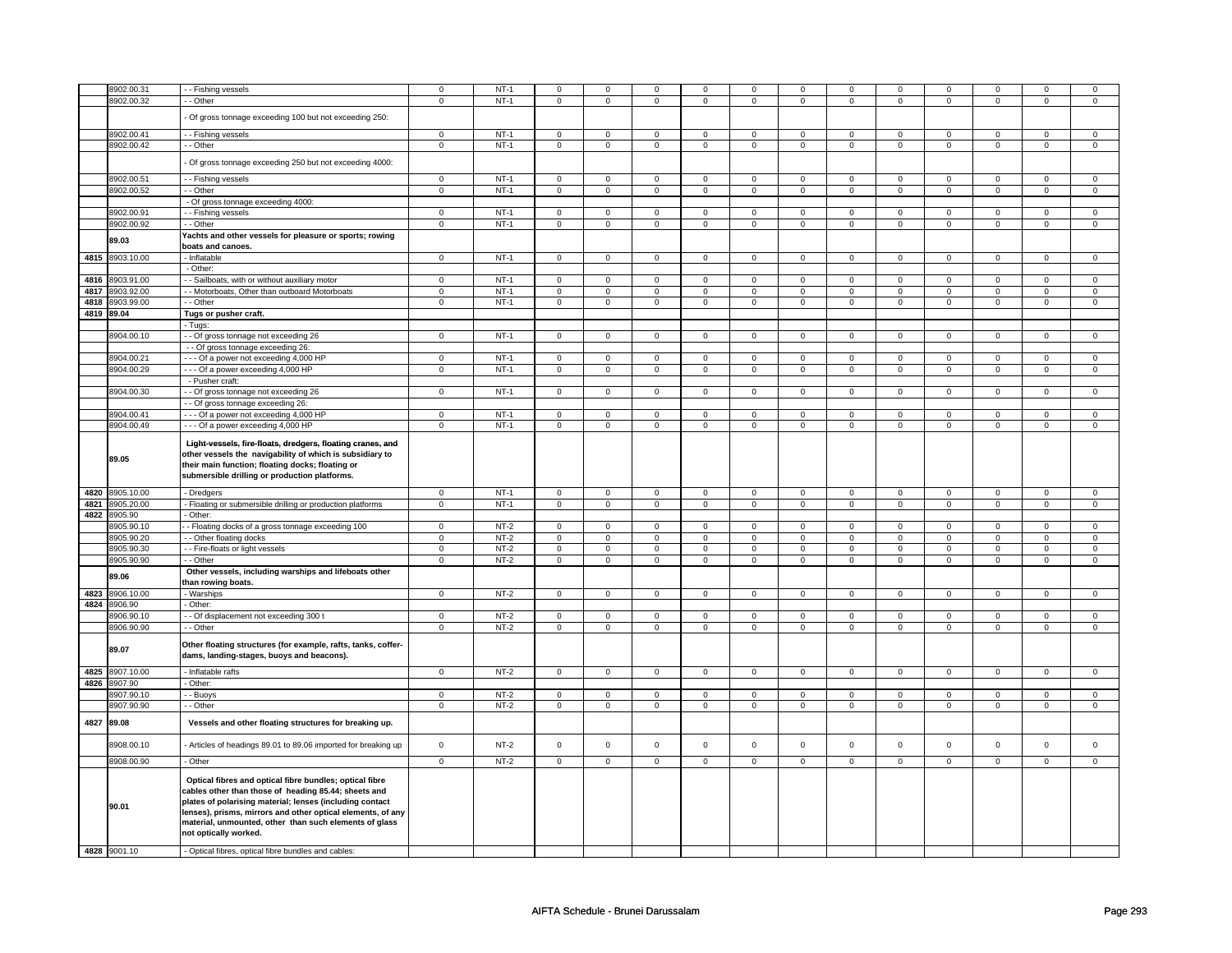|      | 8902.00.31          | - Fishing vessels                                                                                                                                                                                                                                                                                                             | $\mathbf 0$         | $NT-1$ | $\mathbf 0$         | $\mathsf 0$    | $\mathbf 0$         | $\mathbf 0$    | $\mathbf 0$         | $\mathbf 0$    | $\mathsf 0$         | 0              | $\mathbf 0$         | 0                   | 0              | 0              |
|------|---------------------|-------------------------------------------------------------------------------------------------------------------------------------------------------------------------------------------------------------------------------------------------------------------------------------------------------------------------------|---------------------|--------|---------------------|----------------|---------------------|----------------|---------------------|----------------|---------------------|----------------|---------------------|---------------------|----------------|----------------|
|      | 8902.00.32          | - - Other                                                                                                                                                                                                                                                                                                                     | $\mathsf 0$         | $NT-1$ | $\mathbf{0}$        | $\mathbf 0$    | $\mathbf{0}$        | $\mathbf 0$    | $\mathbf 0$         | $\mathbf 0$    | $\mathbf 0$         | $\mathbf 0$    | $\mathbf{0}$        | $\mathbf 0$         | 0              | $\mathbf 0$    |
|      |                     |                                                                                                                                                                                                                                                                                                                               |                     |        |                     |                |                     |                |                     |                |                     |                |                     |                     |                |                |
|      |                     | Of gross tonnage exceeding 100 but not exceeding 250:                                                                                                                                                                                                                                                                         |                     |        |                     |                |                     |                |                     |                |                     |                |                     |                     |                |                |
|      |                     |                                                                                                                                                                                                                                                                                                                               | $\mathsf 0$         | $NT-1$ |                     |                | $\mathsf{O}\xspace$ | $\mathbf 0$    | $\mathsf{O}\xspace$ |                | $\mathsf{O}\xspace$ | $\mathbf 0$    | $\mathsf 0$         |                     | $\mathbf 0$    |                |
|      | 8902.00.41          | - Fishing vessels                                                                                                                                                                                                                                                                                                             |                     |        | $\mathsf 0$         | $\mathsf 0$    |                     |                |                     | $\mathsf{O}$   |                     |                |                     | $\mathsf{O}\xspace$ |                | 0              |
|      | 8902.00.42          | - - Other                                                                                                                                                                                                                                                                                                                     | $\mathbf 0$         | $NT-1$ | $\mathsf 0$         | $\mathsf 0$    | 0                   | $\mathsf 0$    | 0                   | $\mathsf{O}$   | 0                   | $\mathsf{O}$   | $\mathsf{O}\xspace$ | $\mathbf 0$         | 0              | $\mathsf 0$    |
|      |                     | Of gross tonnage exceeding 250 but not exceeding 4000:                                                                                                                                                                                                                                                                        |                     |        |                     |                |                     |                |                     |                |                     |                |                     |                     |                |                |
|      |                     |                                                                                                                                                                                                                                                                                                                               |                     |        |                     |                |                     |                |                     |                |                     |                |                     |                     |                |                |
|      | 8902.00.51          | - - Fishing vessels                                                                                                                                                                                                                                                                                                           | $\overline{0}$      | $NT-1$ | $\mathbf 0$         | $\mathbf 0$    | 0                   | $\mathbf{0}$   | 0                   | $\mathbf 0$    | 0                   | $\mathbf{0}$   | 0                   | 0                   | 0              | 0              |
|      | 8902.00.52          | - Other                                                                                                                                                                                                                                                                                                                       | $\mathbf 0$         | $NT-1$ | $\mathbf 0$         | $\mathbf{0}$   | $\mathbf 0$         | $\mathbf{0}$   | $\mathbf 0$         | $\mathbf{0}$   | $\mathbf 0$         | $\mathbf{0}$   | $\mathbf 0$         | $\mathbf{0}$        | $\mathbf 0$    | $\mathbf 0$    |
|      |                     | - Of gross tonnage exceeding 4000:                                                                                                                                                                                                                                                                                            |                     |        |                     |                |                     |                |                     |                |                     |                |                     |                     |                |                |
|      | 8902.00.91          | - - Fishing vessels                                                                                                                                                                                                                                                                                                           | $\mathbf 0$         | $NT-1$ | 0                   | $\mathbf 0$    | 0                   | $\mathbf 0$    | 0                   | $\mathbf 0$    | 0                   | $\mathbf 0$    | 0                   | $\mathbf 0$         | 0              | $\mathbf 0$    |
|      | 8902.00.92          | - Other                                                                                                                                                                                                                                                                                                                       | $\overline{0}$      | $NT-1$ | 0                   | $\overline{0}$ | 0                   | $\overline{0}$ | 0                   | $\overline{0}$ | 0                   | $\overline{0}$ | 0                   | $\overline{0}$      | 0              | $\overline{0}$ |
|      |                     | Yachts and other vessels for pleasure or sports; rowing                                                                                                                                                                                                                                                                       |                     |        |                     |                |                     |                |                     |                |                     |                |                     |                     |                |                |
|      | 89.03               | boats and canoes.                                                                                                                                                                                                                                                                                                             |                     |        |                     |                |                     |                |                     |                |                     |                |                     |                     |                |                |
|      | 4815 8903.10.00     | - Inflatable                                                                                                                                                                                                                                                                                                                  | $\mathsf 0$         | $NT-1$ | $\mathsf{O}\xspace$ | $\mathbf 0$    | $\mathsf 0$         | $\mathbf 0$    | $\mathsf 0$         | $\mathbf 0$    | $\mathbf 0$         | $\mathbf 0$    | $\mathsf 0$         | $\mathbf{O}$        | $\mathbf 0$    | $\mathbf{O}$   |
|      |                     | - Other:                                                                                                                                                                                                                                                                                                                      |                     |        |                     |                |                     |                |                     |                |                     |                |                     |                     |                |                |
|      |                     |                                                                                                                                                                                                                                                                                                                               |                     | $NT-1$ |                     |                |                     |                |                     |                |                     |                |                     |                     | $\Omega$       |                |
|      | 4816 8903.91.00     | - Sailboats, with or without auxiliary motor                                                                                                                                                                                                                                                                                  | $\mathbf 0$         |        | $\mathbf 0$         | $\mathbf 0$    | 0                   | $\mathbf 0$    | 0                   | $\mathbf 0$    | 0                   | $\mathbf 0$    | $\mathsf 0$         | $\mathbf 0$         |                | $\mathbf 0$    |
|      | 4817 8903.92.00     | - Motorboats, Other than outboard Motorboats                                                                                                                                                                                                                                                                                  | $\mathbf 0$         | $NT-1$ | $\mathbf 0$         | $\mathsf 0$    | $\mathbf 0$         | $\mathbf 0$    | $\mathbf 0$         | $\mathbf 0$    | $\mathbf 0$         | $\mathbf 0$    | $\mathsf 0$         | 0                   | $\mathbf 0$    | 0              |
|      | 4818 8903.99.00     | - Other                                                                                                                                                                                                                                                                                                                       | $\mathsf 0$         | $NT-1$ | $\mathsf 0$         | $\mathsf 0$    | $\mathsf 0$         | $\mathbf 0$    | $\mathsf 0$         | $\mathbf 0$    | $\mathsf 0$         | $\mathbf 0$    | $\mathsf 0$         | $\mathsf 0$         | $\mathbf 0$    | $\mathbf 0$    |
|      | 4819 89.04          | Tugs or pusher craft.                                                                                                                                                                                                                                                                                                         |                     |        |                     |                |                     |                |                     |                |                     |                |                     |                     |                |                |
|      |                     | - Tugs:                                                                                                                                                                                                                                                                                                                       |                     |        |                     |                |                     |                |                     |                |                     |                |                     |                     |                |                |
|      | 8904.00.10          | - - Of gross tonnage not exceeding 26                                                                                                                                                                                                                                                                                         | $\mathbf 0$         | $NT-1$ | $\mathbf 0$         | $\mathbf 0$    | $\mathbf 0$         | $\mathbf 0$    | $\mathbf 0$         | $\mathbf 0$    | $\mathbf 0$         | $\mathbf 0$    | $\mathbf 0$         | $\mathbf 0$         | $\Omega$       | $\mathbf 0$    |
|      |                     | - - Of gross tonnage exceeding 26:                                                                                                                                                                                                                                                                                            |                     |        |                     |                |                     |                |                     |                |                     |                |                     |                     |                |                |
|      | 8904.00.21          | - - Of a power not exceeding 4,000 HP                                                                                                                                                                                                                                                                                         | $\mathsf 0$         | $NT-1$ | $\mathsf 0$         | $\mathsf 0$    | $\mathsf 0$         | $\mathbf 0$    | $\mathsf 0$         | $\mathbf 0$    | $\mathbf 0$         | $\mathbf 0$    | $\mathsf 0$         | $\mathbf 0$         | $\mathbf 0$    | $\mathbf 0$    |
|      | 8904.00.29          | --- Of a power exceeding 4,000 HP                                                                                                                                                                                                                                                                                             | $\mathbf 0$         | $NT-1$ | $\mathsf 0$         | $\mathsf{O}$   | 0                   | $\mathsf{O}$   | 0                   | $\mathsf{O}$   | 0                   | $\mathsf{O}$   | $\mathsf 0$         | $\mathbf 0$         | 0              | $\mathsf 0$    |
|      |                     | - Pusher craft:                                                                                                                                                                                                                                                                                                               |                     |        |                     |                |                     |                |                     |                |                     |                |                     |                     |                |                |
|      | 8904.00.30          | - - Of gross tonnage not exceeding 26                                                                                                                                                                                                                                                                                         | $\mathbf 0$         | $NT-1$ | $\mathbf 0$         | $\mathbf 0$    | $\mathbf 0$         | $\mathbf{0}$   | $\mathbf 0$         | $\mathbf 0$    | $\mathbf 0$         | $\mathbf{0}$   | $\mathbf 0$         | $\mathbf{0}$        | $\Omega$       | $\mathbf{0}$   |
|      |                     | - Of gross tonnage exceeding 26:                                                                                                                                                                                                                                                                                              |                     |        |                     |                |                     |                |                     |                |                     |                |                     |                     |                |                |
|      |                     |                                                                                                                                                                                                                                                                                                                               |                     |        |                     |                |                     |                |                     |                |                     |                |                     |                     |                |                |
|      | 8904.00.41          | -- Of a power not exceeding 4,000 HP                                                                                                                                                                                                                                                                                          | $\mathbf 0$         | $NT-1$ | $\mathsf 0$         | $\mathbf 0$    | $\mathbf 0$         | $\mathbf 0$    | $\mathbf 0$         | $\mathbf 0$    | $\mathbf 0$         | $\mathbf 0$    | $\mathsf 0$         | 0                   | $\Omega$       | $\mathbf 0$    |
|      | 8904.00.49          | --- Of a power exceeding 4,000 HP                                                                                                                                                                                                                                                                                             | $\mathbf 0$         | $NT-1$ | $\mathbf 0$         | $\mathsf 0$    | $\mathbf 0$         | $\mathbf 0$    | $\mathbf 0$         | $\mathbf 0$    | $\mathbf 0$         | $\mathbf 0$    | $\mathsf 0$         | 0                   | $\mathbf 0$    | 0              |
|      | 89.05               | Light-vessels, fire-floats, dredgers, floating cranes, and<br>other vessels the navigability of which is subsidiary to<br>their main function; floating docks; floating or<br>submersible drilling or production platforms.                                                                                                   |                     |        |                     |                |                     |                |                     |                |                     |                |                     |                     |                |                |
|      |                     |                                                                                                                                                                                                                                                                                                                               |                     |        |                     |                |                     |                |                     |                |                     |                |                     |                     |                |                |
|      | 4820 8905.10.00     | - Dredgers                                                                                                                                                                                                                                                                                                                    | $\mathsf 0$         | $NT-1$ | $\mathsf 0$         | $\mathbf 0$    | 0                   | $\mathsf 0$    | 0                   | $\mathbf 0$    | 0                   | $\mathsf 0$    | $\mathsf 0$         | 0                   | 0              | $\mathsf 0$    |
|      | 4821 8905.20.00     | Floating or submersible drilling or production platforms                                                                                                                                                                                                                                                                      | $\mathbf 0$         | $NT-1$ | $\mathbf 0$         | $\mathbf 0$    | $\mathbf 0$         | $\mathbf 0$    | $\mathbf 0$         | $\mathbf 0$    | $\mathbf 0$         | $\mathbf 0$    | $\mathsf 0$         | $\mathbf 0$         | $\mathbf 0$    | $\mathbf{0}$   |
|      | 4822 8905.90        | Other:                                                                                                                                                                                                                                                                                                                        |                     |        |                     |                |                     |                |                     |                |                     |                |                     |                     |                |                |
|      | 8905.90.10          | - Floating docks of a gross tonnage exceeding 100                                                                                                                                                                                                                                                                             | $\mathbf 0$         | $NT-2$ | $\mathbf 0$         | $\mathbf 0$    | $\mathbf 0$         | $\mathbf 0$    | $\mathbf 0$         | $\mathbf 0$    | $\mathbf 0$         | $\mathbf 0$    | $\mathsf 0$         | $\mathbf 0$         | $\Omega$       | $\mathbf 0$    |
|      |                     |                                                                                                                                                                                                                                                                                                                               |                     |        | $\mathbf 0$         |                | $\mathbf 0$         |                | $\mathbf 0$         |                | $\mathbf 0$         |                | $\mathbf 0$         |                     | $\mathbf 0$    |                |
|      | 8905.90.20          | - Other floating docks                                                                                                                                                                                                                                                                                                        | $\mathbf 0$         | $NT-2$ |                     | $\mathsf 0$    |                     | $\mathbf 0$    |                     | $\mathbf 0$    |                     | $\mathbf 0$    |                     | 0                   |                | 0              |
|      | 8905.90.30          | - - Fire-floats or light vessels                                                                                                                                                                                                                                                                                              | $\overline{0}$      | $NT-2$ | $\overline{0}$      | $\overline{0}$ | $\overline{0}$      | $\overline{0}$ | $\overline{0}$      | $\overline{0}$ | $\overline{0}$      | $\overline{0}$ | $\overline{0}$      | $\overline{0}$      | $\overline{0}$ | $\overline{0}$ |
|      | 8905.90.90          | - - Other                                                                                                                                                                                                                                                                                                                     | $\mathbf 0$         | $NT-2$ | 0                   | 0              | 0                   | $\mathsf 0$    | 0                   | 0              | 0                   | $\mathsf 0$    | 0                   | 0                   | 0              | 0              |
|      | 89.06               | Other vessels, including warships and lifeboats other                                                                                                                                                                                                                                                                         |                     |        |                     |                |                     |                |                     |                |                     |                |                     |                     |                |                |
|      |                     | than rowing boats.                                                                                                                                                                                                                                                                                                            |                     |        |                     |                |                     |                |                     |                |                     |                |                     |                     |                |                |
|      | 4823 8906.10.00     | - Warships                                                                                                                                                                                                                                                                                                                    | $\mathbf 0$         | $NT-2$ | $\mathsf{O}\xspace$ | $\mathbf 0$    | $\mathsf{O}\xspace$ | $\mathbf{0}$   | $\mathbf 0$         | $\mathbf 0$    | $\mathbf 0$         | $\mathbf 0$    | $\mathbf 0$         | $\mathbf 0$         | $\mathbf 0$    | $\mathbf 0$    |
|      | 4824 8906.90        | - Other:                                                                                                                                                                                                                                                                                                                      |                     |        |                     |                |                     |                |                     |                |                     |                |                     |                     |                |                |
|      | 8906.90.10          | - Of displacement not exceeding 300 t                                                                                                                                                                                                                                                                                         | $\overline{0}$      | $NT-2$ | $\overline{0}$      | $\overline{0}$ | $\mathbf 0$         | $\overline{0}$ | $\mathbf 0$         | $\overline{0}$ | $\mathbf 0$         | $\overline{0}$ | $\mathbf 0$         | $\overline{0}$      | $\mathbf 0$    | $\overline{0}$ |
|      | 8906.90.90          | - Other                                                                                                                                                                                                                                                                                                                       | $\mathbf 0$         | $NT-2$ | $\mathbf 0$         | $\mathbf 0$    | $\mathbf 0$         | $\overline{0}$ | $\mathbf 0$         | $\overline{0}$ | $\mathbf 0$         | $\overline{0}$ | $\mathsf 0$         | $\overline{0}$      | $\mathbf 0$    | $\overline{0}$ |
|      | 89.07               | Other floating structures (for example, rafts, tanks, coffer-<br>dams, landing-stages, buoys and beacons).                                                                                                                                                                                                                    |                     |        |                     |                |                     |                |                     |                |                     |                |                     |                     |                |                |
|      | 4825 8907.10.00     | - Inflatable rafts                                                                                                                                                                                                                                                                                                            | $\mathbf 0$         | $NT-2$ | $\mathbf 0$         | $\mathbf 0$    | $\mathbf 0$         | $\mathbf 0$    | $\mathbf 0$         | $\mathbf 0$    | $\mathbf 0$         | $\mathbf 0$    | $\mathsf 0$         | 0                   | $\Omega$       | $\mathbf 0$    |
|      | 4826 8907.90        | - Other:                                                                                                                                                                                                                                                                                                                      |                     |        |                     |                |                     |                |                     |                |                     |                |                     |                     |                |                |
|      |                     |                                                                                                                                                                                                                                                                                                                               |                     |        | $\mathsf 0$         |                | 0                   |                | $\mathsf 0$         |                | 0                   |                | $\mathsf 0$         | $\mathbf 0$         | $\mathbf 0$    | $\mathsf 0$    |
|      | 3907.90.10          | - Buoys                                                                                                                                                                                                                                                                                                                       | $\mathbf 0$         | $NT-2$ |                     | $\mathsf 0$    |                     | $\mathsf{O}$   |                     | $\mathsf 0$    |                     | $\mathsf 0$    |                     |                     |                |                |
| 4827 | 8907.90.90<br>89.08 | - Other<br>Vessels and other floating structures for breaking up.                                                                                                                                                                                                                                                             | $\mathsf{O}\xspace$ | $NT-2$ | $\mathbf 0$         | $\mathbf 0$    | $\mathbf 0$         | $\mathsf{O}$   | $\mathbf 0$         | $\mathsf{O}$   | $\mathbf 0$         | $\mathsf{O}$   | $\mathsf 0$         | $\mathbf 0$         | $\mathbf 0$    | $\mathbf 0$    |
|      | 8908.00.10          | - Articles of headings 89.01 to 89.06 imported for breaking up                                                                                                                                                                                                                                                                | $\mathsf 0$         | $NT-2$ | $\mathbf 0$         | $\mathsf 0$    | $\mathbf 0$         | $\mathbf 0$    | $\mathbf 0$         | $\mathbf 0$    | $\mathbf 0$         | $\mathbf 0$    | $\mathbf 0$         | $\mathbf 0$         | $\mathbf{0}$   | $\mathbf 0$    |
|      | 8908.00.90          | - Other                                                                                                                                                                                                                                                                                                                       | $\mathsf 0$         | $NT-2$ | $\mathsf{O}$        | $\mathbf 0$    | $\mathbf 0$         | $\mathbf 0$    | $\mathbf 0$         | $\mathbf 0$    | $\mathbf 0$         | $\mathbf 0$    | $\mathsf 0$         | $\mathbf{O}$        | $\mathbf 0$    | $\mathsf 0$    |
|      | 90.01               | Optical fibres and optical fibre bundles; optical fibre<br>cables other than those of heading 85.44; sheets and<br>plates of polarising material; lenses (including contact<br>lenses), prisms, mirrors and other optical elements, of any<br>material, unmounted, other than such elements of glass<br>not optically worked. |                     |        |                     |                |                     |                |                     |                |                     |                |                     |                     |                |                |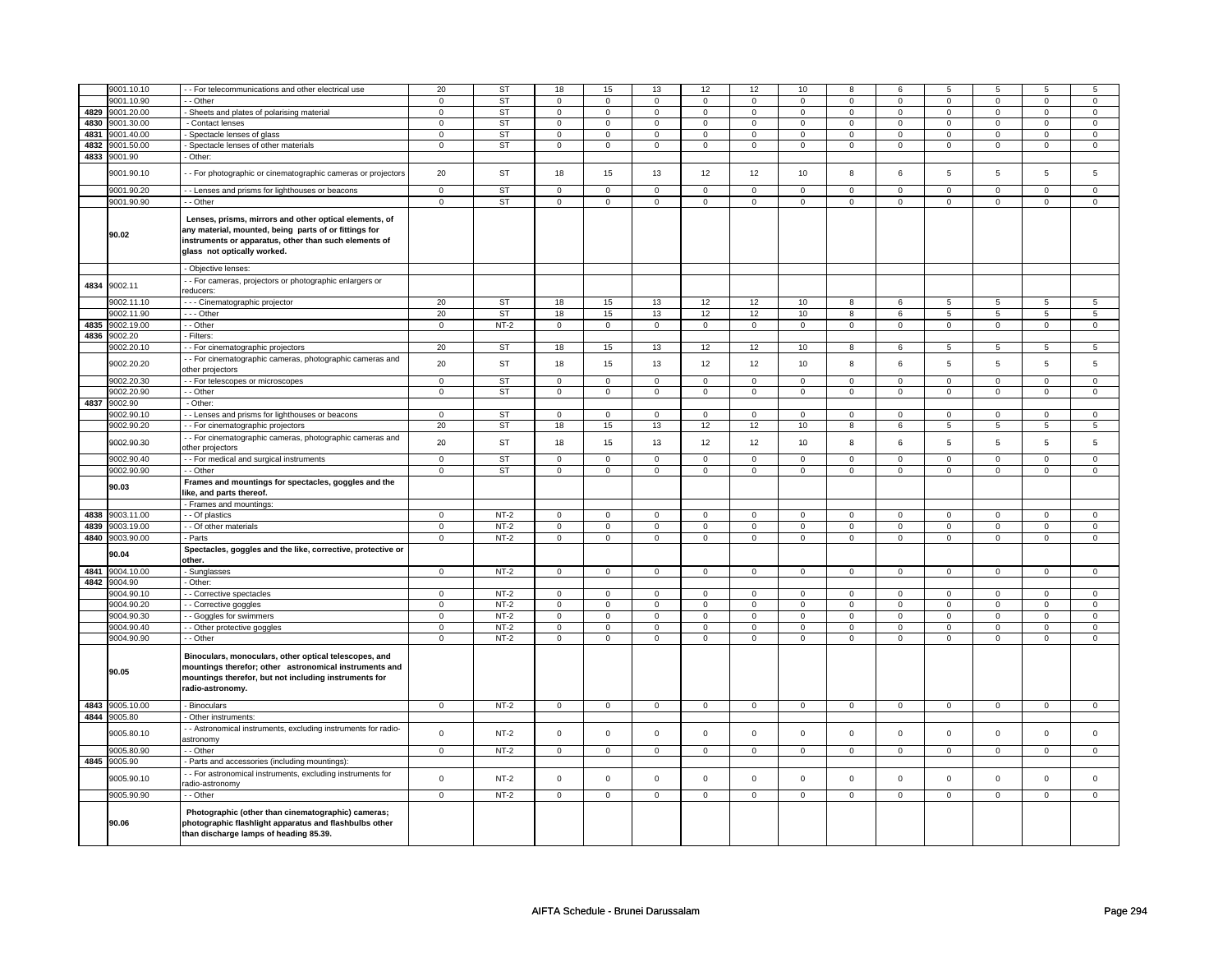|      | 9001.10.10          | - - For telecommunications and other electrical use                                                                                                                                                     | 20             | ST          | 18             | 15             | 13             | 12             | 12             | 10             | 8              | 6              | 5              | 5              | 5              | 5              |
|------|---------------------|---------------------------------------------------------------------------------------------------------------------------------------------------------------------------------------------------------|----------------|-------------|----------------|----------------|----------------|----------------|----------------|----------------|----------------|----------------|----------------|----------------|----------------|----------------|
|      | 9001.10.90          | - - Other                                                                                                                                                                                               | $\mathbf 0$    | <b>ST</b>   | $\mathbf 0$    | $\mathbf 0$    | 0              | 0              | 0              | $\mathsf 0$    | 0              | $\mathbf 0$    | 0              | $\mathsf 0$    | 0              | $\mathbf 0$    |
| 4829 | 9001.20.00          | - Sheets and plates of polarising material                                                                                                                                                              | $\mathsf 0$    | ST          | $\mathsf 0$    | $\mathbf 0$    | $\mathbf 0$    | $\mathsf 0$    | $\mathbf 0$    | $\mathbf 0$    | $\mathsf 0$    | $\mathbf 0$    | $\mathbf 0$    | $\mathbf 0$    | $\mathbf 0$    | $\mathbf 0$    |
| 4830 | 9001.30.00          | - Contact lenses                                                                                                                                                                                        | $\mathbf 0$    | ST          | $\mathsf 0$    | $\mathbf 0$    | $\mathsf 0$    | $\mathbf 0$    | $\mathbf 0$    | $\mathsf 0$    | $\mathsf 0$    | $\mathbf 0$    | $\mathsf 0$    | $\mathbf 0$    | $\mathbf 0$    | $\mathbf 0$    |
|      |                     |                                                                                                                                                                                                         |                | <b>ST</b>   |                |                |                |                |                |                |                |                |                |                |                |                |
| 4831 | 9001.40.00          | - Spectacle lenses of glass                                                                                                                                                                             | $\mathbf 0$    |             | $\mathbf 0$    | 0              | $\mathbf 0$    | $\mathsf 0$    | $\mathbf 0$    | $\mathbf 0$    | $\mathbf 0$    | $\mathbf 0$    | $\mathbf 0$    | $\mathbf 0$    | 0              | $\mathsf 0$    |
| 4832 | 9001.50.00          | Spectacle lenses of other materials                                                                                                                                                                     | $\mathbf 0$    | ST          | $\mathsf 0$    | $\mathbf 0$    | $\mathsf 0$    | $\mathbf 0$    | $\mathsf 0$    | $\mathsf 0$    | $\mathsf 0$    | $\mathsf 0$    | $\mathsf 0$    | $\mathsf 0$    | $\mathbf 0$    | $\mathbf 0$    |
| 4833 | 9001.90             | - Other:                                                                                                                                                                                                |                |             |                |                |                |                |                |                |                |                |                |                |                |                |
|      |                     |                                                                                                                                                                                                         |                |             |                |                |                |                |                |                |                |                |                |                |                |                |
|      | 9001.90.10          | - - For photographic or cinematographic cameras or projectors                                                                                                                                           | 20             | <b>ST</b>   | 18             | 15             | 13             | 12             | 12             | 10             | 8              | 6              | 5              | 5              | 5              | 5              |
|      |                     |                                                                                                                                                                                                         |                |             |                |                |                |                |                |                |                |                |                |                |                |                |
|      | 9001.90.20          | - Lenses and prisms for lighthouses or beacons                                                                                                                                                          | $\mathsf 0$    | <b>ST</b>   | $\mathsf 0$    | $\mathsf 0$    | $\mathsf 0$    | $\mathsf 0$    | $\mathsf 0$    | $\mathsf 0$    | $\mathbf 0$    | $\mathsf 0$    | $\overline{0}$ | $\overline{0}$ | $\mathbf 0$    | $\mathbf 0$    |
|      | 9001.90.90          | - - Other                                                                                                                                                                                               | $\mathsf 0$    | ST          | $\mathsf 0$    | $\mathbf 0$    | $\mathbf 0$    | $\mathsf 0$    | $\mathbf 0$    | $\mathbf 0$    | $\mathbf 0$    | $\mathbf 0$    | $\mathbf 0$    | $\mathbf 0$    | $\mathsf 0$    | $\mathsf 0$    |
|      | 90.02               | Lenses, prisms, mirrors and other optical elements, of<br>any material, mounted, being parts of or fittings for<br>instruments or apparatus, other than such elements of<br>glass not optically worked. |                |             |                |                |                |                |                |                |                |                |                |                |                |                |
|      |                     | - Objective lenses:                                                                                                                                                                                     |                |             |                |                |                |                |                |                |                |                |                |                |                |                |
|      |                     | - - For cameras, projectors or photographic enlargers or                                                                                                                                                |                |             |                |                |                |                |                |                |                |                |                |                |                |                |
| 4834 | 9002.11             | reducers:                                                                                                                                                                                               |                |             |                |                |                |                |                |                |                |                |                |                |                |                |
|      | 9002.11.10          | - - - Cinematographic projector                                                                                                                                                                         | 20             | ST          | 18             | 15             | 13             | 12             | 12             | 10             | 8              | 6              | 5              | 5              | 5              | 5              |
|      |                     |                                                                                                                                                                                                         |                |             |                |                |                |                |                |                |                |                |                |                |                |                |
|      | 9002.11.90          | - - - Other                                                                                                                                                                                             | 20             | <b>ST</b>   | $18\,$         | 15             | 13             | 12             | 12             | 10             | 8              | 6              | 5              | $\overline{5}$ | 5              | $\overline{5}$ |
| 4835 | 9002.19.00          | - - Other                                                                                                                                                                                               | $\mathbf 0$    | $NT-2$      | $\mathsf 0$    | $\mathsf 0$    | $\mathbf 0$    | $\mathsf 0$    | $\mathbf 0$    | $\mathbf 0$    | $\mathbf 0$    | $\mathbf 0$    | $\mathbf 0$    | $\mathbf 0$    | $\mathsf 0$    | $\mathbf 0$    |
| 4836 | 9002.20             | - Filters:                                                                                                                                                                                              |                |             |                |                |                |                |                |                |                |                |                |                |                |                |
|      | 9002.20.10          | - - For cinematographic projectors                                                                                                                                                                      | 20             | <b>ST</b>   | 18             | 15             | 13             | 12             | 12             | 10             | 8              | 6              | 5              | 5              | 5              | 5              |
|      |                     |                                                                                                                                                                                                         |                |             |                |                |                |                |                |                |                |                |                |                |                |                |
|      | 9002.20.20          | - - For cinematographic cameras, photographic cameras and                                                                                                                                               | 20             | <b>ST</b>   | 18             | 15             | 13             | 12             | 12             | 10             | 8              | 6              | 5              | 5              | 5              | 5              |
|      |                     | other projectors                                                                                                                                                                                        |                |             |                |                |                |                |                |                |                |                |                |                |                |                |
|      | 9002.20.30          | - - For telescopes or microscopes                                                                                                                                                                       | $\mathbf 0$    | ST          | 0              | $\mathbf 0$    | $\mathbf 0$    | 0              | $\mathbf 0$    | $\mathbf 0$    | $\mathbf 0$    | 0              | 0              | $\mathbf 0$    | $\mathbf 0$    | 0              |
|      | 9002.20.90          | - Other                                                                                                                                                                                                 | $\overline{0}$ | <b>ST</b>   | $\overline{0}$ | $\overline{0}$ | $\overline{0}$ | $\overline{0}$ | $\overline{0}$ | $\overline{0}$ | $\overline{0}$ | $\overline{0}$ | $\overline{0}$ | $\overline{0}$ | $\mathbf 0$    | $\mathbf 0$    |
|      | 4837 9002.90        | - Other:                                                                                                                                                                                                |                |             |                |                |                |                |                |                |                |                |                |                |                |                |
|      |                     |                                                                                                                                                                                                         |                |             |                |                |                |                |                |                |                |                |                |                |                |                |
|      | 9002.90.10          | - - Lenses and prisms for lighthouses or beacons                                                                                                                                                        | $\mathbf 0$    | <b>ST</b>   | $\mathbf 0$    | $\mathsf 0$    | $\mathbf 0$    | $\mathbf 0$    | $\mathbf 0$    | $\mathbf 0$    | $\mathbf 0$    | $\mathbf 0$    | $\mathbf 0$    | $\mathbf 0$    | $\mathbf 0$    | $\mathbf 0$    |
|      | 9002.90.20          | - - For cinematographic projectors                                                                                                                                                                      | 20             | ST          | 18             | 15             | 13             | 12             | 12             | $10$           | 8              | 6              | 5              | 5              | 5              | 5              |
|      | 9002.90.30          | - - For cinematographic cameras, photographic cameras and<br>other projectors                                                                                                                           | 20             | ST          | 18             | 15             | 13             | 12             | 12             | 10             | 8              | 6              | 5              | 5              | 5              | 5              |
|      | 9002.90.40          | - - For medical and surgical instruments                                                                                                                                                                | $\mathsf 0$    | <b>ST</b>   | $\mathsf 0$    | $\mathsf 0$    | $\mathbf 0$    | $\mathsf 0$    | $\mathbf 0$    | $\mathbf 0$    | $\mathsf 0$    | $\mathbf 0$    | $\mathsf 0$    | $\mathbf 0$    | $\mathbf 0$    | $\mathbf{0}$   |
|      |                     |                                                                                                                                                                                                         |                |             |                |                |                |                |                |                |                |                |                |                |                |                |
|      |                     |                                                                                                                                                                                                         |                |             |                |                |                |                |                |                |                |                |                |                |                |                |
|      | 9002.90.90          | - - Other                                                                                                                                                                                               | $\mathbf 0$    | <b>ST</b>   | $\mathbf 0$    | $\mathbf 0$    | $\mathbf 0$    | $\mathbf 0$    | $\mathbf 0$    | $\mathbf 0$    | $\mathbf 0$    | $\mathbf 0$    | $\mathbf 0$    | $\mathbf 0$    | $\mathbf 0$    | $\mathbf 0$    |
|      | 90.03               | Frames and mountings for spectacles, goggles and the                                                                                                                                                    |                |             |                |                |                |                |                |                |                |                |                |                |                |                |
|      |                     | like, and parts thereof.                                                                                                                                                                                |                |             |                |                |                |                |                |                |                |                |                |                |                |                |
|      |                     | - Frames and mountings:                                                                                                                                                                                 |                |             |                |                |                |                |                |                |                |                |                |                |                |                |
| 4838 | 9003.11.00          | - Of plastics                                                                                                                                                                                           | $\mathbf 0$    | $NT-2$      | $\mathsf 0$    | $\overline{0}$ | $\mathsf 0$    | $\mathbf 0$    | $\mathsf 0$    | $\mathsf 0$    | $\mathsf 0$    | $\mathsf 0$    | $\mathbf 0$    | $\mathsf 0$    | $\mathsf 0$    | $\mathbf 0$    |
| 4839 | 9003.19.00          | - - Of other materials                                                                                                                                                                                  | $\mathbf 0$    | $NT-2$      | $\mathsf 0$    | $\mathbf 0$    | $\mathsf 0$    | $\mathbf 0$    | $\mathsf 0$    | $\mathsf 0$    | $\mathsf 0$    | $\mathbf 0$    | $\mathsf 0$    | $\mathsf 0$    | $\mathsf 0$    | $\mathbf 0$    |
| 4840 | 9003.90.00          | - Parts                                                                                                                                                                                                 | $\mathsf 0$    | $NT-2$      | $\mathsf 0$    | $\mathsf 0$    | $\mathbf 0$    | $\mathsf 0$    | $\mathbf 0$    | $\mathbf 0$    | $\mathbf 0$    | $\mathbf 0$    | $\mathbf 0$    | $\mathbf 0$    | $\mathsf 0$    | $\mathbf 0$    |
|      | 90.04               | Spectacles, goggles and the like, corrective, protective or                                                                                                                                             |                |             |                |                |                |                |                |                |                |                |                |                |                |                |
|      |                     | other.                                                                                                                                                                                                  |                |             |                |                |                |                |                |                |                |                |                |                |                |                |
| 4841 | 9004.10.00          | - Sunglasses                                                                                                                                                                                            | $\mathsf 0$    | $NT-2$      | $\mathsf 0$    | $\mathsf 0$    | $\mathsf 0$    | $\mathsf 0$    | $\mathsf 0$    | $\mathbf 0$    | $\mathsf 0$    | $\mathbf 0$    | $\mathsf 0$    | $\mathbf 0$    | $\mathbf 0$    | $\mathsf 0$    |
| 4842 | 9004.90             | - Other:                                                                                                                                                                                                |                |             |                |                |                |                |                |                |                |                |                |                |                |                |
|      | 9004.90.10          | - - Corrective spectacles                                                                                                                                                                               | $\mathbf 0$    | $NT-2$      | $\mathbf 0$    | $\mathbf 0$    | $\mathbf 0$    | $\mathbf 0$    | $\mathbf 0$    | $\mathbf 0$    | $\mathbf 0$    | $\mathbf 0$    | $\mathbf 0$    | $\mathbf 0$    | $\mathbf 0$    | $\mathbf 0$    |
|      |                     |                                                                                                                                                                                                         |                |             |                |                | $\Omega$       | $\Omega$       |                |                |                |                |                |                | $\Omega$       |                |
|      | 9004.90.20          | - Corrective goggles                                                                                                                                                                                    | $\mathbf 0$    | $NT-2$      | $\mathsf 0$    | $\mathbf 0$    |                |                | $\mathbf 0$    | $\mathbf 0$    | $\mathbf 0$    | $\mathbf 0$    | $\mathbf 0$    | $\mathbf 0$    |                | $\mathbf 0$    |
|      | 9004.90.30          | - - Goggles for swimmers                                                                                                                                                                                | $\mathsf 0$    | $NT-2$      | $\overline{0}$ | $\overline{0}$ | $\overline{0}$ | $\overline{0}$ | $\overline{0}$ | $\overline{0}$ | $\overline{0}$ | $\overline{0}$ | $\overline{0}$ | $\overline{0}$ | $\overline{0}$ | $\overline{0}$ |
|      | 9004.90.40          | - - Other protective goggles                                                                                                                                                                            | $\mathbf 0$    | <b>NT-2</b> | 0              | 0              | $\mathbf 0$    | 0              | 0              | $\mathbf 0$    | $\mathbf 0$    | $\mathbf 0$    | 0              | $\mathbf 0$    | 0              | 0              |
|      | 9004.90.90          | - - Other                                                                                                                                                                                               | $\mathbf 0$    | $NT-2$      | $\mathsf 0$    | $\mathbf 0$    | $\mathsf 0$    | $\mathbf 0$    | $\mathsf 0$    | $\mathsf 0$    | $\mathsf 0$    | $\mathsf 0$    | $\mathsf 0$    | $\mathsf 0$    | $\mathsf 0$    | $\mathsf{O}$   |
|      | 90.05               | Binoculars, monoculars, other optical telescopes, and<br>mountings therefor; other astronomical instruments and<br>mountings therefor, but not including instruments for<br>radio-astronomy.            |                |             |                |                |                |                |                |                |                |                |                |                |                |                |
|      | 4843 9005.10.00     | - Binoculars                                                                                                                                                                                            | $\mathbf 0$    | $NT-2$      | $\mathbf 0$    | $\mathbf 0$    | $\mathbf 0$    | $\mathbf 0$    | $\mathsf 0$    | $\mathbf 0$    | $\mathsf 0$    | $\mathsf 0$    | $\mathsf 0$    | $\mathbf 0$    | $\mathbf 0$    | $\mathbf{0}$   |
|      |                     |                                                                                                                                                                                                         |                |             |                |                |                |                |                |                |                |                |                |                |                |                |
|      | 4844 9005.80        | - Other instruments:                                                                                                                                                                                    |                |             |                |                |                |                |                |                |                |                |                |                |                |                |
|      | 9005.80.10          | - - Astronomical instruments, excluding instruments for radio-<br>astronomy                                                                                                                             | $\mathsf 0$    | $NT-2$      | $\mathsf 0$    | $\mathsf 0$    | $\mathsf 0$    | $\mathbf 0$    | $\mathsf 0$    | $\mathsf 0$    | $\mathsf 0$    | $\mathsf 0$    | $\mathsf 0$    | $\mathsf 0$    | $\mathsf 0$    | $\mathbf 0$    |
|      |                     |                                                                                                                                                                                                         |                |             |                |                |                |                |                |                |                |                |                |                |                |                |
|      | 9005.80.90          | - - Other                                                                                                                                                                                               | $\mathbf 0$    | $NT-2$      | $\mathsf 0$    | $\mathbf 0$    | $\mathbf 0$    | $\mathsf 0$    | $\mathbf 0$    | $\mathbf 0$    | $\mathbf 0$    | $\mathbf 0$    | $\mathbf 0$    | $\mathbf 0$    | $\mathsf 0$    | $\mathbf 0$    |
| 4845 | 9005.90             | - Parts and accessories (including mountings)                                                                                                                                                           |                |             |                |                |                |                |                |                |                |                |                |                |                |                |
|      | 9005.90.10          | - - For astronomical instruments, excluding instruments for<br>radio-astronomy                                                                                                                          | $\mathsf 0$    | $NT-2$      | $\mathbf 0$    | $\mathbf 0$    | $\mathbf 0$    | $\mathsf 0$    | $\mathbf 0$    | $\mathbf 0$    | $\Omega$       | $\mathbf 0$    | $\mathbf 0$    | $\mathbf 0$    | $\mathbf 0$    | $\mathbf 0$    |
|      |                     |                                                                                                                                                                                                         |                |             |                |                |                |                |                |                | $\mathbf 0$    |                |                |                | $\mathsf 0$    |                |
|      | 9005.90.90<br>90.06 | - - Other<br>Photographic (other than cinematographic) cameras;<br>photographic flashlight apparatus and flashbulbs other<br>than discharge lamps of heading 85.39.                                     | $\mathbf 0$    | $NT-2$      | $\mathsf 0$    | $\mathbf 0$    | $\mathsf 0$    | $\mathbf 0$    | $\mathsf 0$    | $\mathsf 0$    |                | $\mathsf 0$    | $\mathsf 0$    | $\mathsf 0$    |                | $\mathbf 0$    |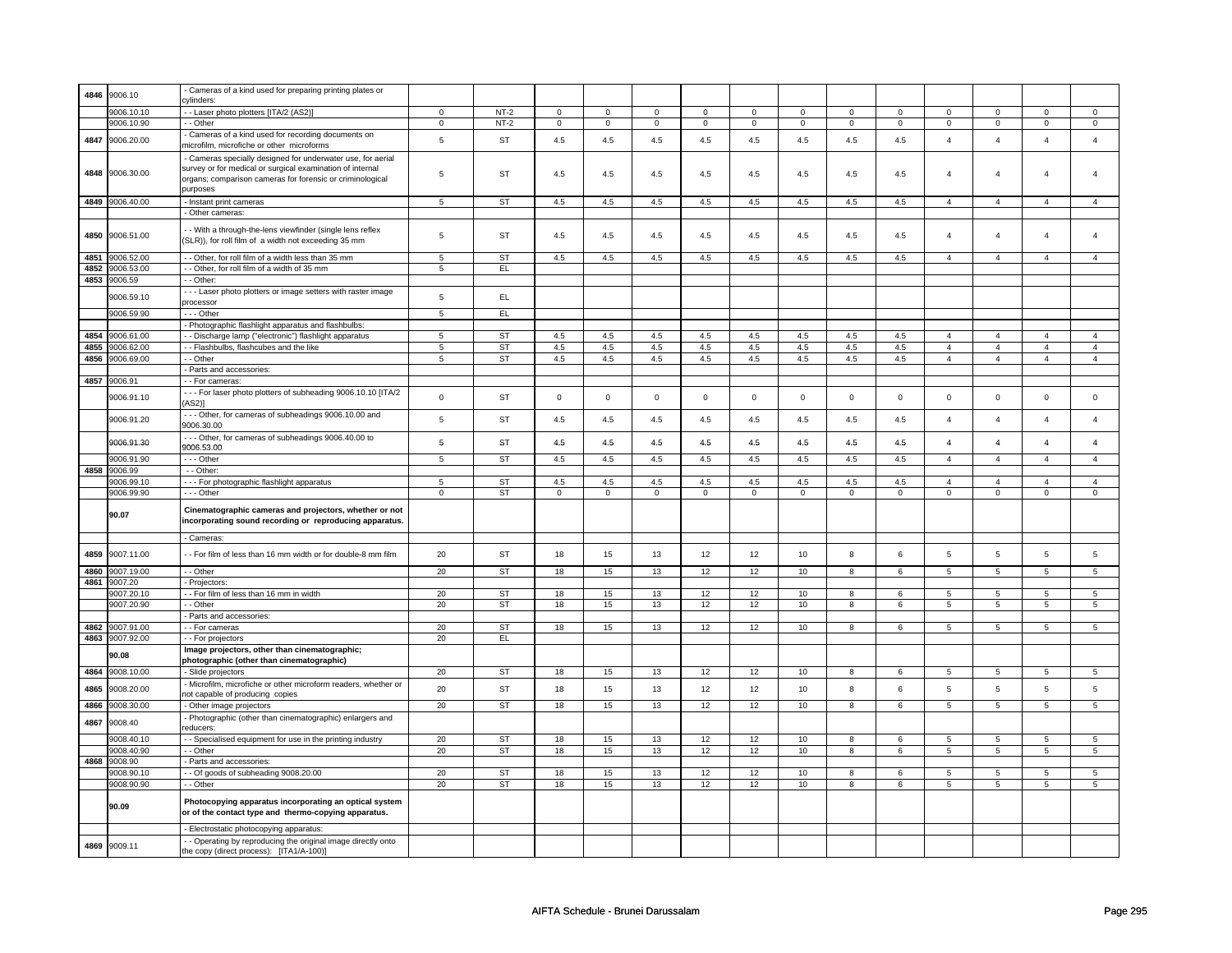| 4846 | 9006.10    | Cameras of a kind used for preparing printing plates or       |                 |           |                     |                |             |             |             |                 |                |             |                         |                 |                         |                 |
|------|------------|---------------------------------------------------------------|-----------------|-----------|---------------------|----------------|-------------|-------------|-------------|-----------------|----------------|-------------|-------------------------|-----------------|-------------------------|-----------------|
|      |            | cylinders:                                                    |                 |           |                     |                |             |             |             |                 |                |             |                         |                 |                         |                 |
|      | 9006.10.10 | - Laser photo plotters [ITA/2 (AS2)]                          | $\mathsf 0$     | $NT-2$    | $\mathsf{O}\xspace$ | $\overline{0}$ | $\mathbf 0$ | $\mathsf 0$ | $\mathbf 0$ | $\overline{0}$  | $\mathbf 0$    | $\mathsf 0$ | $\mathbf 0$             | $\overline{0}$  | 0                       | $\overline{0}$  |
|      | 9006.10.90 | - - Other                                                     | $\mathbf 0$     | $NT-2$    | $\mathbf 0$         | 0              | $\mathbf 0$ | 0           | 0           | 0               | 0              | 0           | 0                       | $\mathsf 0$     | 0                       | $\mathsf 0$     |
|      |            |                                                               |                 |           |                     |                |             |             |             |                 |                |             |                         |                 |                         |                 |
| 4847 | 9006.20.00 | Cameras of a kind used for recording documents on             | $\,$ 5 $\,$     | <b>ST</b> | 4.5                 | 4.5            | 4.5         | 4.5         | 4.5         | $4.5\,$         | 4.5            | 4.5         | $\overline{4}$          | $\overline{4}$  | $\overline{4}$          | $\overline{4}$  |
|      |            | microfilm, microfiche or other microforms                     |                 |           |                     |                |             |             |             |                 |                |             |                         |                 |                         |                 |
|      |            | Cameras specially designed for underwater use, for aerial     |                 |           |                     |                |             |             |             |                 |                |             |                         |                 |                         |                 |
|      |            | survey or for medical or surgical examination of internal     |                 |           |                     |                |             |             |             |                 |                |             |                         |                 |                         |                 |
| 4848 | 9006.30.00 | organs; comparison cameras for forensic or criminological     | 5               | <b>ST</b> | 4.5                 | 4.5            | 4.5         | 4.5         | 4.5         | 4.5             | 4.5            | 4.5         | $\overline{4}$          | $\overline{4}$  | $\overline{4}$          | $\overline{4}$  |
|      |            | purposes                                                      |                 |           |                     |                |             |             |             |                 |                |             |                         |                 |                         |                 |
|      |            |                                                               |                 |           |                     |                |             |             |             |                 |                |             |                         |                 |                         |                 |
| 4849 | 9006.40.00 | - Instant print cameras                                       | $5\overline{5}$ | ST        | 4.5                 | 4.5            | 4.5         | 4.5         | 4.5         | 4.5             | 4.5            | 4.5         | $\overline{4}$          | $\overline{4}$  | $\overline{4}$          | $\overline{4}$  |
|      |            | - Other cameras:                                              |                 |           |                     |                |             |             |             |                 |                |             |                         |                 |                         |                 |
|      |            |                                                               |                 |           |                     |                |             |             |             |                 |                |             |                         |                 |                         |                 |
| 4850 | 9006.51.00 | - With a through-the-lens viewfinder (single lens reflex      | 5               | ST        | 4.5                 | 4.5            | 4.5         | 4.5         | 4.5         | 4.5             | 4.5            | 4.5         | $\overline{4}$          | $\overline{4}$  | $\overline{4}$          | $\overline{4}$  |
|      |            | (SLR)), for roll film of a width not exceeding 35 mm          |                 |           |                     |                |             |             |             |                 |                |             |                         |                 |                         |                 |
| 4851 | 9006.52.00 | - Other, for roll film of a width less than 35 mm             | $\,$ 5 $\,$     | <b>ST</b> | $4.5\,$             | 4.5            | $4.5\,$     | 4.5         | $4.5\,$     | 4.5             | 4.5            | 4.5         | $\overline{4}$          | $\overline{4}$  | $\overline{4}$          | $\overline{4}$  |
|      |            |                                                               |                 |           |                     |                |             |             |             |                 |                |             |                         |                 |                         |                 |
| 4852 | 9006.53.00 | - - Other, for roll film of a width of 35 mm                  | 5               | EL.       |                     |                |             |             |             |                 |                |             |                         |                 |                         |                 |
| 4853 | 9006.59    | - - Other:                                                    |                 |           |                     |                |             |             |             |                 |                |             |                         |                 |                         |                 |
|      |            | - - - Laser photo plotters or image setters with raster image |                 |           |                     |                |             |             |             |                 |                |             |                         |                 |                         |                 |
|      | 9006.59.10 | processor                                                     | $\,$ 5 $\,$     | EL.       |                     |                |             |             |             |                 |                |             |                         |                 |                         |                 |
|      | 9006.59.90 | - - - Other                                                   | $\,$ 5 $\,$     | EL        |                     |                |             |             |             |                 |                |             |                         |                 |                         |                 |
|      |            | - Photographic flashlight apparatus and flashbulbs:           |                 |           |                     |                |             |             |             |                 |                |             |                         |                 |                         |                 |
| 4854 |            |                                                               |                 |           |                     |                |             |             |             |                 |                |             |                         |                 | $\overline{4}$          |                 |
|      | 9006.61.00 | - Discharge lamp ("electronic") flashlight apparatus          | 5               | ST        | 4.5                 | 4.5            | 4.5         | 4.5         | 4.5         | 4.5             | 4.5            | 4.5         | $\overline{4}$          | $\overline{4}$  |                         | $\overline{4}$  |
| 4855 | 9006.62.00 | - - Flashbulbs, flashcubes and the like                       | 5               | ST        | 4.5                 | 4.5            | 4.5         | 4.5         | 4.5         | 4.5             | 4.5            | 4.5         | $\overline{4}$          | $\overline{4}$  | $\overline{4}$          | $\overline{4}$  |
| 4856 | 9006.69.00 | - - Other                                                     | $\,$ 5 $\,$     | ST        | $4.5\,$             | 4.5            | $4.5\,$     | $4.5\,$     | $4.5\,$     | $4.5\,$         | 4.5            | 4.5         | $\overline{4}$          | $\overline{4}$  | $\overline{4}$          | $\overline{4}$  |
|      |            | Parts and accessories:                                        |                 |           |                     |                |             |             |             |                 |                |             |                         |                 |                         |                 |
| 4857 | 9006.91    | - - For cameras:                                              |                 |           |                     |                |             |             |             |                 |                |             |                         |                 |                         |                 |
|      |            | --- For laser photo plotters of subheading 9006.10.10 [ITA/2  |                 |           |                     |                |             |             |             |                 |                |             |                         |                 |                         |                 |
|      | 9006.91.10 | AS2)]                                                         | $\mathbf 0$     | <b>ST</b> | $\mathsf 0$         | $\mathbf 0$    | $\mathbf 0$ | $\mathbf 0$ | $\mathsf 0$ | $\mathbf 0$     | $\mathbf 0$    | $\mathbf 0$ | $\mathsf 0$             | $\mathsf 0$     | $\mathbf 0$             | $\mathbf 0$     |
|      |            |                                                               |                 |           |                     |                |             |             |             |                 |                |             |                         |                 |                         |                 |
|      | 9006.91.20 | --- Other, for cameras of subheadings 9006.10.00 and          | $\,$ 5 $\,$     | <b>ST</b> | $4.5\,$             | 4.5            | 4.5         | 4.5         | 4.5         | $4.5\,$         | 4.5            | 4.5         | $\overline{4}$          | $\overline{4}$  | $\Delta$                | $\overline{4}$  |
|      |            | 9006.30.00                                                    |                 |           |                     |                |             |             |             |                 |                |             |                         |                 |                         |                 |
|      | 9006.91.30 | --- Other, for cameras of subheadings 9006.40.00 to           | ${\bf 5}$       | ST        | 4.5                 | 4.5            | 4.5         | 4.5         | 4.5         | 4.5             | 4.5            | 4.5         | $\overline{\mathbf{4}}$ | $\overline{4}$  | $\overline{\mathbf{4}}$ | $\pmb{4}$       |
|      |            | 9006.53.00                                                    |                 |           |                     |                |             |             |             |                 |                |             |                         |                 |                         |                 |
|      | 9006.91.90 | $\cdots$ Other                                                | $\sqrt{5}$      | <b>ST</b> | 4.5                 | 4.5            | 4.5         | 4.5         | $4.5\,$     | 4.5             | 4.5            | 4.5         | $\overline{4}$          | $\overline{4}$  | $\overline{4}$          | $\overline{4}$  |
| 4858 | 9006.99    | - - Other:                                                    |                 |           |                     |                |             |             |             |                 |                |             |                         |                 |                         |                 |
|      | 9006.99.10 |                                                               | 5               | <b>ST</b> | 4.5                 | 4.5            | 4.5         | 4.5         | 4.5         | 4.5             | 4.5            | 4.5         | $\overline{4}$          | $\overline{4}$  | $\overline{4}$          | $\overline{4}$  |
|      |            | --- For photographic flashlight apparatus                     |                 |           |                     |                |             |             |             |                 |                |             |                         |                 |                         |                 |
|      | 9006.99.90 | --- Other                                                     | $\mathbf 0$     | ST        | $\mathbf 0$         | $\mathbf 0$    | $\mathbf 0$ | $\mathbf 0$ | $\mathbf 0$ | $\mathbf 0$     | $\mathbf 0$    | $\mathbf 0$ | $\mathbf 0$             | $\mathbf 0$     | $\mathbf 0$             | $\mathbf 0$     |
|      |            |                                                               |                 |           |                     |                |             |             |             |                 |                |             |                         |                 |                         |                 |
|      |            |                                                               |                 |           |                     |                |             |             |             |                 |                |             |                         |                 |                         |                 |
|      | 90.07      | Cinematographic cameras and projectors, whether or not        |                 |           |                     |                |             |             |             |                 |                |             |                         |                 |                         |                 |
|      |            | incorporating sound recording or reproducing apparatus.       |                 |           |                     |                |             |             |             |                 |                |             |                         |                 |                         |                 |
|      |            |                                                               |                 |           |                     |                |             |             |             |                 |                |             |                         |                 |                         |                 |
|      |            | - Cameras:                                                    |                 |           |                     |                |             |             |             |                 |                |             |                         |                 |                         |                 |
| 4859 | 9007.11.00 | - - For film of less than 16 mm width or for double-8 mm film | 20              | ST        | 18                  | 15             | 13          | 12          | 12          | 10              | 8              | 6           | 5                       | 5               | 5                       | 5               |
|      |            |                                                               |                 |           |                     |                |             |             |             |                 |                |             |                         |                 |                         |                 |
| 4860 | 9007.19.00 | - - Other                                                     | 20              | <b>ST</b> | 18                  | 15             | 13          | 12          | 12          | 10              | $\overline{8}$ | 6           | $\overline{5}$          | $\overline{5}$  | $\overline{5}$          | $\overline{5}$  |
| 4861 | 9007.20    | - Projectors                                                  |                 |           |                     |                |             |             |             |                 |                |             |                         |                 |                         |                 |
|      | 9007.20.10 | -- For film of less than 16 mm in width                       | 20              | ST        | 18                  | 15             | 13          | 12          | 12          | 10              | 8              | 6           | 5                       | 5               | 5                       | 5               |
|      | 9007.20.90 | - - Other                                                     | 20              | ST        | 18                  | 15             | 13          | 12          | 12          | 10              | 8              | 6           | $\overline{5}$          | $5\phantom{.0}$ | $\overline{5}$          | 5               |
|      |            | Parts and accessories:                                        |                 |           |                     |                |             |             |             |                 |                |             |                         |                 |                         |                 |
| 4862 | 9007.91.00 | - - For cameras                                               | 20              | ST        | 18                  | 15             | 13          | 12          | 12          | 10              | 8              | 6           | 5                       | 5               | 5                       | 5               |
|      |            |                                                               |                 |           |                     |                |             |             |             |                 |                |             |                         |                 |                         |                 |
| 4863 | 9007.92.00 | - - For projectors                                            | 20              | EL        |                     |                |             |             |             |                 |                |             |                         |                 |                         |                 |
|      | 90.08      | Image projectors, other than cinematographic;                 |                 |           |                     |                |             |             |             |                 |                |             |                         |                 |                         |                 |
|      |            | photographic (other than cinematographic)                     |                 |           |                     |                |             |             |             |                 |                |             |                         |                 |                         |                 |
| 4864 | 9008.10.00 | - Slide projectors                                            | 20              | <b>ST</b> | 18                  | 15             | 13          | 12          | 12          | 10              | 8              | 6           | 5                       | 5               | 5                       | 5               |
|      |            | Microfilm, microfiche or other microform readers, whether or  |                 |           |                     |                |             |             |             |                 |                |             |                         |                 |                         |                 |
| 4865 | 9008.20.00 | not capable of producing copies                               | 20              | ST        | 18                  | 15             | 13          | 12          | 12          | 10              | 8              | 6           | 5                       | 5               | 5                       | 5               |
|      |            |                                                               |                 |           |                     |                |             |             |             |                 | 8              |             |                         |                 |                         |                 |
| 4866 | 9008.30.00 | - Other image projectors                                      | 20              | <b>ST</b> | 18                  | 15             | 13          | 12          | 12          | 10              |                | 6           | 5                       | 5               | 5                       | 5               |
| 4867 | 9008.40    | - Photographic (other than cinematographic) enlargers and     |                 |           |                     |                |             |             |             |                 |                |             |                         |                 |                         |                 |
|      |            | educers:                                                      |                 |           |                     |                |             |             |             |                 |                |             |                         |                 |                         |                 |
|      | 9008.40.10 | - Specialised equipment for use in the printing industry      | 20              | <b>ST</b> | 18                  | 15             | 13          | 12          | 12          | 10              | 8              | 6           | 5                       | 5               | 5                       | 5               |
|      | 9008.40.90 | - - Other                                                     | 20              | ST        | 18                  | 15             | 13          | 12          | 12          | 10              | 8              | $\,$ 6 $\,$ | $\sqrt{5}$              | $5\phantom{.0}$ | $\,$ 5 $\,$             | $5\phantom{.0}$ |
| 4868 | 9008.90    | Parts and accessories:                                        |                 |           |                     |                |             |             |             |                 |                |             |                         |                 |                         |                 |
|      |            |                                                               |                 | <b>ST</b> |                     |                |             |             |             |                 | 8              | 6           | 5                       | 5               | 5                       | 5               |
|      | 9008.90.10 | - - Of goods of subheading 9008.20.00                         | 20              |           | 18                  | 15             | 13          | 12          | 12          | 10 <sub>1</sub> |                |             |                         |                 |                         |                 |
|      | 9008.90.90 | - - Other                                                     | 20              | <b>ST</b> | 18                  | 15             | 13          | 12          | 12          | 10              | 8              | 6           | $\overline{5}$          | $\overline{5}$  | $\overline{5}$          | $\overline{5}$  |
|      |            |                                                               |                 |           |                     |                |             |             |             |                 |                |             |                         |                 |                         |                 |
|      | 90.09      | Photocopying apparatus incorporating an optical system        |                 |           |                     |                |             |             |             |                 |                |             |                         |                 |                         |                 |
|      |            | or of the contact type and thermo-copying apparatus.          |                 |           |                     |                |             |             |             |                 |                |             |                         |                 |                         |                 |
|      |            | - Electrostatic photocopying apparatus:                       |                 |           |                     |                |             |             |             |                 |                |             |                         |                 |                         |                 |
|      |            | - Operating by reproducing the original image directly onto   |                 |           |                     |                |             |             |             |                 |                |             |                         |                 |                         |                 |
| 4869 | 9009.11    | the copy (direct process): [ITA1/A-100)]                      |                 |           |                     |                |             |             |             |                 |                |             |                         |                 |                         |                 |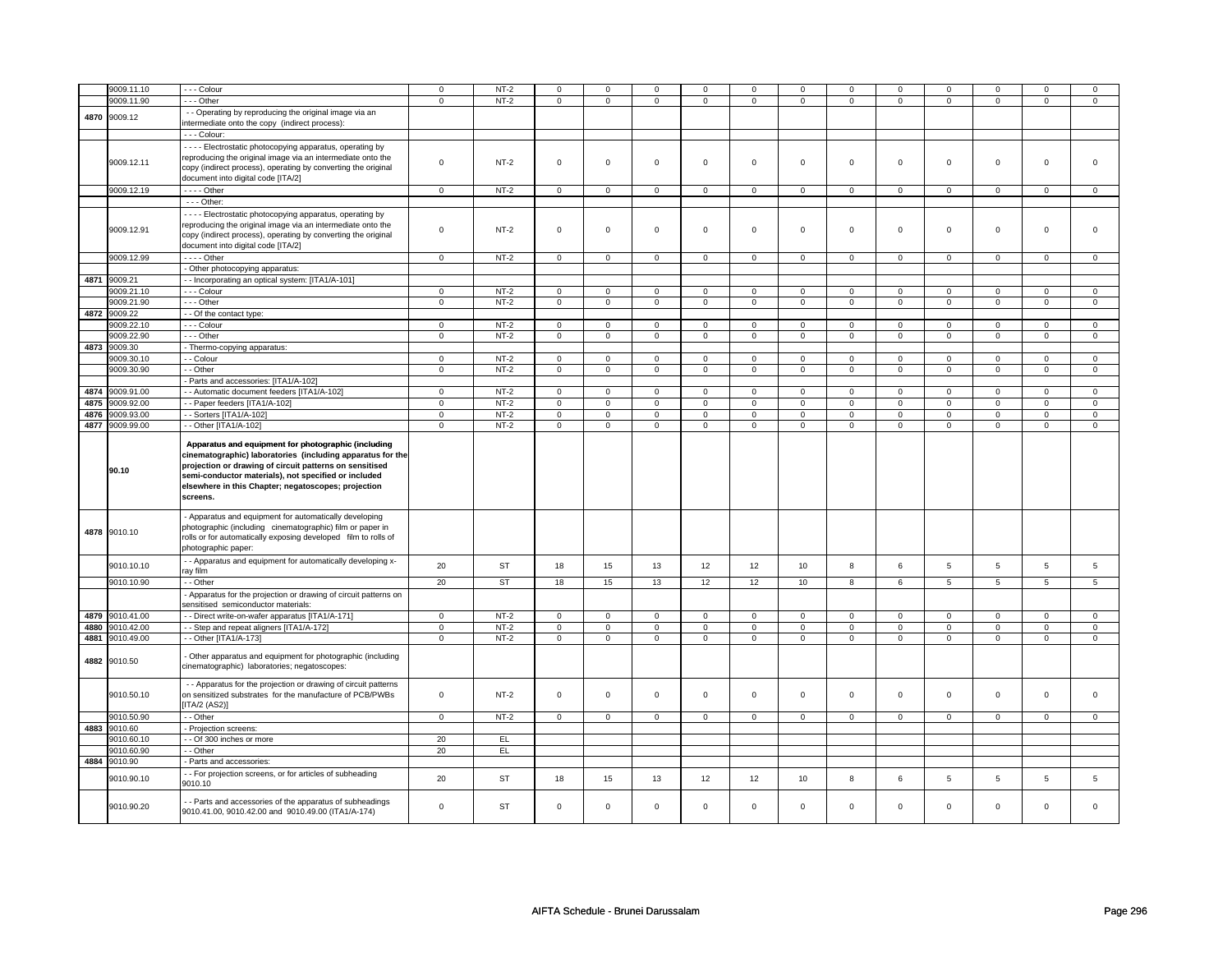|      | 9009.11.10      | - - - Colour                                                                          | $\mathsf 0$  | $NT-2$    | $\mathsf 0$    | $\mathbf 0$    | $\mathbf 0$    | $\mathbf 0$    | $\mathbf 0$         | $\mathbf 0$    | 0              | $\mathsf 0$    | 0              | $\mathbf 0$    | $\Omega$       | $\Omega$        |
|------|-----------------|---------------------------------------------------------------------------------------|--------------|-----------|----------------|----------------|----------------|----------------|---------------------|----------------|----------------|----------------|----------------|----------------|----------------|-----------------|
|      |                 |                                                                                       |              |           |                |                |                |                |                     |                |                |                |                |                |                |                 |
|      | 9009.11.90      | $- -$ Other                                                                           | $\mathbf 0$  | $NT-2$    | $\overline{0}$ | $\overline{0}$ | $\mathbf 0$    | $\overline{0}$ | $\mathbf 0$         | $\overline{0}$ | $\mathbf 0$    | $\overline{0}$ | $\mathbf 0$    | $\overline{0}$ | $\mathsf 0$    | $\overline{0}$  |
| 4870 | 9009.12         | - - Operating by reproducing the original image via an                                |              |           |                |                |                |                |                     |                |                |                |                |                |                |                 |
|      |                 | intermediate onto the copy (indirect process):                                        |              |           |                |                |                |                |                     |                |                |                |                |                |                |                 |
|      |                 | - - - Colour:                                                                         |              |           |                |                |                |                |                     |                |                |                |                |                |                |                 |
|      |                 |                                                                                       |              |           |                |                |                |                |                     |                |                |                |                |                |                |                 |
|      |                 | - - - - Electrostatic photocopying apparatus, operating by                            |              |           |                |                |                |                |                     |                |                |                |                |                |                |                 |
|      | 9009.12.11      | reproducing the original image via an intermediate onto the                           | $\Omega$     | $NT-2$    | $\mathsf 0$    | $\mathsf 0$    | $\mathsf 0$    | $\mathbf 0$    | $\mathsf 0$         | $\mathbf 0$    | $\mathbf 0$    | $\mathbf 0$    | $\mathbf 0$    | $\mathbf 0$    | $\mathbf 0$    | $\mathbf{0}$    |
|      |                 | copy (indirect process), operating by converting the original                         |              |           |                |                |                |                |                     |                |                |                |                |                |                |                 |
|      |                 | document into digital code [ITA/2]                                                    |              |           |                |                |                |                |                     |                |                |                |                |                |                |                 |
|      | 9009.12.19      | $---$ Other                                                                           | $\mathbf 0$  | $NT-2$    | $\mathsf 0$    | $\mathsf 0$    | $\mathsf 0$    | $\mathsf 0$    | $\mathsf{O}$        | $\mathsf 0$    | $\mathbf 0$    | $\mathsf 0$    | $\mathsf 0$    | $\mathbf 0$    | $\mathsf 0$    | $\mathbf 0$     |
|      |                 | - - - Other:                                                                          |              |           |                |                |                |                |                     |                |                |                |                |                |                |                 |
|      |                 |                                                                                       |              |           |                |                |                |                |                     |                |                |                |                |                |                |                 |
|      |                 | - - - - Electrostatic photocopying apparatus, operating by                            |              |           |                |                |                |                |                     |                |                |                |                |                |                |                 |
|      | 9009.12.91      | reproducing the original image via an intermediate onto the                           | $\mathsf 0$  | $NT-2$    | $\mathsf 0$    | $\mathsf 0$    | $\mathsf 0$    | $\mathbf 0$    | $\mathsf 0$         | $\mathbf 0$    | $\mathbf 0$    | $\mathsf 0$    | $\mathsf 0$    | $\mathbf 0$    | $\mathsf 0$    | 0               |
|      |                 | copy (indirect process), operating by converting the original                         |              |           |                |                |                |                |                     |                |                |                |                |                |                |                 |
|      |                 | document into digital code [ITA/2]                                                    |              |           |                |                |                |                |                     |                |                |                |                |                |                |                 |
|      | 9009.12.99      | - - - - Other                                                                         | $\mathsf 0$  | $NT-2$    | $\mathbf 0$    | $\mathbf 0$    | $\mathbf 0$    | $\mathbf 0$    | $\mathbf 0$         | $\mathbf 0$    | $\mathbf 0$    | $\mathbf 0$    | $\mathsf 0$    | $\mathbf{0}$   | $\mathbf 0$    | $\mathbf{0}$    |
|      |                 | - Other photocopying apparatus:                                                       |              |           |                |                |                |                |                     |                |                |                |                |                |                |                 |
|      |                 |                                                                                       |              |           |                |                |                |                |                     |                |                |                |                |                |                |                 |
|      | 4871 9009.21    | - Incorporating an optical system: [ITA1/A-101]                                       |              |           |                |                |                |                |                     |                |                |                |                |                |                |                 |
|      | 9009.21.10      | - - - Colour                                                                          | 0            | $NT-2$    | $\mathbf 0$    | 0              | $\mathbf 0$    | 0              | $\mathbf{0}$        | $\mathbf{0}$   | 0              | $\mathbf 0$    | 0              | $\mathbf 0$    | 0              | $\mathbf 0$     |
|      | 9009.21.90      | $- -$ Other                                                                           | $\mathsf 0$  | $NT-2$    | $\mathbf 0$    | $\mathsf 0$    | $\mathbf 0$    | $\mathbf 0$    | $\mathbf 0$         | $\mathbf 0$    | $\mathbf 0$    | $\mathbf 0$    | $\mathsf 0$    | $\mathbf 0$    | $\mathbf 0$    | $\mathbf 0$     |
| 4872 | 9009.22         | - - Of the contact type:                                                              |              |           |                |                |                |                |                     |                |                |                |                |                |                |                 |
|      | 9009.22.10      | - - - Colour                                                                          | $\mathbf 0$  | $NT-2$    | $\mathbf 0$    | $\mathsf 0$    | $\mathbf 0$    | $\mathsf 0$    | $\mathbf 0$         | $\mathbf 0$    | $\mathbf 0$    | $\mathbf 0$    | $\mathsf 0$    | $\mathbf 0$    | $\Omega$       | 0               |
|      | 9009.22.90      | $- -$ Other                                                                           | $\mathbf{0}$ | $NT-2$    | $\overline{0}$ | $\overline{0}$ | $\mathbf 0$    | $\overline{0}$ | $\mathbf 0$         | $\overline{0}$ | $\mathbf 0$    | $\overline{0}$ | 0              | $\mathbf 0$    | 0              | 0               |
|      |                 |                                                                                       |              |           |                |                |                |                |                     |                |                |                |                |                |                |                 |
| 4873 | 9009.30         | - Thermo-copying apparatus:                                                           |              |           |                |                |                |                |                     |                |                |                |                |                |                |                 |
|      | 9009.30.10      | - - Colour                                                                            | $\mathbf 0$  | $NT-2$    | $\mathsf 0$    | $\mathsf 0$    | $\mathbf 0$    | $\mathbf 0$    | $\mathbf 0$         | $\mathbf 0$    | 0              | $\mathsf 0$    | $\mathsf 0$    | $\mathbf 0$    | $\Omega$       | 0               |
|      | 9009.30.90      | - - Other                                                                             | $\mathsf 0$  | $NT-2$    | $\mathsf 0$    | $\mathsf 0$    | $\mathsf 0$    | $\mathsf 0$    | $\mathsf 0$         | $\mathsf 0$    | $\mathbf 0$    | $\mathbf 0$    | $\mathsf 0$    | $\mathbf 0$    | $\mathbf 0$    | $\mathbf 0$     |
|      |                 | - Parts and accessories: [ITA1/A-102]                                                 |              |           |                |                |                |                |                     |                |                |                |                |                |                |                 |
|      | 4874 9009.91.00 | - - Automatic document feeders [ITA1/A-102]                                           | $\mathbf 0$  | $NT-2$    | $\mathbf 0$    | $\mathbf 0$    | $\mathbf 0$    | $\mathbf 0$    | $\mathbf 0$         | $\mathbf 0$    | $\mathbf 0$    | $\mathbf{0}$   | $\mathbf 0$    | $\mathbf{0}$   | $\mathbf 0$    | $\mathbf{0}$    |
| 4875 | 9009.92.00      | -- Paper feeders [ITA1/A-102]                                                         | $\mathbf 0$  | $NT-2$    | $\overline{0}$ | $\overline{0}$ | $\overline{0}$ | $\overline{0}$ | $\overline{0}$      | $\overline{0}$ | $\overline{0}$ | $\overline{0}$ | $\overline{0}$ | $\overline{0}$ | $\overline{0}$ | $\overline{0}$  |
| 4876 | 9009.93.00      | - Sorters [ITA1/A-102]                                                                | $\mathbf 0$  | $NT-2$    | $\mathbf 0$    | $\mathbf 0$    | $\mathbf 0$    | $\mathbf 0$    | $\mathbf 0$         | $\mathbf 0$    | $\mathbf 0$    | $\mathbf 0$    | $\mathbf 0$    | $\mathbf 0$    | $\mathbf 0$    | $\mathbf 0$     |
| 4877 |                 |                                                                                       |              |           |                |                |                |                |                     |                |                |                |                |                |                |                 |
|      | 9009.99.00      | - - Other [ITA1/A-102]                                                                | $\mathbf 0$  | $NT-2$    | $\mathsf 0$    | $\mathsf 0$    | $\mathbf 0$    | $\mathsf 0$    | $\mathsf{O}$        | $\mathbf 0$    | $\mathbf 0$    | $\mathbf 0$    | $\mathsf 0$    | $\mathbf 0$    | $\mathsf 0$    | $\mathbf 0$     |
|      |                 | Apparatus and equipment for photographic (including                                   |              |           |                |                |                |                |                     |                |                |                |                |                |                |                 |
|      |                 |                                                                                       |              |           |                |                |                |                |                     |                |                |                |                |                |                |                 |
|      |                 | cinematographic) laboratories (including apparatus for the                            |              |           |                |                |                |                |                     |                |                |                |                |                |                |                 |
|      | 90.10           | projection or drawing of circuit patterns on sensitised                               |              |           |                |                |                |                |                     |                |                |                |                |                |                |                 |
|      |                 | semi-conductor materials), not specified or included                                  |              |           |                |                |                |                |                     |                |                |                |                |                |                |                 |
|      |                 | elsewhere in this Chapter; negatoscopes; projection                                   |              |           |                |                |                |                |                     |                |                |                |                |                |                |                 |
|      |                 | screens.                                                                              |              |           |                |                |                |                |                     |                |                |                |                |                |                |                 |
|      |                 |                                                                                       |              |           |                |                |                |                |                     |                |                |                |                |                |                |                 |
|      |                 | - Apparatus and equipment for automatically developing                                |              |           |                |                |                |                |                     |                |                |                |                |                |                |                 |
|      | 4878 9010.10    | photographic (including cinematographic) film or paper in                             |              |           |                |                |                |                |                     |                |                |                |                |                |                |                 |
|      |                 |                                                                                       |              |           |                |                |                |                |                     |                |                |                |                |                |                |                 |
|      |                 |                                                                                       |              |           |                |                |                |                |                     |                |                |                |                |                |                |                 |
|      |                 | rolls or for automatically exposing developed film to rolls of<br>photographic paper: |              |           |                |                |                |                |                     |                |                |                |                |                |                |                 |
|      |                 |                                                                                       |              |           |                |                |                |                |                     |                |                |                |                |                |                |                 |
|      | 9010.10.10      | - - Apparatus and equipment for automatically developing x-                           | 20           | <b>ST</b> | 18             | 15             | 13             | 12             | 12                  | 10             | 8              | 6              | $\overline{5}$ | 5              | $\overline{5}$ | $5\overline{5}$ |
|      |                 | ray film                                                                              |              |           |                |                |                |                |                     |                |                |                |                |                |                |                 |
|      | 9010.10.90      | - - Other                                                                             | 20           | <b>ST</b> | 18             | 15             | 13             | 12             | 12                  | $10$           | 8              | 6              | 5              | 5              | 5              | 5               |
|      |                 | - Apparatus for the projection or drawing of circuit patterns on                      |              |           |                |                |                |                |                     |                |                |                |                |                |                |                 |
|      |                 | sensitised semiconductor materials:                                                   |              |           |                |                |                |                |                     |                |                |                |                |                |                |                 |
| 4879 | 9010.41.00      | - - Direct write-on-wafer apparatus [ITA1/A-171]                                      | $\mathbf 0$  | $NT-2$    | $\mathbf 0$    | $\mathbf 0$    | $\mathbf 0$    | $\mathbf 0$    | $\mathbf 0$         | $\mathbf 0$    | 0              | $\mathbf 0$    | 0              | $\mathbf 0$    | $\mathbf 0$    | $\mathbf{0}$    |
| 4880 | 9010.42.00      | - - Step and repeat aligners [ITA1/A-172]                                             | $\mathbf 0$  | $NT-2$    | $\mathbf 0$    | $\mathsf 0$    | $\mathbf 0$    | $\mathbf 0$    | $\mathbf 0$         | $\mathbf 0$    | $\mathbf 0$    | $\mathbf 0$    | $\mathsf 0$    | $\mathbf 0$    | $\mathbf 0$    | $\mathbf 0$     |
| 4881 | 9010.49.00      | - - Other [ITA1/A-173]                                                                | $\mathsf 0$  | $NT-2$    | $\mathbf 0$    | $\mathsf 0$    | $\mathbf 0$    | $\mathsf 0$    | $\mathbf 0$         | $\mathbf 0$    | $\mathbf 0$    | $\mathbf 0$    | $\mathbf 0$    | $\mathbf 0$    | $\mathsf 0$    | $\mathbf 0$     |
|      |                 |                                                                                       |              |           |                |                |                |                |                     |                |                |                |                |                |                |                 |
|      |                 | - Other apparatus and equipment for photographic (including                           |              |           |                |                |                |                |                     |                |                |                |                |                |                |                 |
|      | 4882 9010.50    | cinematographic) laboratories; negatoscopes:                                          |              |           |                |                |                |                |                     |                |                |                |                |                |                |                 |
|      |                 |                                                                                       |              |           |                |                |                |                |                     |                |                |                |                |                |                |                 |
|      |                 | - - Apparatus for the projection or drawing of circuit patterns                       |              |           |                |                |                |                |                     |                |                |                |                |                |                |                 |
|      | 9010.50.10      | on sensitized substrates for the manufacture of PCB/PWBs                              | $\mathsf 0$  | $NT-2$    | $\mathsf 0$    | $\mathsf 0$    | $\mathsf 0$    | $\mathsf 0$    | $\mathsf{O}\xspace$ | $\mathbf 0$    | $\mathsf 0$    | $\mathbf 0$    | $\mathbf 0$    | $\mathbf{0}$   | $\mathsf 0$    | $\mathbf 0$     |
|      |                 | [ITA/2 (AS2)]                                                                         |              |           |                |                |                |                |                     |                |                |                |                |                |                |                 |
|      |                 |                                                                                       |              |           |                |                |                |                |                     |                |                |                |                |                | $\Omega$       |                 |
|      | 9010.50.90      | - - Other                                                                             | $\mathbf 0$  | $NT-2$    | $\mathbf 0$    | $\mathsf 0$    | $\mathbf 0$    | $\mathbf 0$    | $\mathbf 0$         | $\mathbf 0$    | $\mathbf 0$    | $\mathbf 0$    | $\mathbf 0$    | $\mathbf 0$    |                | $\mathbf 0$     |
|      | 4883 9010.60    | Projection screens:                                                                   |              |           |                |                |                |                |                     |                |                |                |                |                |                |                 |
|      | 9010.60.10      | - Of 300 inches or more                                                               | 20           | EL        |                |                |                |                |                     |                |                |                |                |                |                |                 |
|      | 9010.60.90      | - - Other                                                                             | 20           | EL        |                |                |                |                |                     |                |                |                |                |                |                |                 |
| 4884 | 9010.90         | - Parts and accessories:                                                              |              |           |                |                |                |                |                     |                |                |                |                |                |                |                 |
|      |                 | - - For projection screens, or for articles of subheading                             |              |           |                |                |                |                |                     |                |                |                |                |                |                |                 |
|      | 9010.90.10      | 9010.10                                                                               | 20           | <b>ST</b> | 18             | 15             | 13             | 12             | 12                  | 10             | 8              | 6              | 5              | 5              | 5              | 5               |
|      |                 |                                                                                       |              |           |                |                |                |                |                     |                |                |                |                |                |                |                 |
|      |                 | - Parts and accessories of the apparatus of subheadings                               |              |           |                |                |                |                |                     |                |                |                |                |                | $\Omega$       | $\Omega$        |
|      | 9010.90.20      | 9010.41.00, 9010.42.00 and 9010.49.00 (ITA1/A-174)                                    | $\mathbf 0$  | <b>ST</b> | $\mathbf 0$    | $\mathbf 0$    | $\mathbf 0$    | $\mathbf 0$    | $\mathbf 0$         | $\mathbf 0$    | $\mathbf 0$    | $\mathbf 0$    | $\mathbf 0$    | $\mathbf 0$    |                |                 |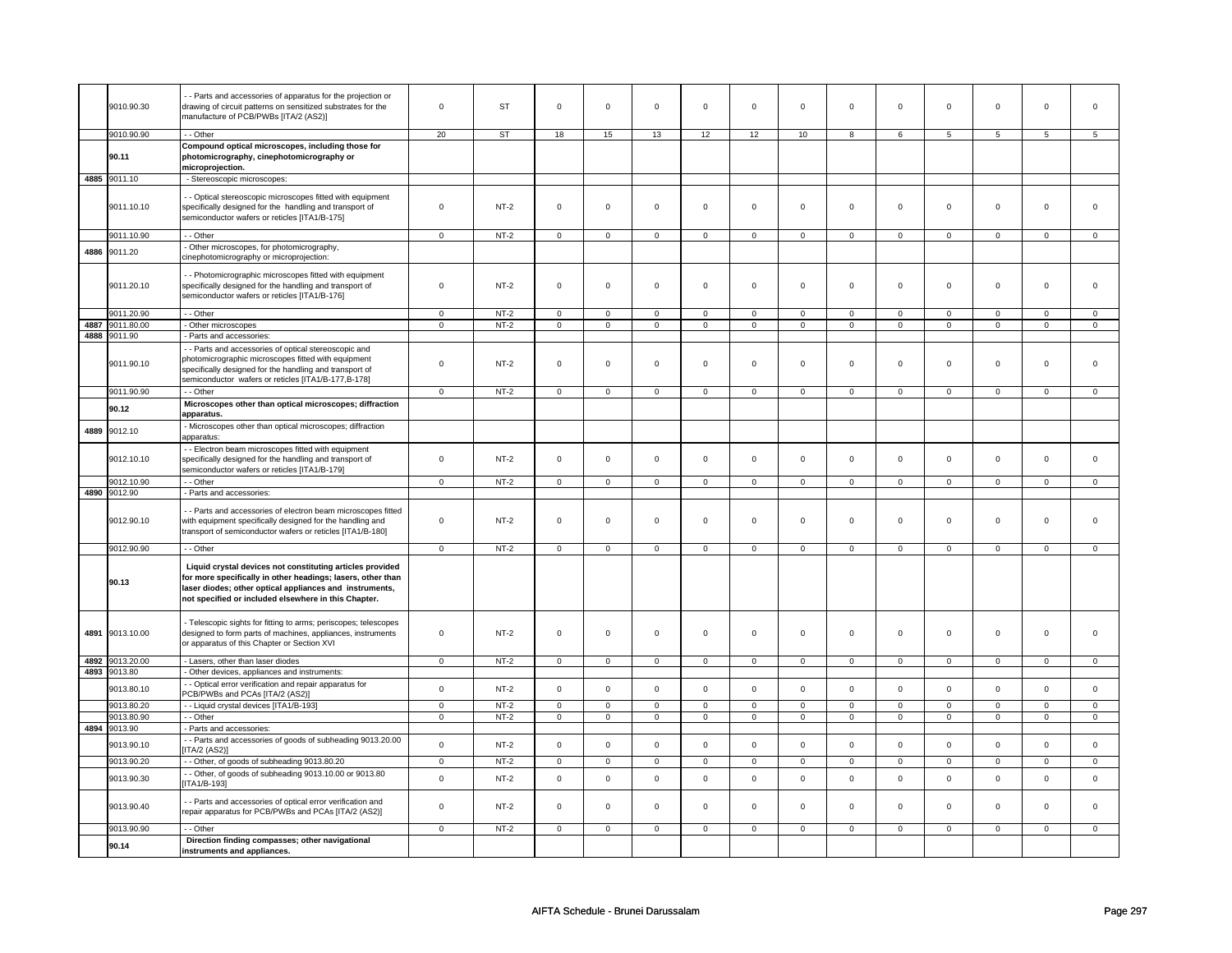|      | 9010.90.30               | - Parts and accessories of apparatus for the projection or<br>drawing of circuit patterns on sensitized substrates for the<br>manufacture of PCB/PWBs [ITA/2 (AS2)]                                                                                        | $\mathsf 0$                | <b>ST</b>        | $\mathbf 0$                | $\mathsf 0$                 | $\mathbf 0$                | $\mathsf 0$                   | $\mathbf 0$                | $\mathbf 0$                | $\mathsf{O}\xspace$        | $\mathsf 0$                   | $\mathsf 0$                | $\mathbf 0$                 | $\mathsf 0$                | $\mathbf 0$                   |
|------|--------------------------|------------------------------------------------------------------------------------------------------------------------------------------------------------------------------------------------------------------------------------------------------------|----------------------------|------------------|----------------------------|-----------------------------|----------------------------|-------------------------------|----------------------------|----------------------------|----------------------------|-------------------------------|----------------------------|-----------------------------|----------------------------|-------------------------------|
|      |                          |                                                                                                                                                                                                                                                            |                            |                  |                            |                             |                            |                               |                            |                            |                            |                               |                            |                             |                            |                               |
|      | 9010.90.90<br>90.11      | - - Other<br>Compound optical microscopes, including those for<br>photomicrography, cinephotomicrography or<br>microprojection.                                                                                                                            | 20                         | ST               | 18                         | 15                          | 13                         | 12                            | 12                         | 10                         | 8                          | 6                             | 5                          | 5                           | 5                          | 5                             |
|      | 4885 9011.10             | - Stereoscopic microscopes:                                                                                                                                                                                                                                |                            |                  |                            |                             |                            |                               |                            |                            |                            |                               |                            |                             |                            |                               |
|      | 9011.10.10               | - Optical stereoscopic microscopes fitted with equipment<br>specifically designed for the handling and transport of<br>semiconductor wafers or reticles [ITA1/B-175]                                                                                       | $\mathbf 0$                | $NT-2$           | $\mathbf 0$                | $\mathbf 0$                 | $\mathbf 0$                | $\mathbf 0$                   | $\mathsf 0$                | $\mathbf 0$                | $\mathbf 0$                | $\mathbf 0$                   | 0                          | $\mathbf 0$                 | 0                          | $\Omega$                      |
|      | 9011.10.90               | - - Other                                                                                                                                                                                                                                                  | $\mathbf 0$                | $NT-2$           | $\mathsf 0$                | $\mathsf 0$                 | $\mathsf 0$                | $\mathbf 0$                   | $\mathsf 0$                | $\mathbf 0$                | $\mathsf 0$                | $\mathbf 0$                   | $\mathsf 0$                | $\mathbf 0$                 | $\mathbf 0$                | $\mathbf 0$                   |
| 4886 | 9011.20                  | Other microscopes, for photomicrography,<br>cinephotomicrography or microprojection:                                                                                                                                                                       |                            |                  |                            |                             |                            |                               |                            |                            |                            |                               |                            |                             |                            |                               |
|      | 9011.20.10               | - - Photomicrographic microscopes fitted with equipment<br>specifically designed for the handling and transport of<br>semiconductor wafers or reticles [ITA1/B-176]                                                                                        | $\mathsf 0$                | $NT-2$           | $\mathsf{O}\xspace$        | $\mathsf 0$                 | $\mathsf 0$                | $\mathsf 0$                   | $\mathsf 0$                | $\mathbf 0$                | $\mathsf{O}\xspace$        | $\mathbf 0$                   | $\mathsf 0$                | $\mathbf 0$                 | $\mathsf 0$                | $\mathbf{O}$                  |
|      | 9011.20.90               | - - Other                                                                                                                                                                                                                                                  | $\mathbf 0$                | $NT-2$           | $\mathsf 0$                | $\mathbf 0$                 | $\mathsf 0$                | $\mathbf 0$                   | $\mathsf 0$                | $\mathbf 0$                | $\mathsf 0$                | $\mathsf 0$                   | $\mathbf 0$                | $\mathbf 0$                 | $\mathsf 0$                | 0                             |
| 4887 | 9011.80.00               | - Other microscopes                                                                                                                                                                                                                                        | $\mathbf 0$                | $NT-2$           | $\mathsf{O}\xspace$        | $\overline{0}$              | $\overline{0}$             | $\overline{0}$                | $\overline{0}$             | $\overline{0}$             | $\mathsf 0$                | $\overline{0}$                | $\mathsf 0$                | $\overline{0}$              | $\mathbf 0$                | $\mathbf 0$                   |
| 4888 | 9011.90<br>9011.90.10    | - Parts and accessories:<br>- - Parts and accessories of optical stereoscopic and<br>photomicrographic microscopes fitted with equipment<br>specifically designed for the handling and transport of<br>semiconductor wafers or reticles [ITA1/B-177,B-178] | $\mathbf 0$                | $NT-2$           | $\Omega$                   | $\mathbf 0$                 | $\Omega$                   | $\mathbf 0$                   | $\Omega$                   | $\Omega$                   | $\mathbf 0$                | $\mathbf 0$                   | $\mathbf 0$                | $\mathbf{0}$                | $\mathbf 0$                | $\mathbf{0}$                  |
|      | 9011.90.90               | - Other                                                                                                                                                                                                                                                    | $\mathsf 0$                | $NT-2$           | $\mathsf 0$                | $\mathbf 0$                 | $\mathsf 0$                | $\mathbf 0$                   | $\mathbf 0$                | $\mathbf 0$                | $\mathbf 0$                | $\mathsf 0$                   | $\mathbf 0$                | $\mathbf 0$                 | $\mathbf 0$                | 0                             |
|      | 90.12                    | Microscopes other than optical microscopes; diffraction<br>apparatus.                                                                                                                                                                                      |                            |                  |                            |                             |                            |                               |                            |                            |                            |                               |                            |                             |                            |                               |
| 4889 | 9012.10                  | - Microscopes other than optical microscopes; diffraction<br>apparatus:                                                                                                                                                                                    |                            |                  |                            |                             |                            |                               |                            |                            |                            |                               |                            |                             |                            |                               |
|      | 9012.10.10               | - - Electron beam microscopes fitted with equipment<br>specifically designed for the handling and transport of<br>semiconductor wafers or reticles [ITA1/B-179]                                                                                            | $\mathbf 0$                | $NT-2$           | $\mathbf 0$                | $\mathsf 0$                 | $\mathsf 0$                | $\mathsf 0$                   | $\mathbf 0$                | $\mathsf 0$                | $\mathsf{O}\xspace$        | $\mathbf 0$                   | 0                          | $\mathbf 0$                 | $\mathsf 0$                | $\mathbf 0$                   |
|      | 9012.10.90               | - - Other                                                                                                                                                                                                                                                  | $\overline{0}$             | $NT-2$           | $\mathsf 0$                | $\mathbf{0}$                | $\mathsf 0$                | $\mathbf{0}$                  | $\mathsf 0$                | $\overline{0}$             | $\mathsf 0$                | $\overline{0}$                | $\mathbf 0$                | $\mathbf{O}$                | $\mathsf{O}\xspace$        | $\overline{0}$                |
|      | 4890 9012.90             | - Parts and accessories:                                                                                                                                                                                                                                   |                            |                  |                            |                             |                            |                               |                            |                            |                            |                               |                            |                             |                            |                               |
|      | 9012.90.10               | - - Parts and accessories of electron beam microscopes fitted<br>with equipment specifically designed for the handling and<br>transport of semiconductor wafers or reticles [ITA1/B-180]                                                                   | $\mathbf 0$                | $NT-2$           | $\mathsf{O}\xspace$        | $\mathbf 0$                 | $\mathbf 0$                | $\mathbf 0$                   | $\mathsf{O}\xspace$        | $\mathsf 0$                | $\mathsf{O}\xspace$        | $\mathbf 0$                   | $\mathsf 0$                | $\mathsf 0$                 | $\mathbf 0$                | $\mathbf{0}$                  |
|      | 9012.90.90               | - - Other                                                                                                                                                                                                                                                  | $\overline{0}$             | $NT-2$           | $\mathbf{0}$               | $\overline{0}$              | $\mathbf 0$                | $\overline{0}$                | $\overline{0}$             | $\overline{0}$             | $\mathbf 0$                | $\overline{0}$                | $\mathbf 0$                | $\overline{0}$              | $\mathbf{0}$               | $\overline{0}$                |
|      | 90.13                    | Liquid crystal devices not constituting articles provided<br>for more specifically in other headings; lasers, other than<br>laser diodes; other optical appliances and instruments,<br>not specified or included elsewhere in this Chapter.                |                            |                  |                            |                             |                            |                               |                            |                            |                            |                               |                            |                             |                            |                               |
|      | 4891 9013.10.00          | - Telescopic sights for fitting to arms; periscopes; telescopes<br>designed to form parts of machines, appliances, instruments<br>or apparatus of this Chapter or Section XVI                                                                              | $\mathbf 0$                | $NT-2$           | $\mathsf 0$                | $\mathbf 0$                 | $\mathbf 0$                | $\mathbf 0$                   | $\mathsf 0$                | $\mathbf 0$                | $\mathbf 0$                | $\mathbf 0$                   | 0                          | $\mathbf 0$                 | $\mathsf 0$                | $\Omega$                      |
| 4892 | 9013.20.00               | - Lasers, other than laser diodes                                                                                                                                                                                                                          | $\overline{0}$             | $NT-2$           | $\overline{0}$             | $\overline{0}$              | $\overline{0}$             | $\overline{0}$                | $\overline{0}$             | $\overline{0}$             | $\overline{0}$             | $\overline{0}$                | $\overline{0}$             | $\overline{0}$              | $\overline{0}$             | $\overline{0}$                |
|      | 4893 9013.80             | - Other devices, appliances and instruments:                                                                                                                                                                                                               |                            |                  |                            |                             |                            |                               |                            |                            |                            |                               |                            |                             |                            |                               |
|      | 9013.80.10               | - Optical error verification and repair apparatus for<br>PCB/PWBs and PCAs [ITA/2 (AS2)]                                                                                                                                                                   | $\mathsf 0$                | $NT-2$           | $\mathsf{O}\xspace$        | $\mathsf 0$                 | $\Omega$                   | $\mathsf 0$                   | $\mathsf 0$                | $\mathsf 0$                | $\mathsf{O}\xspace$        | $\mathbf 0$                   | $\mathsf 0$                | $\mathbf 0$                 | $\Omega$                   | $\mathbf{O}$                  |
|      | 9013.80.20<br>9013.80.90 | - - Liquid crystal devices [ITA1/B-193]<br>- - Other                                                                                                                                                                                                       | $\mathbf 0$<br>$\mathbf 0$ | $NT-2$<br>$NT-2$ | $\mathsf 0$<br>$\mathbf 0$ | $\mathbf 0$<br>$\mathbf 0$  | $\mathbf 0$<br>$\mathbf 0$ | $\mathbf 0$<br>$\overline{0}$ | $\mathbf 0$<br>$\mathbf 0$ | $\mathbf 0$<br>$\mathbf 0$ | $\mathsf 0$<br>$\mathbf 0$ | $\mathbf 0$<br>$\overline{0}$ | $\mathbf 0$<br>$\mathbf 0$ | $\mathbf 0$<br>$\mathbf{0}$ | $\mathsf 0$<br>$\mathbf 0$ | $\mathbf 0$<br>$\overline{0}$ |
| 4894 | 9013.90                  | - Parts and accessories:                                                                                                                                                                                                                                   |                            |                  |                            |                             |                            |                               |                            |                            |                            |                               |                            |                             |                            |                               |
|      |                          | - Parts and accessories of goods of subheading 9013.20.00                                                                                                                                                                                                  |                            |                  |                            |                             |                            |                               |                            |                            |                            |                               |                            |                             |                            |                               |
|      | 9013.90.10<br>9013.90.20 | <b>ITA/2 (AS2)]</b><br>- - Other, of goods of subheading 9013.80.20                                                                                                                                                                                        | $\mathsf 0$<br>$\mathbf 0$ | $NT-2$<br>$NT-2$ | $\Omega$<br>$\mathsf 0$    | $\mathbf{0}$<br>$\mathsf 0$ | $\Omega$<br>$\mathsf 0$    | $\mathbf 0$<br>$\mathbf 0$    | $\mathbf 0$<br>$\mathsf 0$ | $\Omega$<br>$\mathsf 0$    | $\mathbf 0$<br>$\mathsf 0$ | $\mathsf 0$<br>$\mathbf 0$    | $\mathbf 0$<br>$\mathsf 0$ | $\mathbf 0$<br>$\mathbf 0$  | $\mathbf 0$<br>$\mathsf 0$ | $\mathbf 0$<br>$\mathbf 0$    |
|      | 9013.90.30               | - Other, of goods of subheading 9013.10.00 or 9013.80<br>ITA1/B-193]                                                                                                                                                                                       | $\mathsf 0$                | $NT-2$           | $\mathsf 0$                | $\mathsf 0$                 | $\mathbf 0$                | $\mathsf 0$                   | $\mathsf 0$                | $\mathbf 0$                | $\mathbf 0$                | $\mathbf 0$                   | $\mathbf 0$                | $\mathbf 0$                 | $\mathbf 0$                | $\mathbf{0}$                  |
|      | 9013.90.40               | - - Parts and accessories of optical error verification and<br>repair apparatus for PCB/PWBs and PCAs [ITA/2 (AS2)]                                                                                                                                        | $\mathbf 0$                | $NT-2$           | $\mathbf 0$                | $\mathbf 0$                 | $\mathbf 0$                | 0                             | $\mathbf 0$                | $\mathbf 0$                | $\mathbf 0$                | 0                             | 0                          | 0                           | 0                          | 0                             |
|      | 9013.90.90               | - - Other                                                                                                                                                                                                                                                  | $\mathbf 0$                | $NT-2$           | $\mathsf 0$                | $\mathbf 0$                 | $\mathsf 0$                | $\mathsf 0$                   | $\mathsf 0$                | $\mathsf 0$                | $\mathsf 0$                | $\mathbf 0$                   | $\mathsf 0$                | $\mathbf 0$                 | $\mathsf 0$                | $\mathbf 0$                   |
|      | 90.14                    | Direction finding compasses; other navigational<br>instruments and appliances.                                                                                                                                                                             |                            |                  |                            |                             |                            |                               |                            |                            |                            |                               |                            |                             |                            |                               |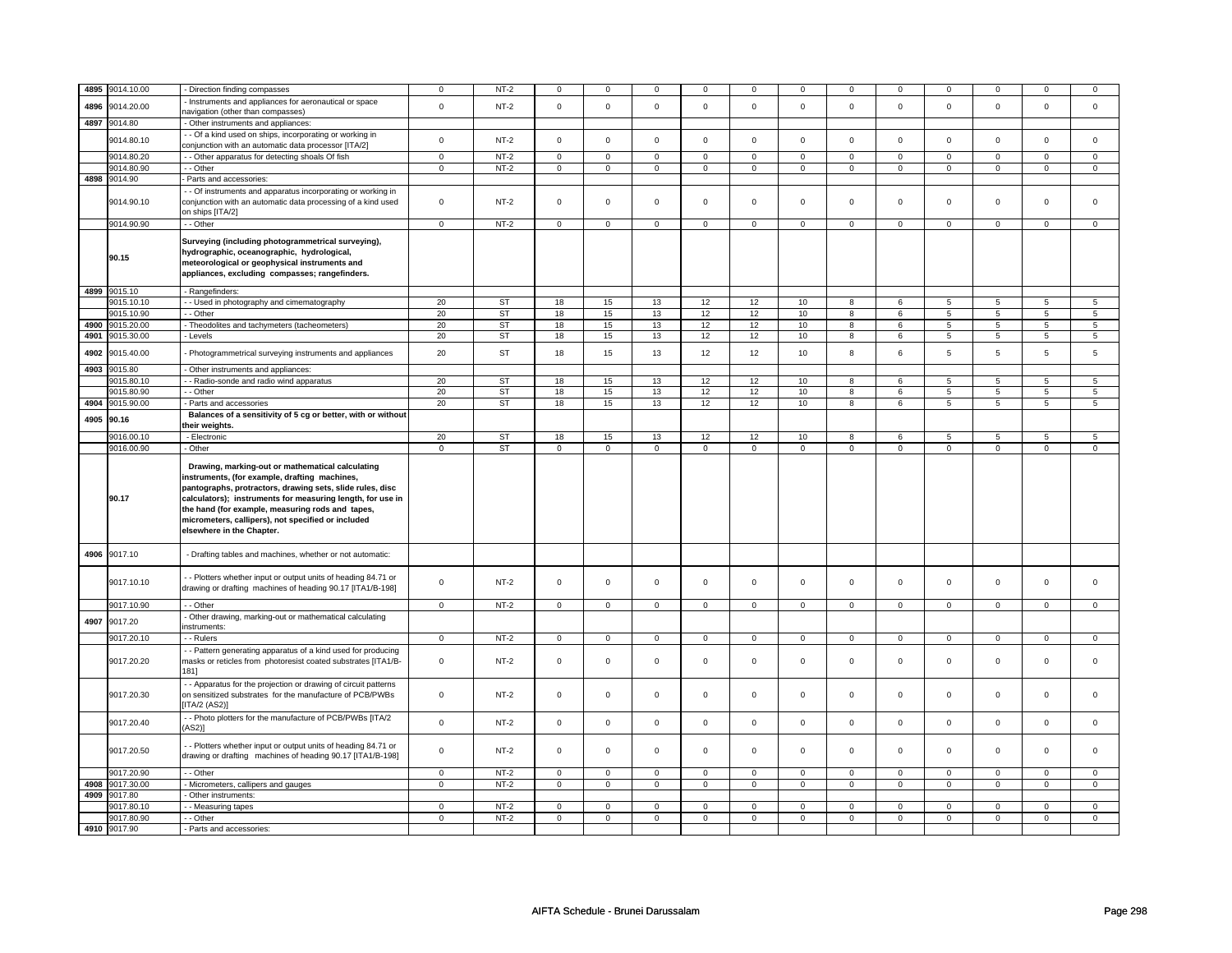| 4895 | 9014.10.00                 | - Direction finding compasses                                                                                                                                                                                                                                                                                                                                       | $\mathsf 0$  | $NT-2$      | $\mathsf 0$         | $\mathbf 0$         | $\mathbf 0$         | $\mathbf 0$ | $\mathbf 0$         | 0               | $\mathbf 0$    | $\mathsf 0$ | 0                   | $\mathbf 0$     | $\Omega$       | $\Omega$        |
|------|----------------------------|---------------------------------------------------------------------------------------------------------------------------------------------------------------------------------------------------------------------------------------------------------------------------------------------------------------------------------------------------------------------|--------------|-------------|---------------------|---------------------|---------------------|-------------|---------------------|-----------------|----------------|-------------|---------------------|-----------------|----------------|-----------------|
|      |                            | Instruments and appliances for aeronautical or space                                                                                                                                                                                                                                                                                                                |              |             |                     |                     |                     |             |                     |                 |                |             |                     |                 |                |                 |
| 4896 | 9014.20.00                 | navigation (other than compasses)                                                                                                                                                                                                                                                                                                                                   | $\mathsf 0$  | $NT-2$      | $\mathsf 0$         | $\mathsf{O}\xspace$ | $\mathbf 0$         | $\mathsf 0$ | $\mathbf 0$         | $\mathsf{O}$    | $\mathbf 0$    | $\mathsf 0$ | $\mathbf 0$         | $\mathbf{0}$    | $\mathbf 0$    | $\mathsf 0$     |
| 4897 | 9014.80                    | - Other instruments and appliances:                                                                                                                                                                                                                                                                                                                                 |              |             |                     |                     |                     |             |                     |                 |                |             |                     |                 |                |                 |
|      |                            | - - Of a kind used on ships, incorporating or working in                                                                                                                                                                                                                                                                                                            |              |             |                     |                     |                     |             |                     |                 |                |             |                     |                 |                |                 |
|      | 9014.80.10                 | conjunction with an automatic data processor [ITA/2]                                                                                                                                                                                                                                                                                                                | $\mathsf 0$  | $NT-2$      | $\mathsf 0$         | $\mathbf 0$         | $\mathsf 0$         | $\mathbf 0$ | $\mathsf 0$         | $\mathsf 0$     | $\mathbf 0$    | $\mathsf 0$ | $\mathsf 0$         | $\mathbf 0$     | $\mathsf 0$    | $\mathbf 0$     |
|      | 9014.80.20                 | - Other apparatus for detecting shoals Of fish                                                                                                                                                                                                                                                                                                                      | $\mathbf 0$  | $NT-2$      | $\mathbf 0$         | $\mathbf 0$         | $\mathbf 0$         | $\mathbf 0$ | $\mathbf 0$         | $\mathbf{0}$    | $\mathbf 0$    | $\mathbf 0$ | $\mathbf 0$         | $\mathbf 0$     | $\mathbf 0$    | $\mathbf 0$     |
|      |                            |                                                                                                                                                                                                                                                                                                                                                                     |              |             |                     |                     |                     |             |                     |                 |                |             |                     |                 | $\mathbf 0$    | $\mathbf{0}$    |
| 4898 | 9014.80.90                 | - - Other                                                                                                                                                                                                                                                                                                                                                           | $\mathbf 0$  | <b>NT-2</b> | 0                   | $\mathbf 0$         | 0                   | $\mathbf 0$ | 0                   | $\mathbf 0$     | 0              | $\mathbf 0$ | 0                   | $\mathbf 0$     |                |                 |
|      | 9014.90                    | Parts and accessories:                                                                                                                                                                                                                                                                                                                                              |              |             |                     |                     |                     |             |                     |                 |                |             |                     |                 |                |                 |
|      |                            | - Of instruments and apparatus incorporating or working in                                                                                                                                                                                                                                                                                                          |              |             |                     |                     |                     |             |                     |                 |                |             |                     |                 |                |                 |
|      | 9014.90.10                 | conjunction with an automatic data processing of a kind used                                                                                                                                                                                                                                                                                                        | $\mathsf 0$  | $NT-2$      | $\mathsf 0$         | $\mathbf 0$         | $\mathsf 0$         | $\mathbf 0$ | $\mathsf 0$         | $\mathsf 0$     | $\mathbf 0$    | $\mathsf 0$ | $\mathsf 0$         | $\mathbf 0$     | $\mathbf 0$    | $\mathbf{0}$    |
|      |                            | on ships [ITA/2]                                                                                                                                                                                                                                                                                                                                                    |              |             |                     |                     |                     |             |                     |                 |                |             |                     |                 |                |                 |
|      | 9014.90.90                 | - - Other                                                                                                                                                                                                                                                                                                                                                           | $\mathbf 0$  | $NT-2$      | $\mathbf 0$         | $\mathbf 0$         | $\mathsf 0$         | $\mathbf 0$ | $\mathsf 0$         | $\mathbf 0$     | 0              | $\mathbf 0$ | $\mathsf 0$         | $\mathbf 0$     | 0              | $\mathbf{0}$    |
|      |                            | Surveying (including photogrammetrical surveying),                                                                                                                                                                                                                                                                                                                  |              |             |                     |                     |                     |             |                     |                 |                |             |                     |                 |                |                 |
|      |                            | hydrographic, oceanographic, hydrological,                                                                                                                                                                                                                                                                                                                          |              |             |                     |                     |                     |             |                     |                 |                |             |                     |                 |                |                 |
|      | 90.15                      | meteorological or geophysical instruments and                                                                                                                                                                                                                                                                                                                       |              |             |                     |                     |                     |             |                     |                 |                |             |                     |                 |                |                 |
|      |                            | appliances, excluding compasses; rangefinders.                                                                                                                                                                                                                                                                                                                      |              |             |                     |                     |                     |             |                     |                 |                |             |                     |                 |                |                 |
|      |                            |                                                                                                                                                                                                                                                                                                                                                                     |              |             |                     |                     |                     |             |                     |                 |                |             |                     |                 |                |                 |
|      | 4899 9015.10               | - Rangefinders:                                                                                                                                                                                                                                                                                                                                                     |              |             |                     |                     |                     |             |                     |                 |                |             |                     |                 |                |                 |
|      | 9015.10.10                 | - Used in photography and cimematography                                                                                                                                                                                                                                                                                                                            | 20           | <b>ST</b>   | 18                  | 15                  | 13                  | 12          | 12                  | 10              | 8              | 6           | 5                   | 5               | 5              | 5               |
|      | 9015.10.90                 | - - Other                                                                                                                                                                                                                                                                                                                                                           | 20           | <b>ST</b>   | 18                  | 15                  | 13                  | 12          | 12                  | 10 <sub>1</sub> | 8              | 6           | 5                   | 5               | 5              | 5               |
| 4900 | 9015.20.00                 | - Theodolites and tachymeters (tacheometers)                                                                                                                                                                                                                                                                                                                        | 20           | ST          | 18                  | 15                  | 13                  | 12          | 12                  | 10              | 8              | 6           | 5                   | 5               | 5              | 5               |
| 4901 | 9015.30.00                 | - Levels                                                                                                                                                                                                                                                                                                                                                            | 20           | <b>ST</b>   | 18                  | 15                  | 13                  | 12          | 12                  | 10              | $\overline{8}$ | 6           | $\overline{5}$      | $\overline{5}$  | $\overline{5}$ | $\overline{5}$  |
| 4902 | 9015.40.00                 | Photogrammetrical surveying instruments and appliances                                                                                                                                                                                                                                                                                                              | 20           | <b>ST</b>   | 18                  | 15                  | 13                  | 12          | 12                  | 10              | 8              | 6           | 5                   | 5               | 5              | 5               |
|      |                            |                                                                                                                                                                                                                                                                                                                                                                     |              |             |                     |                     |                     |             |                     |                 |                |             |                     |                 |                |                 |
| 4903 | 9015.80                    | Other instruments and appliances:                                                                                                                                                                                                                                                                                                                                   |              |             |                     |                     |                     |             |                     |                 |                |             |                     |                 |                |                 |
|      | 9015.80.10                 | - - Radio-sonde and radio wind apparatus                                                                                                                                                                                                                                                                                                                            | 20           | ST          | 18                  | 15                  | 13                  | 12          | 12                  | 10              | 8              | 6           | 5                   | 5               | 5              | $5\phantom{.0}$ |
|      | 9015.80.90                 | - - Other                                                                                                                                                                                                                                                                                                                                                           | 20           | <b>ST</b>   | 18                  | 15                  | 13                  | 12          | 12                  | 10              | 8              | 6           | $\overline{5}$      | $\overline{5}$  | $\overline{5}$ | $5\overline{)}$ |
| 4904 | 9015.90.00                 | - Parts and accessories                                                                                                                                                                                                                                                                                                                                             | 20           | <b>ST</b>   | 18                  | 15                  | 13                  | 12          | 12                  | 10              | 8              | 6           | 5                   | $5\overline{)}$ | 5              | 5               |
| 4905 | 90.16                      | Balances of a sensitivity of 5 cg or better, with or without                                                                                                                                                                                                                                                                                                        |              |             |                     |                     |                     |             |                     |                 |                |             |                     |                 |                |                 |
|      |                            | their weights.                                                                                                                                                                                                                                                                                                                                                      |              |             |                     |                     |                     |             |                     |                 |                |             |                     |                 |                |                 |
|      | 9016.00.10                 | - Electronic                                                                                                                                                                                                                                                                                                                                                        | 20           | <b>ST</b>   | 18                  | 15                  | 13                  | 12          | 12                  | 10              | 8              | 6           | 5                   | 5               | 5              | 5               |
|      | 9016.00.90                 | - Other                                                                                                                                                                                                                                                                                                                                                             | $\mathsf 0$  | ST          | $\mathbf 0$         | $\mathbf 0$         | $\circ$             | $\mathbf 0$ | $\circ$             | $\circ$         | $\mathbf 0$    | $\mathbf 0$ | $\mathsf{O}\xspace$ | $\mathbf 0$     | 0              | $\overline{0}$  |
|      | 90.17                      | Drawing, marking-out or mathematical calculating<br>instruments, (for example, drafting machines,<br>pantographs, protractors, drawing sets, slide rules, disc<br>calculators); instruments for measuring length, for use in<br>the hand (for example, measuring rods and tapes,<br>micrometers, callipers), not specified or included<br>elsewhere in the Chapter. |              |             |                     |                     |                     |             |                     |                 |                |             |                     |                 |                |                 |
| 4906 | 9017.10                    | - Drafting tables and machines, whether or not automatic:                                                                                                                                                                                                                                                                                                           |              |             |                     |                     |                     |             |                     |                 |                |             |                     |                 |                |                 |
|      | 9017.10.10                 | - Plotters whether input or output units of heading 84.71 or<br>drawing or drafting machines of heading 90.17 [ITA1/B-198]                                                                                                                                                                                                                                          | $\mathbf 0$  | $NT-2$      | $\mathbf 0$         | $\mathbf 0$         | $\mathsf 0$         | $\mathbf 0$ | $\mathsf 0$         | $\mathsf 0$     | $\mathbf 0$    | $\mathsf 0$ | $\mathsf 0$         | $\mathbf 0$     | $\mathsf 0$    | 0               |
|      | 9017.10.90                 | - - Other                                                                                                                                                                                                                                                                                                                                                           | 0            | NT-2        | 0                   | $\mathbf 0$         | 0                   | $\mathbf 0$ | $\mathbf 0$         | $\mathbf 0$     | 0              | $\mathbf 0$ | 0                   | $\mathbf 0$     | 0              | $\overline{0}$  |
| 4907 | 9017.20                    | Other drawing, marking-out or mathematical calculating                                                                                                                                                                                                                                                                                                              |              |             |                     |                     |                     |             |                     |                 |                |             |                     |                 |                |                 |
|      |                            | nstruments:                                                                                                                                                                                                                                                                                                                                                         |              |             |                     |                     |                     |             |                     |                 |                |             |                     |                 |                |                 |
|      | 9017.20.10                 | - Rulers                                                                                                                                                                                                                                                                                                                                                            | $\mathbf 0$  | $NT-2$      | $\mathbf 0$         | $\mathbf 0$         | $\mathbf 0$         | $\mathbf 0$ | $\mathbf 0$         | $\mathbf 0$     | $\mathbf 0$    | $\mathbf 0$ | $\mathbf 0$         | $\mathbf 0$     | $\mathbf 0$    | $\mathbf{0}$    |
|      | 9017.20.20                 | - - Pattern generating apparatus of a kind used for producing<br>masks or reticles from photoresist coated substrates [ITA1/B-<br>181]                                                                                                                                                                                                                              | $\mathbf 0$  | $NT-2$      | $\mathsf 0$         | $\mathbf 0$         | $\mathsf 0$         | $\mathbf 0$ | $\mathsf 0$         | $\mathbf 0$     | $\mathbf 0$    | $\mathsf 0$ | $\mathsf 0$         | $\mathbf 0$     | $\mathsf 0$    | 0               |
|      | 9017.20.30                 | - - Apparatus for the projection or drawing of circuit patterns<br>on sensitized substrates for the manufacture of PCB/PWBs<br>[ITA/2 (AS2)]                                                                                                                                                                                                                        | $\mathsf 0$  | $NT-2$      | $\mathsf 0$         | $\mathsf 0$         | $\mathsf{O}\xspace$ | $\mathsf 0$ | $\mathsf 0$         | $\mathbf 0$     | $\mathbf 0$    | $\mathbf 0$ | $\mathsf 0$         | $\mathbf 0$     | $\mathbf 0$    | $\mathbf 0$     |
|      | 9017.20.40                 | - - Photo plotters for the manufacture of PCB/PWBs [ITA/2<br>(AS2)]                                                                                                                                                                                                                                                                                                 | $\mathbf 0$  | $NT-2$      | $\mathsf 0$         | $\mathsf 0$         | $\mathsf 0$         | $\mathsf 0$ | $\mathsf{O}\xspace$ | $\mathbf 0$     | $\mathbf 0$    | $\mathbf 0$ | $\mathsf 0$         | $\mathbf 0$     | $\mathsf 0$    | $\mathbf 0$     |
|      |                            |                                                                                                                                                                                                                                                                                                                                                                     |              |             |                     |                     | 0                   | $\mathbf 0$ | 0                   | $\mathbf 0$     | 0              | $\mathbf 0$ | 0                   |                 |                |                 |
|      | 9017.20.50                 | - Plotters whether input or output units of heading 84.71 or<br>drawing or drafting machines of heading 90.17 [ITA1/B-198]                                                                                                                                                                                                                                          | 0            | <b>NT-2</b> | $\mathbf 0$         | $\mathsf 0$         |                     |             |                     |                 |                |             |                     | $\mathbf 0$     | 0              | 0               |
|      | 9017.20.90                 | - Other                                                                                                                                                                                                                                                                                                                                                             | $\mathbf 0$  | $NT-2$      | $\mathsf 0$         | $\mathbf 0$         | 0                   | $\mathbf 0$ | 0                   | $\mathbf 0$     | 0              | $\mathbf 0$ | 0                   | $\mathbf 0$     | $\mathbf 0$    | $\mathbf 0$     |
| 4908 | 9017.30.00                 | - Micrometers, callipers and gauges                                                                                                                                                                                                                                                                                                                                 | $\mathbf{0}$ | $NT-2$      | $\mathbf 0$         | $\mathbf 0$         | $\mathbf 0$         | $\mathbf 0$ | $\mathbf 0$         | $\mathbf 0$     | $\mathbf 0$    | $\mathbf 0$ | 0                   | $\mathbf 0$     | 0              | $\overline{0}$  |
| 4909 | 9017.80                    | - Other instruments:                                                                                                                                                                                                                                                                                                                                                |              |             |                     |                     |                     |             |                     |                 |                |             |                     |                 |                |                 |
|      | 9017.80.10                 | - Measuring tapes                                                                                                                                                                                                                                                                                                                                                   | $\mathbf 0$  | $NT-2$      | $\mathsf 0$         | $\mathbf 0$         | $\mathbf 0$         | $\mathbf 0$ | $\mathbf 0$         | $\mathsf 0$     | 0              | $\mathsf 0$ | 0                   | $\mathbf 0$     | 0              | 0               |
|      | 9017.80.90<br>4910 9017.90 | - Other                                                                                                                                                                                                                                                                                                                                                             | $\mathsf 0$  | $NT-2$      | $\mathsf{O}\xspace$ | $\mathsf 0$         | $\mathsf 0$         | $\mathsf 0$ | $\mathsf 0$         | $\mathsf 0$     | $\mathbf 0$    | $\mathsf 0$ | $\mathbf 0$         | $\mathbf{0}$    | $\mathbf 0$    | $\mathbf{0}$    |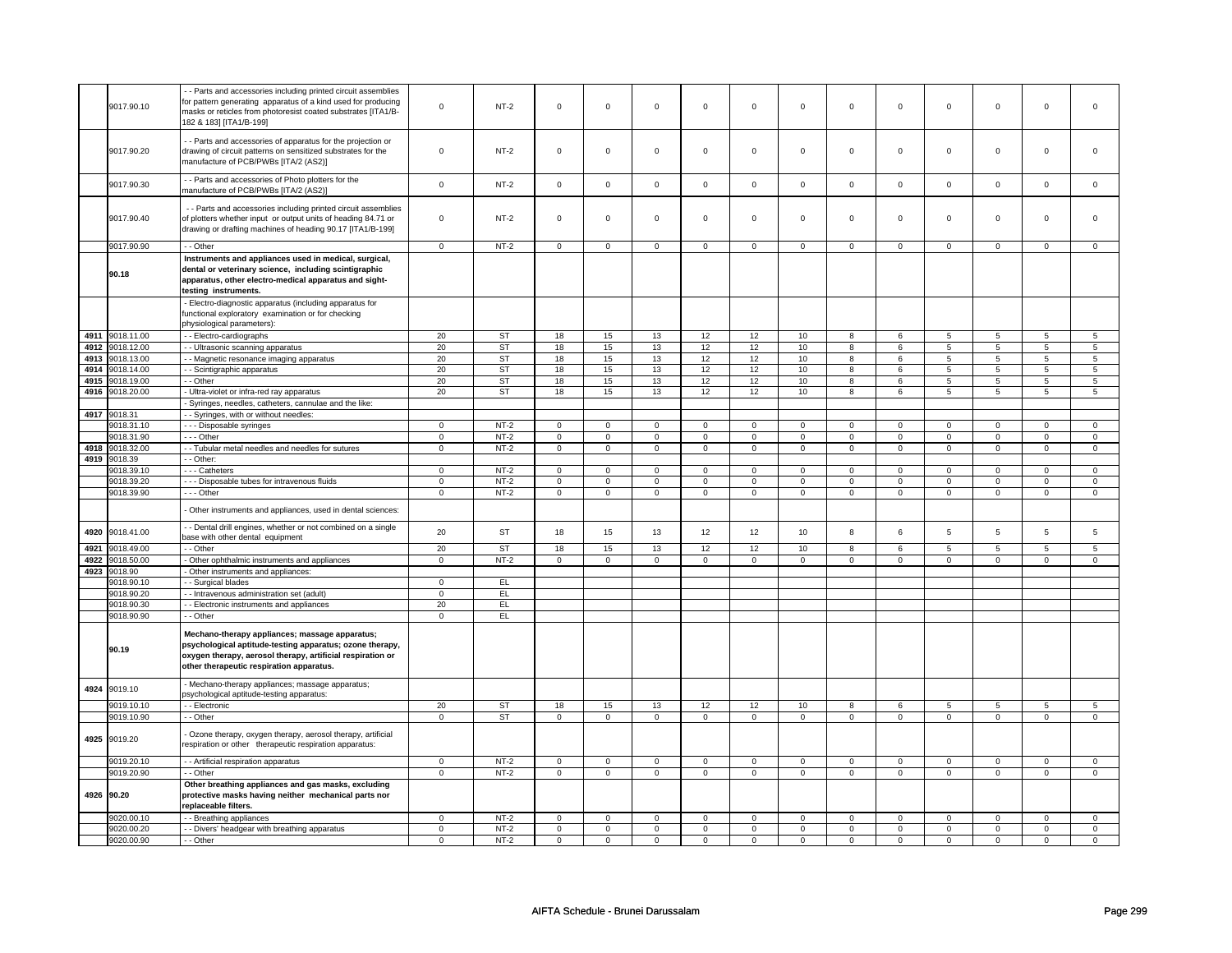|      | 9017.90.10               | - Parts and accessories including printed circuit assemblies<br>for pattern generating apparatus of a kind used for producing<br>masks or reticles from photoresist coated substrates [ITA1/B-<br>182 & 183] [ITA1/B-199]                                  | $\mathbf 0$    | $NT-2$    | $\mathsf 0$    | $\mathsf 0$    | $\mathsf 0$ | $\mathsf 0$    | $\mathbf 0$    | $\mathsf 0$             | $\mathsf 0$    | $\mathbf 0$    | $\mathsf 0$             | $\mathbf 0$    | $\mathbf 0$    | $\mathsf 0$             |
|------|--------------------------|------------------------------------------------------------------------------------------------------------------------------------------------------------------------------------------------------------------------------------------------------------|----------------|-----------|----------------|----------------|-------------|----------------|----------------|-------------------------|----------------|----------------|-------------------------|----------------|----------------|-------------------------|
|      | 9017.90.20               | - Parts and accessories of apparatus for the projection or<br>drawing of circuit patterns on sensitized substrates for the<br>manufacture of PCB/PWBs [ITA/2 (AS2)]                                                                                        | $\mathbf 0$    | $NT-2$    | $\mathbf 0$    | $\mathbf 0$    | $\mathbf 0$ | 0              | 0              | $\mathbf 0$             | $\mathsf 0$    | $\mathbf 0$    | $\mathbf 0$             | $\mathsf 0$    | $\mathbf 0$    | $\mathbf 0$             |
|      | 9017.90.30               | - - Parts and accessories of Photo plotters for the<br>manufacture of PCB/PWBs [ITA/2 (AS2)]                                                                                                                                                               | $\mathbf 0$    | $NT-2$    | $\mathsf 0$    | $\mathsf 0$    | $\mathbf 0$ | $\mathbf 0$    | $\mathbf 0$    | $\mathsf 0$             | $\mathbf 0$    | $\mathbf 0$    | $\mathbf 0$             | $\mathbf 0$    | $\mathbf 0$    | $\mathbf 0$             |
|      | 9017.90.40               | - - Parts and accessories including printed circuit assemblies<br>of plotters whether input or output units of heading 84.71 or<br>drawing or drafting machines of heading 90.17 [ITA1/B-199]                                                              | $\mathbf 0$    | $NT-2$    | $\mathsf 0$    | $\mathsf 0$    | $\mathbf 0$ | $\mathbf 0$    | $\mathbf 0$    | $\mathsf 0$             | $\mathbf 0$    | $\mathbf 0$    | $\mathbf 0$             | $\mathbf 0$    | $\mathsf 0$    | $\Omega$                |
|      | 9017.90.90               | - - Other                                                                                                                                                                                                                                                  | $\mathsf 0$    | $NT-2$    | $\mathbf 0$    | $\mathsf 0$    | $\mathbf 0$ | $\mathbf 0$    | $\mathbf 0$    | $\mathbf 0$             | $\mathbf 0$    | $\mathbf 0$    | $\mathbf 0$             | $\mathbf 0$    | $\Omega$       | $\mathbf 0$             |
|      | 90.18                    | Instruments and appliances used in medical, surgical,<br>dental or veterinary science, including scintigraphic<br>apparatus, other electro-medical apparatus and sight-<br>testing instruments.<br>- Electro-diagnostic apparatus (including apparatus for |                |           |                |                |             |                |                |                         |                |                |                         |                |                |                         |
|      |                          | functional exploratory examination or for checking<br>physiological parameters):                                                                                                                                                                           |                |           |                |                |             |                |                |                         |                |                |                         |                |                |                         |
| 4911 | 9018.11.00               | -- Electro-cardiographs                                                                                                                                                                                                                                    | 20             | <b>ST</b> | 18             | 15             | 13          | 12             | 12             | 10                      | 8              | 6              | 5                       | 5              | 5              | 5                       |
| 4912 | 9018.12.00               | - Ultrasonic scanning apparatus                                                                                                                                                                                                                            | 20             | <b>ST</b> | 18             | 15             | 13          | 12             | 12             | 10                      | 8              | 6              | 5                       | 5              | 5              | 5                       |
| 4913 | 9018.13.00               | - Magnetic resonance imaging apparatus                                                                                                                                                                                                                     | 20             | ST        | 18             | 15             | 13          | 12             | 12             | 10                      | 8              | 6              | 5                       | 5              | 5              | $5\overline{5}$         |
| 4914 | 9018.14.00               | - Scintigraphic apparatus                                                                                                                                                                                                                                  | 20             | <b>ST</b> | 18             | 15             | 13          | 12             | 12             | 10                      | 8              | 6              | 5                       | 5              | 5              | 5                       |
| 4915 | 9018.19.00               | - Other                                                                                                                                                                                                                                                    | 20             | <b>ST</b> | 18             | 15             | 13          | 12             | 12             | 10                      | $\overline{8}$ | 6              | $\overline{5}$          | $\overline{5}$ | $\overline{5}$ | $\overline{5}$          |
| 4916 | 9018.20.00               | - Ultra-violet or infra-red ray apparatus                                                                                                                                                                                                                  | 20             | <b>ST</b> | 18             | 15             | 13          | 12             | 12             | 10                      | 8              | 6              | 5                       | 5              | 5              | 5                       |
| 4917 | 9018.31                  | Syringes, needles, catheters, cannulae and the like:                                                                                                                                                                                                       |                |           |                |                |             |                |                |                         |                |                |                         |                |                |                         |
|      | 9018.31.10               | - Syringes, with or without needles:<br>--- Disposable syringes                                                                                                                                                                                            | $\mathsf 0$    | $NT-2$    | $\mathbf 0$    | $\mathsf 0$    | $\mathbf 0$ | $\mathbf 0$    | $\mathbf 0$    | $\mathsf 0$             | $\mathbf 0$    | $\mathbf 0$    | $\mathbf 0$             | $\mathbf 0$    | $\Omega$       | $\mathbf 0$             |
|      | 9018.31.90               | --- Other                                                                                                                                                                                                                                                  | $\,0\,$        | $NT-2$    | $\mathsf 0$    | $\mathsf 0$    | $\mathsf 0$ | $\mathbf 0$    | $\mathsf 0$    | $\mathsf 0$             | $\mathbf 0$    | $\mathbf 0$    | $\mathbf 0$             | $\mathbf 0$    | $\Omega$       | $\mathsf 0$             |
| 4918 | 9018.32.00               | - - Tubular metal needles and needles for sutures                                                                                                                                                                                                          | $\mathbf 0$    | $NT-2$    | 0              | 0              | 0           | 0              | 0              | $\overline{\mathbf{0}}$ | 0              | $\overline{0}$ | $\overline{\mathbf{0}}$ | $\overline{0}$ | 0              | $\overline{\mathbf{0}}$ |
| 4919 | 9018.39                  | - Other:                                                                                                                                                                                                                                                   |                |           |                |                |             |                |                |                         |                |                |                         |                |                |                         |
|      | 9018.39.10               | - - - Catheters                                                                                                                                                                                                                                            | $\mathbf 0$    | $NT-2$    | $\mathbf 0$    | $\mathbf 0$    | $\mathbf 0$ | $\mathbf 0$    | $\mathbf 0$    | $\mathsf 0$             | $\mathbf 0$    | $\mathbf 0$    | $\mathbf 0$             | $\mathbf 0$    | $\mathbf 0$    | $\mathbf 0$             |
|      | 9018.39.20               | --- Disposable tubes for intravenous fluids                                                                                                                                                                                                                | $\mathbf 0$    | $NT-2$    | $\mathbf 0$    | $\mathbf 0$    | 0           | $\mathbf 0$    | 0              | $\mathbf 0$             | $\mathbf 0$    | $\mathbf 0$    | 0                       | $\mathbf 0$    | $\mathbf 0$    | $\mathbf 0$             |
|      | 9018.39.90               | --- Other                                                                                                                                                                                                                                                  | $\mathbf 0$    | $NT-2$    | $\mathbf 0$    | $\mathbf 0$    | $\mathbf 0$ | $\mathbf 0$    | $\Omega$       | $\mathbf 0$             | $\mathbf 0$    | $\mathbf 0$    | $\mathbf 0$             | $\mathbf 0$    | $\Omega$       | $\overline{0}$          |
|      |                          | Other instruments and appliances, used in dental sciences:                                                                                                                                                                                                 |                |           |                |                |             |                |                |                         |                |                |                         |                |                |                         |
| 4920 | 9018.41.00               | - Dental drill engines, whether or not combined on a single<br>base with other dental equipment                                                                                                                                                            | 20             | <b>ST</b> | 18             | 15             | 13          | 12             | 12             | 10                      | 8              | 6              | 5                       | 5              | 5              | 5                       |
| 4921 | 9018.49.00               | - - Other                                                                                                                                                                                                                                                  | 20             | <b>ST</b> | 18             | 15             | 13          | 12             | 12             | 10                      | 8              | 6              | 5                       | 5              | 5              | 5                       |
| 4922 | 9018.50.00               | Other ophthalmic instruments and appliances                                                                                                                                                                                                                | $\overline{0}$ | $NT-2$    | $\overline{0}$ | $\overline{0}$ | $\mathbf 0$ | $\overline{0}$ | $\overline{0}$ | $\overline{0}$          | $\overline{0}$ | $\overline{0}$ | $\overline{0}$          | $\overline{0}$ | $\overline{0}$ | $\overline{0}$          |
| 4923 | 9018.90                  | Other instruments and appliances:                                                                                                                                                                                                                          |                |           |                |                |             |                |                |                         |                |                |                         |                |                |                         |
|      | 9018.90.10<br>9018.90.20 | - Surgical blades                                                                                                                                                                                                                                          | $\mathbf 0$    | EL<br>E   |                |                |             |                |                |                         |                |                |                         |                |                |                         |
|      | 9018.90.30               | - - Intravenous administration set (adult)<br>- Electronic instruments and appliances                                                                                                                                                                      | 0<br>20        | EL.       |                |                |             |                |                |                         |                |                |                         |                |                |                         |
|      | 9018.90.90               | -- Other                                                                                                                                                                                                                                                   | $\mathbf 0$    | EL        |                |                |             |                |                |                         |                |                |                         |                |                |                         |
|      | 90.19                    | Mechano-therapy appliances; massage apparatus;<br>psychological aptitude-testing apparatus; ozone therapy,<br>oxygen therapy, aerosol therapy, artificial respiration or<br>other therapeutic respiration apparatus.                                       |                |           |                |                |             |                |                |                         |                |                |                         |                |                |                         |
| 4924 | 9019.10                  | Mechano-therapy appliances; massage apparatus;<br>sychological aptitude-testing apparatus:                                                                                                                                                                 |                |           |                |                |             |                |                |                         |                |                |                         |                |                |                         |
|      | 9019.10.10               | - Electronic                                                                                                                                                                                                                                               | 20             | <b>ST</b> | 18             | $15\,$         | 13          | 12             | 12             | 10                      | 8              | 6              | 5                       | 5              | 5              | 5                       |
|      | 9019.10.90               | - - Other                                                                                                                                                                                                                                                  | $\mathbf 0$    | <b>ST</b> | $\mathbf 0$    | $\mathbf 0$    | $\mathbf 0$ | $\mathbf 0$    | $\mathbf 0$    | $\mathbf 0$             | $\mathbf 0$    | $\mathbf 0$    | 0                       | $\mathbf 0$    | $\mathbf 0$    | $\mathbf 0$             |
|      | 4925 9019.20             | Ozone therapy, oxygen therapy, aerosol therapy, artificial<br>espiration or other therapeutic respiration apparatus:                                                                                                                                       |                |           |                |                |             |                |                |                         |                |                |                         |                |                |                         |
|      | 9019.20.10               | - - Artificial respiration apparatus                                                                                                                                                                                                                       | $\mathbf 0$    | $NT-2$    | $\mathbf 0$    | $\mathsf 0$    | $\mathbf 0$ | $\mathbf 0$    | $\mathsf 0$    | $\mathbf 0$             | 0              | $\mathsf 0$    | 0                       | $\mathsf 0$    | $\mathbf 0$    | $\mathsf 0$             |
|      | 9019.20.90               | - - Other                                                                                                                                                                                                                                                  | $\mathbf 0$    | $NT-2$    | $\mathbf 0$    | $\overline{0}$ | $\mathbf 0$ | $\mathbf 0$    | 0              | 0                       | 0              | $\mathbf 0$    | $\mathbf 0$             | $\mathbf 0$    | 0              | $\mathbf{0}$            |
|      | 4926 90.20               | Other breathing appliances and gas masks, excluding<br>protective masks having neither mechanical parts nor<br>replaceable filters.                                                                                                                        |                |           |                |                |             |                |                |                         |                |                |                         |                |                |                         |
|      | 9020.00.10               | - Breathing appliances                                                                                                                                                                                                                                     | $\mathbf 0$    | $NT-2$    | $\mathbf 0$    | $\mathbf 0$    | $\mathbf 0$ | $\mathbf 0$    | $\mathbf 0$    | $\mathbf 0$             | $\mathbf 0$    | $\mathbf 0$    | $\mathbf 0$             | $\mathbf 0$    | $\mathbf 0$    | $\mathbf 0$             |
|      | 9020.00.20               | - - Divers' headgear with breathing apparatus                                                                                                                                                                                                              | $\mathbf 0$    | $NT-2$    | $\mathsf 0$    | $\mathbf 0$    | $\mathbf 0$ | $\mathbf 0$    | $\mathbf 0$    | $\mathsf 0$             | $\mathbf 0$    | $\mathbf 0$    | $\mathbf 0$             | $\mathbf 0$    | $\mathsf 0$    | $\mathbf 0$             |
|      | 9020.00.90               | - - Other                                                                                                                                                                                                                                                  | $\mathbf 0$    | $NT-2$    | $\mathbf 0$    | $\mathbf 0$    | $\mathbf 0$ | $\mathbf 0$    | 0              | 0                       | 0              | 0              | 0                       | $\mathbf 0$    | $\mathbf 0$    | $\mathbf 0$             |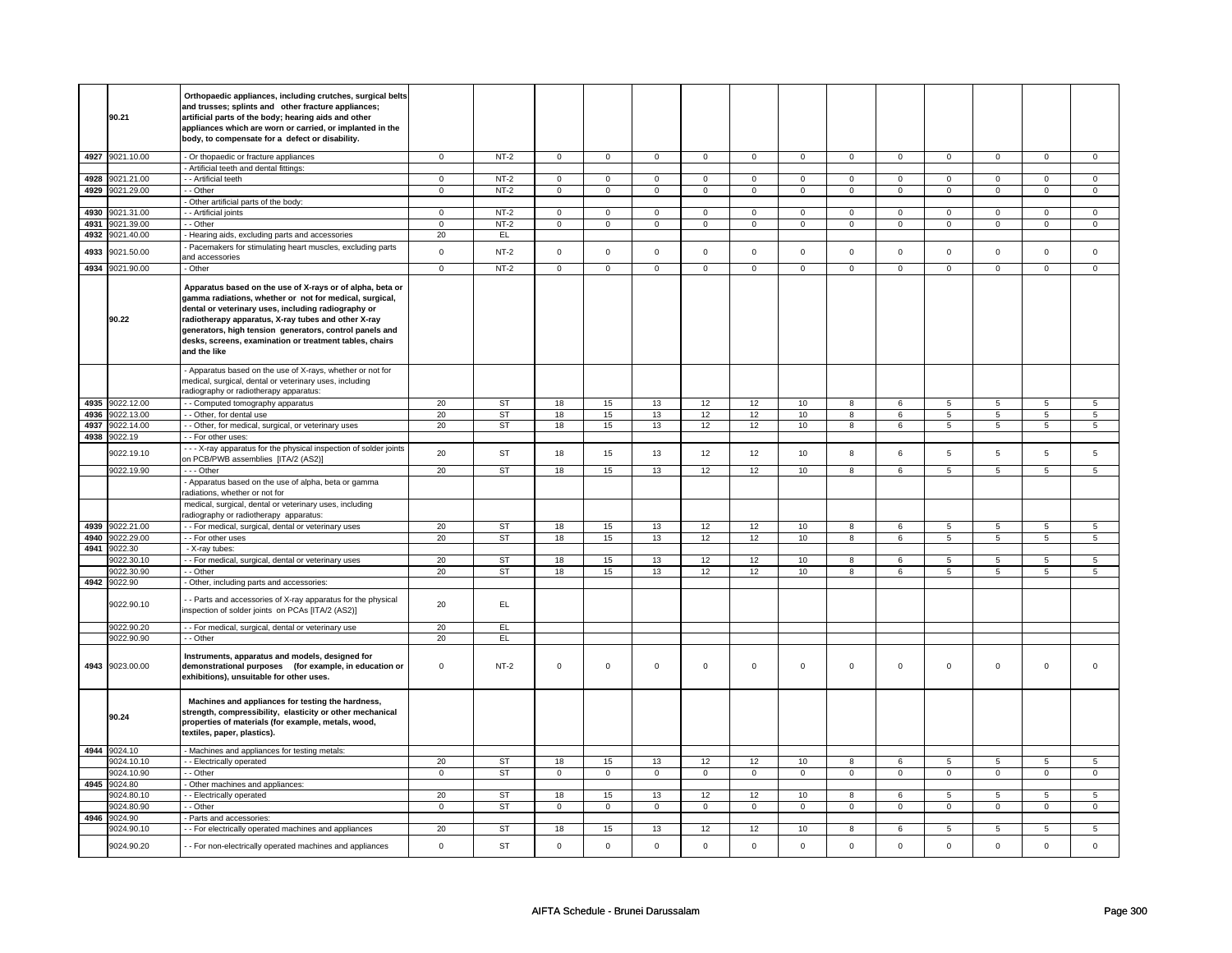|      |                            | Orthopaedic appliances, including crutches, surgical belts<br>and trusses; splints and other fracture appliances;                                                                                                                                                                                                                                                        |                     |           |                |                |                |                |                |                |                     |                 |                     |                |                |                     |
|------|----------------------------|--------------------------------------------------------------------------------------------------------------------------------------------------------------------------------------------------------------------------------------------------------------------------------------------------------------------------------------------------------------------------|---------------------|-----------|----------------|----------------|----------------|----------------|----------------|----------------|---------------------|-----------------|---------------------|----------------|----------------|---------------------|
|      | 90.21                      | artificial parts of the body; hearing aids and other<br>appliances which are worn or carried, or implanted in the<br>body, to compensate for a defect or disability.                                                                                                                                                                                                     |                     |           |                |                |                |                |                |                |                     |                 |                     |                |                |                     |
|      | 4927 9021.10.00            | - Or thopaedic or fracture appliances                                                                                                                                                                                                                                                                                                                                    | $\mathbf 0$         | $NT-2$    | $\mathbf 0$    | $\mathbf 0$    | $\mathbf 0$    | $\mathbf 0$    | $\mathbf 0$    | $\mathbf 0$    | $\mathbf 0$         | $\overline{0}$  | $\mathbf 0$         | $\mathbf 0$    | $\mathbf 0$    | $\mathbf{0}$        |
|      |                            | Artificial teeth and dental fittings:                                                                                                                                                                                                                                                                                                                                    |                     |           |                |                |                |                |                |                |                     |                 |                     |                |                |                     |
| 4928 | 9021.21.00                 | - - Artificial teeth                                                                                                                                                                                                                                                                                                                                                     | $\mathbf 0$         | $NT-2$    | $\overline{0}$ | $\overline{0}$ | $\mathsf 0$    | $\overline{0}$ | $\overline{0}$ | $\overline{0}$ | $\mathsf 0$         | $\overline{0}$  | $\mathsf{O}\xspace$ | $\overline{0}$ | $\mathbf 0$    | $\mathbf 0$         |
| 4929 | 9021.29.00                 | - - Other                                                                                                                                                                                                                                                                                                                                                                | $\mathbf 0$         | $NT-2$    | $\mathbf 0$    | $\mathbf 0$    | $\mathbf 0$    | $\mathbf 0$    | $\mathbf 0$    | $\mathbf 0$    | $\mathbf 0$         | $\mathbf 0$     | $\mathbf 0$         | $\mathbf 0$    | $\mathbf 0$    | $\mathbf 0$         |
|      |                            | Other artificial parts of the body:                                                                                                                                                                                                                                                                                                                                      |                     |           |                |                |                |                |                |                |                     |                 |                     |                |                |                     |
| 4930 | 9021.31.00                 | - Artificial joints                                                                                                                                                                                                                                                                                                                                                      | $\mathbf 0$         | $NT-2$    | $\overline{0}$ | $\overline{0}$ | $\overline{0}$ | $\overline{0}$ | $\overline{0}$ | $\overline{0}$ | $\overline{0}$      | $\overline{0}$  | $\overline{0}$      | $\overline{0}$ | $\mathbf 0$    | $\overline{0}$      |
| 4931 | 9021.39.00                 | - - Other                                                                                                                                                                                                                                                                                                                                                                | $\mathbf 0$         | $NT-2$    | $\mathbf 0$    | $\mathsf 0$    | $\mathbf 0$    | $\mathbf 0$    | $\mathbf 0$    | $\overline{0}$ | $\mathbf 0$         | $\mathbf 0$     | $\mathbf 0$         | $\mathbf 0$    | 0              | $\mathbf 0$         |
| 4932 | 9021.40.00                 | - Hearing aids, excluding parts and accessories                                                                                                                                                                                                                                                                                                                          | 20                  | EL.       |                |                |                |                |                |                |                     |                 |                     |                |                |                     |
| 4933 | 9021.50.00                 | Pacemakers for stimulating heart muscles, excluding parts<br>and accessories                                                                                                                                                                                                                                                                                             | $\mathsf{o}\xspace$ | $NT-2$    | $\mathbf 0$    | $\mathsf 0$    | $\mathbf 0$    | $\mathsf{o}\,$ | $\mathsf 0$    | $\mathsf{o}\,$ | $\mathsf{O}\xspace$ | $\mathsf{o}\,$  | $\mathsf 0$         | $\mathsf{o}\,$ | $\mathbf 0$    | $\mathbf 0$         |
|      | 4934 9021.90.00            | - Other                                                                                                                                                                                                                                                                                                                                                                  | $\overline{0}$      | $NT-2$    | $\overline{0}$ | $\overline{0}$ | $\mathsf 0$    | $\overline{0}$ | $\overline{0}$ | $\overline{0}$ | $\overline{0}$      | $\overline{0}$  | $\overline{0}$      | $\overline{0}$ | $\mathbf 0$    | $\overline{0}$      |
|      | 90.22                      | Apparatus based on the use of X-rays or of alpha, beta or<br>gamma radiations, whether or not for medical, surgical,<br>dental or veterinary uses, including radiography or<br>radiotherapy apparatus, X-ray tubes and other X-ray<br>generators, high tension generators, control panels and<br>desks, screens, examination or treatment tables, chairs<br>and the like |                     |           |                |                |                |                |                |                |                     |                 |                     |                |                |                     |
|      |                            | - Apparatus based on the use of X-rays, whether or not for<br>medical, surgical, dental or veterinary uses, including                                                                                                                                                                                                                                                    |                     |           |                |                |                |                |                |                |                     |                 |                     |                |                |                     |
|      | 4935 9022.12.00            | radiography or radiotherapy apparatus:                                                                                                                                                                                                                                                                                                                                   | 20                  | ST        | 18             | 15             | 13             | 12             | 12             | 10             |                     | 6               |                     | 5              | 5              |                     |
| 4936 | 9022.13.00                 | - Computed tomography apparatus<br>- - Other, for dental use                                                                                                                                                                                                                                                                                                             | 20                  | ST        | 18             | 15             | 13             | 12             | 12             | 10             | 8<br>$\bf 8$        | $6\overline{6}$ | 5<br>$\overline{5}$ | $\overline{5}$ | $\overline{5}$ | 5<br>$\overline{5}$ |
| 4937 | 9022.14.00                 | - - Other, for medical, surgical, or veterinary uses                                                                                                                                                                                                                                                                                                                     | 20                  | <b>ST</b> | 18             | 15             | 13             | 12             | 12             | 10             | 8                   | 6               | 5                   | $\,$ 5 $\,$    | 5              | $\sqrt{5}$          |
| 4938 | 9022.19                    | - For other uses:                                                                                                                                                                                                                                                                                                                                                        |                     |           |                |                |                |                |                |                |                     |                 |                     |                |                |                     |
|      | 9022.19.10                 | - - X-ray apparatus for the physical inspection of solder joints<br>on PCB/PWB assemblies [ITA/2 (AS2)]                                                                                                                                                                                                                                                                  | 20                  | <b>ST</b> | 18             | 15             | 13             | 12             | 12             | 10             | 8                   | 6               | 5                   | 5              | 5              | 5                   |
|      | 9022.19.90                 | --- Other                                                                                                                                                                                                                                                                                                                                                                | 20                  | <b>ST</b> | 18             | 15             | 13             | 12             | 12             | 10             | 8                   | 6               | 5                   | 5              | 5              | 5                   |
|      |                            | - Apparatus based on the use of alpha, beta or gamma<br>radiations, whether or not for                                                                                                                                                                                                                                                                                   |                     |           |                |                |                |                |                |                |                     |                 |                     |                |                |                     |
|      |                            | medical, surgical, dental or veterinary uses, including<br>radiography or radiotherapy apparatus:                                                                                                                                                                                                                                                                        |                     |           |                |                |                |                |                |                |                     |                 |                     |                |                |                     |
|      | 4939 9022.21.00            | - - For medical, surgical, dental or veterinary uses                                                                                                                                                                                                                                                                                                                     | 20                  | <b>ST</b> | 18             | 15             | 13             | 12             | 12             | 10             | 8                   | 6               | 5                   | 5              | $5^{\circ}$    | 5                   |
| 4940 | 9022.29.00                 | - - For other uses                                                                                                                                                                                                                                                                                                                                                       | 20                  | <b>ST</b> | 18             | 15             | 13             | 12             | 12             | 10             | 8                   | 6               | 5                   | 5              | 5              | 5                   |
| 4941 | 9022.30                    | - X-ray tubes:                                                                                                                                                                                                                                                                                                                                                           |                     |           |                |                |                |                |                |                |                     |                 |                     |                |                |                     |
|      | 9022.30.10                 | - - For medical, surgical, dental or veterinary uses                                                                                                                                                                                                                                                                                                                     | 20                  | <b>ST</b> | 18             | 15             | 13             | 12             | 12             | 10             | 8                   | 6               | 5                   | 5              | 5              | 5                   |
|      | 9022.30.90                 | - Other                                                                                                                                                                                                                                                                                                                                                                  | 20                  | ST        | 18             | 15             | 13             | 12             | 12             | 10             | 8                   | 6               | 5                   | 5              | 5              | 5                   |
|      | 4942 9022.90<br>9022.90.10 | Other, including parts and accessories:<br>- Parts and accessories of X-ray apparatus for the physical                                                                                                                                                                                                                                                                   | 20                  | EL.       |                |                |                |                |                |                |                     |                 |                     |                |                |                     |
|      | 9022.90.20                 | inspection of solder joints on PCAs [ITA/2 (AS2)]<br>- - For medical, surgical, dental or veterinary use                                                                                                                                                                                                                                                                 | 20                  | EL.       |                |                |                |                |                |                |                     |                 |                     |                |                |                     |
|      | 9022.90.90                 | - - Other                                                                                                                                                                                                                                                                                                                                                                | 20                  | EL        |                |                |                |                |                |                |                     |                 |                     |                |                |                     |
|      | 4943 9023.00.00            | Instruments, apparatus and models, designed for<br>demonstrational purposes (for example, in education or<br>exhibitions), unsuitable for other uses.                                                                                                                                                                                                                    | $\mathsf 0$         | $NT-2$    | $\mathbf 0$    | $\mathsf 0$    | $\mathsf 0$    | $\mathbf 0$    | $\mathsf 0$    | $\mathbf 0$    | $\mathsf{O}\xspace$ | $\mathsf 0$     | $\mathsf 0$         | $\mathsf 0$    | $\mathsf 0$    | $\mathbf 0$         |
|      | 90.24                      | Machines and appliances for testing the hardness,<br>strength, compressibility, elasticity or other mechanical<br>properties of materials (for example, metals, wood,<br>textiles, paper, plastics).                                                                                                                                                                     |                     |           |                |                |                |                |                |                |                     |                 |                     |                |                |                     |
|      | 4944 9024.10               | - Machines and appliances for testing metals:                                                                                                                                                                                                                                                                                                                            |                     |           |                |                |                |                |                |                |                     |                 |                     |                |                |                     |
|      | 9024.10.10                 | - - Electrically operated                                                                                                                                                                                                                                                                                                                                                | 20                  | <b>ST</b> | 18             | 15             | 13             | 12             | 12             | 10             | 8                   | 6               | 5                   | 5              | 5              | 5                   |
|      | 9024.10.90                 | - Other                                                                                                                                                                                                                                                                                                                                                                  | $\mathbf 0$         | <b>ST</b> | $\mathbf 0$    | $\overline{0}$ | $\mathbf 0$    | $\mathbf 0$    | $\mathbf 0$    | $\overline{0}$ | $\mathsf 0$         | $\overline{0}$  | $\mathsf 0$         | $\overline{0}$ | $\mathbf 0$    | $\mathbf 0$         |
|      | 4945 9024.80               | Other machines and appliances:                                                                                                                                                                                                                                                                                                                                           |                     |           |                |                |                |                |                |                |                     |                 |                     |                |                |                     |
|      | 9024.80.10                 | - Electrically operated                                                                                                                                                                                                                                                                                                                                                  | 20                  | ST        | 18             | 15             | 13             | 12             | 12             | 10             | 8                   | 6               | 5                   | 5              | 5              | 5                   |
|      | 9024.80.90                 | - - Other                                                                                                                                                                                                                                                                                                                                                                | $\mathbf 0$         | <b>ST</b> | $\mathbf 0$    | $\mathbf 0$    | $\mathbf 0$    | $\mathbf 0$    | $\mathbf 0$    | $\mathbf 0$    | $\mathbf 0$         | $\mathbf 0$     | $\mathbf 0$         | $\mathbf 0$    | $\mathbf 0$    | $\mathbf 0$         |
| 4946 | 9024.90                    | - Parts and accessories:                                                                                                                                                                                                                                                                                                                                                 | 20                  |           |                |                |                |                |                |                |                     |                 |                     |                |                |                     |
|      | 9024.90.10                 | - - For electrically operated machines and appliances                                                                                                                                                                                                                                                                                                                    |                     | <b>ST</b> | 18             | 15             | 13             | 12             | 12             | 10             | 8                   | 6               | 5                   | 5              | 5              | 5                   |
|      | 9024.90.20                 | - For non-electrically operated machines and appliances                                                                                                                                                                                                                                                                                                                  | $\mathsf 0$         | <b>ST</b> | $\mathsf 0$    | $\mathsf 0$    | $\mathsf 0$    | $\mathsf 0$    | $\mathsf 0$    | $\mathsf 0$    | $\mathsf{O}\xspace$ | $\mathsf 0$     | $\mathsf 0$         | $\mathbf 0$    | $\mathsf 0$    | $\mathsf 0$         |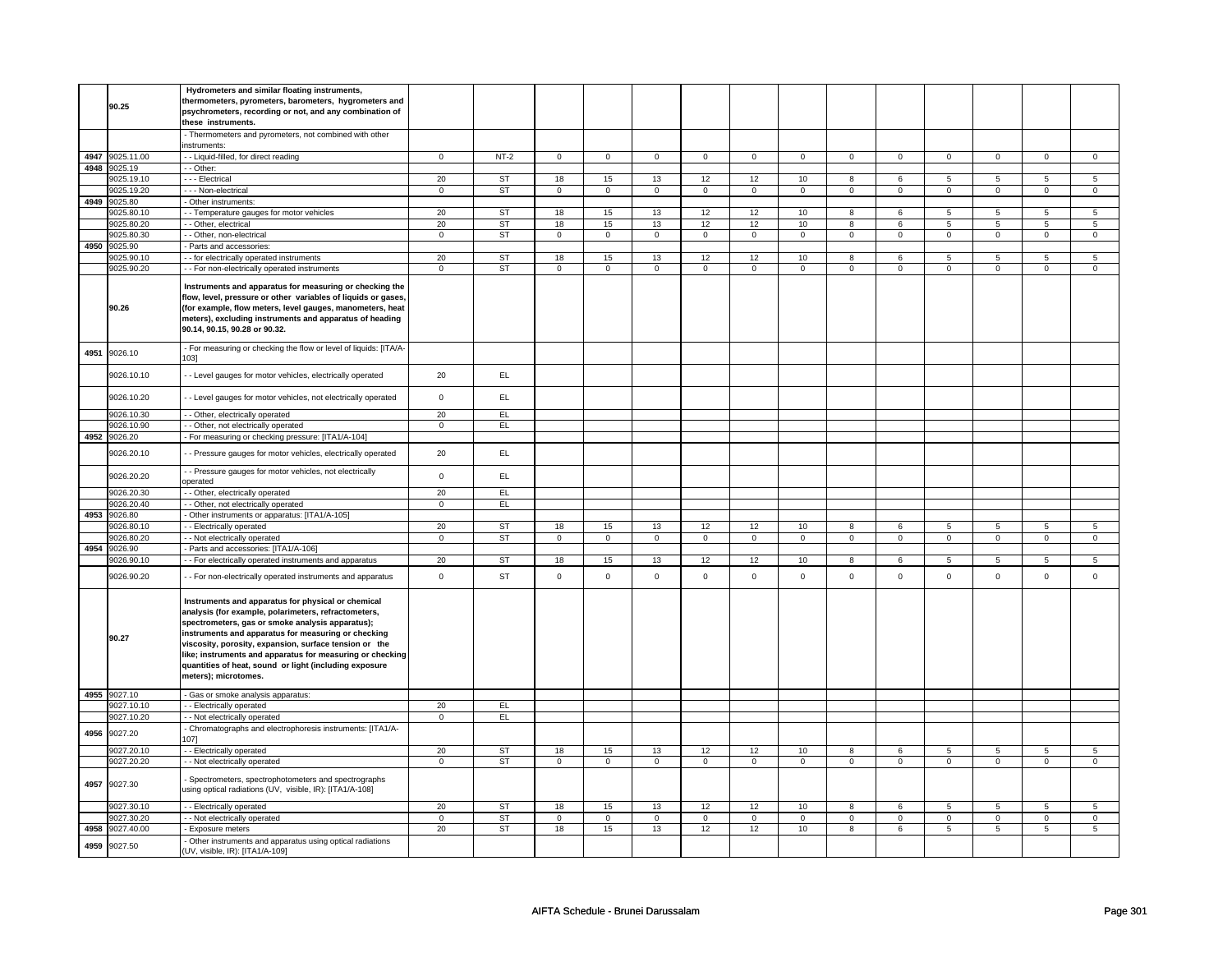|      | 90.25                 | Hydrometers and similar floating instruments,<br>thermometers, pyrometers, barometers, hygrometers and<br>psychrometers, recording or not, and any combination of<br>these instruments.                                                                                                                                                                                                                                        |                   |           |                     |                |                     |                  |                     |                |                     |                |                     |                |                |                |
|------|-----------------------|--------------------------------------------------------------------------------------------------------------------------------------------------------------------------------------------------------------------------------------------------------------------------------------------------------------------------------------------------------------------------------------------------------------------------------|-------------------|-----------|---------------------|----------------|---------------------|------------------|---------------------|----------------|---------------------|----------------|---------------------|----------------|----------------|----------------|
|      |                       | - Thermometers and pyrometers, not combined with other<br>instruments:                                                                                                                                                                                                                                                                                                                                                         |                   |           |                     |                |                     |                  |                     |                |                     |                |                     |                |                |                |
|      | 4947 9025.11.00       | - - Liquid-filled, for direct reading                                                                                                                                                                                                                                                                                                                                                                                          | $\mathbf 0$       | $NT-2$    | 0                   | $\mathbf 0$    | $\mathbf 0$         | $\mathbf 0$      | $\mathbf 0$         | $\mathbf 0$    | $\mathbf 0$         | $\overline{0}$ | $\mathbf 0$         | $\overline{0}$ | 0              | $\mathbf{0}$   |
|      | 4948 9025.19          | - Other:                                                                                                                                                                                                                                                                                                                                                                                                                       |                   |           |                     |                |                     |                  |                     |                |                     |                |                     |                |                |                |
|      | 9025.19.10            | - - - Electrical                                                                                                                                                                                                                                                                                                                                                                                                               | 20                | ST        | 18                  | 15             | 13                  | 12               | 12                  | 10             | 8                   | 6              | 5                   | $\overline{5}$ | 5              | $\overline{5}$ |
|      | 9025.19.20            | - - - Non-electrical                                                                                                                                                                                                                                                                                                                                                                                                           | $\mathbf 0$       | <b>ST</b> | $\mathbf 0$         | $\mathbf 0$    | 0                   | $\overline{0}$   | $\mathbf 0$         | $\overline{0}$ | $\mathbf 0$         | $\overline{0}$ | $\mathbf 0$         | $\mathbf 0$    | $\mathbf 0$    | $\mathbf{0}$   |
|      | 4949 9025.80          | - Other instruments:                                                                                                                                                                                                                                                                                                                                                                                                           |                   |           |                     |                |                     |                  |                     |                |                     |                |                     |                |                |                |
|      | 9025.80.10            | - Temperature gauges for motor vehicles                                                                                                                                                                                                                                                                                                                                                                                        | 20                | ST        | 18                  | 15             | 13                  | 12               | 12                  | 10             | $\overline{8}$      | 6              | $\overline{5}$      | $\overline{5}$ | $\overline{5}$ | 5              |
|      | 9025.80.20            | - Other, electrical                                                                                                                                                                                                                                                                                                                                                                                                            | 20                | ST        | 18                  | 15             | 13                  | 12               | 12                  | 10             | 8                   | 6              | 5                   | $\overline{5}$ | 5              | $\overline{5}$ |
|      | 9025.80.30            | - Other, non-electrical                                                                                                                                                                                                                                                                                                                                                                                                        | $\mathbf 0$       | <b>ST</b> | $\mathsf 0$         | $\overline{0}$ | $\mathsf 0$         | $\mathsf 0$      | $\mathsf 0$         | $\mathsf 0$    | $\mathsf{O}\xspace$ | $\mathsf 0$    | $\mathbf 0$         | $\mathbf 0$    | $\mathsf 0$    | $\mathbf 0$    |
| 4950 | 9025.90               | Parts and accessories:                                                                                                                                                                                                                                                                                                                                                                                                         |                   |           |                     |                |                     |                  |                     |                |                     |                |                     |                |                |                |
|      | 9025.90.10            | - for electrically operated instruments                                                                                                                                                                                                                                                                                                                                                                                        | 20                | ST        | 18                  | 15             | 13                  | 12               | 12                  | 10             | 8                   | 6              | 5                   | 5              | 5              | 5              |
|      | 9025.90.20            | - - For non-electrically operated instruments                                                                                                                                                                                                                                                                                                                                                                                  | $\mathsf 0$       | <b>ST</b> | $\mathbf 0$         | $\mathbf 0$    | $\mathbf 0$         | $\mathbf 0$      | $\mathbf 0$         | $\mathbf 0$    | $\mathbf 0$         | $\mathbf 0$    | $\mathbf 0$         | $\mathbf 0$    | $\mathbf 0$    | $\mathbf 0$    |
|      | 90.26                 | Instruments and apparatus for measuring or checking the<br>flow, level, pressure or other variables of liquids or gases,<br>(for example, flow meters, level gauges, manometers, heat<br>meters), excluding instruments and apparatus of heading<br>90.14, 90.15, 90.28 or 90.32.                                                                                                                                              |                   |           |                     |                |                     |                  |                     |                |                     |                |                     |                |                |                |
| 4951 | 9026.10               | - For measuring or checking the flow or level of liquids: [ITA/A-<br>1031                                                                                                                                                                                                                                                                                                                                                      |                   |           |                     |                |                     |                  |                     |                |                     |                |                     |                |                |                |
|      | 9026.10.10            | - Level gauges for motor vehicles, electrically operated                                                                                                                                                                                                                                                                                                                                                                       | 20                | EL.       |                     |                |                     |                  |                     |                |                     |                |                     |                |                |                |
|      | 9026.10.20            | - Level gauges for motor vehicles, not electrically operated                                                                                                                                                                                                                                                                                                                                                                   | $\mathbf 0$       | EL.       |                     |                |                     |                  |                     |                |                     |                |                     |                |                |                |
|      | 9026.10.30            | - - Other, electrically operated                                                                                                                                                                                                                                                                                                                                                                                               | 20                | EL        |                     |                |                     |                  |                     |                |                     |                |                     |                |                |                |
|      | 9026.10.90            | - Other, not electrically operated                                                                                                                                                                                                                                                                                                                                                                                             | $\mathbf 0$       | EL.       |                     |                |                     |                  |                     |                |                     |                |                     |                |                |                |
| 4952 | 9026.20               | - For measuring or checking pressure: [ITA1/A-104]                                                                                                                                                                                                                                                                                                                                                                             |                   |           |                     |                |                     |                  |                     |                |                     |                |                     |                |                |                |
|      | 9026.20.10            | - Pressure gauges for motor vehicles, electrically operated                                                                                                                                                                                                                                                                                                                                                                    | 20                | EL        |                     |                |                     |                  |                     |                |                     |                |                     |                |                |                |
|      | 9026.20.20            | - - Pressure gauges for motor vehicles, not electrically<br>operated                                                                                                                                                                                                                                                                                                                                                           | $\mathsf 0$       | EL        |                     |                |                     |                  |                     |                |                     |                |                     |                |                |                |
|      | 9026.20.30            | - - Other, electrically operated                                                                                                                                                                                                                                                                                                                                                                                               | 20<br>$\mathbf 0$ | EL<br>EL  |                     |                |                     |                  |                     |                |                     |                |                     |                |                |                |
| 4953 | 9026.20.40<br>9026.80 | - Other, not electrically operated<br>Other instruments or apparatus: [ITA1/A-105]                                                                                                                                                                                                                                                                                                                                             |                   |           |                     |                |                     |                  |                     |                |                     |                |                     |                |                |                |
|      | 9026.80.10            | - Electrically operated                                                                                                                                                                                                                                                                                                                                                                                                        | 20                | ST        | 18                  | 15             | 13                  | 12               | 12                  | 10             | 8                   | 6              | 5                   | 5              | 5              | 5              |
|      | 9026.80.20            | - Not electrically operated                                                                                                                                                                                                                                                                                                                                                                                                    | $\mathsf 0$       | <b>ST</b> | $\mathsf 0$         | $\mathbf 0$    | $\mathbf 0$         | $\mathbf 0$      | $\mathbf 0$         | $\mathbf 0$    | $\mathsf 0$         | $\mathbf 0$    | $\mathsf 0$         | $\mathbf 0$    | $\mathbf 0$    | $\mathbf 0$    |
|      | 4954 9026.90          | - Parts and accessories: [ITA1/A-106]                                                                                                                                                                                                                                                                                                                                                                                          |                   |           |                     |                |                     |                  |                     |                |                     |                |                     |                |                |                |
|      | 9026.90.10            | - For electrically operated instruments and apparatus                                                                                                                                                                                                                                                                                                                                                                          | 20                | ST        | 18                  | 15             | 13                  | 12               | 12                  | 10             | 8                   | 6              | 5                   | 5              | 5              | 5              |
|      | 9026.90.20            | - - For non-electrically operated instruments and apparatus                                                                                                                                                                                                                                                                                                                                                                    | $\mathsf 0$       | <b>ST</b> | $\mathsf 0$         | $\mathsf 0$    | $\mathsf 0$         | $\mathsf 0$      | $\mathsf 0$         | $\mathbf 0$    | $\mathbf 0$         | $\mathsf 0$    | $\mathsf 0$         | $\mathbf 0$    | $\mathbf 0$    | $\mathbf 0$    |
|      | 90.27                 | Instruments and apparatus for physical or chemical<br>analysis (for example, polarimeters, refractometers,<br>spectrometers, gas or smoke analysis apparatus);<br>instruments and apparatus for measuring or checking<br>viscosity, porosity, expansion, surface tension or the<br>like; instruments and apparatus for measuring or checking<br>quantities of heat, sound or light (including exposure<br>meters); microtomes. |                   |           |                     |                |                     |                  |                     |                |                     |                |                     |                |                |                |
|      | 4955 9027.10          | - Gas or smoke analysis apparatus:                                                                                                                                                                                                                                                                                                                                                                                             |                   |           |                     |                |                     |                  |                     |                |                     |                |                     |                |                |                |
|      | 9027.10.10            | - Electrically operated                                                                                                                                                                                                                                                                                                                                                                                                        | 20                | EL        |                     |                |                     |                  |                     |                |                     |                |                     |                |                |                |
|      | 9027.10.20            | - - Not electrically operated                                                                                                                                                                                                                                                                                                                                                                                                  | $\mathbf 0$       | EL.       |                     |                |                     |                  |                     |                |                     |                |                     |                |                |                |
|      | 4956 9027.20          | - Chromatographs and electrophoresis instruments: [ITA1/A-<br>1071                                                                                                                                                                                                                                                                                                                                                             |                   |           |                     |                |                     |                  |                     |                |                     |                |                     |                |                |                |
|      | 9027.20.10            | - Electrically operated                                                                                                                                                                                                                                                                                                                                                                                                        | 20                | <b>ST</b> | 18                  | 15             | 13                  | 12 <sup>12</sup> | 12                  | 10             | 8                   | 6              | 5                   | 5              | 5              | 5              |
|      | 9027.20.20            | - Not electrically operated                                                                                                                                                                                                                                                                                                                                                                                                    | $\mathbf 0$       | <b>ST</b> | $\mathsf{O}\xspace$ | $\mathsf 0$    | $\mathsf 0$         | $\mathsf 0$      | $\mathsf{O}\xspace$ | $\mathsf 0$    | $\mathsf{O}\xspace$ | $\mathsf 0$    | $\mathsf 0$         | $\mathsf{O}$   | $\mathsf 0$    | $\mathsf{O}$   |
|      | 4957 9027.30          | Spectrometers, spectrophotometers and spectrographs<br>using optical radiations (UV, visible, IR): [ITA1/A-108]                                                                                                                                                                                                                                                                                                                |                   |           |                     |                |                     |                  |                     |                |                     |                |                     |                |                |                |
|      | 9027.30.10            | - Electrically operated                                                                                                                                                                                                                                                                                                                                                                                                        | 20                | ST        | 18                  | 15             | 13                  | 12               | 12                  | 10             | 8                   | 6              | $\overline{5}$      | 5              | 5              | 5              |
|      | 9027.30.20            | - Not electrically operated                                                                                                                                                                                                                                                                                                                                                                                                    | $\mathbf 0$       | <b>ST</b> | $\mathbf 0$         | $\mathsf 0$    | $\mathsf{O}\xspace$ | $\mathsf 0$      | $\mathsf{O}\xspace$ | $\mathsf 0$    | $\mathsf{O}\xspace$ | $\mathsf 0$    | $\mathsf{O}\xspace$ | $\mathbf 0$    | $\mathsf 0$    | $\mathsf 0$    |
| 4958 | 9027.40.00            | Exposure meters                                                                                                                                                                                                                                                                                                                                                                                                                | 20                | <b>ST</b> | 18                  | 15             | 13                  | 12               | 12                  | 10             | 8                   | 6              | 5                   | $\overline{5}$ | 5              | $\overline{5}$ |
| 4959 | 9027.50               | Other instruments and apparatus using optical radiations<br>(UV, visible, IR): [ITA1/A-109]                                                                                                                                                                                                                                                                                                                                    |                   |           |                     |                |                     |                  |                     |                |                     |                |                     |                |                |                |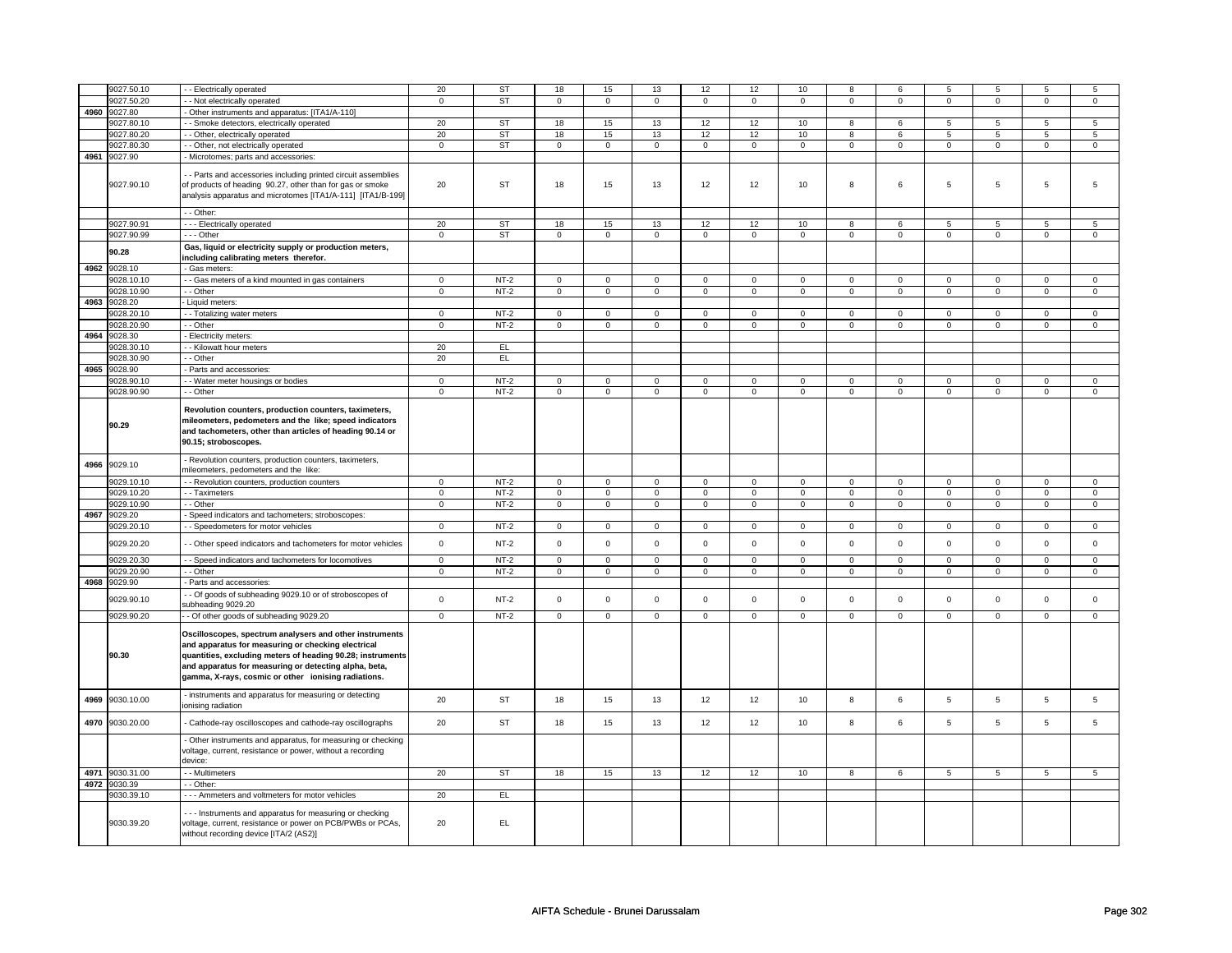|      | 9027.50.10      | - - Electrically operated                                                                                            | 20             | ST        | 18                  | 15             | 13             | 12                  | 12             | $10$                | 8              | 6              | 5               | 5                   | 5               | 5               |
|------|-----------------|----------------------------------------------------------------------------------------------------------------------|----------------|-----------|---------------------|----------------|----------------|---------------------|----------------|---------------------|----------------|----------------|-----------------|---------------------|-----------------|-----------------|
|      |                 |                                                                                                                      |                |           |                     |                |                |                     |                |                     |                |                |                 |                     |                 |                 |
|      | 9027.50.20      | - Not electrically operated                                                                                          | $\mathsf 0$    | <b>ST</b> | $\mathsf 0$         | $\mathbf 0$    | $\mathbf 0$    | $\mathbf 0$         | $\mathbf 0$    | $\mathbf 0$         | $\mathbf 0$    | $\mathbf 0$    | $\mathsf 0$     | $\mathbf 0$         | $\mathbf 0$     | $\mathbf 0$     |
|      | 4960 9027.80    | Other instruments and apparatus: [ITA1/A-110]                                                                        |                |           |                     |                |                |                     |                |                     |                |                |                 |                     |                 |                 |
|      | 9027.80.10      | - - Smoke detectors, electrically operated                                                                           | 20             | ST        | 18                  | 15             | 13             | 12                  | 12             | 10                  | 8              | 6              | 5               | 5                   | 5               | 5               |
|      | 9027.80.20      | - Other, electrically operated                                                                                       | $20\,$         | <b>ST</b> | $18\,$              | $15\,$         | 13             | 12                  | 12             | $10\,$              | 8              | 6              | 5               | 5                   | 5               | 5               |
|      | 9027.80.30      | - Other, not electrically operated                                                                                   | $\mathsf 0$    | ST        | $\mathsf 0$         | $\mathsf 0$    | $\mathbf 0$    | $\mathsf{O}\xspace$ | $\mathsf 0$    | $\mathsf{O}\xspace$ | $\mathbf 0$    | $\mathbf 0$    | $\mathsf 0$     | $\mathsf{O}\xspace$ | $\mathbf 0$     | $\mathsf 0$     |
|      | 4961 9027.90    | Microtomes; parts and accessories:                                                                                   |                |           |                     |                |                |                     |                |                     |                |                |                 |                     |                 |                 |
|      |                 |                                                                                                                      |                |           |                     |                |                |                     |                |                     |                |                |                 |                     |                 |                 |
|      |                 | - Parts and accessories including printed circuit assemblies                                                         |                |           |                     |                |                |                     |                |                     |                |                |                 |                     |                 |                 |
|      | 9027.90.10      | of products of heading 90.27, other than for gas or smoke                                                            | 20             | ST        | 18                  | 15             | 13             | 12                  | 12             | 10                  | 8              | 6              | 5               | 5                   | 5               | 5               |
|      |                 |                                                                                                                      |                |           |                     |                |                |                     |                |                     |                |                |                 |                     |                 |                 |
|      |                 | analysis apparatus and microtomes [ITA1/A-111] [ITA1/B-199]                                                          |                |           |                     |                |                |                     |                |                     |                |                |                 |                     |                 |                 |
|      |                 | - - Other:                                                                                                           |                |           |                     |                |                |                     |                |                     |                |                |                 |                     |                 |                 |
|      |                 |                                                                                                                      |                |           |                     |                |                |                     |                |                     |                |                |                 |                     |                 |                 |
|      | 9027.90.91      | --- Electrically operated                                                                                            | 20             | <b>ST</b> | 18                  | 15             | 13             | 12                  | 12             | 10                  | 8              | 6              | 5               | 5                   | 5               | 5               |
|      | 9027.90.99      | $- -$ Other                                                                                                          | $\mathbf 0$    | <b>ST</b> | 0                   | $\mathbf 0$    | $\mathbf 0$    | $\mathbf 0$         | 0              | $\mathbf 0$         | 0              | $\mathbf 0$    | 0               | $\mathbf 0$         | 0               | $\mathbf 0$     |
|      | 90.28           | Gas, liquid or electricity supply or production meters,                                                              |                |           |                     |                |                |                     |                |                     |                |                |                 |                     |                 |                 |
|      |                 | including calibrating meters therefor.                                                                               |                |           |                     |                |                |                     |                |                     |                |                |                 |                     |                 |                 |
|      | 4962 9028.10    | Gas meters:                                                                                                          |                |           |                     |                |                |                     |                |                     |                |                |                 |                     |                 |                 |
|      | 9028.10.10      | - Gas meters of a kind mounted in gas containers                                                                     | $\overline{0}$ | $NT-2$    | $\mathsf{O}\xspace$ | $\overline{0}$ | $\mathsf 0$    | $\mathbf 0$         | $\mathbf 0$    | $\mathbf 0$         | $\mathbf 0$    | $\mathbf 0$    | $\mathsf 0$     | $\mathbf 0$         | $\mathbf 0$     | $\mathbf 0$     |
|      |                 |                                                                                                                      |                |           |                     |                |                |                     |                |                     |                |                |                 |                     |                 |                 |
|      | 9028.10.90      | - - Other                                                                                                            | $\overline{0}$ | $NT-2$    | $\overline{0}$      | $\overline{0}$ | $\circ$        | $\overline{0}$      | $\circ$        | $\mathbf{0}$        | $\mathbf{0}$   | $\overline{0}$ | $\mathbf{0}$    | $\overline{0}$      | $\mathbf 0$     | $\mathbf{0}$    |
| 4963 | 9028.20         | - Liquid meters:                                                                                                     |                |           |                     |                |                |                     |                |                     |                |                |                 |                     |                 |                 |
|      | 9028.20.10      | - Totalizing water meters                                                                                            | $\mathbf 0$    | $NT-2$    | $\mathsf 0$         | $\mathbf 0$    | $\mathbf 0$    | $\mathsf 0$         | $\mathbf 0$    | $\mathsf 0$         | $\mathbf 0$    | $\mathbf 0$    | $\mathsf 0$     | $\mathbf 0$         | $\Omega$        | 0               |
|      | 9028.20.90      | - Other                                                                                                              | $\overline{0}$ | $NT-2$    | $\mathsf 0$         | $\mathbf 0$    | 0              | $\mathbf 0$         | $\mathbf 0$    | $\mathbf 0$         | $\mathbf 0$    | $\mathbf 0$    | $\mathsf 0$     | $\mathbf 0$         | 0               | $\mathbf 0$     |
| 4964 | 9028.30         | Electricity meters:                                                                                                  |                |           |                     |                |                |                     |                |                     |                |                |                 |                     |                 |                 |
|      | 9028.30.10      | - Kilowatt hour meters                                                                                               | 20             | EL        |                     |                |                |                     |                |                     |                |                |                 |                     |                 |                 |
|      | 9028.30.90      | - Other                                                                                                              | 20             | EL        |                     |                |                |                     |                |                     |                |                |                 |                     |                 |                 |
|      |                 |                                                                                                                      |                |           |                     |                |                |                     |                |                     |                |                |                 |                     |                 |                 |
| 4965 | 9028.90         | Parts and accessories:                                                                                               |                |           |                     |                |                |                     |                |                     |                |                |                 |                     |                 |                 |
|      | 9028.90.10      | - Water meter housings or bodies                                                                                     | $\mathbf 0$    | $NT-2$    | $\mathsf 0$         | $\mathbf 0$    | $\mathbf 0$    | $\mathsf 0$         | $\mathbf 0$    | $\mathbf 0$         | $\mathbf 0$    | $\mathbf 0$    | $\mathsf 0$     | $\mathbf 0$         | 0               | $\mathbf 0$     |
|      | 9028.90.90      | - - Other                                                                                                            | $\mathbf 0$    | $NT-2$    | $\mathsf{O}\xspace$ | $\mathsf 0$    | $\mathsf 0$    | $\mathsf 0$         | $\mathsf 0$    | $\mathsf 0$         | 0              | $\mathsf 0$    | $\mathsf 0$     | $\mathsf 0$         | 0               | $\mathsf 0$     |
|      |                 |                                                                                                                      |                |           |                     |                |                |                     |                |                     |                |                |                 |                     |                 |                 |
|      |                 | Revolution counters, production counters, taximeters,                                                                |                |           |                     |                |                |                     |                |                     |                |                |                 |                     |                 |                 |
|      | 90.29           | mileometers, pedometers and the like; speed indicators                                                               |                |           |                     |                |                |                     |                |                     |                |                |                 |                     |                 |                 |
|      |                 | and tachometers, other than articles of heading 90.14 or                                                             |                |           |                     |                |                |                     |                |                     |                |                |                 |                     |                 |                 |
|      |                 | 90.15; stroboscopes.                                                                                                 |                |           |                     |                |                |                     |                |                     |                |                |                 |                     |                 |                 |
|      |                 |                                                                                                                      |                |           |                     |                |                |                     |                |                     |                |                |                 |                     |                 |                 |
| 4966 | 9029.10         | Revolution counters, production counters, taximeters,                                                                |                |           |                     |                |                |                     |                |                     |                |                |                 |                     |                 |                 |
|      |                 | nileometers, pedometers and the like:                                                                                |                |           |                     |                |                |                     |                |                     |                |                |                 |                     |                 |                 |
|      | 9029.10.10      | - Revolution counters, production counters                                                                           | $\mathbf 0$    | $NT-2$    | $\mathsf 0$         | $\mathbf 0$    | $\mathbf 0$    | $\mathsf 0$         | $\mathbf 0$    | $\mathsf 0$         | $\mathbf 0$    | $\mathbf 0$    | $\mathsf 0$     | $\mathbf 0$         | $\Omega$        | $\mathbf{0}$    |
|      | 9029.10.20      | - - Taximeters                                                                                                       | $\mathsf 0$    | $NT-2$    | $\mathsf 0$         | $\mathbf 0$    | $\mathbf 0$    | $\mathbf 0$         | $\mathbf 0$    | $\mathbf 0$         | $\mathbf 0$    | $\mathbf 0$    | $\mathsf 0$     | $\mathbf 0$         | $\mathbf 0$     | $\mathbf 0$     |
|      | 9029.10.90      | - Other                                                                                                              | $\overline{0}$ | $NT-2$    | $\pmb{0}$           | $\overline{0}$ | $\overline{0}$ | $\overline{0}$      | $\overline{0}$ | $\overline{0}$      | $\overline{0}$ | $\overline{0}$ | $\overline{0}$  | $\overline{0}$      | $\overline{0}$  | $\overline{0}$  |
| 4967 | 9029.20         | Speed indicators and tachometers; stroboscopes:                                                                      |                |           |                     |                |                |                     |                |                     |                |                |                 |                     |                 |                 |
|      |                 |                                                                                                                      |                |           |                     |                |                |                     |                |                     |                |                |                 |                     |                 | $\mathbf{0}$    |
|      | 9029.20.10      | - Speedometers for motor vehicles                                                                                    | $\mathsf 0$    | $NT-2$    | $\mathbf 0$         | $\mathbf{0}$   | $\mathbf{0}$   | $\mathbf 0$         | $\mathbf{0}$   | $\mathbf{0}$        | $\mathbf 0$    | $\overline{0}$ | $\mathbf 0$     | $\overline{0}$      | $\mathbf 0$     |                 |
|      | 9029.20.20      | - Other speed indicators and tachometers for motor vehicles                                                          | $\mathsf 0$    | $NT-2$    | $\mathsf{O}\xspace$ | $\mathsf 0$    | $\mathsf 0$    | $\mathbf 0$         | $\mathsf 0$    | $\mathbf 0$         | $\mathbf 0$    | $\mathbf 0$    | $\mathsf 0$     | $\mathbf 0$         | $\mathsf 0$     | $\mathbf{O}$    |
|      |                 |                                                                                                                      |                |           |                     |                |                |                     |                |                     |                |                |                 |                     |                 |                 |
|      | 9029.20.30      | - - Speed indicators and tachometers for locomotives                                                                 | $\overline{0}$ | $NT-2$    | $\overline{0}$      | $\overline{0}$ | $\overline{0}$ | $\overline{0}$      | $\overline{0}$ | $\overline{0}$      | $\overline{0}$ | $\overline{0}$ | $\overline{0}$  | $\overline{0}$      | $\overline{0}$  | $\overline{0}$  |
|      | 9029.20.90      | - Other                                                                                                              | $\mathbf 0$    | NT-2      | 0                   | $\mathbf 0$    | 0              | $\mathbf 0$         | 0              | $\mathbf 0$         | 0              | $\mathbf 0$    | 0               | $\mathbf 0$         | 0               | 0               |
| 4968 | 9029.90         | Parts and accessories:                                                                                               |                |           |                     |                |                |                     |                |                     |                |                |                 |                     |                 |                 |
|      |                 | - Of goods of subheading 9029.10 or of stroboscopes of                                                               |                |           |                     |                |                |                     |                |                     |                |                |                 |                     |                 |                 |
|      | 9029.90.10      | subheading 9029.20                                                                                                   | $\mathsf 0$    | $NT-2$    | $\mathsf{O}\xspace$ | $\mathsf 0$    | $\mathbf 0$    | $\mathbf 0$         | $\mathsf 0$    | $\mathbf 0$         | $\mathbf 0$    | $\mathbf 0$    | $\mathsf 0$     | $\mathbf 0$         | $\mathsf 0$     | $\mathbf 0$     |
|      | 9029.90.20      | - Of other goods of subheading 9029.20                                                                               | $\overline{0}$ | $NT-2$    | $\mathsf 0$         | $\mathbf 0$    | $\mathbf 0$    | $\mathbf 0$         | $\mathbf 0$    | $\mathsf 0$         | $\mathbf 0$    | $\mathbf 0$    | $\mathbf 0$     | $\mathbf 0$         | $\mathbf 0$     | 0               |
|      |                 |                                                                                                                      |                |           |                     |                |                |                     |                |                     |                |                |                 |                     |                 |                 |
|      |                 | Oscilloscopes, spectrum analysers and other instruments                                                              |                |           |                     |                |                |                     |                |                     |                |                |                 |                     |                 |                 |
|      |                 | and apparatus for measuring or checking electrical                                                                   |                |           |                     |                |                |                     |                |                     |                |                |                 |                     |                 |                 |
|      | 90.30           | quantities, excluding meters of heading 90.28; instruments                                                           |                |           |                     |                |                |                     |                |                     |                |                |                 |                     |                 |                 |
|      |                 | and apparatus for measuring or detecting alpha, beta,                                                                |                |           |                     |                |                |                     |                |                     |                |                |                 |                     |                 |                 |
|      |                 |                                                                                                                      |                |           |                     |                |                |                     |                |                     |                |                |                 |                     |                 |                 |
|      |                 | gamma, X-rays, cosmic or other ionising radiations.                                                                  |                |           |                     |                |                |                     |                |                     |                |                |                 |                     |                 |                 |
|      |                 | instruments and apparatus for measuring or detecting                                                                 |                |           |                     |                |                |                     |                |                     |                |                |                 |                     |                 |                 |
| 4969 | 9030.10.00      | ionising radiation                                                                                                   | 20             | <b>ST</b> | 18                  | 15             | 13             | 12                  | 12             | 10                  | 8              | 6              | $\overline{5}$  | 5                   | 5               | $\,$ 5 $\,$     |
|      |                 |                                                                                                                      |                |           |                     |                |                |                     |                |                     |                |                |                 |                     |                 |                 |
|      | 4970 9030.20.00 | Cathode-ray oscilloscopes and cathode-ray oscillographs                                                              | 20             | ST        | 18                  | 15             | 13             | 12                  | 12             | 10                  | 8              | 6              | 5               | 5                   | 5               | $5\overline{5}$ |
|      |                 |                                                                                                                      |                |           |                     |                |                |                     |                |                     |                |                |                 |                     |                 |                 |
|      |                 | Other instruments and apparatus, for measuring or checking                                                           |                |           |                     |                |                |                     |                |                     |                |                |                 |                     |                 |                 |
|      |                 | voltage, current, resistance or power, without a recording                                                           |                |           |                     |                |                |                     |                |                     |                |                |                 |                     |                 |                 |
|      |                 | device:                                                                                                              |                |           |                     |                |                |                     |                |                     |                |                |                 |                     |                 |                 |
|      | 4971 9030.31.00 | - Multimeters                                                                                                        | 20             | ST        | 18                  | 15             | 13             | 12                  | 12             | 10                  | 8              | 6              | $5\overline{)}$ | $5\overline{)}$     | $5\overline{)}$ | 5 <sup>5</sup>  |
|      | 4972 9030.39    | - - Other:                                                                                                           |                |           |                     |                |                |                     |                |                     |                |                |                 |                     |                 |                 |
|      |                 |                                                                                                                      |                |           |                     |                |                |                     |                |                     |                |                |                 |                     |                 |                 |
|      | 9030.39.10      | - - - Ammeters and voltmeters for motor vehicles                                                                     | 20             | EL        |                     |                |                |                     |                |                     |                |                |                 |                     |                 |                 |
|      |                 |                                                                                                                      |                |           |                     |                |                |                     |                |                     |                |                |                 |                     |                 |                 |
|      | 9030.39.20      | -- Instruments and apparatus for measuring or checking<br>voltage, current, resistance or power on PCB/PWBs or PCAs, | 20             | EL.       |                     |                |                |                     |                |                     |                |                |                 |                     |                 |                 |
|      |                 |                                                                                                                      |                |           |                     |                |                |                     |                |                     |                |                |                 |                     |                 |                 |
|      |                 | without recording device [ITA/2 (AS2)]                                                                               |                |           |                     |                |                |                     |                |                     |                |                |                 |                     |                 |                 |
|      |                 |                                                                                                                      |                |           |                     |                |                |                     |                |                     |                |                |                 |                     |                 |                 |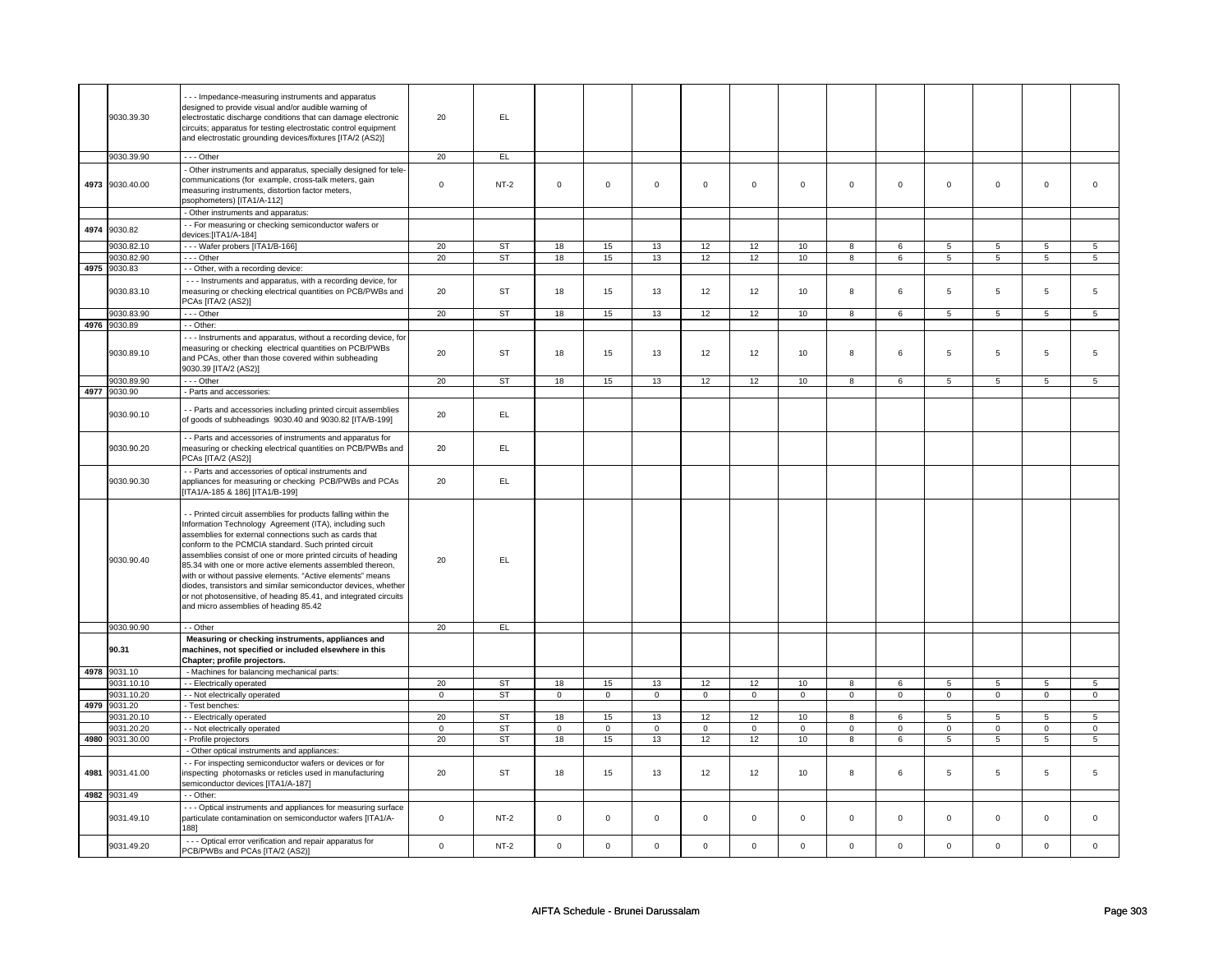|      | 9030.39.30      | --- Impedance-measuring instruments and apparatus<br>designed to provide visual and/or audible warning of<br>electrostatic discharge conditions that can damage electronic<br>circuits; apparatus for testing electrostatic control equipment<br>and electrostatic grounding devices/fixtures [ITA/2 (AS2)]                                                                                                                                                                                                                                                                                                        | 20          | EL.       |             |             |                     |              |                     |              |             |             |                 |                 |             |                 |
|------|-----------------|--------------------------------------------------------------------------------------------------------------------------------------------------------------------------------------------------------------------------------------------------------------------------------------------------------------------------------------------------------------------------------------------------------------------------------------------------------------------------------------------------------------------------------------------------------------------------------------------------------------------|-------------|-----------|-------------|-------------|---------------------|--------------|---------------------|--------------|-------------|-------------|-----------------|-----------------|-------------|-----------------|
|      | 9030.39.90      | $- -$ Other                                                                                                                                                                                                                                                                                                                                                                                                                                                                                                                                                                                                        | 20          | EL        |             |             |                     |              |                     |              |             |             |                 |                 |             |                 |
|      | 4973 9030.40.00 | - Other instruments and apparatus, specially designed for tele-<br>communications (for example, cross-talk meters, gain<br>measuring instruments, distortion factor meters,<br>psophometers) [ITA1/A-112]                                                                                                                                                                                                                                                                                                                                                                                                          | $\mathsf 0$ | $NT-2$    | $\mathsf 0$ | $\mathsf 0$ | $\mathsf{O}\xspace$ | $\mathsf 0$  | $\mathsf{O}\xspace$ | $\mathbf{0}$ | $\mathbf 0$ | $\mathbf 0$ | $\mathbf 0$     | $\mathbf{0}$    | $\mathbf 0$ | $\mathbf 0$     |
|      |                 | - Other instruments and apparatus:                                                                                                                                                                                                                                                                                                                                                                                                                                                                                                                                                                                 |             |           |             |             |                     |              |                     |              |             |             |                 |                 |             |                 |
| 4974 | 9030.82         | - - For measuring or checking semiconductor wafers or<br>devices:[ITA1/A-184]                                                                                                                                                                                                                                                                                                                                                                                                                                                                                                                                      |             |           |             |             |                     |              |                     |              |             |             |                 |                 |             |                 |
|      | 9030.82.10      | --- Wafer probers [ITA1/B-166]                                                                                                                                                                                                                                                                                                                                                                                                                                                                                                                                                                                     | 20          | <b>ST</b> | 18          | 15          | 13                  | 12           | 12                  | 10           | 8           | 6           | 5               | 5               | 5           | 5               |
|      | 9030.82.90      | --- Other                                                                                                                                                                                                                                                                                                                                                                                                                                                                                                                                                                                                          | 20          | ST        | 18          | 15          | 13                  | 12           | 12                  | 10           | 8           | 6           | 5               | 5               | 5           | 5               |
|      | 4975 9030.83    | - - Other, with a recording device:                                                                                                                                                                                                                                                                                                                                                                                                                                                                                                                                                                                |             |           |             |             |                     |              |                     |              |             |             |                 |                 |             |                 |
|      | 9030.83.10      | - - - Instruments and apparatus, with a recording device, for<br>measuring or checking electrical quantities on PCB/PWBs and<br>PCAs [ITA/2 (AS2)]                                                                                                                                                                                                                                                                                                                                                                                                                                                                 | 20          | <b>ST</b> | 18          | 15          | 13                  | 12           | 12                  | 10           | 8           | 6           | 5               | 5               | 5           | 5               |
|      | 9030.83.90      | - - - Other                                                                                                                                                                                                                                                                                                                                                                                                                                                                                                                                                                                                        | 20          | ST        | 18          | 15          | 13                  | 12           | 12                  | 10           | 8           | 6           | $\,$ 5 $\,$     | $5\phantom{.0}$ | 5           | $5\phantom{.0}$ |
|      | 4976 9030.89    | - Other:                                                                                                                                                                                                                                                                                                                                                                                                                                                                                                                                                                                                           |             |           |             |             |                     |              |                     |              |             |             |                 |                 |             |                 |
|      | 9030.89.10      | - - - Instruments and apparatus, without a recording device, for<br>measuring or checking electrical quantities on PCB/PWBs<br>and PCAs, other than those covered within subheading<br>9030.39 [ITA/2 (AS2)]                                                                                                                                                                                                                                                                                                                                                                                                       | 20          | ST        | 18          | 15          | 13                  | 12           | 12                  | 10           | 8           | 6           | 5               | 5               | 5           | 5               |
|      | 9030.89.90      | $- -$ Other                                                                                                                                                                                                                                                                                                                                                                                                                                                                                                                                                                                                        | 20          | ST        | 18          | 15          | 13                  | 12           | 12                  | 10           | 8           | 6           | $\overline{5}$  | $\overline{5}$  | 5           | 5               |
|      | 4977 9030.90    | - Parts and accessories:                                                                                                                                                                                                                                                                                                                                                                                                                                                                                                                                                                                           |             |           |             |             |                     |              |                     |              |             |             |                 |                 |             |                 |
|      | 9030.90.10      | - Parts and accessories including printed circuit assemblies<br>of goods of subheadings 9030.40 and 9030.82 [ITA/B-199]                                                                                                                                                                                                                                                                                                                                                                                                                                                                                            | 20          | EL.       |             |             |                     |              |                     |              |             |             |                 |                 |             |                 |
|      | 9030.90.20      | - - Parts and accessories of instruments and apparatus for<br>measuring or checking electrical quantities on PCB/PWBs and<br>PCAs [ITA/2 (AS2)]                                                                                                                                                                                                                                                                                                                                                                                                                                                                    | 20          | EL        |             |             |                     |              |                     |              |             |             |                 |                 |             |                 |
|      | 9030.90.30      | - - Parts and accessories of optical instruments and<br>appliances for measuring or checking PCB/PWBs and PCAs<br>ITA1/A-185 & 186] [ITA1/B-199]                                                                                                                                                                                                                                                                                                                                                                                                                                                                   | 20          | EL.       |             |             |                     |              |                     |              |             |             |                 |                 |             |                 |
|      | 9030.90.40      | - Printed circuit assemblies for products falling within the<br>Information Technology Agreement (ITA), including such<br>assemblies for external connections such as cards that<br>conform to the PCMCIA standard. Such printed circuit<br>assemblies consist of one or more printed circuits of heading<br>85.34 with one or more active elements assembled thereon,<br>with or without passive elements. "Active elements" means<br>diodes, transistors and similar semiconductor devices, whether<br>or not photosensitive, of heading 85.41, and integrated circuits<br>and micro assemblies of heading 85.42 | 20          | EL.       |             |             |                     |              |                     |              |             |             |                 |                 |             |                 |
|      | 9030.90.90      | - - Other                                                                                                                                                                                                                                                                                                                                                                                                                                                                                                                                                                                                          | 20          | EL        |             |             |                     |              |                     |              |             |             |                 |                 |             |                 |
|      | 90.31           | Measuring or checking instruments, appliances and<br>machines, not specified or included elsewhere in this<br>Chapter; profile projectors.                                                                                                                                                                                                                                                                                                                                                                                                                                                                         |             |           |             |             |                     |              |                     |              |             |             |                 |                 |             |                 |
|      | 4978 9031.10    | - Machines for balancing mechanical parts:                                                                                                                                                                                                                                                                                                                                                                                                                                                                                                                                                                         |             |           |             |             |                     |              |                     |              |             |             |                 |                 |             |                 |
|      | 9031.10.10      | - - Electrically operated                                                                                                                                                                                                                                                                                                                                                                                                                                                                                                                                                                                          | 20          | ST        | 18          | 15          | 13                  | 12           | 12                  | 10           | 8           | 6           | 5               | 5               | 5           | $5\phantom{.0}$ |
|      | 9031.10.20      | - - Not electrically operated                                                                                                                                                                                                                                                                                                                                                                                                                                                                                                                                                                                      | $\mathbf 0$ | <b>ST</b> | $\mathbf 0$ | $\mathbf 0$ | $\mathbf 0$         | $\mathsf 0$  | $\mathbf 0$         | $\mathbf 0$  | $\mathbf 0$ | $\mathbf 0$ | $\mathbf 0$     | $\mathbf 0$     | $\mathbf 0$ | $\mathbf 0$     |
|      | 4979 9031.20    | - Test benches:                                                                                                                                                                                                                                                                                                                                                                                                                                                                                                                                                                                                    |             |           |             |             |                     |              |                     |              |             |             |                 |                 |             |                 |
|      | 9031.20.10      | - - Electrically operated                                                                                                                                                                                                                                                                                                                                                                                                                                                                                                                                                                                          | 20          | <b>ST</b> | 18          | 15          | 13                  | 12           | 12                  | 10           | 8           | 6           | 5               | 5               | 5           | 5               |
|      | 9031.20.20      | - - Not electrically operated                                                                                                                                                                                                                                                                                                                                                                                                                                                                                                                                                                                      | $\mathsf 0$ | ST        | $\mathbf 0$ | $\mathbf 0$ | $\mathbf 0$         | $\mathbf 0$  | $\mathbf 0$         | $\mathbf 0$  | $\mathbf 0$ | $\mathbf 0$ | $\mathbf 0$     | $\mathbf 0$     | $\mathbf 0$ | $\mathbf 0$     |
|      | 4980 9031.30.00 | - Profile projectors                                                                                                                                                                                                                                                                                                                                                                                                                                                                                                                                                                                               | 20          | ST        | 18          | 15          | 13                  | 12           | 12                  | 10           | 8           | 6           | $5\phantom{.0}$ | 5               | 5           | $5\overline{5}$ |
|      |                 | - Other optical instruments and appliances:                                                                                                                                                                                                                                                                                                                                                                                                                                                                                                                                                                        |             |           |             |             |                     |              |                     |              |             |             |                 |                 |             |                 |
|      |                 |                                                                                                                                                                                                                                                                                                                                                                                                                                                                                                                                                                                                                    |             |           |             |             |                     |              |                     |              |             |             |                 |                 |             |                 |
| 4981 | 9031.41.00      | - - For inspecting semiconductor wafers or devices or for<br>inspecting photomasks or reticles used in manufacturing<br>semiconductor devices [ITA1/A-187]                                                                                                                                                                                                                                                                                                                                                                                                                                                         | 20          | ST        | 18          | 15          | 13                  | 12           | 12                  | 10           | 8           | 6           | 5               | 5               | 5           | 5               |
|      | 4982 9031.49    | - - Other:                                                                                                                                                                                                                                                                                                                                                                                                                                                                                                                                                                                                         |             |           |             |             |                     |              |                     |              |             |             |                 |                 |             |                 |
|      | 9031.49.10      | --- Optical instruments and appliances for measuring surface<br>particulate contamination on semiconductor wafers [ITA1/A-<br>1881                                                                                                                                                                                                                                                                                                                                                                                                                                                                                 | $\mathbf 0$ | $NT-2$    | $\mathbf 0$ | $\mathbf 0$ | $\mathbf 0$         | $\mathbf{0}$ | $\mathbf 0$         | $\mathbf{0}$ | $\mathbf 0$ | $\mathbf 0$ | $\mathbf 0$     | $\mathbf{0}$    | $\mathbf 0$ | $\mathbf{0}$    |
|      | 9031.49.20      | - - - Optical error verification and repair apparatus for<br>PCB/PWBs and PCAs [ITA/2 (AS2)]                                                                                                                                                                                                                                                                                                                                                                                                                                                                                                                       | $\Omega$    | $NT-2$    | $\Omega$    | $\Omega$    | $\mathbf 0$         | $\mathbf 0$  | $\mathbf 0$         | $\mathsf 0$  | $\mathbf 0$ | $\mathsf 0$ | $\mathsf 0$     | $\mathbf 0$     | $\mathbf 0$ | $\mathbf{0}$    |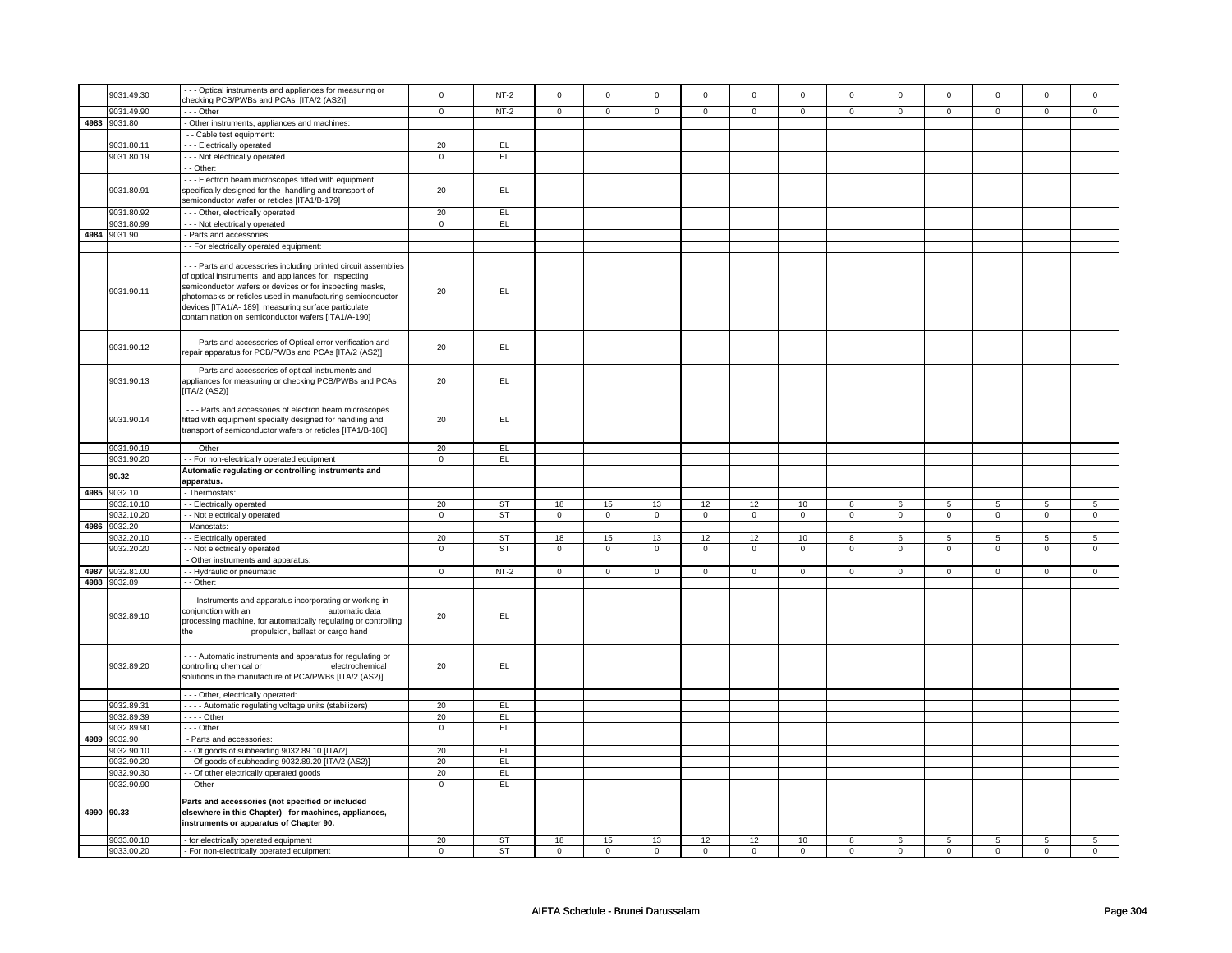|      | 9031.49.30                 | - - Optical instruments and appliances for measuring or                                                                                                                                                                                                                                                                                                         | $\mathbf 0$    | $NT-2$    | $\Omega$       | $\mathbf 0$ | $\Omega$     | $\mathbf 0$    | $\Omega$            | $\mathbf 0$    | $\Omega$    | $\mathbf 0$    | $\Omega$    | $\mathbf 0$    | $\Omega$    | $\Omega$       |
|------|----------------------------|-----------------------------------------------------------------------------------------------------------------------------------------------------------------------------------------------------------------------------------------------------------------------------------------------------------------------------------------------------------------|----------------|-----------|----------------|-------------|--------------|----------------|---------------------|----------------|-------------|----------------|-------------|----------------|-------------|----------------|
|      |                            | checking PCB/PWBs and PCAs [ITA/2 (AS2)]                                                                                                                                                                                                                                                                                                                        |                |           |                |             |              |                |                     |                |             |                |             |                |             |                |
|      | 9031.49.90                 | --- Other                                                                                                                                                                                                                                                                                                                                                       | $\mathsf 0$    | $NT-2$    | $\mathbf 0$    | $\mathbf 0$ | $\mathbf 0$  | $\mathbf 0$    | $\mathbf 0$         | $\mathbf 0$    | $\mathbf 0$ | $\mathbf 0$    | $\mathbf 0$ | $\mathbf 0$    | $\mathbf 0$ | $\mathbf 0$    |
| 4983 | 9031.80                    | Other instruments, appliances and machines:                                                                                                                                                                                                                                                                                                                     |                |           |                |             |              |                |                     |                |             |                |             |                |             |                |
|      |                            | - - Cable test equipment:                                                                                                                                                                                                                                                                                                                                       |                |           |                |             |              |                |                     |                |             |                |             |                |             |                |
|      | 9031.80.11                 | --- Electrically operated                                                                                                                                                                                                                                                                                                                                       | 20             | EL        |                |             |              |                |                     |                |             |                |             |                |             |                |
|      | 9031.80.19                 | - - - Not electrically operated                                                                                                                                                                                                                                                                                                                                 | $\mathsf 0$    | EL.       |                |             |              |                |                     |                |             |                |             |                |             |                |
|      |                            | - - Other:                                                                                                                                                                                                                                                                                                                                                      |                |           |                |             |              |                |                     |                |             |                |             |                |             |                |
|      |                            | - - - Electron beam microscopes fitted with equipment                                                                                                                                                                                                                                                                                                           |                |           |                |             |              |                |                     |                |             |                |             |                |             |                |
|      | 9031.80.91                 | specifically designed for the handling and transport of                                                                                                                                                                                                                                                                                                         | 20             | EL.       |                |             |              |                |                     |                |             |                |             |                |             |                |
|      |                            | semiconductor wafer or reticles [ITA1/B-179]                                                                                                                                                                                                                                                                                                                    |                |           |                |             |              |                |                     |                |             |                |             |                |             |                |
|      | 9031.80.92                 | --- Other, electrically operated                                                                                                                                                                                                                                                                                                                                | 20             | EL        |                |             |              |                |                     |                |             |                |             |                |             |                |
|      | 9031.80.99                 | - - - Not electrically operated                                                                                                                                                                                                                                                                                                                                 | $\mathbf 0$    | EL.       |                |             |              |                |                     |                |             |                |             |                |             |                |
| 4984 | 9031.90                    | - Parts and accessories:                                                                                                                                                                                                                                                                                                                                        |                |           |                |             |              |                |                     |                |             |                |             |                |             |                |
|      |                            | - For electrically operated equipment:                                                                                                                                                                                                                                                                                                                          |                |           |                |             |              |                |                     |                |             |                |             |                |             |                |
|      | 9031.90.11                 | --- Parts and accessories including printed circuit assemblies<br>of optical instruments and appliances for: inspecting<br>semiconductor wafers or devices or for inspecting masks,<br>photomasks or reticles used in manufacturing semiconductor<br>devices [ITA1/A- 189]; measuring surface particulate<br>contamination on semiconductor wafers [ITA1/A-190] | 20             | EL.       |                |             |              |                |                     |                |             |                |             |                |             |                |
|      | 9031.90.12                 | --- Parts and accessories of Optical error verification and<br>repair apparatus for PCB/PWBs and PCAs [ITA/2 (AS2)]                                                                                                                                                                                                                                             | 20             | EL.       |                |             |              |                |                     |                |             |                |             |                |             |                |
|      | 9031.90.13                 | --- Parts and accessories of optical instruments and<br>appliances for measuring or checking PCB/PWBs and PCAs<br>[ITA/2 (AS2)]                                                                                                                                                                                                                                 | 20             | EL        |                |             |              |                |                     |                |             |                |             |                |             |                |
|      | 9031.90.14                 | - - - Parts and accessories of electron beam microscopes<br>fitted with equipment specially designed for handling and<br>transport of semiconductor wafers or reticles [ITA1/B-180]                                                                                                                                                                             | 20             | EL        |                |             |              |                |                     |                |             |                |             |                |             |                |
|      | 9031.90.19                 | --- Other                                                                                                                                                                                                                                                                                                                                                       | 20             | EL        |                |             |              |                |                     |                |             |                |             |                |             |                |
|      | 9031.90.20                 | - - For non-electrically operated equipment                                                                                                                                                                                                                                                                                                                     | $\mathbf 0$    | EL        |                |             |              |                |                     |                |             |                |             |                |             |                |
|      |                            | Automatic regulating or controlling instruments and                                                                                                                                                                                                                                                                                                             |                |           |                |             |              |                |                     |                |             |                |             |                |             |                |
|      | 90.32                      | apparatus.                                                                                                                                                                                                                                                                                                                                                      |                |           |                |             |              |                |                     |                |             |                |             |                |             |                |
|      | 4985 9032.10               | - Thermostats:                                                                                                                                                                                                                                                                                                                                                  |                |           |                |             |              |                |                     |                |             |                |             |                |             |                |
|      | 9032.10.10                 | - - Electrically operated                                                                                                                                                                                                                                                                                                                                       | 20             | <b>ST</b> | 18             | 15          | 13           | 12             | 12                  | 10             | 8           | 6              | 5           | 5              | 5           | 5              |
|      | 9032.10.20                 | - - Not electrically operated                                                                                                                                                                                                                                                                                                                                   | $\mathsf 0$    | <b>ST</b> | $\overline{0}$ | $\mathsf 0$ | $\mathsf 0$  | $\mathsf 0$    | $\mathsf{O}\xspace$ | $\mathsf 0$    | $\mathsf 0$ | $\mathbf 0$    | $\mathsf 0$ | $\mathbf 0$    | $\mathsf 0$ | $\mathbf 0$    |
| 4986 | 9032.20                    | Manostats:                                                                                                                                                                                                                                                                                                                                                      |                |           |                |             |              |                |                     |                |             |                |             |                |             |                |
|      | 9032.20.10                 | - Electrically operated                                                                                                                                                                                                                                                                                                                                         | 20             | <b>ST</b> | 18             | 15          | 13           | 12             | 12                  | 10             | 8           | 6              | 5           | 5              | 5           | 5              |
|      | 9032.20.20                 | - - Not electrically operated                                                                                                                                                                                                                                                                                                                                   | $\mathbf 0$    | <b>ST</b> | $\mathsf 0$    | $\circ$     | $\mathbf{0}$ | $\mathbf 0$    | $\mathbf 0$         | $\mathsf 0$    | $\mathbf 0$ | $\overline{0}$ | $\mathbf 0$ | $\mathbf 0$    | $\mathbf 0$ | $\mathbf{0}$   |
|      |                            | - Other instruments and apparatus:                                                                                                                                                                                                                                                                                                                              |                |           |                |             |              |                |                     |                |             |                |             |                |             |                |
| 4987 | 9032.81.00<br>4988 9032.89 | - - Hydraulic or pneumatic                                                                                                                                                                                                                                                                                                                                      | $\overline{0}$ | $NT-2$    | $\mathsf 0$    | $\mathsf 0$ | $\mathsf 0$  | $\overline{0}$ | $\mathsf 0$         | $\overline{0}$ | $\mathsf 0$ | $\overline{0}$ | $\mathsf 0$ | $\overline{0}$ | $\mathsf 0$ | $\mathbf 0$    |
|      | 9032.89.10                 | - - Other:<br>- - Instruments and apparatus incorporating or working in<br>conjunction with an<br>automatic data<br>processing machine, for automatically regulating or controlling<br>propulsion, ballast or cargo hand<br>the                                                                                                                                 | 20             | EL        |                |             |              |                |                     |                |             |                |             |                |             |                |
|      | 9032.89.20                 | --- Automatic instruments and apparatus for regulating or<br>controlling chemical or<br>electrochemical<br>solutions in the manufacture of PCA/PWBs [ITA/2 (AS2)]                                                                                                                                                                                               | 20             | EL.       |                |             |              |                |                     |                |             |                |             |                |             |                |
|      |                            | - - - Other, electrically operated:                                                                                                                                                                                                                                                                                                                             |                |           |                |             |              |                |                     |                |             |                |             |                |             |                |
|      | 9032.89.31                 | - - - - Automatic regulating voltage units (stabilizers)                                                                                                                                                                                                                                                                                                        | 20             | EL.       |                |             |              |                |                     |                |             |                |             |                |             |                |
|      | 9032.89.39                 | $---$ Other                                                                                                                                                                                                                                                                                                                                                     | 20             | EL        |                |             |              |                |                     |                |             |                |             |                |             |                |
|      | 9032.89.90                 | --- Other                                                                                                                                                                                                                                                                                                                                                       | $\mathbf 0$    | EL        |                |             |              |                |                     |                |             |                |             |                |             |                |
| 4989 | 9032.90                    | - Parts and accessories:                                                                                                                                                                                                                                                                                                                                        |                |           |                |             |              |                |                     |                |             |                |             |                |             |                |
|      | 9032.90.10                 | - Of goods of subheading 9032.89.10 [ITA/2]                                                                                                                                                                                                                                                                                                                     | 20             | EL        |                |             |              |                |                     |                |             |                |             |                |             |                |
|      |                            |                                                                                                                                                                                                                                                                                                                                                                 | 20             | EL.       |                |             |              |                |                     |                |             |                |             |                |             |                |
|      | 9032.90.20                 | - - Of goods of subheading 9032.89.20 [ITA/2 (AS2)]                                                                                                                                                                                                                                                                                                             |                |           |                |             |              |                |                     |                |             |                |             |                |             |                |
|      | 9032.90.30                 | - - Of other electrically operated goods                                                                                                                                                                                                                                                                                                                        | 20             | EL        |                |             |              |                |                     |                |             |                |             |                |             |                |
|      | 9032.90.90                 | - - Other                                                                                                                                                                                                                                                                                                                                                       | $\overline{0}$ | EL        |                |             |              |                |                     |                |             |                |             |                |             |                |
|      | 4990 90.33                 | Parts and accessories (not specified or included<br>elsewhere in this Chapter) for machines, appliances,<br>instruments or apparatus of Chapter 90.                                                                                                                                                                                                             |                |           |                |             |              |                |                     |                |             |                |             |                |             |                |
|      | 9033.00.10                 | - for electrically operated equipment                                                                                                                                                                                                                                                                                                                           | 20             | <b>ST</b> | 18             | 15          | 13           | 12             | 12                  | 10             | 8           | 6              | 5           | $\overline{5}$ | 5           | $\overline{5}$ |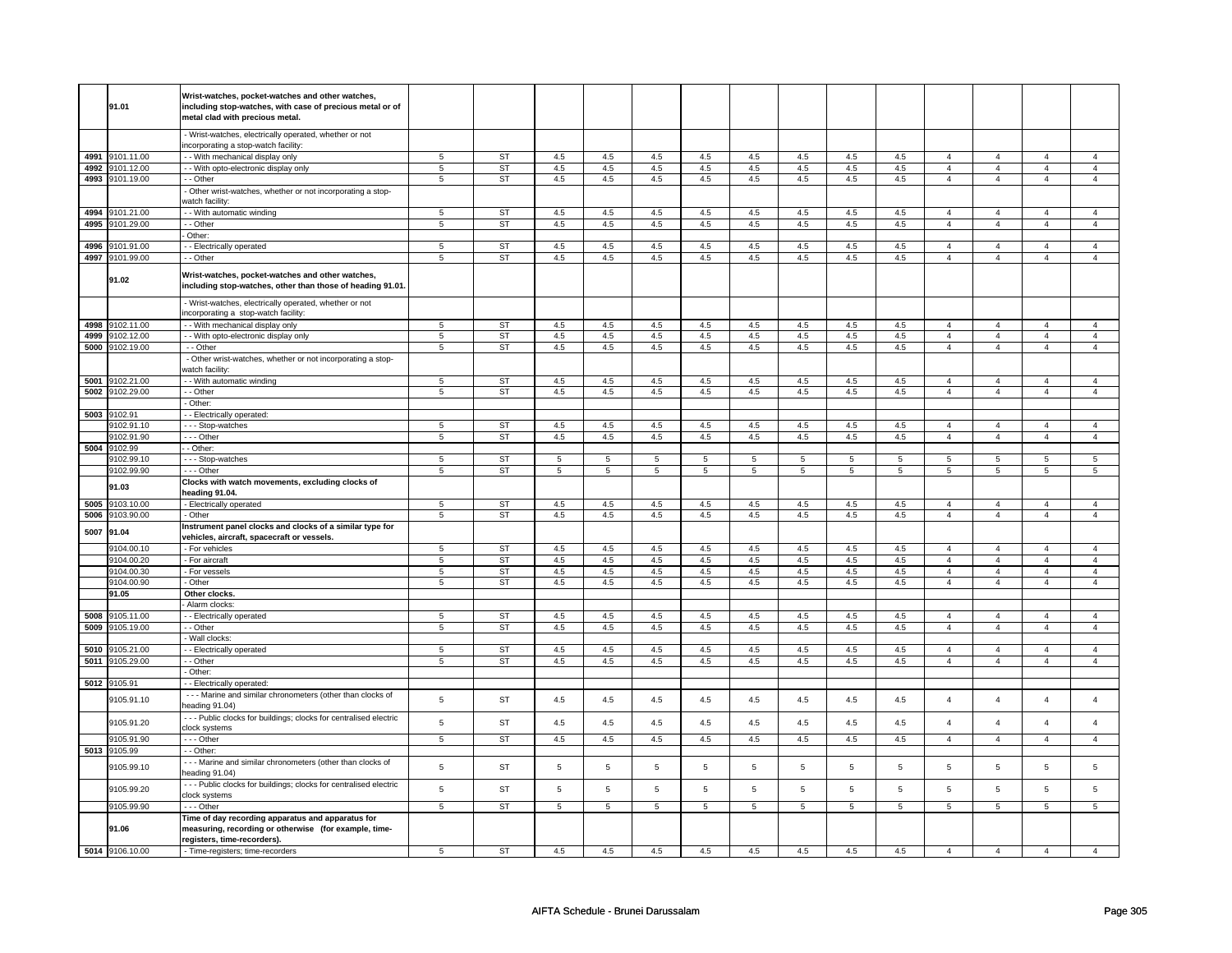|            | 91.01                 | Wrist-watches, pocket-watches and other watches,<br>including stop-watches, with case of precious metal or of<br>metal clad with precious metal. |                 |           |         |                |                |                |                |     |                |         |                |                |                |                |
|------------|-----------------------|--------------------------------------------------------------------------------------------------------------------------------------------------|-----------------|-----------|---------|----------------|----------------|----------------|----------------|-----|----------------|---------|----------------|----------------|----------------|----------------|
|            |                       | - Wrist-watches, electrically operated, whether or not<br>incorporating a stop-watch facility:                                                   |                 |           |         |                |                |                |                |     |                |         |                |                |                |                |
|            | 4991 9101.11.00       | - - With mechanical display only                                                                                                                 | 5               | <b>ST</b> | 4.5     | 4.5            | 4.5            | 4.5            | 4.5            | 4.5 | 4.5            | 4.5     | $\overline{4}$ | $\overline{4}$ | $\overline{4}$ | $\overline{4}$ |
|            | 4992 9101.12.00       | - - With opto-electronic display only                                                                                                            | $\overline{5}$  | ST        | 4.5     | 4.5            | 4.5            | 4.5            | 4.5            | 4.5 | 4.5            | 4.5     | $\overline{4}$ | $\overline{4}$ | $\overline{4}$ | $\overline{4}$ |
|            | 4993 9101.19.00       | - - Other                                                                                                                                        | 5               | ST        | 4.5     | 4.5            | 4.5            | 4.5            | 4.5            | 4.5 | 4.5            | 4.5     | $\overline{4}$ | $\overline{4}$ | $\overline{4}$ | $\overline{4}$ |
|            |                       | - Other wrist-watches, whether or not incorporating a stop-<br>watch facility:                                                                   |                 |           |         |                |                |                |                |     |                |         |                |                |                |                |
|            | 4994 9101.21.00       | - - With automatic winding                                                                                                                       | 5               | ST        | 4.5     | 4.5            | 4.5            | 4.5            | 4.5            | 4.5 | 4.5            | 4.5     | $\overline{4}$ | $\overline{4}$ | $\overline{4}$ | $\overline{4}$ |
|            | 4995 9101.29.00       | - - Other                                                                                                                                        | 5               | <b>ST</b> | 4.5     | 4.5            | 4.5            | 4.5            | 4.5            | 4.5 | 4.5            | 4.5     | $\overline{4}$ | $\overline{4}$ | $\overline{4}$ | $\overline{4}$ |
|            |                       | - Other:                                                                                                                                         |                 |           |         |                |                |                |                |     |                |         |                |                |                |                |
| 4996       | 9101.91.00            | - Electrically operated                                                                                                                          | 5               | <b>ST</b> | 4.5     | 4.5            | 4.5            | 4.5            | 4.5            | 4.5 | 4.5            | 4.5     | $\overline{4}$ | $\overline{4}$ | $\overline{4}$ | $\overline{4}$ |
|            | 4997 9101.99.00       | - - Other                                                                                                                                        | 5               | <b>ST</b> | 4.5     | 4.5            | 4.5            | 4.5            | 4.5            | 4.5 | 4.5            | 4.5     | $\overline{4}$ | $\overline{4}$ | $\overline{4}$ | $\overline{4}$ |
|            | 91.02                 | Wrist-watches, pocket-watches and other watches,<br>including stop-watches, other than those of heading 91.01.                                   |                 |           |         |                |                |                |                |     |                |         |                |                |                |                |
|            |                       | - Wrist-watches, electrically operated, whether or not<br>incorporating a stop-watch facility:                                                   |                 |           |         |                |                |                |                |     |                |         |                |                |                |                |
|            | 4998 9102.11.00       | - - With mechanical display only                                                                                                                 | 5               | <b>ST</b> | 4.5     | 4.5            | 4.5            | 4.5            | 4.5            | 4.5 | 4.5            | 4.5     | $\overline{4}$ | $\overline{4}$ | $\mathbf{A}$   | $\overline{4}$ |
|            | 4999 9102.12.00       | - - With opto-electronic display only                                                                                                            | 5               | <b>ST</b> | 4.5     | 4.5            | 4.5            | 4.5            | 4.5            | 4.5 | 4.5            | 4.5     | $\overline{4}$ | $\overline{4}$ | $\overline{4}$ | $\overline{4}$ |
|            | 5000 9102.19.00       | - - Other                                                                                                                                        | 5               | <b>ST</b> | 4.5     | 4.5            | 4.5            | 4.5            | 4.5            | 4.5 | 4.5            | 4.5     | $\overline{4}$ | $\overline{4}$ | $\overline{4}$ | $\overline{4}$ |
|            |                       | - Other wrist-watches, whether or not incorporating a stop-<br>watch facility:                                                                   |                 |           |         |                |                |                |                |     |                |         |                |                |                |                |
| 5001       | 9102.21.00            | - - With automatic winding                                                                                                                       | 5               | <b>ST</b> | 4.5     | 4.5            | 4.5            | 4.5            | 4.5            | 4.5 | 4.5            | 4.5     | $\overline{4}$ | $\overline{4}$ | $\overline{4}$ | $\overline{4}$ |
| 5002       | 9102.29.00            | - - Other                                                                                                                                        | $\overline{5}$  | <b>ST</b> | 4.5     | 4.5            | 4.5            | 4.5            | 4.5            | 4.5 | 4.5            | 4.5     | $\overline{4}$ | $\overline{4}$ | $\overline{4}$ | $\overline{4}$ |
|            |                       | - Other:                                                                                                                                         |                 |           |         |                |                |                |                |     |                |         |                |                |                |                |
| 5003       | 9102.91               | - Electrically operated:                                                                                                                         |                 |           |         |                |                |                |                |     |                |         |                |                |                |                |
|            | 9102.91.10            | --- Stop-watches                                                                                                                                 | 5               | <b>ST</b> | $4.5\,$ | 4.5            | 4.5            | 4.5            | $4.5\,$        | 4.5 | 4.5            | $4.5\,$ | $\overline{4}$ | $\overline{4}$ | $\overline{4}$ | $\overline{4}$ |
| 5004       | 9102.91.90            | --- Other<br>- Other:                                                                                                                            | 5               | ST        | 4.5     | 4.5            | 4.5            | 4.5            | 4.5            | 4.5 | 4.5            | 4.5     | $\overline{4}$ | $\overline{4}$ | $\overline{4}$ | $\overline{4}$ |
|            | 9102.99<br>9102.99.10 |                                                                                                                                                  | 5               | <b>ST</b> | 5       | 5              | 5              | 5              | 5              | 5   | 5              | 5       | 5              | 5              | 5              | 5              |
|            | 9102.99.90            | --- Stop-watches<br>--- Other                                                                                                                    | $\overline{5}$  | ST        | 5       | $\overline{5}$ | $\overline{5}$ | $\overline{5}$ | $\overline{5}$ | 5   | $\overline{5}$ | 5       | $\overline{5}$ | $\overline{5}$ | $\overline{5}$ | $\overline{5}$ |
|            | 91.03                 | Clocks with watch movements, excluding clocks of<br>heading 91.04.                                                                               |                 |           |         |                |                |                |                |     |                |         |                |                |                |                |
|            | 5005 9103.10.00       | - Electrically operated                                                                                                                          | 5               | <b>ST</b> | 4.5     | 4.5            | 4.5            | 4.5            | 4.5            | 4.5 | 4.5            | 4.5     | $\overline{4}$ | $\overline{4}$ | 4              | $\overline{4}$ |
| 5006       | 9103.90.00            | - Other                                                                                                                                          | 5               | ST        | 4.5     | 4.5            | 4.5            | 4.5            | 4.5            | 4.5 | 4.5            | 4.5     | $\overline{4}$ | $\overline{4}$ | $\overline{4}$ | $\overline{4}$ |
| 5007 91.04 |                       | Instrument panel clocks and clocks of a similar type for<br>vehicles, aircraft, spacecraft or vessels.                                           |                 |           |         |                |                |                |                |     |                |         |                |                |                |                |
|            | 9104.00.10            | - For vehicles                                                                                                                                   | 5               | ST        | 4.5     | 4.5            | 4.5            | 4.5            | 4.5            | 4.5 | 4.5            | 4.5     | $\overline{4}$ | $\overline{4}$ | $\overline{a}$ | $\overline{4}$ |
|            | 9104.00.20            | - For aircraft                                                                                                                                   | 5               | <b>ST</b> | 4.5     | $4.5\,$        | 4.5            | 4.5            | 4.5            | 4.5 | 4.5            | 4.5     | $\overline{4}$ | $\overline{4}$ | 4              | $\overline{4}$ |
|            | 9104.00.30            | - For vessels                                                                                                                                    | 5               | <b>ST</b> | 4.5     | 4.5            | 4.5            | 4.5            | 4.5            | 4.5 | 4.5            | 4.5     | $\overline{4}$ | $\overline{4}$ | $\overline{4}$ | $\overline{4}$ |
|            | 9104.00.90            | - Other                                                                                                                                          | 5               | <b>ST</b> | 4.5     | $4.5\,$        | 4.5            | 4.5            | 4.5            | 4.5 | 4.5            | 4.5     | $\overline{4}$ | $\overline{4}$ | $\overline{4}$ | $\overline{4}$ |
|            | 91.05                 | Other clocks.                                                                                                                                    |                 |           |         |                |                |                |                |     |                |         |                |                |                |                |
|            |                       | Alarm clocks:                                                                                                                                    |                 |           |         |                |                |                |                |     |                |         |                |                |                |                |
| 5008       | 9105.11.00            | - Electrically operated                                                                                                                          | 5               | <b>ST</b> | 4.5     | 4.5            | 4.5            | 4.5            | 4.5            | 4.5 | 4.5            | 4.5     | $\overline{4}$ | $\overline{4}$ | $\overline{4}$ | $\overline{4}$ |
| 5009       | 9105.19.00            | - - Other                                                                                                                                        | $\overline{5}$  | <b>ST</b> | 4.5     | 4.5            | 4.5            | 4.5            | 4.5            | 4.5 | 4.5            | 4.5     | $\overline{4}$ | $\overline{4}$ | $\overline{4}$ | $\overline{4}$ |
|            |                       | - Wall clocks:                                                                                                                                   |                 |           |         |                |                |                |                |     |                |         |                |                |                |                |
| 5010       | 9105.21.00            | - Electrically operated                                                                                                                          | 5               | <b>ST</b> | 4.5     | 4.5            | 4.5            | 4.5            | 4.5            | 4.5 | 4.5            | 4.5     | $\overline{4}$ | $\overline{4}$ | $\overline{4}$ | $\overline{4}$ |
|            | 5011 9105.29.00       | - - Other                                                                                                                                        | $5\phantom{.0}$ | <b>ST</b> | 4.5     | 4.5            | 4.5            | 4.5            | 4.5            | 4.5 | 4.5            | 4.5     | $\overline{4}$ | $\overline{4}$ | $\overline{4}$ | $\overline{4}$ |
|            |                       | - Other:                                                                                                                                         |                 |           |         |                |                |                |                |     |                |         |                |                |                |                |
| 5012       | 9105.91               | - - Electrically operated:                                                                                                                       |                 |           |         |                |                |                |                |     |                |         |                |                |                |                |
|            | 9105.91.10            | - - - Marine and similar chronometers (other than clocks of<br>heading 91.04)                                                                    | 5               | ST        | 4.5     | 4.5            | 4.5            | 4.5            | 4.5            | 4.5 | 4.5            | 4.5     | $\overline{4}$ | $\overline{4}$ | $\overline{a}$ | $\overline{4}$ |
|            | 9105.91.20            | --- Public clocks for buildings; clocks for centralised electric<br>clock systems                                                                | 5               | <b>ST</b> | 4.5     | 4.5            | 4.5            | 4.5            | 4.5            | 4.5 | 4.5            | 4.5     | $\overline{4}$ | $\overline{4}$ | $\overline{a}$ | $\overline{4}$ |
|            | 9105.91.90            | $--$ Other                                                                                                                                       | $\overline{5}$  | <b>ST</b> | 4.5     | 4.5            | 4.5            | 4.5            | 4.5            | 4.5 | 4.5            | 4.5     | $\overline{4}$ | $\overline{4}$ | $\overline{4}$ | $\overline{4}$ |
| 5013       | 9105.99<br>9105.99.10 | - - Other:<br>- - - Marine and similar chronometers (other than clocks of                                                                        | 5               | <b>ST</b> | 5       | $\overline{5}$ | 5              | 5              | 5              | 5   | 5              | 5       | $\overline{5}$ | 5              | 5              | 5              |
|            | 9105.99.20            | heading 91.04)<br>- - - Public clocks for buildings; clocks for centralised electric                                                             | 5               | <b>ST</b> | 5       | $\overline{5}$ | $\,$ 5 $\,$    | 5              | 5              | 5   | 5              | 5       | 5              | $\,$ 5 $\,$    | 5              | 5              |
|            |                       | clock systems                                                                                                                                    |                 |           |         |                |                |                |                |     |                |         |                |                |                |                |
|            | 9105.99.90<br>91.06   | --- Other<br>Time of day recording apparatus and apparatus for<br>measuring, recording or otherwise (for example, time-                          | 5               | <b>ST</b> | 5       | 5              | $\,$ 5 $\,$    | $\,$ 5 $\,$    | 5              | 5   | $\,$ 5 $\,$    | 5       | 5              | $\,$ 5 $\,$    | $\overline{5}$ | 5              |
|            |                       | registers, time-recorders).                                                                                                                      |                 |           |         |                |                |                |                |     |                |         |                |                |                |                |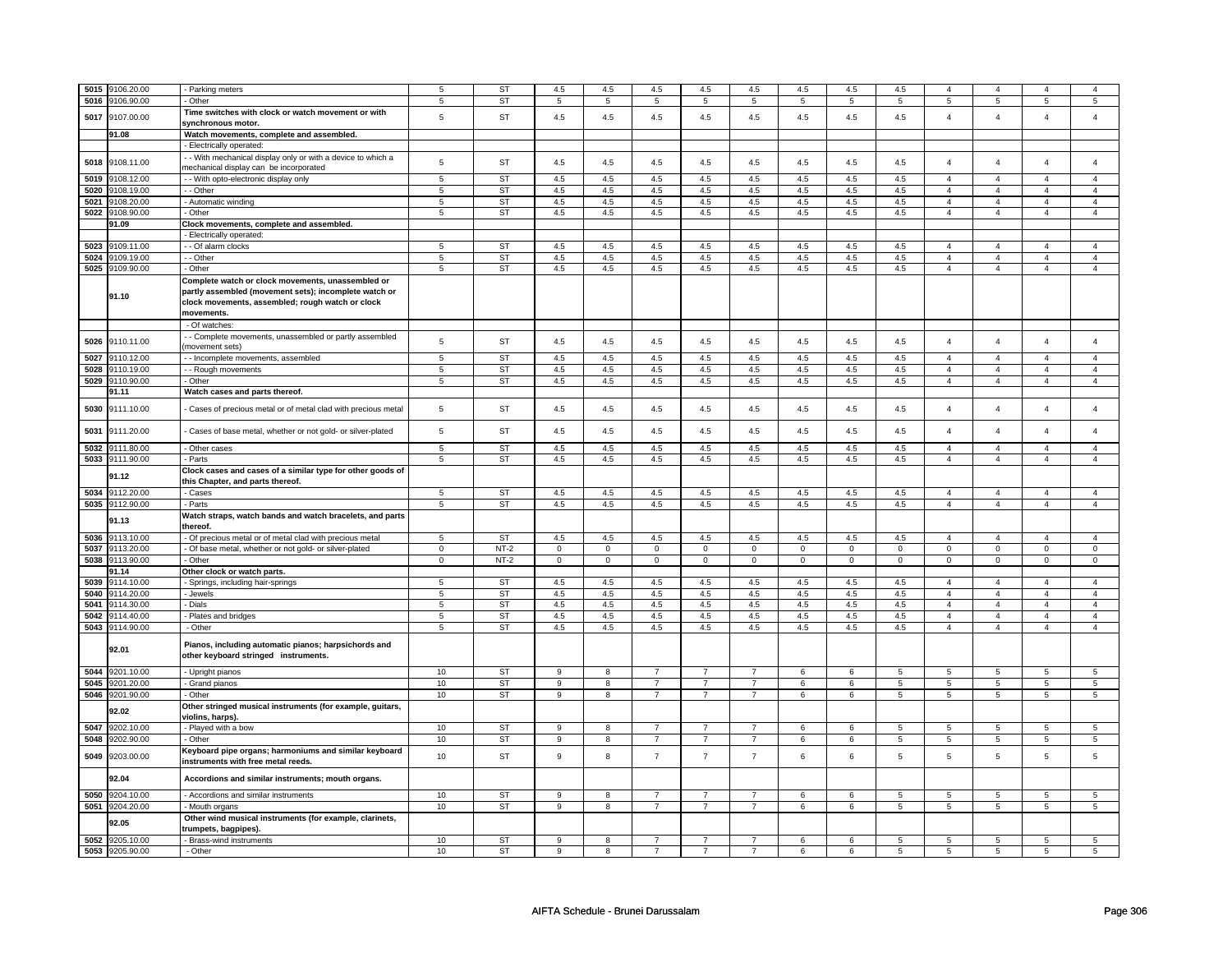| 5015 | 9106.20.00          | - Parking meters                                                                                                                                                            | 5               | <b>ST</b> | 4.5            | 4.5                     | 4.5            | 4.5            | 4.5            | 4.5         | 4.5         | 4.5            | $\overline{4}$  | $\overline{4}$ |                |                |
|------|---------------------|-----------------------------------------------------------------------------------------------------------------------------------------------------------------------------|-----------------|-----------|----------------|-------------------------|----------------|----------------|----------------|-------------|-------------|----------------|-----------------|----------------|----------------|----------------|
| 5016 | 9106.90.00          | - Other                                                                                                                                                                     | 5               | ST        | 5              | 5                       | 5              | $\overline{5}$ | 5              | 5           | 5           | 5              | 5               | $\,$ 5 $\,$    | 5              | $\sqrt{5}$     |
|      |                     | Time switches with clock or watch movement or with                                                                                                                          |                 |           |                |                         |                |                |                |             |             |                |                 |                |                |                |
| 5017 | 9107.00.00          | synchronous motor.                                                                                                                                                          | 5               | <b>ST</b> | 4.5            | 4.5                     | 4.5            | 4.5            | 4.5            | 4.5         | 4.5         | 4.5            | 4               | $\overline{4}$ | $\overline{4}$ | $\overline{4}$ |
|      | 91.08               |                                                                                                                                                                             |                 |           |                |                         |                |                |                |             |             |                |                 |                |                |                |
|      |                     | Watch movements, complete and assembled.                                                                                                                                    |                 |           |                |                         |                |                |                |             |             |                |                 |                |                |                |
|      |                     | <b>Electrically operated</b>                                                                                                                                                |                 |           |                |                         |                |                |                |             |             |                |                 |                |                |                |
|      |                     | - With mechanical display only or with a device to which a                                                                                                                  | 5               |           |                |                         |                |                |                |             |             |                |                 |                | $\overline{4}$ |                |
| 5018 | 9108.11.00          | nechanical display can be incorporated                                                                                                                                      |                 | <b>ST</b> | 4.5            | 4.5                     | 4.5            | 4.5            | 4.5            | 4.5         | 4.5         | 4.5            | $\overline{4}$  | $\overline{4}$ |                | $\overline{4}$ |
| 5019 | 9108.12.00          | - - With opto-electronic display only                                                                                                                                       | $\sqrt{5}$      | <b>ST</b> | 4.5            | 4.5                     | 4.5            | 4.5            | 4.5            | 4.5         | 4.5         | 4.5            | $\overline{4}$  | $\overline{4}$ | $\overline{4}$ | $\overline{4}$ |
| 5020 |                     |                                                                                                                                                                             |                 |           |                |                         |                |                |                |             |             |                | $\overline{4}$  | $\overline{4}$ | $\overline{4}$ | $\overline{4}$ |
|      | 9108.19.00          | - - Other                                                                                                                                                                   | $\sqrt{5}$      | ST        | 4.5            | 4.5                     | 4.5            | 4.5            | 4.5            | 4.5         | 4.5         | 4.5            |                 |                |                |                |
| 5021 | 9108.20.00          | - Automatic winding                                                                                                                                                         | 5               | <b>ST</b> | 4.5            | 4.5                     | 4.5            | 4.5            | 4.5            | 4.5         | 4.5         | 4.5            | $\overline{4}$  | $\overline{4}$ | $\overline{4}$ | $\overline{4}$ |
| 5022 | 9108.90.00          | - Other                                                                                                                                                                     | 5               | <b>ST</b> | 4.5            | 4.5                     | 4.5            | 4.5            | 4.5            | 4.5         | 4.5         | 4.5            | $\overline{4}$  | $\overline{4}$ | $\overline{4}$ | $\overline{4}$ |
|      | 91.09               | Clock movements, complete and assembled.                                                                                                                                    |                 |           |                |                         |                |                |                |             |             |                |                 |                |                |                |
|      |                     | Electrically operated:                                                                                                                                                      |                 |           |                |                         |                |                |                |             |             |                |                 |                |                |                |
|      |                     |                                                                                                                                                                             |                 |           |                |                         |                |                |                | 4.5         |             |                |                 |                |                |                |
| 5023 | 9109.11.00          | - Of alarm clocks                                                                                                                                                           | 5               | <b>ST</b> | 4.5            | 4.5                     | 4.5            | 4.5            | 4.5            |             | 4.5         | 4.5            | 4               | $\overline{4}$ | $\overline{4}$ | $\overline{4}$ |
| 5024 | 9109.19.00          | - - Other                                                                                                                                                                   | $5\phantom{.0}$ | ST        | 4.5            | 4.5                     | 4.5            | 4.5            | 4.5            | 4.5         | 4.5         | 4.5            | $\overline{4}$  | $\overline{4}$ | $\overline{4}$ | $\overline{4}$ |
| 5025 | 9109.90.00          | - Other                                                                                                                                                                     | 5               | <b>ST</b> | 4.5            | 4.5                     | 4.5            | 4.5            | 4.5            | 4.5         | 4.5         | 4.5            | $\overline{4}$  | $\overline{4}$ | $\overline{4}$ | $\overline{4}$ |
|      | 91.10               | Complete watch or clock movements, unassembled or<br>partly assembled (movement sets); incomplete watch or<br>clock movements, assembled; rough watch or clock<br>movements |                 |           |                |                         |                |                |                |             |             |                |                 |                |                |                |
|      |                     |                                                                                                                                                                             |                 |           |                |                         |                |                |                |             |             |                |                 |                |                |                |
|      |                     | - Of watches                                                                                                                                                                |                 |           |                |                         |                |                |                |             |             |                |                 |                |                |                |
| 5026 | 9110.11.00          | - Complete movements, unassembled or partly assembled<br>movement sets)                                                                                                     | 5               | <b>ST</b> | 4.5            | 4.5                     | 4.5            | 4.5            | 4.5            | 4.5         | 4.5         | 4.5            | $\overline{4}$  | $\overline{4}$ | $\Delta$       | $\overline{4}$ |
| 5027 | 9110.12.00          | - Incomplete movements, assembled                                                                                                                                           | $\overline{5}$  | <b>ST</b> | 4.5            | 4.5                     | 4.5            | 4.5            | 4.5            | 4.5         | 4.5         | $4.5\,$        | $\overline{4}$  | $\overline{4}$ | $\overline{a}$ | $\overline{4}$ |
| 5028 | 9110.19.00          | - Rough movements                                                                                                                                                           | $\sqrt{5}$      | <b>ST</b> | 4.5            | 4.5                     | 4.5            | 4.5            | 4.5            | 4.5         | 4.5         | 4.5            | $\overline{4}$  | $\overline{4}$ | $\overline{4}$ | $\overline{4}$ |
| 5029 | 9110.90.00          | Other                                                                                                                                                                       |                 | <b>ST</b> | 4.5            | 4.5                     | 4.5            | 4.5            | 4.5            | 4.5         | 4.5         | 4.5            | $\overline{4}$  | $\overline{4}$ | $\overline{4}$ | $\overline{4}$ |
|      |                     |                                                                                                                                                                             | $\,$ 5 $\,$     |           |                |                         |                |                |                |             |             |                |                 |                |                |                |
|      | 91.11               | Watch cases and parts thereof.                                                                                                                                              |                 |           |                |                         |                |                |                |             |             |                |                 |                |                |                |
| 5030 | 9111.10.00          | Cases of precious metal or of metal clad with precious metal                                                                                                                | 5               | <b>ST</b> | 4.5            | 4.5                     | 4.5            | 4.5            | 4.5            | 4.5         | 4.5         | 4.5            | $\overline{4}$  | $\overline{4}$ | $\overline{4}$ | $\overline{4}$ |
| 5031 | 9111.20.00          | Cases of base metal, whether or not gold- or silver-plated                                                                                                                  | 5               | <b>ST</b> | 4.5            | 4.5                     | 4.5            | 4.5            | 4.5            | 4.5         | 4.5         | 4.5            | $\overline{4}$  | $\overline{4}$ | $\overline{4}$ | $\overline{4}$ |
| 5032 | 9111.80.00          | Other cases                                                                                                                                                                 | 5               | ST        | 4.5            | 4.5                     | 4.5            | 4.5            | 4.5            | 4.5         | 4.5         | 4.5            | $\overline{4}$  | 4              | 4              | $\overline{4}$ |
| 5033 | 9111.90.00          | - Parts                                                                                                                                                                     | $\sqrt{5}$      | ST        | 4.5            | 4.5                     | 4.5            | 4.5            | 4.5            | 4.5         | 4.5         | 4.5            | $\overline{4}$  | $\overline{4}$ | $\overline{4}$ | $\overline{4}$ |
|      | 91.12               | Clock cases and cases of a similar type for other goods of<br>this Chapter, and parts thereof.                                                                              |                 |           |                |                         |                |                |                |             |             |                |                 |                |                |                |
| 5034 | 9112.20.00          | - Cases                                                                                                                                                                     | $\overline{5}$  | <b>ST</b> | 4.5            | 4.5                     | 4.5            | 4.5            | 4.5            | 4.5         | 4.5         | 4.5            | $\overline{4}$  | $\overline{4}$ | $\overline{4}$ | $\overline{4}$ |
| 5035 | 9112.90.00          | - Parts                                                                                                                                                                     | $\overline{5}$  | <b>ST</b> | 4.5            | 4.5                     | 4.5            | 4.5            | 4.5            | 4.5         | 4.5         | 4.5            | $\overline{4}$  | $\overline{4}$ | $\overline{4}$ | $\overline{4}$ |
|      | 91.13               | Watch straps, watch bands and watch bracelets, and parts<br>thereof.                                                                                                        |                 |           |                |                         |                |                |                |             |             |                |                 |                |                |                |
| 5036 | 9113.10.00          | - Of precious metal or of metal clad with precious metal                                                                                                                    | $\overline{5}$  | <b>ST</b> | 4.5            | 4.5                     | 4.5            | $4.5\,$        | $4.5\,$        | 4.5         | 4.5         | 4.5            | $\overline{4}$  | $\overline{4}$ | $\overline{4}$ | $\overline{4}$ |
| 5037 | 9113.20.00          | - Of base metal, whether or not gold- or silver-plated                                                                                                                      | $\mathsf 0$     | $NT-2$    | $\mathbf 0$    | $\mathsf 0$             | $\mathsf 0$    | $\mathsf 0$    | $\mathsf 0$    | $\mathbf 0$ | $\mathsf 0$ | $\mathbf 0$    | $\mathsf 0$     | $\mathsf 0$    | $\mathsf 0$    | $\mathbf 0$    |
|      |                     |                                                                                                                                                                             |                 |           |                |                         |                |                |                |             |             |                |                 |                |                |                |
|      | 5038 9113,90.00     | - Other                                                                                                                                                                     | $\mathbf 0$     | $NT-2$    | $\mathbf 0$    | $\mathbf 0$             | $\mathbf 0$    | $\mathbf 0$    | $\mathsf 0$    | $\mathbf 0$ | $\mathbf 0$ | $\mathbf 0$    | $\mathbf 0$     | $\mathbf 0$    | $\mathbf 0$    | $\mathbf 0$    |
|      | 91.14               | Other clock or watch parts.                                                                                                                                                 |                 |           |                |                         |                |                |                |             |             |                |                 |                |                |                |
| 5039 | 9114.10.00          | Springs, including hair-springs                                                                                                                                             | 5               | <b>ST</b> | 4.5            | 4.5                     | 4.5            | 4.5            | 4.5            | 4.5         | 4.5         | 4.5            | $\overline{4}$  | $\overline{4}$ | $\Delta$       | $\overline{4}$ |
| 5040 | 9114.20.00          | Jewels                                                                                                                                                                      | 5               | <b>ST</b> | 4.5            | 4.5                     | 4.5            | 4.5            | 4.5            | 4.5         | 4.5         | 4.5            | $\overline{4}$  | $\overline{4}$ | $\overline{4}$ | $\overline{4}$ |
| 5041 | 9114.30.00          | Dials                                                                                                                                                                       | 5               | ST        | 4.5            | 4.5                     | 4.5            | 4.5            | 4.5            | 4.5         | 4.5         | 4.5            | $\overline{4}$  | $\overline{4}$ | $\overline{4}$ | $\overline{4}$ |
| 5042 | 9114.40.00          |                                                                                                                                                                             | 5               | ST        | 4.5            | 4.5                     | 4.5            | 4.5            | 4.5            | 4.5         | 4.5         | 4.5            | $\overline{4}$  | $\overline{4}$ | $\overline{4}$ | $\overline{4}$ |
|      |                     | - Plates and bridges                                                                                                                                                        |                 |           |                |                         |                |                |                |             |             |                |                 |                |                |                |
| 5043 | 9114.90.00<br>92.01 | - Other<br>Pianos, including automatic pianos; harpsichords and<br>other keyboard stringed instruments.                                                                     | 5               | <b>ST</b> | 4.5            | 4.5                     | 4.5            | 4.5            | 4.5            | 4.5         | 4.5         | 4.5            | $\overline{4}$  | $\overline{4}$ | $\overline{4}$ | $\overline{4}$ |
|      |                     |                                                                                                                                                                             |                 |           |                |                         |                |                |                |             |             |                |                 |                |                |                |
| 5044 | 9201.10.00          | - Upright pianos                                                                                                                                                            | 10              | ST        | 9              | 8                       | $\overline{7}$ | $\overline{7}$ | $\overline{7}$ | 6           | 6           | 5              | 5               | 5              | 5              | 5              |
| 5045 | 9201.20.00          | - Grand pianos                                                                                                                                                              | 10              | <b>ST</b> | 9              | 8                       | $\overline{7}$ | $\overline{7}$ | $\overline{7}$ | 6           | 6           | 5              | $5\phantom{.0}$ | 5              | 5              | 5              |
|      | 5046 9201.90.00     | - Other                                                                                                                                                                     | 10              | <b>ST</b> | 9              | 8                       | $\overline{7}$ | $\overline{7}$ | $\overline{7}$ | 6           | 6           | 5              | 5               | 5              | 5              | 5              |
|      | 92.02               | Other stringed musical instruments (for example, guitars,<br>violins, harps).                                                                                               |                 |           |                |                         |                |                |                |             |             |                |                 |                |                |                |
| 5047 | 3202.10.00          | - Played with a bow                                                                                                                                                         | 10              | <b>ST</b> | 9              | 8                       |                | $\overline{7}$ | $\overline{7}$ | 6           | 6           | 5              | 5               | 5              | 5              | 5              |
| 5048 | 9202.90.00          | - Other                                                                                                                                                                     | 10              | <b>ST</b> | 9              | $\overline{\mathbf{8}}$ | $\overline{7}$ | $\overline{7}$ | $\overline{7}$ | 6           | 6           | $\overline{5}$ | $\overline{5}$  | $\overline{5}$ | 5              | $\sqrt{5}$     |
| 5049 | 9203.00.00          | Keyboard pipe organs; harmoniums and similar keyboard<br>instruments with free metal reeds.                                                                                 | 10              | <b>ST</b> | $\overline{9}$ | 8                       | $\overline{7}$ | $\overline{7}$ | $\overline{7}$ | 6           | 6           | $\,$ 5 $\,$    | 5               | $\,$ 5 $\,$    | 5              | 5              |
|      | 92.04               | Accordions and similar instruments; mouth organs.                                                                                                                           |                 |           |                |                         |                |                |                |             |             |                |                 |                |                |                |
| 5050 | 9204.10.00          | - Accordions and similar instruments                                                                                                                                        | 10              | ST        | 9              | 8                       | $\overline{7}$ | $\overline{7}$ | $\overline{7}$ | 6           | 6           | 5              | 5               | 5              | 5              | 5              |
| 5051 | 9204.20.00          | Mouth organs                                                                                                                                                                | 10              | <b>ST</b> | 9              | 8                       | $\overline{7}$ | $\overline{7}$ | $\overline{7}$ | 6           | 6           | 5              | 5               | 5              | 5              | 5              |
|      | 92.05               | Other wind musical instruments (for example, clarinets,                                                                                                                     |                 |           |                |                         |                |                |                |             |             |                |                 |                |                |                |
|      |                     | rumpets, bagpipes).                                                                                                                                                         |                 |           |                |                         |                |                |                |             |             |                |                 |                |                |                |
| 5052 | 9205.10.00          | - Brass-wind instruments                                                                                                                                                    | 10              | <b>ST</b> | 9              | 8                       |                |                |                | 6           | 6           | $\overline{5}$ | $\overline{5}$  | 5              | 5              | 5              |
|      | 5053 9205.90.00     | - Other                                                                                                                                                                     | 10              | <b>ST</b> | 9              | 8                       | $\overline{7}$ | $\overline{7}$ | $\overline{7}$ | 6           | 6           | 5              | 5               | 5              | 5              | 5              |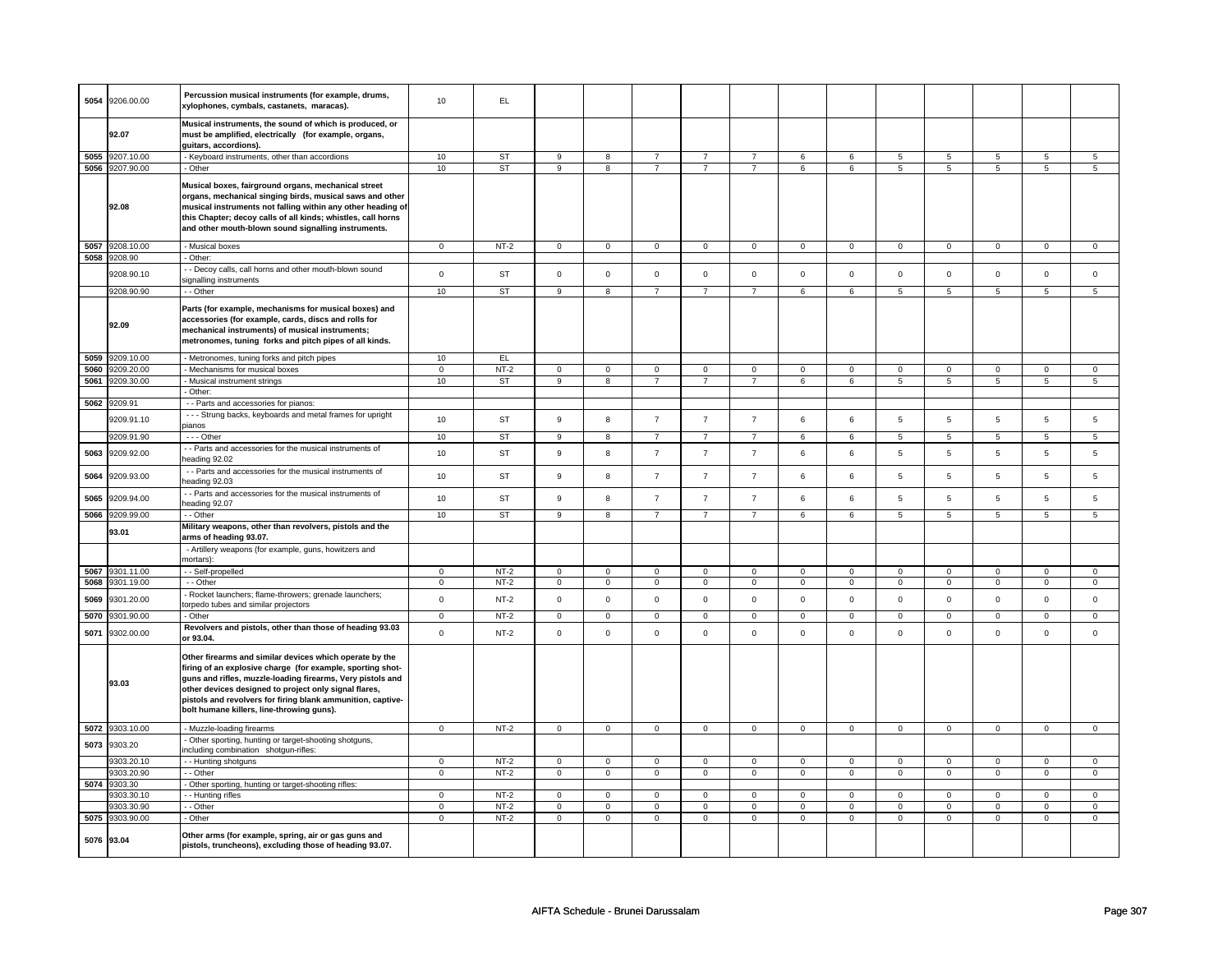| 5054 | 9206.00.00      | Percussion musical instruments (for example, drums,<br>xylophones, cymbals, castanets, maracas).                                                                                                                                                                                                                                                         | 10             | EL.       |                  |                     |                |                |                         |                |                |                |                 |                 |                |                 |
|------|-----------------|----------------------------------------------------------------------------------------------------------------------------------------------------------------------------------------------------------------------------------------------------------------------------------------------------------------------------------------------------------|----------------|-----------|------------------|---------------------|----------------|----------------|-------------------------|----------------|----------------|----------------|-----------------|-----------------|----------------|-----------------|
|      | 92.07           | Musical instruments, the sound of which is produced, or<br>must be amplified, electrically (for example, organs,<br>guitars, accordions).                                                                                                                                                                                                                |                |           |                  |                     |                |                |                         |                |                |                |                 |                 |                |                 |
|      | 5055 9207.10.00 | - Keyboard instruments, other than accordions                                                                                                                                                                                                                                                                                                            | 10             | <b>ST</b> | $\mathbf{q}$     | 8                   | $\overline{7}$ | $\overline{7}$ | $\overline{7}$          | 6              | 6              | 5              | 5               | 5               | 5              | 5               |
|      | 5056 9207.90.00 | - Other                                                                                                                                                                                                                                                                                                                                                  | 10             | <b>ST</b> | 9                | 8                   | $\overline{7}$ | $\overline{7}$ | $\overline{7}$          | 6              | 6              | 5              | $5\overline{5}$ | 5               | 5              | $5\overline{)}$ |
|      |                 |                                                                                                                                                                                                                                                                                                                                                          |                |           |                  |                     |                |                |                         |                |                |                |                 |                 |                |                 |
|      | 92.08           | Musical boxes, fairground organs, mechanical street<br>organs, mechanical singing birds, musical saws and other<br>musical instruments not falling within any other heading of<br>this Chapter; decoy calls of all kinds; whistles, call horns<br>and other mouth-blown sound signalling instruments.                                                    |                |           |                  |                     |                |                |                         |                |                |                |                 |                 |                |                 |
|      | 5057 9208.10.00 | - Musical boxes                                                                                                                                                                                                                                                                                                                                          | $\mathbf 0$    | $NT-2$    | $\mathbf{0}$     | $\mathbf 0$         | $\mathbf 0$    | $\mathbf 0$    | $\circ$                 | $\mathbf{0}$   | $\overline{0}$ | $\circ$        | $\mathbf{0}$    | $\overline{0}$  | $\mathsf 0$    | $\mathsf 0$     |
|      | 5058 9208.90    | - Other:                                                                                                                                                                                                                                                                                                                                                 |                |           |                  |                     |                |                |                         |                |                |                |                 |                 |                |                 |
|      | 9208.90.10      | - - Decoy calls, call horns and other mouth-blown sound<br>signalling instruments                                                                                                                                                                                                                                                                        | $\mathsf 0$    | ST        | $\mathsf 0$      | $\mathsf{O}\xspace$ | $\mathsf 0$    | $\mathsf 0$    | $\mathsf{O}\xspace$     | $\mathbf 0$    | $\mathsf 0$    | $\mathsf 0$    | $\mathsf 0$     | $\mathbf 0$     | $\mathbf 0$    | $\mathbf 0$     |
|      | 9208.90.90      | - - Other                                                                                                                                                                                                                                                                                                                                                | 10             | <b>ST</b> | $\mathbf{Q}$     | 8                   | $\overline{7}$ | $\overline{7}$ | $\overline{7}$          | 6              | 6              | 5              | 5               | $5\phantom{.0}$ | 5              | 5               |
|      | 92.09           | Parts (for example, mechanisms for musical boxes) and<br>accessories (for example, cards, discs and rolls for<br>mechanical instruments) of musical instruments;<br>metronomes, tuning forks and pitch pipes of all kinds.                                                                                                                               |                |           |                  |                     |                |                |                         |                |                |                |                 |                 |                |                 |
| 5059 | 9209.10.00      | - Metronomes, tuning forks and pitch pipes                                                                                                                                                                                                                                                                                                               | 10             | EL.       |                  |                     |                |                |                         |                |                |                |                 |                 |                |                 |
| 5060 | 9209.20.00      | - Mechanisms for musical boxes                                                                                                                                                                                                                                                                                                                           | $\mathbf 0$    | $NT-2$    | $\mathbf 0$      | $\mathbf 0$         | $\mathbf{0}$   | $\mathbf 0$    | $\mathbf 0$             | $\mathbf{0}$   | $\mathbf 0$    | $\mathbf 0$    | 0               | $\mathbf 0$     | 0              | $\mathbf 0$     |
| 5061 | 9209.30.00      | - Musical instrument strings                                                                                                                                                                                                                                                                                                                             | 10             | ST        | 9                | 8                   | $\overline{7}$ | $\overline{7}$ | $\overline{7}$          | 6              | 6              | 5              | 5               | 5               | 5              | 5               |
|      |                 | - Other:                                                                                                                                                                                                                                                                                                                                                 |                |           |                  |                     |                |                |                         |                |                |                |                 |                 |                |                 |
|      | 5062 9209.91    | - - Parts and accessories for pianos:                                                                                                                                                                                                                                                                                                                    |                |           |                  |                     |                |                |                         |                |                |                |                 |                 |                |                 |
|      | 9209.91.10      | - - - Strung backs, keyboards and metal frames for upright<br>pianos                                                                                                                                                                                                                                                                                     | 10             | <b>ST</b> | 9                | 8                   | $\overline{7}$ | $\overline{7}$ | $\overline{7}$          | 6              | 6              | 5              | 5               | 5               | $\overline{5}$ | 5               |
|      | 9209.91.90      | $- -$ Other                                                                                                                                                                                                                                                                                                                                              | 10             | ST        | 9                | 8                   | $\overline{7}$ | $\overline{7}$ | $\overline{7}$          | 6              | 6              | 5              | 5               | 5               | 5              | 5               |
|      |                 | - - Parts and accessories for the musical instruments of                                                                                                                                                                                                                                                                                                 |                |           |                  |                     |                |                |                         |                |                |                |                 |                 |                |                 |
| 5063 | 9209.92.00      | heading 92.02                                                                                                                                                                                                                                                                                                                                            | 10             | <b>ST</b> | 9                | 8                   | $\overline{7}$ | $\overline{7}$ | $\overline{7}$          | 6              | 6              | 5              | 5               | $\overline{5}$  | 5              | 5               |
| 5064 | 9209.93.00      | - - Parts and accessories for the musical instruments of<br>heading 92.03                                                                                                                                                                                                                                                                                | 10             | <b>ST</b> | $\boldsymbol{9}$ | 8                   | $\overline{7}$ | $\overline{7}$ | $\overline{\mathbf{7}}$ | $\,6\,$        | 6              | 5              | $\overline{5}$  | $\,$ 5 $\,$     | 5              | 5               |
| 5065 | 9209.94.00      | - - Parts and accessories for the musical instruments of<br>heading 92.07                                                                                                                                                                                                                                                                                | 10             | <b>ST</b> | $\mathbf{9}$     | 8                   | $\overline{7}$ | $\overline{7}$ | $\overline{7}$          | 6              | 6              | 5              | 5               | $\,$ 5 $\,$     | $\overline{5}$ | 5               |
|      | 5066 9209.99.00 | $-$ - Other                                                                                                                                                                                                                                                                                                                                              | 10             | <b>ST</b> | 9                | 8                   | $\overline{7}$ | $\overline{7}$ | $\overline{7}$          | 6              | 6              | 5              | 5               | 5               | 5              | $5\overline{5}$ |
|      | 93.01           | Military weapons, other than revolvers, pistols and the<br>arms of heading 93.07.                                                                                                                                                                                                                                                                        |                |           |                  |                     |                |                |                         |                |                |                |                 |                 |                |                 |
|      |                 | - Artillery weapons (for example, guns, howitzers and<br>mortars):                                                                                                                                                                                                                                                                                       |                |           |                  |                     |                |                |                         |                |                |                |                 |                 |                |                 |
| 5067 | 9301.11.00      | - - Self-propelled                                                                                                                                                                                                                                                                                                                                       | 0              | $NT-2$    | $\mathbf 0$      | $\mathbf 0$         | $\mathbf 0$    | $\mathbf 0$    | 0                       | $\mathbf 0$    | $\mathbf 0$    | $\mathbf 0$    | $\mathbf 0$     | $\mathbf 0$     | $\mathbf 0$    | 0               |
|      | 5068 9301.19.00 | $-$ Other                                                                                                                                                                                                                                                                                                                                                | $\mathbf 0$    | $NT-2$    | 0                | $\overline{0}$      | $\mathbf 0$    | $\mathbf 0$    | $\mathsf 0$             | $\overline{0}$ | $\mathbf 0$    | $\mathbf 0$    | $\mathbf 0$     | $\mathbf 0$     | $\mathbf 0$    | $\mathsf 0$     |
| 5069 | 9301.20.00      | - Rocket launchers; flame-throwers; grenade launchers;<br>torpedo tubes and similar projectors                                                                                                                                                                                                                                                           | $\mathbf 0$    | $NT-2$    | $\mathbf 0$      | 0                   | $\mathsf 0$    | $\mathbf 0$    | $\mathbf 0$             | $\mathbf{0}$   | $\mathbf 0$    | $\mathbf 0$    | 0               | $\mathsf 0$     | $\mathbf 0$    | $\mathbf 0$     |
| 5070 | 9301.90.00      | - Other                                                                                                                                                                                                                                                                                                                                                  | $\mathbf 0$    | $NT-2$    | $\mathbf 0$      | $\mathbf{0}$        | $\mathbf 0$    | $\mathbf 0$    | $\mathbf{0}$            | $\overline{0}$ | $\mathbf 0$    | $\mathbf 0$    | $\mathbf 0$     | $\mathbf 0$     | $\Omega$       | $\mathbf 0$     |
|      |                 | Revolvers and pistols, other than those of heading 93.03                                                                                                                                                                                                                                                                                                 |                |           |                  |                     |                |                |                         |                |                |                |                 |                 |                |                 |
| 5071 | 9302.00.00      | or 93.04.                                                                                                                                                                                                                                                                                                                                                | $\mathbf 0$    | $NT-2$    | $\mathsf 0$      | $\mathbf 0$         | $\mathsf 0$    | $\mathbf 0$    | $\mathbf 0$             | $\mathsf 0$    | $\mathsf 0$    | $\mathsf 0$    | $\mathbf 0$     | $\mathsf 0$     | $\mathbf 0$    | $\mathbf 0$     |
|      | 93.03           | Other firearms and similar devices which operate by the<br>firing of an explosive charge (for example, sporting shot-<br>guns and rifles, muzzle-loading firearms, Very pistols and<br>other devices designed to project only signal flares,<br>pistols and revolvers for firing blank ammunition, captive-<br>bolt humane killers, line-throwing guns). |                |           |                  |                     |                |                |                         |                |                |                |                 |                 |                |                 |
|      | 5072 9303.10.00 | - Muzzle-loading firearms                                                                                                                                                                                                                                                                                                                                | $\mathbf{0}$   | $NT-2$    | $\mathbf 0$      | $\mathsf 0$         | $\mathsf 0$    | $\mathbf 0$    | $\mathsf 0$             | $\mathsf 0$    | $\mathsf 0$    | $\mathbf 0$    | $\mathsf 0$     | $\mathbf 0$     | $\mathbf 0$    | $\mathbf 0$     |
| 5073 | 9303.20         | - Other sporting, hunting or target-shooting shotguns,<br>including combination shotgun-rifles:                                                                                                                                                                                                                                                          |                |           |                  |                     |                |                |                         |                |                |                |                 |                 |                |                 |
|      | 9303.20.10      | - - Hunting shotguns                                                                                                                                                                                                                                                                                                                                     | $\mathbf 0$    | $NT-2$    | $\mathsf 0$      | $\mathbf 0$         | $\mathsf 0$    | $\mathbf 0$    | $\mathbf 0$             | $\mathbf 0$    | $\mathbf 0$    | $\mathsf 0$    | $\mathbf 0$     | $\mathsf 0$     | $\mathsf 0$    | $\mathbf 0$     |
|      | 9303.20.90      | - - Other                                                                                                                                                                                                                                                                                                                                                | $\overline{0}$ | $NT-2$    | $\overline{0}$   | $\overline{0}$      | $\overline{0}$ | $\mathbf 0$    | $\overline{0}$          | $\overline{0}$ | $\mathbf 0$    | $\overline{0}$ | $\mathbf 0$     | $\overline{0}$  | $\overline{0}$ | $\overline{0}$  |
|      | 5074 9303.30    | - Other sporting, hunting or target-shooting rifles:                                                                                                                                                                                                                                                                                                     |                |           |                  |                     |                |                |                         |                |                |                |                 |                 |                |                 |
|      | 9303.30.10      | - - Hunting rifles                                                                                                                                                                                                                                                                                                                                       | $\mathsf 0$    | $NT-2$    | $\mathsf 0$      | $\mathsf 0$         | $\mathsf 0$    | 0              | $\mathsf 0$             | $\mathsf 0$    | $\mathsf 0$    | $\mathbf 0$    | 0               | $\mathbf 0$     | 0              | $\mathsf 0$     |
|      | 9303.30.90      | - - Other                                                                                                                                                                                                                                                                                                                                                | $\mathbf 0$    | $NT-2$    | $\mathbf 0$      | 0                   | $\mathbf 0$    | $\mathbf 0$    | 0                       | $\mathbf 0$    | $\mathbf 0$    | $\mathbf 0$    | 0               | $\mathbf 0$     | $\mathbf 0$    | $\mathsf{O}$    |
|      | 5075 9303.90.00 | - Other                                                                                                                                                                                                                                                                                                                                                  | $\mathbf{0}$   | $NT-2$    | $\mathbf 0$      | $\mathbf{0}$        | $\mathsf 0$    | $\overline{0}$ | $\mathsf 0$             | $\mathsf 0$    | $\overline{0}$ | $\mathbf{0}$   | $\mathbf{0}$    | $\mathbf 0$     | $\mathbf 0$    | $\mathbf{0}$    |
|      | 5076 93.04      | Other arms (for example, spring, air or gas guns and                                                                                                                                                                                                                                                                                                     |                |           |                  |                     |                |                |                         |                |                |                |                 |                 |                |                 |
|      |                 | pistols, truncheons), excluding those of heading 93.07.                                                                                                                                                                                                                                                                                                  |                |           |                  |                     |                |                |                         |                |                |                |                 |                 |                |                 |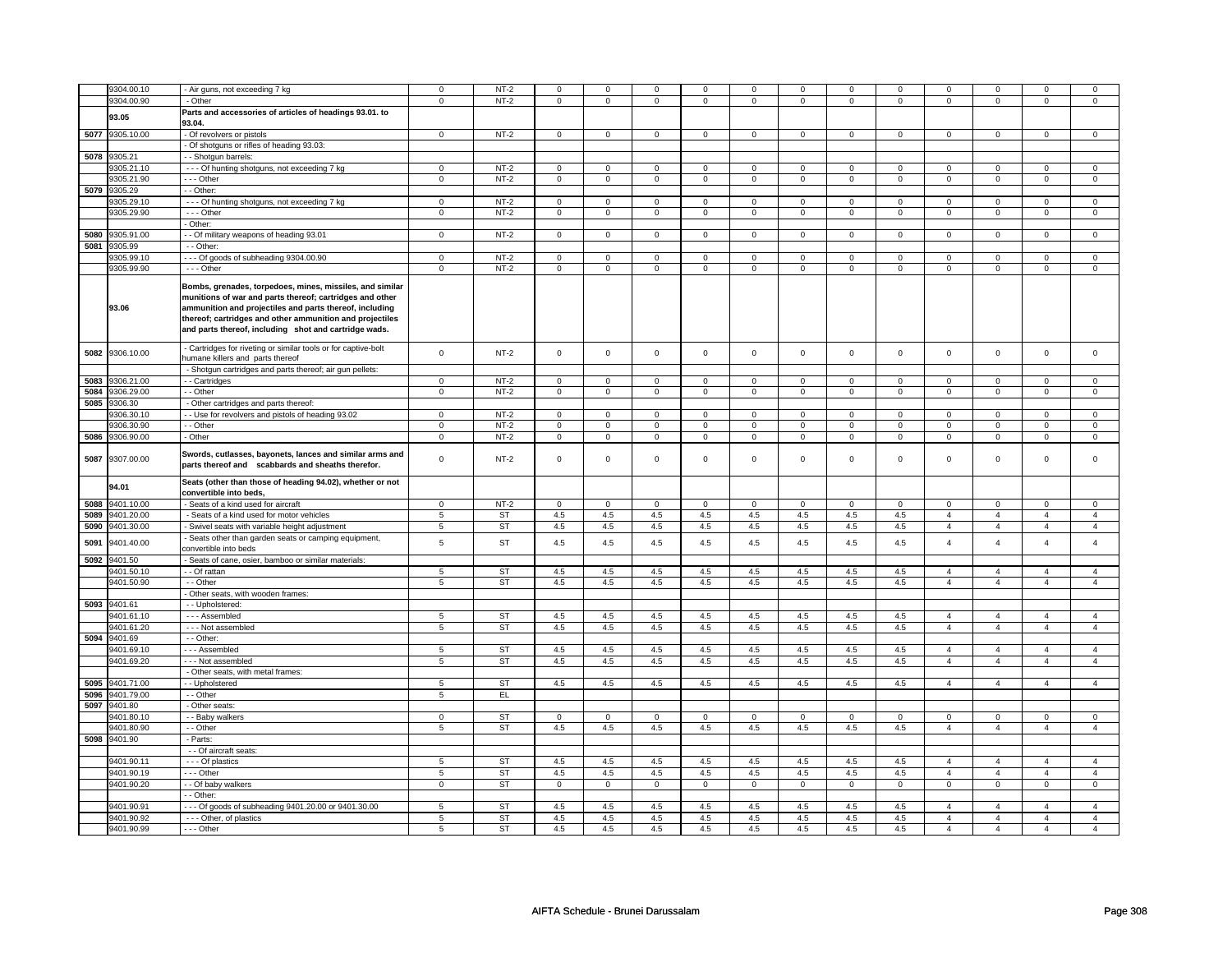|      |                 |                                                                                                                                                                                                                                                                                                      |                | $NT-2$    |                |                | $\Omega$            | $\mathbf 0$    | $\Omega$            |                | $\Omega$            | $\mathbf 0$    | $\Omega$            | $\mathbf{0}$        | $\Omega$       | $\Omega$       |
|------|-----------------|------------------------------------------------------------------------------------------------------------------------------------------------------------------------------------------------------------------------------------------------------------------------------------------------------|----------------|-----------|----------------|----------------|---------------------|----------------|---------------------|----------------|---------------------|----------------|---------------------|---------------------|----------------|----------------|
|      | 9304.00.10      | - Air guns, not exceeding 7 kg                                                                                                                                                                                                                                                                       | $\mathbf 0$    |           | $\mathbf 0$    | $\mathsf 0$    |                     |                |                     | $\mathbf 0$    |                     |                |                     |                     |                |                |
|      | 9304.00.90      | - Other                                                                                                                                                                                                                                                                                              | $\mathsf 0$    | $NT-2$    | 0              | $\mathbf 0$    | 0                   | $\mathbf 0$    | 0                   | $\mathbf 0$    | 0                   | $\mathbf 0$    | 0                   | $\mathbf 0$         | 0              | $\mathbf 0$    |
|      | 93.05           | Parts and accessories of articles of headings 93.01. to                                                                                                                                                                                                                                              |                |           |                |                |                     |                |                     |                |                     |                |                     |                     |                |                |
|      |                 | 93.04.                                                                                                                                                                                                                                                                                               |                |           |                |                |                     |                |                     |                |                     |                |                     |                     |                |                |
|      | 5077 9305.10.00 | - Of revolvers or pistols                                                                                                                                                                                                                                                                            | $\mathbf 0$    | $NT-2$    | $\mathbf 0$    | $\mathbf{0}$   | $\mathbf{0}$        | $\mathbf{0}$   | $\mathbf{0}$        | $\mathbf{0}$   | $\mathbf{0}$        | $\mathbf{0}$   | $\mathbf 0$         | $\mathbf{0}$        | $\Omega$       | $\mathbf{0}$   |
|      |                 | Of shotguns or rifles of heading 93.03:                                                                                                                                                                                                                                                              |                |           |                |                |                     |                |                     |                |                     |                |                     |                     |                |                |
|      | 5078 9305.21    |                                                                                                                                                                                                                                                                                                      |                |           |                |                |                     |                |                     |                |                     |                |                     |                     |                |                |
|      |                 | - - Shotgun barrels:                                                                                                                                                                                                                                                                                 |                |           |                |                |                     |                |                     |                |                     |                |                     |                     |                |                |
|      | 305.21.10       | - - - Of hunting shotguns, not exceeding 7 kg                                                                                                                                                                                                                                                        | $\mathbf 0$    | NT-2      | 0              | $\mathbf 0$    | 0                   | $\mathbf 0$    | 0                   | $\mathbf 0$    | 0                   | $\mathbf 0$    | 0                   | 0                   | 0              | 0              |
|      | 305.21.90       | - - Other                                                                                                                                                                                                                                                                                            | $\mathbf 0$    | $NT-2$    | $\mathbf 0$    | $\mathsf 0$    | $\mathbf 0$         | $\mathbf 0$    | $\mathbf 0$         | $\mathbf 0$    | $\mathbf 0$         | $\mathbf 0$    | $\mathbf 0$         | 0                   | $\Omega$       | 0              |
| 5079 | 9305.29         | - - Other:                                                                                                                                                                                                                                                                                           |                |           |                |                |                     |                |                     |                |                     |                |                     |                     |                |                |
|      | 305.29.10       | - - - Of hunting shotguns, not exceeding 7 kg                                                                                                                                                                                                                                                        | $\mathbf 0$    | $NT-2$    | $\mathbf 0$    | $\mathsf 0$    | $\mathbf 0$         | $\mathbf 0$    | $\mathbf 0$         | $\mathbf 0$    | $\mathbf 0$         | $\mathbf 0$    | $\mathsf 0$         | 0                   | $\Omega$       | 0              |
|      | 9305.29.90      | $- -$ Other                                                                                                                                                                                                                                                                                          | $\overline{0}$ | $NT-2$    | 0              | $\mathbf 0$    | 0                   | $\mathbf 0$    | $\mathbf 0$         | $\overline{0}$ | 0                   | $\mathbf 0$    | 0                   | $\overline{0}$      | $\mathbf 0$    | $\mathbf 0$    |
|      |                 | - Other:                                                                                                                                                                                                                                                                                             |                |           |                |                |                     |                |                     |                |                     |                |                     |                     |                |                |
|      |                 |                                                                                                                                                                                                                                                                                                      | $\overline{0}$ |           | $\overline{0}$ | $\overline{0}$ | $\overline{0}$      | $\overline{0}$ | $\overline{0}$      | $\overline{0}$ | $\overline{0}$      | $\overline{0}$ | $\overline{0}$      | $\overline{0}$      | $\overline{0}$ | $\overline{0}$ |
|      | 5080 9305.91.00 | - - Of military weapons of heading 93.01                                                                                                                                                                                                                                                             |                | $NT-2$    |                |                |                     |                |                     |                |                     |                |                     |                     |                |                |
|      | 5081 9305.99    | - - Other:                                                                                                                                                                                                                                                                                           |                |           |                |                |                     |                |                     |                |                     |                |                     |                     |                |                |
|      | 9305.99.10      | --- Of goods of subheading 9304.00.90                                                                                                                                                                                                                                                                | $\mathsf 0$    | $NT-2$    | $\mathsf 0$    | $\mathsf 0$    | $\mathsf{O}\xspace$ | $\mathbf{0}$   | $\mathsf{O}\xspace$ | $\mathbf{0}$   | $\mathsf{O}\xspace$ | $\mathbf{0}$   | $\mathsf{O}\xspace$ | $\mathsf{O}\xspace$ | $\mathbf 0$    | $\mathsf 0$    |
|      | 9305.99.90      | - - - Other                                                                                                                                                                                                                                                                                          | $\mathbf 0$    | $NT-2$    | $\mathbf 0$    | $\mathbf 0$    | 0                   | $\mathbf 0$    | 0                   | $\mathbf 0$    | 0                   | $\mathbf 0$    | 0                   | 0                   | 0              | 0              |
|      | 93.06           | Bombs, grenades, torpedoes, mines, missiles, and similar<br>munitions of war and parts thereof; cartridges and other<br>ammunition and projectiles and parts thereof, including<br>thereof; cartridges and other ammunition and projectiles<br>and parts thereof, including shot and cartridge wads. |                |           |                |                |                     |                |                     |                |                     |                |                     |                     |                |                |
| 5082 | 9306.10.00      | - Cartridges for riveting or similar tools or for captive-bolt<br>umane killers and parts thereof                                                                                                                                                                                                    | $\mathsf 0$    | $NT-2$    | $\mathbf 0$    | $\mathsf 0$    | $\mathbf 0$         | $\mathbf 0$    | $\mathbf 0$         | $\mathbf 0$    | $\mathbf 0$         | $\mathbf 0$    | $\mathbf 0$         | $\mathbf{O}$        | $\mathbf 0$    | $\mathbf 0$    |
|      |                 | - Shotgun cartridges and parts thereof; air gun pellets:                                                                                                                                                                                                                                             |                |           |                |                |                     |                |                     |                |                     |                |                     |                     |                |                |
| 5083 | 9306.21.00      | - Cartridges                                                                                                                                                                                                                                                                                         | $\mathbf 0$    | $NT-2$    | $\mathbf 0$    | $\mathsf 0$    | 0                   | $\mathbf 0$    | 0                   | $\mathbf 0$    | 0                   | 0              | 0                   | 0                   | 0              | 0              |
| 5084 | 9306.29.00      | - - Other                                                                                                                                                                                                                                                                                            | $\overline{0}$ | $NT-2$    | $\overline{0}$ | $\overline{0}$ | $\mathbf 0$         | $\overline{0}$ | $\overline{0}$      | $\overline{0}$ | $\mathbf 0$         | $\overline{0}$ | $\overline{0}$      | $\overline{0}$      | $\mathbf 0$    | $\overline{0}$ |
|      | 5085 9306.30    | - Other cartridges and parts thereof:                                                                                                                                                                                                                                                                |                |           |                |                |                     |                |                     |                |                     |                |                     |                     |                |                |
|      |                 |                                                                                                                                                                                                                                                                                                      |                | $NT-2$    |                |                |                     |                |                     |                |                     |                |                     |                     | $\Omega$       |                |
|      | 306.30.10       | - Use for revolvers and pistols of heading 93.02                                                                                                                                                                                                                                                     | $\mathbf 0$    |           | $\mathbf 0$    | $\mathbf 0$    | $\mathbf 0$         | $\mathbf 0$    | $\mathbf 0$         | $\mathbf 0$    | $\mathbf 0$         | $\mathbf 0$    | $\mathsf 0$         | $\mathbf{0}$        |                | $\mathbf 0$    |
|      | 9306.30.90      | - Other                                                                                                                                                                                                                                                                                              | $\mathbf 0$    | $NT-2$    | 0              | 0              | 0                   | 0              | 0                   | 0              | 0                   | 0              | 0                   | 0                   | 0              | 0              |
| 5086 | 9306.90.00      | - Other                                                                                                                                                                                                                                                                                              | $\mathbf 0$    | $NT-2$    | $\mathbf 0$    | $\mathsf 0$    | $\mathbf 0$         | $\mathbf 0$    | $\mathbf 0$         | $\mathbf 0$    | $\mathbf 0$         | $\mathbf 0$    | $\mathsf 0$         | $\mathbf 0$         | $\mathbf 0$    | 0              |
| 5087 | 9307.00.00      | Swords, cutlasses, bayonets, lances and similar arms and<br>parts thereof and scabbards and sheaths therefor.                                                                                                                                                                                        | $\mathbf 0$    | $NT-2$    | $\mathbf 0$    | $\mathbf 0$    | $\mathbf 0$         | $\mathbf 0$    | $\mathbf 0$         | $\mathbf 0$    | $\mathbf 0$         | $\mathbf 0$    | $\mathsf 0$         | $\mathbf{0}$        | $\mathbf 0$    | 0              |
|      | 94.01           | Seats (other than those of heading 94.02), whether or not<br>convertible into beds,                                                                                                                                                                                                                  |                |           |                |                |                     |                |                     |                |                     |                |                     |                     |                |                |
|      | 5088 9401.10.00 | Seats of a kind used for aircraft                                                                                                                                                                                                                                                                    | $\mathbf 0$    | $NT-2$    | $\mathbf 0$    | $\mathbf 0$    | $\mathbf 0$         | $\mathbf 0$    | $\mathbf 0$         | $\mathbf 0$    | $\mathbf{0}$        | $\mathbf 0$    | 0                   | 0                   | 0              | $\mathbf 0$    |
| 5089 | 9401.20.00      | Seats of a kind used for motor vehicles                                                                                                                                                                                                                                                              | 5              | ST        | 4.5            | 4.5            | 4.5                 | 4.5            | 4.5                 | 4.5            | 4.5                 | 4.5            | $\overline{4}$      | $\overline{4}$      | $\overline{4}$ | $\overline{4}$ |
| 5090 | 9401.30.00      | Swivel seats with variable height adjustment                                                                                                                                                                                                                                                         | 5              | ST        | 4.5            | 4.5            | 4.5                 | 4.5            | 4.5                 | 4.5            | 4.5                 | 4.5            | $\overline{4}$      | $\overline{4}$      | $\overline{4}$ | $\overline{4}$ |
| 5091 | 9401.40.00      | Seats other than garden seats or camping equipment,<br>convertible into beds                                                                                                                                                                                                                         | 5              | <b>ST</b> | 4.5            | 4.5            | 4.5                 | 4.5            | 4.5                 | 4.5            | 4.5                 | 4.5            | $\overline{4}$      | $\overline{4}$      | $\overline{4}$ | $\overline{4}$ |
|      | 5092 9401.50    | Seats of cane, osier, bamboo or similar materials:                                                                                                                                                                                                                                                   |                |           |                |                |                     |                |                     |                |                     |                |                     |                     |                |                |
|      | 9401.50.10      | - - Of rattan                                                                                                                                                                                                                                                                                        | 5              | <b>ST</b> | 4.5            | 4.5            | 4.5                 | 4.5            | 4.5                 | 4.5            | 4.5                 | 4.5            | 4                   | $\overline{4}$      | $\overline{4}$ | $\overline{4}$ |
|      | 9401.50.90      | - - Other                                                                                                                                                                                                                                                                                            | 5              | <b>ST</b> | 4.5            | 4.5            | 4.5                 | 4.5            | 4.5                 | 4.5            | 4.5                 | 4.5            | $\overline{4}$      | $\overline{4}$      | $\overline{4}$ | $\overline{4}$ |
|      |                 |                                                                                                                                                                                                                                                                                                      |                |           |                |                |                     |                |                     |                |                     |                |                     |                     |                |                |
|      |                 | Other seats, with wooden frames:                                                                                                                                                                                                                                                                     |                |           |                |                |                     |                |                     |                |                     |                |                     |                     |                |                |
|      | 5093 9401.61    | - - Upholstered:                                                                                                                                                                                                                                                                                     |                |           |                |                |                     |                |                     |                |                     |                |                     |                     |                |                |
|      | 9401.61.10      | --- Assembled                                                                                                                                                                                                                                                                                        | 5              | <b>ST</b> | 4.5            | 4.5            | 4.5                 | 4.5            | 4.5                 | 4.5            | 4.5                 | 4.5            | $\overline{4}$      | $\overline{4}$      | $\overline{4}$ | $\overline{4}$ |
|      | 9401.61.20      | - - - Not assembled                                                                                                                                                                                                                                                                                  | $\overline{5}$ | ST        | 4.5            | 4.5            | 4.5                 | 4.5            | 4.5                 | 4.5            | 4.5                 | 4.5            | $\overline{4}$      | $\overline{4}$      | $\overline{4}$ | $\overline{4}$ |
|      | 5094 9401.69    | - - Other:                                                                                                                                                                                                                                                                                           |                |           |                |                |                     |                |                     |                |                     |                |                     |                     |                |                |
|      | 9401.69.10      | --- Assembled                                                                                                                                                                                                                                                                                        | 5              | <b>ST</b> | $4.5\,$        | 4.5            | $4.5\,$             | $4.5\,$        | 4.5                 | 4.5            | 4.5                 | 4.5            | $\overline{4}$      | $\overline{4}$      | $\overline{a}$ | $\overline{4}$ |
|      | 9401.69.20      | - - - Not assembled                                                                                                                                                                                                                                                                                  | 5              | <b>ST</b> | 4.5            | 4.5            | 4.5                 | 4.5            | 4.5                 | 4.5            | 4.5                 | 4.5            | $\overline{4}$      | $\overline{4}$      | $\overline{4}$ | $\overline{4}$ |
|      |                 | Other seats, with metal frames:                                                                                                                                                                                                                                                                      |                |           |                |                |                     |                |                     |                |                     |                |                     |                     |                |                |
| 5095 | 9401.71.00      | - Upholstered                                                                                                                                                                                                                                                                                        | 5              | <b>ST</b> | 4.5            | 4.5            | 4.5                 | 4.5            | 4.5                 | 4.5            | 4.5                 | 4.5            | $\overline{4}$      | $\overline{4}$      | $\overline{4}$ | $\overline{4}$ |
| 5096 | 9401.79.00      | - - Other                                                                                                                                                                                                                                                                                            | 5              | EL        |                |                |                     |                |                     |                |                     |                |                     |                     |                |                |
| 5097 | 9401.80         | - Other seats:                                                                                                                                                                                                                                                                                       |                |           |                |                |                     |                |                     |                |                     |                |                     |                     |                |                |
|      | 401.80.10       | - - Baby walkers                                                                                                                                                                                                                                                                                     | $\mathbf 0$    | ST        | $\mathbf 0$    | $\mathbf 0$    | $\mathbf 0$         | $\mathbf 0$    | $\mathbf 0$         | $\mathbf 0$    | $\mathbf 0$         | $\mathbf 0$    | $\mathsf 0$         | $\mathbf 0$         | $\mathbf 0$    | $\mathbf 0$    |
|      | 9401.80.90      | - - Other                                                                                                                                                                                                                                                                                            | $\overline{5}$ | <b>ST</b> | 4.5            | 4.5            | 4.5                 | 4.5            | 4.5                 | 4.5            | 4.5                 | 4.5            |                     | $\overline{4}$      |                | $\overline{4}$ |
|      |                 |                                                                                                                                                                                                                                                                                                      |                |           |                |                |                     |                |                     |                |                     |                | $\overline{4}$      |                     | $\overline{4}$ |                |
|      | 5098 9401.90    | - Parts:                                                                                                                                                                                                                                                                                             |                |           |                |                |                     |                |                     |                |                     |                |                     |                     |                |                |
|      |                 | - - Of aircraft seats:                                                                                                                                                                                                                                                                               |                |           |                |                |                     |                |                     |                |                     |                |                     |                     |                |                |
|      | 9401.90.11      | - - - Of plastics                                                                                                                                                                                                                                                                                    | 5              | <b>ST</b> | 4.5            | 4.5            | $4.5\,$             | 4.5            | 4.5                 | 4.5            | 4.5                 | 4.5            | $\overline{4}$      | $\overline{4}$      | $\overline{4}$ | $\overline{4}$ |
|      | 9401.90.19      | $- -$ Other                                                                                                                                                                                                                                                                                          | $\sqrt{5}$     | <b>ST</b> | 4.5            | 4.5            | 4.5                 | 4.5            | 4.5                 | 4.5            | 4.5                 | 4.5            | $\overline{4}$      | $\overline{4}$      | $\overline{4}$ | $\overline{4}$ |
|      | 9401.90.20      | - - Of baby walkers                                                                                                                                                                                                                                                                                  | $\overline{0}$ | ST        | $\mathbf 0$    | $\overline{0}$ | $\mathbf 0$         | $\overline{0}$ | $\overline{0}$      | $\overline{0}$ | $\overline{0}$      | $\overline{0}$ | $\mathbf 0$         | $\overline{0}$      | $\mathbf 0$    | $\overline{0}$ |
|      |                 | - - Other:                                                                                                                                                                                                                                                                                           |                |           |                |                |                     |                |                     |                |                     |                |                     |                     |                |                |
|      | 9401.90.91      | - - Of goods of subheading 9401.20.00 or 9401.30.00                                                                                                                                                                                                                                                  | 5              | <b>ST</b> | $4.5\,$        | $4.5\,$        | 4.5                 | $4.5\,$        | 4.5                 | $4.5\,$        | 4.5                 | $4.5\,$        | $\overline{4}$      | $\overline{4}$      | $\overline{4}$ | $\overline{4}$ |
|      | 9401.90.92      | - - - Other, of plastics                                                                                                                                                                                                                                                                             | 5              | <b>ST</b> | 4.5            | 4.5            | 4.5                 | 4.5            | 4.5                 | 4.5            | 4.5                 | 4.5            | $\overline{4}$      | $\overline{4}$      | $\overline{4}$ | $\overline{4}$ |
|      | 9401.90.99      | --- Other                                                                                                                                                                                                                                                                                            | 5              | ST        | 4.5            | 4.5            | $4.5\,$             | 4.5            | 4.5                 | 4.5            | 4.5                 | 4.5            | $\overline{4}$      | $\overline{4}$      | $\overline{4}$ | $\overline{4}$ |
|      |                 |                                                                                                                                                                                                                                                                                                      |                |           |                |                |                     |                |                     |                |                     |                |                     |                     |                |                |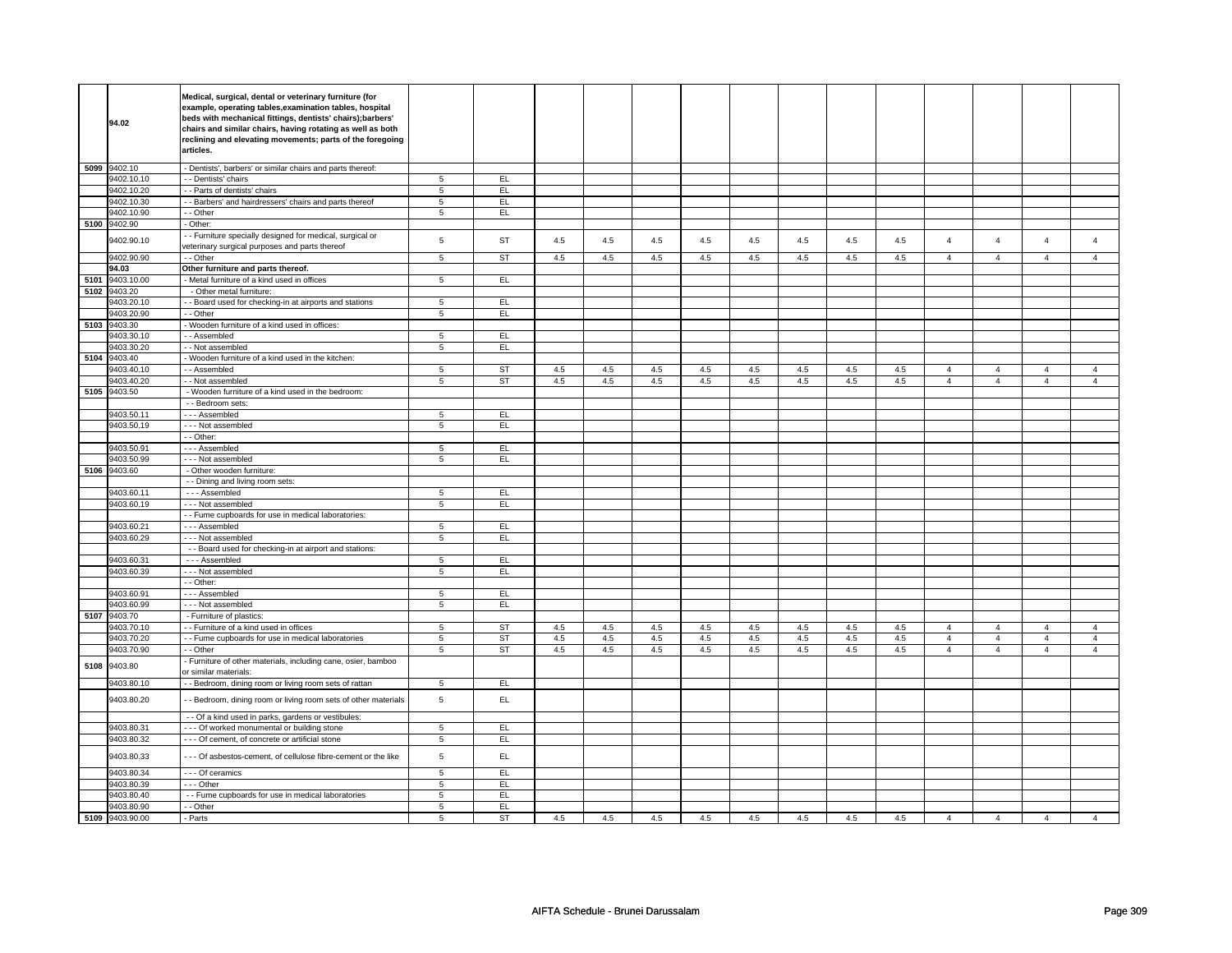|      | 94.02           | Medical, surgical, dental or veterinary furniture (for<br>example, operating tables, examination tables, hospital<br>beds with mechanical fittings, dentists' chairs); barbers'<br>chairs and similar chairs, having rotating as well as both<br>reclining and elevating movements; parts of the foregoing |                 |           |     |         |     |     |         |     |         |     |                |                |                |                |
|------|-----------------|------------------------------------------------------------------------------------------------------------------------------------------------------------------------------------------------------------------------------------------------------------------------------------------------------------|-----------------|-----------|-----|---------|-----|-----|---------|-----|---------|-----|----------------|----------------|----------------|----------------|
|      |                 | articles.                                                                                                                                                                                                                                                                                                  |                 |           |     |         |     |     |         |     |         |     |                |                |                |                |
|      | 5099 9402.10    | - Dentists', barbers' or similar chairs and parts thereof:                                                                                                                                                                                                                                                 |                 |           |     |         |     |     |         |     |         |     |                |                |                |                |
|      | 9402.10.10      | - - Dentists' chairs                                                                                                                                                                                                                                                                                       | 5               | EL        |     |         |     |     |         |     |         |     |                |                |                |                |
|      | 9402.10.20      | - - Parts of dentists' chairs                                                                                                                                                                                                                                                                              | 5               | EL        |     |         |     |     |         |     |         |     |                |                |                |                |
|      | 9402.10.30      | - - Barbers' and hairdressers' chairs and parts thereof                                                                                                                                                                                                                                                    | 5               | EL.       |     |         |     |     |         |     |         |     |                |                |                |                |
|      | 9402.10.90      | - - Other                                                                                                                                                                                                                                                                                                  | $\overline{5}$  | EL        |     |         |     |     |         |     |         |     |                |                |                |                |
|      | 5100 9402.90    | - Other:                                                                                                                                                                                                                                                                                                   |                 |           |     |         |     |     |         |     |         |     |                |                |                |                |
|      | 9402.90.10      | - Furniture specially designed for medical, surgical or<br>veterinary surgical purposes and parts thereof                                                                                                                                                                                                  | $\,$ 5 $\,$     | <b>ST</b> | 4.5 | 4.5     | 4.5 | 4.5 | 4.5     | 4.5 | 4.5     | 4.5 | 4              | $\overline{4}$ | $\Delta$       | $\overline{4}$ |
|      | 9402.90.90      | - - Other                                                                                                                                                                                                                                                                                                  | $\overline{5}$  | <b>ST</b> | 4.5 | 4.5     | 4.5 | 4.5 | 4.5     | 4.5 | 4.5     | 4.5 | $\overline{4}$ | $\overline{4}$ | $\overline{4}$ | $\overline{4}$ |
|      | 94.03           | Other furniture and parts thereof.                                                                                                                                                                                                                                                                         |                 |           |     |         |     |     |         |     |         |     |                |                |                |                |
| 5101 | 9403.10.00      | - Metal furniture of a kind used in offices                                                                                                                                                                                                                                                                | $5\phantom{.0}$ | EL.       |     |         |     |     |         |     |         |     |                |                |                |                |
|      | 5102 9403.20    | - Other metal furniture:                                                                                                                                                                                                                                                                                   |                 |           |     |         |     |     |         |     |         |     |                |                |                |                |
|      | 9403.20.10      | - Board used for checking-in at airports and stations                                                                                                                                                                                                                                                      | 5               | EL        |     |         |     |     |         |     |         |     |                |                |                |                |
|      | 9403.20.90      | - - Other                                                                                                                                                                                                                                                                                                  | $\sqrt{5}$      | EL        |     |         |     |     |         |     |         |     |                |                |                |                |
|      | 5103 9403.30    | - Wooden furniture of a kind used in offices:                                                                                                                                                                                                                                                              |                 |           |     |         |     |     |         |     |         |     |                |                |                |                |
|      | 9403.30.10      | - - Assembled                                                                                                                                                                                                                                                                                              | $5\phantom{.0}$ | EL.       |     |         |     |     |         |     |         |     |                |                |                |                |
|      | 9403.30.20      | - - Not assembled                                                                                                                                                                                                                                                                                          | $\overline{5}$  | EL        |     |         |     |     |         |     |         |     |                |                |                |                |
| 5104 | 9403.40         | - Wooden furniture of a kind used in the kitchen:                                                                                                                                                                                                                                                          |                 |           |     |         |     |     |         |     |         |     |                |                |                |                |
|      | 9403.40.10      | - - Assembled                                                                                                                                                                                                                                                                                              | 5               | ST        | 4.5 | 4.5     | 4.5 | 4.5 | 4.5     | 4.5 | 4.5     | 4.5 | $\overline{4}$ | $\overline{4}$ | $\overline{4}$ | 4              |
|      | 9403.40.20      | - - Not assembled                                                                                                                                                                                                                                                                                          | $\overline{5}$  | <b>ST</b> | 4.5 | 4.5     | 4.5 | 4.5 | 4.5     | 4.5 | 4.5     | 4.5 | $\overline{4}$ | $\overline{4}$ | $\overline{4}$ | $\overline{4}$ |
|      | 5105 9403.50    | - Wooden furniture of a kind used in the bedroom:                                                                                                                                                                                                                                                          |                 |           |     |         |     |     |         |     |         |     |                |                |                |                |
|      |                 | - - Bedroom sets:                                                                                                                                                                                                                                                                                          |                 |           |     |         |     |     |         |     |         |     |                |                |                |                |
|      | 9403.50.11      | - - - Assembled                                                                                                                                                                                                                                                                                            | 5               | EL        |     |         |     |     |         |     |         |     |                |                |                |                |
|      | 9403.50.19      | --- Not assembled                                                                                                                                                                                                                                                                                          | $\sqrt{5}$      | EL.       |     |         |     |     |         |     |         |     |                |                |                |                |
|      |                 | - - Other:                                                                                                                                                                                                                                                                                                 |                 |           |     |         |     |     |         |     |         |     |                |                |                |                |
|      | 9403.50.91      | --- Assembled                                                                                                                                                                                                                                                                                              | 5               | EL        |     |         |     |     |         |     |         |     |                |                |                |                |
|      | 9403.50.99      | --- Not assembled                                                                                                                                                                                                                                                                                          | 5               | EL        |     |         |     |     |         |     |         |     |                |                |                |                |
| 5106 | 9403.60         | - Other wooden furniture:                                                                                                                                                                                                                                                                                  |                 |           |     |         |     |     |         |     |         |     |                |                |                |                |
|      |                 | - - Dining and living room sets:                                                                                                                                                                                                                                                                           |                 |           |     |         |     |     |         |     |         |     |                |                |                |                |
|      | 9403.60.11      | --- Assembled                                                                                                                                                                                                                                                                                              | $5\overline{5}$ | EL.       |     |         |     |     |         |     |         |     |                |                |                |                |
|      | 9403.60.19      | --- Not assembled                                                                                                                                                                                                                                                                                          | 5               | EL.       |     |         |     |     |         |     |         |     |                |                |                |                |
|      |                 | - - Fume cupboards for use in medical laboratories:                                                                                                                                                                                                                                                        |                 |           |     |         |     |     |         |     |         |     |                |                |                |                |
|      | 9403.60.21      | --- Assembled                                                                                                                                                                                                                                                                                              | 5               | EL        |     |         |     |     |         |     |         |     |                |                |                |                |
|      | 9403.60.29      | --- Not assembled                                                                                                                                                                                                                                                                                          | 5               | EL        |     |         |     |     |         |     |         |     |                |                |                |                |
|      |                 | - - Board used for checking-in at airport and stations:                                                                                                                                                                                                                                                    |                 |           |     |         |     |     |         |     |         |     |                |                |                |                |
|      | 9403.60.31      | --- Assembled                                                                                                                                                                                                                                                                                              | 5               | EL.<br>EL |     |         |     |     |         |     |         |     |                |                |                |                |
|      | 9403.60.39      | --- Not assembled<br>- - Other:                                                                                                                                                                                                                                                                            | $\sqrt{5}$      |           |     |         |     |     |         |     |         |     |                |                |                |                |
|      | 9403.60.91      | --- Assembled                                                                                                                                                                                                                                                                                              | 5               | EL.       |     |         |     |     |         |     |         |     |                |                |                |                |
|      | 9403.60.99      | - - - Not assembled                                                                                                                                                                                                                                                                                        | $\overline{5}$  | EL        |     |         |     |     |         |     |         |     |                |                |                |                |
|      | 5107 9403.70    | - Furniture of plastics:                                                                                                                                                                                                                                                                                   |                 |           |     |         |     |     |         |     |         |     |                |                |                |                |
|      | 9403.70.10      | - - Furniture of a kind used in offices                                                                                                                                                                                                                                                                    | 5               | ST        | 4.5 | 4.5     | 4.5 | 4.5 | $4.5\,$ | 4.5 | 4.5     | 4.5 | $\overline{4}$ | $\overline{4}$ | 4              | $\overline{a}$ |
|      | 9403.70.20      | - - Fume cupboards for use in medical laboratories                                                                                                                                                                                                                                                         | 5               | <b>ST</b> | 4.5 | 4.5     | 4.5 | 4.5 | 4.5     | 4.5 | 4.5     | 4.5 | $\overline{4}$ | $\overline{4}$ | $\overline{4}$ | $\overline{4}$ |
|      | 9403.70.90      | - - Other                                                                                                                                                                                                                                                                                                  | $\,$ 5 $\,$     | ST        | 4.5 | $4.5\,$ | 4.5 | 4.5 | $4.5\,$ | 4.5 | $4.5\,$ | 4.5 | $\overline{4}$ | $\overline{4}$ | $\overline{4}$ | $\overline{4}$ |
| 5108 | 9403.80         | Furniture of other materials, including cane, osier, bamboo<br>or similar materials:                                                                                                                                                                                                                       |                 |           |     |         |     |     |         |     |         |     |                |                |                |                |
|      | 9403.80.10      | - - Bedroom, dining room or living room sets of rattan                                                                                                                                                                                                                                                     | $5\overline{5}$ | EL        |     |         |     |     |         |     |         |     |                |                |                |                |
|      | 9403.80.20      | - Bedroom, dining room or living room sets of other materials                                                                                                                                                                                                                                              | $\,$ 5 $\,$     | EL        |     |         |     |     |         |     |         |     |                |                |                |                |
|      |                 | - - Of a kind used in parks, gardens or vestibules:                                                                                                                                                                                                                                                        |                 |           |     |         |     |     |         |     |         |     |                |                |                |                |
|      | 9403.80.31      | - - - Of worked monumental or building stone                                                                                                                                                                                                                                                               | 5               | EL.       |     |         |     |     |         |     |         |     |                |                |                |                |
|      | 9403.80.32      | - - - Of cement, of concrete or artificial stone                                                                                                                                                                                                                                                           | $\overline{5}$  | EL        |     |         |     |     |         |     |         |     |                |                |                |                |
|      | 9403.80.33      | - - - Of asbestos-cement, of cellulose fibre-cement or the like                                                                                                                                                                                                                                            | 5               | EL        |     |         |     |     |         |     |         |     |                |                |                |                |
|      | 9403.80.34      | - - - Of ceramics                                                                                                                                                                                                                                                                                          | 5               | EL.       |     |         |     |     |         |     |         |     |                |                |                |                |
|      | 9403.80.39      | --- Other                                                                                                                                                                                                                                                                                                  | $\sqrt{5}$      | EL.       |     |         |     |     |         |     |         |     |                |                |                |                |
|      | 9403.80.40      | - - Fume cupboards for use in medical laboratories                                                                                                                                                                                                                                                         | 5               | EL.       |     |         |     |     |         |     |         |     |                |                |                |                |
|      | 9403.80.90      | - - Other                                                                                                                                                                                                                                                                                                  | 5               | EL        |     |         |     |     |         |     |         |     |                |                |                |                |
|      | 5109 9403.90.00 | - Parts                                                                                                                                                                                                                                                                                                    | 5               | <b>ST</b> | 4.5 | 4.5     | 4.5 | 4.5 | 4.5     | 4.5 | 4.5     | 4.5 | $\overline{4}$ | $\overline{4}$ | $\overline{4}$ | $\overline{4}$ |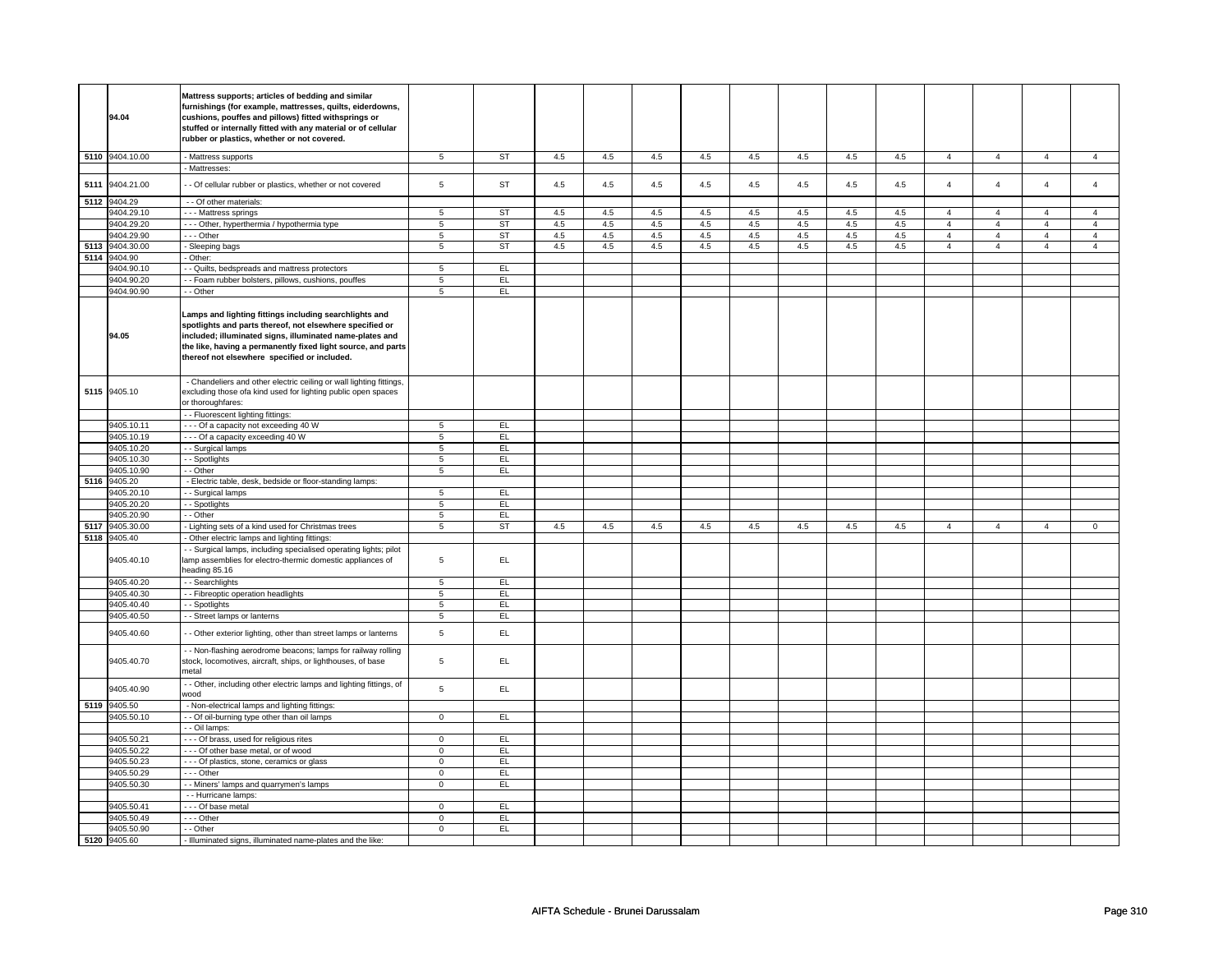|      | 94.04           | Mattress supports; articles of bedding and similar<br>furnishings (for example, mattresses, quilts, eiderdowns,<br>cushions, pouffes and pillows) fitted withsprings or<br>stuffed or internally fitted with any material or of cellular<br>rubber or plastics, whether or not covered.        |                |           |     |     |     |     |     |     |     |     |                |                |                |                |
|------|-----------------|------------------------------------------------------------------------------------------------------------------------------------------------------------------------------------------------------------------------------------------------------------------------------------------------|----------------|-----------|-----|-----|-----|-----|-----|-----|-----|-----|----------------|----------------|----------------|----------------|
|      | 5110 9404.10.00 | <b>Mattress supports</b>                                                                                                                                                                                                                                                                       | $\overline{5}$ | <b>ST</b> | 4.5 | 4.5 | 4.5 | 4.5 | 4.5 | 4.5 | 4.5 | 4.5 | $\overline{4}$ | $\overline{4}$ | $\overline{4}$ | $\overline{4}$ |
|      |                 | Mattresses:                                                                                                                                                                                                                                                                                    |                |           |     |     |     |     |     |     |     |     |                |                |                |                |
| 5111 | 9404.21.00      | - Of cellular rubber or plastics, whether or not covered                                                                                                                                                                                                                                       | 5              | <b>ST</b> | 4.5 | 4.5 | 4.5 | 4.5 | 4.5 | 4.5 | 4.5 | 4.5 | $\overline{4}$ | $\overline{4}$ | $\overline{4}$ | $\overline{4}$ |
| 5112 | 9404.29         | - - Of other materials:                                                                                                                                                                                                                                                                        |                |           |     |     |     |     |     |     |     |     |                |                |                |                |
|      | 9404.29.10      | - - - Mattress springs                                                                                                                                                                                                                                                                         | 5              | <b>ST</b> | 4.5 | 4.5 | 4.5 | 4.5 | 4.5 | 4.5 | 4.5 | 4.5 | $\overline{4}$ | $\overline{4}$ | $\overline{4}$ | $\overline{4}$ |
|      | 9404.29.20      | - - - Other, hyperthermia / hypothermia type                                                                                                                                                                                                                                                   | $\overline{5}$ | <b>ST</b> | 4.5 | 4.5 | 4.5 | 4.5 | 4.5 | 4.5 | 4.5 | 4.5 | $\overline{4}$ | $\overline{4}$ | $\overline{4}$ | $\overline{4}$ |
|      | 9404.29.90      | --- Other                                                                                                                                                                                                                                                                                      | 5              | <b>ST</b> | 4.5 | 4.5 | 4.5 | 4.5 | 4.5 | 4.5 | 4.5 | 4.5 | $\overline{4}$ | $\overline{4}$ | $\overline{4}$ | $\overline{4}$ |
|      | 9404.30.00      |                                                                                                                                                                                                                                                                                                | 5              | <b>ST</b> | 4.5 | 4.5 | 4.5 | 4.5 | 4.5 | 4.5 | 4.5 | 4.5 |                | $\overline{4}$ | $\overline{4}$ |                |
| 5113 |                 | - Sleeping bags                                                                                                                                                                                                                                                                                |                |           |     |     |     |     |     |     |     |     | $\overline{4}$ |                |                | $\overline{4}$ |
| 5114 | 9404.90         | Other:                                                                                                                                                                                                                                                                                         |                |           |     |     |     |     |     |     |     |     |                |                |                |                |
|      | 9404.90.10      | - Quilts, bedspreads and mattress protectors                                                                                                                                                                                                                                                   | 5              | EL        |     |     |     |     |     |     |     |     |                |                |                |                |
|      | 9404.90.20      | - Foam rubber bolsters, pillows, cushions, pouffes                                                                                                                                                                                                                                             | $\sqrt{5}$     | EL        |     |     |     |     |     |     |     |     |                |                |                |                |
|      | 9404.90.90      | - Other                                                                                                                                                                                                                                                                                        | 5              | EL        |     |     |     |     |     |     |     |     |                |                |                |                |
|      | 94.05           | Lamps and lighting fittings including searchlights and<br>spotlights and parts thereof, not elsewhere specified or<br>included; illuminated signs, illuminated name-plates and<br>the like, having a permanently fixed light source, and parts<br>thereof not elsewhere specified or included. |                |           |     |     |     |     |     |     |     |     |                |                |                |                |
|      | 5115 9405.10    | - Chandeliers and other electric ceiling or wall lighting fittings,<br>excluding those ofa kind used for lighting public open spaces<br>or thoroughfares:                                                                                                                                      |                |           |     |     |     |     |     |     |     |     |                |                |                |                |
|      |                 | - - Fluorescent lighting fittings:                                                                                                                                                                                                                                                             |                |           |     |     |     |     |     |     |     |     |                |                |                |                |
|      | 9405.10.11      | --- Of a capacity not exceeding 40 W                                                                                                                                                                                                                                                           | 5              | EL        |     |     |     |     |     |     |     |     |                |                |                |                |
|      | 9405.10.19      | --- Of a capacity exceeding 40 W                                                                                                                                                                                                                                                               | $\overline{5}$ | EL        |     |     |     |     |     |     |     |     |                |                |                |                |
|      | 9405.10.20      | - - Surgical lamps                                                                                                                                                                                                                                                                             | 5              | EL        |     |     |     |     |     |     |     |     |                |                |                |                |
|      | 9405.10.30      | - - Spotlights                                                                                                                                                                                                                                                                                 | 5              | EL        |     |     |     |     |     |     |     |     |                |                |                |                |
|      | 9405.10.90      | - - Other                                                                                                                                                                                                                                                                                      | 5              | EL.       |     |     |     |     |     |     |     |     |                |                |                |                |
|      |                 |                                                                                                                                                                                                                                                                                                |                |           |     |     |     |     |     |     |     |     |                |                |                |                |
| 5116 | 9405.20         | - Electric table, desk, bedside or floor-standing lamps:                                                                                                                                                                                                                                       |                |           |     |     |     |     |     |     |     |     |                |                |                |                |
|      | 9405.20.10      | - - Surgical lamps                                                                                                                                                                                                                                                                             | $\overline{5}$ | EL        |     |     |     |     |     |     |     |     |                |                |                |                |
|      | 9405.20.20      | - - Spotlights                                                                                                                                                                                                                                                                                 | 5              | EL        |     |     |     |     |     |     |     |     |                |                |                |                |
|      | 3405.20.90      | - Other                                                                                                                                                                                                                                                                                        | $\overline{5}$ | EL        |     |     |     |     |     |     |     |     |                |                |                |                |
| 5117 | 9405.30.00      | - Lighting sets of a kind used for Christmas trees                                                                                                                                                                                                                                             | 5              | ST        | 4.5 | 4.5 | 4.5 | 4.5 | 4.5 | 4.5 | 4.5 | 4.5 | $\overline{4}$ | 4              | $\overline{4}$ | $\overline{0}$ |
| 5118 | 9405.40         | - Other electric lamps and lighting fittings:                                                                                                                                                                                                                                                  |                |           |     |     |     |     |     |     |     |     |                |                |                |                |
|      | 9405.40.10      | - Surgical lamps, including specialised operating lights; pilot<br>amp assemblies for electro-thermic domestic appliances of<br>heading 85.16                                                                                                                                                  | 5              | EL        |     |     |     |     |     |     |     |     |                |                |                |                |
|      | 9405.40.20      | - - Searchlights                                                                                                                                                                                                                                                                               | 5              | EL        |     |     |     |     |     |     |     |     |                |                |                |                |
|      | 9405.40.30      | - - Fibreoptic operation headlights                                                                                                                                                                                                                                                            | 5              | EL.       |     |     |     |     |     |     |     |     |                |                |                |                |
|      | 9405.40.40      | - - Spotlights                                                                                                                                                                                                                                                                                 | 5              | EL        |     |     |     |     |     |     |     |     |                |                |                |                |
|      | 9405.40.50      | - - Street lamps or lanterns                                                                                                                                                                                                                                                                   | $\overline{5}$ | EL        |     |     |     |     |     |     |     |     |                |                |                |                |
|      | 9405.40.60      | - Other exterior lighting, other than street lamps or lanterns                                                                                                                                                                                                                                 | 5              | EL        |     |     |     |     |     |     |     |     |                |                |                |                |
|      | 9405.40.70      | - Non-flashing aerodrome beacons; lamps for railway rolling<br>stock, locomotives, aircraft, ships, or lighthouses, of base<br>metal                                                                                                                                                           | 5              | EL        |     |     |     |     |     |     |     |     |                |                |                |                |
|      | 9405.40.90      | - Other, including other electric lamps and lighting fittings, of<br>boow                                                                                                                                                                                                                      | 5              | EL.       |     |     |     |     |     |     |     |     |                |                |                |                |
|      | 5119 9405.50    | - Non-electrical lamps and lighting fittings:                                                                                                                                                                                                                                                  |                |           |     |     |     |     |     |     |     |     |                |                |                |                |
|      | 9405.50.10      | - - Of oil-burning type other than oil lamps                                                                                                                                                                                                                                                   | $\overline{0}$ | EL        |     |     |     |     |     |     |     |     |                |                |                |                |
|      |                 | - - Oil lamps:                                                                                                                                                                                                                                                                                 |                |           |     |     |     |     |     |     |     |     |                |                |                |                |
|      | 9405.50.21      | - - - Of brass, used for religious rites                                                                                                                                                                                                                                                       | $\mathbf 0$    | EL        |     |     |     |     |     |     |     |     |                |                |                |                |
|      | 9405.50.22      | - - - Of other base metal, or of wood                                                                                                                                                                                                                                                          | $\mathbf 0$    | EL        |     |     |     |     |     |     |     |     |                |                |                |                |
|      |                 |                                                                                                                                                                                                                                                                                                |                |           |     |     |     |     |     |     |     |     |                |                |                |                |
|      | 9405.50.23      | - - - Of plastics, stone, ceramics or glass                                                                                                                                                                                                                                                    | $\mathbf 0$    | EL        |     |     |     |     |     |     |     |     |                |                |                |                |
|      | 9405.50.29      | --- Other                                                                                                                                                                                                                                                                                      | $\mathsf 0$    | EL.       |     |     |     |     |     |     |     |     |                |                |                |                |
|      | 9405.50.30      | - - Miners' lamps and quarrymen's lamps                                                                                                                                                                                                                                                        | $\overline{0}$ | EL        |     |     |     |     |     |     |     |     |                |                |                |                |
|      |                 | - - Hurricane lamps:                                                                                                                                                                                                                                                                           |                |           |     |     |     |     |     |     |     |     |                |                |                |                |
|      | 9405.50.41      | --- Of base metal                                                                                                                                                                                                                                                                              | $\mathbf 0$    | EL        |     |     |     |     |     |     |     |     |                |                |                |                |
|      | 9405.50.49      | - - - Other                                                                                                                                                                                                                                                                                    | $\mathbf 0$    | EL        |     |     |     |     |     |     |     |     |                |                |                |                |
|      | 9405.50.90      | - - Other                                                                                                                                                                                                                                                                                      | $\mathbf 0$    | EL.       |     |     |     |     |     |     |     |     |                |                |                |                |
|      | 5120 9405.60    | - Illuminated signs, illuminated name-plates and the like:                                                                                                                                                                                                                                     |                |           |     |     |     |     |     |     |     |     |                |                |                |                |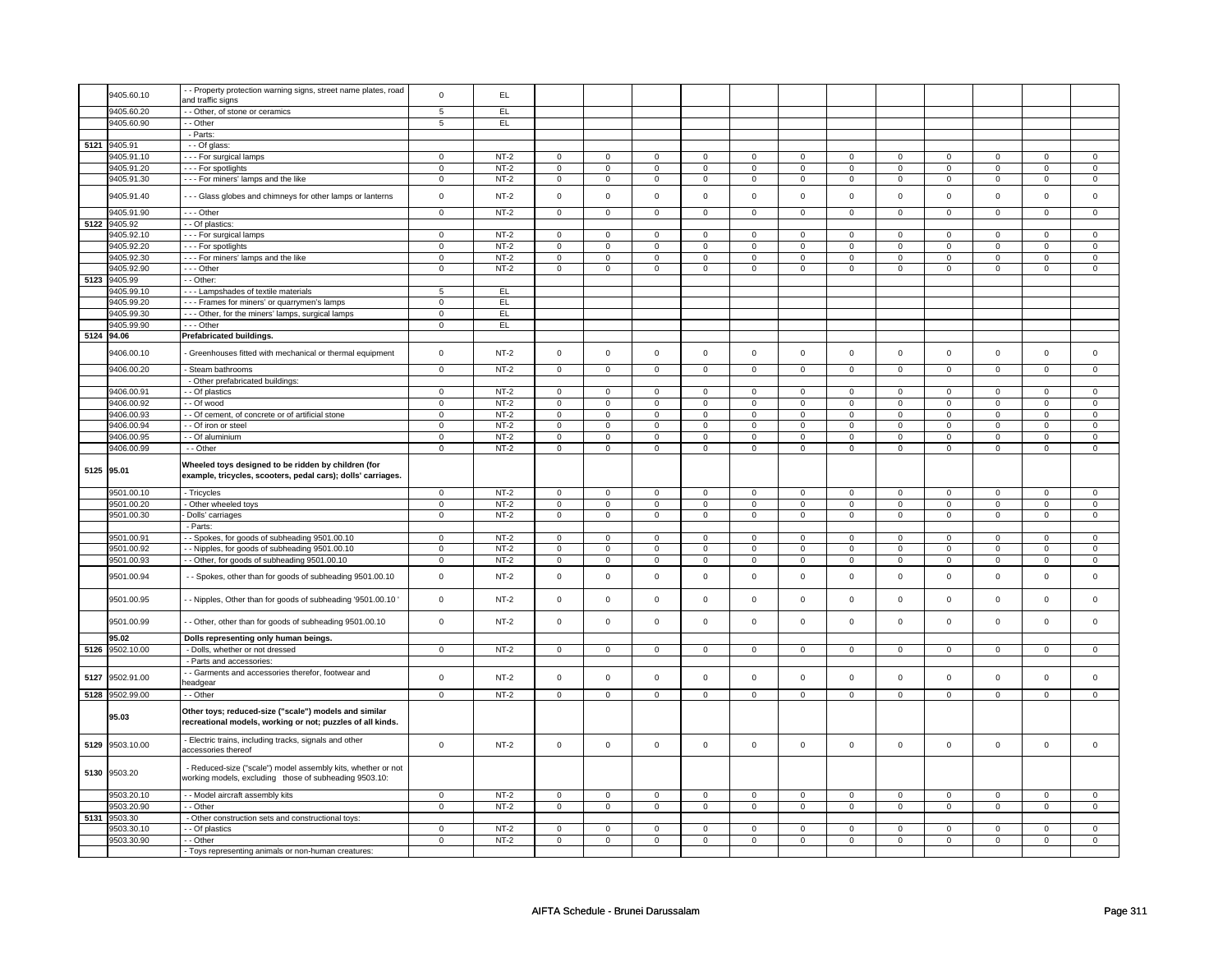|            | 9405.60.10      | - - Property protection warning signs, street name plates, road  | $\mathbf 0$    | EL     |                |                |             |                |                |                |                |                |                |                     |             |                |
|------------|-----------------|------------------------------------------------------------------|----------------|--------|----------------|----------------|-------------|----------------|----------------|----------------|----------------|----------------|----------------|---------------------|-------------|----------------|
|            |                 | and traffic signs                                                |                |        |                |                |             |                |                |                |                |                |                |                     |             |                |
|            | 9405.60.20      | - Other, of stone or ceramics                                    | $\overline{5}$ | EL     |                |                |             |                |                |                |                |                |                |                     |             |                |
|            |                 |                                                                  |                |        |                |                |             |                |                |                |                |                |                |                     |             |                |
|            | 9405.60.90      | - - Other                                                        | 5              | EL.    |                |                |             |                |                |                |                |                |                |                     |             |                |
|            |                 | - Parts:                                                         |                |        |                |                |             |                |                |                |                |                |                |                     |             |                |
|            | 5121 9405.91    | - - Of glass:                                                    |                |        |                |                |             |                |                |                |                |                |                |                     |             |                |
|            |                 |                                                                  |                |        |                |                |             |                |                |                |                |                |                |                     |             |                |
|            | 9405.91.10      | --- For surgical lamps                                           | $\mathbf 0$    | $NT-2$ | $\mathbf 0$    | $\mathbf 0$    | $\mathbf 0$ | $\mathbf 0$    | $\mathbf 0$    | $\mathbf 0$    | $\mathbf 0$    | $\mathbf 0$    | $\mathbf 0$    | $\mathbf 0$         | $\mathbf 0$ | $\mathbf 0$    |
|            | 9405.91.20      | --- For spotlights                                               | $\mathsf 0$    | $NT-2$ | $\mathbf 0$    | $\mathsf 0$    | $\mathsf 0$ | $\mathbf 0$    | $\mathbf 0$    | $\mathbf 0$    | $\mathsf 0$    | $\mathbf 0$    | $\mathsf 0$    | $\mathbf 0$         | $\mathsf 0$ | $\mathbf 0$    |
|            | 9405.91.30      | --- For miners' lamps and the like                               | $\mathbf 0$    | $NT-2$ | $\mathsf 0$    | $\mathbf 0$    | $\mathsf 0$ | $\mathbf 0$    | $\mathsf 0$    | $\mathbf 0$    | $\mathsf 0$    | $\mathsf 0$    | $\mathsf 0$    | $\mathsf 0$         | $\mathsf 0$ | $\mathsf 0$    |
|            |                 |                                                                  |                |        |                |                |             |                |                |                |                |                |                |                     |             |                |
|            | 9405.91.40      | --- Glass globes and chimneys for other lamps or lanterns        | $\mathsf 0$    | $NT-2$ | $\mathsf 0$    | $\mathsf 0$    | $\mathsf 0$ | $\mathbf 0$    | $\mathsf 0$    | $\mathbf 0$    | $\mathsf 0$    | $\mathbf 0$    | $\mathsf 0$    | $\mathsf 0$         | $\mathsf 0$ | $\mathbf 0$    |
|            |                 |                                                                  |                |        |                |                |             |                |                |                |                |                |                |                     |             |                |
|            | 9405.91.90      | --- Other                                                        | $\mathbf 0$    | $NT-2$ | $\mathbf 0$    | $\mathsf 0$    | $\mathbf 0$ | $\mathbf 0$    | $\mathbf 0$    | $\mathbf 0$    | $\mathbf 0$    | $\mathbf 0$    | $\mathsf 0$    | $\mathbf 0$         | $\mathbf 0$ | $\mathbf 0$    |
| 5122       | 9405.92         | - - Of plastics:                                                 |                |        |                |                |             |                |                |                |                |                |                |                     |             |                |
|            |                 |                                                                  |                |        |                |                |             |                |                |                |                |                |                |                     |             |                |
|            | 9405.92.10      | - - - For surgical lamps                                         | $\mathbf 0$    | $NT-2$ | $\mathbf 0$    | $\mathbf 0$    | $\mathbf 0$ | $\mathbf 0$    | $\mathbf 0$    | $\mathbf 0$    | $\mathbf 0$    | $\mathbf 0$    | $\mathbf 0$    | $\mathbf 0$         | $\mathbf 0$ | $\mathbf 0$    |
|            | 9405.92.20      | --- For spotlights                                               | $\mathsf 0$    | $NT-2$ | $\mathsf 0$    | $\mathsf 0$    | $\mathsf 0$ | $\mathbf 0$    | $\mathsf 0$    | $\mathbf 0$    | $\mathsf 0$    | $\mathbf 0$    | $\mathsf 0$    | $\mathbf 0$         | $\Omega$    | $\mathbf 0$    |
|            | 9405.92.30      | --- For miners' lamps and the like                               | 0              | $NT-2$ | $\mathsf 0$    | $\mathbf 0$    | 0           | $\mathbf 0$    | 0              | $\mathsf 0$    | 0              | $\mathbf 0$    | 0              | $\mathsf 0$         | 0           | $\mathsf 0$    |
|            |                 |                                                                  |                |        |                |                |             |                |                |                |                |                |                |                     |             |                |
|            | 9405.92.90      | --- Other                                                        | $\mathbf 0$    | $NT-2$ | $\mathbf 0$    | $\mathsf 0$    | $\mathbf 0$ | $\mathbf 0$    | $\mathbf 0$    | $\mathbf 0$    | $\mathbf 0$    | $\mathbf 0$    | $\mathsf 0$    | $\mathbf 0$         | $\mathsf 0$ | $\mathbf 0$    |
| 5123       | 9405.99         | - - Other:                                                       |                |        |                |                |             |                |                |                |                |                |                |                     |             |                |
|            | 9405.99.10      | - - - Lampshades of textile materials                            | $\overline{5}$ | EL     |                |                |             |                |                |                |                |                |                |                     |             |                |
|            | 9405.99.20      | --- Frames for miners' or quarrymen's lamps                      | $\mathbf 0$    | EL     |                |                |             |                |                |                |                |                |                |                     |             |                |
|            |                 |                                                                  |                |        |                |                |             |                |                |                |                |                |                |                     |             |                |
|            | 9405.99.30      | --- Other, for the miners' lamps, surgical lamps                 | $\mathsf 0$    | EL.    |                |                |             |                |                |                |                |                |                |                     |             |                |
|            | 9405.99.90      | --- Other                                                        | $\overline{0}$ | EL     |                |                |             |                |                |                |                |                |                |                     |             |                |
| 5124 94.06 |                 | Prefabricated buildings.                                         |                |        |                |                |             |                |                |                |                |                |                |                     |             |                |
|            |                 |                                                                  |                |        |                |                |             |                |                |                |                |                |                |                     |             |                |
|            | 9406.00.10      | - Greenhouses fitted with mechanical or thermal equipment        | $\mathsf 0$    | $NT-2$ | $\mathbf 0$    | $\mathsf 0$    | $\mathbf 0$ | $\mathbf 0$    | $\mathsf 0$    | $\mathbf 0$    | $\Omega$       | $\mathbf 0$    | $\mathsf 0$    | $\mathbf 0$         | $\Omega$    | $\mathbf 0$    |
|            |                 |                                                                  |                |        |                |                |             |                |                |                |                |                |                |                     |             |                |
|            | 9406.00.20      | - Steam bathrooms                                                | $\mathbf 0$    | $NT-2$ | $\mathbf 0$    | $\mathsf 0$    | $\mathbf 0$ | $\mathsf 0$    | $\mathbf 0$    | $\mathsf 0$    | $\mathbf 0$    | $\mathsf 0$    | $\mathsf 0$    | $\mathsf 0$         | $\mathsf 0$ | $\mathsf 0$    |
|            |                 | - Other prefabricated buildings:                                 |                |        |                |                |             |                |                |                |                |                |                |                     |             |                |
|            |                 |                                                                  |                |        |                |                |             |                |                |                |                |                |                |                     |             |                |
|            | 9406.00.91      | - Of plastics                                                    | $\mathsf 0$    | $NT-2$ | $\mathbf 0$    | $\mathsf 0$    | $\mathbf 0$ | $\mathbf 0$    | $\mathbf 0$    | $\mathbf 0$    | $\mathbf 0$    | $\mathbf 0$    | $\mathsf 0$    | $\mathbf 0$         | $\mathbf 0$ | $\mathbf 0$    |
|            | 9406.00.92      | - - Of wood                                                      | 0              | $NT-2$ | 0              | 0              | $\mathbf 0$ | 0              | 0              | $\mathbf 0$    | $\mathbf 0$    | $\mathbf 0$    | 0              | $\mathbf 0$         | 0           | $\mathbf 0$    |
|            | 9406.00.93      | - Of cement, of concrete or of artificial stone                  | $\mathsf 0$    | $NT-2$ | $\mathsf 0$    | $\mathsf 0$    | $\mathsf 0$ | $\mathsf 0$    | $\mathsf 0$    | $\mathsf 0$    | $\mathsf 0$    | $\mathsf 0$    | $\mathsf 0$    | $\mathsf 0$         | $\mathbf 0$ | $\mathsf 0$    |
|            | 9406.00.94      | - Of iron or steel                                               | $\mathbf 0$    | $NT-2$ | $\mathsf 0$    | $\mathsf 0$    | $\mathsf 0$ | $\mathsf 0$    | $\mathsf 0$    | $\mathsf 0$    | $\mathsf 0$    | $\mathsf 0$    | $\mathsf 0$    | $\mathsf 0$         | $\Omega$    | $\mathsf 0$    |
|            |                 |                                                                  |                |        |                |                |             |                |                |                |                |                |                |                     |             |                |
|            | 9406.00.95      | - - Of aluminium                                                 | $\mathbf 0$    | $NT-2$ | $\mathsf 0$    | $\mathbf 0$    | $\mathsf 0$ | $\mathbf 0$    | $\mathsf 0$    | $\mathbf 0$    | $\mathsf 0$    | $\mathsf 0$    | $\mathsf 0$    | $\overline{0}$      | $\mathsf 0$ | $\overline{0}$ |
|            | 9406.00.99      | - - Other                                                        | $\mathsf 0$    | $NT-2$ | $\mathsf 0$    | $\mathsf 0$    | $\mathsf 0$ | $\mathsf 0$    | $\mathsf 0$    | $\mathsf 0$    | $\mathsf 0$    | $\mathsf 0$    | $\mathsf 0$    | $\mathsf 0$         | 0           | $\overline{0}$ |
|            |                 |                                                                  |                |        |                |                |             |                |                |                |                |                |                |                     |             |                |
|            |                 | Wheeled toys designed to be ridden by children (for              |                |        |                |                |             |                |                |                |                |                |                |                     |             |                |
| 5125 95.01 |                 | example, tricycles, scooters, pedal cars); dolls' carriages.     |                |        |                |                |             |                |                |                |                |                |                |                     |             |                |
|            |                 |                                                                  |                |        |                |                |             |                |                |                |                |                |                |                     |             |                |
|            | 9501.00.10      | - Tricycles                                                      | $\mathsf 0$    | $NT-2$ | $\mathbf 0$    | $\mathbf 0$    | $\mathbf 0$ | $\mathbf 0$    | $\mathbf 0$    | $\mathbf 0$    | $\mathbf 0$    | $\mathbf 0$    | $\mathbf 0$    | $\mathbf 0$         | $\mathbf 0$ | $\mathbf 0$    |
|            | 9501.00.20      | - Other wheeled toys                                             | $\overline{0}$ | $NT-2$ | $\overline{0}$ | $\overline{0}$ | $\mathbf 0$ | $\overline{0}$ | $\overline{0}$ | $\overline{0}$ | $\overline{0}$ | $\overline{0}$ | $\overline{0}$ | $\overline{0}$      | $\mathbf 0$ | $\overline{0}$ |
|            |                 |                                                                  |                |        |                |                |             |                |                |                |                |                |                |                     |             |                |
|            | 9501.00.30      | Dolls' carriages                                                 | 0              | $NT-2$ | 0              | 0              | $\mathbf 0$ | $\mathbf 0$    | 0              | $\mathbf 0$    | $\mathbf 0$    | $\mathbf 0$    | 0              | $\mathbf 0$         | $\mathbf 0$ | $\mathbf 0$    |
|            |                 | - Parts:                                                         |                |        |                |                |             |                |                |                |                |                |                |                     |             |                |
|            | 9501.00.91      | - Spokes, for goods of subheading 9501.00.10                     | 0              | $NT-2$ | $\mathsf 0$    | $\mathsf 0$    | 0           | $\mathbf 0$    | $\mathsf 0$    | $\mathbf 0$    | 0              | $\mathbf 0$    | 0              | $\mathbf 0$         | $\mathbf 0$ | $\mathbf 0$    |
|            | 9501.00.92      | - Nipples, for goods of subheading 9501.00.10                    | 0              | $NT-2$ | 0              | $\mathbf 0$    | $\mathbf 0$ | $\mathbf 0$    | 0              | $\mathbf 0$    | $\mathbf 0$    | $\mathbf 0$    | 0              | $\mathbf 0$         | $\mathbf 0$ | $\mathbf 0$    |
|            |                 |                                                                  |                |        |                |                |             |                |                | $\overline{0}$ |                |                |                |                     |             |                |
|            | 9501.00.93      | - Other, for goods of subheading 9501.00.10                      | 0              | $NT-2$ | $\overline{0}$ | $\overline{0}$ | $\mathbf 0$ | $\mathbf 0$    | $\overline{0}$ |                | $\mathbf 0$    |                |                |                     |             |                |
|            |                 |                                                                  |                |        |                |                |             |                |                |                |                | $\mathbf 0$    | $\mathbf 0$    | $\overline{0}$      | $\mathbf 0$ | 0              |
|            | 9501.00.94      |                                                                  |                |        |                |                |             |                |                |                |                |                |                |                     |             |                |
|            |                 | - - Spokes, other than for goods of subheading 9501.00.10        | $\mathbf 0$    | $NT-2$ | $\mathsf 0$    | $\mathbf 0$    | $\mathsf 0$ | $\mathsf 0$    | $\mathsf 0$    | $\mathsf 0$    | $\mathsf 0$    | $\mathsf 0$    | $\mathsf 0$    | $\mathsf{O}\xspace$ | $\mathsf 0$ | $\mathsf 0$    |
|            |                 |                                                                  |                |        |                |                |             |                |                |                |                |                |                |                     |             |                |
|            | 9501.00.95      | - Nipples, Other than for goods of subheading '9501.00.10'       | $\mathsf 0$    | $NT-2$ | $\mathsf 0$    | $\mathsf 0$    | $\mathsf 0$ | $\mathbf 0$    | $\mathsf 0$    | $\mathbf 0$    | $\mathsf 0$    | $\mathsf 0$    | $\mathsf 0$    | $\mathsf 0$         | $\Omega$    | $\Omega$       |
|            |                 |                                                                  |                |        |                |                |             |                |                |                |                |                |                |                     |             |                |
|            |                 |                                                                  |                |        |                |                |             |                |                |                |                |                |                |                     |             |                |
|            | 9501.00.99      | - Other, other than for goods of subheading 9501.00.10           | $\mathbf 0$    | $NT-2$ | $\mathbf 0$    | $\mathbf 0$    | $\mathbf 0$ | $\mathbf 0$    | $\mathbf 0$    | $\mathbf 0$    | $\mathbf 0$    | $\mathbf 0$    | $\mathbf 0$    | $\mathbf 0$         | $\mathbf 0$ | $\mathbf 0$    |
|            |                 |                                                                  |                |        |                |                |             |                |                |                |                |                |                |                     |             |                |
|            | 95.02           | Dolls representing only human beings.                            |                |        |                |                |             |                |                |                |                |                |                |                     |             |                |
| 5126       | 9502.10.00      | - Dolls, whether or not dressed                                  | $\mathsf 0$    | $NT-2$ | $\mathsf 0$    | $\mathsf 0$    | $\mathbf 0$ | $\mathsf 0$    | $\mathbf 0$    | $\mathsf 0$    | $\mathbf 0$    | $\mathsf 0$    | $\mathsf 0$    | $\mathsf 0$         | $\mathsf 0$ | $\mathsf 0$    |
|            |                 | - Parts and accessories:                                         |                |        |                |                |             |                |                |                |                |                |                |                     |             |                |
|            |                 |                                                                  |                |        |                |                |             |                |                |                |                |                |                |                     |             |                |
| 5127       | 9502.91.00      | - Garments and accessories therefor, footwear and                | $\mathsf 0$    | $NT-2$ | $\mathsf 0$    | $\mathbf 0$    | $\mathsf 0$ | $\mathsf 0$    | $\mathsf 0$    | $\mathsf 0$    | $\mathsf 0$    | $\mathsf 0$    | $\mathsf 0$    | $\mathsf 0$         | $\mathsf 0$ | $\mathsf 0$    |
|            |                 | headgear                                                         |                |        |                |                |             |                |                |                |                |                |                |                     |             |                |
|            | 5128 9502.99.00 | - - Other                                                        | $\mathbf 0$    | $NT-2$ | $\mathbf 0$    | $\mathbf 0$    | $\mathbf 0$ | $\mathbf 0$    | $\mathbf 0$    | $\mathbf 0$    | $\mathbf 0$    | $\mathbf 0$    | $\mathsf 0$    | $\mathbf 0$         | $\mathbf 0$ | $\mathbf 0$    |
|            |                 |                                                                  |                |        |                |                |             |                |                |                |                |                |                |                     |             |                |
|            |                 | Other toys; reduced-size ("scale") models and similar            |                |        |                |                |             |                |                |                |                |                |                |                     |             |                |
|            | 95.03           | recreational models, working or not; puzzles of all kinds.       |                |        |                |                |             |                |                |                |                |                |                |                     |             |                |
|            |                 |                                                                  |                |        |                |                |             |                |                |                |                |                |                |                     |             |                |
|            |                 | - Electric trains, including tracks, signals and other           |                |        |                |                |             |                |                |                |                |                |                |                     |             |                |
| 5129       | 9503.10.00      | accessories thereof                                              | $\mathsf 0$    | $NT-2$ | $\mathsf 0$    | $\mathbf 0$    | $\mathsf 0$ | $\mathsf 0$    | $\mathsf 0$    | $\mathsf 0$    | $\mathsf 0$    | $\mathsf 0$    | $\mathsf 0$    | $\mathsf 0$         | $\mathsf 0$ | $\mathsf 0$    |
|            |                 |                                                                  |                |        |                |                |             |                |                |                |                |                |                |                     |             |                |
|            |                 | - Reduced-size ("scale") model assembly kits, whether or not     |                |        |                |                |             |                |                |                |                |                |                |                     |             |                |
|            | 5130 9503.20    |                                                                  |                |        |                |                |             |                |                |                |                |                |                |                     |             |                |
|            |                 | working models, excluding those of subheading 9503.10:           |                |        |                |                |             |                |                |                |                |                |                |                     |             |                |
|            |                 |                                                                  |                |        |                |                |             |                |                |                |                |                |                |                     |             |                |
|            | 9503.20.10      | - - Model aircraft assembly kits                                 | $\mathbf 0$    | $NT-2$ | $\mathbf 0$    | $\mathsf 0$    | $\mathbf 0$ | $\mathbf 0$    | $\mathbf 0$    | $\mathbf 0$    | $\mathbf 0$    | $\mathbf 0$    | $\mathbf 0$    | $\mathbf 0$         | $\mathbf 0$ | $\mathbf 0$    |
|            | 9503.20.90      | - Other                                                          | $\mathsf 0$    | $NT-2$ | $\mathbf 0$    | $\mathsf 0$    | $\mathbf 0$ | $\mathbf 0$    | $\mathbf 0$    | $\mathsf 0$    | $\mathbf 0$    | $\mathbf 0$    | $\mathbf 0$    | $\mathsf 0$         | $\mathbf 0$ | $\mathbf 0$    |
|            | 5131 9503.30    | - Other construction sets and constructional toys:               |                |        |                |                |             |                |                |                |                |                |                |                     |             |                |
|            | 9503.30.10      | - Of plastics                                                    | 0              | $NT-2$ | $\mathbf 0$    | $\mathbf 0$    | $\mathbf 0$ | $\mathbf 0$    | $\mathbf 0$    | $\mathbf 0$    | $\mathbf 0$    | $\mathbf 0$    | $\mathbf 0$    | $\mathbf 0$         | $\mathbf 0$ | $\mathbf{0}$   |
|            |                 |                                                                  |                |        |                |                |             |                |                |                |                |                |                |                     |             |                |
|            | 9503.30.90      | - - Other<br>- Toys representing animals or non-human creatures: | $\mathbf 0$    | $NT-2$ | $\mathbf 0$    | $\mathsf 0$    | $\mathbf 0$ | $\mathsf 0$    | $\mathbf 0$    | $\mathsf 0$    | 0              | $\mathbf 0$    | $\mathsf 0$    | $\mathbf 0$         | $\mathsf 0$ | $\mathbf 0$    |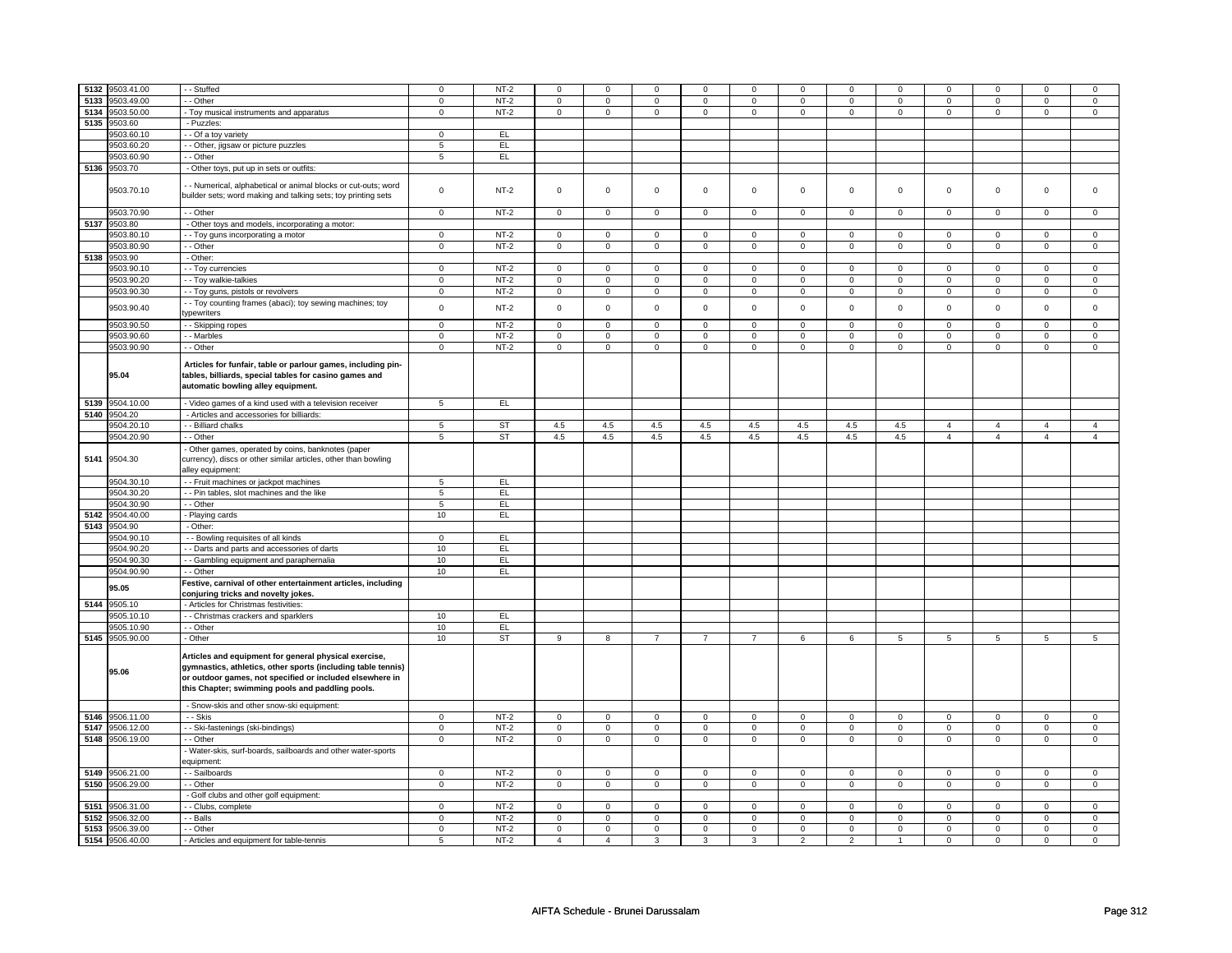| 5132 | 9503.41.00      | - Stuffed                                                                                                                                                                                                                             | $\mathbf 0$     | $NT-2$    | $\mathbf 0$         | $\mathbf 0$    | $\Omega$       | $\mathbf 0$    | 0              | $\mathbf 0$    | $\Omega$       | $\mathbf 0$  | $\Omega$       | $\mathbf 0$    | $\Omega$       | $\Omega$       |
|------|-----------------|---------------------------------------------------------------------------------------------------------------------------------------------------------------------------------------------------------------------------------------|-----------------|-----------|---------------------|----------------|----------------|----------------|----------------|----------------|----------------|--------------|----------------|----------------|----------------|----------------|
| 5133 | 9503.49.00      | - Other                                                                                                                                                                                                                               | 0               | $NT-2$    | 0                   | 0              | 0              | 0              | $\mathbf 0$    | 0              | $\mathbf 0$    | $\mathbf 0$  | 0              | $\mathbf 0$    | 0              | $\mathsf 0$    |
| 5134 | 9503.50.00      | - Toy musical instruments and apparatus                                                                                                                                                                                               | $\mathsf 0$     | $NT-2$    | $\mathsf 0$         | $\mathbf 0$    | $\mathbf 0$    | $\mathbf 0$    | $\mathbf 0$    | $\mathsf 0$    | $\mathbf 0$    | $\mathbf 0$  | $\mathsf 0$    | $\mathbf 0$    | $\mathbf 0$    | $\mathbf 0$    |
| 5135 | 9503.60         | - Puzzles:                                                                                                                                                                                                                            |                 |           |                     |                |                |                |                |                |                |              |                |                |                |                |
|      |                 |                                                                                                                                                                                                                                       |                 |           |                     |                |                |                |                |                |                |              |                |                |                |                |
|      | 9503.60.10      | - - Of a toy variety                                                                                                                                                                                                                  | $\mathbf 0$     | EL        |                     |                |                |                |                |                |                |              |                |                |                |                |
|      | 9503.60.20      | - Other, jigsaw or picture puzzles                                                                                                                                                                                                    | 5               | EL        |                     |                |                |                |                |                |                |              |                |                |                |                |
|      | 9503.60.90      | - Other                                                                                                                                                                                                                               | $5\phantom{.0}$ | EL        |                     |                |                |                |                |                |                |              |                |                |                |                |
|      | 5136 9503.70    | - Other toys, put up in sets or outfits:                                                                                                                                                                                              |                 |           |                     |                |                |                |                |                |                |              |                |                |                |                |
|      |                 |                                                                                                                                                                                                                                       |                 |           |                     |                |                |                |                |                |                |              |                |                |                |                |
|      | 9503.70.10      | - Numerical, alphabetical or animal blocks or cut-outs; word<br>builder sets; word making and talking sets; toy printing sets                                                                                                         | $\mathbf 0$     | $NT-2$    | $\mathsf 0$         | $\mathbf 0$    | $\mathbf 0$    | $\mathbf 0$    | $\mathbf 0$    | $\mathbf 0$    | $\mathbf 0$    | $\mathbf 0$  | $\mathsf 0$    | $\mathsf 0$    | $\mathsf 0$    | $\mathbf 0$    |
|      | 9503.70.90      | - Other                                                                                                                                                                                                                               | $\mathsf 0$     | $NT-2$    | $\mathsf 0$         | $\mathbf 0$    | $\mathbf 0$    | $\mathbf 0$    | $\mathsf 0$    | $\mathsf 0$    | 0              | 0            | $\mathsf 0$    | $\mathsf 0$    | $\mathbf 0$    | $\mathbf 0$    |
|      |                 |                                                                                                                                                                                                                                       |                 |           |                     |                |                |                |                |                |                |              |                |                |                |                |
| 5137 | 9503.80         | - Other toys and models, incorporating a motor:                                                                                                                                                                                       |                 |           |                     |                |                |                |                |                |                |              |                |                |                |                |
|      | 9503.80.10      | - - Toy guns incorporating a motor                                                                                                                                                                                                    | $\mathbf 0$     | $NT-2$    | $\mathsf 0$         | $\mathbf 0$    | $\mathbf 0$    | $\mathbf 0$    | $\mathsf 0$    | $\mathbf 0$    | $\mathbf 0$    | $\mathbf 0$  | $\mathsf 0$    | $\mathbf 0$    | $\mathbf 0$    | $\mathbf 0$    |
|      | 9503.80.90      | - - Other                                                                                                                                                                                                                             | $\mathsf 0$     | $NT-2$    | $\mathsf 0$         | $\mathsf 0$    | $\mathbf 0$    | $\mathbf 0$    | $\mathsf 0$    | $\mathbf 0$    | $\mathbf 0$    | $\mathbf 0$  | $\mathsf 0$    | $\mathbf 0$    | $\mathbf 0$    | $\mathbf 0$    |
| 5138 | 9503.90         | - Other:                                                                                                                                                                                                                              |                 |           |                     |                |                |                |                |                |                |              |                |                |                |                |
|      | 9503.90.10      | - - Toy currencies                                                                                                                                                                                                                    | $\mathbf 0$     | $NT-2$    | $\mathbf 0$         | $\mathbf 0$    | $\mathbf 0$    | 0              | 0              | 0              | $\mathbf 0$    | 0            | $\mathbf 0$    | $\mathbf 0$    | $\mathbf 0$    | $\mathbf 0$    |
|      |                 |                                                                                                                                                                                                                                       |                 |           |                     |                |                |                |                |                |                |              |                |                |                |                |
|      | 9503.90.20      | - - Toy walkie-talkies                                                                                                                                                                                                                | $\overline{0}$  | $NT-2$    | $\overline{0}$      | $\mathbf 0$    | $\mathsf 0$    | $\mathsf 0$    | $\mathsf 0$    | $\mathsf 0$    | $\mathsf 0$    | $\mathsf 0$  | $\mathsf 0$    | $\mathsf 0$    | $\mathsf 0$    | $\mathsf 0$    |
|      | 9503.90.30      | - Toy guns, pistols or revolvers                                                                                                                                                                                                      | $\mathbf 0$     | $NT-2$    | $\mathbf 0$         | $\mathbf 0$    | $\mathbf 0$    | $\mathbf 0$    | 0              | 0              | $\mathbf 0$    | $\mathbf 0$  | 0              | $\mathbf 0$    | $\mathbf 0$    | $\mathbf{0}$   |
|      |                 | - - Toy counting frames (abaci); toy sewing machines; toy                                                                                                                                                                             |                 |           |                     |                |                |                |                |                |                |              |                |                |                |                |
|      | 9503.90.40      | ypewriters                                                                                                                                                                                                                            | $\mathbf 0$     | $NT-2$    | $\mathsf 0$         | $\mathbf 0$    | $\mathsf 0$    | $\mathsf 0$    | $\mathsf 0$    | $\mathbf 0$    | $\mathsf 0$    | $\mathbf 0$  | $\mathsf 0$    | $\mathsf 0$    | $\mathsf 0$    | $\mathbf 0$    |
|      | 9503.90.50      | - - Skipping ropes                                                                                                                                                                                                                    | $\mathbf 0$     | $NT-2$    | $\mathsf 0$         | $\mathbf 0$    | $\mathsf 0$    | $\mathbf 0$    | $\mathsf 0$    | $\mathbf 0$    | $\mathbf 0$    | $\mathbf 0$  | $\mathsf 0$    | $\mathsf 0$    | $\mathsf 0$    | $\mathsf 0$    |
|      |                 |                                                                                                                                                                                                                                       |                 |           |                     |                |                |                |                |                |                |              |                |                |                |                |
|      | 9503.90.60      | - - Marbles                                                                                                                                                                                                                           | $\mathsf 0$     | $NT-2$    | $\mathsf 0$         | $\mathsf 0$    | $\mathsf 0$    | $\mathsf 0$    | $\mathbf 0$    | $\mathsf 0$    | $\mathsf 0$    | $\mathbf 0$  | $\mathsf 0$    | $\mathbf 0$    | $\mathbf 0$    | $\mathbf 0$    |
|      | 9503.90.90      | - - Other                                                                                                                                                                                                                             | $\mathbf 0$     | $NT-2$    | $\mathbf 0$         | 0              | $\mathbf 0$    | 0              | 0              | 0              | 0              | 0            | 0              | $\mathbf 0$    | 0              | $\mathbf 0$    |
|      | 95.04           | Articles for funfair, table or parlour games, including pin-<br>tables, billiards, special tables for casino games and<br>automatic bowling alley equipment.                                                                          |                 |           |                     |                |                |                |                |                |                |              |                |                |                |                |
|      | 5139 9504.10.00 | - Video games of a kind used with a television receiver                                                                                                                                                                               | $5\overline{)}$ | E         |                     |                |                |                |                |                |                |              |                |                |                |                |
|      | 5140 9504.20    | - Articles and accessories for billiards:                                                                                                                                                                                             |                 |           |                     |                |                |                |                |                |                |              |                |                |                |                |
|      |                 |                                                                                                                                                                                                                                       |                 |           |                     |                |                |                |                |                |                |              |                |                |                |                |
|      | 9504.20.10      | - - Billiard chalks                                                                                                                                                                                                                   | 5               | <b>ST</b> | 4.5                 | 4.5            | 4.5            | 4.5            | 4.5            | 4.5            | 4.5            | 4.5          | $\overline{4}$ | $\overline{4}$ | $\overline{4}$ | $\overline{4}$ |
|      | 9504.20.90      | - - Other                                                                                                                                                                                                                             | 5               | ST        | 4.5                 | 4.5            | 4.5            | 4.5            | 4.5            | 4.5            | 4.5            | 4.5          | $\overline{4}$ | $\overline{4}$ | $\overline{4}$ | $\overline{4}$ |
|      | 5141 9504.30    | Other games, operated by coins, banknotes (paper<br>currency), discs or other similar articles, other than bowling<br>alley equipment:                                                                                                |                 |           |                     |                |                |                |                |                |                |              |                |                |                |                |
|      | 9504.30.10      | -- Fruit machines or jackpot machines                                                                                                                                                                                                 | 5               | EL.       |                     |                |                |                |                |                |                |              |                |                |                |                |
|      | 9504.30.20      | - - Pin tables, slot machines and the like                                                                                                                                                                                            | $\overline{5}$  | EL        |                     |                |                |                |                |                |                |              |                |                |                |                |
|      |                 |                                                                                                                                                                                                                                       |                 |           |                     |                |                |                |                |                |                |              |                |                |                |                |
|      | 9504.30.90      | - - Other                                                                                                                                                                                                                             | $\sqrt{5}$      | EL.       |                     |                |                |                |                |                |                |              |                |                |                |                |
| 5142 | 9504.40.00      | - Playing cards                                                                                                                                                                                                                       | 10              | EL.       |                     |                |                |                |                |                |                |              |                |                |                |                |
|      | 5143 9504.90    | - Other:                                                                                                                                                                                                                              |                 |           |                     |                |                |                |                |                |                |              |                |                |                |                |
|      | 9504.90.1       | - - Bowling requisites of all kinds                                                                                                                                                                                                   | $\mathbf 0$     | EL        |                     |                |                |                |                |                |                |              |                |                |                |                |
|      | 9504.90.20      |                                                                                                                                                                                                                                       | 10              | EL        |                     |                |                |                |                |                |                |              |                |                |                |                |
|      |                 | - Darts and parts and accessories of darts                                                                                                                                                                                            |                 |           |                     |                |                |                |                |                |                |              |                |                |                |                |
|      | 9504.90.30      | - Gambling equipment and paraphernalia                                                                                                                                                                                                | 10              | EL        |                     |                |                |                |                |                |                |              |                |                |                |                |
|      | 9504.90.90      | - - Other                                                                                                                                                                                                                             | 10              | EL.       |                     |                |                |                |                |                |                |              |                |                |                |                |
|      | 95.05           | Festive, carnival of other entertainment articles, including<br>conjuring tricks and novelty jokes.                                                                                                                                   |                 |           |                     |                |                |                |                |                |                |              |                |                |                |                |
|      | 5144 9505.10    | - Articles for Christmas festivities:                                                                                                                                                                                                 |                 |           |                     |                |                |                |                |                |                |              |                |                |                |                |
|      | 9505.10.10      | - Christmas crackers and sparklers                                                                                                                                                                                                    | 10              | EL        |                     |                |                |                |                |                |                |              |                |                |                |                |
|      | 9505.10.90      | - - Other                                                                                                                                                                                                                             | 10              | EL        |                     |                |                |                |                |                |                |              |                |                |                |                |
|      | 5145 9505.90.00 | - Other                                                                                                                                                                                                                               | 10              | <b>ST</b> | 9                   | 8              | $\overline{7}$ | $\overline{7}$ | $\overline{7}$ | 6              | 6              | 5            | 5              | 5              | 5              | 5              |
|      | 95.06           | Articles and equipment for general physical exercise,<br>gymnastics, athletics, other sports (including table tennis)<br>or outdoor games, not specified or included elsewhere in<br>this Chapter; swimming pools and paddling pools. |                 |           |                     |                |                |                |                |                |                |              |                |                |                |                |
|      |                 | - Snow-skis and other snow-ski equipment:                                                                                                                                                                                             |                 |           |                     |                |                |                |                |                |                |              |                |                |                |                |
| 5146 | 9506.11.00      | - - Skis                                                                                                                                                                                                                              | 0               | $NT-2$    | $\mathbf 0$         | 0              | 0              | $\mathbf 0$    | $\mathbf 0$    | $\mathbf 0$    | $\mathbf 0$    | $\mathbf 0$  | 0              | $\mathsf 0$    | 0              | $\mathsf 0$    |
| 5147 | 9506.12.00      | - - Ski-fastenings (ski-bindings)                                                                                                                                                                                                     | $\mathsf 0$     | $NT-2$    | $\mathsf 0$         | $\mathbf 0$    | $\mathsf 0$    | $\mathsf 0$    | $\mathbf 0$    | $\mathsf 0$    | $\mathbf 0$    | $\mathsf 0$  | $\mathsf 0$    | $\mathbf 0$    | $\mathbf 0$    | $\mathbf 0$    |
| 5148 | 9506.19.00      | - - Other                                                                                                                                                                                                                             | $\mathbf 0$     | $NT-2$    | $\mathsf{O}\xspace$ | $\mathbf 0$    | $\mathsf 0$    | $\mathbf 0$    | $\mathsf 0$    | $\mathbf 0$    | $\mathbf 0$    | $\mathbf 0$  | $\mathsf 0$    | $\mathsf 0$    | $\mathsf 0$    | $\mathbf 0$    |
|      |                 | - Water-skis, surf-boards, sailboards and other water-sports<br>quipment:                                                                                                                                                             |                 |           |                     |                |                |                |                |                |                |              |                |                |                |                |
|      | 5149 9506.21.00 | - - Sailboards                                                                                                                                                                                                                        | $\mathbf{0}$    | $NT-2$    | $\mathsf 0$         | $\mathbf{0}$   | $\mathbf 0$    | $\mathbf{0}$   | 0              | $\mathbf{0}$   | $\mathbf 0$    | $\mathbf{0}$ | $\mathbf 0$    | $\mathbf 0$    | $\mathbf 0$    | $\mathbf{0}$   |
|      | 5150 9506.29.00 | - - Other                                                                                                                                                                                                                             | $\mathbf 0$     | $NT-2$    | $\mathbf 0$         | $\mathbf 0$    | $\mathbf 0$    | $\mathbf 0$    | 0              | $\mathbf 0$    | $\mathbf 0$    | $\mathbf 0$  | 0              | $\mathbf{0}$   | $\mathbf 0$    | $\mathbf{0}$   |
|      |                 |                                                                                                                                                                                                                                       |                 |           |                     |                |                |                |                |                |                |              |                |                |                |                |
|      |                 | - Golf clubs and other golf equipment:                                                                                                                                                                                                |                 |           |                     |                |                |                |                |                |                |              |                |                |                |                |
| 5151 | 9506.31.00      | - Clubs, complete                                                                                                                                                                                                                     | $\mathbf 0$     | $NT-2$    | $\mathsf 0$         | $\mathbf 0$    | $\Omega$       | $\mathsf 0$    | $\mathsf 0$    | $\mathsf 0$    | $\Omega$       | $\mathsf 0$  | $\mathsf 0$    | $\mathsf 0$    | $\Omega$       | $\Omega$       |
| 5152 | 9506.32.00      | - Balls                                                                                                                                                                                                                               | $\mathbf 0$     | $NT-2$    | $\mathsf 0$         | $\mathbf 0$    | $\mathbf 0$    | $\mathsf 0$    | $\mathbf 0$    | $\mathsf 0$    | $\mathbf 0$    | $\mathsf 0$  | $\mathsf 0$    | $\mathbf 0$    | $\mathbf 0$    | $\mathbf 0$    |
| 5153 | 9506.39.00      | - Other                                                                                                                                                                                                                               | $\mathsf 0$     | $NT-2$    | $\mathsf{O}\xspace$ | $\mathsf 0$    | $\mathsf 0$    | $\mathsf 0$    | $\mathbf 0$    | $\mathsf 0$    | $\mathsf 0$    | $\mathsf 0$  | $\mathsf 0$    | $\mathbf 0$    | $\mathbf 0$    | $\mathbf 0$    |
|      | 5154 9506.40.00 | - Articles and equipment for table-tennis                                                                                                                                                                                             | 5               | $NT-2$    | $\overline{4}$      | $\overline{4}$ | 3              | 3              | 3              | $\overline{c}$ | $\overline{2}$ | $\mathbf{1}$ | 0              | $\mathbf 0$    | 0              | 0              |
|      |                 |                                                                                                                                                                                                                                       |                 |           |                     |                |                |                |                |                |                |              |                |                |                |                |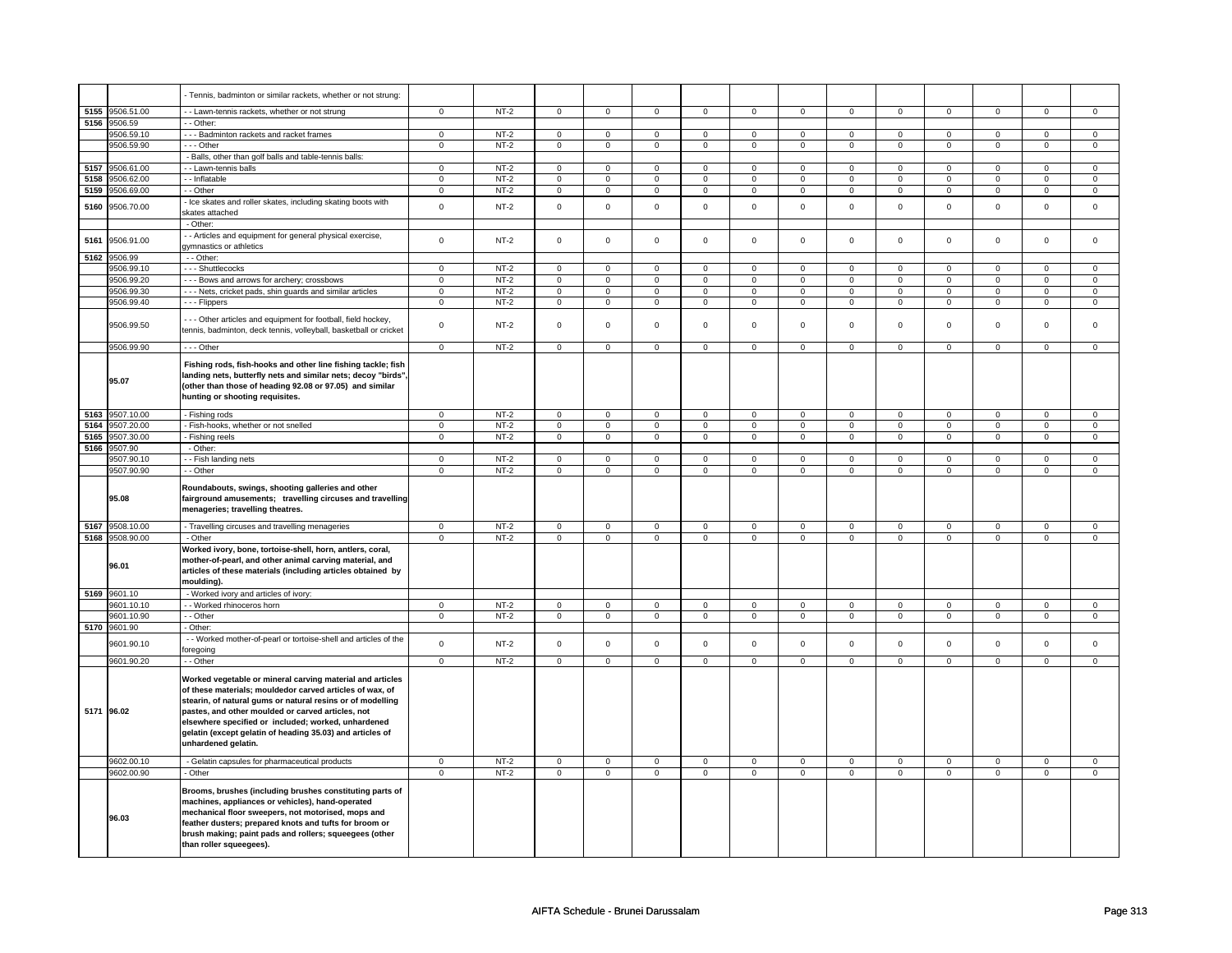|      |                          | - Tennis, badminton or similar rackets, whether or not strung:                                                                                                                                                                                                                                                                                                                      |                |        |                |                |                |                |                     |                |                |                |                |                |                |                |
|------|--------------------------|-------------------------------------------------------------------------------------------------------------------------------------------------------------------------------------------------------------------------------------------------------------------------------------------------------------------------------------------------------------------------------------|----------------|--------|----------------|----------------|----------------|----------------|---------------------|----------------|----------------|----------------|----------------|----------------|----------------|----------------|
|      |                          |                                                                                                                                                                                                                                                                                                                                                                                     |                |        |                |                |                |                |                     |                |                |                |                |                |                |                |
|      | 5155 9506.51.00          | - Lawn-tennis rackets, whether or not strung                                                                                                                                                                                                                                                                                                                                        | $\mathbf 0$    | $NT-2$ | $\mathsf 0$    | $\overline{0}$ | $\mathsf 0$    | $\overline{0}$ | $\mathsf 0$         | $\mathbf 0$    | $\mathsf 0$    | $\mathbf 0$    | $\mathsf 0$    | $\mathbf 0$    | $\mathbf 0$    | $\overline{0}$ |
|      | 5156 9506.59             | - - Other:                                                                                                                                                                                                                                                                                                                                                                          |                |        |                |                |                |                |                     |                |                |                |                |                |                |                |
|      | 9506.59.10               | --- Badminton rackets and racket frames                                                                                                                                                                                                                                                                                                                                             | $\mathbf 0$    | $NT-2$ | $\mathbf 0$    | $\mathbf 0$    | $\mathbf 0$    | $\mathbf 0$    | $\mathbf 0$         | $\mathbf{0}$   | $\mathbf 0$    | $\mathbf{0}$   | $\mathbf 0$    | $\mathbf{0}$   | $\mathbf 0$    | $\mathbf{0}$   |
|      | 9506.59.90               | --- Other                                                                                                                                                                                                                                                                                                                                                                           | $\mathsf 0$    | $NT-2$ | $\mathsf 0$    | $\mathbf 0$    | $\mathbf 0$    | $\mathsf 0$    | $\mathsf{O}\xspace$ | $\mathsf 0$    | $\mathsf 0$    | $\mathbf 0$    | $\mathbf 0$    | $\mathbf 0$    | $\mathbf 0$    | $\mathbf 0$    |
|      |                          | - Balls, other than golf balls and table-tennis balls:                                                                                                                                                                                                                                                                                                                              |                |        |                |                |                |                |                     |                |                |                |                |                |                |                |
| 5157 | 9506.61.00               | - Lawn-tennis balls                                                                                                                                                                                                                                                                                                                                                                 | $\mathsf 0$    | $NT-2$ | $\mathbf 0$    | $\mathbf 0$    | $\mathbf 0$    | $\mathbf 0$    | $\mathbf 0$         | $\mathsf 0$    | 0              | $\mathsf 0$    | 0              | $\mathbf 0$    | $\mathbf 0$    | $\mathbf 0$    |
| 5158 | 9506.62.00               | - Inflatable                                                                                                                                                                                                                                                                                                                                                                        | $\overline{0}$ | $NT-2$ | $\overline{0}$ | $\overline{0}$ | $\overline{0}$ | $\overline{0}$ | $\overline{0}$      | $\overline{0}$ | $\overline{0}$ | $\overline{0}$ | $\overline{0}$ | $\overline{0}$ | 0              | $\overline{0}$ |
| 5159 | 9506.69.00               | - - Other                                                                                                                                                                                                                                                                                                                                                                           | $\mathsf 0$    | $NT-2$ | $\mathbf 0$    | $\mathbf 0$    | $\mathbf 0$    | $\mathbf 0$    | $\mathbf 0$         | $\mathbf 0$    | $\mathbf 0$    | $\mathbf 0$    | $\mathbf 0$    | $\mathbf 0$    | $\mathsf 0$    | $\mathbf 0$    |
|      |                          | - Ice skates and roller skates, including skating boots with                                                                                                                                                                                                                                                                                                                        |                |        |                |                |                |                |                     |                |                |                |                |                |                |                |
| 5160 | 9506.70.00               | skates attached                                                                                                                                                                                                                                                                                                                                                                     | $\Omega$       | $NT-2$ | $\Omega$       | $\mathbf 0$    | $\Omega$       | $\mathbf 0$    | $\mathbf 0$         | $\mathbf 0$    | $\mathbf 0$    | $\mathbf 0$    | $\mathbf 0$    | $\mathbf 0$    | $\mathbf 0$    | $\mathbf 0$    |
|      |                          | - Other:                                                                                                                                                                                                                                                                                                                                                                            |                |        |                |                |                |                |                     |                |                |                |                |                |                |                |
|      |                          |                                                                                                                                                                                                                                                                                                                                                                                     |                |        |                |                |                |                |                     |                |                |                |                |                |                |                |
| 5161 | 9506.91.00               | - Articles and equipment for general physical exercise,                                                                                                                                                                                                                                                                                                                             | $\mathsf 0$    | $NT-2$ | $\mathbf 0$    | $\mathbf 0$    | $\mathsf 0$    | $\mathbf 0$    | $\mathsf 0$         | $\mathsf 0$    | $\mathbf 0$    | $\mathbf 0$    | $\mathbf 0$    | $\mathbf 0$    | $\mathbf 0$    | $\mathbf 0$    |
|      |                          | gymnastics or athletics                                                                                                                                                                                                                                                                                                                                                             |                |        |                |                |                |                |                     |                |                |                |                |                |                |                |
| 5162 | 9506.99                  | - - Other:                                                                                                                                                                                                                                                                                                                                                                          |                |        |                |                |                |                |                     |                |                |                |                |                |                |                |
|      | 9506.99.10               | --- Shuttlecocks                                                                                                                                                                                                                                                                                                                                                                    | $\overline{0}$ | $NT-2$ | $\overline{0}$ | $\overline{0}$ | $\overline{0}$ | $\overline{0}$ | $\overline{0}$      | $\overline{0}$ | $\overline{0}$ | $\overline{0}$ | $\overline{0}$ | $\overline{0}$ | 0              | $\overline{0}$ |
|      | 9506.99.20               | - - - Bows and arrows for archery; crossbows                                                                                                                                                                                                                                                                                                                                        | $\overline{0}$ | $NT-2$ | $\overline{0}$ | $\overline{0}$ | $\overline{0}$ | $\overline{0}$ | $\overline{0}$      | $\overline{0}$ | $\overline{0}$ | $\overline{0}$ | $\overline{0}$ | $\overline{0}$ | $\overline{0}$ | $\overline{0}$ |
|      | 9506.99.30               | - - - Nets, cricket pads, shin guards and similar articles                                                                                                                                                                                                                                                                                                                          | $\mathbf 0$    | $NT-2$ | $\overline{0}$ | $\overline{0}$ | $\mathsf 0$    | $\overline{0}$ | $\mathsf{O}\xspace$ | $\overline{0}$ | $\mathsf 0$    | $\overline{0}$ | $\mathsf 0$    | $\overline{0}$ | $\mathsf 0$    | $\overline{0}$ |
|      | 9506.99.40               | - - - Flippers                                                                                                                                                                                                                                                                                                                                                                      | $\mathbf 0$    | $NT-2$ | $\mathbf 0$    | $\mathsf 0$    | $\mathbf 0$    | $\mathsf 0$    | $\mathbf 0$         | $\mathsf{O}$   | $\mathbf 0$    | $\mathbf 0$    | $\mathbf 0$    | $\mathsf 0$    | $\mathbf 0$    | 0              |
|      | 9506.99.50               | --- Other articles and equipment for football, field hockey,<br>tennis, badminton, deck tennis, volleyball, basketball or cricket                                                                                                                                                                                                                                                   | $\mathsf 0$    | $NT-2$ | $\mathsf 0$    | $\mathbf 0$    | $\mathsf 0$    | $\mathbf 0$    | $\mathsf 0$         | $\mathbf 0$    | $\mathbf 0$    | $\mathbf 0$    | $\mathsf 0$    | $\mathbf 0$    | $\mathsf 0$    | 0              |
|      | 9506.99.90               | $- -$ Other                                                                                                                                                                                                                                                                                                                                                                         | $\mathbf 0$    | $NT-2$ | $\mathbf 0$    | $\mathbf 0$    | $\mathbf{0}$   | $\mathbf 0$    | $\mathsf 0$         | $\mathbf 0$    | $\mathbf 0$    | $\mathbf 0$    | $\mathbf 0$    | $\mathbf{0}$   | $\mathbf 0$    | $\mathbf{0}$   |
|      |                          |                                                                                                                                                                                                                                                                                                                                                                                     |                |        |                |                |                |                |                     |                |                |                |                |                |                |                |
|      | 95.07                    | Fishing rods, fish-hooks and other line fishing tackle; fish<br>landing nets, butterfly nets and similar nets; decoy "birds"<br>(other than those of heading 92.08 or 97.05) and similar<br>hunting or shooting requisites.                                                                                                                                                         |                |        |                |                |                |                |                     |                |                |                |                |                |                |                |
|      | 5163 9507.10.00          | - Fishing rods                                                                                                                                                                                                                                                                                                                                                                      | $\mathbf 0$    | $NT-2$ | $\mathbf 0$    | $\mathbf 0$    | $\mathbf{0}$   | $\mathbf 0$    | $\mathbf 0$         | $\mathbf 0$    | $\mathbf 0$    | $\mathbf 0$    | $\mathbf{0}$   | $\mathbf{0}$   | $\mathbf 0$    | $\mathbf 0$    |
| 5164 | 9507.20.00               | - Fish-hooks, whether or not snelled                                                                                                                                                                                                                                                                                                                                                | $\mathbf 0$    | $NT-2$ | $\mathsf 0$    | $\mathsf 0$    | $\mathsf 0$    | $\mathsf 0$    | $\mathsf 0$         | $\mathbf 0$    | $\mathbf 0$    | $\mathbf 0$    | $\mathsf 0$    | $\mathbf 0$    | $\mathsf 0$    | $\mathbf 0$    |
| 5165 | 9507.30.00               | - Fishing reels                                                                                                                                                                                                                                                                                                                                                                     | $\mathsf 0$    | $NT-2$ | $\mathbf 0$    | $\mathbf 0$    | $\mathsf 0$    | $\mathbf 0$    | $\mathbf 0$         | $\mathbf 0$    | 0              | $\mathbf 0$    | $\mathsf 0$    | $\mathbf 0$    | $\mathsf 0$    | $\mathbf 0$    |
|      | 5166 9507.90             | - Other:                                                                                                                                                                                                                                                                                                                                                                            |                |        |                |                |                |                |                     |                |                |                |                |                |                |                |
|      | 9507.90.10               | - Fish landing nets                                                                                                                                                                                                                                                                                                                                                                 | $^{\circ}$     | $NT-2$ | $\mathbf{0}$   | $\mathbf 0$    | $\mathbf{0}$   | $\mathbf{0}$   | $\mathbf{0}$        | $\mathbf 0$    | $^{\circ}$     | $\mathbf{0}$   | $\mathbf{0}$   | $\mathbf{0}$   | 0              | $\mathbf{0}$   |
|      | 9507.90.90               | - - Other                                                                                                                                                                                                                                                                                                                                                                           | $\mathsf 0$    | $NT-2$ | $\mathbf 0$    | $\mathsf 0$    | $\mathsf{O}$   | $\mathsf 0$    | $\mathsf{O}$        | $\mathbf 0$    | $\mathsf{O}$   | $\mathbf 0$    | $\mathbf 0$    | $\mathbf 0$    | $\mathsf 0$    | $\mathbf{O}$   |
|      | 95.08                    | Roundabouts, swings, shooting galleries and other<br>fairground amusements; travelling circuses and travelling<br>menageries; travelling theatres.                                                                                                                                                                                                                                  |                |        |                |                |                |                |                     |                |                |                |                |                |                |                |
|      | 5167 9508.10.00          | - Travelling circuses and travelling menageries                                                                                                                                                                                                                                                                                                                                     | $\mathbf 0$    | $NT-2$ | $\mathbf 0$    | $\mathbf 0$    | $\mathbf 0$    | $\mathbf 0$    | $\mathbf 0$         | $\mathbf 0$    | $\mathbf 0$    | $\mathbf 0$    | 0              | $\mathbf 0$    | 0              | $\overline{0}$ |
|      | 5168 9508.90.00<br>96.01 | - Other<br>Worked ivory, bone, tortoise-shell, horn, antlers, coral,<br>mother-of-pearl, and other animal carving material, and<br>articles of these materials (including articles obtained by<br>moulding).                                                                                                                                                                        | $\mathsf 0$    | $NT-2$ | $\mathbf 0$    | $\mathbf 0$    | $\mathsf 0$    | $\mathbf 0$    | $\mathsf 0$         | $\mathbf 0$    | 0              | $\mathbf 0$    | $\mathsf 0$    | $\mathbf 0$    | 0              | $\mathbf{0}$   |
|      | 5169 9601.10             | - Worked ivory and articles of ivory:                                                                                                                                                                                                                                                                                                                                               |                |        |                |                |                |                |                     |                |                |                |                |                |                |                |
|      | 9601.10.10               | - - Worked rhinoceros horn                                                                                                                                                                                                                                                                                                                                                          | $\mathsf 0$    | $NT-2$ | $\mathbf 0$    | $\mathbf 0$    | $\mathbf 0$    | $\mathbf 0$    | $\mathbf 0$         | $\mathbf 0$    | 0              | $\mathbf 0$    | $\mathsf 0$    | $\mathbf 0$    | $\Omega$       | 0              |
|      | 9601.10.90               | - - Other                                                                                                                                                                                                                                                                                                                                                                           | $\mathsf 0$    | $NT-2$ | $\mathbf 0$    | $\mathbf 0$    | $\mathsf 0$    | $\mathbf 0$    | $\mathsf 0$         | $\mathbf 0$    | $\mathbf 0$    | $\mathbf 0$    | $\mathsf 0$    | $\mathbf 0$    | $\mathbf 0$    | $\mathbf 0$    |
|      | 5170 9601.90             | - Other:                                                                                                                                                                                                                                                                                                                                                                            |                |        |                |                |                |                |                     |                |                |                |                |                |                |                |
|      | 9601.90.10               | - - Worked mother-of-pearl or tortoise-shell and articles of the<br>foregoing                                                                                                                                                                                                                                                                                                       | $\mathbf 0$    | $NT-2$ | $\mathbf 0$    | $\mathsf 0$    | $\mathsf 0$    | $\mathsf 0$    | $\mathsf{O}\xspace$ | $\mathsf 0$    | $\mathbf 0$    | $\mathsf 0$    | $\mathsf 0$    | $\mathbf 0$    | $\mathsf 0$    | $\mathbf 0$    |
|      | 9601.90.20               | - - Other                                                                                                                                                                                                                                                                                                                                                                           | $\mathbf 0$    | $NT-2$ | 0              | $\mathsf 0$    | 0              | $\mathbf 0$    | 0                   | $\mathbf 0$    | 0              | $\mathbf 0$    | 0              | $\mathbf 0$    | 0              | $\mathbf 0$    |
|      | 5171 96.02               | Worked vegetable or mineral carving material and articles<br>of these materials; mouldedor carved articles of wax, of<br>stearin, of natural gums or natural resins or of modelling<br>pastes, and other moulded or carved articles, not<br>elsewhere specified or included; worked, unhardened<br>gelatin (except gelatin of heading 35.03) and articles of<br>unhardened gelatin. |                |        |                |                |                |                |                     |                |                |                |                |                |                |                |
|      | 9602.00.10               | - Gelatin capsules for pharmaceutical products                                                                                                                                                                                                                                                                                                                                      | $\mathsf 0$    | $NT-2$ | $\mathbf 0$    | $\mathsf 0$    | $\mathsf 0$    | $\mathbf 0$    | $\mathsf 0$         | $\mathbf 0$    | $\mathbf 0$    | $\mathsf 0$    | $\mathsf 0$    | $\mathbf 0$    | $\mathsf 0$    | $\mathbf 0$    |
|      | 9602.00.90               | - Other                                                                                                                                                                                                                                                                                                                                                                             | $\mathsf 0$    | $NT-2$ | $\mathbf 0$    | $\mathbf 0$    | $\mathbf 0$    | $\mathbf 0$    | $\mathbf 0$         | $\mathsf 0$    | $\mathbf 0$    | $\mathsf 0$    | $\mathsf 0$    | $\mathbf 0$    | $\mathsf 0$    | $\mathbf 0$    |
|      | 96.03                    | Brooms, brushes (including brushes constituting parts of<br>machines, appliances or vehicles), hand-operated<br>mechanical floor sweepers, not motorised, mops and<br>feather dusters; prepared knots and tufts for broom or<br>brush making; paint pads and rollers; squeegees (other<br>than roller squeegees).                                                                   |                |        |                |                |                |                |                     |                |                |                |                |                |                |                |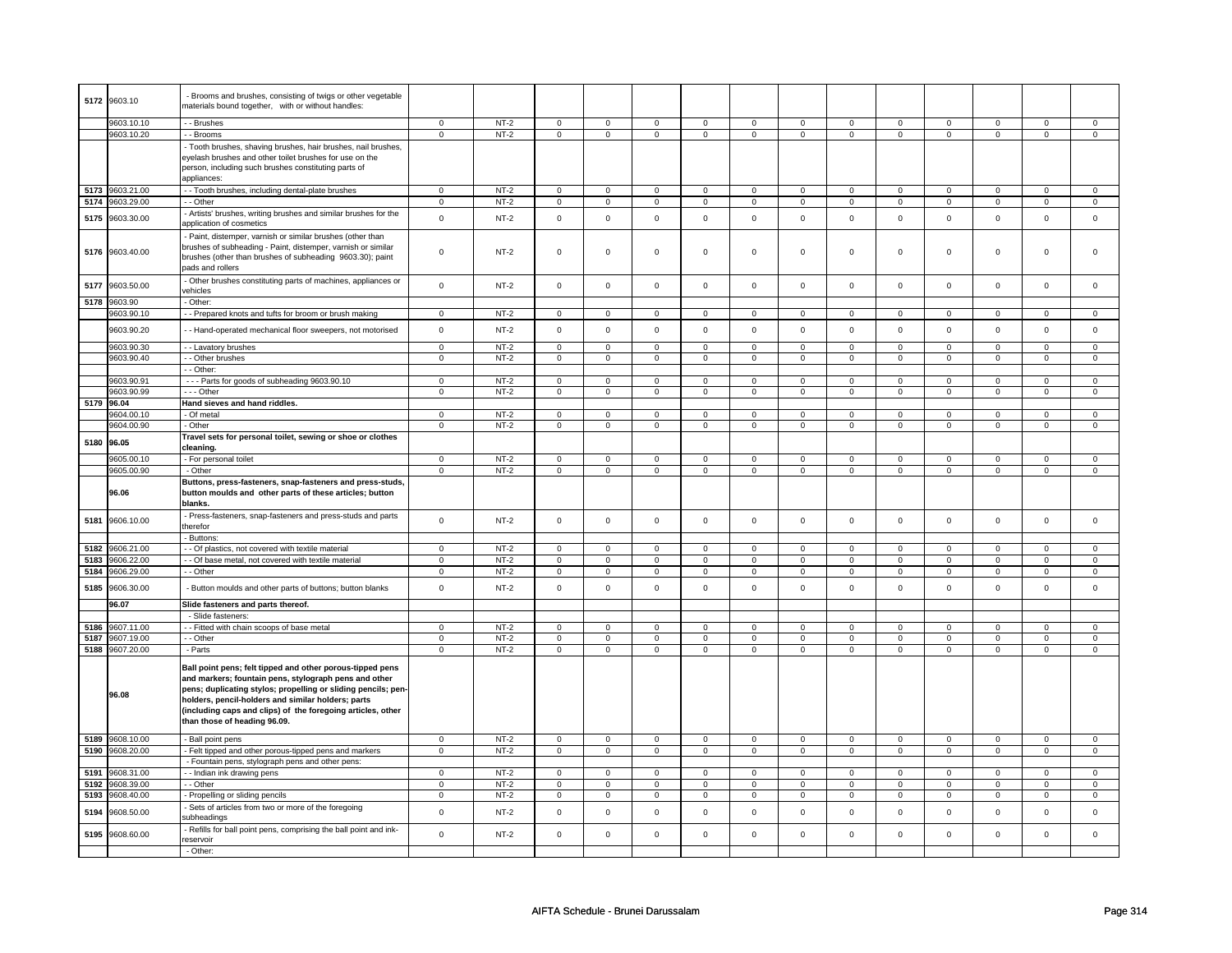| 5172 | 9603.10         | - Brooms and brushes, consisting of twigs or other vegetable<br>materials bound together, with or without handles:                                                                                                                                                                                                                       |                |        |                |                     |                     |                |                     |                |                |              |                     |                |                     |                |
|------|-----------------|------------------------------------------------------------------------------------------------------------------------------------------------------------------------------------------------------------------------------------------------------------------------------------------------------------------------------------------|----------------|--------|----------------|---------------------|---------------------|----------------|---------------------|----------------|----------------|--------------|---------------------|----------------|---------------------|----------------|
|      | 9603.10.10      | - - Brushes                                                                                                                                                                                                                                                                                                                              | 0              | $NT-2$ | $\mathbf 0$    | $\mathbf 0$         | $\mathbf 0$         | $\overline{0}$ | $\mathbf 0$         | $\mathbf 0$    | $\mathbf 0$    | $\mathbf 0$  | 0                   | $\mathbf 0$    | 0                   | 0              |
|      | 9603.10.20      | - Brooms                                                                                                                                                                                                                                                                                                                                 | $\Omega$       | $NT-2$ | $\mathbf 0$    | $\mathbf 0$         | $\mathbf 0$         | $\mathbf 0$    | $\mathbf 0$         | $\mathbf{0}$   | $\mathbf 0$    | $\mathbf{0}$ | $\mathbf 0$         | $\mathbf{0}$   | $\mathbf 0$         | $\mathbf{0}$   |
|      |                 | - Tooth brushes, shaving brushes, hair brushes, nail brushes,<br>eyelash brushes and other toilet brushes for use on the<br>person, including such brushes constituting parts of<br>appliances:                                                                                                                                          |                |        |                |                     |                     |                |                     |                |                |              |                     |                |                     |                |
| 5173 | 9603.21.00      | - Tooth brushes, including dental-plate brushes                                                                                                                                                                                                                                                                                          | $\mathbf 0$    | $NT-2$ | $\mathbf 0$    | $\mathbf 0$         | $\mathbf 0$         | $\mathbf 0$    | $\mathbf 0$         | $\mathbf 0$    | $\mathbf 0$    | $\mathbf 0$  | 0                   | $\mathbf 0$    | 0                   | 0              |
| 5174 | 9603.29.00      | - - Other                                                                                                                                                                                                                                                                                                                                | $\mathsf 0$    | $NT-2$ | $\mathsf 0$    | $\mathsf 0$         | $\mathbf 0$         | $\mathsf 0$    | $\mathsf{O}\xspace$ | $\mathbf 0$    | $\mathbf 0$    | $\mathbf 0$  | $\mathsf 0$         | $\mathbf 0$    | $\mathsf 0$         | $\mathbf 0$    |
|      |                 |                                                                                                                                                                                                                                                                                                                                          |                |        |                |                     |                     |                |                     |                |                |              |                     |                |                     |                |
| 5175 | 9603.30.00      | Artists' brushes, writing brushes and similar brushes for the<br>application of cosmetics                                                                                                                                                                                                                                                | $\mathsf 0$    | $NT-2$ | $\mathsf 0$    | $\mathsf{O}\xspace$ | $\mathsf 0$         | $\mathsf 0$    | $\mathsf 0$         | $\mathsf{O}$   | $\mathsf 0$    | $\mathbf 0$  | $\mathsf 0$         | $\mathsf{O}$   | $\mathsf 0$         | $\mathsf 0$    |
| 5176 | 9603.40.00      | Paint, distemper, varnish or similar brushes (other than<br>brushes of subheading - Paint, distemper, varnish or similar<br>brushes (other than brushes of subheading 9603.30); paint<br>pads and rollers                                                                                                                                | $\mathsf 0$    | $NT-2$ | $\mathsf 0$    | $\mathsf 0$         | $\mathsf 0$         | $\mathbf 0$    | $\mathsf 0$         | $\mathbf 0$    | $\mathbf 0$    | $\mathsf 0$  | $\mathsf 0$         | $\mathbf 0$    | $\mathsf 0$         | 0              |
| 5177 | 9603.50.00      | - Other brushes constituting parts of machines, appliances or<br>vehicles                                                                                                                                                                                                                                                                | $\mathsf 0$    | $NT-2$ | $\mathsf 0$    | $\mathbf 0$         | $\mathsf 0$         | $\mathsf 0$    | $\mathsf 0$         | $\mathbf 0$    | $\mathbf 0$    | $\mathsf 0$  | $\mathsf 0$         | $\mathbf 0$    | $\mathsf 0$         | $\mathbf 0$    |
| 5178 | 9603.90         | Other:                                                                                                                                                                                                                                                                                                                                   |                |        |                |                     |                     |                |                     |                |                |              |                     |                |                     |                |
|      | 9603.90.10      | - Prepared knots and tufts for broom or brush making                                                                                                                                                                                                                                                                                     | $\mathbf 0$    | $NT-2$ | $\mathsf 0$    | $\mathsf 0$         | $\mathsf{O}\xspace$ | $\mathsf 0$    | $\mathsf{O}\xspace$ | $\mathbf 0$    | $\mathsf 0$    | $\mathbf 0$  | $\mathsf 0$         | $\mathsf 0$    | $\mathsf 0$         | $\mathbf 0$    |
|      | 9603.90.20      | - - Hand-operated mechanical floor sweepers, not motorised                                                                                                                                                                                                                                                                               | $\mathbf 0$    | $NT-2$ | $\mathbf 0$    | $\mathbf 0$         | $\mathbf 0$         | $\mathsf 0$    | $\mathbf 0$         | $\mathbf{0}$   | $\mathbf 0$    | $\mathbf 0$  | $\mathbf 0$         | $\mathbf{0}$   | $\mathbf 0$         | $\mathbf{0}$   |
|      | 9603.90.30      | - - Lavatory brushes                                                                                                                                                                                                                                                                                                                     | $\overline{0}$ | $NT-2$ | $\mathbf 0$    | $\mathbf 0$         | $\mathbf{0}$        | $\mathbf 0$    | $\mathbf 0$         | $\mathbf{0}$   | $\mathbf 0$    | $\mathbf{0}$ | $\mathbf 0$         | $\mathbf{0}$   | $\mathbf 0$         | $\mathbf 0$    |
|      | 9603.90.40      | - - Other brushes                                                                                                                                                                                                                                                                                                                        | $\mathsf 0$    | $NT-2$ | $\mathbf 0$    | $\mathsf 0$         | $\mathsf 0$         | $\mathbf 0$    | $\mathsf 0$         | $\mathbf 0$    | $\mathbf 0$    | $\mathbf 0$  | $\mathsf 0$         | $\mathbf 0$    | $\mathsf 0$         | $\mathbf 0$    |
|      |                 | - Other:                                                                                                                                                                                                                                                                                                                                 |                |        |                |                     |                     |                |                     |                |                |              |                     |                |                     |                |
|      | 9603.90.91      | --- Parts for goods of subheading 9603.90.10                                                                                                                                                                                                                                                                                             | $\mathsf 0$    | $NT-2$ | $\mathbf 0$    | $\mathbf 0$         | $\mathsf 0$         | $\mathbf 0$    | $\mathsf 0$         | $\mathbf 0$    | $\mathbf 0$    | $\mathsf 0$  | $\mathsf 0$         | $\mathbf 0$    | 0                   | $\mathbf 0$    |
|      | 9603.90.99      | - - - Other                                                                                                                                                                                                                                                                                                                              | 0              | $NT-2$ | 0              | $\mathbf 0$         | 0                   | $\mathbf 0$    | 0                   | $\mathbf 0$    | $\mathbf 0$    | $\mathbf 0$  | 0                   | $\mathbf 0$    | 0                   | $\mathbf 0$    |
|      | 5179 96.04      | Hand sieves and hand riddles.                                                                                                                                                                                                                                                                                                            |                |        |                |                     |                     |                |                     |                |                |              |                     |                |                     |                |
|      | 9604.00.10      | - Of metal                                                                                                                                                                                                                                                                                                                               | $\mathsf 0$    | $NT-2$ | $\Omega$       | $\Omega$            | $\Omega$            | $\Omega$       | $\Omega$            | $\mathsf 0$    | $\Omega$       | $\mathsf 0$  | $\Omega$            | $\mathbf 0$    | $\Omega$            | $\mathbf 0$    |
|      | 9604.00.90      | - Other                                                                                                                                                                                                                                                                                                                                  | $\mathsf 0$    | $NT-2$ | $\mathsf 0$    | $\overline{0}$      | $\mathsf 0$         | $\mathsf 0$    | $\mathsf 0$         | $\mathsf{O}$   | $\mathsf 0$    | $\mathsf{O}$ | $\mathsf{O}\xspace$ | $\mathsf{O}$   | $\mathbf 0$         | $\overline{0}$ |
|      |                 | Travel sets for personal toilet, sewing or shoe or clothes                                                                                                                                                                                                                                                                               |                |        |                |                     |                     |                |                     |                |                |              |                     |                |                     |                |
| 5180 | 96.05           | cleaning.                                                                                                                                                                                                                                                                                                                                |                |        |                |                     |                     |                |                     |                |                |              |                     |                |                     |                |
|      | 9605.00.10      | - For personal toilet                                                                                                                                                                                                                                                                                                                    | $\mathbf 0$    | $NT-2$ | $\mathbf 0$    | $\mathbf 0$         | $\mathbf 0$         | $\overline{0}$ | $\mathbf 0$         | $\mathbf{0}$   | $\mathbf 0$    | $\mathbf 0$  | 0                   | $\mathbf 0$    | 0                   | $\overline{0}$ |
|      | 9605.00.90      | - Other                                                                                                                                                                                                                                                                                                                                  | $\mathbf 0$    | $NT-2$ | $\mathbf 0$    | $\mathbf 0$         | $\mathbf 0$         | $\mathbf 0$    | $\mathbf 0$         | $\mathbf 0$    | $\mathbf 0$    | $\mathbf 0$  | $\mathbf 0$         | $\mathbf 0$    | $\mathbf 0$         | $\mathbf 0$    |
|      |                 |                                                                                                                                                                                                                                                                                                                                          |                |        |                |                     |                     |                |                     |                |                |              |                     |                |                     |                |
|      | 96.06           | Buttons, press-fasteners, snap-fasteners and press-studs,<br>button moulds and other parts of these articles; button<br>blanks.                                                                                                                                                                                                          |                |        |                |                     |                     |                |                     |                |                |              |                     |                |                     |                |
| 5181 | 9606.10.00      | Press-fasteners, snap-fasteners and press-studs and parts<br>therefor                                                                                                                                                                                                                                                                    | $\mathsf 0$    | $NT-2$ | $\mathsf 0$    | $\mathsf 0$         | $\mathsf 0$         | $\mathsf 0$    | $\mathsf 0$         | $\mathbf{0}$   | $\mathbf 0$    | $\mathsf{O}$ | $\mathbf 0$         | $\mathbf{0}$   | $\mathbf 0$         | $\mathsf 0$    |
|      |                 | - Buttons:                                                                                                                                                                                                                                                                                                                               |                |        |                |                     |                     |                |                     |                |                |              |                     |                |                     |                |
| 5182 | 9606.21.00      | - - Of plastics, not covered with textile material                                                                                                                                                                                                                                                                                       | $\mathbf 0$    | $NT-2$ | $\mathbf 0$    | $\mathbf 0$         | $\mathbf 0$         | $\mathbf 0$    | $\mathbf 0$         | $\mathbf 0$    | $\mathbf 0$    | $\mathbf 0$  | $\mathbf 0$         | $\mathbf{0}$   | $\mathbf 0$         | $\mathbf{0}$   |
| 5183 | 9606.22.00      | - Of base metal, not covered with textile material                                                                                                                                                                                                                                                                                       | $\mathsf 0$    | $NT-2$ | $\overline{0}$ | $\overline{0}$      | $\mathsf 0$         | $\mathbf 0$    | $\mathsf 0$         | $\mathsf 0$    | $\overline{0}$ | $\mathsf 0$  | $\mathsf 0$         | $\overline{0}$ | $\overline{0}$      | $\overline{0}$ |
| 5184 | 9606.29.00      | - Other                                                                                                                                                                                                                                                                                                                                  | 0              | $NT-2$ | $\mathsf 0$    | $\mathsf 0$         | 0                   | $\mathsf 0$    | 0                   | $\mathbf 0$    | 0              | $\mathbf 0$  | 0                   | $\mathbf 0$    | 0                   | 0              |
| 5185 | 9606.30.00      | - Button moulds and other parts of buttons; button blanks                                                                                                                                                                                                                                                                                | $\mathsf 0$    | $NT-2$ | $\mathsf 0$    | $\mathbf 0$         | $\mathsf 0$         | $\mathbf 0$    | $\mathbf 0$         | $\mathsf 0$    | $\Omega$       | $\mathsf 0$  | $\mathsf 0$         | $\mathbf 0$    | $\Omega$            | $\mathbf 0$    |
|      | 96.07           | Slide fasteners and parts thereof.                                                                                                                                                                                                                                                                                                       |                |        |                |                     |                     |                |                     |                |                |              |                     |                |                     |                |
|      |                 | - Slide fasteners:                                                                                                                                                                                                                                                                                                                       |                |        |                |                     |                     |                |                     |                |                |              |                     |                |                     |                |
| 5186 | 9607.11.00      | - - Fitted with chain scoops of base metal                                                                                                                                                                                                                                                                                               | $\mathbf 0$    | $NT-2$ | $\mathbf 0$    | $\overline{0}$      | $\Omega$            | $\overline{0}$ | $\mathbf 0$         | $\overline{0}$ | $\Omega$       | $\mathbf 0$  | $\Omega$            | $\overline{0}$ | $\Omega$            | $\mathbf{0}$   |
| 5187 | 9607.19.00      | - - Other                                                                                                                                                                                                                                                                                                                                | $\mathsf 0$    | $NT-2$ | $\mathbf 0$    | $\mathbf 0$         | $\mathsf 0$         | $\mathbf 0$    | $\mathsf 0$         | $\mathsf 0$    | $\mathbf 0$    | $\mathsf 0$  | $\mathsf 0$         | $\mathbf 0$    | $\Omega$            | $\mathbf{O}$   |
| 5188 | 9607.20.00      | - Parts                                                                                                                                                                                                                                                                                                                                  | $\mathsf 0$    | $NT-2$ | $\mathbf 0$    | $\mathbf 0$         | $\mathsf 0$         | $\mathbf 0$    | $\mathsf 0$         | $\mathbf 0$    | $\mathbf 0$    | $\mathbf 0$  | $\mathsf 0$         | $\mathbf 0$    | $\mathsf 0$         | $\mathbf 0$    |
|      | 96.08           | Ball point pens; felt tipped and other porous-tipped pens<br>and markers; fountain pens, stylograph pens and other<br>pens; duplicating stylos; propelling or sliding pencils; pen-<br>holders, pencil-holders and similar holders; parts<br>(including caps and clips) of the foregoing articles, other<br>than those of heading 96.09. |                |        |                |                     |                     |                |                     |                |                |              |                     |                |                     |                |
|      | 5189 9608.10.00 | - Ball point pens                                                                                                                                                                                                                                                                                                                        | $\mathbf{0}$   | $NT-2$ | $\mathbf 0$    | $\mathbf{0}$        | $\mathbf 0$         | $\overline{0}$ | $\mathbf 0$         | $\mathbf{0}$   | $\mathbf{0}$   | $\mathbf{0}$ | 0                   | $\mathbf 0$    | 0                   | $\overline{0}$ |
| 5190 | 9608.20.00      | Felt tipped and other porous-tipped pens and markers                                                                                                                                                                                                                                                                                     | $\mathbf 0$    | $NT-2$ | $\mathbf 0$    | $\mathbf 0$         | $\mathbf 0$         | $\mathbf 0$    | $\mathbf 0$         | $\mathbf{0}$   | $\mathbf 0$    | $\mathbf{0}$ | $\mathbf 0$         | $\mathbf{0}$   | $\mathbf 0$         | $\mathbf{0}$   |
|      |                 | - Fountain pens, stylograph pens and other pens:                                                                                                                                                                                                                                                                                         |                |        |                |                     |                     |                |                     |                |                |              |                     |                |                     |                |
| 5191 | 9608.31.00      | -- Indian ink drawing pens                                                                                                                                                                                                                                                                                                               | $\mathbf 0$    | $NT-2$ | $\mathbf 0$    | $\mathbf 0$         | $\mathbf 0$         | $\mathbf 0$    | $\mathbf 0$         | $\mathbf 0$    | 0              | $\mathbf 0$  | 0                   | $\mathbf 0$    | 0                   | $\mathbf 0$    |
| 5192 | 9608.39.00      | - Other                                                                                                                                                                                                                                                                                                                                  | $\mathbf 0$    | $NT-2$ | $\mathbf 0$    | $\mathbf 0$         | $\mathbf 0$         | $\mathbf 0$    | $\mathbf 0$         | 0              | 0              | 0            | 0                   | 0              | $\mathbf 0$         | 0              |
| 5193 | 9608.40.00      | Propelling or sliding pencils                                                                                                                                                                                                                                                                                                            | $\overline{0}$ | $NT-2$ | $\overline{0}$ | $\overline{0}$      | 0                   | $\overline{0}$ | 0                   | $\overline{0}$ | 0              | $\mathbf 0$  | 0                   | $\overline{0}$ | 0                   | $\overline{0}$ |
| 5194 | 9608.50.00      | Sets of articles from two or more of the foregoing<br>subheadings                                                                                                                                                                                                                                                                        | $\mathsf 0$    | $NT-2$ | $\mathsf 0$    | $\mathsf 0$         | $\mathsf 0$         | $\mathsf 0$    | $\mathsf 0$         | $\mathbf 0$    | $\mathbf 0$    | $\mathbf 0$  | $\mathsf 0$         | $\mathsf{O}$   | $\mathsf 0$         | $\mathbf 0$    |
| 5195 | 9608.60.00      | - Refills for ball point pens, comprising the ball point and ink-<br>reservoir<br>- Other:                                                                                                                                                                                                                                               | $\mathbf 0$    | $NT-2$ | $\mathsf 0$    | $\mathsf 0$         | $\mathsf 0$         | $\mathsf 0$    | $\mathsf 0$         | $\mathsf 0$    | $\mathsf 0$    | $\mathsf{O}$ | $\mathsf{O}\xspace$ | $\mathsf 0$    | $\mathsf{O}\xspace$ | $\mathsf 0$    |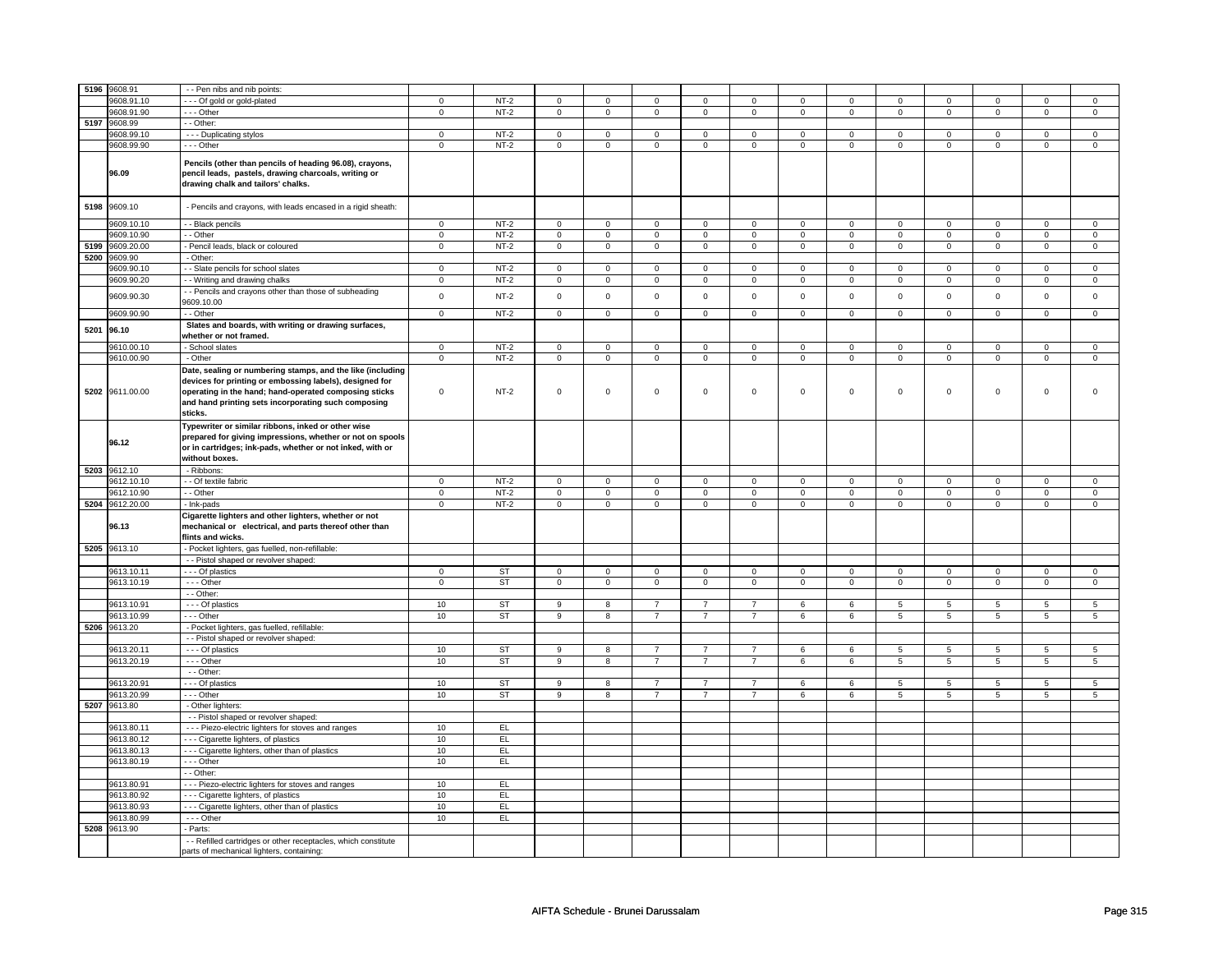|      | 5196 9608.91    | - - Pen nibs and nib points:                                                                                                                                                                                                                     |                |           |                     |                         |                |                     |                |                     |                     |                     |                |                     |                 |                 |
|------|-----------------|--------------------------------------------------------------------------------------------------------------------------------------------------------------------------------------------------------------------------------------------------|----------------|-----------|---------------------|-------------------------|----------------|---------------------|----------------|---------------------|---------------------|---------------------|----------------|---------------------|-----------------|-----------------|
|      |                 |                                                                                                                                                                                                                                                  |                |           |                     |                         |                |                     |                |                     |                     |                     |                |                     |                 |                 |
|      | 9608.91.10      | -- Of gold or gold-plated                                                                                                                                                                                                                        | $\mathsf 0$    | $NT-2$    | $\mathsf{O}\xspace$ | $\mathbf 0$             | 0              | $\mathbf 0$         | 0              | $\mathsf 0$         | 0                   | 0                   | 0              | $\mathbf 0$         | 0               | 0               |
|      | 9608.91.90      | $-$ - Other                                                                                                                                                                                                                                      | $\mathsf 0$    | $NT-2$    | $\mathbf 0$         | $\mathbf 0$             | $\mathbf{0}$   | $\mathbf 0$         | $\mathbf{0}$   | $\mathbf 0$         | $\mathbf{0}$        | $\mathbf 0$         | $\mathbf{0}$   | $\mathbf 0$         | $\mathbf{0}$    | $\mathbf{0}$    |
|      | 5197 9608.99    | $-$ Other:                                                                                                                                                                                                                                       |                |           |                     |                         |                |                     |                |                     |                     |                     |                |                     |                 |                 |
|      | 9608.99.10      | - - - Duplicating stylos                                                                                                                                                                                                                         | $\mathbf 0$    | $NT-2$    | $\mathbf 0$         | $\mathbf 0$             | $\mathbf 0$    | $\mathbf 0$         | $\mathbf 0$    | $\mathbf 0$         | $\mathbf 0$         | $\mathbf 0$         | $\mathbf 0$    | $\mathbf 0$         | $\Omega$        | $\mathbf 0$     |
|      | 9608.99.90      | $--$ Other                                                                                                                                                                                                                                       | $\overline{0}$ | $NT-2$    | $\overline{0}$      | $\overline{0}$          | $\overline{0}$ | $\pmb{0}$           | $\overline{0}$ | $\pmb{0}$           | $\overline{0}$      | $\overline{0}$      | $\overline{0}$ | $\overline{0}$      | $\overline{0}$  | $\pmb{0}$       |
|      | 96.09           | Pencils (other than pencils of heading 96.08), crayons,<br>pencil leads, pastels, drawing charcoals, writing or<br>drawing chalk and tailors' chalks.                                                                                            |                |           |                     |                         |                |                     |                |                     |                     |                     |                |                     |                 |                 |
| 5198 | 9609.10         | - Pencils and crayons, with leads encased in a rigid sheath:                                                                                                                                                                                     |                |           |                     |                         |                |                     |                |                     |                     |                     |                |                     |                 |                 |
|      | 9609.10.10      | - - Black pencils                                                                                                                                                                                                                                | $\mathsf 0$    | $NT-2$    | $\mathsf 0$         | $\mathbf 0$             | 0              | $\mathbf 0$         | $\mathsf 0$    | $\mathsf 0$         | $\Omega$            | $\mathsf 0$         | $\mathsf 0$    | $\mathsf 0$         | $\Omega$        | $\mathbf 0$     |
|      | 9609.10.90      | - Other                                                                                                                                                                                                                                          | $\mathsf 0$    | $NT-2$    | $\mathsf{O}\xspace$ | $\mathbf 0$             | $\mathsf 0$    | $\mathsf 0$         | $\mathsf 0$    | $\mathsf 0$         | 0                   | $\mathsf 0$         | $\mathsf 0$    | $\mathsf 0$         | 0               | $\mathsf 0$     |
| 5199 | 9609.20.00      | Pencil leads, black or coloured                                                                                                                                                                                                                  | $\mathsf 0$    | $NT-2$    | $\mathsf 0$         | $\mathsf 0$             | $\mathsf 0$    | $\mathsf{O}\xspace$ | $\mathsf 0$    | $\mathsf{O}\xspace$ | 0                   | $\mathsf{O}\xspace$ | $\mathsf 0$    | $\mathsf{O}\xspace$ | 0               | $\mathsf 0$     |
|      | 5200 9609.90    | - Other:                                                                                                                                                                                                                                         |                |           |                     |                         |                |                     |                |                     |                     |                     |                |                     |                 |                 |
|      | 9609.90.10      | - - Slate pencils for school slates                                                                                                                                                                                                              | $\mathbf 0$    | $NT-2$    | $\mathsf{O}\xspace$ | $\mathbf 0$             | $\mathsf 0$    | $\mathbf 0$         | $\mathsf 0$    | $\mathbf{0}$        | $\mathbf 0$         | $\mathbf{0}$        | $\mathsf 0$    | $\mathbf{0}$        | $\Omega$        | $\mathbf{0}$    |
|      |                 |                                                                                                                                                                                                                                                  |                |           |                     |                         |                |                     |                |                     |                     |                     |                |                     |                 |                 |
|      | 9609.90.20      | - - Writing and drawing chalks                                                                                                                                                                                                                   | $\mathbf 0$    | $NT-2$    | $\mathbf 0$         | $\mathbf 0$             | $\mathbf 0$    | $\mathbf{0}$        | $\mathbf 0$    | $\mathbf{0}$        | $\mathbf 0$         | $\mathbf 0$         | $\mathbf 0$    | $\mathbf 0$         | $\mathbf 0$     | $\mathbf 0$     |
|      | 9609.90.30      | - Pencils and crayons other than those of subheading<br>9609.10.00                                                                                                                                                                               | $\mathsf{o}\,$ | $NT-2$    | $\mathsf{O}\xspace$ | $\mathsf 0$             | $\mathsf 0$    | $\mathbf 0$         | $\mathsf 0$    | $\mathsf 0$         | $\mathsf{O}\xspace$ | $\mathbf 0$         | $\mathsf 0$    | $\mathbf 0$         | $\mathsf 0$     | $\mathsf 0$     |
|      | 9609.90.90      | - Other                                                                                                                                                                                                                                          | $\mathsf 0$    | $NT-2$    | $\mathsf{O}\xspace$ | $\mathsf 0$             | $\mathsf 0$    | $\mathbf 0$         | $\mathsf 0$    | $\mathbf 0$         | $\mathbf{0}$        | $\mathbf 0$         | $\mathbf 0$    | $\mathbf 0$         | $\mathbf 0$     | $\mathbf{0}$    |
| 5201 | 96.10           | Slates and boards, with writing or drawing surfaces,                                                                                                                                                                                             |                |           |                     |                         |                |                     |                |                     |                     |                     |                |                     |                 |                 |
|      |                 | whether or not framed.                                                                                                                                                                                                                           |                |           |                     |                         |                |                     |                |                     |                     |                     |                |                     |                 |                 |
|      | 9610.00.10      | - School slates                                                                                                                                                                                                                                  | $\mathbf 0$    | $NT-2$    | $\mathbf 0$         | $\mathbf 0$             | $\mathbf 0$    | $\mathbf 0$         | $\mathbf 0$    | $\mathbf 0$         | $\mathbf 0$         | $\mathbf 0$         | $\mathbf 0$    | $\mathbf 0$         | $\Omega$        | 0               |
|      | 9610.00.90      | - Other                                                                                                                                                                                                                                          | $\mathsf 0$    | $NT-2$    | $\mathsf{O}\xspace$ | $\mathsf 0$             | $\mathsf 0$    | $\mathbf 0$         | $\mathsf 0$    | $\mathbf 0$         | $\mathbf{0}$        | $\mathbf 0$         | $\mathbf 0$    | $\mathbf 0$         | $\mathbf{0}$    | $\mathbf 0$     |
|      | 5202 9611.00.00 | Date, sealing or numbering stamps, and the like (including<br>devices for printing or embossing labels), designed for<br>operating in the hand; hand-operated composing sticks<br>and hand printing sets incorporating such composing<br>sticks. | $\mathbf 0$    | $NT-2$    | $\mathsf 0$         | $\mathbf 0$             | $\mathbf 0$    | $\mathsf 0$         | $\mathbf 0$    | $\mathbf 0$         | $\mathbf 0$         | $\mathbf 0$         | $\mathsf 0$    | $\mathbf 0$         | $\Omega$        | $\mathbf{0}$    |
|      | 96.12           | Typewriter or similar ribbons, inked or other wise<br>prepared for giving impressions, whether or not on spools<br>or in cartridges; ink-pads, whether or not inked, with or<br>without boxes.                                                   |                |           |                     |                         |                |                     |                |                     |                     |                     |                |                     |                 |                 |
|      | 5203 9612.10    | - Ribbons:                                                                                                                                                                                                                                       |                |           |                     |                         |                |                     |                |                     |                     |                     |                |                     |                 |                 |
|      | 9612.10.10      | - - Of textile fabric                                                                                                                                                                                                                            | $\mathbf 0$    | $NT-2$    | $\mathbf 0$         | $\mathbf 0$             | $\mathbf 0$    | $\mathbf 0$         | $\mathbf 0$    | $\mathbf 0$         | 0                   | $\mathbf 0$         | 0              | $\mathbf 0$         | 0               | $\mathbf 0$     |
|      | 9612.10.90      | - - Other                                                                                                                                                                                                                                        | $\overline{0}$ | $NT-2$    | $\overline{0}$      | $\overline{0}$          | 0              | $\overline{0}$      | $\overline{0}$ | $\overline{0}$      | 0                   | $\overline{0}$      | $\overline{0}$ | $\overline{0}$      | 0               | $\overline{0}$  |
|      | 5204 9612.20.00 | - Ink-pads                                                                                                                                                                                                                                       | $\overline{0}$ | $NT-2$    | $\overline{0}$      | $\overline{0}$          | $\overline{0}$ | $\overline{0}$      | $\overline{0}$ | $\overline{0}$      | $\overline{0}$      | $\overline{0}$      | $\overline{0}$ | $\overline{0}$      | $\overline{0}$  | $\overline{0}$  |
|      | 96.13           | Cigarette lighters and other lighters, whether or not<br>mechanical or electrical, and parts thereof other than<br>flints and wicks.                                                                                                             |                |           |                     |                         |                |                     |                |                     |                     |                     |                |                     |                 |                 |
|      | 5205 9613.10    | - Pocket lighters, gas fuelled, non-refillable:                                                                                                                                                                                                  |                |           |                     |                         |                |                     |                |                     |                     |                     |                |                     |                 |                 |
|      |                 | - - Pistol shaped or revolver shaped:                                                                                                                                                                                                            |                |           |                     |                         |                |                     |                |                     |                     |                     |                |                     |                 |                 |
|      | 9613.10.11      | - - - Of plastics                                                                                                                                                                                                                                | $\Omega$       | ST        | $\mathbf 0$         | $\mathbf 0$             | $\mathbf 0$    | $\mathbf{0}$        | $\mathbf 0$    | $\mathbf{0}$        | $\mathbf 0$         | $\mathbf{0}$        | $\mathbf 0$    | $\mathbf{0}$        | $\mathbf 0$     | $\mathbf 0$     |
|      | 9613.10.19      | $- -$ Other                                                                                                                                                                                                                                      | $\overline{0}$ | ST        | $\overline{0}$      | $\overline{0}$          | $\mathsf 0$    | $\overline{0}$      | $\overline{0}$ | $\overline{0}$      | $\mathbf 0$         | $\overline{0}$      | $\overline{0}$ | $\overline{0}$      | $\overline{0}$  | $\overline{0}$  |
|      |                 | - - Other:                                                                                                                                                                                                                                       |                |           |                     |                         |                |                     |                |                     |                     |                     |                |                     |                 |                 |
|      | 9613.10.91      | - - - Of plastics                                                                                                                                                                                                                                | 10             | <b>ST</b> | 9                   | 8                       | $\overline{7}$ | $\overline{7}$      | $\overline{7}$ | 6                   | 6                   | 5                   | 5              | 5                   | 5               | 5               |
|      | 9613.10.99      | $- -$ Other                                                                                                                                                                                                                                      | 10             | ST        | $\overline{9}$      | $\overline{\mathbf{8}}$ | $\overline{7}$ | $\overline{7}$      | $\overline{7}$ | $6\overline{6}$     | 6                   | $\overline{5}$      | $\sqrt{5}$     | $\overline{5}$      | 5               | $5\overline{)}$ |
|      | 5206 9613.20    | - Pocket lighters, gas fuelled, refillable:                                                                                                                                                                                                      |                |           |                     |                         |                |                     |                |                     |                     |                     |                |                     |                 |                 |
|      |                 | - - Pistol shaped or revolver shaped:                                                                                                                                                                                                            |                |           |                     |                         |                |                     |                |                     |                     |                     |                |                     |                 |                 |
|      | 9613.20.11      | - - - Of plastics                                                                                                                                                                                                                                | $10\,$         | ST        | $\mathsf g$         | 8                       | $\overline{7}$ | $\overline{7}$      | $\overline{7}$ | 6                   | 6                   | 5                   | 5              | $\overline{5}$      | 5               | 5               |
|      | 9613.20.19      | $- -$ Other                                                                                                                                                                                                                                      | 10             | <b>ST</b> | $\overline{9}$      | $\overline{8}$          | $\overline{7}$ | $\overline{7}$      | $\overline{7}$ | 6                   | 6                   | 5                   | $\overline{5}$ | $\overline{5}$      | $5\overline{)}$ | 5               |
|      |                 |                                                                                                                                                                                                                                                  |                |           |                     |                         |                |                     |                |                     |                     |                     |                |                     |                 |                 |
|      |                 | - - Other:                                                                                                                                                                                                                                       |                |           |                     |                         |                |                     |                |                     |                     |                     |                |                     |                 |                 |
|      | 9613.20.91      | -- Of plastics                                                                                                                                                                                                                                   | 10             | <b>ST</b> | 9                   | 8                       | $\overline{7}$ | $\overline{7}$      | $\overline{7}$ | 6                   | 6                   | 5                   | 5              | 5                   | 5               | 5               |
|      | 9613.20.99      | --- Other                                                                                                                                                                                                                                        | 10             | <b>ST</b> | 9                   | 8                       | $\overline{7}$ | $\overline{7}$      | $\overline{7}$ | 6                   | 6                   | 5                   | 5              | 5                   | 5               | 5               |
|      | 5207 9613.80    | - Other lighters:                                                                                                                                                                                                                                |                |           |                     |                         |                |                     |                |                     |                     |                     |                |                     |                 |                 |
|      |                 | - - Pistol shaped or revolver shaped:                                                                                                                                                                                                            |                |           |                     |                         |                |                     |                |                     |                     |                     |                |                     |                 |                 |
|      | 9613.80.11      | - - - Piezo-electric lighters for stoves and ranges                                                                                                                                                                                              | 10             | EL        |                     |                         |                |                     |                |                     |                     |                     |                |                     |                 |                 |
|      | 9613.80.12      | - - - Cigarette lighters, of plastics                                                                                                                                                                                                            | 10             | EL        |                     |                         |                |                     |                |                     |                     |                     |                |                     |                 |                 |
|      | 9613.80.13      | - - Cigarette lighters, other than of plastics                                                                                                                                                                                                   | 10             | EL        |                     |                         |                |                     |                |                     |                     |                     |                |                     |                 |                 |
|      | 9613.80.19      | $\overline{\cdots}$ Other                                                                                                                                                                                                                        | 10             | <b>EL</b> |                     |                         |                |                     |                |                     |                     |                     |                |                     |                 |                 |
|      |                 | - - Other:                                                                                                                                                                                                                                       |                |           |                     |                         |                |                     |                |                     |                     |                     |                |                     |                 |                 |
|      | 9613.80.91      | - - - Piezo-electric lighters for stoves and ranges                                                                                                                                                                                              | 10             | EL.       |                     |                         |                |                     |                |                     |                     |                     |                |                     |                 |                 |
|      | 9613.80.92      | - - - Cigarette lighters, of plastics                                                                                                                                                                                                            | 10             | EL        |                     |                         |                |                     |                |                     |                     |                     |                |                     |                 |                 |
|      |                 |                                                                                                                                                                                                                                                  |                | E         |                     |                         |                |                     |                |                     |                     |                     |                |                     |                 |                 |
|      | 9613.80.93      | --- Cigarette lighters, other than of plastics                                                                                                                                                                                                   | 10             |           |                     |                         |                |                     |                |                     |                     |                     |                |                     |                 |                 |
|      |                 |                                                                                                                                                                                                                                                  |                |           |                     |                         |                |                     |                |                     |                     |                     |                |                     |                 |                 |
|      | 9613.80.99      | - - - Other                                                                                                                                                                                                                                      | 10             | EL        |                     |                         |                |                     |                |                     |                     |                     |                |                     |                 |                 |
|      | 5208 9613.90    | - Parts:<br>- - Refilled cartridges or other receptacles, which constitute                                                                                                                                                                       |                |           |                     |                         |                |                     |                |                     |                     |                     |                |                     |                 |                 |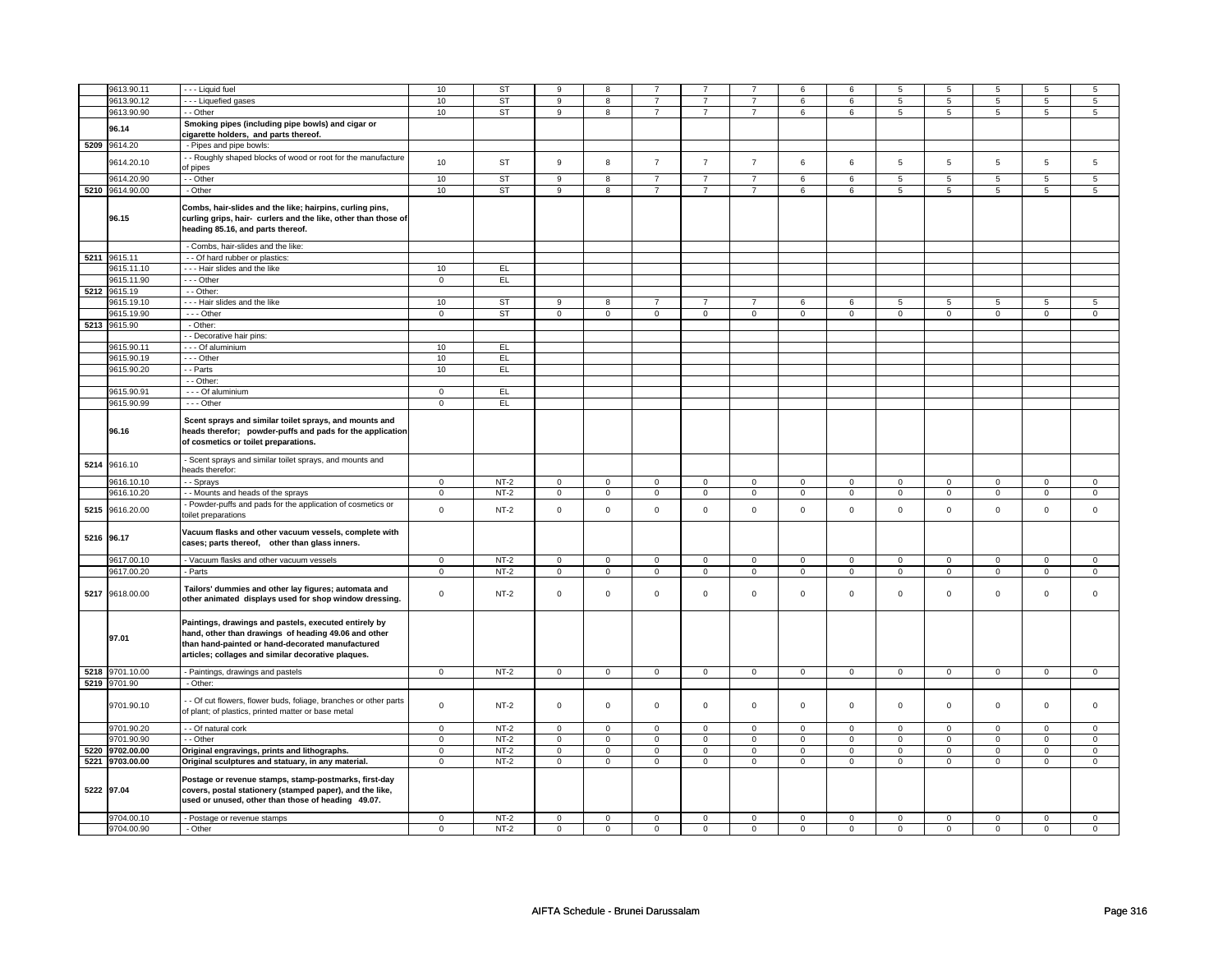|            | 9613.90.11      | - - - Liquid fuel                                                 | 10             | <b>ST</b> | 9                   | 8              |                |                |                | 6              | 6           | 5              | 5              | 5               | 5               | 5                   |
|------------|-----------------|-------------------------------------------------------------------|----------------|-----------|---------------------|----------------|----------------|----------------|----------------|----------------|-------------|----------------|----------------|-----------------|-----------------|---------------------|
|            | 9613.90.12      | - - - Liquefied gases                                             | 10             | <b>ST</b> | 9                   | 8              | $\overline{7}$ | $\overline{7}$ | $\overline{7}$ | 6              | 6           | 5              | 5              | 5               | 5               | 5                   |
|            |                 |                                                                   |                |           |                     |                |                |                |                |                |             |                |                |                 |                 |                     |
|            | 9613.90.90      | - - Other                                                         | 10             | <b>ST</b> | 9                   | 8              | $\overline{7}$ | $\overline{7}$ | $\overline{7}$ | 6              | 6           | 5              | 5              | 5               | 5               | 5                   |
|            |                 | Smoking pipes (including pipe bowls) and cigar or                 |                |           |                     |                |                |                |                |                |             |                |                |                 |                 |                     |
|            | 96.14           | cigarette holders, and parts thereof.                             |                |           |                     |                |                |                |                |                |             |                |                |                 |                 |                     |
|            |                 |                                                                   |                |           |                     |                |                |                |                |                |             |                |                |                 |                 |                     |
|            | 5209 9614.20    | - Pipes and pipe bowls:                                           |                |           |                     |                |                |                |                |                |             |                |                |                 |                 |                     |
|            |                 | - Roughly shaped blocks of wood or root for the manufacture       |                |           |                     |                |                |                |                |                |             |                |                |                 |                 |                     |
|            | 9614.20.10      | of pipes                                                          | 10             | ST        | 9                   | 8              | $\overline{7}$ | $\overline{7}$ | $\overline{7}$ | 6              | 6           | 5              | 5              | $\,$ 5 $\,$     | 5               | 5                   |
|            |                 |                                                                   |                |           |                     |                |                |                |                |                |             |                |                |                 |                 |                     |
|            | 9614.20.90      | - - Other                                                         | 10             | <b>ST</b> | $\overline{9}$      | $\overline{8}$ | $\overline{7}$ | $\overline{7}$ | $\overline{7}$ | 6              | 6           | $\overline{5}$ | $\overline{5}$ | $5\overline{)}$ | $5\overline{)}$ | $\overline{5}$      |
|            | 5210 9614.90.00 | - Other                                                           | 10             | <b>ST</b> | 9                   | 8              | $\overline{7}$ | $\overline{7}$ | $\overline{7}$ | 6              | 6           | 5              | 5              | 5               | 5               | 5                   |
|            |                 |                                                                   |                |           |                     |                |                |                |                |                |             |                |                |                 |                 |                     |
|            |                 | Combs, hair-slides and the like; hairpins, curling pins,          |                |           |                     |                |                |                |                |                |             |                |                |                 |                 |                     |
|            | 96.15           | curling grips, hair- curlers and the like, other than those of    |                |           |                     |                |                |                |                |                |             |                |                |                 |                 |                     |
|            |                 |                                                                   |                |           |                     |                |                |                |                |                |             |                |                |                 |                 |                     |
|            |                 | eading 85.16, and parts thereof.                                  |                |           |                     |                |                |                |                |                |             |                |                |                 |                 |                     |
|            |                 |                                                                   |                |           |                     |                |                |                |                |                |             |                |                |                 |                 |                     |
|            |                 | - Combs, hair-slides and the like:                                |                |           |                     |                |                |                |                |                |             |                |                |                 |                 |                     |
|            | 5211 9615.11    | - - Of hard rubber or plastics:                                   |                |           |                     |                |                |                |                |                |             |                |                |                 |                 |                     |
|            | 9615.11.10      | -- Hair slides and the like                                       | 10             | EL        |                     |                |                |                |                |                |             |                |                |                 |                 |                     |
|            |                 |                                                                   |                |           |                     |                |                |                |                |                |             |                |                |                 |                 |                     |
|            | 9615.11.90      | - - - Other                                                       | $\overline{0}$ | EL        |                     |                |                |                |                |                |             |                |                |                 |                 |                     |
|            | 5212 9615.19    | - - Other:                                                        |                |           |                     |                |                |                |                |                |             |                |                |                 |                 |                     |
|            | 9615.19.10      | --- Hair slides and the like                                      | 10             | <b>ST</b> | 9                   | 8              | $\overline{7}$ | $\overline{7}$ | $\overline{7}$ | 6              | 6           | 5              | 5              | 5               | 5               | 5                   |
|            |                 |                                                                   |                |           |                     |                |                |                |                |                |             |                |                |                 |                 |                     |
|            | 9615.19.90      | - - - Other                                                       | $\mathbf 0$    | <b>ST</b> | $\mathbf 0$         | $\mathbf 0$    | $\mathbf 0$    | $\mathbf 0$    | $\mathbf 0$    | $\mathbf 0$    | $\mathbf 0$ | $\mathbf 0$    | $\mathsf 0$    | $\mathbf 0$     | $\mathbf 0$     | $\mathbf 0$         |
|            | 5213 9615.90    | - Other:                                                          |                |           |                     |                |                |                |                |                |             |                |                |                 |                 |                     |
|            |                 | - Decorative hair pins:                                           |                |           |                     |                |                |                |                |                |             |                |                |                 |                 |                     |
|            | 9615.90.11      | - - - Of aluminium                                                | 10             | EL        |                     |                |                |                |                |                |             |                |                |                 |                 |                     |
|            |                 |                                                                   |                |           |                     |                |                |                |                |                |             |                |                |                 |                 |                     |
|            | 9615.90.19      | - - Other                                                         | 10             | EL        |                     |                |                |                |                |                |             |                |                |                 |                 |                     |
|            | 9615.90.20      | - Parts                                                           | 10             | EL        |                     |                |                |                |                |                |             |                |                |                 |                 |                     |
|            |                 | - - Other:                                                        |                |           |                     |                |                |                |                |                |             |                |                |                 |                 |                     |
|            |                 |                                                                   |                |           |                     |                |                |                |                |                |             |                |                |                 |                 |                     |
|            | 9615.90.91      | - - - Of aluminium                                                | $\mathbf 0$    | EL.       |                     |                |                |                |                |                |             |                |                |                 |                 |                     |
|            | 9615.90.99      | $- -$ Other                                                       | $\overline{0}$ | EL        |                     |                |                |                |                |                |             |                |                |                 |                 |                     |
|            |                 |                                                                   |                |           |                     |                |                |                |                |                |             |                |                |                 |                 |                     |
|            |                 | Scent sprays and similar toilet sprays, and mounts and            |                |           |                     |                |                |                |                |                |             |                |                |                 |                 |                     |
|            | 96.16           | heads therefor; powder-puffs and pads for the application         |                |           |                     |                |                |                |                |                |             |                |                |                 |                 |                     |
|            |                 |                                                                   |                |           |                     |                |                |                |                |                |             |                |                |                 |                 |                     |
|            |                 | of cosmetics or toilet preparations.                              |                |           |                     |                |                |                |                |                |             |                |                |                 |                 |                     |
|            |                 |                                                                   |                |           |                     |                |                |                |                |                |             |                |                |                 |                 |                     |
| 5214       | 9616.10         | Scent sprays and similar toilet sprays, and mounts and            |                |           |                     |                |                |                |                |                |             |                |                |                 |                 |                     |
|            |                 | eads therefor:                                                    |                |           |                     |                |                |                |                |                |             |                |                |                 |                 |                     |
|            | 9616.10.10      | - Sprays                                                          | $\mathbf 0$    | $NT-2$    | $\mathsf 0$         | $\mathsf 0$    | $\mathbf 0$    | $\mathbf 0$    | 0              | $\mathsf 0$    | $\mathbf 0$ | $\mathbf 0$    | $\mathsf 0$    | 0               | $\Omega$        | $\mathsf{O}\xspace$ |
|            |                 |                                                                   |                |           |                     |                |                |                |                |                |             |                |                |                 |                 |                     |
|            | 9616.10.20      | - - Mounts and heads of the sprays                                | $\mathbf 0$    | $NT-2$    | $\mathbf 0$         | $\mathsf 0$    | 0              | $\mathbf 0$    | 0              | $\mathbf 0$    | $\mathbf 0$ | $\mathbf 0$    | 0              | 0               | $\mathbf 0$     | $\mathbf 0$         |
|            | 9616.20.00      | Powder-puffs and pads for the application of cosmetics or         | $\mathsf 0$    | $NT-2$    | $\mathsf 0$         | $\mathsf 0$    | $\mathbf 0$    | $\mathbf 0$    | $\mathbf 0$    | $\mathbf 0$    | $\mathbf 0$ | $\mathbf 0$    | $\mathbf 0$    | $\mathbf 0$     | $\mathbf{0}$    | $\mathbf 0$         |
| 5215       |                 | toilet preparations                                               |                |           |                     |                |                |                |                |                |             |                |                |                 |                 |                     |
|            |                 |                                                                   |                |           |                     |                |                |                |                |                |             |                |                |                 |                 |                     |
|            |                 | Vacuum flasks and other vacuum vessels, complete with             |                |           |                     |                |                |                |                |                |             |                |                |                 |                 |                     |
|            | 5216 96.17      | cases; parts thereof, other than glass inners.                    |                |           |                     |                |                |                |                |                |             |                |                |                 |                 |                     |
|            |                 |                                                                   |                |           |                     |                |                |                |                |                |             |                |                |                 |                 |                     |
|            | 9617.00.10      | - Vacuum flasks and other vacuum vessels                          | $\mathbf 0$    | $NT-2$    | 0                   | $\mathbf 0$    | 0              | $\mathbf 0$    | $\mathbf 0$    | $\mathbf 0$    | 0           | $\mathbf 0$    | 0              | $\mathbf 0$     | $\Omega$        | $\mathbf 0$         |
|            | 9617.00.20      | - Parts                                                           | $\mathbf 0$    | $NT-2$    | $\mathbf 0$         | $\mathbf 0$    | $\mathbf 0$    | $\mathbf 0$    | $\mathbf 0$    | $\mathbf 0$    | $\mathbf 0$ | $\mathbf 0$    | $\mathbf 0$    | $\mathbf 0$     | $\mathbf 0$     | $\mathbf 0$         |
|            |                 |                                                                   |                |           |                     |                |                |                |                |                |             |                |                |                 |                 |                     |
|            |                 |                                                                   |                |           |                     |                |                |                |                |                |             |                |                |                 |                 |                     |
|            | 5217 9618.00.00 | Tailors' dummies and other lay figures; automata and              | $\mathbf 0$    | $NT-2$    | $\mathbf 0$         | $\mathsf 0$    | $\mathbf 0$    | $\mathbf 0$    | $\mathbf 0$    | $\mathbf 0$    | $\mathbf 0$ | $\mathbf 0$    | $\mathsf 0$    | 0               | $\mathbf 0$     | 0                   |
|            |                 | other animated displays used for shop window dressing.            |                |           |                     |                |                |                |                |                |             |                |                |                 |                 |                     |
|            |                 |                                                                   |                |           |                     |                |                |                |                |                |             |                |                |                 |                 |                     |
|            |                 |                                                                   |                |           |                     |                |                |                |                |                |             |                |                |                 |                 |                     |
|            |                 | Paintings, drawings and pastels, executed entirely by             |                |           |                     |                |                |                |                |                |             |                |                |                 |                 |                     |
|            | 97.01           | hand, other than drawings of heading 49.06 and other              |                |           |                     |                |                |                |                |                |             |                |                |                 |                 |                     |
|            |                 | than hand-painted or hand-decorated manufactured                  |                |           |                     |                |                |                |                |                |             |                |                |                 |                 |                     |
|            |                 | articles; collages and similar decorative plaques.                |                |           |                     |                |                |                |                |                |             |                |                |                 |                 |                     |
|            |                 |                                                                   |                |           |                     |                |                |                |                |                |             |                |                |                 |                 |                     |
|            | 5218 9701.10.00 | - Paintings, drawings and pastels                                 | $\mathbf 0$    | $NT-2$    | $\mathbf 0$         | $\mathbf 0$    | $\mathbf 0$    | $\mathbf 0$    | $\mathbf 0$    | $\mathbf 0$    | $\mathbf 0$ | $\mathbf 0$    | $\mathbf 0$    | $\mathbf 0$     | $\mathbf 0$     | $\mathbf 0$         |
|            | 5219 9701.90    | - Other:                                                          |                |           |                     |                |                |                |                |                |             |                |                |                 |                 |                     |
|            |                 |                                                                   |                |           |                     |                |                |                |                |                |             |                |                |                 |                 |                     |
|            |                 | - - Of cut flowers, flower buds, foliage, branches or other parts |                |           |                     |                |                |                |                |                |             |                |                |                 |                 |                     |
|            | 9701.90.10      |                                                                   | $\mathbf 0$    | $NT-2$    | $\mathbf 0$         | $\mathbf 0$    | $\mathbf 0$    | $\mathbf 0$    | $\mathbf 0$    | $\mathbf 0$    | $\mathbf 0$ | $\mathbf 0$    | $\mathsf 0$    | $\mathbf{0}$    | $\mathbf{0}$    | $\mathbf{0}$        |
|            |                 | of plant; of plastics, printed matter or base metal               |                |           |                     |                |                |                |                |                |             |                |                |                 |                 |                     |
|            |                 |                                                                   | $\overline{0}$ |           | $\overline{0}$      |                |                |                | $\overline{0}$ |                |             |                | $\overline{0}$ |                 |                 |                     |
|            | 9701.90.20      | - - Of natural cork                                               |                | $NT-2$    |                     | $\mathsf 0$    | $\mathbf 0$    | $\mathbf 0$    |                | $\mathbf 0$    | $\mathbf 0$ | $\mathbf 0$    |                | $\overline{0}$  | $\mathbf 0$     | $\mathbf 0$         |
|            | 9701.90.90      | - - Other                                                         | $\overline{0}$ | $NT-2$    | $\overline{0}$      | $\overline{0}$ | $\mathbf 0$    | $\overline{0}$ | $\pmb{0}$      | $\overline{0}$ | $\mathbf 0$ | $\overline{0}$ | $\pmb{0}$      | $\overline{0}$  | 0               | $\overline{0}$      |
|            | 5220 9702.00.00 | Original engravings, prints and lithographs.                      | $\mathsf 0$    | $NT-2$    | $\mathbf 0$         | $\mathbf 0$    | $\mathbf 0$    | $\mathbf 0$    | $\mathbf 0$    | $\mathbf 0$    | $\mathbf 0$ | $\mathbf 0$    | $\mathsf 0$    | $\mathbf{O}$    | $\mathbf 0$     | $\mathbf 0$         |
|            | 5221 9703.00.00 |                                                                   | $\mathsf 0$    | $NT-2$    | $\mathsf{O}\xspace$ | $\mathsf{O}$   | $\mathsf 0$    | $\mathsf{O}^-$ | $\mathbf 0$    | $\mathsf{O}$   | $\mathbf 0$ | $\mathsf{O}^-$ | $\mathsf 0$    | $\mathbf 0$     | $\mathsf 0$     | $\mathsf{O}^-$      |
|            |                 | Original sculptures and statuary, in any material.                |                |           |                     |                |                |                |                |                |             |                |                |                 |                 |                     |
|            |                 | Postage or revenue stamps, stamp-postmarks, first-day             |                |           |                     |                |                |                |                |                |             |                |                |                 |                 |                     |
|            |                 |                                                                   |                |           |                     |                |                |                |                |                |             |                |                |                 |                 |                     |
| 5222 97.04 |                 | covers, postal stationery (stamped paper), and the like,          |                |           |                     |                |                |                |                |                |             |                |                |                 |                 |                     |
|            |                 | used or unused, other than those of heading 49.07.                |                |           |                     |                |                |                |                |                |             |                |                |                 |                 |                     |
|            |                 |                                                                   |                |           |                     |                |                |                |                |                |             |                |                |                 |                 |                     |
|            | 9704.00.10      | - Postage or revenue stamps                                       | $\mathbf 0$    | $NT-2$    | 0                   | 0              | 0              | 0              | 0              | 0              | 0           | 0              | 0              | 0               | $\mathbf 0$     | 0                   |
|            | 9704.00.90      | - Other                                                           | $\mathbf 0$    | $NT-2$    | $\mathbf 0$         | $\mathbf 0$    | $\mathbf 0$    | $\mathbf 0$    | $\mathbf 0$    | $\mathbf 0$    | $\mathbf 0$ | $\mathbf 0$    | $\mathbf 0$    | $\mathbf{0}$    | $\mathbf 0$     | $\mathbf{0}$        |
|            |                 |                                                                   |                |           |                     |                |                |                |                |                |             |                |                |                 |                 |                     |